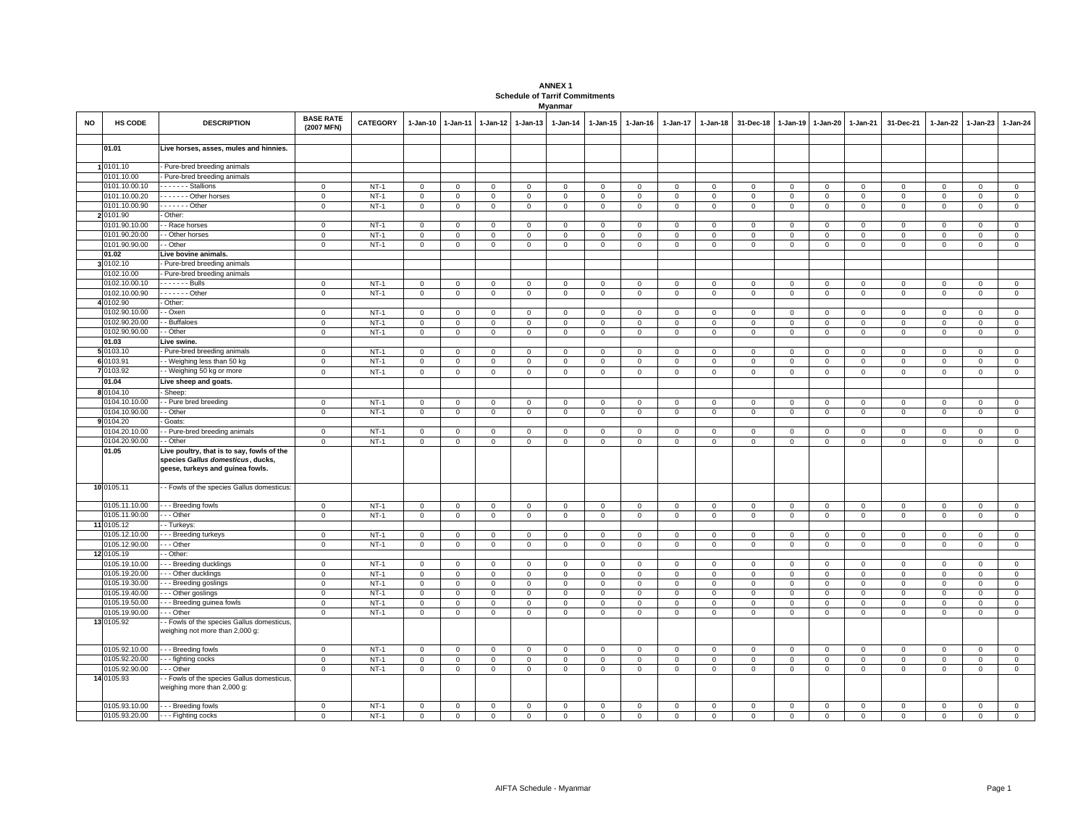## **ANNEX 1 Schedule of Tarrif CommitmentsMyanmar**

| NO | <b>HS CODE</b>              | <b>DESCRIPTION</b>                                                                                                  | <b>BASE RATE</b><br>(2007 MFN) | <b>CATEGORY</b>  | $1 - Jan-10$             | 1-Jan-11         | $1-Jan-12$       | $1-Jan-13$       | $1-Jan-14$   | 1-Jan-15                    | $1-Jan-16$          | 1-Jan-17               | 1-Jan-18                   | 31-Dec-18      | 1-Jan-19                   | 1-Jan-20               | 1-Jan-21         | 31-Dec-21        | 1-Jan-22         | $1-Jan-23$                 | $1-Jan-24$     |
|----|-----------------------------|---------------------------------------------------------------------------------------------------------------------|--------------------------------|------------------|--------------------------|------------------|------------------|------------------|--------------|-----------------------------|---------------------|------------------------|----------------------------|----------------|----------------------------|------------------------|------------------|------------------|------------------|----------------------------|----------------|
|    | 01.01                       | Live horses, asses, mules and hinnies.                                                                              |                                |                  |                          |                  |                  |                  |              |                             |                     |                        |                            |                |                            |                        |                  |                  |                  |                            |                |
|    | 1 0101.10                   | - Pure-bred breeding animals                                                                                        |                                |                  |                          |                  |                  |                  |              |                             |                     |                        |                            |                |                            |                        |                  |                  |                  |                            |                |
|    | 0101.10.00                  | Pure-bred breeding animals                                                                                          |                                |                  |                          |                  |                  |                  |              |                             |                     |                        |                            |                |                            |                        |                  |                  |                  |                            |                |
|    | 0101.10.00.10               | Stallions                                                                                                           | $\mathsf 0$                    | $NT-1$           | $\mathbf 0$              | 0                | $\mathbf 0$      | $\mathbf 0$      | $\mathsf 0$  | $\mathbf 0$                 | 0                   | $\mathbf 0$            | $\mathbf 0$                | $\mathbf 0$    | $\overline{0}$             | $\mathbf 0$            | $\mathbf 0$      | $\mathsf 0$      | 0                | 0                          | $\mathbf 0$    |
|    | 0101.10.00.20               | Other horses                                                                                                        | $\mathsf 0$                    | $NT-1$           | $\mathsf 0$              | $\mathbf 0$      | $\mathbf 0$      | $\mathbf 0$      | $\mathsf 0$  | $\mathsf 0$                 | $\mathsf 0$         | $\mathbf 0$            | $\mathsf 0$                | $\overline{0}$ | $\overline{0}$             | $\mathsf 0$            | $\mathsf 0$      | $\mathsf 0$      | $\mathbf 0$      | $\mathsf 0$                | $\overline{0}$ |
|    | 0101.10.00.90               | $\cdots$ Other                                                                                                      | $\mathbf 0$                    | $NT-1$           | $\mathbf 0$              | $\mathbf 0$      | 0                | 0                | 0            | $\mathbf 0$                 | $\mathbf{0}$        | $\circ$                | $\mathbf 0$                | $\mathbf 0$    | $\,0\,$                    | $\circ$                | $\mathbf 0$      | 0                | 0                | $\mathbf 0$                | $\,0\,$        |
|    | 2 0101.90                   | Other:                                                                                                              |                                |                  |                          |                  |                  |                  |              |                             |                     |                        |                            |                |                            |                        |                  |                  |                  |                            |                |
|    | 0101.90.10.00               | - Race horses                                                                                                       | $\mathsf 0$                    | $NT-1$           | $\mathbf 0$              | $\mathbf 0$      | $\mathbf 0$      | $\mathbf 0$      | $\mathsf 0$  | $\mathbf 0$                 | $\mathsf 0$         | $\mathbf 0$            | $\mathsf 0$                | $\mathbf 0$    | $\overline{0}$             | $\mathbf 0$            | $\mathbf 0$      | $\mathsf 0$      | $\mathbf 0$      | $\mathsf 0$                | $\mathbf 0$    |
|    | 0101.90.20.00               | - Other horses                                                                                                      | $\mathsf 0$                    | $NT-1$           | 0                        | $\mathbf 0$      | 0                | 0                | $\mathsf 0$  | $\mathbf 0$                 | $\mathbf{0}$        | $\mathbf 0$            | $\mathbf 0$                | $\mathbf 0$    | $\mathbf 0$                | $\circ$                | $\mathbf 0$      | 0                | 0                | $\mathbf 0$                | $\mathsf 0$    |
|    | 0101.90.90.00               | - Other                                                                                                             | $\mathbf 0$                    | $NT-1$           | $\mathbf 0$              | $\mathbf 0$      | $\mathbf 0$      | $\mathbf 0$      | $\mathsf 0$  | $\mathbf 0$                 | $\mathsf 0$         | $\mathbf 0$            | $\mathbf 0$                | $\mathbf 0$    | $\overline{0}$             | $\mathbf 0$            | $\mathbf 0$      | $\mathsf 0$      | $\mathbf 0$      | $\mathsf 0$                | $\,0\,$        |
|    | 01.02                       | Live bovine animals.                                                                                                |                                |                  |                          |                  |                  |                  |              |                             |                     |                        |                            |                |                            |                        |                  |                  |                  |                            |                |
|    | 3 0102.10                   | - Pure-bred breeding animals                                                                                        |                                |                  |                          |                  |                  |                  |              |                             |                     |                        |                            |                |                            |                        |                  |                  |                  |                            |                |
|    | 0102.10.00                  | Pure-bred breeding animals                                                                                          |                                |                  |                          |                  |                  |                  |              |                             |                     |                        |                            |                |                            |                        |                  |                  |                  |                            |                |
|    | 0102.10.00.10               | . - Bulls                                                                                                           | $\mathbf 0$                    | $NT-1$           | $\mathbf 0$              | $\mathbf{0}$     | $\mathbf{0}$     | $\mathbf 0$      | $\mathsf 0$  | $\mathbf{0}$                | $\mathbf 0$         | $\mathbf 0$            | $\Omega$                   | $\Omega$       | $\Omega$                   | $\circ$                | $\mathbf 0$      | $\mathsf 0$      | $\mathbf 0$      | $\mathbf 0$                | $\mathbf 0$    |
|    | 0102.10.00.90               | - - - - - - - Other                                                                                                 | $\circ$                        | $NT-1$           | $\mathbf 0$              | $\mathbf 0$      | $\mathbf 0$      | $\circ$          | $\mathbf{0}$ | $\mathbf{0}$                | $\mathbf{0}$        | $\mathbf 0$            | $\mathbf 0$                | $\mathbf{0}$   | $\circ$                    | $\mathbf{0}$           | $\mathbf{0}$     | $\mathbf{0}$     | $\mathbf 0$      | $\mathbf{0}$               | $\mathbf{0}$   |
|    | 4 0102.90                   | Other:                                                                                                              |                                |                  |                          |                  |                  |                  |              |                             |                     |                        |                            |                |                            |                        |                  |                  |                  |                            |                |
|    | 0102.90.10.00               | - Oxen                                                                                                              | $\mathbf 0$                    | $NT-1$           | $\mathbf{0}$             | $\mathbf{0}$     | $\mathbf 0$      | $\mathbf 0$      | $\mathbf 0$  | $\mathbf{0}$                | $\mathbf{0}$        | $\mathbf{0}$           | $\mathbf 0$                | $\Omega$       | $\mathbf 0$                | $\mathbf 0$            | $\mathbf 0$      | $\mathsf 0$      | $\Omega$         | $\mathbf 0$                | $\circ$        |
|    | 0102.90.20.00               | - Buffaloes                                                                                                         | $\mathbf 0$                    | $NT-1$           | $\mathbf 0$              | $\mathbf{0}$     | $\mathbf{0}$     | $\mathbf 0$      | $\mathsf 0$  | $\mathsf 0$                 | $\mathbf{O}$        | $\mathbf{0}$           | $\mathsf 0$                | $\mathbf 0$    | $\mathsf 0$                | $\mathbf 0$            | $\mathbf{0}$     | $\mathbf 0$      | $\mathbf 0$      | $\mathbf 0$                | $\mathsf 0$    |
|    | 0102.90.90.00               | - Other                                                                                                             | $\mathsf 0$                    | $NT-1$           | $\mathbf 0$              | $\mathbf 0$      | $\mathbf 0$      | $\mathbf 0$      | $\mathbf 0$  | $\mathbf{O}$                | $\mathbf{0}$        | $\mathbf 0$            | $\mathsf 0$                | $\mathbf 0$    | $\mathbf 0$                | $\mathbf 0$            | $\mathbf 0$      | $\mathsf 0$      | $\mathbf 0$      | $\mathsf 0$                | $\mathbf 0$    |
|    | 01.03                       | Live swine.                                                                                                         |                                |                  |                          |                  |                  |                  |              |                             |                     |                        |                            |                |                            |                        |                  |                  |                  |                            |                |
|    | 5 0103.10                   | - Pure-bred breeding animals                                                                                        | $\mathsf 0$                    | $NT-1$           | $\mathbf 0$              | $\mathbf 0$      | $\Omega$         | $\Omega$         | $\mathsf 0$  | $\mathbf 0$                 | $\mathsf 0$         | $\mathbf 0$            | $\mathbf 0$                | $\overline{0}$ | $\overline{0}$             | $\mathbf 0$            | $\Omega$         | $\mathsf 0$      | $\Omega$         | $\Omega$                   | $\mathsf 0$    |
|    | 6 0103.91                   | - Weighing less than 50 kg                                                                                          | $\mathbf 0$                    | $NT-1$           | $\mathbf 0$              | $\mathbf 0$      | $\mathbf 0$      | $\mathbf 0$      | $\mathbf 0$  | $\mathbf 0$                 | $\mathbf{O}$        | $\mathbf{0}$           | $\mathsf 0$                | $\mathbf 0$    | $\mathbf 0$                | $\mathbf 0$            | $\mathbf 0$      | $\mathsf 0$      | $\mathbf 0$      | $\mathbf{0}$               | $\mathbf 0$    |
|    | 7 0103.92                   | · - Weighing 50 kg or more                                                                                          | $\mathsf 0$                    | $NT-1$           | $\mathbf 0$              | $\mathbf 0$      | $\mathbf 0$      | $\mathbf 0$      | $\mathbf 0$  | $\mathbf 0$                 | $\mathbf{O}$        | $\mathbf 0$            | $\mathsf 0$                | $\mathbf 0$    | $\overline{0}$             | $\mathsf 0$            | $\mathbf 0$      | $\mathsf 0$      | $\mathbf 0$      | $\mathbf 0$                | $\,0\,$        |
|    | 01.04                       | Live sheep and goats.                                                                                               |                                |                  |                          |                  |                  |                  |              |                             |                     |                        |                            |                |                            |                        |                  |                  |                  |                            |                |
|    | 8 0104.10                   | Sheep:                                                                                                              |                                |                  |                          |                  |                  |                  |              |                             |                     |                        |                            |                |                            |                        |                  |                  |                  |                            |                |
|    | 0104.10.10.00               | - Pure bred breeding                                                                                                | $\mathbf 0$                    | $NT-1$           | $\mathbf 0$              | $\mathbf 0$      | $\mathbf 0$      | $\mathbf 0$      | $\mathbf 0$  | $\mathbf 0$                 | $\mathbf{O}$        | $\mathbf 0$            | $\mathsf 0$                | $\mathbf 0$    | $\mathbf 0$                | $\mathbf 0$            | $\mathbf 0$      | $\mathsf 0$      | $\mathbf 0$      | $\mathbf{0}$               | $\mathsf 0$    |
|    | 0104.10.90.00               | · - Other                                                                                                           | $\mathbf 0$                    | $NT-1$           | $\mathbf{0}$             | $\mathbf{0}$     | $\mathbf{0}$     | $\mathbf{0}$     | $\mathbf 0$  | $\mathbf{0}$                | $\circ$             | $\mathbf{0}$           | $\mathbf 0$                | $\mathbf{0}$   | $\mathbf{0}$               | $\mathbf{0}$           | $\mathbf{0}$     | $\mathbf 0$      | $\mathbf 0$      | $\mathbf{0}$               | $\mathbf 0$    |
|    | 9 0104.20                   | Goats:                                                                                                              |                                |                  |                          |                  |                  |                  |              |                             |                     |                        |                            |                |                            |                        |                  |                  |                  |                            |                |
|    | 0104.20.10.00               | - Pure-bred breeding animals                                                                                        | $\mathbf 0$                    | $NT-1$           | $\mathbf{0}$             | $\mathbf{0}$     | $\mathbf{0}$     | $\mathbf 0$      | $\mathsf 0$  | $\mathbf{0}$                | $\mathbf 0$         | $\mathbf{0}$           | $\mathbf 0$                | $\Omega$       | $\Omega$                   | $\mathsf 0$            | $\mathbf 0$      | $\mathsf 0$      | $\mathbf 0$      | $\mathbf 0$                | $\mathbf 0$    |
|    | 0104.20.90.00               | - - Other                                                                                                           | $\mathbf 0$                    | $NT-1$           | $\mathbf 0$              | $\mathbf 0$      | $\mathbf{0}$     | $\circ$          | $\mathbf{0}$ | $\mathbf{0}$                | $\circ$             | $\mathbf{0}$           | $\mathbf 0$                | $\mathbf{0}$   | $\circ$                    | $\mathbf{0}$           | $\mathbf{0}$     | $\mathbf 0$      | $\mathbf 0$      | $\mathbf{0}$               | $\mathbf 0$    |
|    | 01.05                       | Live poultry, that is to say, fowls of the<br>species Gallus domesticus, ducks,<br>geese, turkeys and guinea fowls. |                                |                  |                          |                  |                  |                  |              |                             |                     |                        |                            |                |                            |                        |                  |                  |                  |                            |                |
|    | 10 0105.11                  | - Fowls of the species Gallus domesticus:                                                                           |                                |                  |                          |                  |                  |                  |              |                             |                     |                        |                            |                |                            |                        |                  |                  |                  |                            |                |
|    | 0105.11.10.00               | --- Breeding fowls                                                                                                  | $\mathbf{O}$                   | $NT-1$           | $\mathbf 0$              | 0                | 0                | $\mathbf 0$      | $\mathsf 0$  | $\mathbf{O}$                | $\mathbf{O}$        | $\mathbf 0$            | $\mathsf 0$                | $\mathbf 0$    | $\mathbf 0$                | $\mathbf 0$            | $\mathbf 0$      | $\mathsf 0$      | $\mathbf 0$      | $\mathsf 0$                | $\mathbf 0$    |
|    | 0105.11.90.00               | $\cdots$ Other                                                                                                      | $\mathbf 0$                    | $NT-1$           | $\mathsf 0$              | $\mathbf 0$      | $\mathbf 0$      | $\mathsf 0$      | $\mathsf 0$  | $\mathsf 0$                 | $\mathbf{O}$        | $\mathsf 0$            | $\mathbf 0$                | $\mathbf 0$    | $\mathbf 0$                | $\mathbf 0$            | $\mathsf 0$      | $\mathsf 0$      | $\mathbf 0$      | $\mathsf 0$                | $\,0\,$        |
|    | 11 0105.12<br>0105.12.10.00 | - Turkeys:                                                                                                          |                                |                  |                          |                  |                  |                  |              |                             |                     |                        |                            |                |                            |                        |                  |                  |                  |                            | $\mathbf 0$    |
|    | 0105.12.90.00               | - - Breeding turkeys<br>- - Other                                                                                   | 0<br>$\mathsf 0$               | $NT-1$<br>$NT-1$ | 0<br>$\mathsf{O}\xspace$ | 0<br>$\mathbf 0$ | 0<br>$\mathbf 0$ | 0<br>$\mathbf 0$ | 0            | $\mathbf{0}$<br>$\mathsf 0$ | $\mathbf{0}$        | $\circ$<br>$\mathbf 0$ | $\mathbf 0$<br>$\mathbf 0$ | 0<br>0         | $\mathbf 0$<br>$\mathbf 0$ | $\mathbf 0$<br>$\,0\,$ | 0<br>$\mathbf 0$ | 0<br>$\mathsf 0$ | 0<br>$\mathbf 0$ | $\mathbf 0$<br>$\mathsf 0$ | $\,0\,$        |
|    | 12 0105.19                  | - Other:                                                                                                            |                                |                  |                          |                  |                  |                  | $\mathsf 0$  |                             | $\mathbf 0$         |                        |                            |                |                            |                        |                  |                  |                  |                            |                |
|    | 0105.19.10.00               | -- Breeding ducklings                                                                                               | $\mathbf{0}$                   | <b>NT-1</b>      | $\overline{0}$           | $\mathbf 0$      | $\mathbf 0$      | $\mathbf 0$      | $\mathbf 0$  | $\mathbf 0$                 | $\mathbf 0$         | $\mathbf 0$            | $\mathbf 0$                | $\mathbf 0$    | $\mathbf{0}$               | $\mathbf 0$            | $\mathbf 0$      | $\mathbf{0}$     | $\mathbf 0$      | $\circ$                    | $\mathbf 0$    |
|    | 0105.19.20.00               | --- Other ducklings                                                                                                 | $\mathbf 0$                    | $NT-1$           | $\mathsf 0$              | $\mathbf 0$      | $\mathbf 0$      | $\mathbf{0}$     | $\mathsf 0$  | $\mathbf 0$                 | $\mathsf 0$         | $\mathbf 0$            | $\mathsf 0$                | $\overline{0}$ | $\overline{0}$             | $\mathbf 0$            | $\mathbf 0$      | $\mathsf 0$      | $\Omega$         | $\Omega$                   | $\mathsf 0$    |
|    | 0105.19.30.00               | - - Breeding goslings                                                                                               | $\mathbf 0$                    | $NT-1$           | $\mathsf 0$              | $\mathbf 0$      | $\mathbf 0$      | $\mathbf 0$      | $\mathbf 0$  | $\mathsf 0$                 | $\mathbf{O}$        | $\mathsf 0$            | $\mathsf 0$                | $\mathsf 0$    | $\mathsf 0$                | $\mathbf 0$            | $\mathbf 0$      | $\mathsf 0$      | $\mathbf 0$      | $\mathsf 0$                | $\overline{0}$ |
|    | 0105.19.40.00               | - - Other goslings                                                                                                  | $\Omega$                       | $NT-1$           | $\mathsf 0$              | $\Omega$         | $\Omega$         | $\Omega$         | $\mathsf 0$  | $\mathbf{0}$                | $\mathbf 0$         | $\Omega$               | $\mathbf 0$                | $\mathbf 0$    | $\mathbf{0}$               | $\mathbf{0}$           | $\Omega$         | $\mathbf 0$      | $\Omega$         | $\Omega$                   | $\overline{0}$ |
|    | 0105.19.50.00               | -- Breeding guinea fowls                                                                                            | $\mathbf 0$                    | $NT-1$           | $\Omega$                 | $\mathbf{0}$     | $\mathbf{0}$     | $\mathbf 0$      | $\mathbf 0$  | $\mathbf{0}$                | $\circ$             | $\mathbf 0$            | $\Omega$                   | $\Omega$       | $\Omega$                   | $\Omega$               | $\mathbf 0$      | $\mathbf 0$      | $\mathbf 0$      | $\mathbf 0$                | $\circ$        |
|    | 0105.19.90.00               | - - Other                                                                                                           | $\mathsf 0$                    | $NT-1$           | $\mathsf 0$              | $\mathbf{0}$     | 0                | $\mathbf 0$      | $\mathbf{0}$ | $\mathbf{O}$                | $\mathbf{0}$        | $\mathbf{O}$           | $\mathsf 0$                | $\mathbf 0$    | $\mathsf 0$                | $\mathbf{0}$           | $\mathbf{0}$     | $\mathbf 0$      | $\mathbf 0$      | 0                          | $\overline{0}$ |
|    | 13 0105.92                  | - Fowls of the species Gallus domesticus,                                                                           |                                |                  |                          |                  |                  |                  |              |                             |                     |                        |                            |                |                            |                        |                  |                  |                  |                            |                |
|    |                             | weighing not more than 2,000 g:                                                                                     |                                |                  |                          |                  |                  |                  |              |                             |                     |                        |                            |                |                            |                        |                  |                  |                  |                            |                |
|    | 0105.92.10.00               | -- Breeding fowls                                                                                                   | $\mathbf{0}$                   | $NT-1$           | $\mathbf 0$              | 0                | 0                | 0                | $\mathbf 0$  | $\mathbf 0$                 | $\mathbf{0}$        | $\circ$                | $\mathsf 0$                | $\mathbf 0$    | $\mathbf 0$                | $\mathbf 0$            | $\mathbf 0$      | 0                | 0                | 0                          | $\mathbf 0$    |
|    | 0105.92.20.00               | --- fighting cocks                                                                                                  | $\mathsf 0$                    | $NT-1$           | $\mathsf 0$              | $\mathbf 0$      | $\mathbf 0$      | $\mathsf 0$      | $\mathbf 0$  | $\mathsf 0$                 | $\mathsf{O}\xspace$ | $\mathsf 0$            | $\,0\,$                    | $\mathbf 0$    | $\mathbf 0$                | $\mathbf 0$            | $\mathsf 0$      | $\mathsf 0$      | $\mathsf 0$      | $\mathsf 0$                | $\,0\,$        |
|    | 0105.92.90.00               | - - Other                                                                                                           | $\mathsf 0$                    | $NT-1$           | $\mathsf 0$              | $\mathbf{0}$     | $\mathbf 0$      | $\mathbf 0$      | $\,0\,$      | $\mathsf 0$                 | $\mathbf{0}$        | $\mathbf{O}$           | $\mathsf 0$                | $\mathbf 0$    | $\mathbf 0$                | $\mathsf 0$            | $\mathbf 0$      | $\mathsf 0$      | $\mathbf 0$      | $\mathsf 0$                | $\mathbf 0$    |
|    | 14 0105.93                  | - Fowls of the species Gallus domesticus,<br>weighing more than 2,000 g:                                            |                                |                  |                          |                  |                  |                  |              |                             |                     |                        |                            |                |                            |                        |                  |                  |                  |                            |                |
|    | 0105.93.10.00               | - - - Breeding fowls                                                                                                | $\mathbf 0$                    | $NT-1$           | $\mathbf 0$              | $\mathbf 0$      | $\mathbf 0$      | $\mathbf 0$      | $\mathsf 0$  | $\mathbf 0$                 | $\Omega$            | $\Omega$               | $\mathbf 0$                | $\mathbf 0$    | $\mathbf 0$                | $\mathbf 0$            | $\Omega$         | $\mathbf 0$      | $\mathbf 0$      | $\mathbf 0$                | $\mathbf 0$    |
|    | 0105.93.20.00               | - - - Fighting cocks                                                                                                | $\mathsf 0$                    | $NT-1$           | $\mathbf{0}$             | $\mathbf 0$      | $\mathbf 0$      | $\mathbf 0$      | $\mathsf 0$  | $\mathbf 0$                 | $\mathsf 0$         | $\mathbf 0$            | $\mathsf 0$                | $\mathbf 0$    | $\mathbf{0}$               | $\mathbf 0$            | $\mathbf 0$      | $\mathsf 0$      | $\mathbf 0$      | $\mathsf 0$                | $\mathbf 0$    |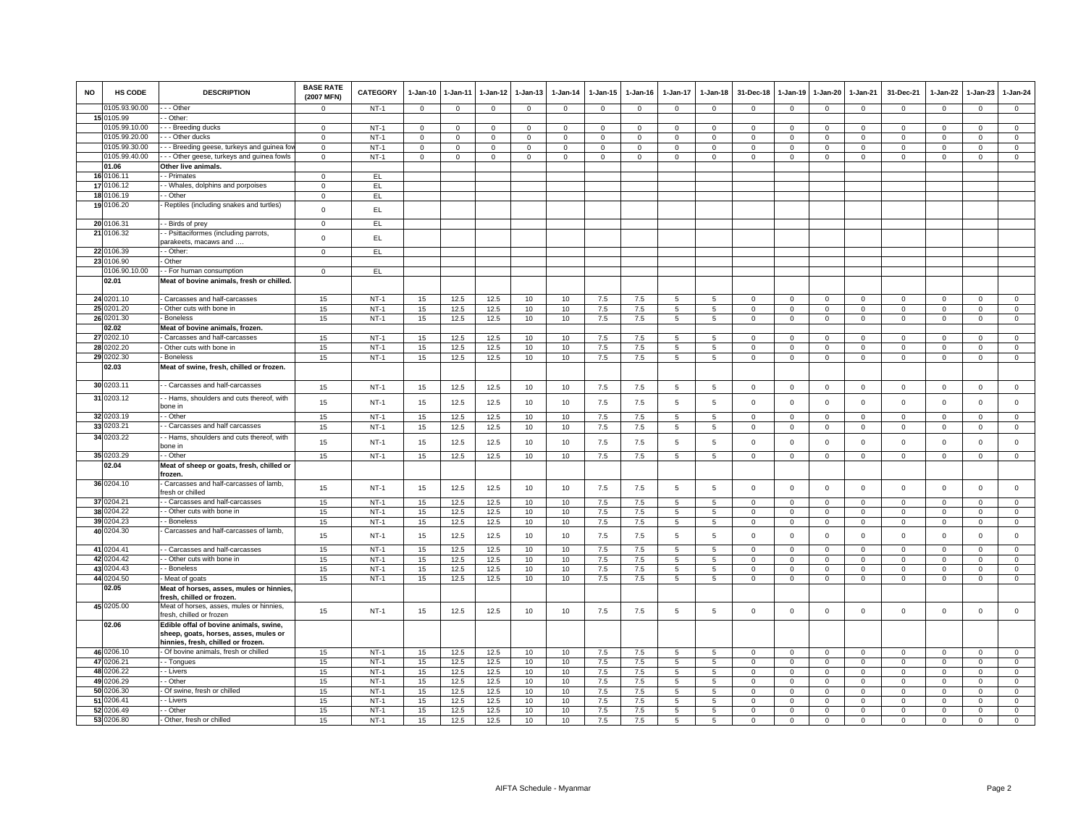| <b>NO</b> | HS CODE                        | <b>DESCRIPTION</b>                                                                     | <b>BASE RATE</b><br>(2007 MFN) | <b>CATEGORY</b>  | 1-Jan-10                   | 1-Jan-11                   | 1-Jan-12             | 1-Jan-13                 | 1-Jan-14                   | 1-Jan-15                   | 1-Jan-16                   | 1-Jan-17                   | 1-Jan-18                   | 31-Dec-18                  | 1-Jan-19                   | 1-Jan-20                  | 1-Jan-21                | 31-Dec-21                  | 1-Jan-22                   | 1-Jan-23                | 1-Jan-24                   |
|-----------|--------------------------------|----------------------------------------------------------------------------------------|--------------------------------|------------------|----------------------------|----------------------------|----------------------|--------------------------|----------------------------|----------------------------|----------------------------|----------------------------|----------------------------|----------------------------|----------------------------|---------------------------|-------------------------|----------------------------|----------------------------|-------------------------|----------------------------|
|           | 0105.93.90.00                  | - - - Other                                                                            | $^{\circ}$                     | <b>NT-1</b>      | 0                          | $\mathbf 0$                | $\mathbf 0$          | $\mathbf 0$              | $\,0\,$                    | $\mathbf 0$                | $\mathbf 0$                | $\mathbf 0$                | $\mathsf 0$                | $\mathbf 0$                | $\mathbf 0$                | $\mathbf 0$               | $\mathbf{0}$            | $\mathsf 0$                | $\mathsf 0$                | $\mathsf 0$             | $\mathbf 0$                |
|           | 15 0105.99                     | - Other                                                                                |                                |                  |                            |                            |                      |                          |                            |                            |                            |                            |                            |                            |                            |                           |                         |                            |                            |                         |                            |
|           | 0105.99.10.00                  | - - Breeding ducks                                                                     | $\Omega$                       | $NT-1$           | $\mathbf{0}$               | $\Omega$                   | $\Omega$<br>$\Omega$ | $\Omega$                 | $\mathbf 0$                | $\mathbf 0$                | $\Omega$                   | $\Omega$                   | $\Omega$                   | $\Omega$                   | $\Omega$                   | $\Omega$                  | $\mathbf 0$             | $\Omega$                   | $\Omega$                   | $\Omega$                | $\mathbf{0}$               |
|           | 0105.99.20.00<br>0105.99.30.00 | - - Other ducks                                                                        | $\Omega$                       | $NT-1$           | $\mathbf 0$                | $\Omega$                   |                      | $\Omega$                 | $\Omega$                   | $\Omega$                   | $\mathbf 0$                | $\Omega$                   | $\Omega$                   | $\Omega$                   | $\Omega$<br>$\Omega$       | $\Omega$                  | $\Omega$<br>$\Omega$    | $\Omega$                   | $\Omega$                   | $\Omega$                | $\circ$<br>$\circ$         |
|           | 0105.99.40.00                  | -- Breeding geese, turkeys and guinea for<br>- - Other geese, turkeys and guinea fowls | $\Omega$<br>$\Omega$           | $NT-1$<br>$NT-1$ | $\mathbf 0$<br>$\mathbf 0$ | $\mathbf 0$<br>$\mathbf 0$ | $\Omega$<br>0        | $\mathbf{0}$<br>$\Omega$ | $\mathsf 0$<br>$\mathsf 0$ | $\mathbf 0$<br>$\mathbf 0$ | $\mathbf 0$<br>$\mathbf 0$ | $\mathbf 0$<br>$\mathbf 0$ | $\mathsf 0$<br>$\mathbf 0$ | $\mathbf 0$<br>$\mathbf 0$ | $\mathbf 0$                | $\Omega$<br>$\mathbf 0$   | $\mathbf 0$             | $\mathbf 0$<br>$\mathbf 0$ | $\Omega$<br>$\Omega$       | $\Omega$<br>$\Omega$    | $\mathbf{0}$               |
|           | 01.06                          | Other live animals.                                                                    |                                |                  |                            |                            |                      |                          |                            |                            |                            |                            |                            |                            |                            |                           |                         |                            |                            |                         |                            |
|           | 16 0106.11                     | - Primates                                                                             | $\Omega$                       | EL               |                            |                            |                      |                          |                            |                            |                            |                            |                            |                            |                            |                           |                         |                            |                            |                         |                            |
|           | 17 0106.12                     | - - Whales, dolphins and porpoises                                                     | $^{\circ}$                     | EL               |                            |                            |                      |                          |                            |                            |                            |                            |                            |                            |                            |                           |                         |                            |                            |                         |                            |
|           | 18 0106.19                     | - Other                                                                                | $\mathbf 0$                    | EL               |                            |                            |                      |                          |                            |                            |                            |                            |                            |                            |                            |                           |                         |                            |                            |                         |                            |
|           | 19 0106.20                     | - Reptiles (including snakes and turtles)                                              |                                |                  |                            |                            |                      |                          |                            |                            |                            |                            |                            |                            |                            |                           |                         |                            |                            |                         |                            |
|           |                                |                                                                                        | $\mathbf 0$                    | EL.              |                            |                            |                      |                          |                            |                            |                            |                            |                            |                            |                            |                           |                         |                            |                            |                         |                            |
|           | 20 0106.31                     | - - Birds of prey                                                                      | $\mathsf 0$                    | EL.              |                            |                            |                      |                          |                            |                            |                            |                            |                            |                            |                            |                           |                         |                            |                            |                         |                            |
|           | 21 0106.32                     | - Psittaciformes (including parrots,                                                   | $\mathsf 0$                    | EL               |                            |                            |                      |                          |                            |                            |                            |                            |                            |                            |                            |                           |                         |                            |                            |                         |                            |
|           |                                | parakeets, macaws and                                                                  |                                |                  |                            |                            |                      |                          |                            |                            |                            |                            |                            |                            |                            |                           |                         |                            |                            |                         |                            |
|           | 22 0106.39<br>23 0106.90       | - Other<br>- Other                                                                     | $\mathbf 0$                    | EL               |                            |                            |                      |                          |                            |                            |                            |                            |                            |                            |                            |                           |                         |                            |                            |                         |                            |
|           | 0106.90.10.00                  | - - For human consumption                                                              | $\Omega$                       | EL.              |                            |                            |                      |                          |                            |                            |                            |                            |                            |                            |                            |                           |                         |                            |                            |                         |                            |
|           | 02.01                          | Meat of bovine animals, fresh or chilled.                                              |                                |                  |                            |                            |                      |                          |                            |                            |                            |                            |                            |                            |                            |                           |                         |                            |                            |                         |                            |
|           |                                |                                                                                        |                                |                  |                            |                            |                      |                          |                            |                            |                            |                            |                            |                            |                            |                           |                         |                            |                            |                         |                            |
|           | 24 0201.10                     | - Carcasses and half-carcasses                                                         | 15                             | $NT-1$           | 15                         | 12.5                       | 12.5                 | 10                       | 10                         | 7.5                        | 7.5                        | 5                          | 5                          | $\mathbf 0$                | $\mathbf 0$                | $\mathbf 0$               | $\mathbf 0$             | $\mathsf 0$                | $\mathbf 0$                | $\mathsf 0$             | $\mathbf 0$                |
|           | 25 0201.20                     | - Other cuts with bone in                                                              | 15                             | $NT-1$           | 15                         | 12.5                       | 12.5                 | 10                       | 10                         | 7.5                        | 7.5                        | $5\overline{5}$            | $5\overline{5}$            | $\mathbf{O}$               | $\mathbf 0$                | $\mathbf{0}$              | $\Omega$                | $\mathbf{0}$               | $\mathbf 0$                | $\mathbf{0}$            | $\overline{0}$             |
|           | 26 0201.30                     | - Boneless                                                                             | 15                             | $NT-1$           | 15                         | 12.5                       | 12.5                 | 10                       | 10                         | 7.5                        | 7.5                        | 5 <sup>5</sup>             | 5                          | $\mathbf{0}$               | $\mathbf 0$                | $\mathbf{O}$              | $\circ$                 | $\mathbf{0}$               | $\mathbf 0$                | $\Omega$                | $\mathbf{0}$               |
|           | 02.02                          | Meat of bovine animals, frozen.                                                        |                                |                  |                            |                            |                      |                          |                            |                            |                            |                            |                            |                            |                            |                           |                         |                            |                            |                         |                            |
|           | 27 0202.10                     | - Carcasses and half-carcasses                                                         | 15                             | <b>NT-1</b>      | 15                         | 12.5                       | 12.5                 | 10                       | 10                         | 7.5                        | 7.5                        | 5                          | $5\phantom{.0}$            | $\mathsf 0$                | $\mathsf 0$                | $\mathbf 0$               | $\mathbf 0$             | $\mathsf 0$                | $\mathbf 0$                | $^{\circ}$              | $\mathbf 0$                |
| 28        | 0202.20                        | - Other cuts with bone in                                                              | 15                             | $NT-1$           | 15                         | 12.5                       | 12.5                 | 10                       | 10                         | 7.5                        | 7.5                        | 5                          | $5\phantom{.0}$            | $\mathbf{0}$               | $\mathbf 0$                | $\mathbf{0}$              | $\Omega$                | $\Omega$                   | $\Omega$                   | $\Omega$                | $\mathbf{0}$               |
|           | 29 0202.30                     | - Boneless                                                                             | 15                             | $NT-1$           | 15                         | 12.5                       | 12.5                 | 10                       | 10                         | 7.5                        | 7.5                        | 5                          | 5                          | $\mathbf 0$                | $\mathbf 0$                | $\mathbf{O}$              | $\mathbf 0$             | $\mathbf{0}$               | $\mathbf 0$                | $\mathbf 0$             | $\mathbf 0$                |
|           | 02.03                          | Meat of swine, fresh, chilled or frozen.                                               |                                |                  |                            |                            |                      |                          |                            |                            |                            |                            |                            |                            |                            |                           |                         |                            |                            |                         |                            |
|           | 30 0203.11                     | - Carcasses and half-carcasses                                                         | 15                             | $NT-1$           | 15                         | 12.5                       | 12.5                 | 10                       | 10                         | 7.5                        | 7.5                        | 5                          | 5                          | $\mathbf 0$                | $\mathbf 0$                | $\mathbf{0}$              | $\mathbf 0$             | $\mathbf 0$                | $\circ$                    | $\mathbf{0}$            | $\mathbf{0}$               |
|           | 31 0203.12                     | - - Hams, shoulders and cuts thereof, with                                             |                                |                  |                            |                            |                      |                          |                            |                            |                            |                            |                            |                            |                            |                           |                         |                            |                            |                         |                            |
|           |                                | bone in                                                                                | 15                             | $NT-1$           | 15                         | 12.5                       | 12.5                 | 10                       | 10                         | 7.5                        | 7.5                        | 5                          | 5                          | $\mathbf 0$                | $\mathbf 0$                | $\mathbf 0$               | $\mathbf 0$             | $\mathsf 0$                | $\mathbf 0$                | $\mathsf 0$             | $\mathsf 0$                |
|           | 32 0203.19                     | - Other                                                                                | 15                             | $NT-1$           | 15                         | 12.5                       | 12.5                 | 10                       | 10                         | 7.5                        | 7.5                        | 5                          | 5                          | $\mathbf 0$                | $\Omega$                   | $\circ$                   | $\circ$                 | $\mathbf 0$                | $\Omega$                   | $\Omega$                | $\circ$                    |
|           | 33 0203.21                     | - Carcasses and half carcasses                                                         | 15                             | $NT-1$           | 15                         | 12.5                       | 12.5                 | 10                       | 10                         | 7.5                        | 7.5                        | 5                          | 5                          | $\mathbf{0}$               | $\mathbf 0$                | $\overline{0}$            | $\mathbf{0}$            | $\mathbf{0}$               | $\mathbf{0}$               | $\mathbf{0}$            | $\mathbf 0$                |
|           | 34 0203.22                     | - - Hams, shoulders and cuts thereof, with                                             | 15                             | $NT-1$           | 15                         |                            |                      | 10                       | 10                         | 7.5                        | 7.5                        | 5                          | 5                          | $\mathbf 0$                | $\mathbf 0$                | $\mathsf 0$               | $\mathbf 0$             | $\mathsf 0$                | $\mathbf 0$                | $\mathsf 0$             | $\mathbf 0$                |
|           |                                | bone in                                                                                |                                |                  |                            | 12.5                       | 12.5                 |                          |                            |                            |                            |                            |                            |                            |                            |                           |                         |                            |                            |                         |                            |
|           | 35 0203.29                     | - - Other                                                                              | 15                             | $NT-1$           | 15                         | 12.5                       | 12.5                 | 10                       | 10                         | 7.5                        | 7.5                        | $5\overline{5}$            | $5\overline{5}$            | $\mathbf{0}$               | $\mathbf{0}$               | $\overline{0}$            | $\overline{0}$          | $\mathbf{0}$               | $\circ$                    | $\overline{0}$          | $\overline{0}$             |
|           | 02.04                          | Meat of sheep or goats, fresh, chilled or<br>frozen.                                   |                                |                  |                            |                            |                      |                          |                            |                            |                            |                            |                            |                            |                            |                           |                         |                            |                            |                         |                            |
|           | 36 0204.10                     | - Carcasses and half-carcasses of lamb,                                                |                                |                  |                            |                            |                      |                          |                            |                            |                            |                            |                            |                            |                            |                           |                         |                            |                            |                         |                            |
|           |                                | fresh or chilled                                                                       | 15                             | $NT-1$           | 15                         | 12.5                       | 12.5                 | 10                       | 10                         | 7.5                        | 7.5                        | 5                          | 5                          | $\mathbf 0$                | $\mathsf 0$                | $\mathsf 0$               | $\mathbf 0$             | $\mathsf 0$                | $\mathsf 0$                | $\mathsf 0$             | $\mathsf 0$                |
|           | 37 0204.21                     | - Carcasses and half-carcasses                                                         | 15                             | $NT-1$           | 15                         | 12.5                       | 12.5                 | 10                       | 10                         | 7.5                        | 7.5                        | 5                          | 5                          | $\mathbf 0$                | $\mathbf 0$                | $\Omega$                  | $\mathbf 0$             | $\mathsf 0$                | $\circ$                    | $\mathsf 0$             | $\mathbf 0$                |
|           | 38 0204.22                     | - Other cuts with bone in                                                              | 15                             | $NT-1$           | 15                         | 12.5                       | 12.5                 | 10                       | 10                         | 7.5                        | 7.5                        | 5                          | 5                          | $\Omega$                   | $\mathbf{0}$               | $\mathbf 0$               | $\Omega$                | $\circ$                    | $\Omega$                   | $\Omega$                | $\mathbf 0$                |
|           | 39 0204.23                     | - Boneless                                                                             | 15                             | $NT-1$           | 15                         | 12.5                       | 12.5                 | 10                       | 10                         | 7.5                        | 7.5                        | 5                          | 5                          | $\mathbf 0$                | $\mathbf 0$                | $\mathbf{0}$              | $\mathbf 0$             | $\mathsf 0$                | $\circ$                    | $\Omega$                | $\circ$                    |
|           | 40 0204.30                     | Carcasses and half-carcasses of lamb,                                                  | 15                             | $NT-1$           | 15                         | 12.5                       | 12.5                 | 10                       | 10                         | 7.5                        | 7.5                        | 5                          | $5\phantom{.0}$            | $\mathsf 0$                | $\mathbf 0$                | $\mathbf 0$               | $\mathbf{0}$            | $\mathsf 0$                | $\mathbf{0}$               | $\mathbf 0$             | $\mathsf 0$                |
|           |                                |                                                                                        |                                |                  |                            |                            |                      |                          |                            |                            |                            |                            |                            |                            |                            |                           |                         |                            |                            |                         |                            |
|           | 41 0204.41<br>42 0204.42       | - - Carcasses and half-carcasses<br>- Other cuts with bone in                          | 15<br>15                       | $NT-1$<br>$NT-1$ | 15<br>15                   | 12.5<br>12.5               | 12.5<br>12.5         | 10<br>10                 | 10<br>10                   | 7.5<br>7.5                 | 7.5<br>7.5                 | 5<br>5                     | 5<br>$\overline{5}$        | $\mathbf 0$<br>$\mathbf 0$ | $\mathbf 0$<br>$\mathbf 0$ | $\mathbf 0$<br>$^{\circ}$ | $\mathbf 0$<br>$\Omega$ | $\mathbf 0$<br>$^{\circ}$  | $\mathbf 0$<br>$\mathbf 0$ | $\mathsf 0$<br>$\Omega$ | $\mathbf 0$<br>$\mathsf 0$ |
|           | 43 0204.43                     | - - Boneless                                                                           | 15                             | $NT-1$           | 15                         | 12.5                       | 12.5                 | 10                       | 10                         | 7.5                        | 7.5                        | 5                          | 5                          | $\mathbf 0$                | $\mathbf 0$                | 0                         | $\mathbf 0$             | $\mathbf 0$                | $\mathbf 0$                | $\mathsf 0$             | $\mathbf{0}$               |
|           | 44 0204.50                     | Meat of goats                                                                          | 15                             | $NT-1$           | 15                         | 12.5                       | 12.5                 | 10                       | 10                         | 7.5                        | 7.5                        | 5                          | $5\phantom{.0}$            | $\mathsf 0$                | $\mathbf 0$                | $\mathsf 0$               | $\mathbf 0$             | $\mathsf 0$                | $\mathbf 0$                | $\mathsf 0$             | $\mathsf 0$                |
|           | 02.05                          | Meat of horses, asses, mules or hinnies,                                               |                                |                  |                            |                            |                      |                          |                            |                            |                            |                            |                            |                            |                            |                           |                         |                            |                            |                         |                            |
|           |                                | fresh, chilled or frozen.                                                              |                                |                  |                            |                            |                      |                          |                            |                            |                            |                            |                            |                            |                            |                           |                         |                            |                            |                         |                            |
|           | 45 0205.00                     | Meat of horses, asses, mules or hinnies,                                               | 15                             | $NT-1$           | 15                         | 12.5                       | 12.5                 | 10                       | 10                         | 7.5                        | 7.5                        | 5                          | 5                          | $\mathbf 0$                | $\mathbf 0$                | $\mathbf 0$               | $\mathbf 0$             | $\mathsf 0$                | $\mathbf 0$                | $\mathsf 0$             | $\mathsf 0$                |
|           |                                | fresh, chilled or frozen                                                               |                                |                  |                            |                            |                      |                          |                            |                            |                            |                            |                            |                            |                            |                           |                         |                            |                            |                         |                            |
|           | 02.06                          | Edible offal of bovine animals, swine,                                                 |                                |                  |                            |                            |                      |                          |                            |                            |                            |                            |                            |                            |                            |                           |                         |                            |                            |                         |                            |
|           |                                | sheep, goats, horses, asses, mules or<br>hinnies, fresh, chilled or frozen             |                                |                  |                            |                            |                      |                          |                            |                            |                            |                            |                            |                            |                            |                           |                         |                            |                            |                         |                            |
|           | 46 0206.10                     | - Of bovine animals, fresh or chilled                                                  | 15                             | $NT-1$           | $15\,$                     | 12.5                       | 12.5                 | 10                       | 10                         | 7.5                        | 7.5                        | 5                          | 5                          | $\Omega$                   | $\Omega$                   | $\Omega$                  | $\Omega$                | $^{\circ}$                 | $\Omega$                   | $\Omega$                | $\mathbf 0$                |
|           | 47 0206.21                     | - - Tongues                                                                            | 15                             | $NT-1$           | $15\,$                     | 12.5                       | 12.5                 | 10                       | 10                         | 7.5                        | $7.5\,$                    | 5                          | $\overline{5}$             | 0                          | $\mathsf 0$                | $\Omega$                  | $\mathbf 0$             | $\mathsf 0$                | $\Omega$                   | $\mathsf 0$             | $\overline{0}$             |
|           | 48 0206.22                     | - Livers                                                                               | 15                             | $NT-1$           | 15                         | 12.5                       | 12.5                 | 10                       | 10                         | 7.5                        | 7.5                        | 5                          | 5                          | $\mathbf{0}$               | $\Omega$                   | $\Omega$                  | $\mathbf{0}$            | $\mathbf 0$                | $\mathbf{0}$               | $\Omega$                | $\circ$                    |
|           | 49 0206.29                     | - Other                                                                                | 15                             | $NT-1$           | 15                         | 12.5                       | 12.5                 | 10                       | 10                         | 7.5                        | 7.5                        | 5                          | 5                          | 0                          | 0                          | 0                         | $\mathbf 0$             | $\circ$                    | $\Omega$                   | $\mathbf 0$             | $\mathbf{0}$               |
|           | 50 0206.30                     | - Of swine, fresh or chilled                                                           | 15                             | $NT-1$           | 15                         | 12.5                       | 12.5                 | 10                       | 10                         | 7.5                        | 7.5                        | 5                          | 5                          | $\Omega$                   | $\Omega$                   | $\mathbf{0}$              | $\mathbf{0}$            | $\mathbf 0$                | $\mathbf{0}$               | $\mathbf 0$             | $\mathbf{0}$               |
| 51        | 0206.41                        | - - Livers                                                                             | 15                             | $NT-1$           | 15                         | 12.5                       | 12.5                 | 10                       | 10                         | 7.5                        | 7.5                        | 5                          | 5                          | 0                          | $\mathbf 0$                | $\mathbf 0$               | $\mathbf 0$             | 0                          | $\Omega$                   | $\mathbf 0$             | $\mathsf 0$                |
| 52(       | 0206.49                        | - Other                                                                                | 15                             | $NT-1$           | 15                         | 12.5                       | 12.5                 | 10                       | 10                         | 7.5                        | 7.5                        | 5                          | 5                          | $\Omega$                   | $\Omega$                   | $\Omega$                  | $\Omega$                | $\Omega$                   | $\Omega$                   | $\Omega$                | $\Omega$                   |
|           | 53 0206.80                     | - Other, fresh or chilled                                                              | 15                             | $NT-1$           | 15                         | 12.5                       | 12.5                 | 10                       | 10                         | 7.5                        | 7.5                        | 5                          | 5                          | 0                          | 0                          | 0                         | $\Omega$                | $\mathbf 0$                | $\circ$                    | $\mathbf 0$             | $\mathbf 0$                |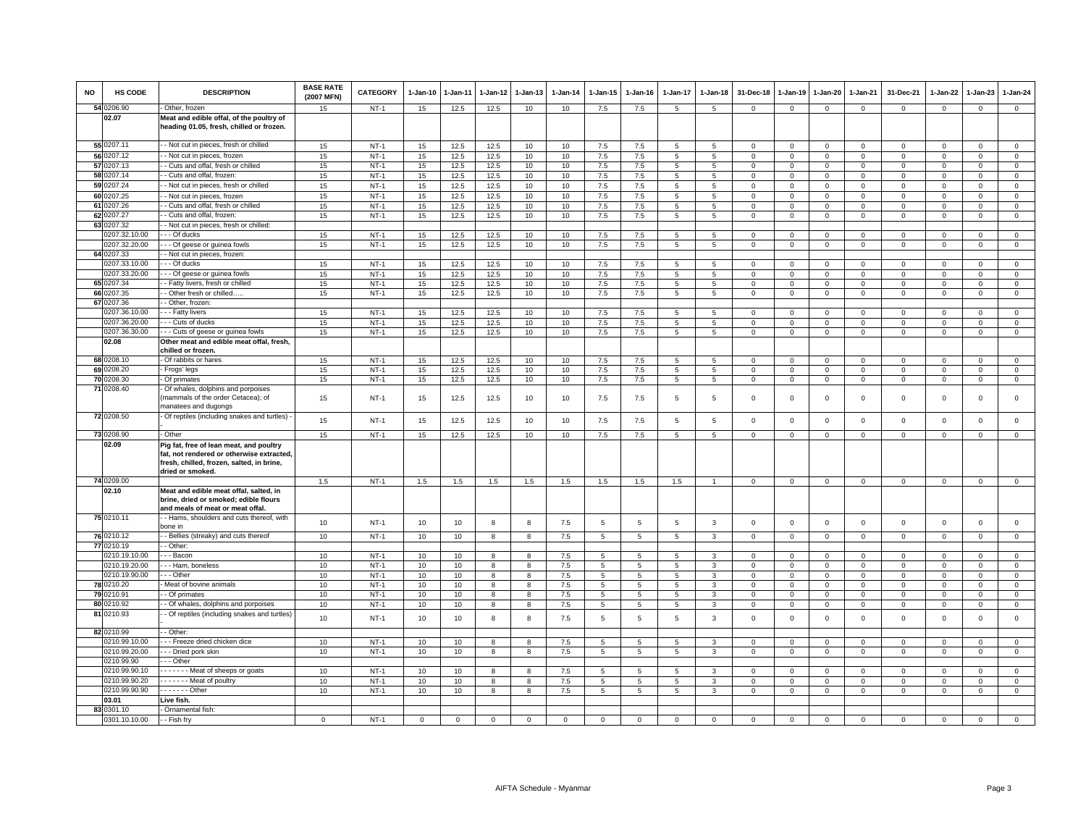| <b>NO</b> | HS CODE                        | <b>DESCRIPTION</b>                                                                                                                                    | <b>BASE RATE</b><br>(2007 MFN) | <b>CATEGORY</b>  | 1-Jan-10 | $1-Jan-11$ | $1-Jan-12$ | 1-Jan-13 | 1-Jan-14   | 1-Jan-15                           | $1-Jan-16$                         | 1-Jan-17             | 1-Jan-18       | 31-Dec-18                  | 1-Jan-19                   | 1-Jan-20                | 1-Jan-21               | 31-Dec-21                  | 1-Jan-22                   | 1-Jan-23                | 1-Jan-24                   |
|-----------|--------------------------------|-------------------------------------------------------------------------------------------------------------------------------------------------------|--------------------------------|------------------|----------|------------|------------|----------|------------|------------------------------------|------------------------------------|----------------------|----------------|----------------------------|----------------------------|-------------------------|------------------------|----------------------------|----------------------------|-------------------------|----------------------------|
|           | 54 0206.90                     | Other, frozen                                                                                                                                         | 15                             | $NT-1$           | 15       | 12.5       | 12.5       | 10       | 10         | $7.5\,$                            | 7.5                                | 5                    | 5              | $\mathbf 0$                | $\mathbf{0}$               | $\mathbf 0$             | $\circ$                | $\mathbf 0$                | $\mathbf 0$                | $\mathsf 0$             | $\overline{0}$             |
|           | 02.07                          | Meat and edible offal, of the poultry of<br>heading 01.05, fresh, chilled or frozen.                                                                  |                                |                  |          |            |            |          |            |                                    |                                    |                      |                |                            |                            |                         |                        |                            |                            |                         |                            |
|           | 55 0207.11                     | - - Not cut in pieces, fresh or chilled                                                                                                               | 15                             | $NT-1$           | 15       | 12.5       | 12.5       | 10       | 10         | $7.5\,$                            | $7.5\,$                            | 5                    | 5              | $\mathbf 0$                | $\mathbf 0$                | $\mathsf 0$             | $\mathbf 0$            | $\mathsf 0$                | $\mathbf 0$                | $\mathbf 0$             | $\mathsf 0$                |
|           | 56 0207.12                     | - Not cut in pieces, frozen                                                                                                                           | 15                             | $NT-1$           | 15       | 12.5       | 12.5       | 10       | 10         | 7.5                                | 7.5                                | 5                    | 5              | $\mathbf 0$                | $^{\circ}$                 | $\Omega$                | $\mathbf 0$            | $\Omega$                   | $\Omega$                   | $\Omega$                | $\mathsf 0$                |
|           | 57 0207.13                     | - Cuts and offal, fresh or chilled                                                                                                                    | 15                             | $NT-1$           | 15       | 12.5       | 12.5       | 10       | 10         | $7.5\,$                            | 7.5                                | 5                    | 5              | $\mathbf 0$                | $\mathsf 0$                | $\mathsf 0$             | $\mathbf 0$            | $\mathbf 0$                | $\mathbf 0$                | $\mathbf 0$             | $\mathsf 0$                |
|           | 58 0207.14                     | - Cuts and offal, frozen                                                                                                                              | 15                             | $NT-1$           | 15       | 12.5       | 12.5       | 10       | 10         | 7.5                                | 7.5                                | $\overline{5}$       | $\overline{5}$ | $\mathsf 0$                | $\mathbf 0$                | $\mathbf 0$             | $\mathbf{0}$           | $\mathbf 0$                | $\Omega$                   | $\Omega$                | $\mathsf 0$                |
|           | 59 0207.24                     | - Not cut in pieces, fresh or chilled                                                                                                                 | 15                             | $NT-1$           | 15       | 12.5       | 12.5       | 10       | 10         | 7.5                                | 7.5                                | 5                    | 5              | $\mathbf 0$                | $\mathsf 0$                | $\mathsf 0$             | $\mathbf 0$            | $\mathsf 0$                | $\mathbf 0$                | $\mathbf 0$             | $\mathsf 0$                |
|           | 60 0207.25                     | - Not cut in pieces, frozen                                                                                                                           | 15                             | $NT-1$           | 15       | 12.5       | 12.5       | 10       | 10         | 7.5                                | 7.5                                | 5                    | 5              | $\mathbf 0$                | $\mathsf 0$                | $\mathsf 0$             | $\mathbf 0$            | $\mathbf 0$                | $\mathbf 0$                | $\mathbf 0$             | $\mathbf 0$                |
|           | 61 0207.26                     | - Cuts and offal, fresh or chilled                                                                                                                    | 15                             | $NT-1$           | 15       | 12.5       | 12.5       | 10       | 10         | $7.5\,$                            | 7.5                                | 5                    | $\overline{5}$ | $\mathsf 0$                | $\mathbf 0$                | $\mathbf 0$             | $\mathbf 0$            | $\mathbf 0$                | $\Omega$                   | $\mathbf 0$             | $\mathsf 0$                |
|           | 62 0207.27                     | - Cuts and offal, frozen:                                                                                                                             | 15                             | $NT-1$           | 15       | 12.5       | 12.5       | 10       | 10         | 7.5                                | 7.5                                | $\overline{5}$       | 5              | $\mathbf 0$                | $\mathsf 0$                | $\mathsf 0$             | $\mathbf 0$            | $\mathsf 0$                | $\mathbf 0$                | $\mathbf 0$             | $\mathsf 0$                |
|           | 63 0207.32                     | - Not cut in pieces, fresh or chilled:                                                                                                                |                                |                  |          |            |            |          |            |                                    |                                    |                      |                |                            |                            |                         |                        |                            |                            |                         |                            |
|           | 0207.32.10.00                  | - - Of ducks                                                                                                                                          | 15                             | $NT-1$           | 15       | 12.5       | 12.5       | 10       | 10         | 7.5                                | 7.5                                | 5                    | -5             | $\mathbf 0$                | 0                          | 0                       | $\mathbf 0$            | 0                          | $\mathbf 0$                | $\Omega$                | $\mathbf 0$                |
|           | 0207.32.20.00                  | - - - Of geese or guinea fowls                                                                                                                        | 15                             | $NT-1$           | 15       | 12.5       | 12.5       | 10       | 10         | 7.5                                | 7.5                                | 5                    | $5^{\circ}$    | $\mathbf 0$                | $\mathbf 0$                | $\mathbf 0$             | $\overline{0}$         | $\mathbf 0$                | $\Omega$                   | $\mathbf{0}$            | $\circ$                    |
|           | 64 0207.33                     | - Not cut in pieces, frozen:                                                                                                                          |                                |                  |          |            |            |          |            |                                    |                                    |                      |                |                            |                            |                         |                        |                            |                            |                         |                            |
|           | 0207.33.10.00                  | - - Of ducks                                                                                                                                          | 15                             | $NT-1$           | 15       | 12.5       | 12.5       | 10       | 10         | $7.5\,$                            | 7.5                                | 5                    | -5             | $\mathbf 0$                | 0                          | $\Omega$                | $\mathbf 0$            | $\Omega$                   | $\Omega$                   | $\mathbf 0$             | $\mathsf 0$                |
|           | 0207.33.20.00                  | - - Of geese or guinea fowls                                                                                                                          | 15                             | $NT-1$           | 15       | 12.5       | 12.5       | 10       | 10         | $7.5\,$                            | 7.5                                | 5                    | 5              | $\mathbf 0$                | $\mathsf 0$                | $\mathsf 0$             | $\mathbf 0$            | $\mathbf 0$                | $\mathbf 0$                | $\mathbf 0$             | $\mathsf 0$                |
|           | 65 0207.34                     | - Fatty livers, fresh or chilled                                                                                                                      | 15                             | $NT-1$           | 15       | 12.5       | 12.5       | 10       | 10         | 7.5                                | 7.5                                | 5                    | $5^{\circ}$    | $\mathsf 0$                | $\Omega$                   | $\Omega$                | $\mathbf{0}$           | $\mathbf 0$                | $\Omega$                   | $\mathbf 0$             | $\mathsf 0$                |
|           | 66 0207.35                     | - Other fresh or chilled                                                                                                                              | 15                             | $NT-1$           | 15       | 12.5       | 12.5       | 10       | 10         | 7.5                                | 7.5                                | 5                    | 5              | $\,0\,$                    | $\mathsf 0$                | $\mathsf 0$             | $\mathbf 0$            | $\mathsf 0$                | $\mathbf 0$                | $\mathbf 0$             | $\mathsf 0$                |
|           | 67 0207.36<br>0207.36.10.00    | - Other, frozen:<br>- - Fatty livers                                                                                                                  | 15                             | $NT-1$           | 15       | 12.5       | 12.5       | 10       | 10         | $7.5\,$                            | 7.5                                | 5                    | -5             | $\,0\,$                    | 0                          | 0                       | $\mathsf 0$            | $\Omega$                   | $\Omega$                   | $\Omega$                | $\mathsf 0$                |
|           | 0207.36.20.00                  | -- Cuts of ducks                                                                                                                                      | 15                             | $NT-1$           | 15       | 12.5       | 12.5       | 10       | 10         | 7.5                                | 7.5                                | 5                    | 5              | $\mathbf 0$                | $\mathbf 0$                | $\mathbf 0$             | $\mathbf{0}$           | $\mathbf 0$                | $\mathbf{0}$               | $\mathbf{0}$            | $\circ$                    |
|           | 0207.36.30.00                  | --- Cuts of geese or guinea fowls                                                                                                                     | 15                             | $NT-1$           | 15       | 12.5       | 12.5       | 10       | 10         | 7.5                                | 7.5                                | 5                    | $5^{\circ}$    | $\mathbf 0$                | $\mathsf 0$                | $\mathsf 0$             | $\mathbf 0$            | $\mathsf 0$                | $\mathbf 0$                | $\mathbf 0$             | $\mathsf 0$                |
|           | 02.08                          | Other meat and edible meat offal, fresh,                                                                                                              |                                |                  |          |            |            |          |            |                                    |                                    |                      |                |                            |                            |                         |                        |                            |                            |                         |                            |
|           |                                | chilled or frozen.                                                                                                                                    |                                |                  |          |            |            |          |            |                                    |                                    |                      |                |                            |                            |                         |                        |                            |                            |                         |                            |
|           | 68 0208.10                     | - Of rabbits or hares                                                                                                                                 | 15                             | $NT-1$           | 15       | 12.5       | 12.5       | 10       | 10         | 7.5                                | 7.5                                | 5                    | 5              | $\mathbf 0$                | $\mathsf 0$                | $\mathsf 0$             | $\mathbf{0}$           | $\mathbf 0$                | $\mathbf 0$                | $\mathbf 0$             | $\mathbf 0$                |
|           | 69 0208.20                     | - Frogs' legs                                                                                                                                         | 15                             | $NT-1$           | 15       | 12.5       | 12.5       | 10       | 10         | $7.5\,$                            | 7.5                                | 5                    | $5^{\circ}$    | $\mathbf 0$                | $\mathsf 0$                | $\mathsf 0$             | $\mathbf 0$            | $\mathbf 0$                | $\mathbf 0$                | $\mathbf 0$             | $\mathsf 0$                |
|           | 70 0208.30                     | Of primates                                                                                                                                           | 15                             | $NT-1$           | 15       | 12.5       | 12.5       | 10       | 10         | 7.5                                | 7.5                                | $\overline{5}$       | $5^{\circ}$    | $\mathbf 0$                | $\mathsf 0$                | $\mathsf{O}\xspace$     | $\,0\,$                | $\mathsf 0$                | $\mathbf 0$                | $\mathbf 0$             | $\overline{0}$             |
|           | 71 0208.40                     | - Of whales, dolphins and porpoises                                                                                                                   |                                |                  |          |            |            |          |            |                                    |                                    |                      |                |                            |                            |                         |                        |                            |                            |                         |                            |
|           |                                | mammals of the order Cetacea); of<br>manatees and dugongs                                                                                             | 15                             | $NT-1$           | 15       | 12.5       | 12.5       | 10       | 10         | 7.5                                | 7.5                                | 5                    | -5             | $\mathbf 0$                | $\Omega$                   | $\Omega$                | $\overline{0}$         | $\mathbf 0$                | $\Omega$                   | $\mathbf{0}$            | $\circ$                    |
|           | 72 0208.50                     | - Of reptiles (including snakes and turtles)                                                                                                          | 15                             | $NT-1$           | 15       | 12.5       | 12.5       | 10       | 10         | 7.5                                | 7.5                                | 5                    | 5              | $\mathbf 0$                | $\mathbf 0$                | $\mathsf 0$             | $\mathbf 0$            | $\mathsf 0$                | $\mathbf 0$                | $\mathbf 0$             | $\mathsf 0$                |
|           | 73 0208.90                     | - Other                                                                                                                                               | 15                             | $NT-1$           | 15       | 12.5       | 12.5       | 10       | 10         | 7.5                                | 7.5                                | 5                    | $\overline{5}$ | $\mathsf 0$                | $\Omega$                   | $\mathsf 0$             | $\Omega$               | $\Omega$                   | $\Omega$                   | $\Omega$                | $\Omega$                   |
|           | 02.09                          | Pig fat, free of lean meat, and poultry<br>fat, not rendered or otherwise extracted,<br>fresh, chilled, frozen, salted, in brine,<br>dried or smoked. |                                |                  |          |            |            |          |            |                                    |                                    |                      |                |                            |                            |                         |                        |                            |                            |                         |                            |
|           | 74 0209.00                     |                                                                                                                                                       | 1.5                            | $NT-1$           | 1.5      | 1.5        | 1.5        | 1.5      | 1.5        | 1.5                                | 1.5                                | 1.5                  | $\overline{1}$ | $\mathbf 0$                | $\circ$                    | $\mathbf 0$             | $\mathbf{0}$           | $\mathbf 0$                | $\mathbf 0$                | $\mathbf 0$             | $\mathbf{0}$               |
|           | 02.10                          | Meat and edible meat offal, salted, in<br>brine, dried or smoked; edible flours<br>and meals of meat or meat offal.                                   |                                |                  |          |            |            |          |            |                                    |                                    |                      |                |                            |                            |                         |                        |                            |                            |                         |                            |
|           | 75 0210.11                     | - - Hams, shoulders and cuts thereof, with<br>bone in                                                                                                 | 10                             | $NT-1$           | 10       | 10         | 8          | 8        | 7.5        | $5\phantom{.0}$                    | 5                                  | 5                    | 3              | $\mathsf 0$                | $\mathbf 0$                | $\mathsf 0$             | $\mathsf 0$            | $\mathsf 0$                | $\mathsf 0$                | $\mathsf 0$             | $\mathsf 0$                |
|           | 76 0210.12                     | - Bellies (streaky) and cuts thereof                                                                                                                  | 10                             | $NT-1$           | 10       | 10         | 8          | 8        | 7.5        | 5                                  | 5                                  | 5                    | 3              | $\mathbf 0$                | $\mathsf 0$                | $\mathsf 0$             | $\mathbf 0$            | $\mathbf 0$                | $\mathbf 0$                | $\mathbf{0}$            | $\,0\,$                    |
|           | 77 0210.19                     | - Other                                                                                                                                               |                                |                  |          |            |            |          |            |                                    |                                    |                      |                |                            |                            |                         |                        |                            |                            |                         |                            |
|           | 0210.19.10.00                  | - - Bacon                                                                                                                                             | 10                             | $NT-1$           | 10       | 10         | 8          | 8        | 7.5        | 5                                  | 5                                  | 5                    | $\mathbf{R}$   | $\Omega$                   | $\Omega$                   | $\mathbf 0$             | $\Omega$               | $\mathbf 0$                | $\mathbf 0$                | $\mathbf 0$             | $\circ$                    |
|           | 0210.19.20.00<br>0210.19.90.00 | --- Ham, boneless<br>$-$ Other                                                                                                                        | 10                             | $NT-1$<br>$NT-1$ | 10       | 10         | 8          | 8        | 7.5        | $\,$ 5 $\,$                        | 5                                  | 5                    | 3              | $\mathbf 0$                | $\mathsf 0$                | $\mathsf 0$             | $\mathbf 0$            | $\mathsf 0$                | $\mathbf 0$                | $\mathbf 0$             | $\mathsf 0$                |
|           | 78 0210.20                     | - Meat of bovine animals                                                                                                                              | 10<br>10                       | $NT-1$           | 10       | 10<br>10   | 8<br>8     | 8<br>8   | 7.5        | $5\phantom{.0}$                    | $5\overline{5}$<br>$5\overline{5}$ | 5                    | 3<br>3         | $\mathsf 0$<br>$\mathbf 0$ | $\mathsf 0$<br>$\mathsf 0$ | $\Omega$<br>$\mathsf 0$ | $\circ$<br>$\mathbf 0$ | $\mathbf 0$<br>$\mathbf 0$ | $\mathbf 0$<br>$\mathbf 0$ | $\Omega$<br>$\mathbf 0$ | $\mathsf 0$                |
|           | 79 0210.91                     | - Of primates                                                                                                                                         | 10                             | $NT-1$           | 10<br>10 | 10         | 8          | 8        | 7.5<br>7.5 | $5\phantom{.0}$<br>$5\phantom{.0}$ | 5                                  | $5\phantom{.0}$<br>5 | $\mathcal{R}$  | $\mathsf 0$                | $\mathbf 0$                | $\mathbf 0$             | $\mathbf{0}$           | $\mathbf 0$                | $\mathbf 0$                | $\mathbf 0$             | $\mathbf 0$<br>$\mathsf 0$ |
|           | 80 0210.92                     | - Of whales, dolphins and porpoises                                                                                                                   | 10                             | $NT-1$           | 10       | 10         | 8          | 8        | 7.5        | $5\phantom{.0}$                    | 5                                  | 5                    | 3              | $\,0\,$                    | 0                          | 0                       | $\,0\,$                | $\mathsf 0$                | $\mathbf 0$                | $\mathsf 0$             | $\mathsf 0$                |
| 81        | 0210.93                        | - Of reptiles (including snakes and turtles)                                                                                                          |                                |                  |          |            |            |          |            |                                    |                                    |                      |                |                            |                            |                         |                        |                            |                            |                         |                            |
|           | 82 0210.99                     | - Other                                                                                                                                               | 10                             | $NT-1$           | 10       | 10         | 8          | 8        | 7.5        | 5                                  | 5                                  | 5                    | $\mathbf{3}$   | $\mathsf 0$                | $\mathbf 0$                | $\mathsf 0$             | $\mathbf 0$            | $\mathsf 0$                | $\mathsf 0$                | $\mathsf 0$             | $\mathsf 0$                |
|           | 0210.99.10.00                  | -- Freeze dried chicken dice                                                                                                                          | 10                             | $NT-1$           | 10       | 10         | 8          | 8        | 7.5        | $5\overline{5}$                    | 5                                  | 5                    | $\mathbf{R}$   | $\mathbf{0}$               | $\Omega$                   | $\mathbf 0$             | $\mathbf{0}$           | $\mathbf 0$                | $\mathbf 0$                | $\mathbf{0}$            | $\circ$                    |
|           | 0210.99.20.00                  | - - Dried pork skin                                                                                                                                   | 10                             | $NT-1$           | 10       | 10         | 8          | 8        | $7.5$      | $5\phantom{.0}$                    | 5                                  | 5                    | $\mathcal{R}$  | $\mathbf 0$                | $\mathsf 0$                | $\mathsf 0$             | $\mathbf 0$            | $\mathsf 0$                | $\mathbf 0$                | $\mathbf 0$             | $\mathsf 0$                |
|           | 0210.99.90                     | - - Other                                                                                                                                             |                                |                  |          |            |            |          |            |                                    |                                    |                      |                |                            |                            |                         |                        |                            |                            |                         |                            |
|           | 0210.99.90.10                  | ------ Meat of sheeps or goats                                                                                                                        | 10                             | $NT-1$           | 10       | 10         | 8          | 8        | $7.5\,$    | $5\phantom{.0}$                    | 5                                  | 5                    | 3              | $\,0\,$                    | $^{\circ}$                 | 0                       | $\overline{0}$         | $^{\circ}$                 | $\mathbf 0$                | $\mathbf{0}$            | $\mathbf{0}$               |
|           | 0210.99.90.20                  | ------- Meat of poultry                                                                                                                               | 10                             | $NT-1$           | 10       | 10         | 8          | 8        | 7.5        | $5\phantom{.0}$                    | 5                                  | 5                    | 3              | $\mathbf 0$                | $\mathsf 0$                | $\mathsf 0$             | $\mathbf 0$            | $\mathbf 0$                | $\mathbf 0$                | $\mathbf 0$             | $\mathsf 0$                |
|           | 0210.99.90.90                  | $\cdots$ $\cdots$ Other                                                                                                                               | 10                             | $NT-1$           | 10       | 10         | 8          | 8        | 7.5        | $5\phantom{.0}$                    | $5\phantom{.0}$                    | $\,$ 5 $\,$          | $\mathcal{R}$  | $\,0\,$                    | $\mathsf 0$                | $\mathsf 0$             | $\,0\,$                | $\mathsf 0$                | $\mathbf 0$                | $\mathbf 0$             | $\overline{0}$             |
|           | 03.01                          | Live fish.                                                                                                                                            |                                |                  |          |            |            |          |            |                                    |                                    |                      |                |                            |                            |                         |                        |                            |                            |                         |                            |
|           | 83 0301.10                     | Ornamental fish:                                                                                                                                      |                                |                  |          |            |            |          |            |                                    |                                    |                      |                |                            |                            |                         |                        |                            |                            |                         |                            |
|           | 0301.10.10.00                  | - - Fish fry                                                                                                                                          | $\Omega$                       | $NT-1$           | $\Omega$ | $\Omega$   | $\Omega$   | $\Omega$ | $\Omega$   | $\Omega$                           | $\Omega$                           | $\Omega$             |                | $\Omega$                   | $\Omega$                   | $\Omega$                | $\Omega$               | $\Omega$                   | $\Omega$                   | $\mathbf{0}$            | $\mathbf 0$                |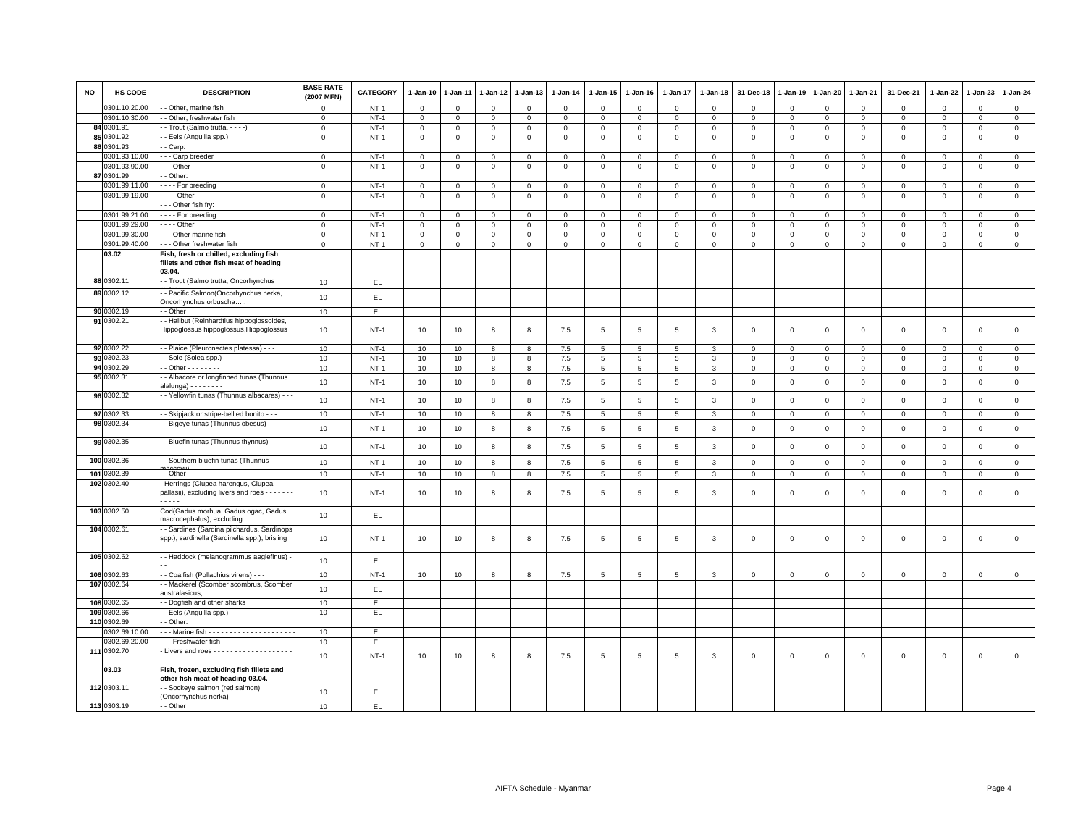| <b>NO</b> | HS CODE                  | <b>DESCRIPTION</b>                                                                         | <b>BASE RATE</b><br>(2007 MFN) | <b>CATEGORY</b> | 1-Jan-10       | 1-Jan-11     | 1-Jan-12    | 1-Jan-13    | $1-Jan-14$   | $1 - Jan-15$    | $1-Jan-16$      | 1-Jan-17        | 1-Jan-18       | 31-Dec-18      | 1-Jan-19       | $1 - Jan-20$   | 1-Jan-21     | 31-Dec-21    | 1-Jan-22     | 1-Jan-23     | $1-Jan-24$     |
|-----------|--------------------------|--------------------------------------------------------------------------------------------|--------------------------------|-----------------|----------------|--------------|-------------|-------------|--------------|-----------------|-----------------|-----------------|----------------|----------------|----------------|----------------|--------------|--------------|--------------|--------------|----------------|
|           | 0301.10.20.00            | - Other, marine fish                                                                       | $\Omega$                       | $NT-1$          | $\Omega$       | $\Omega$     | $\Omega$    | $\mathbf 0$ | $\mathbf 0$  | $\circ$         | $\Omega$        | $\Omega$        | $\Omega$       | $\Omega$       | $\Omega$       | $\mathbf{0}$   | $\mathbf 0$  | $\mathbf 0$  | $\mathbf 0$  | $\mathbf 0$  | $\mathbf{0}$   |
|           | 0301.10.30.00            | - Other, freshwater fish                                                                   | $\mathsf 0$                    | $NT-1$          | $\mathbf 0$    | $\mathbf 0$  | $\mathbf 0$ | $\mathbf 0$ | $\mathsf 0$  | $\mathbf 0$     | $\mathsf 0$     | $\mathbf 0$     | $\mathsf 0$    | $\mathbf 0$    | $\mathbf 0$    | $\mathbf 0$    | $\mathbf 0$  | $\mathsf 0$  | $\mathbf 0$  | $\mathsf 0$  | $\overline{0}$ |
|           | 84 0301.91               | - Trout (Salmo trutta, - - - -)                                                            | $\mathbf 0$                    | $NT-1$          | $\mathsf 0$    | $\Omega$     | $\Omega$    | $\Omega$    | $\mathbf 0$  | $\mathbf{0}$    | $\mathbf 0$     | $\Omega$        | $\mathbf 0$    | $\overline{0}$ | $\mathbf 0$    | $\mathbf{0}$   | $\mathbf 0$  | $\mathbf 0$  | $\Omega$     | $\Omega$     | $\mathsf 0$    |
|           | 85 0301.92<br>86 0301.93 | - Eels (Anguilla spp.)                                                                     | $\mathsf 0$                    | $NT-1$          | $\mathsf 0$    | $\mathbf 0$  | $\mathbf 0$ | $\mathsf 0$ | $\mathbf 0$  | $\mathsf 0$     | $\mathbf 0$     | $\mathsf 0$     | $\mathsf 0$    | $\mathbf 0$    | $\mathbf 0$    | $\mathbf 0$    | $\mathsf 0$  | $\mathsf 0$  | $\mathbf 0$  | $\mathsf 0$  | $\mathbf 0$    |
|           | 0301.93.10.00            | - Carp:<br>-- Carp breeder                                                                 | $\mathsf 0$                    | $NT-1$          | $\mathbf 0$    | $\mathbf 0$  | $\mathsf 0$ | $\mathsf 0$ | $\mathsf 0$  | $\mathsf 0$     | $\mathsf 0$     | $\mathsf 0$     | $\mathsf 0$    | $\mathsf 0$    | $\overline{0}$ | $\mathbf 0$    | $\mathsf 0$  | $\mathsf 0$  | $\mathbf 0$  | $\mathbf 0$  | $\mathbf 0$    |
|           | 0301.93.90.00            | $\cdots$ Other                                                                             | $\mathsf 0$                    | $NT-1$          | $\overline{0}$ | $\mathbf 0$  | $\mathbf 0$ | $\mathsf 0$ | $\mathsf 0$  | $\mathsf 0$     | $\mathsf 0$     | $\mathsf 0$     | $\mathbf 0$    | $\overline{0}$ | $\mathbf{0}$   | $\mathsf 0$    | $\mathsf 0$  | $\mathsf 0$  | $\mathbf 0$  | $\mathsf 0$  | $\overline{0}$ |
|           | 87 0301.99               | - Other                                                                                    |                                |                 |                |              |             |             |              |                 |                 |                 |                |                |                |                |              |              |              |              |                |
|           | 0301.99.11.00            | For breeding                                                                               | $\mathsf 0$                    | $NT-1$          | $\mathbf 0$    | 0            | 0           | 0           | $\mathsf 0$  | $\mathbf 0$     | $\mathbf 0$     | $\circ$         | $\mathbf 0$    | 0              | $^{\circ}$     | $\mathbf 0$    | $\mathbf 0$  | $\mathsf 0$  | 0            | $\mathbf 0$  | $\mathbf 0$    |
|           | 0301.99.19.00            | - - - - Other                                                                              | $\mathsf 0$                    | $NT-1$          | $\overline{0}$ | $\mathsf 0$  | $\mathbf 0$ | $\mathsf 0$ | $\mathsf 0$  | $\mathsf 0$     | $\mathsf 0$     | $\mathsf 0$     | $\,0\,$        | $\mathbf 0$    | $\,0\,$        | $\mathbf 0$    | $\mathsf 0$  | $\mathsf 0$  | $\mathsf 0$  | $\mathsf 0$  | $\overline{0}$ |
|           |                          | - - Other fish fry:                                                                        |                                |                 |                |              |             |             |              |                 |                 |                 |                |                |                |                |              |              |              |              |                |
|           | 0301.99.21.00            | For breeding                                                                               | $\mathsf 0$                    | $NT-1$          | $\mathbf 0$    | $\mathbf 0$  | $\mathbf 0$ | $\mathbf 0$ | $\mathsf 0$  | $\mathbf 0$     | $\mathbf{O}$    | $\mathbf 0$     | $\mathsf 0$    | $\mathbf 0$    | $\mathbf 0$    | $\mathbf 0$    | $\mathbf 0$  | $\mathsf 0$  | $\mathbf 0$  | $\mathsf 0$  | $\mathbf 0$    |
|           | 0301.99.29.00            | $- -$ - Other                                                                              | $\Omega$                       | $NT-1$          | $\mathbf 0$    | $\mathbf 0$  | $\Omega$    | $\mathbf 0$ | $\mathbf 0$  | $\mathbf{0}$    | $\circ$         | $\mathbf 0$     | $\mathbf 0$    | $\Omega$       | $\Omega$       | $\mathbf{0}$   | $\Omega$     | $\mathbf 0$  | $\Omega$     | $\Omega$     | $\mathsf 0$    |
|           | 0301.99.30.00            | --- Other marine fish                                                                      | $\mathsf 0$                    | $NT-1$          | $\mathsf 0$    | 0            | 0           | $\mathbf 0$ | $\mathsf 0$  | $\mathbf 0$     | $\mathbf 0$     | $\mathbf 0$     | $\,0\,$        | $\mathbf 0$    | $\,0\,$        | $\mathbf 0$    | $\mathbf 0$  | $\mathsf 0$  | $\mathbf 0$  | $\mathsf 0$  | $\mathsf 0$    |
|           | 0301.99.40.00            | --- Other freshwater fish                                                                  | $\mathbf{O}$                   | $NT-1$          | $\mathbf{0}$   | $\mathbf{0}$ | 0           | $\mathbf 0$ | $\mathbf{0}$ | $\mathbf 0$     | $\mathbf{0}$    | $\mathbf{O}$    | $\mathbf 0$    | $\mathbf 0$    | $\circ$        | $\overline{0}$ | $\mathbf 0$  | $\mathsf 0$  | $\mathbf 0$  | $\mathsf 0$  | $\overline{0}$ |
|           | 03.02                    | Fish, fresh or chilled, excluding fish<br>fillets and other fish meat of heading<br>03.04. |                                |                 |                |              |             |             |              |                 |                 |                 |                |                |                |                |              |              |              |              |                |
|           | 88 0302.11               | - Trout (Salmo trutta, Oncorhynchus                                                        | 10                             | EL.             |                |              |             |             |              |                 |                 |                 |                |                |                |                |              |              |              |              |                |
|           | 89 0302.12               | - Pacific Salmon(Oncorhynchus nerka,<br>Oncorhynchus orbuscha                              | 10                             | EL              |                |              |             |             |              |                 |                 |                 |                |                |                |                |              |              |              |              |                |
|           | 90 0302.19               | - Other                                                                                    | 10                             | EL.             |                |              |             |             |              |                 |                 |                 |                |                |                |                |              |              |              |              |                |
|           | 91 0302.21               | - Halibut (Reinhardtius hippoglossoides,<br>Hippoglossus hippoglossus, Hippoglossus        | 10                             | $NT-1$          | 10             | 10           | 8           | 8           | 7.5          | 5               | 5               | 5               | 3              | $\overline{0}$ | $\overline{0}$ | $\mathbf{0}$   | $\mathbf 0$  | $\mathbf 0$  | $\mathbf 0$  | $\mathbf 0$  | $\circ$        |
|           | 92 0302.22               | - - Plaice (Pleuronectes platessa) - - -                                                   | 10                             | $NT-1$          | 10             | 10           | 8           | 8           | 7.5          | 5               | 5               | 5               | 3              | $\mathbf 0$    | $\overline{0}$ | $\mathbf 0$    | $\mathbf 0$  | $\mathsf 0$  | 0            | $\mathbf 0$  | $\mathbf 0$    |
|           | 93 0302.23               | - Sole (Solea spp.) - - - - - - -                                                          | 10                             | $NT-1$          | 10             | 10           | 8           | 8           | 7.5          | $5\phantom{.0}$ | 5               | 5               | 3              | $\mathbf 0$    | $\mathsf 0$    | $\overline{0}$ | $\Omega$     | $\mathbf{0}$ | 0            | $\mathbf 0$  | $\overline{0}$ |
|           | 94 0302.29               | $-$ Other - - - - - - - -                                                                  | 10                             | $NT-1$          | 10             | 10           | 8           | 8           | 7.5          | $5\overline{5}$ | 5 <sup>5</sup>  | 5               | 3              | $\mathbf{0}$   | $\circ$        | $\mathbf{0}$   | $\mathbf{0}$ | $\mathbf{0}$ | $\mathbf 0$  | $\mathbf 0$  | $\mathbf 0$    |
|           | 95 0302.31               | - Albacore or longfinned tunas (Thunnus<br>alalunga) - - - - - - - -                       | 10                             | $NT-1$          | 10             | 10           | 8           | 8           | 7.5          | 5               | 5               | 5               | $\mathbf{3}$   | $\mathbf 0$    | $\overline{0}$ | $\mathbf 0$    | $\mathbf 0$  | $\mathsf 0$  | $\mathbf 0$  | $\mathsf 0$  | $\mathsf 0$    |
|           | 96 0302.32               | - Yellowfin tunas (Thunnus albacares) - -                                                  | 10                             | $NT-1$          | 10             | 10           | 8           | 8           | 7.5          | 5               | 5               | $\overline{5}$  | 3              | $\mathbf 0$    | $\overline{0}$ | $\mathbf{0}$   | $\mathbf{0}$ | $\mathbf 0$  | $\mathbf 0$  | $\mathbf 0$  | $\mathbf 0$    |
|           | 97 0302.33               | - - Skipjack or stripe-bellied bonito - - -                                                | 10                             | $NT-1$          | 10             | 10           | 8           | 8           | 7.5          | $5\overline{5}$ | $5\phantom{.0}$ | $5\phantom{.0}$ | $\overline{3}$ | $\mathbf{0}$   | $\mathsf 0$    | $\overline{0}$ | $\mathbf 0$  | $\mathbf{0}$ | $\mathsf 0$  | $\mathbf 0$  | $\mathbf{0}$   |
|           | 98 0302.34               | - Bigeye tunas (Thunnus obesus) - - - -                                                    | 10                             | $NT-1$          | 10             | 10           | 8           | 8           | 7.5          | $5\phantom{.0}$ | 5               | 5               | 3              | $\mathbf 0$    | $\mathsf 0$    | $\mathbf 0$    | $\mathbf 0$  | $\mathsf 0$  | $\mathsf 0$  | $\mathbf 0$  | $\circ$        |
|           | 99 0302.35               | - Bluefin tunas (Thunnus thynnus) - - - -                                                  | 10                             | $NT-1$          | 10             | 10           | 8           | 8           | 7.5          | 5               | 5               | 5               | 3              | $\mathbf 0$    | $\overline{0}$ | $\mathbf 0$    | $\mathsf 0$  | $\mathsf 0$  | $\mathbf 0$  | $\mathbf 0$  | $\mathbf{0}$   |
|           | 100 0302.36              | - Southern bluefin tunas (Thunnus                                                          | 10                             | $NT-1$          | 10             | 10           | 8           | 8           | 7.5          | 5               | 5               | 5               | 3              | $\mathbf{0}$   | $\overline{0}$ | $\mathbf 0$    | $\mathbf 0$  | $\mathbf 0$  | $\mathbf 0$  | $\mathbf 0$  | $\mathbf 0$    |
| 101       | 0302.39                  | -- Other -------------------------                                                         | 10                             | $NT-1$          | 10             | 10           | 8           | 8           | 7.5          | $5\overline{)}$ | $5\overline{)}$ | $5\overline{)}$ | 3              | $\mathbf 0$    | $\overline{0}$ | $\mathbb O$    | $\mathbf 0$  | $\mathsf 0$  | $\mathbf 0$  | $\mathbf{0}$ | $\overline{0}$ |
|           | 102 0302.40              | Herrings (Clupea harengus, Clupea<br>pallasii), excluding livers and roes - - - - - -<br>. | 10                             | $NT-1$          | 10             | 10           | 8           | 8           | 7.5          | 5               | 5               | 5               | 3              | $\mathbf 0$    | $\mathbf{0}$   | $\mathbf 0$    | $\mathsf 0$  | $\mathsf 0$  | $\mathbf 0$  | $\mathsf 0$  | $\mathsf 0$    |
|           | 103 0302.50              | Cod(Gadus morhua, Gadus ogac, Gadus<br>macrocephalus), excluding                           | 10                             | EL              |                |              |             |             |              |                 |                 |                 |                |                |                |                |              |              |              |              |                |
|           | 104 0302.61              | - Sardines (Sardina pilchardus, Sardinops<br>spp.), sardinella (Sardinella spp.), brisling | 10                             | $NT-1$          | 10             | 10           | 8           | 8           | 7.5          | 5               | 5               | 5               | 3              | $\mathbf 0$    | $\overline{0}$ | $\mathbf 0$    | $\mathbf 0$  | $\mathsf 0$  | $\mathbf 0$  | $\mathsf 0$  | $\mathsf 0$    |
|           | 105 0302.62              | - Haddock (melanogrammus aeglefinus) -                                                     | 10                             | EL.             |                |              |             |             |              |                 |                 |                 |                |                |                |                |              |              |              |              |                |
|           | 106 0302.63              | - - Coalfish (Pollachius virens) - - -                                                     | 10                             | $NT-1$          | 10             | 10           | 8           | 8           | 7.5          | $5\phantom{.0}$ | $5\overline{5}$ | $5\overline{5}$ | $\mathbf{3}$   | $\circ$        | $\mathbf 0$    | $\mathbf 0$    | $\mathbf 0$  | $\mathsf 0$  | $\mathbf{0}$ | $\mathbf 0$  | $\circ$        |
|           | 107 0302.64              | - Mackerel (Scomber scombrus, Scomber<br>australasicus,                                    | 10                             | EL              |                |              |             |             |              |                 |                 |                 |                |                |                |                |              |              |              |              |                |
|           | 108 0302.65              | - Dogfish and other sharks                                                                 | 10                             | EL.             |                |              |             |             |              |                 |                 |                 |                |                |                |                |              |              |              |              |                |
|           | 109 0302.66              | - Eels (Anguilla spp.) - - -                                                               | 10                             | EL.             |                |              |             |             |              |                 |                 |                 |                |                |                |                |              |              |              |              |                |
|           | 110 0302.69              | - Other:                                                                                   |                                |                 |                |              |             |             |              |                 |                 |                 |                |                |                |                |              |              |              |              |                |
|           | 0302.69.10.00            |                                                                                            | 10                             | EL              |                |              |             |             |              |                 |                 |                 |                |                |                |                |              |              |              |              |                |
|           | 0302.69.20.00            | --- Freshwater fish -----------------                                                      | 10                             | EL.             |                |              |             |             |              |                 |                 |                 |                |                |                |                |              |              |              |              |                |
|           | 111 0302.70              | - Livers and roes - - - - - - - - - - - - - - - - - -                                      | $10$                           | $NT-1$          | 10             | 10           | 8           | 8           | 7.5          | $\,$ 5 $\,$     | 5               | $\overline{5}$  | 3              | $\mathbf 0$    | $\overline{0}$ | $\mathsf 0$    | $\mathbf 0$  | $\mathsf 0$  | $\mathbf 0$  | $\mathsf 0$  | $\mathsf 0$    |
|           | 03.03                    | Fish, frozen, excluding fish fillets and<br>other fish meat of heading 03.04.              |                                |                 |                |              |             |             |              |                 |                 |                 |                |                |                |                |              |              |              |              |                |
|           | 112 0303.11              | - Sockeye salmon (red salmon)<br>(Oncorhynchus nerka)                                      | 10                             | EL              |                |              |             |             |              |                 |                 |                 |                |                |                |                |              |              |              |              |                |
|           | 113 0303.19              | - - Other                                                                                  | 10                             | EL <sub></sub>  |                |              |             |             |              |                 |                 |                 |                |                |                |                |              |              |              |              |                |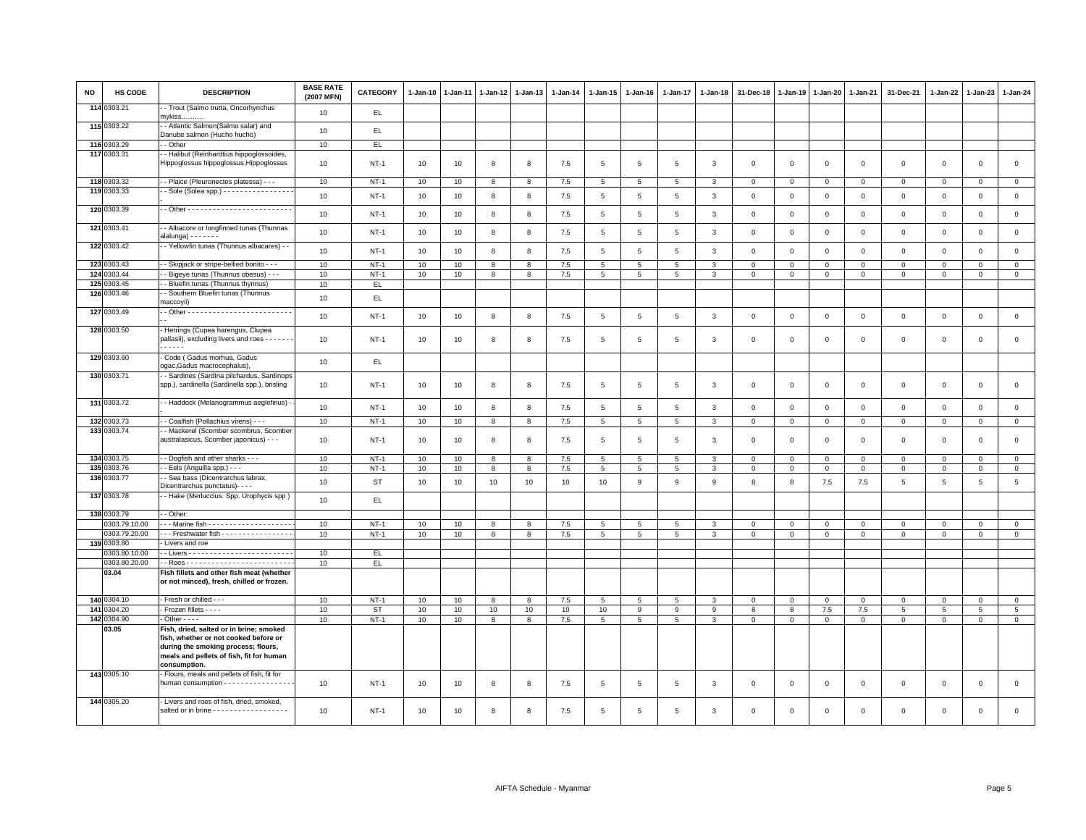| <b>NO</b> | HS CODE                | <b>DESCRIPTION</b>                                                                                                                                                  | <b>BASE RATE</b><br>(2007 MFN) | <b>CATEGORY</b> | $1-Jan-10$ | $1-Jan-11$      | $1-Jan-12$ | $1-Jan-13$   | $1-Jan-14$ | $1-Jan-15$      | $1-Jan-16$      | $1 - Jan-17$    | $1 - Jan-18$   | 31-Dec-18               | $1-Jan-19$     | $1 - Jan-20$   | 1-Jan-21       | 31-Dec-21       | 1-Jan-22     | $1-Jan-23$     | $1-Jan-24$      |
|-----------|------------------------|---------------------------------------------------------------------------------------------------------------------------------------------------------------------|--------------------------------|-----------------|------------|-----------------|------------|--------------|------------|-----------------|-----------------|-----------------|----------------|-------------------------|----------------|----------------|----------------|-----------------|--------------|----------------|-----------------|
|           | 114 0303.21            | - Trout (Salmo trutta, Oncorhynchus<br>mykiss, <u></u>                                                                                                              | 10                             | EL              |            |                 |            |              |            |                 |                 |                 |                |                         |                |                |                |                 |              |                |                 |
|           | 115 0303.22            | - Atlantic Salmon(Salmo salar) and<br>Danube salmon (Hucho hucho)                                                                                                   | 10                             | EL.             |            |                 |            |              |            |                 |                 |                 |                |                         |                |                |                |                 |              |                |                 |
|           | 116 0303.29            | - Other                                                                                                                                                             | 10                             | EL.             |            |                 |            |              |            |                 |                 |                 |                |                         |                |                |                |                 |              |                |                 |
|           | 117 0303.31            | - Halibut (Reinhardtius hippoglossoides,<br>Hippoglossus hippoglossus, Hippoglossus                                                                                 | 10                             | $NT-1$          | 10         | 10              | 8          | 8            | 7.5        | 5               | 5               | 5               | 3              | $\overline{\mathbf{0}}$ | $\overline{0}$ | $\mathbf{0}$   | $\overline{0}$ | $\mathbf{0}$    | $\mathbf{0}$ | $\mathbf{0}$   | $\mathsf 0$     |
|           | 118 0303.32            | - Plaice (Pleuronectes platessa) - - -                                                                                                                              | 10                             | <b>NT-1</b>     | 10         | 10              | 8          | 8            | 7.5        | $5\phantom{.0}$ | 5               | 5               | 3              | $\overline{0}$          | $\mathbf 0$    | $\overline{0}$ | $\mathbf 0$    | $\mathbf 0$     | $^{\circ}$   | $\mathbf 0$    | $\overline{0}$  |
|           | 119 0303.33            | Sole (Solea spp.) - - - - - - - - - - - - - - - -                                                                                                                   | 10                             | $NT-1$          | 10         | 10              | 8          | 8            | 7.5        | $5\phantom{.0}$ | 5               | 5               | $\mathbf{3}$   | $\mathbf 0$             | $\mathsf 0$    | $\circ$        | $\mathbf 0$    | $\mathsf 0$     | $\mathsf 0$  | $\mathsf 0$    | $\mathsf 0$     |
|           | 120 0303.39            |                                                                                                                                                                     | 10                             | <b>NT-1</b>     | 10         | 10              | 8          | 8            | 7.5        | 5               | 5               | 5               | 3              | $\overline{\mathbf{0}}$ | $\mathbf 0$    | $\,0\,$        | $\mathbf{0}$   | $\mathbf 0$     | $\Omega$     | $\mathbf{0}$   | $\mathsf 0$     |
|           | 121 0303.41            | - Albacore or longfinned tunas (Thunnas<br>alalunga) - - - - - - -                                                                                                  | 10                             | $NT-1$          | 10         | 10              | 8          | 8            | 7.5        | 5               | 5               | $5\phantom{.0}$ | $\mathbf{3}$   | $\mathbf 0$             | $\mathsf 0$    | $\mathsf 0$    | $\mathbf 0$    | $\mathbf 0$     | $\mathbf 0$  | $\mathbf 0$    | $\mathsf 0$     |
|           | 122 0303.42            | - Yellowfin tunas (Thunnus albacares) - -                                                                                                                           | 10                             | $NT-1$          | 10         | 10              | 8          | 8            | $7.5$      | 5               | 5               | 5               | 3              | $\mathbf 0$             | $\mathbf 0$    | $\mathbf 0$    | $\mathsf 0$    | $\mathsf 0$     | $\mathbf 0$  | $\mathsf 0$    | $\mathsf 0$     |
|           | 123 0303.43            | - Skipjack or stripe-bellied bonito - - -                                                                                                                           | 10                             | $NT-1$          | 10         | 10              | 8          | 8            | 7.5        | 5               | 5               | 5               | 3              | $\mathbf 0$             | $\mathbf 0$    | $\mathsf 0$    | $\mathbf 0$    | $\Omega$        | $\Omega$     | $\Omega$       | $\mathsf 0$     |
|           | 124 0303.44            | - Bigeye tunas (Thunnus obesus) - - -                                                                                                                               | 10                             | $NT-1$          | 10         | 10              | 8          | 8            | 7.5        | 5               | 5               | 5               | 3              | $\mathbf 0$             | $\mathbf{0}$   | $\mathbf{O}$   | $\mathbf{0}$   | $\mathbf 0$     | $\mathbf 0$  | $\mathbf 0$    | $\overline{0}$  |
| 125       | 0303.45                | - Bluefin tunas (Thunnus thynnus)                                                                                                                                   | 10                             | EL.             |            |                 |            |              |            |                 |                 |                 |                |                         |                |                |                |                 |              |                |                 |
|           | 126 0303.46            | - Southern Bluefin tunas (Thunnus<br>maccoyii)                                                                                                                      | 10                             | EL.             |            |                 |            |              |            |                 |                 |                 |                |                         |                |                |                |                 |              |                |                 |
|           | 127 0303.49            |                                                                                                                                                                     | 10                             | $NT-1$          | 10         | 10              | 8          | 8            | 7.5        | 5               | 5               | 5               | 3              | $\overline{0}$          | $\overline{0}$ | $\mathbf{0}$   | $\mathbf{0}$   | $\mathbf{0}$    | $\Omega$     | $\mathbf{0}$   | $\mathsf 0$     |
|           | 128 0303.50            | Herrings (Cupea harengus, Clupea<br>pallasii), excluding livers and roes - - - - - -<br>-----                                                                       | 10                             | $NT-1$          | 10         | 10              | 8          | 8            | 7.5        | 5               | $5\overline{5}$ | 5               | 3              | $\mathbf 0$             | $\Omega$       | $\mathbf 0$    | $\mathbf{0}$   | $\Omega$        | $\mathbf 0$  | $\mathbf{0}$   | $\mathsf 0$     |
|           | 129 0303.60            | Code (Gadus morhua, Gadus<br>ogac, Gadus macrocephalus),                                                                                                            | 10                             | EL.             |            |                 |            |              |            |                 |                 |                 |                |                         |                |                |                |                 |              |                |                 |
|           | 130 0303.71            | - Sardines (Sardina pilchardus, Sardinops<br>spp.), sardinella (Sardinella spp.), brisling                                                                          | 10                             | $NT-1$          | 10         | 10              | 8          | 8            | 7.5        | 5               | 5               | 5               | 3              | $\overline{0}$          | $\overline{0}$ | $\mathbf 0$    | $\mathbf{0}$   | $\mathbf{0}$    | $\Omega$     | $\mathbf{0}$   | $\mathsf 0$     |
|           | 131 0303.72            | - Haddock (Melanogrammus aeglefinus) -                                                                                                                              | 10                             | $NT-1$          | 10         | 10              | 8          | 8            | 7.5        | 5               | 5               | $\overline{5}$  | 3              | $\mathbf 0$             | $\mathbf 0$    | $\mathbf 0$    | $\mathbf 0$    | $\mathbf 0$     | $\Omega$     | $\mathbf 0$    | $\mathsf 0$     |
|           | 132 0303.73            | - Coalfish (Pollachius virens) - -                                                                                                                                  | 10                             | $NT-1$          | 10         | 10              | 8          | 8            | 7.5        | $5\overline{5}$ | $5\overline{5}$ | 5               | $\overline{3}$ | $\mathbf{0}$            | $\circ$        | $\circ$        | $\mathbf{0}$   | $\circ$         | $\mathbf{0}$ | $\circ$        | $\mathbf{0}$    |
|           | 133 0303.74            | - Mackerel (Scomber scombrus, Scomber<br>australasicus, Scomber japonicus) - - -                                                                                    | 10                             | $NT-1$          | 10         | 10              | 8          | 8            | 7.5        | 5               | 5               | 5               | 3              | $\overline{\mathbf{0}}$ | $\mathbf 0$    | $^{\circ}$     | $\mathbf 0$    | $\mathbf 0$     | $^{\circ}$   | $\mathbf 0$    | $\mathsf 0$     |
|           | 134 0303.75            | - Dogfish and other sharks - - -                                                                                                                                    | 10                             | $NT-1$          | 10         | 10              | 8          | $\mathbf{g}$ | 7.5        | 5               | $\overline{5}$  | 5               | 3              | $\mathbf 0$             | $\mathbf 0$    | $\mathsf 0$    | $\Omega$       | $\Omega$        | $\Omega$     | $\Omega$       | $\mathsf 0$     |
|           | 135 0303.76            | - Eels (Anguilla spp.) - - -                                                                                                                                        | 10                             | <b>NT-1</b>     | 10         | 10              | 8          | 8            | 7.5        | 5               | 5               | 5               | 3              | $\mathbf 0$             | $\mathbf 0$    | $\mathsf 0$    | $\mathbf 0$    | $\mathbf 0$     | $\Omega$     | $\mathbf 0$    | $\mathsf 0$     |
|           | 136 0303.77            | - Sea bass (Dicentrarchus labrax,<br>Dicentrarchus punctatus)- - - -                                                                                                | 10                             | <b>ST</b>       | 10         | 10              | 10         | 10           | 10         | 10              | 9               | $\mathsf g$     | 9              | 8                       | 8              | 7.5            | $7.5\,$        | 5               | 5            | $\overline{5}$ | $\,$ 5 $\,$     |
|           | 137 0303.78            | - Hake (Merluccius. Spp. Urophycis spp)                                                                                                                             | 10                             | EL.             |            |                 |            |              |            |                 |                 |                 |                |                         |                |                |                |                 |              |                |                 |
|           | 138 0303.79            | - Other:                                                                                                                                                            |                                |                 |            |                 |            |              |            |                 |                 |                 |                |                         |                |                |                |                 |              |                |                 |
|           | 0303.79.10.00          |                                                                                                                                                                     | 10                             | $NT-1$          | 10         | 10              | 8          | 8            | 7.5        | 5               | -5              | 5               | $\mathbf{3}$   | $\mathbf{0}$            | $\mathbf 0$    | $\mathbf{0}$   | $\mathbf{0}$   | $\mathbf{0}$    | $\Omega$     | $\mathbf{0}$   | $\mathbf{0}$    |
|           | 0303.79.20.00          | -- Freshwater fish ----------------                                                                                                                                 | 10                             | $NT-1$          | 10         | 10              | 8          | 8            | 7.5        | $5^{\circ}$     | 5               | 5               | 3              | $\mathbf 0$             | $\circ$        | $\circ$        | $\Omega$       | $\Omega$        | $\Omega$     | $\Omega$       | $\circ$         |
|           | 139 0303.80            | · Livers and roe                                                                                                                                                    |                                |                 |            |                 |            |              |            |                 |                 |                 |                |                         |                |                |                |                 |              |                |                 |
|           | 0303.80.10.00          |                                                                                                                                                                     | 10                             | EL              |            |                 |            |              |            |                 |                 |                 |                |                         |                |                |                |                 |              |                |                 |
|           | 0303.80.20.00<br>03.04 | Fish fillets and other fish meat (whether<br>or not minced), fresh, chilled or frozen.                                                                              | 10                             | EL              |            |                 |            |              |            |                 |                 |                 |                |                         |                |                |                |                 |              |                |                 |
|           | 140 0304.10            | Fresh or chilled - - -                                                                                                                                              | 10                             | $NT-1$          | 10         | 10              | 8          | 8            | 7.5        | 5               | 5               | $\overline{5}$  | 3              | $\mathbf 0$             | $\mathbf 0$    | $\circ$        | $\mathbf 0$    | $\mathsf 0$     | $\mathbf 0$  | $\mathsf 0$    | $\mathbf{0}$    |
|           | 141 0304.20            | Frozen fillets - - - -                                                                                                                                              | 10                             | <b>ST</b>       | 10         | 10 <sub>1</sub> | 10         | 10           | 10         | 10              | 9               | 9               | 9              | 8                       | 8              | 7.5            | 7.5            | $5\phantom{.0}$ | 5            | 5              | $5\overline{)}$ |
|           | 142 0304.90            | $\cdot$ Other - - - -                                                                                                                                               | 10                             | $NT-1$          | 10         | 10              | 8          | 8            | 7.5        | $5\overline{5}$ | $5\overline{5}$ | $5\overline{5}$ | $\mathbf{3}$   | $\mathbf{0}$            | $\mathbf{0}$   | $\mathbf{0}$   | $\mathbf 0$    | $\mathbf 0$     | $\mathbf 0$  | $\mathbf 0$    | $\circ$         |
|           | 03.05                  | Fish, dried, salted or in brine; smoked<br>fish, whether or not cooked before or<br>during the smoking process; flours,<br>meals and pellets of fish, fit for human |                                |                 |            |                 |            |              |            |                 |                 |                 |                |                         |                |                |                |                 |              |                |                 |
|           | 143 0305.10            | consumption.<br>Flours, meals and pellets of fish, fit for                                                                                                          |                                |                 |            |                 |            |              |            |                 |                 |                 |                |                         |                |                |                |                 |              |                |                 |
|           |                        | human consumption - - - - - - - - - - - - - - - -                                                                                                                   | 10                             | $NT-1$          | 10         | 10              | 8          | 8            | 7.5        | 5               | 5               | 5               | 3              | $\mathbf 0$             | $\mathbf 0$    | $^{\circ}$     | $\mathbf 0$    | $\Omega$        | $^{\circ}$   | $\mathbf{0}$   | $\mathsf 0$     |
|           | 144 0305.20            | Livers and roes of fish, dried, smoked,<br>salted or in brine - - - - - - - - - - - - - - - - - -                                                                   | 10                             | $NT-1$          | 10         | 10              | 8          | 8            | 7.5        | 5               | 5               | 5               | 3              | $\mathbf 0$             | $\mathbf 0$    | $\mathbf 0$    | $\mathbf 0$    | $\Omega$        | $^{\circ}$   | $\mathbf 0$    | $\mathsf 0$     |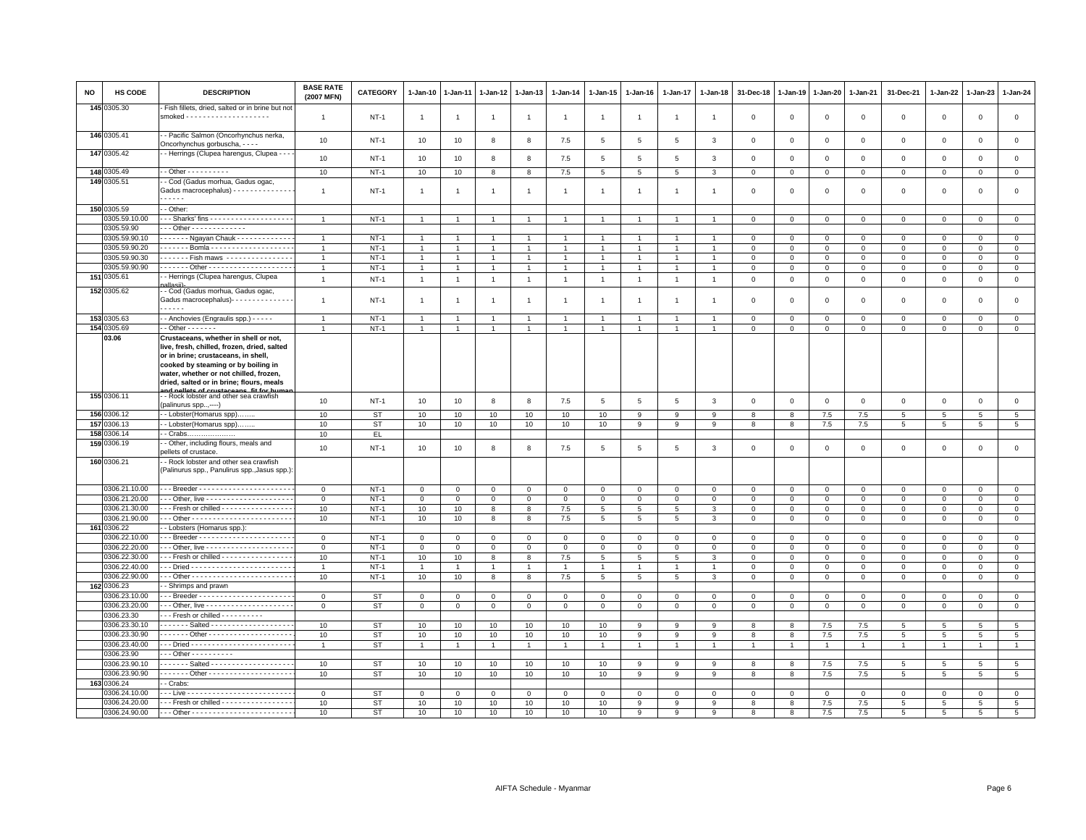| NO  | HS CODE                        | <b>DESCRIPTION</b>                                                                                                                                                                                                                                       | <b>BASE RATE</b><br>(2007 MFN)   | <b>CATEGORY</b>  | $1-Jan-10$                     | $1-Jan-11$                       | 1-Jan-12                         | $1 - Jan-13$                     | $1 - Jan-14$                     | 1-Jan-15                       | 1-Jan-16                               | $1-Jan-17$                       | $1 - Jan-18$                | 31-Dec-18                | $1-Jan-19$                  | 1-Jan-20                   | 1-Jan-21                    | 31-Dec-21                  | $1 - Jan-22$            | 1-Jan-23                | 1-Jan-24                       |
|-----|--------------------------------|----------------------------------------------------------------------------------------------------------------------------------------------------------------------------------------------------------------------------------------------------------|----------------------------------|------------------|--------------------------------|----------------------------------|----------------------------------|----------------------------------|----------------------------------|--------------------------------|----------------------------------------|----------------------------------|-----------------------------|--------------------------|-----------------------------|----------------------------|-----------------------------|----------------------------|-------------------------|-------------------------|--------------------------------|
|     | 145 0305.30                    | Fish fillets, dried, salted or in brine but not                                                                                                                                                                                                          | $\overline{1}$                   | $NT-1$           | $\mathbf{1}$                   | $\overline{1}$                   | $\overline{1}$                   | $\overline{1}$                   | $\overline{1}$                   | $\overline{1}$                 | $\overline{1}$                         | $\overline{1}$                   | $\overline{1}$              | $\mathbf 0$              | $\overline{0}$              | $\,0\,$                    | $\mathsf 0$                 | $\mathsf 0$                | $\mathsf 0$             | $\mathsf 0$             | $\mathsf 0$                    |
|     | 146 0305.41                    | - Pacific Salmon (Oncorhynchus nerka,<br>Oncorhynchus gorbuscha, - - - -                                                                                                                                                                                 | 10                               | $NT-1$           | 10                             | 10                               | 8                                | 8                                | 7.5                              | 5                              | 5                                      | 5                                | $\mathbf{3}$                | $\Omega$                 | $\Omega$                    | $\mathbf{0}$               | $\mathbf 0$                 | $\mathbf 0$                | $\mathbf 0$             | $\mathbf 0$             | $\mathbf 0$                    |
|     | 147 0305.42                    | - Herrings (Clupea harengus, Clupea - - -                                                                                                                                                                                                                | 10                               | $NT-1$           | 10                             | 10                               | 8                                | 8                                | 7.5                              | $5\phantom{.0}$                | $\,$ 5 $\,$                            | 5                                | $\mathbf{3}$                | $\mathsf 0$              | $\mathbf 0$                 | $\mathbb O$                | $\mathbf 0$                 | $\mathsf 0$                | $\mathsf 0$             | $\mathsf 0$             | $\mathsf 0$                    |
|     | 148 0305.49                    | $-$ Other $        -$                                                                                                                                                                                                                                    | 10                               | $NT-1$           | 10                             | 10                               | 8                                | 8                                | 7.5                              | $5\phantom{.0}$                | 5                                      | $\overline{5}$                   | $\mathbf{3}$                | $\mathsf 0$              | $\mathbf 0$                 | $\mathbf 0$                | $\mathbf 0$                 | $\mathsf 0$                | $\mathbf 0$             | $\mathbf{O}$            | $\mathbf 0$                    |
|     | 149 0305.51                    | - Cod (Gadus morhua, Gadus ogac,                                                                                                                                                                                                                         |                                  |                  |                                |                                  |                                  |                                  |                                  |                                |                                        |                                  |                             |                          |                             |                            |                             |                            |                         |                         |                                |
|     |                                | Gadus macrocephalus) - - - - - - - - - - - - - -                                                                                                                                                                                                         | $\overline{1}$                   | $NT-1$           | $\overline{1}$                 | -1                               | -1                               | $\overline{1}$                   | $\overline{1}$                   | $\overline{1}$                 | $\mathbf{1}$                           | 1                                | $\overline{1}$              | $\Omega$                 | $\Omega$                    | $\mathbf 0$                | $\Omega$                    | $\mathsf 0$                | 0                       | $\mathbf 0$             | $\mathsf 0$                    |
|     | 150 0305.59                    | - Other:                                                                                                                                                                                                                                                 |                                  |                  |                                |                                  |                                  |                                  |                                  |                                |                                        |                                  |                             |                          |                             |                            |                             |                            |                         |                         |                                |
|     | 0305.59.10.00                  | -- Sharks' fins ---------------------                                                                                                                                                                                                                    | $\overline{1}$                   | $NT-1$           | $\overline{1}$                 |                                  | $\overline{1}$                   | $\overline{1}$                   | $\overline{1}$                   | $\overline{1}$                 | $\overline{1}$                         | $\overline{1}$                   |                             | $\mathbf 0$              | $\mathbf 0$                 | $\mathbf 0$                | $\mathbf 0$                 | $\mathsf 0$                | 0                       | $\mathbf 0$             | $\mathbf 0$                    |
|     | 0305.59.90                     | . - Other - - - - - - - - - - - - -                                                                                                                                                                                                                      |                                  |                  |                                |                                  |                                  |                                  |                                  |                                |                                        |                                  |                             |                          |                             |                            |                             |                            |                         |                         |                                |
|     | 0305.59.90.10                  | ------ Ngayan Chauk -------------<br>------ Bomla --------------------                                                                                                                                                                                   | $\overline{1}$                   | $NT-1$           | $\overline{1}$                 | $\overline{1}$                   | $\overline{1}$                   | $\overline{1}$<br>$\overline{1}$ | $\overline{1}$<br>$\overline{1}$ | $\overline{1}$                 | $\overline{1}$<br>$\blacktriangleleft$ | $\overline{1}$<br>$\overline{1}$ | $\overline{1}$              | $\circ$                  | $\mathbf 0$                 | $\mathbf{0}$               | $\mathbf{0}$                | $\mathbf{0}$               | $\mathbf 0$             | $\mathbf{0}$            | $\mathbf{0}$                   |
|     | 0305.59.90.20<br>0305.59.90.30 | ------ Fish maws ----------------                                                                                                                                                                                                                        | $\overline{1}$<br>$\overline{1}$ | $NT-1$<br>$NT-1$ | $\overline{1}$<br>$\mathbf{1}$ | $\overline{1}$<br>$\overline{1}$ | $\overline{1}$<br>$\overline{1}$ | $\mathbf{1}$                     | $\mathbf{1}$                     | $\overline{1}$<br>$\mathbf{1}$ | $\mathbf{1}$                           | $\mathbf{1}$                     | $\overline{1}$              | $\Omega$<br>$\mathbf{0}$ | $\Omega$<br>$\circ$         | $\circ$<br>$\mathbf{0}$    | $\mathbf 0$<br>$\mathbf{0}$ | $\mathsf 0$<br>$\mathbf 0$ | $\Omega$<br>$\mathbf 0$ | $\Omega$<br>$\mathbf 0$ | $\overline{0}$<br>$\mathbf{0}$ |
|     | 0305.59.90.90                  |                                                                                                                                                                                                                                                          | $\overline{1}$                   | $NT-1$           | $\mathbf{1}$                   | $\overline{1}$                   | $\mathbf{1}$                     | $\overline{1}$                   | $\mathbf{1}$                     | $\mathbf{1}$                   | $\mathbf{1}$                           | $\mathbf{1}$                     | $\overline{1}$              | $\mathsf 0$              | $\mathbf 0$                 | $\mathbf 0$                | $\mathbf{0}$                | $\mathsf 0$                | $\mathbf 0$             | $\mathbf 0$             | $\overline{0}$                 |
|     | 151 0305.61                    | - Herrings (Clupea harengus, Clupea                                                                                                                                                                                                                      |                                  |                  |                                |                                  |                                  |                                  |                                  |                                |                                        |                                  |                             |                          |                             |                            |                             |                            |                         |                         |                                |
|     |                                |                                                                                                                                                                                                                                                          | $\mathbf{1}$                     | $NT-1$           | $\overline{1}$                 | $\overline{1}$                   | $\overline{1}$                   | $\overline{1}$                   | $\mathbf{1}$                     | $\mathbf{1}$                   | $\mathbf{1}$                           | $\overline{1}$                   | $\overline{1}$              | $\mathsf 0$              | $\mathbf 0$                 | $\circ$                    | $\mathbf 0$                 | $\mathsf 0$                | $\mathbf 0$             | $\mathsf 0$             | $\mathsf 0$                    |
|     | 152 0305.62                    | - Cod (Gadus morhua, Gadus ogac,<br>Gadus macrocephalus) - - - - - - - - - - - - - -                                                                                                                                                                     | $\mathbf{1}$                     | $NT-1$           | $\overline{1}$                 | -1                               | $\overline{1}$                   | $\overline{1}$                   | $\overline{1}$                   | $\overline{1}$                 |                                        | $\overline{1}$                   | $\overline{1}$              | $\mathbf 0$              | $\Omega$                    | $\mathbf 0$                | $\mathbf 0$                 | $\mathsf 0$                | 0                       | $\Omega$                | $\mathsf 0$                    |
|     | 153 0305.63                    | - Anchovies (Engraulis spp.) - - - - -                                                                                                                                                                                                                   | $\overline{1}$                   | $NT-1$           | $\overline{1}$                 | -1                               | $\overline{1}$                   | $\overline{1}$                   | $\overline{1}$                   | $\overline{1}$                 | $\overline{1}$                         | $\mathbf{1}$                     | $\blacktriangleleft$        | $\Omega$                 | $\Omega$                    | $\mathbf 0$                | $\Omega$                    | $\mathbf 0$                | $\Omega$                | 0                       | $\mathbf 0$                    |
|     | 154 0305.69                    | $-$ Other $     -$                                                                                                                                                                                                                                       |                                  | $NT-1$           | $\mathbf{1}$                   | $\overline{1}$                   | $\overline{1}$                   | $\overline{1}$                   | $\overline{1}$                   | $\mathbf{1}$                   | $\mathbf{1}$                           | $\overline{1}$                   | $\overline{1}$              | $\Omega$                 | $\Omega$                    | $\mathbf 0$                | $\mathbf 0$                 | $\Omega$                   | $\mathbf 0$             | $\mathbf 0$             | $\circ$                        |
|     | 03.06                          | Crustaceans, whether in shell or not,<br>live, fresh, chilled, frozen, dried, salted<br>or in brine; crustaceans, in shell,<br>cooked by steaming or by boiling in<br>water, whether or not chilled, frozen,<br>dried, salted or in brine; flours, meals |                                  |                  |                                |                                  |                                  |                                  |                                  |                                |                                        |                                  |                             |                          |                             |                            |                             |                            |                         |                         |                                |
|     | 155 0306.11                    | - Rock lobster and other sea crawfish<br>(palinurus spp,----)                                                                                                                                                                                            | 10                               | $NT-1$           | 10                             | 10                               | 8                                | 8                                | 7.5                              | $5^{\circ}$                    | 5                                      | 5                                | $\overline{3}$              | $\mathbf 0$              | $\mathbf{0}$                | $\mathbf{0}$               | $\mathbf 0$                 | $\mathbf 0$                | $\mathbf 0$             | $\mathbf 0$             | $\mathbf 0$                    |
|     | 156 0306.12                    | - Lobster(Homarus spp).                                                                                                                                                                                                                                  | 10                               | <b>ST</b>        | 10                             | 10                               | 10                               | 10                               | 10                               | 10                             | 9                                      | 9                                | 9                           | 8                        | 8                           | 7.5                        | 7.5                         | 5                          | 5                       | $\overline{5}$          | $\overline{5}$                 |
|     | 157 0306.13<br>158 0306.14     | - Lobster(Homarus spp)                                                                                                                                                                                                                                   | 10<br>10                         | <b>ST</b><br>EL  | 10                             | 10                               | 10                               | 10                               | 10                               | 10                             | 9                                      | 9                                | 9                           | 8                        | 8                           | 7.5                        | 7.5                         | 5                          | 5                       | 5                       | 5                              |
|     | 159 0306.19                    | $-$ Crabs<br>- Other, including flours, meals and                                                                                                                                                                                                        |                                  |                  |                                |                                  |                                  |                                  |                                  |                                |                                        |                                  |                             |                          |                             |                            |                             |                            |                         |                         |                                |
|     |                                | pellets of crustace.                                                                                                                                                                                                                                     | 10                               | $NT-1$           | 10                             | 10                               | 8                                | 8                                | 7.5                              | 5                              | $\overline{5}$                         | 5                                | $\mathbf{3}$                | $\mathbf 0$              | $\overline{0}$              | $\mathbf 0$                | $\mathsf 0$                 | $\mathsf 0$                | $\mathsf 0$             | $\mathsf 0$             | $\mathsf 0$                    |
|     | 160 0306.21                    | - Rock lobster and other sea crawfish<br>(Palinurus spp., Panulirus spp., Jasus spp.):                                                                                                                                                                   |                                  |                  |                                |                                  |                                  |                                  |                                  |                                |                                        |                                  |                             |                          |                             |                            |                             |                            |                         |                         |                                |
|     | 0306.21.10.00                  |                                                                                                                                                                                                                                                          | $\circ$                          | $NT-1$           | $\mathbf 0$                    | $\Omega$                         | $\mathsf 0$                      | $\mathbf 0$                      | $\mathsf 0$                      | $\mathbf 0$                    | $\mathbf 0$                            | $\mathbf 0$                      | $\mathbf 0$                 | $\mathbf 0$              | $\Omega$                    | $\mathbf 0$                | $\mathsf 0$                 | $\mathsf 0$                | $\mathbf 0$             | $\mathsf 0$             | $\overline{0}$                 |
|     | 0306.21.20.00                  |                                                                                                                                                                                                                                                          | $\mathbf 0$                      | $NT-1$           | $\mathbf 0$                    | $\mathbf 0$                      | $\mathsf 0$                      | $\mathsf 0$                      | $\mathsf 0$                      | $\mathsf 0$                    | $\circ$                                | $\mathsf 0$                      | $\mathbf 0$                 | $\mathbf 0$              | $\mathbf 0$                 | $\mathbf 0$                | $\mathsf 0$                 | $\mathsf 0$                | $\mathbf 0$             | $\mathsf 0$             | $\mathbf 0$                    |
|     | 0306.21.30.00                  | Fresh or chilled - - - - - - - - - - - - - - - -                                                                                                                                                                                                         | 10                               | $NT-1$           | 10                             | 10                               | 8                                | 8                                | 7.5                              | $\overline{5}$                 | $5\overline{5}$                        | 5                                | $\mathbf{3}$                | $\mathbf 0$              | $\mathbf 0$                 | $\circ$                    | $\mathbf{0}$                | $\mathsf 0$                | $\Omega$                | $\mathbf 0$             | $\mathsf 0$                    |
|     | 0306.21.90.00                  |                                                                                                                                                                                                                                                          | 10                               | $NT-1$           | 10                             | 10                               | 8                                | 8                                | 7.5                              | $5\overline{5}$                | $5\overline{5}$                        | 5                                | $\mathbf{3}$                | $\mathbf 0$              | $\mathbf 0$                 | $\mathbf 0$                | $\mathbf 0$                 | $\mathsf 0$                | $\mathbf 0$             | $\mathbf 0$             | $\mathbf 0$                    |
|     | 161 0306.22                    | - Lobsters (Homarus spp.):                                                                                                                                                                                                                               |                                  |                  |                                |                                  |                                  |                                  |                                  |                                |                                        |                                  |                             |                          |                             |                            |                             |                            |                         |                         |                                |
|     | 0306.22.10.00<br>0306.22.20.00 |                                                                                                                                                                                                                                                          | $\mathbf{0}$                     | $NT-1$           | $\mathbf{0}$                   | $\circ$                          | $\mathbf{0}$                     | $\mathbf 0$                      | $\circ$                          | $\mathbf{0}$                   | $\mathbf{0}$                           | $\mathbf{0}$                     | $\mathbf{0}$                | $\circ$                  | $\mathbf 0$                 | $\mathbf{0}$               | $\mathbf{0}$                | $\mathbf{0}$               | $\mathbf 0$             | $\mathbf 0$             | $\mathbf{0}$                   |
|     | 0306.22.30.00                  | - - Fresh or chilled - - - - - - - - - - - - - - - -                                                                                                                                                                                                     | $\mathbf 0$<br>10                | $NT-1$<br>$NT-1$ | $\mathsf 0$<br>10              | $\mathbf 0$<br>10                | $\mathbf 0$<br>8                 | $\mathbf 0$<br>8                 | $\mathbf 0$<br>7.5               | $\mathsf 0$<br>$5\phantom{.0}$ | $\mathbf 0$<br>5                       | $\mathbf 0$<br>5                 | $\mathbf 0$<br>$\mathbf{3}$ | $\mathbf 0$<br>$\Omega$  | $\mathbf 0$<br>$\mathbf{0}$ | $\mathsf 0$<br>$\mathsf 0$ | $\mathbf{0}$<br>$\mathbf 0$ | $\mathsf 0$<br>$\mathbf 0$ | $\Omega$<br>$\Omega$    | $\Omega$<br>$\Omega$    | $\mathsf 0$<br>$\mathbf{0}$    |
|     | 0306.22.40.00                  |                                                                                                                                                                                                                                                          | $\overline{1}$                   | $NT-1$           | $\mathbf{1}$                   | $\mathbf{1}$                     | $\overline{1}$                   | $\overline{1}$                   | $\overline{1}$                   | $\mathbf{1}$                   | $\mathbf{1}$                           | $\overline{1}$                   | $\overline{1}$              | $\mathbf 0$              | $\mathbf 0$                 | $\mathbf 0$                | $\mathbf 0$                 | $\mathsf 0$                | $\mathbf 0$             | $\mathsf 0$             | $\mathbf 0$                    |
|     | 0306.22.90.00                  |                                                                                                                                                                                                                                                          | 10                               | $NT-1$           | 10                             | 10                               | 8                                | 8                                | 7.5                              | $5^{\circ}$                    | $5\overline{5}$                        | 5                                | $\overline{3}$              | $\mathbf 0$              | $\Omega$                    | $\circ$                    | $\mathbf{0}$                | $\mathsf 0$                | $\Omega$                | $\mathbf 0$             | $\mathsf 0$                    |
| 162 | 0306.23                        | Shrimps and prawn                                                                                                                                                                                                                                        |                                  |                  |                                |                                  |                                  |                                  |                                  |                                |                                        |                                  |                             |                          |                             |                            |                             |                            |                         |                         |                                |
|     | 306.23.10.00                   |                                                                                                                                                                                                                                                          | $\circ$                          | <b>ST</b>        | $\mathsf 0$                    | $\Omega$                         | $\mathbf 0$                      | $\Omega$                         | $\mathbf 0$                      | $\mathbf 0$                    | $\mathbf 0$                            | $\Omega$                         | $\mathbf 0$                 | $\Omega$                 | $\mathbf 0$                 | $\mathbf 0$                | $\Omega$                    | $^{\circ}$                 | $\Omega$                | $\Omega$                | $\mathbf{0}$                   |
|     | 0306.23.20.00                  |                                                                                                                                                                                                                                                          | $\mathbf{0}$                     | <b>ST</b>        | $\mathbf{0}$                   | $\mathbf 0$                      | $\mathbf 0$                      | $\mathbf{0}$                     | $\mathbf 0$                      | $\mathbf{O}$                   | $\mathbf{0}$                           | $\mathbf 0$                      | $\mathbf 0$                 | $\circ$                  | $\mathbf 0$                 | $\mathbf{0}$               | $\mathbf 0$                 | $\mathbf 0$                | $\mathbf 0$             | $\mathsf 0$             | $\mathbf{0}$                   |
|     | 0306.23.30                     | - - Fresh or chilled - - - - - - - - -                                                                                                                                                                                                                   |                                  |                  |                                |                                  |                                  |                                  |                                  |                                |                                        |                                  |                             |                          |                             |                            |                             |                            |                         |                         |                                |
|     | 0306.23.30.10                  |                                                                                                                                                                                                                                                          | 10                               | <b>ST</b>        | 10                             | 10                               | 10                               | 10                               | 10                               | 10                             | 9                                      | 9                                | 9                           | 8                        | 8                           | 7.5                        | 7.5                         | $\overline{5}$             | 5                       | 5                       | $5\phantom{.0}$                |
|     | 0306.23.30.90                  | ------ Other ---------------------                                                                                                                                                                                                                       | 10                               | <b>ST</b>        | 10                             | 10                               | 10                               | 10                               | 10                               | 10                             | 9                                      | 9                                | 9                           | 8                        | 8                           | 7.5                        | $7.5\,$                     | $\overline{5}$             | 5                       | 5                       | $5\phantom{.0}$                |
|     | 0306.23.40.00                  |                                                                                                                                                                                                                                                          | $\overline{1}$                   | <b>ST</b>        | 1                              | $\overline{1}$                   | $\overline{1}$                   | $\overline{1}$                   | $\overline{1}$                   | $\mathbf{1}$                   | $\mathbf{1}$                           | $\mathbf{1}$                     | $\overline{1}$              | $\overline{1}$           | $\overline{1}$              | $\overline{1}$             | $\overline{1}$              | $\overline{1}$             | $\mathbf{1}$            |                         | $\overline{1}$                 |
|     | 0306.23.90                     | $- -$ Other - - - - - - - - - -                                                                                                                                                                                                                          |                                  |                  |                                |                                  |                                  |                                  |                                  |                                |                                        |                                  |                             |                          |                             |                            |                             |                            |                         |                         |                                |
|     | 0306.23.90.10                  | ------ Salted --------------------                                                                                                                                                                                                                       | 10                               | <b>ST</b>        | 10                             | 10                               | 10                               | 10                               | 10                               | 10                             | 9                                      | 9                                | 9                           | 8                        | 8                           | $7.5\,$                    | 7.5                         | $\overline{5}$             | 5                       | 5                       | $5\phantom{.0}$                |
|     | 0306.23.90.90                  |                                                                                                                                                                                                                                                          | 10                               | <b>ST</b>        | 10                             | 10                               | 10                               | 10                               | 10                               | 10 <sub>1</sub>                | 9                                      | 9                                | 9                           | 8                        | 8                           | 7.5                        | 7.5                         | $5^{\circ}$                | 5                       | 5                       | $5\overline{5}$                |
|     | 163 0306.24<br>0306.24.10.00   | - Crabs:                                                                                                                                                                                                                                                 |                                  | <b>ST</b>        |                                |                                  |                                  |                                  |                                  |                                |                                        |                                  |                             |                          | $\overline{0}$              |                            |                             |                            |                         |                         | $\overline{0}$                 |
|     | 0306.24.20.00                  | - - Fresh or chilled - - - - - - - - - - - - - - - -                                                                                                                                                                                                     | $\mathsf 0$<br>10 <sup>10</sup>  | ST               | $\mathsf 0$<br>10              | $\mathbf 0$<br>10                | $\mathbf 0$<br>10                | $\mathsf 0$<br>10                | $\mathsf 0$<br>10                | $\mathbf 0$<br>10              | $\mathsf 0$<br>9                       | $\mathsf 0$<br>$\mathbf{Q}$      | $\mathbf 0$<br>9            | $\mathbf 0$<br>8         | 8                           | $\mathbf 0$<br>7.5         | $\mathbf 0$<br>7.5          | $\mathsf 0$<br>-5          | $\mathbf 0$<br>5        | $\mathsf 0$<br>-5       | $\,$ 5 $\,$                    |
|     | 0306.24.90.00                  |                                                                                                                                                                                                                                                          | 10                               | <b>ST</b>        | 10                             | 10                               | 10                               | 10                               | 10                               | 10                             | 9                                      | 9                                | 9                           | 8                        | 8                           | 7.5                        | 7.5                         | 5                          | 5                       | 5                       | 5                              |
|     |                                |                                                                                                                                                                                                                                                          |                                  |                  |                                |                                  |                                  |                                  |                                  |                                |                                        |                                  |                             |                          |                             |                            |                             |                            |                         |                         |                                |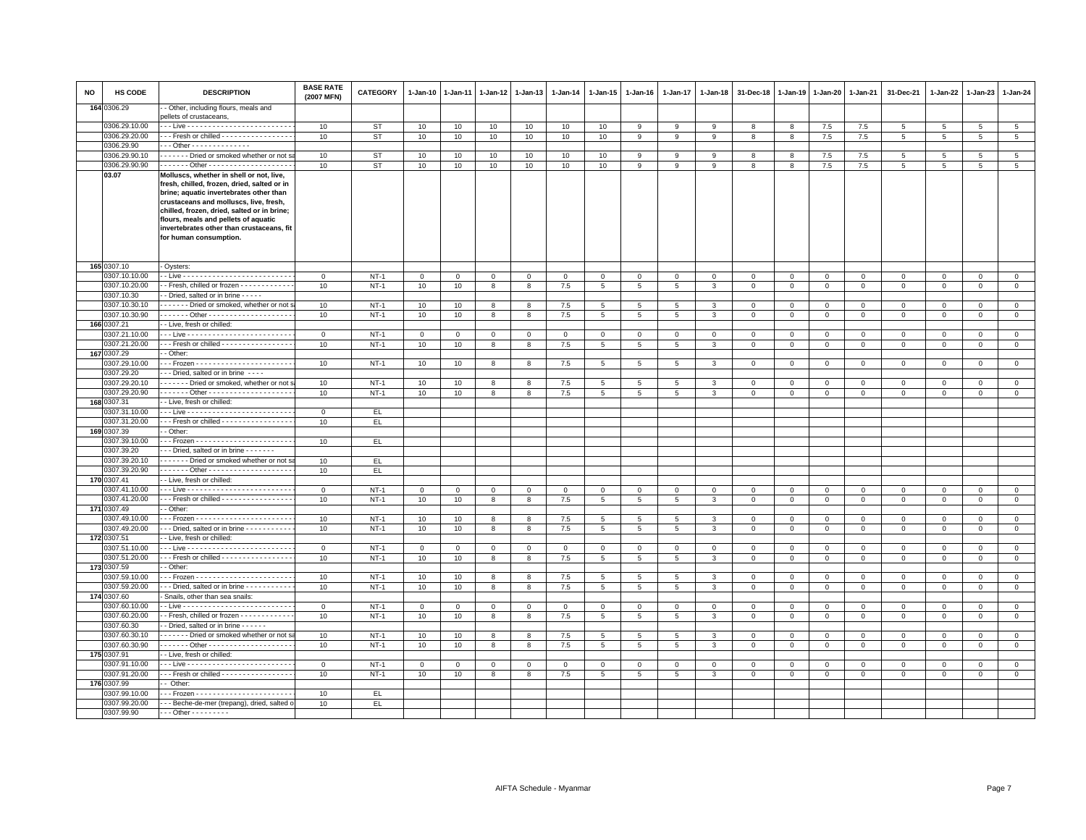| NO | HS CODE                        | <b>DESCRIPTION</b>                                                                                                                 | <b>BASE RATE</b><br>(2007 MFN) | <b>CATEGORY</b>  | $1 - Jan-10$       | $1 - Jan-11$ | $1-Jan-12$        | $1 - Jan-13$      | 1-Jan-14            | 1-Jan-15        | $1 - Jan-16$     | $1 - Jan-17$        | 1-Jan-18    | 31-Dec-18        | 1-Jan-19                   | $1 - Jan-20$                | $1 - Jan-21$                 | 31-Dec-21                   | $1 - Jan-22$     | $1-Jan-23$                  | 1-Jan-24                    |
|----|--------------------------------|------------------------------------------------------------------------------------------------------------------------------------|--------------------------------|------------------|--------------------|--------------|-------------------|-------------------|---------------------|-----------------|------------------|---------------------|-------------|------------------|----------------------------|-----------------------------|------------------------------|-----------------------------|------------------|-----------------------------|-----------------------------|
|    | 164 0306.29                    | - Other, including flours, meals and<br>bellets of crustaceans,                                                                    |                                |                  |                    |              |                   |                   |                     |                 |                  |                     |             |                  |                            |                             |                              |                             |                  |                             |                             |
|    | 0306.29.10.00                  |                                                                                                                                    | 10                             | ST               | 10                 | 10           | 10                | 10                | 10                  | 10              | 9                | 9                   | 9           | 8                | 8                          | 7.5                         | 7.5                          | 5                           | 5                | 5                           | 5                           |
|    | 0306.29.20.00                  | Fresh or chilled - - - - - - - - - - - - - - - -                                                                                   | 10                             | ST               | 10                 | 10           | 10                | 10                | 10                  | 10              | 9                | 9                   | 9           | 8                | 8                          | 7.5                         | 7.5                          | 5                           | $5\overline{5}$  | 5                           | $5\overline{5}$             |
|    | 0306.29.90                     | Other - - - - - - - - - - - - - -                                                                                                  |                                |                  |                    |              |                   |                   |                     |                 |                  |                     |             |                  |                            |                             |                              |                             |                  |                             |                             |
|    | 0306.29.90.10                  | ------- Dried or smoked whether or not s                                                                                           | 10                             | <b>ST</b>        | 10                 | 10           | 10                | 10                | 10                  | 10              | 9                | 9                   | 9           | 8                | 8                          | 7.5                         | 7.5                          | 5                           | 5                | 5                           | $5\overline{5}$             |
|    | 0306.29.90.90                  |                                                                                                                                    | 10                             | ST               | 10                 | 10           | 10                | 10                | 10                  | 10              | 9                | 9                   | 9           | 8                | 8                          | 7.5                         | 7.5                          | 5                           | 5                | 5                           | $5\overline{5}$             |
|    | 03.07                          | Molluscs, whether in shell or not, live,<br>fresh, chilled, frozen, dried, salted or in<br>brine; aquatic invertebrates other than |                                |                  |                    |              |                   |                   |                     |                 |                  |                     |             |                  |                            |                             |                              |                             |                  |                             |                             |
|    |                                | crustaceans and molluscs, live, fresh,<br>chilled, frozen, dried, salted or in brine;                                              |                                |                  |                    |              |                   |                   |                     |                 |                  |                     |             |                  |                            |                             |                              |                             |                  |                             |                             |
|    |                                | flours, meals and pellets of aquatic<br>invertebrates other than crustaceans, fit                                                  |                                |                  |                    |              |                   |                   |                     |                 |                  |                     |             |                  |                            |                             |                              |                             |                  |                             |                             |
|    |                                | for human consumption.                                                                                                             |                                |                  |                    |              |                   |                   |                     |                 |                  |                     |             |                  |                            |                             |                              |                             |                  |                             |                             |
|    | 165 0307.10                    | Oysters:                                                                                                                           |                                |                  |                    |              |                   |                   |                     |                 |                  |                     |             |                  |                            |                             |                              |                             |                  |                             |                             |
|    | 0307.10.10.00                  |                                                                                                                                    | $\mathbf 0$                    | $NT-1$           | $\mathsf 0$        | $\mathbf 0$  | $\mathbf{O}$      | $\mathbf{O}$      | $\mathbf 0$         | $\mathbf{O}$    | $\mathbf 0$      | $\mathbf 0$         | $\Omega$    | $\mathbf 0$      | $\,0\,$                    | $\mathbf 0$                 | $\,0\,$                      | $\mathsf 0$                 | $\mathbf 0$      | $\mathbf 0$                 | $\mathsf 0$                 |
|    | 0307.10.20.00                  | - Fresh, chilled or frozen - - - - - - - - - - - -                                                                                 | 10                             | $NT-1$           | 10                 | 10           | 8                 | 8                 | 7.5                 | 5               | $5^{\circ}$      | 5                   | 3           | $\mathbf 0$      | $\mathbf 0$                | $\mathbf{0}$                | $\mathbf 0$                  | $\mathbf{0}$                | $\Omega$         | $\mathbf{0}$                | $\mathbf 0$                 |
|    | 0307.10.30                     | - Dried, salted or in brine - - - - -                                                                                              |                                |                  |                    |              |                   |                   |                     |                 |                  |                     |             |                  |                            |                             |                              |                             |                  |                             |                             |
|    | 0307.10.30.10                  | Dried or smoked, whether or not :                                                                                                  | 10                             | $NT-1$           | 10                 | 10           | 8                 | 8                 | 7.5                 | 5               | 5                | 5                   | 3           | $\mathbf 0$      | $\mathbf 0$                | $\mathbf 0$                 | $\mathbf 0$                  | $\mathsf 0$                 | $\mathbf 0$      | $\mathbf 0$                 | $\mathsf 0$                 |
|    | 0307.10.30.90                  |                                                                                                                                    | 10                             | $NT-1$           | 10                 | 10           | 8                 | 8                 | 7.5                 | $5\overline{5}$ | 5                | 5                   | 3           | $\mathbf 0$      | $\mathbf 0$                | $\mathbf{0}$                | $\circ$                      | $\mathbf 0$                 | $\mathbf 0$      | $\mathbf{0}$                | $\mathbf{0}$                |
|    | 166 0307.21                    | - Live, fresh or chilled:                                                                                                          |                                |                  |                    |              |                   |                   |                     |                 |                  |                     |             |                  |                            |                             |                              |                             |                  |                             |                             |
|    | 0307.21.10.00                  |                                                                                                                                    | $\mathbf 0$                    | $NT-1$           | $\mathbf 0$        | $\mathbf 0$  | $\Omega$          | $\mathbf{0}$      | $\mathbf 0$         | $\mathbf 0$     | $\mathbf 0$      | $\mathsf 0$         | $\mathsf 0$ | $\mathbf 0$      | $\mathbf 0$                | $\mathbf 0$                 | $\mathbf 0$                  | $\mathbf 0$                 | $\Omega$         | $\mathbf 0$                 | $\mathsf 0$                 |
|    | 0307.21.20.00                  | Fresh or chilled                                                                                                                   | 10                             | $NT-1$           | 10                 | 10           | 8                 | 8                 | 7.5                 | $5\phantom{.0}$ | 5                | 5                   | 3           | $\mathbf 0$      | $\mathsf 0$                | $\mathbf 0$                 | $\circ$                      | $\mathsf 0$                 | $\circ$          | $\mathbf{0}$                | $\circ$                     |
|    | 167 0307.29                    | - Other:                                                                                                                           |                                |                  |                    |              |                   |                   |                     |                 |                  |                     |             |                  |                            |                             |                              |                             |                  |                             |                             |
|    | 0307.29.10.00                  |                                                                                                                                    | 10                             | $NT-1$           | 10                 | 10           | 8                 | 8                 | 7.5                 | 5               | 5                | 5                   | 3           | $\overline{0}$   | $\mathbf{0}$               | $\mathbf{0}$                | $\mathbf{0}$                 | $\mathbf{0}$                | $\mathbf{0}$     | $\mathbf{0}$                | $\mathbf{0}$                |
|    | 0307.29.20                     | --- Dried, salted or in brine ----                                                                                                 |                                |                  |                    |              |                   |                   |                     |                 |                  |                     |             |                  |                            |                             |                              |                             |                  |                             |                             |
|    | 0307.29.20.10                  | Dried or smoked, whether or not s                                                                                                  | 10                             | $NT-1$           | 10                 | 10           | 8                 | 8                 | $7.5\,$             | 5               | 5                | 5                   | 3           | $\mathbf 0$      | $\,0\,$                    | $\mathbf 0$                 | $\overline{0}$               | $\mathsf 0$                 | $\mathbf 0$      | $\mathbf 0$                 | $\mathsf 0$                 |
|    | 0307.29.20.90                  |                                                                                                                                    | 10                             | $NT-1$           | 10                 | 10           | 8                 | 8                 | 7.5                 | $5\overline{5}$ | $5^{\circ}$      | 5                   | 3           | $\mathbf 0$      | $\mathbf 0$                | $\mathbf 0$                 | $\mathbf 0$                  | $\mathbf 0$                 | $\mathbf 0$      | $\mathbf{0}$                | $\mathbf 0$                 |
|    | 168 0307.31                    | - Live, fresh or chilled:                                                                                                          |                                |                  |                    |              |                   |                   |                     |                 |                  |                     |             |                  |                            |                             |                              |                             |                  |                             |                             |
|    | 0307.31.10.00<br>0307.31.20.00 | - - - Fresh or chilled - - - - - - - - - - - - - - - -                                                                             | $\mathsf 0$                    | EL.              |                    |              |                   |                   |                     |                 |                  |                     |             |                  |                            |                             |                              |                             |                  |                             |                             |
|    | 169 0307.39                    | - Other:                                                                                                                           | 10                             | EL.              |                    |              |                   |                   |                     |                 |                  |                     |             |                  |                            |                             |                              |                             |                  |                             |                             |
|    | 0307.39.10.00                  |                                                                                                                                    | 10                             | EL               |                    |              |                   |                   |                     |                 |                  |                     |             |                  |                            |                             |                              |                             |                  |                             |                             |
|    | 0307.39.20                     | - - Dried, salted or in brine - - - - - - -                                                                                        |                                |                  |                    |              |                   |                   |                     |                 |                  |                     |             |                  |                            |                             |                              |                             |                  |                             |                             |
|    | 0307.39.20.10                  | Dried or smoked whether or not s                                                                                                   | 10                             | EL.              |                    |              |                   |                   |                     |                 |                  |                     |             |                  |                            |                             |                              |                             |                  |                             |                             |
|    | 0307.39.20.90                  |                                                                                                                                    | 10                             | EL.              |                    |              |                   |                   |                     |                 |                  |                     |             |                  |                            |                             |                              |                             |                  |                             |                             |
|    | 170 0307.41                    | - Live, fresh or chilled:                                                                                                          |                                |                  |                    |              |                   |                   |                     |                 |                  |                     |             |                  |                            |                             |                              |                             |                  |                             |                             |
|    | 0307.41.10.00                  |                                                                                                                                    | $\Omega$                       | $NT-1$           | $\mathbf{0}$       | $\mathbf{0}$ | $\mathbf 0$       | $\mathbf{O}$      | $\mathbf 0$         | $\mathbf{O}$    | $\mathbf 0$      | $\mathbf 0$         | $\Omega$    | $\mathbf 0$      | $\mathbf 0$                | $\Omega$                    | $\overline{0}$               | $\Omega$                    | $\mathbf{0}$     | $\Omega$                    | $\circ$                     |
|    | 0307.41.20.00                  | - - - Fresh or chilled - - - - - - - - - - - - - - - -                                                                             | 10                             | $NT-1$           | 10                 | 10           | 8                 | 8                 | 7.5                 | $5^{\circ}$     | $5\overline{5}$  | 5                   | 3           | $\mathbf{0}$     | $\mathbf{0}$               | $\mathbf{0}$                | $\mathbf{0}$                 | $\mathbf{0}$                | $\mathbf{0}$     | $\mathbf{0}$                | $\mathbf{0}$                |
|    | 171 0307.49                    | - Other:                                                                                                                           |                                |                  |                    |              |                   |                   |                     |                 |                  |                     |             |                  |                            |                             |                              |                             |                  |                             |                             |
|    | 0307.49.10.00                  |                                                                                                                                    | 10                             | $NT-1$           | 10                 | 10           | 8                 | 8                 | 7.5                 | 5               | 5                | 5                   | 3           | $\mathbf 0$      | $\,0\,$                    | $\mathbf 0$                 | $\mathbf 0$                  | $\mathsf 0$                 | $\mathbf 0$      | $\mathbf 0$                 | $\mathbf 0$                 |
|    | 0307.49.20.00                  | Dried, salted or in brine - - - - - - - - - -                                                                                      | 10                             | $NT-1$           | 10                 | 10           | 8                 | 8                 | 7.5                 | 5 <sub>5</sub>  | 5                | $5\overline{5}$     | 3           | $\mathbf 0$      | $\mathbf 0$                | $\mathbf{0}$                | $\circ$                      | $\mathbf 0$                 | $\mathbf{0}$     | $\circ$                     | $\mathbf{0}$                |
|    | 172 0307.51                    | - Live, fresh or chilled:                                                                                                          |                                |                  |                    |              |                   |                   |                     |                 |                  |                     |             |                  |                            |                             |                              |                             |                  |                             |                             |
|    | 0307.51.10.00                  | Live                                                                                                                               | $\mathsf 0$                    | $NT-1$           | $\mathbf 0$        | $\mathbf 0$  | $\mathbf{0}$      | $\mathsf 0$       | $\mathsf 0$         | $\mathbf 0$     | $\circ$          | $\mathsf 0$         | $\Omega$    | $\mathbf 0$      | $\mathbf 0$                | $\mathbf 0$                 | $\mathbf 0$                  | $\mathsf 0$                 | $\mathbf 0$      | $\circ$                     | $\mathsf 0$                 |
|    | 0307.51.20.00                  | - - - Fresh or chilled - - - - - - - - - - - - - - - -                                                                             | 10                             | $NT-1$           | 10                 | 10           | 8                 | 8                 | 7.5                 | 5               | 5                | 5                   | 3           | $\mathbf 0$      | $\mathbf 0$                | $\mathbf 0$                 | $\mathbf 0$                  | $\mathbf 0$                 | $\mathbf 0$      | $\mathbf 0$                 | $\mathsf 0$                 |
|    | 173 0307.59                    | - Other:                                                                                                                           |                                |                  |                    |              |                   |                   |                     |                 |                  |                     |             |                  |                            |                             |                              |                             |                  |                             |                             |
|    | 0307.59.10.00                  |                                                                                                                                    | 10                             | $NT-1$           | 10                 | 10           | 8                 | 8                 | 7.5                 | 5               | 5                | 5                   | 3           | $\Omega$         | $\mathbf{0}$               | $\mathbf{0}$                | $\Omega$                     | $\mathbf 0$                 | $\Omega$         | $\mathbf{0}$                | $\mathbf{0}$                |
|    | 0307.59.20.00                  | --- Dried, salted or in brine -----------                                                                                          | 10                             | $NT-1$           | 10                 | 10           | 8                 | 8                 | $7.5\,$             | 5               | 5                | 5                   | 3           | $\mathbf 0$      | $\mathsf 0$                | $\mathsf 0$                 | $\mathsf 0$                  | $\mathsf{O}\xspace$         | $\mathbf 0$      | $\mathsf 0$                 | $\mathsf 0$                 |
|    | 174 0307.60<br>0307.60.10.00   | Snails, other than sea snails:                                                                                                     |                                |                  |                    |              |                   |                   |                     |                 |                  |                     |             |                  |                            |                             |                              |                             |                  |                             |                             |
|    | 0307.60.20.00                  | - Fresh, chilled or frozen - - - - - - - - - -                                                                                     | $\mathbf 0$<br>10              | $NT-1$<br>$NT-1$ | $\mathbf{0}$<br>10 | 0<br>10      | $\mathbf{0}$<br>8 | $\mathbf{0}$<br>8 | $\mathbf{0}$<br>7.5 | 0<br>5          | $\mathbf 0$<br>5 | 0<br>$\overline{5}$ | 0<br>3      | 0<br>$\mathbf 0$ | $\mathbf 0$<br>$\mathbf 0$ | $\mathbf{0}$<br>$\mathbf 0$ | $\mathbf{0}$<br>$\mathbf{0}$ | $\mathbf 0$<br>$\mathbf{0}$ | 0<br>$\mathbf 0$ | $\mathbf{0}$<br>$\mathbf 0$ | $\mathbf{0}$<br>$\mathsf 0$ |
|    | 0307.60.30                     | - Dried, salted or in brine - - - - - -                                                                                            |                                |                  |                    |              |                   |                   |                     |                 |                  |                     |             |                  |                            |                             |                              |                             |                  |                             |                             |
|    | 0307.60.30.10                  | Dried or smoked whether or not s                                                                                                   | 10                             | $NT-1$           | 10                 | 10           | 8                 | 8                 | 7.5                 | 5               | $5^{\circ}$      | 5                   | 3           | $\mathbf{0}$     | $\circ$                    | $\Omega$                    | $\mathbf{0}$                 | $\Omega$                    | $\Omega$         | $\Omega$                    | $\mathbf{0}$                |
|    | 0307.60.30.90                  |                                                                                                                                    | 10                             | $NT-1$           | 10                 | 10           | 8                 | 8                 | 7.5                 | $5\overline{5}$ | 5                | 5                   | 3           | $\mathbf 0$      | $\mathbf 0$                | $\mathbf 0$                 | $\mathbf 0$                  | $\mathbf 0$                 | 0                | $\mathbf 0$                 | $\mathbf 0$                 |
|    | 175 0307.91                    | - Live, fresh or chilled:                                                                                                          |                                |                  |                    |              |                   |                   |                     |                 |                  |                     |             |                  |                            |                             |                              |                             |                  |                             |                             |
|    | 0307.91.10.00                  |                                                                                                                                    | $\mathbf 0$                    | $NT-1$           | $\mathbf 0$        | $\mathbf 0$  | $\mathbf 0$       | $\mathbf 0$       | $\mathbf 0$         | $\mathbf 0$     | $\mathbf 0$      | $\mathbf 0$         | $\mathsf 0$ | $\mathbf 0$      | $\mathbf 0$                | $\mathbf 0$                 | $\mathbf 0$                  | $\mathsf 0$                 | $\mathbf 0$      | $\mathbf 0$                 | $\circ$                     |
|    | 0307.91.20.00                  | - - - Fresh or chilled - - - - - - - - - - - - - - - -                                                                             | 10                             | $NT-1$           | 10                 | 10           | 8                 | 8                 | 7.5                 | 5               | 5                | 5                   | 3           | $\mathbf 0$      | $\mathbf 0$                | $\mathbf{0}$                | $\overline{0}$               | $\mathbf 0$                 | $\mathbf 0$      | $\circ$                     | $\mathbf{0}$                |
|    | 176 0307.99                    | - Other:                                                                                                                           |                                |                  |                    |              |                   |                   |                     |                 |                  |                     |             |                  |                            |                             |                              |                             |                  |                             |                             |
|    | 0307.99.10.00                  |                                                                                                                                    | 10                             | EL               |                    |              |                   |                   |                     |                 |                  |                     |             |                  |                            |                             |                              |                             |                  |                             |                             |
|    | 0307.99.20.00                  | --- Beche-de-mer (trepang), dried, salted o                                                                                        | 10                             | EL.              |                    |              |                   |                   |                     |                 |                  |                     |             |                  |                            |                             |                              |                             |                  |                             |                             |
|    | 0307.99.90                     | - - - Other - - - - - - - - -                                                                                                      |                                |                  |                    |              |                   |                   |                     |                 |                  |                     |             |                  |                            |                             |                              |                             |                  |                             |                             |
|    |                                |                                                                                                                                    |                                |                  |                    |              |                   |                   |                     |                 |                  |                     |             |                  |                            |                             |                              |                             |                  |                             |                             |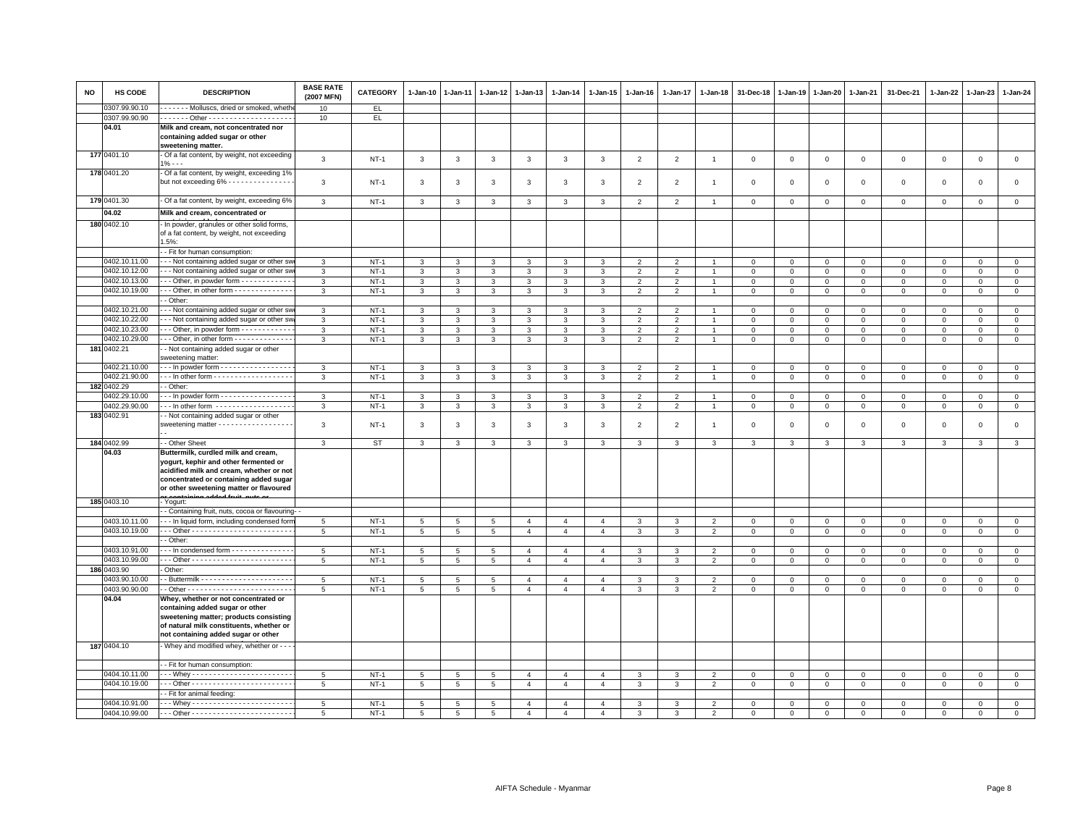| <b>NO</b> | HS CODE                      | <b>DESCRIPTION</b>                                                                                                                                                                                            | <b>BASE RATE</b><br>(2007 MFN) | CATEGORY         | $1 - Jan-10$      | $1 - Jan-11$         | $1 - Jan-12$        | 1-Jan-13                         | $1 - Jan-14$                     | 1-Jan-15                         | 1-Jan-16          | 1-Jan-17                         | 1-Jan-18            | 31-Dec-18                   | $1 - Jan-19$                  | 1-Jan-20                    | 1-Jan-21                    | 31-Dec-21                  | 1-Jan-22                | 1-Jan-23                   | $1 - Jan-24$                  |
|-----------|------------------------------|---------------------------------------------------------------------------------------------------------------------------------------------------------------------------------------------------------------|--------------------------------|------------------|-------------------|----------------------|---------------------|----------------------------------|----------------------------------|----------------------------------|-------------------|----------------------------------|---------------------|-----------------------------|-------------------------------|-----------------------------|-----------------------------|----------------------------|-------------------------|----------------------------|-------------------------------|
|           | 0307.99.90.10                | ------ Molluscs, dried or smoked, wheth                                                                                                                                                                       | 10                             | EL.              |                   |                      |                     |                                  |                                  |                                  |                   |                                  |                     |                             |                               |                             |                             |                            |                         |                            |                               |
|           | 0307.99.90.90                |                                                                                                                                                                                                               | 10                             | EL               |                   |                      |                     |                                  |                                  |                                  |                   |                                  |                     |                             |                               |                             |                             |                            |                         |                            |                               |
|           | 04.01                        | Milk and cream, not concentrated nor<br>containing added sugar or other<br>sweetening matter.                                                                                                                 |                                |                  |                   |                      |                     |                                  |                                  |                                  |                   |                                  |                     |                             |                               |                             |                             |                            |                         |                            |                               |
|           | 177 0401.10                  | - Of a fat content, by weight, not exceeding<br>$1\% - -$                                                                                                                                                     | $\mathbf{3}$                   | $NT-1$           | $\mathbf{3}$      | $\mathbf{3}$         | $\mathbf{3}$        | $\mathbf{3}$                     | $\mathbf{3}$                     | $\mathbf{3}$                     | $\overline{2}$    | $\overline{2}$                   | $\overline{1}$      | $\,0\,$                     | $\,0\,$                       | $\mathbb O$                 | $\mathsf 0$                 | $\mathsf 0$                | $\mathsf 0$             | $\mathbf 0$                | $\mathsf 0$                   |
|           | 178 0401.20                  | Of a fat content, by weight, exceeding 1%<br>but not exceeding 6% - - - - - - - - - - - - - - -                                                                                                               | 3                              | <b>NT-1</b>      | 3                 | 3                    | 3                   | 3                                | 3                                | 3                                | $\overline{2}$    | $\overline{2}$                   | $\mathbf{1}$        | $^{\circ}$                  | $^{\circ}$                    | $^{\circ}$                  | 0                           | 0                          | 0                       | $\Omega$                   | $\mathbf 0$                   |
|           | 179 0401.30                  | - Of a fat content, by weight, exceeding 6%                                                                                                                                                                   | 3                              | $NT-1$           | $\mathbf{3}$      | 3                    | $\mathsf 3$         | 3                                | 3                                | $\mathbf{3}$                     | $\overline{2}$    | $\overline{2}$                   |                     | $\mathbf 0$                 | $\mathbf 0$                   | $\,0\,$                     | $\mathbf 0$                 | $\mathsf 0$                | $\mathbf 0$             | $\mathsf 0$                | $\mathsf 0$                   |
|           | 04.02                        | Milk and cream, concentrated or                                                                                                                                                                               |                                |                  |                   |                      |                     |                                  |                                  |                                  |                   |                                  |                     |                             |                               |                             |                             |                            |                         |                            |                               |
|           | 180 0402.10                  | In powder, granules or other solid forms,                                                                                                                                                                     |                                |                  |                   |                      |                     |                                  |                                  |                                  |                   |                                  |                     |                             |                               |                             |                             |                            |                         |                            |                               |
|           |                              | of a fat content, by weight, not exceeding<br>1.5%                                                                                                                                                            |                                |                  |                   |                      |                     |                                  |                                  |                                  |                   |                                  |                     |                             |                               |                             |                             |                            |                         |                            |                               |
|           |                              | - Fit for human consumption:                                                                                                                                                                                  |                                |                  |                   |                      |                     |                                  |                                  |                                  |                   |                                  |                     |                             |                               |                             |                             |                            |                         |                            |                               |
|           | 0402.10.11.00                | --- Not containing added sugar or other sy                                                                                                                                                                    | 3                              | $NT-1$           | $\mathbf{3}$      | $\mathbf{3}$         | 3                   | 3                                | 3                                | 3                                | $\overline{2}$    | $\overline{2}$                   |                     | $\mathbf 0$                 | $\mathbf 0$                   | $\mathbf 0$                 | $\mathbf 0$                 | $\mathbf 0$                | $\mathbf 0$             | $\mathbf 0$                | $\mathbf 0$                   |
|           | 0402.10.12.00                | - - Not containing added sugar or other sv                                                                                                                                                                    | 3                              | $NT-1$           | 3                 | 3                    | 3                   | 3                                | $\mathbf{3}$                     | $\mathbf{3}$                     | $\overline{2}$    | $\overline{2}$                   |                     | $\circ$                     | $\mathsf 0$                   | $\mathbf{0}$                | $\mathbf 0$                 | $\mathsf 0$                | $\mathbf 0$             | $\mathbf{O}$               | $\mathbf{0}$                  |
|           | 0402.10.13.00                | $\cdot$ - Other, in powder form $\cdot$ - $\cdot$ - $\cdot$ - $\cdot$ - $\cdot$ - $\cdot$                                                                                                                     | $\mathbf{3}$                   | $NT-1$           | $\mathbf{3}$      | 3<br>3               | 3<br>3              | 3<br>$\overline{3}$              | 3                                | 3                                | $\overline{2}$    | $\overline{2}$<br>$\overline{2}$ | $\overline{1}$      | $\mathbf 0$                 | $\mathbf 0$                   | $\mathbf 0$                 | $\mathbf 0$                 | $\mathsf 0$                | $\mathbf 0$             | 0                          | $\mathbf 0$                   |
|           | 0402.10.19.00                | - - Other, in other form - - - - - - - - - - - - -<br>- Other:                                                                                                                                                | 3                              | $NT-1$           | $\overline{3}$    |                      |                     |                                  | $\overline{3}$                   | $\overline{3}$                   | $\overline{2}$    |                                  |                     | $\mathbf 0$                 | $\mathbf 0$                   | $\mathbf 0$                 | $\Omega$                    | $\mathsf 0$                | $\Omega$                | $^{\circ}$                 | $\overline{0}$                |
|           | 0402.10.21.00                |                                                                                                                                                                                                               |                                |                  |                   |                      |                     |                                  |                                  |                                  |                   |                                  |                     |                             |                               |                             |                             |                            |                         |                            |                               |
|           | 0402.10.22.00                | - - Not containing added sugar or other sv<br>-- Not containing added sugar or other sw                                                                                                                       | 3                              | $NT-1$<br>$NT-1$ | 3<br>$\mathbf{3}$ | 3                    | 3                   | 3                                | 3                                | 3<br>$\mathbf{3}$                | 2<br>2            | 2<br>2                           | $\overline{1}$      | $\mathbf 0$<br>$\mathbf{0}$ | $\Omega$                      | $\mathbf 0$                 | $\mathbf 0$                 | 0                          | $\Omega$                | $\Omega$                   | $\mathbf{0}$                  |
|           | 0402.10.23.00                | - - Other, in powder form - - - - - - - - - - -                                                                                                                                                               | 3<br>3                         | $NT-1$           | $\overline{3}$    | 3<br>3               | 3<br>$\overline{3}$ | 3<br>3                           | $\mathbf{3}$<br>$\mathbf{3}$     | $\overline{3}$                   | $\overline{2}$    | $\overline{2}$                   | $\overline{1}$      | $\mathbf 0$                 | $\overline{0}$<br>$\mathbf 0$ | $\mathbf{0}$<br>$\mathbf 0$ | $\mathbf{0}$<br>$\mathsf 0$ | $\mathbf 0$<br>$\mathsf 0$ | $\mathbf 0$<br>$\Omega$ | $\mathbf 0$<br>$\mathsf 0$ | $\mathbf 0$<br>$\overline{0}$ |
|           | 0402.10.29.00                | Other, in other form - - - - - - - - - - - - -                                                                                                                                                                | 3                              | $NT-1$           | $\mathbf{3}$      | 3                    | 3                   | 3                                | 3                                | 3                                | $\overline{2}$    | $\overline{2}$                   | $\overline{1}$      | $\mathbf 0$                 | $\mathsf 0$                   | $\mathbf 0$                 | $\mathbf{0}$                | $\mathsf 0$                | $\mathbf 0$             | $\mathbf 0$                | $\mathbf{0}$                  |
|           | 181 0402.21                  | - Not containing added sugar or other<br>sweetening matter:                                                                                                                                                   |                                |                  |                   |                      |                     |                                  |                                  |                                  |                   |                                  |                     |                             |                               |                             |                             |                            |                         |                            |                               |
|           | 0402.21.10.00                | - - - In powder form - - - - - - - - - - - - - - - -                                                                                                                                                          | $\mathbf{3}$                   | $NT-1$           | 3                 | $\mathbf{3}$         | 3                   | $\mathbf{3}$                     | 3                                | 3                                | $\overline{2}$    | $\overline{2}$                   | $\overline{1}$      | $\Omega$                    | $\Omega$                      | $\Omega$                    | $\Omega$                    | $\Omega$                   | $\Omega$                | $\Omega$                   | $\circ$                       |
|           | 0402.21.90.00                | - - - In other form - - - - - - - - - - - - - - - - - -                                                                                                                                                       | 3                              | $NT-1$           | $\mathbf{3}$      | $\mathbf{3}$         | 3                   | 3                                | 3                                | $\mathbf{3}$                     | $\overline{2}$    | $\overline{2}$                   | $\overline{1}$      | $\mathbf 0$                 | $\mathsf 0$                   | $\circ$                     | $\mathbf 0$                 | $\mathbf 0$                | $\mathbf 0$             | $\mathsf 0$                | $\mathsf 0$                   |
|           | 182 0402.29                  | - Other                                                                                                                                                                                                       |                                |                  |                   |                      |                     |                                  |                                  |                                  |                   |                                  |                     |                             |                               |                             |                             |                            |                         |                            |                               |
|           | 0402.29.10.00                | --- In powder form -----------------                                                                                                                                                                          | 3                              | $NT-1$           | 3                 | 3                    | 3                   | 3                                | 3                                | 3                                | $\overline{2}$    | $\overline{2}$                   |                     | $\mathbf 0$                 | $\mathbf 0$                   | $\mathbf 0$                 | $\mathbf 0$                 | $\mathsf 0$                | $\mathbf 0$             | $\mathsf 0$                | $\mathbf 0$                   |
|           | 0402.29.90.00                | $\cdot$ - In other form $\cdot$ - - - - - - - - - - - - - - - -                                                                                                                                               | 3                              | $NT-1$           | 3                 | 3                    | 3                   | 3                                | 3                                | 3                                | $\overline{2}$    | $\overline{2}$                   | $\overline{1}$      | $\mathbf 0$                 | $\overline{0}$                | $\mathbf 0$                 | $\mathsf 0$                 | $\mathsf 0$                | $\mathbf 0$             | $\mathbf 0$                | $\mathsf 0$                   |
|           | 183 0402.91                  | - Not containing added sugar or other<br>sweetening matter - - - - - - - - - - - - - - - - -                                                                                                                  | 3                              | $NT-1$           | 3                 | 3                    | 3                   | 3                                | $\mathbf{3}$                     | 3                                | $\overline{2}$    | 2                                | $\overline{1}$      | $\mathbf 0$                 | $\mathbf{0}$                  | $\mathbf 0$                 | $\mathsf 0$                 | $\mathsf 0$                | $\mathbf 0$             | $\mathsf 0$                | $\mathsf 0$                   |
|           | 184 0402.99                  | - Other Sheet                                                                                                                                                                                                 | $\mathbf{3}$                   | <b>ST</b>        | 3                 | 3                    | 3                   | 3                                | 3                                | 3                                | 3                 | 3                                | 3                   | 3                           | 3                             | 3                           | $\mathbf{3}$                | 3                          | 3                       | 3                          | $\overline{\mathbf{3}}$       |
|           | 04.03                        | Buttermilk, curdled milk and cream,<br>yogurt, kephir and other fermented or<br>acidified milk and cream, whether or not<br>concentrated or containing added sugar<br>or other sweetening matter or flavoured |                                |                  |                   |                      |                     |                                  |                                  |                                  |                   |                                  |                     |                             |                               |                             |                             |                            |                         |                            |                               |
|           | 185 0403.10                  | Yogurt:                                                                                                                                                                                                       |                                |                  |                   |                      |                     |                                  |                                  |                                  |                   |                                  |                     |                             |                               |                             |                             |                            |                         |                            |                               |
|           |                              | - Containing fruit, nuts, cocoa or flavouring-                                                                                                                                                                |                                |                  |                   |                      |                     |                                  |                                  |                                  |                   |                                  |                     |                             |                               |                             |                             |                            |                         |                            |                               |
|           | 0403.10.11.00                | -- In liquid form, including condensed forn                                                                                                                                                                   | $5\overline{5}$                | $NT-1$           | $5\phantom{.0}$   | 5                    | 5                   | $\overline{4}$                   | $\overline{4}$                   | $\overline{4}$                   | $\mathbf{3}$      | $\mathbf{3}$                     | $\overline{2}$      | $\mathsf 0$                 | $\mathbb O$                   | $\mathbf 0$                 | $\mathbf 0$                 | $\mathsf 0$                | $\Omega$                | $\Omega$                   | $\mathsf 0$                   |
|           | 0403.10.19.00                |                                                                                                                                                                                                               | 5                              | $NT-1$           | 5                 | 5                    | 5                   | $\overline{4}$                   | $\overline{4}$                   | $\overline{4}$                   | 3                 | 3                                | $\overline{2}$      | $\mathbf 0$                 | $\mathbf 0$                   | $\mathbf 0$                 | $\mathbf 0$                 | $\mathsf 0$                | 0                       | $\mathsf 0$                | $\mathbf 0$                   |
|           |                              | - Other:                                                                                                                                                                                                      |                                |                  |                   |                      |                     |                                  |                                  |                                  |                   |                                  |                     |                             |                               |                             |                             |                            |                         |                            |                               |
|           | 0403.10.91.00                | -- In condensed form - - - - - - - - - - - - -                                                                                                                                                                | 5                              | $NT-1$           | 5                 | 5                    | 5                   | $\overline{4}$                   | $\overline{4}$                   | $\overline{4}$                   | 3                 | 3                                | $\overline{2}$      | $\mathbf 0$                 | $\mathbf 0$                   | $\mathbf 0$                 | $\mathbf 0$                 | $\mathsf 0$                | $\mathbf 0$             | $\mathsf 0$                | $\mathsf 0$                   |
|           | 0403.10.99.00                |                                                                                                                                                                                                               | 5                              | $NT-1$           | 5                 | 5                    | 5                   | $\overline{4}$                   | $\overline{4}$                   | $\overline{4}$                   | $\mathbf{3}$      | 3                                | $\overline{2}$      | $\mathbf 0$                 | $\mathbf{0}$                  | $\mathsf 0$                 | $\mathbf 0$                 | $\mathsf 0$                | $\mathbf 0$             | $\mathsf 0$                | $\overline{0}$                |
|           | 186 0403.90<br>0403.90.10.00 | Other:                                                                                                                                                                                                        |                                |                  |                   |                      |                     |                                  |                                  |                                  |                   |                                  |                     | $\mathbf 0$                 | $\mathsf 0$                   |                             |                             |                            |                         |                            | $\overline{0}$                |
|           | 0403.90.90.00                |                                                                                                                                                                                                               | $5\phantom{.0}$                | $NT-1$           | 5                 | 5<br>$5\overline{5}$ | 5<br>5 <sup>5</sup> | $\overline{4}$<br>$\overline{4}$ | $\overline{4}$<br>$\overline{4}$ | $\overline{4}$<br>$\overline{4}$ | 3<br>$\mathbf{3}$ | 3<br>$\mathbf{3}$                | $\overline{2}$<br>2 | $\mathbf{0}$                |                               | $\mathbf{0}$                | $\mathbf{0}$                | $\mathsf 0$                | $^{\circ}$              | $\mathbf{0}$               | $\circ$                       |
|           | 04.04                        | Whey, whether or not concentrated or<br>containing added sugar or other<br>sweetening matter; products consisting<br>of natural milk constituents, whether or                                                 | 5                              | $NT-1$           | $5\phantom{.0}$   |                      |                     |                                  |                                  |                                  |                   |                                  |                     |                             | $\mathbf{0}$                  | $\mathbf{0}$                | $\mathbf{0}$                | $\mathbf{0}$               | $\mathbf 0$             | $\mathbf 0$                |                               |
|           |                              | not containing added sugar or other                                                                                                                                                                           |                                |                  |                   |                      |                     |                                  |                                  |                                  |                   |                                  |                     |                             |                               |                             |                             |                            |                         |                            |                               |
|           | 187 0404.10                  | - Whey and modified whey, whether or - - -                                                                                                                                                                    |                                |                  |                   |                      |                     |                                  |                                  |                                  |                   |                                  |                     |                             |                               |                             |                             |                            |                         |                            |                               |
|           |                              | - Fit for human consumption:                                                                                                                                                                                  |                                |                  |                   |                      |                     |                                  |                                  |                                  |                   |                                  |                     |                             |                               |                             |                             |                            |                         |                            |                               |
|           | 0404.10.11.00                |                                                                                                                                                                                                               | 5                              | $NT-1$           | 5                 | 5                    | 5                   | $\overline{4}$                   | $\overline{4}$                   | $\overline{4}$                   | 3                 | 3                                | $\overline{2}$      | $\mathbf 0$                 | $\mathbf{0}$                  | $\mathbf 0$                 | $\mathbf 0$                 | $\mathsf 0$                | $\mathbf 0$             | $\mathbf 0$                | $\mathbf 0$                   |
|           | 0404.10.19.00                |                                                                                                                                                                                                               | 5                              | $NT-1$           | $\overline{5}$    | 5                    | 5                   | $\overline{4}$                   | $\overline{4}$                   | $\overline{4}$                   | $\mathbf{3}$      | 3                                | 2                   | $\mathbf 0$                 | $\mathbf{0}$                  | $\mathsf 0$                 | $\mathbf 0$                 | $\mathsf 0$                | $\mathbf 0$             | $\mathsf 0$                | $\overline{0}$                |
|           |                              | - Fit for animal feeding:                                                                                                                                                                                     |                                |                  |                   |                      |                     |                                  |                                  |                                  |                   |                                  |                     |                             |                               |                             |                             |                            |                         |                            |                               |
|           | 0404.10.91.00                | Whey ------------------------                                                                                                                                                                                 | $5\overline{5}$                | $NT-1$           | 5                 | 5                    | 5                   | $\overline{4}$                   | $\overline{4}$                   | $\overline{4}$                   | 3                 | 3                                | $\overline{2}$      | $\mathbf 0$                 | $\mathbf 0$                   | $\mathsf 0$                 | $\Omega$                    | $^{\circ}$                 | $^{\circ}$              | $^{\circ}$                 | $\mathsf 0$                   |
|           | 0404.10.99.00                |                                                                                                                                                                                                               | 5                              | $NT-1$           | 5                 | $5\overline{5}$      | 5                   | $\overline{4}$                   | $\overline{4}$                   | $\overline{4}$                   | 3                 | 3                                | 2                   | $\Omega$                    | $\mathbf 0$                   | $\mathbf{0}$                | $\mathbf 0$                 | $\Omega$                   | $\mathbf 0$             | $\mathbf 0$                | $\mathbf 0$                   |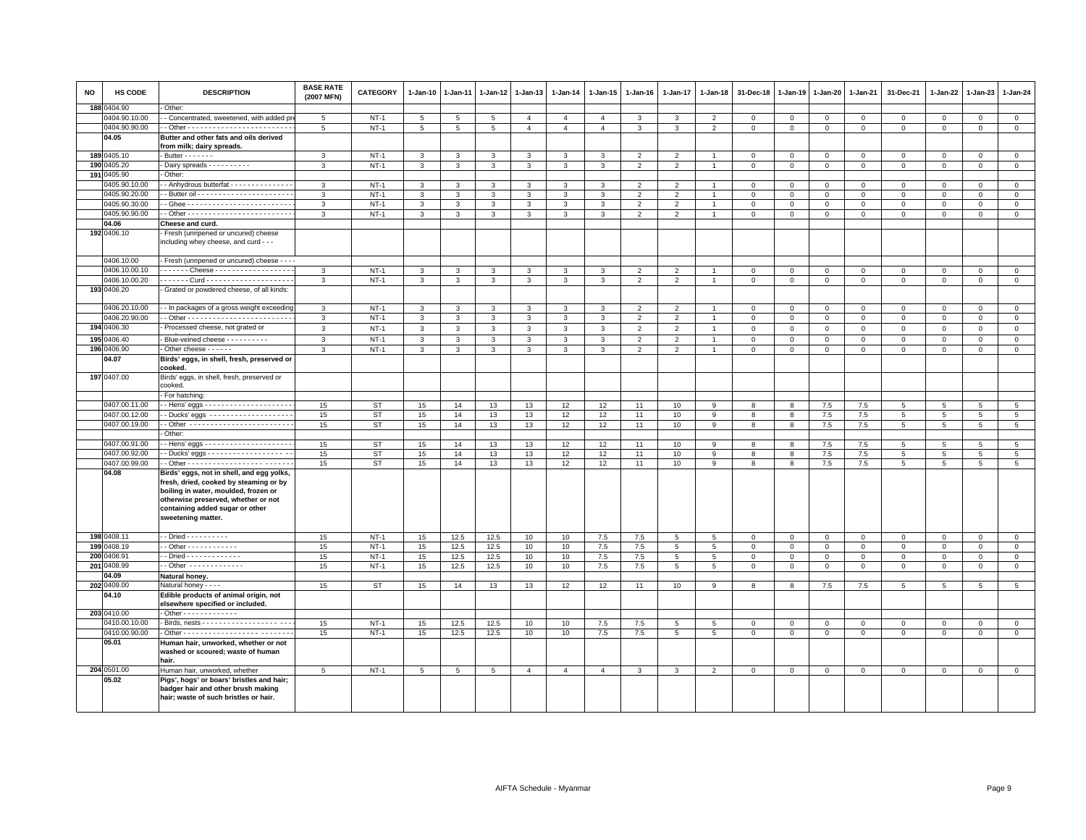| <b>NO</b> | HS CODE                      | <b>DESCRIPTION</b>                                                          | <b>BASE RATE</b><br>(2007 MFN) | <b>CATEGORY</b> | $1 - Jan-10$ | $1-Jan-11$      | 1-Jan-12        | $1-Jan-13$     | 1-Jan-14       | $1-Jan-15$     | $1-Jan-16$     | 1-Jan-17                 | $1 - Jan-18$    | 31-Dec-18      | 1-Jan-19       | $1 - Jan-20$ | 1-Jan-21       | 31-Dec-21           | 1-Jan-22       | 1-Jan-23       | 1-Jan-24             |
|-----------|------------------------------|-----------------------------------------------------------------------------|--------------------------------|-----------------|--------------|-----------------|-----------------|----------------|----------------|----------------|----------------|--------------------------|-----------------|----------------|----------------|--------------|----------------|---------------------|----------------|----------------|----------------------|
|           | 188 0404.90                  | Other:                                                                      |                                |                 |              |                 |                 |                |                |                |                |                          |                 |                |                |              |                |                     |                |                |                      |
|           | 0404.90.10.00                | - Concentrated, sweetened, with added p                                     | 5                              | $NT-1$          | 5            | 5               | 5               | $\overline{4}$ | $\overline{4}$ | $\overline{4}$ |                | 3                        | $\overline{2}$  | $\mathbf 0$    | $\mathbf 0$    | $\mathbf 0$  | $\mathbf 0$    | $\mathsf 0$         | $\mathbf 0$    | $\mathbf 0$    | $\mathbf 0$          |
|           | 0404.90.90.00                |                                                                             | 5                              | $NT-1$          | 5            | 5               | 5               | $\overline{a}$ | $\overline{4}$ | $\overline{4}$ | $\mathcal{R}$  | 3                        | $\mathcal{P}$   | $\mathbf 0$    | $\Omega$       | $\mathbf{0}$ | $\mathbf{0}$   | $\mathbf 0$         | $\Omega$       | $\Omega$       | $\Omega$             |
|           | 04.05                        | Butter and other fats and oils derived                                      |                                |                 |              |                 |                 |                |                |                |                |                          |                 |                |                |              |                |                     |                |                |                      |
|           | 189 0405.10                  | from milk; dairy spreads.<br>$-$ Butter $     -$                            | 3                              | $NT-1$          | $\mathbf{3}$ | 3               | $\mathbf{3}$    | 3              | 3              | 3              | $\overline{2}$ | $\overline{2}$           |                 | $\mathbf 0$    | $\mathbf 0$    | $\mathbf 0$  | $\circ$        | $\mathbf 0$         | $\mathbf 0$    | $\mathbf{O}$   | $\circ$              |
|           | 190 0405.20                  | Dairy spreads - - - - - - - - - -                                           | 3                              | $NT-1$          | $\mathbf{3}$ | 3               | $\mathbf{3}$    | $\mathbf{3}$   | 3              | $\mathbf{3}$   | 2              | $\overline{2}$           |                 | $\overline{0}$ | $\mathbf{0}$   | $\mathbf{0}$ | $\mathbf{0}$   | $\mathbf{0}$        | $\mathbf 0$    | $\mathbf{0}$   | $\circ$              |
|           | 191 0405.90                  | Other:                                                                      |                                |                 |              |                 |                 |                |                |                |                |                          |                 |                |                |              |                |                     |                |                |                      |
|           | 0405.90.10.00                | - Anhydrous butterfat - - - - - - - - - - - - -                             | 3                              | $NT-1$          | 3            | 3               | 3               | 3              | 3              | 3              | $\overline{2}$ | $\mathfrak{p}$           |                 | $\mathbf 0$    | $\circ$        | $\mathbf 0$  | $\mathbf{0}$   | $\mathbf 0$         | $\mathbf 0$    | $\circ$        | $\circ$              |
|           | 0405.90.20.00                |                                                                             | $\mathbf{3}$                   | $NT-1$          | $\mathbf{3}$ | $\mathbf{R}$    | 3               | 3              | $\mathbf{3}$   | 3              | $\overline{2}$ | $\mathcal{P}$            |                 | $\mathbf 0$    | $\mathbf 0$    | $\mathbf 0$  | $\mathbf 0$    | $\mathsf 0$         | $\Omega$       | $\mathbf 0$    | $\mathsf 0$          |
|           | 0405.90.30.00                |                                                                             | 3                              | $NT-1$          | $\mathbf{3}$ | 3               | 3               | $\mathbf{3}$   | $\mathbf{3}$   | 3              | $\overline{2}$ | $\overline{2}$           |                 | $\mathbf 0$    | $\mathbf 0$    | $\mathbf 0$  | $\mathbf 0$    | $\mathbf 0$         | $\Omega$       | $\mathbf 0$    | $\mathsf 0$          |
|           | 0405.90.90.00                |                                                                             | 3                              | $NT-1$          | $\mathbf{3}$ | 3               | 3               | 3              | $\mathbf{3}$   | 3              | $\overline{2}$ | 2                        |                 | $\overline{0}$ | $\mathbf{0}$   | $\mathbf 0$  | $\mathbf{0}$   | $\mathbf{0}$        | $\Omega$       | $\mathbf{0}$   | $\circ$              |
|           | 04.06                        | Cheese and curd.                                                            |                                |                 |              |                 |                 |                |                |                |                |                          |                 |                |                |              |                |                     |                |                |                      |
|           | 192 0406.10                  | Fresh (unripened or uncured) cheese                                         |                                |                 |              |                 |                 |                |                |                |                |                          |                 |                |                |              |                |                     |                |                |                      |
|           |                              | including whey cheese, and curd - - -                                       |                                |                 |              |                 |                 |                |                |                |                |                          |                 |                |                |              |                |                     |                |                |                      |
|           |                              |                                                                             |                                |                 |              |                 |                 |                |                |                |                |                          |                 |                |                |              |                |                     |                |                |                      |
|           | 0406.10.00                   | Fresh (unripened or uncured) cheese - - - -                                 |                                |                 |              |                 |                 |                |                |                |                |                          |                 |                |                |              |                |                     |                |                |                      |
|           | 0406.10.00.10                |                                                                             | 3                              | $NT-1$          | 3            | 3               | 3               | 3              | 3              | 3              | $\mathfrak{p}$ | $\overline{\phantom{0}}$ |                 | $\mathbf 0$    | $\mathbf{0}$   | $\mathbf{0}$ | $\mathbf 0$    | $\mathsf 0$         | $\Omega$       | $\mathbf{0}$   | $\mathbf 0$          |
|           | 0406.10.00.20<br>193 0406.20 | . Curd -<br>Grated or powdered cheese, of all kinds:                        | 3                              | $NT-1$          | $\mathbf{3}$ | 3               | 3               | 3              | 3              | 3              | $\overline{2}$ | $\overline{\phantom{0}}$ |                 | $\mathbf 0$    | $\overline{0}$ | $\mathbf 0$  | $\mathbf 0$    | $\mathbf 0$         | $\Omega$       | $\Omega$       | $\Omega$             |
|           |                              |                                                                             |                                |                 |              |                 |                 |                |                |                |                |                          |                 |                |                |              |                |                     |                |                |                      |
|           | 0406.20.10.00                | - In packages of a gross weight exceeding                                   | 3                              | $NT-1$          | 3            | 3               | 3               | 3              | 3              | 3              | $\overline{2}$ | $\overline{2}$           |                 | $\mathbf 0$    | $\circ$        | $\mathbf 0$  | $\mathbf 0$    | $\mathbf 0$         | $\mathbf 0$    | $\mathbf 0$    | $\mathbf{0}$         |
|           | 0406.20.90.00                |                                                                             | 3                              | $NT-1$          | $\mathbf{3}$ | 3               | $\mathbf{3}$    | 3              | $\mathbf{3}$   | 3              | $\overline{2}$ | $\overline{2}$           |                 | $\mathbf 0$    | $\mathsf 0$    | $\mathbf{0}$ | $\mathbf 0$    | $\mathbf{0}$        | $\mathbf 0$    | $\mathbf{0}$   | $\mathsf 0$          |
|           | 194 0406.30                  | Processed cheese, not grated or                                             | $\mathbf{3}$                   | $NT-1$          | $\mathbf{3}$ | 3               | $\mathbf{3}$    | $\mathbf{3}$   | $\mathbf{3}$   | $\mathbf{3}$   | $\overline{2}$ | $\overline{2}$           | $\overline{1}$  | $\mathbf{0}$   | $\mathbf 0$    | $\mathsf 0$  | $\circ$        | $\mathsf 0$         | $\mathbf{0}$   | $\mathbf{0}$   | $\circ$              |
| 195       | 0406.40                      | - Blue-veined cheese - - - - - - - - - -                                    | 3                              | $NT-1$          | $\mathbf{3}$ | 3               | 3               | $\mathbf{3}$   | $\mathbf{3}$   | 3              | $\mathfrak{D}$ | $\overline{\phantom{a}}$ |                 | $\mathbf 0$    | $\mathbf 0$    | $\mathbf 0$  | $\mathbf 0$    | $\mathsf 0$         | $\Omega$       | $\overline{0}$ | $\mathsf 0$          |
|           | 196 0406.90                  | Other cheese - - - - - -                                                    | 3                              | $NT-1$          | 3            | 3               | 3               | 3              | 3              | 3              | $\overline{2}$ | $\mathfrak{p}$           |                 | $\Omega$       | $\mathbf{0}$   | $\Omega$     | $\overline{0}$ | $\mathbf 0$         | $\Omega$       | $\mathbf{0}$   | $\mathsf 0$          |
|           | 04.07                        | Birds' eggs, in shell, fresh, preserved or                                  |                                |                 |              |                 |                 |                |                |                |                |                          |                 |                |                |              |                |                     |                |                |                      |
|           |                              | cooked.                                                                     |                                |                 |              |                 |                 |                |                |                |                |                          |                 |                |                |              |                |                     |                |                |                      |
|           | 197 0407.00                  | Birds' eggs, in shell, fresh, preserved or                                  |                                |                 |              |                 |                 |                |                |                |                |                          |                 |                |                |              |                |                     |                |                |                      |
|           |                              | cooked.                                                                     |                                |                 |              |                 |                 |                |                |                |                |                          |                 |                |                |              |                |                     |                |                |                      |
|           | 0407.00.11.00                | For hatching:                                                               |                                |                 |              |                 |                 |                |                |                |                |                          |                 |                |                |              |                |                     |                |                |                      |
|           | 0407.00.12.00                | - Ducks' eggs --------------------                                          | 15<br>15                       | ST<br><b>ST</b> | 15<br>15     | 14<br>14        | 13<br>13        | 13<br>13       | 12<br>12       | 12<br>12       | 11<br>11       | 10<br>10                 | 9<br>9          | 8<br>8         | 8<br>8         | 7.5<br>7.5   | 7.5<br>7.5     | 5<br>5              | 5<br>5         | 5<br>5         | 5<br>$5\phantom{.0}$ |
|           | 0407.00.19.00                | - Other -------------------------                                           | 15                             | ST              | 15           | 14              | 13              | 13             | 12             | 12             | 11             | 10                       | 9               | 8              | 8              | 7.5          | 7.5            | 5                   | 5              | 5              | $5\overline{5}$      |
|           |                              | Other:                                                                      |                                |                 |              |                 |                 |                |                |                |                |                          |                 |                |                |              |                |                     |                |                |                      |
|           | 0407.00.91.00                |                                                                             | 15                             | <b>ST</b>       | 15           | 14              | 13              | 13             | 12             | 12             | 11             | 10                       | 9               | 8              | 8              | 7.5          | 7.5            | 5                   | 5              | 5              | 5 <sup>5</sup>       |
|           | 0407.00.92.00                |                                                                             | 15                             | <b>ST</b>       | 15           | 14              | 13              | 13             | 12             | 12             | 11             | 10                       | 9               | 8              | 8              | 7.5          | 7.5            | $\overline{5}$      | $\overline{5}$ | $\overline{5}$ | 5                    |
|           | 0407.00.99.00                |                                                                             | 15                             | <b>ST</b>       | 15           | 14              | 13              | 13             | 12             | 12             | 11             | 10                       | 9               | 8              | 8              | 7.5          | 7.5            | 5                   | 5              | 5              | 5                    |
|           | 04.08                        | Birds' eggs, not in shell, and egg yolks,                                   |                                |                 |              |                 |                 |                |                |                |                |                          |                 |                |                |              |                |                     |                |                |                      |
|           |                              | fresh, dried, cooked by steaming or by                                      |                                |                 |              |                 |                 |                |                |                |                |                          |                 |                |                |              |                |                     |                |                |                      |
|           |                              | boiling in water, moulded, frozen or                                        |                                |                 |              |                 |                 |                |                |                |                |                          |                 |                |                |              |                |                     |                |                |                      |
|           |                              | otherwise preserved, whether or not<br>containing added sugar or other      |                                |                 |              |                 |                 |                |                |                |                |                          |                 |                |                |              |                |                     |                |                |                      |
|           |                              | sweetening matter.                                                          |                                |                 |              |                 |                 |                |                |                |                |                          |                 |                |                |              |                |                     |                |                |                      |
|           |                              |                                                                             |                                |                 |              |                 |                 |                |                |                |                |                          |                 |                |                |              |                |                     |                |                |                      |
|           | 198 0408.11                  | - Dried - - - - - - - - - -                                                 | 15                             | $NT-1$          | 15           | 12.5            | 12.5            | 10             | 10             | 7.5            | 7.5            | 5                        | 5               | $\overline{0}$ | $\mathbf{0}$   | $\mathbf{0}$ | $\mathbf{0}$   | $\mathbf{0}$        | $\mathbf{0}$   | $\mathbf{0}$   | $\mathbf{0}$         |
|           | 199 0408.19                  | - Other - - - - - - - - - - -                                               | 15                             | $NT-1$          | 15           | 12.5            | 12.5            | 10             | 10             | 7.5            | 7.5            | 5                        | 5               | $\mathbf 0$    | $\mathbf 0$    | $\mathbf 0$  | $\mathbf 0$    | $\mathsf 0$         | $\mathbf 0$    | $\mathbf 0$    | $\mathsf 0$          |
| 200       | 0408.91                      | - Dried - - - - - - - - - - - - -                                           | 15                             | $NT-1$          | 15           | 12.5            | 12.5            | 10             | 10             | 7.5            | 7.5            | 5                        | 5               | $\mathbf 0$    | $\circ$        | $\mathbf 0$  | $\mathbf 0$    | $\mathsf 0$         | $\mathsf 0$    | $\mathbf 0$    | $\mathsf 0$          |
| 201       | 0408.99                      |                                                                             | 15                             | $NT-1$          | 15           | 12.5            | 12.5            | 10             | 10             | 7.5            | 7.5            | $5\overline{5}$          | 5               | $\mathbf 0$    | $\mathbf 0$    | $\mathbf 0$  | $\mathbf{0}$   | $\mathbf 0$         | $\mathbf 0$    | $\mathbf 0$    | $\mathbf 0$          |
|           | 04.09                        | Natural honey.                                                              |                                |                 |              |                 |                 |                |                |                |                |                          |                 |                |                |              |                |                     |                |                |                      |
|           | 202 0409.00                  | Natural honey - - - -                                                       | 15                             | <b>ST</b>       | 15           | 14              | 13              | 13             | 12             | 12             | 11             | 10                       | 9               | 8              | 8              | 7.5          | 7.5            | 5                   | 5              | 5              | $5\overline{5}$      |
|           | 04.10                        | Edible products of animal origin, not                                       |                                |                 |              |                 |                 |                |                |                |                |                          |                 |                |                |              |                |                     |                |                |                      |
|           | 203 0410.00                  | elsewhere specified or included.<br>- Other - - - - - - - - - - - - -       |                                |                 |              |                 |                 |                |                |                |                |                          |                 |                |                |              |                |                     |                |                |                      |
|           | 0410.00.10.00                |                                                                             | 15                             | $NT-1$          | 15           | 12.5            | 12.5            | 10             | 10             | 7.5            | 7.5            | 5                        | $5\overline{5}$ | $^{\circ}$     | $\circ$        | $\mathbf 0$  | $\mathbf 0$    | $\mathsf 0$         | $\Omega$       | $\mathbf 0$    | $\mathbf 0$          |
|           | 0410.00.90.00                |                                                                             | 15                             | $NT-1$          | 15           | 12.5            | 12.5            | 10             | 10             | 7.5            | 7.5            | $5^{\circ}$              | $\,$ 5 $\,$     | $\overline{0}$ | $\mathbf 0$    | $\mathbf{0}$ | $\overline{0}$ | $\mathsf{O}\xspace$ | $\mathsf 0$    | $\mathbf 0$    | $\overline{0}$       |
|           | 05.01                        | Human hair, unworked, whether or not                                        |                                |                 |              |                 |                 |                |                |                |                |                          |                 |                |                |              |                |                     |                |                |                      |
|           |                              | washed or scoured; waste of human                                           |                                |                 |              |                 |                 |                |                |                |                |                          |                 |                |                |              |                |                     |                |                |                      |
|           |                              | hair.                                                                       |                                |                 |              |                 |                 |                |                |                |                |                          |                 |                |                |              |                |                     |                |                |                      |
|           | 204 0501.00                  | Human hair, unworked, whether                                               | 5                              | $NT-1$          | 5            | $5\phantom{.0}$ | $5\phantom{.0}$ | $\overline{4}$ | $\overline{4}$ | $\overline{4}$ | 3              | $\mathbf{3}$             | $\overline{2}$  | $\mathbf 0$    | $\mathbf{0}$   | $\mathbf 0$  | $\circ$        | $\mathsf 0$         | $\mathbf 0$    | $\mathbf 0$    | $\mathsf 0$          |
|           | 05.02                        | Pigs', hogs' or boars' bristles and hair;                                   |                                |                 |              |                 |                 |                |                |                |                |                          |                 |                |                |              |                |                     |                |                |                      |
|           |                              | badger hair and other brush making<br>hair; waste of such bristles or hair. |                                |                 |              |                 |                 |                |                |                |                |                          |                 |                |                |              |                |                     |                |                |                      |
|           |                              |                                                                             |                                |                 |              |                 |                 |                |                |                |                |                          |                 |                |                |              |                |                     |                |                |                      |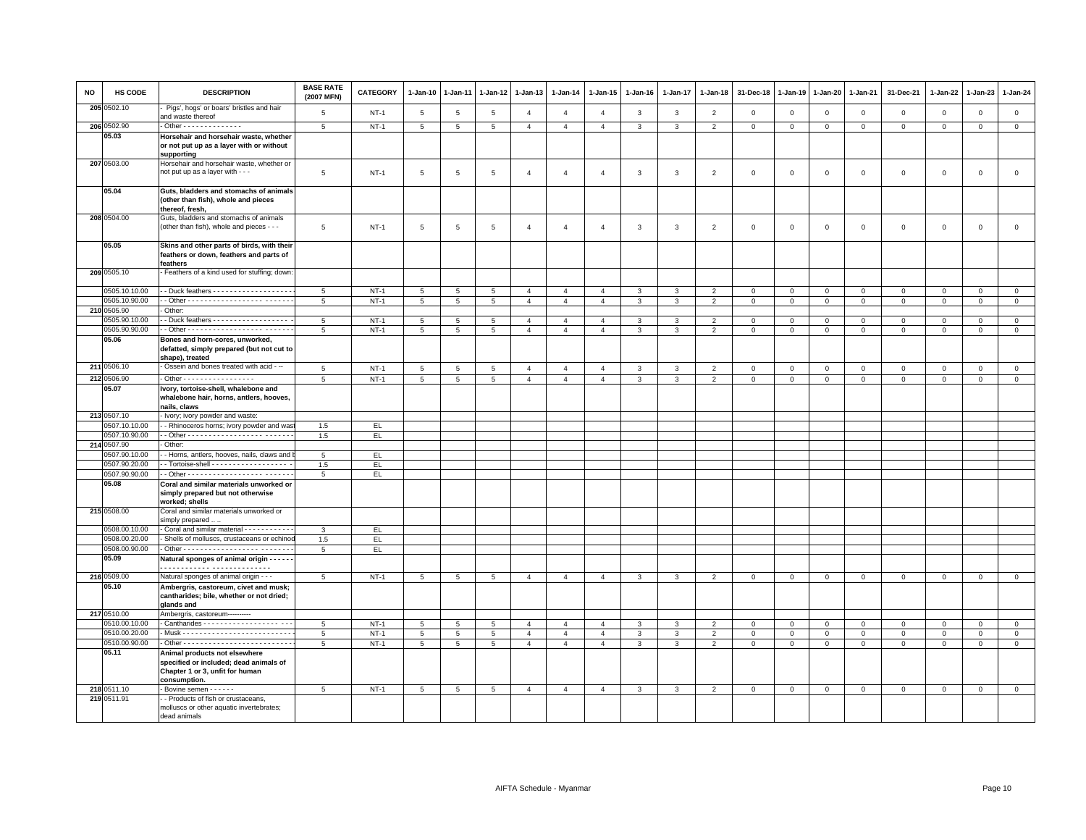| <b>NO</b> | HS CODE                        | <b>DESCRIPTION</b>                                                                                                         | <b>BASE RATE</b><br>(2007 MFN) | <b>CATEGORY</b>  | 1-Jan-10            | $1-Jan-11$           | $1-Jan-12$           | $1-Jan-13$     | 1-Jan-14       | 1-Jan-15       | 1-Jan-16          | $1 - Jan-17$ | $1 - Jan-18$        | 31-Dec-18               | $1 - Jan-19$   | 1-Jan-20               | 1-Jan-21       | 31-Dec-21                   | 1-Jan-22     | $1-Jan-23$   | 1-Jan-24                      |
|-----------|--------------------------------|----------------------------------------------------------------------------------------------------------------------------|--------------------------------|------------------|---------------------|----------------------|----------------------|----------------|----------------|----------------|-------------------|--------------|---------------------|-------------------------|----------------|------------------------|----------------|-----------------------------|--------------|--------------|-------------------------------|
|           | 205 0502.10                    | Pigs', hogs' or boars' bristles and hair<br>and waste thereof                                                              | 5                              | $NT-1$           | $\overline{5}$      | $\sqrt{5}$           | 5                    | $\overline{4}$ | $\overline{4}$ | $\overline{4}$ | $\mathbf{3}$      | $\mathbf{3}$ | $\overline{2}$      | $\mathbf{0}$            | $\mathbb O$    | $\mathbf 0$            | $\mathbf 0$    | $\mathbf 0$                 | $\mathbf 0$  | $\mathsf 0$  | $\mathbf{0}$                  |
|           | 206 0502.90                    | $\cdot$ Other - - - - - - - - - - - - - -                                                                                  | 5                              | $NT-1$           | $5\overline{5}$     | $5\phantom{.0}$      | $5\overline{5}$      | $\overline{4}$ | $\overline{4}$ | $\overline{4}$ | $\mathbf{3}$      | $\mathbf{3}$ | $\overline{2}$      | $\overline{0}$          | $\mathbf 0$    | $\circ$                | $\overline{0}$ | $\mathbf{0}$                | $\mathbf 0$  | $\mathsf 0$  | $\overline{0}$                |
|           | 05.03                          | Horsehair and horsehair waste, whether<br>or not put up as a layer with or without<br>supporting                           |                                |                  |                     |                      |                      |                |                |                |                   |              |                     |                         |                |                        |                |                             |              |              |                               |
|           | 207 0503.00                    | Horsehair and horsehair waste, whether or<br>not put up as a layer with - - -                                              | 5                              | $NT-1$           | 5                   | 5                    | 5                    | $\overline{4}$ | $\overline{4}$ | $\overline{4}$ | 3                 | 3            | $\overline{2}$      | $\mathsf 0$             | $\mathbf 0$    | $\mathbf 0$            | $\mathsf 0$    | $\mathsf 0$                 | $\mathbf 0$  | $\mathsf 0$  | $\mathsf 0$                   |
|           | 05.04                          | Guts, bladders and stomachs of animals<br>(other than fish), whole and pieces<br>thereof, fresh,                           |                                |                  |                     |                      |                      |                |                |                |                   |              |                     |                         |                |                        |                |                             |              |              |                               |
|           | 208 0504.00                    | Guts, bladders and stomachs of animals<br>(other than fish), whole and pieces - - -                                        | 5                              | $NT-1$           | $5\phantom{.0}$     | 5                    | 5                    | $\overline{4}$ | $\overline{4}$ | $\overline{4}$ | $\mathbf{3}$      | $\mathbf{3}$ | 2                   | $\overline{0}$          | $\overline{0}$ | $\,0\,$                | $\mathbf{0}$   | $\circ$                     | $\mathbf{0}$ | $\mathbf 0$  | $\mathsf 0$                   |
|           | 05.05                          | Skins and other parts of birds, with their<br>feathers or down, feathers and parts of<br>feathers                          |                                |                  |                     |                      |                      |                |                |                |                   |              |                     |                         |                |                        |                |                             |              |              |                               |
|           | 209 0505.10                    | Feathers of a kind used for stuffing; down:                                                                                |                                |                  |                     |                      |                      |                |                |                |                   |              |                     |                         |                |                        |                |                             |              |              |                               |
|           | 0505.10.10.00                  | - Duck feathers - - - - - - - - - - - - - - - - - -                                                                        | 5<br>$5\overline{5}$           | $NT-1$           | $5\overline{5}$     | $5\overline{5}$      | 5                    | $\overline{4}$ | $\overline{4}$ | $\overline{4}$ | $\mathbf{3}$      | $\mathbf{3}$ | 2                   | $\overline{0}$          | $\circ$        | $\circ$                | $\overline{0}$ | $\circ$                     | $\mathbf 0$  | $\circ$      | $\mathbf 0$                   |
|           | 0505.10.90.00                  | Other:                                                                                                                     |                                | $NT-1$           | $\overline{5}$      | $\overline{5}$       | $\overline{5}$       | $\overline{4}$ | $\overline{4}$ | $\overline{4}$ | $\overline{3}$    | 3            | $\overline{2}$      | $\overline{\mathbf{0}}$ | $\overline{0}$ | $\overline{0}$         | $\mathbf 0$    | $\mathsf 0$                 | $\Omega$     | $\mathbf 0$  | $\overline{0}$                |
|           | 210 0505.90<br>0505.90.10.00   | - Duck feathers - - - - - - - - - - - - - - - - - -                                                                        | -5                             | $NT-1$           |                     |                      |                      | $\overline{a}$ | $\overline{a}$ | $\overline{a}$ |                   | 3            |                     | $\mathbf 0$             | $\mathbf{0}$   |                        | $\Omega$       |                             | $\Omega$     | $\Omega$     | $\mathbf 0$                   |
|           | 0505.90.90.00                  |                                                                                                                            | 5                              | $NT-1$           | 5<br>5 <sup>5</sup> | 5<br>$5\overline{5}$ | 5<br>$5\overline{5}$ | $\overline{4}$ | $\overline{4}$ | $\overline{4}$ | 3<br>$\mathbf{3}$ | $\mathbf{3}$ | $\overline{2}$<br>2 | $\mathbf{0}$            | $\circ$        | $\mathbf 0$<br>$\circ$ | $\mathbf{0}$   | $\mathbf 0$<br>$\mathbf{0}$ | $\mathbf{0}$ | $\mathbf{0}$ | $\mathbf{0}$                  |
|           | 05.06                          | Bones and horn-cores, unworked,<br>defatted, simply prepared (but not cut to<br>shape), treated                            |                                |                  |                     |                      |                      |                |                |                |                   |              |                     |                         |                |                        |                |                             |              |              |                               |
|           | 211 0506.10                    | Ossein and bones treated with acid - --                                                                                    | $5\phantom{.0}$                | <b>NT-1</b>      | $5\phantom{.0}$     | $5\phantom{.0}$      | $5\phantom{.0}$      | $\overline{4}$ | $\overline{4}$ | $\overline{4}$ | $\mathbf{3}$      | $\mathbf{3}$ | $\overline{2}$      | $\overline{0}$          | $\,0\,$        | $\overline{0}$         | $\overline{0}$ | $\mathbf 0$                 | $\mathbf{0}$ | $\mathbf{0}$ | $\mathbf{0}$                  |
|           | 212 0506.90                    | . Other - - - - - - - - - - - - - - - - -                                                                                  | $\overline{5}$                 | $NT-1$           | 5                   | 5                    | 5                    | $\overline{4}$ | $\overline{4}$ | $\overline{4}$ | 3                 | $\mathbf{3}$ | $\overline{2}$      | $\mathbf 0$             | $\mathbb O$    | $\mathbf{0}$           | $\circ$        | $\mathbf 0$                 | $\mathbf{0}$ | $\mathbf{0}$ | $\mathbf{0}$                  |
|           | 05.07                          | Ivory, tortoise-shell, whalebone and<br>whalebone hair, horns, antlers, hooves,<br>nails, claws                            |                                |                  |                     |                      |                      |                |                |                |                   |              |                     |                         |                |                        |                |                             |              |              |                               |
|           | 213 0507.10                    | lvory; ivory powder and waste:                                                                                             |                                |                  |                     |                      |                      |                |                |                |                   |              |                     |                         |                |                        |                |                             |              |              |                               |
|           | 0507.10.10.00                  | - Rhinoceros horns; ivory powder and was                                                                                   | 1.5                            | EL               |                     |                      |                      |                |                |                |                   |              |                     |                         |                |                        |                |                             |              |              |                               |
|           | 0507.10.90.00                  |                                                                                                                            | 1.5                            | EL.              |                     |                      |                      |                |                |                |                   |              |                     |                         |                |                        |                |                             |              |              |                               |
|           | 214 0507.90                    | Other:                                                                                                                     |                                |                  |                     |                      |                      |                |                |                |                   |              |                     |                         |                |                        |                |                             |              |              |                               |
|           | 0507.90.10.00                  | - Horns, antlers, hooves, nails, claws and I                                                                               | 5                              | EL               |                     |                      |                      |                |                |                |                   |              |                     |                         |                |                        |                |                             |              |              |                               |
|           | 0507.90.20.00                  | - Tortoise-shell - - - - - - - - - - - - - - - - - -                                                                       | 1.5                            | EL.              |                     |                      |                      |                |                |                |                   |              |                     |                         |                |                        |                |                             |              |              |                               |
|           | 0507.90.90.00                  |                                                                                                                            | 5                              | EL.              |                     |                      |                      |                |                |                |                   |              |                     |                         |                |                        |                |                             |              |              |                               |
|           | 05.08                          | Coral and similar materials unworked or<br>simply prepared but not otherwise<br>worked; shells                             |                                |                  |                     |                      |                      |                |                |                |                   |              |                     |                         |                |                        |                |                             |              |              |                               |
|           | 215 0508.00                    | Coral and similar materials unworked or<br>simply prepared                                                                 |                                |                  |                     |                      |                      |                |                |                |                   |              |                     |                         |                |                        |                |                             |              |              |                               |
|           | 0508.00.10.00                  | Coral and similar material - - - - - - - - - - -                                                                           | 3                              | EL.              |                     |                      |                      |                |                |                |                   |              |                     |                         |                |                        |                |                             |              |              |                               |
|           | 0508.00.20.00                  | Shells of molluscs, crustaceans or echinoc                                                                                 | 1.5                            | EL.              |                     |                      |                      |                |                |                |                   |              |                     |                         |                |                        |                |                             |              |              |                               |
|           | 0508.00.90.00                  |                                                                                                                            | $5\overline{5}$                | EL.              |                     |                      |                      |                |                |                |                   |              |                     |                         |                |                        |                |                             |              |              |                               |
|           | 05.09                          | Natural sponges of animal origin - - - - -                                                                                 |                                |                  |                     |                      |                      |                |                |                |                   |              |                     |                         |                |                        |                |                             |              |              |                               |
|           | 216 0509.00                    | Natural sponges of animal origin - - -                                                                                     | 5                              | $NT-1$           | 5                   | 5                    | 5                    | $\overline{4}$ | $\overline{4}$ | $\overline{4}$ | $\mathbf{3}$      | $\mathbf{3}$ | $\overline{2}$      | $\mathbf 0$             | $\mathbf{0}$   | $\mathbf 0$            | $\mathbf 0$    | $\mathbf 0$                 | $\circ$      | $\mathbf{0}$ | $\mathbf{0}$                  |
|           | 05.10                          | Ambergris, castoreum, civet and musk;<br>cantharides; bile, whether or not dried;<br>glands and                            |                                |                  |                     |                      |                      |                |                |                |                   |              |                     |                         |                |                        |                |                             |              |              |                               |
|           | 217 0510.00                    | Ambergris, castoreum-----------                                                                                            |                                |                  |                     |                      |                      |                |                |                |                   |              |                     |                         |                |                        |                |                             |              |              |                               |
|           | 0510.00.10.00                  |                                                                                                                            | 5                              | $NT-1$           | 5                   | 5                    | 5                    | $\overline{4}$ | $\overline{4}$ | $\overline{4}$ | 3                 | $\mathbf{3}$ | $\overline{2}$      | $\mathbf 0$             | $\mathbb O$    | $\mathbf{0}$           | $\mathsf 0$    | $\mathbf 0$                 | $\Omega$     | $\Omega$     | $\mathbf{0}$                  |
|           | 0510.00.20.00<br>0510.00.90.00 |                                                                                                                            | 5                              | $NT-1$<br>$NT-1$ | 5                   | 5                    | 5                    | $\overline{4}$ | $\overline{4}$ | $\overline{4}$ | 3                 | 3            | $\overline{2}$      | $\mathbf 0$             | $\mathbf{0}$   | $\mathbf 0$            | $\mathbf{0}$   | $\mathbf{0}$                | $\Omega$     | $\Omega$     | $\mathsf 0$<br>$\overline{0}$ |
|           | 05.11                          | Animal products not elsewhere<br>specified or included; dead animals of<br>Chapter 1 or 3, unfit for human<br>consumption. | 5                              |                  | $5\phantom{.0}$     | $5\phantom{.0}$      | $5\overline{5}$      | $\overline{4}$ | $\overline{4}$ | $\overline{4}$ | 3                 | $\mathbf{3}$ | $\overline{2}$      | $\mathbf{0}$            | $\mathbf{0}$   | $\overline{0}$         | $\mathbf 0$    | $\mathbf 0$                 | $\mathbf 0$  | $\mathbf 0$  |                               |
|           | 218 0511.10                    | Bovine semen - - - - - -                                                                                                   | 5                              | $NT-1$           | $5\phantom{.0}$     | 5                    | 5                    | $\overline{4}$ | $\overline{4}$ | $\overline{4}$ | 3                 | $\mathbf{3}$ | $\overline{2}$      | $\mathbf{0}$            | $\mathbf 0$    | $\mathsf 0$            | $\mathbf 0$    | $\mathsf 0$                 | $\mathbf 0$  | $\mathsf 0$  | $\mathbf{0}$                  |
|           | 219 0511.91                    | - Products of fish or crustaceans,<br>molluscs or other aquatic invertebrates;<br>dead animals                             |                                |                  |                     |                      |                      |                |                |                |                   |              |                     |                         |                |                        |                |                             |              |              |                               |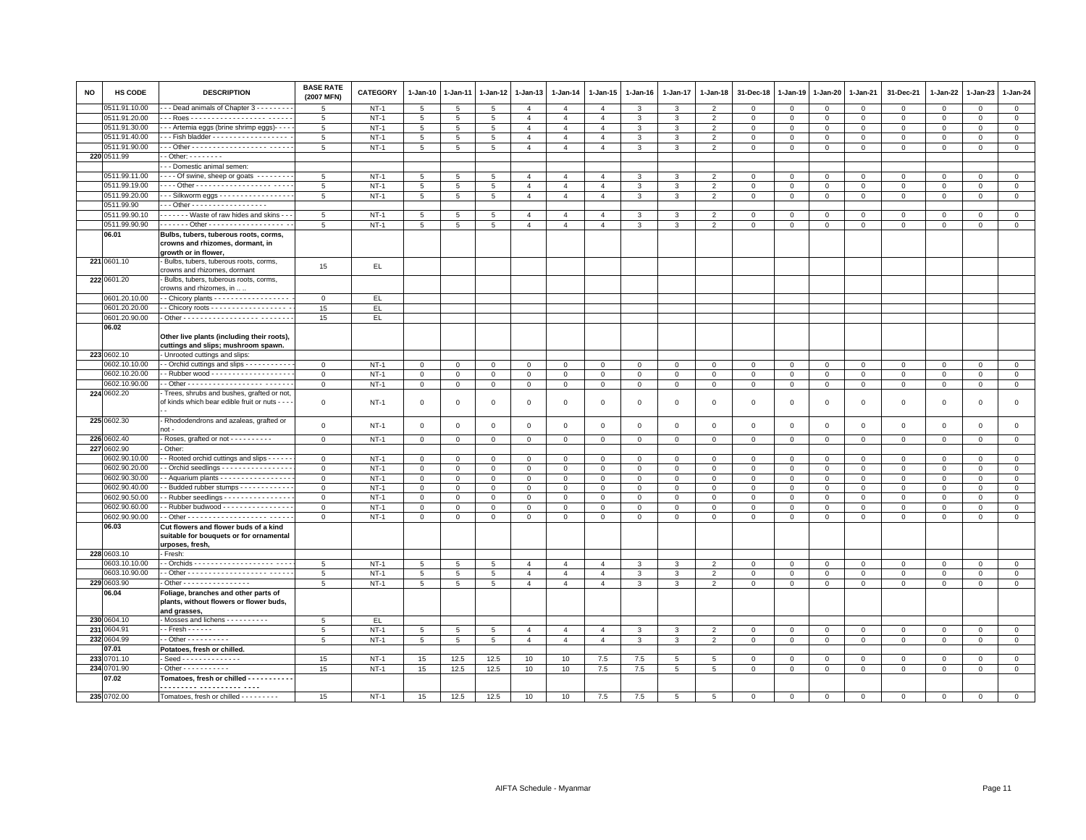| <b>NO</b> | HS CODE                        | <b>DESCRIPTION</b>                                                                                  | <b>BASE RATE</b><br>(2007 MFN) | <b>CATEGORY</b>  | 1-Jan-10        | 1-Jan-11        | $1 - Jan-12$    | 1-Jan-13       | $1 - Jan-14$   | 1-Jan-15       | $1 - Jan-16$  | 1-Jan-17       | 1-Jan-18       | 31-Dec-18    | 1-Jan-19    | 1-Jan-20            | 1-Jan-21       | 31-Dec-21           | 1-Jan-22       | 1-Jan-23     | 1-Jan-24       |
|-----------|--------------------------------|-----------------------------------------------------------------------------------------------------|--------------------------------|------------------|-----------------|-----------------|-----------------|----------------|----------------|----------------|---------------|----------------|----------------|--------------|-------------|---------------------|----------------|---------------------|----------------|--------------|----------------|
|           | 0511.91.10.00                  | - Dead animals of Chapter 3 - - - - - - -                                                           | $\overline{5}$                 | $NT-1$           | 5               | $\sqrt{5}$      | 5               | $\overline{4}$ | $\overline{4}$ | $\overline{4}$ | $\mathcal{R}$ | 3              | $\overline{2}$ | $\mathbf 0$  | $\mathbf 0$ | $\mathbf{0}$        | $\circ$        | $\mathbf{0}$        | $\circ$        | $\mathbf{0}$ | $\circ$        |
|           | 0511.91.20.00                  |                                                                                                     | 5                              | $NT-1$           | 5               | $5\overline{5}$ | 5               | $\overline{4}$ | $\overline{4}$ | $\overline{4}$ | 3             | $\overline{3}$ | 2              | $\mathbf{0}$ | $\mathbf 0$ | $\mathbf{0}$        | $\mathbf{0}$   | $\mathbf{0}$        | $\mathbf{0}$   | $\circ$      | $\mathsf 0$    |
|           | 0511.91.30.00                  | - - Artemia eggs (brine shrimp eggs)- - - -                                                         | 5                              | $NT-1$           | $\overline{5}$  | $\overline{5}$  | 5               | $\overline{4}$ | $\overline{4}$ | $\overline{4}$ | $\mathbf{3}$  | $\mathbf{3}$   | $\overline{2}$ | $\mathsf 0$  | $\mathsf 0$ | $\mathsf 0$         | $\overline{0}$ | $\mathsf 0$         | $\mathbf 0$    | $\mathsf 0$  | $\mathsf 0$    |
|           | 0511.91.40.00                  | - - Fish bladder - - - - - - - - - - - - - - - - - -                                                | 5                              | $NT-1$           | $5\phantom{.0}$ | $5\phantom{.0}$ | 5               | $\overline{4}$ | $\overline{4}$ | $\overline{4}$ | 3             | $\mathbf{3}$   | $\overline{2}$ | $\mathbf 0$  | 0           | $\mathbf 0$         | $\mathbf 0$    | $\mathbf 0$         | $\mathbf 0$    | $\Omega$     | $\mathbf 0$    |
|           | 0511.91.90.00                  |                                                                                                     | 5                              | $NT-1$           | $5\phantom{.0}$ | $5\overline{5}$ | $5\overline{5}$ | $\overline{4}$ | $\overline{4}$ | $\overline{4}$ | $\mathbf{3}$  | $\mathbf{3}$   | 2              | $\mathbf{0}$ | $\mathbf 0$ | $\mathbf 0$         | $\mathbf{0}$   | $\mathbf{0}$        | $\mathbf 0$    | $\circ$      | $\circ$        |
|           | 220 0511.99                    | $-$ Other: $       -$                                                                               |                                |                  |                 |                 |                 |                |                |                |               |                |                |              |             |                     |                |                     |                |              |                |
|           |                                | - - Domestic animal semen:                                                                          |                                |                  |                 |                 |                 |                |                |                |               |                |                |              |             |                     |                |                     |                |              |                |
|           | 0511.99.11.00<br>0511.99.19.00 | ---- Of swine, sheep or goats --------                                                              | $5\phantom{.0}$                | $NT-1$           | 5               | 5               | 5               | $\overline{4}$ | $\overline{4}$ | $\overline{4}$ | 3             | $\mathbf{3}$   | $\overline{2}$ | $\mathbf 0$  | $\mathsf 0$ | $\mathsf 0$         | $\mathbf 0$    | $\mathbf 0$         | $\mathbf{0}$   | $\mathbf 0$  | $\mathsf 0$    |
|           | 0511.99.20.00                  |                                                                                                     | 5                              | $NT-1$<br>$NT-1$ | 5               | 5               | 5               | $\overline{4}$ | $\overline{4}$ | $\overline{4}$ | 3             | 3              | $\overline{2}$ | $\mathbf 0$  | 0           | $\mathsf 0$         | $\mathbf 0$    | $\mathsf 0$         | $\mathbf 0$    | $\mathbf 0$  | $\mathbf 0$    |
|           | 0511.99.90                     | $-$ - Silkworm eggs $-$ - - - - - - - - - - - - - - - -<br>. Other -                                | 5                              |                  | $5\overline{5}$ | $5\phantom{.0}$ | 5               | $\overline{4}$ | $\overline{4}$ | $\overline{4}$ | 3             | $\mathbf{3}$   | $\overline{2}$ | $\mathbf 0$  | 0           | $\mathbf 0$         | $\circ$        | $\mathbf 0$         | $\mathbf 0$    | $\mathbf{0}$ | $\circ$        |
|           | 0511.99.90.10                  | - - - - - - - Waste of raw hides and skins - -                                                      | 5                              | $NT-1$           | 5               | 5               | 5               | $\overline{4}$ | $\overline{4}$ | $\overline{4}$ | 3             | 3              | $\overline{2}$ | $\mathbf 0$  | $\mathbf 0$ | $\mathbf 0$         | $\mathbf{0}$   | $\mathbf{0}$        | $\mathbf{0}$   | $\mathbf{0}$ | $\mathbf{0}$   |
|           | 0511.99.90.90                  |                                                                                                     | 5                              | $NT-1$           | $\overline{5}$  | $5\phantom{.0}$ | 5               | $\overline{4}$ | $\overline{4}$ | $\overline{4}$ | $\mathbf{3}$  | $\mathbf{3}$   | $\overline{2}$ | $\mathsf 0$  | $\mathsf 0$ | $\mathbf 0$         | $\mathsf 0$    | $\mathsf{O}\xspace$ | $\mathbf 0$    | $\mathbf 0$  | $\mathsf 0$    |
|           | 06.01                          | Bulbs, tubers, tuberous roots, corms,                                                               |                                |                  |                 |                 |                 |                |                |                |               |                |                |              |             |                     |                |                     |                |              |                |
|           |                                | crowns and rhizomes, dormant, in                                                                    |                                |                  |                 |                 |                 |                |                |                |               |                |                |              |             |                     |                |                     |                |              |                |
|           |                                | growth or in flower,                                                                                |                                |                  |                 |                 |                 |                |                |                |               |                |                |              |             |                     |                |                     |                |              |                |
|           | 221 0601.10                    | Bulbs, tubers, tuberous roots, corms,                                                               |                                |                  |                 |                 |                 |                |                |                |               |                |                |              |             |                     |                |                     |                |              |                |
|           |                                | crowns and rhizomes, dormant                                                                        | 15                             | EL               |                 |                 |                 |                |                |                |               |                |                |              |             |                     |                |                     |                |              |                |
|           | 222 0601.20                    | Bulbs, tubers, tuberous roots, corms,                                                               |                                |                  |                 |                 |                 |                |                |                |               |                |                |              |             |                     |                |                     |                |              |                |
|           |                                | crowns and rhizomes, in                                                                             |                                |                  |                 |                 |                 |                |                |                |               |                |                |              |             |                     |                |                     |                |              |                |
|           | 0601.20.10.00                  | - Chicory plants - - - - - - - - - - - - - - - - - -                                                | $\Omega$                       | EL               |                 |                 |                 |                |                |                |               |                |                |              |             |                     |                |                     |                |              |                |
|           | 0601.20.20.00                  | - Chicory roots - - - - - - - - - - - - - - - - - -                                                 | 15                             | EL.              |                 |                 |                 |                |                |                |               |                |                |              |             |                     |                |                     |                |              |                |
|           | 0601.20.90.00                  |                                                                                                     | 15                             | EL.              |                 |                 |                 |                |                |                |               |                |                |              |             |                     |                |                     |                |              |                |
|           | 06.02                          | Other live plants (including their roots),                                                          |                                |                  |                 |                 |                 |                |                |                |               |                |                |              |             |                     |                |                     |                |              |                |
|           |                                | cuttings and slips; mushroom spawn.                                                                 |                                |                  |                 |                 |                 |                |                |                |               |                |                |              |             |                     |                |                     |                |              |                |
|           | 223 0602.10                    | Unrooted cuttings and slips:                                                                        |                                |                  |                 |                 |                 |                |                |                |               |                |                |              |             |                     |                |                     | $\Omega$       |              |                |
|           | 0602.10.10.00                  | - Orchid cuttings and slips - - - - - - - - - -                                                     | $\overline{0}$                 | $NT-1$           | $\mathbf 0$     | $\mathbf 0$     | $\mathbf 0$     | $\,0\,$        | $\mathbf 0$    | $\mathsf 0$    | $\mathsf 0$   | $\mathbf 0$    | $\Omega$       | $\mathbf 0$  | $\mathbf 0$ | $\mathsf{O}\xspace$ | $\,0\,$        | $\mathsf 0$         |                | $\mathsf 0$  | $\mathsf 0$    |
|           | 0602.10.20.00<br>0602.10.90.00 | - Rubber wood - - - - - - - - - - - - - - - - - -                                                   | $\mathbf{0}$                   | $NT-1$           | $\mathbf 0$     | $\mathbf 0$     | $\mathbf 0$     | $\mathbf 0$    | $\mathbf{O}$   | $\mathbf 0$    | $\Omega$      | $\mathbf{0}$   | $\mathbf 0$    | $\mathbf 0$  | $\mathsf 0$ | $\mathsf 0$         | $\mathbf 0$    | $\mathbf 0$         | $\mathbf 0$    | $\mathbf{0}$ | $\mathsf 0$    |
|           | 224 0602.20                    | Trees, shrubs and bushes, grafted or not,                                                           | $\mathbf{0}$                   | $NT-1$           | $\mathbf{0}$    | $\mathbf 0$     | $\overline{0}$  | $\overline{0}$ | $\mathbf{O}$   | $\mathbf{0}$   | $\mathbf{O}$  | $\mathbf{0}$   | $\mathbf 0$    | $\mathbf 0$  | $\mathsf 0$ | $\mathbf 0$         | $\mathbf{0}$   | $\mathbf 0$         | $\mathbf 0$    | $\mathbf 0$  | $\mathbf 0$    |
|           |                                | of kinds which bear edible fruit or nuts - - -                                                      | $\mathbf{0}$                   | $NT-1$           | $\mathbf 0$     | $\mathbf 0$     | $\mathbf 0$     | $\circ$        | $\mathsf 0$    | $\mathbf 0$    | $\Omega$      | $\Omega$       | $\Omega$       | $\mathbf 0$  | $\Omega$    | $\mathbf 0$         | $\mathbf 0$    | $\mathbf 0$         | $\Omega$       | $\mathbf{0}$ | $\mathbf 0$    |
|           | 225 0602.30                    | - Rhododendrons and azaleas, grafted or<br>not -                                                    | $\mathsf 0$                    | $NT-1$           | $\mathsf 0$     | $\mathbf 0$     | $\mathbf 0$     | $\mathbf 0$    | $\mathsf 0$    | $\mathsf 0$    | $\mathsf 0$   | $\mathbf 0$    | $\mathbf 0$    | $\mathsf 0$  | $\mathsf 0$ | $\mathsf 0$         | $\mathbf 0$    | $\mathsf 0$         | $\mathsf 0$    | $\mathbf 0$  | $\mathsf 0$    |
|           | 226 0602.40                    | Roses, grafted or not - - - - - - - - - -                                                           | $\mathbf{O}$                   | $NT-1$           | $\mathbf 0$     | $\mathbf 0$     | $\mathbf{0}$    | $\mathsf 0$    | $\mathsf 0$    | $\mathsf 0$    | $\mathsf 0$   | $\mathbf 0$    | $\Omega$       | $\mathsf 0$  | $\mathsf 0$ | $\mathsf 0$         | $\mathbf 0$    | $\mathsf 0$         | $\mathbf 0$    | $\mathsf 0$  | $\circ$        |
|           | 227 0602.90                    | Other:                                                                                              |                                |                  |                 |                 |                 |                |                |                |               |                |                |              |             |                     |                |                     |                |              |                |
|           | 0602.90.10.00                  | - Rooted orchid cuttings and slips - - - - -                                                        | $\mathbf{O}$                   | $NT-1$           | $\mathbf{0}$    | $\mathbf 0$     | $\mathbf 0$     | $\mathbf 0$    | $\mathbf{O}$   | $\Omega$       | $\mathbf 0$   | $\mathbf 0$    | $\Omega$       | $\mathbf 0$  | $\mathbf 0$ | $\mathsf 0$         | $\mathbf 0$    | $\mathbf 0$         | $\Omega$       | $\mathbf{0}$ | $\mathbf 0$    |
|           | 0602.90.20.00                  | Orchid seedlings - - - - - - - - - - - - - - -                                                      | $\mathbf 0$                    | $NT-1$           | $\mathsf 0$     | $\mathbf 0$     | $\mathsf 0$     | $\mathbf 0$    | $\mathsf 0$    | $\mathsf 0$    | $\mathbf 0$   | $\mathbf 0$    | $\Omega$       | $\,0\,$      | $\mathbf 0$ | $\mathsf 0$         | $\mathbf 0$    | $\mathsf 0$         | $\Omega$       | $\mathbf{0}$ | $\mathbf 0$    |
|           | 0602.90.30.00                  | - Aquarium plants - - - - - - - - - - - - - - - -                                                   | $\mathbf{0}$                   | $NT-1$           | $\mathbf{O}$    | $\mathbf 0$     | $\mathbf 0$     | $\mathbf{0}$   | $\mathsf 0$    | $\mathbf 0$    | $\mathbf 0$   | $\mathbb O$    | $\mathbf 0$    | $\mathbf 0$  | $\mathsf 0$ | $\mathbf 0$         | $\overline{0}$ | $\mathbf 0$         | $\Omega$       | $\mathbf{0}$ | $\circ$        |
|           | 0602.90.40.00                  | - Budded rubber stumps - - - - - - - - - - -                                                        | $\mathbf{O}$                   | $NT-1$           | $\mathbf 0$     | $\mathbf 0$     | $\mathbf 0$     | $\mathbf 0$    | $\mathbf{O}$   | $\mathbf 0$    | $\mathbf{O}$  | $\mathbf 0$    | $\mathbf 0$    | $\mathbf 0$  | $\mathsf 0$ | $\mathsf 0$         | $\mathbf 0$    | $\mathsf 0$         | $\mathbf 0$    | $\mathbf 0$  | $\mathbf 0$    |
|           | 0602.90.50.00                  | - Rubber seedlings - - - - - - - - - - - - - - -                                                    | $\mathbf 0$                    | $NT-1$           | $\mathsf 0$     | $\mathbf 0$     | $\mathsf 0$     | $\mathbf 0$    | $\mathsf 0$    | $\mathsf 0$    | $\mathsf 0$   | $\mathbf 0$    | $\Omega$       | $\mathbf 0$  | $\mathsf 0$ | $\mathsf 0$         | $\mathbf 0$    | $\mathsf 0$         | $\mathbf 0$    | $\mathbf 0$  | $\mathsf 0$    |
|           | 0602.90.60.00                  | - Rubber budwood - - - - - - - - - - - - - - - -                                                    | $\mathsf 0$                    | $NT-1$           | $\mathsf 0$     | $\mathsf 0$     | $\mathsf 0$     | $\mathbf 0$    | $\mathsf 0$    | $\mathsf 0$    | $\mathbf 0$   | $\,0\,$        | $\mathsf 0$    | $\mathbf 0$  | $\mathsf 0$ | $\mathsf 0$         | $\,0\,$        | $\mathsf 0$         | $\mathsf 0$    | $\mathsf 0$  | $\overline{0}$ |
|           | 0602.90.90.00                  |                                                                                                     | $\mathbf{0}$                   | $NT-1$           | $\mathbf{0}$    | $\mathbf 0$     | $\mathbf 0$     | $\overline{0}$ | $\mathbf{O}$   | $\mathbf 0$    | $\mathbf{0}$  | $\mathbf{0}$   | $\mathbf{0}$   | $\mathbf 0$  | $\mathsf 0$ | $\mathsf 0$         | $\mathbf 0$    | $\mathbf 0$         | $\mathbf 0$    | $\mathbf 0$  | $\mathbf 0$    |
|           | 06.03                          | Cut flowers and flower buds of a kind<br>suitable for bouquets or for ornamental<br>urposes, fresh. |                                |                  |                 |                 |                 |                |                |                |               |                |                |              |             |                     |                |                     |                |              |                |
|           | 228 0603.10                    | Fresh:                                                                                              |                                |                  |                 |                 |                 |                |                |                |               |                |                |              |             |                     |                |                     |                |              |                |
|           | 0603.10.10.00                  |                                                                                                     | 5                              | $NT-1$           | 5               | 5               | 5               | $\overline{4}$ | $\overline{4}$ | $\overline{4}$ | 3             | 3              | $\mathcal{P}$  | $\mathbf 0$  | $\Omega$    | $\mathbf 0$         | $\overline{0}$ | $\mathbf 0$         | $\mathbf{0}$   | $\mathbf{0}$ | $\mathbf{0}$   |
|           | 0603.10.90.00                  |                                                                                                     | 5                              | $NT-1$           | 5               | 5               | 5               | $\overline{4}$ | $\overline{4}$ | $\overline{4}$ | 3             | 3              | $\overline{2}$ | $\mathbf 0$  | 0           | 0                   | $\mathbf 0$    | $\mathsf 0$         | $\mathbf 0$    | $\mathbf 0$  | $\mathbf 0$    |
|           | 229 0603.90                    | Other - - - - - - - - - - - - - - - -                                                               | 5                              | $NT-1$           | $5\phantom{.0}$ | $5\phantom{.0}$ | $5\overline{5}$ | $\overline{4}$ | $\overline{4}$ | $\overline{4}$ | 3             | $\mathbf{3}$   | $\overline{2}$ | $\mathbf 0$  | $\mathbf 0$ | $\mathbf 0$         | $\circ$        | $\mathbf 0$         | $\mathbf 0$    | $\mathbf 0$  | $\circ$        |
|           | 06.04                          | Foliage, branches and other parts of<br>plants, without flowers or flower buds,<br>and grasses,     |                                |                  |                 |                 |                 |                |                |                |               |                |                |              |             |                     |                |                     |                |              |                |
|           | 230 0604.10                    | - Mosses and lichens - - - - - - - - - -                                                            | 5                              | EL.              |                 |                 |                 |                |                |                |               |                |                |              |             |                     |                |                     |                |              |                |
|           | 231 0604.91                    | - - Fresh - - - - - -                                                                               | 5                              | $NT-1$           | 5               | 5               | 5               | $\overline{4}$ | $\overline{4}$ | $\overline{4}$ | 3             | $\mathbf{3}$   | 2              | $\mathbf 0$  | $\mathbf 0$ | $\mathbf 0$         | $\overline{0}$ | $\mathbf{0}$        | $\mathbf{0}$   | $\mathbf{0}$ | $\mathbf{0}$   |
|           | 232 0604.99                    | $-$ Other $        -$                                                                               | 5                              | $NT-1$           | $5\phantom{.0}$ | 5               | 5               | $\overline{4}$ | $\overline{4}$ | $\overline{4}$ | 3             | $\mathbf{3}$   | 2              | $\mathbf 0$  | $\mathsf 0$ | $\mathsf 0$         | $\mathbf 0$    | $\mathbf 0$         | $\Omega$       | $\mathbf 0$  | $\mathbf 0$    |
|           | 07.01                          | Potatoes, fresh or chilled.                                                                         |                                |                  |                 |                 |                 |                |                |                |               |                |                |              |             |                     |                |                     |                |              |                |
|           | 233 0701.10                    | Seed - - - - - - - - - - - - -                                                                      | 15                             | $NT-1$           | 15              | 12.5            | 12.5            | 10             | 10             | $7.5\,$        | 7.5           | 5              | 5              | $\mathbf 0$  | $\mathsf 0$ | $\mathbf 0$         | $\mathbf 0$    | $\mathbf 0$         | $\overline{0}$ | $\mathbf{0}$ | $\mathbf 0$    |
|           | 234 0701.90                    | Other - - - - - - - - - - -                                                                         | 15                             | $NT-1$           | 15              | 12.5            | 12.5            | 10             | 10             | 7.5            | 7.5           | $\overline{5}$ | -5             | $\mathbf 0$  | 0           | 0                   | $\mathbf 0$    | $\Omega$            | $\Omega$       | $\Omega$     | $\mathbf 0$    |
|           | 07.02                          | Tomatoes, fresh or chilled - - - - - - - - - - -                                                    |                                |                  |                 |                 |                 |                |                |                |               |                |                |              |             |                     |                |                     |                |              |                |
|           | 235 0702.00                    | Tomatoes, fresh or chilled - - - - - - - - -                                                        | 15                             | $NT-1$           | 15              | 12.5            | 12.5            | 10             | 10             | 7.5            | 7.5           | -5             | 5              | $\Omega$     | $\Omega$    | $\Omega$            | $\Omega$       | $\Omega$            | $\Omega$       | $\Omega$     | $\Omega$       |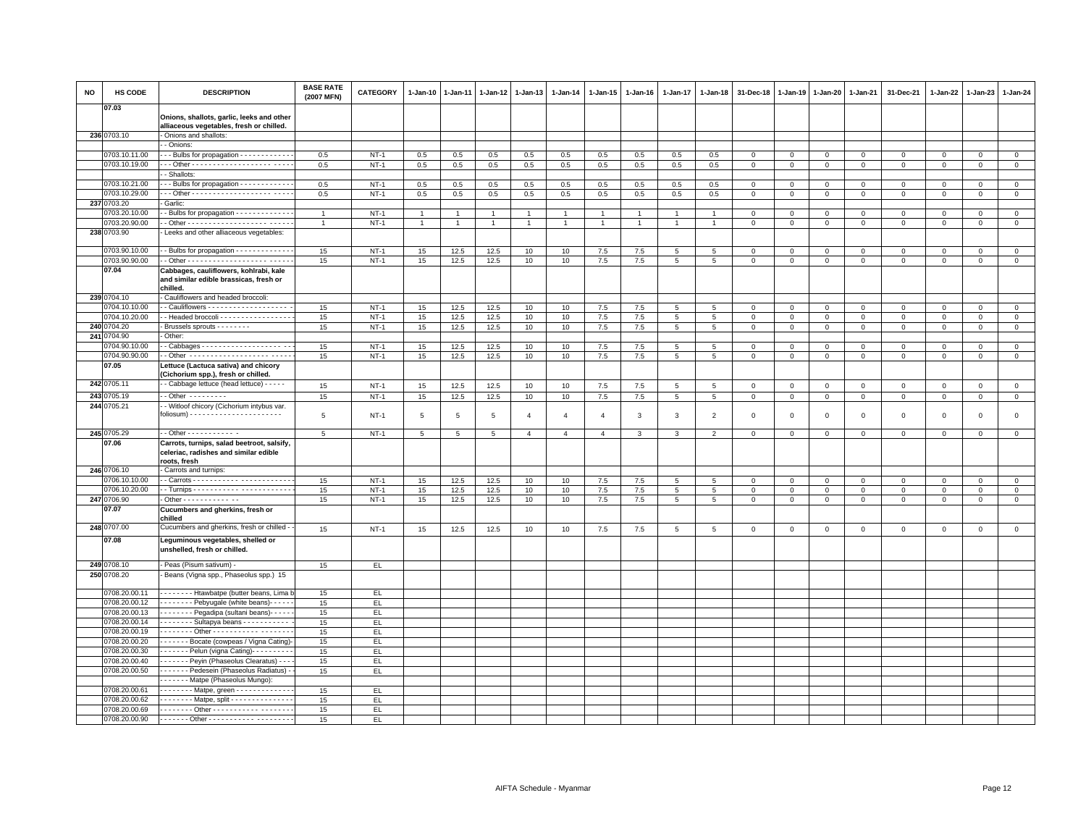| <b>NO</b> | HS CODE                        | <b>DESCRIPTION</b>                                                                                  | <b>BASE RATE</b><br>(2007 MFN) | <b>CATEGORY</b> | 1-Jan-10       | $1-Jan-11$   | 1-Jan-12 1-Jan-13 |                | $1-Jan-14$     | $1 - Jan-15$   | $1 - Jan-16$   | $1 - Jan-17$    | $1-Jan-18$      | 31-Dec-18      | 1-Jan-19     | $1-Jan-20$   | $1 - Jan-21$   | 31-Dec-21    | 1-Jan-22     | $1-Jan-23$   | 1-Jan-24       |
|-----------|--------------------------------|-----------------------------------------------------------------------------------------------------|--------------------------------|-----------------|----------------|--------------|-------------------|----------------|----------------|----------------|----------------|-----------------|-----------------|----------------|--------------|--------------|----------------|--------------|--------------|--------------|----------------|
|           | 07.03                          | Onions, shallots, garlic, leeks and other<br>alliaceous vegetables, fresh or chilled.               |                                |                 |                |              |                   |                |                |                |                |                 |                 |                |              |              |                |              |              |              |                |
|           | 236 0703.10                    | Onions and shallots:                                                                                |                                |                 |                |              |                   |                |                |                |                |                 |                 |                |              |              |                |              |              |              |                |
|           |                                | - Onions:                                                                                           |                                |                 |                |              |                   |                |                |                |                |                 |                 |                |              |              |                |              |              |              |                |
|           | 0703.10.11.00                  | - - Bulbs for propagation - - - - - - - - - - -                                                     | 0.5                            | $NT-1$          | 0.5            | 0.5          | 0.5               | 0.5            | 0.5            | 0.5            | 0.5            | 0.5             | 0.5             | $\Omega$       | $\Omega$     | $\mathbf{0}$ | $\mathbf{0}$   | $\Omega$     | $\mathbf{0}$ | $\Omega$     | $\circ$        |
|           | 0703.10.19.00                  |                                                                                                     | 0.5                            | $NT-1$          | 0.5            | 0.5          | 0.5               | 0.5            | 0.5            | 0.5            | 0.5            | 0.5             | 0.5             | $\mathbf 0$    | $\mathbf 0$  | $\mathbf 0$  | $\mathbf 0$    | $\mathbf 0$  | $\mathbf 0$  | $\mathbf 0$  | $\mathbf 0$    |
|           |                                | - Shallots:                                                                                         |                                |                 |                |              |                   |                |                |                |                |                 |                 |                |              |              |                |              |              |              |                |
|           | 0703.10.21.00                  | - - Bulbs for propagation - - - - - - - - - - - -                                                   | 0.5                            | $NT-1$          | 0.5            | 0.5          | 0.5               | 0.5            | 0.5            | 0.5            | 0.5            | 0.5             | 0.5             | $\mathbf 0$    | $\Omega$     | $\mathbf 0$  | $\mathbf{0}$   | $\mathbf 0$  | $\Omega$     | $\mathbf{0}$ | $\mathbf{0}$   |
|           | 0703.10.29.00                  | -- Other -------------------- ---                                                                   | 0.5                            | $NT-1$          | 0.5            | 0.5          | 0.5               | 0.5            | 0.5            | 0.5            | 0.5            | 0.5             | 0.5             | $\mathbf 0$    | $\Omega$     | $\mathsf 0$  | $\mathbf 0$    | $\mathbf 0$  | $\Omega$     | $\mathbf 0$  | $\circ$        |
|           | 237 0703.20                    | Garlic:                                                                                             |                                |                 |                |              |                   |                |                |                |                |                 |                 |                |              |              |                |              |              |              |                |
|           | 0703.20.10.00                  | - Bulbs for propagation - - - - - - - - - - - - -                                                   | $\mathbf{1}$                   | $NT-1$          | $\mathbf{1}$   | $\mathbf{1}$ | $\overline{1}$    | $\mathbf{1}$   | $\overline{1}$ | 1              | $\mathbf{1}$   | 1               |                 | $\mathbf 0$    | $\mathbf 0$  | $\mathbf{0}$ | $\overline{0}$ | $\mathsf 0$  | $\mathbf 0$  | $\mathbf 0$  | $\circ$        |
|           | 0703.20.90.00                  |                                                                                                     | $\overline{1}$                 | $NT-1$          | $\overline{1}$ | $\mathbf{1}$ | $\overline{1}$    | $\overline{1}$ | $\mathbf{1}$   | $\mathbf{1}$   | $\overline{1}$ | $\mathbf{1}$    |                 | $\mathbf 0$    | $\,0\,$      | $\mathsf 0$  | $\overline{0}$ | $\mathsf 0$  | $\mathsf 0$  | $\mathbf 0$  | $\mathbf 0$    |
|           | 238 0703.90                    | Leeks and other alliaceous vegetables:                                                              |                                |                 |                |              |                   |                |                |                |                |                 |                 |                |              |              |                |              |              |              |                |
|           | 0703.90.10.00                  | - - Bulbs for propagation - - - - - - - - - - - - -                                                 | 15                             | $NT-1$          | 15             | 12.5         | 12.5              | 10             | 10             | 7.5            | 7.5            | 5               | 5               | $\mathbf 0$    | $\mathbf 0$  | $\mathbf 0$  | $\mathbf 0$    | $\mathsf 0$  | $\mathbf 0$  | $\mathbf 0$  | $\mathsf 0$    |
|           | 0703.90.90.00                  |                                                                                                     | 15                             | $NT-1$          | 15             | 12.5         | 12.5              | 10             | 10             | 7.5            | 7.5            | 5               | $\overline{5}$  | $\mathbf 0$    | $\mathbf 0$  | $\mathsf 0$  | $\,0\,$        | $\mathbf 0$  | $\mathbf 0$  | $\mathbf 0$  | $\mathbf 0$    |
|           | 07.04                          | Cabbages, cauliflowers, kohlrabi, kale<br>and similar edible brassicas, fresh or<br>chilled.        |                                |                 |                |              |                   |                |                |                |                |                 |                 |                |              |              |                |              |              |              |                |
|           | 239 0704.10                    | - Cauliflowers and headed broccoli:                                                                 |                                |                 |                |              |                   |                |                |                |                |                 |                 |                |              |              |                |              |              |              |                |
|           | 0704.10.10.00                  |                                                                                                     | 15                             | $NT-1$          | 15             | 12.5         | 12.5              | 10             | 10             | 7.5            | 7.5            | 5               | 5               | $\mathbf 0$    | $\mathbf 0$  | $\mathbf 0$  | $\mathbf 0$    | $\mathbf 0$  | $\mathbf 0$  | $\mathbf 0$  | $\circ$        |
|           | 0704.10.20.00                  | - Headed broccoli - - - - - - - - - - - - - - - -                                                   | 15                             | $NT-1$          | 15             | 12.5         | 12.5              | 10             | 10             | 7.5            | 7.5            | $5\phantom{.0}$ | $\overline{5}$  | $\mathbf 0$    | $\mathbf 0$  | $\mathbf{0}$ | $\overline{0}$ | $\mathsf 0$  | $\mathbf{0}$ | $\mathbf{0}$ | $\overline{0}$ |
|           | 240 0704.20                    | - Brussels sprouts - - - - - - - -                                                                  | 15                             | $NT-1$          | 15             | 12.5         | 12.5              | 10             | 10             | 7.5            | 7.5            | $5\overline{5}$ | 5               | $\mathbf 0$    | $\mathbf 0$  | $\mathbf 0$  | $\circ$        | $\mathsf 0$  | $\mathbf 0$  | $\mathbf 0$  | $\circ$        |
|           | 241 0704.90                    | Other:                                                                                              |                                |                 |                |              |                   |                |                |                |                |                 |                 |                |              |              |                |              |              |              |                |
|           | 0704.90.10.00                  |                                                                                                     | 15                             | $NT-1$          | 15             | 12.5         | 12.5              | 10             | 10             | 7.5            | 7.5            | 5               | 5               | $\mathbf 0$    | $\mathbf{0}$ | $\mathbf{0}$ | $\mathbf{0}$   | $\mathbf 0$  | $\Omega$     | $\mathbf{0}$ | $\circ$        |
|           | 0704.90.90.00                  | - Other -------------------- -----                                                                  | 15                             | $NT-1$          | 15             | 12.5         | 12.5              | 10             | 10             | 7.5            | 7.5            | $\overline{5}$  | 5               | $\mathbf 0$    | $\mathbf 0$  | $\mathbf{0}$ | $\circ$        | $\mathbf 0$  | 0            | $\mathbf{0}$ | $\circ$        |
|           | 07.05                          | Lettuce (Lactuca sativa) and chicory<br>(Cichorium spp.), fresh or chilled.                         |                                |                 |                |              |                   |                |                |                |                |                 |                 |                |              |              |                |              |              |              |                |
|           | 242 0705.11                    | - Cabbage lettuce (head lettuce) - - - - -                                                          | 15                             | $NT-1$          | 15             | 12.5         | 12.5              | 10             | 10             | 7.5            | 7.5            | $\overline{5}$  | 5               | $\mathbf 0$    | $\mathbf 0$  | $\mathsf 0$  | $\circ$        | $\mathbf{0}$ | $\mathsf 0$  | $\circ$      | $\circ$        |
| 243       | 0705.19                        | $-$ Other $        -$                                                                               | 15                             | $NT-1$          | 15             | 12.5         | 12.5              | 10             | 10             | 7.5            | 7.5            | $5\phantom{.0}$ | $\overline{5}$  | $\mathbf 0$    | $\,0\,$      | $\mathsf 0$  | $\,0\,$        | $\mathsf 0$  | $\mathsf 0$  | $\mathsf 0$  | $\overline{0}$ |
|           | 244 0705.21                    | - Witloof chicory (Cichorium intybus var.                                                           |                                |                 |                |              |                   |                |                |                |                |                 |                 |                |              |              |                |              |              |              |                |
|           |                                |                                                                                                     | 5                              | $NT-1$          | 5              | 5            | 5                 | $\overline{4}$ | $\overline{4}$ | $\overline{4}$ | 3              | 3               | $\overline{2}$  | $\mathbf 0$    | $\Omega$     | $\mathbf 0$  | $\mathbf 0$    | $\mathsf 0$  | $\mathbf 0$  | $\mathbf 0$  | $\mathbf 0$    |
|           | 245 0705.29                    | $-$ Other - - - - - - - - - - - -                                                                   | 5                              | $NT-1$          | $\overline{5}$ | 5            | $\,$ 5 $\,$       | $\overline{4}$ | $\overline{4}$ | $\overline{4}$ | 3              | 3               | $\overline{2}$  | $\mathsf 0$    | $\circ$      | $\mathbf 0$  | $\circ$        | $\mathsf 0$  | $\mathsf 0$  | $\mathsf 0$  | $\mathsf 0$    |
|           | 07.06                          | Carrots, turnips, salad beetroot, salsify,<br>celeriac, radishes and similar edible<br>roots, fresh |                                |                 |                |              |                   |                |                |                |                |                 |                 |                |              |              |                |              |              |              |                |
|           | 246 0706.10                    | Carrots and turnips:                                                                                |                                |                 |                |              |                   |                |                |                |                |                 |                 |                |              |              |                |              |              |              |                |
|           | 0706.10.10.00                  |                                                                                                     | 15                             | $NT-1$          | 15             | 12.5         | 12.5              | 10             | 10             | 7.5            | 7.5            | 5               | $5\overline{5}$ | $\mathbf 0$    | $\circ$      | $\mathbf{0}$ | $\mathbf 0$    | $\mathbf 0$  | $\Omega$     | $\mathbf{0}$ | $\mathbf 0$    |
|           | 0706.10.20.00                  |                                                                                                     | 15                             | $NT-1$          | 15             | 12.5         | 12.5              | 10             | 10             | 7.5            | 7.5            | 5               | 5               | $\mathbf 0$    | $\circ$      | $\mathbf 0$  | $\circ$        | $\mathbf 0$  | $\mathbf 0$  | $\mathbf 0$  | $\mathsf 0$    |
|           | 247 0706.90                    | - Other - - - - - - - - - - - - -                                                                   | 15                             | $NT-1$          | 15             | 12.5         | 12.5              | 10             | 10             | 7.5            | 7.5            | 5               | 5               | $\mathbf 0$    | $\mathsf 0$  | $\mathsf 0$  | $\mathbf 0$    | $\mathbf{0}$ | $\mathbf 0$  | $\mathbf{0}$ | $\mathsf 0$    |
|           | 07.07                          | Cucumbers and gherkins, fresh or<br>chilled                                                         |                                |                 |                |              |                   |                |                |                |                |                 |                 |                |              |              |                |              |              |              |                |
|           | 248 0707.00                    | Cucumbers and gherkins, fresh or chilled -                                                          | 15                             | $NT-1$          | 15             | 12.5         | 12.5              | 10             | 10             | 7.5            | 7.5            | 5               | 5               | $\overline{0}$ | $\mathbf{0}$ | $\mathbf{0}$ | $\mathbf{0}$   | $\mathbf 0$  | $\Omega$     | $\mathbf{0}$ | $\mathbf 0$    |
|           | 07.08                          | Leguminous vegetables, shelled or<br>unshelled, fresh or chilled.                                   |                                |                 |                |              |                   |                |                |                |                |                 |                 |                |              |              |                |              |              |              |                |
|           | 249 0708.10                    | - Peas (Pisum sativum) -                                                                            | 15                             | EL              |                |              |                   |                |                |                |                |                 |                 |                |              |              |                |              |              |              |                |
|           | 250 0708.20                    | Beans (Vigna spp., Phaseolus spp.) 15                                                               |                                |                 |                |              |                   |                |                |                |                |                 |                 |                |              |              |                |              |              |              |                |
|           | 0708.20.00.11                  | - - - - - - - - Htawbatpe (butter beans, Lima                                                       | 15                             | EL.             |                |              |                   |                |                |                |                |                 |                 |                |              |              |                |              |              |              |                |
|           | 0708.20.00.12                  | Pebyugale (white beans) ----                                                                        | 15                             | EL              |                |              |                   |                |                |                |                |                 |                 |                |              |              |                |              |              |              |                |
|           | 0708.20.00.13                  | Pegadipa (sultani beans)                                                                            | 15                             | EL              |                |              |                   |                |                |                |                |                 |                 |                |              |              |                |              |              |              |                |
|           | 0708.20.00.14                  | Sultapya beans                                                                                      | 15                             | EL.             |                |              |                   |                |                |                |                |                 |                 |                |              |              |                |              |              |              |                |
|           | 0708.20.00.19                  | . 0ther -                                                                                           | 15                             | EL.             |                |              |                   |                |                |                |                |                 |                 |                |              |              |                |              |              |              |                |
|           | 0708.20.00.20                  | Bocate (cowpeas / Vigna Cating)                                                                     | 15                             | EL.             |                |              |                   |                |                |                |                |                 |                 |                |              |              |                |              |              |              |                |
|           | 0708.20.00.30                  | - - - - - - - Pelun (vigna Cating) - - - - - - - - -                                                | 15                             | EL.             |                |              |                   |                |                |                |                |                 |                 |                |              |              |                |              |              |              |                |
|           | 0708.20.00.40                  | Peyin (Phaseolus Clearatus) - -                                                                     | 15                             | EL.             |                |              |                   |                |                |                |                |                 |                 |                |              |              |                |              |              |              |                |
|           | 0708.20.00.50                  | Pedesein (Phaseolus Radiatus) -                                                                     | 15                             | EL.             |                |              |                   |                |                |                |                |                 |                 |                |              |              |                |              |              |              |                |
|           |                                | Matpe (Phaseolus Mungo)                                                                             |                                |                 |                |              |                   |                |                |                |                |                 |                 |                |              |              |                |              |              |              |                |
|           | 0708.20.00.61<br>0708.20.00.62 | $- - - - - -$ Matpe, green $- - - - - - - - - - - -$<br>Matpe, split - - - - - - - - - - - - - -    | 15<br>15                       | EL<br>EL.       |                |              |                   |                |                |                |                |                 |                 |                |              |              |                |              |              |              |                |
|           | 0708.20.00.69                  |                                                                                                     | 15                             | EL.             |                |              |                   |                |                |                |                |                 |                 |                |              |              |                |              |              |              |                |
|           | 0708.20.00.90                  |                                                                                                     | 15                             | EL.             |                |              |                   |                |                |                |                |                 |                 |                |              |              |                |              |              |              |                |
|           |                                |                                                                                                     |                                |                 |                |              |                   |                |                |                |                |                 |                 |                |              |              |                |              |              |              |                |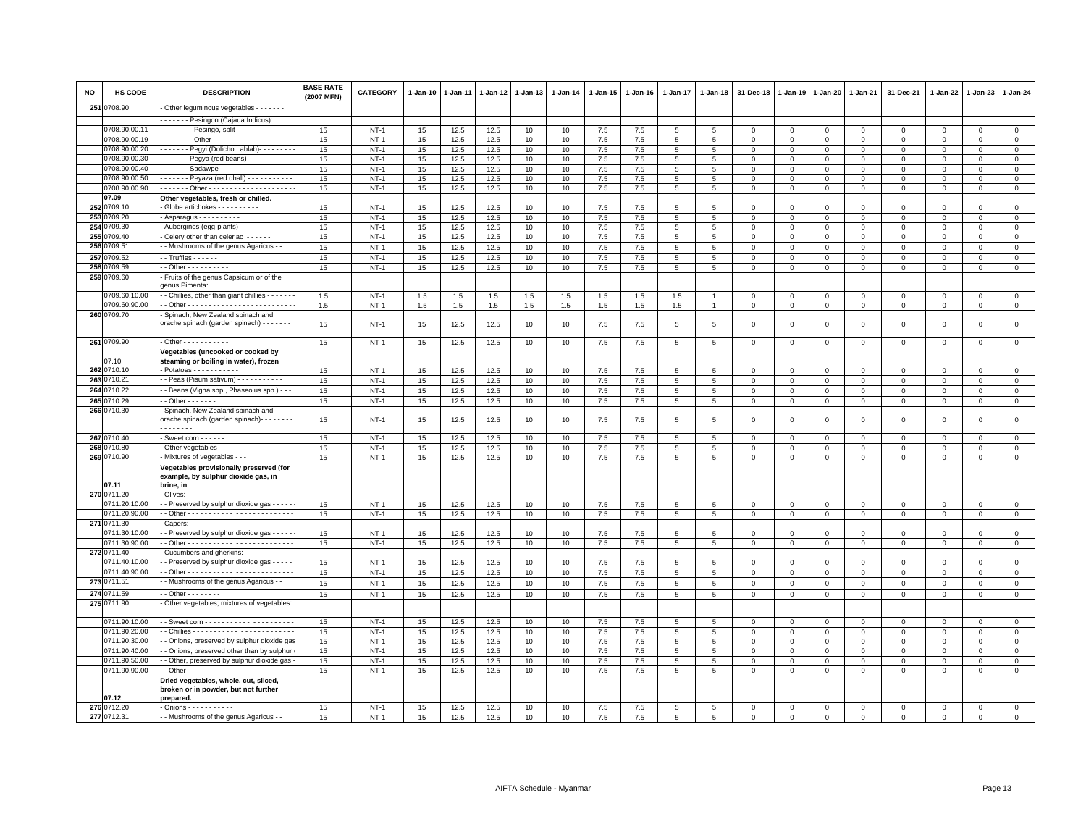| <b>NO</b> | <b>HS CODE</b>                 | <b>DESCRIPTION</b>                                                                                                          | <b>BASE RATE</b><br>(2007 MFN) | <b>CATEGORY</b>  | $1 - Jan-10$ | 1-Jan-11     | $1 - Jan-12$ | $1 - Jan-13$ | 1-Jan-14 | 1-Jan-15       | $1-Jan-16$ | 1-Jan-17        | $1-Jan-18$           | 31-Dec-18               | $1-Jan-19$                 | $1 - Jan-20$                 | 1-Jan-21                | 31-Dec-21                  | 1-Jan-22               | $1-Jan-23$              | $1-Jan-24$             |
|-----------|--------------------------------|-----------------------------------------------------------------------------------------------------------------------------|--------------------------------|------------------|--------------|--------------|--------------|--------------|----------|----------------|------------|-----------------|----------------------|-------------------------|----------------------------|------------------------------|-------------------------|----------------------------|------------------------|-------------------------|------------------------|
| 251       | 0708.90                        | Other leguminous vegetables - - - - - - -                                                                                   |                                |                  |              |              |              |              |          |                |            |                 |                      |                         |                            |                              |                         |                            |                        |                         |                        |
|           |                                | - - - - - - Pesingon (Cajaua Indicus):                                                                                      |                                |                  |              |              |              |              |          |                |            |                 |                      |                         |                            |                              |                         |                            |                        |                         |                        |
|           | 0708.90.00.11                  | - - - - - - - - Pesingo, split - - - - - - - - - - - - -                                                                    | 15                             | $NT-1$           | 15           | 12.5         | 12.5         | 10           | 10       | 7.5            | 7.5        | 5               | 5                    | $\overline{0}$          | $^{\circ}$                 | $\mathbf 0$                  | $\mathbf 0$             | 0                          | $^{\circ}$             | $^{\circ}$              | $\overline{0}$         |
|           | 0708.90.00.19                  | ------- Other ----------- -------                                                                                           | 15                             | $NT-1$           | 15           | 12.5         | 12.5         | 10           | 10       | $7.5\,$        | 7.5        | 5               | 5                    | $\Omega$                | $\mathbf 0$                | $\mathbf{0}$                 | $\Omega$                | $\mathbf 0$                | $\Omega$               | $\Omega$                | $\mathsf 0$            |
|           | 0708.90.00.20<br>0708.90.00.30 | Pegyi (Dolicho Lablab)                                                                                                      | 15                             | $NT-1$<br>$NT-1$ | 15           | 12.5         | 12.5         | 10<br>10     | 10       | 7.5            | 7.5        | 5<br>5          | 5                    | $\mathbf 0$<br>$\Omega$ | $\mathbf 0$<br>$\mathbf 0$ | $\mathbf{0}$<br>$\mathbf{0}$ | $\mathbf 0$<br>$\Omega$ | $\mathsf 0$<br>$\mathbf 0$ | $^{\circ}$<br>$\Omega$ | $^{\circ}$<br>$\Omega$  | $\mathbf 0$            |
|           | 0708.90.00.40                  | ------ Pegya (red beans) - - - - - - - - -<br>. Sadawpe                                                                     | 15<br>15                       | $NT-1$           | 15<br>15     | 12.5<br>12.5 | 12.5<br>12.5 | 10           | 10<br>10 | $7.5\,$<br>7.5 | 7.5<br>7.5 | 5               | $5\phantom{.0}$<br>5 | $\mathbf 0$             | $\mathbf 0$                | 0                            | $\mathbf 0$             | $\mathsf 0$                | $\mathbf 0$            | $\Omega$                | $\mathbf 0$<br>$\circ$ |
|           | 0708.90.00.50                  | $\cdots \cdots$ - Peyaza (red dhall) - - - - - - - - - -                                                                    | 15                             | $NT-1$           | 15           | 12.5         | 12.5         | 10           | 10       | $7.5\,$        | 7.5        | 5               | 5                    | $\mathbf{O}$            | $\mathbf 0$                | $\mathbf 0$                  | $\mathbf{0}$            | $\mathbf 0$                | $\Omega$               | $\Omega$                | $\mathbf{0}$           |
|           | 0708.90.00.90                  |                                                                                                                             | 15                             | $NT-1$           | 15           | 12.5         | 12.5         | 10           | 10       | 7.5            | 7.5        | 5               | 5                    | $\mathsf 0$             | $\mathsf 0$                | $\mathbf 0$                  | $\mathbf 0$             | $\mathsf 0$                | $\mathbf 0$            | $\Omega$                | $\mathbf 0$            |
|           | 07.09                          | Other vegetables, fresh or chilled.                                                                                         |                                |                  |              |              |              |              |          |                |            |                 |                      |                         |                            |                              |                         |                            |                        |                         |                        |
|           | 252 0709.10                    | Globe artichokes - - - - - - - - -                                                                                          | 15                             | <b>NT-1</b>      | 15           | 12.5         | 12.5         | 10           | 10       | 7.5            | 7.5        | $5\phantom{.0}$ | $\overline{5}$       | $\mathbf 0$             | $\mathbf 0$                | $\Omega$                     | $\mathbf 0$             | $\mathsf 0$                | $\Omega$               | $\Omega$                | $\mathbf 0$            |
| 253       | 709.20                         | Asparagus - - - - - - - - - -                                                                                               | 15                             | $NT-1$           | 15           | 12.5         | 12.5         | 10           | 10       | 7.5            | 7.5        | 5               | 5                    | $\mathbf 0$             | $\mathbf 0$                | $\mathbf 0$                  | $\mathbf 0$             | 0                          | $\Omega$               | $\Omega$                | $\circ$                |
| 254       | 709.30                         | - Aubergines (egg-plants)- - - - - -                                                                                        | 15                             | $NT-1$           | 15           | 12.5         | 12.5         | 10           | 10       | 7.5            | 7.5        | 5               | 5                    | $\mathbf 0$             | $\overline{0}$             | $\mathbf 0$                  | $\mathbf 0$             | 0                          | $\Omega$               | $\Omega$                | $\mathbf 0$            |
| 255       | 709.40                         | Celery other than celeriac - - - - -                                                                                        | 15                             | $NT-1$           | 15           | 12.5         | 12.5         | 10           | 10       | 7.5            | 7.5        | $\overline{5}$  | 5                    | $\Omega$                | $\mathbf 0$                | $\Omega$                     | $\Omega$                | $\Omega$                   | $\Omega$               | $\Omega$                | $\overline{0}$         |
| 256       | 709.51                         | - Mushrooms of the genus Agaricus - -                                                                                       | 15                             | $NT-1$           | 15           | 12.5         | 12.5         | 10           | 10       | 7.5            | 7.5        | 5               | 5                    | $\mathbf 0$             | $\mathbf 0$                | $\mathbf 0$                  | $\Omega$                | $\mathsf 0$                | $\Omega$               | $\Omega$                | $\mathbf 0$            |
| 257       | 709.52                         | - Truffles - - - - -                                                                                                        | 15                             | $NT-1$           | 15           | 12.5         | 12.5         | 10           | 10       | $7.5\,$        | 7.5        | $\overline{5}$  | 5                    | $\mathbf 0$             | $\Omega$                   | $\Omega$                     | $\Omega$                | $\mathbf 0$                | $\Omega$               | $\Omega$                | $\mathbf 0$            |
| 258       | 1709.59                        | $\cdot$ - Other - - - - - - - - - -                                                                                         | 15                             | <b>NT-1</b>      | 15           | 12.5         | 12.5         | 10           | 10       | 7.5            | 7.5        | 5               | 5                    | 0                       | $\mathsf 0$                | $\mathsf 0$                  | $\mathbf 0$             | $\mathbf 0$                | 0                      | $^{\circ}$              | $\mathsf 0$            |
| 259       | 709.60                         | Fruits of the genus Capsicum or of the<br>genus Pimenta:                                                                    |                                |                  |              |              |              |              |          |                |            |                 |                      |                         |                            |                              |                         |                            |                        |                         |                        |
|           | 0709.60.10.00<br>0709.60.90.00 | - Chillies, other than giant chillies - - - - -                                                                             | 1.5                            | $NT-1$           | 1.5          | 1.5          | 1.5          | 1.5          | 1.5      | 1.5            | 1.5        | 1.5             |                      | 0<br>$\mathbf 0$        | 0<br>$\mathbf{0}$          | $\circ$                      | 0<br>$\mathbf 0$        | $\mathbf 0$                | 0<br>$\Omega$          | $\mathbf 0$<br>$\Omega$ | $\mathbf 0$            |
|           | 260 0709.70                    | Spinach, New Zealand spinach and                                                                                            | 1.5                            | $NT-1$           | $1.5\,$      | 1.5          | $1.5\,$      | 1.5          | $1.5\,$  | 1.5            | 1.5        | $1.5\,$         |                      |                         |                            | $\mathsf 0$                  |                         | $\mathsf 0$                |                        |                         | $\mathsf 0$            |
|           |                                | orache spinach (garden spinach) - - - - - - -<br>.                                                                          | 15                             | $NT-1$           | 15           | 12.5         | 12.5         | 10           | 10       | 7.5            | 7.5        | 5               | 5                    | $\mathbf 0$             | $\mathbf 0$                | $\mathbf 0$                  | $\mathbf 0$             | $\mathsf 0$                | $\mathbf 0$            | $\mathbf 0$             | $\mathsf 0$            |
|           | 261 0709.90                    | - Other - - - - - - - - - - -                                                                                               | 15                             | $NT-1$           | 15           | 12.5         | 12.5         | 10           | 10       | 7.5            | 7.5        | 5               | $\,$ 5 $\,$          | $\mathsf 0$             | $\,0\,$                    | $\mathbf 0$                  | $\mathsf 0$             | $\mathsf 0$                | $\mathsf 0$            | $\mathsf 0$             | $\overline{0}$         |
|           | 07.10                          | Vegetables (uncooked or cooked by<br>steaming or boiling in water), frozen                                                  |                                |                  |              |              |              |              |          |                |            |                 |                      |                         |                            |                              |                         |                            |                        |                         |                        |
| 262       | 0710.10                        | Potatoes - - - - - - - - - -                                                                                                | 15                             | $NT-1$           | 15           | 12.5         | 12.5         | 10           | 10       | $7.5\,$        | 7.5        | 5               | 5                    | $\mathbf 0$             | $\overline{0}$             | $\mathbf{0}$                 | $\mathbf{0}$            | $\Omega$                   | $\Omega$               | $\Omega$                | $\mathsf 0$            |
| 263       | 710.21                         | - Peas (Pisum sativum) - - - - - - - - - - -                                                                                | 15                             | $NT-1$           | 15           | 12.5         | 12.5         | 10           | 10       | 7.5            | 7.5        | 5               | 5                    | $\mathbf 0$             | $\mathbf 0$                | $\circ$                      | $\mathbf 0$             | $\mathbf 0$                | $\mathbf 0$            | $\mathbf 0$             | $\mathbf{0}$           |
| 264       | 0710.22                        | - Beans (Vigna spp., Phaseolus spp.) - -                                                                                    | 15                             | $NT-1$           | 15           | 12.5         | 12.5         | 10           | 10       | $7.5\,$        | 7.5        | 5               | 5                    | $\mathsf 0$             | $\overline{0}$             | $\mathbf 0$                  | $\mathbf 0$             | $\mathsf 0$                | $\mathbf 0$            | $\mathsf 0$             | $\mathsf 0$            |
| 265       | 0710.29                        | $-$ Other $     -$                                                                                                          | 15                             | $NT-1$           | 15           | 12.5         | 12.5         | 10           | 10       | $7.5\,$        | 7.5        | $\overline{5}$  | $5\phantom{.0}$      | $\mathsf 0$             | $\,0\,$                    | $\mathbf 0$                  | $\mathsf 0$             | $\mathsf 0$                | $\mathsf 0$            | $\mathsf 0$             | $\mathsf 0$            |
|           | 266 0710.30                    | Spinach, New Zealand spinach and<br>orache spinach (garden spinach) - - - - - - -<br>.                                      | 15                             | $NT-1$           | 15           | 12.5         | 12.5         | 10           | 10       | 7.5            | 7.5        | 5               | 5                    | $\mathbf 0$             | $\overline{0}$             | $\mathbf 0$                  | $\mathbf 0$             | $\mathsf 0$                | $\mathbf 0$            | $\mathbf 0$             | $\mathsf 0$            |
|           | 267 0710.40                    | Sweet corn - - - - - -                                                                                                      | 15                             | $NT-1$           | 15           | 12.5         | 12.5         | 10           | 10       | 7.5            | 7.5        | 5               | 5                    | $\overline{0}$          | $\overline{0}$             | $\mathbf 0$                  | $\mathbf 0$             | $\mathsf 0$                | $\Omega$               | $\mathsf 0$             | $\mathsf 0$            |
| 268       | 0710.80                        | Other vegetables - - - - - - - -                                                                                            | 15                             | $NT-1$           | 15           | 12.5         | 12.5         | 10           | 10       | 7.5            | 7.5        | 5               | 5                    | $\mathbf 0$             | $\mathbf 0$                | $\mathbf 0$                  | $\mathbf 0$             | $\mathsf 0$                | $\Omega$               | $\Omega$                | $\,0\,$                |
| 269       | 0710.90<br>07.11               | Mixtures of vegetables - - -<br>Vegetables provisionally preserved (for<br>example, by sulphur dioxide gas, in<br>brine, in | 15                             | $NT-1$           | 15           | 12.5         | 12.5         | 10           | 10       | 7.5            | 7.5        | 5               | 5                    | $\mathbf{O}$            | $\mathbf 0$                | $\mathbf 0$                  | $\mathbf{0}$            | $\mathbf 0$                | $\mathbf 0$            | $\mathbf 0$             | $\circ$                |
|           | 270 0711.20                    | Olives:                                                                                                                     |                                |                  |              |              |              |              |          |                |            |                 |                      |                         |                            |                              |                         |                            |                        |                         |                        |
|           | )711.20.10.00                  | - Preserved by sulphur dioxide gas - - - -                                                                                  | 15                             | $NT-1$           | 15           | 12.5         | 12.5         | 10           | 10       | 7.5            | 7.5        | 5               | 5                    | 0                       | $^{\circ}$                 | $\Omega$                     | $\mathbf 0$             | 0                          | 0                      | $\Omega$                | $\mathbf 0$            |
|           | 0711.20.90.00                  |                                                                                                                             | 15                             | $NT-1$           | 15           | 12.5         | 12.5         | 10           | 10       | 7.5            | 7.5        | $5\overline{5}$ | $5\phantom{.0}$      | $\mathbf{O}$            | $\mathbf 0$                | $\mathbf{0}$                 | $\mathbf{0}$            | $\mathbf{0}$               | 0                      | $\mathbf 0$             | $\mathbf{0}$           |
|           | 271 0711.30                    | Capers                                                                                                                      |                                |                  |              |              |              |              |          |                |            |                 |                      |                         |                            |                              |                         |                            |                        |                         |                        |
|           | 0711.30.10.00                  | - Preserved by sulphur dioxide gas - - -                                                                                    | 15                             | $NT-1$           | 15           | 12.5         | 12.5         | 10           | 10       | $7.5\,$        | $7.5\,$    | 5               | 5                    | $\mathbf 0$             | $\mathbf 0$                | $\Omega$                     | $\Omega$                | $\mathsf 0$                | $\Omega$               | $\Omega$                | $\mathsf 0$            |
|           | 0711.30.90.00<br>272 0711.40   |                                                                                                                             | 15                             | <b>NT-1</b>      | 15           | 12.5         | 12.5         | 10           | 10       | $7.5\,$        | 7.5        | $\overline{5}$  | $\overline{5}$       | $\mathbf 0$             | $\,0\,$                    | $\mathbf 0$                  | $\mathbf 0$             | $\mathsf 0$                | 0                      | 0                       | $\mathsf 0$            |
|           | 0711.40.10.00                  | Cucumbers and gherkins:<br>- Preserved by sulphur dioxide gas - - -                                                         | 15                             | $NT-1$           | 15           | 12.5         | 12.5         | 10           | 10       | 7.5            | 7.5        | -5              | $5\overline{5}$      | $\Omega$                | $\Omega$                   | $\Omega$                     | $\Omega$                | $\Omega$                   | $\Omega$               | $\Omega$                | $\mathbf 0$            |
|           | 0711.40.90.00                  |                                                                                                                             | 15                             | $NT-1$           | 15           | 12.5         | 12.5         | 10           | 10       | 7.5            | 7.5        | $\overline{5}$  | 5                    | $\Omega$                | $\Omega$                   | $\Omega$                     | $\Omega$                | $\mathbf 0$                | $\Omega$               |                         | $\overline{0}$         |
|           | 273 0711.51                    | - Mushrooms of the genus Agaricus - -                                                                                       | 15                             | $NT-1$           | 15           | 12.5         | 12.5         | 10           | 10       | $7.5\,$        | 7.5        | 5               | $\overline{5}$       | $\mathbf 0$             | $\mathbf 0$                | $^{\circ}$                   | $\mathbf 0$             | $\mathsf 0$                | $^{\circ}$             | $^{\circ}$              | $\mathsf 0$            |
| 274       | 711.59                         | - Other - - - - - - - -                                                                                                     | 15                             | $NT-1$           | 15           | 12.5         | 12.5         | 10           | 10       | 7.5            | 7.5        | $\overline{5}$  | 5                    | $\mathbf 0$             | $\mathbf{0}$               | $\mathbf 0$                  | $\mathbf 0$             | $\mathbf 0$                | $\Omega$               | $\Omega$                | $\overline{0}$         |
|           | 275 0711.90                    | Other vegetables; mixtures of vegetables:                                                                                   |                                |                  |              |              |              |              |          |                |            |                 |                      |                         |                            |                              |                         |                            |                        |                         |                        |
|           | 0711.90.10.00                  |                                                                                                                             | 15                             | $NT-1$           | 15           | 12.5         | 12.5         | 10           | 10       | 7.5            | 7.5        | 5               | 5                    | 0                       | 0                          | $\mathbf 0$                  | 0                       | 0                          | $\Omega$               | $^{\circ}$              | $\mathbf 0$            |
|           | 0711.90.20.00                  |                                                                                                                             | 15                             | $NT-1$           | 15           | 12.5         | 12.5         | 10           | 10       | 7.5            | 7.5        | 5               | 5                    | $\Omega$                | $\Omega$                   | $\mathbf{0}$                 | $\Omega$                | $\mathbf 0$                | $\mathbf 0$            | $\Omega$                | $\mathbf{0}$           |
|           | 0711.90.30.00                  | - Onions, preserved by sulphur dioxide ga                                                                                   | 15                             | $NT-1$           | 15           | 12.5         | 12.5         | $10$         | 10       | 7.5            | 7.5        | 5               | $\overline{5}$       | $\mathbf 0$             | $\mathbf 0$                | $\mathsf 0$                  | $\Omega$                | $\mathsf 0$                | $\Omega$               | $\Omega$                | $\overline{0}$         |
|           | 0711.90.40.00                  | - Onions, preserved other than by sulphur                                                                                   | 15                             | $NT-1$           | 15           | 12.5         | 12.5         | 10           | 10       | $7.5\,$        | 7.5        | 5               | 5                    | $\mathbf 0$             | $\mathbf 0$                | $\mathbf 0$                  | $\mathbf 0$             | $\mathbf 0$                | 0                      | $\mathbf 0$             | $\mathsf 0$            |
|           | 0711.90.50.00                  | - Other, preserved by sulphur dioxide gas                                                                                   | 15                             | $NT-1$           | 15           | 12.5         | 12.5         | 10           | 10       | $7.5\,$        | 7.5        | 5               | $\overline{5}$       | $\mathbf 0$             | $\mathbf 0$                | 0                            | 0                       | 0                          | $\Omega$               | 0                       | $\overline{0}$         |
|           | 0711.90.90.00                  | Dried vegetables, whole, cut, sliced,<br>broken or in powder, but not further                                               | 15                             | $NT-1$           | 15           | 12.5         | 12.5         | 10           | 10       | 7.5            | 7.5        | $5^{\circ}$     | 5                    | $\Omega$                | $\mathbf{0}$               | $\mathbf{0}$                 | $\mathbf{0}$            | $\mathbf 0$                | $\mathbf 0$            | $\mathbf 0$             | $\circ$                |
|           | 17.12                          | prepared.                                                                                                                   |                                |                  |              |              |              |              |          |                |            |                 |                      |                         |                            |                              |                         |                            |                        |                         |                        |
| 276       | 0712.20                        | - Onions - - - - - - - - - - -                                                                                              | 15                             | $NT-1$           | 15           | 12.5         | 12.5         | 10           | 10       | 7.5            | 7.5        | 5               | 5                    | $\Omega$                | $\Omega$                   | $\Omega$                     | $\Omega$                | $\Omega$                   | $\Omega$               | $\Omega$                | $\mathbf 0$            |
|           | 277 0712.31                    | - - Mushrooms of the genus Agaricus - -                                                                                     | 15                             | $NT-1$           | 15           | 12.5         | 12.5         | 10           | 10       | 7.5            | 7.5        | 5               | 5                    | $\mathbf 0$             | $\mathbf{0}$               | $\Omega$                     | $\mathbf 0$             | $\Omega$                   | $\Omega$               | $\Omega$                | $\mathbf{0}$           |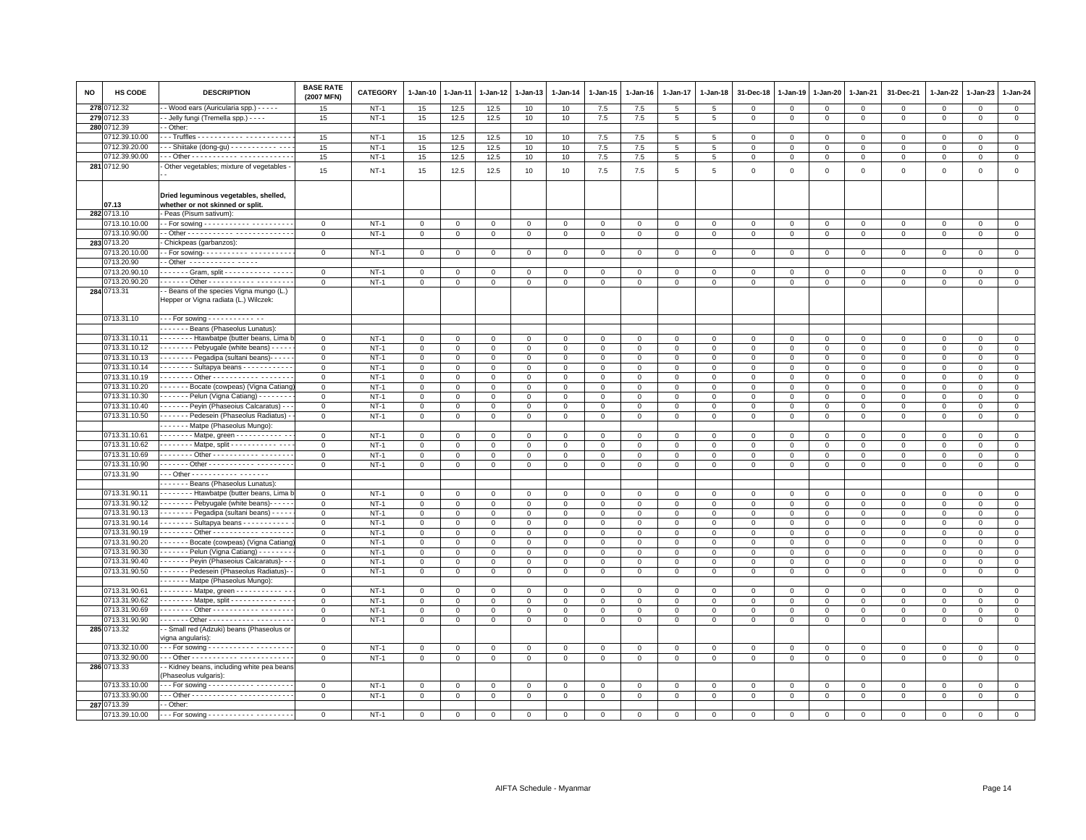| <b>NO</b> | <b>HS CODE</b> | <b>DESCRIPTION</b>                                                               | <b>BASE RATE</b><br>(2007 MFN) | <b>CATEGORY</b> | $1-Jan-10$     | 1-Jan-11     | 1-Jan-12     | 1-Jan-13     | $1-Jan-14$   | 1-Jan-15     | $1-Jan-16$          | $1-Jan-17$      | 1-Jan-18        | 31-Dec-18      | 1-Jan-19       | 1-Jan-20     | 1-Jan-21                | 31-Dec-21   | $1-Jan-22$  | $1-Jan-23$  | $1-Jan-24$     |
|-----------|----------------|----------------------------------------------------------------------------------|--------------------------------|-----------------|----------------|--------------|--------------|--------------|--------------|--------------|---------------------|-----------------|-----------------|----------------|----------------|--------------|-------------------------|-------------|-------------|-------------|----------------|
| 278       | 0712.32        | - Wood ears (Auricularia spp.) - - - - -                                         | 15                             | $NT-1$          | 15             | 12.5         | 12.5         | 10           | 10           | 7.5          | 7.5                 | $5\overline{5}$ | 5               | $\Omega$       | $\mathbf{0}$   | $\mathbf{0}$ | $\mathbf 0$             | $\Omega$    | $\mathbf 0$ | $\mathbf 0$ | $\mathbf{0}$   |
| 279       | 1712.33        | - Jelly fungi (Tremella spp.) - - - -                                            | 15                             | $NT-1$          | 15             | 12.5         | 12.5         | 10           | 10           | 7.5          | 7.5                 | 5               | 5               | $\mathbf 0$    | $\mathbf 0$    | $\mathbf 0$  | $\mathbf 0$             | $\mathsf 0$ | $\mathbf 0$ | $\mathsf 0$ | $\mathbf{0}$   |
| 280       | 0712.39        | - Other:                                                                         |                                |                 |                |              |              |              |              |              |                     |                 |                 |                |                |              |                         |             |             |             |                |
|           | 712.39.10.00   |                                                                                  | 15                             | $NT-1$          | 15             | 12.5         | 12.5         | 10           | 10           | 7.5          | 7.5                 | 5               | 5               | $\mathbf 0$    | $\mathsf 0$    | $\mathbf 0$  | $\mathsf 0$             | $\mathsf 0$ | $\mathbf 0$ | $\mathsf 0$ | $\mathbf 0$    |
|           | 0712.39.20.00  | - - Shiitake (dong-gu) - - - - - - - - - - - - - -                               | 15                             | $NT-1$          | 15             | 12.5         | 12.5         | 10           | 10           | $7.5\,$      | 7.5                 | 5               | $5\phantom{.0}$ | $\mathbf 0$    | $\mathbf 0$    | $\circ$      | $\mathbf 0$             | $\Omega$    | $\Omega$    | $\Omega$    | $\mathbf 0$    |
|           | 0712.39.90.00  |                                                                                  | 15                             | $NT-1$          | 15             | 12.5         | 12.5         | 10           | 10           | 7.5          | 7.5                 | 5               | 5               | $\mathbf 0$    | $\mathbf 0$    | $\mathbf 0$  | $\mathbf 0$             | $\mathsf 0$ | $\Omega$    | $\Omega$    | $\mathbf 0$    |
|           | 281 0712.90    | Other vegetables; mixture of vegetables -                                        |                                |                 |                |              |              |              |              |              |                     |                 |                 |                |                |              |                         |             |             |             |                |
|           |                |                                                                                  | 15                             | $NT-1$          | 15             | 12.5         | 12.5         | 10           | 10           | 7.5          | 7.5                 | 5               | 5               | $\mathbf 0$    | $\mathsf 0$    | $\mathsf 0$  | $\mathsf 0$             | $\mathsf 0$ | $\mathbf 0$ | $\mathsf 0$ | $\mathsf 0$    |
|           |                | Dried leguminous vegetables, shelled,                                            |                                |                 |                |              |              |              |              |              |                     |                 |                 |                |                |              |                         |             |             |             |                |
|           | 07.13          | whether or not skinned or split.                                                 |                                |                 |                |              |              |              |              |              |                     |                 |                 |                |                |              |                         |             |             |             |                |
|           | 282 0713.10    | Peas (Pisum sativum)                                                             |                                |                 |                |              |              |              |              |              |                     |                 |                 |                |                |              |                         |             |             |             |                |
|           | 0713.10.10.00  |                                                                                  | $\mathsf 0$                    | $NT-1$          | $\mathbf 0$    | $\mathbf 0$  | $\mathbf 0$  | $\mathsf 0$  | $\mathsf 0$  | $\mathsf 0$  | $\mathsf 0$         | $\mathbf 0$     | $\mathsf 0$     | $\mathbf 0$    | $\mathbf 0$    | $\mathsf 0$  | $\mathsf 0$             | $\mathsf 0$ | $\mathbf 0$ | $\mathsf 0$ | $\mathsf 0$    |
|           | 0713.10.90.00  |                                                                                  | $\mathsf 0$                    | $NT-1$          | $\mathsf 0$    | $\mathbf 0$  | 0            | $\mathbf 0$  | $\mathsf 0$  | $\mathbf 0$  | $\mathbf 0$         | $\mathbf 0$     | $\mathsf 0$     | $\mathsf 0$    | $\mathsf 0$    | $\mathbf 0$  | $\mathbf 0$             | $\mathsf 0$ | $\mathbf 0$ | $\mathsf 0$ | $\overline{0}$ |
|           | 283 0713.20    | Chickpeas (garbanzos):                                                           |                                |                 |                |              |              |              |              |              |                     |                 |                 |                |                |              |                         |             |             |             |                |
|           | 0713.20.10.00  |                                                                                  | $\mathbf 0$                    | $NT-1$          | $\mathbf 0$    | 0            | 0            | $\mathbf 0$  | $\mathbf 0$  | $\mathbf 0$  | $\mathbf{0}$        | $\mathbf 0$     | $\mathsf 0$     | $\Omega$       | $\mathbf 0$    | $\mathbf 0$  | $\mathbf 0$             | 0           | 0           | 0           | $\mathsf 0$    |
|           | 0713.20.90     | - Other ----------- -----                                                        |                                |                 |                |              |              |              |              |              |                     |                 |                 |                |                |              |                         |             |             |             |                |
|           | 0713.20.90.10  | Gram, split                                                                      | $\mathsf 0$                    | $NT-1$          | $\mathbf 0$    | $\mathbf 0$  | 0            | $\mathbf 0$  | $\mathsf 0$  | $\mathbf 0$  | $\mathsf 0$         | $\mathbf 0$     | $\mathbf 0$     | $\mathbf 0$    | $\mathbf 0$    | $\mathbf 0$  | $\mathbf 0$             | $\mathsf 0$ | $\mathbf 0$ | $\mathbf 0$ | $\mathsf 0$    |
|           | 0713.20.90.20  | . Other -                                                                        | $\mathbf 0$                    | $NT-1$          | $\mathsf 0$    | $\mathbf 0$  | $\mathbf 0$  | $\Omega$     | $\mathbf 0$  | $\mathsf 0$  | $\mathsf 0$         | $\mathbf 0$     | $\mathbf 0$     | $\mathbf 0$    | $\mathbf 0$    | $\mathbf 0$  | $\Omega$                | $\mathbf 0$ | $\mathbf 0$ | $\Omega$    | $\mathbf 0$    |
|           | 284 0713.31    | - Beans of the species Vigna mungo (L.)<br>Hepper or Vigna radiata (L.) Wilczek: |                                |                 |                |              |              |              |              |              |                     |                 |                 |                |                |              |                         |             |             |             |                |
|           | 0713.31.10     | - - - For sowing - - - - - - - - - - - - -                                       |                                |                 |                |              |              |              |              |              |                     |                 |                 |                |                |              |                         |             |             |             |                |
|           |                | Beans (Phaseolus Lunatus):                                                       |                                |                 |                |              |              |              |              |              |                     |                 |                 |                |                |              |                         |             |             |             |                |
|           | 0713.31.10.11  | Htawbatpe (butter beans, Lima                                                    | $\mathbf 0$                    | $NT-1$          | $\mathbf 0$    | $\Omega$     | $\Omega$     | $\Omega$     | $\Omega$     | $\mathbf{0}$ | $\mathbf 0$         | $\Omega$        | $\Omega$        | $\Omega$       | $\Omega$       | $\mathbf{0}$ | $\Omega$                | $\mathbf 0$ | $\Omega$    | $\Omega$    | $\mathsf 0$    |
|           | 0713.31.10.12  | Pebyugale (white beans) - - - -                                                  | $\mathsf 0$                    | $NT-1$          | $\mathbf 0$    | 0            | 0            | $\mathsf 0$  | 0            | $\mathsf 0$  | $\mathsf 0$         | $\mathbf 0$     | $\mathbf 0$     | 0              | $\mathbf 0$    | $\mathbf 0$  | 0                       | 0           | $\mathbf 0$ | 0           | $\mathsf 0$    |
|           | 0713.31.10.13  | Pegadipa (sultani beans) -----                                                   | $\mathsf 0$                    | $NT-1$          | $\mathbf 0$    | $\mathbf 0$  | $\mathbf 0$  | $\Omega$     | $\mathsf 0$  | $\mathsf 0$  | $\mathbf{O}$        | $\mathsf 0$     | $\mathbf 0$     | $\mathbf 0$    | $\mathbf 0$    | $\mathbf 0$  | $\mathbf 0$             | $\mathsf 0$ | $\mathbf 0$ | $\mathsf 0$ | $\overline{0}$ |
|           | 0713.31.10.14  | Sultapya beans                                                                   | $\mathsf 0$                    | $NT-1$          | $\mathbf 0$    | $\mathbf 0$  | $\mathbf 0$  | $\mathbf 0$  | $\mathsf 0$  | $\mathsf 0$  | $\mathbf{O}$        | $\mathbf 0$     | $\mathsf 0$     | $\mathbf 0$    | $\mathbf 0$    | $\mathbf 0$  | $\mathbf 0$             | $\mathsf 0$ | $\mathbf 0$ | $\mathsf 0$ | $\mathsf 0$    |
|           |                |                                                                                  |                                |                 |                |              |              |              |              |              |                     |                 |                 |                |                |              |                         |             |             |             |                |
|           | 0713.31.10.19  | . Other -                                                                        | $\mathbf 0$                    | $NT-1$          | $\mathsf 0$    | $\mathbf 0$  | $\mathbf{0}$ | $\mathbf{0}$ | $\mathsf 0$  | $\mathbf{0}$ | $\mathsf 0$         | $\mathbf 0$     | $\mathsf 0$     | $\overline{0}$ | $\mathbf 0$    | $\mathsf 0$  | $\Omega$                | $\mathsf 0$ | $\Omega$    | $\Omega$    | $\mathsf 0$    |
|           | 0713.31.10.20  | Bocate (cowpeas) (Vigna Catiand                                                  | $\mathbf 0$                    | $NT-1$          | $\mathbf 0$    | $\mathbf{0}$ | $\mathbf{0}$ | $\mathbf 0$  | $\mathbf 0$  | $\mathbf{0}$ | $\mathbf 0$         | $\mathbf{0}$    | $\mathbf 0$     | $\Omega$       | $\Omega$       | $\Omega$     | $\Omega$                | $\mathbf 0$ | $\mathbf 0$ | $\mathbf 0$ | $\mathbf{0}$   |
|           | 0713.31.10.30  | - - - - - - - Pelun (Vigna Catiang) - - - - - - -                                | $\mathbf 0$                    | $NT-1$          | $\mathbf{0}$   | $\mathbf{0}$ | 0            | $\mathbf 0$  | $\mathbf 0$  | $\mathbf{0}$ | $\mathbf{0}$        | $\mathbf{0}$    | $\mathbf 0$     | $\mathbf{O}$   | $\mathbf 0$    | $\mathbf 0$  | $\mathbf 0$             | $\mathbf 0$ | 0           | $\mathbf 0$ | $\overline{0}$ |
|           | 0713.31.10.40  | Peyin (Phaseoius Calcaratus) - -                                                 | $\mathbf 0$                    | $NT-1$          | $\mathbf{0}$   | $\mathbf 0$  | $\mathbf 0$  | $\mathbf 0$  | $\mathbf 0$  | $\mathbf{0}$ | $\mathbf{O}$        | $\mathbf 0$     | $\Omega$        | $\mathbf 0$    | $\mathbf 0$    | $\mathbf{0}$ | $\mathbf 0$             | $\mathbf 0$ | $\mathbf 0$ | $\mathbf 0$ | $\circ$        |
|           | 0713.31.10.50  | Pedesein (Phaseolus Radiatus)                                                    | $\mathsf 0$                    | $NT-1$          | $\overline{0}$ | $\mathsf 0$  | $\mathbf 0$  | $\mathbf 0$  | $\mathsf 0$  | $\mathsf 0$  | $\mathsf{O}\xspace$ | $\mathbf 0$     | $\mathbf 0$     | $\mathbf 0$    | $\mathbf 0$    | $\mathbf 0$  | $\mathbf 0$             | $\mathsf 0$ | $\mathbf 0$ | $\mathbf 0$ | $\overline{0}$ |
|           |                | Matpe (Phaseolus Mungo):                                                         |                                |                 |                |              |              |              |              |              |                     |                 |                 |                |                |              |                         |             |             |             |                |
|           | 0713.31.10.61  | Matpe, green - - - - - - - - - - - -                                             | $\mathbf{0}$                   | $NT-1$          | $\mathbf{0}$   | 0            | 0            | 0            | 0            | $\mathbf{0}$ | $\mathbf{0}$        | $\circ$         | $^{\circ}$      | 0              | $\mathbf 0$    | $\mathbf 0$  | 0                       | 0           | 0           | 0           | $\mathbf{0}$   |
|           | 0713.31.10.62  | Matpe, split - - - - - - - - - - - - -                                           | $\mathbf 0$                    | $NT-1$          | $\mathsf 0$    | $\Omega$     | $\mathbf 0$  | $\mathbf 0$  | $\mathsf 0$  | $\mathbf{0}$ | $\mathsf 0$         | $\Omega$        | $\mathbf 0$     | $\overline{0}$ | $\mathbf{0}$   | $\circ$      | $\Omega$                | $\mathbf 0$ | $\mathbf 0$ | $\Omega$    | $\mathsf 0$    |
|           | 0713.31.10.69  | . Other - - - - - - - - - -                                                      | $\mathsf 0$                    | $NT-1$          | $\mathsf 0$    | $\mathbf 0$  | $\mathbf 0$  | $\mathbf 0$  | $\mathsf 0$  | $\mathsf 0$  | $\mathsf 0$         | $\mathsf 0$     | $\mathsf 0$     | $\overline{0}$ | $\mathbf{0}$   | $\mathbf 0$  | $\mathsf 0$             | $\mathsf 0$ | $\mathbf 0$ | $\mathbf 0$ | $\mathsf 0$    |
|           | 0713.31.10.90  | ------ Other ----------- --------                                                |                                | $NT-1$          |                | $\mathbf 0$  |              | $\mathbf 0$  | $\mathsf 0$  | $\mathsf 0$  |                     | $\mathsf 0$     |                 | $\mathsf 0$    | $\mathsf 0$    |              | $\mathsf 0$             |             |             |             | $\mathsf 0$    |
|           |                |                                                                                  | $\mathsf 0$                    |                 | $\mathsf 0$    |              | $\mathbf 0$  |              |              |              | $\mathbf{O}$        |                 | $\mathsf 0$     |                |                | $\mathsf 0$  |                         | $\mathsf 0$ | $\mathbf 0$ | $\mathsf 0$ |                |
|           | 0713.31.90     | --- Other ------------ -------                                                   |                                |                 |                |              |              |              |              |              |                     |                 |                 |                |                |              |                         |             |             |             |                |
|           |                | Beans (Phaseolus Lunatus):                                                       |                                |                 |                |              |              |              |              |              |                     |                 |                 |                |                |              |                         |             |             |             |                |
|           | 0713.31.90.11  | - - - - - - - Htawbatpe (butter beans, Lima                                      | $\mathbf 0$                    | $NT-1$          | $\mathsf 0$    | 0            | 0            | $\mathbf 0$  | $\mathbf 0$  | $\mathbf{0}$ | $\mathbf 0$         | $\mathbf 0$     | $\mathbf 0$     | $\mathbf 0$    | $^{\circ}$     | $\mathbf 0$  | $\mathbf 0$             | 0           | $\mathbf 0$ | $\mathbf 0$ | $\overline{0}$ |
|           | 0713.31.90.12  | - - - - - - - Pebyugale (white beans) - - - -                                    | $\mathbf 0$                    | $NT-1$          | $\mathbf 0$    | $\mathbf 0$  | $\mathbf 0$  | $\mathbf 0$  | $\mathsf 0$  | $\mathsf 0$  | $\mathbf 0$         | $\mathbf 0$     | $\mathbf 0$     | $\mathbf 0$    | $\mathsf 0$    | $\mathsf 0$  | $\mathbf 0$             | $\mathsf 0$ | $\mathbf 0$ | $\Omega$    | $\mathsf 0$    |
|           | 0713.31.90.13  | Pegadipa (sultani beans) - - - - -                                               | $\mathsf 0$                    | $NT-1$          | $\mathbf 0$    | $\mathbf 0$  | $\mathbf 0$  | $\mathbf 0$  | $\mathsf 0$  | $\mathbf 0$  | $\mathsf 0$         | $\mathbf 0$     | $\mathsf 0$     | $\mathbf 0$    | $\mathbf 0$    | $\mathbf 0$  | $\mathbf 0$             | $\mathsf 0$ | $\mathbf 0$ | $\mathsf 0$ | $\mathbf 0$    |
|           | 0713.31.90.14  | Sultapya beans ----------                                                        | $\mathbf{0}$                   | $NT-1$          | $\mathbf 0$    | $\mathbf{0}$ | $\mathbf{0}$ | $\Omega$     | $\mathbf 0$  | $\mathbf{0}$ | $\circ$             | $\mathbf{0}$    | $\mathbf 0$     | $\mathbf{0}$   | $\mathbf{0}$   | $\mathbf{0}$ | $\Omega$                | $\mathbf 0$ | $\Omega$    | $\Omega$    | $\mathsf 0$    |
|           | 0713.31.90.19  | . Other -                                                                        | $\mathbf 0$                    | $NT-1$          | $\mathbf 0$    | $\mathbf 0$  | $\mathbf 0$  | $\mathbf{0}$ | $\mathsf 0$  | $\mathbf 0$  | $\mathbf{0}$        | $\mathbf 0$     | $\mathsf 0$     | $\mathbf 0$    | $\mathbf 0$    | $\mathbf 0$  | $\mathbf 0$             | $\mathsf 0$ | 0           | $\mathsf 0$ | $\mathbf 0$    |
|           | 0713.31.90.20  | - - - - - - - Bocate (cowpeas) (Vigna Catiano                                    | $\circ$                        | $NT-1$          | $\overline{0}$ | $\mathbf{0}$ | $\mathbf 0$  | $\circ$      | $\circ$      | $\mathbf{0}$ | $\mathbf{0}$        | $\mathbf{0}$    | $\mathsf 0$     | $\overline{0}$ | $\overline{0}$ | $\circ$      | $\mathbf 0$             | $\mathbf 0$ | $\Omega$    | $\Omega$    | $\overline{0}$ |
|           | 0713.31.90.30  | $\cdots$ $\cdots$ - Pelun (Vigna Catiang) $\cdots$                               | $\mathsf 0$                    | $NT-1$          | $\mathbf 0$    | $\mathbf 0$  | $\mathbf 0$  | $\mathsf 0$  | $\mathsf 0$  | $\mathsf 0$  | $\mathsf 0$         | $\mathsf 0$     | $\mathbf 0$     | $\mathsf 0$    | $\mathbb O$    | $\mathbf 0$  | $\mathsf 0$             | $\mathsf 0$ | $\mathbf 0$ | $\mathsf 0$ | $\mathsf 0$    |
|           | 0713.31.90.40  | - - - - - - - Peyin (Phaseoius Calcaratus) - -                                   | $\mathbf 0$                    | $NT-1$          | $\overline{0}$ | $\mathbf 0$  | $\mathbf 0$  | $\circ$      | $\mathsf 0$  | $\mathsf 0$  | $\mathbf 0$         | $\mathsf 0$     | $\mathbf 0$     | $\mathsf 0$    | $\mathsf 0$    | $\mathsf 0$  | $\mathsf 0$             | $\mathsf 0$ | $\mathbf 0$ | $\mathbf 0$ | $\overline{0}$ |
|           | 0713.31.90.50  | Pedesein (Phaseolus Radiatus)-                                                   | $\mathsf 0$                    | $NT-1$          | $\mathbf 0$    | $\mathbf 0$  | $\mathbf 0$  | $\mathbf 0$  | $\mathsf 0$  | $\mathbf 0$  | $\mathbf{O}$        | $\mathbf 0$     | $\mathsf 0$     | $\mathbf 0$    | $\mathbf 0$    | $\mathbf 0$  | $\mathbf 0$             | $\mathsf 0$ | 0           | $\mathbf 0$ | $\mathbf 0$    |
|           |                | BMatpe (Phaseolus Mungo):                                                        |                                |                 |                |              |              |              |              |              |                     |                 |                 |                |                |              |                         |             |             |             |                |
|           | 0713.31.90.61  | Batpe, green - - - - - - - - - - - -                                             |                                | $NT-1$          | $\mathbf 0$    |              |              |              |              | $\mathsf 0$  |                     |                 |                 |                |                |              |                         |             |             |             | $\mathbf 0$    |
|           | 0713.31.90.62  |                                                                                  | $\mathbf{0}$                   |                 |                | 0            | 0            | $\mathbf 0$  | $\mathbf 0$  |              | $\mathbf{0}$        | $\mathbf 0$     | $\mathbf 0$     | $\mathbf 0$    | $\circ$        | $\mathbf 0$  | $\mathbf 0$<br>$\Omega$ | 0           | 0           | $\mathbf 0$ |                |
|           |                | Matpe, split - - - - - - - - - - - - - -                                         | $\mathsf 0$                    | $NT-1$          | $\overline{0}$ | $\mathbf 0$  | $\mathbf 0$  | $\circ$      | $\mathsf 0$  | $\mathsf 0$  | $\mathsf 0$         | $\mathbf 0$     | $\mathsf 0$     | $\mathbf 0$    | $\mathbf{0}$   | $\mathsf 0$  |                         | $\mathsf 0$ | $\Omega$    | $\mathsf 0$ | $\overline{0}$ |
|           | 0713.31.90.69  | . Other -                                                                        | $\mathsf 0$                    | $NT-1$          | $\mathbf 0$    | $\mathbf 0$  | $\mathbf 0$  | $\mathbf 0$  | $\mathsf 0$  | $\mathsf 0$  | $\mathbf 0$         | $\mathsf 0$     | $\mathbf 0$     | $\mathsf 0$    | $\mathsf 0$    | $\mathbf 0$  | $\mathsf 0$             | $\mathsf 0$ | $\mathbf 0$ | $\mathsf 0$ | $\mathsf 0$    |
|           | 0713.31.90.90  | . Other -                                                                        | $\mathbf{0}$                   | $NT-1$          | $\mathbf 0$    | $\mathbf{0}$ | $\mathbf 0$  | $\mathbf 0$  | $\mathsf 0$  | $\mathbf{0}$ | $\mathbf{0}$        | $\mathbf{0}$    | $\mathbf 0$     | $\Omega$       | $\Omega$       | $\mathbf 0$  | $\mathbf 0$             | 0           | $\mathbf 0$ | $\Omega$    | $\overline{0}$ |
|           | 285 0713.32    | - Small red (Adzuki) beans (Phaseolus or<br>vigna angularis):                    |                                |                 |                |              |              |              |              |              |                     |                 |                 |                |                |              |                         |             |             |             |                |
|           | 0713.32.10.00  | --- For sowing ----------- --------                                              | $\mathbf 0$                    | $NT-1$          | $\mathsf 0$    | 0            | $\mathbf 0$  | $\mathsf 0$  | $\mathsf{O}$ | $\mathsf 0$  | $\mathbf 0$         | $\mathsf 0$     | $\,0\,$         | $\mathbf 0$    | $\,0\,$        | $\mathbf 0$  | $\mathbf 0$             | $\mathsf 0$ | $\mathbf 0$ | $\mathsf 0$ | $\overline{0}$ |
|           | 0713.32.90.00  |                                                                                  | $\mathbf 0$                    | $NT-1$          | $\mathsf 0$    | $\mathbf{0}$ | $\mathbf{0}$ | $\mathbf 0$  | $\mathsf{O}$ | $\mathbf{0}$ | $\mathbf{0}$        | $\mathbf{0}$    | $\Omega$        | $\Omega$       | $\mathbf 0$    | $\mathbf 0$  | $\mathbf 0$             | $\Omega$    | $\mathbf 0$ | $\mathbf 0$ | $\mathbf{0}$   |
|           | 286 0713.33    | - Kidney beans, including white pea beans<br>(Phaseolus vulgaris):               |                                |                 |                |              |              |              |              |              |                     |                 |                 |                |                |              |                         |             |             |             |                |
|           | 0713.33.10.00  | --- For sowing ----------- --------                                              | $\circ$                        | $NT-1$          | $\mathbf 0$    | $\mathbf 0$  | $\mathbf 0$  | $\circ$      | $\mathsf 0$  | $\mathbf{0}$ | $\mathsf 0$         | $\mathbf 0$     | $\mathbf 0$     | $\Omega$       | $\mathsf 0$    | $\mathbf{0}$ | $\mathbf 0$             | $\mathbf 0$ | $\mathbf 0$ | $\mathbf 0$ | $\mathbf 0$    |
|           | 0713.33.90.00  |                                                                                  | $\mathsf 0$                    | $NT-1$          | $\overline{0}$ | 0            | 0            | $\mathsf 0$  | $\mathsf 0$  | $\mathsf 0$  | $\mathsf 0$         | $\mathbf 0$     | $\,0\,$         | $\mathbf 0$    | $\,0\,$        | $\mathbf 0$  | $\mathsf 0$             | $\mathsf 0$ | $\mathbf 0$ | $\mathsf 0$ | $\overline{0}$ |
|           | 287 0713.39    | - Other:                                                                         |                                |                 |                |              |              |              |              |              |                     |                 |                 |                |                |              |                         |             |             |             |                |
|           | 0713.39.10.00  | --- For sowing ----------- --------                                              | $\mathbf 0$                    | $NT-1$          | 0              | $\Omega$     | $\Omega$     | $\Omega$     | $\Omega$     | $\Omega$     | $\mathbf 0$         | $\Omega$        | $\Omega$        |                | $\Omega$       | $\Omega$     | 0                       | $^{\circ}$  | $\Omega$    | $\Omega$    | $\Omega$       |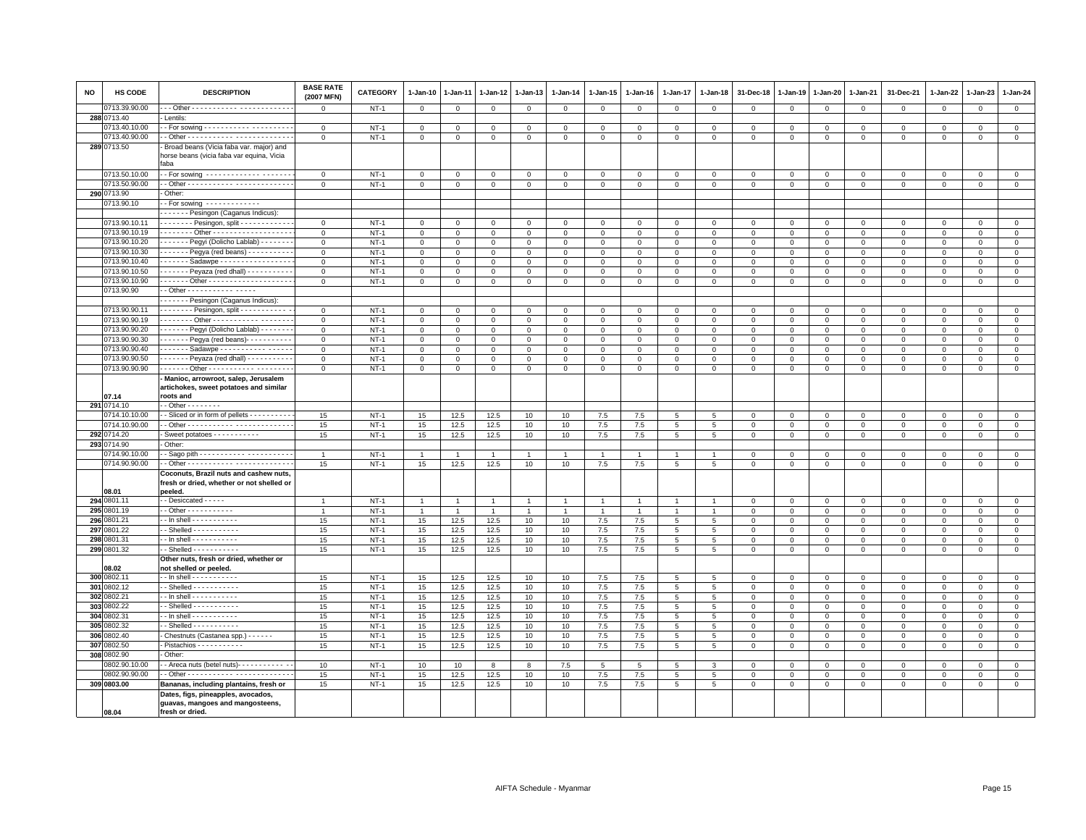| $\mathsf 0$<br>$\mathsf 0$<br>$\mathbf 0$<br>$\mathbf 0$<br>$\mathbf 0$<br>$\mathbf 0$<br>$\mathbf 0$<br>$\mathbf{O}$<br>$\mathbf 0$<br>$\mathsf 0$<br>$\mathbf 0$<br>$\mathbf{0}$<br>$\mathbf 0$<br>$\mathbf{0}$<br>$\mathbf 0$<br>$\mathbf 0$<br>$\mathbf 0$<br>$\mathbf 0$<br>288 0713.40<br>Lentils:<br>0713.40.10.00<br>$\mathbf 0$<br>$NT-1$<br>$\mathbf 0$<br>$\Omega$<br>$\mathbf{0}$<br>$\mathbf{0}$<br>$\mathbf 0$<br>$\mathbf{0}$<br>$\mathbf 0$<br>$\Omega$<br>$\mathsf 0$<br>$\mathbf 0$<br>$\Omega$<br>$\mathbf{0}$<br>$\mathsf 0$<br>$\mathbf{0}$<br>$\Omega$<br>$\mathbf{0}$<br>$\mathsf 0$<br>0713.40.90.00<br>$NT-1$<br>$\mathbf 0$<br>$\mathsf 0$<br>$\mathsf 0$<br>$\mathbf 0$<br>$\mathbf 0$<br>$\mathsf 0$<br>$\mathbf 0$<br>$\mathbf 0$<br>$\mathsf 0$<br>$\mathbf 0$<br>$\mathsf 0$<br>$\mathbf 0$<br>$\mathbf 0$<br>$\mathsf 0$<br>$\mathbf 0$<br>$\mathbf 0$<br>$\mathbf 0$<br>$\mathbf 0$<br>289 0713.50<br>Broad beans (Vicia faba var. major) and<br>horse beans (vicia faba var equina, Vicia<br>aba<br>0713.50.10.00<br>- For sowing ------------- ------<br>$\Omega$<br>$NT-1$<br>$\Omega$<br>$\Omega$<br>$\mathbf{0}$<br>$\mathbf{0}$<br>$\Omega$<br>$\mathbf{0}$<br>$\Omega$<br>$\Omega$<br>$\Omega$<br>$\Omega$<br>$\Omega$<br>$\Omega$<br>$\Omega$<br>$\mathsf 0$<br>$\Omega$<br>$\Omega$<br>$\Omega$<br>0713.50.90.00<br>$\mathsf{O}\xspace$<br>$\mathbf 0$<br>$\mathsf 0$<br>$NT-1$<br>$\mathbf 0$<br>$\mathbf 0$<br>$\mathsf 0$<br>$\mathbf 0$<br>$\mathsf 0$<br>$\mathbf 0$<br>$\mathsf 0$<br>$\mathsf 0$<br>$\circ$<br>$\mathsf 0$<br>$\mathsf 0$<br>$\mathsf 0$<br>$\mathsf 0$<br>0<br>$\mathbf 0$<br>290 0713.90<br>Other:<br>0713.90.10<br>- For sowing $-$ - - - - - - - - - - - -<br>------ Pesingon (Caganus Indicus):<br>0713.90.10.11<br>. Pesingon, split -<br>$\mathbf 0$<br>$NT-1$<br>$\mathsf 0$<br>0<br>0<br>0<br>$\Omega$<br>$\mathbf 0$<br>0<br>$\Omega$<br>0<br>$\mathbf 0$<br>$^{\circ}$<br>$^{\circ}$<br>$\circ$<br>$\Omega$<br>$\Omega$<br>$\Omega$<br>$\Omega$<br>0713.90.10.19<br>$NT-1$<br>$\overline{0}$<br>$\mathbf 0$<br>$\mathsf 0$<br>$\,0\,$<br>$\mathbf 0$<br>$\mathbf 0$<br>$\mathbf 0$<br>$\Omega$<br>$\mathbf 0$<br>$\mathbf 0$<br>$\mathbf{O}$<br>0<br>$\mathsf 0$<br>$\overline{0}$<br>$\mathbf 0$<br>$\mathbf 0$<br>$\Omega$<br>$^{\circ}$<br>0713.90.10.20<br>- - - - - - Pegyi (Dolicho Lablab) - - - - - - -<br>$NT-1$<br>$\overline{0}$<br>$\mathbf 0$<br>$\mathbf{0}$<br>$\mathbf{0}$<br>$\mathbf{0}$<br>$\mathbf{0}$<br>$\mathbf{0}$<br>$\mathbf 0$<br>$\mathbf{0}$<br>$\mathbf 0$<br>$\mathbf 0$<br>$\mathbf 0$<br>$\overline{0}$<br>$\mathbf{0}$<br>$\mathbf{0}$<br>$\mathbf{0}$<br>$\Omega$<br>$\mathbf{0}$<br>0713.90.10.30<br>------ Pegya (red beans) ----------<br>$\mathsf 0$<br>$\mathbf 0$<br>$NT-1$<br>$\mathsf 0$<br>$\mathbf{0}$<br>$\mathbf 0$<br>$\mathbf 0$<br>$\mathbf 0$<br>0<br>0<br>$\Omega$<br>$\mathbf 0$<br>$\mathbf 0$<br>0<br>$\mathbf 0$<br>$\Omega$<br>$\Omega$<br>$\Omega$<br>$\Omega$<br>0713.90.10.40<br>Sadawpe<br>$NT-1$<br>$\mathsf 0$<br>$\mathbf 0$<br>$\circ$<br>$\mathbf 0$<br>$\mathbf 0$<br>$\mathbf 0$<br>$\mathbf 0$<br>$\mathbf 0$<br>$\circ$<br>$\mathbf{0}$<br>$\mathbf 0$<br>$\mathbf{0}$<br>$\mathbf 0$<br>$\mathbf 0$<br>$\mathbf{0}$<br>$\circ$<br>$\mathbf 0$<br>$\mathbf 0$<br>0713.90.10.50<br>------ Peyaza (red dhall) ----------<br>$NT-1$<br>$\mathsf 0$<br>$\mathbf 0$<br>$\mathbf 0$<br>$\mathbf 0$<br>$\mathsf 0$<br>$\mathbf{O}$<br>0<br>$\Omega$<br>0<br>$\Omega$<br>$\mathbf{0}$<br>0<br>$\mathbf{0}$<br>0<br>$\mathbf{0}$<br>0<br>$\Omega$<br>$\mathbf 0$<br>0713.90.10.90<br>------ Other --------------------<br>$\mathbf{0}$<br>$NT-1$<br>$\mathbf{0}$<br>$\mathbf{0}$<br>$\mathbf{0}$<br>$\mathbf{0}$<br>$\mathbf 0$<br>$\mathbf{0}$<br>$\mathbf 0$<br>$\mathbf 0$<br>$\mathbf 0$<br>$\mathbf 0$<br>$\mathbf{0}$<br>$\mathbf 0$<br>$\mathbf{0}$<br>$\mathbf 0$<br>$\mathbf{0}$<br>$\Omega$<br>$\mathbf 0$<br>0713.90.90<br>- Other - - - - - - - - - - - - - - - -<br>- - - - - - Pesingon (Caganus Indicus):<br>0713.90.90.11<br>$\cdots$ Pesingon, split $\cdots$<br>$NT-1$<br>$\mathsf 0$<br>$\mathbf 0$<br>$\mathbf{0}$<br>0<br>0<br>$^{\circ}$<br>$\mathbf 0$<br>0<br>$\mathbf 0$<br>0<br>$\mathbf 0$<br>$^{\circ}$<br>$^{\circ}$<br>$\mathbf 0$<br>$^{\circ}$<br>$\Omega$<br>$\Omega$<br>$\Omega$<br>0713.90.90.19<br>------- Other ----------- -------<br>$\mathsf{O}\xspace$<br>$NT-1$<br>$\mathsf{O}\xspace$<br>$\mathbf 0$<br>$\mathbf 0$<br>$\mathbf 0$<br>$\mathbf 0$<br>$\mathsf 0$<br>0<br>$\mathbf 0$<br>$\mathbf 0$<br>$\mathsf 0$<br>$\mathbf 0$<br>0<br>$\,0\,$<br>$\mathbf 0$<br>$\mathbf 0$<br>$\mathbf 0$<br>$\Omega$<br>0713.90.90.20<br>- - - - - - Pegyi (Dolicho Lablab) - - - - - - -<br>$NT-1$<br>$\mathsf 0$<br>$\mathbf 0$<br>$\mathbf 0$<br>$\mathbf{0}$<br>$\mathbf{0}$<br>$\mathbf{0}$<br>$\mathsf 0$<br>$\mathbf{0}$<br>$\circ$<br>$\Omega$<br>$\mathbf 0$<br>$\Omega$<br>$\mathbf 0$<br>$\Omega$<br>$\mathbf{0}$<br>$\mathbf 0$<br>$\Omega$<br>$\Omega$<br>0713.90.90.30<br>------ Pegya (red beans) ----------<br>$NT-1$<br>$\mathsf 0$<br>$\mathbf 0$<br>0<br>0<br>0<br>$\mathbf 0$<br>$\mathbf 0$<br>0<br>$\mathbf 0$<br>0<br>$\mathbf 0$<br>$\mathbf 0$<br>0<br>$\mathbf 0$<br>$\mathbf 0$<br>0<br>$^{\circ}$<br>$\mathbf 0$<br>0713.90.90.40<br>$NT-1$<br>. Sadawpe<br>$\mathbf{0}$<br>$\mathbf{0}$<br>$\mathbf{0}$<br>$\mathbf{0}$<br>$\mathbf{0}$<br>$\mathbf 0$<br>$\mathbf{0}$<br>$\circ$<br>$\mathbf{0}$<br>$\mathbf 0$<br>$\overline{0}$<br>$\mathbf{0}$<br>$\mathbf{0}$<br>$\mathbf{0}$<br>$\mathbf{0}$<br>$\mathbf{0}$<br>$\mathbf{0}$<br>$\mathbf 0$<br>0713.90.90.50<br>$\mathsf 0$<br>Peyaza (red dhall) - - - - - - - - - -<br>$\mathbf 0$<br>$NT-1$<br>$\mathbf{O}$<br>$\mathbf 0$<br>$\mathbf{O}$<br>$\mathbf 0$<br>$\mathbf{0}$<br>$\mathsf 0$<br>$\mathbf 0$<br>0<br>0<br>$\mathbf 0$<br>$\mathbf 0$<br>0<br>$\mathbf 0$<br>0<br>$^{\circ}$<br>$\mathbf 0$<br>0713.90.90.90<br>------ Other ----------- --------<br>$\mathbf 0$<br>$NT-1$<br>$\mathsf 0$<br>$\mathbf 0$<br>$\mathbf 0$<br>$\mathbf 0$<br>$\mathsf 0$<br>$\mathbf 0$<br>$\,0\,$<br>$\mathbf 0$<br>$\mathbf 0$<br>$\mathbf 0$<br>$\mathbf 0$<br>$\mathsf 0$<br>$\mathbf 0$<br>$\mathsf 0$<br>$\mathsf 0$<br>$\mathbf 0$<br>$\mathbf 0$<br>Manioc, arrowroot, salep, Jerusalem<br>artichokes, sweet potatoes and similar<br>07.14<br>roots and<br>291 0714.10<br>$-$ Other $      -$<br>0714.10.10.00<br>- Sliced or in form of pellets - - - - - - - - -<br>15<br>$NT-1$<br>15<br>12.5<br>12.5<br>10<br>10<br>$7.5\,$<br>7.5<br>5<br>$\mathsf 0$<br>$\mathbf 0$<br>$\mathbf 0$<br>$\mathsf 0$<br>5<br>$\mathbf 0$<br>$\Omega$<br>$\Omega$<br>$\Omega$<br>0714.10.90.00<br>15<br><b>NT-1</b><br>15<br>12.5<br>12.5<br>10<br>10<br>7.5<br>7.5<br>5<br>5<br>$\overline{0}$<br>$\overline{0}$<br>$\mathbf{0}$<br>$\mathbf{0}$<br>$\mathbf{0}$<br>$\Omega$<br>$\mathbf{0}$<br>$\mathbf 0$<br>292 0714.20<br>Sweet potatoes - - - - - - - - - -<br>15<br>$NT-1$<br>15<br>12.5<br>12.5<br>10<br>10<br>$7.5$<br>7.5<br>$\mathsf 0$<br>5<br>5<br>$\mathbf 0$<br>$\mathbf 0$<br>$\mathbf 0$<br>$\mathsf 0$<br>$\Omega$<br>$\mathbf{0}$<br>$\Omega$<br>293 0714.90<br>Other:<br>0714.90.10.00<br>$\mathbf{0}$<br>$NT-1$<br>$\mathbf 0$<br>$\mathbf{0}$<br>$\overline{1}$<br>$\mathbf{1}$<br>$\overline{1}$<br>$\overline{1}$<br>$\overline{1}$<br>$\circ$<br>$\Omega$<br>$\Omega$<br>$\Omega$<br>$\Omega$<br>$\mathbf{1}$<br>1<br>1<br>$\overline{1}$<br>0714.90.90.00<br>$NT-1$<br>15<br>12.5<br>12.5<br>10<br>7.5<br>7.5<br>$\mathbf 0$<br>15<br>10<br>5<br>5<br>$\mathbf 0$<br>$\overline{0}$<br>$\mathbf 0$<br>$\mathbf{0}$<br>$\mathbf 0$<br>$\mathbf{0}$<br>$\mathbf{0}$<br>Coconuts, Brazil nuts and cashew nuts<br>fresh or dried, whether or not shelled or<br>peeled.<br>08.01<br>294 0801.11<br>- Desiccated - - - - -<br>$\mathsf{O}\xspace$<br><b>NT-1</b><br>$\overline{1}$<br>$\,0\,$<br>$\mathsf 0$<br>$\mathsf 0$<br>$\mathbf{0}$<br>$\mathbf{0}$<br>$\overline{1}$<br>$\overline{1}$<br>$\overline{1}$<br>$\overline{1}$<br>$\overline{1}$<br>$\mathbf{1}$<br>$\mathbf{1}$<br>$\overline{1}$<br>$\Omega$<br>$\Omega$<br>295<br>- Other - - - - - - - - - - -<br>0801.19<br>$NT-1$<br>$\mathbf 0$<br>$\mathbf 0$<br>$\mathbf{0}$<br>$\overline{0}$<br>$\mathbf 0$<br>$\mathbf 0$<br>$\mathbf 0$<br>$\mathbf{0}$<br>$\overline{1}$<br>$\mathbf{1}$<br>$\overline{1}$<br>$\overline{1}$<br>$\overline{1}$<br>$\overline{1}$<br>$\mathbf{1}$<br>$\overline{1}$<br>$\mathbf{1}$<br>$\overline{1}$<br>0801.21<br>$NT-1$<br>15<br>12.5<br>12.5<br>10<br>10<br>7.5<br>7.5<br>296<br>- In shell - - - - - - - - - - -<br>15<br>5<br>5<br>$\mathbf 0$<br>$\mathbf 0$<br>$\mathbf 0$<br>$\mathsf 0$<br>$\mathbf 0$<br>$\mathbf 0$<br>$\Omega$<br>$\Omega$<br>0801.22<br>15<br>$NT-1$<br>15<br>12.5<br>12.5<br>10<br>10<br>7.5<br>7.5<br>5<br>$\mathbf 0$<br>297<br>5<br>$\mathbf 0$<br>$\overline{0}$<br>$\mathbf{0}$<br>$\mathbf{0}$<br>$\mathbf{0}$<br>$\mathbf{0}$<br>$\mathbf{0}$<br>298<br>0801.31<br>$-$ In shell $- - - - - - - - - -$<br>12.5<br>$NT-1$<br>15<br>12.5<br>10<br>7.5<br>7.5<br>$\mathsf 0$<br>15<br>10<br>5<br>5<br>$\mathbf 0$<br>$\mathbf 0$<br>0<br>$\mathbf 0$<br>0<br>$^{\circ}$<br>$\mathbf 0$<br>299<br>0801.32<br>- Shelled - - - - - - - - - -<br>15<br>$NT-1$<br>15<br>12.5<br>12.5<br>10<br>10<br>7.5<br>7.5<br>5<br>5<br>$\mathsf 0$<br>$\mathbb O$<br>$\mathsf 0$<br>$\mathsf 0$<br>$\mathbf 0$<br>$\Omega$<br>$\mathbf 0$<br>$\mathsf 0$<br>Other nuts, fresh or dried, whether or<br>08.02<br>not shelled or peeled.<br>300 0802.11<br>15<br>$NT-1$<br>15<br>12.5<br>12.5<br>10<br>$7.5\,$<br>7.5<br>5<br>$\mathsf 0$<br>10<br>$\overline{5}$<br>$\mathbf 0$<br>$\mathsf 0$<br>$\mathsf 0$<br>$\mathbf 0$<br>$\mathbf 0$<br>$\Omega$<br>$\mathbf 0$<br>301<br>0802.12<br>- Shelled - - - - - - - - - - -<br>15<br>$NT-1$<br>15<br>12.5<br>12.5<br>10<br>10<br>7.5<br>7.5<br>5<br>5<br>$\mathbf 0$<br>$\mathbf{0}$<br>$\mathbf{0}$<br>$\mathbf 0$<br>$\mathbf 0$<br>$\mathbf 0$<br>$\mathbf{0}$<br>$\circ$<br>302<br>0802.21<br>$NT-1$<br>15<br>12.5<br>12.5<br>7.5<br>7.5<br>$\overline{0}$<br>15<br>10<br>10<br>$\overline{5}$<br>5<br>$\mathbf 0$<br>$\mathbf 0$<br>$\mathbf 0$<br>$\mathbf 0$<br>$\Omega$<br>$\Omega$<br>$\Omega$<br>303<br>0802.22<br>15<br>$NT-1$<br>15<br>12.5<br>12.5<br>10<br>10<br>7.5<br>7.5<br>5<br>$\mathbf{0}$<br>$\overline{0}$<br>$\mathbf 0$<br>5<br>$\mathbf 0$<br>$\mathbf{0}$<br>$\mathbf{0}$<br>$\Omega$<br>$\mathbf{0}$<br>0802.31<br>304<br>$NT-1$<br>12.5<br>15<br>15<br>12.5<br>10<br>10<br>7.5<br>7.5<br>$\mathsf 0$<br>5<br>5<br>$\mathbf 0$<br>$\mathbf 0$<br>$\mathbf 0$<br>$\mathbf 0$<br>0<br>$^{\circ}$<br>$\mathbf 0$<br>305<br>802.32<br>- Shelled - - - - - - - - - -<br>15<br>$NT-1$<br>15<br>12.5<br>12.5<br>10<br>10<br>$7.5\,$<br>7.5<br>5<br>5<br>$\mathbf 0$<br>$\mathbf 0$<br>$\mathsf 0$<br>$\mathbf 0$<br>$\mathbf 0$<br>$\Omega$<br>$\Omega$<br>$\mathsf 0$<br>306<br>15<br>12.5<br>12.5<br>7.5<br>$\mathsf 0$<br>0802.40<br>Chestnuts (Castanea spp.) - - - - - -<br>15<br>$NT-1$<br>10<br>10<br>7.5<br>5<br>5<br>$\mathbf 0$<br>$\mathbf{0}$<br>$\mathbf 0$<br>$\mathbf{0}$<br>$\mathbf{0}$<br>$\Omega$<br>$\mathbf{0}$<br>15<br>307<br>0802.50<br>Pistachios - - - - - - - - - -<br>15<br>$NT-1$<br>12.5<br>12.5<br>10<br>10<br>7.5<br>7.5<br>5<br>$\mathbf 0$<br>$\mathbf 0$<br>$\mathbf{0}$<br>$\mathbf 0$<br>$\mathbf 0$<br>$\mathbf 0$<br>5<br>$\mathbf{0}$<br>$\Omega$<br>308 0802.90<br>Other:<br>0802.90.10.00<br>- Areca nuts (betel nuts) - - - - - - - - - - -<br>$NT-1$<br>10<br>$7.5$<br>5<br>$\mathsf 0$<br>10<br>10<br>8<br>8<br>5<br>5<br>3<br>$\mathbf 0$<br>$\mathbf{0}$<br>$\mathbf{0}$<br>$\mathbf{0}$<br>$\Omega$<br>$\Omega$<br>$\Omega$<br>0802.90.90.00<br>15<br>$NT-1$<br>15<br>12.5<br>12.5<br>10<br>10<br>7.5<br>7.5<br>5<br>$\mathbf 0$<br>$\mathbf 0$<br>$\mathsf 0$<br>5<br>$^{\circ}$<br>$\mathbf 0$<br>0<br>$^{\circ}$<br>0<br>309 0803.00<br>$\overline{0}$<br>Bananas, including plantains, fresh or<br>15<br>$NT-1$<br>15<br>12.5<br>12.5<br>10<br>10<br>$7.5\,$<br>7.5<br>$\overline{5}$<br>$\,$ 5 $\,$<br>$\mathbf 0$<br>$\mathbf 0$<br>$\mathbf 0$<br>$\mathbf{O}$<br>$\mathbf 0$<br>$\mathbf 0$<br>0<br>Dates, figs, pineapples, avocados,<br>guavas, mangoes and mangosteens,<br>08.04 | NO | HS CODE       | <b>DESCRIPTION</b> | <b>BASE RATE</b><br>(2007 MFN) | CATEGORY | 1-Jan-10 | $1 - Jan-11$ | 1-Jan-12 | 1-Jan-13 | 1-Jan-14 | 1-Jan-15 | 1-Jan-16 | $1 - Jan-17$ | $1 - Jan-18$ | 31-Dec-18 | $1 - Jan-19$ | $1-Jan-20$ | 1-Jan-21 | 31-Dec-21 | 1-Jan-22 | 1-Jan-23 | 1-Jan-24 |
|--------------------------------------------------------------------------------------------------------------------------------------------------------------------------------------------------------------------------------------------------------------------------------------------------------------------------------------------------------------------------------------------------------------------------------------------------------------------------------------------------------------------------------------------------------------------------------------------------------------------------------------------------------------------------------------------------------------------------------------------------------------------------------------------------------------------------------------------------------------------------------------------------------------------------------------------------------------------------------------------------------------------------------------------------------------------------------------------------------------------------------------------------------------------------------------------------------------------------------------------------------------------------------------------------------------------------------------------------------------------------------------------------------------------------------------------------------------------------------------------------------------------------------------------------------------------------------------------------------------------------------------------------------------------------------------------------------------------------------------------------------------------------------------------------------------------------------------------------------------------------------------------------------------------------------------------------------------------------------------------------------------------------------------------------------------------------------------------------------------------------------------------------------------------------------------------------------------------------------------------------------------------------------------------------------------------------------------------------------------------------------------------------------------------------------------------------------------------------------------------------------------------------------------------------------------------------------------------------------------------------------------------------------------------------------------------------------------------------------------------------------------------------------------------------------------------------------------------------------------------------------------------------------------------------------------------------------------------------------------------------------------------------------------------------------------------------------------------------------------------------------------------------------------------------------------------------------------------------------------------------------------------------------------------------------------------------------------------------------------------------------------------------------------------------------------------------------------------------------------------------------------------------------------------------------------------------------------------------------------------------------------------------------------------------------------------------------------------------------------------------------------------------------------------------------------------------------------------------------------------------------------------------------------------------------------------------------------------------------------------------------------------------------------------------------------------------------------------------------------------------------------------------------------------------------------------------------------------------------------------------------------------------------------------------------------------------------------------------------------------------------------------------------------------------------------------------------------------------------------------------------------------------------------------------------------------------------------------------------------------------------------------------------------------------------------------------------------------------------------------------------------------------------------------------------------------------------------------------------------------------------------------------------------------------------------------------------------------------------------------------------------------------------------------------------------------------------------------------------------------------------------------------------------------------------------------------------------------------------------------------------------------------------------------------------------------------------------------------------------------------------------------------------------------------------------------------------------------------------------------------------------------------------------------------------------------------------------------------------------------------------------------------------------------------------------------------------------------------------------------------------------------------------------------------------------------------------------------------------------------------------------------------------------------------------------------------------------------------------------------------------------------------------------------------------------------------------------------------------------------------------------------------------------------------------------------------------------------------------------------------------------------------------------------------------------------------------------------------------------------------------------------------------------------------------------------------------------------------------------------------------------------------------------------------------------------------------------------------------------------------------------------------------------------------------------------------------------------------------------------------------------------------------------------------------------------------------------------------------------------------------------------------------------------------------------------------------------------------------------------------------------------------------------------------------------------------------------------------------------------------------------------------------------------------------------------------------------------------------------------------------------------------------------------------------------------------------------------------------------------------------------------------------------------------------------------------------------------------------------------------------------------------------------------------------------------------------------------------------------------------------------------------------------------------------------------------------------------------------------------------------------------------------------------------------------------------------------------------------------------------------------------------------------------------------------------------------------------------------------------------------------------------------------------------------------------------------------------------------------------------------------------------------------------------------------------------------------------------------------------------------------------------------------------------------------------------------------------------------------------------------------------------------------------------------------------------------------------------------------------------------------------------------------------------------------------------------------------------------------------------------------------------------------------------------------------------------------------------------------------------------------------------------------------------------------------------------------------------------------------------------------------------------------------------------------------------------------------------------------------------------------------------------------------------------------------------------------------------------------------------------------------------------------------------------------------------------------------------------------------------------------------------------------------------------------------------------------------------------------------------------------------------------------------------------------------------------------------------------------------------------------------------------------------------------------------------------------------------------------------------------------------------------------------------------------------------------------------------------------------------------------------------------------------------------------------------------------------------------------------------------------------------------------------------------------------------------------------------------------------------------------------------------------------------------------------------------------------------------------------------------------------------------------------------------------------------------------------------------------------------------------------------------------------------------------------------------------------------------------------------------------------------------------------------------------------------------------------------------------------------------------------------------------------------------------------------------------------------------------------------------------------------------------------------------------------------------------------------------------------------------------------------------------------------------------------------------------------------------------------------------------------------------------------------------------------------------------------------------------------------------------------------------------------------------------------------------------------------------------------------------------------------------------------------------------------------------------------------------------------------------------------------------------------------------------------------------------------------------------------------------------------------------------------------------------------------------------------------------------------------------------------------------------------------------------------------------------------------------------------------------------------------------------------------------------------------------------------------------------------------------------------------------------------------------------------------------------------------------------------------------------------------------------------------------------------------------------------------------------------------------------------------------------------------------------------------------------------------------------------------------------------------------------------------------------------------------------------------------------------------------------------------------------------------------------------------------------------------------------------------------------------------------|----|---------------|--------------------|--------------------------------|----------|----------|--------------|----------|----------|----------|----------|----------|--------------|--------------|-----------|--------------|------------|----------|-----------|----------|----------|----------|
|                                                                                                                                                                                                                                                                                                                                                                                                                                                                                                                                                                                                                                                                                                                                                                                                                                                                                                                                                                                                                                                                                                                                                                                                                                                                                                                                                                                                                                                                                                                                                                                                                                                                                                                                                                                                                                                                                                                                                                                                                                                                                                                                                                                                                                                                                                                                                                                                                                                                                                                                                                                                                                                                                                                                                                                                                                                                                                                                                                                                                                                                                                                                                                                                                                                                                                                                                                                                                                                                                                                                                                                                                                                                                                                                                                                                                                                                                                                                                                                                                                                                                                                                                                                                                                                                                                                                                                                                                                                                                                                                                                                                                                                                                                                                                                                                                                                                                                                                                                                                                                                                                                                                                                                                                                                                                                                                                                                                                                                                                                                                                                                                                                                                                                                                                                                                                                                                                                                                                                                                                                                                                                                                                                                                                                                                                                                                                                                                                                                                                                                                                                                                                                                                                                                                                                                                                                                                                                                                                                                                                                                                                                                                                                                                                                                                                                                                                                                                                                                                                                                                                                                                                                                                                                                                                                                                                                                                                                                                                                                                                                                                                                                                                                                                                                                                                                                                                                                                                                                                                                                                                                                                                                                                                                                                                                                                                                                                                                                                                                                                                                                                                                                                                                                                                                                                                                                                                                                                                                                                                                                                                                                                                                                                                                                                                                                                                                                                                                                                                                                                                                                                                                                                                                                                                                                                                                                                                                                                                                                                                                                                                                                                                                                                                                                                                                                                                                                                                                                                                                                                                                                                                                                                                                                                                                                                                                                                                                                                                                                                                                                                                                                                                                                                                                                                                                                                                                                                                                                                                                                                                                                                                                                                                                                                                                                                                                                                                                                                        |    | 0713.39.90.00 |                    |                                | $NT-1$   |          |              |          |          |          |          |          |              |              |           |              |            |          |           |          |          |          |
|                                                                                                                                                                                                                                                                                                                                                                                                                                                                                                                                                                                                                                                                                                                                                                                                                                                                                                                                                                                                                                                                                                                                                                                                                                                                                                                                                                                                                                                                                                                                                                                                                                                                                                                                                                                                                                                                                                                                                                                                                                                                                                                                                                                                                                                                                                                                                                                                                                                                                                                                                                                                                                                                                                                                                                                                                                                                                                                                                                                                                                                                                                                                                                                                                                                                                                                                                                                                                                                                                                                                                                                                                                                                                                                                                                                                                                                                                                                                                                                                                                                                                                                                                                                                                                                                                                                                                                                                                                                                                                                                                                                                                                                                                                                                                                                                                                                                                                                                                                                                                                                                                                                                                                                                                                                                                                                                                                                                                                                                                                                                                                                                                                                                                                                                                                                                                                                                                                                                                                                                                                                                                                                                                                                                                                                                                                                                                                                                                                                                                                                                                                                                                                                                                                                                                                                                                                                                                                                                                                                                                                                                                                                                                                                                                                                                                                                                                                                                                                                                                                                                                                                                                                                                                                                                                                                                                                                                                                                                                                                                                                                                                                                                                                                                                                                                                                                                                                                                                                                                                                                                                                                                                                                                                                                                                                                                                                                                                                                                                                                                                                                                                                                                                                                                                                                                                                                                                                                                                                                                                                                                                                                                                                                                                                                                                                                                                                                                                                                                                                                                                                                                                                                                                                                                                                                                                                                                                                                                                                                                                                                                                                                                                                                                                                                                                                                                                                                                                                                                                                                                                                                                                                                                                                                                                                                                                                                                                                                                                                                                                                                                                                                                                                                                                                                                                                                                                                                                                                                                                                                                                                                                                                                                                                                                                                                                                                                                                                                                        |    |               |                    |                                |          |          |              |          |          |          |          |          |              |              |           |              |            |          |           |          |          |          |
|                                                                                                                                                                                                                                                                                                                                                                                                                                                                                                                                                                                                                                                                                                                                                                                                                                                                                                                                                                                                                                                                                                                                                                                                                                                                                                                                                                                                                                                                                                                                                                                                                                                                                                                                                                                                                                                                                                                                                                                                                                                                                                                                                                                                                                                                                                                                                                                                                                                                                                                                                                                                                                                                                                                                                                                                                                                                                                                                                                                                                                                                                                                                                                                                                                                                                                                                                                                                                                                                                                                                                                                                                                                                                                                                                                                                                                                                                                                                                                                                                                                                                                                                                                                                                                                                                                                                                                                                                                                                                                                                                                                                                                                                                                                                                                                                                                                                                                                                                                                                                                                                                                                                                                                                                                                                                                                                                                                                                                                                                                                                                                                                                                                                                                                                                                                                                                                                                                                                                                                                                                                                                                                                                                                                                                                                                                                                                                                                                                                                                                                                                                                                                                                                                                                                                                                                                                                                                                                                                                                                                                                                                                                                                                                                                                                                                                                                                                                                                                                                                                                                                                                                                                                                                                                                                                                                                                                                                                                                                                                                                                                                                                                                                                                                                                                                                                                                                                                                                                                                                                                                                                                                                                                                                                                                                                                                                                                                                                                                                                                                                                                                                                                                                                                                                                                                                                                                                                                                                                                                                                                                                                                                                                                                                                                                                                                                                                                                                                                                                                                                                                                                                                                                                                                                                                                                                                                                                                                                                                                                                                                                                                                                                                                                                                                                                                                                                                                                                                                                                                                                                                                                                                                                                                                                                                                                                                                                                                                                                                                                                                                                                                                                                                                                                                                                                                                                                                                                                                                                                                                                                                                                                                                                                                                                                                                                                                                                                                                                        |    |               |                    |                                |          |          |              |          |          |          |          |          |              |              |           |              |            |          |           |          |          |          |
|                                                                                                                                                                                                                                                                                                                                                                                                                                                                                                                                                                                                                                                                                                                                                                                                                                                                                                                                                                                                                                                                                                                                                                                                                                                                                                                                                                                                                                                                                                                                                                                                                                                                                                                                                                                                                                                                                                                                                                                                                                                                                                                                                                                                                                                                                                                                                                                                                                                                                                                                                                                                                                                                                                                                                                                                                                                                                                                                                                                                                                                                                                                                                                                                                                                                                                                                                                                                                                                                                                                                                                                                                                                                                                                                                                                                                                                                                                                                                                                                                                                                                                                                                                                                                                                                                                                                                                                                                                                                                                                                                                                                                                                                                                                                                                                                                                                                                                                                                                                                                                                                                                                                                                                                                                                                                                                                                                                                                                                                                                                                                                                                                                                                                                                                                                                                                                                                                                                                                                                                                                                                                                                                                                                                                                                                                                                                                                                                                                                                                                                                                                                                                                                                                                                                                                                                                                                                                                                                                                                                                                                                                                                                                                                                                                                                                                                                                                                                                                                                                                                                                                                                                                                                                                                                                                                                                                                                                                                                                                                                                                                                                                                                                                                                                                                                                                                                                                                                                                                                                                                                                                                                                                                                                                                                                                                                                                                                                                                                                                                                                                                                                                                                                                                                                                                                                                                                                                                                                                                                                                                                                                                                                                                                                                                                                                                                                                                                                                                                                                                                                                                                                                                                                                                                                                                                                                                                                                                                                                                                                                                                                                                                                                                                                                                                                                                                                                                                                                                                                                                                                                                                                                                                                                                                                                                                                                                                                                                                                                                                                                                                                                                                                                                                                                                                                                                                                                                                                                                                                                                                                                                                                                                                                                                                                                                                                                                                                                                                        |    |               |                    |                                |          |          |              |          |          |          |          |          |              |              |           |              |            |          |           |          |          |          |
|                                                                                                                                                                                                                                                                                                                                                                                                                                                                                                                                                                                                                                                                                                                                                                                                                                                                                                                                                                                                                                                                                                                                                                                                                                                                                                                                                                                                                                                                                                                                                                                                                                                                                                                                                                                                                                                                                                                                                                                                                                                                                                                                                                                                                                                                                                                                                                                                                                                                                                                                                                                                                                                                                                                                                                                                                                                                                                                                                                                                                                                                                                                                                                                                                                                                                                                                                                                                                                                                                                                                                                                                                                                                                                                                                                                                                                                                                                                                                                                                                                                                                                                                                                                                                                                                                                                                                                                                                                                                                                                                                                                                                                                                                                                                                                                                                                                                                                                                                                                                                                                                                                                                                                                                                                                                                                                                                                                                                                                                                                                                                                                                                                                                                                                                                                                                                                                                                                                                                                                                                                                                                                                                                                                                                                                                                                                                                                                                                                                                                                                                                                                                                                                                                                                                                                                                                                                                                                                                                                                                                                                                                                                                                                                                                                                                                                                                                                                                                                                                                                                                                                                                                                                                                                                                                                                                                                                                                                                                                                                                                                                                                                                                                                                                                                                                                                                                                                                                                                                                                                                                                                                                                                                                                                                                                                                                                                                                                                                                                                                                                                                                                                                                                                                                                                                                                                                                                                                                                                                                                                                                                                                                                                                                                                                                                                                                                                                                                                                                                                                                                                                                                                                                                                                                                                                                                                                                                                                                                                                                                                                                                                                                                                                                                                                                                                                                                                                                                                                                                                                                                                                                                                                                                                                                                                                                                                                                                                                                                                                                                                                                                                                                                                                                                                                                                                                                                                                                                                                                                                                                                                                                                                                                                                                                                                                                                                                                                                                                        |    |               |                    |                                |          |          |              |          |          |          |          |          |              |              |           |              |            |          |           |          |          |          |
|                                                                                                                                                                                                                                                                                                                                                                                                                                                                                                                                                                                                                                                                                                                                                                                                                                                                                                                                                                                                                                                                                                                                                                                                                                                                                                                                                                                                                                                                                                                                                                                                                                                                                                                                                                                                                                                                                                                                                                                                                                                                                                                                                                                                                                                                                                                                                                                                                                                                                                                                                                                                                                                                                                                                                                                                                                                                                                                                                                                                                                                                                                                                                                                                                                                                                                                                                                                                                                                                                                                                                                                                                                                                                                                                                                                                                                                                                                                                                                                                                                                                                                                                                                                                                                                                                                                                                                                                                                                                                                                                                                                                                                                                                                                                                                                                                                                                                                                                                                                                                                                                                                                                                                                                                                                                                                                                                                                                                                                                                                                                                                                                                                                                                                                                                                                                                                                                                                                                                                                                                                                                                                                                                                                                                                                                                                                                                                                                                                                                                                                                                                                                                                                                                                                                                                                                                                                                                                                                                                                                                                                                                                                                                                                                                                                                                                                                                                                                                                                                                                                                                                                                                                                                                                                                                                                                                                                                                                                                                                                                                                                                                                                                                                                                                                                                                                                                                                                                                                                                                                                                                                                                                                                                                                                                                                                                                                                                                                                                                                                                                                                                                                                                                                                                                                                                                                                                                                                                                                                                                                                                                                                                                                                                                                                                                                                                                                                                                                                                                                                                                                                                                                                                                                                                                                                                                                                                                                                                                                                                                                                                                                                                                                                                                                                                                                                                                                                                                                                                                                                                                                                                                                                                                                                                                                                                                                                                                                                                                                                                                                                                                                                                                                                                                                                                                                                                                                                                                                                                                                                                                                                                                                                                                                                                                                                                                                                                                                                                        |    |               |                    |                                |          |          |              |          |          |          |          |          |              |              |           |              |            |          |           |          |          |          |
|                                                                                                                                                                                                                                                                                                                                                                                                                                                                                                                                                                                                                                                                                                                                                                                                                                                                                                                                                                                                                                                                                                                                                                                                                                                                                                                                                                                                                                                                                                                                                                                                                                                                                                                                                                                                                                                                                                                                                                                                                                                                                                                                                                                                                                                                                                                                                                                                                                                                                                                                                                                                                                                                                                                                                                                                                                                                                                                                                                                                                                                                                                                                                                                                                                                                                                                                                                                                                                                                                                                                                                                                                                                                                                                                                                                                                                                                                                                                                                                                                                                                                                                                                                                                                                                                                                                                                                                                                                                                                                                                                                                                                                                                                                                                                                                                                                                                                                                                                                                                                                                                                                                                                                                                                                                                                                                                                                                                                                                                                                                                                                                                                                                                                                                                                                                                                                                                                                                                                                                                                                                                                                                                                                                                                                                                                                                                                                                                                                                                                                                                                                                                                                                                                                                                                                                                                                                                                                                                                                                                                                                                                                                                                                                                                                                                                                                                                                                                                                                                                                                                                                                                                                                                                                                                                                                                                                                                                                                                                                                                                                                                                                                                                                                                                                                                                                                                                                                                                                                                                                                                                                                                                                                                                                                                                                                                                                                                                                                                                                                                                                                                                                                                                                                                                                                                                                                                                                                                                                                                                                                                                                                                                                                                                                                                                                                                                                                                                                                                                                                                                                                                                                                                                                                                                                                                                                                                                                                                                                                                                                                                                                                                                                                                                                                                                                                                                                                                                                                                                                                                                                                                                                                                                                                                                                                                                                                                                                                                                                                                                                                                                                                                                                                                                                                                                                                                                                                                                                                                                                                                                                                                                                                                                                                                                                                                                                                                                                                                        |    |               |                    |                                |          |          |              |          |          |          |          |          |              |              |           |              |            |          |           |          |          |          |
|                                                                                                                                                                                                                                                                                                                                                                                                                                                                                                                                                                                                                                                                                                                                                                                                                                                                                                                                                                                                                                                                                                                                                                                                                                                                                                                                                                                                                                                                                                                                                                                                                                                                                                                                                                                                                                                                                                                                                                                                                                                                                                                                                                                                                                                                                                                                                                                                                                                                                                                                                                                                                                                                                                                                                                                                                                                                                                                                                                                                                                                                                                                                                                                                                                                                                                                                                                                                                                                                                                                                                                                                                                                                                                                                                                                                                                                                                                                                                                                                                                                                                                                                                                                                                                                                                                                                                                                                                                                                                                                                                                                                                                                                                                                                                                                                                                                                                                                                                                                                                                                                                                                                                                                                                                                                                                                                                                                                                                                                                                                                                                                                                                                                                                                                                                                                                                                                                                                                                                                                                                                                                                                                                                                                                                                                                                                                                                                                                                                                                                                                                                                                                                                                                                                                                                                                                                                                                                                                                                                                                                                                                                                                                                                                                                                                                                                                                                                                                                                                                                                                                                                                                                                                                                                                                                                                                                                                                                                                                                                                                                                                                                                                                                                                                                                                                                                                                                                                                                                                                                                                                                                                                                                                                                                                                                                                                                                                                                                                                                                                                                                                                                                                                                                                                                                                                                                                                                                                                                                                                                                                                                                                                                                                                                                                                                                                                                                                                                                                                                                                                                                                                                                                                                                                                                                                                                                                                                                                                                                                                                                                                                                                                                                                                                                                                                                                                                                                                                                                                                                                                                                                                                                                                                                                                                                                                                                                                                                                                                                                                                                                                                                                                                                                                                                                                                                                                                                                                                                                                                                                                                                                                                                                                                                                                                                                                                                                                                                                        |    |               |                    |                                |          |          |              |          |          |          |          |          |              |              |           |              |            |          |           |          |          |          |
|                                                                                                                                                                                                                                                                                                                                                                                                                                                                                                                                                                                                                                                                                                                                                                                                                                                                                                                                                                                                                                                                                                                                                                                                                                                                                                                                                                                                                                                                                                                                                                                                                                                                                                                                                                                                                                                                                                                                                                                                                                                                                                                                                                                                                                                                                                                                                                                                                                                                                                                                                                                                                                                                                                                                                                                                                                                                                                                                                                                                                                                                                                                                                                                                                                                                                                                                                                                                                                                                                                                                                                                                                                                                                                                                                                                                                                                                                                                                                                                                                                                                                                                                                                                                                                                                                                                                                                                                                                                                                                                                                                                                                                                                                                                                                                                                                                                                                                                                                                                                                                                                                                                                                                                                                                                                                                                                                                                                                                                                                                                                                                                                                                                                                                                                                                                                                                                                                                                                                                                                                                                                                                                                                                                                                                                                                                                                                                                                                                                                                                                                                                                                                                                                                                                                                                                                                                                                                                                                                                                                                                                                                                                                                                                                                                                                                                                                                                                                                                                                                                                                                                                                                                                                                                                                                                                                                                                                                                                                                                                                                                                                                                                                                                                                                                                                                                                                                                                                                                                                                                                                                                                                                                                                                                                                                                                                                                                                                                                                                                                                                                                                                                                                                                                                                                                                                                                                                                                                                                                                                                                                                                                                                                                                                                                                                                                                                                                                                                                                                                                                                                                                                                                                                                                                                                                                                                                                                                                                                                                                                                                                                                                                                                                                                                                                                                                                                                                                                                                                                                                                                                                                                                                                                                                                                                                                                                                                                                                                                                                                                                                                                                                                                                                                                                                                                                                                                                                                                                                                                                                                                                                                                                                                                                                                                                                                                                                                                                                                        |    |               |                    |                                |          |          |              |          |          |          |          |          |              |              |           |              |            |          |           |          |          |          |
|                                                                                                                                                                                                                                                                                                                                                                                                                                                                                                                                                                                                                                                                                                                                                                                                                                                                                                                                                                                                                                                                                                                                                                                                                                                                                                                                                                                                                                                                                                                                                                                                                                                                                                                                                                                                                                                                                                                                                                                                                                                                                                                                                                                                                                                                                                                                                                                                                                                                                                                                                                                                                                                                                                                                                                                                                                                                                                                                                                                                                                                                                                                                                                                                                                                                                                                                                                                                                                                                                                                                                                                                                                                                                                                                                                                                                                                                                                                                                                                                                                                                                                                                                                                                                                                                                                                                                                                                                                                                                                                                                                                                                                                                                                                                                                                                                                                                                                                                                                                                                                                                                                                                                                                                                                                                                                                                                                                                                                                                                                                                                                                                                                                                                                                                                                                                                                                                                                                                                                                                                                                                                                                                                                                                                                                                                                                                                                                                                                                                                                                                                                                                                                                                                                                                                                                                                                                                                                                                                                                                                                                                                                                                                                                                                                                                                                                                                                                                                                                                                                                                                                                                                                                                                                                                                                                                                                                                                                                                                                                                                                                                                                                                                                                                                                                                                                                                                                                                                                                                                                                                                                                                                                                                                                                                                                                                                                                                                                                                                                                                                                                                                                                                                                                                                                                                                                                                                                                                                                                                                                                                                                                                                                                                                                                                                                                                                                                                                                                                                                                                                                                                                                                                                                                                                                                                                                                                                                                                                                                                                                                                                                                                                                                                                                                                                                                                                                                                                                                                                                                                                                                                                                                                                                                                                                                                                                                                                                                                                                                                                                                                                                                                                                                                                                                                                                                                                                                                                                                                                                                                                                                                                                                                                                                                                                                                                                                                                                                                        |    |               |                    |                                |          |          |              |          |          |          |          |          |              |              |           |              |            |          |           |          |          |          |
|                                                                                                                                                                                                                                                                                                                                                                                                                                                                                                                                                                                                                                                                                                                                                                                                                                                                                                                                                                                                                                                                                                                                                                                                                                                                                                                                                                                                                                                                                                                                                                                                                                                                                                                                                                                                                                                                                                                                                                                                                                                                                                                                                                                                                                                                                                                                                                                                                                                                                                                                                                                                                                                                                                                                                                                                                                                                                                                                                                                                                                                                                                                                                                                                                                                                                                                                                                                                                                                                                                                                                                                                                                                                                                                                                                                                                                                                                                                                                                                                                                                                                                                                                                                                                                                                                                                                                                                                                                                                                                                                                                                                                                                                                                                                                                                                                                                                                                                                                                                                                                                                                                                                                                                                                                                                                                                                                                                                                                                                                                                                                                                                                                                                                                                                                                                                                                                                                                                                                                                                                                                                                                                                                                                                                                                                                                                                                                                                                                                                                                                                                                                                                                                                                                                                                                                                                                                                                                                                                                                                                                                                                                                                                                                                                                                                                                                                                                                                                                                                                                                                                                                                                                                                                                                                                                                                                                                                                                                                                                                                                                                                                                                                                                                                                                                                                                                                                                                                                                                                                                                                                                                                                                                                                                                                                                                                                                                                                                                                                                                                                                                                                                                                                                                                                                                                                                                                                                                                                                                                                                                                                                                                                                                                                                                                                                                                                                                                                                                                                                                                                                                                                                                                                                                                                                                                                                                                                                                                                                                                                                                                                                                                                                                                                                                                                                                                                                                                                                                                                                                                                                                                                                                                                                                                                                                                                                                                                                                                                                                                                                                                                                                                                                                                                                                                                                                                                                                                                                                                                                                                                                                                                                                                                                                                                                                                                                                                                                                                        |    |               |                    |                                |          |          |              |          |          |          |          |          |              |              |           |              |            |          |           |          |          |          |
|                                                                                                                                                                                                                                                                                                                                                                                                                                                                                                                                                                                                                                                                                                                                                                                                                                                                                                                                                                                                                                                                                                                                                                                                                                                                                                                                                                                                                                                                                                                                                                                                                                                                                                                                                                                                                                                                                                                                                                                                                                                                                                                                                                                                                                                                                                                                                                                                                                                                                                                                                                                                                                                                                                                                                                                                                                                                                                                                                                                                                                                                                                                                                                                                                                                                                                                                                                                                                                                                                                                                                                                                                                                                                                                                                                                                                                                                                                                                                                                                                                                                                                                                                                                                                                                                                                                                                                                                                                                                                                                                                                                                                                                                                                                                                                                                                                                                                                                                                                                                                                                                                                                                                                                                                                                                                                                                                                                                                                                                                                                                                                                                                                                                                                                                                                                                                                                                                                                                                                                                                                                                                                                                                                                                                                                                                                                                                                                                                                                                                                                                                                                                                                                                                                                                                                                                                                                                                                                                                                                                                                                                                                                                                                                                                                                                                                                                                                                                                                                                                                                                                                                                                                                                                                                                                                                                                                                                                                                                                                                                                                                                                                                                                                                                                                                                                                                                                                                                                                                                                                                                                                                                                                                                                                                                                                                                                                                                                                                                                                                                                                                                                                                                                                                                                                                                                                                                                                                                                                                                                                                                                                                                                                                                                                                                                                                                                                                                                                                                                                                                                                                                                                                                                                                                                                                                                                                                                                                                                                                                                                                                                                                                                                                                                                                                                                                                                                                                                                                                                                                                                                                                                                                                                                                                                                                                                                                                                                                                                                                                                                                                                                                                                                                                                                                                                                                                                                                                                                                                                                                                                                                                                                                                                                                                                                                                                                                                                                                                        |    |               |                    |                                |          |          |              |          |          |          |          |          |              |              |           |              |            |          |           |          |          |          |
|                                                                                                                                                                                                                                                                                                                                                                                                                                                                                                                                                                                                                                                                                                                                                                                                                                                                                                                                                                                                                                                                                                                                                                                                                                                                                                                                                                                                                                                                                                                                                                                                                                                                                                                                                                                                                                                                                                                                                                                                                                                                                                                                                                                                                                                                                                                                                                                                                                                                                                                                                                                                                                                                                                                                                                                                                                                                                                                                                                                                                                                                                                                                                                                                                                                                                                                                                                                                                                                                                                                                                                                                                                                                                                                                                                                                                                                                                                                                                                                                                                                                                                                                                                                                                                                                                                                                                                                                                                                                                                                                                                                                                                                                                                                                                                                                                                                                                                                                                                                                                                                                                                                                                                                                                                                                                                                                                                                                                                                                                                                                                                                                                                                                                                                                                                                                                                                                                                                                                                                                                                                                                                                                                                                                                                                                                                                                                                                                                                                                                                                                                                                                                                                                                                                                                                                                                                                                                                                                                                                                                                                                                                                                                                                                                                                                                                                                                                                                                                                                                                                                                                                                                                                                                                                                                                                                                                                                                                                                                                                                                                                                                                                                                                                                                                                                                                                                                                                                                                                                                                                                                                                                                                                                                                                                                                                                                                                                                                                                                                                                                                                                                                                                                                                                                                                                                                                                                                                                                                                                                                                                                                                                                                                                                                                                                                                                                                                                                                                                                                                                                                                                                                                                                                                                                                                                                                                                                                                                                                                                                                                                                                                                                                                                                                                                                                                                                                                                                                                                                                                                                                                                                                                                                                                                                                                                                                                                                                                                                                                                                                                                                                                                                                                                                                                                                                                                                                                                                                                                                                                                                                                                                                                                                                                                                                                                                                                                                                                                        |    |               |                    |                                |          |          |              |          |          |          |          |          |              |              |           |              |            |          |           |          |          |          |
|                                                                                                                                                                                                                                                                                                                                                                                                                                                                                                                                                                                                                                                                                                                                                                                                                                                                                                                                                                                                                                                                                                                                                                                                                                                                                                                                                                                                                                                                                                                                                                                                                                                                                                                                                                                                                                                                                                                                                                                                                                                                                                                                                                                                                                                                                                                                                                                                                                                                                                                                                                                                                                                                                                                                                                                                                                                                                                                                                                                                                                                                                                                                                                                                                                                                                                                                                                                                                                                                                                                                                                                                                                                                                                                                                                                                                                                                                                                                                                                                                                                                                                                                                                                                                                                                                                                                                                                                                                                                                                                                                                                                                                                                                                                                                                                                                                                                                                                                                                                                                                                                                                                                                                                                                                                                                                                                                                                                                                                                                                                                                                                                                                                                                                                                                                                                                                                                                                                                                                                                                                                                                                                                                                                                                                                                                                                                                                                                                                                                                                                                                                                                                                                                                                                                                                                                                                                                                                                                                                                                                                                                                                                                                                                                                                                                                                                                                                                                                                                                                                                                                                                                                                                                                                                                                                                                                                                                                                                                                                                                                                                                                                                                                                                                                                                                                                                                                                                                                                                                                                                                                                                                                                                                                                                                                                                                                                                                                                                                                                                                                                                                                                                                                                                                                                                                                                                                                                                                                                                                                                                                                                                                                                                                                                                                                                                                                                                                                                                                                                                                                                                                                                                                                                                                                                                                                                                                                                                                                                                                                                                                                                                                                                                                                                                                                                                                                                                                                                                                                                                                                                                                                                                                                                                                                                                                                                                                                                                                                                                                                                                                                                                                                                                                                                                                                                                                                                                                                                                                                                                                                                                                                                                                                                                                                                                                                                                                                                                                        |    |               |                    |                                |          |          |              |          |          |          |          |          |              |              |           |              |            |          |           |          |          |          |
|                                                                                                                                                                                                                                                                                                                                                                                                                                                                                                                                                                                                                                                                                                                                                                                                                                                                                                                                                                                                                                                                                                                                                                                                                                                                                                                                                                                                                                                                                                                                                                                                                                                                                                                                                                                                                                                                                                                                                                                                                                                                                                                                                                                                                                                                                                                                                                                                                                                                                                                                                                                                                                                                                                                                                                                                                                                                                                                                                                                                                                                                                                                                                                                                                                                                                                                                                                                                                                                                                                                                                                                                                                                                                                                                                                                                                                                                                                                                                                                                                                                                                                                                                                                                                                                                                                                                                                                                                                                                                                                                                                                                                                                                                                                                                                                                                                                                                                                                                                                                                                                                                                                                                                                                                                                                                                                                                                                                                                                                                                                                                                                                                                                                                                                                                                                                                                                                                                                                                                                                                                                                                                                                                                                                                                                                                                                                                                                                                                                                                                                                                                                                                                                                                                                                                                                                                                                                                                                                                                                                                                                                                                                                                                                                                                                                                                                                                                                                                                                                                                                                                                                                                                                                                                                                                                                                                                                                                                                                                                                                                                                                                                                                                                                                                                                                                                                                                                                                                                                                                                                                                                                                                                                                                                                                                                                                                                                                                                                                                                                                                                                                                                                                                                                                                                                                                                                                                                                                                                                                                                                                                                                                                                                                                                                                                                                                                                                                                                                                                                                                                                                                                                                                                                                                                                                                                                                                                                                                                                                                                                                                                                                                                                                                                                                                                                                                                                                                                                                                                                                                                                                                                                                                                                                                                                                                                                                                                                                                                                                                                                                                                                                                                                                                                                                                                                                                                                                                                                                                                                                                                                                                                                                                                                                                                                                                                                                                                                                                        |    |               |                    |                                |          |          |              |          |          |          |          |          |              |              |           |              |            |          |           |          |          |          |
|                                                                                                                                                                                                                                                                                                                                                                                                                                                                                                                                                                                                                                                                                                                                                                                                                                                                                                                                                                                                                                                                                                                                                                                                                                                                                                                                                                                                                                                                                                                                                                                                                                                                                                                                                                                                                                                                                                                                                                                                                                                                                                                                                                                                                                                                                                                                                                                                                                                                                                                                                                                                                                                                                                                                                                                                                                                                                                                                                                                                                                                                                                                                                                                                                                                                                                                                                                                                                                                                                                                                                                                                                                                                                                                                                                                                                                                                                                                                                                                                                                                                                                                                                                                                                                                                                                                                                                                                                                                                                                                                                                                                                                                                                                                                                                                                                                                                                                                                                                                                                                                                                                                                                                                                                                                                                                                                                                                                                                                                                                                                                                                                                                                                                                                                                                                                                                                                                                                                                                                                                                                                                                                                                                                                                                                                                                                                                                                                                                                                                                                                                                                                                                                                                                                                                                                                                                                                                                                                                                                                                                                                                                                                                                                                                                                                                                                                                                                                                                                                                                                                                                                                                                                                                                                                                                                                                                                                                                                                                                                                                                                                                                                                                                                                                                                                                                                                                                                                                                                                                                                                                                                                                                                                                                                                                                                                                                                                                                                                                                                                                                                                                                                                                                                                                                                                                                                                                                                                                                                                                                                                                                                                                                                                                                                                                                                                                                                                                                                                                                                                                                                                                                                                                                                                                                                                                                                                                                                                                                                                                                                                                                                                                                                                                                                                                                                                                                                                                                                                                                                                                                                                                                                                                                                                                                                                                                                                                                                                                                                                                                                                                                                                                                                                                                                                                                                                                                                                                                                                                                                                                                                                                                                                                                                                                                                                                                                                                                                                        |    |               |                    |                                |          |          |              |          |          |          |          |          |              |              |           |              |            |          |           |          |          |          |
|                                                                                                                                                                                                                                                                                                                                                                                                                                                                                                                                                                                                                                                                                                                                                                                                                                                                                                                                                                                                                                                                                                                                                                                                                                                                                                                                                                                                                                                                                                                                                                                                                                                                                                                                                                                                                                                                                                                                                                                                                                                                                                                                                                                                                                                                                                                                                                                                                                                                                                                                                                                                                                                                                                                                                                                                                                                                                                                                                                                                                                                                                                                                                                                                                                                                                                                                                                                                                                                                                                                                                                                                                                                                                                                                                                                                                                                                                                                                                                                                                                                                                                                                                                                                                                                                                                                                                                                                                                                                                                                                                                                                                                                                                                                                                                                                                                                                                                                                                                                                                                                                                                                                                                                                                                                                                                                                                                                                                                                                                                                                                                                                                                                                                                                                                                                                                                                                                                                                                                                                                                                                                                                                                                                                                                                                                                                                                                                                                                                                                                                                                                                                                                                                                                                                                                                                                                                                                                                                                                                                                                                                                                                                                                                                                                                                                                                                                                                                                                                                                                                                                                                                                                                                                                                                                                                                                                                                                                                                                                                                                                                                                                                                                                                                                                                                                                                                                                                                                                                                                                                                                                                                                                                                                                                                                                                                                                                                                                                                                                                                                                                                                                                                                                                                                                                                                                                                                                                                                                                                                                                                                                                                                                                                                                                                                                                                                                                                                                                                                                                                                                                                                                                                                                                                                                                                                                                                                                                                                                                                                                                                                                                                                                                                                                                                                                                                                                                                                                                                                                                                                                                                                                                                                                                                                                                                                                                                                                                                                                                                                                                                                                                                                                                                                                                                                                                                                                                                                                                                                                                                                                                                                                                                                                                                                                                                                                                                                                                                        |    |               |                    |                                |          |          |              |          |          |          |          |          |              |              |           |              |            |          |           |          |          |          |
|                                                                                                                                                                                                                                                                                                                                                                                                                                                                                                                                                                                                                                                                                                                                                                                                                                                                                                                                                                                                                                                                                                                                                                                                                                                                                                                                                                                                                                                                                                                                                                                                                                                                                                                                                                                                                                                                                                                                                                                                                                                                                                                                                                                                                                                                                                                                                                                                                                                                                                                                                                                                                                                                                                                                                                                                                                                                                                                                                                                                                                                                                                                                                                                                                                                                                                                                                                                                                                                                                                                                                                                                                                                                                                                                                                                                                                                                                                                                                                                                                                                                                                                                                                                                                                                                                                                                                                                                                                                                                                                                                                                                                                                                                                                                                                                                                                                                                                                                                                                                                                                                                                                                                                                                                                                                                                                                                                                                                                                                                                                                                                                                                                                                                                                                                                                                                                                                                                                                                                                                                                                                                                                                                                                                                                                                                                                                                                                                                                                                                                                                                                                                                                                                                                                                                                                                                                                                                                                                                                                                                                                                                                                                                                                                                                                                                                                                                                                                                                                                                                                                                                                                                                                                                                                                                                                                                                                                                                                                                                                                                                                                                                                                                                                                                                                                                                                                                                                                                                                                                                                                                                                                                                                                                                                                                                                                                                                                                                                                                                                                                                                                                                                                                                                                                                                                                                                                                                                                                                                                                                                                                                                                                                                                                                                                                                                                                                                                                                                                                                                                                                                                                                                                                                                                                                                                                                                                                                                                                                                                                                                                                                                                                                                                                                                                                                                                                                                                                                                                                                                                                                                                                                                                                                                                                                                                                                                                                                                                                                                                                                                                                                                                                                                                                                                                                                                                                                                                                                                                                                                                                                                                                                                                                                                                                                                                                                                                                                                                        |    |               |                    |                                |          |          |              |          |          |          |          |          |              |              |           |              |            |          |           |          |          |          |
|                                                                                                                                                                                                                                                                                                                                                                                                                                                                                                                                                                                                                                                                                                                                                                                                                                                                                                                                                                                                                                                                                                                                                                                                                                                                                                                                                                                                                                                                                                                                                                                                                                                                                                                                                                                                                                                                                                                                                                                                                                                                                                                                                                                                                                                                                                                                                                                                                                                                                                                                                                                                                                                                                                                                                                                                                                                                                                                                                                                                                                                                                                                                                                                                                                                                                                                                                                                                                                                                                                                                                                                                                                                                                                                                                                                                                                                                                                                                                                                                                                                                                                                                                                                                                                                                                                                                                                                                                                                                                                                                                                                                                                                                                                                                                                                                                                                                                                                                                                                                                                                                                                                                                                                                                                                                                                                                                                                                                                                                                                                                                                                                                                                                                                                                                                                                                                                                                                                                                                                                                                                                                                                                                                                                                                                                                                                                                                                                                                                                                                                                                                                                                                                                                                                                                                                                                                                                                                                                                                                                                                                                                                                                                                                                                                                                                                                                                                                                                                                                                                                                                                                                                                                                                                                                                                                                                                                                                                                                                                                                                                                                                                                                                                                                                                                                                                                                                                                                                                                                                                                                                                                                                                                                                                                                                                                                                                                                                                                                                                                                                                                                                                                                                                                                                                                                                                                                                                                                                                                                                                                                                                                                                                                                                                                                                                                                                                                                                                                                                                                                                                                                                                                                                                                                                                                                                                                                                                                                                                                                                                                                                                                                                                                                                                                                                                                                                                                                                                                                                                                                                                                                                                                                                                                                                                                                                                                                                                                                                                                                                                                                                                                                                                                                                                                                                                                                                                                                                                                                                                                                                                                                                                                                                                                                                                                                                                                                                                                                        |    |               |                    |                                |          |          |              |          |          |          |          |          |              |              |           |              |            |          |           |          |          |          |
|                                                                                                                                                                                                                                                                                                                                                                                                                                                                                                                                                                                                                                                                                                                                                                                                                                                                                                                                                                                                                                                                                                                                                                                                                                                                                                                                                                                                                                                                                                                                                                                                                                                                                                                                                                                                                                                                                                                                                                                                                                                                                                                                                                                                                                                                                                                                                                                                                                                                                                                                                                                                                                                                                                                                                                                                                                                                                                                                                                                                                                                                                                                                                                                                                                                                                                                                                                                                                                                                                                                                                                                                                                                                                                                                                                                                                                                                                                                                                                                                                                                                                                                                                                                                                                                                                                                                                                                                                                                                                                                                                                                                                                                                                                                                                                                                                                                                                                                                                                                                                                                                                                                                                                                                                                                                                                                                                                                                                                                                                                                                                                                                                                                                                                                                                                                                                                                                                                                                                                                                                                                                                                                                                                                                                                                                                                                                                                                                                                                                                                                                                                                                                                                                                                                                                                                                                                                                                                                                                                                                                                                                                                                                                                                                                                                                                                                                                                                                                                                                                                                                                                                                                                                                                                                                                                                                                                                                                                                                                                                                                                                                                                                                                                                                                                                                                                                                                                                                                                                                                                                                                                                                                                                                                                                                                                                                                                                                                                                                                                                                                                                                                                                                                                                                                                                                                                                                                                                                                                                                                                                                                                                                                                                                                                                                                                                                                                                                                                                                                                                                                                                                                                                                                                                                                                                                                                                                                                                                                                                                                                                                                                                                                                                                                                                                                                                                                                                                                                                                                                                                                                                                                                                                                                                                                                                                                                                                                                                                                                                                                                                                                                                                                                                                                                                                                                                                                                                                                                                                                                                                                                                                                                                                                                                                                                                                                                                                                                                                        |    |               |                    |                                |          |          |              |          |          |          |          |          |              |              |           |              |            |          |           |          |          |          |
|                                                                                                                                                                                                                                                                                                                                                                                                                                                                                                                                                                                                                                                                                                                                                                                                                                                                                                                                                                                                                                                                                                                                                                                                                                                                                                                                                                                                                                                                                                                                                                                                                                                                                                                                                                                                                                                                                                                                                                                                                                                                                                                                                                                                                                                                                                                                                                                                                                                                                                                                                                                                                                                                                                                                                                                                                                                                                                                                                                                                                                                                                                                                                                                                                                                                                                                                                                                                                                                                                                                                                                                                                                                                                                                                                                                                                                                                                                                                                                                                                                                                                                                                                                                                                                                                                                                                                                                                                                                                                                                                                                                                                                                                                                                                                                                                                                                                                                                                                                                                                                                                                                                                                                                                                                                                                                                                                                                                                                                                                                                                                                                                                                                                                                                                                                                                                                                                                                                                                                                                                                                                                                                                                                                                                                                                                                                                                                                                                                                                                                                                                                                                                                                                                                                                                                                                                                                                                                                                                                                                                                                                                                                                                                                                                                                                                                                                                                                                                                                                                                                                                                                                                                                                                                                                                                                                                                                                                                                                                                                                                                                                                                                                                                                                                                                                                                                                                                                                                                                                                                                                                                                                                                                                                                                                                                                                                                                                                                                                                                                                                                                                                                                                                                                                                                                                                                                                                                                                                                                                                                                                                                                                                                                                                                                                                                                                                                                                                                                                                                                                                                                                                                                                                                                                                                                                                                                                                                                                                                                                                                                                                                                                                                                                                                                                                                                                                                                                                                                                                                                                                                                                                                                                                                                                                                                                                                                                                                                                                                                                                                                                                                                                                                                                                                                                                                                                                                                                                                                                                                                                                                                                                                                                                                                                                                                                                                                                                                                                        |    |               |                    |                                |          |          |              |          |          |          |          |          |              |              |           |              |            |          |           |          |          |          |
|                                                                                                                                                                                                                                                                                                                                                                                                                                                                                                                                                                                                                                                                                                                                                                                                                                                                                                                                                                                                                                                                                                                                                                                                                                                                                                                                                                                                                                                                                                                                                                                                                                                                                                                                                                                                                                                                                                                                                                                                                                                                                                                                                                                                                                                                                                                                                                                                                                                                                                                                                                                                                                                                                                                                                                                                                                                                                                                                                                                                                                                                                                                                                                                                                                                                                                                                                                                                                                                                                                                                                                                                                                                                                                                                                                                                                                                                                                                                                                                                                                                                                                                                                                                                                                                                                                                                                                                                                                                                                                                                                                                                                                                                                                                                                                                                                                                                                                                                                                                                                                                                                                                                                                                                                                                                                                                                                                                                                                                                                                                                                                                                                                                                                                                                                                                                                                                                                                                                                                                                                                                                                                                                                                                                                                                                                                                                                                                                                                                                                                                                                                                                                                                                                                                                                                                                                                                                                                                                                                                                                                                                                                                                                                                                                                                                                                                                                                                                                                                                                                                                                                                                                                                                                                                                                                                                                                                                                                                                                                                                                                                                                                                                                                                                                                                                                                                                                                                                                                                                                                                                                                                                                                                                                                                                                                                                                                                                                                                                                                                                                                                                                                                                                                                                                                                                                                                                                                                                                                                                                                                                                                                                                                                                                                                                                                                                                                                                                                                                                                                                                                                                                                                                                                                                                                                                                                                                                                                                                                                                                                                                                                                                                                                                                                                                                                                                                                                                                                                                                                                                                                                                                                                                                                                                                                                                                                                                                                                                                                                                                                                                                                                                                                                                                                                                                                                                                                                                                                                                                                                                                                                                                                                                                                                                                                                                                                                                                                                                        |    |               |                    |                                |          |          |              |          |          |          |          |          |              |              |           |              |            |          |           |          |          |          |
|                                                                                                                                                                                                                                                                                                                                                                                                                                                                                                                                                                                                                                                                                                                                                                                                                                                                                                                                                                                                                                                                                                                                                                                                                                                                                                                                                                                                                                                                                                                                                                                                                                                                                                                                                                                                                                                                                                                                                                                                                                                                                                                                                                                                                                                                                                                                                                                                                                                                                                                                                                                                                                                                                                                                                                                                                                                                                                                                                                                                                                                                                                                                                                                                                                                                                                                                                                                                                                                                                                                                                                                                                                                                                                                                                                                                                                                                                                                                                                                                                                                                                                                                                                                                                                                                                                                                                                                                                                                                                                                                                                                                                                                                                                                                                                                                                                                                                                                                                                                                                                                                                                                                                                                                                                                                                                                                                                                                                                                                                                                                                                                                                                                                                                                                                                                                                                                                                                                                                                                                                                                                                                                                                                                                                                                                                                                                                                                                                                                                                                                                                                                                                                                                                                                                                                                                                                                                                                                                                                                                                                                                                                                                                                                                                                                                                                                                                                                                                                                                                                                                                                                                                                                                                                                                                                                                                                                                                                                                                                                                                                                                                                                                                                                                                                                                                                                                                                                                                                                                                                                                                                                                                                                                                                                                                                                                                                                                                                                                                                                                                                                                                                                                                                                                                                                                                                                                                                                                                                                                                                                                                                                                                                                                                                                                                                                                                                                                                                                                                                                                                                                                                                                                                                                                                                                                                                                                                                                                                                                                                                                                                                                                                                                                                                                                                                                                                                                                                                                                                                                                                                                                                                                                                                                                                                                                                                                                                                                                                                                                                                                                                                                                                                                                                                                                                                                                                                                                                                                                                                                                                                                                                                                                                                                                                                                                                                                                                                                                        |    |               |                    |                                |          |          |              |          |          |          |          |          |              |              |           |              |            |          |           |          |          |          |
|                                                                                                                                                                                                                                                                                                                                                                                                                                                                                                                                                                                                                                                                                                                                                                                                                                                                                                                                                                                                                                                                                                                                                                                                                                                                                                                                                                                                                                                                                                                                                                                                                                                                                                                                                                                                                                                                                                                                                                                                                                                                                                                                                                                                                                                                                                                                                                                                                                                                                                                                                                                                                                                                                                                                                                                                                                                                                                                                                                                                                                                                                                                                                                                                                                                                                                                                                                                                                                                                                                                                                                                                                                                                                                                                                                                                                                                                                                                                                                                                                                                                                                                                                                                                                                                                                                                                                                                                                                                                                                                                                                                                                                                                                                                                                                                                                                                                                                                                                                                                                                                                                                                                                                                                                                                                                                                                                                                                                                                                                                                                                                                                                                                                                                                                                                                                                                                                                                                                                                                                                                                                                                                                                                                                                                                                                                                                                                                                                                                                                                                                                                                                                                                                                                                                                                                                                                                                                                                                                                                                                                                                                                                                                                                                                                                                                                                                                                                                                                                                                                                                                                                                                                                                                                                                                                                                                                                                                                                                                                                                                                                                                                                                                                                                                                                                                                                                                                                                                                                                                                                                                                                                                                                                                                                                                                                                                                                                                                                                                                                                                                                                                                                                                                                                                                                                                                                                                                                                                                                                                                                                                                                                                                                                                                                                                                                                                                                                                                                                                                                                                                                                                                                                                                                                                                                                                                                                                                                                                                                                                                                                                                                                                                                                                                                                                                                                                                                                                                                                                                                                                                                                                                                                                                                                                                                                                                                                                                                                                                                                                                                                                                                                                                                                                                                                                                                                                                                                                                                                                                                                                                                                                                                                                                                                                                                                                                                                                                                                        |    |               |                    |                                |          |          |              |          |          |          |          |          |              |              |           |              |            |          |           |          |          |          |
|                                                                                                                                                                                                                                                                                                                                                                                                                                                                                                                                                                                                                                                                                                                                                                                                                                                                                                                                                                                                                                                                                                                                                                                                                                                                                                                                                                                                                                                                                                                                                                                                                                                                                                                                                                                                                                                                                                                                                                                                                                                                                                                                                                                                                                                                                                                                                                                                                                                                                                                                                                                                                                                                                                                                                                                                                                                                                                                                                                                                                                                                                                                                                                                                                                                                                                                                                                                                                                                                                                                                                                                                                                                                                                                                                                                                                                                                                                                                                                                                                                                                                                                                                                                                                                                                                                                                                                                                                                                                                                                                                                                                                                                                                                                                                                                                                                                                                                                                                                                                                                                                                                                                                                                                                                                                                                                                                                                                                                                                                                                                                                                                                                                                                                                                                                                                                                                                                                                                                                                                                                                                                                                                                                                                                                                                                                                                                                                                                                                                                                                                                                                                                                                                                                                                                                                                                                                                                                                                                                                                                                                                                                                                                                                                                                                                                                                                                                                                                                                                                                                                                                                                                                                                                                                                                                                                                                                                                                                                                                                                                                                                                                                                                                                                                                                                                                                                                                                                                                                                                                                                                                                                                                                                                                                                                                                                                                                                                                                                                                                                                                                                                                                                                                                                                                                                                                                                                                                                                                                                                                                                                                                                                                                                                                                                                                                                                                                                                                                                                                                                                                                                                                                                                                                                                                                                                                                                                                                                                                                                                                                                                                                                                                                                                                                                                                                                                                                                                                                                                                                                                                                                                                                                                                                                                                                                                                                                                                                                                                                                                                                                                                                                                                                                                                                                                                                                                                                                                                                                                                                                                                                                                                                                                                                                                                                                                                                                                                                                        |    |               |                    |                                |          |          |              |          |          |          |          |          |              |              |           |              |            |          |           |          |          |          |
|                                                                                                                                                                                                                                                                                                                                                                                                                                                                                                                                                                                                                                                                                                                                                                                                                                                                                                                                                                                                                                                                                                                                                                                                                                                                                                                                                                                                                                                                                                                                                                                                                                                                                                                                                                                                                                                                                                                                                                                                                                                                                                                                                                                                                                                                                                                                                                                                                                                                                                                                                                                                                                                                                                                                                                                                                                                                                                                                                                                                                                                                                                                                                                                                                                                                                                                                                                                                                                                                                                                                                                                                                                                                                                                                                                                                                                                                                                                                                                                                                                                                                                                                                                                                                                                                                                                                                                                                                                                                                                                                                                                                                                                                                                                                                                                                                                                                                                                                                                                                                                                                                                                                                                                                                                                                                                                                                                                                                                                                                                                                                                                                                                                                                                                                                                                                                                                                                                                                                                                                                                                                                                                                                                                                                                                                                                                                                                                                                                                                                                                                                                                                                                                                                                                                                                                                                                                                                                                                                                                                                                                                                                                                                                                                                                                                                                                                                                                                                                                                                                                                                                                                                                                                                                                                                                                                                                                                                                                                                                                                                                                                                                                                                                                                                                                                                                                                                                                                                                                                                                                                                                                                                                                                                                                                                                                                                                                                                                                                                                                                                                                                                                                                                                                                                                                                                                                                                                                                                                                                                                                                                                                                                                                                                                                                                                                                                                                                                                                                                                                                                                                                                                                                                                                                                                                                                                                                                                                                                                                                                                                                                                                                                                                                                                                                                                                                                                                                                                                                                                                                                                                                                                                                                                                                                                                                                                                                                                                                                                                                                                                                                                                                                                                                                                                                                                                                                                                                                                                                                                                                                                                                                                                                                                                                                                                                                                                                                                                                        |    |               |                    |                                |          |          |              |          |          |          |          |          |              |              |           |              |            |          |           |          |          |          |
|                                                                                                                                                                                                                                                                                                                                                                                                                                                                                                                                                                                                                                                                                                                                                                                                                                                                                                                                                                                                                                                                                                                                                                                                                                                                                                                                                                                                                                                                                                                                                                                                                                                                                                                                                                                                                                                                                                                                                                                                                                                                                                                                                                                                                                                                                                                                                                                                                                                                                                                                                                                                                                                                                                                                                                                                                                                                                                                                                                                                                                                                                                                                                                                                                                                                                                                                                                                                                                                                                                                                                                                                                                                                                                                                                                                                                                                                                                                                                                                                                                                                                                                                                                                                                                                                                                                                                                                                                                                                                                                                                                                                                                                                                                                                                                                                                                                                                                                                                                                                                                                                                                                                                                                                                                                                                                                                                                                                                                                                                                                                                                                                                                                                                                                                                                                                                                                                                                                                                                                                                                                                                                                                                                                                                                                                                                                                                                                                                                                                                                                                                                                                                                                                                                                                                                                                                                                                                                                                                                                                                                                                                                                                                                                                                                                                                                                                                                                                                                                                                                                                                                                                                                                                                                                                                                                                                                                                                                                                                                                                                                                                                                                                                                                                                                                                                                                                                                                                                                                                                                                                                                                                                                                                                                                                                                                                                                                                                                                                                                                                                                                                                                                                                                                                                                                                                                                                                                                                                                                                                                                                                                                                                                                                                                                                                                                                                                                                                                                                                                                                                                                                                                                                                                                                                                                                                                                                                                                                                                                                                                                                                                                                                                                                                                                                                                                                                                                                                                                                                                                                                                                                                                                                                                                                                                                                                                                                                                                                                                                                                                                                                                                                                                                                                                                                                                                                                                                                                                                                                                                                                                                                                                                                                                                                                                                                                                                                                                                                        |    |               |                    |                                |          |          |              |          |          |          |          |          |              |              |           |              |            |          |           |          |          |          |
|                                                                                                                                                                                                                                                                                                                                                                                                                                                                                                                                                                                                                                                                                                                                                                                                                                                                                                                                                                                                                                                                                                                                                                                                                                                                                                                                                                                                                                                                                                                                                                                                                                                                                                                                                                                                                                                                                                                                                                                                                                                                                                                                                                                                                                                                                                                                                                                                                                                                                                                                                                                                                                                                                                                                                                                                                                                                                                                                                                                                                                                                                                                                                                                                                                                                                                                                                                                                                                                                                                                                                                                                                                                                                                                                                                                                                                                                                                                                                                                                                                                                                                                                                                                                                                                                                                                                                                                                                                                                                                                                                                                                                                                                                                                                                                                                                                                                                                                                                                                                                                                                                                                                                                                                                                                                                                                                                                                                                                                                                                                                                                                                                                                                                                                                                                                                                                                                                                                                                                                                                                                                                                                                                                                                                                                                                                                                                                                                                                                                                                                                                                                                                                                                                                                                                                                                                                                                                                                                                                                                                                                                                                                                                                                                                                                                                                                                                                                                                                                                                                                                                                                                                                                                                                                                                                                                                                                                                                                                                                                                                                                                                                                                                                                                                                                                                                                                                                                                                                                                                                                                                                                                                                                                                                                                                                                                                                                                                                                                                                                                                                                                                                                                                                                                                                                                                                                                                                                                                                                                                                                                                                                                                                                                                                                                                                                                                                                                                                                                                                                                                                                                                                                                                                                                                                                                                                                                                                                                                                                                                                                                                                                                                                                                                                                                                                                                                                                                                                                                                                                                                                                                                                                                                                                                                                                                                                                                                                                                                                                                                                                                                                                                                                                                                                                                                                                                                                                                                                                                                                                                                                                                                                                                                                                                                                                                                                                                                                                                        |    |               |                    |                                |          |          |              |          |          |          |          |          |              |              |           |              |            |          |           |          |          |          |
|                                                                                                                                                                                                                                                                                                                                                                                                                                                                                                                                                                                                                                                                                                                                                                                                                                                                                                                                                                                                                                                                                                                                                                                                                                                                                                                                                                                                                                                                                                                                                                                                                                                                                                                                                                                                                                                                                                                                                                                                                                                                                                                                                                                                                                                                                                                                                                                                                                                                                                                                                                                                                                                                                                                                                                                                                                                                                                                                                                                                                                                                                                                                                                                                                                                                                                                                                                                                                                                                                                                                                                                                                                                                                                                                                                                                                                                                                                                                                                                                                                                                                                                                                                                                                                                                                                                                                                                                                                                                                                                                                                                                                                                                                                                                                                                                                                                                                                                                                                                                                                                                                                                                                                                                                                                                                                                                                                                                                                                                                                                                                                                                                                                                                                                                                                                                                                                                                                                                                                                                                                                                                                                                                                                                                                                                                                                                                                                                                                                                                                                                                                                                                                                                                                                                                                                                                                                                                                                                                                                                                                                                                                                                                                                                                                                                                                                                                                                                                                                                                                                                                                                                                                                                                                                                                                                                                                                                                                                                                                                                                                                                                                                                                                                                                                                                                                                                                                                                                                                                                                                                                                                                                                                                                                                                                                                                                                                                                                                                                                                                                                                                                                                                                                                                                                                                                                                                                                                                                                                                                                                                                                                                                                                                                                                                                                                                                                                                                                                                                                                                                                                                                                                                                                                                                                                                                                                                                                                                                                                                                                                                                                                                                                                                                                                                                                                                                                                                                                                                                                                                                                                                                                                                                                                                                                                                                                                                                                                                                                                                                                                                                                                                                                                                                                                                                                                                                                                                                                                                                                                                                                                                                                                                                                                                                                                                                                                                                                                                        |    |               |                    |                                |          |          |              |          |          |          |          |          |              |              |           |              |            |          |           |          |          |          |
|                                                                                                                                                                                                                                                                                                                                                                                                                                                                                                                                                                                                                                                                                                                                                                                                                                                                                                                                                                                                                                                                                                                                                                                                                                                                                                                                                                                                                                                                                                                                                                                                                                                                                                                                                                                                                                                                                                                                                                                                                                                                                                                                                                                                                                                                                                                                                                                                                                                                                                                                                                                                                                                                                                                                                                                                                                                                                                                                                                                                                                                                                                                                                                                                                                                                                                                                                                                                                                                                                                                                                                                                                                                                                                                                                                                                                                                                                                                                                                                                                                                                                                                                                                                                                                                                                                                                                                                                                                                                                                                                                                                                                                                                                                                                                                                                                                                                                                                                                                                                                                                                                                                                                                                                                                                                                                                                                                                                                                                                                                                                                                                                                                                                                                                                                                                                                                                                                                                                                                                                                                                                                                                                                                                                                                                                                                                                                                                                                                                                                                                                                                                                                                                                                                                                                                                                                                                                                                                                                                                                                                                                                                                                                                                                                                                                                                                                                                                                                                                                                                                                                                                                                                                                                                                                                                                                                                                                                                                                                                                                                                                                                                                                                                                                                                                                                                                                                                                                                                                                                                                                                                                                                                                                                                                                                                                                                                                                                                                                                                                                                                                                                                                                                                                                                                                                                                                                                                                                                                                                                                                                                                                                                                                                                                                                                                                                                                                                                                                                                                                                                                                                                                                                                                                                                                                                                                                                                                                                                                                                                                                                                                                                                                                                                                                                                                                                                                                                                                                                                                                                                                                                                                                                                                                                                                                                                                                                                                                                                                                                                                                                                                                                                                                                                                                                                                                                                                                                                                                                                                                                                                                                                                                                                                                                                                                                                                                                                                                                        |    |               |                    |                                |          |          |              |          |          |          |          |          |              |              |           |              |            |          |           |          |          |          |
|                                                                                                                                                                                                                                                                                                                                                                                                                                                                                                                                                                                                                                                                                                                                                                                                                                                                                                                                                                                                                                                                                                                                                                                                                                                                                                                                                                                                                                                                                                                                                                                                                                                                                                                                                                                                                                                                                                                                                                                                                                                                                                                                                                                                                                                                                                                                                                                                                                                                                                                                                                                                                                                                                                                                                                                                                                                                                                                                                                                                                                                                                                                                                                                                                                                                                                                                                                                                                                                                                                                                                                                                                                                                                                                                                                                                                                                                                                                                                                                                                                                                                                                                                                                                                                                                                                                                                                                                                                                                                                                                                                                                                                                                                                                                                                                                                                                                                                                                                                                                                                                                                                                                                                                                                                                                                                                                                                                                                                                                                                                                                                                                                                                                                                                                                                                                                                                                                                                                                                                                                                                                                                                                                                                                                                                                                                                                                                                                                                                                                                                                                                                                                                                                                                                                                                                                                                                                                                                                                                                                                                                                                                                                                                                                                                                                                                                                                                                                                                                                                                                                                                                                                                                                                                                                                                                                                                                                                                                                                                                                                                                                                                                                                                                                                                                                                                                                                                                                                                                                                                                                                                                                                                                                                                                                                                                                                                                                                                                                                                                                                                                                                                                                                                                                                                                                                                                                                                                                                                                                                                                                                                                                                                                                                                                                                                                                                                                                                                                                                                                                                                                                                                                                                                                                                                                                                                                                                                                                                                                                                                                                                                                                                                                                                                                                                                                                                                                                                                                                                                                                                                                                                                                                                                                                                                                                                                                                                                                                                                                                                                                                                                                                                                                                                                                                                                                                                                                                                                                                                                                                                                                                                                                                                                                                                                                                                                                                                                                                        |    |               |                    |                                |          |          |              |          |          |          |          |          |              |              |           |              |            |          |           |          |          |          |
|                                                                                                                                                                                                                                                                                                                                                                                                                                                                                                                                                                                                                                                                                                                                                                                                                                                                                                                                                                                                                                                                                                                                                                                                                                                                                                                                                                                                                                                                                                                                                                                                                                                                                                                                                                                                                                                                                                                                                                                                                                                                                                                                                                                                                                                                                                                                                                                                                                                                                                                                                                                                                                                                                                                                                                                                                                                                                                                                                                                                                                                                                                                                                                                                                                                                                                                                                                                                                                                                                                                                                                                                                                                                                                                                                                                                                                                                                                                                                                                                                                                                                                                                                                                                                                                                                                                                                                                                                                                                                                                                                                                                                                                                                                                                                                                                                                                                                                                                                                                                                                                                                                                                                                                                                                                                                                                                                                                                                                                                                                                                                                                                                                                                                                                                                                                                                                                                                                                                                                                                                                                                                                                                                                                                                                                                                                                                                                                                                                                                                                                                                                                                                                                                                                                                                                                                                                                                                                                                                                                                                                                                                                                                                                                                                                                                                                                                                                                                                                                                                                                                                                                                                                                                                                                                                                                                                                                                                                                                                                                                                                                                                                                                                                                                                                                                                                                                                                                                                                                                                                                                                                                                                                                                                                                                                                                                                                                                                                                                                                                                                                                                                                                                                                                                                                                                                                                                                                                                                                                                                                                                                                                                                                                                                                                                                                                                                                                                                                                                                                                                                                                                                                                                                                                                                                                                                                                                                                                                                                                                                                                                                                                                                                                                                                                                                                                                                                                                                                                                                                                                                                                                                                                                                                                                                                                                                                                                                                                                                                                                                                                                                                                                                                                                                                                                                                                                                                                                                                                                                                                                                                                                                                                                                                                                                                                                                                                                                                                                        |    |               |                    |                                |          |          |              |          |          |          |          |          |              |              |           |              |            |          |           |          |          |          |
|                                                                                                                                                                                                                                                                                                                                                                                                                                                                                                                                                                                                                                                                                                                                                                                                                                                                                                                                                                                                                                                                                                                                                                                                                                                                                                                                                                                                                                                                                                                                                                                                                                                                                                                                                                                                                                                                                                                                                                                                                                                                                                                                                                                                                                                                                                                                                                                                                                                                                                                                                                                                                                                                                                                                                                                                                                                                                                                                                                                                                                                                                                                                                                                                                                                                                                                                                                                                                                                                                                                                                                                                                                                                                                                                                                                                                                                                                                                                                                                                                                                                                                                                                                                                                                                                                                                                                                                                                                                                                                                                                                                                                                                                                                                                                                                                                                                                                                                                                                                                                                                                                                                                                                                                                                                                                                                                                                                                                                                                                                                                                                                                                                                                                                                                                                                                                                                                                                                                                                                                                                                                                                                                                                                                                                                                                                                                                                                                                                                                                                                                                                                                                                                                                                                                                                                                                                                                                                                                                                                                                                                                                                                                                                                                                                                                                                                                                                                                                                                                                                                                                                                                                                                                                                                                                                                                                                                                                                                                                                                                                                                                                                                                                                                                                                                                                                                                                                                                                                                                                                                                                                                                                                                                                                                                                                                                                                                                                                                                                                                                                                                                                                                                                                                                                                                                                                                                                                                                                                                                                                                                                                                                                                                                                                                                                                                                                                                                                                                                                                                                                                                                                                                                                                                                                                                                                                                                                                                                                                                                                                                                                                                                                                                                                                                                                                                                                                                                                                                                                                                                                                                                                                                                                                                                                                                                                                                                                                                                                                                                                                                                                                                                                                                                                                                                                                                                                                                                                                                                                                                                                                                                                                                                                                                                                                                                                                                                                                                                        |    |               |                    |                                |          |          |              |          |          |          |          |          |              |              |           |              |            |          |           |          |          |          |
|                                                                                                                                                                                                                                                                                                                                                                                                                                                                                                                                                                                                                                                                                                                                                                                                                                                                                                                                                                                                                                                                                                                                                                                                                                                                                                                                                                                                                                                                                                                                                                                                                                                                                                                                                                                                                                                                                                                                                                                                                                                                                                                                                                                                                                                                                                                                                                                                                                                                                                                                                                                                                                                                                                                                                                                                                                                                                                                                                                                                                                                                                                                                                                                                                                                                                                                                                                                                                                                                                                                                                                                                                                                                                                                                                                                                                                                                                                                                                                                                                                                                                                                                                                                                                                                                                                                                                                                                                                                                                                                                                                                                                                                                                                                                                                                                                                                                                                                                                                                                                                                                                                                                                                                                                                                                                                                                                                                                                                                                                                                                                                                                                                                                                                                                                                                                                                                                                                                                                                                                                                                                                                                                                                                                                                                                                                                                                                                                                                                                                                                                                                                                                                                                                                                                                                                                                                                                                                                                                                                                                                                                                                                                                                                                                                                                                                                                                                                                                                                                                                                                                                                                                                                                                                                                                                                                                                                                                                                                                                                                                                                                                                                                                                                                                                                                                                                                                                                                                                                                                                                                                                                                                                                                                                                                                                                                                                                                                                                                                                                                                                                                                                                                                                                                                                                                                                                                                                                                                                                                                                                                                                                                                                                                                                                                                                                                                                                                                                                                                                                                                                                                                                                                                                                                                                                                                                                                                                                                                                                                                                                                                                                                                                                                                                                                                                                                                                                                                                                                                                                                                                                                                                                                                                                                                                                                                                                                                                                                                                                                                                                                                                                                                                                                                                                                                                                                                                                                                                                                                                                                                                                                                                                                                                                                                                                                                                                                                                                                        |    |               |                    |                                |          |          |              |          |          |          |          |          |              |              |           |              |            |          |           |          |          |          |
|                                                                                                                                                                                                                                                                                                                                                                                                                                                                                                                                                                                                                                                                                                                                                                                                                                                                                                                                                                                                                                                                                                                                                                                                                                                                                                                                                                                                                                                                                                                                                                                                                                                                                                                                                                                                                                                                                                                                                                                                                                                                                                                                                                                                                                                                                                                                                                                                                                                                                                                                                                                                                                                                                                                                                                                                                                                                                                                                                                                                                                                                                                                                                                                                                                                                                                                                                                                                                                                                                                                                                                                                                                                                                                                                                                                                                                                                                                                                                                                                                                                                                                                                                                                                                                                                                                                                                                                                                                                                                                                                                                                                                                                                                                                                                                                                                                                                                                                                                                                                                                                                                                                                                                                                                                                                                                                                                                                                                                                                                                                                                                                                                                                                                                                                                                                                                                                                                                                                                                                                                                                                                                                                                                                                                                                                                                                                                                                                                                                                                                                                                                                                                                                                                                                                                                                                                                                                                                                                                                                                                                                                                                                                                                                                                                                                                                                                                                                                                                                                                                                                                                                                                                                                                                                                                                                                                                                                                                                                                                                                                                                                                                                                                                                                                                                                                                                                                                                                                                                                                                                                                                                                                                                                                                                                                                                                                                                                                                                                                                                                                                                                                                                                                                                                                                                                                                                                                                                                                                                                                                                                                                                                                                                                                                                                                                                                                                                                                                                                                                                                                                                                                                                                                                                                                                                                                                                                                                                                                                                                                                                                                                                                                                                                                                                                                                                                                                                                                                                                                                                                                                                                                                                                                                                                                                                                                                                                                                                                                                                                                                                                                                                                                                                                                                                                                                                                                                                                                                                                                                                                                                                                                                                                                                                                                                                                                                                                                                                                        |    |               |                    |                                |          |          |              |          |          |          |          |          |              |              |           |              |            |          |           |          |          |          |
|                                                                                                                                                                                                                                                                                                                                                                                                                                                                                                                                                                                                                                                                                                                                                                                                                                                                                                                                                                                                                                                                                                                                                                                                                                                                                                                                                                                                                                                                                                                                                                                                                                                                                                                                                                                                                                                                                                                                                                                                                                                                                                                                                                                                                                                                                                                                                                                                                                                                                                                                                                                                                                                                                                                                                                                                                                                                                                                                                                                                                                                                                                                                                                                                                                                                                                                                                                                                                                                                                                                                                                                                                                                                                                                                                                                                                                                                                                                                                                                                                                                                                                                                                                                                                                                                                                                                                                                                                                                                                                                                                                                                                                                                                                                                                                                                                                                                                                                                                                                                                                                                                                                                                                                                                                                                                                                                                                                                                                                                                                                                                                                                                                                                                                                                                                                                                                                                                                                                                                                                                                                                                                                                                                                                                                                                                                                                                                                                                                                                                                                                                                                                                                                                                                                                                                                                                                                                                                                                                                                                                                                                                                                                                                                                                                                                                                                                                                                                                                                                                                                                                                                                                                                                                                                                                                                                                                                                                                                                                                                                                                                                                                                                                                                                                                                                                                                                                                                                                                                                                                                                                                                                                                                                                                                                                                                                                                                                                                                                                                                                                                                                                                                                                                                                                                                                                                                                                                                                                                                                                                                                                                                                                                                                                                                                                                                                                                                                                                                                                                                                                                                                                                                                                                                                                                                                                                                                                                                                                                                                                                                                                                                                                                                                                                                                                                                                                                                                                                                                                                                                                                                                                                                                                                                                                                                                                                                                                                                                                                                                                                                                                                                                                                                                                                                                                                                                                                                                                                                                                                                                                                                                                                                                                                                                                                                                                                                                                                                                        |    |               |                    |                                |          |          |              |          |          |          |          |          |              |              |           |              |            |          |           |          |          |          |
|                                                                                                                                                                                                                                                                                                                                                                                                                                                                                                                                                                                                                                                                                                                                                                                                                                                                                                                                                                                                                                                                                                                                                                                                                                                                                                                                                                                                                                                                                                                                                                                                                                                                                                                                                                                                                                                                                                                                                                                                                                                                                                                                                                                                                                                                                                                                                                                                                                                                                                                                                                                                                                                                                                                                                                                                                                                                                                                                                                                                                                                                                                                                                                                                                                                                                                                                                                                                                                                                                                                                                                                                                                                                                                                                                                                                                                                                                                                                                                                                                                                                                                                                                                                                                                                                                                                                                                                                                                                                                                                                                                                                                                                                                                                                                                                                                                                                                                                                                                                                                                                                                                                                                                                                                                                                                                                                                                                                                                                                                                                                                                                                                                                                                                                                                                                                                                                                                                                                                                                                                                                                                                                                                                                                                                                                                                                                                                                                                                                                                                                                                                                                                                                                                                                                                                                                                                                                                                                                                                                                                                                                                                                                                                                                                                                                                                                                                                                                                                                                                                                                                                                                                                                                                                                                                                                                                                                                                                                                                                                                                                                                                                                                                                                                                                                                                                                                                                                                                                                                                                                                                                                                                                                                                                                                                                                                                                                                                                                                                                                                                                                                                                                                                                                                                                                                                                                                                                                                                                                                                                                                                                                                                                                                                                                                                                                                                                                                                                                                                                                                                                                                                                                                                                                                                                                                                                                                                                                                                                                                                                                                                                                                                                                                                                                                                                                                                                                                                                                                                                                                                                                                                                                                                                                                                                                                                                                                                                                                                                                                                                                                                                                                                                                                                                                                                                                                                                                                                                                                                                                                                                                                                                                                                                                                                                                                                                                                                                                                        |    |               |                    |                                |          |          |              |          |          |          |          |          |              |              |           |              |            |          |           |          |          |          |
|                                                                                                                                                                                                                                                                                                                                                                                                                                                                                                                                                                                                                                                                                                                                                                                                                                                                                                                                                                                                                                                                                                                                                                                                                                                                                                                                                                                                                                                                                                                                                                                                                                                                                                                                                                                                                                                                                                                                                                                                                                                                                                                                                                                                                                                                                                                                                                                                                                                                                                                                                                                                                                                                                                                                                                                                                                                                                                                                                                                                                                                                                                                                                                                                                                                                                                                                                                                                                                                                                                                                                                                                                                                                                                                                                                                                                                                                                                                                                                                                                                                                                                                                                                                                                                                                                                                                                                                                                                                                                                                                                                                                                                                                                                                                                                                                                                                                                                                                                                                                                                                                                                                                                                                                                                                                                                                                                                                                                                                                                                                                                                                                                                                                                                                                                                                                                                                                                                                                                                                                                                                                                                                                                                                                                                                                                                                                                                                                                                                                                                                                                                                                                                                                                                                                                                                                                                                                                                                                                                                                                                                                                                                                                                                                                                                                                                                                                                                                                                                                                                                                                                                                                                                                                                                                                                                                                                                                                                                                                                                                                                                                                                                                                                                                                                                                                                                                                                                                                                                                                                                                                                                                                                                                                                                                                                                                                                                                                                                                                                                                                                                                                                                                                                                                                                                                                                                                                                                                                                                                                                                                                                                                                                                                                                                                                                                                                                                                                                                                                                                                                                                                                                                                                                                                                                                                                                                                                                                                                                                                                                                                                                                                                                                                                                                                                                                                                                                                                                                                                                                                                                                                                                                                                                                                                                                                                                                                                                                                                                                                                                                                                                                                                                                                                                                                                                                                                                                                                                                                                                                                                                                                                                                                                                                                                                                                                                                                                                                                        |    |               |                    |                                |          |          |              |          |          |          |          |          |              |              |           |              |            |          |           |          |          |          |
|                                                                                                                                                                                                                                                                                                                                                                                                                                                                                                                                                                                                                                                                                                                                                                                                                                                                                                                                                                                                                                                                                                                                                                                                                                                                                                                                                                                                                                                                                                                                                                                                                                                                                                                                                                                                                                                                                                                                                                                                                                                                                                                                                                                                                                                                                                                                                                                                                                                                                                                                                                                                                                                                                                                                                                                                                                                                                                                                                                                                                                                                                                                                                                                                                                                                                                                                                                                                                                                                                                                                                                                                                                                                                                                                                                                                                                                                                                                                                                                                                                                                                                                                                                                                                                                                                                                                                                                                                                                                                                                                                                                                                                                                                                                                                                                                                                                                                                                                                                                                                                                                                                                                                                                                                                                                                                                                                                                                                                                                                                                                                                                                                                                                                                                                                                                                                                                                                                                                                                                                                                                                                                                                                                                                                                                                                                                                                                                                                                                                                                                                                                                                                                                                                                                                                                                                                                                                                                                                                                                                                                                                                                                                                                                                                                                                                                                                                                                                                                                                                                                                                                                                                                                                                                                                                                                                                                                                                                                                                                                                                                                                                                                                                                                                                                                                                                                                                                                                                                                                                                                                                                                                                                                                                                                                                                                                                                                                                                                                                                                                                                                                                                                                                                                                                                                                                                                                                                                                                                                                                                                                                                                                                                                                                                                                                                                                                                                                                                                                                                                                                                                                                                                                                                                                                                                                                                                                                                                                                                                                                                                                                                                                                                                                                                                                                                                                                                                                                                                                                                                                                                                                                                                                                                                                                                                                                                                                                                                                                                                                                                                                                                                                                                                                                                                                                                                                                                                                                                                                                                                                                                                                                                                                                                                                                                                                                                                                                                                                        |    |               |                    |                                |          |          |              |          |          |          |          |          |              |              |           |              |            |          |           |          |          |          |
|                                                                                                                                                                                                                                                                                                                                                                                                                                                                                                                                                                                                                                                                                                                                                                                                                                                                                                                                                                                                                                                                                                                                                                                                                                                                                                                                                                                                                                                                                                                                                                                                                                                                                                                                                                                                                                                                                                                                                                                                                                                                                                                                                                                                                                                                                                                                                                                                                                                                                                                                                                                                                                                                                                                                                                                                                                                                                                                                                                                                                                                                                                                                                                                                                                                                                                                                                                                                                                                                                                                                                                                                                                                                                                                                                                                                                                                                                                                                                                                                                                                                                                                                                                                                                                                                                                                                                                                                                                                                                                                                                                                                                                                                                                                                                                                                                                                                                                                                                                                                                                                                                                                                                                                                                                                                                                                                                                                                                                                                                                                                                                                                                                                                                                                                                                                                                                                                                                                                                                                                                                                                                                                                                                                                                                                                                                                                                                                                                                                                                                                                                                                                                                                                                                                                                                                                                                                                                                                                                                                                                                                                                                                                                                                                                                                                                                                                                                                                                                                                                                                                                                                                                                                                                                                                                                                                                                                                                                                                                                                                                                                                                                                                                                                                                                                                                                                                                                                                                                                                                                                                                                                                                                                                                                                                                                                                                                                                                                                                                                                                                                                                                                                                                                                                                                                                                                                                                                                                                                                                                                                                                                                                                                                                                                                                                                                                                                                                                                                                                                                                                                                                                                                                                                                                                                                                                                                                                                                                                                                                                                                                                                                                                                                                                                                                                                                                                                                                                                                                                                                                                                                                                                                                                                                                                                                                                                                                                                                                                                                                                                                                                                                                                                                                                                                                                                                                                                                                                                                                                                                                                                                                                                                                                                                                                                                                                                                                                                                                        |    |               |                    |                                |          |          |              |          |          |          |          |          |              |              |           |              |            |          |           |          |          |          |
|                                                                                                                                                                                                                                                                                                                                                                                                                                                                                                                                                                                                                                                                                                                                                                                                                                                                                                                                                                                                                                                                                                                                                                                                                                                                                                                                                                                                                                                                                                                                                                                                                                                                                                                                                                                                                                                                                                                                                                                                                                                                                                                                                                                                                                                                                                                                                                                                                                                                                                                                                                                                                                                                                                                                                                                                                                                                                                                                                                                                                                                                                                                                                                                                                                                                                                                                                                                                                                                                                                                                                                                                                                                                                                                                                                                                                                                                                                                                                                                                                                                                                                                                                                                                                                                                                                                                                                                                                                                                                                                                                                                                                                                                                                                                                                                                                                                                                                                                                                                                                                                                                                                                                                                                                                                                                                                                                                                                                                                                                                                                                                                                                                                                                                                                                                                                                                                                                                                                                                                                                                                                                                                                                                                                                                                                                                                                                                                                                                                                                                                                                                                                                                                                                                                                                                                                                                                                                                                                                                                                                                                                                                                                                                                                                                                                                                                                                                                                                                                                                                                                                                                                                                                                                                                                                                                                                                                                                                                                                                                                                                                                                                                                                                                                                                                                                                                                                                                                                                                                                                                                                                                                                                                                                                                                                                                                                                                                                                                                                                                                                                                                                                                                                                                                                                                                                                                                                                                                                                                                                                                                                                                                                                                                                                                                                                                                                                                                                                                                                                                                                                                                                                                                                                                                                                                                                                                                                                                                                                                                                                                                                                                                                                                                                                                                                                                                                                                                                                                                                                                                                                                                                                                                                                                                                                                                                                                                                                                                                                                                                                                                                                                                                                                                                                                                                                                                                                                                                                                                                                                                                                                                                                                                                                                                                                                                                                                                                                                                        |    |               |                    |                                |          |          |              |          |          |          |          |          |              |              |           |              |            |          |           |          |          |          |
|                                                                                                                                                                                                                                                                                                                                                                                                                                                                                                                                                                                                                                                                                                                                                                                                                                                                                                                                                                                                                                                                                                                                                                                                                                                                                                                                                                                                                                                                                                                                                                                                                                                                                                                                                                                                                                                                                                                                                                                                                                                                                                                                                                                                                                                                                                                                                                                                                                                                                                                                                                                                                                                                                                                                                                                                                                                                                                                                                                                                                                                                                                                                                                                                                                                                                                                                                                                                                                                                                                                                                                                                                                                                                                                                                                                                                                                                                                                                                                                                                                                                                                                                                                                                                                                                                                                                                                                                                                                                                                                                                                                                                                                                                                                                                                                                                                                                                                                                                                                                                                                                                                                                                                                                                                                                                                                                                                                                                                                                                                                                                                                                                                                                                                                                                                                                                                                                                                                                                                                                                                                                                                                                                                                                                                                                                                                                                                                                                                                                                                                                                                                                                                                                                                                                                                                                                                                                                                                                                                                                                                                                                                                                                                                                                                                                                                                                                                                                                                                                                                                                                                                                                                                                                                                                                                                                                                                                                                                                                                                                                                                                                                                                                                                                                                                                                                                                                                                                                                                                                                                                                                                                                                                                                                                                                                                                                                                                                                                                                                                                                                                                                                                                                                                                                                                                                                                                                                                                                                                                                                                                                                                                                                                                                                                                                                                                                                                                                                                                                                                                                                                                                                                                                                                                                                                                                                                                                                                                                                                                                                                                                                                                                                                                                                                                                                                                                                                                                                                                                                                                                                                                                                                                                                                                                                                                                                                                                                                                                                                                                                                                                                                                                                                                                                                                                                                                                                                                                                                                                                                                                                                                                                                                                                                                                                                                                                                                                                                                        |    |               |                    |                                |          |          |              |          |          |          |          |          |              |              |           |              |            |          |           |          |          |          |
|                                                                                                                                                                                                                                                                                                                                                                                                                                                                                                                                                                                                                                                                                                                                                                                                                                                                                                                                                                                                                                                                                                                                                                                                                                                                                                                                                                                                                                                                                                                                                                                                                                                                                                                                                                                                                                                                                                                                                                                                                                                                                                                                                                                                                                                                                                                                                                                                                                                                                                                                                                                                                                                                                                                                                                                                                                                                                                                                                                                                                                                                                                                                                                                                                                                                                                                                                                                                                                                                                                                                                                                                                                                                                                                                                                                                                                                                                                                                                                                                                                                                                                                                                                                                                                                                                                                                                                                                                                                                                                                                                                                                                                                                                                                                                                                                                                                                                                                                                                                                                                                                                                                                                                                                                                                                                                                                                                                                                                                                                                                                                                                                                                                                                                                                                                                                                                                                                                                                                                                                                                                                                                                                                                                                                                                                                                                                                                                                                                                                                                                                                                                                                                                                                                                                                                                                                                                                                                                                                                                                                                                                                                                                                                                                                                                                                                                                                                                                                                                                                                                                                                                                                                                                                                                                                                                                                                                                                                                                                                                                                                                                                                                                                                                                                                                                                                                                                                                                                                                                                                                                                                                                                                                                                                                                                                                                                                                                                                                                                                                                                                                                                                                                                                                                                                                                                                                                                                                                                                                                                                                                                                                                                                                                                                                                                                                                                                                                                                                                                                                                                                                                                                                                                                                                                                                                                                                                                                                                                                                                                                                                                                                                                                                                                                                                                                                                                                                                                                                                                                                                                                                                                                                                                                                                                                                                                                                                                                                                                                                                                                                                                                                                                                                                                                                                                                                                                                                                                                                                                                                                                                                                                                                                                                                                                                                                                                                                                                                                        |    |               |                    |                                |          |          |              |          |          |          |          |          |              |              |           |              |            |          |           |          |          |          |
|                                                                                                                                                                                                                                                                                                                                                                                                                                                                                                                                                                                                                                                                                                                                                                                                                                                                                                                                                                                                                                                                                                                                                                                                                                                                                                                                                                                                                                                                                                                                                                                                                                                                                                                                                                                                                                                                                                                                                                                                                                                                                                                                                                                                                                                                                                                                                                                                                                                                                                                                                                                                                                                                                                                                                                                                                                                                                                                                                                                                                                                                                                                                                                                                                                                                                                                                                                                                                                                                                                                                                                                                                                                                                                                                                                                                                                                                                                                                                                                                                                                                                                                                                                                                                                                                                                                                                                                                                                                                                                                                                                                                                                                                                                                                                                                                                                                                                                                                                                                                                                                                                                                                                                                                                                                                                                                                                                                                                                                                                                                                                                                                                                                                                                                                                                                                                                                                                                                                                                                                                                                                                                                                                                                                                                                                                                                                                                                                                                                                                                                                                                                                                                                                                                                                                                                                                                                                                                                                                                                                                                                                                                                                                                                                                                                                                                                                                                                                                                                                                                                                                                                                                                                                                                                                                                                                                                                                                                                                                                                                                                                                                                                                                                                                                                                                                                                                                                                                                                                                                                                                                                                                                                                                                                                                                                                                                                                                                                                                                                                                                                                                                                                                                                                                                                                                                                                                                                                                                                                                                                                                                                                                                                                                                                                                                                                                                                                                                                                                                                                                                                                                                                                                                                                                                                                                                                                                                                                                                                                                                                                                                                                                                                                                                                                                                                                                                                                                                                                                                                                                                                                                                                                                                                                                                                                                                                                                                                                                                                                                                                                                                                                                                                                                                                                                                                                                                                                                                                                                                                                                                                                                                                                                                                                                                                                                                                                                                                                                        |    |               |                    |                                |          |          |              |          |          |          |          |          |              |              |           |              |            |          |           |          |          |          |
|                                                                                                                                                                                                                                                                                                                                                                                                                                                                                                                                                                                                                                                                                                                                                                                                                                                                                                                                                                                                                                                                                                                                                                                                                                                                                                                                                                                                                                                                                                                                                                                                                                                                                                                                                                                                                                                                                                                                                                                                                                                                                                                                                                                                                                                                                                                                                                                                                                                                                                                                                                                                                                                                                                                                                                                                                                                                                                                                                                                                                                                                                                                                                                                                                                                                                                                                                                                                                                                                                                                                                                                                                                                                                                                                                                                                                                                                                                                                                                                                                                                                                                                                                                                                                                                                                                                                                                                                                                                                                                                                                                                                                                                                                                                                                                                                                                                                                                                                                                                                                                                                                                                                                                                                                                                                                                                                                                                                                                                                                                                                                                                                                                                                                                                                                                                                                                                                                                                                                                                                                                                                                                                                                                                                                                                                                                                                                                                                                                                                                                                                                                                                                                                                                                                                                                                                                                                                                                                                                                                                                                                                                                                                                                                                                                                                                                                                                                                                                                                                                                                                                                                                                                                                                                                                                                                                                                                                                                                                                                                                                                                                                                                                                                                                                                                                                                                                                                                                                                                                                                                                                                                                                                                                                                                                                                                                                                                                                                                                                                                                                                                                                                                                                                                                                                                                                                                                                                                                                                                                                                                                                                                                                                                                                                                                                                                                                                                                                                                                                                                                                                                                                                                                                                                                                                                                                                                                                                                                                                                                                                                                                                                                                                                                                                                                                                                                                                                                                                                                                                                                                                                                                                                                                                                                                                                                                                                                                                                                                                                                                                                                                                                                                                                                                                                                                                                                                                                                                                                                                                                                                                                                                                                                                                                                                                                                                                                                                                                                        |    |               |                    |                                |          |          |              |          |          |          |          |          |              |              |           |              |            |          |           |          |          |          |
|                                                                                                                                                                                                                                                                                                                                                                                                                                                                                                                                                                                                                                                                                                                                                                                                                                                                                                                                                                                                                                                                                                                                                                                                                                                                                                                                                                                                                                                                                                                                                                                                                                                                                                                                                                                                                                                                                                                                                                                                                                                                                                                                                                                                                                                                                                                                                                                                                                                                                                                                                                                                                                                                                                                                                                                                                                                                                                                                                                                                                                                                                                                                                                                                                                                                                                                                                                                                                                                                                                                                                                                                                                                                                                                                                                                                                                                                                                                                                                                                                                                                                                                                                                                                                                                                                                                                                                                                                                                                                                                                                                                                                                                                                                                                                                                                                                                                                                                                                                                                                                                                                                                                                                                                                                                                                                                                                                                                                                                                                                                                                                                                                                                                                                                                                                                                                                                                                                                                                                                                                                                                                                                                                                                                                                                                                                                                                                                                                                                                                                                                                                                                                                                                                                                                                                                                                                                                                                                                                                                                                                                                                                                                                                                                                                                                                                                                                                                                                                                                                                                                                                                                                                                                                                                                                                                                                                                                                                                                                                                                                                                                                                                                                                                                                                                                                                                                                                                                                                                                                                                                                                                                                                                                                                                                                                                                                                                                                                                                                                                                                                                                                                                                                                                                                                                                                                                                                                                                                                                                                                                                                                                                                                                                                                                                                                                                                                                                                                                                                                                                                                                                                                                                                                                                                                                                                                                                                                                                                                                                                                                                                                                                                                                                                                                                                                                                                                                                                                                                                                                                                                                                                                                                                                                                                                                                                                                                                                                                                                                                                                                                                                                                                                                                                                                                                                                                                                                                                                                                                                                                                                                                                                                                                                                                                                                                                                                                                                                                        |    |               |                    |                                |          |          |              |          |          |          |          |          |              |              |           |              |            |          |           |          |          |          |
|                                                                                                                                                                                                                                                                                                                                                                                                                                                                                                                                                                                                                                                                                                                                                                                                                                                                                                                                                                                                                                                                                                                                                                                                                                                                                                                                                                                                                                                                                                                                                                                                                                                                                                                                                                                                                                                                                                                                                                                                                                                                                                                                                                                                                                                                                                                                                                                                                                                                                                                                                                                                                                                                                                                                                                                                                                                                                                                                                                                                                                                                                                                                                                                                                                                                                                                                                                                                                                                                                                                                                                                                                                                                                                                                                                                                                                                                                                                                                                                                                                                                                                                                                                                                                                                                                                                                                                                                                                                                                                                                                                                                                                                                                                                                                                                                                                                                                                                                                                                                                                                                                                                                                                                                                                                                                                                                                                                                                                                                                                                                                                                                                                                                                                                                                                                                                                                                                                                                                                                                                                                                                                                                                                                                                                                                                                                                                                                                                                                                                                                                                                                                                                                                                                                                                                                                                                                                                                                                                                                                                                                                                                                                                                                                                                                                                                                                                                                                                                                                                                                                                                                                                                                                                                                                                                                                                                                                                                                                                                                                                                                                                                                                                                                                                                                                                                                                                                                                                                                                                                                                                                                                                                                                                                                                                                                                                                                                                                                                                                                                                                                                                                                                                                                                                                                                                                                                                                                                                                                                                                                                                                                                                                                                                                                                                                                                                                                                                                                                                                                                                                                                                                                                                                                                                                                                                                                                                                                                                                                                                                                                                                                                                                                                                                                                                                                                                                                                                                                                                                                                                                                                                                                                                                                                                                                                                                                                                                                                                                                                                                                                                                                                                                                                                                                                                                                                                                                                                                                                                                                                                                                                                                                                                                                                                                                                                                                                                                                                        |    |               |                    |                                |          |          |              |          |          |          |          |          |              |              |           |              |            |          |           |          |          |          |
|                                                                                                                                                                                                                                                                                                                                                                                                                                                                                                                                                                                                                                                                                                                                                                                                                                                                                                                                                                                                                                                                                                                                                                                                                                                                                                                                                                                                                                                                                                                                                                                                                                                                                                                                                                                                                                                                                                                                                                                                                                                                                                                                                                                                                                                                                                                                                                                                                                                                                                                                                                                                                                                                                                                                                                                                                                                                                                                                                                                                                                                                                                                                                                                                                                                                                                                                                                                                                                                                                                                                                                                                                                                                                                                                                                                                                                                                                                                                                                                                                                                                                                                                                                                                                                                                                                                                                                                                                                                                                                                                                                                                                                                                                                                                                                                                                                                                                                                                                                                                                                                                                                                                                                                                                                                                                                                                                                                                                                                                                                                                                                                                                                                                                                                                                                                                                                                                                                                                                                                                                                                                                                                                                                                                                                                                                                                                                                                                                                                                                                                                                                                                                                                                                                                                                                                                                                                                                                                                                                                                                                                                                                                                                                                                                                                                                                                                                                                                                                                                                                                                                                                                                                                                                                                                                                                                                                                                                                                                                                                                                                                                                                                                                                                                                                                                                                                                                                                                                                                                                                                                                                                                                                                                                                                                                                                                                                                                                                                                                                                                                                                                                                                                                                                                                                                                                                                                                                                                                                                                                                                                                                                                                                                                                                                                                                                                                                                                                                                                                                                                                                                                                                                                                                                                                                                                                                                                                                                                                                                                                                                                                                                                                                                                                                                                                                                                                                                                                                                                                                                                                                                                                                                                                                                                                                                                                                                                                                                                                                                                                                                                                                                                                                                                                                                                                                                                                                                                                                                                                                                                                                                                                                                                                                                                                                                                                                                                                                                                        |    |               |                    |                                |          |          |              |          |          |          |          |          |              |              |           |              |            |          |           |          |          |          |
|                                                                                                                                                                                                                                                                                                                                                                                                                                                                                                                                                                                                                                                                                                                                                                                                                                                                                                                                                                                                                                                                                                                                                                                                                                                                                                                                                                                                                                                                                                                                                                                                                                                                                                                                                                                                                                                                                                                                                                                                                                                                                                                                                                                                                                                                                                                                                                                                                                                                                                                                                                                                                                                                                                                                                                                                                                                                                                                                                                                                                                                                                                                                                                                                                                                                                                                                                                                                                                                                                                                                                                                                                                                                                                                                                                                                                                                                                                                                                                                                                                                                                                                                                                                                                                                                                                                                                                                                                                                                                                                                                                                                                                                                                                                                                                                                                                                                                                                                                                                                                                                                                                                                                                                                                                                                                                                                                                                                                                                                                                                                                                                                                                                                                                                                                                                                                                                                                                                                                                                                                                                                                                                                                                                                                                                                                                                                                                                                                                                                                                                                                                                                                                                                                                                                                                                                                                                                                                                                                                                                                                                                                                                                                                                                                                                                                                                                                                                                                                                                                                                                                                                                                                                                                                                                                                                                                                                                                                                                                                                                                                                                                                                                                                                                                                                                                                                                                                                                                                                                                                                                                                                                                                                                                                                                                                                                                                                                                                                                                                                                                                                                                                                                                                                                                                                                                                                                                                                                                                                                                                                                                                                                                                                                                                                                                                                                                                                                                                                                                                                                                                                                                                                                                                                                                                                                                                                                                                                                                                                                                                                                                                                                                                                                                                                                                                                                                                                                                                                                                                                                                                                                                                                                                                                                                                                                                                                                                                                                                                                                                                                                                                                                                                                                                                                                                                                                                                                                                                                                                                                                                                                                                                                                                                                                                                                                                                                                                                                                        |    |               |                    |                                |          |          |              |          |          |          |          |          |              |              |           |              |            |          |           |          |          |          |
|                                                                                                                                                                                                                                                                                                                                                                                                                                                                                                                                                                                                                                                                                                                                                                                                                                                                                                                                                                                                                                                                                                                                                                                                                                                                                                                                                                                                                                                                                                                                                                                                                                                                                                                                                                                                                                                                                                                                                                                                                                                                                                                                                                                                                                                                                                                                                                                                                                                                                                                                                                                                                                                                                                                                                                                                                                                                                                                                                                                                                                                                                                                                                                                                                                                                                                                                                                                                                                                                                                                                                                                                                                                                                                                                                                                                                                                                                                                                                                                                                                                                                                                                                                                                                                                                                                                                                                                                                                                                                                                                                                                                                                                                                                                                                                                                                                                                                                                                                                                                                                                                                                                                                                                                                                                                                                                                                                                                                                                                                                                                                                                                                                                                                                                                                                                                                                                                                                                                                                                                                                                                                                                                                                                                                                                                                                                                                                                                                                                                                                                                                                                                                                                                                                                                                                                                                                                                                                                                                                                                                                                                                                                                                                                                                                                                                                                                                                                                                                                                                                                                                                                                                                                                                                                                                                                                                                                                                                                                                                                                                                                                                                                                                                                                                                                                                                                                                                                                                                                                                                                                                                                                                                                                                                                                                                                                                                                                                                                                                                                                                                                                                                                                                                                                                                                                                                                                                                                                                                                                                                                                                                                                                                                                                                                                                                                                                                                                                                                                                                                                                                                                                                                                                                                                                                                                                                                                                                                                                                                                                                                                                                                                                                                                                                                                                                                                                                                                                                                                                                                                                                                                                                                                                                                                                                                                                                                                                                                                                                                                                                                                                                                                                                                                                                                                                                                                                                                                                                                                                                                                                                                                                                                                                                                                                                                                                                                                                                                                        |    |               |                    |                                |          |          |              |          |          |          |          |          |              |              |           |              |            |          |           |          |          |          |
|                                                                                                                                                                                                                                                                                                                                                                                                                                                                                                                                                                                                                                                                                                                                                                                                                                                                                                                                                                                                                                                                                                                                                                                                                                                                                                                                                                                                                                                                                                                                                                                                                                                                                                                                                                                                                                                                                                                                                                                                                                                                                                                                                                                                                                                                                                                                                                                                                                                                                                                                                                                                                                                                                                                                                                                                                                                                                                                                                                                                                                                                                                                                                                                                                                                                                                                                                                                                                                                                                                                                                                                                                                                                                                                                                                                                                                                                                                                                                                                                                                                                                                                                                                                                                                                                                                                                                                                                                                                                                                                                                                                                                                                                                                                                                                                                                                                                                                                                                                                                                                                                                                                                                                                                                                                                                                                                                                                                                                                                                                                                                                                                                                                                                                                                                                                                                                                                                                                                                                                                                                                                                                                                                                                                                                                                                                                                                                                                                                                                                                                                                                                                                                                                                                                                                                                                                                                                                                                                                                                                                                                                                                                                                                                                                                                                                                                                                                                                                                                                                                                                                                                                                                                                                                                                                                                                                                                                                                                                                                                                                                                                                                                                                                                                                                                                                                                                                                                                                                                                                                                                                                                                                                                                                                                                                                                                                                                                                                                                                                                                                                                                                                                                                                                                                                                                                                                                                                                                                                                                                                                                                                                                                                                                                                                                                                                                                                                                                                                                                                                                                                                                                                                                                                                                                                                                                                                                                                                                                                                                                                                                                                                                                                                                                                                                                                                                                                                                                                                                                                                                                                                                                                                                                                                                                                                                                                                                                                                                                                                                                                                                                                                                                                                                                                                                                                                                                                                                                                                                                                                                                                                                                                                                                                                                                                                                                                                                                                                                        |    |               |                    |                                |          |          |              |          |          |          |          |          |              |              |           |              |            |          |           |          |          |          |
|                                                                                                                                                                                                                                                                                                                                                                                                                                                                                                                                                                                                                                                                                                                                                                                                                                                                                                                                                                                                                                                                                                                                                                                                                                                                                                                                                                                                                                                                                                                                                                                                                                                                                                                                                                                                                                                                                                                                                                                                                                                                                                                                                                                                                                                                                                                                                                                                                                                                                                                                                                                                                                                                                                                                                                                                                                                                                                                                                                                                                                                                                                                                                                                                                                                                                                                                                                                                                                                                                                                                                                                                                                                                                                                                                                                                                                                                                                                                                                                                                                                                                                                                                                                                                                                                                                                                                                                                                                                                                                                                                                                                                                                                                                                                                                                                                                                                                                                                                                                                                                                                                                                                                                                                                                                                                                                                                                                                                                                                                                                                                                                                                                                                                                                                                                                                                                                                                                                                                                                                                                                                                                                                                                                                                                                                                                                                                                                                                                                                                                                                                                                                                                                                                                                                                                                                                                                                                                                                                                                                                                                                                                                                                                                                                                                                                                                                                                                                                                                                                                                                                                                                                                                                                                                                                                                                                                                                                                                                                                                                                                                                                                                                                                                                                                                                                                                                                                                                                                                                                                                                                                                                                                                                                                                                                                                                                                                                                                                                                                                                                                                                                                                                                                                                                                                                                                                                                                                                                                                                                                                                                                                                                                                                                                                                                                                                                                                                                                                                                                                                                                                                                                                                                                                                                                                                                                                                                                                                                                                                                                                                                                                                                                                                                                                                                                                                                                                                                                                                                                                                                                                                                                                                                                                                                                                                                                                                                                                                                                                                                                                                                                                                                                                                                                                                                                                                                                                                                                                                                                                                                                                                                                                                                                                                                                                                                                                                                                                                        |    |               |                    |                                |          |          |              |          |          |          |          |          |              |              |           |              |            |          |           |          |          |          |
|                                                                                                                                                                                                                                                                                                                                                                                                                                                                                                                                                                                                                                                                                                                                                                                                                                                                                                                                                                                                                                                                                                                                                                                                                                                                                                                                                                                                                                                                                                                                                                                                                                                                                                                                                                                                                                                                                                                                                                                                                                                                                                                                                                                                                                                                                                                                                                                                                                                                                                                                                                                                                                                                                                                                                                                                                                                                                                                                                                                                                                                                                                                                                                                                                                                                                                                                                                                                                                                                                                                                                                                                                                                                                                                                                                                                                                                                                                                                                                                                                                                                                                                                                                                                                                                                                                                                                                                                                                                                                                                                                                                                                                                                                                                                                                                                                                                                                                                                                                                                                                                                                                                                                                                                                                                                                                                                                                                                                                                                                                                                                                                                                                                                                                                                                                                                                                                                                                                                                                                                                                                                                                                                                                                                                                                                                                                                                                                                                                                                                                                                                                                                                                                                                                                                                                                                                                                                                                                                                                                                                                                                                                                                                                                                                                                                                                                                                                                                                                                                                                                                                                                                                                                                                                                                                                                                                                                                                                                                                                                                                                                                                                                                                                                                                                                                                                                                                                                                                                                                                                                                                                                                                                                                                                                                                                                                                                                                                                                                                                                                                                                                                                                                                                                                                                                                                                                                                                                                                                                                                                                                                                                                                                                                                                                                                                                                                                                                                                                                                                                                                                                                                                                                                                                                                                                                                                                                                                                                                                                                                                                                                                                                                                                                                                                                                                                                                                                                                                                                                                                                                                                                                                                                                                                                                                                                                                                                                                                                                                                                                                                                                                                                                                                                                                                                                                                                                                                                                                                                                                                                                                                                                                                                                                                                                                                                                                                                                                                                        |    |               | fresh or dried.    |                                |          |          |              |          |          |          |          |          |              |              |           |              |            |          |           |          |          |          |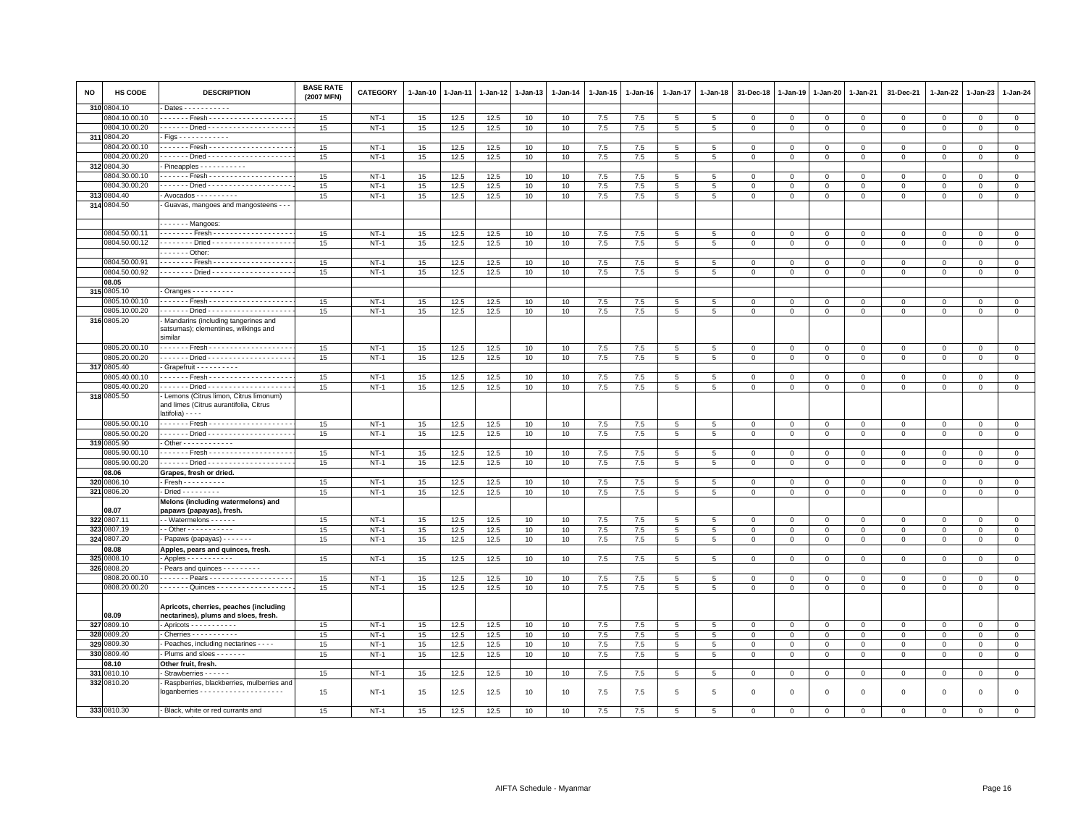| NO  | HS CODE       | <b>DESCRIPTION</b>                                                                                    | <b>BASE RATE</b><br>(2007 MFN) | CATEGORY    | 1-Jan-10 | 1-Jan-11 | $1 - Jan-12$ | 1-Jan-13 | $1 - Jan-14$ | 1-Jan-15 | 1-Jan-16 | 1-Jan-17        | $1 - Jan-18$    | 31-Dec-18      | $1 - Jan-19$   | 1-Jan-20       | 1-Jan-21     | 31-Dec-21    | $1 - Jan-22$ | 1-Jan-23     | $1 - Jan-24$   |
|-----|---------------|-------------------------------------------------------------------------------------------------------|--------------------------------|-------------|----------|----------|--------------|----------|--------------|----------|----------|-----------------|-----------------|----------------|----------------|----------------|--------------|--------------|--------------|--------------|----------------|
|     | 310 0804.10   | Dates - - - - - - - - - - -                                                                           |                                |             |          |          |              |          |              |          |          |                 |                 |                |                |                |              |              |              |              |                |
|     | 0804.10.00.10 | . Fresh -                                                                                             | 15                             | $NT-1$      | 15       | 12.5     | 12.5         | 10       | 10           | $7.5\,$  | 7.5      | 5               | 5               | $\mathbf 0$    | $\mathsf 0$    | $\mathbf 0$    | $\mathbf 0$  | 0            | $^{\circ}$   | $^{\circ}$   | $\mathbf{0}$   |
|     | 0804.10.00.20 |                                                                                                       | 15                             | $NT-1$      | 15       | 12.5     | 12.5         | 10       | 10           | 7.5      | 7.5      | 5               | 5               | $\mathbf 0$    | $\mathbf 0$    | $\mathbf 0$    | $\mathbf 0$  | $\mathbf 0$  | $\mathbf 0$  | $\mathsf 0$  | $\mathbf 0$    |
| 311 | 0804.20       |                                                                                                       |                                |             |          |          |              |          |              |          |          |                 |                 |                |                |                |              |              |              |              |                |
|     | 0804.20.00.10 |                                                                                                       | 15                             | $NT-1$      | 15       | 12.5     | 12.5         | 10       | 10           | 7.5      | 7.5      | 5               | 5               | $\mathbf{0}$   | $\mathbf{0}$   | $\mathbf{0}$   | $\mathbf{0}$ | $\mathbf 0$  | $\mathbf 0$  | $\mathbf{0}$ | $\mathbf{0}$   |
|     | 0804.20.00.20 |                                                                                                       | 15                             | $NT-1$      | 15       | 12.5     | 12.5         | 10       | 10           | 7.5      | 7.5      | 5               | $\,$ 5 $\,$     | $\mathbf 0$    | $\mathsf 0$    | $\mathbf 0$    | $\mathbf 0$  | $\mathsf 0$  | $^{\circ}$   | $^{\circ}$   | $\overline{0}$ |
|     | 312 0804.30   | Pineapples - - - - - - - - - - -                                                                      |                                |             |          |          |              |          |              |          |          |                 |                 |                |                |                |              |              |              |              |                |
|     | 0804.30.00.10 | . Fresh -                                                                                             | 15                             | $NT-1$      | 15       | 12.5     | 12.5         | 10       | 10           | 7.5      | 7.5      | 5               | 5               | $\mathbf 0$    | $^{\circ}$     | $\mathbf 0$    | $\Omega$     | $\mathsf 0$  | $\Omega$     | $\Omega$     | $\mathsf 0$    |
|     | 0804.30.00.20 |                                                                                                       | 15                             | $NT-1$      | 15       | 12.5     | 12.5         | 10       | 10           | 7.5      | 7.5      | 5               | 5               | $\mathbf{0}$   | $\mathbf{0}$   | $\mathbf{0}$   | $\mathbf 0$  | $\mathbf 0$  | $\Omega$     | $\Omega$     | $\mathsf 0$    |
|     | 313 0804.40   | - Avocados - - - - - - - - - -                                                                        | 15                             | $NT-1$      | 15       | 12.5     | 12.5         | 10       | 10           | $7.5\,$  | 7.5      | $\overline{5}$  | 5               | $\mathbf 0$    | $\mathbf 0$    | $\mathbf 0$    | $\mathbf 0$  | $\mathsf 0$  | $\mathbf 0$  | $\mathsf 0$  | $\mathbf 0$    |
|     | 314 0804.50   | Guavas, mangoes and mangosteens - - -                                                                 |                                |             |          |          |              |          |              |          |          |                 |                 |                |                |                |              |              |              |              |                |
|     |               |                                                                                                       |                                |             |          |          |              |          |              |          |          |                 |                 |                |                |                |              |              |              |              |                |
|     |               | - - - - - - - Mangoes:                                                                                |                                |             |          |          |              |          |              |          |          |                 |                 |                |                |                |              |              |              |              |                |
|     | 0804.50.00.11 | . Fresh                                                                                               | 15                             | $NT-1$      | 15       | 12.5     | 12.5         | 10       | 10           | $7.5\,$  | 7.5      | 5               | $\overline{5}$  | $\mathbf 0$    | $\mathbf 0$    | $\mathbf 0$    | $\mathbf{0}$ | $\mathsf 0$  | $\Omega$     | $\Omega$     | $\mathsf 0$    |
|     | 0804.50.00.12 | . Dried -                                                                                             | 15                             | $NT-1$      | 15       | 12.5     | 12.5         | 10       | 10           | $7.5\,$  | 7.5      | 5               | 5               | $\mathbf 0$    | $\mathbf 0$    | $\mathbf 0$    | $\mathbf 0$  | $\mathsf 0$  | $\mathbf 0$  | $^{\circ}$   | $\mathbf 0$    |
|     |               | Other:                                                                                                |                                |             |          |          |              |          |              |          |          |                 |                 |                |                |                |              |              |              |              |                |
|     | 0804.50.00.91 | . Fresh -                                                                                             | 15                             | $NT-1$      | 15       | 12.5     | 12.5         | 10       | 10           | 7.5      | 7.5      | 5               | 5               | 0              | $\mathbf 0$    | 0              | 0            | 0            | 0            | $\mathbf 0$  | $\circ$        |
|     | 0804.50.00.92 |                                                                                                       | 15                             | $NT-1$      | 15       | 12.5     | 12.5         | 10       | 10           | 7.5      | 7.5      | $5\phantom{.0}$ | $5\phantom{.0}$ | $\mathbf{0}$   | $\mathsf 0$    | $\overline{0}$ | $\mathbf 0$  | $\mathbf 0$  | $\mathbf 0$  | $\mathbf{O}$ | $\overline{0}$ |
|     | 08.05         |                                                                                                       |                                |             |          |          |              |          |              |          |          |                 |                 |                |                |                |              |              |              |              |                |
|     | 315 0805.10   | $-$ Oranges $        -$                                                                               |                                |             |          |          |              |          |              |          |          |                 |                 |                |                |                |              |              |              |              |                |
|     | 0805.10.00.10 |                                                                                                       | 15                             | $NT-1$      | 15       | 12.5     | 12.5         | 10       | 10           | 7.5      | 7.5      | 5               | 5               | 0              | $\circ$        | $\mathbf 0$    | $\mathbf 0$  | 0            | 0            | $\mathbf 0$  | $\circ$        |
|     | 0805.10.00.20 |                                                                                                       | 15                             | $NT-1$      | 15       | 12.5     | 12.5         | 10       | 10           | 7.5      | 7.5      | $5\phantom{.0}$ | $5\phantom{.0}$ | $\mathbf 0$    | $\circ$        | $\overline{0}$ | $\mathbf 0$  | $\mathbf{0}$ | $\mathbf 0$  | $\mathbf{O}$ | $\overline{0}$ |
|     | 316 0805.20   | Mandarins (including tangerines and                                                                   |                                |             |          |          |              |          |              |          |          |                 |                 |                |                |                |              |              |              |              |                |
|     |               | satsumas); clementines, wilkings and                                                                  |                                |             |          |          |              |          |              |          |          |                 |                 |                |                |                |              |              |              |              |                |
|     |               | similar                                                                                               |                                |             |          |          |              |          |              |          |          |                 |                 |                |                |                |              |              |              |              |                |
|     | 0805.20.00.10 |                                                                                                       | 15                             | <b>NT-1</b> | 15       | 12.5     | 12.5         | 10       | 10           | 7.5      | 7.5      | $\overline{5}$  | $5\phantom{.0}$ | $^{\circ}$     | $\mathbf 0$    | $\mathbf 0$    | $\mathbf 0$  | $\mathsf 0$  | $^{\circ}$   | $^{\circ}$   | $\mathbf 0$    |
|     | 0805.20.00.20 |                                                                                                       | $15\,$                         | $NT-1$      | 15       | 12.5     | 12.5         | 10       | 10           | 7.5      | 7.5      | $5\phantom{.0}$ | $\,$ 5 $\,$     | $\mathbf 0$    | $\mathsf 0$    | $\overline{0}$ | $\mathbf{0}$ | $\mathbf 0$  | $\mathsf 0$  | $\circ$      | $\overline{0}$ |
|     | 317 0805.40   | Grapefruit - - - - - - - - - -                                                                        |                                |             |          |          |              |          |              |          |          |                 |                 |                |                |                |              |              |              |              |                |
|     | 0805.40.00.10 |                                                                                                       | 15                             | $NT-1$      | 15       | 12.5     | 12.5         | 10       | 10           | 7.5      | 7.5      | $\overline{5}$  | 5               | $\mathbf 0$    | $\mathbf 0$    | $\Omega$       | $\Omega$     | 0            | $\Omega$     | $\Omega$     | $\overline{0}$ |
|     | 0805.40.00.20 |                                                                                                       | 15                             | $NT-1$      | 15       | 12.5     | 12.5         | 10       | 10           | 7.5      | 7.5      | 5               | 5               | $\mathbf 0$    | $\mathbf 0$    | $\mathbf 0$    | $\mathbf 0$  | $\mathsf 0$  | $\mathbf 0$  | $\mathsf 0$  | $\mathsf 0$    |
|     | 318 0805.50   | Lemons (Citrus limon, Citrus limonum)<br>and limes (Citrus aurantifolia, Citrus<br>latifolia) - - - - |                                |             |          |          |              |          |              |          |          |                 |                 |                |                |                |              |              |              |              |                |
|     | 0805.50.00.10 | . Fresh -                                                                                             | 15                             | $NT-1$      | 15       | 12.5     | 12.5         | 10       | 10           | $7.5$    | 7.5      | $\overline{5}$  | 5               | $\overline{0}$ | $\overline{0}$ | $\mathbf 0$    | $\mathbf 0$  | $\mathbf 0$  | $\Omega$     | $\Omega$     | $\mathsf 0$    |
|     | 0805.50.00.20 |                                                                                                       | 15                             | $NT-1$      | 15       | 12.5     | 12.5         | 10       | 10           | 7.5      | 7.5      | 5               | 5               | $\mathbf 0$    | $\mathbf 0$    | $\mathbf 0$    | $\mathbf 0$  | $\mathsf 0$  | 0            | $\Omega$     | $\mathbf 0$    |
|     | 319 0805.90   | Other - - - - - - - - - - - -                                                                         |                                |             |          |          |              |          |              |          |          |                 |                 |                |                |                |              |              |              |              |                |
|     | 0805.90.00.10 | . Fresh -                                                                                             | 15                             | $NT-1$      | 15       | 12.5     | 12.5         | 10       | 10           | $7.5\,$  | 7.5      | 5               | 5               | $\mathbf 0$    | $\mathbf 0$    | $\mathbf 0$    | $\mathbf 0$  | $\mathsf 0$  | $^{\circ}$   | $^{\circ}$   | $\mathbf 0$    |
|     | 0805.90.00.20 |                                                                                                       | 15                             | $NT-1$      | 15       | 12.5     | 12.5         | 10       | 10           | 7.5      | 7.5      | 5               | $\overline{5}$  | $\mathbf 0$    | $\mathbf 0$    | $\,0\,$        | $\mathbf 0$  | $\mathsf 0$  | $\Omega$     | $\Omega$     | $\mathsf 0$    |
|     | 08.06         | Grapes, fresh or dried.                                                                               |                                |             |          |          |              |          |              |          |          |                 |                 |                |                |                |              |              |              |              |                |
| 320 | 0806.10       | $-$ Fresh - - - - - - - - - -                                                                         | 15                             | $NT-1$      | 15       | 12.5     | 12.5         | 10       | 10           | 7.5      | 7.5      | 5               | 5               | $\Omega$       | $\mathbf 0$    | $\mathbf 0$    | $\Omega$     | 0            | $\Omega$     | $\Omega$     | $\mathbf{0}$   |
|     | 321 0806.20   | - Dried - - - - - - - - -                                                                             | 15                             | $NT-1$      | 15       | 12.5     | 12.5         | 10       | 10           | 7.5      | 7.5      | $5\overline{5}$ | 5               | $\mathbf 0$    | $\mathbf 0$    | $\mathbf 0$    | $\mathbf 0$  | $\mathsf 0$  | $\mathbf 0$  | $\mathsf 0$  | $\mathbf 0$    |
|     |               | Melons (including watermelons) and                                                                    |                                |             |          |          |              |          |              |          |          |                 |                 |                |                |                |              |              |              |              |                |
|     | 08.07         | papaws (papayas), fresh.                                                                              |                                |             |          |          |              |          |              |          |          |                 |                 |                |                |                |              |              |              |              |                |
|     | 322 0807.11   | - Watermelons - - - - - -                                                                             | 15                             | $NT-1$      | 15       | 12.5     | 12.5         | 10       | 10           | 7.5      | 7.5      | 5               | 5               | $^{\circ}$     | $^{\circ}$     | $\mathbf 0$    | 0            | 0            | 0            | 0            | $\mathbf 0$    |
|     | 323 0807.19   | $\cdot$ - Other - - - - - - - - - - -                                                                 | 15                             | $NT-1$      | 15       | 12.5     | 12.5         | 10       | 10           | $7.5\,$  | 7.5      | 5               | $\,$ 5 $\,$     | $\mathsf 0$    | $\mathsf 0$    | $\mathbf 0$    | $\mathbf 0$  | $\mathsf 0$  | $\mathbf 0$  | $\mathsf 0$  | $\overline{0}$ |
|     | 324 0807.20   | - Papaws (papayas) - - - - - - -                                                                      | 15                             | $NT-1$      | 15       | 12.5     | 12.5         | 10       | 10           | 7.5      | 7.5      | $5\overline{5}$ | 5               | $\mathbf{0}$   | $\mathbf 0$    | $\mathbf 0$    | $\mathbf 0$  | $\mathbf 0$  | $\mathbf 0$  | $\mathsf 0$  | $\mathbf{0}$   |
|     | 08.08         | Apples, pears and quinces, fresh.                                                                     |                                |             |          |          |              |          |              |          |          |                 |                 |                |                |                |              |              |              |              |                |
| 325 | 0808.10       | Apples - - - - - - - - - - -                                                                          | 15                             | $NT-1$      | 15       | 12.5     | 12.5         | 10       | 10           | 7.5      | 7.5      | 5               | 5               | $\Omega$       | $\Omega$       | $\mathbf 0$    | $\Omega$     | $\Omega$     | $\Omega$     | $\mathbf 0$  | $\mathbf{0}$   |
|     | 326 0808.20   | Pears and quinces - - - - - - - -                                                                     |                                |             |          |          |              |          |              |          |          |                 |                 |                |                |                |              |              |              |              |                |
|     | 0808.20.00.10 |                                                                                                       | 15                             | $NT-1$      | 15       | 12.5     | 12.5         | 10       | 10           | 7.5      | 7.5      | 5               | 5               | $\Omega$       | $\Omega$       | $\mathbf 0$    | $\Omega$     | $\mathbf 0$  | $\Omega$     | $\Omega$     | $\mathbf 0$    |
|     | 0808.20.00.20 | - - - - - - - Quinces - - - - - - - - - - - - - - - - - -                                             | 15                             | $NT-1$      | 15       | 12.5     | 12.5         | 10       | 10           | 7.5      | 7.5      | 5               | 5               | $\mathbf 0$    | $\mathbf{0}$   | $\mathsf 0$    | $\mathbf 0$  | $\mathsf 0$  | $\mathbf 0$  | $\mathsf 0$  | $\overline{0}$ |
|     | 08.09         | Apricots, cherries, peaches (including<br>nectarines), plums and sloes, fresh.                        |                                |             |          |          |              |          |              |          |          |                 |                 |                |                |                |              |              |              |              |                |
|     | 327 0809.10   | $-$ Apricots $- - - - - - - - -$                                                                      | 15                             | $NT-1$      | 15       | 12.5     | 12.5         | 10       | 10           | 7.5      | 7.5      | 5               | 5               | $\mathbf 0$    | $\mathbf 0$    | $\mathbf 0$    | $\mathbf 0$  | $\mathsf 0$  | 0            | 0            | $\mathbf 0$    |
| 328 | 0809.20       | - Cherries - - - - - - - - - -                                                                        | 15                             | $NT-1$      | 15       | 12.5     | 12.5         | 10       | 10           | 7.5      | 7.5      | $\overline{5}$  | 5               | $\mathbf 0$    | $\overline{0}$ | $\overline{0}$ | $\mathbf{0}$ | $\mathsf 0$  | $\mathbf 0$  | $\Omega$     | $\overline{0}$ |
| 329 | 0809.30       | Peaches, including nectarines - - - -                                                                 | 15                             | $NT-1$      | 15       | 12.5     | 12.5         | 10       | 10           | $7.5\,$  | 7.5      | $\overline{5}$  | 5               | $\mathbf{O}$   | $\mathbf 0$    | $\mathbf 0$    | $\mathbf 0$  | $\mathsf 0$  | $\mathbf 0$  | $\mathsf 0$  | $\mathbf 0$    |
| 330 | 0809.40       | Plums and sloes - - - - - - -                                                                         | 15                             | $NT-1$      | 15       | 12.5     | 12.5         | 10       | 10           | $7.5\,$  | 7.5      | $5\phantom{.0}$ | $\,$ 5 $\,$     | $\mathbf 0$    | $\mathbf 0$    | $\mathbf{0}$   | $\mathbf 0$  | $\mathsf 0$  | $\mathsf 0$  | $\mathbf 0$  | $\overline{0}$ |
|     | 08.10         | Other fruit, fresh.                                                                                   |                                |             |          |          |              |          |              |          |          |                 |                 |                |                |                |              |              |              |              |                |
| 331 | 0810.10       | Strawberries - - - - - -                                                                              | 15                             | $NT-1$      | 15       | 12.5     | 12.5         | 10       | 10           | 7.5      | 7.5      | 5               | 5               | $^{\circ}$     | $^{\circ}$     | $\mathbf 0$    | $\mathbf 0$  | 0            | 0            | 0            | $\mathsf 0$    |
|     | 332 0810.20   | Raspberries, blackberries, mulberries and                                                             | 15                             | $NT-1$      | 15       | 12.5     | 12.5         | 10       | 10           | $7.5\,$  | 7.5      | 5               | $\overline{5}$  | $\mathbf 0$    | $\mathbf 0$    | $\,$ 0         | $\mathsf 0$  | $\mathsf 0$  | $\mathsf 0$  | $\mathsf 0$  | $\circ$        |
|     | 333 0810.30   | - Black, white or red currants and                                                                    | 15                             | $NT-1$      | 15       | 12.5     | 12.5         | 10       | 10           | $7.5\,$  | 7.5      | 5               | 5               | $\Omega$       | $\Omega$       | $\mathbf 0$    | $\Omega$     | $\Omega$     | $\mathbf 0$  | $\mathbf 0$  | $\mathbf 0$    |
|     |               |                                                                                                       |                                |             |          |          |              |          |              |          |          |                 |                 |                |                |                |              |              |              |              |                |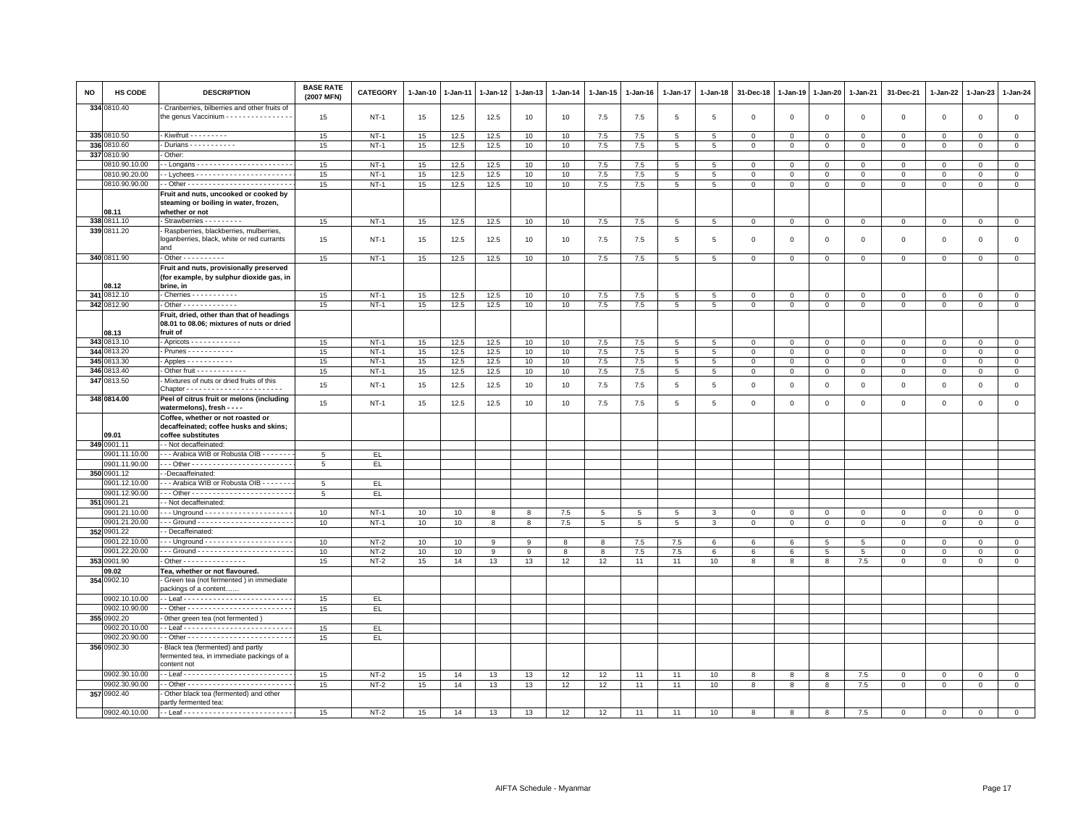| NO | HS CODE       | <b>DESCRIPTION</b>                                                                                 | <b>BASE RATE</b><br>(2007 MFN) | <b>CATEGORY</b> | 1-Jan-10 | $1 - Jan-11$ | 1-Jan-12 | $1 - Jan-13$            | $1-Jan-14$ | 1-Jan-15        | $1 - Jan-16$    | $1 - Jan-17$    | 1-Jan-18        | 31-Dec-18   | $1 - Jan-19$   | 1-Jan-20            | $1-Jan-21$      | 31-Dec-21    | 1-Jan-22     | 1-Jan-23       | 1-Jan-24       |
|----|---------------|----------------------------------------------------------------------------------------------------|--------------------------------|-----------------|----------|--------------|----------|-------------------------|------------|-----------------|-----------------|-----------------|-----------------|-------------|----------------|---------------------|-----------------|--------------|--------------|----------------|----------------|
|    | 334 0810.40   | Cranberries, bilberries and other fruits of<br>the genus Vaccinium - - - - - - - - - - - - - - -   | 15                             | $NT-1$          | 15       | 12.5         | 12.5     | 10                      | 10         | 7.5             | 7.5             | $5\overline{5}$ | 5               | $\mathbf 0$ | $\mathbf 0$    | $\mathsf 0$         | $\circ$         | $\mathbf{0}$ | $\mathbf 0$  | $\mathbf{0}$   | $\mathbf 0$    |
|    | 335 0810.50   | - Kiwifruit - - - - - - - - -                                                                      | 15                             | <b>NT-1</b>     | 15       | 12.5         | 12.5     | 10                      | 10         | 7.5             | 7.5             | $5\phantom{.0}$ | 5               | $\mathbf 0$ | $\mathsf 0$    | $\mathsf 0$         | $\mathbf 0$     | $\mathbf 0$  | $\mathbf 0$  | $\mathbf 0$    | $\mathbf 0$    |
|    | 336 0810.60   | Durians - - - - - - - - - - -                                                                      | 15                             | $NT-1$          | 15       | 12.5         | 12.5     | 10                      | 10         | $7.5\,$         | 7.5             | 5               | 5               | $\mathsf 0$ | $\mathsf 0$    | $\mathsf 0$         | $\mathbf 0$     | $\mathsf 0$  | $\mathbf 0$  | $\circ$        | $\mathsf 0$    |
|    | 337 0810.90   | Other:                                                                                             |                                |                 |          |              |          |                         |            |                 |                 |                 |                 |             |                |                     |                 |              |              |                |                |
|    | 0810.90.10.00 |                                                                                                    | 15                             | $NT-1$          | 15       | 12.5         | 12.5     | 10                      | 10         | $7.5\,$         | 7.5             | $\overline{5}$  | -5              | $\mathsf 0$ | 0              | $\mathbf 0$         | $\mathsf 0$     | $\mathsf 0$  | $\Omega$     | $\mathbf 0$    | $\mathsf 0$    |
|    | 0810.90.20.00 |                                                                                                    | 15                             | $NT-1$          | 15       | 12.5         | 12.5     | 10                      | 10         | 7.5             | 7.5             | 5               | $5^{\circ}$     | $\mathbf 0$ | $\mathbf 0$    | $\mathbf 0$         | $\mathbf{0}$    | $\mathbf{0}$ | $\Omega$     | $\mathbf{0}$   | $\circ$        |
|    | 0810.90.90.00 |                                                                                                    | 15                             | $NT-1$          | 15       | 12.5         | 12.5     | 10                      | $10$       | 7.5             | 7.5             | $\overline{5}$  | 5               | $\mathbf 0$ | $\mathsf 0$    | $\mathsf 0$         | $\mathsf 0$     | $\mathsf 0$  | $\mathbf 0$  | $\mathsf 0$    | $\mathsf 0$    |
|    | 08.11         | Fruit and nuts, uncooked or cooked by<br>steaming or boiling in water, frozen,<br>whether or not   |                                |                 |          |              |          |                         |            |                 |                 |                 |                 |             |                |                     |                 |              |              |                |                |
|    | 338 0811.10   | - Strawberries - - - - - - - -                                                                     | 15                             | $NT-1$          | 15       | 12.5         | 12.5     | 10                      | 10         | 7.5             | 7.5             | $5\overline{5}$ | 5               | $\mathsf 0$ | $\overline{0}$ | $\overline{0}$      | $\circ$         | $\mathbf 0$  | $\mathbf 0$  | $\mathbf{0}$   | $\mathbf{0}$   |
|    | 339 0811.20   | Raspberries, blackberries, mulberries,<br>loganberries, black, white or red currants<br>and        | 15                             | <b>NT-1</b>     | 15       | 12.5         | 12.5     | 10                      | 10         | 7.5             | 7.5             | $\overline{5}$  | 5               | $\,0\,$     | $\mathsf 0$    | $\mathsf 0$         | $\mathsf 0$     | $\mathsf 0$  | $\mathbf 0$  | $\mathbf 0$    | $\mathbf 0$    |
|    | 340 0811.90   | $-$ Other - - - - - - - - - -                                                                      | 15                             | $NT-1$          | 15       | 12.5         | 12.5     | 10                      | 10         | $7.5\,$         | 7.5             | $\,$ 5 $\,$     | 5               | $\mathbf 0$ | $\mathsf 0$    | $\mathsf 0$         | $\,0\,$         | $\mathsf 0$  | $\mathbf 0$  | $\mathsf 0$    | $\mathbf 0$    |
|    | 08.12         | Fruit and nuts, provisionally preserved<br>(for example, by sulphur dioxide gas, in<br>brine, in   |                                |                 |          |              |          |                         |            |                 |                 |                 |                 |             |                |                     |                 |              |              |                |                |
|    | 341 0812.10   | Cherries - - - - - - - - - - -                                                                     | 15                             | $NT-1$          | 15       | 12.5         | 12.5     | 10                      | 10         | 7.5             | 7.5             | 5               | -5              | $\mathbf 0$ | $\mathsf 0$    | $\mathbf 0$         | $\mathbf 0$     | $\mathbf 0$  | $\Omega$     | $\mathbf{0}$   | $\mathbf 0$    |
|    | 342 0812.90   | Other - - - - - - - - - - - -                                                                      | 15                             | $NT-1$          | 15       | 12.5         | 12.5     | 10                      | 10         | 7.5             | 7.5             | $5\phantom{.0}$ | $5\phantom{.0}$ | $\,0\,$     | $\mathsf 0$    | $\mathbf 0$         | $\overline{0}$  | $\mathsf 0$  | $\mathbf{0}$ | $\mathbf{O}$   | $\overline{0}$ |
|    | 08.13         | Fruit, dried, other than that of headings<br>08.01 to 08.06; mixtures of nuts or dried<br>fruit of |                                |                 |          |              |          |                         |            |                 |                 |                 |                 |             |                |                     |                 |              |              |                |                |
|    | 343 0813.10   | - Apricots - - - - - - - - - - - -                                                                 | 15                             | $NT-1$          | 15       | 12.5         | 12.5     | 10                      | 10         | 7.5             | 7.5             | 5               | 5               | $\mathsf 0$ | $\mathbf{0}$   | $\mathbf 0$         | $\mathbf 0$     | $\mathsf 0$  | $\mathsf 0$  | $\overline{0}$ | $\mathsf 0$    |
|    | 344 0813.20   | Prunes - - - - - - - - - - -                                                                       | 15                             | $NT-1$          | 15       | 12.5         | 12.5     | 10                      | 10         | 7.5             | 7.5             | 5               | 5               | $\mathbf 0$ | $\mathsf 0$    | $\mathbf 0$         | $\mathbf 0$     | $\mathsf 0$  | $\mathbf 0$  | $\mathbf{0}$   | $\mathsf 0$    |
|    | 345 0813.30   | - Apples - - - - - - - - - - -                                                                     | 15                             | $NT-1$          | 15       | 12.5         | 12.5     | 10                      | 10         | $7.5\,$         | 7.5             | $5\overline{5}$ | 5               | $\mathsf 0$ | $\mathbf{0}$   | $\mathbf 0$         | $\mathbf 0$     | $\mathbf 0$  | $\mathbf 0$  | $\mathbf 0$    | $\mathbf 0$    |
|    | 346 0813.40   | - Other fruit - - - - - - - - - - -                                                                | 15                             | $NT-1$          | 15       | 12.5         | 12.5     | 10                      | 10         | $7.5\,$         | 7.5             | $5\phantom{.0}$ | $\overline{5}$  | $\mathbf 0$ | $\mathsf 0$    | $\mathsf 0$         | $\mathbf 0$     | $\mathsf 0$  | $\mathbf 0$  | $\mathbf{0}$   | $\Omega$       |
|    | 347 0813.50   | - Mixtures of nuts or dried fruits of this                                                         | 15                             | $NT-1$          | 15       | 12.5         | 12.5     | 10                      | 10         | 7.5             | 7.5             | 5               | 5               | $\mathsf 0$ | $\mathbf 0$    | $\mathsf 0$         | $\mathbf 0$     | $\mathsf 0$  | $\Omega$     | $\mathbf{0}$   | $\mathsf 0$    |
|    | 348 0814.00   | Peel of citrus fruit or melons (including<br>watermelons), fresh - - - -                           | 15                             | $NT-1$          | 15       | 12.5         | 12.5     | 10                      | 10         | 7.5             | 7.5             | $\overline{5}$  | $5\phantom{.0}$ | $\mathbf 0$ | $\mathsf 0$    | $\mathsf{O}\xspace$ | $\,$ 0          | $\mathsf 0$  | $\mathsf 0$  | $\mathsf 0$    | $\mathsf 0$    |
|    | 09.01         | Coffee, whether or not roasted or<br>decaffeinated; coffee husks and skins;<br>coffee substitutes  |                                |                 |          |              |          |                         |            |                 |                 |                 |                 |             |                |                     |                 |              |              |                |                |
|    | 349 0901.11   | - Not decaffeinated:                                                                               |                                |                 |          |              |          |                         |            |                 |                 |                 |                 |             |                |                     |                 |              |              |                |                |
|    | 0901.11.10.00 | - - Arabica WIB or Robusta OIB - - - - - - -                                                       | 5                              | EL.             |          |              |          |                         |            |                 |                 |                 |                 |             |                |                     |                 |              |              |                |                |
|    | 0901.11.90.00 |                                                                                                    | $5\overline{5}$                | EL.             |          |              |          |                         |            |                 |                 |                 |                 |             |                |                     |                 |              |              |                |                |
|    | 350 0901.12   | -Decaaffeinated:                                                                                   |                                |                 |          |              |          |                         |            |                 |                 |                 |                 |             |                |                     |                 |              |              |                |                |
|    | 0001.12.10.00 | - - Arabica WIB or Robusta OIB - - - - - -                                                         | 5                              | EL.             |          |              |          |                         |            |                 |                 |                 |                 |             |                |                     |                 |              |              |                |                |
|    | 0901.12.90.00 |                                                                                                    | $5\overline{5}$                | EL.             |          |              |          |                         |            |                 |                 |                 |                 |             |                |                     |                 |              |              |                |                |
|    | 351 0901.21   | - Not decaffeinated:                                                                               |                                |                 |          |              |          |                         |            |                 |                 |                 |                 |             |                |                     |                 |              |              |                |                |
|    | 0901.21.10.00 |                                                                                                    | 10                             | $NT-1$          | 10       | 10           | 8        | 8                       | 7.5        | 5               | 5               | 5               | 3               | $\mathbf 0$ | 0              | $\mathbf 0$         | $\mathbf 0$     | $\mathbf 0$  | $\circ$      | $\overline{0}$ | $\mathsf 0$    |
|    | 0901.21.20.00 |                                                                                                    | 10                             | $NT-1$          | 10       | 10           | 8        | $\overline{\mathbf{8}}$ | 7.5        | $5\phantom{.0}$ | $5\phantom{.0}$ | $\overline{5}$  | 3               | $\mathbf 0$ | $\mathsf 0$    | $\mathbf 0$         | $\mathsf 0$     | $\mathsf 0$  | $\mathbf 0$  | $\mathsf 0$    | $\mathbf 0$    |
|    | 352 0901.22   | - Decaffeinated:                                                                                   |                                |                 |          |              |          |                         |            |                 |                 |                 |                 |             |                |                     |                 |              |              |                |                |
|    | 0901.22.10.00 | -- Unground ---------------------                                                                  | 10                             | $NT-2$          | 10       | 10           | 9        | 9                       | 8          | 8               | 7.5             | 7.5             | -6              | $\,6\,$     | 6              | 5                   | 5               | $\mathbf 0$  | $\Omega$     | $\Omega$       | $\mathsf 0$    |
|    | 0901.22.20.00 |                                                                                                    | 10                             | $NT-2$          | 10       | 10           | 9        | 9                       | 8          | 8               | 7.5             | $7.5\,$         | 6               | 6           | 6              | 5                   | $5\overline{5}$ | $\mathbf 0$  | $\mathbf 0$  | $\mathbf 0$    | $\circ$        |
|    | 353 0901.90   | - Other - - - - - - - - - - - - - - -                                                              | 15                             | $NT-2$          | 15       | 14           | 13       | 13                      | 12         | 12              | 11              | 11              | 10              | 8           | 8              | 8                   | 7.5             | $\mathbf 0$  | $\mathbf 0$  | $\mathbf{0}$   | $\mathbf{0}$   |
|    | 09.02         | Tea, whether or not flavoured.                                                                     |                                |                 |          |              |          |                         |            |                 |                 |                 |                 |             |                |                     |                 |              |              |                |                |
|    | 354 0902.10   | Green tea (not fermented) in immediate<br>packings of a content……                                  |                                |                 |          |              |          |                         |            |                 |                 |                 |                 |             |                |                     |                 |              |              |                |                |
|    | 0902.10.10.00 |                                                                                                    | 15                             | EL.             |          |              |          |                         |            |                 |                 |                 |                 |             |                |                     |                 |              |              |                |                |
|    | 0902.10.90.00 |                                                                                                    | 15                             | EL.             |          |              |          |                         |            |                 |                 |                 |                 |             |                |                     |                 |              |              |                |                |
|    | 355 0902.20   | Other green tea (not fermented)                                                                    |                                |                 |          |              |          |                         |            |                 |                 |                 |                 |             |                |                     |                 |              |              |                |                |
|    | 0902.20.10.00 |                                                                                                    | 15                             | EL              |          |              |          |                         |            |                 |                 |                 |                 |             |                |                     |                 |              |              |                |                |
|    | 0902.20.90.00 |                                                                                                    | 15                             | EL.             |          |              |          |                         |            |                 |                 |                 |                 |             |                |                     |                 |              |              |                |                |
|    | 356 0902.30   | Black tea (fermented) and partly<br>fermented tea, in immediate packings of a<br>content not       |                                |                 |          |              |          |                         |            |                 |                 |                 |                 |             |                |                     |                 |              |              |                |                |
|    | 0902.30.10.00 |                                                                                                    | 15                             | $NT-2$          | 15       | 14           | 13       | 13                      | 12         | 12              | 11              | 11              | 10              | 8           | 8              | 8                   | 7.5             | $\mathbf 0$  | $\mathbf 0$  | $\mathbf 0$    | $\mathbf 0$    |
|    | 0902.30.90.00 |                                                                                                    | 15                             | $NT-2$          | $15\,$   | 14           | 13       | 13                      | 12         | 12              | 11              | 11              | 10              | 8           | 8              | 8                   | 7.5             | $\mathbf 0$  | $\mathbf 0$  | $\mathbf{0}$   | $\mathsf 0$    |
|    | 357 0902.40   | Other black tea (fermented) and other<br>partly fermented tea:                                     |                                |                 |          |              |          |                         |            |                 |                 |                 |                 |             |                |                     |                 |              |              |                |                |
|    | 0902.40.10.00 |                                                                                                    | 15                             | $NT-2$          | 15       | 14           | 13       | 13                      | 12         | 12              | 11              | 11              | 10              | 8           | 8              | 8                   | 7.5             | $\mathbf 0$  | $\Omega$     | $\circ$        | $\Omega$       |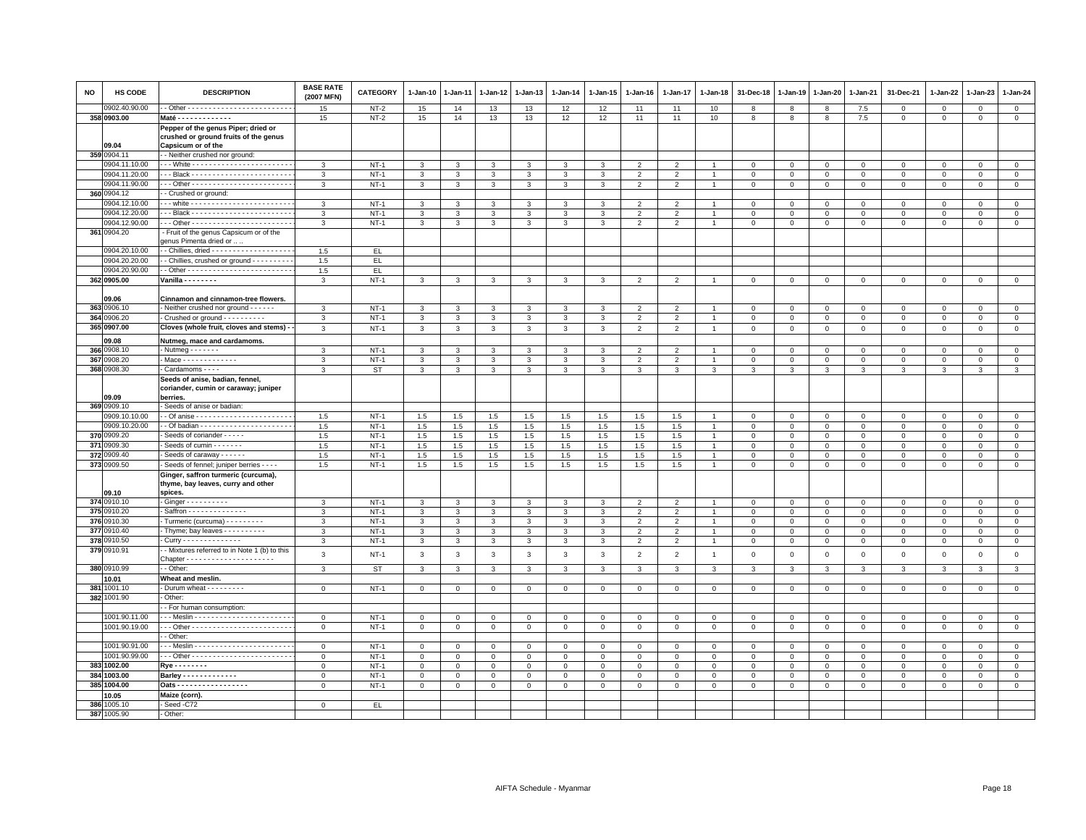| <b>NO</b> | <b>HS CODE</b> | <b>DESCRIPTION</b>                                                                                 | <b>BASE RATE</b><br>(2007 MFN) | CATEGORY  | 1-Jan-10       | $1-Jan-11$   | $1 - Jan-12$ | 1-Jan-13       | $1-Jan-14$    | 1-Jan-15     | $1-Jan-16$     | $1-Jan-17$               | 1-Jan-18       | 31-Dec-18      | 1-Jan-19     | 1-Jan-20     | $1-Jan-21$     | 31-Dec-21           | $1-Jan-22$     | 1-Jan-23       | $1 - Jan-24$   |
|-----------|----------------|----------------------------------------------------------------------------------------------------|--------------------------------|-----------|----------------|--------------|--------------|----------------|---------------|--------------|----------------|--------------------------|----------------|----------------|--------------|--------------|----------------|---------------------|----------------|----------------|----------------|
|           | 0902.40.90.00  |                                                                                                    | 15                             | $NT-2$    | 15             | 14           | 13           | 13             | 12            | 12           | 11             | 11                       | 10             | 8              | 8            | 8            | 7.5            | $\Omega$            | $\mathbf{0}$   | $\Omega$       | $\circ$        |
|           | 358 0903.00    | Maté - - - - - - - - - - - - -                                                                     | 15                             | $NT-2$    | 15             | 14           | 13           | 13             | 12            | 12           | 11             | 11                       | 10             | 8              | 8            | 8            | 7.5            | $\mathbf 0$         | 0              | $\mathbf 0$    | $\mathbf{0}$   |
|           | 09.04          | Pepper of the genus Piper; dried or<br>crushed or ground fruits of the genus<br>Capsicum or of the |                                |           |                |              |              |                |               |              |                |                          |                |                |              |              |                |                     |                |                |                |
|           | 359 0904.11    | - Neither crushed nor ground:                                                                      |                                |           |                |              |              |                |               |              |                |                          |                |                |              |              |                |                     |                |                |                |
|           | 0904.11.10.00  |                                                                                                    | 3                              | $NT-1$    | 3              | 3            | 3            | 3              | 3             | 3            | 2              | 2                        |                | $^{\circ}$     | $^{\circ}$   | $\mathbf 0$  | $\mathbf 0$    | 0                   | 0              | $\mathbf 0$    | $\mathbf 0$    |
|           | 0904.11.20.00  |                                                                                                    | 3                              | $NT-1$    | $\mathbf{3}$   | 3            | 3            | 3              | $\mathbf{3}$  | $\mathbf{3}$ | $\overline{2}$ | $\overline{2}$           |                | $\mathbf{0}$   | $\mathbf 0$  | $\mathbf 0$  | $\mathbf{0}$   | $\mathbf{0}$        | $\Omega$       | $\mathbf 0$    | $\mathsf 0$    |
|           | 0904.11.90.00  | -- Other -------------------------                                                                 | 3                              | $NT-1$    | $\mathbf{3}$   | 3            | 3            | 3              | $\mathbf{3}$  | 3            | $\overline{2}$ | $\overline{2}$           |                | $\mathbf 0$    | $\mathbf 0$  | $\mathsf 0$  | $\mathbf 0$    | $\mathsf 0$         | $\mathbf 0$    | $\mathbf 0$    | $\mathsf 0$    |
|           | 360 0904.12    | - Crushed or ground:                                                                               |                                |           |                |              |              |                |               |              |                |                          |                |                |              |              |                |                     |                |                |                |
|           | 0904.12.10.00  |                                                                                                    | 3                              | $NT-1$    | 3              | 3            | 3            | 3              | 3             | 3            | $\overline{2}$ | $\mathfrak{p}$           |                | $^{\circ}$     | $\circ$      | $\mathbf 0$  | $\mathbf 0$    | $\mathbf 0$         | $\Omega$       | $\mathbf 0$    | $\mathbf 0$    |
|           | 0904.12.20.00  |                                                                                                    | 3                              | $NT-1$    | $\mathbf{3}$   | 3            | 3            | 3              | 3             | 3            | 2              | $\overline{\phantom{0}}$ |                | $\overline{0}$ | $\mathbf{0}$ | $\mathbf{0}$ | $\overline{0}$ | $\mathbf{0}$        | $\Omega$       | $\mathbf{0}$   | $\mathbf{0}$   |
|           | 0904.12.90.00  |                                                                                                    | 3                              | $NT-1$    | $\mathbf{3}$   | 3            | 3            | $\mathbf{3}$   | 3             | 3            | $\overline{2}$ | $\overline{2}$           |                | $\mathbf 0$    | $\mathbf 0$  | $\mathbf 0$  | $\mathbf 0$    | $\mathbf 0$         | $\mathbf 0$    | $\mathbf 0$    | $\mathsf 0$    |
|           | 361 0904.20    | Fruit of the genus Capsicum or of the<br>denus Pimenta dried or                                    |                                |           |                |              |              |                |               |              |                |                          |                |                |              |              |                |                     |                |                |                |
|           | 0904.20.10.00  | - Chillies, dried - - - - - - - - - - - - - - - - - -                                              | 1.5                            | EL.       |                |              |              |                |               |              |                |                          |                |                |              |              |                |                     |                |                |                |
|           | 0904.20.20.00  | - Chillies, crushed or ground - - - - - - - -                                                      | 1.5                            | EL.       |                |              |              |                |               |              |                |                          |                |                |              |              |                |                     |                |                |                |
|           | 0904.20.90.00  |                                                                                                    | 1.5                            | EL        |                |              |              |                |               |              |                |                          |                |                |              |              |                |                     |                |                |                |
|           | 362 0905.00    | Vanilla - - - - - - - -                                                                            | 3                              | $NT-1$    | $\overline{3}$ | $\mathbf{3}$ | $\mathbf{3}$ | $\mathbf{3}$   | 3             | $\mathbf{3}$ | $\overline{2}$ | $\overline{2}$           |                | $\mathbf 0$    | $\,0\,$      | $\mathbf 0$  | $\mathsf 0$    | $\mathsf 0$         | $\,0\,$        | $\mathsf 0$    | $\mathsf 0$    |
|           |                |                                                                                                    |                                |           |                |              |              |                |               |              |                |                          |                |                |              |              |                |                     |                |                |                |
|           | 09.06          | Cinnamon and cinnamon-tree flowers.                                                                |                                |           |                |              |              |                |               |              |                |                          |                |                |              |              |                |                     |                |                |                |
|           | 363 0906.10    | - Neither crushed nor ground - - - - - -                                                           | 3                              | $NT-1$    | 3              | 3            | 3            | 3              | 3             | 3            | $\overline{2}$ | $\mathfrak{p}$           |                | $\Omega$       | $\Omega$     | $\mathbf{0}$ | $\Omega$       | $\mathbf 0$         | $\Omega$       | $\Omega$       | $\Omega$       |
|           | 364 0906.20    | - Crushed or ground - - - - - - - - - -                                                            | 3                              | $NT-1$    | $\mathbf{3}$   | 3            | 3            | $\mathbf{3}$   | $\mathbf{3}$  | 3            | $\overline{2}$ | $\overline{2}$           |                | $\mathbf 0$    | $\mathbf 0$  | $\mathbf 0$  | $\mathbf 0$    | $\mathsf 0$         | $\mathbf 0$    | $\mathbf 0$    | $\mathsf 0$    |
|           | 365 0907.00    | Cloves (whole fruit, cloves and stems) -                                                           | 3                              | $NT-1$    | $\mathbf{3}$   | 3            | 3            | $\mathbf{3}$   | 3             | 3            | $\overline{2}$ | $\overline{2}$           | $\overline{1}$ | $\mathbf 0$    | $\mathbf 0$  | $\mathbf 0$  | $\mathbf 0$    | $\mathsf 0$         | $\mathbf 0$    | $\mathbf 0$    | $\mathbf 0$    |
|           | 09.08          | Nutmeg, mace and cardamoms.                                                                        |                                |           |                |              |              |                |               |              |                |                          |                |                |              |              |                |                     |                |                |                |
|           | 366 0908.10    | - Nutmeg - - - - - - -                                                                             | 3                              | $NT-1$    | 3              | 3            | 3            | 3              | 3             | 3            | $\overline{2}$ | $\overline{2}$           |                | $\mathbf 0$    | $\mathbf 0$  | $\mathbf 0$  | $\mathbf 0$    | $\mathsf 0$         | $\circ$        | $\mathbf 0$    | $\mathbf 0$    |
| 367       | 0908.20        | - Mace - - - - - - - - - - - - -                                                                   | $\mathbf{3}$                   | $NT-1$    | $\mathbf{3}$   | 3            | $\mathbf{3}$ | $\mathbf{3}$   | $\mathbf{3}$  | $\mathbf{3}$ | $\overline{2}$ | $\overline{2}$           |                | $\mathbf 0$    | $\mathbf{0}$ | $\mathbf{0}$ | $\mathbf{0}$   | $\mathbf{0}$        | $\mathbf{0}$   | $\Omega$       | $\circ$        |
|           | 368 0908.30    | Cardamoms - - - -                                                                                  | 3                              | ST        | 3              | 3            | 3            | 3              | 3             | 3            | 3              | 3                        | 3              | 3              | 3            | 3            | 3              | 3                   | 3              | 3              | 3              |
|           | 09.09          | Seeds of anise, badian, fennel,<br>coriander, cumin or caraway; juniper<br>berries.                |                                |           |                |              |              |                |               |              |                |                          |                |                |              |              |                |                     |                |                |                |
|           | 369 0909.10    | Seeds of anise or badian:                                                                          |                                |           |                |              |              |                |               |              |                |                          |                |                |              |              |                |                     |                |                |                |
|           | 0909.10.10.00  |                                                                                                    | 1.5                            | $NT-1$    | 1.5            | 1.5          | 1.5          | 1.5            | 1.5           | 1.5          | 1.5            | 1.5                      |                | $\mathbf 0$    | $\circ$      | $\mathbf 0$  | $\mathbf 0$    | 0                   | $\circ$        | $\mathbf 0$    | $\mathbf 0$    |
|           | 0909.10.20.00  |                                                                                                    | 1.5                            | $NT-1$    | 1.5            | 1.5          | 1.5          | 1.5            | 1.5           | 1.5          | 1.5            | 1.5                      |                | $\mathbf 0$    | $\mathbf 0$  | $\mathbf 0$  | $\mathbf 0$    | $\mathsf 0$         | $\Omega$       | $\mathbf 0$    | $\mathsf 0$    |
|           | 370 0909.20    | Seeds of coriander - - - - -                                                                       | 1.5                            | $NT-1$    | 1.5            | 1.5          | 1.5          | 1.5            | 1.5           | 1.5          | 1.5            | 1.5                      |                | $\mathbf 0$    | $\mathbf 0$  | $\mathbf 0$  | $\mathbf 0$    | $\mathbf 0$         | $\mathbf 0$    | $\mathbf 0$    | $\mathbf 0$    |
|           | 371 0909.30    | Seeds of cumin - - - - - -                                                                         | 1.5                            | $NT-1$    | 1.5            | 1.5          | 1.5          | 1.5            | 1.5           | 1.5          | 1.5            | 1.5                      |                | $\mathbf 0$    | $\Omega$     | $\mathbf 0$  | $\mathbf 0$    | $\mathbf 0$         | $\Omega$       | $\mathbf 0$    | $\mathsf 0$    |
|           | 372 0909.40    | Seeds of caraway - - - - - -                                                                       | 1.5                            | $NT-1$    | 1.5            | 1.5          | 1.5          | 1.5            | 1.5           | 1.5          | 1.5            | 1.5                      |                | $\mathbf 0$    | $\mathbf 0$  | $\mathbf 0$  | $\mathbf 0$    | $\mathsf 0$         | $\Omega$       | $\mathbf{0}$   | $\circ$        |
|           | 373 0909.50    | Seeds of fennel; juniper berries - - - -                                                           | 1.5                            | $NT-1$    | 1.5            | 1.5          | 1.5          | 1.5            | 1.5           | 1.5          | 1.5            | 1.5                      |                | $\mathbf 0$    | $\mathbf 0$  | $\mathbf 0$  | $\Omega$       | $\Omega$            | $\Omega$       | $\mathbf{0}$   | $\Omega$       |
|           | 09.10          | Ginger, saffron turmeric (curcuma),<br>thyme, bay leaves, curry and other<br>spices.               |                                |           |                |              |              |                |               |              |                |                          |                |                |              |              |                |                     |                |                |                |
|           | 374 0910.10    | $-Ginger - - - - - - - - -$                                                                        | 3                              | $NT-1$    | 3              | 3            | $\mathbf{3}$ | 3              | $\mathcal{R}$ | 3            | $\mathcal{P}$  | $\overline{2}$           |                | $\mathbf 0$    | $\circ$      | $\mathbf{0}$ | $\overline{0}$ | $\mathbf 0$         | $\Omega$       | $\mathbf{0}$   | $\circ$        |
|           | 375 0910.20    | Saffron - - - - - - - - - - - - - -                                                                | 3                              | $NT-1$    | 3              | 3            | 3            | 3              | 3             | 3            | 2              | $\overline{2}$           |                | $\mathbf 0$    | $\circ$      | $\mathbf 0$  | $\mathbf 0$    | $\mathsf 0$         | 0              | $\mathbf 0$    | $\mathbf 0$    |
|           | 376 0910.30    | Turmeric (curcuma) - - - - - - - - -                                                               | 3                              | $NT-1$    | $\mathbf{3}$   | 3            | 3            | $\overline{3}$ | $\mathbf{3}$  | 3            | $\overline{2}$ | $\overline{2}$           |                | $\,0\,$        | $\mathsf 0$  | $\mathbf 0$  | $\overline{0}$ | $\mathsf 0$         | $\mathbf 0$    | $\circ$        | $\overline{0}$ |
|           | 377 0910.40    | - Thyme; bay leaves - - - - - - - - -                                                              | $\mathbf{3}$                   | $NT-1$    | $\mathbf{3}$   | $\mathbf{3}$ | $\mathbf{3}$ | $\mathbf{3}$   | $\mathbf{3}$  | $\mathbf{3}$ | $\overline{2}$ | $\overline{2}$           | $\overline{1}$ | $\mathbf 0$    | $\mathbf 0$  | $\mathbf 0$  | $\mathbf 0$    | $\mathsf 0$         | $\mathbf 0$    | $\mathbf 0$    | $\mathsf 0$    |
| 378       | 0910.50        | - Curry - - - - - - - - - - - - - -                                                                | $\mathbf{3}$                   | $NT-1$    | $\mathbf{3}$   | 3            | 3            | 3              | $\mathbf{3}$  | $\mathbf{3}$ | $\overline{2}$ | $\overline{2}$           |                | $\mathbf 0$    | $\,0\,$      | $\mathsf 0$  | $\,$ 0         | $\mathsf 0$         | $\mathbf 0$    | $\,0\,$        | $\mathsf 0$    |
| 379       | 0910.91        | - Mixtures referred to in Note 1 (b) to this                                                       | 3                              | $NT-1$    | $\mathbf{3}$   | 3            | $\mathbf{3}$ | $\mathbf{3}$   | $\mathbf{3}$  | $\mathbf{3}$ | $\overline{2}$ | $\overline{2}$           | $\overline{1}$ | $\mathbf 0$    | $\mathbf 0$  | $\mathbf 0$  | $\mathbf 0$    | $\mathsf 0$         | $\overline{0}$ | $\mathsf 0$    | $\mathsf 0$    |
|           | 380 0910.99    | - Other:                                                                                           | 3                              | <b>ST</b> | $\mathbf{3}$   | 3            | $\mathbf{3}$ | $\mathbf{3}$   | $\mathbf{3}$  | 3            | 3              | $\mathbf{3}$             | 3              | $\mathbf{3}$   | 3            | 3            | $\mathbf{3}$   | 3                   | 3              | 3              | 3              |
|           | 10.01          | Wheat and meslin.                                                                                  |                                |           |                |              |              |                |               |              |                |                          |                |                |              |              |                |                     |                |                |                |
|           | 381 1001.10    | - Durum wheat - - - - - - - -                                                                      | $\mathbf 0$                    | $NT-1$    | $\mathbf 0$    | $\Omega$     | $\mathbf 0$  | $\mathsf 0$    | $\mathbf 0$   | $\Omega$     | $\mathbf 0$    | $\Omega$                 | $\Omega$       | $\mathbf 0$    | $\,0\,$      | $\mathbf 0$  | $\,0\,$        | $\mathsf{O}\xspace$ | $\Omega$       | $\mathbf 0$    | $\mathsf 0$    |
|           | 382 1001.90    | Other:                                                                                             |                                |           |                |              |              |                |               |              |                |                          |                |                |              |              |                |                     |                |                |                |
|           |                | - For human consumption:                                                                           |                                |           |                |              |              |                |               |              |                |                          |                |                |              |              |                |                     |                |                |                |
|           | 1001.90.11.00  |                                                                                                    | $\circ$                        | $NT-1$    | $\mathbf 0$    | $\mathbf 0$  | $\mathbf{0}$ | $\mathbf 0$    | $\circ$       | $\mathbf 0$  | $\circ$        | $\Omega$                 | $\Omega$       | $\Omega$       | $\mathbf 0$  | $\mathbf 0$  | $\mathbf{0}$   | $\mathbf{0}$        | $\mathbf 0$    | $\circ$        | $\mathsf 0$    |
|           | 1001.90.19.00  |                                                                                                    | $\mathbf 0$                    | $NT-1$    | $\circ$        | $\mathbf 0$  | $\mathbf 0$  | $\mathbf{O}$   | $\mathbf 0$   | $\mathbf{O}$ | $\mathbf 0$    | $\mathbf 0$              | $\mathsf 0$    | $\mathbf 0$    | $\mathbf 0$  | $\mathbf 0$  | $\mathbf 0$    | $\mathbf 0$         | $\mathbf 0$    | $\overline{0}$ | $\mathsf 0$    |
|           |                | - Other:                                                                                           |                                |           |                |              |              |                |               |              |                |                          |                |                |              |              |                |                     |                |                |                |
|           | 1001.90.91.00  |                                                                                                    | $\Omega$                       | $NT-1$    | $\mathbf 0$    | $\Omega$     | 0            | $\Omega$       | $\mathbf 0$   | $\Omega$     | $\Omega$       | $^{\circ}$               | $\Omega$       | $\mathbf 0$    | $\circ$      | $\mathbf 0$  | $\overline{0}$ | 0                   | $\Omega$       | $\Omega$       | $\mathbf{0}$   |
|           | 1001.90.99.00  |                                                                                                    | $\mathbf 0$                    | $NT-1$    | $\mathbf{0}$   | $\mathbf 0$  | $\mathbf{0}$ | $\mathbf 0$    | $\mathbf{0}$  | $\Omega$     | $\mathbf{0}$   | $\Omega$                 | $\Omega$       | $\overline{0}$ | $\mathbf{0}$ | $\mathbf{0}$ | $\overline{0}$ | $\mathbf 0$         | $\Omega$       | $\mathbf{0}$   | $\mathbf{0}$   |
|           | 383 1002.00    | Rye - - - - - - - -                                                                                | $\mathbf 0$                    | $NT-1$    | $\mathbf 0$    | $^{\circ}$   | 0            | $^{\circ}$     | $\circ$       | 0            | $\mathbf 0$    | $^{\circ}$               | $^{\circ}$     | $\mathbf 0$    | $\circ$      | $\mathbf 0$  | $\overline{0}$ | $\mathbf 0$         | $\mathbf 0$    | $\mathbf 0$    | $\mathbf 0$    |
|           | 384 1003.00    | Barley - - - - - - - - - - - -                                                                     | $\mathbf 0$                    | $NT-1$    | $\mathsf 0$    | $\mathbf 0$  | $\mathbf 0$  | $\mathbf{0}$   | $\mathsf 0$   | $\mathbf 0$  | $\mathsf 0$    | $\mathbf 0$              | $\Omega$       | $\mathbf 0$    | $\mathbf 0$  | $\mathbf 0$  | $\mathbf 0$    | $\mathbf 0$         | $\mathbf 0$    | $\Omega$       | $\mathsf 0$    |
|           | 385 1004.00    | Oats - - - - - - - - - - - - - - - - -                                                             | $\mathbf 0$                    | $NT-1$    | $\mathbf{0}$   | $\mathbf 0$  | 0            | $\mathbf{O}$   | $\mathbf 0$   | $\mathbf 0$  | $\mathbf 0$    | $\mathbf 0$              | $\mathsf 0$    | $\mathbf 0$    | $\mathbf 0$  | $\mathbf 0$  | $\mathbf 0$    | $\mathbf 0$         | 0              | $\mathbf 0$    | $\mathbf 0$    |
|           | 0.05           | Maize (corn).                                                                                      |                                |           |                |              |              |                |               |              |                |                          |                |                |              |              |                |                     |                |                |                |
|           | 386 1005.10    | Seed -C72                                                                                          | $\Omega$                       | EL.       |                |              |              |                |               |              |                |                          |                |                |              |              |                |                     |                |                |                |
|           | 387 1005.90    | - Other:                                                                                           |                                |           |                |              |              |                |               |              |                |                          |                |                |              |              |                |                     |                |                |                |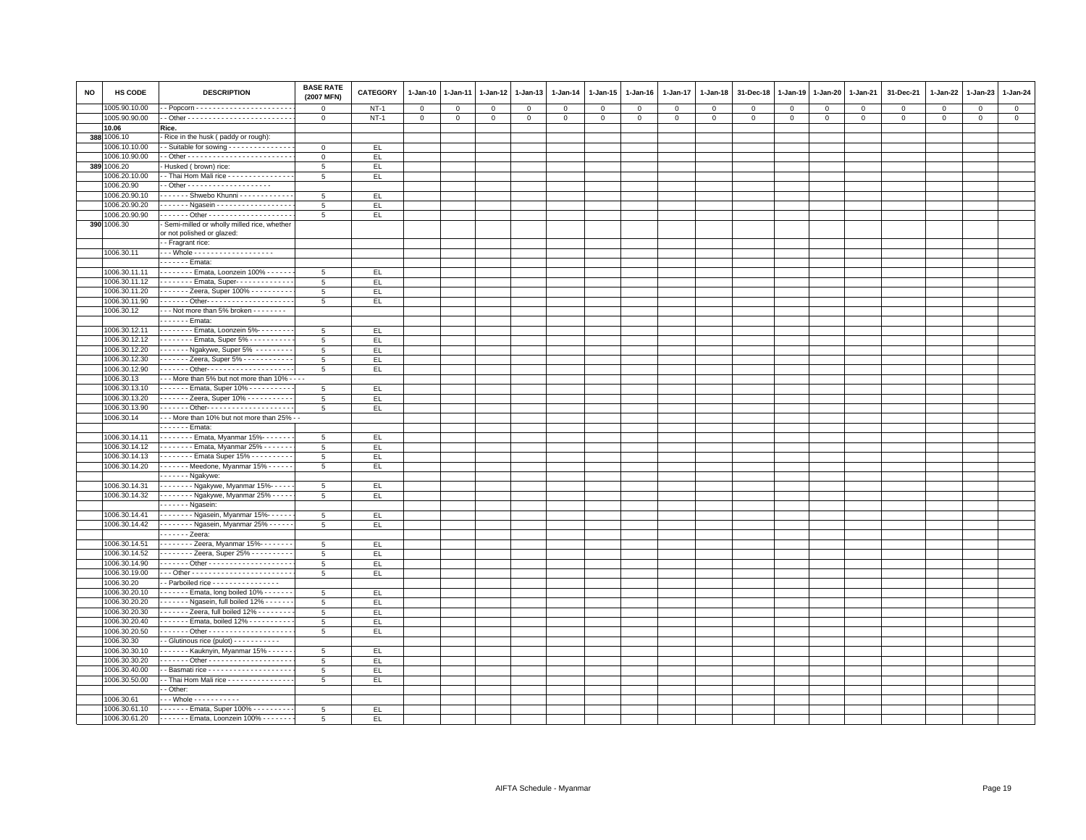| <b>NO</b> | HS CODE                        | <b>DESCRIPTION</b>                                             | <b>BASE RATE</b><br>(2007 MFN) | <b>CATEGORY</b> | 1-Jan-10       | $1 - Jan-11$ | $1 - Jan-12$ | $1 - Jan-13$ | 1-Jan-14       | 1-Jan-15    | $1 - Jan-16$ | 1-Jan-17     | $1 - Jan-18$ | 31-Dec-18   | $1 - Jan-19$        | 1-Jan-20    | 1-Jan-21    | 31-Dec-21   | 1-Jan-22     | 1-Jan-23    | 1-Jan-24       |
|-----------|--------------------------------|----------------------------------------------------------------|--------------------------------|-----------------|----------------|--------------|--------------|--------------|----------------|-------------|--------------|--------------|--------------|-------------|---------------------|-------------|-------------|-------------|--------------|-------------|----------------|
|           | 1005.90.10.00                  |                                                                | $\mathsf 0$                    | <b>NT-1</b>     | $\mathsf 0$    | $\mathsf 0$  | $\mathbf 0$  | $\mathbf 0$  | $^{\circ}$     | $\mathbf 0$ | $^{\circ}$   | $\mathsf 0$  | $\,0\,$      | $\mathbf 0$ | $\,0\,$             | $\mathbf 0$ | $\mathbf 0$ | $\mathbf 0$ | $\mathbf{0}$ | $\mathbf 0$ | $\mathsf 0$    |
|           | 1005.90.90.00                  |                                                                | $\mathsf 0$                    | $NT-1$          | $\overline{0}$ | $\mathbf 0$  | 0            | $\mathbf{O}$ | $\overline{0}$ | $\mathbf 0$ | $\mathbf{0}$ | $\mathsf{O}$ | $\mathbf 0$  | $\mathsf 0$ | $\mathsf{O}\xspace$ | $\mathbf 0$ | $\mathbf 0$ | $\mathbf 0$ | $\mathbf 0$  | $\mathbf 0$ | $\overline{0}$ |
|           | 10.06                          | Rice.                                                          |                                |                 |                |              |              |              |                |             |              |              |              |             |                     |             |             |             |              |             |                |
|           | 388 1006.10                    | Rice in the husk (paddy or rough):                             |                                |                 |                |              |              |              |                |             |              |              |              |             |                     |             |             |             |              |             |                |
|           | 1006.10.10.00                  | - Suitable for sowing - - - - - - - - - - - - - - -            | $\mathbf 0$                    | EL.             |                |              |              |              |                |             |              |              |              |             |                     |             |             |             |              |             |                |
|           | 1006.10.90.00                  |                                                                | $\mathbf 0$                    | EL.             |                |              |              |              |                |             |              |              |              |             |                     |             |             |             |              |             |                |
|           | 389 1006.20                    | Husked (brown) rice:                                           | 5                              | EL.             |                |              |              |              |                |             |              |              |              |             |                     |             |             |             |              |             |                |
|           | 1006.20.10.00                  | - Thai Hom Mali rice - - - - - - - - - - - - - -               | 5                              | EL              |                |              |              |              |                |             |              |              |              |             |                     |             |             |             |              |             |                |
|           | 1006.20.90                     |                                                                |                                |                 |                |              |              |              |                |             |              |              |              |             |                     |             |             |             |              |             |                |
|           | 1006.20.90.10                  | ------ Shwebo Khunni ------------                              | 5                              | EL.             |                |              |              |              |                |             |              |              |              |             |                     |             |             |             |              |             |                |
|           | 1006.20.90.20                  | . - Ngasein - - - - - - - - - - - - - - - - - -                | 5                              | EL.             |                |              |              |              |                |             |              |              |              |             |                     |             |             |             |              |             |                |
|           | 1006.20.90.90                  |                                                                | 5                              | EL.             |                |              |              |              |                |             |              |              |              |             |                     |             |             |             |              |             |                |
|           | 390 1006.30                    | Semi-milled or wholly milled rice, whether                     |                                |                 |                |              |              |              |                |             |              |              |              |             |                     |             |             |             |              |             |                |
|           |                                | or not polished or glazed:<br>- Fragrant rice:                 |                                |                 |                |              |              |              |                |             |              |              |              |             |                     |             |             |             |              |             |                |
|           | 1006.30.11                     |                                                                |                                |                 |                |              |              |              |                |             |              |              |              |             |                     |             |             |             |              |             |                |
|           |                                | $\cdots$ - Emata:                                              |                                |                 |                |              |              |              |                |             |              |              |              |             |                     |             |             |             |              |             |                |
|           | 1006.30.11.11                  | Emata, Loonzein 100% - - - - - -                               | 5                              | EL.             |                |              |              |              |                |             |              |              |              |             |                     |             |             |             |              |             |                |
|           | 1006.30.11.12                  | Emata, Super-------------                                      | 5                              | EL.             |                |              |              |              |                |             |              |              |              |             |                     |             |             |             |              |             |                |
|           | 1006.30.11.20                  | Zeera, Super 100%                                              | $5\phantom{.0}$                | EL.             |                |              |              |              |                |             |              |              |              |             |                     |             |             |             |              |             |                |
|           | 1006.30.11.90                  | . Other- - - - - - - - - - - - - - - - - - -                   | 5                              | EL.             |                |              |              |              |                |             |              |              |              |             |                     |             |             |             |              |             |                |
|           | 1006.30.12                     | --- Not more than 5% broken --------                           |                                |                 |                |              |              |              |                |             |              |              |              |             |                     |             |             |             |              |             |                |
|           |                                | - - - - - - Emata:                                             |                                |                 |                |              |              |              |                |             |              |              |              |             |                     |             |             |             |              |             |                |
|           | 1006.30.12.11                  | Emata, Loonzein 5%--------                                     | 5                              | EL              |                |              |              |              |                |             |              |              |              |             |                     |             |             |             |              |             |                |
|           | 1006.30.12.12                  | Emata, Super 5% - - - - - - - - -                              | 5                              | EL.             |                |              |              |              |                |             |              |              |              |             |                     |             |             |             |              |             |                |
|           | 1006.30.12.20                  | Ngakywe, Super 5%                                              | 5                              | EL.             |                |              |              |              |                |             |              |              |              |             |                     |             |             |             |              |             |                |
|           | 1006.30.12.30                  | ------ Zeera, Super 5% -----------                             | 5                              | EL.             |                |              |              |              |                |             |              |              |              |             |                     |             |             |             |              |             |                |
|           | 1006.30.12.90                  |                                                                | 5                              | EL.             |                |              |              |              |                |             |              |              |              |             |                     |             |             |             |              |             |                |
|           | 1006.30.13                     | - - - More than 5% but not more than 10% - - - -               |                                |                 |                |              |              |              |                |             |              |              |              |             |                     |             |             |             |              |             |                |
|           | 1006.30.13.10                  | Emata, Super 10%                                               | 5                              | EL              |                |              |              |              |                |             |              |              |              |             |                     |             |             |             |              |             |                |
|           | 1006.30.13.20                  | Zeera, Super 10% - - - - - - - - - -                           | 5                              | EL.             |                |              |              |              |                |             |              |              |              |             |                     |             |             |             |              |             |                |
|           | 1006.30.13.90                  |                                                                | 5                              | EL              |                |              |              |              |                |             |              |              |              |             |                     |             |             |             |              |             |                |
|           | 1006.30.14                     | --- More than 10% but not more than 25% -                      |                                |                 |                |              |              |              |                |             |              |              |              |             |                     |             |             |             |              |             |                |
|           |                                | . - Emata:                                                     |                                |                 |                |              |              |              |                |             |              |              |              |             |                     |             |             |             |              |             |                |
|           | 1006.30.14.11                  | Emata, Myanmar 15%-------                                      | $5\phantom{.0}$                | EL.             |                |              |              |              |                |             |              |              |              |             |                     |             |             |             |              |             |                |
|           | 1006.30.14.12                  | Emata, Myanmar 25%                                             | $\overline{5}$                 | EL              |                |              |              |              |                |             |              |              |              |             |                     |             |             |             |              |             |                |
|           | 1006.30.14.13                  | . Emata Super 15% -                                            | 5                              | EL.             |                |              |              |              |                |             |              |              |              |             |                     |             |             |             |              |             |                |
|           | 1006.30.14.20                  | ------ Meedone, Myanmar 15% -----                              | 5                              | EL.             |                |              |              |              |                |             |              |              |              |             |                     |             |             |             |              |             |                |
|           |                                | $---Ngakywe:$                                                  |                                |                 |                |              |              |              |                |             |              |              |              |             |                     |             |             |             |              |             |                |
|           | 1006.30.14.31                  | Bygakywe, Myanmar 15%-----                                     | 5                              | EL              |                |              |              |              |                |             |              |              |              |             |                     |             |             |             |              |             |                |
|           | 1006.30.14.32                  | DYgakywe, Myanmar 25% - - - - .                                | 5                              | EL.             |                |              |              |              |                |             |              |              |              |             |                     |             |             |             |              |             |                |
|           |                                | $---$ Ngasein:                                                 |                                |                 |                |              |              |              |                |             |              |              |              |             |                     |             |             |             |              |             |                |
|           | 1006.30.14.41                  | Bgasein, Myanmar 15%------                                     | 5                              | EL.             |                |              |              |              |                |             |              |              |              |             |                     |             |             |             |              |             |                |
|           | 1006.30.14.42                  | Ngasein, Myanmar 25% - - - - - -                               | 5 <sub>5</sub>                 | EL              |                |              |              |              |                |             |              |              |              |             |                     |             |             |             |              |             |                |
|           |                                | $\cdots$ $\cdots$ Zeera:                                       |                                |                 |                |              |              |              |                |             |              |              |              |             |                     |             |             |             |              |             |                |
|           | 1006.30.14.51                  | . Zeera, Myanmar 15%-                                          | $5\overline{5}$                | EL.             |                |              |              |              |                |             |              |              |              |             |                     |             |             |             |              |             |                |
|           | 1006.30.14.52                  | Zeera, Super 25% - - - - - - - - -                             | $5\phantom{.0}$                | EL              |                |              |              |              |                |             |              |              |              |             |                     |             |             |             |              |             |                |
|           | 1006.30.14.90                  |                                                                | 5                              | EL.             |                |              |              |              |                |             |              |              |              |             |                     |             |             |             |              |             |                |
|           | 1006.30.19.00                  |                                                                | 5                              | EL.             |                |              |              |              |                |             |              |              |              |             |                     |             |             |             |              |             |                |
|           | 1006.30.20                     | - Parboiled rice - - - - - - - - - - - - - - - -               |                                |                 |                |              |              |              |                |             |              |              |              |             |                     |             |             |             |              |             |                |
|           | 1006.30.20.10                  | ------ Emata, long boiled 10% ------                           | 5                              | EL.             |                |              |              |              |                |             |              |              |              |             |                     |             |             |             |              |             |                |
|           | 1006.30.20.20                  | Ngasein, full boiled 12% - - - - - - -                         | 5                              | EL              |                |              |              |              |                |             |              |              |              |             |                     |             |             |             |              |             |                |
|           | 1006.30.20.30                  | Zeera, full boiled 12% - - - - - - -                           | 5                              | EL.             |                |              |              |              |                |             |              |              |              |             |                     |             |             |             |              |             |                |
|           | 1006.30.20.40                  | ------ Emata, boiled 12% ----------                            | 5                              | EL.             |                |              |              |              |                |             |              |              |              |             |                     |             |             |             |              |             |                |
|           | 1006.30.20.50<br>1006.30.30    |                                                                | 5                              | EL.             |                |              |              |              |                |             |              |              |              |             |                     |             |             |             |              |             |                |
|           |                                | - Glutinous rice (pulot) - - - - - - - - - - -                 |                                |                 |                |              |              |              |                |             |              |              |              |             |                     |             |             |             |              |             |                |
|           | 1006.30.30.10<br>1006.30.30.20 | - - - - - - Kauknyin, Myanmar 15% - - - - - -                  | 5                              | EL.             |                |              |              |              |                |             |              |              |              |             |                     |             |             |             |              |             |                |
|           |                                | ------ Other ---------------------                             | 5                              | EL.             |                |              |              |              |                |             |              |              |              |             |                     |             |             |             |              |             |                |
|           | 1006.30.40.00<br>1006.30.50.00 |                                                                | $5\phantom{.0}$                | EL              |                |              |              |              |                |             |              |              |              |             |                     |             |             |             |              |             |                |
|           |                                | - Thai Hom Mali rice - - - - - - - - - - - - - - -<br>- Other: | 5                              | EL.             |                |              |              |              |                |             |              |              |              |             |                     |             |             |             |              |             |                |
|           | 1006.30.61                     | $-$ - Whole - - - - - - - - - - -                              |                                |                 |                |              |              |              |                |             |              |              |              |             |                     |             |             |             |              |             |                |
|           | 1006.30.61.10                  | Emata, Super 100% - - - - - - - - -                            | 5                              | EL.             |                |              |              |              |                |             |              |              |              |             |                     |             |             |             |              |             |                |
|           | 1006.30.61.20                  | Emata, Loonzein 100% -                                         | $5^{\circ}$                    | EL <sub></sub>  |                |              |              |              |                |             |              |              |              |             |                     |             |             |             |              |             |                |
|           |                                |                                                                |                                |                 |                |              |              |              |                |             |              |              |              |             |                     |             |             |             |              |             |                |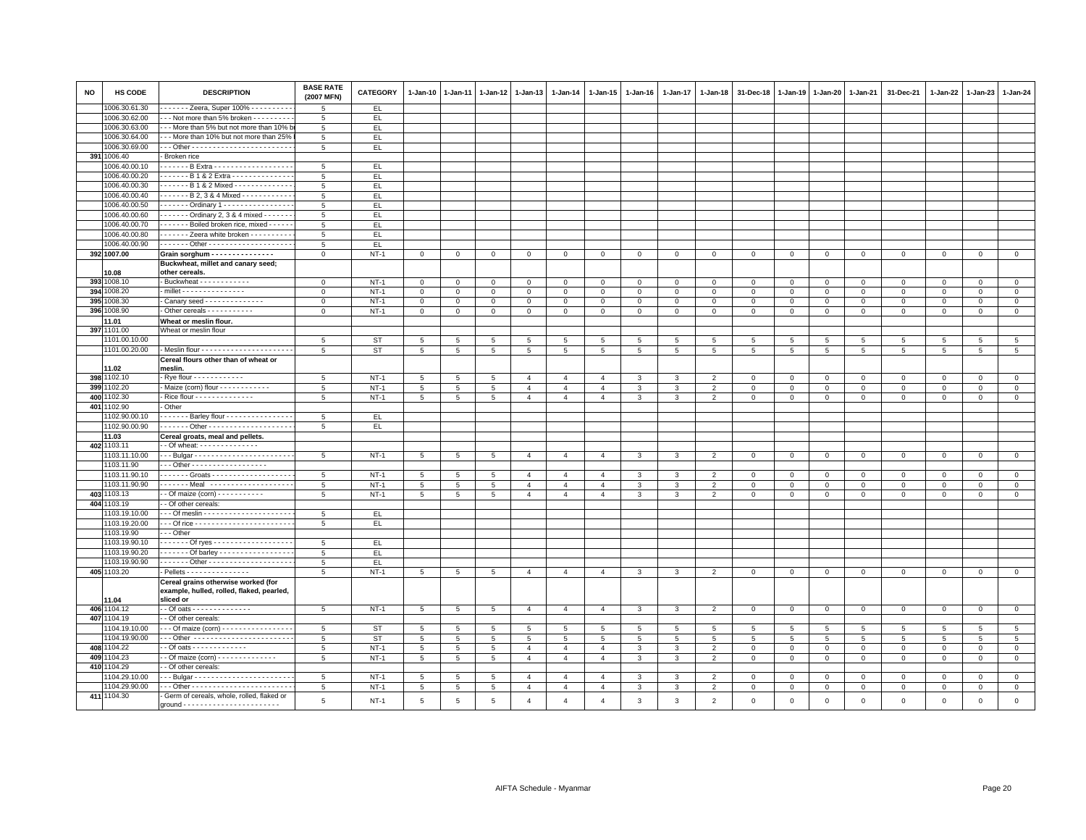| <b>NO</b> | <b>HS CODE</b>                 | <b>DESCRIPTION</b>                                  | <b>BASE RATE</b><br>(2007 MFN) | <b>CATEGORY</b> | 1-Jan-10        | $1-Jan-11$      | 1-Jan-12    | $1-Jan-13$     | 1-Jan-14         | 1-Jan-15       | 1-Jan-16     | 1-Jan-17     | 1-Jan-18       | 31-Dec-18      | 1-Jan-19       | $1 - Jan-20$   | 1-Jan-21       | 31-Dec-21    | 1-Jan-22     | 1-Jan-23        | 1-Jan-24       |
|-----------|--------------------------------|-----------------------------------------------------|--------------------------------|-----------------|-----------------|-----------------|-------------|----------------|------------------|----------------|--------------|--------------|----------------|----------------|----------------|----------------|----------------|--------------|--------------|-----------------|----------------|
|           | 1006.30.61.30                  | - - - - - - Zeera, Super 100% - - - - - - - - -     | 5                              | EL.             |                 |                 |             |                |                  |                |              |              |                |                |                |                |                |              |              |                 |                |
|           | 1006.30.62.00                  | -- Not more than 5% broken - - - - - - - - -        | -5                             | EL.             |                 |                 |             |                |                  |                |              |              |                |                |                |                |                |              |              |                 |                |
|           | 1006.30.63.00                  | - - More than 5% but not more than 10% b            | 5                              | EL.             |                 |                 |             |                |                  |                |              |              |                |                |                |                |                |              |              |                 |                |
|           | 1006.30.64.00                  | --- More than 10% but not more than 25%             | 5                              | EL.             |                 |                 |             |                |                  |                |              |              |                |                |                |                |                |              |              |                 |                |
|           | 1006.30.69.00                  |                                                     | 5                              | EL              |                 |                 |             |                |                  |                |              |              |                |                |                |                |                |              |              |                 |                |
|           | 391 1006.40                    | Broken rice                                         |                                |                 |                 |                 |             |                |                  |                |              |              |                |                |                |                |                |              |              |                 |                |
|           | 1006.40.00.10                  | ------ B Extra - - - - - - - - - - - - - - - - -    | 5                              | EL              |                 |                 |             |                |                  |                |              |              |                |                |                |                |                |              |              |                 |                |
|           | 1006.40.00.20                  | ------ B 1 & 2 Extra --------------                 | 5                              | EL.             |                 |                 |             |                |                  |                |              |              |                |                |                |                |                |              |              |                 |                |
|           | 1006.40.00.30                  | . B 1 & 2 Mixed -                                   | 5                              | EL              |                 |                 |             |                |                  |                |              |              |                |                |                |                |                |              |              |                 |                |
|           | 1006.40.00.40                  | ------ B 2, 3 & 4 Mixed ------------                | 5                              | EL.             |                 |                 |             |                |                  |                |              |              |                |                |                |                |                |              |              |                 |                |
|           | 1006.40.00.50                  | ------ Ordinary 1 -----------------                 | $\overline{5}$                 | EL.             |                 |                 |             |                |                  |                |              |              |                |                |                |                |                |              |              |                 |                |
|           | 1006.40.00.60                  | Ordinary 2, 3 & 4 mixed - - - - - -                 | 5                              | EL.             |                 |                 |             |                |                  |                |              |              |                |                |                |                |                |              |              |                 |                |
|           | 1006.40.00.70                  | - - - - - - Boiled broken rice, mixed - - - - -     | $5^{\circ}$                    | EL.             |                 |                 |             |                |                  |                |              |              |                |                |                |                |                |              |              |                 |                |
|           | 1006.40.00.80                  | ------ Zeera white broken - - - - - - - - -         | 5                              | EL.             |                 |                 |             |                |                  |                |              |              |                |                |                |                |                |              |              |                 |                |
|           | 1006.40.00.90                  |                                                     | 5                              | EL.             |                 |                 |             |                |                  |                |              |              |                |                |                |                |                |              |              |                 |                |
|           | 392 1007.00                    | Grain sorghum - - - - - - - - - - - - - - -         | $\mathbf 0$                    | $NT-1$          | $\mathbf{0}$    | $\mathbf 0$     | $\mathbf 0$ | $\mathbf 0$    | $\mathsf 0$      | $\mathbf 0$    | $\mathbf{O}$ | $\mathbf 0$  | $\mathsf 0$    | $\overline{0}$ | $\mathsf 0$    | $\mathbf{0}$   | $\mathbf{0}$   | $\mathbf 0$  | $\mathbf 0$  | $\mathbf 0$     | $\circ$        |
|           |                                | Buckwheat, millet and canary seed;                  |                                |                 |                 |                 |             |                |                  |                |              |              |                |                |                |                |                |              |              |                 |                |
|           | 10.08                          | other cereals.                                      |                                |                 |                 |                 |             |                |                  |                |              |              |                |                |                |                |                |              |              |                 |                |
|           | 393 1008.10                    | Buckwheat - - - - - - - - - - -                     | $\mathbf{0}$                   | $NT-1$          | $\Omega$        | $\Omega$        | $\mathbf 0$ | $\Omega$       | $\Omega$         | $\Omega$       | $\Omega$     | $\Omega$     | $\mathbf 0$    | $\mathbf 0$    | $\mathbf{0}$   | $\mathbf{0}$   | $\Omega$       | $\Omega$     | $\Omega$     | $\Omega$        | $\mathbf{0}$   |
| 394       | 1008.20                        | millet - - - - - - - - - - - - - - -                | $\mathbf{0}$                   | $NT-1$          | 0               | $\mathbf 0$     | $\mathbf 0$ | $\mathbf{0}$   | $\mathsf 0$      | $\mathbf 0$    | $\mathbf 0$  | 0            | $\mathbf 0$    | $\mathbf 0$    | $\mathbf{0}$   | $\mathbf 0$    | $\mathbf 0$    | $\mathbf 0$  | $\Omega$     | $\mathbf{0}$    | $\mathbf{0}$   |
| 395       | 008.30                         | Canary seed - - - - - - - - - - - - -               | $\mathbf 0$                    | $NT-1$          | 0               | 0               | $\mathbf 0$ | $\mathbf 0$    |                  | $\mathbf 0$    | $\mathbf 0$  | $\mathbf 0$  | $\mathbf 0$    | $\,0\,$        | $\mathbf 0$    | $\mathsf 0$    | $\mathbf 0$    | $\mathbf 0$  | $\Omega$     | $\Omega$        | $\mathsf 0$    |
|           | 396 1008.90                    | Other cereals - - - - - - - - - -                   | $\Omega$                       | $NT-1$          | $\mathbf{O}$    | $\mathbf 0$     | $\mathbf 0$ | $\mathbf{0}$   | 0<br>$\mathsf 0$ | $\mathbf{0}$   | $\mathbf{0}$ | $\mathbf 0$  | $\mathbf 0$    | $\mathbf 0$    | $\mathsf 0$    | $\mathbf 0$    | $\mathbf{0}$   | $\mathbf 0$  | $\Omega$     | $\Omega$        | $\mathsf 0$    |
|           |                                |                                                     |                                |                 |                 |                 |             |                |                  |                |              |              |                |                |                |                |                |              |              |                 |                |
|           | 11.01<br>397 1101.00           | Wheat or meslin flour.                              |                                |                 |                 |                 |             |                |                  |                |              |              |                |                |                |                |                |              |              |                 |                |
|           |                                | Wheat or meslin flour                               |                                |                 |                 |                 |             |                |                  |                |              |              |                |                |                |                |                |              |              |                 |                |
|           | 1101.00.10.00                  |                                                     | 5                              | ST              | 5               | 5               | 5           | 5              | 5                | 5              | 5            | 5            | 5              | 5              | 5              | 5              | 5              | 5            | 5            | 5               | $\overline{5}$ |
|           | 1101.00.20.00                  |                                                     | 5                              | ST              | $5\overline{5}$ | 5               | 5           | 5              | 5                | 5              | 5            | 5            | 5              | 5              | 5              | 5              | 5              | 5            | 5            | 5               | 5              |
|           |                                | Cereal flours other than of wheat or                |                                |                 |                 |                 |             |                |                  |                |              |              |                |                |                |                |                |              |              |                 |                |
|           | 11.02                          | meslin.                                             |                                |                 |                 |                 |             |                |                  |                |              |              |                |                |                |                |                |              |              |                 |                |
|           | 398 1102.10                    | - Rye flour - - - - - - - - - - - -                 | 5                              | $NT-1$          | 5               | 5               | 5           | $\overline{4}$ | $\overline{4}$   | $\overline{4}$ | 3            | 3            | $\overline{2}$ | $\Omega$       | $\mathbf 0$    | $\Omega$       | $\Omega$       | $\Omega$     | $\Omega$     | $\Omega$        | $\mathsf 0$    |
|           | 399 1102.20                    | Maize (corn) flour - - - - - - - - - - - -          | 5                              | $NT-1$          | $5\phantom{.0}$ | 5               | 5           | $\overline{4}$ | $\overline{4}$   | $\overline{4}$ | 3            | 3            | $\overline{2}$ | $\mathbf 0$    | $\,0\,$        | $\mathbf{0}$   | $\mathbf{O}$   | 0            | $\circ$      | $\mathbf 0$     | $\overline{0}$ |
|           | 400 1102.30                    | - Rice flour - - - - - - - - - - - - - -            | 5                              | $NT-1$          | 5 <sup>5</sup>  | 5 <sup>5</sup>  | 5           | $\mathbf{A}$   | $\overline{4}$   | $\overline{4}$ | 3            | 3            | $\overline{2}$ | $\mathbf 0$    | $\overline{0}$ | $\mathbf 0$    | $\mathbf{0}$   | $\mathbf 0$  | $\mathbf{0}$ | $\Omega$        | $\mathbf{0}$   |
|           | 401 1102.90                    | - Other                                             |                                |                 |                 |                 |             |                |                  |                |              |              |                |                |                |                |                |              |              |                 |                |
|           | 102.90.00.10                   | $\cdots$ Barley flour                               | 5                              | EL.             |                 |                 |             |                |                  |                |              |              |                |                |                |                |                |              |              |                 |                |
|           | 1102.90.00.90                  |                                                     | $5^{\circ}$                    | EL.             |                 |                 |             |                |                  |                |              |              |                |                |                |                |                |              |              |                 |                |
|           | 11.03                          | Cereal groats, meal and pellets.                    |                                |                 |                 |                 |             |                |                  |                |              |              |                |                |                |                |                |              |              |                 |                |
|           | 402 1103.11                    |                                                     |                                |                 |                 |                 |             |                |                  |                |              |              |                |                |                |                |                |              |              |                 |                |
|           | 1103.11.10.00                  | -- Bulgar ------------------------                  | 5                              | $NT-1$          | 5               | 5               | 5           | $\overline{4}$ | $\overline{4}$   | $\overline{4}$ | 3            | 3            | $\overline{2}$ | $\mathbf 0$    | 0              | $\mathbf{0}$   | $\mathbf 0$    | 0            | $\circ$      | $\mathbf 0$     | $\mathbf{0}$   |
|           | 1103.11.90                     | - - Other - - - - - - - - - - - - - - - - - -       |                                |                 |                 |                 |             |                |                  |                |              |              |                |                |                |                |                |              |              |                 |                |
|           | 1103.11.90.10                  | ------ Groats --------------------                  | 5                              | $NT-1$          | 5               | 5               | 5           | $\overline{4}$ | $\overline{4}$   | 4              | 3            | 3            | $\overline{2}$ | $\mathbf 0$    | 0              | 0              | $\mathbf 0$    | $\mathbf 0$  | $^{\circ}$   | $\mathbf 0$     | $\mathbf 0$    |
|           | 1103.11.90.90                  |                                                     | 5                              | $NT-1$          | 5               | $5\overline{5}$ | 5           | $\overline{a}$ | $\overline{4}$   | $\overline{4}$ | 3            | 3            | $\overline{2}$ | $\mathbf 0$    | $\mathbf{0}$   | $\mathbf{0}$   | $\mathbf 0$    | $\mathbf 0$  | $\circ$      | $\mathbf 0$     | $\circ$        |
|           | 403 1103.13                    | - Of maize (corn) - - - - - - - - - -               | $\overline{5}$                 | $NT-1$          | $5\phantom{.0}$ | 5               | 5           | $\overline{4}$ | $\overline{4}$   | $\overline{4}$ | 3            | 3            | 2              | $\mathbf 0$    | $\mathbf 0$    | $\Omega$       | $\Omega$       | $\Omega$     | $\Omega$     | $\Omega$        | $\mathbf 0$    |
|           | 404 1103.19                    | - Of other cereals:                                 |                                |                 |                 |                 |             |                |                  |                |              |              |                |                |                |                |                |              |              |                 |                |
|           | 1103.19.10.00                  |                                                     | $5\phantom{.0}$                | EL.             |                 |                 |             |                |                  |                |              |              |                |                |                |                |                |              |              |                 |                |
|           | 1103.19.20.00                  |                                                     | 5                              | EL.             |                 |                 |             |                |                  |                |              |              |                |                |                |                |                |              |              |                 |                |
|           | 1103.19.90                     | $-$ Other                                           |                                |                 |                 |                 |             |                |                  |                |              |              |                |                |                |                |                |              |              |                 |                |
|           | 1103.19.90.10                  | ------ Of ryes -------------------                  | 5                              | EL.             |                 |                 |             |                |                  |                |              |              |                |                |                |                |                |              |              |                 |                |
|           | 1103.19.90.20                  | Of barley                                           | 5                              | EL.             |                 |                 |             |                |                  |                |              |              |                |                |                |                |                |              |              |                 |                |
|           | 1103.19.90.90                  |                                                     | 5                              | EL              |                 |                 |             |                |                  |                |              |              |                |                |                |                |                |              |              |                 |                |
|           | 405 1103.20                    | $-Pellets - - - - - - - - - - - - - - -$            | 5                              | $NT-1$          | $5\overline{5}$ | 5               | 5           | $\overline{4}$ | $\overline{4}$   | $\overline{4}$ | $\mathbf{3}$ | $\mathbf{3}$ | $\overline{2}$ | $\mathbf{0}$   | $\mathbf{0}$   | $\mathbf{0}$   | $\overline{0}$ | $\mathbf{0}$ | $\mathbf{0}$ | $\mathbf{0}$    | $\circ$        |
|           |                                | Cereal grains otherwise worked (for                 |                                |                 |                 |                 |             |                |                  |                |              |              |                |                |                |                |                |              |              |                 |                |
|           |                                | example, hulled, rolled, flaked, pearled,           |                                |                 |                 |                 |             |                |                  |                |              |              |                |                |                |                |                |              |              |                 |                |
|           | 11.04                          | sliced or                                           |                                |                 |                 |                 |             |                |                  |                |              |              |                |                |                |                |                |              |              |                 |                |
|           | 406 1104.12                    | - Of oats - - - - - - - - - - - - - -               | 5                              | $NT-1$          | 5               | 5               | 5           | $\overline{4}$ | $\overline{4}$   | $\overline{4}$ | 3            | $\mathbf{3}$ | $\overline{2}$ | $\mathbf 0$    | $\mathbf{0}$   | $\mathbf{0}$   | $\overline{0}$ | $\mathbf 0$  | $^{\circ}$   | $\mathbf 0$     | $\mathbf{0}$   |
|           | 407 1104.19                    | - Of other cereals:                                 |                                |                 |                 |                 |             |                |                  |                |              |              |                |                |                |                |                |              |              |                 |                |
|           | 1104.19.10.00                  | - - Of maize (corn) - - - - - - - - - - - - - - - - | 5                              | ST              | 5               | 5               | 5           | -5             | -5               | $\overline{5}$ | -5           | 5            | -5             | 5              | 5              | 5              | 5              | 5            | 5            | 5               | 5              |
|           | 1104.19.90.00                  |                                                     | 5                              | <b>ST</b>       | 5               | $\overline{5}$  | 5           | 5              | 5                | 5              | 5            | 5            | 5              | 5              | 5              | 5              | 5              | 5            | 5            | $5\overline{5}$ | $\overline{5}$ |
|           | 408 1104.22                    |                                                     | 5                              | $NT-1$          | 5               | 5               | 5           | $\overline{4}$ | $\overline{4}$   | $\overline{4}$ | 3            | 3            | $\overline{2}$ | $\mathsf 0$    | $\mathsf 0$    | $\mathsf 0$    | $\mathbf{O}$   | $\mathbf 0$  | $\mathbf 0$  | $\mathbf 0$     | $\mathsf 0$    |
|           | 409 1104.23                    | - Of maize (corn) - - - - - - - - - - - - - -       | 5                              | $NT-1$          | 5 <sub>5</sub>  | 5               | 5           | $\overline{4}$ | $\overline{4}$   | $\overline{4}$ | 3            | 3            | $\overline{2}$ | $\mathbf 0$    | $\mathbf{0}$   | $\mathbf 0$    | $\mathbf{0}$   | $\mathbf 0$  | $\circ$      | $\mathbf 0$     | $\mathbf{0}$   |
|           | 410 1104.29                    | - Of other cereals:                                 |                                |                 |                 |                 |             |                |                  |                |              |              |                |                |                |                |                |              |              |                 |                |
|           |                                |                                                     |                                |                 |                 |                 |             |                |                  |                |              |              |                |                |                |                |                |              |              |                 |                |
|           | 1104.29.10.00<br>1104.29.90.00 |                                                     | 5                              | $NT-1$          | 5               | 5               | 5           | $\overline{4}$ | $\overline{4}$   | $\overline{4}$ | 3            | 3            | $\overline{2}$ | $\mathbf 0$    | $\mathsf 0$    | $\mathbf 0$    | $\mathbf 0$    | $\mathbf 0$  | $\circ$      | $\mathbf 0$     | $\mathbf 0$    |
|           |                                |                                                     | $5\phantom{.0}$                | $NT-1$          | $5\phantom{.0}$ | 5               | 5           | $\overline{4}$ | $\overline{4}$   | $\overline{4}$ | 3            | 3            | $\overline{2}$ | $\mathbf 0$    | $\overline{0}$ | $\overline{0}$ | $\mathbf 0$    | $\mathbf{0}$ | $\mathbf 0$  | $\mathbf 0$     | $\overline{0}$ |
|           | 411 1104.30                    | Germ of cereals, whole, rolled, flaked or           | 5                              | $NT-1$          | 5               | 5               | $\,$ 5 $\,$ | $\overline{4}$ | $\overline{4}$   | $\overline{4}$ | 3            | 3            | $\overline{2}$ | $\mathbf 0$    | $\mathbf 0$    | $\mathbf 0$    | $\Omega$       | $\mathbf 0$  | $\mathbf 0$  | $\mathbf 0$     | $\Omega$       |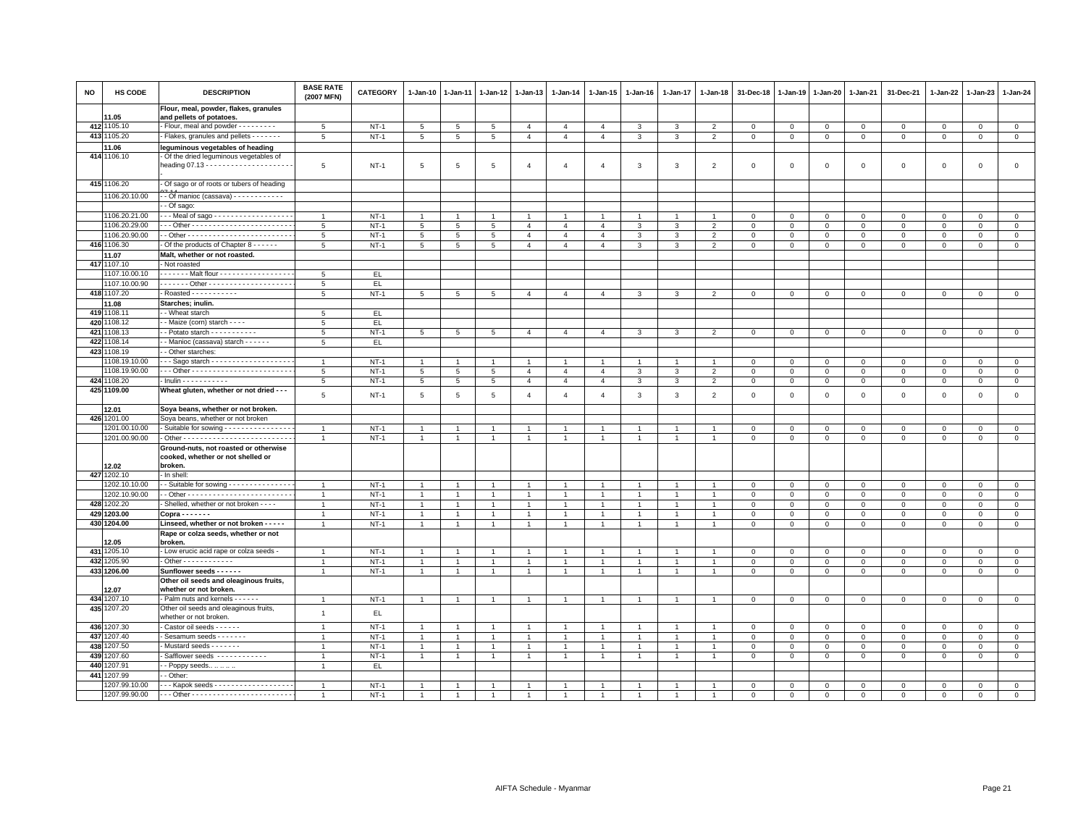| NO  | HS CODE       | <b>DESCRIPTION</b>                                                                    | <b>BASE RATE</b><br>(2007 MFN) | CATEGORY | 1-Jan-10        | $1 - Jan-11$    | $1-Jan-12$      | 1-Jan-13       | 1-Jan-14       | 1-Jan-15       | 1-Jan-16       | 1-Jan-17       | 1-Jan-18       | 31-Dec-18    | 1-Jan-19     | 1-Jan-20       | 1-Jan-21     | 31-Dec-21    | 1-Jan-22     | 1-Jan-23     | 1-Jan-24     |
|-----|---------------|---------------------------------------------------------------------------------------|--------------------------------|----------|-----------------|-----------------|-----------------|----------------|----------------|----------------|----------------|----------------|----------------|--------------|--------------|----------------|--------------|--------------|--------------|--------------|--------------|
|     | 1.05          | Flour, meal, powder, flakes, granules<br>and pellets of potatoes.                     |                                |          |                 |                 |                 |                |                |                |                |                |                |              |              |                |              |              |              |              |              |
|     | 412 1105.10   | - Flour, meal and powder - - - - - - - - -                                            | 5                              | $NT-1$   | $5\overline{5}$ | $5\overline{5}$ | $5\overline{5}$ | $\overline{4}$ | $\overline{4}$ | $\overline{4}$ | $\mathcal{R}$  | $\mathbf{a}$   | $\overline{2}$ | $\mathsf 0$  | $\mathbf{0}$ | $\circ$        | $\mathbf{0}$ | $\Omega$     | $\Omega$     | $\Omega$     | $\circ$      |
|     | 413 1105.20   | - Flakes, granules and pellets - - - - - -                                            | 5                              | $NT-1$   | $5\phantom{.0}$ | 5               | 5               | $\overline{4}$ | $\overline{4}$ | $\overline{4}$ | 3              | 3              | $\overline{2}$ | $\mathsf 0$  | $\mathsf 0$  | $\mathbf{0}$   | $\mathbf 0$  | $\mathbf 0$  | 0            | $\mathbf{0}$ | $\mathbf{0}$ |
|     | 11.06         | leguminous vegetables of heading                                                      |                                |          |                 |                 |                 |                |                |                |                |                |                |              |              |                |              |              |              |              |              |
|     | 414 1106.10   | - Of the dried leguminous vegetables of                                               |                                |          |                 |                 |                 |                |                |                |                |                |                |              |              |                |              |              |              |              |              |
|     |               |                                                                                       | 5                              | $NT-1$   | 5               | 5               | 5               | $\overline{4}$ | $\overline{4}$ | $\overline{4}$ | 3              | 3              | $\overline{2}$ | $\mathbf 0$  | $^{\circ}$   | $\mathsf 0$    | $\mathbf 0$  | $\mathbf 0$  | $\mathbf 0$  | $\mathbf 0$  | $\mathsf 0$  |
|     | 415 1106.20   | - Of sago or of roots or tubers of heading                                            |                                |          |                 |                 |                 |                |                |                |                |                |                |              |              |                |              |              |              |              |              |
|     | 1106.20.10.00 | - - Of manioc (cassava) - - - - - - - - - - - -                                       |                                |          |                 |                 |                 |                |                |                |                |                |                |              |              |                |              |              |              |              |              |
|     |               | - Of sago:                                                                            |                                |          |                 |                 |                 |                |                |                |                |                |                |              |              |                |              |              |              |              |              |
|     | 1106.20.21.00 | - - Meal of sago - - - - - - - - - - - - - - - - - -                                  | $\overline{1}$                 | $NT-1$   |                 |                 | -1              |                |                |                |                |                |                | $\mathbf 0$  | $^{\circ}$   | $^{\circ}$     | $\mathbf{0}$ | $\Omega$     | $\Omega$     | $\Omega$     | $\mathbf 0$  |
|     | 1106.20.29.00 |                                                                                       | $5\overline{5}$                | $NT-1$   | $5\overline{5}$ | $5\overline{5}$ | 5               | $\overline{4}$ | $\overline{4}$ | $\overline{4}$ | 3              | 3              | $\overline{2}$ | $\mathbf{0}$ | $\mathbf{0}$ | $\mathbf{0}$   | $\mathbf{0}$ | $\circ$      | $\mathbf 0$  | $\circ$      | $\mathbf{0}$ |
|     | 1106.20.90.00 |                                                                                       | 5                              | $NT-1$   | 5               | $5\phantom{.0}$ | $\overline{5}$  | $\overline{4}$ | $\overline{4}$ | $\overline{4}$ | 3              | 3              | $\overline{2}$ | $\mathbf 0$  | $\mathsf 0$  | $\mathsf 0$    | $\mathsf 0$  | $\mathbf 0$  | $\mathbf 0$  | $\mathbf 0$  | $\mathsf 0$  |
|     | 416 1106.30   | Of the products of Chapter 8 - - - - - -                                              | 5                              | $NT-1$   | $5\overline{5}$ | $5\phantom{.0}$ | 5               | $\overline{4}$ | $\overline{4}$ | $\overline{4}$ | 3              | 3              | $\overline{2}$ | $\mathbf 0$  | $\mathbf 0$  | $\mathbf 0$    | $\mathbf 0$  | 0            | 0            | 0            | $\mathsf 0$  |
|     | 11.07         | Malt, whether or not roasted.                                                         |                                |          |                 |                 |                 |                |                |                |                |                |                |              |              |                |              |              |              |              |              |
|     | 417 1107.10   | - Not roasted                                                                         |                                |          |                 |                 |                 |                |                |                |                |                |                |              |              |                |              |              |              |              |              |
|     | 1107.10.00.10 | . - Malt flour - - - - - - - - - - - - - - - - -                                      | 5                              | EL.      |                 |                 |                 |                |                |                |                |                |                |              |              |                |              |              |              |              |              |
|     | 1107.10.00.90 |                                                                                       | 5                              | EL.      |                 |                 |                 |                |                |                |                |                |                |              |              |                |              |              |              |              |              |
|     | 418 1107.20   | Roasted - - - - - - - - - - -                                                         | 5                              | $NT-1$   | 5               | 5               | 5               | $\overline{4}$ | $\overline{4}$ | $\overline{4}$ | 3              | 3              | $\overline{2}$ | $\mathbf 0$  | $\mathbf 0$  | $\mathbf 0$    | $\mathsf 0$  | $\circ$      | $\mathbf 0$  | $\mathbf{0}$ | $\mathbb O$  |
|     | 11.08         | Starches; inulin.                                                                     |                                |          |                 |                 |                 |                |                |                |                |                |                |              |              |                |              |              |              |              |              |
|     | 419 1108.11   | - Wheat starch                                                                        | $\overline{5}$                 | EL.      |                 |                 |                 |                |                |                |                |                |                |              |              |                |              |              |              |              |              |
|     | 420 1108.12   | - Maize (corn) starch - - - -                                                         | 5                              | EL.      |                 |                 |                 |                |                |                |                |                |                |              |              |                |              |              |              |              |              |
| 421 | 1108.13       | - Potato starch - - - - - - - - - -                                                   | 5                              | $NT-1$   | 5               | 5               | 5               | $\overline{4}$ | $\overline{4}$ | $\overline{4}$ | 3              | 3              | $\overline{2}$ | $\mathbf 0$  | $\mathbf 0$  | $\mathbf 0$    | $\mathbf 0$  | $\mathbf 0$  | 0            | $\mathbf 0$  | $\mathbf 0$  |
| 422 | 1108.14       | - Manioc (cassava) starch - - - - - -                                                 | 5                              | EL.      |                 |                 |                 |                |                |                |                |                |                |              |              |                |              |              |              |              |              |
|     | 423 1108.19   | - Other starches:                                                                     |                                |          |                 |                 |                 |                |                |                |                |                |                |              |              |                |              |              |              |              |              |
|     | 1108.19.10.00 | --- Sago starch -------------------                                                   | $\overline{1}$                 | $NT-1$   |                 |                 | -1              | 1              | $\mathbf{1}$   |                |                |                |                | $\mathbf 0$  | $^{\circ}$   | $\mathbf 0$    | $\mathbf 0$  | 0            | 0            | $\mathbf 0$  | $\mathbf 0$  |
|     | 1108.19.90.00 |                                                                                       | 5                              | $NT-1$   | $5\overline{5}$ | 5               | 5               | $\overline{4}$ | $\overline{4}$ | $\Delta$       | $\mathcal{R}$  | 3              | $\overline{2}$ | $\mathbf 0$  | $\mathsf 0$  | $\mathbf 0$    | $\mathbf 0$  | $\circ$      | $\Omega$     | $\Omega$     | $\mathsf 0$  |
|     | 424 1108.20   | $-$ Inulin $- - - - - - - - - -$                                                      | 5                              | $NT-1$   | $5\overline{5}$ | $5\phantom{.0}$ | $5\overline{5}$ | $\overline{4}$ | $\overline{4}$ | $\overline{4}$ | 3              | 3              | $\overline{2}$ | $\mathbf{0}$ | $\mathbf{0}$ | $\mathbf{0}$   | $\mathbf{0}$ | $\circ$      | $\Omega$     | $\mathbf{0}$ | $\mathbf{0}$ |
|     | 425 1109.00   | Wheat gluten, whether or not dried - - -                                              | 5                              | $NT-1$   | $5\phantom{.0}$ | $\overline{5}$  | 5               | $\overline{4}$ | $\overline{4}$ | $\overline{4}$ | 3              | 3              | $\overline{2}$ | $\mathbf 0$  | $\mathbf 0$  | $\mathbf 0$    | $\mathsf 0$  | $\mathbf 0$  | 0            | $\mathbf 0$  | $\mathsf 0$  |
|     | 12.01         | Soya beans, whether or not broken.                                                    |                                |          |                 |                 |                 |                |                |                |                |                |                |              |              |                |              |              |              |              |              |
|     | 426 1201.00   | Soya beans, whether or not broken                                                     |                                |          |                 |                 |                 |                |                |                |                |                |                |              |              |                |              |              |              |              |              |
|     | 1201.00.10.00 | - Suitable for sowing - - - - - - - - - - - - - - -                                   | $\overline{1}$                 | $NT-1$   |                 |                 | $\overline{1}$  |                | $\overline{1}$ |                |                |                |                | $\mathbf 0$  | $^{\circ}$   | $^{\circ}$     | $^{\circ}$   | $\mathbf 0$  | $\Omega$     | $\mathbf 0$  | $\mathsf 0$  |
|     | 1201.00.90.00 |                                                                                       | $\overline{1}$                 | $NT-1$   | $\overline{1}$  | $\overline{1}$  | $\overline{1}$  | $\mathbf{1}$   | $\overline{1}$ | $\overline{1}$ | $\overline{1}$ | $\overline{1}$ |                | $\mathbf 0$  | $\mathsf 0$  | $\mathsf 0$    | $\mathbf 0$  | $\mathbf 0$  | $\mathbf 0$  | $\mathbf 0$  | $\mathsf 0$  |
|     | 12.02         | Ground-nuts, not roasted or otherwise<br>cooked, whether or not shelled or<br>broken. |                                |          |                 |                 |                 |                |                |                |                |                |                |              |              |                |              |              |              |              |              |
|     | 427 1202.10   | - In shell:                                                                           |                                |          |                 |                 |                 |                |                |                |                |                |                |              |              |                |              |              |              |              |              |
|     | 1202.10.10.00 | - Suitable for sowing $- - - - - - - - - - - - -$                                     | $\overline{1}$                 | $NT-1$   | $\mathbf{1}$    | -1              | $\overline{1}$  | $\mathbf{1}$   | $\overline{1}$ | $\overline{1}$ |                |                |                | $\mathbf 0$  | $\mathbf 0$  | $\mathbf 0$    | $\mathbf{0}$ | $\mathbf{0}$ | $\mathbf 0$  | $\mathbf{0}$ | $\mathbf{0}$ |
|     | 1202.10.90.00 |                                                                                       | $\overline{1}$                 | $NT-1$   | $\mathbf{1}$    | $\overline{1}$  | $\overline{1}$  | $\overline{1}$ | $\mathbf{1}$   | $\overline{1}$ | $\overline{1}$ | $\overline{1}$ |                | $\mathbf 0$  | $\mathbf 0$  | $\mathbf 0$    | $\mathbf 0$  | $\mathbf 0$  | 0            | $\mathbf 0$  | $\mathbf{0}$ |
|     | 428 1202.20   | - Shelled, whether or not broken - - - -                                              | $\mathbf{1}$                   | $NT-1$   | $\overline{1}$  | $\overline{1}$  | $\overline{1}$  | $\mathbf{1}$   | $\mathbf{1}$   | $\overline{1}$ | $\mathbf{1}$   | $\overline{1}$ |                | $\mathbf 0$  | $\mathbf 0$  | $\mathbf 0$    | $\mathsf 0$  | $\mathbf 0$  | $\mathbf 0$  | $\mathbf 0$  | $\mathsf 0$  |
|     | 429 1203.00   | $Conva - - - - - -$                                                                   | $\overline{1}$                 | $NT-1$   | 1               | 1               | -1              | $\mathbf{1}$   | $\mathbf{1}$   |                |                |                |                | $\mathbf 0$  | $\mathbf 0$  | $^{\circ}$     | $\mathbf 0$  | $\mathbf 0$  | $\Omega$     | $\Omega$     | $\mathsf 0$  |
|     | 430 1204.00   | Linseed, whether or not broken - - - - -                                              | $\mathbf{1}$                   | $NT-1$   | $\mathbf{1}$    | $\overline{1}$  | $\overline{1}$  | $\mathbf{1}$   | $\mathbf{1}$   | $\mathbf{1}$   | $\overline{1}$ | $\overline{1}$ |                | $\mathbf{0}$ | $\mathbf 0$  | $\mathbf{0}$   | $\mathbf{0}$ | $\mathbf{0}$ | $\mathbf 0$  | $\mathbf{0}$ | $\mathsf 0$  |
|     | 12.05         | Rape or colza seeds, whether or not<br>broken.                                        |                                |          |                 |                 |                 |                |                |                |                |                |                |              |              |                |              |              |              |              |              |
|     | 431 1205.10   | - Low erucic acid rape or colza seeds -                                               | $\mathbf{1}$                   | $NT-1$   | -1              |                 | $\overline{1}$  |                | $\mathbf{1}$   |                |                |                |                | $\mathbf 0$  | 0            | $\overline{0}$ | $\mathbf 0$  | $\mathbf{0}$ | 0            | $\mathbf 0$  | $\mathbf 0$  |
| 432 | 1205.90       | - Other - - - - - - - - - - - -                                                       | $\overline{1}$                 | $NT-1$   | $\overline{1}$  | $\overline{1}$  | $\overline{1}$  | $\overline{1}$ | $\mathbf{1}$   | $\overline{1}$ | $\mathbf{1}$   | $\overline{1}$ | $\overline{1}$ | $\mathbf 0$  | $\mathbf 0$  | $\mathbf 0$    | $\mathbf 0$  | $\mathbf 0$  | $\Omega$     | $\mathbf{0}$ | $\mathsf 0$  |
|     | 433 1206.00   | Sunflower seeds - - - - - -                                                           | $\mathbf{1}$                   | $NT-1$   | $\overline{1}$  | $\overline{1}$  | $\overline{1}$  | $\overline{1}$ | $\mathbf{1}$   | $\overline{1}$ | $\overline{1}$ | $\overline{1}$ |                | $\mathbf 0$  | $\mathbf 0$  | $\mathbf 0$    | $\mathbf 0$  | $\mathbf 0$  | $\mathbf 0$  | $\mathbf 0$  | $\mathbf 0$  |
|     |               | Other oil seeds and oleaginous fruits,                                                |                                |          |                 |                 |                 |                |                |                |                |                |                |              |              |                |              |              |              |              |              |
|     | 12.07         | whether or not broken.                                                                |                                |          |                 |                 |                 |                |                |                |                |                |                |              |              |                |              |              |              |              |              |
| 434 | 1207.10       | - Palm nuts and kernels - - - - - -                                                   | $\overline{1}$                 | $NT-1$   | $\overline{1}$  | $\overline{1}$  | $\overline{1}$  | $\overline{1}$ | $\overline{1}$ | $\overline{1}$ | $\overline{1}$ | $\overline{1}$ |                | $\mathsf 0$  | $\mathsf 0$  | $\mathsf 0$    | $\mathbf 0$  | $\circ$      | $\mathbf{0}$ | $\circ$      | $\mathbf{0}$ |
|     | 435 1207.20   | Other oil seeds and oleaginous fruits,<br>whether or not broken.                      | $\overline{1}$                 | EL.      |                 |                 |                 |                |                |                |                |                |                |              |              |                |              |              |              |              |              |
|     | 436 1207.30   | Castor oil seeds - - - - - -                                                          | $\overline{1}$                 | $NT-1$   |                 | $\overline{1}$  | $\overline{1}$  |                | $\overline{1}$ |                |                |                |                | $\mathbf 0$  | $\mathbf 0$  | $\mathbf 0$    | $\mathbf 0$  | $\mathbf 0$  | $\Omega$     | $\Omega$     | $\mathbf 0$  |
|     | 437 1207.40   | Sesamum seeds - - - - - - -                                                           |                                | $NT-1$   |                 |                 | $\overline{1}$  |                | $\overline{1}$ |                |                |                |                | $\mathbf 0$  | $\mathbf 0$  | $\mathbf 0$    | $\mathsf 0$  | $\mathbf 0$  | $\Omega$     | $\Omega$     | $\mathsf 0$  |
|     | 438 1207.50   | Mustard seeds - - - - - - -                                                           | $\overline{1}$                 | $NT-1$   | $\overline{1}$  | $\mathbf{1}$    | $\overline{1}$  | $\mathbf{1}$   | $\mathbf{1}$   | $\mathbf{1}$   | $\overline{1}$ | $\overline{1}$ |                | $\mathbf 0$  | $\mathbf 0$  | $\mathbf 0$    | $\mathbf{0}$ | $\mathbf 0$  | $\Omega$     | $\mathbf{0}$ | $\mathsf 0$  |
| 439 | 1207.60       | - Safflower seeds ------------                                                        | $\mathbf{1}$                   | $NT-1$   | $\mathbf{1}$    | $\overline{1}$  | $\overline{1}$  | $\overline{1}$ | $\mathbf{1}$   | $\mathbf{1}$   | $\overline{1}$ | $\overline{1}$ |                | $\mathbf 0$  | $\mathbf 0$  | $\mathbf 0$    | $\mathbf{0}$ | $\mathbf 0$  | 0            | $\mathbf 0$  | $\mathbf 0$  |
| 440 | 1207.91       | - - Poppy seeds                                                                       | $\mathbf{1}$                   | EL       |                 |                 |                 |                |                |                |                |                |                |              |              |                |              |              |              |              |              |
|     | 441 1207.99   | - Other                                                                               |                                |          |                 |                 |                 |                |                |                |                |                |                |              |              |                |              |              |              |              |              |
|     | 1207.99.10.00 | --- Kapok seeds -------------------                                                   | $\overline{1}$                 | $NT-1$   | $\overline{1}$  | $\overline{1}$  | $\overline{1}$  | $\overline{1}$ | $\overline{1}$ | $\overline{1}$ |                |                |                | $\Omega$     | $\Omega$     | $\Omega$       | $\Omega$     | $\Omega$     | $\Omega$     | $\Omega$     | $\mathsf 0$  |
|     | 1207.99.90.00 |                                                                                       | 1                              | $NT-1$   |                 | $\overline{1}$  | $\overline{1}$  |                |                |                |                |                |                | $\Omega$     | $\mathbf{0}$ | $\mathbf 0$    | $\Omega$     | $\Omega$     | $\Omega$     | $\mathbf 0$  | $\mathbf 0$  |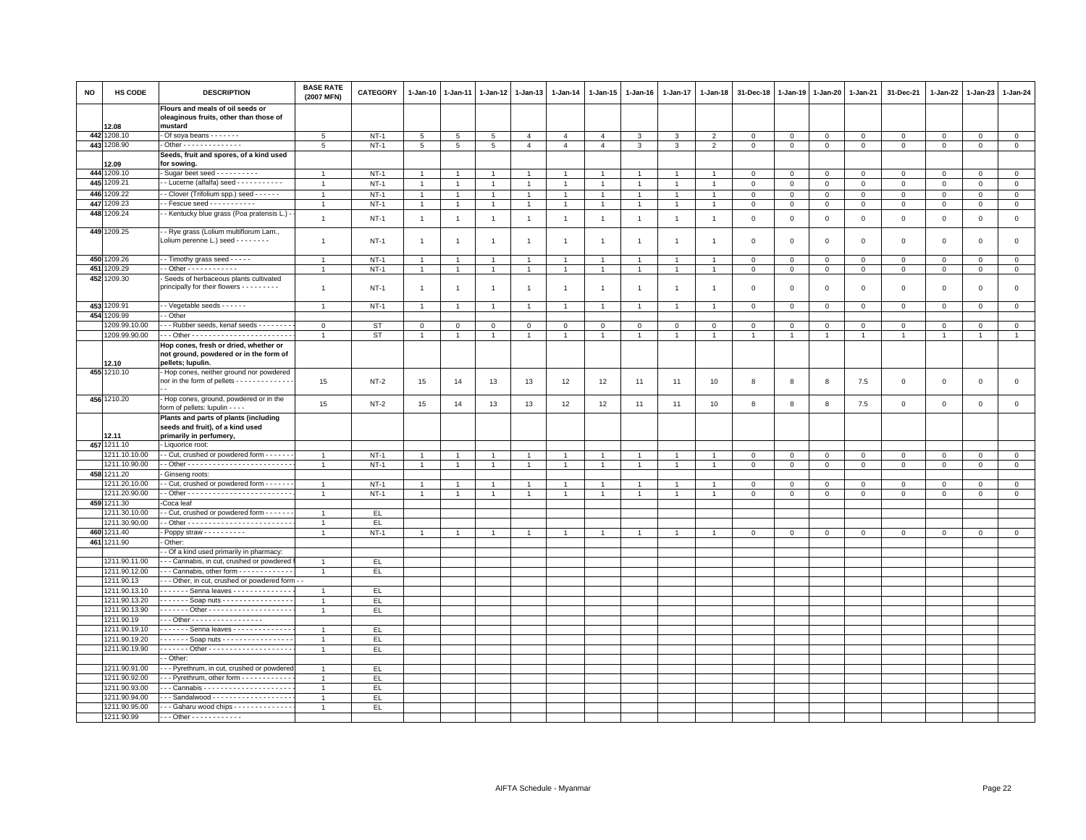| Flours and meals of oil seeds or<br>oleaginous fruits, other than those of<br>12.08<br>mustard<br>442 1208.10<br>$NT-1$<br>- Of soya beans - - - - - - -<br>$5\overline{5}$<br>5<br>$\overline{5}$<br>5<br>$\overline{4}$<br>$\overline{4}$<br>$\overline{4}$<br>3<br>3<br>$\overline{2}$<br>$\mathbf 0$<br>$\mathsf 0$<br>$\mathsf 0$<br>$\mathbf{0}$<br>$\mathbf 0$<br>$\mathbf 0$<br>$\mathbf 0$<br>$\mathbf 0$<br>443 1208.90<br>- Other - - - - - - - - - - - - - -<br>$NT-1$<br>5<br>$5\phantom{.0}$<br>5<br>5<br>$\overline{4}$<br>$\overline{4}$<br>$\overline{4}$<br>$\mathbf{3}$<br>3<br>2<br>$\mathsf 0$<br>$\mathsf 0$<br>$\mathsf 0$<br>$\mathbf 0$<br>$\mathbf{0}$<br>$\mathsf 0$<br>$\circ$<br>$\mathsf 0$<br>Seeds, fruit and spores, of a kind used<br>12.09<br>for sowing.<br>444 1209.10<br>Sugar beet seed - - - - - - - - - -<br>$NT-1$<br>$\mathbf 0$<br>$\mathbf 0$<br>$\mathbf 0$<br>$\Omega$<br>$\mathbf 0$<br>$\Omega$<br>$\mathbf{0}$<br>$\mathbf 0$<br>$\overline{1}$<br>445<br>1209.21<br>- Lucerne (alfalfa) seed - - - - - - - - - - -<br>$NT-1$<br>$\mathbf 0$<br>$\circ$<br>$\mathbf{0}$<br>$\mathbf{0}$<br>$\circ$<br>$\overline{1}$<br>$\mathbf{1}$<br>$\overline{1}$<br>$\overline{1}$<br>$\overline{1}$<br>$\mathbf{1}$<br>$\overline{1}$<br>$\overline{1}$<br>$\overline{1}$<br>$\overline{1}$<br>$\mathbf{0}$<br>$\overline{0}$<br>$\mathbf{0}$<br>446 1209.22<br>- Clover (Trifolium spp.) seed - - - - - -<br>$NT-1$<br>$\mathbf 0$<br>$\mathsf 0$<br>$\mathsf 0$<br>$\overline{1}$<br>$\overline{1}$<br>$\overline{1}$<br>$\overline{1}$<br>$\overline{1}$<br>$\mathbf{1}$<br>$\overline{1}$<br>$\overline{1}$<br>$\overline{1}$<br>$\mathbf 0$<br>0<br>0<br>$\mathbf 0$<br>$\mathbf 0$<br>447<br>1209.23<br>- Fescue seed - - - - - - - - - -<br>$NT-1$<br>$\overline{0}$<br>$\overline{0}$<br>$\overline{0}$<br>$\mathbf{1}$<br>$\mathsf 0$<br>$\mathsf{O}\xspace$<br>$\mathbf 0$<br>$\mathbf 0$<br>$\mathbf{1}$<br>$\mathbf{1}$<br>$\mathbf{1}$<br>$\overline{1}$<br>$\mathbf 0$<br>$\overline{1}$<br>$\overline{1}$<br>$\mathbf{1}$<br>$\overline{1}$<br>448 1209.24<br>- Kentucky blue grass (Poa pratensis L.)<br>$\overline{1}$<br>$NT-1$<br>$\overline{1}$<br>$\overline{1}$<br>$\mathbf 0$<br>$\mathsf 0$<br>$\mathsf 0$<br>$\mathbf 0$<br>$\mathsf 0$<br>$\mathbf 0$<br>$\mathbf 0$<br>$\mathbf 0$<br>$\overline{1}$<br>$\overline{1}$<br>$\overline{1}$<br>$\mathbf{1}$<br>$\mathbf{1}$<br>$\overline{1}$<br>$\overline{1}$<br>449 1209.25<br>- - Rye grass (Lolium multiflorum Lam.,<br>Lolium perenne L.) seed - - - - - - - -<br>$NT-1$<br>$\overline{1}$<br>$\mathbf 0$<br>$\mathbf 0$<br>$\mathsf 0$<br>$\mathbf 0$<br>$\mathbf 0$<br>$\mathbf{1}$<br>$\overline{1}$<br>$\mathbf{1}$<br>$\overline{1}$<br>$\mathbf{1}$<br>$\overline{1}$<br>$\overline{1}$<br>$\overline{1}$<br>0<br>0<br>$\circ$<br>$\mathbf{1}$<br>450 1209.26<br>- Timothy grass seed - - - - -<br>$NT-1$<br>$\mathbf 0$<br>$\mathbf 0$<br>$\mathbf 0$<br>$\mathbf 0$<br>$\mathsf 0$<br>$\mathbf{1}$<br>$\mathbf 0$<br>$\mathsf 0$<br>$\mathsf 0$<br>$\overline{1}$<br>$\mathbf{1}$<br>$\overline{1}$<br>-1<br>-1<br>451<br>1209.29<br>$-$ Other - - - - - - - - - - - -<br>$NT-1$<br>$\,0\,$<br>$\mathsf 0$<br>$\mathsf 0$<br>$\overline{0}$<br>$\mathsf 0$<br>$\mathsf 0$<br>$\mathbf 0$<br>$\mathbf 0$<br>$\mathbf{1}$<br>1<br>$\mathbf{1}$<br>$\mathbf{1}$<br>$\mathbf{1}$<br>$\mathbf{1}$<br>$\mathbf{1}$<br>452 1209.30<br>Seeds of herbaceous plants cultivated<br>principally for their flowers - - - - - - - - -<br>$NT-1$<br>$\mathbf 0$<br>$\mathsf 0$<br>$\mathsf 0$<br>$\overline{1}$<br>$\overline{1}$<br>$\mathbf 0$<br>$\mathsf 0$<br>$\mathsf 0$<br>$\mathbf 0$<br>$\mathbf 0$<br>$\overline{1}$<br>$\overline{1}$<br>$\overline{1}$<br>$\overline{1}$<br>$\overline{1}$<br>$\overline{1}$<br>$\mathbf{1}$<br>$\overline{1}$<br>453 1209.91<br>- - Vegetable seeds - - - - - -<br>$NT-1$<br>$\mathsf 0$<br>$\mathsf 0$<br>$\mathsf 0$<br>$\circ$<br>$\mathsf 0$<br>$\mathsf 0$<br>$\mathbf 0$<br>$\circ$<br>$\overline{1}$<br>$\mathbf{1}$<br>$\mathbf{1}$<br>$\mathbf{1}$<br>$\overline{1}$<br>$\overline{1}$<br>$\overline{1}$<br>$\overline{1}$<br>1<br>454 1209.99<br>- Other<br>1209.99.10.00<br>- - Rubber seeds, kenaf seeds - - - - - - - -<br>$\mathbf{O}$<br>ST<br>$\mathbf{0}$<br>$\mathbf 0$<br>$\mathbf 0$<br>$\mathbf{0}$<br>$\mathbf{O}$<br>$\mathbf 0$<br>$\mathbf{O}$<br>$\mathbf{0}$<br>$\mathbf 0$<br>$\mathsf 0$<br>$\mathsf 0$<br>$\mathbf{0}$<br>$\mathbf 0$<br>$\mathbf 0$<br>$\mathbf{0}$<br>$\mathbf 0$<br>$\mathbf{0}$<br>1209.99.90.00<br>ST<br>$\overline{1}$<br>$\overline{1}$<br>$\overline{1}$<br>$\overline{1}$<br>$\overline{1}$<br>$\overline{1}$<br>1<br>$\overline{1}$<br>$\overline{1}$<br>$\overline{1}$<br>$\ddot{\phantom{0}}$<br>$\overline{1}$<br>$\overline{1}$<br>Hop cones, fresh or dried, whether or<br>not ground, powdered or in the form of<br>12.10<br>pellets; lupulin.<br>455 1210.10<br>Hop cones, neither ground nor powdered<br>nor in the form of pellets - - - - - - - - - - - -<br>15<br>$NT-2$<br>15<br>13<br>13<br>12<br>12<br>11<br>11<br>10<br>8<br>8<br>8<br>7.5<br>$\mathsf 0$<br>$\Omega$<br>$\mathbf 0$<br>$\mathbf 0$<br>14<br>456 1210.20<br>- Hop cones, ground, powdered or in the<br>15<br>$NT-2$<br>15<br>13<br>13<br>12<br>12<br>$10$<br>8<br>7.5<br>$\mathsf{O}\xspace$<br>$\,0\,$<br>$\mathsf 0$<br>$\mathbf 0$<br>14<br>11<br>11<br>8<br>8<br>form of pellets: lupulin - - - -<br>Plants and parts of plants (including<br>seeds and fruit), of a kind used<br>primarily in perfumery,<br>12.11<br>457 1211.10<br>Liquorice root:<br>1211.10.10.00<br>- Cut, crushed or powdered form - - - - - -<br>$NT-1$<br>$\mathbf 0$<br>$\mathsf 0$<br>$\mathsf 0$<br>$\mathsf 0$<br>$\overline{1}$<br>$\overline{1}$<br>$\overline{1}$<br>$\overline{1}$<br>$\mathbf{1}$<br>$\overline{1}$<br>$\overline{1}$<br>$\overline{1}$<br>$\overline{1}$<br>$\mathbf 0$<br>0<br>0<br>$\mathbf 0$<br>1211.10.90.00<br>$NT-1$<br>$\overline{0}$<br>$\overline{0}$<br>$\overline{1}$<br>$\mathbf 0$<br>$\mathsf 0$<br>$\mathsf 0$<br>$\mathsf 0$<br>$\Omega$<br>$\overline{1}$<br>$\overline{1}$<br>$\overline{1}$<br>$\overline{1}$<br>$\mathsf 0$<br>458 1211.20<br>Ginseng roots:<br>211.20.10.00<br>- Cut, crushed or powdered form - - - - - -<br>$NT-1$<br>$\mathbf 0$<br>$\overline{1}$<br>$\,0\,$<br>$\mathsf 0$<br>$\mathsf 0$<br>$\mathbf 0$<br>$\mathbf{1}$<br>$\overline{1}$<br>1<br>$\overline{1}$<br>$\overline{1}$<br>0<br>0<br>0<br>$\mathbf{1}$<br>1<br>1211.20.90.00<br>$NT-1$<br>$\overline{1}$<br>$\overline{1}$<br>$\overline{1}$<br>$\overline{1}$<br>$\mathbf 0$<br>$\mathsf 0$<br>$\mathbf 0$<br>$\mathbf 0$<br>$\mathbf 0$<br>$\mathbf 0$<br>$\mathbf{0}$<br>$\mathbf 0$<br>$\overline{1}$<br>$\overline{1}$<br>$\overline{1}$<br>$\overline{1}$<br>$\overline{1}$<br>$\overline{1}$<br>459<br>1211.30<br>Coca leaf<br>1211.30.10.00<br>- Cut, crushed or powdered form - - - - - -<br>EL.<br>1211.30.90.00<br>EL<br>$\mathbf{1}$<br>460 1211.40<br>- Poppy straw - - - - - - - - - -<br>$NT-1$<br>$\circ$<br>$\mathsf 0$<br>$\circ$<br>$\mathsf 0$<br>$\circ$<br>$\mathbf{1}$<br>$\mathbf{1}$<br>$\overline{1}$<br>$\mathbf{1}$<br>$\overline{1}$<br>$\mathbf{1}$<br>$\mathbf{1}$<br>$\overline{1}$<br>$\overline{1}$<br>$\overline{1}$<br>$\mathbf 0$<br>$\mathsf 0$<br>$\mathbf 0$<br>461 1211.90<br>Other:<br>- Of a kind used primarily in pharmacy:<br>1211.90.11.00<br>- - Cannabis, in cut, crushed or powdered<br>EL.<br>$\overline{1}$<br>1211.90.12.00<br>-- Cannabis, other form - - - - - - - - - - -<br>EL.<br>$\overline{1}$<br>1211.90.13<br>- - Other, in cut, crushed or powdered form - -<br>1211.90.13.10<br>. Senna leaves<br>EL.<br>$\overline{1}$<br>1211.90.13.20<br>. Soap nuts<br>EL<br>$\mathbf{1}$<br>1211.90.13.90<br>. Other -<br>EL.<br>$\mathbf{1}$<br>1211.90.19<br>-- Other - - - - - - - - - - - - - - - - -<br>1211.90.19.10<br>Senna leaves - - - - - - - - - - - - -<br>EL.<br>1<br>1211.90.19.20<br>. Soap nuts<br>EL.<br>$\overline{1}$<br>1211.90.19.90<br>EL.<br>$\overline{1}$<br>- Other:<br>1211.90.91.00<br>- - Pyrethrum, in cut, crushed or powdered<br>EL.<br>$\overline{1}$<br>1211.90.92.00<br>- - Pyrethrum, other form - - - - - - - - - - -<br>EL<br>$\overline{1}$<br>1211.90.93.00<br>-- Cannabis ----------------------<br>EL.<br>$\overline{1}$<br>1211.90.94.00<br>EL<br>-- Sandalwood - - - - - - - - - - - - - - - - - -<br>1211.90.95.00<br>--- Gaharu wood chips --------------<br>EL.<br>- - - Other - - - - - - - - - - - -<br>1211.90.99 | <b>NO</b> | HS CODE | <b>DESCRIPTION</b> | <b>BASE RATE</b><br>(2007 MFN) | <b>CATEGORY</b> | 1-Jan-10 | 1-Jan-11 | 1-Jan-12 | 1-Jan-13 | 1-Jan-14 | 1-Jan-15 | $1 - Jan-16$ | 1-Jan-17 | 1-Jan-18 | 31-Dec-18 | 1-Jan-19 | 1-Jan-20 | 1-Jan-21 | 31-Dec-21 | 1-Jan-22 | 1-Jan-23 | 1-Jan-24 |
|--------------------------------------------------------------------------------------------------------------------------------------------------------------------------------------------------------------------------------------------------------------------------------------------------------------------------------------------------------------------------------------------------------------------------------------------------------------------------------------------------------------------------------------------------------------------------------------------------------------------------------------------------------------------------------------------------------------------------------------------------------------------------------------------------------------------------------------------------------------------------------------------------------------------------------------------------------------------------------------------------------------------------------------------------------------------------------------------------------------------------------------------------------------------------------------------------------------------------------------------------------------------------------------------------------------------------------------------------------------------------------------------------------------------------------------------------------------------------------------------------------------------------------------------------------------------------------------------------------------------------------------------------------------------------------------------------------------------------------------------------------------------------------------------------------------------------------------------------------------------------------------------------------------------------------------------------------------------------------------------------------------------------------------------------------------------------------------------------------------------------------------------------------------------------------------------------------------------------------------------------------------------------------------------------------------------------------------------------------------------------------------------------------------------------------------------------------------------------------------------------------------------------------------------------------------------------------------------------------------------------------------------------------------------------------------------------------------------------------------------------------------------------------------------------------------------------------------------------------------------------------------------------------------------------------------------------------------------------------------------------------------------------------------------------------------------------------------------------------------------------------------------------------------------------------------------------------------------------------------------------------------------------------------------------------------------------------------------------------------------------------------------------------------------------------------------------------------------------------------------------------------------------------------------------------------------------------------------------------------------------------------------------------------------------------------------------------------------------------------------------------------------------------------------------------------------------------------------------------------------------------------------------------------------------------------------------------------------------------------------------------------------------------------------------------------------------------------------------------------------------------------------------------------------------------------------------------------------------------------------------------------------------------------------------------------------------------------------------------------------------------------------------------------------------------------------------------------------------------------------------------------------------------------------------------------------------------------------------------------------------------------------------------------------------------------------------------------------------------------------------------------------------------------------------------------------------------------------------------------------------------------------------------------------------------------------------------------------------------------------------------------------------------------------------------------------------------------------------------------------------------------------------------------------------------------------------------------------------------------------------------------------------------------------------------------------------------------------------------------------------------------------------------------------------------------------------------------------------------------------------------------------------------------------------------------------------------------------------------------------------------------------------------------------------------------------------------------------------------------------------------------------------------------------------------------------------------------------------------------------------------------------------------------------------------------------------------------------------------------------------------------------------------------------------------------------------------------------------------------------------------------------------------------------------------------------------------------------------------------------------------------------------------------------------------------------------------------------------------------------------------------------------------------------------------------------------------------------------------------------------------------------------------------------------------------------------------------------------------------------------------------------------------------------------------------------------------------------------------------------------------------------------------------------------------------------------------------------------------------------------------------------------------------------------------------------------------------------------------------------------------------------------------------------------------------------------------------------------------------------------------------------------------------------------------------------------------------------------------------------------------------------------------------------------------------------------------------------------------------------------------------------------------------------------------------------------------------------------------------------------------------------------------------------------------------------------------------------------------------------------------------------------------------------------------------------------------------------------------------------------------------------------------------------------------------------------------------------------------------------------------------------------------------------------------------------------------------------------------------------------------------------------------------------------------------------------------------------------------------------------------------------------------------------------------------------------------------------------------------------------------------------------------------------------------------------------------------------------------------------------------------------------------------------------------------------------------------------------------------------------------------------------------------------------------------------------------------------------------------------------------------------|-----------|---------|--------------------|--------------------------------|-----------------|----------|----------|----------|----------|----------|----------|--------------|----------|----------|-----------|----------|----------|----------|-----------|----------|----------|----------|
|                                                                                                                                                                                                                                                                                                                                                                                                                                                                                                                                                                                                                                                                                                                                                                                                                                                                                                                                                                                                                                                                                                                                                                                                                                                                                                                                                                                                                                                                                                                                                                                                                                                                                                                                                                                                                                                                                                                                                                                                                                                                                                                                                                                                                                                                                                                                                                                                                                                                                                                                                                                                                                                                                                                                                                                                                                                                                                                                                                                                                                                                                                                                                                                                                                                                                                                                                                                                                                                                                                                                                                                                                                                                                                                                                                                                                                                                                                                                                                                                                                                                                                                                                                                                                                                                                                                                                                                                                                                                                                                                                                                                                                                                                                                                                                                                                                                                                                                                                                                                                                                                                                                                                                                                                                                                                                                                                                                                                                                                                                                                                                                                                                                                                                                                                                                                                                                                                                                                                                                                                                                                                                                                                                                                                                                                                                                                                                                                                                                                                                                                                                                                                                                                                                                                                                                                                                                                                                                                                                                                                                                                                                                                                                                                                                                                                                                                                                                                                                                                                                                                                                                                                                                                                                                                                                                                                                                                                                                                                                                                                                                                                                                                                                                                                                                                                                                                                                                                                                                                                                                                                                                                                                            |           |         |                    |                                |                 |          |          |          |          |          |          |              |          |          |           |          |          |          |           |          |          |          |
|                                                                                                                                                                                                                                                                                                                                                                                                                                                                                                                                                                                                                                                                                                                                                                                                                                                                                                                                                                                                                                                                                                                                                                                                                                                                                                                                                                                                                                                                                                                                                                                                                                                                                                                                                                                                                                                                                                                                                                                                                                                                                                                                                                                                                                                                                                                                                                                                                                                                                                                                                                                                                                                                                                                                                                                                                                                                                                                                                                                                                                                                                                                                                                                                                                                                                                                                                                                                                                                                                                                                                                                                                                                                                                                                                                                                                                                                                                                                                                                                                                                                                                                                                                                                                                                                                                                                                                                                                                                                                                                                                                                                                                                                                                                                                                                                                                                                                                                                                                                                                                                                                                                                                                                                                                                                                                                                                                                                                                                                                                                                                                                                                                                                                                                                                                                                                                                                                                                                                                                                                                                                                                                                                                                                                                                                                                                                                                                                                                                                                                                                                                                                                                                                                                                                                                                                                                                                                                                                                                                                                                                                                                                                                                                                                                                                                                                                                                                                                                                                                                                                                                                                                                                                                                                                                                                                                                                                                                                                                                                                                                                                                                                                                                                                                                                                                                                                                                                                                                                                                                                                                                                                                                            |           |         |                    |                                |                 |          |          |          |          |          |          |              |          |          |           |          |          |          |           |          |          |          |
|                                                                                                                                                                                                                                                                                                                                                                                                                                                                                                                                                                                                                                                                                                                                                                                                                                                                                                                                                                                                                                                                                                                                                                                                                                                                                                                                                                                                                                                                                                                                                                                                                                                                                                                                                                                                                                                                                                                                                                                                                                                                                                                                                                                                                                                                                                                                                                                                                                                                                                                                                                                                                                                                                                                                                                                                                                                                                                                                                                                                                                                                                                                                                                                                                                                                                                                                                                                                                                                                                                                                                                                                                                                                                                                                                                                                                                                                                                                                                                                                                                                                                                                                                                                                                                                                                                                                                                                                                                                                                                                                                                                                                                                                                                                                                                                                                                                                                                                                                                                                                                                                                                                                                                                                                                                                                                                                                                                                                                                                                                                                                                                                                                                                                                                                                                                                                                                                                                                                                                                                                                                                                                                                                                                                                                                                                                                                                                                                                                                                                                                                                                                                                                                                                                                                                                                                                                                                                                                                                                                                                                                                                                                                                                                                                                                                                                                                                                                                                                                                                                                                                                                                                                                                                                                                                                                                                                                                                                                                                                                                                                                                                                                                                                                                                                                                                                                                                                                                                                                                                                                                                                                                                                            |           |         |                    |                                |                 |          |          |          |          |          |          |              |          |          |           |          |          |          |           |          |          |          |
|                                                                                                                                                                                                                                                                                                                                                                                                                                                                                                                                                                                                                                                                                                                                                                                                                                                                                                                                                                                                                                                                                                                                                                                                                                                                                                                                                                                                                                                                                                                                                                                                                                                                                                                                                                                                                                                                                                                                                                                                                                                                                                                                                                                                                                                                                                                                                                                                                                                                                                                                                                                                                                                                                                                                                                                                                                                                                                                                                                                                                                                                                                                                                                                                                                                                                                                                                                                                                                                                                                                                                                                                                                                                                                                                                                                                                                                                                                                                                                                                                                                                                                                                                                                                                                                                                                                                                                                                                                                                                                                                                                                                                                                                                                                                                                                                                                                                                                                                                                                                                                                                                                                                                                                                                                                                                                                                                                                                                                                                                                                                                                                                                                                                                                                                                                                                                                                                                                                                                                                                                                                                                                                                                                                                                                                                                                                                                                                                                                                                                                                                                                                                                                                                                                                                                                                                                                                                                                                                                                                                                                                                                                                                                                                                                                                                                                                                                                                                                                                                                                                                                                                                                                                                                                                                                                                                                                                                                                                                                                                                                                                                                                                                                                                                                                                                                                                                                                                                                                                                                                                                                                                                                                            |           |         |                    |                                |                 |          |          |          |          |          |          |              |          |          |           |          |          |          |           |          |          |          |
|                                                                                                                                                                                                                                                                                                                                                                                                                                                                                                                                                                                                                                                                                                                                                                                                                                                                                                                                                                                                                                                                                                                                                                                                                                                                                                                                                                                                                                                                                                                                                                                                                                                                                                                                                                                                                                                                                                                                                                                                                                                                                                                                                                                                                                                                                                                                                                                                                                                                                                                                                                                                                                                                                                                                                                                                                                                                                                                                                                                                                                                                                                                                                                                                                                                                                                                                                                                                                                                                                                                                                                                                                                                                                                                                                                                                                                                                                                                                                                                                                                                                                                                                                                                                                                                                                                                                                                                                                                                                                                                                                                                                                                                                                                                                                                                                                                                                                                                                                                                                                                                                                                                                                                                                                                                                                                                                                                                                                                                                                                                                                                                                                                                                                                                                                                                                                                                                                                                                                                                                                                                                                                                                                                                                                                                                                                                                                                                                                                                                                                                                                                                                                                                                                                                                                                                                                                                                                                                                                                                                                                                                                                                                                                                                                                                                                                                                                                                                                                                                                                                                                                                                                                                                                                                                                                                                                                                                                                                                                                                                                                                                                                                                                                                                                                                                                                                                                                                                                                                                                                                                                                                                                                            |           |         |                    |                                |                 |          |          |          |          |          |          |              |          |          |           |          |          |          |           |          |          |          |
|                                                                                                                                                                                                                                                                                                                                                                                                                                                                                                                                                                                                                                                                                                                                                                                                                                                                                                                                                                                                                                                                                                                                                                                                                                                                                                                                                                                                                                                                                                                                                                                                                                                                                                                                                                                                                                                                                                                                                                                                                                                                                                                                                                                                                                                                                                                                                                                                                                                                                                                                                                                                                                                                                                                                                                                                                                                                                                                                                                                                                                                                                                                                                                                                                                                                                                                                                                                                                                                                                                                                                                                                                                                                                                                                                                                                                                                                                                                                                                                                                                                                                                                                                                                                                                                                                                                                                                                                                                                                                                                                                                                                                                                                                                                                                                                                                                                                                                                                                                                                                                                                                                                                                                                                                                                                                                                                                                                                                                                                                                                                                                                                                                                                                                                                                                                                                                                                                                                                                                                                                                                                                                                                                                                                                                                                                                                                                                                                                                                                                                                                                                                                                                                                                                                                                                                                                                                                                                                                                                                                                                                                                                                                                                                                                                                                                                                                                                                                                                                                                                                                                                                                                                                                                                                                                                                                                                                                                                                                                                                                                                                                                                                                                                                                                                                                                                                                                                                                                                                                                                                                                                                                                                            |           |         |                    |                                |                 |          |          |          |          |          |          |              |          |          |           |          |          |          |           |          |          |          |
|                                                                                                                                                                                                                                                                                                                                                                                                                                                                                                                                                                                                                                                                                                                                                                                                                                                                                                                                                                                                                                                                                                                                                                                                                                                                                                                                                                                                                                                                                                                                                                                                                                                                                                                                                                                                                                                                                                                                                                                                                                                                                                                                                                                                                                                                                                                                                                                                                                                                                                                                                                                                                                                                                                                                                                                                                                                                                                                                                                                                                                                                                                                                                                                                                                                                                                                                                                                                                                                                                                                                                                                                                                                                                                                                                                                                                                                                                                                                                                                                                                                                                                                                                                                                                                                                                                                                                                                                                                                                                                                                                                                                                                                                                                                                                                                                                                                                                                                                                                                                                                                                                                                                                                                                                                                                                                                                                                                                                                                                                                                                                                                                                                                                                                                                                                                                                                                                                                                                                                                                                                                                                                                                                                                                                                                                                                                                                                                                                                                                                                                                                                                                                                                                                                                                                                                                                                                                                                                                                                                                                                                                                                                                                                                                                                                                                                                                                                                                                                                                                                                                                                                                                                                                                                                                                                                                                                                                                                                                                                                                                                                                                                                                                                                                                                                                                                                                                                                                                                                                                                                                                                                                                                            |           |         |                    |                                |                 |          |          |          |          |          |          |              |          |          |           |          |          |          |           |          |          |          |
|                                                                                                                                                                                                                                                                                                                                                                                                                                                                                                                                                                                                                                                                                                                                                                                                                                                                                                                                                                                                                                                                                                                                                                                                                                                                                                                                                                                                                                                                                                                                                                                                                                                                                                                                                                                                                                                                                                                                                                                                                                                                                                                                                                                                                                                                                                                                                                                                                                                                                                                                                                                                                                                                                                                                                                                                                                                                                                                                                                                                                                                                                                                                                                                                                                                                                                                                                                                                                                                                                                                                                                                                                                                                                                                                                                                                                                                                                                                                                                                                                                                                                                                                                                                                                                                                                                                                                                                                                                                                                                                                                                                                                                                                                                                                                                                                                                                                                                                                                                                                                                                                                                                                                                                                                                                                                                                                                                                                                                                                                                                                                                                                                                                                                                                                                                                                                                                                                                                                                                                                                                                                                                                                                                                                                                                                                                                                                                                                                                                                                                                                                                                                                                                                                                                                                                                                                                                                                                                                                                                                                                                                                                                                                                                                                                                                                                                                                                                                                                                                                                                                                                                                                                                                                                                                                                                                                                                                                                                                                                                                                                                                                                                                                                                                                                                                                                                                                                                                                                                                                                                                                                                                                                            |           |         |                    |                                |                 |          |          |          |          |          |          |              |          |          |           |          |          |          |           |          |          |          |
|                                                                                                                                                                                                                                                                                                                                                                                                                                                                                                                                                                                                                                                                                                                                                                                                                                                                                                                                                                                                                                                                                                                                                                                                                                                                                                                                                                                                                                                                                                                                                                                                                                                                                                                                                                                                                                                                                                                                                                                                                                                                                                                                                                                                                                                                                                                                                                                                                                                                                                                                                                                                                                                                                                                                                                                                                                                                                                                                                                                                                                                                                                                                                                                                                                                                                                                                                                                                                                                                                                                                                                                                                                                                                                                                                                                                                                                                                                                                                                                                                                                                                                                                                                                                                                                                                                                                                                                                                                                                                                                                                                                                                                                                                                                                                                                                                                                                                                                                                                                                                                                                                                                                                                                                                                                                                                                                                                                                                                                                                                                                                                                                                                                                                                                                                                                                                                                                                                                                                                                                                                                                                                                                                                                                                                                                                                                                                                                                                                                                                                                                                                                                                                                                                                                                                                                                                                                                                                                                                                                                                                                                                                                                                                                                                                                                                                                                                                                                                                                                                                                                                                                                                                                                                                                                                                                                                                                                                                                                                                                                                                                                                                                                                                                                                                                                                                                                                                                                                                                                                                                                                                                                                                            |           |         |                    |                                |                 |          |          |          |          |          |          |              |          |          |           |          |          |          |           |          |          |          |
|                                                                                                                                                                                                                                                                                                                                                                                                                                                                                                                                                                                                                                                                                                                                                                                                                                                                                                                                                                                                                                                                                                                                                                                                                                                                                                                                                                                                                                                                                                                                                                                                                                                                                                                                                                                                                                                                                                                                                                                                                                                                                                                                                                                                                                                                                                                                                                                                                                                                                                                                                                                                                                                                                                                                                                                                                                                                                                                                                                                                                                                                                                                                                                                                                                                                                                                                                                                                                                                                                                                                                                                                                                                                                                                                                                                                                                                                                                                                                                                                                                                                                                                                                                                                                                                                                                                                                                                                                                                                                                                                                                                                                                                                                                                                                                                                                                                                                                                                                                                                                                                                                                                                                                                                                                                                                                                                                                                                                                                                                                                                                                                                                                                                                                                                                                                                                                                                                                                                                                                                                                                                                                                                                                                                                                                                                                                                                                                                                                                                                                                                                                                                                                                                                                                                                                                                                                                                                                                                                                                                                                                                                                                                                                                                                                                                                                                                                                                                                                                                                                                                                                                                                                                                                                                                                                                                                                                                                                                                                                                                                                                                                                                                                                                                                                                                                                                                                                                                                                                                                                                                                                                                                                            |           |         |                    |                                |                 |          |          |          |          |          |          |              |          |          |           |          |          |          |           |          |          |          |
|                                                                                                                                                                                                                                                                                                                                                                                                                                                                                                                                                                                                                                                                                                                                                                                                                                                                                                                                                                                                                                                                                                                                                                                                                                                                                                                                                                                                                                                                                                                                                                                                                                                                                                                                                                                                                                                                                                                                                                                                                                                                                                                                                                                                                                                                                                                                                                                                                                                                                                                                                                                                                                                                                                                                                                                                                                                                                                                                                                                                                                                                                                                                                                                                                                                                                                                                                                                                                                                                                                                                                                                                                                                                                                                                                                                                                                                                                                                                                                                                                                                                                                                                                                                                                                                                                                                                                                                                                                                                                                                                                                                                                                                                                                                                                                                                                                                                                                                                                                                                                                                                                                                                                                                                                                                                                                                                                                                                                                                                                                                                                                                                                                                                                                                                                                                                                                                                                                                                                                                                                                                                                                                                                                                                                                                                                                                                                                                                                                                                                                                                                                                                                                                                                                                                                                                                                                                                                                                                                                                                                                                                                                                                                                                                                                                                                                                                                                                                                                                                                                                                                                                                                                                                                                                                                                                                                                                                                                                                                                                                                                                                                                                                                                                                                                                                                                                                                                                                                                                                                                                                                                                                                                            |           |         |                    |                                |                 |          |          |          |          |          |          |              |          |          |           |          |          |          |           |          |          |          |
|                                                                                                                                                                                                                                                                                                                                                                                                                                                                                                                                                                                                                                                                                                                                                                                                                                                                                                                                                                                                                                                                                                                                                                                                                                                                                                                                                                                                                                                                                                                                                                                                                                                                                                                                                                                                                                                                                                                                                                                                                                                                                                                                                                                                                                                                                                                                                                                                                                                                                                                                                                                                                                                                                                                                                                                                                                                                                                                                                                                                                                                                                                                                                                                                                                                                                                                                                                                                                                                                                                                                                                                                                                                                                                                                                                                                                                                                                                                                                                                                                                                                                                                                                                                                                                                                                                                                                                                                                                                                                                                                                                                                                                                                                                                                                                                                                                                                                                                                                                                                                                                                                                                                                                                                                                                                                                                                                                                                                                                                                                                                                                                                                                                                                                                                                                                                                                                                                                                                                                                                                                                                                                                                                                                                                                                                                                                                                                                                                                                                                                                                                                                                                                                                                                                                                                                                                                                                                                                                                                                                                                                                                                                                                                                                                                                                                                                                                                                                                                                                                                                                                                                                                                                                                                                                                                                                                                                                                                                                                                                                                                                                                                                                                                                                                                                                                                                                                                                                                                                                                                                                                                                                                                            |           |         |                    |                                |                 |          |          |          |          |          |          |              |          |          |           |          |          |          |           |          |          |          |
|                                                                                                                                                                                                                                                                                                                                                                                                                                                                                                                                                                                                                                                                                                                                                                                                                                                                                                                                                                                                                                                                                                                                                                                                                                                                                                                                                                                                                                                                                                                                                                                                                                                                                                                                                                                                                                                                                                                                                                                                                                                                                                                                                                                                                                                                                                                                                                                                                                                                                                                                                                                                                                                                                                                                                                                                                                                                                                                                                                                                                                                                                                                                                                                                                                                                                                                                                                                                                                                                                                                                                                                                                                                                                                                                                                                                                                                                                                                                                                                                                                                                                                                                                                                                                                                                                                                                                                                                                                                                                                                                                                                                                                                                                                                                                                                                                                                                                                                                                                                                                                                                                                                                                                                                                                                                                                                                                                                                                                                                                                                                                                                                                                                                                                                                                                                                                                                                                                                                                                                                                                                                                                                                                                                                                                                                                                                                                                                                                                                                                                                                                                                                                                                                                                                                                                                                                                                                                                                                                                                                                                                                                                                                                                                                                                                                                                                                                                                                                                                                                                                                                                                                                                                                                                                                                                                                                                                                                                                                                                                                                                                                                                                                                                                                                                                                                                                                                                                                                                                                                                                                                                                                                                            |           |         |                    |                                |                 |          |          |          |          |          |          |              |          |          |           |          |          |          |           |          |          |          |
|                                                                                                                                                                                                                                                                                                                                                                                                                                                                                                                                                                                                                                                                                                                                                                                                                                                                                                                                                                                                                                                                                                                                                                                                                                                                                                                                                                                                                                                                                                                                                                                                                                                                                                                                                                                                                                                                                                                                                                                                                                                                                                                                                                                                                                                                                                                                                                                                                                                                                                                                                                                                                                                                                                                                                                                                                                                                                                                                                                                                                                                                                                                                                                                                                                                                                                                                                                                                                                                                                                                                                                                                                                                                                                                                                                                                                                                                                                                                                                                                                                                                                                                                                                                                                                                                                                                                                                                                                                                                                                                                                                                                                                                                                                                                                                                                                                                                                                                                                                                                                                                                                                                                                                                                                                                                                                                                                                                                                                                                                                                                                                                                                                                                                                                                                                                                                                                                                                                                                                                                                                                                                                                                                                                                                                                                                                                                                                                                                                                                                                                                                                                                                                                                                                                                                                                                                                                                                                                                                                                                                                                                                                                                                                                                                                                                                                                                                                                                                                                                                                                                                                                                                                                                                                                                                                                                                                                                                                                                                                                                                                                                                                                                                                                                                                                                                                                                                                                                                                                                                                                                                                                                                                            |           |         |                    |                                |                 |          |          |          |          |          |          |              |          |          |           |          |          |          |           |          |          |          |
|                                                                                                                                                                                                                                                                                                                                                                                                                                                                                                                                                                                                                                                                                                                                                                                                                                                                                                                                                                                                                                                                                                                                                                                                                                                                                                                                                                                                                                                                                                                                                                                                                                                                                                                                                                                                                                                                                                                                                                                                                                                                                                                                                                                                                                                                                                                                                                                                                                                                                                                                                                                                                                                                                                                                                                                                                                                                                                                                                                                                                                                                                                                                                                                                                                                                                                                                                                                                                                                                                                                                                                                                                                                                                                                                                                                                                                                                                                                                                                                                                                                                                                                                                                                                                                                                                                                                                                                                                                                                                                                                                                                                                                                                                                                                                                                                                                                                                                                                                                                                                                                                                                                                                                                                                                                                                                                                                                                                                                                                                                                                                                                                                                                                                                                                                                                                                                                                                                                                                                                                                                                                                                                                                                                                                                                                                                                                                                                                                                                                                                                                                                                                                                                                                                                                                                                                                                                                                                                                                                                                                                                                                                                                                                                                                                                                                                                                                                                                                                                                                                                                                                                                                                                                                                                                                                                                                                                                                                                                                                                                                                                                                                                                                                                                                                                                                                                                                                                                                                                                                                                                                                                                                                            |           |         |                    |                                |                 |          |          |          |          |          |          |              |          |          |           |          |          |          |           |          |          |          |
|                                                                                                                                                                                                                                                                                                                                                                                                                                                                                                                                                                                                                                                                                                                                                                                                                                                                                                                                                                                                                                                                                                                                                                                                                                                                                                                                                                                                                                                                                                                                                                                                                                                                                                                                                                                                                                                                                                                                                                                                                                                                                                                                                                                                                                                                                                                                                                                                                                                                                                                                                                                                                                                                                                                                                                                                                                                                                                                                                                                                                                                                                                                                                                                                                                                                                                                                                                                                                                                                                                                                                                                                                                                                                                                                                                                                                                                                                                                                                                                                                                                                                                                                                                                                                                                                                                                                                                                                                                                                                                                                                                                                                                                                                                                                                                                                                                                                                                                                                                                                                                                                                                                                                                                                                                                                                                                                                                                                                                                                                                                                                                                                                                                                                                                                                                                                                                                                                                                                                                                                                                                                                                                                                                                                                                                                                                                                                                                                                                                                                                                                                                                                                                                                                                                                                                                                                                                                                                                                                                                                                                                                                                                                                                                                                                                                                                                                                                                                                                                                                                                                                                                                                                                                                                                                                                                                                                                                                                                                                                                                                                                                                                                                                                                                                                                                                                                                                                                                                                                                                                                                                                                                                                            |           |         |                    |                                |                 |          |          |          |          |          |          |              |          |          |           |          |          |          |           |          |          |          |
|                                                                                                                                                                                                                                                                                                                                                                                                                                                                                                                                                                                                                                                                                                                                                                                                                                                                                                                                                                                                                                                                                                                                                                                                                                                                                                                                                                                                                                                                                                                                                                                                                                                                                                                                                                                                                                                                                                                                                                                                                                                                                                                                                                                                                                                                                                                                                                                                                                                                                                                                                                                                                                                                                                                                                                                                                                                                                                                                                                                                                                                                                                                                                                                                                                                                                                                                                                                                                                                                                                                                                                                                                                                                                                                                                                                                                                                                                                                                                                                                                                                                                                                                                                                                                                                                                                                                                                                                                                                                                                                                                                                                                                                                                                                                                                                                                                                                                                                                                                                                                                                                                                                                                                                                                                                                                                                                                                                                                                                                                                                                                                                                                                                                                                                                                                                                                                                                                                                                                                                                                                                                                                                                                                                                                                                                                                                                                                                                                                                                                                                                                                                                                                                                                                                                                                                                                                                                                                                                                                                                                                                                                                                                                                                                                                                                                                                                                                                                                                                                                                                                                                                                                                                                                                                                                                                                                                                                                                                                                                                                                                                                                                                                                                                                                                                                                                                                                                                                                                                                                                                                                                                                                                            |           |         |                    |                                |                 |          |          |          |          |          |          |              |          |          |           |          |          |          |           |          |          |          |
|                                                                                                                                                                                                                                                                                                                                                                                                                                                                                                                                                                                                                                                                                                                                                                                                                                                                                                                                                                                                                                                                                                                                                                                                                                                                                                                                                                                                                                                                                                                                                                                                                                                                                                                                                                                                                                                                                                                                                                                                                                                                                                                                                                                                                                                                                                                                                                                                                                                                                                                                                                                                                                                                                                                                                                                                                                                                                                                                                                                                                                                                                                                                                                                                                                                                                                                                                                                                                                                                                                                                                                                                                                                                                                                                                                                                                                                                                                                                                                                                                                                                                                                                                                                                                                                                                                                                                                                                                                                                                                                                                                                                                                                                                                                                                                                                                                                                                                                                                                                                                                                                                                                                                                                                                                                                                                                                                                                                                                                                                                                                                                                                                                                                                                                                                                                                                                                                                                                                                                                                                                                                                                                                                                                                                                                                                                                                                                                                                                                                                                                                                                                                                                                                                                                                                                                                                                                                                                                                                                                                                                                                                                                                                                                                                                                                                                                                                                                                                                                                                                                                                                                                                                                                                                                                                                                                                                                                                                                                                                                                                                                                                                                                                                                                                                                                                                                                                                                                                                                                                                                                                                                                                                            |           |         |                    |                                |                 |          |          |          |          |          |          |              |          |          |           |          |          |          |           |          |          |          |
|                                                                                                                                                                                                                                                                                                                                                                                                                                                                                                                                                                                                                                                                                                                                                                                                                                                                                                                                                                                                                                                                                                                                                                                                                                                                                                                                                                                                                                                                                                                                                                                                                                                                                                                                                                                                                                                                                                                                                                                                                                                                                                                                                                                                                                                                                                                                                                                                                                                                                                                                                                                                                                                                                                                                                                                                                                                                                                                                                                                                                                                                                                                                                                                                                                                                                                                                                                                                                                                                                                                                                                                                                                                                                                                                                                                                                                                                                                                                                                                                                                                                                                                                                                                                                                                                                                                                                                                                                                                                                                                                                                                                                                                                                                                                                                                                                                                                                                                                                                                                                                                                                                                                                                                                                                                                                                                                                                                                                                                                                                                                                                                                                                                                                                                                                                                                                                                                                                                                                                                                                                                                                                                                                                                                                                                                                                                                                                                                                                                                                                                                                                                                                                                                                                                                                                                                                                                                                                                                                                                                                                                                                                                                                                                                                                                                                                                                                                                                                                                                                                                                                                                                                                                                                                                                                                                                                                                                                                                                                                                                                                                                                                                                                                                                                                                                                                                                                                                                                                                                                                                                                                                                                                            |           |         |                    |                                |                 |          |          |          |          |          |          |              |          |          |           |          |          |          |           |          |          |          |
|                                                                                                                                                                                                                                                                                                                                                                                                                                                                                                                                                                                                                                                                                                                                                                                                                                                                                                                                                                                                                                                                                                                                                                                                                                                                                                                                                                                                                                                                                                                                                                                                                                                                                                                                                                                                                                                                                                                                                                                                                                                                                                                                                                                                                                                                                                                                                                                                                                                                                                                                                                                                                                                                                                                                                                                                                                                                                                                                                                                                                                                                                                                                                                                                                                                                                                                                                                                                                                                                                                                                                                                                                                                                                                                                                                                                                                                                                                                                                                                                                                                                                                                                                                                                                                                                                                                                                                                                                                                                                                                                                                                                                                                                                                                                                                                                                                                                                                                                                                                                                                                                                                                                                                                                                                                                                                                                                                                                                                                                                                                                                                                                                                                                                                                                                                                                                                                                                                                                                                                                                                                                                                                                                                                                                                                                                                                                                                                                                                                                                                                                                                                                                                                                                                                                                                                                                                                                                                                                                                                                                                                                                                                                                                                                                                                                                                                                                                                                                                                                                                                                                                                                                                                                                                                                                                                                                                                                                                                                                                                                                                                                                                                                                                                                                                                                                                                                                                                                                                                                                                                                                                                                                                            |           |         |                    |                                |                 |          |          |          |          |          |          |              |          |          |           |          |          |          |           |          |          |          |
|                                                                                                                                                                                                                                                                                                                                                                                                                                                                                                                                                                                                                                                                                                                                                                                                                                                                                                                                                                                                                                                                                                                                                                                                                                                                                                                                                                                                                                                                                                                                                                                                                                                                                                                                                                                                                                                                                                                                                                                                                                                                                                                                                                                                                                                                                                                                                                                                                                                                                                                                                                                                                                                                                                                                                                                                                                                                                                                                                                                                                                                                                                                                                                                                                                                                                                                                                                                                                                                                                                                                                                                                                                                                                                                                                                                                                                                                                                                                                                                                                                                                                                                                                                                                                                                                                                                                                                                                                                                                                                                                                                                                                                                                                                                                                                                                                                                                                                                                                                                                                                                                                                                                                                                                                                                                                                                                                                                                                                                                                                                                                                                                                                                                                                                                                                                                                                                                                                                                                                                                                                                                                                                                                                                                                                                                                                                                                                                                                                                                                                                                                                                                                                                                                                                                                                                                                                                                                                                                                                                                                                                                                                                                                                                                                                                                                                                                                                                                                                                                                                                                                                                                                                                                                                                                                                                                                                                                                                                                                                                                                                                                                                                                                                                                                                                                                                                                                                                                                                                                                                                                                                                                                                            |           |         |                    |                                |                 |          |          |          |          |          |          |              |          |          |           |          |          |          |           |          |          |          |
|                                                                                                                                                                                                                                                                                                                                                                                                                                                                                                                                                                                                                                                                                                                                                                                                                                                                                                                                                                                                                                                                                                                                                                                                                                                                                                                                                                                                                                                                                                                                                                                                                                                                                                                                                                                                                                                                                                                                                                                                                                                                                                                                                                                                                                                                                                                                                                                                                                                                                                                                                                                                                                                                                                                                                                                                                                                                                                                                                                                                                                                                                                                                                                                                                                                                                                                                                                                                                                                                                                                                                                                                                                                                                                                                                                                                                                                                                                                                                                                                                                                                                                                                                                                                                                                                                                                                                                                                                                                                                                                                                                                                                                                                                                                                                                                                                                                                                                                                                                                                                                                                                                                                                                                                                                                                                                                                                                                                                                                                                                                                                                                                                                                                                                                                                                                                                                                                                                                                                                                                                                                                                                                                                                                                                                                                                                                                                                                                                                                                                                                                                                                                                                                                                                                                                                                                                                                                                                                                                                                                                                                                                                                                                                                                                                                                                                                                                                                                                                                                                                                                                                                                                                                                                                                                                                                                                                                                                                                                                                                                                                                                                                                                                                                                                                                                                                                                                                                                                                                                                                                                                                                                                                            |           |         |                    |                                |                 |          |          |          |          |          |          |              |          |          |           |          |          |          |           |          |          |          |
|                                                                                                                                                                                                                                                                                                                                                                                                                                                                                                                                                                                                                                                                                                                                                                                                                                                                                                                                                                                                                                                                                                                                                                                                                                                                                                                                                                                                                                                                                                                                                                                                                                                                                                                                                                                                                                                                                                                                                                                                                                                                                                                                                                                                                                                                                                                                                                                                                                                                                                                                                                                                                                                                                                                                                                                                                                                                                                                                                                                                                                                                                                                                                                                                                                                                                                                                                                                                                                                                                                                                                                                                                                                                                                                                                                                                                                                                                                                                                                                                                                                                                                                                                                                                                                                                                                                                                                                                                                                                                                                                                                                                                                                                                                                                                                                                                                                                                                                                                                                                                                                                                                                                                                                                                                                                                                                                                                                                                                                                                                                                                                                                                                                                                                                                                                                                                                                                                                                                                                                                                                                                                                                                                                                                                                                                                                                                                                                                                                                                                                                                                                                                                                                                                                                                                                                                                                                                                                                                                                                                                                                                                                                                                                                                                                                                                                                                                                                                                                                                                                                                                                                                                                                                                                                                                                                                                                                                                                                                                                                                                                                                                                                                                                                                                                                                                                                                                                                                                                                                                                                                                                                                                                            |           |         |                    |                                |                 |          |          |          |          |          |          |              |          |          |           |          |          |          |           |          |          |          |
|                                                                                                                                                                                                                                                                                                                                                                                                                                                                                                                                                                                                                                                                                                                                                                                                                                                                                                                                                                                                                                                                                                                                                                                                                                                                                                                                                                                                                                                                                                                                                                                                                                                                                                                                                                                                                                                                                                                                                                                                                                                                                                                                                                                                                                                                                                                                                                                                                                                                                                                                                                                                                                                                                                                                                                                                                                                                                                                                                                                                                                                                                                                                                                                                                                                                                                                                                                                                                                                                                                                                                                                                                                                                                                                                                                                                                                                                                                                                                                                                                                                                                                                                                                                                                                                                                                                                                                                                                                                                                                                                                                                                                                                                                                                                                                                                                                                                                                                                                                                                                                                                                                                                                                                                                                                                                                                                                                                                                                                                                                                                                                                                                                                                                                                                                                                                                                                                                                                                                                                                                                                                                                                                                                                                                                                                                                                                                                                                                                                                                                                                                                                                                                                                                                                                                                                                                                                                                                                                                                                                                                                                                                                                                                                                                                                                                                                                                                                                                                                                                                                                                                                                                                                                                                                                                                                                                                                                                                                                                                                                                                                                                                                                                                                                                                                                                                                                                                                                                                                                                                                                                                                                                                            |           |         |                    |                                |                 |          |          |          |          |          |          |              |          |          |           |          |          |          |           |          |          |          |
|                                                                                                                                                                                                                                                                                                                                                                                                                                                                                                                                                                                                                                                                                                                                                                                                                                                                                                                                                                                                                                                                                                                                                                                                                                                                                                                                                                                                                                                                                                                                                                                                                                                                                                                                                                                                                                                                                                                                                                                                                                                                                                                                                                                                                                                                                                                                                                                                                                                                                                                                                                                                                                                                                                                                                                                                                                                                                                                                                                                                                                                                                                                                                                                                                                                                                                                                                                                                                                                                                                                                                                                                                                                                                                                                                                                                                                                                                                                                                                                                                                                                                                                                                                                                                                                                                                                                                                                                                                                                                                                                                                                                                                                                                                                                                                                                                                                                                                                                                                                                                                                                                                                                                                                                                                                                                                                                                                                                                                                                                                                                                                                                                                                                                                                                                                                                                                                                                                                                                                                                                                                                                                                                                                                                                                                                                                                                                                                                                                                                                                                                                                                                                                                                                                                                                                                                                                                                                                                                                                                                                                                                                                                                                                                                                                                                                                                                                                                                                                                                                                                                                                                                                                                                                                                                                                                                                                                                                                                                                                                                                                                                                                                                                                                                                                                                                                                                                                                                                                                                                                                                                                                                                                            |           |         |                    |                                |                 |          |          |          |          |          |          |              |          |          |           |          |          |          |           |          |          |          |
|                                                                                                                                                                                                                                                                                                                                                                                                                                                                                                                                                                                                                                                                                                                                                                                                                                                                                                                                                                                                                                                                                                                                                                                                                                                                                                                                                                                                                                                                                                                                                                                                                                                                                                                                                                                                                                                                                                                                                                                                                                                                                                                                                                                                                                                                                                                                                                                                                                                                                                                                                                                                                                                                                                                                                                                                                                                                                                                                                                                                                                                                                                                                                                                                                                                                                                                                                                                                                                                                                                                                                                                                                                                                                                                                                                                                                                                                                                                                                                                                                                                                                                                                                                                                                                                                                                                                                                                                                                                                                                                                                                                                                                                                                                                                                                                                                                                                                                                                                                                                                                                                                                                                                                                                                                                                                                                                                                                                                                                                                                                                                                                                                                                                                                                                                                                                                                                                                                                                                                                                                                                                                                                                                                                                                                                                                                                                                                                                                                                                                                                                                                                                                                                                                                                                                                                                                                                                                                                                                                                                                                                                                                                                                                                                                                                                                                                                                                                                                                                                                                                                                                                                                                                                                                                                                                                                                                                                                                                                                                                                                                                                                                                                                                                                                                                                                                                                                                                                                                                                                                                                                                                                                                            |           |         |                    |                                |                 |          |          |          |          |          |          |              |          |          |           |          |          |          |           |          |          |          |
|                                                                                                                                                                                                                                                                                                                                                                                                                                                                                                                                                                                                                                                                                                                                                                                                                                                                                                                                                                                                                                                                                                                                                                                                                                                                                                                                                                                                                                                                                                                                                                                                                                                                                                                                                                                                                                                                                                                                                                                                                                                                                                                                                                                                                                                                                                                                                                                                                                                                                                                                                                                                                                                                                                                                                                                                                                                                                                                                                                                                                                                                                                                                                                                                                                                                                                                                                                                                                                                                                                                                                                                                                                                                                                                                                                                                                                                                                                                                                                                                                                                                                                                                                                                                                                                                                                                                                                                                                                                                                                                                                                                                                                                                                                                                                                                                                                                                                                                                                                                                                                                                                                                                                                                                                                                                                                                                                                                                                                                                                                                                                                                                                                                                                                                                                                                                                                                                                                                                                                                                                                                                                                                                                                                                                                                                                                                                                                                                                                                                                                                                                                                                                                                                                                                                                                                                                                                                                                                                                                                                                                                                                                                                                                                                                                                                                                                                                                                                                                                                                                                                                                                                                                                                                                                                                                                                                                                                                                                                                                                                                                                                                                                                                                                                                                                                                                                                                                                                                                                                                                                                                                                                                                            |           |         |                    |                                |                 |          |          |          |          |          |          |              |          |          |           |          |          |          |           |          |          |          |
|                                                                                                                                                                                                                                                                                                                                                                                                                                                                                                                                                                                                                                                                                                                                                                                                                                                                                                                                                                                                                                                                                                                                                                                                                                                                                                                                                                                                                                                                                                                                                                                                                                                                                                                                                                                                                                                                                                                                                                                                                                                                                                                                                                                                                                                                                                                                                                                                                                                                                                                                                                                                                                                                                                                                                                                                                                                                                                                                                                                                                                                                                                                                                                                                                                                                                                                                                                                                                                                                                                                                                                                                                                                                                                                                                                                                                                                                                                                                                                                                                                                                                                                                                                                                                                                                                                                                                                                                                                                                                                                                                                                                                                                                                                                                                                                                                                                                                                                                                                                                                                                                                                                                                                                                                                                                                                                                                                                                                                                                                                                                                                                                                                                                                                                                                                                                                                                                                                                                                                                                                                                                                                                                                                                                                                                                                                                                                                                                                                                                                                                                                                                                                                                                                                                                                                                                                                                                                                                                                                                                                                                                                                                                                                                                                                                                                                                                                                                                                                                                                                                                                                                                                                                                                                                                                                                                                                                                                                                                                                                                                                                                                                                                                                                                                                                                                                                                                                                                                                                                                                                                                                                                                                            |           |         |                    |                                |                 |          |          |          |          |          |          |              |          |          |           |          |          |          |           |          |          |          |
|                                                                                                                                                                                                                                                                                                                                                                                                                                                                                                                                                                                                                                                                                                                                                                                                                                                                                                                                                                                                                                                                                                                                                                                                                                                                                                                                                                                                                                                                                                                                                                                                                                                                                                                                                                                                                                                                                                                                                                                                                                                                                                                                                                                                                                                                                                                                                                                                                                                                                                                                                                                                                                                                                                                                                                                                                                                                                                                                                                                                                                                                                                                                                                                                                                                                                                                                                                                                                                                                                                                                                                                                                                                                                                                                                                                                                                                                                                                                                                                                                                                                                                                                                                                                                                                                                                                                                                                                                                                                                                                                                                                                                                                                                                                                                                                                                                                                                                                                                                                                                                                                                                                                                                                                                                                                                                                                                                                                                                                                                                                                                                                                                                                                                                                                                                                                                                                                                                                                                                                                                                                                                                                                                                                                                                                                                                                                                                                                                                                                                                                                                                                                                                                                                                                                                                                                                                                                                                                                                                                                                                                                                                                                                                                                                                                                                                                                                                                                                                                                                                                                                                                                                                                                                                                                                                                                                                                                                                                                                                                                                                                                                                                                                                                                                                                                                                                                                                                                                                                                                                                                                                                                                                            |           |         |                    |                                |                 |          |          |          |          |          |          |              |          |          |           |          |          |          |           |          |          |          |
|                                                                                                                                                                                                                                                                                                                                                                                                                                                                                                                                                                                                                                                                                                                                                                                                                                                                                                                                                                                                                                                                                                                                                                                                                                                                                                                                                                                                                                                                                                                                                                                                                                                                                                                                                                                                                                                                                                                                                                                                                                                                                                                                                                                                                                                                                                                                                                                                                                                                                                                                                                                                                                                                                                                                                                                                                                                                                                                                                                                                                                                                                                                                                                                                                                                                                                                                                                                                                                                                                                                                                                                                                                                                                                                                                                                                                                                                                                                                                                                                                                                                                                                                                                                                                                                                                                                                                                                                                                                                                                                                                                                                                                                                                                                                                                                                                                                                                                                                                                                                                                                                                                                                                                                                                                                                                                                                                                                                                                                                                                                                                                                                                                                                                                                                                                                                                                                                                                                                                                                                                                                                                                                                                                                                                                                                                                                                                                                                                                                                                                                                                                                                                                                                                                                                                                                                                                                                                                                                                                                                                                                                                                                                                                                                                                                                                                                                                                                                                                                                                                                                                                                                                                                                                                                                                                                                                                                                                                                                                                                                                                                                                                                                                                                                                                                                                                                                                                                                                                                                                                                                                                                                                                            |           |         |                    |                                |                 |          |          |          |          |          |          |              |          |          |           |          |          |          |           |          |          |          |
|                                                                                                                                                                                                                                                                                                                                                                                                                                                                                                                                                                                                                                                                                                                                                                                                                                                                                                                                                                                                                                                                                                                                                                                                                                                                                                                                                                                                                                                                                                                                                                                                                                                                                                                                                                                                                                                                                                                                                                                                                                                                                                                                                                                                                                                                                                                                                                                                                                                                                                                                                                                                                                                                                                                                                                                                                                                                                                                                                                                                                                                                                                                                                                                                                                                                                                                                                                                                                                                                                                                                                                                                                                                                                                                                                                                                                                                                                                                                                                                                                                                                                                                                                                                                                                                                                                                                                                                                                                                                                                                                                                                                                                                                                                                                                                                                                                                                                                                                                                                                                                                                                                                                                                                                                                                                                                                                                                                                                                                                                                                                                                                                                                                                                                                                                                                                                                                                                                                                                                                                                                                                                                                                                                                                                                                                                                                                                                                                                                                                                                                                                                                                                                                                                                                                                                                                                                                                                                                                                                                                                                                                                                                                                                                                                                                                                                                                                                                                                                                                                                                                                                                                                                                                                                                                                                                                                                                                                                                                                                                                                                                                                                                                                                                                                                                                                                                                                                                                                                                                                                                                                                                                                                            |           |         |                    |                                |                 |          |          |          |          |          |          |              |          |          |           |          |          |          |           |          |          |          |
|                                                                                                                                                                                                                                                                                                                                                                                                                                                                                                                                                                                                                                                                                                                                                                                                                                                                                                                                                                                                                                                                                                                                                                                                                                                                                                                                                                                                                                                                                                                                                                                                                                                                                                                                                                                                                                                                                                                                                                                                                                                                                                                                                                                                                                                                                                                                                                                                                                                                                                                                                                                                                                                                                                                                                                                                                                                                                                                                                                                                                                                                                                                                                                                                                                                                                                                                                                                                                                                                                                                                                                                                                                                                                                                                                                                                                                                                                                                                                                                                                                                                                                                                                                                                                                                                                                                                                                                                                                                                                                                                                                                                                                                                                                                                                                                                                                                                                                                                                                                                                                                                                                                                                                                                                                                                                                                                                                                                                                                                                                                                                                                                                                                                                                                                                                                                                                                                                                                                                                                                                                                                                                                                                                                                                                                                                                                                                                                                                                                                                                                                                                                                                                                                                                                                                                                                                                                                                                                                                                                                                                                                                                                                                                                                                                                                                                                                                                                                                                                                                                                                                                                                                                                                                                                                                                                                                                                                                                                                                                                                                                                                                                                                                                                                                                                                                                                                                                                                                                                                                                                                                                                                                                            |           |         |                    |                                |                 |          |          |          |          |          |          |              |          |          |           |          |          |          |           |          |          |          |
|                                                                                                                                                                                                                                                                                                                                                                                                                                                                                                                                                                                                                                                                                                                                                                                                                                                                                                                                                                                                                                                                                                                                                                                                                                                                                                                                                                                                                                                                                                                                                                                                                                                                                                                                                                                                                                                                                                                                                                                                                                                                                                                                                                                                                                                                                                                                                                                                                                                                                                                                                                                                                                                                                                                                                                                                                                                                                                                                                                                                                                                                                                                                                                                                                                                                                                                                                                                                                                                                                                                                                                                                                                                                                                                                                                                                                                                                                                                                                                                                                                                                                                                                                                                                                                                                                                                                                                                                                                                                                                                                                                                                                                                                                                                                                                                                                                                                                                                                                                                                                                                                                                                                                                                                                                                                                                                                                                                                                                                                                                                                                                                                                                                                                                                                                                                                                                                                                                                                                                                                                                                                                                                                                                                                                                                                                                                                                                                                                                                                                                                                                                                                                                                                                                                                                                                                                                                                                                                                                                                                                                                                                                                                                                                                                                                                                                                                                                                                                                                                                                                                                                                                                                                                                                                                                                                                                                                                                                                                                                                                                                                                                                                                                                                                                                                                                                                                                                                                                                                                                                                                                                                                                                            |           |         |                    |                                |                 |          |          |          |          |          |          |              |          |          |           |          |          |          |           |          |          |          |
|                                                                                                                                                                                                                                                                                                                                                                                                                                                                                                                                                                                                                                                                                                                                                                                                                                                                                                                                                                                                                                                                                                                                                                                                                                                                                                                                                                                                                                                                                                                                                                                                                                                                                                                                                                                                                                                                                                                                                                                                                                                                                                                                                                                                                                                                                                                                                                                                                                                                                                                                                                                                                                                                                                                                                                                                                                                                                                                                                                                                                                                                                                                                                                                                                                                                                                                                                                                                                                                                                                                                                                                                                                                                                                                                                                                                                                                                                                                                                                                                                                                                                                                                                                                                                                                                                                                                                                                                                                                                                                                                                                                                                                                                                                                                                                                                                                                                                                                                                                                                                                                                                                                                                                                                                                                                                                                                                                                                                                                                                                                                                                                                                                                                                                                                                                                                                                                                                                                                                                                                                                                                                                                                                                                                                                                                                                                                                                                                                                                                                                                                                                                                                                                                                                                                                                                                                                                                                                                                                                                                                                                                                                                                                                                                                                                                                                                                                                                                                                                                                                                                                                                                                                                                                                                                                                                                                                                                                                                                                                                                                                                                                                                                                                                                                                                                                                                                                                                                                                                                                                                                                                                                                                            |           |         |                    |                                |                 |          |          |          |          |          |          |              |          |          |           |          |          |          |           |          |          |          |
|                                                                                                                                                                                                                                                                                                                                                                                                                                                                                                                                                                                                                                                                                                                                                                                                                                                                                                                                                                                                                                                                                                                                                                                                                                                                                                                                                                                                                                                                                                                                                                                                                                                                                                                                                                                                                                                                                                                                                                                                                                                                                                                                                                                                                                                                                                                                                                                                                                                                                                                                                                                                                                                                                                                                                                                                                                                                                                                                                                                                                                                                                                                                                                                                                                                                                                                                                                                                                                                                                                                                                                                                                                                                                                                                                                                                                                                                                                                                                                                                                                                                                                                                                                                                                                                                                                                                                                                                                                                                                                                                                                                                                                                                                                                                                                                                                                                                                                                                                                                                                                                                                                                                                                                                                                                                                                                                                                                                                                                                                                                                                                                                                                                                                                                                                                                                                                                                                                                                                                                                                                                                                                                                                                                                                                                                                                                                                                                                                                                                                                                                                                                                                                                                                                                                                                                                                                                                                                                                                                                                                                                                                                                                                                                                                                                                                                                                                                                                                                                                                                                                                                                                                                                                                                                                                                                                                                                                                                                                                                                                                                                                                                                                                                                                                                                                                                                                                                                                                                                                                                                                                                                                                                            |           |         |                    |                                |                 |          |          |          |          |          |          |              |          |          |           |          |          |          |           |          |          |          |
|                                                                                                                                                                                                                                                                                                                                                                                                                                                                                                                                                                                                                                                                                                                                                                                                                                                                                                                                                                                                                                                                                                                                                                                                                                                                                                                                                                                                                                                                                                                                                                                                                                                                                                                                                                                                                                                                                                                                                                                                                                                                                                                                                                                                                                                                                                                                                                                                                                                                                                                                                                                                                                                                                                                                                                                                                                                                                                                                                                                                                                                                                                                                                                                                                                                                                                                                                                                                                                                                                                                                                                                                                                                                                                                                                                                                                                                                                                                                                                                                                                                                                                                                                                                                                                                                                                                                                                                                                                                                                                                                                                                                                                                                                                                                                                                                                                                                                                                                                                                                                                                                                                                                                                                                                                                                                                                                                                                                                                                                                                                                                                                                                                                                                                                                                                                                                                                                                                                                                                                                                                                                                                                                                                                                                                                                                                                                                                                                                                                                                                                                                                                                                                                                                                                                                                                                                                                                                                                                                                                                                                                                                                                                                                                                                                                                                                                                                                                                                                                                                                                                                                                                                                                                                                                                                                                                                                                                                                                                                                                                                                                                                                                                                                                                                                                                                                                                                                                                                                                                                                                                                                                                                                            |           |         |                    |                                |                 |          |          |          |          |          |          |              |          |          |           |          |          |          |           |          |          |          |
|                                                                                                                                                                                                                                                                                                                                                                                                                                                                                                                                                                                                                                                                                                                                                                                                                                                                                                                                                                                                                                                                                                                                                                                                                                                                                                                                                                                                                                                                                                                                                                                                                                                                                                                                                                                                                                                                                                                                                                                                                                                                                                                                                                                                                                                                                                                                                                                                                                                                                                                                                                                                                                                                                                                                                                                                                                                                                                                                                                                                                                                                                                                                                                                                                                                                                                                                                                                                                                                                                                                                                                                                                                                                                                                                                                                                                                                                                                                                                                                                                                                                                                                                                                                                                                                                                                                                                                                                                                                                                                                                                                                                                                                                                                                                                                                                                                                                                                                                                                                                                                                                                                                                                                                                                                                                                                                                                                                                                                                                                                                                                                                                                                                                                                                                                                                                                                                                                                                                                                                                                                                                                                                                                                                                                                                                                                                                                                                                                                                                                                                                                                                                                                                                                                                                                                                                                                                                                                                                                                                                                                                                                                                                                                                                                                                                                                                                                                                                                                                                                                                                                                                                                                                                                                                                                                                                                                                                                                                                                                                                                                                                                                                                                                                                                                                                                                                                                                                                                                                                                                                                                                                                                                            |           |         |                    |                                |                 |          |          |          |          |          |          |              |          |          |           |          |          |          |           |          |          |          |
|                                                                                                                                                                                                                                                                                                                                                                                                                                                                                                                                                                                                                                                                                                                                                                                                                                                                                                                                                                                                                                                                                                                                                                                                                                                                                                                                                                                                                                                                                                                                                                                                                                                                                                                                                                                                                                                                                                                                                                                                                                                                                                                                                                                                                                                                                                                                                                                                                                                                                                                                                                                                                                                                                                                                                                                                                                                                                                                                                                                                                                                                                                                                                                                                                                                                                                                                                                                                                                                                                                                                                                                                                                                                                                                                                                                                                                                                                                                                                                                                                                                                                                                                                                                                                                                                                                                                                                                                                                                                                                                                                                                                                                                                                                                                                                                                                                                                                                                                                                                                                                                                                                                                                                                                                                                                                                                                                                                                                                                                                                                                                                                                                                                                                                                                                                                                                                                                                                                                                                                                                                                                                                                                                                                                                                                                                                                                                                                                                                                                                                                                                                                                                                                                                                                                                                                                                                                                                                                                                                                                                                                                                                                                                                                                                                                                                                                                                                                                                                                                                                                                                                                                                                                                                                                                                                                                                                                                                                                                                                                                                                                                                                                                                                                                                                                                                                                                                                                                                                                                                                                                                                                                                                            |           |         |                    |                                |                 |          |          |          |          |          |          |              |          |          |           |          |          |          |           |          |          |          |
|                                                                                                                                                                                                                                                                                                                                                                                                                                                                                                                                                                                                                                                                                                                                                                                                                                                                                                                                                                                                                                                                                                                                                                                                                                                                                                                                                                                                                                                                                                                                                                                                                                                                                                                                                                                                                                                                                                                                                                                                                                                                                                                                                                                                                                                                                                                                                                                                                                                                                                                                                                                                                                                                                                                                                                                                                                                                                                                                                                                                                                                                                                                                                                                                                                                                                                                                                                                                                                                                                                                                                                                                                                                                                                                                                                                                                                                                                                                                                                                                                                                                                                                                                                                                                                                                                                                                                                                                                                                                                                                                                                                                                                                                                                                                                                                                                                                                                                                                                                                                                                                                                                                                                                                                                                                                                                                                                                                                                                                                                                                                                                                                                                                                                                                                                                                                                                                                                                                                                                                                                                                                                                                                                                                                                                                                                                                                                                                                                                                                                                                                                                                                                                                                                                                                                                                                                                                                                                                                                                                                                                                                                                                                                                                                                                                                                                                                                                                                                                                                                                                                                                                                                                                                                                                                                                                                                                                                                                                                                                                                                                                                                                                                                                                                                                                                                                                                                                                                                                                                                                                                                                                                                                            |           |         |                    |                                |                 |          |          |          |          |          |          |              |          |          |           |          |          |          |           |          |          |          |
|                                                                                                                                                                                                                                                                                                                                                                                                                                                                                                                                                                                                                                                                                                                                                                                                                                                                                                                                                                                                                                                                                                                                                                                                                                                                                                                                                                                                                                                                                                                                                                                                                                                                                                                                                                                                                                                                                                                                                                                                                                                                                                                                                                                                                                                                                                                                                                                                                                                                                                                                                                                                                                                                                                                                                                                                                                                                                                                                                                                                                                                                                                                                                                                                                                                                                                                                                                                                                                                                                                                                                                                                                                                                                                                                                                                                                                                                                                                                                                                                                                                                                                                                                                                                                                                                                                                                                                                                                                                                                                                                                                                                                                                                                                                                                                                                                                                                                                                                                                                                                                                                                                                                                                                                                                                                                                                                                                                                                                                                                                                                                                                                                                                                                                                                                                                                                                                                                                                                                                                                                                                                                                                                                                                                                                                                                                                                                                                                                                                                                                                                                                                                                                                                                                                                                                                                                                                                                                                                                                                                                                                                                                                                                                                                                                                                                                                                                                                                                                                                                                                                                                                                                                                                                                                                                                                                                                                                                                                                                                                                                                                                                                                                                                                                                                                                                                                                                                                                                                                                                                                                                                                                                                            |           |         |                    |                                |                 |          |          |          |          |          |          |              |          |          |           |          |          |          |           |          |          |          |
|                                                                                                                                                                                                                                                                                                                                                                                                                                                                                                                                                                                                                                                                                                                                                                                                                                                                                                                                                                                                                                                                                                                                                                                                                                                                                                                                                                                                                                                                                                                                                                                                                                                                                                                                                                                                                                                                                                                                                                                                                                                                                                                                                                                                                                                                                                                                                                                                                                                                                                                                                                                                                                                                                                                                                                                                                                                                                                                                                                                                                                                                                                                                                                                                                                                                                                                                                                                                                                                                                                                                                                                                                                                                                                                                                                                                                                                                                                                                                                                                                                                                                                                                                                                                                                                                                                                                                                                                                                                                                                                                                                                                                                                                                                                                                                                                                                                                                                                                                                                                                                                                                                                                                                                                                                                                                                                                                                                                                                                                                                                                                                                                                                                                                                                                                                                                                                                                                                                                                                                                                                                                                                                                                                                                                                                                                                                                                                                                                                                                                                                                                                                                                                                                                                                                                                                                                                                                                                                                                                                                                                                                                                                                                                                                                                                                                                                                                                                                                                                                                                                                                                                                                                                                                                                                                                                                                                                                                                                                                                                                                                                                                                                                                                                                                                                                                                                                                                                                                                                                                                                                                                                                                                            |           |         |                    |                                |                 |          |          |          |          |          |          |              |          |          |           |          |          |          |           |          |          |          |
|                                                                                                                                                                                                                                                                                                                                                                                                                                                                                                                                                                                                                                                                                                                                                                                                                                                                                                                                                                                                                                                                                                                                                                                                                                                                                                                                                                                                                                                                                                                                                                                                                                                                                                                                                                                                                                                                                                                                                                                                                                                                                                                                                                                                                                                                                                                                                                                                                                                                                                                                                                                                                                                                                                                                                                                                                                                                                                                                                                                                                                                                                                                                                                                                                                                                                                                                                                                                                                                                                                                                                                                                                                                                                                                                                                                                                                                                                                                                                                                                                                                                                                                                                                                                                                                                                                                                                                                                                                                                                                                                                                                                                                                                                                                                                                                                                                                                                                                                                                                                                                                                                                                                                                                                                                                                                                                                                                                                                                                                                                                                                                                                                                                                                                                                                                                                                                                                                                                                                                                                                                                                                                                                                                                                                                                                                                                                                                                                                                                                                                                                                                                                                                                                                                                                                                                                                                                                                                                                                                                                                                                                                                                                                                                                                                                                                                                                                                                                                                                                                                                                                                                                                                                                                                                                                                                                                                                                                                                                                                                                                                                                                                                                                                                                                                                                                                                                                                                                                                                                                                                                                                                                                                            |           |         |                    |                                |                 |          |          |          |          |          |          |              |          |          |           |          |          |          |           |          |          |          |
|                                                                                                                                                                                                                                                                                                                                                                                                                                                                                                                                                                                                                                                                                                                                                                                                                                                                                                                                                                                                                                                                                                                                                                                                                                                                                                                                                                                                                                                                                                                                                                                                                                                                                                                                                                                                                                                                                                                                                                                                                                                                                                                                                                                                                                                                                                                                                                                                                                                                                                                                                                                                                                                                                                                                                                                                                                                                                                                                                                                                                                                                                                                                                                                                                                                                                                                                                                                                                                                                                                                                                                                                                                                                                                                                                                                                                                                                                                                                                                                                                                                                                                                                                                                                                                                                                                                                                                                                                                                                                                                                                                                                                                                                                                                                                                                                                                                                                                                                                                                                                                                                                                                                                                                                                                                                                                                                                                                                                                                                                                                                                                                                                                                                                                                                                                                                                                                                                                                                                                                                                                                                                                                                                                                                                                                                                                                                                                                                                                                                                                                                                                                                                                                                                                                                                                                                                                                                                                                                                                                                                                                                                                                                                                                                                                                                                                                                                                                                                                                                                                                                                                                                                                                                                                                                                                                                                                                                                                                                                                                                                                                                                                                                                                                                                                                                                                                                                                                                                                                                                                                                                                                                                                            |           |         |                    |                                |                 |          |          |          |          |          |          |              |          |          |           |          |          |          |           |          |          |          |
|                                                                                                                                                                                                                                                                                                                                                                                                                                                                                                                                                                                                                                                                                                                                                                                                                                                                                                                                                                                                                                                                                                                                                                                                                                                                                                                                                                                                                                                                                                                                                                                                                                                                                                                                                                                                                                                                                                                                                                                                                                                                                                                                                                                                                                                                                                                                                                                                                                                                                                                                                                                                                                                                                                                                                                                                                                                                                                                                                                                                                                                                                                                                                                                                                                                                                                                                                                                                                                                                                                                                                                                                                                                                                                                                                                                                                                                                                                                                                                                                                                                                                                                                                                                                                                                                                                                                                                                                                                                                                                                                                                                                                                                                                                                                                                                                                                                                                                                                                                                                                                                                                                                                                                                                                                                                                                                                                                                                                                                                                                                                                                                                                                                                                                                                                                                                                                                                                                                                                                                                                                                                                                                                                                                                                                                                                                                                                                                                                                                                                                                                                                                                                                                                                                                                                                                                                                                                                                                                                                                                                                                                                                                                                                                                                                                                                                                                                                                                                                                                                                                                                                                                                                                                                                                                                                                                                                                                                                                                                                                                                                                                                                                                                                                                                                                                                                                                                                                                                                                                                                                                                                                                                                            |           |         |                    |                                |                 |          |          |          |          |          |          |              |          |          |           |          |          |          |           |          |          |          |
|                                                                                                                                                                                                                                                                                                                                                                                                                                                                                                                                                                                                                                                                                                                                                                                                                                                                                                                                                                                                                                                                                                                                                                                                                                                                                                                                                                                                                                                                                                                                                                                                                                                                                                                                                                                                                                                                                                                                                                                                                                                                                                                                                                                                                                                                                                                                                                                                                                                                                                                                                                                                                                                                                                                                                                                                                                                                                                                                                                                                                                                                                                                                                                                                                                                                                                                                                                                                                                                                                                                                                                                                                                                                                                                                                                                                                                                                                                                                                                                                                                                                                                                                                                                                                                                                                                                                                                                                                                                                                                                                                                                                                                                                                                                                                                                                                                                                                                                                                                                                                                                                                                                                                                                                                                                                                                                                                                                                                                                                                                                                                                                                                                                                                                                                                                                                                                                                                                                                                                                                                                                                                                                                                                                                                                                                                                                                                                                                                                                                                                                                                                                                                                                                                                                                                                                                                                                                                                                                                                                                                                                                                                                                                                                                                                                                                                                                                                                                                                                                                                                                                                                                                                                                                                                                                                                                                                                                                                                                                                                                                                                                                                                                                                                                                                                                                                                                                                                                                                                                                                                                                                                                                                            |           |         |                    |                                |                 |          |          |          |          |          |          |              |          |          |           |          |          |          |           |          |          |          |
|                                                                                                                                                                                                                                                                                                                                                                                                                                                                                                                                                                                                                                                                                                                                                                                                                                                                                                                                                                                                                                                                                                                                                                                                                                                                                                                                                                                                                                                                                                                                                                                                                                                                                                                                                                                                                                                                                                                                                                                                                                                                                                                                                                                                                                                                                                                                                                                                                                                                                                                                                                                                                                                                                                                                                                                                                                                                                                                                                                                                                                                                                                                                                                                                                                                                                                                                                                                                                                                                                                                                                                                                                                                                                                                                                                                                                                                                                                                                                                                                                                                                                                                                                                                                                                                                                                                                                                                                                                                                                                                                                                                                                                                                                                                                                                                                                                                                                                                                                                                                                                                                                                                                                                                                                                                                                                                                                                                                                                                                                                                                                                                                                                                                                                                                                                                                                                                                                                                                                                                                                                                                                                                                                                                                                                                                                                                                                                                                                                                                                                                                                                                                                                                                                                                                                                                                                                                                                                                                                                                                                                                                                                                                                                                                                                                                                                                                                                                                                                                                                                                                                                                                                                                                                                                                                                                                                                                                                                                                                                                                                                                                                                                                                                                                                                                                                                                                                                                                                                                                                                                                                                                                                                            |           |         |                    |                                |                 |          |          |          |          |          |          |              |          |          |           |          |          |          |           |          |          |          |
|                                                                                                                                                                                                                                                                                                                                                                                                                                                                                                                                                                                                                                                                                                                                                                                                                                                                                                                                                                                                                                                                                                                                                                                                                                                                                                                                                                                                                                                                                                                                                                                                                                                                                                                                                                                                                                                                                                                                                                                                                                                                                                                                                                                                                                                                                                                                                                                                                                                                                                                                                                                                                                                                                                                                                                                                                                                                                                                                                                                                                                                                                                                                                                                                                                                                                                                                                                                                                                                                                                                                                                                                                                                                                                                                                                                                                                                                                                                                                                                                                                                                                                                                                                                                                                                                                                                                                                                                                                                                                                                                                                                                                                                                                                                                                                                                                                                                                                                                                                                                                                                                                                                                                                                                                                                                                                                                                                                                                                                                                                                                                                                                                                                                                                                                                                                                                                                                                                                                                                                                                                                                                                                                                                                                                                                                                                                                                                                                                                                                                                                                                                                                                                                                                                                                                                                                                                                                                                                                                                                                                                                                                                                                                                                                                                                                                                                                                                                                                                                                                                                                                                                                                                                                                                                                                                                                                                                                                                                                                                                                                                                                                                                                                                                                                                                                                                                                                                                                                                                                                                                                                                                                                                            |           |         |                    |                                |                 |          |          |          |          |          |          |              |          |          |           |          |          |          |           |          |          |          |
|                                                                                                                                                                                                                                                                                                                                                                                                                                                                                                                                                                                                                                                                                                                                                                                                                                                                                                                                                                                                                                                                                                                                                                                                                                                                                                                                                                                                                                                                                                                                                                                                                                                                                                                                                                                                                                                                                                                                                                                                                                                                                                                                                                                                                                                                                                                                                                                                                                                                                                                                                                                                                                                                                                                                                                                                                                                                                                                                                                                                                                                                                                                                                                                                                                                                                                                                                                                                                                                                                                                                                                                                                                                                                                                                                                                                                                                                                                                                                                                                                                                                                                                                                                                                                                                                                                                                                                                                                                                                                                                                                                                                                                                                                                                                                                                                                                                                                                                                                                                                                                                                                                                                                                                                                                                                                                                                                                                                                                                                                                                                                                                                                                                                                                                                                                                                                                                                                                                                                                                                                                                                                                                                                                                                                                                                                                                                                                                                                                                                                                                                                                                                                                                                                                                                                                                                                                                                                                                                                                                                                                                                                                                                                                                                                                                                                                                                                                                                                                                                                                                                                                                                                                                                                                                                                                                                                                                                                                                                                                                                                                                                                                                                                                                                                                                                                                                                                                                                                                                                                                                                                                                                                                            |           |         |                    |                                |                 |          |          |          |          |          |          |              |          |          |           |          |          |          |           |          |          |          |
|                                                                                                                                                                                                                                                                                                                                                                                                                                                                                                                                                                                                                                                                                                                                                                                                                                                                                                                                                                                                                                                                                                                                                                                                                                                                                                                                                                                                                                                                                                                                                                                                                                                                                                                                                                                                                                                                                                                                                                                                                                                                                                                                                                                                                                                                                                                                                                                                                                                                                                                                                                                                                                                                                                                                                                                                                                                                                                                                                                                                                                                                                                                                                                                                                                                                                                                                                                                                                                                                                                                                                                                                                                                                                                                                                                                                                                                                                                                                                                                                                                                                                                                                                                                                                                                                                                                                                                                                                                                                                                                                                                                                                                                                                                                                                                                                                                                                                                                                                                                                                                                                                                                                                                                                                                                                                                                                                                                                                                                                                                                                                                                                                                                                                                                                                                                                                                                                                                                                                                                                                                                                                                                                                                                                                                                                                                                                                                                                                                                                                                                                                                                                                                                                                                                                                                                                                                                                                                                                                                                                                                                                                                                                                                                                                                                                                                                                                                                                                                                                                                                                                                                                                                                                                                                                                                                                                                                                                                                                                                                                                                                                                                                                                                                                                                                                                                                                                                                                                                                                                                                                                                                                                                            |           |         |                    |                                |                 |          |          |          |          |          |          |              |          |          |           |          |          |          |           |          |          |          |
|                                                                                                                                                                                                                                                                                                                                                                                                                                                                                                                                                                                                                                                                                                                                                                                                                                                                                                                                                                                                                                                                                                                                                                                                                                                                                                                                                                                                                                                                                                                                                                                                                                                                                                                                                                                                                                                                                                                                                                                                                                                                                                                                                                                                                                                                                                                                                                                                                                                                                                                                                                                                                                                                                                                                                                                                                                                                                                                                                                                                                                                                                                                                                                                                                                                                                                                                                                                                                                                                                                                                                                                                                                                                                                                                                                                                                                                                                                                                                                                                                                                                                                                                                                                                                                                                                                                                                                                                                                                                                                                                                                                                                                                                                                                                                                                                                                                                                                                                                                                                                                                                                                                                                                                                                                                                                                                                                                                                                                                                                                                                                                                                                                                                                                                                                                                                                                                                                                                                                                                                                                                                                                                                                                                                                                                                                                                                                                                                                                                                                                                                                                                                                                                                                                                                                                                                                                                                                                                                                                                                                                                                                                                                                                                                                                                                                                                                                                                                                                                                                                                                                                                                                                                                                                                                                                                                                                                                                                                                                                                                                                                                                                                                                                                                                                                                                                                                                                                                                                                                                                                                                                                                                                            |           |         |                    |                                |                 |          |          |          |          |          |          |              |          |          |           |          |          |          |           |          |          |          |
|                                                                                                                                                                                                                                                                                                                                                                                                                                                                                                                                                                                                                                                                                                                                                                                                                                                                                                                                                                                                                                                                                                                                                                                                                                                                                                                                                                                                                                                                                                                                                                                                                                                                                                                                                                                                                                                                                                                                                                                                                                                                                                                                                                                                                                                                                                                                                                                                                                                                                                                                                                                                                                                                                                                                                                                                                                                                                                                                                                                                                                                                                                                                                                                                                                                                                                                                                                                                                                                                                                                                                                                                                                                                                                                                                                                                                                                                                                                                                                                                                                                                                                                                                                                                                                                                                                                                                                                                                                                                                                                                                                                                                                                                                                                                                                                                                                                                                                                                                                                                                                                                                                                                                                                                                                                                                                                                                                                                                                                                                                                                                                                                                                                                                                                                                                                                                                                                                                                                                                                                                                                                                                                                                                                                                                                                                                                                                                                                                                                                                                                                                                                                                                                                                                                                                                                                                                                                                                                                                                                                                                                                                                                                                                                                                                                                                                                                                                                                                                                                                                                                                                                                                                                                                                                                                                                                                                                                                                                                                                                                                                                                                                                                                                                                                                                                                                                                                                                                                                                                                                                                                                                                                                            |           |         |                    |                                |                 |          |          |          |          |          |          |              |          |          |           |          |          |          |           |          |          |          |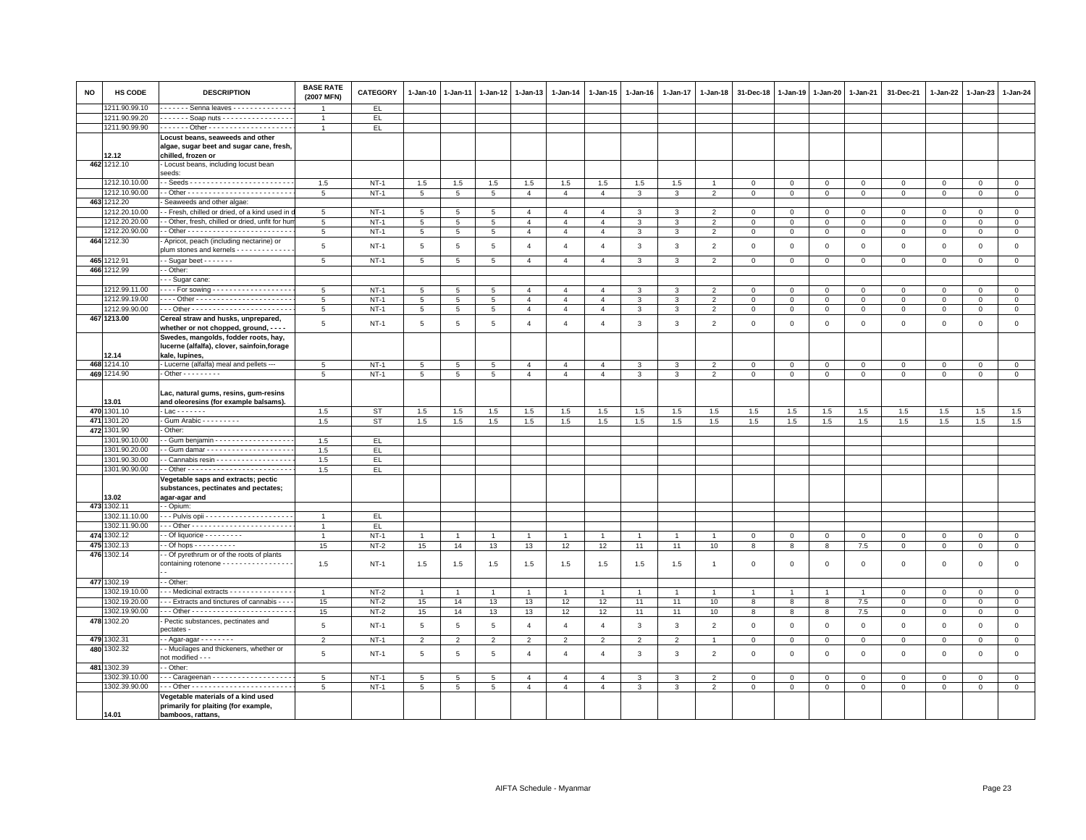| <b>NO</b> | HS CODE              | <b>DESCRIPTION</b>                                                                                 | <b>BASE RATE</b><br>(2007 MFN) | <b>CATEGORY</b> | $1-Jan-10$      | $1-Jan-11$      | $1 - Jan-12$    | 1-Jan-13       | $1 - Jan-14$   | 1-Jan-15       | $1 - Jan-16$            | 1-Jan-17       | $1 - Jan-18$   | 31-Dec-18      | $1 - Jan-19$ | 1-Jan-20            | 1-Jan-21     | 31-Dec-21    | 1-Jan-22     | $1-Jan-23$   | 1-Jan-24       |
|-----------|----------------------|----------------------------------------------------------------------------------------------------|--------------------------------|-----------------|-----------------|-----------------|-----------------|----------------|----------------|----------------|-------------------------|----------------|----------------|----------------|--------------|---------------------|--------------|--------------|--------------|--------------|----------------|
|           | 1211.90.99.10        | ------ Senna leaves --------------                                                                 | $\overline{1}$                 | EL.             |                 |                 |                 |                |                |                |                         |                |                |                |              |                     |              |              |              |              |                |
|           | 1211.90.99.20        | Soap nuts                                                                                          | $\mathbf{1}$                   | EL              |                 |                 |                 |                |                |                |                         |                |                |                |              |                     |              |              |              |              |                |
|           | 1211.90.99.90        |                                                                                                    | $\overline{1}$                 | EL.             |                 |                 |                 |                |                |                |                         |                |                |                |              |                     |              |              |              |              |                |
|           | 12.12                | Locust beans, seaweeds and other<br>algae, sugar beet and sugar cane, fresh,<br>chilled, frozen or |                                |                 |                 |                 |                 |                |                |                |                         |                |                |                |              |                     |              |              |              |              |                |
|           | 462 1212.10          | Locust beans, including locust bean<br>seeds:                                                      |                                |                 |                 |                 |                 |                |                |                |                         |                |                |                |              |                     |              |              |              |              |                |
|           | 1212.10.10.00        |                                                                                                    | 1.5                            | $NT-1$          | 1.5             | 1.5             | 1.5             | 1.5            | 1.5            | 1.5            | 1.5                     | 1.5            |                | $\mathbf 0$    | $\mathbf 0$  | $\mathsf 0$         | $^{\circ}$   | $\mathbf 0$  | $^{\circ}$   | $\mathbf 0$  | $\mathsf 0$    |
|           | 1212.10.90.00        |                                                                                                    | 5                              | $NT-1$          | 5               | $5\overline{5}$ | 5               | $\overline{4}$ | $\overline{4}$ | $\overline{4}$ | $\mathbf{3}$            | 3              | 2              | $\overline{0}$ | $\mathsf 0$  | $\mathbf{0}$        | $\circ$      | $\circ$      | $\Omega$     | $\Omega$     | $\mathbf{0}$   |
|           | 463 1212.20          | Seaweeds and other algae:                                                                          |                                |                 |                 |                 |                 |                |                |                |                         |                |                |                |              |                     |              |              |              |              |                |
|           | 1212.20.10.00        | - Fresh, chilled or dried, of a kind used in                                                       | $5\phantom{.0}$                | $NT-1$          | $5\overline{5}$ | 5               | 5               | $\overline{4}$ | $\overline{4}$ | $\overline{4}$ | 3                       | 3              | $\overline{2}$ | $\mathbf 0$    | $\mathbf 0$  | $\overline{0}$      | $\mathbf 0$  | $\mathbf 0$  | $\mathbf{0}$ | $\mathbf 0$  | $\overline{0}$ |
|           | 1212.20.20.00        | - Other, fresh, chilled or dried, unfit for hui                                                    | 5                              | $NT-1$          | 5 <sup>5</sup>  | $5\overline{5}$ | $5\overline{5}$ | $\overline{4}$ | $\overline{4}$ | $\overline{4}$ | $\mathbf{3}$            | $\mathbf{3}$   | 2              | $\mathbf{0}$   | $\circ$      | $\mathbf{0}$        | $\mathbf{0}$ | $\mathbf{0}$ | $\mathbf{0}$ | $\mathbf{0}$ | $\mathbf{0}$   |
|           | 1212.20.90.00        |                                                                                                    | 5                              | $NT-1$          | $\overline{5}$  | $\overline{5}$  | $\overline{5}$  | $\overline{4}$ | $\overline{4}$ | $\overline{4}$ | $\overline{\mathbf{3}}$ | $\overline{3}$ | $\overline{2}$ | $\mathbf{0}$   | $\mathsf 0$  | $\circ$             | $\mathbf 0$  | $\mathsf 0$  | $\mathbf 0$  | $\mathsf 0$  | $\mathbf{0}$   |
|           | 464 1212.30          | Apricot, peach (including nectarine) or<br>olum stones and kernels - - - - - - - - - - -           | 5                              | $NT-1$          | 5               | 5               | 5               | $\overline{4}$ | $\overline{4}$ | $\overline{4}$ | $\mathbf{3}$            | 3              | $\overline{2}$ | $\mathbf 0$    | $\mathbf 0$  | $\mathbf 0$         | $\mathbf 0$  | $\mathsf 0$  | $\Omega$     | $\mathsf 0$  | $\mathsf 0$    |
|           | 465 1212.91          | $-Suqar$ beet $- - - - - -$                                                                        | 5                              | $NT-1$          | 5 <sup>5</sup>  | 5               | $5\overline{5}$ | $\overline{4}$ | $\overline{4}$ | $\overline{4}$ | $\mathbf{3}$            | $\mathbf{3}$   | 2              | $\overline{0}$ | $\circ$      | $\circ$             | $\mathbf{0}$ | $\mathbf{0}$ | $\mathbf{0}$ | $\mathbf{0}$ | $\mathbf 0$    |
|           | 466 1212.99          | - Other:                                                                                           |                                |                 |                 |                 |                 |                |                |                |                         |                |                |                |              |                     |              |              |              |              |                |
|           |                      | - - Sugar cane:                                                                                    |                                |                 |                 |                 |                 |                |                |                |                         |                |                |                |              |                     |              |              |              |              |                |
|           | 1212.99.11.00        | $\cdots$ For sowing - - - - - - - - - - - - - - - - - -                                            | 5                              | $NT-1$          | 5               | 5               | 5               | $\overline{4}$ | $\overline{4}$ | $\overline{4}$ | 3                       | 3              | $\overline{2}$ | $\mathbf 0$    | $^{\circ}$   | $\mathsf 0$         | $\mathbf 0$  | $\mathbf 0$  | $^{\circ}$   | $\mathbf 0$  | $\mathsf 0$    |
|           | 1212.99.19.00        |                                                                                                    | 5                              | $NT-1$          | 5               | $5\overline{5}$ | $5\overline{5}$ | $\mathbf{A}$   | $\overline{4}$ | $\overline{4}$ | 3                       | $\mathbf{3}$   | $\overline{2}$ | $\mathbf 0$    | $\mathbf{0}$ | $\mathbf{0}$        | $\mathbf{0}$ | $\mathbf{0}$ | $\Omega$     | $\Omega$     | $\mathbb O$    |
|           | 1212.99.90.00        |                                                                                                    | 5                              | $NT-1$          | $5\overline{5}$ | 5               | 5               | $\overline{4}$ | $\overline{4}$ | $\overline{4}$ | 3                       | 3              | $\overline{2}$ | $\overline{0}$ | $\mathbf{0}$ | $\mathbf{0}$        | $\mathbf{O}$ | $\mathbf 0$  | $^{\circ}$   | $\mathbf 0$  | $\mathbf 0$    |
|           | 467 1213.00          | Cereal straw and husks, unprepared,                                                                |                                |                 |                 |                 |                 |                |                |                |                         |                |                |                |              |                     |              |              |              |              |                |
|           |                      | whether or not chopped, ground, - - - -                                                            | 5                              | $NT-1$          | 5               | 5               | 5               | $\overline{4}$ | $\overline{4}$ | $\overline{4}$ | $\mathbf{3}$            | $\mathbf{3}$   | $\overline{2}$ | $\mathbf 0$    | $\mathbf 0$  | $\mathbf 0$         | $\mathbf 0$  | $\mathsf 0$  | $\mathbf 0$  | $\mathsf 0$  | $\mathsf 0$    |
|           |                      | Swedes, mangolds, fodder roots, hay,<br>lucerne (alfalfa), clover, sainfoin, forage                |                                |                 |                 |                 |                 |                |                |                |                         |                |                |                |              |                     |              |              |              |              |                |
|           | 12.14                | kale, lupines,                                                                                     |                                |                 |                 |                 |                 |                |                |                |                         |                |                |                |              |                     |              |              |              |              |                |
|           | 468 1214.10          | - Lucerne (alfalfa) meal and pellets ---                                                           | 5                              | $NT-1$          | $5\overline{5}$ | 5               | 5               | $\overline{4}$ | $\overline{4}$ | $\overline{4}$ | 3                       | 3              | $\overline{2}$ | $\mathbf 0$    | $\mathbf 0$  | $\mathsf 0$         | $\mathbf 0$  | $\mathbf 0$  | $^{\circ}$   | $\mathbf 0$  | $\mathbf{0}$   |
|           | 469 1214.90          | $\cdot$ Other - - - - - - - - -                                                                    | 5                              | $NT-1$          | $\overline{5}$  | 5               | 5               | $\overline{4}$ | $\overline{4}$ | $\overline{4}$ | 3                       | 3              | $\overline{2}$ | $\mathbf 0$    | $\mathbf 0$  | $\mathsf{O}\xspace$ | $\mathsf 0$  | $\mathsf 0$  | $\mathsf 0$  | $\mathsf 0$  | $\overline{0}$ |
|           | 13.01<br>470 1301.10 | Lac, natural gums, resins, gum-resins<br>and oleoresins (for example balsams).<br>$Lac - - - - -$  | 1.5                            | <b>ST</b>       | 1.5             | 1.5             | 1.5             | 1.5            | 1.5            | 1.5            | 1.5                     | 1.5            | 1.5            | 1.5            | 1.5          | 1.5                 | 1.5          | 1.5          | 1.5          | 1.5          | 1.5            |
|           | 471 1301.20          | Gum Arabic - - - - - - - - -                                                                       | 1.5                            | <b>ST</b>       | 1.5             | 1.5             | 1.5             | 1.5            | 1.5            | 1.5            | 1.5                     | 1.5            | 1.5            | 1.5            | 1.5          | 1.5                 | 1.5          | 1.5          | 1.5          | 1.5          | 1.5            |
|           | 472 1301.90          | Other:                                                                                             |                                |                 |                 |                 |                 |                |                |                |                         |                |                |                |              |                     |              |              |              |              |                |
|           | 1301.90.10.00        | - Gum benjamin - - - - - - - - - - - - - - - - -                                                   | 1.5                            | EL              |                 |                 |                 |                |                |                |                         |                |                |                |              |                     |              |              |              |              |                |
|           | 1301.90.20.00        |                                                                                                    | 1.5                            | EL.             |                 |                 |                 |                |                |                |                         |                |                |                |              |                     |              |              |              |              |                |
|           | 1301.90.30.00        | Cannabis resin - - - - - - - - - - - - - - - - - -                                                 | 1.5                            | EL              |                 |                 |                 |                |                |                |                         |                |                |                |              |                     |              |              |              |              |                |
|           | 1301.90.90.00        |                                                                                                    | 1.5                            | EL.             |                 |                 |                 |                |                |                |                         |                |                |                |              |                     |              |              |              |              |                |
|           |                      | Vegetable saps and extracts; pectic                                                                |                                |                 |                 |                 |                 |                |                |                |                         |                |                |                |              |                     |              |              |              |              |                |
|           |                      | substances, pectinates and pectates;                                                               |                                |                 |                 |                 |                 |                |                |                |                         |                |                |                |              |                     |              |              |              |              |                |
|           | 13.02                | agar-agar and                                                                                      |                                |                 |                 |                 |                 |                |                |                |                         |                |                |                |              |                     |              |              |              |              |                |
|           | 473 1302.11          | - Opium:                                                                                           |                                |                 |                 |                 |                 |                |                |                |                         |                |                |                |              |                     |              |              |              |              |                |
|           | 1302.11.10.00        |                                                                                                    | $\overline{1}$                 | EL.             |                 |                 |                 |                |                |                |                         |                |                |                |              |                     |              |              |              |              |                |
|           | 1302.11.90.00        |                                                                                                    | $\overline{1}$                 | EL.             |                 |                 |                 |                |                |                |                         |                |                |                |              |                     |              |              |              |              |                |
|           | 474 1302.12          | - Of liquorice - - - - - - - - -                                                                   | $\overline{1}$                 | $NT-1$          | $\overline{1}$  | $\overline{1}$  | $\mathbf{1}$    | $\overline{1}$ |                | $\overline{1}$ |                         | $\mathbf{1}$   | $\overline{1}$ | $\mathbf 0$    | $\,0\,$      | $\circ$             | $\mathbf 0$  | $\mathbf 0$  | $^{\circ}$   | $\mathbf 0$  | $\mathbf 0$    |
|           | 475 1302.13          | $-$ Of hops $        -$                                                                            | 15                             | $NT-2$          | 15              | 14              | 13              | 13             | 12             | 12             | 11                      | 11             | 10             | 8              | 8            | 8                   | $7.5\,$      | $\mathsf 0$  | $\mathsf 0$  | $\mathsf 0$  | $\mathbf{0}$   |
|           | 476 1302.14          | - Of pyrethrum or of the roots of plants<br>containing rotenone - - - - - - - - - - - - -          | 1.5                            | $NT-1$          | 1.5             | 1.5             | 1.5             | 1.5            | 1.5            | 1.5            | 1.5                     | 1.5            | $\overline{1}$ | $\mathbf 0$    | $\mathbf 0$  | $\mathbf 0$         | $\mathbf 0$  | $\Omega$     | $\mathbf 0$  | $\Omega$     | $\mathbf 0$    |
|           | 477 1302.19          | - Other:                                                                                           |                                |                 |                 |                 |                 |                |                |                |                         |                |                |                |              |                     |              |              |              |              |                |
|           | 1302.19.10.00        | - - Medicinal extracts - - - - - - - - - - - - - -                                                 |                                | $NT-2$          |                 |                 |                 | $\overline{1}$ |                |                |                         |                |                |                |              |                     |              | $\mathbf 0$  | $\Omega$     | $\Omega$     | $\mathsf 0$    |
|           | 1302.19.20.00        | - - Extracts and tinctures of cannabis - - -                                                       | 15                             | $NT-2$          | 15              | 14              | 13              | 13             | 12             | 12             | 11                      | 11             | 10             | 8              | 8            | 8                   | 7.5          | $\mathbf 0$  | $\mathbf 0$  | $\mathbf 0$  | $\circ$        |
|           | 1302.19.90.00        |                                                                                                    | 15                             | $NT-2$          | 15              | 14              | 13              | 13             | 12             | 12             | 11                      | 11             | 10             | 8              | 8            | 8                   | 7.5          | $\circ$      | $\Omega$     | $\circ$      | $\mathbb O$    |
|           | 478 1302.20          | Pectic substances, pectinates and<br>bectates -                                                    | 5                              | $NT-1$          | $5\phantom{.0}$ | 5               | 5               | $\overline{4}$ | $\overline{4}$ | $\overline{4}$ | 3                       | $\mathbf{3}$   | $\overline{2}$ | $\mathbf 0$    | $\mathbf 0$  | $\mathbf 0$         | $\mathbf 0$  | $\mathsf 0$  | $\mathbf 0$  | $\mathsf 0$  | $\mathsf 0$    |
|           | 479 1302.31          | - Agar-agar - - - - - - - -                                                                        | $\overline{2}$                 | $NT-1$          | $\overline{2}$  | $\overline{2}$  | $\overline{2}$  | $\overline{2}$ | $\overline{2}$ | $\overline{2}$ | $\overline{2}$          | $\overline{a}$ | $\mathbf{1}$   | $\mathbf 0$    | $\mathbf 0$  | $\mathsf 0$         | $\mathsf 0$  | $\mathbf 0$  | $\mathbf 0$  | $\mathsf 0$  | $\mathbf{0}$   |
|           | 480 1302.32          | - Mucilages and thickeners, whether or<br>not modified - - -                                       | 5                              | $NT-1$          | 5               | 5               | 5               | $\overline{4}$ | $\overline{4}$ | $\overline{4}$ | $\mathbf{3}$            | $\mathbf{3}$   | $\overline{2}$ | $\mathbf 0$    | $\mathbf 0$  | $\mathbf 0$         | $\mathbf 0$  | $\mathbf 0$  | $\mathbf 0$  | $\mathsf 0$  | $\mathsf 0$    |
|           | 481 1302.39          | - Other:                                                                                           |                                |                 |                 |                 |                 |                |                |                |                         |                |                |                |              |                     |              |              |              |              |                |
|           | 1302.39.10.00        | -- Carageenan -------------------                                                                  | 5                              | <b>NT-1</b>     | 5               | $\overline{5}$  | $\overline{5}$  | $\overline{4}$ | $\overline{4}$ | $\overline{4}$ | 3                       | 3              | $\overline{2}$ | $\Omega$       | $\mathbf 0$  | $\mathbf 0$         | $\mathsf 0$  | $\mathbf 0$  | $\Omega$     | $\mathbf 0$  | $\mathbf{0}$   |
|           | 1302.39.90.00        |                                                                                                    | 5                              | $NT-1$          | 5               | 5               | 5               | $\overline{4}$ | $\overline{4}$ | $\overline{4}$ | 3                       | 3              | $\overline{2}$ | $\mathbf 0$    | $\mathbf{0}$ | $\mathbf{0}$        | $\mathbf 0$  | $^{\circ}$   | $^{\circ}$   | $\mathbf 0$  | $\mathbf{0}$   |
|           |                      | Vegetable materials of a kind used<br>primarily for plaiting (for example,                         |                                |                 |                 |                 |                 |                |                |                |                         |                |                |                |              |                     |              |              |              |              |                |
|           | 14.01                | bamboos, rattans,                                                                                  |                                |                 |                 |                 |                 |                |                |                |                         |                |                |                |              |                     |              |              |              |              |                |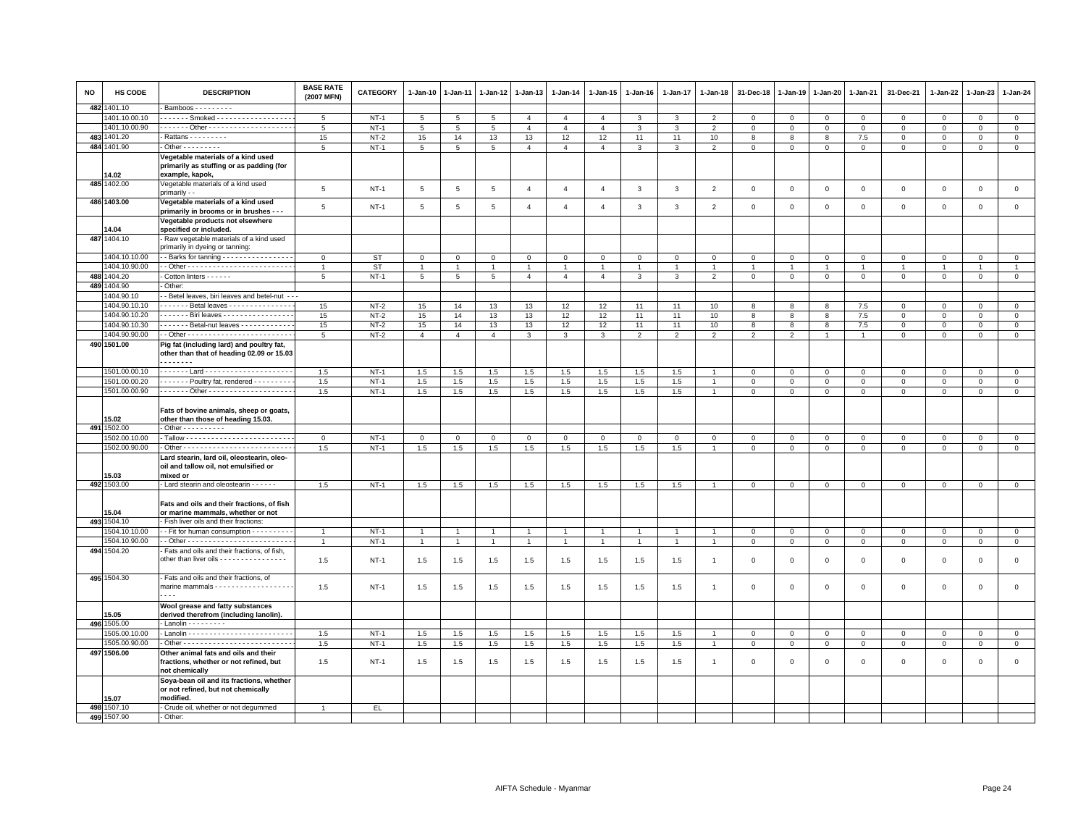| <b>NO</b> | HS CODE                        | <b>DESCRIPTION</b>                                                                                   | <b>BASE RATE</b><br>(2007 MFN) | <b>CATEGORY</b> | $1 - Jan-10$    | $1-Jan-11$      | $1 - Jan-12$   | $1-Jan-13$     | $1 - Jan-14$   | $1 - Jan-15$   | $1 - Jan-16$   | 1-Jan-17       | 1-Jan-18       | 31-Dec-18      | $1-Jan-19$     | 1-Jan-20       | 1-Jan-21       | 31-Dec-21           | 1-Jan-22       | 1-Jan-23     | 1-Jan-24       |
|-----------|--------------------------------|------------------------------------------------------------------------------------------------------|--------------------------------|-----------------|-----------------|-----------------|----------------|----------------|----------------|----------------|----------------|----------------|----------------|----------------|----------------|----------------|----------------|---------------------|----------------|--------------|----------------|
|           | 482 1401.10                    | Bamboos - - - - - - - - -                                                                            |                                |                 |                 |                 |                |                |                |                |                |                |                |                |                |                |                |                     |                |              |                |
|           | 401.10.00.10                   | ------ Smoked -----------------                                                                      | 5                              | $NT-1$          | 5               | 5               | 5              | $\overline{4}$ | $\overline{4}$ | $\overline{4}$ | 3              | 3              | $\overline{2}$ | $\mathbf 0$    | $\mathbf 0$    | $\overline{0}$ | $\mathbf{0}$   | $\mathbf 0$         | 0              | $\mathbf 0$  | $\mathbf{0}$   |
|           | 1401.10.00.90                  |                                                                                                      | 5                              | $NT-1$          | 5               | 5               | 5              | $\overline{4}$ | $\overline{4}$ | $\overline{4}$ | $\mathbf{3}$   | $\mathbf{3}$   | $\overline{2}$ | $\mathsf 0$    | $\mathsf 0$    | $\mathbf 0$    | $\mathbf 0$    | $\mathsf 0$         | $\mathsf 0$    | $\mathsf 0$  | $\mathbf 0$    |
| 483       | 1401.20                        |                                                                                                      | 15                             | $NT-2$          | 15              | 14              | 13             | 13             | 12             | 12             | 11             | 11             | 10             | 8              | 8              | 8              | 7.5            | $\mathsf 0$         | $\Omega$       | $\Omega$     | $\overline{0}$ |
|           | 484 1401.90                    | $\cdot$ Other - - - - - - - - -                                                                      | 5                              | $NT-1$          | $5\phantom{.0}$ | $5\phantom{.0}$ | 5              | $\overline{4}$ | $\overline{4}$ | $\overline{4}$ | $\mathbf{3}$   | $\mathbf{3}$   | $\overline{2}$ | $\circ$        | $\mathsf 0$    | $\mathsf 0$    | $\mathbf 0$    | $\mathsf 0$         | $\mathsf 0$    | $\mathsf 0$  | $\mathbf 0$    |
|           |                                | Vegetable materials of a kind used                                                                   |                                |                 |                 |                 |                |                |                |                |                |                |                |                |                |                |                |                     |                |              |                |
|           |                                | primarily as stuffing or as padding (for                                                             |                                |                 |                 |                 |                |                |                |                |                |                |                |                |                |                |                |                     |                |              |                |
|           | 14.02                          | example, kapok,                                                                                      |                                |                 |                 |                 |                |                |                |                |                |                |                |                |                |                |                |                     |                |              |                |
|           | 485 1402.00                    | Vegetable materials of a kind used<br>primarily - -                                                  | 5                              | $NT-1$          | $\,$ 5 $\,$     | $\overline{5}$  | 5              | $\overline{4}$ | $\overline{4}$ | $\overline{4}$ | $\mathbf{3}$   | $\mathbf{3}$   | $\overline{2}$ | $\mathbf 0$    | $\overline{0}$ | $\mathbf 0$    | $\mathsf 0$    | $\mathsf 0$         | $\mathsf 0$    | $\mathsf 0$  | $\mathsf 0$    |
|           | 486 1403.00                    | Vegetable materials of a kind used                                                                   |                                |                 |                 |                 |                |                |                |                |                |                |                |                |                |                |                |                     |                |              |                |
|           |                                | primarily in brooms or in brushes - - -                                                              | 5                              | $NT-1$          | 5               | $\,$ 5 $\,$     | 5              | $\overline{4}$ | $\overline{4}$ | $\overline{4}$ | 3              | $\mathbf{3}$   | $\overline{2}$ | $\,0\,$        | $\mathsf 0$    | $\,0\,$        | $\mathsf 0$    | $\mathsf 0$         | $\mathsf 0$    | $\mathbf 0$  | $\mathbf{0}$   |
|           |                                | Vegetable products not elsewhere                                                                     |                                |                 |                 |                 |                |                |                |                |                |                |                |                |                |                |                |                     |                |              |                |
|           | 14.04                          | specified or included.                                                                               |                                |                 |                 |                 |                |                |                |                |                |                |                |                |                |                |                |                     |                |              |                |
|           | 487 1404.10                    | Raw vegetable materials of a kind used                                                               |                                |                 |                 |                 |                |                |                |                |                |                |                |                |                |                |                |                     |                |              |                |
|           |                                | primarily in dyeing or tanning:                                                                      |                                |                 |                 |                 |                |                |                |                |                |                |                |                |                |                |                |                     |                |              |                |
|           | 1404.10.10.00                  | - - Barks for tanning - - - - - - - - - - - - - - -                                                  | $\mathbf 0$                    | <b>ST</b>       | $\mathsf 0$     | $\Omega$        | $\mathbf 0$    | $\mathbf 0$    | $\mathbf 0$    | $\mathbf{0}$   | $\Omega$       | $\mathbf{0}$   | $\Omega$       | $\Omega$       | $\Omega$       | $\mathbf 0$    | $\mathbf 0$    | $\mathbf 0$         | $\Omega$       | $\mathbf 0$  | $\mathsf 0$    |
|           | 1404.10.90.00                  | - Other - - - - - - - - - - - - - - - - - - <del>- - - - - - - -</del> -                             | $\overline{1}$                 | <b>ST</b>       | $\overline{1}$  | $\overline{1}$  |                | $\overline{1}$ |                | $\mathbf{1}$   |                | $\overline{1}$ | $\overline{1}$ | $\overline{1}$ | $\overline{1}$ | $\overline{1}$ | $\overline{1}$ |                     | $\overline{1}$ |              | $\overline{1}$ |
|           | 488 1404.20                    | Cotton linters - - - - - -                                                                           | 5                              | $NT-1$          | 5               | $5\phantom{.0}$ | 5              | $\overline{4}$ | $\overline{4}$ | $\overline{4}$ | $\mathbf{3}$   | $\mathbf{3}$   | $\overline{2}$ | $\mathbf 0$    | $\mathbf{0}$   | $\mathbf{0}$   | $\mathbf{0}$   | $\mathbf{0}$        | $\mathbf 0$    | $\mathbf{0}$ | $\mathbf{0}$   |
|           | 489 1404.90                    | Other:                                                                                               |                                |                 |                 |                 |                |                |                |                |                |                |                |                |                |                |                |                     |                |              |                |
|           | 1404.90.10                     | - Betel leaves, biri leaves and betel-nut - -                                                        |                                |                 |                 |                 |                |                |                |                |                |                |                |                |                |                |                |                     |                |              |                |
|           | 1404.90.10.10                  | Betal leaves - - - - - - - - - - - - - -                                                             | 15                             | $NT-2$          | 15              | 14              | 13             | 13             | 12             | 12             | 11             | 11             | 10             | 8              | 8              | 8              | 7.5            | $\mathsf 0$         | $^{\circ}$     | $\mathsf 0$  | $\mathbf 0$    |
|           | 1404.90.10.20                  | . Biri leaves                                                                                        | 15                             | $NT-2$          | 15              | 14              | 13             | 13             | 12             | 12             | 11             | 11             | 10             | 8              | 8              | 8              | 7.5            | $\mathbf 0$         | $\mathbf 0$    | $\Omega$     | $\mathbf{0}$   |
|           | 1404.90.10.30                  | Betal-nut leaves - - - - - - - - - - -                                                               | 15                             | $NT-2$          | 15              | 14              | 13             | 13             | 12             | 12             | 11             | 11             | 10             | 8              | 8              | 8              | 7.5            | $\mathbf 0$         | $\mathbf 0$    | $\mathsf 0$  | $\mathbf 0$    |
|           | 1404.90.90.00                  |                                                                                                      | 5                              | $NT-2$          | $\overline{4}$  | $\Delta$        | $\overline{4}$ | 3              | 3              | $\mathbf{3}$   | 2              | 2              | $\overline{2}$ | $\overline{2}$ | $\overline{2}$ | $\overline{1}$ | $\overline{1}$ | $\mathbf{0}$        | $\Omega$       | $\mathbf 0$  | $\circ$        |
|           | 490 1501.00                    | Pig fat (including lard) and poultry fat,<br>other than that of heading 02.09 or 15.03<br>.          |                                |                 |                 |                 |                |                |                |                |                |                |                |                |                |                |                |                     |                |              |                |
|           | 1501.00.00.10                  |                                                                                                      | 1.5                            | $NT-1$          | 1.5             | 1.5             | 1.5            | 1.5            | 1.5            | 1.5            | 1.5            | 1.5            | $\overline{1}$ | $\mathbf{0}$   | $\mathbf{0}$   | $\overline{0}$ | $\mathbf{0}$   | $\mathbf 0$         | $\mathbf{0}$   | $\mathbf{0}$ | $\mathbf{0}$   |
|           | 1501.00.00.20                  | Poultry fat, rendered                                                                                | 1.5                            | $NT-1$          | 1.5             | 1.5             | 1.5            | 1.5            | 1.5            | 1.5            | 1.5            | 1.5            | $\overline{1}$ | $\mathbf{0}$   | $\mathbf 0$    | $\mathbf{0}$   | $\mathbf{0}$   | $\mathbf{0}$        | $\mathbf 0$    | $\mathbf{0}$ | $\mathbf 0$    |
|           | 1501.00.00.90                  |                                                                                                      | 1.5                            | $NT-1$          | 1.5             | 1.5             | 1.5            | 1.5            | 1.5            | 1.5            | 1.5            | 1.5            | $\overline{1}$ | $\circ$        | $\overline{0}$ | $\overline{0}$ | $\mathsf 0$    | $\mathsf{O}\xspace$ | $\mathsf 0$    | $\mathsf 0$  | $\overline{0}$ |
|           |                                | Fats of bovine animals, sheep or goats,                                                              |                                |                 |                 |                 |                |                |                |                |                |                |                |                |                |                |                |                     |                |              |                |
|           | 15.02                          | other than those of heading 15.03.                                                                   |                                |                 |                 |                 |                |                |                |                |                |                |                |                |                |                |                |                     |                |              |                |
|           | 491 1502.00                    | - Other - - - - - - - - - -                                                                          |                                |                 |                 |                 |                |                |                |                |                |                |                |                |                |                |                |                     |                |              |                |
|           | 1502.00.10.00                  |                                                                                                      | $\mathbf 0$                    | $NT-1$          | $\mathbf 0$     | $\mathbf 0$     | $\mathbf{0}$   | $\overline{0}$ | $\mathbf 0$    | $\mathsf 0$    | $\mathbf 0$    | $\mathbf{0}$   | $\mathbf 0$    | $\mathbf 0$    | $\overline{0}$ | $\mathbf 0$    | $\mathbf 0$    | $\mathsf 0$         | $\mathbf 0$    | $\mathbf{0}$ | $\mathbf 0$    |
|           | 1502.00.90.00                  |                                                                                                      | 1.5                            | $NT-1$          | $1.5\,$         | 1.5             | 1.5            | 1.5            | 1.5            | 1.5            | 1.5            | 1.5            | $\overline{1}$ | $\mathbf 0$    | $\mathbb O$    | $\mathbf 0$    | $\mathbf 0$    | $\mathsf 0$         | $\mathbf 0$    | $\mathbf 0$  | $\overline{0}$ |
|           | 15.03                          | Lard stearin, lard oil, oleostearin, oleo-<br>oil and tallow oil, not emulsified or<br>mixed or      |                                |                 |                 |                 |                |                |                |                |                |                |                |                |                |                |                |                     |                |              |                |
|           | 492 1503.00                    | - Lard stearin and oleostearin - - - - - -                                                           | 1.5                            | $NT-1$          | 1.5             | 1.5             | 1.5            | 1.5            | 1.5            | 1.5            | 1.5            | 1.5            | $\overline{1}$ | $\mathbf 0$    | $\mathbf{0}$   | $\mathbf 0$    | $\mathsf 0$    | $\Omega$            | $\mathbf 0$    | $\mathsf 0$  | $\mathbf 0$    |
|           | 15.04                          | Fats and oils and their fractions, of fish<br>or marine mammals, whether or not                      |                                |                 |                 |                 |                |                |                |                |                |                |                |                |                |                |                |                     |                |              |                |
|           | 493 1504.10                    | Fish liver oils and their fractions:                                                                 |                                |                 |                 |                 |                |                |                |                |                |                |                |                |                |                |                |                     |                |              |                |
|           | 1504.10.10.00                  | - Fit for human consumption - - - - - - - - -                                                        | $\overline{1}$                 | $NT-1$          | $\overline{1}$  |                 | $\overline{1}$ | $\overline{1}$ |                | $\overline{1}$ |                | $\mathbf{1}$   |                | $\mathbf 0$    | $\mathbf 0$    | $\mathbf 0$    | $\mathbf 0$    | $\mathsf 0$         | $\mathbf 0$    | $\mathsf 0$  | $\circ$        |
|           | 1504.10.90.00                  |                                                                                                      | $\overline{1}$                 | $NT-1$          | $\overline{1}$  | $\overline{1}$  | $\mathbf{1}$   | $\overline{1}$ | $\overline{1}$ | $\mathbf{1}$   | $\overline{1}$ | $\overline{1}$ | $\overline{1}$ | $\,0\,$        | $\,0\,$        | $\mathbf 0$    | $\mathbf 0$    | $\mathsf 0$         | $\mathbf 0$    | $\mathsf 0$  | $\mathsf 0$    |
|           | 494 1504.20                    | Fats and oils and their fractions, of fish,<br>other than liver oils - - - - - - - - - - - - - - - - | 1.5                            | $NT-1$          | 1.5             | 1.5             | 1.5            | 1.5            | 1.5            | 1.5            | 1.5            | 1.5            | $\overline{1}$ | $\mathbf 0$    | $\mathbf 0$    | $\mathbf 0$    | $\mathbf 0$    | $\mathsf 0$         | $\mathbf 0$    | $\mathsf 0$  | $\mathsf 0$    |
|           | 495 1504.30                    | Fats and oils and their fractions, of<br>marine mammals - - - - - - - - - - - - - - - - - -          | 1.5                            | $NT-1$          | 1.5             | 1.5             | 1.5            | 1.5            | 1.5            | 1.5            | 1.5            | 1.5            | $\overline{1}$ | $^{\circ}$     | $\Omega$       | $\Omega$       | $\mathbf 0$    | $\mathbf 0$         | $\Omega$       | $\Omega$     | $\circ$        |
|           |                                | $- - -$<br>Wool grease and fatty substances                                                          |                                |                 |                 |                 |                |                |                |                |                |                |                |                |                |                |                |                     |                |              |                |
|           | 15.05                          | derived therefrom (including lanolin).                                                               |                                |                 |                 |                 |                |                |                |                |                |                |                |                |                |                |                |                     |                |              |                |
|           | 496 1505.00                    | - Lanolin - - - - - - - - -                                                                          |                                |                 |                 |                 |                |                |                |                |                |                |                |                |                |                |                |                     |                |              |                |
|           | 1505.00.10.00<br>1505.00.90.00 |                                                                                                      | 1.5                            | $NT-1$          | 1.5             | 1.5             | 1.5            | 1.5            | 1.5            | 1.5            | 1.5            | 1.5            |                | $\mathbf 0$    | $\mathbf 0$    | $\mathbf{0}$   | $\mathbf 0$    | $\mathsf 0$         | $\mathbf 0$    | $\mathbf 0$  | $\circ$        |
|           |                                |                                                                                                      | 1.5                            | $NT-1$          | 1.5             | 1.5             | 1.5            | 1.5            | 1.5            | 1.5            | 1.5            | 1.5            | $\overline{1}$ | $\mathbf 0$    | $\mathbf 0$    | $\overline{0}$ | $\mathbf 0$    | $\overline{0}$      | $\circ$        | $\mathbf 0$  | $\overline{0}$ |
|           | 497 1506.00                    | Other animal fats and oils and their<br>fractions, whether or not refined, but<br>not chemically     | 1.5                            | $NT-1$          | $1.5\,$         | 1.5             | 1.5            | $1.5\,$        | 1.5            | $1.5\,$        | 1.5            | 1.5            | $\overline{1}$ | $\,0\,$        | $\,$ 0         | $\,0\,$        | $\mathsf 0$    | $\mathsf 0$         | $\mathsf 0$    | $\mathsf 0$  | $\mathbf 0$    |
|           | 5.07                           | Soya-bean oil and its fractions, whether<br>or not refined, but not chemically<br>modified.          |                                |                 |                 |                 |                |                |                |                |                |                |                |                |                |                |                |                     |                |              |                |
|           | 498 1507.10                    | Crude oil, whether or not degummed                                                                   | $\overline{1}$                 | EL.             |                 |                 |                |                |                |                |                |                |                |                |                |                |                |                     |                |              |                |
|           | 499 1507.90                    | - Other:                                                                                             |                                |                 |                 |                 |                |                |                |                |                |                |                |                |                |                |                |                     |                |              |                |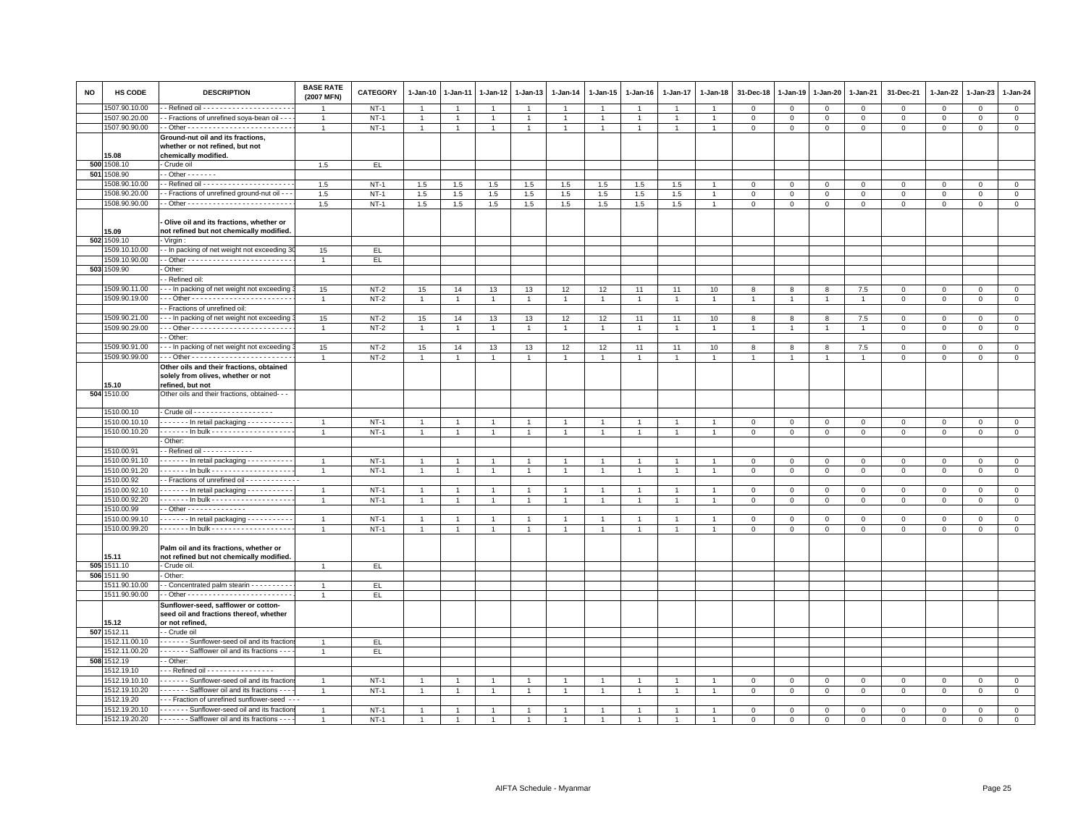| NO | HS CODE       | <b>DESCRIPTION</b>                                                                                 | <b>BASE RATE</b><br>(2007 MFN) | <b>CATEGORY</b> | 1-Jan-10       | 1-Jan-11       | 1-Jan-12             | 1-Jan-13       | 1-Jan-14       | 1-Jan-15       | 1-Jan-16       | 1-Jan-17       | 1-Jan-18       | 31-Dec-18      | 1-Jan-19       | 1-Jan-20       | 1-Jan-21       | 31-Dec-21      | 1-Jan-22    | 1-Jan-23    | 1-Jan-24       |
|----|---------------|----------------------------------------------------------------------------------------------------|--------------------------------|-----------------|----------------|----------------|----------------------|----------------|----------------|----------------|----------------|----------------|----------------|----------------|----------------|----------------|----------------|----------------|-------------|-------------|----------------|
|    | 1507.90.10.00 |                                                                                                    |                                | $NT-1$          | $\overline{1}$ |                | $\overline{1}$       | $\overline{1}$ |                | $\overline{1}$ |                | $\overline{1}$ |                | $\Omega$       | $\mathbf{0}$   | $\mathbf{0}$   | $\mathbf{0}$   | $\mathbf 0$    | $\mathbf 0$ | $\mathbf 0$ | $\circ$        |
|    | 1507.90.20.00 | - Fractions of unrefined soya-bean oil - - -                                                       | $\overline{1}$                 | $NT-1$          | $\mathbf{1}$   |                | $\mathbf{1}$         | $\overline{1}$ | $\overline{1}$ | $\mathbf{1}$   |                | $\overline{1}$ | $\overline{1}$ | $\mathbf 0$    | $\mathbf 0$    | $\mathbf 0$    | $\mathbf 0$    | $\mathbf 0$    | 0           | $\mathbf 0$ | $\overline{0}$ |
|    | 1507.90.90.00 |                                                                                                    | $\overline{1}$                 | $NT-1$          | $\mathbf{1}$   | $\overline{1}$ | $\blacktriangleleft$ | $\overline{1}$ | $\overline{1}$ | $\mathbf{1}$   | $\overline{1}$ | $\mathbf{1}$   | $\overline{1}$ | $\mathbf 0$    | $\mathbf{0}$   | $\mathbf{0}$   | $\mathbf{0}$   | $\mathbf{0}$   | $\mathbf 0$ | $\mathbf 0$ | $\circ$        |
|    | 15.08         | Ground-nut oil and its fractions,<br>whether or not refined, but not<br>chemically modified.       |                                |                 |                |                |                      |                |                |                |                |                |                |                |                |                |                |                |             |             |                |
|    | 500 1508.10   | Crude oil                                                                                          | 1.5                            | EL.             |                |                |                      |                |                |                |                |                |                |                |                |                |                |                |             |             |                |
|    | 501 1508.90   | $-$ Other $     -$                                                                                 |                                |                 |                |                |                      |                |                |                |                |                |                |                |                |                |                |                |             |             |                |
|    | 1508.90.10.00 |                                                                                                    | 1.5                            | $NT-1$          | 1.5            | 1.5            | 1.5                  | 1.5            | 1.5            | 1.5            | 1.5            | 1.5            |                | $\Omega$       | $\Omega$       | $\Omega$       | $\Omega$       | $\Omega$       | $\Omega$    | $\Omega$    | $\circ$        |
|    | 1508.90.20.00 | - Fractions of unrefined ground-nut oil - -                                                        | 1.5                            | $NT-1$          | 1.5            | $1.5\,$        | $1.5\,$              | 1.5            | 1.5            | 1.5            | 1.5            | 1.5            |                | $\mathbf 0$    | $\mathbf 0$    | $\mathbf 0$    | $\mathsf 0$    | $\mathsf 0$    | $\mathbf 0$ | $\mathbf 0$ | $\mathsf 0$    |
|    | 1508.90.90.00 |                                                                                                    | 1.5                            | $NT-1$          | 1.5            | 1.5            | 1.5                  | 1.5            | 1.5            | 1.5            | 1.5            | 1.5            |                | $\mathsf 0$    | $\mathsf 0$    | $\mathbf 0$    | $\mathsf 0$    | $\mathsf 0$    | $\mathsf 0$ | $\mathsf 0$ | $\overline{0}$ |
|    | 15.09         | Olive oil and its fractions, whether or<br>not refined but not chemically modified.                |                                |                 |                |                |                      |                |                |                |                |                |                |                |                |                |                |                |             |             |                |
|    | 502 1509.10   | - Virgin                                                                                           |                                |                 |                |                |                      |                |                |                |                |                |                |                |                |                |                |                |             |             |                |
|    | 1509.10.10.00 | - In packing of net weight not exceeding 3                                                         | 15                             | EL.             |                |                |                      |                |                |                |                |                |                |                |                |                |                |                |             |             |                |
|    | 1509.10.90.00 |                                                                                                    | $\overline{1}$                 | EL              |                |                |                      |                |                |                |                |                |                |                |                |                |                |                |             |             |                |
|    | 503 1509.90   | Other:                                                                                             |                                |                 |                |                |                      |                |                |                |                |                |                |                |                |                |                |                |             |             |                |
|    |               | - Refined oil:                                                                                     |                                |                 |                |                |                      |                |                |                |                |                |                |                |                |                |                |                |             |             |                |
|    | 1509.90.11.00 | -- In packing of net weight not exceeding                                                          | 15                             | $NT-2$          | 15             | 14             | 13                   | 13             | 12             | 12             | 11             | 11             | 10             | 8              | 8              | 8              | 7.5            | $\mathsf 0$    | $\mathbf 0$ | $\mathsf 0$ | $\mathbf 0$    |
|    | 1509.90.19.00 |                                                                                                    | $\overline{1}$                 | $NT-2$          | $\mathbf{1}$   | $\mathbf{1}$   | $\mathbf{1}$         | $\mathbf{1}$   | $\mathbf{1}$   | $\mathbf{1}$   | $\overline{1}$ | $\mathbf{1}$   | $\overline{1}$ | $\overline{1}$ | $\mathbf{1}$   | $\overline{1}$ | $\mathbf{1}$   | $\mathsf 0$    | $\mathsf 0$ | $\mathsf 0$ | $\mathsf 0$    |
|    |               | - Fractions of unrefined oil:                                                                      |                                |                 |                |                |                      |                |                |                |                |                |                |                |                |                |                |                |             |             |                |
|    | 1509.90.21.00 | -- In packing of net weight not exceeding                                                          | 15                             | $NT-2$          | 15             | 14             | 13                   | 13             | 12             | 12             | 11             | 11             | 10             | 8              | 8              | 8              | 7.5            | $\overline{0}$ | $\Omega$    | $\Omega$    | $\mathsf 0$    |
|    | 1509.90.29.00 |                                                                                                    |                                | $NT-2$          | $\mathbf{1}$   |                |                      | $\overline{1}$ |                | $\mathbf{1}$   |                | 1              | $\mathbf{1}$   | -1             | $\mathbf{1}$   | $\overline{1}$ | $\overline{1}$ | $\mathsf 0$    | 0           | $\mathbf 0$ | $\mathbf 0$    |
|    |               | - Other:                                                                                           |                                |                 |                |                |                      |                |                |                |                |                |                |                |                |                |                |                |             |             |                |
|    | 1509.90.91.00 | -- In packing of net weight not exceeding                                                          | 15                             | $NT-2$          | 15             | 14             | 13                   | 13             | 12             | 12             | 11             | 11             | 10             | 8              | 8              | 8              | 7.5            | $\mathsf 0$    | $\mathbf 0$ | $\mathsf 0$ | $\mathbf 0$    |
|    | 1509.90.99.00 |                                                                                                    | $\overline{1}$                 | $NT-2$          | $\overline{1}$ | $\overline{1}$ | $\overline{1}$       | $\overline{1}$ |                | $\overline{1}$ |                | $\overline{1}$ | $\overline{1}$ | $\overline{1}$ | $\overline{1}$ | $\overline{1}$ | $\overline{1}$ | $\mathsf 0$    | $\mathbf 0$ | $\mathsf 0$ | $\overline{0}$ |
|    | 15.10         | Other oils and their fractions, obtained<br>solely from olives, whether or not<br>refined, but not |                                |                 |                |                |                      |                |                |                |                |                |                |                |                |                |                |                |             |             |                |
|    | 504 1510.00   | Other oils and their fractions, obtained- - -                                                      |                                |                 |                |                |                      |                |                |                |                |                |                |                |                |                |                |                |             |             |                |
|    | 1510.00.10    |                                                                                                    |                                |                 |                |                |                      |                |                |                |                |                |                |                |                |                |                |                |             |             |                |
|    | 1510.00.10.10 | In retail packaging                                                                                | $\overline{1}$                 | $NT-1$          | $\overline{1}$ |                |                      | $\overline{1}$ |                | $\overline{1}$ |                |                |                | $\mathbf 0$    | $\mathbf 0$    | $\mathbf 0$    | $\mathbf 0$    | $\mathsf 0$    | $\Omega$    | $\mathsf 0$ | $\overline{0}$ |
|    | 1510.00.10.20 |                                                                                                    |                                | $NT-1$          | $\overline{1}$ |                | $\overline{1}$       | $\overline{1}$ |                | $\overline{1}$ |                | $\mathbf{1}$   |                | $\mathbf{0}$   | $\mathbf{0}$   | $\mathbf{0}$   | $\mathbf{0}$   | $\mathbf 0$    | $\mathbf 0$ | $\mathbf 0$ | $\circ$        |
|    |               | - Other:                                                                                           |                                |                 |                |                |                      |                |                |                |                |                |                |                |                |                |                |                |             |             |                |
|    | 1510.00.91    | - Refined oil - - - - - - - - - - -                                                                |                                |                 |                |                |                      |                |                |                |                |                |                |                |                |                |                |                |             |             |                |
|    | 1510.00.91.10 | In retail packaging                                                                                | $\overline{1}$                 | $NT-1$          | $\overline{1}$ |                | $\overline{1}$       | $\overline{1}$ |                | $\overline{1}$ |                | $\overline{1}$ | $\overline{1}$ | $\overline{0}$ | $\mathbf 0$    | $\mathbf 0$    | $\mathbf 0$    | 0              | 0           | $\mathbf 0$ | $\mathsf 0$    |
|    | 1510.00.91.20 | . In bulk -                                                                                        | $\overline{1}$                 | $NT-1$          | $\overline{1}$ |                | $\overline{1}$       | $\overline{1}$ |                | $\mathbf{1}$   |                | 1              |                | $\Omega$       | $\Omega$       | $\mathsf 0$    | $\mathbf 0$    | $\mathsf 0$    | $\mathbf 0$ | $\mathbf 0$ | $\overline{0}$ |
|    | 1510.00.92    | -- Fractions of unrefined oil -------------                                                        |                                |                 |                |                |                      |                |                |                |                |                |                |                |                |                |                |                |             |             |                |
|    | 1510.00.92.10 | $- - - - -$ In retail packaging $- - - - - - - -$                                                  | $\overline{1}$                 | $NT-1$          | $\overline{1}$ | $\overline{1}$ | $\overline{1}$       | $\overline{1}$ | $\overline{1}$ | $\overline{1}$ | $\overline{1}$ | $\overline{1}$ | $\overline{1}$ | $\mathbf 0$    | $\mathbf{0}$   | $\mathbf 0$    | $\mathbf 0$    | $\mathbf 0$    | $\mathbf 0$ | $\mathsf 0$ | $\mathbf 0$    |
|    | 1510.00.92.20 | - - - - - - - In bulk - - - - - - - - - - - - - - - - - -                                          | $\overline{1}$                 | $NT-1$          | $\overline{1}$ | $\overline{1}$ | $\overline{1}$       | $\overline{1}$ |                | $\mathbf{1}$   |                | $\overline{1}$ | $\overline{1}$ | $\,0\,$        | $\,0\,$        | $\overline{0}$ | $\mathbf 0$    | $\mathsf 0$    | $\mathbf 0$ | $\mathsf 0$ | $\overline{0}$ |
|    | 1510.00.99    | $-$ Other - - - - - - - - - - - - - -                                                              |                                |                 |                |                |                      |                |                |                |                |                |                |                |                |                |                |                |             |             |                |
|    | 1510.00.99.10 | $\cdots$ $\cdots$ - In retail packaging - - - - - - - - - -                                        | $\overline{1}$                 | $NT-1$          | -1             |                |                      | $\overline{1}$ |                | -1             |                |                |                | 0              | $^{\circ}$     | $\mathbf 0$    | $\Omega$       | 0              | $\Omega$    | 0           | $\mathsf 0$    |
|    | 1510.00.99.20 |                                                                                                    | $\overline{1}$                 | $NT-1$          | $\mathbf{1}$   | $\overline{1}$ | $\mathbf{1}$         | $\overline{1}$ |                | $\overline{1}$ | $\overline{1}$ | $\overline{1}$ | $\overline{1}$ | $\mathbf 0$    | $\mathbf{0}$   | $\mathbf{0}$   | $\mathbf 0$    | $\mathbf 0$    | $\mathbf 0$ | $\mathbf 0$ | $\circ$        |
|    | 15.11         | Palm oil and its fractions, whether or<br>not refined but not chemically modified.                 |                                |                 |                |                |                      |                |                |                |                |                |                |                |                |                |                |                |             |             |                |
|    | 505 1511.10   | - Crude oil.                                                                                       | $\overline{1}$                 | EL.             |                |                |                      |                |                |                |                |                |                |                |                |                |                |                |             |             |                |
|    | 506 1511.90   | Other:                                                                                             |                                |                 |                |                |                      |                |                |                |                |                |                |                |                |                |                |                |             |             |                |
|    | 1511.90.10.00 | - Concentrated palm stearin - - - - - - - - -                                                      | $\overline{1}$                 | EL.             |                |                |                      |                |                |                |                |                |                |                |                |                |                |                |             |             |                |
|    | 1511.90.90.00 |                                                                                                    | $\overline{1}$                 | EL.             |                |                |                      |                |                |                |                |                |                |                |                |                |                |                |             |             |                |
|    |               | Sunflower-seed, safflower or cotton-                                                               |                                |                 |                |                |                      |                |                |                |                |                |                |                |                |                |                |                |             |             |                |
|    |               | seed oil and fractions thereof, whether                                                            |                                |                 |                |                |                      |                |                |                |                |                |                |                |                |                |                |                |             |             |                |
|    | 15.12         | or not refined,                                                                                    |                                |                 |                |                |                      |                |                |                |                |                |                |                |                |                |                |                |             |             |                |
|    | 507 1512.11   | - Crude oil                                                                                        |                                |                 |                |                |                      |                |                |                |                |                |                |                |                |                |                |                |             |             |                |
|    | 1512.11.00.10 | - - - - - - Sunflower-seed oil and its fraction                                                    | $\overline{1}$                 | EL.             |                |                |                      |                |                |                |                |                |                |                |                |                |                |                |             |             |                |
|    | 1512.11.00.20 | - - - - - - - Safflower oil and its fractions - - -                                                |                                | EL.             |                |                |                      |                |                |                |                |                |                |                |                |                |                |                |             |             |                |
|    | 508 1512.19   | - Other:                                                                                           |                                |                 |                |                |                      |                |                |                |                |                |                |                |                |                |                |                |             |             |                |
|    | 1512.19.10    | --- Refined oil - - - - - - - - - - - - - - - -                                                    |                                |                 |                |                |                      |                |                |                |                |                |                |                |                |                |                |                |             |             |                |
|    | 1512.19.10.10 | ------ Sunflower-seed oil and its fraction                                                         | $\overline{1}$                 | $NT-1$          | $\overline{1}$ |                | $\overline{1}$       | $\overline{1}$ |                | $\overline{1}$ |                | $\overline{1}$ |                | $\mathbf 0$    | $\overline{0}$ | $\mathbf 0$    | $\mathbf 0$    | $\mathsf 0$    | $\Omega$    | $\Omega$    | $\overline{0}$ |
|    | 1512.19.10.20 | - - - - - - - Safflower oil and its fractions - - -                                                | $\overline{1}$                 | $NT-1$          | $\mathbf{1}$   |                |                      |                |                | $\overline{1}$ |                |                |                | $\mathbf 0$    | $\mathbf 0$    | $\mathbf 0$    | $\mathbf 0$    | $\mathsf 0$    | $\mathbf 0$ | $\mathsf 0$ | $\mathbf 0$    |
|    | 1512.19.20    | --- Fraction of unrefined sunflower-seed ---                                                       |                                |                 |                |                |                      |                |                |                |                |                |                |                |                |                |                |                |             |             |                |
|    | 1512.19.20.10 | - - - - - - Sunflower-seed oil and its fraction                                                    |                                | $NT-1$          |                |                |                      |                |                |                |                |                |                | $\Omega$       | $\Omega$       | $\Omega$       | $\Omega$       | $\Omega$       | $\Omega$    | $\Omega$    | $\mathbf{0}$   |
|    | 1512.19.20.20 | - - - - - - - Safflower oil and its fractions - - -                                                |                                | $NT-1$          | $\overline{1}$ |                |                      |                |                |                |                |                |                | $\Omega$       | $\Omega$       | $\circ$        | $\Omega$       | $\Omega$       | $\Omega$    | $\Omega$    | $\mathbf{0}$   |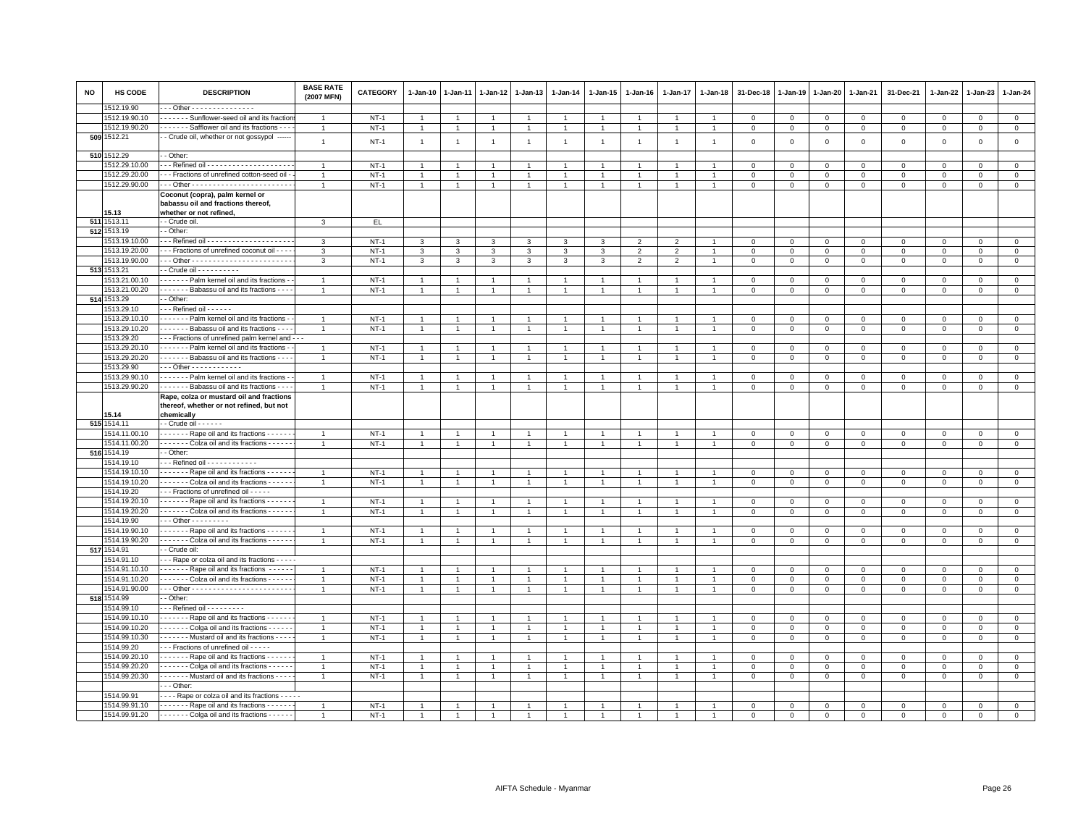| <b>NO</b> | HS CODE                   | <b>DESCRIPTION</b>                                  | <b>BASE RATE</b><br>(2007 MFN) | CATEGORY         | 1-Jan-10                       | $1 - Jan-11$   | $1 - Jan-12$   | $1 - Jan-13$   | $1 - Jan-14$   | $1 - Jan-15$   | $1 - Jan-16$   | 1-Jan-17       | $1 - Jan-18$   | 31-Dec-18                 | $1 - Jan-19$   | 1-Jan-20       | 1-Jan-21         | 31-Dec-21    | $1 - Jan-22$ | 1-Jan-23     | $1 - Jan-24$                  |
|-----------|---------------------------|-----------------------------------------------------|--------------------------------|------------------|--------------------------------|----------------|----------------|----------------|----------------|----------------|----------------|----------------|----------------|---------------------------|----------------|----------------|------------------|--------------|--------------|--------------|-------------------------------|
|           | 512.19.90                 | - - Other - - - - - - - - - - - - - - -             |                                |                  |                                |                |                |                |                |                |                |                |                |                           |                |                |                  |              |              |              |                               |
|           | 1512.19.90.10             | ------ Sunflower-seed oil and its fraction          | -1                             | $NT-1$           | 1                              |                | -1             | $\overline{1}$ |                | -1             |                |                |                | $\mathbf 0$               | $\mathbf 0$    | $\mathbf{0}$   | $\mathbf 0$      | $\mathsf 0$  | $^{\circ}$   | $^{\circ}$   | $\overline{0}$                |
|           | 1512.19.90.20             | Safflower oil and its fractions - -                 | $\overline{1}$                 | $NT-1$           | $\mathbf{1}$                   |                | $\mathbf{1}$   | $\overline{1}$ | $\mathbf{1}$   | $\mathbf{1}$   |                | $\mathbf{1}$   | $\overline{1}$ | $\mathsf 0$               | $\mathbf 0$    | $\mathbf 0$    | $\mathbf 0$      | $\mathbf 0$  | $\mathbf 0$  | $\mathsf 0$  | $\mathbf 0$                   |
|           | 509 1512.21               | - Crude oil, whether or not gossypol                | $\overline{1}$                 | $NT-1$           | $\overline{1}$                 | $\overline{1}$ | $\overline{1}$ | $\mathbf{1}$   | $\mathbf{1}$   | $\mathbf{1}$   | $\overline{1}$ | $\mathbf{1}$   | $\overline{1}$ | $\,0\,$                   | $\,$ 0         | $\mathsf 0$    | $\mathsf 0$      | $\mathsf 0$  | $\mathsf 0$  | $\mathsf 0$  | $\mathsf 0$                   |
|           |                           |                                                     |                                |                  |                                |                |                |                |                |                |                |                |                |                           |                |                |                  |              |              |              |                               |
|           | 510 1512.29               | - Other:                                            |                                |                  |                                |                |                |                |                |                |                |                |                |                           |                |                |                  |              |              |              |                               |
|           | 1512.29.10.00             | $\overline{\cdots}$ Refined oil $\cdots$            | $\overline{1}$                 | $NT-1$           | $\overline{1}$                 |                |                | $\overline{1}$ |                | $\mathbf{1}$   |                |                |                | $\mathbf 0$               | $\mathbf 0$    | $\mathbf 0$    | $\Omega$         | $\mathbf{0}$ | $^{\circ}$   | $^{\circ}$   | $\overline{0}$                |
|           | 1512.29.20.00             | - - Fractions of unrefined cotton-seed oil -        | $\overline{1}$                 | $NT-1$           | $\mathbf{1}$                   |                | $\overline{1}$ | $\overline{1}$ | $\overline{1}$ | $\mathbf{1}$   |                | $\overline{1}$ |                | $\mathbf 0$               | $\mathbf 0$    | $\mathbf 0$    | $\mathbf 0$      | $\mathbf 0$  | $\mathbf 0$  | $\mathsf 0$  | $\mathsf 0$                   |
|           | 1512.29.90.00             |                                                     | $\overline{1}$                 | $NT-1$           | $\mathbf{1}$                   | $\overline{1}$ | $\overline{1}$ | $\overline{1}$ |                | $\mathbf{1}$   |                | $\overline{1}$ | $\overline{1}$ | $\mathsf 0$               | $\mathbf 0$    | $\mathsf 0$    | $\mathbf 0$      | $\mathsf 0$  | $\mathbf 0$  | $\mathsf 0$  | $\overline{0}$                |
|           |                           | Coconut (copra), palm kernel or                     |                                |                  |                                |                |                |                |                |                |                |                |                |                           |                |                |                  |              |              |              |                               |
|           |                           | babassu oil and fractions thereof,                  |                                |                  |                                |                |                |                |                |                |                |                |                |                           |                |                |                  |              |              |              |                               |
|           | 15.13                     | whether or not refined,                             |                                |                  |                                |                |                |                |                |                |                |                |                |                           |                |                |                  |              |              |              |                               |
|           | 511 1513.1<br>512 1513.19 | - Crude oil                                         | 3                              | EL.              |                                |                |                |                |                |                |                |                |                |                           |                |                |                  |              |              |              |                               |
|           |                           | - Other:                                            |                                |                  |                                |                |                |                |                |                |                |                |                |                           |                |                |                  |              |              |              |                               |
|           | 1513.19.10.00             |                                                     | 3                              | $NT-1$           | 3                              | 3              | 3              | 3              | 3              | 3              | $\overline{2}$ | $\overline{2}$ |                | $\Omega$                  | $\mathbf 0$    | $\mathbf 0$    | $\Omega$         | $\mathsf 0$  | $\Omega$     | $\Omega$     | $\mathbf 0$                   |
|           | 1513.19.20.00             | - - Fractions of unrefined coconut oil - - - -      | 3                              | $NT-1$           | 3                              | 3              | 3              | 3              | 3              | 3              | $\overline{2}$ | $\overline{2}$ |                | $\mathbf 0$               | $\,0\,$        | $\circ$        | $\mathbf 0$      | 0            | $^{\circ}$   | $^{\circ}$   | $\mathsf 0$                   |
|           | 1513.19.90.00             |                                                     | 3                              | $NT-1$           | 3                              | 3              | 3              | 3              | 3              | 3              | 2              | 2              | $\overline{1}$ | $\mathbf{0}$              | $\mathbf{0}$   | $\mathbf 0$    | $\mathbf{0}$     | $\mathbf 0$  | $\mathbf 0$  | $\mathbf 0$  | $\mathbf 0$                   |
|           | 513 1513.21               | - Crude oil - - - - - - - - -                       |                                |                  |                                |                |                |                |                |                |                |                |                |                           |                |                |                  |              |              |              |                               |
|           | 1513.21.00.10             | Palm kernel oil and its fractions -                 |                                | $NT-1$           | $\mathbf{1}$                   |                |                | $\mathbf{1}$   |                | -1             |                |                |                | 0                         | $^{\circ}$     | $\mathbf 0$    | $\mathbf 0$      | 0            | $\mathbf 0$  | 0            | $\mathbf 0$                   |
|           | 1513.21.00.20             | - - - - - - - Babassu oil and its fractions - - -   | $\overline{1}$                 | $NT-1$           | $\mathbf{1}$                   |                | $\mathbf{1}$   | $\overline{1}$ | $\mathbf{1}$   | $\mathbf{1}$   |                | $\mathbf{1}$   | $\overline{1}$ | $\mathbf 0$               | $\,0\,$        | $\overline{0}$ | $\mathbf 0$      | $\mathsf 0$  | $\mathbf 0$  | $\mathsf 0$  | $\overline{0}$                |
|           | 514 1513.29               | - Other:                                            |                                |                  |                                |                |                |                |                |                |                |                |                |                           |                |                |                  |              |              |              |                               |
|           | 1513.29.10                | - - - Refined oil - - - - - -                       |                                |                  |                                |                |                |                |                |                |                |                |                |                           |                |                |                  |              |              |              |                               |
|           | 1513.29.10.10             | Palm kernel oil and its fractions -                 |                                | $NT-1$           | $\mathbf{1}$                   |                | $\overline{1}$ | $\overline{1}$ |                | $\overline{1}$ |                |                |                | $\Omega$                  | $\mathbf{0}$   | $\mathbf{0}$   | $\mathbf{0}$     | $\mathbf 0$  | $\mathbf 0$  | $\mathbf 0$  | $\mathbf{0}$                  |
|           | 1513.29.10.20             | Babassu oil and its fractions - --                  | $\overline{1}$                 | $NT-1$           | -1                             |                | $\mathbf{1}$   | $\mathbf{1}$   |                | $\mathbf{1}$   |                | -1             |                | $\mathbf 0$               | $\mathsf 0$    | $\mathbf 0$    | $\mathsf 0$      | $\mathsf 0$  | $\mathbf 0$  | $\mathsf 0$  | $\overline{0}$                |
|           | 1513.29.20                | - - Fractions of unrefined palm kernel and - -      |                                |                  |                                |                |                |                |                |                |                |                |                |                           |                |                |                  |              |              |              |                               |
|           | 1513.29.20.10             | - - - - - - Palm kernel oil and its fractions -     | $\overline{1}$                 | $NT-1$           | $\overline{1}$                 |                |                | $\overline{1}$ |                | $\overline{1}$ |                |                |                | $\mathbf 0$               | $\mathbf 0$    | $\mathsf 0$    | $\Omega$         | $\mathsf 0$  | $\Omega$     | $\mathsf 0$  | $\mathsf 0$                   |
|           | 1513.29.20.20             | - - - - - - - Babassu oil and its fractions - - -   | $\overline{1}$                 | $NT-1$           | $\mathbf{1}$                   |                |                | $\mathbf{1}$   |                | $\overline{1}$ |                |                |                | $\Omega$                  | $\Omega$       | $\mathbf 0$    | $\mathbf 0$      | $\mathsf 0$  | $\mathbf 0$  | $\mathbf 0$  | $\mathbf 0$                   |
|           | 1513.29.90                | $-$ - Other - - - - - - - - - - - -                 |                                |                  |                                |                |                |                |                |                |                |                |                |                           |                |                |                  |              |              |              |                               |
|           | 1513.29.90.10             | - - - - - - Palm kernel oil and its fractions -     | $\overline{1}$                 | $NT-1$           | $\overline{1}$                 |                |                | $\overline{1}$ |                | $\overline{1}$ |                |                |                | $\mathbf 0$               | $\mathbf{0}$   | $\mathsf 0$    | $\Omega$         | $\mathsf 0$  | $\Omega$     | $\Omega$     | $\mathbf 0$                   |
|           | 1513.29.90.20             | - - - - - - - Babassu oil and its fractions - - -   |                                | $NT-1$           | $\mathbf{1}$                   |                |                | $\overline{1}$ |                | $\overline{1}$ |                |                |                | $\mathbf 0$               | $\mathbf 0$    | $\mathsf 0$    | $\mathsf 0$      | $\mathsf 0$  | $\mathbf 0$  | $\mathsf 0$  | $\mathsf 0$                   |
|           |                           | Rape, colza or mustard oil and fractions            |                                |                  |                                |                |                |                |                |                |                |                |                |                           |                |                |                  |              |              |              |                               |
|           |                           | thereof, whether or not refined, but not            |                                |                  |                                |                |                |                |                |                |                |                |                |                           |                |                |                  |              |              |              |                               |
|           | 15.14<br>515 1514.11      | chemically<br>- Crude oil - - - - - -               |                                |                  |                                |                |                |                |                |                |                |                |                |                           |                |                |                  |              |              |              |                               |
|           | 1514.11.00.10             | - - - - - - Rape oil and its fractions - - - -      |                                | $NT-1$           |                                |                |                |                |                |                |                |                |                | $\Omega$                  | $\Omega$       | $\Omega$       | $\Omega$         | $\Omega$     | $\Omega$     | $\Omega$     | $\circ$                       |
|           | 1514.11.00.20             | Colza oil and its fractions - - - - -               | $\overline{1}$                 | $NT-1$           |                                | $\overline{1}$ | $\overline{1}$ | $\mathbf{1}$   | $\overline{1}$ | $\mathbf{1}$   | $\overline{1}$ | $\mathbf{1}$   | $\overline{1}$ | $\mathbf{0}$              | $\mathbf{0}$   | $\mathbf{0}$   | $\mathbf{0}$     |              | $\mathbf 0$  | $\mathbf 0$  | $\mathbf 0$                   |
|           | 516 1514.19               | - Other:                                            |                                |                  | $\mathbf{1}$                   |                |                |                |                |                |                |                |                |                           |                |                |                  | $\mathbf 0$  |              |              |                               |
|           | 1514.19.10                | - - Refined oil - - - - - - - - - - -               |                                |                  |                                |                |                |                |                |                |                |                |                |                           |                |                |                  |              |              |              |                               |
|           | 1514.19.10.10             | Rape oil and its fractions                          | $\overline{1}$                 | $NT-1$           | $\overline{1}$                 |                |                | $\overline{1}$ |                |                |                |                |                | $\mathbf 0$               | $\mathbf 0$    | $\mathbf 0$    | $\mathsf 0$      | $\mathsf 0$  | $\Omega$     | $^{\circ}$   | $\overline{0}$                |
|           | 1514.19.10.20             | - - - - - - - Colza oil and its fractions - - - - - | $\overline{1}$                 | $NT-1$           | $\overline{1}$                 | $\overline{1}$ | $\overline{1}$ | $\mathbf{1}$   |                | $\overline{1}$ |                | $\overline{1}$ |                | $\mathbf{0}$              | $\overline{0}$ | $\mathbf 0$    | $\mathbf{0}$     | $\mathbf 0$  | $\mathbf 0$  | $\mathbf{0}$ | $\circ$                       |
|           | 1514.19.20                | --- Fractions of unrefined oil -----                |                                |                  |                                |                |                |                |                |                |                |                |                |                           |                |                |                  |              |              |              |                               |
|           | 1514.19.20.10             | Rape oil and its fractions                          | $\overline{1}$                 | $NT-1$           | $\overline{1}$                 |                |                | $\overline{1}$ |                | $\overline{1}$ |                |                |                | $\Omega$                  | $\Omega$       | $\mathbf 0$    | $\Omega$         | $\mathbf 0$  | $\Omega$     | $\mathbf 0$  | $\mathsf 0$                   |
|           | 1514.19.20.20             | - - - - - - Colza oil and its fractions - - - - -   | $\overline{1}$                 | $NT-1$           | $\mathbf{1}$                   |                |                | $\overline{1}$ |                | $\overline{1}$ |                |                |                | $\mathbf 0$               | $\mathbf 0$    | $\mathbf 0$    | $\mathbf 0$      | $\mathsf 0$  | $\mathbf 0$  | $\mathsf 0$  | $\mathsf 0$                   |
|           | 1514.19.90                | $-$ - Other - - - - - - - - -                       |                                |                  |                                |                |                |                |                |                |                |                |                |                           |                |                |                  |              |              |              |                               |
|           | 1514.19.90.10             | Rape oil and its fractions                          | $\overline{1}$                 | $NT-1$           | -1                             |                |                | -1             |                |                |                |                |                | 0                         | $^{\circ}$     | 0              | 0                | 0            | 0            | $\mathbf 0$  | $\mathbf{0}$                  |
|           | 1514.19.90.20             | Colza oil and its fractions                         | $\overline{1}$                 | $NT-1$           | $\overline{1}$                 |                |                | $\overline{1}$ |                | $\overline{1}$ |                |                |                | $\Omega$                  | $\mathbf 0$    | $\mathbf{0}$   | $\mathbf{0}$     | $\mathbf 0$  | $\mathbf 0$  | $\mathbf 0$  | $\mathbf 0$                   |
|           | 517 1514.91               | - Crude oil:                                        |                                |                  |                                |                |                |                |                |                |                |                |                |                           |                |                |                  |              |              |              |                               |
|           | 514.91.10                 | - - Rape or colza oil and its fractions - - - -     |                                |                  |                                |                |                |                |                |                |                |                |                |                           |                |                |                  |              |              |              |                               |
|           | 1514.91.10.10             | Rape oil and its fractions                          | $\overline{1}$                 | $NT-1$           |                                |                |                |                |                |                |                |                |                | $\Omega$                  | $\Omega$       | $\Omega$       | $\Omega$         | $\Omega$     | $\Omega$     | $\Omega$     | $\mathbf 0$                   |
|           | 1514.91.10.20             | - - - - - - Colza oil and its fractions - - - - -   | $\overline{1}$                 | $NT-1$           |                                |                |                | $\overline{1}$ |                | $\overline{1}$ |                |                |                | $\mathbf 0$               | $\mathbf 0$    | $\mathbf 0$    | $\Omega$         | $\mathsf 0$  | $\Omega$     | $\Omega$     | $\mathsf 0$                   |
|           | 1514.91.90.00             |                                                     | $\overline{1}$                 | $NT-1$           | $\overline{1}$                 |                |                |                |                | $\mathbf{1}$   |                |                |                | $^{\circ}$                | $^{\circ}$     | $\mathbf 0$    | $\mathsf 0$      | 0            | 0            | 0            | $\mathsf 0$                   |
|           | 518 1514.99               | - Other:                                            |                                |                  |                                |                |                |                |                |                |                |                |                |                           |                |                |                  |              |              |              |                               |
|           | 1514.99.10                | - - Refined oil - - - - - - - - -                   |                                |                  |                                |                |                |                |                |                |                |                |                |                           |                |                |                  |              |              |              |                               |
|           | 1514.99.10.10             | - - - - - - Rape oil and its fractions - - - - -    | $\overline{1}$                 | $NT-1$           | $\overline{1}$                 |                |                | $\overline{1}$ |                |                |                |                |                | $\mathbf 0$               | $\overline{0}$ | $\mathbf{0}$   | $\mathbf 0$      | $\mathbf 0$  | $\Omega$     | $\Omega$     | $\mathsf 0$                   |
|           | 1514.99.10.20             | Colga oil and its fractions                         | $\mathbf{1}$                   |                  |                                |                |                | $\overline{1}$ |                | $\overline{1}$ |                |                |                |                           | $\mathbf 0$    |                |                  |              |              |              |                               |
|           | 1514.99.10.30             | Mustard oil and its fractions - --                  | $\overline{1}$                 | $NT-1$<br>$NT-1$ | $\mathbf{1}$<br>$\overline{1}$ |                | $\mathbf{1}$   | $\overline{1}$ |                | $\overline{1}$ |                | $\mathbf{1}$   |                | $^{\circ}$<br>$\mathbf 0$ | $\mathsf 0$    | $\mathbf 0$    | 0<br>$\mathsf 0$ | 0            | 0            | 0            | $\mathbf 0$<br>$\overline{0}$ |
|           |                           |                                                     |                                |                  |                                |                |                |                |                |                |                |                |                |                           |                | $\mathbb O$    |                  | $\mathsf 0$  | $\mathbf 0$  | $\mathsf 0$  |                               |
|           | 1514.99.20                | --- Fractions of unrefined oil -----                |                                |                  |                                |                |                |                |                |                |                |                |                |                           |                |                |                  |              |              |              |                               |
|           | 1514.99.20.10             | - - - - - - - Rape oil and its fractions - - - - -  | $\overline{1}$                 | $NT-1$           | $\overline{1}$                 |                |                | $\overline{1}$ |                | $\overline{1}$ |                |                |                | $\mathbf 0$               | $\mathbf 0$    | $\mathsf 0$    | $\overline{0}$   | $\mathsf 0$  | $\Omega$     | 0            | $\mathsf 0$                   |
|           | 1514.99.20.20             | Colga oil and its fractions                         | $\overline{1}$                 | $NT-1$           | $\mathbf{1}$                   |                |                | $\overline{1}$ |                | $\overline{1}$ |                |                |                | $\Omega$                  | $\Omega$       | $\Omega$       | $\mathbf 0$      | $\mathsf 0$  | $\mathbf 0$  | $\mathbf 0$  | $\mathbf 0$                   |
|           | 1514.99.20.30             | - - - - - - - Mustard oil and its fractions - - - - | $\overline{1}$                 | $NT-1$           | $\mathbf{1}$                   |                | $\mathbf{1}$   | $\overline{1}$ | $\overline{1}$ | $\mathbf{1}$   |                | $\overline{1}$ | $\overline{1}$ | $\mathbf{O}$              | $\mathbf 0$    | $\mathbf{0}$   | $\mathbf{0}$     | $\mathbf{0}$ | 0            | $\mathbf{0}$ | $\overline{0}$                |
|           |                           | -- Other:                                           |                                |                  |                                |                |                |                |                |                |                |                |                |                           |                |                |                  |              |              |              |                               |
|           | 1514.99.91                | - - - - Rape or colza oil and its fractions - - - - |                                |                  |                                |                |                |                |                |                |                |                |                |                           |                |                |                  |              |              |              |                               |
|           | 1514.99.91.10             | - - - - - - - Rape oil and its fractions - - - - -  | $\overline{1}$                 | $NT-1$           |                                |                |                |                |                |                |                |                |                | $\Omega$                  | $\Omega$       | $\Omega$       | $\Omega$         | $\Omega$     | $\Omega$     | $\mathbf 0$  | $\circ$                       |
|           | 1514.99.91.20             | - - - - - - - Colga oil and its fractions - - - - - | $\overline{1}$                 | $NT-1$           |                                |                |                |                |                |                |                |                |                | $\Omega$                  | $\Omega$       | 0              | $\Omega$         | $^{\circ}$   | 0            | $\mathbf 0$  | $\circ$                       |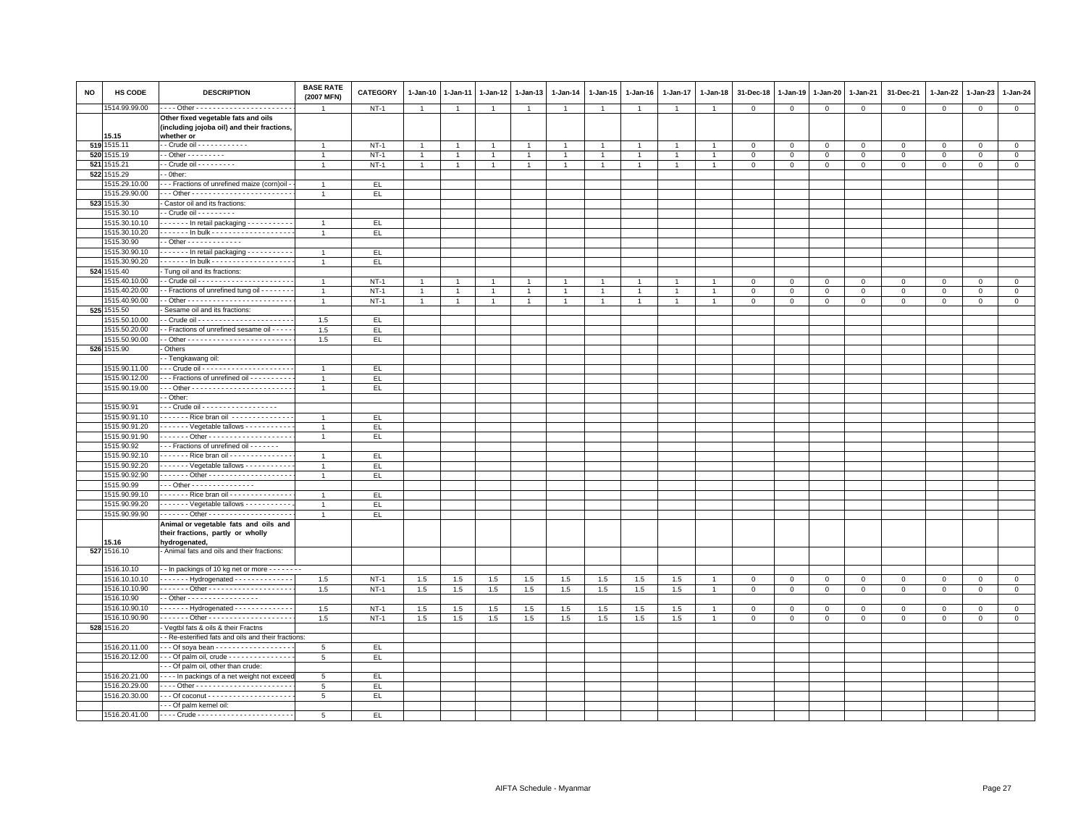| <b>NO</b> | HS CODE       | <b>DESCRIPTION</b>                                                                               | <b>BASE RATE</b><br>(2007 MFN) | CATEGORY  | $1 - Jan-10$   | $1-Jan-11$     | $1-Jan-12$   | $1 - Jan-13$   | $1 - Jan-14$   | $1-Jan-15$     | $1-Jan-16$     | $1 - Jan-17$   | $1 - Jan-18$ | 31-Dec-18    | $1 - Jan-19$ | $1 - Jan-20$ | 1-Jan-21       | 31-Dec-21    | $1 - Jan-22$ | $1-Jan-23$     | 1-Jan-24       |
|-----------|---------------|--------------------------------------------------------------------------------------------------|--------------------------------|-----------|----------------|----------------|--------------|----------------|----------------|----------------|----------------|----------------|--------------|--------------|--------------|--------------|----------------|--------------|--------------|----------------|----------------|
|           | 1514.99.99.00 | --- Other ------------------------                                                               | -1                             | $NT-1$    | $\overline{1}$ | $\overline{1}$ | $\mathbf{1}$ | $\overline{1}$ | $\overline{1}$ | $\overline{1}$ | $\overline{1}$ | $\overline{1}$ |              | $\mathbf 0$  | $\mathbf 0$  | $\mathbf 0$  | $\mathbf 0$    | $\mathbf 0$  | $\mathbf 0$  | $\overline{0}$ | $\mathbf 0$    |
|           | 15.15         | Other fixed vegetable fats and oils<br>(including jojoba oil) and their fractions,<br>whether or |                                |           |                |                |              |                |                |                |                |                |              |              |              |              |                |              |              |                |                |
|           | 519 1515.11   | - Crude oil - - - - - - - - - - - -                                                              | $\overline{1}$                 | $NT-1$    | $\overline{1}$ | -1             |              | $\overline{1}$ | $\overline{1}$ | $\overline{1}$ | $\overline{1}$ | $\overline{1}$ |              | $\mathbf 0$  | $\mathbf 0$  | $\mathsf 0$  | $\mathbf 0$    | $\mathsf 0$  | $\mathbf 0$  | $\mathbf 0$    | $\mathsf 0$    |
| 520       | 1515.19       | $-$ Other $       -$                                                                             |                                | $NT-1$    | $\overline{1}$ |                |              |                |                |                |                |                |              | $\mathbf 0$  | $\mathbf 0$  | $\mathsf 0$  | $\mathbf 0$    | $\mathsf 0$  | $\Omega$     | $\Omega$       | $\mathsf 0$    |
| 5211      | 1515.21       | - Crude oil - - - - - - - - -                                                                    | $\overline{1}$                 | $NT-1$    | $\overline{1}$ | $\overline{1}$ | $\mathbf{1}$ | $\mathbf{1}$   | $\overline{1}$ | $\mathbf{1}$   | $\mathbf{1}$   | $\overline{1}$ |              | $\mathbf{0}$ | $\mathbf 0$  | $\mathbf{0}$ | $\mathbf{0}$   | $\mathbf{0}$ | $\mathbf{0}$ | $\mathbf 0$    | $\mathbf{0}$   |
| 522       | 1515.29       | - Other:                                                                                         |                                |           |                |                |              |                |                |                |                |                |              |              |              |              |                |              |              |                |                |
|           | 1515.29.10.00 | - - Fractions of unrefined maize (corn)oil                                                       | $\overline{1}$                 | EL.       |                |                |              |                |                |                |                |                |              |              |              |              |                |              |              |                |                |
|           | 1515.29.90.00 |                                                                                                  |                                | EL        |                |                |              |                |                |                |                |                |              |              |              |              |                |              |              |                |                |
|           | 523 1515.30   | Castor oil and its fractions:                                                                    |                                |           |                |                |              |                |                |                |                |                |              |              |              |              |                |              |              |                |                |
|           | 1515.30.10    | - Crude oil - - - - - - - - -                                                                    |                                |           |                |                |              |                |                |                |                |                |              |              |              |              |                |              |              |                |                |
|           | 1515.30.10.10 | ------ In retail packaging ----------                                                            | $\overline{1}$                 | EL.       |                |                |              |                |                |                |                |                |              |              |              |              |                |              |              |                |                |
|           | 1515.30.10.20 |                                                                                                  | $\overline{1}$                 | EL        |                |                |              |                |                |                |                |                |              |              |              |              |                |              |              |                |                |
|           | 1515.30.90    | - Other - - - - - - - - - - - - -                                                                |                                |           |                |                |              |                |                |                |                |                |              |              |              |              |                |              |              |                |                |
|           | 1515.30.90.10 |                                                                                                  | $\overline{1}$                 | EL.       |                |                |              |                |                |                |                |                |              |              |              |              |                |              |              |                |                |
|           |               | In retail packaging                                                                              |                                |           |                |                |              |                |                |                |                |                |              |              |              |              |                |              |              |                |                |
|           | 1515.30.90.20 | ------ In bulk -------------------                                                               | $\overline{1}$                 | EL        |                |                |              |                |                |                |                |                |              |              |              |              |                |              |              |                |                |
|           | 524 1515.40   | Tung oil and its fractions:                                                                      |                                |           |                |                |              |                |                |                |                |                |              |              |              |              |                |              |              |                |                |
|           | 1515.40.10.00 |                                                                                                  | $\overline{1}$                 | $NT-1$    | -1             |                |              | $\overline{1}$ | -1             | 1              |                | -1             |              | $\mathbf 0$  | $\mathbf{0}$ | $\Omega$     | $\mathbf 0$    | $\Omega$     | $\Omega$     | $\mathbf{0}$   | $\mathbf{0}$   |
|           | 1515.40.20.00 | - Fractions of unrefined tung oil - - - - - - -                                                  | $\overline{1}$                 | $NT-1$    | $\overline{1}$ |                |              | $\overline{1}$ | $\overline{1}$ | $\mathbf{1}$   | $\overline{1}$ |                |              | $\mathbf 0$  | $\mathbf 0$  | $\mathbf 0$  | $\mathbf 0$    | $\mathbf 0$  | $\mathbf 0$  | $\mathbf 0$    | $\mathbf 0$    |
|           | 1515.40.90.00 |                                                                                                  | $\overline{1}$                 | $NT-1$    | $\overline{1}$ |                |              |                | $\overline{1}$ |                |                |                |              | $\mathbf 0$  | $\mathbf 0$  | $\mathsf 0$  | $\overline{0}$ | $\mathbf 0$  | $\Omega$     | $\Omega$       | $\overline{0}$ |
|           | 525 1515.50   | Sesame oil and its fractions:                                                                    |                                |           |                |                |              |                |                |                |                |                |              |              |              |              |                |              |              |                |                |
|           | 1515.50.10.00 |                                                                                                  | 1.5                            | EL.       |                |                |              |                |                |                |                |                |              |              |              |              |                |              |              |                |                |
|           | 1515.50.20.00 | - Fractions of unrefined sesame oil - - - -                                                      | 1.5                            | EL.       |                |                |              |                |                |                |                |                |              |              |              |              |                |              |              |                |                |
|           | 1515.50.90.00 |                                                                                                  | 1.5                            | EL.       |                |                |              |                |                |                |                |                |              |              |              |              |                |              |              |                |                |
|           | 526 1515.90   | Others                                                                                           |                                |           |                |                |              |                |                |                |                |                |              |              |              |              |                |              |              |                |                |
|           |               | - Tengkawang oil:                                                                                |                                |           |                |                |              |                |                |                |                |                |              |              |              |              |                |              |              |                |                |
|           | 1515.90.11.00 |                                                                                                  | $\overline{1}$                 | EL.       |                |                |              |                |                |                |                |                |              |              |              |              |                |              |              |                |                |
|           | 1515.90.12.00 | -- Fractions of unrefined oil ----------                                                         | $\overline{1}$                 | EL.       |                |                |              |                |                |                |                |                |              |              |              |              |                |              |              |                |                |
|           | 1515.90.19.00 |                                                                                                  | $\overline{1}$                 | EL        |                |                |              |                |                |                |                |                |              |              |              |              |                |              |              |                |                |
|           |               | - Other:                                                                                         |                                |           |                |                |              |                |                |                |                |                |              |              |              |              |                |              |              |                |                |
|           | 1515.90.91    | - - Crude oil - - - - - - - - - - - - - - - - - -                                                |                                |           |                |                |              |                |                |                |                |                |              |              |              |              |                |              |              |                |                |
|           | 1515.90.91.10 | Rice bran oil                                                                                    | $\overline{1}$                 | EL.       |                |                |              |                |                |                |                |                |              |              |              |              |                |              |              |                |                |
|           | 1515.90.91.20 | ------ Vegetable tallows - - - - - - - - - -                                                     | $\overline{1}$                 | EL.       |                |                |              |                |                |                |                |                |              |              |              |              |                |              |              |                |                |
|           | 1515.90.91.90 | ------ Other ---------------------                                                               | $\overline{1}$                 | EL        |                |                |              |                |                |                |                |                |              |              |              |              |                |              |              |                |                |
|           | 1515.90.92    | - - Fractions of unrefined oil - - - - - - -                                                     |                                |           |                |                |              |                |                |                |                |                |              |              |              |              |                |              |              |                |                |
|           | 1515.90.92.10 | Rice bran oil - - - - - - - - - - - - - -                                                        | $\overline{1}$                 | EL.       |                |                |              |                |                |                |                |                |              |              |              |              |                |              |              |                |                |
|           | 1515.90.92.20 | $\cdots$ $\cdots$ Vegetable tallows $\cdots$                                                     | $\overline{1}$                 | EL.       |                |                |              |                |                |                |                |                |              |              |              |              |                |              |              |                |                |
|           | 1515.90.92.90 | ------ Other ---------------------                                                               | $\mathbf{1}$                   | EL.       |                |                |              |                |                |                |                |                |              |              |              |              |                |              |              |                |                |
|           | 1515.90.99    | $\cdot$ - Other - - - - - - - - - - - - - - -                                                    |                                |           |                |                |              |                |                |                |                |                |              |              |              |              |                |              |              |                |                |
|           | 1515.90.99.10 | ------ Rice bran oil --------------                                                              | $\overline{1}$                 | EL.       |                |                |              |                |                |                |                |                |              |              |              |              |                |              |              |                |                |
|           |               |                                                                                                  |                                |           |                |                |              |                |                |                |                |                |              |              |              |              |                |              |              |                |                |
|           | 1515.90.99.20 | Vegetable tallows - - - - - - - - - -                                                            | $\overline{1}$                 | EL        |                |                |              |                |                |                |                |                |              |              |              |              |                |              |              |                |                |
|           | 1515.90.99.90 | ------ Other ---------------------                                                               | $\mathbf{1}$                   | EL.       |                |                |              |                |                |                |                |                |              |              |              |              |                |              |              |                |                |
|           |               | Animal or vegetable fats and oils and<br>their fractions, partly or wholly                       |                                |           |                |                |              |                |                |                |                |                |              |              |              |              |                |              |              |                |                |
|           | 5.16          | hydrogenated,                                                                                    |                                |           |                |                |              |                |                |                |                |                |              |              |              |              |                |              |              |                |                |
|           | 527 1516.10   | Animal fats and oils and their fractions:                                                        |                                |           |                |                |              |                |                |                |                |                |              |              |              |              |                |              |              |                |                |
|           | 1516.10.10    | - In packings of 10 kg net or more - - - - - - -                                                 |                                |           |                |                |              |                |                |                |                |                |              |              |              |              |                |              |              |                |                |
|           | 1516.10.10.10 | ------ Hydrogenated -------------                                                                | 1.5                            | $NT-1$    | 1.5            | 1.5            | 1.5          | 1.5            | $1.5\,$        | $1.5\,$        | 1.5            | 1.5            |              | $\mathbf 0$  | $\mathsf 0$  | $\,0\,$      | $\,0\,$        | $\mathsf 0$  | $\Omega$     | $\mathbf 0$    | $\mathsf 0$    |
|           | 1516.10.10.90 | ------ Other ---------------------                                                               | 1.5                            | $NT-1$    | 1.5            | 1.5            | 1.5          | 1.5            | 1.5            | 1.5            | 1.5            | 1.5            |              | $\mathbf 0$  | $\mathbf 0$  | $\mathbf 0$  | $\mathbf 0$    | $\mathbf 0$  | $\mathbf 0$  | $\mathbf{0}$   | $\circ$        |
|           | 1516.10.90    | - Other - - - - - - - - - - - - - - - - -                                                        |                                |           |                |                |              |                |                |                |                |                |              |              |              |              |                |              |              |                |                |
|           | 1516.10.90.10 | ------ Hydrogenated -------------                                                                | 1.5                            | $NT-1$    | 1.5            | 1.5            | 1.5          | 1.5            | 1.5            | 1.5            | 1.5            | 1.5            |              | $\mathsf 0$  | $\mathbf 0$  | $\mathsf 0$  | $\mathbf 0$    | $\mathsf 0$  | $\mathbf 0$  | $\mathbf 0$    | $\circ$        |
|           | 1516.10.90.90 | ------ Other ---------------------                                                               | 1.5                            | $NT-1$    | 1.5            | 1.5            | 1.5          | 1.5            | 1.5            | 1.5            | 1.5            | 1.5            |              | $\mathbf 0$  | $\mathsf 0$  | $\mathsf 0$  | $\,$ 0         | $\mathsf 0$  | $\mathbf 0$  | $\mathbf 0$    | $\overline{0}$ |
|           | 528 1516.20   | Vegtbl fats & oils & their Fractns                                                               |                                |           |                |                |              |                |                |                |                |                |              |              |              |              |                |              |              |                |                |
|           |               | - Re-esterified fats and oils and their fractions:                                               |                                |           |                |                |              |                |                |                |                |                |              |              |              |              |                |              |              |                |                |
|           | 1516.20.11.00 | - - Of soya bean - - - - - - - - - - - - - - - -                                                 | 5                              | EL        |                |                |              |                |                |                |                |                |              |              |              |              |                |              |              |                |                |
|           | 1516.20.12.00 | - - Of palm oil, crude - - - - - - - - - - - - - - -                                             | 5                              | EL.       |                |                |              |                |                |                |                |                |              |              |              |              |                |              |              |                |                |
|           |               | - - Of palm oil, other than crude:                                                               |                                |           |                |                |              |                |                |                |                |                |              |              |              |              |                |              |              |                |                |
|           | 1516.20.21.00 |                                                                                                  |                                |           |                |                |              |                |                |                |                |                |              |              |              |              |                |              |              |                |                |
|           | 1516.20.29.00 | In packings of a net weight not exceed                                                           | 5                              | EL.<br>EL |                |                |              |                |                |                |                |                |              |              |              |              |                |              |              |                |                |
|           | 1516.20.30.00 | --- Other -----------------------                                                                | 5                              |           |                |                |              |                |                |                |                |                |              |              |              |              |                |              |              |                |                |
|           |               | - - Of palm kernel oil:                                                                          | $5\overline{5}$                | EL.       |                |                |              |                |                |                |                |                |              |              |              |              |                |              |              |                |                |
|           |               |                                                                                                  |                                |           |                |                |              |                |                |                |                |                |              |              |              |              |                |              |              |                |                |
|           | 1516.20.41.00 |                                                                                                  | 5                              | EL.       |                |                |              |                |                |                |                |                |              |              |              |              |                |              |              |                |                |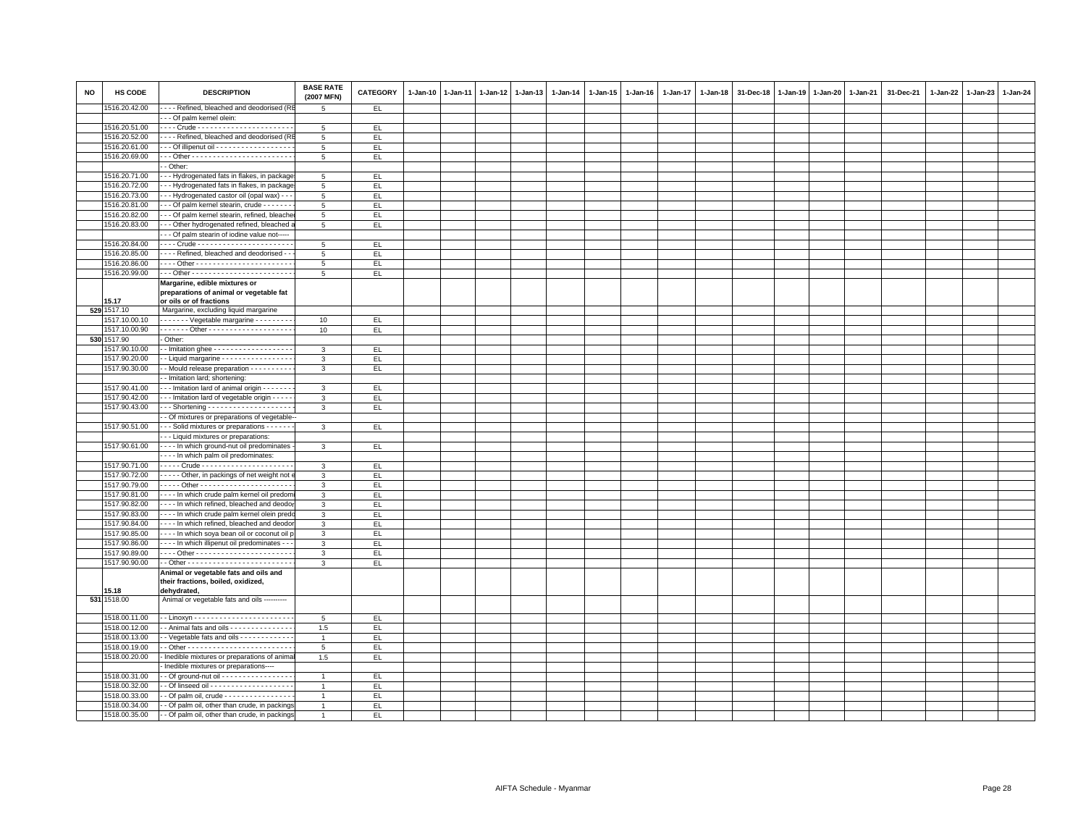| <b>NO</b> | <b>HS CODE</b>                 | <b>DESCRIPTION</b>                                                                                           | <b>BASE RATE</b><br>(2007 MFN) | <b>CATEGORY</b> | 1-Jan-10 | $1-Jan-11$ | $1 - Jan-12$ | $1-Jan-13$ | 1-Jan-14 | 1-Jan-15 | $1-Jan-16$ | $1-Jan-17$ | $1-Jan-18$ | 31-Dec-18 | $1-Jan-19$ | 1-Jan-20 | 1-Jan-21 | 31-Dec-21 | 1-Jan-22 | $1-Jan-23$ | $1 - Jan-24$ |
|-----------|--------------------------------|--------------------------------------------------------------------------------------------------------------|--------------------------------|-----------------|----------|------------|--------------|------------|----------|----------|------------|------------|------------|-----------|------------|----------|----------|-----------|----------|------------|--------------|
|           | 1516.20.42.00                  | - - - - Refined, bleached and deodorised (R                                                                  | 5                              | EL              |          |            |              |            |          |          |            |            |            |           |            |          |          |           |          |            |              |
|           |                                | -- Of palm kernel olein:                                                                                     |                                |                 |          |            |              |            |          |          |            |            |            |           |            |          |          |           |          |            |              |
|           | 1516.20.51.00                  |                                                                                                              | 5                              | EL.             |          |            |              |            |          |          |            |            |            |           |            |          |          |           |          |            |              |
|           | 1516.20.52.00                  | - - - - Refined, bleached and deodorised (RI                                                                 | 5                              | EL.             |          |            |              |            |          |          |            |            |            |           |            |          |          |           |          |            |              |
|           | 1516.20.61.00                  | - - - Of illipenut oil - - - - - - - - - - - - - - - - - -                                                   | 5                              | EL              |          |            |              |            |          |          |            |            |            |           |            |          |          |           |          |            |              |
|           | 1516.20.69.00                  |                                                                                                              | 5                              | EL.             |          |            |              |            |          |          |            |            |            |           |            |          |          |           |          |            |              |
|           |                                | - Other:                                                                                                     |                                |                 |          |            |              |            |          |          |            |            |            |           |            |          |          |           |          |            |              |
|           | 1516.20.71.00                  | -- Hydrogenated fats in flakes, in package                                                                   | 5                              | EL              |          |            |              |            |          |          |            |            |            |           |            |          |          |           |          |            |              |
|           | 1516.20.72.00                  | -- Hydrogenated fats in flakes, in package                                                                   | 5                              | EL.             |          |            |              |            |          |          |            |            |            |           |            |          |          |           |          |            |              |
|           | 1516.20.73.00                  | -- Hydrogenated castor oil (opal wax) - -                                                                    | 5                              | EL.             |          |            |              |            |          |          |            |            |            |           |            |          |          |           |          |            |              |
|           | 1516.20.81.00                  | - - - Of palm kernel stearin, crude - - - - - - -                                                            | 5                              | EL.             |          |            |              |            |          |          |            |            |            |           |            |          |          |           |          |            |              |
|           | 1516.20.82.00                  | - - - Of palm kernel stearin, refined, bleache                                                               | 5                              | EL              |          |            |              |            |          |          |            |            |            |           |            |          |          |           |          |            |              |
|           | 1516.20.83.00                  | --- Other hydrogenated refined, bleached                                                                     | $\overline{5}$                 | EL.             |          |            |              |            |          |          |            |            |            |           |            |          |          |           |          |            |              |
|           |                                | - - Of palm stearin of iodine value not-----                                                                 |                                |                 |          |            |              |            |          |          |            |            |            |           |            |          |          |           |          |            |              |
|           | 1516.20.84.00                  |                                                                                                              | 5                              | EL.             |          |            |              |            |          |          |            |            |            |           |            |          |          |           |          |            |              |
|           | 1516.20.85.00                  | - - - - Refined, bleached and deodorised - -                                                                 | 5                              | EL              |          |            |              |            |          |          |            |            |            |           |            |          |          |           |          |            |              |
|           | 1516.20.86.00                  |                                                                                                              | $5\overline{5}$                | EL.             |          |            |              |            |          |          |            |            |            |           |            |          |          |           |          |            |              |
|           | 1516.20.99.00                  |                                                                                                              | $5\overline{5}$                | EL.             |          |            |              |            |          |          |            |            |            |           |            |          |          |           |          |            |              |
|           |                                | Margarine, edible mixtures or                                                                                |                                |                 |          |            |              |            |          |          |            |            |            |           |            |          |          |           |          |            |              |
|           |                                | preparations of animal or vegetable fat                                                                      |                                |                 |          |            |              |            |          |          |            |            |            |           |            |          |          |           |          |            |              |
|           | 15.17                          | or oils or of fractions                                                                                      |                                |                 |          |            |              |            |          |          |            |            |            |           |            |          |          |           |          |            |              |
|           | 529 1517.10                    | Margarine, excluding liquid margarine                                                                        |                                |                 |          |            |              |            |          |          |            |            |            |           |            |          |          |           |          |            |              |
|           | 1517.10.00.10                  | Vegetable margarine - - - - - - - -                                                                          | 10                             | EL.             |          |            |              |            |          |          |            |            |            |           |            |          |          |           |          |            |              |
|           | 1517.10.00.90                  |                                                                                                              | 10                             | EL.             |          |            |              |            |          |          |            |            |            |           |            |          |          |           |          |            |              |
|           | 530 1517.90                    | - Other:                                                                                                     |                                |                 |          |            |              |            |          |          |            |            |            |           |            |          |          |           |          |            |              |
|           | 1517.90.10.00                  | - Imitation ghee - - - - - - - - - - - - - - - - - -<br>- Liquid margarine - - - - - - - - - - - - - - - - - | 3                              | EL.             |          |            |              |            |          |          |            |            |            |           |            |          |          |           |          |            |              |
|           | 1517.90.20.00<br>1517.90.30.00 |                                                                                                              | $\mathbf{3}$                   | EL.             |          |            |              |            |          |          |            |            |            |           |            |          |          |           |          |            |              |
|           |                                | - - Mould release preparation - - - - - - - - - -                                                            | 3                              | EL.             |          |            |              |            |          |          |            |            |            |           |            |          |          |           |          |            |              |
|           | 1517.90.41.00                  | - Imitation lard; shortening:<br>--- Imitation lard of animal origin -------                                 |                                | EL              |          |            |              |            |          |          |            |            |            |           |            |          |          |           |          |            |              |
|           |                                |                                                                                                              | 3                              |                 |          |            |              |            |          |          |            |            |            |           |            |          |          |           |          |            |              |
|           | 1517.90.42.00                  | - - - Imitation lard of vegetable origin - - - -                                                             | 3<br>$\mathcal{R}$             | EL.             |          |            |              |            |          |          |            |            |            |           |            |          |          |           |          |            |              |
|           | 1517.90.43.00                  | $\cdots$ Shortening $\cdots$                                                                                 |                                | EL.             |          |            |              |            |          |          |            |            |            |           |            |          |          |           |          |            |              |
|           | 1517.90.51.00                  | - Of mixtures or preparations of vegetable-<br>- - - Solid mixtures or preparations - - - - - -              |                                |                 |          |            |              |            |          |          |            |            |            |           |            |          |          |           |          |            |              |
|           |                                | - - Liquid mixtures or preparations:                                                                         | 3                              | EL.             |          |            |              |            |          |          |            |            |            |           |            |          |          |           |          |            |              |
|           | 1517.90.61.00                  | - - - - In which ground-nut oil predominates                                                                 | 3                              | EL.             |          |            |              |            |          |          |            |            |            |           |            |          |          |           |          |            |              |
|           |                                | In which palm oil predominates:                                                                              |                                |                 |          |            |              |            |          |          |            |            |            |           |            |          |          |           |          |            |              |
|           | 1517.90.71.00                  |                                                                                                              | 3                              | EL.             |          |            |              |            |          |          |            |            |            |           |            |          |          |           |          |            |              |
|           | 1517.90.72.00                  | - - - - - Other, in packings of net weight not                                                               | 3                              | EL.             |          |            |              |            |          |          |            |            |            |           |            |          |          |           |          |            |              |
|           | 1517.90.79.00                  | Other                                                                                                        | 3                              | EL.             |          |            |              |            |          |          |            |            |            |           |            |          |          |           |          |            |              |
|           | 1517.90.81.00                  | - - - - In which crude palm kernel oil predom                                                                | 3                              | EL              |          |            |              |            |          |          |            |            |            |           |            |          |          |           |          |            |              |
|           | 1517.90.82.00                  | - - - - In which refined, bleached and deodor                                                                | 3                              | EL.             |          |            |              |            |          |          |            |            |            |           |            |          |          |           |          |            |              |
|           | 1517.90.83.00                  | - - - - In which crude palm kernel olein pred                                                                | 3                              | EL.             |          |            |              |            |          |          |            |            |            |           |            |          |          |           |          |            |              |
|           | 1517.90.84.00                  | - - - - In which refined, bleached and deodor                                                                | 3                              | EL              |          |            |              |            |          |          |            |            |            |           |            |          |          |           |          |            |              |
|           | 1517.90.85.00                  | - - - - In which soya bean oil or coconut oil p                                                              | 3                              | EL              |          |            |              |            |          |          |            |            |            |           |            |          |          |           |          |            |              |
|           | 1517.90.86.00                  | - - - - In which illipenut oil predominates - -                                                              | 3                              | EL.             |          |            |              |            |          |          |            |            |            |           |            |          |          |           |          |            |              |
|           | 1517.90.89.00                  |                                                                                                              | 3                              | EL.             |          |            |              |            |          |          |            |            |            |           |            |          |          |           |          |            |              |
|           | 1517.90.90.00                  |                                                                                                              | 3                              | EL.             |          |            |              |            |          |          |            |            |            |           |            |          |          |           |          |            |              |
|           |                                | Animal or vegetable fats and oils and<br>their fractions, boiled, oxidized,                                  |                                |                 |          |            |              |            |          |          |            |            |            |           |            |          |          |           |          |            |              |
|           | 15.18<br>531 1518.00           | dehydrated,<br>Animal or vegetable fats and oils ----------                                                  |                                |                 |          |            |              |            |          |          |            |            |            |           |            |          |          |           |          |            |              |
|           |                                |                                                                                                              |                                |                 |          |            |              |            |          |          |            |            |            |           |            |          |          |           |          |            |              |
|           | 1518.00.11.00                  |                                                                                                              | 5                              | EL.             |          |            |              |            |          |          |            |            |            |           |            |          |          |           |          |            |              |
|           | 1518.00.12.00                  | - Animal fats and oils - - - - - - - - - - - - - -                                                           | 1.5                            | EL              |          |            |              |            |          |          |            |            |            |           |            |          |          |           |          |            |              |
|           | 1518.00.13.00                  | - Vegetable fats and oils - - - - - - - - - - - -                                                            | $\overline{1}$                 | EL.             |          |            |              |            |          |          |            |            |            |           |            |          |          |           |          |            |              |
|           | 1518.00.19.00                  |                                                                                                              | $5\overline{5}$                | EL.             |          |            |              |            |          |          |            |            |            |           |            |          |          |           |          |            |              |
|           | 1518.00.20.00                  | - Inedible mixtures or preparations of anima                                                                 | 1.5                            | EL.             |          |            |              |            |          |          |            |            |            |           |            |          |          |           |          |            |              |
|           |                                | Inedible mixtures or preparations----                                                                        |                                |                 |          |            |              |            |          |          |            |            |            |           |            |          |          |           |          |            |              |
|           | 1518.00.31.00                  | - - Of ground-nut oil - - - - - - - - - - - - - - - -                                                        | $\overline{1}$                 | EL.             |          |            |              |            |          |          |            |            |            |           |            |          |          |           |          |            |              |
|           | 1518.00.32.00                  |                                                                                                              | $\overline{1}$                 | EL.             |          |            |              |            |          |          |            |            |            |           |            |          |          |           |          |            |              |
|           | 1518.00.33.00                  | - Of palm oil, crude - - - - - - - - - - - - - - - -                                                         | $\overline{1}$                 | EL.             |          |            |              |            |          |          |            |            |            |           |            |          |          |           |          |            |              |
|           | 1518.00.34.00                  | - - Of palm oil, other than crude, in packings                                                               | $\overline{1}$                 | EL              |          |            |              |            |          |          |            |            |            |           |            |          |          |           |          |            |              |
|           | 1518.00.35.00                  | - - Of palm oil, other than crude, in packings                                                               | $\overline{1}$                 | EL.             |          |            |              |            |          |          |            |            |            |           |            |          |          |           |          |            |              |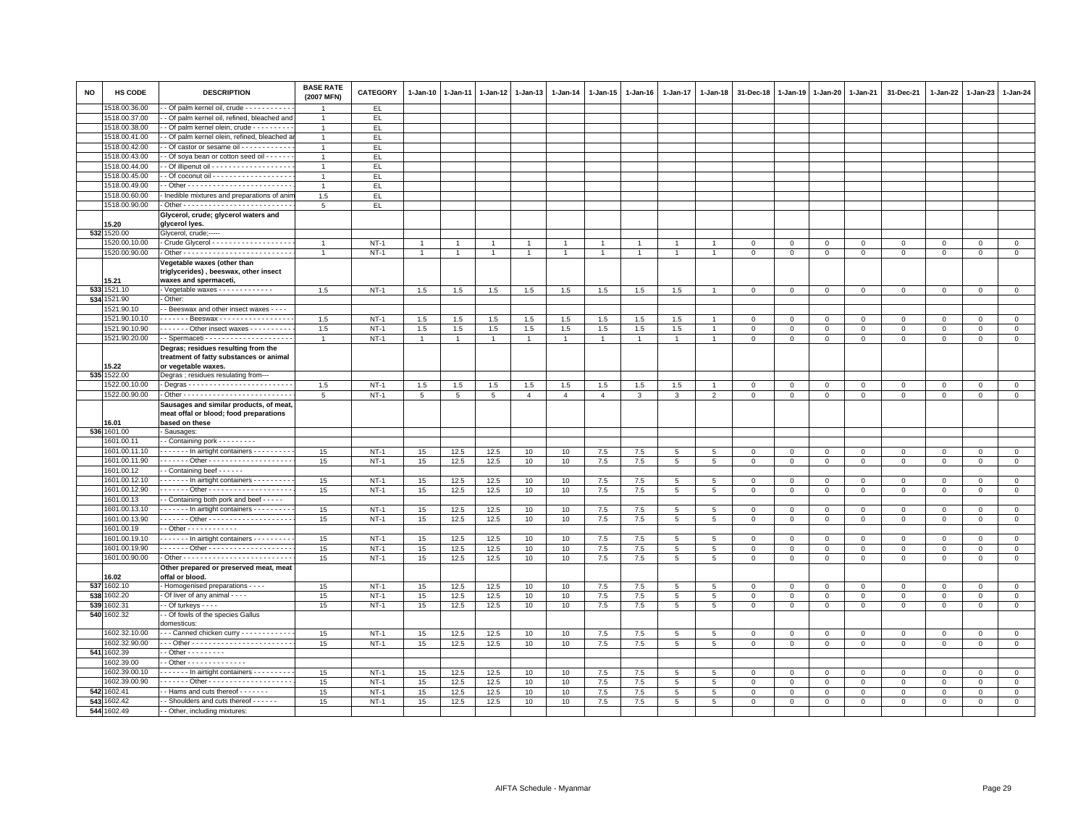| NO  | HS CODE                      | <b>DESCRIPTION</b>                                                                                    | <b>BASE RATE</b><br>(2007 MFN) | <b>CATEGORY</b> | 1-Jan-10        | 1-Jan-11        | 1-Jan-12 1-Jan-13 |                | $1-Jan-14$     | 1-Jan-15       | 1-Jan-16 | 1-Jan-17        | 1-Jan-18       | 31-Dec-18    | 1-Jan-19             | 1-Jan-20     | 1-Jan-21     | 31-Dec-21            | 1-Jan-22                | 1-Jan-23             | 1-Jan-24     |
|-----|------------------------------|-------------------------------------------------------------------------------------------------------|--------------------------------|-----------------|-----------------|-----------------|-------------------|----------------|----------------|----------------|----------|-----------------|----------------|--------------|----------------------|--------------|--------------|----------------------|-------------------------|----------------------|--------------|
|     | 518.00.36.00                 | - Of palm kernel oil, crude - - - - - - - - - -                                                       |                                | EL.             |                 |                 |                   |                |                |                |          |                 |                |              |                      |              |              |                      |                         |                      |              |
|     | 1518.00.37.00                | - Of palm kernel oil, refined, bleached and                                                           | $\overline{1}$                 | EL.             |                 |                 |                   |                |                |                |          |                 |                |              |                      |              |              |                      |                         |                      |              |
|     | 1518.00.38.00                | - Of palm kernel olein, crude - - - - - - - -                                                         |                                | EL.             |                 |                 |                   |                |                |                |          |                 |                |              |                      |              |              |                      |                         |                      |              |
|     | 1518.00.41.00                | - Of palm kernel olein, refined, bleached a                                                           |                                | EL              |                 |                 |                   |                |                |                |          |                 |                |              |                      |              |              |                      |                         |                      |              |
|     | 1518.00.42.00                | - Of castor or sesame oil - - - - - - - - - - - -                                                     | $\overline{1}$                 | EL              |                 |                 |                   |                |                |                |          |                 |                |              |                      |              |              |                      |                         |                      |              |
|     | 1518.00.43.00                | - Of soya bean or cotton seed oil - - - - - -                                                         | $\mathbf{1}$                   | EL.             |                 |                 |                   |                |                |                |          |                 |                |              |                      |              |              |                      |                         |                      |              |
|     | 1518.00.44.00                | - Of illipenut oil - - - - - - - - - - - - - - - - - -                                                |                                | EL              |                 |                 |                   |                |                |                |          |                 |                |              |                      |              |              |                      |                         |                      |              |
|     | 1518.00.45.00                |                                                                                                       |                                | EL              |                 |                 |                   |                |                |                |          |                 |                |              |                      |              |              |                      |                         |                      |              |
|     | 1518.00.49.00                |                                                                                                       | $\overline{1}$                 | EL              |                 |                 |                   |                |                |                |          |                 |                |              |                      |              |              |                      |                         |                      |              |
|     | 1518.00.60.00                | Inedible mixtures and preparations of anim                                                            | 1.5                            | EL.             |                 |                 |                   |                |                |                |          |                 |                |              |                      |              |              |                      |                         |                      |              |
|     | 1518.00.90.00                |                                                                                                       | 5                              | EL              |                 |                 |                   |                |                |                |          |                 |                |              |                      |              |              |                      |                         |                      |              |
|     |                              | Glycerol, crude; glycerol waters and                                                                  |                                |                 |                 |                 |                   |                |                |                |          |                 |                |              |                      |              |              |                      |                         |                      |              |
|     | 5.20                         | glycerol lyes.                                                                                        |                                |                 |                 |                 |                   |                |                |                |          |                 |                |              |                      |              |              |                      |                         |                      |              |
| 532 | 1520.00                      | Glycerol, crude;-----                                                                                 |                                |                 |                 |                 |                   |                |                |                |          |                 |                |              |                      |              |              |                      |                         |                      |              |
|     | 1520.00.10.00                | Crude Glycerol - - - - - - - - - - - - - - - - - -                                                    |                                | $NT-1$          |                 |                 |                   | $\overline{1}$ |                |                |          |                 |                | $\mathbf 0$  | $\Omega$             | $\Omega$     | $\Omega$     | $\mathbf 0$          | $\Omega$                | $\Omega$             | $\Omega$     |
|     | 1520.00.90.00                |                                                                                                       |                                | $NT-1$          | $\overline{1}$  | $\overline{1}$  | $\mathbf{1}$      | $\overline{1}$ | $\overline{1}$ | $\mathbf{1}$   |          | $\mathbf{1}$    |                | $\mathbf 0$  | $\mathsf 0$          | $\mathsf 0$  | $\mathbf 0$  | $\mathsf 0$          | $\mathbf 0$             | $\mathbf 0$          | $\mathsf 0$  |
|     |                              | Vegetable waxes (other than<br>triglycerides) , beeswax, other insect                                 |                                |                 |                 |                 |                   |                |                |                |          |                 |                |              |                      |              |              |                      |                         |                      |              |
| 533 | 15.21<br>1521.10             | waxes and spermaceti,<br>- Vegetable waxes - - - - - - - - - - - - -                                  |                                | $NT-1$          | 1.5             |                 |                   |                | 1.5            |                |          |                 | $\overline{1}$ |              |                      |              |              |                      |                         |                      |              |
| 534 |                              | Other:                                                                                                | 1.5                            |                 |                 | 1.5             | 1.5               | 1.5            |                | 1.5            | 1.5      | 1.5             |                | $\mathbf 0$  | $\mathbf 0$          | $\mathsf 0$  | $\mathbf{0}$ | $\mathbf{0}$         | $\mathbf 0$             | $\mathbf{0}$         | $\mathbf{0}$ |
|     | 1521.90                      |                                                                                                       |                                |                 |                 |                 |                   |                |                |                |          |                 |                |              |                      |              |              |                      |                         |                      |              |
|     | 521.90.10                    | - Beeswax and other insect waxes - - - -                                                              |                                |                 |                 |                 |                   |                |                |                |          |                 |                |              |                      |              |              |                      |                         |                      |              |
|     | 1521.90.10.10                | . Beeswax                                                                                             | 1.5                            | $NT-1$          | 1.5             | 1.5             | 1.5               | 1.5            | 1.5            | 1.5            | 1.5      | 1.5             |                | $\Omega$     | $\Omega$<br>$\Omega$ | $\Omega$     | $\Omega$     | $\Omega$<br>$\Omega$ | $\Omega$<br>$\Omega$    | $\Omega$<br>$\Omega$ | $\mathbf{0}$ |
|     | 1521.90.10.90                | Other insect waxes - - - - - - - - -                                                                  | 1.5                            | $NT-1$          | 1.5             | $1.5\,$         | $1.5\,$           | 1.5            | $1.5\,$        | 1.5            | 1.5      | 1.5             |                | $\mathbf 0$  |                      | $\mathsf 0$  | $\mathbf 0$  |                      |                         |                      | $\mathsf 0$  |
|     | 1521.90.20.00                |                                                                                                       |                                | $NT-1$          | $\overline{1}$  |                 | $\mathbf{1}$      | $\mathbf{1}$   | $\overline{1}$ | $\mathbf{1}$   |          |                 |                | $\mathbf 0$  | $\mathsf 0$          | $\mathsf 0$  | $\mathbf 0$  | $\mathsf 0$          | 0                       | $\mathbf 0$          | $\mathbf 0$  |
|     | 15.22                        | Degras; residues resulting from the<br>treatment of fatty substances or animal<br>or vegetable waxes. |                                |                 |                 |                 |                   |                |                |                |          |                 |                |              |                      |              |              |                      |                         |                      |              |
| 535 | 1522.00                      | Degras ; residues resulating from---                                                                  |                                |                 |                 |                 |                   |                |                |                |          |                 |                |              |                      |              |              |                      |                         |                      |              |
|     | 1522.00.10.00                |                                                                                                       | 1.5                            | $NT-1$          | 1.5             | 1.5             | 1.5               | 1.5            | 1.5            | 1.5            | 1.5      | 1.5             |                | $\mathbf 0$  | 0                    | $\mathsf 0$  | $\mathbf 0$  | $\mathsf 0$          | 0                       | $\mathbf 0$          | $\mathbf 0$  |
|     | 1522.00.90.00                |                                                                                                       | 5                              | $NT-1$          | $5\overline{5}$ | $5\overline{5}$ | 5                 | $\overline{4}$ | $\overline{4}$ | $\overline{4}$ | 3        | $\mathbf{3}$    | $\overline{2}$ | $\mathbf 0$  | $\circ$              | $\mathbf 0$  | $\mathbf{0}$ | $\mathbf 0$          | $\mathbf 0$             | $\Omega$             | $\circ$      |
|     |                              | Sausages and similar products, of meat.<br>meat offal or blood; food preparations                     |                                |                 |                 |                 |                   |                |                |                |          |                 |                |              |                      |              |              |                      |                         |                      |              |
|     | 6.01                         | based on these                                                                                        |                                |                 |                 |                 |                   |                |                |                |          |                 |                |              |                      |              |              |                      |                         |                      |              |
|     | 536 1601.00                  | - Sausages:                                                                                           |                                |                 |                 |                 |                   |                |                |                |          |                 |                |              |                      |              |              |                      |                         |                      |              |
|     | 601.00.11                    | - Containing pork - - - - - - - - -                                                                   |                                |                 |                 |                 |                   |                |                |                |          |                 |                |              |                      |              |              |                      |                         |                      |              |
|     | 1601.00.11.10                | - - - - - - - In airtight containers - - - - - - - - -                                                | 15                             | $NT-1$          | $15\,$          | 12.5            | 12.5              | 10             | 10             | $7.5\,$        | 7.5      | 5               | 5              | $\mathbf 0$  | $\mathsf 0$          | $\mathsf 0$  | $\mathbf 0$  | $\mathbf 0$          | $\mathbf 0$             | $\mathbf 0$          | $\mathsf 0$  |
|     | 1601.00.11.90                |                                                                                                       | 15                             | $NT-1$          | 15              | 12.5            | 12.5              | 10             | 10             | 7.5            | 7.5      | $\overline{5}$  | -5             | $\mathbf 0$  | $\mathsf 0$          | $\mathsf 0$  | $\mathbf 0$  | $\mathsf 0$          | $\mathbf 0$             | $\mathbf{0}$         | $\mathsf 0$  |
|     | 1601.00.12                   | - Containing beef - - - - - -                                                                         |                                |                 |                 |                 |                   |                |                |                |          |                 |                |              |                      |              |              |                      |                         |                      |              |
|     | 1601.00.12.10                | $\cdots$ $\cdots$ - In airtight containers - - - - - - - - -                                          | 15                             | $NT-1$          | 15              | 12.5            | 12.5              | 10             | 10             | $7.5\,$        | 7.5      | 5               | 5              | $\mathbf 0$  | $\mathsf 0$          | $\mathsf 0$  | $\mathbf 0$  | $\mathbf 0$          | $\mathbf 0$             | $\mathbf 0$          | $\circ$      |
|     | 1601.00.12.90                | . Other -                                                                                             | 15                             | $NT-1$          | 15              | 12.5            | 12.5              | 10             | 10             | 7.5            | 7.5      | 5               | 5              | $\mathbf 0$  | $\mathbf 0$          | $\mathbf{0}$ | $\mathbf{0}$ | $\mathbf{0}$         | $\mathbf 0$             | $\mathbf{0}$         | $\circ$      |
|     | 1601.00.13                   | - Containing both pork and beef - - - - -                                                             |                                |                 |                 |                 |                   |                |                |                |          |                 |                |              |                      |              |              |                      |                         |                      |              |
|     | 1601.00.13.10                | ------ In airtight containers ---------                                                               | 15                             | $NT-1$          | 15              | 12.5            | 12.5              | 10             | 10             | $7.5\,$        | 7.5      | $\,$ 5 $\,$     | 5              | $\mathsf 0$  | $\mathsf 0$          | $\mathsf 0$  | $\mathbf 0$  | $\mathsf 0$          | $\mathbf 0$             | $\mathbf 0$          | $\mathsf 0$  |
|     | 1601.00.13.90                |                                                                                                       | 15                             | $NT-1$          | 15              | 12.5            | 12.5              | 10             | 10             | 7.5            | 7.5      | 5               | -5             | $\mathbf 0$  | $\mathsf 0$          | $\mathbf 0$  | $\mathbf 0$  | $\mathbf 0$          | $\Omega$                | $\mathbf{0}$         | $\mathbf 0$  |
|     | 1601.00.19                   | $-$ Other - - - - - - - - - - - -                                                                     |                                |                 |                 |                 |                   |                |                |                |          |                 |                |              |                      |              |              |                      |                         |                      |              |
|     | 1601.00.19.10                | In airtight containers - - - - - - - -                                                                | 15                             | $NT-1$          | 15              | 12.5            | 12.5              | 10             | 10             | 7.5            | 7.5      | $\overline{5}$  | 5              | $\mathbf 0$  | $\mathsf 0$          | $\mathsf 0$  | $\mathbf 0$  | $\mathsf 0$          | $\mathbf 0$             | $\mathbf 0$          | $\mathsf 0$  |
|     | 1601.00.19.90                |                                                                                                       | 15                             | $NT-1$          | 15              | 12.5            | 12.5              | 10             | 10             | 7.5            | 7.5      | $5\overline{5}$ | 5              | $\mathbf{0}$ | $\mathbf 0$          | $\mathbf 0$  | $\mathbf{0}$ | $\mathbf 0$          | 0                       | $\Omega$             | $\circ$      |
|     | 1601.00.90.00                |                                                                                                       | 15                             | $NT-1$          | 15              | 12.5            | 12.5              | 10             | 10             | 7.5            | 7.5      | 5               | 5              | $\mathbf 0$  | $\mathbf 0$          | $\mathbf 0$  | $\mathbf{0}$ | $\mathbf{0}$         | $\mathbf{0}$            | $\mathbf{0}$         | $\circ$      |
|     | 16.02<br>537 1602.10         | Other prepared or preserved meat, meat<br>offal or blood.<br>- Homogenised preparations - - - -       |                                | $NT-1$          |                 |                 |                   | 10             |                |                |          |                 |                |              |                      |              |              |                      |                         | $\mathbf 0$          |              |
| 538 |                              |                                                                                                       | 15                             |                 | 15              | 12.5            | 12.5              |                | 10             | $7.5\,$        | 7.5      | $\,$ 5 $\,$     | 5              | $\mathbf 0$  | $\mathsf 0$          | $\mathsf 0$  | $\mathbf 0$  | $\mathsf 0$          | $\mathsf 0$<br>$\Omega$ |                      | $\mathsf 0$  |
|     | 1602.20                      | - Of liver of any animal - - - -                                                                      | 15                             | $NT-1$          | 15              | 12.5            | 12.5              | 10             | 10             | 7.5            | 7.5      | 5               | -5             | $\,0\,$      | $\mathsf 0$          | $\mathsf 0$  | $\,0\,$      | $\mathbf 0$          |                         | $\mathbf 0$          | $\mathbf 0$  |
| 539 | 602.31                       | - - Of turkeys - - - -                                                                                | 15                             | $NT-1$          | 15              | 12.5            | 12.5              | 10             | 10             | 7.5            | 7.5      | 5               | 5              | $\mathbf 0$  | 0                    | $\mathsf 0$  | $\mathbf{0}$ | $\mathbf{0}$         | $\mathbf 0$             | $\mathbf{0}$         | $\mathsf 0$  |
|     | 540 1602.32<br>1602.32.10.00 | - Of fowls of the species Gallus<br>domesticus:<br>- - Canned chicken curry - - - - - - - - - - -     |                                | $NT-1$          |                 |                 |                   |                |                |                |          |                 |                |              |                      |              |              |                      |                         | $\Omega$             |              |
|     |                              |                                                                                                       | 15                             |                 | 15              | 12.5            | 12.5              | 10             | 10             | 7.5            | 7.5      | 5               | -5             | $\mathbf 0$  | 0                    | $\mathbf 0$  | $\mathbf 0$  | $\mathsf 0$          | $\mathbf 0$             |                      | $\mathbf 0$  |
|     | 1602.32.90.00                |                                                                                                       | 15                             | $NT-1$          | 15              | 12.5            | 12.5              | 10             | 10             | 7.5            | 7.5      | 5               | 5              | $\mathbf 0$  | $\mathsf 0$          | $\mathsf 0$  | $\mathbf 0$  | $\mathbf 0$          | $\mathbf 0$             | $\mathsf 0$          | $\mathsf 0$  |
|     | 541 1602.39                  | $-$ Other $       -$                                                                                  |                                |                 |                 |                 |                   |                |                |                |          |                 |                |              |                      |              |              |                      |                         |                      |              |
|     | 1602.39.00                   | - Other - - - - - - - - - - - - - -                                                                   |                                |                 |                 |                 |                   |                |                |                |          |                 |                |              |                      |              |              |                      |                         |                      |              |
|     | 1602.39.00.10                | ------- In airtight containers ---------                                                              | 15                             | $NT-1$          | 15              | 12.5            | 12.5              | 10             | 10             | 7.5            | 7.5      | 5               | 5              | $\mathbf 0$  | $\mathsf 0$          | $\mathbf 0$  | $\mathbf{0}$ | $\mathbf 0$          | $\mathbf{0}$            | $\mathbf 0$          | $\mathbf{0}$ |
|     | 1602.39.00.90                | . Other -                                                                                             | 15                             | $NT-1$          | 15              | 12.5            | 12.5              | 10             | 10             | 7.5            | 7.5      | $\overline{5}$  | 5              | $\mathsf 0$  | $\Omega$             | $\mathbf 0$  | $\mathbf{0}$ | $\Omega$             | $\Omega$                | $\Omega$             | $\circ$      |
| 542 | 1602.41                      | - Hams and cuts thereof - - - - - -                                                                   | 15                             | $NT-1$          | 15              | 12.5            | 12.5              | 10             | 10             | 7.5            | 7.5      | 5               | 5              | $\mathbf 0$  | 0                    | $\mathbf 0$  | $\mathbf 0$  | 0                    | $\mathbf 0$             | $\mathbf 0$          | $\mathbf 0$  |
| 543 | 1602.42                      | - Shoulders and cuts thereof - - - - - -                                                              | 15                             | $NT-1$          | 15              | 12.5            | 12.5              | 10             | 10             | $7.5\,$        | 7.5      | $\overline{5}$  | 5              | $\mathbf 0$  | $\mathsf 0$          | $^{\circ}$   | $\mathsf 0$  | 0                    | $\mathbf 0$             | $\mathbf 0$          | $\mathsf 0$  |
| 544 | 1602.49                      | - - Other, including mixtures:                                                                        |                                |                 |                 |                 |                   |                |                |                |          |                 |                |              |                      |              |              |                      |                         |                      |              |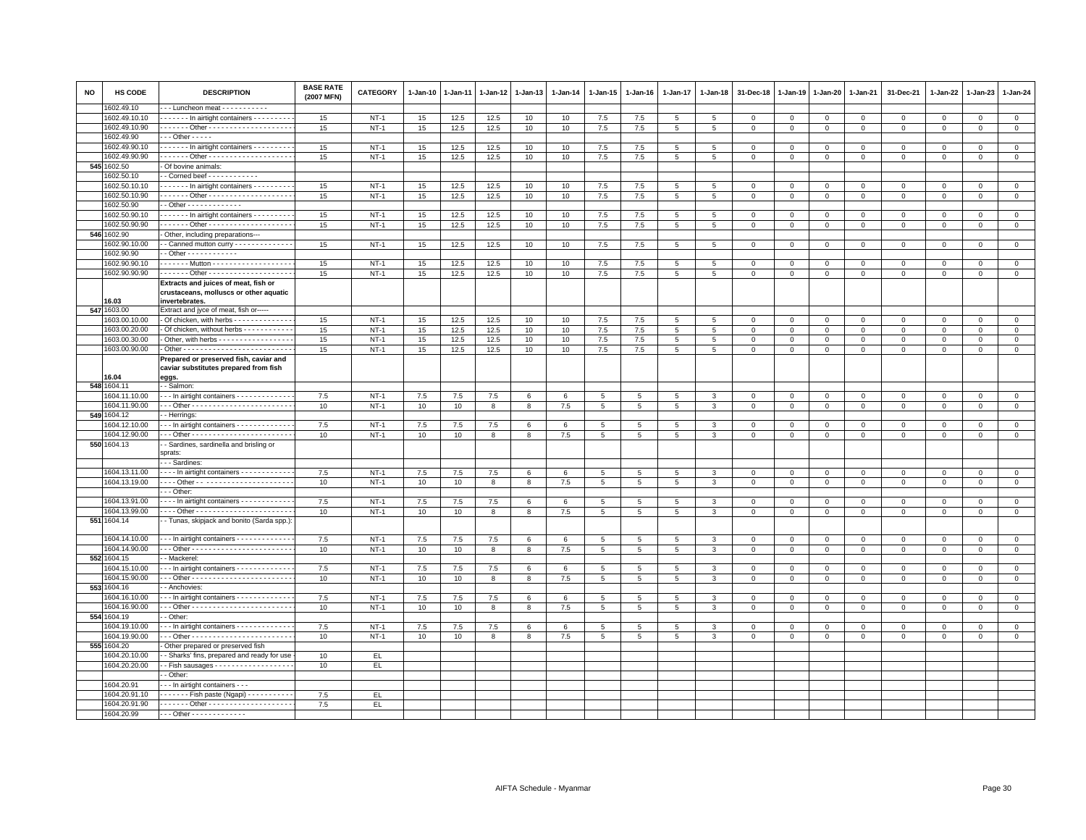| NO  | HS CODE       | <b>DESCRIPTION</b>                                                              | <b>BASE RATE</b><br>(2007 MFN) | <b>CATEGORY</b> | 1-Jan-10         | $1 - Jan-11$ | $1 - Jan-12$ | $1 - Jan-13$ | $1 - Jan-14$     | 1-Jan-15                       | $1 - Jan-16$                   | $1 - Jan-17$        | 1-Jan-18        | 31-Dec-18              | $1 - Jan-19$     | 1-Jan-20                    | $1 - Jan-21$   | 31-Dec-21                   | 1-Jan-22     | 1-Jan-23       | 1-Jan-24       |
|-----|---------------|---------------------------------------------------------------------------------|--------------------------------|-----------------|------------------|--------------|--------------|--------------|------------------|--------------------------------|--------------------------------|---------------------|-----------------|------------------------|------------------|-----------------------------|----------------|-----------------------------|--------------|----------------|----------------|
|     | 602.49.10     | -- Luncheon meat -----------                                                    |                                |                 |                  |              |              |              |                  |                                |                                |                     |                 |                        |                  |                             |                |                             |              |                |                |
|     | 1602.49.10.10 | ------ In airtight containers ---------                                         | 15                             | $NT-1$          | 15               | 12.5         | 12.5         | 10           | 10               | $7.5\,$                        | 7.5                            | $\overline{5}$      | 5               | $\,0\,$                | $\mathsf 0$      | $\mathbf 0$                 | $\mathsf 0$    | $\mathbf 0$                 | $\mathsf 0$  | $\mathbf{O}$   | $\overline{0}$ |
|     | 1602.49.10.90 | . Other -                                                                       | 15                             | $NT-1$          | $15\,$           | 12.5         | 12.5         | 10           | 10               | 7.5                            | 7.5                            | $5\overline{5}$     | 5               | $\mathbf 0$            | $\mathsf 0$      | $\mathbf 0$                 | $\circ$        | $\mathbf 0$                 | $\mathbf 0$  | $\mathbf 0$    | $\circ$        |
|     | 1602.49.90    | - - - Other - - - - -                                                           |                                |                 |                  |              |              |              |                  |                                |                                |                     |                 |                        |                  |                             |                |                             |              |                |                |
|     | 1602.49.90.10 | In airtight containers - - - - - - - -                                          | 15                             | $NT-1$          | 15               | 12.5         | 12.5         | 10           | 10               | 7.5                            | 7.5                            | 5                   | 5               | $\mathbf 0$            | $\mathbf 0$      | $\mathbf 0$                 | $\mathbf{0}$   | $\mathbf{0}$                | $\mathbf{0}$ | $\mathbf{0}$   | $\mathbf{0}$   |
|     | 1602.49.90.90 |                                                                                 | 15                             | $NT-1$          | 15               | 12.5         | 12.5         | 10           | 10               | 7.5                            | 7.5                            | $\overline{5}$      | $5\phantom{.0}$ | $\mathsf 0$            | $\mathsf 0$      | $\mathbf 0$                 | $\circ$        | $\mathsf 0$                 | $\mathbf 0$  | $\mathsf 0$    | $\overline{0}$ |
| 545 | 1602.50       | - Of bovine animals:                                                            |                                |                 |                  |              |              |              |                  |                                |                                |                     |                 |                        |                  |                             |                |                             |              |                |                |
|     | 602.50.10     | - Corned beef - - - - - - - - - - -                                             |                                |                 |                  |              |              |              |                  |                                |                                |                     |                 |                        |                  |                             |                |                             |              |                |                |
|     | 1602.50.10.10 | In airtight containers                                                          | 15                             | $NT-1$          | 15               | 12.5         | 12.5         | 10           | 10               | 7.5                            | 7.5                            | 5                   | -5              | $\mathbf 0$            | $\mathbf 0$      | $\mathbf 0$                 | $\mathbf{0}$   | $\mathbf 0$                 | $\mathbf{0}$ | $\mathbf{0}$   | $\mathbf{0}$   |
|     | 1602.50.10.90 |                                                                                 | 15                             | $NT-1$          | 15               | 12.5         | 12.5         | 10           | 10               | 7.5                            | 7.5                            | 5                   | 5               | $\mathbf 0$            | $\mathsf 0$      | $\mathbf 0$                 | $\mathbf{0}$   | $\mathbf 0$                 | $\mathbf 0$  | $\mathbf{0}$   | $\mathbf{0}$   |
|     | 1602.50.90    | - Other - - - - - - - - - - - -                                                 |                                |                 |                  |              |              |              |                  |                                |                                |                     |                 |                        |                  |                             |                |                             |              |                |                |
|     | 1602.50.90.10 | $\cdots$ $\cdots$ - In airtight containers $\cdots$                             | 15                             | $NT-1$          | 15               | 12.5         | 12.5         | 10           | 10               | 7.5                            | 7.5                            | 5                   | -5              | $\mathbf 0$            | $\mathbf 0$      | $\mathbf{0}$                | $\mathbf{0}$   | $\mathbf{0}$                | $\mathbf{0}$ | $\overline{0}$ | $\mathbf{0}$   |
|     | 1602.50.90.90 | ------ Other ---------------------                                              | 15                             | $NT-1$          | 15               | 12.5         | 12.5         | 10           | 10               | $7.5\,$                        | 7.5                            | $\overline{5}$      | 5               | $\mathbf 0$            | 0                | $\mathbf 0$                 | $\mathbf{0}$   | $\mathbf 0$                 | $\mathbf 0$  | $\mathbf{0}$   | $\circ$        |
| 546 | 1602.90       | Other, including preparations---                                                |                                |                 |                  |              |              |              |                  |                                |                                |                     |                 |                        |                  |                             |                |                             |              |                |                |
|     | 1602.90.10.00 | - Canned mutton curry - - - - - - - - - - - -                                   | 15                             | $NT-1$          | $15\,$           | 12.5         | 12.5         | 10           | 10               | $7.5\,$                        | 7.5                            | $5\phantom{.0}$     | 5               | $\mathbf 0$            | $\mathsf 0$      | $\mathsf{O}\xspace$         | $\mathbf 0$    | $\mathsf 0$                 | $\mathbf 0$  | $\mathsf 0$    | $\mathsf 0$    |
|     | 1602.90.90    | - Other - - - - - - - - - - - -                                                 |                                |                 |                  |              |              |              |                  |                                |                                |                     |                 |                        |                  |                             |                |                             |              |                |                |
|     | 1602.90.90.10 | ------ Mutton - - - - - - - - - - - - - - - - -                                 | 15                             | $NT-1$          | 15               | 12.5         | 12.5         | 10           | 10 <sup>10</sup> | 7.5                            | 7.5                            | $\overline{5}$      | 5               | $\mathbf 0$            | 0                | $\mathbf 0$                 | $\overline{0}$ | $\mathbf 0$                 | $\mathbf 0$  | $\mathbf 0$    | $\mathbf{0}$   |
|     | 1602.90.90.90 | ------ Other --------------------                                               | 15                             | $NT-1$          | 15               | 12.5         | 12.5         | 10           | 10               | 7.5                            | 7.5                            | 5                   | 5               | $\mathsf 0$            | $\mathsf 0$      | $\mathsf 0$                 | $\mathbf 0$    | $\mathsf 0$                 | $\mathbf 0$  | $\mathsf 0$    | $\circ$        |
|     |               | Extracts and juices of meat, fish or<br>crustaceans, molluscs or other aquatic  |                                |                 |                  |              |              |              |                  |                                |                                |                     |                 |                        |                  |                             |                |                             |              |                |                |
|     | 6.03          | invertebrates.                                                                  |                                |                 |                  |              |              |              |                  |                                |                                |                     |                 |                        |                  |                             |                |                             |              |                |                |
| 547 | 1603.00       | Extract and jyce of meat, fish or----                                           |                                |                 |                  |              |              |              |                  |                                |                                |                     |                 |                        |                  |                             |                |                             |              |                |                |
|     | 1603.00.10.00 | Of chicken, with herbs - - - - - - - - - - - -                                  | 15                             | $NT-1$          | 15               | 12.5         | 12.5         | 10           | 10               | 7.5                            | 7.5                            | 5                   | 5               | $\mathbf 0$            | $^{\circ}$       | $^{\circ}$                  | $\mathbf 0$    | $\mathsf 0$                 | $^{\circ}$   | $^{\circ}$     | $\mathbf 0$    |
|     | 1603.00.20.00 | Of chicken, without herbs - - - - - - - - - -                                   | 15                             | $NT-1$          | 15               | 12.5         | 12.5         | 10           | 10               | $7.5\,$                        | 7.5                            | 5                   | $5^{\circ}$     | $\mathbf 0$            | $^{\circ}$       | $\mathbf 0$                 | $\mathbf 0$    | $\mathbf{0}$                | $\mathbf{0}$ | $\Omega$       | $\mathsf 0$    |
|     | 1603.00.30.00 | Other, with herbs - - - - - - - - - - - - - - - -                               | 15                             | $NT-1$          | 15               | 12.5         | 12.5         | 10           | 10               | 7.5                            | 7.5                            | 5                   | 5               | $\mathbf 0$            | 0                | $\mathsf 0$                 | $\mathbf 0$    | $\mathbf 0$                 | 0            | $\mathbf 0$    | $\mathbf{0}$   |
|     | 1603.00.90.00 |                                                                                 | 15                             | $NT-1$          | $15\,$           | 12.5         | 12.5         | 10           | 10               | 7.5                            | 7.5                            | $\overline{5}$      | $5\phantom{.0}$ | $\mathbf 0$            | $\mathsf 0$      | $\mathsf 0$                 | $\,0\,$        | $\mathsf{O}\xspace$         | $\mathsf 0$  | $\mathsf 0$    | $\mathsf 0$    |
|     |               | Prepared or preserved fish, caviar and<br>caviar substitutes prepared from fish |                                |                 |                  |              |              |              |                  |                                |                                |                     |                 |                        |                  |                             |                |                             |              |                |                |
|     | 16.04         | eggs.                                                                           |                                |                 |                  |              |              |              |                  |                                |                                |                     |                 |                        |                  |                             |                |                             |              |                |                |
| 548 | 1604.11       | - Salmon:                                                                       |                                |                 |                  |              |              |              |                  |                                |                                |                     |                 |                        |                  |                             |                |                             |              |                |                |
|     | 1604.11.10.00 | -- In airtight containers - - - - - - - - - - - -                               | 7.5                            | $NT-1$          | 7.5              | 7.5          | 7.5          | 6            | 6                | 5                              | 5                              | 5                   | 3               | $\mathbf 0$            | $\mathbf 0$      | $\mathbf 0$                 | $\mathbf{0}$   | $\mathbf 0$                 | $\mathbf{0}$ | $\circ$        | $\circ$        |
|     | 1604.11.90.00 |                                                                                 | 10                             | $NT-1$          | 10               | 10           | 8            | 8            | 7.5              | $5\overline{5}$                | 5                              | 5                   | 3               | $\mathbf 0$            | 0                | $\mathbf 0$                 | $\mathbf{0}$   | $\mathbf 0$                 | $\mathbf 0$  | $\mathbf{0}$   | $\mathbf{0}$   |
| 549 | 1604.12       | - Herrings                                                                      |                                |                 |                  |              |              |              |                  |                                |                                |                     |                 |                        |                  |                             |                |                             |              |                |                |
|     | 1604.12.10.00 | -- In airtight containers - - - - - - - - - - - -                               | 7.5                            | <b>NT-1</b>     | 7.5              | 7.5          | 7.5          | 6            | 6                | $5\phantom{.0}$                | $5\phantom{.0}$                | $5\phantom{.0}$     | 3               | $\,0\,$                | $\mathsf 0$      | $\mathsf 0$                 | $\,0\,$        | $\mathsf 0$                 | $\mathbf 0$  | $\mathbf 0$    | $\mathbf{0}$   |
|     | 604.12.90.00  |                                                                                 | 10                             | $NT-1$          | 10               | 10           | 8            | 8            | 7.5              | $\overline{5}$                 | $5\phantom{.0}$                | $\overline{5}$      | 3               | $\mathbf 0$            | $\mathsf 0$      | $\mathbf 0$                 | $\overline{0}$ | $\mathsf 0$                 | $\mathbf{0}$ | $\mathbf{0}$   | $\overline{0}$ |
|     | 550 1604.13   | - Sardines, sardinella and brisling or                                          |                                |                 |                  |              |              |              |                  |                                |                                |                     |                 |                        |                  |                             |                |                             |              |                |                |
|     |               | sprats:<br>- - Sardines:                                                        |                                |                 |                  |              |              |              |                  |                                |                                |                     |                 |                        |                  |                             |                |                             |              |                |                |
|     | 1604.13.11.00 |                                                                                 |                                |                 |                  |              |              |              |                  |                                |                                |                     |                 |                        |                  |                             |                |                             |              |                |                |
|     | 1604.13.19.00 | In airtight containers                                                          | 7.5                            | $NT-1$          | 7.5              | 7.5          | 7.5          | 6            | 6                | $5\overline{5}$                | $5\overline{5}$                | 5                   | 3               | $\mathbf 0$            | 0                | $\mathsf 0$                 | $\mathbf 0$    | $\mathsf 0$                 | $\mathbf 0$  | $\mathbf 0$    | $\mathbf 0$    |
|     |               | -- Other:                                                                       | 10                             | $NT-1$          | 10               | 10           | 8            | 8            | 7.5              | $5\phantom{.0}$                | 5                              | $5\overline{5}$     | 3               | $\mathbf{0}$           | $\mathbf 0$      | $\mathbf 0$                 | $\overline{0}$ | $\mathbf 0$                 | $\circ$      | $\mathbf{0}$   | $\mathbf{0}$   |
|     | 1604.13.91.00 | - - - - In airtight containers - - - - - - - - - - -                            | 7.5                            | $NT-1$          | $7.5\,$          | $7.5\,$      | $7.5\,$      |              |                  |                                |                                |                     | 3               |                        |                  |                             | $\,0\,$        |                             | $\mathbf 0$  | $\mathbf 0$    | $\mathbf 0$    |
|     | 1604.13.99.00 |                                                                                 | 10                             | $NT-1$          | 10 <sup>10</sup> | 10           | 8            | 6<br>8       | 6<br>7.5         | $5\phantom{.0}$<br>$5^{\circ}$ | $5\phantom{.0}$<br>$5^{\circ}$ | $\overline{5}$<br>5 | 3               | $\,0\,$<br>$\mathbf 0$ | 0<br>$\mathbf 0$ | $\mathsf 0$<br>$\mathbf{0}$ | $\circ$        | $\mathsf 0$<br>$\mathbf{0}$ | $\mathbf 0$  | $\mathbf{0}$   | $\mathbf{0}$   |
| 551 | 1604.14       | - Tunas, skipjack and bonito (Sarda spp.)                                       |                                |                 |                  |              |              |              |                  |                                |                                |                     |                 |                        |                  |                             |                |                             |              |                |                |
|     |               |                                                                                 |                                |                 |                  |              |              |              |                  |                                |                                |                     |                 |                        |                  |                             |                |                             |              |                |                |
|     | 1604.14.10.00 | --- In airtight containers ------------                                         | 7.5                            | $NT-1$          | 7.5              | 7.5          | 7.5          | 6            | 6                | $5\overline{5}$                | 5                              | 5                   | 3               | $\mathbf 0$            | $\mathsf 0$      | $\mathsf 0$                 | $\circ$        | $\mathsf 0$                 | $\mathbf 0$  | $\mathsf 0$    | $\circ$        |
|     | 1604.14.90.00 |                                                                                 | 10                             | $NT-1$          | 10               | 10           | 8            | 8            | 7.5              | $5\overline{)}$                | 5                              | 5                   | 3               | $\mathbf 0$            | $\mathsf 0$      | $\mathbf 0$                 | $\mathbf 0$    | $\mathsf 0$                 | $\mathsf 0$  | $\mathbf 0$    | $\mathsf 0$    |
|     | 552 1604.15   | - Mackerel:                                                                     |                                |                 |                  |              |              |              |                  |                                |                                |                     |                 |                        |                  |                             |                |                             |              |                |                |
|     | 1604.15.10.00 | -- In airtight containers ------------                                          | 7.5                            | $NT-1$          | 7.5              | 7.5          | 7.5          | 6            | 6                | 5                              | 5                              | 5                   |                 | $\mathbf 0$            | $\mathsf 0$      | $\mathsf 0$                 | $\mathbf 0$    | $\mathsf 0$                 | $^{\circ}$   | $\mathbf 0$    | $\mathbf 0$    |
|     | 1604.15.90.00 |                                                                                 | 10                             | $NT-1$          | 10               | 10           | 8            | 8            | 7.5              | $5\phantom{.0}$                | 5                              | $\overline{5}$      | $\mathbf{R}$    | $\mathsf 0$            | $\mathbf 0$      | $\mathsf 0$                 | $\mathbf 0$    | $\mathbf{0}$                | $\mathbf 0$  | $\mathbf{0}$   | $\mathbf 0$    |
| 553 | 1604.16       | - Anchovies:                                                                    |                                |                 |                  |              |              |              |                  |                                |                                |                     |                 |                        |                  |                             |                |                             |              |                |                |
|     | 604.16.10.00  | -- In airtight containers -------------                                         | 7.5                            | $NT-1$          | 7.5              | 7.5          | 7.5          | 6            | 6                | 5                              | 5                              | 5                   | 3               | $\mathbf 0$            | $\mathsf 0$      | $\mathbf 0$                 | $\mathbf 0$    | $\mathbf 0$                 | $\Omega$     | $\mathbf{0}$   | $\mathbf 0$    |
|     | 1604.16.90.00 |                                                                                 | 10                             | $NT-1$          | 10               | 10           | 8            | 8            | 7.5              | $5\overline{5}$                | 5                              | 5                   | 3               | $\mathbf 0$            | $\mathsf 0$      | $\mathbf 0$                 | $\mathbf{0}$   | $\mathbf 0$                 | $\mathbf 0$  | $\mathbf 0$    | $\circ$        |
| 554 | 1604.19       | - Other                                                                         |                                |                 |                  |              |              |              |                  |                                |                                |                     |                 |                        |                  |                             |                |                             |              |                |                |
|     | 1604.19.10.00 | - - In airtight containers - - - - - - - - - - - -                              | 7.5                            | $NT-1$          | 7.5              | 7.5          | 7.5          | 6            | 6                | 5                              | 5                              | 5                   | 3               | $\mathbf 0$            | $\mathsf 0$      | $\mathsf 0$                 | $\mathbf 0$    | $\mathbf 0$                 | $\mathbf{0}$ | $\mathbf{0}$   | $\mathbf 0$    |
|     | 1604.19.90.00 |                                                                                 | 10                             | $NT-1$          | 10               | 10           | 8            | 8            | 7.5              | $5\overline{5}$                | 5                              | 5                   | 3               | $\mathbf 0$            | 0                | $\mathbf 0$                 | $\mathbf{0}$   | $\mathbf 0$                 | 0            | $\mathbf{0}$   | $\circ$        |
|     | 555 1604.20   | Other prepared or preserved fish                                                |                                |                 |                  |              |              |              |                  |                                |                                |                     |                 |                        |                  |                             |                |                             |              |                |                |
|     | 1604.20.10.00 | - Sharks' fins, prepared and ready for use                                      | 10                             | EL.             |                  |              |              |              |                  |                                |                                |                     |                 |                        |                  |                             |                |                             |              |                |                |
|     | 1604.20.20.00 | $\cdot$ - Fish sausages - - - - - - - - - - - - - - - - - -                     | 10                             | EL.             |                  |              |              |              |                  |                                |                                |                     |                 |                        |                  |                             |                |                             |              |                |                |
|     |               | - Other:                                                                        |                                |                 |                  |              |              |              |                  |                                |                                |                     |                 |                        |                  |                             |                |                             |              |                |                |
|     | 1604.20.91    | - - In airtight containers - - -                                                |                                |                 |                  |              |              |              |                  |                                |                                |                     |                 |                        |                  |                             |                |                             |              |                |                |
|     | 1604.20.91.10 | . Fish paste (Ngapi)                                                            | 7.5                            | EL              |                  |              |              |              |                  |                                |                                |                     |                 |                        |                  |                             |                |                             |              |                |                |
|     | 1604.20.91.90 |                                                                                 | 7.5                            | EL.             |                  |              |              |              |                  |                                |                                |                     |                 |                        |                  |                             |                |                             |              |                |                |
|     | 1604.20.99    | - - - Other - - - - - - - - - - - - -                                           |                                |                 |                  |              |              |              |                  |                                |                                |                     |                 |                        |                  |                             |                |                             |              |                |                |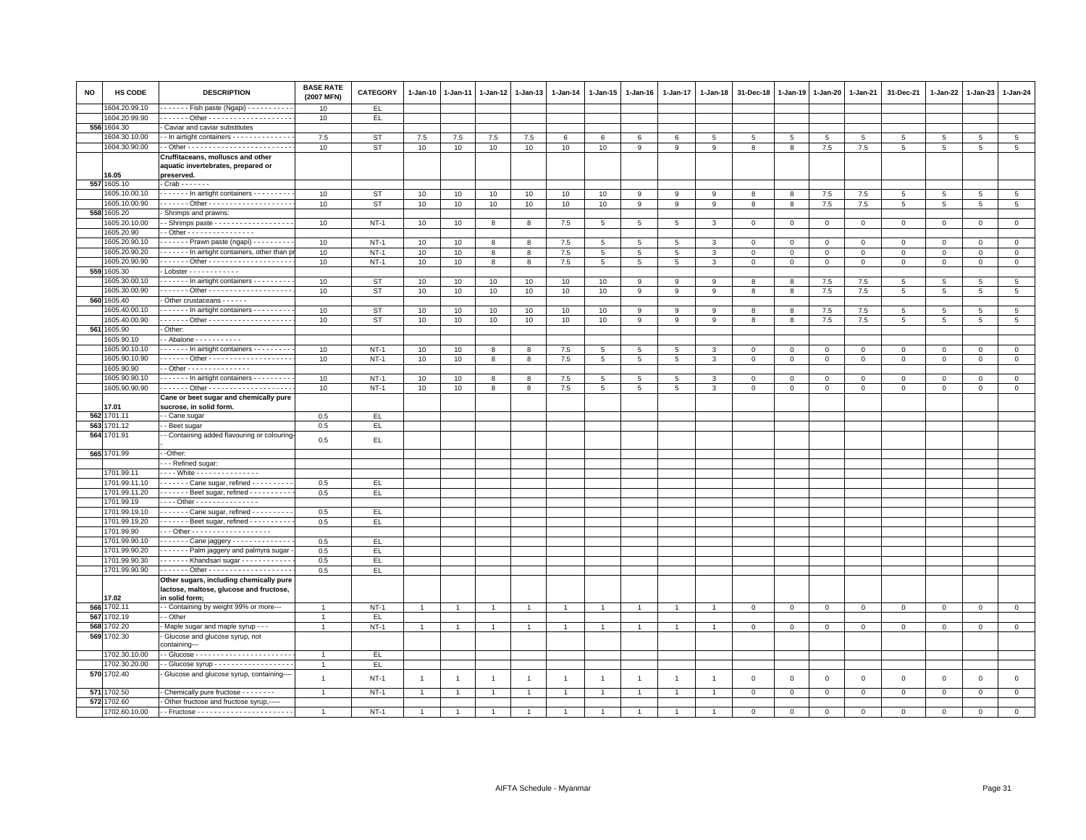| NO  | HS CODE       | <b>DESCRIPTION</b>                                               | <b>BASE RATE</b><br>(2007 MFN) | CATEGORY  | $1 - Jan-10$   | $1-Jan-11$     | $1 - Jan-12$   | $1-Jan-13$     | 1-Jan-14       | $1 - Jan-15$    | $1 - Jan-16$    | 1-Jan-17        | $1 - Jan-18$   | 31-Dec-18      | $1 - Jan-19$   | $1-Jan-20$  | 1-Jan-21     | 31-Dec-21      | 1-Jan-22    | $1-Jan-23$  | $1 - Jan-24$   |
|-----|---------------|------------------------------------------------------------------|--------------------------------|-----------|----------------|----------------|----------------|----------------|----------------|-----------------|-----------------|-----------------|----------------|----------------|----------------|-------------|--------------|----------------|-------------|-------------|----------------|
|     | 604.20.99.10  | Fish paste (Ngapi) - - - - - - - - -                             | 10                             | EL.       |                |                |                |                |                |                 |                 |                 |                |                |                |             |              |                |             |             |                |
|     | 1604.20.99.90 |                                                                  | 10                             | EL.       |                |                |                |                |                |                 |                 |                 |                |                |                |             |              |                |             |             |                |
|     | 556 1604.30   | Caviar and caviar substitutes                                    |                                |           |                |                |                |                |                |                 |                 |                 |                |                |                |             |              |                |             |             |                |
|     | 1604.30.10.00 | - In airtight containers - - - - - - - - - - - - -               | 7.5                            | <b>ST</b> | $7.5\,$        | 7.5            | $7.5$          | 7.5            | 6              | 6               | 6               | 6               | 5              | 5              | 5              | 5           | 5            | $\overline{5}$ | 5           | 5           | $\overline{5}$ |
|     | 1604.30.90.00 |                                                                  | 10                             | <b>ST</b> | 10             | 10             | 10             | 10             | 10             | 10              | 9               | 9               | 9              | 8              | $\mathbf{8}$   | 7.5         | 7.5          | 5              | 5           | 5           | 5              |
|     |               | Cruffitaceans, molluscs and other                                |                                |           |                |                |                |                |                |                 |                 |                 |                |                |                |             |              |                |             |             |                |
|     |               | aquatic invertebrates, prepared or                               |                                |           |                |                |                |                |                |                 |                 |                 |                |                |                |             |              |                |             |             |                |
|     | 16.05         | preserved.                                                       |                                |           |                |                |                |                |                |                 |                 |                 |                |                |                |             |              |                |             |             |                |
|     | 557 1605.10   | - Crab - - - - - - -                                             |                                |           |                |                |                |                |                |                 |                 |                 |                |                |                |             |              |                |             |             |                |
|     | 1605.10.00.10 | ------- In airtight containers --------                          | 10                             | <b>ST</b> | 10             | 10             | 10             | 10             | 10             | 10              | 9               | 9               | 9              | 8              | 8              | $7.5\,$     | 7.5          | 5              | 5           | 5           | $\overline{5}$ |
|     | 1605.10.00.90 | . Other -                                                        | 10                             | <b>ST</b> | 10             | 10             | 10             | 10             | 10             | 10              | 9               | 9               | 9              | 8              | 8              | 7.5         | 7.5          | 5              | 5           | 5           | 5 <sub>5</sub> |
|     | 558 1605.20   | Shrimps and prawns:                                              |                                |           |                |                |                |                |                |                 |                 |                 |                |                |                |             |              |                |             |             |                |
|     | 1605.20.10.00 | - - Shrimps paste - - - - - - - - - - - - - - - - - -            | 10                             | $NT-1$    | 10             | 10             | 8              | 8              | 7.5            | $5\phantom{.0}$ | 5               | $5\phantom{.0}$ | 3              | $\mathbf 0$    | $\,0\,$        | $\mathbf 0$ | $\mathbf 0$  | $\mathsf 0$    | $\mathbf 0$ | $\mathsf 0$ | $\overline{0}$ |
|     | 1605.20.90    | $-$ Other - - - - - - - - - - - - - - - -                        |                                |           |                |                |                |                |                |                 |                 |                 |                |                |                |             |              |                |             |             |                |
|     | 1605.20.90.10 | Prawn paste (ngapi) - - - - - - - -                              | 10                             | $NT-1$    | 10             | 10             | 8              | 8              | 7.5            | 5               | 5               | 5               | 3              | 0              | $^{\circ}$     | $\mathbf 0$ | 0            | 0              | $^{\circ}$  | $^{\circ}$  | $\circ$        |
|     | 1605.20.90.20 | In airtight containers, other than                               | 10                             | $NT-1$    | 10             | 10             | 8              | 8              | 7.5            | 5               | 5               | 5               | 3              | $\overline{0}$ | $\mathbf{0}$   | $\mathsf 0$ | $\mathbf 0$  | $\mathsf 0$    | $\Omega$    | $\Omega$    | $\mathsf 0$    |
|     | 1605.20.90.90 |                                                                  | 10                             | $NT-1$    | 10             | 10             | 8              | 8              | 7.5            | 5               | 5               | 5               | 3              | $\mathbf 0$    | $\mathsf 0$    | $\mathsf 0$ | $\mathbf 0$  | $\mathsf 0$    | $\mathbf 0$ | $\mathbf 0$ | $\mathsf 0$    |
|     | 559 1605.30   | Lobster - - - - - - - - - - - -                                  |                                |           |                |                |                |                |                |                 |                 |                 |                |                |                |             |              |                |             |             |                |
|     | 1605.30.00.10 | In airtight containers - - - - - - - -                           | 10                             | ST        | 10             | 10             | 10             | 10             | 10             | 10              | 9               | 9               | 9              | 8              | 8              | 7.5         | 7.5          | 5              | 5           | 5           | $\overline{5}$ |
|     | 1605.30.00.90 |                                                                  | 10                             | <b>ST</b> | 10             | 10             | 10             | 10             | 10             | 10              | 9               | 9               | 9              | 8              | 8              | $7.5\,$     | 7.5          | $\overline{5}$ | 5           | 5           | 5              |
|     | 560 1605.40   | Other crustaceans - - - - - -                                    |                                |           |                |                |                |                |                |                 |                 |                 |                |                |                |             |              |                |             |             |                |
|     | 605.40.00.10  | In airtight containers - - - - - - - -                           | 10                             | <b>ST</b> | 10             | 10             | 10             | 10             | 10             | 10              | 9               | 9               | 9              | 8              | 8              | 7.5         | 7.5          | 5              | 5           | 5           | $\overline{5}$ |
|     | 1605.40.00.90 |                                                                  | 10                             | <b>ST</b> | 10             | 10             | 10             | 10             | 10             | 10              | 9               | 9               | 9              | 8              | 8              | 7.5         | 7.5          | 5              | 5           | 5           | 5              |
|     | 561 1605.90   | Other:                                                           |                                |           |                |                |                |                |                |                 |                 |                 |                |                |                |             |              |                |             |             |                |
|     | 605.90.10     |                                                                  |                                |           |                |                |                |                |                |                 |                 |                 |                |                |                |             |              |                |             |             |                |
|     | 1605.90.10.10 | $\cdots$ $\cdots$ - In airtight containers - $\cdots$ - $\cdots$ | 10                             | $NT-1$    | 10             | 10             | 8              | 8              | 7.5            | 5               | 5               | 5               | 3              | 0              | $\mathbf 0$    | $\mathbf 0$ | 0            | 0              | 0           | $\mathbf 0$ | $\mathbf{0}$   |
|     | 1605.90.10.90 | . Other -                                                        | 10                             | $NT-1$    | 10             | 10             | 8              | 8              | 7.5            | $5^{\circ}$     | 5               | 5               | 3              | $\mathbf 0$    | $\mathbf{0}$   | $\mathbf 0$ | $\mathbf{0}$ | $\mathsf 0$    | $\mathbf 0$ | $\mathbf 0$ | $\mathbf 0$    |
|     | 1605.90.90    | - Other - - - - - - - - - - - - - -                              |                                |           |                |                |                |                |                |                 |                 |                 |                |                |                |             |              |                |             |             |                |
|     | 1605.90.90.10 | $\cdots$ $\cdots$ - In airtight containers $\cdots$              | 10                             | $NT-1$    | 10             | 10             | 8              | 8              | 7.5            | 5               | 5               | 5               | 3              | $\Omega$       | $\mathbf 0$    | $\mathbf 0$ | $\Omega$     | 0              | $\Omega$    | $\Omega$    | $\mathbf{0}$   |
|     | 1605.90.90.90 |                                                                  | 10                             | $NT-1$    | 10             | 10             | 8              | 8              | 7.5            | $5\overline{5}$ | $5\overline{5}$ | 5               | 3              | $\mathbf{O}$   | $\mathbf 0$    | $\mathbf 0$ | $\mathbf 0$  | 0              | 0           | $\mathbf 0$ | $\mathbf 0$    |
|     |               | Cane or beet sugar and chemically pure                           |                                |           |                |                |                |                |                |                 |                 |                 |                |                |                |             |              |                |             |             |                |
|     | 17.01         | sucrose, in solid form.                                          |                                |           |                |                |                |                |                |                 |                 |                 |                |                |                |             |              |                |             |             |                |
|     | 562 1701.11   | - Cane sugar                                                     | 0.5                            | EL.       |                |                |                |                |                |                 |                 |                 |                |                |                |             |              |                |             |             |                |
|     | 563 1701.12   | - Beet sugar                                                     | 0.5                            | EL        |                |                |                |                |                |                 |                 |                 |                |                |                |             |              |                |             |             |                |
|     | 564 1701.91   | - Containing added flavouring or colouring                       | 0.5                            | EL.       |                |                |                |                |                |                 |                 |                 |                |                |                |             |              |                |             |             |                |
|     | 565 1701.99   | --Other:                                                         |                                |           |                |                |                |                |                |                 |                 |                 |                |                |                |             |              |                |             |             |                |
|     |               | - - Refined sugar:                                               |                                |           |                |                |                |                |                |                 |                 |                 |                |                |                |             |              |                |             |             |                |
|     | 1701.99.11    | . White - - - - - - - - - - - - - -                              |                                |           |                |                |                |                |                |                 |                 |                 |                |                |                |             |              |                |             |             |                |
|     | 1701.99.11.10 | ------- Cane sugar, refined --------                             | 0.5                            | EL.       |                |                |                |                |                |                 |                 |                 |                |                |                |             |              |                |             |             |                |
|     | 1701.99.11.20 | ------- Beet sugar, refined ----------                           | 0.5                            | EL.       |                |                |                |                |                |                 |                 |                 |                |                |                |             |              |                |             |             |                |
|     | 1701.99.19    | - - - - Other - - - - - - - - - - - - - - -                      |                                |           |                |                |                |                |                |                 |                 |                 |                |                |                |             |              |                |             |             |                |
|     | 1701.99.19.10 | Cane sugar, refined -                                            | 0.5                            | EL.       |                |                |                |                |                |                 |                 |                 |                |                |                |             |              |                |             |             |                |
|     | 1701.99.19.20 | Beet sugar, refined - - - - - - - - -                            | 0.5                            | EL        |                |                |                |                |                |                 |                 |                 |                |                |                |             |              |                |             |             |                |
|     | 1701.99.90    |                                                                  |                                |           |                |                |                |                |                |                 |                 |                 |                |                |                |             |              |                |             |             |                |
|     | 1701.99.90.10 | Cane jaggery - - - - - - - - - - - - -                           | 0.5                            | EL.       |                |                |                |                |                |                 |                 |                 |                |                |                |             |              |                |             |             |                |
|     | 1701.99.90.20 | Palm jaggery and palmyra sugar                                   | 0.5                            | EL.       |                |                |                |                |                |                 |                 |                 |                |                |                |             |              |                |             |             |                |
|     | 1701.99.90.30 | . Khandsari sugar                                                | 0.5                            | EL.       |                |                |                |                |                |                 |                 |                 |                |                |                |             |              |                |             |             |                |
|     | 1701.99.90.90 |                                                                  | 0.5                            | EL        |                |                |                |                |                |                 |                 |                 |                |                |                |             |              |                |             |             |                |
|     |               | Other sugars, including chemically pure                          |                                |           |                |                |                |                |                |                 |                 |                 |                |                |                |             |              |                |             |             |                |
|     |               | lactose, maltose, glucose and fructose,                          |                                |           |                |                |                |                |                |                 |                 |                 |                |                |                |             |              |                |             |             |                |
|     | 17.02         | in solid form;                                                   |                                |           |                |                |                |                |                |                 |                 |                 |                |                |                |             |              |                |             |             |                |
|     | 566 1702.11   | - Containing by weight 99% or more--                             | $\overline{1}$                 | $NT-1$    | $\overline{1}$ |                | $\overline{1}$ | $\overline{1}$ |                | $\overline{1}$  |                 | $\overline{1}$  | $\overline{1}$ | $\mathbf 0$    | $\overline{0}$ | $\mathbf 0$ | $\mathbf 0$  | 0              | $\mathbf 0$ | $\mathbf 0$ | $\mathbf{0}$   |
| 567 | 1702.19       | - Other                                                          | $\mathbf{1}$                   | EL.       |                |                |                |                |                |                 |                 |                 |                |                |                |             |              |                |             |             |                |
| 568 | 702.20        | Maple sugar and maple syrup - - -                                | $\overline{1}$                 | $NT-1$    |                |                |                |                |                |                 |                 |                 |                | $\Omega$       | $\Omega$       | 0           | $\mathbf 0$  | $\Omega$       | $\Omega$    | $\Omega$    | $\mathbf{0}$   |
| 569 | 1702.30       | Glucose and glucose syrup, not                                   |                                |           |                |                |                |                |                |                 |                 |                 |                |                |                |             |              |                |             |             |                |
|     |               | containing---                                                    |                                |           |                |                |                |                |                |                 |                 |                 |                |                |                |             |              |                |             |             |                |
|     | 1702.30.10.00 |                                                                  | $\overline{1}$                 | EL.       |                |                |                |                |                |                 |                 |                 |                |                |                |             |              |                |             |             |                |
|     | 1702.30.20.00 | - Glucose syrup - - - - - - - - - - - - - - - - - -              | $\overline{1}$                 | EL.       |                |                |                |                |                |                 |                 |                 |                |                |                |             |              |                |             |             |                |
|     | 570 1702.40   | Glucose and glucose syrup, containing---                         | $\overline{1}$                 | $NT-1$    |                | $\overline{1}$ | $\overline{1}$ | $\overline{1}$ | $\overline{1}$ | $\overline{1}$  |                 | $\overline{1}$  |                | $\mathbf 0$    | $\overline{0}$ | $\mathbf 0$ | $\mathsf 0$  | $\mathsf 0$    | $\mathsf 0$ | $\mathsf 0$ | $\mathsf 0$    |
|     |               |                                                                  |                                |           |                |                |                |                |                |                 |                 |                 |                |                |                |             |              |                |             |             |                |
|     | 571 1702.50   | - Chemically pure fructose - - - - - - - -                       | $\overline{1}$                 | $NT-1$    |                |                |                |                |                |                 |                 |                 |                | $\Omega$       | $\Omega$       | $\mathbf 0$ | $\Omega$     | $^{\circ}$     | $\Omega$    |             | $\overline{0}$ |
|     | 572 1702.60   | Other fructose and fructose syrup,-----                          |                                |           |                |                |                |                |                |                 |                 |                 |                |                |                |             |              |                |             |             |                |
|     | 1702.60.10.00 |                                                                  | $\overline{1}$                 | $NT-1$    |                |                |                |                |                |                 |                 |                 |                |                | <sup>0</sup>   | $\mathbf 0$ | <sup>o</sup> | $^{\circ}$     | $\Omega$    | $\Omega$    | $\Omega$       |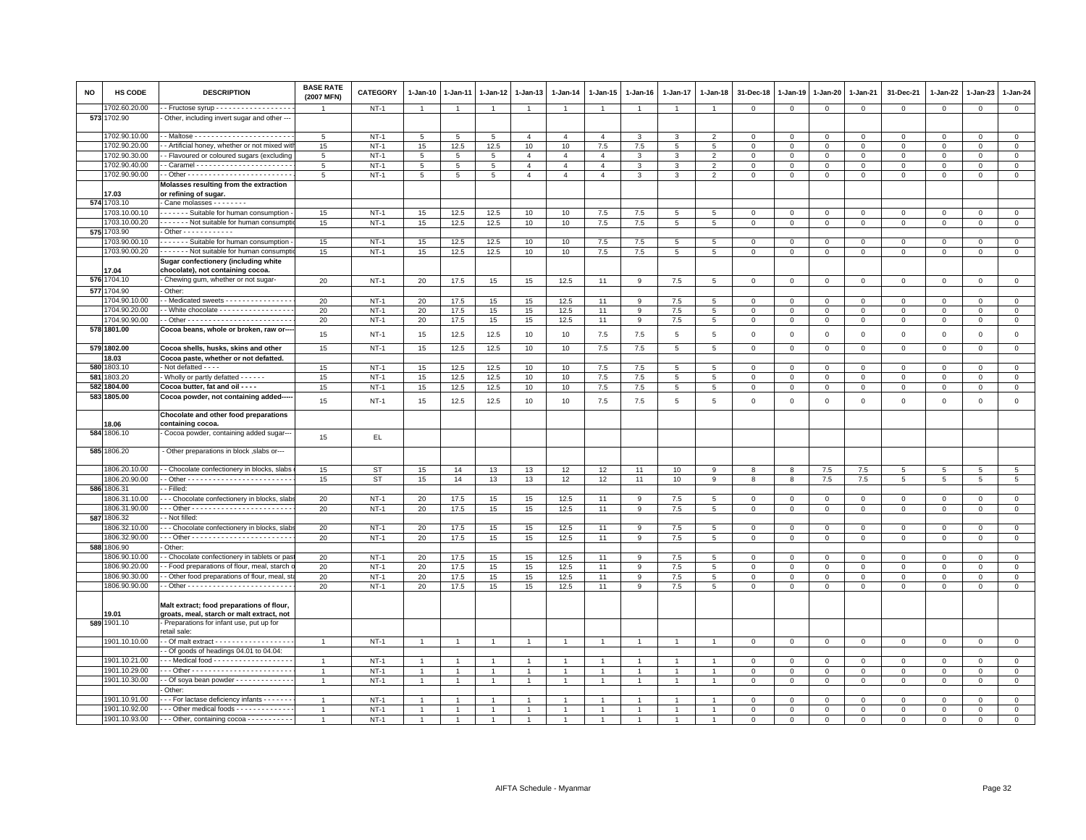| <b>NO</b> | HS CODE       | <b>DESCRIPTION</b>                                                                           | <b>BASE RATE</b><br>(2007 MFN) | CATEGORY    | $1-Jan-10$         | $1-Jan-11$     | 1-Jan-12       | 1-Jan-13       | $1-Jan-14$     | 1-Jan-15                       | $1-Jan-16$   | 1-Jan-17       | $1 - Jan-18$    | 31-Dec-18                  | $1 - Jan-19$           | 1-Jan-20          | 1-Jan-21     | 31-Dec-21    | 1-Jan-22     | 1-Jan-23     | $1-Jan-24$                 |
|-----------|---------------|----------------------------------------------------------------------------------------------|--------------------------------|-------------|--------------------|----------------|----------------|----------------|----------------|--------------------------------|--------------|----------------|-----------------|----------------------------|------------------------|-------------------|--------------|--------------|--------------|--------------|----------------------------|
|           | 1702.60.20.00 | Fructose syrup - - - - - - - - - - - - - - - - - -                                           |                                | $NT-1$      | $\overline{1}$     | $\overline{1}$ | $\overline{1}$ | $\overline{1}$ | $\overline{1}$ | $\overline{1}$                 |              | $\overline{1}$ | $\overline{1}$  | $\overline{0}$             | $\mathbf{0}$           | $\mathbf{0}$      | $\mathbf{0}$ | $\mathbf 0$  | $\mathbf{0}$ | $\mathbf{0}$ | $\mathbf 0$                |
|           | 573 1702.90   | Other, including invert sugar and other --                                                   |                                |             |                    |                |                |                |                |                                |              |                |                 |                            |                        |                   |              |              |              |              |                            |
|           | 1702.90.10.00 |                                                                                              | 5                              | $NT-1$      | 5                  | 5              | 5              | $\overline{4}$ | $\overline{4}$ | $\overline{4}$                 | 3            | 3              | $\overline{2}$  | $\mathbf 0$                | $\mathbf 0$            | $\mathsf 0$       | $\mathbf 0$  | $\mathbf 0$  | $^{\circ}$   | $\mathbf 0$  | $\mathbf 0$                |
|           | 1702.90.20.00 | - Artificial honey, whether or not mixed wit                                                 | 15                             | $NT-1$      | 15                 | 12.5           | 12.5           | 10             | 10             | $7.5\,$                        | 7.5          | 5              | 5               | $\mathbf 0$                | $\mathbf 0$            | $\mathbf 0$       | $\mathbf 0$  | $\mathbf 0$  | $\Omega$     | $\mathbf{0}$ | $\mathsf 0$                |
|           | 1702.90.30.00 | - Flavoured or coloured sugars (excluding                                                    | $5\phantom{.0}$                | $NT-1$      | $5\phantom{.0}$    | 5              | 5              | $\overline{4}$ | $\overline{4}$ | $\overline{4}$                 | 3            | 3              | $\overline{2}$  | $\mathsf 0$                | $\,0\,$                | $\mathbf 0$       | $\mathbf 0$  | $\mathsf 0$  | $\mathbf 0$  | $\mathbf 0$  | $\mathsf{O}\xspace$        |
|           | 1702.90.40.00 |                                                                                              | 5                              | $NT-1$      | 5                  | 5              | 5              | $\overline{4}$ | $\overline{4}$ | $\overline{4}$                 | $\mathbf{3}$ | 3              | $\overline{2}$  | $\mathbf 0$                | $\mathbf{0}$           | $\mathbf{O}$      | $\mathbf{0}$ | $\mathbf 0$  | $\Omega$     | $\mathbf{0}$ | $\mathbf{0}$               |
|           | 1702.90.90.00 |                                                                                              | 5                              | $NT-1$      | $5\overline{5}$    | 5              | 5              | $\overline{4}$ | $\overline{4}$ | $\overline{4}$                 | 3            | 3              | $\overline{2}$  | $\mathbf 0$                | $\mathbf{0}$           | $\mathsf 0$       | $\mathbf 0$  | $\mathbf 0$  | $\Omega$     | $\mathbf{0}$ | $\mathbf 0$                |
|           | 17.03         | Molasses resulting from the extraction                                                       |                                |             |                    |                |                |                |                |                                |              |                |                 |                            |                        |                   |              |              |              |              |                            |
|           | 574 1703.10   | or refining of sugar.<br>Cane molasses - - - - - - - -                                       |                                |             |                    |                |                |                |                |                                |              |                |                 |                            |                        |                   |              |              |              |              |                            |
|           | 703.10.00.10  | - - - - - - Suitable for human consumption                                                   | 15                             | $NT-1$      | 15                 | 12.5           | 12.5           | 10             | 10             | 7.5                            | 7.5          | 5              | 5               | $\mathbf 0$                | $\mathsf 0$            | $\mathbf{0}$      | $^{\circ}$   | $^{\circ}$   | $\mathbf{0}$ | $\Omega$     | $\mathbf 0$                |
|           | 1703.10.00.20 | Not suitable for human consumpt                                                              | 15                             | <b>NT-1</b> | 15                 | 12.5           | 12.5           | 10             | 10             | 7.5                            | 7.5          | 5              | $5\phantom{.0}$ | $\overline{0}$             | $\,0\,$                | $\overline{0}$    | $\mathbf 0$  | $\mathbf 0$  | $\mathbf 0$  | $\mathbf{0}$ | $\overline{0}$             |
|           | 575 1703.90   | $\cdot$ Other - - - - - - - - - - -                                                          |                                |             |                    |                |                |                |                |                                |              |                |                 |                            |                        |                   |              |              |              |              |                            |
|           | 1703.90.00.10 | - - - - - - Suitable for human consumption                                                   | 15                             | $NT-1$      | 15                 | 12.5           | 12.5           | 10             | 10             | 7.5                            | 7.5          | 5              | 5               | $\mathbf 0$                | $\mathbf 0$            | $^{\circ}$        | $\Omega$     | $\Omega$     | $\Omega$     | $\Omega$     | $\mathsf 0$                |
|           | 1703.90.00.20 | ------ Not suitable for human consumpti                                                      | 15                             | $NT-1$      | 15                 | 12.5           | 12.5           | 10             | 10             | 7.5                            | 7.5          | 5              | $5\phantom{.0}$ | $\mathbf 0$                | $\mathbf{0}$           | $\mathbf{0}$      | $\mathbf{O}$ | 0            | $\circ$      | $\mathbf 0$  | $\overline{0}$             |
|           |               | Sugar confectionery (including white                                                         |                                |             |                    |                |                |                |                |                                |              |                |                 |                            |                        |                   |              |              |              |              |                            |
|           | 17.04         | chocolate), not containing cocoa.                                                            |                                |             |                    |                |                |                |                |                                |              |                |                 |                            |                        |                   |              |              |              |              |                            |
|           | 576 1704.10   | Chewing gum, whether or not sugar-                                                           | 20                             | <b>NT-1</b> | 20                 | 17.5           | 15             | 15             | 12.5           | 11                             | 9            | 7.5            | 5               | $\mathbf 0$                | $\mathbf 0$            | $\mathbf 0$       | $\mathbf 0$  | $\mathbf 0$  | $\mathbf 0$  | $\mathbf 0$  | $\mathsf 0$                |
|           | 577 1704.90   | Other:                                                                                       |                                |             |                    |                |                |                |                |                                |              |                |                 |                            |                        |                   |              |              |              |              |                            |
|           | 1704.90.10.00 | - Medicated sweets - - - - - - - - - - - - - -                                               | 20                             | $NT-1$      | 20                 | 17.5           | 15             | 15             | 12.5           | 11                             | 9            | 7.5            | 5               | $\overline{0}$             | $\overline{0}$         | $\mathbf{0}$      | $\mathbf{0}$ | $\mathbf{0}$ | $\Omega$     | $\mathbf{0}$ | $\mathbf{0}$               |
|           | 1704.90.20.00 | - White chocolate - - - - - - - - - - - - - - - -                                            | 20                             | $NT-1$      | 20                 | 17.5           | 15             | 15             | 12.5           | 11                             | 9            | 7.5            | 5               | $\mathbf 0$                | $\mathbf{0}$           | $\mathbf{0}$      | $\mathsf 0$  | 0            | $^{\circ}$   | $\Omega$     | $\mathsf 0$                |
|           | 1704.90.90.00 |                                                                                              | 20                             | $NT-1$      | 20                 | 17.5           | 15             | 15             | 12.5           | 11                             | 9            | 7.5            | $5\phantom{.0}$ | $\,0\,$                    | $\mathbf 0$            | $\mathsf 0$       | $\mathbf 0$  | $\mathbf 0$  | $^{\circ}$   | $\mathbf 0$  | $\mathsf 0$                |
|           | 578 1801.00   | Cocoa beans, whole or broken, raw or---                                                      |                                |             |                    |                |                |                |                |                                |              |                |                 |                            |                        |                   |              |              |              |              |                            |
|           |               |                                                                                              | 15                             | $NT-1$      | 15                 | 12.5           | 12.5           | 10             | 10             | 7.5                            | 7.5          | 5              | 5               | $\mathbf 0$                | $\mathbf 0$            | $\mathbf 0$       | $\mathsf 0$  | $\mathbf 0$  | $\mathbf 0$  | $\mathbf 0$  | $\mathsf 0$                |
|           | 579 1802.00   | Cocoa shells, husks, skins and other                                                         | 15                             | $NT-1$      | 15                 | 12.5           | 12.5           | 10             | 10             | 7.5                            | 7.5          | 5              | 5               | $\mathsf 0$                | $\mathbf 0$            | $\mathbf 0$       | $\mathbf 0$  | $\mathbf 0$  | $\Omega$     | $\mathbf 0$  | $\mathsf 0$                |
|           | 18.03         | Cocoa paste, whether or not defatted.                                                        |                                |             |                    |                |                |                |                |                                |              |                |                 |                            |                        |                   |              |              |              |              |                            |
|           | 580 1803.10   | Not defatted - - - -                                                                         | 15                             | $NT-1$      | 15                 | 12.5           | 12.5           | 10             | 10             | 7.5                            | 7.5          | 5              | 5               | $\Omega$                   | $\Omega$               | $\Omega$          | $\mathbf{0}$ | $\mathbf 0$  | $\Omega$     | $\Omega$     | $\mathbf 0$                |
|           | 581 1803.20   | Wholly or partly defatted - - - - - -                                                        | 15                             | $NT-1$      | 15                 | 12.5           | 12.5           | 10             | 10             | 7.5                            | 7.5          | 5              | 5               | $\mathbf 0$                | 0                      | $\mathbf 0$       | $\mathbf 0$  | $\mathbf 0$  | $\circ$      | $\mathbf 0$  | $\mathbf 0$                |
|           | 582 1804.00   | Cocoa butter, fat and oil - - - -                                                            | 15                             | $NT-1$      | 15                 | 12.5           | 12.5           | 10             | 10             | $7.5\,$                        | 7.5          | 5              | 5               | $\mathbf 0$                | $\mathbf 0$            | $\mathsf 0$       | $\mathbf 0$  | $\mathbf 0$  | $\Omega$     | $\Omega$     | $\mathsf 0$                |
|           | 583 1805.00   | Cocoa powder, not containing added--                                                         | 15                             | $NT-1$      | 15                 | 12.5           | 12.5           | 10             | 10             | 7.5                            | 7.5          | 5              | 5               | $\mathbf 0$                | $\mathbf 0$            | $\mathbf 0$       | $\mathsf 0$  | $\mathbf 0$  | $^{\circ}$   | $\mathbf 0$  | $\mathsf 0$                |
|           |               |                                                                                              |                                |             |                    |                |                |                |                |                                |              |                |                 |                            |                        |                   |              |              |              |              |                            |
|           | 18.06         | Chocolate and other food preparations<br>containing cocoa.                                   |                                |             |                    |                |                |                |                |                                |              |                |                 |                            |                        |                   |              |              |              |              |                            |
|           | 584 1806.10   | · Cocoa powder, containing added sugar---                                                    | 15                             | EL.         |                    |                |                |                |                |                                |              |                |                 |                            |                        |                   |              |              |              |              |                            |
|           | 585 1806.20   | -Other preparations in block , slabs or---                                                   |                                |             |                    |                |                |                |                |                                |              |                |                 |                            |                        |                   |              |              |              |              |                            |
|           | 1806.20.10.00 | - Chocolate confectionery in blocks, slabs                                                   | 15                             | ST          | 15                 | 14             | 13             | 13             | 12             | 12                             | 11           | 10             | 9               | 8                          | 8                      | 7.5               | 7.5          | 5            | 5            | 5            | 5                          |
|           | 1806.20.90.00 |                                                                                              | 15                             | <b>ST</b>   | 15                 | 14             | 13             | 13             | 12             | 12                             | 11           | 10             | 9               | 8                          | 8                      | 7.5               | 7.5          | 5            | 5            | 5            | 5                          |
|           | 586 1806.31   | - Filled:                                                                                    |                                |             |                    |                |                |                |                |                                |              |                |                 |                            |                        |                   |              |              |              |              |                            |
|           | 1806.31.10.00 | - - Chocolate confectionery in blocks, slab                                                  | 20                             | $NT-1$      | 20                 | 17.5           | 15             | 15             | 12.5           | 11                             | 9            | 7.5            | 5               | $\mathbf 0$                | $\mathbf 0$            | $\mathbf{0}$      | $\mathbf{0}$ | $\mathbf 0$  | $\mathbf 0$  | $\mathbf 0$  | $\mathbf{0}$               |
|           | 1806.31.90.00 |                                                                                              | 20                             | $NT-1$      | 20                 | 17.5           | 15             | 15             | 12.5           | 11                             | 9            | 7.5            | $\,$ 5          | $\mathbf 0$                | $\mathbf 0$            | $\mathsf 0$       | $\mathsf 0$  | $\mathsf 0$  | $\mathbf 0$  | $\Omega$     | $\overline{0}$             |
|           | 587 1806.32   | - Not filled:                                                                                |                                |             |                    |                |                |                |                |                                |              |                |                 |                            |                        |                   |              |              |              |              |                            |
|           | 1806.32.10.00 | - - Chocolate confectionery in blocks, slabs                                                 | 20                             | $NT-1$      | 20                 | 17.5           | 15             | 15             | 12.5           | 11                             | 9            | 7.5            | 5               | $\Omega$                   | $^{\circ}$             | 0                 | $\Omega$     | 0            | $\Omega$     | $\Omega$     | $\mathbf 0$                |
|           | 1806.32.90.00 |                                                                                              | 20                             | $NT-1$      | 20                 | 17.5           | 15             | 15             | 12.5           | 11                             | 9            | 7.5            | 5               | $\mathbf 0$                | $\overline{0}$         | $\mathbf 0$       | $\mathbf{0}$ | $\mathbf 0$  | $\Omega$     | $\Omega$     | $\mathbf 0$                |
|           | 588 1806.90   | Other:                                                                                       |                                |             |                    |                |                |                |                |                                |              |                |                 |                            |                        |                   |              |              |              |              |                            |
|           | 1806.90.10.00 | - Chocolate confectionery in tablets or pas                                                  | 20                             | $NT-1$      | 20                 | 17.5           | 15             | 15             | 12.5           | 11                             | 9            | 7.5            | 5               | $\mathbf 0$                | $\mathbf 0$            | $\mathbf 0$       | $\Omega$     | $\circ$      | $\Omega$     | $\Omega$     | $\mathbf 0$                |
|           | 1806.90.20.00 | - Food preparations of flour, meal, starch                                                   | 20                             | $NT-1$      | 20                 | 17.5           | 15             | 15             | 12.5           | 11                             | 9            | 7.5            | 5               | $\mathsf 0$                | $\mathsf 0$            | $\mathbf{O}$      | $\mathbf 0$  | $\mathbf 0$  | $\mathbf 0$  | $\mathbf 0$  | $\mathsf 0$                |
|           | 1806.90.30.00 | - Other food preparations of flour, meal, st                                                 | 20                             | $NT-1$      | 20                 | 17.5           | 15             | 15             | 12.5           | 11                             | 9            | 7.5            | 5               | $\mathbf 0$                | $\mathbf 0$            | $\mathsf 0$       | $\mathbf 0$  | $\mathbf 0$  | $\mathbf 0$  | $\mathbf 0$  | $\mathsf 0$                |
|           | 1806.90.90.00 |                                                                                              | 20                             | $NT-1$      | 20                 | 17.5           | 15             | 15             | 12.5           | 11                             | 9            | 7.5            | $\,$ 5          | $\mathbf 0$                | $\mathbf 0$            | $\mathbf 0$       | $\Omega$     | $\mathsf 0$  | $\Omega$     | $\Omega$     | $\mathsf 0$                |
|           |               | Malt extract; food preparations of flour,                                                    |                                |             |                    |                |                |                |                |                                |              |                |                 |                            |                        |                   |              |              |              |              |                            |
|           | 9.01          | groats, meal, starch or malt extract, not                                                    |                                |             |                    |                |                |                |                |                                |              |                |                 |                            |                        |                   |              |              |              |              |                            |
|           | 589 1901.10   | Preparations for infant use, put up for                                                      |                                |             |                    |                |                |                |                |                                |              |                |                 |                            |                        |                   |              |              |              |              |                            |
|           | 1901.10.10.00 | retail sale:<br>- Of malt extract - - - - - - - - - - - - - - - - -                          | $\overline{1}$                 | $NT-1$      | $\overline{1}$     |                | $\overline{1}$ |                |                | $\overline{1}$                 |              |                |                 | $\Omega$                   | $\Omega$               | $\mathbf 0$       | $\Omega$     | $\Omega$     | $\Omega$     | $\Omega$     | $\mathbf 0$                |
|           |               |                                                                                              |                                |             |                    |                |                |                |                |                                |              |                |                 |                            |                        |                   |              |              |              |              |                            |
|           | 1901.10.21.00 | Of goods of headings 04.01 to 04.04:<br>- - Medical food - - - - - - - - - - - - - - - - - - | $\overline{1}$                 | $NT-1$      |                    | $\overline{1}$ | $\mathbf{1}$   | $\overline{1}$ |                |                                |              | 1              | $\mathbf{1}$    |                            |                        |                   | $\mathbf{0}$ | $\Omega$     | $\Omega$     | $\Omega$     |                            |
|           | 1901.10.29.00 |                                                                                              | $\mathbf{1}$                   | $NT-1$      | $\mathbf{1}$<br>-1 |                | $\mathbf{1}$   | $\overline{1}$ |                | $\overline{1}$<br>$\mathbf{1}$ |              |                | $\overline{1}$  | $\mathbf 0$<br>$\mathbf 0$ | $\,0\,$<br>$\mathsf 0$ | 0<br>$\mathbf{O}$ | $\mathbf{0}$ | $\mathbf 0$  | $\mathbf 0$  | $\mathbf 0$  | $\mathbf 0$<br>$\mathsf 0$ |
|           | 1901.10.30.00 | - Of soya bean powder - - - - - - - - - - - -                                                |                                | $NT-1$      | $\overline{1}$     |                |                |                |                | $\ddot{\phantom{1}}$           |              |                |                 | $\mathbf 0$                | $\mathbf 0$            | $\mathbf 0$       | $\mathbf 0$  | $\Omega$     | $\Omega$     | $\Omega$     | $\mathsf 0$                |
|           |               | . Other                                                                                      |                                |             |                    |                |                |                |                |                                |              |                |                 |                            |                        |                   |              |              |              |              |                            |
|           | 1901.10.91.00 | - - For lactase deficiency infants - - - - - -                                               | $\mathbf{1}$                   | $NT-1$      |                    |                | $\mathbf{1}$   | -1             |                |                                |              |                |                 | $\mathbf 0$                | $\mathsf 0$            | $\mathbf 0$       | $\mathbf 0$  | $\Omega$     | $\Omega$     | $\Omega$     | $\mathsf 0$                |
|           | 1901.10.92.00 | Other medical foods - - - - - - - - - - - - -                                                | $\overline{1}$                 | $NT-1$      |                    |                |                |                |                |                                |              |                |                 | $\Omega$                   | $\Omega$               | $\Omega$          | $\Omega$     | $\Omega$     | $\Omega$     | $\Omega$     | $\mathbf 0$                |
|           | 1901.10.93.00 | --- Other, containing cocoa -----------                                                      | $\overline{1}$                 | $NT-1$      | $\overline{1}$     |                |                |                |                |                                |              |                |                 | $\Omega$                   | $\Omega$               | $\Omega$          | $\Omega$     | $\Omega$     | $\Omega$     | $\Omega$     | $\Omega$                   |
|           |               |                                                                                              |                                |             |                    |                |                |                |                |                                |              |                |                 |                            |                        |                   |              |              |              |              |                            |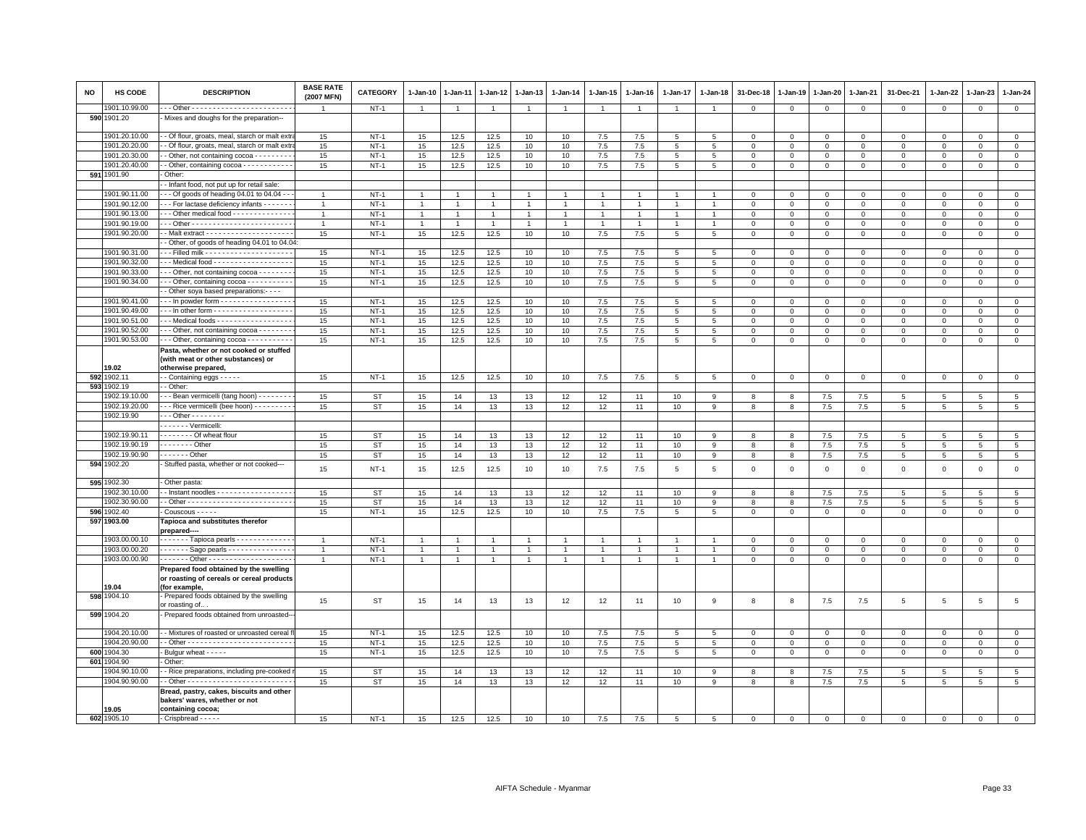| <b>NO</b> | HS CODE                      | <b>DESCRIPTION</b>                                                                                   | <b>BASE RATE</b><br>(2007 MFN) | CATEGORY  | $1-Jan-10$     | $1 - Jan-11$   | $1 - Jan-12$   | 1-Jan-13       | $1 - Jan-14$   | 1-Jan-15       | $1-Jan-16$     | $1 - Jan-17$    | $1 - Jan-18$   | 31-Dec-18      | $1 - Jan-19$   | $1-Jan-20$     | 1-Jan-21       | 31-Dec-21      | 1-Jan-22     | 1-Jan-23        | $1-Jan-24$      |
|-----------|------------------------------|------------------------------------------------------------------------------------------------------|--------------------------------|-----------|----------------|----------------|----------------|----------------|----------------|----------------|----------------|-----------------|----------------|----------------|----------------|----------------|----------------|----------------|--------------|-----------------|-----------------|
|           | 1901.10.99.00                |                                                                                                      |                                | $NT-1$    | $\overline{1}$ | $\overline{1}$ | $\overline{1}$ | $\overline{1}$ |                | $\overline{1}$ |                | $\mathbf{1}$    | $\overline{1}$ | $\mathbf 0$    | $\mathbf{0}$   | $\mathbf 0$    | $\mathbf 0$    | $\mathbf 0$    | $\circ$      | $\mathbf 0$     | $\mathbf 0$     |
|           | 590 1901.20                  | Mixes and doughs for the preparation--                                                               |                                |           |                |                |                |                |                |                |                |                 |                |                |                |                |                |                |              |                 |                 |
|           | 1901.20.10.00                | - Of flour, groats, meal, starch or malt ext                                                         | 15                             | $NT-1$    | 15             | 12.5           | 12.5           | 10             | 10             | 7.5            | 7.5            | 5               | 5              | $^{\circ}$     | $\mathbf 0$    | $\mathbf 0$    | $\mathbf 0$    | $\mathbf 0$    | $^{\circ}$   | $\mathbf 0$     | $\mathbf 0$     |
|           | 1901.20.20.00                | - Of flour, groats, meal, starch or malt ext                                                         | 15                             | $NT-1$    | 15             | 12.5           | 12.5           | 10             | 10             | 7.5            | 7.5            | 5               | 5              | $\mathbf 0$    | $\mathbf 0$    | $\mathbf{0}$   | $\mathbf{0}$   | $\mathbf 0$    | $\Omega$     | $\Omega$        | $\mathsf 0$     |
|           | 1901.20.30.00                | - Other, not containing cocoa - - - - - - - - -                                                      | 15                             | $NT-1$    | 15             | 12.5           | 12.5           | 10             | 10             | 7.5            | 7.5            | 5               | 5              | $\mathbf 0$    | $\mathbf{0}$   | $\mathbf{O}$   | $\mathbf 0$    | $\mathbf 0$    | $^{\circ}$   | $\mathbf{0}$    | $\mathsf 0$     |
|           | 1901.20.40.00<br>591 1901.90 | - Other, containing cocoa - - - - - - - - - - -<br>Other:                                            | 15                             | $NT-1$    | 15             | 12.5           | 12.5           | 10             | 10             | 7.5            | 7.5            | $5\overline{5}$ | 5              | $\overline{0}$ | $\mathbf{0}$   | $\overline{0}$ | $\mathbf{0}$   | $\mathbf 0$    | $\circ$      | $\mathbf 0$     | $\overline{0}$  |
|           |                              | - Infant food, not put up for retail sale:                                                           |                                |           |                |                |                |                |                |                |                |                 |                |                |                |                |                |                |              |                 |                 |
|           | 1901.90.11.00                | - - Of goods of heading 04.01 to 04.04 -                                                             |                                | $NT-1$    | $\overline{1}$ |                | $\overline{1}$ | $\overline{1}$ |                | $\mathbf{1}$   |                |                 |                | $\Omega$       | $\Omega$       | $\Omega$       | $\Omega$       | $\mathbf 0$    | $\Omega$     | $\Omega$        | $\mathbf{0}$    |
|           | 1901.90.12.00                | - - For lactase deficiency infants - - - - - -                                                       | $\mathbf{1}$                   | $NT-1$    | $\mathbf{1}$   | $\mathbf{1}$   | $\overline{1}$ | $\overline{1}$ | $\overline{1}$ | $\mathbf{1}$   |                | 1               | $\mathbf{1}$   | $\overline{0}$ | $\mathbf{0}$   | $\mathbf{0}$   | $\mathbf{0}$   | $\mathbf 0$    | $\circ$      | $\mathbf 0$     | $\mathbf 0$     |
|           | 1901.90.13.00                | - - Other medical food - - - - - - - - - - - - -                                                     | $\mathbf{1}$                   | $NT-1$    | $\mathbf{1}$   | $\overline{1}$ | $\overline{1}$ | $\overline{1}$ | $\overline{1}$ | $\mathbf{1}$   | $\overline{1}$ | $\mathbf{1}$    | $\overline{1}$ | $\mathbf 0$    | $\mathbf 0$    | $\mathbf{0}$   | $\mathbf{0}$   | 0              | $\circ$      | $\mathbf 0$     | $\mathbf 0$     |
|           | 1901.90.19.00                |                                                                                                      | $\overline{1}$                 | $NT-1$    | $\overline{1}$ |                |                | $\overline{1}$ |                | $\overline{1}$ |                |                 |                | $\mathbf 0$    | $\mathbf 0$    | $\Omega$       | $\mathbf 0$    | $\Omega$       | $\Omega$     | $\Omega$        | $\overline{0}$  |
|           | 1901.90.20.00                |                                                                                                      | 15                             | $NT-1$    | 15             | 12.5           | 12.5           | 10             | 10             | 7.5            | 7.5            | 5               | 5              | $\mathbf 0$    | $\mathbf 0$    | $\mathsf 0$    | $\mathbf 0$    | $\mathbf 0$    | $\mathbf 0$  | $\mathbf 0$     | $\mathsf 0$     |
|           |                              | - Other, of goods of heading 04.01 to 04.04:                                                         |                                |           |                |                |                |                |                |                |                |                 |                |                |                |                |                |                |              |                 |                 |
|           | 1901.90.31.00                |                                                                                                      | 15                             | $NT-1$    | 15             | 12.5           | 12.5           | 10             | 10             | 7.5            | 7.5            | 5               | 5              | $\Omega$       | $\Omega$       | $\overline{0}$ | $\mathbf 0$    | $\mathbf{0}$   | $\Omega$     | $\mathbf{0}$    | $\mathbf 0$     |
|           | 1901.90.32.00                | - - Medical food - - - - - - - - - - - - - - - - - -                                                 | 15                             | $NT-1$    | 15             | 12.5           | 12.5           | 10             | 10             | $7.5\,$        | 7.5            | 5               | 5              | $\mathbf 0$    | $\mathbf 0$    | $^{\circ}$     | $^{\circ}$     | 0              | $^{\circ}$   | $\mathbf 0$     | $\mathsf 0$     |
|           | 1901.90.33.00                | - - Other, not containing cocoa - - - - - - -                                                        | 15                             | $NT-1$    | 15             | 12.5           | 12.5           | 10             | 10             | 7.5            | 7.5            | 5               | 5              | $\mathbf 0$    | $\mathsf 0$    | 0              | $\circ$        | $\circ$        | $\Omega$     | $\circ$         | $\mathsf 0$     |
|           | 1901.90.34.00                | - - Other, containing cocoa - - - - - - - - - -                                                      | 15                             | $NT-1$    | 15             | 12.5           | 12.5           | 10             | 10             | 7.5            | 7.5            | 5               | 5              | $\mathbf 0$    | $\mathbf{0}$   | $\mathbf{0}$   | $\mathbf{0}$   | $\mathbf 0$    | $\mathbf 0$  | $\mathbf 0$     | $\mathbf{0}$    |
|           |                              | - Other soya based preparations:- - - -                                                              |                                |           |                |                |                |                |                |                |                |                 |                |                |                |                |                |                |              |                 |                 |
|           | 1901.90.41.00                | - - In powder form - - - - - - - - - - - - - - - -                                                   | 15                             | $NT-1$    | 15             | 12.5           | 12.5           | 10             | 10             | 7.5            | 7.5            | $\overline{5}$  | 5              | $\mathbf 0$    | $\mathbf 0$    | $\overline{0}$ | $\mathbf 0$    | $\Omega$       | $\Omega$     | $\mathbf{0}$    | $\mathsf 0$     |
|           | 1901.90.49.00                | - - In other form - - - - - - - - - - - - - - - - - -                                                | 15                             | $NT-1$    | 15             | 12.5           | 12.5           | 10             | 10             | 7.5            | 7.5            | 5               | 5              | $\Omega$       | $\Omega$       | $\mathbf 0$    | $\mathbf 0$    | $\mathbf 0$    | $\Omega$     | $\mathbf{0}$    | $\mathbf 0$     |
|           | 1901.90.51.00                | - - Medical foods - - - - - - - - - - - - - - - - -                                                  | 15                             | $NT-1$    | 15             | 12.5           | 12.5           | 10             | 10             | 7.5            | 7.5            | 5               | 5              | $\mathbf 0$    | $\mathbf 0$    | $\mathbf 0$    | $\mathbf 0$    | 0              | $^{\circ}$   | $\mathbf 0$     | $\mathbf 0$     |
|           | 1901.90.52.00                | - - Other, not containing cocoa - - - - - - - -                                                      | 15                             | $NT-1$    | 15             | 12.5           | 12.5           | 10             | 10             | $7.5\,$        | 7.5            | 5               | 5              | $\mathbf 0$    | $\mathbf 0$    | $\mathsf 0$    | $\overline{0}$ | $\Omega$       | $\Omega$     | $\Omega$        | $\mathsf 0$     |
|           | 1901.90.53.00                | - - Other, containing cocoa - - - - - - - - - -                                                      | 15                             | $NT-1$    | 15             | 12.5           | 12.5           | 10             | 10             | 7.5            | 7.5            | $\overline{5}$  | 5              | $\,0\,$        | $\,0\,$        | $\mathsf 0$    | $\mathbf 0$    | $\mathsf 0$    | $\mathbf 0$  | $\mathbf 0$     | $\mathsf 0$     |
|           |                              | Pasta, whether or not cooked or stuffed<br>(with meat or other substances) or                        |                                |           |                |                |                |                |                |                |                |                 |                |                |                |                |                |                |              |                 |                 |
|           | 19.02                        | otherwise prepared,                                                                                  |                                |           |                |                |                |                |                |                |                |                 |                |                |                |                |                |                |              |                 |                 |
|           | 592 1902.11                  | - Containing eggs - - - - -                                                                          | 15                             | $NT-1$    | 15             | 12.5           | 12.5           | 10             | 10             | 7.5            | 7.5            | 5               | 5              | $\mathbf{0}$   | $\mathsf 0$    | $\circ$        | $\mathbf 0$    | $\mathsf 0$    | $\mathsf 0$  | $\mathsf 0$     | $\mathbf{0}$    |
| 593       | 1902.19                      | - Other:                                                                                             |                                |           |                |                |                |                |                |                |                |                 |                |                |                |                |                |                |              |                 |                 |
|           | 902.19.10.00                 | - - Bean vermicelli (tang hoon) - - - - - - -                                                        | 15                             | <b>ST</b> | 15             | 14             | 13             | 13             | 12             | 12             | 11             | 10              | 9              | 8              | 8              | 7.5            | 7.5            | 5              | 5            | $\overline{5}$  | 5               |
|           | 1902.19.20.00                | - - - Rice vermicelli (bee hoon) - - - - - - - - -                                                   | 15                             | ST        | 15             | 14             | 13             | 13             | 12             | 12             | 11             | 10              | 9              | 8              | 8              | 7.5            | 7.5            | 5              | 5            | 5               | $5\overline{5}$ |
|           | 1902.19.90                   | $-$ - Other - - - - - - - -<br>- - - - - - Vermicelli:                                               |                                |           |                |                |                |                |                |                |                |                 |                |                |                |                |                |                |              |                 |                 |
|           | 1902.19.90.11                | ------- Of wheat flour                                                                               | 15                             | <b>ST</b> | 15             | 14             | 13             | 13             | 12             | 12             | 11             | 10              | 9              | 8              | 8              | 7.5            | $7.5\,$        | 5              | 5            | 5               | $\overline{5}$  |
|           | 1902.19.90.19                | $\cdots$ $\cdots$ Other                                                                              | 15                             | <b>ST</b> | 15             | 14             | 13             | 13             | 12             | 12             | 11             | 10              | 9              | 8              | 8              | 7.5            | $7.5\,$        | $\overline{5}$ | 5            | $5\phantom{.0}$ | $\overline{5}$  |
|           | 1902.19.90.90                | $\cdots$ $\cdots$ Other                                                                              | 15                             | <b>ST</b> | 15             | 14             | 13             | 13             | 12             | 12             | 11             | 10              | 9              | 8              | 8              | 7.5            | 7.5            | 5              | 5            | 5               | 5               |
|           | 594 1902.20                  | - Stuffed pasta, whether or not cooked--                                                             | 15                             | $NT-1$    | 15             | 12.5           | 12.5           | 10             | 10             | 7.5            | 7.5            | 5               | 5              | $\mathbf 0$    | $\mathbf 0$    | $\mathbf 0$    | $\mathbf 0$    | $\mathbf 0$    | $\mathbf 0$  | $\mathsf 0$     | $\mathsf 0$     |
|           | 595 1902.30                  | Other pasta:                                                                                         |                                |           |                |                |                |                |                |                |                |                 |                |                |                |                |                |                |              |                 |                 |
|           | 1902.30.10.00                | - Instant noodles - - - - - - - - - - - - - - - - -                                                  | 15                             | ST        | 15             | 14             | 13             | 13             | 12             | 12             | 11             | 10              | 9              | 8              | 8              | 7.5            | 7.5            | 5              | -5           | 5               | 5               |
|           | 1902.30.90.00                |                                                                                                      | 15                             | <b>ST</b> | 15             | 14             | 13             | 13             | 12             | 12             | 11             | 10              | 9              | 8              | 8              | 7.5            | 7.5            | 5              | 5            | 5               | 5               |
| 596       | 1902.40                      | Couscous - - - - -                                                                                   | 15                             | $NT-1$    | 15             | 12.5           | 12.5           | 10             | 10             | $7.5\,$        | 7.5            | 5               | 5              | $\mathbf 0$    | $\mathbf{0}$   | $\mathbf 0$    | $\mathbf 0$    | $\mathbf 0$    | $\circ$      | $\mathbf 0$     | $\mathsf 0$     |
|           | 597 1903.00                  | Tapioca and substitutes therefor<br>prepared----                                                     |                                |           |                |                |                |                |                |                |                |                 |                |                |                |                |                |                |              |                 |                 |
|           | 1903.00.00.10                | Tapioca pearls                                                                                       | $\mathbf{1}$                   | $NT-1$    | $\overline{1}$ | $\overline{1}$ | $\overline{1}$ | $\overline{1}$ | $\overline{1}$ | $\overline{1}$ |                |                 | $\overline{1}$ | $\mathbf{0}$   | 0              | $\mathbf 0$    | $\mathbf 0$    | $\mathbf 0$    | $\circ$      | $\mathbf 0$     | $\mathbf{0}$    |
|           | 1903.00.00.20                | Sago pearls - - - - - - - - - - - - - -                                                              | $\mathbf{1}$                   | $NT-1$    | $\overline{1}$ | $\overline{1}$ | $\mathbf{1}$   | $\overline{1}$ | $\overline{1}$ | $\mathbf{1}$   | $\overline{1}$ | $\overline{1}$  | $\overline{1}$ | $\mathbf 0$    | $\overline{0}$ | $\mathbf{0}$   | $\mathbf{0}$   | $\mathbf 0$    | $\mathbf{0}$ | $\mathbf{0}$    | $\mathsf 0$     |
|           | 1903.00.00.90                | ------ Other ---------------------                                                                   | $\mathbf{1}$                   | $NT-1$    | $\overline{1}$ | $\mathbf{1}$   | $\mathbf{1}$   | $\overline{1}$ | $\overline{1}$ | $\mathbf{1}$   | $\overline{1}$ | $\mathbf{1}$    | $\overline{1}$ | $\mathbf 0$    | $\mathbf{0}$   | $\mathsf 0$    | $\mathbf 0$    | 0              | $\circ$      | $\mathbf 0$     | $\overline{0}$  |
|           | 19.04                        | Prepared food obtained by the swelling<br>or roasting of cereals or cereal products<br>(for example, |                                |           |                |                |                |                |                |                |                |                 |                |                |                |                |                |                |              |                 |                 |
|           | 598 1904.10                  | Prepared foods obtained by the swelling<br>or roasting of                                            | 15                             | ST        | 15             | 14             | 13             | 13             | 12             | 12             | 11             | 10              | 9              | 8              | 8              | 7.5            | 7.5            | 5              | 5            | 5               | $\,$ 5 $\,$     |
|           | 599 1904.20                  | Prepared foods obtained from unroasted-                                                              |                                |           |                |                |                |                |                |                |                |                 |                |                |                |                |                |                |              |                 |                 |
|           | 1904.20.10.00                | - Mixtures of roasted or unroasted cereal                                                            | 15                             | $NT-1$    | 15             | 12.5           | 12.5           | 10             | 10             | 7.5            | 7.5            | 5               | 5              | $^{\circ}$     | $^{\circ}$     | 0              | $\mathbf 0$    | 0              | $^{\circ}$   | $\mathbf 0$     | $\mathbf 0$     |
|           | 1904.20.90.00                |                                                                                                      | 15                             | $NT-1$    | 15             | 12.5           | 12.5           | 10             | 10             | $7.5\,$        | 7.5            | $5\phantom{.0}$ | $\,$ 5 $\,$    | $\mathbf{0}$   | $\overline{0}$ | $\overline{0}$ | $\mathbf{0}$   | $\mathbf 0$    | $\circ$      | $\mathsf 0$     | $\overline{0}$  |
|           | 600 1904.30                  | Bulgur wheat - - - - -                                                                               | 15                             | $NT-1$    | 15             | 12.5           | 12.5           | 10             | 10             | 7.5            | 7.5            | $5\overline{5}$ | 5              | $\mathbf{0}$   | $\mathbf{0}$   | $\circ$        | $\mathbf 0$    | $\mathbf 0$    | $\mathbf 0$  | $\mathbf 0$     | $\circ$         |
| 601       | 1904.90                      | Other:                                                                                               |                                |           |                |                |                |                |                |                |                |                 |                |                |                |                |                |                |              |                 |                 |
|           | 1904.90.10.00                | - Rice preparations, including pre-cooked                                                            | 15                             | <b>ST</b> | 15             | 14             | 13             | 13             | 12             | 12             | 11             | 10              | 9              | 8              | 8              | 7.5            | 7.5            | 5              | 5            | 5               | 5               |
|           | 1904.90.90.00                | Bread, pastry, cakes, biscuits and other                                                             | 15                             | ST        | 15             | 14             | 13             | 13             | 12             | 12             | 11             | 10              | 9              | 8              | 8              | 7.5            | 7.5            | 5              | 5            | 5               | 5               |
|           | 19.05                        | bakers' wares, whether or not<br>containing cocoa;                                                   |                                |           |                |                |                |                |                |                |                |                 |                |                |                |                |                |                |              |                 |                 |
|           | 602 1905.10                  | Crispbread - - - - -                                                                                 | 15                             | $NT-1$    | 15             | 12.5           | 12.5           | 10             | 10             | 7.5            | 7.5            | 5               | $\overline{5}$ | $\Omega$       | $\Omega$       | $\mathbf 0$    | $\Omega$       | $\Omega$       | $\Omega$     | $\mathbf 0$     | $\mathbf 0$     |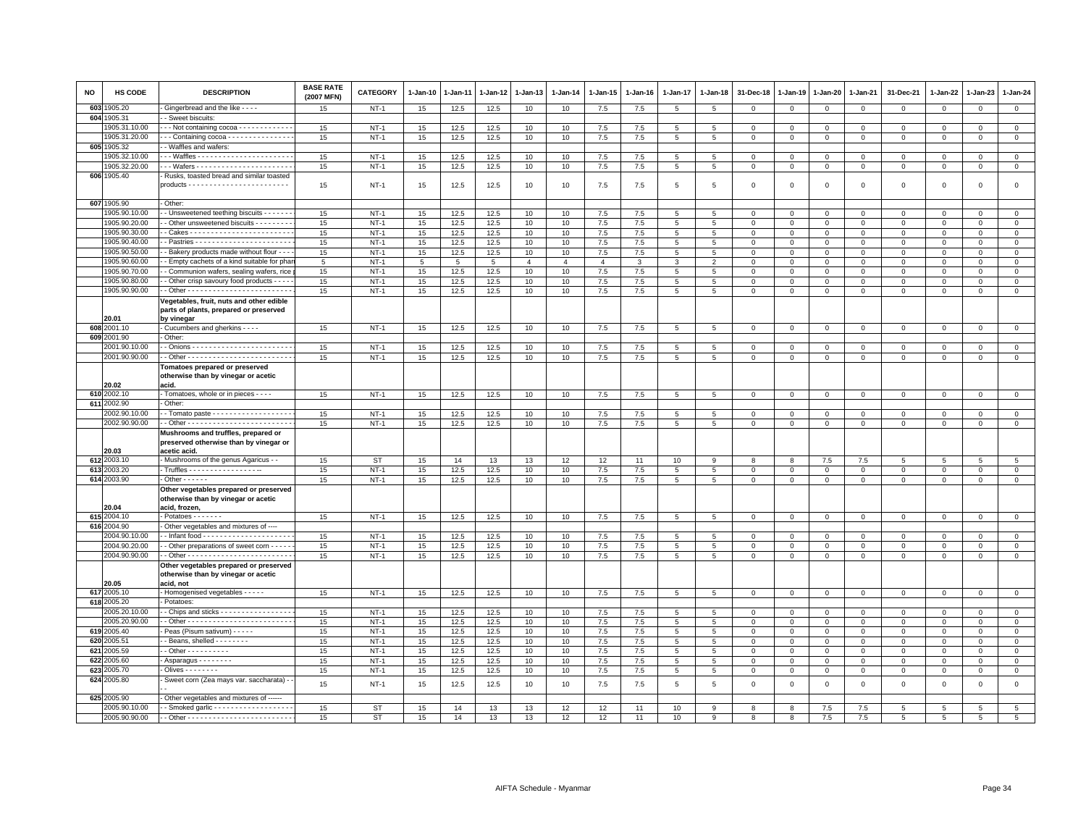| <b>NO</b> | HS CODE                        | <b>DESCRIPTION</b>                                                                       | <b>BASE RATE</b><br>(2007 MFN) | <b>CATEGORY</b> | 1-Jan-10 | 1-Jan-11        | 1-Jan-12        | 1-Jan-13       | 1-Jan-14       | 1-Jan-15       | 1-Jan-16 | 1-Jan-17        | 1-Jan-18        | 31-Dec-18      | $1 - Jan-19$   | 1-Jan-20     | 1-Jan-21     | 31-Dec-21   | $1 - Jan-22$   | 1-Jan-23     | $1 - Jan-24$                |
|-----------|--------------------------------|------------------------------------------------------------------------------------------|--------------------------------|-----------------|----------|-----------------|-----------------|----------------|----------------|----------------|----------|-----------------|-----------------|----------------|----------------|--------------|--------------|-------------|----------------|--------------|-----------------------------|
| 603       | 905.20                         | Gingerbread and the like - - - -                                                         | 15                             | $NT-1$          | 15       | 12.5            | 12.5            | 10             | 10             | 7.5            | 7.5      | 5               | 5               | $\mathbf 0$    | $\mathbf 0$    | $\mathbf 0$  | $\mathbf 0$  | 0           | 0              | 0            | $\mathbf 0$                 |
| 604       | 905.31                         | - Sweet biscuits:                                                                        |                                |                 |          |                 |                 |                |                |                |          |                 |                 |                |                |              |              |             |                |              |                             |
|           | 905.31.10.00                   | $\cdot$ - Not containing cocoa $\cdot$ - $\cdot$ - $\cdot$ - $\cdot$ - $\cdot$ - $\cdot$ | 15                             | $NT-1$          | 15       | 12.5            | 12.5            | 10             | 10             | 7.5            | 7.5      | 5               | 5               | $^{\circ}$     | $^{\circ}$     | $\mathbf 0$  | $\mathbf 0$  | 0           | $\Omega$       | $\Omega$     | $\mathbf 0$                 |
|           | 905.31.20.00                   | $\cdots$ Containing cocoa - - - - - - - - - - - - - - -                                  | 15                             | $NT-1$          | 15       | 12.5            | 12.5            | 10             | 10             | 7.5            | 7.5      | $\overline{5}$  | 5               | $\mathbf 0$    | $\mathbf{0}$   | $\mathsf 0$  | $\mathbf 0$  | $\mathsf 0$ | $\Omega$       | $\Omega$     | $\overline{0}$              |
|           | 605 1905.32                    | - Waffles and wafers:                                                                    |                                |                 |          |                 |                 |                |                |                |          |                 |                 |                |                |              |              |             |                |              |                             |
|           | 905.32.10.00                   |                                                                                          | 15                             | $NT-1$          | 15       | 12.5            | 12.5            | 10             | 10             | $7.5\,$        | 7.5      | 5               | 5               | $\mathbf 0$    | $\mathsf 0$    | $\mathbf 0$  | $\mathbf 0$  | $\mathsf 0$ | $^{\circ}$     | $\mathsf 0$  | $\mathsf 0$                 |
|           | 905.32.20.00<br>606 1905.40    |                                                                                          | 15                             | $NT-1$          | 15       | 12.5            | 12.5            | 10             | 10             | 7.5            | 7.5      | 5               | 5               | $\mathbf 0$    | $\mathbf{0}$   | $\mathbf 0$  | $\mathbf 0$  | $\mathsf 0$ | 0              | $\Omega$     | $\mathbf 0$                 |
|           |                                | Rusks, toasted bread and similar toasted                                                 | 15                             | $NT-1$          | 15       | 12.5            | 12.5            | 10             | 10             | $7.5\,$        | 7.5      | 5               | 5               | $\mathbf 0$    | $\circ$        | $\,0\,$      | $\mathsf 0$  | 0           | 0              | 0            | $\mathsf 0$                 |
|           |                                |                                                                                          |                                |                 |          |                 |                 |                |                |                |          |                 |                 |                |                |              |              |             |                |              |                             |
|           | 607 1905.90                    | Other:                                                                                   |                                |                 |          |                 |                 |                |                |                |          |                 |                 |                |                |              |              |             |                |              |                             |
|           | 905.90.10.00                   | - Unsweetened teething biscuits - - - - -                                                | 15                             | $NT-1$          | 15       | 12.5            | 12.5            | 10             | 10             | 7.5            | 7.5      | 5               | 5               | 0              | $\mathbf 0$    | $\mathbf 0$  | 0            | 0           | $\Omega$       | 0            | $\mathbf{0}$                |
|           | 1905.90.20.00                  | - Other unsweetened biscuits - - - - - - - -                                             | 15                             | $NT-1$          | 15       | 12.5            | 12.5            | 10             | 10             | 7.5            | 7.5      | 5               | 5               | $\mathbf{0}$   | $\Omega$       | $\mathbf{0}$ | $\mathbf{0}$ | $\mathbf 0$ | $\mathbf 0$    | $\mathbf 0$  | $\circ$                     |
|           | 1905.90.30.00                  |                                                                                          | 15                             | $NT-1$          | 15       | 12.5            | 12.5            | 10             | 10             | 7.5            | 7.5      | 5               | 5               | $^{\circ}$     | $^{\circ}$     | $\mathbf 0$  | $\mathbf 0$  | 0           | $\mathbf 0$    | 0            | $\mathbf 0$                 |
|           | 1905.90.40.00                  |                                                                                          | 15                             | $NT-1$          | 15       | 12.5            | 12.5            | 10             | 10             | 7.5            | 7.5      | 5               | 5               | $\Omega$       | $\Omega$       | $\mathbf 0$  | $\Omega$     | 0           | $\Omega$       | $\Omega$     | $\Omega$                    |
|           | 1905.90.50.00                  | - Bakery products made without flour - - -                                               | 15                             | $NT-1$          | 15       | 12.5            | 12.5            | 10             | 10             | $7.5\,$        | 7.5      | 5               | 5               | $\mathbf{O}$   | $\mathbf 0$    | $\mathbf 0$  | $\mathbf 0$  | $\mathbf 0$ | $\mathbf 0$    | $\mathsf 0$  | $\mathbf 0$                 |
|           | 1905.90.60.00                  | - Empty cachets of a kind suitable for pha                                               | $\overline{5}$                 | $NT-1$          | 5        | $5\overline{5}$ | $5\overline{5}$ | $\overline{4}$ | $\overline{4}$ | $\overline{4}$ | 3        | 3               | 2               | $\Omega$       | $\Omega$       | $\mathbf 0$  | $\mathbf 0$  | $\mathbf 0$ | $\mathbf 0$    | $\Omega$     | $\mathsf 0$                 |
|           | 1905.90.70.00                  | - Communion wafers, sealing wafers, rice                                                 | 15                             | $NT-1$          | 15       | 12.5            | 12.5            | 10             | 10             | 7.5            | 7.5      | 5               | $\overline{5}$  | $\mathbf 0$    | $\mathbf 0$    | $\mathsf 0$  | $\mathbf 0$  | $\mathsf 0$ | $\Omega$       | $\mathbf 0$  | $\,0\,$                     |
|           | 1905.90.80.00<br>1905.90.90.00 | - Other crisp savoury food products - - - -                                              | 15                             | $NT-1$          | 15       | 12.5            | 12.5            | 10             | 10             | 7.5            | 7.5      | 5               | 5               | $\Omega$       | $\Omega$       | $\Omega$     | $\mathbf 0$  | $\mathbf 0$ | $\mathbf 0$    | $\mathbf 0$  | $\mathsf 0$<br>$\mathbf{0}$ |
|           |                                |                                                                                          | 15                             | $NT-1$          | 15       | 12.5            | 12.5            | 10             | 10             | 7.5            | 7.5      | $5\overline{5}$ | 5               | $\mathbf{O}$   | $\mathbf 0$    | $\mathbf 0$  | $\mathbf{0}$ | $\mathbf 0$ | 0              | 0            |                             |
|           |                                | Vegetables, fruit, nuts and other edible<br>parts of plants, prepared or preserved       |                                |                 |          |                 |                 |                |                |                |          |                 |                 |                |                |              |              |             |                |              |                             |
|           | 20.01                          | by vinegar                                                                               |                                |                 |          |                 |                 |                |                |                |          |                 |                 |                |                |              |              |             |                |              |                             |
| 608       | 2001.10                        | - Cucumbers and gherkins - - - -                                                         | 15                             | $NT-1$          | 15       | 12.5            | 12.5            | 10             | 10             | 7.5            | 7.5      | 5               | 5               | $\mathbf 0$    | $\mathbf 0$    | $\mathbf 0$  | $\mathbf 0$  | $\mathsf 0$ | 0              | $\Omega$     | $\circ$                     |
| 609       | 2001.90                        | Other:                                                                                   |                                |                 |          |                 |                 |                |                |                |          |                 |                 |                |                |              |              |             |                |              |                             |
|           | 2001.90.10.00                  |                                                                                          | 15                             | $NT-1$          | 15       | 12.5            | 12.5            | 10             | 10             | 7.5            | 7.5      | 5               | 5               | $^{\circ}$     | $^{\circ}$     | $\mathbf 0$  | 0            | $\Omega$    | $\Omega$       | $\Omega$     | $\mathbf 0$                 |
|           | 2001.90.90.00                  |                                                                                          | 15                             | $NT-1$          | 15       | 12.5            | 12.5            | 10             | 10             | 7.5            | 7.5      | $\overline{5}$  | $\,$ 5          | $\pmb{0}$      | $\circ$        | $\,0\,$      | $\mathbf 0$  | $\mathsf 0$ | $\mathbf 0$    | $\mathbf 0$  | $\overline{0}$              |
|           |                                | Tomatoes prepared or preserved                                                           |                                |                 |          |                 |                 |                |                |                |          |                 |                 |                |                |              |              |             |                |              |                             |
|           |                                | otherwise than by vinegar or acetic<br>acid.                                             |                                |                 |          |                 |                 |                |                |                |          |                 |                 |                |                |              |              |             |                |              |                             |
|           | 20.02<br>610 2002.10           | Tomatoes, whole or in pieces - - - -                                                     | 15                             | <b>NT-1</b>     | 15       | 12.5            | 12.5            | 10             | 10             | 7.5            | 7.5      | 5               | 5               | 0              | $\circ$        | $\mathbf 0$  | 0            | $\mathbf 0$ | 0              | 0            | $\mathbf{0}$                |
|           | 611 2002.90                    | Other                                                                                    |                                |                 |          |                 |                 |                |                |                |          |                 |                 |                |                |              |              |             |                |              |                             |
|           | 2002.90.10.00                  | - Tomato paste - - - - - - - - - - - - - - - - - -                                       | 15                             | $NT-1$          | 15       | 12.5            | 12.5            | 10             | 10             | 7.5            | 7.5      | 5               | 5               | $\mathbf 0$    | $\mathbf 0$    | $\mathbf 0$  | $\mathbf 0$  | $\mathsf 0$ | $\mathbf 0$    | $^{\circ}$   | $\mathbf 0$                 |
|           | 2002.90.90.00                  |                                                                                          | 15                             | $NT-1$          | 15       | 12.5            | 12.5            | 10             | 10             | 7.5            | 7.5      | 5               | $5\phantom{.0}$ | $\mathbf 0$    | $\,0\,$        | $\mathbf 0$  | $\mathbf 0$  | $\mathsf 0$ | $\mathbf 0$    | $\mathsf 0$  | $\mathsf 0$                 |
|           |                                | Mushrooms and truffles, prepared or                                                      |                                |                 |          |                 |                 |                |                |                |          |                 |                 |                |                |              |              |             |                |              |                             |
|           |                                | preserved otherwise than by vinegar or                                                   |                                |                 |          |                 |                 |                |                |                |          |                 |                 |                |                |              |              |             |                |              |                             |
|           | 20.03                          | acetic acid.                                                                             |                                |                 |          |                 |                 |                |                |                |          |                 |                 |                |                |              |              |             |                |              |                             |
|           | 612 2003.10                    | - Mushrooms of the genus Agaricus - -                                                    | 15                             | <b>ST</b>       | 15       | 14              | 13              | 13             | 12             | 12             | 11       | 10              | 9               | 8              | 8              | $7.5\,$      | 7.5          | 5           | $\overline{5}$ | 5            | $5\phantom{.0}$             |
|           | 613 2003.20<br>614 2003.90     | . Truffles - - - - - - - - - - - - - - - - -<br>$\cdot$ Other - - - - - -                | 15                             | $NT-1$          | 15       | 12.5            | 12.5            | 10             | 10             | $7.5\,$        | 7.5      | 5               | 5               | $\mathbf 0$    | $\mathbf 0$    | $\mathbf 0$  | $\mathbf 0$  | $\mathsf 0$ | 0              | $\mathbf{0}$ | $\mathbf 0$                 |
|           |                                | Other vegetables prepared or preserved                                                   | 15                             | $NT-1$          | 15       | 12.5            | 12.5            | 10             | 10             | 7.5            | 7.5      | $5\phantom{.0}$ | $5\overline{5}$ | $\overline{0}$ | $\mathbf{0}$   | $\mathbf{0}$ | $\mathbf{0}$ | 0           | $\mathbf{0}$   | $\mathbf{0}$ | $\overline{0}$              |
|           |                                | otherwise than by vinegar or acetic                                                      |                                |                 |          |                 |                 |                |                |                |          |                 |                 |                |                |              |              |             |                |              |                             |
|           | 20.04                          | acid, frozen,                                                                            |                                |                 |          |                 |                 |                |                |                |          |                 |                 |                |                |              |              |             |                |              |                             |
|           | 615 2004.10                    | - Potatoes - - - - - - -                                                                 | 15                             | $NT-1$          | 15       | 12.5            | 12.5            | 10             | 10             | 7.5            | 7.5      | $5\phantom{.0}$ | $\,$ 5          | $\,0\,$        | $\,0\,$        | $\mathbf 0$  | $\mathbf 0$  | $\mathsf 0$ | $\mathbf 0$    | $\mathbf 0$  | $\overline{0}$              |
|           | 616 2004.90                    | Other vegetables and mixtures of ----                                                    |                                |                 |          |                 |                 |                |                |                |          |                 |                 |                |                |              |              |             |                |              |                             |
|           | 2004.90.10.00                  |                                                                                          | 15                             | $NT-1$          | 15       | 12.5            | 12.5            | 10             | 10             | 7.5            | 7.5      | 5               | 5               | $\mathbf{0}$   | 0              | $\mathbf 0$  | $\Omega$     | $\mathbf 0$ | $\Omega$       | 0            | $\mathbf{0}$                |
|           | 2004.90.20.00                  | - Other preparations of sweet corn - - - -                                               | 15                             | $NT-1$          | 15       | 12.5            | 12.5            | 10             | 10             | 7.5            | 7.5      | $5^{\circ}$     | 5               | $\mathbf 0$    | $\mathbf 0$    | $\mathbf{0}$ | $\mathbf 0$  | $\Omega$    | $\mathbf 0$    | $\mathbf 0$  | $\mathbf 0$                 |
|           | 2004.90.90.00                  |                                                                                          | 15                             | $NT-1$          | 15       | 12.5            | 12.5            | 10             | 10             | 7.5            | 7.5      | 5               | 5               | $\mathbf 0$    | $\mathbf 0$    | $\mathbf 0$  | $\mathbf 0$  | $\mathbf 0$ | 0              | $\mathbf 0$  | $\mathsf 0$                 |
|           |                                | Other vegetables prepared or preserved                                                   |                                |                 |          |                 |                 |                |                |                |          |                 |                 |                |                |              |              |             |                |              |                             |
|           | 20.05                          | otherwise than by vinegar or acetic<br>acid, not                                         |                                |                 |          |                 |                 |                |                |                |          |                 |                 |                |                |              |              |             |                |              |                             |
|           | 617 2005.10                    | - Homogenised vegetables - - - - -                                                       | 15                             | $NT-1$          | 15       | 12.5            | 12.5            | 10             | 10             | 7.5            | 7.5      | 5               | 5               | $\mathbf 0$    | $\mathbf 0$    | $\mathbf 0$  | $\mathbf 0$  | $\mathbf 0$ | 0              | $\Omega$     | $\circ$                     |
|           | 618 2005.20                    | - Potatoes:                                                                              |                                |                 |          |                 |                 |                |                |                |          |                 |                 |                |                |              |              |             |                |              |                             |
|           | 2005.20.10.00                  | - Chips and sticks - - - - - - - - - - - - - - - -                                       | 15                             | $NT-1$          | 15       | 12.5            | 12.5            | 10             | 10             | 7.5            | 7.5      | 5               | 5               | $\mathbf 0$    | $\mathbf 0$    | $\mathbf 0$  | $\mathbf 0$  | $\mathsf 0$ | $\Omega$       | $\Omega$     | $\mathsf 0$                 |
|           | 2005.20.90.00                  |                                                                                          | 15                             | $NT-1$          | 15       | 12.5            | 12.5            | 10             | 10             | $7.5\,$        | 7.5      | 5               | 5               | $\mathbf 0$    | $\mathbf 0$    | $\mathbf 0$  | $\Omega$     | $\mathbf 0$ | $^{\circ}$     | $\Omega$     | $\mathbf 0$                 |
| 619       | 2005.40                        | Peas (Pisum sativum) - - - - -                                                           | 15                             | $NT-1$          | 15       | 12.5            | 12.5            | 10             | 10             | $7.5\,$        | 7.5      | 5               | 5               | $\mathbf 0$    | $\mathbf 0$    | $\mathbf 0$  | $\mathbf 0$  | $\mathsf 0$ | $\mathbf 0$    | $\mathbf{0}$ | $\mathbf 0$                 |
| 620       | 2005.51                        | - Beans, shelled - - - - - - -                                                           | 15                             | $NT-1$          | 15       | 12.5            | 12.5            | 10             | 10             | $7.5\,$        | 7.5      | 5               | 5               | $\mathbf 0$    | $\mathbf 0$    | $\mathsf 0$  | $\Omega$     | $\mathsf 0$ | $\Omega$       | $\Omega$     | $\mathbf 0$                 |
| 621       | 2005.59                        | - Other - - - - - - - - - -                                                              | 15                             | $NT-1$          | 15       | 12.5            | 12.5            | 10             | 10             | 7.5            | 7.5      | 5               | 5               | $\mathbf 0$    | $\mathbf 0$    | $\mathbf 0$  | $\mathbf 0$  | $\mathsf 0$ | 0              | $\Omega$     | $\mathbf 0$                 |
| 622       | 2005.60                        | - Asparagus - - - - - - - -                                                              | 15                             | $NT-1$          | 15       | 12.5            | 12.5            | 10             | 10             | 7.5            | 7.5      | 5               | 5               | $\mathbf{0}$   | $\mathbf 0$    | $^{\circ}$   | $\Omega$     | $\mathbf 0$ | $\Omega$       | $\Omega$     | $\mathbf{0}$                |
| 623       | :005.70                        | - Olives - - - - - - - -                                                                 | 15                             | $NT-1$          | 15       | 12.5            | 12.5            | 10             | 10             | 7.5            | 7.5      | 5               | 5               | $\mathbf 0$    | $\mathbf 0$    | $\mathbf 0$  | $\mathbf 0$  | 0           | 0              | $\mathbf 0$  | $\mathbf{0}$                |
|           | 624 2005.80                    | - Sweet corn (Zea mays var. saccharata) -                                                | 15                             | $NT-1$          | 15       | 12.5            | 12.5            | 10             | 10             | 7.5            | 7.5      | $\overline{5}$  | $5\phantom{.0}$ | $\mathbf 0$    | $\overline{0}$ | $\,0\,$      | $\mathsf 0$  | $\mathsf 0$ | $\mathbf 0$    | $\mathsf 0$  | $\mathsf 0$                 |
|           | 625 2005.90                    | Other vegetables and mixtures of ------                                                  |                                |                 |          |                 |                 |                |                |                |          |                 |                 |                |                |              |              |             |                |              |                             |
|           | 2005.90.10.00                  | - Smoked garlic - - - - - - - - - - - - - - - - - -                                      | 15                             | <b>ST</b>       | 15       | 14              | 13              | 13             | 12             | 12             | 11       | 10              | 9               | 8              | 8              | 7.5          | 7.5          | -5          | -5             | 5            | 5                           |
|           | 2005.90.90.00                  |                                                                                          | 15                             | ST              | 15       | 14              | 13              | 13             | 12             | 12             | 11       | 10              | 9               | 8              | 8              | 7.5          | 7.5          | -5          | 5              | -5           | 5                           |
|           |                                |                                                                                          |                                |                 |          |                 |                 |                |                |                |          |                 |                 |                |                |              |              |             |                |              |                             |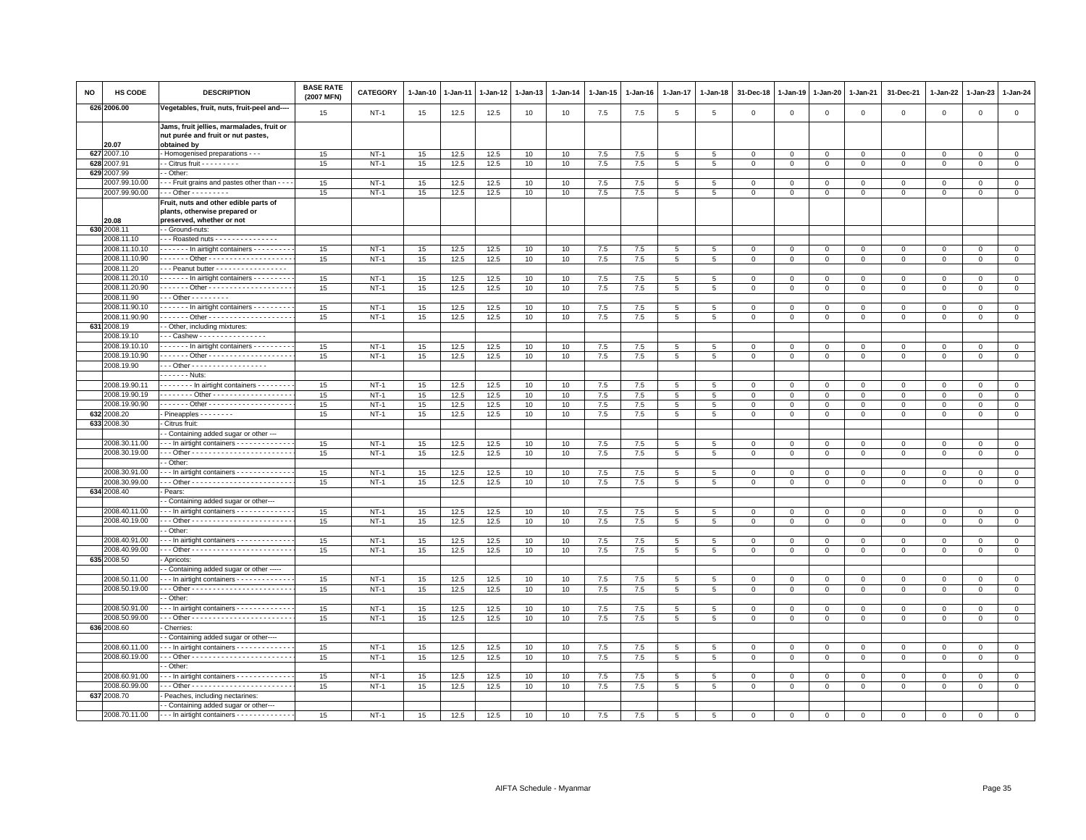| NO  | HS CODE                        | <b>DESCRIPTION</b>                                                                             | <b>BASE RATE</b><br>(2007 MFN) | CATEGORY | 1-Jan-10 | 1-Jan-11 | 1-Jan-12 | 1-Jan-13 | $1-Jan-14$ | 1-Jan-15 | $1 - Jan-16$ | $1 - Jan-17$   | 1-Jan-18       | 31-Dec-18    | 1-Jan-19     | 1-Jan-20    | 1-Jan-21       | 31-Dec-21           | $1-Jan-22$   | 1-Jan-23                    | 1-Jan-24       |
|-----|--------------------------------|------------------------------------------------------------------------------------------------|--------------------------------|----------|----------|----------|----------|----------|------------|----------|--------------|----------------|----------------|--------------|--------------|-------------|----------------|---------------------|--------------|-----------------------------|----------------|
|     | 626 2006.00                    | Vegetables, fruit, nuts, fruit-peel and---                                                     | 15                             | $NT-1$   | 15       | 12.5     | 12.5     | 10       | 10         | 7.5      | 7.5          | 5              | 5              | $\mathbf 0$  | $\mathbf 0$  | $\mathsf 0$ | $\mathbf 0$    | $\mathbf 0$         | $\mathbf 0$  | $\mathbf{0}$                | $\mathbf 0$    |
|     | 20.07                          | Jams, fruit jellies, marmalades, fruit or<br>nut purée and fruit or nut pastes,<br>obtained by |                                |          |          |          |          |          |            |          |              |                |                |              |              |             |                |                     |              |                             |                |
| 627 | 2007.10                        | Homogenised preparations - - -                                                                 | 15                             | $NT-1$   | 15       | 12.5     | 12.5     | 10       | 10         | 7.5      | 7.5          | $\overline{5}$ | 5              | $\mathbf{0}$ | $\mathsf 0$  | $\mathbf 0$ | $\mathbf{0}$   | $\mathbf{0}$        | $\circ$      | $\circ$                     | $\mathsf 0$    |
| 628 | 2007.91                        | - Citrus fruit - - - - - - - - -                                                               | 15                             | $NT-1$   | 15       | 12.5     | 12.5     | 10       | 10         | 7.5      | 7.5          | 5              | 5              | $\mathbf 0$  | $\mathbf 0$  | $\mathsf 0$ | $\mathbf 0$    | $\mathsf 0$         | $\Omega$     | $\mathsf 0$                 | $\mathsf 0$    |
| 629 | 2007.99                        | - Other:                                                                                       |                                |          |          |          |          |          |            |          |              |                |                |              |              |             |                |                     |              |                             |                |
|     | 2007.99.10.00                  | - - Fruit grains and pastes other than - -                                                     | 15                             | NT-1     | 15       | 12.5     | 12.5     | 10       | 10         | 7.5      | 7.5          | 5              | 5              | $^{\circ}$   | $\mathbf 0$  | 0           | 0              | 0                   | 0            | $\mathbf 0$                 | 0              |
|     | 2007.99.90.00                  | $-$ - Other - - - - - - - -                                                                    | 15                             | $NT-1$   | 15       | 12.5     | 12.5     | 10       | 10         | 7.5      | 7.5          | 5              | 5              | $\mathsf 0$  | $\mathsf 0$  | $\mathbf 0$ | $\mathbf 0$    | $\mathbf{0}$        | $\mathsf 0$  | $\mathbf{0}$                | $\mathsf 0$    |
|     |                                | Fruit, nuts and other edible parts of<br>plants, otherwise prepared or                         |                                |          |          |          |          |          |            |          |              |                |                |              |              |             |                |                     |              |                             |                |
|     | 20.08<br>630 2008.11           | preserved, whether or not                                                                      |                                |          |          |          |          |          |            |          |              |                |                |              |              |             |                |                     |              |                             |                |
|     | 2008.11.10                     | - Ground-nuts:<br>- - Roasted nuts - - - - - - - - - - - - - - -                               |                                |          |          |          |          |          |            |          |              |                |                |              |              |             |                |                     |              |                             |                |
|     | 2008.11.10.10                  | In airtight containers -                                                                       | 15                             | $NT-1$   | 15       | 12.5     | 12.5     | 10       | 10         | 7.5      | 7.5          | 5              | 5              | $\mathbf 0$  | $\mathbf 0$  | $\mathbf 0$ | $\mathbf 0$    | $\mathbf 0$         | $\mathbf 0$  | $\mathbf 0$                 | $\mathsf 0$    |
|     | 2008.11.10.90                  |                                                                                                | 15                             | $NT-1$   | 15       | 12.5     | 12.5     | 10       | 10         | $7.5\,$  | 7.5          | 5              | $\overline{5}$ | $\mathbf 0$  | $\mathbf 0$  | 0           | $\mathbf 0$    | $\mathbf 0$         | $\mathbf 0$  | $\mathbf{0}$                | $\mathbf 0$    |
|     | 2008.11.20                     | - - Peanut butter - - - - - - - - - - - - - - - - -                                            |                                |          |          |          |          |          |            |          |              |                |                |              |              |             |                |                     |              |                             |                |
|     | 2008.11.20.10                  | - - - - - - In airtight containers - - - - - - - - -                                           | 15                             | $NT-1$   | 15       | 12.5     | 12.5     | 10       | 10         | 7.5      | 7.5          | 5              | 5              | $\Omega$     | $\Omega$     | $\mathsf 0$ | $\mathbf{0}$   | $\mathbf 0$         | $\Omega$     | $\mathbf{0}$                | $\mathsf 0$    |
|     | 2008.11.20.90                  | ------ Other ---------------------                                                             | 15                             | $NT-1$   | 15       | 12.5     | 12.5     | 10       | 10         | 7.5      | 7.5          | 5              | 5              | $\mathbf 0$  | $\mathbf 0$  | $\mathbf 0$ | $\mathbf 0$    | $\mathsf 0$         | $\mathbf 0$  | $\mathbf 0$                 | $\mathsf 0$    |
|     | 2008.11.90                     | $-$ - Other - - - - - - - - -                                                                  |                                |          |          |          |          |          |            |          |              |                |                |              |              |             |                |                     |              |                             |                |
|     | 2008.11.90.10                  | - - - - - - In airtight containers - - - - - - - - -                                           | 15                             | $NT-1$   | 15       | 12.5     | 12.5     | 10       | 10         | 7.5      | 7.5          | 5              | 5              | $\mathbf 0$  | $\mathbf 0$  | $\mathbf 0$ | $\mathsf 0$    | $\mathbf 0$         | $\Omega$     | $\mathbf 0$                 | $\mathbf 0$    |
|     | 2008.11.90.90                  |                                                                                                | 15                             | $NT-1$   | 15       | 12.5     | 12.5     | 10       | 10         | 7.5      | 7.5          | 5              | 5              | $\mathbf 0$  | $\mathbf 0$  | $\Omega$    | $\mathbf{0}$   | $\Omega$            | $\Omega$     | $\Omega$                    | $\Omega$       |
| 631 | 2008.19                        | - Other, including mixtures:                                                                   |                                |          |          |          |          |          |            |          |              |                |                |              |              |             |                |                     |              |                             |                |
|     | 2008.19.10                     | -- Cashew ----------------                                                                     |                                |          |          |          |          |          |            |          |              |                |                |              |              |             |                |                     |              |                             |                |
|     | 2008.19.10.10                  | ------ In airtight containers ---------                                                        | 15                             | $NT-1$   | 15       | 12.5     | 12.5     | 10       | 10         | 7.5      | 7.5          | 5              | 5              | $^{\circ}$   | $\mathbf 0$  | 0           | 0              | $\mathbf 0$         | $\mathbf 0$  | $\mathbf 0$                 | $\circ$        |
|     | 2008.19.10.90                  | ------ Other --------------------                                                              | 15                             | $NT-1$   | 15       | 12.5     | 12.5     | 10       | 10         | 7.5      | 7.5          | 5              | 5              | $\mathbf 0$  | $\,0\,$      | $\mathsf 0$ | $\overline{0}$ | $\mathsf 0$         | $\mathsf 0$  | $\mathsf 0$                 | $\overline{0}$ |
|     | 2008.19.90                     | - - Other - - - - - - - - - - - - - - - - - -                                                  |                                |          |          |          |          |          |            |          |              |                |                |              |              |             |                |                     |              |                             |                |
|     |                                | - - - - - - Nuts:                                                                              |                                |          |          |          |          |          |            |          |              |                |                |              |              |             |                |                     |              |                             |                |
|     | 2008.19.90.11                  | In airtight containers                                                                         | 15                             | $NT-1$   | 15       | 12.5     | 12.5     | 10       | 10         | 7.5      | 7.5          | 5              | 5              | $\mathbf 0$  | $\mathbf 0$  | $\mathbf 0$ | $\circ$        | $\mathbf 0$         | 0            | $\mathbf 0$                 | $\mathbf 0$    |
|     | 2008.19.90.19                  | ------- Other -------------------                                                              | 15                             | $NT-1$   | 15       | 12.5     | 12.5     | 10       | 10         | 7.5      | 7.5          | $\sqrt{5}$     | 5              | $\,0\,$      | $\mathbf 0$  | $\mathbf 0$ | $\,0\,$        | $\mathsf 0$         | $\mathsf 0$  | $\Omega$                    | $\overline{0}$ |
|     | 2008.19.90.90                  | ------ Other --------------------                                                              | 15                             | $NT-1$   | 15       | 12.5     | 12.5     | 10       | 10         | 7.5      | 7.5          | 5              | 5              | $\mathbf 0$  | $\mathbf 0$  | $\mathbf 0$ | $\mathbf 0$    | $\mathbf 0$         | $\mathbf 0$  | $\mathbf 0$                 | $\circ$        |
|     | 632 2008.20                    | Pineapples - - - - - - - -                                                                     | 15                             | $NT-1$   | 15       | 12.5     | 12.5     | 10       | 10         | 7.5      | 7.5          | 5              | 5              | $\mathbf{0}$ | $\mathbf{0}$ | $\mathbf 0$ | $\mathbf 0$    | $\mathbf 0$         | 0            | $\mathbf{0}$                | $\circ$        |
|     | 633 2008.30                    | Citrus fruit:                                                                                  |                                |          |          |          |          |          |            |          |              |                |                |              |              |             |                |                     |              |                             |                |
|     |                                | - Containing added sugar or other ---                                                          |                                |          |          |          |          |          |            |          |              |                |                |              |              |             |                |                     |              |                             |                |
|     | 2008.30.11.00                  | - - In airtight containers - - - - - - - - - - - -                                             | 15                             | $NT-1$   | 15       | 12.5     | 12.5     | 10       | 10         | 7.5      | 7.5          | 5              | 5              | $\mathsf 0$  | $\mathbf 0$  | $\Omega$    | $\mathbf 0$    | $\mathsf 0$         | $\mathbf 0$  | $\mathbf{0}$                | $\circ$        |
|     | 2008.30.19.00                  |                                                                                                | 15                             | $NT-1$   | 15       | 12.5     | 12.5     | 10       | 10         | 7.5      | 7.5          | $\overline{5}$ | 5              | $\mathbf 0$  | $\mathbf{0}$ | $\mathbf 0$ | $\mathbf 0$    | $\mathbf 0$         | $\mathbf{O}$ | $\mathbf{0}$                | $\overline{0}$ |
|     |                                | - Other                                                                                        |                                |          |          |          |          |          |            |          |              |                |                |              |              |             |                |                     |              |                             |                |
|     | 2008.30.91.00<br>2008.30.99.00 | -- In airtight containers -------------<br>-- Other ------------------------                   | 15                             | $NT-1$   | 15       | 12.5     | 12.5     | 10       | 10         | 7.5      | 7.5          | 5<br>5         | 5              | $\mathbf 0$  | $\mathbf 0$  | $\mathbf 0$ | $\mathbf 0$    | $\mathbf 0$         | $\mathbf 0$  | $\mathbf 0$<br>$\mathbf{0}$ | $\mathsf 0$    |
|     | 634 2008.40                    | Pears:                                                                                         | 15                             | $NT-1$   | 15       | 12.5     | 12.5     | 10       | 10         | 7.5      | 7.5          |                | 5              | $\mathbf 0$  | $\mathbf 0$  | $\mathbf 0$ | $\mathbf 0$    | $\mathbf 0$         | $\mathbf 0$  |                             | $\mathsf 0$    |
|     |                                | - Containing added sugar or other---                                                           |                                |          |          |          |          |          |            |          |              |                |                |              |              |             |                |                     |              |                             |                |
|     | 2008.40.11.00                  | -- In airtight containers -------------                                                        | 15                             | $NT-1$   | 15       | 12.5     | 12.5     | 10       | 10         | 7.5      | 7.5          | 5              | 5              | $\mathbf 0$  | $\mathbf 0$  | $\mathbf 0$ | $\mathbf 0$    | $\mathbf 0$         | 0            | $\mathbf 0$                 | $\mathbf{0}$   |
|     | 2008.40.19.00                  |                                                                                                | 15                             | $NT-1$   | 15       | 12.5     | 12.5     | 10       | 10         | $7.5\,$  | 7.5          | 5              | $\overline{5}$ | $\,0\,$      | $\mathbf 0$  | $\mathbf 0$ | $\mathbf 0$    | $\mathsf{O}\xspace$ | $\circ$      | $\mathsf 0$                 | $\mathsf 0$    |
|     |                                | - Other                                                                                        |                                |          |          |          |          |          |            |          |              |                |                |              |              |             |                |                     |              |                             |                |
|     | 2008.40.91.00                  | - - In airtight containers - - - - - - - - - - - -                                             | 15                             | $NT-1$   | 15       | 12.5     | 12.5     | 10       | 10         | 7.5      | 7.5          | 5              | 5              | $\mathbf 0$  | $\mathbf 0$  | $\mathbf 0$ | $\mathbf{0}$   | $\mathbf{0}$        | $\mathbf{0}$ | $\Omega$                    | $\circ$        |
|     | 2008.40.99.00                  |                                                                                                | 15                             | $NT-1$   | 15       | 12.5     | 12.5     | 10       | 10         | 7.5      | 7.5          | 5              | 5              | $\mathbf 0$  | $\mathbf 0$  | $\mathbf 0$ | $\mathbf 0$    | $\mathsf 0$         | 0            | $\mathbf 0$                 | $\mathbf 0$    |
|     | 635 2008.50                    | Apricots:                                                                                      |                                |          |          |          |          |          |            |          |              |                |                |              |              |             |                |                     |              |                             |                |
|     |                                | - Containing added sugar or other -----                                                        |                                |          |          |          |          |          |            |          |              |                |                |              |              |             |                |                     |              |                             |                |
|     | 2008.50.11.00                  | -- In airtight containers - - - - - - - - - - - -                                              | 15                             | $NT-1$   | 15       | 12.5     | 12.5     | 10       | 10         | 7.5      | 7.5          | 5              | 5              | $\mathbf 0$  | $\mathbf 0$  | $\mathbf 0$ | $\mathbf 0$    | $\mathbf 0$         | $\Omega$     | $\mathbf{0}$                | $\mathsf 0$    |
|     | 2008.50.19.00                  | -- Other ------------------------                                                              | 15                             | $NT-1$   | 15       | 12.5     | 12.5     | 10       | 10         | 7.5      | 7.5          | 5              | 5              | $\mathbf 0$  | $\Omega$     | $\mathbf 0$ | $\mathbf 0$    | $\mathbf 0$         | $\Omega$     | $\mathbf{0}$                | $\mathbf 0$    |
|     |                                | - Other:                                                                                       |                                |          |          |          |          |          |            |          |              |                |                |              |              |             |                |                     |              |                             |                |
|     | 2008.50.91.00                  | -- In airtight containers ------------                                                         | 15                             | $NT-1$   | 15       | 12.5     | 12.5     | 10       | 10         | 7.5      | 7.5          | 5              | 5              | $\mathbf 0$  | $\mathbf 0$  | $\mathsf 0$ | $\mathbf 0$    | $\mathsf 0$         | $\mathbf 0$  | $\mathbf 0$                 | $\circ$        |
|     | 2008.50.99.00                  |                                                                                                | 15                             | $NT-1$   | 15       | 12.5     | 12.5     | 10       | 10         | 7.5      | 7.5          | 5              | $\overline{5}$ | $\mathbf 0$  | $\mathsf 0$  | $\mathbf 0$ | $\,0\,$        | $\mathsf 0$         | $\mathbf 0$  | $\mathbf 0$                 | $\overline{0}$ |
|     | 636 2008.60                    | Cherries:                                                                                      |                                |          |          |          |          |          |            |          |              |                |                |              |              |             |                |                     |              |                             |                |
|     |                                | - Containing added sugar or other----                                                          |                                |          |          |          |          |          |            |          |              |                |                |              |              |             |                |                     |              |                             |                |
|     | 2008.60.11.00                  | - - In airtight containers - - - - - - - - - - -                                               | 15                             | $NT-1$   | 15       | 12.5     | 12.5     | 10       | 10         | 7.5      | 7.5          | $\overline{5}$ | 5              | $\mathbf 0$  | $\mathbf{0}$ | $\mathbf 0$ | $\Omega$       | $\mathbf 0$         | $\Omega$     | $\mathbf{0}$                | $\circ$        |
|     | 2008.60.19.00                  |                                                                                                | 15                             | $NT-1$   | 15       | 12.5     | 12.5     | 10       | 10         | 7.5      | 7.5          | 5              | 5              | $\mathbf 0$  | $\mathbf 0$  | $\mathsf 0$ | $\mathbf 0$    | $\mathsf 0$         | $\mathbf 0$  | $\mathbf 0$                 | $\mathbf 0$    |
|     |                                | - Other:                                                                                       |                                |          |          |          |          |          |            |          |              |                |                |              |              |             |                |                     |              |                             |                |
|     | 2008.60.91.00                  | In airtight containers                                                                         | 15                             | $NT-1$   | 15       | 12.5     | 12.5     | 10       | 10         | 7.5      | 7.5          | 5              | 5              | 0            | $\mathbf 0$  | $\mathbf 0$ | $\mathbf 0$    | $\mathbf 0$         | $\Omega$     | $\mathbf 0$                 | $\mathbf{0}$   |
|     | 2008.60.99.00                  |                                                                                                | 15                             | $NT-1$   | 15       | 12.5     | 12.5     | 10       | 10         | 7.5      | 7.5          | 5              | 5              | $\mathbf 0$  | $\mathbf 0$  | $\mathbf 0$ | $\mathbf 0$    | $\Omega$            | $\Omega$     | $\Omega$                    | $\Omega$       |
|     | 637 2008.70                    | Peaches, including nectarines                                                                  |                                |          |          |          |          |          |            |          |              |                |                |              |              |             |                |                     |              |                             |                |
|     |                                | - Containing added sugar or other---                                                           |                                |          |          |          |          |          |            |          |              |                |                |              |              |             |                |                     |              |                             |                |
|     | 2008.70.11.00                  | In airtight containers                                                                         | 15                             | $NT-1$   | 15       | 12.5     | 12.5     |          | 10         | 7.5      | 7.5          |                |                |              |              |             |                |                     |              |                             |                |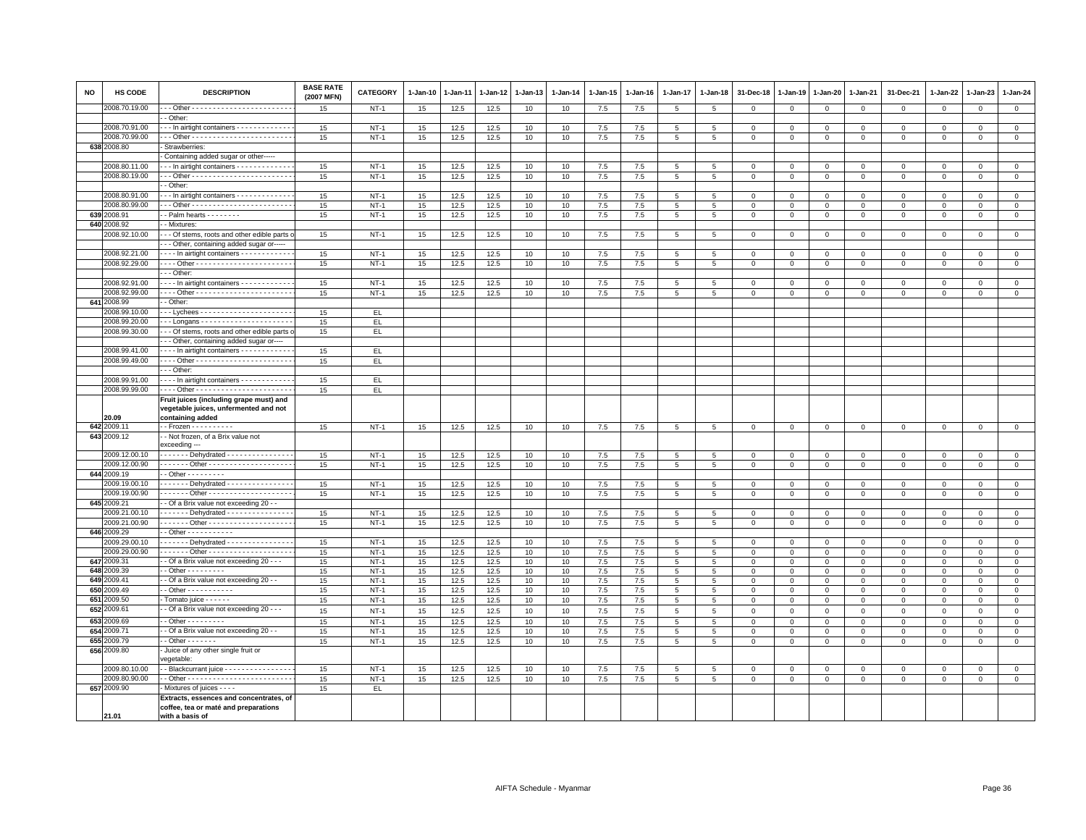| <b>NO</b> | HS CODE                        | <b>DESCRIPTION</b>                                                                    | <b>BASE RATE</b><br>(2007 MFN) | CATEGORY         | $1-Jan-10$ | $1-Jan-11$   | 1-Jan-12     | 1-Jan-13 | $1 - Jan-14$ | $1 - Jan-15$   | $1-Jan-16$ | $1 - Jan-17$        | $1 - Jan-18$        | 31-Dec-18                   | $1 - Jan-19$               | 1-Jan-20                       | 1-Jan-21                   | 31-Dec-21                  | 1-Jan-22                   | 1-Jan-23                | $1 - Jan-24$                   |
|-----------|--------------------------------|---------------------------------------------------------------------------------------|--------------------------------|------------------|------------|--------------|--------------|----------|--------------|----------------|------------|---------------------|---------------------|-----------------------------|----------------------------|--------------------------------|----------------------------|----------------------------|----------------------------|-------------------------|--------------------------------|
|           | 2008.70.19.00                  |                                                                                       | 15                             | $NT-1$           | 15         | 12.5         | 12.5         | 10       | 10           | 7.5            | 7.5        | 5                   | 5                   | $\mathbf 0$                 | $\mathbf 0$                | $\mathbf 0$                    | $\mathbf 0$                | $\mathbf 0$                | $^{\circ}$                 | $\mathbf 0$             | $\mathbf 0$                    |
|           |                                | - Other:                                                                              |                                |                  |            |              |              |          |              |                |            |                     |                     |                             |                            |                                |                            |                            |                            |                         |                                |
|           | 2008.70.91.00<br>2008.70.99.00 | -- In airtight containers -------------<br>-- Other ------------------------          | 15<br>15                       | $NT-1$<br>$NT-1$ | 15<br>15   | 12.5<br>12.5 | 12.5<br>12.5 | 10<br>10 | 10<br>10     | 7.5<br>7.5     | 7.5<br>7.5 | 5<br>5              | 5<br>5              | $\mathbf 0$<br>$\mathbf 0$  | $\mathbf 0$<br>$\mathbf 0$ | $\mathbf 0$<br>$\mathsf 0$     | $\mathbf 0$<br>$\mathbf 0$ | $\mathbf 0$<br>$\mathbf 0$ | $\mathbf 0$<br>$\mathbf 0$ | $\mathbf 0$<br>$\Omega$ | $\mathsf 0$<br>$\overline{0}$  |
|           | 638 2008.80                    | Strawberries:                                                                         |                                |                  |            |              |              |          |              |                |            |                     |                     |                             |                            |                                |                            |                            |                            |                         |                                |
|           |                                | Containing added sugar or other-----                                                  |                                |                  |            |              |              |          |              |                |            |                     |                     |                             |                            |                                |                            |                            |                            |                         |                                |
|           | 2008.80.11.00                  | -- In airtight containers -------------                                               | 15                             | $NT-1$           | 15         | 12.5         | 12.5         | 10       | 10           | 7.5            | 7.5        | 5                   | 5                   | $^{\circ}$                  | $\mathbf 0$                | $\mathbf 0$                    | $^{\circ}$                 | $\Omega$                   | $\Omega$                   | $\Omega$                | $\mathsf 0$                    |
|           | 2008.80.19.00                  |                                                                                       | 15                             | $NT-1$           | 15         | 12.5         | 12.5         | 10       | 10           | 7.5            | 7.5        | $\overline{5}$      | 5                   | $\mathbf 0$                 | $\overline{0}$             | $\overline{0}$                 | $\mathbf 0$                | $\mathbf 0$                | $\Omega$                   | $\mathbf 0$             | $\overline{0}$                 |
|           |                                | - Other:                                                                              |                                |                  |            |              |              |          |              |                |            |                     |                     |                             |                            |                                |                            |                            |                            |                         |                                |
|           | 2008.80.91.00                  | -- In airtight containers -------------                                               | 15                             | $NT-1$           | 15         | 12.5         | 12.5         | 10       | 10           | 7.5            | 7.5        | 5                   | 5                   | $^{\circ}$                  | $^{\circ}$                 | $\mathbf 0$                    | $\Omega$                   | 0                          | $^{\circ}$                 | $\mathbf 0$             | $\mathbf 0$                    |
|           | 2008.80.99.00                  |                                                                                       | 15                             | $NT-1$           | 15         | 12.5         | 12.5         | 10       | 10           | 7.5            | 7.5        | 5                   | 5                   | $\overline{0}$              | $\overline{0}$             | $\mathbf{0}$                   | $\mathbf{0}$               | $\mathbf{0}$               | $\mathbf{0}$               | $\mathbf{0}$            | $\mathbf 0$                    |
| 639       | 2008.91                        | - Palm hearts - - - - - - - -                                                         | 15                             | $NT-1$           | 15         | 12.5         | 12.5         | 10       | 10           | $7.5\,$        | 7.5        | 5                   | 5                   | $\mathbf 0$                 | $\mathbf 0$                | $\mathbf 0$                    | $\mathbf 0$                | 0                          | $^{\circ}$                 | $\mathbf 0$             | $\mathsf 0$                    |
| 640       | 008.92<br>2008.92.10.00        | - Mixtures:<br>- - Of stems, roots and other edible parts                             | 15                             | $NT-1$           | 15         | 12.5         | 12.5         | 10       | 10           | $7.5\,$        | 7.5        | 5                   | 5                   | $\mathbf 0$                 | $\mathsf 0$                | $\mathbf 0$                    | $\mathbf{O}$               | 0                          | $\mathbf{0}$               | $^{\circ}$              | $\mathsf 0$                    |
|           |                                | -- Other, containing added sugar or----                                               |                                |                  |            |              |              |          |              |                |            |                     |                     |                             |                            |                                |                            |                            |                            |                         |                                |
|           | 2008.92.21.00                  | In airtight containers                                                                | 15                             | $NT-1$           | 15         | 12.5         | 12.5         | 10       | 10           | 7.5            | 7.5        | 5                   | 5                   | $^{\circ}$                  | $\mathbf 0$                | $\mathbf 0$                    | $\mathbf 0$                | $\mathbf 0$                | $^{\circ}$                 | $\mathbf 0$             | $\mathbf 0$                    |
|           | 2008.92.29.00                  | --- Other ------------------------                                                    | 15                             | $NT-1$           | 15         | 12.5         | 12.5         | 10       | 10           | 7.5            | 7.5        | 5                   | 5                   | $\mathsf 0$                 | $\mathbb O$                | $\mathsf 0$                    | $\mathbf 0$                | $\mathsf 0$                | $\mathbf 0$                | $\mathsf 0$             | $\overline{0}$                 |
|           |                                | - - Other                                                                             |                                |                  |            |              |              |          |              |                |            |                     |                     |                             |                            |                                |                            |                            |                            |                         |                                |
|           | 2008.92.91.00                  | --- In airtight containers - - - - - - - - - - -                                      | 15                             | $NT-1$           | 15         | 12.5         | 12.5         | 10       | 10           | 7.5            | 7.5        | $\overline{5}$      | $\,$ 5              | $\overline{0}$              | $\mathbf 0$                | $\mathbf 0$                    | $\,0\,$                    | $\Omega$                   | $\Omega$                   | $\mathbf 0$             | $\mathsf 0$                    |
|           | 2008.92.99.00                  |                                                                                       | 15                             | $NT-1$           | 15         | 12.5         | 12.5         | 10       | 10           | 7.5            | 7.5        | 5                   | 5                   | $\mathbf 0$                 | $\mathbf 0$                | $\mathbf 0$                    | $\mathbf 0$                | $\mathbf 0$                | $^{\circ}$                 | $\mathbf{0}$            | $\mathsf 0$                    |
|           | 641 2008.99                    | - Other:                                                                              |                                |                  |            |              |              |          |              |                |            |                     |                     |                             |                            |                                |                            |                            |                            |                         |                                |
|           | 2008.99.10.00                  |                                                                                       | 15                             | EL.              |            |              |              |          |              |                |            |                     |                     |                             |                            |                                |                            |                            |                            |                         |                                |
|           | 2008.99.20.00                  |                                                                                       | 15                             | EL.              |            |              |              |          |              |                |            |                     |                     |                             |                            |                                |                            |                            |                            |                         |                                |
|           | 2008.99.30.00                  | - - Of stems, roots and other edible parts<br>-- Other, containing added sugar or---- | 15                             | EL               |            |              |              |          |              |                |            |                     |                     |                             |                            |                                |                            |                            |                            |                         |                                |
|           | 2008.99.41.00                  | --- In airtight containers ------------                                               | 15                             | EL.              |            |              |              |          |              |                |            |                     |                     |                             |                            |                                |                            |                            |                            |                         |                                |
|           | 2008.99.49.00                  | --- Other ------------------------                                                    | 15                             | EL               |            |              |              |          |              |                |            |                     |                     |                             |                            |                                |                            |                            |                            |                         |                                |
|           |                                | - - Other:                                                                            |                                |                  |            |              |              |          |              |                |            |                     |                     |                             |                            |                                |                            |                            |                            |                         |                                |
|           | 2008.99.91.00                  | In airtight containers                                                                | 15                             | EL               |            |              |              |          |              |                |            |                     |                     |                             |                            |                                |                            |                            |                            |                         |                                |
|           | 2008.99.99.00                  | --- Other ------------------------                                                    | 15                             | EL.              |            |              |              |          |              |                |            |                     |                     |                             |                            |                                |                            |                            |                            |                         |                                |
|           |                                | Fruit juices (including grape must) and                                               |                                |                  |            |              |              |          |              |                |            |                     |                     |                             |                            |                                |                            |                            |                            |                         |                                |
|           |                                | vegetable juices, unfermented and not                                                 |                                |                  |            |              |              |          |              |                |            |                     |                     |                             |                            |                                |                            |                            |                            |                         |                                |
|           | 20.09<br>642 2009.11           | containing added<br>$-$ Frozen $       -$                                             |                                |                  |            |              |              |          |              |                |            |                     |                     |                             |                            |                                |                            |                            | $\mathbf 0$                | $\circ$                 |                                |
|           | 643 2009.12                    | - Not frozen, of a Brix value not                                                     | 15                             | $NT-1$           | 15         | 12.5         | 12.5         | 10       | 10           | 7.5            | 7.5        | 5                   | 5                   | $\mathsf 0$                 | $\mathbf{0}$               | $\mathsf 0$                    | $\mathbf 0$                | $\mathsf 0$                |                            |                         | $\circ$                        |
|           | 2009.12.00.10                  | exceeding ---<br>------ Dehydrated ---------------                                    | 15                             | $NT-1$           |            |              |              | 10       | 10           |                | 7.5        | 5                   | 5                   | $\mathbf 0$                 | $\mathbf 0$                | $\mathbf{0}$                   | $\mathbf 0$                | $\Omega$                   | $\Omega$                   | $\mathbf 0$             | $\mathsf 0$                    |
|           | 2009.12.00.90                  | ------ Other --------------------                                                     | 15                             | <b>NT-1</b>      | 15<br>15   | 12.5<br>12.5 | 12.5<br>12.5 | 10       | 10           | 7.5<br>$7.5\,$ | 7.5        | 5                   | $5\phantom{.0}$     | $\,0\,$                     | $\,0\,$                    | $\mathsf 0$                    | $\mathbf 0$                | $\mathsf 0$                | $\mathsf 0$                | $\mathbf 0$             | $\mathsf 0$                    |
| 6442      | 2009.19                        | $-$ Other $       -$                                                                  |                                |                  |            |              |              |          |              |                |            |                     |                     |                             |                            |                                |                            |                            |                            |                         |                                |
|           | 2009.19.00.10                  | ------ Dehydrated ---------------                                                     | 15                             | $NT-1$           | 15         | 12.5         | 12.5         | 10       | 10           | 7.5            | 7.5        | 5                   | -5                  | $\Omega$                    | $\Omega$                   | $\Omega$                       | $\Omega$                   | $\Omega$                   | $\Omega$                   | $\Omega$                | $\mathbf{0}$                   |
|           | 2009.19.00.90                  |                                                                                       | 15                             | $NT-1$           | 15         | 12.5         | 12.5         | 10       | 10           | 7.5            | 7.5        | 5                   | 5                   | $\mathbf 0$                 | $\mathbf 0$                | $\mathsf 0$                    | $\mathbf 0$                | $\Omega$                   | $\Omega$                   | $\Omega$                | $\mathsf 0$                    |
|           | 645 2009.21                    | - Of a Brix value not exceeding 20 - -                                                |                                |                  |            |              |              |          |              |                |            |                     |                     |                             |                            |                                |                            |                            |                            |                         |                                |
|           | 009.21.00.10                   | Dehydrated ---------------                                                            | 15                             | $NT-1$           | 15         | 12.5         | 12.5         | 10       | 10           | 7.5            | 7.5        | 5                   | 5                   | $\mathbf{0}$                | $\mathsf 0$                | 0                              | $\Omega$                   | $\Omega$                   | $\Omega$                   | $\Omega$                | $\mathsf{O}\xspace$            |
|           | 2009.21.00.90                  | ------ Other ---------------------                                                    | 15                             | $NT-1$           | 15         | 12.5         | 12.5         | 10       | 10           | 7.5            | 7.5        | 5                   | 5                   | $\mathbf 0$                 | $\mathbf{0}$               | $\mathbf 0$                    | $\mathbf{0}$               | $\mathbf 0$                | $\circ$                    | $\mathbf 0$             | $\mathbf{0}$                   |
|           | 646 2009.29                    | $-$ Other $        -$                                                                 |                                |                  |            |              |              |          |              |                |            |                     |                     |                             |                            |                                |                            |                            |                            |                         |                                |
|           | 2009.29.00.10                  | ------ Dehydrated ---------------                                                     | 15                             | $NT-1$           | 15         | 12.5         | 12.5         | 10       | 10           | 7.5            | 7.5        | 5                   | 5                   | $\mathbf 0$                 | $\mathbf 0$                | $\mathsf 0$                    | $\mathbf 0$                | $\mathsf 0$                | $\mathbf 0$                | $\mathbf 0$             | $\mathsf 0$                    |
|           | 2009.29.00.90<br>647 2009.31   | - Of a Brix value not exceeding 20 - - -                                              | 15<br>15                       | $NT-1$<br>$NT-1$ | 15<br>15   | 12.5<br>12.5 | 12.5<br>12.5 | 10<br>10 | 10<br>10     | $7.5\,$<br>7.5 | 7.5<br>7.5 | 5<br>5 <sup>5</sup> | $\overline{5}$<br>5 | $\mathsf 0$<br>$\mathbf{0}$ | $\,0\,$<br>$\mathbf{0}$    | $\overline{0}$<br>$\mathbf{0}$ | $\Omega$<br>$\Omega$       | $^{\circ}$<br>$\mathbf 0$  | $\mathbf{0}$<br>$\Omega$   | $\mathbf 0$<br>$\Omega$ | $\overline{0}$<br>$\mathbf{0}$ |
|           | 648 2009.39                    | - Other - - - - - - - - -                                                             | 15                             | $NT-1$           | 15         | 12.5         | 12.5         | 10       | 10           | 7.5            | 7.5        | 5 <sup>5</sup>      | 5                   | $\Omega$                    | $\Omega$                   | $\mathbf 0$                    | $\Omega$                   | $\mathbf 0$                | $\Omega$                   | $\Omega$                | $\mathsf 0$                    |
|           | 649 2009.41                    | - Of a Brix value not exceeding 20 - -                                                | 15                             | $NT-1$           | 15         | 12.5         | 12.5         | 10       | 10           | 7.5            | 7.5        | 5                   | 5                   | $\mathbf 0$                 | $\mathbf 0$                | $\mathbf 0$                    | $\mathbf 0$                | 0                          | $^{\circ}$                 | $\mathbf 0$             | $\overline{0}$                 |
| 650       | 2009.49                        | - Other - - - - - - - - - -                                                           | 15                             | $NT-1$           | 15         | 12.5         | 12.5         | 10       | 10           | 7.5            | 7.5        | 5                   | $\,$ 5              | $\mathsf 0$                 | $\mathbf 0$                | $\mathbf 0$                    | $\mathsf 0$                | $\mathsf 0$                | $\Omega$                   | $\Omega$                | $\mathsf 0$                    |
| 651       | 2009.50                        | Tomato juice - - - - - -                                                              | 15                             | $NT-1$           | 15         | 12.5         | 12.5         | 10       | 10           | $7.5\,$        | 7.5        | 5                   | 5                   | $\mathbf 0$                 | $\mathbf 0$                | $\mathbf 0$                    | $\mathbf 0$                | $\mathbf 0$                | $\mathbf 0$                | $\mathbf 0$             | $\mathbf 0$                    |
| 652       | 2009.61                        | - Of a Brix value not exceeding 20 - - -                                              | 15                             | $NT-1$           | 15         | 12.5         | 12.5         | 10       | 10           | 7.5            | 7.5        | $\overline{5}$      | $5\phantom{.0}$     | $\mathbf 0$                 | $\mathbf 0$                | $\mathsf 0$                    | $\Omega$                   | $\mathbf 0$                | $\Omega$                   | $\Omega$                | $\mathsf 0$                    |
|           | 653 2009.69                    | $-$ Other $       -$                                                                  | 15                             | $NT-1$           | 15         | 12.5         | 12.5         | 10       | 10           | 7.5            | 7.5        | 5                   | 5                   | $\overline{0}$              | $\overline{0}$             | $\mathbf 0$                    | $\mathbf{0}$               | $\mathbf{0}$               | $\Omega$                   | $\mathbf{0}$            | $\mathbf 0$                    |
| 654       | 2009.71                        | - Of a Brix value not exceeding 20 - -                                                | 15                             | $NT-1$           | 15         | 12.5         | 12.5         | 10       | 10           | $7.5\,$        | 7.5        | 5                   | 5                   | $\mathbf 0$                 | $\mathbf 0$                | $\Omega$                       | $\mathbf 0$                | $\mathbf 0$                | $\Omega$                   | $\Omega$                | $\mathsf 0$                    |
|           | 655 2009.79                    | $-$ Other $     -$                                                                    | 15                             | $NT-1$           | 15         | 12.5         | 12.5         | 10       | 10           | 7.5            | 7.5        | 5                   | 5                   | $\mathbf 0$                 | $\mathbf 0$                | $\mathsf 0$                    | $\mathbf{0}$               | $\mathbf 0$                | $^{\circ}$                 | $\mathbf 0$             | $\mathbf 0$                    |
|           | 656 2009.80                    | Juice of any other single fruit or<br>regetable:                                      |                                |                  |            |              |              |          |              |                |            |                     |                     |                             |                            |                                |                            |                            |                            |                         |                                |
|           | 2009.80.10.00                  | - Blackcurrant juice - - - - - - - - - - - - - - - -                                  | 15                             | $NT-1$           | 15         | 12.5         | 12.5         | 10       | 10           | 7.5            | 7.5        | 5                   | 5                   | $^{\circ}$                  | $^{\circ}$                 | $\mathbf 0$                    | $\mathbf 0$                | $\mathbf 0$                | $\Omega$                   | $\Omega$                | $\mathbf{0}$                   |
|           | 2009.80.90.00                  |                                                                                       | 15                             | $NT-1$           | 15         | 12.5         | 12.5         | 10       | 10           | 7.5            | 7.5        | 5                   | 5                   | $\mathbf 0$                 | $\mathbf 0$                | $\mathsf 0$                    | $\mathbf 0$                | $\mathbf 0$                | $\Omega$                   | $\Omega$                | $\mathsf 0$                    |
|           | 657 2009.90                    | Mixtures of juices - - - -                                                            | 15                             | EL.              |            |              |              |          |              |                |            |                     |                     |                             |                            |                                |                            |                            |                            |                         |                                |
|           |                                | Extracts, essences and concentrates, of                                               |                                |                  |            |              |              |          |              |                |            |                     |                     |                             |                            |                                |                            |                            |                            |                         |                                |
|           | 21.01                          | coffee, tea or maté and preparations<br>with a basis of                               |                                |                  |            |              |              |          |              |                |            |                     |                     |                             |                            |                                |                            |                            |                            |                         |                                |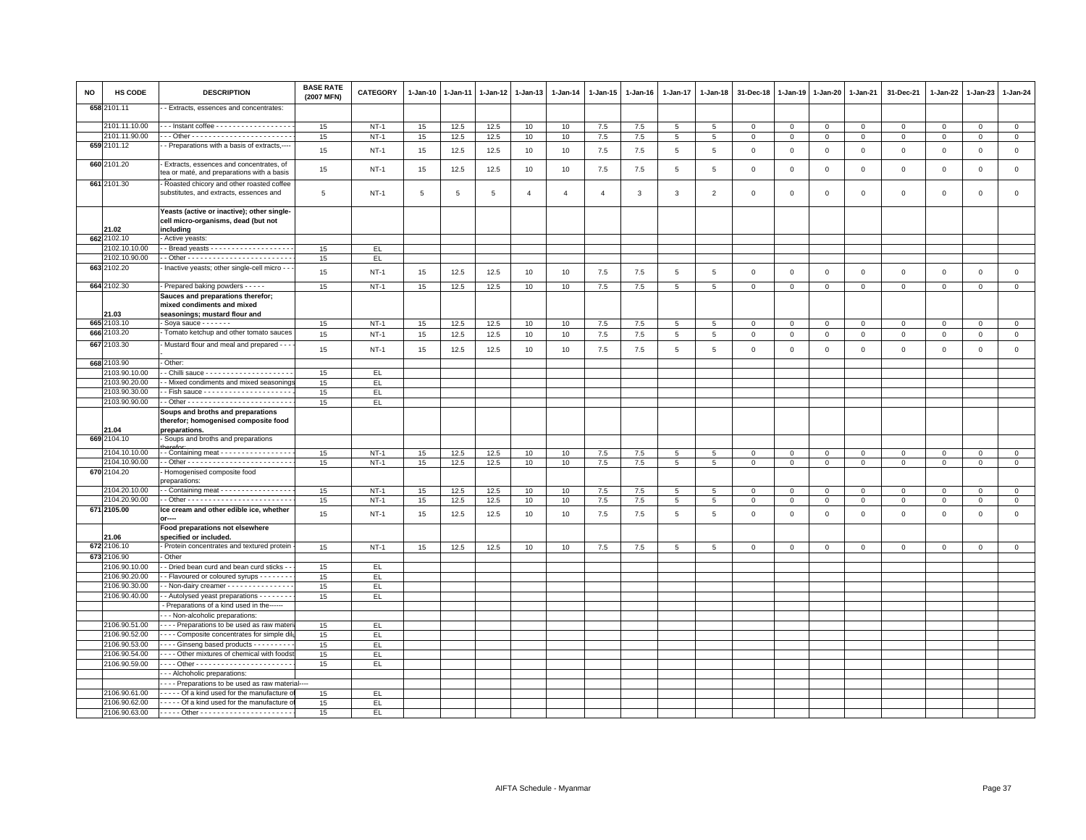| NO | HS CODE                        | <b>DESCRIPTION</b>                                                                               | <b>BASE RATE</b><br>(2007 MFN) | <b>CATEGORY</b>  | $1 - Jan-10$ | $1-Jan-11$   | 1-Jan-12     | 1-Jan-13       | $1 - Jan-14$     | 1-Jan-15       | $1-Jan-16$ | 1-Jan-17            | $1-Jan-18$     | 31-Dec-18                  | 1-Jan-19                      | $1-Jan-20$                 | 1-Jan-21                   | 31-Dec-21                  | 1-Jan-22                   | $1-Jan-23$                 | $1 - Jan-24$               |
|----|--------------------------------|--------------------------------------------------------------------------------------------------|--------------------------------|------------------|--------------|--------------|--------------|----------------|------------------|----------------|------------|---------------------|----------------|----------------------------|-------------------------------|----------------------------|----------------------------|----------------------------|----------------------------|----------------------------|----------------------------|
|    | 658 2101.11                    | - Extracts, essences and concentrates:                                                           |                                |                  |              |              |              |                |                  |                |            |                     |                |                            |                               |                            |                            |                            |                            |                            |                            |
|    | 2101.11.10.00                  | --- Instant coffee ------------------                                                            | 15                             | $NT-1$           | 15           | 12.5         | 12.5         | 10             | 10 <sup>10</sup> | 7.5            | 7.5        | 5                   | 5              | $\overline{0}$             | $\overline{0}$                | $\mathbf{0}$               | $\mathbf{0}$               | $\mathbf{0}$               | $\mathbf 0$                | $\mathbf{0}$               | $\mathbf{0}$               |
|    | 2101.11.90.00                  |                                                                                                  | 15                             | $NT-1$           | 15           | 12.5         | 12.5         | 10             | 10               | $7.5\,$        | 7.5        | $\overline{5}$      | 5              | $\mathbf 0$                | $\overline{0}$                | $\mathbf 0$                | $\mathbf{0}$               | $\mathsf 0$                | $\mathbf 0$                | $\mathbf 0$                | $\mathbf 0$                |
|    | 659 2101.12                    | - Preparations with a basis of extracts,-                                                        | 15                             | $NT-1$           | 15           | 12.5         | 12.5         | 10             | 10               | 7.5            | 7.5        | 5                   | 5              | $\mathbf 0$                | $\circ$                       | $\mathbf 0$                | $\circ$                    | $\mathbf 0$                | $\mathbf 0$                | $\mathbf{0}$               | $\mathbf 0$                |
|    | 660 2101.20                    | Extracts, essences and concentrates, of<br>tea or maté, and preparations with a basis            | 15                             | $NT-1$           | 15           | 12.5         | 12.5         | 10             | 10               | $7.5\,$        | 7.5        | 5                   | 5              | $\,0\,$                    | $\,$ 0                        | $\,0\,$                    | $\mathsf 0$                | $\mathsf 0$                | $\mathsf 0$                | $\mathsf 0$                | $\mathsf 0$                |
|    | 661 2101.30                    | Roasted chicory and other roasted coffee<br>substitutes, and extracts, essences and              | 5                              | $NT-1$           | 5            | 5            | 5            | $\overline{4}$ | $\overline{4}$   | $\overline{4}$ | 3          | 3                   | $\overline{2}$ | $\mathbf 0$                | $\overline{0}$                | $\mathbf 0$                | $\mathbf{0}$               | $\mathbf 0$                | $\Omega$                   | $\mathbf 0$                | $\mathsf 0$                |
|    | 21.02                          | Yeasts (active or inactive); other single-<br>cell micro-organisms, dead (but not<br>including   |                                |                  |              |              |              |                |                  |                |            |                     |                |                            |                               |                            |                            |                            |                            |                            |                            |
|    | 662 2102.10                    | - Active yeasts:                                                                                 |                                |                  |              |              |              |                |                  |                |            |                     |                |                            |                               |                            |                            |                            |                            |                            |                            |
|    | 2102.10.10.00                  |                                                                                                  | 15                             | EL.              |              |              |              |                |                  |                |            |                     |                |                            |                               |                            |                            |                            |                            |                            |                            |
|    | 2102.10.90.00                  |                                                                                                  | 15                             | EL.              |              |              |              |                |                  |                |            |                     |                |                            |                               |                            |                            |                            |                            |                            |                            |
|    | 663 2102.20                    | Inactive yeasts; other single-cell micro - -                                                     | 15                             | $NT-1$           | 15           | 12.5         | 12.5         | 10             | 10               | 7.5            | 7.5        | 5                   | 5              | $\mathbf 0$                | $\overline{0}$                | $\mathbf{0}$               | $\circ$                    | $\mathbf 0$                | $\mathbf 0$                | $\mathbf 0$                | $\mathbf{0}$               |
|    | 664 2102.30                    | - Prepared baking powders - - - - -                                                              | 15                             | $NT-1$           | 15           | 12.5         | 12.5         | 10             | 10               | 7.5            | 7.5        | $\overline{5}$      | $\overline{5}$ | $\mathsf 0$                | $\overline{0}$                | $\mathbf 0$                | $\mathsf 0$                | $\mathsf 0$                | $\mathsf 0$                | $\mathbf 0$                | $\overline{0}$             |
|    | 21.03                          | Sauces and preparations therefor;<br>mixed condiments and mixed<br>seasonings; mustard flour and |                                |                  |              |              |              |                |                  |                |            |                     |                |                            |                               |                            |                            |                            |                            |                            |                            |
|    | 665 2103.10                    | - Soya sauce $- - - - -$                                                                         | 15                             | $NT-1$           | 15           | 12.5         | 12.5         | 10             | 10               | 7.5            | 7.5        | 5                   | 5              | $\mathbf 0$                | $\mathbf{0}$                  | $\mathbf 0$                | $\mathbf{O}$               | $\mathsf 0$                | $\mathbf 0$                | $\mathsf 0$                | $\mathbf{0}$               |
|    | 666 2103.20<br>667 2103.30     | Tomato ketchup and other tomato sauces<br>Mustard flour and meal and prepared - - -              | 15<br>15                       | $NT-1$<br>$NT-1$ | 15<br>15     | 12.5<br>12.5 | 12.5<br>12.5 | 10<br>10       | 10<br>10         | 7.5<br>7.5     | 7.5<br>7.5 | $\overline{5}$<br>5 | 5<br>5         | $\mathsf 0$<br>$\mathbf 0$ | $\mathbb O$<br>$\overline{0}$ | $\mathbf 0$<br>$\mathbf 0$ | $\mathsf 0$<br>$\mathbf 0$ | $\mathsf 0$<br>$\mathsf 0$ | $\mathsf 0$<br>$\mathbf 0$ | $\mathsf 0$<br>$\mathsf 0$ | $\mathsf 0$<br>$\mathsf 0$ |
|    |                                |                                                                                                  |                                |                  |              |              |              |                |                  |                |            |                     |                |                            |                               |                            |                            |                            |                            |                            |                            |
|    | 668 2103.90                    | - Other:                                                                                         |                                |                  |              |              |              |                |                  |                |            |                     |                |                            |                               |                            |                            |                            |                            |                            |                            |
|    | 2103.90.10.00                  |                                                                                                  | 15                             | EL.              |              |              |              |                |                  |                |            |                     |                |                            |                               |                            |                            |                            |                            |                            |                            |
|    | 2103.90.20.00                  | - Mixed condiments and mixed seasonings                                                          | 15                             | EL.              |              |              |              |                |                  |                |            |                     |                |                            |                               |                            |                            |                            |                            |                            |                            |
|    | 2103.90.30.00<br>2103.90.90.00 |                                                                                                  | 15<br>15                       | EL.              |              |              |              |                |                  |                |            |                     |                |                            |                               |                            |                            |                            |                            |                            |                            |
|    |                                | Soups and broths and preparations<br>therefor; homogenised composite food                        |                                | EL.              |              |              |              |                |                  |                |            |                     |                |                            |                               |                            |                            |                            |                            |                            |                            |
|    | 21.04<br>669 2104.10           | preparations.<br>Soups and broths and preparations                                               |                                |                  |              |              |              |                |                  |                |            |                     |                |                            |                               |                            |                            |                            |                            |                            |                            |
|    | 2104.10.10.00                  | - - Containing meat - - - - - - - - - - - - - - - -                                              | 15                             | $NT-1$           | 15           | 12.5         | 12.5         | 10             | 10               | $7.5\,$        | 7.5        | $\,$ 5              | $\overline{5}$ | $\overline{0}$             | $\,0\,$                       | $\mathbf 0$                | $\mathbf{0}$               | $\mathsf 0$                | $\mathbf 0$                | $\Omega$                   | $\overline{\mathbf{0}}$    |
|    | 2104.10.90.00                  |                                                                                                  | 15                             | $NT-1$           | 15           | 12.5         | 12.5         | 10             | 10               | 7.5            | 7.5        | 5                   | 5              | $\mathsf 0$                | $\mathbb O$                   | $\mathbf 0$                | $\mathsf 0$                | $\mathsf 0$                | $\mathbf 0$                | $\mathsf 0$                | $\mathsf 0$                |
|    | 670 2104.20                    | Homogenised composite food<br>preparations:                                                      |                                |                  |              |              |              |                |                  |                |            |                     |                |                            |                               |                            |                            |                            |                            |                            |                            |
|    | 2104.20.10.00                  | - Containing meat - - - - - - - - - - - - - - - -                                                | 15                             | $NT-1$           | 15           | 12.5         | 12.5         | 10             | 10               | 7.5            | 7.5        | 5                   | 5              | $\mathbf 0$                | $\overline{0}$                | $\mathbf 0$                | $\mathsf 0$                | $\mathsf 0$                | $\mathbf 0$                | $\mathsf 0$                | $\mathsf 0$                |
|    | 2104.20.90.00                  |                                                                                                  | 15                             | $NT-1$           | 15           | 12.5         | 12.5         | 10             | 10               | 7.5            | 7.5        | $\overline{5}$      | 5              | $\mathbf 0$                | $\overline{0}$                | $\mathbf 0$                | $\mathsf 0$                | $\mathsf 0$                | $\Omega$                   | $\mathbf 0$                | $\mathsf 0$                |
|    | 671 2105.00                    | Ice cream and other edible ice, whether                                                          | 15                             | $NT-1$           | 15           | 12.5         | 12.5         | 10             | 10               | 7.5            | 7.5        | 5                   | 5              | $\overline{0}$             | $\overline{0}$                | $\mathbf{0}$               | $\mathbf{0}$               | $\mathbf 0$                | $\mathbf 0$                | $\mathbf 0$                | $\circ$                    |
|    | 21.06                          | Food preparations not elsewhere<br>specified or included.                                        |                                |                  |              |              |              |                |                  |                |            |                     |                |                            |                               |                            |                            |                            |                            |                            |                            |
|    | 672 2106.10                    | - Protein concentrates and textured protein                                                      | 15                             | $NT-1$           | 15           | 12.5         | 12.5         | 10             | $10$             | $7.5\,$        | $7.5\,$    | $\,$ 5 $\,$         | 5              | $\mathbf 0$                | $\overline{0}$                | $\mathbf 0$                | $\mathsf 0$                | $\mathsf 0$                | $\mathsf 0$                | $\mathbf 0$                | $\mathsf 0$                |
|    | 673 2106.90                    | Other                                                                                            |                                |                  |              |              |              |                |                  |                |            |                     |                |                            |                               |                            |                            |                            |                            |                            |                            |
|    | 2106.90.10.00                  | - Dried bean curd and bean curd sticks -                                                         | 15                             | EL.              |              |              |              |                |                  |                |            |                     |                |                            |                               |                            |                            |                            |                            |                            |                            |
|    | 2106.90.20.00                  | - Flavoured or coloured syrups - - - - - - -                                                     | 15                             | EL.              |              |              |              |                |                  |                |            |                     |                |                            |                               |                            |                            |                            |                            |                            |                            |
|    | 2106.90.30.00                  | - Non-dairy creamer - - - - - - - - - - - - - - -                                                | 15                             | EL.              |              |              |              |                |                  |                |            |                     |                |                            |                               |                            |                            |                            |                            |                            |                            |
|    | 2106.90.40.00                  | - Autolysed yeast preparations - - - - - - -                                                     | 15                             | EL.              |              |              |              |                |                  |                |            |                     |                |                            |                               |                            |                            |                            |                            |                            |                            |
|    |                                | - Preparations of a kind used in the------                                                       |                                |                  |              |              |              |                |                  |                |            |                     |                |                            |                               |                            |                            |                            |                            |                            |                            |
|    | 2106.90.51.00                  | - - Non-alcoholic preparations:                                                                  |                                |                  |              |              |              |                |                  |                |            |                     |                |                            |                               |                            |                            |                            |                            |                            |                            |
|    | 2106.90.52.00                  | - - - - Preparations to be used as raw mate<br>Composite concentrates for simple dil             | 15<br>15                       | EL.<br>EL.       |              |              |              |                |                  |                |            |                     |                |                            |                               |                            |                            |                            |                            |                            |                            |
|    | 2106.90.53.00                  | Ginseng based products                                                                           | 15                             | EL.              |              |              |              |                |                  |                |            |                     |                |                            |                               |                            |                            |                            |                            |                            |                            |
|    | 2106.90.54.00                  | --- Other mixtures of chemical with foods                                                        | 15                             | EL               |              |              |              |                |                  |                |            |                     |                |                            |                               |                            |                            |                            |                            |                            |                            |
|    | 2106.90.59.00                  |                                                                                                  | 15                             | EL.              |              |              |              |                |                  |                |            |                     |                |                            |                               |                            |                            |                            |                            |                            |                            |
|    |                                | - - Alchoholic preparations:                                                                     |                                |                  |              |              |              |                |                  |                |            |                     |                |                            |                               |                            |                            |                            |                            |                            |                            |
|    |                                | Preparations to be used as raw material----                                                      |                                |                  |              |              |              |                |                  |                |            |                     |                |                            |                               |                            |                            |                            |                            |                            |                            |
|    | 2106.90.61.00                  | Of a kind used for the manufacture o                                                             | 15                             | EL               |              |              |              |                |                  |                |            |                     |                |                            |                               |                            |                            |                            |                            |                            |                            |
|    | 2106.90.62.00                  | - - - - - Of a kind used for the manufacture o                                                   | 15                             | EL.              |              |              |              |                |                  |                |            |                     |                |                            |                               |                            |                            |                            |                            |                            |                            |
|    | 2106.90.63.00                  |                                                                                                  | 15                             | EL.              |              |              |              |                |                  |                |            |                     |                |                            |                               |                            |                            |                            |                            |                            |                            |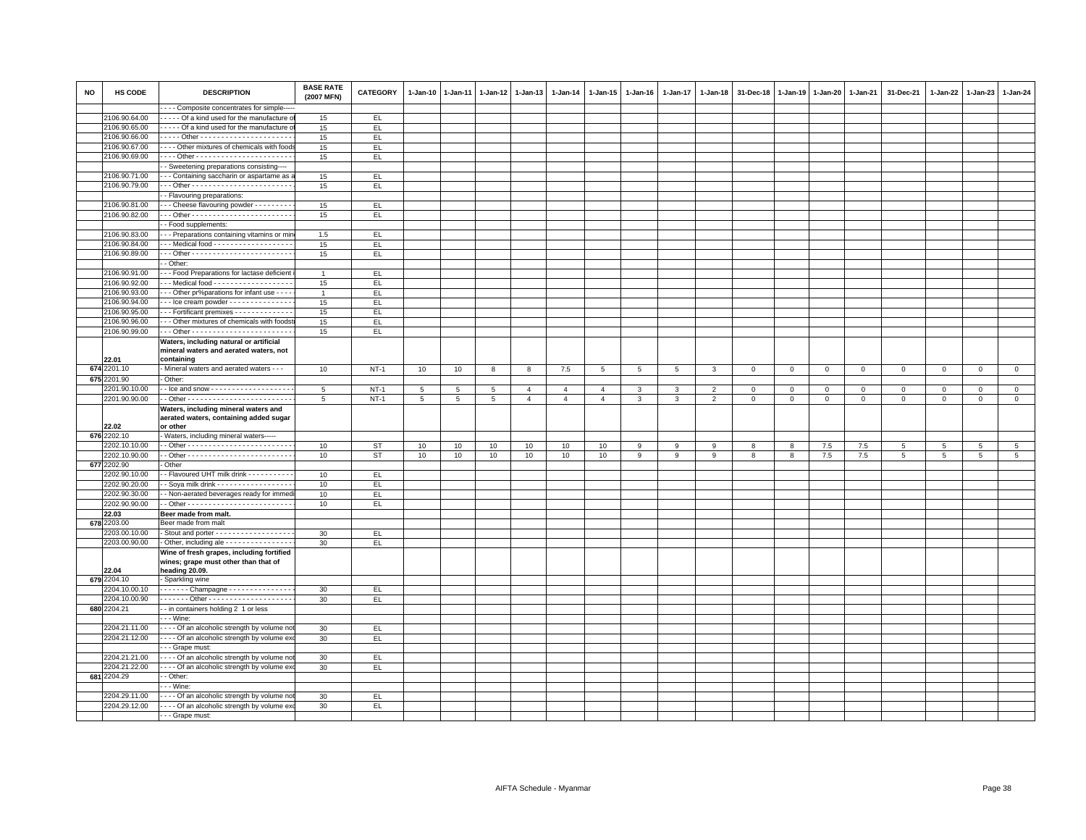| NO | HS CODE       | <b>DESCRIPTION</b>                                   | <b>BASE RATE</b><br>(2007 MFN) | <b>CATEGORY</b> | $1-Jan-10$      | $1-Jan-11$      | 1-Jan-12 1-Jan-13 |                | $1-Jan-14$     | $1-Jan-15$      | $1 - Jan-16$   | $1 - Jan-17$ | 1-Jan-18       | 31-Dec-18   | $1-Jan-19$  | 1-Jan-20    | 1-Jan-21    | 31-Dec-21   | 1-Jan-22 | $1-Jan-23$   | 1-Jan-24    |
|----|---------------|------------------------------------------------------|--------------------------------|-----------------|-----------------|-----------------|-------------------|----------------|----------------|-----------------|----------------|--------------|----------------|-------------|-------------|-------------|-------------|-------------|----------|--------------|-------------|
|    |               | ---- Composite concentrates for simple---            |                                |                 |                 |                 |                   |                |                |                 |                |              |                |             |             |             |             |             |          |              |             |
|    | 2106.90.64.00 | Of a kind used for the manufacture o                 | 15                             | EL.             |                 |                 |                   |                |                |                 |                |              |                |             |             |             |             |             |          |              |             |
|    | 2106.90.65.00 | - - - - - Of a kind used for the manufacture o       | 15                             | EL              |                 |                 |                   |                |                |                 |                |              |                |             |             |             |             |             |          |              |             |
|    | 2106.90.66.00 |                                                      | 15                             | EL.             |                 |                 |                   |                |                |                 |                |              |                |             |             |             |             |             |          |              |             |
|    | 2106.90.67.00 | - - - - Other mixtures of chemicals with food        | 15                             | EL.             |                 |                 |                   |                |                |                 |                |              |                |             |             |             |             |             |          |              |             |
|    | 2106.90.69.00 |                                                      | 15                             | EL.             |                 |                 |                   |                |                |                 |                |              |                |             |             |             |             |             |          |              |             |
|    |               | - Sweetening preparations consisting----             |                                |                 |                 |                 |                   |                |                |                 |                |              |                |             |             |             |             |             |          |              |             |
|    | 2106.90.71.00 | - - - Containing saccharin or aspartame as a         | 15                             | EL.             |                 |                 |                   |                |                |                 |                |              |                |             |             |             |             |             |          |              |             |
|    | 2106.90.79.00 |                                                      | 15                             | EL.             |                 |                 |                   |                |                |                 |                |              |                |             |             |             |             |             |          |              |             |
|    |               | - Flavouring preparations:                           |                                |                 |                 |                 |                   |                |                |                 |                |              |                |             |             |             |             |             |          |              |             |
|    |               |                                                      |                                |                 |                 |                 |                   |                |                |                 |                |              |                |             |             |             |             |             |          |              |             |
|    | 2106.90.81.00 | -- Cheese flavouring powder - - - - - - - -          | 15                             | EL.             |                 |                 |                   |                |                |                 |                |              |                |             |             |             |             |             |          |              |             |
|    | 2106.90.82.00 |                                                      | 15                             | EL.             |                 |                 |                   |                |                |                 |                |              |                |             |             |             |             |             |          |              |             |
|    |               | - Food supplements:                                  |                                |                 |                 |                 |                   |                |                |                 |                |              |                |             |             |             |             |             |          |              |             |
|    | 2106.90.83.00 | - - Preparations containing vitamins or min          | 1.5                            | EL              |                 |                 |                   |                |                |                 |                |              |                |             |             |             |             |             |          |              |             |
|    | 2106.90.84.00 | -- Medical food - - - - - - - - - - - - - - - - - -  | 15                             | EL.             |                 |                 |                   |                |                |                 |                |              |                |             |             |             |             |             |          |              |             |
|    | 2106.90.89.00 |                                                      | 15                             | EL              |                 |                 |                   |                |                |                 |                |              |                |             |             |             |             |             |          |              |             |
|    |               | - Other:                                             |                                |                 |                 |                 |                   |                |                |                 |                |              |                |             |             |             |             |             |          |              |             |
|    | 2106.90.91.00 | - - Food Preparations for lactase deficient          | $\overline{1}$                 | EL.             |                 |                 |                   |                |                |                 |                |              |                |             |             |             |             |             |          |              |             |
|    | 2106.90.92.00 | -- Medical food - - - - - - - - - - - - - - - - - -  | 15                             | EL.             |                 |                 |                   |                |                |                 |                |              |                |             |             |             |             |             |          |              |             |
|    | 2106.90.93.00 | - - Other pr%parations for infant use - - - -        | $\overline{1}$                 | EL.             |                 |                 |                   |                |                |                 |                |              |                |             |             |             |             |             |          |              |             |
|    | 2106.90.94.00 | -- Ice cream powder - - - - - - - - - - - - - - -    | 15                             | EL.             |                 |                 |                   |                |                |                 |                |              |                |             |             |             |             |             |          |              |             |
|    | 2106.90.95.00 | -- Fortificant premixes - - - - - - - - - - - - -    | 15                             | EL.             |                 |                 |                   |                |                |                 |                |              |                |             |             |             |             |             |          |              |             |
|    | 2106.90.96.00 | - - Other mixtures of chemicals with foodst          | 15                             | EL              |                 |                 |                   |                |                |                 |                |              |                |             |             |             |             |             |          |              |             |
|    | 2106.90.99.00 |                                                      | 15                             | EL.             |                 |                 |                   |                |                |                 |                |              |                |             |             |             |             |             |          |              |             |
|    |               | Waters, including natural or artificial              |                                |                 |                 |                 |                   |                |                |                 |                |              |                |             |             |             |             |             |          |              |             |
|    |               | mineral waters and aerated waters, not               |                                |                 |                 |                 |                   |                |                |                 |                |              |                |             |             |             |             |             |          |              |             |
|    | 22.01         | containing                                           |                                |                 |                 |                 |                   |                |                |                 |                |              |                |             |             |             |             |             |          |              |             |
|    | 674 2201.10   | - Mineral waters and aerated waters - - -            | 10                             | $NT-1$          | 10              | 10              | 8                 | 8              | $7.5\,$        | $5\phantom{.0}$ | $\overline{5}$ | 5            | 3              | $\mathbf 0$ | $\mathbf 0$ | $\mathsf 0$ | $\mathbf 0$ | $\mathbf 0$ | $\Omega$ | $\mathbf{0}$ | $\mathsf 0$ |
|    | 675 2201.90   | Other:                                               |                                |                 |                 |                 |                   |                |                |                 |                |              |                |             |             |             |             |             |          |              |             |
|    | 2201.90.10.00 |                                                      | 5                              | $NT-1$          | 5               | 5               | 5                 | $\overline{4}$ | $\overline{4}$ | $\overline{4}$  |                | 3            | $\overline{2}$ | $\mathbf 0$ | $\mathbf 0$ | $\mathbf 0$ | $\mathbf 0$ | $\mathbf 0$ | 0        | $\mathbf 0$  | $\mathsf 0$ |
|    | 2201.90.90.00 |                                                      | 5                              | $NT-1$          | $5\phantom{.0}$ | $5\phantom{.0}$ | 5                 | $\overline{4}$ | $\overline{4}$ | $\overline{4}$  | 3              | 3            | $\overline{2}$ | $\mathbf 0$ | $\mathbf 0$ | $\mathbf 0$ | $\mathbf 0$ | $\mathbf 0$ | $\Omega$ | $\Omega$     | $\mathsf 0$ |
|    |               | Waters, including mineral waters and                 |                                |                 |                 |                 |                   |                |                |                 |                |              |                |             |             |             |             |             |          |              |             |
|    |               | aerated waters, containing added sugar               |                                |                 |                 |                 |                   |                |                |                 |                |              |                |             |             |             |             |             |          |              |             |
|    | 22.02         | or other                                             |                                |                 |                 |                 |                   |                |                |                 |                |              |                |             |             |             |             |             |          |              |             |
|    | 676 2202.10   | - Waters, including mineral waters-----              |                                |                 |                 |                 |                   |                |                |                 |                |              |                |             |             |             |             |             |          |              |             |
|    | 2202.10.10.00 |                                                      | 10                             | <b>ST</b>       | 10              | 10              | 10                | 10             | 10             | 10              | 9              | 9            | 9              | 8           | 8           | 7.5         | 7.5         | 5           | 5        | 5            | 5           |
|    | 2202.10.90.00 |                                                      | 10                             | ST              | 10              | 10              | 10                | 10             | 10             | 10              | 9              | 9            | 9              | 8           | 8           | 7.5         | 7.5         | 5           | 5        | 5            | 5           |
|    | 677 2202.90   | Other                                                |                                |                 |                 |                 |                   |                |                |                 |                |              |                |             |             |             |             |             |          |              |             |
|    | 2202.90.10.00 | - Flavoured UHT milk drink - - - - - - - - - -       | 10                             | EL.             |                 |                 |                   |                |                |                 |                |              |                |             |             |             |             |             |          |              |             |
|    | 2202.90.20.00 | - Soya milk drink - - - - - - - - - - - - - - - - -  | 10                             | EL.             |                 |                 |                   |                |                |                 |                |              |                |             |             |             |             |             |          |              |             |
|    | 2202.90.30.00 | - Non-aerated beverages ready for immed              | 10                             | EL.             |                 |                 |                   |                |                |                 |                |              |                |             |             |             |             |             |          |              |             |
|    | 2202.90.90.00 |                                                      | 10                             | EL              |                 |                 |                   |                |                |                 |                |              |                |             |             |             |             |             |          |              |             |
|    |               |                                                      |                                |                 |                 |                 |                   |                |                |                 |                |              |                |             |             |             |             |             |          |              |             |
|    | 22.03         | Beer made from malt.                                 |                                |                 |                 |                 |                   |                |                |                 |                |              |                |             |             |             |             |             |          |              |             |
|    | 678 2203.00   | Beer made from malt                                  |                                |                 |                 |                 |                   |                |                |                 |                |              |                |             |             |             |             |             |          |              |             |
|    | 2203.00.10.00 | Stout and porter - - - - - - - - - - - - - - - - - - | 30                             | EL.             |                 |                 |                   |                |                |                 |                |              |                |             |             |             |             |             |          |              |             |
|    | 2203.00.90.00 | Other, including ale - - - - - - - - - - - - - - -   | 30                             | EL              |                 |                 |                   |                |                |                 |                |              |                |             |             |             |             |             |          |              |             |
|    |               | Wine of fresh grapes, including fortified            |                                |                 |                 |                 |                   |                |                |                 |                |              |                |             |             |             |             |             |          |              |             |
|    |               | wines; grape must other than that of                 |                                |                 |                 |                 |                   |                |                |                 |                |              |                |             |             |             |             |             |          |              |             |
|    | 22.04         | heading 20.09.                                       |                                |                 |                 |                 |                   |                |                |                 |                |              |                |             |             |             |             |             |          |              |             |
|    | 679 2204.10   | - Sparkling wine                                     |                                |                 |                 |                 |                   |                |                |                 |                |              |                |             |             |             |             |             |          |              |             |
|    | 2204.10.00.10 | - - - - - - - Champagne - - - - - - - - - - - - - -  | 30                             | EL.             |                 |                 |                   |                |                |                 |                |              |                |             |             |             |             |             |          |              |             |
|    | 2204.10.00.90 |                                                      | 30                             | EL.             |                 |                 |                   |                |                |                 |                |              |                |             |             |             |             |             |          |              |             |
|    | 680 2204.21   | -- in containers holding 2 1 or less                 |                                |                 |                 |                 |                   |                |                |                 |                |              |                |             |             |             |             |             |          |              |             |
|    |               | $-$ - Wine:                                          |                                |                 |                 |                 |                   |                |                |                 |                |              |                |             |             |             |             |             |          |              |             |
|    | 2204.21.11.00 | - - - - Of an alcoholic strength by volume no        | 30                             | EL.             |                 |                 |                   |                |                |                 |                |              |                |             |             |             |             |             |          |              |             |
|    | 2204.21.12.00 | - - - - Of an alcoholic strength by volume ex        | 30                             | EL.             |                 |                 |                   |                |                |                 |                |              |                |             |             |             |             |             |          |              |             |
|    |               | - - - Grape must:                                    |                                |                 |                 |                 |                   |                |                |                 |                |              |                |             |             |             |             |             |          |              |             |
|    | 2204.21.21.00 | - - - - Of an alcoholic strength by volume no        | 30                             | EL.             |                 |                 |                   |                |                |                 |                |              |                |             |             |             |             |             |          |              |             |
|    | 2204.21.22.00 | - - - - Of an alcoholic strength by volume ex-       | 30                             | EL.             |                 |                 |                   |                |                |                 |                |              |                |             |             |             |             |             |          |              |             |
|    | 681 2204.29   | - - Other:                                           |                                |                 |                 |                 |                   |                |                |                 |                |              |                |             |             |             |             |             |          |              |             |
|    |               | $\cdots$ Wine:                                       |                                |                 |                 |                 |                   |                |                |                 |                |              |                |             |             |             |             |             |          |              |             |
|    | 2204.29.11.00 | - - - - Of an alcoholic strength by volume no        | 30                             | EL.             |                 |                 |                   |                |                |                 |                |              |                |             |             |             |             |             |          |              |             |
|    | 2204.29.12.00 | - - - - Of an alcoholic strength by volume exo-      | 30                             | EL.             |                 |                 |                   |                |                |                 |                |              |                |             |             |             |             |             |          |              |             |
|    |               | - - - Grape must:                                    |                                |                 |                 |                 |                   |                |                |                 |                |              |                |             |             |             |             |             |          |              |             |
|    |               |                                                      |                                |                 |                 |                 |                   |                |                |                 |                |              |                |             |             |             |             |             |          |              |             |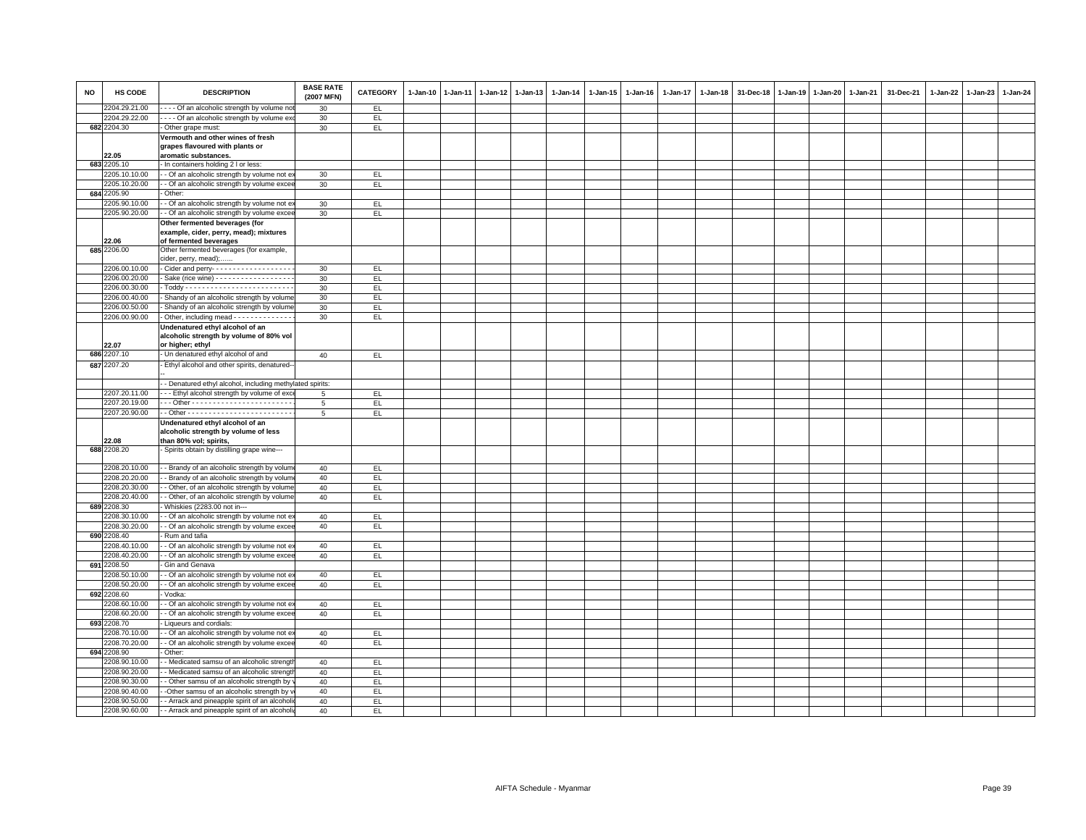| <b>NO</b> | HS CODE                        | <b>DESCRIPTION</b>                                                                                 | <b>BASE RATE</b><br>(2007 MFN) | CATEGORY   | $1 - Jan-10$ | $1 - Jan-11$ | 1-Jan-12 | $1-Jan-13$ | $1 - Jan-14$ | 1-Jan-15 | 1-Jan-16 | 1-Jan-17 | $1 - Jan-18$ | 31-Dec-18 | 1-Jan-19 1-Jan-20 1-Jan-21 | 31-Dec-21 | $1 - Jan-22$ | 1-Jan-23 | $1-Jan-24$ |
|-----------|--------------------------------|----------------------------------------------------------------------------------------------------|--------------------------------|------------|--------------|--------------|----------|------------|--------------|----------|----------|----------|--------------|-----------|----------------------------|-----------|--------------|----------|------------|
|           | 2204.29.21.00                  | --- Of an alcoholic strength by volume no                                                          | 30                             | EL         |              |              |          |            |              |          |          |          |              |           |                            |           |              |          |            |
|           | 2204.29.22.00                  | ---- Of an alcoholic strength by volume ex                                                         | 30                             | EL.        |              |              |          |            |              |          |          |          |              |           |                            |           |              |          |            |
|           | 682 2204.30                    | - Other grape must:                                                                                | 30                             | EL.        |              |              |          |            |              |          |          |          |              |           |                            |           |              |          |            |
|           |                                | Vermouth and other wines of fresh<br>grapes flavoured with plants or                               |                                |            |              |              |          |            |              |          |          |          |              |           |                            |           |              |          |            |
|           | 22.05<br>683 2205.10           | aromatic substances.                                                                               |                                |            |              |              |          |            |              |          |          |          |              |           |                            |           |              |          |            |
|           |                                | - In containers holding 2 I or less:                                                               |                                |            |              |              |          |            |              |          |          |          |              |           |                            |           |              |          |            |
|           | 2205.10.10.00<br>2205.10.20.00 | - - Of an alcoholic strength by volume not e:                                                      | 30                             | EL.        |              |              |          |            |              |          |          |          |              |           |                            |           |              |          |            |
|           | 684 2205.90                    | - Of an alcoholic strength by volume excer<br>- Other:                                             | 30                             | EL         |              |              |          |            |              |          |          |          |              |           |                            |           |              |          |            |
|           | 2205.90.10.00                  | - Of an alcoholic strength by volume not e                                                         |                                |            |              |              |          |            |              |          |          |          |              |           |                            |           |              |          |            |
|           | 2205.90.20.00                  | - - Of an alcoholic strength by volume excee                                                       | 30                             | EL.        |              |              |          |            |              |          |          |          |              |           |                            |           |              |          |            |
|           |                                |                                                                                                    | 30                             | EL.        |              |              |          |            |              |          |          |          |              |           |                            |           |              |          |            |
|           | 22.06                          | Other fermented beverages (for<br>example, cider, perry, mead); mixtures<br>of fermented beverages |                                |            |              |              |          |            |              |          |          |          |              |           |                            |           |              |          |            |
|           | 685 2206.00                    | Other fermented beverages (for example,<br>cider, perry, mead);                                    |                                |            |              |              |          |            |              |          |          |          |              |           |                            |           |              |          |            |
|           | 2206.00.10.00                  | - Cider and perry-------------------                                                               | 30                             | EL.        |              |              |          |            |              |          |          |          |              |           |                            |           |              |          |            |
|           | 2206.00.20.00                  | Sake (rice wine) - - - - - - - - - - - - - - - - -                                                 | 30                             | EL         |              |              |          |            |              |          |          |          |              |           |                            |           |              |          |            |
|           | 2206.00.30.00                  |                                                                                                    | 30                             | EL.        |              |              |          |            |              |          |          |          |              |           |                            |           |              |          |            |
|           | 2206.00.40.00                  | - Shandy of an alcoholic strength by volume                                                        | 30                             | EL         |              |              |          |            |              |          |          |          |              |           |                            |           |              |          |            |
|           | 2206.00.50.00                  | - Shandy of an alcoholic strength by volume                                                        | 30                             | EL.        |              |              |          |            |              |          |          |          |              |           |                            |           |              |          |            |
|           | 2206.00.90.00                  | - Other, including mead - - - - - - - - - - - - -                                                  | 30                             | EL         |              |              |          |            |              |          |          |          |              |           |                            |           |              |          |            |
|           | 22.07                          | Undenatured ethyl alcohol of an<br>alcoholic strength by volume of 80% vol<br>or higher; ethyl     |                                |            |              |              |          |            |              |          |          |          |              |           |                            |           |              |          |            |
|           | 686 2207.10                    | - Un denatured ethyl alcohol of and                                                                | 40                             | EL         |              |              |          |            |              |          |          |          |              |           |                            |           |              |          |            |
|           | 687 2207.20                    | - Ethyl alcohol and other spirits, denatured-                                                      |                                |            |              |              |          |            |              |          |          |          |              |           |                            |           |              |          |            |
|           |                                | - - Denatured ethyl alcohol, including methylated spirits:                                         |                                |            |              |              |          |            |              |          |          |          |              |           |                            |           |              |          |            |
|           | 2207.20.11.00                  | - - Ethyl alcohol strength by volume of exc                                                        |                                | EL         |              |              |          |            |              |          |          |          |              |           |                            |           |              |          |            |
|           | 2207.20.19.00                  |                                                                                                    | 5                              | EL.        |              |              |          |            |              |          |          |          |              |           |                            |           |              |          |            |
|           | 2207.20.90.00                  |                                                                                                    | 5                              | EL         |              |              |          |            |              |          |          |          |              |           |                            |           |              |          |            |
|           | 22.08                          | Undenatured ethyl alcohol of an<br>alcoholic strength by volume of less<br>than 80% vol; spirits,  |                                |            |              |              |          |            |              |          |          |          |              |           |                            |           |              |          |            |
|           | 688 2208.20                    | - Spirits obtain by distilling grape wine---                                                       |                                |            |              |              |          |            |              |          |          |          |              |           |                            |           |              |          |            |
|           | 2208.20.10.00                  | - - Brandy of an alcoholic strength by volum                                                       | 40                             | EL.        |              |              |          |            |              |          |          |          |              |           |                            |           |              |          |            |
|           | 2208.20.20.00                  | - Brandy of an alcoholic strength by volum                                                         | 40                             | EL         |              |              |          |            |              |          |          |          |              |           |                            |           |              |          |            |
|           | 2208.20.30.00                  | - Other, of an alcoholic strength by volume                                                        | 40                             | EL         |              |              |          |            |              |          |          |          |              |           |                            |           |              |          |            |
|           | 2208.20.40.00                  | - Other, of an alcoholic strength by volume                                                        | 40                             | EL.        |              |              |          |            |              |          |          |          |              |           |                            |           |              |          |            |
|           | 689 2208.30                    | - Whiskies (2283.00 not in---                                                                      |                                |            |              |              |          |            |              |          |          |          |              |           |                            |           |              |          |            |
|           | 2208.30.10.00                  | - Of an alcoholic strength by volume not e                                                         | 40                             | EL         |              |              |          |            |              |          |          |          |              |           |                            |           |              |          |            |
|           | 2208.30.20.00                  | - Of an alcoholic strength by volume excee                                                         | 40                             | E          |              |              |          |            |              |          |          |          |              |           |                            |           |              |          |            |
|           | 690 2208.40                    | Rum and tafia                                                                                      |                                |            |              |              |          |            |              |          |          |          |              |           |                            |           |              |          |            |
|           | 2208.40.10.00                  | - - Of an alcoholic strength by volume not e:                                                      | 40                             | EL.        |              |              |          |            |              |          |          |          |              |           |                            |           |              |          |            |
|           | 2208.40.20.00                  | - - Of an alcoholic strength by volume excee                                                       | 40                             | E          |              |              |          |            |              |          |          |          |              |           |                            |           |              |          |            |
| 691       | 2208.50<br>2208.50.10.00       | Gin and Genava<br>- Of an alcoholic strength by volume not e                                       |                                |            |              |              |          |            |              |          |          |          |              |           |                            |           |              |          |            |
|           | 2208.50.20.00                  | - - Of an alcoholic strength by volume excer                                                       | 40<br>40                       | EL.<br>EL. |              |              |          |            |              |          |          |          |              |           |                            |           |              |          |            |
|           | 692 2208.60                    | Vodka:                                                                                             |                                |            |              |              |          |            |              |          |          |          |              |           |                            |           |              |          |            |
|           | 2208.60.10.00                  | - Of an alcoholic strength by volume not e                                                         | 40                             | EL         |              |              |          |            |              |          |          |          |              |           |                            |           |              |          |            |
|           | 2208.60.20.00                  | - - Of an alcoholic strength by volume exce                                                        | 40                             | EL         |              |              |          |            |              |          |          |          |              |           |                            |           |              |          |            |
| 693       | 2208.70                        | Liqueurs and cordials:                                                                             |                                |            |              |              |          |            |              |          |          |          |              |           |                            |           |              |          |            |
|           | 2208.70.10.00                  | - Of an alcoholic strength by volume not e                                                         | 40                             | EL.        |              |              |          |            |              |          |          |          |              |           |                            |           |              |          |            |
|           | 2208.70.20.00                  | - - Of an alcoholic strength by volume excee                                                       | 40                             | EL         |              |              |          |            |              |          |          |          |              |           |                            |           |              |          |            |
|           | 694 2208.90                    | Other:                                                                                             |                                |            |              |              |          |            |              |          |          |          |              |           |                            |           |              |          |            |
|           | 2208.90.10.00                  | - Medicated samsu of an alcoholic strengt                                                          | 40                             | E          |              |              |          |            |              |          |          |          |              |           |                            |           |              |          |            |
|           | 2208.90.20.00                  | - Medicated samsu of an alcoholic streng                                                           | 40                             | EL.        |              |              |          |            |              |          |          |          |              |           |                            |           |              |          |            |
|           | 2208.90.30.00                  | - Other samsu of an alcoholic strength by                                                          | 40                             | EL.        |              |              |          |            |              |          |          |          |              |           |                            |           |              |          |            |
|           | 2208.90.40.00                  | -Other samsu of an alcoholic strength by                                                           | 40                             | EL         |              |              |          |            |              |          |          |          |              |           |                            |           |              |          |            |
|           | 2208.90.50.00                  | - Arrack and pineapple spirit of an alcohol                                                        | 40                             | EL.        |              |              |          |            |              |          |          |          |              |           |                            |           |              |          |            |
|           | 2208.90.60.00                  | - - Arrack and pineapple spirit of an alcoholi                                                     | 40                             | EL         |              |              |          |            |              |          |          |          |              |           |                            |           |              |          |            |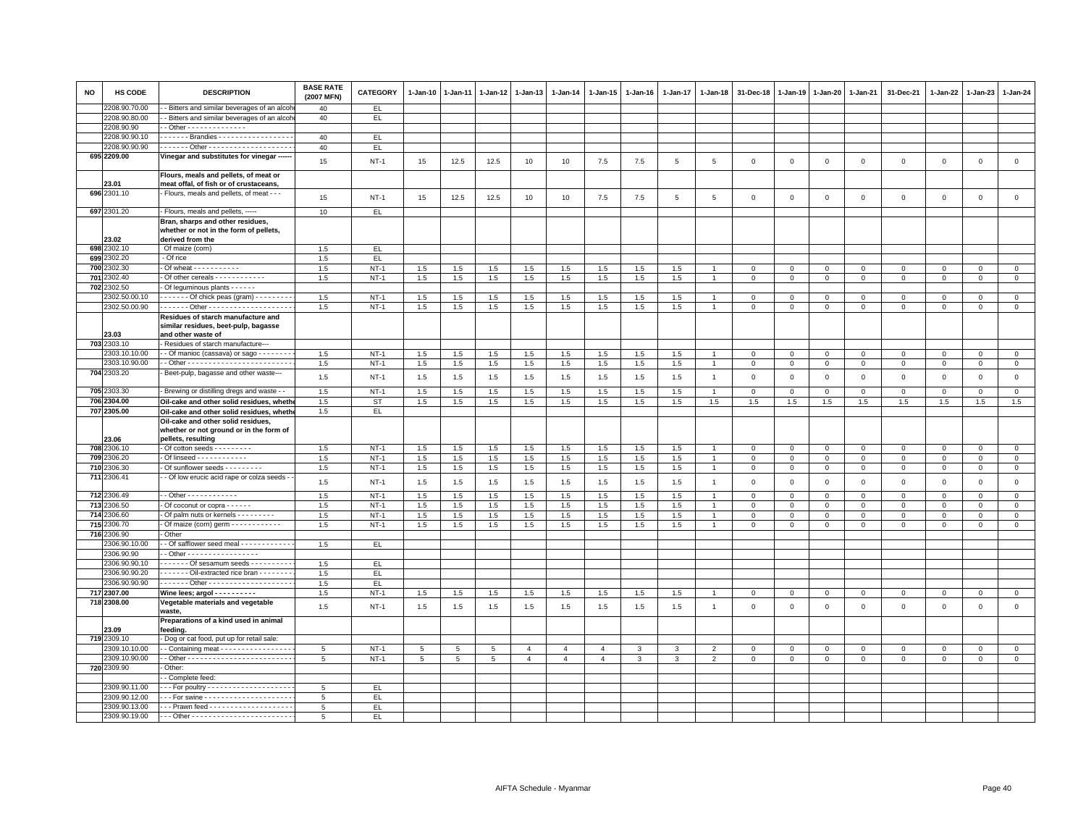| <b>NO</b> | HS CODE       | <b>DESCRIPTION</b>                                                                                  | <b>BASE RATE</b><br>(2007 MFN) | CATEGORY  | $1 - Jan-10$ | $1 - Jan-11$ | $1 - Jan-12$ | $1 - Jan-13$   | 1-Jan-14       | 1-Jan-15       | $1 - Jan-16$  | 1-Jan-17       | $1 - Jan-18$   | 31-Dec-18      | $1 - Jan-19$   | $1-Jan-20$     | 1-Jan-21       | 31-Dec-21    | 1-Jan-22     | $1-Jan-23$     | $1 - Jan-24$   |
|-----------|---------------|-----------------------------------------------------------------------------------------------------|--------------------------------|-----------|--------------|--------------|--------------|----------------|----------------|----------------|---------------|----------------|----------------|----------------|----------------|----------------|----------------|--------------|--------------|----------------|----------------|
|           | 2208.90.70.00 | - Bitters and similar beverages of an alcoh                                                         | 40                             | EL.       |              |              |              |                |                |                |               |                |                |                |                |                |                |              |              |                |                |
|           | 2208.90.80.00 | - Bitters and similar beverages of an alcoh                                                         | 40                             | EL.       |              |              |              |                |                |                |               |                |                |                |                |                |                |              |              |                |                |
|           | 2208.90.90    | - Other - - - - - - - - - - - - - -                                                                 |                                |           |              |              |              |                |                |                |               |                |                |                |                |                |                |              |              |                |                |
|           | 2208.90.90.10 | . - Brandies -                                                                                      | 40                             | EL        |              |              |              |                |                |                |               |                |                |                |                |                |                |              |              |                |                |
|           | 2208.90.90.90 |                                                                                                     | 40                             | EL.       |              |              |              |                |                |                |               |                |                |                |                |                |                |              |              |                |                |
|           | 695 2209.00   | Vinegar and substitutes for vinegar -----                                                           | 15                             | $NT-1$    | 15           | 12.5         | 12.5         | 10             | 10             | 7.5            | 7.5           | $\overline{5}$ | $\,$ 5 $\,$    | $\mathbf 0$    | $\mathbb O$    | $\mathbf 0$    | $\mathsf 0$    | $\mathsf 0$  | $\mathsf 0$  | $\mathsf 0$    | $\mathsf 0$    |
|           | 23.01         | Flours, meals and pellets, of meat or<br>meat offal, of fish or of crustaceans,                     |                                |           |              |              |              |                |                |                |               |                |                |                |                |                |                |              |              |                |                |
|           | 696 2301.10   | Flours, meals and pellets, of meat - - -                                                            | 15                             | $NT-1$    | 15           | 12.5         | 12.5         | 10             | 10             | $7.5\,$        | 7.5           | $\overline{5}$ | $\sqrt{5}$     | $\mathbf 0$    | $\mathsf 0$    | $\mathbb O$    | $\mathsf 0$    | $\mathsf 0$  | $\mathsf 0$  | $\mathsf 0$    | $\mathsf 0$    |
|           | 697 2301.20   | - Flours, meals and pellets, -----                                                                  | 10                             | EL.       |              |              |              |                |                |                |               |                |                |                |                |                |                |              |              |                |                |
|           | 23.02         | Bran, sharps and other residues,<br>whether or not in the form of pellets,<br>derived from the      |                                |           |              |              |              |                |                |                |               |                |                |                |                |                |                |              |              |                |                |
|           | 698 2302.10   | Of maize (corn)                                                                                     | 1.5                            | EL        |              |              |              |                |                |                |               |                |                |                |                |                |                |              |              |                |                |
|           | 699 2302.20   | - Of rice                                                                                           | 1.5                            | EL.       |              |              |              |                |                |                |               |                |                |                |                |                |                |              |              |                |                |
| 700       | 302.30        | Of wheat - - - - - - - - - - -                                                                      | 1.5                            | $NT-1$    | 1.5          | 1.5          | 1.5          | 1.5            | 1.5            | $1.5\,$        | 1.5           | $1.5\,$        |                | $\mathbf 0$    | $\mathsf 0$    | $\overline{0}$ | $\mathbf{0}$   | $\mathbf 0$  | $^{\circ}$   | $\mathbf{O}$   | $\mathbf{0}$   |
| 701       | 2302.40       | - Of other cereals - - - - - - - - - - -                                                            | 1.5                            | $NT-1$    | 1.5          | 1.5          | 1.5          | 1.5            | 1.5            | 1.5            | 1.5           | 1.5            | $\overline{1}$ | $\mathbf{0}$   | $\mathbf{0}$   | $\mathbf{0}$   | $\mathbf{0}$   | $\mathbf{0}$ | $\mathbf{0}$ | $\mathbf{0}$   | $\mathbf{0}$   |
|           | 702 2302.50   | - Of leguminous plants - - - - -                                                                    |                                |           |              |              |              |                |                |                |               |                |                |                |                |                |                |              |              |                |                |
|           | 2302.50.00.10 | - - - - - - - Of chick peas (gram) - - - - - - - - -                                                | 1.5                            | $NT-1$    | 1.5          | 1.5          | 1.5          | 1.5            | 1.5            | 1.5            | 1.5           | 1.5            | $\mathbf{1}$   | $^{\circ}$     | $^{\circ}$     | $\mathbf 0$    | $\mathbf 0$    | 0            | $\mathbf 0$  | 0              | $\mathbf 0$    |
|           | 2302.50.00.90 |                                                                                                     | 1.5                            | $NT-1$    | 1.5          | 1.5          | 1.5          | 1.5            | 1.5            | 1.5            | 1.5           | 1.5            | $\mathbf{1}$   | $\mathbf 0$    | $\mathsf 0$    | $\mathbf 0$    | $\mathsf 0$    | $\mathsf 0$  | $\mathsf 0$  | $\mathsf 0$    | $\overline{0}$ |
|           | 23.03         | Residues of starch manufacture and<br>similar residues, beet-pulp, bagasse<br>and other waste of    |                                |           |              |              |              |                |                |                |               |                |                |                |                |                |                |              |              |                |                |
|           | 703 2303.10   | Residues of starch manufacture---                                                                   |                                |           |              |              |              |                |                |                |               |                |                |                |                |                |                |              |              |                |                |
|           | 2303.10.10.00 | - Of manioc (cassava) or sago - - - - - - - -                                                       | 1.5                            | $NT-1$    | 1.5          | 1.5          | 1.5          | 1.5            | 1.5            | 1.5            | 1.5           | 1.5            | $\overline{1}$ | $\circ$        | $\mathsf 0$    | $\mathbf 0$    | $\mathsf 0$    | $\mathbf 0$  | $\mathbf 0$  | $\mathsf 0$    | $\mathbf 0$    |
|           | 2303.10.90.00 |                                                                                                     | 1.5                            | $NT-1$    | 1.5          | 1.5          | 1.5          | 1.5            | 1.5            | 1.5            | 1.5           | 1.5            | $\overline{1}$ | $\mathbf 0$    | $\,0\,$        | $\overline{0}$ | $\overline{0}$ | $\mathbf 0$  | $\mathbf 0$  | $\overline{0}$ | $\overline{0}$ |
|           | 704 2303.20   | Beet-pulp, bagasse and other waste---                                                               | 1.5                            | $NT-1$    | 1.5          | 1.5          | 1.5          | 1.5            | 1.5            | 1.5            | 1.5           | 1.5            | $\mathbf{1}$   | $\mathbf 0$    | $\mathbf{0}$   | $\mathbf 0$    | $\mathsf 0$    | $\mathsf 0$  | $\mathsf 0$  | $\mathsf 0$    | $\mathsf 0$    |
|           | 705 2303.30   | - Brewing or distilling dregs and waste - -                                                         | 1.5                            | $NT-1$    | $1.5\,$      | $1.5$        | $1.5\,$      | 1.5            | $1.5\,$        | $1.5\,$        | 1.5           | $1.5\,$        | $\overline{1}$ | $\mathbf 0$    | $\mathbb O$    | $\mathbf 0$    | $\mathsf 0$    | $\mathsf 0$  | $\mathsf 0$  | $\mathsf 0$    | $\mathsf 0$    |
|           | 706 2304.00   | Oil-cake and other solid residues, wheth                                                            | 1.5                            | <b>ST</b> | 1.5          | 1.5          | 1.5          | 1.5            | 1.5            | 1.5            | 1.5           | 1.5            | 1.5            | 1.5            | 1.5            | 1.5            | 1.5            | 1.5          | 1.5          | 1.5            | 1.5            |
|           | 707 2305.00   | Oil-cake and other solid residues, wheth                                                            | 1.5                            | EL        |              |              |              |                |                |                |               |                |                |                |                |                |                |              |              |                |                |
|           | 23.06         | Oil-cake and other solid residues,<br>whether or not ground or in the form of<br>pellets, resulting |                                |           |              |              |              |                |                |                |               |                |                |                |                |                |                |              |              |                |                |
|           | 708 2306.10   | Of cotton seeds - - - - - - - - -                                                                   | 1.5                            | $NT-1$    | 1.5          | 1.5          | 1.5          | 1.5            | 1.5            | 1.5            | 1.5           | 1.5            | $\overline{1}$ | $\circ$        | $\mathbf{0}$   | $\mathbf 0$    | $\mathbf 0$    | $\mathsf 0$  | $\mathbf 0$  | $\mathsf 0$    | $\mathbf 0$    |
| 709       | 2306.20       | - Of linseed - - - - - - - - - - - -                                                                | 1.5                            | $NT-1$    | 1.5          | 1.5          | 1.5          | 1.5            | 1.5            | 1.5            | 1.5           | 1.5            | $\overline{1}$ | $\overline{0}$ | $\overline{0}$ | $\overline{0}$ | $\mathbf{0}$   | $\mathbf{0}$ | $\mathbf 0$  | $\mathbf{0}$   | $\overline{0}$ |
|           | 710 2306.30   | - Of sunflower seeds - - - - - - - - -                                                              | 1.5                            | $NT-1$    | 1.5          | 1.5          | 1.5          | 1.5            | 1.5            | 1.5            | 1.5           | 1.5            | $\overline{1}$ | $\mathbf{0}$   | $\mathbf{0}$   | $\mathbf{0}$   | $\mathbf{0}$   | $\mathbf{0}$ | $\mathbf 0$  | $\mathbf 0$    | $\circ$        |
|           | 711 2306.41   | - Of low erucic acid rape or colza seeds -                                                          | 1.5                            | $NT-1$    | 1.5          | 1.5          | 1.5          | 1.5            | 1.5            | 1.5            | 1.5           | 1.5            | $\mathbf{1}$   | $\,0\,$        | $\mathsf 0$    | $\,0\,$        | $\mathsf 0$    | $\mathsf 0$  | $\mathsf 0$  | $\mathbf 0$    | $\mathsf 0$    |
|           | 712 2306.49   | $-$ Other - - - - - - - - - - - -                                                                   | 1.5                            | $NT-1$    | 1.5          | 1.5          | 1.5          | 1.5            | 1.5            | 1.5            | 1.5           | 1.5            |                | $\mathbf 0$    | $\mathbf 0$    | $\mathbf 0$    | $\mathbf 0$    | $\mathsf 0$  | $\mathbf 0$  | $\mathsf 0$    | $\mathbf 0$    |
|           | 713 2306.50   | - Of coconut or copra - - - - - -                                                                   | 1.5                            | $NT-1$    | 1.5          | 1.5          | 1.5          | 1.5            | 1.5            | 1.5            | 1.5           | 1.5            | $\overline{1}$ | $\mathbf 0$    | $\mathbf 0$    | $\mathbf{0}$   | $\mathbf 0$    | $\mathsf 0$  | $\mathbf 0$  | 0              | $\overline{0}$ |
|           | 714 2306.60   | Of palm nuts or kernels - - - - - - - - -                                                           | 1.5                            | $NT-1$    | 1.5          | 1.5          | 1.5          | 1.5            | 1.5            | 1.5            | 1.5           | 1.5            | $\overline{1}$ | $\mathbf 0$    | $\mathbf{0}$   | $\mathbf{0}$   | $\mathbf{0}$   | $\mathbf{0}$ | $\mathbf 0$  | $\mathbf 0$    | $\mathbf 0$    |
|           | 715 2306.70   | Of maize (corn) germ - - - - - - - - - - - -                                                        | 1.5                            | $NT-1$    | 1.5          | 1.5          | 1.5          | 1.5            | 1.5            | 1.5            | 1.5           | 1.5            | $\overline{1}$ | $\mathbf 0$    | $\mathbf 0$    | $\mathbf{0}$   | $\mathbf 0$    | $\mathbf 0$  | 0            | 0              | $\mathsf 0$    |
|           | 716 2306.90   | Other                                                                                               |                                |           |              |              |              |                |                |                |               |                |                |                |                |                |                |              |              |                |                |
|           | 2306.90.10.00 | - Of safflower seed meal - - - - - - - - - - -                                                      | 1.5                            | EL.       |              |              |              |                |                |                |               |                |                |                |                |                |                |              |              |                |                |
|           | 2306.90.90    | - Other - - - - - - - - - - - - - - - -                                                             |                                |           |              |              |              |                |                |                |               |                |                |                |                |                |                |              |              |                |                |
|           | 2306.90.90.10 | Of sesamum seeds - - - - - - - - -                                                                  | 1.5                            | EL.       |              |              |              |                |                |                |               |                |                |                |                |                |                |              |              |                |                |
|           | 2306.90.90.20 | Dil-extracted rice bran                                                                             | 1.5                            | EL.       |              |              |              |                |                |                |               |                |                |                |                |                |                |              |              |                |                |
|           | 2306.90.90.90 | . Other -                                                                                           | 1.5                            | EL.       |              |              |              |                |                |                |               |                |                |                |                |                |                |              |              |                |                |
|           | 717 2307.00   | Wine lees; argol - - - - - - - - -                                                                  | 1.5                            | $NT-1$    | $1.5\,$      | 1.5          | 1.5          | 1.5            | 1.5            | 1.5            | 1.5           | 1.5            |                | $\mathbf 0$    | $\mathsf 0$    | $\mathbf 0$    | $\mathbf{0}$   | $\mathsf 0$  | $\Omega$     | $\mathbf 0$    | $\mathsf 0$    |
|           | 718 2308.00   | Vegetable materials and vegetable<br>waste,                                                         | 1.5                            | $NT-1$    | $1.5\,$      | 1.5          | 1.5          | 1.5            | 1.5            | 1.5            | 1.5           | 1.5            | $\overline{1}$ | $\mathsf 0$    | $\mathbb O$    | $\mathbf 0$    | $\mathsf 0$    | $\mathsf 0$  | 0            | $\mathsf 0$    | $\mathsf 0$    |
|           | 23.09         | Preparations of a kind used in animal<br>feeding.                                                   |                                |           |              |              |              |                |                |                |               |                |                |                |                |                |                |              |              |                |                |
|           | 719 2309.10   | Dog or cat food, put up for retail sale:                                                            |                                |           |              |              |              |                |                |                |               |                |                |                |                |                |                |              |              |                |                |
|           | 2309.10.10.00 | - Containing meat - - - - - - - - - - - - - - - -                                                   | 5                              | $NT-1$    | 5            | $\sqrt{5}$   | $5^{\circ}$  | $\Delta$       | $\overline{4}$ | $\overline{4}$ | $\mathcal{R}$ | $\mathbf{3}$   | $\mathcal{P}$  | $\Omega$       | $\Omega$       | $\mathsf 0$    | $\Omega$       | $\Omega$     | $\Omega$     | $\Omega$       | $\mathsf 0$    |
|           | 2309.10.90.00 |                                                                                                     | 5                              | $NT-1$    | 5            | 5            | 5            | $\overline{4}$ | $\overline{4}$ | $\overline{4}$ | 3             | 3              | $\overline{2}$ | $\mathbf 0$    | $\mathbf 0$    | $\mathbf 0$    | $\mathbf 0$    | $\mathsf 0$  | 0            | $\Omega$       | $\mathbf 0$    |
|           | 720 2309.90   | Other:                                                                                              |                                |           |              |              |              |                |                |                |               |                |                |                |                |                |                |              |              |                |                |
|           |               | - Complete feed:                                                                                    |                                |           |              |              |              |                |                |                |               |                |                |                |                |                |                |              |              |                |                |
|           | 2309.90.11.00 |                                                                                                     | 5                              | EL.       |              |              |              |                |                |                |               |                |                |                |                |                |                |              |              |                |                |
|           | 2309.90.12.00 |                                                                                                     | 5                              | EL.       |              |              |              |                |                |                |               |                |                |                |                |                |                |              |              |                |                |
|           | 2309.90.13.00 |                                                                                                     | 5                              | EL.       |              |              |              |                |                |                |               |                |                |                |                |                |                |              |              |                |                |
|           | 2309.90.19.00 |                                                                                                     | -5                             | EL.       |              |              |              |                |                |                |               |                |                |                |                |                |                |              |              |                |                |
|           |               |                                                                                                     |                                |           |              |              |              |                |                |                |               |                |                |                |                |                |                |              |              |                |                |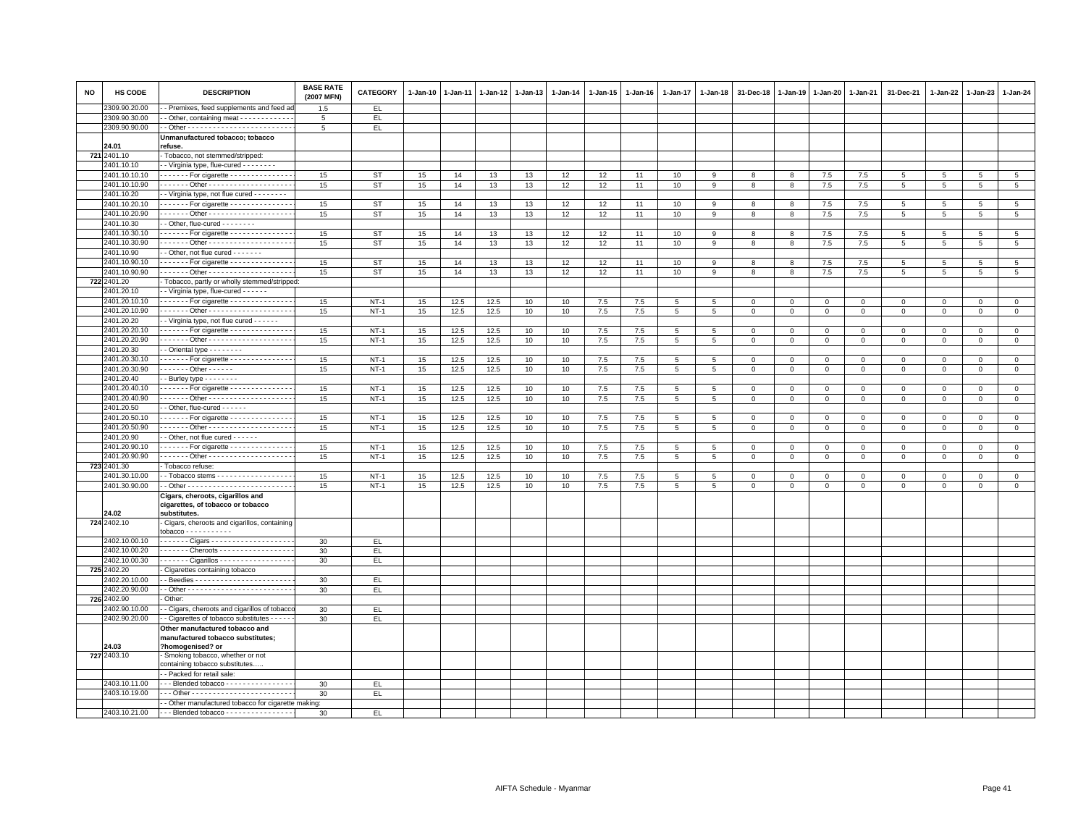| NO | HS CODE                        | <b>DESCRIPTION</b>                                                    | <b>BASE RATE</b><br>(2007 MFN) | <b>CATEGORY</b>  | $1-Jan-10$ | $1 - Jan-11$ |              | 1-Jan-12 1-Jan-13 | 1-Jan-14 | 1-Jan-15   | $1 - Jan-16$ | $1 - Jan-17$    | $1 - Jan-18$ | 31-Dec-18                   | 1-Jan-19         | 1-Jan-20     | $1 - Jan-21$           | 31-Dec-21                  | 1-Jan-22          | 1-Jan-23                    | 1-Jan-24                    |
|----|--------------------------------|-----------------------------------------------------------------------|--------------------------------|------------------|------------|--------------|--------------|-------------------|----------|------------|--------------|-----------------|--------------|-----------------------------|------------------|--------------|------------------------|----------------------------|-------------------|-----------------------------|-----------------------------|
|    | 2309.90.20.00                  | - Premixes, feed supplements and feed a                               | 1.5                            | EL               |            |              |              |                   |          |            |              |                 |              |                             |                  |              |                        |                            |                   |                             |                             |
|    | 2309.90.30.00                  | - Other, containing meat - - - - - - - - - - -                        | 5                              | EL.              |            |              |              |                   |          |            |              |                 |              |                             |                  |              |                        |                            |                   |                             |                             |
|    | 2309.90.90.00                  |                                                                       | $5\overline{5}$                | EL.              |            |              |              |                   |          |            |              |                 |              |                             |                  |              |                        |                            |                   |                             |                             |
|    |                                | Unmanufactured tobacco; tobacco                                       |                                |                  |            |              |              |                   |          |            |              |                 |              |                             |                  |              |                        |                            |                   |                             |                             |
|    | 24.01<br>721 2401.10           | refuse.<br>Tobacco, not stemmed/stripped:                             |                                |                  |            |              |              |                   |          |            |              |                 |              |                             |                  |              |                        |                            |                   |                             |                             |
|    | 2401.10.10                     | - Virginia type, flue-cured - - - - - - - -                           |                                |                  |            |              |              |                   |          |            |              |                 |              |                             |                  |              |                        |                            |                   |                             |                             |
|    | 2401.10.10.10                  | $\cdots$ For cigarette - - - - - - - - - - - - - -                    | 15                             | <b>ST</b>        | 15         | 14           | 13           | 13                | 12       | 12         | 11           | 10              | $\mathbf{Q}$ | 8                           | 8                | 7.5          | 7.5                    | 5                          | $5\overline{5}$   | 5                           | 5                           |
|    | 2401.10.10.90                  |                                                                       | 15                             | <b>ST</b>        | 15         | 14           | 13           | 13                | 12       | 12         | 11           | 10              | 9            | 8                           | 8                | 7.5          | 7.5                    | 5                          | 5                 | 5                           | 5                           |
|    | 2401.10.20                     | - Virginia type, not flue cured - - - - - - - -                       |                                |                  |            |              |              |                   |          |            |              |                 |              |                             |                  |              |                        |                            |                   |                             |                             |
|    | 2401.10.20.10                  | ------ For cigarette ---------------                                  | 15                             | <b>ST</b>        | 15         | 14           | 13           | 13                | 12       | 12         | 11           | 10              | 9            | 8                           | 8                | 7.5          | 7.5                    | 5                          | 5                 | 5                           | 5                           |
|    | 2401.10.20.90                  | . Other -                                                             | 15                             | ST               | 15         | 14           | 13           | 13                | 12       | 12         | 11           | 10              | 9            | 8                           | 8                | 7.5          | 7.5                    | 5                          | 5                 | 5                           | 5                           |
|    | 2401.10.30                     | - - Other, flue-cured - - - - - - - -                                 |                                |                  |            |              |              |                   |          |            |              |                 |              |                             |                  |              |                        |                            |                   |                             |                             |
|    | 2401.10.30.10                  | For cigarette - - - - - - - - - - - - - -                             | 15                             | <b>ST</b>        | 15         | 14           | 13           | 13                | 12       | 12         | 11           | 10              | 9            | 8                           | 8                | 7.5          | 7.5                    | 5                          | 5                 | 5                           | $5\phantom{.0}$             |
|    | 2401.10.30.90                  |                                                                       | 15                             | <b>ST</b>        | 15         | 14           | 13           | 13                | 12       | 12         | 11           | 10              | -9           | 8                           | 8                | 7.5          | 7.5                    | 5                          | 5                 | 5                           | 5                           |
|    | 2401.10.90                     | - Other, not flue cured - - - - - - -                                 |                                |                  |            |              |              |                   |          |            |              |                 |              |                             |                  |              |                        |                            |                   |                             |                             |
|    | 2401.10.90.10                  | For cigarette - - - - - - - - - - - - - -                             | 15                             | <b>ST</b>        | 15         | 14           | 13           | 13                | 12       | 12         | 11           | 10              | 9            | 8                           | 8                | 7.5          | 7.5                    | 5                          | 5                 | 5                           | 5                           |
|    | 2401.10.90.90                  |                                                                       | 15                             | ST               | 15         | 14           | 13           | 13                | 12       | 12         | 11           | 10              | 9            | 8                           | 8                | 7.5          | 7.5                    | 5                          | 5                 | $5\overline{5}$             | $5\phantom{.0}$             |
|    | 722 2401.20                    | - Tobacco, partly or wholly stemmed/stripped:                         |                                |                  |            |              |              |                   |          |            |              |                 |              |                             |                  |              |                        |                            |                   |                             |                             |
|    | 2401.20.10                     | - Virginia type, flue-cured - - - - - -                               |                                |                  |            |              |              |                   |          |            |              |                 |              |                             |                  |              |                        |                            |                   |                             |                             |
|    | 2401.20.10.10                  | $\cdots$ For cigarette - - - - - - - - - - - - - -                    | 15                             | $NT-1$           | 15         | 12.5         | 12.5         | 10                | 10       | 7.5        | 7.5          | 5               | -5           | $\Omega$                    | $\mathbf 0$      | $\mathbf 0$  | $\mathbf{0}$           | $\mathbf 0$                | $\Omega$          | $\mathbf{0}$                | $\mathsf 0$                 |
|    | 2401.20.10.90<br>2401.20.20    |                                                                       | 15                             | $NT-1$           | 15         | 12.5         | 12.5         | 10                | 10       | 7.5        | 7.5          | 5               | 5            | $\mathbf 0$                 | 0                | $\mathbf 0$  | $\mathbf{0}$           | $\mathbf 0$                | 0                 | $\mathbf 0$                 | $\mathbf{0}$                |
|    | 2401.20.20.10                  | - Virginia type, not flue cured - - - - - -                           |                                |                  |            |              |              |                   |          |            |              |                 |              |                             |                  |              |                        |                            |                   |                             |                             |
|    | 2401.20.20.90                  | For cigarette - - - - - - - - - - - - - - -                           | 15<br>15                       | $NT-1$<br>$NT-1$ | 15<br>15   | 12.5<br>12.5 | 12.5<br>12.5 | 10<br>10          | 10<br>10 | 7.5<br>7.5 | 7.5<br>7.5   | 5               | -5           | $\mathbf 0$<br>$\mathbf{0}$ | 0<br>$\mathsf 0$ | $\mathsf 0$  | $\mathbf 0$<br>$\circ$ | $\mathsf 0$<br>$\mathbf 0$ | 0<br>$\mathbf{0}$ | $\mathbf 0$<br>$\mathbf{0}$ | $\mathbf 0$<br>$\mathbf{0}$ |
|    | 2401.20.30                     | - - Oriental type - - - - - - - -                                     |                                |                  |            |              |              |                   |          |            |              | $5\overline{5}$ | 5            |                             |                  | $\mathbf 0$  |                        |                            |                   |                             |                             |
|    | 2401.20.30.10                  | For cigarette - - - - - - - - - - - - - -                             | 15                             | $NT-1$           | 15         | 12.5         | 12.5         | 10                | 10       | 7.5        | 7.5          | 5               | 5            | $\mathbf 0$                 | $\mathbf 0$      | $\mathbf 0$  | $\mathbf{0}$           | $\mathbf{0}$               | $\Omega$          | $\Omega$                    | $\circ$                     |
|    | 2401.20.30.90                  | $- - - - - -$ Other - - - - - -                                       | 15                             | $NT-1$           | 15         | 12.5         | 12.5         | 10                | 10       | 7.5        | 7.5          | 5               | 5            | $\mathbf 0$                 | $\mathbf 0$      | $\mathbf{0}$ | $\mathbf{0}$           | $\mathbf{0}$               | $\mathbf 0$       | $\mathbf{0}$                | $\mathsf 0$                 |
|    | 2401.20.40                     | - Burley type - - - - - - -                                           |                                |                  |            |              |              |                   |          |            |              |                 |              |                             |                  |              |                        |                            |                   |                             |                             |
|    | 2401.20.40.10                  | $\cdots$ For cigarette - - - - - - - - - - - - - -                    | 15                             | $NT-1$           | $15\,$     | 12.5         | 12.5         | 10                | 10       | $7.5\,$    | 7.5          | 5               | 5            | $\mathbf 0$                 | $\mathbf 0$      | $\mathbf 0$  | $\overline{0}$         | $\mathbf{0}$               | $\mathbf{0}$      | $\mathbf{0}$                | $\mathbf{0}$                |
|    | 2401.20.40.90                  |                                                                       | 15                             | $NT-1$           | 15         | 12.5         | 12.5         | 10                | 10       | $7.5\,$    | 7.5          | $\overline{5}$  | 5            | $\mathbf 0$                 | $\mathsf 0$      | $\mathbf 0$  | $\mathbf 0$            | $\mathbf 0$                | $\mathbf 0$       | $\mathbf 0$                 | $\mathsf 0$                 |
|    | 2401.20.50                     | - Other, flue-cured - - - - - -                                       |                                |                  |            |              |              |                   |          |            |              |                 |              |                             |                  |              |                        |                            |                   |                             |                             |
|    | 2401.20.50.10                  | ------ For cigarette --------------                                   | 15                             | $NT-1$           | 15         | 12.5         | 12.5         | 10                | 10       | 7.5        | 7.5          | 5               | 5            | $\mathbf 0$                 | $^{\circ}$       | $\mathsf 0$  | $\mathbf 0$            | $\mathsf 0$                | $^{\circ}$        | $\mathbf 0$                 | $\mathbf 0$                 |
|    | 2401.20.50.90                  | ------ Other --------------------                                     | 15                             | $NT-1$           | 15         | 12.5         | 12.5         | 10                | 10       | $7.5\,$    | 7.5          | $\,$ 5 $\,$     | $5^{\circ}$  | $\mathbf 0$                 | $^{\circ}$       | $\mathsf 0$  | $\mathbf 0$            | $\mathbf 0$                | $\mathbf 0$       | $\mathbf{0}$                | $\mathsf 0$                 |
|    | 2401.20.90                     | - Other, not flue cured - - - - - -                                   |                                |                  |            |              |              |                   |          |            |              |                 |              |                             |                  |              |                        |                            |                   |                             |                             |
|    | 2401.20.90.10                  | ------ For cigarette ---------------                                  | 15                             | $NT-1$           | 15         | 12.5         | 12.5         | 10                | 10       | $7.5\,$    | 7.5          | 5               | 5            | $\,0\,$                     | 0                | $^{\circ}$   | $\mathsf 0$            | $\mathsf 0$                | $\mathbf 0$       | $\mathbf 0$                 | $\mathsf 0$                 |
|    | 2401.20.90.90                  | ------ Other ---------------------                                    | 15                             | $NT-1$           | 15         | 12.5         | 12.5         | 10                | 10       | 7.5        | 7.5          | 5               | 5            | $\mathbf 0$                 | $\mathsf 0$      | $\mathsf 0$  | $\mathbf 0$            | $\mathbf 0$                | $\mathbf 0$       | $\mathbf 0$                 | $\mathbf 0$                 |
|    | 723 2401.30                    | Tobacco refuse:                                                       |                                |                  |            |              |              |                   |          |            |              |                 |              |                             |                  |              |                        |                            |                   |                             |                             |
|    | 2401.30.10.00<br>2401.30.90.00 |                                                                       | 15                             | $NT-1$           | 15         | 12.5         | 12.5         | 10                | 10       | 7.5        | 7.5          | 5               | 5            | $\mathbf 0$                 | $\mathsf 0$      | $\mathsf 0$  | $\mathbf 0$            | $\mathsf 0$                | $\mathbf 0$       | $\mathbf 0$                 | $\mathsf 0$                 |
|    |                                |                                                                       | 15                             | $NT-1$           | 15         | 12.5         | 12.5         | 10                | 10       | 7.5        | 7.5          | $5\overline{5}$ | 5            | $\mathbf 0$                 | $\mathbf 0$      | $\mathbf 0$  | $\circ$                | $\mathbf 0$                | 0                 | $\mathbf 0$                 | $\circ$                     |
|    |                                | Cigars, cheroots, cigarillos and<br>cigarettes, of tobacco or tobacco |                                |                  |            |              |              |                   |          |            |              |                 |              |                             |                  |              |                        |                            |                   |                             |                             |
|    | 24.02                          | substitutes.                                                          |                                |                  |            |              |              |                   |          |            |              |                 |              |                             |                  |              |                        |                            |                   |                             |                             |
|    | 724 2402.10                    | Cigars, cheroots and cigarillos, containing                           |                                |                  |            |              |              |                   |          |            |              |                 |              |                             |                  |              |                        |                            |                   |                             |                             |
|    |                                | $tobacco - - - - - - - - - - -$                                       |                                |                  |            |              |              |                   |          |            |              |                 |              |                             |                  |              |                        |                            |                   |                             |                             |
|    | 2402.10.00.10                  |                                                                       | 30                             | EL.              |            |              |              |                   |          |            |              |                 |              |                             |                  |              |                        |                            |                   |                             |                             |
|    | 2402.10.00.20                  | ------ Cheroots -----------------                                     | 30                             | EL.              |            |              |              |                   |          |            |              |                 |              |                             |                  |              |                        |                            |                   |                             |                             |
|    | 2402.10.00.30                  | ------ Cigarillos - - - - - - - - - - - - - - - -                     | 30                             | EL               |            |              |              |                   |          |            |              |                 |              |                             |                  |              |                        |                            |                   |                             |                             |
|    | 725 2402.20                    | Cigarettes containing tobacco                                         |                                |                  |            |              |              |                   |          |            |              |                 |              |                             |                  |              |                        |                            |                   |                             |                             |
|    | 2402.20.10.00                  |                                                                       | 30                             | EL.              |            |              |              |                   |          |            |              |                 |              |                             |                  |              |                        |                            |                   |                             |                             |
|    | 2402.20.90.00<br>726 2402.90   |                                                                       | 30                             | EL.              |            |              |              |                   |          |            |              |                 |              |                             |                  |              |                        |                            |                   |                             |                             |
|    | 2402.90.10.00                  | Other:<br>- Cigars, cheroots and cigarillos of tobacco                | 30                             | EL.              |            |              |              |                   |          |            |              |                 |              |                             |                  |              |                        |                            |                   |                             |                             |
|    | 2402.90.20.00                  | - Cigarettes of tobacco substitutes - - - -                           | 30                             | EL.              |            |              |              |                   |          |            |              |                 |              |                             |                  |              |                        |                            |                   |                             |                             |
|    |                                | Other manufactured tobacco and                                        |                                |                  |            |              |              |                   |          |            |              |                 |              |                             |                  |              |                        |                            |                   |                             |                             |
|    | 24.03                          | manufactured tobacco substitutes;<br>?homogenised? or                 |                                |                  |            |              |              |                   |          |            |              |                 |              |                             |                  |              |                        |                            |                   |                             |                             |
|    | 727 2403.10                    | Smoking tobacco, whether or not<br>containing tobacco substitutes     |                                |                  |            |              |              |                   |          |            |              |                 |              |                             |                  |              |                        |                            |                   |                             |                             |
|    |                                | - Packed for retail sale:                                             |                                |                  |            |              |              |                   |          |            |              |                 |              |                             |                  |              |                        |                            |                   |                             |                             |
|    | 2403.10.11.00                  | --- Blended tobacco ----------------                                  | 30                             | EL.              |            |              |              |                   |          |            |              |                 |              |                             |                  |              |                        |                            |                   |                             |                             |
|    | 2403.10.19.00                  |                                                                       | 30                             | EL.              |            |              |              |                   |          |            |              |                 |              |                             |                  |              |                        |                            |                   |                             |                             |
|    |                                | - Other manufactured tobacco for cigarette making:                    |                                |                  |            |              |              |                   |          |            |              |                 |              |                             |                  |              |                        |                            |                   |                             |                             |
|    | 2403.10.21.00                  | --- Blended tobacco ----------------                                  | 30                             | EL.              |            |              |              |                   |          |            |              |                 |              |                             |                  |              |                        |                            |                   |                             |                             |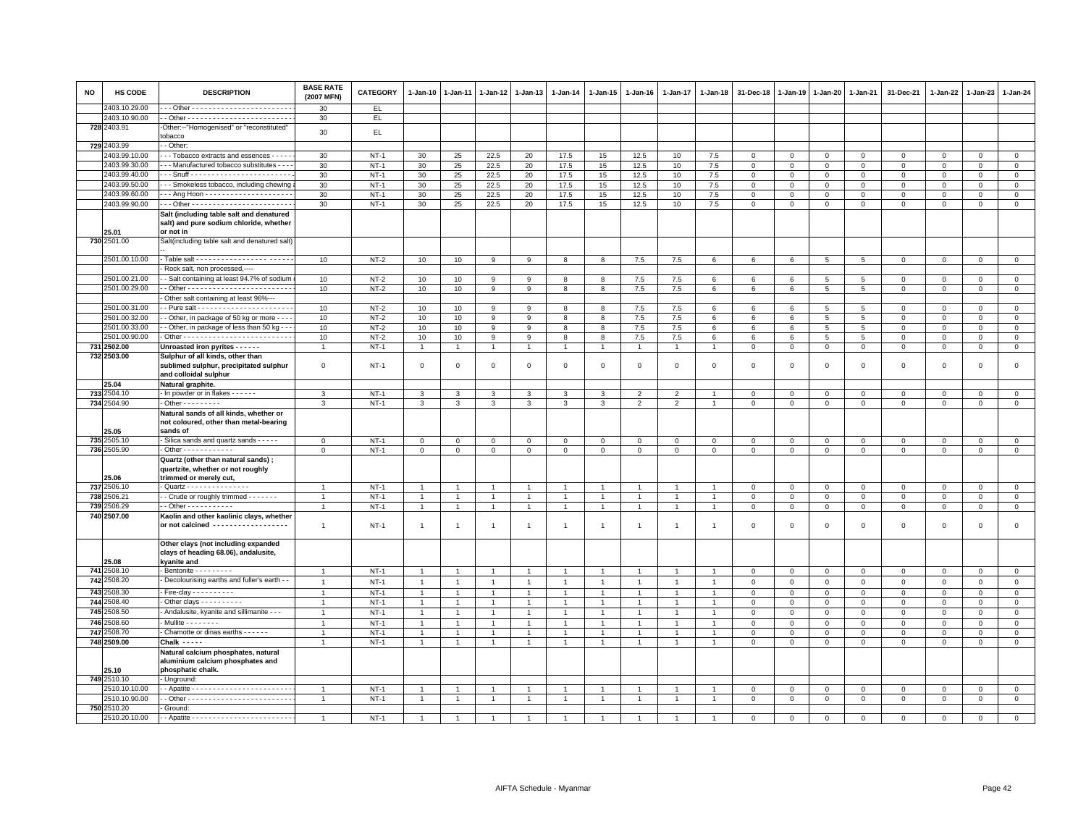| <b>NO</b> | HS CODE       | <b>DESCRIPTION</b>                                                                           | <b>BASE RATE</b><br>(2007 MFN) | <b>CATEGORY</b> | $1 - Jan-10$                   | $1 - Jan-11$        | 1-Jan-12                         | $1 - Jan-13$         | $1 - Jan-14$                   | 1-Jan-15            | $1 - Jan-16$   | $1 - Jan-17$                   | 1-Jan-18       | 31-Dec-18      | 1-Jan-19       | $1 - Jan-20$    | 1-Jan-21        | 31-Dec-21           | 1-Jan-22     | 1-Jan-23       | 1-Jan-24       |
|-----------|---------------|----------------------------------------------------------------------------------------------|--------------------------------|-----------------|--------------------------------|---------------------|----------------------------------|----------------------|--------------------------------|---------------------|----------------|--------------------------------|----------------|----------------|----------------|-----------------|-----------------|---------------------|--------------|----------------|----------------|
|           | 2403.10.29.00 |                                                                                              | 30                             | EL.             |                                |                     |                                  |                      |                                |                     |                |                                |                |                |                |                 |                 |                     |              |                |                |
|           | 2403.10.90.00 |                                                                                              | 30                             | EL.             |                                |                     |                                  |                      |                                |                     |                |                                |                |                |                |                 |                 |                     |              |                |                |
|           | 728 2403.91   | -Other:--"Homogenised" or "reconstituted"                                                    | 30                             | EL.             |                                |                     |                                  |                      |                                |                     |                |                                |                |                |                |                 |                 |                     |              |                |                |
|           |               | tobacco                                                                                      |                                |                 |                                |                     |                                  |                      |                                |                     |                |                                |                |                |                |                 |                 |                     |              |                |                |
|           | 729 2403.99   | - Other:                                                                                     |                                |                 |                                |                     |                                  |                      |                                |                     |                |                                |                |                |                |                 |                 |                     |              |                |                |
|           | 2403.99.10.00 | - - Tobacco extracts and essences - - - -                                                    | 30                             | $NT-1$          | 30                             | 25                  | 22.5                             | 20                   | 17.5                           | 15                  | 12.5           | 10                             | 7.5            | $\mathbf 0$    | $\mathbf 0$    | $\mathbf 0$     | $\mathsf 0$     | $\mathsf 0$         | $\mathbf 0$  | $\overline{0}$ | $\mathbf 0$    |
|           | 2403.99.30.00 | - - Manufactured tobacco substitutes - - -                                                   | 30                             | $NT-1$          | 30 <sup>°</sup>                | 25                  | 22.5                             | 20                   | 17.5                           | 15                  | 12.5           | 10                             | 7.5            | $\mathbf 0$    | $\mathbf 0$    | $\Omega$        | $\mathbf{0}$    | $\mathbf{0}$        | $\Omega$     | $\circ$        | $\circ$        |
|           | 2403.99.40.00 |                                                                                              | 30                             | $NT-1$          | 30                             | 25                  | 22.5                             | 20                   | 17.5                           | 15                  | 12.5           | 10                             | 7.5            | $\mathbf 0$    | $\mathbf 0$    | $\mathbf 0$     | $\mathbf 0$     | $\mathbf 0$         | $\mathbf 0$  | $\mathbf 0$    | $\mathbf 0$    |
|           | 2403.99.50.00 | - Smokeless tobacco, including chewing                                                       | 30                             | $NT-1$          | 30                             | 25                  | 22.5                             | 20                   | 17.5                           | 15                  | 12.5           | 10                             | 7.5            | $\mathbf 0$    | $\mathbf{0}$   | $\mathbf 0$     | $\mathbf 0$     | $\mathbf{0}$        | $\Omega$     | $\mathbf{0}$   | $\mathbf 0$    |
|           | 2403.99.60.00 |                                                                                              | 30                             | $NT-1$          | 30                             | 25                  | 22.5                             | 20                   | 17.5                           | 15                  | 12.5           | 10                             | 7.5            | $\mathbf 0$    | $\circ$        | $\mathsf 0$     | $\mathbf 0$     | $\mathsf 0$         | 0            | $\mathbf 0$    | $\mathsf 0$    |
|           | 2403.99.90.00 |                                                                                              | 30                             | $NT-1$          | 30 <sup>°</sup>                | 25                  | 22.5                             | 20                   | 17.5                           | 15                  | 12.5           | 10                             | $7.5\,$        | $\,0\,$        | $\,0\,$        | $\mathbf 0$     | $\mathsf 0$     | $\mathsf 0$         | $\mathsf 0$  | $\mathbf 0$    | $\mathbf 0$    |
|           |               | Salt (including table salt and denatured                                                     |                                |                 |                                |                     |                                  |                      |                                |                     |                |                                |                |                |                |                 |                 |                     |              |                |                |
|           |               | salt) and pure sodium chloride, whether                                                      |                                |                 |                                |                     |                                  |                      |                                |                     |                |                                |                |                |                |                 |                 |                     |              |                |                |
|           | 25.01         | or not in                                                                                    |                                |                 |                                |                     |                                  |                      |                                |                     |                |                                |                |                |                |                 |                 |                     |              |                |                |
|           | 730 2501.00   | Salt(including table salt and denatured salt)                                                |                                |                 |                                |                     |                                  |                      |                                |                     |                |                                |                |                |                |                 |                 |                     |              |                |                |
|           |               |                                                                                              |                                |                 |                                |                     |                                  |                      |                                |                     |                |                                |                |                |                |                 |                 |                     |              |                |                |
|           | 2501.00.10.00 |                                                                                              | 10                             | $NT-2$          | 10                             | 10                  | 9                                | 9                    | 8                              | 8                   | 7.5            | 7.5                            | 6              | 6              | 6              | 5               | 5               | $\mathbf 0$         | $\mathbf 0$  | $\mathbf 0$    | $\circ$        |
|           |               | Rock salt, non processed,----                                                                |                                |                 |                                |                     |                                  |                      |                                |                     |                |                                |                |                |                |                 |                 |                     |              |                |                |
|           | 2501.00.21.00 | - Salt containing at least 94.7% of sodium                                                   | 10                             | $NT-2$          | 10                             | 10                  | 9                                | 9                    | 8                              | 8                   | 7.5            | 7.5                            | 6              | 6              | 6              | 5               | 5               | $\mathbf{0}$        | $\mathbf{0}$ | $\mathbf{0}$   | $\circ$        |
|           | 2501.00.29.00 |                                                                                              | 10                             | $NT-2$          | 10                             | 10                  | 9                                | 9                    | 8                              | 8                   | 7.5            | 7.5                            | 6              | 6              | 6              | $\overline{5}$  | 5               | $\mathbf 0$         | $\mathbf 0$  | $\mathbf 0$    | $\mathsf 0$    |
|           |               | Other salt containing at least 96%---                                                        |                                |                 |                                |                     |                                  |                      |                                |                     |                |                                |                |                |                |                 |                 |                     |              |                |                |
|           | 2501.00.31.00 |                                                                                              | 10                             | $NT-2$          | 10                             | 10                  | 9                                | 9                    | 8                              | 8                   | 7.5            | 7.5                            | 6              | 6              | 6              | $5\phantom{.0}$ | 5               | $\mathbf 0$         | $\mathbf 0$  | $\Omega$       | $\circ$        |
|           | 2501.00.32.00 | - Other, in package of 50 kg or more - - -                                                   | 10                             | $NT-2$          | 10                             | 10                  | 9                                | 9                    | 8                              | 8                   | 7.5            | 7.5                            | 6              | 6              | 6              | 5               | 5               | $\mathsf 0$         | $\mathbf 0$  | $\mathbf 0$    | $\mathsf 0$    |
|           | 2501.00.33.00 | - Other, in package of less than 50 kg -                                                     | 10                             | $NT-2$          | 10                             | 10                  | 9                                | 9                    | 8                              | 8                   | 7.5            | 7.5                            | 6              | $\,6$          | 6              | $\overline{5}$  | $5\phantom{.0}$ | $\mathsf 0$         | $\Omega$     | $\Omega$       | $\overline{0}$ |
|           | 2501.00.90.00 |                                                                                              | 10                             | $NT-2$          | 10                             | 10                  | 9                                | 9                    | 8                              | 8                   | 7.5            | 7.5                            | 6              | 6              | 6              | 5               | 5               | $\mathsf 0$         | $\mathbf 0$  | $\mathbf 0$    | $\mathsf 0$    |
|           | 731 2502.00   | Unroasted iron pyrites - - - - - -                                                           | $\overline{1}$                 | $NT-1$          | $\mathbf{1}$                   | $\overline{1}$      | $\overline{1}$                   | $\overline{1}$       | $\overline{1}$                 | $\mathbf{1}$        | $\overline{1}$ | $\overline{1}$                 | $\overline{1}$ | $\mathsf 0$    | $\mathbf 0$    | $\mathbf{0}$    | $\circ$         | $\mathbf 0$         | $\mathbf 0$  | $\mathbf{O}$   | $\mathsf 0$    |
|           | 732 2503.00   | Sulphur of all kinds, other than                                                             |                                |                 |                                |                     |                                  |                      |                                |                     |                |                                |                |                |                |                 |                 |                     |              |                |                |
|           |               | sublimed sulphur, precipitated sulphur<br>and colloidal sulphur                              | $\mathbf 0$                    | $NT-1$          | $\mathbf 0$                    | $\Omega$            | $\mathbf 0$                      | $\Omega$             | $\mathbf 0$                    | $\mathbf 0$         | $\mathbf{0}$   | $\overline{0}$                 | $\Omega$       | $\overline{0}$ | $\mathbf{0}$   | $\mathbf 0$     | $\mathbf 0$     | $\mathbf 0$         | $\Omega$     | $\mathbf{0}$   | $\mathbf 0$    |
|           | 25.04         | Natural graphite.                                                                            |                                |                 |                                |                     |                                  |                      |                                |                     |                |                                |                |                |                |                 |                 |                     |              |                |                |
|           | 733 2504.10   | - In powder or in flakes - - - - - -                                                         | 3                              | $NT-1$          | 3                              | 3                   | 3                                | 3                    | 3                              | 3                   | 2              | $\overline{2}$                 |                | $\mathbf 0$    | $\mathbf 0$    | $\mathbf{0}$    | $\overline{0}$  | $^{\circ}$          | $\mathbf 0$  | $^{\circ}$     | $\mathbf{0}$   |
|           | 734 2504.90   | $\cdot$ Other - - - - - - - - -                                                              | 3                              | $NT-1$          | 3                              | 3                   | 3                                | $\mathbf{3}$         | 3                              | 3                   | 2              | $\overline{2}$                 |                | $\mathbf 0$    | $\mathbf 0$    | $\mathbf 0$     | $\mathbf{0}$    | $\mathbf 0$         | 0            | $\mathbf 0$    | $\mathbf 0$    |
|           | 25.05         | Natural sands of all kinds, whether or<br>not coloured, other than metal-bearing<br>sands of |                                |                 |                                |                     |                                  |                      |                                |                     |                |                                |                |                |                |                 |                 |                     |              |                |                |
|           | 735 2505.10   | - Silica sands and quartz sands - - - - -                                                    | $\mathsf 0$                    | $NT-1$          | $\mathbf 0$                    | $\mathbf 0$         | $\mathbf{O}$                     | $\mathbf{O}$         | $\mathbf 0$                    | $\mathbf{O}$        | $\mathbf 0$    | $\mathbf 0$                    | $\mathbf 0$    | $\mathbf 0$    | $\mathbf 0$    | $\mathbf 0$     | $\mathbf 0$     | $\mathbf 0$         | $\mathbf 0$  | $\mathbf 0$    | $\mathsf 0$    |
|           | 736 2505.90   | - Other - - - - - - - - - - - -                                                              | $\mathbf{0}$                   | $NT-1$          | $\overline{0}$                 | $\mathbf 0$         | $\mathbf{0}$                     | $\overline{0}$       | $\mathbf 0$                    | $\mathbf 0$         | $\circ$        | $\circ$                        | $\mathbf{0}$   | $\mathbf 0$    | $\mathbf 0$    | $\overline{0}$  | $\mathsf 0$     | $\mathsf 0$         | $\mathbf{0}$ | $\overline{0}$ | $\overline{0}$ |
|           |               | Quartz (other than natural sands) ;                                                          |                                |                 |                                |                     |                                  |                      |                                |                     |                |                                |                |                |                |                 |                 |                     |              |                |                |
|           | 25.06         | quartzite, whether or not roughly<br>trimmed or merely cut,                                  |                                |                 |                                |                     |                                  |                      |                                |                     |                |                                |                |                |                |                 |                 |                     |              |                |                |
|           | 737 2506.10   | - Quartz - - - - - - - - - - - - - - -                                                       | $\overline{1}$                 | $NT-1$          | $\overline{1}$                 | $\overline{1}$      | $\overline{1}$                   | $\overline{1}$       | $\overline{1}$                 | $\overline{1}$      | $\mathbf{1}$   | $\overline{1}$                 |                | $\mathbf 0$    | $\mathbf 0$    | $\mathbf 0$     | $\mathbf{0}$    | $\mathbf{0}$        | $\mathbf 0$  | $\mathbf 0$    | $\mathbf 0$    |
|           | 738 2506.21   | - Crude or roughly trimmed - - - - - - -                                                     | $\overline{1}$                 | $NT-1$          | $\overline{1}$                 | $\overline{1}$      | $\overline{1}$                   | $\mathbf{1}$         | $\overline{1}$                 | $\mathbf{1}$        | $\overline{1}$ | $\overline{1}$                 | $\overline{1}$ | $\mathbf 0$    | $\mathsf 0$    | $\Omega$        | $\circ$         | $\mathsf 0$         | $\circ$      | $\mathbf 0$    | $\circ$        |
|           | 739 2506.29   |                                                                                              | $\overline{1}$                 | $NT-1$          | $\mathbf{1}$                   | $\overline{1}$      | $\overline{1}$                   | $\mathbf{1}$         | $\mathbf{1}$                   | $\mathbf{1}$        | $\overline{1}$ | $\overline{1}$                 |                | $\,0\,$        | $\mathbf 0$    | $\mathbf{0}$    | $\overline{0}$  | $\mathsf 0$         | $\mathbf 0$  | $\mathbf 0$    | $\overline{0}$ |
|           | 740 2507.00   | Kaolin and other kaolinic clays, whether<br>or not calcined ------------------               | $\mathbf{1}$                   | $NT-1$          | $\overline{1}$                 | -1                  | $\overline{1}$                   | $\overline{1}$       | $\mathbf{1}$                   | $\overline{1}$      | $\overline{1}$ | 1                              | $\overline{1}$ | $\mathbf 0$    | $\circ$        | $\mathbf 0$     | $\mathbf 0$     | $\mathsf 0$         | $\mathbf 0$  | $\mathbf 0$    | $\mathsf 0$    |
|           | 25.08         | Other clays (not including expanded<br>clays of heading 68.06), andalusite,<br>kvanite and   |                                |                 |                                |                     |                                  |                      |                                |                     |                |                                |                |                |                |                 |                 |                     |              |                |                |
|           | 741 2508.10   | Bentonite - - - - - - - - -                                                                  | $\overline{1}$                 | $NT-1$          |                                |                     | $\overline{1}$                   | 1                    | $\overline{1}$                 |                     |                |                                |                | $\mathbf 0$    | $\circ$        | $\mathbf 0$     | $\mathbf 0$     | 0                   | $\Omega$     | $\mathbf 0$    | $\mathbf 0$    |
|           | 742 2508.20   | Decolourising earths and fuller's earth                                                      | $\overline{1}$                 | $NT-1$          | $\overline{1}$                 | $\overline{1}$      | $\overline{1}$                   | $\overline{1}$       | $\mathbf{1}$                   | $\overline{1}$      | $\overline{1}$ | $\overline{1}$                 |                | $\mathbf 0$    | $\circ$        | $\mathbf 0$     | $\mathbf 0$     | $\mathsf 0$         | $\mathbf 0$  | $\mathbf 0$    | $\mathsf 0$    |
|           | 743 2508.30   |                                                                                              |                                |                 |                                |                     |                                  |                      |                                |                     |                |                                |                |                |                |                 |                 |                     |              |                |                |
|           |               | - Fire-clay - - - - - - - - - -                                                              | $\mathbf{1}$<br>$\overline{1}$ | $NT-1$          | $\mathbf{1}$<br>$\overline{1}$ | 1<br>$\overline{1}$ | $\overline{1}$<br>$\overline{1}$ | -1<br>$\overline{1}$ | $\mathbf{1}$<br>$\overline{1}$ | 1<br>$\overline{1}$ | $\overline{1}$ | $\mathbf{1}$<br>$\overline{1}$ |                | $\mathbf 0$    | $\circ$        | $\mathbf 0$     | $\mathbf{0}$    | $\mathbf 0$         | 0            | $\mathbf 0$    | $\mathbf 0$    |
|           | 744 2508.40   | - Other clays - - - - - - - - -                                                              |                                | $NT-1$          |                                |                     |                                  |                      |                                |                     | $\overline{1}$ |                                |                | $\mathbf{0}$   | $\mathbf 0$    | $\mathbf{0}$    | $\mathbf{0}$    | $\mathbf{0}$        | $\mathbf 0$  | $\circ$        | $\circ$        |
| 745       | 2508.50       | Andalusite, kyanite and sillimanite - - -                                                    | $\overline{1}$                 | $NT-1$          | $\overline{1}$                 | $\overline{1}$      | $\overline{1}$                   | $\overline{1}$       | $\mathbf{1}$                   | $\mathbf{1}$        | $\overline{1}$ |                                |                | $\mathbf 0$    | $\mathbf 0$    | $\mathsf 0$     | $\mathbf 0$     | $\mathsf 0$         | $\mathbf 0$  | $\mathsf 0$    | $\mathsf 0$    |
| 746       | 2508.60       | - Mullite - - - - - - - -                                                                    | $\overline{1}$                 | $NT-1$          | $\overline{1}$                 |                     | $\mathbf{1}$                     |                      | $\overline{1}$                 |                     |                |                                |                | $\mathbf 0$    | $\mathbf 0$    | $\mathbf 0$     | $\mathbf 0$     | $\mathbf 0$         | $\mathbf 0$  | $\mathbf 0$    | $\mathbf 0$    |
| 747       | 2508.70       | Chamotte or dinas earths - - - - - -                                                         | $\overline{1}$                 | $NT-1$          | $\mathbf{1}$                   | $\overline{1}$      | $\overline{1}$                   | $\overline{1}$       | $\mathbf{1}$                   | $\overline{1}$      | $\overline{1}$ | $\overline{1}$                 |                | $\mathbf 0$    | $\overline{0}$ | $\mathsf 0$     | $\mathbf 0$     | $\mathbf 0$         | $\Omega$     | $\mathbf{0}$   | $\mathbf 0$    |
|           | 748 2509.00   | Chalk -----                                                                                  | $\mathbf{1}$                   | $NT-1$          | $\mathbf{1}$                   | $\overline{1}$      | $\overline{1}$                   | $\overline{1}$       | $\mathbf{1}$                   | $\mathbf{1}$        | $\mathbf{1}$   | $\overline{1}$                 |                | $\mathbf 0$    | $\,0\,$        | $\mathbf 0$     | $\,0\,$         | $\mathsf{O}\xspace$ | $\mathsf 0$  | $\mathbf 0$    | $\mathbf 0$    |
|           | 25.10         | Natural calcium phosphates, natural<br>aluminium calcium phosphates and<br>phosphatic chalk. |                                |                 |                                |                     |                                  |                      |                                |                     |                |                                |                |                |                |                 |                 |                     |              |                |                |
|           | 749 2510.10   | - Unground:                                                                                  |                                |                 |                                |                     |                                  |                      |                                |                     |                |                                |                |                |                |                 |                 |                     |              |                |                |
|           | 2510.10.10.00 |                                                                                              | $\overline{1}$                 | $NT-1$          |                                |                     |                                  |                      |                                |                     |                |                                |                | $\mathbf 0$    | $\overline{0}$ | $\Omega$        | $\mathbf 0$     | $\mathbf 0$         | $\mathbf 0$  | $\mathbf{0}$   | $\mathsf 0$    |
|           | 2510.10.90.00 |                                                                                              |                                | $NT-1$          |                                |                     |                                  |                      |                                |                     |                |                                |                | $\mathbf 0$    | $\,0\,$        | $\,0\,$         | $\mathbf 0$     | $\mathbf 0$         | $\mathbf 0$  | $\mathbf{0}$   | $\mathbf 0$    |
|           | 750 2510.20   | - Ground:                                                                                    |                                |                 |                                |                     |                                  |                      |                                |                     |                |                                |                |                |                |                 |                 |                     |              |                |                |
|           | 2510.20.10.00 |                                                                                              |                                | $NT-1$          |                                |                     |                                  |                      |                                |                     |                |                                |                |                |                | $\Omega$        | $\Omega$        | $\Omega$            |              |                | $\Omega$       |
|           |               |                                                                                              |                                |                 |                                |                     |                                  |                      |                                |                     |                |                                |                |                |                |                 |                 |                     |              |                |                |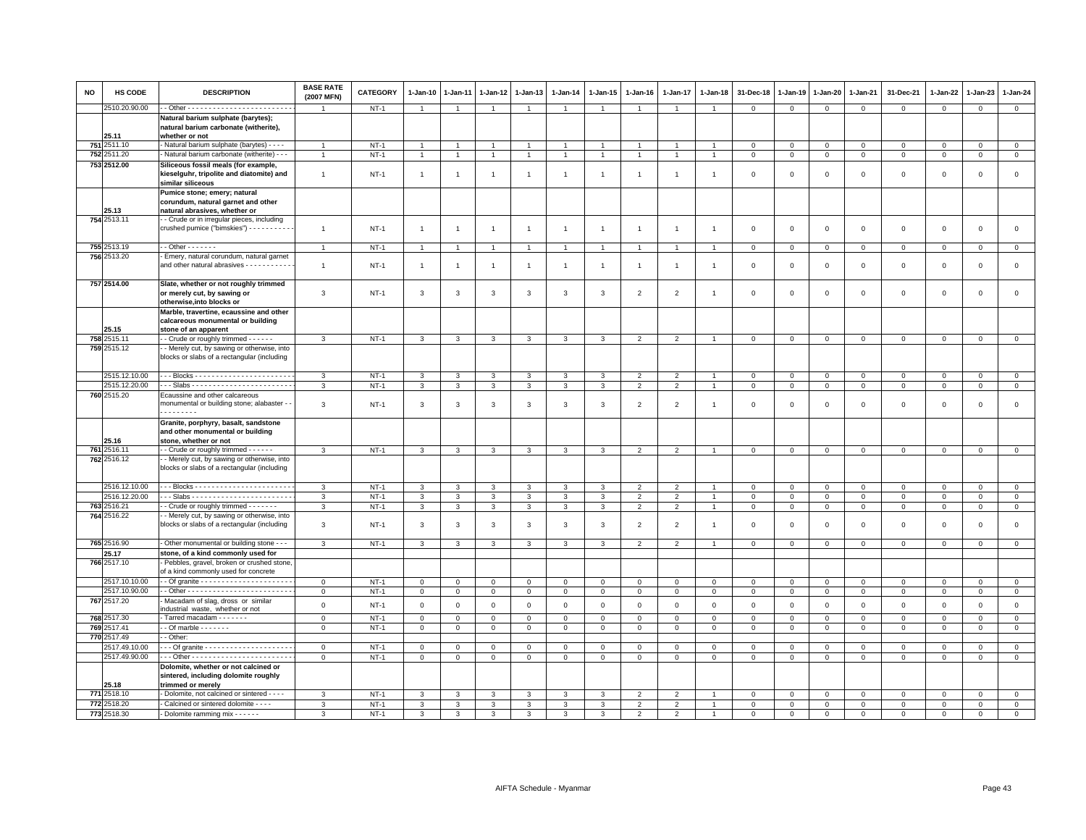| <b>NO</b> | HS CODE              | <b>DESCRIPTION</b>                                                                                                       | <b>BASE RATE</b><br>(2007 MFN) | <b>CATEGORY</b> | 1-Jan-10       | $1-Jan-11$     | $1-Jan-12$     | $1-Jan-13$     | $1-Jan-14$     | $1-Jan-15$     | $1 - Jan-16$   | 1-Jan-17                 | $1 - Jan-18$   | 31-Dec-18    | $1-Jan-19$     | $1-Jan-20$     | $1-Jan-21$     | 31-Dec-21    | 1-Jan-22            | $1-Jan-23$          | $1-Jan-24$     |
|-----------|----------------------|--------------------------------------------------------------------------------------------------------------------------|--------------------------------|-----------------|----------------|----------------|----------------|----------------|----------------|----------------|----------------|--------------------------|----------------|--------------|----------------|----------------|----------------|--------------|---------------------|---------------------|----------------|
|           | 2510.20.90.00        |                                                                                                                          |                                | $NT-1$          | $\mathbf{1}$   | $\overline{1}$ | $\mathbf{1}$   | $\overline{1}$ | $\mathbf{1}$   | $\mathbf{1}$   | $\overline{1}$ | $\overline{1}$           | $\overline{1}$ | $\mathbf 0$  | $\mathbf 0$    | $\mathbf{0}$   | $\circ$        | $\mathbf{0}$ | $\mathbf 0$         | $\mathbf{O}$        | $\overline{0}$ |
|           |                      | Natural barium sulphate (barytes);                                                                                       |                                |                 |                |                |                |                |                |                |                |                          |                |              |                |                |                |              |                     |                     |                |
|           |                      | natural barium carbonate (witherite),                                                                                    |                                |                 |                |                |                |                |                |                |                |                          |                |              |                |                |                |              |                     |                     |                |
|           | 25.11                | whether or not                                                                                                           |                                |                 |                |                |                |                |                |                |                |                          |                |              |                |                |                |              |                     |                     |                |
| 751       | 2511.10              | - Natural barium sulphate (barytes) - - - -                                                                              | $\mathbf{1}$                   | $NT-1$          | $\mathbf{1}$   | $\overline{1}$ | $\overline{1}$ | $\overline{1}$ | $\overline{1}$ | $\overline{1}$ | $\overline{1}$ | $\overline{1}$           | $\overline{1}$ | $\mathbf 0$  | $\mathbf 0$    | $\mathbf{0}$   | $\overline{0}$ | $\mathbf 0$  | $\mathbf{0}$        | $\mathbf{0}$        | $\overline{0}$ |
| 752       | 2511.20              | - Natural barium carbonate (witherite) - - -                                                                             | $\mathbf{1}$                   | $NT-1$          | $\overline{1}$ | $\overline{1}$ | $\overline{1}$ | $\overline{1}$ | $\overline{1}$ | $\overline{1}$ | $\mathbf{1}$   | $\overline{1}$           |                | $\mathbf 0$  | $\mathbf 0$    | $\mathbf 0$    | $\circ$        | $\mathsf 0$  | $\mathbf 0$         | $\mathsf 0$         | $\mathbf 0$    |
|           | 753 2512.00          | Siliceous fossil meals (for example,<br>kieselguhr, tripolite and diatomite) and<br>similar siliceous                    | $\overline{1}$                 | $NT-1$          | $\mathbf{1}$   | $\overline{1}$ | $\overline{1}$ | $\overline{1}$ | $\overline{1}$ | $\overline{1}$ | $\overline{1}$ | $\overline{1}$           | $\mathbf{1}$   | $\Omega$     | $\Omega$       | $\mathbf 0$    | $\mathbf 0$    | $\mathbf 0$  | $\mathbf{0}$        | $\mathbf 0$         | $\circ$        |
|           | 25.13                | Pumice stone; emery; natural<br>corundum, natural garnet and other<br>natural abrasives, whether or                      |                                |                 |                |                |                |                |                |                |                |                          |                |              |                |                |                |              |                     |                     |                |
|           | 754 2513.11          | - Crude or in irregular pieces, including<br>crushed pumice ("bimskies") - - - - - - - - - -                             | $\mathbf{1}$                   | $NT-1$          | $\mathbf{1}$   | $\overline{1}$ | $\overline{1}$ | $\mathbf{1}$   | $\mathbf{1}$   | $\mathbf{1}$   | $\overline{1}$ | $\overline{1}$           | $\overline{1}$ | $\mathbf 0$  | $\mathbf 0$    | $\mathsf 0$    | $\mathbf 0$    | $\mathsf 0$  | $\mathsf 0$         | $\mathsf{O}\xspace$ | $\mathsf 0$    |
|           | 755 2513.19          | $-$ - Other $-$ - $-$ - $-$ -                                                                                            | $\overline{1}$                 | $NT-1$          | $\mathbf{1}$   | $\overline{1}$ | $\overline{1}$ | $\overline{1}$ | $\overline{1}$ | $\mathbf{1}$   | $\overline{1}$ | $\overline{1}$           | $\overline{1}$ | $\mathbf 0$  | $\overline{0}$ | $\mathbf 0$    | $\circ$        | $\mathbf 0$  | $\mathbf 0$         | $\mathbf 0$         | $\overline{0}$ |
|           | 756 2513.20          | - Emery, natural corundum, natural garnet                                                                                |                                |                 |                |                |                |                |                |                |                |                          |                |              |                |                |                |              |                     |                     |                |
|           |                      | and other natural abrasives - - - - - - - - - - -                                                                        | $\overline{1}$                 | $NT-1$          | $\mathbf{1}$   | $\overline{1}$ | $\overline{1}$ | $\mathbf{1}$   | $\overline{1}$ | $\mathbf{1}$   | $\overline{1}$ | $\overline{1}$           |                | $\mathbf 0$  | $\Omega$       | $\Omega$       | $\mathbf 0$    | $\mathbf 0$  | $\Omega$            | $\mathbf 0$         | $\mathbf 0$    |
|           | 757 2514.00          | Slate, whether or not roughly trimmed<br>or merely cut, by sawing or<br>otherwise, into blocks or                        | 3                              | <b>NT-1</b>     | $\mathbf{3}$   | 3              | 3              | 3              | $\mathbf{3}$   | 3              | $\overline{2}$ | $\overline{2}$           | $\overline{1}$ | $\Omega$     | $\Omega$       | $\Omega$       | $\mathbf 0$    | $\mathsf 0$  | $\Omega$            | $\mathsf 0$         | $\mathsf 0$    |
|           | 25.15                | Marble, travertine, ecaussine and other<br>calcareous monumental or building<br>stone of an apparent                     |                                |                 |                |                |                |                |                |                |                |                          |                |              |                |                |                |              |                     |                     |                |
|           | 758 2515.11          | - Crude or roughly trimmed - - - - - -                                                                                   | 3                              | $NT-1$          | 3              | 3              | 3              | 3              | 3              | 3              | $\overline{2}$ | $\overline{2}$           |                | $\mathbf 0$  | $\mathbf 0$    | $\mathbf 0$    | $\mathbf 0$    | $\mathbf 0$  | $\mathbf 0$         | $\mathsf 0$         | $\mathbf 0$    |
|           | 759 2515.12          | - Merely cut, by sawing or otherwise, into<br>blocks or slabs of a rectangular (including                                |                                |                 |                |                |                |                |                |                |                |                          |                |              |                |                |                |              |                     |                     |                |
|           | 2515.12.10.00        |                                                                                                                          | 3                              | $NT-1$          | 3              | 3              | 3              | 3              | 3              | 3              | $\overline{2}$ | $\overline{2}$           |                | $\mathsf 0$  | $\overline{0}$ | $\mathsf 0$    | $\circ$        | $\mathbf 0$  | $\mathbf 0$         | $\mathbf 0$         | $\mathsf 0$    |
|           | 2515.12.20.00        | --- Slabs -------------------------                                                                                      | 3                              | $NT-1$          | $\mathbf{3}$   | 3              | 3              | 3              | $\mathbf{3}$   | 3              | $\overline{2}$ | $\overline{2}$           | $\overline{1}$ | $\mathsf 0$  | $\mathbf 0$    | $\mathsf 0$    | $\mathbf 0$    | $\mathsf 0$  | $\mathbf 0$         | $\mathsf 0$         | $\overline{0}$ |
|           | 760 2515.20          | Ecaussine and other calcareous                                                                                           |                                |                 |                |                |                |                |                |                |                |                          |                |              |                |                |                |              |                     |                     |                |
|           |                      | monumental or building stone; alabaster -                                                                                | 3                              | $NT-1$          | 3              | 3              | 3              | 3              | 3              | 3              | $\overline{2}$ | $\overline{2}$           | -1             | 0            | $\mathbf 0$    | $^{\circ}$     | $\mathbf 0$    | $\mathsf 0$  | $\circ$             | $^{\circ}$          | $\mathsf 0$    |
|           | 25.16                | Granite, porphyry, basalt, sandstone<br>and other monumental or building<br>stone, whether or not                        |                                |                 |                |                |                |                |                |                |                |                          |                |              |                |                |                |              |                     |                     |                |
|           | 761 2516.11          | - - Crude or roughly trimmed - - - - - -                                                                                 | 3                              | $NT-1$          | $\mathbf{3}$   | 3              | 3              | $\mathbf{3}$   | $\overline{3}$ | 3              | $\overline{2}$ | $\overline{2}$           | $\overline{1}$ | $\mathbf 0$  | $\mathbf 0$    | $\mathsf 0$    | $\circ$        | $\mathbf 0$  | $\mathbf 0$         | $\mathbf 0$         | $\overline{0}$ |
|           | 762 2516.12          | - Merely cut, by sawing or otherwise, into<br>blocks or slabs of a rectangular (including                                |                                |                 |                |                |                |                |                |                |                |                          |                |              |                |                |                |              |                     |                     |                |
|           | 2516.12.10.00        |                                                                                                                          | 3                              | $NT-1$          | $\mathbf{3}$   | 3              | $\mathbf{3}$   | $\mathbf{3}$   | $\overline{3}$ | 3              | $\overline{2}$ | $\overline{2}$           | $\overline{1}$ | $\mathbf{0}$ | $\mathbf 0$    | $\overline{0}$ | $\mathbf 0$    | $\mathbf 0$  | $\mathbf 0$         | $\mathbf{0}$        | $\mathbf 0$    |
|           | 2516.12.20.00        |                                                                                                                          | 3                              | $NT-1$          | $\overline{3}$ | 3              | 3              | 3              | 3              | 3              | $\overline{2}$ | $\overline{2}$           | $\overline{1}$ | $\mathbf 0$  | $\mathbf 0$    | $\mathbf{0}$   | $\mathbf 0$    | $\mathsf 0$  | $\mathbf{0}$        | $\mathsf 0$         | $\overline{0}$ |
|           | 763 2516.21          | - Crude or roughly trimmed - - - - - - -                                                                                 | 3                              | $NT-1$          | 3              | 3              | 3              | 3              | 3              | 3              | $\overline{2}$ | $\overline{2}$           |                | $\mathbf 0$  | $\mathbf 0$    | $\mathbf{0}$   | $\mathbf 0$    | $\mathsf 0$  | $\mathbf 0$         | $\mathsf 0$         | $\mathbf 0$    |
|           | 764 2516.22          | - Merely cut, by sawing or otherwise, into<br>blocks or slabs of a rectangular (including                                | 3                              | $NT-1$          | 3              | 3              | 3              | 3              | 3              | 3              | $\overline{2}$ | $\overline{2}$           |                | $\mathbf 0$  | $\mathbf 0$    | $\mathbf 0$    | $\mathbf 0$    | $\mathsf 0$  | $\mathbf 0$         | $\mathbf 0$         | $\mathsf 0$    |
|           | 765 2516.90          | - Other monumental or building stone - -                                                                                 | $\mathcal{R}$                  | $NT-1$          | $\overline{3}$ | $\mathcal{R}$  | $\mathbf{R}$   | $\mathcal{R}$  | 3              | $\mathbf{R}$   | $\overline{2}$ | $\overline{\phantom{0}}$ |                | $\Omega$     | $\Omega$       | $\Omega$       | $\Omega$       | $\mathbf 0$  | $\Omega$            | $\mathbf 0$         | $\overline{0}$ |
|           | 25.17<br>766 2517.10 | stone, of a kind commonly used for<br>- Pebbles, gravel, broken or crushed stone<br>of a kind commonly used for concrete |                                |                 |                |                |                |                |                |                |                |                          |                |              |                |                |                |              |                     |                     |                |
|           | 2517.10.10.00        |                                                                                                                          | $\mathbf{0}$                   | $NT-1$          | $\mathbf 0$    | $\mathbf 0$    | $\mathbf 0$    | $\circ$        | $\mathbf 0$    | $\mathbf{0}$   | $\mathsf 0$    | $\mathbf 0$              | $\mathbf{0}$   | $\mathbf{0}$ | $\mathbf{0}$   | $\overline{0}$ | $\mathbf{0}$   | $\mathbf 0$  | $\mathbf 0$         | $\mathbf{0}$        | $\overline{0}$ |
|           | 2517.10.90.00        |                                                                                                                          | $\mathbf 0$                    | <b>NT-1</b>     | $\mathbf 0$    | $\mathbf 0$    | $\mathbf 0$    | $\mathbf 0$    | $\overline{0}$ | $\mathbf 0$    | $\mathbf 0$    | $\circ$                  | $\mathbf 0$    | $\mathsf 0$  | $\mathbf 0$    | $\mathbf 0$    | $\mathbf 0$    | $\mathsf 0$  | $\mathbf 0$         | $\mathsf 0$         | $\mathsf 0$    |
|           | 767 2517.20          | Macadam of slag, dross or similar                                                                                        | $\mathsf 0$                    | $NT-1$          | $\mathsf 0$    | $\mathsf 0$    | $\mathsf 0$    | $\mathsf 0$    | $\mathbf 0$    | $\mathsf 0$    | $\mathsf 0$    | $\mathsf 0$              | $\mathbf 0$    | $\mathbf 0$  | $\mathsf 0$    | $\mathsf 0$    | $\mathsf 0$    | $\mathsf 0$  | $\mathsf 0$         | $\mathsf 0$         | $\mathsf 0$    |
|           |                      | ndustrial waste, whether or not                                                                                          |                                |                 |                |                |                |                |                |                |                |                          |                |              |                |                |                |              |                     |                     |                |
|           | 768 2517.30          | Tarred macadam - - - - - - -                                                                                             | $\mathbf 0$                    | $NT-1$          | $\mathbf 0$    | $\Omega$       | $\mathbf 0$    | $\mathbf{0}$   | $\mathbf 0$    | $\mathsf 0$    | $\circ$        | $\mathbf 0$              | $\mathbf 0$    | $\Omega$     | $\Omega$       | $\mathsf 0$    | $\mathbf 0$    | $\mathsf 0$  | $\Omega$            | $\Omega$            | $\mathsf 0$    |
|           | 769 2517.41          | $-$ Of marble $      -$                                                                                                  | $\mathsf 0$                    | $NT-1$          | $\mathbf 0$    | $\mathbf 0$    | $\mathbf 0$    | $\mathbf 0$    | $\overline{0}$ | $\mathbf 0$    | $\mathbf{0}$   | $\mathbf 0$              | $\mathbf 0$    | $\mathbf 0$  | $\mathbf 0$    | $\mathbf 0$    | $\mathbf 0$    | $\mathbf 0$  | $\mathbf 0$         | $\mathsf 0$         | $\mathbf 0$    |
|           | 770 2517.49          | - Other:                                                                                                                 |                                |                 |                |                |                |                |                |                |                |                          |                |              |                |                |                |              |                     |                     |                |
|           | 2517.49.10.00        |                                                                                                                          | $\mathbf 0$                    | $NT-1$          | 0              | 0              | 0              | $\Omega$       | $\mathsf 0$    | 0              | $\mathbf 0$    | 0                        | $^{\circ}$     | 0            | 0              | $\Omega$       | 0              | 0            | 0                   | $\mathbf 0$         | $\mathbf 0$    |
|           | 2517.49.90.00        |                                                                                                                          | $\mathsf 0$                    | $NT-1$          | $\mathsf 0$    | $\mathsf 0$    | $\mathsf 0$    | $\mathsf 0$    | $\overline{0}$ | $\overline{0}$ | $\mathsf 0$    | $\mathsf 0$              | $\overline{0}$ | $\mathbf 0$  | $\mathbf 0$    | $\mathbf 0$    | $\circ$        | $\mathsf 0$  | $\mathsf{O}\xspace$ | $\mathbf 0$         | $\overline{0}$ |
|           | 25.18                | Dolomite, whether or not calcined or<br>sintered, including dolomite roughly<br>trimmed or merely                        |                                |                 |                |                |                |                |                |                |                |                          |                |              |                |                |                |              |                     |                     |                |
| 771       | 2518.10              | - Dolomite, not calcined or sintered - - - -                                                                             | 3                              | $NT-1$          | 3              | 3              | 3              | 3              | 3              | 3              | $\overline{2}$ | $\overline{2}$           |                | $\mathsf 0$  | $\mathbf 0$    | $\mathsf 0$    | $\mathsf 0$    | $\mathsf 0$  | $\mathbf 0$         | $\mathsf 0$         | $\mathsf 0$    |
| 772       | 2518.20              | - Calcined or sintered dolomite - - - -                                                                                  | 3                              | $NT-1$          | 3              | $\mathbf{R}$   | 3              | 3              | $\mathbf{3}$   | 3              | $\overline{2}$ | $\overline{2}$           | $\overline{1}$ | $\mathbf 0$  | $\mathbf 0$    | $\mathbf 0$    | $\mathbf 0$    | $\mathsf 0$  | $\mathbf 0$         | $\mathbf 0$         | $\overline{0}$ |
|           | 773 2518.30          | - Dolomite ramming mix - - - - - -                                                                                       | $\mathcal{R}$                  | $NT-1$          | 3              | $\mathbf{R}$   | $\mathbf{R}$   | $\mathcal{R}$  | 3              | $\mathbf{R}$   | 2              | $\mathcal{P}$            |                | $\Omega$     | $\Omega$       | $\Omega$       | $\Omega$       | $\Omega$     | $\mathbf{0}$        | $\Omega$            | $\Omega$       |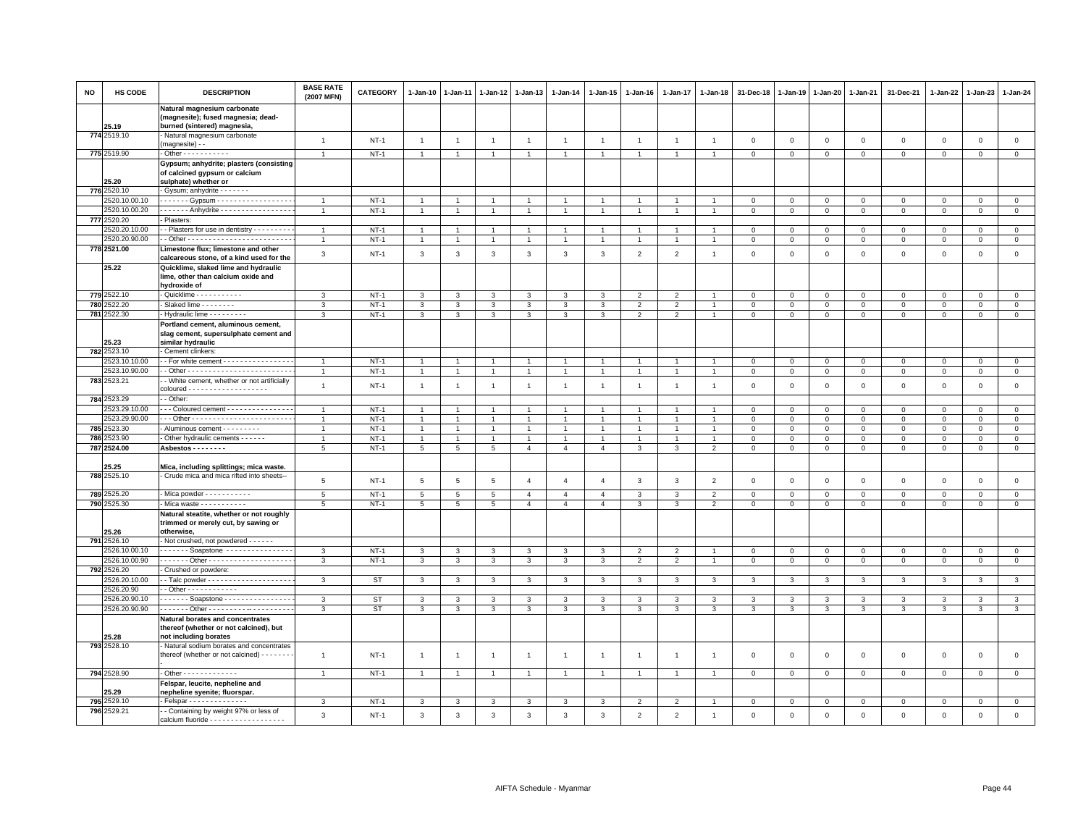| <b>NO</b> | HS CODE                      | <b>DESCRIPTION</b>                                                                                  | <b>BASE RATE</b><br>(2007 MFN) | <b>CATEGORY</b> | $1 - Jan-10$    | $1 - Jan-11$   | $1 - Jan-12$   | $1 - Jan-13$   | $1 - Jan-14$   | $1 - Jan-15$   | $1 - Jan-16$   | 1-Jan-17                 | $1 - Jan-18$   | 31-Dec-18               | $1 - Jan-19$            | $1 - Jan-20$   | 1-Jan-21     | 31-Dec-21    | 1-Jan-22     | $1-Jan-23$   | 1-Jan-24       |
|-----------|------------------------------|-----------------------------------------------------------------------------------------------------|--------------------------------|-----------------|-----------------|----------------|----------------|----------------|----------------|----------------|----------------|--------------------------|----------------|-------------------------|-------------------------|----------------|--------------|--------------|--------------|--------------|----------------|
|           | 25.19                        | Natural magnesium carbonate<br>(magnesite); fused magnesia; dead-<br>burned (sintered) magnesia,    |                                |                 |                 |                |                |                |                |                |                |                          |                |                         |                         |                |              |              |              |              |                |
|           | 774 2519.10                  | Natural magnesium carbonate<br>(magnesite) - -                                                      | $\overline{1}$                 | $NT-1$          | $\overline{1}$  | $\overline{1}$ | $\overline{1}$ | $\overline{1}$ | $\overline{1}$ | $\overline{1}$ | $\overline{1}$ | $\mathbf{1}$             | $\overline{1}$ | $\mathbf 0$             | $\mathbf 0$             | $\mathsf 0$    | $\mathsf 0$  | $\mathsf 0$  | $\mathbf{0}$ | $\mathbf 0$  | $\mathsf 0$    |
|           | 775 2519.90                  | - Other - - - - - - - - - - -                                                                       | $\overline{1}$                 | $NT-1$          | $\overline{1}$  | $\overline{1}$ | $\overline{1}$ | $\overline{1}$ |                | $\mathbf{1}$   |                | $\mathbf{1}$             | $\overline{1}$ | $\mathbf 0$             | $\circ$                 | $\mathbf{0}$   | $\circ$      | $\mathbf{0}$ | $\mathbf{0}$ | $\circ$      | $\mathbf{0}$   |
|           | 25.20                        | Gypsum; anhydrite; plasters (consisting<br>of calcined gypsum or calcium<br>sulphate) whether or    |                                |                 |                 |                |                |                |                |                |                |                          |                |                         |                         |                |              |              |              |              |                |
|           | 776 2520.10                  | Gysum; anhydrite - - - - - - -                                                                      |                                |                 |                 |                |                |                |                |                |                |                          |                |                         |                         |                |              |              |              |              |                |
|           | 2520.10.00.10                | . Gypsum -                                                                                          | $\overline{1}$                 | $NT-1$          |                 |                | $\overline{1}$ | $\overline{1}$ |                | $\overline{1}$ |                |                          |                | $\mathbf 0$             | $\mathbf 0$             | $\mathbf 0$    | $\mathbf{0}$ | $\Omega$     | $\Omega$     | $\mathbf{0}$ | $\mathbf{0}$   |
|           | 2520.10.00.20                | ------ Anhydrite -----------------                                                                  | $\overline{1}$                 | $NT-1$          | $\mathbf{1}$    | $\overline{1}$ | $\mathbf{1}$   | $\overline{1}$ | $\overline{1}$ | $\mathbf{1}$   | $\overline{1}$ | $\mathbf{1}$             | $\overline{1}$ | $\overline{0}$          | $\circ$                 | $\mathbf{0}$   | $\mathbf{0}$ | $\mathbf{0}$ | $\Omega$     | $\mathbf{0}$ | $\mathbf{0}$   |
|           | 777 2520.20                  | Plasters:                                                                                           |                                |                 |                 |                |                |                |                |                |                |                          |                |                         |                         |                |              |              |              |              |                |
|           | 520.20.10.00                 | - Plasters for use in dentistry - - - - - - - - -                                                   | $\overline{1}$                 | $NT-1$          | $\mathbf{1}$    |                | $\mathbf{1}$   | $\mathbf{1}$   |                | $\mathbf{1}$   |                |                          |                | $\mathsf 0$             | $\mathsf 0$             | $\mathsf 0$    | $\mathbf 0$  | $\mathbf 0$  | $\Omega$     | $\mathbf 0$  | $\mathsf 0$    |
|           | 2520.20.90.00                |                                                                                                     | $\overline{1}$                 | <b>NT-1</b>     | $\mathbf{1}$    | $\overline{1}$ | $\mathbf{1}$   | $\overline{1}$ | $\overline{1}$ | $\mathbf{1}$   |                |                          | $\overline{1}$ | $\overline{0}$          | $\mathbf{0}$            | $\overline{0}$ | $\mathbf{0}$ | $\mathbf 0$  | $\mathbf 0$  | $\mathbf 0$  | $\overline{0}$ |
|           | 778 2521.00                  | Limestone flux; limestone and other<br>calcareous stone, of a kind used for the                     | 3                              | $NT-1$          | $_{\rm 3}$      | $\mathsf 3$    | 3              | $\mathbf{3}$   | $\mathbf{3}$   | 3              | $\overline{2}$ | $\overline{a}$           | $\overline{1}$ | $\,0\,$                 | $\mathbf 0$             | $\,0\,$        | $\mathbf 0$  | $\mathsf 0$  | $\mathbf 0$  | $\,0\,$      | $\mathsf 0$    |
|           | 25.22                        | Quicklime, slaked lime and hydraulic<br>lime, other than calcium oxide and                          |                                |                 |                 |                |                |                |                |                |                |                          |                |                         |                         |                |              |              |              |              |                |
|           | 779 2522.10                  | hydroxide of<br>Quicklime - - - - - - - - - -                                                       | 3                              | $NT-1$          | 3               | 3              | 3              | 3              | 3              | 3              | $\overline{2}$ | $\overline{2}$           |                | $\mathbf 0$             | $\mathbf 0$             | $\mathsf 0$    | $\mathbf 0$  | $\mathbf 0$  | $^{\circ}$   | $\mathbf 0$  | $\mathbf{0}$   |
|           | 780 2522.20                  | Slaked lime - - - - - - - -                                                                         | 3                              | $NT-1$          | $\mathbf{3}$    | 3              | $\mathbf{3}$   | 3              | $\mathbf{3}$   | $\mathbf{3}$   | $\overline{2}$ | 2                        | $\overline{1}$ | $\mathbf 0$             | $\circ$                 | $\circ$        | $\mathbf{0}$ | $\mathbf 0$  | $\mathbf{0}$ | $\mathbf{0}$ | $\mathbf{0}$   |
|           | 781 2522.30                  | Hydraulic lime - - - - - - - - -                                                                    | 3                              | $NT-1$          | $\mathbf{3}$    | $\mathbf{3}$   | 3              | $\mathbf{3}$   | $\mathbf{3}$   | $\mathbf{3}$   | $\overline{2}$ | $\overline{2}$           | $\mathbf{1}$   | $\mathbf{0}$            | $\mathbf{0}$            | $\mathbf{O}$   | $\mathbf 0$  | $\mathbf 0$  | $\mathbf 0$  | $\mathbf 0$  | $\overline{0}$ |
|           |                              | Portland cement, aluminous cement,<br>slag cement, supersulphate cement and                         |                                |                 |                 |                |                |                |                |                |                |                          |                |                         |                         |                |              |              |              |              |                |
|           | 25.23                        | similar hydraulic                                                                                   |                                |                 |                 |                |                |                |                |                |                |                          |                |                         |                         |                |              |              |              |              |                |
|           | 782 2523.10<br>2523.10.10.00 | Cement clinkers:<br>- For white cement - - - - - - - - - - - - - - -                                | $\overline{1}$                 | $NT-1$          | $\overline{1}$  | $\overline{1}$ | $\overline{1}$ | $\overline{1}$ | $\overline{1}$ | $\overline{1}$ |                | $\mathbf{1}$             | $\overline{1}$ | $\mathbf 0$             | $\mathbf 0$             | $\mathbf{0}$   | $\mathsf 0$  | $\circ$      | $\Omega$     | $\Omega$     | $\mathsf 0$    |
|           | 2523.10.90.00                |                                                                                                     | $\overline{1}$                 | $NT-1$          | $\overline{1}$  |                | $\overline{1}$ | $\overline{1}$ |                | $\overline{1}$ |                |                          |                | $\mathbf 0$             | $\mathbf 0$             | $\mathbf 0$    | $\mathbf 0$  | $\mathbf 0$  | $^{\circ}$   | $\mathbf 0$  | $\mathsf 0$    |
|           | 783 2523.21                  | - White cement, whether or not artificially                                                         | $\mathbf{1}$                   | $NT-1$          | $\overline{1}$  | $\overline{1}$ | $\overline{1}$ | $\overline{1}$ | $\mathbf{1}$   | $\mathbf{1}$   | $\overline{1}$ | $\mathbf{1}$             | $\overline{1}$ | $\mathbf 0$             | $\mathbf 0$             | $\mathbf 0$    | $\mathbf 0$  | $\mathsf 0$  | $\mathbf 0$  | $\mathbf 0$  | $\mathsf 0$    |
|           | 784 2523.29                  | - Other:                                                                                            |                                |                 |                 |                |                |                |                |                |                |                          |                |                         |                         |                |              |              |              |              |                |
|           | 2523.29.10.00                | - - Coloured cement - - - - - - - - - - - - - -                                                     | $\overline{1}$                 | $NT-1$          |                 |                |                |                |                |                |                |                          |                | $\mathbf 0$             | $\mathbf 0$             | $\overline{0}$ | $\Omega$     | $\Omega$     | $\Omega$     | $\mathbf{0}$ | $\mathsf 0$    |
|           | 2523.29.90.00                |                                                                                                     | $\overline{1}$                 | $NT-1$          | $\mathbf{1}$    | $\overline{1}$ | $\overline{1}$ | $\overline{1}$ |                | $\overline{1}$ |                |                          |                | $\mathbf 0$             | $\overline{0}$          | $\mathbf 0$    | $\mathbf{0}$ | $\mathbf{0}$ | $\Omega$     | $\mathbf{0}$ | $\mathbf{0}$   |
|           | 785 2523.30                  | Aluminous cement - - - - - - - -                                                                    | $\overline{1}$                 | $NT-1$          | -1              |                | $\mathbf{1}$   | $\mathbf{1}$   | 1              | $\mathbf{1}$   |                |                          | $\overline{1}$ | $\mathbf 0$             | $\mathbf{0}$            | $\mathbf{0}$   | $\mathbf 0$  | $\mathbf 0$  | $^{\circ}$   | $\mathbf 0$  | $\mathbf 0$    |
| 786       | 2523.90                      | Other hydraulic cements - - - - - -                                                                 | $\overline{1}$                 | $NT-1$          | $\overline{1}$  | $\overline{1}$ | $\overline{1}$ | $\overline{1}$ |                | $\mathbf{1}$   |                |                          |                | $\mathbf 0$             | $\mathbf 0$             | $\mathsf 0$    | $\mathbf 0$  | $\circ$      | $\Omega$     | $\mathbf 0$  | $\mathsf 0$    |
|           | 787 2524.00                  | Asbestos - - - - - - - -                                                                            | 5                              | $NT-1$          | $5\phantom{.0}$ | $\overline{5}$ | 5              | $\overline{4}$ | $\overline{4}$ | $\overline{4}$ | 3              | $\mathbf{3}$             | $\overline{2}$ | $\overline{0}$          | $\mathsf 0$             | $\mathbf 0$    | $\mathsf 0$  | $\mathbf 0$  | $\mathbf 0$  | $\mathbf 0$  | $\mathsf 0$    |
|           | 25.25                        | Mica, including splittings; mica waste.                                                             |                                |                 |                 |                |                |                |                |                |                |                          |                |                         |                         |                |              |              |              |              |                |
|           | 788 2525.10                  | Crude mica and mica rifted into sheets--                                                            | 5                              | $NT-1$          | 5               | 5              | 5              | $\overline{4}$ | $\overline{4}$ | $\overline{4}$ | 3              | $\mathbf{3}$             | $\overline{2}$ | $\overline{\mathbf{0}}$ | $\mathbf 0$             | $\mathbf 0$    | $\mathsf 0$  | $\mathsf 0$  | $\mathbf 0$  | $\mathsf 0$  | $\mathsf 0$    |
| 7892      | 2525.20                      | Mica powder - - - - - - - - - -                                                                     | 5                              | $NT-1$          | 5               | $\overline{5}$ | 5              | $\overline{4}$ | $\overline{4}$ | $\overline{4}$ | 3              | 3                        | 2              | $\Omega$                | $\mathbf 0$             | $\mathbf 0$    | $\Omega$     | $\mathbf 0$  | $\Omega$     | $\mathbf 0$  | $\overline{0}$ |
|           | 790 2525.30                  | - Mica waste - - - - - - - - - -                                                                    | 5                              | $NT-1$          | $5\phantom{.0}$ | 5              | 5              | $\overline{4}$ | $\overline{4}$ | $\overline{4}$ | 3              | 3                        | $\overline{2}$ | $\mathbf 0$             | $\mathbf 0$             | $\mathsf 0$    | $\mathbf 0$  | $\mathbf 0$  | $\mathbf 0$  | $\mathbf 0$  | $\mathsf 0$    |
|           | 25.26                        | Natural steatite, whether or not roughly<br>trimmed or merely cut, by sawing or<br>otherwise,       |                                |                 |                 |                |                |                |                |                |                |                          |                |                         |                         |                |              |              |              |              |                |
|           | 791 2526.10                  | Not crushed, not powdered - - - - - -                                                               |                                |                 |                 |                |                |                |                |                |                |                          |                |                         |                         |                |              |              |              |              |                |
|           | 2526.10.00.10                | Soapstone ---------------                                                                           | 3                              | $NT-1$          | $\mathbf{3}$    | 3              | 3              | $\mathbf{3}$   | 3              | 3              | $\overline{2}$ | $\overline{2}$           |                | $\overline{\mathbf{0}}$ | $\mathbf 0$             | $\mathbf 0$    | $\mathbf 0$  | $\circ$      | $\Omega$     | $\mathbf 0$  | $\mathsf 0$    |
|           | 2526.10.00.90                | ------ Other ---------------------                                                                  | 3                              | <b>NT-1</b>     | $\mathbf{3}$    | $\mathbf{3}$   | 3              | 3              | 3              | 3              | $\overline{2}$ | $\overline{2}$           | $\mathbf{1}$   | $\overline{0}$          | $\,0\,$                 | $\overline{0}$ | $\mathbf 0$  | $\mathbf 0$  | $\mathsf 0$  | $\mathbf 0$  | $\mathbf 0$    |
|           | 792 2526.20                  | Crushed or powdere:                                                                                 |                                |                 |                 |                |                |                |                |                |                |                          |                |                         |                         |                |              |              |              |              |                |
|           | 2526.20.10.00                |                                                                                                     | 3                              | ST              | 3               | 3              | 3              | 3              | 3              | 3              | 3              | 3                        | $\mathbf{3}$   | 3                       | 3                       | 3              | 3            | 3            | 3            | 3            | 3              |
|           | 2526.20.90                   | - Other - - - - - - - - - - - -                                                                     |                                |                 |                 |                |                |                |                |                |                |                          |                |                         |                         |                |              |              |              |              |                |
|           | 2526.20.90.10                | ------ Soapstone ----------------<br>. Other -                                                      | 3                              | <b>ST</b>       | 3               | 3              | 3              | 3              | 3              | 3              | 3              | 3                        | 3              | 3                       | $\mathbf{3}$            | 3              | $\mathbf{3}$ | 3            | 3            | 3            | $\mathbf{3}$   |
|           | 2526.20.90.90                |                                                                                                     | $\mathbf{3}$                   | <b>ST</b>       | $\mathbf{3}$    | $\mathbf{3}$   | 3              | $\mathbf{3}$   | $\mathbf{3}$   | $\mathbf{3}$   | $\mathbf{3}$   | $\overline{3}$           | $\mathbf{3}$   | $\overline{3}$          | $\overline{\mathbf{3}}$ | $\mathbf{3}$   | $\mathbf{3}$ | $\mathbf{3}$ | 3            | 3            | $\mathbf{3}$   |
|           | 25.28                        | Natural borates and concentrates<br>thereof (whether or not calcined), but<br>not including borates |                                |                 |                 |                |                |                |                |                |                |                          |                |                         |                         |                |              |              |              |              |                |
|           | 793 2528.10                  | Natural sodium borates and concentrates<br>thereof (whether or not calcined) - - - - - - -          | $\mathbf{1}$                   | <b>NT-1</b>     | $\overline{1}$  | 1              | $\mathbf{1}$   | $\overline{1}$ | $\overline{1}$ | $\mathbf{1}$   | $\overline{1}$ | $\mathbf{1}$             | $\overline{1}$ | $\mathbf 0$             | $\mathbf 0$             | $\mathbf 0$    | $\mathsf 0$  | $\mathbf 0$  | $\mathbf 0$  | $\mathbf 0$  | $\mathsf 0$    |
|           | 794 2528.90                  | $\cdot$ Other - - - - - - - - - - - - -                                                             | $\mathbf{1}$                   | $NT-1$          | $\overline{1}$  | $\mathbf{1}$   | $\mathbf{1}$   | $\overline{1}$ |                | 1              |                | $\mathbf{1}$             | $\overline{1}$ | $\mathbf{0}$            | $\mathbf{0}$            | $\overline{0}$ | $\mathbf{0}$ | $\mathbf 0$  | $\Omega$     | $\mathbf 0$  | $\circ$        |
|           | 25.29                        | Felspar, leucite, nepheline and<br>nepheline syenite; fluorspar.                                    |                                |                 |                 |                |                |                |                |                |                |                          |                |                         |                         |                |              |              |              |              |                |
| 795       | 2529.10                      | Felspar - - - - - - - - - - - - - -                                                                 | $\mathbf{3}$                   | $NT-1$          | 3               | 3              | 3              | 3              |                | 3              |                | $\overline{\phantom{a}}$ |                | $\Omega$                | $\Omega$                | $\Omega$       | $\Omega$     | $\Omega$     | $\Omega$     | $\Omega$     | $\mathsf 0$    |
|           | 796 2529.21                  | - Containing by weight 97% or less of<br>calcium fluoride - - - - - - - - - - - - - - - - - -       | 3                              | $NT-1$          | 3               | 3              | $\mathsf 3$    | $\mathbf{3}$   | 3              | 3              | $\overline{2}$ | $\overline{2}$           | $\overline{1}$ | $\mathbf 0$             | $\mathbf 0$             | $\mathbf 0$    | $\mathbf 0$  | $\mathbf 0$  | $\mathbf 0$  | $\mathsf 0$  | $\mathsf 0$    |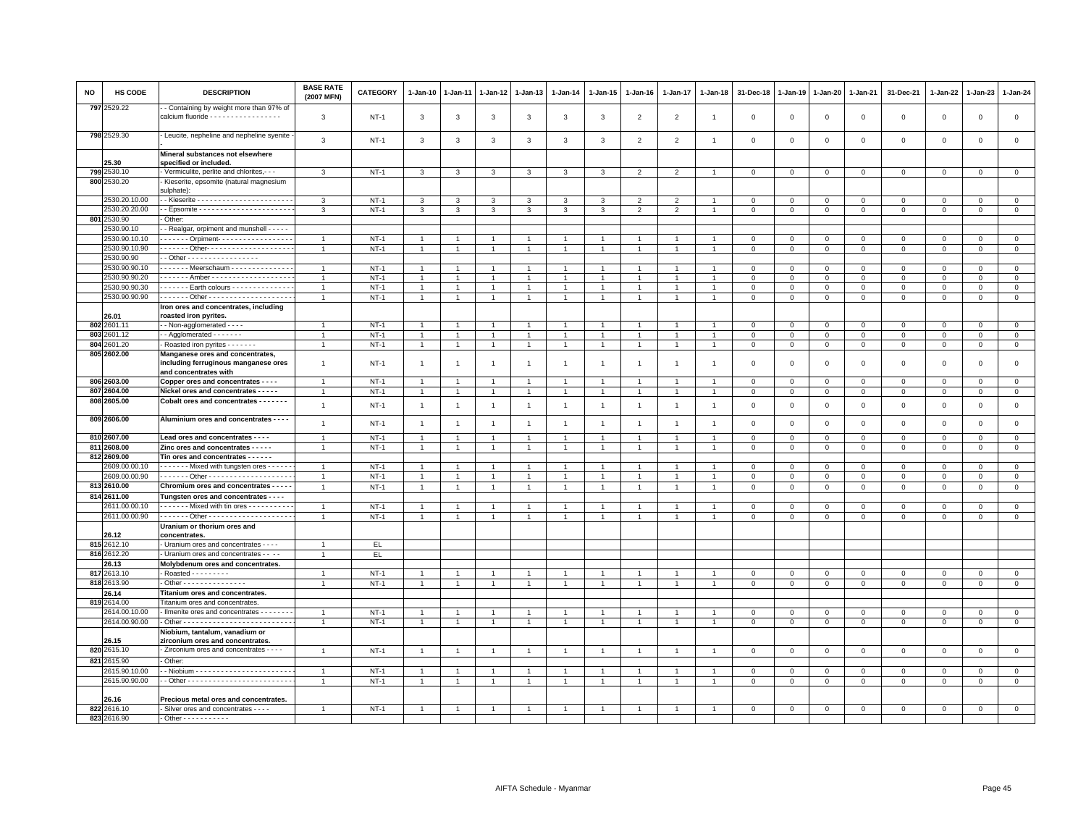| NO  | <b>HS CODE</b>              | <b>DESCRIPTION</b>                                                                                | <b>BASE RATE</b><br>(2007 MFN)   | <b>CATEGORY</b>  | 1-Jan-10           | 1-Jan-11       | 1-Jan-12       | 1-Jan-13                         | 1-Jan-14       | 1-Jan-15                         | 1-Jan-16       | 1-Jan-17             | 1-Jan-18       | 31-Dec-18                  | 1-Jan-19                   | 1-Jan-20               | 1-Jan-21                    | 31-Dec-21        | 1-Jan-22                  | 1-Jan-23                  | 1-Jan-24                      |
|-----|-----------------------------|---------------------------------------------------------------------------------------------------|----------------------------------|------------------|--------------------|----------------|----------------|----------------------------------|----------------|----------------------------------|----------------|----------------------|----------------|----------------------------|----------------------------|------------------------|-----------------------------|------------------|---------------------------|---------------------------|-------------------------------|
|     | 797 2529.22                 | - Containing by weight more than 97% of<br>calcium fluoride - - - - - - - - - - - - - - - - -     | 3                                | $NT-1$           | 3                  | $\mathbf{3}$   | 3              | 3                                | $\mathbf{3}$   | 3                                | $\overline{2}$ | $\overline{2}$       | $\overline{1}$ | $\mathbf{0}$               | $\Omega$                   | $\mathbf 0$            | $\mathbf{0}$                | $\mathbf 0$      | $\mathbf 0$               | $\mathbf{0}$              | $\mathbf 0$                   |
|     | 798 2529.30                 | - Leucite, nepheline and nepheline syenite                                                        | $\mathbf{3}$                     | <b>NT-1</b>      | $\mathbf{3}$       | 3              | 3              | 3                                | $\mathbf{3}$   | 3                                | $\overline{2}$ | $\overline{2}$       | $\overline{1}$ | $\mathbf 0$                | $\mathbf{0}$               | $\mathbf 0$            | $\mathbf 0$                 | $\mathsf 0$      | $\mathbf 0$               | $\mathsf 0$               | $\mathsf 0$                   |
|     |                             | Mineral substances not elsewhere                                                                  |                                  |                  |                    |                |                |                                  |                |                                  |                |                      |                |                            |                            |                        |                             |                  |                           |                           |                               |
| 799 | 25.30<br>2530.10            | specified or included.<br>- Vermiculite, perlite and chlorites, - - -                             | 3                                | $NT-1$           | 3                  | $\mathbf{3}$   | 3              | 3                                | 3              | $\mathbf{3}$                     | $\overline{2}$ | $\overline{2}$       | $\overline{1}$ | $\mathbf 0$                | $\mathbf 0$                | $\mathsf 0$            | $\mathbf 0$                 | $\mathsf 0$      | $\mathbf 0$               | $\mathbf 0$               | $\overline{0}$                |
|     | 800 2530.20                 | Kieserite, epsomite (natural magnesium                                                            |                                  |                  |                    |                |                |                                  |                |                                  |                |                      |                |                            |                            |                        |                             |                  |                           |                           |                               |
|     |                             | sulphate):                                                                                        |                                  |                  |                    |                |                |                                  |                |                                  |                |                      |                |                            |                            |                        |                             |                  |                           |                           |                               |
|     | 2530.20.10.00               |                                                                                                   | 3                                | $NT-1$           | 3                  | 3              | 3              | 3                                | 3              | 3                                | $\overline{2}$ | $\overline{2}$       |                | 0                          | $\circ$                    | $\mathbf 0$            | 0                           | 0                | 0                         | 0                         | $\mathbf{0}$                  |
|     | 2530.20.20.00               |                                                                                                   | 3                                | $NT-1$           | $\mathbf{3}$       | $\mathbf{3}$   | 3              | $\mathbf{3}$                     | 3              | $\mathbf{3}$                     | $\overline{2}$ | $\overline{2}$       | $\overline{1}$ | $\mathbf 0$                | $\mathbf 0$                | $\mathbf 0$            | $\mathsf 0$                 | $\mathbf 0$      | $\mathsf 0$               | $\mathsf 0$               | $\mathbf{0}$                  |
|     | 801 2530.90                 | Other:                                                                                            |                                  |                  |                    |                |                |                                  |                |                                  |                |                      |                |                            |                            |                        |                             |                  |                           |                           |                               |
|     | 2530.90.10<br>2530.90.10.10 | - Realgar, orpiment and munshell - - - - -<br>Orpiment-                                           |                                  |                  |                    |                |                |                                  |                |                                  |                |                      |                |                            |                            |                        |                             |                  |                           |                           |                               |
|     | 2530.90.10.90               | . Other- - - - - - - - - - - - - - - - - - -                                                      | $\overline{1}$<br>$\overline{1}$ | $NT-1$<br>$NT-1$ | -1<br>$\mathbf{1}$ |                | $\mathbf{1}$   | $\overline{1}$<br>$\overline{1}$ | $\mathbf{1}$   | $\overline{1}$<br>$\overline{1}$ |                | 1                    |                | $\mathbf 0$<br>$\mathbf 0$ | $\mathbf 0$<br>$\mathbf 0$ | $\circ$<br>$\mathbf 0$ | $\mathbf{0}$<br>$\mathsf 0$ | 0<br>$\mathbf 0$ | $^{\circ}$<br>$\mathbf 0$ | $^{\circ}$<br>$\mathsf 0$ | $\overline{0}$<br>$\mathbf 0$ |
|     | 2530.90.90                  | - Other - - - - - - - - - - - - - - - - -                                                         |                                  |                  |                    |                |                |                                  |                |                                  |                |                      |                |                            |                            |                        |                             |                  |                           |                           |                               |
|     | 2530.90.90.10               | Meerschaum - - - - - - - - - - - - -                                                              | $\overline{1}$                   | $NT-1$           | $\overline{1}$     |                |                | $\overline{1}$                   |                |                                  |                |                      |                | $\Omega$                   | $\Omega$                   | $\mathbf{0}$           | $\mathbf{0}$                | $\mathbf 0$      | $\mathbf 0$               | $\mathbf 0$               | $\circ$                       |
|     | 2530.90.90.20               | . Amber -                                                                                         | $\overline{1}$                   | $NT-1$           | -1                 |                | $\overline{1}$ | $\overline{1}$                   |                | $\mathbf{1}$                     |                | -1                   |                | $\mathbf{0}$               | $\mathbf 0$                | $\mathbf 0$            | $\Omega$                    | $\mathbf 0$      | $\Omega$                  | $\mathbf 0$               | $\mathbf{0}$                  |
|     | 2530.90.90.30               | Earth colours - - - - - - - - - - - - -                                                           | $\overline{1}$                   | $NT-1$           | $\overline{1}$     |                | $\overline{1}$ | $\overline{1}$                   |                | $\mathbf{1}$                     |                | $\overline{1}$       |                | $\mathbf 0$                | $\mathbf 0$                | $\mathbf 0$            | $\mathbf 0$                 | 0                | $\Omega$                  | $\Omega$                  | $\mathbf 0$                   |
|     | 2530.90.90.90               |                                                                                                   | $\overline{1}$                   | $NT-1$           | $\overline{1}$     |                | $\overline{1}$ | $\overline{1}$                   |                | $\overline{1}$                   |                |                      |                | $\mathbf 0$                | $\overline{0}$             | $\overline{0}$         | $\overline{0}$              | $\mathsf 0$      | $\Omega$                  | $\mathbf 0$               | $\overline{0}$                |
|     | 26.01                       | Iron ores and concentrates, including<br>roasted iron pyrites.                                    |                                  |                  |                    |                |                |                                  |                |                                  |                |                      |                |                            |                            |                        |                             |                  |                           |                           |                               |
|     | 802 2601.11                 | - - Non-agglomerated - - - -                                                                      | $\overline{1}$                   | $NT-1$           |                    |                |                | -1                               |                | -1                               |                |                      |                | $\Omega$                   | $\mathbf 0$                | $\mathbf 0$            | $\mathbf{0}$                | 0                | $^{\circ}$                | $^{\circ}$                | $\mathbf{0}$                  |
|     | 803 2601.12                 | $-$ Agglomerated $     -$                                                                         | $\overline{1}$                   | $NT-1$           | $\mathbf{1}$       |                | $\overline{1}$ | $\overline{1}$                   | $\mathbf{1}$   | $\overline{1}$                   |                | $\ddot{\phantom{0}}$ |                | $\mathbf 0$                | $\mathbf 0$                | $\mathbf 0$            | $\mathbf 0$                 | $\mathbf 0$      | $\Omega$                  | $\mathsf 0$               | $\mathbf 0$                   |
|     | 804 2601.20                 | - Roasted iron pyrites - - - - - -                                                                | $\overline{1}$                   | $NT-1$           | $\mathbf{1}$       | $\overline{1}$ | $\mathbf{1}$   | $\overline{1}$                   | $\overline{1}$ | $\mathbf{1}$                     | $\overline{1}$ | $\mathbf{1}$         | $\overline{1}$ | $\,0\,$                    | $\,0\,$                    | $\mathbb O$            | $\mathsf 0$                 | $\mathsf 0$      | $\mathbf 0$               | $\mathsf 0$               | $\mathsf 0$                   |
|     | 805 2602.00                 | Manganese ores and concentrates,<br>including ferruginous manganese ores<br>and concentrates with | $\overline{1}$                   | $NT-1$           | $\overline{1}$     | -1             | -1             | $\overline{1}$                   | $\mathbf{1}$   | $\mathbf{1}$                     | $\overline{1}$ | $\overline{1}$       | -1             | $\Omega$                   | $\Omega$                   | $\mathbf 0$            | $\mathbf 0$                 | $\mathbf 0$      | $\Omega$                  | $\mathbf 0$               | $\mathsf 0$                   |
|     | 806 2603.00                 | Copper ores and concentrates - - - -                                                              | $\overline{1}$                   | $NT-1$           | $\overline{1}$     |                |                | $\overline{1}$                   |                | $\overline{1}$                   |                |                      |                | $\mathbf 0$                | $\mathbf 0$                | $\mathbf 0$            | $\mathbf 0$                 | $\mathsf 0$      | $\mathbf 0$               | $\mathsf 0$               | $\mathsf 0$                   |
|     | 807 2604.00                 | Nickel ores and concentrates - - - - -                                                            | $\mathbf{1}$                     | $NT-1$           | $\mathbf{1}$       | $\overline{1}$ | $\mathbf{1}$   | $\mathbf{1}$                     | $\overline{1}$ | $\mathbf{1}$                     |                | $\overline{1}$       | $\overline{1}$ | $\mathbf 0$                | $\mathbf 0$                | $\mathbf 0$            | $\mathbf 0$                 | $\mathsf 0$      | $\mathbf 0$               | $\mathsf 0$               | $\mathbf 0$                   |
|     | 808 2605.00                 | Cobalt ores and concentrates - - - - - - -                                                        | $\mathbf{1}$                     | $NT-1$           | $\overline{1}$     | $\overline{1}$ | $\overline{1}$ | $\mathbf{1}$                     | $\mathbf{1}$   | $\mathbf{1}$                     | $\mathbf{1}$   | $\mathbf{1}$         | $\overline{1}$ | $\mathbf 0$                | $\mathbf{0}$               | $\mathbf 0$            | $\mathbf 0$                 | $\mathsf 0$      | $\mathbf 0$               | $\mathsf 0$               | $\mathsf 0$                   |
|     | 809 2606.00                 | Aluminium ores and concentrates - - - -                                                           | $\mathbf{1}$                     | $NT-1$           | $\overline{1}$     | $\overline{1}$ | $\overline{1}$ | $\mathbf{1}$                     | $\overline{1}$ | $\mathbf{1}$                     | $\overline{1}$ | $\mathbf{1}$         | $\overline{1}$ | $\mathsf 0$                | $\overline{0}$             | $\mathbf 0$            | $\mathsf 0$                 | $\mathsf 0$      | $\mathbf 0$               | $\mathsf 0$               | $\mathsf 0$                   |
|     | 810 2607.00                 | Lead ores and concentrates - - - -                                                                | $\overline{1}$                   | $NT-1$           | -1                 |                | $\overline{1}$ | $\mathbf{1}$                     | -1             | $\mathbf{1}$                     |                | 1                    | $\overline{1}$ | $\mathbf{O}$               | $\mathbf 0$                | $\mathbf 0$            | $\mathbf{0}$                | 0                | $\Omega$                  | $\mathbf 0$               | $\overline{0}$                |
|     | 811 2608.00<br>812 2609.00  | Zinc ores and concentrates - - - - -<br>Tin ores and concentrates - - - - - -                     | $\overline{1}$                   | $NT-1$           | $\mathbf{1}$       | $\overline{1}$ | $\mathbf{1}$   | $\overline{1}$                   | $\mathbf{1}$   | $\overline{1}$                   | $\overline{1}$ | $\mathbf{1}$         | $\overline{1}$ | $\mathbf 0$                | $\mathsf 0$                | $\mathbf 0$            | $\mathbf 0$                 | $\mathbf 0$      | $\mathbf 0$               | $\mathsf 0$               | $\mathbf 0$                   |
|     | 2609.00.00.10               | - - - - - - - Mixed with tungsten ores - - - - - -                                                | $\overline{1}$                   | $NT-1$           | $\overline{1}$     |                | $\mathbf{1}$   | $\mathbf{1}$                     |                | $\overline{1}$                   |                |                      |                | $\mathbf 0$                | $\mathbf 0$                | $\mathbf 0$            | $\mathbf 0$                 | $\mathsf 0$      | $\mathbf 0$               | $\mathsf 0$               | $\mathsf 0$                   |
|     | 2609.00.00.90               |                                                                                                   | $\overline{1}$                   | $NT-1$           | $\mathbf{1}$       |                | $\overline{1}$ | $\overline{1}$                   |                | $\overline{1}$                   |                | -1                   | $\overline{1}$ | $\mathbf{O}$               | $\mathbf 0$                | $\overline{0}$         | $\mathbf{0}$                | $\mathbf{0}$     | $^{\circ}$                | $^{\circ}$                | $\mathsf 0$                   |
|     | 813 2610.00                 | Chromium ores and concentrates - - - - -                                                          | $\overline{1}$                   | $NT-1$           | $\overline{1}$     | $\overline{1}$ | $\overline{1}$ | $\overline{1}$                   | $\overline{1}$ | $\mathbf{1}$                     | $\overline{1}$ | $\overline{1}$       |                | $\Omega$                   | $\mathbf{0}$               | $\mathsf 0$            | $\mathbf 0$                 | $\mathsf 0$      | $\mathbf 0$               | $\mathbf 0$               | $\mathsf 0$                   |
|     | 814 2611.00                 | Tungsten ores and concentrates - - - -                                                            |                                  |                  |                    |                |                |                                  |                |                                  |                |                      |                |                            |                            |                        |                             |                  |                           |                           |                               |
|     | 2611.00.00.10               | Mixed with tin ores                                                                               | $\overline{1}$                   | <b>NT-1</b>      | -1                 |                |                | $\mathbf{1}$                     |                | $\mathbf{1}$                     |                |                      |                | $\Omega$                   | 0                          | $\mathbf 0$            | $\Omega$                    | 0                | $\Omega$                  | 0                         | $\overline{0}$                |
|     | 2611.00.00.90               |                                                                                                   | $\overline{1}$                   | $NT-1$           | $\mathbf{1}$       |                | $\mathbf{1}$   | $\overline{1}$                   |                | $\blacktriangleleft$             |                |                      | $\overline{1}$ | $\Omega$                   | $\Omega$                   | $\mathbf{0}$           | $\mathbf 0$                 | $\mathbf 0$      | $\mathbf 0$               | $\mathbf 0$               | $\mathbf{0}$                  |
|     | 26.12                       | Uranium or thorium ores and<br><b>concentrates</b>                                                |                                  |                  |                    |                |                |                                  |                |                                  |                |                      |                |                            |                            |                        |                             |                  |                           |                           |                               |
|     | 815 2612.10                 | - Uranium ores and concentrates - - - -                                                           | $\overline{1}$                   | EL.              |                    |                |                |                                  |                |                                  |                |                      |                |                            |                            |                        |                             |                  |                           |                           |                               |
|     | 816 2612.20                 | Uranium ores and concentrates - - - -                                                             | $\overline{1}$                   | EL               |                    |                |                |                                  |                |                                  |                |                      |                |                            |                            |                        |                             |                  |                           |                           |                               |
|     | 26.13                       | Molybdenum ores and concentrates.                                                                 |                                  |                  |                    |                |                |                                  |                |                                  |                |                      |                |                            |                            |                        |                             |                  |                           |                           |                               |
|     | 817 2613.10                 | - Roasted - - - - - - - -                                                                         |                                  | $NT-1$           |                    |                |                |                                  |                |                                  |                |                      |                | $\mathbf 0$                | $\overline{0}$             | $\mathbf 0$            | $\mathbf 0$                 | $\mathbf 0$      | $\Omega$                  | $\Omega$                  | $\mathsf 0$                   |
|     | 818 2613.90                 | - Other - - - - - - - - - - - - - - -                                                             | $\overline{1}$                   | $NT-1$           | $\overline{1}$     | $\overline{1}$ | $\overline{1}$ | $\overline{1}$                   |                | $\overline{1}$                   |                | 1                    |                | $\mathsf 0$                | $\mathsf 0$                | $\mathsf 0$            | $\mathsf 0$                 | $\mathsf 0$      | $\mathbf 0$               | $\mathsf 0$               | $\mathsf 0$                   |
|     | 26.14<br>819 2614.00        | Titanium ores and concentrates.<br>Titanium ores and concentrates.                                |                                  |                  |                    |                |                |                                  |                |                                  |                |                      |                |                            |                            |                        |                             |                  |                           |                           |                               |
|     | 2614.00.10.00               | - Ilmenite ores and concentrates - - - - - - -                                                    | $\overline{1}$                   | $NT-1$           | $\overline{1}$     | $\mathbf{1}$   | $\overline{1}$ | $\overline{1}$                   |                | $\overline{1}$                   |                | $\overline{1}$       | $\overline{1}$ | $\mathbf 0$                | $\mathbf{0}$               | $\mathbf{0}$           | $\mathbf{0}$                | 0                | $\Omega$                  | $\Omega$                  | $\mathbf 0$                   |
|     | 2614.00.90.00               |                                                                                                   | $\overline{1}$                   | $NT-1$           | $\mathbf{1}$       | $\mathbf{1}$   | $\mathbf{1}$   | $\overline{1}$                   |                | $\overline{1}$                   |                | $\overline{1}$       | $\overline{1}$ | $\mathbf 0$                | $\mathbf 0$                | $\mathbf 0$            | $\mathbf 0$                 | 0                | 0                         | 0                         | $\mathbf 0$                   |
|     |                             | Niobium, tantalum, vanadium or                                                                    |                                  |                  |                    |                |                |                                  |                |                                  |                |                      |                |                            |                            |                        |                             |                  |                           |                           |                               |
|     | 26.15                       | zirconium ores and concentrates.                                                                  |                                  |                  |                    |                |                |                                  |                |                                  |                |                      |                |                            |                            |                        |                             |                  |                           |                           |                               |
|     | 820 2615.10                 | - Zirconium ores and concentrates - - - -                                                         | $\overline{1}$                   | $NT-1$           | $\overline{1}$     | $\overline{1}$ | $\overline{1}$ | $\overline{1}$                   |                | $\overline{1}$                   |                | $\overline{1}$       |                | $\overline{0}$             | $\overline{0}$             | $\mathbf{0}$           | $\mathbf 0$                 | $\mathbf 0$      | $\mathbf 0$               | $\mathbf{0}$              | $\mathsf 0$                   |
|     | 821 2615.90                 | Other:                                                                                            |                                  |                  |                    |                |                |                                  |                |                                  |                |                      |                |                            |                            |                        |                             |                  |                           |                           |                               |
|     | 2615.90.10.00               |                                                                                                   | $\overline{1}$                   | $NT-1$           |                    |                |                | -1                               |                | $\mathbf{1}$                     |                |                      |                | $\mathbf 0$                | $\mathbf 0$                | $\circ$                | $\mathbf{0}$                | 0                | $^{\circ}$                | $^{\circ}$                | $\overline{0}$                |
|     | 2615.90.90.00               |                                                                                                   | $\overline{1}$                   | $NT-1$           | $\overline{1}$     | $\overline{1}$ |                | $\mathbf{1}$                     |                | $\mathbf{1}$                     |                | $\overline{1}$       | $\overline{1}$ | $\mathbf 0$                | $\mathbf 0$                | $\mathbf 0$            | $\mathbf 0$                 | $\mathbf 0$      | $\mathbf 0$               | $\mathsf 0$               | $\mathbf 0$                   |
|     | 26.16                       | Precious metal ores and concentrates.                                                             |                                  |                  |                    |                |                |                                  |                |                                  |                |                      |                |                            |                            |                        |                             |                  |                           |                           |                               |
|     | 822 2616.10                 | Silver ores and concentrates - - - -                                                              |                                  | $NT-1$           |                    |                |                |                                  |                |                                  |                |                      |                | $\Omega$                   | $\Omega$                   | $\mathbf{0}$           | $\mathbf 0$                 | $\Omega$         | $\mathbf 0$               | $\mathbf 0$               | $\mathbf{0}$                  |
|     | 823 2616.90                 | $-$ Other - - - - - - - - - - -                                                                   |                                  |                  |                    |                |                |                                  |                |                                  |                |                      |                |                            |                            |                        |                             |                  |                           |                           |                               |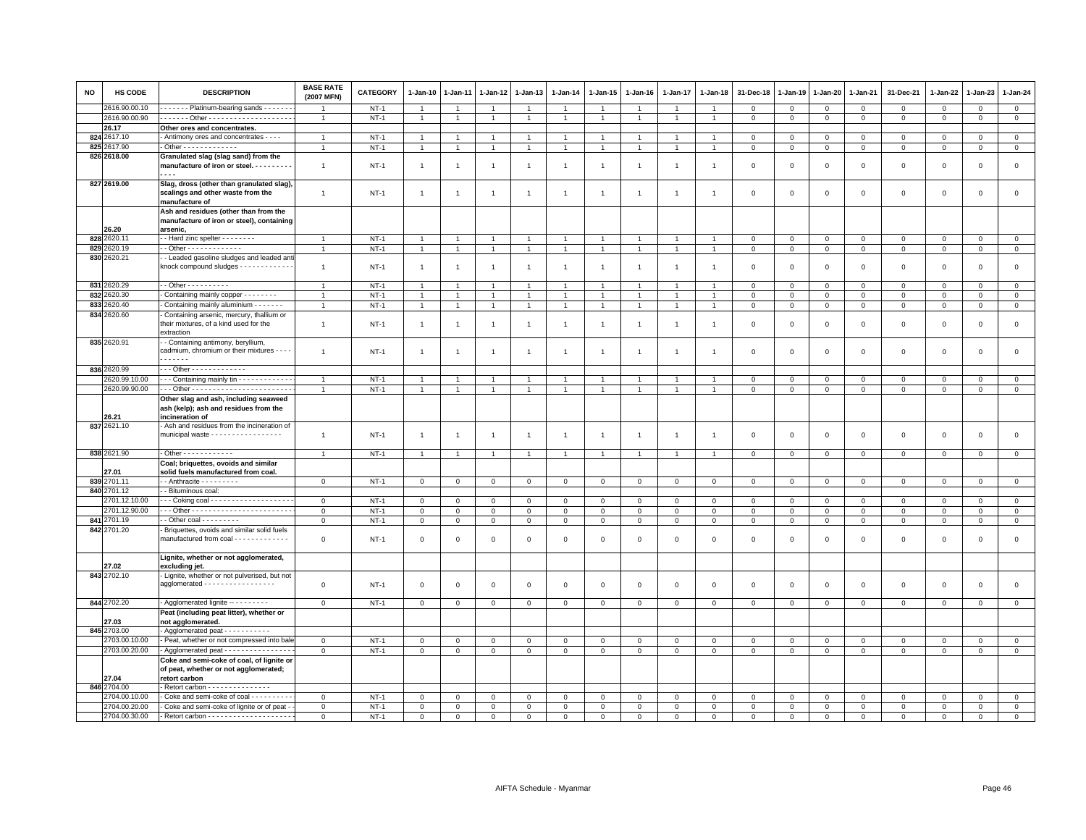| <b>NO</b> | HS CODE       | <b>DESCRIPTION</b>                                                                              | <b>BASE RATE</b><br>(2007 MFN) | <b>CATEGORY</b>  | 1-Jan-10       | 1-Jan-11       | 1-Jan-12       | 1-Jan-13       | $1 - Jan-14$   | 1-Jan-15       | 1-Jan-16       | 1-Jan-17       | 1-Jan-18       | 31-Dec-18    | 1-Jan-19       | 1-Jan-20                       | 1-Jan-21     | 31-Dec-21                     | 1-Jan-22     | 1-Jan-23     | $1-Jan-24$     |
|-----------|---------------|-------------------------------------------------------------------------------------------------|--------------------------------|------------------|----------------|----------------|----------------|----------------|----------------|----------------|----------------|----------------|----------------|--------------|----------------|--------------------------------|--------------|-------------------------------|--------------|--------------|----------------|
|           | 2616.90.00.10 | Platinum-bearing sands - - - - - -                                                              |                                | $NT-1$           | $\overline{1}$ |                | $\overline{1}$ | $\overline{1}$ |                | $\overline{1}$ |                | $\overline{1}$ |                | $\mathbf{0}$ | $\mathbf{0}$   | $\mathbf{0}$                   | $\mathbf{0}$ | $\mathbf 0$                   | $\mathbf 0$  | $\mathbf 0$  | $\circ$        |
|           | 2616.90.00.90 |                                                                                                 | $\overline{1}$                 | $NT-1$           | $\mathbf{1}$   | $\mathbf{1}$   | $\mathbf{1}$   | $\overline{1}$ | $\overline{1}$ | $\mathbf{1}$   |                | $\mathbf{1}$   | $\overline{1}$ | $\mathbf 0$  | $\mathbf 0$    | $\mathbf 0$                    | $\mathbf{0}$ | $\mathbf 0$                   | $\circ$      | $\mathbf 0$  | $\circ$        |
|           | 26.17         | Other ores and concentrates.                                                                    |                                |                  |                |                |                |                |                |                |                |                |                |              |                |                                |              |                               |              |              |                |
|           | 824 2617.10   | - Antimony ores and concentrates - - - -                                                        | $\overline{1}$                 | $NT-1$           | $\overline{1}$ |                |                | $\overline{1}$ |                | $\overline{1}$ |                | $\overline{1}$ | $\overline{1}$ | $\mathbf 0$  | $\mathbf 0$    | $\Omega$                       | $\mathsf 0$  | $\mathsf 0$                   | $\Omega$     | $\Omega$     | $\overline{0}$ |
|           | 825 2617.90   | - Other - - - - - - - - - - - - -                                                               | $\overline{1}$                 | $NT-1$           | $\overline{1}$ | $\overline{1}$ | $\overline{1}$ | $\overline{1}$ | $\overline{1}$ | $\overline{1}$ | $\overline{1}$ | $\mathbf{1}$   | $\overline{1}$ | $\,0\,$      | $\mathbb O$    | $\overline{0}$                 | $\mathbf 0$  | $\mathsf 0$                   | $\mathbf 0$  | $\mathbf 0$  | $\mathbf 0$    |
|           | 826 2618.00   | Granulated slag (slag sand) from the                                                            |                                |                  |                |                |                |                |                |                |                |                |                |              |                |                                |              |                               |              |              |                |
|           |               | manufacture of iron or steel.                                                                   | $\overline{1}$                 | $NT-1$           | $\overline{1}$ | $\overline{1}$ | $\mathbf{1}$   | $\overline{1}$ | $\overline{1}$ | $\overline{1}$ | $\overline{1}$ | $\overline{1}$ | $\overline{1}$ | $\mathbf 0$  | $\mathbf 0$    | $\mathbf 0$                    | $\mathbf 0$  | $\mathsf 0$                   | $\mathbf 0$  | $\mathbf 0$  | $\mathbf 0$    |
|           |               | .                                                                                               |                                |                  |                |                |                |                |                |                |                |                |                |              |                |                                |              |                               |              |              |                |
|           | 827 2619.00   | Slag, dross (other than granulated slag),                                                       |                                |                  |                |                |                |                |                |                |                |                |                |              |                |                                |              |                               |              |              |                |
|           |               | scalings and other waste from the                                                               | $\mathbf{1}$                   | <b>NT-1</b>      | $\overline{1}$ | $\overline{1}$ | $\mathbf{1}$   | $\overline{1}$ | $\overline{1}$ | $\mathbf{1}$   | $\overline{1}$ | $\mathbf{1}$   | $\overline{1}$ | $\mathbf 0$  | $\mathbf 0$    | $\,0\,$                        | $\mathsf 0$  | $\mathsf 0$                   | 0            | $\mathsf 0$  | $\,0\,$        |
|           |               | manufacture of                                                                                  |                                |                  |                |                |                |                |                |                |                |                |                |              |                |                                |              |                               |              |              |                |
|           |               | Ash and residues (other than from the                                                           |                                |                  |                |                |                |                |                |                |                |                |                |              |                |                                |              |                               |              |              |                |
|           |               | manufacture of iron or steel), containing                                                       |                                |                  |                |                |                |                |                |                |                |                |                |              |                |                                |              |                               |              |              |                |
|           | 26.20         | arsenic,                                                                                        |                                |                  |                |                |                |                |                |                |                |                |                |              |                |                                |              |                               |              |              |                |
|           | 828 2620.1    | - Hard zinc spelter - - - - - - - -                                                             | $\overline{1}$                 | $NT-1$           | $\mathbf{1}$   |                | $\overline{1}$ | $\overline{1}$ |                | $\overline{1}$ |                | $\overline{1}$ | $\overline{1}$ | $\mathbf 0$  | $\mathbf{0}$   | $\mathbf{0}$                   | $\mathbf 0$  | $\mathbf{0}$                  | $\mathbf 0$  | $\mathbf 0$  | $\mathbf 0$    |
|           | 829 2620.19   | $-$ Other - - - - - - - - - - - - -                                                             | $\overline{1}$                 | $NT-1$           | $\overline{1}$ | $\overline{1}$ | $\overline{1}$ | $\overline{1}$ | $\overline{1}$ | $\mathbf{1}$   | $\overline{1}$ | $\mathbf{1}$   | $\overline{1}$ | $\mathbf{0}$ | $\circ$        | $\overline{0}$                 | $\mathbf{0}$ | $\mathsf 0$                   | $\mathbf 0$  | $\mathbf 0$  | $\mathbf 0$    |
|           | 830 2620.21   | - Leaded gasoline sludges and leaded ant                                                        |                                |                  |                |                |                |                |                |                |                |                |                |              |                |                                |              |                               |              |              |                |
|           |               | knock compound sludges - - - - - - - - - - - -                                                  | $\overline{1}$                 | $NT-1$           | $\mathbf{1}$   | $\overline{1}$ | $\mathbf{1}$   | $\overline{1}$ | $\overline{1}$ | $\overline{1}$ |                | $\mathbf{1}$   | $\overline{1}$ | $\mathbf 0$  | $\mathbf 0$    | $\mathbf 0$                    | $\mathsf 0$  | $\mathsf 0$                   | $\mathbf 0$  | $\Omega$     | $\mathsf 0$    |
|           | 831 2620.29   | - - Other - - - - - - - - - -                                                                   | $\overline{1}$                 |                  | $\overline{1}$ | $\overline{1}$ | $\overline{1}$ | $\overline{1}$ | $\overline{1}$ | $\overline{1}$ |                | $\mathbf{1}$   | $\overline{1}$ | $\mathbf{0}$ | $\mathbf{0}$   |                                | $\mathbf{0}$ |                               | $\mathbf{0}$ | $\mathbf{0}$ | $\mathbf{0}$   |
|           | 832 2620.30   | - Containing mainly copper - - - - - - - -                                                      | $\mathbf{1}$                   | $NT-1$<br>$NT-1$ | $\overline{1}$ | $\overline{1}$ | $\mathbf{1}$   | $\overline{1}$ | $\overline{1}$ | $\mathbf{1}$   |                | $\overline{1}$ | $\overline{1}$ | $\mathbf{0}$ | $\mathbf{0}$   | $\overline{0}$<br>$\mathbf{0}$ | $\mathbf{0}$ | $\overline{0}$<br>$\mathbf 0$ | $\mathbf 0$  | $\mathbf 0$  | $\circ$        |
|           | 833 2620.40   | Containing mainly aluminium - - - - - - -                                                       | $\overline{1}$                 | $NT-1$           | $\overline{1}$ | $\mathbf{1}$   |                | $\mathbf{1}$   |                | $\mathbf{1}$   |                | $\overline{1}$ | $\overline{1}$ | $\mathbf 0$  | $\mathsf 0$    | $\mathsf 0$                    |              |                               |              |              | $\mathsf 0$    |
|           | 834 2620.60   | Containing arsenic, mercury, thallium or                                                        |                                |                  |                |                | $\mathbf{1}$   |                |                |                |                |                |                |              |                |                                | $\mathbf 0$  | $\mathsf 0$                   | $\mathbf 0$  | 0            |                |
|           |               | their mixtures, of a kind used for the                                                          |                                |                  |                |                |                |                |                |                |                |                |                |              |                |                                |              |                               |              |              | $\mathsf 0$    |
|           |               | extraction                                                                                      | $\mathbf{1}$                   | $NT-1$           | $\overline{1}$ | $\mathbf{1}$   | $\mathbf{1}$   | $\mathbf{1}$   | $\mathbf{1}$   | $\mathbf{1}$   | $\overline{1}$ | $\overline{1}$ | $\overline{1}$ | $\mathbf 0$  | $\mathbf 0$    | $\,0\,$                        | $\mathsf 0$  | $\mathsf 0$                   | $\mathsf 0$  | $\mathsf 0$  |                |
|           | 835 2620.91   | - Containing antimony, beryllium,                                                               |                                |                  |                |                |                |                |                |                |                |                |                |              |                |                                |              |                               |              |              |                |
|           |               | cadmium, chromium or their mixtures - - - -                                                     | $\mathbf{1}$                   | $NT-1$           | $\overline{1}$ | $\overline{1}$ | $\overline{1}$ | $\mathbf{1}$   | $\mathbf{1}$   | $\mathbf{1}$   | $\overline{1}$ | $\overline{1}$ | $\overline{1}$ | $\mathbf 0$  | $\overline{0}$ | $\mathbf 0$                    | $\mathbf 0$  | $\mathbf 0$                   | $\mathbf 0$  | $\mathbf 0$  | $\mathbf 0$    |
|           |               | .                                                                                               |                                |                  |                |                |                |                |                |                |                |                |                |              |                |                                |              |                               |              |              |                |
|           | 836 2620.99   | $-$ - Other - - - - - - - - - - - - -                                                           |                                |                  |                |                |                |                |                |                |                |                |                |              |                |                                |              |                               |              |              |                |
|           | 2620.99.10.00 | Containing mainly tin                                                                           | $\overline{1}$                 | $NT-1$           | $\overline{1}$ |                |                | $\overline{1}$ |                | $\overline{1}$ |                |                |                | $\Omega$     | $\mathbf{0}$   | $\mathbf{0}$                   | $\mathbf{0}$ | $\mathbf 0$                   | $\mathbf 0$  | $\mathbf 0$  | $\circ$        |
|           | 2620.99.90.00 |                                                                                                 | $\overline{1}$                 | $NT-1$           | $\mathbf{1}$   | $\overline{1}$ | $\overline{1}$ | $\mathbf{1}$   |                | $\overline{1}$ |                | $\mathbf{1}$   | $\mathbf{1}$   | $\mathbf{O}$ | $\mathbf 0$    | $\mathbf 0$                    | $\mathbf 0$  | 0                             | 0            | 0            | $\mathbf{0}$   |
|           |               | Other slag and ash, including seaweed                                                           |                                |                  |                |                |                |                |                |                |                |                |                |              |                |                                |              |                               |              |              |                |
|           |               | ash (kelp); ash and residues from the                                                           |                                |                  |                |                |                |                |                |                |                |                |                |              |                |                                |              |                               |              |              |                |
|           | 26.21         | incineration of                                                                                 |                                |                  |                |                |                |                |                |                |                |                |                |              |                |                                |              |                               |              |              |                |
|           | 837 2621.10   | - Ash and residues from the incineration of                                                     |                                |                  |                |                |                |                |                |                |                |                |                |              |                |                                |              |                               |              |              |                |
|           |               | municipal waste - - - - - - - - - - - - - - - - -                                               | $\mathbf{1}$                   | $NT-1$           | $\overline{1}$ | $\overline{1}$ | $\overline{1}$ | $\mathbf{1}$   | $\overline{1}$ | $\mathbf{1}$   | $\overline{1}$ | $\overline{1}$ | $\overline{1}$ | $\mathbf 0$  | $\Omega$       | $\mathbf 0$                    | $\mathbf 0$  | $\mathsf 0$                   | $\mathbf 0$  | $\mathsf 0$  | $\mathbf 0$    |
|           |               |                                                                                                 |                                |                  |                |                |                |                |                |                |                |                |                |              |                |                                |              |                               |              |              |                |
|           | 838 2621.90   | - Other - - - - - - - - - - - -                                                                 | $\overline{1}$                 | $NT-1$           | $\overline{1}$ | $\mathbf{1}$   | $\overline{1}$ | $\mathbf{1}$   |                | $\mathbf{1}$   |                | $\overline{1}$ | $\overline{1}$ | $\mathbf 0$  | $\mathbf 0$    | $\overline{0}$                 | $\mathsf 0$  | $\mathbf 0$                   | $\mathbf 0$  | $\mathbf 0$  | $\overline{0}$ |
|           |               | Coal; briquettes, ovoids and similar                                                            |                                |                  |                |                |                |                |                |                |                |                |                |              |                |                                |              |                               |              |              |                |
|           | 27.01         | solid fuels manufactured from coal.                                                             |                                |                  |                |                |                |                |                |                |                |                |                |              |                |                                |              |                               |              |              |                |
|           | 839 2701.11   | - Anthracite - - - - - - - -                                                                    | $\mathbf{0}$                   | $NT-1$           | $\mathbf 0$    | $\mathbf 0$    | 0              | $\overline{0}$ | $\mathbf 0$    | $\mathbf 0$    | $\mathbf{0}$   | $\mathbf{0}$   | $\mathsf 0$    | $\mathbf 0$  | $\mathbf{0}$   | $\mathbf 0$                    | $\mathbf 0$  | $\mathbf 0$                   | $\mathbf 0$  | $\mathbf 0$  | $\mathbf 0$    |
|           | 840 2701.12   | - Bituminous coal:                                                                              |                                |                  |                |                |                |                |                |                |                |                |                |              |                |                                |              |                               |              |              |                |
|           | 2701.12.10.00 |                                                                                                 | $\mathsf 0$                    | $NT-1$           | $\mathbf 0$    | $\mathbf 0$    | $\mathbf 0$    | $\mathbf 0$    | $\mathsf 0$    | $\mathbf 0$    | $\mathbf{O}$   | $\mathbf 0$    | $\mathsf 0$    | $\mathsf 0$  | $\mathsf 0$    | $\mathbf 0$                    | $\mathbf 0$  | $\mathsf 0$                   | $\mathbf 0$  | $\mathsf 0$  | $\mathsf 0$    |
|           | 2701.12.90.00 |                                                                                                 | $\mathsf 0$                    | $NT-1$           | $\mathbf 0$    | $\mathbf 0$    | $\mathbf 0$    | $\mathbf 0$    | $\mathsf 0$    | $\mathsf 0$    | $\mathbf{0}$   | $\mathbf 0$    | $\mathsf 0$    | $\circ$      | $\mathsf 0$    | $\mathbf 0$                    | $\mathbf 0$  | $\mathbf 0$                   | $\mathbf 0$  | $\mathsf 0$  | $\mathbf 0$    |
|           | 841 2701.19   | $\cdot$ - Other coal - - - - - - - - -                                                          | $\mathsf 0$                    | $NT-1$           | $\mathsf 0$    | $\mathbf 0$    | $\mathbf 0$    | $\mathbf 0$    | $\mathsf 0$    | $\mathsf 0$    | $\mathsf 0$    | $\mathsf 0$    | $\mathbf 0$    | $\mathbf 0$  | $\mathbf{0}$   | $\mathsf 0$                    | $\mathsf 0$  | $\mathsf 0$                   | $\mathbf 0$  | $\mathsf 0$  | $\overline{0}$ |
|           | 842 2701.20   | Briquettes, ovoids and similar solid fuels                                                      |                                |                  |                |                |                |                |                |                |                |                |                |              |                |                                |              |                               |              |              |                |
|           |               | manufactured from coal - - - - - - - - - - - - -                                                | $\mathsf 0$                    | $NT-1$           | $\mathbf 0$    | $\Omega$       | $\Omega$       | $\mathbf 0$    | $\mathbf 0$    | $\mathbf 0$    | $\Omega$       | $\Omega$       | $\mathbf 0$    | $\mathbf 0$  | $\Omega$       | $\mathbf 0$                    | $\mathbf 0$  | $\mathbf 0$                   | $\mathbf 0$  | $\mathsf 0$  | $\mathsf 0$    |
|           |               |                                                                                                 |                                |                  |                |                |                |                |                |                |                |                |                |              |                |                                |              |                               |              |              |                |
|           |               | Lignite, whether or not agglomerated,                                                           |                                |                  |                |                |                |                |                |                |                |                |                |              |                |                                |              |                               |              |              |                |
|           | 27.02         | excluding jet.                                                                                  |                                |                  |                |                |                |                |                |                |                |                |                |              |                |                                |              |                               |              |              |                |
|           | 843 2702.10   | - Lignite, whether or not pulverised, but not<br>agglomerated - - - - - - - - - - - - - - - - - | $\mathsf 0$                    | $NT-1$           | $\mathsf 0$    | $\mathbf 0$    | $\mathbf 0$    | $\mathsf 0$    | $\mathsf 0$    | $\mathsf 0$    | $\mathsf 0$    | $\mathsf 0$    | $\mathbf 0$    | $\mathbf 0$  | $\overline{0}$ | $\mathbf 0$                    | $\mathsf 0$  | $\mathsf 0$                   | $\mathsf 0$  | $\mathsf 0$  | $\mathsf 0$    |
|           |               |                                                                                                 |                                |                  |                |                |                |                |                |                |                |                |                |              |                |                                |              |                               |              |              |                |
|           | 844 2702.20   | - Agglomerated lignite -- - - - - - - - -                                                       | $\mathsf 0$                    | $NT-1$           | $\mathbf{0}$   | $\mathbf 0$    | $\mathbf 0$    | $\mathbf 0$    | $\mathbf 0$    | $\mathbf 0$    | $\mathbf{O}$   | $\mathbf 0$    | $\mathsf 0$    | $\mathbf 0$  | $\mathbf{0}$   | $\mathbf 0$                    | $\mathbf 0$  | $\mathsf 0$                   | $\mathbf 0$  | $\mathsf 0$  | $\mathbf 0$    |
|           |               | Peat (including peat litter), whether or                                                        |                                |                  |                |                |                |                |                |                |                |                |                |              |                |                                |              |                               |              |              |                |
|           | 27.03         | not agglomerated.                                                                               |                                |                  |                |                |                |                |                |                |                |                |                |              |                |                                |              |                               |              |              |                |
|           | 845 2703.00   | - Agglomerated peat - - - - - - - - - -                                                         |                                |                  |                |                |                |                |                |                |                |                |                |              |                |                                |              |                               |              |              |                |
|           | 2703.00.10.00 | - Peat, whether or not compressed into bal                                                      | $\mathsf 0$                    | $NT-1$           | $\mathbf 0$    | $\mathbf 0$    | $\mathbf 0$    | $\mathbf 0$    | 0              | $\mathbf 0$    | 0              | $\mathbf 0$    | $\,0\,$        | $\mathbf 0$  | $\mathbf 0$    | $\mathsf 0$                    | $\mathbf 0$  | $\mathsf 0$                   | $\Omega$     | $\mathsf 0$  | $\mathbf 0$    |
|           | 2703.00.20.00 | - Agglomerated peat - - - - - - - - - - - - - - -                                               | $\mathsf 0$                    | $NT-1$           | $\mathsf 0$    | $\mathbf 0$    | $\mathbf 0$    | $\mathbf{0}$   | $\mathsf 0$    | $\mathsf 0$    | $\mathbf 0$    | $\mathbf 0$    | $\mathsf 0$    | $\mathbf 0$  | $\mathsf 0$    | $\mathbf 0$                    | $\mathbf{0}$ | $\mathsf 0$                   | $\mathbf 0$  | $\mathsf 0$  | $\mathbf{0}$   |
|           |               | Coke and semi-coke of coal, of lignite or                                                       |                                |                  |                |                |                |                |                |                |                |                |                |              |                |                                |              |                               |              |              |                |
|           |               | of peat, whether or not agglomerated;                                                           |                                |                  |                |                |                |                |                |                |                |                |                |              |                |                                |              |                               |              |              |                |
|           | 27.04         | retort carbon                                                                                   |                                |                  |                |                |                |                |                |                |                |                |                |              |                |                                |              |                               |              |              |                |
|           | 846 2704.00   | - Retort carbon - - - - - - - - - - - - - -                                                     |                                |                  |                |                |                |                |                |                |                |                |                |              |                |                                |              |                               |              |              |                |
|           | 2704.00.10.00 | Coke and semi-coke of coal - - - - - - - - -                                                    | $\mathsf 0$                    | $NT-1$           | $\Omega$       | $\Omega$       | $\mathbf 0$    | $\mathbf 0$    | $\mathsf 0$    | $\mathbf 0$    | $\Omega$       | $\mathsf 0$    | $\mathsf 0$    | $\Omega$     | $\Omega$       | $\mathbf 0$                    | $\mathbf 0$  | $\mathsf 0$                   | $\Omega$     | $\Omega$     | $\overline{0}$ |
|           | 2704.00.20.00 | - Coke and semi-coke of lignite or of peat -                                                    | $\Omega$                       | $NT-1$           | $\mathbf{0}$   | $\Omega$       | $\Omega$       | $\Omega$       | $\Omega$       | $\Omega$       | $\Omega$       | $\Omega$       | $\Omega$       | $\Omega$     | $\mathbf{0}$   | $\mathbf 0$                    | $\Omega$     | $\Omega$                      | $\Omega$     | $\Omega$     | $\mathbf{0}$   |
|           | 2704.00.30.00 |                                                                                                 | $\mathbf 0$                    | $NT-1$           | $\mathbf 0$    | $\mathbf{0}$   | $\mathbf 0$    | $\Omega$       | $\mathsf 0$    | $\circ$        | $\Omega$       | $\mathbf{0}$   | $\mathbf 0$    | $\mathbf 0$  | $\mathbf{0}$   | $\mathbf 0$                    | $\mathbf 0$  | $\Omega$                      | $\mathbf 0$  | $\mathbf 0$  | $\mathbf{0}$   |
|           |               |                                                                                                 |                                |                  |                |                |                |                |                |                |                |                |                |              |                |                                |              |                               |              |              |                |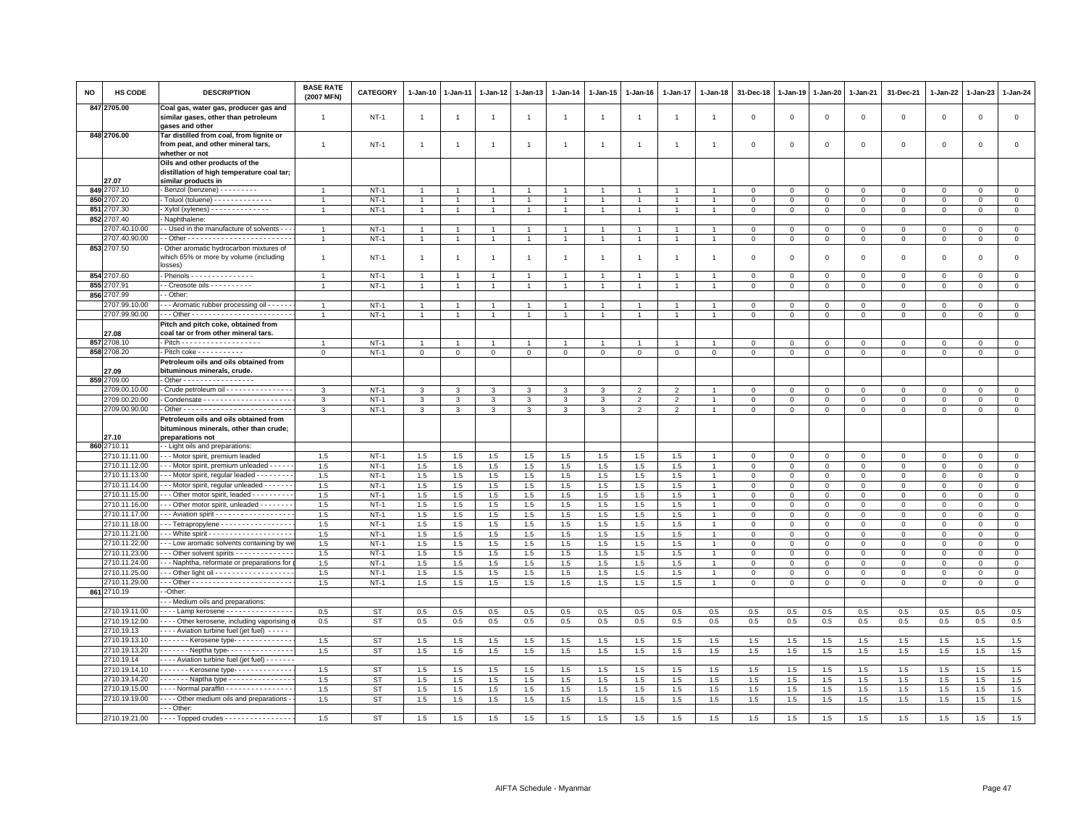| <b>NO</b> | HS CODE                        | <b>DESCRIPTION</b>                                                                                  | <b>BASE RATE</b><br>(2007 MFN)   | <b>CATEGORY</b>  | 1-Jan-10                       | 1-Jan-11       | 1-Jan-12       | 1-Jan-13                       | 1-Jan-14                         | $1 - Jan-15$   | 1-Jan-16       | 1-Jan-17                 | 1-Jan-18    | 31-Dec-18                  | 1-Jan-19                   | 1-Jan-20                   | 1-Jan-21                   | 31-Dec-21                          | 1-Jan-22                   | 1-Jan-23                   | 1-Jan-24                   |
|-----------|--------------------------------|-----------------------------------------------------------------------------------------------------|----------------------------------|------------------|--------------------------------|----------------|----------------|--------------------------------|----------------------------------|----------------|----------------|--------------------------|-------------|----------------------------|----------------------------|----------------------------|----------------------------|------------------------------------|----------------------------|----------------------------|----------------------------|
|           | 847 2705.00                    | Coal gas, water gas, producer gas and<br>similar gases, other than petroleum<br>gases and other     | $\overline{1}$                   | $NT-1$           | $\overline{1}$                 | $\overline{1}$ | $\overline{1}$ | $\overline{1}$                 | $\overline{1}$                   | $\mathbf{1}$   | $\overline{1}$ | $\overline{1}$           |             | $\mathbf 0$                | $\mathbf 0$                | $\mathsf 0$                | $\mathbf 0$                | $\mathsf 0$                        | $\mathbf 0$                | $\mathbf 0$                | $\mathbf 0$                |
|           | 848 2706.00                    | Tar distilled from coal, from lignite or<br>from peat, and other mineral tars,<br>whether or not    | $\mathbf{1}$                     | $NT-1$           | $\mathbf{1}$                   | $\overline{1}$ | $\overline{1}$ | $\mathbf{1}$                   | $\overline{1}$                   | $\overline{1}$ | $\overline{1}$ | $\mathbf{1}$             |             | $\mathbf 0$                | $\mathbf 0$                | $\mathsf 0$                | $\mathbf 0$                | $\mathsf 0$                        | $\mathsf 0$                | $\mathsf 0$                | $\mathsf 0$                |
|           |                                | Oils and other products of the<br>distillation of high temperature coal tar;                        |                                  |                  |                                |                |                |                                |                                  |                |                |                          |             |                            |                            |                            |                            |                                    |                            |                            |                            |
|           | 27.07                          | similar products in                                                                                 |                                  |                  |                                |                |                |                                |                                  |                |                |                          |             |                            |                            |                            |                            |                                    |                            |                            |                            |
|           | 849 2707.10                    | Benzol (benzene) - - - - - - - - -                                                                  | $\overline{1}$                   | $NT-1$           | $\overline{1}$                 |                |                | $\overline{1}$                 | $\overline{1}$                   |                |                |                          |             | $\mathbf 0$                | $\mathbf 0$                | $\mathsf 0$                | $\mathbf 0$                | $\mathsf 0$                        | $\mathbf 0$                | $\mathbf{0}$               | $\mathsf 0$                |
| 850       | 707.20                         | Toluol (toluene) - - - - - - - - - - - - - -                                                        |                                  | $NT-1$           | $\mathbf{1}$                   |                | 1              | $\overline{1}$                 | $\mathbf{1}$                     | $\mathbf{1}$   | $\mathbf{1}$   | -1                       |             | $\overline{0}$             | $\mathbf 0$                | $\Omega$                   | $\overline{0}$             | $\mathbf 0$                        | $\mathbf{0}$               | $\mathbf{0}$               | $\mathbf{0}$               |
| 851       | 707.30                         | Xylol (xylenes) - - - - - - - - - - - - -                                                           | $\overline{1}$                   | $NT-1$           | $\mathbf{1}$                   | $\overline{1}$ | $\mathbf{1}$   | $\overline{1}$                 | $\overline{1}$                   | $\mathbf{1}$   | $\overline{1}$ | $\overline{1}$           |             | $\mathbf 0$                | $\mathbf 0$                | $\mathbf 0$                | $\mathbf 0$                | $\mathbf 0$                        | 0                          | $\mathbf 0$                | $\mathbf 0$                |
| 852       | 2707.40                        | Naphthalene:                                                                                        |                                  |                  |                                |                |                |                                |                                  |                |                |                          |             |                            |                            |                            |                            |                                    |                            |                            |                            |
|           | 2707.40.10.00<br>2707.40.90.00 | - Used in the manufacture of solvents - -                                                           | $\overline{1}$<br>$\overline{1}$ | $NT-1$<br>$NT-1$ | $\overline{1}$<br>$\mathbf{1}$ |                | 1              | $\overline{1}$<br>$\mathbf{1}$ | $\overline{1}$<br>$\overline{1}$ | $\mathbf{1}$   |                | $\overline{1}$           |             | $\mathbf 0$<br>$\mathbf 0$ | $\mathbf 0$<br>$\,0\,$     | $\mathsf 0$                | $\mathbf 0$<br>$\mathbb O$ | $\mathbf 0$<br>$\mathsf{O}\xspace$ | $\mathbf 0$<br>$\mathsf 0$ | $\mathbf 0$<br>$\mathsf 0$ | $\mathbf 0$<br>$\mathsf 0$ |
|           | 853 2707.50                    | Other aromatic hydrocarbon mixtures of                                                              |                                  |                  |                                |                |                |                                |                                  |                |                |                          |             |                            |                            | $\mathbf 0$                |                            |                                    |                            |                            |                            |
|           |                                | which 65% or more by volume (including<br>losses)                                                   | $\overline{1}$                   | $NT-1$           | $\mathbf{1}$                   |                |                | $\mathbf{1}$                   | $\overline{1}$                   | 1              | $\mathbf{1}$   | $\overline{1}$           |             | $\mathbf 0$                | $\mathbf 0$                | $\mathsf 0$                | $\mathbf 0$                | $\mathsf 0$                        | $\mathbf 0$                | $\mathbf 0$                | $\mathbf 0$                |
|           | 854 2707.60                    |                                                                                                     | $\overline{1}$                   | $NT-1$           | $\overline{1}$                 | $\overline{1}$ | $\overline{1}$ | $\overline{1}$                 | $\overline{1}$                   | $\overline{1}$ | $\overline{1}$ | $\overline{1}$           |             | $\mathbf 0$                | $\mathbf 0$                | $\mathbf 0$                | $\mathbf 0$                | $\mathbf{0}$                       | $\circ$                    | $\circ$                    | $\circ$                    |
|           | 855 2707.91                    | - Creosote oils - - - - - - - - - -                                                                 | $\overline{1}$                   | $NT-1$           | $\overline{1}$                 |                |                | $\overline{1}$                 | $\overline{1}$                   |                |                |                          |             | $\overline{0}$             | $\mathbf 0$                | $\mathbf{0}$               | $\mathbf{0}$               | $\mathbf{0}$                       | $\mathbf 0$                | $\mathbf{0}$               | $\mathbf{0}$               |
| 856       | 2707.99                        | - Other:                                                                                            |                                  |                  |                                |                |                |                                |                                  |                |                |                          |             |                            |                            |                            |                            |                                    |                            |                            |                            |
|           | 2707.99.10.00<br>2707.99.90.00 | - - - Aromatic rubber processing oil - - - - -                                                      | $\overline{1}$                   | NT-1<br>$NT-1$   | $\overline{1}$                 |                |                | $\mathbf{1}$<br>$\overline{1}$ | $\overline{1}$<br>$\overline{1}$ | $\overline{1}$ |                |                          |             | $\mathbf 0$<br>$\Omega$    | $\mathbf 0$<br>$\Omega$    | $\mathbf 0$<br>$\Omega$    | $\circ$<br>$\mathbf{0}$    | 0<br>$\Omega$                      | $^{\circ}$<br>$\Omega$     | $\mathbf 0$<br>$\mathbf 0$ | 0<br>$\mathbf 0$           |
|           | 27.08                          | Pitch and pitch coke, obtained from<br>coal tar or from other mineral tars.                         |                                  |                  |                                |                |                |                                |                                  |                |                |                          |             |                            |                            |                            |                            |                                    |                            |                            |                            |
|           | 857 2708.10                    |                                                                                                     | $\overline{1}$                   | $NT-1$           | $\overline{1}$                 |                | $\mathbf{1}$   | $\mathbf{1}$                   | $\overline{1}$                   | $\mathbf{1}$   |                | $\overline{1}$           |             | $\mathbf 0$                | $\mathbf 0$                | $\mathsf 0$                | $\mathbf 0$                | $\mathbf{0}$                       | $\Omega$                   | $\mathbf 0$                | $\circ$                    |
|           | 858 2708.20                    | Pitch coke - - - - - - - - - -                                                                      | $\mathsf 0$                      | $NT-1$           | $\mathbf 0$                    | $\mathbf 0$    | $\mathbf 0$    | $\mathbf 0$                    | $\mathbf 0$                      | $\mathbf{O}$   | $\mathbf 0$    | $\mathbf 0$              | $\mathsf 0$ | $\mathbf 0$                | $\mathbf 0$                | $\mathbf 0$                | $\mathbf 0$                | $\mathbf 0$                        | $\mathbf 0$                | $\mathbf 0$                | $\circ$                    |
|           | 27.09                          | Petroleum oils and oils obtained from<br>bituminous minerals, crude.                                |                                  |                  |                                |                |                |                                |                                  |                |                |                          |             |                            |                            |                            |                            |                                    |                            |                            |                            |
|           | 859 2709.00                    | . Other - - - - - - - - - - - - - - - - -                                                           |                                  |                  |                                |                |                |                                |                                  |                |                |                          |             |                            |                            |                            |                            |                                    |                            |                            |                            |
|           | 709.00.10.00                   | Crude petroleum oil - - - - - - - - - - - - - -                                                     | 3                                | $NT-1$           | 3                              | 3              | 3              | 3                              | 3                                | 3              | $\overline{2}$ | $\overline{\phantom{0}}$ |             | $\mathbf 0$                | $\Omega$                   | $\mathbf 0$                | $\mathbf{0}$               | $\mathbf 0$                        | $\mathbf 0$                | $\mathbf{0}$               | $\mathbf{0}$               |
|           | 2709.00.20.00                  |                                                                                                     | 3                                | $NT-1$           | 3                              | 3              | 3              | 3                              | 3                                | 3              | $\overline{2}$ | $\overline{2}$           |             | $\mathbf 0$                | $\mathbf 0$                | $\mathbf 0$                | $\mathbf 0$                | $\mathbf 0$                        | $\mathbf 0$                | $\mathbf 0$                | $\mathbf 0$                |
|           | 2709.00.90.00                  |                                                                                                     | 3                                | $NT-1$           | 3                              | 3              | 3              | 3                              | 3                                | 3              | $\overline{2}$ | $\overline{2}$           |             | $\Omega$                   | $\Omega$                   | $\Omega$                   | $\mathbf{0}$               | $\mathbf 0$                        | $\Omega$                   | $\mathbf 0$                | $\mathbf 0$                |
|           | 27.10                          | Petroleum oils and oils obtained from<br>bituminous minerals, other than crude;<br>preparations not |                                  |                  |                                |                |                |                                |                                  |                |                |                          |             |                            |                            |                            |                            |                                    |                            |                            |                            |
|           | 860 2710.11                    | - Light oils and preparations:                                                                      |                                  |                  |                                |                |                |                                |                                  |                |                |                          |             |                            |                            |                            |                            |                                    |                            |                            |                            |
|           | 2710.11.11.00                  | - - Motor spirit, premium leaded                                                                    | 1.5                              | $NT-1$           | 1.5                            | 1.5            | 1.5            | 1.5                            | 1.5                              | 1.5            | 1.5            | 1.5                      |             | $\mathbf 0$                | $\mathbf 0$                | $\mathbf 0$                | $\mathbf 0$                | $\mathbf 0$                        | 0                          | $\mathbf 0$                | $\mathbf{0}$               |
|           | 2710.11.12.00                  | - - Motor spirit, premium unleaded - - - - -                                                        | 1.5                              | $NT-1$           | 1.5                            | 1.5            | 1.5            | 1.5                            | 1.5                              | 1.5            | 1.5            | 1.5                      |             | $\overline{0}$             | $\mathbf 0$                | $\mathbf 0$                | $\mathbf{0}$               | $\mathbf{0}$                       | $\mathbf{0}$               | $\mathbf{0}$               | $\mathbf{0}$               |
|           | 2710.11.13.00                  | - - Motor spirit, regular leaded - - - - - - - -                                                    | 1.5                              | $NT-1$           | 1.5                            | 1.5            | 1.5            | 1.5                            | 1.5                              | 1.5            | 1.5            | 1.5                      |             | $\mathbf 0$                | $\mathbf 0$                | $\mathbf 0$                | $\mathbf 0$                | $\mathbf 0$                        | $\mathbf 0$                | $\mathbf 0$                | $\mathbf 0$                |
|           | 2710.11.14.00                  | - - Motor spirit, regular unleaded - - - - - -                                                      | 1.5                              | $NT-1$           | 1.5                            | 1.5            | 1.5            | 1.5                            | 1.5                              | 1.5            | 1.5            | 1.5                      |             | $\mathbf 0$                | $\Omega$                   | $\Omega$                   | $\mathbf{0}$               | $\Omega$                           | $\Omega$                   | $\mathbf 0$                | $\mathbf 0$                |
|           | 2710.11.15.00                  | - - Other motor spirit, leaded - - - - - - - - -                                                    | 1.5                              | $NT-1$           | 1.5                            | 1.5            | 1.5            | 1.5                            | $1.5\,$                          | 1.5            | 1.5            | 1.5                      |             | $\mathbf 0$                | $\mathbf 0$                | $\mathsf 0$                | $\mathbf 0$                | $\mathbf 0$                        | $\mathbf 0$                | $\mathbf 0$                | $\mathbf 0$                |
|           | 2710.11.16.00                  | - - Other motor spirit, unleaded - - - - - - -                                                      | 1.5                              | $NT-1$           | 1.5                            | 1.5            | $1.5\,$        | 1.5                            | $1.5\,$                          | 1.5            | 1.5            | 1.5                      |             | $\mathbf 0$                | $\mathbf 0$                | $\mathbf 0$                | $\mathbf 0$                | $\Omega$                           | $\Omega$                   | $\Omega$                   | $\mathbf 0$                |
|           | 2710.11.17.00                  | - - Aviation spirit - - - - - - - - - - - - - - - - -                                               | 1.5                              | $NT-1$           | 1.5                            | $1.5\,$        | 1.5            | 1.5                            | $1.5\,$                          | 1.5            | 1.5            | 1.5                      |             | $\mathbf 0$                | $\mathbf 0$                | $\mathsf 0$                | $\mathbf 0$                | $\mathsf 0$                        | $\mathbf 0$                | $\mathbf 0$                | $\mathsf 0$                |
|           | 2710.11.18.00                  | - Tetrapropylene - - - - - - - - - - - - - - - -                                                    | 1.5                              | $NT-1$           | 1.5                            | $1.5\,$        | $1.5\,$        | 1.5                            | 1.5                              | 1.5            | 1.5            | 1.5                      |             | $\mathbf 0$                | $\mathbf 0$                | 0                          | $\mathbf 0$                | $\mathbf 0$                        | $\mathbf 0$                | $\Omega$                   | $\mathsf 0$                |
|           | 2710.11.21.00<br>2710.11.22.00 | - - Low aromatic solvents containing by w                                                           | 1.5<br>1.5                       | $NT-1$<br>$NT-1$ | 1.5<br>1.5                     | 1.5<br>1.5     | 1.5<br>1.5     | 1.5<br>1.5                     | 1.5<br>1.5                       | 1.5<br>1.5     | 1.5<br>1.5     | 1.5<br>1.5               |             | $\mathbf 0$<br>$\mathbf 0$ | $\mathbf 0$<br>$\mathbf 0$ | $\mathbf 0$<br>$\mathbf 0$ | $\mathbf 0$<br>$\mathbf 0$ | $\mathbf 0$<br>$\mathbf 0$         | $\mathbf 0$<br>$\Omega$    | $\mathbf 0$<br>$\mathbf 0$ | $\circ$<br>$\mathsf 0$     |
|           | 2710.11.23.00                  | - - Other solvent spirits - - - - - - - - - - - -                                                   | 1.5                              | $NT-1$           | 1.5                            | 1.5            | 1.5            | 1.5                            | 1.5                              | 1.5            | 1.5            | 1.5                      |             | $\mathbf 0$                | $\mathbf 0$                | $\mathbf 0$                | $\mathbf 0$                | $\mathbf 0$                        | $\Omega$                   | $\mathbf{0}$               | $\mathsf 0$                |
|           | 2710.11.24.00                  | - - Naphtha, reformate or preparations for                                                          | 1.5                              | $NT-1$           | 1.5                            | 1.5            | 1.5            | 1.5                            | 1.5                              | 1.5            | 1.5            | 1.5                      |             | $\Omega$                   | $\Omega$                   | $\Omega$                   | $\Omega$                   | $\Omega$                           | $\Omega$                   | $\mathbf{0}$               | $\mathbf 0$                |
|           | 2710.11.25.00                  | - - Other light oil - - - - - - - - - - - - - - - - - -                                             | 1.5                              | $NT-1$           | 1.5                            | 1.5            | 1.5            | 1.5                            | 1.5                              | 1.5            | 1.5            | 1.5                      |             | $\mathbf 0$                | $\mathbf 0$                | $\mathbf 0$                | $\mathbf 0$                | 0                                  | 0                          | $\mathbf 0$                | $\mathbf 0$                |
|           | 2710.11.29.00                  |                                                                                                     | 1.5                              | $NT-1$           | 1.5                            | 1.5            | 1.5            | 1.5                            | 1.5                              | 1.5            | 1.5            | 1.5                      |             | $\Omega$                   | $\mathbf 0$                | $\mathbf 0$                | $\overline{0}$             | $\mathbf 0$                        | $\Omega$                   | $\mathbf{0}$               | $\mathbf{0}$               |
|           | 861 2710.19                    | -Other:                                                                                             |                                  |                  |                                |                |                |                                |                                  |                |                |                          |             |                            |                            |                            |                            |                                    |                            |                            |                            |
|           |                                | - - Medium oils and preparations:                                                                   |                                  |                  |                                |                |                |                                |                                  |                |                |                          |             |                            |                            |                            |                            |                                    |                            |                            |                            |
|           | 2710.19.11.00                  | Lamp kerosene - - - - - - - - - - - - - -                                                           | 0.5                              | <b>ST</b>        | 0.5                            | 0.5            | 0.5            | 0.5                            | 0.5                              | 0.5            | 0.5            | 0.5                      | 0.5         | 0.5                        | 0.5                        | 0.5                        | 0.5                        | 0.5                                | 0.5                        | 0.5                        | 0.5                        |
|           | 2710.19.12.00                  | - - - Other kerosene, including vaporising                                                          | 0.5                              | <b>ST</b>        | 0.5                            | 0.5            | 0.5            | 0.5                            | 0.5                              | 0.5            | 0.5            | 0.5                      | 0.5         | 0.5                        | 0.5                        | 0.5                        | 0.5                        | 0.5                                | 0.5                        | 0.5                        | 0.5                        |
|           | 2710.19.13                     | - - - Aviation turbine fuel (jet fuel) - - - - -                                                    |                                  |                  |                                |                |                |                                |                                  |                |                |                          |             |                            |                            |                            |                            |                                    |                            |                            |                            |
|           | 2710.19.13.10<br>2710.19.13.20 | Kerosene type-------------<br>$\cdots$ Neptha type-                                                 | 1.5                              | <b>ST</b>        | 1.5                            | 1.5            | 1.5            | 1.5                            | 1.5                              | 1.5            | 1.5            | 1.5                      | 1.5         | 1.5                        | 1.5                        | 1.5                        | 1.5                        | 1.5                                | 1.5                        | 1.5                        | 1.5                        |
|           | 2710.19.14                     | - - - Aviation turbine fuel (jet fuel) - - - - - -                                                  | 1.5                              | ST               | 1.5                            | 1.5            | 1.5            | 1.5                            | 1.5                              | 1.5            | 1.5            | 1.5                      | 1.5         | 1.5                        | 1.5                        | 1.5                        | 1.5                        | 1.5                                | 1.5                        | 1.5                        | 1.5                        |
|           | 2710.19.14.10                  | ------ Kerosene type------------                                                                    | 1.5                              | <b>ST</b>        | 1.5                            | 1.5            | 1.5            | 1.5                            | 1.5                              | 1.5            | 1.5            | 1.5                      | 1.5         | 1.5                        | 1.5                        | 1.5                        | 1.5                        | 1.5                                | 1.5                        | 1.5                        | 1.5                        |
|           | 2710.19.14.20                  | $- - - -$ Naptha type $- - - - - - - - - - - -$                                                     | 1.5                              | <b>ST</b>        | 1.5                            | 1.5            | 1.5            | 1.5                            | 1.5                              | 1.5            | 1.5            | 1.5                      | 1.5         | 1.5                        | 1.5                        | 1.5                        | 1.5                        | 1.5                                | 1.5                        | 1.5                        | 1.5                        |
|           | 2710.19.15.00                  | Normal paraffin - - - - - - - - - - - - - - -                                                       | 1.5                              | <b>ST</b>        | 1.5                            | 1.5            | 1.5            | 1.5                            | 1.5                              | 1.5            | 1.5            | 1.5                      | 1.5         | 1.5                        | 1.5                        | 1.5                        | 1.5                        | 1.5                                | 1.5                        | 1.5                        | 1.5                        |
|           | 2710.19.19.00                  | - - - Other medium oils and preparations -                                                          | 1.5                              | <b>ST</b>        | 1.5                            | 1.5            | 1.5            | 1.5                            | 1.5                              | 1.5            | 1.5            | 1.5                      | 1.5         | 1.5                        | 1.5                        | 1.5                        | 1.5                        | 1.5                                | 1.5                        | 1.5                        | 1.5                        |
|           |                                | $-$ Other:                                                                                          |                                  |                  |                                |                |                |                                |                                  |                |                |                          |             |                            |                            |                            |                            |                                    |                            |                            |                            |
|           | 2710.19.21.00                  | ---- Topped crudes ----------------                                                                 | 1.5                              | <b>ST</b>        | 1.5                            | 1.5            | 1.5            | 1.5                            | 1.5                              | 1.5            | 1.5            | 1.5                      | 1.5         | 1.5                        | 1.5                        | 1.5                        | 1.5                        | 1.5                                | 1.5                        | 1.5                        | 1.5                        |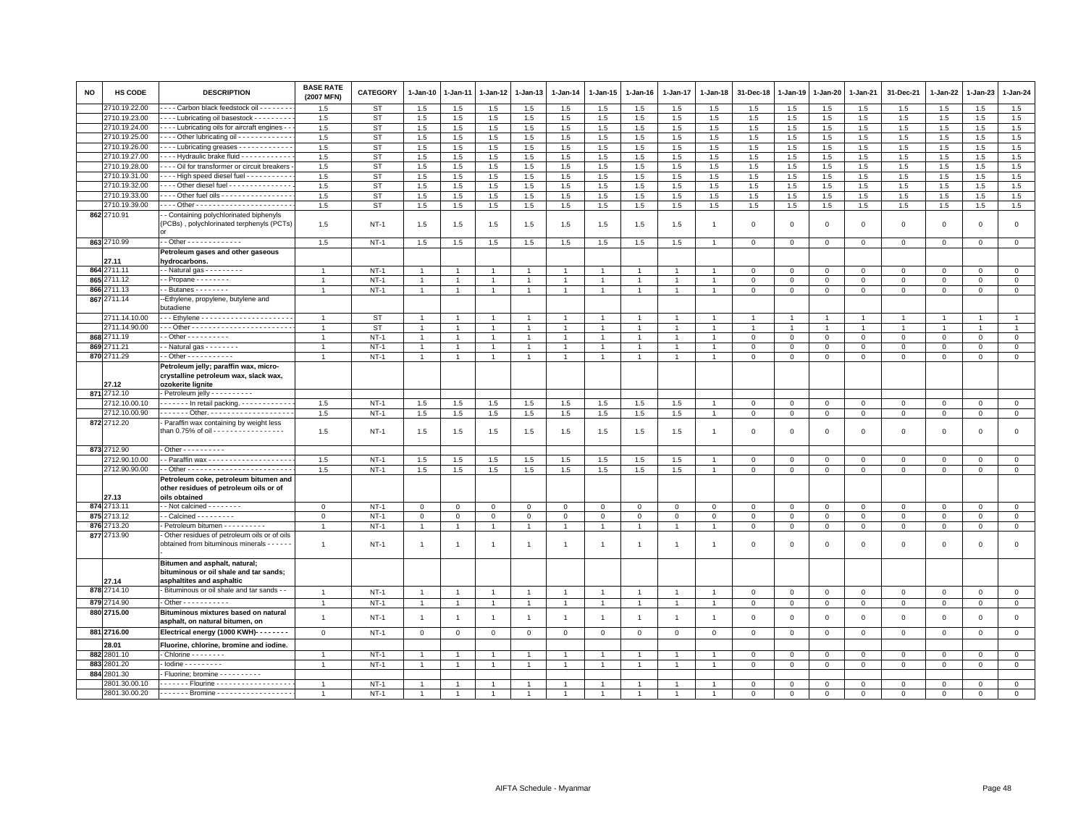| <b>NO</b> | <b>HS CODE</b>       | <b>DESCRIPTION</b>                                                                                   | <b>BASE RATE</b><br>(2007 MFN) | <b>CATEGORY</b>  | 1-Jan-10       | $1-Jan-11$     | 1-Jan-12       | 1-Jan-13       | 1-Jan-14       | $1-Jan-15$           | $1-Jan-16$     | 1-Jan-17       | 1-Jan-18       | 31-Dec-18                  | 1-Jan-19                  | 1-Jan-20                  | 1-Jan-21                  | 31-Dec-21          | 1-Jan-22       | 1-Jan-23     | 1-Jan-24                   |
|-----------|----------------------|------------------------------------------------------------------------------------------------------|--------------------------------|------------------|----------------|----------------|----------------|----------------|----------------|----------------------|----------------|----------------|----------------|----------------------------|---------------------------|---------------------------|---------------------------|--------------------|----------------|--------------|----------------------------|
|           | 2710.19.22.00        | --- Carbon black feedstock oil -------                                                               | 1.5                            | ST               | 1.5            | 1.5            | 1.5            | 1.5            | 1.5            | 1.5                  | 1.5            | 1.5            | 1.5            | 1.5                        | 1.5                       | 1.5                       | 1.5                       | 1.5                | 1.5            | 1.5          | 1.5                        |
|           | 2710.19.23.00        | --- Lubricating oil basestock --------                                                               | 1.5                            | ST               | 1.5            | 1.5            | $1.5\,$        | 1.5            | 1.5            | 1.5                  | 1.5            | 1.5            | 1.5            | $1.5\,$                    | 1.5                       | 1.5                       | 1.5                       | 1.5                | 1.5            | $1.5\,$      | $1.5\,$                    |
|           | 2710.19.24.00        | - - - Lubricating oils for aircraft engines - -                                                      | 1.5                            | ST               | 1.5            | 1.5            | 1.5            | 1.5            | 1.5            | 1.5                  | 1.5            | 1.5            | 1.5            | 1.5                        | 1.5                       | 1.5                       | 1.5                       | 1.5                | 1.5            | 1.5          | 1.5                        |
|           | 2710.19.25.00        | --- Other lubricating oil ------------                                                               | 1.5                            | ST               | 1.5            | 1.5            | 1.5            | 1.5            | 1.5            | 1.5                  | 1.5            | 1.5            | 1.5            | 1.5                        | 1.5                       | 1.5                       | 1.5                       | 1.5                | 1.5            | 1.5          | 1.5                        |
|           | 2710.19.26.00        | --- Lubricating greases -----------                                                                  | 1.5                            | ST               | 1.5            | 1.5            | 1.5            | 1.5            | 1.5            | 1.5                  | 1.5            | 1.5            | 1.5            | 1.5                        | 1.5                       | 1.5                       | 1.5                       | 1.5                | 1.5            | 1.5          | 1.5                        |
|           | 2710.19.27.00        | --- Hydraulic brake fluid ------------                                                               | 1.5                            | <b>ST</b>        | 1.5            | 1.5            | 1.5            | 1.5            | 1.5            | 1.5                  | 1.5            | 1.5            | 1.5            | 1.5                        | 1.5                       | 1.5                       | 1.5                       | 1.5                | 1.5            | 1.5          | 1.5                        |
|           | 2710.19.28.00        | - - - Oil for transformer or circuit breakers                                                        | 1.5                            | ST               | 1.5            | 1.5            | $1.5\,$        | 1.5            | 1.5            | 1.5                  | 1.5            | 1.5            | 1.5            | $1.5\,$                    | 1.5                       | 1.5                       | 1.5                       | 1.5                | 1.5            | 1.5          | 1.5                        |
|           | 2710.19.31.00        | - - - High speed diesel fuel - - - - - - - - -                                                       | 1.5                            | ST               | 1.5            | 1.5            | $1.5\,$        | 1.5            | 1.5            | 1.5                  | 1.5            | 1.5            | 1.5            | $1.5\,$                    | 1.5                       | 1.5                       | $1.5\,$                   | 1.5                | 1.5            | 1.5          | 1.5                        |
|           | 2710.19.32.00        | Other diesel fuel - - - - - - - - - - - - - -                                                        | 1.5                            | <b>ST</b>        | 1.5            | 1.5            | 1.5            | 1.5            | 1.5            | 1.5                  | 1.5            | 1.5            | 1.5            | 1.5                        | 1.5                       | 1.5                       | 1.5                       | 1.5                | 1.5            | 1.5          | 1.5                        |
|           | 2710.19.33.00        | Other fuel oils                                                                                      | 1.5                            | ST               | 1.5            | 1.5            | 1.5            | 1.5            | 1.5            | 1.5                  | 1.5            | 1.5            | 1.5            | 1.5                        | 1.5                       | 1.5                       | 1.5                       | 1.5                | 1.5            | 1.5          | 1.5                        |
|           | 2710.19.39.00        |                                                                                                      | 1.5                            | ST               | 1.5            | 1.5            | 1.5            | 1.5            | 1.5            | 1.5                  | 1.5            | 1.5            | 1.5            | 1.5                        | 1.5                       | 1.5                       | 1.5                       | 1.5                | 1.5            | 1.5          | 1.5                        |
|           | 862 2710.91          | - Containing polychlorinated biphenyls<br>PCBs), polychlorinated terphenyls (PCTs)                   | 1.5                            | $NT-1$           | 1.5            | 1.5            | 1.5            | 1.5            | 1.5            | 1.5                  | 1.5            | 1.5            | $\overline{1}$ | $\mathbf 0$                | $\Omega$                  | $\mathbf 0$               | $\mathbf{O}$              | $\mathbf{0}$       | $\mathbf 0$    | $\mathsf 0$  | $\mathsf 0$                |
|           | 863 2710.99          | - - Other - - - - - - - - - - - - -                                                                  | 1.5                            | $NT-1$           | 1.5            | 1.5            | 1.5            | 1.5            | 1.5            | 1.5                  | 1.5            | 1.5            |                | $\mathbf 0$                | $\mathbf 0$               | $\mathbf 0$               | $\mathbf 0$               | $\mathbf 0$        | $\mathbf 0$    | $\mathbf 0$  | $\overline{0}$             |
|           |                      | Petroleum gases and other gaseous                                                                    |                                |                  |                |                |                |                |                |                      |                |                |                |                            |                           |                           |                           |                    |                |              |                            |
|           | 27.11<br>864 2711.11 | hydrocarbons.                                                                                        | $\overline{1}$                 |                  | $\overline{1}$ |                | $\overline{1}$ | $\overline{1}$ | $\overline{1}$ | $\overline{1}$       |                | $\overline{1}$ |                |                            |                           |                           |                           |                    | $\Omega$       | $\Omega$     |                            |
|           | 865 2711.12          | $\cdot$ - Natural gas - - - - - - - - -<br>$-$ Propane $      -$                                     | $\mathbf{1}$                   | $NT-1$<br>$NT-1$ | $\mathbf{1}$   |                | $\overline{1}$ | $\overline{1}$ | $\overline{1}$ | $\mathbf{1}$         |                |                |                | $\mathbf 0$<br>$\mathbf 0$ | $^{\circ}$<br>$\mathbf 0$ | $^{\circ}$<br>$\mathbf 0$ | $^{\circ}$<br>$\mathbf 0$ | $\circ$<br>$\circ$ | $\mathbf 0$    | $^{\circ}$   | $\mathbf 0$<br>$\mathsf 0$ |
|           | 866 2711.13          | $-$ Butanes $- - - - - - -$                                                                          | $\overline{1}$                 | $NT-1$           |                | 1              | $\overline{1}$ | $\overline{1}$ | $\mathbf{1}$   | $\mathbf{1}$         | $\overline{1}$ | $\mathbf{1}$   |                | $\mathbf 0$                | $\mathbf 0$               |                           | $\mathbf{O}$              |                    | $\mathbf 0$    |              | $\mathbf{0}$               |
|           | 867 2711.14          | --Ethylene, propylene, butylene and                                                                  |                                |                  | $\mathbf{1}$   |                |                |                |                |                      |                |                |                |                            |                           | $\mathbf{0}$              |                           | $\circ$            |                | $\mathbf 0$  |                            |
|           | 2711.14.10.00        | butadiene<br>-- Ethylene -----------------------                                                     | $\overline{1}$                 | <b>ST</b>        |                |                |                | $\overline{1}$ |                |                      |                |                |                |                            |                           |                           |                           |                    |                |              | $\overline{1}$             |
|           | 2711.14.90.00        |                                                                                                      | $\overline{1}$                 | <b>ST</b>        |                |                | $\overline{1}$ | $\overline{1}$ | $\mathbf{1}$   | -1                   |                | $\mathbf{1}$   |                | $\overline{1}$             |                           | $\overline{1}$            | -1                        |                    | $\overline{1}$ |              | $\mathbf{1}$               |
|           | 868 2711.19          | $-$ Other $        -$                                                                                | $\overline{1}$                 | $NT-1$           | $\overline{1}$ |                | $\overline{1}$ | $\overline{1}$ | $\overline{1}$ | $\ddot{\phantom{1}}$ |                | $\overline{1}$ |                | $\mathbf{0}$               | $\mathbf{0}$              | $\Omega$                  | $\Omega$                  | $\Omega$           | $\Omega$       | $\Omega$     | $\mathsf 0$                |
|           | 869 2711.21          | - Natural gas - - - - - - - -                                                                        | $\mathbf{1}$                   | $NT-1$           | $\mathbf{1}$   |                | $\mathbf{1}$   | $\mathbf{1}$   | $\mathbf{1}$   | $\mathbf{1}$         |                |                |                | $\mathbf 0$                | $\mathbf 0$               | $\mathbf 0$               | $\mathbf 0$               | $\circ$            | $\mathbf 0$    | 0            | $\mathsf 0$                |
|           | 870 2711.29          | $-$ Other $- - - - - - - - - -$                                                                      | $\overline{1}$                 | $NT-1$           | $\overline{1}$ | $\overline{1}$ | $\overline{1}$ | $\overline{1}$ | $\mathbf{1}$   | $\mathbf{1}$         | $\overline{1}$ | $\mathbf{1}$   |                | $\mathbf 0$                | $\mathsf 0$               | 0                         | $\mathbf{0}$              | $\circ$            | 0              | 0            | $\mathbf 0$                |
|           | 27.12                | Petroleum jelly; paraffin wax, micro-<br>crystalline petroleum wax, slack wax,<br>ozokerite lignite  |                                |                  |                |                |                |                |                |                      |                |                |                |                            |                           |                           |                           |                    |                |              |                            |
|           | 871 2712.10          | Petroleum jelly - - - - - - - - - -                                                                  |                                |                  |                |                |                |                |                |                      |                |                |                |                            |                           |                           |                           |                    |                |              |                            |
|           | 2712.10.00.10        | ------ In retail packing. -----------                                                                | 1.5                            | $NT-1$           | 1.5            | 1.5            | 1.5            | 1.5            | 1.5            | 1.5                  | 1.5            | 1.5            |                | $\Omega$                   | $\Omega$                  | $\Omega$                  | $\Omega$                  | $\Omega$           | $\Omega$       | $\Omega$     | $\mathbf{0}$               |
|           | 2712.10.00.90        | ------ Other. ---------------------                                                                  | 1.5                            | $NT-1$           | 1.5            | 1.5            | 1.5            | 1.5            | 1.5            | 1.5                  | 1.5            | 1.5            |                | $\Omega$                   | $\Omega$                  | $\mathbf{0}$              | $\circ$                   | $\mathbf{0}$       | $\mathbf 0$    | $\mathbf 0$  | $\circ$                    |
|           | 872 2712.20          | Paraffin wax containing by weight less<br>than 0.75% of oil - - - - - - - - - - - - - - - - -        | 1.5                            | $NT-1$           | 1.5            | 1.5            | 1.5            | 1.5            | 1.5            | 1.5                  | 1.5            | 1.5            | $\overline{1}$ | $\mathbf 0$                | $\mathbf 0$               | $\mathbf 0$               | $\mathsf 0$               | $\mathsf 0$        | $\mathbf 0$    | $\mathbf 0$  | $\mathsf 0$                |
|           | 873 2712.90          | Other - - - - - - - - - -                                                                            |                                |                  |                |                |                |                |                |                      |                |                |                |                            |                           |                           |                           |                    |                |              |                            |
|           | 2712.90.10.00        |                                                                                                      | 1.5                            | $NT-1$           | 1.5            | 1.5            | 1.5            | 1.5            | 1.5            | 1.5                  | 1.5            | 1.5            |                | $\mathbf 0$                | $\mathbf 0$               | 0                         | 0                         | $\circ$            | $\Omega$       | $^{\circ}$   | $\mathsf 0$                |
|           | 2712.90.90.00        | Petroleum coke, petroleum bitumen and<br>other residues of petroleum oils or of                      | 1.5                            | $NT-1$           | 1.5            | 1.5            | $1.5\,$        | 1.5            | 1.5            | 1.5                  | 1.5            | 1.5            | $\overline{1}$ | $\overline{0}$             | $\mathbf{0}$              | $\Omega$                  | $\mathbf{0}$              | $\mathbf{0}$       | $\mathbf 0$    | $\mathbf 0$  | $\mathsf 0$                |
|           | 27.13                | oils obtained                                                                                        |                                |                  |                |                |                |                |                |                      |                |                |                |                            |                           |                           |                           |                    |                |              |                            |
|           | 874 2713.11          | $-$ Not calcined $      -$                                                                           | $\mathbf{0}$                   | $NT-1$           | $\mathbf{0}$   | $\overline{0}$ | $\mathbf{0}$   | $\overline{0}$ | $\circ$        | $\mathbf{0}$         | $\mathbf{0}$   | $\mathbf{0}$   | $\mathbf{0}$   | $\mathbf 0$                | $\mathbf 0$               | $\circ$                   | $\overline{0}$            | $\mathbf{0}$       | $\mathbf{0}$   | $\mathbf{0}$ | $\mathbf{0}$               |
|           | 875 2713.12          | $-$ Calcined $        -$                                                                             | $\Omega$                       | $NT-1$           | $\mathsf 0$    | $\overline{0}$ | $\mathbf 0$    | $\overline{0}$ | $\mathsf 0$    | $\mathbf 0$          | $\mathbf 0$    | $\Omega$       | $\mathbf 0$    | $\mathbf 0$                | $\mathbf 0$               | $\overline{0}$            | $\Omega$                  | $\mathbf{0}$       | $\Omega$       | $\Omega$     | $\mathsf 0$                |
| 876       | 2713.20              | Petroleum bitumen - - - - - - - - -                                                                  | $\mathbf{1}$                   | $NT-1$           | $\mathbf{1}$   |                | -1             | -1             | $\overline{1}$ | 1                    | -1             |                |                | $\mathsf 0$                | $\,0\,$                   | $\mathbf{0}$              | $\mathbf{0}$              | $\circ$            | 0              | 0            | $\mathbf 0$                |
|           | 877 2713.90          | Other residues of petroleum oils or of oils<br>obtained from bituminous minerals - - - - - -         | $\overline{1}$                 | $NT-1$           | $\overline{1}$ | $\mathbf{1}$   | $\overline{1}$ | $\overline{1}$ | $\mathbf{1}$   | $\overline{1}$       | $\overline{1}$ | 1              | -1             | $\mathbf 0$                | $\mathbf 0$               | $\mathbf 0$               | $\mathsf 0$               | $\circ$            | 0              | $^{\circ}$   | $\mathsf 0$                |
|           | 27.14                | Bitumen and asphalt, natural;<br>bituminous or oil shale and tar sands;<br>asphaltites and asphaltic |                                |                  |                |                |                |                |                |                      |                |                |                |                            |                           |                           |                           |                    |                |              |                            |
|           | 878 2714.10          | Bituminous or oil shale and tar sands - -                                                            | $\overline{1}$                 | $NT-1$           | $\overline{1}$ | $\overline{1}$ | $\overline{1}$ | $\overline{1}$ | $\overline{1}$ | $\overline{1}$       | $\overline{1}$ | $\overline{1}$ | $\overline{1}$ | $\mathbf 0$                | $\mathbf 0$               | $\mathbf{0}$              | $\mathbf{0}$              | $\circ$            | $\circ$        | $\mathbf 0$  | $\mathbf 0$                |
|           | 879 2714.90          | $-$ Other - - - - - - - - - - -                                                                      | $\overline{1}$                 | $NT-1$           | $\mathbf{1}$   | $\overline{1}$ | $\overline{1}$ | $\overline{1}$ | $\mathbf{1}$   | $\overline{1}$       | $\mathbf{1}$   | $\overline{1}$ |                | $\mathbf{0}$               | $\mathbf{0}$              | $\mathbf{0}$              | $\mathbf 0$               | $\mathbf{0}$       | $\mathbf 0$    | $\mathbf 0$  | $\circ$                    |
|           | 880 2715.00          | Bituminous mixtures based on natural<br>asphalt, on natural bitumen, on                              | $\mathbf{1}$                   | $NT-1$           | $\overline{1}$ | $\overline{1}$ | $\mathbf{1}$   | $\overline{1}$ | $\mathbf{1}$   | $\mathbf{1}$         | $\mathbf{1}$   | $\mathbf{1}$   | $\overline{1}$ | $\mathbf 0$                | $\mathbf 0$               | $^{\circ}$                | $\mathbf 0$               | $\mathbf 0$        | $\mathbf 0$    | $^{\circ}$   | $\mathsf 0$                |
|           | 881 2716.00          | Electrical energy (1000 KWH)- - - - - - - -                                                          | $\mathbf 0$                    | $NT-1$           | $\circ$        | $\overline{0}$ | $\mathbf 0$    | $\circ$        | $\mathbf 0$    | $\mathbf 0$          | $\mathbf 0$    | $\mathbf 0$    | $\mathbf 0$    | $\Omega$                   | $\mathbf{0}$              | $\mathbf 0$               | $\mathbf 0$               | $\mathbf{0}$       | $\mathbf 0$    | $\mathbf 0$  | $\circ$                    |
|           | 28.01                | Fluorine, chlorine, bromine and iodine.                                                              |                                |                  |                |                |                |                |                |                      |                |                |                |                            |                           |                           |                           |                    |                |              |                            |
|           | 882 2801.10          | Chlorine - - - - - - - -                                                                             | $\overline{1}$                 | $NT-1$           | $\mathbf{1}$   |                | $\mathbf{1}$   | $\overline{1}$ | $\overline{1}$ | 1                    |                | 1              |                | $\mathbf 0$                | $\mathsf 0$               | $\mathbf 0$               | $\mathbf{O}$              | $\circ$            | 0              | $\mathbf 0$  | $\mathbf{0}$               |
|           | 883 2801.20          | $1$ odine - - - - - - - - -                                                                          | $\overline{1}$                 | $NT-1$           |                |                |                | $\overline{1}$ | $\overline{1}$ |                      |                |                |                | $\mathbf 0$                | $\Omega$                  | $\Omega$                  | $\Omega$                  | $\mathbf 0$        | $\Omega$       | $\Omega$     | $\mathsf 0$                |
|           | 884 2801.30          | Fluorine; bromine - - - - - - - - -                                                                  |                                |                  |                |                |                |                |                |                      |                |                |                |                            |                           |                           |                           |                    |                |              |                            |
|           | 2801.30.00.10        | . Flourine -                                                                                         |                                | $NT-1$           |                |                |                |                |                |                      |                |                |                | $\Omega$                   | $\Omega$                  | $\Omega$                  | $\Omega$                  | $\Omega$           | $\Omega$       | $\Omega$     | $\Omega$                   |
|           | 2801.30.00.20        | . Bromine -                                                                                          |                                | $NT-1$           |                |                |                |                |                |                      |                |                |                | $\Omega$                   | $\Omega$                  | $\Omega$                  | $\Omega$                  | $\Omega$           | $\Omega$       |              | $\overline{0}$             |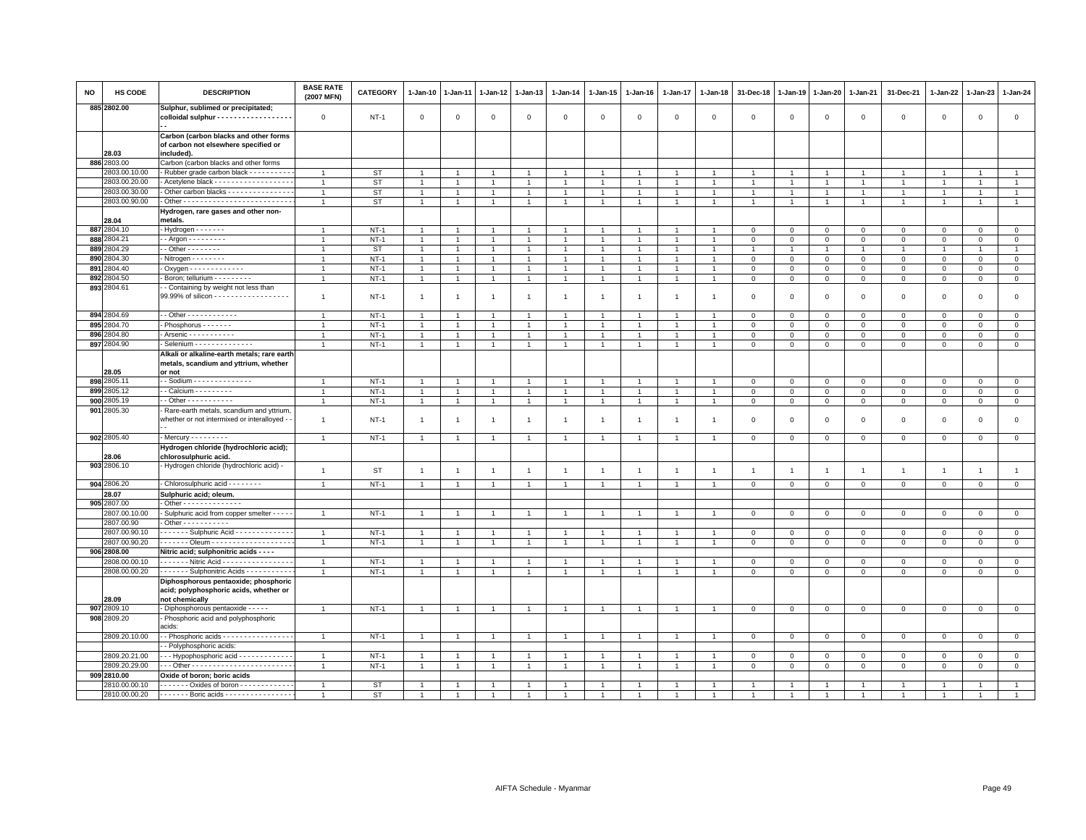| NO  | HS CODE                     | <b>DESCRIPTION</b>                                                                               | <b>BASE RATE</b><br>(2007 MFN) | CATEGORY    | 1-Jan-10       | 1-Jan-11       | 1-Jan-12       | 1-Jan-13       | 1-Jan-14       | 1-Jan-15       | 1-Jan-16       | 1-Jan-17       | 1-Jan-18       | 31-Dec-18      | 1-Jan-19       | 1-Jan-20       | 1-Jan-21       | 31-Dec-21      | 1-Jan-22       | 1-Jan-23       | 1-Jan-24       |
|-----|-----------------------------|--------------------------------------------------------------------------------------------------|--------------------------------|-------------|----------------|----------------|----------------|----------------|----------------|----------------|----------------|----------------|----------------|----------------|----------------|----------------|----------------|----------------|----------------|----------------|----------------|
|     | 885 2802.00                 | Sulphur, sublimed or precipitated;<br>colloidal sulphur - - - - - - - - - - - - - - - - - -      | $\mathbf 0$                    | $NT-1$      | $\mathbf 0$    | $\mathbf 0$    | $\mathbf 0$    | $\mathbf 0$    | $\mathbf 0$    | $\mathbf 0$    | $\mathbf 0$    | $\mathbf 0$    | $\mathbf 0$    | $\mathbf 0$    | $\mathbf 0$    | $\mathbf 0$    | $\mathbf 0$    | $\mathsf 0$    | $\mathbf 0$    | $\mathbf 0$    | $\mathsf 0$    |
|     | 28.03                       | Carbon (carbon blacks and other forms<br>of carbon not elsewhere specified or<br>included).      |                                |             |                |                |                |                |                |                |                |                |                |                |                |                |                |                |                |                |                |
|     | 886 2803.00                 | Carbon (carbon blacks and other forms                                                            |                                |             |                |                |                |                |                |                |                |                |                |                |                |                |                |                |                |                |                |
|     | 2803.00.10.00               | Rubber grade carbon black - - - - - - - - -                                                      | $\mathbf{1}$                   | <b>ST</b>   | $\overline{1}$ |                | $\overline{1}$ |                | $\overline{1}$ |                |                |                |                |                |                | $\overline{1}$ | $\mathbf{1}$   | $\mathbf{1}$   |                | -1             | $\mathbf{1}$   |
|     | 2803.00.20.00               | Acetylene black - - - - - - - - - - - - - - - - - -                                              | $\mathbf{1}$                   | <b>ST</b>   | $\overline{1}$ | $\overline{1}$ | $\overline{1}$ | $\overline{1}$ | $\mathbf{1}$   | $\mathbf{1}$   |                |                |                |                |                | $\overline{1}$ | $\mathbf{1}$   | $\mathbf{1}$   | $\overline{1}$ | $\overline{1}$ | $\mathbf{1}$   |
|     | 2803.00.30.00               | Other carbon blacks - - - - - - - - - - - - - - -                                                | $\overline{1}$                 | ST          | $\mathbf{1}$   | $\overline{1}$ | $\overline{1}$ | $\overline{1}$ | $\mathbf{1}$   | $\overline{1}$ | $\overline{1}$ | $\overline{1}$ | $\overline{1}$ | $\overline{1}$ | $\overline{1}$ | $\overline{1}$ | $\overline{1}$ | $\mathbf{1}$   | $\overline{1}$ | $\overline{1}$ | $\mathbf{1}$   |
|     | 2803.00.90.00               |                                                                                                  | $\mathbf{1}$                   | <b>ST</b>   | $\overline{1}$ | $\overline{1}$ | $\overline{1}$ | $\overline{1}$ | $\overline{1}$ | $\overline{1}$ | $\overline{1}$ | $\mathbf{1}$   | $\overline{1}$ | $\overline{1}$ | $\overline{1}$ | $\overline{1}$ | $\overline{1}$ | $\overline{1}$ | $\overline{1}$ | $\overline{1}$ | $\overline{1}$ |
|     | 28.04                       | Hydrogen, rare gases and other non-<br>metals.                                                   |                                |             |                |                |                |                |                |                |                |                |                |                |                |                |                |                |                |                |                |
|     | 887 2804.10                 | - Hydrogen - - - - - - -                                                                         | $\overline{1}$                 | $NT-1$      | $\overline{1}$ | $\overline{1}$ | $\overline{1}$ | $\overline{1}$ | $\overline{1}$ | $\overline{1}$ | $\overline{1}$ | $\overline{1}$ | $\overline{1}$ | $\overline{0}$ | $\mathbf{0}$   | $\mathbf{0}$   | $\mathbf{0}$   | $\mathbf{0}$   | $\mathbf{0}$   | $\mathbf{0}$   | $\circ$        |
|     | 888 2804.21                 | - - Argon - - - - - - - - -                                                                      | $\mathbf{1}$                   | $NT-1$      | $\mathbf{1}$   |                | 1              | $\overline{1}$ | $\mathbf{1}$   |                |                |                |                | $\mathbf 0$    | $\circ$        | $\mathbf 0$    | $\,0\,$        | $\mathbf{0}$   | $\mathbf 0$    | $\mathbf 0$    | $\mathbf 0$    |
| 889 | 2804.29                     | $-$ Other $      -$                                                                              | $\mathbf{1}$                   | <b>ST</b>   | $\mathbf{1}$   |                | 1              | $\mathbf{1}$   | $\overline{1}$ | 1              | $\overline{1}$ | -1             |                | $\overline{1}$ | -1             | $\overline{1}$ | $\overline{1}$ | $\mathbf{1}$   | $\mathbf{1}$   | $\overline{1}$ | $\mathbf{1}$   |
|     | 890 2804.30                 | - Nitrogen - - - - - - - -                                                                       | $\mathbf{1}$                   | $NT-1$      | $\overline{1}$ | $\overline{1}$ | $\overline{1}$ | $\overline{1}$ | $\mathbf{1}$   | $\overline{1}$ | $\overline{1}$ | $\overline{1}$ | $\overline{1}$ | $\mathbf 0$    | $\mathbf 0$    | $\mathbf 0$    | $\mathbf 0$    | $\mathbf{0}$   | $\mathbf{0}$   | $\mathbf{0}$   | $\mathsf 0$    |
| 891 | 2804.40                     | . Oxygen - - - - - - - - - - - - -                                                               | $\mathbf{1}$                   | $NT-1$      | $\overline{1}$ | $\overline{1}$ | $\overline{1}$ | $\overline{1}$ | $\mathbf{1}$   | $\overline{1}$ | $\overline{1}$ | $\overline{1}$ |                | $\mathbf 0$    | $\mathbf 0$    | $\mathbf 0$    | $\mathbf{0}$   | $\mathbf 0$    | $\mathbf{0}$   | $\mathbf 0$    | $\mathsf 0$    |
| 892 | 2804.50                     | Boron; tellurium - - - - - - - - -                                                               | $\mathbf{1}$                   | $NT-1$      | $\mathbf{1}$   | $\mathbf{1}$   | $\overline{1}$ | $\mathbf{1}$   | $\mathbf{1}$   | $\mathbf{1}$   | $\mathbf{1}$   | $\mathbf{1}$   |                | $\mathbf 0$    | $\circ$        | $\mathbf 0$    | $\mathbf{0}$   | $\mathbf 0$    | 0              | $\mathbf 0$    | $\mathbf 0$    |
|     | 893 2804.61                 | - Containing by weight not less than<br>99.99% of silicon - - - - - - - - - - - - - - - - - -    | $\overline{1}$                 | $NT-1$      | $\overline{1}$ | $\overline{1}$ | $\overline{1}$ | $\overline{1}$ | $\mathbf{1}$   | $\overline{1}$ | $\overline{1}$ | $\overline{1}$ | -1             | $\mathbf 0$    | $\mathbf 0$    | $\mathbf 0$    | $\mathbf 0$    | $\mathsf 0$    | $\mathbf 0$    | $\mathsf 0$    | $\mathsf 0$    |
|     | 894 2804.69                 | $-$ Other - - - - - - - - - - - -                                                                | $\mathbf{1}$                   | $NT-1$      | $\overline{1}$ | -1             | $\mathbf{1}$   | $\overline{1}$ | $\mathbf{1}$   | 1              | -1             | $\overline{1}$ |                | $\mathbf 0$    | $\circ$        | $\mathbf 0$    | $\overline{0}$ | $\mathbf 0$    | $\mathbf 0$    | $\mathbf 0$    | $\mathbf 0$    |
|     | 895 2804.70                 | - Phosphorus - - - - - - -                                                                       | $\overline{1}$                 | $NT-1$      | $\overline{1}$ | $\overline{1}$ | $\overline{1}$ | $\overline{1}$ | $\mathbf{1}$   | $\overline{1}$ | $\overline{1}$ | $\overline{1}$ | $\overline{1}$ | $\mathbf 0$    | $\mathbf 0$    | $\mathbf 0$    | $\mathbf 0$    | $\mathbf 0$    | $\mathbf 0$    | $\mathbf 0$    | $\mathbf 0$    |
|     | 896 2804.80                 | - Arsenic - - - - - - - - - - -                                                                  | $\mathbf{1}$                   | $NT-1$      | $\mathbf{1}$   | $\overline{1}$ | $\overline{1}$ | $\overline{1}$ | $\mathbf{1}$   | $\overline{1}$ | $\overline{1}$ | $\mathbf{1}$   |                | $\mathbf 0$    | $\circ$        | $\mathbf 0$    | $\mathbf 0$    | $\mathbf 0$    | $\mathbf 0$    | $\mathbf 0$    | $\mathbf 0$    |
|     | 897 2804.90                 | Selenium - - - - - - - - - - - - -                                                               | $\overline{1}$                 | $NT-1$      | $\mathbf{1}$   | $\mathbf{1}$   | 1              | $\overline{1}$ | $\overline{1}$ | $\mathbf{1}$   | $\overline{1}$ | $\mathbf{1}$   |                | $\mathbf 0$    | $\mathbf 0$    | $\mathbf 0$    | $\,0\,$        | $\mathsf 0$    | $\mathbf 0$    | $\mathbf 0$    | $\mathsf 0$    |
|     |                             | Alkali or alkaline-earth metals; rare earth<br>metals, scandium and yttrium, whether             |                                |             |                |                |                |                |                |                |                |                |                |                |                |                |                |                |                |                |                |
|     | 28.05                       | or not                                                                                           |                                |             |                |                |                |                |                |                |                |                |                |                |                |                |                |                |                |                |                |
|     | 898 2805.11                 | - - Sodium - - - - - - - - - - - - - -                                                           | $\overline{1}$                 | $NT-1$      | 1              |                | $\mathbf{1}$   | $\overline{1}$ | $\overline{1}$ | $\mathbf{1}$   |                |                |                | $\mathbf 0$    | $\mathbf{0}$   | $\mathsf 0$    | $\circ$        | $\mathbf{0}$   | $\circ$        | $\mathbf{0}$   | $\circ$        |
|     | 899 2805.12                 | - - Calcium - - - - - - - - -                                                                    | $\overline{1}$                 | $NT-1$      | $\overline{1}$ | $\overline{1}$ | $\overline{1}$ | $\overline{1}$ | $\mathbf{1}$   | $\overline{1}$ | $\overline{1}$ | $\overline{1}$ | $\overline{1}$ | $\mathbf 0$    | $\mathsf 0$    | $\mathsf 0$    | $\mathbf 0$    | $\mathsf 0$    | $\mathsf 0$    | $\mathbf 0$    | $\mathbf 0$    |
| 900 | 2805.19                     | . - Other - - - - - - - - - - -                                                                  | $\mathbf{1}$                   | <b>NT-1</b> | $\overline{1}$ | $\overline{1}$ | $\overline{1}$ | $\overline{1}$ | $\mathbf{1}$   | $\overline{1}$ | $\mathbf{1}$   | $\overline{1}$ | $\mathbf{1}$   | $\mathbf 0$    | $\mathbf 0$    | $\overline{0}$ | $\mathsf 0$    | $\mathsf 0$    | $\mathbf 0$    | $\overline{0}$ | $\mathbf 0$    |
|     | 901 2805.30                 | Rare-earth metals, scandium and yttrium<br>whether or not intermixed or interalloyed -           | $\overline{1}$                 | $NT-1$      | $\overline{1}$ | -1             | $\overline{1}$ | $\overline{1}$ | $\mathbf{1}$   | $\mathbf{1}$   | $\overline{1}$ | $\mathbf{1}$   | $\mathbf{1}$   | $\mathbf 0$    | $\circ$        | $\mathbf 0$    | $\mathbf 0$    | $\mathsf 0$    | $\mathbf 0$    | $\mathbf 0$    | $\mathbf 0$    |
|     | 902 2805.40                 | - Mercury - - - - - - - - -                                                                      | $\mathbf{1}$                   | $NT-1$      | $\overline{1}$ | $\overline{1}$ | $\overline{1}$ | $\overline{1}$ | $\mathbf{1}$   | $\overline{1}$ | $\overline{1}$ | $\overline{1}$ | $\overline{1}$ | $\mathbf 0$    | $\mathbf 0$    | $\mathbf 0$    | $\mathbf 0$    | $\mathsf 0$    | $\mathbf 0$    | $\mathsf 0$    | $\mathsf 0$    |
|     | 28.06                       | Hydrogen chloride (hydrochloric acid);<br>chlorosulphuric acid.                                  |                                |             |                |                |                |                |                |                |                |                |                |                |                |                |                |                |                |                |                |
|     | 903 2806.10                 | - Hydrogen chloride (hydrochloric acid) -                                                        | $\mathbf{1}$                   | ST          | $\overline{1}$ | $\overline{1}$ | $\overline{1}$ | $\overline{1}$ | $\mathbf{1}$   | $\overline{1}$ | $\mathbf{1}$   | $\overline{1}$ | $\overline{1}$ | $\overline{1}$ | $\overline{1}$ | $\overline{1}$ | $\overline{1}$ | $\mathbf{1}$   | $\overline{1}$ | $\mathbf{1}$   | $\mathbf{1}$   |
|     | 904 2806.20                 | Chlorosulphuric acid - - - - - - - -                                                             | $\mathbf{1}$                   | $NT-1$      | $\overline{1}$ | $\overline{1}$ | $\overline{1}$ | $\overline{1}$ | $\mathbf{1}$   | $\overline{1}$ | $\overline{1}$ | $\overline{1}$ | -1             | $\mathbf 0$    | $\mathbf{0}$   | $\mathbf 0$    | $\mathbf{0}$   | $\mathbf 0$    | $\mathbf 0$    | $\mathbf{0}$   | $\mathbf{0}$   |
|     | 28.07                       | Sulphuric acid; oleum.                                                                           |                                |             |                |                |                |                |                |                |                |                |                |                |                |                |                |                |                |                |                |
|     | 905 2807.00                 | - Other - - - - - - - - - - - - -                                                                |                                |             |                | $\overline{1}$ |                |                |                |                |                | $\overline{1}$ |                |                |                |                |                |                |                |                |                |
|     | 2807.00.10.00<br>2807.00.90 | Sulphuric acid from copper smelter - - - - -<br>$\cdot$ Other - - - - - - - - - - -              | $\overline{1}$                 | $NT-1$      | $\overline{1}$ |                | $\overline{1}$ | $\overline{1}$ | $\overline{1}$ | $\overline{1}$ | $\overline{1}$ |                |                | $\mathbf{0}$   | $\mathbf{0}$   | $\mathbf{0}$   | $\mathbf{0}$   | $\mathbf{0}$   | $\mathbf{0}$   | $\mathbf{0}$   | $\circ$        |
|     | 2807.00.90.10               | ------ Sulphuric Acid ------------                                                               | $\overline{1}$                 | $NT-1$      | $\overline{1}$ | $\overline{1}$ | $\overline{1}$ | $\overline{1}$ | $\overline{1}$ | $\overline{1}$ |                | $\overline{1}$ |                | $\mathbf 0$    | $\mathbf{0}$   | $\mathbf{0}$   | $\mathbf{0}$   | $\mathbf{0}$   | $\circ$        | $\circ$        | $\circ$        |
|     | 2807.00.90.20               | . Oleum -                                                                                        | $\mathbf{1}$                   | $NT-1$      | $\overline{1}$ | $\overline{1}$ | $\overline{1}$ | $\overline{1}$ | $\mathbf{1}$   | $\overline{1}$ | $\overline{1}$ | $\overline{1}$ |                | $\mathbf 0$    | $\mathbf 0$    | $\mathbf 0$    | $\mathbf 0$    | $\mathsf 0$    | $\mathbf 0$    | $\mathbf 0$    | $\mathsf 0$    |
|     | 906 2808.00                 | Nitric acid; sulphonitric acids - - - -                                                          |                                |             |                |                |                |                |                |                |                |                |                |                |                |                |                |                |                |                |                |
|     | 2808.00.00.10               | . Nitric Acid                                                                                    | $\mathbf{1}$                   | $NT-1$      | $\overline{1}$ | $\overline{1}$ | $\overline{1}$ | $\overline{1}$ | $\overline{1}$ | $\mathbf{1}$   | $\overline{1}$ | $\overline{1}$ |                | $\mathbf 0$    | $\mathbf 0$    | $\mathsf 0$    | $\mathsf 0$    | $\mathbf 0$    | $\mathbf 0$    | $\mathbf 0$    | $\mathbf 0$    |
|     | 2808.00.00.20               | Sulphonitric Acids - - - - - - - - - -                                                           | $\overline{1}$                 | $NT-1$      | $\mathbf{1}$   | $\mathbf{1}$   | $\mathbf{1}$   | $\overline{1}$ | $\mathbf{1}$   | $\mathbf{1}$   | $\overline{1}$ | $\mathbf{1}$   |                | $\mathbf 0$    | $\mathbf 0$    | $\mathbf 0$    | $\circ$        | $\mathbf 0$    | $\mathbf 0$    | $\mathbf 0$    | $\mathsf 0$    |
|     | 28.09                       | Diphosphorous pentaoxide; phosphoric<br>acid; polyphosphoric acids, whether or<br>not chemically |                                |             |                |                |                |                |                |                |                |                |                |                |                |                |                |                |                |                |                |
| 907 | 2809.10                     | Diphosphorous pentaoxide - - - - -                                                               | $\overline{1}$                 | $NT-1$      | $\overline{1}$ | $\overline{1}$ | $\overline{1}$ | $\overline{1}$ | $\overline{1}$ | $\overline{1}$ | $\overline{1}$ | $\overline{1}$ |                | $\mathbf 0$    | $\mathbf 0$    | $\mathbf 0$    | $\mathbf 0$    | $\mathbf{0}$   | $\mathbf 0$    | $\mathbf{0}$   | $\mathsf 0$    |
|     | 908 2809.20                 | Phosphoric acid and polyphosphoric<br>acids:                                                     |                                |             |                |                |                |                |                |                |                |                |                |                |                |                |                |                |                |                |                |
|     | 2809.20.10.00               | - Phosphoric acids - - - - - - - - - - - - - - -                                                 | $\overline{1}$                 | $NT-1$      |                |                | -1             |                |                |                |                |                |                | $^{\circ}$     | $^{\circ}$     | $\mathbf 0$    | $\mathbf 0$    | $\mathsf 0$    | $\circ$        | $\mathbf 0$    | $\mathbf 0$    |
|     |                             | - Polyphosphoric acids:                                                                          |                                |             |                |                |                |                |                |                |                |                |                |                |                |                |                |                |                |                |                |
|     | 2809.20.21.00               | - - - Hypophosphoric acid - - - - - - - - - - - -                                                | $\mathbf{1}$                   | $NT-1$      | $\overline{1}$ | $\overline{1}$ | $\overline{1}$ | $\overline{1}$ | $\mathbf{1}$   | $\overline{1}$ | $\overline{1}$ | $\overline{1}$ | $\mathbf{1}$   | $\mathbf 0$    | $\circ$        | $\mathbf 0$    | $\mathbf{0}$   | $\mathbf 0$    | $\mathbf 0$    | $\mathbf 0$    | $\mathbf{0}$   |
|     | 2809.20.29.00               |                                                                                                  | $\mathbf{1}$                   | $NT-1$      | $\overline{1}$ | $\overline{1}$ | $\overline{1}$ | $\overline{1}$ | $\overline{1}$ | $\overline{1}$ | $\overline{1}$ | $\overline{1}$ |                | $\mathbf 0$    | $\mathbf 0$    | $\mathbf 0$    | $\mathbf 0$    | $\mathbf 0$    | $\mathbf 0$    | $\mathbf 0$    | $\mathsf 0$    |
|     | 909 2810.00                 | Oxide of boron; boric acids                                                                      |                                |             |                |                |                |                |                |                |                |                |                |                |                |                |                |                |                |                |                |
|     | 2810.00.00.10               | ------- Oxides of boron ------------                                                             | $\overline{1}$                 | <b>ST</b>   |                |                | $\overline{1}$ |                |                |                |                |                |                |                |                |                |                |                |                |                |                |
|     | 2810.00.00.20               | - - - - - - - Boric acids - - - - - - - - - - - - - - -                                          | $\overline{1}$                 | <b>ST</b>   |                | $\overline{1}$ |                |                |                |                |                |                |                |                |                |                |                |                |                |                |                |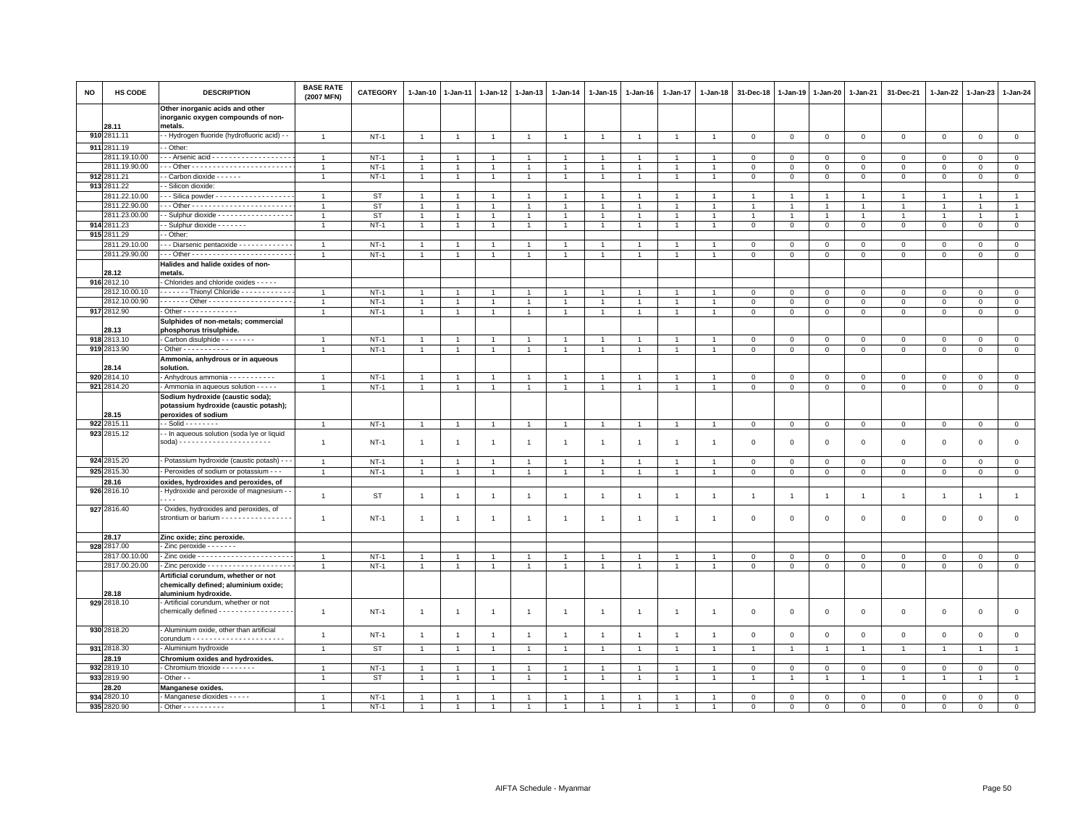| <b>NO</b> | HS CODE              | <b>DESCRIPTION</b>                                                                                  | <b>BASE RATE</b><br>(2007 MFN) | <b>CATEGORY</b> | 1-Jan-10       | 1-Jan-11       | 1-Jan-12       | 1-Jan-13       | 1-Jan-14       | 1-Jan-15             | $1-Jan-16$     | 1-Jan-17       | 1-Jan-18       | 31-Dec-18      | 1-Jan-19       | 1-Jan-20       | 1-Jan-21       | 31-Dec-21           | 1-Jan-22       | 1-Jan-23       | 1-Jan-24       |
|-----------|----------------------|-----------------------------------------------------------------------------------------------------|--------------------------------|-----------------|----------------|----------------|----------------|----------------|----------------|----------------------|----------------|----------------|----------------|----------------|----------------|----------------|----------------|---------------------|----------------|----------------|----------------|
|           | 28.11                | Other inorganic acids and other<br>inorganic oxygen compounds of non-<br>metals.                    |                                |                 |                |                |                |                |                |                      |                |                |                |                |                |                |                |                     |                |                |                |
|           | 910 2811.11          | - Hydrogen fluoride (hydrofluoric acid) - -                                                         | $\overline{1}$                 | $NT-1$          | $\overline{1}$ | $\overline{1}$ | $\overline{1}$ | $\overline{1}$ | $\overline{1}$ | $\overline{1}$       | $\overline{1}$ | $\overline{1}$ | $\overline{1}$ | $\,0\,$        | $\mathsf 0$    | $\,0\,$        | $\,0\,$        | $\mathsf 0$         | $\,0\,$        | $\mathbb O$    | $\mathsf 0$    |
|           | 911 2811.19          | - Other:                                                                                            |                                |                 |                |                |                |                |                |                      |                |                |                |                |                |                |                |                     |                |                |                |
|           | 2811.19.10.00        | - - Arsenic acid - - - - - - - - - - - - - - - - -                                                  | $\overline{1}$                 | $NT-1$          | $\overline{1}$ |                |                | $\overline{1}$ | $\overline{1}$ |                      |                |                | $\overline{1}$ | $\mathbf 0$    | $\mathsf 0$    | $\Omega$       | $\mathbf 0$    | $\Omega$            | $\Omega$       | $\Omega$       | $\mathsf 0$    |
|           | 2811.19.90.00        |                                                                                                     | $\overline{1}$                 | $NT-1$          | $\mathbf{1}$   |                | $\mathbf{1}$   | $\mathbf{1}$   | $\mathbf{1}$   | $\mathbf{1}$         |                |                |                | $\mathbf 0$    | 0              | 0              | $\mathsf 0$    | $\mathbf 0$         | $\mathbf 0$    | $\mathbf 0$    | $\mathbf 0$    |
|           | 912 2811.21          | - Carbon dioxide - - - - - -                                                                        | $\overline{1}$                 | $NT-1$          | $\mathbf{1}$   | $\overline{1}$ | $\overline{1}$ | $\overline{1}$ | $\mathbf{1}$   | $\blacktriangleleft$ | $\overline{1}$ | $\overline{1}$ | $\overline{1}$ | $\mathsf 0$    | $\mathsf 0$    | $\mathbf{O}$   | $\overline{0}$ | $\mathsf 0$         | $\mathsf 0$    | $\mathbf{0}$   | $\overline{0}$ |
|           | 913 2811.22          | - Silicon dioxide:                                                                                  |                                |                 |                |                |                |                |                |                      |                |                |                |                |                |                |                |                     |                |                |                |
|           | 2811.22.10.00        | - - Silica powder - - - - - - - - - - - - - - - - -                                                 |                                | <b>ST</b>       | $\overline{1}$ |                |                | $\overline{1}$ | $\overline{1}$ |                      |                |                |                |                |                |                | $\overline{1}$ | $\overline{1}$      |                | $\overline{1}$ | $\overline{1}$ |
|           | 2811.22.90.00        |                                                                                                     | $\overline{1}$                 | ST              | $\mathbf{1}$   |                | $\mathbf{1}$   | $\overline{1}$ | $\overline{1}$ | $\mathbf{1}$         |                |                | -1             | $\overline{1}$ |                | -1             | $\overline{1}$ | $\mathbf{1}$        | 1              | $\mathbf{1}$   | $\mathbf{1}$   |
|           | 2811.23.00.00        | - Sulphur dioxide - - - - - - - - - - - - - - - -                                                   | $\overline{1}$                 | <b>ST</b>       | $\overline{1}$ | $\overline{1}$ | $\overline{1}$ | $\overline{1}$ | $\mathbf{1}$   | $\mathbf{1}$         | $\overline{1}$ | $\overline{1}$ | $\overline{1}$ | $\overline{1}$ |                | $\overline{1}$ | $\overline{1}$ | $\overline{1}$      | $\overline{1}$ | $\overline{1}$ | $\overline{1}$ |
|           | 914 2811.23          | Sulphur dioxide - - - - - -                                                                         | $\overline{1}$                 | $NT-1$          | $\overline{1}$ |                |                | $\overline{1}$ | $\overline{1}$ |                      | -1             |                |                | $\mathbf 0$    | $\mathsf 0$    | $\mathsf 0$    | $\mathbf 0$    | $\mathsf 0$         | $\mathbf 0$    | $\mathbf 0$    | $\mathsf 0$    |
|           | 915 2811.29          | - Other:                                                                                            |                                |                 |                |                |                |                |                |                      |                |                |                |                |                |                |                |                     |                |                |                |
|           | 2811.29.10.00        | - - Diarsenic pentaoxide - - - - - - - - - - -                                                      | $\mathbf{1}$                   | $NT-1$          | $\mathbf{1}$   |                | $\overline{1}$ | $\overline{1}$ | $\overline{1}$ |                      | -1             |                | -1             | $\mathbf 0$    | 0              | 0              | $\mathbf 0$    | $\circ$             | $^{\circ}$     | $\mathbf 0$    | $\mathbf 0$    |
|           | 2811.29.90.00        |                                                                                                     | $\overline{1}$                 | $NT-1$          | $\mathbf{1}$   | $\overline{1}$ | $\overline{1}$ | $\overline{1}$ | $\overline{1}$ | $\overline{1}$       | $\overline{1}$ | $\overline{1}$ | $\overline{1}$ | $\mathbf 0$    | $\mathsf 0$    | $\mathsf 0$    | $\mathbf 0$    | $\mathsf 0$         | $\mathsf 0$    | $\mathbf{0}$   | $\mathsf 0$    |
|           | 28.12                | Halides and halide oxides of non-<br>metals.                                                        |                                |                 |                |                |                |                |                |                      |                |                |                |                |                |                |                |                     |                |                |                |
|           | 916 2812.10          | Chlorides and chloride oxides - - - - -                                                             |                                |                 |                |                |                |                |                |                      |                |                |                |                |                |                |                |                     |                |                |                |
|           | 2812.10.00.10        | ------ Thionyl Chloride ----------                                                                  | $\overline{1}$                 | $NT-1$          |                |                |                | $\overline{1}$ | $\overline{1}$ |                      |                |                |                | $\mathbf 0$    | $\Omega$       | $\mathbf 0$    | $\Omega$       | $\mathbf{0}$        | $\Omega$       | $\mathbf{0}$   | $\mathsf 0$    |
|           | 2812.10.00.90        | ------ Other --------------------                                                                   | $\overline{1}$                 | $NT-1$          | $\mathbf{1}$   |                |                | $\overline{1}$ | $\overline{1}$ | $\mathbf{1}$         | $\overline{1}$ |                |                | $\,0\,$        | $\mathsf 0$    | $\mathsf 0$    | $\,0\,$        | $\mathsf 0$         | $\mathbf 0$    | $\mathbf 0$    | $\overline{0}$ |
|           | 917 2812.90          | Other - - - - - - - - - - - - -                                                                     | $\overline{1}$                 | $NT-1$          | $\overline{1}$ | $\overline{1}$ | $\overline{1}$ | $\mathbf{1}$   | $\mathbf{1}$   | $\overline{1}$       | $\overline{1}$ | $\overline{1}$ | $\overline{1}$ | $\mathbf 0$    | $\mathbf 0$    | $\overline{0}$ | $\mathbf{0}$   | $\mathbf{0}$        | $\circ$        | $\mathbf 0$    | $\circ$        |
|           | 28.13                | Sulphides of non-metals; commercial<br>phosphorus trisulphide.                                      |                                |                 |                |                |                |                |                |                      |                |                |                |                |                |                |                |                     |                |                |                |
|           | 918 2813.10          | Carbon disulphide - - - - - - - -                                                                   | $\overline{1}$                 | $NT-1$          | $\overline{1}$ |                | $\overline{1}$ | $\overline{1}$ | $\overline{1}$ | $\overline{1}$       | $\overline{1}$ |                |                | $\mathbf 0$    | $\mathbf 0$    | $\mathbf{0}$   | $\mathbf 0$    | $\mathbf 0$         | $\mathbf 0$    | $\overline{0}$ | $\mathbf 0$    |
|           | 919 2813.90          | Other - - - - - - - - - - -                                                                         | $\overline{1}$                 | $NT-1$          | $\mathbf{1}$   |                | $\mathbf{1}$   | $\overline{1}$ | $\overline{1}$ | $\mathbf{1}$         | $\overline{1}$ |                |                | $\,0\,$        | $\mathsf 0$    | $\mathsf 0$    | $\mathsf 0$    | $\mathbf 0$         | $\mathbf 0$    | $\mathbf 0$    | $\mathbf 0$    |
|           |                      | Ammonia, anhydrous or in aqueous                                                                    |                                |                 |                |                |                |                |                |                      |                |                |                |                |                |                |                |                     |                |                |                |
|           | 28.14                | solution.                                                                                           |                                |                 |                |                |                |                |                |                      |                |                |                |                |                |                |                |                     |                |                |                |
|           | 920 2814.10          | Anhydrous ammonia - - - - - - - - - - -                                                             |                                | $NT-1$          |                |                |                | $\overline{1}$ | $\overline{1}$ |                      | -1             |                |                | $\mathbf 0$    | 0              | $\mathsf 0$    | $\mathsf 0$    | $\mathbf 0$         | $\Omega$       | $\mathbf 0$    | $\mathsf 0$    |
|           | 921 2814.20          | Ammonia in aqueous solution - - - - -                                                               | $\overline{1}$                 | $NT-1$          | $\mathbf{1}$   | $\mathbf{1}$   | $\overline{1}$ | $\overline{1}$ | $\mathbf{1}$   | $\mathbf{1}$         | $\overline{1}$ | $\mathbf{1}$   | -1.            | $\,0\,$        | $\,0\,$        | $\mathsf 0$    | $\mathsf 0$    | $\mathsf{O}\xspace$ | $\mathsf 0$    | $\mathbf 0$    | $\overline{0}$ |
|           | 28.15                | Sodium hydroxide (caustic soda);<br>potassium hydroxide (caustic potash);<br>peroxides of sodium    |                                |                 |                |                |                |                |                |                      |                |                |                |                |                |                |                |                     |                |                |                |
|           | 922 2815.11          | $-Solid - - - - - - - -$                                                                            | $\mathbf{1}$                   | $NT-1$          | $\overline{1}$ | $\overline{1}$ | $\overline{1}$ | $\overline{1}$ | $\mathbf{1}$   | $\overline{1}$       | $\overline{1}$ | $\overline{1}$ | $\overline{1}$ | $\overline{0}$ | $\,0\,$        | $\overline{0}$ | $\mathbb O$    | $\mathbf 0$         | $\mathbf 0$    | $\overline{0}$ | $\mathbf 0$    |
|           | 923 2815.12          | - In aqueous solution (soda lye or liquid                                                           | $\overline{1}$                 | $NT-1$          | $\overline{1}$ | $\overline{1}$ | $\overline{1}$ | $\overline{1}$ | $\overline{1}$ | $\overline{1}$       | $\overline{1}$ | $\overline{1}$ | $\overline{1}$ | $\mathbf 0$    | $\Omega$       | 0              | $\mathsf 0$    | $\mathsf 0$         | $\mathbf 0$    | $\mathbf 0$    | $\circ$        |
|           | 924 2815.20          | - Potassium hydroxide (caustic potash) -                                                            | $\overline{1}$                 | $NT-1$          | $\overline{1}$ |                | $\overline{1}$ | $\overline{1}$ | $\overline{1}$ |                      | $\overline{1}$ |                |                | $^{\circ}$     | $^{\circ}$     | $^{\circ}$     | $^{\circ}$     | $\mathbf 0$         | $\Omega$       | $^{\circ}$     | $\mathbf 0$    |
|           | 925 2815.30          | Peroxides of sodium or potassium - - -                                                              | $\overline{1}$                 | $NT-1$          | $\mathbf{1}$   | $\overline{1}$ | $\overline{1}$ | $\overline{1}$ | $\mathbf{1}$   | $\mathbf{1}$         | $\mathbf{1}$   | $\overline{1}$ | $\overline{1}$ | $\mathbf 0$    | $\mathsf 0$    | $\mathbf 0$    | $\mathsf 0$    | $\mathsf{O}\xspace$ | $\mathbf{0}$   | $\mathbf 0$    | $\overline{0}$ |
|           | 28.16                | oxides, hydroxides and peroxides, of                                                                |                                |                 |                |                |                |                |                |                      |                |                |                |                |                |                |                |                     |                |                |                |
|           | 926 2816.10          | Hydroxide and peroxide of magnesium                                                                 |                                |                 |                |                |                |                |                |                      |                |                |                |                |                |                |                |                     |                |                |                |
|           |                      |                                                                                                     | $\mathbf{1}$                   | ST              | $\mathbf{1}$   | $\overline{1}$ | $\overline{1}$ | $\overline{1}$ | $\overline{1}$ | $\overline{1}$       | $\overline{1}$ | $\overline{1}$ | $\overline{1}$ | $\overline{1}$ | $\overline{1}$ | $\overline{1}$ | $\mathbf{1}$   | $\mathbf{1}$        | $\overline{1}$ | $\overline{1}$ | $\mathbf{1}$   |
|           | 927 2816.40          | Oxides, hydroxides and peroxides, of<br>strontium or barium - - - - - - - - - - - - - - - - -       | $\overline{1}$                 | $NT-1$          | $\overline{1}$ |                | $\overline{1}$ | $\overline{1}$ | $\overline{1}$ | $\overline{1}$       | -1             | -1             | $\overline{1}$ | $\mathbf 0$    | $\Omega$       | 0              | $\mathsf 0$    | $\mathbf 0$         | $\mathbf 0$    | $\mathbf 0$    | $\mathsf 0$    |
|           | 28.17                | Zinc oxide; zinc peroxide.                                                                          |                                |                 |                |                |                |                |                |                      |                |                |                |                |                |                |                |                     |                |                |                |
|           | 928 2817.00          | Zinc peroxide - - - - - - -                                                                         |                                |                 |                |                |                |                |                |                      |                |                |                |                |                |                |                |                     |                |                |                |
|           | 2817.00.10.00        |                                                                                                     | -1                             | $NT-1$          | 1              |                | $\mathbf{1}$   | $\mathbf{1}$   | $\overline{1}$ | $\mathbf{1}$         | -1             |                | -1             | $\mathbf 0$    | 0              | 0              | $\mathbf{0}$   | $\mathbf 0$         | $\mathbf 0$    | $\Omega$       | $\mathbf{0}$   |
|           | 2817.00.20.00        |                                                                                                     | $\overline{1}$                 | $NT-1$          | 1              | $\overline{1}$ | $\overline{1}$ | $\overline{1}$ | $\mathbf{1}$   | $\mathbf{1}$         | $\overline{1}$ | $\overline{1}$ | $\overline{1}$ | $\mathsf 0$    | $\mathsf 0$    | $\mathsf 0$    | $\mathsf 0$    | $\mathsf 0$         | $\mathbf 0$    | $\mathsf 0$    | $\circ$        |
|           | 28.18                | Artificial corundum, whether or not<br>chemically defined; aluminium oxide;<br>aluminium hydroxide. |                                |                 |                |                |                |                |                |                      |                |                |                |                |                |                |                |                     |                |                |                |
|           | 929 2818.10          | Artificial corundum, whether or not<br>chemically defined - - - - - - - - - - - - - - - - -         | $\mathbf{1}$                   | $NT-1$          | $\overline{1}$ | $\overline{1}$ | $\overline{1}$ | $\mathbf{1}$   | $\overline{1}$ | $\mathbf{1}$         | -1             | $\overline{1}$ | $\mathbf{1}$   | $\mathbf 0$    | $\mathsf 0$    | $\mathsf 0$    | $\mathbf 0$    | $\mathbf 0$         | $\mathbf 0$    | $\mathbf 0$    | $\mathsf 0$    |
|           | 930 2818.20          | Aluminium oxide, other than artificial                                                              | $\overline{1}$                 | $NT-1$          | $\overline{1}$ | $\overline{1}$ | $\overline{1}$ | $\overline{1}$ | $\mathbf{1}$   | $\overline{1}$       | $\mathbf{1}$   | $\overline{1}$ | $\overline{1}$ | $\,0\,$        | $\,0\,$        | $\mathbf 0$    | $\,0\,$        | $\mathsf{O}\xspace$ | $\,0\,$        | $\mathsf 0$    | $\mathsf 0$    |
|           |                      |                                                                                                     |                                |                 |                |                |                |                |                |                      |                |                |                |                |                |                |                |                     |                |                |                |
|           | 931 2818.30          | Aluminium hydroxide                                                                                 | $\overline{1}$                 | ST              | $\mathbf{1}$   | $\overline{1}$ | $\overline{1}$ | $\overline{1}$ | $\mathbf{1}$   | $\overline{1}$       | $\overline{1}$ | $\overline{1}$ | $\overline{1}$ | $\overline{1}$ | $\overline{1}$ | $\overline{1}$ | $\overline{1}$ | $\overline{1}$      | $\overline{1}$ | $\mathbf{1}$   | $\overline{1}$ |
|           | 28.19                | Chromium oxides and hydroxides.                                                                     |                                |                 |                |                |                |                |                |                      |                | $\overline{1}$ | $\overline{1}$ |                |                |                |                |                     |                |                |                |
|           | 932 2819.10          | - Chromium trioxide - - - - - - -                                                                   | $\overline{1}$                 | $NT-1$          | $\overline{1}$ | $\overline{1}$ | $\overline{1}$ | $\overline{1}$ | $\overline{1}$ | $\overline{1}$       | $\overline{1}$ |                |                | $\mathbf 0$    | $\mathsf 0$    | $\mathbf 0$    | $\mathsf 0$    | $\mathsf 0$         | $\mathbb O$    | $\mathsf 0$    | $\mathsf 0$    |
|           | 933 2819.90          | Other - -                                                                                           | $\mathbf{1}$                   | <b>ST</b>       | $\mathbf{1}$   |                | $\mathbf{1}$   | $\mathbf{1}$   | $\overline{1}$ | $\overline{1}$       | $\overline{1}$ |                |                | $\overline{1}$ |                |                | $\overline{1}$ | $\mathbf{1}$        | $\mathbf{1}$   | $\overline{1}$ | $\mathbf{1}$   |
|           | 28.20<br>934 2820.10 | Manganese oxides.<br>Manganese dioxides - - - - -                                                   |                                | $NT-1$          |                |                |                |                |                |                      |                |                |                | $\mathbf 0$    | $\mathbf 0$    | $\mathbf 0$    | $\mathbf 0$    | $\Omega$            | $\Omega$       | $\Omega$       | $\mathbf 0$    |
|           | 935 2820.90          | $-$ Other - - - - - - - - - -                                                                       |                                | $NT-1$          |                |                |                | 1              |                |                      |                |                |                | $\mathbf 0$    | $\mathbf 0$    | $\mathsf 0$    | $\mathbf 0$    | $\mathbf{0}$        | $\Omega$       | $\mathbf{0}$   | $\Omega$       |
|           |                      |                                                                                                     |                                |                 |                |                |                |                |                |                      |                |                |                |                |                |                |                |                     |                |                |                |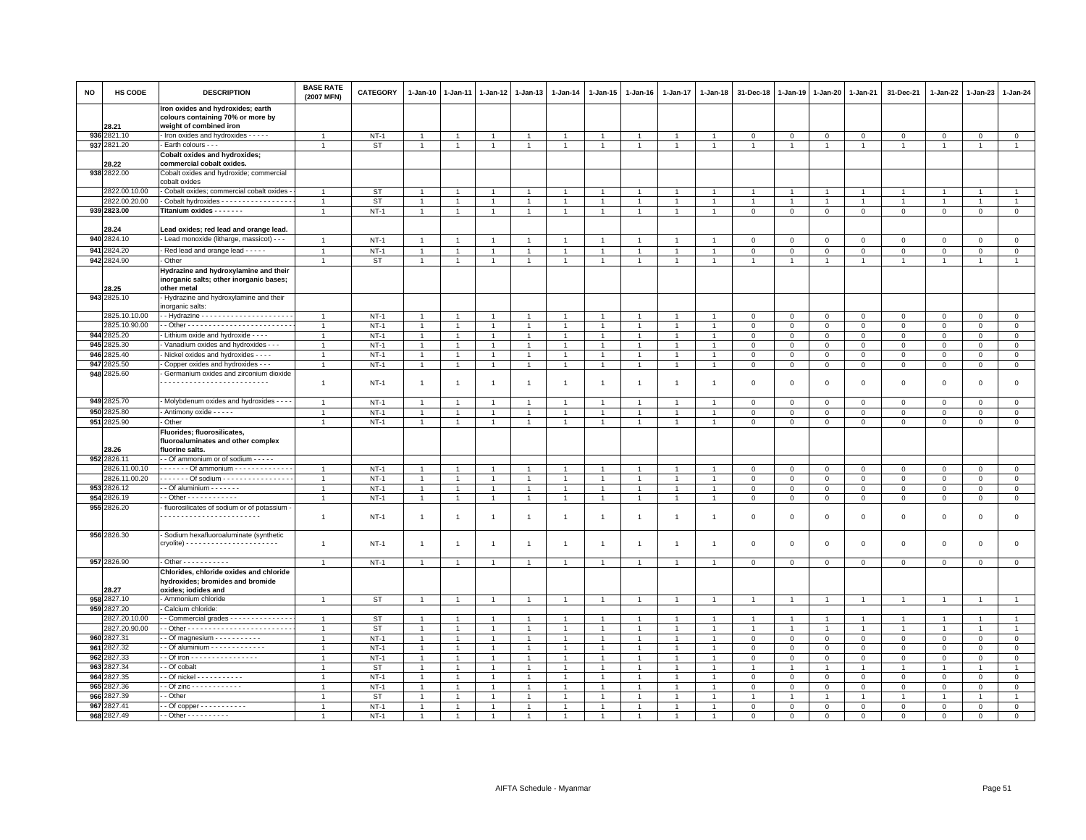| <b>NO</b> | HS CODE              | <b>DESCRIPTION</b>                                                     | <b>BASE RATE</b><br>(2007 MFN) | <b>CATEGORY</b> | $1 - Jan-10$   | $1 - Jan-11$   | $1-Jan-12$     | $1-Jan-13$     | $1 - Jan-14$   | 1-Jan-15       | $1 - Jan-16$   | $1 - Jan-17$   | $1 - Jan-18$   | 31-Dec-18      | $1 - Jan-19$              | $1 - Jan-20$         | $1 - Jan-21$   | 31-Dec-21      | 1-Jan-22       | 1-Jan-23       | 1-Jan-24       |
|-----------|----------------------|------------------------------------------------------------------------|--------------------------------|-----------------|----------------|----------------|----------------|----------------|----------------|----------------|----------------|----------------|----------------|----------------|---------------------------|----------------------|----------------|----------------|----------------|----------------|----------------|
|           |                      | Iron oxides and hydroxides; earth<br>colours containing 70% or more by |                                |                 |                |                |                |                |                |                |                |                |                |                |                           |                      |                |                |                |                |                |
|           | 28.21<br>936 2821.10 | weight of combined iron<br>- Iron oxides and hydroxides - - - - -      |                                | $NT-1$          | $\overline{1}$ | $\mathbf{1}$   | $\mathbf{1}$   | $\mathbf{1}$   | $\overline{1}$ | $\overline{1}$ | $\mathbf{1}$   | $\mathbf{1}$   | $\overline{1}$ | $\mathbf 0$    |                           | $\mathbf 0$          | $\mathbf{0}$   | $\mathbf 0$    | $\mathbf{O}$   | $\mathbf{0}$   | $\mathbf{0}$   |
|           | 937 2821.20          | Earth colours - - -                                                    |                                | ST              | $\mathbf{1}$   | $\overline{1}$ | $\overline{1}$ | $\overline{1}$ | $\mathbf{1}$   | $\mathbf{1}$   | $\overline{1}$ | $\overline{1}$ | $\overline{1}$ | $\overline{1}$ | $\circ$<br>$\overline{1}$ | $\blacktriangleleft$ | $\overline{1}$ | $\overline{1}$ | $\overline{1}$ | $\overline{1}$ | $\overline{1}$ |
|           |                      | <b>Cobalt oxides and hydroxides;</b>                                   |                                |                 |                |                |                |                |                |                |                |                |                |                |                           |                      |                |                |                |                |                |
|           | 28.22                | commercial cobalt oxides.                                              |                                |                 |                |                |                |                |                |                |                |                |                |                |                           |                      |                |                |                |                |                |
|           | 938 2822.00          | Cobalt oxides and hydroxide; commercial<br>cobalt oxides               |                                |                 |                |                |                |                |                |                |                |                |                |                |                           |                      |                |                |                |                |                |
|           | 2822.00.10.00        | - Cobalt oxides; commercial cobalt oxides                              |                                | ST              |                |                |                |                |                |                |                |                |                |                |                           |                      |                |                |                |                |                |
|           | 2822.00.20.00        | Cobalt hydroxides - - - - - - - - - - - - - - - -                      | $\overline{1}$                 | <b>ST</b>       | $\overline{1}$ | $\overline{1}$ | $\overline{1}$ | $\overline{1}$ | $\mathbf{1}$   | $\mathbf{1}$   | $\overline{1}$ | $\overline{1}$ | $\overline{1}$ | $\overline{1}$ | $\overline{1}$            | $\overline{1}$       | $\overline{1}$ | $\mathbf{1}$   | $\mathbf{1}$   | $\overline{1}$ | $\mathbf{1}$   |
|           | 939 2823.00          | Titanium oxides - - - - - - -                                          | $\overline{1}$                 | $NT-1$          | $\overline{1}$ | $\overline{1}$ | $\overline{1}$ | $\overline{1}$ | $\mathbf{1}$   | $\overline{1}$ | $\mathbf{1}$   | $\overline{1}$ | $\overline{1}$ | $\mathsf 0$    | $\mathbf 0$               | $\overline{0}$       | $\mathbf 0$    | $\mathbf 0$    | $\circ$        | $\overline{0}$ | $\circ$        |
|           |                      |                                                                        |                                |                 |                |                |                |                |                |                |                |                |                |                |                           |                      |                |                |                |                |                |
|           | 28.24                | Lead oxides; red lead and orange lead.                                 |                                |                 |                |                |                |                |                |                |                |                |                |                |                           |                      |                |                |                |                |                |
|           | 940 2824.10          | Lead monoxide (litharge, massicot) - - -                               | $\overline{1}$                 | $NT-1$          | $\overline{1}$ | $\overline{1}$ | $\overline{1}$ | $\overline{1}$ | $\mathbf{1}$   | $\overline{1}$ | $\overline{1}$ | $\overline{1}$ | $\overline{1}$ | $\mathbf 0$    | $\mathbf 0$               | $\mathbf{0}$         | $\mathbf 0$    | $\mathbf{0}$   | $\overline{0}$ | $\mathbf{0}$   | $\mathbf{0}$   |
|           | 941 2824.20          | Red lead and orange lead - - - - -                                     |                                | $NT-1$          |                |                |                | $\overline{1}$ | $\overline{1}$ |                |                |                |                | $\mathsf 0$    | $\mathsf 0$               | $\Omega$             | $\mathbf 0$    | $\Omega$       | $\Omega$       | $\Omega$       | $\mathsf 0$    |
|           | 942 2824.90          | Other                                                                  | $\overline{1}$                 | <b>ST</b>       | $\overline{1}$ | $\overline{1}$ | $\overline{1}$ | $\overline{1}$ | $\mathbf{1}$   | $\overline{1}$ | $\overline{1}$ | $\overline{1}$ | $\overline{1}$ | $\mathbf{1}$   | $\mathbf{1}$              | $\overline{1}$       | $\overline{1}$ | $\overline{1}$ | 1              | $\overline{1}$ | $\mathbf{1}$   |
|           |                      | Hydrazine and hydroxylamine and their                                  |                                |                 |                |                |                |                |                |                |                |                |                |                |                           |                      |                |                |                |                |                |
|           |                      | inorganic salts; other inorganic bases;                                |                                |                 |                |                |                |                |                |                |                |                |                |                |                           |                      |                |                |                |                |                |
|           | 28.25<br>943 2825.10 | other metal<br>- Hydrazine and hydroxylamine and their                 |                                |                 |                |                |                |                |                |                |                |                |                |                |                           |                      |                |                |                |                |                |
|           |                      | norganic salts:                                                        |                                |                 |                |                |                |                |                |                |                |                |                |                |                           |                      |                |                |                |                |                |
|           | 2825.10.10.00        |                                                                        | $\overline{1}$                 | $NT-1$          | $\overline{1}$ | $\overline{1}$ | $\overline{1}$ | $\overline{1}$ | $\overline{1}$ | $\mathbf{1}$   |                | $\overline{1}$ |                | $\mathbf 0$    | 0                         | $\mathbf 0$          | $\mathbf{0}$   | $\mathbf 0$    | 0              | $\mathbf 0$    | $\mathbf 0$    |
|           | 2825.10.90.00        |                                                                        | $\overline{1}$                 | $NT-1$          | $\overline{1}$ | $\overline{1}$ | $\overline{1}$ | $\overline{1}$ | $\overline{1}$ | $\overline{1}$ |                | $\overline{1}$ | $\overline{1}$ | $\mathbf 0$    | $\mathbf 0$               | $\mathbf 0$          | $\mathbf{0}$   | $\mathbf{0}$   | $\mathbf{0}$   | $\mathbf{0}$   | $\circ$        |
|           | 944 2825.20          | - Lithium oxide and hydroxide - - - -                                  |                                | $NT-1$          | $\overline{1}$ |                |                | $\overline{1}$ |                | $\overline{1}$ |                |                |                | $\mathbf 0$    | $\mathsf 0$               | $\mathsf 0$          | $\mathbf 0$    | $\mathsf 0$    | $\mathbf 0$    | $\mathbf 0$    | $\mathsf 0$    |
|           | 945 2825.30          | Vanadium oxides and hydroxides - - -                                   | 1                              | $NT-1$          | $\overline{1}$ | $\mathbf{1}$   | $\mathbf{1}$   | $\overline{1}$ | $\overline{1}$ | $\mathbf{1}$   |                | 1              |                | $\mathbf 0$    | $\mathsf 0$               | $\mathsf 0$          | $\mathbf 0$    | $\mathsf 0$    | $\mathbf 0$    | $\mathbf 0$    | $\mathsf 0$    |
|           | 946 2825.40          | Nickel oxides and hydroxides - - - -                                   | $\overline{1}$                 | $NT-1$          | $\overline{1}$ | $\overline{1}$ | $\mathbf{1}$   | $\overline{1}$ | $\overline{1}$ | $\overline{1}$ | $\overline{1}$ | $\overline{1}$ | $\overline{1}$ | $\mathbf 0$    | $\mathsf 0$               | $\mathbf 0$          | $\,0\,$        | $\mathsf 0$    | $\mathsf 0$    | $\mathbf{0}$   | $\mathbf 0$    |
|           | 947 2825.50          | Copper oxides and hydroxides - - -                                     | 1                              | $NT-1$          | $\mathbf{1}$   | $\overline{1}$ | $\overline{1}$ | $\overline{1}$ | $\mathbf{1}$   | $\overline{1}$ | $\overline{1}$ | $\overline{1}$ | $\overline{1}$ | $\mathbf 0$    | $\mathbf 0$               | $\mathbf 0$          | $\mathbf{0}$   | $\mathbf{0}$   | $\mathbf{0}$   | $\mathbf{0}$   | $\circ$        |
|           | 948 2825.60          | Germanium oxides and zirconium dioxide                                 |                                |                 |                |                |                |                |                |                |                |                |                |                |                           |                      |                |                |                |                |                |
|           |                      |                                                                        | $\mathbf{1}$                   | $NT-1$          | $\mathbf{1}$   | $\mathbf{1}$   | $\overline{1}$ | $\overline{1}$ | $\mathbf{1}$   | $\overline{1}$ | $\overline{1}$ | $\mathbf{1}$   | $\overline{1}$ | $\mathbf 0$    | $\mathsf 0$               | $\mathsf 0$          | $\mathbf 0$    | $\mathsf 0$    | $\mathbf 0$    | $\mathbf 0$    | $\mathsf 0$    |
|           |                      |                                                                        |                                |                 |                |                |                |                |                |                |                |                |                |                |                           |                      |                |                |                |                |                |
|           | 949 2825.70          | - Molybdenum oxides and hydroxides - - -                               | $\overline{1}$                 | $NT-1$          | $\overline{1}$ | $\overline{1}$ | $\overline{1}$ | $\overline{1}$ | $\overline{1}$ | $\overline{1}$ | $\overline{1}$ | $\overline{1}$ | $\overline{1}$ | $\mathbf 0$    | $\mathsf 0$               | $\mathsf 0$          | $\mathbf{0}$   | $\mathbf 0$    | $\mathbf 0$    | $\mathbf 0$    | $\mathbf 0$    |
| 950       | 2825.80              | - Antimony oxide - - - - -                                             | $\mathbf{1}$                   | $NT-1$          | $\overline{1}$ | $\overline{1}$ | $\overline{1}$ | $\overline{1}$ | $\overline{1}$ | $\overline{1}$ | $\overline{1}$ | $\overline{1}$ | $\overline{1}$ | $\mathbf 0$    | $\mathsf 0$               | $\mathbf 0$          | $\mathbf 0$    | $\mathbf{0}$   | $\mathbf 0$    | $\mathbf{0}$   | $\mathsf 0$    |
|           | 951 2825.90          | Other                                                                  | $\overline{1}$                 | $NT-1$          | $\mathbf{1}$   | $\overline{1}$ | $\overline{1}$ | $\overline{1}$ | $\mathbf{1}$   | $\overline{1}$ | $\overline{1}$ | $\mathbf{1}$   | $\mathbf{1}$   | $\mathbf 0$    | 0                         | 0                    | $\mathbf 0$    | $\mathsf 0$    | $\mathbf 0$    | $\mathbf 0$    | $\mathbf 0$    |
|           |                      | Fluorides; fluorosilicates,                                            |                                |                 |                |                |                |                |                |                |                |                |                |                |                           |                      |                |                |                |                |                |
|           | 28.26                | fluoroaluminates and other complex<br>fluorine salts.                  |                                |                 |                |                |                |                |                |                |                |                |                |                |                           |                      |                |                |                |                |                |
|           | 952 2826.11          | - Of ammonium or of sodium - - - - -                                   |                                |                 |                |                |                |                |                |                |                |                |                |                |                           |                      |                |                |                |                |                |
|           | 2826.11.00.10        | . Of ammonium -                                                        | $\overline{1}$                 | $NT-1$          | $\overline{1}$ | $\overline{1}$ | $\overline{1}$ | $\overline{1}$ | $\overline{1}$ | $\overline{1}$ |                |                |                | $\,0\,$        | $\mathsf 0$               | $\mathsf 0$          | $\mathbf 0$    | $\mathsf 0$    | $\mathbf 0$    | $\mathbf 0$    | $\mathbf 0$    |
|           | 2826.11.00.20        | . Of sodium                                                            | $\overline{1}$                 | $NT-1$          | $\overline{1}$ | $\mathbf{1}$   | $\overline{1}$ | $\overline{1}$ | $\mathbf{1}$   | $\mathbf{1}$   |                | 1              |                | $\,0\,$        | $\mathsf 0$               | $\mathsf 0$          | $\,0\,$        | $\mathsf 0$    | $\mathbf 0$    | $\Omega$       | $\mathbf 0$    |
|           | 953 2826.12          | - Of aluminium - - - - - - -                                           | $\overline{1}$                 | $NT-1$          | $\overline{1}$ | $\mathbf{1}$   | $\overline{1}$ | $\overline{1}$ | $\overline{1}$ | $\mathbf{1}$   |                | $\overline{1}$ |                | $\,0\,$        | $\mathsf 0$               | $\mathsf 0$          | $\mathsf 0$    | $\mathsf 0$    | $\Omega$       | $\mathbf{0}$   | $\mathbf 0$    |
|           | 954 2826.19          | $\cdot$ - Other - - - - - - - - - - - -                                | $\overline{1}$                 | $NT-1$          | $\mathbf{1}$   | $\overline{1}$ | $\overline{1}$ | $\overline{1}$ | $\overline{1}$ | $\overline{1}$ | $\overline{1}$ | $\overline{1}$ | $\overline{1}$ | $\,0\,$        | $\mathbf{0}$              | $\mathbf 0$          | $\mathbf 0$    | $\mathbf 0$    | $\mathbf 0$    | $\overline{0}$ | $\mathsf 0$    |
|           | 955 2826.20          | - fluorosilicates of sodium or of potassium                            |                                |                 |                |                |                |                |                |                |                |                |                |                |                           |                      |                |                |                |                |                |
|           |                      |                                                                        | $\mathbf{1}$                   | $NT-1$          | $\overline{1}$ | $\overline{1}$ | $\overline{1}$ | $\overline{1}$ | $\mathbf{1}$   | $\overline{1}$ | $\overline{1}$ | $\mathbf{1}$   | -1             | $\mathbf 0$    | $\mathbf 0$               | $\mathsf 0$          | $\mathbf 0$    | $\mathsf 0$    | $\mathbf 0$    | $\mathsf 0$    | $\mathsf 0$    |
|           |                      |                                                                        |                                |                 |                |                |                |                |                |                |                |                |                |                |                           |                      |                |                |                |                |                |
|           | 956 2826.30          | - Sodium hexafluoroaluminate (synthetic                                |                                |                 |                |                |                |                |                |                |                |                |                |                |                           |                      |                |                |                |                |                |
|           |                      |                                                                        | $\overline{1}$                 | $NT-1$          | $\overline{1}$ | 1              | 1              | $\overline{1}$ | $\overline{1}$ | $\mathbf{1}$   | -1             | $\mathbf{1}$   | $\overline{1}$ | $\mathbf 0$    | 0                         | 0                    | $\mathbf 0$    | 0              | $^{\circ}$     | $\mathbf 0$    | $\mathbf 0$    |
|           | 957 2826.90          | - Other - - - - - - - - - - -                                          | $\overline{1}$                 | $NT-1$          | $\overline{1}$ | $\overline{1}$ | $\overline{1}$ | $\overline{1}$ |                | $\mathbf{1}$   |                | $\overline{1}$ |                | $\mathbf 0$    | $\mathsf 0$               | $\mathbf 0$          | $\mathbf 0$    | $\mathbf 0$    | $\mathsf 0$    | $\mathsf 0$    | $\mathsf 0$    |
|           |                      | Chlorides, chloride oxides and chloride                                |                                |                 |                |                |                |                |                |                |                |                |                |                |                           |                      |                |                |                |                |                |
|           |                      | hydroxides; bromides and bromide                                       |                                |                 |                |                |                |                |                |                |                |                |                |                |                           |                      |                |                |                |                |                |
|           | 28.27                | oxides; iodides and                                                    |                                |                 |                |                |                |                |                |                |                |                |                |                |                           |                      |                |                |                |                |                |
|           | 958 2827.10          | - Ammonium chloride                                                    | 1                              | ST              | $\overline{1}$ |                | $\mathbf{1}$   | $\overline{1}$ | $\overline{1}$ | -1             |                | $\mathbf{1}$   |                | $\mathbf{1}$   |                           |                      | $\overline{1}$ | $\overline{1}$ | $\mathbf{1}$   | $\overline{1}$ | $\overline{1}$ |
|           | 959 2827.20          | Calcium chloride:                                                      |                                |                 |                |                |                |                |                |                |                |                |                |                |                           |                      |                |                |                |                |                |
|           | 2827.20.10.00        | - - Commercial grades - - - - - - - - - - - - - -                      | $\overline{1}$                 | <b>ST</b>       | $\overline{1}$ |                |                | $\overline{1}$ | $\mathbf{1}$   |                |                | $\mathbf{1}$   |                | $\mathbf{1}$   |                           | $\overline{1}$       | $\overline{1}$ | $\overline{1}$ |                | $\overline{1}$ | $\overline{1}$ |
|           | 2827.20.90.00        |                                                                        | $\mathbf{1}$                   | <b>ST</b>       | $\overline{1}$ | $\overline{1}$ | $\overline{1}$ | $\overline{1}$ | $\overline{1}$ | $\overline{1}$ | $\overline{1}$ | $\overline{1}$ | $\mathbf{1}$   | $\overline{1}$ | $\overline{1}$            | $\overline{1}$       | $\overline{1}$ | $\overline{1}$ | $\mathbf{1}$   | $\overline{1}$ | $\overline{1}$ |
|           | 960 2827.31          | - Of magnesium - - - - - - - - - -                                     | $\overline{1}$                 | $NT-1$          | $\overline{1}$ | $\overline{1}$ | $\overline{1}$ | $\overline{1}$ | $\mathbf{1}$   | $\mathbf{1}$   |                | $\overline{1}$ | -1             | $\mathbf 0$    | $\mathsf 0$               | $\mathbf 0$          | $\,0\,$        | $\mathsf 0$    | $\mathbf 0$    | $\mathbf 0$    | $\mathsf 0$    |
|           | 961 2827.32          | - Of aluminium - - - - - - - - - - - - -                               | $\overline{1}$                 | $NT-1$          | $\overline{1}$ | $\overline{1}$ | $\overline{1}$ | $\overline{1}$ | $\mathbf{1}$   | $\overline{1}$ |                | $\overline{1}$ | $\overline{1}$ | $\mathbf 0$    | $\mathsf 0$               | $\mathsf 0$          | $\mathbf 0$    | $\mathbf 0$    | $\mathbf 0$    | $\mathbf 0$    | $\mathsf 0$    |
|           | 962 2827.33          | - - Of iron - - - - - - - - - - - - - - - -                            | $\mathbf{1}$                   | $NT-1$          | $\overline{1}$ | $\overline{1}$ | $\overline{1}$ | $\overline{1}$ | $\overline{1}$ | $\mathbf{1}$   |                | $\overline{1}$ |                | $\mathbf 0$    | $\mathsf 0$               | $\mathsf 0$          | $\mathbf 0$    | $\mathbf 0$    | $\mathbf 0$    | $\mathbf 0$    | $\mathsf 0$    |
|           | 963 2827.34          | - - Of cobalt                                                          | $\overline{1}$                 | <b>ST</b>       | $\overline{1}$ |                | $\mathbf{1}$   | $\mathbf{1}$   | $\overline{1}$ |                |                |                |                |                |                           | $\mathbf{1}$         | $\mathbf{1}$   | $\mathbf{1}$   |                | $\overline{1}$ | $\mathbf{1}$   |
|           | 964 2827.35          | - Of nickel - - - - - - - - - - -                                      | $\mathbf{1}$                   | $NT-1$          | $\overline{1}$ | $\mathbf{1}$   | $\mathbf{1}$   | $\overline{1}$ | -1             | 1              |                | $\mathbf{1}$   | $\mathbf{1}$   | $\mathbf 0$    | 0                         | $\mathbf 0$          | $\circ$        | $\mathbf 0$    | $\mathbf 0$    | $\mathbf 0$    | $\mathsf 0$    |
|           | 965 2827.36          | - Of zinc - - - - - - - - - - - -                                      |                                | $NT-1$          |                |                |                | $\overline{1}$ |                |                |                |                |                | $\mathsf 0$    | $\mathbf 0$               | $\mathsf 0$          | $\mathbf 0$    | $\mathbf 0$    | $\Omega$       | $\Omega$       | $\mathsf 0$    |
|           | 966 2827.39          | - Other                                                                |                                | <b>ST</b>       | $\overline{1}$ |                |                | $\overline{1}$ |                |                |                |                |                |                |                           |                      | $\overline{1}$ |                |                | $\overline{1}$ |                |
|           | 967 2827.41          |                                                                        | $\mathbf{1}$                   | $NT-1$          | $\overline{1}$ |                | $\overline{1}$ | $\overline{1}$ |                |                |                |                |                | $\mathbf 0$    | $\mathsf 0$               | $\mathbf 0$          | $\mathbf{0}$   | $\mathbf 0$    | $\Omega$       | $\mathbf{0}$   | $\mathbf 0$    |
|           | 968 2827.49          | - - Other - - - - - - - - - -                                          | $\overline{1}$                 | $NT-1$          | $\overline{1}$ | $\overline{1}$ | $\overline{1}$ | $\mathbf{1}$   | $\overline{1}$ |                |                | $\overline{1}$ |                | $\mathbf 0$    | $\mathsf 0$               | $\mathbf 0$          | $\mathbf 0$    | $\mathbf 0$    | 0              | $\mathbf 0$    | $\mathbf 0$    |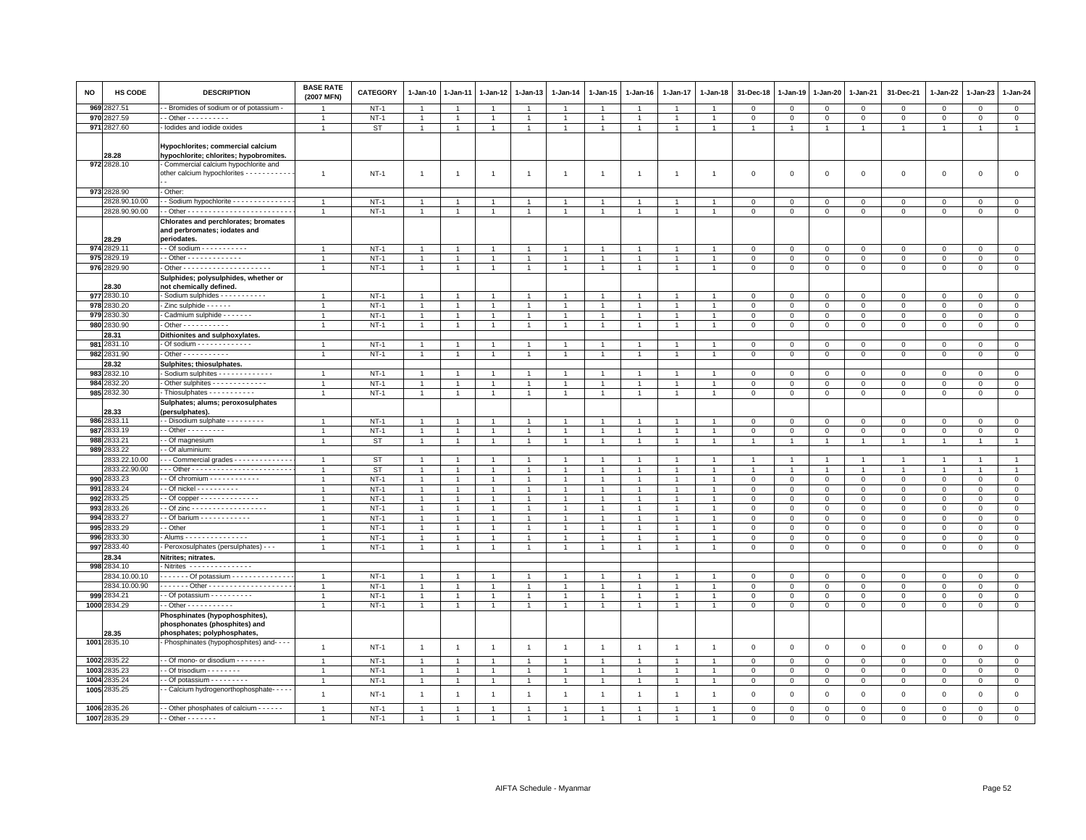| NO   | HS CODE                      | <b>DESCRIPTION</b>                                                                                                 | <b>BASE RATE</b><br>(2007 MFN) | <b>CATEGORY</b>  | 1-Jan-10                     | 1-Jan-11       | 1-Jan-12                         | 1-Jan-13                       | 1-Jan-14                       | 1-Jan-15                     | 1-Jan-16       | 1-Jan-17                         | 1-Jan-18       | 31-Dec-18                        | 1-Jan-19                         | 1-Jan-20                         | 1-Jan-21                    | 31-Dec-21                      | 1-Jan-22                         | 1-Jan-23                    | 1-Jan-24                     |
|------|------------------------------|--------------------------------------------------------------------------------------------------------------------|--------------------------------|------------------|------------------------------|----------------|----------------------------------|--------------------------------|--------------------------------|------------------------------|----------------|----------------------------------|----------------|----------------------------------|----------------------------------|----------------------------------|-----------------------------|--------------------------------|----------------------------------|-----------------------------|------------------------------|
| 969: | 2827.51                      | - Bromides of sodium or of potassium -                                                                             |                                | $NT-1$           | $\overline{1}$               |                | $\overline{1}$                   | $\overline{1}$                 | $\mathbf{1}$                   | 1                            |                | $\overline{1}$                   |                | $\Omega$                         | $\mathbf 0$                      | $\mathbf 0$                      | $\mathbf{0}$                | $\mathbf 0$                    | $\mathbf{0}$                     | $\mathbf{0}$                | $\mathbf{0}$                 |
|      | 970 2827.59                  | $-$ Other - - - - - - - - - -                                                                                      | $\overline{1}$                 | $NT-1$           | $\mathbf{1}$                 |                | 1                                | $\overline{1}$                 | $\overline{1}$                 | 1                            |                | $\mathbf{1}$                     |                | $\mathbf 0$                      | $\mathbf 0$                      | $\mathbf 0$                      | $\mathbf 0$                 | $\mathbf 0$                    | 0                                | $\mathbf 0$                 | $\circ$                      |
|      | 971 2827.60                  | lodides and iodide oxides                                                                                          | $\overline{1}$                 | <b>ST</b>        | $\mathbf{1}$                 | $\overline{1}$ | $\mathbf{1}$                     | $\mathbf{1}$                   | $\mathbf{1}$                   | $\mathbf{1}$                 | $\overline{1}$ | $\overline{1}$                   | $\overline{1}$ | $\overline{1}$                   | $\overline{1}$                   | $\overline{1}$                   | $\overline{1}$              | $\mathbf{1}$                   | $\overline{1}$                   | $\overline{1}$              | $\overline{1}$               |
|      | 28.28<br>972 2828.10         | Hypochlorites; commercial calcium<br>hypochlorite; chlorites; hypobromites.<br>Commercial calcium hypochlorite and |                                |                  |                              |                |                                  |                                |                                |                              |                |                                  |                |                                  |                                  |                                  |                             |                                |                                  |                             |                              |
|      |                              | other calcium hypochlorites - - - - - - - - - -                                                                    | $\mathbf{1}$                   | $NT-1$           | $\overline{1}$               | $\overline{1}$ | $\overline{1}$                   | $\overline{1}$                 | $\overline{1}$                 | $\mathbf{1}$                 | $\mathbf{1}$   | $\overline{1}$                   | -1             | $\mathbf 0$                      | $\Omega$                         | $\mathsf 0$                      | $\mathbf 0$                 | $\mathsf 0$                    | $\mathbf 0$                      | $\mathbf{0}$                | $\circ$                      |
|      | 973 2828.90                  | Other:                                                                                                             |                                |                  |                              |                |                                  |                                |                                |                              |                |                                  |                |                                  |                                  |                                  |                             |                                |                                  |                             |                              |
|      | 2828.90.10.00                | - Sodium hypochlorite - - - - - - - - - - - - -                                                                    | $\overline{1}$                 | $NT-1$           | $\overline{1}$               |                | $\overline{1}$                   | $\overline{1}$                 | $\overline{1}$                 | $\mathbf{1}$                 |                | $\overline{1}$                   |                | $\mathbf 0$                      | $\mathsf 0$                      | $\mathsf 0$                      | $\,0\,$                     | $\mathbf 0$                    | $\Omega$                         | $\Omega$                    | $\circ$                      |
|      | 2828.90.90.00                |                                                                                                                    | $\overline{1}$                 | $NT-1$           | $\mathbf{1}$                 | $\mathbf{1}$   | $\mathbf{1}$                     | $\mathbf{1}$                   | $\overline{1}$                 | $\mathbf{1}$                 | $\overline{1}$ | $\overline{1}$                   | $\overline{1}$ | $\mathsf 0$                      | $\mathsf 0$                      | $\mathsf 0$                      | $\mathbf 0$                 | $\mathsf 0$                    | $\mathbf{O}$                     | $\mathsf 0$                 | $\circ$                      |
|      | 28.29                        | Chlorates and perchlorates; bromates<br>and perbromates; iodates and<br>periodates.                                |                                |                  |                              |                |                                  |                                |                                |                              |                |                                  |                |                                  |                                  |                                  |                             |                                |                                  |                             |                              |
|      | 974 2829.1                   | - Of sodium - - - - - - - - - - -                                                                                  | $\overline{1}$                 | $NT-1$           | $\overline{1}$               | $\overline{1}$ | $\overline{1}$                   | $\mathbf{1}$                   | $\overline{1}$                 | $\overline{1}$               | $\overline{1}$ | $\overline{1}$                   |                | $\overline{0}$                   | $\mathbf 0$                      | $\mathbf 0$                      | $\overline{0}$              | $\mathbf 0$                    | $\mathbf 0$                      | $\mathbf{0}$                | $\mathbf{0}$                 |
| 975  | 2829.19                      | - Other - - - - - - - - - - - - -                                                                                  |                                | $NT-1$           | $\overline{1}$               |                |                                  | $\overline{1}$                 | $\overline{1}$                 |                              |                |                                  |                | $\mathbf 0$                      | $\mathbf 0$                      | $\mathbf 0$                      | $\mathbf 0$                 | $\mathsf 0$                    | $\Omega$                         | $\mathbf 0$                 | $\mathbf 0$                  |
|      | 976 2829.90                  |                                                                                                                    | $\overline{1}$                 | $NT-1$           | $\mathbf{1}$                 | $\overline{1}$ | $\overline{1}$                   | $\mathbf{1}$                   | $\overline{1}$                 | $\overline{1}$               | $\overline{1}$ | $\mathbf{1}$                     |                | $\mathbf 0$                      | $\mathbf 0$                      | $\mathsf 0$                      | $\mathbf 0$                 | $\mathsf 0$                    | $\mathbf 0$                      | $\mathsf 0$                 | $\mathsf 0$                  |
|      | 28.30<br>977 2830.10         | Sulphides; polysulphides, whether or<br>not chemically defined.<br>Sodium sulphides - - - - - - - - - - -          |                                | $NT-1$           | $\overline{1}$               |                |                                  | $\overline{1}$                 | $\overline{1}$                 | $\overline{1}$               |                | $\overline{1}$                   |                | $\Omega$                         |                                  |                                  |                             |                                |                                  |                             |                              |
|      | 978 2830.20                  | - Zinc sulphide - - - - - -                                                                                        | $\overline{1}$                 |                  | $\overline{1}$               |                |                                  | $\mathbf{1}$                   | $\overline{1}$                 |                              |                |                                  |                |                                  | $\mathbf 0$                      | $\mathbf 0$                      | $\overline{0}$              | $\mathbf 0$                    | $\mathbf 0$<br>$\Omega$          | $\mathbf{0}$                | $\mathbf{0}$<br>$\mathsf 0$  |
|      | 979 2830.30                  | Cadmium sulphide - - - - - - -                                                                                     | $\overline{1}$                 | $NT-1$<br>$NT-1$ | $\mathbf{1}$                 | $\overline{1}$ | $\overline{1}$                   | $\mathbf{1}$                   | $\overline{1}$                 | $\overline{1}$               | $\mathbf{1}$   | $\overline{1}$                   |                | $\mathbf 0$<br>$\overline{0}$    | $\mathbf 0$<br>$\mathbf 0$       | $\mathbf 0$<br>$\mathbf{0}$      | $\mathbf 0$<br>$\mathbf{0}$ | $\mathbf 0$<br>$\mathbf{0}$    | $\mathbf{0}$                     | $\mathbf 0$<br>$\mathbf{0}$ | $\mathsf 0$                  |
|      | 980 2830.90                  | $\cdot$ Other - - - - - - - - - - -                                                                                | $\overline{1}$                 | $NT-1$           | $\mathbf{1}$                 | $\mathbf{1}$   | 1                                | $\mathbf{1}$                   | $\mathbf{1}$                   | 1                            | $\overline{1}$ | $\mathbf{1}$                     |                | $\,0\,$                          | $\mathbf 0$                      | $\mathbf 0$                      | $\mathbb O$                 | $\mathsf{O}\xspace$            | $\mathsf 0$                      | $\mathbf 0$                 | $\mathsf 0$                  |
|      | 28.31                        | Dithionites and sulphoxylates.                                                                                     |                                |                  |                              |                |                                  |                                |                                |                              |                |                                  |                |                                  |                                  |                                  |                             |                                |                                  |                             |                              |
| 981  | 2831.10                      | - Of sodium - - - - - - - - - - - -                                                                                | $\overline{1}$                 | $NT-1$           | $\overline{1}$               |                |                                  | $\overline{1}$                 | $\overline{1}$                 |                              |                |                                  |                | $\mathbf 0$                      | $\mathbf 0$                      | $\mathsf 0$                      | $\,$ 0                      | $\mathsf 0$                    | $\mathbf 0$                      | $\mathbf 0$                 | $\mathsf 0$                  |
|      | 982 2831.90                  | $\cdot$ Other - - - - - - - - - - -                                                                                | $\overline{1}$                 | $NT-1$           | $\overline{1}$               |                |                                  | $\mathbf{1}$                   | $\overline{1}$                 | $\overline{1}$               | $\overline{1}$ | $\overline{1}$                   |                | $\mathbf 0$                      | $\mathbf 0$                      | $\mathbf 0$                      | $\mathbf 0$                 | $\mathbf 0$                    | $\mathbf 0$                      | $\mathbf 0$                 | $\mathsf 0$                  |
|      | 28.32                        | Sulphites; thiosulphates.                                                                                          |                                |                  |                              |                |                                  |                                |                                |                              |                |                                  |                |                                  |                                  |                                  |                             |                                |                                  |                             |                              |
| 983  | 2832.10                      | Sodium sulphites - - - - - - - - - - - - -                                                                         | $\overline{1}$                 | $NT-1$           | $\overline{1}$               |                |                                  | $\overline{1}$                 | $\overline{1}$                 |                              |                |                                  |                | $\Omega$                         | $\Omega$                         | $\mathbf 0$                      | $\overline{0}$              | $\mathbf 0$                    | $\Omega$                         | $\mathbf{0}$                | $\circ$                      |
|      | 984 2832.20                  | Other sulphites - - - - - - - - - - - - -                                                                          | $\overline{1}$                 | $NT-1$           | $\mathbf{1}$                 |                |                                  | $\overline{1}$                 | $\mathbf{1}$                   | $\overline{1}$               |                | $\overline{1}$                   |                | $\mathbf 0$                      | $\mathbf 0$                      | $\mathbf 0$                      | $\mathsf 0$                 | $\mathsf 0$                    | $\mathbf 0$                      | $\mathbf 0$                 | $\mathbf 0$                  |
|      | 985 2832.30                  | Thiosulphates - - - - - - - - - -                                                                                  | $\overline{1}$                 | $NT-1$           | $\mathbf{1}$                 | 1              | $\overline{1}$                   | $\overline{1}$                 | $\overline{1}$                 | $\overline{1}$               | $\overline{1}$ | $\mathbf{1}$                     |                | $\mathsf 0$                      | $\mathsf 0$                      | $\mathbf 0$                      | $\mathbf 0$                 | $\mathsf 0$                    | $\mathsf 0$                      | $\mathsf 0$                 | $\overline{0}$               |
|      |                              | Sulphates; alums; peroxosulphates                                                                                  |                                |                  |                              |                |                                  |                                |                                |                              |                |                                  |                |                                  |                                  |                                  |                             |                                |                                  |                             |                              |
|      | 28.33                        | (persulphates).                                                                                                    |                                |                  |                              |                |                                  |                                |                                |                              |                |                                  |                |                                  |                                  |                                  |                             |                                |                                  |                             |                              |
|      | 986 2833.11                  | - Disodium sulphate - - - - - - - -                                                                                | $\overline{1}$                 | $NT-1$           | $\overline{1}$               | $\overline{1}$ | $\overline{1}$                   | $\overline{1}$                 | $\mathbf{1}$                   | $\mathbf{1}$                 | $\overline{1}$ | $\overline{1}$                   |                | $\mathbf 0$                      | $\mathbf 0$                      | $\mathsf 0$                      | $\mathbf 0$                 | $\mathsf 0$                    | $\mathbf 0$                      | $\mathbf 0$                 | $\mathsf 0$                  |
| 987  | 2833.19                      | - Other - - - - - - - - -                                                                                          | $\overline{1}$                 | $NT-1$           | $\overline{1}$               |                |                                  | $\overline{1}$                 | $\overline{1}$                 | $\mathbf{1}$                 | $\overline{1}$ | $\overline{1}$                   |                | $\mathbf 0$                      | $\mathbf 0$                      | $\mathbf 0$                      | $\mathbf 0$                 | $\mathsf 0$                    | $\mathbf 0$                      | $\mathbf 0$                 | $\mathsf 0$                  |
| 988  | 833.21                       | - Of magnesium                                                                                                     | $\overline{1}$                 | <b>ST</b>        | $\mathbf{1}$                 |                |                                  | 1                              | $\overline{1}$                 |                              |                |                                  |                |                                  |                                  | $\mathbf{1}$                     | $\mathbf{1}$                | $\mathbf{1}$                   | $\overline{1}$                   | $\mathbf{1}$                | $\mathbf{1}$                 |
|      | 989 2833.22<br>2833.22.10.00 | - Of aluminium:                                                                                                    | $\overline{1}$                 | <b>ST</b>        | $\overline{1}$               |                |                                  | $\overline{1}$                 |                                |                              |                |                                  |                |                                  |                                  |                                  | $\overline{1}$              |                                |                                  | $\overline{1}$              |                              |
|      | 2833.22.90.00                | - - Commercial grades - - - - - - - - - - - -                                                                      | $\overline{1}$                 | <b>ST</b>        | $\overline{1}$               |                | $\overline{1}$                   | $\overline{1}$                 | $\mathbf{1}$<br>$\overline{1}$ | $\mathbf{1}$<br>$\mathbf{1}$ |                | $\overline{1}$<br>$\overline{1}$ |                | $\overline{1}$<br>$\overline{1}$ | $\overline{1}$<br>$\overline{1}$ | $\overline{1}$<br>$\overline{1}$ | $\overline{1}$              | $\mathbf{1}$<br>$\overline{1}$ | $\overline{1}$<br>$\overline{1}$ | $\overline{1}$              | $\mathbf{1}$<br>$\mathbf{1}$ |
|      | 990 2833.23                  | - Of chromium - - - - - - - - - - -                                                                                | $\overline{1}$                 | $NT-1$           | $\mathbf{1}$                 |                |                                  | $\mathbf{1}$                   | $\overline{1}$                 |                              |                |                                  |                | $\mathsf 0$                      | $\mathbf 0$                      | $\mathbf 0$                      | $\mathbf 0$                 | $\mathbf 0$                    | $\mathbf 0$                      | $\mathbf 0$                 | $\circ$                      |
|      | 991 2833.24                  | - Of nickel - - - - - - - - - -                                                                                    | $\overline{1}$                 | $NT-1$           | $\mathbf{1}$                 |                | 1                                | $\overline{1}$                 | $\mathbf{1}$                   | 1                            | $\overline{1}$ | $\overline{1}$                   |                | $\mathbf 0$                      | $\mathbf{0}$                     | $\mathbf{0}$                     | $\mathbb O$                 | $\mathsf 0$                    | $\mathbf 0$                      | $\mathbf{0}$                | $\overline{0}$               |
|      | 992 2833.25                  | $-$ Of copper - - - - - - - - - - - - - -                                                                          | $\overline{1}$                 | $NT-1$           | $\overline{1}$               |                | $\mathbf{1}$                     | $\overline{1}$                 | $\overline{1}$                 | $\mathbf{1}$                 | $\overline{1}$ |                                  |                | $\overline{0}$                   | $\mathbf 0$                      | $\mathbf{0}$                     | $\mathbf{0}$                | $\mathbf{0}$                   | $\mathbf 0$                      | $\mathbf{0}$                | $\circ$                      |
| 993  | 2833.26                      | - Of zinc - - - - - - - - - - - - - - - - - -                                                                      | $\overline{1}$                 | $NT-1$           | $\overline{1}$               |                |                                  | $\mathbf{1}$                   | $\overline{1}$                 |                              |                | $\overline{1}$                   |                | $\mathbf 0$                      | $\mathbf 0$                      | $\mathbf 0$                      | $\mathbf 0$                 | $\mathbf 0$                    | $\Omega$                         | $\mathbf 0$                 | $\mathsf 0$                  |
| 994  | 2833.27                      | - Of barium - - - - - - - - - - - -                                                                                |                                | $NT-1$           | $\mathbf{1}$                 |                |                                  | $\mathbf{1}$                   | $\overline{1}$                 |                              |                |                                  |                | $\Omega$                         | $\Omega$                         | $\mathbf 0$                      | $\Omega$                    | $\mathbf 0$                    | $\Omega$                         | $\mathbf{0}$                | $\mathbf 0$                  |
| 995  | 2833.29                      | - Other                                                                                                            | $\overline{1}$                 | $NT-1$           | $\mathbf{1}$                 |                | $\overline{1}$                   | $\overline{1}$                 | $\overline{1}$                 |                              |                |                                  |                | $\mathbf 0$                      | $\mathbf 0$                      | $\mathbf 0$                      | $\mathbf 0$                 | $\mathbf 0$                    | 0                                | $\mathbf 0$                 | $\mathbf 0$                  |
| 996  | 2833.30                      | Alums - - - - - - - - - - - - - - -                                                                                | $\overline{1}$                 | $NT-1$           | $\overline{1}$               | $\overline{1}$ | $\overline{1}$                   | $\overline{1}$                 | $\mathbf{1}$                   | $\mathbf{1}$                 | $\overline{1}$ | $\overline{1}$                   |                | $\mathbf{0}$                     | $\mathbf{0}$                     | $\mathbf 0$                      | $\mathbf{0}$                | $\mathbf{0}$                   | $\Omega$                         | $\mathbf{0}$                | $\mathsf 0$                  |
| 997  | 2833.40                      | Peroxosulphates (persulphates) - - -                                                                               | $\overline{1}$                 | $NT-1$           | $\overline{1}$               |                |                                  | 1                              | $\overline{1}$                 |                              |                |                                  |                | $\mathbf 0$                      | $\,0\,$                          | $\,0\,$                          | $\,$ 0                      | $\mathsf 0$                    | $\mathbf 0$                      | $\mathsf 0$                 | $\overline{0}$               |
|      | 28.34                        | Nitrites; nitrates.                                                                                                |                                |                  |                              |                |                                  |                                |                                |                              |                |                                  |                |                                  |                                  |                                  |                             |                                |                                  |                             |                              |
|      | 998 2834.10                  | Nitrites ---------------                                                                                           |                                |                  |                              |                |                                  |                                |                                |                              |                |                                  |                |                                  |                                  |                                  |                             |                                |                                  |                             |                              |
|      | 2834.10.00.10                | ------ Of potassium --------------                                                                                 | $\overline{1}$                 | $NT-1$           | $\overline{1}$               |                |                                  | $\overline{1}$                 | $\overline{1}$                 | $\overline{1}$               |                | $\overline{1}$                   |                | $\overline{0}$                   | $\mathbf 0$                      | $\mathbf 0$                      | $\mathbf{0}$                | $\mathbf{0}$                   | $\mathbf 0$                      | $\mathbf{0}$                | $\circ$                      |
|      | 2834.10.00.90                |                                                                                                                    | $\overline{1}$                 | $NT-1$           | $\overline{1}$               |                |                                  | $\overline{1}$                 | $\overline{1}$                 |                              |                |                                  |                | $\mathbf 0$                      | $\mathbf 0$                      | $\mathbf 0$                      | $\mathbf 0$                 | $\mathsf 0$                    | $\mathbf 0$                      | $\mathbf 0$                 | $\mathbf 0$                  |
|      | 999 2834.21<br>1000 2834.29  | - Of potassium - - - - - - - - - -<br>$-$ Other - - - - - - - - - - -                                              | $\mathbf{1}$                   | $NT-1$           | $\mathbf{1}$                 | 1              | -1                               | $\overline{1}$                 | $\overline{1}$                 | $\mathbf{1}$                 | $\mathbf{1}$   | -1                               |                | $\mathbf 0$                      | $\mathbf 0$                      | $\mathbf 0$                      | $\overline{0}$              | $\mathbf 0$                    | $\Omega$                         | $\mathbf{0}$                | $\mathbf{0}$                 |
|      |                              |                                                                                                                    | $\overline{1}$                 | $NT-1$           | $\mathbf{1}$                 | $\overline{1}$ | $\overline{1}$                   | $\mathbf{1}$                   | $\mathbf{1}$                   | 1                            | $\mathbf{1}$   | $\mathbf{1}$                     |                | $\mathbf 0$                      | $\mathbf 0$                      | $\mathbf 0$                      | $\mathbf 0$                 | $\mathbf 0$                    | 0                                | $\mathbf 0$                 | $\mathbf 0$                  |
|      | 28.35                        | Phosphinates (hypophosphites),<br>phosphonates (phosphites) and<br>phosphates; polyphosphates,                     |                                |                  |                              |                |                                  |                                |                                |                              |                |                                  |                |                                  |                                  |                                  |                             |                                |                                  |                             |                              |
|      | 1001 2835.10                 | Phosphinates (hypophosphites) and- - - -                                                                           |                                |                  |                              |                |                                  |                                |                                |                              |                |                                  |                |                                  |                                  |                                  |                             |                                |                                  |                             |                              |
|      | 1002 2835.22                 | - Of mono- or disodium - - - - - - -                                                                               | $\overline{1}$<br>-1           | $NT-1$<br>$NT-1$ | $\mathbf{1}$<br>$\mathbf{1}$ | $\overline{1}$ | $\overline{1}$<br>$\overline{1}$ | $\mathbf{1}$<br>$\overline{1}$ | $\overline{1}$<br>$\mathbf{1}$ | $\overline{1}$               | $\overline{1}$ | $\overline{1}$                   | $\overline{1}$ | $\mathbf 0$<br>$\mathbf 0$       | $\mathbf 0$<br>$\mathsf 0$       | $\mathsf 0$<br>$\mathbf 0$       | $\mathbf 0$<br>$\mathbf 0$  | $\mathsf 0$<br>$\mathsf 0$     | $\mathbf 0$<br>$\Omega$          | $\mathbf 0$<br>$\mathbf{0}$ | $\mathsf 0$<br>$\mathsf 0$   |
| 1003 | 2835.23                      | - Of trisodium - - - - - - - -                                                                                     | $\overline{1}$                 | $NT-1$           | $\mathbf{1}$                 |                | $\overline{1}$                   | $\mathbf{1}$                   | $\mathbf{1}$                   | 1                            |                | $\overline{1}$                   |                | $\mathbf 0$                      | $\mathbf 0$                      | $\mathbf 0$                      | $\mathbf 0$                 | $\mathbf 0$                    | $\mathbf 0$                      | $\mathbf 0$                 | $\mathsf 0$                  |
| 1004 | 2835.24                      | - Of potassium - - - - - - - -                                                                                     |                                | $NT-1$           | $\overline{1}$               |                |                                  | $\overline{1}$                 | $\overline{1}$                 | $\mathbf{1}$                 |                |                                  |                | $\mathbf 0$                      | $\mathbf 0$                      | $\mathsf 0$                      | $\mathbf 0$                 | $\mathsf 0$                    | $\mathbf 0$                      | $\mathbf{0}$                | $\mathsf 0$                  |
|      | 1005 2835.25                 | - Calcium hydrogenorthophosphate- - - - -                                                                          | $\overline{1}$                 | $NT-1$           | $\overline{1}$               | $\mathbf{1}$   | $\mathbf{1}$                     | $\mathbf{1}$                   | $\mathbf{1}$                   | $\mathbf{1}$                 | $\overline{1}$ | $\overline{1}$                   |                | $\mathbf 0$                      | $\mathsf 0$                      | $\mathbf 0$                      | $\mathsf 0$                 | $\mathsf 0$                    | $\mathbf 0$                      | $\mathsf 0$                 | $\mathsf 0$                  |
|      | 1006 2835.26                 | - Other phosphates of calcium - - - - - -                                                                          | $\overline{1}$                 | $NT-1$           | $\overline{1}$               |                |                                  |                                | -1                             |                              |                |                                  |                | $\Omega$                         | $\mathbf 0$                      | $\Omega$                         | $\Omega$                    | $\Omega$                       | $\Omega$                         | $\Omega$                    | $\mathbf 0$                  |
|      | 1007 2835.29                 | $-$ - Other $-$ - $-$ - $-$ -                                                                                      | $\overline{1}$                 | $NT-1$           | $\mathbf{1}$                 |                |                                  |                                |                                |                              |                |                                  |                | $\mathbf 0$                      | $\mathbf 0$                      | $\Omega$                         | $\mathbf 0$                 | $\Omega$                       | $\Omega$                         | $\mathbf{0}$                | $\mathbf 0$                  |
|      |                              |                                                                                                                    |                                |                  |                              |                |                                  |                                |                                |                              |                |                                  |                |                                  |                                  |                                  |                             |                                |                                  |                             |                              |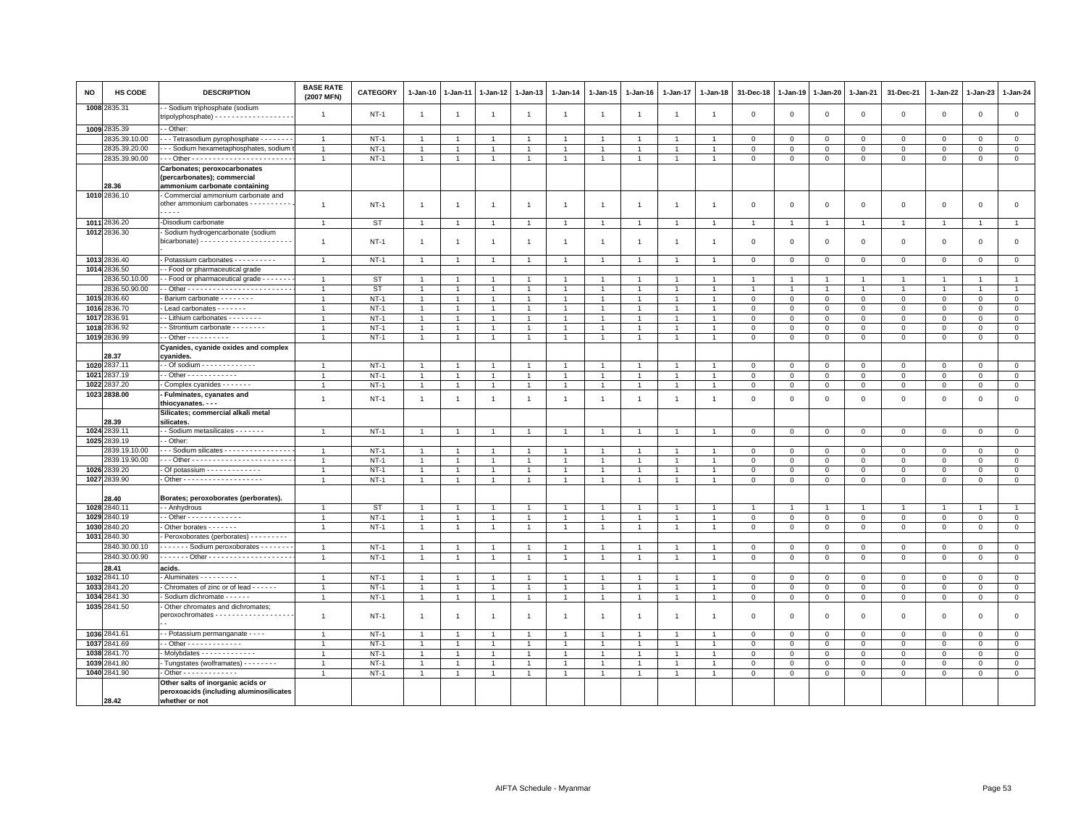| NO   | HS CODE                      | <b>DESCRIPTION</b>                                                                           | <b>BASE RATE</b><br>(2007 MFN)   | <b>CATEGORY</b>  | 1-Jan-10                         | 1-Jan-11                       | 1-Jan-12                         | 1-Jan-13                         | $1-Jan-14$                       | 1-Jan-15                         | 1-Jan-16       | 1-Jan-17          | 1-Jan-18                         | 31-Dec-18        | 1-Jan-19               | 1-Jan-20                   | 1-Jan-21          | 31-Dec-21        | 1-Jan-22         | 1-Jan-23                    | $1-Jan-24$                   |
|------|------------------------------|----------------------------------------------------------------------------------------------|----------------------------------|------------------|----------------------------------|--------------------------------|----------------------------------|----------------------------------|----------------------------------|----------------------------------|----------------|-------------------|----------------------------------|------------------|------------------------|----------------------------|-------------------|------------------|------------------|-----------------------------|------------------------------|
|      | 1008 2835.31                 | - Sodium triphosphate (sodium<br>tripolyphosphate) - - - - - - - - - - - - - - - - - -       | $\overline{1}$                   | $NT-1$           | $\overline{1}$                   | $\overline{1}$                 | $\mathbf{1}$                     | $\overline{1}$                   | $\overline{1}$                   | $\overline{1}$                   | $\overline{1}$ | $\overline{1}$    | $\overline{1}$                   | $\overline{0}$   | $\mathbf 0$            | $\mathbf 0$                | $\mathbf 0$       | $\mathsf 0$      | $\mathbf 0$      | $\mathsf 0$                 | $\mathsf 0$                  |
|      | 1009 2835.39                 | - Other:                                                                                     |                                  |                  |                                  |                                |                                  |                                  |                                  |                                  |                |                   |                                  |                  |                        |                            |                   |                  |                  |                             |                              |
|      | 2835.39.10.00                | - - Tetrasodium pyrophosphate - - - - - - -                                                  | $\overline{1}$                   | $NT-1$           | $\overline{1}$                   |                                | $\overline{1}$                   | $\overline{1}$                   |                                  | -1                               |                |                   |                                  | $^{\circ}$       | $^{\circ}$             | $\mathbf 0$                | $\mathbf 0$       | 0                | $\Omega$         | $\mathbf 0$                 | $\mathbf 0$                  |
|      | 2835.39.20.00                | - - Sodium hexametaphosphates, sodium                                                        | $\overline{1}$                   | $NT-1$           | $\mathbf{1}$                     |                                |                                  | $\overline{1}$                   |                                  | $\overline{1}$                   |                |                   |                                  | $\overline{0}$   | $\mathbf 0$            | $\mathbf 0$                | $\mathbf 0$       | $\mathsf 0$      | $\Omega$         | $^{\circ}$                  | $\overline{0}$               |
|      | 2835.39.90.00                |                                                                                              | $\mathbf{1}$                     | $NT-1$           | $\mathbf{1}$                     | $\overline{1}$                 | $\mathbf{1}$                     | $\mathbf{1}$                     | $\overline{1}$                   | $\mathbf{1}$                     | $\overline{1}$ | $\mathbf{1}$      | $\mathbf{1}$                     | $\mathbf 0$      | $\mathbf 0$            | $\mathbf 0$                | $\mathsf 0$       | $\mathsf 0$      | $\mathsf 0$      | $\mathsf 0$                 | $\overline{0}$               |
|      | 28.36                        | Carbonates; peroxocarbonates<br>(percarbonates); commercial<br>ammonium carbonate containing |                                  |                  |                                  |                                |                                  |                                  |                                  |                                  |                |                   |                                  |                  |                        |                            |                   |                  |                  |                             |                              |
|      | 1010 2836.10                 | Commercial ammonium carbonate and<br>other ammonium carbonates - - - - - - - - -<br>.        | $\overline{1}$                   | $NT-1$           | $\overline{1}$                   | $\overline{1}$                 | $\overline{1}$                   | $\overline{1}$                   | $\overline{1}$                   | $\mathbf{1}$                     | $\overline{1}$ | $\overline{1}$    | $\overline{1}$                   | $\mathbf{0}$     | $\overline{0}$         | $\mathbf{0}$               | $\mathbf{0}$      | $\mathbf 0$      | $\mathbf 0$      | $\mathbf 0$                 | $\circ$                      |
|      | 1011 2836.20                 | -Disodium carbonate                                                                          | $\overline{1}$                   | <b>ST</b>        | $\mathbf{1}$                     |                                | $\overline{1}$                   | $\overline{1}$                   |                                  | $\overline{1}$                   |                | $\mathbf{1}$      | $\overline{1}$                   | $\overline{1}$   | $\overline{1}$         | $\overline{1}$             | $\overline{1}$    | $\mathbf{1}$     | $\overline{1}$   |                             | $\mathbf{1}$                 |
|      | 1012 2836.30                 | Sodium hydrogencarbonate (sodium                                                             | $\overline{1}$                   | <b>NT-1</b>      | $\overline{1}$                   | $\mathbf{1}$                   | $\mathbf{1}$                     | $\overline{1}$                   | $\overline{1}$                   | $\overline{1}$                   | $\overline{1}$ | $\mathbf{1}$      | $\overline{1}$                   | $\mathbf 0$      | $\overline{0}$         | $\mathbf 0$                | 0                 | $\mathsf 0$      | 0                | $\mathsf 0$                 | $\mathsf 0$                  |
|      | 1013 2836.40                 | - Potassium carbonates - - - - - - - - -                                                     | $\overline{1}$                   | $NT-1$           | $\mathbf{1}$                     | $\overline{1}$                 | $\mathbf{1}$                     | $\overline{1}$                   | $\overline{1}$                   | $\overline{1}$                   |                | $\mathbf{1}$      | $\overline{1}$                   | $\mathbf 0$      | $\mathbf 0$            | $\overline{0}$             | $\mathbf 0$       | $\mathbf 0$      | $\mathbf 0$      | $\overline{0}$              | $\overline{0}$               |
|      | 1014 2836.50                 | - Food or pharmaceutical grade                                                               |                                  |                  |                                  |                                |                                  |                                  |                                  |                                  |                |                   |                                  |                  |                        |                            |                   |                  |                  |                             |                              |
|      | 2836.50.10.00                | - Food or pharmaceutical grade - - - - - - -                                                 | $\overline{1}$                   | <b>ST</b>        | $\overline{1}$                   |                                |                                  | $\overline{1}$                   |                                  | $\overline{1}$                   |                |                   | $\overline{1}$                   |                  | $\overline{1}$         | $\overline{1}$             | $\overline{1}$    |                  | $\overline{1}$   |                             | $\overline{1}$               |
|      | 2836.50.90.00                |                                                                                              | $\overline{1}$                   | <b>ST</b>        | $\mathbf{1}$                     |                                | $\overline{1}$                   | $\overline{1}$                   |                                  | $\overline{1}$                   |                | $\mathbf{1}$      |                                  | $\mathbf{1}$     |                        | $\mathbf{1}$               | $\overline{1}$    | $\mathbf{1}$     | $\mathbf{1}$     | -1                          | $\mathbf{1}$                 |
|      | 1015 2836.60                 | Barium carbonate - - - - - - - -                                                             | $\overline{1}$                   | $NT-1$           | $\mathbf{1}$                     |                                | $\overline{1}$                   | $\overline{1}$                   | $\overline{1}$                   | $\overline{1}$                   |                | $\overline{1}$    | $\overline{1}$                   | $\mathbf 0$      | $\mathbf 0$            | $\mathbf 0$                | $\mathbf 0$       | $\mathsf 0$      | 0                | $\mathbf 0$                 | $\circ$                      |
|      | 1016 2836.70                 | Lead carbonates - - - - - - -                                                                | $\overline{1}$                   | $NT-1$           | $\overline{1}$                   |                                | $\overline{1}$                   | $\overline{1}$                   |                                  | $\mathbf{1}$                     |                | $\overline{1}$    |                                  | $\mathbf 0$      | $\mathbf{0}$           | $\mathsf 0$                | $\mathbf 0$       | $\mathsf 0$      | $\mathbf 0$      | $\mathbf 0$                 | $\overline{0}$               |
| 1017 | 2836.91                      | - Lithium carbonates - - - - - - - -                                                         | $\overline{1}$                   | $NT-1$           | $\mathbf{1}$                     |                                | $\mathbf{1}$                     | $\mathbf{1}$                     |                                  | $\mathbf{1}$                     |                |                   |                                  | $\mathbf 0$      | $\mathbf 0$            | $\mathbf 0$                | $\Omega$          | $\mathsf 0$      | 0                | $\Omega$                    | $\mathbf 0$                  |
| 1018 | 2836.92                      | - Strontium carbonate - - - - - - - -                                                        | $\overline{1}$                   | $NT-1$           | $\overline{1}$                   | 1                              | $\overline{1}$                   | $\overline{1}$                   | $\overline{1}$                   | $\overline{1}$<br>$\overline{1}$ |                | $\overline{1}$    | $\overline{1}$                   | $\mathbf 0$      | $\mathbf 0$            | $\mathbf 0$                | $\mathbf 0$       | $\mathsf 0$      | 0                | $\mathsf 0$                 | $\mathbf 0$                  |
|      | 1019 2836.99                 | $-$ Other $        -$                                                                        | $\overline{1}$                   | $NT-1$           | $\overline{1}$                   |                                |                                  | $\overline{1}$                   |                                  |                                  |                |                   |                                  | 0                | $\mathbf 0$            | $\,0\,$                    | $\mathbf 0$       | $\mathsf 0$      | $\Omega$         | $\mathbf 0$                 | $\overline{0}$               |
|      | 28.37                        | Cyanides, cyanide oxides and complex<br>cyanides.                                            |                                  |                  |                                  |                                |                                  |                                  |                                  |                                  |                |                   |                                  |                  |                        |                            |                   |                  |                  |                             |                              |
|      | 1020 2837.1                  | - - Of sodium - - - - - - - - - - - - -                                                      | $\overline{1}$                   | $NT-1$           |                                  |                                |                                  |                                  |                                  |                                  |                |                   |                                  | $\overline{0}$   | $\mathbf 0$            | $\mathbf 0$                | $\mathbf 0$       | $\mathsf 0$      | $\mathbf 0$      | $^{\circ}$                  | $\mathbf 0$                  |
|      | 1021 2837.19                 | - Other - - - - - - - - - - -                                                                | $\overline{1}$                   | $NT-1$           | $\overline{1}$                   |                                | $\overline{1}$                   | $\overline{1}$                   |                                  | $\overline{1}$                   |                |                   |                                  | $\mathbf 0$      | $\mathbf 0$            | $\mathbf 0$                | $\Omega$          | $\mathsf 0$      | $\Omega$         | $\Omega$                    | $\mathbf 0$                  |
|      | 1022 2837.20                 | Complex cyanides - - - - - - -                                                               | $\overline{1}$                   | $NT-1$           | $\mathbf{1}$                     |                                | $\overline{1}$                   | $\overline{1}$                   |                                  | $\overline{1}$                   |                | $\mathbf{1}$      |                                  | $\mathbf 0$      | $\mathbf 0$            | $\mathbf 0$                | $\mathbf 0$       | $\mathsf 0$      | $\mathbf 0$      | $\mathsf 0$                 | $\mathbf 0$                  |
|      | 1023 2838.00                 | - Fulminates, cyanates and                                                                   |                                  |                  |                                  |                                |                                  |                                  |                                  |                                  |                |                   |                                  |                  |                        |                            |                   |                  |                  |                             |                              |
|      |                              | thiocyanates. - - -                                                                          | $\overline{1}$                   | <b>NT-1</b>      | $\overline{1}$                   | $\mathbf{1}$                   | $\mathbf{1}$                     | $\overline{1}$                   | $\overline{1}$                   | $\overline{1}$                   | $\overline{1}$ | $\overline{1}$    | $\overline{1}$                   | $\mathbf 0$      | $\,0\,$                | $\mathsf 0$                | $\mathbf 0$       | $\mathsf 0$      | 0                | $\mathbf 0$                 | $\mathsf 0$                  |
|      | 28.39                        | Silicates; commercial alkali metal<br>silicates.                                             |                                  |                  |                                  |                                |                                  |                                  |                                  |                                  |                |                   |                                  |                  |                        |                            |                   |                  |                  |                             |                              |
|      | 1024 2839.11                 | - Sodium metasilicates - - - - - - -                                                         | $\mathbf{1}$                     | $NT-1$           | $\overline{1}$                   | $\overline{1}$                 | $\overline{1}$                   | $\mathbf{1}$                     |                                  | $\overline{1}$                   |                | $\overline{1}$    |                                  | $\mathbf 0$      | $\mathbf{0}$           | $\overline{0}$             | $\overline{0}$    | $\mathbf 0$      | $\mathbf 0$      | $\mathbf{0}$                | $\mathbf 0$                  |
|      | 1025 2839.19                 | - Other:                                                                                     |                                  |                  |                                  |                                |                                  |                                  |                                  |                                  |                |                   |                                  |                  |                        |                            |                   |                  |                  |                             |                              |
|      | 2839.19.10.00                | - - Sodium silicates - - - - - - - - - - - - - - -                                           | $\overline{1}$                   | $NT-1$           | $\overline{1}$                   |                                | $\overline{1}$                   | $\overline{1}$                   |                                  | $\overline{1}$                   |                | $\mathbf{1}$      |                                  | $\overline{0}$   | $\mathbf 0$            | $\mathbf{0}$               | $\Omega$          | $\Omega$         | $\Omega$         | $\Omega$                    | $\mathbf 0$                  |
|      | 2839.19.90.00                |                                                                                              | -1                               | $NT-1$           | $\mathbf{1}$                     |                                |                                  | $\mathbf{1}$                     |                                  | $\mathbf{1}$                     |                |                   |                                  | $\mathbf 0$      | $\mathbf 0$            | 0                          | 0                 | $\mathsf 0$      | 0                | $\mathbf 0$                 | $\mathbf 0$                  |
|      | 1026 2839.20                 | Of potassium - - - - - - - - - - - -                                                         | $\mathbf{1}$                     | $NT-1$           | $\mathbf{1}$                     |                                | $\overline{1}$                   | $\mathbf{1}$                     | $\overline{1}$                   | $\mathbf{1}$                     |                | $\overline{1}$    | $\overline{1}$                   | $\mathbf 0$      | $\mathbf 0$            | $\circ$                    | $\mathbf 0$       | $\mathsf 0$      | $^{\circ}$       | 0                           | $\overline{0}$               |
|      | 1027 2839.90                 | - Other - - - - - - - - - - - - - - - - - -                                                  | $\overline{1}$                   | $NT-1$           | $\mathbf{1}$                     | $\overline{1}$                 | $\overline{1}$                   | $\overline{1}$                   | $\overline{1}$                   | $\overline{1}$                   | $\overline{1}$ | $\mathbf{1}$      | $\overline{1}$                   | $\mathbf 0$      | $\mathbf 0$            | $\mathbf 0$                | $\mathbf{0}$      | $\mathsf 0$      | $\mathbf 0$      | $\mathbf 0$                 | $\mathsf 0$                  |
|      | 28.40                        | Borates; peroxoborates (perborates).                                                         |                                  |                  |                                  |                                |                                  |                                  |                                  |                                  |                |                   |                                  |                  |                        |                            |                   |                  |                  |                             |                              |
|      | 1028 2840.11<br>1029 2840.19 | - - Anhydrous                                                                                | $\overline{1}$                   | ST               | -1                               |                                | $\overline{1}$                   | $\overline{1}$                   | $\overline{1}$                   | $\overline{1}$                   |                | -1                | $\overline{1}$                   |                  |                        | $\overline{1}$             | $\overline{1}$    |                  | $\overline{1}$   |                             | $\overline{1}$               |
|      | 1030 2840.20                 | - - Other - - - - - - - - - - - - -                                                          | $\overline{1}$<br>$\overline{1}$ | $NT-1$           | $\overline{1}$<br>$\overline{1}$ | $\overline{1}$<br>$\mathbf{1}$ | $\overline{1}$<br>$\overline{1}$ | $\overline{1}$<br>$\overline{1}$ |                                  | $\overline{1}$<br>$\overline{1}$ | $\overline{1}$ | $\mathbf{1}$<br>1 | $\overline{1}$<br>$\overline{1}$ | $\mathbf{0}$     | $\circ$<br>$\,0\,$     | $\Omega$                   | $\Omega$          | $\mathbf 0$      | $\Omega$         | $\Omega$                    | $\mathbf{0}$<br>$\mathsf 0$  |
|      | 1031 2840.30                 | - Other borates - - - - - - -<br>Peroxoborates (perborates) - - - - - - - -                  |                                  | <b>NT-1</b>      |                                  |                                |                                  |                                  |                                  |                                  |                |                   |                                  | 0                |                        | $\mathbf{0}$               | $\mathbf 0$       | 0                | 0                | $\mathbf 0$                 |                              |
|      | 2840.30.00.10                | Sodium peroxoborates - - - - - -                                                             | $\mathbf{1}$                     | $NT-1$           | $\overline{1}$                   |                                |                                  | $\overline{1}$                   |                                  | $\overline{1}$                   |                | $\mathbf{1}$      |                                  | $\mathbf 0$      | $\mathbf 0$            | $\mathbf 0$                |                   |                  | $\Omega$         | $\Omega$                    | $\mathsf 0$                  |
|      | 2840.30.00.90                | . Other -                                                                                    | $\overline{1}$                   | $NT-1$           |                                  |                                |                                  |                                  |                                  |                                  |                |                   | $\overline{1}$                   |                  | $\mathbf 0$            |                            | $\mathsf{O}$      | $\mathsf 0$      |                  |                             | $\mathsf 0$                  |
|      | 28.41                        |                                                                                              |                                  |                  | -1                               |                                | -1                               | $\overline{1}$                   |                                  | -1                               |                |                   |                                  | 0                |                        | $\mathbf{0}$               | 0                 | 0                | 0                | $^{\circ}$                  |                              |
|      | 1032 2841.10                 | acids.<br>Aluminates - - - - - - - - -                                                       | $\mathbf{1}$                     | $NT-1$           | $\mathbf{1}$                     |                                | $\overline{1}$                   | $\mathbf{1}$                     |                                  | $\overline{1}$                   |                | 1                 |                                  | $\mathbf 0$      |                        |                            |                   |                  |                  |                             | $\mathbf 0$                  |
|      | 1033 2841.20                 |                                                                                              |                                  |                  |                                  |                                |                                  |                                  |                                  |                                  |                | $\overline{1}$    | $\overline{1}$                   |                  | $\mathbf 0$            | $\mathbf 0$                | $\mathbf 0$       | $\mathsf 0$      | $\mathbf 0$      | $\mathsf 0$                 |                              |
|      | 1034 2841.30                 | - Chromates of zinc or of lead - - - - - -<br>- Sodium dichromate - - - - - -                | $\overline{1}$<br>$\overline{1}$ | $NT-1$<br>$NT-1$ | $\mathbf{1}$<br>$\overline{1}$   | $\mathbf{1}$<br>$\mathbf{1}$   | $\overline{1}$<br>$\overline{1}$ | $\overline{1}$<br>$\overline{1}$ | $\overline{1}$<br>$\overline{1}$ | $\overline{1}$<br>$\overline{1}$ | $\overline{1}$ | $\mathbf{1}$      | $\overline{1}$                   | 0<br>$\mathbf 0$ | $\circ$<br>$\mathbf 0$ | $\mathbf 0$<br>$\mathbf 0$ | 0<br>$\mathbf{0}$ | 0<br>$\mathbf 0$ | 0<br>$\mathbf 0$ | $\mathbf 0$<br>$\mathbf{0}$ | $\mathbf{0}$<br>$\mathbf{0}$ |
|      | 1035 2841.50                 | - Other chromates and dichromates;                                                           |                                  |                  |                                  |                                |                                  |                                  |                                  |                                  |                |                   |                                  |                  |                        |                            |                   |                  |                  |                             |                              |
|      |                              | peroxochromates - - - - - - - - - - - - - - - - - -                                          | $\overline{1}$                   | $NT-1$           | -1                               | -1                             | -1                               | $\overline{1}$                   | $\overline{1}$                   | $\overline{1}$                   | -1             | 1                 | -1                               | $\Omega$         | $\Omega$               | $\mathbf 0$                | $\mathbf 0$       | $\mathbf 0$      | $\Omega$         | $\Omega$                    | $\mathsf 0$                  |
|      | 1036 2841.61                 | · - Potassium permanganate - - - -                                                           | $\mathbf{1}$                     | <b>NT-1</b>      |                                  |                                |                                  |                                  |                                  |                                  |                |                   |                                  | 0                | $^{\circ}$             | $\mathbf 0$                | 0                 | 0                | 0                | $^{\circ}$                  | $\mathbf 0$                  |
|      | 1037 2841.69                 | - Other - - - - - - - - - - - -                                                              | $\overline{1}$                   | $NT-1$           | $\overline{1}$                   |                                | $\overline{1}$                   | $\overline{1}$                   |                                  | $\overline{1}$                   |                |                   |                                  | $\mathbf 0$      | $\mathbf{0}$           | $\circ$                    | $\Omega$          | $\mathsf 0$      | $\Omega$         | $\mathbf 0$                 | $\mathsf 0$                  |
|      | 1038 2841.70                 | Molybdates - - - - - - - - - - - -                                                           | $\overline{1}$                   | $NT-1$           | $\mathbf{1}$                     |                                |                                  | $\overline{1}$                   |                                  | $\mathbf{1}$                     |                |                   |                                  | $\mathbf 0$      | $\mathbf 0$            | $\mathbf 0$                | $\mathbf 0$       | $\mathsf 0$      | $\mathbf 0$      | $\mathsf 0$                 | $\mathsf 0$                  |
|      | 1039 2841.80                 | Tungstates (wolframates) - - - - - - - -                                                     | $\overline{1}$                   | $NT-1$           | $\mathbf{1}$                     | $\mathbf{1}$                   | $\overline{1}$                   | $\overline{1}$                   | $\overline{1}$                   | $\mathbf{1}$                     |                | $\mathbf{1}$      | $\mathbf{1}$                     | $\mathbf 0$      | $\mathbf 0$            | 0                          | $\mathbf 0$       | 0                | 0                | 0                           | $\mathbf{0}$                 |
|      | 1040 2841.90                 | $\cdot$ Other - - - - - - - - - - - - -                                                      | $\overline{1}$                   | $NT-1$           | $\mathbf{1}$                     |                                |                                  | $\overline{1}$                   |                                  | $\overline{1}$                   |                |                   |                                  | $\overline{0}$   | $\mathbf{0}$           | $\mathsf 0$                | $\Omega$          | $\mathsf 0$      | $\mathbf 0$      | $\mathbf 0$                 | $\mathsf 0$                  |
|      |                              | Other salts of inorganic acids or                                                            |                                  |                  |                                  |                                |                                  |                                  |                                  |                                  |                |                   |                                  |                  |                        |                            |                   |                  |                  |                             |                              |
|      |                              | peroxoacids (including aluminosilicates                                                      |                                  |                  |                                  |                                |                                  |                                  |                                  |                                  |                |                   |                                  |                  |                        |                            |                   |                  |                  |                             |                              |
|      | 28.42                        | whether or not                                                                               |                                  |                  |                                  |                                |                                  |                                  |                                  |                                  |                |                   |                                  |                  |                        |                            |                   |                  |                  |                             |                              |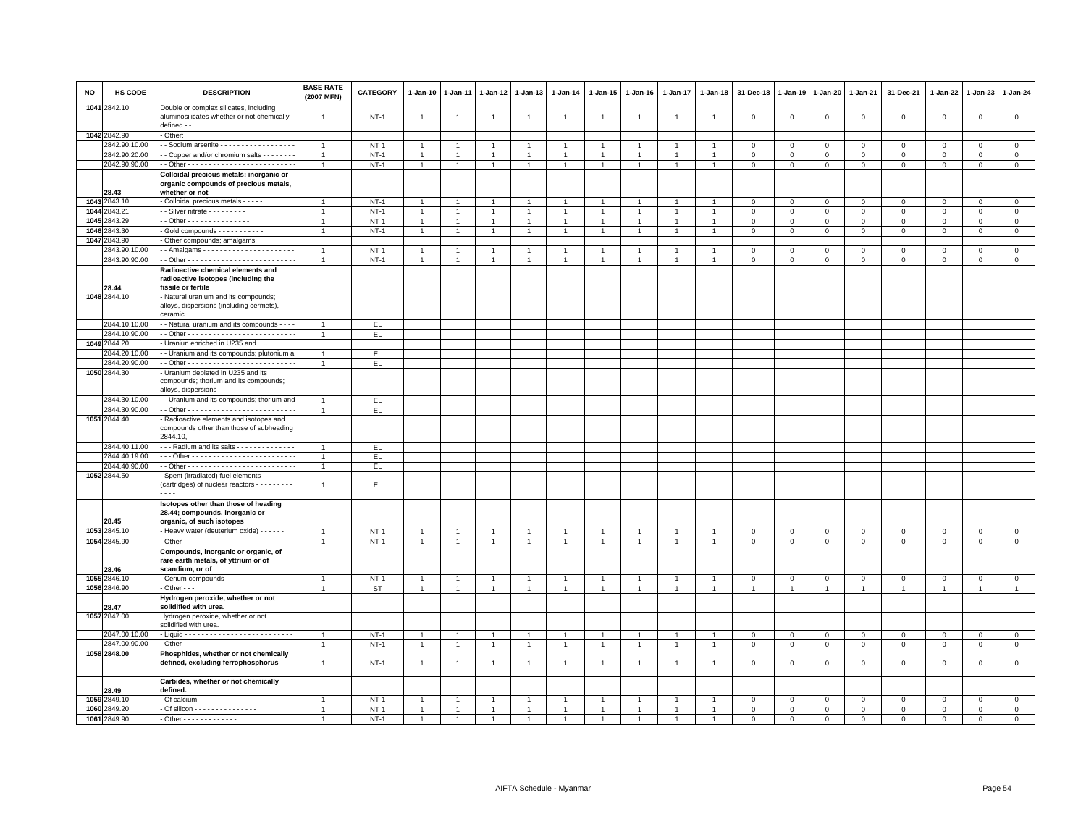| NO           | HS CODE            | <b>DESCRIPTION</b>                                                                                  | <b>BASE RATE</b><br>(2007 MFN) | CATEGORY  | $1 - Jan-10$   | $1 - Jan-11$   | $1 - Jan-12$   | $1 - Jan-13$   | $1 - Jan-14$   | $1 - Jan-15$         | $1 - Jan-16$   | $1 - Jan-17$   | $1 - Jan-18$   | 31-Dec-18                  | $1 - Jan-19$   | $1-Jan-20$     | $1 - Jan-21$   | 31-Dec-21           | $1 - Jan-22$   | $1-Jan-23$     | 1-Jan-24       |
|--------------|--------------------|-----------------------------------------------------------------------------------------------------|--------------------------------|-----------|----------------|----------------|----------------|----------------|----------------|----------------------|----------------|----------------|----------------|----------------------------|----------------|----------------|----------------|---------------------|----------------|----------------|----------------|
|              | 1041 2842.10       | Double or complex silicates, including<br>aluminosilicates whether or not chemically<br>defined - - | $\overline{1}$                 | $NT-1$    | $\overline{1}$ | $\overline{1}$ | $\mathbf{1}$   | $\mathbf{1}$   | $\overline{1}$ | $\mathbf{1}$         | $\overline{1}$ | $\overline{1}$ |                | $\mathbf 0$                | $\mathbf 0$    | $\mathsf 0$    | $\mathbf 0$    | $\mathsf 0$         | $\mathbf 0$    | $\mathbf 0$    | $\mathbf 0$    |
|              | 1042 2842.90       | Other:                                                                                              |                                |           |                |                |                |                |                |                      |                |                |                |                            |                |                |                |                     |                |                |                |
|              | 2842.90.10.00      | - Sodium arsenite - - - - - - - - - - - - - - - - -                                                 | $\overline{1}$                 | $NT-1$    | $\overline{1}$ | $\overline{1}$ | $\overline{1}$ | $\overline{1}$ | $\mathbf{1}$   | $\mathbf{1}$         | $\mathbf{1}$   | $\overline{1}$ |                | $\mathbf 0$                | $\mathbf 0$    | $\mathbf 0$    | $\mathbf 0$    | $\mathsf 0$         | $\mathbf 0$    | $\mathbf{0}$   | $\circ$        |
|              | 2842.90.20.00      | - Copper and/or chromium salts - - - - - -                                                          | $\overline{1}$                 | $NT-1$    | $\mathbf{1}$   | $\overline{1}$ | $\mathbf{1}$   | $\mathbf{1}$   | $\mathbf{1}$   | $\mathbf{1}$         | $\overline{1}$ | $\overline{1}$ | $\overline{1}$ | $\,0\,$                    | $\mathsf 0$    | $\mathbf 0$    | $\,0\,$        | $\mathsf{O}\xspace$ | $\mathsf 0$    | $\mathbf 0$    | $\overline{0}$ |
|              | 2842.90.90.00      |                                                                                                     | $\overline{1}$                 | $NT-1$    | $\overline{1}$ | $\overline{1}$ | $\overline{1}$ | $\mathbf{1}$   | $\overline{1}$ | $\mathbf{1}$         | $\mathbf{1}$   | $\overline{1}$ |                | $\mathbf 0$                | $\mathbf 0$    | $\mathbf 0$    | $\mathbf 0$    | $\mathbf 0$         | $\mathbf 0$    | $\mathbf{0}$   | $\mathsf 0$    |
|              |                    | Colloidal precious metals; inorganic or<br>organic compounds of precious metals,                    |                                |           |                |                |                |                |                |                      |                |                |                |                            |                |                |                |                     |                |                |                |
|              | 28.43              | whether or not                                                                                      |                                |           |                |                |                |                |                |                      |                |                |                |                            |                |                |                |                     |                |                |                |
|              | 1043 2843.10       | Colloidal precious metals - - - - -                                                                 | $\overline{1}$                 | $NT-1$    | $\overline{1}$ |                | $\overline{1}$ | $\overline{1}$ | $\overline{1}$ | $\overline{1}$       |                | $\overline{1}$ |                | $\mathbf 0$                | $\mathsf 0$    | $\mathbf 0$    | $\mathbf 0$    | $\mathbf{0}$        | $\Omega$       | $\mathbf 0$    | $\mathsf 0$    |
|              | 1044 2843.21       | - Silver nitrate - - - - - - - - -                                                                  | $\overline{1}$                 | $NT-1$    | $\overline{1}$ | $\overline{1}$ | $\overline{1}$ | $\overline{1}$ | $\mathbf{1}$   | $\mathbf{1}$         | $\overline{1}$ | $\overline{1}$ |                | $\mathbf 0$                | $\mathbf 0$    | $\mathbf 0$    | $\mathbb O$    | $\mathbf 0$         | $\mathbf 0$    | $\mathbf 0$    | $\circ$        |
|              | 1045 2843.29       | - Other - - - - - - - - - - - - - -                                                                 | $\overline{1}$                 | $NT-1$    | $\overline{1}$ | $\mathbf{1}$   | $\mathbf{1}$   | $\overline{1}$ | $\overline{1}$ | $\blacktriangleleft$ | $\overline{1}$ | $\overline{1}$ |                | $\mathbf 0$                | $\mathbf 0$    | $\Omega$       | $\mathbf 0$    | $\mathbf 0$         | $\mathbf{0}$   | $\mathbf{0}$   | $\mathbf{0}$   |
| 1046<br>1047 | 2843.30<br>2843.90 | Gold compounds - - - - - - - - - -                                                                  | $\overline{1}$                 | $NT-1$    | $\mathbf{1}$   |                | $\overline{1}$ | $\mathbf{1}$   | $\mathbf{1}$   | $\mathbf{1}$         | $\mathbf{1}$   | $\overline{1}$ |                | $\mathbf 0$                | $\mathbf 0$    | $\mathbf 0$    | $\mathbf 0$    | $\mathbf{0}$        | 0              | $\mathbf 0$    | $\mathbf{0}$   |
|              | 2843.90.10.00      | Other compounds; amalgams:                                                                          | $\overline{1}$                 | $NT-1$    | $\overline{1}$ | $\overline{1}$ | $\mathbf{1}$   | $\overline{1}$ | $\mathbf{1}$   | $\mathbf{1}$         | $\overline{1}$ | $\overline{1}$ |                |                            | $\mathbf 0$    | $\mathbf 0$    | $\mathbf 0$    | $\mathbf 0$         | $\mathbf 0$    | $\overline{0}$ | $\mathsf 0$    |
|              | 2843.90.90.00      |                                                                                                     |                                | $NT-1$    | $\mathbf{1}$   |                | 1              | $\overline{1}$ | $\overline{1}$ | $\mathbf{1}$         |                | $\overline{1}$ |                | $\mathbf 0$<br>$\mathbf 0$ | $\,0\,$        | $\,0\,$        | $\,0\,$        | $\mathsf 0$         | $\mathsf 0$    | $\mathbf 0$    | $\mathsf 0$    |
|              |                    | Radioactive chemical elements and                                                                   |                                |           |                |                |                |                |                |                      |                |                |                |                            |                |                |                |                     |                |                |                |
|              | 28.44              | radioactive isotopes (including the<br>fissile or fertile                                           |                                |           |                |                |                |                |                |                      |                |                |                |                            |                |                |                |                     |                |                |                |
|              | 1048 2844.10       | Natural uranium and its compounds;                                                                  |                                |           |                |                |                |                |                |                      |                |                |                |                            |                |                |                |                     |                |                |                |
|              |                    | alloys, dispersions (including cermets),<br>ceramic                                                 |                                |           |                |                |                |                |                |                      |                |                |                |                            |                |                |                |                     |                |                |                |
|              | 2844.10.10.00      | - Natural uranium and its compounds - -                                                             | $\overline{1}$                 | EL.       |                |                |                |                |                |                      |                |                |                |                            |                |                |                |                     |                |                |                |
|              | 2844.10.90.00      |                                                                                                     | $\mathbf{1}$                   | EL.       |                |                |                |                |                |                      |                |                |                |                            |                |                |                |                     |                |                |                |
|              | 1049 2844.20       | Uraniun enriched in U235 and.                                                                       |                                |           |                |                |                |                |                |                      |                |                |                |                            |                |                |                |                     |                |                |                |
|              | 2844.20.10.00      | - Uranium and its compounds; plutonium                                                              | $\overline{1}$                 | EL.       |                |                |                |                |                |                      |                |                |                |                            |                |                |                |                     |                |                |                |
|              | 2844.20.90.00      |                                                                                                     | $\overline{1}$                 | EL        |                |                |                |                |                |                      |                |                |                |                            |                |                |                |                     |                |                |                |
|              | 1050 2844.30       | Uranium depleted in U235 and its<br>compounds; thorium and its compounds;                           |                                |           |                |                |                |                |                |                      |                |                |                |                            |                |                |                |                     |                |                |                |
|              |                    | alloys, dispersions                                                                                 |                                |           |                |                |                |                |                |                      |                |                |                |                            |                |                |                |                     |                |                |                |
|              | 2844.30.10.00      | - Uranium and its compounds; thorium and                                                            | $\overline{1}$                 | EL.       |                |                |                |                |                |                      |                |                |                |                            |                |                |                |                     |                |                |                |
|              | 2844.30.90.00      |                                                                                                     | $\overline{1}$                 | EL.       |                |                |                |                |                |                      |                |                |                |                            |                |                |                |                     |                |                |                |
|              | 1051 2844.40       | Radioactive elements and isotopes and<br>compounds other than those of subheading<br>2844.10.       |                                |           |                |                |                |                |                |                      |                |                |                |                            |                |                |                |                     |                |                |                |
|              | 2844.40.11.00      | - - Radium and its salts - - - - - - - - - - - -                                                    | $\mathbf{1}$                   | EL.       |                |                |                |                |                |                      |                |                |                |                            |                |                |                |                     |                |                |                |
|              | 2844.40.19.00      |                                                                                                     | $\overline{1}$                 | EL.       |                |                |                |                |                |                      |                |                |                |                            |                |                |                |                     |                |                |                |
|              | 2844.40.90.00      |                                                                                                     | $\overline{1}$                 | EL.       |                |                |                |                |                |                      |                |                |                |                            |                |                |                |                     |                |                |                |
|              | 1052 2844.50       | Spent (irradiated) fuel elements<br>(cartridges) of nuclear reactors - - - - - - - -<br>.           | $\mathbf{1}$                   | EL        |                |                |                |                |                |                      |                |                |                |                            |                |                |                |                     |                |                |                |
|              | 28.45              | Isotopes other than those of heading<br>28.44; compounds, inorganic or<br>organic, of such isotopes |                                |           |                |                |                |                |                |                      |                |                |                |                            |                |                |                |                     |                |                |                |
|              | 1053 2845.10       | - Heavy water (deuterium oxide) - - - - - -                                                         | $\overline{1}$                 | $NT-1$    | $\mathbf{1}$   | $\overline{1}$ | $\overline{1}$ | $\mathbf{1}$   | $\overline{1}$ | $\overline{1}$       | $\mathbf{1}$   | $\overline{1}$ |                | $\mathsf 0$                | $\mathsf 0$    | $\mathbf 0$    | $\mathbf 0$    | $\mathsf 0$         | $\circ$        | $\circ$        | $\mathbf{0}$   |
|              | 1054 2845.90       | $\cdot$ Other - - - - - - - - -                                                                     | $\overline{1}$                 | $NT-1$    | $\mathbf{1}$   | $\mathbf{1}$   | $\mathbf{1}$   | $\overline{1}$ | $\mathbf{1}$   | $\mathbf{1}$         | $\overline{1}$ | $\overline{1}$ | $\overline{1}$ | $\mathsf 0$                | $\mathsf 0$    | $\mathsf 0$    | $\mathbf 0$    | $\mathsf 0$         | $\mathbf 0$    | $\mathbf 0$    | $\circ$        |
|              |                    | Compounds, inorganic or organic, of<br>rare earth metals, of yttrium or of                          |                                |           |                |                |                |                |                |                      |                |                |                |                            |                |                |                |                     |                |                |                |
|              | 28.46              | scandium, or of                                                                                     |                                |           |                |                |                |                |                |                      |                |                |                |                            |                |                |                |                     |                |                |                |
|              | 1055 2846.10       | Cerium compounds - - - - - - -                                                                      | $\overline{1}$                 | $NT-1$    | $\overline{1}$ | $\overline{1}$ | $\overline{1}$ | $\mathbf{1}$   | $\overline{1}$ | $\mathbf{1}$         | $\overline{1}$ | $\overline{1}$ | $\overline{1}$ | $\mathbf 0$                | $\mathsf 0$    | $\circ$        | $\mathbf 0$    | $\mathbf{0}$        | $\mathbf{0}$   | $\mathbf{0}$   | $\circ$        |
|              | 1056 2846.90       | $\cdot$ Other - - -                                                                                 | $\overline{1}$                 | <b>ST</b> | $\mathbf{1}$   | $\overline{1}$ | $\mathbf{1}$   | $\overline{1}$ | $\overline{1}$ | $\mathbf{1}$         | $\overline{1}$ | $\mathbf{1}$   |                | $\overline{1}$             | $\overline{1}$ | $\overline{1}$ | $\overline{1}$ | $\overline{1}$      | $\mathbf{1}$   | $\overline{1}$ | 1              |
|              | 28.47              | Hydrogen peroxide, whether or not<br>solidified with urea.                                          |                                |           |                |                |                |                |                |                      |                |                |                |                            |                |                |                |                     |                |                |                |
|              | 1057 2847.00       | Hydrogen peroxide, whether or not<br>solidified with urea.                                          |                                |           |                |                |                |                |                |                      |                |                |                |                            |                |                |                |                     |                |                |                |
|              | 2847.00.10.00      |                                                                                                     |                                | $NT-1$    | $\mathbf{1}$   |                | $\mathbf{1}$   | $\mathbf{1}$   | $\mathbf{1}$   | $\overline{1}$       |                |                |                | $\mathbf 0$                | $\mathbf 0$    | $\mathbf 0$    | $\mathbf 0$    | $\mathbf 0$         | $\mathbf 0$    | $\mathbf 0$    | $\mathbf{0}$   |
|              | 2847.00.90.00      |                                                                                                     | $\overline{1}$                 | $NT-1$    | $\mathbf{1}$   | $\mathbf{1}$   | $\mathbf{1}$   | $\mathbf{1}$   | 1              | $\mathbf{1}$         | $\overline{1}$ | $\overline{1}$ | $\overline{1}$ | $\mathbf{0}$               | $\overline{0}$ | $\overline{0}$ | $\overline{0}$ | $\mathsf 0$         | $\overline{0}$ | $\mathbf{0}$   | $\overline{0}$ |
|              | 1058 2848.00       | Phosphides, whether or not chemically<br>defined, excluding ferrophosphorus                         | $\mathbf{1}$                   | $NT-1$    | $\overline{1}$ | $\mathbf{1}$   | $\overline{1}$ | $\mathbf{1}$   | $\mathbf{1}$   | $\overline{1}$       | $\overline{1}$ | $\overline{1}$ | $\overline{1}$ | $\mathbf 0$                | $\mathbf 0$    | $\mathsf 0$    | $\mathbf 0$    | $\mathsf 0$         | $\mathbf 0$    | $\mathbf{0}$   | $\circ$        |
|              | 28.49              | Carbides, whether or not chemically<br>defined.                                                     |                                |           |                |                |                |                |                |                      |                |                |                |                            |                |                |                |                     |                |                |                |
| 1059         | 2849.10            | Of calcium - - - - - - - - - - -                                                                    | $\overline{1}$                 | $NT-1$    | -1             |                | 1              | $\overline{1}$ |                | 1                    |                |                |                | $\mathbf 0$                | $\mathbf 0$    | $\mathbf 0$    | $\mathbf 0$    | $\mathbf 0$         | $\mathbf 0$    | $\mathbf{O}$   | $\mathsf 0$    |
|              | 1060 2849.20       | - Of silicon - - - - - - - - - - - - - - -                                                          | $\overline{1}$                 | $NT-1$    | $\overline{1}$ |                | 1              | $\overline{1}$ | $\overline{1}$ | 1                    |                |                |                | $\mathbf 0$                | $\mathbf 0$    | $\mathbf{0}$   | $\mathbf{0}$   | $\mathbf{0}$        | $\Omega$       | $\mathbf{0}$   | $\mathbf 0$    |
|              | 1061 2849.90       | $\cdot$ Other - - - - - - - - - - - - -                                                             | $\overline{1}$                 | $NT-1$    | $\overline{1}$ | $\overline{1}$ | $\overline{1}$ | $\overline{1}$ | $\overline{1}$ | $\overline{1}$       | $\overline{1}$ | $\overline{1}$ |                | $\Omega$                   | $\mathbf{0}$   | $\mathbf 0$    | $\Omega$       | $\Omega$            | $\Omega$       | $\Omega$       | $\Omega$       |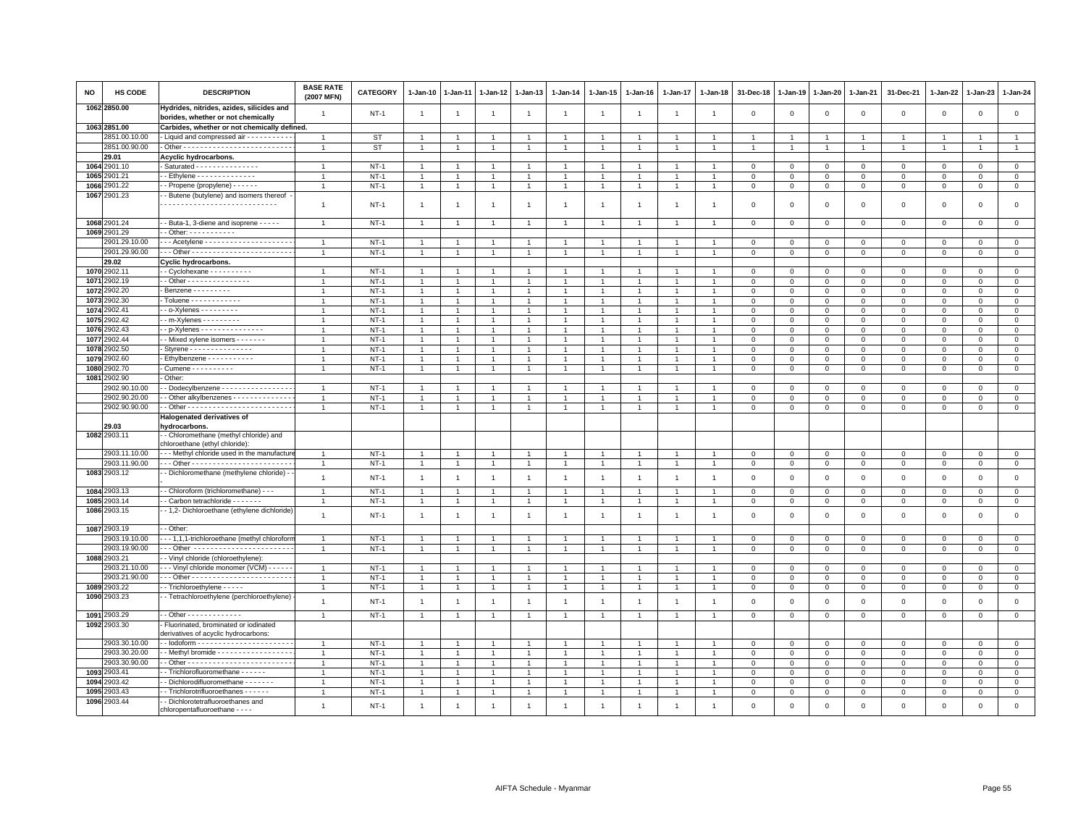| NO   | HS CODE                        | <b>DESCRIPTION</b>                                                                    | <b>BASE RATE</b><br>(2007 MFN) | <b>CATEGORY</b>       | 1-Jan-10                       | 1-Jan-11       | 1-Jan-12          | 1-Jan-13                         | 1-Jan-14       | 1-Jan-15                               | 1-Jan-16       | 1-Jan-17             | 1-Jan-18       | 31-Dec-18                   | 1-Jan-19               | 1-Jan-20                | 1-Jan-21          | 31-Dec-21               | $1 - Jan-22$           | 1-Jan-23               | 1-Jan-24                    |
|------|--------------------------------|---------------------------------------------------------------------------------------|--------------------------------|-----------------------|--------------------------------|----------------|-------------------|----------------------------------|----------------|----------------------------------------|----------------|----------------------|----------------|-----------------------------|------------------------|-------------------------|-------------------|-------------------------|------------------------|------------------------|-----------------------------|
|      | 1062 2850.00                   | Hydrides, nitrides, azides, silicides and<br>borides, whether or not chemically       | -1                             | $NT-1$                | -1                             | $\overline{1}$ | $\overline{1}$    | $\overline{1}$                   | -1             | -1                                     | $\mathbf{1}$   | $\overline{1}$       | $\overline{1}$ | $\mathbf 0$                 | $\overline{0}$         | $\mathbf 0$             | $\mathbf 0$       | 0                       | 0                      | 0                      | $\mathsf 0$                 |
|      | 1063 2851.00                   | Carbides, whether or not chemically defined.                                          |                                |                       |                                |                |                   |                                  |                |                                        |                |                      |                |                             |                        |                         |                   |                         |                        |                        |                             |
|      | 2851.00.10.00                  | - Liquid and compressed air - - - - - - - - - -                                       |                                | ST                    |                                |                |                   |                                  |                |                                        |                |                      |                |                             |                        |                         |                   |                         |                        |                        |                             |
|      | 2851.00.90.00                  |                                                                                       | $\overline{1}$                 | <b>ST</b>             | $\overline{1}$                 |                |                   | $\overline{1}$                   |                | $\overline{1}$                         |                |                      |                |                             |                        | $\mathbf{1}$            | $\overline{1}$    |                         | -1                     |                        | $\overline{1}$              |
|      | 29.01                          | Acyclic hydrocarbons.                                                                 |                                |                       |                                |                |                   |                                  |                |                                        |                |                      |                |                             |                        |                         |                   |                         |                        |                        |                             |
|      | 1064 2901.10                   | Saturated - - - - - - - - - - - - - - -                                               |                                | $NT-1$                |                                |                |                   |                                  |                |                                        |                |                      |                | $\Omega$                    | $\Omega$               | $\Omega$                | $\Omega$          | $\Omega$                | $\Omega$               | $\Omega$               | $\Omega$                    |
|      | 1065 2901.21                   |                                                                                       |                                | $NT-1$                | 1                              |                |                   |                                  |                |                                        |                |                      |                | 0                           | 0                      | 0                       | $\mathbf 0$       | 0                       | $\Omega$               | $\Omega$               | $\mathbf 0$                 |
|      | 1066 2901.22                   | - Propene (propylene) - - - - - -                                                     | $\overline{1}$                 | $NT-1$                | $\mathbf{1}$                   |                | $\overline{1}$    | $\mathbf{1}$                     | 1              | $\mathbf{1}$                           |                | 1                    | $\overline{1}$ | $\mathbf 0$                 | $\mathbf 0$            | $\overline{0}$          | $\mathbf{0}$      | $\mathbf{0}$            | 0                      | 0                      | $\overline{0}$              |
|      | 1067 2901.23                   | - Butene (butylene) and isomers thereof                                               |                                |                       |                                |                |                   |                                  |                |                                        |                |                      |                |                             |                        |                         |                   |                         |                        |                        |                             |
|      |                                |                                                                                       | $\overline{1}$                 | $NT-1$                | -1                             | $\overline{1}$ | -1                | $\overline{1}$                   | $\overline{1}$ | $\mathbf{1}$                           | $\overline{1}$ | $\overline{1}$       | -1             | $\Omega$                    | $\Omega$               | $\overline{0}$          | $\mathbf{0}$      | $\mathbf 0$             | $\mathbf 0$            | $\mathbf 0$            | $\mathsf 0$                 |
|      | 1068 2901.24                   | - Buta-1, 3-diene and isoprene - - - - -                                              | $\overline{1}$                 | $NT-1$                | $\overline{1}$                 |                | $\overline{1}$    | $\overline{1}$                   |                |                                        |                |                      |                | $^{\circ}$                  | $\mathbf 0$            | $\mathbf 0$             | $\mathbf 0$       | $\mathsf 0$             | 0                      | $\mathsf 0$            | $\mathbf 0$                 |
|      | 1069 2901.29                   | $-$ Other: $        -$                                                                |                                |                       |                                |                |                   |                                  |                |                                        |                |                      |                |                             |                        |                         |                   |                         |                        |                        |                             |
|      | 2901.29.10.00                  | --- Acetylene ---------------------                                                   | $\overline{1}$                 | $NT-1$                | $\overline{1}$                 |                | $\overline{1}$    | $\overline{1}$                   |                | $\overline{1}$                         |                |                      |                | $\mathbf 0$                 | $\mathbf 0$            | $\mathbf 0$             | $\mathbf 0$       | $\mathsf 0$             | $\mathbf 0$            | $\mathsf 0$            | $\mathsf 0$                 |
|      | 2901.29.90.00                  |                                                                                       | $\overline{1}$                 | $NT-1$                | $\overline{1}$                 | $\overline{1}$ | $\overline{1}$    | $\overline{1}$                   |                | $\mathbf{1}$                           |                | $\ddot{\phantom{0}}$ | $\overline{1}$ | $\Omega$                    | $\mathbf{0}$           | $\mathsf 0$             | $\mathbf 0$       | $\mathsf 0$             | $\mathbf 0$            | $\mathbf 0$            | $\overline{0}$              |
|      | 29.02                          | <b>Cyclic hydrocarbons.</b>                                                           |                                |                       |                                |                |                   |                                  |                |                                        |                |                      |                |                             |                        |                         |                   |                         |                        |                        |                             |
|      | 1070 2902.11                   | $\cdot$ - Cyclohexane - - - - - - - - - -                                             | $\overline{1}$                 | $NT-1$                | $\mathbf{1}$                   |                |                   | $\overline{1}$                   |                | $\mathbf{1}$                           |                |                      |                | 0                           | $\mathbf 0$            | $\circ$                 | $\mathbf{0}$      | 0                       | $^{\circ}$             | $\mathbf{0}$           | $\mathbf{0}$                |
|      | 1071 2902.19                   | - Other - - - - - - - - - - - - - - -                                                 | $\overline{1}$                 | $NT-1$                | $\mathbf{1}$                   |                |                   | $\overline{1}$                   |                | $\blacktriangleleft$                   |                |                      |                | $\Omega$                    | $\Omega$               | $\mathbf{0}$            | $\mathbf{0}$      | $\mathbf 0$             | $\mathbf 0$            | $\mathbf 0$            | $\circ$                     |
|      | 1072 2902.20                   | - Benzene - - - - - - - - -                                                           | $\overline{1}$                 | <b>NT-1</b>           | $\overline{1}$                 | $\overline{1}$ | 1                 | $\overline{1}$                   |                | $\overline{1}$                         |                | $\overline{1}$       | $\mathbf{1}$   | $^{\circ}$                  | $^{\circ}$             | $\mathbf 0$             | $\mathbf 0$       | 0                       | $\mathbf 0$            | 0                      | $\mathbf 0$                 |
| 1073 | 902.30                         | Toluene - - - - - - - - - - -                                                         | $\overline{1}$                 | $NT-1$                | $\overline{1}$                 |                | $\mathbf{1}$      | $\mathbf{1}$                     |                | $\overline{1}$                         |                |                      |                | $\overline{0}$              | $\mathbf 0$            | $\mathbf 0$             | $\Omega$          | $\mathsf 0$             | $^{\circ}$             | $\Omega$               | $\mathsf 0$                 |
| 1074 | 902.41                         | $-$ o-Xylenes - - - - - - - - -                                                       |                                | $NT-1$                | $\overline{1}$                 |                |                   |                                  |                |                                        |                |                      |                | $\Omega$                    | $\Omega$               | $\circ$                 | $\Omega$          | $\Omega$                | $\Omega$               | $\Omega$               | $\mathbf 0$                 |
| 1075 | 2902.42                        | $-m-Xy$ lenes - - - - - - - -                                                         | -1                             | $NT-1$                | $\overline{1}$                 |                | $\overline{1}$    | $\overline{1}$                   |                | $\overline{1}$                         |                |                      |                | 0                           | $\mathbf 0$            | $\mathbf 0$             | $\Omega$          | 0                       | $\Omega$               | $\Omega$               | $\mathbf 0$                 |
| 1076 | 2902.43                        | $-p$ -Xylenes - - - - - - - - - - - - - - -                                           | $\overline{1}$                 | $NT-1$                | $\mathbf{1}$                   |                | $\overline{1}$    | $\mathbf{1}$                     |                | $\mathbf{1}$                           |                |                      |                | $\mathbf 0$                 | $\mathbf 0$            | $\mathbf 0$             | $\mathbf 0$       | $\mathsf 0$             | $\mathbf 0$            | $\mathsf 0$            | $\mathsf 0$                 |
| 1077 | 2902.44                        | - - Mixed xylene isomers - - - - - - -                                                | $\overline{1}$                 | $NT-1$                | $\mathbf{1}$                   |                | $\overline{1}$    | $\overline{1}$                   | 1              | $\overline{1}$                         |                | -1                   | $\mathbf{1}$   | $\mathbf 0$                 | $\mathbf 0$            | $\mathbf 0$             | $\mathbf 0$       | $\mathbf 0$             | $\Omega$               | 0                      | $\mathbf{0}$                |
| 1078 | 2902.50                        | - Styrene - - - - - - - - - - - - - - -                                               | $\overline{1}$                 | $NT-1$                | $\overline{1}$                 |                | $\overline{1}$    | $\overline{1}$                   | $\overline{1}$ | $\overline{1}$                         |                | $\overline{1}$       |                | $\mathbf 0$                 | $^{\circ}$             | $\mathbf 0$             | $\mathbf 0$       | 0                       | 0                      | $\mathbf 0$            | $\mathsf 0$                 |
| 1079 | 2902.60                        | Ethylbenzene - - - - - - - - - -                                                      |                                | $NT-1$                | $\overline{1}$                 |                |                   | -1                               |                |                                        |                |                      |                | 0                           | $\mathbf 0$            | $\mathbf 0$             | $\mathbf 0$       | $\mathsf 0$             | $\Omega$               | $\Omega$               | $\,0\,$                     |
| 1080 | 902.70                         | - Cumene - - - - - - - - - -                                                          | $\overline{1}$                 | $NT-1$                | $\overline{1}$                 | $\overline{1}$ | $\overline{1}$    | $\overline{1}$                   |                | $\overline{1}$                         |                | $\overline{1}$       |                | $\mathbf{0}$                | $\mathbf{0}$           | $\mathbf 0$             | $\mathbf{0}$      | $\mathbf 0$             | $\mathbf 0$            | $\mathbf{0}$           | $\mathbf{0}$                |
| 1081 | 2902.90                        | Other:                                                                                |                                |                       |                                |                |                   |                                  |                |                                        |                |                      |                |                             |                        |                         |                   |                         |                        |                        |                             |
|      | 2902.90.10.00                  | - Dodecylbenzene - - - - - - - - - - - - - - -                                        | $\overline{1}$                 | $NT-1$                | $\overline{1}$                 |                |                   | $\overline{1}$                   |                | $\overline{1}$                         |                |                      |                | $\Omega$                    | $\Omega$               | $\Omega$                | $\Omega$          | $\Omega$                | $\Omega$               | $\Omega$               | $\mathsf 0$                 |
|      | 2902.90.20.00<br>2902.90.90.00 | - Other alkylbenzenes - - - - - - - - - - - - -                                       | $\overline{1}$                 | $NT-1$                | $\overline{1}$                 |                |                   | $\mathbf{1}$                     |                | $\overline{1}$                         |                |                      |                | $\mathbf 0$                 | $\mathbf 0$            | $^{\circ}$              | $^{\circ}$        | 0                       | $\mathbf 0$            | $\Omega$               | $\mathbf 0$                 |
|      |                                | Halogenated derivatives of                                                            | $\overline{1}$                 | $NT-1$                | -1                             |                | -1                | $\overline{1}$                   |                | $\mathbf{1}$                           |                | 1                    | $\mathbf{1}$   | $\mathsf 0$                 | $\mathsf 0$            | $\mathbf 0$             | $\mathsf 0$       | $\mathsf 0$             | $^{\circ}$             | 0                      | $\overline{0}$              |
|      | 29.03                          | hydrocarbons.                                                                         |                                |                       |                                |                |                   |                                  |                |                                        |                |                      |                |                             |                        |                         |                   |                         |                        |                        |                             |
|      | 1082 2903.11                   | - Chloromethane (methyl chloride) and<br>chloroethane (ethyl chloride)                |                                |                       |                                |                |                   |                                  |                |                                        |                |                      |                |                             |                        |                         |                   |                         |                        |                        |                             |
|      | 2903.11.10.00                  | -- Methyl chloride used in the manufactur                                             | -1                             | $NT-1$                | -1                             |                | $\overline{1}$    | $\overline{1}$                   |                | $\mathbf{1}$                           |                | -1                   |                | $\mathbf{0}$                | $\overline{0}$         | $\mathbf{0}$            | $\mathbf{0}$      | $\Omega$                | $\Omega$               | $\Omega$               | $\mathbf{0}$                |
|      | 2903.11.90.00<br>1083 2903.12  | - Dichloromethane (methylene chloride) -                                              | $\overline{1}$                 | $NT-1$                | $\mathbf{1}$                   | $\overline{1}$ | $\mathbf{1}$      | $\overline{1}$                   |                | $\overline{1}$                         |                | $\overline{1}$       | $\overline{1}$ | $\mathsf 0$                 | $\mathsf 0$            | $\mathbf 0$             | $\mathbf 0$       | $\mathsf 0$             | $\mathbf 0$            | $\mathsf 0$            | $\mathbf 0$                 |
|      |                                |                                                                                       | $\mathbf{1}$                   | $NT-1$                | $\overline{1}$                 | $\overline{1}$ | $\overline{1}$    | $\mathbf{1}$                     | $\overline{1}$ | $\overline{1}$                         | $\overline{1}$ | $\mathbf{1}$         | $\overline{1}$ | $\mathsf 0$                 | $\,$ 0                 | $\mathsf 0$             | $\mathsf 0$       | $\mathsf 0$             | $\mathbf 0$            | $\mathbf 0$            | $\mathsf 0$                 |
|      | 1084 2903.13                   | - Chloroform (trichloromethane) - - -                                                 |                                | <b>NT-1</b>           | $\mathbf{1}$                   |                | $\mathbf{1}$      | $\overline{1}$                   |                |                                        |                |                      |                | $\Omega$                    | $\mathbf 0$            | $\mathsf 0$             | $\Omega$          | $\mathsf 0$             | 0                      | $\Omega$               | $\mathbf 0$                 |
|      | 1085 2903.14<br>1086 2903.15   | - Carbon tetrachloride - - - - - - -<br>- - 1,2- Dichloroethane (ethylene dichloride) | $\overline{1}$                 | $NT-1$                | 1                              |                | $\overline{1}$    | -1                               | $\overline{1}$ | $\mathbf{1}$                           |                | 1                    | $\overline{1}$ | $\mathbf{O}$                | $\mathbf 0$            | $\overline{0}$          | $\mathbf 0$       | $\mathbf{0}$            | 0                      | 0                      | $\mathbf{0}$                |
|      |                                |                                                                                       | $\overline{1}$                 | $NT-1$                | $\overline{1}$                 | $\mathbf{1}$   |                   | $\overline{1}$                   | $\overline{1}$ | $\overline{1}$                         |                | $\mathbf{1}$         | $\overline{1}$ | $\mathbf 0$                 | $\mathbf 0$            | $\mathbf 0$             | $\mathbf 0$       | $\mathsf 0$             | 0                      | $\mathbf 0$            | $\mathsf 0$                 |
|      | 1087 2903.19                   | - Other:                                                                              |                                |                       |                                |                |                   |                                  |                |                                        |                |                      |                |                             |                        |                         |                   |                         |                        |                        |                             |
|      | 2903.19.10.00<br>2903.19.90.00 | -- 1,1,1-trichloroethane (methyl chloroforn<br>Other                                  | $\overline{1}$                 | $NT-1$                | $\overline{1}$                 |                |                   | $\mathbf{1}$                     |                | $\overline{1}$                         |                |                      |                | $\mathbf 0$                 | $\mathbf 0$            | $\mathbf 0$             | $\mathsf 0$       | $\mathsf 0$             | $\mathbf 0$            | $\mathsf 0$            | $\mathsf 0$                 |
|      | 1088 2903.21                   |                                                                                       | $\overline{1}$                 | $NT-1$                | -1                             |                | $\mathbf{1}$      | $\overline{1}$                   |                | $\mathbf{1}$                           |                |                      |                | $\Omega$                    | $\mathbf 0$            | $\mathbf 0$             | 0                 | 0                       | 0                      | 0                      | $\mathbf 0$                 |
|      | 2903.21.10.00                  | - Vinyl chloride (chloroethylene)                                                     | $\overline{1}$                 |                       |                                |                |                   |                                  |                |                                        |                | $\mathbf{1}$         |                |                             |                        |                         |                   |                         |                        |                        |                             |
|      | 2903.21.90.00                  | - - - Vinyl chloride monomer (VCM) - - - - - -                                        | $\overline{1}$                 | <b>NT-1</b><br>$NT-1$ | $\overline{1}$<br>$\mathbf{1}$ | $\overline{1}$ | 1<br>$\mathbf{1}$ | $\overline{1}$<br>$\overline{1}$ | $\overline{1}$ | $\overline{1}$<br>$\blacktriangleleft$ | $\overline{1}$ | $\mathbf{1}$         | $\overline{1}$ | $\mathbf 0$<br>$\mathbf{0}$ | $\,0\,$<br>$\mathbf 0$ | $\mathsf 0$<br>$\Omega$ | 0<br>$\mathbf{0}$ | $\mathsf 0$<br>$\Omega$ | $^{\circ}$<br>$\Omega$ | $^{\circ}$<br>$\Omega$ | $\mathbf 0$<br>$\mathbf{0}$ |
|      | 1089 2903.22                   | - Trichloroethylene - - - - -                                                         | $\overline{1}$                 | $NT-1$                |                                | $\mathbf{1}$   | $\overline{1}$    | $\overline{1}$                   | $\overline{1}$ | $\mathbf{1}$                           |                | $\overline{1}$       | $\overline{1}$ | $\mathbf 0$                 | $\mathbf 0$            |                         | $\mathbf 0$       | $\mathsf 0$             |                        |                        | $\mathbf 0$                 |
|      | 1090 2903.23                   | - Tetrachloroethylene (perchloroethylene)                                             |                                |                       | $\overline{1}$                 |                |                   |                                  |                |                                        |                |                      |                |                             |                        | $\mathbf 0$             |                   |                         | 0                      | 0                      |                             |
|      |                                |                                                                                       | $\overline{1}$                 | $NT-1$                | $\overline{1}$                 | $\mathbf{1}$   | $\mathbf{1}$      | $\mathbf{1}$                     | -1             | $\mathbf{1}$                           | $\overline{1}$ | $\mathbf{1}$         | $\overline{1}$ | $\mathbf 0$                 | $\,$ 0                 | $\overline{0}$          | $\mathsf 0$       | $\mathsf 0$             | 0                      | $\mathbf 0$            | $\mathsf 0$                 |
|      | 1091 2903.29                   | - - Other - - - - - - - - - - - - -                                                   | $\overline{1}$                 | $NT-1$                | $\overline{1}$                 |                | $\overline{1}$    | $\mathbf{1}$                     |                | $\mathbf{1}$                           |                | 1                    |                | $\mathbf 0$                 | $\mathbf 0$            | $\mathbf 0$             | $\mathsf 0$       | $\mathsf 0$             | $\mathbf 0$            | $\mathsf 0$            | $\mathbf 0$                 |
|      | 1092 2903.30                   | Fluorinated, brominated or iodinated<br>derivatives of acyclic hydrocarbons:          |                                |                       |                                |                |                   |                                  |                |                                        |                |                      |                |                             |                        |                         |                   |                         |                        |                        |                             |
|      | 2903.30.10.00                  |                                                                                       | $\overline{1}$                 | $NT-1$                | $\overline{1}$                 |                | $\overline{1}$    | -1                               |                | $\overline{1}$                         |                |                      |                | $\mathbf 0$                 | $\mathbf 0$            | $\mathbf 0$             | $\mathsf 0$       | $\mathsf 0$             | $\Omega$               | $\mathbf 0$            | $\mathsf 0$                 |
|      | 2903.30.20.00                  | - Methyl bromide - - - - - - - - - - - - - - - - -                                    | $\overline{1}$                 | $NT-1$                | $\overline{1}$                 |                |                   | $\overline{1}$                   |                | $\overline{1}$                         |                |                      |                | $\mathbf 0$                 | $\mathbf 0$            | $\mathbf 0$             | $\mathbf 0$       | $\mathsf 0$             | $\Omega$               | $\Omega$               | $\mathsf 0$                 |
|      | 2903.30.90.00                  |                                                                                       | $\overline{1}$                 | $NT-1$                | -1                             |                | -1                | -1                               |                | -1                                     |                |                      |                | $\Omega$                    | $\Omega$               | $\Omega$                | $\Omega$          | 0                       | $\Omega$               | $\Omega$               | $\mathbf 0$                 |
|      | 1093 2903.41                   | - Trichlorofluoromethane - - - - - -                                                  | $\overline{1}$                 | $NT-1$                | $\mathbf{1}$                   |                |                   | $\overline{1}$                   |                | $\mathbf{1}$                           |                |                      |                | $\mathbf 0$                 | $\mathbf 0$            | $\mathbf 0$             | $\mathbf 0$       | $\mathsf 0$             | $^{\circ}$             | $^{\circ}$             | $\mathbf 0$                 |
| 1094 | 2903.42                        | - Dichlorodifluoromethane - - - - - -                                                 | $\overline{1}$                 | $NT-1$                | $\overline{1}$                 |                | $\overline{1}$    | $\overline{1}$                   |                | $\overline{1}$                         |                |                      |                | $\mathbf 0$                 | $\mathbf 0$            | $\Omega$                | $\Omega$          | $\mathbf 0$             | $\Omega$               | $\Omega$               | $\mathsf 0$                 |
| 1095 | 903.43                         | - Trichlorotrifluoroethanes - - - - - -                                               | -1                             | $NT-1$                | $\overline{1}$                 |                | $\mathbf{1}$      | $\mathbf{1}$                     |                | $\overline{1}$                         |                |                      |                | 0                           | $^{\circ}$             | $\mathbf 0$             | 0                 | 0                       | 0                      | $\mathbf 0$            | $\mathbf 0$                 |
|      | 1096 2903.44                   | - Dichlorotetrafluoroethanes and<br>chloropentafluoroethane - - - -                   | $\overline{1}$                 | $NT-1$                | $\overline{1}$                 |                |                   | $\overline{1}$                   |                | $\overline{1}$                         |                |                      |                | $\Omega$                    | $\Omega$               | $\Omega$                | $\Omega$          | $\Omega$                | $\Omega$               | $\Omega$               | $\Omega$                    |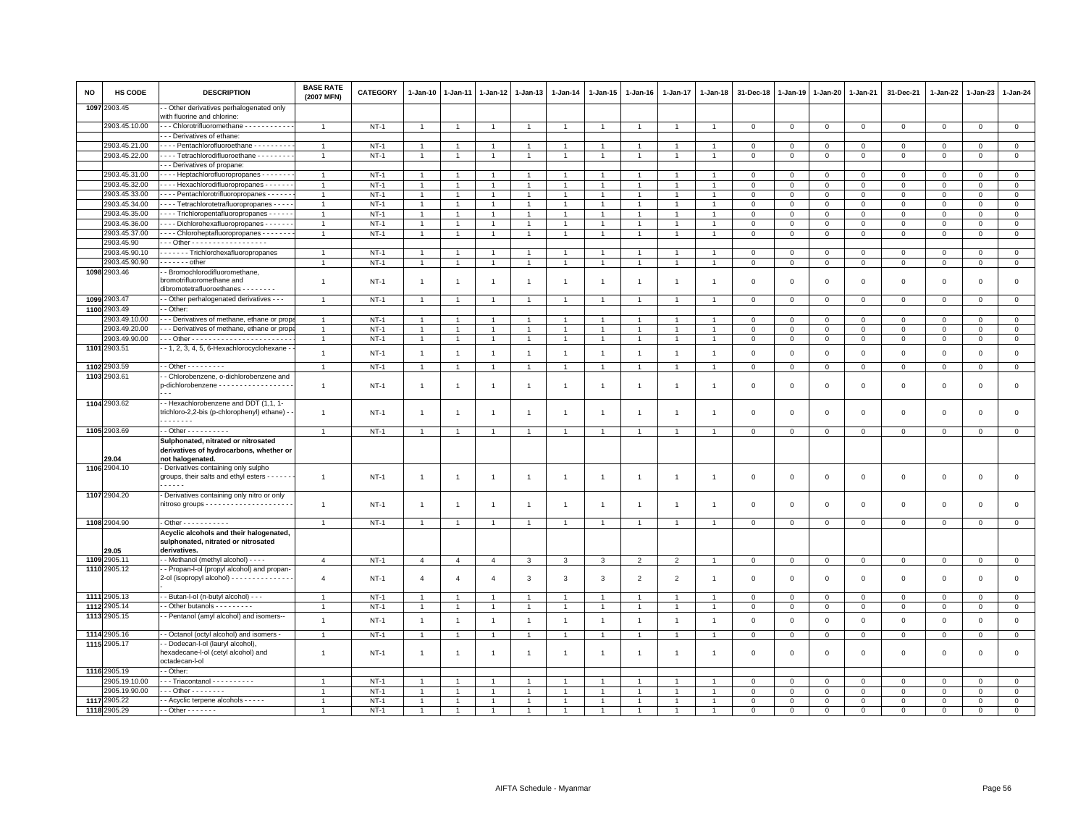| NO   | <b>HS CODE</b>        | <b>DESCRIPTION</b>                                                                                      | <b>BASE RATE</b><br>(2007 MFN) | <b>CATEGORY</b> | $1 - Jan-10$   | 1-Jan-11       | $1 - Jan-12$   | $1 - Jan-13$   | $1 - Jan-14$   | $1 - Jan-15$   | $1 - Jan-16$   | 1-Jan-17       | 1-Jan-18       | 31-Dec-18      | 1-Jan-19       | 1-Jan-20       | $1 - Jan-21$ | 31-Dec-21      | 1-Jan-22     | 1-Jan-23     | $1 - Jan-24$   |
|------|-----------------------|---------------------------------------------------------------------------------------------------------|--------------------------------|-----------------|----------------|----------------|----------------|----------------|----------------|----------------|----------------|----------------|----------------|----------------|----------------|----------------|--------------|----------------|--------------|--------------|----------------|
| 1097 | 2903.45               | - Other derivatives perhalogenated only<br>with fluorine and chlorine:                                  |                                |                 |                |                |                |                |                |                |                |                |                |                |                |                |              |                |              |              |                |
|      | 2903.45.10.00         | --- Chlorotrifluoromethane -----------                                                                  | $\overline{1}$                 | $NT-1$          | $\overline{1}$ |                | $\overline{1}$ | $\overline{1}$ | $\overline{1}$ | $\overline{1}$ |                | $\overline{1}$ | $\overline{1}$ | $\mathbf{0}$   | $\mathbf{0}$   | $\overline{0}$ | $\mathbf{0}$ | $\mathbf 0$    | $\mathbf{0}$ | $\mathbf{0}$ | $\overline{0}$ |
|      |                       | -- Derivatives of ethane:                                                                               |                                |                 |                |                |                |                |                |                |                |                |                |                |                |                |              |                |              |              |                |
|      | 2903.45.21.00         | Pentachlorofluoroethane - - - - - - - -                                                                 | $\overline{1}$                 | $NT-1$          |                |                |                |                |                |                |                |                |                | $\Omega$       | $\Omega$       | $\mathbf{0}$   | $\mathbf{0}$ | $\mathbf 0$    | $\Omega$     | $\mathbf 0$  | $\circ$        |
|      | 2903.45.22.00         | Tetrachlorodifluoroethane - - - - - - -                                                                 | $\overline{1}$                 | $NT-1$          | $\overline{1}$ | $\mathbf{1}$   | -1             | $\mathbf{1}$   |                | $\mathbf{1}$   |                | 1              | $\mathbf{1}$   | $\mathbf{0}$   | $\mathbf 0$    | $\mathbf 0$    | $\mathbf 0$  | $^{\circ}$     | $^{\circ}$   | $\mathbf{0}$ | $\mathbf{0}$   |
|      |                       | -- Derivatives of propane:                                                                              |                                |                 |                |                |                |                |                |                |                |                |                |                |                |                |              |                |              |              |                |
|      | 2903.45.31.00         | - - - - Heptachlorofluoropropanes - - - - - - -                                                         | $\overline{1}$                 | $NT-1$          | $\overline{1}$ |                | $\overline{1}$ | $\overline{1}$ |                | $\overline{1}$ |                | $\overline{1}$ |                | $\mathbf 0$    | $\mathbf 0$    | $\mathbf 0$    | $\mathbf 0$  | $\mathsf 0$    | $\mathbf 0$  | $\mathsf 0$  | $\overline{0}$ |
|      | 2903.45.32.00         | Hexachlorodifluoropropanes - - - - -                                                                    | $\overline{1}$                 | $NT-1$          | $\mathbf{1}$   |                |                | $\overline{1}$ |                | $\mathbf{1}$   |                |                |                | $\Omega$       | $\Omega$       | $\Omega$       | $\mathbf 0$  | $\mathbf 0$    | $\mathbf 0$  | $\mathbf 0$  | $\mathbf 0$    |
|      | 2903.45.33.00         | - - - - Pentachlorotrifluoropropanes - - - - - -                                                        | $\overline{1}$                 | $NT-1$          | $\mathbf{1}$   |                | $\overline{1}$ | $\overline{1}$ | $\overline{1}$ | $\mathbf{1}$   |                | $\overline{1}$ | $\mathbf{1}$   | $^{\circ}$     | $\mathbf 0$    | $\mathbf 0$    | $\mathbf 0$  | $\mathbf 0$    | 0            | $\mathbf 0$  | $\overline{0}$ |
|      | 2903.45.34.00         | - - - Tetrachlorotetrafluoropropanes - - - -                                                            | $\overline{1}$                 | $NT-1$          | $\overline{1}$ | $\overline{1}$ | $\overline{1}$ | $\overline{1}$ | $\overline{1}$ | $\mathbf{1}$   | $\overline{1}$ | $\mathbf{1}$   | $\overline{1}$ | $\mathbf 0$    | $\circ$        | $\mathbf{0}$   | $\mathbf 0$  | $\mathbf 0$    | $\mathbf 0$  | $\mathbf 0$  | $\mathbf 0$    |
|      | 2903.45.35.00         | - - - - Trichloropentafluoropropanes - - - - -                                                          | $\overline{1}$                 | $NT-1$          | $\overline{1}$ |                |                | $\overline{1}$ |                | $\overline{1}$ |                | $\mathbf{1}$   |                | $\mathbf 0$    | $\mathbf 0$    | $\mathbf 0$    | $\mathsf 0$  | $\mathsf 0$    | $\Omega$     | $\mathbf 0$  | $\mathsf 0$    |
|      | 2903.45.36.00         | Dichlorohexafluoropropanes                                                                              | $\overline{1}$                 | $NT-1$          | $\mathbf{1}$   |                | -1             | $\overline{1}$ |                | $\overline{1}$ |                |                |                | $\Omega$       | $\Omega$       | $\mathbf 0$    | $\Omega$     | $\Omega$       | $\Omega$     | $\Omega$     | $\mathbf 0$    |
|      | 2903.45.37.00         | - - - - Chloroheptafluoropropanes - - - - - - -                                                         | $\overline{1}$                 | $NT-1$          | $\mathbf{1}$   |                | $\mathbf{1}$   | $\overline{1}$ |                | $\overline{1}$ |                |                |                | $\mathbf 0$    | $\mathbf 0$    | $\mathbf 0$    | $\mathbf 0$  | $\mathsf 0$    | $\mathbf 0$  | $\mathsf 0$  | $\mathsf 0$    |
|      | 2903.45.90            | - - Other - - - - - - - - - - - - - - - - -                                                             |                                |                 |                |                |                |                |                |                |                |                |                |                |                |                |              |                |              |              |                |
|      | 2903.45.90.10         | - - - - - - Trichlorchexafluoropropanes                                                                 |                                | $NT-1$          | $\mathbf{1}$   |                |                | $\mathbf{1}$   |                | -1             |                |                |                | $\mathbf 0$    | $^{\circ}$     | $\mathbf 0$    | 0            | 0              | $\mathbf 0$  | $\Omega$     | $\mathbf 0$    |
|      | 2903.45.90.90         | - - - - - - - other                                                                                     | $\overline{1}$                 | $NT-1$          | $\mathbf{1}$   |                | $\mathbf{1}$   | $\mathbf{1}$   |                | $\overline{1}$ |                | $\mathbf{1}$   | $\overline{1}$ | $\overline{0}$ | $\,0\,$        | $\overline{0}$ | $\mathbf 0$  | $\mathsf 0$    | $\mathsf 0$  | $\mathsf 0$  | $\overline{0}$ |
|      | 1098 2903.46          | - Bromochlorodifluoromethane,<br>bromotrifluoromethane and<br>dibromotetrafluoroethanes - - - - - - - - | $\overline{1}$                 | $NT-1$          | -1             | $\overline{1}$ | $\overline{1}$ | $\overline{1}$ | $\overline{1}$ | $\mathbf{1}$   | -1             | -1             | -1             | $\overline{0}$ | $\mathbf 0$    | $\overline{0}$ | $\mathbf 0$  | $\mathbf 0$    | $\mathbf 0$  | $\mathbf 0$  | $\mathsf 0$    |
|      | 1099 2903.47          | - Other perhalogenated derivatives - - -                                                                | $\overline{1}$                 |                 |                |                |                | $\overline{1}$ |                |                |                |                |                |                | $\mathbf 0$    |                |              |                |              |              |                |
|      | 1100 2903.49          | - Other:                                                                                                |                                | $NT-1$          | $\overline{1}$ |                | $\overline{1}$ |                |                | -1             |                |                |                | $^{\circ}$     |                | $\mathbf 0$    | $\mathbf 0$  | 0              | 0            | $\mathbf 0$  | $\mathbf 0$    |
|      | 2903.49.10.00         | -- Derivatives of methane, ethane or prop                                                               | $\overline{1}$                 | $NT-1$          | $\overline{1}$ | $\overline{1}$ | $\overline{1}$ | $\overline{1}$ | $\overline{1}$ | $\mathbf{1}$   |                | $\overline{1}$ |                | $\mathbf 0$    | $\overline{0}$ | $\mathbf{0}$   | $\mathbf 0$  | $\mathbf 0$    | $\mathbf 0$  | $\mathbf 0$  | $\mathbf 0$    |
|      | 2903.49.20.00         | - - - Derivatives of methane, ethane or prop                                                            | $\overline{1}$                 | $NT-1$          | $\overline{1}$ | $\overline{1}$ | $\overline{1}$ | $\overline{1}$ |                | $\mathbf{1}$   |                | $\overline{1}$ | $\overline{1}$ | $\mathbf 0$    | $\mathbf 0$    | $\mathbf 0$    | $\mathbf 0$  | $\mathsf 0$    | $\mathbf 0$  | $\mathsf 0$  | $\overline{0}$ |
|      | 2903.49.90.00         |                                                                                                         | $\overline{1}$                 | $NT-1$          | $\mathbf{1}$   |                | $\overline{1}$ | $\overline{1}$ |                | $\overline{1}$ |                | 1              |                | $\mathbf 0$    | $\mathbf 0$    | $\mathbf 0$    | $\mathbf 0$  | $\mathsf 0$    | 0            | $\mathsf 0$  | $\mathbf 0$    |
|      | 1101 2903.51          | $-1, 2, 3, 4, 5, 6$ -Hexachlorocyclohexane -                                                            |                                |                 |                |                |                |                |                |                |                |                |                |                |                |                |              |                |              |              |                |
|      |                       |                                                                                                         | $\overline{1}$                 | $NT-1$          | $\overline{1}$ | $\overline{1}$ | $\overline{1}$ | $\overline{1}$ | $\overline{1}$ | $\overline{1}$ |                | $\overline{1}$ | $\overline{1}$ | $\mathbf 0$    | $\mathbf 0$    | $\mathbf 0$    | $\mathbf 0$  | $\mathsf 0$    | $\mathbf 0$  | $\mathsf 0$  | $\mathsf 0$    |
|      | 1102 2903.59          | $-$ Other $       -$                                                                                    | $\overline{1}$                 | $NT-1$          | $\overline{1}$ |                | $\overline{1}$ | $\overline{1}$ |                | $\overline{1}$ |                | $\overline{1}$ |                | $\overline{0}$ | $\overline{0}$ | $\mathbf 0$    | $\mathsf 0$  | $\mathsf 0$    | $\mathbf 0$  | $\mathsf 0$  | $\overline{0}$ |
|      | 1103 2903.61          | - Chlorobenzene, o-dichlorobenzene and<br>p-dichlorobenzene - - - - - - - - - - - - - - - - -           | $\overline{1}$                 | $NT-1$          | $\overline{1}$ | -1             | $\mathbf{1}$   | $\overline{1}$ | $\overline{1}$ | $\overline{1}$ | -1             | -1             |                | $\Omega$       | $\Omega$       | $\Omega$       | $\mathbf 0$  | $\mathbf 0$    | $\Omega$     | $\Omega$     | $\mathbf 0$    |
|      | 1104 2903.62          | - Hexachlorobenzene and DDT (1,1, 1-<br>trichloro-2,2-bis (p-chlorophenyl) ethane) -<br>.               | $\overline{1}$                 | $NT-1$          | $\overline{1}$ |                |                | $\overline{1}$ | $\overline{1}$ | $\overline{1}$ |                |                |                | $\overline{0}$ | $\Omega$       | $\mathbf 0$    | $\Omega$     | $\mathbf 0$    | $\mathbf 0$  | $\Omega$     | $\mathbf 0$    |
|      | 1105 2903.69          | - - Other - - - - - - - - - -                                                                           | $\overline{1}$                 | $NT-1$          | $\overline{1}$ |                |                | $\overline{1}$ |                | $\overline{1}$ |                |                | $\overline{1}$ | $\overline{0}$ | $\mathbf 0$    | $\,0\,$        | $\mathsf 0$  | $\mathsf 0$    | $\mathbf 0$  | $\mathsf 0$  | $\overline{0}$ |
|      |                       | Sulphonated, nitrated or nitrosated                                                                     |                                |                 |                |                |                |                |                |                |                |                |                |                |                |                |              |                |              |              |                |
|      | 29.04                 | derivatives of hydrocarbons, whether or<br>not halogenated.                                             |                                |                 |                |                |                |                |                |                |                |                |                |                |                |                |              |                |              |              |                |
|      | 1106 2904.10          | - Derivatives containing only sulpho<br>groups, their salts and ethyl esters - - - - -<br>.             | $\overline{1}$                 | $NT-1$          | $\overline{1}$ | $\overline{1}$ | $\overline{1}$ | $\mathbf{1}$   | $\mathbf{1}$   | $\mathbf{1}$   | $\overline{1}$ | $\overline{1}$ | $\overline{1}$ | $\mathbf 0$    | $\mathbf 0$    | $\mathbf 0$    | $\mathsf 0$  | $\mathsf 0$    | $\mathsf 0$  | $\mathsf 0$  | $\mathsf 0$    |
|      | 1107 2904.20          | - Derivatives containing only nitro or only                                                             | $\overline{1}$                 | <b>NT-1</b>     | $\overline{1}$ |                | $\overline{1}$ | $\overline{1}$ | $\overline{1}$ | $\mathbf{1}$   |                |                |                | $\overline{0}$ | $\mathbf 0$    | $\mathbf 0$    | $\mathbf 0$  | $\mathsf 0$    | $\mathbf 0$  | $\mathbf 0$  | $\mathsf 0$    |
|      | 1108 2904.90          | $-$ Other - - - - - - - - - - -                                                                         | $\overline{1}$                 | $NT-1$          | $\overline{1}$ | $\overline{1}$ | $\overline{1}$ | $\mathbf{1}$   |                | $\mathbf{1}$   |                | -1             | $\overline{1}$ | $\mathbf{O}$   | $\mathbf 0$    | $\overline{0}$ | $\mathbf{0}$ | $\mathbf 0$    | 0            | 0            | $\mathbf{0}$   |
|      |                       | Acyclic alcohols and their halogenated,<br>sulphonated, nitrated or nitrosated                          |                                |                 |                |                |                |                |                |                |                |                |                |                |                |                |              |                |              |              |                |
|      | 29.05<br>1109 2905.11 | derivatives.                                                                                            |                                |                 |                |                |                |                |                |                |                |                |                |                |                |                |              |                |              |              |                |
|      | 1110 2905.12          | - - Methanol (methyl alcohol) - - - -<br>- Propan-l-ol (propyl alcohol) and propan-                     | $\overline{4}$                 | $NT-1$          | $\overline{4}$ | $\overline{4}$ | $\overline{4}$ | 3              | 3              | 3              | $\overline{2}$ | $\overline{2}$ |                | $\mathbf 0$    | $\mathbf{0}$   | $\mathbf 0$    | $\mathbf 0$  | $\overline{0}$ | $\mathsf 0$  | $\mathsf 0$  | $\overline{0}$ |
|      |                       | 2-ol (isopropyl alcohol) - - - - - - - - - - - - - -                                                    | $\overline{a}$                 | $NT-1$          | $\overline{4}$ | $\overline{4}$ | $\overline{4}$ | 3              | $\mathbf{3}$   | 3              | 2              | $\overline{2}$ | -1             | $\mathbf 0$    | $\overline{0}$ | $\mathbf 0$    | $\mathbf 0$  | $\mathsf 0$    | $\mathbf 0$  | $\mathsf 0$  | $\mathsf 0$    |
|      | 1111 2905.13          | - - Butan-l-ol (n-butyl alcohol) - - -                                                                  | $\overline{1}$                 | $NT-1$          | $\overline{1}$ | $\overline{1}$ | $\overline{1}$ | $\overline{1}$ |                | $\overline{1}$ |                | $\overline{1}$ | $\overline{1}$ | $\Omega$       | $\Omega$       | $\mathbf{0}$   | $\mathbf{0}$ | $\mathbf 0$    | $\mathbf 0$  | $\mathbf{0}$ | $\mathbf 0$    |
|      | 1112 2905.14          | - Other butanols - - - - - - - -                                                                        | $\overline{1}$                 | $NT-1$          | $\mathbf{1}$   | $\overline{1}$ | $\mathbf{1}$   | $\overline{1}$ | $\overline{1}$ | $\mathbf{1}$   | $\overline{1}$ | $\mathbf{1}$   | $\overline{1}$ | $\mathbf 0$    | $\mathbf{0}$   | $\mathbf 0$    | $\mathbf 0$  | $\mathsf 0$    | $\mathbf 0$  | $\mathsf 0$  | $\mathbf 0$    |
|      | 1113 2905.15          | - Pentanol (amyl alcohol) and isomers--                                                                 | $\mathbf{1}$                   | $NT-1$          | $\overline{1}$ | $\overline{1}$ | $\mathbf{1}$   | $\overline{1}$ | $\overline{1}$ | $\mathbf{1}$   | $\overline{1}$ | $\mathbf{1}$   | $\overline{1}$ | $\mathbf 0$    | $\overline{0}$ | $\mathbf 0$    | $\mathsf 0$  | $\mathsf 0$    | $\mathsf 0$  | $\mathsf 0$  | $\mathsf 0$    |
|      | 1114 2905.16          | - Octanol (octyl alcohol) and isomers -                                                                 | $\overline{1}$                 | $NT-1$          | $\mathbf{1}$   |                | $\mathbf{1}$   | $\overline{1}$ |                | $\overline{1}$ |                |                |                | $\mathbf 0$    | $\mathbf 0$    | $\mathbf 0$    | $\mathbf 0$  | $\mathsf 0$    | $\mathbf 0$  | $\mathsf 0$  | $\mathbf 0$    |
|      | 1115 2905.17          | - Dodecan-I-ol (lauryl alcohol)<br>hexadecane-l-ol (cetyl alcohol) and<br>octadecan-l-ol                | $\overline{1}$                 | $NT-1$          | $\overline{1}$ |                | $\mathbf{1}$   | $\overline{1}$ | $\overline{1}$ | $\overline{1}$ |                | -1             |                | $^{\circ}$     | $^{\circ}$     | $\overline{0}$ | 0            | 0              | 0            | $\mathbf 0$  | $\mathsf 0$    |
|      | 1116 2905.19          | - Other:                                                                                                |                                |                 |                |                |                |                |                |                |                |                |                |                |                |                |              |                |              |              |                |
|      | 2905.19.10.00         | - - - Triacontanol - - - - - - - - - -                                                                  | -1                             | <b>NT-1</b>     |                |                |                | $\mathbf{1}$   |                | -1             |                |                |                | 0              | $\mathbf 0$    | $\mathbf 0$    | 0            | 0              | 0            | $\mathbf 0$  | $\mathbf{0}$   |
|      | 2905.19.90.00         | $\cdots$ Other - - - - - - - -                                                                          |                                | $NT-1$          |                |                |                |                |                | $\overline{1}$ |                |                |                | $\Omega$       | $\mathbf 0$    | $\mathbf 0$    | $\Omega$     | $\mathbf 0$    | $\mathbf 0$  | $\Omega$     | $\overline{0}$ |
|      | 1117 2905.22          | - Acyclic terpene alcohols - - - - -                                                                    | $\overline{1}$                 | $NT-1$          |                |                |                |                |                |                |                |                |                | $\Omega$       | $\Omega$       | $\Omega$       | $\Omega$     | $\mathbf 0$    | $\mathbf 0$  | $\mathbf 0$  | $\overline{0}$ |
|      | 1118 2905.29          | $-$ Other $     -$                                                                                      | $\overline{1}$                 | $NT-1$          |                |                |                |                |                |                |                |                |                | $\Omega$       | $\mathbf 0$    | $\mathbf 0$    | $\mathbf 0$  | $^{\circ}$     | $\mathbf 0$  | $\Omega$     | $\mathbf 0$    |
|      |                       |                                                                                                         |                                |                 |                |                |                |                |                |                |                |                |                |                |                |                |              |                |              |              |                |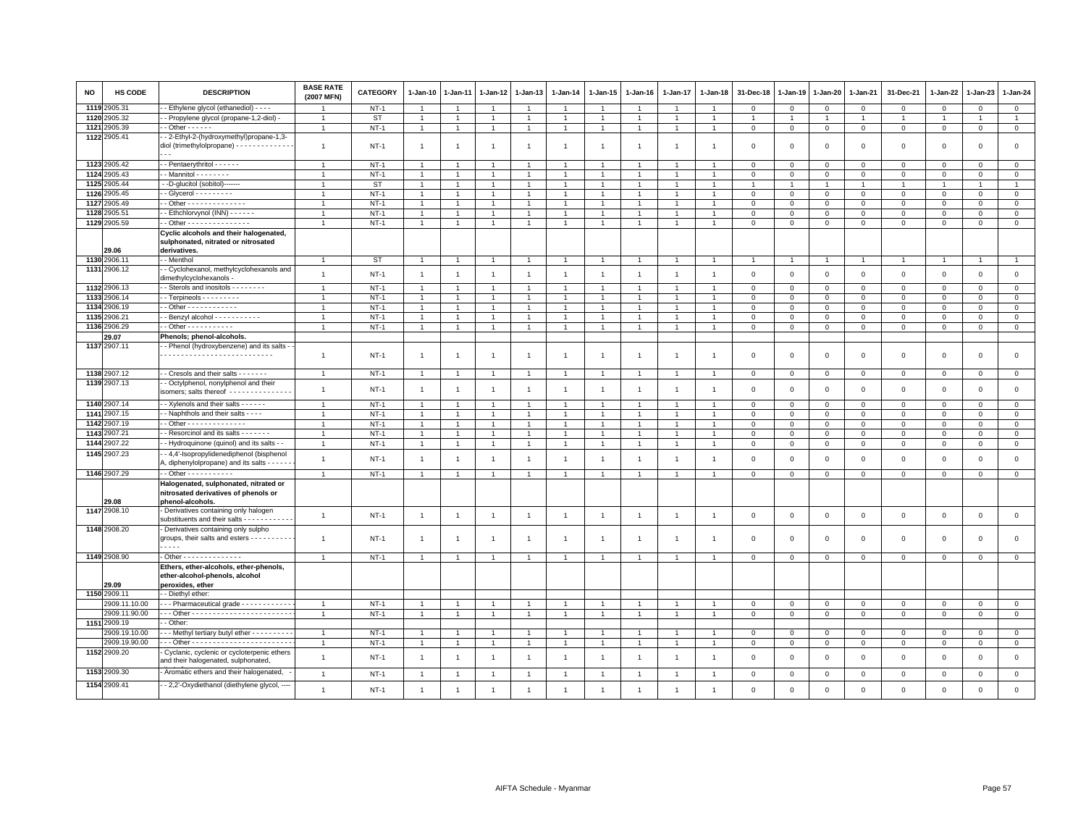| NO   | HS CODE       | <b>DESCRIPTION</b>                                                                                                | <b>BASE RATE</b><br>(2007 MFN) | CATEGORY  | 1-Jan-10       | 1-Jan-11       | 1-Jan-12       | 1-Jan-13       | 1-Jan-14       | 1-Jan-15       | 1-Jan-16       | 1-Jan-17       | 1-Jan-18       | 31-Dec-18               | 1-Jan-19       | 1-Jan-20       | 1-Jan-21       | 31-Dec-21      | 1-Jan-22       | 1-Jan-23       | 1-Jan-24       |
|------|---------------|-------------------------------------------------------------------------------------------------------------------|--------------------------------|-----------|----------------|----------------|----------------|----------------|----------------|----------------|----------------|----------------|----------------|-------------------------|----------------|----------------|----------------|----------------|----------------|----------------|----------------|
|      | 1119 2905.31  | - Ethylene glycol (ethanediol) - - - -                                                                            |                                | $NT-1$    |                |                | -1             | 1              | $\mathbf{1}$   |                |                |                |                | 0                       | $^{\circ}$     | $\mathbf 0$    | 0              | $\circ$        | 0              | $\circ$        | $\mathbf{0}$   |
| 1120 | 2905.32       | - Propylene glycol (propane-1,2-diol) -                                                                           | $\overline{1}$                 | ST        | $\overline{1}$ | $\overline{1}$ | $\overline{1}$ | $\overline{1}$ | $\overline{1}$ | $\mathbf{1}$   | $\overline{1}$ | $\mathbf{1}$   | $\overline{1}$ | $\mathbf{1}$            | $\overline{1}$ | $\overline{1}$ | $\overline{1}$ | $\overline{1}$ | $\overline{1}$ | $\overline{1}$ | $\overline{1}$ |
|      | 1121 2905.39  | $-$ Other $    -$                                                                                                 | $\overline{1}$                 | $NT-1$    | $\mathbf{1}$   | $\overline{1}$ | $\overline{1}$ | $\overline{1}$ | $\mathbf{1}$   | $\mathbf{1}$   | $\mathbf{1}$   | $\mathbf{1}$   | $\overline{1}$ | $\mathbf 0$             | $\mathbf{0}$   | $\mathbf{0}$   | $\overline{0}$ | $\circ$        | 0              | $\mathbf 0$    | $\mathbf 0$    |
|      | 1122 2905.41  | - 2-Ethyl-2-(hydroxymethyl)propane-1,3-<br>diol (trimethylolpropane) - - - - - - - - - - - - - -<br>$\sim$ $\sim$ | $\overline{1}$                 | $NT-1$    | $\overline{1}$ | $\overline{1}$ | $\overline{1}$ | $\overline{1}$ | $\mathbf{1}$   | $\overline{1}$ | -1             | $\overline{1}$ | $\overline{1}$ | $^{\circ}$              | $^{\circ}$     | $\mathbf 0$    | $\mathbf 0$    | $\mathbf 0$    | 0              | $\mathbf 0$    | $\mathbf{0}$   |
|      | 1123 2905.42  | - - Pentaerythritol - - - - - -                                                                                   |                                | $NT-1$    | $\overline{1}$ |                | -1             |                | $\mathbf{1}$   |                |                |                |                | $\mathbf 0$             | $^{\circ}$     | 0              | 0              | $\circ$        | 0              | $\mathbf 0$    | $\mathbf 0$    |
|      | 1124 2905.43  | - Mannitol - - - - - - - -                                                                                        | $\overline{1}$                 | $NT-1$    | $\mathbf{1}$   | $\mathbf{1}$   | $\mathbf{1}$   | $\mathbf{1}$   | $\mathbf{1}$   | 1              |                |                | $\overline{1}$ | $\mathbf 0$             | $\mathbf 0$    | $\mathbf 0$    | $\mathbf{0}$   | $\mathbf 0$    | $\mathbf 0$    | $\mathbf{0}$   | $\overline{0}$ |
|      | 1125 2905.44  | --D-glucitol (sobitol)-------                                                                                     | $\overline{1}$                 | <b>ST</b> | $\overline{1}$ | $\overline{1}$ | $\overline{1}$ | $\overline{1}$ | $\mathbf{1}$   | $\mathbf{1}$   | $\overline{1}$ | $\mathbf{1}$   | $\overline{1}$ | $\overline{1}$          | $\overline{1}$ | $\overline{1}$ | $\overline{1}$ | $\overline{1}$ | $\overline{1}$ | $\overline{1}$ | $\overline{1}$ |
|      | 1126 2905.45  | - Glycerol - - - - - - - - -                                                                                      |                                | $NT-1$    | $\overline{1}$ |                | 1              |                | $\overline{1}$ |                |                |                |                | $\mathbf 0$             | $\mathbf 0$    | $\mathbf 0$    | $\mathbf 0$    | $\mathbf 0$    | $\mathsf 0$    | $\mathsf 0$    | $\mathbf 0$    |
|      | 1127 2905.49  | $-$ Other - - - - - - - - - - - - - -                                                                             | $\mathbf{1}$                   | $NT-1$    | $\overline{1}$ | $\overline{1}$ | $\overline{1}$ | $\mathbf{1}$   | $\overline{1}$ |                |                |                | $\mathbf{1}$   | $\mathbf 0$             | $\mathbf 0$    | $\mathbf 0$    | 0              | $\circ$        | 0              | $\mathbf 0$    | $\mathbf 0$    |
|      | 1128 2905.51  | - Ethchlorvynol (INN) - - - - - -                                                                                 | $\overline{1}$                 | $NT-1$    | $\overline{1}$ | $\overline{1}$ | $\overline{1}$ | $\overline{1}$ | $\mathbf{1}$   | $\overline{1}$ |                |                | $\overline{1}$ | $\mathbf 0$             | $\mathbf 0$    | $\mathbf 0$    | $\Omega$       | $\mathsf 0$    | $\Omega$       | $\mathbf 0$    | $\mathbf 0$    |
|      | 1129 2905.59  | $-$ Other - - - - - - - - - - - - - - -                                                                           | $\overline{1}$                 | $NT-1$    | $\mathbf{1}$   | $\overline{1}$ | $\overline{1}$ | $\overline{1}$ | $\mathbf{1}$   | $\mathbf{1}$   | $\overline{1}$ | $\mathbf{1}$   | $\overline{1}$ | $\mathbf 0$             | $\mathsf 0$    | $\mathbf 0$    | $\mathbf 0$    | $\mathbf 0$    | $\mathsf 0$    | $\mathsf 0$    | $\circ$        |
|      | 29.06         | Cyclic alcohols and their halogenated,<br>sulphonated, nitrated or nitrosated<br>derivatives.                     |                                |           |                |                |                |                |                |                |                |                |                |                         |                |                |                |                |                |                |                |
|      | 1130 2906.11  | - Menthol                                                                                                         | $\overline{1}$                 | <b>ST</b> | $\overline{1}$ | $\overline{1}$ | $\overline{1}$ | $\overline{1}$ | $\overline{1}$ | $\overline{1}$ | -1             |                |                | $\overline{1}$          | $\overline{1}$ | $\overline{1}$ | $\overline{1}$ | $\overline{1}$ | $\mathbf{1}$   | $\overline{1}$ | $\overline{1}$ |
|      | 1131 2906.12  | - Cyclohexanol, methylcyclohexanols and<br>dimethylcyclohexanols -                                                | $\overline{1}$                 | $NT-1$    | $\overline{1}$ | $\overline{1}$ | $\overline{1}$ | $\overline{1}$ | $\mathbf{1}$   | $\overline{1}$ | $\overline{1}$ | $\overline{1}$ | $\overline{1}$ | $\Omega$                | $\overline{0}$ | $\Omega$       | $\circ$        | $\mathbf 0$    | $\mathbf 0$    | $\mathbf 0$    | $\mathbf{0}$   |
|      | 1132 2906.13  | - Sterols and inositols - - - - - - -                                                                             | $\overline{1}$                 | $NT-1$    | $\overline{1}$ | $\overline{1}$ | $\overline{1}$ | -1             | $\overline{1}$ |                |                |                |                | $\mathbf 0$             | $\mathbf 0$    | $\mathbf 0$    | 0              | $\mathbf 0$    | $\Omega$       | $\mathbf 0$    | $\overline{0}$ |
|      | 1133 2906.14  | $-$ Terpineols $       -$                                                                                         | -1                             | $NT-1$    | $\overline{1}$ |                | $\mathbf{1}$   | $\mathbf{1}$   | $\mathbf{1}$   | 1              |                |                |                | $\mathbf 0$             | $\mathbf 0$    | $\mathbf 0$    | $\mathbf 0$    | $\mathbf 0$    | 0              | $\mathbf 0$    | $\mathbf{0}$   |
|      | 1134 2906.19  | $-$ Other - - - - - - - - - - - -                                                                                 | $\overline{1}$                 | $NT-1$    | $\overline{1}$ | $\overline{1}$ | $\overline{1}$ | $\overline{1}$ | $\mathbf{1}$   | $\mathbf{1}$   | $\overline{1}$ | $\overline{1}$ | $\overline{1}$ | $\mathbf 0$             | $\overline{0}$ | $\mathbf 0$    | $\mathbf 0$    | $\mathbf 0$    | $\mathsf 0$    | $\mathbf 0$    | $\mathbf 0$    |
|      | 1135 2906.21  | - Benzyl alcohol - - - - - - - - - - -                                                                            | $\overline{1}$                 | $NT-1$    | $\mathbf{1}$   | $\overline{1}$ | $\overline{1}$ | $\mathbf{1}$   | $\mathbf{1}$   | $\overline{1}$ | $\overline{1}$ |                | $\overline{1}$ | $\mathbf 0$             | $\mathbf 0$    | $\mathsf 0$    | $\mathbf 0$    | $\mathbf 0$    | 0              | $\mathbf 0$    | $\mathsf 0$    |
|      | 1136 2906.29  | $-$ Other $        -$                                                                                             | $\overline{1}$                 | $NT-1$    | $\mathbf{1}$   | $\overline{1}$ | $\overline{1}$ | -1             | $\mathbf{1}$   | 1              | -1             |                | -1             | $\mathbf 0$             | 0              | $\mathbf{0}$   | 0              | $^{\circ}$     | 0              | $\mathbf{0}$   | $\mathbf{0}$   |
|      | 29.07         | Phenols; phenol-alcohols.                                                                                         |                                |           |                |                |                |                |                |                |                |                |                |                         |                |                |                |                |                |                |                |
|      | 1137 2907.11  | - Phenol (hydroxybenzene) and its salts -                                                                         | $\mathbf{1}$                   | $NT-1$    | $\overline{1}$ | $\mathbf{1}$   | $\overline{1}$ | $\overline{1}$ | $\overline{1}$ | $\mathbf{1}$   | -1             | $\mathbf{1}$   | -1             | $\mathbf 0$             | $\mathbf 0$    | $\mathbf 0$    | $\mathbf 0$    | $\mathbf 0$    | $\mathsf 0$    | $\mathsf 0$    | $\mathbf 0$    |
|      | 1138 2907.12  | - - Cresols and their salts - - - - - - -                                                                         | $\overline{1}$                 | $NT-1$    | $\overline{1}$ | $\overline{1}$ | $\overline{1}$ | $\overline{1}$ | $\mathbf{1}$   | $\overline{1}$ | $\overline{1}$ | $\overline{1}$ | $\overline{1}$ | $\mathbf 0$             | $\mathbf{0}$   | $\mathbf 0$    | $\mathbf{0}$   | $\mathbf 0$    | $\mathbf 0$    | $\mathbf 0$    | $\circ$        |
|      | 1139 2907.13  | - Octylphenol, nonylphenol and their<br>isomers; salts thereof -------------                                      | $\mathbf{1}$                   | $NT-1$    | $\overline{1}$ | $\overline{1}$ | $\overline{1}$ | $\mathbf{1}$   | $\mathbf{1}$   | $\overline{1}$ | $\overline{1}$ | $\mathbf{1}$   | $\mathbf{1}$   | $\mathbf 0$             | $\mathbf 0$    | $\mathsf 0$    | $\mathbf 0$    | $\mathbf 0$    | $\mathsf 0$    | $\mathsf 0$    | $\mathsf 0$    |
|      | 1140 2907.14  | - - Xylenols and their salts - - - - - -                                                                          | $\overline{1}$                 | $NT-1$    | $\overline{1}$ |                | $\overline{1}$ | $\mathbf{1}$   | $\overline{1}$ | $\mathbf{1}$   |                |                |                | $\Omega$                | $\Omega$       | $\Omega$       | $\mathbf 0$    | $\mathbf{0}$   | $\mathbf 0$    | $\mathbf 0$    | $\mathbf{0}$   |
|      | 1141 2907.15  | - Naphthols and their salts - - - -                                                                               | $\overline{1}$                 | $NT-1$    | $\overline{1}$ | $\overline{1}$ | $\overline{1}$ | $\overline{1}$ | $\overline{1}$ | $\mathbf{1}$   | $\overline{1}$ | $\overline{1}$ | $\overline{1}$ | $\mathbf 0$             | $\mathsf 0$    | $\mathbf 0$    | $\mathbf{0}$   | $\mathbf 0$    | $\mathsf 0$    | $\mathbf 0$    | $\circ$        |
|      | 1142 2907.19  | $-$ Other - - - - - - - - - - - - - -                                                                             | $\overline{1}$                 | $NT-1$    | $\overline{1}$ | $\overline{1}$ |                | $\overline{1}$ | $\overline{1}$ |                |                |                |                | $\mathbf 0$             | $\mathbf 0$    | $\mathbf 0$    | $\mathbf{0}$   | $\mathbf 0$    | $\Omega$       | $\mathbf 0$    | $\mathsf 0$    |
|      | 1143 2907.21  | - Resorcinol and its salts - - - - - - -                                                                          | $\overline{1}$                 | $NT-1$    | $\mathbf{1}$   | $\overline{1}$ | $\overline{1}$ | $\mathbf{1}$   | $\mathbf{1}$   | $\overline{1}$ |                |                |                | $\Omega$                | $\Omega$       | $\mathbf 0$    | $\Omega$       | $\mathbf{0}$   | $\mathbf 0$    | $\mathbf 0$    | $\mathbf 0$    |
|      | 1144 2907.22  | - Hydroquinone (quinol) and its salts -                                                                           | $\overline{1}$                 | $NT-1$    | $\overline{1}$ | $\overline{1}$ | $\overline{1}$ | $\overline{1}$ | $\mathbf{1}$   | $\overline{1}$ | $\overline{1}$ | $\overline{1}$ | $\overline{1}$ | $\overline{0}$          | $\overline{0}$ | $\mathbf 0$    | $\circ$        | $\mathbf 0$    | $\mathbf 0$    | $\mathbf 0$    | $\mathbf 0$    |
|      | 1145 2907.23  | - 4,4'-Isopropylidenediphenol (bisphenol<br>A, diphenylolpropane) and its salts - - - - -                         | $\overline{1}$                 | $NT-1$    | $\overline{1}$ | $\overline{1}$ | $\overline{1}$ | $\overline{1}$ | $\overline{1}$ | $\overline{1}$ | -1             | $\mathbf{1}$   |                | $\mathbf 0$             | $\mathbf 0$    | $\Omega$       | $\Omega$       | $\mathbf 0$    | $\Omega$       | $\mathbf 0$    | $\mathsf 0$    |
|      | 1146 2907.29  |                                                                                                                   | $\overline{1}$                 | $NT-1$    | $\overline{1}$ | $\overline{1}$ | $\overline{1}$ | $\overline{1}$ | $\overline{1}$ | $\overline{1}$ | $\overline{1}$ | $\overline{1}$ | $\overline{1}$ | $\mathbf 0$             | $\overline{0}$ | $\mathsf 0$    | $\mathbf 0$    | $\mathbf 0$    | $\mathsf 0$    | $\mathsf 0$    | $\overline{0}$ |
|      | 29.08         | Halogenated, sulphonated, nitrated or<br>nitrosated derivatives of phenols or<br>phenol-alcohols.                 |                                |           |                |                |                |                |                |                |                |                |                |                         |                |                |                |                |                |                |                |
|      | 1147 2908.10  | - Derivatives containing only halogen<br>substituents and their salts - - - - - - - - - - -                       | $\overline{1}$                 | $NT-1$    | $\overline{1}$ | $\overline{1}$ | $\overline{1}$ | $\overline{1}$ | $\mathbf{1}$   | $\overline{1}$ | $\overline{1}$ | $\overline{1}$ | $\overline{1}$ | $\mathbf 0$             | $\overline{0}$ | $\mathsf 0$    | $\mathbf 0$    | $\mathbf 0$    | $\mathsf 0$    | $\mathsf 0$    | $\mathbf 0$    |
|      | 1148 2908.20  | Derivatives containing only sulpho<br>groups, their salts and esters - - - - - - - - - -<br>.                     | $\overline{1}$                 | $NT-1$    | $\overline{1}$ | $\overline{1}$ | $\overline{1}$ | $\overline{1}$ | $\overline{1}$ | $\overline{1}$ | -1             | $\mathbf{1}$   | $\overline{1}$ | $\overline{\mathbf{0}}$ | $\overline{0}$ | $\mathbf 0$    | $\mathbf 0$    | $\mathbf 0$    | $\mathsf 0$    | $\mathsf 0$    | $\mathbf{0}$   |
|      | 1149 2908.90  | Other - - - - - - - - - - - - - -                                                                                 | $\mathbf{1}$                   | $NT-1$    | $\overline{1}$ | $\mathbf{1}$   | $\mathbf{1}$   | $\mathbf{1}$   | $\overline{1}$ | $\overline{1}$ |                |                |                | $\mathbf 0$             | $\mathsf 0$    | $\mathbf 0$    | $\mathbf 0$    | $\mathbf 0$    | $\mathsf 0$    | $\mathsf 0$    | $\circ$        |
|      | 29.09         | Ethers, ether-alcohols, ether-phenols,<br>ether-alcohol-phenols, alcohol<br>peroxides, ether                      |                                |           |                |                |                |                |                |                |                |                |                |                         |                |                |                |                |                |                |                |
|      | 1150 2909.11  | - Diethyl ether:                                                                                                  |                                |           |                |                |                |                |                |                |                |                |                |                         |                |                |                |                |                |                |                |
|      | 2909.11.10.00 | - - Pharmaceutical grade - - - - - - - - - - -                                                                    | $\overline{1}$                 | $NT-1$    | $\overline{1}$ | $\overline{1}$ | $\overline{1}$ | $\overline{1}$ | $\mathbf{1}$   | $\overline{1}$ | $\overline{1}$ | $\overline{1}$ | $\overline{1}$ | $\mathbf 0$             | $\mathsf 0$    | $\mathbf 0$    | $\mathbf 0$    | $\mathbf 0$    | $\mathsf 0$    | $\mathbf 0$    | $\circ$        |
|      | 2909.11.90.00 |                                                                                                                   | $\overline{1}$                 | $NT-1$    | $\overline{1}$ | $\overline{1}$ | $\overline{1}$ | $\overline{1}$ | $\overline{1}$ |                |                |                | $\overline{1}$ | $\mathbf 0$             | $\overline{0}$ | $\mathsf 0$    | $\mathsf 0$    | $\mathbf 0$    | $\mathbf 0$    | $\mathsf 0$    | $\mathsf 0$    |
|      | 1151 2909.19  | - Other:                                                                                                          |                                |           |                |                |                |                |                |                |                |                |                |                         |                |                |                |                |                |                |                |
|      | 2909.19.10.00 | - - Methyl tertiary butyl ether - - - - - - - - -                                                                 | $\overline{1}$                 | $NT-1$    | $\overline{1}$ | $\overline{1}$ | $\overline{1}$ | $\overline{1}$ | $\overline{1}$ |                |                |                |                | $^{\circ}$              | $^{\circ}$     | $\mathbf 0$    | $\Omega$       | $\Omega$       | $\Omega$       | $\mathbf 0$    | $\mathbf 0$    |
|      | 2909.19.90.00 |                                                                                                                   | $\overline{1}$                 | $NT-1$    | $\overline{1}$ | $\overline{1}$ | $\overline{1}$ | $\overline{1}$ | $\mathbf{1}$   | 1              |                | $\overline{1}$ | $\overline{1}$ | $\mathbf 0$             | $\mathbf 0$    | $\mathsf 0$    | $\mathbf 0$    | $\mathbf 0$    | $\mathsf 0$    | $\mathsf 0$    | $\mathbf 0$    |
|      | 1152 2909.20  | Cyclanic, cyclenic or cycloterpenic ethers<br>and their halogenated, sulphonated,                                 | $\overline{1}$                 | $NT-1$    | $\overline{1}$ |                | $\overline{1}$ | $\overline{1}$ | $\mathbf{1}$   | $\overline{1}$ | -1             | $\overline{1}$ |                | $\mathbf 0$             | $\mathbf 0$    | $\mathbf 0$    | $\Omega$       | $\mathbf 0$    | $\Omega$       | $\mathsf 0$    | $\mathsf 0$    |
|      | 1153 2909.30  | Aromatic ethers and their halogenated,                                                                            | $\overline{1}$                 | $NT-1$    | $\overline{1}$ | $\overline{1}$ | $\overline{1}$ | $\overline{1}$ | $\overline{1}$ | $\overline{1}$ | $\overline{1}$ | $\overline{1}$ | $\overline{1}$ | $\mathbf{0}$            | $\Omega$       | $\mathsf 0$    | $\mathbf 0$    | $\mathbf{0}$   | $\mathbf 0$    | $\mathbf 0$    | $\mathbf 0$    |
|      | 1154 2909.41  | - 2,2'-Oxydiethanol (diethylene glycol, ----                                                                      | $\overline{1}$                 | $NT-1$    |                | $\overline{1}$ | $\overline{1}$ | $\overline{1}$ | $\overline{1}$ | $\overline{1}$ | -1             | -1             | $\overline{1}$ | $\Omega$                | $\Omega$       | $\Omega$       | $\Omega$       | $\mathbf 0$    | $\mathbf 0$    | $\mathbf 0$    | $\Omega$       |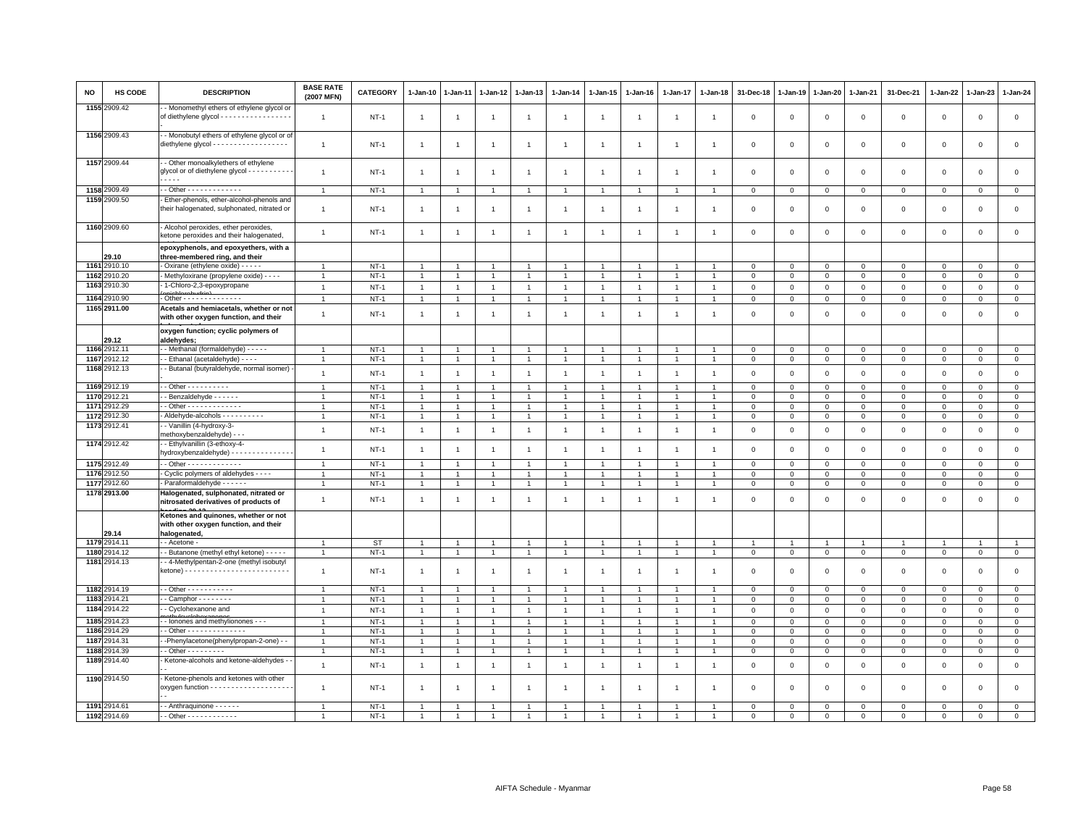| 1155 2909.42<br>- Monomethyl ethers of ethylene glycol or<br>of diethylene glycol - - - - - - - - - - - - - - - - -<br>$NT-1$<br>$\mathbf 0$<br>$\mathbf 0$<br>$\mathbf 0$<br>$\mathbf 0$<br>$\mathsf 0$<br>$\mathbf 0$<br>$\mathsf 0$<br>$\mathbf{1}$<br>$\overline{1}$<br>$\mathbf{1}$<br>-1<br>-1<br>$\overline{1}$<br>$\overline{1}$<br>$\mathbf{1}$<br>$\overline{1}$<br>-1<br>1156 2909.43<br>- Monobutyl ethers of ethylene glycol or of<br>diethylene glycol - - - - - - - - - - - - - - - - - -<br>$\mathbf{1}$<br>$NT-1$<br>$\overline{1}$<br>$\mathbf{1}$<br>$\overline{1}$<br>$\overline{1}$<br>$\Omega$<br>$\Omega$<br>$\Omega$<br>$\mathbf 0$<br>$\mathbf 0$<br>$\mathbf 0$<br>$\mathbf 0$<br>$\overline{1}$<br>$\overline{1}$<br>$\overline{1}$<br>$\overline{1}$<br>$\overline{1}$<br>1157 2909.44<br>- Other monoalkylethers of ethylene<br>glycol or of diethylene glycol - - - - - - - - -<br>$\mathbf{1}$<br>$NT-1$<br>$\overline{1}$<br>$\mathbf{1}$<br>$\overline{1}$<br>$\overline{1}$<br>$\mathbf 0$<br>$\mathbf 0$<br>$\mathbf 0$<br>$\mathbf 0$<br>$\mathsf 0$<br>$\mathbf 0$<br>$\mathsf 0$<br>$\overline{1}$<br>$\overline{1}$<br>$\overline{1}$<br>$\overline{1}$<br>----<br>1158 2909.49<br>$-$ Other - - - - - - - - - - - - -<br>$NT-1$<br>$\mathbf 0$<br>$\mathbf 0$<br>$\mathbf{0}$<br>$\mathbf{0}$<br>$\mathbf 0$<br>$\mathbf{0}$<br>$\overline{1}$<br>$\overline{1}$<br>$\overline{1}$<br>0<br>-1<br>-1<br>$\overline{1}$<br>$\mathbf{1}$<br>$\overline{1}$<br>$\mathbf{1}$<br>$\overline{1}$<br>1159 2909.50<br>Ether-phenols, ether-alcohol-phenols and<br>their halogenated, sulphonated, nitrated or<br>$NT-1$<br>$\mathsf 0$<br>$\overline{0}$<br>$\mathbf 0$<br>$\mathbf 0$<br>$\mathbf 0$<br>$\mathbf 0$<br>$\mathbf 0$<br>$\overline{1}$<br>$\overline{1}$<br>$\overline{1}$<br>$\overline{1}$<br>$\overline{1}$<br>-1<br>$\overline{1}$<br>$\overline{1}$<br>$\overline{1}$<br>-1<br>1160 2909.60<br>Alcohol peroxides, ether peroxides,<br>$NT-1$<br>$\mathbf 0$<br>$\mathbf 0$<br>$\mathbf 0$<br>$\mathbf 0$<br>$\mathsf 0$<br>$\mathsf 0$<br>$\mathsf 0$<br>$\mathbf{1}$<br>$\overline{1}$<br>$\overline{1}$<br>$\overline{1}$<br>$\overline{1}$<br>$\overline{1}$<br>$\overline{1}$<br>-1<br>$\overline{1}$<br>$\overline{1}$<br>ketone peroxides and their halogenated<br>epoxyphenols, and epoxyethers, with a<br>29.10<br>three-membered ring, and their<br>1161 2910.10<br>Oxirane (ethylene oxide) - - - - -<br>$NT-1$<br>$\overline{1}$<br>$\mathbf{1}$<br>$\overline{1}$<br>$\overline{1}$<br>$\overline{1}$<br>$\mathbf 0$<br>$\overline{0}$<br>$\mathbf 0$<br>$\mathbf 0$<br>$\mathsf 0$<br>$\mathbf 0$<br>$\mathbf 0$<br>$\overline{1}$<br>$\overline{1}$<br>$\overline{1}$<br>$\overline{1}$<br>1162<br>2910.20<br>Methyloxirane (propylene oxide) - - - -<br>$NT-1$<br>$\mathbf 0$<br>$\mathbf 0$<br>$\mathbf 0$<br>$\mathbf{1}$<br>$\overline{1}$<br>$\mathbf{1}$<br>$\mathbf{0}$<br>0<br>$^{\circ}$<br>$\mathbf{0}$<br>$\overline{1}$<br>1<br>$\overline{1}$<br>$\overline{1}$<br>$\mathbf{1}$<br>1<br>1163<br>2910.30<br>1-Chloro-2,3-epoxypropane<br>$NT-1$<br>$\mathbf{1}$<br>$\overline{1}$<br>$\mathbf{1}$<br>$\mathbf{1}$<br>$\mathbf{1}$<br>$\,0\,$<br>$\overline{1}$<br>$\overline{1}$<br>$\overline{1}$<br>$\mathbf{1}$<br>$\overline{1}$<br>$\mathbf 0$<br>$\mathbf 0$<br>$\mathbf 0$<br>$\mathsf 0$<br>$\mathbf 0$<br>$\mathsf 0$<br>1164 2910.90<br>- Other - - - - - - - - - - - - - -<br>$\overline{1}$<br>$NT-1$<br>$\overline{1}$<br>$\mathbf{1}$<br>$\mathbf{1}$<br>$\mathbf{1}$<br>$\mathbf 0$<br>$\mathbf 0$<br>$\overline{0}$<br>$\mathbf 0$<br>$\overline{0}$<br>$\mathsf 0$<br>$\mathsf 0$<br>$\mathbf{1}$<br>$\overline{1}$<br>$\overline{1}$<br>$\mathbf{1}$<br>$\overline{1}$<br>1165 2911.00<br>Acetals and hemiacetals, whether or not<br>$\mathsf 0$<br>$NT-1$<br>$\mathbf{1}$<br>$\mathbf 0$<br>$\mathbf 0$<br>$\mathbf 0$<br>$\mathsf 0$<br>$\mathsf 0$<br>$\mathsf 0$<br>$\mathbf{1}$<br>$\mathbf{1}$<br>$\overline{1}$<br>$\overline{1}$<br>$\overline{1}$<br>$\overline{1}$<br>$\overline{1}$<br>$\overline{1}$<br>$\overline{1}$<br>$\mathbf 0$<br>with other oxygen function, and their<br>oxygen function; cyclic polymers of<br>aldehydes;<br>29.12<br>1166 2912.11<br>- Methanal (formaldehyde) - - - - -<br>$NT-1$<br>$\mathbf 0$<br>$\mathbf 0$<br>$\mathbf{0}$<br>$\mathbf{1}$<br>$\mathbf{1}$<br>$\mathbf{0}$<br>$\mathbf{0}$<br>$\mathbf 0$<br>$\mathbf{0}$<br>$\mathbf{1}$<br>$\overline{1}$<br>$\mathbf{1}$<br>$\overline{1}$<br>$\mathbf{1}$<br>1<br>$\mathbf{1}$<br>$\overline{1}$<br>1167 2912.12<br>- Ethanal (acetaldehyde) - - - -<br>$NT-1$<br>$\mathbf{1}$<br>$\mathbf{1}$<br>$\overline{1}$<br>$\overline{1}$<br>$\mathbf{1}$<br>$\mathbf{1}$<br>$\mathbf{1}$<br>$\mathbf{1}$<br>$\overline{1}$<br>$\mathsf 0$<br>$\circ$<br>$\circ$<br>$\circ$<br>$\circ$<br>$\mathsf 0$<br>$\mathsf 0$<br>$\overline{1}$<br>1168 2912.13<br>- Butanal (butyraldehyde, normal isomer)<br>$NT-1$<br>$\mathbf{1}$<br>$\mathbf{1}$<br>$\mathbf{1}$<br>$\mathbf 0$<br>$\mathbf 0$<br>$\mathbb O$<br>$\mathbf 0$<br>$\mathsf 0$<br>$\mathsf 0$<br>$\mathbf 0$<br>$\overline{1}$<br>$\overline{1}$<br>$\overline{1}$<br>$\mathbf{1}$<br>$\overline{1}$<br>$\mathbf{1}$<br>$\overline{1}$<br>1169 2912.19<br>$-$ Other $        -$<br>$NT-1$<br>$\mathbf 0$<br>$\mathbf 0$<br>$\mathbf 0$<br>$\mathbf 0$<br>$\mathsf 0$<br>$\mathsf 0$<br>$\overline{1}$<br>$\overline{1}$<br>$\overline{1}$<br>$\overline{1}$<br>$\overline{1}$<br>$\overline{1}$<br>$\overline{1}$<br>$\overline{1}$<br>$\overline{1}$<br>$\mathbf{1}$<br>0<br>1170<br>2912.21<br>- Benzaldehyde - - - - - -<br>$NT-1$<br>$\mathbf 0$<br>$\circ$<br>$\mathbf{0}$<br>$\Omega$<br>$\mathbf 0$<br>$\mathbf 0$<br>$\overline{1}$<br>-1<br>$\overline{1}$<br>$\overline{1}$<br>$\overline{1}$<br>$\overline{1}$<br>$\mathbf{1}$<br>1<br>$\mathbf{1}$<br>$\overline{1}$<br>$\Omega$<br>1171<br>- Other - - - - - - - - - - - - -<br>2912.29<br>$NT-1$<br>$\mathsf 0$<br>$\mathsf 0$<br>$\mathsf 0$<br>$\mathbf{1}$<br>$\mathbf{1}$<br>$\overline{1}$<br>$\overline{1}$<br>$\overline{1}$<br>$\overline{1}$<br>$\overline{1}$<br>$\mathbf{1}$<br>$\mathbf{1}$<br>$\overline{1}$<br>$\mathbf 0$<br>$\mathsf 0$<br>$\mathbf 0$<br>$\mathsf 0$<br>1172 2912.30<br>- Aldehyde-alcohols - - - - - - - - -<br>$NT-1$<br>$\overline{1}$<br>$\mathbf{1}$<br>$\mathbf{1}$<br>$\mathbf{1}$<br>$\mathbf 0$<br>$\mathsf 0$<br>$\mathsf 0$<br>$\mathsf 0$<br>$\mathbf{1}$<br>$\overline{1}$<br>$\mathbf{1}$<br>$\overline{1}$<br>$\mathbf{1}$<br>$\overline{1}$<br>$\mathsf 0$<br>$\Omega$<br>$\mathsf 0$<br>1173 2912.41<br>- Vanillin (4-hydroxy-3-<br>$NT-1$<br>$\overline{1}$<br>$\overline{1}$<br>$\overline{1}$<br>$\overline{1}$<br>$\overline{1}$<br>$\overline{1}$<br>$\overline{1}$<br>$\overline{1}$<br>$\mathbf{1}$<br>$\overline{1}$<br>$\mathbf 0$<br>$\mathbf 0$<br>$\mathsf 0$<br>$\mathbf 0$<br>$\mathsf 0$<br>$\mathbf 0$<br>$\mathsf 0$<br>methoxybenzaldehyde) - -<br>1174 2912.42<br>- Ethylvanillin (3-ethoxy-4-<br>$\mathbf 0$<br>$\overline{1}$<br>$NT-1$<br>$\overline{1}$<br>$\overline{1}$<br>$\overline{1}$<br>$\overline{1}$<br>$\overline{1}$<br>$\Omega$<br>$\overline{0}$<br>$\mathbf 0$<br>$\mathbf 0$<br>$\mathbf 0$<br>$\mathbf 0$<br>$\overline{1}$<br>$\overline{1}$<br>$\overline{1}$<br>$\overline{1}$<br>hydroxybenzaldehyde) - - - - - - - - - - - - - -<br>- Other - - - - - - - - - - - - -<br>1175 2912.49<br>$NT-1$<br>$\mathsf 0$<br>$\mathsf 0$<br>$\mathsf 0$<br>$\overline{1}$<br>$\overline{1}$<br>$\mathbf{1}$<br>$\overline{1}$<br>$\overline{1}$<br>$\overline{1}$<br>$\overline{1}$<br>$\overline{1}$<br>$\overline{1}$<br>$\mathbf 0$<br>$\overline{0}$<br>$\mathbf 0$<br>$\mathsf 0$<br>$\overline{1}$<br>11762<br>2912.50<br>Cyclic polymers of aldehydes - - - -<br>$NT-1$<br>$\mathbf 0$<br>$\mathbf 0$<br>$\mathbf{0}$<br>$\Omega$<br>$^{\circ}$<br>$^{\circ}$<br>$^{\circ}$<br>$\overline{1}$<br>1<br>$\overline{1}$<br>$\mathbf{1}$<br>$\overline{1}$<br>$\overline{1}$<br>$\mathbf{1}$<br>1<br>$\mathbf{1}$<br>-1<br>1177 2912.60<br>Paraformaldehyde - - - - - -<br>$NT-1$<br>$\overline{1}$<br>$\mathbf 0$<br>$\mathbf 0$<br>$\mathbf{0}$<br>$\mathbf 0$<br>$\mathbf 0$<br>$\mathbf 0$<br>$\mathsf 0$<br>$\overline{1}$<br>$\mathbf{1}$<br>$\overline{1}$<br>$\overline{1}$<br>$\overline{1}$<br>$\mathbf{1}$<br>$\mathbf{1}$<br>$\overline{1}$<br>$\overline{1}$<br>1178 2913.00<br>Halogenated, sulphonated, nitrated or<br>$NT-1$<br>$\mathsf 0$<br>$\mathsf 0$<br>$\mathbf{1}$<br>$\mathbf 0$<br>$\mathbf 0$<br>$\mathsf 0$<br>$\mathbf 0$<br>$\mathsf 0$<br>$\mathbf{1}$<br>$\overline{1}$<br>$\overline{1}$<br>$\overline{1}$<br>$\mathbf{1}$<br>$\overline{1}$<br>$\overline{1}$<br>$\overline{1}$<br>$\overline{1}$<br>nitrosated derivatives of products of<br>caling 20.43<br>Ketones and quinones, whether or not<br>with other oxygen function, and their<br>29.14<br>halogenated,<br>1179 2914.11<br>- Acetone -<br><b>ST</b><br>$\overline{1}$<br>$\overline{1}$<br>1<br>$\mathbf{1}$<br>-1<br>$\overline{1}$<br>-1<br>-1<br>-1<br>1<br>-1<br>1180 2914.12<br>- Butanone (methyl ethyl ketone) - - - - -<br>$NT-1$<br>$\mathbf 0$<br>$\Omega$<br>$\mathbf 0$<br>$\mathbf 0$<br>$\mathsf 0$<br>$\mathbf 0$<br>$\mathsf 0$<br>$\overline{1}$<br>$\overline{1}$<br>$\overline{1}$<br>$\overline{1}$<br>$\overline{1}$<br>$\overline{1}$<br>1<br>$\overline{1}$<br>$\mathbf{1}$<br>1181 2914.13<br>- 4-Methylpentan-2-one (methyl isobutyl<br>$NT-1$<br>$\mathbf{1}$<br>$\overline{1}$<br>$\mathbf 0$<br>$\overline{0}$<br>$\mathbf 0$<br>$\mathbf 0$<br>$\mathsf 0$<br>$\mathbf 0$<br>$\mathsf 0$<br>$\overline{1}$<br>$\overline{1}$<br>$\overline{1}$<br>$\overline{1}$<br>$\overline{1}$<br>$\overline{1}$<br>$\overline{1}$<br>$\overline{1}$<br>1182 2914.19<br>$-$ Other $        -$<br>$NT-1$<br>$\overline{1}$<br>$\Omega$<br>$\Omega$<br>$\mathbf 0$<br>$\mathbf 0$<br>$\mathbf 0$<br>$\mathbf 0$<br>$\mathbf 0$<br>$\overline{1}$<br>$\mathbf{1}$<br>$\overline{1}$<br>$\mathbf{1}$<br>1<br>1183 2914.21<br>$-$ Camphor $- - - - - - -$<br>$NT-1$<br>$\mathbf 0$<br>$\mathbf{1}$<br>$\mathbf 0$<br>$\mathbf{0}$<br>$\mathbf{0}$<br>$\mathbf 0$<br>$\mathbf 0$<br>$\overline{1}$<br>$\mathbf{1}$<br>$\overline{1}$<br>$\overline{1}$<br>$\overline{1}$<br>$\mathbf{1}$<br>$\overline{1}$<br>$\overline{1}$<br>$\overline{1}$<br>$\mathbf{0}$<br>1184 2914.22<br>- Cyclohexanone and<br>$NT-1$<br>$\mathbf{1}$<br>$\overline{1}$<br>$\mathbf{1}$<br>$\overline{1}$<br>$\overline{1}$<br>$\overline{1}$<br>$\overline{1}$<br>$\overline{1}$<br>$\mathbf{1}$<br>$\overline{1}$<br>$\mathbf 0$<br>$\mathbf 0$<br>$\mathbf 0$<br>$\mathbf 0$<br>$\mathsf 0$<br>$\mathbf 0$<br>$\mathsf 0$<br>1185 2914.23<br>- lonones and methylionones - - -<br>$NT-1$<br>$\mathbf 0$<br>$\mathbf 0$<br>$\mathbf 0$<br>$\mathbf 0$<br>$\mathsf 0$<br>$\overline{1}$<br>$\overline{1}$<br>$\overline{1}$<br>$\overline{1}$<br>$\overline{1}$<br>$\overline{1}$<br>$\overline{1}$<br>$\overline{1}$<br>$\overline{1}$<br>$\overline{1}$<br>0<br>0<br>1186<br>2914.29<br>- Other - - - - - - - - - - - - -<br>$NT-1$<br>$\overline{1}$<br>$\overline{1}$<br>$\overline{1}$<br>$\overline{0}$<br>$\overline{0}$<br>$\overline{1}$<br>$\overline{1}$<br>$\overline{1}$<br>$\blacktriangleleft$<br>$\overline{1}$<br>$\overline{1}$<br>$\mathbf 0$<br>$\mathbf{0}$<br>$\mathsf 0$<br>$\Omega$<br>$\mathbf 0$<br>$\overline{1}$<br>1187<br>2914.31<br>-Phenylacetone(phenylpropan-2-one) - -<br>$NT-1$<br>$\mathsf 0$<br>$\mathsf 0$<br>$\mathsf 0$<br>$\mathsf 0$<br>$\overline{1}$<br>$\overline{1}$<br>$\overline{1}$<br>$\overline{1}$<br>$\overline{1}$<br>$\overline{1}$<br>$\overline{1}$<br>$\mathbf{1}$<br>$\mathbf{1}$<br>$\overline{1}$<br>$\mathbf 0$<br>$\mathbf 0$<br>$\mathsf 0$<br>1188 2914.39<br>$-$ Other $        -$<br>$NT-1$<br>$\mathsf 0$<br>$\mathsf 0$<br>$\mathbf{1}$<br>$\mathbf{1}$<br>$\mathbf 0$<br>$\mathbf 0$<br>$\mathsf 0$<br>$\mathsf 0$<br>$\mathsf{O}$<br>$\overline{1}$<br>$\mathbf{1}$<br>$\overline{1}$<br>$\mathbf{1}$<br>$\mathbf{1}$<br>$\mathbf{1}$<br>$\mathbf{1}$<br>$\overline{1}$<br>1189 2914.40<br>- Ketone-alcohols and ketone-aldehydes -<br>$\overline{1}$<br>$NT-1$<br>$\mathbf{1}$<br>$\mathbf{1}$<br>$\mathbf 0$<br>$\mathbf 0$<br>$\mathbb O$<br>$\mathsf 0$<br>$\mathsf 0$<br>$\mathsf 0$<br>$\mathbf 0$<br>$\overline{1}$<br>$\overline{1}$<br>$\overline{1}$<br>$\mathbf{1}$<br>$\overline{1}$<br>$\mathbf{1}$<br>$\overline{1}$<br>1190 2914.50<br>Ketone-phenols and ketones with other<br>$\overline{1}$<br>$NT-1$<br>$\mathbf{1}$<br>$\mathbf{1}$<br>$\mathbf 0$<br>$\mathbf 0$<br>$\mathbf 0$<br>$\mathbf 0$<br>$\mathsf 0$<br>$\mathbf 0$<br>$\mathsf 0$<br>$\overline{1}$<br>$\overline{1}$<br>$\mathbf{1}$<br>$\mathbf{1}$<br>1191 2914.61<br>$-$ Anthraquinone $    -$<br>$NT-1$<br>$\mathbf{0}$<br>$\Omega$<br>$\Omega$<br>$\Omega$<br>$\Omega$<br>$\Omega$<br>$\Omega$<br>$\overline{1}$<br>$\mathbf{1}$<br>1192 2914.69<br>- - Other - - - - - - - - - - - -<br>$NT-1$<br>$\Omega$<br>$\mathbf 0$<br>$\mathbf 0$<br>$\mathbf 0$<br>$\mathbf 0$<br>$\overline{1}$<br>$\Omega$<br>$\Omega$ | <b>NO</b> | <b>HS CODE</b> | <b>DESCRIPTION</b> | <b>BASE RATE</b><br>(2007 MFN) | <b>CATEGORY</b> | 1-Jan-10 | 1-Jan-11 | 1-Jan-12 | $1-Jan-13$ | 1-Jan-14 | 1-Jan-15 | 1-Jan-16 | 1-Jan-17 | $1-Jan-18$ | 31-Dec-18 | $1-Jan-19$ | 1-Jan-20 | 1-Jan-21 | 31-Dec-21 | 1-Jan-22 | 1-Jan-23 | 1-Jan-24       |
|---------------------------------------------------------------------------------------------------------------------------------------------------------------------------------------------------------------------------------------------------------------------------------------------------------------------------------------------------------------------------------------------------------------------------------------------------------------------------------------------------------------------------------------------------------------------------------------------------------------------------------------------------------------------------------------------------------------------------------------------------------------------------------------------------------------------------------------------------------------------------------------------------------------------------------------------------------------------------------------------------------------------------------------------------------------------------------------------------------------------------------------------------------------------------------------------------------------------------------------------------------------------------------------------------------------------------------------------------------------------------------------------------------------------------------------------------------------------------------------------------------------------------------------------------------------------------------------------------------------------------------------------------------------------------------------------------------------------------------------------------------------------------------------------------------------------------------------------------------------------------------------------------------------------------------------------------------------------------------------------------------------------------------------------------------------------------------------------------------------------------------------------------------------------------------------------------------------------------------------------------------------------------------------------------------------------------------------------------------------------------------------------------------------------------------------------------------------------------------------------------------------------------------------------------------------------------------------------------------------------------------------------------------------------------------------------------------------------------------------------------------------------------------------------------------------------------------------------------------------------------------------------------------------------------------------------------------------------------------------------------------------------------------------------------------------------------------------------------------------------------------------------------------------------------------------------------------------------------------------------------------------------------------------------------------------------------------------------------------------------------------------------------------------------------------------------------------------------------------------------------------------------------------------------------------------------------------------------------------------------------------------------------------------------------------------------------------------------------------------------------------------------------------------------------------------------------------------------------------------------------------------------------------------------------------------------------------------------------------------------------------------------------------------------------------------------------------------------------------------------------------------------------------------------------------------------------------------------------------------------------------------------------------------------------------------------------------------------------------------------------------------------------------------------------------------------------------------------------------------------------------------------------------------------------------------------------------------------------------------------------------------------------------------------------------------------------------------------------------------------------------------------------------------------------------------------------------------------------------------------------------------------------------------------------------------------------------------------------------------------------------------------------------------------------------------------------------------------------------------------------------------------------------------------------------------------------------------------------------------------------------------------------------------------------------------------------------------------------------------------------------------------------------------------------------------------------------------------------------------------------------------------------------------------------------------------------------------------------------------------------------------------------------------------------------------------------------------------------------------------------------------------------------------------------------------------------------------------------------------------------------------------------------------------------------------------------------------------------------------------------------------------------------------------------------------------------------------------------------------------------------------------------------------------------------------------------------------------------------------------------------------------------------------------------------------------------------------------------------------------------------------------------------------------------------------------------------------------------------------------------------------------------------------------------------------------------------------------------------------------------------------------------------------------------------------------------------------------------------------------------------------------------------------------------------------------------------------------------------------------------------------------------------------------------------------------------------------------------------------------------------------------------------------------------------------------------------------------------------------------------------------------------------------------------------------------------------------------------------------------------------------------------------------------------------------------------------------------------------------------------------------------------------------------------------------------------------------------------------------------------------------------------------------------------------------------------------------------------------------------------------------------------------------------------------------------------------------------------------------------------------------------------------------------------------------------------------------------------------------------------------------------------------------------------------------------------------------------------------------------------------------------------------------------------------------------------------------------------------------------------------------------------------------------------------------------------------------------------------------------------------------------------------------------------------------------------------------------------------------------------------------------------------------------------------------------------------------------------------------------------------------------------------------------------------------------------------------------------------------------------------------------------------------------------------------------------------------------------------------------------------------------------------------------------------------------------------------------------------------------------------------------------------------------------------------------------------------------------------------------------------------------------------------------------------------------------------------------------------------------------------------------------------------------------------------------------------------------------------------------------------------------------------------------------------------------------------------------------------------------------------------------------------------------------------------------------------------------------------------------------------------------------------------------------------------------------------------------------------------------------------------------------------------------------------------------------------------------------------------------------------------------------------------------------------------------------------------------------------------------------------------------------------------------------------------------------------------------------------------------------------------------------------------------------------------------------------------------------------------------------------------------------------------------------------------------------------------------------------------------------------------------------------------------------------------------------------------------------------------------------------------------------------------------------------------------------------------------------------------------------------------------------------------------------------------------------------------------------------------------------------------------------------------------------------------------------------------------------------------------------------------------------------------------------------------------------------------------------------------------------------------------------------------------------------------------------------------------------------------------------------------------------------------------------------------------------------------------------------------------------------------------------------------------------------------------------------------------------------------------------------------------------------------------------------------------------------------------------------------------------------------------------------------------------------------------------------------------------------------------------------------------------------------------------------------------------------------------------------------------------------------------------------------------------------------------------------------------------------------------------------------------------------------------------------------------------------------------------------------------------------------------------------------------------------------------------------------------------------------------------------------------------------------------------------------------------------------------------------------------------------------------------------------------------------------------------------------------------------------------------------------------------------------------------------------------------------------------------------------------------------------------------------------------------------------------------------------------------------------------------------------------------------------------------------------------------------------------------------------------------------------------------------------------------------------------------------------------------------------------------------------------------------------------------------------------------------------------------------------------------------------------------------------------------------------------------------------------------------------------------------------------------------------------------------------------------------------------------------------------------------------------------------------------------------------------------------------------------------------------------------------------------|-----------|----------------|--------------------|--------------------------------|-----------------|----------|----------|----------|------------|----------|----------|----------|----------|------------|-----------|------------|----------|----------|-----------|----------|----------|----------------|
|                                                                                                                                                                                                                                                                                                                                                                                                                                                                                                                                                                                                                                                                                                                                                                                                                                                                                                                                                                                                                                                                                                                                                                                                                                                                                                                                                                                                                                                                                                                                                                                                                                                                                                                                                                                                                                                                                                                                                                                                                                                                                                                                                                                                                                                                                                                                                                                                                                                                                                                                                                                                                                                                                                                                                                                                                                                                                                                                                                                                                                                                                                                                                                                                                                                                                                                                                                                                                                                                                                                                                                                                                                                                                                                                                                                                                                                                                                                                                                                                                                                                                                                                                                                                                                                                                                                                                                                                                                                                                                                                                                                                                                                                                                                                                                                                                                                                                                                                                                                                                                                                                                                                                                                                                                                                                                                                                                                                                                                                                                                                                                                                                                                                                                                                                                                                                                                                                                                                                                                                                                                                                                                                                                                                                                                                                                                                                                                                                                                                                                                                                                                                                                                                                                                                                                                                                                                                                                                                                                                                                                                                                                                                                                                                                                                                                                                                                                                                                                                                                                                                                                                                                                                                                                                                                                                                                                                                                                                                                                                                                                                                                                                                                                                                                                                                                                                                                                                                                                                                                                                                                                                                                                                                                                                                                                                                                                                                                                                                                                                                                                                                                                                                                                                                                                                                                                                                                                                                                                                                                                                                                                                                                                                                                                                                                                                                                                                                                                                                                                                                                                                                                                                                                                                                                                                                                                                                                                                                                                                                                                                                                                                                                                                                                                                                                                                                                                                                                                                                                                                                                                                                                                                                                                                                                                                                                                                                                                                                                                                                                                                                                                                                                                                                                                                                                                                                                                                                                                                                                                                                                                                                                                                                                                                                                                                                                                                                                                                                                                                                                                                                                                                                                                                                                                                                                                                                                                                                                                                                                                                                                                                                                                                                                                                                                                                                           |           |                |                    |                                |                 |          |          |          |            |          |          |          |          |            |           |            |          |          |           |          |          | $\mathbf 0$    |
|                                                                                                                                                                                                                                                                                                                                                                                                                                                                                                                                                                                                                                                                                                                                                                                                                                                                                                                                                                                                                                                                                                                                                                                                                                                                                                                                                                                                                                                                                                                                                                                                                                                                                                                                                                                                                                                                                                                                                                                                                                                                                                                                                                                                                                                                                                                                                                                                                                                                                                                                                                                                                                                                                                                                                                                                                                                                                                                                                                                                                                                                                                                                                                                                                                                                                                                                                                                                                                                                                                                                                                                                                                                                                                                                                                                                                                                                                                                                                                                                                                                                                                                                                                                                                                                                                                                                                                                                                                                                                                                                                                                                                                                                                                                                                                                                                                                                                                                                                                                                                                                                                                                                                                                                                                                                                                                                                                                                                                                                                                                                                                                                                                                                                                                                                                                                                                                                                                                                                                                                                                                                                                                                                                                                                                                                                                                                                                                                                                                                                                                                                                                                                                                                                                                                                                                                                                                                                                                                                                                                                                                                                                                                                                                                                                                                                                                                                                                                                                                                                                                                                                                                                                                                                                                                                                                                                                                                                                                                                                                                                                                                                                                                                                                                                                                                                                                                                                                                                                                                                                                                                                                                                                                                                                                                                                                                                                                                                                                                                                                                                                                                                                                                                                                                                                                                                                                                                                                                                                                                                                                                                                                                                                                                                                                                                                                                                                                                                                                                                                                                                                                                                                                                                                                                                                                                                                                                                                                                                                                                                                                                                                                                                                                                                                                                                                                                                                                                                                                                                                                                                                                                                                                                                                                                                                                                                                                                                                                                                                                                                                                                                                                                                                                                                                                                                                                                                                                                                                                                                                                                                                                                                                                                                                                                                                                                                                                                                                                                                                                                                                                                                                                                                                                                                                                                                                                                                                                                                                                                                                                                                                                                                                                                                                                                                                                                           |           |                |                    |                                |                 |          |          |          |            |          |          |          |          |            |           |            |          |          |           |          |          | $\mathbf{0}$   |
|                                                                                                                                                                                                                                                                                                                                                                                                                                                                                                                                                                                                                                                                                                                                                                                                                                                                                                                                                                                                                                                                                                                                                                                                                                                                                                                                                                                                                                                                                                                                                                                                                                                                                                                                                                                                                                                                                                                                                                                                                                                                                                                                                                                                                                                                                                                                                                                                                                                                                                                                                                                                                                                                                                                                                                                                                                                                                                                                                                                                                                                                                                                                                                                                                                                                                                                                                                                                                                                                                                                                                                                                                                                                                                                                                                                                                                                                                                                                                                                                                                                                                                                                                                                                                                                                                                                                                                                                                                                                                                                                                                                                                                                                                                                                                                                                                                                                                                                                                                                                                                                                                                                                                                                                                                                                                                                                                                                                                                                                                                                                                                                                                                                                                                                                                                                                                                                                                                                                                                                                                                                                                                                                                                                                                                                                                                                                                                                                                                                                                                                                                                                                                                                                                                                                                                                                                                                                                                                                                                                                                                                                                                                                                                                                                                                                                                                                                                                                                                                                                                                                                                                                                                                                                                                                                                                                                                                                                                                                                                                                                                                                                                                                                                                                                                                                                                                                                                                                                                                                                                                                                                                                                                                                                                                                                                                                                                                                                                                                                                                                                                                                                                                                                                                                                                                                                                                                                                                                                                                                                                                                                                                                                                                                                                                                                                                                                                                                                                                                                                                                                                                                                                                                                                                                                                                                                                                                                                                                                                                                                                                                                                                                                                                                                                                                                                                                                                                                                                                                                                                                                                                                                                                                                                                                                                                                                                                                                                                                                                                                                                                                                                                                                                                                                                                                                                                                                                                                                                                                                                                                                                                                                                                                                                                                                                                                                                                                                                                                                                                                                                                                                                                                                                                                                                                                                                                                                                                                                                                                                                                                                                                                                                                                                                                                                                                                           |           |                |                    |                                |                 |          |          |          |            |          |          |          |          |            |           |            |          |          |           |          |          | $\mathsf 0$    |
|                                                                                                                                                                                                                                                                                                                                                                                                                                                                                                                                                                                                                                                                                                                                                                                                                                                                                                                                                                                                                                                                                                                                                                                                                                                                                                                                                                                                                                                                                                                                                                                                                                                                                                                                                                                                                                                                                                                                                                                                                                                                                                                                                                                                                                                                                                                                                                                                                                                                                                                                                                                                                                                                                                                                                                                                                                                                                                                                                                                                                                                                                                                                                                                                                                                                                                                                                                                                                                                                                                                                                                                                                                                                                                                                                                                                                                                                                                                                                                                                                                                                                                                                                                                                                                                                                                                                                                                                                                                                                                                                                                                                                                                                                                                                                                                                                                                                                                                                                                                                                                                                                                                                                                                                                                                                                                                                                                                                                                                                                                                                                                                                                                                                                                                                                                                                                                                                                                                                                                                                                                                                                                                                                                                                                                                                                                                                                                                                                                                                                                                                                                                                                                                                                                                                                                                                                                                                                                                                                                                                                                                                                                                                                                                                                                                                                                                                                                                                                                                                                                                                                                                                                                                                                                                                                                                                                                                                                                                                                                                                                                                                                                                                                                                                                                                                                                                                                                                                                                                                                                                                                                                                                                                                                                                                                                                                                                                                                                                                                                                                                                                                                                                                                                                                                                                                                                                                                                                                                                                                                                                                                                                                                                                                                                                                                                                                                                                                                                                                                                                                                                                                                                                                                                                                                                                                                                                                                                                                                                                                                                                                                                                                                                                                                                                                                                                                                                                                                                                                                                                                                                                                                                                                                                                                                                                                                                                                                                                                                                                                                                                                                                                                                                                                                                                                                                                                                                                                                                                                                                                                                                                                                                                                                                                                                                                                                                                                                                                                                                                                                                                                                                                                                                                                                                                                                                                                                                                                                                                                                                                                                                                                                                                                                                                                                                                                           |           |                |                    |                                |                 |          |          |          |            |          |          |          |          |            |           |            |          |          |           |          |          | $\mathbf{0}$   |
|                                                                                                                                                                                                                                                                                                                                                                                                                                                                                                                                                                                                                                                                                                                                                                                                                                                                                                                                                                                                                                                                                                                                                                                                                                                                                                                                                                                                                                                                                                                                                                                                                                                                                                                                                                                                                                                                                                                                                                                                                                                                                                                                                                                                                                                                                                                                                                                                                                                                                                                                                                                                                                                                                                                                                                                                                                                                                                                                                                                                                                                                                                                                                                                                                                                                                                                                                                                                                                                                                                                                                                                                                                                                                                                                                                                                                                                                                                                                                                                                                                                                                                                                                                                                                                                                                                                                                                                                                                                                                                                                                                                                                                                                                                                                                                                                                                                                                                                                                                                                                                                                                                                                                                                                                                                                                                                                                                                                                                                                                                                                                                                                                                                                                                                                                                                                                                                                                                                                                                                                                                                                                                                                                                                                                                                                                                                                                                                                                                                                                                                                                                                                                                                                                                                                                                                                                                                                                                                                                                                                                                                                                                                                                                                                                                                                                                                                                                                                                                                                                                                                                                                                                                                                                                                                                                                                                                                                                                                                                                                                                                                                                                                                                                                                                                                                                                                                                                                                                                                                                                                                                                                                                                                                                                                                                                                                                                                                                                                                                                                                                                                                                                                                                                                                                                                                                                                                                                                                                                                                                                                                                                                                                                                                                                                                                                                                                                                                                                                                                                                                                                                                                                                                                                                                                                                                                                                                                                                                                                                                                                                                                                                                                                                                                                                                                                                                                                                                                                                                                                                                                                                                                                                                                                                                                                                                                                                                                                                                                                                                                                                                                                                                                                                                                                                                                                                                                                                                                                                                                                                                                                                                                                                                                                                                                                                                                                                                                                                                                                                                                                                                                                                                                                                                                                                                                                                                                                                                                                                                                                                                                                                                                                                                                                                                                                                                           |           |                |                    |                                |                 |          |          |          |            |          |          |          |          |            |           |            |          |          |           |          |          |                |
|                                                                                                                                                                                                                                                                                                                                                                                                                                                                                                                                                                                                                                                                                                                                                                                                                                                                                                                                                                                                                                                                                                                                                                                                                                                                                                                                                                                                                                                                                                                                                                                                                                                                                                                                                                                                                                                                                                                                                                                                                                                                                                                                                                                                                                                                                                                                                                                                                                                                                                                                                                                                                                                                                                                                                                                                                                                                                                                                                                                                                                                                                                                                                                                                                                                                                                                                                                                                                                                                                                                                                                                                                                                                                                                                                                                                                                                                                                                                                                                                                                                                                                                                                                                                                                                                                                                                                                                                                                                                                                                                                                                                                                                                                                                                                                                                                                                                                                                                                                                                                                                                                                                                                                                                                                                                                                                                                                                                                                                                                                                                                                                                                                                                                                                                                                                                                                                                                                                                                                                                                                                                                                                                                                                                                                                                                                                                                                                                                                                                                                                                                                                                                                                                                                                                                                                                                                                                                                                                                                                                                                                                                                                                                                                                                                                                                                                                                                                                                                                                                                                                                                                                                                                                                                                                                                                                                                                                                                                                                                                                                                                                                                                                                                                                                                                                                                                                                                                                                                                                                                                                                                                                                                                                                                                                                                                                                                                                                                                                                                                                                                                                                                                                                                                                                                                                                                                                                                                                                                                                                                                                                                                                                                                                                                                                                                                                                                                                                                                                                                                                                                                                                                                                                                                                                                                                                                                                                                                                                                                                                                                                                                                                                                                                                                                                                                                                                                                                                                                                                                                                                                                                                                                                                                                                                                                                                                                                                                                                                                                                                                                                                                                                                                                                                                                                                                                                                                                                                                                                                                                                                                                                                                                                                                                                                                                                                                                                                                                                                                                                                                                                                                                                                                                                                                                                                                                                                                                                                                                                                                                                                                                                                                                                                                                                                                                                           |           |                |                    |                                |                 |          |          |          |            |          |          |          |          |            |           |            |          |          |           |          |          | $\mathbf 0$    |
|                                                                                                                                                                                                                                                                                                                                                                                                                                                                                                                                                                                                                                                                                                                                                                                                                                                                                                                                                                                                                                                                                                                                                                                                                                                                                                                                                                                                                                                                                                                                                                                                                                                                                                                                                                                                                                                                                                                                                                                                                                                                                                                                                                                                                                                                                                                                                                                                                                                                                                                                                                                                                                                                                                                                                                                                                                                                                                                                                                                                                                                                                                                                                                                                                                                                                                                                                                                                                                                                                                                                                                                                                                                                                                                                                                                                                                                                                                                                                                                                                                                                                                                                                                                                                                                                                                                                                                                                                                                                                                                                                                                                                                                                                                                                                                                                                                                                                                                                                                                                                                                                                                                                                                                                                                                                                                                                                                                                                                                                                                                                                                                                                                                                                                                                                                                                                                                                                                                                                                                                                                                                                                                                                                                                                                                                                                                                                                                                                                                                                                                                                                                                                                                                                                                                                                                                                                                                                                                                                                                                                                                                                                                                                                                                                                                                                                                                                                                                                                                                                                                                                                                                                                                                                                                                                                                                                                                                                                                                                                                                                                                                                                                                                                                                                                                                                                                                                                                                                                                                                                                                                                                                                                                                                                                                                                                                                                                                                                                                                                                                                                                                                                                                                                                                                                                                                                                                                                                                                                                                                                                                                                                                                                                                                                                                                                                                                                                                                                                                                                                                                                                                                                                                                                                                                                                                                                                                                                                                                                                                                                                                                                                                                                                                                                                                                                                                                                                                                                                                                                                                                                                                                                                                                                                                                                                                                                                                                                                                                                                                                                                                                                                                                                                                                                                                                                                                                                                                                                                                                                                                                                                                                                                                                                                                                                                                                                                                                                                                                                                                                                                                                                                                                                                                                                                                                                                                                                                                                                                                                                                                                                                                                                                                                                                                                                                                           |           |                |                    |                                |                 |          |          |          |            |          |          |          |          |            |           |            |          |          |           |          |          | $\mathsf{o}\,$ |
|                                                                                                                                                                                                                                                                                                                                                                                                                                                                                                                                                                                                                                                                                                                                                                                                                                                                                                                                                                                                                                                                                                                                                                                                                                                                                                                                                                                                                                                                                                                                                                                                                                                                                                                                                                                                                                                                                                                                                                                                                                                                                                                                                                                                                                                                                                                                                                                                                                                                                                                                                                                                                                                                                                                                                                                                                                                                                                                                                                                                                                                                                                                                                                                                                                                                                                                                                                                                                                                                                                                                                                                                                                                                                                                                                                                                                                                                                                                                                                                                                                                                                                                                                                                                                                                                                                                                                                                                                                                                                                                                                                                                                                                                                                                                                                                                                                                                                                                                                                                                                                                                                                                                                                                                                                                                                                                                                                                                                                                                                                                                                                                                                                                                                                                                                                                                                                                                                                                                                                                                                                                                                                                                                                                                                                                                                                                                                                                                                                                                                                                                                                                                                                                                                                                                                                                                                                                                                                                                                                                                                                                                                                                                                                                                                                                                                                                                                                                                                                                                                                                                                                                                                                                                                                                                                                                                                                                                                                                                                                                                                                                                                                                                                                                                                                                                                                                                                                                                                                                                                                                                                                                                                                                                                                                                                                                                                                                                                                                                                                                                                                                                                                                                                                                                                                                                                                                                                                                                                                                                                                                                                                                                                                                                                                                                                                                                                                                                                                                                                                                                                                                                                                                                                                                                                                                                                                                                                                                                                                                                                                                                                                                                                                                                                                                                                                                                                                                                                                                                                                                                                                                                                                                                                                                                                                                                                                                                                                                                                                                                                                                                                                                                                                                                                                                                                                                                                                                                                                                                                                                                                                                                                                                                                                                                                                                                                                                                                                                                                                                                                                                                                                                                                                                                                                                                                                                                                                                                                                                                                                                                                                                                                                                                                                                                                                                                           |           |                |                    |                                |                 |          |          |          |            |          |          |          |          |            |           |            |          |          |           |          |          |                |
|                                                                                                                                                                                                                                                                                                                                                                                                                                                                                                                                                                                                                                                                                                                                                                                                                                                                                                                                                                                                                                                                                                                                                                                                                                                                                                                                                                                                                                                                                                                                                                                                                                                                                                                                                                                                                                                                                                                                                                                                                                                                                                                                                                                                                                                                                                                                                                                                                                                                                                                                                                                                                                                                                                                                                                                                                                                                                                                                                                                                                                                                                                                                                                                                                                                                                                                                                                                                                                                                                                                                                                                                                                                                                                                                                                                                                                                                                                                                                                                                                                                                                                                                                                                                                                                                                                                                                                                                                                                                                                                                                                                                                                                                                                                                                                                                                                                                                                                                                                                                                                                                                                                                                                                                                                                                                                                                                                                                                                                                                                                                                                                                                                                                                                                                                                                                                                                                                                                                                                                                                                                                                                                                                                                                                                                                                                                                                                                                                                                                                                                                                                                                                                                                                                                                                                                                                                                                                                                                                                                                                                                                                                                                                                                                                                                                                                                                                                                                                                                                                                                                                                                                                                                                                                                                                                                                                                                                                                                                                                                                                                                                                                                                                                                                                                                                                                                                                                                                                                                                                                                                                                                                                                                                                                                                                                                                                                                                                                                                                                                                                                                                                                                                                                                                                                                                                                                                                                                                                                                                                                                                                                                                                                                                                                                                                                                                                                                                                                                                                                                                                                                                                                                                                                                                                                                                                                                                                                                                                                                                                                                                                                                                                                                                                                                                                                                                                                                                                                                                                                                                                                                                                                                                                                                                                                                                                                                                                                                                                                                                                                                                                                                                                                                                                                                                                                                                                                                                                                                                                                                                                                                                                                                                                                                                                                                                                                                                                                                                                                                                                                                                                                                                                                                                                                                                                                                                                                                                                                                                                                                                                                                                                                                                                                                                                                                                           |           |                |                    |                                |                 |          |          |          |            |          |          |          |          |            |           |            |          |          |           |          |          | $\overline{0}$ |
|                                                                                                                                                                                                                                                                                                                                                                                                                                                                                                                                                                                                                                                                                                                                                                                                                                                                                                                                                                                                                                                                                                                                                                                                                                                                                                                                                                                                                                                                                                                                                                                                                                                                                                                                                                                                                                                                                                                                                                                                                                                                                                                                                                                                                                                                                                                                                                                                                                                                                                                                                                                                                                                                                                                                                                                                                                                                                                                                                                                                                                                                                                                                                                                                                                                                                                                                                                                                                                                                                                                                                                                                                                                                                                                                                                                                                                                                                                                                                                                                                                                                                                                                                                                                                                                                                                                                                                                                                                                                                                                                                                                                                                                                                                                                                                                                                                                                                                                                                                                                                                                                                                                                                                                                                                                                                                                                                                                                                                                                                                                                                                                                                                                                                                                                                                                                                                                                                                                                                                                                                                                                                                                                                                                                                                                                                                                                                                                                                                                                                                                                                                                                                                                                                                                                                                                                                                                                                                                                                                                                                                                                                                                                                                                                                                                                                                                                                                                                                                                                                                                                                                                                                                                                                                                                                                                                                                                                                                                                                                                                                                                                                                                                                                                                                                                                                                                                                                                                                                                                                                                                                                                                                                                                                                                                                                                                                                                                                                                                                                                                                                                                                                                                                                                                                                                                                                                                                                                                                                                                                                                                                                                                                                                                                                                                                                                                                                                                                                                                                                                                                                                                                                                                                                                                                                                                                                                                                                                                                                                                                                                                                                                                                                                                                                                                                                                                                                                                                                                                                                                                                                                                                                                                                                                                                                                                                                                                                                                                                                                                                                                                                                                                                                                                                                                                                                                                                                                                                                                                                                                                                                                                                                                                                                                                                                                                                                                                                                                                                                                                                                                                                                                                                                                                                                                                                                                                                                                                                                                                                                                                                                                                                                                                                                                                                                                                           |           |                |                    |                                |                 |          |          |          |            |          |          |          |          |            |           |            |          |          |           |          |          | $\mathbf 0$    |
|                                                                                                                                                                                                                                                                                                                                                                                                                                                                                                                                                                                                                                                                                                                                                                                                                                                                                                                                                                                                                                                                                                                                                                                                                                                                                                                                                                                                                                                                                                                                                                                                                                                                                                                                                                                                                                                                                                                                                                                                                                                                                                                                                                                                                                                                                                                                                                                                                                                                                                                                                                                                                                                                                                                                                                                                                                                                                                                                                                                                                                                                                                                                                                                                                                                                                                                                                                                                                                                                                                                                                                                                                                                                                                                                                                                                                                                                                                                                                                                                                                                                                                                                                                                                                                                                                                                                                                                                                                                                                                                                                                                                                                                                                                                                                                                                                                                                                                                                                                                                                                                                                                                                                                                                                                                                                                                                                                                                                                                                                                                                                                                                                                                                                                                                                                                                                                                                                                                                                                                                                                                                                                                                                                                                                                                                                                                                                                                                                                                                                                                                                                                                                                                                                                                                                                                                                                                                                                                                                                                                                                                                                                                                                                                                                                                                                                                                                                                                                                                                                                                                                                                                                                                                                                                                                                                                                                                                                                                                                                                                                                                                                                                                                                                                                                                                                                                                                                                                                                                                                                                                                                                                                                                                                                                                                                                                                                                                                                                                                                                                                                                                                                                                                                                                                                                                                                                                                                                                                                                                                                                                                                                                                                                                                                                                                                                                                                                                                                                                                                                                                                                                                                                                                                                                                                                                                                                                                                                                                                                                                                                                                                                                                                                                                                                                                                                                                                                                                                                                                                                                                                                                                                                                                                                                                                                                                                                                                                                                                                                                                                                                                                                                                                                                                                                                                                                                                                                                                                                                                                                                                                                                                                                                                                                                                                                                                                                                                                                                                                                                                                                                                                                                                                                                                                                                                                                                                                                                                                                                                                                                                                                                                                                                                                                                                                                                           |           |                |                    |                                |                 |          |          |          |            |          |          |          |          |            |           |            |          |          |           |          |          | $\mathsf 0$    |
|                                                                                                                                                                                                                                                                                                                                                                                                                                                                                                                                                                                                                                                                                                                                                                                                                                                                                                                                                                                                                                                                                                                                                                                                                                                                                                                                                                                                                                                                                                                                                                                                                                                                                                                                                                                                                                                                                                                                                                                                                                                                                                                                                                                                                                                                                                                                                                                                                                                                                                                                                                                                                                                                                                                                                                                                                                                                                                                                                                                                                                                                                                                                                                                                                                                                                                                                                                                                                                                                                                                                                                                                                                                                                                                                                                                                                                                                                                                                                                                                                                                                                                                                                                                                                                                                                                                                                                                                                                                                                                                                                                                                                                                                                                                                                                                                                                                                                                                                                                                                                                                                                                                                                                                                                                                                                                                                                                                                                                                                                                                                                                                                                                                                                                                                                                                                                                                                                                                                                                                                                                                                                                                                                                                                                                                                                                                                                                                                                                                                                                                                                                                                                                                                                                                                                                                                                                                                                                                                                                                                                                                                                                                                                                                                                                                                                                                                                                                                                                                                                                                                                                                                                                                                                                                                                                                                                                                                                                                                                                                                                                                                                                                                                                                                                                                                                                                                                                                                                                                                                                                                                                                                                                                                                                                                                                                                                                                                                                                                                                                                                                                                                                                                                                                                                                                                                                                                                                                                                                                                                                                                                                                                                                                                                                                                                                                                                                                                                                                                                                                                                                                                                                                                                                                                                                                                                                                                                                                                                                                                                                                                                                                                                                                                                                                                                                                                                                                                                                                                                                                                                                                                                                                                                                                                                                                                                                                                                                                                                                                                                                                                                                                                                                                                                                                                                                                                                                                                                                                                                                                                                                                                                                                                                                                                                                                                                                                                                                                                                                                                                                                                                                                                                                                                                                                                                                                                                                                                                                                                                                                                                                                                                                                                                                                                                                                                           |           |                |                    |                                |                 |          |          |          |            |          |          |          |          |            |           |            |          |          |           |          |          | $\overline{0}$ |
|                                                                                                                                                                                                                                                                                                                                                                                                                                                                                                                                                                                                                                                                                                                                                                                                                                                                                                                                                                                                                                                                                                                                                                                                                                                                                                                                                                                                                                                                                                                                                                                                                                                                                                                                                                                                                                                                                                                                                                                                                                                                                                                                                                                                                                                                                                                                                                                                                                                                                                                                                                                                                                                                                                                                                                                                                                                                                                                                                                                                                                                                                                                                                                                                                                                                                                                                                                                                                                                                                                                                                                                                                                                                                                                                                                                                                                                                                                                                                                                                                                                                                                                                                                                                                                                                                                                                                                                                                                                                                                                                                                                                                                                                                                                                                                                                                                                                                                                                                                                                                                                                                                                                                                                                                                                                                                                                                                                                                                                                                                                                                                                                                                                                                                                                                                                                                                                                                                                                                                                                                                                                                                                                                                                                                                                                                                                                                                                                                                                                                                                                                                                                                                                                                                                                                                                                                                                                                                                                                                                                                                                                                                                                                                                                                                                                                                                                                                                                                                                                                                                                                                                                                                                                                                                                                                                                                                                                                                                                                                                                                                                                                                                                                                                                                                                                                                                                                                                                                                                                                                                                                                                                                                                                                                                                                                                                                                                                                                                                                                                                                                                                                                                                                                                                                                                                                                                                                                                                                                                                                                                                                                                                                                                                                                                                                                                                                                                                                                                                                                                                                                                                                                                                                                                                                                                                                                                                                                                                                                                                                                                                                                                                                                                                                                                                                                                                                                                                                                                                                                                                                                                                                                                                                                                                                                                                                                                                                                                                                                                                                                                                                                                                                                                                                                                                                                                                                                                                                                                                                                                                                                                                                                                                                                                                                                                                                                                                                                                                                                                                                                                                                                                                                                                                                                                                                                                                                                                                                                                                                                                                                                                                                                                                                                                                                                                                           |           |                |                    |                                |                 |          |          |          |            |          |          |          |          |            |           |            |          |          |           |          |          |                |
|                                                                                                                                                                                                                                                                                                                                                                                                                                                                                                                                                                                                                                                                                                                                                                                                                                                                                                                                                                                                                                                                                                                                                                                                                                                                                                                                                                                                                                                                                                                                                                                                                                                                                                                                                                                                                                                                                                                                                                                                                                                                                                                                                                                                                                                                                                                                                                                                                                                                                                                                                                                                                                                                                                                                                                                                                                                                                                                                                                                                                                                                                                                                                                                                                                                                                                                                                                                                                                                                                                                                                                                                                                                                                                                                                                                                                                                                                                                                                                                                                                                                                                                                                                                                                                                                                                                                                                                                                                                                                                                                                                                                                                                                                                                                                                                                                                                                                                                                                                                                                                                                                                                                                                                                                                                                                                                                                                                                                                                                                                                                                                                                                                                                                                                                                                                                                                                                                                                                                                                                                                                                                                                                                                                                                                                                                                                                                                                                                                                                                                                                                                                                                                                                                                                                                                                                                                                                                                                                                                                                                                                                                                                                                                                                                                                                                                                                                                                                                                                                                                                                                                                                                                                                                                                                                                                                                                                                                                                                                                                                                                                                                                                                                                                                                                                                                                                                                                                                                                                                                                                                                                                                                                                                                                                                                                                                                                                                                                                                                                                                                                                                                                                                                                                                                                                                                                                                                                                                                                                                                                                                                                                                                                                                                                                                                                                                                                                                                                                                                                                                                                                                                                                                                                                                                                                                                                                                                                                                                                                                                                                                                                                                                                                                                                                                                                                                                                                                                                                                                                                                                                                                                                                                                                                                                                                                                                                                                                                                                                                                                                                                                                                                                                                                                                                                                                                                                                                                                                                                                                                                                                                                                                                                                                                                                                                                                                                                                                                                                                                                                                                                                                                                                                                                                                                                                                                                                                                                                                                                                                                                                                                                                                                                                                                                                                                                           |           |                |                    |                                |                 |          |          |          |            |          |          |          |          |            |           |            |          |          |           |          |          |                |
|                                                                                                                                                                                                                                                                                                                                                                                                                                                                                                                                                                                                                                                                                                                                                                                                                                                                                                                                                                                                                                                                                                                                                                                                                                                                                                                                                                                                                                                                                                                                                                                                                                                                                                                                                                                                                                                                                                                                                                                                                                                                                                                                                                                                                                                                                                                                                                                                                                                                                                                                                                                                                                                                                                                                                                                                                                                                                                                                                                                                                                                                                                                                                                                                                                                                                                                                                                                                                                                                                                                                                                                                                                                                                                                                                                                                                                                                                                                                                                                                                                                                                                                                                                                                                                                                                                                                                                                                                                                                                                                                                                                                                                                                                                                                                                                                                                                                                                                                                                                                                                                                                                                                                                                                                                                                                                                                                                                                                                                                                                                                                                                                                                                                                                                                                                                                                                                                                                                                                                                                                                                                                                                                                                                                                                                                                                                                                                                                                                                                                                                                                                                                                                                                                                                                                                                                                                                                                                                                                                                                                                                                                                                                                                                                                                                                                                                                                                                                                                                                                                                                                                                                                                                                                                                                                                                                                                                                                                                                                                                                                                                                                                                                                                                                                                                                                                                                                                                                                                                                                                                                                                                                                                                                                                                                                                                                                                                                                                                                                                                                                                                                                                                                                                                                                                                                                                                                                                                                                                                                                                                                                                                                                                                                                                                                                                                                                                                                                                                                                                                                                                                                                                                                                                                                                                                                                                                                                                                                                                                                                                                                                                                                                                                                                                                                                                                                                                                                                                                                                                                                                                                                                                                                                                                                                                                                                                                                                                                                                                                                                                                                                                                                                                                                                                                                                                                                                                                                                                                                                                                                                                                                                                                                                                                                                                                                                                                                                                                                                                                                                                                                                                                                                                                                                                                                                                                                                                                                                                                                                                                                                                                                                                                                                                                                                                                                           |           |                |                    |                                |                 |          |          |          |            |          |          |          |          |            |           |            |          |          |           |          |          |                |
|                                                                                                                                                                                                                                                                                                                                                                                                                                                                                                                                                                                                                                                                                                                                                                                                                                                                                                                                                                                                                                                                                                                                                                                                                                                                                                                                                                                                                                                                                                                                                                                                                                                                                                                                                                                                                                                                                                                                                                                                                                                                                                                                                                                                                                                                                                                                                                                                                                                                                                                                                                                                                                                                                                                                                                                                                                                                                                                                                                                                                                                                                                                                                                                                                                                                                                                                                                                                                                                                                                                                                                                                                                                                                                                                                                                                                                                                                                                                                                                                                                                                                                                                                                                                                                                                                                                                                                                                                                                                                                                                                                                                                                                                                                                                                                                                                                                                                                                                                                                                                                                                                                                                                                                                                                                                                                                                                                                                                                                                                                                                                                                                                                                                                                                                                                                                                                                                                                                                                                                                                                                                                                                                                                                                                                                                                                                                                                                                                                                                                                                                                                                                                                                                                                                                                                                                                                                                                                                                                                                                                                                                                                                                                                                                                                                                                                                                                                                                                                                                                                                                                                                                                                                                                                                                                                                                                                                                                                                                                                                                                                                                                                                                                                                                                                                                                                                                                                                                                                                                                                                                                                                                                                                                                                                                                                                                                                                                                                                                                                                                                                                                                                                                                                                                                                                                                                                                                                                                                                                                                                                                                                                                                                                                                                                                                                                                                                                                                                                                                                                                                                                                                                                                                                                                                                                                                                                                                                                                                                                                                                                                                                                                                                                                                                                                                                                                                                                                                                                                                                                                                                                                                                                                                                                                                                                                                                                                                                                                                                                                                                                                                                                                                                                                                                                                                                                                                                                                                                                                                                                                                                                                                                                                                                                                                                                                                                                                                                                                                                                                                                                                                                                                                                                                                                                                                                                                                                                                                                                                                                                                                                                                                                                                                                                                                                                                           |           |                |                    |                                |                 |          |          |          |            |          |          |          |          |            |           |            |          |          |           |          |          | $\overline{0}$ |
|                                                                                                                                                                                                                                                                                                                                                                                                                                                                                                                                                                                                                                                                                                                                                                                                                                                                                                                                                                                                                                                                                                                                                                                                                                                                                                                                                                                                                                                                                                                                                                                                                                                                                                                                                                                                                                                                                                                                                                                                                                                                                                                                                                                                                                                                                                                                                                                                                                                                                                                                                                                                                                                                                                                                                                                                                                                                                                                                                                                                                                                                                                                                                                                                                                                                                                                                                                                                                                                                                                                                                                                                                                                                                                                                                                                                                                                                                                                                                                                                                                                                                                                                                                                                                                                                                                                                                                                                                                                                                                                                                                                                                                                                                                                                                                                                                                                                                                                                                                                                                                                                                                                                                                                                                                                                                                                                                                                                                                                                                                                                                                                                                                                                                                                                                                                                                                                                                                                                                                                                                                                                                                                                                                                                                                                                                                                                                                                                                                                                                                                                                                                                                                                                                                                                                                                                                                                                                                                                                                                                                                                                                                                                                                                                                                                                                                                                                                                                                                                                                                                                                                                                                                                                                                                                                                                                                                                                                                                                                                                                                                                                                                                                                                                                                                                                                                                                                                                                                                                                                                                                                                                                                                                                                                                                                                                                                                                                                                                                                                                                                                                                                                                                                                                                                                                                                                                                                                                                                                                                                                                                                                                                                                                                                                                                                                                                                                                                                                                                                                                                                                                                                                                                                                                                                                                                                                                                                                                                                                                                                                                                                                                                                                                                                                                                                                                                                                                                                                                                                                                                                                                                                                                                                                                                                                                                                                                                                                                                                                                                                                                                                                                                                                                                                                                                                                                                                                                                                                                                                                                                                                                                                                                                                                                                                                                                                                                                                                                                                                                                                                                                                                                                                                                                                                                                                                                                                                                                                                                                                                                                                                                                                                                                                                                                                                                                           |           |                |                    |                                |                 |          |          |          |            |          |          |          |          |            |           |            |          |          |           |          |          | $\mathbf{0}$   |
|                                                                                                                                                                                                                                                                                                                                                                                                                                                                                                                                                                                                                                                                                                                                                                                                                                                                                                                                                                                                                                                                                                                                                                                                                                                                                                                                                                                                                                                                                                                                                                                                                                                                                                                                                                                                                                                                                                                                                                                                                                                                                                                                                                                                                                                                                                                                                                                                                                                                                                                                                                                                                                                                                                                                                                                                                                                                                                                                                                                                                                                                                                                                                                                                                                                                                                                                                                                                                                                                                                                                                                                                                                                                                                                                                                                                                                                                                                                                                                                                                                                                                                                                                                                                                                                                                                                                                                                                                                                                                                                                                                                                                                                                                                                                                                                                                                                                                                                                                                                                                                                                                                                                                                                                                                                                                                                                                                                                                                                                                                                                                                                                                                                                                                                                                                                                                                                                                                                                                                                                                                                                                                                                                                                                                                                                                                                                                                                                                                                                                                                                                                                                                                                                                                                                                                                                                                                                                                                                                                                                                                                                                                                                                                                                                                                                                                                                                                                                                                                                                                                                                                                                                                                                                                                                                                                                                                                                                                                                                                                                                                                                                                                                                                                                                                                                                                                                                                                                                                                                                                                                                                                                                                                                                                                                                                                                                                                                                                                                                                                                                                                                                                                                                                                                                                                                                                                                                                                                                                                                                                                                                                                                                                                                                                                                                                                                                                                                                                                                                                                                                                                                                                                                                                                                                                                                                                                                                                                                                                                                                                                                                                                                                                                                                                                                                                                                                                                                                                                                                                                                                                                                                                                                                                                                                                                                                                                                                                                                                                                                                                                                                                                                                                                                                                                                                                                                                                                                                                                                                                                                                                                                                                                                                                                                                                                                                                                                                                                                                                                                                                                                                                                                                                                                                                                                                                                                                                                                                                                                                                                                                                                                                                                                                                                                                                                                           |           |                |                    |                                |                 |          |          |          |            |          |          |          |          |            |           |            |          |          |           |          |          | $\mathsf{O}$   |
|                                                                                                                                                                                                                                                                                                                                                                                                                                                                                                                                                                                                                                                                                                                                                                                                                                                                                                                                                                                                                                                                                                                                                                                                                                                                                                                                                                                                                                                                                                                                                                                                                                                                                                                                                                                                                                                                                                                                                                                                                                                                                                                                                                                                                                                                                                                                                                                                                                                                                                                                                                                                                                                                                                                                                                                                                                                                                                                                                                                                                                                                                                                                                                                                                                                                                                                                                                                                                                                                                                                                                                                                                                                                                                                                                                                                                                                                                                                                                                                                                                                                                                                                                                                                                                                                                                                                                                                                                                                                                                                                                                                                                                                                                                                                                                                                                                                                                                                                                                                                                                                                                                                                                                                                                                                                                                                                                                                                                                                                                                                                                                                                                                                                                                                                                                                                                                                                                                                                                                                                                                                                                                                                                                                                                                                                                                                                                                                                                                                                                                                                                                                                                                                                                                                                                                                                                                                                                                                                                                                                                                                                                                                                                                                                                                                                                                                                                                                                                                                                                                                                                                                                                                                                                                                                                                                                                                                                                                                                                                                                                                                                                                                                                                                                                                                                                                                                                                                                                                                                                                                                                                                                                                                                                                                                                                                                                                                                                                                                                                                                                                                                                                                                                                                                                                                                                                                                                                                                                                                                                                                                                                                                                                                                                                                                                                                                                                                                                                                                                                                                                                                                                                                                                                                                                                                                                                                                                                                                                                                                                                                                                                                                                                                                                                                                                                                                                                                                                                                                                                                                                                                                                                                                                                                                                                                                                                                                                                                                                                                                                                                                                                                                                                                                                                                                                                                                                                                                                                                                                                                                                                                                                                                                                                                                                                                                                                                                                                                                                                                                                                                                                                                                                                                                                                                                                                                                                                                                                                                                                                                                                                                                                                                                                                                                                                                                           |           |                |                    |                                |                 |          |          |          |            |          |          |          |          |            |           |            |          |          |           |          |          | $\mathbf 0$    |
|                                                                                                                                                                                                                                                                                                                                                                                                                                                                                                                                                                                                                                                                                                                                                                                                                                                                                                                                                                                                                                                                                                                                                                                                                                                                                                                                                                                                                                                                                                                                                                                                                                                                                                                                                                                                                                                                                                                                                                                                                                                                                                                                                                                                                                                                                                                                                                                                                                                                                                                                                                                                                                                                                                                                                                                                                                                                                                                                                                                                                                                                                                                                                                                                                                                                                                                                                                                                                                                                                                                                                                                                                                                                                                                                                                                                                                                                                                                                                                                                                                                                                                                                                                                                                                                                                                                                                                                                                                                                                                                                                                                                                                                                                                                                                                                                                                                                                                                                                                                                                                                                                                                                                                                                                                                                                                                                                                                                                                                                                                                                                                                                                                                                                                                                                                                                                                                                                                                                                                                                                                                                                                                                                                                                                                                                                                                                                                                                                                                                                                                                                                                                                                                                                                                                                                                                                                                                                                                                                                                                                                                                                                                                                                                                                                                                                                                                                                                                                                                                                                                                                                                                                                                                                                                                                                                                                                                                                                                                                                                                                                                                                                                                                                                                                                                                                                                                                                                                                                                                                                                                                                                                                                                                                                                                                                                                                                                                                                                                                                                                                                                                                                                                                                                                                                                                                                                                                                                                                                                                                                                                                                                                                                                                                                                                                                                                                                                                                                                                                                                                                                                                                                                                                                                                                                                                                                                                                                                                                                                                                                                                                                                                                                                                                                                                                                                                                                                                                                                                                                                                                                                                                                                                                                                                                                                                                                                                                                                                                                                                                                                                                                                                                                                                                                                                                                                                                                                                                                                                                                                                                                                                                                                                                                                                                                                                                                                                                                                                                                                                                                                                                                                                                                                                                                                                                                                                                                                                                                                                                                                                                                                                                                                                                                                                                                                                           |           |                |                    |                                |                 |          |          |          |            |          |          |          |          |            |           |            |          |          |           |          |          | $\overline{0}$ |
|                                                                                                                                                                                                                                                                                                                                                                                                                                                                                                                                                                                                                                                                                                                                                                                                                                                                                                                                                                                                                                                                                                                                                                                                                                                                                                                                                                                                                                                                                                                                                                                                                                                                                                                                                                                                                                                                                                                                                                                                                                                                                                                                                                                                                                                                                                                                                                                                                                                                                                                                                                                                                                                                                                                                                                                                                                                                                                                                                                                                                                                                                                                                                                                                                                                                                                                                                                                                                                                                                                                                                                                                                                                                                                                                                                                                                                                                                                                                                                                                                                                                                                                                                                                                                                                                                                                                                                                                                                                                                                                                                                                                                                                                                                                                                                                                                                                                                                                                                                                                                                                                                                                                                                                                                                                                                                                                                                                                                                                                                                                                                                                                                                                                                                                                                                                                                                                                                                                                                                                                                                                                                                                                                                                                                                                                                                                                                                                                                                                                                                                                                                                                                                                                                                                                                                                                                                                                                                                                                                                                                                                                                                                                                                                                                                                                                                                                                                                                                                                                                                                                                                                                                                                                                                                                                                                                                                                                                                                                                                                                                                                                                                                                                                                                                                                                                                                                                                                                                                                                                                                                                                                                                                                                                                                                                                                                                                                                                                                                                                                                                                                                                                                                                                                                                                                                                                                                                                                                                                                                                                                                                                                                                                                                                                                                                                                                                                                                                                                                                                                                                                                                                                                                                                                                                                                                                                                                                                                                                                                                                                                                                                                                                                                                                                                                                                                                                                                                                                                                                                                                                                                                                                                                                                                                                                                                                                                                                                                                                                                                                                                                                                                                                                                                                                                                                                                                                                                                                                                                                                                                                                                                                                                                                                                                                                                                                                                                                                                                                                                                                                                                                                                                                                                                                                                                                                                                                                                                                                                                                                                                                                                                                                                                                                                                                                                                           |           |                |                    |                                |                 |          |          |          |            |          |          |          |          |            |           |            |          |          |           |          |          | $\mathbf 0$    |
|                                                                                                                                                                                                                                                                                                                                                                                                                                                                                                                                                                                                                                                                                                                                                                                                                                                                                                                                                                                                                                                                                                                                                                                                                                                                                                                                                                                                                                                                                                                                                                                                                                                                                                                                                                                                                                                                                                                                                                                                                                                                                                                                                                                                                                                                                                                                                                                                                                                                                                                                                                                                                                                                                                                                                                                                                                                                                                                                                                                                                                                                                                                                                                                                                                                                                                                                                                                                                                                                                                                                                                                                                                                                                                                                                                                                                                                                                                                                                                                                                                                                                                                                                                                                                                                                                                                                                                                                                                                                                                                                                                                                                                                                                                                                                                                                                                                                                                                                                                                                                                                                                                                                                                                                                                                                                                                                                                                                                                                                                                                                                                                                                                                                                                                                                                                                                                                                                                                                                                                                                                                                                                                                                                                                                                                                                                                                                                                                                                                                                                                                                                                                                                                                                                                                                                                                                                                                                                                                                                                                                                                                                                                                                                                                                                                                                                                                                                                                                                                                                                                                                                                                                                                                                                                                                                                                                                                                                                                                                                                                                                                                                                                                                                                                                                                                                                                                                                                                                                                                                                                                                                                                                                                                                                                                                                                                                                                                                                                                                                                                                                                                                                                                                                                                                                                                                                                                                                                                                                                                                                                                                                                                                                                                                                                                                                                                                                                                                                                                                                                                                                                                                                                                                                                                                                                                                                                                                                                                                                                                                                                                                                                                                                                                                                                                                                                                                                                                                                                                                                                                                                                                                                                                                                                                                                                                                                                                                                                                                                                                                                                                                                                                                                                                                                                                                                                                                                                                                                                                                                                                                                                                                                                                                                                                                                                                                                                                                                                                                                                                                                                                                                                                                                                                                                                                                                                                                                                                                                                                                                                                                                                                                                                                                                                                                                                                           |           |                |                    |                                |                 |          |          |          |            |          |          |          |          |            |           |            |          |          |           |          |          | $\overline{0}$ |
|                                                                                                                                                                                                                                                                                                                                                                                                                                                                                                                                                                                                                                                                                                                                                                                                                                                                                                                                                                                                                                                                                                                                                                                                                                                                                                                                                                                                                                                                                                                                                                                                                                                                                                                                                                                                                                                                                                                                                                                                                                                                                                                                                                                                                                                                                                                                                                                                                                                                                                                                                                                                                                                                                                                                                                                                                                                                                                                                                                                                                                                                                                                                                                                                                                                                                                                                                                                                                                                                                                                                                                                                                                                                                                                                                                                                                                                                                                                                                                                                                                                                                                                                                                                                                                                                                                                                                                                                                                                                                                                                                                                                                                                                                                                                                                                                                                                                                                                                                                                                                                                                                                                                                                                                                                                                                                                                                                                                                                                                                                                                                                                                                                                                                                                                                                                                                                                                                                                                                                                                                                                                                                                                                                                                                                                                                                                                                                                                                                                                                                                                                                                                                                                                                                                                                                                                                                                                                                                                                                                                                                                                                                                                                                                                                                                                                                                                                                                                                                                                                                                                                                                                                                                                                                                                                                                                                                                                                                                                                                                                                                                                                                                                                                                                                                                                                                                                                                                                                                                                                                                                                                                                                                                                                                                                                                                                                                                                                                                                                                                                                                                                                                                                                                                                                                                                                                                                                                                                                                                                                                                                                                                                                                                                                                                                                                                                                                                                                                                                                                                                                                                                                                                                                                                                                                                                                                                                                                                                                                                                                                                                                                                                                                                                                                                                                                                                                                                                                                                                                                                                                                                                                                                                                                                                                                                                                                                                                                                                                                                                                                                                                                                                                                                                                                                                                                                                                                                                                                                                                                                                                                                                                                                                                                                                                                                                                                                                                                                                                                                                                                                                                                                                                                                                                                                                                                                                                                                                                                                                                                                                                                                                                                                                                                                                                                                                           |           |                |                    |                                |                 |          |          |          |            |          |          |          |          |            |           |            |          |          |           |          |          | $\mathsf 0$    |
|                                                                                                                                                                                                                                                                                                                                                                                                                                                                                                                                                                                                                                                                                                                                                                                                                                                                                                                                                                                                                                                                                                                                                                                                                                                                                                                                                                                                                                                                                                                                                                                                                                                                                                                                                                                                                                                                                                                                                                                                                                                                                                                                                                                                                                                                                                                                                                                                                                                                                                                                                                                                                                                                                                                                                                                                                                                                                                                                                                                                                                                                                                                                                                                                                                                                                                                                                                                                                                                                                                                                                                                                                                                                                                                                                                                                                                                                                                                                                                                                                                                                                                                                                                                                                                                                                                                                                                                                                                                                                                                                                                                                                                                                                                                                                                                                                                                                                                                                                                                                                                                                                                                                                                                                                                                                                                                                                                                                                                                                                                                                                                                                                                                                                                                                                                                                                                                                                                                                                                                                                                                                                                                                                                                                                                                                                                                                                                                                                                                                                                                                                                                                                                                                                                                                                                                                                                                                                                                                                                                                                                                                                                                                                                                                                                                                                                                                                                                                                                                                                                                                                                                                                                                                                                                                                                                                                                                                                                                                                                                                                                                                                                                                                                                                                                                                                                                                                                                                                                                                                                                                                                                                                                                                                                                                                                                                                                                                                                                                                                                                                                                                                                                                                                                                                                                                                                                                                                                                                                                                                                                                                                                                                                                                                                                                                                                                                                                                                                                                                                                                                                                                                                                                                                                                                                                                                                                                                                                                                                                                                                                                                                                                                                                                                                                                                                                                                                                                                                                                                                                                                                                                                                                                                                                                                                                                                                                                                                                                                                                                                                                                                                                                                                                                                                                                                                                                                                                                                                                                                                                                                                                                                                                                                                                                                                                                                                                                                                                                                                                                                                                                                                                                                                                                                                                                                                                                                                                                                                                                                                                                                                                                                                                                                                                                                                                                           |           |                |                    |                                |                 |          |          |          |            |          |          |          |          |            |           |            |          |          |           |          |          | $\mathsf 0$    |
|                                                                                                                                                                                                                                                                                                                                                                                                                                                                                                                                                                                                                                                                                                                                                                                                                                                                                                                                                                                                                                                                                                                                                                                                                                                                                                                                                                                                                                                                                                                                                                                                                                                                                                                                                                                                                                                                                                                                                                                                                                                                                                                                                                                                                                                                                                                                                                                                                                                                                                                                                                                                                                                                                                                                                                                                                                                                                                                                                                                                                                                                                                                                                                                                                                                                                                                                                                                                                                                                                                                                                                                                                                                                                                                                                                                                                                                                                                                                                                                                                                                                                                                                                                                                                                                                                                                                                                                                                                                                                                                                                                                                                                                                                                                                                                                                                                                                                                                                                                                                                                                                                                                                                                                                                                                                                                                                                                                                                                                                                                                                                                                                                                                                                                                                                                                                                                                                                                                                                                                                                                                                                                                                                                                                                                                                                                                                                                                                                                                                                                                                                                                                                                                                                                                                                                                                                                                                                                                                                                                                                                                                                                                                                                                                                                                                                                                                                                                                                                                                                                                                                                                                                                                                                                                                                                                                                                                                                                                                                                                                                                                                                                                                                                                                                                                                                                                                                                                                                                                                                                                                                                                                                                                                                                                                                                                                                                                                                                                                                                                                                                                                                                                                                                                                                                                                                                                                                                                                                                                                                                                                                                                                                                                                                                                                                                                                                                                                                                                                                                                                                                                                                                                                                                                                                                                                                                                                                                                                                                                                                                                                                                                                                                                                                                                                                                                                                                                                                                                                                                                                                                                                                                                                                                                                                                                                                                                                                                                                                                                                                                                                                                                                                                                                                                                                                                                                                                                                                                                                                                                                                                                                                                                                                                                                                                                                                                                                                                                                                                                                                                                                                                                                                                                                                                                                                                                                                                                                                                                                                                                                                                                                                                                                                                                                                                                                           |           |                |                    |                                |                 |          |          |          |            |          |          |          |          |            |           |            |          |          |           |          |          | $\overline{0}$ |
|                                                                                                                                                                                                                                                                                                                                                                                                                                                                                                                                                                                                                                                                                                                                                                                                                                                                                                                                                                                                                                                                                                                                                                                                                                                                                                                                                                                                                                                                                                                                                                                                                                                                                                                                                                                                                                                                                                                                                                                                                                                                                                                                                                                                                                                                                                                                                                                                                                                                                                                                                                                                                                                                                                                                                                                                                                                                                                                                                                                                                                                                                                                                                                                                                                                                                                                                                                                                                                                                                                                                                                                                                                                                                                                                                                                                                                                                                                                                                                                                                                                                                                                                                                                                                                                                                                                                                                                                                                                                                                                                                                                                                                                                                                                                                                                                                                                                                                                                                                                                                                                                                                                                                                                                                                                                                                                                                                                                                                                                                                                                                                                                                                                                                                                                                                                                                                                                                                                                                                                                                                                                                                                                                                                                                                                                                                                                                                                                                                                                                                                                                                                                                                                                                                                                                                                                                                                                                                                                                                                                                                                                                                                                                                                                                                                                                                                                                                                                                                                                                                                                                                                                                                                                                                                                                                                                                                                                                                                                                                                                                                                                                                                                                                                                                                                                                                                                                                                                                                                                                                                                                                                                                                                                                                                                                                                                                                                                                                                                                                                                                                                                                                                                                                                                                                                                                                                                                                                                                                                                                                                                                                                                                                                                                                                                                                                                                                                                                                                                                                                                                                                                                                                                                                                                                                                                                                                                                                                                                                                                                                                                                                                                                                                                                                                                                                                                                                                                                                                                                                                                                                                                                                                                                                                                                                                                                                                                                                                                                                                                                                                                                                                                                                                                                                                                                                                                                                                                                                                                                                                                                                                                                                                                                                                                                                                                                                                                                                                                                                                                                                                                                                                                                                                                                                                                                                                                                                                                                                                                                                                                                                                                                                                                                                                                                                                                           |           |                |                    |                                |                 |          |          |          |            |          |          |          |          |            |           |            |          |          |           |          |          | $\mathbf 0$    |
|                                                                                                                                                                                                                                                                                                                                                                                                                                                                                                                                                                                                                                                                                                                                                                                                                                                                                                                                                                                                                                                                                                                                                                                                                                                                                                                                                                                                                                                                                                                                                                                                                                                                                                                                                                                                                                                                                                                                                                                                                                                                                                                                                                                                                                                                                                                                                                                                                                                                                                                                                                                                                                                                                                                                                                                                                                                                                                                                                                                                                                                                                                                                                                                                                                                                                                                                                                                                                                                                                                                                                                                                                                                                                                                                                                                                                                                                                                                                                                                                                                                                                                                                                                                                                                                                                                                                                                                                                                                                                                                                                                                                                                                                                                                                                                                                                                                                                                                                                                                                                                                                                                                                                                                                                                                                                                                                                                                                                                                                                                                                                                                                                                                                                                                                                                                                                                                                                                                                                                                                                                                                                                                                                                                                                                                                                                                                                                                                                                                                                                                                                                                                                                                                                                                                                                                                                                                                                                                                                                                                                                                                                                                                                                                                                                                                                                                                                                                                                                                                                                                                                                                                                                                                                                                                                                                                                                                                                                                                                                                                                                                                                                                                                                                                                                                                                                                                                                                                                                                                                                                                                                                                                                                                                                                                                                                                                                                                                                                                                                                                                                                                                                                                                                                                                                                                                                                                                                                                                                                                                                                                                                                                                                                                                                                                                                                                                                                                                                                                                                                                                                                                                                                                                                                                                                                                                                                                                                                                                                                                                                                                                                                                                                                                                                                                                                                                                                                                                                                                                                                                                                                                                                                                                                                                                                                                                                                                                                                                                                                                                                                                                                                                                                                                                                                                                                                                                                                                                                                                                                                                                                                                                                                                                                                                                                                                                                                                                                                                                                                                                                                                                                                                                                                                                                                                                                                                                                                                                                                                                                                                                                                                                                                                                                                                                                                                           |           |                |                    |                                |                 |          |          |          |            |          |          |          |          |            |           |            |          |          |           |          |          | $\mathbf{0}$   |
|                                                                                                                                                                                                                                                                                                                                                                                                                                                                                                                                                                                                                                                                                                                                                                                                                                                                                                                                                                                                                                                                                                                                                                                                                                                                                                                                                                                                                                                                                                                                                                                                                                                                                                                                                                                                                                                                                                                                                                                                                                                                                                                                                                                                                                                                                                                                                                                                                                                                                                                                                                                                                                                                                                                                                                                                                                                                                                                                                                                                                                                                                                                                                                                                                                                                                                                                                                                                                                                                                                                                                                                                                                                                                                                                                                                                                                                                                                                                                                                                                                                                                                                                                                                                                                                                                                                                                                                                                                                                                                                                                                                                                                                                                                                                                                                                                                                                                                                                                                                                                                                                                                                                                                                                                                                                                                                                                                                                                                                                                                                                                                                                                                                                                                                                                                                                                                                                                                                                                                                                                                                                                                                                                                                                                                                                                                                                                                                                                                                                                                                                                                                                                                                                                                                                                                                                                                                                                                                                                                                                                                                                                                                                                                                                                                                                                                                                                                                                                                                                                                                                                                                                                                                                                                                                                                                                                                                                                                                                                                                                                                                                                                                                                                                                                                                                                                                                                                                                                                                                                                                                                                                                                                                                                                                                                                                                                                                                                                                                                                                                                                                                                                                                                                                                                                                                                                                                                                                                                                                                                                                                                                                                                                                                                                                                                                                                                                                                                                                                                                                                                                                                                                                                                                                                                                                                                                                                                                                                                                                                                                                                                                                                                                                                                                                                                                                                                                                                                                                                                                                                                                                                                                                                                                                                                                                                                                                                                                                                                                                                                                                                                                                                                                                                                                                                                                                                                                                                                                                                                                                                                                                                                                                                                                                                                                                                                                                                                                                                                                                                                                                                                                                                                                                                                                                                                                                                                                                                                                                                                                                                                                                                                                                                                                                                                                                                           |           |                |                    |                                |                 |          |          |          |            |          |          |          |          |            |           |            |          |          |           |          |          | $\mathsf 0$    |
|                                                                                                                                                                                                                                                                                                                                                                                                                                                                                                                                                                                                                                                                                                                                                                                                                                                                                                                                                                                                                                                                                                                                                                                                                                                                                                                                                                                                                                                                                                                                                                                                                                                                                                                                                                                                                                                                                                                                                                                                                                                                                                                                                                                                                                                                                                                                                                                                                                                                                                                                                                                                                                                                                                                                                                                                                                                                                                                                                                                                                                                                                                                                                                                                                                                                                                                                                                                                                                                                                                                                                                                                                                                                                                                                                                                                                                                                                                                                                                                                                                                                                                                                                                                                                                                                                                                                                                                                                                                                                                                                                                                                                                                                                                                                                                                                                                                                                                                                                                                                                                                                                                                                                                                                                                                                                                                                                                                                                                                                                                                                                                                                                                                                                                                                                                                                                                                                                                                                                                                                                                                                                                                                                                                                                                                                                                                                                                                                                                                                                                                                                                                                                                                                                                                                                                                                                                                                                                                                                                                                                                                                                                                                                                                                                                                                                                                                                                                                                                                                                                                                                                                                                                                                                                                                                                                                                                                                                                                                                                                                                                                                                                                                                                                                                                                                                                                                                                                                                                                                                                                                                                                                                                                                                                                                                                                                                                                                                                                                                                                                                                                                                                                                                                                                                                                                                                                                                                                                                                                                                                                                                                                                                                                                                                                                                                                                                                                                                                                                                                                                                                                                                                                                                                                                                                                                                                                                                                                                                                                                                                                                                                                                                                                                                                                                                                                                                                                                                                                                                                                                                                                                                                                                                                                                                                                                                                                                                                                                                                                                                                                                                                                                                                                                                                                                                                                                                                                                                                                                                                                                                                                                                                                                                                                                                                                                                                                                                                                                                                                                                                                                                                                                                                                                                                                                                                                                                                                                                                                                                                                                                                                                                                                                                                                                                                                                           |           |                |                    |                                |                 |          |          |          |            |          |          |          |          |            |           |            |          |          |           |          |          |                |
|                                                                                                                                                                                                                                                                                                                                                                                                                                                                                                                                                                                                                                                                                                                                                                                                                                                                                                                                                                                                                                                                                                                                                                                                                                                                                                                                                                                                                                                                                                                                                                                                                                                                                                                                                                                                                                                                                                                                                                                                                                                                                                                                                                                                                                                                                                                                                                                                                                                                                                                                                                                                                                                                                                                                                                                                                                                                                                                                                                                                                                                                                                                                                                                                                                                                                                                                                                                                                                                                                                                                                                                                                                                                                                                                                                                                                                                                                                                                                                                                                                                                                                                                                                                                                                                                                                                                                                                                                                                                                                                                                                                                                                                                                                                                                                                                                                                                                                                                                                                                                                                                                                                                                                                                                                                                                                                                                                                                                                                                                                                                                                                                                                                                                                                                                                                                                                                                                                                                                                                                                                                                                                                                                                                                                                                                                                                                                                                                                                                                                                                                                                                                                                                                                                                                                                                                                                                                                                                                                                                                                                                                                                                                                                                                                                                                                                                                                                                                                                                                                                                                                                                                                                                                                                                                                                                                                                                                                                                                                                                                                                                                                                                                                                                                                                                                                                                                                                                                                                                                                                                                                                                                                                                                                                                                                                                                                                                                                                                                                                                                                                                                                                                                                                                                                                                                                                                                                                                                                                                                                                                                                                                                                                                                                                                                                                                                                                                                                                                                                                                                                                                                                                                                                                                                                                                                                                                                                                                                                                                                                                                                                                                                                                                                                                                                                                                                                                                                                                                                                                                                                                                                                                                                                                                                                                                                                                                                                                                                                                                                                                                                                                                                                                                                                                                                                                                                                                                                                                                                                                                                                                                                                                                                                                                                                                                                                                                                                                                                                                                                                                                                                                                                                                                                                                                                                                                                                                                                                                                                                                                                                                                                                                                                                                                                                                                                           |           |                |                    |                                |                 |          |          |          |            |          |          |          |          |            |           |            |          |          |           |          |          |                |
|                                                                                                                                                                                                                                                                                                                                                                                                                                                                                                                                                                                                                                                                                                                                                                                                                                                                                                                                                                                                                                                                                                                                                                                                                                                                                                                                                                                                                                                                                                                                                                                                                                                                                                                                                                                                                                                                                                                                                                                                                                                                                                                                                                                                                                                                                                                                                                                                                                                                                                                                                                                                                                                                                                                                                                                                                                                                                                                                                                                                                                                                                                                                                                                                                                                                                                                                                                                                                                                                                                                                                                                                                                                                                                                                                                                                                                                                                                                                                                                                                                                                                                                                                                                                                                                                                                                                                                                                                                                                                                                                                                                                                                                                                                                                                                                                                                                                                                                                                                                                                                                                                                                                                                                                                                                                                                                                                                                                                                                                                                                                                                                                                                                                                                                                                                                                                                                                                                                                                                                                                                                                                                                                                                                                                                                                                                                                                                                                                                                                                                                                                                                                                                                                                                                                                                                                                                                                                                                                                                                                                                                                                                                                                                                                                                                                                                                                                                                                                                                                                                                                                                                                                                                                                                                                                                                                                                                                                                                                                                                                                                                                                                                                                                                                                                                                                                                                                                                                                                                                                                                                                                                                                                                                                                                                                                                                                                                                                                                                                                                                                                                                                                                                                                                                                                                                                                                                                                                                                                                                                                                                                                                                                                                                                                                                                                                                                                                                                                                                                                                                                                                                                                                                                                                                                                                                                                                                                                                                                                                                                                                                                                                                                                                                                                                                                                                                                                                                                                                                                                                                                                                                                                                                                                                                                                                                                                                                                                                                                                                                                                                                                                                                                                                                                                                                                                                                                                                                                                                                                                                                                                                                                                                                                                                                                                                                                                                                                                                                                                                                                                                                                                                                                                                                                                                                                                                                                                                                                                                                                                                                                                                                                                                                                                                                                                                                           |           |                |                    |                                |                 |          |          |          |            |          |          |          |          |            |           |            |          |          |           |          |          | $\mathbf{0}$   |
|                                                                                                                                                                                                                                                                                                                                                                                                                                                                                                                                                                                                                                                                                                                                                                                                                                                                                                                                                                                                                                                                                                                                                                                                                                                                                                                                                                                                                                                                                                                                                                                                                                                                                                                                                                                                                                                                                                                                                                                                                                                                                                                                                                                                                                                                                                                                                                                                                                                                                                                                                                                                                                                                                                                                                                                                                                                                                                                                                                                                                                                                                                                                                                                                                                                                                                                                                                                                                                                                                                                                                                                                                                                                                                                                                                                                                                                                                                                                                                                                                                                                                                                                                                                                                                                                                                                                                                                                                                                                                                                                                                                                                                                                                                                                                                                                                                                                                                                                                                                                                                                                                                                                                                                                                                                                                                                                                                                                                                                                                                                                                                                                                                                                                                                                                                                                                                                                                                                                                                                                                                                                                                                                                                                                                                                                                                                                                                                                                                                                                                                                                                                                                                                                                                                                                                                                                                                                                                                                                                                                                                                                                                                                                                                                                                                                                                                                                                                                                                                                                                                                                                                                                                                                                                                                                                                                                                                                                                                                                                                                                                                                                                                                                                                                                                                                                                                                                                                                                                                                                                                                                                                                                                                                                                                                                                                                                                                                                                                                                                                                                                                                                                                                                                                                                                                                                                                                                                                                                                                                                                                                                                                                                                                                                                                                                                                                                                                                                                                                                                                                                                                                                                                                                                                                                                                                                                                                                                                                                                                                                                                                                                                                                                                                                                                                                                                                                                                                                                                                                                                                                                                                                                                                                                                                                                                                                                                                                                                                                                                                                                                                                                                                                                                                                                                                                                                                                                                                                                                                                                                                                                                                                                                                                                                                                                                                                                                                                                                                                                                                                                                                                                                                                                                                                                                                                                                                                                                                                                                                                                                                                                                                                                                                                                                                                                                                           |           |                |                    |                                |                 |          |          |          |            |          |          |          |          |            |           |            |          |          |           |          |          | $\mathsf 0$    |
|                                                                                                                                                                                                                                                                                                                                                                                                                                                                                                                                                                                                                                                                                                                                                                                                                                                                                                                                                                                                                                                                                                                                                                                                                                                                                                                                                                                                                                                                                                                                                                                                                                                                                                                                                                                                                                                                                                                                                                                                                                                                                                                                                                                                                                                                                                                                                                                                                                                                                                                                                                                                                                                                                                                                                                                                                                                                                                                                                                                                                                                                                                                                                                                                                                                                                                                                                                                                                                                                                                                                                                                                                                                                                                                                                                                                                                                                                                                                                                                                                                                                                                                                                                                                                                                                                                                                                                                                                                                                                                                                                                                                                                                                                                                                                                                                                                                                                                                                                                                                                                                                                                                                                                                                                                                                                                                                                                                                                                                                                                                                                                                                                                                                                                                                                                                                                                                                                                                                                                                                                                                                                                                                                                                                                                                                                                                                                                                                                                                                                                                                                                                                                                                                                                                                                                                                                                                                                                                                                                                                                                                                                                                                                                                                                                                                                                                                                                                                                                                                                                                                                                                                                                                                                                                                                                                                                                                                                                                                                                                                                                                                                                                                                                                                                                                                                                                                                                                                                                                                                                                                                                                                                                                                                                                                                                                                                                                                                                                                                                                                                                                                                                                                                                                                                                                                                                                                                                                                                                                                                                                                                                                                                                                                                                                                                                                                                                                                                                                                                                                                                                                                                                                                                                                                                                                                                                                                                                                                                                                                                                                                                                                                                                                                                                                                                                                                                                                                                                                                                                                                                                                                                                                                                                                                                                                                                                                                                                                                                                                                                                                                                                                                                                                                                                                                                                                                                                                                                                                                                                                                                                                                                                                                                                                                                                                                                                                                                                                                                                                                                                                                                                                                                                                                                                                                                                                                                                                                                                                                                                                                                                                                                                                                                                                                                                                                           |           |                |                    |                                |                 |          |          |          |            |          |          |          |          |            |           |            |          |          |           |          |          | $\mathbf{0}$   |
|                                                                                                                                                                                                                                                                                                                                                                                                                                                                                                                                                                                                                                                                                                                                                                                                                                                                                                                                                                                                                                                                                                                                                                                                                                                                                                                                                                                                                                                                                                                                                                                                                                                                                                                                                                                                                                                                                                                                                                                                                                                                                                                                                                                                                                                                                                                                                                                                                                                                                                                                                                                                                                                                                                                                                                                                                                                                                                                                                                                                                                                                                                                                                                                                                                                                                                                                                                                                                                                                                                                                                                                                                                                                                                                                                                                                                                                                                                                                                                                                                                                                                                                                                                                                                                                                                                                                                                                                                                                                                                                                                                                                                                                                                                                                                                                                                                                                                                                                                                                                                                                                                                                                                                                                                                                                                                                                                                                                                                                                                                                                                                                                                                                                                                                                                                                                                                                                                                                                                                                                                                                                                                                                                                                                                                                                                                                                                                                                                                                                                                                                                                                                                                                                                                                                                                                                                                                                                                                                                                                                                                                                                                                                                                                                                                                                                                                                                                                                                                                                                                                                                                                                                                                                                                                                                                                                                                                                                                                                                                                                                                                                                                                                                                                                                                                                                                                                                                                                                                                                                                                                                                                                                                                                                                                                                                                                                                                                                                                                                                                                                                                                                                                                                                                                                                                                                                                                                                                                                                                                                                                                                                                                                                                                                                                                                                                                                                                                                                                                                                                                                                                                                                                                                                                                                                                                                                                                                                                                                                                                                                                                                                                                                                                                                                                                                                                                                                                                                                                                                                                                                                                                                                                                                                                                                                                                                                                                                                                                                                                                                                                                                                                                                                                                                                                                                                                                                                                                                                                                                                                                                                                                                                                                                                                                                                                                                                                                                                                                                                                                                                                                                                                                                                                                                                                                                                                                                                                                                                                                                                                                                                                                                                                                                                                                                                                                           |           |                |                    |                                |                 |          |          |          |            |          |          |          |          |            |           |            |          |          |           |          |          | $\overline{0}$ |
|                                                                                                                                                                                                                                                                                                                                                                                                                                                                                                                                                                                                                                                                                                                                                                                                                                                                                                                                                                                                                                                                                                                                                                                                                                                                                                                                                                                                                                                                                                                                                                                                                                                                                                                                                                                                                                                                                                                                                                                                                                                                                                                                                                                                                                                                                                                                                                                                                                                                                                                                                                                                                                                                                                                                                                                                                                                                                                                                                                                                                                                                                                                                                                                                                                                                                                                                                                                                                                                                                                                                                                                                                                                                                                                                                                                                                                                                                                                                                                                                                                                                                                                                                                                                                                                                                                                                                                                                                                                                                                                                                                                                                                                                                                                                                                                                                                                                                                                                                                                                                                                                                                                                                                                                                                                                                                                                                                                                                                                                                                                                                                                                                                                                                                                                                                                                                                                                                                                                                                                                                                                                                                                                                                                                                                                                                                                                                                                                                                                                                                                                                                                                                                                                                                                                                                                                                                                                                                                                                                                                                                                                                                                                                                                                                                                                                                                                                                                                                                                                                                                                                                                                                                                                                                                                                                                                                                                                                                                                                                                                                                                                                                                                                                                                                                                                                                                                                                                                                                                                                                                                                                                                                                                                                                                                                                                                                                                                                                                                                                                                                                                                                                                                                                                                                                                                                                                                                                                                                                                                                                                                                                                                                                                                                                                                                                                                                                                                                                                                                                                                                                                                                                                                                                                                                                                                                                                                                                                                                                                                                                                                                                                                                                                                                                                                                                                                                                                                                                                                                                                                                                                                                                                                                                                                                                                                                                                                                                                                                                                                                                                                                                                                                                                                                                                                                                                                                                                                                                                                                                                                                                                                                                                                                                                                                                                                                                                                                                                                                                                                                                                                                                                                                                                                                                                                                                                                                                                                                                                                                                                                                                                                                                                                                                                                                                                                           |           |                |                    |                                |                 |          |          |          |            |          |          |          |          |            |           |            |          |          |           |          |          | $\mathsf 0$    |
|                                                                                                                                                                                                                                                                                                                                                                                                                                                                                                                                                                                                                                                                                                                                                                                                                                                                                                                                                                                                                                                                                                                                                                                                                                                                                                                                                                                                                                                                                                                                                                                                                                                                                                                                                                                                                                                                                                                                                                                                                                                                                                                                                                                                                                                                                                                                                                                                                                                                                                                                                                                                                                                                                                                                                                                                                                                                                                                                                                                                                                                                                                                                                                                                                                                                                                                                                                                                                                                                                                                                                                                                                                                                                                                                                                                                                                                                                                                                                                                                                                                                                                                                                                                                                                                                                                                                                                                                                                                                                                                                                                                                                                                                                                                                                                                                                                                                                                                                                                                                                                                                                                                                                                                                                                                                                                                                                                                                                                                                                                                                                                                                                                                                                                                                                                                                                                                                                                                                                                                                                                                                                                                                                                                                                                                                                                                                                                                                                                                                                                                                                                                                                                                                                                                                                                                                                                                                                                                                                                                                                                                                                                                                                                                                                                                                                                                                                                                                                                                                                                                                                                                                                                                                                                                                                                                                                                                                                                                                                                                                                                                                                                                                                                                                                                                                                                                                                                                                                                                                                                                                                                                                                                                                                                                                                                                                                                                                                                                                                                                                                                                                                                                                                                                                                                                                                                                                                                                                                                                                                                                                                                                                                                                                                                                                                                                                                                                                                                                                                                                                                                                                                                                                                                                                                                                                                                                                                                                                                                                                                                                                                                                                                                                                                                                                                                                                                                                                                                                                                                                                                                                                                                                                                                                                                                                                                                                                                                                                                                                                                                                                                                                                                                                                                                                                                                                                                                                                                                                                                                                                                                                                                                                                                                                                                                                                                                                                                                                                                                                                                                                                                                                                                                                                                                                                                                                                                                                                                                                                                                                                                                                                                                                                                                                                                                                                           |           |                |                    |                                |                 |          |          |          |            |          |          |          |          |            |           |            |          |          |           |          |          | $\mathbf 0$    |
|                                                                                                                                                                                                                                                                                                                                                                                                                                                                                                                                                                                                                                                                                                                                                                                                                                                                                                                                                                                                                                                                                                                                                                                                                                                                                                                                                                                                                                                                                                                                                                                                                                                                                                                                                                                                                                                                                                                                                                                                                                                                                                                                                                                                                                                                                                                                                                                                                                                                                                                                                                                                                                                                                                                                                                                                                                                                                                                                                                                                                                                                                                                                                                                                                                                                                                                                                                                                                                                                                                                                                                                                                                                                                                                                                                                                                                                                                                                                                                                                                                                                                                                                                                                                                                                                                                                                                                                                                                                                                                                                                                                                                                                                                                                                                                                                                                                                                                                                                                                                                                                                                                                                                                                                                                                                                                                                                                                                                                                                                                                                                                                                                                                                                                                                                                                                                                                                                                                                                                                                                                                                                                                                                                                                                                                                                                                                                                                                                                                                                                                                                                                                                                                                                                                                                                                                                                                                                                                                                                                                                                                                                                                                                                                                                                                                                                                                                                                                                                                                                                                                                                                                                                                                                                                                                                                                                                                                                                                                                                                                                                                                                                                                                                                                                                                                                                                                                                                                                                                                                                                                                                                                                                                                                                                                                                                                                                                                                                                                                                                                                                                                                                                                                                                                                                                                                                                                                                                                                                                                                                                                                                                                                                                                                                                                                                                                                                                                                                                                                                                                                                                                                                                                                                                                                                                                                                                                                                                                                                                                                                                                                                                                                                                                                                                                                                                                                                                                                                                                                                                                                                                                                                                                                                                                                                                                                                                                                                                                                                                                                                                                                                                                                                                                                                                                                                                                                                                                                                                                                                                                                                                                                                                                                                                                                                                                                                                                                                                                                                                                                                                                                                                                                                                                                                                                                                                                                                                                                                                                                                                                                                                                                                                                                                                                                                                                           |           |                |                    |                                |                 |          |          |          |            |          |          |          |          |            |           |            |          |          |           |          |          | $\overline{0}$ |
|                                                                                                                                                                                                                                                                                                                                                                                                                                                                                                                                                                                                                                                                                                                                                                                                                                                                                                                                                                                                                                                                                                                                                                                                                                                                                                                                                                                                                                                                                                                                                                                                                                                                                                                                                                                                                                                                                                                                                                                                                                                                                                                                                                                                                                                                                                                                                                                                                                                                                                                                                                                                                                                                                                                                                                                                                                                                                                                                                                                                                                                                                                                                                                                                                                                                                                                                                                                                                                                                                                                                                                                                                                                                                                                                                                                                                                                                                                                                                                                                                                                                                                                                                                                                                                                                                                                                                                                                                                                                                                                                                                                                                                                                                                                                                                                                                                                                                                                                                                                                                                                                                                                                                                                                                                                                                                                                                                                                                                                                                                                                                                                                                                                                                                                                                                                                                                                                                                                                                                                                                                                                                                                                                                                                                                                                                                                                                                                                                                                                                                                                                                                                                                                                                                                                                                                                                                                                                                                                                                                                                                                                                                                                                                                                                                                                                                                                                                                                                                                                                                                                                                                                                                                                                                                                                                                                                                                                                                                                                                                                                                                                                                                                                                                                                                                                                                                                                                                                                                                                                                                                                                                                                                                                                                                                                                                                                                                                                                                                                                                                                                                                                                                                                                                                                                                                                                                                                                                                                                                                                                                                                                                                                                                                                                                                                                                                                                                                                                                                                                                                                                                                                                                                                                                                                                                                                                                                                                                                                                                                                                                                                                                                                                                                                                                                                                                                                                                                                                                                                                                                                                                                                                                                                                                                                                                                                                                                                                                                                                                                                                                                                                                                                                                                                                                                                                                                                                                                                                                                                                                                                                                                                                                                                                                                                                                                                                                                                                                                                                                                                                                                                                                                                                                                                                                                                                                                                                                                                                                                                                                                                                                                                                                                                                                                                                                                           |           |                |                    |                                |                 |          |          |          |            |          |          |          |          |            |           |            |          |          |           |          |          | $\mathbf 0$    |
|                                                                                                                                                                                                                                                                                                                                                                                                                                                                                                                                                                                                                                                                                                                                                                                                                                                                                                                                                                                                                                                                                                                                                                                                                                                                                                                                                                                                                                                                                                                                                                                                                                                                                                                                                                                                                                                                                                                                                                                                                                                                                                                                                                                                                                                                                                                                                                                                                                                                                                                                                                                                                                                                                                                                                                                                                                                                                                                                                                                                                                                                                                                                                                                                                                                                                                                                                                                                                                                                                                                                                                                                                                                                                                                                                                                                                                                                                                                                                                                                                                                                                                                                                                                                                                                                                                                                                                                                                                                                                                                                                                                                                                                                                                                                                                                                                                                                                                                                                                                                                                                                                                                                                                                                                                                                                                                                                                                                                                                                                                                                                                                                                                                                                                                                                                                                                                                                                                                                                                                                                                                                                                                                                                                                                                                                                                                                                                                                                                                                                                                                                                                                                                                                                                                                                                                                                                                                                                                                                                                                                                                                                                                                                                                                                                                                                                                                                                                                                                                                                                                                                                                                                                                                                                                                                                                                                                                                                                                                                                                                                                                                                                                                                                                                                                                                                                                                                                                                                                                                                                                                                                                                                                                                                                                                                                                                                                                                                                                                                                                                                                                                                                                                                                                                                                                                                                                                                                                                                                                                                                                                                                                                                                                                                                                                                                                                                                                                                                                                                                                                                                                                                                                                                                                                                                                                                                                                                                                                                                                                                                                                                                                                                                                                                                                                                                                                                                                                                                                                                                                                                                                                                                                                                                                                                                                                                                                                                                                                                                                                                                                                                                                                                                                                                                                                                                                                                                                                                                                                                                                                                                                                                                                                                                                                                                                                                                                                                                                                                                                                                                                                                                                                                                                                                                                                                                                                                                                                                                                                                                                                                                                                                                                                                                                                                                                                           |           |                |                    |                                |                 |          |          |          |            |          |          |          |          |            |           |            |          |          |           |          |          | $\overline{0}$ |
|                                                                                                                                                                                                                                                                                                                                                                                                                                                                                                                                                                                                                                                                                                                                                                                                                                                                                                                                                                                                                                                                                                                                                                                                                                                                                                                                                                                                                                                                                                                                                                                                                                                                                                                                                                                                                                                                                                                                                                                                                                                                                                                                                                                                                                                                                                                                                                                                                                                                                                                                                                                                                                                                                                                                                                                                                                                                                                                                                                                                                                                                                                                                                                                                                                                                                                                                                                                                                                                                                                                                                                                                                                                                                                                                                                                                                                                                                                                                                                                                                                                                                                                                                                                                                                                                                                                                                                                                                                                                                                                                                                                                                                                                                                                                                                                                                                                                                                                                                                                                                                                                                                                                                                                                                                                                                                                                                                                                                                                                                                                                                                                                                                                                                                                                                                                                                                                                                                                                                                                                                                                                                                                                                                                                                                                                                                                                                                                                                                                                                                                                                                                                                                                                                                                                                                                                                                                                                                                                                                                                                                                                                                                                                                                                                                                                                                                                                                                                                                                                                                                                                                                                                                                                                                                                                                                                                                                                                                                                                                                                                                                                                                                                                                                                                                                                                                                                                                                                                                                                                                                                                                                                                                                                                                                                                                                                                                                                                                                                                                                                                                                                                                                                                                                                                                                                                                                                                                                                                                                                                                                                                                                                                                                                                                                                                                                                                                                                                                                                                                                                                                                                                                                                                                                                                                                                                                                                                                                                                                                                                                                                                                                                                                                                                                                                                                                                                                                                                                                                                                                                                                                                                                                                                                                                                                                                                                                                                                                                                                                                                                                                                                                                                                                                                                                                                                                                                                                                                                                                                                                                                                                                                                                                                                                                                                                                                                                                                                                                                                                                                                                                                                                                                                                                                                                                                                                                                                                                                                                                                                                                                                                                                                                                                                                                                                                                           |           |                |                    |                                |                 |          |          |          |            |          |          |          |          |            |           |            |          |          |           |          |          | $\mathsf 0$    |
|                                                                                                                                                                                                                                                                                                                                                                                                                                                                                                                                                                                                                                                                                                                                                                                                                                                                                                                                                                                                                                                                                                                                                                                                                                                                                                                                                                                                                                                                                                                                                                                                                                                                                                                                                                                                                                                                                                                                                                                                                                                                                                                                                                                                                                                                                                                                                                                                                                                                                                                                                                                                                                                                                                                                                                                                                                                                                                                                                                                                                                                                                                                                                                                                                                                                                                                                                                                                                                                                                                                                                                                                                                                                                                                                                                                                                                                                                                                                                                                                                                                                                                                                                                                                                                                                                                                                                                                                                                                                                                                                                                                                                                                                                                                                                                                                                                                                                                                                                                                                                                                                                                                                                                                                                                                                                                                                                                                                                                                                                                                                                                                                                                                                                                                                                                                                                                                                                                                                                                                                                                                                                                                                                                                                                                                                                                                                                                                                                                                                                                                                                                                                                                                                                                                                                                                                                                                                                                                                                                                                                                                                                                                                                                                                                                                                                                                                                                                                                                                                                                                                                                                                                                                                                                                                                                                                                                                                                                                                                                                                                                                                                                                                                                                                                                                                                                                                                                                                                                                                                                                                                                                                                                                                                                                                                                                                                                                                                                                                                                                                                                                                                                                                                                                                                                                                                                                                                                                                                                                                                                                                                                                                                                                                                                                                                                                                                                                                                                                                                                                                                                                                                                                                                                                                                                                                                                                                                                                                                                                                                                                                                                                                                                                                                                                                                                                                                                                                                                                                                                                                                                                                                                                                                                                                                                                                                                                                                                                                                                                                                                                                                                                                                                                                                                                                                                                                                                                                                                                                                                                                                                                                                                                                                                                                                                                                                                                                                                                                                                                                                                                                                                                                                                                                                                                                                                                                                                                                                                                                                                                                                                                                                                                                                                                                                                                                           |           |                |                    |                                |                 |          |          |          |            |          |          |          |          |            |           |            |          |          |           |          |          | $\mathsf 0$    |
|                                                                                                                                                                                                                                                                                                                                                                                                                                                                                                                                                                                                                                                                                                                                                                                                                                                                                                                                                                                                                                                                                                                                                                                                                                                                                                                                                                                                                                                                                                                                                                                                                                                                                                                                                                                                                                                                                                                                                                                                                                                                                                                                                                                                                                                                                                                                                                                                                                                                                                                                                                                                                                                                                                                                                                                                                                                                                                                                                                                                                                                                                                                                                                                                                                                                                                                                                                                                                                                                                                                                                                                                                                                                                                                                                                                                                                                                                                                                                                                                                                                                                                                                                                                                                                                                                                                                                                                                                                                                                                                                                                                                                                                                                                                                                                                                                                                                                                                                                                                                                                                                                                                                                                                                                                                                                                                                                                                                                                                                                                                                                                                                                                                                                                                                                                                                                                                                                                                                                                                                                                                                                                                                                                                                                                                                                                                                                                                                                                                                                                                                                                                                                                                                                                                                                                                                                                                                                                                                                                                                                                                                                                                                                                                                                                                                                                                                                                                                                                                                                                                                                                                                                                                                                                                                                                                                                                                                                                                                                                                                                                                                                                                                                                                                                                                                                                                                                                                                                                                                                                                                                                                                                                                                                                                                                                                                                                                                                                                                                                                                                                                                                                                                                                                                                                                                                                                                                                                                                                                                                                                                                                                                                                                                                                                                                                                                                                                                                                                                                                                                                                                                                                                                                                                                                                                                                                                                                                                                                                                                                                                                                                                                                                                                                                                                                                                                                                                                                                                                                                                                                                                                                                                                                                                                                                                                                                                                                                                                                                                                                                                                                                                                                                                                                                                                                                                                                                                                                                                                                                                                                                                                                                                                                                                                                                                                                                                                                                                                                                                                                                                                                                                                                                                                                                                                                                                                                                                                                                                                                                                                                                                                                                                                                                                                                                                                           |           |                |                    |                                |                 |          |          |          |            |          |          |          |          |            |           |            |          |          |           |          |          | $\mathbf{0}$   |
|                                                                                                                                                                                                                                                                                                                                                                                                                                                                                                                                                                                                                                                                                                                                                                                                                                                                                                                                                                                                                                                                                                                                                                                                                                                                                                                                                                                                                                                                                                                                                                                                                                                                                                                                                                                                                                                                                                                                                                                                                                                                                                                                                                                                                                                                                                                                                                                                                                                                                                                                                                                                                                                                                                                                                                                                                                                                                                                                                                                                                                                                                                                                                                                                                                                                                                                                                                                                                                                                                                                                                                                                                                                                                                                                                                                                                                                                                                                                                                                                                                                                                                                                                                                                                                                                                                                                                                                                                                                                                                                                                                                                                                                                                                                                                                                                                                                                                                                                                                                                                                                                                                                                                                                                                                                                                                                                                                                                                                                                                                                                                                                                                                                                                                                                                                                                                                                                                                                                                                                                                                                                                                                                                                                                                                                                                                                                                                                                                                                                                                                                                                                                                                                                                                                                                                                                                                                                                                                                                                                                                                                                                                                                                                                                                                                                                                                                                                                                                                                                                                                                                                                                                                                                                                                                                                                                                                                                                                                                                                                                                                                                                                                                                                                                                                                                                                                                                                                                                                                                                                                                                                                                                                                                                                                                                                                                                                                                                                                                                                                                                                                                                                                                                                                                                                                                                                                                                                                                                                                                                                                                                                                                                                                                                                                                                                                                                                                                                                                                                                                                                                                                                                                                                                                                                                                                                                                                                                                                                                                                                                                                                                                                                                                                                                                                                                                                                                                                                                                                                                                                                                                                                                                                                                                                                                                                                                                                                                                                                                                                                                                                                                                                                                                                                                                                                                                                                                                                                                                                                                                                                                                                                                                                                                                                                                                                                                                                                                                                                                                                                                                                                                                                                                                                                                                                                                                                                                                                                                                                                                                                                                                                                                                                                                                                                                                                           |           |                |                    |                                |                 |          |          |          |            |          |          |          |          |            |           |            |          |          |           |          |          | $\mathbf{0}$   |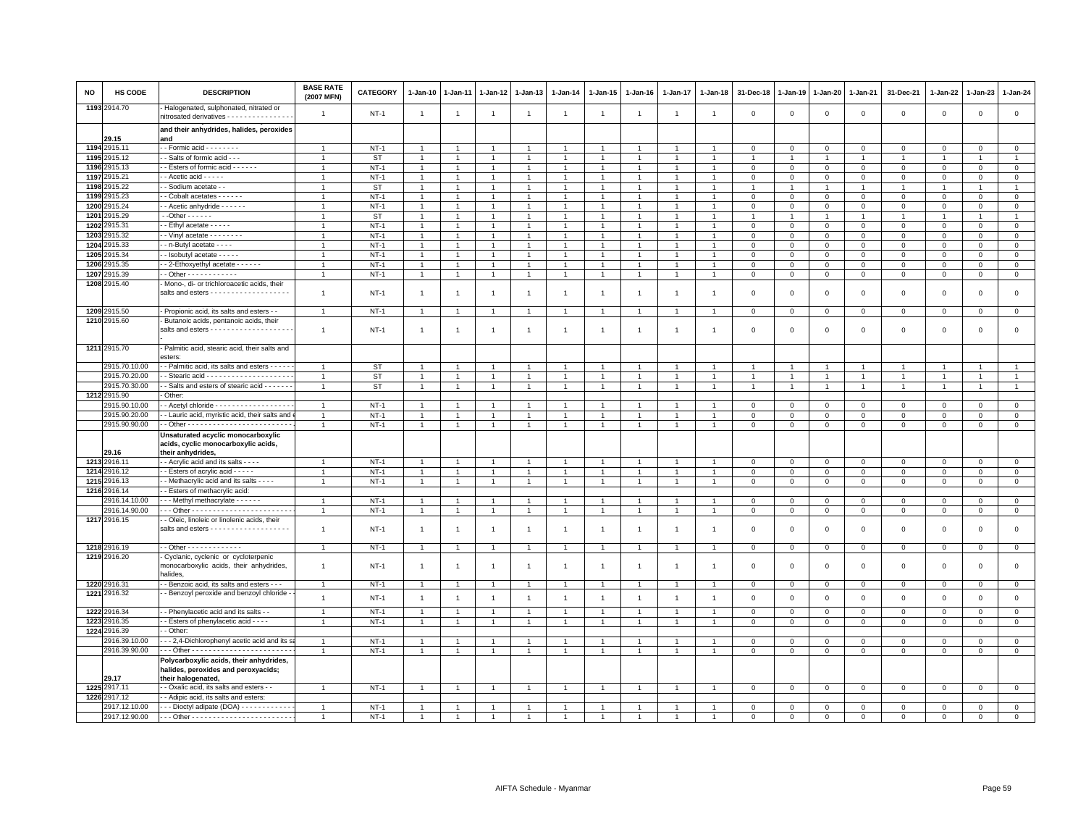| NO | <b>HS CODE</b>               | <b>DESCRIPTION</b>                                                                                   | <b>BASE RATE</b><br>(2007 MFN) | <b>CATEGORY</b> | 1-Jan-10                       | 1-Jan-11                       | $1-Jan-12$                       | $1-Jan-13$                     | 1-Jan-14                     | 1-Jan-15                       | 1-Jan-16                         | 1-Jan-17       | 1-Jan-18                       | 31-Dec-18               | 1-Jan-19       | 1-Jan-20       | 1-Jan-21       | 31-Dec-21      | 1-Jan-22                    | 1-Jan-23                  | 1-Jan-24       |
|----|------------------------------|------------------------------------------------------------------------------------------------------|--------------------------------|-----------------|--------------------------------|--------------------------------|----------------------------------|--------------------------------|------------------------------|--------------------------------|----------------------------------|----------------|--------------------------------|-------------------------|----------------|----------------|----------------|----------------|-----------------------------|---------------------------|----------------|
|    | 1193 2914.70                 | Halogenated, sulphonated, nitrated or<br>nitrosated derivatives - - - - - - - - - - - - - -          | $\overline{1}$                 | $NT-1$          | $\overline{1}$                 | $\overline{1}$                 | $\overline{1}$                   | $\overline{1}$                 | $\mathbf{1}$                 | $\overline{1}$                 | $\overline{1}$                   | $\overline{1}$ | $\overline{1}$                 | $\overline{0}$          | $\mathbf 0$    | $\mathbf 0$    | $\mathsf 0$    | $\mathsf 0$    | $\mathbf 0$                 | $\mathsf 0$               | $\mathsf 0$    |
|    | 29.15                        | and their anhydrides, halides, peroxides<br>and                                                      |                                |                 |                                |                                |                                  |                                |                              |                                |                                  |                |                                |                         |                |                |                |                |                             |                           |                |
|    | 1194 2915.11                 | - - Formic acid - - - - - - - -                                                                      |                                | $NT-1$          |                                |                                | -1                               |                                |                              |                                |                                  |                |                                | $^{\circ}$              | $^{\circ}$     | $\mathbf 0$    | 0              | 0              | 0                           | $\mathbf 0$               | $\circ$        |
|    | 1195 2915.12                 | - Salts of formic acid - - -                                                                         |                                | <b>ST</b>       | $\overline{1}$                 | $\overline{1}$                 | $\overline{1}$                   | $\ddot{\phantom{0}}$           | $\overline{1}$               | $\mathbf{1}$                   |                                  |                |                                | $\overline{1}$          | $\overline{1}$ | $\overline{1}$ | $\overline{1}$ |                | $\overline{1}$              |                           | $\mathbf{1}$   |
|    | 1196 2915.13                 | - Esters of formic acid - - - - - -                                                                  | $\mathbf{1}$                   | $NT-1$          | $\overline{1}$                 | $\mathbf{1}$                   | $\mathbf{1}$                     | $\mathbf{1}$                   | $\overline{1}$               | 1                              |                                  |                |                                | $\mathbf 0$             | $\mathbf{0}$   | $\mathbf 0$    | $\mathsf 0$    | $\mathsf 0$    | $\mathbf 0$                 | $\mathsf 0$               | $\mathbf 0$    |
|    | 1197 2915.21                 | - Acetic acid - - - - -                                                                              | $\mathbf{1}$                   | $NT-1$          | $\mathbf{1}$                   |                                | 1                                | $\mathbf{1}$                   | $\overline{1}$               | 1                              |                                  |                |                                | $\mathbf 0$             | $\mathsf 0$    | $\mathbf 0$    | $\Omega$       | $\mathsf 0$    | $\mathbf 0$                 | $\Omega$                  | $\mathsf 0$    |
|    | 1198 2915.22                 | - Sodium acetate - -                                                                                 |                                | ST              | $\mathbf{1}$                   | $\mathbf{1}$                   | $\overline{1}$                   | $\mathbf{1}$                   | $\mathbf{1}$                 |                                |                                  |                | $\blacktriangleleft$           | $\overline{1}$          | $\mathbf{1}$   | $\overline{1}$ | $\mathbf{1}$   | $\overline{1}$ | $\overline{1}$              |                           | $\overline{1}$ |
|    | 1199 2915.23                 | - Cobalt acetates - - - - - -                                                                        |                                | $NT-1$          | $\overline{1}$                 |                                | $\overline{1}$                   | $\overline{1}$                 | $\overline{1}$               |                                |                                  |                |                                | $\Omega$                | $\Omega$       | $\Omega$       | $\Omega$       | $\Omega$       | $\Omega$                    | $\Omega$                  | $\circ$        |
|    | 1200 2915.24                 | - Acetic anhydride - - - - - -                                                                       |                                | $NT-1$          | $\overline{1}$                 | $\mathbf{1}$                   | 1                                | $\mathbf{1}$                   | $\overline{1}$               |                                |                                  |                |                                | $\mathbf 0$             | $\mathbf{0}$   | $\mathbf{O}$   | $\Omega$       | 0              | 0                           | $\mathbf 0$               | $\mathbf 0$    |
|    | 1201 2915.29                 | $-$ Other $    -$                                                                                    | 1                              | <b>ST</b>       | $\overline{1}$                 | $\mathbf{1}$                   | $\mathbf{1}$                     | $\overline{1}$                 | $\overline{1}$               | $\overline{1}$                 | $\overline{1}$                   | $\mathbf{1}$   | $\overline{1}$                 | 1                       | $\mathbf{1}$   | $\mathbf{1}$   | $\overline{1}$ | $\overline{1}$ | $\mathbf{1}$                | $\mathbf{1}$              | $\overline{1}$ |
|    | 1202 2915.31                 | - Ethyl acetate - - - - -                                                                            | -1                             | $NT-1$          | $\overline{1}$                 | $\overline{1}$                 | $\overline{1}$                   | $\mathbf{1}$                   | $\mathbf{1}$                 | $\mathbf{1}$                   | $\mathbf{1}$                     | $\mathbf{1}$   | $\overline{1}$                 | $\mathbf 0$             | $\mathbf{0}$   | $\mathbf{0}$   | $\mathbf{0}$   | 0              | 0                           | $\mathbf 0$               | $\circ$        |
|    | 1203 2915.32                 | $-$ Vinyl acetate $      -$                                                                          |                                | $NT-1$          | $\overline{1}$                 | $\overline{1}$                 | $\ddot{\phantom{1}}$             | $\mathbf{1}$                   | $\overline{1}$               | $\overline{1}$                 |                                  |                |                                | $\Omega$                | $\Omega$       | $\Omega$       | $\Omega$       | $\mathbf 0$    | $\Omega$                    | $\Omega$                  | $\mathbf 0$    |
|    | 1204 2915.33                 | - n-Butyl acetate - - - -                                                                            |                                | $NT-1$          | $\overline{1}$                 | $\mathbf{1}$                   | $\mathbf{1}$                     | $\mathbf{1}$                   | $\overline{1}$               |                                |                                  |                |                                | $\mathbf 0$             | $\mathbf 0$    | $\mathsf 0$    | $\mathbf 0$    | $\mathsf 0$    | $\mathbf 0$                 | $^{\circ}$                | $\mathsf 0$    |
|    | 1205 2915.34                 | - Isobutyl acetate - - - - -                                                                         | -1                             | $NT-1$          | $\mathbf{1}$                   | 1                              | 1                                | $\mathbf{1}$                   | $\mathbf{1}$                 | $\mathbf{1}$                   |                                  | $\mathbf{1}$   |                                | $\mathbf 0$             | $\mathsf 0$    | $\mathbf{0}$   | $\mathbf{O}$   | $\mathbf 0$    | $\Omega$                    | $\Omega$                  | $\mathbf 0$    |
|    | 1206 2915.35<br>1207 2915.39 | - 2-Ethoxyethyl acetate - - - - - -                                                                  | $\mathbf{1}$<br>$\overline{1}$ | $NT-1$          | $\mathbf{1}$<br>$\overline{1}$ | $\mathbf{1}$<br>$\overline{1}$ | $\overline{1}$<br>$\overline{1}$ | $\mathbf{1}$<br>$\overline{1}$ | $\mathbf{1}$<br>$\mathbf{1}$ | $\mathbf{1}$<br>$\overline{1}$ | $\overline{1}$<br>$\overline{1}$ | $\overline{1}$ | $\mathbf{1}$<br>$\overline{1}$ | $\overline{0}$          | $\mathbf 0$    | $\mathbf 0$    | $\mathbf{O}$   | $\mathsf 0$    | $\mathbf{0}$<br>$\mathbf 0$ | $^{\circ}$<br>$\mathbf 0$ | $\mathbf 0$    |
|    | 1208 2915.40                 | Mono-, di- or trichloroacetic acids, their                                                           |                                | $NT-1$          |                                |                                |                                  |                                |                              |                                |                                  |                |                                | $\overline{0}$          | $\mathbf 0$    | $\circ$        | $\mathsf 0$    | $\mathsf 0$    |                             |                           | $\mathsf 0$    |
|    |                              | salts and esters - - - - - - - - - - - - - - - - - -                                                 | $\overline{1}$                 | $NT-1$          | $\overline{1}$                 | $\mathbf{1}$                   | $\overline{1}$                   | $\mathbf{1}$                   | $\overline{1}$               | $\overline{1}$                 | -1                               | -1             |                                | $\mathbf 0$             | $^{\circ}$     | $^{\circ}$     | $\mathbf 0$    | 0              | $\circ$                     | $\Omega$                  | $\mathbf 0$    |
|    | 1209 2915.50                 | Propionic acid, its salts and esters - -                                                             | $\overline{1}$                 | $NT-1$          | $\overline{1}$                 | $\overline{1}$                 | $\overline{1}$                   | $\mathbf{1}$                   | $\overline{1}$               |                                |                                  |                |                                | $\mathsf 0$             | $\overline{0}$ | $\mathsf 0$    | $\mathbf{O}$   | $\mathsf 0$    | $\mathbf{0}$                | $\mathsf 0$               | $\overline{0}$ |
|    | 1210 2915.60                 | Butanoic acids, pentanoic acids, their                                                               |                                |                 |                                |                                |                                  |                                |                              |                                |                                  |                |                                |                         |                |                |                |                |                             |                           |                |
|    |                              | salts and esters - - - - - - - - - - - - - - - - - -                                                 | $\overline{1}$                 | $NT-1$          | $\overline{1}$                 | $\mathbf{1}$                   | $\overline{1}$                   | $\overline{1}$                 | $\overline{1}$               | $\overline{1}$                 | $\overline{1}$                   | $\overline{1}$ | $\mathbf{1}$                   | $\Omega$                | $\overline{0}$ | $\Omega$       | $\Omega$       | $\mathbf 0$    | $\Omega$                    | $\Omega$                  | $\mathbf{0}$   |
|    | 1211 2915.70                 | Palmitic acid, stearic acid, their salts and<br>esters:                                              |                                |                 |                                |                                |                                  |                                |                              |                                |                                  |                |                                |                         |                |                |                |                |                             |                           |                |
|    | 2915.70.10.00                | - Palmitic acid, its salts and esters - - - -                                                        | $\mathbf{1}$                   | <b>ST</b>       | $\mathbf{1}$                   |                                | $\overline{1}$                   | $\mathbf{1}$                   | $\overline{1}$               | $\overline{1}$                 |                                  |                |                                |                         |                | $\overline{1}$ | $\mathbf{1}$   |                | $\overline{1}$              |                           | $\mathbf{1}$   |
|    | 2915.70.20.00                |                                                                                                      | $\mathbf{1}$                   | <b>ST</b>       | $\overline{1}$                 | $\mathbf{1}$                   | $\overline{1}$                   | $\mathbf{1}$                   | $\overline{1}$               | $\mathbf{1}$                   |                                  |                | $\overline{1}$                 | $\mathbf{1}$            | $\mathbf{1}$   | $\overline{1}$ | $\mathbf{1}$   |                | $\overline{1}$              |                           | $\mathbf{1}$   |
|    | 2915.70.30.00                | - Salts and esters of stearic acid - - - - - -                                                       | $\overline{1}$                 | ST              | $\mathbf{1}$                   | $\overline{1}$                 | $\overline{1}$                   | $\overline{1}$                 | $\mathbf{1}$                 | $\mathbf{1}$                   | $\overline{1}$                   |                | $\overline{1}$                 | $\overline{1}$          | $\overline{1}$ | $\overline{1}$ | $\overline{1}$ | $\overline{1}$ | $\overline{1}$              | $\overline{1}$            | $\mathbf{1}$   |
|    | 1212 2915.90                 | Other:                                                                                               |                                |                 |                                |                                |                                  |                                |                              |                                |                                  |                |                                |                         |                |                |                |                |                             |                           |                |
|    | 2915.90.10.00                | - Acetyl chloride - - - - - - - - - - - - - - - -                                                    | -1                             | $NT-1$          |                                |                                |                                  |                                | $\overline{1}$               |                                |                                  |                |                                | $\Omega$                | $\mathbf 0$    | $\mathbf 0$    | $\Omega$       | $\mathbf 0$    | $\Omega$                    | $\mathbf 0$               | $\mathbf{0}$   |
|    | 2915.90.20.00                | - Lauric acid, myristic acid, their salts and                                                        | $\overline{1}$                 | $NT-1$          | $\overline{1}$                 | $\overline{1}$                 | $\overline{1}$                   | -1                             | $\overline{1}$               | 1                              |                                  |                | $\overline{1}$                 | $\overline{\mathbf{0}}$ | $\mathbf{0}$   | 0              | 0              | 0              | 0                           | 0                         | $\overline{0}$ |
|    | 2915.90.90.00                |                                                                                                      | $\mathbf{1}$                   | $NT-1$          | $\overline{1}$                 | $\mathbf{1}$                   | $\mathbf{1}$                     | $\mathbf{1}$                   | $\overline{1}$               | $\mathbf{1}$                   |                                  | $\overline{1}$ |                                | $\mathbf 0$             | $\mathbf 0$    | $\mathbf 0$    | $\mathbf 0$    | $\mathsf 0$    | $\mathbf 0$                 | $\mathsf 0$               | $\mathsf 0$    |
|    | 29.16                        | Unsaturated acyclic monocarboxylic<br>acids, cyclic monocarboxylic acids,<br>their anhydrides,       |                                |                 |                                |                                |                                  |                                |                              |                                |                                  |                |                                |                         |                |                |                |                |                             |                           |                |
|    | 1213 2916.11                 | - Acrylic acid and its salts - - - -                                                                 | -1                             | $NT-1$          | $\mathbf{1}$                   | $\overline{1}$                 | $\mathbf{1}$                     | $\mathbf{1}$                   | $\mathbf{1}$                 | $\mathbf{1}$                   |                                  | -1             |                                | $\mathbf 0$             | $\mathbf{0}$   | $\mathbf{0}$   | $\Omega$       | 0              | $\Omega$                    | $\Omega$                  | $\mathbf{0}$   |
|    | 1214 2916.12                 | - Esters of acrylic acid - - - - -                                                                   | $\overline{1}$                 | $NT-1$          | $\overline{1}$                 | $\overline{1}$                 | $\overline{1}$                   | $\overline{1}$                 | $\mathbf{1}$                 | $\mathbf{1}$                   | $\mathbf{1}$                     | $\overline{1}$ | $\overline{1}$                 | $\overline{0}$          | $\mathbf 0$    | $\overline{0}$ | $\mathbf{0}$   | $\mathbf 0$    | $\mathbf 0$                 | $\mathsf 0$               | $\mathbf{0}$   |
|    | 1215 2916.13                 | - Methacrylic acid and its salts - - - -                                                             |                                | $NT-1$          | $\overline{1}$                 | $\overline{1}$                 | $\overline{1}$                   | $\overline{1}$                 | $\overline{1}$               | $\overline{1}$                 | $\overline{1}$                   | $\overline{1}$ | $\overline{1}$                 | $\overline{0}$          | $\mathsf 0$    | $\mathsf 0$    | $\mathbf{0}$   | $\mathsf 0$    | $\mathbf 0$                 | $\mathbf 0$               | $\mathsf 0$    |
|    | 1216 2916.14                 | - Esters of methacrylic acid:                                                                        |                                |                 |                                |                                |                                  |                                |                              |                                |                                  |                |                                |                         |                |                |                |                |                             |                           |                |
|    | 2916.14.10.00                | - - Methyl methacrylate - - - - - -                                                                  | -1                             | $NT-1$          | -1                             |                                | 1                                | $\mathbf{1}$                   | $\mathbf{1}$                 | 1                              |                                  |                |                                | $\mathbf 0$             | $\mathsf 0$    | $\mathsf 0$    | $\Omega$       | $\mathbf 0$    | $\Omega$                    | $\Omega$                  | $\mathsf 0$    |
|    | 2916.14.90.00                |                                                                                                      | $\mathbf{1}$                   | $NT-1$          | $\mathbf{1}$                   | $\overline{1}$                 | $\mathbf{1}$                     | $\mathbf{1}$                   | $\mathbf{1}$                 |                                |                                  |                | $\overline{1}$                 | $\overline{0}$          | $\,0\,$        | $\overline{0}$ | $\mathbf 0$    | $\mathsf 0$    | $\mathsf 0$                 | $\mathsf 0$               | $\mathbf 0$    |
|    | 1217 2916.15                 | - Oleic, linoleic or linolenic acids, their                                                          | $\overline{1}$                 | $NT-1$          | $\overline{1}$                 | $\overline{1}$                 | $\overline{1}$                   | $\overline{1}$                 | $\overline{1}$               | $\overline{1}$                 | $\mathbf{1}$                     | $\overline{1}$ | $\mathbf{1}$                   | $\overline{\mathbf{0}}$ | $\mathbf 0$    | $\mathbf 0$    | $\mathbf{0}$   | $\mathbf 0$    | 0                           | $\Omega$                  | $\mathsf 0$    |
|    | 1218 2916.19                 | $-$ Other - - - - - - - - - - - - -                                                                  | $\mathbf{1}$                   | $NT-1$          | $\mathbf{1}$                   | $\mathbf{1}$                   | $\overline{1}$                   | $\mathbf{1}$                   | $\mathbf{1}$                 | $\overline{1}$                 |                                  | $\overline{1}$ |                                | $\mathbf 0$             | $\mathbb O$    | $\circ$        | $\mathsf 0$    | $\mathbf 0$    | $\mathbf 0$                 | $\mathsf 0$               | $\mathbf 0$    |
|    | 1219 2916.20                 | Cyclanic, cyclenic or cycloterpenic<br>monocarboxylic acids, their anhydrides,<br>halides.           | $\overline{1}$                 | <b>NT-1</b>     | $\overline{1}$                 | $\overline{1}$                 | $\overline{1}$                   | $\overline{1}$                 | $\mathbf{1}$                 | $\mathbf{1}$                   | $\overline{1}$                   | $\overline{1}$ | $\overline{1}$                 | $\overline{0}$          | $\mathbf 0$    | $\mathsf 0$    | $\mathbf 0$    | $\mathsf 0$    | $\mathbf 0$                 | $^{\circ}$                | $\mathbf 0$    |
|    | 1220 2916.31                 | - Benzoic acid, its salts and esters - - -                                                           |                                | $NT-1$          | $\overline{1}$                 | $\overline{1}$                 | $\overline{1}$                   | $\mathbf{1}$                   | $\overline{1}$               |                                |                                  |                |                                | $\overline{\mathbf{0}}$ | $\mathbf 0$    | $\mathbf 0$    | $\mathbf{O}$   | $\mathsf 0$    | 0                           | $\mathbf 0$               | $\circ$        |
|    | 1221 2916.32                 | Benzoyl peroxide and benzoyl chloride                                                                | $\overline{1}$                 | $NT-1$          | $\overline{1}$                 | $\overline{1}$                 | $\overline{1}$                   | $\overline{1}$                 | $\mathbf{1}$                 | $\overline{1}$                 | $\overline{1}$                   | $\overline{1}$ | $\overline{1}$                 | $\mathbf 0$             | $\mathsf 0$    | $\mathbf 0$    | $\mathbf 0$    | $\mathsf 0$    | $\mathbf 0$                 | $\mathbf 0$               | $\mathsf 0$    |
|    | 1222 2916.34                 | - Phenylacetic acid and its salts - -                                                                | $\mathbf{1}$                   | <b>NT-1</b>     | $\overline{1}$                 | $\overline{1}$                 | $\mathbf{1}$                     | $\overline{1}$                 | $\mathbf{1}$                 | $\overline{1}$                 | $\overline{1}$                   | $\overline{1}$ | $\overline{1}$                 | $\overline{0}$          | $\,0\,$        | $\overline{0}$ | $\mathbf{0}$   | $\mathsf 0$    | $\mathbf 0$                 | $\mathbf 0$               | $\mathsf 0$    |
|    | 1223 2916.35                 | - Esters of phenylacetic acid - - - -                                                                | $\mathbf{1}$                   | $NT-1$          | $\overline{1}$                 | $\mathbf{1}$                   | $\mathbf{1}$                     | $\mathbf{1}$                   | $\mathbf{1}$                 | $\mathbf{1}$                   | $\mathbf{1}$                     | $\mathbf{1}$   |                                | $\mathsf 0$             | $\mathsf 0$    | $\mathbf 0$    | 0              | 0              | 0                           | $\mathsf 0$               | $\mathbf 0$    |
|    | 1224 2916.39                 | - Other:                                                                                             |                                |                 |                                |                                |                                  |                                |                              |                                |                                  |                |                                |                         |                |                |                |                |                             |                           |                |
|    | 2916.39.10.00                | -- 2,4-Dichlorophenyl acetic acid and its s                                                          | $\overline{1}$                 | $NT-1$          | $\overline{1}$                 | $\overline{1}$                 | $\overline{1}$                   | $\overline{1}$                 | $\overline{1}$               |                                |                                  |                |                                | $\mathbf 0$             | $\mathbf 0$    | $\Omega$       | $\Omega$       | $\Omega$       | $\Omega$                    | $\Omega$                  | $\mathsf 0$    |
|    | 2916.39.90.00                |                                                                                                      | $\overline{1}$                 | $NT-1$          | $\overline{1}$                 | $\mathbf{1}$                   | $\mathbf{1}$                     | $\mathbf{1}$                   | $\overline{1}$               | $\overline{1}$                 |                                  |                |                                | $\mathbf 0$             | $\mathsf 0$    | $\mathsf 0$    | $\mathbf{O}$   | 0              | 0                           | $\mathbf 0$               | $\mathbf 0$    |
|    | 29.17                        | Polycarboxylic acids, their anhydrides,<br>halides, peroxides and peroxyacids;<br>their halogenated, |                                |                 |                                |                                |                                  |                                |                              |                                |                                  |                |                                |                         |                |                |                |                |                             |                           |                |
|    | 1225 2917.11                 | - Oxalic acid, its salts and esters - -                                                              | $\overline{1}$                 | $NT-1$          | $\overline{1}$                 | $\overline{1}$                 | $\overline{1}$                   | $\overline{1}$                 | $\overline{1}$               | $\overline{1}$                 |                                  | $\overline{1}$ |                                | $\overline{\mathbf{0}}$ | $\mathbf{0}$   | $\mathbf 0$    | $\mathbf{0}$   | $\mathsf 0$    | $\mathbf 0$                 | $\mathbf 0$               | $\mathbf{0}$   |
|    | 1226 2917.12                 | - Adipic acid, its salts and esters:                                                                 |                                |                 |                                |                                |                                  |                                |                              |                                |                                  |                |                                |                         |                |                |                |                |                             |                           |                |
|    | 2917.12.10.00                | - - Dioctyl adipate (DOA) - - - - - - - - - - -                                                      | $\mathbf{1}$                   | $NT-1$          |                                |                                |                                  |                                |                              |                                |                                  |                |                                | $\mathbf 0$             | $\mathbf 0$    | $\mathsf 0$    | $\Omega$       | $\Omega$       | $\mathbf 0$                 | $\mathsf 0$               | $\mathbf 0$    |
|    | 2917.12.90.00                |                                                                                                      | -1                             | $NT-1$          |                                |                                |                                  |                                |                              |                                |                                  |                |                                | $\mathbf 0$             | $\overline{0}$ | $\mathbf 0$    | $\mathbf 0$    | 0              | $\mathbf 0$                 | $\mathbf 0$               | $\overline{0}$ |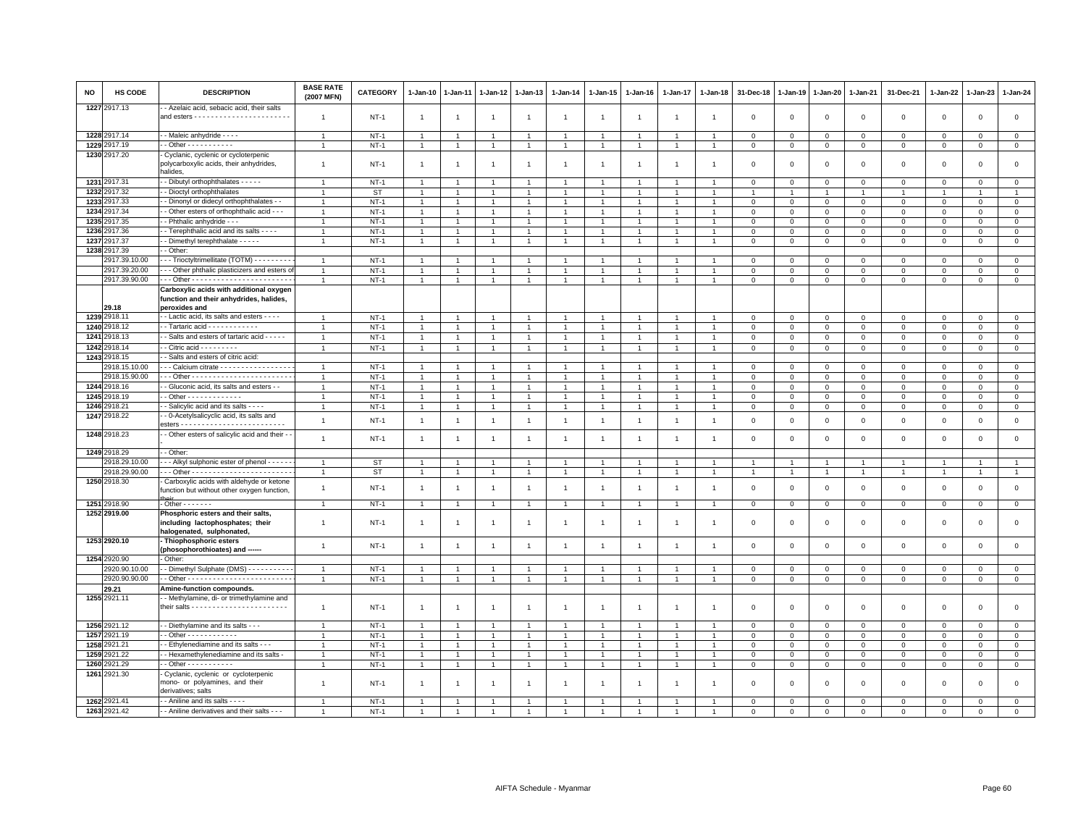| NO | HS CODE                      | <b>DESCRIPTION</b>                                                                                  | <b>BASE RATE</b><br>(2007 MFN) | CATEGORY    | 1-Jan-10       | 1-Jan-11                         | $1-Jan-12$     | $1 - Jan-13$   | 1-Jan-14       | 1-Jan-15       | 1-Jan-16       | 1-Jan-17       | 1-Jan-18                               | 31-Dec-18               | 1-Jan-19       | 1-Jan-20       | 1-Jan-21       | 31-Dec-21      | 1-Jan-22       | 1-Jan-23       | $1 - Jan-24$   |
|----|------------------------------|-----------------------------------------------------------------------------------------------------|--------------------------------|-------------|----------------|----------------------------------|----------------|----------------|----------------|----------------|----------------|----------------|----------------------------------------|-------------------------|----------------|----------------|----------------|----------------|----------------|----------------|----------------|
|    | 1227 2917.13                 | - Azelaic acid, sebacic acid, their salts                                                           | -1                             | $NT-1$      | $\overline{1}$ | $\mathbf{1}$                     | $\overline{1}$ | $\overline{1}$ | $\mathbf{1}$   | $\overline{1}$ | $\overline{1}$ | -1             | $\mathbf{1}$                           | $\mathbf 0$             | $\mathbf 0$    | $\mathbf 0$    | $\mathbf{O}$   | $\mathsf 0$    | $\mathbf 0$    | $\mathbf 0$    | $\mathsf 0$    |
|    | 1228 2917.14                 | - Maleic anhydride - - - -                                                                          | $\mathbf{1}$                   | $NT-1$      | $\overline{1}$ | $\overline{1}$                   | $\overline{1}$ | $\mathbf{1}$   | $\overline{1}$ | $\overline{1}$ | $\overline{1}$ | $\overline{1}$ | $\overline{1}$                         | $\overline{\mathbf{0}}$ | $\mathbf 0$    | $\mathbf 0$    | $\mathbf{O}$   | $\mathsf 0$    | $\Omega$       | $\Omega$       | $\mathbf 0$    |
|    | 1229 2917.19                 | - Other - - - - - - - - - -                                                                         |                                | $NT-1$      | $\overline{1}$ |                                  | $\overline{1}$ |                | $\overline{1}$ |                |                |                |                                        | $\mathbf 0$             | $\mathbf 0$    | $\mathbf 0$    | $\mathbf 0$    | 0              | $\mathbf 0$    | $^{\circ}$     | $\overline{0}$ |
|    | 1230 2917.20                 | Cyclanic, cyclenic or cycloterpenic                                                                 |                                |             |                |                                  |                |                |                |                |                |                |                                        |                         |                |                |                |                |                |                |                |
|    |                              | polycarboxylic acids, their anhydrides,<br>halides.                                                 | -1                             | $NT-1$      | -1             | -1                               | -1             | -1             | $\mathbf{1}$   | -1             | -1             | -1             |                                        | $\mathbf 0$             | $\mathbf 0$    | $\mathbf 0$    | $\Omega$       | $\mathbf 0$    | $\Omega$       | $\Omega$       | $\mathsf 0$    |
|    | 1231 2917.31                 | - Dibutyl orthophthalates - - - - -                                                                 |                                | $NT-1$      |                | $\overline{1}$                   | $\overline{1}$ |                | $\overline{1}$ |                |                |                |                                        | $\mathbf 0$             | $\mathbf 0$    | $\mathbf 0$    | $\Omega$       | 0              | $\Omega$       | $\Omega$       | $\mathbf 0$    |
|    | 1232 2917.32                 | - Dioctyl orthophthalates                                                                           |                                | <b>ST</b>   |                |                                  | $\overline{1}$ |                | $\mathbf{1}$   |                |                |                |                                        |                         |                |                |                |                |                |                | $\overline{1}$ |
|    | 1233 2917.33                 | - Dinonyl or didecyl orthophthalates - -                                                            | $\mathbf{1}$                   | $NT-1$      | $\overline{1}$ | $\overline{1}$                   | $\overline{1}$ | $\mathbf{1}$   | $\overline{1}$ | $\overline{1}$ |                |                |                                        | $\Omega$                | $\mathbf 0$    | $\mathbf 0$    | $\mathbf{0}$   | $\mathbf 0$    | $\mathbf 0$    | $\mathbf 0$    | $\circ$        |
|    | 1234 2917.34                 | - Other esters of orthophthalic acid - - -                                                          | -1                             | $NT-1$      | 1              |                                  | 1              | -1             | $\mathbf{1}$   |                |                |                |                                        | $^{\circ}$              | $^{\circ}$     | $\mathbf 0$    | $\mathbf 0$    | 0              | 0              | $\mathbf 0$    | $\mathbf{0}$   |
|    | 1235 2917.35                 | - Phthalic anhydride - -                                                                            | $\mathbf{1}$                   | $NT-1$      |                |                                  | $\overline{1}$ | $\mathbf{1}$   | $\overline{1}$ | $\overline{1}$ |                |                |                                        | $\overline{0}$          | $\mathbf 0$    | $\mathsf 0$    | $\mathbf 0$    | $\mathsf 0$    | $\Omega$       | $\Omega$       | $\mathbf 0$    |
|    | 1236 2917.36                 | - Terephthalic acid and its salts - - - -                                                           | $\mathbf{1}$                   | $NT-1$      | $\overline{1}$ | $\overline{1}$                   | $\mathbf{1}$   | $\mathbf{1}$   | $\overline{1}$ | $\overline{1}$ | $\overline{1}$ | $\overline{1}$ | $\mathbf{1}$                           | $\mathbf 0$             | $\mathbf 0$    | $\mathsf 0$    | $\mathsf 0$    | $\mathsf 0$    | $\mathbf 0$    | $\Omega$       | $\mathsf 0$    |
|    | 1237 2917.37                 | - Dimethyl terephthalate - - - - -                                                                  | -1                             | $NT-1$      | $\overline{1}$ | $\overline{1}$                   | $\overline{1}$ | $\mathbf{1}$   | $\mathbf{1}$   | 1              | -1             | -1             | $\overline{1}$                         | $\mathbf 0$             | $\,0\,$        | $\mathbf{0}$   | $\mathbf{O}$   | 0              | 0              | $\mathbf 0$    | $\overline{0}$ |
|    | 1238 2917.39                 | - Other:                                                                                            |                                |             |                |                                  |                |                |                |                |                |                |                                        |                         |                |                |                |                |                |                |                |
|    | 2917.39.10.00                | - - Trioctyltrimellitate (TOTM) - - - - - - - -                                                     | $\mathbf{1}$                   | $NT-1$      | $\overline{1}$ |                                  | $\overline{1}$ | $\mathbf{1}$   | $\overline{1}$ |                |                |                |                                        | $\mathbf 0$             | $\mathbf 0$    | $^{\circ}$     | $^{\circ}$     | 0              | $\mathbf 0$    | $^{\circ}$     | $\mathsf 0$    |
|    | 2917.39.20.00                | - - Other phthalic plasticizers and esters of                                                       | $\mathbf{1}$                   | $NT-1$      | 1              |                                  | $\mathbf{1}$   | $\mathbf{1}$   | $\overline{1}$ | $\mathbf{1}$   |                | 1              |                                        | $\mathbf 0$             | $\mathsf 0$    | $\mathbf 0$    | 0              | $\mathsf 0$    | $\mathbf 0$    | $\Omega$       | $\mathsf 0$    |
|    | 2917.39.90.00                |                                                                                                     | $\overline{1}$                 | $NT-1$      | $\mathbf{1}$   | $\overline{1}$                   | $\overline{1}$ | $\overline{1}$ | $\mathbf{1}$   | $\overline{1}$ | $\overline{1}$ | $\mathbf{1}$   | $\overline{1}$                         | $\mathbf 0$             | $\mathbf{0}$   | $\mathbf{0}$   | $\mathbf{0}$   | $\mathsf 0$    | $\mathbf 0$    | $\mathbf 0$    | $\circ$        |
|    |                              | Carboxylic acids with additional oxygen<br>function and their anhydrides, halides,                  |                                |             |                |                                  |                |                |                |                |                |                |                                        |                         |                |                |                |                |                |                |                |
|    | 29.18<br>1239 2918.11        | peroxides and<br>- Lactic acid, its salts and esters - - - -                                        |                                | $NT-1$      |                |                                  | -1             |                | $\mathbf{1}$   |                |                |                |                                        | $\mathbf 0$             | $\mathbf 0$    | $\mathsf{O}$   | $\mathbf 0$    | $\mathsf 0$    | $\mathbf 0$    | $\Omega$       | $\mathsf 0$    |
|    | 1240 2918.12                 |                                                                                                     | $\overline{1}$                 | $NT-1$      | $\overline{1}$ | $\overline{1}$                   | $\overline{1}$ | $\overline{1}$ | $\overline{1}$ | $\mathbf{1}$   |                | $\overline{1}$ | $\overline{1}$                         | $\overline{0}$          | $\overline{0}$ | $\mathbf{0}$   | $\mathbf 0$    | $\mathbf 0$    | $\mathbf 0$    | $\mathbf 0$    | $\circ$        |
|    | 1241 2918.13                 | - Salts and esters of tartaric acid - - - - -                                                       | -1                             | $NT-1$      | $\overline{1}$ | $\overline{1}$                   | $\overline{1}$ | $\overline{1}$ | $\mathbf{1}$   | $\overline{1}$ |                |                |                                        | $\mathbf 0$             | $\mathbf 0$    | $\mathbf 0$    | $\mathsf 0$    | 0              | $\mathbf 0$    | $\mathbf 0$    | $\mathbf 0$    |
|    | 1242 2918.14                 | - Citric acid - - - - - - - - -                                                                     | $\mathbf{1}$                   | $NT-1$      | $\overline{1}$ |                                  | $\overline{1}$ |                | $\mathbf{1}$   |                |                |                |                                        | $\mathbf 0$             | $\mathbf 0$    |                | $\mathbf{O}$   |                | $\mathbf 0$    | $\mathsf 0$    | $\overline{0}$ |
|    | 1243 2918.15                 | Salts and esters of citric acid:                                                                    |                                |             |                |                                  |                |                |                |                |                |                |                                        |                         |                | $\mathbf 0$    |                | $\mathsf 0$    |                |                |                |
|    | 2918.15.10.00                | - - Calcium citrate - - - - - - - - - - - - - - - -                                                 | $\overline{1}$                 | $NT-1$      | $\mathbf{1}$   | $\overline{1}$                   | $\overline{1}$ | $\overline{1}$ | $\overline{1}$ | $\overline{1}$ | $\overline{1}$ | $\overline{1}$ | $\overline{1}$                         | $\overline{\mathbf{0}}$ | $\mathbf 0$    | $\mathbf 0$    | $\mathsf 0$    | $\mathsf 0$    | $\mathbf 0$    | $\mathbf 0$    | $\overline{0}$ |
|    | 2918.15.90.00                |                                                                                                     | -1                             | $NT-1$      | 1              |                                  | 1              | $\overline{1}$ | $\overline{1}$ | 1              |                |                |                                        | $\overline{\mathbf{0}}$ | $\mathbf 0$    | $\mathbf 0$    | $\Omega$       | $\Omega$       | $\Omega$       | $\Omega$       | $\mathsf 0$    |
|    | 1244 2918.16                 | - Gluconic acid, its salts and esters - -                                                           | $\overline{1}$                 | $NT-1$      | $\overline{1}$ | $\overline{1}$                   | $\overline{1}$ | $\overline{1}$ | $\mathbf{1}$   | $\overline{1}$ | $\overline{1}$ | $\overline{1}$ | $\overline{1}$                         | $\overline{\mathbf{0}}$ | $\mathbf 0$    | $\mathbf 0$    | $\mathbf{0}$   | $\mathsf 0$    | $\mathbf 0$    | $\mathbf{0}$   | $\mathbf 0$    |
|    | 1245 2918.19                 | - Other - - - - - - - - - - - - -                                                                   |                                | $NT-1$      | $\overline{1}$ | $\overline{1}$                   | $\overline{1}$ | $\mathbf{1}$   | $\mathbf{1}$   | $\mathbf{1}$   |                | $\overline{1}$ | $\overline{1}$                         | $\overline{0}$          | $\mathbf 0$    | $\mathsf 0$    | $\mathbf 0$    | $\mathsf 0$    | $\mathbf 0$    | $\mathbf 0$    | $\mathbf 0$    |
|    | 1246 2918.21                 | - Salicylic acid and its salts - - - -                                                              | -1                             | $NT-1$      | $\overline{1}$ | 1                                | $\overline{1}$ | -1             | $\overline{1}$ | $\mathbf{1}$   | -1.            | $\mathbf{1}$   | $\mathbf{1}$                           | $\overline{0}$          | $\overline{0}$ | $\overline{0}$ | $\mathbf 0$    | 0              | $^{\circ}$     | $^{\circ}$     | $\overline{0}$ |
|    | 1247 2918.22                 | - 0-Acetylsalicyclic acid, its salts and                                                            | $\overline{1}$                 | $NT-1$      | $\overline{1}$ | $\mathbf{1}$                     | $\overline{1}$ | $\overline{1}$ | $\overline{1}$ | $\overline{1}$ | $\overline{1}$ | $\overline{1}$ | $\overline{1}$                         | $\mathbf 0$             | $\mathbf 0$    | $\mathbf 0$    | $\mathsf 0$    | $\mathsf 0$    | $\mathbf 0$    | $\mathsf 0$    | $\mathsf 0$    |
|    | 1248 2918.23                 | - Other esters of salicylic acid and their                                                          | $\overline{1}$                 | $NT-1$      | $\overline{1}$ | $\overline{1}$                   | $\overline{1}$ | $\overline{1}$ | $\mathbf{1}$   | $\overline{1}$ | $\overline{1}$ | $\overline{1}$ | $\overline{1}$                         | $\overline{\mathbf{0}}$ | $\mathbf 0$    | $\mathbf 0$    | $\mathsf 0$    | $\mathsf 0$    | $\mathbf 0$    | $\mathbf 0$    | $\mathsf 0$    |
|    | 1249 2918.29                 | - Other:                                                                                            |                                |             |                |                                  |                |                |                |                |                |                |                                        |                         |                |                |                |                |                |                |                |
|    | 2918.29.10.00                | - - Alkyl sulphonic ester of phenol - - - - -                                                       | $\overline{1}$                 | <b>ST</b>   |                |                                  |                |                |                |                |                |                |                                        |                         |                |                |                |                |                |                | $\mathbf{1}$   |
|    | 2918.29.90.00                |                                                                                                     | $\overline{1}$                 | <b>ST</b>   | $\overline{1}$ | $\overline{1}$                   | $\overline{1}$ | $\overline{1}$ | $\overline{1}$ | $\overline{1}$ | $\overline{1}$ | $\overline{1}$ | $\overline{1}$                         | $\overline{1}$          | $\overline{1}$ | $\overline{1}$ | $\overline{1}$ | $\overline{1}$ | $\overline{1}$ | $\overline{1}$ | $\overline{1}$ |
|    | 1250 2918.30                 | Carboxylic acids with aldehyde or ketone<br>function but without other oxygen function,             | $\overline{1}$                 | $NT-1$      |                | $\mathbf{1}$                     | $\overline{1}$ | $\overline{1}$ | $\overline{1}$ | $\overline{1}$ |                | $\overline{1}$ |                                        | $\overline{\mathbf{0}}$ | $\mathbf 0$    | $\mathbf 0$    | $\mathsf 0$    | $\mathsf 0$    | $\mathbf 0$    | $\mathbf 0$    | $\mathsf 0$    |
|    | 1251 2918.90                 | $\cdot$ Other $\cdot \cdot \cdot \cdot \cdot \cdot$                                                 | $\overline{1}$                 | $NT-1$      | $\overline{1}$ | $\overline{1}$                   | $\overline{1}$ | $\overline{1}$ | $\overline{1}$ | $\mathbf{1}$   | $\mathbf{1}$   | $\overline{1}$ | $\mathbf{1}$                           | $\mathbf 0$             | $\mathbf 0$    | $\circ$        | $\mathbf 0$    | $\mathsf 0$    | $\mathbf{0}$   | $\mathsf 0$    | $\mathbf 0$    |
|    | 1252 2919.00                 | Phosphoric esters and their salts,<br>including lactophosphates; their<br>halogenated, sulphonated, | $\overline{1}$                 | $NT-1$      | $\overline{1}$ | $\mathbf{1}$                     | $\overline{1}$ | $\overline{1}$ | $\mathbf{1}$   | $\mathbf{1}$   | -1             | $\overline{1}$ |                                        | $\overline{\mathbf{0}}$ | $\mathbf 0$    | $\mathbf 0$    | $\mathbf 0$    | $\mathsf 0$    | $\mathbf 0$    | $\mathbf 0$    | $\mathbf 0$    |
|    | 1253 2920.10                 | Thiophosphoric esters<br>phosophorothioates) and -----                                              | $\overline{1}$                 | $NT-1$      | $\overline{1}$ | $\overline{1}$                   | $\overline{1}$ | $\overline{1}$ | $\mathbf{1}$   | $\overline{1}$ | $\overline{1}$ | $\overline{1}$ | $\overline{1}$                         | $\overline{\mathbf{0}}$ | $\mathbf 0$    | $\mathbf 0$    | $\mathbf{O}$   | $\mathsf 0$    | 0              | $\mathsf 0$    | $\mathsf 0$    |
|    | 1254 2920.90                 | Other:                                                                                              |                                |             |                |                                  |                |                |                |                |                |                |                                        |                         |                |                |                |                |                |                |                |
|    | 2920.90.10.00                | - Dimethyl Sulphate (DMS) - - - - - - - - -                                                         | $\mathbf{1}$                   | <b>NT-1</b> | $\mathbf{1}$   | $\mathbf{1}$                     | $\overline{1}$ | $\mathbf{1}$   | $\overline{1}$ | 1              |                |                | $\overline{1}$                         | $\mathbf 0$             | $\mathbf 0$    | $\mathsf 0$    | $\mathbf 0$    | $\mathsf 0$    | $\Omega$       | $\Omega$       | $\mathbf 0$    |
|    | 2920.90.90.00                |                                                                                                     |                                | $NT-1$      | $\overline{1}$ | $\overline{1}$                   | $\overline{1}$ | $\overline{1}$ | $\overline{1}$ | $\overline{1}$ | $\overline{1}$ |                |                                        | $\overline{\mathbf{0}}$ | $\mathbf 0$    | $\mathbf 0$    | $\mathbf 0$    | $\mathsf 0$    | $\mathbf 0$    | $\Omega$       | $\mathsf 0$    |
|    | 29.21                        | Amine-function compounds.                                                                           |                                |             |                |                                  |                |                |                |                |                |                |                                        |                         |                |                |                |                |                |                |                |
|    | 1255 2921.11                 | - Methylamine, di- or trimethylamine and                                                            |                                |             |                |                                  |                |                |                |                |                |                |                                        |                         |                |                |                |                |                |                |                |
|    |                              |                                                                                                     | $\mathbf{1}$                   | NT-1        | $\overline{1}$ | 1                                | -1             | $\mathbf{1}$   | $\mathbf{1}$   | -1             |                | $\mathbf{1}$   |                                        | $\overline{0}$          | $\mathbf 0$    | $^{\circ}$     | 0              | 0              | 0              | $^{\circ}$     | $\mathsf 0$    |
|    | 1256 2921.12                 | - Diethylamine and its salts - - -                                                                  |                                | $NT-1$      |                |                                  | $\overline{1}$ |                |                |                |                |                |                                        | $\Omega$                | $\mathbf 0$    | $\overline{0}$ | $\Omega$       | $\Omega$       | $\Omega$       | $\Omega$       | $\mathsf 0$    |
|    | 1257 2921.19                 | - Other - - - - - - - - - - -                                                                       |                                | $NT-1$      | $\mathbf{1}$   |                                  | $\mathbf{1}$   | $\mathbf{1}$   | $\overline{1}$ | 1              |                |                |                                        | $\mathbf 0$             | $\mathbf 0$    | $\mathbf 0$    | $\mathbf 0$    | $\mathsf 0$    | $\mathbf 0$    | $\mathsf 0$    | $\mathsf 0$    |
|    | 1258 2921.21                 | - Ethylenediamine and its salts - - -                                                               | $\mathbf{1}$                   | $NT-1$      | $\overline{1}$ | $\overline{1}$                   | $\overline{1}$ | $\mathbf{1}$   | $\mathbf{1}$   | $\mathbf{1}$   | $\overline{1}$ | $\mathbf{1}$   | $\mathbf{1}$                           | $\mathbf 0$             | $\mathsf 0$    | $\mathbf 0$    | $\mathbf 0$    | 0              | 0              | $\mathbf 0$    | $\mathbf{0}$   |
|    | 1259 2921.22                 | - Hexamethylenediamine and its salts -                                                              | $\overline{1}$                 | $NT-1$      | $\overline{1}$ | $\overline{1}$<br>$\overline{1}$ | $\overline{1}$ | $\overline{1}$ | $\mathbf{1}$   | $\mathbf{1}$   | $\mathbf{1}$   | $\overline{1}$ | $\overline{1}$<br>$\blacktriangleleft$ | $\mathbf 0$             | $\mathbf 0$    | $\circ$        | $\mathbf 0$    | $\mathsf 0$    | $\mathbf 0$    | $\mathsf 0$    | $\mathbf 0$    |
|    | 1260 2921.29<br>1261 2921.30 | - Other - - - - - - - - - -                                                                         | $\overline{1}$                 | $NT-1$      | $\overline{1}$ |                                  | $\overline{1}$ | $\mathbf{1}$   | $\overline{1}$ | $\overline{1}$ | $\overline{1}$ | $\overline{1}$ |                                        | $\overline{0}$          | $\mathbf 0$    | $\mathbf 0$    | $\mathsf 0$    | $\mathsf 0$    | $\mathbf 0$    | $\mathsf 0$    | $\overline{0}$ |
|    |                              | Cyclanic, cyclenic or cycloterpenic<br>mono- or polyamines, and their<br>derivatives; salts         | -1                             | $NT-1$      |                |                                  | -1             | -1             | $\overline{1}$ | $\overline{1}$ |                | $\mathbf{1}$   |                                        | $\mathbf 0$             | $\mathbf 0$    | $\mathbf 0$    | $\mathbf 0$    | $\mathsf 0$    | $\mathbf 0$    | $\mathbf 0$    | $\mathsf 0$    |
|    | 1262 2921.41                 | - Aniline and its salts - - - -                                                                     |                                | $NT-1$      |                |                                  | $\overline{1}$ |                |                |                |                |                |                                        | $\mathbf 0$             | $\mathbf 0$    | $\mathbf 0$    | $\Omega$       | $\Omega$       | $\mathbf 0$    | $\mathbf 0$    | $\mathbf 0$    |
|    | 1263 2921.42                 | - - Aniline derivatives and their salts - - -                                                       |                                | $NT-1$      |                |                                  |                |                |                |                |                |                |                                        | $\Omega$                | $\Omega$       | $\Omega$       | $\Omega$       | $\Omega$       | $\Omega$       | $\Omega$       | $\Omega$       |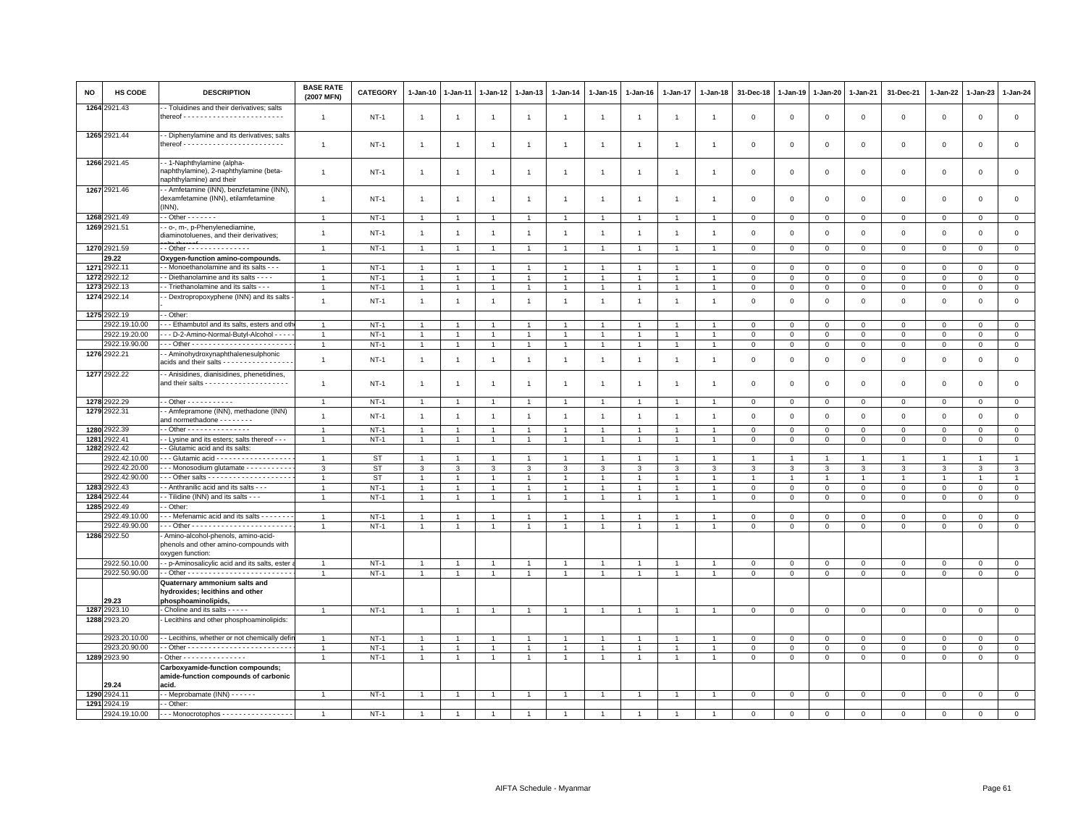| <b>NO</b> | HS CODE                        | <b>DESCRIPTION</b>                                                                                         | <b>BASE RATE</b><br>(2007 MFN)   | <b>CATEGORY</b>  | $1 - Jan-10$                   | 1-Jan-11       | 1-Jan-12                         | 1-Jan-13                         | $1 - Jan-14$   | $1 - Jan-15$                   | $1-Jan-16$     | 1-Jan-17       | 1-Jan-18       | 31-Dec-18           | 1-Jan-19                    | 1-Jan-20                   | $1 - Jan-21$     | 31-Dec-21        | $1 - Jan-22$   | 1-Jan-23                   | $1 - Jan-24$                   |
|-----------|--------------------------------|------------------------------------------------------------------------------------------------------------|----------------------------------|------------------|--------------------------------|----------------|----------------------------------|----------------------------------|----------------|--------------------------------|----------------|----------------|----------------|---------------------|-----------------------------|----------------------------|------------------|------------------|----------------|----------------------------|--------------------------------|
|           | 1264 2921.43                   | - Toluidines and their derivatives; salts                                                                  | $\overline{1}$                   | $NT-1$           | $\overline{1}$                 | $\overline{1}$ | $\overline{1}$                   | $\overline{1}$                   | $\overline{1}$ | $\overline{1}$                 | $\overline{1}$ | $\overline{1}$ | $\overline{1}$ | $\mathbf 0$         | $\overline{0}$              | $\,0\,$                    | $\mathsf 0$      | $\mathsf 0$      | $\mathsf 0$    | $\mathbf 0$                | $\mathsf 0$                    |
|           | 1265 2921.44                   | - Diphenylamine and its derivatives; salts                                                                 | $\mathbf{1}$                     | $NT-1$           | $\overline{1}$                 | $\overline{1}$ | $\overline{1}$                   | $\mathbf{1}$                     | $\mathbf{1}$   | $\mathbf{1}$                   | $\overline{1}$ | $\overline{1}$ | $\overline{1}$ | $\mathbf 0$         | $\mathbf 0$                 | $\mathbf 0$                | $\mathsf 0$      | $\mathsf 0$      | $\mathbf 0$    | $\mathsf 0$                | $\mathsf 0$                    |
|           | 1266 2921.45                   | -- 1-Naphthylamine (alpha-<br>naphthylamine), 2-naphthylamine (beta-                                       | $\mathbf{1}$                     | $NT-1$           | $\overline{1}$                 | $\mathbf{1}$   | $\mathbf{1}$                     | $\overline{1}$                   | $\overline{1}$ | $\overline{1}$                 |                | 1              | $\overline{1}$ | $\mathbf 0$         | $\mathbf 0$                 | $\mathbf 0$                | $\mathsf 0$      | $\mathsf 0$      | $\mathbf 0$    | $\mathbf 0$                | $\mathsf 0$                    |
|           | 1267 2921.46                   | naphthylamine) and their<br>- Amfetamine (INN), benzfetamine (INN),<br>dexamfetamine (INN), etilamfetamine | $\overline{1}$                   | <b>NT-1</b>      | $\overline{1}$                 | $\mathbf{1}$   | 1                                | $\overline{1}$                   | $\overline{1}$ | $\overline{1}$                 | -1             | $\overline{1}$ | $\overline{1}$ | $^{\circ}$          | $^{\circ}$                  | $\overline{0}$             | 0                | 0                | 0              | $\mathbf 0$                | $\mathbf 0$                    |
|           | 1268 2921.49                   | (INN),<br>$\overline{\cdot}$ - Other $\cdot \cdot \cdot \cdot \cdot \cdot$                                 | $\overline{1}$                   | $NT-1$           | $\overline{1}$                 |                | $\overline{1}$                   | $\overline{1}$                   |                | $\overline{1}$                 |                | $\overline{1}$ |                | $\Omega$            | $\Omega$                    | $\mathbf{0}$               | $\mathbf{0}$     | $\mathbf 0$      | $\mathbf 0$    | $\mathbf 0$                | $\mathbf{0}$                   |
|           | 1269 2921.51                   | - - o-, m-, p-Phenylenediamine,                                                                            |                                  |                  |                                |                |                                  |                                  |                |                                |                |                |                |                     |                             |                            |                  |                  |                |                            |                                |
|           |                                | diaminotoluenes, and their derivatives;                                                                    | $\overline{1}$                   | <b>NT-1</b>      | $\overline{1}$                 | $\overline{1}$ | -1                               | $\mathbf{1}$                     | $\overline{1}$ | $\overline{1}$                 | -1             | $\mathbf{1}$   | $\overline{1}$ | $\mathbf 0$         | $\mathbf 0$                 | $\mathbf 0$                | $\mathbf 0$      | $\mathsf 0$      | $\mathbf 0$    | $\mathsf 0$                | $\mathsf 0$                    |
|           | 1270 2921.59                   | - - Other - - - - - - - - - - - - - - -                                                                    | $\overline{1}$                   | $NT-1$           | $\overline{1}$                 | $\overline{1}$ | $\overline{1}$                   | $\overline{1}$                   | $\overline{1}$ | $\mathbf{1}$                   |                | $\overline{1}$ | $\overline{1}$ | $\,0\,$             | $\,0\,$                     | $\mathbb O$                | $\mathsf 0$      | $\mathsf 0$      | $\mathbf 0$    | $\mathsf 0$                | $\overline{0}$                 |
|           | 29.22                          | Oxygen-function amino-compounds.                                                                           |                                  |                  |                                |                |                                  |                                  |                |                                |                |                |                |                     |                             |                            |                  |                  |                |                            |                                |
|           | 1271 2922.11<br>1272 2922.12   | - Monoethanolamine and its salts - - -<br>- Diethanolamine and its salts - - - -                           | $\overline{1}$<br>$\overline{1}$ | $NT-1$<br>$NT-1$ | -1<br>$\overline{1}$           |                | $\overline{1}$                   | $\overline{1}$<br>$\overline{1}$ |                | -1<br>$\mathbf{1}$             |                | $\overline{1}$ |                | 0<br>$\overline{0}$ | $\mathbf 0$<br>$\mathbf{0}$ | $\mathbf 0$<br>$\mathsf 0$ | 0<br>$\Omega$    | 0<br>$\mathsf 0$ | 0<br>$\Omega$  | $\mathbf 0$<br>$\mathbf 0$ | $\mathbf{0}$<br>$\overline{0}$ |
|           | 1273 2922.13                   | - Triethanolamine and its salts - - -                                                                      | $\overline{1}$                   | $NT-1$           | $\mathbf{1}$                   |                | $\mathbf{1}$                     | $\overline{1}$                   |                | $\overline{1}$                 |                | $\overline{1}$ |                | $\mathbf 0$         | $\mathbf 0$                 | $\mathbf 0$                | $\mathsf 0$      | $\mathsf 0$      | $\mathbf 0$    | $\mathsf 0$                | $\overline{0}$                 |
|           | 1274 2922.14                   | - Dextropropoxyphene (INN) and its salts                                                                   | $\mathbf{1}$                     | $NT-1$           | $\overline{1}$                 | $\overline{1}$ | $\overline{1}$                   | $\mathbf{1}$                     | $\overline{1}$ | $\overline{1}$                 | $\overline{1}$ | $\mathbf{1}$   | $\overline{1}$ | $\circ$             | $\mathbb O$                 | $\mathbf 0$                | $\mathbf 0$      | $\mathsf 0$      | $\mathsf 0$    | $\mathsf 0$                | $\mathsf 0$                    |
|           |                                | - Other:                                                                                                   |                                  |                  |                                |                |                                  |                                  |                |                                |                |                |                |                     |                             |                            |                  |                  |                |                            |                                |
|           | 1275 2922.19<br>2922.19.10.00  | - - Ethambutol and its salts, esters and oth                                                               | $\overline{1}$                   | $NT-1$           | $\overline{1}$                 |                |                                  | $\overline{1}$                   |                | $\overline{1}$                 |                | $\overline{1}$ |                | $\overline{0}$      | $\mathbf 0$                 | $\mathbf 0$                | $\mathsf 0$      | $\mathsf 0$      | $\Omega$       | $\Omega$                   | $\mathbf 0$                    |
|           | 2922.19.20.00                  | - - D-2-Amino-Normal-Butyl-Alcohol - - - -                                                                 | $\overline{1}$                   | $NT-1$           | $\mathbf{1}$                   |                |                                  | $\overline{1}$                   |                | $\overline{1}$                 |                | $\mathbf{1}$   |                | $\mathbf 0$         | $\mathbf 0$                 | $\mathbf 0$                | $\mathsf 0$      | $\mathsf 0$      | 0              | $\mathbf 0$                | $\mathbf 0$                    |
|           | 2922.19.90.00                  |                                                                                                            | $\overline{1}$                   | $NT-1$           | $\mathbf{1}$                   |                | $\overline{1}$                   | $\overline{1}$                   | $\overline{1}$ | $\overline{1}$                 |                | $\mathbf{1}$   | $\overline{1}$ | $\mathbf 0$         | $\mathbb O$                 | $\overline{0}$             | $\mathbf 0$      | 0                | 0              | $\mathbf 0$                | $\mathsf 0$                    |
|           | 1276 2922.21                   | - Aminohydroxynaphthalenesulphonic<br>acids and their salts - - - - - - - - - - - - - - -                  | $\mathbf{1}$                     | $NT-1$           | $\overline{1}$                 | $\overline{1}$ | $\mathbf{1}$                     | $\mathbf{1}$                     | $\overline{1}$ | $\overline{1}$                 | $\overline{1}$ | $\overline{1}$ | $\overline{1}$ | $\overline{0}$      | $\overline{0}$              | $\mathsf 0$                | $\mathbf 0$      | $\mathsf 0$      | $\mathbf 0$    | $\mathsf 0$                | $\mathbf 0$                    |
|           | 1277 2922.22                   | - Anisidines, dianisidines, phenetidines,                                                                  | $\overline{1}$                   | <b>NT-1</b>      | $\overline{1}$                 | $\overline{1}$ | $\mathbf{1}$                     | $\overline{1}$                   | $\overline{1}$ | $\overline{1}$                 | -1             | $\mathbf{1}$   | $\overline{1}$ | $\mathbf 0$         | $^{\circ}$                  | $\circ$                    | 0                | $\mathsf 0$      | 0              | $\mathbf 0$                | $\mathsf 0$                    |
|           | 1278 2922.29                   | - - Other - - - - - - - - - - -                                                                            | $\overline{1}$                   | $NT-1$           | $\overline{1}$                 | $\overline{1}$ | $\overline{1}$                   | $\overline{1}$                   | $\overline{1}$ | $\overline{1}$                 |                | $\overline{1}$ | $\overline{1}$ | $\mathbf 0$         | $\overline{0}$              | $\mathbf 0$                | $\mathbf{0}$     | $\mathsf 0$      | $\mathbf{0}$   | $\mathbf{0}$               | $\mathbf 0$                    |
|           | 1279 2922.31                   | - Amfepramone (INN), methadone (INN)<br>and normethadone - - - - - - - -                                   | $\overline{1}$                   | <b>NT-1</b>      | $\overline{1}$                 | $\mathbf{1}$   | $\mathbf{1}$                     | $\mathbf{1}$                     | $\mathbf{1}$   | $\overline{1}$                 | $\overline{1}$ | $\overline{1}$ | $\overline{1}$ | $\mathbf 0$         | $\overline{0}$              | $\mathsf 0$                | $\mathbf 0$      | $\mathsf 0$      | $\mathbf 0$    | $\mathsf{O}$               | $\mathsf 0$                    |
|           | 1280 2922.39                   | - Other - - - - - - - - - - - - - - -                                                                      | $\overline{1}$                   | $NT-1$           | -1                             |                | $\mathbf{1}$                     | $\mathbf{1}$                     |                | $\mathbf{1}$                   |                | -1             |                | $\mathbf 0$         | $\mathbf{0}$                | $\mathbf 0$                | $\Omega$         | $\mathbf 0$      | $^{\circ}$     | $^{\circ}$                 | $\mathsf 0$                    |
|           | 1281 2922.41<br>1282 2922.42   | - Lysine and its esters; salts thereof - - -                                                               | $\overline{1}$                   | $NT-1$           | $\overline{1}$                 |                | $\mathbf{1}$                     | $\overline{1}$                   |                | $\overline{1}$                 |                | $\mathbf{1}$   | $\overline{1}$ | $\mathbf 0$         | $\mathbf{0}$                | $\mathbf{0}$               | $\mathbf 0$      | $\mathsf 0$      | 0              | $\mathbf 0$                | $\mathbf{0}$                   |
|           | 2922.42.10.00                  | - Glutamic acid and its salts:<br>- - - Glutamic acid - - - - - - - - - - - - - - - - -                    | $\overline{1}$                   | <b>ST</b>        | $\overline{1}$                 |                |                                  |                                  |                |                                |                |                |                |                     |                             |                            |                  |                  |                |                            | $\overline{1}$                 |
|           | 2922.42.20.00                  | -- Monosodium glutamate - - - - - - - - - -                                                                | $\mathbf{3}$                     | <b>ST</b>        | 3                              | $\mathbf{a}$   | $\mathbf{R}$                     | 3                                | 3              | 3                              | $\mathcal{R}$  | $\mathbf{3}$   | 3              | $\mathbf{\hat{z}}$  | 3                           | 3                          | $\mathbf{a}$     | $\mathbf{3}$     | 3              | 3                          | $\mathbf{3}$                   |
|           | 2922.42.90.00                  |                                                                                                            | $\mathbf{1}$                     | <b>ST</b>        | $\overline{1}$                 |                | $\overline{1}$                   | $\mathbf{1}$                     | $\mathbf{1}$   | $\mathbf{1}$                   |                | $\mathbf{1}$   | $\overline{1}$ | $\mathbf{1}$        | $\mathbf{1}$                | $\overline{1}$             | $\overline{1}$   | $\mathbf{1}$     | $\overline{1}$ |                            | $\mathbf{1}$                   |
|           | 1283 2922.43                   | - Anthranilic acid and its salts - -                                                                       | $\overline{1}$                   | $NT-1$           | $\overline{1}$                 |                |                                  | $\overline{1}$                   |                | $\mathbf{1}$                   |                |                |                | $\overline{0}$      | $\mathbf{0}$                | $\mathbf 0$                | $\Omega$         | $\mathsf 0$      | $\mathbf 0$    | $\mathbf 0$                | $\overline{0}$                 |
|           | 1284 2922.44                   | - Tilidine (INN) and its salts - - -                                                                       | $\overline{1}$                   | $NT-1$           | $\mathbf{1}$                   | $\overline{1}$ | $\overline{1}$                   | $\mathbf{1}$                     |                | $\overline{1}$                 |                | $\overline{1}$ | $\overline{1}$ | $\mathbf 0$         | $\mathbf 0$                 | $\mathbf 0$                | $\mathbf 0$      | $\mathsf 0$      | $\mathbf 0$    | $\mathsf 0$                | $\mathsf 0$                    |
|           | 1285 2922.49                   | - Other:                                                                                                   |                                  |                  |                                |                |                                  |                                  |                |                                |                |                |                |                     |                             |                            |                  |                  |                |                            |                                |
|           | 2922.49.10.00<br>2922.49.90.00 | -- Mefenamic acid and its salts - - - - - - -                                                              | $\overline{1}$<br>$\overline{1}$ | $NT-1$<br>$NT-1$ | $\mathbf{1}$<br>$\overline{1}$ | $\overline{1}$ | $\overline{1}$<br>$\overline{1}$ | $\overline{1}$<br>$\overline{1}$ |                | $\overline{1}$<br>$\mathbf{1}$ |                | $\mathbf{1}$   | $\overline{1}$ | 0<br>$\mathsf 0$    | $^{\circ}$<br>$\,0\,$       | $\mathbf 0$<br>$\mathbf 0$ | 0<br>$\mathsf 0$ | 0<br>$\mathsf 0$ | $\Omega$       | $^{\circ}$                 | $\mathbf 0$<br>$\overline{0}$  |
|           | 1286 2922.50                   | - Amino-alcohol-phenols, amino-acid-<br>phenols and other amino-compounds with<br>oxygen function:         |                                  |                  |                                |                |                                  |                                  |                |                                |                |                |                |                     |                             |                            |                  |                  | 0              | $\mathbf 0$                |                                |
|           | 2922.50.10.00                  | - - p-Aminosalicylic acid and its salts, ester                                                             | $\mathbf{1}$                     | $NT-1$           |                                |                |                                  | $\overline{1}$                   |                | $\overline{1}$                 |                |                |                | $\mathbf 0$         | $\mathbf 0$                 | $\mathbf 0$                | $\mathbf 0$      | $\mathsf 0$      | $^{\circ}$     | $\mathsf 0$                | $\overline{0}$                 |
|           | 2922.50.90.00                  |                                                                                                            | $\overline{1}$                   | $NT-1$           | $\mathbf{1}$                   | $\overline{1}$ | $\blacktriangleleft$             | $\overline{1}$                   |                | $\mathbf{1}$                   | $\overline{1}$ | $\mathbf{1}$   | $\overline{1}$ | $\Omega$            | $\mathsf 0$                 | $\Omega$                   | $\Omega$         | $\mathsf 0$      | $\Omega$       | $\mathsf 0$                | $\mathsf 0$                    |
|           | 29.23                          | Quaternary ammonium salts and<br>hydroxides; lecithins and other<br>phosphoaminolipids,                    |                                  |                  |                                |                |                                  |                                  |                |                                |                |                |                |                     |                             |                            |                  |                  |                |                            |                                |
|           | 1287 2923.10                   | - Choline and its salts - - - - -                                                                          | $\overline{1}$                   | $NT-1$           | $\overline{1}$                 |                | $\overline{1}$                   | $\overline{1}$                   |                | $\overline{1}$                 |                | $\mathbf{1}$   | $\mathbf{1}$   | $\mathbf{0}$        | $\mathbf{0}$                | $\overline{0}$             | $\overline{0}$   | $\mathbf 0$      | $\circ$        | $\mathbf{0}$               | $\overline{0}$                 |
|           | 1288 2923.20                   | Lecithins and other phosphoaminolipids:                                                                    |                                  |                  |                                |                |                                  |                                  |                |                                |                |                |                |                     |                             |                            |                  |                  |                |                            |                                |
|           | 2923.20.10.00                  | - - Lecithins, whether or not chemically defir                                                             | $\overline{1}$                   | $NT-1$           |                                |                |                                  | $\overline{1}$                   |                | $\overline{1}$                 |                |                |                | $\mathbf 0$         | $\mathbf 0$                 | $\mathbf{0}$               | $\Omega$         | 0                | $\Omega$       | $\Omega$                   | $\mathsf 0$                    |
|           | 2923.20.90.00<br>1289 2923.90  |                                                                                                            | $\overline{1}$                   | $NT-1$           | $\mathbf{1}$                   | $\overline{1}$ | $\overline{1}$                   | $\overline{1}$                   |                | $\overline{1}$                 |                | $\overline{1}$ |                | $\mathbf 0$         | $\mathbf{0}$                | $\mathbf{0}$               | $\mathbf{0}$     | $\mathsf 0$      | $\mathbf 0$    | $\Omega$                   | $\mathbf 0$<br>$\overline{0}$  |
|           |                                | - Other - - - - - - - - - - - - - -<br>Carboxyamide-function compounds;                                    | $\overline{1}$                   | $NT-1$           | $\mathbf{1}$                   | 1              | 1                                | $\overline{1}$                   | $\overline{1}$ | $\mathbf{1}$                   | $\mathbf{1}$   | $\mathbf{1}$   | $\overline{1}$ | $\mathbf{0}$        | $\mathbf 0$                 | $\mathbf{0}$               | $\mathbf{0}$     | $\mathbf 0$      | 0              | 0                          |                                |
|           | 29.24                          | amide-function compounds of carbonic<br>acid.                                                              |                                  |                  |                                |                |                                  |                                  |                |                                |                |                |                |                     |                             |                            |                  |                  |                |                            |                                |
|           | 1290 2924.11                   | $-$ Meprobamate (INN) $    -$                                                                              | $\mathbf{1}$                     | $NT-1$           |                                |                | $\mathbf{1}$                     | $\overline{1}$                   |                | $\overline{1}$                 |                |                |                | $\mathbf 0$         | $\mathbf 0$                 | $\mathbf 0$                | $\mathsf 0$      | $\mathsf 0$      | $\mathbf 0$    | $\mathsf 0$                | $\mathsf 0$                    |
|           | 1291 2924.19                   | - Other:                                                                                                   |                                  |                  |                                |                |                                  |                                  |                |                                |                |                |                |                     |                             |                            |                  |                  |                |                            |                                |
|           |                                | 2924.19.10.00 --- Monocrotophos -----------------                                                          | $\overline{1}$                   | $NT-1$           | $\overline{1}$                 |                |                                  |                                  |                |                                |                |                |                | $\Omega$            | $\Omega$                    | $\Omega$                   | $\Omega$         | $\Omega$         | $\Omega$       | $\Omega$                   | $\Omega$                       |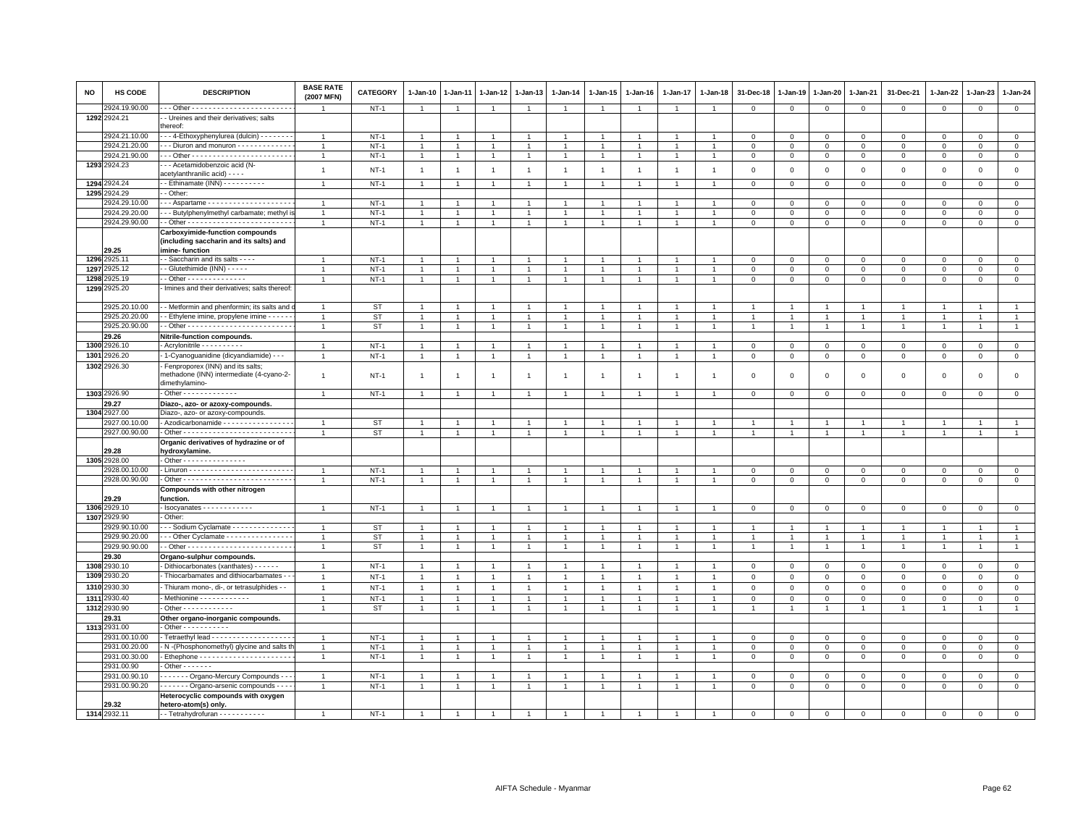| NO   | HS CODE                        | <b>DESCRIPTION</b>                                                                             | <b>BASE RATE</b><br>(2007 MFN) | <b>CATEGORY</b>  | 1-Jan-10          | $1 - Jan-11$   | 1-Jan-12                     | $1 - Jan-13$                     | $1 - Jan-14$   | 1-Jan-15             | $1 - Jan-16$   | 1-Jan-17       | 1-Jan-18       | 31-Dec-18                  | 1-Jan-19         | 1-Jan-20         | 1-Jan-21                    | 31-Dec-21                  | 1-Jan-22       | 1-Jan-23                    | $1 - Jan-24$                |
|------|--------------------------------|------------------------------------------------------------------------------------------------|--------------------------------|------------------|-------------------|----------------|------------------------------|----------------------------------|----------------|----------------------|----------------|----------------|----------------|----------------------------|------------------|------------------|-----------------------------|----------------------------|----------------|-----------------------------|-----------------------------|
|      | 2924.19.90.00<br>1292 2924.21  | - Ureines and their derivatives; salts                                                         |                                | $NT-1$           | $\overline{1}$    | $\overline{1}$ | $\overline{1}$               | $\overline{1}$                   | $\overline{1}$ | $\overline{1}$       | $\overline{1}$ | $\overline{1}$ | $\overline{1}$ | $\mathbf 0$                | 0                | $\mathbf 0$      | $\mathbf 0$                 | $\mathbf 0$                | $\mathbf 0$    | $\mathbf 0$                 | $\mathbf{0}$                |
|      |                                | hereof:                                                                                        |                                |                  |                   |                |                              |                                  |                |                      |                |                |                |                            |                  |                  |                             |                            |                |                             |                             |
|      | 2924.21.10.00                  | - - 4-Ethoxyphenylurea (dulcin) - - - - - - -                                                  |                                | $NT-1$           |                   |                | $\mathbf{1}$                 | $\overline{1}$                   |                |                      |                |                |                | $\mathbf 0$                | $^{\circ}$       | 0                | $\mathbf 0$                 | $\mathsf 0$                | $\circ$        | $\mathbf 0$                 | $\mathbf 0$                 |
|      | 2924.21.20.00                  | -- Diuron and monuron ------------                                                             |                                | $NT-1$           | $\overline{1}$    | $\overline{1}$ | $\overline{1}$               | $\overline{1}$                   | $\overline{1}$ | $\overline{1}$       |                | $\overline{1}$ |                | $\,0\,$                    | $\mathsf 0$      | $\mathsf 0$      | $\mathbf 0$                 | $\mathsf 0$                | $\mathsf 0$    | $\circ$                     | $\overline{0}$              |
|      | 2924.21.90.00<br>1293 2924.23  | - - Acetamidobenzoic acid (N-                                                                  | $\mathbf{1}$                   | $NT-1$           | $\mathbf{1}$      | $\mathbf{1}$   | $\mathbf{1}$                 | $\overline{1}$                   | $\mathbf{1}$   | $\overline{1}$       | $\overline{1}$ | $\mathbf{1}$   |                | $\,0\,$                    | $\mathsf 0$      | $\mathbf 0$      | $\mathbf 0$                 | $\mathbf 0$                | $\mathbf 0$    | $\mathbf 0$                 | $\mathbf 0$                 |
|      |                                | acetylanthranilic acid) - - - -                                                                | $\mathbf{1}$                   | $NT-1$           | $\overline{1}$    | $\overline{1}$ | $\overline{1}$               | $\overline{1}$                   | $\mathbf{1}$   | $\overline{1}$       | $\overline{1}$ | $\overline{1}$ | $\overline{1}$ | $\mathbf 0$                | $\mathsf 0$      | $\mathsf 0$      | $\mathbf 0$                 | $\mathsf 0$                | $\,0\,$        | $\mathsf 0$                 | $\mathsf 0$                 |
|      | 1294 2924.24                   | - Ethinamate (INN) - - - - - - - - -                                                           | $\overline{1}$                 | $NT-1$           | $\overline{1}$    | $\overline{1}$ | $\overline{1}$               | $\overline{1}$                   | $\overline{1}$ | $\overline{1}$       | $\overline{1}$ | $\overline{1}$ | $\overline{1}$ | $\mathbf 0$                | $\mathbf 0$      | $\mathbf 0$      | $\mathbf{0}$                | $\mathbf 0$                | $\mathbf 0$    | $\mathbf{0}$                | $\circ$                     |
|      | 1295 2924.29<br>924.29.10.00   | - Other:<br>Aspartame                                                                          |                                | $NT-1$           |                   |                |                              |                                  |                |                      |                |                |                |                            |                  |                  |                             |                            | $\Omega$       |                             |                             |
|      | 2924.29.20.00                  | - - Butylphenylmethyl carbamate; methyl is                                                     | -1                             | $NT-1$           | $\mathbf{1}$<br>1 |                | $\mathbf{1}$<br>$\mathbf{1}$ | $\mathbf{1}$<br>$\overline{1}$   | -1             | -1<br>1              |                | 1              |                | $\mathbf 0$<br>$\mathbf 0$ | $\mathbf 0$<br>0 | $\mathbf 0$<br>0 | $\mathbf{0}$<br>$\mathbf 0$ | $\mathbf 0$<br>$\mathbf 0$ | $^{\circ}$     | $\mathbf{0}$<br>$\mathbf 0$ | $\mathbf{0}$<br>$\mathbf 0$ |
|      | 2924.29.90.00                  |                                                                                                | $\overline{1}$                 | $NT-1$           | $\overline{1}$    | $\overline{1}$ | $\ddot{\phantom{1}}$         | $\overline{1}$                   | $\mathbf{1}$   | $\mathbf{1}$         | $\overline{1}$ | $\overline{1}$ |                | $\mathbf 0$                | $\mathsf 0$      | $\mathsf 0$      | $\mathbf 0$                 | $\mathbf 0$                | $\mathbf 0$    | $\mathbf{0}$                | $\mathsf 0$                 |
|      |                                | <b>Carboxyimide-function compounds</b>                                                         |                                |                  |                   |                |                              |                                  |                |                      |                |                |                |                            |                  |                  |                             |                            |                |                             |                             |
|      | 29.25                          | (including saccharin and its salts) and<br>imine-function                                      |                                |                  |                   |                |                              |                                  |                |                      |                |                |                |                            |                  |                  |                             |                            |                |                             |                             |
|      | 1296 2925.11                   | - Saccharin and its salts - - - -                                                              |                                | $NT-1$           | $\mathbf{1}$      |                | $\overline{1}$               | $\overline{1}$                   | $\mathbf{1}$   | $\mathbf{1}$         |                | $\overline{1}$ |                | $\mathbf 0$                | 0                | $\mathbf 0$      | $\mathsf 0$                 | $\mathbf{0}$               | 0              | $^{\circ}$                  | $\mathsf 0$                 |
| 1297 | 2925.12                        | - - Glutethimide (INN) - - - - -                                                               | $\overline{1}$                 | $NT-1$           | $\mathbf{1}$      | $\overline{1}$ | $\overline{1}$               | $\overline{1}$                   | $\mathbf{1}$   | $\mathbf{1}$         | $\overline{1}$ | $\overline{1}$ | $\overline{1}$ | $\mathbf 0$                | $\mathbf 0$      | $\mathbf 0$      | $\overline{0}$              | $\mathbf{0}$               | $\Omega$       | $\mathbf{0}$                | $\mathsf 0$                 |
| 1298 | 2925.19                        | $-$ Other - - - - - - - - - - - - - -                                                          | $\mathbf{1}$                   | $NT-1$           | $\mathbf{1}$      | $\overline{1}$ | $\overline{1}$               | $\overline{1}$                   | $\mathbf{1}$   | $\mathbf{1}$         | $\overline{1}$ | $\overline{1}$ | $\overline{1}$ | $\mathbf 0$                | 0                | $\mathbf 0$      | $\mathsf 0$                 | $\mathbf 0$                | $\mathbf 0$    | $\mathbf 0$                 | $\mathsf 0$                 |
|      | 1299 2925.20                   | Imines and their derivatives; salts thereof                                                    |                                |                  |                   |                |                              |                                  |                |                      |                |                |                |                            |                  |                  |                             |                            |                |                             |                             |
|      | 2925.20.10.00                  | - - Metformin and phenformin; its salts and                                                    |                                | ST               |                   |                |                              | -1                               |                |                      |                |                |                |                            |                  |                  |                             | $\mathbf{1}$               |                |                             | $\mathbf{1}$                |
|      | 2925.20.20.00                  | - - Ethylene imine, propylene imine - - - - -                                                  | $\overline{1}$                 | <b>ST</b>        | $\overline{1}$    |                |                              | $\overline{1}$                   | $\mathbf{1}$   | $\ddot{\phantom{1}}$ |                |                |                |                            |                  |                  | $\overline{1}$              | $\overline{1}$             | 1              | $\overline{1}$              | $\mathbf{1}$                |
|      | 2925.20.90.00                  |                                                                                                | $\mathbf{1}$                   | ST               | $\mathbf{1}$      | $\overline{1}$ | 1                            | $\overline{1}$                   | $\overline{1}$ | $\overline{1}$       | $\overline{1}$ | $\overline{1}$ |                | $\overline{1}$             | $\overline{1}$   | $\overline{1}$   | $\overline{1}$              | $\overline{1}$             | $\mathbf{1}$   | $\overline{1}$              | $\overline{1}$              |
|      | 29.26                          | Nitrile-function compounds.                                                                    |                                |                  |                   |                |                              |                                  |                |                      |                |                |                |                            |                  |                  |                             |                            |                |                             |                             |
|      | 1300 2926.10                   | - Acrylonitrile - - - - - - - - - -                                                            |                                | $NT-1$           | $\overline{1}$    | $\overline{1}$ | $\overline{1}$               | $\overline{1}$                   | $\overline{1}$ | $\overline{1}$       |                | $\overline{1}$ |                | $\mathbf 0$                | $^{\circ}$       | 0                | $\mathbf 0$                 | 0                          | $^{\circ}$     | $\mathbf 0$                 | $\mathbf 0$                 |
| 1301 | 2926.20                        | 1-Cyanoguanidine (dicyandiamide) - -                                                           |                                | $NT-1$           | $\overline{1}$    |                | $\mathbf{1}$                 | $\overline{1}$                   | $\overline{1}$ | $\overline{1}$       |                |                |                | $\mathbf 0$                | $\mathsf 0$      | $\mathsf 0$      | $\,0\,$                     | $\mathsf 0$                | $\mathbf 0$    | $\mathbf 0$                 | $\mathbf 0$                 |
|      | 1302 2926.30                   | Fenproporex (INN) and its salts;<br>methadone (INN) intermediate (4-cyano-2-<br>dimethylamino- | $\overline{1}$                 | $NT-1$           | $\overline{1}$    | $\mathbf{1}$   | $\overline{1}$               | $\overline{1}$                   | $\mathbf{1}$   | -1                   | $\overline{1}$ | 1              | $\mathbf{1}$   | $\mathbf 0$                | $\Omega$         | 0                | $\mathbf 0$                 | $\mathsf 0$                | $^{\circ}$     | $\mathbf 0$                 | $\mathbf 0$                 |
|      | 1303 2926.90                   | - Other - - - - - - - - - - - - -                                                              |                                | $NT-1$           | $\overline{1}$    | $\overline{1}$ | $\overline{1}$               | $\overline{1}$                   | $\mathbf{1}$   | $\overline{1}$       |                | $\overline{1}$ |                | $\mathsf 0$                | $\mathsf 0$      | $\mathsf 0$      | $\mathbf 0$                 | $\mathbf{0}$               | $\mathbf 0$    | $\circ$                     | $\mathbf 0$                 |
|      | 29.27                          | Diazo-, azo- or azoxy-compounds.                                                               |                                |                  |                   |                |                              |                                  |                |                      |                |                |                |                            |                  |                  |                             |                            |                |                             |                             |
| 1304 | 2927.00                        | Diazo-, azo- or azoxy-compounds.                                                               |                                |                  |                   |                |                              |                                  |                |                      |                |                |                |                            |                  |                  |                             |                            |                |                             |                             |
|      | 2927.00.10.00                  | - Azodicarbonamide - - - - - - - - - - - - - - -                                               |                                | <b>ST</b>        |                   |                | $\mathbf{1}$                 | $\overline{1}$                   |                | $\overline{1}$       |                | 1              |                |                            |                  |                  | $\mathbf{1}$                | $\mathbf{1}$               | 1              | $\overline{1}$              | $\mathbf{1}$                |
|      | 2927.00.90.00                  |                                                                                                |                                | <b>ST</b>        | $\overline{1}$    | $\overline{1}$ | $\overline{1}$               | $\overline{1}$                   | $\overline{1}$ | $\ddot{\phantom{1}}$ |                | 1              |                |                            |                  |                  | $\overline{1}$              |                            | 1              | $\overline{1}$              | $\mathbf{1}$                |
|      | 29.28                          | Organic derivatives of hydrazine or of<br>hydroxylamine.                                       |                                |                  |                   |                |                              |                                  |                |                      |                |                |                |                            |                  |                  |                             |                            |                |                             |                             |
|      | 1305 2928.00                   | - Other - - - - - - - - - - - - - - -                                                          |                                |                  |                   |                |                              |                                  |                |                      |                |                |                |                            |                  |                  |                             |                            |                |                             |                             |
|      | 2928.00.10.00                  |                                                                                                |                                | $NT-1$           | $\mathbf{1}$      | $\mathbf{1}$   | $\overline{1}$               | $\overline{1}$                   | $\overline{1}$ | $\overline{1}$       |                | $\overline{1}$ |                | $\mathbf 0$                | $\mathsf 0$      | $\mathsf 0$      | $\mathbf 0$                 | $\mathbf 0$                | $\mathbf 0$    | $\mathbf 0$                 | $\circ$                     |
|      | 2928.00.90.00                  | Compounds with other nitrogen                                                                  |                                | $NT-1$           | $\overline{1}$    | $\overline{1}$ | $\overline{1}$               | $\overline{1}$                   | $\overline{1}$ | $\overline{1}$       | $\overline{1}$ | $\overline{1}$ | $\overline{1}$ | $\mathbf 0$                | $\mathsf 0$      | $\mathsf 0$      | $\mathbf 0$                 | $\mathsf 0$                | $\mathbf 0$    | $\Omega$                    | $\circ$                     |
|      | 29.29<br>1306 2929.10          | function.<br>- Isocyanates - - - - - - - - - - - -                                             |                                | $NT-1$           |                   |                |                              |                                  |                |                      |                |                |                |                            |                  |                  |                             |                            | $\Omega$       | $\Omega$                    |                             |
|      | 1307 2929.90                   | - Other:                                                                                       |                                |                  |                   |                |                              |                                  |                |                      |                |                |                | $\,0\,$                    | 0                | $\mathbf 0$      | $\mathsf 0$                 | $\mathbf{0}$               |                |                             | $\mathbf 0$                 |
|      | 2929.90.10.00                  | - - Sodium Cyclamate - - - - - - - - - - - - -                                                 | -1                             | <b>ST</b>        | $\overline{1}$    |                | $\mathbf{1}$                 | $\mathbf{1}$                     |                | 1                    |                |                |                |                            |                  | $\mathbf{1}$     | -1                          | $\mathbf{1}$               |                |                             | $\mathbf{1}$                |
|      | 2929.90.20.00                  | -- Other Cyclamate ----------------                                                            | $\mathbf{1}$                   | <b>ST</b>        | $\mathbf{1}$      | $\mathbf{1}$   | $\mathbf{1}$                 | $\overline{1}$                   | $\mathbf{1}$   | $\mathbf{1}$         |                | $\mathbf{1}$   |                | $\overline{1}$             | $\overline{1}$   | $\overline{1}$   | $\overline{1}$              | $\mathbf{1}$               | $\mathbf{1}$   | $\overline{1}$              | $\mathbf{1}$                |
|      | 2929.90.90.00                  |                                                                                                | $\overline{1}$                 | ST               | $\overline{1}$    | $\overline{1}$ | $\overline{1}$               | $\overline{1}$                   | $\mathbf{1}$   | $\overline{1}$       | $\overline{1}$ | $\overline{1}$ | $\mathbf{1}$   | $\overline{1}$             | $\mathbf{1}$     | $\overline{1}$   | $\overline{1}$              | $\overline{1}$             | $\overline{1}$ | $\overline{1}$              | $\overline{1}$              |
|      | 29.30                          | Organo-sulphur compounds.                                                                      |                                |                  |                   |                |                              |                                  |                |                      |                |                |                |                            |                  |                  |                             |                            |                |                             |                             |
| 1308 | 2930.10                        | - Dithiocarbonates (xanthates) - - - - - -                                                     | -1                             | $NT-1$           | $\overline{1}$    | $\overline{1}$ | $\overline{1}$               | $\overline{1}$                   | $\mathbf{1}$   | $\overline{1}$       |                | $\overline{1}$ |                | $\,0\,$                    | $\mathsf 0$      | $\mathsf 0$      | $\mathbf 0$                 | $\mathbf 0$                | $\mathbf 0$    | $\overline{0}$              | $\mathsf 0$                 |
| 1309 | 2930.20                        | Thiocarbamates and dithiocarbamates -                                                          | $\mathbf{1}$                   | $NT-1$           | $\overline{1}$    | $\mathbf{1}$   | $\overline{1}$               | $\overline{1}$                   | $\mathbf{1}$   | $\overline{1}$       | $\overline{1}$ | $\overline{1}$ | $\overline{1}$ | $\,0\,$                    | $\mathsf 0$      | $\mathsf 0$      | $\mathbf 0$                 | $\mathsf 0$                | $\mathbf 0$    | $\mathbf 0$                 | $\mathbf 0$                 |
| 1310 | 2930.30                        | - Thiuram mono-, di-, or tetrasulphides - -                                                    | $\overline{1}$                 | $NT-1$           | $\mathbf{1}$      | $\overline{1}$ | $\mathbf{1}$                 | $\mathbf{1}$                     | $\mathbf{1}$   | $\overline{1}$       | $\overline{1}$ | $\overline{1}$ | $\overline{1}$ | $\mathsf 0$                | $\mathsf 0$      | $\mathsf 0$      | $\mathbf 0$                 | $\mathsf 0$                | $\mathsf 0$    | $\mathsf 0$                 | $\mathsf 0$                 |
| 1311 | 2930.40                        | - Methionine - - - - - - - - - - -                                                             | $\overline{1}$                 | $NT-1$           | $\overline{1}$    | $\overline{1}$ | $\overline{1}$               | $\overline{1}$                   | $\overline{1}$ | $\mathbf{1}$         |                | $\overline{1}$ | $\overline{1}$ | $\mathbf 0$                | $\mathsf 0$      | $\Omega$         | $\mathbf 0$                 | $\mathbf 0$                | $\mathbf 0$    | $\mathbf{0}$                | $\mathbf 0$                 |
|      | 1312 2930.90                   | $\cdot$ Other - - - - - - - - - - -                                                            |                                | <b>ST</b>        | $\overline{1}$    | $\overline{1}$ |                              | $\overline{1}$                   | $\overline{1}$ | $\overline{1}$       |                |                |                |                            |                  |                  | $\overline{1}$              |                            |                |                             | $\overline{1}$              |
|      | 29.31                          | Other organo-inorganic compounds.                                                              |                                |                  |                   |                |                              |                                  |                |                      |                |                |                |                            |                  |                  |                             |                            |                |                             |                             |
|      | 1313 2931.00                   | $-$ Other - - - - - - - - - - -                                                                |                                |                  |                   |                |                              |                                  |                |                      |                |                |                |                            |                  |                  |                             |                            |                |                             |                             |
|      | 2931.00.10.00                  | - Tetraethyl lead - - - - - - - - - - - - - - - - -                                            | $\overline{1}$                 | $NT-1$           |                   |                | $\overline{1}$               | $\overline{1}$                   |                |                      |                |                |                | $\mathbf 0$                | $\mathbf 0$      | $\mathbf 0$      | $\Omega$                    | $\mathbf 0$                | $\Omega$       | $\mathbf{0}$                | $\mathbf{0}$                |
|      | 2931.00.20.00                  | - N -(Phosphonomethyl) glycine and salts th                                                    |                                | NT-              | $\overline{1}$    |                | $\overline{1}$               | $\overline{1}$                   |                | $\overline{1}$       |                |                |                | $\mathbf 0$                | 0                | 0                | $\mathbf 0$                 | 0                          | $\Omega$       | $\mathbf 0$                 | $\mathbf 0$                 |
|      | 2931.00.30.00                  |                                                                                                | $\mathbf{1}$                   | $NT-1$           | $\mathbf{1}$      | $\mathbf{1}$   | $\overline{1}$               | $\overline{1}$                   | $\overline{1}$ | $\overline{1}$       | $\overline{1}$ | 1              |                | $\mathsf 0$                | $\mathsf 0$      | $\mathsf 0$      | $\mathbf 0$                 | $\mathsf 0$                | $\mathsf 0$    | $\mathbf{0}$                | $\mathsf 0$                 |
|      | 2931.00.90                     | Other - - - - - - -                                                                            | $\overline{1}$                 |                  | $\overline{1}$    | $\overline{1}$ | $\overline{1}$               |                                  | $\overline{1}$ | $\overline{1}$       | $\overline{1}$ | $\overline{1}$ |                |                            |                  |                  |                             |                            |                |                             |                             |
|      | 2931.00.90.10<br>2931.00.90.20 | - - - - - - Organo-Mercury Compounds - -                                                       |                                | $NT-1$<br>$NT-1$ |                   | $\overline{1}$ |                              | $\overline{1}$<br>$\overline{1}$ | $\overline{1}$ | $\mathbf{1}$         |                | 1              | $\overline{1}$ | $\mathbf 0$                | $\mathbf 0$      | $\mathbf 0$      | $\overline{0}$              | $\mathbf 0$                | $\mathbf{0}$   | $\mathbf{0}$                | $\circ$<br>$\mathbf 0$      |
|      |                                | Organo-arsenic compounds<br>Heterocyclic compounds with oxygen                                 |                                |                  | $\overline{1}$    |                | $\mathbf{1}$                 |                                  |                |                      |                |                |                | $\mathbf 0$                | 0                | $\mathbf 0$      | $\mathbf 0$                 | 0                          | $\mathbf 0$    | $\mathbf 0$                 |                             |
|      | 29.32                          | hetero-atom(s) only.                                                                           |                                |                  |                   |                |                              |                                  |                |                      |                |                |                |                            |                  |                  |                             |                            |                |                             |                             |
|      | 1314 2932.11                   | - - Tetrahydrofuran - - - - - - - - - - -                                                      |                                | $NT-1$           |                   |                |                              |                                  |                |                      |                |                |                | $\Omega$                   | $\Omega$         | $\Omega$         | $\Omega$                    | $\Omega$                   | $\Omega$       | $\mathbf{0}$                | $\mathbf 0$                 |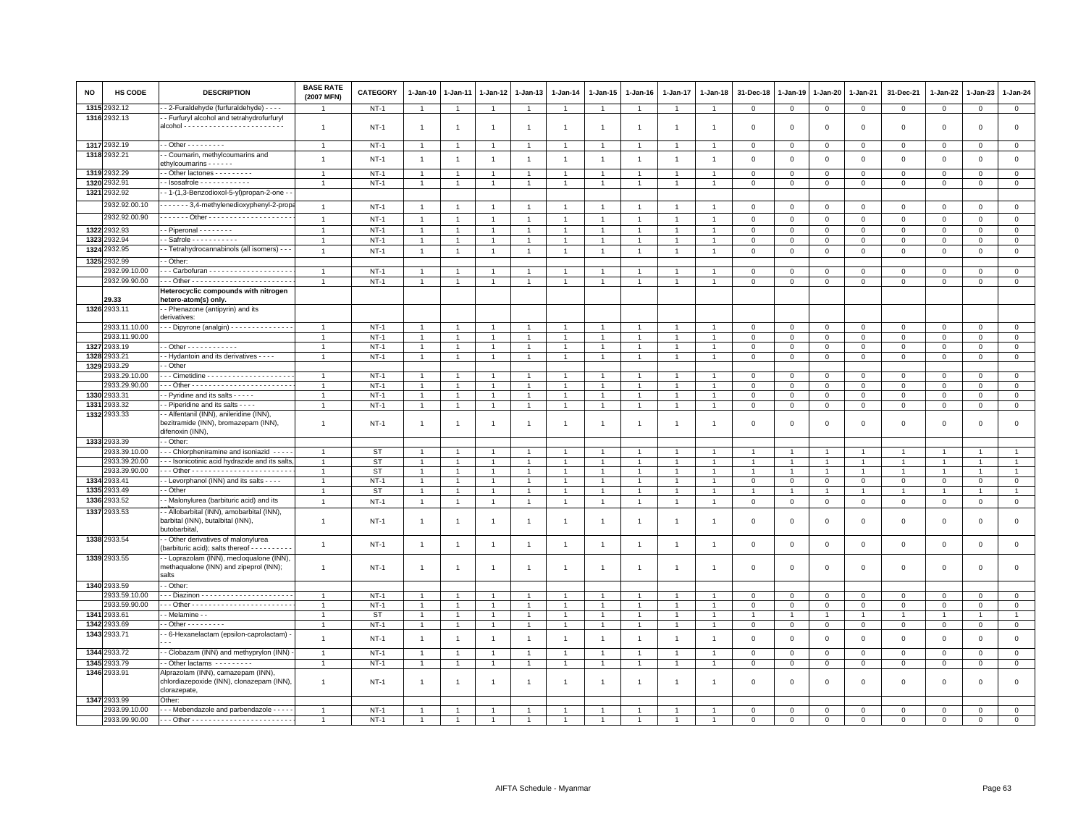| NO   | <b>HS CODE</b>               | <b>DESCRIPTION</b>                                                                              | <b>BASE RATE</b><br>(2007 MFN)   | <b>CATEGORY</b>       | $1-Jan-10$                       | 1-Jan-11       | $1-Jan-12$                       | 1-Jan-13                         | 1-Jan-14       | 1-Jan-15                         | $1-Jan-16$     | 1-Jan-17             | $1-Jan-18$     | 31-Dec-18                     | $1-Jan-19$                | 1-Jan-20                      | 1-Jan-21                      | 31-Dec-21                  | 1-Jan-22                      | 1-Jan-23                 | 1-Jan-24                      |
|------|------------------------------|-------------------------------------------------------------------------------------------------|----------------------------------|-----------------------|----------------------------------|----------------|----------------------------------|----------------------------------|----------------|----------------------------------|----------------|----------------------|----------------|-------------------------------|---------------------------|-------------------------------|-------------------------------|----------------------------|-------------------------------|--------------------------|-------------------------------|
|      | 1315 2932.12                 | - 2-Furaldehyde (furfuraldehyde) - - - -                                                        | -1                               | $NT-1$                | $\overline{1}$                   |                | $\mathbf{1}$                     | $\overline{1}$                   |                | $\mathbf{1}$                     |                | $\mathbf{1}$         | $\overline{1}$ | $\mathbf 0$                   | $\mathbf 0$               | $\overline{0}$                | $\mathbf 0$                   | $\mathsf 0$                | $\mathbf 0$                   | $\mathsf 0$              | $\overline{0}$                |
|      | 1316 2932.13                 | - Furfuryl alcohol and tetrahydrofurfuryl                                                       |                                  |                       |                                  |                |                                  |                                  |                |                                  |                |                      |                |                               |                           |                               |                               |                            |                               |                          |                               |
|      |                              |                                                                                                 | $\overline{1}$                   | $NT-1$                | $\overline{1}$                   | $\overline{1}$ | $\overline{1}$                   | $\overline{1}$                   | $\overline{1}$ | $\overline{1}$                   |                | 1                    | $\overline{1}$ | $\overline{0}$                | $\mathbf 0$               | $\mathbf 0$                   | $\mathbf 0$                   | $\mathsf 0$                | $\mathbf 0$                   | $\mathbf 0$              | $\mathsf 0$                   |
|      | 1317 2932.19                 | $-$ Other $       -$                                                                            | $\overline{1}$                   |                       |                                  |                |                                  |                                  |                |                                  |                |                      |                |                               |                           |                               |                               |                            |                               |                          |                               |
|      | 1318 2932.21                 | - Coumarin, methylcoumarins and                                                                 |                                  | $NT-1$                |                                  |                |                                  |                                  |                |                                  |                |                      |                | $\overline{0}$                | $\mathbf{0}$              | $\mathbf 0$                   | $\Omega$                      | $\mathsf 0$                | $\Omega$                      | $\mathbf 0$              | $\overline{0}$                |
|      |                              | ethylcoumarins - - - - -                                                                        | $\overline{1}$                   | $NT-1$                | $\overline{1}$                   | $\overline{1}$ | $\overline{1}$                   | $\overline{1}$                   | $\overline{1}$ | $\overline{1}$                   |                | 1                    | $\overline{1}$ | $\mathbf 0$                   | $\mathbf 0$               | $\mathbf 0$                   | $\mathbf 0$                   | $\mathsf 0$                | $\Omega$                      | $\mathsf 0$              | $\mathbf 0$                   |
| 1319 | 932.29                       | - Other lactones - - - - - - - -                                                                | $\overline{1}$                   | $NT-1$                | $\overline{1}$                   |                | $\overline{1}$                   | $\overline{1}$                   |                | $\mathbf{1}$                     |                | -1                   |                | $\mathbf 0$                   | $\mathbf{0}$              | $\mathbf 0$                   | $\mathbf{0}$                  | $\Omega$                   | $\Omega$                      | $\Omega$                 | $\circ$                       |
| 1320 | 932.91                       | $\cdot$ - Isosafrole - - - - - - - - - - - -                                                    | $\overline{1}$                   | $NT-1$                | $\overline{1}$                   | $\mathbf{1}$   | $\overline{1}$                   | $\overline{1}$                   | $\overline{1}$ | $\overline{1}$                   |                | $\overline{1}$       | $\overline{1}$ | $\mathbf 0$                   | $\mathbf 0$               | $\mathbf 0$                   | $\mathbf 0$                   | $\mathsf 0$                | 0                             | $\mathbf 0$              | $\circ$                       |
| 1321 | 2932.92                      | - 1-(1,3-Benzodioxol-5-yl)propan-2-one                                                          |                                  |                       |                                  |                |                                  |                                  |                |                                  |                |                      |                |                               |                           |                               |                               |                            |                               |                          |                               |
|      | 2932.92.00.10                | ------ 3,4-methylenedioxyphenyl-2-prop                                                          | $\overline{1}$                   | $NT-1$                | $\overline{1}$                   |                |                                  |                                  |                |                                  |                |                      |                | $\Omega$                      | $\Omega$                  | $\Omega$                      | $\Omega$                      | $\mathbf 0$                | $\Omega$                      | $\Omega$                 | $\circ$                       |
|      | 2932.92.00.90                | . Other                                                                                         | $\overline{1}$                   |                       | $\overline{1}$                   |                |                                  | $\overline{1}$                   |                |                                  |                |                      |                | $\Omega$                      | $\Omega$                  | $\Omega$                      | $\Omega$                      |                            | $\Omega$                      |                          |                               |
|      | 1322 2932.93                 |                                                                                                 |                                  | $NT-1$                |                                  |                |                                  |                                  |                | $\overline{1}$                   |                |                      |                |                               |                           |                               |                               | $\mathsf 0$                |                               | $\mathsf 0$              | $\mathsf 0$                   |
| 1323 | 2932.94                      | - Piperonal - - - - - - - -<br>$-$ Safrole $- - - - - - - - -$                                  | $\overline{1}$<br>$\mathbf{1}$   | <b>NT-1</b><br>$NT-1$ | $\mathbf{1}$<br>$\overline{1}$   | $\overline{1}$ | $\overline{1}$<br>$\overline{1}$ | $\overline{1}$<br>$\overline{1}$ |                | $\overline{1}$<br>$\overline{1}$ |                | $\overline{1}$       | $\overline{1}$ | $\mathbf 0$<br>$\overline{0}$ | $\,0\,$<br>$\overline{0}$ | $\mathbf 0$<br>$\mathbf{0}$   | $\mathbf 0$<br>$\mathbf 0$    | $\mathsf 0$<br>$\mathbf 0$ | $\mathbf 0$<br>$\Omega$       | $\mathsf{O}$<br>$\Omega$ | $\mathsf 0$<br>$\mathsf 0$    |
| 1324 | 2932.95                      | - Tetrahydrocannabinols (all isomers) - -                                                       | $\overline{1}$                   | $NT-1$                | $\overline{1}$                   | $\overline{1}$ | $\overline{1}$                   | $\overline{1}$                   |                | $\overline{1}$                   |                | $\overline{1}$       | $\overline{1}$ | $\mathsf 0$                   | $\mathsf 0$               | $\mathbf 0$                   | $\mathbf 0$                   | $\mathbf 0$                | $\mathbf 0$                   | $\mathbf 0$              | $\mathsf 0$                   |
| 1325 | 932.99                       | - Other:                                                                                        |                                  |                       |                                  |                |                                  |                                  |                |                                  |                |                      |                |                               |                           |                               |                               |                            |                               |                          |                               |
|      | 2932.99.10.00                |                                                                                                 | $\overline{1}$                   | $NT-1$                | $\mathbf{1}$                     |                |                                  | $\overline{1}$                   |                | $\mathbf{1}$                     |                |                      |                | 0                             | $^{\circ}$                | $\mathbf 0$                   | $\mathbf 0$                   | 0                          | 0                             | $\mathbf 0$              | $\mathbf 0$                   |
|      | 2932.99.90.00                |                                                                                                 | $\overline{1}$                   | $NT-1$                | $\overline{1}$                   | $\mathbf{1}$   | $\overline{1}$                   | $\overline{1}$                   | $\overline{1}$ | $\mathbf{1}$                     |                | $\mathbf{1}$         | $\overline{1}$ | $\overline{0}$                | $\overline{0}$            | $\mathsf 0$                   | $\overline{0}$                | $\mathsf 0$                | $\mathsf 0$                   | $\mathsf 0$              | $\overline{0}$                |
|      |                              | Heterocyclic compounds with nitrogen                                                            |                                  |                       |                                  |                |                                  |                                  |                |                                  |                |                      |                |                               |                           |                               |                               |                            |                               |                          |                               |
|      | 29.33                        | hetero-atom(s) only.                                                                            |                                  |                       |                                  |                |                                  |                                  |                |                                  |                |                      |                |                               |                           |                               |                               |                            |                               |                          |                               |
|      | 1326 2933.11                 | - Phenazone (antipyrin) and its                                                                 |                                  |                       |                                  |                |                                  |                                  |                |                                  |                |                      |                |                               |                           |                               |                               |                            |                               |                          |                               |
|      | 2933.11.10.00                | derivatives:<br>$\cdot$ - Dipyrone (analgin) - - - - - - - - - - - - - -                        |                                  |                       | $\mathbf{1}$                     |                | $\mathbf{1}$                     | $\overline{1}$                   |                | $\overline{1}$                   |                |                      |                | $\mathbf 0$                   | $\mathbf 0$               |                               |                               |                            |                               |                          |                               |
|      | 2933.11.90.00                |                                                                                                 | $\overline{1}$                   | $NT-1$<br>$NT-1$      | $\overline{1}$                   | $\mathbf{1}$   | $\mathbf{1}$                     | -1                               | $\overline{1}$ | $\mathbf{1}$                     |                | $\mathbf{1}$         | $\mathbf{1}$   | $\mathbf{0}$                  | $\mathbf 0$               | $\mathbf 0$<br>$\mathbf 0$    | $\mathbf 0$<br>$\Omega$       | $\mathsf 0$<br>$\mathbf 0$ | 0<br>$\Omega$                 | $\mathsf 0$<br>$\Omega$  | $\mathbf 0$<br>$\overline{0}$ |
|      | 1327 2933.19                 | - - Other - - - - - - - - - - - -                                                               | $\overline{1}$                   | $NT-1$                | $\mathbf{1}$                     | $\mathbf{1}$   | $\overline{1}$                   | $\overline{1}$                   | $\mathbf{1}$   | $\mathbf{1}$                     | $\mathbf{1}$   | $\mathbf{1}$         | $\overline{1}$ | $\circ$                       | $\mathbf 0$               | $\circ$                       | $\mathbf 0$                   | $\mathsf 0$                | $\mathbf 0$                   | $\mathsf 0$              | $\mathbf{0}$                  |
| 1328 | 2933.21                      | - Hydantoin and its derivatives - - - -                                                         | $\overline{1}$                   | $NT-1$                | $\overline{1}$                   | $\overline{1}$ | $\overline{1}$                   | $\overline{1}$                   |                | $\overline{1}$                   |                | $\ddot{\phantom{0}}$ |                | $\overline{0}$                | $\mathbf{0}$              | $\,0\,$                       | $\mathsf 0$                   | $\mathsf 0$                | $\Omega$                      | $\mathbf 0$              | $\mathsf 0$                   |
|      | 1329 2933.29                 | - Other                                                                                         |                                  |                       |                                  |                |                                  |                                  |                |                                  |                |                      |                |                               |                           |                               |                               |                            |                               |                          |                               |
|      | 2933.29.10.00                |                                                                                                 | $\overline{1}$                   | $NT-1$                | -1                               |                | $\mathbf{1}$                     | $\overline{1}$                   |                | 1                                |                | 1                    |                | $\Omega$                      | $\mathbf 0$               | $\Omega$                      | $\Omega$                      | $\Omega$                   | $\Omega$                      | $\Omega$                 | $\mathbf{0}$                  |
|      | 2933.29.90.00                |                                                                                                 | $\overline{1}$                   | $NT-1$                | $\overline{1}$                   |                | $\overline{1}$                   | $\overline{1}$                   | $\mathbf{1}$   | $\mathbf{1}$                     |                | $\mathbf{1}$         | $\overline{1}$ | $\mathbf 0$                   | $\mathbf 0$               | $\mathbf 0$                   | $\mathbf 0$                   | $\mathsf 0$                | $\mathbf 0$                   | $\mathbf 0$              | $\mathbf 0$                   |
| 1330 | 2933.31                      | - Pyridine and its salts - - - - -                                                              | $\overline{1}$                   | $NT-1$                | $\overline{1}$                   | $\overline{1}$ | $\overline{1}$                   | $\overline{1}$                   | $\overline{1}$ | $\overline{1}$                   |                | $\overline{1}$       | $\overline{1}$ | $\mathbf 0$                   | $\overline{0}$            | $\mathbf{0}$                  | $\mathbf{0}$                  | $\mathbf 0$                | $\Omega$                      | $\Omega$                 | $\mathsf 0$                   |
|      | 1331 2933.32<br>1332 2933.33 | - Piperidine and its salts - - - -<br>- Alfentanil (INN), anileridine (INN).                    | $\overline{1}$                   | $NT-1$                | $\overline{1}$                   | $\mathbf{1}$   | $\overline{1}$                   | $\overline{1}$                   |                | $\overline{1}$                   |                | $\overline{1}$       | $\overline{1}$ | $\mathbf 0$                   | $\mathbf 0$               | $\mathbf 0$                   | $\mathbf 0$                   | $\mathsf 0$                | 0                             | $\mathsf 0$              | $\mathbf 0$                   |
|      |                              | bezitramide (INN), bromazepam (INN),                                                            | $\overline{1}$                   | <b>NT-1</b>           | $\mathbf{1}$                     | -1             | $\overline{1}$                   | $\mathbf{1}$                     | $\overline{1}$ | $\overline{1}$                   | $\mathbf{1}$   | 1                    | $\overline{1}$ | $\overline{0}$                | $\mathbf 0$               | $\mathbf 0$                   | $\mathbf 0$                   | $\mathsf 0$                | $\mathbf 0$                   | $^{\circ}$               | $\mathsf 0$                   |
|      |                              | difenoxin (INN),                                                                                |                                  |                       |                                  |                |                                  |                                  |                |                                  |                |                      |                |                               |                           |                               |                               |                            |                               |                          |                               |
|      | 1333 2933.39                 | - Other:                                                                                        |                                  |                       |                                  |                |                                  |                                  |                |                                  |                |                      |                |                               |                           |                               |                               |                            |                               |                          |                               |
|      | 2933.39.10.00                | - - - Chlorpheniramine and isoniazid - - -                                                      | $\overline{1}$                   | <b>ST</b>             | $\overline{1}$                   |                |                                  | $\overline{1}$                   |                | $\overline{1}$                   |                |                      |                |                               |                           | $\overline{1}$                |                               |                            | $\overline{1}$                |                          | $\overline{1}$                |
|      | 2933.39.20.00                | -- Isonicotinic acid hydrazide and its salts                                                    | $\overline{1}$                   | <b>ST</b>             | $\mathbf{1}$                     |                | $\overline{1}$                   | $\mathbf{1}$                     |                | $\overline{1}$                   |                |                      |                |                               |                           | $\mathbf{1}$                  | 1                             | $\mathbf{1}$               | $\overline{1}$                |                          | $\mathbf{1}$                  |
|      | 2933.39.90.00                |                                                                                                 | $\mathbf{1}$                     | <b>ST</b>             | $\mathbf{1}$                     |                | $\mathbf{1}$                     | $\overline{1}$                   |                | $\mathbf{1}$                     |                | -1                   |                | -1                            | -1                        | $\overline{1}$                | $\mathbf{1}$                  | $\mathbf{1}$               | $\mathbf{1}$                  |                          | $\overline{1}$                |
|      | 1334 2933.41<br>1335 2933.49 | - Levorphanol (INN) and its salts - - - -<br>- Other                                            | $\overline{1}$<br>$\overline{1}$ | $NT-1$<br><b>ST</b>   | $\overline{1}$<br>$\overline{1}$ | $\mathbf{1}$   | $\mathbf{1}$<br>$\overline{1}$   | $\overline{1}$<br>$\overline{1}$ | $\mathbf{1}$   | $\mathbf{1}$<br>$\overline{1}$   | $\overline{1}$ | $\mathbf{1}$<br>1    | $\overline{1}$ | $\mathbf 0$<br>$\overline{1}$ | $\mathbf{0}$<br>1         | $\mathbf 0$<br>$\overline{1}$ | $\mathsf 0$<br>$\overline{1}$ | $\mathsf 0$                | $\mathbf 0$<br>$\overline{1}$ | $\mathbf 0$              | $\mathbf 0$<br>$\overline{1}$ |
|      | 1336 2933.52                 | - Malonylurea (barbituric acid) and its                                                         | $\overline{1}$                   | $NT-1$                | $\overline{1}$                   | $\mathbf{1}$   | $\mathbf{1}$                     | $\mathbf{1}$                     | $\overline{1}$ | $\overline{1}$                   | $\overline{1}$ | $\mathbf{1}$         | $\overline{1}$ | $\,0\,$                       | $\,0\,$                   | $\mathbb O$                   | $\mathbf 0$                   | $\mathsf 0$                | $\mathsf 0$                   | $\mathbf 0$              | $\mathsf 0$                   |
|      | 1337 2933.53                 | - - Allobarbital (INN), amobarbital (INN),                                                      |                                  |                       |                                  |                |                                  |                                  |                |                                  |                |                      |                |                               |                           |                               |                               |                            |                               |                          |                               |
|      |                              | barbital (INN), butalbital (INN),<br>butobarbital                                               | $\overline{1}$                   | <b>NT-1</b>           | $\overline{1}$                   |                | 1                                | $\mathbf{1}$                     | $\overline{1}$ | $\overline{1}$                   |                |                      |                | $\mathbf 0$                   | $\mathbf 0$               | $\mathbf 0$                   | $\mathsf 0$                   | $\mathsf 0$                | $\mathbf 0$                   | $\mathsf 0$              | $\mathbf 0$                   |
|      | 1338 2933.54                 | - Other derivatives of malonylurea<br>(barbituric acid); salts thereof - - - - - - - - -        | $\overline{1}$                   | $NT-1$                | $\overline{1}$                   | $\overline{1}$ | $\overline{1}$                   | $\mathbf{1}$                     | $\overline{1}$ | $\overline{1}$                   | $\overline{1}$ | $\overline{1}$       | $\overline{1}$ | $\,0\,$                       | $\,$ 0                    | $\,0\,$                       | $\mathsf{O}\xspace$           | $\mathsf 0$                | $\mathbf 0$                   | $\mathsf 0$              | $\mathsf 0$                   |
|      | 1339 2933.55                 | - Loprazolam (INN), mecloqualone (INN),<br>methaqualone (INN) and zipeprol (INN);<br>salts      | $\mathbf{1}$                     | $NT-1$                | $\overline{1}$                   | $\overline{1}$ | $\mathbf{1}$                     | $\mathbf{1}$                     | $\mathbf{1}$   | $\overline{1}$                   | $\overline{1}$ | $\overline{1}$       | $\overline{1}$ | $\mathbf 0$                   | $\mathbf 0$               | $\mathbf 0$                   | $\mathsf 0$                   | $\mathsf 0$                | $\mathbf 0$                   | $\mathsf 0$              | $\mathsf 0$                   |
|      | 1340 2933.59                 | - Other:                                                                                        |                                  |                       |                                  |                |                                  |                                  |                |                                  |                |                      |                |                               |                           |                               |                               |                            |                               |                          |                               |
|      | 2933.59.10.00                |                                                                                                 | $\mathbf{1}$                     | $NT-1$                | $\overline{1}$                   |                | $\overline{1}$                   | $\mathbf{1}$                     |                |                                  |                |                      |                | $\mathbf{0}$                  | $\Omega$                  | $\mathbf{0}$                  | $\mathbf{0}$                  | $\mathbf 0$                | $\mathbf 0$                   | $\mathbf{0}$             | $\circ$                       |
|      | 2933.59.90.00                |                                                                                                 | $\overline{1}$                   | $NT-1$                | -1                               |                | $\mathbf{1}$                     | $\mathbf{1}$                     |                | 1                                |                | -1                   |                | $^{\circ}$                    | $\circ$                   | $\mathbf 0$                   | $\mathbf 0$                   | 0                          | 0                             | $\mathbf 0$              | $\mathbf 0$                   |
|      | 1341 2933.61                 | - Melamine -                                                                                    | $\overline{1}$                   | <b>ST</b>             | $\overline{1}$                   |                | $\overline{1}$                   | $\overline{1}$                   |                | $\mathbf{1}$                     |                | $\overline{1}$       |                | $\overline{1}$                | 1                         | $\overline{1}$                | $\overline{1}$                | $\mathbf{1}$               | $\overline{1}$                |                          | $\overline{1}$                |
|      | 1342 2933.69                 | $\cdot$ - Other - - - - - - - - -                                                               | $\overline{1}$                   | $NT-1$                | $\mathbf{1}$                     | $\overline{1}$ | $\mathbf{1}$                     | $\mathbf{1}$                     | $\mathbf{1}$   | $\mathbf{1}$                     |                | $\mathbf{1}$         |                | $\mathbf 0$                   | $\mathbf 0$               | $\mathbf 0$                   | $\mathbf 0$                   | $\mathsf 0$                | $\mathbf 0$                   | $\mathbf 0$              | $\overline{0}$                |
|      | 1343 2933.71                 | - 6-Hexanelactam (epsilon-caprolactam) -                                                        | $\mathbf{1}$                     | $NT-1$                | $\overline{1}$                   | $\overline{1}$ | $\overline{1}$                   | $\overline{1}$                   | $\overline{1}$ | $\overline{1}$                   | $\overline{1}$ | $\overline{1}$       | $\overline{1}$ | $\mathbf 0$                   | $\mathbf{0}$              | $\mathbf 0$                   | $\mathbf{0}$                  | $\mathbf 0$                | $\mathbf 0$                   | $\mathbf 0$              | $\mathsf 0$                   |
|      | 1344 2933.72                 | - Clobazam (INN) and methyprylon (INN)                                                          | $\overline{1}$                   | $NT-1$                | $\overline{1}$                   | $\overline{1}$ | $\overline{1}$                   | $\overline{1}$                   | $\overline{1}$ | $\overline{1}$                   | $\overline{1}$ | $\overline{1}$       | $\overline{1}$ | $\overline{0}$                | $\circ$                   | $\mathbf{0}$                  | $\mathbf{0}$                  | $\circ$                    | $\circ$                       | $\mathbf{0}$             | $\circ$                       |
|      | 1345 2933.79                 | - Other lactams - - - - - - - -                                                                 | $\overline{1}$                   | $NT-1$                | $\overline{1}$                   | $\overline{1}$ | $\overline{1}$                   | $\overline{1}$                   |                | $\mathbf{1}$                     |                | $\overline{1}$       | $\overline{1}$ | $\mathbf 0$                   | $\mathbf 0$               | $\mathbf 0$                   | $\mathbf 0$                   | $\mathsf 0$                | 0                             | $\mathbf 0$              | $\mathsf 0$                   |
|      | 1346 2933.91                 | Alprazolam (INN), camazepam (INN),<br>chlordiazepoxide (INN), clonazepam (INN),<br>clorazepate, | $\overline{1}$                   | $NT-1$                | -1                               | -1             | $\mathbf{1}$                     | $\mathbf{1}$                     | -1             | -1                               | -1             | 1                    | -1             | $\mathbf 0$                   | $\overline{0}$            | $\mathbf 0$                   | $\mathbf 0$                   | $\mathsf 0$                | $\mathbf 0$                   | $\mathbf 0$              | $\mathsf 0$                   |
|      | 1347 2933.99                 | Other:                                                                                          |                                  |                       |                                  |                |                                  |                                  |                |                                  |                |                      |                |                               |                           |                               |                               |                            |                               |                          |                               |
|      | 2933.99.10.00                | - - - Mebendazole and parbendazole - - - -                                                      | $\overline{1}$                   | $NT-1$                | $\overline{1}$                   |                |                                  |                                  |                |                                  |                |                      |                | $\Omega$                      | $\mathbf 0$               | $\mathbf 0$                   | $\Omega$                      | $\Omega$                   | $\Omega$                      | $\Omega$                 | $\mathbf 0$                   |
|      | 2933.99.90.00                |                                                                                                 |                                  | $NT-1$                |                                  |                |                                  |                                  |                |                                  |                |                      |                | $\Omega$                      | $\Omega$                  | $\Omega$                      | $\Omega$                      | $\mathbf 0$                | $\mathbf 0$                   | $\mathbf 0$              | $\Omega$                      |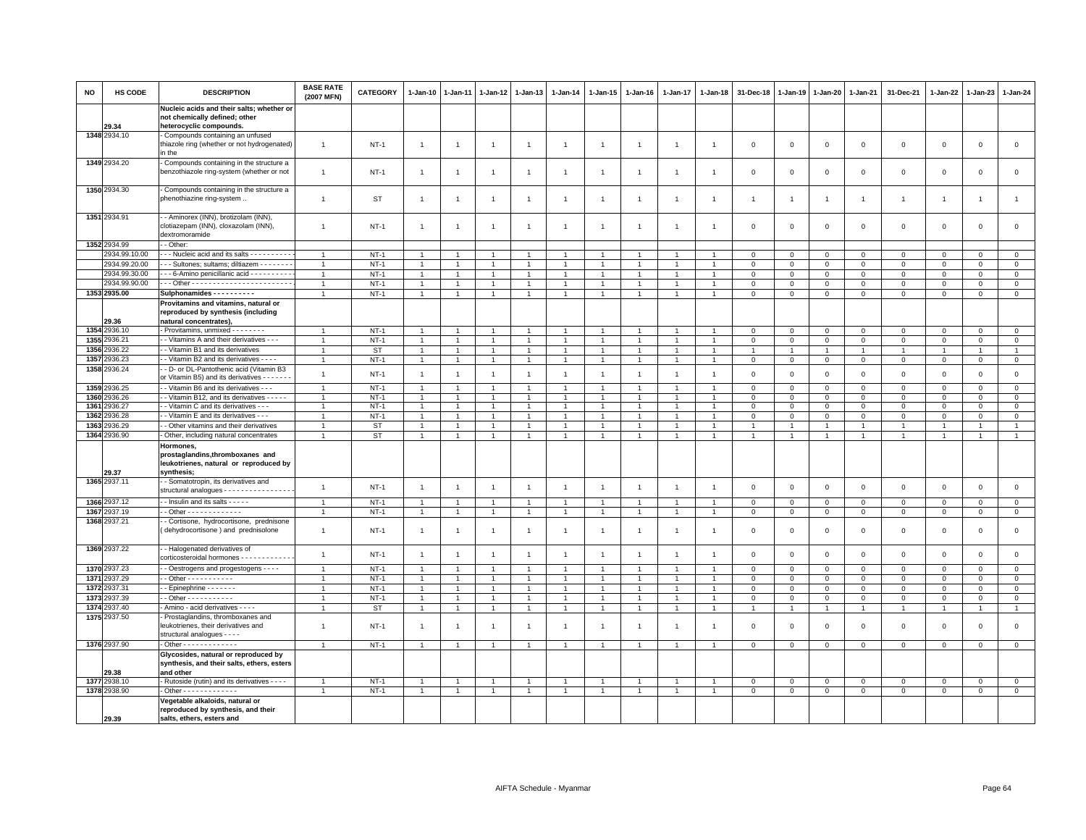| <b>NO</b> | HS CODE                      | <b>DESCRIPTION</b>                                                                                       | <b>BASE RATE</b><br>(2007 MFN) | <b>CATEGORY</b>  | 1-Jan-10                         | 1-Jan-11                             | 1-Jan-12                         | $1 - Jan-13$                     | $1-Jan-14$                       | 1-Jan-15                         | 1-Jan-16                         | 1-Jan-17                       | 1-Jan-18                         | 31-Dec-18                     | 1-Jan-19                      | 1-Jan-20                   | 1-Jan-21                | 31-Dec-21                  | 1-Jan-22                   | 1-Jan-23                   | $1-Jan-24$                  |
|-----------|------------------------------|----------------------------------------------------------------------------------------------------------|--------------------------------|------------------|----------------------------------|--------------------------------------|----------------------------------|----------------------------------|----------------------------------|----------------------------------|----------------------------------|--------------------------------|----------------------------------|-------------------------------|-------------------------------|----------------------------|-------------------------|----------------------------|----------------------------|----------------------------|-----------------------------|
|           | 29.34                        | Nucleic acids and their salts; whether or<br>not chemically defined; other<br>heterocyclic compounds.    |                                |                  |                                  |                                      |                                  |                                  |                                  |                                  |                                  |                                |                                  |                               |                               |                            |                         |                            |                            |                            |                             |
|           | 1348 2934.10                 | Compounds containing an unfused<br>thiazole ring (whether or not hydrogenated)<br>in the                 | $\overline{1}$                 | <b>NT-1</b>      | $\mathbf{1}$                     | $\mathbf{1}$                         | 1                                | $\mathbf{1}$                     | $\overline{1}$                   | $\overline{1}$                   | $\overline{1}$                   | $\overline{1}$                 | $\overline{1}$                   | $\mathbf 0$                   | $\mathbf 0$                   | $\mathbf 0$                | $\mathbf 0$             | $\mathsf 0$                | $\mathbf 0$                | $\mathsf 0$                | $\mathsf 0$                 |
|           | 1349 2934.20                 | Compounds containing in the structure a<br>benzothiazole ring-system (whether or not                     | $\mathbf{1}$                   | <b>NT-1</b>      | $\overline{1}$                   | $\overline{1}$                       | $\overline{1}$                   | $\overline{1}$                   | $\overline{1}$                   | $\overline{1}$                   | $\overline{1}$                   | $\overline{1}$                 | $\overline{1}$                   | $\mathbf 0$                   | $^{\circ}$                    | $\mathbf 0$                | 0                       | $\mathsf 0$                | 0                          | $\mathbf 0$                | $\mathsf 0$                 |
|           | 1350 2934.30                 | - Compounds containing in the structure a<br>phenothiazine ring-system                                   | $\overline{1}$                 | ST               | $\overline{1}$                   | $\overline{1}$                       | $\overline{1}$                   | $\overline{1}$                   | $\overline{1}$                   | $\overline{1}$                   | $\mathbf{1}$                     | $\overline{1}$                 | $\overline{1}$                   | $\overline{1}$                | -1                            | $\overline{1}$             | $\overline{1}$          | $\overline{1}$             | $\overline{1}$             | $\overline{1}$             | $\mathbf{1}$                |
|           | 1351 2934.91                 | - Aminorex (INN), brotizolam (INN),<br>clotiazepam (INN), cloxazolam (INN),<br>dextromoramide            | $\overline{1}$                 | $NT-1$           | $\mathbf{1}$                     | $\overline{1}$                       | $\mathbf{1}$                     | $\overline{1}$                   | $\overline{1}$                   | $\overline{1}$                   | $\overline{1}$                   | $\mathbf{1}$                   | $\overline{1}$                   | $\overline{0}$                | $\mathbf 0$                   | $\mathbf 0$                | $\mathbf 0$             | $\mathsf 0$                | $\mathbf 0$                | $\Omega$                   | $\mathsf 0$                 |
|           | 1352 2934.99                 | - - Other:                                                                                               |                                |                  |                                  |                                      |                                  |                                  |                                  |                                  |                                  |                                |                                  |                               |                               |                            |                         |                            |                            |                            |                             |
|           | 2934.99.10.00                | --- Nucleic acid and its salts ----------                                                                | $\overline{1}$                 | $NT-1$           | $\mathbf{1}$                     |                                      |                                  | $\overline{1}$                   |                                  |                                  |                                  |                                |                                  | $\Omega$                      | $\mathbf 0$                   | $\mathbf 0$                | $\mathbf 0$             | $\mathsf 0$                | 0                          | $\Omega$                   | $\mathbf 0$                 |
|           | 2934.99.20.00                | - - Sultones; sultams; diltiazem - - - - - - -                                                           | $\overline{1}$                 | $NT-1$           | $\mathbf{1}$                     | $\mathbf{1}$                         | $\mathbf{1}$                     | $\mathbf{1}$                     | $\overline{1}$                   | $\mathbf{1}$                     |                                  | $\mathbf{1}$                   | $\overline{1}$                   | $\mathbf{0}$                  | $\mathbf 0$                   | $\mathbf 0$                | $\mathbf{0}$            | $\mathbf 0$                | $\Omega$                   | $\Omega$                   | $\mathbf{0}$                |
|           | 2934.99.30.00                | - - - 6-Amino penicillanic acid - - - - - - - - - -                                                      | $\mathbf{1}$                   | $NT-1$           | $\mathbf{1}$                     | $\mathbf{1}$                         | $\overline{1}$                   | $\overline{1}$                   | $\overline{1}$                   | $\mathbf{1}$                     | $\overline{1}$                   | $\overline{1}$                 | $\overline{1}$                   | $\mathbf 0$                   | $\mathbf 0$                   | $\mathbf 0$                | $\mathbf 0$             | $\mathsf 0$                | $\mathbf 0$                | 0                          | $\circ$                     |
|           | 2934.99.90.00                |                                                                                                          | $\mathbf{1}$                   | $NT-1$           | $\overline{1}$                   | $\overline{1}$                       | $\overline{1}$                   | $\overline{1}$                   | $\overline{1}$                   | $\mathbf{1}$                     | $\overline{1}$                   | $\mathbf{1}$                   | $\overline{1}$                   | $\mathsf 0$                   | $\mathbb O$                   | $\mathbf 0$                | $\mathbf{0}$            | $\mathsf 0$                | $\Omega$                   | $\Omega$                   | $\overline{0}$              |
|           | 1353 2935.00                 | Sulphonamides - - - - - - - - - -                                                                        | $\overline{1}$                 | $NT-1$           | $\mathbf{1}$                     | $\mathbf{1}$                         | $\mathbf{1}$                     | $\mathbf{1}$                     | $\overline{1}$                   | $\mathbf{1}$                     | $\mathbf{1}$                     | $\mathbf{1}$                   | $\overline{1}$                   | $\mathbf 0$                   | $\mathsf 0$                   | $\mathsf 0$                | $\mathsf 0$             | $\mathsf 0$                | $\mathbf 0$                | $\mathsf 0$                | $\mathbf 0$                 |
|           | 29.36                        | Provitamins and vitamins, natural or<br>reproduced by synthesis (including<br>natural concentrates),     |                                |                  |                                  |                                      |                                  |                                  |                                  |                                  |                                  |                                |                                  |                               |                               |                            |                         |                            |                            |                            |                             |
|           | 1354 2936.10                 | - Provitamins, unmixed - - - - - - -                                                                     |                                | $NT-1$           | $\overline{1}$                   |                                      | $\overline{1}$                   | $\overline{1}$                   |                                  | $\overline{1}$                   |                                  | $\overline{1}$                 |                                  | $\Omega$                      | $\mathbf{0}$                  | $\mathbf{0}$               | $\Omega$                | $\mathbf 0$                | $\Omega$                   | $\mathbf 0$                | $\mathsf 0$                 |
|           | 1355 2936.21                 | - - Vitamins A and their derivatives - - -                                                               | $\overline{1}$                 | $NT-1$           | $\mathbf{1}$                     | $\overline{1}$                       | $\mathbf{1}$                     | $\overline{1}$                   | $\overline{1}$                   | $\mathbf{1}$                     |                                  | $\mathbf{1}$                   | $\overline{1}$                   | $\mathbf 0$                   | $\overline{0}$                | $\mathbf 0$                | $\mathsf 0$             | $\mathsf 0$                | $\mathbf 0$                | $\mathbf 0$                | $\overline{0}$              |
|           | 1356 2936.22                 | - Vitamin B1 and its derivatives                                                                         | $\overline{1}$                 | <b>ST</b>        | $\mathbf{1}$                     | $\mathbf{1}$                         | $\mathbf{1}$                     | $\mathbf{1}$                     | $\overline{1}$                   | $\overline{1}$                   |                                  | $\mathbf{1}$                   |                                  | $\mathbf{1}$                  | $\mathbf{1}$                  | -1                         | $\overline{1}$          | $\mathbf{1}$               | $\mathbf{1}$               |                            | $\overline{1}$              |
|           | 1357 2936.23                 | - - Vitamin B2 and its derivatives - - - -                                                               | $\overline{1}$                 | $NT-1$           | $\mathbf{1}$                     |                                      | $\overline{1}$                   | $\overline{1}$                   | $\mathbf{1}$                     | $\overline{1}$                   |                                  | $\mathbf{1}$                   | $\mathbf{1}$                     | $\mathbf 0$                   | $\mathbf 0$                   | $\mathbf 0$                | $\mathbf 0$             | $\mathsf 0$                | $\mathbf 0$                | $\mathsf 0$                | $\mathbf{0}$                |
|           | 1358 2936.24                 | - D- or DL-Pantothenic acid (Vitamin B3<br>or Vitamin B5) and its derivatives - - - - - -                | $\mathbf{1}$                   | $NT-1$           | $\mathbf{1}$                     | $\overline{1}$                       | $\overline{1}$                   | $\mathbf{1}$                     | $\mathbf{1}$                     | $\overline{1}$                   | $\overline{1}$                   | $\mathbf{1}$                   | $\overline{1}$                   | $\mathbf 0$                   | $\overline{0}$                | $\mathbf 0$                | $\mathbf{0}$            | $\mathsf 0$                | $\mathbf 0$                | $\mathbf 0$                | $\mathsf 0$                 |
|           | 1359 2936.25<br>1360 2936.26 | - - Vitamin B6 and its derivatives - - -<br>- Vitamin B12, and its derivatives - - - - -                 | $\overline{1}$<br>$\mathbf{1}$ | $NT-1$<br>$NT-1$ | $\overline{1}$<br>$\mathbf{1}$   | $\mathbf{1}$<br>$\blacktriangleleft$ | $\overline{1}$<br>$\overline{1}$ | $\overline{1}$<br>$\overline{1}$ | $\mathbf{1}$<br>$\overline{1}$   | $\overline{1}$<br>$\mathbf{1}$   |                                  | $\overline{1}$<br>$\mathbf{1}$ | $\overline{1}$<br>$\overline{1}$ | $\mathbf 0$<br>$\overline{0}$ | $\mathbf 0$<br>$\overline{0}$ | $\mathbf 0$                | $\mathbf 0$<br>$\Omega$ | $\mathsf 0$<br>$\Omega$    | 0<br>$\Omega$              | $\mathsf 0$<br>$\Omega$    | $\circ$<br>$\overline{0}$   |
| 1361      | 2936.27                      | - Vitamin C and its derivatives - - -                                                                    | $\overline{1}$                 | $NT-1$           | $\mathbf{1}$                     | $\mathbf{1}$                         | $\overline{1}$                   | $\mathbf{1}$                     | $\overline{1}$                   | $\mathbf{1}$                     |                                  | $\mathbf{1}$                   | $\overline{1}$                   | $\mathsf 0$                   | $\,0\,$                       | $\mathbf 0$<br>$\mathbf 0$ | $\mathbf 0$             | 0                          | $\mathbf 0$                | $^{\circ}$                 | $\mathbf 0$                 |
| 1362      | 2936.28                      | - - Vitamin E and its derivatives - - -                                                                  | $\overline{1}$                 | $NT-1$           | $\mathbf{1}$                     | $\overline{1}$                       | $\mathbf{1}$                     | $\overline{1}$                   | $\overline{1}$                   | $\mathbf{1}$                     |                                  | $\mathbf{1}$                   | $\overline{1}$                   | $\mathbf 0$                   | $\mathbf 0$                   | $\mathbf 0$                | $\mathbf 0$             | $\mathsf 0$                | $\mathbf 0$                | $\mathsf 0$                | $\mathbf 0$                 |
| 1363      | 2936.29                      | - Other vitamins and their derivatives                                                                   | $\overline{1}$                 | <b>ST</b>        | $\overline{1}$                   |                                      | $\overline{1}$                   | $\overline{1}$                   |                                  | $\overline{1}$                   |                                  | $\overline{1}$                 |                                  | $\overline{1}$                | $\overline{1}$                | $\overline{1}$             | $\overline{1}$          | $\overline{1}$             | $\overline{1}$             |                            | $\overline{1}$              |
|           | 1364 2936.90                 | Other, including natural concentrates                                                                    |                                | <b>ST</b>        | $\overline{1}$                   | $\overline{1}$                       | $\overline{1}$                   | $\overline{1}$                   |                                  | $\overline{1}$                   |                                  | $\mathbf{1}$                   | $\overline{1}$                   | $\overline{1}$                | $\mathbf{1}$                  | $\overline{1}$             | $\overline{1}$          |                            | $\overline{1}$             |                            | $\overline{1}$              |
|           |                              | Hormones,<br>prostaglandins,thromboxanes and                                                             |                                |                  |                                  |                                      |                                  |                                  |                                  |                                  |                                  |                                |                                  |                               |                               |                            |                         |                            |                            |                            |                             |
|           | 29.37<br>1365 2937.11        | leukotrienes, natural or reproduced by<br>synthesis;<br>- Somatotropin, its derivatives and              |                                |                  |                                  |                                      |                                  |                                  |                                  |                                  |                                  |                                |                                  |                               |                               |                            |                         |                            |                            |                            |                             |
|           |                              | structural analogues - - - - - - - - - - - - - -                                                         | $\overline{1}$                 | $NT-1$           | $\overline{1}$                   | $\overline{1}$                       | $\overline{1}$                   | $\mathbf{1}$                     | $\overline{1}$                   | $\overline{1}$                   | $\overline{1}$                   | $\overline{1}$                 | $\overline{1}$                   | $\mathbf 0$                   | $\mathbf{0}$                  | $\mathbf 0$                | $\mathsf 0$             | $\mathsf 0$                | $\mathsf 0$                | $\mathsf 0$                | $\mathsf 0$                 |
|           | 1366 2937.12                 | - Insulin and its salts - - - - -                                                                        | $\overline{1}$                 | $NT-1$           | $\overline{1}$                   |                                      | $\overline{1}$                   | $\overline{1}$                   |                                  | $\overline{1}$                   |                                  |                                | $\overline{1}$                   | $^{\circ}$                    | $^{\circ}$                    | $\mathbf 0$                | $\mathbf 0$             | 0                          | 0                          | $\mathbf 0$                | $\mathbf 0$                 |
|           | 1367 2937.19                 | - Other - - - - - - - - - - - -                                                                          | $\overline{1}$                 | $NT-1$           | $\overline{1}$                   | $\overline{1}$                       | $\overline{1}$                   | $\overline{1}$                   | $\overline{1}$                   | $\overline{1}$                   |                                  | $\overline{1}$                 | $\overline{1}$                   | $\mathbf 0$                   | $\mathbf{0}$                  | $\overline{0}$             | $\mathbf 0$             | $\mathsf 0$                | $\mathbf 0$                | $\mathsf 0$                | $\overline{0}$              |
|           | 1368 2937.21                 | - Cortisone, hydrocortisone, prednisone<br>dehydrocortisone) and prednisolone                            | $\mathbf{1}$                   | $NT-1$           | $\overline{1}$                   | $\overline{1}$                       | $\mathbf{1}$                     | $\mathbf{1}$                     | $\mathbf{1}$                     | $\mathbf{1}$                     | $\overline{1}$                   | $\mathbf{1}$                   | $\overline{1}$                   | $\mathbf 0$                   | $\mathbf 0$                   | $\mathbf 0$                | $\mathsf 0$             | $\mathsf 0$                | $\mathbf 0$                | $\mathsf 0$                | $\mathsf 0$                 |
|           | 1369 2937.22                 | - Halogenated derivatives of<br>corticosteroidal hormones - - - - - - - - - - - -                        | $\mathbf{1}$                   | $NT-1$           | $\mathbf{1}$                     | $\overline{1}$                       | $\mathbf{1}$                     | $\mathbf{1}$                     | $\overline{1}$                   | $\overline{1}$                   | $\overline{1}$                   | 1                              | $\overline{1}$                   | $\mathbf 0$                   | $\mathbf{0}$                  | $\mathbf 0$                | $\mathsf 0$             | $\mathsf 0$                | $\mathsf 0$                | $\mathsf 0$                | $\mathsf 0$                 |
|           | 1370 2937.23                 | - Oestrogens and progestogens - - - -                                                                    | $\overline{1}$                 | $NT-1$           | $\overline{1}$                   | $\overline{1}$                       | $\overline{1}$                   | $\overline{1}$                   | $\overline{1}$                   | $\overline{1}$                   | $\overline{1}$                   | $\mathbf{1}$                   | $\overline{1}$                   | $\mathbf 0$                   | $\mathbf{0}$                  | $\overline{0}$             | $\mathbf 0$             | $\mathbf 0$                | $\mathbf 0$                | $\mathbf 0$                | $\circ$                     |
|           | 1371 2937.29                 | $-$ Other $        -$                                                                                    | $\overline{1}$                 | $NT-1$           | $\mathbf{1}$                     | $\overline{1}$                       | $\overline{1}$                   | $\mathbf{1}$                     | $\overline{1}$                   | $\overline{1}$                   | $\overline{1}$                   | $\mathbf{1}$                   | $\overline{1}$                   | $\mathbf 0$                   | $\mathsf 0$                   | $\mathbf 0$                | $\Omega$                | $\mathbf 0$                | $\mathbf 0$                | $\Omega$                   | $\mathsf 0$                 |
|           | 1372 2937.31                 | - Epinephrine - - - - - -                                                                                | $\overline{1}$                 | $NT-1$           | $\mathbf{1}$                     | $\mathbf{1}$                         | $\mathbf{1}$                     | $\overline{1}$                   | $\overline{1}$                   | $\mathbf{1}$                     |                                  | $\mathbf{1}$                   | $\overline{1}$                   | $\mathbf 0$                   | $\mathbf 0$                   | $\mathbf 0$                | $\mathbf 0$             | $\mathsf 0$                | $\mathbf 0$                | $\mathsf 0$                | $\mathbf 0$                 |
|           | 1373 2937.39                 | - Other - - - - - - - - - - -                                                                            | $\overline{1}$                 | $NT-1$           | $\mathbf{1}$                     | $\mathbf{1}$                         | $\mathbf{1}$                     | $\overline{1}$                   | $\overline{1}$                   | $\mathbf{1}$                     | $\blacktriangleleft$             | $\mathbf{1}$                   | $\overline{1}$                   | $\mathbf 0$                   | $\mathsf 0$                   | $\mathbf 0$                | $\mathbf 0$             | $\mathsf 0$                | $\mathbf 0$                | $\Omega$                   | $\mathbf 0$                 |
|           | 1374 2937.40                 | Amino - acid derivatives - - - -                                                                         | $\overline{1}$                 | ST               | $\mathbf{1}$                     | $\mathbf{1}$                         | $\mathbf{1}$                     | $\overline{1}$                   | $\overline{1}$                   | $\overline{1}$                   | $\overline{1}$                   | $\overline{1}$                 | $\overline{1}$                   | $\mathbf{1}$                  | $\mathbf{1}$                  | $\mathbf{1}$               | $\overline{1}$          | $\mathbf{1}$               | $\overline{1}$             |                            | $\overline{1}$              |
|           | 1375 2937.50                 | Prostaglandins, thromboxanes and                                                                         | $\overline{1}$                 |                  |                                  |                                      |                                  |                                  |                                  |                                  |                                  |                                |                                  |                               |                               |                            |                         |                            |                            |                            |                             |
|           | 1376 2937.90                 | leukotrienes, their derivatives and<br>structural analogues - - - -<br>- Other - - - - - - - - - - - - - | $\overline{1}$                 | $NT-1$<br>$NT-1$ | $\overline{1}$<br>$\overline{1}$ | $\overline{1}$<br>$\overline{1}$     | $\overline{1}$<br>$\overline{1}$ | $\overline{1}$<br>$\overline{1}$ | $\overline{1}$<br>$\overline{1}$ | $\overline{1}$<br>$\overline{1}$ | $\overline{1}$<br>$\overline{1}$ | -1<br>$\mathbf{1}$             | $\overline{1}$<br>$\overline{1}$ | $\mathbf 0$<br>$\circ$        | $\mathbf 0$<br>$\mathbf 0$    | $\mathbf 0$<br>$\circ$     | $\mathbf 0$<br>$\circ$  | $\mathsf 0$<br>$\mathsf 0$ | $\mathbf 0$<br>$\mathsf 0$ | $\mathsf 0$<br>$\mathbf 0$ | $\mathsf 0$<br>$\mathbf{0}$ |
|           |                              | Glycosides, natural or reproduced by                                                                     |                                |                  |                                  |                                      |                                  |                                  |                                  |                                  |                                  |                                |                                  |                               |                               |                            |                         |                            |                            |                            |                             |
|           | 29.38                        | synthesis, and their salts, ethers, esters<br>and other                                                  |                                |                  |                                  |                                      |                                  |                                  |                                  |                                  |                                  |                                |                                  |                               |                               |                            |                         |                            |                            |                            |                             |
|           | 1377 2938.10                 | - Rutoside (rutin) and its derivatives - - - -                                                           | $\mathbf{1}$                   | $NT-1$           | $\mathbf{1}$                     |                                      | $\overline{1}$                   | $\overline{1}$                   |                                  | $\overline{1}$                   |                                  | $\overline{1}$                 | $\mathbf{1}$                     | $\mathbf{0}$                  | $\mathsf 0$                   | $\mathbf{0}$               | $\mathbf{0}$            | $\mathbf 0$                | $\mathbf 0$                | $\mathbf{0}$               | $\mathsf 0$                 |
|           | 1378 2938.90                 | $\cdot$ Other - - - - - - - - - - - -                                                                    | $\overline{1}$                 | $NT-1$           | $\mathbf{1}$                     | $\mathbf{1}$                         | $\mathbf{1}$                     | $\mathbf{1}$                     |                                  | $\mathbf{1}$                     |                                  | $\mathbf{1}$                   | $\overline{1}$                   | $\mathbf 0$                   | $\mathsf 0$                   | $\mathbf 0$                | $\mathbf 0$             | $\mathbf{0}$               | $\mathbf 0$                | 0                          | $\overline{0}$              |
|           |                              | Vegetable alkaloids, natural or<br>reproduced by synthesis, and their                                    |                                |                  |                                  |                                      |                                  |                                  |                                  |                                  |                                  |                                |                                  |                               |                               |                            |                         |                            |                            |                            |                             |
|           | 29.39                        | salts, ethers, esters and                                                                                |                                |                  |                                  |                                      |                                  |                                  |                                  |                                  |                                  |                                |                                  |                               |                               |                            |                         |                            |                            |                            |                             |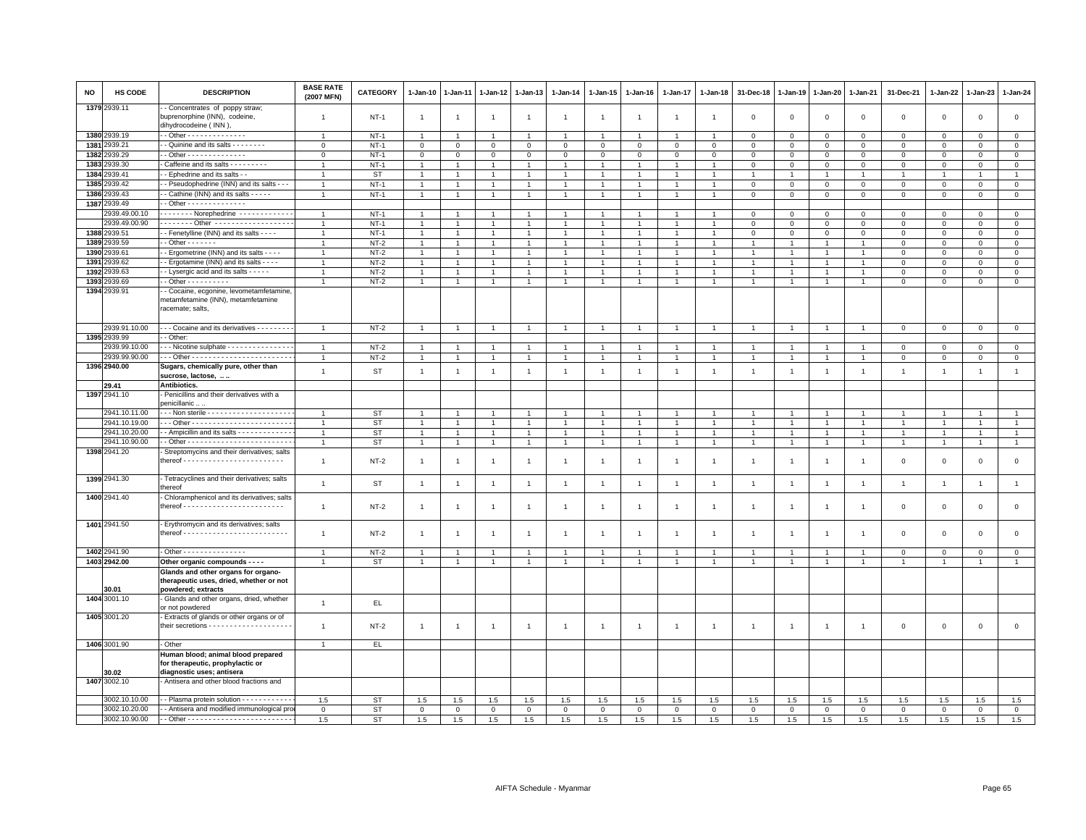| <b>NO</b> | HS CODE       | <b>DESCRIPTION</b>                                                                                   | <b>BASE RATE</b><br>(2007 MFN) | <b>CATEGORY</b> | $1 - Jan-10$   | $1 - Jan-11$   | $1-Jan-12$     | $1 - Jan-13$   | 1-Jan-14       | 1-Jan-15             | $1 - Jan-16$   | $1 - Jan-17$   | 1-Jan-18       | 31-Dec-18      | $1 - Jan-19$   | 1-Jan-20       | $1 - Jan-21$   | 31-Dec-21      | $1 - Jan-22$   | 1-Jan-23       | 1-Jan-24       |
|-----------|---------------|------------------------------------------------------------------------------------------------------|--------------------------------|-----------------|----------------|----------------|----------------|----------------|----------------|----------------------|----------------|----------------|----------------|----------------|----------------|----------------|----------------|----------------|----------------|----------------|----------------|
|           | 1379 2939.11  | - Concentrates of poppy straw;<br>buprenorphine (INN), codeine,<br>dihydrocodeine (INN)              | $\overline{1}$                 | $NT-1$          | $\overline{1}$ | $\overline{1}$ | $\overline{1}$ | $\overline{1}$ | $\mathbf{1}$   | $\overline{1}$       | $\overline{1}$ | $\overline{1}$ | $\overline{1}$ | $\mathbf 0$    | $\mathsf 0$    | $\mathsf 0$    | $\mathbf 0$    | $\mathsf 0$    | $\mathbf 0$    | $\mathbf 0$    | $\mathbf 0$    |
|           | 1380 2939.19  | - - Other - - - - - - - - - - - - - -                                                                | $\mathbf{1}$                   | $NT-1$          | $\overline{1}$ | $\overline{1}$ | $\mathbf{1}$   | $\overline{1}$ | $\mathbf{1}$   | $\overline{1}$       | $\mathbf{1}$   | $\overline{1}$ |                | $\mathbf 0$    | $\mathsf 0$    | $\mathbf{0}$   | $\overline{0}$ | $\mathbf 0$    | $\mathbf{0}$   | $\mathbf{O}$   | $\mathbf{0}$   |
| 1381      | 2939.21       | - - Quinine and its salts - - - - - - - -                                                            | $\mathbf 0$                    | $NT-1$          | $\mathbf{O}$   | $\mathbf 0$    | $\overline{0}$ | $\mathsf 0$    | $\mathbf{O}$   | $\mathbf 0$          | $\mathbf{O}$   | $\mathbf 0$    | $\mathbf 0$    | $\mathbf 0$    | $\mathsf 0$    | $\mathsf 0$    | $\mathbf 0$    | $\mathbf 0$    | $\mathbf 0$    | $\mathbf 0$    | $\mathsf 0$    |
|           | 1382 2939.29  | $-$ Other $- - - - - - - - - - - - -$                                                                | $\mathbf 0$                    | $NT-1$          | $\mathbf 0$    | $\mathbf 0$    | $\mathbf 0$    | $\mathbf 0$    | $\mathbf{O}$   | $\mathbf 0$          | $\mathbf{O}$   | $\mathbf{0}$   | $\mathbf 0$    | $\mathbf 0$    | $\mathsf 0$    | $\mathbf 0$    | $\mathbf 0$    | $\mathbf 0$    | $\mathbf 0$    | $\mathbf 0$    | $\mathsf 0$    |
| 1383      | 2939.30       | Caffeine and its salts - - - - - - - - -                                                             | 1                              | $NT-1$          | $\overline{1}$ |                | $\mathbf{1}$   | $\overline{1}$ | $\mathbf{1}$   | $\mathbf{1}$         |                |                |                | $\mathbf 0$    | $\mathbf 0$    | $\mathbf 0$    | $\overline{0}$ | $\mathbf 0$    | $\Omega$       | $\mathbf{0}$   | $\circ$        |
| 1384      | 2939.41       | - - Ephedrine and its salts - -                                                                      | $\mathbf{1}$                   | <b>ST</b>       | $\overline{1}$ | $\overline{1}$ | $\overline{1}$ | $\overline{1}$ | $\overline{1}$ | $\overline{1}$       | $\mathbf{1}$   | $\overline{1}$ | $\overline{1}$ | $\overline{1}$ | $\mathbf{1}$   | $\mathbf{1}$   | $\overline{1}$ | $\overline{1}$ | $\mathbf{1}$   | $\overline{1}$ | $\mathbf{1}$   |
| 1385      | 2939.42       | - Pseudophedrine (INN) and its salts - -                                                             | $\overline{1}$                 | $NT-1$          | $\mathbf{1}$   | $\overline{1}$ | $\overline{1}$ | $\overline{1}$ | $\mathbf{1}$   | $\mathbf{1}$         | $\overline{1}$ | $\overline{1}$ | $\overline{1}$ | $\mathsf 0$    | $\mathsf 0$    | $\mathbf 0$    | $\mathbf 0$    | $\mathbf{0}$   | $\mathbf 0$    | $\circ$        | $\mathsf 0$    |
|           | 1386 2939.43  | - - Cathine (INN) and its salts - - - - -                                                            | $\mathbf{1}$                   | $NT-1$          | $\mathbf{1}$   | $\overline{1}$ | $\overline{1}$ | $\overline{1}$ | $\mathbf{1}$   | $\mathbf{1}$         | $\overline{1}$ | $\overline{1}$ | $\overline{1}$ | $\,0\,$        | $\mathsf 0$    | $\mathbf 0$    | $\mathsf 0$    | $\mathsf 0$    | $\mathbf 0$    | $\overline{0}$ | $\mathbf 0$    |
|           | 1387 2939.49  | - Other - - - - - - - - - - - - - -                                                                  |                                |                 |                |                |                |                |                |                      |                |                |                |                |                |                |                |                |                |                |                |
|           | 2939.49.00.10 | $\cdots \cdots$ Norephedrine $\cdots \cdots \cdots$                                                  | $\overline{1}$                 | $NT-1$          | $\overline{1}$ | $\overline{1}$ | $\overline{1}$ | $\overline{1}$ | $\overline{1}$ | $\mathbf{1}$         |                | $\overline{1}$ |                | $\,0\,$        | $\Omega$       | $\mathsf 0$    | $\mathsf 0$    | $\mathsf 0$    | $\Omega$       | $\mathbf{0}$   | $\mathbf 0$    |
|           | 2939.49.00.90 | Other                                                                                                | $\overline{1}$                 | $NT-1$          | $\overline{1}$ |                |                | $\overline{1}$ | $\overline{1}$ | $\overline{1}$       |                | $\overline{1}$ |                | $\mathbf 0$    | $\Omega$       | $\mathbf 0$    | $\mathbf{0}$   | $\mathbf 0$    | $\mathbf 0$    | $\Omega$       | $\mathsf 0$    |
|           | 1388 2939.51  | - Fenetylline (INN) and its salts - - - -                                                            | $\overline{1}$                 | $NT-1$          | $\mathbf{1}$   |                | $\mathbf{1}$   | $\mathbf{1}$   | $\overline{1}$ | $\overline{1}$       |                |                |                | $\mathbf 0$    | 0              | $\mathsf 0$    | $\mathbf 0$    | $\mathsf 0$    | $\mathbf 0$    | $\mathbf 0$    | $\mathbf 0$    |
| 1389      | 2939.59       | $-$ Other $     -$                                                                                   | $\overline{1}$                 | $NT-2$          | $\overline{1}$ | $\mathbf{1}$   | $\overline{1}$ | $\overline{1}$ | $\overline{1}$ | $\mathbf{1}$         | $\mathbf{1}$   | $\overline{1}$ |                | $\overline{1}$ | $\mathbf{1}$   | $\overline{1}$ | $\overline{1}$ | $\mathbf 0$    | $\mathbf 0$    | $\mathbf{0}$   | $\overline{0}$ |
| 1390      | 2939.61       | - Ergometrine (INN) and its salts - - - -                                                            | $\mathbf{1}$                   | $NT-2$          | $\mathbf{1}$   | $\overline{1}$ | $\overline{1}$ | $\overline{1}$ | $\mathbf{1}$   | $\overline{1}$       | $\overline{1}$ | $\overline{1}$ | $\overline{1}$ | $\overline{1}$ | $\overline{1}$ | $\overline{1}$ | $\overline{1}$ | $\mathsf 0$    | $\mathbf 0$    | $\mathsf 0$    | $\circ$        |
| 1391      | 939.62        | - Ergotamine (INN) and its salts - - - -                                                             | $\overline{1}$                 | $NT-2$          | $\overline{1}$ | $\overline{1}$ | $\overline{1}$ | $\overline{1}$ | $\overline{1}$ | $\ddot{\phantom{1}}$ |                | $\overline{1}$ |                | $\overline{1}$ |                | $\overline{1}$ | $\overline{1}$ | $\mathsf 0$    | $\mathbf 0$    | $\mathbf 0$    | $\mathsf 0$    |
|           | 1392 2939.63  | - Lysergic acid and its salts - - - - -                                                              |                                | $NT-2$          | $\overline{1}$ | $\overline{1}$ | $\overline{1}$ | $\mathbf{1}$   | $\overline{1}$ | $\mathbf{1}$         |                | $\mathbf{1}$   |                | $\overline{1}$ |                | $\overline{1}$ | $\overline{1}$ | $\mathsf 0$    | $\Omega$       | $\mathbf 0$    | $\mathbf 0$    |
|           | 1393 2939.69  | $-$ Other $        -$                                                                                | $\mathbf{1}$                   | $NT-2$          | $\overline{1}$ | $\overline{1}$ | $\overline{1}$ | $\overline{1}$ | $\mathbf{1}$   | $\overline{1}$       | $\mathbf{1}$   | $\overline{1}$ | $\mathbf{1}$   | $\overline{1}$ | $\mathbf{1}$   | $\mathbf{1}$   | $\overline{1}$ | $\mathbf{0}$   | $\mathbf 0$    | $\mathbf{0}$   | $\circ$        |
|           | 1394 2939.91  | - Cocaine, ecgonine, levometamfetamine<br>metamfetamine (INN), metamfetamine<br>racemate; salts,     |                                |                 |                |                |                |                |                |                      |                |                |                |                |                |                |                |                |                |                |                |
|           | 2939.91.10.00 | --- Cocaine and its derivatives --------                                                             |                                | $NT-2$          | $\overline{1}$ | $\overline{1}$ | $\overline{1}$ | $\overline{1}$ |                | $\overline{1}$       | $\overline{1}$ | $\overline{1}$ |                | $\overline{1}$ | $\overline{1}$ | $\overline{1}$ | $\overline{1}$ | $\mathbf 0$    | $\mathbf 0$    | $\overline{0}$ | $\mathbf 0$    |
|           | 1395 2939.99  | - Other:                                                                                             |                                |                 |                |                |                |                |                |                      |                |                |                |                |                |                |                |                |                |                |                |
|           | 2939.99.10.00 | - - Nicotine sulphate - - - - - - - - - - - - - -                                                    | $\overline{1}$                 | $NT-2$          | $\overline{1}$ | $\overline{1}$ | $\overline{1}$ | $\overline{1}$ |                |                      |                | $\overline{1}$ |                | $\overline{1}$ |                | $\overline{1}$ | $\overline{1}$ | 0              | $\Omega$       | $\mathbf 0$    | $\mathbf 0$    |
|           | 2939.99.90.00 |                                                                                                      |                                | $NT-2$          |                |                |                | $\overline{1}$ |                |                      |                |                |                |                |                |                | $\overline{1}$ | $\mathsf 0$    | $\mathbf 0$    | $\mathbf 0$    | $\overline{0}$ |
|           | 1396 2940.00  | Sugars, chemically pure, other than<br>sucrose, lactose,                                             | $\mathbf{1}$                   | <b>ST</b>       | $\overline{1}$ | $\overline{1}$ | $\overline{1}$ | $\overline{1}$ | $\overline{1}$ | $\overline{1}$       | $\mathbf{1}$   | $\overline{1}$ | $\overline{1}$ | $\mathbf{1}$   | $\overline{1}$ | $\mathbf{1}$   | $\overline{1}$ | $\overline{1}$ | $\overline{1}$ | $\overline{1}$ | $\mathbf{1}$   |
|           | 29.41         | Antibiotics.                                                                                         |                                |                 |                |                |                |                |                |                      |                |                |                |                |                |                |                |                |                |                |                |
|           | 1397 2941.10  | Penicillins and their derivatives with a<br>penicillanic                                             |                                |                 |                |                |                |                |                |                      |                |                |                |                |                |                |                |                |                |                |                |
|           | 2941.10.11.00 |                                                                                                      | $\overline{1}$                 | <b>ST</b>       | $\overline{1}$ | $\overline{1}$ | $\overline{1}$ | $\overline{1}$ | $\overline{1}$ | $\overline{1}$       | $\overline{1}$ | $\overline{1}$ | $\overline{1}$ | $\overline{1}$ | $\overline{1}$ | $\overline{1}$ | $\overline{1}$ | $\overline{1}$ | $\overline{1}$ | $\overline{1}$ | $\overline{1}$ |
|           | 2941.10.19.00 |                                                                                                      | $\overline{1}$                 | <b>ST</b>       | $\overline{1}$ | $\overline{1}$ | $\mathbf{1}$   | $\overline{1}$ | $\mathbf{1}$   | $\overline{1}$       | $\overline{1}$ | $\mathbf{1}$   |                | $\overline{1}$ | $\mathbf{1}$   | $\mathbf{1}$   | $\overline{1}$ | $\mathbf{1}$   | $\mathbf{1}$   | $\overline{1}$ | $\mathbf{1}$   |
|           | 2941.10.20.00 | - Ampicillin and its salts - - - - - - - - - - - - -                                                 | 1                              | <b>ST</b>       | $\overline{1}$ | $\overline{1}$ | $\overline{1}$ | $\overline{1}$ | $\overline{1}$ | $\mathbf{1}$         | $\overline{1}$ | $\mathbf{1}$   | $\overline{1}$ | $\overline{1}$ | $\mathbf{1}$   | $\overline{1}$ | $\overline{1}$ | $\overline{1}$ | $\overline{1}$ | $\overline{1}$ | $\mathbf{1}$   |
|           | 2941.10.90.00 |                                                                                                      | $\overline{1}$                 | <b>ST</b>       | $\overline{1}$ | $\overline{1}$ | $\overline{1}$ | $\overline{1}$ | $\overline{1}$ | $\overline{1}$       | $\overline{1}$ | $\overline{1}$ | $\overline{1}$ | $\overline{1}$ | $\overline{1}$ | $\overline{1}$ | $\overline{1}$ | $\mathbf{1}$   | $\overline{1}$ | $\overline{1}$ | $\overline{1}$ |
|           | 1398 2941.20  | Streptomycins and their derivatives; salts                                                           | $\overline{1}$                 | $NT-2$          | $\overline{1}$ | $\overline{1}$ | $\overline{1}$ | $\overline{1}$ | $\mathbf{1}$   | $\overline{1}$       | $\overline{1}$ | $\mathbf{1}$   | $\overline{1}$ | $\overline{1}$ | $\overline{1}$ | $\overline{1}$ | $\overline{1}$ | $\mathsf 0$    | $\,0\,$        | $\mathsf 0$    | $\mathsf 0$    |
|           | 1399 2941.30  | - Tetracyclines and their derivatives; salts<br>thereof                                              | $\mathbf{1}$                   | ST              | $\overline{1}$ | $\overline{1}$ | $\overline{1}$ | $\overline{1}$ | $\overline{1}$ | $\overline{1}$       | $\overline{1}$ | $\overline{1}$ | $\overline{1}$ | $\overline{1}$ | $\overline{1}$ | $\overline{1}$ | $\overline{1}$ | $\overline{1}$ | $\overline{1}$ | $\overline{1}$ | $\overline{1}$ |
|           | 1400 2941.40  | Chloramphenicol and its derivatives; salts                                                           | $\overline{1}$                 | $NT-2$          | $\overline{1}$ | $\mathbf{1}$   | $\mathbf{1}$   | $\overline{1}$ | $\mathbf{1}$   | $\mathbf{1}$         | $\overline{1}$ | $\overline{1}$ | $\overline{1}$ | $\overline{1}$ | $\overline{1}$ | $\overline{1}$ | $\overline{1}$ | $\mathsf 0$    | $\mathbf 0$    | $\mathbf 0$    | $\mathsf 0$    |
|           | 1401 2941.50  | - Erythromycin and its derivatives; salts                                                            |                                |                 |                |                |                |                |                |                      |                |                |                |                |                |                |                |                |                |                |                |
|           |               |                                                                                                      | $\mathbf{1}$                   | $NT-2$          | $\overline{1}$ | $\overline{1}$ | $\overline{1}$ | $\overline{1}$ | $\mathbf{1}$   | $\overline{1}$       | $\overline{1}$ | $\overline{1}$ | $\overline{1}$ | $\overline{1}$ | $\overline{1}$ | $\overline{1}$ | $\overline{1}$ | $\mathsf 0$    | $\mathbf{0}$   | $\mathbf{0}$   | $\mathbf 0$    |
|           | 1402 2941.90  | - Other - - - - - - - - - - - - - -                                                                  | $\overline{1}$                 | $NT-2$          | $\overline{1}$ | $\overline{1}$ | $\mathbf{1}$   | $\overline{1}$ | $\mathbf{1}$   | $\overline{1}$       |                | $\mathbf{1}$   |                | $\overline{1}$ | $\mathbf{1}$   | $\mathbf{1}$   | $\overline{1}$ | $\mathbf 0$    | $\mathbf 0$    | $\mathbf 0$    | $\mathsf 0$    |
|           | 1403 2942.00  | Other organic compounds - - - -                                                                      | $\mathbf{1}$                   | ST              | $\mathbf{1}$   | $\overline{1}$ | $\mathbf{1}$   | $\overline{1}$ | $\mathbf{1}$   | $\overline{1}$       | $\overline{1}$ | $\overline{1}$ | $\overline{1}$ | $\overline{1}$ | $\mathbf{1}$   | $\overline{1}$ | $\overline{1}$ | $\overline{1}$ | $\mathbf{1}$   | $\mathbf{1}$   | $\mathbf{1}$   |
|           | 30.01         | Glands and other organs for organo-<br>therapeutic uses, dried, whether or not<br>powdered; extracts |                                |                 |                |                |                |                |                |                      |                |                |                |                |                |                |                |                |                |                |                |
|           | 1404 3001.10  | - Glands and other organs, dried, whether<br>or not powdered                                         | $\mathbf{1}$                   | EL.             |                |                |                |                |                |                      |                |                |                |                |                |                |                |                |                |                |                |
|           | 1405 3001.20  | - Extracts of glands or other organs or of                                                           | $\overline{1}$                 | $NT-2$          | $\overline{1}$ | $\overline{1}$ | $\overline{1}$ | $\overline{1}$ | $\mathbf{1}$   | $\mathbf{1}$         | $\overline{1}$ | $\mathbf{1}$   | $\mathbf{1}$   | $\overline{1}$ | $\mathbf{1}$   | $\overline{1}$ | $\overline{1}$ | $\mathsf 0$    | $\mathbf 0$    | $\mathbf 0$    | $\mathbf 0$    |
|           | 1406 3001.90  | - Other                                                                                              | $\overline{1}$                 | EL.             |                |                |                |                |                |                      |                |                |                |                |                |                |                |                |                |                |                |
|           | 30.02         | Human blood; animal blood prepared<br>for therapeutic, prophylactic or<br>diagnostic uses; antisera  |                                |                 |                |                |                |                |                |                      |                |                |                |                |                |                |                |                |                |                |                |
|           | 1407 3002.10  | - Antisera and other blood fractions and                                                             |                                |                 |                |                |                |                |                |                      |                |                |                |                |                |                |                |                |                |                |                |
|           | 3002.10.10.00 | - Plasma protein solution - - - - - - - - - -                                                        | 1.5                            | <b>ST</b>       | 1.5            | 1.5            | 1.5            | 1.5            | 1.5            | 1.5                  | 1.5            | 1.5            | 1.5            | 1.5            | 1.5            | 1.5            | 1.5            | 1.5            | 1.5            | 1.5            | 1.5            |
|           | 3002.10.20.00 | - - Antisera and modified immunological pro                                                          | $\mathbf 0$                    | <b>ST</b>       | $\mathbf{0}$   | $\mathbf{0}$   | $\mathbf 0$    | $\mathbf 0$    | $\mathbf 0$    | $\mathbf{0}$         | $\mathbf 0$    | $\circ$        | $\mathbf 0$    | $\mathbf 0$    | $\mathbf 0$    | $\mathbf 0$    | $\mathbf{0}$   | $\mathbf 0$    | $\Omega$       | $\mathbf{0}$   | $\circ$        |
|           | 3002.10.90.00 |                                                                                                      | 1.5                            | <b>ST</b>       | 1.5            | 1.5            | 1.5            | 1.5            | 1.5            | 1.5                  | 1.5            | 1.5            | 1.5            | 1.5            | 1.5            | 1.5            | 1.5            | 1.5            | 1.5            | 1.5            | 1.5            |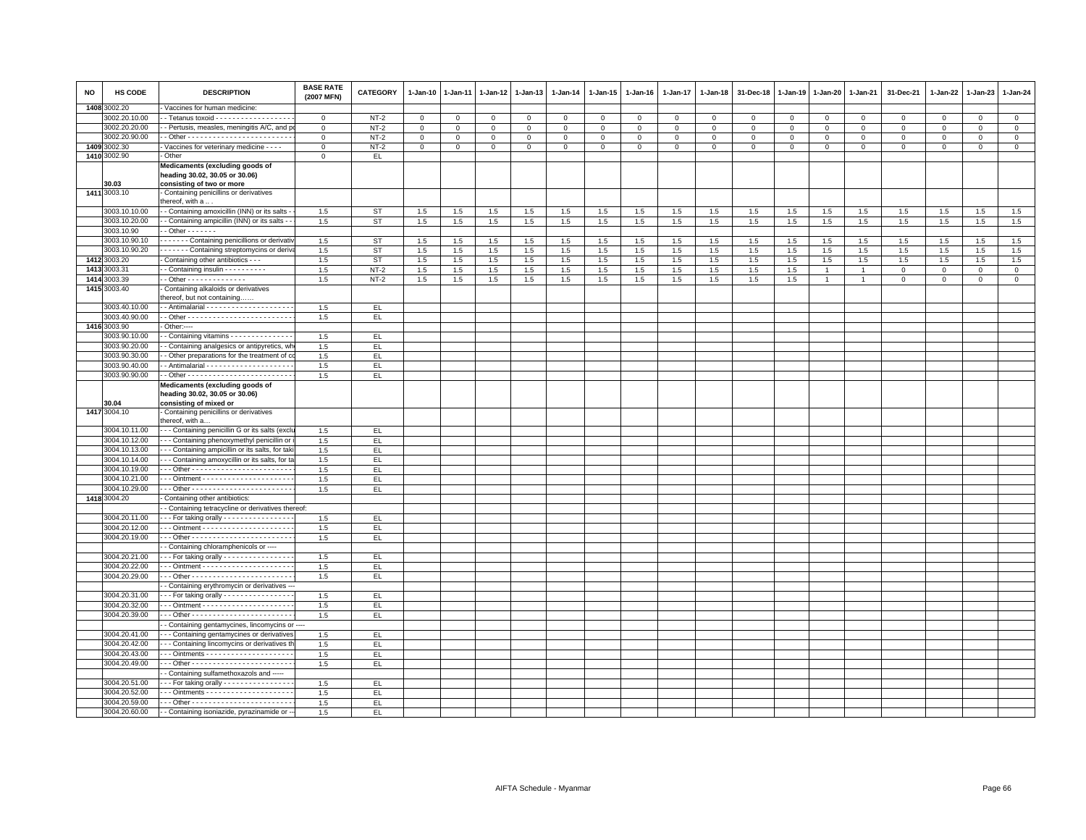| <b>NO</b> | HS CODE       | <b>DESCRIPTION</b>                                                                                        | <b>BASE RATE</b><br>(2007 MFN) | <b>CATEGORY</b> | 1-Jan-10       | $1 - Jan-11$ | $1 - Jan-12$ | 1-Jan-13    | $1-Jan-14$  | $1 - Jan-15$ | 1-Jan-16     | 1-Jan-17     | 1-Jan-18       | 31-Dec-18   | $1 - Jan-19$ | 1-Jan-20       | 1-Jan-21       | 31-Dec-21    | $1 - Jan-22$ | 1-Jan-23    | $1 - Jan-24$   |
|-----------|---------------|-----------------------------------------------------------------------------------------------------------|--------------------------------|-----------------|----------------|--------------|--------------|-------------|-------------|--------------|--------------|--------------|----------------|-------------|--------------|----------------|----------------|--------------|--------------|-------------|----------------|
|           | 1408 3002.20  | Vaccines for human medicine:                                                                              |                                |                 |                |              |              |             |             |              |              |              |                |             |              |                |                |              |              |             |                |
|           | 3002.20.10.00 | - Tetanus toxoid - - - - - - - - - - - - - - - - -                                                        | $^{\circ}$                     | $NT-2$          | 0              | $\mathbf{0}$ | 0            | $^{\circ}$  | $\mathbf 0$ | $\mathbf 0$  | $\mathbf{0}$ | $\mathbf{0}$ | $\overline{0}$ | $\mathbf 0$ | $\mathsf 0$  | $\mathbf{0}$   | $\mathbf 0$    | $\mathbf{0}$ | $^{\circ}$   | $^{\circ}$  | $\overline{0}$ |
|           | 3002.20.20.00 | - Pertusis, measles, meningitis A/C, and p                                                                | $\mathbf 0$                    | $NT-2$          | $\mathbf{0}$   | $\mathbf{0}$ | $\mathbf{0}$ | $\mathbf 0$ | $\mathbf 0$ | $\mathbf{0}$ | $\mathbf{0}$ | $\mathbf{0}$ | $\mathbf 0$    | $\Omega$    | $\Omega$     | $\mathbf{0}$   | $\mathbf{0}$   | $\mathbf 0$  | $\mathbf 0$  | $\mathbf 0$ | $\circ$        |
|           | 3002.20.90.00 |                                                                                                           | $\mathsf 0$                    | $NT-2$          | $\overline{0}$ | 0            | 0            | $\mathbf 0$ | 0           | $\mathbf{0}$ | $\mathbf{O}$ | $\circ$      | $\mathbf 0$    | 0           | $\mathbf 0$  | $\mathbf 0$    | $\mathbf 0$    | $\mathsf 0$  | $\mathbf 0$  | $^{\circ}$  | $\overline{0}$ |
|           | 1409 3002.30  | Vaccines for veterinary medicine - - - -                                                                  | $\mathsf 0$                    | $NT-2$          | $\mathbf 0$    | $\mathbf 0$  | $\mathbf 0$  | $\mathbf 0$ | $\mathsf 0$ | $\mathsf 0$  | $\mathbf 0$  | $\mathsf 0$  | $\mathbf 0$    | $\mathsf 0$ | $\mathsf 0$  | $\mathbf{O}$   | $\mathbf 0$    | $\mathsf 0$  | $\mathbf 0$  | $\mathsf 0$ | $\mathbf 0$    |
|           | 1410 3002.90  | Other                                                                                                     | $\Omega$                       | EL.             |                |              |              |             |             |              |              |              |                |             |              |                |                |              |              |             |                |
|           | 30.03         | Medicaments (excluding goods of<br>heading 30.02, 30.05 or 30.06)<br>consisting of two or more            |                                |                 |                |              |              |             |             |              |              |              |                |             |              |                |                |              |              |             |                |
|           | 1411 3003.10  | Containing penicillins or derivatives<br>thereof, with a                                                  |                                |                 |                |              |              |             |             |              |              |              |                |             |              |                |                |              |              |             |                |
|           | 3003.10.10.00 | - Containing amoxicillin (INN) or its salts                                                               | 1.5                            | <b>ST</b>       | 1.5            | 1.5          | 1.5          | 1.5         | 1.5         | 1.5          | 1.5          | 1.5          | 1.5            | 1.5         | 1.5          | 1.5            | 1.5            | 1.5          | 1.5          | 1.5         | 1.5            |
|           | 3003.10.20.00 | - Containing ampicillin (INN) or its salts -                                                              | 1.5                            | <b>ST</b>       | 1.5            | 1.5          | 1.5          | 1.5         | 1.5         | 1.5          | 1.5          | 1.5          | 1.5            | 1.5         | 1.5          | 1.5            | 1.5            | 1.5          | 1.5          | 1.5         | 1.5            |
|           | 3003.10.90    | $-$ Other $     -$                                                                                        |                                |                 |                |              |              |             |             |              |              |              |                |             |              |                |                |              |              |             |                |
|           | 3003.10.90.10 | Containing penicillions or derivativ                                                                      | 1.5                            | <b>ST</b>       | 1.5            | 1.5          | 1.5          | 1.5         | 1.5         | 1.5          | 1.5          | 1.5          | 1.5            | 1.5         | 1.5          | 1.5            | 1.5            | 1.5          | 1.5          | 1.5         | 1.5            |
|           | 3003.10.90.20 | - - - - - - Containing streptomycins or deriva                                                            | 1.5                            | <b>ST</b>       | 1.5            | 1.5          | 1.5          | 1.5         | 1.5         | $1.5\,$      | 1.5          | 1.5          | 1.5            | 1.5         | 1.5          | 1.5            | 1.5            | 1.5          | 1.5          | 1.5         | 1.5            |
|           | 1412 3003.20  | Containing other antibiotics - - -                                                                        | 1.5                            | <b>ST</b>       | 1.5            | 1.5          | 1.5          | 1.5         | 1.5         | 1.5          | 1.5          | 1.5          | 1.5            | 1.5         | 1.5          | 1.5            | 1.5            | 1.5          | 1.5          | 1.5         | 1.5            |
|           | 1413 3003.31  | - Containing insulin - - - - - - - - - -                                                                  | 1.5                            | $NT-2$          | $1.5\,$        | $1.5\,$      | $1.5\,$      | 1.5         | $1.5\,$     | $1.5\,$      | 1.5          | 1.5          | 1.5            | $1.5\,$     | $1.5\,$      | $\overline{1}$ | $\overline{1}$ | $\mathbf 0$  | $\mathbf 0$  | $\mathsf 0$ | $\overline{0}$ |
|           | 1414 3003.39  | - Other - - - - - - - - - - - - - -                                                                       | 1.5                            | $NT-2$          | 1.5            | 1.5          | 1.5          | $1.5\,$     | 1.5         | 1.5          | 1.5          | 1.5          | 1.5            | 1.5         | 1.5          | $\mathbf{1}$   | $\overline{1}$ | $\mathsf 0$  | $\mathbf 0$  | $\mathsf 0$ | $\mathbf 0$    |
|           | 1415 3003.40  | Containing alkaloids or derivatives                                                                       |                                |                 |                |              |              |             |             |              |              |              |                |             |              |                |                |              |              |             |                |
|           |               | thereof, but not containing                                                                               |                                |                 |                |              |              |             |             |              |              |              |                |             |              |                |                |              |              |             |                |
|           | 3003.40.10.00 |                                                                                                           | 1.5                            | EL.             |                |              |              |             |             |              |              |              |                |             |              |                |                |              |              |             |                |
|           | 3003.40.90.00 |                                                                                                           | 1.5                            | EL.             |                |              |              |             |             |              |              |              |                |             |              |                |                |              |              |             |                |
|           | 1416 3003.90  | - Other:----                                                                                              |                                |                 |                |              |              |             |             |              |              |              |                |             |              |                |                |              |              |             |                |
|           | 3003.90.10.00 | - Containing vitamins - - - - - - - - - - - - - -                                                         | 1.5                            | EL.             |                |              |              |             |             |              |              |              |                |             |              |                |                |              |              |             |                |
|           | 3003.90.20.00 | - Containing analgesics or antipyretics, wh                                                               | 1.5                            | EL              |                |              |              |             |             |              |              |              |                |             |              |                |                |              |              |             |                |
|           | 3003.90.30.00 | - Other preparations for the treatment of c                                                               | 1.5                            | EL.             |                |              |              |             |             |              |              |              |                |             |              |                |                |              |              |             |                |
|           | 3003.90.40.00 |                                                                                                           | 1.5                            | EL.             |                |              |              |             |             |              |              |              |                |             |              |                |                |              |              |             |                |
|           | 3003.90.90.00 |                                                                                                           | 1.5                            | EL              |                |              |              |             |             |              |              |              |                |             |              |                |                |              |              |             |                |
|           | 30.04         | Medicaments (excluding goods of<br>heading 30.02, 30.05 or 30.06)<br>consisting of mixed or               |                                |                 |                |              |              |             |             |              |              |              |                |             |              |                |                |              |              |             |                |
|           | 1417 3004.10  | Containing penicillins or derivatives                                                                     |                                |                 |                |              |              |             |             |              |              |              |                |             |              |                |                |              |              |             |                |
|           |               | thereof, with a                                                                                           |                                |                 |                |              |              |             |             |              |              |              |                |             |              |                |                |              |              |             |                |
|           | 3004.10.11.00 | - - Containing penicillin G or its salts (excl                                                            | 1.5                            | EL.             |                |              |              |             |             |              |              |              |                |             |              |                |                |              |              |             |                |
|           | 3004.10.12.00 | - - Containing phenoxymethyl penicillin or                                                                | 1.5                            | EL              |                |              |              |             |             |              |              |              |                |             |              |                |                |              |              |             |                |
|           | 3004.10.13.00 | --- Containing ampicillin or its salts, for tak                                                           | 1.5                            | EL.             |                |              |              |             |             |              |              |              |                |             |              |                |                |              |              |             |                |
|           | 3004.10.14.00 | -- Containing amoxycillin or its salts, for ta                                                            | 1.5                            | EL.             |                |              |              |             |             |              |              |              |                |             |              |                |                |              |              |             |                |
|           | 3004.10.19.00 |                                                                                                           | 1.5                            | EL.             |                |              |              |             |             |              |              |              |                |             |              |                |                |              |              |             |                |
|           | 3004.10.21.00 |                                                                                                           | 1.5                            | EL              |                |              |              |             |             |              |              |              |                |             |              |                |                |              |              |             |                |
|           | 3004.10.29.00 |                                                                                                           | 1.5                            | EL.             |                |              |              |             |             |              |              |              |                |             |              |                |                |              |              |             |                |
|           | 1418 3004.20  | Containing other antibiotics:                                                                             |                                |                 |                |              |              |             |             |              |              |              |                |             |              |                |                |              |              |             |                |
|           |               | - Containing tetracycline or derivatives thereof:                                                         |                                |                 |                |              |              |             |             |              |              |              |                |             |              |                |                |              |              |             |                |
|           | 3004.20.11.00 | $\cdot$ - For taking orally - - - - - - - - - - - - - - - -                                               | 1.5                            | EL.             |                |              |              |             |             |              |              |              |                |             |              |                |                |              |              |             |                |
|           | 3004.20.12.00 |                                                                                                           | 1.5                            | EL.             |                |              |              |             |             |              |              |              |                |             |              |                |                |              |              |             |                |
|           | 3004.20.19.00 |                                                                                                           | 1.5                            | EL.             |                |              |              |             |             |              |              |              |                |             |              |                |                |              |              |             |                |
|           |               | - Containing chloramphenicols or ----                                                                     |                                |                 |                |              |              |             |             |              |              |              |                |             |              |                |                |              |              |             |                |
|           | 3004.20.21.00 | $\cdot$ - For taking orally $\cdot$ - $\cdot$ - $\cdot$ - $\cdot$ - $\cdot$ - $\cdot$ - $\cdot$ - $\cdot$ | 1.5                            | EL.             |                |              |              |             |             |              |              |              |                |             |              |                |                |              |              |             |                |
|           | 3004.20.22.00 |                                                                                                           | 1.5                            | EL.             |                |              |              |             |             |              |              |              |                |             |              |                |                |              |              |             |                |
|           | 3004.20.29.00 |                                                                                                           | 1.5                            | EL.             |                |              |              |             |             |              |              |              |                |             |              |                |                |              |              |             |                |
|           |               | - Containing erythromycin or derivatives --                                                               |                                |                 |                |              |              |             |             |              |              |              |                |             |              |                |                |              |              |             |                |
|           | 3004.20.31.00 |                                                                                                           |                                |                 |                |              |              |             |             |              |              |              |                |             |              |                |                |              |              |             |                |
|           | 3004.20.32.00 | - - For taking orally - - - - - - - - - - - - - - - -                                                     | 1.5<br>1.5                     | EL.<br>EL.      |                |              |              |             |             |              |              |              |                |             |              |                |                |              |              |             |                |
|           |               |                                                                                                           |                                |                 |                |              |              |             |             |              |              |              |                |             |              |                |                |              |              |             |                |
|           | 3004.20.39.00 |                                                                                                           | 1.5                            | EL.             |                |              |              |             |             |              |              |              |                |             |              |                |                |              |              |             |                |
|           | 3004.20.41.00 | - Containing gentamycines, lincomycins or -                                                               |                                |                 |                |              |              |             |             |              |              |              |                |             |              |                |                |              |              |             |                |
|           |               | - - Containing gentamycines or derivatives                                                                | 1.5                            | EL.             |                |              |              |             |             |              |              |              |                |             |              |                |                |              |              |             |                |
|           | 3004.20.42.00 | - - Containing lincomycins or derivatives t                                                               | 1.5                            | EL.             |                |              |              |             |             |              |              |              |                |             |              |                |                |              |              |             |                |
|           | 3004.20.43.00 |                                                                                                           | 1.5                            | EL.             |                |              |              |             |             |              |              |              |                |             |              |                |                |              |              |             |                |
|           | 3004.20.49.00 |                                                                                                           | 1.5                            | EL.             |                |              |              |             |             |              |              |              |                |             |              |                |                |              |              |             |                |
|           |               | - Containing sulfamethoxazols and -----                                                                   |                                |                 |                |              |              |             |             |              |              |              |                |             |              |                |                |              |              |             |                |
|           | 3004.20.51.00 | $\cdot$ - For taking orally - - - - - - - - - - - - - - - -                                               | 1.5                            | EL.             |                |              |              |             |             |              |              |              |                |             |              |                |                |              |              |             |                |
|           | 3004.20.52.00 |                                                                                                           | 1.5                            | EL.             |                |              |              |             |             |              |              |              |                |             |              |                |                |              |              |             |                |
|           | 3004.20.59.00 |                                                                                                           | 1.5                            | EL              |                |              |              |             |             |              |              |              |                |             |              |                |                |              |              |             |                |
|           | 3004.20.60.00 | - - Containing isoniazide, pyrazinamide or --                                                             | 1.5                            | EL.             |                |              |              |             |             |              |              |              |                |             |              |                |                |              |              |             |                |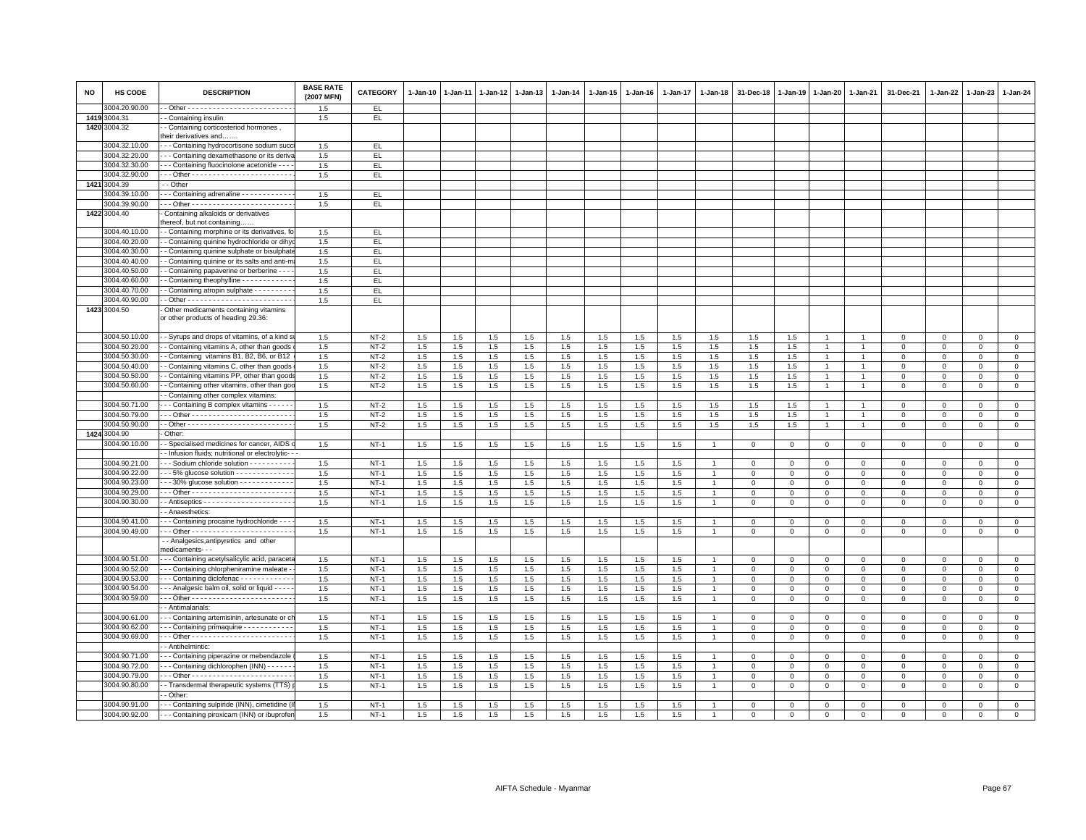| <b>NO</b> | HS CODE                        | <b>DESCRIPTION</b>                                                                        | <b>BASE RATE</b><br>(2007 MFN) | <b>CATEGORY</b> | 1-Jan-10 | $1-Jan-11$ | 1-Jan-12 | $1 - Jan-13$ | 1-Jan-14 | 1-Jan-15 | 1-Jan-16 | $1 - Jan-17$ | 1-Jan-18       | 31-Dec-18   | 1-Jan-19       | $1 - Jan-20$   | $1 - Jan-21$   | 31-Dec-21   | 1-Jan-22    | $1-Jan-23$   | 1-Jan-24     |
|-----------|--------------------------------|-------------------------------------------------------------------------------------------|--------------------------------|-----------------|----------|------------|----------|--------------|----------|----------|----------|--------------|----------------|-------------|----------------|----------------|----------------|-------------|-------------|--------------|--------------|
|           | 3004.20.90.00                  |                                                                                           | 1.5                            | EL.             |          |            |          |              |          |          |          |              |                |             |                |                |                |             |             |              |              |
|           | 1419 3004.31<br>1420 3004.32   | - Containing insulin                                                                      | 1.5                            | EL.             |          |            |          |              |          |          |          |              |                |             |                |                |                |             |             |              |              |
|           |                                | - Containing corticosteriod hormones<br>heir derivatives and                              |                                |                 |          |            |          |              |          |          |          |              |                |             |                |                |                |             |             |              |              |
|           | 3004.32.10.00                  | - - Containing hydrocortisone sodium suco                                                 | 1.5                            | EL.             |          |            |          |              |          |          |          |              |                |             |                |                |                |             |             |              |              |
|           | 3004.32.20.00                  | - - Containing dexamethasone or its deriv                                                 | 1.5                            | EL.             |          |            |          |              |          |          |          |              |                |             |                |                |                |             |             |              |              |
|           | 3004.32.30.00                  | - - Containing fluocinolone acetonide - - -                                               | 1.5                            | EL.             |          |            |          |              |          |          |          |              |                |             |                |                |                |             |             |              |              |
|           | 3004.32.90.00                  |                                                                                           | 1.5                            | EL.             |          |            |          |              |          |          |          |              |                |             |                |                |                |             |             |              |              |
|           | 1421 3004.39                   | - Other                                                                                   |                                |                 |          |            |          |              |          |          |          |              |                |             |                |                |                |             |             |              |              |
|           | 3004.39.10.00                  | - - Containing adrenaline - - - - - - - - - - -                                           | 1.5                            | EL.             |          |            |          |              |          |          |          |              |                |             |                |                |                |             |             |              |              |
|           | 3004.39.90.00                  |                                                                                           | 1.5                            | EL.             |          |            |          |              |          |          |          |              |                |             |                |                |                |             |             |              |              |
|           | 1422 3004.40                   | Containing alkaloids or derivatives                                                       |                                |                 |          |            |          |              |          |          |          |              |                |             |                |                |                |             |             |              |              |
|           |                                | hereof, but not containing                                                                |                                |                 |          |            |          |              |          |          |          |              |                |             |                |                |                |             |             |              |              |
|           | 3004.40.10.00                  | - Containing morphine or its derivatives, f                                               | 1.5                            | EL.             |          |            |          |              |          |          |          |              |                |             |                |                |                |             |             |              |              |
|           | 3004.40.20.00                  | - Containing quinine hydrochloride or dihy                                                | 1.5                            | EL.             |          |            |          |              |          |          |          |              |                |             |                |                |                |             |             |              |              |
|           | 3004.40.30.00                  | - Containing quinine sulphate or bisulphat                                                | 1.5                            | EL.             |          |            |          |              |          |          |          |              |                |             |                |                |                |             |             |              |              |
|           | 3004.40.40.00<br>3004.40.50.00 | - Containing quinine or its salts and anti-r                                              | 1.5<br>1.5                     | EL.<br>EL.      |          |            |          |              |          |          |          |              |                |             |                |                |                |             |             |              |              |
|           | 3004.40.60.00                  | - Containing papaverine or berberine - - -<br>Containing theophylline - - - - - - - - - - | 1.5                            | EL.             |          |            |          |              |          |          |          |              |                |             |                |                |                |             |             |              |              |
|           | 3004.40.70.00                  | - Containing atropin sulphate - - - - - - - - -                                           | 1.5                            | EL              |          |            |          |              |          |          |          |              |                |             |                |                |                |             |             |              |              |
|           | 3004.40.90.00                  |                                                                                           | 1.5                            | EL.             |          |            |          |              |          |          |          |              |                |             |                |                |                |             |             |              |              |
|           | 1423 3004.50                   | Other medicaments containing vitamins                                                     |                                |                 |          |            |          |              |          |          |          |              |                |             |                |                |                |             |             |              |              |
|           |                                | or other products of heading 29.36:                                                       |                                |                 |          |            |          |              |          |          |          |              |                |             |                |                |                |             |             |              |              |
|           | 3004.50.10.00                  | - Syrups and drops of vitamins, of a kind :                                               | 1.5                            | $NT-2$          | 1.5      | 1.5        | 1.5      | 1.5          | $1.5\,$  | 1.5      | 1.5      | 1.5          | 1.5            | 1.5         | 1.5            |                |                | $\Omega$    | $\mathbf 0$ | $\Omega$     | $\mathbf 0$  |
|           | 3004.50.20.00                  | - Containing vitamins A, other than goods                                                 | 1.5                            | $NT-2$          | 1.5      | 1.5        | 1.5      | 1.5          | 1.5      | 1.5      | 1.5      | 1.5          | 1.5            | 1.5         | 1.5            | $\overline{1}$ | $\overline{1}$ | $\mathsf 0$ | 0           | $\mathbf 0$  | $\mathbf 0$  |
|           | 3004.50.30.00                  | Containing vitamins B1, B2, B6, or B12                                                    | 1.5                            | $NT-2$          | $1.5\,$  | 1.5        | $1.5\,$  | 1.5          | $1.5\,$  | $1.5\,$  | 1.5      | 1.5          | $1.5\,$        | $1.5\,$     | 1.5            | $\overline{1}$ |                | $\Omega$    | $\Omega$    | $\Omega$     | $\Omega$     |
|           | 3004.50.40.00                  | Containing vitamins C, other than goods                                                   | 1.5                            | $NT-2$          | 1.5      | 1.5        | 1.5      | 1.5          | 1.5      | 1.5      | 1.5      | 1.5          | 1.5            | 1.5         | 1.5            |                |                | $\mathbf 0$ | $\Omega$    | $\mathbf 0$  | $\mathbf 0$  |
|           | 3004.50.50.00                  | - Containing vitamins PP, other than good                                                 | 1.5                            | $NT-2$          | 1.5      | 1.5        | 1.5      | 1.5          | 1.5      | 1.5      | 1.5      | 1.5          | 1.5            | 1.5         | 1.5            | $\mathbf{1}$   | $\mathbf{1}$   | $\mathbf 0$ | 0           | $\Omega$     | $\circ$      |
|           | 3004.50.60.00                  | - Containing other vitamins, other than go<br>- Containing other complex vitamins:        | 1.5                            | $NT-2$          | 1.5      | 1.5        | 1.5      | 1.5          | 1.5      | 1.5      | 1.5      | 1.5          | 1.5            | 1.5         | 1.5            | $\mathbf{1}$   | $\overline{1}$ | $\Omega$    | $\Omega$    | $\mathbf 0$  | $\mathsf 0$  |
|           | 3004.50.71.00                  | - - Containing B complex vitamins - - - - -                                               | 1.5                            | $NT-2$          | 1.5      | 1.5        | 1.5      | 1.5          | 1.5      | 1.5      | 1.5      | 1.5          | 1.5            | 1.5         | 1.5            | $\overline{1}$ | $\overline{1}$ | $\mathsf 0$ | $\mathbf 0$ | $\mathbf 0$  | $\mathbf 0$  |
|           | 3004.50.79.00                  |                                                                                           | 1.5                            | $NT-2$          | 1.5      | 1.5        | 1.5      | 1.5          | 1.5      | 1.5      | 1.5      | 1.5          | 1.5            | 1.5         | 1.5            | $\mathbf{1}$   | $\overline{1}$ | $\Omega$    | $\Omega$    | $\Omega$     | $\mathbf{0}$ |
|           | 3004.50.90.00                  |                                                                                           | 1.5                            | $NT-2$          | 1.5      | 1.5        | 1.5      | 1.5          | 1.5      | 1.5      | 1.5      | 1.5          | 1.5            | 1.5         | 1.5            | $\overline{1}$ | $\overline{1}$ | $\Omega$    | $\Omega$    | $\Omega$     | $\mathbf 0$  |
|           | 1424 3004.90                   | Other:                                                                                    |                                |                 |          |            |          |              |          |          |          |              |                |             |                |                |                |             |             |              |              |
|           | 3004.90.10.00                  | - Specialised medicines for cancer, AIDS                                                  | 1.5                            | $NT-1$          | 1.5      | 1.5        | 1.5      | 1.5          | 1.5      | 1.5      | 1.5      | 1.5          |                | $\mathbf 0$ | $\mathbf 0$    | $\mathbf 0$    | $\mathbf 0$    | $\mathbf 0$ | $\mathbf 0$ | $\mathbf 0$  | $\circ$      |
|           |                                | - Infusion fluids; nutritional or electrolytic- - -                                       |                                |                 |          |            |          |              |          |          |          |              |                |             |                |                |                |             |             |              |              |
|           | 3004.90.21.00                  | - - Sodium chloride solution - - - - - - - - -                                            | 1.5                            | $NT-1$          | 1.5      | 1.5        | 1.5      | 1.5          | 1.5      | 1.5      | 1.5      | 1.5          |                | $\mathbf 0$ | $\Omega$       | $\Omega$       | $\mathbf 0$    | $\mathsf 0$ | $\Omega$    | $\Omega$     | $\mathbf 0$  |
|           | 3004.90.22.00                  | - - 5% glucose solution - - - - - - - - - - - -                                           | 1.5                            | $NT-1$          | 1.5      | 1.5        | 1.5      | 1.5          | 1.5      | 1.5      | 1.5      | 1.5          |                | $\mathbf 0$ | $\Omega$       | $\Omega$       | $\overline{0}$ | $\Omega$    | $\Omega$    | $\Omega$     | $\mathbf 0$  |
|           | 3004.90.23.00                  | $-30\%$ glucose solution $-0.1$                                                           | 1.5                            | $NT-1$          | 1.5      | 1.5        | 1.5      | 1.5          | 1.5      | 1.5      | 1.5      | 1.5          |                | $\mathbf 0$ | $\mathbf 0$    | $\mathbf 0$    | $\mathbf 0$    | $\mathsf 0$ | 0           | $\mathbf 0$  | $\mathbf 0$  |
|           | 3004.90.29.00                  |                                                                                           | 1.5                            | $NT-1$          | 1.5      | 1.5        | 1.5      | 1.5          | 1.5      | 1.5      | 1.5      | 1.5          |                | $\mathbf 0$ | $\mathbf 0$    | $^{\circ}$     | $\mathbf 0$    | $\mathbf 0$ | $\Omega$    | $\Omega$     | $\mathbf{0}$ |
|           | 3004.90.30.00                  |                                                                                           | 1.5                            | $NT-1$          | 1.5      | 1.5        | 1.5      | 1.5          | 1.5      | 1.5      | 1.5      | 1.5          | $\overline{1}$ | $\mathsf 0$ | $\mathbf 0$    | $\mathsf 0$    | $\mathbf 0$    | $\mathbf 0$ | $\mathbf 0$ | $\mathbf 0$  | $\mathsf 0$  |
|           |                                | - Anaesthetics:                                                                           |                                |                 |          |            |          |              |          |          |          |              |                |             |                |                |                |             |             |              |              |
|           | 3004.90.41.00                  | - - Containing procaine hydrochloride - - -                                               | 1.5                            | $NT-1$          | 1.5      | 1.5        | 1.5      | 1.5          | 1.5      | 1.5      | 1.5      | 1.5          |                | $\Omega$    | $\Omega$       | $\Omega$       | $\mathsf 0$    | $\mathsf 0$ | $\Omega$    | $\mathbf 0$  | $\mathsf 0$  |
|           | 3004.90.49.00                  |                                                                                           | 1.5                            | $NT-1$          | 1.5      | 1.5        | 1.5      | 1.5          | 1.5      | 1.5      | 1.5      | 1.5          | $\mathbf{1}$   | $\mathbf 0$ | $\mathbf 0$    | $\mathbf 0$    | $\mathbf 0$    | $\mathbf 0$ | 0           | $\mathbf{O}$ | $\circ$      |
|           |                                | - Analgesics, antipyretics and other<br>medicaments- - -                                  |                                |                 |          |            |          |              |          |          |          |              |                |             |                |                |                |             |             |              |              |
|           | 3004.90.51.00                  | - - Containing acetylsalicylic acid, paracet                                              | 1.5                            | $NT-1$          | 1.5      | 1.5        | 1.5      | 1.5          | $1.5\,$  | 1.5      | 1.5      | 1.5          |                | $\mathbf 0$ | $\mathbf 0$    | $\mathsf 0$    | $\,0\,$        | $\mathbf 0$ | $\mathbf 0$ | $\Omega$     | $\mathsf 0$  |
|           | 3004.90.52.00                  | - - Containing chlorpheniramine maleate                                                   | 1.5                            | $NT-1$          | 1.5      | 1.5        | 1.5      | 1.5          | 1.5      | 1.5      | 1.5      | 1.5          |                | $\mathbf 0$ | $\mathbf 0$    | $\mathbf 0$    | $\mathbf 0$    | $\mathsf 0$ | $\mathbf 0$ | $\mathbf 0$  | $\mathbf 0$  |
|           | 3004.90.53.00                  | - - Containing diclofenac - - - - - - - - - - - -                                         | 1.5                            | $NT-1$          | 1.5      | 1.5        | 1.5      | 1.5          | 1.5      | 1.5      | 1.5      | 1.5          |                | $\mathbf 0$ | $\mathbf 0$    | $\mathbf 0$    | $\mathbf 0$    | $\mathbf 0$ | 0           | $\Omega$     | $\circ$      |
|           | 3004.90.54.00                  | - - Analgesic balm oil, solid or liquid - - - -                                           | 1.5                            | $NT-1$          | 1.5      | 1.5        | 1.5      | 1.5          | $1.5\,$  | 1.5      | 1.5      | 1.5          |                | $\Omega$    | $\Omega$       | $\Omega$       | $\Omega$       | $\Omega$    | $\Omega$    | $\mathbf{0}$ | $\mathbf 0$  |
|           | 3004.90.59.00                  |                                                                                           | 1.5                            | $NT-1$          | 1.5      | 1.5        | 1.5      | 1.5          | 1.5      | 1.5      | 1.5      | 1.5          |                | $\mathbf 0$ | $\mathbf 0$    | $\mathsf 0$    | $\mathbf 0$    | $\mathbf 0$ | $\mathbf 0$ | $\mathbf 0$  | $\mathsf 0$  |
|           |                                | Antimalarials:                                                                            |                                |                 |          |            |          |              |          |          |          |              |                |             |                |                |                |             |             |              |              |
|           | 3004.90.61.00                  | - - Containing artemisinin, artesunate or c                                               | 1.5                            | $NT-1$          | 1.5      | 1.5        | 1.5      | 1.5          | 1.5      | 1.5      | 1.5      | 1.5          |                | $\mathbf 0$ | $\mathbf{0}$   | $\circ$        | $\mathbf 0$    | $\mathsf 0$ | $^{\circ}$  | $\mathbf{O}$ | $\mathbf{0}$ |
|           | 3004.90.62.00                  | - - Containing primaquine - - - - - - - - - -                                             | 1.5                            | $NT-1$          | 1.5      | 1.5        | $1.5\,$  | 1.5          | 1.5      | 1.5      | 1.5      | 1.5          | $\overline{1}$ | $\Omega$    | $\mathbf 0$    | $\Omega$       | $\mathbf 0$    | $\mathbf 0$ | $\mathbf 0$ | $\mathbf 0$  | $\mathbf 0$  |
|           | 3004.90.69.00                  |                                                                                           | 1.5                            | $NT-1$          | 1.5      | 1.5        | 1.5      | 1.5          | 1.5      | 1.5      | 1.5      | 1.5          | $\overline{1}$ | $\mathbf 0$ | $\mathbf 0$    | $\mathbf 0$    | $\mathbf 0$    | $\mathbf 0$ | $\mathbf 0$ | $\mathbf 0$  | $\mathsf 0$  |
|           |                                | - Antihelmintic:                                                                          |                                |                 |          |            |          |              |          |          |          |              |                |             |                |                |                |             |             |              |              |
|           | 3004.90.71.00                  | - - Containing piperazine or mebendazole                                                  | 1.5                            | NT-1            | 1.5      | 1.5        | 1.5      | 1.5          | 1.5      | 1.5      | 1.5      | 1.5          |                | $^{\circ}$  | $^{\circ}$     | 0              | $^{\circ}$     | 0           | 0           | $\mathbf 0$  | 0            |
|           | 3004.90.72.00                  | - Containing dichlorophen (INN) - - - - -                                                 | 1.5                            | $NT-1$          | 1.5      | 1.5        | 1.5      | 1.5          | $1.5\,$  | 1.5      | 1.5      | 1.5          |                | $\Omega$    | $\Omega$       | $\Omega$       | $\Omega$       | $\mathbf 0$ | $\Omega$    | $\Omega$     | $\Omega$     |
|           | 3004.90.79.00                  |                                                                                           | 1.5                            | $NT-1$          | 1.5      | 1.5        | 1.5      | 1.5          | 1.5      | 1.5      | 1.5      | 1.5          |                | $\mathbf 0$ | $\mathbf 0$    | $\mathbf 0$    | $\mathbf 0$    | $\mathbf 0$ | $\mathbf 0$ | $\mathbf 0$  | $\mathbf 0$  |
|           | 3004.90.80.00                  | - Transdermal therapeutic systems (TTS)                                                   | 1.5                            | $NT-1$          | 1.5      | $1.5\,$    | $1.5\,$  | 1.5          | 1.5      | 1.5      | 1.5      | $1.5\,$      |                | $\Omega$    | $\mathsf 0$    | $\mathsf 0$    | $\,0\,$        | $\mathsf 0$ | $\mathsf 0$ | $\mathsf 0$  | $\mathbf 0$  |
|           |                                | - Other:                                                                                  |                                |                 |          |            |          |              |          |          |          |              |                |             |                |                |                |             |             |              |              |
|           | 3004.90.91.00                  | - - Containing sulpiride (INN), cimetidine                                                | 1.5                            | $NT-1$          | 1.5      | 1.5        | 1.5      | 1.5          | 1.5      | 1.5      | 1.5      | 1.5          |                | $\Omega$    | $\Omega$       | $\Omega$       | $\Omega$       | $\Omega$    | $\Omega$    | $\mathbf{0}$ | $\mathbf 0$  |
|           | 3004.90.92.00                  | - - - Containing piroxicam (INN) or ibuprofer                                             | 1.5                            | $NT-1$          | 1.5      | 1.5        | 1.5      | 1.5          | $1.5\,$  | 1.5      | 1.5      | 1.5          |                | $\mathbf 0$ | $\overline{0}$ | $\mathbf 0$    | $\mathbf 0$    | $\Omega$    | $\mathbf 0$ | $\mathbf 0$  | $\Omega$     |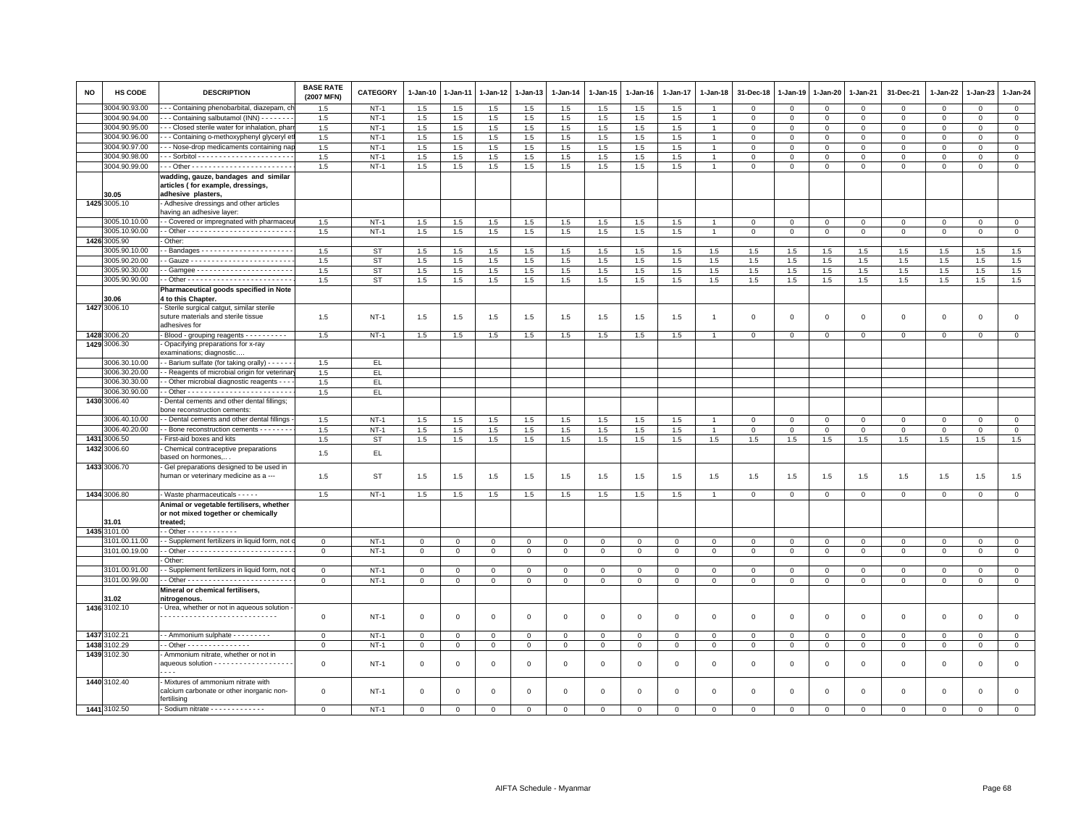| <b>NO</b> | <b>HS CODE</b> | <b>DESCRIPTION</b>                                                                 | <b>BASE RATE</b><br>(2007 MFN) | <b>CATEGORY</b> | $1-Jan-10$   | 1-Jan-11     | 1-Jan-12     | 1-Jan-13       | $1-Jan-14$   | $1 - Jan-15$ | 1-Jan-16     | 1-Jan-17     | 1-Jan-18       | 31-Dec-18      | 1-Jan-19       | 1-Jan-20     | 1-Jan-21     | 31-Dec-21           | $1 - Jan-22$ | 1-Jan-23     | 1-Jan-24       |
|-----------|----------------|------------------------------------------------------------------------------------|--------------------------------|-----------------|--------------|--------------|--------------|----------------|--------------|--------------|--------------|--------------|----------------|----------------|----------------|--------------|--------------|---------------------|--------------|--------------|----------------|
|           | 3004.90.93.00  | - - Containing phenobarbital, diazepam, cl                                         | 1.5                            | $NT-1$          | 1.5          | 1.5          | 1.5          | 1.5            | 1.5          | 1.5          | 1.5          | 1.5          |                | $\Omega$       | $\mathbf{0}$   | $\Omega$     | $\mathbf 0$  | $\Omega$            | $\Omega$     | $\Omega$     | $\mathbf{0}$   |
|           | 3004.90.94.00  | --- Containing salbutamol (INN) -------                                            | 1.5                            | $NT-1$          | 1.5          | 1.5          | 1.5          | 1.5            | 1.5          | 1.5          | 1.5          | 1.5          | $\overline{1}$ | $\mathbf 0$    | $\mathbf 0$    | $\mathbf 0$  | $\mathbf 0$  | $\mathsf 0$         | $\mathbf 0$  | 0            | $\mathbf 0$    |
|           | 3004.90.95.00  | - - Closed sterile water for inhalation, phar                                      | 1.5                            | $NT-1$          | 1.5          | 1.5          | 1.5          | 1.5            | 1.5          | 1.5          | 1.5          | 1.5          | $\overline{1}$ | $\mathbf 0$    | $\mathbf{0}$   | $\mathsf 0$  | $\Omega$     | $\mathsf 0$         | $\Omega$     | $\Omega$     | $\overline{0}$ |
|           | 3004.90.96.00  | -- Containing o-methoxyphenyl glyceryl e                                           | 1.5                            | $NT-1$          | 1.5          | 1.5          | 1.5          | 1.5            | 1.5          | 1.5          | 1.5          | 1.5          |                | $\mathbf 0$    | $\Omega$       | $\mathbf 0$  | $\mathbf 0$  | $\mathbf 0$         | $\mathbf 0$  | $\mathbf 0$  | $\mathbf{0}$   |
|           | 3004.90.97.00  | -- Nose-drop medicaments containing nap                                            | 1.5                            | $NT-1$          | 1.5          | 1.5          | $1.5\,$      | 1.5            | $1.5\,$      | 1.5          | 1.5          | 1.5          | $\overline{1}$ | $\mathbf 0$    | $\mathsf 0$    | $\mathbf 0$  | $\mathbf 0$  | $\mathsf 0$         | $\mathbf 0$  | $\mathsf 0$  | $\mathsf 0$    |
|           | 3004.90.98.00  |                                                                                    | 1.5                            | $NT-1$          | 1.5          | 1.5          | 1.5          | 1.5            | 1.5          | 1.5          | 1.5          | 1.5          | $\overline{1}$ | $\mathbf{0}$   | $\mathbf{0}$   | $\mathbf{0}$ | $\mathbf{0}$ | $\mathbf 0$         | $\mathbf 0$  | $\mathbf 0$  | $\mathbf{0}$   |
|           | 3004.90.99.00  |                                                                                    | 1.5                            | $NT-1$          | 1.5          | 1.5          | 1.5          | 1.5            | 1.5          | 1.5          | 1.5          | 1.5          | $\overline{1}$ | $\mathbf 0$    | $\mathbf 0$    | $\mathbf 0$  | 0            | 0                   | 0            | 0            | $\mathsf 0$    |
|           |                | wadding, gauze, bandages and similar                                               |                                |                 |              |              |              |                |              |              |              |              |                |                |                |              |              |                     |              |              |                |
|           |                | articles (for example, dressings                                                   |                                |                 |              |              |              |                |              |              |              |              |                |                |                |              |              |                     |              |              |                |
|           | 30.05          | adhesive plasters,                                                                 |                                |                 |              |              |              |                |              |              |              |              |                |                |                |              |              |                     |              |              |                |
|           | 1425 3005.10   | Adhesive dressings and other articles                                              |                                |                 |              |              |              |                |              |              |              |              |                |                |                |              |              |                     |              |              |                |
|           |                | having an adhesive layer:                                                          |                                |                 |              |              |              |                |              |              |              |              |                |                |                |              |              |                     |              |              |                |
|           | 3005.10.10.00  | - Covered or impregnated with pharmaceu                                            | 1.5                            | $NT-1$          | 1.5          | 1.5          | 1.5          | 1.5            | 1.5          | 1.5          | 1.5          | 1.5          |                | $\mathbf 0$    | $\mathbf 0$    | $\mathbf{0}$ | $\mathbf 0$  | $\mathsf 0$         | 0            | $\mathbf{0}$ | $\mathbf 0$    |
|           | 3005.10.90.00  |                                                                                    | 1.5                            | $NT-1$          | 1.5          | 1.5          | 1.5          | 1.5            | 1.5          | 1.5          | 1.5          | 1.5          | $\overline{1}$ | $\overline{0}$ | $\overline{0}$ | $\circ$      | $\circ$      | $\mathbf 0$         | $\mathbf 0$  | $\circ$      | $\overline{0}$ |
|           | 1426 3005.90   | Other:                                                                             |                                |                 |              |              |              |                |              |              |              |              |                |                |                |              |              |                     |              |              |                |
|           | 3005.90.10.00  |                                                                                    | 1.5                            | <b>ST</b>       | 1.5          | 1.5          | 1.5          | 1.5            | 1.5          | 1.5          | 1.5          | 1.5          | 1.5            | 1.5            | 1.5            | 1.5          | 1.5          | 1.5                 | 1.5          | 1.5          | 1.5            |
|           | 3005.90.20.00  |                                                                                    | 1.5                            | <b>ST</b>       | 1.5          | 1.5          | 1.5          | 1.5            | 1.5          | 1.5          | 1.5          | 1.5          | 1.5            | 1.5            | 1.5            | 1.5          | 1.5          | 1.5                 | 1.5          | 1.5          | 1.5            |
|           | 3005.90.30.00  |                                                                                    | 1.5                            | <b>ST</b>       | 1.5          | 1.5          | 1.5          | 1.5            | 1.5          | 1.5          | 1.5          | 1.5          | 1.5            | 1.5            | 1.5            | 1.5          | 1.5          | 1.5                 | 1.5          | 1.5          | 1.5            |
|           | 3005.90.90.00  |                                                                                    | 1.5                            | <b>ST</b>       | 1.5          | 1.5          | $1.5\,$      | 1.5            | 1.5          | 1.5          | 1.5          | 1.5          | 1.5            | 1.5            | 1.5            | $1.5\,$      | 1.5          | 1.5                 | 1.5          | 1.5          | 1.5            |
|           |                | Pharmaceutical goods specified in Note                                             |                                |                 |              |              |              |                |              |              |              |              |                |                |                |              |              |                     |              |              |                |
|           | 30.06          | 4 to this Chapter.                                                                 |                                |                 |              |              |              |                |              |              |              |              |                |                |                |              |              |                     |              |              |                |
|           | 1427 3006.10   | Sterile surgical catgut, similar sterile<br>suture materials and sterile tissue    | 1.5                            | <b>NT-1</b>     | 1.5          | 1.5          | 1.5          | 1.5            | 1.5          | 1.5          | 1.5          | 1.5          | $\mathbf{1}$   | $^{\circ}$     | $^{\circ}$     | $^{\circ}$   | 0            | 0                   | 0            | 0            | $\mathsf 0$    |
|           |                | adhesives for                                                                      |                                |                 |              |              |              |                |              |              |              |              |                |                |                |              |              |                     |              |              |                |
|           | 1428 3006.20   | Blood - grouping reagents - - - - - - - - - -                                      | 1.5                            | $NT-1$          | 1.5          | 1.5          | 1.5          | 1.5            | 1.5          | 1.5          | 1.5          | 1.5          |                | $\mathbf 0$    | $\Omega$       | $\mathbf{0}$ | $\mathbf 0$  | $\mathbf{0}$        | $\mathbf 0$  | $\mathbf 0$  | $\mathbf{0}$   |
|           | 1429 3006.30   | Opacifying preparations for x-ray                                                  |                                |                 |              |              |              |                |              |              |              |              |                |                |                |              |              |                     |              |              |                |
|           |                | examinations; diagnostic.                                                          |                                |                 |              |              |              |                |              |              |              |              |                |                |                |              |              |                     |              |              |                |
|           | 3006.30.10.00  | - Barium sulfate (for taking orally) - - - - -                                     | 1.5                            | EL.             |              |              |              |                |              |              |              |              |                |                |                |              |              |                     |              |              |                |
|           | 3006.30.20.00  | - Reagents of microbial origin for veterinal                                       | 1.5                            | EL.             |              |              |              |                |              |              |              |              |                |                |                |              |              |                     |              |              |                |
|           | 3006.30.30.00  | - Other microbial diagnostic reagents - -                                          | 1.5                            | EL.             |              |              |              |                |              |              |              |              |                |                |                |              |              |                     |              |              |                |
|           | 3006.30.90.00  |                                                                                    | 1.5                            | EL.             |              |              |              |                |              |              |              |              |                |                |                |              |              |                     |              |              |                |
|           | 1430 3006.40   | Dental cements and other dental fillings;                                          |                                |                 |              |              |              |                |              |              |              |              |                |                |                |              |              |                     |              |              |                |
|           |                | bone reconstruction cements:                                                       |                                |                 |              |              |              |                |              |              |              |              |                |                |                |              |              |                     |              |              |                |
|           | 3006.40.10.00  | - Dental cements and other dental fillings                                         | 1.5                            | $NT-1$          | 1.5          | 1.5          | 1.5          | 1.5            | 1.5          | 1.5          | 1.5          | 1.5          |                | $\Omega$       | $\Omega$       | $\mathbf{0}$ | $\mathbf 0$  | $\mathbf 0$         | $\Omega$     | $\mathbf 0$  | $\mathbf{0}$   |
|           | 3006.40.20.00  | - - Bone reconstruction cements - - - - - - -                                      | 1.5                            | $NT-1$          | 1.5          | $1.5\,$      | 1.5          | 1.5            | 1.5          | 1.5          | 1.5          | 1.5          |                | $\mathbf 0$    | $\overline{0}$ | $\mathbf 0$  | $\mathsf 0$  | $\mathsf 0$         | $\mathbf 0$  | $\mathsf 0$  | $\overline{0}$ |
|           | 1431 3006.50   | First-aid boxes and kits                                                           | 1.5                            | <b>ST</b>       | 1.5          | 1.5          | 1.5          | 1.5            | 1.5          | 1.5          | 1.5          | 1.5          | 1.5            | 1.5            | 1.5            | 1.5          | 1.5          | 1.5                 | 1.5          | 1.5          | 1.5            |
|           | 1432 3006.60   | Chemical contraceptive preparations                                                | 1.5                            | EL.             |              |              |              |                |              |              |              |              |                |                |                |              |              |                     |              |              |                |
|           |                | based on hormones,.                                                                |                                |                 |              |              |              |                |              |              |              |              |                |                |                |              |              |                     |              |              |                |
|           | 1433 3006.70   | - Gel preparations designed to be used in<br>human or veterinary medicine as a --- | 1.5                            | <b>ST</b>       | 1.5          | 1.5          | 1.5          | 1.5            | 1.5          | 1.5          | 1.5          | 1.5          | 1.5            | 1.5            | 1.5            | 1.5          | 1.5          | 1.5                 | 1.5          | 1.5          | 1.5            |
|           | 1434 3006.80   | - Waste pharmaceuticals - - - - -                                                  | 1.5                            | $NT-1$          | $1.5\,$      | 1.5          | 1.5          | $1.5\,$        | 1.5          | 1.5          | 1.5          | 1.5          |                | $\mathbf 0$    | $\mathbf 0$    | $\mathbf 0$  | $\mathbf 0$  | $\mathbf 0$         | $^{\circ}$   | $\mathsf 0$  | $\mathsf 0$    |
|           |                | Animal or vegetable fertilisers, whether                                           |                                |                 |              |              |              |                |              |              |              |              |                |                |                |              |              |                     |              |              |                |
|           |                | or not mixed together or chemically                                                |                                |                 |              |              |              |                |              |              |              |              |                |                |                |              |              |                     |              |              |                |
|           | 31.01          | treated;                                                                           |                                |                 |              |              |              |                |              |              |              |              |                |                |                |              |              |                     |              |              |                |
|           | 1435 3101.00   | $-$ Other - - - - - - - - - - - -                                                  |                                |                 |              |              |              |                |              |              |              |              |                |                |                |              |              |                     |              |              |                |
|           | 3101.00.11.00  | - Supplement fertilizers in liquid form, not                                       | $\Omega$                       | $NT-1$          | $\mathbf{0}$ | $\Omega$     | $\Omega$     | $\Omega$       | $\Omega$     | $\Omega$     | $\Omega$     | $\Omega$     | $\Omega$       | $\mathbf 0$    | $\mathbf{0}$   | $\Omega$     | $\Omega$     | $^{\circ}$          | $\Omega$     | $\Omega$     | $\mathbf{0}$   |
|           | 3101.00.19.00  |                                                                                    | $\mathbf{O}$                   | $NT-1$          | $\mathbf{0}$ | $\mathbf 0$  | 0            | $\overline{0}$ | $\mathbf{0}$ | $\mathbf{O}$ | $\mathbf{0}$ | $\mathbf 0$  | $\mathbf 0$    | $\mathbf 0$    | $\mathbf 0$    | $\mathbf 0$  | $\mathbf 0$  | $\mathbf 0$         | $\mathbf 0$  | $\mathbf 0$  | $\mathbf{0}$   |
|           |                | Other:                                                                             |                                |                 |              |              |              |                |              |              |              |              |                |                |                |              |              |                     |              |              |                |
|           | 3101.00.91.00  | - Supplement fertilizers in liquid form, not                                       | $\mathbf 0$                    | $NT-1$          | $\mathbf{0}$ | $\mathbf{0}$ | $\mathbf{0}$ | $\mathbf{0}$   | $\mathbf{0}$ | $\mathbf{0}$ | $\circ$      | $\mathbf{0}$ | $\mathbf 0$    | $\mathbf 0$    | $\mathbf{0}$   | $\mathbf{0}$ | $\mathbf{0}$ | $\mathbf 0$         | $\mathbf 0$  | $\mathbf 0$  | $\circ$        |
|           | 3101.00.99.00  |                                                                                    | $\mathsf 0$                    | $NT-1$          | $\mathsf 0$  | $\mathbf 0$  | 0            | $\mathbf 0$    | $\mathsf 0$  | $\mathbf 0$  | $\mathbf{0}$ | $\mathbf{O}$ | $\mathbf 0$    | $\mathbf 0$    | $\mathsf 0$    | $\mathbf 0$  | $\mathbf 0$  | 0                   | $^{\circ}$   | $^{\circ}$   | $\overline{0}$ |
|           |                | Mineral or chemical fertilisers,                                                   |                                |                 |              |              |              |                |              |              |              |              |                |                |                |              |              |                     |              |              |                |
|           | 31.02          | nitrogenous.                                                                       |                                |                 |              |              |              |                |              |              |              |              |                |                |                |              |              |                     |              |              |                |
|           | 1436 3102.10   | Urea, whether or not in aqueous solution                                           |                                |                 |              |              |              |                |              |              |              |              |                |                |                |              |              |                     |              |              |                |
|           |                |                                                                                    | $\mathbf 0$                    | $NT-1$          | $\mathsf 0$  | 0            | $\mathbf 0$  | $\mathsf 0$    | $\mathsf 0$  | $\mathsf 0$  | 0            | $\mathbf 0$  | $\mathbf 0$    | $\mathbf 0$    | $\mathbf{0}$   | $\mathbf 0$  | $\mathsf 0$  | $\mathsf 0$         | $\mathsf 0$  | $\mathsf 0$  | $\mathsf 0$    |
|           |                |                                                                                    |                                |                 |              |              |              |                |              |              |              |              |                |                |                |              |              |                     |              |              |                |
|           | 1437 3102.21   | - - Ammonium sulphate - - - - - - - - -                                            | $\mathbf{0}$                   | <b>NT-1</b>     | 0            | 0            | 0            | 0              | $\mathbf{0}$ | $\mathbf{0}$ | 0            | $\circ$      | $\mathbf 0$    | 0              | $^{\circ}$     | $\mathbf 0$  | 0            | 0                   | 0            | 0            | $\mathbf{0}$   |
|           | 1438 3102.29   | - - Other - - - - - - - - - - - - - - -                                            | $\circ$                        | $NT-1$          | $\mathsf 0$  | $\mathbf 0$  | $\mathbf 0$  | $\mathsf 0$    | $\mathsf 0$  | $\mathsf 0$  | $\mathsf 0$  | $\mathsf 0$  | $\mathbf 0$    | $\,0\,$        | $\,0\,$        | $\mathbf 0$  | $\mathbf 0$  | $\mathsf{O}\xspace$ | $\mathsf 0$  | $\mathsf 0$  | $\,0\,$        |
|           | 1439 3102.30   | Ammonium nitrate, whether or not in                                                |                                |                 |              |              |              |                |              |              |              |              |                |                |                |              |              |                     |              |              |                |
|           |                | aqueous solution - - - - - - - - - - - - - - - - - -<br>$- - -$                    | $\mathsf 0$                    | $NT-1$          | $\mathbf 0$  | $\mathbf 0$  | $\mathbf 0$  | $\mathbf 0$    | $\mathsf 0$  | $\mathbf 0$  | $\mathsf 0$  | $\mathbf 0$  | $\mathsf 0$    | $\mathbf 0$    | $\mathbf 0$    | $\mathbf 0$  | $\mathsf 0$  | $\mathsf 0$         | $\mathbf 0$  | $\mathsf 0$  | $\mathsf 0$    |
|           | 1440 3102.40   | Mixtures of ammonium nitrate with                                                  |                                |                 |              |              |              |                |              |              |              |              |                |                |                |              |              |                     |              |              |                |
|           |                | calcium carbonate or other inorganic non-                                          | $\Omega$                       | $NT-1$          | $\Omega$     | $\Omega$     | $\Omega$     | $\mathbf 0$    | $\mathbf 0$  | $\circ$      | $\mathbf 0$  | $\Omega$     | $\mathbf 0$    | $\Omega$       | $\Omega$       | $\Omega$     | $\mathbf 0$  | $\mathbf 0$         | $\Omega$     | $\Omega$     | $\circ$        |
|           |                | fertilising                                                                        |                                |                 |              |              |              |                |              |              |              |              |                |                |                |              |              |                     |              |              |                |
|           | 1441 3102.50   | - Sodium nitrate - - - - - - - - - - - -                                           | $\Omega$                       | $NT-1$          | $\Omega$     | $\Omega$     | $\Omega$     | $\Omega$       | $\Omega$     | $\Omega$     | $\mathbf 0$  | $\Omega$     | $\Omega$       | $\Omega$       | $\Omega$       | $\Omega$     | $\Omega$     | $\Omega$            | $\Omega$     | $\Omega$     | $\Omega$       |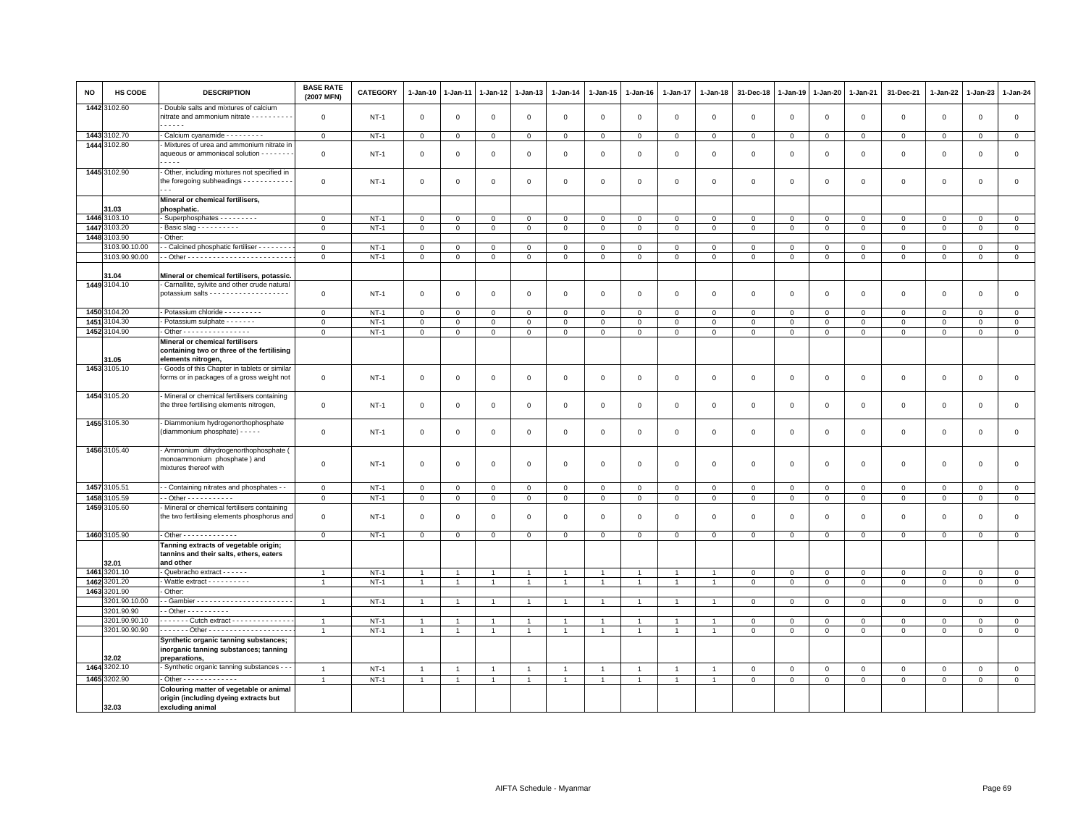| <b>NO</b> | <b>HS CODE</b>        | <b>DESCRIPTION</b>                                                                              | <b>BASE RATE</b><br>(2007 MFN) | <b>CATEGORY</b> | $1 - Jan-10$        | 1-Jan-11       | 1-Jan-12       | 1-Jan-13       | $1-Jan-14$     | $1 - Jan-15$   | $1-Jan-16$     | 1-Jan-17       | $1-Jan-18$     | 31-Dec-18      | 1-Jan-19       | 1-Jan-20       | 1-Jan-21       | 31-Dec-21      | 1-Jan-22    | $1-Jan-23$     | 1-Jan-24       |
|-----------|-----------------------|-------------------------------------------------------------------------------------------------|--------------------------------|-----------------|---------------------|----------------|----------------|----------------|----------------|----------------|----------------|----------------|----------------|----------------|----------------|----------------|----------------|----------------|-------------|----------------|----------------|
|           | 1442 3102.60          | Double salts and mixtures of calcium<br>nitrate and ammonium nitrate - - - - - - - - - -<br>.   | $\mathbf 0$                    | $NT-1$          | $\circ$             | 0              | 0              | 0              | $\mathbf{0}$   | $\mathbf 0$    | $\mathbf 0$    | $\circ$        | $\mathbf 0$    | $\mathbf 0$    | $\,$ 0         | $\,0\,$        | $\mathbf 0$    | $\mathsf 0$    | $\mathsf 0$ | $\mathbf{0}$   | $\mathsf 0$    |
|           | 1443 3102.70          | - Calcium cyanamide - - - - - - - - -                                                           | $\mathbf{0}$                   | $NT-1$          | $\overline{0}$      | $\mathbf 0$    | $\mathbf 0$    | $\overline{0}$ | $\mathbf 0$    | $\mathbf{0}$   | $\mathsf 0$    | $\mathbf{0}$   | $\mathsf 0$    | $\mathbf 0$    | $\mathbf{0}$   | $\overline{0}$ | $\mathbf 0$    | $\mathbf 0$    | $\mathbf 0$ | $\mathbf 0$    | $\overline{0}$ |
|           | 1444 3102.80          | - Mixtures of urea and ammonium nitrate in                                                      |                                |                 |                     |                |                |                |                |                |                |                |                |                |                |                |                |                |             |                |                |
|           |                       | aqueous or ammoniacal solution - - - - - - -<br>.                                               | $\mathsf 0$                    | $NT-1$          | $\mathbf 0$         | 0              | 0              | $\mathbf 0$    | $\mathsf 0$    | $\mathbf 0$    | $\mathbf 0$    | $\circ$        | $\mathbf 0$    | $\mathbf 0$    | $\mathbf 0$    | $\mathbf 0$    | $\mathbf 0$    | $\mathsf 0$    | 0           | 0              | $\mathbf 0$    |
|           | 1445 3102.90          | - Other, including mixtures not specified in                                                    |                                |                 |                     |                |                |                |                |                |                |                |                |                |                |                |                |                |             |                |                |
|           |                       | the foregoing subheadings - - - - - - - - - - -<br>$\sim$ $\sim$                                | $\mathsf 0$                    | $NT-1$          | $\mathbf 0$         | $\Omega$       | $\mathbf 0$    | $\mathbf 0$    | $\mathbf 0$    | $\mathbf 0$    | $\mathbf 0$    | $\Omega$       | $\mathbf 0$    | $\mathbf 0$    | $\mathbf 0$    | $\mathbf 0$    | $\mathbf 0$    | $\mathbf 0$    | $\mathbf 0$ | $\mathbf 0$    | $\mathsf 0$    |
|           | 31.03                 | Mineral or chemical fertilisers,<br>phosphatic.                                                 |                                |                 |                     |                |                |                |                |                |                |                |                |                |                |                |                |                |             |                |                |
|           | 1446 3103.10          | Superphosphates - - - - - - - -                                                                 | $\Omega$                       | $NT-1$          | $\mathbf 0$         | $\Omega$       | $\Omega$       | $\Omega$       | $\mathbf 0$    | $\Omega$       | $\Omega$       | $\Omega$       | $\mathbf 0$    | $\mathbf 0$    | $\mathbf 0$    | $\mathbf 0$    | $\Omega$       | $^{\circ}$     | $\Omega$    | $\Omega$       | $\mathbf{0}$   |
| 14473     | 3103.20               | - Basic slag - - - - - - - - - -                                                                | $\mathbf{0}$                   | $NT-1$          | $\mathbf{0}$        | $\mathbf{0}$   | $\mathbf 0$    | $\overline{0}$ | $\mathbf{0}$   | $\mathbf{O}$   | $\mathbf{0}$   | $\mathbf{0}$   | $\mathbf 0$    | $\mathbf 0$    | $\mathbf{0}$   | $\overline{0}$ | $\overline{0}$ | $\mathbf{0}$   | $\mathbf 0$ | $\mathsf 0$    | $\mathbf{0}$   |
| 1448      | 103.90                | - Other:                                                                                        |                                |                 |                     |                |                |                |                |                |                |                |                |                |                |                |                |                |             |                |                |
|           | 3103.90.10.00         | - Calcined phosphatic fertiliser - - - - - - -                                                  | $\mathsf 0$                    | $NT-1$          | $\mathbf 0$         | $\mathbf 0$    | 0              | $\mathbf 0$    | $\mathbf 0$    | $\mathbf{0}$   | $\mathbf{O}$   | $\mathbf 0$    | $\mathbf 0$    | 0              | $\mathbf 0$    | $\mathbf 0$    | $\mathbf 0$    | 0              | 0           | $\mathbf 0$    | $\mathbf 0$    |
|           | 3103.90.90.00         |                                                                                                 | $\mathsf 0$                    | $NT-1$          | $\mathsf 0$         | $\mathbf 0$    | 0              | $\mathbf 0$    | $\mathsf 0$    | $\mathbf 0$    | $\mathbf 0$    | $\mathbf 0$    | $\mathbf 0$    | $\mathbf 0$    | $\mathbf 0$    | $\mathbf 0$    | $\mathbf 0$    | 0              | $\mathsf 0$ | 0              | $\overline{0}$ |
|           |                       |                                                                                                 |                                |                 |                     |                |                |                |                |                |                |                |                |                |                |                |                |                |             |                |                |
|           | 31.04<br>1449 3104.10 | Mineral or chemical fertilisers, potassic.<br>Carnallite, sylvite and other crude natural       |                                |                 |                     |                |                |                |                |                |                |                |                |                |                |                |                |                |             |                |                |
|           |                       |                                                                                                 | $\mathsf 0$                    | $NT-1$          | $\mathsf 0$         | $\mathbf 0$    | $\mathbf 0$    | $\mathsf 0$    | $\mathsf 0$    | $\mathbf 0$    | $\mathsf 0$    | $\mathbf 0$    | $\mathsf 0$    | $\mathsf 0$    | $\mathbf{0}$   | $\mathbf 0$    | $\mathsf 0$    | $\mathsf 0$    | $\mathsf 0$ | $\mathsf 0$    | $\mathbf 0$    |
|           | 1450 3104.20          | - Potassium chloride - - - - - - - - -                                                          | $\mathsf 0$                    | <b>NT-1</b>     | $\mathbf 0$         | $\mathbf 0$    | $^{\circ}$     | $\mathbf 0$    | $\mathsf 0$    | $\mathbf 0$    | $^{\circ}$     | $\mathbf 0$    | $\,0\,$        | $\mathbf 0$    | $\mathbf 0$    | $\mathbf 0$    | $\mathbf 0$    | $\mathsf 0$    | $^{\circ}$  | $^{\circ}$     | $\mathbf 0$    |
|           | 1451 3104.30          | - Potassium sulphate - - - - - - -                                                              | $\mathbf 0$                    | $NT-1$          | $\mathsf 0$         | $\mathbf 0$    | $\mathbf{0}$   | $\mathbf{0}$   | $\mathsf 0$    | $\mathbf 0$    | $\mathbf{O}$   | $\mathbf 0$    | $\mathsf 0$    | $\mathbf 0$    | $\mathsf 0$    | $\mathbf 0$    | $\mathbf{0}$   | $\mathsf 0$    | $\mathbf 0$ | $\mathbf 0$    | $\mathsf 0$    |
|           | 1452 3104.90          | - Other - - - - - - - - - - - - - - - -                                                         | $\mathsf 0$                    | $NT-1$          | $\mathsf{O}\xspace$ | $\mathsf 0$    | $\mathbf 0$    | $\mathsf 0$    | $\mathbf 0$    | $\mathsf 0$    | $\mathsf 0$    | $\mathsf 0$    | $\mathbf 0$    | $\mathsf 0$    | $\mathsf 0$    | $\mathbf{O}$   | $\mathsf 0$    | $\mathsf 0$    | $\mathsf 0$ | $\mathsf 0$    | $\mathsf 0$    |
|           |                       | Mineral or chemical fertilisers                                                                 |                                |                 |                     |                |                |                |                |                |                |                |                |                |                |                |                |                |             |                |                |
|           | 31.05                 | containing two or three of the fertilising<br>elements nitrogen.                                |                                |                 |                     |                |                |                |                |                |                |                |                |                |                |                |                |                |             |                |                |
|           | 1453 3105.10          | - Goods of this Chapter in tablets or simila                                                    |                                |                 |                     |                |                |                |                |                |                |                |                |                |                |                |                |                |             |                |                |
|           |                       | forms or in packages of a gross weight not                                                      | $\mathsf 0$                    | $NT-1$          | $\mathbf 0$         | 0              | 0              | $\mathbf 0$    | $\mathsf 0$    | $\mathbf{0}$   | 0              | $\mathbf 0$    | $\mathbf 0$    | $\mathbf 0$    | $\overline{0}$ | $\mathbf 0$    | $\mathbf 0$    | $\mathsf 0$    | 0           | $\mathbf 0$    | $\mathbf 0$    |
|           | 1454 3105.20          | - Mineral or chemical fertilisers containing<br>the three fertilising elements nitrogen,        | $\mathsf{O}\xspace$            | $NT-1$          | $\mathbf 0$         | 0              | 0              | $\mathsf 0$    | $\,0\,$        | $\mathbf 0$    | 0              | $\mathbf 0$    | $\,0\,$        | $\,0\,$        | $\mathbf 0$    | $\mathbf 0$    | $\mathsf 0$    | $\mathsf 0$    | $\mathsf 0$ | $\,0\,$        | $\mathsf 0$    |
|           | 1455 3105.30          | - Diammonium hydrogenorthophosphate<br>(diammonium phosphate) - - - - -                         | $\mathsf 0$                    | $NT-1$          | $\overline{0}$      | 0              | $\mathbf 0$    | $\mathbf 0$    | $\mathsf 0$    | $\overline{0}$ | $\mathbf 0$    | $\mathbf 0$    | $\mathsf 0$    | $\overline{0}$ | $\overline{0}$ | $\mathbf 0$    | $\mathbf 0$    | $\mathsf 0$    | 0           | $\mathbf 0$    | $\mathsf 0$    |
|           | 1456 3105.40          | - Ammonium dihydrogenorthophosphate (<br>monoammonium phosphate) and<br>mixtures thereof with   | $\mathsf 0$                    | <b>NT-1</b>     | $\mathbf 0$         | 0              | 0              | $\mathbf 0$    | $\mathsf 0$    | $\mathbf 0$    | $\mathsf 0$    | $\mathsf 0$    | $\mathsf 0$    | $\mathsf 0$    | $\overline{0}$ | $\,0\,$        | $\mathbf 0$    | $\mathsf 0$    | $\mathbf 0$ | $\mathbf 0$    | $\mathsf 0$    |
|           | 1457 3105.51          | - Containing nitrates and phosphates - -                                                        | $\mathsf 0$                    | $NT-1$          | $\mathbf 0$         | $\mathbf 0$    | $\Omega$       | $\mathbf 0$    | 0              | $\mathbf 0$    | 0              | $\mathbf 0$    | $\mathsf 0$    | $\mathbf 0$    | $\mathbf 0$    | $\mathbf{0}$   | 0              | $\mathsf 0$    | $\Omega$    | $\Omega$       | $\mathsf 0$    |
|           | 1458 3105.59          | $-$ Other - - - - - - - - - - -                                                                 | $\mathsf 0$                    | $NT-1$          | $\mathbf{0}$        | $\mathbf 0$    | $\mathbf{0}$   | $\overline{0}$ | $\overline{0}$ | $\mathbf 0$    | $\overline{0}$ | $\mathsf 0$    | $\mathsf 0$    | $\overline{0}$ | $\overline{0}$ | $\overline{0}$ | $\mathsf 0$    | $\overline{0}$ | $\mathsf 0$ | $\overline{0}$ | $\overline{0}$ |
|           | 1459 3105.60          | Mineral or chemical fertilisers containing<br>the two fertilising elements phosphorus and       | $\mathsf 0$                    | $NT-1$          | $\mathbf 0$         | $\mathbf 0$    | 0              | $\mathbf{0}$   | $\mathsf 0$    | $\mathbf 0$    | $\Omega$       | $\Omega$       | $\mathsf 0$    | $\mathbf 0$    | $\overline{0}$ | $\mathbf 0$    | $\mathbf{0}$   | $\mathbf 0$    | $\mathbf 0$ | $\mathbf 0$    | $\mathsf 0$    |
|           | 1460 3105.90          | - Other - - - - - - - - - - - - -                                                               | $\mathbf{O}$                   | $NT-1$          | $\mathbf{0}$        | $\mathbf 0$    | 0              | $\mathbf 0$    | $\mathbf 0$    | $\mathbf{0}$   | $\mathbf 0$    | $\mathbf 0$    | $\mathbf 0$    | $\mathbf{0}$   | $\mathbf{0}$   | $\mathbf 0$    | $\mathbf 0$    | $\mathbf 0$    | 0           | 0              | $\mathbf 0$    |
|           | 32.01                 | Tanning extracts of vegetable origin;<br>tannins and their salts, ethers, eaters<br>and other   |                                |                 |                     |                |                |                |                |                |                |                |                |                |                |                |                |                |             |                |                |
|           | 1461 3201.10          | - Quebracho extract - - - - - -                                                                 | $\overline{1}$                 | $NT-1$          | $\overline{1}$      |                | $\overline{1}$ | $\overline{1}$ |                | $\overline{1}$ |                | $\overline{1}$ | $\overline{1}$ | $\mathbf 0$    | $\,0\,$        | $\mathbf 0$    | $\mathbf{0}$   | 0              | $\Omega$    | $\Omega$       | $\mathsf 0$    |
|           | 1462 3201.20          | - Wattle extract - - - - - - - - -                                                              | $\overline{1}$                 | $NT-1$          | $\overline{1}$      | $\overline{1}$ | $\overline{1}$ | $\mathbf{1}$   | $\overline{1}$ | $\mathbf{1}$   | $\overline{1}$ | $\mathbf{1}$   | $\overline{1}$ | $\mathbf{0}$   | $\mathbf 0$    | $\mathbf{0}$   | $\mathbf{0}$   | $\mathsf 0$    | $\mathbf 0$ | $\mathbf{0}$   | $\mathbf{0}$   |
|           | 1463 3201.90          | - Other:                                                                                        |                                |                 |                     |                |                |                |                |                |                |                |                |                |                |                |                |                |             |                |                |
|           | 3201.90.10.00         |                                                                                                 | $\overline{1}$                 | $NT-1$          | $\overline{1}$      |                |                | $\overline{1}$ |                | $\overline{1}$ |                |                |                | $\Omega$       | $\overline{0}$ | $\mathbf 0$    | $\mathsf 0$    | $\mathsf 0$    | $\Omega$    | $\Omega$       | $\mathbf 0$    |
|           | 3201.90.90            | $-$ Other $        -$                                                                           |                                |                 |                     |                |                |                |                |                |                |                |                |                |                |                |                |                |             |                |                |
|           | 3201.90.90.10         | . Cutch extract -                                                                               | $\overline{1}$                 | $NT-1$          | $\mathbf{1}$        |                | $\mathbf{1}$   | $\overline{1}$ |                | $\mathbf{1}$   |                |                |                | $\mathsf 0$    | $\mathsf 0$    | $\mathbf 0$    | $\mathsf 0$    | $\mathsf 0$    | $^{\circ}$  | $\mathsf 0$    | $\mathbf 0$    |
|           | 3201.90.90.90         |                                                                                                 | $\overline{1}$                 | $NT-1$          | $\overline{1}$      | $\overline{1}$ | $\overline{1}$ | $\overline{1}$ | $\overline{1}$ | $\mathbf{1}$   | $\overline{1}$ | $\overline{1}$ | $\overline{1}$ | $\mathbf 0$    | $\mathbf 0$    | $\mathbf 0$    | $\mathbf 0$    | $\mathsf 0$    | 0           | 0              | $\mathbf 0$    |
|           | 32.02                 | Synthetic organic tanning substances;<br>inorganic tanning substances; tanning<br>preparations, |                                |                 |                     |                |                |                |                |                |                |                |                |                |                |                |                |                |             |                |                |
|           | 1464 3202.10          | - Synthetic organic tanning substances - -                                                      | $\overline{1}$                 | $NT-1$          | $\overline{1}$      | $\overline{1}$ | $\overline{1}$ | $\overline{1}$ | $\overline{1}$ | $\mathbf{1}$   | $\overline{1}$ | $\mathbf{1}$   | $\overline{1}$ | $\overline{0}$ | $\overline{0}$ | $\mathbf{0}$   | $\mathbf{0}$   | $\mathbf 0$    | $\mathbf 0$ | $\mathbf{0}$   | $\mathsf 0$    |
|           | 1465 3202.90          | Other - - - - - - - - - - - -                                                                   | $\overline{1}$                 | $NT-1$          | $\overline{1}$      | $\mathbf{1}$   | $\overline{1}$ | $\overline{1}$ |                | $\mathbf{1}$   |                | $\overline{1}$ | $\mathbf{1}$   | $\mathsf 0$    | $\mathsf 0$    | $\mathbf 0$    | $\mathsf 0$    | $\mathsf 0$    | $\mathsf 0$ | $\mathsf 0$    | $\overline{0}$ |
|           |                       | Colouring matter of vegetable or animal<br>origin (including dyeing extracts but                |                                |                 |                     |                |                |                |                |                |                |                |                |                |                |                |                |                |             |                |                |
|           | 32.03                 | excluding animal                                                                                |                                |                 |                     |                |                |                |                |                |                |                |                |                |                |                |                |                |             |                |                |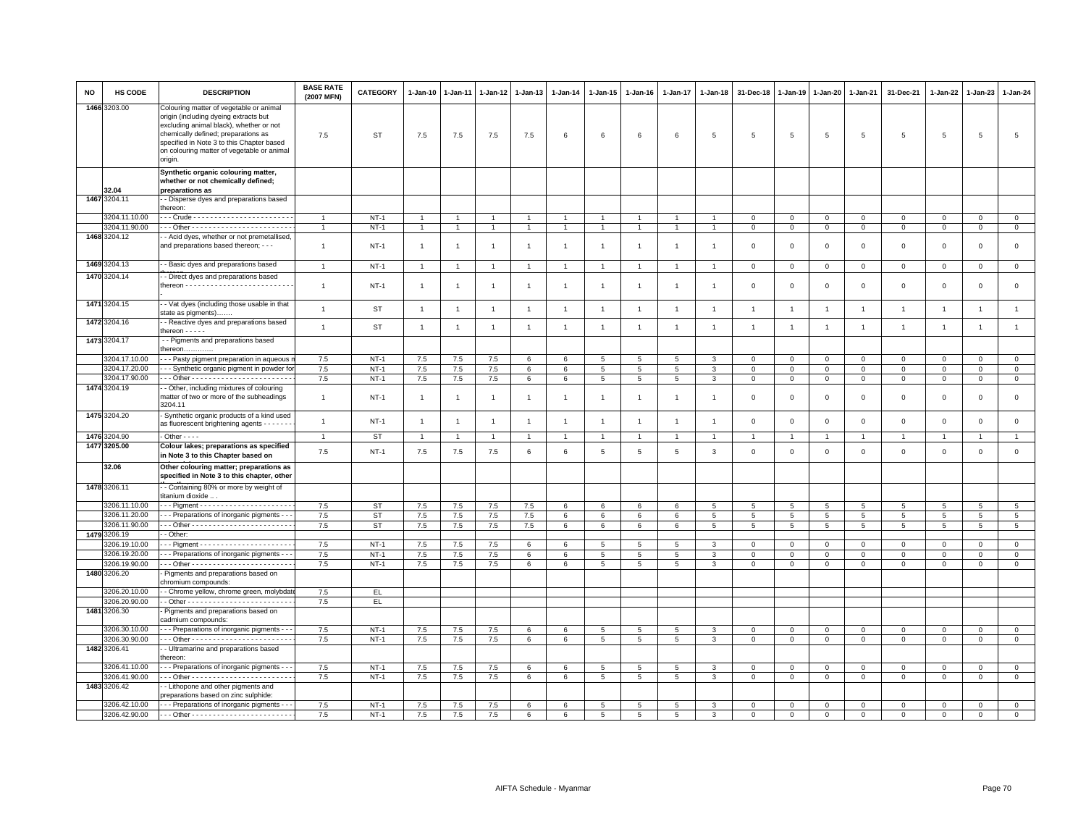| <b>NO</b> | HS CODE                        | <b>DESCRIPTION</b>                                                                                                                                                                                                                                                       | <b>BASE RATE</b><br>(2007 MFN) | CATEGORY         | 1-Jan-10       | $1 - Jan-11$   | 1-Jan-12       | 1-Jan-13       | $1 - Jan-14$   | 1-Jan-15             | 1-Jan-16        | 1-Jan-17             | $1 - Jan-18$    | 31-Dec-18                  | 1-Jan-19                   | 1-Jan-20        | 1-Jan-21                   | 31-Dec-21                  | 1-Jan-22                  | 1-Jan-23                   | $1-Jan-24$                    |
|-----------|--------------------------------|--------------------------------------------------------------------------------------------------------------------------------------------------------------------------------------------------------------------------------------------------------------------------|--------------------------------|------------------|----------------|----------------|----------------|----------------|----------------|----------------------|-----------------|----------------------|-----------------|----------------------------|----------------------------|-----------------|----------------------------|----------------------------|---------------------------|----------------------------|-------------------------------|
|           | 1466 3203.00                   | Colouring matter of vegetable or animal<br>origin (including dyeing extracts but<br>excluding animal black), whether or not<br>chemically defined; preparations as<br>specified in Note 3 to this Chapter based<br>on colouring matter of vegetable or animal<br>origin. | 7.5                            | ST               | 7.5            | 7.5            | 7.5            | 7.5            | 6              | 6                    | 6               | 6                    | 5               | 5                          | 5                          | 5               | 5                          | 5                          | 5                         | 5                          | 5                             |
|           |                                | Synthetic organic colouring matter,<br>whether or not chemically defined;                                                                                                                                                                                                |                                |                  |                |                |                |                |                |                      |                 |                      |                 |                            |                            |                 |                            |                            |                           |                            |                               |
|           | 32.04<br>1467 3204.11          | preparations as<br>- Disperse dyes and preparations based                                                                                                                                                                                                                |                                |                  |                |                |                |                |                |                      |                 |                      |                 |                            |                            |                 |                            |                            |                           |                            |                               |
|           |                                | :hereon:                                                                                                                                                                                                                                                                 |                                |                  |                |                |                |                |                |                      |                 |                      |                 |                            |                            |                 |                            |                            |                           |                            |                               |
|           | 3204.11.10.00                  |                                                                                                                                                                                                                                                                          |                                | $NT-1$           | $\overline{1}$ |                | $\overline{1}$ | $\overline{1}$ |                | $\overline{1}$       |                 |                      |                 | $\Omega$                   | $\Omega$                   | $\mathbf{0}$    | $\mathbf 0$                | $\mathbf 0$                | $\Omega$                  | $\mathbf{0}$               | $\mathbf 0$                   |
|           | 3204.11.90.00                  |                                                                                                                                                                                                                                                                          | $\overline{1}$                 | $NT-1$           | $\overline{1}$ | $\overline{1}$ | $\overline{1}$ | $\overline{1}$ |                | $\overline{1}$       |                 | $\overline{1}$       | $\overline{1}$  | $\overline{0}$             | $\overline{0}$             | $\overline{0}$  | $\overline{0}$             | $\mathsf 0$                | $\mathbf 0$               | $\mathsf 0$                | $\overline{0}$                |
|           | 1468 3204.12                   | - Acid dyes, whether or not premetallised,<br>and preparations based thereon; - - -                                                                                                                                                                                      | $\overline{1}$                 | $NT-1$           | $\overline{1}$ | $\overline{1}$ | $\overline{1}$ | $\overline{1}$ | $\overline{1}$ | $\mathbf{1}$         | $\overline{1}$  | 1                    | -1              | $\mathbf 0$                | $\mathbf 0$                | $\mathbf 0$     | $\mathbf{0}$               | $\mathbf 0$                | $\Omega$                  | $\mathbf 0$                | $\mathsf 0$                   |
|           | 1469 3204.13                   | - Basic dyes and preparations based                                                                                                                                                                                                                                      | $\overline{1}$                 | <b>NT-1</b>      | $\overline{1}$ | $\overline{1}$ | $\overline{1}$ | $\overline{1}$ | $\overline{1}$ | $\overline{1}$       | $\overline{1}$  | $\mathbf{1}$         | $\overline{1}$  | $\mathbf 0$                | $\mathbf 0$                | $\,0\,$         | $\overline{0}$             | $\mathbf 0$                | $\mathbf 0$               | $\mathsf 0$                | $\mathsf 0$                   |
|           | 1470 3204.14                   | - Direct dyes and preparations based                                                                                                                                                                                                                                     | $\overline{1}$                 | $NT-1$           | $\overline{1}$ | -1             | $\mathbf{1}$   | $\overline{1}$ | $\overline{1}$ | $\overline{1}$       | -1              | $\mathbf{1}$         | $\overline{1}$  | $\mathbf 0$                | $\mathbf 0$                | $\mathbf 0$     | $\mathbf{0}$               | $\Omega$                   | $^{\circ}$                | $\mathbf 0$                | $\mathsf 0$                   |
|           | 1471 3204.15                   | - Vat dyes (including those usable in that<br>state as pigments)                                                                                                                                                                                                         | $\mathbf{1}$                   | <b>ST</b>        | $\overline{1}$ | $\overline{1}$ | $\overline{1}$ | $\mathbf{1}$   | $\overline{1}$ | $\mathbf{1}$         | $\overline{1}$  | $\overline{1}$       | $\overline{1}$  | $\overline{1}$             | $\overline{1}$             | $\overline{1}$  | $\overline{1}$             | $\overline{1}$             | $\overline{1}$            | $\overline{1}$             | $\mathbf{1}$                  |
|           | 1472 3204.16                   | - Reactive dyes and preparations based<br>hereon - - - - -                                                                                                                                                                                                               | $\mathbf{1}$                   | ST               | $\overline{1}$ | $\overline{1}$ | $\overline{1}$ | $\overline{1}$ | $\overline{1}$ | $\mathbf{1}$         | $\overline{1}$  | $\mathbf{1}$         | $\overline{1}$  | $\overline{1}$             | $\overline{1}$             | $\overline{1}$  | $\overline{1}$             | $\overline{1}$             | $\overline{1}$            | $\overline{1}$             | $\mathbf{1}$                  |
|           | 1473 3204.17                   | - - Pigments and preparations based<br>hereon                                                                                                                                                                                                                            |                                |                  |                |                |                |                |                |                      |                 |                      |                 |                            |                            |                 |                            |                            |                           |                            |                               |
|           | 3204.17.10.00                  | - - Pasty pigment preparation in aqueous                                                                                                                                                                                                                                 | 7.5                            | $NT-1$           | $7.5\,$        | 7.5            | $7.5$          | 6              | 6              | 5                    | 5               | 5                    | 3               | $\Omega$                   | $\Omega$                   | $\mathbf 0$     | $\mathbf 0$                | $\circ$                    | $\mathbf 0$               | $\mathbf{0}$               | $\mathsf 0$                   |
|           | 3204.17.20.00                  | - - Synthetic organic pigment in powder fo                                                                                                                                                                                                                               | 7.5                            | $NT-1$           | $7.5\,$        | $7.5$          | $7.5\,$        | 6              | 6              | 5                    | 5               | 5                    | 3               | $\mathbf 0$                | $\,0\,$                    | $\mathbf{0}$    | $\mathbf 0$                | $\mathbf 0$                | $\Omega$                  | $\mathbf{0}$               | $\mathsf 0$                   |
|           | 3204.17.90.00<br>1474 3204.19  | - Other, including mixtures of colouring                                                                                                                                                                                                                                 | 7.5                            | $NT-1$           | $7.5\,$        | 7.5            | 7.5            | 6              | 6              | 5                    | $5\overline{5}$ | 5                    | 3               | $\overline{0}$             | $\mathbf{0}$               | $\mathbf 0$     | $\mathbf{0}$               | $\mathbf 0$                | $\mathbf 0$               | $\mathbf 0$                | $\mathsf 0$                   |
|           |                                | matter of two or more of the subheadings<br>3204.11                                                                                                                                                                                                                      | $\mathbf{1}$                   | $NT-1$           | $\overline{1}$ | $\overline{1}$ | $\overline{1}$ | $\overline{1}$ | $\mathbf{1}$   | $\mathbf{1}$         | $\overline{1}$  | $\mathbf{1}$         | $\overline{1}$  | $\overline{\mathbf{0}}$    | $\mathbf 0$                | $\mathbf 0$     | $\mathbf 0$                | $\mathbf 0$                | $\mathbf 0$               | $\mathbf 0$                | $\mathsf 0$                   |
|           | 1475 3204.20                   | Synthetic organic products of a kind used<br>as fluorescent brightening agents - - - - - -                                                                                                                                                                               | $\mathbf{1}$                   | $NT-1$           | $\overline{1}$ | $\overline{1}$ | $\overline{1}$ | $\overline{1}$ | $\overline{1}$ | $\overline{1}$       | $\overline{1}$  | $\mathbf{1}$         | $\overline{1}$  | $\mathbf 0$                | $\mathbf 0$                | $\mathbf 0$     | $\mathbf{0}$               | $\mathbf{0}$               | $\Omega$                  | $\mathbf{0}$               | $\mathsf 0$                   |
|           | 1476 3204.90                   | $\cdot$ Other - - -                                                                                                                                                                                                                                                      | $\overline{1}$                 | <b>ST</b>        | $\overline{1}$ | $\overline{1}$ | $\overline{1}$ | $\overline{1}$ |                | $\blacktriangleleft$ |                 |                      |                 | $\overline{1}$             | $\overline{1}$             | $\overline{1}$  | $\overline{1}$             | $\overline{1}$             |                           | $\overline{1}$             | $\mathbf{1}$                  |
|           | 1477 3205.00                   | Colour lakes; preparations as specified<br>in Note 3 to this Chapter based on                                                                                                                                                                                            | 7.5                            | $NT-1$           | $7.5\,$        | 7.5            | 7.5            | 6              | 6              | 5                    | $\overline{5}$  | $\,$ 5 $\,$          | $\mathbf{3}$    | $\,0\,$                    | $\mathbf 0$                | $\,0\,$         | $\mathsf 0$                | $\mathsf 0$                | $\mathbf 0$               | $\mathsf 0$                | $\mathsf 0$                   |
|           | 32.06                          | Other colouring matter; preparations as<br>specified in Note 3 to this chapter, other                                                                                                                                                                                    |                                |                  |                |                |                |                |                |                      |                 |                      |                 |                            |                            |                 |                            |                            |                           |                            |                               |
|           | 1478 3206.11                   | - Containing 80% or more by weight of<br>titanium dioxide .                                                                                                                                                                                                              |                                |                  |                |                |                |                |                |                      |                 |                      |                 |                            |                            |                 |                            |                            |                           |                            |                               |
|           | 3206.11.10.00                  |                                                                                                                                                                                                                                                                          | 7.5                            | <b>ST</b>        | $7.5\,$        | 7.5            | 7.5            | 7.5            | 6              | 6                    | 6               | 6                    | $5\phantom{.0}$ | $\overline{5}$             | $5\phantom{.0}$            | $5\phantom{.0}$ | 5                          | 5                          | 5                         | 5                          | 5                             |
|           | 3206.11.20.00<br>3206.11.90.00 | - - Preparations of inorganic pigments - -                                                                                                                                                                                                                               | 7.5                            | ST               | 7.5<br>7.5     | 7.5            | 7.5            | 7.5            | 6              | 6                    | 6               | 6                    | 5               | $5\phantom{.0}$            | $5\phantom{.0}$            | 5               | 5                          | 5                          | 5                         | 5<br>5                     | 5<br>$5\overline{5}$          |
| 1479      | 3206.19                        | - Other                                                                                                                                                                                                                                                                  | 7.5                            | ST               |                | 7.5            | 7.5            | 7.5            | 6              | 6                    | 6               | 6                    | 5               | $5\overline{5}$            | 5                          | $5\overline{5}$ | 5                          | 5                          | 5                         |                            |                               |
|           | 3206.19.10.00                  |                                                                                                                                                                                                                                                                          | 7.5                            | <b>NT-1</b>      | 7.5            | 7.5            | 7.5            | 6              | 6              | 5                    | 5               | 5                    | 3               | $\mathbf 0$                | $\mathbf 0$                | $\mathbf 0$     | $\mathbf 0$                | $\mathbf 0$                | 0                         | $\mathbf 0$                | $\mathsf 0$                   |
|           | 3206.19.20.00                  | - - Preparations of inorganic pigments - -                                                                                                                                                                                                                               | 7.5                            | $NT-1$           | 7.5            | 7.5            | 7.5            | 6              | 6              | 5                    | 5               | 5                    | 3               | $\mathbf 0$                | $\mathbf{0}$               | $\mathbf{0}$    | $\Omega$                   | $\Omega$                   | $\Omega$                  | $\Omega$                   | $\circ$                       |
|           | 3206.19.90.00                  |                                                                                                                                                                                                                                                                          | 7.5                            | $NT-1$           | 7.5            | 7.5            | 7.5            | 6              | 6              | $5\overline{5}$      | 5               | $5\overline{5}$      | 3               | $\mathbf 0$                | $\mathbf{0}$               | $\mathbf{0}$    | $\mathbf{0}$               | $\mathbf 0$                | $\circ$                   | $\mathbf 0$                | $\mathbf 0$                   |
|           | 1480 3206.20                   | Pigments and preparations based on<br>chromium compounds:                                                                                                                                                                                                                |                                |                  |                |                |                |                |                |                      |                 |                      |                 |                            |                            |                 |                            |                            |                           |                            |                               |
|           | 3206.20.10.00<br>3206.20.90.00 | - Chrome yellow, chrome green, molybdat                                                                                                                                                                                                                                  | 7.5                            | EL.              |                |                |                |                |                |                      |                 |                      |                 |                            |                            |                 |                            |                            |                           |                            |                               |
|           | 1481 3206.30                   | Pigments and preparations based on                                                                                                                                                                                                                                       | 7.5                            | EL.              |                |                |                |                |                |                      |                 |                      |                 |                            |                            |                 |                            |                            |                           |                            |                               |
|           |                                | cadmium compounds:                                                                                                                                                                                                                                                       |                                |                  |                |                |                |                |                |                      |                 |                      |                 |                            |                            |                 |                            |                            |                           |                            |                               |
|           | 3206.30.10.00<br>206.30.90.00  | - - Preparations of inorganic pigments - -                                                                                                                                                                                                                               | 7.5<br>7.5                     | $NT-1$<br>$NT-1$ | 7.5            | 7.5            | 7.5            | 6<br>6         | 6<br>6         | 5<br>5               | 5               | 5<br>$5\phantom{.0}$ | 3               | $^{\circ}$<br>$\mathbf{0}$ | $\mathbf 0$<br>$\mathbf 0$ | $\mathbf{0}$    | $\mathbf 0$<br>$\mathsf 0$ | $\mathbf 0$<br>$\mathsf 0$ | $^{\circ}$<br>$\mathbf 0$ | $\mathbf 0$<br>$\mathsf 0$ | $\mathsf 0$<br>$\overline{0}$ |
|           | 1482 3206.41                   | - Ultramarine and preparations based<br>hereon:                                                                                                                                                                                                                          |                                |                  | 7.5            | 7.5            | 7.5            |                |                |                      | $\,$ 5 $\,$     |                      | 3               |                            |                            | $\mathbf 0$     |                            |                            |                           |                            |                               |
|           | 3206.41.10.00                  | - - Preparations of inorganic pigments - -                                                                                                                                                                                                                               | 7.5                            | $NT-1$           | $7.5\,$        | 7.5            | 7.5            | 6              | 6              | 5                    | 5               | $\overline{5}$       | $\mathbf{3}$    | $\mathbf 0$                | $\mathbf 0$                | $\mathbf{0}$    | $\mathbf{0}$               | $\Omega$                   | $\Omega$                  | $\mathbf{0}$               | $\mathsf 0$                   |
|           | 3206.41.90.00                  |                                                                                                                                                                                                                                                                          | 7.5                            | <b>NT-1</b>      | $7.5\,$        | 7.5            | 7.5            | 6              | 6              | 5                    | 5               | 5                    | 3               | $\mathbf 0$                | $\mathbf 0$                | $\mathsf 0$     | $\mathsf 0$                | $\mathbf 0$                | $\Omega$                  | $\mathbf 0$                | $\mathsf 0$                   |
|           | 1483 3206.42                   | - Lithopone and other pigments and<br>reparations based on zinc sulphide:                                                                                                                                                                                                |                                |                  |                |                |                |                |                |                      |                 |                      |                 |                            |                            |                 |                            |                            |                           |                            |                               |
|           | 3206.42.10.00                  | - - - Preparations of inorganic pigments - -                                                                                                                                                                                                                             | 7.5                            | $NT-1$           | 7.5            | 7.5            | 7.5            | 6              | 6              | 5                    | 5               | 5                    | 3               | $^{\circ}$                 | $^{\circ}$                 | $^{\circ}$      | $\Omega$                   | $\mathbf 0$                | 0                         | 0                          | $\mathsf 0$                   |
|           | 3206.42.90.00                  |                                                                                                                                                                                                                                                                          | 7.5                            | $NT-1$           | 7.5            | 7.5            | 7.5            | $\epsilon$     | $\epsilon$     | $5^{\circ}$          | $\overline{5}$  | 5                    | $\mathbf{3}$    | $\Omega$                   | $\overline{0}$             | $\Omega$        | $\Omega$                   | $\Omega$                   | $\Omega$                  | $\Omega$                   | $\Omega$                      |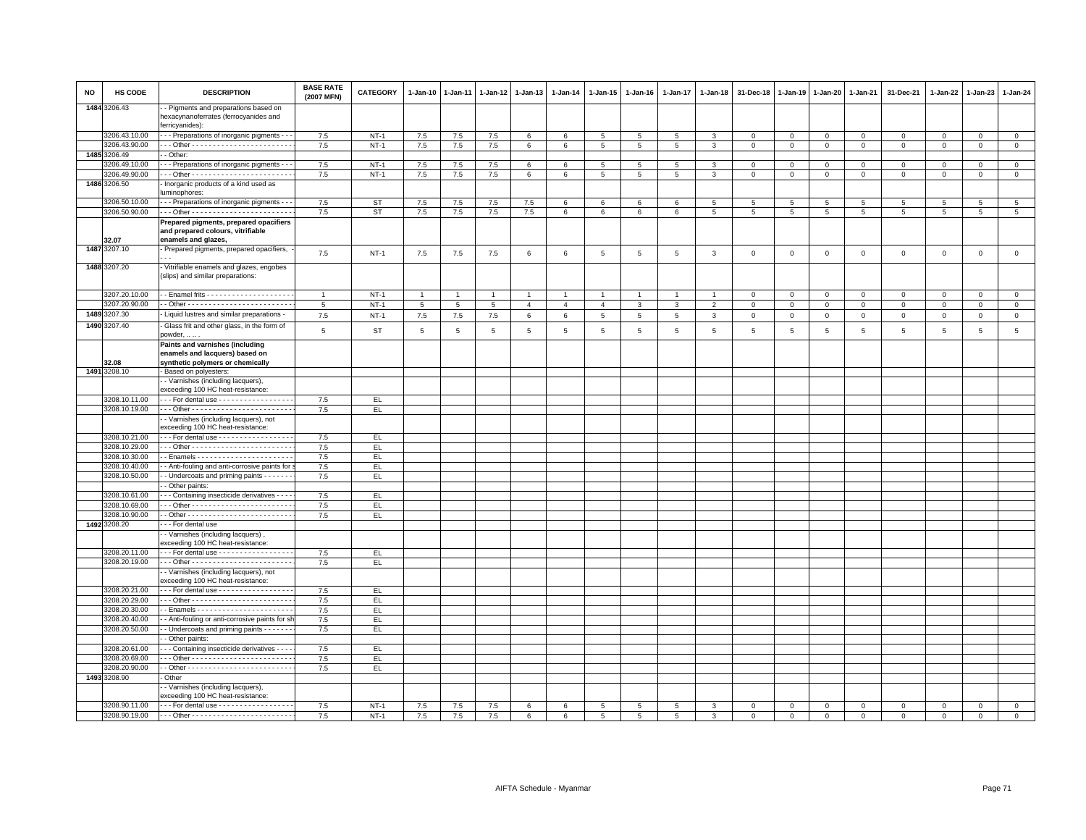| <b>NO</b> | HS CODE       | <b>DESCRIPTION</b>                                                                                 | <b>BASE RATE</b><br>(2007 MFN) | CATEGORY  | 1-Jan-10        | $1 - Jan-11$ | $1 - Jan-12$    | $1 - Jan-13$   | 1-Jan-14        | 1-Jan-15        | $1 - Jan-16$    | $1 - Jan-17$    | $1 - Jan-18$    | 31-Dec-18      | $1 - Jan-19$   | $1 - Jan-20$    | 1-Jan-21        | 31-Dec-21      | $1 - Jan-22$   | $1-Jan-23$      | 1-Jan-24        |
|-----------|---------------|----------------------------------------------------------------------------------------------------|--------------------------------|-----------|-----------------|--------------|-----------------|----------------|-----------------|-----------------|-----------------|-----------------|-----------------|----------------|----------------|-----------------|-----------------|----------------|----------------|-----------------|-----------------|
|           | 1484 3206.43  | - Pigments and preparations based on<br>hexacynanoferrates (ferrocyanides and<br>ferricyanides):   |                                |           |                 |              |                 |                |                 |                 |                 |                 |                 |                |                |                 |                 |                |                |                 |                 |
|           | 3206.43.10.00 | - - Preparations of inorganic pigments - -                                                         | 7.5                            | $NT-1$    | 7.5             | 7.5          | 7.5             | 6              | 6               | 5               | 5               | 5               | 3               | $\mathbf 0$    | $\mathbf 0$    | $\mathbf 0$     | $\mathbf 0$     | $\mathbf 0$    | 0              | $\mathbf 0$     | $\mathbf{0}$    |
|           | 3206.43.90.00 |                                                                                                    | 7.5                            | $NT-1$    | 7.5             | 7.5          | $7.5\,$         | 6              | 6               | 5               | 5               | 5               | 3               | $\mathsf 0$    | $\mathbf 0$    | $\mathbf 0$     | $\mathbf 0$     | $\mathbf{0}$   | $\mathbf 0$    | $\circ$         | $\mathsf 0$     |
| 1485      | 3206.49       | - Other:                                                                                           |                                |           |                 |              |                 |                |                 |                 |                 |                 |                 |                |                |                 |                 |                |                |                 |                 |
|           | 206.49.10.00  | - - Preparations of inorganic pigments - -                                                         | 7.5                            | $NT-1$    | $7.5\,$         | $7.5\,$      | $7.5\,$         | 6              | $\,6\,$         | 5               | 5               | 5               | 3               | $\,0\,$        | $\mathsf 0$    | $\mathsf 0$     | $\mathbf 0$     | $\mathsf 0$    | $\mathbf 0$    | $\mathbf{0}$    | $\mathsf 0$     |
|           | 3206.49.90.00 |                                                                                                    | 7.5                            | $NT-1$    | 7.5             | 7.5          | 7.5             | 6              | 6               | 5               | 5               | 5               | 3               | $\mathbf 0$    | $\mathbf 0$    | $\mathbf 0$     | $\mathbf 0$     | $\mathbf{0}$   | $\Omega$       | $\mathbf{0}$    | $\mathbf{0}$    |
|           | 1486 3206.50  | Inorganic products of a kind used as<br>uminophores:                                               |                                |           |                 |              |                 |                |                 |                 |                 |                 |                 |                |                |                 |                 |                |                |                 |                 |
|           | 3206.50.10.00 | - - Preparations of inorganic pigments - -                                                         | 7.5                            | ST        | 7.5             | 7.5          | 7.5             | 7.5            | 6               | 6               | 6               | 6               | $5\phantom{.0}$ | $\overline{5}$ | $\overline{5}$ | $5\phantom{.0}$ | $5\phantom{.0}$ | $\overline{5}$ | $\overline{5}$ | $5\phantom{.0}$ | $5\overline{5}$ |
|           | 3206.50.90.00 |                                                                                                    | 7.5                            | <b>ST</b> | 7.5             | 7.5          | $7.5\,$         | 7.5            | $6\phantom{.0}$ | 6               | 6               | 6               | 5               | 5              | $\overline{5}$ | $\,$ 5 $\,$     | $5\phantom{.0}$ | 5              | 5              | $5\phantom{.0}$ | $5\overline{5}$ |
|           | 32.07         | Prepared pigments, prepared opacifiers<br>and prepared colours, vitrifiable<br>enamels and glazes, |                                |           |                 |              |                 |                |                 |                 |                 |                 |                 |                |                |                 |                 |                |                |                 |                 |
|           | 1487 3207.10  | Prepared pigments, prepared opacifiers,                                                            | 7.5                            | $NT-1$    | 7.5             | 7.5          | $7.5\,$         | 6              | $\,6\,$         | 5               | 5               | 5               | $\mathbf{3}$    | $\mathbf 0$    | $\,0\,$        | $\mathbf 0$     | $\mathbf 0$     | $\mathsf 0$    | $\,0\,$        | $\mathsf 0$     | $\mathbf 0$     |
|           | 1488 3207.20  | Vitrifiable enamels and glazes, engobes<br>(slips) and similar preparations:                       |                                |           |                 |              |                 |                |                 |                 |                 |                 |                 |                |                |                 |                 |                |                |                 |                 |
|           | 3207.20.10.00 |                                                                                                    | $\overline{1}$                 | $NT-1$    | $\overline{1}$  |              | $\overline{1}$  | $\overline{1}$ | $\overline{1}$  | $\mathbf{1}$    |                 | $\overline{1}$  |                 | $\mathbf 0$    | $\Omega$       | $\mathsf 0$     | $\mathbf 0$     | $\mathsf 0$    | $\Omega$       | $\mathbf{0}$    | $\mathbf 0$     |
|           | 3207.20.90.00 |                                                                                                    | 5                              | $NT-1$    | $5\phantom{.0}$ | 5            | $5\overline{5}$ | $\overline{4}$ | $\overline{4}$  | $\overline{4}$  | 3               | $\mathbf{3}$    | $\overline{2}$  | $\mathbf 0$    | $\mathsf 0$    | $\mathbf 0$     | $\mathbf 0$     | $\mathbf 0$    | $\Omega$       | $\mathbf{0}$    | $\mathsf 0$     |
|           | 1489 3207.30  | - Liquid lustres and similar preparations -                                                        | 7.5                            | $NT-1$    | $7.5\,$         | 7.5          | 7.5             | 6              | 6               | $5\phantom{.0}$ | $5\phantom{.0}$ | $5\phantom{.0}$ | $\mathbf{3}$    | $\,0\,$        | $\mathbf{0}$   | $\overline{0}$  | $\overline{0}$  | $\mathsf 0$    | $\overline{0}$ | $\mathbf 0$     | $\overline{0}$  |
|           | 1490 3207.40  | Glass frit and other glass, in the form of<br>powder,                                              | 5                              | <b>ST</b> | $5\phantom{.0}$ | $\,$ 5 $\,$  | $\overline{5}$  | $\,$ 5 $\,$    | $\,$ 5 $\,$     | $5\phantom{.0}$ | 5               | 5               | $\,$ 5 $\,$     | $\sqrt{5}$     | $\sqrt{5}$     | $\,$ 5          | $\,$ 5 $\,$     | $\overline{5}$ | 5              | $\overline{5}$  | $\,$ 5 $\,$     |
|           | 32.08         | Paints and varnishes (including<br>enamels and lacquers) based on                                  |                                |           |                 |              |                 |                |                 |                 |                 |                 |                 |                |                |                 |                 |                |                |                 |                 |
|           | 1491 3208.10  | synthetic polymers or chemically<br>Based on polyesters:                                           |                                |           |                 |              |                 |                |                 |                 |                 |                 |                 |                |                |                 |                 |                |                |                 |                 |
|           |               | - Varnishes (including lacquers),                                                                  |                                |           |                 |              |                 |                |                 |                 |                 |                 |                 |                |                |                 |                 |                |                |                 |                 |
|           |               | exceeding 100 HC heat-resistance:                                                                  |                                |           |                 |              |                 |                |                 |                 |                 |                 |                 |                |                |                 |                 |                |                |                 |                 |
|           | 3208.10.11.00 | -- For dental use ------------------                                                               | 7.5                            | EL.       |                 |              |                 |                |                 |                 |                 |                 |                 |                |                |                 |                 |                |                |                 |                 |
|           | 3208.10.19.00 |                                                                                                    | 7.5                            | EL        |                 |              |                 |                |                 |                 |                 |                 |                 |                |                |                 |                 |                |                |                 |                 |
|           |               | - Varnishes (including lacquers), not<br>exceeding 100 HC heat-resistance:                         |                                |           |                 |              |                 |                |                 |                 |                 |                 |                 |                |                |                 |                 |                |                |                 |                 |
|           | 3208.10.21.00 | - - For dental use - - - - - - - - - - - - - - - - -                                               | 7.5                            | EL.       |                 |              |                 |                |                 |                 |                 |                 |                 |                |                |                 |                 |                |                |                 |                 |
|           | 3208.10.29.00 |                                                                                                    | 7.5                            | EL.       |                 |              |                 |                |                 |                 |                 |                 |                 |                |                |                 |                 |                |                |                 |                 |
|           | 3208.10.30.00 |                                                                                                    | 7.5                            | EL        |                 |              |                 |                |                 |                 |                 |                 |                 |                |                |                 |                 |                |                |                 |                 |
|           | 3208.10.40.00 | - Anti-fouling and anti-corrosive paints for                                                       | 7.5                            | EL.       |                 |              |                 |                |                 |                 |                 |                 |                 |                |                |                 |                 |                |                |                 |                 |
|           | 3208.10.50.00 | - Undercoats and priming paints - - - - - -                                                        | 7.5                            | EL        |                 |              |                 |                |                 |                 |                 |                 |                 |                |                |                 |                 |                |                |                 |                 |
|           | 3208.10.61.00 | Other paints:<br>- - Containing insecticide derivatives - - - -                                    | 7.5                            | EL        |                 |              |                 |                |                 |                 |                 |                 |                 |                |                |                 |                 |                |                |                 |                 |
|           | 3208.10.69.00 |                                                                                                    | 7.5                            | EL.       |                 |              |                 |                |                 |                 |                 |                 |                 |                |                |                 |                 |                |                |                 |                 |
|           | 3208.10.90.00 |                                                                                                    | 7.5                            | EL.       |                 |              |                 |                |                 |                 |                 |                 |                 |                |                |                 |                 |                |                |                 |                 |
|           | 1492 3208.20  | - - For dental use                                                                                 |                                |           |                 |              |                 |                |                 |                 |                 |                 |                 |                |                |                 |                 |                |                |                 |                 |
|           |               | - Varnishes (including lacquers),                                                                  |                                |           |                 |              |                 |                |                 |                 |                 |                 |                 |                |                |                 |                 |                |                |                 |                 |
|           |               | exceeding 100 HC heat-resistance:                                                                  |                                |           |                 |              |                 |                |                 |                 |                 |                 |                 |                |                |                 |                 |                |                |                 |                 |
|           | 3208.20.11.00 | -- For dental use ------------------                                                               | 7.5                            | EL.       |                 |              |                 |                |                 |                 |                 |                 |                 |                |                |                 |                 |                |                |                 |                 |
|           | 3208.20.19.00 |                                                                                                    | 7.5                            | EL.       |                 |              |                 |                |                 |                 |                 |                 |                 |                |                |                 |                 |                |                |                 |                 |
|           |               | - Varnishes (including lacquers), not<br>exceeding 100 HC heat-resistance:                         |                                |           |                 |              |                 |                |                 |                 |                 |                 |                 |                |                |                 |                 |                |                |                 |                 |
|           | 3208.20.21.00 | For dental use - - - - - - - - - - - - - - - - -                                                   | 7.5                            | EL.       |                 |              |                 |                |                 |                 |                 |                 |                 |                |                |                 |                 |                |                |                 |                 |
|           | 3208.20.29.00 |                                                                                                    | 7.5                            | EL.       |                 |              |                 |                |                 |                 |                 |                 |                 |                |                |                 |                 |                |                |                 |                 |
|           | 3208.20.30.00 |                                                                                                    | 7.5                            | EL.       |                 |              |                 |                |                 |                 |                 |                 |                 |                |                |                 |                 |                |                |                 |                 |
|           | 3208.20.40.00 | - Anti-fouling or anti-corrosive paints for sh                                                     | 7.5                            | EL.       |                 |              |                 |                |                 |                 |                 |                 |                 |                |                |                 |                 |                |                |                 |                 |
|           | 3208.20.50.00 | - Undercoats and priming paints - - - - - - -                                                      | 7.5                            | EL.       |                 |              |                 |                |                 |                 |                 |                 |                 |                |                |                 |                 |                |                |                 |                 |
|           |               | Other paints:                                                                                      |                                |           |                 |              |                 |                |                 |                 |                 |                 |                 |                |                |                 |                 |                |                |                 |                 |
|           | 3208.20.61.00 | - - Containing insecticide derivatives - - -                                                       | 7.5                            | EL.       |                 |              |                 |                |                 |                 |                 |                 |                 |                |                |                 |                 |                |                |                 |                 |
|           | 3208.20.69.00 |                                                                                                    | 7.5                            | EL        |                 |              |                 |                |                 |                 |                 |                 |                 |                |                |                 |                 |                |                |                 |                 |
|           | 3208.20.90.00 |                                                                                                    | 7.5                            | EL.       |                 |              |                 |                |                 |                 |                 |                 |                 |                |                |                 |                 |                |                |                 |                 |
|           | 1493 3208.90  | - Other                                                                                            |                                |           |                 |              |                 |                |                 |                 |                 |                 |                 |                |                |                 |                 |                |                |                 |                 |
|           |               | - Varnishes (including lacquers),<br>exceeding 100 HC heat-resistance:                             |                                |           |                 |              |                 |                |                 |                 |                 |                 |                 |                |                |                 |                 |                |                |                 |                 |
|           | 3208.90.11.00 | For dental use -                                                                                   | 7.5                            | $NT-1$    | 7.5             | 7.5          | 7.5             | 6              | $\epsilon$      | 5               | 5               | 5               | 3               | $\mathbf 0$    | $\Omega$       | $\Omega$        | $\Omega$        | $\Omega$       | $\Omega$       | $\Omega$        | $\mathbf 0$     |
|           |               |                                                                                                    | 7.5                            | $NT-1$    | 7.5             | 7.5          | 7.5             | 6              | 6               | 5 <sup>5</sup>  | 5               | 5               | $\mathbf{3}$    | $\mathbf{0}$   | $\mathbf 0$    | $\mathbf 0$     | $\mathbf{0}$    | $\Omega$       | $\Omega$       | $\mathbf{0}$    | $\mathbf 0$     |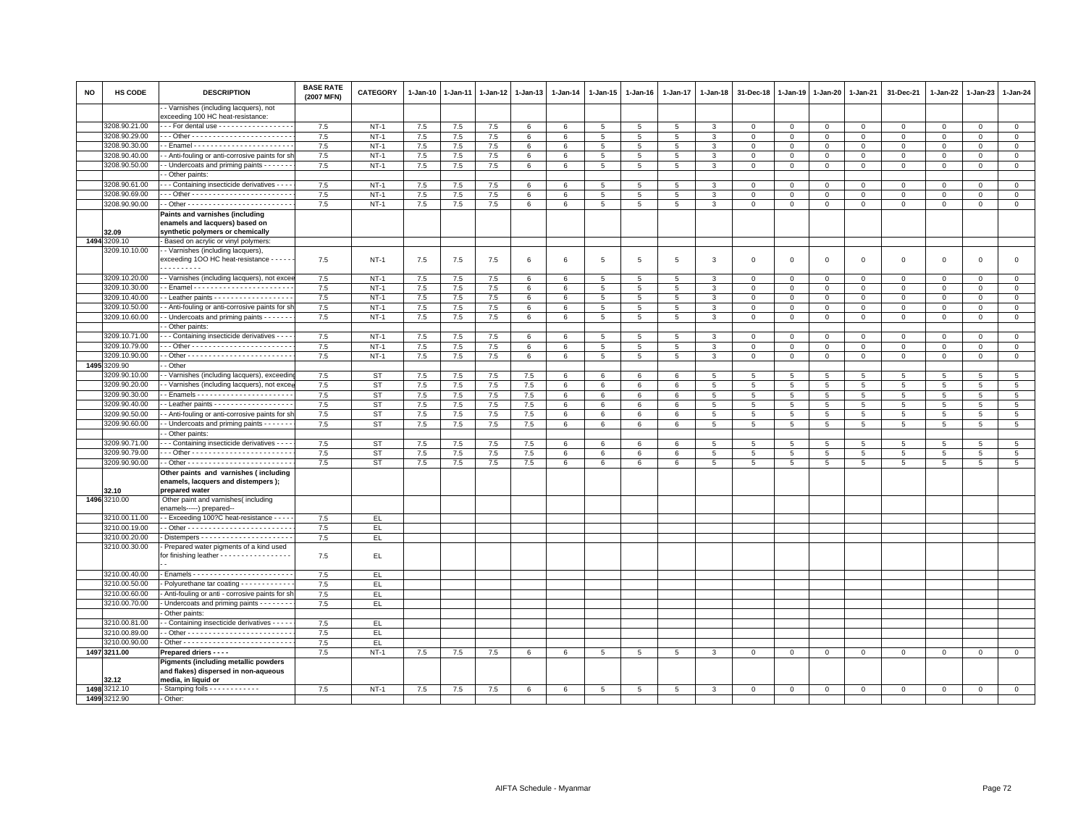| NO   | <b>HS CODE</b>                 | <b>DESCRIPTION</b>                                                                                  | <b>BASE RATE</b><br>(2007 MFN) | CATEGORY  | 1-Jan-10 | 1-Jan-11 | $1 - Jan-12$ | 1-Jan-13        | $1-Jan-14$ | 1-Jan-15        | 1-Jan-16        | 1-Jan-17        | 1-Jan-18       | 31-Dec-18      | 1-Jan-19        | 1-Jan-20     | 1-Jan-21     | 31-Dec-21      | 1-Jan-22     | 1-Jan-23     | 1-Jan-24        |
|------|--------------------------------|-----------------------------------------------------------------------------------------------------|--------------------------------|-----------|----------|----------|--------------|-----------------|------------|-----------------|-----------------|-----------------|----------------|----------------|-----------------|--------------|--------------|----------------|--------------|--------------|-----------------|
|      |                                | - Varnishes (including lacquers), not<br>exceeding 100 HC heat-resistance:                          |                                |           |          |          |              |                 |            |                 |                 |                 |                |                |                 |              |              |                |              |              |                 |
|      | 3208.90.21.00                  | - - For dental use - - - - - - - - - - - - - - - - -                                                | 7.5                            | $NT-1$    | 7.5      | 7.5      | 7.5          | 6               | 6          | $5^{\circ}$     | 5               | 5               | 3              | $\mathbf 0$    | $\mathbf 0$     | $\mathbf 0$  | $\mathbf{0}$ | $\mathbf{0}$   | $\mathbf{0}$ | $\mathbf{0}$ | $\mathbf{0}$    |
|      | 3208.90.29.00                  |                                                                                                     | 7.5                            | $NT-1$    | 7.5      | 7.5      | 7.5          | 6               | 6          | 5               | 5               | 5               | 3              | $\mathbf 0$    | $\mathsf 0$     | $\mathsf 0$  | $\mathbf 0$  | $\mathbf 0$    | $\Omega$     | $\mathbf 0$  | $\mathbf 0$     |
|      | 3208.90.30.00                  |                                                                                                     | 7.5                            | $NT-1$    | 7.5      | $7.5\,$  | $7.5\,$      | 6               | 6          | $5\phantom{.0}$ | 5               | $\overline{5}$  | 3              | $\mathsf 0$    | $\mathsf 0$     | $\mathsf 0$  | $\mathbf 0$  | $\mathsf 0$    | $\mathsf 0$  | $\mathbf{0}$ | $\mathsf 0$     |
|      | 3208.90.40.00                  | - Anti-fouling or anti-corrosive paints for sh                                                      | 7.5                            | $NT-1$    | 7.5      | 7.5      | 7.5          | 6               | 6          | $5\overline{5}$ | 5               | 5               | 3              | $\mathbf 0$    | $\mathsf 0$     | 0            | $\mathbf 0$  | $\mathbf 0$    | $\mathbf 0$  | $\mathbf 0$  | $\mathbf 0$     |
|      | 3208.90.50.00                  | - Undercoats and priming paints - - - - - -                                                         | 7.5                            | $NT-1$    | 7.5      | 7.5      | $7.5\,$      | $6\phantom{.0}$ | 6          | $5\phantom{.0}$ | 5               | $\overline{5}$  | 3              | $\mathbf 0$    | $\mathsf 0$     | $\mathbf 0$  | $\mathbf 0$  | $\mathsf 0$    | $\mathbf 0$  | $\mathbf 0$  | $\mathsf 0$     |
|      |                                | - Other paints:                                                                                     |                                |           |          |          |              |                 |            |                 |                 |                 |                |                |                 |              |              |                |              |              |                 |
|      | 3208.90.61.00                  | - - Containing insecticide derivatives - - -                                                        | 7.5                            | $NT-1$    | 7.5      | 7.5      | 7.5          | 6               | 6          | 5               | 5               | 5               | 3              | $\mathbf 0$    | 0               | 0            | $\mathbf 0$  | $\mathbf 0$    | $\circ$      | $\mathbf 0$  | $\mathbf 0$     |
|      | 3208.90.69.00                  |                                                                                                     | 7.5                            | $NT-1$    | 7.5      | 7.5      | 7.5          | 6               | 6          | 5               | 5               | $\overline{5}$  | $\mathcal{R}$  | $\mathbf 0$    | $\mathsf 0$     | $\mathsf 0$  | $\mathbf 0$  | $\mathsf 0$    | $\Omega$     | $\Omega$     | $\mathsf 0$     |
|      | 3208.90.90.00                  |                                                                                                     | 7.5                            | $NT-1$    | 7.5      | 7.5      | $7.5\,$      | 6               | 6          | $5\phantom{.0}$ | 5               | 5               | 3              | $\mathsf 0$    | $\mathsf 0$     | $\mathsf 0$  | $\mathbf 0$  | $\mathbf{0}$   | $\circ$      | $\mathbf{0}$ | $\mathsf 0$     |
|      |                                | Paints and varnishes (including                                                                     |                                |           |          |          |              |                 |            |                 |                 |                 |                |                |                 |              |              |                |              |              |                 |
|      |                                | enamels and lacquers) based on                                                                      |                                |           |          |          |              |                 |            |                 |                 |                 |                |                |                 |              |              |                |              |              |                 |
|      | 2.09                           | synthetic polymers or chemically                                                                    |                                |           |          |          |              |                 |            |                 |                 |                 |                |                |                 |              |              |                |              |              |                 |
| 1494 | 3209.10                        | Based on acrylic or vinyl polymers:                                                                 |                                |           |          |          |              |                 |            |                 |                 |                 |                |                |                 |              |              |                |              |              |                 |
|      | 3209.10.10.00                  | - Varnishes (including lacquers),                                                                   |                                |           |          |          |              |                 |            |                 |                 |                 |                |                |                 |              |              |                |              |              |                 |
|      |                                | exceeding 1OO HC heat-resistance - - - - -<br>.                                                     | 7.5                            | $NT-1$    | 7.5      | 7.5      | 7.5          | 6               | 6          | 5               | 5               | 5               | 3              | $\mathbf 0$    | $\Omega$        | $\mathsf 0$  | $\mathbf 0$  | $\mathsf 0$    | $\mathbf 0$  | $\mathbf 0$  | $\mathbf 0$     |
|      | 3209.10.20.00                  | - Varnishes (including lacquers), not exce                                                          | 7.5                            | $NT-1$    | $7.5\,$  | $7.5$    | $7.5\,$      | 6               | 6          | 5               | 5               | 5               | 3              | $\mathbf 0$    | $\mathsf 0$     | $\mathsf 0$  | $\mathbf 0$  | $\mathsf 0$    | $\mathsf 0$  | $\mathbf 0$  | $\mathsf 0$     |
|      | 3209.10.30.00                  |                                                                                                     | 7.5                            | $NT-1$    | 7.5      | 7.5      | 7.5          | 6               | 6          | 5               | 5               | 5               | 3              | $\mathbf 0$    | $\mathbf 0$     | $\mathbf 0$  | $\Omega$     | $\Omega$       | $\Omega$     | $\mathbf{0}$ | $\mathbf{0}$    |
|      | 3209.10.40.00                  | - Leather paints - - - - - - - - - - - - - - - - - -                                                | 7.5                            | $NT-1$    | 7.5      | 7.5      | 7.5          | 6               | 6          | $5\overline{5}$ | $5\overline{5}$ | 5               | 3              | $\mathbf 0$    | $\mathsf 0$     | $\mathsf 0$  | $\mathbf 0$  | $\mathsf 0$    | $\mathbf{0}$ | $\mathbf 0$  | $\mathbf 0$     |
|      | 3209.10.50.00                  | - Anti-fouling or anti-corrosive paints for sh                                                      | 7.5                            | $NT-1$    | 7.5      | 7.5      | 7.5          | 6               | 6          | 5               | 5               | 5               | $\mathcal{R}$  | $\mathbf 0$    | $\mathbf 0$     | $\mathsf 0$  | $\,0\,$      | $\mathsf 0$    | $\mathbf 0$  | $\mathbf 0$  | $\mathsf 0$     |
|      | 3209.10.60.00                  | - Undercoats and priming paints - - - - - -                                                         | 7.5                            | $NT-1$    | 7.5      | $7.5\,$  | 7.5          | 6               | 6          | $5\phantom{.0}$ | $5\phantom{.0}$ | 5               | 3              | $\mathbf 0$    | $\mathsf 0$     | $\mathbf 0$  | $\mathbf{0}$ | $\mathsf 0$    | $\mathbf 0$  | $\mathbf{O}$ | $\mathsf 0$     |
|      |                                | - Other paints:                                                                                     |                                |           |          |          |              |                 |            |                 |                 |                 |                |                |                 |              |              |                |              |              |                 |
|      | 3209.10.71.00                  | - - Containing insecticide derivatives - - - -                                                      | 7.5                            | $NT-1$    | 7.5      | 7.5      | 7.5          | $6\phantom{.0}$ | 6          | 5               | 5               | 5               | 3              | $\mathbf 0$    | $\mathsf 0$     | $\mathsf 0$  | $\mathbf 0$  | $\mathsf 0$    | $\mathbf{0}$ | $\mathbf{0}$ | $\mathsf 0$     |
|      | 3209.10.79.00                  |                                                                                                     | 7.5                            | $NT-1$    | 7.5      | 7.5      | 7.5          | 6               | 6          | $5\phantom{.0}$ | $5\overline{5}$ | $\overline{5}$  | 3              | $\mathbf 0$    | 0               | 0            | $\mathbf 0$  | $\mathsf 0$    | $\mathbf 0$  | $\mathbf{0}$ | $\mathbf 0$     |
|      | 3209.10.90.00                  |                                                                                                     | 7.5                            | $NT-1$    | 7.5      | 7.5      | 7.5          | 6               | 6          | $5\overline{5}$ | $5^{\circ}$     | 5               | 3              | $\mathbf{0}$   | $\overline{0}$  | $\mathbf{0}$ | $\mathbf{0}$ | $\mathbf{0}$   | $\mathbf{0}$ | $\mathbf{0}$ | $\mathbf{0}$    |
| 1495 | 3209.90                        | - Other                                                                                             |                                |           |          |          |              |                 |            |                 |                 |                 |                |                |                 |              |              |                |              |              |                 |
|      | 3209.90.10.00                  | - Varnishes (including lacquers), exceedin                                                          | 7.5                            | <b>ST</b> | 7.5      | $7.5$    | 7.5          | 7.5             | 6          | 6               | 6               | 6               | 5              | 5              | 5               | 5            | 5            | 5              | 5            | 5            | $5\overline{5}$ |
|      | 3209.90.20.00                  | - Varnishes (including lacquers), not exce                                                          | 7.5                            | ST        | 7.5      | 7.5      | 7.5          | 7.5             | 6          | 6               | 6               | 6               | 5              | $\overline{5}$ | 5               | 5            | 5            | 5              | 5            | 5            | $5\overline{5}$ |
|      | 3209.90.30.00                  |                                                                                                     | 7.5                            | <b>ST</b> | 7.5      | $7.5\,$  | 7.5          | 7.5             | 6          | 6               | 6               | 6               | $\overline{5}$ | $\sqrt{5}$     | 5               | 5            | 5            | 5              | 5            | 5            | 5               |
|      | 3209.90.40.00                  | - Leather paints - - - - - - - - - - - - - - - - - -                                                | 7.5                            | <b>ST</b> | 7.5      | 7.5      | 7.5          | 7.5             | 6          | 6               | 6               | 6               | $5^{\circ}$    | 5              | $5\overline{5}$ | 5            | 5            | 5              | 5            | 5            | 5               |
|      | 3209.90.50.00                  | - Anti-fouling or anti-corrosive paints for sh                                                      | 7.5                            | <b>ST</b> | 7.5      | $7.5$    | 7.5          | 7.5             | 6          | 6               | 6               | 6               | 5              | 5              | 5               | 5            | 5            | 5              | 5            | 5            | $5\overline{5}$ |
|      | 3209.90.60.00                  | - Undercoats and priming paints - - - - - -                                                         | 7.5                            | ST        | $7.5\,$  | $7.5\,$  | $7.5\,$      | $7.5\,$         | 6          | 6               | 6               | 6               | $5^{\circ}$    | $\sqrt{5}$     | 5               | 5            | 5            | 5              | 5            | 5            | 5               |
|      |                                | - Other paints:                                                                                     |                                |           |          |          |              |                 |            |                 |                 |                 |                |                |                 |              |              |                |              |              |                 |
|      | 3209.90.71.00                  | - - Containing insecticide derivatives - - - -                                                      | 7.5                            | ST        | $7.5\,$  | 7.5      | 7.5          | $7.5\,$         | 6          | 6               | 6               | 6               | 5              | $\overline{5}$ | 5               | 5            | 5            | $\overline{5}$ | 5            | 5            | $5\overline{5}$ |
|      | 3209.90.79.00                  |                                                                                                     | 7.5                            | ST        | $7.5\,$  | $7.5$    | 7.5          | 7.5             | 6          | 6               | 6               | 6               | 5              | 5              | 5               | 5            | 5            | 5              | 5            | 5            | 5               |
|      | 3209.90.90.00                  |                                                                                                     | 7.5                            | <b>ST</b> | 7.5      | 7.5      | 7.5          | 7.5             | 6          | 6               | 6               | 6               | 5              | 5              | 5               | 5            | 5            | 5              | 5            | 5            | 5               |
|      |                                | Other paints and varnishes (including                                                               |                                |           |          |          |              |                 |            |                 |                 |                 |                |                |                 |              |              |                |              |              |                 |
|      |                                | enamels, lacquers and distempers);                                                                  |                                |           |          |          |              |                 |            |                 |                 |                 |                |                |                 |              |              |                |              |              |                 |
|      | 32.10                          | prepared water                                                                                      |                                |           |          |          |              |                 |            |                 |                 |                 |                |                |                 |              |              |                |              |              |                 |
|      | 1496 3210.00                   | Other paint and varnishes(including                                                                 |                                |           |          |          |              |                 |            |                 |                 |                 |                |                |                 |              |              |                |              |              |                 |
|      |                                | enamels-----) prepared--                                                                            |                                |           |          |          |              |                 |            |                 |                 |                 |                |                |                 |              |              |                |              |              |                 |
|      | 3210.00.11.00                  | - Exceeding 100?C heat-resistance - - - -                                                           | 7.5                            | EL.       |          |          |              |                 |            |                 |                 |                 |                |                |                 |              |              |                |              |              |                 |
|      | 3210.00.19.00<br>3210.00.20.00 |                                                                                                     | 7.5                            | EL.       |          |          |              |                 |            |                 |                 |                 |                |                |                 |              |              |                |              |              |                 |
|      | 3210.00.30.00                  | Prepared water pigments of a kind used                                                              | $7.5\,$                        | EL        |          |          |              |                 |            |                 |                 |                 |                |                |                 |              |              |                |              |              |                 |
|      |                                | for finishing leather - - - - - - - - - - - - - - - -                                               | 7.5                            | EL.       |          |          |              |                 |            |                 |                 |                 |                |                |                 |              |              |                |              |              |                 |
|      |                                |                                                                                                     |                                |           |          |          |              |                 |            |                 |                 |                 |                |                |                 |              |              |                |              |              |                 |
|      | 3210.00.40.00                  |                                                                                                     | 7.5                            | EL        |          |          |              |                 |            |                 |                 |                 |                |                |                 |              |              |                |              |              |                 |
|      | 3210.00.50.00                  | Polyurethane tar coating - - - - - - - - - - -                                                      | 7.5                            | EL.       |          |          |              |                 |            |                 |                 |                 |                |                |                 |              |              |                |              |              |                 |
|      | 3210.00.60.00                  | - Anti-fouling or anti - corrosive paints for sh                                                    | 7.5                            | EL.       |          |          |              |                 |            |                 |                 |                 |                |                |                 |              |              |                |              |              |                 |
|      | 3210.00.70.00                  | - Undercoats and priming paints - - - - - -                                                         | 7.5                            | EL.       |          |          |              |                 |            |                 |                 |                 |                |                |                 |              |              |                |              |              |                 |
|      |                                | Other paints:                                                                                       |                                |           |          |          |              |                 |            |                 |                 |                 |                |                |                 |              |              |                |              |              |                 |
|      | 3210.00.81.00                  | - Containing insecticide derivatives - - - -                                                        | 7.5                            | EL.       |          |          |              |                 |            |                 |                 |                 |                |                |                 |              |              |                |              |              |                 |
|      | 3210.00.89.00                  |                                                                                                     | 7.5                            | EL.       |          |          |              |                 |            |                 |                 |                 |                |                |                 |              |              |                |              |              |                 |
|      | 3210.00.90.00                  |                                                                                                     | 7.5                            | EL.       |          |          |              |                 |            |                 |                 |                 |                |                |                 |              |              |                |              |              |                 |
|      | 1497 3211.00                   | Prepared driers - - - -                                                                             | 7.5                            | $NT-1$    | 7.5      | 7.5      | 7.5          | 6               | 6          | $5\overline{5}$ | 5               | $5\overline{5}$ | 3              | $\mathbf 0$    | $\mathbf{0}$    | $\mathbf{0}$ | $\circ$      | $\mathbf 0$    | $\mathbf{O}$ | $\mathbf{0}$ | $\mathbf{0}$    |
|      | 32.12                          | Pigments (including metallic powders<br>and flakes) dispersed in non-aqueous<br>media, in liquid or |                                |           |          |          |              |                 |            |                 |                 |                 |                |                |                 |              |              |                |              |              |                 |
|      | 1498 3212.10                   | Stamping foils - - - - - - - - - - -                                                                | 7.5                            | $NT-1$    | 7.5      | 7.5      | 7.5          | 6               |            | 5               | 5               | 5               |                | $\Omega$       | $\Omega$        | $\Omega$     | $\mathbf 0$  | $\mathbf{0}$   | $\mathbf{0}$ | $\Omega$     | $\mathbf 0$     |
|      | 1499 3212.90                   | - Other:                                                                                            |                                |           |          |          |              |                 |            |                 |                 |                 |                |                |                 |              |              |                |              |              |                 |
|      |                                |                                                                                                     |                                |           |          |          |              |                 |            |                 |                 |                 |                |                |                 |              |              |                |              |              |                 |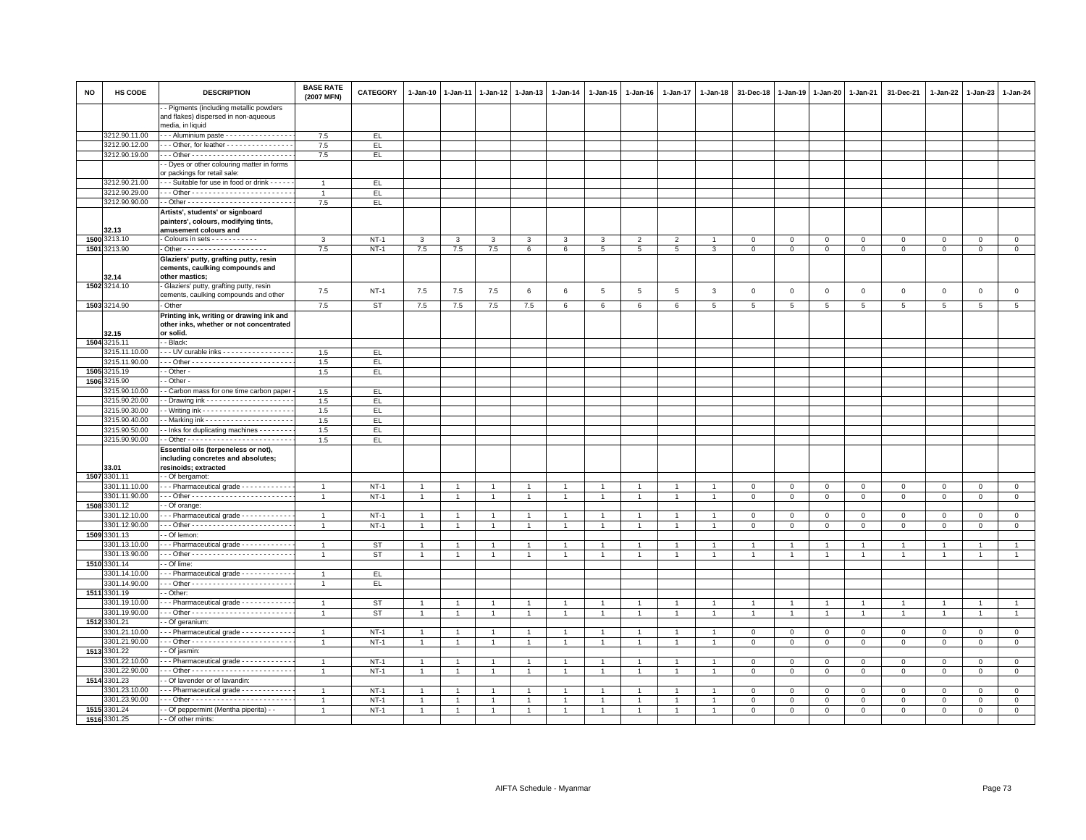| <b>NO</b> | HS CODE                        | <b>DESCRIPTION</b>                                                                                 | <b>BASE RATE</b><br>(2007 MFN)   | <b>CATEGORY</b>        | 1-Jan-10                         | 1-Jan-11       | $1-Jan-12$     | 1-Jan-13            | 1-Jan-14       | 1-Jan-15                               | 1-Jan-16            | 1-Jan-17                         | $1 - Jan-18$   | 31-Dec-18                   | 1-Jan-19                   | 1-Jan-20                         | 1-Jan-21                         | 31-Dec-21                      | 1-Jan-22                       | 1-Jan-23                         | 1-Jan-24                       |
|-----------|--------------------------------|----------------------------------------------------------------------------------------------------|----------------------------------|------------------------|----------------------------------|----------------|----------------|---------------------|----------------|----------------------------------------|---------------------|----------------------------------|----------------|-----------------------------|----------------------------|----------------------------------|----------------------------------|--------------------------------|--------------------------------|----------------------------------|--------------------------------|
|           |                                | - Pigments (including metallic powders<br>and flakes) dispersed in non-aqueous<br>media, in liquid |                                  |                        |                                  |                |                |                     |                |                                        |                     |                                  |                |                             |                            |                                  |                                  |                                |                                |                                  |                                |
|           | 3212.90.11.00                  | -- Aluminium paste ---------------                                                                 | 7.5                              | EL.                    |                                  |                |                |                     |                |                                        |                     |                                  |                |                             |                            |                                  |                                  |                                |                                |                                  |                                |
|           | 3212.90.12.00                  | $-$ - Other, for leather - - - - - - - - - - - - - - -                                             | 7.5                              | EL.                    |                                  |                |                |                     |                |                                        |                     |                                  |                |                             |                            |                                  |                                  |                                |                                |                                  |                                |
|           | 3212.90.19.00                  |                                                                                                    | 7.5                              | EL                     |                                  |                |                |                     |                |                                        |                     |                                  |                |                             |                            |                                  |                                  |                                |                                |                                  |                                |
|           |                                | - Dyes or other colouring matter in forms<br>or packings for retail sale:                          |                                  |                        |                                  |                |                |                     |                |                                        |                     |                                  |                |                             |                            |                                  |                                  |                                |                                |                                  |                                |
|           | 3212.90.21.00                  | - - Suitable for use in food or drink - - - - -                                                    | $\overline{1}$                   | EL.                    |                                  |                |                |                     |                |                                        |                     |                                  |                |                             |                            |                                  |                                  |                                |                                |                                  |                                |
|           | 3212.90.29.00                  |                                                                                                    | $\overline{1}$                   | EL.                    |                                  |                |                |                     |                |                                        |                     |                                  |                |                             |                            |                                  |                                  |                                |                                |                                  |                                |
|           | 3212.90.90.00                  |                                                                                                    | 7.5                              | EL.                    |                                  |                |                |                     |                |                                        |                     |                                  |                |                             |                            |                                  |                                  |                                |                                |                                  |                                |
|           |                                | Artists', students' or signboard                                                                   |                                  |                        |                                  |                |                |                     |                |                                        |                     |                                  |                |                             |                            |                                  |                                  |                                |                                |                                  |                                |
|           |                                | painters', colours, modifying tints,                                                               |                                  |                        |                                  |                |                |                     |                |                                        |                     |                                  |                |                             |                            |                                  |                                  |                                |                                |                                  |                                |
|           | 32.13<br>1500 3213.10          | amusement colours and<br>Colours in sets - - - - - - - - - - -                                     |                                  |                        |                                  |                |                |                     |                |                                        |                     |                                  |                |                             |                            |                                  |                                  |                                |                                |                                  |                                |
|           | 1501 3213.90                   |                                                                                                    | 3<br>7.5                         | $NT-1$<br>$NT-1$       | 3<br>7.5                         | 3<br>7.5       | 3<br>7.5       | 3<br>6              | 3<br>6         | 3<br>$5\overline{5}$                   | $\overline{2}$<br>5 | 2<br>5                           | $\mathbf{3}$   | $\mathbf{0}$<br>$\mathbf 0$ | $\mathbf 0$<br>$\mathbf 0$ | $\mathbf{0}$<br>$\mathbf 0$      | $\overline{0}$<br>$\mathbf 0$    | $\mathbf 0$<br>$\mathbf 0$     | $\mathbf{0}$<br>$\mathbf{O}$   | $\mathbf{0}$<br>$\mathbf 0$      | $\overline{0}$<br>$\mathbf{0}$ |
|           |                                | Glaziers' putty, grafting putty, resin                                                             |                                  |                        |                                  |                |                |                     |                |                                        |                     |                                  |                |                             |                            |                                  |                                  |                                |                                |                                  |                                |
|           | 32.14                          | cements, caulking compounds and<br>other mastics;                                                  |                                  |                        |                                  |                |                |                     |                |                                        |                     |                                  |                |                             |                            |                                  |                                  |                                |                                |                                  |                                |
|           | 1502 3214.10                   | Glaziers' putty, grafting putty, resin                                                             | 7.5                              | $NT-1$                 | 7.5                              | 7.5            | 7.5            | 6                   | 6              | $\,$ 5 $\,$                            | 5                   | $\overline{5}$                   | $\mathbf{3}$   | $\mathbf 0$                 | $\mathbf 0$                | $\mathsf 0$                      | $\mathbf 0$                      | $\mathsf 0$                    | $\mathsf 0$                    | $\mathbf 0$                      | $\mathbf 0$                    |
|           |                                | cements, caulking compounds and other                                                              |                                  |                        |                                  |                |                |                     |                |                                        |                     |                                  |                |                             |                            |                                  |                                  |                                |                                |                                  |                                |
|           | 1503 3214.90                   | Other                                                                                              | 7.5                              | <b>ST</b>              | 7.5                              | 7.5            | 7.5            | 7.5                 | $\epsilon$     | 6                                      | 6                   | $\epsilon$                       | 5              | $\overline{5}$              | 5                          | 5                                | $\sqrt{5}$                       | 5 <sup>5</sup>                 | 5 <sup>5</sup>                 | 5                                | 5                              |
|           | 32.15                          | Printing ink, writing or drawing ink and<br>other inks, whether or not concentrated<br>or solid.   |                                  |                        |                                  |                |                |                     |                |                                        |                     |                                  |                |                             |                            |                                  |                                  |                                |                                |                                  |                                |
|           | 1504 3215.11                   | - Black:                                                                                           |                                  |                        |                                  |                |                |                     |                |                                        |                     |                                  |                |                             |                            |                                  |                                  |                                |                                |                                  |                                |
|           | 3215.11.10.00                  | -- UV curable inks - - - - - - - - - - - - - - - -                                                 | 1.5                              | EL.                    |                                  |                |                |                     |                |                                        |                     |                                  |                |                             |                            |                                  |                                  |                                |                                |                                  |                                |
|           | 3215.11.90.00                  |                                                                                                    | 1.5                              | EL.                    |                                  |                |                |                     |                |                                        |                     |                                  |                |                             |                            |                                  |                                  |                                |                                |                                  |                                |
| 1505      | 3215.19                        | - Other -                                                                                          | 1.5                              | EL                     |                                  |                |                |                     |                |                                        |                     |                                  |                |                             |                            |                                  |                                  |                                |                                |                                  |                                |
| 1506      | 3215.90                        | - Other -                                                                                          |                                  |                        |                                  |                |                |                     |                |                                        |                     |                                  |                |                             |                            |                                  |                                  |                                |                                |                                  |                                |
|           | 3215.90.10.00                  | - Carbon mass for one time carbon paper                                                            | 1.5                              | EL.                    |                                  |                |                |                     |                |                                        |                     |                                  |                |                             |                            |                                  |                                  |                                |                                |                                  |                                |
|           | 3215.90.20.00                  |                                                                                                    | 1.5                              | EL.                    |                                  |                |                |                     |                |                                        |                     |                                  |                |                             |                            |                                  |                                  |                                |                                |                                  |                                |
|           | 3215.90.30.00                  |                                                                                                    | 1.5                              | EL                     |                                  |                |                |                     |                |                                        |                     |                                  |                |                             |                            |                                  |                                  |                                |                                |                                  |                                |
|           | 3215.90.40.00                  |                                                                                                    | 1.5                              | EL.                    |                                  |                |                |                     |                |                                        |                     |                                  |                |                             |                            |                                  |                                  |                                |                                |                                  |                                |
|           | 3215.90.50.00<br>3215.90.90.00 | - Inks for duplicating machines - - - - - - -                                                      | 1.5<br>1.5                       | EL.<br>EL.             |                                  |                |                |                     |                |                                        |                     |                                  |                |                             |                            |                                  |                                  |                                |                                |                                  |                                |
|           |                                | Essential oils (terpeneless or not),                                                               |                                  |                        |                                  |                |                |                     |                |                                        |                     |                                  |                |                             |                            |                                  |                                  |                                |                                |                                  |                                |
|           | 33.01                          | including concretes and absolutes;<br>resinoids; extracted                                         |                                  |                        |                                  |                |                |                     |                |                                        |                     |                                  |                |                             |                            |                                  |                                  |                                |                                |                                  |                                |
|           | 1507 3301.11                   | - Of bergamot:                                                                                     |                                  |                        |                                  |                |                |                     |                |                                        |                     |                                  |                |                             |                            |                                  |                                  |                                |                                |                                  |                                |
|           | 3301.11.10.00                  | - - Pharmaceutical grade - - - - - - - - - - -                                                     | $\overline{1}$                   | $NT-1$                 |                                  |                |                |                     |                |                                        |                     |                                  |                | $\mathbf 0$                 | $\mathbf 0$                | $\circ$                          | $\,0\,$                          | $\mathbf 0$                    | 0                              | $\mathbf 0$                      | $\mathsf 0$                    |
|           | 3301.11.90.00                  |                                                                                                    | $\overline{1}$                   | $NT-1$                 | $\mathbf{1}$                     |                |                | $\overline{1}$      | $\overline{1}$ | $\mathbf{1}$                           |                     |                                  |                | $\mathbf 0$                 | $\mathbf 0$                | $\mathsf 0$                      | $\mathbf 0$                      | $\mathsf 0$                    | $\mathbf 0$                    | $\mathsf 0$                      | $\mathsf 0$                    |
|           | 1508 3301.12                   | - Of orange:                                                                                       |                                  |                        |                                  |                |                |                     |                |                                        |                     |                                  |                |                             |                            |                                  |                                  |                                |                                |                                  |                                |
|           | 301.12.10.00                   | - - Pharmaceutical grade - - - - - - - - - - -                                                     | $\overline{1}$                   | $NT-1$                 | $\mathbf{1}$                     |                |                | $\mathbf{1}$        | $\overline{1}$ |                                        |                     |                                  |                | $\mathbf 0$                 | $\mathbf 0$                | $\mathsf 0$                      | $\mathbf 0$                      | $\mathbf 0$                    | $\mathbf 0$                    | $\mathbf 0$                      | $\circ$                        |
|           | 3301.12.90.00                  |                                                                                                    | $\overline{1}$                   | $NT-1$                 | $\mathbf{1}$                     | $\overline{1}$ | 1              | $\mathbf{1}$        | $\mathbf{1}$   | $\mathbf{1}$                           | $\overline{1}$      | $\mathbf{1}$                     | $\mathbf{1}$   | $\mathbf 0$                 | $\mathbf{0}$               | $\overline{0}$                   | $\overline{0}$                   | $\mathsf 0$                    | $\mathbf{0}$                   | $\mathbf 0$                      | $\overline{0}$                 |
|           | 1509 3301.13                   | - Of lemon:                                                                                        |                                  |                        |                                  |                |                |                     | $\overline{1}$ |                                        |                     |                                  |                |                             | $\overline{1}$             |                                  |                                  |                                |                                |                                  | $\overline{1}$                 |
|           | 3301.13.10.00<br>3301.13.90.00 | - - Pharmaceutical grade - - - - - - - - - - -                                                     | $\overline{1}$<br>$\overline{1}$ | <b>ST</b><br><b>ST</b> | $\overline{1}$<br>$\overline{1}$ | $\overline{1}$ | $\mathbf{1}$   | $\overline{1}$<br>1 | $\overline{1}$ | $\blacktriangleleft$<br>$\overline{1}$ | $\overline{1}$      | $\overline{1}$<br>$\overline{1}$ |                | $\overline{1}$              | $\overline{1}$             | $\overline{1}$<br>$\overline{1}$ | $\overline{1}$<br>$\overline{1}$ | $\overline{1}$<br>$\mathbf{1}$ | $\overline{1}$<br>$\mathbf{1}$ | $\overline{1}$<br>$\overline{1}$ | $\mathbf{1}$                   |
|           | 1510 3301.14                   | - Of lime:                                                                                         |                                  |                        |                                  |                |                |                     |                |                                        |                     |                                  |                |                             |                            |                                  |                                  |                                |                                |                                  |                                |
|           | 3301.14.10.00                  | - - Pharmaceutical grade - - - - - - - - - - -                                                     | $\overline{1}$                   | EL.                    |                                  |                |                |                     |                |                                        |                     |                                  |                |                             |                            |                                  |                                  |                                |                                |                                  |                                |
|           | 3301.14.90.00                  |                                                                                                    | $\overline{1}$                   | EL                     |                                  |                |                |                     |                |                                        |                     |                                  |                |                             |                            |                                  |                                  |                                |                                |                                  |                                |
|           | 1511 3301.19                   | - Other:                                                                                           |                                  |                        |                                  |                |                |                     |                |                                        |                     |                                  |                |                             |                            |                                  |                                  |                                |                                |                                  |                                |
|           | 3301.19.10.00                  | - - Pharmaceutical grade - - - - - - - - - - -                                                     | $\overline{1}$                   | <b>ST</b>              |                                  |                |                |                     |                |                                        |                     |                                  |                |                             |                            | $\overline{1}$                   | $\mathbf{1}$                     | $\overline{1}$                 |                                | $\mathbf{1}$                     |                                |
|           | 3301.19.90.00                  |                                                                                                    | $\overline{1}$                   | <b>ST</b>              | $\mathbf{1}$                     |                |                | $\mathbf{1}$        | $\mathbf{1}$   | $\mathbf{1}$                           | $\overline{1}$      | $\overline{1}$                   |                | $\overline{1}$              | $\overline{1}$             | $\overline{1}$                   | $\overline{1}$                   | $\mathbf{1}$                   | $\overline{1}$                 | $\overline{1}$                   | $\mathbf{1}$                   |
|           | 1512 3301.21                   | - Of geranium:                                                                                     |                                  |                        |                                  |                |                |                     |                |                                        |                     |                                  |                |                             |                            |                                  |                                  |                                |                                |                                  |                                |
|           | 3301.21.10.00                  | - - Pharmaceutical grade - - - - - - - - - - - -                                                   | $\overline{1}$                   | $NT-1$                 | $\mathbf{1}$                     | $\overline{1}$ | $\mathbf{1}$   | $\mathbf{1}$        | $\mathbf{1}$   | $\mathbf{1}$                           | $\mathbf{1}$        | $\overline{1}$                   | $\overline{1}$ | $\mathbf 0$                 | $\mathsf 0$                | $\mathsf 0$                      | $\mathbf 0$                      | $\mathsf 0$                    | $\mathbf 0$                    | $\mathsf 0$                      | $\circ$                        |
|           | 3301.21.90.00                  |                                                                                                    | $\overline{1}$                   | $NT-1$                 | $\mathbf{1}$                     |                | $\mathbf{1}$   | $\overline{1}$      | $\mathbf{1}$   | $\mathbf{1}$                           |                     | $\mathbf{1}$                     |                | $\mathbf 0$                 | $\mathsf 0$                | $\circ$                          | $\mathbf 0$                      | $\mathsf 0$                    | $\mathbf{0}$                   | $\mathbf{O}$                     | $\mathsf 0$                    |
|           | 1513 3301.22<br>3301.22.10.00  | - Of jasmin:<br>- - Pharmaceutical grade - - - - - - - - - - -                                     | $\overline{1}$                   |                        | $\overline{1}$                   |                | $\overline{1}$ | $\overline{1}$      | $\overline{1}$ | $\mathbf{1}$                           |                     | $\overline{1}$                   |                |                             |                            |                                  | $\mathbf{0}$                     | $\Omega$                       | $\mathbf 0$                    | $\Omega$                         | $\circ$                        |
|           | 3301.22.90.00                  |                                                                                                    | $\overline{1}$                   | $NT-1$<br>$NT-1$       | $\mathbf{1}$                     |                |                | $\overline{1}$      | $\overline{1}$ | 1                                      |                     | $\overline{1}$                   |                | $\mathbf 0$<br>$\mathbf 0$  | 0<br>$\mathbf 0$           | $\mathbf 0$<br>$\mathbf 0$       | $\mathbf 0$                      | $\mathbf 0$                    | $\mathbf 0$                    | $\mathbf 0$                      | $\mathbf 0$                    |
|           | 1514 3301.23                   | - Of lavender or of lavandin:                                                                      |                                  |                        |                                  |                |                |                     |                |                                        |                     |                                  |                |                             |                            |                                  |                                  |                                |                                |                                  |                                |
|           | 3301.23.10.00                  | -- Pharmaceutical grade ------------                                                               | $\overline{1}$                   | $NT-1$                 | $\overline{1}$                   |                | $\overline{1}$ | $\overline{1}$      | $\overline{1}$ | $\overline{1}$                         |                     | $\overline{1}$                   |                | $\mathbf 0$                 | $\mathbf 0$                | $\mathbf 0$                      | $\mathbf 0$                      | $\mathbf 0$                    | $\mathbf 0$                    | $\mathbf 0$                      | $\mathbf 0$                    |
|           | 3301.23.90.00                  |                                                                                                    | $\overline{1}$                   | $NT-1$                 | $\overline{1}$                   |                |                | $\overline{1}$      | $\overline{1}$ |                                        |                     | $\overline{1}$                   |                | $\mathbf 0$                 | $\mathbf 0$                | $\mathbf 0$                      | $\mathbf 0$                      | $\mathbf 0$                    | $\Omega$                       | $\Omega$                         | $\mathsf 0$                    |
|           | 1515 3301.24                   | - Of peppermint (Mentha piperita) - -                                                              |                                  | $NT-1$                 | $\mathbf{1}$                     |                |                |                     | $\overline{1}$ |                                        |                     |                                  |                | $\mathbf 0$                 | $\mathbf 0$                | $\mathbf 0$                      | $\mathbf{0}$                     | $\mathbf{0}$                   | $\mathbf 0$                    | $\mathbf{0}$                     | $\mathbf{0}$                   |
|           | 1516 3301.25                   | - Of other mints:                                                                                  |                                  |                        |                                  |                |                |                     |                |                                        |                     |                                  |                |                             |                            |                                  |                                  |                                |                                |                                  |                                |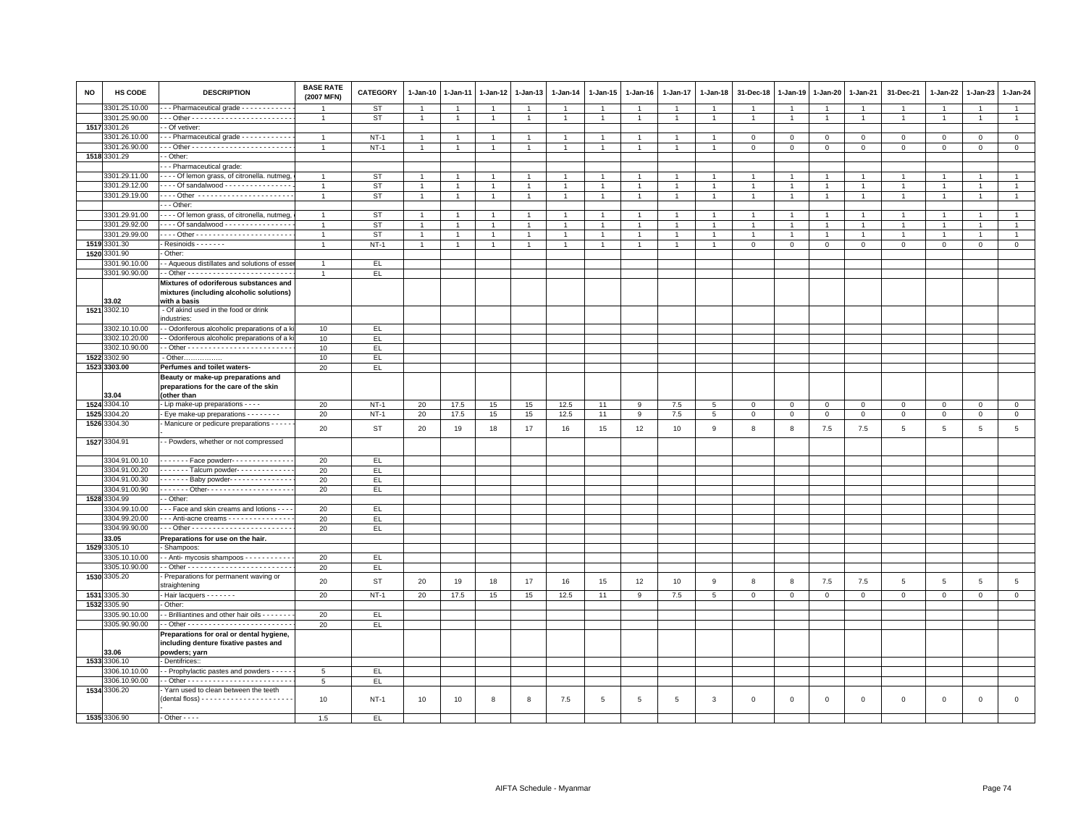| <b>NO</b> | HS CODE                        | <b>DESCRIPTION</b>                                                                           | <b>BASE RATE</b><br>(2007 MFN) | <b>CATEGORY</b> | 1-Jan-10       | $1-Jan-11$           | 1-Jan-12       | $1-Jan-13$     | $1 - Jan-14$   | $1 - Jan-15$         | $1 - Jan-16$   | 1-Jan-17       | $1 - Jan-18$    | 31-Dec-18      | $1-Jan-19$   | $1-Jan-20$     | $1 - Jan-21$   | 31-Dec-21      | 1-Jan-22       | 1-Jan-23       | $1 - Jan-24$    |
|-----------|--------------------------------|----------------------------------------------------------------------------------------------|--------------------------------|-----------------|----------------|----------------------|----------------|----------------|----------------|----------------------|----------------|----------------|-----------------|----------------|--------------|----------------|----------------|----------------|----------------|----------------|-----------------|
|           | 3301.25.10.00                  | -- Pharmaceutical grade ------------                                                         |                                | ST              | $\overline{1}$ |                      | $\overline{1}$ | $\overline{1}$ | $\mathbf{1}$   | $\overline{1}$       | $\mathbf{1}$   | $\overline{1}$ | $\overline{1}$  |                |              | $\mathbf{1}$   | $\overline{1}$ | $\overline{1}$ | $\overline{1}$ |                | $\overline{1}$  |
|           | 3301.25.90.00                  |                                                                                              | $\mathbf{1}$                   | ST              | $\mathbf{1}$   | $\mathbf{1}$         | $\overline{1}$ | $\overline{1}$ | $\overline{1}$ | $\overline{1}$       | $\mathbf{1}$   | $\overline{1}$ | $\overline{1}$  | $\mathbf{1}$   | $\mathbf{1}$ | $\overline{1}$ | $\mathbf{1}$   | $\mathbf{1}$   | $\overline{1}$ | $\overline{1}$ | $\mathbf{1}$    |
|           | 1517 3301.26                   | - Of vetiver:                                                                                |                                |                 |                |                      |                |                |                |                      |                |                |                 |                |              |                |                |                |                |                |                 |
|           | 3301.26.10.00                  | - - Pharmaceutical grade - - - - - - - - - - -                                               | $\overline{1}$                 | $NT-1$          | $\overline{1}$ |                      |                | $\overline{1}$ | $\overline{1}$ | $\blacktriangleleft$ |                | $\overline{1}$ |                 | $\mathbf 0$    | $\Omega$     | $\Omega$       | $\circ$        | $\mathbf 0$    | $\Omega$       | $\Omega$       | $\overline{0}$  |
|           | 3301.26.90.00                  |                                                                                              | $\overline{1}$                 | $NT-1$          | $\mathbf{1}$   | $\overline{1}$       | $\overline{1}$ | $\overline{1}$ | $\overline{1}$ | $\mathbf{1}$         | $\mathbf{1}$   | $\overline{1}$ | $\overline{1}$  | $\mathsf 0$    | $\mathsf 0$  | 0              | $\mathsf 0$    | $\mathsf 0$    | $\mathbf 0$    | $\mathsf 0$    | $\mathbf 0$     |
|           | 1518 3301.29                   | - Other:                                                                                     |                                |                 |                |                      |                |                |                |                      |                |                |                 |                |              |                |                |                |                |                |                 |
|           |                                | --- Pharmaceutical grade:                                                                    | $\overline{1}$                 |                 | $\overline{1}$ |                      |                |                |                | $\blacktriangleleft$ |                | $\overline{1}$ |                 |                |              |                | $\overline{1}$ | $\mathbf{1}$   |                |                | $\overline{1}$  |
|           | 3301.29.11.00                  | Of lemon grass, of citronella. nutmeg                                                        |                                | ST              |                |                      | $\mathbf{1}$   |                |                |                      |                |                |                 |                |              |                |                |                |                |                |                 |
|           | 3301.29.12.00<br>3301.29.19.00 | - - - - Of sandalwood - - - - - - - - - - - - - - -<br>Other -----------------------         | $\overline{1}$                 | <b>ST</b>       | $\mathbf{1}$   |                      | -1             | $\overline{1}$ | $\mathbf{1}$   | $\overline{1}$       |                | $\overline{1}$ |                 |                |              | -1             | $\overline{1}$ | $\mathbf{1}$   |                |                | $\overline{1}$  |
|           |                                |                                                                                              | $\overline{1}$                 | <b>ST</b>       | $\mathbf{1}$   | $\blacktriangleleft$ | $\overline{1}$ | $\overline{1}$ | $\overline{1}$ | $\overline{1}$       | $\mathbf{1}$   |                | $\overline{1}$  | $\overline{1}$ |              | $\mathbf{1}$   | $\mathbf{1}$   | $\overline{1}$ | $\overline{1}$ |                | $\mathbf{1}$    |
|           |                                | --- Other:                                                                                   |                                |                 |                | $\overline{1}$       |                | $\overline{1}$ |                | $\overline{1}$       |                | $\overline{1}$ |                 |                |              |                |                |                | $\overline{1}$ | $\overline{1}$ |                 |
|           | 3301.29.91.00                  | - - - - Of lemon grass, of citronella, nutmeg,                                               | $\mathbf{1}$                   | ST              | $\overline{1}$ |                      | $\overline{1}$ |                | $\overline{1}$ |                      | $\overline{1}$ |                | $\overline{1}$  | $\overline{1}$ | $\mathbf{1}$ | $\overline{1}$ | $\mathbf{1}$   | $\mathbf{1}$   |                |                | $\overline{1}$  |
|           | 3301.29.92.00<br>3301.29.99.00 | - - - - Of sandalwood - - - - - - - - - - - - - - -                                          | $\overline{1}$                 | <b>ST</b>       | $\overline{1}$ | $\overline{1}$       | $\mathbf{1}$   | $\overline{1}$ | $\overline{1}$ | $\mathbf{1}$         | $\overline{1}$ | $\overline{1}$ | $\overline{1}$  | $\overline{1}$ |              | -1             | $\overline{1}$ | $\mathbf{1}$   | $\mathbf{1}$   |                | $\overline{1}$  |
|           |                                |                                                                                              | $\overline{1}$                 | <b>ST</b>       | $\overline{1}$ | $\mathbf{1}$         | $\mathbf{1}$   | $\overline{1}$ | $\overline{1}$ | $\overline{1}$       | -1             | $\mathbf{1}$   | -1              | $\mathbf{1}$   | 1            | -1             | -1             | $\mathbf{1}$   | $\overline{1}$ |                | $\overline{1}$  |
|           | 1519 3301.30                   | Resinoids - - - - - - -                                                                      | $\overline{1}$                 | $NT-1$          | $\overline{1}$ | $\overline{1}$       | $\overline{1}$ |                | $\overline{1}$ | $\overline{1}$       | $\mathbf{1}$   | $\mathbf{1}$   | $\mathbf{1}$    | $\mathbf 0$    | 0            | 0              | $\mathbf 0$    | $\mathbf 0$    | $\circ$        | $\Omega$       | $\mathbf 0$     |
|           | 1520 3301.90                   | Other:                                                                                       |                                |                 |                |                      |                |                |                |                      |                |                |                 |                |              |                |                |                |                |                |                 |
|           | 3301.90.10.00                  | - Aqueous distillates and solutions of esse                                                  | $\overline{1}$                 | EL.             |                |                      |                |                |                |                      |                |                |                 |                |              |                |                |                |                |                |                 |
|           | 3301.90.90.00                  |                                                                                              | $\overline{1}$                 | EL              |                |                      |                |                |                |                      |                |                |                 |                |              |                |                |                |                |                |                 |
|           |                                | Mixtures of odoriferous substances and                                                       |                                |                 |                |                      |                |                |                |                      |                |                |                 |                |              |                |                |                |                |                |                 |
|           |                                | mixtures (including alcoholic solutions)<br>with a basis                                     |                                |                 |                |                      |                |                |                |                      |                |                |                 |                |              |                |                |                |                |                |                 |
| 1521      | 33.02<br>3302.10               | - Of akind used in the food or drink                                                         |                                |                 |                |                      |                |                |                |                      |                |                |                 |                |              |                |                |                |                |                |                 |
|           |                                | ndustries:                                                                                   |                                |                 |                |                      |                |                |                |                      |                |                |                 |                |              |                |                |                |                |                |                 |
|           | 3302.10.10.00                  | - Odoriferous alcoholic preparations of a k                                                  | 10                             | EL.             |                |                      |                |                |                |                      |                |                |                 |                |              |                |                |                |                |                |                 |
|           | 3302.10.20.00                  | - Odoriferous alcoholic preparations of a k                                                  | 10                             | FL              |                |                      |                |                |                |                      |                |                |                 |                |              |                |                |                |                |                |                 |
|           | 3302.10.90.00                  |                                                                                              | 10                             | EL.             |                |                      |                |                |                |                      |                |                |                 |                |              |                |                |                |                |                |                 |
|           | 1522 3302.90                   | - Other                                                                                      | 10                             | E               |                |                      |                |                |                |                      |                |                |                 |                |              |                |                |                |                |                |                 |
|           | 1523 3303.00                   | Perfumes and toilet waters-                                                                  | 20                             | EL              |                |                      |                |                |                |                      |                |                |                 |                |              |                |                |                |                |                |                 |
|           |                                | Beauty or make-up preparations and                                                           |                                |                 |                |                      |                |                |                |                      |                |                |                 |                |              |                |                |                |                |                |                 |
|           |                                | preparations for the care of the skin                                                        |                                |                 |                |                      |                |                |                |                      |                |                |                 |                |              |                |                |                |                |                |                 |
|           | 33.04<br>1524 3304.10          | (other than                                                                                  |                                |                 |                |                      |                |                |                |                      |                |                |                 |                |              |                |                |                |                |                | $\overline{0}$  |
|           |                                | - Lip make-up preparations - - - -                                                           | 20                             | $NT-1$          | 20             | 17.5                 | 15             | 15             | 12.5           | 11                   | 9              | 7.5            | $5\phantom{.0}$ | $\mathbf{0}$   | $\mathbf 0$  | $\mathbf 0$    | $\mathbf{0}$   | $\mathbf 0$    | $\mathbf{0}$   | $\mathbf{0}$   |                 |
|           | 1525 3304.20<br>1526 3304.30   | Eye make-up preparations - - - - - - - -                                                     | 20                             | $NT-1$          | 20             | 17.5                 | 15             | 15             | 12.5           | 11                   | 9              | 7.5            | 5               | $\mathsf 0$    | $\mathbf 0$  | $\mathbf{O}$   | $\mathbf{O}$   | $\mathsf 0$    | $\mathbf 0$    | $\mathsf 0$    | $\mathbf 0$     |
|           |                                | Manicure or pedicure preparations - - - -                                                    | 20                             | <b>ST</b>       | 20             | 19                   | 18             | 17             | 16             | 15                   | 12             | 10             | $\mathsf g$     | 8              | 8            | 7.5            | 7.5            | $\,$ 5         | 5              | 5              | $5\phantom{a}$  |
|           | 1527 3304.91                   | - Powders, whether or not compressed                                                         |                                |                 |                |                      |                |                |                |                      |                |                |                 |                |              |                |                |                |                |                |                 |
|           |                                |                                                                                              |                                |                 |                |                      |                |                |                |                      |                |                |                 |                |              |                |                |                |                |                |                 |
|           | 3304.91.00.10                  | - - - - - - - Face powderr- - - - - - - - - - - - -                                          | 20                             | E               |                |                      |                |                |                |                      |                |                |                 |                |              |                |                |                |                |                |                 |
|           | 3304.91.00.20                  | Talcum powder-                                                                               | 20                             | EL              |                |                      |                |                |                |                      |                |                |                 |                |              |                |                |                |                |                |                 |
|           | 3304.91.00.30                  | Baby powder--------------                                                                    | 20                             | EL              |                |                      |                |                |                |                      |                |                |                 |                |              |                |                |                |                |                |                 |
|           | 3304.91.00.90                  | - - - - - - - Other- - - - - - - - - - - - - - - - - - -                                     | 20                             | EL.             |                |                      |                |                |                |                      |                |                |                 |                |              |                |                |                |                |                |                 |
|           | 1528 3304.99                   | - Other:                                                                                     |                                |                 |                |                      |                |                |                |                      |                |                |                 |                |              |                |                |                |                |                |                 |
|           | 3304.99.10.00                  | - - Face and skin creams and lotions - - -                                                   | 20                             | EL.             |                |                      |                |                |                |                      |                |                |                 |                |              |                |                |                |                |                |                 |
|           | 3304.99.20.00                  | -- Anti-acne creams - - - - - - - - - - - - - -                                              | 20                             | EL              |                |                      |                |                |                |                      |                |                |                 |                |              |                |                |                |                |                |                 |
|           | 3304.99.90.00                  |                                                                                              | 20                             | EL.             |                |                      |                |                |                |                      |                |                |                 |                |              |                |                |                |                |                |                 |
|           | 33.05                          | Preparations for use on the hair.                                                            |                                |                 |                |                      |                |                |                |                      |                |                |                 |                |              |                |                |                |                |                |                 |
|           | 1529 3305.10<br>3305.10.10.00  | Shampoos:                                                                                    |                                | EL.             |                |                      |                |                |                |                      |                |                |                 |                |              |                |                |                |                |                |                 |
|           |                                | - - Anti- mycosis shampoos - - - - - - - - - - -                                             | 20                             |                 |                |                      |                |                |                |                      |                |                |                 |                |              |                |                |                |                |                |                 |
|           | 3305.10.90.00<br>1530 3305.20  | Preparations for permanent waving or                                                         | 20                             | EL.             |                |                      |                |                |                |                      |                |                |                 |                |              |                |                |                |                |                |                 |
|           |                                | straightening                                                                                | 20                             | <b>ST</b>       | 20             | 19                   | 18             | 17             | 16             | 15                   | 12             | 10             | 9               | 8              | 8            | 7.5            | 7.5            | 5              | 5              | 5              | $5\overline{5}$ |
|           | 1531 3305.30                   | Hair lacquers - - - - - - -                                                                  | 20                             | $NT-1$          | 20             | 17.5                 | 15             | 15             | 12.5           | 11                   | 9              | 7.5            | 5               | $\mathsf 0$    | $\mathbf 0$  | $\mathbf{O}$   | $\mathbf 0$    | $\mathbf 0$    | $\mathbf 0$    | $\mathsf 0$    | $\mathbf 0$     |
|           | 1532 3305.90                   | - Other:                                                                                     |                                |                 |                |                      |                |                |                |                      |                |                |                 |                |              |                |                |                |                |                |                 |
|           | 3305.90.10.00                  | - Brilliantines and other hair oils - - - - - - -                                            | 20                             | EL.             |                |                      |                |                |                |                      |                |                |                 |                |              |                |                |                |                |                |                 |
|           | 3305.90.90.00                  |                                                                                              | 20                             | EL              |                |                      |                |                |                |                      |                |                |                 |                |              |                |                |                |                |                |                 |
|           |                                | Preparations for oral or dental hygiene,                                                     |                                |                 |                |                      |                |                |                |                      |                |                |                 |                |              |                |                |                |                |                |                 |
|           |                                | including denture fixative pastes and                                                        |                                |                 |                |                      |                |                |                |                      |                |                |                 |                |              |                |                |                |                |                |                 |
|           | 33.06                          | powders; yarn                                                                                |                                |                 |                |                      |                |                |                |                      |                |                |                 |                |              |                |                |                |                |                |                 |
|           | 1533 3306.10<br>3306.10.10.00  | Dentifrices:                                                                                 |                                | EL.             |                |                      |                |                |                |                      |                |                |                 |                |              |                |                |                |                |                |                 |
|           |                                | - Prophylactic pastes and powders - - - -                                                    | 5                              |                 |                |                      |                |                |                |                      |                |                |                 |                |              |                |                |                |                |                |                 |
|           | 3306.10.90.00                  |                                                                                              | 5                              | EL              |                |                      |                |                |                |                      |                |                |                 |                |              |                |                |                |                |                |                 |
|           | 1534 3306.20                   | Yarn used to clean between the teeth<br>(dental floss) $- - - - - - - - - - - - - - - - - -$ | 10                             | $NT-1$          | 10             | 10                   | 8              | 8              | 7.5            | $5\phantom{.0}$      | $\overline{5}$ | 5              | 3               | $\mathbf 0$    | $\mathbf 0$  | $\mathsf 0$    | $\mathbf 0$    | $\mathbf 0$    | $\mathbf 0$    | $\mathsf 0$    | $\mathsf 0$     |
|           | 1535 3306.90                   | $-$ Other $  -$                                                                              | 1.5                            | EL.             |                |                      |                |                |                |                      |                |                |                 |                |              |                |                |                |                |                |                 |
|           |                                |                                                                                              |                                |                 |                |                      |                |                |                |                      |                |                |                 |                |              |                |                |                |                |                |                 |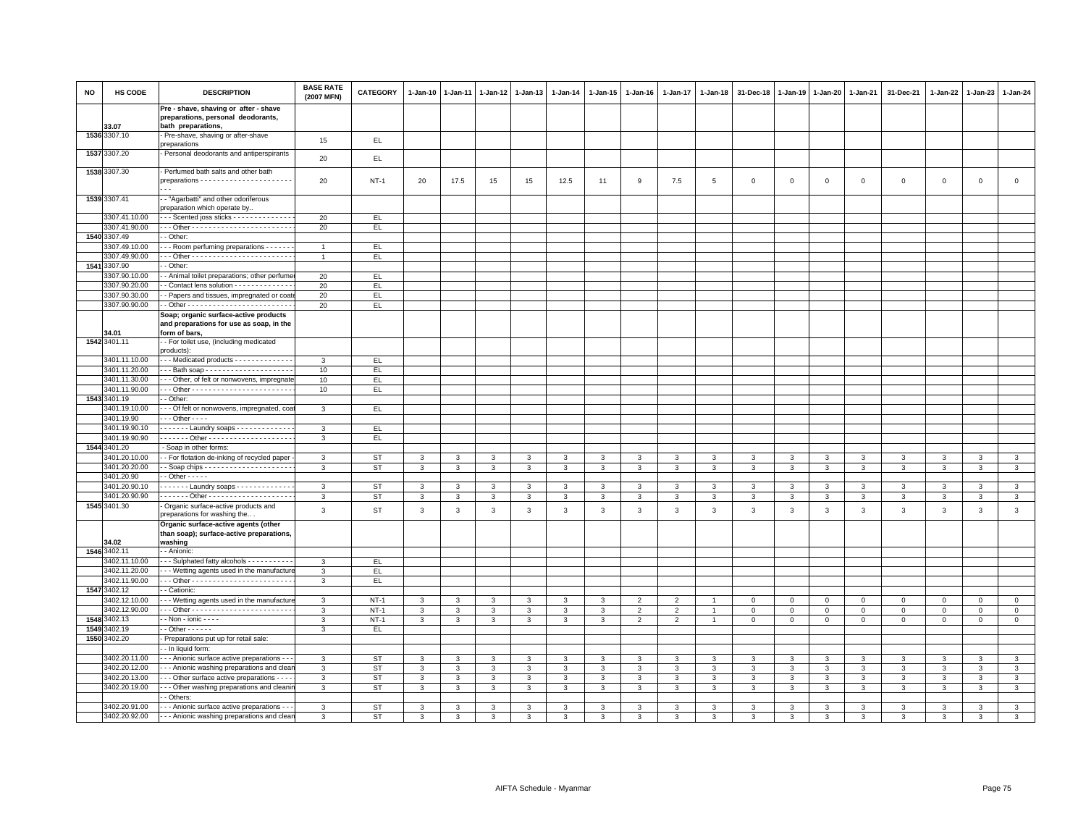| <b>NO</b> | HS CODE                       | <b>DESCRIPTION</b>                                                                                 | <b>BASE RATE</b><br>(2007 MFN) | <b>CATEGORY</b> | 1-Jan-10     | $1 - Jan-11$ | 1-Jan-12 1-Jan-13 |                | 1-Jan-14     | 1-Jan-15     | $1 - Jan-16$   | $1 - Jan-17$   | 1-Jan-18 | 31-Dec-18    | $1 - Jan-19$ | 1-Jan-20    | $1 - Jan-21$   | 31-Dec-21   | 1-Jan-22    | $1-Jan-23$  | 1-Jan-24       |
|-----------|-------------------------------|----------------------------------------------------------------------------------------------------|--------------------------------|-----------------|--------------|--------------|-------------------|----------------|--------------|--------------|----------------|----------------|----------|--------------|--------------|-------------|----------------|-------------|-------------|-------------|----------------|
|           | 33.07                         | Pre - shave, shaving or after - shave<br>preparations, personal deodorants,                        |                                |                 |              |              |                   |                |              |              |                |                |          |              |              |             |                |             |             |             |                |
|           | 1536 3307.10                  | bath preparations,<br>Pre-shave, shaving or after-shave                                            | 15                             | EL              |              |              |                   |                |              |              |                |                |          |              |              |             |                |             |             |             |                |
|           | 1537 3307.20                  | preparations<br>Personal deodorants and antiperspirants                                            | 20                             | EL.             |              |              |                   |                |              |              |                |                |          |              |              |             |                |             |             |             |                |
|           | 1538 3307.30                  | Perfumed bath salts and other bath                                                                 |                                |                 |              |              |                   |                |              |              |                |                |          |              |              |             |                |             |             |             |                |
|           |                               |                                                                                                    | 20                             | $NT-1$          | 20           | 17.5         | 15                | 15             | 12.5         | 11           | 9              | 7.5            | 5        | $\mathbf 0$  | $\mathbf 0$  | $\mathsf 0$ | $\,0\,$        | $\mathsf 0$ | $\,0\,$     | $\mathbf 0$ | $\mathbf 0$    |
|           | 1539 3307.41                  | - "Agarbatti" and other odoriferous<br>preparation which operate by.                               |                                |                 |              |              |                   |                |              |              |                |                |          |              |              |             |                |             |             |             |                |
|           | 3307.41.10.00                 | - - Scented joss sticks - - - - - - - - - - - - -                                                  | 20                             | EL              |              |              |                   |                |              |              |                |                |          |              |              |             |                |             |             |             |                |
|           | 3307.41.90.00                 |                                                                                                    | 20                             | EL.             |              |              |                   |                |              |              |                |                |          |              |              |             |                |             |             |             |                |
|           | 1540 3307.49                  | - Other:                                                                                           |                                |                 |              |              |                   |                |              |              |                |                |          |              |              |             |                |             |             |             |                |
|           | 307.49.10.00                  | - - Room perfuming preparations - - - - - -                                                        | $\overline{1}$                 | EL.             |              |              |                   |                |              |              |                |                |          |              |              |             |                |             |             |             |                |
|           | 3307.49.90.00<br>1541 3307.90 | - Other                                                                                            | $\overline{1}$                 | EL.             |              |              |                   |                |              |              |                |                |          |              |              |             |                |             |             |             |                |
|           | 3307.90.10.00                 | - Animal toilet preparations; other perfume                                                        | 20                             | EL              |              |              |                   |                |              |              |                |                |          |              |              |             |                |             |             |             |                |
|           | 3307.90.20.00                 | Contact lens solution - - - - - - - - - - - -                                                      | 20                             | EL.             |              |              |                   |                |              |              |                |                |          |              |              |             |                |             |             |             |                |
|           | 3307.90.30.00                 | - Papers and tissues, impregnated or coat                                                          | 20                             | EL.             |              |              |                   |                |              |              |                |                |          |              |              |             |                |             |             |             |                |
|           | 3307.90.90.00                 |                                                                                                    | 20                             | EL.             |              |              |                   |                |              |              |                |                |          |              |              |             |                |             |             |             |                |
|           | 34.01                         | Soap; organic surface-active products<br>and preparations for use as soap, in the<br>form of bars, |                                |                 |              |              |                   |                |              |              |                |                |          |              |              |             |                |             |             |             |                |
|           | 1542 3401.11                  | - For toilet use, (including medicated                                                             |                                |                 |              |              |                   |                |              |              |                |                |          |              |              |             |                |             |             |             |                |
|           | 3401.11.10.00                 | products):<br>--- Medicated products ------------                                                  | 3                              | EL.             |              |              |                   |                |              |              |                |                |          |              |              |             |                |             |             |             |                |
|           | 3401.11.20.00                 | Bath soap                                                                                          | 10                             | EL              |              |              |                   |                |              |              |                |                |          |              |              |             |                |             |             |             |                |
|           | 3401.11.30.00                 | - - Other, of felt or nonwovens, impregnate                                                        | 10                             | EL.             |              |              |                   |                |              |              |                |                |          |              |              |             |                |             |             |             |                |
|           | 3401.11.90.00                 |                                                                                                    | 10                             | EL.             |              |              |                   |                |              |              |                |                |          |              |              |             |                |             |             |             |                |
|           | 1543 3401.19                  | - Other                                                                                            |                                |                 |              |              |                   |                |              |              |                |                |          |              |              |             |                |             |             |             |                |
|           | 3401.19.10.00                 | - - - Of felt or nonwovens, impregnated, coa                                                       | $\overline{3}$                 | EL              |              |              |                   |                |              |              |                |                |          |              |              |             |                |             |             |             |                |
|           | 3401.19.90                    | $-$ - Other - - - -                                                                                |                                |                 |              |              |                   |                |              |              |                |                |          |              |              |             |                |             |             |             |                |
|           | 3401.19.90.10                 | Laundry soaps                                                                                      | 3                              | EL              |              |              |                   |                |              |              |                |                |          |              |              |             |                |             |             |             |                |
|           | 3401.19.90.90                 |                                                                                                    | $\mathbf{3}$                   | EL.             |              |              |                   |                |              |              |                |                |          |              |              |             |                |             |             |             |                |
|           | 1544 3401.20                  | - Soap in other forms:                                                                             |                                |                 |              |              |                   |                |              |              |                |                |          |              |              |             |                |             |             |             |                |
|           | 3401.20.10.00                 | - For flotation de-inking of recycled paper                                                        | 3                              | <b>ST</b>       | 3            | 3            | 3                 | 3              | 3            | 3            | $\mathcal{R}$  | 3              | 3        | 3            | 3            | 3           | 3              | 3           | 3           | 3           | 3              |
|           | 3401.20.20.00                 |                                                                                                    | 3                              | <b>ST</b>       | 3            | 3            | 3                 | 3              | 3            | 3            | 3              | 3              | 3        | 3            | 3            | 3           | 3              | 3           | 3           | 3           | $\mathbf{3}$   |
|           | 3401.20.90                    | $-$ Other $   -$                                                                                   |                                |                 |              |              |                   |                |              |              |                |                |          |              |              |             |                |             |             |             |                |
|           | 3401.20.90.10                 | . - Laundry soaps                                                                                  | 3                              | ST              | 3            | 3            | 3                 | 3              | 3            | 3            |                | 3              |          | 3            | 3            | 3           | 3              | 3           | 3           | 3           | 3              |
|           | 3401.20.90.90                 |                                                                                                    | 3                              | ST              | $\mathbf{3}$ | 3            | 3                 | 3              | 3            | 3            | 3              | 3              | 3        | 3            | 3            | 3           | $\mathbf{3}$   | 3           | 3           | 3           | $\mathbf{3}$   |
|           | 1545 3401.30                  | - Organic surface-active products and<br>preparations for washing the                              | 3                              | ST              | $\mathbf{3}$ | 3            | 3                 | $\mathbf{3}$   | 3            | $\mathbf{3}$ | 3              | $\mathbf{3}$   | 3        | $\mathbf{3}$ | 3            | 3           | $\mathbf{3}$   | 3           | 3           | 3           | $_{3}$         |
|           |                               | Organic surface-active agents (other                                                               |                                |                 |              |              |                   |                |              |              |                |                |          |              |              |             |                |             |             |             |                |
|           |                               | than soap); surface-active preparations,                                                           |                                |                 |              |              |                   |                |              |              |                |                |          |              |              |             |                |             |             |             |                |
|           | 34.02<br>1546 3402.11         | washing<br>- Anionic:                                                                              |                                |                 |              |              |                   |                |              |              |                |                |          |              |              |             |                |             |             |             |                |
|           | 3402.11.10.00                 | - Sulphated fatty alcohols - - - - - - - -                                                         | 3                              | EL.             |              |              |                   |                |              |              |                |                |          |              |              |             |                |             |             |             |                |
|           | 3402.11.20.00                 | - - Wetting agents used in the manufactur                                                          | $\mathbf{3}$                   | EL.             |              |              |                   |                |              |              |                |                |          |              |              |             |                |             |             |             |                |
|           | 3402.11.90.00                 |                                                                                                    | 3                              | EL              |              |              |                   |                |              |              |                |                |          |              |              |             |                |             |             |             |                |
| 1547      | 3402.12                       | - Cationic:                                                                                        |                                |                 |              |              |                   |                |              |              |                |                |          |              |              |             |                |             |             |             |                |
|           | 3402.12.10.00                 | - - Wetting agents used in the manufacture                                                         | 3                              | $NT-1$          | 3            | 3            | 3                 | 3              | 3            | 3            | $\overline{2}$ | $\overline{2}$ |          | $\mathbf 0$  | $^{\circ}$   | $\mathbf 0$ | $\mathbf{0}$   | $\mathbf 0$ | $\Omega$    | $\Omega$    | $\mathbf{0}$   |
|           | 3402.12.90.00                 |                                                                                                    | 3                              | $NT-1$          | 3            | 3            | 3                 | $\mathbf{3}$   | 3            | 3            | $\overline{2}$ | $\overline{2}$ |          | $\mathbf 0$  | $\circ$      | $\mathbf 0$ | $\mathbf 0$    | $\mathbf 0$ | $\circ$     | $\mathbf 0$ | $\mathbf 0$    |
| 1548      | 3402.13                       | $-Non - ionic - - -$                                                                               | 3                              | $NT-1$          | $\mathbf{3}$ | 3            | 3                 | $\overline{3}$ | 3            | 3            | $\overline{2}$ | $\overline{2}$ |          | $\mathbf 0$  | $\,0\,$      | $\mathbf 0$ | $\overline{0}$ | $\mathsf 0$ | $\mathbf 0$ | $\Omega$    | $\Omega$       |
|           | 1549 3402.19                  | $-$ Other $- - - - -$                                                                              | 3                              | EL.             |              |              |                   |                |              |              |                |                |          |              |              |             |                |             |             |             |                |
|           | 1550 3402.20                  | Preparations put up for retail sale:                                                               |                                |                 |              |              |                   |                |              |              |                |                |          |              |              |             |                |             |             |             |                |
|           |                               | - In liquid form:                                                                                  |                                |                 |              |              |                   |                |              |              |                |                |          |              |              |             |                |             |             |             |                |
|           | 3402.20.11.00                 | - - - Anionic surface active preparations -                                                        | 3                              | <b>ST</b>       | 3            | 3            | 3                 | 3              | 3            | 3            | 3              | 3              | 3        | 3            | 3            | 3           | 3              | 3           | 3           | 3           | 3              |
|           | 3402.20.12.00                 | - - Anionic washing preparations and clea                                                          | 3                              | <b>ST</b>       | 3            | 3            | 3                 | 3              | 3            | 3            | 3              | 3              | 3        | 3            | 3            | 3           | $\mathbf{3}$   | 3           | 3           | 3           | $\overline{3}$ |
|           | 3402.20.13.00                 | - - Other surface active preparations - - -                                                        | 3                              | ST              | 3            | 3            | 3                 | 3              | 3            | 3            | 3              | 3              | 3        | 3            | 3            | 3           | 3              | 3           | 3           | 3           | $\mathbf{3}$   |
|           | 3402.20.19.00                 | - - Other washing preparations and cleani<br>- Others:                                             | 3                              | ST              | $\mathbf{3}$ | 3            | $\mathbf{3}$      | $\mathbf{3}$   | $\mathbf{3}$ | $\mathbf{3}$ | 3              | 3              | 3        | 3            | 3            | 3           | $\mathbf{3}$   | 3           | 3           | 3           | $\mathbf{3}$   |
|           | 3402.20.91.00                 | - - - Anionic surface active preparations - -                                                      | 3                              | <b>ST</b>       | 3            | 3            | 3                 | 3              | 3            | 3            | 3              | 3              | 3        | 3            | 3            | 3           | 3              | 3           | 3           | 3           | 3              |
|           | 3402.20.92.00                 | - - - Anionic washing preparations and clear                                                       | 3                              | ST              | 3            | 3            | 3                 | 3              | 3            | 3            | 3              | 3              | 3        | 3            | 3            | 3           | 3              | 3           | 3           | 3           | 3              |
|           |                               |                                                                                                    |                                |                 |              |              |                   |                |              |              |                |                |          |              |              |             |                |             |             |             |                |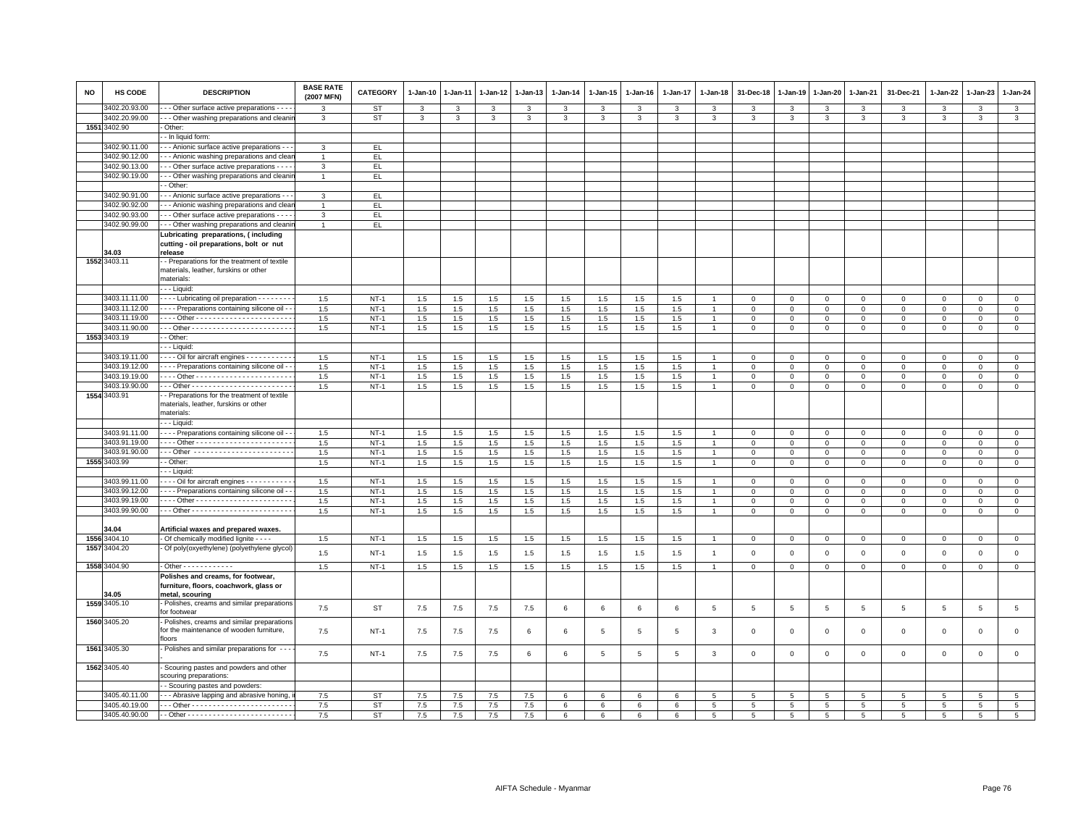| <b>NO</b> | HS CODE       | <b>DESCRIPTION</b>                                                                                 | <b>BASE RATE</b><br>(2007 MFN) | <b>CATEGORY</b> | 1-Jan-10 | $1 - Jan-11$            | $1 - Jan-12$ | $1 - Jan-13$   | $1 - Jan-14$ | 1-Jan-15 | $1 - Jan-16$ | 1-Jan-17                | $1 - Jan-18$   | 31-Dec-18    | 1-Jan-19       | 1-Jan-20     | 1-Jan-21        | 31-Dec-21           | 1-Jan-22     | 1-Jan-23       | 1-Jan-24        |
|-----------|---------------|----------------------------------------------------------------------------------------------------|--------------------------------|-----------------|----------|-------------------------|--------------|----------------|--------------|----------|--------------|-------------------------|----------------|--------------|----------------|--------------|-----------------|---------------------|--------------|----------------|-----------------|
|           | 3402.20.93.00 | - - Other surface active preparations - - -                                                        | 3                              | <b>ST</b>       | 3        | 3                       | 3            | 3              | 3            | 3        | 3            | 3                       | 3              | 3            | 3              | 3            | 3               | 3                   | 3            | 3              | 3               |
|           | 3402.20.99.00 | - - Other washing preparations and cleanii                                                         | 3                              | <b>ST</b>       | 3        | $\overline{\mathbf{3}}$ | 3            | $\overline{3}$ | 3            | 3        | 3            | $\overline{\mathbf{3}}$ | 3              | 3            | 3              | 3            | $\overline{3}$  | 3                   | 3            | $\overline{3}$ | $\overline{3}$  |
|           | 1551 3402.90  | Other:                                                                                             |                                |                 |          |                         |              |                |              |          |              |                         |                |              |                |              |                 |                     |              |                |                 |
|           |               | - In liquid form:                                                                                  |                                |                 |          |                         |              |                |              |          |              |                         |                |              |                |              |                 |                     |              |                |                 |
|           | 3402.90.11.00 | - - Anionic surface active preparations - -                                                        | $\mathbf{3}$                   | EL.             |          |                         |              |                |              |          |              |                         |                |              |                |              |                 |                     |              |                |                 |
|           | 3402.90.12.00 | - - Anionic washing preparations and clear                                                         | $\mathbf{1}$                   | EL.             |          |                         |              |                |              |          |              |                         |                |              |                |              |                 |                     |              |                |                 |
|           | 3402.90.13.00 | - - Other surface active preparations - - -                                                        | $\mathbf{3}$                   | EL.             |          |                         |              |                |              |          |              |                         |                |              |                |              |                 |                     |              |                |                 |
|           | 3402.90.19.00 | - - Other washing preparations and cleani                                                          |                                | EL              |          |                         |              |                |              |          |              |                         |                |              |                |              |                 |                     |              |                |                 |
|           |               | - Other:                                                                                           |                                |                 |          |                         |              |                |              |          |              |                         |                |              |                |              |                 |                     |              |                |                 |
|           | 3402.90.91.00 | - - Anionic surface active preparations - -                                                        | 3                              | EL.             |          |                         |              |                |              |          |              |                         |                |              |                |              |                 |                     |              |                |                 |
|           | 3402.90.92.00 | - - Anionic washing preparations and clear                                                         |                                | EL.             |          |                         |              |                |              |          |              |                         |                |              |                |              |                 |                     |              |                |                 |
|           | 3402.90.93.00 | - - - Other surface active preparations - - - -                                                    | $\overline{3}$                 | EL.             |          |                         |              |                |              |          |              |                         |                |              |                |              |                 |                     |              |                |                 |
|           | 3402.90.99.00 | - - Other washing preparations and cleanir                                                         | $\overline{1}$                 | EL              |          |                         |              |                |              |          |              |                         |                |              |                |              |                 |                     |              |                |                 |
|           | 4.03          | Lubricating preparations, (including<br>cutting - oil preparations, bolt or nut<br>release         |                                |                 |          |                         |              |                |              |          |              |                         |                |              |                |              |                 |                     |              |                |                 |
|           | 1552 3403.11  | - Preparations for the treatment of textile<br>materials, leather, furskins or other<br>materials: |                                |                 |          |                         |              |                |              |          |              |                         |                |              |                |              |                 |                     |              |                |                 |
|           |               | - - Liquid:                                                                                        |                                |                 |          |                         |              |                |              |          |              |                         |                |              |                |              |                 |                     |              |                |                 |
|           | 3403.11.11.00 | Lubricating oil preparation - - - - - - -                                                          | 1.5                            | $NT-1$          | 1.5      | 1.5                     | $1.5\,$      | 1.5            | 1.5          | 1.5      | 1.5          | 1.5                     |                | $\mathbf 0$  | $\mathsf 0$    | $\mathbf 0$  | $\circ$         | $\mathbf 0$         | $\mathbf 0$  | $\mathbf{O}$   | $\circ$         |
|           | 3403.11.12.00 | - - - - Preparations containing silicone oil -                                                     | 1.5                            | $NT-1$          | 1.5      | 1.5                     | 1.5          | 1.5            | 1.5          | 1.5      | 1.5          | 1.5                     | $\overline{1}$ | $\mathsf 0$  | $\mathsf 0$    | $\mathbf 0$  | $\circ$         | $\mathsf 0$         | $\mathbf 0$  | $\mathbf 0$    | $\circ$         |
|           | 3403.11.19.00 |                                                                                                    | 1.5                            | $NT-1$          | $1.5\,$  | $1.5\,$                 | $1.5\,$      | $1.5\,$        | $1.5\,$      | $1.5\,$  | 1.5          | $1.5\,$                 |                | $\,0\,$      | $\mathsf 0$    | $\mathbf 0$  | $\,0\,$         | $\mathsf 0$         | $\mathsf 0$  | $\mathbf{0}$   | $\mathbf 0$     |
|           | 3403.11.90.00 |                                                                                                    | 1.5                            | $NT-1$          | 1.5      | 1.5                     | 1.5          | 1.5            | 1.5          | 1.5      | 1.5          | 1.5                     |                | $\mathbf 0$  | $\mathsf 0$    | $\mathbf 0$  | $\mathbf 0$     | $\mathsf 0$         | $\mathbf 0$  | $\mathbf{0}$   | $\mathsf 0$     |
|           | 1553 3403.19  | - Other:                                                                                           |                                |                 |          |                         |              |                |              |          |              |                         |                |              |                |              |                 |                     |              |                |                 |
|           |               | - - Liquid:                                                                                        |                                |                 |          |                         |              |                |              |          |              |                         |                |              |                |              |                 |                     |              |                |                 |
|           | 3403.19.11.00 | - - - - Oil for aircraft engines - - - - - - - - - -                                               | 1.5                            | $NT-1$          | 1.5      | $1.5\,$                 | 1.5          | 1.5            | 1.5          | $1.5\,$  | 1.5          | 1.5                     |                | $\mathbf 0$  | $\mathsf 0$    | $\mathsf 0$  | $\mathbf 0$     | $\mathsf 0$         | $\mathbf 0$  | $\mathbf 0$    | $\mathbf 0$     |
|           | 3403.19.12.00 | - - - Preparations containing silicone oil -                                                       | 1.5                            | $NT-1$          | 1.5      | 1.5                     | 1.5          | 1.5            | 1.5          | 1.5      | 1.5          | 1.5                     |                | $\,0\,$      | $\Omega$       | $\Omega$     | $\overline{0}$  | $\mathsf 0$         | $\mathbf{0}$ | $\circ$        | $\mathbf{0}$    |
|           | 3403.19.19.00 |                                                                                                    | 1.5                            | $NT-1$          | 1.5      | 1.5                     | 1.5          | 1.5            | 1.5          | 1.5      | 1.5          | 1.5                     |                | $\mathbf 0$  | $\mathbf 0$    | 0            | $\mathbf{0}$    | $\mathbf 0$         | $\Omega$     | $\mathbf 0$    | $\mathbf{0}$    |
|           | 3403.19.90.00 |                                                                                                    | 1.5                            | $NT-1$          | 1.5      | 1.5                     | 1.5          | 1.5            | 1.5          | 1.5      | 1.5          | 1.5                     | $\overline{1}$ | $\,0\,$      | $\mathsf 0$    | $\mathsf 0$  | $\mathbf 0$     | $\Omega$            | $\mathbf 0$  | $\mathbf{0}$   | $\mathbf 0$     |
|           | 1554 3403.91  | - Preparations for the treatment of textile<br>materials, leather, furskins or other<br>naterials: |                                |                 |          |                         |              |                |              |          |              |                         |                |              |                |              |                 |                     |              |                |                 |
|           |               | - - Liquid:                                                                                        |                                |                 |          |                         |              |                |              |          |              |                         |                |              |                |              |                 |                     |              |                |                 |
|           | 3403.91.11.00 | - - - Preparations containing silicone oil -                                                       | 1.5                            | $NT-1$          | 1.5      | 1.5                     | 1.5          | 1.5            | 1.5          | 1.5      | 1.5          | 1.5                     |                | $\mathbf 0$  | $\mathbf 0$    | $\mathsf 0$  | $\mathbf 0$     | $\mathsf 0$         | $\mathbf 0$  | $\mathbf 0$    | $\mathsf 0$     |
|           | 3403.91.19.00 |                                                                                                    | 1.5                            | $NT-1$          | 1.5      | 1.5                     | 1.5          | 1.5            | 1.5          | 1.5      | 1.5          | 1.5                     |                | $\mathbf 0$  | $\mathsf 0$    | $\mathsf 0$  | $\,0\,$         | $\mathsf 0$         | $\mathbf 0$  | $\mathsf 0$    | $\overline{0}$  |
|           | 3403.91.90.00 | --- Other ------------------------                                                                 | 1.5                            | $NT-1$          | 1.5      | 1.5                     | 1.5          | 1.5            | 1.5          | $1.5\,$  | 1.5          | 1.5                     |                | $\mathbf 0$  | $\mathsf 0$    | $\mathsf 0$  | $\mathbf 0$     | $\mathbf 0$         | $\mathbf 0$  | $\mathbf 0$    | $\circ$         |
|           | 1555 3403.99  | - Other:                                                                                           | 1.5                            | $NT-1$          | 1.5      | 1.5                     | 1.5          | 1.5            | 1.5          | 1.5      | 1.5          | 1.5                     | $\overline{1}$ | $\mathbf{0}$ | $\mathbf 0$    | $\mathbf{0}$ | $\overline{0}$  | $\mathbf 0$         | $\mathbf 0$  | $\mathbf{0}$   | $\mathbf{0}$    |
|           |               | - - Liquid:                                                                                        |                                |                 |          |                         |              |                |              |          |              |                         |                |              |                |              |                 |                     |              |                |                 |
|           | 3403.99.11.00 | $\cdots$ Oil for aircraft engines $\cdots$                                                         | 1.5                            | $NT-1$          | 1.5      | 1.5                     | 1.5          | 1.5            | 1.5          | 1.5      | 1.5          | 1.5                     |                | $\mathbf 0$  | $\mathsf 0$    | $\mathsf 0$  | $\mathbf 0$     | $\mathsf 0$         | $\mathbf 0$  | $\overline{0}$ | $\mathsf 0$     |
|           | 3403.99.12.00 | - - - Preparations containing silicone oil -                                                       | 1.5                            | $NT-1$          | 1.5      | $1.5\,$                 | $1.5\,$      | 1.5            | 1.5          | 1.5      | 1.5          | $1.5\,$                 |                | $\mathsf 0$  | $\mathsf 0$    | $\mathsf 0$  | $\mathbf 0$     | $\mathsf 0$         | $\mathbf 0$  | $\mathbf 0$    | $\mathsf 0$     |
|           | 3403.99.19.00 |                                                                                                    | 1.5                            | $NT-1$          | 1.5      | 1.5                     | $1.5\,$      | $1.5\,$        | 1.5          | 1.5      | 1.5          | $1.5\,$                 | $\overline{1}$ | $\mathsf 0$  | $\mathsf 0$    | $\mathsf 0$  | $\mathbf 0$     | $\mathbf 0$         | $\mathbf 0$  | $\mathbf 0$    | $\mathsf 0$     |
|           | 3403.99.90.00 |                                                                                                    | 1.5                            | $NT-1$          | 1.5      | 1.5                     | 1.5          | 1.5            | 1.5          | 1.5      | 1.5          | 1.5                     | $\overline{1}$ | $\mathbf 0$  | $\mathbf 0$    | $\mathsf 0$  | $\mathbf 0$     | $\mathbf{0}$        | $\mathbf 0$  | $\mathbf{0}$   | $\mathsf 0$     |
|           |               |                                                                                                    |                                |                 |          |                         |              |                |              |          |              |                         |                |              |                |              |                 |                     |              |                |                 |
|           | 4.04          | Artificial waxes and prepared waxes.                                                               |                                |                 |          |                         |              |                |              |          |              |                         |                |              |                |              |                 |                     |              |                |                 |
|           | 1556 3404.10  | - Of chemically modified lignite - - - -                                                           | 1.5                            | $NT-1$          | 1.5      | $1.5\,$                 | $1.5\,$      | $1.5\,$        | 1.5          | 1.5      | 1.5          | $1.5\,$                 |                | $\mathbf 0$  | $\mathsf 0$    | $\mathsf 0$  | $\mathsf 0$     | $\mathsf{O}\xspace$ | $\mathsf 0$  | $\mathsf 0$    | $\overline{0}$  |
|           | 1557 3404.20  | Of poly(oxyethylene) (polyethylene glycol)                                                         | 1.5                            | $NT-1$          | $1.5\,$  | 1.5                     | $1.5\,$      | 1.5            | 1.5          | $1.5\,$  | 1.5          | 1.5                     | $\overline{1}$ | $\mathsf 0$  | $\mathsf 0$    | $\mathsf 0$  | $\mathsf 0$     | $\mathsf 0$         | $\mathsf 0$  | $\mathbf 0$    | $\mathsf 0$     |
|           | 1558 3404.90  | - Other - - - - - - - - - - - -                                                                    | 1.5                            | $NT-1$          | 1.5      | 1.5                     | $1.5\,$      | 1.5            | 1.5          | 1.5      | 1.5          | $1.5\,$                 | $\overline{1}$ | $\mathsf 0$  | $\mathsf 0$    | $\mathsf 0$  | $\mathbf 0$     | $\mathbf{0}$        | $\mathsf 0$  | $\circ$        | $\overline{0}$  |
|           | 34.05         | Polishes and creams, for footwear,<br>furniture, floors, coachwork, glass or<br>metal, scouring    |                                |                 |          |                         |              |                |              |          |              |                         |                |              |                |              |                 |                     |              |                |                 |
|           | 1559 3405.10  | Polishes, creams and similar preparations<br>for footwear                                          | 7.5                            | <b>ST</b>       | 7.5      | 7.5                     | 7.5          | 7.5            | 6            | 6        | 6            | 6                       | 5              | $\sqrt{5}$   | $\overline{5}$ | 5            | 5               | 5                   | 5            | 5              | $5\overline{5}$ |
|           | 1560 3405.20  | - Polishes, creams and similar preparations<br>for the maintenance of wooden furniture,<br>floors  | 7.5                            | $NT-1$          | 7.5      | 7.5                     | 7.5          | 6              | 6            | 5        | -5           | 5                       | 3              | $\mathbf 0$  | $\mathbf 0$    | $\mathsf 0$  | $\mathbf 0$     | $\mathbf{0}$        | $\mathbf{0}$ | $\mathbf{0}$   | $\mathbf 0$     |
|           | 1561 3405.30  | - Polishes and similar preparations for ---                                                        | 7.5                            | $NT-1$          | 7.5      | 7.5                     | 7.5          | 6              | 6            | 5        | 5            | 5                       | 3              | $\mathbf 0$  | 0              | $\mathsf 0$  | $\mathbf 0$     | $\mathsf 0$         | $\mathbf 0$  | $\mathbf 0$    | $\mathbf 0$     |
|           | 1562 3405.40  | Scouring pastes and powders and other<br>scouring preparations:                                    |                                |                 |          |                         |              |                |              |          |              |                         |                |              |                |              |                 |                     |              |                |                 |
|           |               | - Scouring pastes and powders:                                                                     |                                |                 |          |                         |              |                |              |          |              |                         |                |              |                |              |                 |                     |              |                |                 |
|           | 3405.40.11.00 | - - Abrasive lapping and abrasive honing,                                                          | 7.5                            | ST              | 7.5      | $7.5\,$                 | $7.5\,$      | $7.5\,$        | 6            | 6        | 6            | 6                       | 5              | $\,$ 5 $\,$  | $\,$ 5 $\,$    | 5            | $5\phantom{.0}$ | $\overline{5}$      | $\,$ 5 $\,$  | 5              | $\,$ 5 $\,$     |
|           | 3405.40.19.00 |                                                                                                    | 7.5                            | <b>ST</b>       | 7.5      | 7.5                     | 7.5          | 7.5            | 6            | 6        | 6            | 6                       | $5^{\circ}$    | 5            | 5              | 5            | 5               | 5                   | 5            | 5              | 5               |
|           | 3405.40.90.00 |                                                                                                    | 7.5                            | <b>ST</b>       | 7.5      | $7.5\,$                 | $7.5\,$      | $7.5\,$        | 6            | 6        | 6            | 6                       | 5              | 5            | 5              | 5            | 5               | 5                   | 5            | 5              | 5               |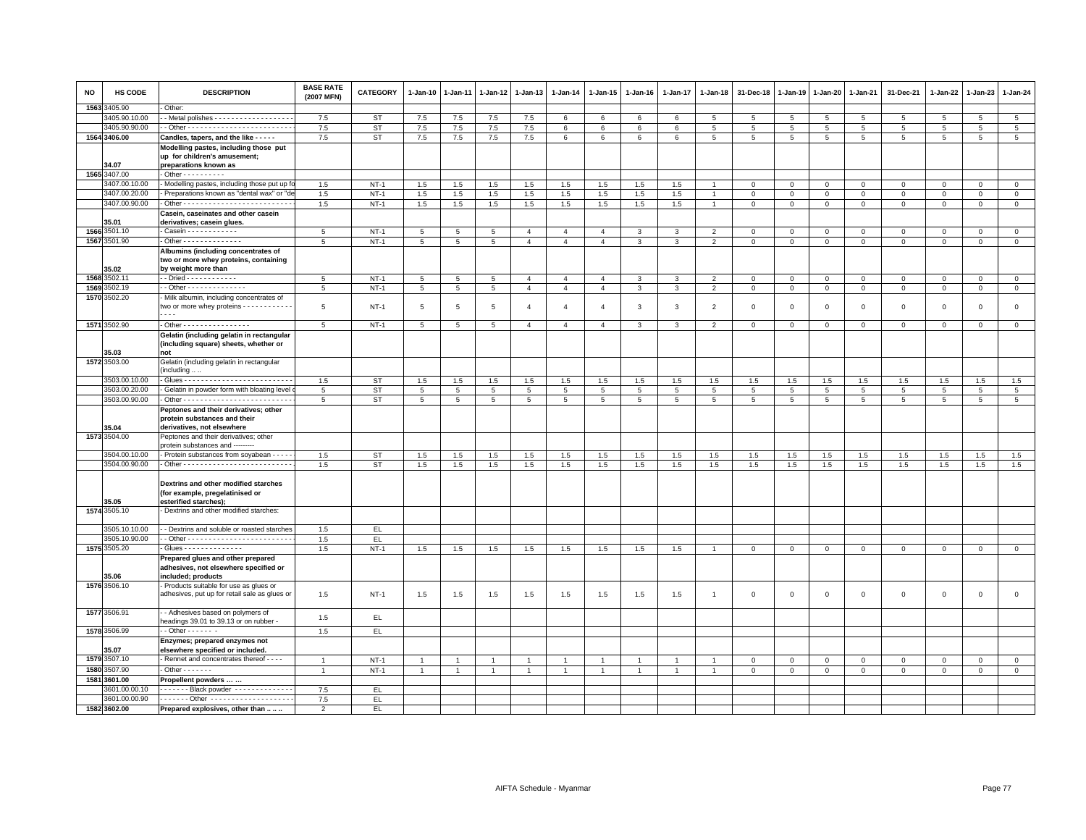| NO   | HS CODE                        | <b>DESCRIPTION</b>                                                                               | <b>BASE RATE</b><br>(2007 MFN) | <b>CATEGORY</b>  | 1-Jan-10             | 1-Jan-11             | 1-Jan-12             | 1-Jan-13                         | 1-Jan-14                         | 1-Jan-15                         | 1-Jan-16          | 1-Jan-17          | 1-Jan-18                         | 31-Dec-18                   | 1-Jan-19               | 1-Jan-20                       | 1-Jan-21                    | 31-Dec-21                     | 1-Jan-22               | 1-Jan-23                   | 1-Jan-24                       |
|------|--------------------------------|--------------------------------------------------------------------------------------------------|--------------------------------|------------------|----------------------|----------------------|----------------------|----------------------------------|----------------------------------|----------------------------------|-------------------|-------------------|----------------------------------|-----------------------------|------------------------|--------------------------------|-----------------------------|-------------------------------|------------------------|----------------------------|--------------------------------|
| 1563 | 3405.90                        | Other:                                                                                           |                                |                  |                      |                      |                      |                                  |                                  |                                  |                   |                   |                                  |                             |                        |                                |                             |                               |                        |                            |                                |
|      | 3405.90.10.00                  | - Metal polishes - - - - - - - - - - - - - - - - -                                               | 7.5                            | ST               | 7.5                  | 7.5                  | 7.5                  | 7.5                              | 6                                | 6                                | 6                 | 6                 | 5                                | 5                           | 5                      | 5                              | 5                           | 5                             | 5                      | 5                          | 5                              |
|      | 3405.90.90.00                  |                                                                                                  | 7.5                            | <b>ST</b>        | 7.5                  | 7.5                  | 7.5                  | 7.5                              | 6                                | 6                                | 6                 | 6                 | 5                                | 5                           | 5                      | $\overline{5}$                 | 5                           | 5                             | 5                      | 5                          | $\,$ 5 $\,$                    |
|      | 1564 3406.00                   | Candles, tapers, and the like - - - - -                                                          | 7.5                            | <b>ST</b>        | 7.5                  | 7.5                  | 7.5                  | 7.5                              | 6                                | 6                                | 6                 | 6                 | 5                                | 5                           | 5                      | 5                              | 5                           | 5                             | 5                      | -5                         | 5                              |
|      | 34.07                          | Modelling pastes, including those put<br>up for children's amusement;<br>preparations known as   |                                |                  |                      |                      |                      |                                  |                                  |                                  |                   |                   |                                  |                             |                        |                                |                             |                               |                        |                            |                                |
|      | 1565 3407.00                   | - Other - - - - - - - - - -                                                                      |                                |                  |                      |                      |                      |                                  |                                  |                                  |                   |                   |                                  |                             |                        |                                |                             |                               |                        |                            |                                |
|      | 3407.00.10.00                  | - Modelling pastes, including those put up                                                       | 1.5                            | $NT-1$           | 1.5                  | 1.5                  | 1.5                  | 1.5                              | 1.5                              | 1.5                              | 1.5               | 1.5               |                                  | $\mathbf 0$                 | $\mathbf 0$            | $\mathbf 0$                    | $\mathbf 0$                 | $\mathbf 0$                   | $\Omega$               | $\Omega$                   | $\mathbf 0$                    |
|      | 3407.00.20.00                  | - Preparations known as "dental wax" or "d                                                       | 1.5                            | $NT-1$           | $1.5\,$              | $1.5\,$              | 1.5                  | $1.5\,$                          | 1.5                              | 1.5                              | 1.5               | 1.5               |                                  | $\mathbf 0$                 | $\mathsf 0$            | $\mathbf 0$                    | $\mathbf 0$                 | $\mathsf 0$                   | $\mathbf 0$            | $\mathsf 0$                | $\overline{0}$                 |
|      | 3407.00.90.00                  |                                                                                                  | 1.5                            | $NT-1$           | 1.5                  | 1.5                  | 1.5                  | 1.5                              | 1.5                              | 1.5                              | 1.5               | 1.5               | $\overline{1}$                   | $\mathbf{0}$                | $\mathbf 0$            | $\overline{0}$                 | $\overline{0}$              | $\mathbf 0$                   | $\mathbf 0$            | $\mathsf 0$                | $\mathbf{0}$                   |
|      |                                | Casein, caseinates and other casein                                                              |                                |                  |                      |                      |                      |                                  |                                  |                                  |                   |                   |                                  |                             |                        |                                |                             |                               |                        |                            |                                |
|      | 35.01                          | derivatives; casein glues.                                                                       |                                |                  |                      |                      |                      |                                  |                                  |                                  |                   |                   |                                  |                             |                        |                                |                             |                               |                        |                            |                                |
|      | 1566 3501.10                   | Casein - - - - - - - - - - - -                                                                   | 5                              | $NT-1$           | 5                    | 5                    | 5                    | $\overline{4}$                   | $\overline{4}$                   | $\overline{4}$                   | 3                 | 3                 | $\overline{2}$                   | $\mathbf 0$                 | $\mathbf{0}$           | $\mathsf 0$                    | $\mathbf 0$                 | $\mathsf 0$                   | $\Omega$               | $\mathbf 0$                | $\mathsf 0$                    |
|      | 1567 3501.90                   | - Other - - - - - - - - - - - - - -                                                              | 5                              | $NT-1$           | 5                    | $5\phantom{.0}$      | 5                    | $\overline{4}$                   | $\overline{4}$                   | $\overline{4}$                   | $\mathbf{3}$      | $\mathbf{3}$      | $\overline{2}$                   | $\mathbf{0}$                | $\mathbf{0}$           | $\overline{0}$                 | $\mathbf{0}$                | $\mathbf{0}$                  | $\mathbf{0}$           | $\mathbf 0$                | $\mathbf{0}$                   |
|      |                                | Albumins (including concentrates of                                                              |                                |                  |                      |                      |                      |                                  |                                  |                                  |                   |                   |                                  |                             |                        |                                |                             |                               |                        |                            |                                |
|      |                                | two or more whey proteins, containing                                                            |                                |                  |                      |                      |                      |                                  |                                  |                                  |                   |                   |                                  |                             |                        |                                |                             |                               |                        |                            |                                |
|      | 35.02<br>1568 3502.11          | by weight more than                                                                              |                                |                  |                      |                      |                      |                                  |                                  |                                  |                   |                   |                                  |                             |                        |                                |                             |                               |                        |                            |                                |
|      | 1569 3502.19                   | $-$ Other - - - - - - - - - - - - - -                                                            | $5\phantom{.0}$<br>5           | $NT-1$<br>$NT-1$ | 5<br>$5\phantom{.0}$ | 5<br>$5\phantom{.0}$ | 5<br>$5\overline{5}$ | $\overline{4}$<br>$\overline{4}$ | $\overline{4}$<br>$\overline{4}$ | $\overline{4}$<br>$\overline{4}$ | 3<br>$\mathbf{3}$ | 3<br>$\mathbf{3}$ | $\overline{2}$<br>$\overline{2}$ | $\mathbf 0$<br>$\mathbf{0}$ | $\mathsf 0$<br>$\circ$ | $\mathbf{0}$<br>$\overline{0}$ | $\mathsf 0$<br>$\mathbf{0}$ | $\mathsf 0$<br>$\overline{0}$ | $\mathsf 0$<br>$\circ$ | $\mathsf 0$<br>$\mathbf 0$ | $\mathbf{0}$<br>$\overline{0}$ |
|      | 1570 3502.20                   | Milk albumin, including concentrates of                                                          |                                |                  |                      |                      |                      |                                  |                                  |                                  |                   |                   |                                  |                             |                        |                                |                             |                               |                        |                            |                                |
|      |                                | two or more whey proteins - - - - - - - - - -<br>$- - -$                                         | 5                              | $NT-1$           | 5                    | 5                    | 5                    | 4                                | $\overline{4}$                   | $\overline{4}$                   | 3                 | 3                 | $\overline{2}$                   | $\mathbf 0$                 | $\overline{0}$         | $\mathbf 0$                    | $\mathbf 0$                 | $\mathsf 0$                   | 0                      | 0                          | $\mathsf 0$                    |
|      | 1571 3502.90                   | - Other - - - - - - - - - - - - - - - -                                                          | 5                              | $NT-1$           | 5                    | 5                    | 5                    | $\overline{4}$                   | $\overline{4}$                   | $\overline{4}$                   | 3                 | 3                 | $\overline{2}$                   | $\mathbf 0$                 | $\mathbf 0$            | $\mathbf 0$                    | $\mathbf{0}$                | $\mathbf 0$                   | $\mathbf 0$            | $\mathbf 0$                | $\mathbf 0$                    |
|      |                                | Gelatin (including gelatin in rectangular                                                        |                                |                  |                      |                      |                      |                                  |                                  |                                  |                   |                   |                                  |                             |                        |                                |                             |                               |                        |                            |                                |
|      |                                | (including square) sheets, whether or                                                            |                                |                  |                      |                      |                      |                                  |                                  |                                  |                   |                   |                                  |                             |                        |                                |                             |                               |                        |                            |                                |
|      | 35.03                          | not                                                                                              |                                |                  |                      |                      |                      |                                  |                                  |                                  |                   |                   |                                  |                             |                        |                                |                             |                               |                        |                            |                                |
|      | 1572 3503.00                   | Gelatin (including gelatin in rectangular                                                        |                                |                  |                      |                      |                      |                                  |                                  |                                  |                   |                   |                                  |                             |                        |                                |                             |                               |                        |                            |                                |
|      | 3503.00.10.00                  | including                                                                                        | 1.5                            | <b>ST</b>        | 1.5                  | 1.5                  | 1.5                  | $1.5\,$                          | 1.5                              | 1.5                              | 1.5               | 1.5               | 1.5                              | 1.5                         | 1.5                    | 1.5                            | 1.5                         | 1.5                           | 1.5                    | 1.5                        | 1.5                            |
|      | 3503.00.20.00                  | Gelatin in powder form with bloating level                                                       | 5                              | <b>ST</b>        | 5                    | 5                    | 5                    | 5                                | 5                                | $5\overline{5}$                  | 5                 | 5                 | 5                                | 5                           | 5                      | $5\overline{5}$                | 5                           | 5                             | 5                      | 5                          | 5                              |
|      | 3503.00.90.00                  |                                                                                                  | 5                              | <b>ST</b>        | $\overline{5}$       | $\overline{5}$       | $\overline{5}$       | $\overline{5}$                   | 5                                | $\overline{5}$                   | $\overline{5}$    | $\overline{5}$    | 5                                | 5                           | 5                      | $\overline{5}$                 | $\overline{5}$              | 5                             | 5                      | 5                          | $\overline{5}$                 |
|      |                                | Peptones and their derivatives; other                                                            |                                |                  |                      |                      |                      |                                  |                                  |                                  |                   |                   |                                  |                             |                        |                                |                             |                               |                        |                            |                                |
|      | 35.04                          | protein substances and their<br>derivatives, not elsewhere                                       |                                |                  |                      |                      |                      |                                  |                                  |                                  |                   |                   |                                  |                             |                        |                                |                             |                               |                        |                            |                                |
|      | 1573 3504.00                   | Peptones and their derivatives; other<br>protein substances and --------                         |                                |                  |                      |                      |                      |                                  |                                  |                                  |                   |                   |                                  |                             |                        |                                |                             |                               |                        |                            |                                |
|      | 3504.00.10.00                  | - Protein substances from soyabean - - - -                                                       | 1.5                            | <b>ST</b>        | 1.5                  | 1.5                  | 1.5                  | 1.5                              | 1.5                              | 1.5                              | 1.5               | 1.5               | 1.5                              | 1.5                         | 1.5                    | 1.5                            | 1.5                         | 1.5                           | 1.5                    | 1.5                        | 1.5                            |
|      | 3504.00.90.00                  |                                                                                                  | 1.5                            | <b>ST</b>        | 1.5                  | 1.5                  | 1.5                  | 1.5                              | 1.5                              | 1.5                              | 1.5               | 1.5               | 1.5                              | 1.5                         | 1.5                    | 1.5                            | 1.5                         | 1.5                           | 1.5                    | 1.5                        | 1.5                            |
|      | 35.05                          | Dextrins and other modified starches<br>(for example, pregelatinised or<br>esterified starches); |                                |                  |                      |                      |                      |                                  |                                  |                                  |                   |                   |                                  |                             |                        |                                |                             |                               |                        |                            |                                |
|      | 1574 3505.10                   | Dextrins and other modified starches:                                                            |                                |                  |                      |                      |                      |                                  |                                  |                                  |                   |                   |                                  |                             |                        |                                |                             |                               |                        |                            |                                |
|      |                                |                                                                                                  |                                |                  |                      |                      |                      |                                  |                                  |                                  |                   |                   |                                  |                             |                        |                                |                             |                               |                        |                            |                                |
|      | 3505.10.10.00                  | - Dextrins and soluble or roasted starches                                                       | 1.5                            | EL               |                      |                      |                      |                                  |                                  |                                  |                   |                   |                                  |                             |                        |                                |                             |                               |                        |                            |                                |
|      | 3505.10.90.00                  | - Glues - - - - - - - - - - - - - -                                                              | 1.5                            | EL.              |                      |                      |                      |                                  |                                  |                                  |                   |                   |                                  |                             |                        |                                |                             |                               |                        |                            |                                |
|      | 1575 3505.20                   |                                                                                                  | 1.5                            | $NT-1$           | 1.5                  | $1.5\,$              | 1.5                  | 1.5                              | 1.5                              | 1.5                              | 1.5               | 1.5               | $\overline{1}$                   | $\mathbf 0$                 | $\,0\,$                | $\mathbf 0$                    | $\mathsf 0$                 | $\mathsf 0$                   | $\mathbf 0$            | $\mathsf 0$                | $\overline{0}$                 |
|      |                                | Prepared glues and other prepared<br>adhesives, not elsewhere specified or                       |                                |                  |                      |                      |                      |                                  |                                  |                                  |                   |                   |                                  |                             |                        |                                |                             |                               |                        |                            |                                |
|      | 35.06                          | included; products                                                                               |                                |                  |                      |                      |                      |                                  |                                  |                                  |                   |                   |                                  |                             |                        |                                |                             |                               |                        |                            |                                |
|      | 1576 3506.10                   | Products suitable for use as glues or                                                            |                                |                  |                      |                      |                      |                                  |                                  |                                  |                   |                   |                                  |                             |                        |                                |                             |                               |                        |                            |                                |
|      |                                | adhesives, put up for retail sale as glues or                                                    | 1.5                            | $NT-1$           | $1.5\,$              | 1.5                  | 1.5                  | 1.5                              | 1.5                              | 1.5                              | 1.5               | 1.5               | $\overline{1}$                   | $\,0\,$                     | $\overline{0}$         | $\mathbf 0$                    | $\mathsf 0$                 | $\mathsf 0$                   | $\mathsf 0$            | $\mathsf 0$                | $\mathsf 0$                    |
|      | 1577 3506.91                   | - - Adhesives based on polymers of<br>headings 39.01 to 39.13 or on rubber -                     | 1.5                            | EL.              |                      |                      |                      |                                  |                                  |                                  |                   |                   |                                  |                             |                        |                                |                             |                               |                        |                            |                                |
|      | 1578 3506.99                   | $-$ Other $    -$                                                                                | 1.5                            | EL               |                      |                      |                      |                                  |                                  |                                  |                   |                   |                                  |                             |                        |                                |                             |                               |                        |                            |                                |
|      | 35.07                          | Enzymes; prepared enzymes not<br>elsewhere specified or included.                                |                                |                  |                      |                      |                      |                                  |                                  |                                  |                   |                   |                                  |                             |                        |                                |                             |                               |                        |                            |                                |
|      | 1579 3507.10                   | Rennet and concentrates thereof - - - -                                                          | $\overline{1}$                 | $NT-1$           | $\overline{1}$       |                      | $\overline{1}$       | $\overline{1}$                   |                                  | $\overline{1}$                   |                   | $\overline{1}$    |                                  | $\overline{0}$              | $\mathbf{0}$           | $\mathbf{0}$                   | $\mathbf{0}$                | $\mathbf 0$                   | $\mathbf 0$            | $\mathbf{0}$               | $\mathbf{0}$                   |
|      | 1580 3507.90                   | $\cdot$ Other $\cdot$ $\cdot$ $\cdot$ $\cdot$ $\cdot$ $\cdot$ $\cdot$                            | $\mathbf{1}$                   | $NT-1$           | -1                   |                      |                      | $\overline{1}$                   |                                  | $\mathbf{1}$                     |                   | $\overline{1}$    | $\mathbf{1}$                     | $\mathbf 0$                 | $\mathbf 0$            | $\mathbf{0}$                   | $\mathbf{0}$                | $\mathbf 0$                   | 0                      | $\mathbf{0}$               | $\overline{0}$                 |
|      | 1581 3601.00                   | Propellent powders                                                                               |                                |                  |                      |                      |                      |                                  |                                  |                                  |                   |                   |                                  |                             |                        |                                |                             |                               |                        |                            |                                |
|      | 3601.00.00.10<br>3601.00.00.90 | . Black powder                                                                                   | 7.5                            | EL.              |                      |                      |                      |                                  |                                  |                                  |                   |                   |                                  |                             |                        |                                |                             |                               |                        |                            |                                |
|      | 1582 3602.00                   | Prepared explosives, other than                                                                  | 7.5                            | EL<br>EL.        |                      |                      |                      |                                  |                                  |                                  |                   |                   |                                  |                             |                        |                                |                             |                               |                        |                            |                                |
|      |                                |                                                                                                  | $\overline{2}$                 |                  |                      |                      |                      |                                  |                                  |                                  |                   |                   |                                  |                             |                        |                                |                             |                               |                        |                            |                                |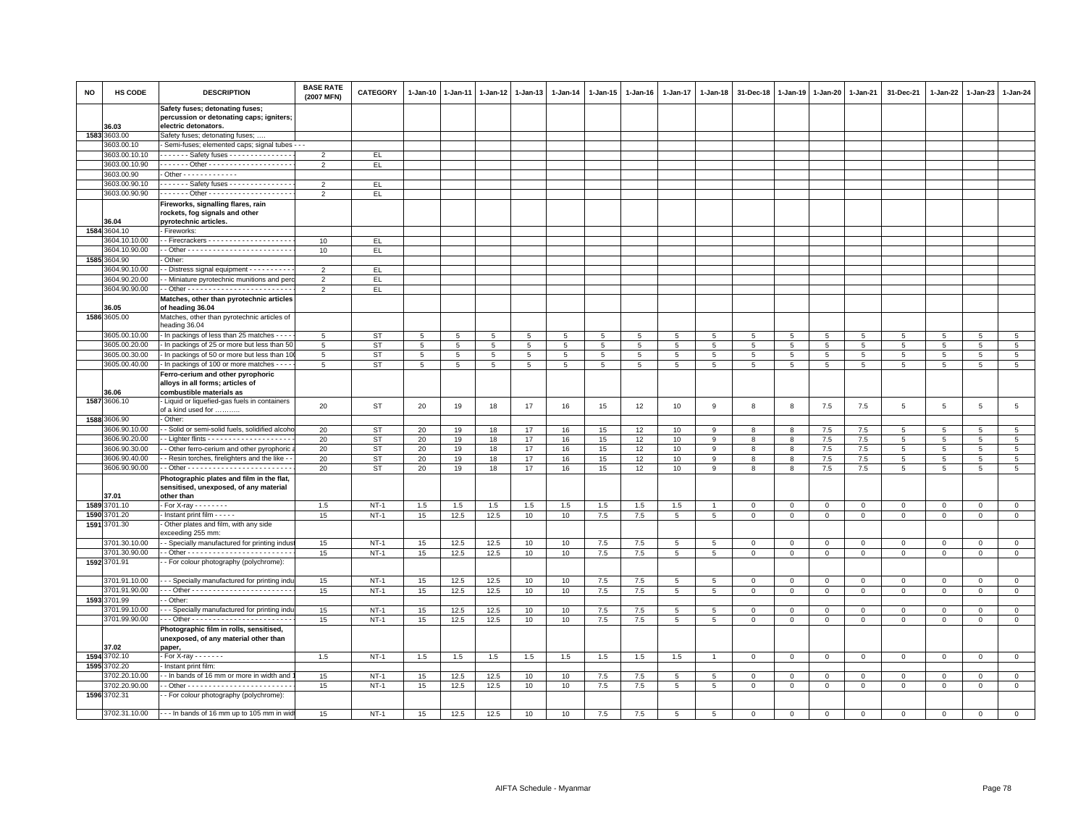| <b>NO</b> | HS CODE                       | <b>DESCRIPTION</b>                                                          | <b>BASE RATE</b><br>(2007 MFN) | <b>CATEGORY</b> | 1-Jan-10        | $1 - Jan-11$    | 1-Jan-12        | 1-Jan-13 | 1-Jan-14    | 1-Jan-15        | 1-Jan-16        | 1-Jan-17        | 1-Jan-18        | 31-Dec-18       | 1-Jan-19       | 1-Jan-20        | 1-Jan-21       | 31-Dec-21           | 1-Jan-22       | 1-Jan-23        | 1-Jan-24        |
|-----------|-------------------------------|-----------------------------------------------------------------------------|--------------------------------|-----------------|-----------------|-----------------|-----------------|----------|-------------|-----------------|-----------------|-----------------|-----------------|-----------------|----------------|-----------------|----------------|---------------------|----------------|-----------------|-----------------|
|           |                               | Safety fuses; detonating fuses;<br>percussion or detonating caps; igniters; |                                |                 |                 |                 |                 |          |             |                 |                 |                 |                 |                 |                |                 |                |                     |                |                 |                 |
|           | 36.03                         | electric detonators.                                                        |                                |                 |                 |                 |                 |          |             |                 |                 |                 |                 |                 |                |                 |                |                     |                |                 |                 |
|           | 1583 3603.00                  | Safety fuses; detonating fuses; .                                           |                                |                 |                 |                 |                 |          |             |                 |                 |                 |                 |                 |                |                 |                |                     |                |                 |                 |
|           | 3603.00.10                    | Semi-fuses; elemented caps; signal tubes - - -                              |                                |                 |                 |                 |                 |          |             |                 |                 |                 |                 |                 |                |                 |                |                     |                |                 |                 |
|           | 3603.00.10.10                 | $\cdots$ $\cdots$ Safety fuses $\cdots$ $\cdots$ $\cdots$                   | $\overline{2}$                 | EL              |                 |                 |                 |          |             |                 |                 |                 |                 |                 |                |                 |                |                     |                |                 |                 |
|           | 3603.00.10.90                 |                                                                             | $\overline{2}$                 | EL              |                 |                 |                 |          |             |                 |                 |                 |                 |                 |                |                 |                |                     |                |                 |                 |
|           | 3603.00.90                    | - Other - - - - - - - - - - - - -                                           |                                |                 |                 |                 |                 |          |             |                 |                 |                 |                 |                 |                |                 |                |                     |                |                 |                 |
|           | 3603.00.90.10                 | ------ Safety fuses --------------                                          | $\overline{2}$                 | EL              |                 |                 |                 |          |             |                 |                 |                 |                 |                 |                |                 |                |                     |                |                 |                 |
|           | 3603.00.90.90                 |                                                                             | $\overline{2}$                 | EL.             |                 |                 |                 |          |             |                 |                 |                 |                 |                 |                |                 |                |                     |                |                 |                 |
|           |                               | Fireworks, signalling flares, rain                                          |                                |                 |                 |                 |                 |          |             |                 |                 |                 |                 |                 |                |                 |                |                     |                |                 |                 |
|           |                               | rockets, fog signals and other                                              |                                |                 |                 |                 |                 |          |             |                 |                 |                 |                 |                 |                |                 |                |                     |                |                 |                 |
|           | 36.04<br>1584 3604.10         | pyrotechnic articles.<br>- Fireworks:                                       |                                |                 |                 |                 |                 |          |             |                 |                 |                 |                 |                 |                |                 |                |                     |                |                 |                 |
|           | 3604.10.10.00                 | - Firecrackers - - - - - - - - - - - - - - - - - -                          | 10                             | EL              |                 |                 |                 |          |             |                 |                 |                 |                 |                 |                |                 |                |                     |                |                 |                 |
|           | 3604.10.90.00                 |                                                                             | 10                             | EL.             |                 |                 |                 |          |             |                 |                 |                 |                 |                 |                |                 |                |                     |                |                 |                 |
|           | 1585 3604.90                  | Other:                                                                      |                                |                 |                 |                 |                 |          |             |                 |                 |                 |                 |                 |                |                 |                |                     |                |                 |                 |
|           | 3604.90.10.00                 | - Distress signal equipment - - - - - - - - -                               | $\overline{2}$                 | EL.             |                 |                 |                 |          |             |                 |                 |                 |                 |                 |                |                 |                |                     |                |                 |                 |
|           | 3604.90.20.00                 | - Miniature pyrotechnic munitions and per                                   | $\overline{2}$                 | EL.             |                 |                 |                 |          |             |                 |                 |                 |                 |                 |                |                 |                |                     |                |                 |                 |
|           | 3604.90.90.00                 |                                                                             | $\overline{2}$                 | EL              |                 |                 |                 |          |             |                 |                 |                 |                 |                 |                |                 |                |                     |                |                 |                 |
|           |                               | Matches, other than pyrotechnic articles                                    |                                |                 |                 |                 |                 |          |             |                 |                 |                 |                 |                 |                |                 |                |                     |                |                 |                 |
|           | 36.05                         | of heading 36.04                                                            |                                |                 |                 |                 |                 |          |             |                 |                 |                 |                 |                 |                |                 |                |                     |                |                 |                 |
|           | 1586 3605.00                  | Matches, other than pyrotechnic articles of                                 |                                |                 |                 |                 |                 |          |             |                 |                 |                 |                 |                 |                |                 |                |                     |                |                 |                 |
|           |                               | heading 36.04                                                               |                                |                 |                 |                 |                 |          |             |                 |                 |                 |                 |                 |                |                 |                |                     |                |                 |                 |
|           | 3605.00.10.00                 | - In packings of less than 25 matches - - -                                 | 5                              | <b>ST</b>       | 5               | 5               | 5               | 5        | 5           | 5               | 5               | 5               | 5               | 5               | 5              | 5               | 5              | 5                   | 5              | 5               | 5               |
|           | 3605.00.20.00                 | - In packings of 25 or more but less than 50                                | 5                              | ST              | $5\phantom{.0}$ | $5\phantom{.0}$ | $5\overline{5}$ | 5        | $\,$ 5 $\,$ | $5\phantom{.0}$ | $5\overline{5}$ | $5\overline{5}$ | 5               | $5\overline{5}$ | $\overline{5}$ | $5\phantom{.0}$ | 5              | $\overline{5}$      | $\overline{5}$ | $5\phantom{.0}$ | $5\phantom{.0}$ |
|           | 3605.00.30.00                 | - In packings of 50 or more but less than 10                                | 5                              | ST              | 5               | $5^{\circ}$     | $5\overline{5}$ | 5        | 5           | 5               | $5\overline{5}$ | 5               | 5               | $\overline{5}$  | 5              | 5               | 5              | 5                   | $5^{\circ}$    | 5               | $5\phantom{.0}$ |
|           | 3605.00.40.00                 | - In packings of 100 or more matches - - -                                  | 5                              | ST              | $5\phantom{.0}$ | $5\phantom{.0}$ | $5\phantom{.0}$ | 5        | $\,$ 5 $\,$ | $5\phantom{.0}$ | $5\overline{5}$ | 5               | 5               | $\overline{5}$  | 5              | 5               | 5              | 5                   | 5              | 5               | $5\phantom{.0}$ |
|           |                               | Ferro-cerium and other pyrophoric                                           |                                |                 |                 |                 |                 |          |             |                 |                 |                 |                 |                 |                |                 |                |                     |                |                 |                 |
|           |                               | alloys in all forms; articles of                                            |                                |                 |                 |                 |                 |          |             |                 |                 |                 |                 |                 |                |                 |                |                     |                |                 |                 |
|           | 36.06<br>1587 3606.10         | combustible materials as<br>- Liquid or liquefied-gas fuels in containers   |                                |                 |                 |                 |                 |          |             |                 |                 |                 |                 |                 |                |                 |                |                     |                |                 |                 |
|           |                               | of a kind used for                                                          | 20                             | ST              | 20              | 19              | 18              | 17       | 16          | 15              | 12              | 10              | 9               | 8               | 8              | 7.5             | 7.5            | 5                   | 5              | $5\phantom{.0}$ | $\,$ 5 $\,$     |
|           | 1588 3606.90                  | Other:                                                                      |                                |                 |                 |                 |                 |          |             |                 |                 |                 |                 |                 |                |                 |                |                     |                |                 |                 |
|           | 3606.90.10.00                 | - Solid or semi-solid fuels, solidified alcoh                               | 20                             | <b>ST</b>       | 20              | 19              | 18              | 17       | 16          | 15              | 12              | 10              | 9               | 8               | 8              | 7.5             | 7.5            | 5                   | 5              | 5               | 5               |
|           | 3606.90.20.00                 |                                                                             | 20                             | ST              | 20              | 19              | 18              | 17       | 16          | 15              | 12              | 10              | 9               | 8               | 8              | $7.5$           | 7.5            | 5                   | 5              | 5               | $5\phantom{.0}$ |
|           | 3606.90.30.00                 | - Other ferro-cerium and other pyrophoric                                   | 20                             | <b>ST</b>       | 20              | 19              | 18              | 17       | 16          | 15              | 12              | 10              | 9               | 8               | 8              | 7.5             | 7.5            | 5                   | 5              | 5               | $5^{\circ}$     |
|           | 3606.90.40.00                 | - Resin torches, firelighters and the like -                                | 20                             | <b>ST</b>       | 20              | 19              | 18              | 17       | 16          | 15              | 12              | 10              | 9               | 8               | 8              | 7.5             | 7.5            | $\overline{5}$      | 5              | 5               | $5\phantom{.0}$ |
|           | 3606.90.90.00                 |                                                                             | 20                             | <b>ST</b>       | 20              | 19              | 18              | 17       | 16          | 15              | 12              | 10              | 9               | 8               | 8              | $7.5\,$         | 7.5            | $\,$ 5 $\,$         | 5              | $\overline{5}$  | 5               |
|           |                               | Photographic plates and film in the flat,                                   |                                |                 |                 |                 |                 |          |             |                 |                 |                 |                 |                 |                |                 |                |                     |                |                 |                 |
|           |                               | sensitised, unexposed, of any material                                      |                                |                 |                 |                 |                 |          |             |                 |                 |                 |                 |                 |                |                 |                |                     |                |                 |                 |
|           | 37.01                         | other than                                                                  |                                |                 |                 |                 |                 |          |             |                 |                 |                 |                 |                 |                |                 |                |                     |                |                 |                 |
| 1589      | 3701.10                       | - For X-ray - - - - - - - -                                                 | 1.5                            | $NT-1$          | 1.5             | 1.5             | $1.5\,$         | 1.5      | $1.5\,$     | $1.5\,$         | $1.5\,$         | $1.5$           | $\overline{1}$  | $\mathbf 0$     | $\,0\,$        | $\mathbb O$     | $\,0\,$        | $\mathsf{O}\xspace$ | $\mathbf 0$    | $\mathbf 0$     | $\mathbf 0$     |
|           | 1590 3701.20                  | Instant print film - - - - -                                                | 15                             | $NT-1$          | 15              | 12.5            | 12.5            | 10       | 10          | 7.5             | 7.5             | 5               | 5               | $\mathbf 0$     | $\mathbf{0}$   | $\mathbf 0$     | $\mathbf 0$    | $\mathbf{0}$        | $\Omega$       | $\mathbf{0}$    | $\mathsf 0$     |
|           | 1591 3701.30                  | Other plates and film, with any side<br>exceeding 255 mm:                   |                                |                 |                 |                 |                 |          |             |                 |                 |                 |                 |                 |                |                 |                |                     |                |                 |                 |
|           | 3701.30.10.00                 | - Specially manufactured for printing indus                                 | 15                             | $NT-1$          | 15              | 12.5            | 12.5            | 10       | 10          | 7.5             | 7.5             | 5               | 5               | $\overline{0}$  | $\mathbf{0}$   | $\mathbf{0}$    | $\overline{0}$ | $\mathbf{0}$        | $\mathbf{0}$   | $\mathbf{0}$    | $\circ$         |
|           | 3701.30.90.00                 |                                                                             | 15                             | $NT-1$          | 15              | 12.5            | 12.5            | 10       | 10          | 7.5             | 7.5             | $\overline{5}$  | 5               | $\mathbf 0$     | $\mathbf 0$    | $\mathbf 0$     | $\mathbf 0$    | $\mathbf 0$         | $\mathbf 0$    | $\mathbf 0$     | $\mathsf 0$     |
|           | 1592 3701.91                  | - For colour photography (polychrome):                                      |                                |                 |                 |                 |                 |          |             |                 |                 |                 |                 |                 |                |                 |                |                     |                |                 |                 |
|           |                               |                                                                             |                                |                 |                 |                 |                 |          |             |                 |                 |                 |                 |                 |                |                 |                |                     |                |                 |                 |
|           | 3701.91.10.00                 | -- Specially manufactured for printing indi                                 | 15                             | $NT-1$          | 15              | 12.5            | 12.5            | 10       | 10          | 7.5             | 7.5             | 5               | 5               | $\mathbf 0$     | $\circ$        | $\mathbf 0$     | $\mathbf 0$    | $\mathbf 0$         | $\Omega$       | $\mathbf 0$     | $\mathbf 0$     |
|           | 3701.91.90.00                 |                                                                             | 15                             | $NT-1$          | 15              | 12.5            | 12.5            | 10       | 10          | 7.5             | 7.5             | $\overline{5}$  | 5               | $\mathbf 0$     | $\mathbf 0$    | $\mathbf 0$     | $\mathbf 0$    | $\mathsf 0$         | $\mathsf 0$    | $\circ$         | $\mathsf 0$     |
| 1593      | 3701.99                       | - Other:                                                                    |                                |                 |                 |                 |                 |          |             |                 |                 |                 |                 |                 |                |                 |                |                     |                |                 |                 |
|           | 3701.99.10.00                 | - - Specially manufactured for printing indi                                | 15                             | $NT-1$          | 15              | 12.5            | 12.5            | 10       | 10          | 7.5             | 7.5             | $\overline{5}$  | 5               | $\mathbf 0$     | $\mathbf 0$    | $\mathbf 0$     | $\overline{0}$ | $\mathsf 0$         | $\Omega$       | $\Omega$        | $\mathbf{0}$    |
|           | 3701.99.90.00                 |                                                                             | 15                             | $NT-1$          | 15              | 12.5            | 12.5            | 10       | 10          | 7.5             | 7.5             | $5\overline{5}$ | 5               | $\mathbf 0$     | $\mathbf 0$    | $\mathbf 0$     | $\mathbf 0$    | $\mathbf 0$         | $\mathbf 0$    | $\mathbf 0$     | $\mathbf 0$     |
|           |                               | Photographic film in rolls, sensitised,                                     |                                |                 |                 |                 |                 |          |             |                 |                 |                 |                 |                 |                |                 |                |                     |                |                 |                 |
|           |                               | unexposed, of any material other than                                       |                                |                 |                 |                 |                 |          |             |                 |                 |                 |                 |                 |                |                 |                |                     |                |                 |                 |
|           | 37.02                         | paper,                                                                      |                                |                 |                 |                 |                 |          |             |                 |                 |                 |                 |                 |                |                 |                |                     |                |                 |                 |
|           | 1594 3702.10                  | $\overline{\mathsf{F}}$ or X-ray $\cdots$                                   | 1.5                            | $NT-1$          | 1.5             | 1.5             | 1.5             | 1.5      | 1.5         | 1.5             | 1.5             | 1.5             |                 | $\mathbf 0$     | $\mathbf 0$    | $\mathbf 0$     | $\mathbf{0}$   | $\mathsf 0$         | $\mathbf 0$    | $\mathbf{0}$    | $\mathbf{0}$    |
|           | 1595 3702.20                  | Instant print film:                                                         |                                |                 |                 |                 |                 |          |             |                 |                 |                 |                 |                 |                |                 |                |                     |                |                 |                 |
|           | 3702.20.10.00                 | - In bands of 16 mm or more in width and                                    | $15\,$                         | $NT-1$          | 15              | 12.5            | 12.5            | 10       | $10$        | $7.5\,$         | $7.5\,$         | 5               | $\overline{5}$  | $\mathbf 0$     | $\mathbf 0$    | $\mathbf 0$     | $\mathbf 0$    | $\mathsf 0$         | $\mathbf{0}$   | $\circ$         | $\mathsf 0$     |
|           | 3702.20.90.00<br>1596 3702.31 |                                                                             | 15                             | $NT-1$          | 15              | 12.5            | 12.5            | 10       | 10          | 7.5             | 7.5             | 5               | 5               | $\mathbf 0$     | $\circ$        | $\mathbf 0$     | $\mathbf 0$    | $\mathsf 0$         | 0              | $\mathbf 0$     | $\mathbf 0$     |
|           |                               | - For colour photography (polychrome):                                      |                                |                 |                 |                 |                 |          |             |                 |                 |                 |                 |                 |                |                 |                |                     |                |                 |                 |
|           |                               | 3702.31.10.00 --- In bands of 16 mm up to 105 mm in wid                     | 15                             | $NT-1$          | 15 <sub>1</sub> | 12.5            | 12.5            | 10       | 10          | 7.5             | 7.5             | 5               | $5\overline{5}$ | $\Omega$        | $\Omega$       | $\Omega$        | $\Omega$       | $\Omega$            |                | $\Omega$        | $\mathbf 0$     |
|           |                               |                                                                             |                                |                 |                 |                 |                 |          |             |                 |                 |                 |                 |                 |                |                 |                |                     |                |                 |                 |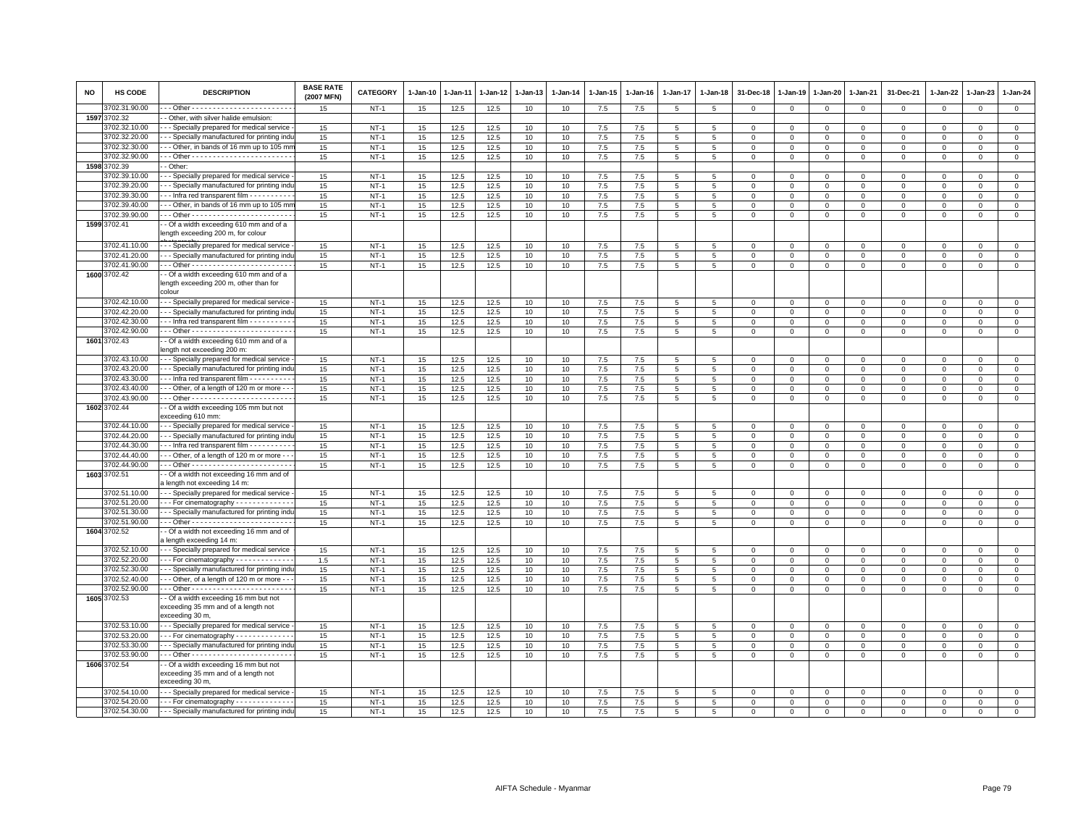| NO   | <b>HS CODE</b>                 | <b>DESCRIPTION</b>                                                                             | <b>BASE RATE</b><br>(2007 MFN) | <b>CATEGORY</b>  | 1-Jan-10         | 1-Jan-11     | 1-Jan-12     | 1-Jan-13 | $1-Jan-14$ | 1-Jan-15   | 1-Jan-16       | 1-Jan-17 | 1-Jan-18        | 31-Dec-18     | 1-Jan-19       | 1-Jan-20      | 1-Jan-21                | 31-Dec-21              | $1 - Jan-22$        | 1-Jan-23      | 1-Jan-24                      |
|------|--------------------------------|------------------------------------------------------------------------------------------------|--------------------------------|------------------|------------------|--------------|--------------|----------|------------|------------|----------------|----------|-----------------|---------------|----------------|---------------|-------------------------|------------------------|---------------------|---------------|-------------------------------|
|      | 3702.31.90.00                  |                                                                                                | 15                             | $NT-1$           | 15               | 12.5         | 12.5         | 10       | 10         | 7.5        | 7.5            | 5        | 5               | $\Omega$      | $\Omega$       | $\mathbf{0}$  | $\mathbf{0}$            | $\mathbf 0$            | $\mathbf 0$         | $\mathsf 0$   | $\mathbf{0}$                  |
|      | 1597 3702.32                   | - Other, with silver halide emulsion:                                                          |                                |                  |                  |              |              |          |            |            |                |          |                 |               |                |               |                         |                        |                     |               |                               |
|      | 3702.32.10.00                  | - - Specially prepared for medical service                                                     | 15                             | $NT-1$           | 15               | 12.5         | 12.5         | 10       | 10         | 7.5        | 7.5            | 5        | 5               | $\Omega$      | $\Omega$       | $\Omega$      | $\mathbf{0}$            | $\Omega$               | $\Omega$            | $\Omega$      | $\mathsf 0$                   |
|      | 3702.32.20.00                  | - - Specially manufactured for printing indu                                                   | 15                             | $NT-1$           | 15               | 12.5         | 12.5         | 10       | 10         | 7.5        | 7.5            | 5        | $5^{\circ}$     | $\Omega$      | $\Omega$       | $\Omega$      | $\Omega$                | $\Omega$               | $\Omega$            | $\Omega$      | $\circ$                       |
|      | 3702.32.30.00                  | -- Other, in bands of 16 mm up to 105 mi                                                       | 15                             | $NT-1$           | 15               | 12.5         | 12.5         | 10       | 10         | 7.5        | 7.5            | 5        | 5               | 0             | 0              | $\mathbf 0$   | $\Omega$                | $\Omega$               | $\Omega$            | $\Omega$      | $\mathbf 0$                   |
|      | 3702.32.90.00                  |                                                                                                | 15                             | $NT-1$           | 15               | 12.5         | 12.5         | 10       | 10         | 7.5        | 7.5            | 5        | 5               | 0             | 0              | 0             | 0                       | 0                      | $\circ$             | $\Omega$      | $\mathbf 0$                   |
| 1598 | 3702.39                        | - Other:                                                                                       |                                |                  |                  |              |              |          |            |            |                |          |                 |               |                |               |                         |                        |                     |               |                               |
|      | 3702.39.10.00<br>3702.39.20.00 | - - Specially prepared for medical service                                                     | 15                             | $NT-1$<br>$NT-1$ | 15               | 12.5<br>12.5 | 12.5<br>12.5 | 10       | 10         | 7.5<br>7.5 | 7.5            | 5        | $\overline{5}$  | $\Omega$      | $\Omega$       | $\Omega$      | $\mathbf 0$             | $\mathbf 0$            | $\mathbf{0}$        | $\mathbf 0$   | $\mathbf{0}$<br>$\mathbf{0}$  |
|      | 3702.39.30.00                  | --- Specially manufactured for printing indi<br>-- Infra red transparent film ---------        | 15<br>15                       | $NT-1$           | 15<br>15         | 12.5         | 12.5         | 10<br>10 | 10<br>10   | 7.5        | 7.5<br>$7.5\,$ | 5<br>5   | 5<br>5          | 0<br>$\Omega$ | 0<br>$\Omega$  | 0<br>$\Omega$ | 0<br>$\Omega$           | $\circ$<br>$\mathbf 0$ | $\circ$<br>$\Omega$ | 0<br>$\Omega$ | $\mathbf 0$                   |
|      | 3702.39.40.00                  | -- Other, in bands of 16 mm up to 105 mr                                                       | 15                             | $NT-1$           | 15               | 12.5         | 12.5         | 10       | 10         | 7.5        | 7.5            | 5        | 5               | $\Omega$      | $\Omega$       | $\Omega$      | $\mathbf{0}$            | $\mathbf 0$            | $\Omega$            | $\Omega$      | $\mathbf{0}$                  |
|      | 3702.39.90.00                  |                                                                                                | 15                             | $NT-1$           | 15               | 12.5         | 12.5         | 10       | 10         | 7.5        | 7.5            | 5        | 5               | 0             | $\mathbf 0$    | $\mathbf{0}$  | $\Omega$                | $^{\circ}$             | $\circ$             | 0             | $\mathsf 0$                   |
|      | 1599 3702.41                   | - Of a width exceeding 610 mm and of a                                                         |                                |                  |                  |              |              |          |            |            |                |          |                 |               |                |               |                         |                        |                     |               |                               |
|      |                                | length exceeding 200 m, for colour                                                             |                                |                  |                  |              |              |          |            |            |                |          |                 |               |                |               |                         |                        |                     |               |                               |
|      | 3702.41.10.00                  | --- Specially prepared for medical service                                                     | 15                             | $NT-1$           | 15               | 12.5         | 12.5         | 10       | 10         | 7.5        | 7.5            | 5        | 5               | $\Omega$      | $\Omega$       | $\Omega$      | $\mathbf 0$             | $\mathbf 0$            | $\Omega$            | $\mathbf 0$   | $\mathbf{0}$                  |
|      | 3702.41.20.00                  | - - Specially manufactured for printing indu                                                   | 15                             | $NT-1$           | 15               | 12.5         | 12.5         | 10       | 10         | 7.5        | 7.5            | 5        | 5               | $\mathbf 0$   | $\Omega$       | $\mathbf 0$   | $\Omega$                | $\mathsf 0$            | $\Omega$            | $\mathbf 0$   | $\mathsf 0$                   |
|      | 3702.41.90.00                  |                                                                                                | 15                             | $NT-1$           | 15               | 12.5         | 12.5         | 10       | 10         | 7.5        | 7.5            | 5        | 5               | $\mathbf 0$   | $\mathbf 0$    | $\mathbf 0$   | $\mathbf 0$             | $\mathsf 0$            | $\mathbf 0$         | $\mathsf 0$   | $\mathsf 0$                   |
|      | 1600 3702.42                   | - Of a width exceeding 610 mm and of a<br>length exceeding 200 m, other than for<br>colour     |                                |                  |                  |              |              |          |            |            |                |          |                 |               |                |               |                         |                        |                     |               |                               |
|      | 3702.42.10.00                  | - - Specially prepared for medical service                                                     | 15                             | $NT-1$           | 15               | 12.5         | 12.5         | 10       | 10         | $7.5\,$    | 7.5            | 5        | 5               | $\Omega$      | $\Omega$       | $\Omega$      | $\Omega$                | $\mathbf 0$            | $\Omega$            | $\Omega$      | $\mathbf 0$                   |
|      | 3702.42.20.00                  | - - Specially manufactured for printing indi                                                   | 15                             | $NT-1$           | 15               | 12.5         | 12.5         | 10       | 10         | 7.5        | 7.5            | 5        | 5               | $\mathbf 0$   | $\mathbf 0$    | $\mathbf 0$   | $\mathbf 0$             | $\mathsf 0$            | $\mathbf 0$         | $\mathbf 0$   | $\overline{0}$                |
|      | 3702.42.30.00                  | -- Infra red transparent film ---------                                                        | 15                             | $NT-1$           | 15               | 12.5         | 12.5         | 10       | 10         | 7.5        | 7.5            | 5        | 5               | $\Omega$      | $\Omega$       | $\Omega$      | $\Omega$                | $\Omega$               | $\Omega$            | $\Omega$      | $\mathsf 0$                   |
|      | 3702.42.90.00                  |                                                                                                | 15                             | $NT-1$           | 15               | 12.5         | 12.5         | 10       | 10         | 7.5        | 7.5            | 5        | 5               | 0             | 0              | 0             | $\mathbf 0$             | 0                      | $\circ$             | 0             | $\circ$                       |
| 1601 | 3702.43                        | - Of a width exceeding 610 mm and of a<br>ength not exceeding 200 m:                           |                                |                  |                  |              |              |          |            |            |                |          |                 |               |                |               |                         |                        |                     |               |                               |
|      | 3702.43.10.00                  | - - Specially prepared for medical service                                                     | 15                             | $NT-1$           | 15               | 12.5         | 12.5         | 10       | 10         | 7.5        | 7.5            | 5        | 5               | 0             | $\mathbf 0$    | $\Omega$      | $\Omega$                | 0                      | $\Omega$            | $\Omega$      | $\mathbf 0$                   |
|      | 3702.43.20.00                  | - - Specially manufactured for printing indu                                                   | 15                             | $NT-1$           | 15               | 12.5         | 12.5         | 10       | 10         | 7.5        | 7.5            | 5        | $\,$ 5 $\,$     | $\mathbf 0$   | $\overline{0}$ | $\mathbf{O}$  | $\Omega$                | $\mathsf 0$            | $\Omega$            | $^{\circ}$    | $\overline{0}$                |
|      | 3702.43.30.00                  | -- Infra red transparent film - - - - - - - - -                                                | 15                             | $NT-1$           | 15               | 12.5         | 12.5         | 10       | 10         | 7.5        | 7.5            | 5        | 5               | $\mathbf{0}$  | $\Omega$       | $\mathbf{0}$  | $\mathbf{0}$            | $\mathbf 0$            | $\mathbf{0}$        | $\mathbf 0$   | $\circ$                       |
|      | 3702.43.40.00                  | - - Other, of a length of 120 m or more - -                                                    | 15                             | $NT-1$           | 15               | 12.5         | 12.5         | 10       | 10         | 7.5        | 7.5            | 5        | 5               | 0             | $\mathbf 0$    | 0             | 0                       | 0                      | 0                   | $^{\circ}$    | $\mathsf 0$                   |
|      | 3702.43.90.00                  |                                                                                                | 15                             | $NT-1$           | 15               | 12.5         | 12.5         | 10       | 10         | 7.5        | 7.5            | 5        | $5\phantom{.0}$ | $\mathbf 0$   | $\mathbf 0$    | $\mathbf 0$   | $\mathsf 0$             | $\mathsf 0$            | $\mathbf 0$         | $\mathsf 0$   | $\mathbf 0$                   |
|      | 1602 3702.44                   | - Of a width exceeding 105 mm but not<br>exceeding 610 mm:                                     |                                |                  |                  |              |              |          |            |            |                |          |                 |               |                |               |                         |                        |                     |               |                               |
|      | 3702.44.10.00                  | - - Specially prepared for medical service                                                     | 15                             | $NT-1$           | 15               | 12.5         | 12.5         | 10       | 10         | 7.5        | 7.5            | 5        | 5               | $\mathbf 0$   | $\Omega$       | $\mathbf 0$   | $\Omega$                | $\mathbf 0$            | $\Omega$            | $\Omega$      | $\mathsf 0$                   |
|      | 3702.44.20.00                  | - - Specially manufactured for printing indu                                                   | 15                             | $NT-1$           | 15               | 12.5         | 12.5         | 10       | 10         | 7.5        | 7.5            | 5        | 5               | $\mathbf 0$   | $\Omega$       | $\Omega$      | $\mathbf{0}$            | $\mathbf 0$            | $\Omega$            | $\Omega$      | $\mathsf 0$                   |
|      | 3702.44.30.00                  | -- Infra red transparent film ---------                                                        | 15                             | $NT-1$           | 15               | 12.5         | 12.5         | 10       | 10         | 7.5        | 7.5            | 5        | 5               | $\mathbf{0}$  | $\mathbf 0$    | $\mathbf 0$   | $\Omega$                | 0                      | $\Omega$            | 0             | $\mathsf 0$                   |
|      | 3702.44.40.00<br>3702.44.90.00 | - - Other, of a length of 120 m or more -                                                      | 15                             | $NT-1$           | 15<br>15         | 12.5         | 12.5<br>12.5 | 10       | 10         | 7.5<br>7.5 | 7.5            | 5        | 5<br>5          | $\mathbf 0$   | $\mathbf 0$    | $\mathbf 0$   | $\mathbf 0$<br>$\Omega$ | $\mathsf 0$            | $\Omega$            | $\mathbf 0$   | $\mathsf 0$<br>$\overline{0}$ |
|      | 1603 3702.51                   | - Of a width not exceeding 16 mm and of                                                        | 15                             | $NT-1$           |                  | 12.5         |              | 10       | 10         |            | 7.5            | 5        |                 | $\mathbf 0$   | $\mathbf 0$    | $\mathbf 0$   |                         | $\mathsf 0$            | $\Omega$            | $\mathbf 0$   |                               |
|      |                                | a length not exceeding 14 m:                                                                   |                                |                  |                  |              |              |          |            |            |                |          |                 |               |                |               |                         |                        |                     |               |                               |
|      | 3702.51.10.00                  | --- Specially prepared for medical service                                                     | 15                             | $NT-1$           | 15               | 12.5         | 12.5         | 10       | 10         | 7.5        | 7.5            | 5        | 5               | $\Omega$      | $\Omega$       | 0             | $\Omega$                | $\circ$                | $\Omega$            | 0             | $\circ$                       |
|      | 3702.51.20.00                  | -- For cinematography - - - - - - - - - - -                                                    | 15                             | $NT-1$           | 15               | 12.5         | 12.5         | 10       | 10         | 7.5        | 7.5            | 5        | 5               | $\Omega$      | $\Omega$       | $\Omega$      | $\Omega$                | $\mathbf 0$            | $\Omega$            | $\mathbf 0$   | $\mathbf 0$                   |
|      | 3702.51.30.00                  | - - Specially manufactured for printing indu                                                   | 15                             | $NT-1$           | 15               | 12.5         | 12.5         | 10       | 10         | 7.5        | 7.5            | 5        | 5               | $\mathbf 0$   | $\mathbf 0$    | $\mathbf 0$   | $\mathbf 0$             | $\mathsf 0$            | $\mathbf 0$         | $\mathbf 0$   | $\mathsf 0$                   |
|      | 3702.51.90.00<br>1604 3702.52  | - Of a width not exceeding 16 mm and of                                                        | 15                             | $NT-1$           | 15               | 12.5         | 12.5         | 10       | 10         | 7.5        | 7.5            | 5        | 5               | 0             | 0              | $\mathbf 0$   | $\Omega$                | $^{\circ}$             | $\circ$             | $\Omega$      | $\mathsf 0$                   |
|      |                                | a length exceeding 14 m:                                                                       |                                |                  |                  |              |              |          |            |            |                |          |                 |               |                |               |                         |                        |                     |               |                               |
|      | 3702.52.10.00                  | - - Specially prepared for medical service                                                     | 15                             | $NT-1$           | 15               | 12.5         | 12.5         | 10       | 10         | 7.5        | 7.5            | 5        | 5               | $\Omega$      | $\Omega$       | $\mathbf{0}$  | $\Omega$                | $\mathbf 0$            | $\Omega$            | $\Omega$      | $\mathsf 0$                   |
|      | 3702.52.20.00                  | --- For cinematography ------------                                                            | 1.5                            | $NT-1$           | 15               | 12.5         | 12.5         | 10       | 10         | 7.5        | 7.5            | 5        | 5               | $\mathbf 0$   | $\mathbf 0$    | $\mathbf 0$   | $\mathbf 0$             | $\mathsf 0$            | $\mathbf 0$         | $\mathsf 0$   | $\mathsf 0$                   |
|      | 3702.52.30.00                  | - - Specially manufactured for printing indi                                                   | 15                             | $NT-1$           | 15               | 12.5         | 12.5         | 10       | 10         | 7.5        | 7.5            | 5        | $\,$ 5 $\,$     | $\mathbf 0$   | $\Omega$       | 0             | $\mathbf 0$             | $\mathsf 0$            | $\mathbf 0$         | $\Omega$      | $\overline{0}$                |
|      | 3702.52.40.00                  | -- Other, of a length of 120 m or more -                                                       | 15                             | $NT-1$           | 15               | 12.5         | 12.5         | 10       | 10         | 7.5        | 7.5            | 5        | 5               | $\Omega$      | $\Omega$       | $\Omega$      | $\Omega$                | $\Omega$               | $\mathbf{0}$        | $\mathbf 0$   | $\mathsf 0$                   |
|      | 3702.52.90.00                  |                                                                                                | 15                             | $NT-1$           | 15               | 12.5         | 12.5         | 10       | 10         | 7.5        | 7.5            | 5        | 5               | $\mathbf 0$   | $\mathbf 0$    | $\mathbf 0$   | $\mathbf 0$             | $\mathsf 0$            | $\mathbf 0$         | $\mathsf 0$   | $\overline{0}$                |
|      | 1605 3702.53                   | - Of a width exceeding 16 mm but not<br>exceeding 35 mm and of a length not<br>exceeding 30 m, |                                |                  |                  |              |              |          |            |            |                |          |                 |               |                |               |                         |                        |                     |               |                               |
|      | 3702.53.10.00                  | - - Specially prepared for medical service                                                     | 15                             | $NT-1$           | 15               | 12.5         | 12.5         | 10       | 10         | 7.5        | 7.5            | 5        | 5               | $\Omega$      | $\Omega$       | $\Omega$      | $\Omega$                | $\mathbf 0$            | $\Omega$            | $\mathbf 0$   | $\circ$                       |
|      | 3702.53.20.00                  | --- For cinematography -------------                                                           | 15                             | $NT-1$           | 15               | 12.5         | 12.5         | 10       | 10         | 7.5        | 7.5            | 5        | 5               | $\mathbf 0$   | $\mathbf 0$    | $\Omega$      | $\mathbf 0$             | $\mathsf 0$            | $\Omega$            | $\Omega$      | $\overline{0}$                |
|      | 3702.53.30.00                  | - - Specially manufactured for printing indu                                                   | 15                             | $NT-1$           | 15               | 12.5         | 12.5         | 10       | 10         | 7.5        | 7.5            | 5        | 5               | $\mathbf 0$   | $\mathbf 0$    | $\mathbf 0$   | $\mathbf 0$             | $\mathsf 0$            | $\mathbf 0$         | $\mathsf 0$   | $\mathsf 0$                   |
|      | 3702.53.90.00                  |                                                                                                | 15                             | $NT-1$           | 15 <sub>15</sub> | 12.5         | 12.5         | 10       | 10         | 7.5        | 7.5            | 5        | 5               | $\mathbf{O}$  | 0              | 0             | $\mathbf{0}$            | $\mathbf{0}$           | $\mathbf 0$         | $\mathbf{0}$  | $\overline{0}$                |
|      | 1606 3702.54                   | - Of a width exceeding 16 mm but not<br>exceeding 35 mm and of a length not<br>exceeding 30 m, |                                |                  |                  |              |              |          |            |            |                |          |                 |               |                |               |                         |                        |                     |               |                               |
|      | 3702.54.10.00                  | - - Specially prepared for medical service                                                     | 15                             | $NT-1$           | 15               | 12.5         | 12.5         | 10       | 10         | 7.5        | 7.5            | 5        | 5               | 0             | $\mathbf 0$    | 0             | 0                       | 0                      | $\circ$             | 0             | $\mathbf 0$                   |
|      | 3702.54.20.00                  | - - - For cinematography - - - - - - - - - - - -                                               | 15                             | $NT-1$           | 15               | 12.5         | 12.5         | 10       | 10         | 7.5        | $7.5\,$        | 5        | $\,$ 5 $\,$     | $\Omega$      | $\mathbf 0$    | $\mathbf 0$   | $\Omega$                | $\mathbf 0$            | $\mathbf 0$         | $\mathsf 0$   | $\overline{0}$                |
|      | 3702.54.30.00                  | - - - Specially manufactured for printing indu                                                 | 15                             | $NT-1$           | 15               | 12.5         | 12.5         | 10       | 10         | 7.5        | 7.5            | 5        | 5               | $\Omega$      | $\Omega$       | $\Omega$      | $\Omega$                | $\Omega$               | $\Omega$            | $\Omega$      | $\mathbf 0$                   |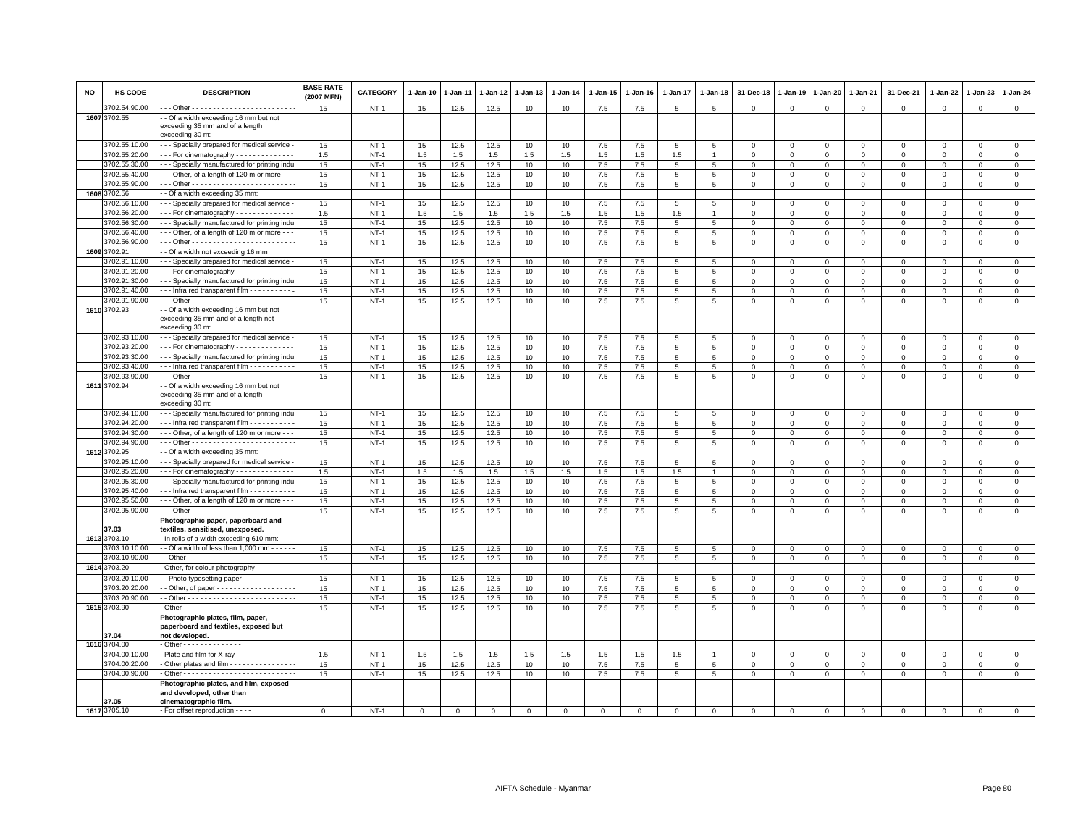| NO | HS CODE                        | <b>DESCRIPTION</b>                                                                                   | <b>BASE RATE</b><br>(2007 MFN) | CATEGORY         | 1-Jan-10  | 1-Jan-11     | 1-Jan-12     | 1-Jan-13    | 1-Jan-14  | 1-Jan-15       | 1-Jan-16    | 1-Jan-17             | 1-Jan-18            | 31-Dec-18                     | 1-Jan-19                   | 1-Jan-20                            | 1-Jan-21                   | 31-Dec-21                  | $1 - Jan-22$               | 1-Jan-23                   | 1-Jan-24                    |
|----|--------------------------------|------------------------------------------------------------------------------------------------------|--------------------------------|------------------|-----------|--------------|--------------|-------------|-----------|----------------|-------------|----------------------|---------------------|-------------------------------|----------------------------|-------------------------------------|----------------------------|----------------------------|----------------------------|----------------------------|-----------------------------|
|    | 3702.54.90.00                  |                                                                                                      | 15                             | $NT-1$           | 15        | 12.5         | 12.5         | 10          | 10        | $7.5\,$        | 7.5         | $\overline{5}$       | $\overline{5}$      | $\mathbf 0$                   | $\mathbf 0$                | $\mathbf 0$                         | $\mathbf 0$                | $\mathsf 0$                | $\mathbf 0$                | $\mathsf 0$                | $\mathbf 0$                 |
|    | 1607 3702.55                   | - Of a width exceeding 16 mm but not<br>exceeding 35 mm and of a length<br>exceeding 30 m:           |                                |                  |           |              |              |             |           |                |             |                      |                     |                               |                            |                                     |                            |                            |                            |                            |                             |
|    | 3702.55.10.00                  | - - Specially prepared for medical service                                                           | 15                             | $NT-1$           | 15        | 12.5         | 12.5         | 10          | 10        | 7.5            | 7.5         | 5                    | $5\phantom{.0}$     | $\mathbf 0$                   | $\mathbf 0$                | $\mathbf 0$                         | $\mathbf 0$                | 0                          | $\mathbf 0$                | $\Omega$                   | $\overline{0}$              |
|    | 3702.55.20.00                  | - - For cinematography - - - - - - - - - - - -                                                       | 1.5                            | $NT-1$           | 1.5       | 1.5          | $1.5\,$      | 1.5         | 1.5       | $1.5\,$        | 1.5         | 1.5                  |                     | $\Omega$                      | $\Omega$                   | $\mathbf 0$                         | $\mathbf 0$                | $\mathsf 0$                | $\mathbf 0$                | $\mathsf 0$                | $\mathsf 0$                 |
|    | 3702.55.30.00                  | - - Specially manufactured for printing indi                                                         | 15                             | $NT-1$           | 15        | 12.5         | 12.5         | 10          | 10        | 7.5            | 7.5         | $5\overline{5}$      | 5                   | $\mathbf 0$                   | $\mathbf 0$                | $\mathbf 0$                         | $\mathbf 0$                | 0                          | 0                          | $\mathbf 0$                | $\mathbf 0$                 |
|    | 3702.55.40.00                  | - - Other, of a length of 120 m or more -                                                            | 15                             | $NT-1$           | 15        | 12.5         | 12.5         | 10          | 10        | $7.5\,$        | 7.5         | 5                    | $\,$ 5              | $\mathbf 0$                   | $\mathbf{0}$               | $\mathsf 0$                         | $\mathbf 0$                | $\mathsf 0$                | $\mathbf 0$                | $\mathbf 0$                | $\mathsf 0$                 |
|    | 3702.55.90.00                  |                                                                                                      | 15                             | $NT-1$           | 15        | 12.5         | 12.5         | 10          | 10        | 7.5            | 7.5         | 5                    | 5                   | $\mathsf 0$                   | $\mathsf 0$                | $\mathbf 0$                         | $\mathbf 0$                | $\mathsf 0$                | $\mathbf 0$                | $\mathbf 0$                | $\mathsf 0$                 |
|    | 1608 3702.56                   | - Of a width exceeding 35 mm:                                                                        |                                |                  |           |              |              |             |           |                |             |                      |                     |                               |                            |                                     |                            |                            |                            |                            |                             |
|    | 3702.56.10.00<br>3702.56.20.00 | - - Specially prepared for medical service                                                           | 15                             | $NT-1$           | 15        | 12.5         | 12.5         | 10          | 10        | 7.5            | 7.5         | 5                    | 5                   | 0                             | $^{\circ}$                 | $\mathbf 0$                         | $\mathbf 0$                | $\mathsf 0$                | $\mathbf 0$<br>$\Omega$    | $^{\circ}$                 | $\mathbf 0$                 |
|    | 3702.56.30.00                  | -- For cinematography ------------<br>- - Specially manufactured for printing indu                   | 1.5<br>15                      | $NT-1$<br>$NT-1$ | 1.5<br>15 | 1.5<br>12.5  | 1.5<br>12.5  | 1.5<br>10   | 1.5<br>10 | 1.5<br>7.5     | 1.5<br>7.5  | 1.5<br>5             | 5                   | $\mathbf 0$<br>$\mathbf 0$    | $\mathbf 0$<br>$\mathbf 0$ | $\mathbf{0}$                        | $\mathbf 0$<br>$\mathsf 0$ | $\mathbf 0$                |                            | $\Omega$                   | $\mathsf 0$<br>$\mathsf 0$  |
|    | 3702.56.40.00                  | -- Other, of a length of 120 m or more -                                                             | 15                             | $NT-1$           | 15        | 12.5         | 12.5         | 10          | 10        | 7.5            | 7.5         | 5                    | 5                   | $\mathbf 0$                   | $\mathbf 0$                | $\mathbf 0$<br>$\mathbf 0$          | $\Omega$                   | $\mathsf 0$<br>0           | $\mathbf 0$<br>$\Omega$    | $\mathsf 0$<br>0           | $\mathbf 0$                 |
|    | 3702.56.90.00                  |                                                                                                      | 15                             | $NT-1$           | 15        | 12.5         | 12.5         | 10          | 10        | $7.5\,$        | 7.5         | 5 <sup>5</sup>       | 5                   | $\Omega$                      | $\Omega$                   | $\mathbf 0$                         | $\Omega$                   | $\Omega$                   | $\Omega$                   | $\Omega$                   | $\mathbf 0$                 |
|    | 1609 3702.91                   | - Of a width not exceeding 16 mm                                                                     |                                |                  |           |              |              |             |           |                |             |                      |                     |                               |                            |                                     |                            |                            |                            |                            |                             |
|    | 3702.91.10.00                  | - - Specially prepared for medical service                                                           | 15                             | $NT-1$           | 15        | 12.5         | 12.5         | 10          | 10        | 7.5            | 7.5         | $5\overline{5}$      | 5                   | $\Omega$                      | $\mathbf{0}$               | $\mathbf{0}$                        | $\Omega$                   | $\Omega$                   | $\Omega$                   | $\Omega$                   | $\circ$                     |
|    | 3702.91.20.00                  | --- For cinematography -------------                                                                 | 15                             | $NT-1$           | 15        | 12.5         | 12.5         | 10          | 10        | $7.5\,$        | 7.5         | 5                    | 5                   | $\mathbf 0$                   | $\mathbf 0$                | $\mathbf 0$                         | $\mathbf 0$                | $\mathsf 0$                | $\mathbf 0$                | $^{\circ}$                 | $\circ$                     |
|    | 3702.91.30.00                  | - - Specially manufactured for printing indi                                                         | 15                             | $NT-1$           | 15        | 12.5         | 12.5         | 10          | 10        | 7.5            | 7.5         | 5                    | 5                   | $\overline{0}$                | $\Omega$                   | $\mathbf{0}$                        | $\Omega$                   | $\mathbf 0$                | $\Omega$                   | $\Omega$                   | $\mathsf 0$                 |
|    | 3702.91.40.00                  | - - Infra red transparent film - - - - - - - - - -                                                   | 15                             | $NT-1$           | 15        | 12.5         | 12.5         | 10          | 10        | 7.5            | 7.5         | 5                    | 5                   | $\mathbf 0$                   | $\mathbf 0$                | 0                                   | $\mathbf 0$                | 0                          | $\mathbf 0$                | $\mathbf 0$                | $\mathbf 0$                 |
|    | 3702.91.90.00                  |                                                                                                      | 15                             | $NT-1$           | 15        | 12.5         | 12.5         | 10          | 10        | 7.5            | 7.5         | 5                    | $\,$ 5              | $\mathbf 0$                   | $\mathsf 0$                | $\mathbf 0$                         | $\mathbf 0$                | $\mathsf 0$                | $\mathbf 0$                | $\mathsf 0$                | $\overline{0}$              |
|    | 1610 3702.93                   | - Of a width exceeding 16 mm but not<br>exceeding 35 mm and of a length not<br>exceeding 30 m:       |                                |                  |           |              |              |             |           |                |             |                      |                     |                               |                            |                                     |                            |                            |                            |                            |                             |
|    | 3702.93.10.00                  | - - Specially prepared for medical service                                                           | 15                             | $NT-1$           | 15        | 12.5         | 12.5         | 10          | 10        | 7.5            | 7.5         | 5                    | 5                   | 0                             | $^{\circ}$                 | $\mathbf 0$                         | $\mathbf 0$                | 0                          | 0                          | 0                          | $\mathbf 0$                 |
|    | 3702.93.20.00                  | - - For cinematography - - - - - - - - - - - -                                                       | 15                             | $NT-1$           | 15        | 12.5         | 12.5         | 10          | 10        | 7.5            | 7.5         | 5                    | $\,$ 5              | $\mathsf 0$                   | $\mathbf 0$                | $\mathbf 0$                         | $\mathbf 0$                | $\mathsf 0$                | $\mathbf 0$                | $\mathsf 0$                | $\overline{0}$              |
|    | 3702.93.30.00                  | - - Specially manufactured for printing indu                                                         | 15                             | $NT-1$           | 15        | 12.5         | 12.5         | 10          | 10        | 7.5            | 7.5         | 5                    | 5                   | $\mathbf{0}$                  | $\mathbf{0}$               | $\mathbf{0}$                        | $\mathbf{0}$               | $\mathbf 0$                | $\mathbf 0$                | $\mathbf 0$                | $\circ$                     |
|    | 3702.93.40.00                  | --- Infra red transparent film ----------                                                            | 15                             | $NT-1$           | 15        | 12.5         | 12.5         | 10          | 10        | $7.5\,$        | 7.5         | $\overline{5}$       | 5                   | $\mathbf 0$                   | $\mathbf 0$                | $\mathbf 0$                         | $\mathbf 0$                | $\mathsf 0$                | $\mathbf 0$                | $\mathsf 0$                | $\mathsf 0$                 |
|    | 3702.93.90.00                  |                                                                                                      | 15                             | $NT-1$           | 15        | 12.5         | 12.5         | 10          | 10        | 7.5            | 7.5         | 5                    | 5                   | $\mathbf 0$                   | $\mathsf 0$                | $\mathbf{0}$                        | $\mathbf 0$                | $\mathsf 0$                | $\mathbf 0$                | $\mathsf 0$                | $\mathbf{0}$                |
|    | 1611 3702.94                   | - Of a width exceeding 16 mm but not<br>exceeding 35 mm and of a length<br>exceeding 30 m:           |                                |                  |           |              |              |             |           |                |             |                      |                     |                               |                            |                                     |                            |                            |                            |                            |                             |
|    | 3702.94.10.00                  | --- Specially manufactured for printing ind                                                          | 15                             | $NT-1$           | 15        | 12.5         | 12.5         | 10          | 10        | $7.5\,$        | 7.5         | 5                    | 5                   | $\mathbf 0$                   | $\mathbf 0$                | $\mathbf 0$                         | $\mathbf 0$                | $\mathsf 0$                | $\mathbf 0$                | $\mathsf 0$                | $\mathbf 0$                 |
|    | 3702.94.20.00                  | -- Infra red transparent film - - - - - - - - -                                                      | 15                             | $NT-1$           | 15        | 12.5         | 12.5         | 10          | 10        | 7.5            | 7.5         | 5                    | 5                   | $\mathbf 0$                   | $\mathbf{0}$               | $\mathbf{0}$                        | $\mathbf{0}$               | $\mathbf 0$                | $\mathbf 0$                | $\mathbf 0$                | $\circ$                     |
|    | 3702.94.30.00                  | - - Other, of a length of 120 m or more - -                                                          | 15                             | $NT-1$           | 15        | 12.5         | 12.5         | 10          | 10        | $7.5\,$        | 7.5         | 5                    | 5                   | 0                             | $^{\circ}$                 | $\mathbf 0$                         | 0                          | 0                          | 0                          | 0                          | $\circ$                     |
|    | 3702.94.90.00                  |                                                                                                      | 15                             | $NT-1$           | 15        | 12.5         | 12.5         | 10          | 10        | 7.5            | 7.5         | 5                    | $\overline{5}$      | $\mathbf 0$                   | $\mathbf{0}$               | $\mathbf 0$                         | $\mathsf 0$                | $\mathsf 0$                | $\Omega$                   | $\mathsf 0$                | $\mathsf 0$                 |
|    | 1612 3702.95<br>3702.95.10.00  | - Of a width exceeding 35 mm:                                                                        |                                |                  |           |              |              |             |           |                |             |                      |                     |                               |                            |                                     |                            |                            |                            |                            |                             |
|    | 3702.95.20.00                  | - - Specially prepared for medical service<br>-- For cinematography -----------                      | 15<br>1.5                      | $NT-1$<br>$NT-1$ | 15<br>1.5 | 12.5<br>1.5  | 12.5<br>1.5  | $10$<br>1.5 | 10<br>1.5 | $7.5\,$<br>1.5 | 7.5<br>1.5  | 5<br>1.5             | 5<br>$\overline{1}$ | $\overline{0}$<br>$\mathbf 0$ | $\mathbf 0$<br>$\Omega$    | $\mathbf 0$<br>$\mathbf{0}$         | $\Omega$<br>$\mathbf{0}$   | $\mathsf 0$<br>$\mathbf 0$ | $^{\circ}$<br>$\mathbf 0$  | $\mathsf 0$<br>$\mathbf 0$ | $\overline{0}$<br>$\circ$   |
|    | 3702.95.30.00                  | -- Specially manufactured for printing indi                                                          | 15                             | $NT-1$           | 15        | 12.5         | 12.5         | 10          | 10        | $7.5\,$        | 7.5         | 5                    | 5                   | $\mathbf 0$                   | $\mathbf 0$                | $\mathbf 0$                         | $\mathbf 0$                | $\mathsf 0$                | $\mathbf 0$                | $^{\circ}$                 | $\mathsf 0$                 |
|    | 3702.95.40.00                  | - - Infra red transparent film - - - - - - - -                                                       | 15                             | $NT-1$           | 15        | 12.5         | 12.5         | 10          | 10        | $7.5\,$        | 7.5         | 5                    | 5                   | $\mathbf 0$                   | $\mathbf 0$                | 0                                   | $\mathbf 0$                | $\mathsf 0$                | $\Omega$                   | $^{\circ}$                 | $\mathsf 0$                 |
|    | 3702.95.50.00                  | - - Other, of a length of 120 m or more - -                                                          | 15                             | $NT-1$           | 15        | 12.5         | 12.5         | 10          | 10        | 7.5            | 7.5         | 5                    | 5                   | $\Omega$                      | $\Omega$                   | $\mathbf 0$                         | $\mathbf 0$                | $\mathbf 0$                | $\mathbf 0$                | $\mathbf 0$                | $\mathbf 0$                 |
|    | 3702.95.90.00                  |                                                                                                      | 15                             | $NT-1$           | 15        | 12.5         | 12.5         | 10          | 10        | $7.5\,$        | 7.5         | 5                    | 5                   | $\mathbf 0$                   | $\mathbf{0}$               | $\mathbf 0$                         | $\Omega$                   | $\mathbf 0$                | $\Omega$                   | $\Omega$                   | $\mathbf 0$                 |
|    | 37.03                          | Photographic paper, paperboard and<br>textiles, sensitised, unexposed.                               |                                |                  |           |              |              |             |           |                |             |                      |                     |                               |                            |                                     |                            |                            |                            |                            |                             |
|    | 1613 3703.10                   | In rolls of a width exceeding 610 mm:                                                                |                                |                  |           |              |              |             |           |                |             |                      |                     |                               |                            |                                     |                            |                            |                            |                            |                             |
|    | 3703.10.10.00<br>3703.10.90.00 | $\cdot$ - Of a width of less than 1,000 mm - - -                                                     | 15<br>15                       | $NT-1$           | 15        | 12.5<br>12.5 | 12.5<br>12.5 | 10<br>10    | 10        | 7.5<br>7.5     | 7.5         | $5\overline{5}$<br>5 | 5<br>5              | $\Omega$<br>$\mathbf 0$       | $\Omega$<br>$\mathbf 0$    | $\mathbf{0}$<br>$\mathsf{O}\xspace$ | $\Omega$                   | $\mathbf 0$                | $\mathbf 0$<br>$\mathbf 0$ | $\mathbf 0$                | $\mathbf{0}$<br>$\mathsf 0$ |
|    | 1614 3703.20                   | Other, for colour photography                                                                        |                                | $NT-1$           | 15        |              |              |             | 10        |                | 7.5         |                      |                     |                               |                            |                                     | $\mathsf 0$                | $\mathsf 0$                |                            | $\mathbf 0$                |                             |
|    | 3703.20.10.00                  |                                                                                                      | 15                             | $NT-1$           | 15        | 12.5         | 12.5         | 10          | 10        | 7.5            | 7.5         | $\overline{5}$       | 5                   | $\Omega$                      | $\Omega$                   | $\Omega$                            | $\Omega$                   | $\mathbf 0$                | $\Omega$                   | $\Omega$                   | $\mathsf 0$                 |
|    | 3703.20.20.00                  | - Photo typesetting paper - - - - - - - - - -<br>- Other, of paper - - - - - - - - - - - - - - - - - | 15                             | $NT-1$           | 15        | 12.5         | 12.5         | 10          | 10        | $7.5\,$        | 7.5         | $\overline{5}$       | $\overline{5}$      | $\mathbf 0$                   | $\mathbf 0$                | $\mathbf 0$                         | $\mathbf 0$                | $\mathsf 0$                | $\mathbf 0$                | $\mathsf 0$                | $\mathsf 0$                 |
|    | 3703.20.90.00                  |                                                                                                      | 15                             | $NT-1$           | 15        | 12.5         | 12.5         | 10          | 10        | 7.5            | 7.5         | 5                    | 5                   | $\mathbf{0}$                  | $\mathbf{0}$               | $\mathbf 0$                         | $\Omega$                   | 0                          | $\Omega$                   | $\Omega$                   | $\circ$                     |
|    | 1615 3703.90                   | Other - - - - - - - - -                                                                              | 15                             | $NT-1$           | 15        | 12.5         | 12.5         | 10          | 10        | 7.5            | 7.5         | 5                    | 5                   | $\mathbf 0$                   | $\mathbf 0$                | $\mathbf 0$                         | $\mathbf 0$                | 0                          | 0                          | 0                          | $\mathbf 0$                 |
|    | 37.04                          | Photographic plates, film, paper,<br>paperboard and textiles, exposed but<br>not developed.          |                                |                  |           |              |              |             |           |                |             |                      |                     |                               |                            |                                     |                            |                            |                            |                            |                             |
|    | 1616 3704.00                   | Other - - - - - - - - - - - - - -                                                                    |                                |                  |           |              |              |             |           |                |             |                      |                     |                               |                            |                                     |                            |                            |                            |                            |                             |
|    | 3704.00.10.00                  | Plate and film for X-ray - - - - - - - - - - - - -                                                   | 1.5                            | $NT-1$           | $1.5\,$   | 1.5          | 1.5          | 1.5         | 1.5       | 1.5            | 1.5         | 1.5                  | $\overline{1}$      | $\mathbf 0$                   | $\mathbf 0$                | $\mathbf 0$                         | $\mathbf 0$                | $\mathsf 0$                | $\mathbf 0$                | $\mathsf 0$                | $\mathsf 0$                 |
|    | 3704.00.20.00                  | - Other plates and film - - - - - - - - - - - - - -                                                  | 15                             | $NT-1$           | 15        | 12.5         | 12.5         | 10          | 10        | 7.5            | 7.5         | 5                    | 5                   | $\mathbf 0$                   | $\mathbf 0$                | $\mathbf 0$                         | $\Omega$                   | $\mathsf 0$                | $\Omega$                   | $\Omega$                   | $\overline{0}$              |
|    | 3704.00.90.00<br>37.05         | Photographic plates, and film, exposed<br>and developed, other than<br>cinematographic film.         | 15                             | $NT-1$           | 15        | 12.5         | 12.5         | 10          | 10        | 7.5            | 7.5         | 5                    | 5                   | $\mathbf 0$                   | $\mathbf 0$                | $\mathbf 0$                         | $\mathbf 0$                | $\mathsf 0$                | $\mathbf 0$                | $\mathbf 0$                | $\overline{0}$              |
|    | 1617 3705.10                   | - For offset reproduction - - - -                                                                    | $\Omega$                       | $NT-1$           | $\Omega$  | $\Omega$     | $\Omega$     | $\Omega$    | $\Omega$  | $\Omega$       | $\mathbf 0$ | $\Omega$             | $\mathbf 0$         | $\Omega$                      | $\Omega$                   | $\mathbf 0$                         | $\Omega$                   | $\mathbf 0$                | $\Omega$                   | $\mathbf 0$                | $\overline{0}$              |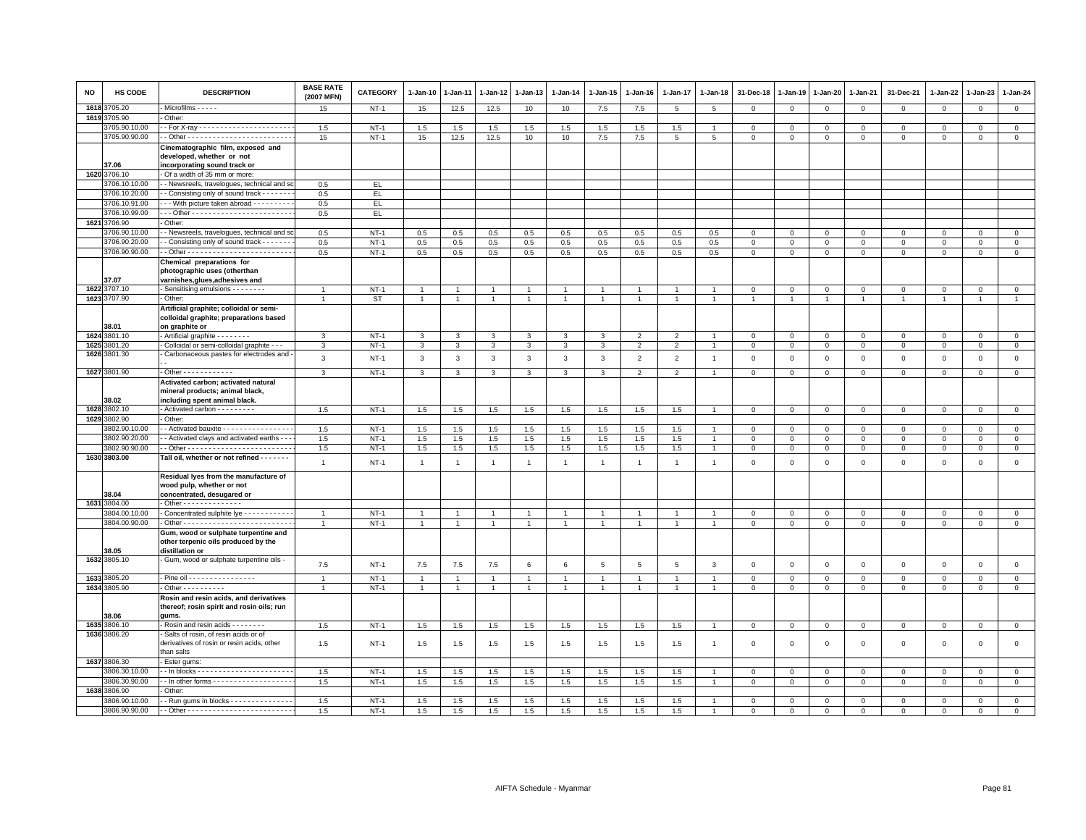| NO   | HS CODE       | <b>DESCRIPTION</b>                                                                                      | <b>BASE RATE</b><br>(2007 MFN) | CATEGORY | $1-Jan-10$     | $1 - Jan-11$   | $1 - Jan-12$   | 1-Jan-13                | $1 - Jan-14$   | $1 - Jan-15$   | $1 - Jan-16$   | $1 - Jan-17$    | $1 - Jan-18$    | 31-Dec-18      | $1 - Jan-19$   | 1-Jan-20            | 1-Jan-21       | 31-Dec-21           | $1 - Jan-22$   | 1-Jan-23       | $1 - Jan-24$   |
|------|---------------|---------------------------------------------------------------------------------------------------------|--------------------------------|----------|----------------|----------------|----------------|-------------------------|----------------|----------------|----------------|-----------------|-----------------|----------------|----------------|---------------------|----------------|---------------------|----------------|----------------|----------------|
| 1618 | 3705.20       | Microfilms - - - - -                                                                                    | 15                             | $NT-1$   | 15             | 12.5           | 12.5           | 10                      | 10             | $7.5\,$        | 7.5            | $5\phantom{.0}$ | $5\phantom{.0}$ | $\mathbf 0$    | $\mathsf 0$    | $\mathbf 0$         | $\circ$        | $\mathbf 0$         | $\circ$        | $\mathbf 0$    | $\overline{0}$ |
|      | 1619 3705.90  | Other:                                                                                                  |                                |          |                |                |                |                         |                |                |                |                 |                 |                |                |                     |                |                     |                |                |                |
|      | 3705.90.10.00 |                                                                                                         | 1.5                            | $NT-1$   | $1.5\,$        | 1.5            | $1.5\,$        | 1.5                     | 1.5            | $1.5\,$        | 1.5            | 1.5             | $\mathbf{1}$    | $\,0\,$        | $\mathsf 0$    | $\mathbf 0$         | $\,0\,$        | $\mathbf 0$         | $\mathbf{0}$   | $\mathbf 0$    | $\mathsf 0$    |
|      | 3705.90.90.00 |                                                                                                         | 15                             | $NT-1$   | 15             | 12.5           | 12.5           | 10                      | 10             | 7.5            | 7.5            | 5               | 5               | $\mathsf 0$    | $\mathsf 0$    | $\mathsf 0$         | $\mathbf 0$    | $\mathsf 0$         | $\mathbf{O}$   | $\mathsf 0$    | $\mathsf 0$    |
|      | 37.06         | Cinematographic film, exposed and<br>developed, whether or not<br>incorporating sound track or          |                                |          |                |                |                |                         |                |                |                |                 |                 |                |                |                     |                |                     |                |                |                |
|      | 1620 3706.10  | - Of a width of 35 mm or more:                                                                          |                                |          |                |                |                |                         |                |                |                |                 |                 |                |                |                     |                |                     |                |                |                |
|      | 3706.10.10.00 | - Newsreels, travelogues, technical and so                                                              | 0.5                            | EL.      |                |                |                |                         |                |                |                |                 |                 |                |                |                     |                |                     |                |                |                |
|      | 3706.10.20.00 | - Consisting only of sound track - - - - - -                                                            | 0.5                            | EL.      |                |                |                |                         |                |                |                |                 |                 |                |                |                     |                |                     |                |                |                |
|      | 3706.10.91.00 | - - With picture taken abroad - - - - - - - - -                                                         | 0.5                            | EL.      |                |                |                |                         |                |                |                |                 |                 |                |                |                     |                |                     |                |                |                |
|      | 3706.10.99.00 |                                                                                                         | 0.5                            | EL       |                |                |                |                         |                |                |                |                 |                 |                |                |                     |                |                     |                |                |                |
| 1621 | 3706.90       | Other:                                                                                                  |                                |          |                |                |                |                         |                |                |                |                 |                 |                |                |                     |                |                     |                |                |                |
|      | 3706.90.10.00 | - Newsreels, travelogues, technical and so                                                              | 0.5                            | $NT-1$   | 0.5            | 0.5            | 0.5            | 0.5                     | 0.5            | 0.5            | 0.5            | 0.5             | 0.5             | $\mathbf 0$    | $\mathbf 0$    | 0                   | 0              | $\mathbf 0$         | 0              | $\mathbf 0$    | $\mathbf{0}$   |
|      | 3706.90.20.00 | - Consisting only of sound track - - - - - -                                                            | 0.5                            | $NT-1$   | 0.5            | 0.5            | 0.5            | 0.5                     | 0.5            | 0.5            | 0.5            | 0.5             | 0.5             | $\mathsf 0$    | $\Omega$       | $\mathbf 0$         | $\mathbf 0$    | $\mathbf 0$         | $\Omega$       | $\mathbf 0$    | $\overline{0}$ |
|      | 3706.90.90.00 |                                                                                                         | 0.5                            | $NT-1$   | 0.5            | 0.5            | 0.5            | 0.5                     | 0.5            | 0.5            | 0.5            | 0.5             | 0.5             | $\mathbf 0$    | $\mathsf 0$    | $\mathsf 0$         | $\mathbf 0$    | $\mathbf 0$         | $\mathbf 0$    | $\mathbf 0$    | $\mathsf 0$    |
|      |               | Chemical preparations for<br>photographic uses (otherthan                                               |                                |          |                |                |                |                         |                |                |                |                 |                 |                |                |                     |                |                     |                |                |                |
|      | 37.07         | varnishes, glues, adhesives and                                                                         |                                |          |                |                |                |                         |                |                |                |                 |                 |                |                |                     |                |                     |                |                |                |
|      | 1622 3707.10  | - Sensitising emulsions - - - - - - -                                                                   |                                | $NT-1$   | $\overline{1}$ |                | $\overline{1}$ | $\overline{1}$          | $\overline{1}$ | $\mathbf{1}$   |                |                 |                 | $\mathbf 0$    | $\mathbf 0$    | $\mathbf 0$         | $\mathbf 0$    | $\mathbf{0}$        | $\mathbf{0}$   | $\mathbf{0}$   | $\mathbf 0$    |
|      | 1623 3707.90  | Other:                                                                                                  |                                | ST       | $\mathbf{1}$   | $\overline{1}$ | $\overline{1}$ | $\overline{1}$          | $\mathbf{1}$   | $\overline{1}$ | $\overline{1}$ | $\overline{1}$  | $\overline{1}$  | $\overline{1}$ | $\mathbf{1}$   |                     | $\overline{1}$ | $\overline{1}$      | $\mathbf{1}$   | $\overline{1}$ | $\mathbf{1}$   |
|      | 38.01         | Artificial graphite; colloidal or semi-<br>colloidal graphite; preparations based<br>on graphite or     |                                |          |                |                |                |                         |                |                |                |                 |                 |                |                |                     |                |                     |                |                |                |
|      | 1624 3801.10  | - Artificial graphite - - - - - - - -                                                                   | 3                              | $NT-1$   | 3              | 3              | $\mathbf{3}$   | $\mathbf{3}$            | 3              | 3              | 2              | 2               | $\overline{1}$  | $\mathbf 0$    | $\mathbf 0$    | $\mathbf{0}$        | $\mathbf{0}$   | $\mathbf{0}$        | $\mathbf{0}$   | $\mathbf{0}$   | $\mathbf{0}$   |
| 1625 | 801.20        | Colloidal or semi-colloidal graphite - -                                                                | 3                              | $NT-1$   | $\overline{3}$ | 3              | 3              | $\overline{\mathbf{3}}$ | 3              | 3              | $\overline{2}$ | $\overline{2}$  | $\overline{1}$  | $\overline{0}$ | $\overline{0}$ | $\overline{0}$      | $\overline{0}$ | $\overline{0}$      | $\overline{0}$ | $\overline{0}$ | $\overline{0}$ |
|      | 1626 3801.30  | Carbonaceous pastes for electrodes and                                                                  | $\mathbf{3}$                   | $NT-1$   | $_{3}$         | $\mathbf{3}$   | $\mathbf{3}$   | $\mathbf{3}$            | $\mathbf{3}$   | $\mathbf{3}$   | $\overline{2}$ | $\overline{2}$  | $\overline{1}$  | $\mathbf 0$    | $\mathsf 0$    | $\mathbf 0$         | $\mathbf 0$    | $\mathsf 0$         | $\mathsf 0$    | $\mathsf 0$    | $\mathsf 0$    |
|      | 1627 3801.90  | - Other - - - - - - - - - - - -                                                                         | $\mathbf{3}$                   | $NT-1$   | $\mathbf{3}$   | $\mathbf{3}$   | $\mathbf{3}$   | $\mathbf{3}$            | $\mathbf{3}$   | $\mathbf{3}$   | $\overline{2}$ | $\overline{2}$  | $\overline{1}$  | $\mathbf 0$    | $\,0\,$        | $\mathsf 0$         | $\overline{0}$ | $\mathsf{O}\xspace$ | $\mathbf{0}$   | $\mathbf 0$    | $\overline{0}$ |
|      | 38.02         | Activated carbon; activated natural<br>mineral products; animal black,<br>including spent animal black. |                                |          |                |                |                |                         |                |                |                |                 |                 |                |                |                     |                |                     |                |                |                |
| 1628 | 3802.10       | - Activated carbon - - - - - - - - -                                                                    | 1.5                            | $NT-1$   | 1.5            | 1.5            | 1.5            | 1.5                     | 1.5            | 1.5            | 1.5            | 1.5             |                 | $\mathbf 0$    | $\mathbf{0}$   | $\mathbf 0$         | $\mathbf 0$    | $\mathbf 0$         | $\mathbf 0$    | $\overline{0}$ | $\mathsf 0$    |
|      | 1629 3802.90  | Other:                                                                                                  |                                |          |                |                |                |                         |                |                |                |                 |                 |                |                |                     |                |                     |                |                |                |
|      | 3802.90.10.00 | - Activated bauxite - - - - - - - - - - - - - - -                                                       | 1.5                            | $NT-1$   | 1.5            | 1.5            | 1.5            | 1.5                     | 1.5            | 1.5            | 1.5            | 1.5             |                 | $\mathbf 0$    | 0              | 0                   | $\mathbf 0$    | $\mathbf 0$         | $\mathbf 0$    | $\mathbf 0$    | $\mathbf 0$    |
|      | 3802.90.20.00 | - Activated clays and activated earths - -                                                              | 1.5                            | $NT-1$   | 1.5            | 1.5            | 1.5            | 1.5                     | 1.5            | 1.5            | 1.5            | 1.5             |                 | $\mathbf 0$    | $\mathsf 0$    | $\mathbf 0$         | $\overline{0}$ | $\mathbf{0}$        | $\mathbf{0}$   | $\mathbf{0}$   | $\mathbf 0$    |
|      | 3802.90.90.00 |                                                                                                         | 1.5                            | $NT-1$   | 1.5            | 1.5            | 1.5            | 1.5                     | 1.5            | 1.5            | 1.5            | 1.5             |                 | $\,0\,$        | $\mathsf 0$    | $\mathsf 0$         | $\mathsf 0$    | $\mathsf 0$         | $\mathsf 0$    | $\mathbf 0$    | $\mathbf 0$    |
|      | 1630 3803.00  | Tall oil, whether or not refined - - - - - - -                                                          | $\mathbf{1}$                   | $NT-1$   | $\mathbf{1}$   | $\overline{1}$ | $\overline{1}$ | $\overline{1}$          | $\mathbf{1}$   | $\mathbf{1}$   | $\mathbf{1}$   | $\overline{1}$  | $\overline{1}$  | $\mathbf 0$    | $\mathsf 0$    | $\mathsf{O}\xspace$ | $\,0\,$        | $\mathsf 0$         | $\mathsf 0$    | $\mathsf 0$    | $\mathsf 0$    |
|      | 38.04         | Residual lyes from the manufacture of<br>wood pulp, whether or not<br>concentrated, desugared or        |                                |          |                |                |                |                         |                |                |                |                 |                 |                |                |                     |                |                     |                |                |                |
|      | 1631 3804.00  | Other - - - - - - - - - - - - -                                                                         |                                |          |                |                |                |                         |                |                |                |                 |                 |                |                |                     |                |                     |                |                |                |
|      | 804.00.10.00  | Concentrated sulphite lye - - - - - - - - - -                                                           | $\overline{1}$                 | $NT-1$   | $\overline{1}$ | $\overline{1}$ | $\overline{1}$ | $\overline{1}$          | $\overline{1}$ |                | -1             |                 |                 | $\mathbf 0$    | 0              | $\Omega$            | $\mathbf 0$    | $\mathsf 0$         | $\mathbf{0}$   | $\mathbf{0}$   | $\mathsf 0$    |
|      | 3804.00.90.00 |                                                                                                         | $\overline{1}$                 | $NT-1$   | $\overline{1}$ | $\overline{1}$ | $\mathbf{1}$   | $\overline{1}$          | $\mathbf{1}$   | $\overline{1}$ | $\overline{1}$ | $\mathbf{1}$    | $\overline{1}$  | $\mathbf 0$    | $\mathsf 0$    | $\mathsf 0$         | $\mathsf 0$    | $\mathbf 0$         | $\mathbf 0$    | $\mathbf 0$    | $\mathbf 0$    |
|      | 38.05         | Gum, wood or sulphate turpentine and<br>other terpenic oils produced by the<br>distillation or          |                                |          |                |                |                |                         |                |                |                |                 |                 |                |                |                     |                |                     |                |                |                |
|      | 1632 3805.10  | Gum, wood or sulphate turpentine oils -                                                                 | 7.5                            | $NT-1$   | 7.5            | 7.5            | 7.5            | 6                       | 6              | $\sqrt{5}$     | 5              | 5               | 3               | $\mathbf{0}$   | $\mathbf 0$    | $\mathbf 0$         | $\mathbf{0}$   | $\mathbf{0}$        | $\mathbf{0}$   | $\mathbf{0}$   | $\circ$        |
|      | 1633 3805.20  | - Pine oil - - - - - - - - - - - - - - - -                                                              |                                | $NT-1$   | $\overline{1}$ |                | $\mathbf{1}$   | $\overline{1}$          | $\overline{1}$ | $\mathbf{1}$   |                | $\overline{1}$  |                 | $\mathbf 0$    | $\Omega$       | $\mathsf 0$         | $\mathbf 0$    | $\mathbf 0$         | $\Omega$       | $\mathbf{0}$   | $\mathbf 0$    |
|      | 1634 3805.90  | $-$ Other - - - - - - - - - -                                                                           | $\overline{1}$                 | $NT-1$   | $\mathbf{1}$   | $\overline{1}$ | $\overline{1}$ | $\overline{1}$          | $\overline{1}$ | $\overline{1}$ | $\overline{1}$ | $\overline{1}$  | $\overline{1}$  | $\,0\,$        | $\mathsf 0$    | $\mathsf 0$         | $\,0\,$        | $\mathbf 0$         | $\mathbf 0$    | $\mathbf 0$    | $\mathsf 0$    |
|      | 38.06         | Rosin and resin acids, and derivatives<br>thereof; rosin spirit and rosin oils; run<br>aums.            |                                |          |                |                |                |                         |                |                |                |                 |                 |                |                |                     |                |                     |                |                |                |
|      | 1635 3806.10  | - Rosin and resin acids - - - - - - - -                                                                 | 1.5                            | $NT-1$   | 1.5            | 1.5            | 1.5            | 1.5                     | 1.5            | 1.5            | 1.5            | 1.5             |                 | $\mathbf 0$    | $\mathsf 0$    | $\mathsf 0$         | $\,0\,$        | $\mathbf 0$         | $\mathbf 0$    | $\mathbf 0$    | $\mathbf 0$    |
|      | 1636 3806.20  | Salts of rosin, of resin acids or of<br>derivatives of rosin or resin acids, other<br>than salts        | 1.5                            | $NT-1$   | 1.5            | 1.5            | 1.5            | 1.5                     | 1.5            | 1.5            | 1.5            | 1.5             | $\overline{1}$  | $\,0\,$        | $\mathsf 0$    | $\mathsf 0$         | $\,0\,$        | $\mathsf{O}\xspace$ | $\,0\,$        | $\mathsf 0$    | $\mathsf 0$    |
|      | 1637 3806.30  | - Ester gums:                                                                                           |                                |          |                |                |                |                         |                |                |                |                 |                 |                |                |                     |                |                     |                |                |                |
|      | 3806.30.10.00 |                                                                                                         | 1.5                            | $NT-1$   | 1.5            | 1.5            | 1.5            | 1.5                     | 1.5            | 1.5            | 1.5            | 1.5             |                 | $\mathbf 0$    | $\mathsf 0$    | $\mathbf 0$         | $\mathbf{0}$   | $\mathbf 0$         | $\mathbf 0$    | $\mathbf 0$    | $\mathbf{0}$   |
|      | 3806.30.90.00 | -- In other forms - - - - - - - - - - - - - - - - - -                                                   | 1.5                            | $NT-1$   | 1.5            | 1.5            | $1.5\,$        | 1.5                     | 1.5            | 1.5            | 1.5            | 1.5             | $\overline{1}$  | $\mathsf 0$    | $\mathbf 0$    | $\mathbf{0}$        | $\mathbf{0}$   | $\mathbf{0}$        | $\circ$        | $\circ$        | $\circ$        |
|      | 1638 3806.90  | Other:                                                                                                  |                                |          |                |                |                |                         |                |                |                |                 |                 |                |                |                     |                |                     |                |                |                |
|      | 3806.90.10.00 | - Run gums in blocks - - - - - - - - - - - - - -                                                        | 1.5                            | $NT-1$   | 1.5            | $1.5\,$        | $1.5\,$        | 1.5                     | 1.5            | 1.5            | 1.5            | 1.5             |                 | $\mathbf 0$    | $\mathsf 0$    | $\mathsf 0$         | $\mathsf 0$    | $\mathbf 0$         | $\mathbf 0$    | $\mathbf{0}$   | $\mathsf 0$    |
|      | 3806.90.90.00 |                                                                                                         | 1.5                            | $NT-1$   | 1.5            | 1.5            | 1.5            | 1.5                     | 1.5            | 1.5            | 1.5            | 1.5             |                 | $\mathbf 0$    | $\mathbf 0$    | $\mathbf 0$         | $\mathbf 0$    | $\mathbf 0$         | $\Omega$       | $\mathbf{0}$   | $\mathbf 0$    |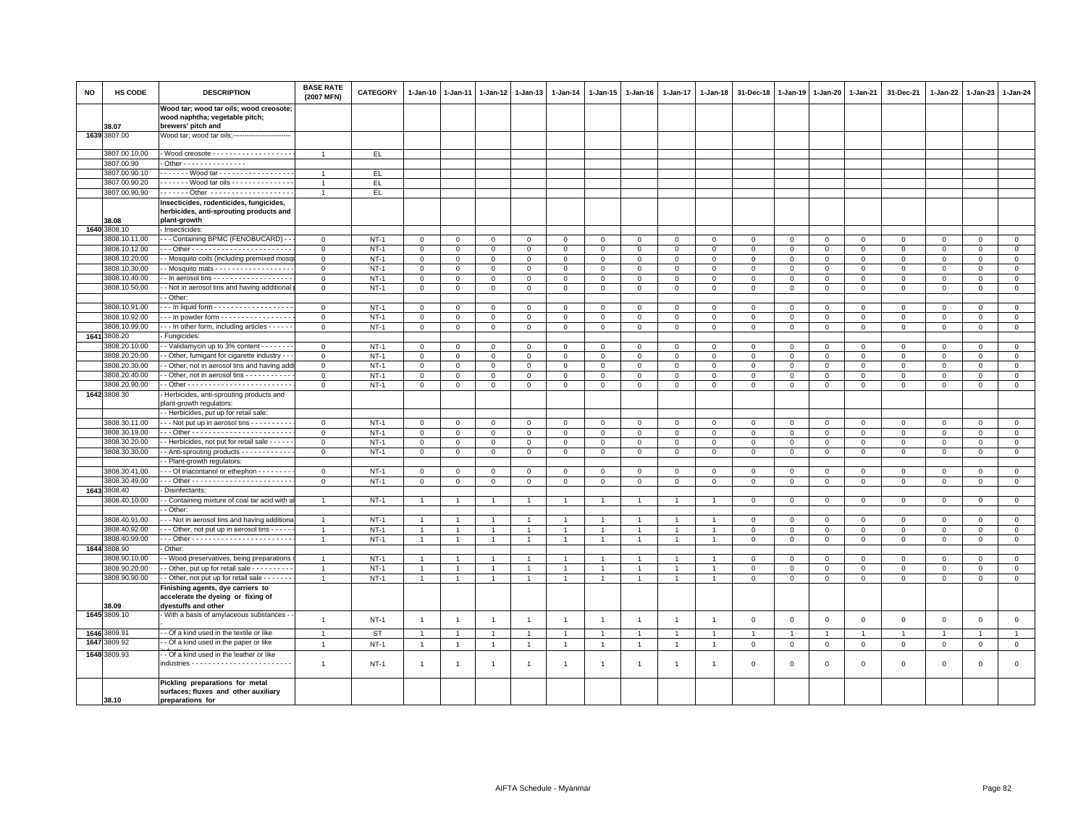| <b>NO</b> | HS CODE                        | <b>DESCRIPTION</b>                                                                                 | <b>BASE RATE</b><br>(2007 MFN) | <b>CATEGORY</b>  | 1-Jan-10                       | 1-Jan-11                     | 1-Jan-12                    | 1-Jan-13                         | 1-Jan-14                     | 1-Jan-15                     | 1-Jan-16                    | 1-Jan-17                   | 1-Jan-18                   | 31-Dec-18                     | 1-Jan-19                    | 1-Jan-20                   | 1-Jan-21                    | 31-Dec-21                  | 1-Jan-22             | 1-Jan-23                     | 1-Jan-24               |
|-----------|--------------------------------|----------------------------------------------------------------------------------------------------|--------------------------------|------------------|--------------------------------|------------------------------|-----------------------------|----------------------------------|------------------------------|------------------------------|-----------------------------|----------------------------|----------------------------|-------------------------------|-----------------------------|----------------------------|-----------------------------|----------------------------|----------------------|------------------------------|------------------------|
|           | 38.07                          | Wood tar; wood tar oils; wood creosote;<br>wood naphtha; vegetable pitch;<br>brewers' pitch and    |                                |                  |                                |                              |                             |                                  |                              |                              |                             |                            |                            |                               |                             |                            |                             |                            |                      |                              |                        |
|           | 1639 3807.00                   | Wood tar; wood tar oils;------------------------                                                   |                                |                  |                                |                              |                             |                                  |                              |                              |                             |                            |                            |                               |                             |                            |                             |                            |                      |                              |                        |
|           | 3807.00.10.00                  |                                                                                                    | $\overline{1}$                 | EL.              |                                |                              |                             |                                  |                              |                              |                             |                            |                            |                               |                             |                            |                             |                            |                      |                              |                        |
|           | 3807.00.90                     | $\cdot$ Other - - - - - - - - - - - - - - -                                                        |                                |                  |                                |                              |                             |                                  |                              |                              |                             |                            |                            |                               |                             |                            |                             |                            |                      |                              |                        |
|           | 3807.00.90.10                  | ------ Wood tar -----------------                                                                  | $\overline{1}$                 | EL.              |                                |                              |                             |                                  |                              |                              |                             |                            |                            |                               |                             |                            |                             |                            |                      |                              |                        |
|           | 3807.00.90.20                  | ------ Wood tar oils --------------                                                                | $\overline{1}$                 | EL.              |                                |                              |                             |                                  |                              |                              |                             |                            |                            |                               |                             |                            |                             |                            |                      |                              |                        |
|           | 3807.00.90.90                  |                                                                                                    | $\mathbf{1}$                   | EL.              |                                |                              |                             |                                  |                              |                              |                             |                            |                            |                               |                             |                            |                             |                            |                      |                              |                        |
|           | 38.08                          | Insecticides, rodenticides, fungicides,<br>herbicides, anti-sprouting products and<br>plant-growth |                                |                  |                                |                              |                             |                                  |                              |                              |                             |                            |                            |                               |                             |                            |                             |                            |                      |                              |                        |
|           | 1640 3808.10                   | Insecticides:                                                                                      |                                |                  |                                |                              |                             |                                  |                              |                              |                             |                            |                            |                               |                             |                            |                             |                            |                      |                              |                        |
|           | 3808.10.11.00                  | -- Containing BPMC (FENOBUCARD) -                                                                  | $\mathbf{O}$                   | $NT-1$           | $\mathbf 0$                    | 0                            | 0                           | 0                                | $\mathbf 0$                  | $\mathbf{0}$                 | $\Omega$                    | $\mathbf 0$                | $\mathbf 0$                | $\mathbf 0$                   | $\mathbf 0$                 | $\mathbf 0$                | $\mathbf 0$                 | $\mathbf 0$                | 0                    | $\mathbf{0}$                 | $\circ$                |
|           | 3808.10.12.00                  |                                                                                                    | $\mathbf 0$                    | $NT-1$           | $\mathsf 0$                    | $\mathbf 0$                  | $\mathbf 0$                 | $\mathbf 0$                      | $\mathsf 0$                  | $\mathbf 0$                  | $\mathsf 0$                 | $\mathsf 0$                | $\mathsf 0$                | $\mathbf 0$                   | $\mathsf 0$                 | $\mathbf 0$                | $\mathbf 0$                 | $\mathbf 0$                | $\mathbf 0$          | $\mathbf 0$                  | $\overline{0}$         |
|           | 3808.10.20.00                  | - Mosquito coils (including premixed mosq                                                          | $\mathsf 0$                    | $NT-1$           | $\mathbf{0}$                   | $\mathbf 0$                  | $\mathbf 0$                 | $\mathbf 0$                      | $\mathbf 0$                  | $\mathbf 0$                  | $\mathbf 0$                 | $\mathbf 0$                | $\mathsf 0$                | $\mathbf 0$                   | $\mathbf 0$                 | $\mathsf 0$                | $\mathbf 0$                 | $\mathbf 0$                | $\mathbf 0$          | $\mathbf 0$                  | $\mathsf 0$            |
|           | 3808.10.30.00                  | - Mosquito mats - - - - - - - - - - - - - - - - -                                                  | $\circ$                        | $NT-1$           | $\mathbf{0}$                   | $\mathbf 0$                  | $\mathbf{0}$                | $\mathbf{0}$                     | $\circ$                      | $\mathbf 0$                  | $\Omega$                    | $\mathbf 0$                | $\mathbf 0$                | $\overline{0}$                | $\mathsf 0$                 | $\mathbf{0}$               | $\overline{0}$              | $\mathsf 0$                | $\mathbf 0$          | $\mathbf 0$                  | $\overline{0}$         |
|           | 3808.10.40.00                  | - In aerosol tins - - - - - - - - - - - - - - - - -                                                | $\mathbf{0}$                   | $NT-1$           | $\overline{0}$                 | $\mathbf 0$                  | $\mathbf{0}$                | $\mathbf{0}$                     | $\mathbf 0$                  | $\mathbf{0}$                 | $\mathbf 0$                 | $\mathbf 0$                | $\mathbf 0$                | $\mathbf 0$                   | $\mathbf 0$                 | $\mathbf 0$                | $\mathbf{0}$                | $\mathbf{0}$               | $\mathbf{0}$         | $\mathbf{0}$                 | $\mathsf 0$            |
|           | 3808.10.50.00                  | - Not in aerosol tins and having additional                                                        | $\mathsf 0$                    | $NT-1$           | $\mathbf 0$                    | $\mathbf 0$                  | $\mathbf 0$                 | $\mathbf 0$                      | $\mathsf 0$                  | $\mathbf 0$                  | $\mathsf 0$                 | $\mathbf 0$                | $\mathsf 0$                | $\mathbf 0$                   | $\mathbf 0$                 | $\mathbf 0$                | $\mathbf 0$                 | $\mathsf 0$                | $\mathbf 0$          | $\mathbf 0$                  | $\mathsf 0$            |
|           |                                | - Other:                                                                                           |                                |                  |                                |                              |                             |                                  |                              |                              |                             |                            |                            |                               |                             |                            |                             |                            |                      |                              |                        |
|           | 3808.10.91.00                  | - - In liquid form - - - - - - - - - - - - - - - - - -                                             | $\mathbf{0}$                   | $NT-1$           | $\mathbf 0$                    | 0                            | 0                           | $\mathbf 0$                      | $\mathbf 0$                  | $\mathbf 0$                  | $\Omega$                    | $\overline{0}$             | $\mathbf 0$                | $\mathbf 0$                   | $\mathbf 0$                 | $\mathbf 0$                | $\mathbf 0$                 | $\mathsf 0$                | $\mathbf 0$          | $\mathbf 0$                  | $\mathbf 0$            |
|           | 3808.10.92.00                  | -- In powder form -----------------                                                                | $\mathbf 0$                    | $NT-1$           | $\mathsf 0$                    | $\Omega$                     | $\Omega$                    | $\Omega$                         | $\mathsf 0$                  | $\Omega$                     | $\Omega$                    | $\Omega$                   | $\mathsf 0$                | $\mathbf 0$                   | $\mathsf 0$                 | $\mathsf 0$                | $\overline{0}$              | $\mathsf 0$                | $\Omega$             | $\mathbf 0$                  | $\overline{0}$         |
|           | 3808.10.99.00                  | - - In other form, including articles - - - - - -                                                  | $\mathsf 0$                    | $NT-1$           | $\mathbf 0$                    | $\mathbf 0$                  | $\mathbf 0$                 | $\mathbf 0$                      | $\mathsf 0$                  | $\mathbf 0$                  | $\mathbf 0$                 | $\mathbf 0$                | $\mathsf 0$                | $\mathbf 0$                   | $\mathbf 0$                 | $\mathbf 0$                | $\mathbf 0$                 | $\mathbf 0$                | $\mathbf 0$          | $\mathbf{0}$                 | $\circ$                |
|           | 1641 3808.20                   | Fungicides                                                                                         |                                |                  |                                |                              |                             |                                  |                              |                              |                             |                            |                            |                               |                             |                            |                             |                            |                      |                              |                        |
|           | 3808.20.10.00<br>3808.20.20.00 | - Validamycin up to 3% content - - - - - - -<br>- Other, fumigant for cigarette industry - -       | $\mathsf 0$                    | $NT-1$<br>$NT-1$ | $\mathbf 0$<br>$\circ$         | $\mathbf 0$                  | $\Omega$                    | $\circ$                          | $\mathsf 0$                  | $\mathbf 0$                  | $\mathbf 0$                 | $\mathsf 0$                | $\mathsf 0$                | $\mathbf 0$                   | $\mathbf 0$                 | $\mathbf 0$                | $\mathbf 0$                 | $\mathsf 0$                | $\Omega$<br>$\Omega$ | $\circ$                      | $\mathsf 0$<br>$\circ$ |
|           | 3808.20.30.00                  | - Other, not in aerosol tins and having add                                                        | $\mathbf 0$<br>$\mathbf 0$     | $NT-1$           | $\mathbf 0$                    | $\mathbf{0}$<br>$\mathbf{0}$ | $\mathbf{0}$<br>$\mathbf 0$ | $\mathbf{0}$<br>$\mathbf 0$      | $\mathbf{0}$<br>$\mathbf 0$  | $\mathbf{0}$<br>$\mathbf{0}$ | $\mathbf{0}$<br>$\mathbf 0$ | $\mathbf 0$<br>$\mathbf 0$ | $\mathbf 0$<br>$\mathsf 0$ | $\overline{0}$<br>$\mathsf 0$ | $\mathbf 0$<br>$\mathsf 0$  | $\mathbf 0$<br>$\mathbf 0$ | $\mathbf{0}$<br>$\mathbf 0$ | $\mathbf 0$<br>$\mathbf 0$ | $\mathbf 0$          | $\mathbf{0}$<br>$\mathbf{0}$ | $\circ$                |
|           | 3808.20.40.00                  | - Other, not in aerosol tins - - - - - - - - - -                                                   | $\mathbf 0$                    | $NT-1$           | $\mathbf 0$                    | $\mathbf{0}$                 | $\Omega$                    | $\mathbf 0$                      | $\mathbf{0}$                 | $\mathbf{0}$                 | $\mathbf 0$                 | $\Omega$                   | $\mathbf 0$                | $\mathbf 0$                   | $\mathbf 0$                 | $\mathsf 0$                | $\overline{0}$              | $\mathbf 0$                | $\Omega$             | $\mathbf{0}$                 | $\mathbf 0$            |
|           | 3808.20.90.00                  |                                                                                                    | $\mathsf 0$                    | $NT-1$           | $\mathbf 0$                    | $\mathbf 0$                  | $\mathbf 0$                 | $\mathbf 0$                      | $\mathbf 0$                  | $\mathbf 0$                  | $\mathbf 0$                 | $\mathbf 0$                | $\mathsf 0$                | $\mathbf 0$                   | $\mathbf 0$                 | $\mathsf 0$                | $\mathbf 0$                 | $\mathsf 0$                | $\mathbf 0$          | $\mathbf 0$                  | $\mathbf 0$            |
|           | 1642 3808.30                   | Herbicides, anti-sprouting products and                                                            |                                |                  |                                |                              |                             |                                  |                              |                              |                             |                            |                            |                               |                             |                            |                             |                            |                      |                              |                        |
|           |                                | plant-growth regulators:                                                                           |                                |                  |                                |                              |                             |                                  |                              |                              |                             |                            |                            |                               |                             |                            |                             |                            |                      |                              |                        |
|           |                                | - Herbicides, put up for retail sale:                                                              |                                |                  |                                |                              |                             |                                  |                              |                              |                             |                            |                            |                               |                             |                            |                             |                            |                      |                              |                        |
|           | 3808.30.11.00                  | - - Not put up in aerosol tins - - - - - - - - - -                                                 | $\mathbf{O}$                   | $NT-1$           | $\mathbf 0$                    | $\mathbf 0$                  | $\mathbf 0$                 | $\mathbf{0}$                     | $\mathbf 0$                  | $\mathbf{0}$                 | $\mathbf 0$                 | $\overline{0}$             | $\mathbf 0$                | $\mathbf 0$                   | $\mathbf 0$                 | $\mathbf 0$                | $\mathbf 0$                 | $\mathbf 0$                | $\mathbf 0$          | $\overline{0}$               | $\mathsf 0$            |
|           | 3808.30.19.00                  |                                                                                                    | $\Omega$                       | $NT-1$           | $\mathbf 0$                    | $\mathbf{0}$                 | 0                           | $\Omega$                         | $\mathbf{0}$                 | $\mathbf{0}$                 | $\mathbf 0$                 | $\mathbf 0$                | $\mathbf 0$                | $\mathbf 0$                   | $\mathbf 0$                 | $\mathbf 0$                | $\mathbf 0$                 | 0                          | $\Omega$             | $\mathbf{0}$                 | $\mathsf 0$            |
|           | 3808.30.20.00                  | - Herbicides, not put for retail sale - - - - -                                                    | $\mathsf 0$                    | $NT-1$           | $\mathbf 0$                    | $\mathbf 0$                  | $\mathbf 0$                 | $\mathsf 0$                      | $\mathsf 0$                  | $\mathbf 0$                  | $\mathbf 0$                 | $\mathsf 0$                | $\mathsf 0$                | $\mathbf 0$                   | $\mathbf 0$                 | $\mathsf 0$                | $\mathbf 0$                 | $\mathsf 0$                | $\mathbf 0$          | $\mathsf 0$                  | $\mathsf 0$            |
|           | 3808.30.30.00                  | - Anti-sprouting products - - - - - - - - - - -                                                    | $\mathsf 0$                    | $NT-1$           | $\mathsf 0$                    | $\mathbf 0$                  | 0                           | $\mathbf 0$                      | $\mathbf 0$                  | $\mathbf 0$                  | $\mathbf 0$                 | $\mathbf 0$                | 0                          | $\mathbf 0$                   | $\mathbf 0$                 | $\mathsf 0$                | $\mathbf 0$                 | $\mathbf 0$                | $\mathbf 0$          | $\mathbf 0$                  | $\mathsf 0$            |
|           |                                | - Plant-growth regulators:                                                                         |                                |                  |                                |                              |                             |                                  |                              |                              |                             |                            |                            |                               |                             |                            |                             |                            |                      |                              |                        |
|           | 3808.30.41.00                  | - - Of triacontanol or ethephon - - - - - - - -                                                    | $\mathbf{0}$                   | $NT-1$           | $\overline{0}$                 | 0                            | 0                           | $\mathbf 0$                      | $\mathbf 0$                  | $\mathbf 0$                  | $\mathbf 0$                 | $\mathbf 0$                | $\mathbf 0$                | $\mathbf 0$                   | $\mathbf 0$                 | $\mathbf 0$                | $\mathbf 0$                 | $\mathbf 0$                | $\mathbf 0$          | $\mathbf 0$                  | $\mathbf{0}$           |
|           | 3808.30.49.00                  |                                                                                                    | $\mathsf 0$                    | $NT-1$           | $\mathbf 0$                    | $\mathbf 0$                  | 0                           | $\mathbf 0$                      | $\mathbf 0$                  | $\mathbf 0$                  | $\mathbf 0$                 | $\mathbf 0$                | $\mathsf 0$                | $\mathbf 0$                   | $\mathbf 0$                 | $\mathbf 0$                | $\mathbf 0$                 | $\mathbf 0$                | $\mathbf 0$          | $\mathbf 0$                  | $\mathsf 0$            |
|           | 1643 3808.40                   | Disinfectants:                                                                                     |                                |                  |                                |                              |                             |                                  |                              |                              |                             |                            |                            |                               |                             |                            |                             |                            |                      |                              |                        |
|           | 3808.40.10.00                  | - Containing mixture of coal tar acid with a                                                       | $\overline{1}$                 | $NT-1$           | $\mathbf{1}$                   |                              |                             | 1                                | $\overline{1}$               |                              |                             |                            |                            | $\Omega$                      | $\Omega$                    | $\mathsf 0$                | $\mathbf 0$                 | $\mathbf{0}$               | $\Omega$             | $\mathbf{0}$                 | $\mathbf{0}$           |
|           |                                | - Other:                                                                                           |                                |                  |                                |                              |                             |                                  |                              |                              |                             |                            |                            |                               |                             |                            |                             |                            |                      |                              |                        |
|           | 3808.40.91.00<br>3808.40.92.00 | - - Not in aerosol tins and having additiona<br>- - Other, not put up in aerosol tins - - - - -    | $\overline{1}$<br>$\mathbf{1}$ | $NT-1$<br>$NT-1$ | $\mathbf{1}$                   | $\mathbf{1}$                 | $\overline{1}$              | $\overline{1}$<br>$\overline{1}$ | $\overline{1}$               | 1<br>$\mathbf{1}$            | $\overline{1}$              | $\mathbf{1}$               |                            | $\mathbf 0$<br>$\mathbf 0$    | $\mathbf 0$<br>$\mathbf{0}$ | $\mathbf 0$                | $\mathbf 0$<br>$\mathbf 0$  | $\mathbf 0$<br>$\mathbf 0$ | 0<br>$\mathbf 0$     | $\mathbf 0$<br>$\mathbf{O}$  | $\mathbf 0$<br>$\circ$ |
|           | 3808.40.99.00                  |                                                                                                    | $\overline{1}$                 | $NT-1$           | $\overline{1}$<br>$\mathbf{1}$ |                              | $\overline{1}$              | $\overline{1}$                   | $\mathbf{1}$<br>$\mathbf{1}$ | $\overline{1}$               | $\overline{1}$              | $\overline{1}$             |                            | $\mathbf 0$                   | $\mathsf 0$                 | $\mathbf 0$<br>$\mathbf 0$ | $\mathbf 0$                 | $\mathbf{0}$               | $\mathbf 0$          | $\mathbf 0$                  | $\mathsf 0$            |
|           | 1644 3808.90                   | Other:                                                                                             |                                |                  |                                |                              |                             |                                  |                              |                              |                             |                            |                            |                               |                             |                            |                             |                            |                      |                              |                        |
|           | 3808.90.10.00                  | - Wood preservatives, being preparations                                                           | $\overline{1}$                 | $NT-1$           | -1                             |                              |                             |                                  |                              |                              |                             |                            |                            | $\mathbf 0$                   | $\mathbf 0$                 | $\mathbf 0$                | $\mathbf 0$                 | $\mathsf 0$                | $\Omega$             | $\mathbf{0}$                 | $\mathbf 0$            |
|           | 3808.90.20.00                  | - Other, put up for retail sale - - - - - - - - -                                                  | $\mathbf{1}$                   | $NT-1$           | $\overline{1}$                 | $\overline{1}$               | $\mathbf{1}$                | $\mathbf{1}$                     | $\mathbf{1}$                 | $\mathbf{1}$                 | $\overline{1}$              | $\overline{1}$             |                            | $\overline{0}$                | $\mathbf 0$                 | $\mathsf 0$                | $\mathbf{0}$                | $\mathbf{0}$               | $\Omega$             | $\mathbf{0}$                 | $\mathbf 0$            |
|           | 3808.90.90.00                  | - Other, not put up for retail sale - - - - - - -                                                  | $\overline{1}$                 | $NT-1$           | $\mathbf{1}$                   | $\mathbf{1}$                 | $\mathbf{1}$                | $\mathbf{1}$                     | $\mathbf{1}$                 | $\mathbf{1}$                 | $\overline{1}$              | $\overline{1}$             |                            | $\mathbf 0$                   | $\mathbf 0$                 | $\mathbf 0$                | $\mathbf 0$                 | $\mathbf 0$                | $\mathbf{O}$         | $\mathbf 0$                  | $\mathbf 0$            |
|           |                                | Finishing agents, dye carriers to                                                                  |                                |                  |                                |                              |                             |                                  |                              |                              |                             |                            |                            |                               |                             |                            |                             |                            |                      |                              |                        |
|           |                                | accelerate the dyeing or fixing of                                                                 |                                |                  |                                |                              |                             |                                  |                              |                              |                             |                            |                            |                               |                             |                            |                             |                            |                      |                              |                        |
|           | 38.09                          | dyestuffs and other                                                                                |                                |                  |                                |                              |                             |                                  |                              |                              |                             |                            |                            |                               |                             |                            |                             |                            |                      |                              |                        |
|           | 1645 3809.10                   | With a basis of amylaceous substances -                                                            | $\mathbf{1}$                   | $NT-1$           | $\overline{1}$                 | $\overline{1}$               | $\overline{1}$              | $\mathbf{1}$                     | $\mathbf{1}$                 | $\mathbf{1}$                 | $\overline{1}$              | $\overline{1}$             | $\overline{1}$             | $\mathbf 0$                   | $\mathbf 0$                 | $\mathbb O$                | $\mathbb O$                 | $\mathsf{O}\xspace$        | $\mathbf 0$          | $\mathsf 0$                  | $\mathbf 0$            |
|           | 1646 3809.91                   | - Of a kind used in the textile or like                                                            | $\overline{1}$                 | ST               | $\overline{1}$                 | $\overline{1}$               | $\overline{1}$              | $\mathbf{1}$                     | $\mathbf{1}$                 | $\mathbf{1}$                 | $\overline{1}$              | $\overline{1}$             |                            | $\overline{1}$                | $\mathbf{1}$                | $\overline{1}$             | $\overline{1}$              | $\overline{1}$             | $\overline{1}$       | $\overline{1}$               | $\mathbf{1}$           |
| 1647      | 3809.92                        | - Of a kind used in the paper or like                                                              | $\overline{1}$                 | $NT-1$           | $\overline{1}$                 | $\overline{1}$               | $\overline{1}$              | $\overline{1}$                   | $\mathbf{1}$                 | $\overline{1}$               | $\mathbf{1}$                | $\overline{1}$             | $\overline{1}$             | $\mathsf 0$                   | $\mathbf 0$                 | $\mathbf 0$                | $\mathbf 0$                 | $\mathbf{0}$               | $\mathbf{0}$         | $\mathbf{0}$                 | $\mathsf 0$            |
|           | 1648 3809.93                   | - Of a kind used in the leather or like                                                            |                                |                  |                                |                              |                             |                                  |                              |                              |                             |                            |                            |                               |                             |                            |                             |                            |                      |                              |                        |
|           |                                |                                                                                                    | $\mathbf{1}$                   | <b>NT-1</b>      | $\mathbf{1}$                   | $\mathbf{1}$                 | $\mathbf{1}$                | $\mathbf{1}$                     | $\overline{1}$               | 1                            | $\mathbf{1}$                | $\mathbf{1}$               | -1                         | $\mathbf 0$                   | $\mathbf 0$                 | $\mathbf 0$                | $\,0\,$                     | $\mathsf 0$                | 0                    | $\mathbf 0$                  | $\mathbf 0$            |
|           | 38.10                          | Pickling preparations for metal<br>surfaces; fluxes and other auxiliary<br>preparations for        |                                |                  |                                |                              |                             |                                  |                              |                              |                             |                            |                            |                               |                             |                            |                             |                            |                      |                              |                        |
|           |                                |                                                                                                    |                                |                  |                                |                              |                             |                                  |                              |                              |                             |                            |                            |                               |                             |                            |                             |                            |                      |                              |                        |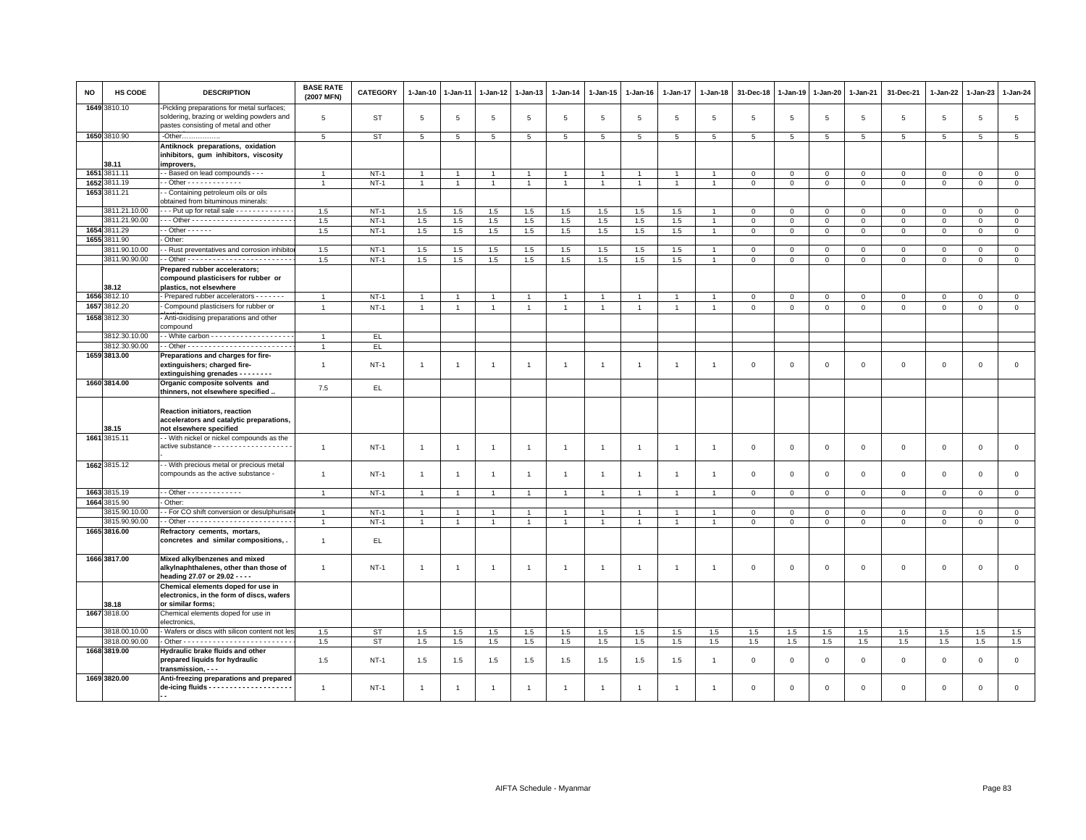| NO   | HS CODE       | <b>DESCRIPTION</b>                                                                                                             | <b>BASE RATE</b><br>(2007 MFN) | <b>CATEGORY</b> | $1 - Jan-10$   | $1 - Jan-11$   | 1-Jan-12       | $1 - Jan-13$   | $1 - Jan-14$   | 1-Jan-15       | $1-Jan-16$     | 1-Jan-17       | 1-Jan-18       | 31-Dec-18    | 1-Jan-19        | 1-Jan-20     | $1 - Jan-21$   | 31-Dec-21           | 1-Jan-22     | 1-Jan-23       | $1 - Jan-24$   |
|------|---------------|--------------------------------------------------------------------------------------------------------------------------------|--------------------------------|-----------------|----------------|----------------|----------------|----------------|----------------|----------------|----------------|----------------|----------------|--------------|-----------------|--------------|----------------|---------------------|--------------|----------------|----------------|
|      | 1649 3810.10  | Pickling preparations for metal surfaces;<br>soldering, brazing or welding powders and<br>pastes consisting of metal and other | 5                              | <b>ST</b>       | 5              | 5              | 5              | 5              | 5              | 5              | 5              | 5              | 5              | 5            | $5\overline{5}$ | 5            | 5              | 5                   | 5            | 5              | 5              |
|      | 1650 3810.90  | -Other                                                                                                                         | $\overline{5}$                 | <b>ST</b>       | 5              | 5              | 5              | 5              | 5              | 5              | 5              | 5              | $5^{\circ}$    | 5            | 5               | 5            | 5              | 5                   | 5            | 5              | 5              |
|      | 38.11         | Antiknock preparations, oxidation<br>inhibitors, gum inhibitors, viscosity<br>improvers,                                       |                                |                 |                |                |                |                |                |                |                |                |                |              |                 |              |                |                     |              |                |                |
|      | 1651 3811.11  | - - Based on lead compounds - - -                                                                                              |                                | $NT-1$          |                |                |                | $\overline{1}$ |                | -1             |                |                |                | $\mathbf 0$  | $^{\circ}$      | 0            | $\mathbf 0$    | 0                   | $^{\circ}$   | $\mathbf 0$    | $\mathbf 0$    |
|      | 1652 3811.19  | $-$ Other - - - - - - - - - - - - -                                                                                            | $\overline{1}$                 | $NT-1$          | $\overline{1}$ | $\overline{1}$ | $\mathbf{1}$   | $\overline{1}$ | $\mathbf{1}$   | $\overline{1}$ | $\overline{1}$ | $\overline{1}$ | $\mathbf{1}$   | $\mathsf 0$  | $\mathsf 0$     | $\mathbf 0$  | $\overline{0}$ | $\mathsf 0$         | $\mathbf{0}$ | $\mathbf{0}$   | $\mathsf 0$    |
|      | 1653 3811.21  | - Containing petroleum oils or oils<br>obtained from bituminous minerals:                                                      |                                |                 |                |                |                |                |                |                |                |                |                |              |                 |              |                |                     |              |                |                |
|      | 3811.21.10.00 | --- Put up for retail sale --------------                                                                                      | 1.5                            | $NT-1$          | 1.5            | 1.5            | 1.5            | 1.5            | 1.5            | 1.5            | 1.5            | 1.5            | $\overline{1}$ | $\mathbf 0$  | $\mathbf{0}$    | $\mathbf{0}$ | $\mathbf{0}$   | $\mathbf{0}$        | $\mathbf{0}$ | $\mathbf{0}$   | $\mathbf{0}$   |
|      | 3811.21.90.00 |                                                                                                                                | 1.5                            | $NT-1$          | 1.5            | 1.5            | 1.5            | 1.5            | 1.5            | 1.5            | 1.5            | 1.5            | $\overline{1}$ | $\mathsf 0$  | $\mathsf 0$     | $\mathbf 0$  | $\circ$        | $\mathbf{0}$        | $\mathbf{0}$ | $\overline{0}$ | $\mathbf{0}$   |
| 1654 | 3811.29       | $-$ Other $    -$                                                                                                              | 1.5                            | $NT-1$          | 1.5            | 1.5            | $1.5\,$        | 1.5            | 1.5            | 1.5            | 1.5            | 1.5            |                | $\mathbf 0$  | $\mathbf 0$     | $\mathbf 0$  | $\mathbf{0}$   | $\mathbf 0$         | $\Omega$     | $\mathbf 0$    | $\circ$        |
|      | 1655 3811.90  | Other:                                                                                                                         |                                |                 |                |                |                |                |                |                |                |                |                |              |                 |              |                |                     |              |                |                |
|      | 3811.90.10.00 | - Rust preventatives and corrosion inhibito                                                                                    | 1.5                            | $NT-1$          | 1.5            | 1.5            | 1.5            | 1.5            | 1.5            | 1.5            | 1.5            | 1.5            | $\overline{1}$ | $\mathbf 0$  | $\mathbf 0$     | $\mathbf 0$  | $\mathbf 0$    | $\mathbf 0$         | $\Omega$     | $\mathbf{0}$   | $\mathbf 0$    |
|      | 3811.90.90.00 |                                                                                                                                | 1.5                            | $NT-1$          | 1.5            | $1.5\,$        | $1.5\,$        | 1.5            | 1.5            | 1.5            | 1.5            | 1.5            | $\overline{1}$ | $\,0\,$      | $\mathsf 0$     | $\mathsf 0$  | $\,0\,$        | $\mathsf 0$         | $\mathbf 0$  | $\mathbf 0$    | $\mathsf 0$    |
|      | 38.12         | Prepared rubber accelerators;<br>compound plasticisers for rubber or<br>plastics, not elsewhere                                |                                |                 |                |                |                |                |                |                |                |                |                |              |                 |              |                |                     |              |                |                |
|      | 1656 3812.10  | - Prepared rubber accelerators - - - - - -                                                                                     |                                | $NT-1$          | $\overline{1}$ | $\overline{1}$ | $\overline{1}$ | $\overline{1}$ | $\overline{1}$ | $\overline{1}$ | $\overline{1}$ | $\overline{1}$ | $\overline{1}$ | $\mathbf 0$  | $\mathsf 0$     | $\mathbf 0$  | $\mathbf 0$    | $\mathbf{0}$        | $\mathbf{0}$ | $\mathbf{0}$   | $\mathsf 0$    |
|      | 1657 3812.20  | Compound plasticisers for rubber or                                                                                            | $\overline{1}$                 | $NT-1$          | $\mathbf{1}$   | $\overline{1}$ | $\overline{1}$ | $\overline{1}$ | $\mathbf{1}$   | $\overline{1}$ | $\overline{1}$ | $\overline{1}$ | $\overline{1}$ | $\mathsf 0$  | $\mathsf 0$     | $\mathsf 0$  | $\mathsf 0$    | $\mathsf 0$         | $\mathsf 0$  | $\mathsf 0$    | $\mathsf 0$    |
|      | 1658 3812.30  | - Anti-oxidising preparations and other<br>compound                                                                            |                                |                 |                |                |                |                |                |                |                |                |                |              |                 |              |                |                     |              |                |                |
|      | 3812.30.10.00 | - - White carbon - - - - - - - - - - - - - - - - - -                                                                           |                                | EL.             |                |                |                |                |                |                |                |                |                |              |                 |              |                |                     |              |                |                |
|      | 3812.30.90.00 |                                                                                                                                | $\overline{1}$                 | EL              |                |                |                |                |                |                |                |                |                |              |                 |              |                |                     |              |                |                |
|      | 1659 3813.00  | Preparations and charges for fire-<br>extinguishers; charged fire-                                                             | $\mathbf{1}$                   | $NT-1$          | $\overline{1}$ | $\mathbf{1}$   | 1              | $\overline{1}$ | $\mathbf{1}$   | $\overline{1}$ | -1             | 1              | -1             | $\mathbf 0$  | $\mathbf 0$     | $\mathsf 0$  | $\mathbf 0$    | $\mathsf 0$         | $\mathbf 0$  | $\mathbf 0$    | $\mathsf 0$    |
|      | 1660 3814.00  | extinguishing grenades - - - - - - - -<br>Organic composite solvents and<br>thinners, not elsewhere specified.                 | 7.5                            | EL.             |                |                |                |                |                |                |                |                |                |              |                 |              |                |                     |              |                |                |
|      | 38.15         | Reaction initiators, reaction<br>accelerators and catalytic preparations,<br>not elsewhere specified                           |                                |                 |                |                |                |                |                |                |                |                |                |              |                 |              |                |                     |              |                |                |
|      | 1661 3815.11  | - - With nickel or nickel compounds as the                                                                                     |                                |                 |                |                |                |                |                |                |                |                |                |              |                 |              |                |                     |              |                |                |
|      |               | active substance - - - - - - - - - - - - - - - - - -                                                                           | $\overline{1}$                 | $NT-1$          | $\overline{1}$ | $\overline{1}$ | $\overline{1}$ | $\overline{1}$ | $\overline{1}$ | $\overline{1}$ | $\overline{1}$ | $\mathbf{1}$   | $\mathbf{1}$   | $\mathbf 0$  | $\mathsf 0$     | $\mathsf 0$  | $\mathbf 0$    | $\mathbf 0$         | $\mathbf 0$  | $\mathbf 0$    | $\mathbf 0$    |
|      | 1662 3815.12  | - With precious metal or precious metal<br>compounds as the active substance -                                                 | $\mathbf{1}$                   | $NT-1$          | $\overline{1}$ | $\overline{1}$ | $\overline{1}$ | $\overline{1}$ | $\overline{1}$ | $\overline{1}$ | $\overline{1}$ | $\overline{1}$ | $\mathbf{1}$   | $\mathsf 0$  | $\mathsf 0$     | $\mathsf 0$  | $\mathbf 0$    | $\mathsf 0$         | $\mathbf{0}$ | $\mathsf 0$    | $\mathsf 0$    |
|      | 1663 3815.19  | $-$ Other - - - - - - - - - - - - -                                                                                            | $\overline{1}$                 | $NT-1$          | $\overline{1}$ | $\overline{1}$ | $\overline{1}$ | $\overline{1}$ | $\overline{1}$ | $\overline{1}$ | $\overline{1}$ | $\overline{1}$ | -1             |              |                 |              | $\circ$        | $\mathbf{0}$        | $\circ$      | $\circ$        |                |
|      | 1664 3815.90  | Other:                                                                                                                         |                                |                 |                |                |                |                |                |                |                |                |                | $\mathsf 0$  | $\mathsf 0$     | $\mathsf 0$  |                |                     |              |                | $\mathsf 0$    |
|      | 3815.90.10.00 | - For CO shift conversion or desulphurisat                                                                                     |                                | $NT-1$          |                |                |                | $\overline{1}$ |                |                |                |                |                | $\mathsf 0$  | $\mathsf 0$     | $\mathbf 0$  | $\overline{0}$ | $\mathbf 0$         | $\Omega$     | $\mathbf{0}$   | $\mathbf 0$    |
|      | 3815.90.90.00 |                                                                                                                                | $\mathbf{1}$                   | $NT-1$          | $\overline{1}$ | $\mathbf{1}$   | $\mathbf{1}$   | $\overline{1}$ | $\mathbf{1}$   | $\mathbf{1}$   |                |                |                | $\mathsf 0$  | $\mathsf 0$     | $\mathbf 0$  | $\mathsf 0$    | $\mathsf{O}\xspace$ | $\,0\,$      | $\mathsf 0$    | $\overline{0}$ |
|      | 1665 3816.00  | Refractory cements, mortars,                                                                                                   |                                |                 |                |                |                |                |                |                |                |                |                |              |                 |              |                |                     |              |                |                |
|      |               | concretes and similar compositions,.                                                                                           | $\overline{1}$                 | EL.             |                |                |                |                |                |                |                |                |                |              |                 |              |                |                     |              |                |                |
|      | 1666 3817.00  | Mixed alkylbenzenes and mixed<br>alkylnaphthalenes, other than those of<br>heading 27.07 or 29.02 - - - -                      | $\overline{1}$                 | $NT-1$          | $\overline{1}$ | $\overline{1}$ | $\overline{1}$ | $\overline{1}$ | -1             | $\mathbf{1}$   | $\mathbf{1}$   | $\mathbf{1}$   | -1             | $\mathbf 0$  | $\Omega$        | $\mathsf 0$  | $\mathbf 0$    | $\mathsf 0$         | $\mathbf 0$  | $\mathbf{0}$   | $\mathsf 0$    |
|      | 38.18         | Chemical elements doped for use in<br>electronics, in the form of discs, wafers<br>or similar forms:                           |                                |                 |                |                |                |                |                |                |                |                |                |              |                 |              |                |                     |              |                |                |
|      | 1667 3818.00  | Chemical elements doped for use in                                                                                             |                                |                 |                |                |                |                |                |                |                |                |                |              |                 |              |                |                     |              |                |                |
|      |               | electronics                                                                                                                    |                                |                 |                |                |                |                |                |                |                |                |                |              |                 |              |                |                     |              |                |                |
|      | 3818.00.10.00 | - Wafers or discs with silicon content not les                                                                                 | 1.5                            | <b>ST</b>       | $1.5\,$        | $1.5\,$        | $1.5\,$        | 1.5            | 1.5            | 1.5            | 1.5            | 1.5            | 1.5            | 1.5          | 1.5             | 1.5          | 1.5            | 1.5                 | 1.5          | 1.5            | 1.5            |
|      | 3818.00.90.00 |                                                                                                                                | 1.5                            | <b>ST</b>       | 1.5            | $1.5\,$        | $1.5\,$        | $1.5\,$        | 1.5            | 1.5            | 1.5            | $1.5\,$        | $1.5\,$        | 1.5          | $1.5\,$         | 1.5          | 1.5            | 1.5                 | 1.5          | 1.5            | 1.5            |
|      | 1668 3819.00  | Hydraulic brake fluids and other<br>prepared liquids for hydraulic<br>transmission, - - -                                      | 1.5                            | $NT-1$          | 1.5            | 1.5            | 1.5            | 1.5            | 1.5            | 1.5            | 1.5            | 1.5            | $\overline{1}$ | $\mathbf 0$  | $\mathbf 0$     | $\mathbf 0$  | $\mathbf 0$    | $\mathbf 0$         | $\Omega$     | $\mathbf{0}$   | $\mathbf 0$    |
|      | 1669 3820.00  | Anti-freezing preparations and prepared                                                                                        | $\overline{1}$                 | $NT-1$          |                | 1              | 1              | $\overline{1}$ | -1             | 1              | -1             |                | -1             | $\mathbf{0}$ | $\mathbf 0$     | $\mathbf 0$  | $\Omega$       | $\mathbf 0$         | $\mathbf 0$  | $\mathbf{0}$   | $\Omega$       |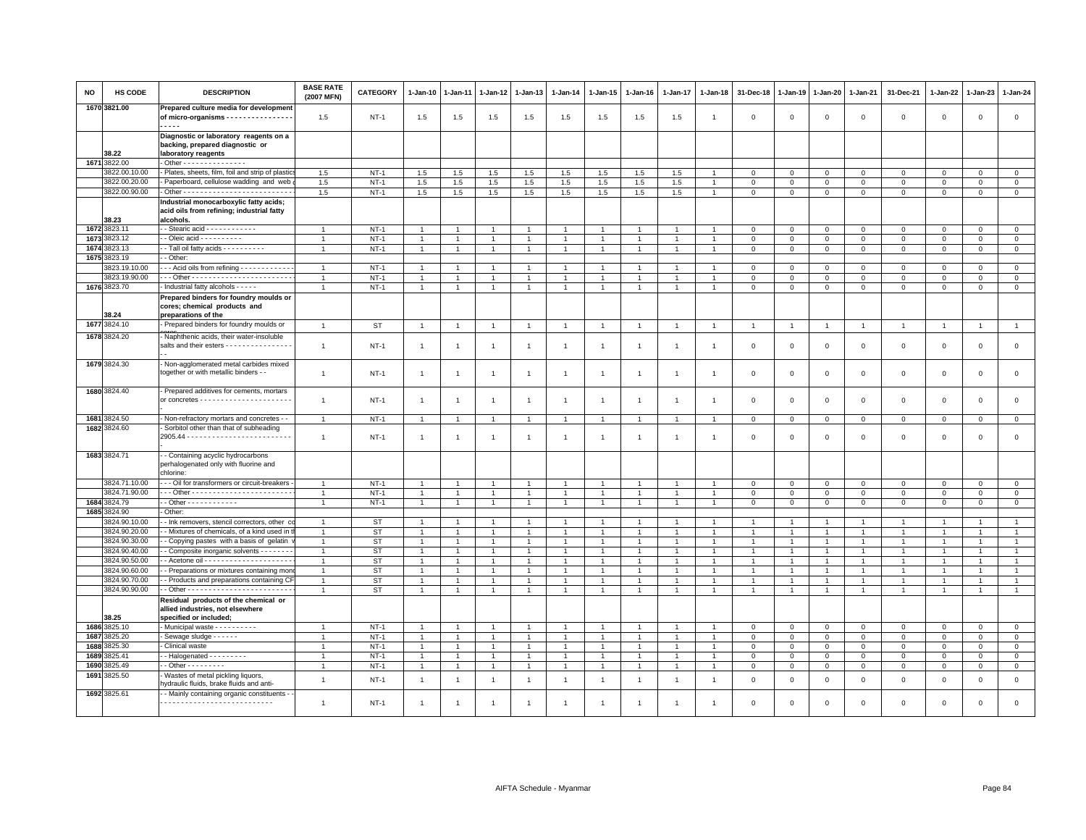| NO   | HS CODE       | <b>DESCRIPTION</b>                                                                              | <b>BASE RATE</b><br>(2007 MFN) | CATEGORY    | 1-Jan-10       | 1-Jan-11       | 1-Jan-12       | 1-Jan-13       | 1-Jan-14       | $1 - Jan-15$         | $1 - Jan-16$   | 1-Jan-17       | $1 - Jan-18$   | 31-Dec-18      | $1 - Jan-19$   | 1-Jan-20                  | 1-Jan-21                    | 31-Dec-21                  | $1 - Jan-22$           | 1-Jan-23        | 1-Jan-24       |
|------|---------------|-------------------------------------------------------------------------------------------------|--------------------------------|-------------|----------------|----------------|----------------|----------------|----------------|----------------------|----------------|----------------|----------------|----------------|----------------|---------------------------|-----------------------------|----------------------------|------------------------|-----------------|----------------|
|      | 1670 3821.00  | Prepared culture media for development<br>of micro-organisms - - - - - - - - - - - - - - -<br>. | 1.5                            | $NT-1$      | 1.5            | 1.5            | 1.5            | 1.5            | 1.5            | 1.5                  | 1.5            | 1.5            | $\overline{1}$ | $\Omega$       | $\Omega$       | $\mathbf 0$               | $\mathbf 0$                 | $\mathsf 0$                | $\mathbf{0}$           | $\mathsf 0$     | $\mathsf 0$    |
|      | 38.22         | Diagnostic or laboratory reagents on a<br>backing, prepared diagnostic or                       |                                |             |                |                |                |                |                |                      |                |                |                |                |                |                           |                             |                            |                        |                 |                |
| 1671 | 3822.00       | laboratory reagents<br>- Other - - - - - - - - - - - - - - -                                    |                                |             |                |                |                |                |                |                      |                |                |                |                |                |                           |                             |                            |                        |                 |                |
|      | 3822.00.10.00 | - Plates, sheets, film, foil and strip of plastic                                               | 1.5                            | $NT-1$      | 1.5            | 1.5            | 1.5            | 1.5            | 1.5            | 1.5                  | 1.5            | 1.5            |                | $\mathbf 0$    | $\Omega$       | $\mathbf 0$               | $\mathbf 0$                 | $\mathsf 0$                | $\Omega$               | $\Omega$        | $\mathsf 0$    |
|      | 3822.00.20.00 | - Paperboard, cellulose wadding and web                                                         | 1.5                            | $NT-1$      | 1.5            | 1.5            | 1.5            | 1.5            | 1.5            | 1.5                  | 1.5            | 1.5            | $\overline{1}$ | $\mathbf 0$    | $\mathbf 0$    | $\mathbf 0$               | $\mathbf{0}$                | $\mathbf 0$                | $\mathbf{0}$           | $\mathbf 0$     | $\mathbf 0$    |
|      | 3822.00.90.00 |                                                                                                 | $1.5\,$                        | $NT-1$      | 1.5            | 1.5            | 1.5            | 1.5            | $1.5\,$        | 1.5                  | 1.5            | 1.5            | $\overline{1}$ | $\Omega$       | $\mathbf 0$    | $\mathbf 0$               | $\mathbf 0$                 | $\mathsf 0$                | $\mathbf{0}$           | $\mathsf 0$     | $\mathsf 0$    |
|      |               | Industrial monocarboxylic fatty acids;                                                          |                                |             |                |                |                |                |                |                      |                |                |                |                |                |                           |                             |                            |                        |                 |                |
|      | 38.23         | acid oils from refining; industrial fatty<br>alcohols.                                          |                                |             |                |                |                |                |                |                      |                |                |                |                |                |                           |                             |                            |                        |                 |                |
|      | 1672 3823.1   |                                                                                                 | $\overline{1}$                 | $NT-1$      | $\overline{1}$ |                | $\overline{1}$ | $\overline{1}$ | $\overline{1}$ | $\mathbf{1}$         |                | $\overline{1}$ |                | 0              | $\Omega$       | $\Omega$                  | $\mathbf{0}$                | $\mathbf 0$                | $\Omega$               | $\Omega$        | $\mathbf 0$    |
| 1673 | 3823.12       | - Oleic acid - - - - - - - - -                                                                  |                                | $NT-1$      | $\overline{1}$ |                | $\overline{1}$ |                | $\overline{1}$ | $\overline{1}$       |                |                |                | $\Omega$       | $\Omega$       | $\Omega$                  | $\mathbf{0}$                | $\mathbf 0$                | $\Omega$               | $\mathbf 0$     | $\mathsf 0$    |
| 1674 | 823.13        | - Tall oil fatty acids - - - - - - - - - -                                                      |                                | $NT-1$      | $\mathbf{1}$   |                | $\overline{1}$ |                | $\mathbf{1}$   | $\overline{1}$       | $\mathbf{1}$   |                |                | $\mathbf 0$    | $\mathbf 0$    | $\mathbf 0$               | $\mathsf 0$                 | $\mathsf 0$                | $\mathbf 0$            | $\mathbf{O}$    | $\mathbf 0$    |
| 1675 | 3823.19       | - Other:                                                                                        |                                |             |                |                |                |                |                |                      |                |                |                |                |                |                           |                             |                            |                        |                 |                |
|      | 3823.19.10.00 | - - - Acid oils from refining - - - - - - - - - - -                                             | $\overline{1}$                 | $NT-1$      | $\overline{1}$ |                | $\overline{1}$ | $\overline{1}$ | $\overline{1}$ | $\mathbf{1}$         |                | $\overline{1}$ |                | $\mathbf 0$    | $\mathbf 0$    | $\mathbf 0$               | $\mathbf 0$                 | $\mathsf 0$                | $\mathbf 0$            | $\mathsf 0$     | $\mathbf 0$    |
|      | 3823.19.90.00 |                                                                                                 |                                | $NT-1$      | $\overline{1}$ |                | $\overline{1}$ | $\overline{1}$ | $\overline{1}$ | $\blacktriangleleft$ | $\overline{1}$ | $\overline{1}$ |                | $\mathbf 0$    | $\Omega$       | $\Omega$                  | $\Omega$                    | $\mathsf 0$                | $\Omega$               | $\mathbf 0$     | $\overline{0}$ |
|      | 1676 3823.70  | Industrial fatty alcohols - - - - -                                                             | -1                             | $NT-1$      | $\mathbf{1}$   | $\overline{1}$ | $\overline{1}$ | $\overline{1}$ | $\overline{1}$ | $\mathbf{1}$         | $\mathbf{1}$   | $\overline{1}$ | $\mathbf{1}$   | $\mathbf{0}$   | $\mathbf 0$    | $\mathbf 0$               | $\mathbf{0}$                | $\mathsf 0$                | $\mathbf 0$            | $\mathsf 0$     | $\mathbf 0$    |
|      | 38.24         | Prepared binders for foundry moulds or<br>cores; chemical products and<br>preparations of the   |                                |             |                |                |                |                |                |                      |                |                |                |                |                |                           |                             |                            |                        |                 |                |
| 1677 | 3824.10       | - Prepared binders for foundry moulds or                                                        | $\overline{1}$                 | <b>ST</b>   | $\overline{1}$ | $\overline{1}$ | $\overline{1}$ | $\overline{1}$ | $\overline{1}$ | $\overline{1}$       | $\overline{1}$ | $\overline{1}$ |                | $\overline{1}$ | $\overline{1}$ | $\overline{1}$            | $\mathbf{1}$                | $\overline{1}$             | $\overline{1}$         | $\mathbf{1}$    | $\overline{1}$ |
| 1678 | 3824.20       | - Naphthenic acids, their water-insoluble                                                       |                                |             |                |                |                |                |                |                      |                |                |                |                |                |                           |                             |                            |                        |                 |                |
|      |               | salts and their esters - - - - - - - - - - - - - - -                                            | $\overline{1}$                 | $NT-1$      | $\mathbf{1}$   | -1             | $\overline{1}$ | $\mathbf{1}$   | $\overline{1}$ | $\mathbf{1}$         | $\overline{1}$ | $\overline{1}$ | $\overline{1}$ | 0              | $\mathbf 0$    | $\mathbf 0$               | 0                           | 0                          | $\circ$                | 0               | $\mathsf 0$    |
|      | 1679 3824.30  | - Non-agglomerated metal carbides mixed<br>together or with metallic binders - -                | $\overline{1}$                 | <b>NT-1</b> | 1              | $\overline{1}$ | $\overline{1}$ | $\overline{1}$ | $\mathbf{1}$   | $\overline{1}$       | $\overline{1}$ | $\overline{1}$ | $\mathbf{1}$   | $\mathsf 0$    | $\mathsf 0$    | $\mathbf 0$               | $\mathsf 0$                 | $\mathsf 0$                | $\mathsf 0$            | $\mathsf 0$     | $\mathbf 0$    |
|      | 1680 3824.40  | - Prepared additives for cements, mortars                                                       | $\overline{1}$                 | $NT-1$      | $\mathbf{1}$   | $\overline{1}$ | $\overline{1}$ | $\overline{1}$ | $\overline{1}$ | $\overline{1}$       | $\overline{1}$ | $\overline{1}$ | $\mathbf{1}$   | $\mathbf 0$    | $\mathbf 0$    | $\mathbf 0$               | $\mathbf{0}$                | $\mathsf 0$                | $\mathbf 0$            | $\mathbf 0$     | $\mathsf 0$    |
|      | 1681 3824.50  | - Non-refractory mortars and concretes - -                                                      | $\overline{1}$                 | $NT-1$      | $\mathbf{1}$   | $\overline{1}$ | $\overline{1}$ | $\overline{1}$ | $\mathbf{1}$   | $\mathbf{1}$         | $\mathbf{1}$   | $\mathbf{1}$   | $\overline{1}$ | $\mathbf 0$    | $\mathbf 0$    | $\mathbf 0$               | $\mathbf 0$                 | $\mathsf 0$                | $\mathbf 0$            | $\mathsf 0$     | $\mathbf 0$    |
|      | 1682 3824.60  | - Sorbitol other than that of subheading                                                        | $\overline{1}$                 | $NT-1$      | $\mathbf{1}$   | $\overline{1}$ | $\overline{1}$ | $\mathbf{1}$   | $\overline{1}$ | $\mathbf{1}$         |                | $\mathbf{1}$   |                | $\mathbf 0$    | $\mathbf 0$    | $\mathbf 0$               | $\mathbf 0$                 | $\mathsf 0$                | $\mathbf 0$            | $\mathsf 0$     | $\mathsf 0$    |
|      | 1683 3824.71  | - Containing acyclic hydrocarbons<br>perhalogenated only with fluorine and<br>chlorine          |                                |             |                |                |                |                |                |                      |                |                |                |                |                |                           |                             |                            |                        |                 |                |
|      | 3824.71.10.00 | --- Oil for transformers or circuit-breakers                                                    | $\mathbf{1}$                   | $NT-1$      | $\overline{1}$ |                | $\overline{1}$ | $\overline{1}$ | $\overline{1}$ | $\overline{1}$       | 1              | $\mathbf{1}$   |                | $\mathbf 0$    | $\mathbf 0$    | $\mathbf 0$               | $\mathbf{O}$                | $\mathbf 0$                | $\mathbf 0$            | $\mathbf{O}$    | $\overline{0}$ |
|      | 3824.71.90.00 |                                                                                                 | $\overline{1}$                 | $NT-1$      | $\mathbf{1}$   | $\overline{1}$ | $\overline{1}$ | $\overline{1}$ | $\overline{1}$ | $\mathbf{1}$         | $\overline{1}$ | $\overline{1}$ | $\overline{1}$ | $\mathbf 0$    | $\mathbf 0$    | $\mathbf{O}$              | $\mathbf 0$                 | $\mathbf 0$                | $\mathbf 0$            | $\mathsf 0$     | $\mathbf 0$    |
| 1684 | 3824.79       |                                                                                                 |                                | $NT-1$      | $\overline{1}$ |                | $\overline{1}$ | $\overline{1}$ | $\overline{1}$ | $\mathbf{1}$         | $\overline{1}$ |                |                | $\Omega$       | $\Omega$       | $\Omega$                  | $\mathbf{0}$                | $\mathsf 0$                | $\Omega$               | $\Omega$        | $\mathsf 0$    |
| 1685 | 3824.90       | Other:                                                                                          |                                |             |                |                |                |                |                |                      |                |                |                |                |                |                           |                             |                            |                        |                 |                |
|      | 3824.90.10.00 | - Ink removers, stencil correctors, other o                                                     | $\mathbf{1}$                   | ST          | -1             |                | -1             | -1             | $\overline{1}$ | $\mathbf{1}$         |                |                |                |                |                | -1                        | $\mathbf{1}$                | -1                         | -1                     |                 | $\overline{1}$ |
|      | 3824.90.20.00 | - Mixtures of chemicals, of a kind used in                                                      | $\overline{1}$                 | <b>ST</b>   | $\mathbf{1}$   |                | $\overline{1}$ | $\overline{1}$ | $\overline{1}$ | $\overline{1}$       | $\mathbf{1}$   | $\overline{1}$ | $\overline{1}$ |                |                | $\overline{1}$            | $\overline{1}$              | $\mathbf{1}$               | $\overline{1}$         | $\overline{1}$  | $\mathbf{1}$   |
|      | 3824.90.30.00 | - Copying pastes with a basis of gelatin                                                        | $\overline{1}$                 | <b>ST</b>   | $\overline{1}$ |                | $\overline{1}$ | $\overline{1}$ | $\overline{1}$ | $\overline{1}$       | $\overline{1}$ | $\overline{1}$ |                |                |                | $\overline{1}$            | $\overline{1}$              | $\mathbf{1}$               | $\overline{1}$         |                 | $\overline{1}$ |
|      | 3824.90.40.00 | - Composite inorganic solvents - - - - - - -                                                    | $\mathbf{1}$                   | ST          | $\mathbf{1}$   |                | -1             | $\overline{1}$ | $\overline{1}$ | $\mathbf{1}$         | $\overline{1}$ | $\overline{1}$ |                |                |                | -1                        | $\overline{1}$              | $\overline{1}$             | -1                     |                 | $\overline{1}$ |
|      | 3824.90.50.00 |                                                                                                 | $\overline{1}$                 | <b>ST</b>   | $\mathbf{1}$   |                | $\overline{1}$ | $\overline{1}$ | $\overline{1}$ | $\mathbf{1}$         | $\overline{1}$ | $\overline{1}$ | $\overline{1}$ |                |                | $\overline{1}$            | $\overline{1}$              | $\mathbf{1}$               | $\overline{1}$         |                 | $\overline{1}$ |
|      | 3824.90.60.00 | - Preparations or mixtures containing mor                                                       |                                | <b>ST</b>   | $\overline{1}$ |                | $\overline{1}$ | $\overline{1}$ | $\overline{1}$ | $\overline{1}$       | $\overline{1}$ | $\overline{1}$ |                |                |                | $\overline{1}$            | $\overline{1}$              | $\overline{1}$             | $\overline{1}$         |                 | $\overline{1}$ |
|      | 3824.90.70.00 | - Products and preparations containing CI                                                       |                                | ST          | $\mathbf{1}$   |                | $\overline{1}$ |                | $\overline{1}$ | $\overline{1}$       | $\mathbf{1}$   | $\mathbf{1}$   | 1              |                |                | $\mathbf{1}$              | $\overline{1}$              | $\mathbf{1}$               | $\overline{1}$         |                 | $\overline{1}$ |
|      | 3824.90.90.00 |                                                                                                 | $\overline{1}$                 | ST          | $\mathbf{1}$   | $\overline{1}$ | $\overline{1}$ | $\overline{1}$ | $\mathbf{1}$   | $\mathbf{1}$         | $\mathbf{1}$   | $\mathbf{1}$   | $\overline{1}$ | $\mathbf{1}$   | $\mathbf{1}$   | $\overline{1}$            | $\mathbf{1}$                | $\mathbf{1}$               | $\overline{1}$         |                 | $\mathbf{1}$   |
|      | 38.25         | Residual products of the chemical or<br>allied industries, not elsewhere                        |                                |             |                |                |                |                |                |                      |                |                |                |                |                |                           |                             |                            |                        |                 |                |
| 1686 | 3825.10       | specified or included;<br>- Municipal waste - - - - - - - - - -                                 |                                | $NT-1$      | $\overline{1}$ |                | $\overline{1}$ | $\overline{1}$ | $\overline{1}$ | $\mathbf{1}$         | $\overline{1}$ | $\overline{1}$ |                | 0              | 0              |                           |                             |                            |                        |                 | $\mathbf 0$    |
| 1687 | 3825.20       | Sewage sludge - - - - - -                                                                       | $\overline{1}$                 | $NT-1$      | $\mathbf{1}$   | $\overline{1}$ | $\overline{1}$ | $\overline{1}$ | $\overline{1}$ | $\overline{1}$       | $\mathbf{1}$   | $\overline{1}$ | $\overline{1}$ | 0              | $\mathsf 0$    | $\mathbf 0$<br>$^{\circ}$ | $\mathbf 0$<br>$\mathbf{0}$ | 0                          | $\circ$<br>$\mathbf 0$ | 0<br>$^{\circ}$ | $\overline{0}$ |
| 1688 | 3825.30       | - Clinical waste                                                                                |                                | $NT-1$      | $\mathbf{1}$   |                | $\overline{1}$ | $\overline{1}$ | $\overline{1}$ | $\overline{1}$       | $\overline{1}$ | $\overline{1}$ | $\overline{1}$ | $\mathbf 0$    | $\mathbf 0$    | $\mathbf 0$               | $\mathbf 0$                 | $\mathbf 0$<br>$\mathsf 0$ | $\mathbf 0$            | 0               | $\mathbf 0$    |
| 1689 | 3825.41       | $-Halogenated - - - - - - - -$                                                                  |                                | $NT-1$      | $\overline{1}$ |                |                | $\overline{1}$ | $\overline{1}$ | $\overline{1}$       | $\overline{1}$ | $\overline{1}$ |                | $\mathbf 0$    | $\mathbf 0$    | $\Omega$                  | $\Omega$                    | $\mathsf 0$                | $\Omega$               | $\Omega$        | $\overline{0}$ |
| 1690 | 825.49        | $-$ Other - - - - - - - - -                                                                     | $\mathbf{1}$                   | $NT-1$      | $\mathbf{1}$   | $\overline{1}$ | $\overline{1}$ | $\overline{1}$ | $\overline{1}$ | $\mathbf{1}$         | $\overline{1}$ | $\mathbf{1}$   | $\overline{1}$ | $\mathbf{0}$   | $\mathbf{0}$   | $\mathbf{0}$              | $\mathbf{0}$                | $\mathbf 0$                | $\mathbf{0}$           | $\mathbf{0}$    | $\circ$        |
| 1691 | 825.50        | - Wastes of metal pickling liquors,<br>hydraulic fluids, brake fluids and anti-                 | $\overline{1}$                 | $NT-1$      | $\mathbf{1}$   | $\overline{1}$ | $\overline{1}$ | $\overline{1}$ | $\overline{1}$ | $\mathbf{1}$         | $\overline{1}$ | $\overline{1}$ | $\overline{1}$ | $\mathbf 0$    | $\mathbf 0$    | $\mathbf 0$               | $\mathbf 0$                 | $\mathsf 0$                | $\mathbf 0$            | $\mathsf 0$     | $\mathsf 0$    |
|      | 1692 3825.61  | - Mainly containing organic constituents -                                                      | $\overline{1}$                 | $NT-1$      | $\overline{1}$ | $\overline{1}$ | $\overline{1}$ | $\overline{1}$ | $\overline{1}$ | $\overline{1}$       | -1             | $\overline{1}$ | -1             | $\mathbf 0$    | $\mathbf 0$    | $\mathbf 0$               | $\Omega$                    | $\mathsf 0$                | $\mathbf 0$            | $\mathsf 0$     | $\mathsf 0$    |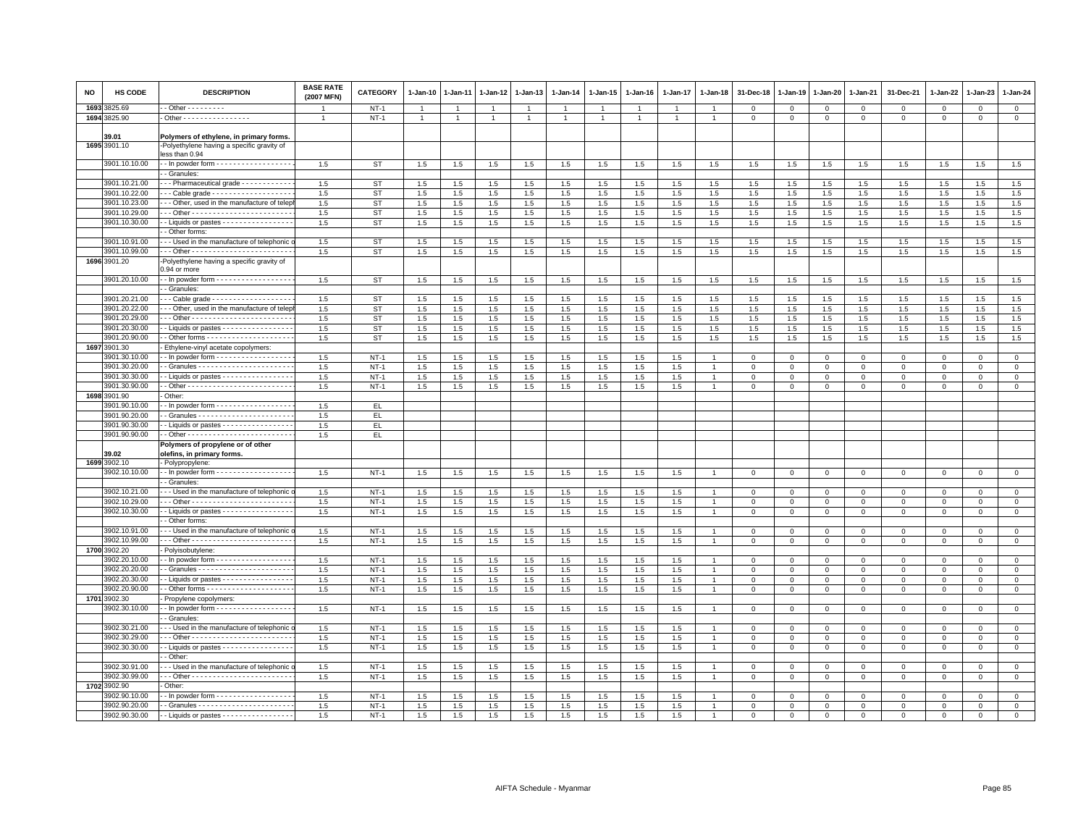| NO | HS CODE                        | <b>DESCRIPTION</b>                                                                                             | <b>BASE RATE</b><br>(2007 MFN) | <b>CATEGORY</b> | 1-Jan-10       | 1-Jan-11 | $1 - Jan-12$ | 1-Jan-13       | $1 - Jan-14$ | $1 - Jan-15$ | $1-Jan-16$ | 1-Jan-17       | 1-Jan-18       | 31-Dec-18        | 1-Jan-19               | 1-Jan-20     | 1-Jan-21                | 31-Dec-21            | $1 - Jan-22$         | 1-Jan-23      | 1-Jan-24       |
|----|--------------------------------|----------------------------------------------------------------------------------------------------------------|--------------------------------|-----------------|----------------|----------|--------------|----------------|--------------|--------------|------------|----------------|----------------|------------------|------------------------|--------------|-------------------------|----------------------|----------------------|---------------|----------------|
|    | 1693 3825.69                   | - Other - - - - - - - - -                                                                                      |                                | $NT-1$          | $\overline{1}$ |          |              | $\overline{1}$ |              |              |            |                |                | $\mathbf 0$      | $^{\circ}$             | $\mathbf 0$  | 0                       | $\Omega$             | $\Omega$             | $\Omega$      | $\mathbf 0$    |
|    | 1694 3825.90                   | Other - - - - - - - - - - - - - - - -                                                                          | $\overline{1}$                 | $NT-1$          | $\mathbf{1}$   |          | 1            | $\overline{1}$ |              | $\mathbf{1}$ |            | $\overline{1}$ | $\overline{1}$ | $\mathbf{O}$     | $\mathbf 0$            | $\mathbf{0}$ | $\mathbf{0}$            | $\mathbf{0}$         | $\mathbf 0$          | 0             | $\overline{0}$ |
|    |                                |                                                                                                                |                                |                 |                |          |              |                |              |              |            |                |                |                  |                        |              |                         |                      |                      |               |                |
|    | 39.01                          | Polymers of ethylene, in primary forms.                                                                        |                                |                 |                |          |              |                |              |              |            |                |                |                  |                        |              |                         |                      |                      |               |                |
|    | 1695 3901.10                   | -Polyethylene having a specific gravity of<br>less than 0.94                                                   |                                |                 |                |          |              |                |              |              |            |                |                |                  |                        |              |                         |                      |                      |               |                |
|    | 3901.10.10.00                  | - - In powder form - - - - - - - - - - - - - - - - -                                                           | 1.5                            | <b>ST</b>       | 1.5            | 1.5      | 1.5          | 1.5            | 1.5          | 1.5          | 1.5        | 1.5            | 1.5            | 1.5              | 1.5                    | 1.5          | 1.5                     | 1.5                  | 1.5                  | 1.5           | 1.5            |
|    |                                | - Granules:                                                                                                    |                                |                 |                |          |              |                |              |              |            |                |                |                  |                        |              |                         |                      |                      |               |                |
|    | 3901.10.21.00<br>3901.10.22.00 | -- Pharmaceutical grade -----------                                                                            | 1.5                            | <b>ST</b>       | 1.5            | 1.5      | 1.5          | 1.5            | 1.5          | 1.5          | 1.5        | 1.5            | 1.5            | 1.5              | 1.5                    | 1.5          | 1.5                     | 1.5                  | 1.5                  | 1.5           | 1.5            |
|    |                                | -- Cable grade ------------------                                                                              | 1.5                            | <b>ST</b>       | 1.5            | 1.5      | 1.5          | 1.5            | 1.5          | 1.5          | 1.5        | 1.5            | 1.5            | 1.5              | 1.5                    | 1.5          | 1.5                     | 1.5                  | 1.5                  | 1.5           | 1.5            |
|    | 3901.10.23.00<br>3901.10.29.00 | -- Other, used in the manufacture of telep                                                                     | 1.5                            | <b>ST</b>       | 1.5            | 1.5      | 1.5          | 1.5            | 1.5          | 1.5          | 1.5        | 1.5            | 1.5            | 1.5              | 1.5                    | 1.5          | 1.5                     | 1.5                  | 1.5                  | 1.5           | 1.5            |
|    |                                |                                                                                                                | 1.5                            | <b>ST</b>       | 1.5            | 1.5      | 1.5          | 1.5            | 1.5          | 1.5          | 1.5        | 1.5            | $1.5\,$        | 1.5              | 1.5                    | 1.5          | 1.5                     | 1.5                  | 1.5                  | 1.5           | 1.5            |
|    | 3901.10.30.00                  | -- Liquids or pastes ----------------<br>- Other forms:                                                        | 1.5                            | <b>ST</b>       | 1.5            | 1.5      | 1.5          | 1.5            | 1.5          | 1.5          | 1.5        | 1.5            | 1.5            | 1.5              | 1.5                    | 1.5          | 1.5                     | 1.5                  | 1.5                  | 1.5           | 1.5            |
|    | 3901.10.91.00                  | - - Used in the manufacture of telephonic                                                                      | 1.5                            | <b>ST</b>       |                |          |              | 1.5            |              |              |            |                |                |                  |                        |              | 1.5                     | 1.5                  |                      | 1.5           | 1.5            |
|    | 3901.10.99.00                  |                                                                                                                |                                |                 | 1.5            | 1.5      | 1.5          |                | 1.5<br>1.5   | 1.5<br>1.5   | 1.5        | 1.5            | 1.5            | 1.5              | 1.5                    | 1.5          |                         |                      | 1.5                  |               | 1.5            |
|    | 1696 3901.20                   | -Polyethylene having a specific gravity of                                                                     | 1.5                            | <b>ST</b>       | 1.5            | 1.5      | 1.5          | 1.5            |              |              | 1.5        | 1.5            | 1.5            | 1.5              | 1.5                    | 1.5          | 1.5                     | 1.5                  | 1.5                  | 1.5           |                |
|    |                                | 0.94 or more                                                                                                   |                                |                 |                |          |              |                |              |              |            |                |                |                  |                        |              |                         |                      |                      |               |                |
|    | 3901.20.10.00                  | - - In powder form - - - - - - - - - - - - - - - - -                                                           | 1.5                            | <b>ST</b>       | 1.5            | 1.5      | 1.5          | 1.5            | 1.5          | 1.5          | 1.5        | 1.5            | 1.5            | 1.5              | 1.5                    | 1.5          | 1.5                     | 1.5                  | 1.5                  | 1.5           | 1.5            |
|    |                                | - Granules:                                                                                                    |                                |                 |                |          |              |                |              |              |            |                |                |                  |                        |              |                         |                      |                      |               |                |
|    | 3901.20.21.00                  | $\cdot$ - Cable grade - - - - - - - - - - - - - - - - - -                                                      | 1.5                            | <b>ST</b>       | 1.5            | 1.5      | 1.5          | 1.5            | 1.5          | 1.5          | 1.5        | 1.5            | 1.5            | 1.5              | 1.5                    | 1.5          | 1.5                     | 1.5                  | 1.5                  | 1.5           | 1.5            |
|    | 3901.20.22.00                  | - - Other, used in the manufacture of telep                                                                    | 1.5                            | <b>ST</b>       | 1.5            | $1.5\,$  | 1.5          | 1.5            | 1.5          | $1.5\,$      | 1.5        | 1.5            | 1.5            | 1.5              | 1.5                    | 1.5          | 1.5                     | 1.5                  | 1.5                  | 1.5           | 1.5            |
|    | 3901.20.29.00                  |                                                                                                                | 1.5                            | <b>ST</b>       | 1.5            | 1.5      | 1.5          | 1.5            | 1.5          | 1.5          | 1.5        | 1.5            | 1.5            | 1.5              | 1.5                    | 1.5          | 1.5                     | 1.5                  | 1.5                  | 1.5           | 1.5            |
|    | 3901.20.30.00                  | - Liquids or pastes - - - - - - - - - - - - - - - -                                                            | 1.5                            | <b>ST</b>       | 1.5            | 1.5      | 1.5          | 1.5            | 1.5          | 1.5          | 1.5        | 1.5            | 1.5            | 1.5              | 1.5                    | 1.5          | 1.5                     | 1.5                  | 1.5                  | 1.5           | 1.5            |
|    | 3901.20.90.00                  |                                                                                                                | 1.5                            | ST              | 1.5            | 1.5      | 1.5          | 1.5            | 1.5          | 1.5          | 1.5        | 1.5            | 1.5            | 1.5              | 1.5                    | 1.5          | 1.5                     | 1.5                  | 1.5                  | 1.5           | 1.5            |
|    | 1697 3901.30                   | Ethylene-vinyl acetate copolymers                                                                              |                                |                 |                |          |              |                |              |              |            |                |                |                  |                        |              |                         |                      |                      |               |                |
|    | 3901.30.10.00<br>3901.30.20.00 | $\cdot$ - In powder form $\cdot$ - - - - - - - - - - - - - - - -                                               | 1.5                            | $NT-1$          | 1.5            | 1.5      | 1.5          | 1.5            | 1.5          | 1.5          | 1.5        | 1.5            |                | $\mathbf 0$      | $\mathbf 0$            | $\mathbf 0$  | $\mathbf 0$             | $\mathbf 0$          | 0                    | $^{\circ}$    | $\mathbf 0$    |
|    |                                |                                                                                                                | 1.5                            | $NT-1$          | 1.5            | 1.5      | 1.5          | 1.5            | 1.5          | $1.5\,$      | 1.5        | 1.5            | -1             | $\Omega$         | $\Omega$               | $\Omega$     | $\Omega$                | $\Omega$             | $\Omega$             | $\Omega$      | $\mathbf{0}$   |
|    | 3901.30.30.00<br>3901.30.90.00 | $\cdot$ - Liquids or pastes $\cdot \cdot \cdot \cdot \cdot \cdot \cdot \cdot \cdot \cdot \cdot \cdot$          | 1.5<br>1.5                     | $NT-1$          | 1.5            | 1.5      | 1.5          | 1.5<br>1.5     | 1.5          | 1.5<br>1.5   | 1.5        | 1.5            |                | 0                | $\circ$<br>$\mathbf 0$ | $\Omega$     | $\mathbf 0$<br>$\Omega$ | $\Omega$<br>$\Omega$ | $\Omega$<br>$\Omega$ | $\Omega$      | $\mathbf 0$    |
|    | 1698 3901.90                   | Other:                                                                                                         |                                | $NT-1$          | $1.5\,$        | 1.5      | 1.5          |                | 1.5          |              | 1.5        | 1.5            |                | $^{\circ}$       |                        | $\mathbf 0$  |                         |                      |                      | $\Omega$      | $\mathbf 0$    |
|    | 3901.90.10.00                  | $\cdot$ - In powder form - - - - - - - - - - - - - - - - -                                                     | 1.5                            | EL.             |                |          |              |                |              |              |            |                |                |                  |                        |              |                         |                      |                      |               |                |
|    | 3901.90.20.00                  |                                                                                                                | 1.5                            | EL.             |                |          |              |                |              |              |            |                |                |                  |                        |              |                         |                      |                      |               |                |
|    | 3901.90.30.00                  | $\cdot$ - Liquids or pastes $\cdot \cdot \cdot \cdot \cdot \cdot \cdot \cdot \cdot \cdot \cdot \cdot$          | 1.5                            | EL.             |                |          |              |                |              |              |            |                |                |                  |                        |              |                         |                      |                      |               |                |
|    | 3901.90.90.00                  |                                                                                                                | 1.5                            | EL.             |                |          |              |                |              |              |            |                |                |                  |                        |              |                         |                      |                      |               |                |
|    |                                | Polymers of propylene or of other                                                                              |                                |                 |                |          |              |                |              |              |            |                |                |                  |                        |              |                         |                      |                      |               |                |
|    | 39.02                          | olefins, in primary forms.                                                                                     |                                |                 |                |          |              |                |              |              |            |                |                |                  |                        |              |                         |                      |                      |               |                |
|    | 1699 3902.10                   | - Polypropylene:                                                                                               |                                |                 |                |          |              |                |              |              |            |                |                |                  |                        |              |                         |                      |                      |               |                |
|    | 3902.10.10.00                  | - - In powder form - - - - - - - - - - - - - - - - -                                                           | 1.5                            | $NT-1$          | 1.5            | 1.5      | 1.5          | 1.5            | 1.5          | 1.5          | 1.5        | 1.5            |                | $\mathbf 0$      | $\mathbf{0}$           | $\mathbf 0$  | $\Omega$                | 0                    | $\Omega$             | $\Omega$      | $\mathbf 0$    |
|    |                                | - Granules:                                                                                                    |                                |                 |                |          |              |                |              |              |            |                |                |                  |                        |              |                         |                      |                      |               |                |
|    | 3902.10.21.00                  | -- Used in the manufacture of telephonic                                                                       | 1.5                            | $NT-1$          | 1.5            | 1.5      | 1.5          | 1.5            | 1.5          | 1.5          | 1.5        | 1.5            |                | $\mathbf{O}$     | $\mathbf 0$            | $^{\circ}$   | $\Omega$                | $\mathbf{0}$         | $\Omega$             | $^{\circ}$    | $\mathbf{0}$   |
|    | 3902.10.29.00                  |                                                                                                                | 1.5                            | $NT-1$          | 1.5            | 1.5      | 1.5          | 1.5            | 1.5          | 1.5          | 1.5        | 1.5            |                | $\mathbf 0$      | $\mathbf 0$            | $\mathbf 0$  | $\mathbf 0$             | $\mathsf 0$          | $\Omega$             | $\mathsf 0$   | $\mathbf 0$    |
|    | 3902.10.30.00                  | - Liquids or pastes - - - - - - - - - - - - - - - -                                                            | 1.5                            | $NT-1$          | 1.5            | 1.5      | 1.5          | 1.5            | 1.5          | 1.5          | 1.5        | 1.5            |                | $\mathbf 0$      | $^{\circ}$             | $\mathbf 0$  | 0                       | $\mathsf 0$          | $\Omega$             | 0             | $\mathsf 0$    |
|    |                                | - Other forms:                                                                                                 |                                |                 |                |          |              |                |              |              |            |                |                |                  |                        |              |                         |                      |                      |               |                |
|    | 3902.10.91.00                  | -- Used in the manufacture of telephonic                                                                       | 1.5                            | <b>NT-1</b>     | 1.5            | 1.5      | 1.5          | 1.5            | 1.5          | 1.5          | 1.5        | 1.5            |                | 0                | 0                      | 0            | $^{\circ}$              | $^{\circ}$           | 0                    | $^{\circ}$    | $\mathbf 0$    |
|    | 3902.10.99.00                  |                                                                                                                | 1.5                            | $NT-1$          | 1.5            | 1.5      | $1.5\,$      | 1.5            | 1.5          | 1.5          | 1.5        | 1.5            |                | $\Omega$         | $\Omega$               | $\circ$      | $\mathbf{0}$            | $\mathsf 0$          | $\Omega$             | $\Omega$      | $\mathsf 0$    |
|    | 1700 3902.20                   | Polyisobutylene:                                                                                               |                                |                 |                |          |              |                |              |              |            |                |                |                  |                        |              |                         |                      |                      |               |                |
|    | 3902.20.10.00                  | $\cdot$ - In powder form $\cdot \cdot \cdot \cdot \cdot \cdot \cdot \cdot \cdot \cdot \cdot \cdot \cdot \cdot$ | 1.5                            | $NT-1$          | 1.5            | 1.5      | 1.5          | 1.5            | 1.5          | 1.5          | 1.5        | 1.5            |                | $\Omega$         | $\Omega$               | $\mathbf{0}$ | $\Omega$                | $\mathbf 0$          | $\Omega$             | $\mathbf 0$   | $\mathbf{0}$   |
|    | 3902.20.20.00                  |                                                                                                                | 1.5                            | $NT-1$          | 1.5            | 1.5      | 1.5          | 1.5            | 1.5          | 1.5          | 1.5        | 1.5            |                | $^{\circ}$       | $\circ$                | $\mathbf 0$  | 0                       | 0                    | 0                    | 0             | $\mathbf 0$    |
|    | 3902.20.30.00                  | - Liquids or pastes - - - - - - - - - - - - - - -                                                              | 1.5                            | $NT-1$          | 1.5            | 1.5      | 1.5          | 1.5            | 1.5          | 1.5          | 1.5        | 1.5            |                | $\Omega$         | $\Omega$               | $\mathbf 0$  | $\Omega$                | $\mathbf 0$          | $\Omega$             | $\Omega$      | $\Omega$       |
|    | 3902.20.90.00                  |                                                                                                                | 1.5                            | <b>NT-1</b>     | 1.5            | 1.5      | 1.5          | 1.5            | 1.5          | 1.5          | 1.5        | 1.5            |                | $\mathbf 0$      | $\mathbf 0$            | $\mathsf 0$  | $\mathbf 0$             | $\mathsf 0$          | $\mathbf 0$          | $\mathsf 0$   | $\mathbf 0$    |
|    | 1701 3902.30                   | Propylene copolymers:                                                                                          |                                |                 |                |          |              |                |              |              |            |                |                |                  |                        |              |                         |                      |                      |               |                |
|    | 3902.30.10.00                  | - - In powder form - - - - - - - - - - - - - - - - -<br>- Granules:                                            | 1.5                            | $NT-1$          | 1.5            | 1.5      | 1.5          | 1.5            | 1.5          | 1.5          | 1.5        | 1.5            | $\overline{1}$ | $\Omega$         | $\Omega$               | $\Omega$     | $\Omega$                | 0                    | $\Omega$             | $\Omega$      | $\mathbf 0$    |
|    | 3902.30.21.00                  | - - Used in the manufacture of telephonic                                                                      | 1.5                            | $NT-1$          | 1.5            | 1.5      | 1.5          | 1.5            | 1.5          | 1.5          | 1.5        | 1.5            |                |                  | $\mathsf 0$            | $\mathsf 0$  | $\mathbf 0$             | $\mathsf 0$          | $\Omega$             |               | $\mathsf 0$    |
|    | 3902.30.29.00                  |                                                                                                                | 1.5                            | $NT-1$          | 1.5            | 1.5      | $1.5\,$      | 1.5            | 1.5          | 1.5          | 1.5        | 1.5            |                | 0<br>$\mathbf 0$ | $\mathbf 0$            | $^{\circ}$   | $\Omega$                | $\mathbf 0$          | $\Omega$             | 0<br>$\Omega$ | $\mathsf 0$    |
|    | 3902.30.30.00                  | - Liquids or pastes - - - - - - - - - - - - - - - -                                                            | 1.5                            | $NT-1$          | 1.5            | 1.5      | 1.5          | 1.5            | 1.5          | 1.5          | 1.5        | 1.5            |                | $\Omega$         | $\mathbf 0$            | $\mathbf 0$  | $\mathbf 0$             | $\mathsf 0$          | $\Omega$             | $\Omega$      | $\mathbf 0$    |
|    |                                | - Other:                                                                                                       |                                |                 |                |          |              |                |              |              |            |                |                |                  |                        |              |                         |                      |                      |               |                |
|    | 3902.30.91.00                  | - - Used in the manufacture of telephonic                                                                      | 1.5                            | $NT-1$          | 1.5            | 1.5      | 1.5          | 1.5            | 1.5          | 1.5          | 1.5        | 1.5            |                | 0                | $^{\circ}$             | $\mathbf 0$  | 0                       | 0                    | $\Omega$             | $\Omega$      | $\mathbf 0$    |
|    | 3902.30.99.00                  |                                                                                                                | 1.5                            | $NT-1$          | 1.5            | $1.5\,$  | 1.5          | 1.5            | 1.5          | 1.5          | 1.5        | 1.5            |                | $\mathsf 0$      | $\mathbf 0$            | $\mathbf 0$  | $\mathsf 0$             | $\mathsf 0$          | $\mathbf 0$          | $\mathsf 0$   | $\overline{0}$ |
|    | 1702 3902.90                   | Other:                                                                                                         |                                |                 |                |          |              |                |              |              |            |                |                |                  |                        |              |                         |                      |                      |               |                |
|    | 3902.90.10.00                  | . - In nowder form - - - - - - - - - - - - - - - - -                                                           | 1.5                            | $NT-1$          | $1.5\,$        | 1.5      | 1.5          | 1.5            | 1.5          | $1.5\,$      | 1.5        | 1.5            |                | $\mathbf 0$      | $\mathbf 0$            | $\mathbf 0$  | $\mathbf 0$             | $\mathbf 0$          | $\Omega$             | $^{\circ}$    | $\mathbf 0$    |
|    | 3902.90.20.00                  |                                                                                                                | 1.5                            | $NT-1$          | 1.5            | 1.5      | 1.5          | 1.5            | 1.5          | 1.5          | 1.5        | 1.5            |                | $\Omega$         | $\Omega$               | $\Omega$     | $\Omega$                | $\Omega$             | $\mathbf 0$          | $\mathbf 0$   | $\Omega$       |
|    | 3902.90.30.00                  | - - Liquids or pastes - - - - - - - - - - - - - - - -                                                          | 1.5                            | $NT-1$          | 1.5            | 1.5      | $1.5\,$      | $1.5\,$        | 1.5          | $1.5\,$      | 1.5        | 1.5            |                | $\Omega$         | $\mathbf 0$            | $\mathbf 0$  | $\Omega$                | $^{\circ}$           | $\Omega$             | $\Omega$      | $\mathbf{0}$   |
|    |                                |                                                                                                                |                                |                 |                |          |              |                |              |              |            |                |                |                  |                        |              |                         |                      |                      |               |                |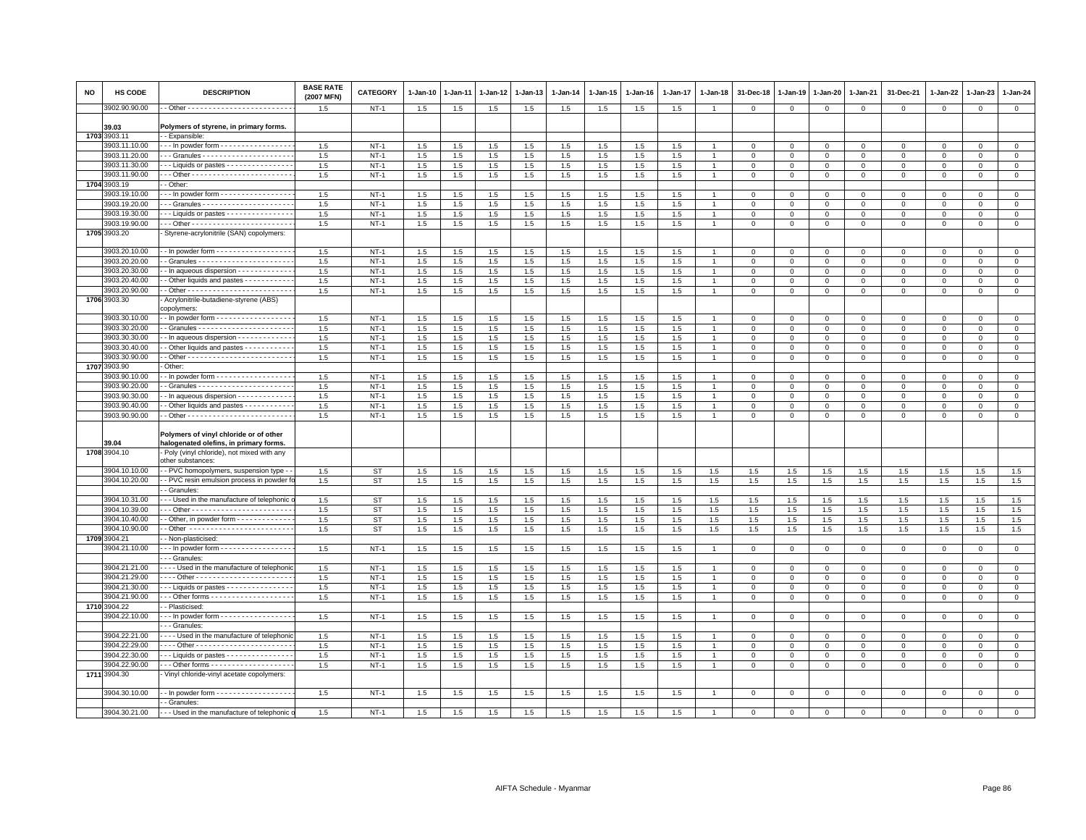| NO   | HS CODE                        | <b>DESCRIPTION</b>                                                                                             | <b>BASE RATE</b><br>(2007 MFN) | CATEGORY               | 1-Jan-10   | 1-Jan-11   | $1 - Jan-12$ | 1-Jan-13   | $1-Jan-14$ | 1-Jan-15   | 1-Jan-16   | 1-Jan-17       | 1-Jan-18       | 31-Dec-18   | 1-Jan-19    | 1-Jan-20    | 1-Jan-21                   | 31-Dec-21           | 1-Jan-22                | 1-Jan-23     | $1-Jan-24$                 |
|------|--------------------------------|----------------------------------------------------------------------------------------------------------------|--------------------------------|------------------------|------------|------------|--------------|------------|------------|------------|------------|----------------|----------------|-------------|-------------|-------------|----------------------------|---------------------|-------------------------|--------------|----------------------------|
|      | 902.90.90.00                   |                                                                                                                | 1.5                            | $NT-1$                 | 1.5        | 1.5        | $1.5\,$      | $1.5\,$    | 1.5        | $1.5\,$    | 1.5        | 1.5            | $\overline{1}$ | $\mathbf 0$ | $\mathsf 0$ | $\mathbf 0$ | $\circ$                    | $\mathbf 0$         | $\mathbf 0$             | $\mathbf 0$  | $\circ$                    |
|      | 39.03<br>1703 3903.11          | Polymers of styrene, in primary forms.<br>- Expansible:                                                        |                                |                        |            |            |              |            |            |            |            |                |                |             |             |             |                            |                     |                         |              |                            |
|      | 3903.11.10.00                  | - - In powder form - - - - - - - - - - - - - - - -                                                             | 1.5                            | $NT-1$                 | $1.5\,$    | $1.5\,$    | $1.5\,$      | 1.5        | 1.5        | 1.5        | 1.5        | 1.5            |                | $\,0\,$     | $\mathbf 0$ | $\mathsf 0$ | $\,0\,$                    | $\mathsf 0$         | $\mathbf 0$             | $\mathbf 0$  | $\mathbf 0$                |
|      | 3903.11.20.00                  |                                                                                                                | 1.5                            | $NT-1$                 | 1.5        | 1.5        | 1.5          | 1.5        | 1.5        | 1.5        | 1.5        | 1.5            |                | $\mathbf 0$ | $\mathbf 0$ | $\mathbf 0$ | $\overline{0}$             | $\mathbf 0$         | $\mathbf{0}$            | $\mathbf{0}$ | $\circ$                    |
|      | 3903.11.30.00                  | -- Liquids or pastes ---------------                                                                           | 1.5                            | $NT-1$                 | 1.5        | 1.5        | 1.5          | 1.5        | 1.5        | 1.5        | 1.5        | 1.5            |                | $\mathbf 0$ | 0           | $\mathbf 0$ | $\mathbf 0$                | 0                   | $\mathbf 0$             | $\mathbf 0$  | 0                          |
|      | 3903.11.90.00                  |                                                                                                                | 1.5                            | $NT-1$                 | 1.5        | $1.5\,$    | $1.5\,$      | 1.5        | $1.5\,$    | 1.5        | 1.5        | 1.5            |                | $\mathbf 0$ | $\mathbf 0$ | $\mathsf 0$ | $\mathbf 0$                | $\mathbf 0$         | $\mathbf 0$             | $\mathbf 0$  | $\mathbf 0$                |
|      | 1704 3903.19                   | - Other:                                                                                                       |                                |                        |            |            |              |            |            |            |            |                |                |             |             |             |                            |                     |                         |              |                            |
|      | 3903.19.10.00                  | $\cdot$ - In powder form $\cdot \cdot \cdot \cdot \cdot \cdot \cdot \cdot \cdot \cdot \cdot \cdot \cdot \cdot$ | 1.5                            | $NT-1$                 | 1.5        | 1.5        | 1.5          | 1.5        | 1.5        | 1.5        | 1.5        | 1.5            |                | $\mathbf 0$ | 0           | $\mathbf 0$ | $\mathbf{0}$               | $\Omega$            | $\Omega$                | $\Omega$     | $\mathbf 0$                |
|      | 3903.19.20.00                  |                                                                                                                | 1.5                            | $NT-1$                 | 1.5        | 1.5        | 1.5          | 1.5        | 1.5        | 1.5        | 1.5        | 1.5            |                | $\mathbf 0$ | $\Omega$    | $\mathsf 0$ | $\mathbf 0$                | $\mathsf 0$         | $\Omega$                | $\mathbf 0$  | $\mathsf 0$                |
|      | 3903.19.30.00                  | -- Liquids or pastes ---------------                                                                           | 1.5                            | $NT-1$                 | 1.5        | 1.5        | $1.5\,$      | 1.5        | $1.5\,$    | $1.5\,$    | 1.5        | 1.5            |                | $\mathbf 0$ | $\Omega$    | $\mathbf 0$ | $\mathbf 0$                | $\mathbf 0$         | $\Omega$                | $\mathbf{0}$ | $\mathsf 0$                |
|      | 3903.19.90.00                  |                                                                                                                | 1.5                            | $NT-1$                 | 1.5        | 1.5        | 1.5          | 1.5        | 1.5        | 1.5        | 1.5        | 1.5            |                | $\mathbf 0$ | 0           | 0           | $\mathbf 0$                | $\mathsf 0$         | 0                       | $\mathbf 0$  | $\mathbf 0$                |
|      | 1705 3903.20                   | Styrene-acrylonitrile (SAN) copolymers:                                                                        |                                |                        |            |            |              |            |            |            |            |                |                |             |             |             |                            |                     |                         |              |                            |
|      | 3903.20.10.00                  | $\cdot$ - In powder form $\cdot$ - $\cdot$ - $\cdot$ - $\cdot$ - $\cdot$ - $\cdot$ - $\cdot$ - $\cdot$         | 1.5                            | $NT-1$                 | 1.5        | 1.5        | 1.5          | 1.5        | 1.5        | 1.5        | 1.5        | 1.5            |                | $\Omega$    | $\Omega$    | $\mathbf 0$ | $\Omega$                   | $\mathbf 0$         | $\Omega$                | $\Omega$     | $\mathbf 0$                |
|      | 3903.20.20.00                  |                                                                                                                | 1.5                            | $NT-1$                 | 1.5        | 1.5        | 1.5          | 1.5        | 1.5        | 1.5        | 1.5        | 1.5            |                | $\mathsf 0$ | $\mathsf 0$ | $\mathsf 0$ | $\overline{0}$             | $\mathsf 0$         | $\mathbf 0$             | $\mathbf 0$  | $\overline{0}$             |
|      | 3903.20.30.00                  | - In aqueous dispersion - - - - - - - - - - - -                                                                | 1.5                            | $NT-1$                 | 1.5        | 1.5        | $1.5\,$      | 1.5        | 1.5        | 1.5        | 1.5        | 1.5            |                | $\Omega$    | $\Omega$    | $\Omega$    | $\Omega$                   | $\mathsf 0$         | $\Omega$                | $\mathbf 0$  | $\mathsf 0$                |
|      | 3903.20.40.00                  | - Other liquids and pastes - - - - - - - - - -                                                                 | 1.5                            | $NT-1$                 | 1.5        | 1.5        | 1.5          | 1.5        | 1.5        | 1.5        | 1.5        | 1.5            |                | $\mathbf 0$ | 0           | 0           | $\mathbf 0$                | $\mathbf 0$         | 0                       | $\mathbf 0$  | $\mathsf 0$                |
|      | 3903.20.90.00                  |                                                                                                                | 1.5                            | $NT-1$                 | 1.5        | $1.5\,$    | $1.5\,$      | 1.5        | 1.5        | 1.5        | 1.5        | $1.5\,$        |                | $\mathbf 0$ | $\mathbf 0$ | $\mathbf 0$ | $\mathbf 0$                | $\Omega$            | $\mathbf 0$             | $\Omega$     | $\mathbf 0$                |
|      | 1706 3903.30                   | Acrylonitrile-butadiene-styrene (ABS)<br>copolymers:                                                           |                                |                        |            |            |              |            |            |            |            |                |                |             |             |             |                            |                     |                         |              |                            |
|      | 3903.30.10.00                  | - In powder form - - - - - - - - - - - - - - - - -                                                             | 1.5                            | $NT-1$                 | 1.5        | 1.5        | 1.5          | 1.5        | 1.5        | 1.5        | 1.5        | 1.5            |                | $\mathbf 0$ | 0           | 0           | $\mathbf 0$                | $\Omega$            | $\Omega$                | $\Omega$     | $\mathbf{0}$               |
|      | 3903.30.20.00                  |                                                                                                                | 1.5                            | $NT-1$                 | 1.5        | 1.5        | 1.5          | 1.5        | 1.5        | 1.5        | 1.5        | 1.5            |                | $\mathsf 0$ | $\Omega$    | $\Omega$    | $\mathbf 0$                | $\mathsf 0$         | $\Omega$                | $\mathbf 0$  | $\mathsf 0$                |
|      | 3903.30.30.00                  | - In aqueous dispersion - - - - - - - - - - - -                                                                | 1.5                            | $NT-1$                 | 1.5        | $1.5\,$    | $1.5\,$      | 1.5        | 1.5        | 1.5        | 1.5        | 1.5            |                | $\mathbf 0$ | $\Omega$    | $\mathbf 0$ | $\mathbf 0$                | $\mathbf 0$         | $\Omega$                | $\mathbf{0}$ | $\mathsf 0$                |
|      | 3903.30.40.00                  | Other liquids and pastes - - - - - - - - - -                                                                   | 1.5                            | $NT-1$                 | 1.5        | 1.5        | 1.5          | 1.5        | 1.5        | 1.5        | 1.5        | 1.5            |                | $\mathbf 0$ | 0           | 0           | $\mathbf 0$                | 0                   | 0                       | $\mathbf 0$  | $\mathbf 0$                |
|      | 3903.30.90.00                  |                                                                                                                | 1.5                            | $NT-1$                 | 1.5        | 1.5        | 1.5          | $1.5\,$    | 1.5        | 1.5        | 1.5        | $1.5\,$        | $\overline{1}$ | $\mathbf 0$ | $\mathsf 0$ | $\mathbf 0$ | $\overline{0}$             | $\mathsf{O}\xspace$ | $\mathsf 0$             | $\mathsf 0$  | $\overline{0}$             |
|      | 1707 3903.90                   | Other:                                                                                                         |                                |                        |            |            |              |            |            |            |            |                |                |             |             |             |                            |                     |                         |              |                            |
|      | 3903.90.10.00                  | $\cdot$ - In powder form - - - - - - - - - - - - - - - - -                                                     | 1.5                            | $NT-1$                 | 1.5        | 1.5        | 1.5          | 1.5        | 1.5        | 1.5        | 1.5        | 1.5            |                | $\mathbf 0$ | 0           | $\mathbf 0$ | $\mathbf 0$                | $\mathsf 0$         | $^{\circ}$              | $\mathbf 0$  | $\mathsf 0$                |
|      | 3903.90.20.00                  |                                                                                                                | 1.5                            | $NT-1$                 | 1.5        | 1.5        | 1.5          | 1.5        | 1.5        | 1.5        | 1.5        | 1.5            |                | $\mathbf 0$ | $\mathsf 0$ | $\Omega$    | $\mathbf{0}$               | $\Omega$            | $\Omega$                | $\Omega$     | $\circ$                    |
|      | 3903.90.30.00                  | - In aqueous dispersion - - - - - - - - - - - -                                                                | 1.5                            | $NT-1$                 | 1.5        | 1.5        | 1.5          | 1.5        | 1.5        | 1.5        | 1.5        | 1.5            |                | $\mathbf 0$ | $\mathsf 0$ | $\mathsf 0$ | $\mathbf 0$                | $\mathbf 0$         | $\mathbf 0$             | $\mathbf 0$  | $\mathbf 0$                |
|      | 3903.90.40.00<br>3903.90.90.00 | Other liquids and pastes - - - - - - - - - -                                                                   | 1.5<br>1.5                     | $NT-1$<br>$NT-1$       | 1.5<br>1.5 | 1.5        | $1.5\,$      | 1.5<br>1.5 | 1.5<br>1.5 | 1.5<br>1.5 | 1.5<br>1.5 | $1.5\,$<br>1.5 |                | $\mathbf 0$ | $\Omega$    | $\mathbf 0$ | $\mathbf 0$<br>$\mathbf 0$ | $\Omega$            | $\Omega$<br>$\mathbf 0$ | $\Omega$     | $\mathsf 0$<br>$\mathsf 0$ |
|      |                                | Polymers of vinyl chloride or of other                                                                         |                                |                        |            | $1.5\,$    | $1.5\,$      |            |            |            |            |                |                | $\mathbf 0$ | $\mathsf 0$ | $\mathsf 0$ |                            | $\mathsf 0$         |                         | $\mathbf 0$  |                            |
|      | 39.04                          | halogenated olefins, in primary forms.                                                                         |                                |                        |            |            |              |            |            |            |            |                |                |             |             |             |                            |                     |                         |              |                            |
|      | 1708 3904.10                   | - Poly (vinyl chloride), not mixed with any                                                                    |                                |                        |            |            |              |            |            |            |            |                |                |             |             |             |                            |                     |                         |              |                            |
|      |                                | other substances:                                                                                              |                                |                        |            |            |              |            |            |            |            |                |                |             |             |             |                            |                     |                         |              |                            |
|      | 3904.10.10.00                  | - PVC homopolymers, suspension type                                                                            | 1.5                            | <b>ST</b>              | 1.5        | 1.5        | $1.5\,$      | 1.5        | 1.5        | 1.5        | 1.5        | 1.5            | 1.5            | 1.5         | 1.5         | 1.5         | 1.5                        | 1.5                 | 1.5                     | 1.5          | 1.5                        |
|      | 3904.10.20.00                  | - PVC resin emulsion process in powder f                                                                       | 1.5                            | ST                     | 1.5        | $1.5\,$    | 1.5          | 1.5        | 1.5        | 1.5        | 1.5        | $1.5\,$        | 1.5            | 1.5         | 1.5         | 1.5         | 1.5                        | 1.5                 | 1.5                     | $1.5\,$      | 1.5                        |
|      |                                | - Granules:                                                                                                    |                                |                        |            |            |              |            |            |            |            |                |                |             |             |             |                            |                     |                         |              |                            |
|      | 3904.10.31.00                  | - - Used in the manufacture of telephonic                                                                      | 1.5                            | <b>ST</b><br><b>ST</b> | 1.5        | 1.5        | 1.5          | 1.5        | 1.5        | 1.5        | 1.5        | 1.5            | 1.5            | 1.5         | 1.5         | 1.5         | 1.5                        | 1.5                 | 1.5                     | 1.5          | 1.5                        |
|      | 3904.10.39.00<br>3904.10.40.00 | - - Other - - - - - - - - - - - - - - - - -                                                                    | 1.5                            |                        | 1.5        | $1.5\,$    | 1.5          | 1.5        | 1.5        | 1.5        | 1.5        | 1.5            | $1.5\,$        | 1.5         | $1.5\,$     | 1.5         | 1.5                        | 1.5                 | 1.5                     | 1.5          | 1.5                        |
|      | 3904.10.90.00                  | - Other, in powder form - - - - - - - - - - - -<br>- Other -------------------------                           | 1.5<br>1.5                     | ST<br><b>ST</b>        | 1.5<br>1.5 | 1.5<br>1.5 | 1.5<br>1.5   | 1.5<br>1.5 | 1.5<br>1.5 | 1.5<br>1.5 | 1.5<br>1.5 | 1.5<br>1.5     | 1.5<br>1.5     | 1.5<br>1.5  | 1.5<br>1.5  | 1.5<br>1.5  | 1.5<br>1.5                 | 1.5<br>1.5          | 1.5<br>1.5              | 1.5<br>1.5   | 1.5<br>1.5                 |
| 1709 | 3904.21                        | - Non-plasticised:                                                                                             |                                |                        |            |            |              |            |            |            |            |                |                |             |             |             |                            |                     |                         |              |                            |
|      | 904.21.10.00                   | -- In powder form -----------------                                                                            | 1.5                            | $NT-1$                 | 1.5        | 1.5        | 1.5          | $1.5\,$    | 1.5        | 1.5        | 1.5        | 1.5            |                | $\mathbf 0$ | $\mathbf 0$ | $\mathbf 0$ | $\mathbf{0}$               | $\mathbf{0}$        | $\Omega$                | $\mathbf{0}$ | $\mathsf 0$                |
|      |                                | - - Granules:                                                                                                  |                                |                        |            |            |              |            |            |            |            |                |                |             |             |             |                            |                     |                         |              |                            |
|      | 3904.21.21.00                  | - - - Used in the manufacture of telephonic                                                                    | 1.5                            | $NT-1$                 | 1.5        | $1.5\,$    | $1.5\,$      | 1.5        | 1.5        | 1.5        | 1.5        | 1.5            |                | $\mathbf 0$ | $\Omega$    | $\mathbf 0$ | $\Omega$                   | $\mathbf 0$         | $\Omega$                | $\Omega$     | $\mathsf 0$                |
|      | 3904.21.29.00                  | --- Other ------------------------                                                                             | 1.5                            | $NT-1$                 | 1.5        | 1.5        | 1.5          | 1.5        | 1.5        | 1.5        | 1.5        | 1.5            |                | $\mathbf 0$ | $\mathbf 0$ | $\mathsf 0$ | $\mathbf 0$                | $\mathsf 0$         | $\mathbf 0$             | $\mathbf 0$  | $\mathsf 0$                |
|      | 3904.21.30.00                  | - - Liquids or pastes - - - - - - - - - - - - - - -                                                            | 1.5                            | $NT-1$                 | 1.5        | 1.5        | 1.5          | 1.5        | 1.5        | 1.5        | 1.5        | 1.5            |                | $\mathbf 0$ | $\Omega$    | $\Omega$    | $\mathbf 0$                | $\Omega$            | $\Omega$                | $\Omega$     | $\mathsf 0$                |
|      | 3904.21.90.00                  | $-$ - Other forms $-$ - - - - - - - - - - - - - - - - - -                                                      | 1.5                            | $NT-1$                 | 1.5        | 1.5        | 1.5          | 1.5        | 1.5        | 1.5        | 1.5        | 1.5            |                | $\mathbf 0$ | 0           | $\mathbf 0$ | $\mathbf{0}$               | $\mathbf 0$         | 0                       | $\mathbf 0$  | 0                          |
| 1710 | 3904.22                        | - Plasticised:                                                                                                 |                                |                        |            |            |              |            |            |            |            |                |                |             |             |             |                            |                     |                         |              |                            |
|      | 3904.22.10.00                  | - - In powder form - - - - - - - - - - - - - - - -                                                             | 1.5                            | $NT-1$                 | 1.5        | 1.5        | 1.5          | 1.5        | 1.5        | 1.5        | 1.5        | 1.5            |                | $\mathbf 0$ | 0           | $\mathsf 0$ | $\mathbf 0$                | $\mathsf 0$         | $\Omega$                | $\mathbf 0$  | $\mathbf 0$                |
|      |                                | - Granules:                                                                                                    |                                |                        |            |            |              |            |            |            |            |                |                |             |             |             |                            |                     |                         |              |                            |
|      | 3904.22.21.00                  | - - - Used in the manufacture of telephonic                                                                    | 1.5                            | $NT-1$                 | 1.5        | 1.5        | 1.5          | 1.5        | 1.5        | 1.5        | 1.5        | 1.5            |                | $\mathbf 0$ | $\mathbf 0$ | $\mathsf 0$ | $\mathbf 0$                | $\mathsf 0$         | $\mathbf 0$             | $\mathbf 0$  | $\mathsf 0$                |
|      | 3904.22.29.00                  |                                                                                                                | 1.5                            | $NT -$                 | 1.5        | 1.5        | 1.5          | 1.5        | 1.5        | 1.5        | 1.5        | 1.5            |                | $\mathbf 0$ | $\mathbf 0$ | $\mathsf 0$ | $\mathbf 0$                | $\mathsf 0$         | $\Omega$                | $\Omega$     | $\mathsf 0$                |
|      | 904.22.30.00                   | -- Liquids or pastes ---------------                                                                           | 1.5                            | $NT-1$                 | 1.5        | 1.5        | 1.5          | 1.5        | 1.5        | 1.5        | 1.5        | 1.5            |                | $\mathbf 0$ | $\mathbf 0$ | $\Omega$    | $\mathbf{0}$               | $\mathbf 0$         | $\Omega$                | $\mathbf{0}$ | $\mathsf 0$                |
|      | 3904.22.90.00                  |                                                                                                                | 1.5                            | $NT-1$                 | 1.5        | 1.5        | 1.5          | 1.5        | 1.5        | 1.5        | 1.5        | 1.5            | $\overline{1}$ | $\mathsf 0$ | $\mathsf 0$ | $\mathsf 0$ | $\mathsf 0$                | $\mathbf 0$         | 0                       | $\mathsf 0$  | $\mathsf 0$                |
|      | 1711 3904.30                   | Vinyl chloride-vinyl acetate copolymers:                                                                       |                                |                        |            |            |              |            |            |            |            |                |                |             |             |             |                            |                     |                         |              |                            |
|      | 3904.30.10.00                  | - - In powder form - - - - - - - - - - - - - - - - -                                                           | 1.5                            | $NT-1$                 | 1.5        | 1.5        | $1.5\,$      | 1.5        | 1.5        | 1.5        | 1.5        | 1.5            |                | $\mathbf 0$ | $\mathsf 0$ | $\mathsf 0$ | $\mathbf 0$                | $\mathsf 0$         | $\mathsf 0$             | $\mathsf 0$  | $\mathsf 0$                |
|      |                                | - Granules:                                                                                                    |                                |                        |            |            |              |            |            |            |            |                |                |             |             |             |                            |                     |                         |              |                            |
|      | 3904.30.21.00                  | -- Used in the manufacture of telephonic                                                                       | 1.5                            | $NT-1$                 | 1.5        | 1.5        | 1.5          | 1.5        | 1.5        | 1.5        | 1.5        | 1.5            |                |             |             |             |                            |                     |                         |              | $\Omega$                   |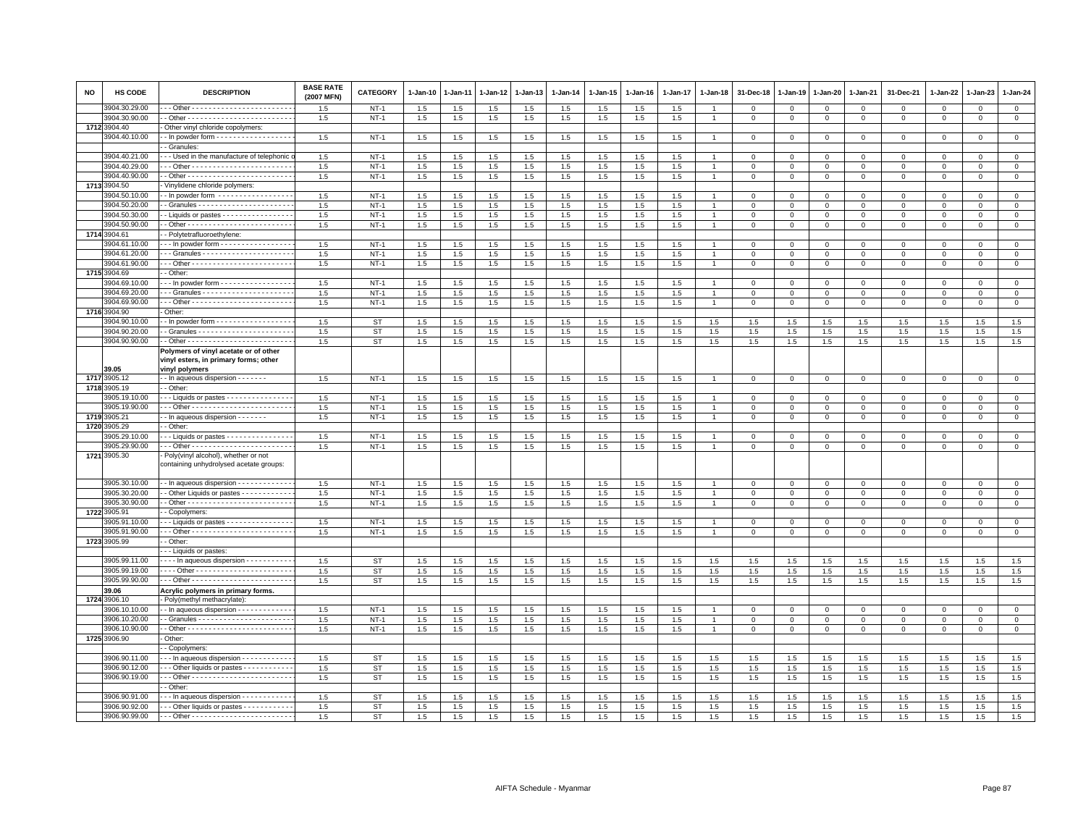| <b>NO</b> | HS CODE       | <b>DESCRIPTION</b>                                                               | <b>BASE RATE</b><br>(2007 MFN) | CATEGORY    | 1-Jan-10 | 1-Jan-11   | 1-Jan-12 | 1-Jan-13 | $1-Jan-14$ | 1-Jan-15 | 1-Jan-16   | 1-Jan-17 | 1-Jan-18       | 31-Dec-18    | $1 - Jan-19$ | 1-Jan-20            | 1-Jan-21     | 31-Dec-21    | $1 - Jan-22$           | 1-Jan-23    | 1-Jan-24            |
|-----------|---------------|----------------------------------------------------------------------------------|--------------------------------|-------------|----------|------------|----------|----------|------------|----------|------------|----------|----------------|--------------|--------------|---------------------|--------------|--------------|------------------------|-------------|---------------------|
|           | 3904.30.29.00 |                                                                                  | 1.5                            | $NT-1$      | 1.5      | 1.5        | 1.5      | 1.5      | 1.5        | 1.5      | 1.5        | 1.5      |                | $\Omega$     | $^{\circ}$   | $\Omega$            | $\mathbf 0$  | $\Omega$     | $\Omega$               | $\Omega$    | $\mathbf 0$         |
|           | 3904.30.90.00 |                                                                                  | 1.5                            | $NT-1$      | 1.5      | 1.5        | $1.5\,$  | 1.5      | 1.5        | 1.5      | 1.5        | 1.5      | $\overline{1}$ | $\mathbf{O}$ | $\mathbf 0$  | $\mathbf 0$         | $\mathbf{0}$ | $\mathbf{0}$ | 0                      | $\mathsf 0$ | $\mathbf{0}$        |
|           | 1712 3904.40  | Other vinyl chloride copolymers:                                                 |                                |             |          |            |          |          |            |          |            |          |                |              |              |                     |              |              |                        |             |                     |
|           | 904.40.10.00  | - In powder form - - - - - - - - - - - - - - - - -                               | 1.5                            | $NT-1$      | 1.5      | 1.5        | 1.5      | 1.5      | 1.5        | 1.5      | 1.5        | 1.5      |                |              | $\mathbf 0$  | $\mathbf 0$         | $\mathbf 0$  | $\mathbf 0$  | $\Omega$               |             | $\overline{0}$      |
|           | 3904.40.21.00 | - Granules<br>- - Used in the manufacture of telephonic                          | 1.5                            | $NT-1$      | 1.5      |            | $1.5\,$  | 1.5      | $1.5\,$    | 1.5      |            | 1.5      |                | 0            | $^{\circ}$   |                     | $\mathbf 0$  | $\mathbf 0$  |                        | $\Omega$    | $\mathsf 0$         |
|           | 3904.40.29.00 |                                                                                  | 1.5                            | $NT-1$      | 1.5      | 1.5<br>1.5 | 1.5      | 1.5      | 1.5        | 1.5      | 1.5<br>1.5 | 1.5      |                | $\Omega$     | $\mathbf{0}$ | $\circ$<br>$\Omega$ | $\mathbf{0}$ | $\Omega$     | $^{\circ}$<br>$\Omega$ | $\Omega$    | $\mathbf{0}$        |
|           | 3904.40.90.00 |                                                                                  | 1.5                            | $NT-1$      | 1.5      | 1.5        | 1.5      | 1.5      | 1.5        | $1.5\,$  | 1.5        | $1.5\,$  |                | $\mathbf 0$  | $\mathbf 0$  | $\mathbf 0$         | $\mathbf 0$  | $\mathsf 0$  | $\Omega$               | $\Omega$    | $\mathsf 0$         |
|           | 1713 3904.50  | Vinylidene chloride polymers:                                                    |                                |             |          |            |          |          |            |          |            |          |                |              |              |                     |              |              |                        |             |                     |
|           | 3904.50.10.00 | - In powder form -----------------                                               | 1.5                            | $NT-1$      | 1.5      | 1.5        | 1.5      | 1.5      | 1.5        | 1.5      | 1.5        | 1.5      |                | $\mathbf 0$  | $\mathbf 0$  | $\mathbf 0$         | $\mathbf{0}$ | $\mathbf{0}$ | $^{\circ}$             | $^{\circ}$  | $\overline{0}$      |
|           | 3904.50.20.00 |                                                                                  | 1.5                            | $NT-1$      | 1.5      | 1.5        | 1.5      | 1.5      | 1.5        | $1.5\,$  | 1.5        | 1.5      |                | $\mathbf 0$  | $\mathbf 0$  | $\mathbf 0$         | $\mathbf 0$  | $\mathsf 0$  | $\mathbf 0$            | $\mathsf 0$ | $\mathbf 0$         |
|           | 3904.50.30.00 | - Liquids or pastes - - - - - - - - - - - - - - -                                | 1.5                            | $NT-1$      | 1.5      | $1.5\,$    | 1.5      | 1.5      | $1.5\,$    | 1.5      | 1.5        | $1.5\,$  | $\overline{1}$ | $\mathbf 0$  | $\mathbf 0$  | $\Omega$            | $\Omega$     | $\Omega$     | $\Omega$               | $\Omega$    | $\overline{0}$      |
|           | 3904.50.90.00 |                                                                                  | 1.5                            | $NT-1$      | 1.5      | 1.5        | 1.5      | 1.5      | 1.5        | $1.5\,$  | 1.5        | $1.5\,$  | $\overline{1}$ | $\mathbf 0$  | $\mathbf{0}$ | $\mathbf{0}$        | $\mathbf 0$  | $\mathbf 0$  | $\Omega$               | $\mathbf 0$ | $\circ$             |
|           | 1714 3904.61  | - Polytetrafluoroethylene:                                                       |                                |             |          |            |          |          |            |          |            |          |                |              |              |                     |              |              |                        |             |                     |
|           | 904.61.10.00  | In powder form                                                                   | 1.5                            | $NT-1$      | 1.5      | 1.5        | 1.5      | 1.5      | 1.5        | 1.5      | 1.5        | 1.5      |                | $^{\circ}$   | $^{\circ}$   | $\mathbf 0$         | 0            | 0            | $\Omega$               | $\Omega$    | $\mathbf 0$         |
|           | 3904.61.20.00 |                                                                                  | 1.5                            | $NT-1$      | 1.5      | 1.5        | 1.5      | 1.5      | $1.5\,$    | 1.5      | 1.5        | 1.5      |                | $\mathbf 0$  | $\mathbf{0}$ | $\mathsf 0$         | $\mathbf 0$  | $\mathsf 0$  | $\Omega$               | $\Omega$    | $\overline{0}$      |
|           | 3904.61.90.00 |                                                                                  | 1.5                            | $NT-1$      | 1.5      | 1.5        | $1.5\,$  | 1.5      | 1.5        | 1.5      | 1.5        | 1.5      |                | $\mathbf 0$  | $\mathbf 0$  | $\mathbf 0$         | $\mathbf 0$  | $\mathsf 0$  | $\mathbf 0$            | $\mathsf 0$ | $\mathsf 0$         |
|           | 1715 3904.69  | - Other:                                                                         |                                |             |          |            |          |          |            |          |            |          |                |              |              |                     |              |              |                        |             |                     |
|           | 3904.69.10.00 | --- In powder form -----------------                                             | 1.5                            | $NT-1$      | 1.5      | 1.5        | 1.5      | 1.5      | 1.5        | $1.5\,$  | 1.5        | 1.5      |                | $\mathbf 0$  | $\Omega$     | $\mathbf 0$         | $\mathbf 0$  | $\mathsf 0$  | $\Omega$               | $\mathsf 0$ | $\mathsf 0$         |
|           | 3904.69.20.00 |                                                                                  | 1.5                            | $NT-1$      | 1.5      | 1.5        | 1.5      | 1.5      | 1.5        | 1.5      | 1.5        | 1.5      |                | 0            | $^{\circ}$   | $\Omega$            | $\Omega$     | 0            | $\Omega$               | $\Omega$    | $\mathsf 0$         |
|           | 3904.69.90.00 |                                                                                  | 1.5                            | $NT-1$      | 1.5      | 1.5        | 1.5      | 1.5      | 1.5        | 1.5      | 1.5        | 1.5      |                | $\mathbf{0}$ | $\mathbf{0}$ | $\mathbf{0}$        | $\mathbf{0}$ | $\mathbf 0$  | $\mathbf 0$            | $\mathbf 0$ | $\circ$             |
|           | 1716 3904.90  | Other:                                                                           |                                |             |          |            |          |          |            |          |            |          |                |              |              |                     |              |              |                        |             |                     |
|           | 3904.90.10.00 | - In powder form - - - - - - - - - - - - - - - - -                               | 1.5                            | <b>ST</b>   | 1.5      | 1.5        | 1.5      | 1.5      | 1.5        | 1.5      | 1.5        | 1.5      | 1.5            | 1.5          | 1.5          | 1.5                 | 1.5          | 1.5          | 1.5                    | 1.5         | 1.5                 |
|           | 3904.90.20.00 |                                                                                  | 1.5                            | <b>ST</b>   | 1.5      | 1.5        | 1.5      | 1.5      | $1.5\,$    | 1.5      | 1.5        | 1.5      | 1.5            | 1.5          | 1.5          | 1.5                 | 1.5          | $1.5\,$      | 1.5                    | 1.5         | 1.5                 |
|           | 3904.90.90.00 |                                                                                  | 1.5                            | ST          | 1.5      | 1.5        | 1.5      | $1.5\,$  | 1.5        | 1.5      | 1.5        | 1.5      | $1.5\,$        | 1.5          | 1.5          | 1.5                 | 1.5          | 1.5          | 1.5                    | 1.5         | 1.5                 |
|           | 39.05         | Polymers of vinyl acetate or of other<br>vinyl esters, in primary forms; other   |                                |             |          |            |          |          |            |          |            |          |                |              |              |                     |              |              |                        |             |                     |
|           | 1717 3905.12  | vinyl polymers<br>- - In aqueous dispersion - - - - - - -                        | 1.5                            | $NT-1$      | $1.5\,$  | 1.5        | 1.5      | 1.5      | 1.5        | 1.5      | 1.5        | 1.5      |                | $\mathbf 0$  | $\mathbf 0$  | $\mathbf 0$         | $\mathsf 0$  | $\mathsf 0$  | $\Omega$               | $\Omega$    | $\mathbf 0$         |
|           | 1718 3905.19  | - Other:                                                                         |                                |             |          |            |          |          |            |          |            |          |                |              |              |                     |              |              |                        |             |                     |
|           | 3905.19.10.00 | -- Liquids or pastes ---------------                                             | 1.5                            | $NT-1$      | 1.5      | 1.5        | 1.5      | 1.5      | 1.5        | $1.5\,$  | 1.5        | 1.5      |                | $\mathbf{0}$ | $\mathbf{0}$ | $\circ$             | $\mathbf 0$  | $\mathbf{0}$ | $\Omega$               | $\Omega$    | $\mathbf{0}$        |
|           | 3905.19.90.00 |                                                                                  | 1.5                            | $NT-1$      | 1.5      | 1.5        | 1.5      | 1.5      | 1.5        | 1.5      | 1.5        | 1.5      | $\overline{1}$ | $\mathbf 0$  | $\mathbf{0}$ | $\mathbf 0$         | $\mathbf 0$  | $\Omega$     | $\Omega$               | $\Omega$    | $\mathbf 0$         |
|           | 1719 3905.21  | - In aqueous dispersion - - - - - - -                                            | 1.5                            | $NT-1$      | 1.5      | 1.5        | 1.5      | 1.5      | 1.5        | $1.5\,$  | 1.5        | 1.5      | $\overline{1}$ | $\Omega$     | $\mathbf{0}$ | $\mathsf 0$         | $\mathbf 0$  | $\mathsf 0$  | $\Omega$               | $\Omega$    | $\circ$             |
|           | 1720 3905.29  | - Other:                                                                         |                                |             |          |            |          |          |            |          |            |          |                |              |              |                     |              |              |                        |             |                     |
|           | 905.29.10.00  | -- Liquids or pastes ---------------                                             | 1.5                            | $NT-1$      | 1.5      | 1.5        | 1.5      | $1.5\,$  | 1.5        | $1.5\,$  | 1.5        | $1.5\,$  |                | $\mathbf 0$  | $\mathbf 0$  | $\mathbf 0$         | $\mathbf 0$  | $^{\circ}$   | $^{\circ}$             | $\Omega$    | $\mathsf{O}\xspace$ |
|           | 3905.29.90.00 |                                                                                  | 1.5                            | <b>NT-1</b> | 1.5      | 1.5        | 1.5      | 1.5      | 1.5        | 1.5      | 1.5        | 1.5      |                | $\mathbf 0$  | $\mathbf 0$  | $\mathbf{0}$        | $\mathbf 0$  | $\mathsf 0$  | $^{\circ}$             | $^{\circ}$  | $\mathbf 0$         |
|           | 1721 3905.30  | · Poly(vinyl alcohol), whether or not<br>containing unhydrolysed acetate groups: |                                |             |          |            |          |          |            |          |            |          |                |              |              |                     |              |              |                        |             |                     |
|           | 3905.30.10.00 | - In aqueous dispersion - - - - - - - - - - - -                                  | 1.5                            | $NT-1$      | 1.5      | 1.5        | 1.5      | 1.5      | 1.5        | 1.5      | 1.5        | 1.5      |                | $\mathbf 0$  | $\mathbf 0$  | $\mathbf 0$         | $\mathbf 0$  | $\mathsf 0$  | $\mathbf 0$            | $\mathsf 0$ | $\mathsf 0$         |
|           | 3905.30.20.00 | - Other Liquids or pastes - - - - - - - - - - -                                  | 1.5                            | $NT-1$      | 1.5      | 1.5        | 1.5      | 1.5      | 1.5        | $1.5\,$  | 1.5        | 1.5      | $\overline{1}$ | $\mathbf{O}$ | $\mathbf 0$  | $\overline{0}$      | $\mathbf{0}$ | $\mathbf{0}$ | $^{\circ}$             | $^{\circ}$  | $\overline{0}$      |
|           | 3905.30.90.00 |                                                                                  | 1.5                            | $NT-1$      | 1.5      | 1.5        | 1.5      | 1.5      | 1.5        | 1.5      | 1.5        | 1.5      | $\overline{1}$ | $\mathbf 0$  | $\mathbf 0$  | $\mathbf 0$         | $\mathbf 0$  | $\mathsf 0$  | $\mathbf 0$            | $\mathsf 0$ | $\mathbf 0$         |
|           | 1722 3905.91  | - Copolymers:                                                                    |                                |             |          |            |          |          |            |          |            |          |                |              |              |                     |              |              |                        |             |                     |
|           | 905.91.10.00  | $\cdot$ - Liquids or pastes - - - - - - - - - - - - - - -                        | 1.5                            | $NT-1$      | 1.5      | 1.5        | 1.5      | 1.5      | 1.5        | 1.5      | 1.5        | 1.5      |                | $\mathbf 0$  | $\mathbf{0}$ | $\mathbf{0}$        | $\mathbf 0$  | $\Omega$     | $\Omega$               | $\Omega$    | $\mathbf{0}$        |
|           | 3905.91.90.00 |                                                                                  | 1.5                            | $NT-1$      | 1.5      | 1.5        | 1.5      | 1.5      | 1.5        | 1.5      | 1.5        | 1.5      | $\overline{1}$ | $\mathbf{0}$ | $\mathbf 0$  | $\mathbf{0}$        | $\mathbf{0}$ | $\mathbf 0$  | 0                      | $\mathbf 0$ | $\overline{0}$      |
|           | 1723 3905.99  | - Other                                                                          |                                |             |          |            |          |          |            |          |            |          |                |              |              |                     |              |              |                        |             |                     |
|           |               | - - Liquids or pastes:                                                           |                                |             |          |            |          |          |            |          |            |          |                |              |              |                     |              |              |                        |             |                     |
|           | 3905.99.11.00 | ---- In aqueous dispersion -----------                                           | 1.5                            | ST          | 1.5      | 1.5        | 1.5      | 1.5      | 1.5        | 1.5      | 1.5        | 1.5      | 1.5            | 1.5          | 1.5          | 1.5                 | 1.5          | 1.5          | 1.5                    | 1.5         | 1.5                 |
|           | 3905.99.19.00 |                                                                                  | 1.5                            | <b>ST</b>   | 1.5      | 1.5        | 1.5      | 1.5      | 1.5        | 1.5      | 1.5        | 1.5      | 1.5            | 1.5          | 1.5          | 1.5                 | 1.5          | 1.5          | 1.5                    | 1.5         | 1.5                 |
|           | 3905.99.90.00 |                                                                                  | 1.5                            | <b>ST</b>   | 1.5      | 1.5        | 1.5      | 1.5      | 1.5        | 1.5      | 1.5        | 1.5      | 1.5            | 1.5          | 1.5          | 1.5                 | 1.5          | 1.5          | 1.5                    | 1.5         | 1.5                 |
|           | 39.06         | Acrylic polymers in primary forms.                                               |                                |             |          |            |          |          |            |          |            |          |                |              |              |                     |              |              |                        |             |                     |
| 1724      | 3906.10       | Poly(methyl methacrylate)                                                        |                                |             |          |            |          |          |            |          |            |          |                |              |              |                     |              |              |                        |             |                     |
|           | 3906.10.10.00 | - In aqueous dispersion - - - - - - - - - - - -                                  | 1.5                            | $NT-1$      | 1.5      | 1.5        | 1.5      | 1.5      | 1.5        | 1.5      | 1.5        | 1.5      |                | 0            | $^{\circ}$   | $\mathbf 0$         | $\mathbf 0$  | $\mathsf 0$  | $^{\circ}$             | $^{\circ}$  | $\mathbf 0$         |
|           | 3906.10.20.00 |                                                                                  | 1.5                            | $NT-1$      | $1.5\,$  | $1.5\,$    | 1.5      | 1.5      | $1.5\,$    | $1.5\,$  | 1.5        | $1.5\,$  | $\overline{1}$ | $\mathbf 0$  | $\mathbf 0$  | $\Omega$            | $\Omega$     | $\Omega$     | $\Omega$               | $\Omega$    | $\mathbf 0$         |
|           | 3906.10.90.00 |                                                                                  | 1.5                            | <b>NT-1</b> | 1.5      | 1.5        | 1.5      | 1.5      | 1.5        | $1.5\,$  | $1.5\,$    | 1.5      |                | $\mathbf 0$  | $\,0\,$      | $\mathsf 0$         | $\mathbf{0}$ | $\mathbf 0$  | $\mathbf 0$            | $\Omega$    | $\circ$             |
|           | 1725 3906.90  | Other:                                                                           |                                |             |          |            |          |          |            |          |            |          |                |              |              |                     |              |              |                        |             |                     |
|           |               | - Copolymers:                                                                    |                                |             |          |            |          |          |            |          |            |          |                |              |              |                     |              |              |                        |             |                     |
|           | 3906.90.11.00 | In aqueous dispersion                                                            | 1.5                            | <b>ST</b>   | 1.5      | 1.5        | $1.5\,$  | 1.5      | 1.5        | 1.5      | 1.5        | 1.5      | 1.5            | 1.5          | 1.5          | 1.5                 | 1.5          | 1.5          | 1.5                    | 1.5         | 1.5                 |
|           | 3906.90.12.00 | --- Other liquids or pastes -----------                                          | 1.5                            | <b>ST</b>   | 1.5      | 1.5        | 1.5      | 1.5      | 1.5        | 1.5      | 1.5        | 1.5      | 1.5            | 1.5          | 1.5          | 1.5                 | 1.5          | 1.5          | 1.5                    | 1.5         | 1.5                 |
|           | 3906.90.19.00 |                                                                                  | 1.5                            | <b>ST</b>   | 1.5      | 1.5        | 1.5      | $1.5\,$  | 1.5        | 1.5      | 1.5        | 1.5      | 1.5            | 1.5          | 1.5          | 1.5                 | 1.5          | $1.5\,$      | 1.5                    | 1.5         | 1.5                 |
|           | 3906.90.91.00 | - Other                                                                          |                                |             |          |            |          |          |            |          |            |          |                |              |              |                     |              |              |                        |             |                     |
|           |               | -- In aqueous dispersion -----------                                             | 1.5                            | <b>ST</b>   | 1.5      | 1.5        | 1.5      | 1.5      | 1.5        | 1.5      | 1.5        | 1.5      | 1.5            | 1.5          | 1.5          | 1.5                 | 1.5          | 1.5          | 1.5                    | 1.5         | 1.5                 |
|           | 3906.90.92.00 | -- Other liquids or pastes - - - - - - - - - -                                   | 1.5                            | <b>ST</b>   | 1.5      | 1.5        | 1.5      | 1.5      | 1.5        | 1.5      | 1.5        | 1.5      | 1.5            | 1.5          | 1.5          | 1.5                 | 1.5          | 1.5          | 1.5                    | 1.5         | 1.5                 |
|           | 3906.90.99.00 |                                                                                  | 1.5                            | <b>ST</b>   | 1.5      | 1.5        | 1.5      | 1.5      | 1.5        | 1.5      | 1.5        | 1.5      | 1.5            | 1.5          | 1.5          | 1.5                 | 1.5          | 1.5          | 1.5                    | 1.5         | 1.5                 |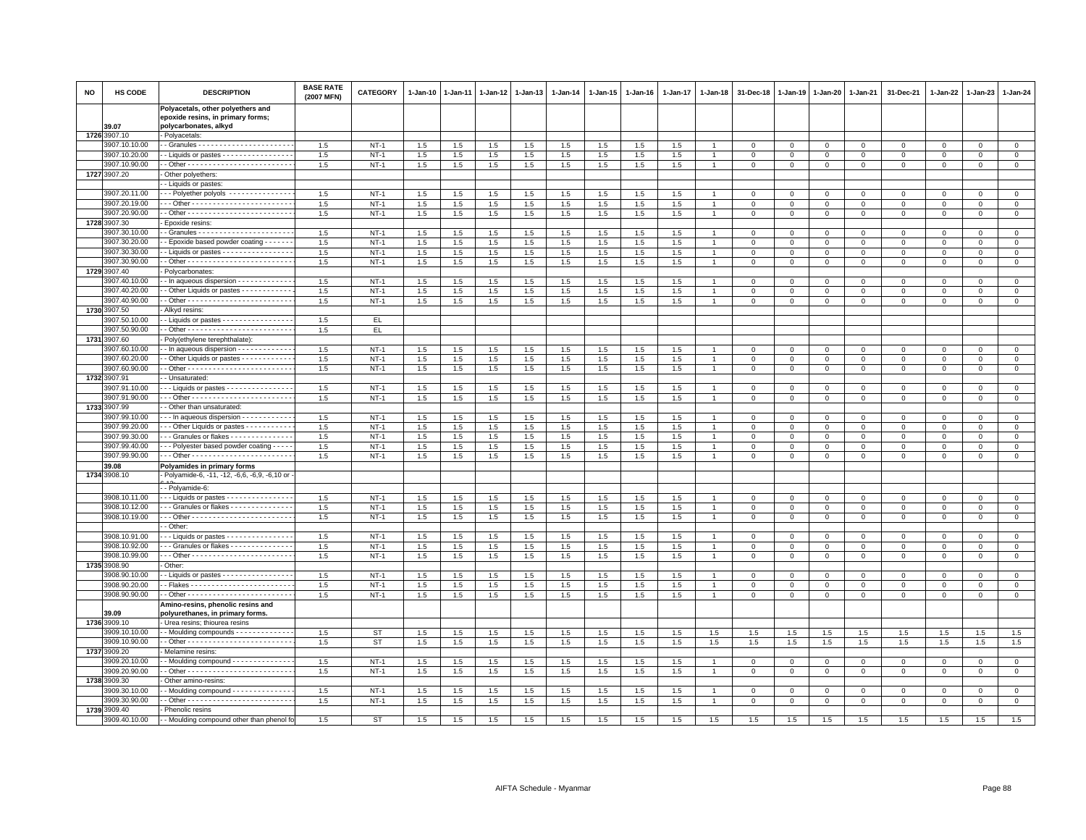| <b>NO</b> | HS CODE                        | <b>DESCRIPTION</b>                                                     | <b>BASE RATE</b><br>(2007 MFN) | <b>CATEGORY</b>  | $1 - Jan-10$ | 1-Jan-11   | $1-Jan-12$ | 1-Jan-13   | $1 - Jan-14$ | $1 - Jan-15$ | $1-Jan-16$ | 1-Jan-17   | 1-Jan-18       | 31-Dec-18      | $1 - Jan-19$ | 1-Jan-20    | 1-Jan-21                   | 31-Dec-21            | 1-Jan-22    | $1-Jan-23$   | 1-Jan-24                    |
|-----------|--------------------------------|------------------------------------------------------------------------|--------------------------------|------------------|--------------|------------|------------|------------|--------------|--------------|------------|------------|----------------|----------------|--------------|-------------|----------------------------|----------------------|-------------|--------------|-----------------------------|
|           |                                | Polyacetals, other polyethers and<br>epoxide resins, in primary forms; |                                |                  |              |            |            |            |              |              |            |            |                |                |              |             |                            |                      |             |              |                             |
|           | 39.07                          | polycarbonates, alkyd                                                  |                                |                  |              |            |            |            |              |              |            |            |                |                |              |             |                            |                      |             |              |                             |
|           | 1726 3907.10                   | Polyacetals:                                                           |                                |                  |              |            |            |            |              |              |            |            |                |                |              |             |                            |                      |             |              |                             |
|           | 3907.10.10.00                  |                                                                        | 1.5                            | $NT-1$           | 1.5          | 1.5        | 1.5        | 1.5        | 1.5          | 1.5          | 1.5        | 1.5        |                | $^{\circ}$     | $\mathbf 0$  | 0           | $\mathsf 0$                | $^{\circ}$           | $\mathbf 0$ | $^{\circ}$   | $\mathbf 0$                 |
|           | 3907.10.20.00<br>3907.10.90.00 | - Liquids or pastes - - - - - - - - - - - - - -                        | 1.5                            | $NT-1$           | 1.5          | 1.5        | 1.5        | 1.5        | $1.5\,$      | 1.5          | 1.5        | 1.5        |                | $\Omega$       | $\Omega$     | $\Omega$    | $\mathbf{0}$               | $\Omega$<br>$\Omega$ | $\Omega$    | $\Omega$     | $\Omega$                    |
|           | 1727 3907.20                   | Other polyethers:                                                      | 1.5                            | $NT-1$           | 1.5          | 1.5        | 1.5        | 1.5        | 1.5          | 1.5          | 1.5        | 1.5        |                | $^{\circ}$     | $\mathbf 0$  | $\mathbf 0$ | $\mathbf 0$                |                      | 0           | $\mathbf 0$  | $\mathbf 0$                 |
|           |                                | - Liquids or pastes:                                                   |                                |                  |              |            |            |            |              |              |            |            |                |                |              |             |                            |                      |             |              |                             |
|           | 3907.20.11.00                  | - - Polyether polyols - - - - - - - - - - - - -                        | 1.5                            | $NT-1$           | 1.5          | 1.5        | 1.5        | 1.5        | $1.5\,$      | 1.5          | 1.5        | 1.5        |                | $\Omega$       | $\Omega$     | $\Omega$    | $\Omega$                   | $\Omega$             | $\Omega$    | $\Omega$     | $\Omega$                    |
|           | 3907.20.19.00                  |                                                                        | 1.5                            | $NT-1$           | 1.5          | 1.5        | 1.5        | 1.5        | $1.5\,$      | 1.5          | 1.5        | 1.5        |                | $\mathbf 0$    | $\mathbf 0$  | $\mathsf 0$ | $\mathbf 0$                | $\mathsf 0$          | $\mathbf 0$ | $\mathbf 0$  | $\mathsf 0$                 |
|           | 3907.20.90.00                  |                                                                        | 1.5                            | $NT-1$           | 1.5          | $1.5\,$    | 1.5        | 1.5        | 1.5          | 1.5          | 1.5        | 1.5        |                | $\mathbf 0$    | $\mathbf 0$  | $\circ$     | $\mathbf 0$                | $\mathsf 0$          | $\mathbf 0$ | $\mathbf{O}$ | $\mathsf 0$                 |
|           | 1728 3907.30                   | Epoxide resins:                                                        |                                |                  |              |            |            |            |              |              |            |            |                |                |              |             |                            |                      |             |              |                             |
|           | 3907.30.10.00                  |                                                                        | 1.5                            | $NT-1$           | 1.5          | 1.5        | 1.5        | 1.5        | 1.5          | 1.5          | 1.5        | 1.5        |                | $\mathbf 0$    | $\Omega$     | $\Omega$    | $\mathbf{0}$               | $\mathbf{0}$         | $\Omega$    | $\Omega$     | $\circ$                     |
|           | 3907.30.20.00                  | - Epoxide based powder coating - - - - - -                             | 1.5                            | $NT-1$           | 1.5          | 1.5        | 1.5        | 1.5        | 1.5          | 1.5          | 1.5        | 1.5        |                | $\mathbf 0$    | $\mathbf 0$  | $\mathbf 0$ | $\mathbf 0$                | $\mathsf 0$          | 0           | $\mathbf 0$  | $\mathbf 0$                 |
|           | 3907.30.30.00                  | - Liquids or pastes - - - - - - - - - - - - - - - -                    | 1.5                            | $NT-1$           | 1.5          | 1.5        | 1.5        | 1.5        | 1.5          | 1.5          | 1.5        | 1.5        | $\mathbf{1}$   | $\overline{0}$ | $\mathbf 0$  | $\mathbf 0$ | $\mathbf 0$                | $\mathbf 0$          | $\Omega$    | $\mathbf{0}$ | $\overline{0}$              |
|           | 3907.30.90.00                  |                                                                        | 1.5                            | $NT-1$           | 1.5          | 1.5        | 1.5        | 1.5        | 1.5          | 1.5          | 1.5        | 1.5        | $\overline{1}$ | $\mathbf{0}$   | $\mathbf{0}$ | $\Omega$    | $\mathbf{0}$               | $\mathbf{0}$         | $\Omega$    | $\mathbf 0$  | $\mathbf 0$                 |
| 1729      | 3907.40                        | Polycarbonates:                                                        |                                |                  |              |            |            |            |              |              |            |            |                |                |              |             |                            |                      |             |              |                             |
|           | 3907.40.10.00                  | - In aqueous dispersion - - - - - - - - - - - -                        | 1.5                            | <b>NT-1</b>      | 1.5          | 1.5        | 1.5        | 1.5        | 1.5          | 1.5          | 1.5        | 1.5        |                | $\mathbf 0$    | 0            | $\mathsf 0$ | $\,0\,$                    | $\mathsf 0$          | 0           | $^{\circ}$   | $\mathbf 0$                 |
|           | 3907.40.20.00                  | - Other Liquids or pastes - - - - - - - - - - -                        | 1.5                            | $NT-1$           | 1.5          | 1.5        | 1.5        | 1.5        | 1.5          | 1.5          | 1.5        | 1.5        |                | $\mathbf 0$    | $\mathbf{0}$ | $\Omega$    | $\mathbf 0$                | $\Omega$             | $\Omega$    | $\Omega$     | $\mathbf{0}$                |
|           | 3907.40.90.00<br>1730 3907.50  |                                                                        | 1.5                            | $NT-1$           | 1.5          | 1.5        | 1.5        | 1.5        | 1.5          | 1.5          | 1.5        | 1.5        |                | $^{\circ}$     | $\mathbf 0$  | $\Omega$    | $\mathbf 0$                | $\Omega$             | $\Omega$    | $\Omega$     | $\mathbf 0$                 |
|           | 3907.50.10.00                  | Alkyd resins:<br>- Liquids or pastes - - - - - - - - - - - - - - -     | 1.5                            | EL.              |              |            |            |            |              |              |            |            |                |                |              |             |                            |                      |             |              |                             |
|           | 3907.50.90.00                  |                                                                        | 1.5                            | EL.              |              |            |            |            |              |              |            |            |                |                |              |             |                            |                      |             |              |                             |
|           | 1731 3907.60                   | Poly(ethylene terephthalate):                                          |                                |                  |              |            |            |            |              |              |            |            |                |                |              |             |                            |                      |             |              |                             |
|           | 3907.60.10.00                  | - In aqueous dispersion - - - - - - - - - - - -                        | 1.5                            | $NT-1$           | 1.5          | 1.5        | $1.5\,$    | 1.5        | $1.5\,$      | 1.5          | 1.5        | 1.5        |                | $\mathbf 0$    | $\circ$      | $\mathsf 0$ | $\mathbf 0$                | $\Omega$             | $\Omega$    | $\Omega$     | $\mathbf 0$                 |
|           | 3907.60.20.00                  | Other Liquids or pastes - - - - - - - - - - -                          | 1.5                            | $NT-1$           | 1.5          | 1.5        | 1.5        | 1.5        | 1.5          | 1.5          | 1.5        | 1.5        |                | $\mathbf 0$    | $\mathbf 0$  | $\mathbf 0$ | $\mathbf 0$                | $\mathsf 0$          | $\Omega$    | $\mathbf{0}$ | $\mathbf 0$                 |
|           | 3907.60.90.00                  |                                                                        | 1.5                            | $NT-1$           | 1.5          | $1.5\,$    | $1.5\,$    | 1.5        | 1.5          | 1.5          | 1.5        | 1.5        |                | $\mathsf 0$    | $\mathbf 0$  | $\mathbf 0$ | $\mathbf 0$                | $\mathbf 0$          | $\mathbf 0$ | $\mathbf{0}$ | $\circ$                     |
|           | 1732 3907.91                   | - Unsaturated:                                                         |                                |                  |              |            |            |            |              |              |            |            |                |                |              |             |                            |                      |             |              |                             |
|           | 3907.91.10.00                  | - Liquids or pastes - - - - - - - - - - - - - -                        | 1.5                            | $NT-1$           | 1.5          | 1.5        | 1.5        | 1.5        | 1.5          | 1.5          | 1.5        | 1.5        |                | $\mathbf 0$    | $\mathbf 0$  | $\Omega$    | $\mathbf 0$                | $\Omega$             | $\Omega$    | $\Omega$     | $\mathbf 0$                 |
|           | 3907.91.90.00                  |                                                                        | 1.5                            | $NT-1$           | 1.5          | 1.5        | 1.5        | 1.5        | 1.5          | 1.5          | 1.5        | 1.5        |                | $\mathbf 0$    | $\mathbf 0$  | $\mathsf 0$ | $\mathbf 0$                | $\mathsf 0$          | $\mathbf 0$ | $\mathbf 0$  | $\mathsf 0$                 |
|           | 1733 3907.99                   | - Other than unsaturated:                                              |                                |                  |              |            |            |            |              |              |            |            |                |                |              |             |                            |                      |             |              |                             |
|           | 3907.99.10.00                  | - - In aqueous dispersion - - - - - - - - - - -                        | 1.5                            | $NT-1$           | 1.5          | 1.5        | 1.5        | 1.5        | 1.5          | 1.5          | 1.5        | 1.5        |                | $\Omega$       | $\Omega$     | $\Omega$    | $\Omega$                   | $\Omega$             | $\Omega$    | $\Omega$     | $\mathbf 0$                 |
|           | 3907.99.20.00                  | - - Other Liquids or pastes - - - - - - - - -                          | 1.5                            | $NT-1$           | 1.5          | 1.5        | 1.5        | 1.5        | $1.5\,$      | 1.5          | 1.5        | 1.5        |                | $\mathbf 0$    | $\Omega$     | $\mathbf 0$ | $\mathbf 0$                | $\mathbf 0$          | $\Omega$    | $\Omega$     | $\mathbf 0$                 |
|           | 3907.99.30.00                  | -- Granules or flakes --------------                                   | 1.5                            | $NT-1$           | 1.5          | 1.5        | 1.5        | 1.5        | 1.5          | 1.5          | 1.5        | 1.5        |                | $\mathbf 0$    | $\mathbf 0$  | $\mathbf 0$ | $\mathsf 0$                | $\mathsf 0$          | $\Omega$    | $\mathbf 0$  | $\mathbf 0$                 |
|           | 3907.99.40.00<br>3907.99.90.00 | - - Polyester based powder coating - - - - -                           | 1.5<br>1.5                     | $NT-1$<br>$NT-1$ | 1.5<br>1.5   | 1.5<br>1.5 | 1.5<br>1.5 | 1.5<br>1.5 | 1.5<br>1.5   | 1.5<br>1.5   | 1.5<br>1.5 | 1.5<br>1.5 |                | $\mathbf 0$    | $\mathbf 0$  | $^{\circ}$  | $\mathbf 0$<br>$\mathbf 0$ | $\mathbf 0$          | $\Omega$    | $\Omega$     | $\mathbf{0}$<br>$\mathsf 0$ |
|           | 39.08                          | Polyamides in primary forms                                            |                                |                  |              |            |            |            |              |              |            |            |                | 0              | $\mathbf 0$  | $\mathbf 0$ |                            | $\mathbf 0$          | 0           | $\mathbf 0$  |                             |
|           | 1734 3908.10                   | Polyamide-6, -11, -12, -6,6, -6,9, -6,10 or                            |                                |                  |              |            |            |            |              |              |            |            |                |                |              |             |                            |                      |             |              |                             |
|           |                                |                                                                        |                                |                  |              |            |            |            |              |              |            |            |                |                |              |             |                            |                      |             |              |                             |
|           | 3908.10.11.00                  | - Polyamide-6:<br>-- Liquids or pastes --------------                  | 1.5                            | $NT-1$           | 1.5          |            | 1.5        | 1.5        | $1.5\,$      | 1.5          | 1.5        |            |                | $\mathbf 0$    | $\mathbf 0$  | $\mathsf 0$ | $\mathbf 0$                | $\mathbf 0$          | $\Omega$    | $\Omega$     | $\mathsf 0$                 |
|           | 3908.10.12.00                  | - - Granules or flakes - - - - - - - - - - - - -                       | 1.5                            | $NT-1$           | 1.5          | 1.5<br>1.5 | 1.5        | 1.5        | 1.5          | 1.5          | 1.5        | 1.5<br>1.5 |                | $\mathbf 0$    | $\mathbf 0$  | $\mathbf 0$ | $\mathbf 0$                | $\mathsf 0$          | $\mathbf 0$ | $\mathbf 0$  | $\mathbf 0$                 |
|           | 3908.10.19.00                  |                                                                        | 1.5                            | $NT-1$           | 1.5          | 1.5        | 1.5        | 1.5        | $1.5\,$      | 1.5          | 1.5        | 1.5        |                | $\mathbf 0$    | $\mathbf 0$  | $\mathbf 0$ | $\mathbf 0$                | $\mathbf 0$          | $\mathbf 0$ | $\mathbf{0}$ | $\mathsf 0$                 |
|           |                                | - Other:                                                               |                                |                  |              |            |            |            |              |              |            |            |                |                |              |             |                            |                      |             |              |                             |
|           | 3908.10.91.00                  | -- Liquids or pastes ---------------                                   | 1.5                            | $NT-1$           | 1.5          | 1.5        | 1.5        | 1.5        | 1.5          | 1.5          | 1.5        | 1.5        |                | $\mathbf 0$    | $\mathbf 0$  | $\mathbf 0$ | $\mathbf 0$                | $\mathbf 0$          | $\Omega$    | $\Omega$     | $\circ$                     |
|           | 3908.10.92.00                  | -- Granules or flakes --------------                                   | 1.5                            | $NT-1$           | 1.5          | 1.5        | 1.5        | 1.5        | 1.5          | 1.5          | 1.5        | 1.5        | $\overline{1}$ | $\mathbf 0$    | $\mathbf{0}$ | $\Omega$    | $\mathbf 0$                | $\mathbf{0}$         | $\Omega$    | $\Omega$     | $\mathbf 0$                 |
|           | 3908.10.99.00                  |                                                                        | 1.5                            | $NT-1$           | 1.5          | $1.5\,$    | $1.5\,$    | 1.5        | $1.5\,$      | 1.5          | 1.5        | 1.5        |                | $\mathbf 0$    | $\mathbf 0$  | $\mathbf 0$ | $\mathbf 0$                | $\Omega$             | $\Omega$    | $\Omega$     | $\Omega$                    |
| 1735      | 3908.90                        | Other:                                                                 |                                |                  |              |            |            |            |              |              |            |            |                |                |              |             |                            |                      |             |              |                             |
|           | 3908.90.10.00                  | - Liquids or pastes - - - - - - - - - - - - - - - -                    | 1.5                            | $NT-1$           | 1.5          | 1.5        | 1.5        | 1.5        | 1.5          | 1.5          | 1.5        | 1.5        |                | 0              | $\Omega$     | $\Omega$    | $\mathbf 0$                | $\Omega$             | $\Omega$    | $\Omega$     | $\mathbf{0}$                |
|           | 3908.90.20.00                  |                                                                        | 1.5                            | $NT-1$           | 1.5          | 1.5        | 1.5        | 1.5        | 1.5          | 1.5          | 1.5        | 1.5        |                | $\Omega$       | $\mathbf 0$  | $\Omega$    | $\mathbf 0$                | $\mathbf{0}$         | $\Omega$    | $\Omega$     | $\mathbf 0$                 |
|           | 3908.90.90.00                  |                                                                        | 1.5                            | $NT-1$           | 1.5          | 1.5        | 1.5        | 1.5        | $1.5\,$      | 1.5          | 1.5        | 1.5        |                | $\mathbf 0$    | $\mathbf 0$  | $\mathbf 0$ | $\mathbf 0$                | $\Omega$             | $\Omega$    | $\mathbf{0}$ | $\Omega$                    |
|           | 39.09                          | Amino-resins, phenolic resins and<br>polyurethanes, in primary forms.  |                                |                  |              |            |            |            |              |              |            |            |                |                |              |             |                            |                      |             |              |                             |
|           | 1736 3909.10                   | Urea resins; thiourea resins                                           |                                |                  |              |            |            |            |              |              |            |            |                |                |              |             |                            |                      |             |              |                             |
|           | 3909.10.10.00                  | - Moulding compounds - - - - - - - - - - - -                           | 1.5                            | ST               | 1.5          | 1.5        | 1.5        | 1.5        | 1.5          | 1.5          | 1.5        | 1.5        | 1.5            | 1.5            | 1.5          | 1.5         | 1.5                        | 1.5                  | 1.5         | 1.5          | 1.5                         |
|           | 3909.10.90.00                  |                                                                        | 1.5                            | <b>ST</b>        | 1.5          | 1.5        | 1.5        | 1.5        | $1.5\,$      | 1.5          | 1.5        | 1.5        | 1.5            | 1.5            | 1.5          | 1.5         | 1.5                        | 1.5                  | 1.5         | 1.5          | $1.5\,$                     |
|           | 1737 3909.20                   | Melamine resins:                                                       |                                |                  |              |            |            |            |              |              |            |            |                |                |              |             |                            |                      |             |              |                             |
|           | 909.20.10.00                   | - Moulding compound - - - - - - - - - - - - - -                        | 1.5                            | $NT-1$           | 1.5          | 1.5        | 1.5        | 1.5        | 1.5          | 1.5          | 1.5        | 1.5        |                | $\mathbf 0$    | $\mathbf 0$  | $^{\circ}$  | $\mathbf 0$                | $\mathbf 0$          | $\Omega$    | $\Omega$     | $\mathbf{0}$                |
|           | 3909.20.90.00                  |                                                                        | 1.5                            | $NT-1$           | 1.5          | 1.5        | 1.5        | 1.5        | 1.5          | 1.5          | 1.5        | 1.5        | $\overline{1}$ | $\mathbf 0$    | $\mathbf 0$  | $\mathbf 0$ | $\mathbf 0$                | $\mathsf 0$          | 0           | $\mathbf 0$  | $\circ$                     |
| 1738      | 3909.30                        | Other amino-resins:                                                    |                                |                  |              |            |            |            |              |              |            |            |                |                |              |             |                            |                      |             |              |                             |
|           | 909.30.10.00                   | - Moulding compound - - - - - - - - - - - - -                          | 1.5                            | $NT-1$           | 1.5          | 1.5        | 1.5        | 1.5        | $1.5\,$      | 1.5          | 1.5        | 1.5        |                | $\mathbf 0$    | $\mathbf 0$  | $\mathsf 0$ | $\mathbf 0$                | $\mathsf 0$          | $\mathbf 0$ | $\mathbf 0$  | $\mathsf 0$                 |
|           | 3909.30.90.00                  |                                                                        | 1.5                            | $NT-1$           | 1.5          | 1.5        | 1.5        | 1.5        | 1.5          | 1.5          | 1.5        | 1.5        |                | $\mathbf 0$    | $\mathsf 0$  | $\circ$     | $\mathbf 0$                | $\mathsf 0$          | $^{\circ}$  | $\mathbf 0$  | $\mathsf 0$                 |
|           | 1739 3909.40                   | Phenolic resins                                                        |                                |                  |              |            |            |            |              |              |            |            |                |                |              |             |                            |                      |             |              |                             |
|           | 3909.40.10.00                  | - - Moulding compound other than phenol fo                             | 1.5                            | <b>ST</b>        | 1.5          | 1.5        | 1.5        | 1.5        | 1.5          | 1.5          | 1.5        | 1.5        | 1.5            | 1.5            | 1.5          | 1.5         | 1.5                        | 1.5                  | 1.5         | 1.5          | 1.5                         |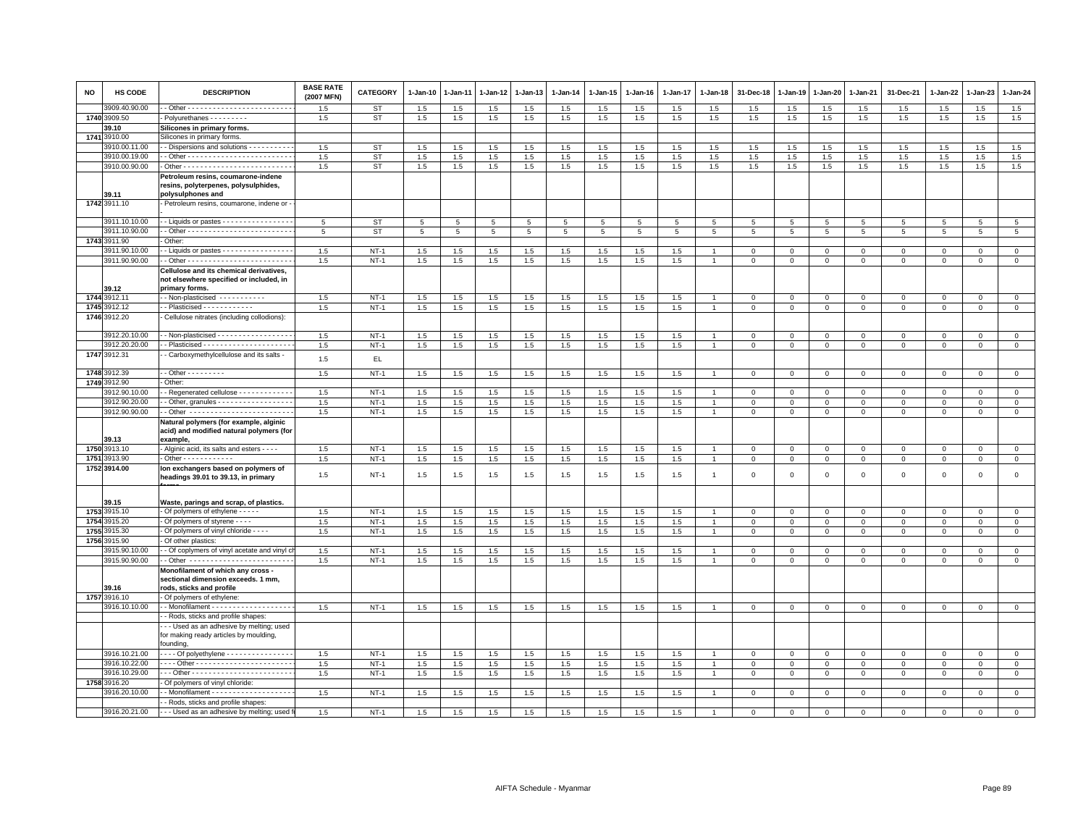| <b>NO</b> | <b>HS CODE</b>        | <b>DESCRIPTION</b>                                                                                          | <b>BASE RATE</b><br>(2007 MFN) | <b>CATEGORY</b> | $1-Jan-10$      | 1-Jan-11 | 1-Jan-12 | 1-Jan-13 | $1-Jan-14$ | $1 - Jan-15$ | 1-Jan-16 | 1-Jan-17 | 1-Jan-18       | 31-Dec-18       | 1-Jan-19       | 1-Jan-20       | 1-Jan-21     | 31-Dec-21           | $1 - Jan-22$ | 1-Jan-23     | $1 - Jan-24$   |
|-----------|-----------------------|-------------------------------------------------------------------------------------------------------------|--------------------------------|-----------------|-----------------|----------|----------|----------|------------|--------------|----------|----------|----------------|-----------------|----------------|----------------|--------------|---------------------|--------------|--------------|----------------|
|           | 909.40.90.00          |                                                                                                             | 1.5                            | <b>ST</b>       | 1.5             | 1.5      | 1.5      | 1.5      | 1.5        | 1.5          | 1.5      | 1.5      | 1.5            | 1.5             | 1.5            | 1.5            | 1.5          | 1.5                 | 1.5          | 1.5          | 1.5            |
|           | 1740 3909.50          | Polyurethanes - - - - - - - -                                                                               | 1.5                            | ST              | 1.5             | 1.5      | 1.5      | 1.5      | 1.5        | 1.5          | 1.5      | 1.5      | 1.5            | 1.5             | 1.5            | 1.5            | 1.5          | 1.5                 | 1.5          | 1.5          | 1.5            |
|           | 39.10                 | Silicones in primary forms.                                                                                 |                                |                 |                 |          |          |          |            |              |          |          |                |                 |                |                |              |                     |              |              |                |
| 1741      | 1910.00               | Silicones in primary forms.                                                                                 |                                |                 |                 |          |          |          |            |              |          |          |                |                 |                |                |              |                     |              |              |                |
|           | 3910.00.11.00         | - Dispersions and solutions - - - - - - - - -                                                               | 1.5                            | <b>ST</b>       | 1.5             | 1.5      | 1.5      | 1.5      | 1.5        | 1.5          | 1.5      | 1.5      | 1.5            | 1.5             | 1.5            | 1.5            | 1.5          | 1.5                 | 1.5          | 1.5          | $1.5\,$        |
|           | 3910.00.19.00         |                                                                                                             | 1.5                            | ST              | 1.5             | 1.5      | 1.5      | 1.5      | 1.5        | 1.5          | 1.5      | 1.5      | 1.5            | 1.5             | 1.5            | 1.5            | 1.5          | 1.5                 | 1.5          | 1.5          | 1.5            |
|           | 3910.00.90.00         |                                                                                                             | 1.5                            | <b>ST</b>       | 1.5             | 1.5      | 1.5      | 1.5      | 1.5        | $1.5\,$      | 1.5      | 1.5      | $1.5\,$        | 1.5             | 1.5            | 1.5            | 1.5          | 1.5                 | 1.5          | 1.5          | 1.5            |
|           |                       | Petroleum resins, coumarone-indene<br>resins, polyterpenes, polysulphides,                                  |                                |                 |                 |          |          |          |            |              |          |          |                |                 |                |                |              |                     |              |              |                |
|           | 39.11<br>1742 3911.10 | polysulphones and<br>· Petroleum resins, coumarone, indene or ·                                             |                                |                 |                 |          |          |          |            |              |          |          |                |                 |                |                |              |                     |              |              |                |
|           | 3911.10.10.00         | - Liquids or pastes - - - - - - - - - - - - - - -                                                           | 5                              | <b>ST</b>       | $5\phantom{.0}$ | 5        | 5        | 5        | 5          | 5            | 5        | 5        | 5              | 5               | 5              | 5              | 5            | 5                   | 5            | 5            | 5              |
|           | 911.10.90.00          |                                                                                                             | 5                              | <b>ST</b>       | 5               | 5        | 5        | 5        | 5          | 5            | 5        | 5        | 5              | $5\overline{5}$ | 5              | 5              | 5            | 5                   | 5            | -5           | 5              |
|           | 1743 3911.90          | Other:                                                                                                      |                                |                 |                 |          |          |          |            |              |          |          |                |                 |                |                |              |                     |              |              |                |
|           | 3911.90.10.00         | $\cdot$ - Liquids or pastes $\cdot \cdot \cdot \cdot \cdot \cdot \cdot \cdot \cdot \cdot \cdot \cdot \cdot$ | 1.5                            | $NT-1$          | 1.5             | 1.5      | 1.5      | 1.5      | 1.5        | 1.5          | 1.5      | 1.5      |                | 0               | $\Omega$       | $\Omega$       | $\Omega$     | $\Omega$            | $\Omega$     | $\Omega$     | $\mathbf 0$    |
|           | 3911.90.90.00         |                                                                                                             | 1.5                            | $NT-1$          | 1.5             | 1.5      | 1.5      | 1.5      | 1.5        | $1.5\,$      | 1.5      | 1.5      | $\overline{1}$ | $\mathbf 0$     | $\mathbf 0$    | $\mathbf 0$    | $\mathsf 0$  | $\mathsf 0$         | $\mathbf 0$  | $\mathbf 0$  | $\mathsf 0$    |
|           |                       | Cellulose and its chemical derivatives,                                                                     |                                |                 |                 |          |          |          |            |              |          |          |                |                 |                |                |              |                     |              |              |                |
|           | 39.12                 | not elsewhere specified or included, in<br>primary forms.                                                   |                                |                 |                 |          |          |          |            |              |          |          |                |                 |                |                |              |                     |              |              |                |
|           | 1744 3912.11          | - Non-plasticised - - - - - - - - - - -                                                                     | 1.5                            | $NT-1$          | 1.5             | 1.5      | 1.5      | 1.5      | 1.5        | 1.5          | 1.5      | 1.5      |                | $\mathbf 0$     | $\mathbf 0$    | $\mathbf 0$    | $\mathbf 0$  | $\mathsf 0$         | $\mathbf 0$  | $^{\circ}$   | $\mathbf{0}$   |
|           | 1745 3912.12          | $\cdot$ - Plasticised $\cdot$ - $\cdot$ - $\cdot$ - $\cdot$ - $\cdot$ - $\cdot$                             | 1.5                            | $NT-1$          | $1.5\,$         | $1.5\,$  | $1.5\,$  | 1.5      | 1.5        | $1.5\,$      | $1.5\,$  | 1.5      | $\overline{1}$ | $\mathbf 0$     | $\,0\,$        | $\mathbf 0$    | $\mathsf 0$  | $\mathsf{O}\xspace$ | $\mathsf 0$  | $\mathsf 0$  | $\,0\,$        |
|           | 1746 3912.20          | Cellulose nitrates (including collodions):                                                                  |                                |                 |                 |          |          |          |            |              |          |          |                |                 |                |                |              |                     |              |              |                |
|           | 3912.20.10.00         | - - Non-plasticised - - - - - - - - - - - - - - - -                                                         | 1.5                            | $NT-1$          | 1.5             | 1.5      | 1.5      | 1.5      | 1.5        | 1.5          | 1.5      | 1.5      | $\overline{1}$ | $\circ$         | $\mathsf 0$    | $\overline{0}$ | $\mathbf 0$  | $\mathbf 0$         | $\mathbf 0$  | $\mathsf 0$  | $\overline{0}$ |
|           | 3912.20.20.00         |                                                                                                             | 1.5                            | $NT-1$          | 1.5             | 1.5      | 1.5      | 1.5      | 1.5        | 1.5          | 1.5      | 1.5      | $\overline{1}$ | $\mathbf{O}$    | $\mathbf 0$    | $\mathbf 0$    | $\mathbf 0$  | $\mathsf 0$         | $\mathbf 0$  | $\Omega$     | $\mathbf 0$    |
|           | 1747 3912.31          | - Carboxymethylcellulose and its salts -                                                                    | 1.5                            | EL.             |                 |          |          |          |            |              |          |          |                |                 |                |                |              |                     |              |              |                |
|           | 1748 3912.39          | $-$ Other $       -$                                                                                        | 1.5                            | $NT-1$          | 1.5             | 1.5      | 1.5      | 1.5      | 1.5        | 1.5          | 1.5      | 1.5      |                | $\mathbf 0$     | $\mathbf{0}$   | $\mathbf{0}$   | $\mathbf{0}$ | $\mathbf 0$         | $\mathbf 0$  | $\mathbf{0}$ | $\mathbf{0}$   |
|           | 1749 3912.90          | Other:                                                                                                      |                                |                 |                 |          |          |          |            |              |          |          |                |                 |                |                |              |                     |              |              |                |
|           | 3912.90.10.00         | - Regenerated cellulose - - - - - - - - - - -                                                               | 1.5                            | $NT-1$          | $1.5\,$         | 1.5      | 1.5      | 1.5      | 1.5        | 1.5          | 1.5      | 1.5      |                | $\Omega$        | $\Omega$       | $\Omega$       | $\mathbf{0}$ | $\mathbf 0$         | $\Omega$     | $\Omega$     | $\mathsf 0$    |
|           | 3912.90.20.00         | - Other, granules - - - - - - - - - - - - - - - - -                                                         | 1.5                            | $NT-1$          | 1.5             | 1.5      | 1.5      | 1.5      | $1.5\,$    | 1.5          | 1.5      | 1.5      |                | $\Omega$        | $\Omega$       | $\Omega$       | $\Omega$     | $\Omega$            | $\Omega$     | $\Omega$     | $\mathsf 0$    |
|           | 3912.90.90.00         | - Other -------------------------                                                                           | 1.5                            | $NT-1$          | 1.5             | 1.5      | 1.5      | 1.5      | 1.5        | 1.5          | 1.5      | 1.5      | $\overline{1}$ | $\mathbf 0$     | $\mathbf 0$    | $\mathbf 0$    | $\mathbf{0}$ | $\mathsf 0$         | $\mathbf 0$  | $\mathbf 0$  | $\circ$        |
|           | 39.13                 | Natural polymers (for example, alginic<br>acid) and modified natural polymers (for<br>example,              |                                |                 |                 |          |          |          |            |              |          |          |                |                 |                |                |              |                     |              |              |                |
|           | 1750 3913.10          | - Alginic acid, its salts and esters - - - -                                                                | 1.5                            | $NT-1$          | 1.5             | 1.5      | 1.5      | 1.5      | 1.5        | 1.5          | 1.5      | 1.5      |                | $\mathbf 0$     | $\mathbf 0$    | $\mathbf 0$    | $\mathbf{0}$ | $\mathsf 0$         | $\Omega$     | $\Omega$     | $\mathbf 0$    |
|           | 1751 3913.90          | . Other - - - - - - - - - - - -                                                                             | 1.5                            | $NT-1$          | 1.5             | 1.5      | 1.5      | 1.5      | 1.5        | 1.5          | 1.5      | 1.5      | $\overline{1}$ | $\mathbf 0$     | $\mathbf 0$    | $\mathbf 0$    | $\mathbf 0$  | $\mathsf 0$         | $\mathbf 0$  | $\mathsf 0$  | $\mathsf 0$    |
|           | 1752 3914.00          | lon exchangers based on polymers of<br>headings 39.01 to 39.13, in primary                                  | 1.5                            | $NT-1$          | 1.5             | 1.5      | 1.5      | 1.5      | 1.5        | 1.5          | 1.5      | 1.5      | $\overline{1}$ | $\mathsf 0$     | $\overline{0}$ | $\mathbf 0$    | $\mathbf 0$  | $\mathsf 0$         | $\mathbf 0$  | $\mathsf 0$  | $\mathsf 0$    |
|           | 39.15                 | Waste, parings and scrap, of plastics.                                                                      |                                |                 |                 |          |          |          |            |              |          |          |                |                 |                |                |              |                     |              |              |                |
|           | 1753 3915.10          | - Of polymers of ethylene - - - - -                                                                         | 1.5                            | $NT-1$          | 1.5             | 1.5      | 1.5      | 1.5      | 1.5        | 1.5          | 1.5      | 1.5      |                | $\Omega$        | $\Omega$       | $\mathbf 0$    | $\mathbf 0$  | $\mathsf 0$         | $\Omega$     | $\mathsf 0$  | $\mathbf 0$    |
| 1754      | 3915.20               | - Of polymers of styrene - - - -                                                                            | 1.5                            | $NT-1$          | 1.5             | 1.5      | 1.5      | 1.5      | 1.5        | 1.5          | 1.5      | 1.5      |                | $\mathbf 0$     | $\mathbf 0$    | $\mathbf{0}$   | $\mathsf 0$  | $\mathsf 0$         | $\Omega$     | $\Omega$     | $\mathsf 0$    |
| 1755      | 3915.30               | Of polymers of vinyl chloride - - - -                                                                       | 1.5                            | $NT-1$          | 1.5             | 1.5      | $1.5\,$  | 1.5      | 1.5        | 1.5          | 1.5      | 1.5      | $\overline{1}$ | $\mathsf 0$     | $\circ$        | $\mathbf 0$    | $\mathsf 0$  | $\mathsf 0$         | 0            | $\mathbf 0$  | $\mathbf 0$    |
| 1756      | 3915.90               | Of other plastics:                                                                                          |                                |                 |                 |          |          |          |            |              |          |          |                |                 |                |                |              |                     |              |              |                |
|           | 3915.90.10.00         | - - Of coplymers of vinyl acetate and vinyl c                                                               | 1.5                            | $NT-1$          | 1.5             | 1.5      | 1.5      | 1.5      | 1.5        | 1.5          | 1.5      | 1.5      |                | $\Omega$        | $\Omega$       | $\mathbf{0}$   | $\Omega$     | $\mathbf 0$         | $\Omega$     | $\mathbf 0$  | $\mathbf{0}$   |
|           | 3915.90.90.00         | - Other ------------------------                                                                            | 1.5                            | $NT-1$          | $1.5\,$         | 1.5      | 1.5      | 1.5      | 1.5        | 1.5          | 1.5      | 1.5      | $\overline{1}$ | $\mathbf 0$     | $\mathbf 0$    | $\mathbf 0$    | $\mathbf 0$  | $\mathsf 0$         | 0            | $\mathbf 0$  | $\mathsf 0$    |
|           |                       | Monofilament of which any cross<br>sectional dimension exceeds. 1 mm,                                       |                                |                 |                 |          |          |          |            |              |          |          |                |                 |                |                |              |                     |              |              |                |
|           | 39.16<br>1757 3916.10 | rods, sticks and profile<br>- Of polymers of ethylene:                                                      |                                |                 |                 |          |          |          |            |              |          |          |                |                 |                |                |              |                     |              |              |                |
|           | 3916.10.10.00         | - - Monofilament - - - - - - - - - - - - - - - - - -                                                        | 1.5                            | $NT-1$          | 1.5             | 1.5      | $1.5\,$  | 1.5      | $1.5\,$    | 1.5          | 1.5      | $1.5\,$  | $\overline{1}$ | $\mathbf 0$     | $\,0\,$        | $\mathbf 0$    | $\mathbf 0$  | $\mathsf 0$         | $\mathbf 0$  | $\mathsf 0$  | $\overline{0}$ |
|           |                       | - Rods, sticks and profile shapes:                                                                          |                                |                 |                 |          |          |          |            |              |          |          |                |                 |                |                |              |                     |              |              |                |
|           |                       | . - - Used as an adhesive by melting; used                                                                  |                                |                 |                 |          |          |          |            |              |          |          |                |                 |                |                |              |                     |              |              |                |
|           |                       | for making ready articles by moulding,<br>founding,                                                         |                                |                 |                 |          |          |          |            |              |          |          |                |                 |                |                |              |                     |              |              |                |
|           | 3916.10.21.00         | - - - - Of polyethylene - - - - - - - - - - - - - - -                                                       | 1.5                            | $NT-1$          | 1.5             | 1.5      | 1.5      | 1.5      | 1.5        | $1.5\,$      | 1.5      | 1.5      |                | $\mathbf 0$     | $\overline{0}$ | $\mathbf 0$    | $\Omega$     | $\mathbf 0$         | $\Omega$     | $\Omega$     | $\overline{0}$ |
|           | 3916.10.22.00         |                                                                                                             | 1.5                            | $NT-1$          | 1.5             | 1.5      | 1.5      | 1.5      | 1.5        | 1.5          | 1.5      | 1.5      |                | $\mathbf 0$     | $\mathbf 0$    | $\mathbf 0$    | $\mathbf 0$  | $\mathsf 0$         | $\mathbf 0$  | $\mathsf 0$  | $\mathbf 0$    |
|           | 3916.10.29.00         |                                                                                                             | 1.5                            | $NT-1$          | 1.5             | 1.5      | 1.5      | 1.5      | 1.5        | 1.5          | 1.5      | 1.5      | $\overline{1}$ | $\mathbf{0}$    | $\mathbf 0$    | $\mathbf{0}$   | $\mathbf{0}$ | $\mathbf 0$         | 0            | 0            | $\circ$        |
|           | 1758 3916.20          | - Of polymers of vinyl chloride:                                                                            |                                |                 |                 |          |          |          |            |              |          |          |                |                 |                |                |              |                     |              |              |                |
|           | 3916.20.10.00         | - Monofilament - - - - - - - - - - - - - - - - - -                                                          | 1.5                            | $NT-1$          | 1.5             | 1.5      | 1.5      | 1.5      | 1.5        | 1.5          | 1.5      | 1.5      |                | $\mathbf 0$     | $\,0\,$        | $\mathbf 0$    | $\mathsf 0$  | $\mathsf 0$         | $\mathbf 0$  | $\mathsf 0$  | $\overline{0}$ |
|           |                       | - Rods, sticks and profile shapes:                                                                          |                                |                 |                 |          |          |          |            |              |          |          |                |                 |                |                |              |                     |              |              |                |
|           | 3916.20.21.00         | - - - Used as an adhesive by melting; used                                                                  | 1.5                            | $NT-1$          | 1.5             | 1.5      | 1.5      | 1.5      | 1.5        | 1.5          | 1.5      | 1.5      |                | $\Omega$        | $\Omega$       | 0              | $\Omega$     | $^{\circ}$          | $\Omega$     | $\Omega$     | $\mathbf{0}$   |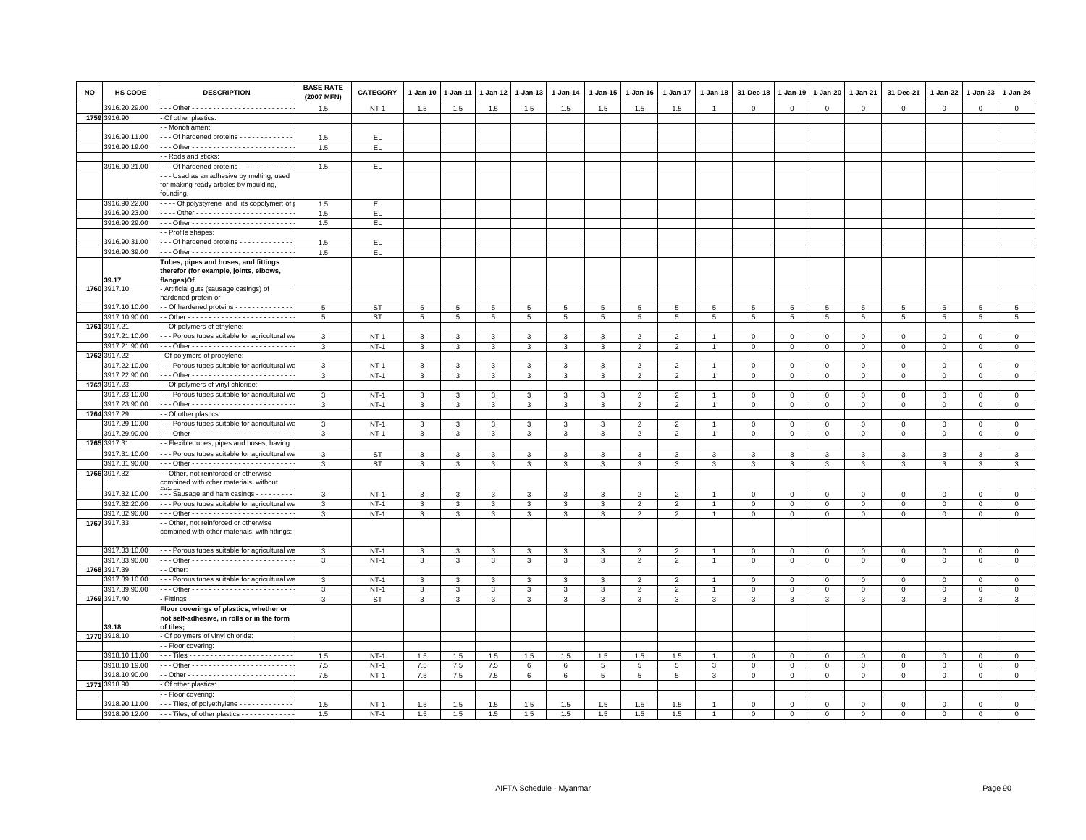| <b>NO</b> | HS CODE       | <b>DESCRIPTION</b>                                                                                 | <b>BASE RATE</b><br>(2007 MFN) | <b>CATEGORY</b> | 1-Jan-10                | 1-Jan-11       | 1-Jan-12       | 1-Jan-13       | 1-Jan-14       | 1-Jan-15       | $1 - Jan-16$   | $1 - Jan-17$             | 1-Jan-18       | 31-Dec-18      | 1-Jan-19       | 1-Jan-20       | 1-Jan-21                 | 31-Dec-21      | 1-Jan-22       | 1-Jan-23       | 1-Jan-24        |
|-----------|---------------|----------------------------------------------------------------------------------------------------|--------------------------------|-----------------|-------------------------|----------------|----------------|----------------|----------------|----------------|----------------|--------------------------|----------------|----------------|----------------|----------------|--------------------------|----------------|----------------|----------------|-----------------|
|           | 3916.20.29.00 |                                                                                                    | 1.5                            | $NT-1$          | 1.5                     | 1.5            | 1.5            | 1.5            | 1.5            | 1.5            | 1.5            | 1.5                      |                | $^{\circ}$     | $\mathbf 0$    | $\mathbf 0$    | $\mathbf 0$              | $\mathbf 0$    | $\mathbf 0$    | $\mathbf 0$    | $\mathbf 0$     |
|           | 1759 3916.90  | Of other plastics:                                                                                 |                                |                 |                         |                |                |                |                |                |                |                          |                |                |                |                |                          |                |                |                |                 |
|           |               | - Monofilament:                                                                                    |                                |                 |                         |                |                |                |                |                |                |                          |                |                |                |                |                          |                |                |                |                 |
|           | 3916.90.11.00 | - - Of hardened proteins - - - - - - - - - - - -                                                   | 1.5                            | EL.             |                         |                |                |                |                |                |                |                          |                |                |                |                |                          |                |                |                |                 |
|           | 3916.90.19.00 |                                                                                                    | 1.5                            | EL              |                         |                |                |                |                |                |                |                          |                |                |                |                |                          |                |                |                |                 |
|           |               | - Rods and sticks:                                                                                 |                                |                 |                         |                |                |                |                |                |                |                          |                |                |                |                |                          |                |                |                |                 |
|           | 3916.90.21.00 | - - Of hardened proteins - - - - - - - - - - -                                                     | 1.5                            | EL.             |                         |                |                |                |                |                |                |                          |                |                |                |                |                          |                |                |                |                 |
|           |               | - - Used as an adhesive by melting; used                                                           |                                |                 |                         |                |                |                |                |                |                |                          |                |                |                |                |                          |                |                |                |                 |
|           |               | for making ready articles by moulding,                                                             |                                |                 |                         |                |                |                |                |                |                |                          |                |                |                |                |                          |                |                |                |                 |
|           |               | founding,                                                                                          |                                |                 |                         |                |                |                |                |                |                |                          |                |                |                |                |                          |                |                |                |                 |
|           | 3916.90.22.00 | --- Of polystyrene and its copolymer; of                                                           | 1.5                            | EL.             |                         |                |                |                |                |                |                |                          |                |                |                |                |                          |                |                |                |                 |
|           | 3916.90.23.00 |                                                                                                    | 1.5                            | EL.             |                         |                |                |                |                |                |                |                          |                |                |                |                |                          |                |                |                |                 |
|           | 3916.90.29.00 |                                                                                                    | 1.5                            | EL              |                         |                |                |                |                |                |                |                          |                |                |                |                |                          |                |                |                |                 |
|           |               | - Profile shapes:                                                                                  |                                |                 |                         |                |                |                |                |                |                |                          |                |                |                |                |                          |                |                |                |                 |
|           | 3916.90.31.00 | - - Of hardened proteins - - - - - - - - - - -                                                     | 1.5                            | EL.             |                         |                |                |                |                |                |                |                          |                |                |                |                |                          |                |                |                |                 |
|           | 3916.90.39.00 |                                                                                                    | 1.5                            | EL              |                         |                |                |                |                |                |                |                          |                |                |                |                |                          |                |                |                |                 |
|           | 39.17         | Tubes, pipes and hoses, and fittings<br>therefor (for example, joints, elbows,<br>flanges)Of       |                                |                 |                         |                |                |                |                |                |                |                          |                |                |                |                |                          |                |                |                |                 |
|           | 1760 3917.10  | Artificial guts (sausage casings) of                                                               |                                |                 |                         |                |                |                |                |                |                |                          |                |                |                |                |                          |                |                |                |                 |
|           |               | nardened protein or                                                                                |                                |                 |                         |                |                |                |                |                |                |                          |                |                |                |                |                          |                |                |                |                 |
|           | 3917.10.10.00 | - Of hardened proteins - - - - - - - - - - - - -                                                   | 5                              | <b>ST</b>       | 5                       | 5              | 5              | 5              | 5              | 5              | 5              | 5                        | 5              | 5              | 5              | 5              | 5                        | 5              | 5              | 5              | $5\overline{5}$ |
|           | 3917.10.90.00 |                                                                                                    | 5                              | <b>ST</b>       | $\overline{5}$          | $\overline{5}$ | $\overline{5}$ | $\overline{5}$ | $\overline{5}$ | $\overline{5}$ | $\overline{5}$ | 5                        | $\overline{5}$ | $\overline{5}$ | $\overline{5}$ | $\overline{5}$ | $\overline{\phantom{a}}$ | $\overline{5}$ | $\overline{5}$ | $\overline{5}$ | $\overline{5}$  |
|           | 1761 3917.21  | - Of polymers of ethylene:                                                                         |                                |                 |                         |                |                |                |                |                |                |                          |                |                |                |                |                          |                |                |                |                 |
|           | 3917.21.10.00 | - - Porous tubes suitable for agricultural w                                                       | 3                              | $NT-1$          | 3                       | 3              | 3              | 3              | 3              | 3              | $\overline{2}$ | $\mathfrak{p}$           |                | $\mathbf 0$    | $\mathbf 0$    | $\mathbf 0$    | $\mathbf 0$              | $\mathbf 0$    | $\Omega$       | $\Omega$       | $\circ$         |
|           | 3917.21.90.00 |                                                                                                    | 3                              | $NT-1$          | 3                       | 3              | 3              | 3              | $\mathbf{3}$   | 3              | $\overline{2}$ | $\overline{2}$           |                | $\overline{0}$ | $\mathbf 0$    | $\mathbf 0$    | $\mathbf{0}$             | $\mathbf{0}$   | $\Omega$       | $\mathbf{0}$   | $\circ$         |
|           | 1762 3917.22  | Of polymers of propylene:                                                                          |                                |                 |                         |                |                |                |                |                |                |                          |                |                |                |                |                          |                |                |                |                 |
|           | 3917.22.10.00 | - - Porous tubes suitable for agricultural w                                                       | 3                              | $NT-1$          | 3                       | 3              | 3              | 3              | $\mathbf{3}$   | 3              | $\overline{2}$ | $\overline{2}$           |                | $\mathbf 0$    | $\mathbf 0$    | $\mathsf 0$    | $\mathbf 0$              | $\mathbf 0$    | $\mathbf 0$    | $\mathbf 0$    | $\mathsf 0$     |
|           | 3917.22.90.00 |                                                                                                    | 3                              | $NT-1$          | $\mathbf{3}$            | 3              | 3              | 3              | $\mathbf{3}$   | $\mathbf{3}$   | $\overline{2}$ | $\overline{2}$           | $\mathbf{1}$   | $\mathbf 0$    | $\mathbf{0}$   | $\mathbf{0}$   | $\circ$                  | $\mathbf 0$    | $\mathbf{0}$   | $\mathbf{0}$   | $\mathbf{0}$    |
|           | 1763 3917.23  | - Of polymers of vinyl chloride                                                                    |                                |                 |                         |                |                |                |                |                |                |                          |                |                |                |                |                          |                |                |                |                 |
|           | 3917.23.10.00 | - - Porous tubes suitable for agricultural w                                                       | 3                              | $NT-1$          | $\overline{3}$          | 3              | 3              | $\mathbf{3}$   | $\mathbf{3}$   | 3              | $\overline{2}$ | $\overline{2}$           |                | $\mathbf 0$    | $\mathbf 0$    | $\mathsf 0$    | $\overline{0}$           | $\mathsf 0$    | $\mathsf 0$    | $\mathsf 0$    | $\mathsf 0$     |
|           | 3917.23.90.00 | -- Other ------------------------                                                                  | 3                              | $NT-1$          | 3                       | 3              | 3              | 3              | 3              | $\mathbf{3}$   | $\overline{2}$ | $\overline{2}$           |                | $\mathbf 0$    | $\mathsf 0$    | $\mathbf 0$    | $\mathbb O$              | $\mathsf 0$    | $\mathbf{0}$   | $\mathbf 0$    | $\mathsf 0$     |
|           | 1764 3917.29  | - Of other plastics:                                                                               |                                |                 |                         |                |                |                |                |                |                |                          |                |                |                |                |                          |                |                |                |                 |
|           | 3917.29.10.00 | - - Porous tubes suitable for agricultural w                                                       | 3                              | $NT-1$          | $\mathbf{3}$            | 3              | 3              | $\mathbf{3}$   | 3              | 3              | $\mathcal{P}$  | $\overline{2}$           |                | $\mathbf 0$    | $\mathbf 0$    | $\mathsf 0$    | $\mathbf 0$              | $\mathbf{0}$   | $\mathbf{0}$   | $\mathbf{0}$   | $\mathbf{0}$    |
|           | 3917.29.90.00 |                                                                                                    | 3                              | $NT-1$          | $\mathbf{3}$            | 3              | 3              | $\mathbf{3}$   | $\mathbf{3}$   | 3              | $\overline{2}$ | $\overline{2}$           | $\overline{1}$ | $\mathsf 0$    | $\mathsf 0$    | $\mathsf 0$    | $\mathbf 0$              | $\mathsf 0$    | $\mathbf 0$    | $\mathbf 0$    | $\circ$         |
|           | 1765 3917.31  | - Flexible tubes, pipes and hoses, having                                                          |                                |                 |                         |                |                |                |                |                |                |                          |                |                |                |                |                          |                |                |                |                 |
|           | 3917.31.10.00 | - - Porous tubes suitable for agricultural w                                                       | $\mathbf{3}$                   | <b>ST</b>       | $\mathbf{3}$            | 3              | 3              | $\mathbf{3}$   | $\mathbf{3}$   | 3              | 3              | $\mathbf{3}$             | 3              | 3              | 3              | $\mathbf{3}$   | $\mathbf{3}$             | $\mathbf{3}$   | $\mathbf{3}$   | $\mathbf{3}$   | $\overline{3}$  |
|           | 3917.31.90.00 |                                                                                                    | 3                              | <b>ST</b>       | $\mathbf{3}$            | 3              | 3              | $\mathbf{3}$   | $\mathbf{3}$   | 3              | $\mathbf{3}$   | 3                        | 3              | 3              | 3              | 3              | $\mathbf{3}$             | 3              | 3              | 3              | $\mathbf{3}$    |
|           | 1766 3917.32  | - Other, not reinforced or otherwise                                                               |                                |                 |                         |                |                |                |                |                |                |                          |                |                |                |                |                          |                |                |                |                 |
|           | 3917.32.10.00 | combined with other materials, without<br>- - Sausage and ham casings - - - - - - - -              | 3                              | $NT-1$          | 3                       | 3              | 3              | 3              | 3              | 3              | $\overline{2}$ | $\overline{2}$           |                | $\overline{0}$ | $\mathbf 0$    | $\mathbf 0$    | $\mathbf{0}$             | $\mathbf{0}$   | $\mathbf{0}$   | $\mathbf{0}$   | $\mathbf{0}$    |
|           | 3917.32.20.00 | --- Porous tubes suitable for agricultural w                                                       | 3                              | $NT-1$          | 3                       | 3              | 3              | 3              | 3              | 3              | 2              | 2                        |                | $\mathbf 0$    | $\mathbf 0$    | $\mathbf 0$    | $\mathbf 0$              | $\mathbf 0$    | 0              | $\mathbf 0$    | $\mathbf{0}$    |
|           | 3917.32.90.00 |                                                                                                    | $\mathbf{3}$                   | $NT-1$          | $\overline{\mathbf{3}}$ | 3              | 3              | $\mathbf{3}$   | $\mathbf{3}$   | $\overline{3}$ | 2              | $\overline{2}$           |                | $\mathbf 0$    | $\mathsf 0$    | $\mathbf 0$    | $\mathbf 0$              | $\mathbf{0}$   | $\mathbf 0$    | $\circ$        | $\mathsf 0$     |
|           | 1767 3917.33  | - Other, not reinforced or otherwise                                                               |                                |                 |                         |                |                |                |                |                |                |                          |                |                |                |                |                          |                |                |                |                 |
|           |               | combined with other materials, with fittings:                                                      |                                |                 |                         |                |                |                |                |                |                |                          |                |                |                |                |                          |                |                |                |                 |
|           | 3917.33.10.00 | -- Porous tubes suitable for agricultural w                                                        | 3                              | $NT-1$          | 3                       | 3              | 3              | 3              | 3              | $\mathbf{3}$   | $\overline{2}$ | $\overline{2}$           |                | $\mathbf 0$    | $\mathbf 0$    | $\mathbf 0$    | $\mathbb O$              | $\mathbf 0$    | $\mathbf{0}$   | $\mathbf{O}$   | $\mathbf{0}$    |
|           | 3917.33.90.00 |                                                                                                    | 3                              | $NT-1$          | $\mathbf{3}$            | $\mathbf{3}$   | $\mathbf{3}$   | $\mathbf{3}$   | $\mathbf{3}$   | $\mathbf{3}$   | 2              | 2                        | $\overline{1}$ | $\mathbf{0}$   | $\mathbf 0$    | $\mathbf{0}$   | $\mathbf{0}$             | $\mathbf{0}$   | $\mathbf{0}$   | $\mathbf{0}$   | $\mathbf{0}$    |
|           | 1768 3917.39  | - Other:                                                                                           |                                |                 |                         |                |                |                |                |                |                |                          |                |                |                |                |                          |                |                |                |                 |
|           | 917.39.10.00  | - - Porous tubes suitable for agricultural w                                                       | 3                              | $NT-1$          | 3                       | 3              | 3              | 3              | 3              | 3              | $\overline{2}$ | $\overline{\phantom{0}}$ |                | $\mathbf 0$    | $\mathbf 0$    | $\mathbf 0$    | $\mathsf 0$              | $\mathsf 0$    | $\Omega$       | $\mathbf{0}$   | $\mathbf 0$     |
|           | 3917.39.90.00 |                                                                                                    | 3                              | $NT-1$          | 3                       | 3              | 3              | 3              | 3              | 3              | $\mathfrak{p}$ | $\overline{2}$           |                | $\mathbf 0$    | $\mathbf 0$    | $\mathbf 0$    | $\mathbf 0$              | $\mathbf 0$    | $\mathbf 0$    | $\mathbf 0$    | $\mathsf 0$     |
|           | 1769 3917.40  | · Fittinas                                                                                         | $\mathbf{3}$                   | <b>ST</b>       | $\mathbf{3}$            | 3              | $\mathbf{3}$   | $\mathbf{3}$   | $\mathbf{3}$   | $\mathbf{3}$   | 3              | 3                        | $\mathbf{3}$   | 3              | $\mathbf{3}$   | $\mathbf{3}$   | $\mathbf{3}$             | $\mathbf{3}$   | $\mathbf{3}$   | $\mathbf{3}$   | $\mathbf{3}$    |
|           | 39.18         | Floor coverings of plastics, whether or<br>not self-adhesive, in rolls or in the form<br>of tiles; |                                |                 |                         |                |                |                |                |                |                |                          |                |                |                |                |                          |                |                |                |                 |
|           | 1770 3918.10  | - Of polymers of vinyl chloride:                                                                   |                                |                 |                         |                |                |                |                |                |                |                          |                |                |                |                |                          |                |                |                |                 |
|           |               | - Floor covering:                                                                                  |                                |                 |                         |                |                |                |                |                |                |                          |                |                |                |                |                          |                |                |                |                 |
|           | 3918.10.11.00 |                                                                                                    | 1.5                            | $NT-1$          | 1.5                     | 1.5            | 1.5            | 1.5            | $1.5\,$        | 1.5            | 1.5            | 1.5                      |                | $\mathbf 0$    | $\mathsf 0$    | $\mathbf 0$    | $\,0\,$                  | $\mathbf 0$    | $\mathbf 0$    | $\mathbf 0$    | $\mathsf 0$     |
|           | 3918.10.19.00 |                                                                                                    | 7.5                            | $NT-1$          | 7.5                     | 7.5            | $7.5\,$        | 6              | 6              | 5              | 5              | 5                        | 3              | $\Omega$       | $\mathbf 0$    | $\Omega$       | $\mathbf{0}$             | $\mathbf{0}$   | $\Omega$       | $\mathbf{0}$   | $\mathsf 0$     |
|           | 3918.10.90.00 |                                                                                                    | 7.5                            | $NT-1$          | 7.5                     | 7.5            | 7.5            | 6              | 6              | 5              | 5 <sub>5</sub> | 5                        | 3              | $\mathbf 0$    | $\mathbf{0}$   | $\mathbf{0}$   | $\overline{0}$           | $\mathbf{0}$   | $\mathbf{0}$   | $\mathbf{0}$   | $\mathbf{0}$    |
|           | 1771 3918.90  | Of other plastics:                                                                                 |                                |                 |                         |                |                |                |                |                |                |                          |                |                |                |                |                          |                |                |                |                 |
|           |               | - Floor covering:                                                                                  |                                |                 |                         |                |                |                |                |                |                |                          |                |                |                |                |                          |                |                |                |                 |
|           | 3918.90.11.00 | - - Tiles, of polyethylene - - - - - - - - - - - -                                                 | 1.5                            | $NT-1$          | 1.5                     | 1.5            | 1.5            | 1.5            | 1.5            | 1.5            | 1.5            | 1.5                      |                | $\mathbf 0$    | $\Omega$       | $\Omega$       | $\mathbf 0$              | $\Omega$       | $\Omega$       | $\mathbf{0}$   | $\circ$         |
|           | 3918.90.12.00 | --- Tiles, of other plastics ------------                                                          | 1.5                            | $NT-1$          | 1.5                     | 1.5            | 1.5            | 1.5            | 1.5            | 1.5            | 1.5            | 1.5                      |                | $\mathbf 0$    | $\mathbf 0$    | $\mathbf 0$    | $\mathbf 0$              | $\Omega$       | $\Omega$       | $\mathbf{0}$   | $\mathbf 0$     |
|           |               |                                                                                                    |                                |                 |                         |                |                |                |                |                |                |                          |                |                |                |                |                          |                |                |                |                 |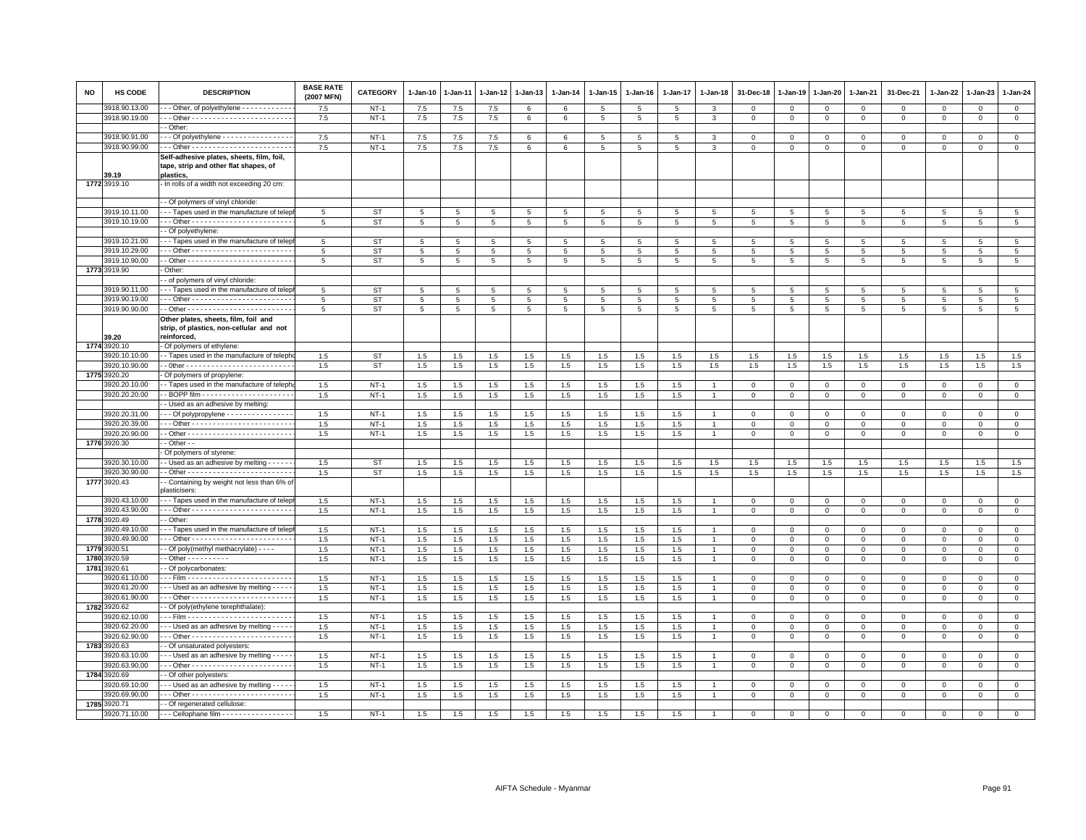| NO   | <b>HS CODE</b>                 | <b>DESCRIPTION</b>                                                             | <b>BASE RATE</b><br>(2007 MFN) | <b>CATEGORY</b> | 1-Jan-10        | 1-Jan-11    | 1-Jan-12   | 1-Jan-13       | 1-Jan-14        | 1-Jan-15        | 1-Jan-16        | 1-Jan-17   | 1-Jan-18       | 31-Dec-18       | 1-Jan-19    | 1-Jan-20             | 1-Jan-21        | 31-Dec-21      | 1-Jan-22        | 1-Jan-23       | 1-Jan-24                          |
|------|--------------------------------|--------------------------------------------------------------------------------|--------------------------------|-----------------|-----------------|-------------|------------|----------------|-----------------|-----------------|-----------------|------------|----------------|-----------------|-------------|----------------------|-----------------|----------------|-----------------|----------------|-----------------------------------|
|      | 3918.90.13.00                  | - - Other, of polyethylene - - - - - - - - - - -                               | 7.5                            | $NT-1$          | 7.5             | 7.5         | 7.5        | -6             | 6               | $5^{\circ}$     | 5               | 5          | 3              | $\Omega$        | $\Omega$    | $\mathbf{0}$         | $\mathbf{0}$    | $\Omega$       | $\mathbf{0}$    | $\Omega$       | $\mathbf{0}$                      |
|      | 3918.90.19.00                  |                                                                                | 7.5                            | $NT-1$          | 7.5             | 7.5         | 7.5        | 6              | 6               | 5               | 5               | 5          | 3              | 0               | 0           | $\mathbf{0}$         | $\mathbf{0}$    | $\circ$        | $\circ$         | 0              | $\circ$                           |
|      |                                | - Other                                                                        |                                |                 |                 |             |            |                |                 |                 |                 |            |                |                 |             |                      |                 |                |                 |                |                                   |
|      | 3918.90.91.00                  | - - Of polyethylene - - - - - - - - - - - - - - - -                            | 7.5                            | $NT-1$          | 7.5             | 7.5         | 7.5        | 6              | 6               | 5               | 5               | 5          | 3              | $\mathbf 0$     | $\mathbf 0$ | $\Omega$             | $\mathbf 0$     | $\mathsf 0$    | $^{\circ}$      | $^{\circ}$     | $\overline{0}$                    |
|      | 3918.90.99.00                  |                                                                                | 7.5                            | $NT-1$          | 7.5             | 7.5         | 7.5        | 6              | 6               | 5               | 5               | 5          | 3              | $\mathbf 0$     | $\mathsf 0$ | $\mathbf{0}$         | $\mathsf 0$     | $\mathsf 0$    | $\mathbf 0$     | $\mathsf 0$    | $\mathbf 0$                       |
|      |                                | Self-adhesive plates, sheets, film, foil,                                      |                                |                 |                 |             |            |                |                 |                 |                 |            |                |                 |             |                      |                 |                |                 |                |                                   |
|      |                                | tape, strip and other flat shapes, of                                          |                                |                 |                 |             |            |                |                 |                 |                 |            |                |                 |             |                      |                 |                |                 |                |                                   |
|      | 39.19                          | plastics,                                                                      |                                |                 |                 |             |            |                |                 |                 |                 |            |                |                 |             |                      |                 |                |                 |                |                                   |
|      | 1772 3919.10                   | - In rolls of a width not exceeding 20 cm:                                     |                                |                 |                 |             |            |                |                 |                 |                 |            |                |                 |             |                      |                 |                |                 |                |                                   |
|      |                                |                                                                                |                                |                 |                 |             |            |                |                 |                 |                 |            |                |                 |             |                      |                 |                |                 |                |                                   |
|      |                                | - Of polymers of vinyl chloride                                                |                                |                 |                 |             |            |                |                 |                 |                 |            |                |                 |             |                      |                 |                |                 |                |                                   |
|      | 3919.10.11.00                  | -- Tapes used in the manufacture of telep                                      | 5                              | <b>ST</b>       | 5               | 5           | 5          | 5              | 5               | 5               | 5               | 5          | 5              | 5               | 5           | 5                    | 5               | -5             | -5              | 5              | $5\overline{5}$                   |
|      | 3919.10.19.00                  |                                                                                | 5                              | ST              | $5\overline{5}$ | 5           | 5          | 5              | 5               | 5               | 5               | 5          | 5              | $5\overline{5}$ | 5           | 5                    | $5\overline{5}$ | 5              | 5               | 5              | $5\overline{5}$                   |
|      |                                | - Of polyethylene:                                                             |                                |                 |                 |             |            |                |                 |                 |                 |            |                |                 |             |                      |                 |                |                 |                |                                   |
|      | 3919.10.21.00                  | -- Tapes used in the manufacture of telep                                      | 5                              | <b>ST</b>       | 5               | 5           | 5          | $\overline{5}$ | 5               | 5               | 5               | 5          | 5              | 5               | 5           | 5                    | 5               | 5              | 5               | 5              | $5\overline{5}$                   |
|      | 3919.10.29.00                  |                                                                                | -5                             | <b>ST</b>       | 5               | 5           | 5          | 5              | 5               | $5\phantom{.0}$ | $5\phantom{.0}$ | 5          | 5              | 5               | 5           | 5                    | 5               | 5              | 5               | 5              | $5\phantom{.0}$                   |
|      | 3919.10.90.00                  |                                                                                | -5                             | <b>ST</b>       | 5               | 5           | 5          | -5             | 5               | 5               | 5               | 5          | 5              | 5               | 5           | 5                    | 5               | 5              | -5              | -5             | 5                                 |
|      | 1773 3919.90                   | Other:                                                                         |                                |                 |                 |             |            |                |                 |                 |                 |            |                |                 |             |                      |                 |                |                 |                |                                   |
|      | 3919.90.11.00                  | - of polymers of vinyl chloride:<br>--- Tapes used in the manufacture of telep |                                |                 |                 |             |            |                |                 |                 |                 |            |                |                 |             |                      |                 |                |                 |                |                                   |
|      |                                |                                                                                | 5                              | <b>ST</b>       | 5               | 5           | 5          | 5              | $5\phantom{.0}$ | 5               | $5\phantom{.0}$ | 5          | $\overline{5}$ | 5               | 5           | 5                    | 5               | $\overline{5}$ | 5               | 5              | 5 <sub>5</sub>                    |
|      | 3919.90.19.00<br>3919.90.90.00 |                                                                                | $5\overline{5}$                | <b>ST</b>       | $5\phantom{.0}$ | 5           | 5<br>5     | 5<br>5         | 5               | 5               | $5\phantom{.0}$ | 5          | 5              | 5               | 5<br>5      | $5\overline{5}$<br>5 | 5               | 5              | 5               | 5              | $5\phantom{.0}$<br>$\overline{5}$ |
|      |                                |                                                                                | $\overline{5}$                 | <b>ST</b>       | 5               | $\,$ 5 $\,$ |            |                | $\,$ 5          | $\,$ 5 $\,$     | $5\phantom{.0}$ | 5          | $\overline{5}$ | $\overline{5}$  |             |                      | $\,$ 5 $\,$     | $\,$ 5 $\,$    | $5\phantom{.0}$ | $\overline{5}$ |                                   |
|      |                                | Other plates, sheets, film, foil and                                           |                                |                 |                 |             |            |                |                 |                 |                 |            |                |                 |             |                      |                 |                |                 |                |                                   |
|      | 39.20                          | strip, of plastics, non-cellular and not<br>reinforced,                        |                                |                 |                 |             |            |                |                 |                 |                 |            |                |                 |             |                      |                 |                |                 |                |                                   |
| 1774 | 3920.10                        | - Of polymers of ethylene:                                                     |                                |                 |                 |             |            |                |                 |                 |                 |            |                |                 |             |                      |                 |                |                 |                |                                   |
|      | 3920.10.10.00                  | - Tapes used in the manufacture of teleph                                      | 1.5                            | <b>ST</b>       | 1.5             | 1.5         | 1.5        | 1.5            | 1.5             | 1.5             | 1.5             | 1.5        | 1.5            | 1.5             | 1.5         | 1.5                  | 1.5             | 1.5            | 1.5             | 1.5            | 1.5                               |
|      | 3920.10.90.00                  |                                                                                | 1.5                            | <b>ST</b>       | 1.5             | 1.5         | 1.5        | 1.5            | 1.5             | 1.5             | 1.5             | 1.5        | 1.5            | 1.5             | 1.5         | 1.5                  | 1.5             | 1.5            | 1.5             | 1.5            | 1.5                               |
| 1775 | 3920.20                        | Of polymers of propylene:                                                      |                                |                 |                 |             |            |                |                 |                 |                 |            |                |                 |             |                      |                 |                |                 |                |                                   |
|      | 3920.20.10.00                  | - Tapes used in the manufacture of teleph                                      | 1.5                            | $NT-1$          | 1.5             | 1.5         | 1.5        | 1.5            | 1.5             | 1.5             | 1.5             | 1.5        |                | 0               | 0           | 0                    | $\mathbf 0$     | $\mathsf 0$    | 0               | $^{\circ}$     | $\mathbf{0}$                      |
|      | 3920.20.20.00                  |                                                                                | $1.5\,$                        | $NT-1$          | 1.5             | 1.5         | 1.5        | 1.5            | $1.5\,$         | 1.5             | 1.5             | 1.5        |                | $\mathbf 0$     | $\Omega$    | $\mathbf 0$          | $\mathbf{0}$    | $\mathbf 0$    | $\Omega$        | $\Omega$       | $\mathsf 0$                       |
|      |                                | - Used as an adhesive by melting:                                              |                                |                 |                 |             |            |                |                 |                 |                 |            |                |                 |             |                      |                 |                |                 |                |                                   |
|      | 3920.20.31.00                  | - - Of polypropylene - - - - - - - - - - - - - -                               | 1.5                            | $NT-1$          | 1.5             | 1.5         | 1.5        | 1.5            | 1.5             | 1.5             | 1.5             | 1.5        |                | $\Omega$        | $\Omega$    | $\mathbf 0$          | $\mathbf 0$     | $\Omega$       | $\Omega$        | $\Omega$       | $\mathbf{0}$                      |
|      | 3920.20.39.00                  |                                                                                | 1.5                            | $NT-1$          | 1.5             | 1.5         | 1.5        | 1.5            | 1.5             | 1.5             | 1.5             | 1.5        |                | $\mathbf 0$     | $\mathbf 0$ | 0                    | $\mathbf 0$     | $\Omega$       | $\Omega$        | $\Omega$       | $\mathbf 0$                       |
|      | 3920.20.90.00                  |                                                                                | 1.5                            | $NT-1$          | 1.5             | 1.5         | 1.5        | 1.5            | 1.5             | 1.5             | 1.5             | 1.5        | $\overline{1}$ | $\mathbf 0$     | $\mathbf 0$ | $\mathbf 0$          | $\mathbf{0}$    | $\mathsf 0$    | $\mathbf{0}$    | $\mathbf 0$    | $\mathsf 0$                       |
| 1776 | 3920.30                        | - Other - -                                                                    |                                |                 |                 |             |            |                |                 |                 |                 |            |                |                 |             |                      |                 |                |                 |                |                                   |
|      |                                | Of polymers of styrene:                                                        |                                |                 |                 |             |            |                |                 |                 |                 |            |                |                 |             |                      |                 |                |                 |                |                                   |
|      | 3920.30.10.00                  | - Used as an adhesive by melting - - - -                                       | 1.5                            | ST              | 1.5             | 1.5         | 1.5        | 1.5            | 1.5             | 1.5             | 1.5             | 1.5        | 1.5            | 1.5             | 1.5         | 1.5                  | 1.5             | 1.5            | 1.5             | 1.5            | $1.5\,$                           |
|      | 3920.30.90.00                  |                                                                                | 1.5                            | <b>ST</b>       | 1.5             | 1.5         | 1.5        | 1.5            | 1.5             | 1.5             | 1.5             | 1.5        | 1.5            | 1.5             | 1.5         | 1.5                  | 1.5             | 1.5            | 1.5             | 1.5            | 1.5                               |
| 1777 | 3920.43                        | - Containing by weight not less than 6% of                                     |                                |                 |                 |             |            |                |                 |                 |                 |            |                |                 |             |                      |                 |                |                 |                |                                   |
|      |                                | <b>plasticisers</b>                                                            |                                |                 |                 |             |            |                |                 |                 |                 |            |                |                 |             |                      |                 |                |                 |                |                                   |
|      | 3920.43.10.00                  | - - Tapes used in the manufacture of telep                                     | $1.5\,$                        | $NT-1$          | 1.5             | 1.5         | 1.5        | 1.5            | 1.5             | 1.5             | 1.5             | 1.5        |                | $\mathbf 0$     | $\mathbf 0$ | $\mathbf 0$          | $\mathbf 0$     | $^{\circ}$     | $\mathbf 0$     | $\mathsf 0$    | $\mathbf 0$                       |
|      | 3920.43.90.00                  |                                                                                | 1.5                            | $NT-1$          | 1.5             | 1.5         | 1.5        | 1.5            | 1.5             | 1.5             | 1.5             | 1.5        | $\overline{1}$ | $\mathbf 0$     | $\mathbf 0$ | $\mathbf{O}$         | $\mathbf 0$     | $\mathbf 0$    | $\mathbf 0$     | $\mathsf 0$    | $\mathbf 0$                       |
| 1778 | 3920.49                        | - Other                                                                        |                                |                 |                 |             |            |                |                 |                 |                 |            |                |                 |             |                      |                 |                |                 |                |                                   |
|      | 3920.49.10.00                  | - - Tapes used in the manufacture of telep                                     | 1.5                            | $NT-1$          | 1.5             | 1.5         | 1.5        | 1.5            | 1.5             | 1.5             | 1.5             | 1.5        |                | $\mathbf 0$     | $\mathbf 0$ | $\Omega$             | 0               | 0              | $\Omega$        | $\Omega$       | $\mathbf 0$                       |
|      | 3920.49.90.00                  |                                                                                | 1.5                            | $NT-1$          | 1.5             | 1.5         | 1.5        | 1.5            | 1.5             | 1.5             | 1.5             | 1.5        | $\overline{1}$ | $\mathbf{0}$    | 0           | $\mathbf{O}$         | $\mathbf{0}$    | $\mathbf 0$    | $\mathbf 0$     | 0              | $\mathbf{0}$                      |
| 1779 | 3920.51                        | - Of poly(methyl methacrylate) - - - -                                         | 1.5                            | $NT-1$          | 1.5             | 1.5         | 1.5        | 1.5            | 1.5             | 1.5             | 1.5             | 1.5        | $\overline{1}$ | $\mathbf 0$     | $\mathbf 0$ | $\mathbf{O}$         | $\mathbf 0$     | $\mathsf 0$    | $\mathbf 0$     | $\mathsf 0$    | $\mathbf 0$                       |
| 1780 | 3920.59                        |                                                                                | $1.5\,$                        | $NT-1$          | 1.5             | 1.5         | 1.5        | 1.5            | 1.5             | 1.5             | 1.5             | 1.5        | $\overline{1}$ | 0               | $\mathsf 0$ | $\mathbf 0$          | $\mathsf 0$     | $\mathsf 0$    | $\mathbf 0$     | $\mathsf 0$    | $\overline{0}$                    |
| 1781 | 920.61                         | - Of polycarbonates:                                                           |                                |                 |                 |             |            |                |                 |                 |                 |            |                |                 |             |                      |                 |                |                 |                |                                   |
|      | 3920.61.10.00                  |                                                                                | 1.5                            | $NT-1$          | 1.5             | 1.5         | 1.5        | 1.5            | 1.5             | 1.5             | 1.5             | 1.5        | $\overline{1}$ | $\Omega$        | $\Omega$    | $\circ$              | $\Omega$        | $\Omega$       | $\Omega$        | $\Omega$       | $\mathbf{0}$                      |
|      | 3920.61.20.00<br>3920.61.90.00 | - - Used as an adhesive by melting - - -                                       | 1.5                            | $NT-1$          | 1.5             | 1.5         | 1.5        | 1.5            | 1.5             | 1.5             | 1.5             | 1.5        |                | 0               | $\Omega$    | $\Omega$             | $\Omega$        | $\Omega$       | $\Omega$        | $\Omega$       | $\mathbf 0$                       |
|      |                                |                                                                                | 1.5                            | $NT-1$          | 1.5             | 1.5         | 1.5        | 1.5            | 1.5             | 1.5             | 1.5             | 1.5        | $\overline{1}$ | $\mathbf 0$     | $\mathbf 0$ | $\mathbf 0$          | $\mathbf 0$     | $\mathsf 0$    | $\mathbf{0}$    | $\mathsf 0$    | $\overline{0}$                    |
|      | 1782 3920.62<br>3920.62.10.00  | - Of poly(ethylene terephthalate):                                             | 1.5                            | $NT-1$          | 1.5             |             | 1.5        | 1.5            | $1.5\,$         | 1.5             | 1.5             | 1.5        | $\overline{1}$ | $\mathbf{0}$    | 0           |                      | $\mathbf{0}$    |                | $\mathbf 0$     |                | $\overline{0}$                    |
|      |                                |                                                                                |                                |                 |                 | 1.5         |            |                |                 |                 |                 |            | $\overline{1}$ |                 |             | $\mathbf 0$          |                 | $\mathbf 0$    |                 | $\mathbf{0}$   |                                   |
|      | 3920.62.20.00<br>3920.62.90.00 | - - - Used as an adhesive by melting - - - -                                   | 1.5                            | $NT-1$          | 1.5             | 1.5         | 1.5        | 1.5            | 1.5             | 1.5             | 1.5             | 1.5        |                | $\mathbf 0$     | $\Omega$    | $\mathbf{O}$         | $\mathbf 0$     | $\mathbf 0$    | $\mathbf 0$     | $\mathsf 0$    | $\mathbf 0$                       |
|      |                                |                                                                                | 1.5                            | $NT-1$          | 1.5             | 1.5         | 1.5        | 1.5            | 1.5             | 1.5             | 1.5             | 1.5        | $\overline{1}$ | $\mathbf 0$     | $\mathbf 0$ | $\mathbf{O}$         | $\mathbf 0$     | $\mathbf 0$    | $\mathbf 0$     | $\mathsf 0$    | $\mathbf 0$                       |
| 1783 | 3920.63<br>3920.63.10.00       | - Of unsaturated polyesters:                                                   |                                |                 |                 |             |            |                |                 |                 |                 |            |                |                 |             |                      |                 |                |                 |                |                                   |
|      | 3920.63.90.00                  | - - - Used as an adhesive by melting - - - -                                   | 1.5                            | $NT-1$          | 1.5             | 1.5         | 1.5        | 1.5            | 1.5             | 1.5             | 1.5             | 1.5        | $\overline{1}$ | 0               | $\Omega$    | 0                    | $\Omega$        | 0              | $\Omega$        | $\mathbf 0$    | $\mathbf 0$                       |
| 1784 | 3920.69                        |                                                                                | 1.5                            | $NT-1$          | 1.5             | 1.5         | 1.5        | 1.5            | 1.5             | 1.5             | 1.5             | 1.5        |                | $\mathbf 0$     | $\mathbf 0$ | $\mathsf 0$          | $\circ$         | $\mathsf 0$    | $\mathbf 0$     | $\mathsf 0$    | $\mathbf 0$                       |
|      | 3920.69.10.00                  | - Of other polyesters:                                                         |                                | $NT-1$          |                 |             |            | 1.5            |                 |                 |                 |            |                | $\Omega$        | $\Omega$    | $\Omega$             | $\mathbf 0$     | $\mathbf 0$    | $\mathbf{0}$    | $\Omega$       | $\mathbf{0}$                      |
|      | 3920.69.90.00                  | - - Used as an adhesive by melting - - - -                                     | 1.5<br>1.5                     | $NT-1$          | 1.5<br>1.5      | 1.5<br>1.5  | 1.5<br>1.5 | 1.5            | 1.5<br>$1.5\,$  | 1.5<br>1.5      | 1.5<br>1.5      | 1.5<br>1.5 | $\overline{1}$ | $\mathbf 0$     | 0           |                      | $\mathbf{0}$    |                | $\mathbf 0$     |                | $\overline{0}$                    |
| 1785 | 3920.71                        | - Of regenerated cellulose:                                                    |                                |                 |                 |             |            |                |                 |                 |                 |            |                |                 |             | 0                    |                 | $\mathbf{0}$   |                 | $\mathbf{0}$   |                                   |
|      | 3920.71.10.00                  | - - - Cellophane film - - - - - - - - - - - - - - - - - -                      | 1.5                            | $NT-1$          | 1.5             | 1.5         | 1.5        | 1.5            | 1.5             | 1.5             | 1.5             | 1.5        |                |                 |             |                      |                 |                |                 |                | $\overline{0}$                    |
|      |                                |                                                                                |                                |                 |                 |             |            |                |                 |                 |                 |            |                |                 |             |                      |                 |                |                 |                |                                   |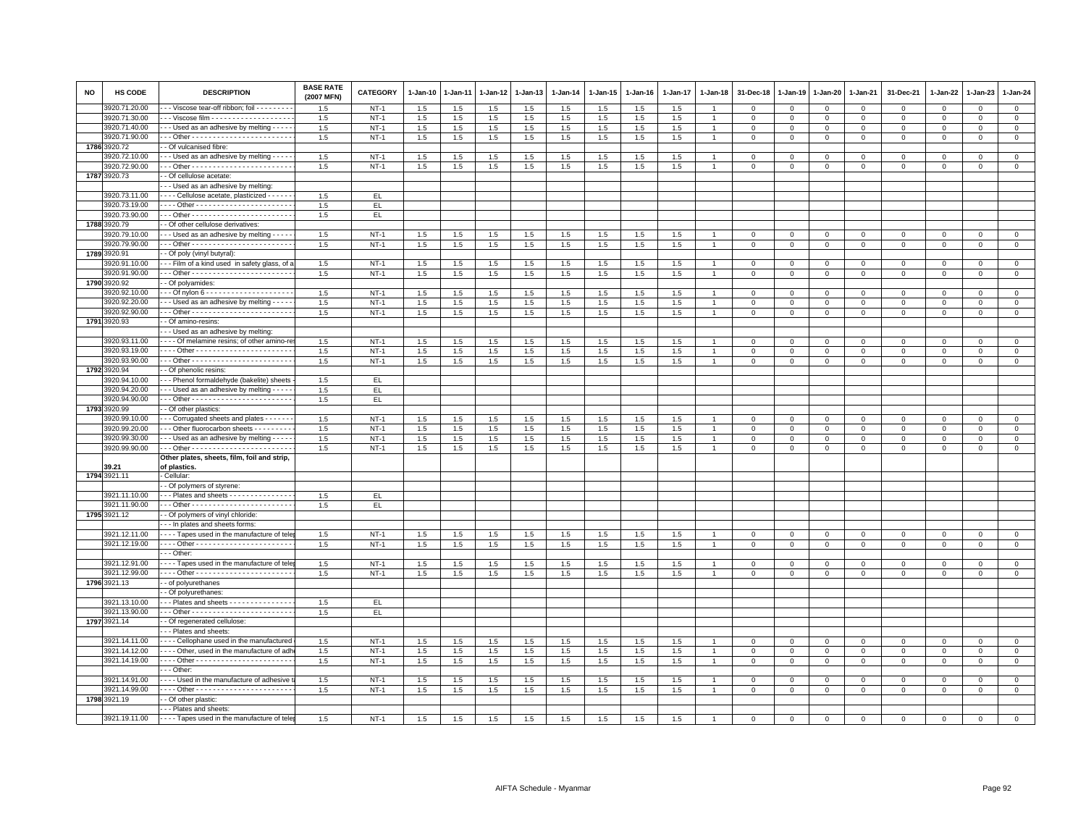| <b>NO</b> | HS CODE                        | <b>DESCRIPTION</b>                                   | <b>BASE RATE</b><br>(2007 MFN) | CATEGORY         | 1-Jan-10   | 1-Jan-11   | 1-Jan-12   | 1-Jan-13   | 1-Jan-14   | $1 - Jan-15$ | $1 - Jan-16$ | 1-Jan-17   | 1-Jan-18       | 31-Dec-18                  | 1-Jan-19         | 1-Jan-20                   | 1-Jan-21                   | 31-Dec-21               | 1-Jan-22                | $1 - Jan-23$               | 1-Jan-24                      |
|-----------|--------------------------------|------------------------------------------------------|--------------------------------|------------------|------------|------------|------------|------------|------------|--------------|--------------|------------|----------------|----------------------------|------------------|----------------------------|----------------------------|-------------------------|-------------------------|----------------------------|-------------------------------|
|           | 3920.71.20.00                  | - - Viscose tear-off ribbon; foil - - - - - - - -    | 1.5                            | $NT-1$           | 1.5        | 1.5        | 1.5        | 1.5        | 1.5        | 1.5          | 1.5          | 1.5        | $\overline{1}$ | $\mathbf 0$                | $\mathbf 0$      | $\mathbf 0$                | $\mathbf 0$                | $\mathsf 0$             | $\mathbf 0$             | $\mathsf 0$                | $\mathbf 0$                   |
|           | 3920.71.30.00                  | - - Viscose film - - - - - - - - - - - - - - - - - - | 1.5                            | $NT-1$           | 1.5        | 1.5        | 1.5        | 1.5        | $1.5\,$    | 1.5          | 1.5          | 1.5        | 1              | $\mathbf{0}$               | $\Omega$         | $\mathbf 0$                | $\mathbf{0}$               | $\mathbf 0$             | $\mathbf{0}$            | $\circ$                    | $\overline{0}$                |
|           | 3920.71.40.00                  | - - Used as an adhesive by melting - - - -           | 1.5                            | $NT-1$           | 1.5        | 1.5        | 1.5        | 1.5        | 1.5        | 1.5          | 1.5          | 1.5        |                | $\Omega$                   | $\Omega$         | $\Omega$                   | $\mathbf{0}$               | $\Omega$                | $\Omega$                | $\Omega$                   | $\mathbf 0$                   |
|           | 3920.71.90.00                  |                                                      | 1.5                            | $NT-1$           | 1.5        | 1.5        | 1.5        | 1.5        | 1.5        | 1.5          | 1.5          | 1.5        | $\overline{1}$ | $\mathbf{0}$               | $\Omega$         | $\mathbf 0$                | $\mathbf{0}$               | $\mathsf 0$             | $\mathbf{0}$            | $\mathbf 0$                | $\circ$                       |
| 1786      | 920.72                         | - Of vulcanised fibre:                               |                                |                  |            |            |            |            |            |              |              |            |                |                            |                  |                            |                            |                         |                         |                            |                               |
|           | 920.72.10.00                   | - - Used as an adhesive by melting - - - -           | 1.5                            | $NT-1$           | 1.5        | 1.5        | 1.5        | 1.5        | 1.5        | 1.5          | 1.5          | 1.5        |                | $\Omega$                   | $\Omega$         | 0                          | $\Omega$                   | $\Omega$                | $\Omega$                | $\Omega$                   | $\mathsf 0$                   |
|           | 3920.72.90.00                  |                                                      | 1.5                            | $NT-1$           | 1.5        | 1.5        | 1.5        | 1.5        | 1.5        | 1.5          | 1.5          | 1.5        | $\overline{1}$ | $\mathbf 0$                | $\mathbf 0$      | $\mathbf 0$                | $\mathbf 0$                | $\mathbf 0$             | $\mathbf 0$             | $\mathsf 0$                | $\mathbf 0$                   |
|           | 1787 3920.73                   | - Of cellulose acetate:                              |                                |                  |            |            |            |            |            |              |              |            |                |                            |                  |                            |                            |                         |                         |                            |                               |
|           |                                | -- Used as an adhesive by melting                    |                                |                  |            |            |            |            |            |              |              |            |                |                            |                  |                            |                            |                         |                         |                            |                               |
|           | 3920.73.11.00                  | - - - - Cellulose acetate, plasticized - - - - -     | 1.5                            | EL.              |            |            |            |            |            |              |              |            |                |                            |                  |                            |                            |                         |                         |                            |                               |
|           | 3920.73.19.00                  |                                                      | 1.5                            | EL               |            |            |            |            |            |              |              |            |                |                            |                  |                            |                            |                         |                         |                            |                               |
|           | 3920.73.90.00                  |                                                      | $1.5\,$                        | EL               |            |            |            |            |            |              |              |            |                |                            |                  |                            |                            |                         |                         |                            |                               |
| 1788      | 920.79                         | - Of other cellulose derivatives:                    |                                |                  |            |            |            |            |            |              |              |            |                |                            |                  |                            |                            |                         |                         |                            |                               |
|           | 920.79.10.00                   | --- Used as an adhesive by melting ----              | 1.5                            | $NT-1$           | 1.5        | 1.5        | 1.5        | 1.5        | 1.5        | 1.5          | 1.5          | 1.5        |                | $\mathbf{0}$               | $\mathbf{0}$     | $\mathbf{0}$               | $\mathbf{0}$               | $\mathbf 0$             | $\Omega$                | $\mathbf 0$                | $\circ$                       |
|           | 3920.79.90.00                  |                                                      | 1.5                            | $NT-1$           | 1.5        | 1.5        | 1.5        | 1.5        | 1.5        | 1.5          | 1.5          | 1.5        | -1             | 0                          | 0                | $\mathbf 0$                | $\mathbf 0$                | $\circ$                 | $\circ$                 | 0                          | $\mathbf{0}$                  |
| 1789      | 3920.91                        | - Of poly (vinyl butyral)                            |                                |                  |            |            |            |            |            |              |              |            |                |                            |                  |                            |                            |                         |                         |                            |                               |
|           | 3920.91.10.00                  | - - - Film of a kind used in safety glass, of a      | 1.5                            | $NT-1$           | 1.5        | 1.5        | 1.5        | 1.5        | 1.5        | 1.5          | 1.5          | 1.5        |                | $\mathbf 0$                | $\mathbf 0$      | $\mathbf 0$                | $\mathbf 0$                | $\mathsf 0$             | $\mathbf 0$             | $^{\circ}$                 | $\mathbf 0$                   |
|           | 3920.91.90.00                  |                                                      | $1.5\,$                        | $NT-1$           | 1.5        | 1.5        | 1.5        | 1.5        | $1.5\,$    | 1.5          | 1.5          | 1.5        | 1              | $\mathbf 0$                | $\mathsf 0$      | $\mathbf 0$                | $\mathsf 0$                | $\mathsf 0$             | $\mathbf 0$             | $\mathsf 0$                | $\mathsf 0$                   |
|           | 1790 3920.92                   | - Of polyamides:                                     |                                |                  |            |            |            |            |            |              |              |            |                |                            |                  |                            |                            |                         |                         |                            |                               |
|           | 3920.92.10.00                  |                                                      | 1.5                            | $NT-1$           | 1.5        | 1.5        | 1.5        | 1.5        | 1.5        | 1.5          | 1.5          | 1.5        |                | $\Omega$                   | $\Omega$         | $\Omega$                   | $\mathbf 0$                | $\Omega$                | $\Omega$                | $\Omega$                   | $\mathsf 0$                   |
|           | 3920.92.20.00<br>3920.92.90.00 | - - - Used as an adhesive by melting - - - -         | 1.5<br>1.5                     | $NT-1$<br>$NT-1$ | 1.5<br>1.5 | 1.5<br>1.5 | 1.5<br>1.5 | 1.5<br>1.5 | 1.5<br>1.5 | 1.5<br>1.5   | 1.5          | 1.5<br>1.5 |                | $\mathbf 0$<br>$\mathbf 0$ | 0<br>$\mathbf 0$ | 0<br>$\mathbf 0$           | $\mathbf 0$<br>$\mathbf 0$ | $\mathbf 0$<br>$\Omega$ | 0<br>$\mathbf{0}$       | $\mathbf 0$<br>$\mathbf 0$ | $\mathbf 0$<br>$\circ$        |
|           | 1791 3920.93                   | - Of amino-resins:                                   |                                |                  |            |            |            |            |            |              | $1.5\,$      |            |                |                            |                  |                            |                            |                         |                         |                            |                               |
|           |                                | - - Used as an adhesive by melting:                  |                                |                  |            |            |            |            |            |              |              |            |                |                            |                  |                            |                            |                         |                         |                            |                               |
|           | 3920.93.11.00                  | - - - - Of melamine resins; of other amino-re        | 1.5                            | $NT-1$           | 1.5        | 1.5        | 1.5        | 1.5        | 1.5        | 1.5          | 1.5          | 1.5        |                | $\Omega$                   | $\Omega$         | $\Omega$                   | $\Omega$                   | 0                       | $\Omega$                | $\Omega$                   | $\mathbf 0$                   |
|           | 3920.93.19.00                  |                                                      | 1.5                            | $NT-1$           | 1.5        | 1.5        | 1.5        | 1.5        | 1.5        | 1.5          | 1.5          | 1.5        |                | $\Omega$                   | $\Omega$         | $\Omega$                   | $\Omega$                   | 0                       | $\Omega$                | $\Omega$                   | $\mathbf 0$                   |
|           | 3920.93.90.00                  |                                                      | 1.5                            | $NT-1$           | 1.5        | 1.5        | 1.5        | 1.5        | 1.5        | 1.5          | 1.5          | 1.5        |                | $\mathbf 0$                | $\mathbf 0$      | $\mathbf 0$                | $\mathbf 0$                | $\mathbf 0$             | $\mathbf 0$             | $\mathsf 0$                | $\mathbf{0}$                  |
| 1792      | 3920.94                        | - Of phenolic resins:                                |                                |                  |            |            |            |            |            |              |              |            |                |                            |                  |                            |                            |                         |                         |                            |                               |
|           | 3920.94.10.00                  | --- Phenol formaldehyde (bakelite) sheets            | 1.5                            | EL.              |            |            |            |            |            |              |              |            |                |                            |                  |                            |                            |                         |                         |                            |                               |
|           | 3920.94.20.00                  | - - Used as an adhesive by melting - - - -           | 1.5                            | EL               |            |            |            |            |            |              |              |            |                |                            |                  |                            |                            |                         |                         |                            |                               |
|           | 3920.94.90.00                  |                                                      | 1.5                            | EL.              |            |            |            |            |            |              |              |            |                |                            |                  |                            |                            |                         |                         |                            |                               |
| 1793      | 3920.99                        | - Of other plastics:                                 |                                |                  |            |            |            |            |            |              |              |            |                |                            |                  |                            |                            |                         |                         |                            |                               |
|           | 3920.99.10.00                  | - - - Corrugated sheets and plates - - - - - -       | 1.5                            | $NT-1$           | 1.5        | 1.5        | 1.5        | 1.5        | 1.5        | 1.5          | 1.5          | 1.5        |                | 0                          | $\circ$          | $^{\circ}$                 | 0                          | 0                       | $\Omega$                | 0                          | $\mathbf 0$                   |
|           | 3920.99.20.00                  | - - Other fluorocarbon sheets - - - - - - -          | 1.5                            | $NT-1$           | 1.5        | 1.5        | 1.5        | 1.5        | 1.5        | 1.5          | 1.5          | 1.5        |                | $\Omega$                   | $\Omega$         | $\Omega$                   | $\Omega$                   | $\mathbf 0$             | $\Omega$                | $\Omega$                   | $\mathbf 0$                   |
|           | 3920.99.30.00                  | - - - Used as an adhesive by melting - - - -         | 1.5                            | $NT-1$           | 1.5        | 1.5        | 1.5        | 1.5        | 1.5        | 1.5          | 1.5          | 1.5        |                | 0                          | 0                | 0                          | 0                          | $\circ$                 | $\circ$                 | 0                          | $\mathbf{0}$                  |
|           | 3920.99.90.00                  |                                                      | 1.5                            | $NT-1$           | 1.5        | 1.5        | 1.5        | 1.5        | 1.5        | 1.5          | 1.5          | 1.5        |                | $\Omega$                   | $\Omega$         | $\mathbf 0$                | $\mathbf 0$                | $\mathbf 0$             | $\Omega$                | $\Omega$                   | $\mathbf{0}$                  |
|           |                                | Other plates, sheets, film, foil and strip,          |                                |                  |            |            |            |            |            |              |              |            |                |                            |                  |                            |                            |                         |                         |                            |                               |
|           | 39.21                          | of plastics.                                         |                                |                  |            |            |            |            |            |              |              |            |                |                            |                  |                            |                            |                         |                         |                            |                               |
| 1794      | 3921.11                        | Cellular                                             |                                |                  |            |            |            |            |            |              |              |            |                |                            |                  |                            |                            |                         |                         |                            |                               |
|           |                                | - Of polymers of styrene:                            |                                |                  |            |            |            |            |            |              |              |            |                |                            |                  |                            |                            |                         |                         |                            |                               |
|           | 3921.11.10.00                  | Plates and sheets - - - - - - - - - - - - -          | 1.5                            | EL.              |            |            |            |            |            |              |              |            |                |                            |                  |                            |                            |                         |                         |                            |                               |
|           | 3921.11.90.00                  |                                                      | 1.5                            | EL.              |            |            |            |            |            |              |              |            |                |                            |                  |                            |                            |                         |                         |                            |                               |
|           | 1795 3921.12                   | - Of polymers of vinyl chloride:                     |                                |                  |            |            |            |            |            |              |              |            |                |                            |                  |                            |                            |                         |                         |                            |                               |
|           | 3921.12.11.00                  | -- In plates and sheets forms:                       |                                | $NT-1$           |            |            |            |            | 1.5        | 1.5          | 1.5          | 1.5        |                |                            | $\mathbf 0$      |                            |                            |                         |                         |                            |                               |
|           | 3921.12.19.00                  | - - - - Tapes used in the manufacture of tele        | 1.5<br>1.5                     |                  | 1.5<br>1.5 | 1.5<br>1.5 | 1.5<br>1.5 | 1.5<br>1.5 | 1.5        | 1.5          | 1.5          | 1.5        |                | $\mathbf 0$<br>$\mathbf 0$ | $\mathbf 0$      | $\mathbf 0$<br>$\mathbf 0$ | $\mathbf 0$<br>$\mathsf 0$ | $\mathsf 0$             | $\mathbf 0$<br>$\Omega$ | $\mathsf 0$<br>$\mathbf 0$ | $\mathbf 0$<br>$\overline{0}$ |
|           |                                | -- Other:                                            |                                | $NT-1$           |            |            |            |            |            |              |              |            |                |                            |                  |                            |                            | $\mathsf 0$             |                         |                            |                               |
|           | 3921.12.91.00                  | --- Tapes used in the manufacture of tele            | 1.5                            | $NT-1$           | 1.5        | 1.5        | 1.5        | 1.5        | $1.5\,$    | 1.5          | 1.5          | 1.5        |                | 0                          | 0                | 0                          | $\mathbf{0}$               | 0                       | $\mathbf 0$             | $^{\circ}$                 | $\mathsf 0$                   |
|           | 3921.12.99.00                  |                                                      | 1.5                            | $NT-1$           | 1.5        | 1.5        | 1.5        | 1.5        | 1.5        | 1.5          | 1.5          | 1.5        |                | $\mathbf 0$                | $\mathbf 0$      | $\mathbf 0$                | $\mathbf 0$                | $\mathbf 0$             | $\mathbf 0$             | $\mathbf 0$                | $\mathbf 0$                   |
|           | 1796 3921.13                   | - of polyurethanes                                   |                                |                  |            |            |            |            |            |              |              |            |                |                            |                  |                            |                            |                         |                         |                            |                               |
|           |                                | - Of polyurethanes:                                  |                                |                  |            |            |            |            |            |              |              |            |                |                            |                  |                            |                            |                         |                         |                            |                               |
|           | 3921.13.10.00                  | --- Plates and sheets --------------                 | 1.5                            | EL.              |            |            |            |            |            |              |              |            |                |                            |                  |                            |                            |                         |                         |                            |                               |
|           | 3921.13.90.00                  |                                                      | 1.5                            | EL.              |            |            |            |            |            |              |              |            |                |                            |                  |                            |                            |                         |                         |                            |                               |
| 1797      | 3921.14                        | - Of regenerated cellulose:                          |                                |                  |            |            |            |            |            |              |              |            |                |                            |                  |                            |                            |                         |                         |                            |                               |
|           |                                | - - Plates and sheets:                               |                                |                  |            |            |            |            |            |              |              |            |                |                            |                  |                            |                            |                         |                         |                            |                               |
|           | 3921.14.11.00                  | ---- Cellophane used in the manufactured             | 1.5                            | $NT-1$           | 1.5        | 1.5        | 1.5        | 1.5        | 1.5        | 1.5          | 1.5          | 1.5        |                | $\mathbf{0}$               | $\mathbf 0$      | $\mathbf 0$                | $^{\circ}$                 | $\mathbf{0}$            | $\mathbf 0$             | $\mathbf{0}$               | $\mathbf{0}$                  |
|           | 3921.14.12.00                  | ---- Other, used in the manufacture of adh           | 1.5                            | $NT-1$           | 1.5        | 1.5        | 1.5        | 1.5        | 1.5        | 1.5          | 1.5          | 1.5        | $\overline{1}$ | $\mathbf 0$                | $\mathbf 0$      | $\mathbf 0$                | $\mathbf 0$                | $\mathsf 0$             | $\mathbf 0$             | $\mathsf 0$                | $\mathbf 0$                   |
|           | 3921.14.19.00                  |                                                      | 1.5                            | $NT-1$           | 1.5        | 1.5        | 1.5        | 1.5        | 1.5        | 1.5          | 1.5          | 1.5        | $\overline{1}$ | $\mathbf 0$                | $\mathbf 0$      | $\mathbf 0$                | $\mathsf 0$                | $\mathsf 0$             | $\mathbf 0$             | $\mathsf 0$                | $\overline{0}$                |
|           |                                | -- Other:                                            |                                |                  |            |            |            |            |            |              |              |            |                |                            |                  |                            |                            |                         |                         |                            |                               |
|           | 3921.14.91.00                  | - - - - Used in the manufacture of adhesive          | 1.5                            | $NT-1$           | 1.5        | 1.5        | 1.5        | 1.5        | 1.5        | 1.5          | 1.5          | 1.5        |                | 0                          | $\Omega$         | 0                          | $\Omega$                   | 0                       | $\Omega$                | $\Omega$                   | $\overline{0}$                |
|           | 3921.14.99.00                  |                                                      | 1.5                            | $NT-1$           | 1.5        | 1.5        | 1.5        | 1.5        | 1.5        | 1.5          | 1.5          | 1.5        | $\overline{1}$ | $\mathbf{0}$               | $\mathbf 0$      | $\Omega$                   | $\mathbf{0}$               | $\mathbf 0$             | $\mathbf{0}$            | $\mathbf 0$                | $\mathbf{0}$                  |
| 1798      | 3921.19                        | - Of other plastic:                                  |                                |                  |            |            |            |            |            |              |              |            |                |                            |                  |                            |                            |                         |                         |                            |                               |
|           |                                | - - Plates and sheets:                               |                                |                  |            |            |            |            |            |              |              |            |                |                            |                  |                            |                            |                         |                         |                            |                               |
|           | 3921.19.11.00                  | - - - - Tapes used in the manufacture of tele        | 1.5                            | $NT-1$           | 1.5        | 1.5        | 1.5        | 1.5        | 1.5        | 1.5          | 1.5          | 1.5        |                | n                          | $\Omega$         | $\Omega$                   | $\Omega$                   | $\Omega$                | $\Omega$                | $\Omega$                   | $\mathbf{0}$                  |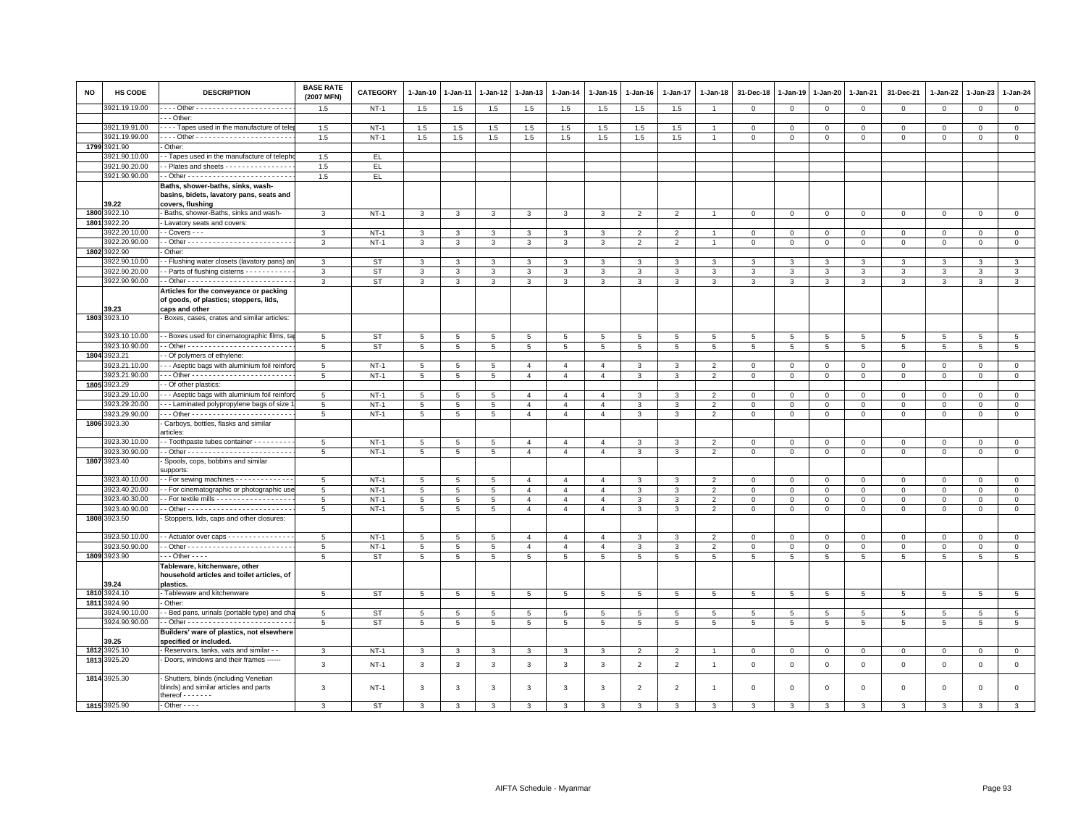| <b>NO</b> | <b>HS CODE</b>                 | <b>DESCRIPTION</b>                                                               | <b>BASE RATE</b><br>(2007 MFN) | <b>CATEGORY</b>     | $1-Jan-10$         | 1-Jan-11        | 1-Jan-12        | 1-Jan-13       | $1-Jan-14$      | $1 - Jan-15$                     | $1-Jan-16$      | 1-Jan-17        | 1-Jan-18                         | 31-Dec-18                  | 1-Jan-19                    | 1-Jan-20                   | 1-Jan-21                    | 31-Dec-21      | 1-Jan-22    | $1-Jan-23$              | 1-Jan-24                      |
|-----------|--------------------------------|----------------------------------------------------------------------------------|--------------------------------|---------------------|--------------------|-----------------|-----------------|----------------|-----------------|----------------------------------|-----------------|-----------------|----------------------------------|----------------------------|-----------------------------|----------------------------|-----------------------------|----------------|-------------|-------------------------|-------------------------------|
|           | 3921.19.19.00                  |                                                                                  | 1.5                            | $NT-1$              | 1.5                | 1.5             | 1.5             | 1.5            | 1.5             | 1.5                              | 1.5             | 1.5             | $\overline{1}$                   | $\mathbf 0$                | $\mathbf 0$                 | $\mathbf 0$                | $\mathbf{0}$                | $^{\circ}$     | $\Omega$    | $\mathbf 0$             | $\overline{0}$                |
|           |                                | $\cdots$ Other:                                                                  |                                |                     |                    |                 |                 |                |                 |                                  |                 |                 |                                  |                            |                             |                            |                             |                |             |                         |                               |
|           | 3921.19.91.00<br>3921.19.99.00 | - - - - Tapes used in the manufacture of tele                                    | 1.5<br>1.5                     | $NT-1$<br>$NT-1$    | $1.5\,$            | 1.5<br>1.5      | 1.5<br>1.5      | 1.5<br>1.5     | 1.5<br>1.5      | 1.5<br>1.5                       | 1.5<br>1.5      | 1.5<br>1.5      | $\overline{1}$<br>$\overline{1}$ | $\mathbf 0$<br>$\mathsf 0$ | $\mathbf{0}$<br>$\mathsf 0$ | $\mathbf 0$<br>$\mathsf 0$ | $\mathbf 0$<br>$\mathbf{0}$ | 0              | 0           | $\mathbf 0$<br>$\Omega$ | $\mathbf 0$<br>$\mathsf 0$    |
|           | 1799 3921.90                   | Other:                                                                           |                                |                     | 1.5                |                 |                 |                |                 |                                  |                 |                 |                                  |                            |                             |                            |                             | $\mathsf 0$    | $\mathbf 0$ |                         |                               |
|           | 3921.90.10.00                  | - Tapes used in the manufacture of teleph                                        | 1.5                            | EL.                 |                    |                 |                 |                |                 |                                  |                 |                 |                                  |                            |                             |                            |                             |                |             |                         |                               |
|           | 3921.90.20.00                  | - Plates and sheets - - - - - - - - - - - - - - -                                | 1.5                            | EL.                 |                    |                 |                 |                |                 |                                  |                 |                 |                                  |                            |                             |                            |                             |                |             |                         |                               |
|           | 3921.90.90.00                  |                                                                                  | 1.5                            | EL                  |                    |                 |                 |                |                 |                                  |                 |                 |                                  |                            |                             |                            |                             |                |             |                         |                               |
|           |                                | Baths, shower-baths, sinks, wash-                                                |                                |                     |                    |                 |                 |                |                 |                                  |                 |                 |                                  |                            |                             |                            |                             |                |             |                         |                               |
|           |                                | basins, bidets, lavatory pans, seats and                                         |                                |                     |                    |                 |                 |                |                 |                                  |                 |                 |                                  |                            |                             |                            |                             |                |             |                         |                               |
|           | 39.22                          | covers, flushing                                                                 |                                |                     |                    |                 |                 |                |                 |                                  |                 |                 |                                  |                            |                             |                            |                             |                |             |                         |                               |
|           | 1800 3922.10                   | Baths, shower-Baths, sinks and wash-                                             | $\mathbf{3}$                   | $NT-1$              | 3                  | $\mathbf{3}$    | 3               | 3              | 3               | 3                                | $\overline{2}$  | $\overline{2}$  |                                  | $\mathbf{0}$               | $\mathbf{0}$                | $\mathbf 0$                | $\mathbf{0}$                | $\mathbf 0$    | $\mathbf 0$ | $\mathbf 0$             | $\mathsf 0$                   |
|           | 1801 3922.20                   | Lavatory seats and covers:                                                       |                                |                     |                    |                 |                 |                |                 |                                  |                 |                 |                                  |                            |                             |                            |                             |                |             |                         |                               |
|           | 3922.20.10.00                  | $-$ Covers $ -$                                                                  | 3                              | $NT-1$              | $\mathbf{a}$       | $\mathbf{a}$    | $\mathbf{3}$    | 3              | 3               | 3                                | $\overline{2}$  | $\mathcal{P}$   |                                  | $\Omega$                   | $\Omega$                    | $\Omega$                   | $\Omega$                    | $\Omega$       | $\Omega$    | $\Omega$                | $\circ$                       |
|           | 3922.20.90.00                  |                                                                                  | 3                              | $NT-1$              | 3                  | 3               | 3               | 3              | 3               | 3                                | $\overline{2}$  | 2               |                                  | $\mathbf 0$                | $\mathbf 0$                 | 0                          | $\mathbf 0$                 | $\mathsf 0$    | 0           | 0                       | $\mathbf 0$                   |
|           | 1802 3922.90                   | Other:                                                                           |                                |                     |                    |                 |                 |                |                 |                                  |                 |                 |                                  |                            |                             |                            |                             |                |             |                         |                               |
|           | 3922.90.10.00                  | - Flushing water closets (lavatory pans) ar                                      | 3                              | <b>ST</b>           | $\mathbf{3}$       | 3               | 3               | $\mathbf{3}$   | $\mathbf{3}$    | $\mathbf{3}$                     | $\mathbf{3}$    | $\mathbf{3}$    | 3                                | $\mathbf{3}$               | $\mathbf{3}$                | $\mathbf{3}$               | $\mathbf{3}$                | $\mathbf{3}$   | 3           | $\mathbf{3}$            | $\mathbf{3}$                  |
|           | 3922.90.20.00                  | - Parts of flushing cisterns - - - - - - - - - -                                 | 3                              | <b>ST</b>           | 3                  | 3               | 3               | 3              | 3               | 3                                | 3               | 3               | 3                                | 3                          | 3                           | 3                          | 3                           | 3              | 3           | 3                       | 3                             |
|           | 3922.90.90.00                  |                                                                                  | 3                              | <b>ST</b>           | 3                  | 3               | 3               | 3              | 3               | 3                                | 3               | 3               | 3                                | 3                          | 3                           | 3                          | 3                           | 3              | 3           | 3                       | $\mathbf{3}$                  |
|           |                                | Articles for the conveyance or packing<br>of goods, of plastics; stoppers, lids, |                                |                     |                    |                 |                 |                |                 |                                  |                 |                 |                                  |                            |                             |                            |                             |                |             |                         |                               |
|           | 39.23                          | caps and other                                                                   |                                |                     |                    |                 |                 |                |                 |                                  |                 |                 |                                  |                            |                             |                            |                             |                |             |                         |                               |
|           | 1803 3923.10                   | Boxes, cases, crates and similar articles:                                       |                                |                     |                    |                 |                 |                |                 |                                  |                 |                 |                                  |                            |                             |                            |                             |                |             |                         |                               |
|           |                                |                                                                                  |                                |                     |                    |                 |                 |                |                 |                                  |                 |                 |                                  |                            |                             |                            |                             |                |             |                         |                               |
|           | 3923.10.10.00                  | - Boxes used for cinematographic films, ta                                       | $5\phantom{.0}$                | <b>ST</b>           | 5                  | 5               | 5               | 5              | $\overline{5}$  | $5\phantom{.0}$                  | 5               | 5               | $5\phantom{.0}$                  | 5                          | 5                           | $5\phantom{.0}$            | $5\phantom{.0}$             | $\overline{5}$ | 5           | 5                       | $\overline{5}$                |
|           | 3923.10.90.00                  |                                                                                  | 5                              | <b>ST</b>           | $5\phantom{.0}$    | 5 <sup>5</sup>  | 5 <sup>5</sup>  | 5              | $5\overline{5}$ | $5\overline{5}$                  | $5\overline{5}$ | 5               | 5                                | $5\overline{5}$            | $5\overline{5}$             | 5                          | 5                           | 5              | 5           | 5                       | $5\phantom{.0}$               |
|           | 1804 3923.21                   | - Of polymers of ethylene:                                                       |                                |                     |                    |                 |                 |                |                 |                                  |                 |                 |                                  |                            |                             |                            |                             |                |             |                         |                               |
|           | 3923.21.10.00                  | - - Aseptic bags with aluminium foil reinfor                                     | 5                              | $NT-1$              | 5                  | 5               | 5               | $\overline{4}$ | $\overline{4}$  | $\overline{4}$                   | 3               | 3               | $\overline{2}$                   | $\mathbf{0}$               | $\mathbf{0}$                | $\mathbf{0}$               | $\mathbf{0}$                | $\mathbf 0$    | $\mathbf 0$ | $\mathbf{0}$            | $\circ$                       |
|           | 3923.21.90.00                  |                                                                                  | 5                              | $NT-1$              | 5                  | 5               | 5               | $\overline{4}$ | $\overline{4}$  | $\overline{4}$                   | 3               | 3               | $\overline{2}$                   | $\mathbf 0$                | $\mathbf 0$                 | $\mathbf 0$                | $\mathbf 0$                 | $\mathsf 0$    | $\mathbf 0$ | $\mathsf 0$             | $\mathbf 0$                   |
|           | 1805 3923.29                   | - Of other plastics:                                                             |                                |                     |                    |                 |                 |                |                 |                                  |                 |                 |                                  |                            |                             |                            |                             |                |             |                         |                               |
|           | 3923.29.10.00                  | -- Aseptic bags with aluminium foil reinfor                                      | 5                              | $NT-1$              | 5                  | 5               | 5               | $\overline{4}$ | $\overline{4}$  | $\overline{4}$                   | 3               | 3               | $\overline{2}$                   | $\mathbf 0$                | $\mathbf 0$                 | $\mathbf 0$                | $\mathbf 0$                 | $\mathsf 0$    | $\mathbf 0$ | $\mathsf 0$             | $\mathbf 0$                   |
|           | 3923.29.20.00                  | -- Laminated polypropylene bags of size                                          | $5\overline{5}$                | $NT-1$              | 5                  | 5               | 5               | $\overline{4}$ | $\overline{4}$  | $\overline{4}$                   | 3               | 3               | $\overline{2}$                   | $\mathbf{O}$               | $\mathbf 0$                 | $\mathbf{0}$               | $\mathbf{0}$                | $\mathbf{0}$   | $\mathbf 0$ | $\mathbf 0$             | $\overline{0}$                |
|           | 3923.29.90.00                  |                                                                                  | 5                              | $NT-1$              | 5                  | 5               | 5               | $\overline{4}$ | $\overline{4}$  | $\overline{4}$                   | $\mathbf{3}$    | 3               | $\overline{2}$                   | $\mathbf 0$                | $\mathbf{0}$                | $\mathsf 0$                | $\mathbf 0$                 | $\mathbf 0$    | $\mathbf 0$ | $\Omega$                | $\mathsf 0$                   |
|           | 1806 3923.30                   | Carboys, bottles, flasks and similar<br>articles:                                |                                |                     |                    |                 |                 |                |                 |                                  |                 |                 |                                  |                            |                             |                            |                             |                |             |                         |                               |
|           | 3923.30.10.00                  | - Toothpaste tubes container - - - - - - - - -                                   | 5                              | $NT-1$              | 5                  | 5               | 5               | $\overline{a}$ | $\overline{4}$  | $\overline{4}$                   | 3               | 3               | $\overline{2}$                   | $\mathbf{0}$               | $\Omega$                    | $\mathbf 0$                | $\Omega$                    | 0              | $\Omega$    | $\Omega$                | $\mathbf{0}$                  |
|           | 3923.30.90.00                  |                                                                                  | $5\phantom{.0}$                | $NT-1$              | $5\phantom{.0}$    | $5\overline{5}$ | $5\phantom{.0}$ | $\overline{4}$ | $\overline{4}$  | $\overline{4}$                   | $\mathbf{3}$    | $\mathbf{3}$    | $\overline{2}$                   | $\circ$                    | $\mathbf 0$                 | $\circ$                    | $\mathbf 0$                 | $\mathbf 0$    | $\mathbf 0$ | $\mathsf 0$             | $\mathsf 0$                   |
|           | 1807 3923.40                   | Spools, cops, bobbins and similar                                                |                                |                     |                    |                 |                 |                |                 |                                  |                 |                 |                                  |                            |                             |                            |                             |                |             |                         |                               |
|           |                                | supports:                                                                        |                                |                     |                    |                 |                 |                |                 |                                  |                 |                 |                                  |                            |                             |                            |                             |                |             |                         |                               |
|           | 3923.40.10.00                  | - For sewing machines - - - - - - - - - - - -                                    | -5                             | $NT-1$              | 5                  | $\overline{5}$  | $\overline{5}$  | $\overline{4}$ | $\overline{a}$  | $\overline{4}$                   | 3               | 3               | $\overline{2}$                   | $\Omega$                   | $\mathbf{0}$                | $\mathbf{0}$               | $\mathbf 0$                 | $\Omega$       | $\Omega$    | $\Omega$                | $\mathbf 0$                   |
|           | 3923.40.20.00                  | - For cinematographic or photographic us                                         | 5                              | $NT-1$              | 5                  | 5               | 5               | $\overline{4}$ | $\overline{4}$  | $\overline{4}$                   | 3               | 3               | $\overline{2}$                   | $\mathbf 0$                | $\mathbf 0$                 | $\mathbf 0$                | $\mathbf 0$                 | $\mathsf 0$    | $\mathbf 0$ | $\Omega$                | $\circ$                       |
|           | 3923.40.30.00                  | - For textile mills - - - - - - - - - - - - - - - - -                            | $5\phantom{.0}$                | $NT-1$              | $5\phantom{.0}$    | $\overline{5}$  | 5               | $\overline{4}$ | $\overline{4}$  | $\overline{4}$                   | 3               | 3               | $\overline{2}$                   | $\mathsf 0$                | $\,0\,$                     | $\mathbf 0$                | $\mathbf 0$                 | $\mathsf 0$    | $\mathbf 0$ | $\Omega$                | $\,0\,$                       |
|           | 3923.40.90.00                  |                                                                                  | 5                              | $NT-1$              | 5                  | 5               | 5               | $\overline{4}$ | $\overline{4}$  | $\overline{4}$                   | $\mathbf{3}$    | 3               | $\overline{2}$                   | $\mathbf 0$                | $\mathbf{0}$                | $\mathbf 0$                | $\mathbf 0$                 | $\mathbf 0$    | $\mathbf 0$ | $\mathbf 0$             | $\circ$                       |
|           | 1808 3923.50                   | Stoppers, lids, caps and other closures:                                         |                                |                     |                    |                 |                 |                |                 |                                  |                 |                 |                                  |                            |                             |                            |                             |                |             |                         |                               |
|           |                                |                                                                                  |                                |                     |                    |                 |                 |                |                 |                                  |                 |                 |                                  |                            |                             |                            |                             |                |             |                         |                               |
|           | 3923.50.10.00                  | - Actuator over caps - - - - - - - - - - - - -                                   | 5                              | $NT-1$              | 5                  | 5               | 5               | $\mathbf{A}$   | $\mathbf{A}$    | $\mathbf{A}$                     | $\mathcal{R}$   | $\mathcal{R}$   | $\overline{2}$                   | $\Omega$                   | $\Omega$                    | $\mathbf{0}$               | $\Omega$                    | $\mathbf 0$    | $\Omega$    | $\Omega$                | $\mathbf 0$                   |
|           | 3923.50.90.00<br>1809 3923.90  | $\cdots$ Other - - - -                                                           | 5                              | $NT-1$<br><b>ST</b> | 5                  | 5               | 5               | $\overline{4}$ | $\overline{4}$  | $\overline{4}$<br>$\overline{5}$ | 3               | 3               | $\overline{2}$                   | $\mathbf 0$                | $\mathbf 0$                 | $\mathbf 0$                | $\mathbf 0$                 | $\mathsf 0$    | 0           | 0                       | $\mathbf 0$<br>$\overline{5}$ |
|           |                                |                                                                                  | $5\phantom{.0}$                |                     | $5\overline{5}$    | 5 <sub>5</sub>  | 5               | 5              | 5               |                                  | $5\phantom{.0}$ | $5\phantom{.0}$ | $5\phantom{.0}$                  | $5\phantom{.0}$            | $5\overline{5}$             | $5\overline{5}$            | $5\phantom{.0}$             | $\overline{5}$ | 5           | 5                       |                               |
|           |                                | Tableware, kitchenware, other<br>household articles and toilet articles, of      |                                |                     |                    |                 |                 |                |                 |                                  |                 |                 |                                  |                            |                             |                            |                             |                |             |                         |                               |
|           | 39.24                          | plastics.                                                                        |                                |                     |                    |                 |                 |                |                 |                                  |                 |                 |                                  |                            |                             |                            |                             |                |             |                         |                               |
|           | 1810 3924.10                   | Tableware and kitchenware                                                        | $5\overline{5}$                | <b>ST</b>           | 5                  | 5               | $5\phantom{.0}$ | 5              | 5               | $\overline{5}$                   | 5               | 5               | 5                                | 5                          | 5                           | $5\phantom{.0}$            | 5                           | 5              | 5           | $5\overline{5}$         | $5\phantom{.0}$               |
|           | 1811 3924.90                   | Other:                                                                           |                                |                     |                    |                 |                 |                |                 |                                  |                 |                 |                                  |                            |                             |                            |                             |                |             |                         |                               |
|           | 3924.90.10.00                  | - Bed pans, urinals (portable type) and ch                                       | 5                              | <b>ST</b>           | 5                  | $\overline{5}$  | 5               | 5              | 5               | 5                                | 5               | $\overline{5}$  | 5                                | 5                          | 5                           | $\overline{5}$             | 5                           | 5              | 5           | 5                       | $\,$ 5 $\,$                   |
|           | 3924.90.90.00                  |                                                                                  | 5                              | <b>ST</b>           | 5                  | 5               | 5               | 5              | 5               | 5                                | $5\overline{5}$ | 5               | 5                                | 5                          | 5                           | 5                          | 5                           | 5              | 5           | 5                       | 5                             |
|           |                                | Builders' ware of plastics, not elsewhere                                        |                                |                     |                    |                 |                 |                |                 |                                  |                 |                 |                                  |                            |                             |                            |                             |                |             |                         |                               |
|           | 39.25                          | specified or included.                                                           |                                |                     |                    |                 |                 |                |                 |                                  |                 |                 |                                  |                            |                             |                            |                             |                |             |                         |                               |
|           | 1812 3925.10                   | - Reservoirs, tanks, vats and similar - -                                        | $\mathbf{3}$                   | $NT-1$              | $\mathbf{3}$       | $\mathbf{3}$    | $\mathbf{3}$    | $\mathbf{3}$   | $\mathbf{3}$    | $\mathbf{3}$                     | $\overline{2}$  | $\overline{2}$  | $\overline{1}$                   | $\overline{0}$             | $\mathbf 0$                 | $\overline{0}$             | $\mathbf 0$                 | $\circ$        | $\mathbf 0$ | $\mathbf 0$             | $\mathbf{0}$                  |
|           | 1813 3925.20                   | Doors, windows and their frames                                                  | 3                              | $NT-1$              | $\mathbf{3}$       | 3               | 3               | 3              | 3               | 3                                | $\overline{2}$  | $\overline{2}$  | $\overline{1}$                   | $\mathbf 0$                | $\overline{0}$              | $\mathbf 0$                | $\mathbf 0$                 | $\mathsf 0$    | $\mathbf 0$ | $\mathsf 0$             | $\mathsf 0$                   |
|           | 1814 3925.30                   | Shutters, blinds (including Venetian                                             |                                |                     |                    |                 |                 |                |                 |                                  |                 |                 |                                  |                            |                             |                            |                             |                |             |                         |                               |
|           |                                | blinds) and similar articles and parts                                           | 3                              | $NT-1$              | 3                  | 3               | 3               | 3              | 3               | 3                                | $\overline{2}$  | $\overline{2}$  | $\overline{1}$                   | $\Omega$                   | $\Omega$                    | $\mathbf 0$                | $\mathbf 0$                 | $\mathsf 0$    | $\Omega$    | $\Omega$                | $\mathbf{0}$                  |
|           |                                | thereof $\cdots$                                                                 |                                |                     |                    |                 |                 |                |                 |                                  |                 |                 |                                  |                            |                             |                            |                             |                |             |                         |                               |
|           | 1815 3925.90                   | $-$ Other $  -$                                                                  | $\mathbf{R}$                   | <b>ST</b>           | $\mathbf{\hat{z}}$ | 3               | $\mathbf{3}$    | $\mathbf{a}$   | $\mathbf{z}$    | $\mathbf{z}$                     | $\mathbf{z}$    | $\mathbf{a}$    | $\mathcal{R}$                    | $\mathbf{\hat{z}}$         | $\mathbf{3}$                | $\mathbf{a}$               | $\mathbf{3}$                | 3              | 3           | $\mathcal{R}$           | $\mathbf{R}$                  |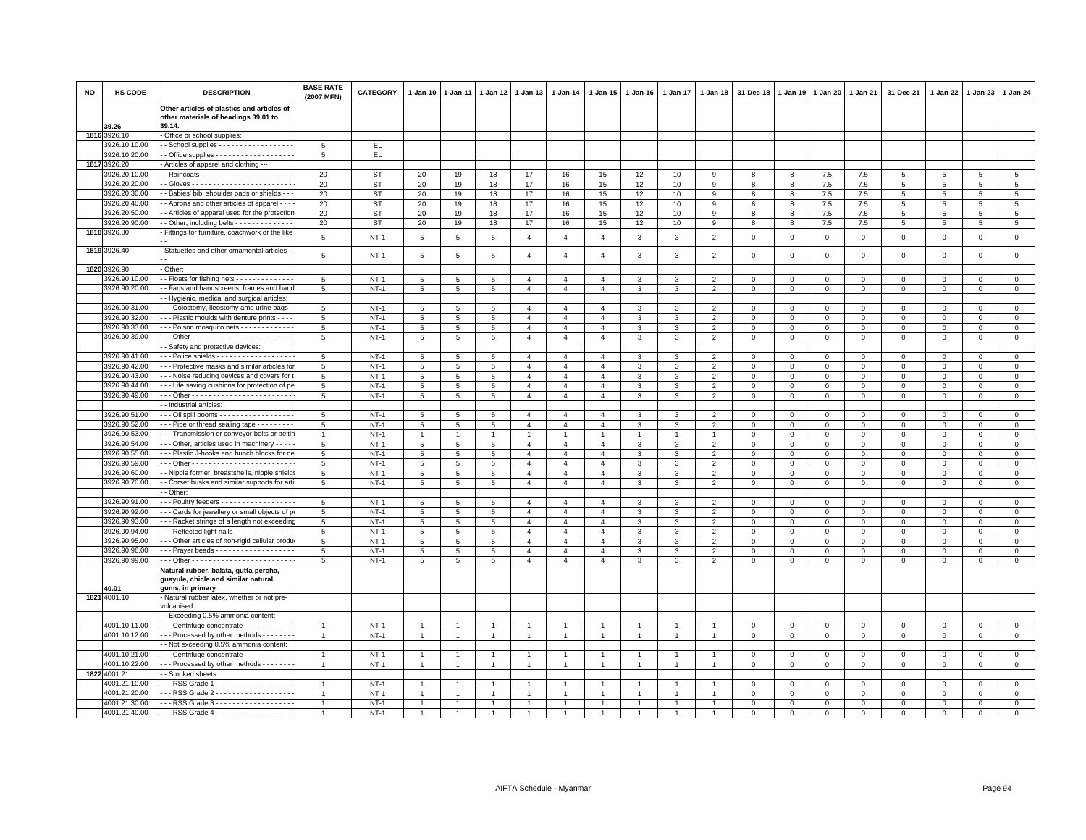| <b>NO</b> | HS CODE                        | <b>DESCRIPTION</b>                                                                               | <b>BASE RATE</b><br>(2007 MFN) | <b>CATEGORY</b>        | 1-Jan-10                           | $1 - Jan-11$        | 1-Jan-12            | $1 - Jan-13$                     | 1-Jan-14                         | 1-Jan-15                         | $1 - Jan-16$   | $1 - Jan-17$   | 1-Jan-18                         | 31-Dec-18                 | 1-Jan-19                   | 1-Jan-20                       | 1-Jan-21                   | 31-Dec-21                    | 1-Jan-22                | 1-Jan-23                     | $1 - Jan-24$               |
|-----------|--------------------------------|--------------------------------------------------------------------------------------------------|--------------------------------|------------------------|------------------------------------|---------------------|---------------------|----------------------------------|----------------------------------|----------------------------------|----------------|----------------|----------------------------------|---------------------------|----------------------------|--------------------------------|----------------------------|------------------------------|-------------------------|------------------------------|----------------------------|
|           |                                | Other articles of plastics and articles of<br>other materials of headings 39.01 to               |                                |                        |                                    |                     |                     |                                  |                                  |                                  |                |                |                                  |                           |                            |                                |                            |                              |                         |                              |                            |
|           | 39.26                          | 39.14.                                                                                           |                                |                        |                                    |                     |                     |                                  |                                  |                                  |                |                |                                  |                           |                            |                                |                            |                              |                         |                              |                            |
|           | 1816 3926.10                   | Office or school supplies:                                                                       |                                |                        |                                    |                     |                     |                                  |                                  |                                  |                |                |                                  |                           |                            |                                |                            |                              |                         |                              |                            |
|           | 926.10.10.00                   | - School supplies - - - - - - - - - - - - - - - -                                                | 5                              | EL.                    |                                    |                     |                     |                                  |                                  |                                  |                |                |                                  |                           |                            |                                |                            |                              |                         |                              |                            |
|           | 3926.10.20.00                  | - Office supplies - - - - - - - - - - - - - - - - - -                                            | 5                              | EL.                    |                                    |                     |                     |                                  |                                  |                                  |                |                |                                  |                           |                            |                                |                            |                              |                         |                              |                            |
|           | 1817 3926.20<br>3926.20.10.00  | Articles of apparel and clothing ---                                                             |                                |                        |                                    |                     |                     | 17                               |                                  |                                  |                |                |                                  |                           |                            |                                |                            |                              |                         |                              | $\overline{5}$             |
|           | 3926.20.20.00                  |                                                                                                  | 20<br>20                       | <b>ST</b><br><b>ST</b> | 20<br>20                           | 19<br>19            | 18<br>18            | 17                               | 16<br>$16\,$                     | 15<br>15                         | 12<br>12       | 10<br>10       | 9<br>9                           | 8                         | 8<br>8                     | 7.5<br>$7.5\,$                 | 7.5<br>$7.5\,$             | 5                            | 5                       | $\overline{5}$               | $\,$ 5 $\,$                |
|           | 3926.20.30.00                  | - Babies' bib, shoulder pads or shields - -                                                      | 20                             | ST                     | 20                                 | 19                  | 18                  | 17                               | 16                               | 15                               | 12             | 10             | 9                                | 8                         | 8                          | 7.5                            | 7.5                        | 5                            | 5                       | 5                            | $\overline{5}$             |
|           | 3926.20.40.00                  | - Aprons and other articles of apparel - -                                                       | 20                             | <b>ST</b>              | 20                                 | 19                  | 18                  | 17                               | 16                               | 15                               | 12             | 10             | 9                                | 8                         | 8                          | $7.5\,$                        | 7.5                        | $\overline{5}$               | 5                       | 5                            | $\overline{5}$             |
|           | 3926.20.50.00                  | - Articles of apparel used for the protection                                                    | 20                             | <b>ST</b>              | 20                                 | 19                  | 18                  | 17                               | 16                               | 15                               | 12             | 10             | 9                                | 8                         | 8                          | 7.5                            | 7.5                        | 5                            | 5                       | 5                            | 5                          |
|           | 3926.20.90.00                  | - Other, including belts - - - - - - - - - - - - -                                               | 20                             | <b>ST</b>              | 20                                 | 19                  | 18                  | 17                               | 16                               | 15                               | 12             | 10             | 9                                | 8                         | 8                          | 7.5                            | 7.5                        | 5                            | 5                       | 5                            | $\overline{5}$             |
|           | 1818 3926.30                   | Fittings for furniture, coachwork or the like                                                    |                                |                        |                                    |                     |                     |                                  |                                  |                                  |                |                |                                  |                           |                            |                                |                            |                              |                         |                              |                            |
|           |                                |                                                                                                  | 5                              | $NT-1$                 | 5                                  | 5                   | 5                   | $\overline{4}$                   | $\overline{4}$                   | $\overline{4}$                   | 3              | $\mathbf{3}$   | $\overline{2}$                   | $\overline{0}$            | $\mathbf 0$                | $\mathbf 0$                    | $\mathbf{0}$               | $\mathbf{0}$                 | $\Omega$                | $\mathbf{0}$                 | $\mathsf 0$                |
|           | 1819 3926.40                   | Statuettes and other ornamental articles                                                         | $\overline{5}$                 | $NT-1$                 | $5\phantom{.0}$                    | 5                   | 5                   | $\overline{4}$                   | $\overline{4}$                   | $\overline{4}$                   | 3              | 3              | $\overline{2}$                   | $\mathbf 0$               | $\mathbf 0$                | $\mathsf 0$                    | $\mathbf 0$                | $\mathbf 0$                  | $\mathbf 0$             | $\mathbf 0$                  | $\mathsf 0$                |
|           | 1820 3926.90                   | Other:                                                                                           |                                |                        |                                    |                     |                     |                                  |                                  |                                  |                |                |                                  |                           |                            |                                |                            |                              |                         |                              |                            |
|           | 3926.90.10.00                  | - Floats for fishing nets - - - - - - - - - - - -                                                | 5                              | $NT-1$                 | 5                                  | 5                   | 5                   | $\overline{4}$                   | $\overline{4}$                   | $\overline{4}$                   | 3              | 3              | $\overline{2}$                   | $\mathbf 0$               | $\mathbf 0$                | $\mathbf 0$                    | $\mathbf 0$                | $\Omega$                     | $\Omega$                | $\mathbf{0}$                 | $\mathsf 0$                |
|           | 3926.90.20.00                  | - Fans and handscreens, frames and hand                                                          | 5                              | $NT-1$                 | $5\phantom{.0}$                    | $\overline{5}$      | 5                   | $\overline{4}$                   | $\overline{4}$                   | $\overline{4}$                   | 3              | 3              | $\overline{2}$                   | $\mathbf 0$               | $\mathbf 0$                | $\mathbf 0$                    | $\mathbf{0}$               | $\mathbf 0$                  | 0                       | $\mathbf 0$                  | $\mathbf{0}$               |
|           |                                | - Hygienic, medical and surgical articles:                                                       | 5                              | $NT-1$                 |                                    |                     | $\overline{5}$      | $\overline{4}$                   | $\overline{4}$                   | $\overline{4}$                   | $\mathcal{R}$  | $\mathbf{B}$   | $\overline{\phantom{0}}$         | $\mathbf 0$               | $\Omega$                   |                                | $\mathbf 0$                | $\Omega$                     | $\Omega$                | $\Omega$                     | $\mathsf 0$                |
|           | 3926.90.31.00<br>3926.90.32.00 | - - Colostomy, ileostomy amd urine bags<br>- - Plastic moulds with denture prints - - -          | 5                              | $NT-1$                 | 5<br>$5\overline{5}$               | $\,$ 5 $\,$<br>5    | 5                   | $\overline{4}$                   | $\overline{4}$                   | $\overline{4}$                   | 3              | 3              | $\overline{2}$                   | $\mathbf 0$               | $\mathbf 0$                | $\mathsf 0$<br>$\mathbf 0$     | $\Omega$                   | $\Omega$                     | $\Omega$                | $\mathbf{0}$                 | $\mathsf 0$                |
|           | 3926.90.33.00                  | - - Poison mosquito nets - - - - - - - - - - -                                                   | 5                              | $NT-1$                 | $5\overline{5}$                    | 5                   | 5                   | $\overline{4}$                   | $\overline{4}$                   | $\overline{4}$                   | 3              | 3              | $\overline{2}$                   | $\mathbf 0$               | $\mathbf 0$                | $\mathbf 0$                    | $\mathbf 0$                | 0                            | $\Omega$                | $\Omega$                     | $\overline{0}$             |
|           | 3926.90.39.00                  |                                                                                                  | 5                              | $NT-1$                 | 5                                  | 5                   | 5                   | $\overline{4}$                   | $\overline{4}$                   | $\overline{4}$                   | 3              | 3              | $\overline{2}$                   | $\mathbf 0$               | $\mathbf 0$                | $\mathbf 0$                    | $\mathsf 0$                | $\mathbf 0$                  | $\mathbf 0$             | $\mathbf 0$                  | $\mathsf 0$                |
|           |                                | - Safety and protective devices:                                                                 |                                |                        |                                    |                     |                     |                                  |                                  |                                  |                |                |                                  |                           |                            |                                |                            |                              |                         |                              |                            |
|           | 3926.90.41.00                  | -- Police shields - - - - - - - - - - - - - - - - -                                              | 5                              | $NT-1$                 | 5                                  | 5                   | 5                   | $\overline{4}$                   | $\overline{4}$                   | $\overline{4}$                   | 3              | 3              | $\overline{2}$                   | $\Omega$                  | $\Omega$                   | $\Omega$                       | $\mathbf{0}$               | $\mathbf{0}$                 | $\Omega$                | $\mathbf{0}$                 | $\mathbf{0}$               |
|           | 3926.90.42.00                  | - - - Protective masks and similar articles fo                                                   | 5                              | $NT-1$                 | 5                                  | 5                   | 5                   | $\overline{4}$                   | $\overline{4}$                   | $\overline{4}$                   | 3              | 3              | $\overline{2}$                   | $\mathbf 0$               | $\mathbf 0$                | $\mathbf 0$                    | $\mathbf 0$                | $\mathbf 0$                  | 0                       | $\mathbf 0$                  | $\mathbf 0$                |
|           | 3926.90.43.00                  | - - Noise reducing devices and covers for                                                        | 5                              | $NT-1$                 | $5\overline{5}$                    | $\overline{5}$      | 5                   | $\overline{a}$                   | $\overline{4}$                   | $\overline{4}$                   | $\mathbf{z}$   | $\mathbf{3}$   | $\mathcal{P}$                    | $\mathbf{0}$              | $\Omega$                   | $\Omega$                       | $\mathbf 0$                | $\mathbf 0$                  | $\Omega$                | $\mathbf 0$                  | $\mathsf 0$                |
|           | 3926.90.44.00                  | - - Life saving cushions for protection of pe                                                    | $\overline{5}$                 | $NT-1$                 | 5                                  | 5                   | 5                   | $\overline{4}$                   | $\overline{4}$                   | $\overline{4}$                   | 3              | 3              | $\overline{\phantom{0}}$         | $\Omega$                  | $\Omega$                   | $\Omega$                       | $\Omega$                   | $\Omega$                     | $\Omega$                | $\Omega$                     | $\mathbf 0$                |
|           | 3926.90.49.00                  |                                                                                                  | 5                              | $NT-1$                 | $5\phantom{.0}$                    | 5                   | 5                   | $\overline{4}$                   | $\overline{4}$                   | $\overline{4}$                   | 3              | 3              | $\overline{2}$                   | $\mathbf 0$               | $\mathsf 0$                | $^{\circ}$                     | $\mathbf 0$                | 0                            | $\Omega$                | $\mathbf 0$                  | $\mathsf 0$                |
|           |                                | - Industrial articles:                                                                           |                                |                        |                                    |                     |                     |                                  |                                  |                                  |                |                |                                  |                           |                            |                                |                            |                              |                         |                              |                            |
|           | 3926.90.51.00                  | - - Oil spill booms - - - - - - - - - - - - - - - -                                              | 5                              | $NT-1$                 | $5\overline{5}$                    | 5                   | 5                   | $\overline{4}$                   | $\overline{4}$                   | $\Delta$                         | $\mathcal{R}$  | $\mathbf{a}$   | $\overline{2}$                   | $\mathbf 0$               | $\mathbf 0$                | $\mathbf 0$                    | $\mathbf 0$                | $\Omega$                     | $\Omega$                | $\Omega$                     | $\mathsf 0$                |
|           | 3926.90.52.00                  | - - Pipe or thread sealing tape - - - - - - - -                                                  | 5                              | $NT-1$                 | 5                                  | 5                   | 5                   | $\overline{4}$                   | $\overline{4}$                   | $\overline{4}$                   | 3              | 3              | $\overline{2}$                   | $\mathbf 0$               | $\mathbf 0$                | $\mathbf 0$                    | $\circ$                    | $\mathbf 0$                  | $\mathbf 0$             | $\Omega$                     | $\mathsf 0$                |
|           | 3926.90.53.00                  | - - Transmission or conveyor belts or belti                                                      | $\overline{1}$                 | $NT-1$                 | $\overline{1}$                     | $\mathbf{1}$        | $\mathbf{1}$        | $\overline{1}$                   | $\mathbf{1}$                     | $\mathbf{1}$                     | $\overline{1}$ | $\overline{1}$ |                                  | $\mathbf 0$               | $\mathsf 0$                | $\mathbf 0$                    | $\mathsf 0$                | $\mathbf 0$                  | 0                       | $\mathbf 0$                  | $\overline{0}$             |
|           | 3926.90.54.00                  | - - Other, articles used in machinery - - -                                                      | 5                              | $NT-1$                 | $5\overline{5}$                    | 5                   | $5\overline{5}$     | $\overline{4}$                   | $\overline{4}$                   | $\overline{4}$                   | 3              | 3              | $\overline{2}$                   | $\mathbf 0$               | $\mathbf 0$                | $\mathbf 0$                    | $\mathbf 0$                | $\mathbf 0$                  | $\Omega$                | $\mathbf 0$                  | $\mathsf 0$                |
|           | 3926.90.55.00<br>3926.90.59.00 | -- Plastic J-hooks and bunch blocks for de                                                       | 5                              | $NT-1$<br>$NT-1$       | $5\phantom{.0}$                    | 5                   | $\overline{5}$      | $\overline{4}$                   | $\overline{4}$                   | $\overline{4}$<br>$\overline{4}$ | $\mathcal{R}$  | 3              | $\overline{\phantom{0}}$         | $\mathbf 0$               | $\mathbf 0$                | $\mathbf 0$                    | $\Omega$                   | $\Omega$                     | $\Omega$                | $\Omega$                     | $\mathsf 0$<br>$\mathbf 0$ |
|           | 3926.90.60.00                  | - Nipple former, breastshells, nipple shield                                                     | 5<br>5                         | $NT-1$                 | $5\phantom{.0}$<br>$5\phantom{.0}$ | 5<br>$\overline{5}$ | 5<br>$\overline{5}$ | $\overline{4}$<br>$\overline{4}$ | $\overline{4}$<br>$\overline{4}$ | $\overline{4}$                   | 3<br>3         | 3<br>3         | $\overline{2}$<br>$\overline{2}$ | $\overline{0}$<br>$\,0\,$ | $\mathbf 0$<br>$\mathbf 0$ | $\mathbf{0}$<br>$\overline{0}$ | $\mathbf 0$<br>$\mathbf 0$ | $\mathbf{0}$<br>$\mathbf{0}$ | $\Omega$<br>0           | $\mathbf{0}$<br>$\mathbf{0}$ | $\mathsf 0$                |
|           | 3926.90.70.00                  | - Corset busks and similar supports for ar                                                       | 5                              | $NT-1$                 | $5^{\circ}$                        | 5                   | $5^{\circ}$         | $\overline{4}$                   | $\overline{4}$                   | $\overline{4}$                   | 3              | 3              | $\overline{2}$                   | $\mathbf{0}$              | $\mathbf 0$                | $\Omega$                       | $\mathbf 0$                | $\mathbf 0$                  | $\Omega$                | $\mathbf{0}$                 | $\mathbf 0$                |
|           |                                | - Other:                                                                                         |                                |                        |                                    |                     |                     |                                  |                                  |                                  |                |                |                                  |                           |                            |                                |                            |                              |                         |                              |                            |
|           | 3926.90.91.00                  | - - Poultry feeders - - - - - - - - - - - - - - - -                                              | $5^{\circ}$                    | $NT-1$                 | $5\overline{5}$                    | 5                   | 5                   | $\overline{4}$                   | $\overline{4}$                   | $\overline{4}$                   | 3              | 3              | $\overline{2}$                   | $\mathbf 0$               | $\mathbf 0$                | $\mathbf 0$                    | $\mathbf 0$                | $\Omega$                     | $\Omega$                | $\Omega$                     | $\mathsf 0$                |
|           | 3926.90.92.00                  | - - Cards for jewellery or small objects of p                                                    | 5                              | $NT-1$                 | 5                                  | $\overline{5}$      | 5                   | $\overline{4}$                   | $\overline{4}$                   | $\overline{4}$                   | 3              | 3              | $\overline{2}$                   | $\mathbf 0$               | $\mathbf 0$                | $\Omega$                       | $\mathbf{0}$               | $\mathbf{0}$                 | $\Omega$                | $\mathbf{0}$                 | $\mathsf 0$                |
|           | 3926.90.93.00                  | - - Racket strings of a length not exceedin                                                      | 5                              | $NT-1$                 | $5\overline{5}$                    | 5                   | 5                   | $\mathbf{A}$                     | $\overline{4}$                   | $\overline{4}$                   | $\mathcal{R}$  | 3              | $\overline{2}$                   | $\mathbf 0$               | $\mathbf 0$                | $\mathbf 0$                    | $\mathbf 0$                | $\Omega$                     | $\Omega$                | $\Omega$                     | $\mathsf 0$                |
|           | 3926.90.94.00                  | - - Reflected light nails - - - - - - - - - - - - -                                              | 5                              | $NT-1$                 | 5                                  | 5                   | 5                   | $\overline{4}$                   | $\overline{4}$                   | $\overline{4}$                   | 3              | 3              | $\overline{2}$                   | $\mathbf 0$               | $\mathsf 0$                | $\mathbf 0$                    | $\mathbf 0$                | $\mathbf 0$                  | $\mathbf 0$             | $\Omega$                     | $\mathsf 0$                |
|           | 3926.90.95.00                  | - - Other articles of non-rigid cellular produ                                                   | 5                              | $NT-1$                 | $5\overline{5}$                    | 5                   | $5\phantom{.0}$     | $\overline{4}$                   | $\overline{4}$                   | $\overline{4}$                   | $\mathbf{3}$   | 3              | $\overline{2}$                   | $\mathbf 0$               | $\mathsf 0$                | $\mathbf{0}$                   | $\mathbf 0$                | $\mathbf 0$                  | 0                       | $\mathbf 0$                  | $\overline{0}$             |
|           | 3926.90.96.00                  | -- Prayer beads - - - - - - - - - - - - - - - - -                                                | 5                              | $NT-1$                 | 5                                  | 5                   | 5                   | $\overline{4}$                   | $\overline{4}$                   | $\overline{4}$                   | 3              | 3              | $\overline{2}$                   | $\mathbf 0$               | $\mathbf 0$                | $\Omega$                       | $\mathsf 0$                | $\Omega$                     | $\Omega$                | $\Omega$                     | $\mathsf 0$                |
|           | 3926.90.99.00                  |                                                                                                  | 5                              | $NT-1$                 | $5\phantom{.0}$                    | 5                   | 5                   | $\overline{4}$                   | $\overline{4}$                   | $\overline{4}$                   | 3              | 3              | $\overline{2}$                   | $\mathbf 0$               | $\mathbf 0$                | $\mathbf 0$                    | $\mathbf 0$                | $\Omega$                     | $\Omega$                | $\mathbf{0}$                 | $\mathsf 0$                |
|           | 10.01                          | Natural rubber, balata, gutta-percha,<br>guayule, chicle and similar natural<br>gums, in primary |                                |                        |                                    |                     |                     |                                  |                                  |                                  |                |                |                                  |                           |                            |                                |                            |                              |                         |                              |                            |
|           | 1821 4001.10                   | - Natural rubber latex, whether or not pre-<br>ulcanised:                                        |                                |                        |                                    |                     |                     |                                  |                                  |                                  |                |                |                                  |                           |                            |                                |                            |                              |                         |                              |                            |
|           |                                | - Exceeding 0.5% ammonia content:                                                                |                                |                        |                                    |                     |                     |                                  |                                  |                                  |                |                |                                  |                           |                            |                                |                            |                              |                         |                              |                            |
|           | 4001.10.11.00                  | -- Centrifuge concentrate - - - - - - - - - -                                                    | $\overline{1}$                 | $NT-1$                 | $\overline{1}$                     | $\overline{1}$      | $\overline{1}$      | $\mathbf{1}$                     | $\mathbf{1}$                     | $\mathbf{1}$                     | $\mathbf{1}$   | $\overline{1}$ |                                  | $\mathbf 0$               | $\mathbf 0$                | $\mathbf 0$                    | $\mathbf 0$                | $\mathbf 0$                  | $\mathbf 0$             | $\mathbf 0$                  | $\mathbf{0}$               |
|           | 4001.10.12.00                  | -- Processed by other methods -------                                                            | $\overline{1}$                 | $NT-1$                 | $\overline{1}$                     | $\overline{1}$      | $\overline{1}$      | $\overline{1}$                   | $\overline{1}$                   | $\blacktriangleleft$             | $\overline{1}$ | $\overline{1}$ | $\overline{1}$                   | $\mathbf 0$               | $\mathbf 0$                | $\mathbf 0$                    | $\circ$                    | $\mathbf 0$                  | $\mathbf 0$             | $\mathbf 0$                  | $\overline{0}$             |
|           | 4001.10.21.00                  | - Not exceeding 0.5% ammonia content:<br>--- Centrifuge concentrate -----------                  | $\overline{1}$                 | $NT-1$                 | $\overline{1}$                     | $\overline{1}$      | $\overline{1}$      | $\mathbf{1}$                     | $\overline{1}$                   |                                  |                | -1             |                                  |                           |                            |                                |                            | $\Omega$                     |                         | $\Omega$                     |                            |
|           | 4001.10.22.00                  | -- Processed by other methods -------                                                            | $\overline{1}$                 | $NT-1$                 | $\mathbf{1}$                       | $\overline{1}$      | $\mathbf{1}$        | $\mathbf{1}$                     | $\mathbf{1}$                     | $\overline{1}$                   |                |                |                                  | 0<br>$\mathsf 0$          | 0<br>$\mathbf 0$           | $\mathbf 0$<br>$\mathbf 0$     | $\mathbf 0$<br>$\mathbf 0$ | $\mathbf 0$                  | $\Omega$<br>$\mathbf 0$ | $\mathbf 0$                  | $\mathsf 0$<br>$\mathsf 0$ |
|           | 1822 4001.21                   | - Smoked sheets:                                                                                 |                                |                        |                                    |                     |                     |                                  |                                  |                                  |                |                |                                  |                           |                            |                                |                            |                              |                         |                              |                            |
|           | 4001.21.10.00                  | -- RSS Grade 1 - - - - - - - - - - - - - - - - -                                                 | $\overline{1}$                 | $NT-1$                 |                                    |                     | $\overline{1}$      | $\overline{1}$                   | $\overline{1}$                   |                                  |                |                |                                  | $\Omega$                  | $\Omega$                   | $\Omega$                       | $\mathbf 0$                | $\Omega$                     | $\Omega$                | $\mathbf{0}$                 | $\mathbf 0$                |
|           | 4001.21.20.00                  | -- RSS Grade 2 - - - - - - - - - - - - - - - - - -                                               | $\mathbf{1}$                   | $NT-1$                 |                                    |                     | $\mathbf{1}$        |                                  | $\overline{1}$                   |                                  |                |                |                                  | $\mathbf 0$               | $\mathbf 0$                | $\mathsf 0$                    | $\mathbf 0$                | $\mathbf 0$                  | $\mathbf 0$             | $\mathbf 0$                  | $\mathsf 0$                |
|           | 4001.21.30.00                  | $\cdots$ RSS Grade 3 $\cdots$                                                                    | $\overline{1}$                 | $NT-1$                 |                                    | -1                  | $\mathbf{1}$        | -1                               | $\overline{1}$                   |                                  |                |                |                                  | $\mathbf 0$               | $\mathbf 0$                | $\Omega$                       | $\mathsf 0$                | $\Omega$                     | $\Omega$                | $\Omega$                     | $\mathsf 0$                |
|           | 4001.21.40.00                  |                                                                                                  | $\overline{1}$                 | $NT-1$                 |                                    |                     |                     |                                  |                                  |                                  |                |                |                                  | $\Omega$                  | $\Omega$                   | $\Omega$                       | $\Omega$                   | $\Omega$                     | $\Omega$                | $\Omega$                     | $\mathbf 0$                |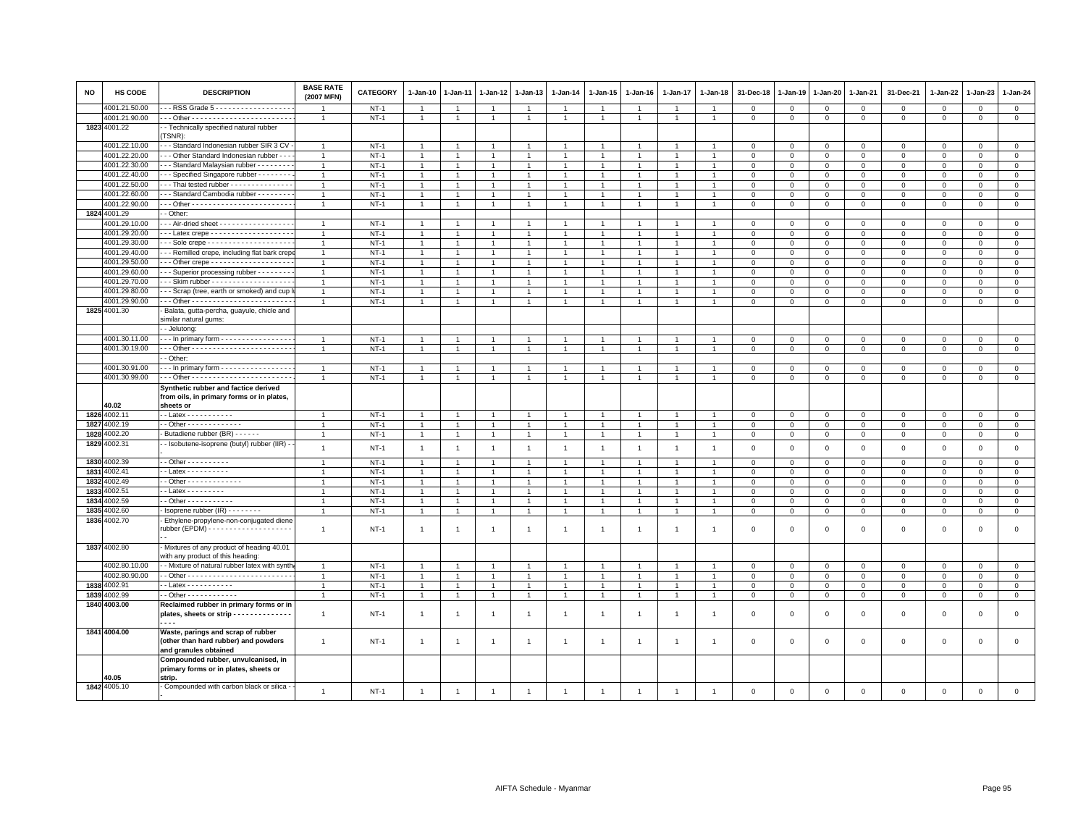| <b>NO</b> | <b>HS CODE</b> | <b>DESCRIPTION</b>                                                                                  | <b>BASE RATE</b><br>(2007 MFN)   | <b>CATEGORY</b>  | 1-Jan-10             | 1-Jan-11             | 1-Jan-12                         | 1-Jan-13                         | 1-Jan-14             | 1-Jan-15                       | 1-Jan-16       | 1-Jan-17                       | 1-Jan-18                       | 31-Dec-18                   | 1-Jan-19                | 1-Jan-20                      | 1-Jan-21          | 31-Dec-21         | 1-Jan-22                  | 1-Jan-23                   | 1-Jan-24                   |
|-----------|----------------|-----------------------------------------------------------------------------------------------------|----------------------------------|------------------|----------------------|----------------------|----------------------------------|----------------------------------|----------------------|--------------------------------|----------------|--------------------------------|--------------------------------|-----------------------------|-------------------------|-------------------------------|-------------------|-------------------|---------------------------|----------------------------|----------------------------|
|           | 4001.21.50.00  | - - RSS Grade 5 - - - - - - - - - - - - - - - - -                                                   | -1                               | $NT-1$           |                      |                      |                                  | -1                               |                      | -1                             |                |                                |                                | $\Omega$                    | $\mathbf 0$             | $\mathbf 0$                   | $\mathbf 0$       | 0                 | $\Omega$                  | $\Omega$                   | $\mathbf{0}$               |
|           | 4001.21.90.00  |                                                                                                     | $\overline{1}$                   | $NT-1$           | $\mathbf{1}$         | $\overline{1}$       | $\mathbf{1}$                     | $\overline{1}$                   | $\mathbf{1}$         | 1                              | $\overline{1}$ | $\mathbf{1}$                   | $\overline{1}$                 | $\mathbf 0$                 | $\mathbf 0$             | $\mathbf 0$                   | $\mathbf{0}$      | $\mathsf 0$       | $\mathbf 0$               | $\mathsf 0$                | $\mathbf 0$                |
|           | 1823 4001.22   | - Technically specified natural rubber<br>TSNR):                                                    |                                  |                  |                      |                      |                                  |                                  |                      |                                |                |                                |                                |                             |                         |                               |                   |                   |                           |                            |                            |
|           | 4001.22.10.00  | -- Standard Indonesian rubber SIR 3 CV                                                              | $\overline{1}$                   | $NT-1$           |                      |                      |                                  | -1                               |                      | -1                             |                |                                |                                | 0                           | $^{\circ}$              | $\mathbf{0}$                  | $^{\circ}$        | 0                 | $^{\circ}$                | $^{\circ}$                 | $\circ$                    |
|           | 4001.22.20.00  | - - Other Standard Indonesian rubber - -                                                            | $\overline{1}$                   | $NT-1$           | $\overline{1}$       |                      | $\overline{1}$                   | $\overline{1}$                   |                      | $\overline{1}$                 |                | $\overline{1}$                 |                                | $\mathbf 0$                 | $\mathbf 0$             | $\mathbf{0}$                  | $\mathbf 0$       | $\mathbf 0$       | $\mathbf 0$               | $\mathbf 0$                | $\mathsf 0$                |
|           | 4001.22.30.00  | - - Standard Malaysian rubber - - - - - - - -                                                       | $\overline{1}$                   | $NT-1$           | $\mathbf{1}$         |                      | $\mathbf{1}$                     | $\overline{1}$                   |                      | $\overline{1}$                 |                | $\mathbf{1}$                   |                                | $\mathbf 0$                 | $\mathbf 0$             | $\mathbf 0$                   | $\mathbf 0$       | $\mathsf 0$       | 0                         | $\mathbf 0$                | $\circ$                    |
|           | 4001.22.40.00  | - - Specified Singapore rubber - - - - - - - -                                                      | $\overline{1}$                   | $NT-1$           | $\overline{1}$       |                      | $\overline{1}$                   | $\overline{1}$                   | $\overline{1}$       | $\overline{1}$                 |                | $\mathbf{1}$                   | $\overline{1}$                 | $\mathbf 0$                 | $\mathbf 0$             | $\mathbf{0}$                  | $\mathbf 0$       | $\mathbf 0$       | 0                         | $\mathbf 0$                | $\overline{0}$             |
|           | 4001.22.50.00  | -- Thai tested rubber -------------                                                                 | $\overline{1}$                   | $NT-1$           | $\overline{1}$       |                      |                                  |                                  |                      | $\overline{1}$                 |                |                                |                                | $\Omega$                    | $\Omega$                | $\mathbf{0}$                  | $\Omega$          | $\mathbf 0$       | $\Omega$                  | $\Omega$                   | $\mathsf 0$                |
|           | 4001.22.60.00  | - - Standard Cambodia rubber - - - - - - - -                                                        | $\overline{1}$                   | $NT-1$           | $\overline{1}$       |                      | $\overline{1}$                   | $\mathbf{1}$                     |                      | $\mathbf{1}$                   |                |                                |                                | $\Omega$                    | $\Omega$                | $\mathbf 0$                   | $\mathbf 0$       | $\mathbf 0$       | $\mathbf 0$               | $\mathbf 0$                | $\circ$                    |
|           | 4001.22.90.00  |                                                                                                     | $\overline{1}$                   | $NT-1$           | $\mathbf{1}$         | $\overline{1}$       | $\overline{1}$                   | $\overline{1}$                   | $\overline{1}$       | $\overline{1}$                 |                | $\mathbf{1}$                   | $\overline{1}$                 | $\mathsf 0$                 | $\mathsf 0$             | $\mathbf 0$                   | $\mathbf 0$       | $\mathsf 0$       | $\mathbf 0$               | $\mathsf 0$                | $\mathsf 0$                |
|           | 1824 4001.29   | - Other:                                                                                            |                                  |                  |                      |                      |                                  |                                  |                      |                                |                |                                |                                |                             |                         |                               |                   |                   |                           |                            |                            |
|           | 4001.29.10.00  | - - Air-dried sheet - - - - - - - - - - - - - - - -                                                 | $\overline{1}$                   | $NT-1$           | $\overline{1}$       |                      |                                  | $\overline{1}$                   |                      | -1                             |                |                                |                                | $\mathbf 0$                 | $^{\circ}$              | $\mathbf 0$                   | $\mathbf 0$       | 0                 | 0                         | $\mathbf 0$                | $\mathbf 0$                |
|           | 4001.29.20.00  |                                                                                                     | $\overline{1}$                   | $NT-1$           | $\mathbf{1}$         |                      | $\mathbf{1}$                     | $\overline{1}$                   |                      | $\overline{1}$                 |                | -1                             |                                | $\mathbf 0$                 | $\mathbf 0$             | $\mathbf 0$                   | $\mathbf 0$       | 0                 | 0                         | $\mathbf 0$                | $\mathbf 0$                |
|           | 4001.29.30.00  |                                                                                                     | $\overline{1}$                   | $NT-1$           | $\overline{1}$       |                      | $\overline{1}$                   | $\overline{1}$                   |                      | $\blacktriangleleft$           |                | $\ddot{\phantom{0}}$           |                                | $\overline{0}$              | $\overline{0}$          | $\mathbf{0}$                  | $\mathbf{0}$      | $\mathsf 0$       | $\Omega$                  | $\Omega$                   | $\mathsf 0$                |
|           | 4001.29.40.00  | -- Remilled crepe, including flat bark crep                                                         | $\overline{1}$                   | $NT-1$           | $\overline{1}$       |                      | $\overline{1}$                   | $\overline{1}$                   |                      | $\overline{1}$                 |                | $\overline{1}$                 |                                | $\Omega$                    | $\mathbf{0}$            | $\mathbf{0}$                  | $\mathbf 0$       | $\mathbf 0$       | $\mathbf 0$               | $\mathbf 0$                | $\circ$                    |
|           | 4001.29.50.00  | - - Other crepe - - - - - - - - - - - - - - - - - -                                                 | $\overline{1}$                   | $NT-1$           | $\mathbf{1}$         |                      | $\mathbf{1}$                     | $\overline{1}$                   |                      | $\overline{1}$                 |                | $\overline{1}$                 |                                | $\mathbf 0$                 | $\mathbf 0$             | $\mathsf 0$                   | $\mathbf 0$       | $\mathsf 0$       | $\mathbf 0$               | $\mathsf 0$                | $\mathbf 0$                |
|           | 4001.29.60.00  | - - Superior processing rubber - - - - - - -                                                        | $\overline{1}$                   | $NT-1$           | $\overline{1}$       |                      |                                  | $\overline{1}$                   |                      | $\overline{1}$                 |                |                                |                                | $\mathbf 0$                 | $\mathbf 0$             | $\mathbf 0$                   | $\mathbf 0$       | $\mathsf 0$       | $\Omega$                  | $\mathbf 0$                | $\,0\,$                    |
|           | 4001.29.70.00  |                                                                                                     | $\overline{1}$                   | $NT-1$           | $\overline{1}$       |                      | $\overline{1}$                   | $\overline{1}$                   |                      | $\overline{1}$                 |                | $\mathbf{1}$                   |                                | $\Omega$                    | $\Omega$                | $\Omega$                      | $\mathbf 0$       | $\mathbf 0$       | $\mathbf 0$               | $\mathbf 0$                | $\circ$                    |
|           | 4001.29.80.00  | -- Scrap (tree, earth or smoked) and cup                                                            | $\overline{1}$                   | $NT-1$           | $\mathbf{1}$         |                      | $\overline{1}$                   | $\overline{1}$                   |                      | $\overline{1}$                 |                | -1                             |                                | 0                           | $^{\circ}$              | $\mathbf 0$                   | 0                 | 0                 | 0                         | $\mathbf 0$                | $\mathbf 0$                |
|           | 4001.29.90.00  |                                                                                                     | $\overline{1}$                   | $NT-1$           | $\overline{1}$       |                      | $\overline{1}$                   | $\overline{1}$                   |                      | $\overline{1}$                 |                | 1                              |                                | $\overline{0}$              | $\mathbf{0}$            | $\mathsf 0$                   | $\Omega$          | $\mathsf 0$       | $\mathbf 0$               | $\Omega$                   | $\mathsf 0$                |
|           | 1825 4001.30   | Balata, gutta-percha, guayule, chicle and                                                           |                                  |                  |                      |                      |                                  |                                  |                      |                                |                |                                |                                |                             |                         |                               |                   |                   |                           |                            |                            |
|           |                | similar natural gums:                                                                               |                                  |                  |                      |                      |                                  |                                  |                      |                                |                |                                |                                |                             |                         |                               |                   |                   |                           |                            |                            |
|           |                | - Jelutong:                                                                                         |                                  |                  |                      |                      |                                  |                                  |                      |                                |                |                                |                                |                             |                         |                               |                   |                   |                           |                            |                            |
|           | 4001.30.11.00  | - - - In primary form - - - - - - - - - - - - - - - -                                               | $\overline{1}$                   | $NT-1$           | $\overline{1}$       |                      |                                  | $\overline{1}$                   |                      | $\overline{1}$                 |                |                                |                                | $\mathbf 0$                 | $\mathbf 0$             | $\mathbf 0$                   | $\mathbf 0$       | 0                 | $\mathbf 0$               | $\Omega$                   | $\mathbf 0$                |
|           | 4001.30.19.00  |                                                                                                     | $\overline{1}$                   | $NT-1$           | $\mathbf{1}$         | $\overline{1}$       | $\mathbf{1}$                     | $\overline{1}$                   | $\mathbf{1}$         | $\overline{1}$                 | $\overline{1}$ | $\overline{1}$                 | $\overline{1}$                 | $\mathbf 0$                 | $\mathbf 0$             | $\overline{0}$                | $\mathbf 0$       | $\mathbf{0}$      | $\mathbf 0$               | $\mathbf 0$                | $\mathbf{0}$               |
|           |                | - Other:                                                                                            |                                  |                  |                      |                      |                                  |                                  |                      |                                |                |                                |                                |                             |                         |                               |                   |                   |                           |                            |                            |
|           | 4001.30.91.00  | In primary form                                                                                     | $\mathbf{1}$                     | $NT-1$           | $\overline{1}$       |                      | $\overline{1}$                   | $\overline{1}$                   |                      | $\overline{1}$                 |                | $\overline{1}$                 | $\overline{1}$                 | $\overline{0}$              | $\mathbf 0$             | $\mathbf 0$                   | $\mathsf 0$       | $\mathsf 0$       | $\mathbf 0$               | $\mathbf 0$                | $\overline{0}$             |
|           | 4001.30.99.00  |                                                                                                     | $\overline{1}$                   | $NT-1$           | -1                   |                      |                                  | $\overline{1}$                   |                      | $\overline{1}$                 |                |                                |                                | $\mathbf 0$                 | $\mathbf 0$             | $\mathbf 0$                   | $\mathbf 0$       | $^{\circ}$        | $\mathbf 0$               | $\mathbf 0$                | $\mathbf 0$                |
|           |                | Synthetic rubber and factice derived                                                                |                                  |                  |                      |                      |                                  |                                  |                      |                                |                |                                |                                |                             |                         |                               |                   |                   |                           |                            |                            |
|           |                | from oils, in primary forms or in plates,                                                           |                                  |                  |                      |                      |                                  |                                  |                      |                                |                |                                |                                |                             |                         |                               |                   |                   |                           |                            |                            |
|           | 40.02          | sheets or                                                                                           |                                  |                  |                      |                      |                                  |                                  |                      |                                |                |                                |                                |                             |                         |                               |                   |                   |                           |                            |                            |
|           | 1826 4002.11   | $-$ Latex $        -$                                                                               |                                  | $NT-1$           | $\overline{1}$       |                      | $\mathbf{1}$                     | $\overline{1}$                   |                      | $\overline{1}$                 |                |                                |                                | $\Omega$                    | $\Omega$                | $\mathbf 0$                   | $\mathbf 0$       | $\mathbf 0$       | $\mathbf 0$               | $\mathbf 0$                | $\mathbf 0$                |
|           | 1827 4002.19   | $-$ Other - - - - - - - - - - - - -                                                                 | $\overline{1}$                   | $NT-1$           | $\overline{1}$       |                      | $\overline{1}$                   | $\overline{1}$                   | $\overline{1}$       | $\overline{1}$                 |                | $\overline{1}$                 |                                | $\mathbf 0$                 | $\mathbf 0$             | $\mathbf 0$                   | $\mathbf 0$       | $\mathsf 0$       | $\mathbf 0$               | $\mathbf 0$                | $\mathbf 0$                |
|           | 1828 4002.20   | Butadiene rubber (BR) - - - - - -                                                                   | $\overline{1}$                   | $NT-1$           | $\overline{1}$       |                      | $\overline{1}$                   | $\overline{1}$                   |                      | $\overline{1}$                 |                | $\overline{1}$                 |                                | $\overline{0}$              | $\mathbf 0$             | $\mathbf 0$                   | $\mathsf 0$       | $\mathsf 0$       | $\mathbf 0$               | $\mathbf 0$                | $\mathsf 0$                |
|           | 1829 4002.31   | - Isobutene-isoprene (butyl) rubber (IIR) -                                                         | $\overline{1}$                   | $NT-1$           | $\overline{1}$       | $\overline{1}$       | $\overline{1}$                   | $\overline{1}$                   | $\overline{1}$       | $\blacktriangleleft$           | $\overline{1}$ | $\overline{1}$                 | $\overline{1}$                 | $\mathbf 0$                 | $\overline{0}$          | $\,0\,$                       | $\mathbf 0$       | $\mathbf 0$       | $\mathbf 0$               | $\mathbf 0$                | $\mathbf{0}$               |
|           | 1830 4002.39   | $\cdot$ - Other - - - - - - - - - -                                                                 | $\overline{1}$                   | $NT-1$           | $\overline{1}$       |                      | $\overline{1}$                   | $\overline{1}$                   |                      | $\overline{1}$                 |                | $\overline{1}$                 |                                | $\mathbf 0$                 | $^{\circ}$              | $\mathbf 0$                   | $\mathbf 0$       | $\mathsf 0$       | 0                         | $\mathbf 0$                | $\mathbf 0$                |
|           | 1831 4002.41   | $-$ Latex $       -$                                                                                | -1                               | $NT-1$           | $\mathbf{1}$         |                      | $\overline{1}$                   | $\overline{1}$                   |                      | $\overline{1}$                 |                |                                |                                | $\overline{0}$              | $\mathbf 0$             | $\mathbf 0$                   | $\mathbf 0$       | $\mathsf 0$       | $\mathbf 0$               | $^{\circ}$                 | $\mathsf 0$                |
|           | 1832 4002.49   | - Other - - - - - - - - - - - - -                                                                   |                                  | $NT-1$           |                      |                      |                                  |                                  |                      |                                |                |                                |                                |                             |                         |                               |                   |                   |                           |                            |                            |
|           | 1833 4002.51   | - - Latex - - - - - - - - -                                                                         | $\mathbf{1}$<br>$\mathbf{1}$     | $NT-1$           | -1<br>$\overline{1}$ | $\overline{1}$       | -1<br>$\overline{1}$             | $\overline{1}$<br>$\overline{1}$ | -1<br>$\overline{1}$ | $\mathbf{1}$<br>$\overline{1}$ | $\mathbf{1}$   | -1<br>$\overline{1}$           | $\overline{1}$                 | 0<br>$\overline{0}$         | $\circ$<br>$\mathbf{0}$ | $\mathbf{0}$<br>$\mathbf{0}$  | 0<br>$\mathbf{0}$ | 0<br>$\mathbf{0}$ | $^{\circ}$<br>$\mathbf 0$ | $^{\circ}$<br>$\mathbf{0}$ | $\mathsf 0$<br>$\mathbf 0$ |
|           | 1834 4002.59   | $\cdot$ - Other - - - - - - - - - - -                                                               | $\overline{1}$                   |                  | $\overline{1}$       | $\overline{1}$       | $\mathbf{1}$                     | $\overline{1}$                   |                      | $\overline{1}$                 |                | $\overline{1}$                 | $\overline{1}$                 | $\mathbf 0$                 |                         |                               | $\mathbf{0}$      |                   | $\Omega$                  | $\Omega$                   | $\mathsf 0$                |
|           | 1835 4002.60   | Isoprene rubber (IR) - - - - - - -                                                                  | $\overline{1}$                   | $NT-1$<br>$NT-1$ | $\mathbf{1}$         |                      | $\overline{1}$                   | $\overline{1}$                   |                      | $\overline{1}$                 |                | $\mathbf{1}$                   | $\overline{1}$                 |                             | $\mathbf 0$             | $\mathbf 0$                   |                   | $\mathsf 0$       |                           |                            | $\overline{0}$             |
|           |                |                                                                                                     |                                  |                  |                      |                      |                                  |                                  |                      |                                |                |                                |                                | $\mathbf 0$                 | $\,0\,$                 | $\overline{0}$                | $\mathsf 0$       | $\mathsf 0$       | $\mathsf 0$               | $\mathsf 0$                |                            |
|           | 1836 4002.70   | Ethylene-propylene-non-conjugated diene                                                             | $\overline{1}$                   | <b>NT-1</b>      | $\overline{1}$       | $\overline{1}$       | $\overline{1}$                   | $\overline{1}$                   | $\overline{1}$       | $\overline{1}$                 | $\overline{1}$ | $\overline{1}$                 | $\overline{1}$                 | $\mathbf 0$                 | $\overline{0}$          | $\mathbf 0$                   | $\mathbf 0$       | 0                 | 0                         | $\mathbf 0$                | $\mathsf 0$                |
|           | 1837 4002.80   | Mixtures of any product of heading 40.01<br>with any product of this heading:                       |                                  |                  |                      |                      |                                  |                                  |                      |                                |                |                                |                                |                             |                         |                               |                   |                   |                           |                            |                            |
|           | 4002.80.10.00  | - - Mixture of natural rubber latex with synth                                                      | $\overline{1}$                   | $NT-1$           | $\overline{1}$       | $\overline{1}$       | $\overline{1}$                   | $\overline{1}$                   | $\overline{1}$       | $\overline{1}$                 | $\overline{1}$ | $\overline{1}$                 | $\overline{1}$                 | $\mathbf{0}$                | $\overline{0}$          | $\mathbf{0}$                  | $\mathbf{0}$      | $\mathbf 0$       | $\mathbf 0$               | $\mathbf{0}$               | $\mathbf{0}$               |
|           | 4002.80.90.00  |                                                                                                     | $\overline{1}$                   | $NT-1$           | $\mathbf{1}$         |                      |                                  | $\mathbf{1}$                     |                      | $\overline{1}$                 |                | $\overline{1}$                 |                                | $\mathbf 0$                 | $\mathbf 0$             |                               | $\mathsf 0$       |                   | $\mathbf 0$               | $\mathsf 0$                | $\,0\,$                    |
|           | 1838 4002.91   |                                                                                                     |                                  |                  |                      |                      |                                  |                                  |                      |                                |                |                                |                                |                             |                         | $\mathbf 0$                   |                   | $\mathsf 0$       |                           |                            |                            |
|           | 1839 4002.99   | $\cdot$ - Latex - - - - - - - - - - -<br>$-$ Other - - - - - - - - - - -                            | $\overline{1}$<br>$\overline{1}$ | $NT-1$<br>$NT-1$ | -1<br>$\overline{1}$ | -1<br>$\overline{1}$ | $\overline{1}$<br>$\overline{1}$ | $\mathbf{1}$<br>$\mathbf{1}$     | $\overline{1}$       | $\mathbf{1}$<br>$\overline{1}$ | $\overline{1}$ | $\overline{1}$<br>$\mathbf{1}$ | $\mathbf{1}$<br>$\overline{1}$ | $\mathbf{0}$<br>$\mathbf 0$ | $\,0\,$<br>$\mathbf{0}$ | $\overline{0}$<br>$\mathbf 0$ | 0<br>$\mathbf 0$  | 0<br>$\mathsf 0$  | $^{\circ}$<br>$\mathbf 0$ | $^{\circ}$<br>$\mathbf{0}$ | $\mathbf 0$<br>$\mathsf 0$ |
|           |                |                                                                                                     |                                  |                  |                      |                      |                                  |                                  |                      |                                |                |                                |                                |                             |                         |                               |                   |                   |                           |                            |                            |
|           | 1840 4003.00   | Reclaimed rubber in primary forms or in<br>plates, sheets or strip - - - - - - - - - - - - - -<br>. | $\mathbf{1}$                     | $NT-1$           | $\overline{1}$       | $\overline{1}$       | $\overline{1}$                   | $\mathbf{1}$                     | $\mathbf{1}$         | $\mathbf{1}$                   | $\overline{1}$ | $\overline{1}$                 | $\overline{1}$                 | $\Omega$                    | $\Omega$                | $\mathbf 0$                   | $\mathbf 0$       | $\mathbf 0$       | $\mathbf 0$               | $\mathsf 0$                | $\mathsf 0$                |
|           | 1841 4004.00   | Waste, parings and scrap of rubber<br>(other than hard rubber) and powders<br>and granules obtained | $\mathbf{1}$                     | $NT-1$           | $\overline{1}$       | $\overline{1}$       | $\overline{1}$                   | $\mathbf{1}$                     | $\overline{1}$       | $\mathbf{1}$                   | -1             | $\mathbf{1}$                   | $\overline{1}$                 | $\,0\,$                     | $\overline{0}$          | $\mathbf 0$                   | $\mathsf 0$       | $\mathsf 0$       | $\mathsf 0$               | $\mathsf 0$                | $\mathsf 0$                |
|           | 40.05          | Compounded rubber, unvulcanised, in<br>primary forms or in plates, sheets or<br>strip.              |                                  |                  |                      |                      |                                  |                                  |                      |                                |                |                                |                                |                             |                         |                               |                   |                   |                           |                            |                            |
|           | 1842 4005.10   | - Compounded with carbon black or silica -                                                          | $\mathbf{1}$                     | $NT-1$           | $\overline{1}$       | $\overline{1}$       | $\mathbf{1}$                     | $\overline{1}$                   | $\overline{1}$       | $\overline{1}$                 | $\overline{1}$ | $\mathbf{1}$                   | $\overline{1}$                 | $\mathbf 0$                 | $\overline{0}$          | $\mathbf 0$                   | $\mathbf 0$       | $\mathsf 0$       | $\mathsf 0$               | $\mathbf 0$                | $\mathbf 0$                |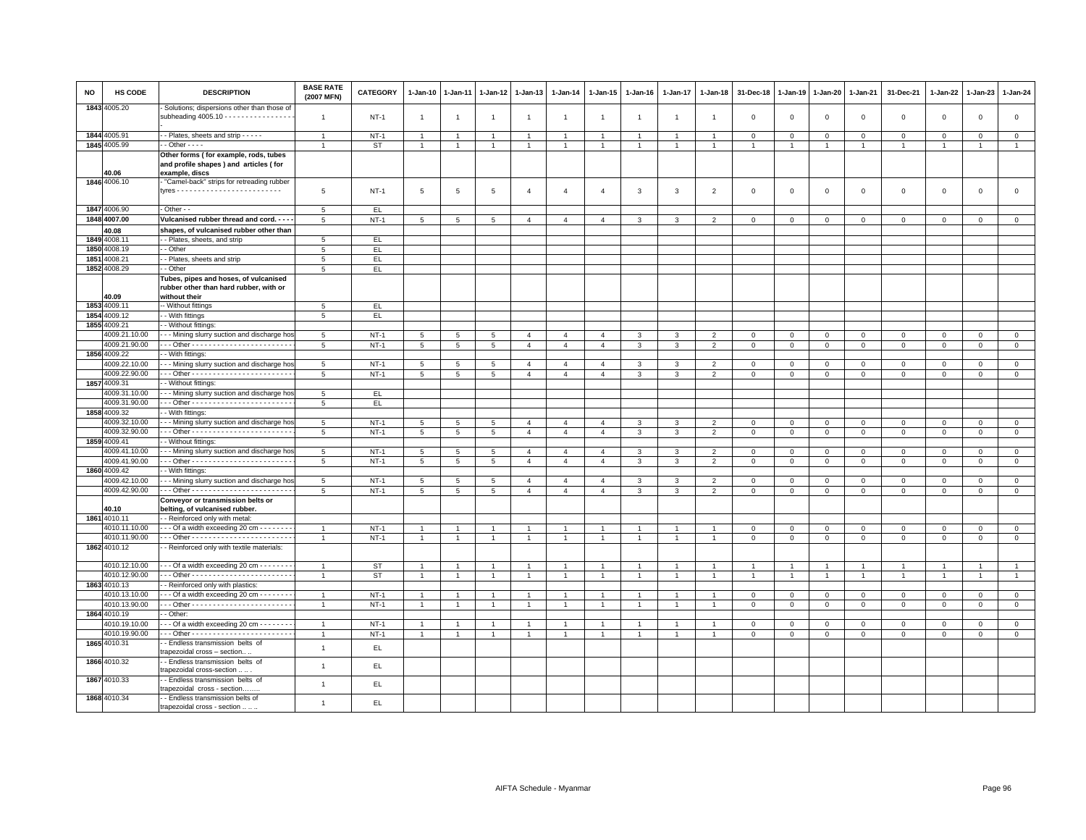| NO   | HS CODE                       | <b>DESCRIPTION</b>                                                                                 | <b>BASE RATE</b><br>(2007 MFN) | <b>CATEGORY</b> | 1-Jan-10                 | $1-Jan-11$           | $1 - Jan-12$   | 1-Jan-13                         | $1 - Jan-14$                     | 1-Jan-15                         | 1-Jan-16       | 1-Jan-17       | $1 - Jan-18$                     | 31-Dec-18               | $1-Jan-19$     | 1-Jan-20            | 1-Jan-21       | 31-Dec-21      | 1-Jan-22             | $1-Jan-23$               | $1 - Jan-24$                |
|------|-------------------------------|----------------------------------------------------------------------------------------------------|--------------------------------|-----------------|--------------------------|----------------------|----------------|----------------------------------|----------------------------------|----------------------------------|----------------|----------------|----------------------------------|-------------------------|----------------|---------------------|----------------|----------------|----------------------|--------------------------|-----------------------------|
|      | 1843 4005.20                  | Solutions; dispersions other than those of<br>subheading $4005.10$ - - - - - - - - - - - - - - - - | $\overline{1}$                 | $NT-1$          | $\overline{1}$           | $\overline{1}$       | $\overline{1}$ | $\overline{1}$                   | $\overline{1}$                   | $\mathbf{1}$                     | $\overline{1}$ | $\mathbf{1}$   | $\overline{1}$                   | $\mathbf 0$             | $\mathbf 0$    | $\,0\,$             | $\mathbf 0$    | $\mathsf 0$    | $\mathsf 0$          | $\mathsf 0$              | $\mathbb O$                 |
|      | 1844 4005.91                  | - - Plates, sheets and strip - - - - -                                                             | $\mathbf{1}$                   | $NT-1$          | $\overline{1}$           | $\overline{1}$       | $\overline{1}$ | $\overline{1}$                   | $\mathbf{1}$                     | $\overline{1}$                   | $\overline{1}$ | $\overline{1}$ | $\overline{1}$                   | $\mathbf 0$             | $\mathbb O$    | $\circ$             | $\mathbf 0$    | $\mathsf 0$    | $\mathbf 0$          | $\mathsf 0$              | $\circ$                     |
|      | 1845 4005.99                  | $-$ Other $  -$                                                                                    | $\mathbf{1}$                   | <b>ST</b>       | $\mathbf{1}$             | $\mathbf{1}$         | $\mathbf{1}$   | $\mathbf{1}$                     | $\overline{1}$                   | $\mathbf{1}$                     | $\overline{1}$ | $\mathbf{1}$   | $\overline{1}$                   | $\overline{1}$          | $\overline{1}$ | $\overline{1}$      | $\overline{1}$ | $\overline{1}$ | $\overline{1}$       | $\overline{1}$           | $\overline{1}$              |
|      |                               | Other forms (for example, rods, tubes                                                              |                                |                 |                          |                      |                |                                  |                                  |                                  |                |                |                                  |                         |                |                     |                |                |                      |                          |                             |
|      |                               | and profile shapes) and articles (for                                                              |                                |                 |                          |                      |                |                                  |                                  |                                  |                |                |                                  |                         |                |                     |                |                |                      |                          |                             |
|      | 40.06                         | example, discs                                                                                     |                                |                 |                          |                      |                |                                  |                                  |                                  |                |                |                                  |                         |                |                     |                |                |                      |                          |                             |
|      | 1846 4006.10                  | "Camel-back" strips for retreading rubber                                                          |                                |                 |                          |                      |                |                                  |                                  |                                  |                |                |                                  |                         |                |                     |                |                |                      |                          |                             |
|      |                               |                                                                                                    | 5                              | $NT-1$          | $5\phantom{.0}$          | $\sqrt{5}$           | 5              | $\overline{4}$                   | $\overline{4}$                   | $\overline{4}$                   | $\mathbf{3}$   | $\mathbf{3}$   | $\overline{2}$                   | $\overline{\mathbf{0}}$ | $\mathbf 0$    | $\mathbf 0$         | $\mathsf 0$    | $\mathbf 0$    | $\mathsf 0$          | $\mathbf{0}$             | $\mathsf 0$                 |
|      | 1847 4006.90                  | - Other - -                                                                                        | 5                              | EL.             |                          |                      |                |                                  |                                  |                                  |                |                |                                  |                         |                |                     |                |                |                      |                          |                             |
|      | 1848 4007.00                  | Vulcanised rubber thread and cord. - - -                                                           | 5                              | $NT-1$          | 5                        | 5                    | 5              | $\overline{4}$                   | $\overline{4}$                   | $\overline{4}$                   | 3              | 3              | $\overline{2}$                   | $\overline{0}$          | $\mathbf{0}$   | $\mathbf{0}$        | $\mathbf{0}$   | $\mathbf 0$    | $\mathbf 0$          | $\mathbf 0$              | $\mathbf{0}$                |
|      | 40.08                         | shapes, of vulcanised rubber other than                                                            |                                |                 |                          |                      |                |                                  |                                  |                                  |                |                |                                  |                         |                |                     |                |                |                      |                          |                             |
|      | 1849 4008.11                  | - Plates, sheets, and strip                                                                        | 5                              | EL.             |                          |                      |                |                                  |                                  |                                  |                |                |                                  |                         |                |                     |                |                |                      |                          |                             |
| 1850 | 4008.19                       | - Other                                                                                            | 5                              | EL.             |                          |                      |                |                                  |                                  |                                  |                |                |                                  |                         |                |                     |                |                |                      |                          |                             |
| 1851 | 1008.21                       | - Plates, sheets and strip                                                                         | 5                              | EL.             |                          |                      |                |                                  |                                  |                                  |                |                |                                  |                         |                |                     |                |                |                      |                          |                             |
|      | 1852 4008.29                  | - Other                                                                                            | 5                              | EL.             |                          |                      |                |                                  |                                  |                                  |                |                |                                  |                         |                |                     |                |                |                      |                          |                             |
|      |                               | Tubes, pipes and hoses, of vulcanised                                                              |                                |                 |                          |                      |                |                                  |                                  |                                  |                |                |                                  |                         |                |                     |                |                |                      |                          |                             |
|      | 40.09                         | rubber other than hard rubber, with or<br>without their                                            |                                |                 |                          |                      |                |                                  |                                  |                                  |                |                |                                  |                         |                |                     |                |                |                      |                          |                             |
| 1853 | 4009.11                       | - Without fittings                                                                                 | 5                              | EL              |                          |                      |                |                                  |                                  |                                  |                |                |                                  |                         |                |                     |                |                |                      |                          |                             |
|      | 1854 4009.12                  | - With fittings                                                                                    | 5                              | EL.             |                          |                      |                |                                  |                                  |                                  |                |                |                                  |                         |                |                     |                |                |                      |                          |                             |
| 1855 | 4009.21                       | - Without fittings:                                                                                |                                |                 |                          |                      |                |                                  |                                  |                                  |                |                |                                  |                         |                |                     |                |                |                      |                          |                             |
|      | 4009.21.10.00                 | - - Mining slurry suction and discharge hos                                                        | 5                              | $NT-1$          | 5                        | $5\overline{5}$      | 5              | $\overline{a}$                   | $\mathbf{A}$                     | $\overline{4}$                   | $\mathcal{R}$  | 3              | 2                                | $\overline{0}$          | $\circ$        | $\Omega$            | $\Omega$       | $\Omega$       | $\Omega$             | $\Omega$                 | $\circ$                     |
|      | 4009.21.90.00                 |                                                                                                    | 5                              | $NT-1$          | $5\overline{5}$          | 5                    | 5              | $\overline{4}$                   | $\overline{4}$                   | $\overline{4}$                   | 3              | 3              | $\overline{2}$                   | $\mathbf 0$             | $\mathbf{0}$   | $\mathsf 0$         | $\mathbf 0$    | $\mathbf 0$    | $^{\circ}$           | $\mathbf 0$              | $\mathbf{0}$                |
|      | 1856 4009.22                  | - With fittings:                                                                                   |                                |                 |                          |                      |                |                                  |                                  |                                  |                |                |                                  |                         |                |                     |                |                |                      |                          |                             |
|      | 4009.22.10.00                 | - - Mining slurry suction and discharge hos                                                        | 5<br>5                         | $NT-1$          | 5                        | 5<br>5               | 5<br>5         | $\overline{4}$<br>$\overline{a}$ | $\overline{4}$<br>$\overline{4}$ | $\overline{4}$<br>$\overline{4}$ | 3              | 3<br>3         | $\overline{2}$                   | $\overline{0}$          | $\overline{0}$ | $\mathbf{0}$        | $\mathbf 0$    | $\mathbf{0}$   | $\Omega$<br>$\Omega$ | $\mathbf{0}$<br>$\Omega$ | $\mathbf{0}$                |
|      | 4009.22.90.00<br>1857 4009.31 | - Without fittings:                                                                                |                                | $NT-1$          | $\overline{\phantom{a}}$ |                      |                |                                  |                                  |                                  | $\mathbf{3}$   |                | $\overline{2}$                   | $\mathbf 0$             | $\mathbf 0$    | $\mathsf{O}\xspace$ | $\mathbf 0$    | $\mathbf 0$    |                      |                          | $\mathsf 0$                 |
|      | 4009.31.10.00                 | - - Mining slurry suction and discharge hos                                                        | $5\phantom{.0}$                | EL.             |                          |                      |                |                                  |                                  |                                  |                |                |                                  |                         |                |                     |                |                |                      |                          |                             |
|      | 4009.31.90.00                 |                                                                                                    | 5                              | EL.             |                          |                      |                |                                  |                                  |                                  |                |                |                                  |                         |                |                     |                |                |                      |                          |                             |
|      | 1858 4009.32                  | - With fittings:                                                                                   |                                |                 |                          |                      |                |                                  |                                  |                                  |                |                |                                  |                         |                |                     |                |                |                      |                          |                             |
|      | 4009.32.10.00                 | - - Mining slurry suction and discharge hos                                                        | 5                              | $NT-1$          | 5                        | 5                    | 5              | $\overline{4}$                   | $\overline{4}$                   | $\overline{4}$                   | 3              | 3              | $\overline{2}$                   | $\mathbf 0$             | 0              | $\mathbf 0$         | $\mathbf 0$    | $\mathbf 0$    | $\circ$              | $\mathbf 0$              | $\mathbf 0$                 |
|      | 4009.32.90.00                 |                                                                                                    | 5                              | $NT-1$          | $\overline{5}$           | 5                    | 5              | $\overline{4}$                   | $\overline{4}$                   | $\overline{4}$                   | 3              | 3              | $\overline{2}$                   | $\overline{\mathbf{0}}$ | $\mathbf 0$    | $\mathsf 0$         | $\mathbf 0$    | $\Omega$       | $\Omega$             | $\mathbf 0$              | $\overline{0}$              |
|      | 1859 4009.41                  | - Without fittings:                                                                                |                                |                 |                          |                      |                |                                  |                                  |                                  |                |                |                                  |                         |                |                     |                |                |                      |                          |                             |
|      | 1009.41.10.00                 | - - Mining slurry suction and discharge hos                                                        | $\overline{5}$                 | $NT-1$          | $\,$ 5 $\,$              | 5                    | 5              | $\overline{4}$                   | $\overline{4}$                   | $\overline{4}$                   | 3              | 3              | $\overline{2}$                   | $\,0\,$                 | $\,0\,$        | 0                   | $\mathbf 0$    | $^{\circ}$     | $^{\circ}$           | $\mathbf{0}$             | $\mathbf{0}$                |
|      | 4009.41.90.00                 |                                                                                                    | 5                              | $NT-1$          | 5                        | $5\overline{5}$      | 5              | $\overline{4}$                   | $\overline{4}$                   | $\overline{4}$                   | $\mathbf{3}$   | 3              | $\overline{2}$                   | $\mathbf 0$             | $\mathbf{0}$   | $\mathbf{0}$        | $\overline{0}$ | $\mathbf 0$    | $\mathbf 0$          | $\mathbf{0}$             | $\mathbf{0}$                |
| 1860 | 4009.42<br>4009.42.10.00      | - With fittings:<br>- - Mining slurry suction and discharge hos                                    | 5                              | $NT-1$          | 5                        | $\overline{5}$       | $\overline{5}$ | $\overline{4}$                   | $\overline{4}$                   | $\overline{4}$                   | 3              | 3              |                                  | $\Omega$                | $\Omega$       | $\Omega$            | $\mathbf{0}$   | $\mathbf 0$    | $\Omega$             | $\Omega$                 |                             |
|      | 4009.42.90.00                 |                                                                                                    | 5                              | $NT-1$          | $5\phantom{.0}$          | 5                    | 5              | $\overline{4}$                   | $\overline{4}$                   | $\overline{4}$                   | 3              | 3              | $\overline{2}$<br>$\overline{2}$ | $\mathbf 0$             | $\mathbf{0}$   | $\mathbf{O}$        | $\overline{0}$ | $\mathbf 0$    | $\mathbf 0$          | $\mathbf 0$              | $\mathbf 0$<br>$\mathbf{0}$ |
|      |                               | Conveyor or transmission belts or                                                                  |                                |                 |                          |                      |                |                                  |                                  |                                  |                |                |                                  |                         |                |                     |                |                |                      |                          |                             |
|      | 40.10                         | belting, of vulcanised rubber                                                                      |                                |                 |                          |                      |                |                                  |                                  |                                  |                |                |                                  |                         |                |                     |                |                |                      |                          |                             |
|      | 1861 4010.11                  | - Reinforced only with metal:                                                                      |                                |                 |                          |                      |                |                                  |                                  |                                  |                |                |                                  |                         |                |                     |                |                |                      |                          |                             |
|      | 4010.11.10.00                 | - - Of a width exceeding 20 cm - - - - - - -                                                       | $\overline{1}$                 | $NT-1$          | $\mathbf{1}$             |                      | $\mathbf{1}$   | $\overline{1}$                   |                                  | $\overline{1}$                   |                |                | $\overline{1}$                   | $\mathsf 0$             | $\mathbf 0$    | $\overline{0}$      | $\mathbf{O}$   | $\mathbf 0$    | $\mathbf 0$          | $\Omega$                 | $\overline{0}$              |
|      | 4010.11.90.00                 |                                                                                                    | $\overline{1}$                 | $NT-1$          | $\mathbf{1}$             | $\blacktriangleleft$ | $\mathbf{1}$   | $\overline{1}$                   | $\overline{1}$                   | $\mathbf{1}$                     | $\overline{1}$ | $\mathbf{1}$   | $\overline{1}$                   | $\overline{0}$          | $\circ$        | $\mathbf{0}$        | $\mathbf{0}$   | $\mathbf 0$    | $\mathbf{0}$         | $\mathbf{0}$             | $\mathbf{0}$                |
|      | 1862 4010.12                  | - Reinforced only with textile materials:                                                          |                                |                 |                          |                      |                |                                  |                                  |                                  |                |                |                                  |                         |                |                     |                |                |                      |                          |                             |
|      | 4010.12.10.00                 | - - Of a width exceeding 20 cm - - - - - - -                                                       | $\mathbf{1}$                   | <b>ST</b>       | -1                       | $\mathbf{1}$         | $\mathbf{1}$   | $\mathbf{1}$                     |                                  | $\mathbf{1}$                     |                | $\mathbf{1}$   | $\overline{1}$                   | $\mathbf{1}$            | -1             | $\overline{1}$      | $\mathbf{1}$   | $\mathbf{1}$   | $\mathbf{1}$         | $\overline{1}$           | $\mathbf{1}$                |
|      | 4010.12.90.00                 |                                                                                                    | $\overline{1}$                 | ST              | $\overline{1}$           | $\overline{1}$       | $\overline{1}$ | $\overline{1}$                   | $\overline{1}$                   | $\mathbf{1}$                     | $\overline{1}$ | $\mathbf{1}$   | $\overline{1}$                   | $\overline{1}$          | $\overline{1}$ | $\overline{1}$      | $\overline{1}$ | $\overline{1}$ | $\overline{1}$       | $\overline{1}$           | $\overline{1}$              |
|      | 1863 4010.13                  | - Reinforced only with plastics:                                                                   |                                |                 |                          |                      |                |                                  |                                  |                                  |                |                |                                  |                         |                |                     |                |                |                      |                          |                             |
|      | 4010.13.10.00                 | - - Of a width exceeding 20 cm - - - - - - - -                                                     | $\overline{1}$                 | $NT-1$          | $\mathbf{1}$             |                      | $\overline{1}$ | $\overline{1}$                   |                                  | $\overline{1}$                   |                |                |                                  | $\mathbf 0$             | $\overline{0}$ | $\mathbf 0$         | $\mathbf{0}$   | $\mathbf 0$    | $\Omega$             | $\mathbf{0}$             | $\mathbf{0}$                |
|      | 4010.13.90.00                 |                                                                                                    | $\overline{1}$                 | $NT-1$          | $\overline{1}$           | $\overline{1}$       | $\mathbf{1}$   | $\overline{1}$                   | $\overline{1}$                   | $\mathbf{1}$                     |                | $\mathbf{1}$   | $\overline{1}$                   | $\mathbf 0$             | $\mathbf{0}$   | $\mathbf 0$         | $\mathbf{0}$   | $\mathbf 0$    | $\circ$              | $\mathbf 0$              | $\overline{0}$              |
|      | 1864 4010.19                  | - Other                                                                                            |                                |                 |                          |                      |                |                                  |                                  |                                  |                |                |                                  |                         |                |                     |                |                |                      |                          |                             |
|      | 4010.19.10.00                 | - - Of a width exceeding 20 cm - - - - - - - -                                                     | $\overline{1}$                 | $NT-1$          | -1                       |                      |                | $\overline{1}$                   |                                  | $\mathbf{1}$                     |                |                |                                  | $^{\circ}$              | $^{\circ}$     | $^{\circ}$          | $^{\circ}$     | 0              | $^{\circ}$           | 0                        | $\mathbf 0$                 |
|      | 4010.19.90.00                 |                                                                                                    | $\overline{1}$                 | $NT-1$          | $\mathbf{1}$             | $\mathbf{1}$         | $\overline{1}$ | $\overline{1}$                   |                                  | $\mathbf{1}$                     |                | $\mathbf{1}$   | $\overline{1}$                   | $\mathsf 0$             | $\mathbf{0}$   | $\mathbf{O}$        | $\mathbf 0$    | $\mathbf 0$    | $\circ$              | $\mathbf 0$              | $\overline{0}$              |
|      | 1865 4010.31<br>1866 4010.32  | - Endless transmission belts of<br>trapezoidal cross - section                                     | $\mathbf{1}$                   | EL.             |                          |                      |                |                                  |                                  |                                  |                |                |                                  |                         |                |                     |                |                |                      |                          |                             |
|      |                               | - Endless transmission belts of<br>trapezoidal cross-section                                       | $\overline{1}$                 | EL.             |                          |                      |                |                                  |                                  |                                  |                |                |                                  |                         |                |                     |                |                |                      |                          |                             |
|      | 1867 4010.33                  | - Endless transmission belts of<br>rapezoidal cross - section                                      | $\mathbf{1}$                   | EL.             |                          |                      |                |                                  |                                  |                                  |                |                |                                  |                         |                |                     |                |                |                      |                          |                             |
|      | 1868 4010.34                  | - Endless transmission belts of<br>trapezoidal cross - section                                     | $\mathbf{1}$                   | EL.             |                          |                      |                |                                  |                                  |                                  |                |                |                                  |                         |                |                     |                |                |                      |                          |                             |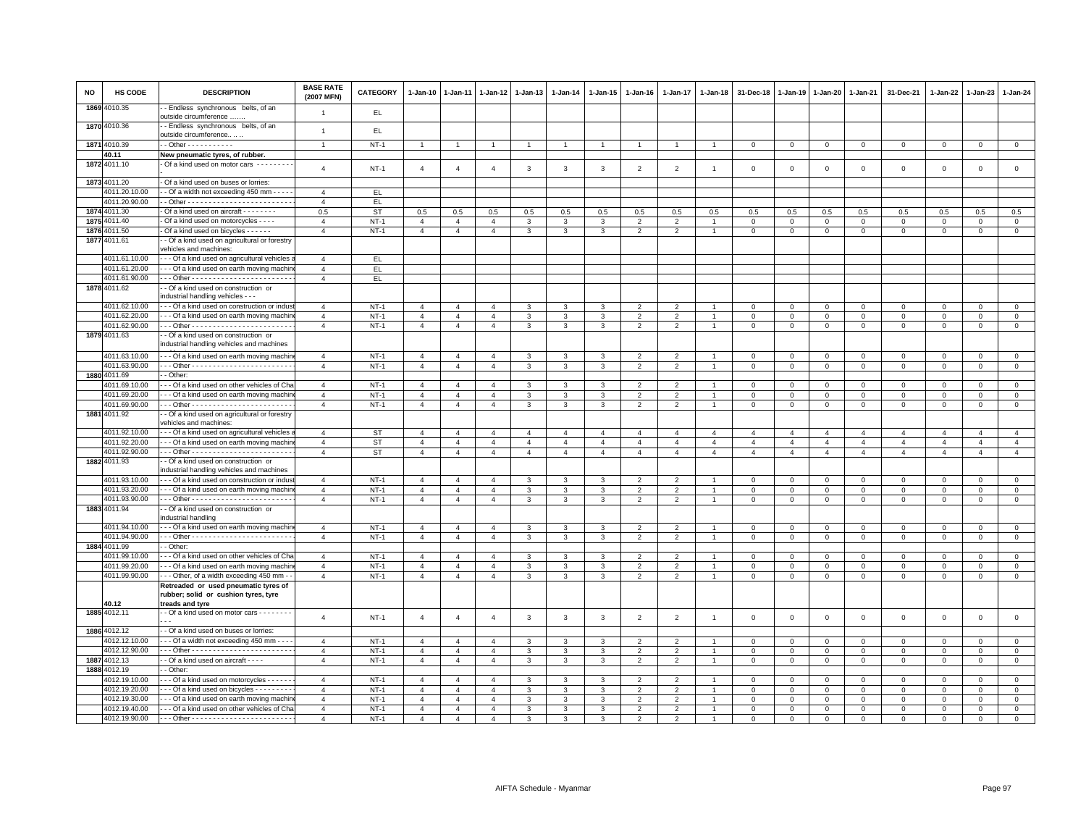| <b>NO</b> | HS CODE                        | <b>DESCRIPTION</b>                                                                          | <b>BASE RATE</b><br>(2007 MFN)   | <b>CATEGORY</b>        | 1-Jan-10                         | 1-Jan-11                         | 1-Jan-12                         | 1-Jan-13                         | 1-Jan-14                         | 1-Jan-15                         | 1-Jan-16                         | $1-Jan-17$                                 | 1-Jan-18                         | 31-Dec-18                        | 1-Jan-19                         | $1 - Jan-20$                     | $1-Jan-21$                       | 31-Dec-21                        | 1-Jan-22                         | $1-Jan-23$                       | 1-Jan-24                         |
|-----------|--------------------------------|---------------------------------------------------------------------------------------------|----------------------------------|------------------------|----------------------------------|----------------------------------|----------------------------------|----------------------------------|----------------------------------|----------------------------------|----------------------------------|--------------------------------------------|----------------------------------|----------------------------------|----------------------------------|----------------------------------|----------------------------------|----------------------------------|----------------------------------|----------------------------------|----------------------------------|
|           | 1869 4010.35                   | - Endless synchronous belts, of an<br>outside circumference                                 | $\overline{1}$                   | EL.                    |                                  |                                  |                                  |                                  |                                  |                                  |                                  |                                            |                                  |                                  |                                  |                                  |                                  |                                  |                                  |                                  |                                  |
|           | 1870 4010.36                   | - Endless synchronous belts, of an<br>outside circumference                                 | $\overline{1}$                   | EL.                    |                                  |                                  |                                  |                                  |                                  |                                  |                                  |                                            |                                  |                                  |                                  |                                  |                                  |                                  |                                  |                                  |                                  |
|           | 1871 4010.39                   | $-$ Other - - - - - - - - - - -                                                             | $\overline{1}$                   | $NT-1$                 | $\overline{1}$                   |                                  |                                  | $\overline{1}$                   | $\overline{1}$                   |                                  |                                  |                                            |                                  | $\mathbf 0$                      | $\mathbf 0$                      | $\mathbf{0}$                     | $\mathbf 0$                      | $\mathbf 0$                      | $\mathbf 0$                      | $\mathbf{O}$                     | $\mathbf 0$                      |
|           | 40.11                          | New pneumatic tyres, of rubber.                                                             |                                  |                        |                                  |                                  |                                  |                                  |                                  |                                  |                                  |                                            |                                  |                                  |                                  |                                  |                                  |                                  |                                  |                                  |                                  |
|           | 1872 4011.10                   | Of a kind used on motor cars --------                                                       | $\overline{4}$                   | $NT-1$                 | $\overline{4}$                   | $\overline{4}$                   | $\overline{4}$                   | $\mathbf{3}$                     | $\mathbf{3}$                     | 3                                | $\overline{2}$                   | $\overline{2}$                             | $\overline{1}$                   | $\mathbf 0$                      | $\mathbf 0$                      | $\mathsf 0$                      | $\mathbf 0$                      | $\mathsf 0$                      | $\mathbf 0$                      | $\mathsf 0$                      | $\mathsf 0$                      |
|           | 1873 4011.20                   | Of a kind used on buses or lorries:                                                         |                                  |                        |                                  |                                  |                                  |                                  |                                  |                                  |                                  |                                            |                                  |                                  |                                  |                                  |                                  |                                  |                                  |                                  |                                  |
|           | 4011.20.10.00                  | - Of a width not exceeding 450 mm - - -                                                     | $\overline{4}$                   | EL.                    |                                  |                                  |                                  |                                  |                                  |                                  |                                  |                                            |                                  |                                  |                                  |                                  |                                  |                                  |                                  |                                  |                                  |
|           | 4011.20.90.00                  |                                                                                             | $\overline{4}$                   | EL.                    |                                  |                                  |                                  |                                  |                                  |                                  |                                  |                                            |                                  |                                  |                                  |                                  |                                  |                                  |                                  |                                  |                                  |
|           | 1874 4011.30                   | Of a kind used on aircraft - - - - - - - -                                                  | 0.5                              | <b>ST</b>              | 0.5                              | 0.5                              | 0.5                              | 0.5                              | $0.5\,$                          | 0.5                              | 0.5                              | 0.5                                        | 0.5                              | 0.5                              | 0.5                              | 0.5                              | 0.5                              | 0.5                              | 0.5                              | 0.5                              | 0.5                              |
|           | 1875 4011.40                   | Of a kind used on motorcycles - - - -                                                       | $\overline{4}$                   | $NT-1$                 | $\overline{4}$                   | $\overline{4}$                   | $\overline{4}$                   | 3                                | 3                                | 3                                | $\mathfrak{p}$                   | $\overline{2}$                             |                                  | $\mathbf 0$                      | $\mathbf 0$                      | $\mathbf{0}$                     | $\mathbf 0$                      | $\mathbf{0}$                     | $^{\circ}$                       | $\Omega$                         | $\circ$                          |
| 1876      | 4011.50                        | Of a kind used on bicycles - - - - - -                                                      | $\overline{4}$                   | $NT-1$                 | $\overline{4}$                   | $\overline{4}$                   | $\overline{4}$                   | 3                                | 3                                | 3                                | $\overline{2}$                   | $\overline{2}$                             |                                  | $\mathbf 0$                      | $\mathbf 0$                      | $\mathbf 0$                      | $\mathbf 0$                      | $\mathbf 0$                      | 0                                | $\mathbf 0$                      | $\mathbf 0$                      |
| 1877      | 4011.61                        | - Of a kind used on agricultural or forestry                                                |                                  |                        |                                  |                                  |                                  |                                  |                                  |                                  |                                  |                                            |                                  |                                  |                                  |                                  |                                  |                                  |                                  |                                  |                                  |
|           |                                | vehicles and machines:                                                                      |                                  |                        |                                  |                                  |                                  |                                  |                                  |                                  |                                  |                                            |                                  |                                  |                                  |                                  |                                  |                                  |                                  |                                  |                                  |
|           | 4011.61.10.00<br>4011.61.20.00 | - - Of a kind used on agricultural vehicles<br>- - Of a kind used on earth moving machir    | $\overline{4}$<br>$\overline{4}$ | EL.<br>EL.             |                                  |                                  |                                  |                                  |                                  |                                  |                                  |                                            |                                  |                                  |                                  |                                  |                                  |                                  |                                  |                                  |                                  |
|           | 4011.61.90.00                  |                                                                                             | $\overline{4}$                   | EL.                    |                                  |                                  |                                  |                                  |                                  |                                  |                                  |                                            |                                  |                                  |                                  |                                  |                                  |                                  |                                  |                                  |                                  |
|           | 1878 4011.62                   | - Of a kind used on construction or                                                         |                                  |                        |                                  |                                  |                                  |                                  |                                  |                                  |                                  |                                            |                                  |                                  |                                  |                                  |                                  |                                  |                                  |                                  |                                  |
|           |                                | industrial handling vehicles - - -                                                          |                                  |                        |                                  |                                  |                                  |                                  |                                  |                                  |                                  |                                            |                                  |                                  |                                  |                                  |                                  |                                  |                                  |                                  |                                  |
|           | 4011.62.10.00                  | -- Of a kind used on construction or indus                                                  | $\overline{4}$                   | $NT-1$                 | $\overline{4}$                   | $\Delta$                         | $\mathbf{A}$                     | $\mathcal{R}$                    | $\mathcal{R}$                    | 3                                | $\mathcal{P}$                    | $\overline{2}$                             |                                  | $\Omega$                         | $\Omega$                         | $\mathsf 0$                      | $\,0\,$                          | $\mathbf 0$                      | $\Omega$                         | $\mathbf 0$                      | $\mathbf 0$                      |
|           | 4011.62.20.00                  | - - Of a kind used on earth moving machir                                                   | $\overline{4}$                   | $NT-1$                 | $\overline{4}$                   | $\overline{4}$                   | $\overline{4}$                   | 3                                | $\mathbf{3}$                     | 3                                | $\overline{2}$                   | $\mathfrak{p}$                             |                                  | $\Omega$                         | $\Omega$                         | $\Omega$                         | $\mathbf{0}$                     | $\mathbf{0}$                     | $\Omega$                         | $\mathbf{0}$                     | $\circ$                          |
|           | 4011.62.90.00                  |                                                                                             | $\overline{4}$                   | $NT-1$                 | $\overline{4}$                   | $\overline{4}$                   | $\overline{4}$                   | 3                                | 3                                | $\mathbf{3}$                     | $\overline{2}$                   | $\overline{2}$                             | $\mathbf{1}$                     | $\mathbf 0$                      | $\mathbf{0}$                     | $\mathbf{0}$                     | $\circ$                          | $\mathbf 0$                      | $\mathbf{0}$                     | $\mathbf{O}$                     | $\mathbf{0}$                     |
|           | 1879 4011.63                   | - Of a kind used on construction or                                                         |                                  |                        |                                  |                                  |                                  |                                  |                                  |                                  |                                  |                                            |                                  |                                  |                                  |                                  |                                  |                                  |                                  |                                  |                                  |
|           |                                | industrial handling vehicles and machines                                                   |                                  |                        |                                  |                                  |                                  |                                  |                                  |                                  |                                  |                                            |                                  |                                  |                                  |                                  |                                  |                                  |                                  |                                  |                                  |
|           | 4011.63.10.00                  | --- Of a kind used on earth moving machir                                                   | $\overline{4}$                   | NT-1                   | $\overline{4}$                   | $\overline{4}$                   | $\overline{4}$                   | 3                                | 3                                | 3                                | 2                                | $\overline{2}$                             |                                  | $^{\circ}$                       | $\mathbf 0$                      | $\mathbf 0$                      | $\mathbf 0$                      | 0                                | $^{\circ}$                       | $\mathbf 0$                      | $\mathbf 0$                      |
|           | 4011.63.90.00<br>1880 4011.69  | - Other:                                                                                    | $\overline{4}$                   | $NT-1$                 | $\overline{4}$                   | $\overline{4}$                   | $\overline{4}$                   | 3                                | 3                                | 3                                | $\overline{2}$                   | $\overline{2}$                             |                                  | $\Omega$                         | $\Omega$                         | $\Omega$                         | $\mathbf{0}$                     | $\mathbf 0$                      | $\Omega$                         | $\mathbf{0}$                     | $\mathbf 0$                      |
|           | 4011.69.10.00                  | - - Of a kind used on other vehicles of Cha                                                 | $\overline{4}$                   | $NT-1$                 | $\overline{4}$                   | $\overline{4}$                   | $\overline{4}$                   | 3                                | $\mathbf{3}$                     | 3                                | $\mathfrak{p}$                   | $\overline{2}$                             |                                  | $\Omega$                         | $\Omega$                         | $\Omega$                         | $\mathbf{0}$                     | $\mathbf 0$                      | $\Omega$                         | $\mathbf{0}$                     | $\circ$                          |
|           | 4011.69.20.00                  | --- Of a kind used on earth moving machir                                                   | $\overline{4}$                   | $NT-1$                 | $\overline{4}$                   | $\overline{4}$                   | $\overline{4}$                   | 3                                | 3                                | 3                                | $\overline{2}$                   | $\overline{2}$                             |                                  | $\mathbf 0$                      | $\mathbf 0$                      | $\mathbf{0}$                     | $\mathbf 0$                      | $\mathbf{0}$                     | $^{\circ}$                       | $\mathbf 0$                      | $\mathbf 0$                      |
|           | 4011.69.90.00                  |                                                                                             | $\overline{4}$                   | $NT-1$                 | $\overline{4}$                   | $\overline{4}$                   | $\overline{4}$                   | 3                                | $\mathbf{3}$                     | $\mathbf{3}$                     | 2                                | 2                                          | $\overline{1}$                   | $\mathbf{0}$                     | $\mathbf 0$                      | $\mathbf{0}$                     | $\mathbf{0}$                     | $\mathbf{0}$                     | $\mathbf 0$                      | $\mathbf{0}$                     | $\circ$                          |
|           | 1881 4011.92                   | - Of a kind used on agricultural or forestry                                                |                                  |                        |                                  |                                  |                                  |                                  |                                  |                                  |                                  |                                            |                                  |                                  |                                  |                                  |                                  |                                  |                                  |                                  |                                  |
|           |                                | vehicles and machines:                                                                      |                                  |                        |                                  |                                  |                                  |                                  |                                  |                                  |                                  |                                            |                                  |                                  |                                  |                                  |                                  |                                  |                                  |                                  |                                  |
|           | 4011.92.10.00<br>4011.92.20.00 | - - Of a kind used on agricultural vehicles<br>--- Of a kind used on earth moving machin    | $\overline{4}$<br>$\overline{4}$ | <b>ST</b>              | $\overline{4}$                   | $\overline{4}$                   | $\overline{4}$                   | $\overline{4}$                   | $\overline{4}$                   | $\overline{4}$                   | $\overline{4}$                   | $\overline{4}$                             | $\overline{a}$                   | $\overline{4}$                   | $\overline{4}$                   | $\overline{4}$                   | $\overline{4}$                   | $\overline{4}$                   | $\overline{4}$                   | $\overline{4}$                   | $\overline{4}$<br>$\overline{4}$ |
|           | 4011.92.90.00                  |                                                                                             | $\overline{4}$                   | <b>ST</b><br><b>ST</b> | $\overline{4}$<br>$\overline{4}$ | $\overline{4}$<br>$\overline{4}$ | $\overline{4}$<br>$\overline{4}$ | $\overline{4}$<br>$\overline{4}$ | $\overline{4}$<br>$\overline{4}$ | $\overline{4}$<br>$\overline{4}$ | $\overline{4}$<br>$\overline{4}$ | $\overline{4}$<br>$\overline{4}$           | $\overline{4}$<br>$\overline{4}$ | $\overline{4}$<br>$\overline{4}$ | $\overline{4}$<br>$\overline{4}$ | $\overline{4}$<br>$\overline{4}$ | $\overline{4}$<br>$\overline{4}$ | $\overline{4}$<br>$\overline{4}$ | $\overline{4}$<br>$\overline{4}$ | $\overline{4}$<br>$\overline{4}$ | $\overline{4}$                   |
|           | 1882 4011.93                   | - Of a kind used on construction or                                                         |                                  |                        |                                  |                                  |                                  |                                  |                                  |                                  |                                  |                                            |                                  |                                  |                                  |                                  |                                  |                                  |                                  |                                  |                                  |
|           |                                | industrial handling vehicles and machines                                                   |                                  |                        |                                  |                                  |                                  |                                  |                                  |                                  |                                  |                                            |                                  |                                  |                                  |                                  |                                  |                                  |                                  |                                  |                                  |
|           | 4011.93.10.00                  | --- Of a kind used on construction or indus                                                 | $\overline{4}$                   | $NT-1$                 | $\overline{4}$                   | $\overline{4}$                   | $\overline{4}$                   | 3                                | 3                                | 3                                | $\overline{2}$                   | $\overline{\phantom{a}}$                   |                                  | $\Omega$                         | $\mathbf 0$                      | $\mathbf 0$                      | $\mathbf{0}$                     | $\mathbf 0$                      | $\mathbf 0$                      | $\mathbf{0}$                     | $\mathbf{0}$                     |
|           | 4011.93.20.00                  | --- Of a kind used on earth moving machir                                                   | $\overline{4}$                   | $NT-1$                 | $\overline{4}$                   | 4                                | 4                                | 3                                | 3                                | 3                                | 2                                | $\overline{2}$                             |                                  | $\mathbf 0$                      | $\mathbf 0$                      | $\mathbf 0$                      | $\mathbf 0$                      | $\mathbf 0$                      | 0                                | $\mathbf 0$                      | $\mathbf 0$                      |
|           | 4011.93.90.00                  |                                                                                             | $\mathbf{A}$                     | $NT-1$                 | $\overline{4}$                   | $\overline{4}$                   | $\overline{4}$                   | 3                                | 3                                | 3                                | $\overline{2}$                   | $\overline{2}$                             |                                  | $\mathbf{0}$                     | $\mathbf 0$                      | $\mathbf 0$                      | $\mathbf{0}$                     | $\mathbf{0}$                     | $\mathbf 0$                      | $\mathbf{0}$                     | $\mathbf{0}$                     |
|           | 1883 4011.94                   | - Of a kind used on construction or<br>industrial handling                                  |                                  |                        |                                  |                                  |                                  |                                  |                                  |                                  |                                  |                                            |                                  |                                  |                                  |                                  |                                  |                                  |                                  |                                  |                                  |
|           | 4011.94.10.00                  | - - Of a kind used on earth moving machir                                                   | $\overline{4}$                   | $NT-1$                 | $\overline{4}$                   | $\overline{4}$                   | $\overline{4}$                   | 3                                | 3                                | 3                                | $\overline{2}$                   | $\overline{2}$                             |                                  | $\mathbf 0$                      | $\mathbf 0$                      | $\mathsf 0$                      | $\mathbf 0$                      | $\mathsf 0$                      | $\mathbf 0$                      | $\mathbf 0$                      | $\mathsf 0$                      |
|           | 4011.94.90.00                  |                                                                                             | $\overline{4}$                   | $NT-1$                 | $\overline{4}$                   | $\overline{4}$                   | $\overline{4}$                   | 3                                | 3                                | 3                                | $\overline{2}$                   | $\overline{2}$                             |                                  | $\mathsf 0$                      | $\mathbf 0$                      | $\mathbf{0}$                     | $\mathbf 0$                      | $\mathsf 0$                      | $^{\circ}$                       | $\mathbf 0$                      | $\mathsf 0$                      |
|           | 1884 4011.99                   | - Other:                                                                                    |                                  |                        |                                  |                                  |                                  |                                  |                                  |                                  |                                  |                                            |                                  |                                  |                                  |                                  |                                  |                                  |                                  |                                  |                                  |
|           | 4011.99.10.00                  | - - Of a kind used on other vehicles of Cha                                                 | $\overline{4}$                   | $NT-1$                 | $\overline{4}$                   | $\overline{4}$                   | $\mathbf{A}$                     | 3                                | 3                                | 3                                | $\mathcal{P}$                    | $\overline{2}$                             |                                  | $\mathbf 0$                      | $\mathbf 0$                      | $\mathsf 0$                      | $\mathbf 0$                      | $\mathbf{0}$                     | $\Omega$                         | $\mathbf{0}$                     | $\mathbf{0}$                     |
|           | 4011.99.20.00                  | - - Of a kind used on earth moving machir                                                   | $\overline{4}$                   | $NT-1$                 | $\overline{4}$                   | $\overline{4}$                   | $\overline{4}$                   | 3                                | 3                                | 3                                | $\overline{2}$                   | $\mathfrak{p}$                             |                                  | $\overline{0}$                   | $\mathbf 0$                      | $\mathbf 0$                      | $\mathbf{0}$                     | $\mathbf{0}$                     | $\mathbf 0$                      | $\mathbf{0}$                     | $\circ$                          |
|           | 4011.99.90.00                  | - - Other, of a width exceeding 450 mm -                                                    | $\overline{4}$                   | $NT-1$                 | $\overline{4}$                   | $\overline{4}$                   | 4                                | 3                                | 3                                | $\overline{3}$                   | $\overline{2}$                   | $\overline{2}$                             |                                  | $\mathbf 0$                      | $\mathbf 0$                      | $\mathbf 0$                      | $\overline{0}$                   | $\mathbf 0$                      | $\mathbf{O}$                     | $\mathbf{0}$                     | $\overline{0}$                   |
|           |                                | Retreaded or used pneumatic tyres of                                                        |                                  |                        |                                  |                                  |                                  |                                  |                                  |                                  |                                  |                                            |                                  |                                  |                                  |                                  |                                  |                                  |                                  |                                  |                                  |
|           | 40.12                          | rubber; solid or cushion tyres, tyre                                                        |                                  |                        |                                  |                                  |                                  |                                  |                                  |                                  |                                  |                                            |                                  |                                  |                                  |                                  |                                  |                                  |                                  |                                  |                                  |
|           | 1885 4012.11                   | treads and tyre<br>- Of a kind used on motor cars - - - - - - -                             |                                  |                        |                                  |                                  |                                  |                                  |                                  |                                  |                                  |                                            |                                  |                                  |                                  |                                  |                                  |                                  |                                  |                                  |                                  |
|           |                                |                                                                                             | $\overline{4}$                   | $NT-1$                 | $\overline{4}$                   | $\overline{4}$                   | $\overline{4}$                   | $\mathbf{3}$                     | $\mathbf{3}$                     | $\mathbf{3}$                     | $\overline{2}$                   | $\overline{2}$                             | $\overline{1}$                   | $\mathbf 0$                      | $\mathsf 0$                      | $\mathsf 0$                      | $\mathsf 0$                      | $\mathsf 0$                      | $\mathsf 0$                      | $\mathsf 0$                      | $\mathsf 0$                      |
|           | 1886 4012.12                   | - Of a kind used on buses or lorries:                                                       |                                  |                        |                                  |                                  |                                  |                                  |                                  |                                  |                                  |                                            |                                  |                                  |                                  |                                  |                                  |                                  |                                  |                                  |                                  |
|           | 4012.12.10.00                  | - - Of a width not exceeding 450 mm - -                                                     | $\overline{4}$                   | NT-1                   | 4                                | 4                                | 4                                | 3                                | 3                                | 3                                | 2                                | 2                                          |                                  | $^{\circ}$                       | $^{\circ}$                       | 0                                | $\mathbf 0$                      | $^{\circ}$                       | 0                                | $\mathbf 0$                      | 0                                |
|           | 4012.12.90.00                  |                                                                                             | $\overline{4}$                   | $NT-1$                 | $\overline{4}$                   | $\overline{4}$                   | $\overline{4}$                   | $\mathbf{3}$                     | $\mathbf{3}$                     | 3                                | $\overline{2}$                   | $\overline{2}$                             |                                  | $\mathbf{0}$                     | $\mathbf{0}$                     | $\mathbf 0$                      | $\mathbf{0}$                     | $\mathbf{0}$                     | $\Omega$                         | $\mathbf 0$                      | $\mathsf 0$                      |
|           | 1887 4012.13                   | - Of a kind used on aircraft - - - -                                                        | $\overline{4}$                   | $NT-1$                 | $\overline{4}$                   | $\overline{4}$                   | $\overline{4}$                   | 3                                | 3                                | 3                                | $\overline{2}$                   | $\overline{2}$                             |                                  | $\mathbf 0$                      | $\mathbf 0$                      | $\mathbf 0$                      | $\mathbf 0$                      | $\mathbf 0$                      | $\mathbf 0$                      | $\mathbf 0$                      | $\mathbf 0$                      |
|           | 1888 4012.19                   | - Other:                                                                                    |                                  |                        |                                  |                                  |                                  |                                  |                                  |                                  |                                  |                                            |                                  |                                  |                                  |                                  |                                  |                                  |                                  |                                  |                                  |
|           | 4012.19.10.00                  | - - Of a kind used on motorcycles - - - - -                                                 | $\mathbf{A}$<br>$\mathbf{A}$     | <b>NT-1</b>            | $\overline{4}$                   | $\overline{4}$                   | $\overline{4}$                   | 3                                | 3                                | 3                                | $\overline{2}$                   | $\overline{2}$                             |                                  | 0                                | $\mathbf{0}$                     | $\circ$                          | $\mathbf 0$                      | $\mathbf{0}$                     | $^{\circ}$                       | $^{\circ}$                       | $\mathbf 0$                      |
|           | 4012.19.20.00<br>4012.19.30.00 | - - Of a kind used on bicycles - - - - - - - -<br>- - Of a kind used on earth moving machir | $\overline{4}$                   | $NT-1$<br>$NT-1$       | $\overline{4}$<br>$\overline{4}$ | $\overline{4}$<br>$\overline{4}$ | $\overline{4}$<br>$\overline{4}$ | 3<br>3                           | 3<br>3                           | 3<br>3                           | $\overline{2}$<br>$\overline{2}$ | $\mathfrak{p}$<br>$\overline{\phantom{0}}$ |                                  | $\overline{0}$<br>$\mathbf 0$    | $\mathbf 0$<br>$\mathbf 0$       | $\mathbf 0$<br>$\mathbf 0$       | $\mathbf{0}$<br>$\mathbf 0$      | $\mathbf{0}$<br>$\mathbf 0$      | $\mathbf 0$<br>$\Omega$          | $\mathbf{0}$<br>$\mathbf{0}$     | $\mathbf{0}$<br>$\mathbf 0$      |
|           | 4012.19.40.00                  | - - Of a kind used on other vehicles of Cha                                                 | $\overline{4}$                   | $NT-1$                 | $\overline{4}$                   | $\overline{4}$                   | $\overline{4}$                   | 3                                | 3                                | 3                                | $\overline{2}$                   | $\overline{\phantom{a}}$                   |                                  | $\Omega$                         | $\Omega$                         | $\Omega$                         | $\Omega$                         | $\Omega$                         | $\Omega$                         | $\mathbf{0}$                     | $\Omega$                         |
|           | 4012.19.90.00                  |                                                                                             | $\overline{4}$                   | $NT-1$                 | $\overline{4}$                   | $\overline{4}$                   | $\overline{4}$                   | 3                                | 3                                | 3                                | 2                                | $\overline{2}$                             |                                  | $\mathbf 0$                      | $\mathbf 0$                      | 0                                | $\mathsf 0$                      | $\circ$                          | 0                                | $\mathbf 0$                      | $\mathbf 0$                      |
|           |                                |                                                                                             |                                  |                        |                                  |                                  |                                  |                                  |                                  |                                  |                                  |                                            |                                  |                                  |                                  |                                  |                                  |                                  |                                  |                                  |                                  |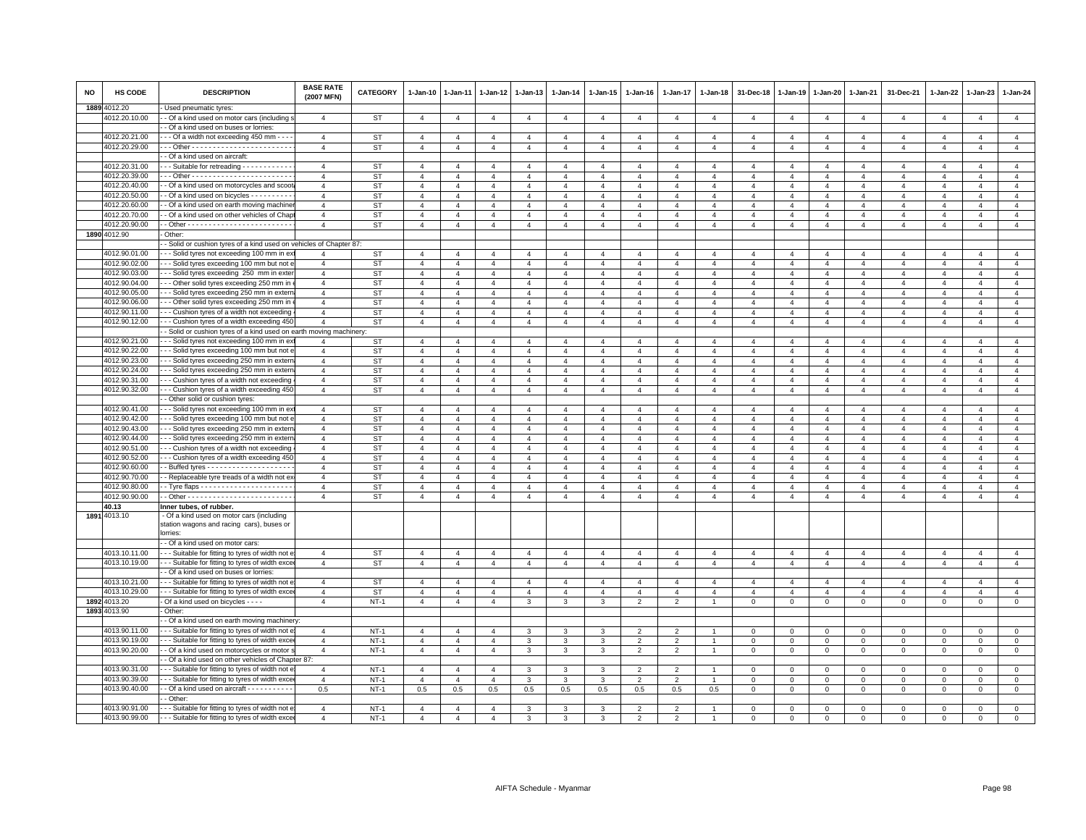| <b>NO</b> | HS CODE       | <b>DESCRIPTION</b>                                                                                                                 | <b>BASE RATE</b><br>(2007 MFN) | <b>CATEGORY</b> | 1-Jan-10       | $1-Jan-11$     | 1-Jan-12       | 1-Jan-13       | 1-Jan-14       | 1-Jan-15       | $1 - Jan-16$   | $1 - Jan-17$   | 1-Jan-18       | 31-Dec-18      | 1-Jan-19       | 1-Jan-20       | 1-Jan-21       | 31-Dec-21      | $1-Jan-22$     | 1-Jan-23       | 1-Jan-24       |
|-----------|---------------|------------------------------------------------------------------------------------------------------------------------------------|--------------------------------|-----------------|----------------|----------------|----------------|----------------|----------------|----------------|----------------|----------------|----------------|----------------|----------------|----------------|----------------|----------------|----------------|----------------|----------------|
|           | 1889 4012.20  | - Used pneumatic tyres:                                                                                                            |                                |                 |                |                |                |                |                |                |                |                |                |                |                |                |                |                |                |                |                |
|           | 4012.20.10.00 | - Of a kind used on motor cars (including:                                                                                         | $\overline{a}$                 | ST              | $\overline{4}$ | $\overline{4}$ | 4              | $\overline{4}$ | $\overline{4}$ | $\overline{4}$ | $\overline{4}$ | $\overline{4}$ | $\overline{4}$ | $\overline{4}$ | $\overline{4}$ | $\overline{4}$ | $\overline{4}$ | $\overline{4}$ | $\overline{4}$ | $\overline{4}$ | $\overline{4}$ |
|           |               | - Of a kind used on buses or lorries:                                                                                              |                                |                 |                |                |                |                |                |                |                |                |                |                |                |                |                |                |                |                |                |
|           | 4012.20.21.00 | - - Of a width not exceeding 450 mm - - -                                                                                          | $\overline{4}$                 | ST              | $\overline{4}$ | $\mathbf{A}$   | $\Lambda$      | $\mathbf{A}$   | $\mathbf{A}$   | $\Delta$       | $\mathbf{A}$   | $\mathbf{A}$   | $\overline{a}$ | $\mathbf{A}$   | $\Delta$       | $\Delta$       | $\mathbf{A}$   | $\mathbf{A}$   | $\mathbf{A}$   | $\mathbf{A}$   | $\overline{4}$ |
|           | 4012.20.29.00 |                                                                                                                                    | $\overline{4}$                 | <b>ST</b>       | $\overline{4}$ | $\overline{4}$ | $\overline{4}$ | $\overline{4}$ | $\overline{4}$ | $\overline{4}$ | $\overline{4}$ | $\overline{4}$ | $\overline{4}$ | $\overline{4}$ | $\overline{4}$ | $\overline{4}$ | $\overline{4}$ | $\overline{4}$ | $\overline{4}$ | $\overline{4}$ | $\overline{4}$ |
|           |               | - Of a kind used on aircraft:                                                                                                      |                                |                 |                |                |                |                |                |                |                |                |                |                |                |                |                |                |                |                |                |
|           | 4012.20.31.00 | - - Suitable for retreading - - - - - - - - - - -                                                                                  | $\overline{4}$                 | ST              | $\overline{4}$ | $\overline{a}$ | $\overline{4}$ | $\overline{4}$ | $\overline{4}$ | $\overline{4}$ | $\overline{4}$ | $\overline{4}$ | $\overline{4}$ | $\overline{4}$ | $\overline{4}$ | $\overline{4}$ | $\overline{4}$ | $\overline{4}$ | $\overline{4}$ | $\overline{4}$ | $\overline{4}$ |
|           | 4012.20.39.00 |                                                                                                                                    | $\overline{4}$                 | <b>ST</b>       | $\overline{4}$ | $\overline{4}$ | $\overline{4}$ | $\overline{a}$ | $\overline{4}$ | $\overline{4}$ | $\overline{4}$ | $\overline{4}$ | $\overline{4}$ | $\overline{4}$ | $\overline{4}$ | $\overline{4}$ | $\overline{4}$ | $\overline{4}$ | $\overline{4}$ | $\overline{4}$ | $\overline{4}$ |
|           | 4012.20.40.00 | - Of a kind used on motorcycles and scoo                                                                                           | $\overline{4}$                 | <b>ST</b>       | $\overline{4}$ | $\overline{4}$ | $\overline{4}$ | $\overline{4}$ | $\overline{4}$ | $\overline{4}$ | $\overline{4}$ | $\overline{4}$ | $\overline{4}$ | $\overline{4}$ | $\overline{4}$ | $\overline{4}$ | $\overline{4}$ | $\overline{4}$ | $\overline{4}$ | $\overline{4}$ | $\overline{4}$ |
|           | 4012.20.50.00 | - Of a kind used on bicycles - - - - - - - - -                                                                                     | $\overline{a}$                 | <b>ST</b>       | $\overline{4}$ | $\overline{4}$ | $\overline{4}$ | $\overline{4}$ | $\overline{4}$ | $\overline{a}$ | $\overline{4}$ | $\overline{a}$ | $\overline{a}$ | $\overline{4}$ | 4              | 4              | $\overline{a}$ | $\overline{4}$ | $\overline{4}$ | $\overline{4}$ | $\overline{4}$ |
|           | 4012.20.60.00 | - Of a kind used on earth moving machine                                                                                           | $\overline{a}$                 | ST              | $\overline{4}$ | $\overline{a}$ | $\overline{a}$ | $\overline{4}$ | $\overline{4}$ | $\overline{4}$ | $\overline{4}$ | $\overline{4}$ | $\overline{4}$ | $\overline{4}$ | $\overline{4}$ | $\overline{4}$ | $\overline{4}$ | $\overline{4}$ | $\overline{4}$ | $\overline{a}$ | $\overline{4}$ |
|           | 4012.20.70.00 | - Of a kind used on other vehicles of Chap                                                                                         | $\mathbf{A}$                   | <b>ST</b>       | $\overline{4}$ | $\mathbf{A}$   | $\mathbf{A}$   | $\mathbf{A}$   | $\overline{4}$ | $\Delta$       | $\overline{4}$ | $\mathbf{A}$   | $\overline{4}$ | $\mathbf{A}$   | $\overline{a}$ | $\Delta$       | $\mathbf{A}$   | $\mathbf{A}$   | $\mathbf{A}$   | $\mathbf{A}$   | $\overline{4}$ |
|           | 4012.20.90.00 |                                                                                                                                    | $\overline{4}$                 | <b>ST</b>       | $\overline{4}$ | $\overline{4}$ | $\overline{4}$ | $\overline{4}$ | $\overline{4}$ | $\overline{4}$ | $\overline{4}$ | $\overline{4}$ | $\overline{4}$ | $\overline{4}$ | $\overline{4}$ | $\overline{4}$ | $\overline{4}$ | $\overline{4}$ | $\overline{4}$ | $\overline{4}$ | $\overline{4}$ |
|           | 1890 4012.90  | Other                                                                                                                              |                                |                 |                |                |                |                |                |                |                |                |                |                |                |                |                |                |                |                |                |
|           |               |                                                                                                                                    |                                |                 |                |                |                |                |                |                |                |                |                |                |                |                |                |                |                |                |                |
|           |               | - Solid or cushion tyres of a kind used on vehicles of Chapter 87                                                                  |                                |                 |                |                |                |                |                |                |                |                |                |                |                |                |                |                |                |                |                |
|           | 4012.90.01.00 | - - Solid tyres not exceeding 100 mm in ex                                                                                         |                                | <b>ST</b>       | $\overline{4}$ | $\overline{4}$ | $\overline{4}$ | $\mathbf{A}$   | $\overline{4}$ | $\overline{4}$ | $\overline{4}$ | $\overline{4}$ | $\overline{4}$ | $\overline{4}$ | $\overline{4}$ | $\overline{4}$ | $\overline{4}$ | $\overline{4}$ | $\overline{4}$ | $\overline{4}$ | $\overline{4}$ |
|           | 4012.90.02.00 | --- Solid tyres exceeding 100 mm but not                                                                                           | $\overline{4}$                 | <b>ST</b>       | $\overline{4}$ | $\overline{4}$ | $\overline{4}$ | $\overline{4}$ | $\overline{4}$ | $\overline{4}$ | $\overline{4}$ | $\overline{4}$ | $\overline{4}$ | $\overline{4}$ | $\overline{4}$ | $\overline{4}$ | $\overline{4}$ | $\overline{4}$ | $\overline{4}$ | $\overline{4}$ | $\overline{4}$ |
|           | 4012.90.03.00 | - - Solid tyres exceeding 250 mm in exte                                                                                           | $\mathbf{A}$                   | <b>ST</b>       | $\overline{4}$ | $\overline{4}$ | $\overline{a}$ | $\overline{4}$ | $\overline{4}$ | $\overline{4}$ | $\overline{4}$ | $\overline{4}$ | $\overline{4}$ | $\overline{4}$ | $\overline{4}$ | $\overline{4}$ | $\overline{4}$ | $\mathbf{4}$   | $\overline{4}$ | $\mathbf{A}$   | $\overline{4}$ |
|           | 4012.90.04.00 | - - - Other solid tyres exceeding 250 mm in                                                                                        | $\overline{4}$                 | ST              | $\overline{4}$ | $\overline{4}$ | $\overline{4}$ | $\overline{4}$ | $\overline{4}$ | $\overline{4}$ | $\overline{4}$ | $\overline{4}$ | $\overline{4}$ | $\overline{4}$ | $\overline{4}$ | $\overline{4}$ | $\overline{4}$ | $\overline{4}$ | $\overline{4}$ | $\overline{4}$ | $\overline{4}$ |
|           | 4012.90.05.00 | - - Solid tyres exceeding 250 mm in exter                                                                                          | $\mathbf{A}$                   | <b>ST</b>       | $\overline{4}$ | $\overline{4}$ | $\overline{4}$ | $\mathbf{A}$   | $\overline{4}$ | $\overline{4}$ | $\overline{4}$ | $\overline{4}$ | $\overline{a}$ | $\overline{a}$ | $\overline{a}$ | $\overline{a}$ | $\Delta$       | $\mathbf{A}$   | $\overline{4}$ | $\mathbf{A}$   | $\overline{4}$ |
|           | 4012.90.06.00 | - - - Other solid tyres exceeding 250 mm in                                                                                        | $\overline{4}$                 | <b>ST</b>       | $\overline{4}$ | $\overline{4}$ | $\overline{4}$ | $\overline{4}$ | $\overline{4}$ | $\overline{4}$ | $\overline{4}$ | $\overline{4}$ | $\overline{4}$ | $\overline{4}$ | $\overline{4}$ | $\overline{4}$ | $\overline{4}$ | $\overline{4}$ | 4              | $\overline{4}$ | $\overline{4}$ |
|           | 4012.90.11.00 | - - Cushion tyres of a width not exceeding                                                                                         | $\mathbf{A}$                   | <b>ST</b>       | $\overline{4}$ | $\overline{4}$ | $\overline{4}$ | $\overline{4}$ | $\overline{4}$ | $\overline{4}$ | $\overline{4}$ | $\overline{4}$ | $\overline{4}$ | $\overline{4}$ | $\overline{4}$ | $\overline{4}$ | $\overline{4}$ | $\overline{4}$ | 4              | $\overline{a}$ | $\overline{4}$ |
|           | 4012.90.12.00 | --- Cushion tyres of a width exceeding 450                                                                                         | $\overline{a}$                 | <b>ST</b>       | $\overline{4}$ | $\overline{a}$ | $\overline{4}$ | $\overline{4}$ | $\overline{4}$ | $\overline{4}$ | $\overline{4}$ | $\overline{4}$ | $\overline{4}$ | $\overline{4}$ | $\overline{4}$ | $\overline{4}$ | $\overline{4}$ | $\overline{4}$ | $\overline{4}$ | $\overline{4}$ | $\overline{4}$ |
|           |               | - Solid or cushion tyres of a kind used on earth moving machinery                                                                  |                                |                 |                |                |                |                |                |                |                |                |                |                |                |                |                |                |                |                |                |
|           | 4012.90.21.00 | --- Solid tyres not exceeding 100 mm in ex                                                                                         | $\overline{4}$                 | <b>ST</b>       | $\overline{4}$ | $\overline{4}$ | $\overline{4}$ | $\overline{4}$ | $\overline{4}$ | $\overline{4}$ | $\overline{4}$ | $\overline{4}$ | $\overline{4}$ | $\overline{4}$ | $\overline{4}$ | $\overline{a}$ | $\overline{4}$ | $\overline{4}$ | $\overline{4}$ | $\overline{a}$ | $\overline{4}$ |
|           | 4012.90.22.00 | - - Solid tyres exceeding 100 mm but not                                                                                           | $\overline{4}$                 | <b>ST</b>       | $\overline{4}$ | $\overline{4}$ | $\overline{4}$ | $\overline{4}$ | $\overline{4}$ | $\overline{4}$ | $\overline{4}$ | $\overline{4}$ | $\overline{4}$ | $\overline{4}$ | $\overline{4}$ | $\overline{4}$ | $\overline{4}$ | $\overline{4}$ | $\overline{4}$ | $\overline{a}$ | $\overline{4}$ |
|           | 4012.90.23.00 | - - - Solid tyres exceeding 250 mm in exter                                                                                        | $\overline{4}$                 | ST              | $\overline{4}$ | $\overline{4}$ | $\overline{a}$ | $\overline{4}$ | $\overline{4}$ | $\overline{4}$ | $\overline{4}$ | $\overline{4}$ | $\overline{4}$ | $\overline{4}$ | $\overline{4}$ | $\overline{4}$ | $\overline{4}$ | $\overline{4}$ | $\overline{4}$ | $\overline{a}$ | $\overline{4}$ |
|           | 4012.90.24.00 | --- Solid tyres exceeding 250 mm in exter                                                                                          | $\mathbf{A}$                   | <b>ST</b>       | $\overline{4}$ | $\mathbf{A}$   | $\mathbf{A}$   | $\mathbf{A}$   | $\overline{4}$ | $\overline{4}$ | $\overline{4}$ | $\Delta$       | $\mathbf{A}$   | $\mathbf{A}$   | $\mathbf{A}$   | $\Delta$       | $\mathbf{A}$   | $\mathbf{A}$   | $\mathbf{A}$   | $\mathbf{A}$   | $\overline{4}$ |
|           | 4012.90.31.00 | - - - Cushion tyres of a width not exceeding                                                                                       | $\overline{4}$                 | <b>ST</b>       | $\overline{4}$ | $\overline{4}$ | $\overline{4}$ | $\overline{4}$ | $\overline{4}$ | $\overline{4}$ | $\overline{4}$ | $\overline{4}$ | $\overline{4}$ | $\overline{4}$ | $\overline{4}$ | $\overline{4}$ | $\overline{4}$ | $\overline{4}$ | $\overline{4}$ | $\overline{4}$ | $\overline{4}$ |
|           | 4012.90.32.00 | -- Cushion tyres of a width exceeding 450                                                                                          | $\overline{a}$                 | <b>ST</b>       | $\overline{4}$ | $\overline{4}$ | 4              | $\overline{4}$ | $\overline{4}$ | $\overline{4}$ | $\overline{4}$ | $\overline{4}$ | $\overline{4}$ | $\overline{4}$ | $\overline{4}$ | $\overline{4}$ | $\overline{4}$ | $\overline{4}$ | $\overline{4}$ | $\overline{a}$ | $\overline{4}$ |
|           |               | - Other solid or cushion tyres:                                                                                                    |                                |                 |                |                |                |                |                |                |                |                |                |                |                |                |                |                |                |                |                |
|           | 4012.90.41.00 | -- Solid tyres not exceeding 100 mm in e.                                                                                          | $\mathbf{A}$                   | <b>ST</b>       | $\overline{4}$ | $\Delta$       | $\overline{a}$ | $\mathbf{A}$   | $\overline{4}$ | $\overline{4}$ | $\overline{4}$ | $\overline{4}$ | $\overline{a}$ | $\overline{4}$ | $\Delta$       | $\overline{4}$ | $\overline{4}$ | $\overline{a}$ | $\overline{a}$ | $\mathbf{A}$   | $\overline{4}$ |
|           | 4012.90.42.00 | --- Solid tyres exceeding 100 mm but not                                                                                           | $\overline{4}$                 | <b>ST</b>       | $\overline{4}$ | $\overline{4}$ | $\overline{4}$ | $\overline{4}$ | $\overline{4}$ | $\overline{4}$ | $\overline{4}$ | $\overline{4}$ | $\overline{4}$ | $\overline{4}$ | $\overline{4}$ | $\overline{4}$ | $\overline{4}$ | $\overline{4}$ | $\overline{4}$ | $\overline{4}$ | $\overline{4}$ |
|           | 4012.90.43.00 | - - Solid tyres exceeding 250 mm in extern                                                                                         | $\overline{a}$                 | <b>ST</b>       | $\overline{4}$ | $\overline{4}$ | $\overline{4}$ | $\overline{4}$ | $\overline{4}$ | $\overline{4}$ | $\overline{4}$ | $\overline{4}$ | $\overline{4}$ | $\overline{4}$ | $\overline{4}$ | $\overline{4}$ | $\overline{a}$ | $\overline{4}$ | $\overline{4}$ | $\overline{a}$ | $\overline{4}$ |
|           | 4012.90.44.00 |                                                                                                                                    | $\overline{4}$                 |                 | $\overline{4}$ | $\overline{4}$ | $\overline{4}$ | $\overline{4}$ | $\overline{4}$ | $\overline{4}$ | $\overline{4}$ | $\overline{4}$ | $\overline{4}$ | $\overline{4}$ | $\overline{4}$ | $\overline{4}$ | $\overline{4}$ | $\overline{4}$ | $\overline{4}$ | $\overline{4}$ | $\overline{4}$ |
|           | 4012.90.51.00 | - - - Solid tyres exceeding 250 mm in exter<br>- - Cushion tyres of a width not exceeding                                          | $\overline{4}$                 | ST<br><b>ST</b> | $\overline{4}$ | $\overline{4}$ | $\overline{4}$ | $\overline{4}$ | $\overline{4}$ | $\overline{4}$ | $\overline{4}$ | $\overline{4}$ | $\overline{a}$ | $\overline{a}$ | $\overline{a}$ | $\overline{a}$ | $\Delta$       | $\overline{4}$ | $\overline{4}$ | $\overline{4}$ | $\overline{4}$ |
|           |               |                                                                                                                                    |                                |                 |                |                |                | $\mathbf{A}$   |                |                |                |                |                |                |                |                |                |                |                |                |                |
|           | 4012.90.52.00 | -- Cushion tyres of a width exceeding 450                                                                                          | $\overline{4}$                 | <b>ST</b>       | $\overline{4}$ | $\overline{4}$ | $\overline{4}$ |                | $\overline{4}$ | $\overline{4}$ | $\overline{4}$ | $\overline{4}$ | $\overline{4}$ | $\overline{4}$ | $\overline{4}$ | $\overline{4}$ | $\overline{4}$ | $\overline{4}$ | $\overline{4}$ | $\overline{4}$ | $\overline{4}$ |
|           | 4012.90.60.00 |                                                                                                                                    | $\mathbf{A}$                   | <b>ST</b>       | $\overline{4}$ | $\mathbf{A}$   | $\overline{a}$ | $\mathbf{A}$   | $\overline{4}$ | $\overline{4}$ | $\overline{4}$ | $\overline{4}$ | $\overline{4}$ | $\overline{4}$ | $\overline{4}$ | $\overline{4}$ | $\overline{4}$ | $\overline{4}$ | $\overline{4}$ | $\mathbf{A}$   | $\overline{4}$ |
|           | 4012.90.70.00 | - Replaceable tyre treads of a width not ex                                                                                        | $\overline{4}$                 | ST              | 4              | $\overline{a}$ | $\overline{4}$ | $\overline{4}$ | $\overline{4}$ | $\overline{4}$ | $\overline{4}$ | $\overline{4}$ | $\overline{4}$ | 4              | 4              | $\overline{4}$ | 4              | $\overline{4}$ | $\overline{4}$ | $\overline{4}$ | $\overline{4}$ |
|           | 4012.90.80.00 | $\cdot$ - Tyre flaps $\cdot \cdot \cdot \cdot \cdot \cdot \cdot \cdot \cdot \cdot \cdot \cdot \cdot \cdot \cdot \cdot \cdot \cdot$ | $\mathbf{A}$                   | <b>ST</b>       | $\overline{4}$ | $\overline{4}$ | $\overline{4}$ | $\overline{4}$ | $\overline{4}$ | $\overline{4}$ | $\overline{4}$ | $\overline{4}$ | $\overline{4}$ | $\overline{4}$ | $\overline{4}$ | $\overline{4}$ | $\overline{4}$ | $\overline{4}$ | $\overline{4}$ | $\overline{4}$ | $\overline{4}$ |
|           | 4012.90.90.00 |                                                                                                                                    | $\overline{4}$                 | <b>ST</b>       | $\overline{4}$ | $\overline{4}$ | $\overline{4}$ | $\overline{4}$ | $\overline{4}$ | $\overline{4}$ | $\overline{4}$ | $\overline{4}$ | $\overline{4}$ | $\overline{4}$ | $\overline{4}$ | $\overline{4}$ | $\overline{4}$ | $\overline{4}$ | $\overline{4}$ | $\overline{4}$ | $\overline{4}$ |
|           | 40.13         | Inner tubes, of rubber.                                                                                                            |                                |                 |                |                |                |                |                |                |                |                |                |                |                |                |                |                |                |                |                |
|           | 1891 4013.10  | - Of a kind used on motor cars (including<br>station wagons and racing cars), buses or<br>lorries:                                 |                                |                 |                |                |                |                |                |                |                |                |                |                |                |                |                |                |                |                |                |
|           |               | - Of a kind used on motor cars:                                                                                                    |                                |                 |                |                |                |                |                |                |                |                |                |                |                |                |                |                |                |                |                |
|           | 4013.10.11.00 | --- Suitable for fitting to tyres of width not a                                                                                   | $\overline{a}$                 | <b>ST</b>       | $\overline{4}$ | $\overline{4}$ | $\overline{4}$ | $\overline{4}$ | $\overline{4}$ | 4              | $\overline{4}$ | $\overline{a}$ | $\overline{4}$ | $\overline{4}$ | 4              | 4              | $\overline{4}$ | $\overline{4}$ | $\overline{4}$ | $\overline{a}$ | $\overline{4}$ |
|           | 4013.10.19.00 | -- Suitable for fitting to tyres of width exce                                                                                     | $\overline{a}$                 | <b>ST</b>       | $\overline{4}$ | $\overline{4}$ | $\overline{4}$ | $\overline{4}$ | $\overline{4}$ | $\overline{4}$ | $\overline{4}$ | $\overline{4}$ | $\overline{4}$ | $\overline{4}$ | $\overline{4}$ | $\overline{4}$ | $\overline{4}$ | $\overline{4}$ | $\overline{4}$ | $\overline{4}$ | $\overline{4}$ |
|           |               | - Of a kind used on buses or lorries                                                                                               |                                |                 |                |                |                |                |                |                |                |                |                |                |                |                |                |                |                |                |                |
|           | 4013.10.21.00 | - - - Suitable for fitting to tyres of width not                                                                                   | $\overline{a}$                 | <b>ST</b>       | $\overline{4}$ | $\mathbf{4}$   | $\mathbf{4}$   | $\mathbf{A}$   | $\overline{4}$ | $\overline{a}$ | $\overline{4}$ | $\overline{4}$ | $\overline{4}$ | $\overline{4}$ | $\Delta$       | $\mathbf{A}$   | $\overline{4}$ | $\mathbf{A}$   | $\mathbf{A}$   | $\mathbf{A}$   | $\overline{4}$ |
|           | 4013.10.29.00 | --- Suitable for fitting to tyres of width exce                                                                                    | $\overline{4}$                 | <b>ST</b>       | $\overline{4}$ | $\overline{4}$ | $\overline{4}$ | $\overline{4}$ | $\overline{4}$ | $\overline{4}$ | $\overline{4}$ | $\overline{4}$ | $\overline{4}$ | $\overline{4}$ | $\overline{4}$ | $\overline{4}$ | $\overline{4}$ | $\overline{4}$ | $\overline{4}$ | $\overline{4}$ | $\overline{4}$ |
|           | 1892 4013.20  | - Of a kind used on bicycles - - - -                                                                                               | $\overline{4}$                 | $NT-1$          | $\overline{4}$ | $\overline{4}$ | $\overline{4}$ | 3              | 3              | 3              | $\overline{2}$ | 2              | $\mathbf{1}$   | $\mathbf{0}$   | $\mathbf 0$    | $\mathbf{0}$   | $\mathbf{0}$   | $\circ$        | $\circ$        | $\Omega$       | $\mathbf{0}$   |
|           | 1893 4013.90  | - Other:                                                                                                                           |                                |                 |                |                |                |                |                |                |                |                |                |                |                |                |                |                |                |                |                |
|           |               | - Of a kind used on earth moving machinery:                                                                                        |                                |                 |                |                |                |                |                |                |                |                |                |                |                |                |                |                |                |                |                |
|           | 4013.90.11.00 | --- Suitable for fitting to tyres of width not a                                                                                   | $\overline{a}$                 | $NT-1$          | 4              | 4              | $\overline{4}$ | 3              | 3              | 3              | $\overline{2}$ | $\overline{2}$ | 1              | 0              | 0              | $\mathbf 0$    | $\mathbf 0$    | 0              | $\circ$        | $\mathbf 0$    | $\mathbf 0$    |
|           | 4013.90.19.00 | -- Suitable for fitting to tyres of width exce                                                                                     | $\overline{a}$                 | $NT-1$          | $\overline{4}$ | $\overline{a}$ | $\overline{4}$ | $\mathbf{3}$   | 3              | 3              | $\overline{2}$ | $\overline{2}$ | $\overline{1}$ | $\Omega$       | $\mathbf 0$    | $\mathbf{0}$   | $\Omega$       | $^{\circ}$     | $\Omega$       | $\Omega$       | $\overline{0}$ |
|           | 4013.90.20.00 | - - Of a kind used on motorcycles or motor                                                                                         | $\overline{4}$                 | $NT-1$          | $\overline{4}$ | $\overline{4}$ | $\overline{4}$ | $\mathbf{3}$   | $\mathbf{3}$   | 3              | $\overline{2}$ | $\overline{2}$ | $\overline{1}$ | $\mathsf 0$    | $\mathbf 0$    | $\mathbf{O}$   | $\mathbf 0$    | $\mathbf 0$    | $\mathbf 0$    | $\mathsf 0$    | $\mathbf 0$    |
|           |               | - Of a kind used on other vehicles of Chapter 87:                                                                                  |                                |                 |                |                |                |                |                |                |                |                |                |                |                |                |                |                |                |                |                |
|           | 4013.90.31.00 | - - Suitable for fitting to tyres of width not                                                                                     | $\overline{a}$                 | $NT-1$          | $\overline{4}$ | $\overline{4}$ | $\overline{4}$ | 3              | 3              | 3              | $\overline{2}$ | $\overline{2}$ |                | $\mathbf 0$    | $\mathbf 0$    | $\mathbf 0$    | $\mathbf 0$    | $\mathsf 0$    | $\mathbf 0$    | $\mathsf 0$    | $\mathbf 0$    |
|           | 4013.90.39.00 | -- Suitable for fitting to tyres of width exce                                                                                     | $\overline{4}$                 | $NT-1$          | $\overline{4}$ | $\overline{a}$ | $\overline{4}$ | $\mathbf{3}$   | 3              | 3              | $\overline{2}$ | $\overline{2}$ | $\overline{1}$ | $\Omega$       | 0              | $\Omega$       | $\Omega$       | $\Omega$       | $\Omega$       | $\Omega$       | $\overline{0}$ |
|           | 4013.90.40.00 | - - Of a kind used on aircraft - - - - - - - - - -                                                                                 | 0.5                            | $NT-1$          | 0.5            | 0.5            | 0.5            | 0.5            | 0.5            | 0.5            | 0.5            | 0.5            | 0.5            | $\mathbf{0}$   | $\mathbf{0}$   | $\Omega$       | $\mathbf{0}$   | 0              | $\Omega$       | $\Omega$       | $\mathbf 0$    |
|           |               | - Other:                                                                                                                           |                                |                 |                |                |                |                |                |                |                |                |                |                |                |                |                |                |                |                |                |
|           | 4013.90.91.00 | --- Suitable for fitting to tyres of width not a                                                                                   | $\overline{4}$                 | $NT-1$          | $\overline{4}$ | $\overline{a}$ | $\overline{4}$ | 3              | 3              | 3              | $\overline{2}$ | $\mathfrak{p}$ |                | $\Omega$       | $\Omega$       | $\Omega$       | $\Omega$       | $\Omega$       | $\Omega$       | $\Omega$       | $\mathbf 0$    |
|           | 4013.90.99.00 | - - - Suitable for fitting to tyres of width exce                                                                                  | $\overline{a}$                 | $NT-1$          | $\overline{4}$ | $\overline{4}$ | $\overline{4}$ | 3              | 3              | 3              | $\overline{2}$ | $\overline{2}$ |                | $\Omega$       | $\mathbf 0$    | 0              | $\Omega$       | $^{\circ}$     | $\circ$        | $\Omega$       | $\overline{0}$ |
|           |               |                                                                                                                                    |                                |                 |                |                |                |                |                |                |                |                |                |                |                |                |                |                |                |                |                |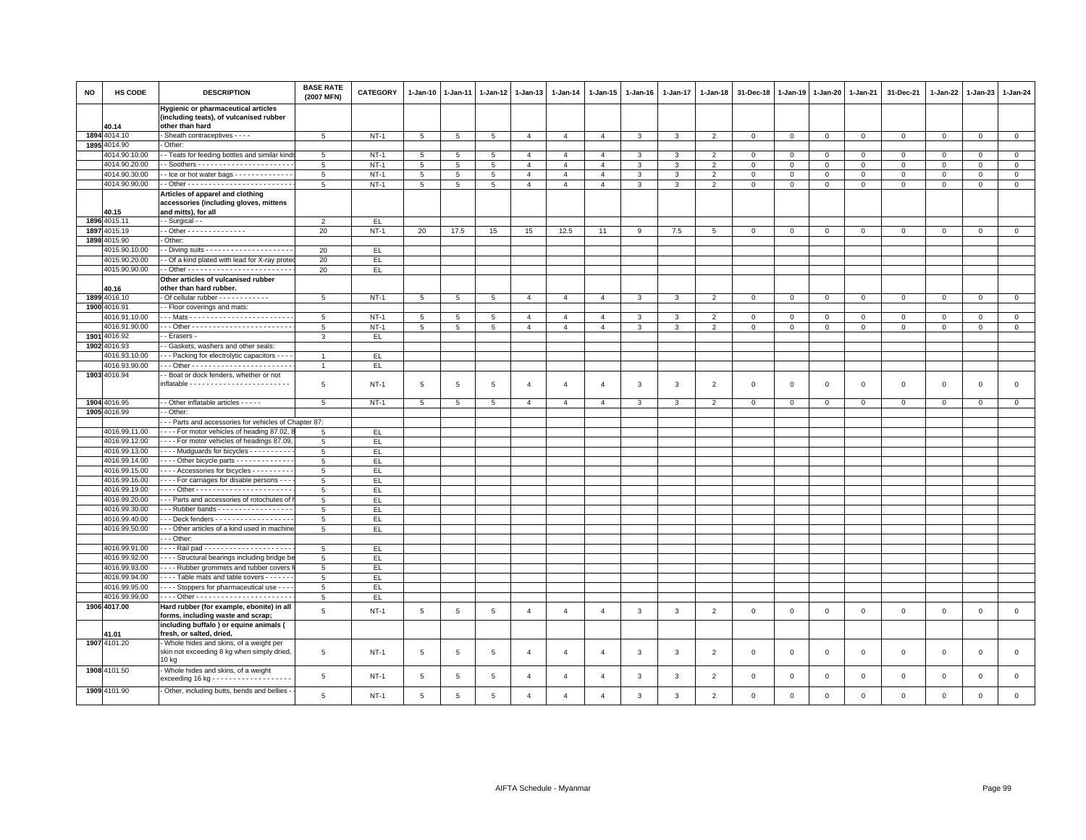| NO | HS CODE                        | <b>DESCRIPTION</b>                                                                                | <b>BASE RATE</b><br>(2007 MFN) | <b>CATEGORY</b> | 1-Jan-10        | 1-Jan-11   | $1-Jan-12$      | 1-Jan-13       | 1-Jan-14       | 1-Jan-15                | 1-Jan-16     | 1-Jan-17       | 1-Jan-18       | 31-Dec-18    | 1-Jan-19    | 1-Jan-20     | 1-Jan-21       | 31-Dec-21    | 1-Jan-22     | 1-Jan-23     | 1-Jan-24     |
|----|--------------------------------|---------------------------------------------------------------------------------------------------|--------------------------------|-----------------|-----------------|------------|-----------------|----------------|----------------|-------------------------|--------------|----------------|----------------|--------------|-------------|--------------|----------------|--------------|--------------|--------------|--------------|
|    | 40.14                          | Hygienic or pharmaceutical articles<br>(including teats), of vulcanised rubber<br>other than hard |                                |                 |                 |            |                 |                |                |                         |              |                |                |              |             |              |                |              |              |              |              |
|    | 1894 4014.10                   | - Sheath contraceptives - - - -                                                                   | $5\overline{5}$                | $NT-1$          | $5\phantom{.0}$ | $\sqrt{5}$ | $5\phantom{.0}$ | $\overline{4}$ | $\overline{4}$ | $\overline{4}$          | $\mathbf{3}$ | $\overline{3}$ | 2              | $\mathsf 0$  | $\mathsf 0$ | $\mathbf{0}$ | $\mathbf 0$    | $\mathbf{0}$ | $\mathbf{0}$ | $\circ$      | $\circ$      |
|    | 1895 4014.90                   | Other:                                                                                            |                                |                 |                 |            |                 |                |                |                         |              |                |                |              |             |              |                |              |              |              |              |
|    | 4014.90.10.00                  | - Teats for feeding bottles and similar kind                                                      | 5                              | $NT-1$          | 5               | 5          | 5               | $\overline{4}$ | $\overline{4}$ | $\overline{4}$          | 3            | 3              | $\overline{2}$ | $\mathbf 0$  | 0           | $\mathbf 0$  | $\mathbf 0$    | $\mathbf 0$  | $\mathbf 0$  | $\mathbf 0$  | $\mathbf 0$  |
|    | 4014.90.20.00                  |                                                                                                   | 5                              | $NT-1$          | 5               | $\sqrt{5}$ | 5               | $\overline{4}$ | $\overline{4}$ | $\overline{4}$          | $\mathbf{R}$ | 3              | $\mathcal{P}$  | $\mathbf{0}$ | $\Omega$    | $\mathbf 0$  | $\mathbf 0$    | $\mathbf 0$  | $\Omega$     | $\Omega$     | $\circ$      |
|    | 4014.90.30.00                  | - Ice or hot water bags - - - - - - - - - - - - -                                                 | $\overline{5}$                 | $NT-1$          | 5               | 5          | 5               | $\overline{4}$ | $\overline{4}$ | $\overline{4}$          | 3            | 3              | $\overline{2}$ | $\mathbf 0$  | $\mathsf 0$ | $\mathsf 0$  | $\mathbf 0$    | $\mathbf 0$  | $\Omega$     | $\mathbf 0$  | $\mathsf 0$  |
|    | 4014.90.90.00                  |                                                                                                   | 5                              | $NT-1$          | $5\phantom{.0}$ | 5          | 5               | $\overline{4}$ | $\overline{4}$ | $\overline{4}$          | 3            | $\mathbf{3}$   | $\overline{2}$ | $\mathsf 0$  | $\mathbf 0$ | $\mathbf 0$  | $\circ$        | $\mathbf 0$  | $\mathbf 0$  | $\mathbf 0$  | $\circ$      |
|    |                                | Articles of apparel and clothing<br>accessories (including gloves, mittens                        |                                |                 |                 |            |                 |                |                |                         |              |                |                |              |             |              |                |              |              |              |              |
|    | 40.15                          | and mitts), for all                                                                               |                                |                 |                 |            |                 |                |                |                         |              |                |                |              |             |              |                |              |              |              |              |
|    | 1896 4015.11                   | - Surgical - -                                                                                    | $\mathfrak{p}$                 | EL              |                 |            |                 |                |                |                         |              |                |                |              |             |              |                |              |              |              |              |
|    | 1897 4015.19                   | - Other - - - - - - - - - - - - - -<br>Other:                                                     | 20                             | $NT-1$          | 20              | 17.5       | 15              | 15             | 12.5           | 11                      | 9            | 7.5            | -5             | $\mathbf 0$  | $\mathbf 0$ | $\Omega$     | $\mathbf 0$    | $\mathsf 0$  | $\Omega$     | $\mathbf{0}$ | $\mathbf{0}$ |
|    | 1898 4015.90                   |                                                                                                   |                                |                 |                 |            |                 |                |                |                         |              |                |                |              |             |              |                |              |              |              |              |
|    | 4015.90.10.00<br>4015.90.20.00 |                                                                                                   | 20                             | EL.             |                 |            |                 |                |                |                         |              |                |                |              |             |              |                |              |              |              |              |
|    |                                | - Of a kind plated with lead for X-ray prote                                                      | 20                             | EL.             |                 |            |                 |                |                |                         |              |                |                |              |             |              |                |              |              |              |              |
|    | 4015.90.90.00                  | Other articles of vulcanised rubber                                                               | 20                             | EL              |                 |            |                 |                |                |                         |              |                |                |              |             |              |                |              |              |              |              |
|    | 40.16                          | other than hard rubber.                                                                           |                                |                 |                 |            |                 |                |                |                         |              |                |                |              |             |              |                |              |              |              |              |
|    | 1899 4016.10                   | - Of cellular rubber - - - - - - - - - - - -                                                      | 5                              | $NT-1$          | $5\overline{5}$ | 5          | 5               | $\overline{4}$ | $\overline{4}$ | $\overline{a}$          | 3            | 3              | $\mathcal{P}$  | $\mathbf 0$  | $\Omega$    | $\mathbf 0$  | $\overline{0}$ | $\mathbf 0$  | $\Omega$     | $\mathbf{0}$ | $\mathbf{0}$ |
|    | 1900 4016.91                   | - Floor coverings and mats:                                                                       |                                |                 |                 |            |                 |                |                |                         |              |                |                |              |             |              |                |              |              |              |              |
|    | 4016.91.10.00                  |                                                                                                   | $5\overline{5}$                | $NT-1$          | 5               | 5          | 5               | $\overline{4}$ | $\overline{4}$ | $\overline{\mathbf{4}}$ | 3            | 3              | $\overline{2}$ | $\mathbf 0$  | $\mathbf 0$ | $\mathbf 0$  | $\mathbf 0$    | $\mathbf 0$  | $\Omega$     | $\mathbf{0}$ | $\mathbf 0$  |
|    | 4016.91.90.00                  |                                                                                                   | 5                              | $NT-1$          | $5\overline{5}$ | 5          | $5\overline{5}$ | $\overline{4}$ | $\overline{4}$ | $\overline{4}$          | 3            | 3              | $\overline{2}$ | $\mathbf 0$  | $\mathsf 0$ | 0            | $\mathbf 0$    | $\mathbf 0$  | 0            | $\mathbf 0$  | $\mathbf 0$  |
|    | 1901 4016.92                   | - Erasers -                                                                                       | 3                              | EL              |                 |            |                 |                |                |                         |              |                |                |              |             |              |                |              |              |              |              |
|    | 1902 4016.93                   | - Gaskets, washers and other seals:                                                               |                                |                 |                 |            |                 |                |                |                         |              |                |                |              |             |              |                |              |              |              |              |
|    | 4016.93.10.00                  | - - Packing for electrolytic capacitors - - -                                                     | $\overline{1}$                 | EL.             |                 |            |                 |                |                |                         |              |                |                |              |             |              |                |              |              |              |              |
|    | 4016.93.90.00                  |                                                                                                   | $\overline{1}$                 | EL.             |                 |            |                 |                |                |                         |              |                |                |              |             |              |                |              |              |              |              |
|    | 1903 4016.94                   | - Boat or dock fenders, whether or not                                                            |                                |                 |                 |            |                 |                |                |                         |              |                |                |              |             |              |                |              |              |              |              |
|    |                                |                                                                                                   | 5                              | $NT-1$          | 5               | 5          | 5               | $\overline{4}$ | $\overline{a}$ | $\overline{4}$          | 3            | $\mathbf{3}$   | $\overline{2}$ | $\mathsf 0$  | $\mathsf 0$ | $\mathsf 0$  | $\mathbf 0$    | $\mathsf 0$  | $\mathsf 0$  | $\mathsf 0$  | $\mathbf 0$  |
|    | 1904 4016.95                   | - - Other inflatable articles - - - - -                                                           | 5                              | $NT-1$          | 5 <sup>5</sup>  | 5          | 5               | $\overline{4}$ | $\overline{4}$ | $\overline{4}$          | 3            | $\mathbf{3}$   | 2              | $\mathbf 0$  | $\mathbf 0$ | $\mathbf{0}$ | $\circ$        | $\mathbf{0}$ | $\mathbf{0}$ | $\circ$      | $\mathbf{0}$ |
|    | 1905 4016.99                   | - - Other:                                                                                        |                                |                 |                 |            |                 |                |                |                         |              |                |                |              |             |              |                |              |              |              |              |
|    |                                | - - Parts and accessories for vehicles of Chapter 87:                                             |                                |                 |                 |            |                 |                |                |                         |              |                |                |              |             |              |                |              |              |              |              |
|    | 4016.99.11.00                  | - - - - For motor vehicles of heading 87.02,                                                      | 5                              | EL.             |                 |            |                 |                |                |                         |              |                |                |              |             |              |                |              |              |              |              |
|    | 4016.99.12.00                  | ---- For motor vehicles of headings 87.09                                                         | 5                              | EL              |                 |            |                 |                |                |                         |              |                |                |              |             |              |                |              |              |              |              |
|    | 4016.99.13.00                  | --- Mudquards for bicycles ---------                                                              | $5\phantom{.0}$                | EL.             |                 |            |                 |                |                |                         |              |                |                |              |             |              |                |              |              |              |              |
|    | 4016.99.14.00                  | Other bicycle parts                                                                               | 5                              | EL.             |                 |            |                 |                |                |                         |              |                |                |              |             |              |                |              |              |              |              |
|    | 4016.99.15.00                  | ---- Accessories for bicycles ---------                                                           | 5                              | EL              |                 |            |                 |                |                |                         |              |                |                |              |             |              |                |              |              |              |              |
|    | 4016.99.16.00                  | - - - For carriages for disable persons - - -                                                     | 5                              | EL              |                 |            |                 |                |                |                         |              |                |                |              |             |              |                |              |              |              |              |
|    | 4016.99.19.00                  | --- Other ------------------------                                                                | 5                              | EL.             |                 |            |                 |                |                |                         |              |                |                |              |             |              |                |              |              |              |              |
|    | 4016.99.20.00                  | - - Parts and accessories of rotochutes of                                                        | 5                              | EL              |                 |            |                 |                |                |                         |              |                |                |              |             |              |                |              |              |              |              |
|    | 4016.99.30.00                  | -- Rubber bands -----------------                                                                 | 5                              | EL              |                 |            |                 |                |                |                         |              |                |                |              |             |              |                |              |              |              |              |
|    | 4016.99.40.00                  | -- Deck fenders - - - - - - - - - - - - - - - - -                                                 | 5                              | EL.             |                 |            |                 |                |                |                         |              |                |                |              |             |              |                |              |              |              |              |
|    | 4016.99.50.00                  | --- Other articles of a kind used in machine                                                      | 5                              | EL              |                 |            |                 |                |                |                         |              |                |                |              |             |              |                |              |              |              |              |
|    |                                | - - Other:                                                                                        |                                |                 |                 |            |                 |                |                |                         |              |                |                |              |             |              |                |              |              |              |              |
|    | 4016.99.91.00                  |                                                                                                   | 5                              | EL.             |                 |            |                 |                |                |                         |              |                |                |              |             |              |                |              |              |              |              |
|    | 4016.99.92.00                  | --- Structural bearings including bridge be                                                       | 5                              | EL.             |                 |            |                 |                |                |                         |              |                |                |              |             |              |                |              |              |              |              |
|    | 4016.99.93.00                  | - - - - Rubber grommets and rubber covers                                                         | 5                              | EL.             |                 |            |                 |                |                |                         |              |                |                |              |             |              |                |              |              |              |              |
|    | 4016.99.94.00                  | - - - - Table mats and table covers - - - - - -                                                   | 5                              | EL.             |                 |            |                 |                |                |                         |              |                |                |              |             |              |                |              |              |              |              |
|    | 4016.99.95.00                  | - - - - Stoppers for pharmaceutical use - - -                                                     | $5\phantom{.0}$                | EL.             |                 |            |                 |                |                |                         |              |                |                |              |             |              |                |              |              |              |              |
|    | 4016.99.99.00                  |                                                                                                   | 5                              | EL.             |                 |            |                 |                |                |                         |              |                |                |              |             |              |                |              |              |              |              |
|    | 1906 4017.00                   | Hard rubber (for example, ebonite) in all<br>forms, including waste and scrap;                    | 5                              | $NT-1$          | 5               | 5          | 5               | $\overline{4}$ | $\overline{4}$ | $\overline{4}$          | 3            | $\mathbf{3}$   | $\overline{2}$ | $\mathbf 0$  | $\mathsf 0$ | $\mathsf 0$  | $\mathbf 0$    | $\mathsf 0$  | $\mathbf 0$  | $\mathbf 0$  | $\mathsf 0$  |
|    | 11.01                          | including buffalo ) or equine animals (<br>fresh, or salted, dried,                               |                                |                 |                 |            |                 |                |                |                         |              |                |                |              |             |              |                |              |              |              |              |
|    | 1907 4101.20                   | - Whole hides and skins, of a weight per<br>skin not exceeding 8 kg when simply dried,<br>10 kg   | 5                              | $NT-1$          | $5\phantom{.0}$ | 5          | $\overline{5}$  | $\overline{4}$ | $\overline{4}$ | $\overline{4}$          | 3            | $\mathbf{3}$   | $\overline{2}$ | $\mathbf 0$  | $\mathsf 0$ | $\mathsf 0$  | $\,0\,$        | $\mathsf 0$  | $\,0\,$      | $\mathbf 0$  | $\mathbf 0$  |
|    | 1908 4101.50                   | - Whole hides and skins, of a weight<br>exceeding $16$ kg - - - - - - - - - - - - - - -           | 5                              | $NT-1$          | 5               | 5          | 5               | $\overline{4}$ | $\overline{4}$ | $\overline{4}$          | 3            | 3              | $\overline{2}$ | $\mathbf 0$  | 0           | $\mathbf 0$  | $\mathbf 0$    | $\mathsf 0$  | $\mathbf 0$  | $\mathbf 0$  | $\mathbf 0$  |
|    | 1909 4101.90                   | - Other, including butts, bends and bellies -                                                     | $\overline{5}$                 | $NT-1$          | 5               | 5          | 5               | $\overline{a}$ | $\Delta$       | $\Delta$                | 3            | 3              | 2              | $\mathbf 0$  | $\Omega$    | $\mathbf 0$  | $\Omega$       | $\Omega$     | $\Omega$     | $\mathbf{0}$ | $\mathbf 0$  |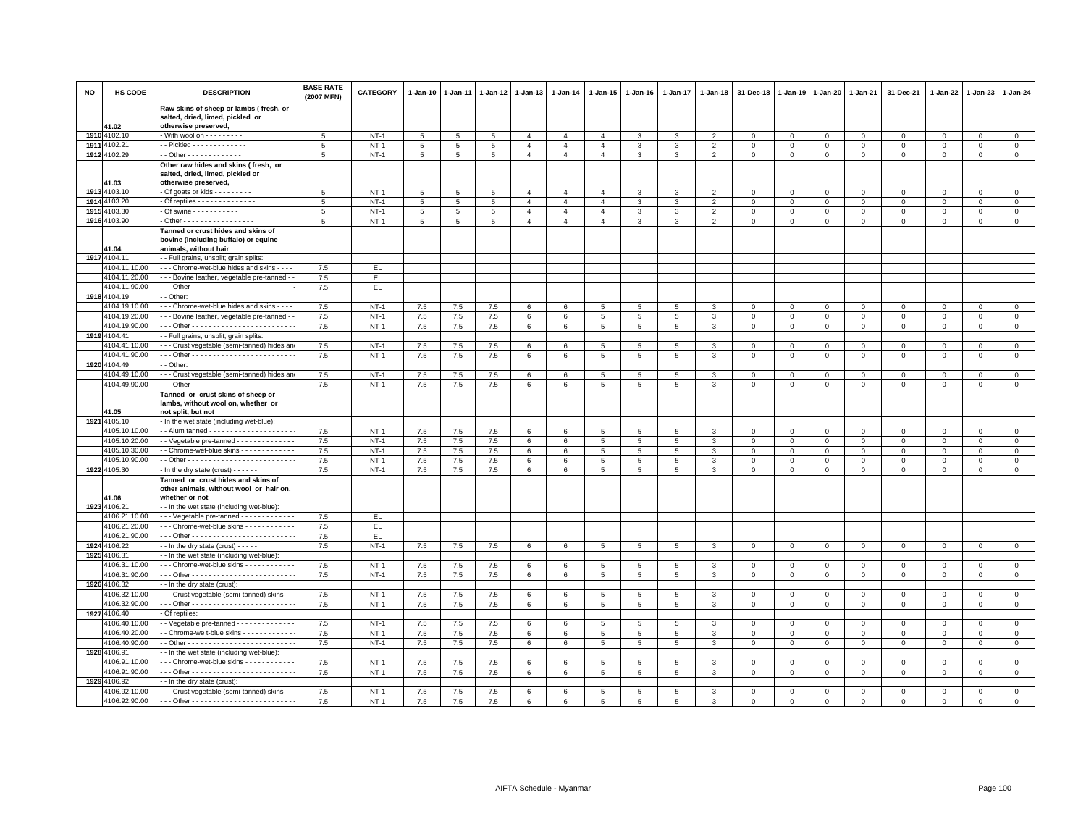| <b>NO</b> | HS CODE               | <b>DESCRIPTION</b>                                                                                  | <b>BASE RATE</b><br>(2007 MFN) | <b>CATEGORY</b> | 1-Jan-10        | 1-Jan-11   | 1-Jan-12        | 1-Jan-13                         | 1-Jan-14                         | 1-Jan-15        | 1-Jan-16       | 1-Jan-17       | 1-Jan-18       | 31-Dec-18    | 1-Jan-19     | 1-Jan-20     | 1-Jan-21     | 31-Dec-21           | 1-Jan-22    | 1-Jan-23       | 1-Jan-24                   |
|-----------|-----------------------|-----------------------------------------------------------------------------------------------------|--------------------------------|-----------------|-----------------|------------|-----------------|----------------------------------|----------------------------------|-----------------|----------------|----------------|----------------|--------------|--------------|--------------|--------------|---------------------|-------------|----------------|----------------------------|
|           |                       | Raw skins of sheep or lambs (fresh, or<br>salted, dried, limed, pickled or                          |                                |                 |                 |            |                 |                                  |                                  |                 |                |                |                |              |              |              |              |                     |             |                |                            |
|           | 41.02<br>1910 4102.10 | otherwise preserved,<br>- With wool on - - - - - - - -                                              | 5                              | $NT-1$          | 5               |            |                 | $\overline{4}$                   | $\overline{4}$                   | $\overline{4}$  | 3              | 3              | $\overline{2}$ | $\mathbf{0}$ | $\mathbf 0$  | $\mathbf 0$  | $\mathbf 0$  | $\mathbf{0}$        | $\mathbf 0$ | $\overline{0}$ |                            |
|           | 1911 4102.21          | - Pickled - - - - - - - - - - - -                                                                   | 5                              | $NT-1$          | $5\phantom{.0}$ | 5          | 5               |                                  |                                  |                 |                |                |                | $\mathbf 0$  | $\Omega$     | $\mathbf{0}$ |              |                     | $\mathbf 0$ |                | $\mathbf 0$<br>$\mathbf 0$ |
|           | 1912 4102.29          | - Other - - - - - - - - - - - - -                                                                   | 5                              | $NT-1$          |                 | 5          | 5               | $\overline{4}$<br>$\overline{4}$ | $\overline{4}$<br>$\overline{4}$ | $\overline{4}$  | 3              | 3              | $\overline{2}$ |              |              |              | $\mathsf 0$  | $\mathbf 0$         |             | $\mathbf 0$    | $\overline{0}$             |
|           |                       |                                                                                                     |                                |                 | $\,$ 5 $\,$     | $\sqrt{5}$ | $5\overline{5}$ |                                  |                                  | $\overline{4}$  | 3              | $\mathbf{3}$   | $\overline{2}$ | $\mathbf 0$  | $\mathsf 0$  | $\mathbf 0$  | $\,0\,$      | $\mathbf 0$         | $\mathsf 0$ | $\overline{0}$ |                            |
|           | 41.03                 | Other raw hides and skins (fresh, or<br>salted, dried, limed, pickled or<br>otherwise preserved,    |                                |                 |                 |            |                 |                                  |                                  |                 |                |                |                |              |              |              |              |                     |             |                |                            |
|           | 1913 4103.10          | - Of goats or kids - - - - - - - -                                                                  | 5                              | $NT-1$          | $\overline{5}$  | 5          | 5               | $\overline{4}$                   | $\overline{4}$                   | $\overline{4}$  | 3              | 3              | $\mathfrak{p}$ | $\Omega$     | $\Omega$     | $\Omega$     | $\Omega$     | $\Omega$            | $\Omega$    | $\mathbf 0$    | $\mathbf 0$                |
| 1914      | 4103.20               | Of reptiles - - - - - - - - - - - - -                                                               | 5                              | $NT-1$          | 5               | 5          | $\overline{5}$  | $\overline{4}$                   | $\overline{4}$                   | $\overline{4}$  | 3              | 3              | $\overline{2}$ | $\Omega$     | $\Omega$     | $\mathbf 0$  | $\mathsf 0$  | $\mathbf 0$         | $\mathsf 0$ | $\mathsf 0$    | $\mathbf 0$                |
| 1915      | 4103.30               | - Of swine - - - - - - - - - -                                                                      | 5                              | $NT-1$          | 5               | $\sqrt{5}$ | $5\phantom{.0}$ | $\overline{4}$                   | $\overline{4}$                   | $\overline{4}$  | 3              | $\mathbf{3}$   | $\overline{2}$ | $\Omega$     | $\Omega$     | $\Omega$     | $\mathbf 0$  | $\mathbf 0$         | $\mathbf 0$ | $\mathbf{0}$   | $\mathsf 0$                |
|           | 1916 4103.90          | Other - - - - - - - - - - - - - - - - -                                                             | 5                              | $NT-1$          | 5 <sup>5</sup>  | 5          | 5               | $\overline{4}$                   | $\overline{4}$                   | $\overline{4}$  | 3              | $\mathbf{3}$   | $\overline{2}$ | $\mathbf{0}$ | $\mathbf{0}$ | $\mathbf{0}$ | $\mathbf{0}$ | $\mathbf{0}$        | $\mathbf 0$ | $\mathbf{0}$   | $\mathbf{0}$               |
|           | 1.04                  | Tanned or crust hides and skins of<br>bovine (including buffalo) or equine<br>animals, without hair |                                |                 |                 |            |                 |                                  |                                  |                 |                |                |                |              |              |              |              |                     |             |                |                            |
|           | 1917 4104.11          | - Full grains, unsplit; grain splits                                                                |                                |                 |                 |            |                 |                                  |                                  |                 |                |                |                |              |              |              |              |                     |             |                |                            |
|           | 4104.11.10.00         | - - Chrome-wet-blue hides and skins - -                                                             | 7.5                            | EL.             |                 |            |                 |                                  |                                  |                 |                |                |                |              |              |              |              |                     |             |                |                            |
|           | 4104.11.20.00         | - - Bovine leather, vegetable pre-tanned                                                            | $7.5\,$                        | EL.             |                 |            |                 |                                  |                                  |                 |                |                |                |              |              |              |              |                     |             |                |                            |
|           | 4104.11.90.00         |                                                                                                     | 7.5                            | EL.             |                 |            |                 |                                  |                                  |                 |                |                |                |              |              |              |              |                     |             |                |                            |
|           | 1918 4104.19          | - Other                                                                                             |                                |                 |                 |            |                 |                                  |                                  |                 |                |                |                |              |              |              |              |                     |             |                |                            |
|           | 4104.19.10.00         | - - Chrome-wet-blue hides and skins -                                                               | 7.5                            | $NT-1$          | 7.5             | 7.5        | 7.5             | 6                                | 6                                | 5               | 5              | 5              | 3              |              | $^{\circ}$   | $\mathbf 0$  | $\Omega$     | $\mathbf 0$         | $^{\circ}$  | $\mathbf 0$    | $\mathbf 0$                |
|           | 4104.19.20.00         | - - Bovine leather, vegetable pre-tanned                                                            | 7.5                            | $NT-1$          | 7.5             | 7.5        | 7.5             | $6\phantom{.}6$                  | 6                                | 5               | 5              | $\overline{5}$ | 3              | $\Omega$     | $\Omega$     | $\Omega$     | $\mathbf 0$  | $\mathbf 0$         | $\Omega$    | $\mathbf 0$    | $\mathsf 0$                |
|           | 4104.19.90.00         |                                                                                                     | 7.5                            | $NT-1$          | 7.5             | 7.5        | 7.5             | 6                                | 6                                | $5^{\circ}$     | 5              | 5              | 3              | $\mathbf 0$  | $\Omega$     | $\mathbf{0}$ | $\mathbf{0}$ | $\mathbf{0}$        | $\mathbf 0$ | $\circ$        | $\mathbf{0}$               |
|           | 1919 4104.41          | - Full grains, unsplit; grain splits:                                                               |                                |                 |                 |            |                 |                                  |                                  |                 |                |                |                |              |              |              |              |                     |             |                |                            |
|           | 4104.41.10.00         | -- Crust vegetable (semi-tanned) hides ar                                                           | 7.5                            | $NT-1$          | 7.5             | 7.5        | 7.5             | 6                                | 6                                | 5               | 5              | 5              | 3              | $\Omega$     | $\mathbf 0$  | $\mathbf 0$  | $\mathbf 0$  | $\mathbf{0}$        | $\mathbf 0$ | $\overline{0}$ | $\mathbf{0}$               |
|           | 4104.41.90.00         | - - Other - - - - - - - - - - - - - - - - <del>- - - - - - -</del> - -                              | 7.5                            | $NT-1$          | 7.5             | 7.5        | 7.5             | 6                                | 6                                | $\overline{5}$  | 5              | 5              | 3              | $\mathbf 0$  | $\mathbf 0$  | $\mathsf 0$  | $\mathbf 0$  | $\mathbf 0$         | $\mathsf 0$ | $\mathbf 0$    | $\mathsf 0$                |
|           | 1920 4104.49          | - Other:                                                                                            |                                |                 |                 |            |                 |                                  |                                  |                 |                |                |                |              |              |              |              |                     |             |                |                            |
|           | 4104.49.10.00         | - - Crust vegetable (semi-tanned) hides ar                                                          | 7.5                            | $NT-1$          | 7.5             | 7.5        | 7.5             | 6                                | 6                                | 5               | 5              | 5              | 3              | $\Omega$     | $\mathbf 0$  | $\mathbf 0$  | $\mathbf 0$  | $\mathbf{0}$        | $\mathbf 0$ | $\overline{0}$ | $\mathbf{0}$               |
|           | 4104.49.90.00         |                                                                                                     | 7.5                            | $NT-1$          | 7.5             | 7.5        | 7.5             | 6                                | 6                                | $5\overline{5}$ | 5              | 5              | 3              | $^{\circ}$   | $\mathbf 0$  | $\mathbf 0$  | $\mathbf 0$  | $\mathbf 0$         | 0           | $\mathbf 0$    | $\mathbf 0$                |
|           | 11.05                 | Tanned or crust skins of sheep or<br>lambs, without wool on, whether or<br>not split, but not       |                                |                 |                 |            |                 |                                  |                                  |                 |                |                |                |              |              |              |              |                     |             |                |                            |
|           | 1921 4105.10          | - In the wet state (including wet-blue):                                                            |                                |                 |                 |            |                 |                                  |                                  |                 |                |                |                |              |              |              |              |                     |             |                |                            |
|           | 4105.10.10.00         |                                                                                                     | 7.5                            | $NT-1$          | 7.5             | 7.5        | 7.5             | $6\phantom{.}6$                  | 6                                | 5               | 5              | 5              | 3              | $\mathbf 0$  | $\mathsf 0$  | $\mathbf 0$  | $\mathbf 0$  | $\mathbf 0$         | $\mathsf 0$ | $\mathbf 0$    | $\mathbf 0$                |
|           | 4105.10.20.00         | - Vegetable pre-tanned - - - - - - - - - - - -                                                      | 7.5                            | $NT-1$          | 7.5             | 7.5        | 7.5             | 6                                | 6                                | $5\overline{5}$ | 5              | 5              | 3              | $\mathbf 0$  | 0            | $\mathbf 0$  | $\mathbf 0$  | $\mathbf 0$         | 0           | $\mathbf 0$    | $\mathbf{O}$               |
|           | 4105.10.30.00         | - Chrome-wet-blue skins - - - - - - - - - - -                                                       | 7.5                            | $NT-1$          | 7.5             | 7.5        | 7.5             | 6                                | 6                                | $5^{\circ}$     | $5^{\circ}$    | $\overline{5}$ | 3              | $\Omega$     | $\Omega$     | $\Omega$     | $\Omega$     | $\Omega$            | $\Omega$    | $\Omega$       | $\Omega$                   |
|           | 4105.10.90.00         |                                                                                                     | $7.5\,$                        | $NT-1$          | 7.5             | 7.5        | 7.5             | 6                                | 6                                | 5               | 5              | 5              | 3              | $^{\circ}$   | $\mathbf 0$  | $\mathbf 0$  | $\mathbf 0$  | $\mathbf 0$         | 0           | $\mathsf 0$    | $\mathbf 0$                |
|           | 1922 4105.30          | - In the dry state (crust) $- - -$                                                                  | $7.5\,$                        | $NT-1$          | 7.5             | 7.5        | 7.5             | 6                                | 6                                | $5\overline{5}$ | 5              | $\overline{5}$ | 3              | $\mathbf 0$  | $\Omega$     | $\mathbf 0$  | $\mathbf{0}$ | 0                   | 0           | $\overline{0}$ | $\mathbf{O}$               |
|           | 41.06                 | Tanned or crust hides and skins of<br>other animals, without wool or hair on,<br>whether or not     |                                |                 |                 |            |                 |                                  |                                  |                 |                |                |                |              |              |              |              |                     |             |                |                            |
|           | 1923 4106.21          | - In the wet state (including wet-blue):                                                            |                                |                 |                 |            |                 |                                  |                                  |                 |                |                |                |              |              |              |              |                     |             |                |                            |
|           | 4106.21.10.00         | -- Vegetable pre-tanned - - - - - - - - - -                                                         | 7.5                            | EL.             |                 |            |                 |                                  |                                  |                 |                |                |                |              |              |              |              |                     |             |                |                            |
|           | 4106.21.20.00         | - - Chrome-wet-blue skins - - - - - - - - - -                                                       | 7.5                            | EL.             |                 |            |                 |                                  |                                  |                 |                |                |                |              |              |              |              |                     |             |                |                            |
|           | 4106.21.90.00         |                                                                                                     | 7.5                            | EL.             |                 |            |                 |                                  |                                  |                 |                |                |                |              |              |              |              |                     |             |                |                            |
|           | 1924 4106.22          | - In the dry state (crust) - - - - -                                                                | 7.5                            | $NT-1$          | 7.5             | 7.5        | 7.5             | 6                                | 6                                | 5               | 5              | 5              | 3              | 0            | $\mathbf 0$  | $\mathbf 0$  | $\mathbf{0}$ | $\mathbf{0}$        | $\circ$     | $\mathbf{0}$   | $\mathbf{0}$               |
|           | 1925 4106.31          | - In the wet state (including wet-blue)                                                             |                                |                 |                 |            |                 |                                  |                                  |                 |                |                |                |              |              |              |              |                     |             |                |                            |
|           | 4106.31.10.00         | - - Chrome-wet-blue skins - - - - - - - - - -                                                       | 7.5                            | $NT-1$          | 7.5             | 7.5        | 7.5             | 6                                | 6                                | 5               | 5              | 5              | 3              | 0            | 0            | $\mathbf 0$  | $\mathbf 0$  | $\mathbf 0$         | 0           | $\mathbf 0$    | $\mathbf 0$                |
|           | 4106.31.90.00         |                                                                                                     | 7.5                            | $NT-1$          | 7.5             | 7.5        | 7.5             | 6                                | 6                                | $5\phantom{.0}$ | 5              | 5              | 3              | 0            | $\mathsf 0$  | $\mathbf 0$  | $\mathbf 0$  | 0                   | 0           | $\circ$        | $\mathbf 0$                |
|           | 1926 4106.32          | - In the dry state (crust):                                                                         |                                |                 |                 |            |                 |                                  |                                  |                 |                |                |                |              |              |              |              |                     |             |                |                            |
|           | 1106.32.10.00         | - - Crust vegetable (semi-tanned) skins -                                                           | 7.5                            | $NT-1$          | 7.5             | 7.5        | 7.5             | 6                                | 6                                | 5               | 5              | 5              | 3              | $^{\circ}$   | $\mathbf 0$  | $\mathbf 0$  | $\mathbf 0$  | $\circ$             | 0           | $\mathbf 0$    | $\mathbf 0$                |
|           | 4106.32.90.00         |                                                                                                     | $7.5\,$                        | $NT-1$          | 7.5             | 7.5        | 7.5             | $6\phantom{.0}$                  | 6                                | $5\phantom{.0}$ | 5              | $\,$ 5 $\,$    | 3              | $\mathbf 0$  | $\Omega$     | $\mathsf 0$  | $\,0\,$      | $\mathsf{O}\xspace$ | $\mathbf 0$ | $\overline{0}$ | $\mathsf 0$                |
|           | 1927 4106.40          | Of reptiles:                                                                                        |                                |                 |                 |            |                 |                                  |                                  |                 |                |                |                |              |              |              |              |                     |             |                |                            |
|           | 4106.40.10.00         | - Vegetable pre-tanned - - - - - - - - - - - -                                                      | 7.5                            | $NT-1$          | 7.5             | 7.5        | 7.5             | $6\phantom{.}6$                  | 6                                | $\overline{5}$  | $\overline{5}$ | 5              | 3              | $^{\circ}$   | $\Omega$     | $\mathbf 0$  | $\mathsf 0$  | $\mathbf 0$         | 0           | $\mathbf 0$    | $\mathsf 0$                |
|           | 4106.40.20.00         | - Chrome-we t-blue skins - - - - - - - - - - -                                                      | 7.5                            | $NT-1$          | 7.5             | 7.5        | 7.5             | $6\phantom{.0}$                  | 6                                | $5\phantom{.0}$ | 5              | $\overline{5}$ | 3              | $\mathbf 0$  | $\mathsf 0$  | $\Omega$     | $\mathbf 0$  | $\mathbf 0$         | $^{\circ}$  | $\mathbf 0$    | $\mathsf 0$                |
|           | 4106.40.90.00         |                                                                                                     | 7.5                            | $NT-1$          | 7.5             | 7.5        | 7.5             | 6                                | 6                                | 5               | 5              | 5              | 3              | $\mathbf 0$  | $\mathbf 0$  | $\mathbf{0}$ | $\mathbf 0$  | $\mathbf 0$         | $\mathbf 0$ | $\overline{0}$ | $\mathbf{O}$               |
| 1928      | 4106.91               | - In the wet state (including wet-blue)                                                             |                                |                 |                 |            |                 |                                  |                                  |                 |                |                |                |              |              |              |              |                     |             |                |                            |
|           | 4106.91.10.00         | - - Chrome-wet-blue skins - - - - - - - - - -                                                       | 7.5                            | $NT-1$          | 7.5             | 7.5        | 7.5             | 6                                | 6                                | 5               | 5              | 5              | 3              | 0            | 0            | $\mathbf 0$  | $\mathbf 0$  | $\mathbf 0$         | 0           | $\mathbf 0$    | 0                          |
|           | 4106.91.90.00         |                                                                                                     | 7.5                            | $NT-1$          | 7.5             | 7.5        | 7.5             | 6                                | 6                                | $5\overline{5}$ | 5              | 5              | 3              | 0            | 0            | $\mathbf 0$  | $\mathbf{0}$ | $\mathbf 0$         | $\circ$     | $\overline{0}$ | $\mathbf{O}$               |
|           | 1929 4106.92          | - In the dry state (crust)                                                                          |                                |                 |                 |            |                 |                                  |                                  |                 |                |                |                |              |              |              |              |                     |             |                |                            |
|           | 4106.92.10.00         | - - Crust vegetable (semi-tanned) skins -                                                           | 7.5                            | $NT-1$          | 7.5             | 7.5        | 7.5             | 6                                | 6                                | 5               | 5              | 5              | 3              | $^{\circ}$   | $\mathbf 0$  | $\mathbf 0$  | $\mathbf 0$  | $\mathbf 0$         | 0           | $\mathbf 0$    | $\mathbf{O}$               |
|           | 4106.92.90.00         |                                                                                                     | 7.5                            | $NT-1$          | 7.5             | 7.5        |                 |                                  |                                  |                 | 5              |                |                |              | $\mathbf 0$  |              |              |                     |             | $\mathsf 0$    | $\mathbf 0$                |
|           |                       |                                                                                                     |                                |                 |                 |            | 7.5             | 6                                | 6                                | $5\overline{5}$ |                | 5              | 3              | 0            |              | $\mathbf 0$  | $\mathsf 0$  | 0                   | $\circ$     |                |                            |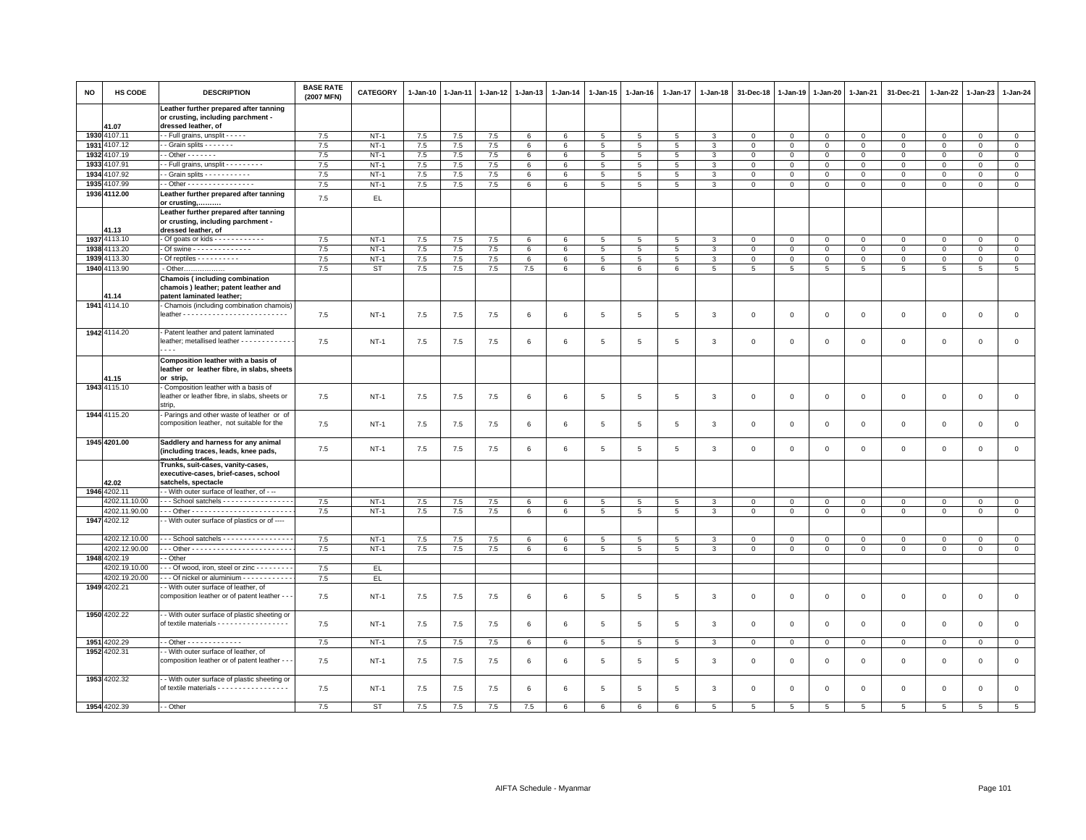| <b>NO</b> | HS CODE       | <b>DESCRIPTION</b>                                                                                    | <b>BASE RATE</b><br>(2007 MFN) | <b>CATEGORY</b> | 1-Jan-10 | 1-Jan-11 | 1-Jan-12 | 1-Jan-13 | 1-Jan-14        | 1-Jan-15        | 1-Jan-16        | 1-Jan-17        | $1 - Jan-18$   | 31-Dec-18      | 1-Jan-19                | 1-Jan-20       | 1-Jan-21       | 31-Dec-21      | 1-Jan-22       | 1-Jan-23       | $1 - Jan-24$    |
|-----------|---------------|-------------------------------------------------------------------------------------------------------|--------------------------------|-----------------|----------|----------|----------|----------|-----------------|-----------------|-----------------|-----------------|----------------|----------------|-------------------------|----------------|----------------|----------------|----------------|----------------|-----------------|
|           | 41.07         | Leather further prepared after tanning<br>or crusting, including parchment -<br>dressed leather, of   |                                |                 |          |          |          |          |                 |                 |                 |                 |                |                |                         |                |                |                |                |                |                 |
|           | 1930 4107.11  | -- Full grains, unsplit - - - - -                                                                     | 7.5                            | $NT-1$          | 7.5      | 7.5      | 7.5      | 6        | $6\phantom{.0}$ | $5\overline{5}$ | 5               | 5               | 3              | $\mathbf 0$    | $\mathbb O$             | $\circ$        | $\circ$        | $\mathsf 0$    | $\mathsf 0$    | $\mathsf 0$    | $\mathbf{0}$    |
|           | 1931 4107.12  | - Grain splits - - - - - - -                                                                          | 7.5                            | $NT-1$          | 7.5      | 7.5      | 7.5      | 6        | 6               | $\overline{5}$  | $5\overline{5}$ | 5               | 3              | $\mathbf 0$    | $\mathbb O$             | $\mathbf 0$    | $\mathbf{0}$   | $\mathsf 0$    | $\mathbf 0$    | $\mathbf 0$    | $\mathsf 0$     |
|           | 1932 4107.19  | $-$ Other $     -$                                                                                    | 7.5                            | $NT-1$          | $7.5\,$  | 7.5      | 7.5      | 6        | $\,6\,$         | 5               | $5\phantom{.0}$ | $\overline{5}$  | $\mathbf{3}$   | $\,0\,$        | $\mathbf 0$             | $\mathbf 0$    | $\mathsf 0$    | $\mathsf 0$    | $\mathbf 0$    | $\Omega$       | $\mathsf 0$     |
|           | 1933 4107.91  | - Full grains, unsplit - - - - - - - - -                                                              | 7.5                            | $NT-1$          | 7.5      | 7.5      | 7.5      | 6        | 6               | 5               | 5               | 5               | 3              | $\mathbf 0$    | $\mathbf{0}$            | $\mathbf 0$    | $\mathbf{O}$   | $\mathsf 0$    | 0              | 0              | $\mathbf 0$     |
| 1934      | 4107.92       | - Grain splits - - - - - - - - - -                                                                    | 7.5                            | $NT-1$          | 7.5      | 7.5      | 7.5      | 6        | $\,6\,$         | $\overline{5}$  | 5               | $\overline{5}$  | $\mathbf{3}$   | $\,0\,$        | $\overline{0}$          | $\,0\,$        | $\mathsf 0$    | $\mathsf 0$    | $\Omega$       | $\Omega$       | $\overline{0}$  |
|           | 1935 4107.99  | - Other - - - - - - - - - - - - - - - -                                                               | 7.5                            | $NT-1$          | 7.5      | 7.5      | 7.5      | 6        | 6               | 5 <sup>5</sup>  | $5\phantom{.0}$ | 5               | 3              | $\mathbf 0$    | $\mathbf{0}$            | $\mathbf{0}$   | $\circ$        | $\mathsf 0$    | $\mathbf 0$    | $\mathbf{0}$   | $\mathbf 0$     |
|           | 1936 4112.00  | Leather further prepared after tanning<br>or crusting,                                                | $7.5\,$                        | EL              |          |          |          |          |                 |                 |                 |                 |                |                |                         |                |                |                |                |                |                 |
|           | 41.13         | Leather further prepared after tanning<br>or crusting, including parchment -<br>dressed leather, of   |                                |                 |          |          |          |          |                 |                 |                 |                 |                |                |                         |                |                |                |                |                |                 |
|           | 1937 4113.10  | Of goats or kids - - - - - - - - - - -                                                                | 7.5                            | $NT-1$          | 7.5      | 7.5      | 7.5      | 6        | $6\phantom{.0}$ | 5               | 5               | 5               | 3              | $\mathbf 0$    | $\mathbf 0$             | $\mathsf 0$    | $\Omega$       | $\mathbf 0$    | $\Omega$       | $\mathbf 0$    | $\mathsf 0$     |
|           | 1938 4113.20  | - Of swine - - - - - - - - - - - - - -                                                                | 7.5                            | $NT-1$          | 7.5      | 7.5      | 7.5      | 6        | 6               | 5               | 5               | 5               | 3              | $\mathbf 0$    | $\mathbf{0}$            | $\mathbf 0$    | $\mathbf{0}$   | $\mathsf 0$    | $\mathbf 0$    | $\mathsf 0$    | $\mathbf 0$     |
|           | 1939 4113.30  | Of reptiles - - - - - - - - -                                                                         | 7.5                            | $NT-1$          | 7.5      | 7.5      | 7.5      | 6        | $\,6\,$         | $\overline{5}$  | 5               | $\overline{5}$  | 3              | $\mathbf 0$    | $\overline{\mathbf{0}}$ | $\overline{0}$ | $\mathsf 0$    | $\mathsf 0$    | $\Omega$       | $\Omega$       | $\overline{0}$  |
|           | 1940 4113.90  | - Other                                                                                               | 7.5                            | <b>ST</b>       | 7.5      | 7.5      | 7.5      | 7.5      | 6               | 6               | 6               | 6               | 5              | $5^{\circ}$    | 5 <sup>5</sup>          | 5              | 5              | 5              | 5              | 5              | 5               |
|           | 41.14         | Chamois (including combination<br>chamois) leather; patent leather and<br>patent laminated leather;   |                                |                 |          |          |          |          |                 |                 |                 |                 |                |                |                         |                |                |                |                |                |                 |
|           | 1941 4114.10  | - Chamois (including combination chamois)                                                             | 7.5                            | $NT-1$          | 7.5      | 7.5      | 7.5      | 6        | 6               | 5               | 5               | 5               | 3              | $\,0\,$        | $\overline{0}$          | $\mathbf 0$    | $\mathsf 0$    | $\mathsf 0$    | $\mathbf 0$    | $\mathsf 0$    | $\mathsf 0$     |
|           | 1942 4114.20  | - Patent leather and patent laminated<br>leather; metallised leather - - - - - - - - - - - -<br>$ -$  | 7.5                            | $NT-1$          | 7.5      | 7.5      | 7.5      | 6        | 6               | 5               | 5               | 5               | 3              | $\mathbf 0$    | $\overline{0}$          | $\overline{0}$ | $\mathbf{0}$   | $\mathsf 0$    | 0              | 0              | $\mathbf 0$     |
|           | 41.15         | Composition leather with a basis of<br>leather or leather fibre, in slabs, sheets<br>or strip,        |                                |                 |          |          |          |          |                 |                 |                 |                 |                |                |                         |                |                |                |                |                |                 |
|           | 1943 4115.10  | Composition leather with a basis of<br>leather or leather fibre, in slabs, sheets or<br>strip,        | 7.5                            | $NT-1$          | 7.5      | 7.5      | 7.5      | 6        | $\,6\,$         | 5               | 5               | 5               | 3              | $\,0\,$        | $\overline{0}$          | $\,0\,$        | $\mathsf 0$    | $\mathsf 0$    | $\mathsf 0$    | $\mathsf 0$    | $\mathsf 0$     |
|           | 1944 4115.20  | - Parings and other waste of leather or of<br>composition leather, not suitable for the               | 7.5                            | $NT-1$          | 7.5      | 7.5      | 7.5      | 6        | 6               | 5               | 5               | 5               | 3              | $\,0\,$        | $\overline{0}$          | $\mathbf 0$    | $\mathbf{O}$   | $\mathsf 0$    | $\mathbf 0$    | $\mathbf 0$    | $\mathbf 0$     |
|           | 1945 4201.00  | Saddlery and harness for any animal<br>(including traces, leads, knee pads,                           | 7.5                            | $NT-1$          | 7.5      | 7.5      | 7.5      | 6        | 6               | 5               | 5               | 5               | 3              | $\mathbf 0$    | $\overline{0}$          | $\mathbf 0$    | $\mathbf{0}$   | $\mathbf 0$    | $\mathbf 0$    | $\mathbf 0$    | $\mathsf 0$     |
|           | 42.02         | Trunks, suit-cases, vanity-cases,<br>executive-cases, brief-cases, school<br>satchels, spectacle      |                                |                 |          |          |          |          |                 |                 |                 |                 |                |                |                         |                |                |                |                |                |                 |
|           | 1946 4202.11  | - With outer surface of leather, of - --                                                              |                                |                 |          |          |          |          |                 |                 |                 |                 |                |                |                         |                |                |                |                |                |                 |
|           | 4202.11.10.00 | --- School satchels -----------------                                                                 | 7.5                            | $NT-1$          | 7.5      | 7.5      | 7.5      | 6        | 6               | 5               | 5               | 5               | 3              | $\mathbf{0}$   | $\mathbf{0}$            | $\mathbf{0}$   | $\mathbf{0}$   | $\mathbf 0$    | $\mathbf 0$    | $\mathbf{0}$   | $\mathsf 0$     |
|           | 4202.11.90.00 |                                                                                                       | 7.5                            | $NT-1$          | 7.5      | 7.5      | 7.5      | 6        | 6               | $5\phantom{.0}$ | $5\phantom{.0}$ | $5\phantom{.0}$ | 3              | $\mathbf 0$    | $\mathbf{0}$            | $\mathbf 0$    | $\mathbf{0}$   | $\mathsf 0$    | $\mathbf 0$    | $\mathsf 0$    | $\mathbf 0$     |
|           | 1947 4202.12  | - With outer surface of plastics or of ----                                                           |                                |                 |          |          |          |          |                 |                 |                 |                 |                |                |                         |                |                |                |                |                |                 |
|           | 4202.12.10.00 | --- School satchels ----------------                                                                  | 7.5                            | $NT-1$          | 7.5      | 7.5      | 7.5      | 6        | 6               | 5               | 5               | 5               | 3              | $\Omega$       | $\Omega$                | $\Omega$       | $\mathbf{0}$   | $\mathbf 0$    | $\mathbf 0$    | $\mathbf 0$    | $\mathbf 0$     |
|           | 4202.12.90.00 |                                                                                                       | 7.5                            | $NT-1$          | 7.5      | 7.5      | 7.5      | 6        | 6               | 5 <sup>5</sup>  | $5^{\circ}$     | 5               | 3              | $\overline{0}$ | $\mathbf{0}$            | $\mathbf{0}$   | $\mathbf{0}$   | $\mathbf{0}$   | $\mathbf 0$    | $\mathbf{0}$   | $\mathbf{0}$    |
|           | 1948 4202.19  | - Other                                                                                               |                                |                 |          |          |          |          |                 |                 |                 |                 |                |                |                         |                |                |                |                |                |                 |
|           | 4202.19.10.00 | --- Of wood, iron, steel or zinc --------                                                             | 7.5                            | EL.             |          |          |          |          |                 |                 |                 |                 |                |                |                         |                |                |                |                |                |                 |
|           | 4202.19.20.00 | --- Of nickel or aluminium ------------                                                               | 7.5                            | EL.             |          |          |          |          |                 |                 |                 |                 |                |                |                         |                |                |                |                |                |                 |
|           | 1949 4202.21  | - With outer surface of leather, of<br>composition leather or of patent leather - -                   | 7.5                            | $NT-1$          | 7.5      | 7.5      | 7.5      | 6        | 6               | $5\phantom{.0}$ | 5               | 5               | 3              | $\mathbf 0$    | $\overline{0}$          | $\mathbf 0$    | $\mathbf{O}$   | $\mathsf 0$    | $\mathbf 0$    | $\mathbf 0$    | $\mathbf 0$     |
|           | 1950 4202.22  | - With outer surface of plastic sheeting or<br>of textile materials - - - - - - - - - - - - - - - -   | 7.5                            | $NT-1$          | 7.5      | 7.5      | 7.5      | 6        | $6\phantom{.0}$ | 5 <sub>5</sub>  | 5               | 5               | 3              | $\mathbf 0$    | $\overline{0}$          | $\mathbf 0$    | $\mathbf 0$    | $\mathsf 0$    | $\mathsf 0$    | $\mathsf 0$    | $\mathbf 0$     |
|           | 1951 4202.29  | - - Other - - - - - - - - - - - - -                                                                   | 7.5                            | $NT-1$          | 7.5      | 7.5      | 7.5      | 6        | 6               | $5\overline{5}$ | 5               | 5               | $\mathbf{3}$   | $\mathbf{0}$   | $\mathbf{0}$            | $\overline{0}$ | $\mathbf{0}$   | $\mathbf 0$    | $\mathbf 0$    | $\mathbf{0}$   | $\mathbf{0}$    |
|           | 1952 4202.31  | - With outer surface of leather, of<br>composition leather or of patent leather - -                   | 7.5                            | $NT-1$          | 7.5      | 7.5      | 7.5      | 6        | 6               | 5               | 5               | 5               | 3              | $\mathbf 0$    | $\overline{0}$          | $\mathbf 0$    | $\mathbf 0$    | $\mathsf 0$    | 0              | $\mathsf 0$    | $\mathbf 0$     |
|           | 1953 4202.32  | - With outer surface of plastic sheeting or<br>of textile materials - - - - - - - - - - - - - - - - - | 7.5                            | $NT-1$          | 7.5      | 7.5      | 7.5      | 6        | 6               | 5               | 5               | 5               | 3              | $\overline{0}$ | $\overline{0}$          | $\Omega$       | $\mathbf{0}$   | $\mathbf 0$    | $\mathbf 0$    | $\mathbf 0$    | $\circ$         |
|           | 1954 4202.39  | - - Other                                                                                             | 7.5                            | <b>ST</b>       | 7.5      | 7.5      | 7.5      | 7.5      | $\epsilon$      | $\epsilon$      | $\epsilon$      | 6               | $\overline{5}$ | 5              | 5                       | $5^{\circ}$    | $\overline{5}$ | $\overline{5}$ | $\overline{5}$ | $\overline{5}$ | $5\overline{5}$ |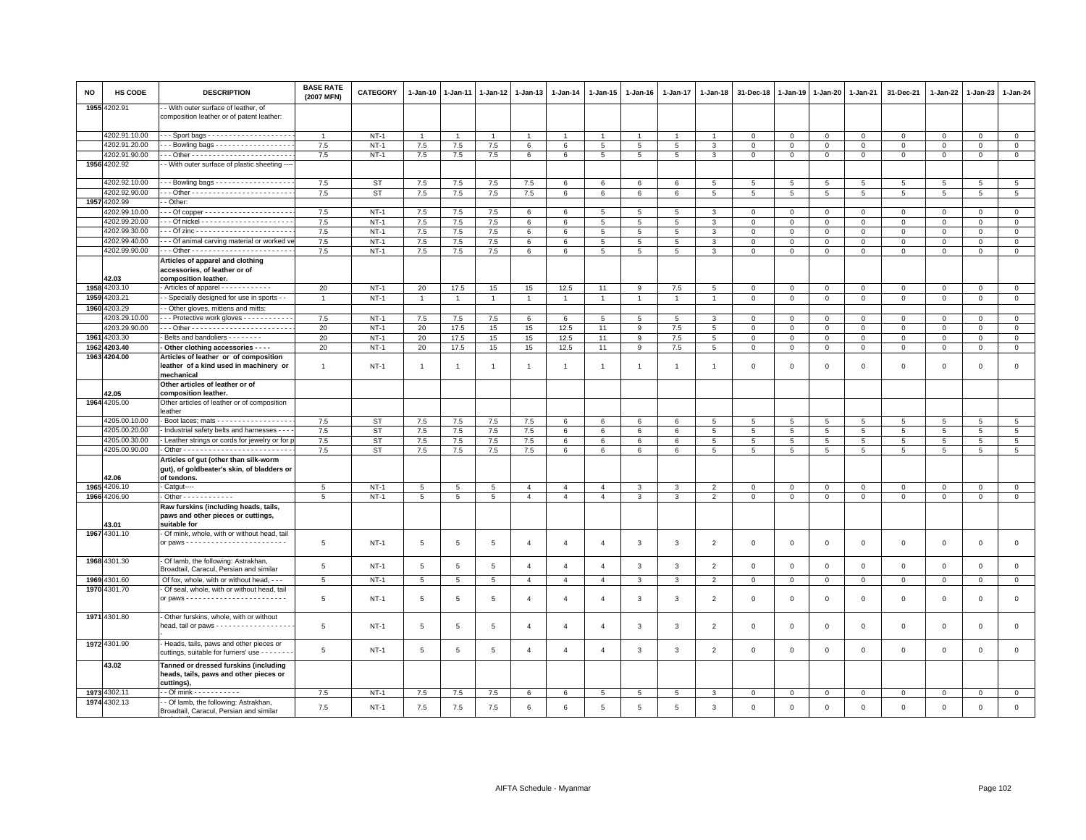| NO   | HS CODE       | <b>DESCRIPTION</b>                                                                                 | <b>BASE RATE</b><br>(2007 MFN) | <b>CATEGORY</b> | $1-Jan-10$      | 1-Jan-11        | 1-Jan-12       | $1 - Jan-13$   | $1 - Jan-14$   | 1-Jan-15        | $1 - Jan-16$    | $1 - Jan-17$   | $1 - Jan-18$   | 31-Dec-18      | $1 - Jan-19$               | $1 - Jan-20$   | 1-Jan-21       | 31-Dec-21           | 1-Jan-22     | $1-Jan-23$      | $1 - Jan-24$    |
|------|---------------|----------------------------------------------------------------------------------------------------|--------------------------------|-----------------|-----------------|-----------------|----------------|----------------|----------------|-----------------|-----------------|----------------|----------------|----------------|----------------------------|----------------|----------------|---------------------|--------------|-----------------|-----------------|
| 1955 | 1202.91       | - With outer surface of leather, of<br>composition leather or of patent leather:                   |                                |                 |                 |                 |                |                |                |                 |                 |                |                |                |                            |                |                |                     |              |                 |                 |
|      | 4202.91.10.00 |                                                                                                    | $\overline{1}$                 | $NT-1$          |                 |                 |                |                |                |                 |                 |                |                | $\Omega$       | $\Omega$                   | $\Omega$       | $\mathbf{0}$   | $\mathbf 0$         | $\Omega$     | $\Omega$        | $\mathbf{0}$    |
|      | 4202.91.20.00 | - - Bowling bags - - - - - - - - - - - - - - - - -                                                 | 7.5                            | $NT-1$          | 7.5             | $7.5$           | $7.5$          | 6              | 6              | 5               | 5               | 5              | 3              | $\mathbf 0$    | $\mathbf 0$                | $\mathbf 0$    | $\mathbf 0$    | $\mathbf{0}$        | $\Omega$     | $\mathbf{0}$    | $\mathsf 0$     |
|      | 4202.91.90.00 |                                                                                                    | 7.5                            | $NT-1$          | 7.5             | 7.5             | $7.5\,$        | 6              | 6              | 5               | 5 <sub>5</sub>  | 5              | $\mathbf{3}$   | $\mathbf 0$    | $\mathsf 0$                | $\mathbf 0$    | $\mathbf 0$    | $\mathsf 0$         | 0            | $\mathsf 0$     | $\mathsf 0$     |
|      | 1956 4202.92  | - With outer surface of plastic sheeting ---                                                       |                                |                 |                 |                 |                |                |                |                 |                 |                |                |                |                            |                |                |                     |              |                 |                 |
|      | 4202.92.10.00 | $-$ - Bowling bags - - - - - - - - - - - - - - - - - -                                             | 7.5                            | ST              | 7.5             | 7.5             | 7.5            | 7.5            |                | 6               | 6               | 6              | -5             | 5              |                            | 5              | 5              | 5                   | 5            | 5               | 5               |
|      | 4202.92.90.00 |                                                                                                    |                                | <b>ST</b>       |                 |                 |                | 7.5            | 6<br>6         | $6\overline{6}$ |                 | 6              | 5              | $\overline{5}$ | 5<br>$\overline{5}$        | $\overline{5}$ | $\overline{5}$ | $\overline{5}$      | 5            | $\overline{5}$  | $\overline{5}$  |
|      |               |                                                                                                    | 7.5                            |                 | 7.5             | 7.5             | 7.5            |                |                |                 | 6               |                |                |                |                            |                |                |                     |              |                 |                 |
|      | 1957 4202.99  | - Other:                                                                                           |                                |                 |                 |                 |                |                |                |                 |                 |                |                |                |                            |                |                |                     |              |                 |                 |
|      | 4202.99.10.00 |                                                                                                    | 7.5                            | $NT-1$          | 7.5             | 7.5             | 7.5            | 6              | 6              | 5               | 5               | 5              | 3              | $\,0\,$        | $\mathbf 0$                | $\circ$        | $\mathbf 0$    | $\mathbf{0}$        | 0            | $^{\circ}$      | $\mathbf 0$     |
|      | 4202.99.20.00 |                                                                                                    | 7.5                            | $NT-1$          | 7.5             | 7.5             | 7.5            | 6              | 6              | $5\overline{5}$ | 5               | 5              | 3              | $\overline{0}$ | $\mathbf 0$                | $\mathbf{0}$   | $\mathbf{0}$   | $\mathbf{0}$        | $\mathbf 0$  | $\mathbf{0}$    | $\circ$         |
|      | 4202.99.30.00 |                                                                                                    | 7.5                            | $NT-1$          | 7.5             | 7.5             | 7.5            | 6              | 6              | 5               | 5               | 5              | 3              | $\mathbf 0$    | $\mathbf 0$                | $\mathbf 0$    | $\mathbf 0$    | $\mathbf 0$         | $\Omega$     | $\Omega$        | $\mathbf 0$     |
|      | 4202.99.40.00 | - - Of animal carving material or worked ve                                                        | 7.5                            | $NT-1$          | 7.5             | 7.5             | 7.5            | 6              | 6              | 5               | 5               | 5              | $\mathbf{3}$   | $\mathbf 0$    | $\mathbf{0}$               | $\circ$        | $\mathbf{0}$   | $\mathbf{0}$        | $\mathbf 0$  | $\mathbf 0$     | $\mathbf{0}$    |
|      | 4202.99.90.00 |                                                                                                    | 7.5                            | $NT-1$          | 7.5             | 7.5             | $7.5\,$        | 6              | 6              | 5               | $5\phantom{.0}$ | $\overline{5}$ | 3              | $\,0\,$        | $\,0\,$                    | $\mathbf 0$    | $\mathbf 0$    | $\mathsf 0$         | 0            | $\mathsf 0$     | $\,0\,$         |
|      | 42.03         | Articles of apparel and clothing<br>accessories, of leather or of<br>composition leather.          |                                |                 |                 |                 |                |                |                |                 |                 |                |                |                |                            |                |                |                     |              |                 |                 |
| 1958 | 1203.10       | - Articles of apparel - - - - - - - - - - - -                                                      | 20                             | $NT-1$          | 20              | 17.5            | 15             | 15             | 12.5           | 11              | 9               | 7.5            | 5              | $\mathbf 0$    | $\mathbf 0$                | $\mathbf 0$    | $\mathbf 0$    | $\mathbf 0$         | $\mathbf 0$  | $\mathbf 0$     | $\mathbf 0$     |
| 1959 | 1203.21       | - Specially designed for use in sports - -                                                         | $\overline{1}$                 | $NT-1$          | $\overline{1}$  | $\overline{1}$  | $\overline{1}$ | $\overline{1}$ | $\mathbf{1}$   | $\mathbf{1}$    | $\overline{1}$  | $\overline{1}$ | $\overline{1}$ | $\mathbf 0$    | $\mathbf 0$                | $\mathbf 0$    | $\overline{0}$ | $\mathsf 0$         | $\mathsf 0$  | $\mathbf 0$     | $\mathbf{0}$    |
| 1960 | 1203.29       | - Other gloves, mittens and mitts:                                                                 |                                |                 |                 |                 |                |                |                |                 |                 |                |                |                |                            |                |                |                     |              |                 |                 |
|      | 4203.29.10.00 | - - - Protective work gloves - - - - - - - - - - -                                                 | 7.5                            | $NT-1$          | 7.5             | 7.5             | 7.5            |                | 6              | 5               | -5              | 5              | 3              | $\mathbf 0$    |                            |                | $\mathbf 0$    | $\mathsf 0$         | $\Omega$     | $\mathsf 0$     | $\mathbf 0$     |
|      | 4203.29.90.00 |                                                                                                    | 20                             | $NT-1$          | 20              | 17.5            |                | 6              | 12.5           | 11              |                 | 7.5            |                |                | $\mathbf 0$<br>$\mathsf 0$ | $\mathbf 0$    | $\mathbf 0$    | $\mathsf 0$         | $\mathbf 0$  | $\Omega$        | $\overline{0}$  |
|      |               |                                                                                                    |                                |                 |                 |                 | 15             | 15             |                |                 | 9               |                | $\overline{5}$ | $\,0\,$        |                            | $\mathbf 0$    |                |                     |              |                 |                 |
| 1961 | 4203.30       | Belts and bandoliers - - - - - - -                                                                 | 20                             | $NT-1$          | 20              | 17.5            | 15             | 15             | 12.5           | 11              | 9               | 7.5            | $\overline{5}$ | $\mathbf 0$    | $\mathsf 0$                | $\mathsf 0$    | $\mathbf 0$    | $\mathsf 0$         | $\mathbf 0$  | $\mathsf 0$     | $\mathsf 0$     |
| 1962 | 4203.40       | - Other clothing accessories - - - -                                                               | 20                             | $NT-1$          | 20              | 17.5            | 15             | 15             | 12.5           | 11              | 9               | 7.5            | $\,$ 5 $\,$    | $\mathbf 0$    | $\,0\,$                    | $\,0\,$        | $\,0\,$        | $\mathsf{O}\xspace$ | $\mathsf 0$  | $\mathbf 0$     | $\overline{0}$  |
|      | 1963 4204.00  | Articles of leather or of composition<br>leather of a kind used in machinery or<br>mechanical      | $\overline{1}$                 | $NT-1$          | $\mathbf{1}$    | -1              | -1             | $\overline{1}$ | $\overline{1}$ | $\overline{1}$  | -1              | -1             |                | $\mathbf 0$    | $\mathbf 0$                | $\mathsf 0$    | $\mathbf 0$    | $\mathsf 0$         | $\mathbf 0$  | $\mathbf 0$     | $\mathsf 0$     |
|      | 42.05         | Other articles of leather or of<br>composition leather.                                            |                                |                 |                 |                 |                |                |                |                 |                 |                |                |                |                            |                |                |                     |              |                 |                 |
| 1964 | 4205.00       | Other articles of leather or of composition<br>leather                                             |                                |                 |                 |                 |                |                |                |                 |                 |                |                |                |                            |                |                |                     |              |                 |                 |
|      | 4205.00.10.00 | - Boot laces; mats - - - - - - - - - - - - - - - - - -                                             | 7.5                            | ST              | 7.5             | 7.5             | 7.5            | 7.5            | 6              | 6               | 6               | 6              | 5              | 5              | 5                          | 5              | 5              | 5                   | 5            | 5               | 5               |
|      | 4205.00.20.00 | - Industrial safety belts and harnesses - - -                                                      | 7.5                            | ST              | 7.5             | 7.5             | 7.5            | 7.5            | 6              | 6               | 6               | 6              | 5              | 5              | 5                          | 5              | 5              | 5                   | 5            | 5               | $5\overline{5}$ |
|      | 4205.00.30.00 | - Leather strings or cords for jewelry or for p                                                    | 7.5                            | ST              | 7.5             | 7.5             | 7.5            | 7.5            | 6              | 6               | 6               | 6              | 5              | 5              | 5                          | 5              | 5              | 5                   | 5            | 5               | $5\overline{5}$ |
|      | 4205.00.90.00 |                                                                                                    | 7.5                            | <b>ST</b>       | 7.5             | 7.5             | 7.5            | 7.5            | 6              | $6\overline{6}$ | 6               | 6              | $\overline{5}$ | $\overline{5}$ | $\overline{5}$             | $\overline{5}$ | $\overline{5}$ | $\overline{5}$      | 5            | $5\phantom{.0}$ | $\overline{5}$  |
|      | 42.06         | Articles of gut (other than silk-worm<br>gut), of goldbeater's skin, of bladders or<br>of tendons. |                                |                 |                 |                 |                |                |                |                 |                 |                |                |                |                            |                |                |                     |              |                 |                 |
|      | 1965 4206.10  | - Catgut----                                                                                       | 5                              | $NT-1$          | 5               | 5               | 5              | $\overline{4}$ | $\overline{4}$ | $\overline{4}$  | 3               | 3              | $\overline{2}$ | $\mathbf 0$    | $\mathbf 0$                | $\mathbf 0$    | $\mathbf 0$    | $\mathbf 0$         | $\mathbf 0$  | $\mathsf 0$     | $\mathbf{0}$    |
|      | 1966 4206.90  | - Other - - - - - - - - - - - -                                                                    | 5                              | $NT-1$          | $5\overline{5}$ | $5\overline{5}$ | 5              | $\overline{4}$ | $\overline{4}$ | $\overline{4}$  | 3               | 3              | $\overline{2}$ | $\mathbf 0$    | $\mathsf 0$                | $\mathsf 0$    | $\mathbf 0$    | $\mathbf{0}$        | $\mathbf{0}$ | $\mathbf 0$     | $\mathsf 0$     |
|      | 13.01         | Raw furskins (including heads, tails,<br>paws and other pieces or cuttings,<br>suitable for        |                                |                 |                 |                 |                |                |                |                 |                 |                |                |                |                            |                |                |                     |              |                 |                 |
|      | 1967 4301.10  | - Of mink, whole, with or without head, tail                                                       |                                |                 |                 |                 |                |                |                |                 |                 |                |                |                |                            |                |                |                     |              |                 |                 |
|      |               |                                                                                                    | 5                              | <b>NT-1</b>     | 5               | 5               | 5              | $\overline{a}$ | $\overline{a}$ | $\overline{4}$  | 3               | 3              | $\overline{2}$ | $\mathbf 0$    | $\mathbf 0$                | $\mathbf 0$    | $\mathbf 0$    | 0                   | 0            | $\mathbf 0$     | $\mathbf 0$     |
|      | 1968 4301.30  | - Of lamb, the following: Astrakhan,<br>Broadtail, Caracul, Persian and similar                    | 5                              | $NT-1$          | $5\phantom{.0}$ | 5               | $\overline{5}$ | $\overline{4}$ | $\overline{4}$ | $\overline{4}$  | 3               | $\mathbf{3}$   | $\overline{2}$ | $\mathbf 0$    | $\mathbf 0$                | $\mathsf 0$    | $\mathbf 0$    | $\mathsf 0$         | $\mathbf 0$  | $\mathsf 0$     | $\mathsf 0$     |
|      | 1969 4301.60  | Of fox, whole, with or without head, - - -                                                         | 5                              | $NT-1$          | 5               | 5               | 5              | $\overline{4}$ | $\overline{4}$ | $\overline{4}$  | 3               | 3              | $\overline{2}$ | $\mathbf 0$    | $\mathbf 0$                | $\mathbf 0$    | $\mathbf 0$    | $\mathbf 0$         | $\mathbf 0$  | $\mathsf 0$     | $\mathbf 0$     |
|      | 1970 4301.70  | - Of seal, whole, with or without head, tail                                                       |                                |                 |                 |                 |                |                |                |                 |                 |                |                |                |                            |                |                |                     |              |                 |                 |
|      |               |                                                                                                    | 5                              | $NT-1$          | $5\phantom{.0}$ | $\overline{5}$  | $\overline{5}$ | $\overline{4}$ | $\overline{4}$ | $\overline{4}$  | 3               | 3              | $\overline{2}$ | $\,0\,$        | $\mathbf 0$                | $\,0\,$        | $\mathbf 0$    | $\mathsf{O}\xspace$ | $\mathbf 0$  | $\mathsf 0$     | $\mathsf 0$     |
|      | 1971 4301.80  | - Other furskins, whole, with or without<br>head, tail or paws - - - - - - - - - - - - - - - - - - | 5                              | $NT-1$          | 5               | 5               | 5              | $\overline{4}$ | $\overline{4}$ | $\overline{4}$  | 3               | 3              | $\overline{2}$ | $\mathbf 0$    | $\mathsf 0$                | $\mathsf 0$    | $\mathbf 0$    | $\mathsf 0$         | $\mathsf 0$  | $\mathbf 0$     | $\mathsf 0$     |
|      | 1972 4301.90  | - Heads, tails, paws and other pieces or<br>cuttings, suitable for furriers' use - - - - - -       | 5                              | $NT-1$          | $\,$ 5 $\,$     | $\,$ 5          | $\,$ 5 $\,$    | $\overline{4}$ | $\overline{4}$ | $\overline{4}$  | 3               | 3              | $\overline{2}$ | $\mathbf 0$    | $\mathsf 0$                | $\mathbf 0$    | $\mathsf 0$    | $\mathsf 0$         | $\mathsf 0$  | $\mathsf 0$     | $\mathsf 0$     |
|      | 43.02         | Tanned or dressed furskins (including<br>heads, tails, paws and other pieces or<br>cuttings),      |                                |                 |                 |                 |                |                |                |                 |                 |                |                |                |                            |                |                |                     |              |                 |                 |
|      | 1973 4302.11  | $\cdot$ - Of mink - - - - - - - - - - -                                                            | 7.5                            | $NT-1$          | 7.5             | 7.5             | 7.5            | 6              | 6              | 5               | 5               | 5              | 3              | $\mathbf 0$    | $\mathbf 0$                | $\mathbf 0$    | $\overline{0}$ | $\mathbf 0$         | $\mathbf{0}$ | $\mathbf{O}$    | $\mathbf{0}$    |
|      | 1974 4302.13  | - - Of lamb, the following: Astrakhan,                                                             |                                |                 |                 |                 |                |                |                |                 |                 |                |                |                |                            |                |                |                     |              |                 |                 |
|      |               | Broadtail, Caracul, Persian and similar                                                            | 7.5                            | $NT-1$          | 7.5             | $7.5$           | 7.5            | 6              | 6              | 5               | 5               | 5              | $\mathbf{3}$   | $\mathbf 0$    | $\mathbf 0$                | $\mathbf 0$    | $\mathsf 0$    | $\mathbf 0$         | $\mathbf 0$  | $\mathsf 0$     | $\mathsf 0$     |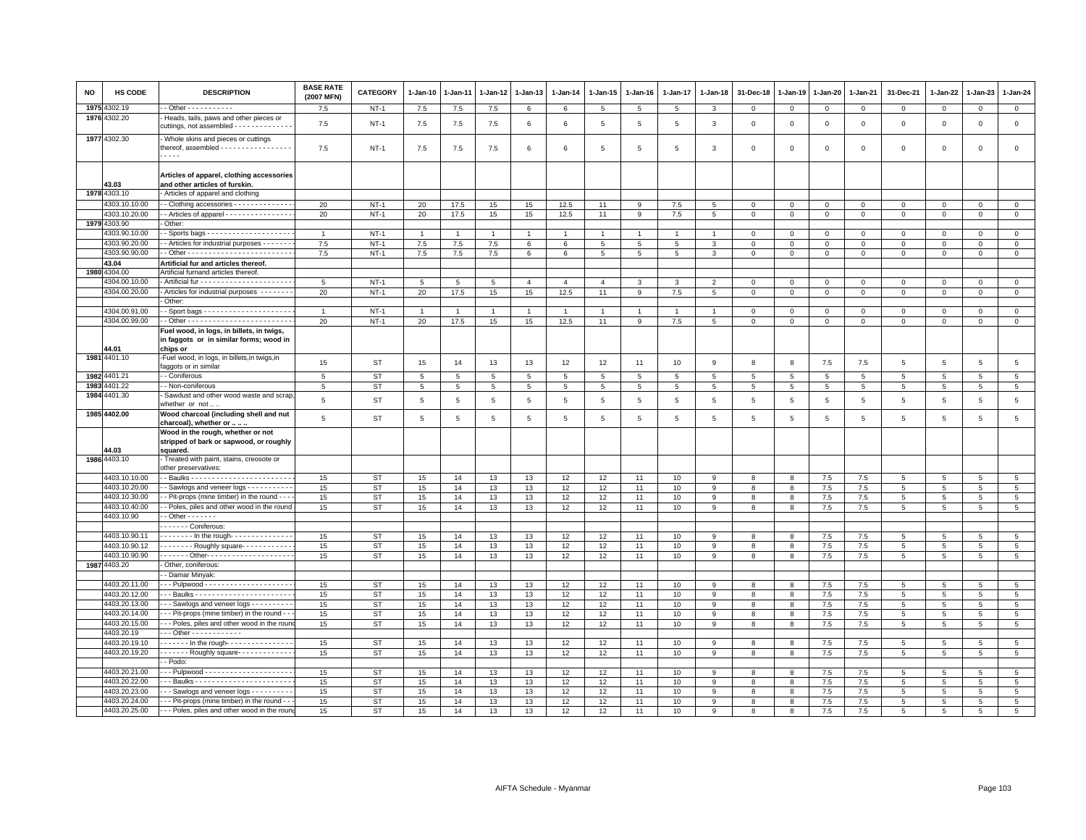| NO | HS CODE                        | <b>DESCRIPTION</b>                                                                                | <b>BASE RATE</b><br>(2007 MFN) | CATEGORY               | $1-Jan-10$      | 1-Jan-11       | 1-Jan-12       | 1-Jan-13       | $1 - Jan-14$   | $1 - Jan-15$    | $1-Jan-16$      | 1-Jan-17        | 1-Jan-18       | 31-Dec-18      | 1-Jan-19        | 1-Jan-20       | 1-Jan-21     | 31-Dec-21                     | $1 - Jan-22$    | 1-Jan-23       | $1 - Jan-24$                       |
|----|--------------------------------|---------------------------------------------------------------------------------------------------|--------------------------------|------------------------|-----------------|----------------|----------------|----------------|----------------|-----------------|-----------------|-----------------|----------------|----------------|-----------------|----------------|--------------|-------------------------------|-----------------|----------------|------------------------------------|
|    | 1975 4302.19                   |                                                                                                   | 7.5                            | $NT-1$                 | $7.5\,$         | 7.5            | 7.5            | 6              | 6              | 5               | 5               | 5               | 3              | $\mathsf 0$    | $\mathsf 0$     | $\circ$        | $\mathbf 0$  | $\mathbf 0$                   | $\mathbf 0$     | $\mathbf{O}$   | $\mathbf{0}$                       |
|    | 1976 4302.20                   | Heads, tails, paws and other pieces or<br>cuttings, not assembled - - - - - - - - - - - -         | 7.5                            | $NT-1$                 | $7.5\,$         | 7.5            | 7.5            | 6              | 6              | $\,$ 5 $\,$     | $\overline{5}$  | $\overline{5}$  | 3              | $\,0\,$        | $\,$ 0          | $\,0\,$        | $\mathsf 0$  | $\mathsf 0$                   | $\mathsf 0$     | $\mathbf 0$    | $\mathsf 0$                        |
|    | 1977 4302.30                   | - Whole skins and pieces or cuttings<br>thereof, assembled - - - - - - - - - - - - - - - - -<br>. | 7.5                            | <b>NT-1</b>            | 7.5             | 7.5            | 7.5            | 6              | 6              | 5               | 5               | $5\overline{5}$ | 3              | $\Omega$       | $\Omega$        | $\Omega$       | $\mathbf 0$  | $\mathsf 0$                   | $\mathbf 0$     | $\mathsf 0$    | $\mathsf 0$                        |
|    | 43.03                          | Articles of apparel, clothing accessories<br>and other articles of furskin.                       |                                |                        |                 |                |                |                |                |                 |                 |                 |                |                |                 |                |              |                               |                 |                |                                    |
|    | 1978 4303.10                   | Articles of apparel and clothing                                                                  |                                |                        |                 |                |                |                |                |                 |                 |                 |                |                |                 |                |              |                               |                 |                |                                    |
|    | 4303.10.10.00                  | - Clothing accessories - - - - - - - - - - - - -                                                  | 20                             | $NT-1$                 | 20              | 17.5           | 15             | 15             | 12.5           | 11              | $\mathbf{Q}$    | 7.5             | 5              | $\Omega$       | $\Omega$        | $\mathbf{0}$   | $\mathbf 0$  | $\mathbf 0$                   | $\Omega$        | $\Omega$       | $\mathsf 0$                        |
|    | 4303.10.20.00                  | - Articles of apparel - - - - - - - - - - - - - - -                                               | 20                             | $NT-1$                 | 20              | 17.5           | 15             | 15             | 12.5           | 11              | 9               | 7.5             | 5              | $\mathbf 0$    | $\mathbf 0$     | $\mathbf 0$    | $\mathbf 0$  | 0                             | 0               | $\mathbf 0$    | $\mathbf 0$                        |
|    | 1979 4303.90                   | Other:                                                                                            |                                |                        |                 |                |                |                |                |                 |                 |                 |                |                |                 |                |              |                               |                 |                |                                    |
|    | 4303.90.10.00                  |                                                                                                   | $\overline{1}$                 | $NT-1$                 | $\overline{1}$  | $\overline{1}$ | $\overline{1}$ | $\overline{1}$ | $\overline{1}$ | $\overline{1}$  |                 | $\overline{1}$  |                | $\Omega$       | $\Omega$        | $\mathbf{0}$   | $\mathbf{0}$ | $\mathbf 0$                   | $\mathbf 0$     | $\mathbf 0$    | $\mathbf{0}$                       |
|    | 4303.90.20.00                  | - Articles for industrial purposes - - - - - - -                                                  | 7.5                            | $NT-1$                 | $7.5\,$         | 7.5            | 7.5            | 6              | 6              | 5               | 5               | 5               | 3              | $\mathbf 0$    | $\mathbf 0$     | $\mathbf 0$    | $\mathbf 0$  | $\mathsf 0$                   | $\mathbf 0$     | $\mathbf 0$    | $\mathsf 0$                        |
|    | 4303.90.90.00                  |                                                                                                   | 7.5                            | $NT-1$                 | 7.5             | 7.5            | 7.5            | 6              | 6              | $5\phantom{.0}$ | $5\phantom{.0}$ | 5               | 3              | $\circ$        | $\mathsf 0$     | $\mathsf 0$    | $\mathbf 0$  | $\mathsf 0$                   | $\mathbf 0$     | $\mathsf 0$    | $\overline{0}$                     |
|    | 43.04                          | Artificial fur and articles thereof.                                                              |                                |                        |                 |                |                |                |                |                 |                 |                 |                |                |                 |                |              |                               |                 |                |                                    |
|    | 1980 4304.00                   | Artificial furnand articles thereof                                                               |                                |                        |                 |                |                |                |                |                 |                 |                 |                |                |                 |                |              |                               |                 |                |                                    |
|    | 4304.00.10.00                  |                                                                                                   | 5                              | $NT-1$                 | $5\phantom{.0}$ | 5              | 5              | $\overline{4}$ | $\overline{4}$ | $\overline{4}$  | 3               | $\mathbf{3}$    | $\overline{2}$ | $\mathbf 0$    | $\mathbf{0}$    | $\mathbf 0$    | $\mathbf 0$  | $\mathsf 0$                   | $^{\circ}$      | $\mathbf 0$    | $\overline{0}$                     |
|    | 4304.00.20.00                  | - Articles for industrial purposes --------<br>Other:                                             | 20                             | $NT-1$                 | 20              | 17.5           | 15             | 15             | 12.5           | 11              | 9               | 7.5             | 5              | $\mathbf{0}$   | $\mathbf{0}$    | $\overline{0}$ | $\mathbf{0}$ | $\mathbf 0$                   | $\Omega$        | $\Omega$       | $\mathbf{0}$                       |
|    | 4304.00.91.00                  |                                                                                                   | $\overline{1}$                 | $NT-1$                 | $\mathbf{1}$    |                |                | $\overline{1}$ |                | $\overline{1}$  |                 |                 |                | $\overline{0}$ | $\mathbf 0$     | $\mathsf 0$    | $\mathbf 0$  | $\mathsf 0$                   | $\Omega$        | $\mathbf 0$    | $\,0\,$                            |
|    | 4304.00.99.00                  |                                                                                                   | 20                             | $NT-1$                 | 20              | 17.5           | 15             | 15             | 12.5           | 11              | 9               | 7.5             | 5              | $\mathbf 0$    | $\mathbf{0}$    | $\mathbf 0$    | $\mathbf{0}$ | $\mathbf 0$                   | $\mathbf 0$     | $\mathbf 0$    | $\mathbf 0$                        |
|    |                                | Fuel wood, in logs, in billets, in twigs,                                                         |                                |                        |                 |                |                |                |                |                 |                 |                 |                |                |                 |                |              |                               |                 |                |                                    |
|    | 44.01                          | in faggots or in similar forms; wood in<br>chips or                                               |                                |                        |                 |                |                |                |                |                 |                 |                 |                |                |                 |                |              |                               |                 |                |                                    |
|    | 1981 4401.10                   | -Fuel wood, in logs, in billets, in twigs, in                                                     | 15                             | <b>ST</b>              |                 |                |                | 13             | 12             | 12              |                 | 10              | 9              | 8              | 8               | 7.5            | 7.5          | $\overline{5}$                | 5               | 5              | 5                                  |
|    |                                | faggots or in similar                                                                             |                                |                        | 15              | 14             | 13             |                |                |                 | 11              |                 |                |                |                 |                |              |                               |                 |                |                                    |
|    | 1982 4401.21                   | - Coniferous                                                                                      | 5                              | <b>ST</b>              | 5               | 5              | 5              | 5              | 5              | 5               | 5               | 5               | 5              | 5              | 5               | 5              | 5            | 5                             | 5               | 5              | 5                                  |
|    | 1983 4401.22                   | - Non-coniferous                                                                                  | 5                              | <b>ST</b>              | 5               | 5              | 5              | 5              | 5              | $5\phantom{.0}$ | 5               | $5\phantom{.0}$ | 5              | 5              | $5\phantom{.0}$ | 5              | 5            | 5                             | 5               | 5              | $5\overline{5}$                    |
|    | 1984 4401.30                   | Sawdust and other wood waste and scrap<br>whether or not.                                         | 5                              | <b>ST</b>              | 5               | $\,$ 5 $\,$    | 5              | 5              | 5              | 5               | $\,$ 5 $\,$     | $\,$ 5 $\,$     | 5              | 5              | 5               | $\,$ 5 $\,$    | 5            | $\overline{5}$                | 5               | 5              | $\,$ 5 $\,$                        |
|    | 1985 4402.00                   | Wood charcoal (including shell and nut<br>charcoal), whether or                                   | 5                              | <b>ST</b>              | 5               | 5              | 5              | 5              | 5              | 5               | 5               | 5               | 5              | 5              | 5               | 5              | 5            | 5                             | 5               | 5              | $5\phantom{.0}$                    |
|    | 44.03                          | Wood in the rough, whether or not<br>stripped of bark or sapwood, or roughly<br>squared.          |                                |                        |                 |                |                |                |                |                 |                 |                 |                |                |                 |                |              |                               |                 |                |                                    |
|    | 1986 4403.10                   | Treated with paint, stains, creosote or<br>other preservatives:                                   |                                |                        |                 |                |                |                |                |                 |                 |                 |                |                |                 |                |              |                               |                 |                |                                    |
|    | 4403.10.10.00                  |                                                                                                   | 15                             | <b>ST</b>              | 15              | 14             | 13             | 13             | 12             | 12              | 11              | 10              | 9              | -8             | 8               | 7.5            | 7.5          | 5                             | 5               | 5              | 5                                  |
|    | 4403.10.20.00                  | - Sawlogs and veneer logs - - - - - - - - -                                                       | 15                             | <b>ST</b>              | 15              | 14             | 13             | 13             | 12             | 12              | 11              | 10              | 9              | 8              | 8               | 7.5            | 7.5          | $\,$ 5 $\,$                   | 5               | 5              | $\overline{5}$                     |
|    | 4403.10.30.00<br>4403.10.40.00 | - - Pit-props (mine timber) in the round - - -<br>- Poles, piles and other wood in the round      | 15<br>15                       | ST<br><b>ST</b>        | 15<br>15        | 14<br>14       | 13<br>13       | 13<br>13       | 12<br>12       | 12<br>12        | 11              | 10<br>10        | 9<br>9         | 8<br>8         | 8<br>8          | $7.5\,$<br>7.5 | 7.5<br>7.5   | $\overline{5}$<br>$5^{\circ}$ | 5<br>5          | 5<br>5         | $5\phantom{.0}$<br>5               |
|    | 4403.10.90                     | $-$ Other $     -$                                                                                |                                |                        |                 |                |                |                |                |                 | 11              |                 |                |                |                 |                |              |                               |                 |                |                                    |
|    |                                | - - - - - - Coniferous:                                                                           |                                |                        |                 |                |                |                |                |                 |                 |                 |                |                |                 |                |              |                               |                 |                |                                    |
|    | 4403.10.90.11                  | $\overline{\cdots}$ In the rough- $\cdots$                                                        | 15                             | <b>ST</b>              | 15              | 14             | 13             | 13             | 12             | 12              | 11              | 10              | 9              | 8              | 8               | 7.5            | 7.5          | 5                             | 5               | -5             | 5                                  |
|    | 4403.10.90.12                  | $\cdots$ - Roughly square $\cdots$                                                                | 15                             | <b>ST</b>              | 15              | 14             | 13             | 13             | 12             | 12              | 11              | 10              | 9              | 8              | 8               | 7.5            | 7.5          | 5                             | $\overline{5}$  | 5              | $\overline{5}$                     |
|    | 4403.10.90.90                  | - - - - - - - Other- - - - - - - - - - - - - - - - - - -                                          | 15                             | <b>ST</b>              | 15              | 14             | 13             | 13             | 12             | 12              | 11              | 10              | 9              | 8              | 8               | $7.5\,$        | 7.5          | $\overline{5}$                | 5               | 5              | 5                                  |
|    | 1987 4403.20                   | Other, coniferous:                                                                                |                                |                        |                 |                |                |                |                |                 |                 |                 |                |                |                 |                |              |                               |                 |                |                                    |
|    |                                | - Damar Minyak:                                                                                   |                                |                        |                 |                |                |                |                |                 |                 |                 |                |                |                 |                |              |                               |                 |                |                                    |
|    | 4403.20.11.00                  |                                                                                                   | 15                             | <b>ST</b>              | 15              | 14             | 13             | 13             | 12             | 12              | 11              | 10              | 9              | 8              | 8               | $7.5\,$        | 7.5          | $\overline{5}$                | 5               | 5              | $\,$ 5 $\,$                        |
|    | 4403.20.12.00                  |                                                                                                   | 15                             | <b>ST</b>              | 15              | 14             | 13             | 13             | 12             | 12              | 11              | 10              | 9              | 8              | 8               | 7.5            | 7.5          | 5                             | 5               | 5              | 5                                  |
|    | 4403.20.13.00                  | -- Sawlogs and veneer logs ---------                                                              | 15                             | ST                     | 15              | 14             | 13             | 13             | 12             | 12              | 11              | 10              | 9              | 8              | 8               | 7.5            | 7.5          | 5                             | 5               | 5              | $5\phantom{.0}$                    |
|    | 4403.20.14.00                  | - - Pit-props (mine timber) in the round - -                                                      | 15                             | <b>ST</b>              | 15              | 14             | 13             | 13             | 12             | 12              | 11              | 10              | 9              | 8              | 8               | 7.5            | 7.5          | $\overline{5}$                | 5               | 5              | $\,$ 5 $\,$                        |
|    | 4403.20.15.00                  | -- Poles, piles and other wood in the roun                                                        | 15                             | <b>ST</b>              | 15              | 14             | 13             | 13             | 12             | 12              | 11              | 10              | 9              | 8              | 8               | 7.5            | 7.5          | 5                             | 5               | 5              | 5                                  |
|    | 4403.20.19                     | $-$ - Other - - - - - - - - - - - -                                                               |                                |                        |                 |                |                |                |                |                 |                 |                 |                |                |                 |                |              |                               |                 |                |                                    |
|    | 4403.20.19.10                  | In the rough- --------------                                                                      | 15                             | <b>ST</b>              | 15              | 14             | 13             | 13             | 12             | 12              | 11              | 10              | 9              | 8              | 8               | 7.5            | 7.5          | 5                             | $5\overline{5}$ | $\overline{5}$ | 5                                  |
|    | 4403.20.19.20                  | ------- Roughly square------------                                                                | 15                             | <b>ST</b>              | 15              | 14             | 13             | 13             | 12             | 12              | 11              | 10              | 9              | 8              | 8               | 7.5            | 7.5          | $\overline{5}$                | $\overline{5}$  | 5              | $\overline{5}$                     |
|    | 4403.20.21.00                  | - Podo:<br>-- Pulpwood ---------------------                                                      |                                |                        |                 |                |                |                |                |                 |                 |                 |                |                |                 |                |              |                               |                 |                |                                    |
|    | 4403.20.22.00                  | Baulks                                                                                            | 15<br>15                       | <b>ST</b><br><b>ST</b> | 15<br>15        | 14<br>14       | 13<br>13       | 13<br>13       | 12<br>12       | 12<br>12        | 11<br>11        | 10<br>10        | 9<br>9         | 8<br>8         | 8<br>8          | $7.5\,$<br>7.5 | 7.5<br>7.5   | $\overline{5}$<br>5           | 5<br>5          | 5<br>5         | $5\phantom{.0}$<br>$5\phantom{.0}$ |
|    | 4403.20.23.00                  | -- Sawlogs and veneer logs ---------                                                              | 15                             | <b>ST</b>              | 15              | 14             | 13             | 13             | 12             | 12              | 11              | 10              | 9              | 8              | 8               | 7.5            | 7.5          | $\overline{5}$                | 5               | 5              | $\overline{5}$                     |
|    | 4403.20.24.00                  | - - Pit-props (mine timber) in the round - -                                                      | 15                             | ST                     | 15              | 14             | 13             | 13             | 12             | 12              | 11              | 10              | 9              | 8              | 8               | $7.5\,$        | 7.5          | 5                             | 5               | $\overline{5}$ | 5                                  |
|    | 4403.20.25.00                  | - - - Poles, piles and other wood in the roun                                                     | 15                             | ST                     | 15              | 14             | 13             | 13             | 12             | 12              | 11              | 10              | 9              | 8              | 8               | 7.5            | 7.5          | 5                             | 5               | 5              | 5                                  |
|    |                                |                                                                                                   |                                |                        |                 |                |                |                |                |                 |                 |                 |                |                |                 |                |              |                               |                 |                |                                    |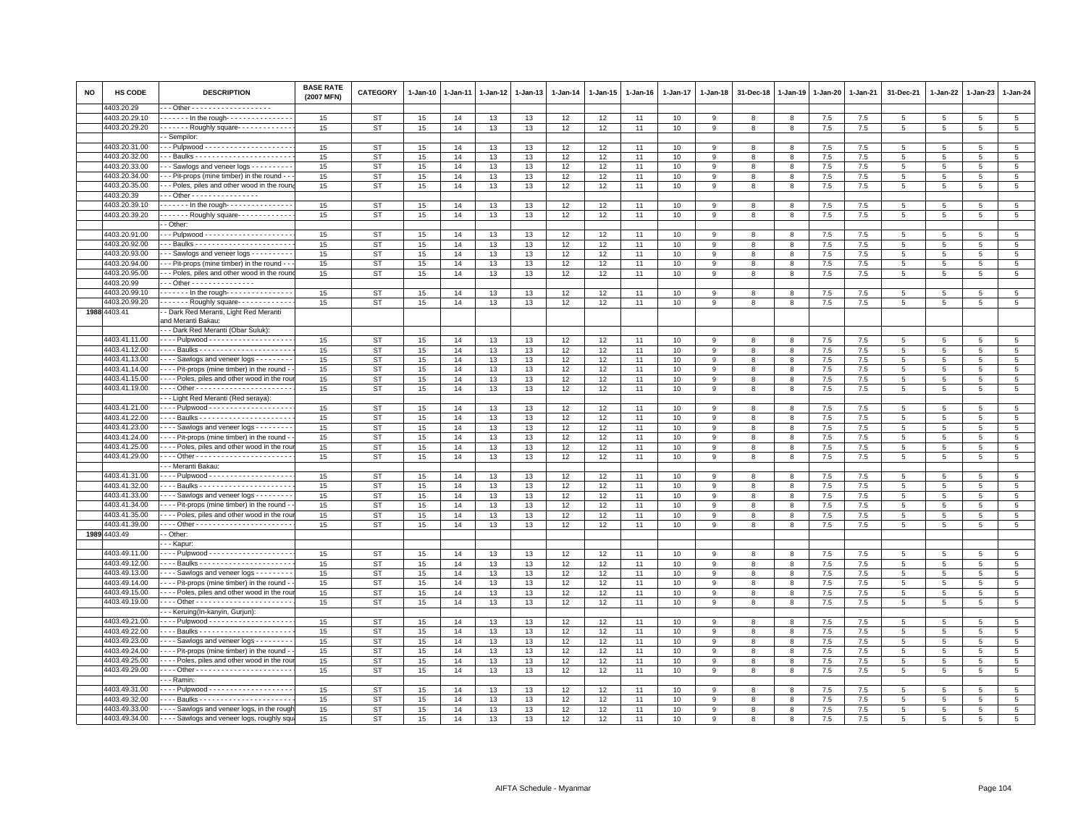| 4403.20.29<br>4403.20.29.10<br>------ In the rough---------------<br>$\overline{5}$<br>15<br>ST<br>15<br>14<br>13<br>13<br>12<br>12<br>10<br>9<br>8<br>7.5<br>7.5<br>5<br>5<br>11<br>8<br>5<br>4403.20.29.20<br>5<br>. Roughly square -<br>15<br><b>ST</b><br>15<br>14<br>13<br>13<br>12<br>12<br>11<br>10<br>9<br>8<br>7.5<br>7.5<br>5<br>5<br>8<br>5<br>- Sempilor:<br>5<br>4403.20.31.00<br>15<br><b>ST</b><br>15<br>14<br>13<br>13<br>12<br>12<br>11<br>10<br>7.5<br>7.5<br>9<br>8<br>8<br>-5<br>5<br>4403.20.32.00<br>15<br>ST<br>15<br>14<br>13<br>13<br>12<br>12<br>11<br>10<br>7.5<br>7.5<br>5<br>9<br>8<br>8<br>5<br>5<br>5<br>4403.20.33.00<br>- - Sawlogs and veneer logs - - - - - - - - -<br><b>ST</b><br>15<br>13<br>12<br>$\overline{5}$<br>15<br>14<br>13<br>12<br>11<br>10<br>9<br>8<br>8<br>7.5<br>7.5<br>5<br>5<br>5<br>$\overline{5}$<br>4403.20.34.00<br>- - Pit-props (mine timber) in the round -<br>15<br><b>ST</b><br>15<br>14<br>13<br>13<br>12<br>12<br>11<br>10<br>9<br>8<br>7.5<br>7.5<br>5<br>$\overline{5}$<br>$\overline{5}$<br>8<br>12<br>$\overline{5}$<br>4403.20.35.00<br>-- Poles, piles and other wood in the rour<br>15<br><b>ST</b><br>15<br>13<br>13<br>12<br>10<br>$7.5\,$<br>7.5<br>14<br>11<br>9<br>8<br>$5\phantom{.0}$<br>5<br>5<br>8<br>- - Other - - - - - - - - - - - - - - -<br>4403.20.39<br>In the rough-<br>4403.20.39.10<br>15<br><b>ST</b><br>15<br>13<br>13<br>12<br>12<br>10<br>7.5<br>7.5<br>5<br>14<br>11<br>9<br>8<br>8<br>5<br>5<br>5<br>4403.20.39.20<br>$\cdots$ Roughly square $\cdots$<br>15<br>ST<br>15<br>14<br>13<br>13<br>12<br>12<br>10<br>$7.5\,$<br>7.5<br>$\,$ 5 $\,$<br>11<br>9<br>8<br>5<br>$5\overline{5}$<br>$\overline{5}$<br>8<br>- Other:<br>4403.20.91.00<br>5<br>15<br>ST<br>15<br>14<br>13<br>13<br>12<br>12<br>11<br>10<br>9<br>8<br>8<br>7.5<br>7.5<br>$5\overline{5}$<br>5<br>5<br>4403.20.92.00<br>$\overline{5}$<br><b>ST</b><br>15<br>14<br>13<br>12<br>12<br>10<br>7.5<br>7.5<br>15<br>13<br>11<br>9<br>8<br>8<br>5<br>5<br>5<br>4403.20.93.00<br><b>ST</b><br>12<br>7.5<br>5<br>- - Sawlogs and veneer logs - - - - - - - -<br>15<br>15<br>14<br>13<br>13<br>12<br>11<br>10<br>9<br>8<br>8<br>7.5<br>5<br>$5\overline{5}$<br>5<br>4403.20.94.00<br>15<br><b>ST</b><br>15<br>12<br>$\overline{5}$<br>- - Pit-props (mine timber) in the round - -<br>14<br>13<br>13<br>12<br>10<br>7.5<br>7.5<br>5<br>11<br>9<br>8<br>8<br>5<br>5<br>4403.20.95.00<br>- - Poles, piles and other wood in the rour<br>15<br>ST<br>15<br>14<br>13<br>13<br>12<br>12<br>11<br>10<br>9<br>8<br>7.5<br>7.5<br>$5\phantom{.0}$<br>5<br>8<br>5<br>5<br>4403.20.99<br>Other - - - - - - - - - - - - - - -<br>4403.20.99.10<br>In the rough- --------------<br>15<br><b>ST</b><br>15<br>14<br>13<br>13<br>12<br>12<br>11<br>10<br>9<br>8<br>7.5<br>7.5<br>5<br>$\overline{5}$<br>$\overline{5}$<br>$\overline{5}$<br>8<br>$\overline{5}$<br>4403.20.99.20<br>Roughly square<br><b>ST</b><br>15<br>12<br>7.5<br>15<br>14<br>13<br>13<br>12<br>11<br>10<br>9<br>8<br>8<br>7.5<br>5<br>5<br>5<br>1988 4403.41<br>- Dark Red Meranti, Light Red Meranti<br>and Meranti Bakau:<br>- - Dark Red Meranti (Obar Suluk):<br>4403.41.11.00<br>Pulpwood - - - - - - - - - - - - - - - - - -<br><b>ST</b><br>15<br>15<br>14<br>13<br>13<br>12<br>12<br>11<br>10<br>9<br>8<br>8<br>7.5<br>7.5<br>5<br>5<br>5<br>5<br>4403.41.12.00<br>15<br><b>ST</b><br>15<br>14<br>13<br>12<br>10<br>7.5<br>$\overline{5}$<br>13<br>12<br>11<br>7.5<br>5<br>5<br>9<br>8<br>8<br>5<br>4403.41.13.00<br>Sawlogs and veneer logs<br>12<br>$\overline{5}$<br>15<br><b>ST</b><br>15<br>14<br>13<br>13<br>12<br>11<br>10<br>8<br>8<br>7.5<br>7.5<br>5<br>9<br>5<br>5<br>4403.41.14.00<br>- - - - Pit-props (mine timber) in the round -<br>15<br>5<br>15<br><b>ST</b><br>14<br>13<br>13<br>12<br>12<br>11<br>10<br>8<br>7.5<br>7.5<br>9<br>8<br>5<br>5<br>5<br>4403.41.15.00<br>- - - - Poles, piles and other wood in the rou<br>15<br><b>ST</b><br>15<br>14<br>13<br>12<br>12<br>10<br>7.5<br>7.5<br>$\overline{5}$<br>13<br>11<br>9<br>8<br>8<br>-5<br>5<br>5<br>4403.41.19.00<br>15<br><b>ST</b><br>15<br>14<br>12<br>12<br>7.5<br>$\overline{5}$<br>13<br>13<br>11<br>10<br>$7.5\,$<br>5<br>5<br>9<br>8<br>8<br>5<br>--- Light Red Meranti (Red seraya):<br>4403.41.21.00<br><b>ST</b><br>$\overline{5}$<br>15<br>15<br>14<br>13<br>13<br>12<br>12<br>10<br>7.5<br>7.5<br>11<br>- 9<br>8<br>8<br>5<br>5<br>5<br>4403.41.22.00<br><b>ST</b><br>15<br>13<br>12<br>12<br>7.5<br>7.5<br>5<br>15<br>14<br>13<br>11<br>10<br>9<br>8<br>8<br>5<br>5<br>5<br>$\overline{5}$<br>4403.41.23.00<br>15<br><b>ST</b><br>15<br>13<br>12<br>12<br>10<br>$7.5\,$<br>7.5<br>$\overline{5}$<br>Sawlogs and veneer logs - - - - - - -<br>14<br>13<br>11<br>9<br>8<br>8<br>5<br>5<br>4403.41.24.00<br>---- Pit-props (mine timber) in the round<br>ST<br>15<br>13<br>12<br>12<br>10<br>7.5<br>5<br>15<br>14<br>13<br>11<br>9<br>$\mathbf{R}$<br>8<br>7.5<br>5<br>5<br>5<br>4403.41.25.00<br>Poles, piles and other wood in the rou<br>ST<br>15<br>12<br>12<br>7.5<br>$\overline{5}$<br>15<br>14<br>13<br>13<br>11<br>10<br>9<br>8<br>8<br>7.5<br>5<br>5<br>5<br>4403.41.29.00<br>15<br><b>ST</b><br>15<br>14<br>13<br>13<br>12<br>12<br>11<br>10<br>7.5<br>7.5<br>5<br>9<br>8<br>8<br>5<br>5<br>5<br>· - - Meranti Bakau:<br>4403.41.31.00<br>. Pulpwood -<br>15<br><b>ST</b><br>15<br>13<br>12<br>12<br>10<br>7.5<br>7.5<br>5<br>14<br>13<br>11<br>9<br>8<br>8<br>5<br>5<br>5<br>4403.41.32.00<br>$\overline{5}$<br><b>ST</b><br>15<br>14<br>13<br>12<br>12<br>10<br>7.5<br>7.5<br>15<br>13<br>11<br>-9<br>8<br>8<br>-5<br>5<br>5<br>4403.41.33.00<br>Sawlogs and veneer logs - - - - - - -<br>15<br><b>ST</b><br>15<br>14<br>13<br>13<br>12<br>12<br>10<br>7.5<br>7.5<br>$\overline{5}$<br>11<br>9<br>8<br>8<br>5<br>$5\overline{5}$<br>$\overline{5}$<br>4403.41.34.00<br>--- Pit-props (mine timber) in the round<br><b>ST</b><br>15<br>13<br>12<br>12<br>7.5<br>7.5<br>$\overline{5}$<br>15<br>14<br>13<br>11<br>10<br>5<br>5<br>9<br>8<br>8<br>5<br>4403.41.35.00<br>Poles, piles and other wood in the rou<br>15<br><b>ST</b><br>15<br>14<br>13<br>12<br>12<br>10<br>7.5<br>7.5<br>$\overline{5}$<br>13<br>11<br>9<br>8<br>8<br>5<br>5<br>$\overline{5}$<br>4403.41.39.00<br>15<br>12<br>12<br>7.5<br>$\overline{5}$<br>15<br>ST<br>14<br>13<br>13<br>11<br>10<br>9<br>$7.5\,$<br>8<br>8<br>$5\phantom{.0}$<br>5<br>5<br>1989 4403.49<br>- Other:<br>- - Kapur:<br>4403.49.11.00<br>15<br>ST<br>15<br>14<br>13<br>13<br>12<br>12<br>11<br>10<br>7.5<br>7.5<br>5<br>9<br>8<br>8<br>-5<br>5<br>5<br>4403.49.12.00<br>--- Baulks ----------------------<br><b>ST</b><br>15<br>14<br>13<br>12<br>12<br>10<br>7.5<br>$\overline{5}$<br>15<br>13<br>11<br>8<br>8<br>7.5<br>5<br>-9<br>5<br>5<br>4403.49.13.00<br>Sawlogs and veneer logs<br>15<br><b>ST</b><br>15<br>14<br>13<br>13<br>12<br>12<br>11<br>10<br>8<br>7.5<br>7.5<br>5<br>5<br>9<br>8<br>5<br>5<br>4403.49.14.00<br>- - - Pit-props (mine timber) in the round<br>15<br><b>ST</b><br>15<br>14<br>13<br>13<br>12<br>12<br>10<br>7.5<br>7.5<br>5<br>$\overline{5}$<br>11<br>9<br>8<br>5<br>5<br>8<br>$\overline{5}$<br>4403.49.15.00<br>Poles, piles and other wood in the rou<br>15<br>ST<br>15<br>14<br>13<br>13<br>12<br>12<br>11<br>10<br>7.5<br>7.5<br>5<br>9<br>8<br>8<br>5<br>5<br>4403.49.19.00<br>12<br>12<br>7.5<br>$\overline{5}$<br>15<br>ST<br>15<br>14<br>13<br>13<br>11<br>10<br>9<br>8<br>8<br>7.5<br>5<br>5<br>5<br>- - Keruing(In-kanyin, Gurjun):<br>4403.49.21.00<br>15<br><b>ST</b><br>15<br>14<br>13<br>13<br>12<br>12<br>11<br>10<br>7.5<br>7.5<br>5<br>5<br>$\overline{5}$<br>$\overline{5}$<br>9<br>8<br>4403.49.22.00<br>15<br><b>ST</b><br>15<br>12<br>7.5<br>$\overline{5}$<br>14<br>13<br>13<br>12<br>11<br>10<br>9<br>8<br>7.5<br>5<br>5<br>8<br>5<br>4403.49.23.00<br>--- Sawlogs and veneer logs --------<br><b>ST</b><br>15<br>14<br>13<br>12<br>12<br>7.5<br>$\overline{5}$<br>15<br>13<br>11<br>10<br>8<br>7.5<br>9<br>8<br>5<br>5<br>5<br>- - - Pit-props (mine timber) in the round<br><b>ST</b><br>4403.49.24.00<br>15<br>15<br>14<br>13<br>13<br>12<br>12<br>11<br>10<br>9<br>8<br>7.5<br>7.5<br>5<br>5<br>8<br>5<br>5<br>4403.49.25.00<br>Poles, piles and other wood in the rou<br>15<br><b>ST</b><br>15<br>13<br>13<br>12<br>12<br>$7.5\,$<br>7.5<br>5<br>$\overline{5}$<br>14<br>11<br>10<br>$\mathbf{Q}$<br>8<br>5<br>5<br>8<br>4403.49.29.00<br>$\,$ 5 $\,$<br>15<br>ST<br>15<br>14<br>13<br>13<br>12<br>12<br>11<br>10<br>9<br>8<br>7.5<br>7.5<br>$5\phantom{.0}$<br>8<br>5<br>5<br>. - - Ramin:<br>4403.49.31.00<br>15<br><b>ST</b><br>15<br>13<br>13<br>12<br>12<br>10<br>7.5<br>7.5<br>5<br>14<br>11<br>9<br>8<br>8<br>-5<br>5<br>5<br>4403.49.32.00<br>15<br>ST<br>15<br>14<br>13<br>13<br>12<br>12<br>11<br>10<br>9<br>8<br>8<br>7.5<br>7.5<br>5<br>$5\overline{5}$<br>5<br>5<br>$\overline{5}$<br>4403.49.33.00<br><b>ST</b><br>- - - - Sawlogs and veneer logs, in the roug<br>15<br>15<br>14<br>13<br>13<br>12<br>12<br>10<br>7.5<br>7.5<br>5<br>11<br>9<br>8<br>8<br>5<br>5<br>4403.49.34.00<br>- - - - Sawlogs and veneer logs, roughly squ<br>15<br><b>ST</b><br>15<br>14<br>13<br>13<br>12<br>12<br>11<br>10<br>$\overline{9}$<br>$\mathbf{a}$<br>8<br>$7.5\,$<br>7.5<br>$\overline{5}$<br>5<br>$\overline{5}$<br>5 | <b>NO</b> | HS CODE | <b>DESCRIPTION</b> | <b>BASE RATE</b><br>(2007 MFN) | CATEGORY | 1-Jan-10 | 1-Jan-11 | 1-Jan-12 | 1-Jan-13 | 1-Jan-14 | 1-Jan-15 | 1-Jan-16 | 1-Jan-17 | 1-Jan-18 | 31-Dec-18 | 1-Jan-19 | 1-Jan-20 | 1-Jan-21 | 31-Dec-21 | 1-Jan-22 | 1-Jan-23 | 1-Jan-24 |
|------------------------------------------------------------------------------------------------------------------------------------------------------------------------------------------------------------------------------------------------------------------------------------------------------------------------------------------------------------------------------------------------------------------------------------------------------------------------------------------------------------------------------------------------------------------------------------------------------------------------------------------------------------------------------------------------------------------------------------------------------------------------------------------------------------------------------------------------------------------------------------------------------------------------------------------------------------------------------------------------------------------------------------------------------------------------------------------------------------------------------------------------------------------------------------------------------------------------------------------------------------------------------------------------------------------------------------------------------------------------------------------------------------------------------------------------------------------------------------------------------------------------------------------------------------------------------------------------------------------------------------------------------------------------------------------------------------------------------------------------------------------------------------------------------------------------------------------------------------------------------------------------------------------------------------------------------------------------------------------------------------------------------------------------------------------------------------------------------------------------------------------------------------------------------------------------------------------------------------------------------------------------------------------------------------------------------------------------------------------------------------------------------------------------------------------------------------------------------------------------------------------------------------------------------------------------------------------------------------------------------------------------------------------------------------------------------------------------------------------------------------------------------------------------------------------------------------------------------------------------------------------------------------------------------------------------------------------------------------------------------------------------------------------------------------------------------------------------------------------------------------------------------------------------------------------------------------------------------------------------------------------------------------------------------------------------------------------------------------------------------------------------------------------------------------------------------------------------------------------------------------------------------------------------------------------------------------------------------------------------------------------------------------------------------------------------------------------------------------------------------------------------------------------------------------------------------------------------------------------------------------------------------------------------------------------------------------------------------------------------------------------------------------------------------------------------------------------------------------------------------------------------------------------------------------------------------------------------------------------------------------------------------------------------------------------------------------------------------------------------------------------------------------------------------------------------------------------------------------------------------------------------------------------------------------------------------------------------------------------------------------------------------------------------------------------------------------------------------------------------------------------------------------------------------------------------------------------------------------------------------------------------------------------------------------------------------------------------------------------------------------------------------------------------------------------------------------------------------------------------------------------------------------------------------------------------------------------------------------------------------------------------------------------------------------------------------------------------------------------------------------------------------------------------------------------------------------------------------------------------------------------------------------------------------------------------------------------------------------------------------------------------------------------------------------------------------------------------------------------------------------------------------------------------------------------------------------------------------------------------------------------------------------------------------------------------------------------------------------------------------------------------------------------------------------------------------------------------------------------------------------------------------------------------------------------------------------------------------------------------------------------------------------------------------------------------------------------------------------------------------------------------------------------------------------------------------------------------------------------------------------------------------------------------------------------------------------------------------------------------------------------------------------------------------------------------------------------------------------------------------------------------------------------------------------------------------------------------------------------------------------------------------------------------------------------------------------------------------------------------------------------------------------------------------------------------------------------------------------------------------------------------------------------------------------------------------------------------------------------------------------------------------------------------------------------------------------------------------------------------------------------------------------------------------------------------------------------------------------------------------------------------------------------------------------------------------------------------------------------------------------------------------------------------------------------------------------------------------------------------------------------------------------------------------------------------------------------------------------------------------------------------------------------------------------------------------------------------------------------------------------------------------------------------------------------------------------------------------------------------------------------------------------------------------------------------------------------------------------------------------------------------------------------------------------------------------------------------------------------------------------------------------------------------------------------------------------------------------------------------------------------------------------------------------------------------------------------------------------------------------------------------------------------------------------------------------------------------------------------------------------------------------------------------------------------------------------------------------------------------------------------------------------------------------------------------------------------------------------------------------------------------------------------------------------------------------------------------------------------------------------------------------------------------------------------------------------------------------------------------------------------------------------------------------------------------------------------------------------|-----------|---------|--------------------|--------------------------------|----------|----------|----------|----------|----------|----------|----------|----------|----------|----------|-----------|----------|----------|----------|-----------|----------|----------|----------|
|                                                                                                                                                                                                                                                                                                                                                                                                                                                                                                                                                                                                                                                                                                                                                                                                                                                                                                                                                                                                                                                                                                                                                                                                                                                                                                                                                                                                                                                                                                                                                                                                                                                                                                                                                                                                                                                                                                                                                                                                                                                                                                                                                                                                                                                                                                                                                                                                                                                                                                                                                                                                                                                                                                                                                                                                                                                                                                                                                                                                                                                                                                                                                                                                                                                                                                                                                                                                                                                                                                                                                                                                                                                                                                                                                                                                                                                                                                                                                                                                                                                                                                                                                                                                                                                                                                                                                                                                                                                                                                                                                                                                                                                                                                                                                                                                                                                                                                                                                                                                                                                                                                                                                                                                                                                                                                                                                                                                                                                                                                                                                                                                                                                                                                                                                                                                                                                                                                                                                                                                                                                                                                                                                                                                                                                                                                                                                                                                                                                                                                                                                                                                                                                                                                                                                                                                                                                                                                                                                                                                                                                                                                                                                                                                                                                                                                                                                                                                                                                                                                                                                                                                                                                                                                                                                                                                                                                                                                                                                                                                                                                                                                                                                                                                                                                                                                                                                                                                                                                                                                                                                                                                                                                                                                                                                                                                                                                                                                                                                                                                                                                                                                                                                                                                                                                                                                                                                            |           |         |                    |                                |          |          |          |          |          |          |          |          |          |          |           |          |          |          |           |          |          |          |
|                                                                                                                                                                                                                                                                                                                                                                                                                                                                                                                                                                                                                                                                                                                                                                                                                                                                                                                                                                                                                                                                                                                                                                                                                                                                                                                                                                                                                                                                                                                                                                                                                                                                                                                                                                                                                                                                                                                                                                                                                                                                                                                                                                                                                                                                                                                                                                                                                                                                                                                                                                                                                                                                                                                                                                                                                                                                                                                                                                                                                                                                                                                                                                                                                                                                                                                                                                                                                                                                                                                                                                                                                                                                                                                                                                                                                                                                                                                                                                                                                                                                                                                                                                                                                                                                                                                                                                                                                                                                                                                                                                                                                                                                                                                                                                                                                                                                                                                                                                                                                                                                                                                                                                                                                                                                                                                                                                                                                                                                                                                                                                                                                                                                                                                                                                                                                                                                                                                                                                                                                                                                                                                                                                                                                                                                                                                                                                                                                                                                                                                                                                                                                                                                                                                                                                                                                                                                                                                                                                                                                                                                                                                                                                                                                                                                                                                                                                                                                                                                                                                                                                                                                                                                                                                                                                                                                                                                                                                                                                                                                                                                                                                                                                                                                                                                                                                                                                                                                                                                                                                                                                                                                                                                                                                                                                                                                                                                                                                                                                                                                                                                                                                                                                                                                                                                                                                                                            |           |         |                    |                                |          |          |          |          |          |          |          |          |          |          |           |          |          |          |           |          |          |          |
|                                                                                                                                                                                                                                                                                                                                                                                                                                                                                                                                                                                                                                                                                                                                                                                                                                                                                                                                                                                                                                                                                                                                                                                                                                                                                                                                                                                                                                                                                                                                                                                                                                                                                                                                                                                                                                                                                                                                                                                                                                                                                                                                                                                                                                                                                                                                                                                                                                                                                                                                                                                                                                                                                                                                                                                                                                                                                                                                                                                                                                                                                                                                                                                                                                                                                                                                                                                                                                                                                                                                                                                                                                                                                                                                                                                                                                                                                                                                                                                                                                                                                                                                                                                                                                                                                                                                                                                                                                                                                                                                                                                                                                                                                                                                                                                                                                                                                                                                                                                                                                                                                                                                                                                                                                                                                                                                                                                                                                                                                                                                                                                                                                                                                                                                                                                                                                                                                                                                                                                                                                                                                                                                                                                                                                                                                                                                                                                                                                                                                                                                                                                                                                                                                                                                                                                                                                                                                                                                                                                                                                                                                                                                                                                                                                                                                                                                                                                                                                                                                                                                                                                                                                                                                                                                                                                                                                                                                                                                                                                                                                                                                                                                                                                                                                                                                                                                                                                                                                                                                                                                                                                                                                                                                                                                                                                                                                                                                                                                                                                                                                                                                                                                                                                                                                                                                                                                                            |           |         |                    |                                |          |          |          |          |          |          |          |          |          |          |           |          |          |          |           |          |          |          |
|                                                                                                                                                                                                                                                                                                                                                                                                                                                                                                                                                                                                                                                                                                                                                                                                                                                                                                                                                                                                                                                                                                                                                                                                                                                                                                                                                                                                                                                                                                                                                                                                                                                                                                                                                                                                                                                                                                                                                                                                                                                                                                                                                                                                                                                                                                                                                                                                                                                                                                                                                                                                                                                                                                                                                                                                                                                                                                                                                                                                                                                                                                                                                                                                                                                                                                                                                                                                                                                                                                                                                                                                                                                                                                                                                                                                                                                                                                                                                                                                                                                                                                                                                                                                                                                                                                                                                                                                                                                                                                                                                                                                                                                                                                                                                                                                                                                                                                                                                                                                                                                                                                                                                                                                                                                                                                                                                                                                                                                                                                                                                                                                                                                                                                                                                                                                                                                                                                                                                                                                                                                                                                                                                                                                                                                                                                                                                                                                                                                                                                                                                                                                                                                                                                                                                                                                                                                                                                                                                                                                                                                                                                                                                                                                                                                                                                                                                                                                                                                                                                                                                                                                                                                                                                                                                                                                                                                                                                                                                                                                                                                                                                                                                                                                                                                                                                                                                                                                                                                                                                                                                                                                                                                                                                                                                                                                                                                                                                                                                                                                                                                                                                                                                                                                                                                                                                                                                            |           |         |                    |                                |          |          |          |          |          |          |          |          |          |          |           |          |          |          |           |          |          |          |
|                                                                                                                                                                                                                                                                                                                                                                                                                                                                                                                                                                                                                                                                                                                                                                                                                                                                                                                                                                                                                                                                                                                                                                                                                                                                                                                                                                                                                                                                                                                                                                                                                                                                                                                                                                                                                                                                                                                                                                                                                                                                                                                                                                                                                                                                                                                                                                                                                                                                                                                                                                                                                                                                                                                                                                                                                                                                                                                                                                                                                                                                                                                                                                                                                                                                                                                                                                                                                                                                                                                                                                                                                                                                                                                                                                                                                                                                                                                                                                                                                                                                                                                                                                                                                                                                                                                                                                                                                                                                                                                                                                                                                                                                                                                                                                                                                                                                                                                                                                                                                                                                                                                                                                                                                                                                                                                                                                                                                                                                                                                                                                                                                                                                                                                                                                                                                                                                                                                                                                                                                                                                                                                                                                                                                                                                                                                                                                                                                                                                                                                                                                                                                                                                                                                                                                                                                                                                                                                                                                                                                                                                                                                                                                                                                                                                                                                                                                                                                                                                                                                                                                                                                                                                                                                                                                                                                                                                                                                                                                                                                                                                                                                                                                                                                                                                                                                                                                                                                                                                                                                                                                                                                                                                                                                                                                                                                                                                                                                                                                                                                                                                                                                                                                                                                                                                                                                                                            |           |         |                    |                                |          |          |          |          |          |          |          |          |          |          |           |          |          |          |           |          |          |          |
|                                                                                                                                                                                                                                                                                                                                                                                                                                                                                                                                                                                                                                                                                                                                                                                                                                                                                                                                                                                                                                                                                                                                                                                                                                                                                                                                                                                                                                                                                                                                                                                                                                                                                                                                                                                                                                                                                                                                                                                                                                                                                                                                                                                                                                                                                                                                                                                                                                                                                                                                                                                                                                                                                                                                                                                                                                                                                                                                                                                                                                                                                                                                                                                                                                                                                                                                                                                                                                                                                                                                                                                                                                                                                                                                                                                                                                                                                                                                                                                                                                                                                                                                                                                                                                                                                                                                                                                                                                                                                                                                                                                                                                                                                                                                                                                                                                                                                                                                                                                                                                                                                                                                                                                                                                                                                                                                                                                                                                                                                                                                                                                                                                                                                                                                                                                                                                                                                                                                                                                                                                                                                                                                                                                                                                                                                                                                                                                                                                                                                                                                                                                                                                                                                                                                                                                                                                                                                                                                                                                                                                                                                                                                                                                                                                                                                                                                                                                                                                                                                                                                                                                                                                                                                                                                                                                                                                                                                                                                                                                                                                                                                                                                                                                                                                                                                                                                                                                                                                                                                                                                                                                                                                                                                                                                                                                                                                                                                                                                                                                                                                                                                                                                                                                                                                                                                                                                                            |           |         |                    |                                |          |          |          |          |          |          |          |          |          |          |           |          |          |          |           |          |          |          |
|                                                                                                                                                                                                                                                                                                                                                                                                                                                                                                                                                                                                                                                                                                                                                                                                                                                                                                                                                                                                                                                                                                                                                                                                                                                                                                                                                                                                                                                                                                                                                                                                                                                                                                                                                                                                                                                                                                                                                                                                                                                                                                                                                                                                                                                                                                                                                                                                                                                                                                                                                                                                                                                                                                                                                                                                                                                                                                                                                                                                                                                                                                                                                                                                                                                                                                                                                                                                                                                                                                                                                                                                                                                                                                                                                                                                                                                                                                                                                                                                                                                                                                                                                                                                                                                                                                                                                                                                                                                                                                                                                                                                                                                                                                                                                                                                                                                                                                                                                                                                                                                                                                                                                                                                                                                                                                                                                                                                                                                                                                                                                                                                                                                                                                                                                                                                                                                                                                                                                                                                                                                                                                                                                                                                                                                                                                                                                                                                                                                                                                                                                                                                                                                                                                                                                                                                                                                                                                                                                                                                                                                                                                                                                                                                                                                                                                                                                                                                                                                                                                                                                                                                                                                                                                                                                                                                                                                                                                                                                                                                                                                                                                                                                                                                                                                                                                                                                                                                                                                                                                                                                                                                                                                                                                                                                                                                                                                                                                                                                                                                                                                                                                                                                                                                                                                                                                                                                            |           |         |                    |                                |          |          |          |          |          |          |          |          |          |          |           |          |          |          |           |          |          |          |
|                                                                                                                                                                                                                                                                                                                                                                                                                                                                                                                                                                                                                                                                                                                                                                                                                                                                                                                                                                                                                                                                                                                                                                                                                                                                                                                                                                                                                                                                                                                                                                                                                                                                                                                                                                                                                                                                                                                                                                                                                                                                                                                                                                                                                                                                                                                                                                                                                                                                                                                                                                                                                                                                                                                                                                                                                                                                                                                                                                                                                                                                                                                                                                                                                                                                                                                                                                                                                                                                                                                                                                                                                                                                                                                                                                                                                                                                                                                                                                                                                                                                                                                                                                                                                                                                                                                                                                                                                                                                                                                                                                                                                                                                                                                                                                                                                                                                                                                                                                                                                                                                                                                                                                                                                                                                                                                                                                                                                                                                                                                                                                                                                                                                                                                                                                                                                                                                                                                                                                                                                                                                                                                                                                                                                                                                                                                                                                                                                                                                                                                                                                                                                                                                                                                                                                                                                                                                                                                                                                                                                                                                                                                                                                                                                                                                                                                                                                                                                                                                                                                                                                                                                                                                                                                                                                                                                                                                                                                                                                                                                                                                                                                                                                                                                                                                                                                                                                                                                                                                                                                                                                                                                                                                                                                                                                                                                                                                                                                                                                                                                                                                                                                                                                                                                                                                                                                                                            |           |         |                    |                                |          |          |          |          |          |          |          |          |          |          |           |          |          |          |           |          |          |          |
|                                                                                                                                                                                                                                                                                                                                                                                                                                                                                                                                                                                                                                                                                                                                                                                                                                                                                                                                                                                                                                                                                                                                                                                                                                                                                                                                                                                                                                                                                                                                                                                                                                                                                                                                                                                                                                                                                                                                                                                                                                                                                                                                                                                                                                                                                                                                                                                                                                                                                                                                                                                                                                                                                                                                                                                                                                                                                                                                                                                                                                                                                                                                                                                                                                                                                                                                                                                                                                                                                                                                                                                                                                                                                                                                                                                                                                                                                                                                                                                                                                                                                                                                                                                                                                                                                                                                                                                                                                                                                                                                                                                                                                                                                                                                                                                                                                                                                                                                                                                                                                                                                                                                                                                                                                                                                                                                                                                                                                                                                                                                                                                                                                                                                                                                                                                                                                                                                                                                                                                                                                                                                                                                                                                                                                                                                                                                                                                                                                                                                                                                                                                                                                                                                                                                                                                                                                                                                                                                                                                                                                                                                                                                                                                                                                                                                                                                                                                                                                                                                                                                                                                                                                                                                                                                                                                                                                                                                                                                                                                                                                                                                                                                                                                                                                                                                                                                                                                                                                                                                                                                                                                                                                                                                                                                                                                                                                                                                                                                                                                                                                                                                                                                                                                                                                                                                                                                                            |           |         |                    |                                |          |          |          |          |          |          |          |          |          |          |           |          |          |          |           |          |          |          |
|                                                                                                                                                                                                                                                                                                                                                                                                                                                                                                                                                                                                                                                                                                                                                                                                                                                                                                                                                                                                                                                                                                                                                                                                                                                                                                                                                                                                                                                                                                                                                                                                                                                                                                                                                                                                                                                                                                                                                                                                                                                                                                                                                                                                                                                                                                                                                                                                                                                                                                                                                                                                                                                                                                                                                                                                                                                                                                                                                                                                                                                                                                                                                                                                                                                                                                                                                                                                                                                                                                                                                                                                                                                                                                                                                                                                                                                                                                                                                                                                                                                                                                                                                                                                                                                                                                                                                                                                                                                                                                                                                                                                                                                                                                                                                                                                                                                                                                                                                                                                                                                                                                                                                                                                                                                                                                                                                                                                                                                                                                                                                                                                                                                                                                                                                                                                                                                                                                                                                                                                                                                                                                                                                                                                                                                                                                                                                                                                                                                                                                                                                                                                                                                                                                                                                                                                                                                                                                                                                                                                                                                                                                                                                                                                                                                                                                                                                                                                                                                                                                                                                                                                                                                                                                                                                                                                                                                                                                                                                                                                                                                                                                                                                                                                                                                                                                                                                                                                                                                                                                                                                                                                                                                                                                                                                                                                                                                                                                                                                                                                                                                                                                                                                                                                                                                                                                                                                            |           |         |                    |                                |          |          |          |          |          |          |          |          |          |          |           |          |          |          |           |          |          |          |
|                                                                                                                                                                                                                                                                                                                                                                                                                                                                                                                                                                                                                                                                                                                                                                                                                                                                                                                                                                                                                                                                                                                                                                                                                                                                                                                                                                                                                                                                                                                                                                                                                                                                                                                                                                                                                                                                                                                                                                                                                                                                                                                                                                                                                                                                                                                                                                                                                                                                                                                                                                                                                                                                                                                                                                                                                                                                                                                                                                                                                                                                                                                                                                                                                                                                                                                                                                                                                                                                                                                                                                                                                                                                                                                                                                                                                                                                                                                                                                                                                                                                                                                                                                                                                                                                                                                                                                                                                                                                                                                                                                                                                                                                                                                                                                                                                                                                                                                                                                                                                                                                                                                                                                                                                                                                                                                                                                                                                                                                                                                                                                                                                                                                                                                                                                                                                                                                                                                                                                                                                                                                                                                                                                                                                                                                                                                                                                                                                                                                                                                                                                                                                                                                                                                                                                                                                                                                                                                                                                                                                                                                                                                                                                                                                                                                                                                                                                                                                                                                                                                                                                                                                                                                                                                                                                                                                                                                                                                                                                                                                                                                                                                                                                                                                                                                                                                                                                                                                                                                                                                                                                                                                                                                                                                                                                                                                                                                                                                                                                                                                                                                                                                                                                                                                                                                                                                                                            |           |         |                    |                                |          |          |          |          |          |          |          |          |          |          |           |          |          |          |           |          |          |          |
|                                                                                                                                                                                                                                                                                                                                                                                                                                                                                                                                                                                                                                                                                                                                                                                                                                                                                                                                                                                                                                                                                                                                                                                                                                                                                                                                                                                                                                                                                                                                                                                                                                                                                                                                                                                                                                                                                                                                                                                                                                                                                                                                                                                                                                                                                                                                                                                                                                                                                                                                                                                                                                                                                                                                                                                                                                                                                                                                                                                                                                                                                                                                                                                                                                                                                                                                                                                                                                                                                                                                                                                                                                                                                                                                                                                                                                                                                                                                                                                                                                                                                                                                                                                                                                                                                                                                                                                                                                                                                                                                                                                                                                                                                                                                                                                                                                                                                                                                                                                                                                                                                                                                                                                                                                                                                                                                                                                                                                                                                                                                                                                                                                                                                                                                                                                                                                                                                                                                                                                                                                                                                                                                                                                                                                                                                                                                                                                                                                                                                                                                                                                                                                                                                                                                                                                                                                                                                                                                                                                                                                                                                                                                                                                                                                                                                                                                                                                                                                                                                                                                                                                                                                                                                                                                                                                                                                                                                                                                                                                                                                                                                                                                                                                                                                                                                                                                                                                                                                                                                                                                                                                                                                                                                                                                                                                                                                                                                                                                                                                                                                                                                                                                                                                                                                                                                                                                                            |           |         |                    |                                |          |          |          |          |          |          |          |          |          |          |           |          |          |          |           |          |          |          |
|                                                                                                                                                                                                                                                                                                                                                                                                                                                                                                                                                                                                                                                                                                                                                                                                                                                                                                                                                                                                                                                                                                                                                                                                                                                                                                                                                                                                                                                                                                                                                                                                                                                                                                                                                                                                                                                                                                                                                                                                                                                                                                                                                                                                                                                                                                                                                                                                                                                                                                                                                                                                                                                                                                                                                                                                                                                                                                                                                                                                                                                                                                                                                                                                                                                                                                                                                                                                                                                                                                                                                                                                                                                                                                                                                                                                                                                                                                                                                                                                                                                                                                                                                                                                                                                                                                                                                                                                                                                                                                                                                                                                                                                                                                                                                                                                                                                                                                                                                                                                                                                                                                                                                                                                                                                                                                                                                                                                                                                                                                                                                                                                                                                                                                                                                                                                                                                                                                                                                                                                                                                                                                                                                                                                                                                                                                                                                                                                                                                                                                                                                                                                                                                                                                                                                                                                                                                                                                                                                                                                                                                                                                                                                                                                                                                                                                                                                                                                                                                                                                                                                                                                                                                                                                                                                                                                                                                                                                                                                                                                                                                                                                                                                                                                                                                                                                                                                                                                                                                                                                                                                                                                                                                                                                                                                                                                                                                                                                                                                                                                                                                                                                                                                                                                                                                                                                                                                            |           |         |                    |                                |          |          |          |          |          |          |          |          |          |          |           |          |          |          |           |          |          |          |
|                                                                                                                                                                                                                                                                                                                                                                                                                                                                                                                                                                                                                                                                                                                                                                                                                                                                                                                                                                                                                                                                                                                                                                                                                                                                                                                                                                                                                                                                                                                                                                                                                                                                                                                                                                                                                                                                                                                                                                                                                                                                                                                                                                                                                                                                                                                                                                                                                                                                                                                                                                                                                                                                                                                                                                                                                                                                                                                                                                                                                                                                                                                                                                                                                                                                                                                                                                                                                                                                                                                                                                                                                                                                                                                                                                                                                                                                                                                                                                                                                                                                                                                                                                                                                                                                                                                                                                                                                                                                                                                                                                                                                                                                                                                                                                                                                                                                                                                                                                                                                                                                                                                                                                                                                                                                                                                                                                                                                                                                                                                                                                                                                                                                                                                                                                                                                                                                                                                                                                                                                                                                                                                                                                                                                                                                                                                                                                                                                                                                                                                                                                                                                                                                                                                                                                                                                                                                                                                                                                                                                                                                                                                                                                                                                                                                                                                                                                                                                                                                                                                                                                                                                                                                                                                                                                                                                                                                                                                                                                                                                                                                                                                                                                                                                                                                                                                                                                                                                                                                                                                                                                                                                                                                                                                                                                                                                                                                                                                                                                                                                                                                                                                                                                                                                                                                                                                                                            |           |         |                    |                                |          |          |          |          |          |          |          |          |          |          |           |          |          |          |           |          |          |          |
|                                                                                                                                                                                                                                                                                                                                                                                                                                                                                                                                                                                                                                                                                                                                                                                                                                                                                                                                                                                                                                                                                                                                                                                                                                                                                                                                                                                                                                                                                                                                                                                                                                                                                                                                                                                                                                                                                                                                                                                                                                                                                                                                                                                                                                                                                                                                                                                                                                                                                                                                                                                                                                                                                                                                                                                                                                                                                                                                                                                                                                                                                                                                                                                                                                                                                                                                                                                                                                                                                                                                                                                                                                                                                                                                                                                                                                                                                                                                                                                                                                                                                                                                                                                                                                                                                                                                                                                                                                                                                                                                                                                                                                                                                                                                                                                                                                                                                                                                                                                                                                                                                                                                                                                                                                                                                                                                                                                                                                                                                                                                                                                                                                                                                                                                                                                                                                                                                                                                                                                                                                                                                                                                                                                                                                                                                                                                                                                                                                                                                                                                                                                                                                                                                                                                                                                                                                                                                                                                                                                                                                                                                                                                                                                                                                                                                                                                                                                                                                                                                                                                                                                                                                                                                                                                                                                                                                                                                                                                                                                                                                                                                                                                                                                                                                                                                                                                                                                                                                                                                                                                                                                                                                                                                                                                                                                                                                                                                                                                                                                                                                                                                                                                                                                                                                                                                                                                                            |           |         |                    |                                |          |          |          |          |          |          |          |          |          |          |           |          |          |          |           |          |          |          |
|                                                                                                                                                                                                                                                                                                                                                                                                                                                                                                                                                                                                                                                                                                                                                                                                                                                                                                                                                                                                                                                                                                                                                                                                                                                                                                                                                                                                                                                                                                                                                                                                                                                                                                                                                                                                                                                                                                                                                                                                                                                                                                                                                                                                                                                                                                                                                                                                                                                                                                                                                                                                                                                                                                                                                                                                                                                                                                                                                                                                                                                                                                                                                                                                                                                                                                                                                                                                                                                                                                                                                                                                                                                                                                                                                                                                                                                                                                                                                                                                                                                                                                                                                                                                                                                                                                                                                                                                                                                                                                                                                                                                                                                                                                                                                                                                                                                                                                                                                                                                                                                                                                                                                                                                                                                                                                                                                                                                                                                                                                                                                                                                                                                                                                                                                                                                                                                                                                                                                                                                                                                                                                                                                                                                                                                                                                                                                                                                                                                                                                                                                                                                                                                                                                                                                                                                                                                                                                                                                                                                                                                                                                                                                                                                                                                                                                                                                                                                                                                                                                                                                                                                                                                                                                                                                                                                                                                                                                                                                                                                                                                                                                                                                                                                                                                                                                                                                                                                                                                                                                                                                                                                                                                                                                                                                                                                                                                                                                                                                                                                                                                                                                                                                                                                                                                                                                                                                            |           |         |                    |                                |          |          |          |          |          |          |          |          |          |          |           |          |          |          |           |          |          |          |
|                                                                                                                                                                                                                                                                                                                                                                                                                                                                                                                                                                                                                                                                                                                                                                                                                                                                                                                                                                                                                                                                                                                                                                                                                                                                                                                                                                                                                                                                                                                                                                                                                                                                                                                                                                                                                                                                                                                                                                                                                                                                                                                                                                                                                                                                                                                                                                                                                                                                                                                                                                                                                                                                                                                                                                                                                                                                                                                                                                                                                                                                                                                                                                                                                                                                                                                                                                                                                                                                                                                                                                                                                                                                                                                                                                                                                                                                                                                                                                                                                                                                                                                                                                                                                                                                                                                                                                                                                                                                                                                                                                                                                                                                                                                                                                                                                                                                                                                                                                                                                                                                                                                                                                                                                                                                                                                                                                                                                                                                                                                                                                                                                                                                                                                                                                                                                                                                                                                                                                                                                                                                                                                                                                                                                                                                                                                                                                                                                                                                                                                                                                                                                                                                                                                                                                                                                                                                                                                                                                                                                                                                                                                                                                                                                                                                                                                                                                                                                                                                                                                                                                                                                                                                                                                                                                                                                                                                                                                                                                                                                                                                                                                                                                                                                                                                                                                                                                                                                                                                                                                                                                                                                                                                                                                                                                                                                                                                                                                                                                                                                                                                                                                                                                                                                                                                                                                                                            |           |         |                    |                                |          |          |          |          |          |          |          |          |          |          |           |          |          |          |           |          |          |          |
|                                                                                                                                                                                                                                                                                                                                                                                                                                                                                                                                                                                                                                                                                                                                                                                                                                                                                                                                                                                                                                                                                                                                                                                                                                                                                                                                                                                                                                                                                                                                                                                                                                                                                                                                                                                                                                                                                                                                                                                                                                                                                                                                                                                                                                                                                                                                                                                                                                                                                                                                                                                                                                                                                                                                                                                                                                                                                                                                                                                                                                                                                                                                                                                                                                                                                                                                                                                                                                                                                                                                                                                                                                                                                                                                                                                                                                                                                                                                                                                                                                                                                                                                                                                                                                                                                                                                                                                                                                                                                                                                                                                                                                                                                                                                                                                                                                                                                                                                                                                                                                                                                                                                                                                                                                                                                                                                                                                                                                                                                                                                                                                                                                                                                                                                                                                                                                                                                                                                                                                                                                                                                                                                                                                                                                                                                                                                                                                                                                                                                                                                                                                                                                                                                                                                                                                                                                                                                                                                                                                                                                                                                                                                                                                                                                                                                                                                                                                                                                                                                                                                                                                                                                                                                                                                                                                                                                                                                                                                                                                                                                                                                                                                                                                                                                                                                                                                                                                                                                                                                                                                                                                                                                                                                                                                                                                                                                                                                                                                                                                                                                                                                                                                                                                                                                                                                                                                                            |           |         |                    |                                |          |          |          |          |          |          |          |          |          |          |           |          |          |          |           |          |          |          |
|                                                                                                                                                                                                                                                                                                                                                                                                                                                                                                                                                                                                                                                                                                                                                                                                                                                                                                                                                                                                                                                                                                                                                                                                                                                                                                                                                                                                                                                                                                                                                                                                                                                                                                                                                                                                                                                                                                                                                                                                                                                                                                                                                                                                                                                                                                                                                                                                                                                                                                                                                                                                                                                                                                                                                                                                                                                                                                                                                                                                                                                                                                                                                                                                                                                                                                                                                                                                                                                                                                                                                                                                                                                                                                                                                                                                                                                                                                                                                                                                                                                                                                                                                                                                                                                                                                                                                                                                                                                                                                                                                                                                                                                                                                                                                                                                                                                                                                                                                                                                                                                                                                                                                                                                                                                                                                                                                                                                                                                                                                                                                                                                                                                                                                                                                                                                                                                                                                                                                                                                                                                                                                                                                                                                                                                                                                                                                                                                                                                                                                                                                                                                                                                                                                                                                                                                                                                                                                                                                                                                                                                                                                                                                                                                                                                                                                                                                                                                                                                                                                                                                                                                                                                                                                                                                                                                                                                                                                                                                                                                                                                                                                                                                                                                                                                                                                                                                                                                                                                                                                                                                                                                                                                                                                                                                                                                                                                                                                                                                                                                                                                                                                                                                                                                                                                                                                                                                            |           |         |                    |                                |          |          |          |          |          |          |          |          |          |          |           |          |          |          |           |          |          |          |
|                                                                                                                                                                                                                                                                                                                                                                                                                                                                                                                                                                                                                                                                                                                                                                                                                                                                                                                                                                                                                                                                                                                                                                                                                                                                                                                                                                                                                                                                                                                                                                                                                                                                                                                                                                                                                                                                                                                                                                                                                                                                                                                                                                                                                                                                                                                                                                                                                                                                                                                                                                                                                                                                                                                                                                                                                                                                                                                                                                                                                                                                                                                                                                                                                                                                                                                                                                                                                                                                                                                                                                                                                                                                                                                                                                                                                                                                                                                                                                                                                                                                                                                                                                                                                                                                                                                                                                                                                                                                                                                                                                                                                                                                                                                                                                                                                                                                                                                                                                                                                                                                                                                                                                                                                                                                                                                                                                                                                                                                                                                                                                                                                                                                                                                                                                                                                                                                                                                                                                                                                                                                                                                                                                                                                                                                                                                                                                                                                                                                                                                                                                                                                                                                                                                                                                                                                                                                                                                                                                                                                                                                                                                                                                                                                                                                                                                                                                                                                                                                                                                                                                                                                                                                                                                                                                                                                                                                                                                                                                                                                                                                                                                                                                                                                                                                                                                                                                                                                                                                                                                                                                                                                                                                                                                                                                                                                                                                                                                                                                                                                                                                                                                                                                                                                                                                                                                                                            |           |         |                    |                                |          |          |          |          |          |          |          |          |          |          |           |          |          |          |           |          |          |          |
|                                                                                                                                                                                                                                                                                                                                                                                                                                                                                                                                                                                                                                                                                                                                                                                                                                                                                                                                                                                                                                                                                                                                                                                                                                                                                                                                                                                                                                                                                                                                                                                                                                                                                                                                                                                                                                                                                                                                                                                                                                                                                                                                                                                                                                                                                                                                                                                                                                                                                                                                                                                                                                                                                                                                                                                                                                                                                                                                                                                                                                                                                                                                                                                                                                                                                                                                                                                                                                                                                                                                                                                                                                                                                                                                                                                                                                                                                                                                                                                                                                                                                                                                                                                                                                                                                                                                                                                                                                                                                                                                                                                                                                                                                                                                                                                                                                                                                                                                                                                                                                                                                                                                                                                                                                                                                                                                                                                                                                                                                                                                                                                                                                                                                                                                                                                                                                                                                                                                                                                                                                                                                                                                                                                                                                                                                                                                                                                                                                                                                                                                                                                                                                                                                                                                                                                                                                                                                                                                                                                                                                                                                                                                                                                                                                                                                                                                                                                                                                                                                                                                                                                                                                                                                                                                                                                                                                                                                                                                                                                                                                                                                                                                                                                                                                                                                                                                                                                                                                                                                                                                                                                                                                                                                                                                                                                                                                                                                                                                                                                                                                                                                                                                                                                                                                                                                                                                                            |           |         |                    |                                |          |          |          |          |          |          |          |          |          |          |           |          |          |          |           |          |          |          |
|                                                                                                                                                                                                                                                                                                                                                                                                                                                                                                                                                                                                                                                                                                                                                                                                                                                                                                                                                                                                                                                                                                                                                                                                                                                                                                                                                                                                                                                                                                                                                                                                                                                                                                                                                                                                                                                                                                                                                                                                                                                                                                                                                                                                                                                                                                                                                                                                                                                                                                                                                                                                                                                                                                                                                                                                                                                                                                                                                                                                                                                                                                                                                                                                                                                                                                                                                                                                                                                                                                                                                                                                                                                                                                                                                                                                                                                                                                                                                                                                                                                                                                                                                                                                                                                                                                                                                                                                                                                                                                                                                                                                                                                                                                                                                                                                                                                                                                                                                                                                                                                                                                                                                                                                                                                                                                                                                                                                                                                                                                                                                                                                                                                                                                                                                                                                                                                                                                                                                                                                                                                                                                                                                                                                                                                                                                                                                                                                                                                                                                                                                                                                                                                                                                                                                                                                                                                                                                                                                                                                                                                                                                                                                                                                                                                                                                                                                                                                                                                                                                                                                                                                                                                                                                                                                                                                                                                                                                                                                                                                                                                                                                                                                                                                                                                                                                                                                                                                                                                                                                                                                                                                                                                                                                                                                                                                                                                                                                                                                                                                                                                                                                                                                                                                                                                                                                                                                            |           |         |                    |                                |          |          |          |          |          |          |          |          |          |          |           |          |          |          |           |          |          |          |
|                                                                                                                                                                                                                                                                                                                                                                                                                                                                                                                                                                                                                                                                                                                                                                                                                                                                                                                                                                                                                                                                                                                                                                                                                                                                                                                                                                                                                                                                                                                                                                                                                                                                                                                                                                                                                                                                                                                                                                                                                                                                                                                                                                                                                                                                                                                                                                                                                                                                                                                                                                                                                                                                                                                                                                                                                                                                                                                                                                                                                                                                                                                                                                                                                                                                                                                                                                                                                                                                                                                                                                                                                                                                                                                                                                                                                                                                                                                                                                                                                                                                                                                                                                                                                                                                                                                                                                                                                                                                                                                                                                                                                                                                                                                                                                                                                                                                                                                                                                                                                                                                                                                                                                                                                                                                                                                                                                                                                                                                                                                                                                                                                                                                                                                                                                                                                                                                                                                                                                                                                                                                                                                                                                                                                                                                                                                                                                                                                                                                                                                                                                                                                                                                                                                                                                                                                                                                                                                                                                                                                                                                                                                                                                                                                                                                                                                                                                                                                                                                                                                                                                                                                                                                                                                                                                                                                                                                                                                                                                                                                                                                                                                                                                                                                                                                                                                                                                                                                                                                                                                                                                                                                                                                                                                                                                                                                                                                                                                                                                                                                                                                                                                                                                                                                                                                                                                                                            |           |         |                    |                                |          |          |          |          |          |          |          |          |          |          |           |          |          |          |           |          |          |          |
|                                                                                                                                                                                                                                                                                                                                                                                                                                                                                                                                                                                                                                                                                                                                                                                                                                                                                                                                                                                                                                                                                                                                                                                                                                                                                                                                                                                                                                                                                                                                                                                                                                                                                                                                                                                                                                                                                                                                                                                                                                                                                                                                                                                                                                                                                                                                                                                                                                                                                                                                                                                                                                                                                                                                                                                                                                                                                                                                                                                                                                                                                                                                                                                                                                                                                                                                                                                                                                                                                                                                                                                                                                                                                                                                                                                                                                                                                                                                                                                                                                                                                                                                                                                                                                                                                                                                                                                                                                                                                                                                                                                                                                                                                                                                                                                                                                                                                                                                                                                                                                                                                                                                                                                                                                                                                                                                                                                                                                                                                                                                                                                                                                                                                                                                                                                                                                                                                                                                                                                                                                                                                                                                                                                                                                                                                                                                                                                                                                                                                                                                                                                                                                                                                                                                                                                                                                                                                                                                                                                                                                                                                                                                                                                                                                                                                                                                                                                                                                                                                                                                                                                                                                                                                                                                                                                                                                                                                                                                                                                                                                                                                                                                                                                                                                                                                                                                                                                                                                                                                                                                                                                                                                                                                                                                                                                                                                                                                                                                                                                                                                                                                                                                                                                                                                                                                                                                                            |           |         |                    |                                |          |          |          |          |          |          |          |          |          |          |           |          |          |          |           |          |          |          |
|                                                                                                                                                                                                                                                                                                                                                                                                                                                                                                                                                                                                                                                                                                                                                                                                                                                                                                                                                                                                                                                                                                                                                                                                                                                                                                                                                                                                                                                                                                                                                                                                                                                                                                                                                                                                                                                                                                                                                                                                                                                                                                                                                                                                                                                                                                                                                                                                                                                                                                                                                                                                                                                                                                                                                                                                                                                                                                                                                                                                                                                                                                                                                                                                                                                                                                                                                                                                                                                                                                                                                                                                                                                                                                                                                                                                                                                                                                                                                                                                                                                                                                                                                                                                                                                                                                                                                                                                                                                                                                                                                                                                                                                                                                                                                                                                                                                                                                                                                                                                                                                                                                                                                                                                                                                                                                                                                                                                                                                                                                                                                                                                                                                                                                                                                                                                                                                                                                                                                                                                                                                                                                                                                                                                                                                                                                                                                                                                                                                                                                                                                                                                                                                                                                                                                                                                                                                                                                                                                                                                                                                                                                                                                                                                                                                                                                                                                                                                                                                                                                                                                                                                                                                                                                                                                                                                                                                                                                                                                                                                                                                                                                                                                                                                                                                                                                                                                                                                                                                                                                                                                                                                                                                                                                                                                                                                                                                                                                                                                                                                                                                                                                                                                                                                                                                                                                                                                            |           |         |                    |                                |          |          |          |          |          |          |          |          |          |          |           |          |          |          |           |          |          |          |
|                                                                                                                                                                                                                                                                                                                                                                                                                                                                                                                                                                                                                                                                                                                                                                                                                                                                                                                                                                                                                                                                                                                                                                                                                                                                                                                                                                                                                                                                                                                                                                                                                                                                                                                                                                                                                                                                                                                                                                                                                                                                                                                                                                                                                                                                                                                                                                                                                                                                                                                                                                                                                                                                                                                                                                                                                                                                                                                                                                                                                                                                                                                                                                                                                                                                                                                                                                                                                                                                                                                                                                                                                                                                                                                                                                                                                                                                                                                                                                                                                                                                                                                                                                                                                                                                                                                                                                                                                                                                                                                                                                                                                                                                                                                                                                                                                                                                                                                                                                                                                                                                                                                                                                                                                                                                                                                                                                                                                                                                                                                                                                                                                                                                                                                                                                                                                                                                                                                                                                                                                                                                                                                                                                                                                                                                                                                                                                                                                                                                                                                                                                                                                                                                                                                                                                                                                                                                                                                                                                                                                                                                                                                                                                                                                                                                                                                                                                                                                                                                                                                                                                                                                                                                                                                                                                                                                                                                                                                                                                                                                                                                                                                                                                                                                                                                                                                                                                                                                                                                                                                                                                                                                                                                                                                                                                                                                                                                                                                                                                                                                                                                                                                                                                                                                                                                                                                                                            |           |         |                    |                                |          |          |          |          |          |          |          |          |          |          |           |          |          |          |           |          |          |          |
|                                                                                                                                                                                                                                                                                                                                                                                                                                                                                                                                                                                                                                                                                                                                                                                                                                                                                                                                                                                                                                                                                                                                                                                                                                                                                                                                                                                                                                                                                                                                                                                                                                                                                                                                                                                                                                                                                                                                                                                                                                                                                                                                                                                                                                                                                                                                                                                                                                                                                                                                                                                                                                                                                                                                                                                                                                                                                                                                                                                                                                                                                                                                                                                                                                                                                                                                                                                                                                                                                                                                                                                                                                                                                                                                                                                                                                                                                                                                                                                                                                                                                                                                                                                                                                                                                                                                                                                                                                                                                                                                                                                                                                                                                                                                                                                                                                                                                                                                                                                                                                                                                                                                                                                                                                                                                                                                                                                                                                                                                                                                                                                                                                                                                                                                                                                                                                                                                                                                                                                                                                                                                                                                                                                                                                                                                                                                                                                                                                                                                                                                                                                                                                                                                                                                                                                                                                                                                                                                                                                                                                                                                                                                                                                                                                                                                                                                                                                                                                                                                                                                                                                                                                                                                                                                                                                                                                                                                                                                                                                                                                                                                                                                                                                                                                                                                                                                                                                                                                                                                                                                                                                                                                                                                                                                                                                                                                                                                                                                                                                                                                                                                                                                                                                                                                                                                                                                                            |           |         |                    |                                |          |          |          |          |          |          |          |          |          |          |           |          |          |          |           |          |          |          |
|                                                                                                                                                                                                                                                                                                                                                                                                                                                                                                                                                                                                                                                                                                                                                                                                                                                                                                                                                                                                                                                                                                                                                                                                                                                                                                                                                                                                                                                                                                                                                                                                                                                                                                                                                                                                                                                                                                                                                                                                                                                                                                                                                                                                                                                                                                                                                                                                                                                                                                                                                                                                                                                                                                                                                                                                                                                                                                                                                                                                                                                                                                                                                                                                                                                                                                                                                                                                                                                                                                                                                                                                                                                                                                                                                                                                                                                                                                                                                                                                                                                                                                                                                                                                                                                                                                                                                                                                                                                                                                                                                                                                                                                                                                                                                                                                                                                                                                                                                                                                                                                                                                                                                                                                                                                                                                                                                                                                                                                                                                                                                                                                                                                                                                                                                                                                                                                                                                                                                                                                                                                                                                                                                                                                                                                                                                                                                                                                                                                                                                                                                                                                                                                                                                                                                                                                                                                                                                                                                                                                                                                                                                                                                                                                                                                                                                                                                                                                                                                                                                                                                                                                                                                                                                                                                                                                                                                                                                                                                                                                                                                                                                                                                                                                                                                                                                                                                                                                                                                                                                                                                                                                                                                                                                                                                                                                                                                                                                                                                                                                                                                                                                                                                                                                                                                                                                                                                            |           |         |                    |                                |          |          |          |          |          |          |          |          |          |          |           |          |          |          |           |          |          |          |
|                                                                                                                                                                                                                                                                                                                                                                                                                                                                                                                                                                                                                                                                                                                                                                                                                                                                                                                                                                                                                                                                                                                                                                                                                                                                                                                                                                                                                                                                                                                                                                                                                                                                                                                                                                                                                                                                                                                                                                                                                                                                                                                                                                                                                                                                                                                                                                                                                                                                                                                                                                                                                                                                                                                                                                                                                                                                                                                                                                                                                                                                                                                                                                                                                                                                                                                                                                                                                                                                                                                                                                                                                                                                                                                                                                                                                                                                                                                                                                                                                                                                                                                                                                                                                                                                                                                                                                                                                                                                                                                                                                                                                                                                                                                                                                                                                                                                                                                                                                                                                                                                                                                                                                                                                                                                                                                                                                                                                                                                                                                                                                                                                                                                                                                                                                                                                                                                                                                                                                                                                                                                                                                                                                                                                                                                                                                                                                                                                                                                                                                                                                                                                                                                                                                                                                                                                                                                                                                                                                                                                                                                                                                                                                                                                                                                                                                                                                                                                                                                                                                                                                                                                                                                                                                                                                                                                                                                                                                                                                                                                                                                                                                                                                                                                                                                                                                                                                                                                                                                                                                                                                                                                                                                                                                                                                                                                                                                                                                                                                                                                                                                                                                                                                                                                                                                                                                                                            |           |         |                    |                                |          |          |          |          |          |          |          |          |          |          |           |          |          |          |           |          |          |          |
|                                                                                                                                                                                                                                                                                                                                                                                                                                                                                                                                                                                                                                                                                                                                                                                                                                                                                                                                                                                                                                                                                                                                                                                                                                                                                                                                                                                                                                                                                                                                                                                                                                                                                                                                                                                                                                                                                                                                                                                                                                                                                                                                                                                                                                                                                                                                                                                                                                                                                                                                                                                                                                                                                                                                                                                                                                                                                                                                                                                                                                                                                                                                                                                                                                                                                                                                                                                                                                                                                                                                                                                                                                                                                                                                                                                                                                                                                                                                                                                                                                                                                                                                                                                                                                                                                                                                                                                                                                                                                                                                                                                                                                                                                                                                                                                                                                                                                                                                                                                                                                                                                                                                                                                                                                                                                                                                                                                                                                                                                                                                                                                                                                                                                                                                                                                                                                                                                                                                                                                                                                                                                                                                                                                                                                                                                                                                                                                                                                                                                                                                                                                                                                                                                                                                                                                                                                                                                                                                                                                                                                                                                                                                                                                                                                                                                                                                                                                                                                                                                                                                                                                                                                                                                                                                                                                                                                                                                                                                                                                                                                                                                                                                                                                                                                                                                                                                                                                                                                                                                                                                                                                                                                                                                                                                                                                                                                                                                                                                                                                                                                                                                                                                                                                                                                                                                                                                                            |           |         |                    |                                |          |          |          |          |          |          |          |          |          |          |           |          |          |          |           |          |          |          |
|                                                                                                                                                                                                                                                                                                                                                                                                                                                                                                                                                                                                                                                                                                                                                                                                                                                                                                                                                                                                                                                                                                                                                                                                                                                                                                                                                                                                                                                                                                                                                                                                                                                                                                                                                                                                                                                                                                                                                                                                                                                                                                                                                                                                                                                                                                                                                                                                                                                                                                                                                                                                                                                                                                                                                                                                                                                                                                                                                                                                                                                                                                                                                                                                                                                                                                                                                                                                                                                                                                                                                                                                                                                                                                                                                                                                                                                                                                                                                                                                                                                                                                                                                                                                                                                                                                                                                                                                                                                                                                                                                                                                                                                                                                                                                                                                                                                                                                                                                                                                                                                                                                                                                                                                                                                                                                                                                                                                                                                                                                                                                                                                                                                                                                                                                                                                                                                                                                                                                                                                                                                                                                                                                                                                                                                                                                                                                                                                                                                                                                                                                                                                                                                                                                                                                                                                                                                                                                                                                                                                                                                                                                                                                                                                                                                                                                                                                                                                                                                                                                                                                                                                                                                                                                                                                                                                                                                                                                                                                                                                                                                                                                                                                                                                                                                                                                                                                                                                                                                                                                                                                                                                                                                                                                                                                                                                                                                                                                                                                                                                                                                                                                                                                                                                                                                                                                                                                            |           |         |                    |                                |          |          |          |          |          |          |          |          |          |          |           |          |          |          |           |          |          |          |
|                                                                                                                                                                                                                                                                                                                                                                                                                                                                                                                                                                                                                                                                                                                                                                                                                                                                                                                                                                                                                                                                                                                                                                                                                                                                                                                                                                                                                                                                                                                                                                                                                                                                                                                                                                                                                                                                                                                                                                                                                                                                                                                                                                                                                                                                                                                                                                                                                                                                                                                                                                                                                                                                                                                                                                                                                                                                                                                                                                                                                                                                                                                                                                                                                                                                                                                                                                                                                                                                                                                                                                                                                                                                                                                                                                                                                                                                                                                                                                                                                                                                                                                                                                                                                                                                                                                                                                                                                                                                                                                                                                                                                                                                                                                                                                                                                                                                                                                                                                                                                                                                                                                                                                                                                                                                                                                                                                                                                                                                                                                                                                                                                                                                                                                                                                                                                                                                                                                                                                                                                                                                                                                                                                                                                                                                                                                                                                                                                                                                                                                                                                                                                                                                                                                                                                                                                                                                                                                                                                                                                                                                                                                                                                                                                                                                                                                                                                                                                                                                                                                                                                                                                                                                                                                                                                                                                                                                                                                                                                                                                                                                                                                                                                                                                                                                                                                                                                                                                                                                                                                                                                                                                                                                                                                                                                                                                                                                                                                                                                                                                                                                                                                                                                                                                                                                                                                                                            |           |         |                    |                                |          |          |          |          |          |          |          |          |          |          |           |          |          |          |           |          |          |          |
|                                                                                                                                                                                                                                                                                                                                                                                                                                                                                                                                                                                                                                                                                                                                                                                                                                                                                                                                                                                                                                                                                                                                                                                                                                                                                                                                                                                                                                                                                                                                                                                                                                                                                                                                                                                                                                                                                                                                                                                                                                                                                                                                                                                                                                                                                                                                                                                                                                                                                                                                                                                                                                                                                                                                                                                                                                                                                                                                                                                                                                                                                                                                                                                                                                                                                                                                                                                                                                                                                                                                                                                                                                                                                                                                                                                                                                                                                                                                                                                                                                                                                                                                                                                                                                                                                                                                                                                                                                                                                                                                                                                                                                                                                                                                                                                                                                                                                                                                                                                                                                                                                                                                                                                                                                                                                                                                                                                                                                                                                                                                                                                                                                                                                                                                                                                                                                                                                                                                                                                                                                                                                                                                                                                                                                                                                                                                                                                                                                                                                                                                                                                                                                                                                                                                                                                                                                                                                                                                                                                                                                                                                                                                                                                                                                                                                                                                                                                                                                                                                                                                                                                                                                                                                                                                                                                                                                                                                                                                                                                                                                                                                                                                                                                                                                                                                                                                                                                                                                                                                                                                                                                                                                                                                                                                                                                                                                                                                                                                                                                                                                                                                                                                                                                                                                                                                                                                                            |           |         |                    |                                |          |          |          |          |          |          |          |          |          |          |           |          |          |          |           |          |          |          |
|                                                                                                                                                                                                                                                                                                                                                                                                                                                                                                                                                                                                                                                                                                                                                                                                                                                                                                                                                                                                                                                                                                                                                                                                                                                                                                                                                                                                                                                                                                                                                                                                                                                                                                                                                                                                                                                                                                                                                                                                                                                                                                                                                                                                                                                                                                                                                                                                                                                                                                                                                                                                                                                                                                                                                                                                                                                                                                                                                                                                                                                                                                                                                                                                                                                                                                                                                                                                                                                                                                                                                                                                                                                                                                                                                                                                                                                                                                                                                                                                                                                                                                                                                                                                                                                                                                                                                                                                                                                                                                                                                                                                                                                                                                                                                                                                                                                                                                                                                                                                                                                                                                                                                                                                                                                                                                                                                                                                                                                                                                                                                                                                                                                                                                                                                                                                                                                                                                                                                                                                                                                                                                                                                                                                                                                                                                                                                                                                                                                                                                                                                                                                                                                                                                                                                                                                                                                                                                                                                                                                                                                                                                                                                                                                                                                                                                                                                                                                                                                                                                                                                                                                                                                                                                                                                                                                                                                                                                                                                                                                                                                                                                                                                                                                                                                                                                                                                                                                                                                                                                                                                                                                                                                                                                                                                                                                                                                                                                                                                                                                                                                                                                                                                                                                                                                                                                                                                            |           |         |                    |                                |          |          |          |          |          |          |          |          |          |          |           |          |          |          |           |          |          |          |
|                                                                                                                                                                                                                                                                                                                                                                                                                                                                                                                                                                                                                                                                                                                                                                                                                                                                                                                                                                                                                                                                                                                                                                                                                                                                                                                                                                                                                                                                                                                                                                                                                                                                                                                                                                                                                                                                                                                                                                                                                                                                                                                                                                                                                                                                                                                                                                                                                                                                                                                                                                                                                                                                                                                                                                                                                                                                                                                                                                                                                                                                                                                                                                                                                                                                                                                                                                                                                                                                                                                                                                                                                                                                                                                                                                                                                                                                                                                                                                                                                                                                                                                                                                                                                                                                                                                                                                                                                                                                                                                                                                                                                                                                                                                                                                                                                                                                                                                                                                                                                                                                                                                                                                                                                                                                                                                                                                                                                                                                                                                                                                                                                                                                                                                                                                                                                                                                                                                                                                                                                                                                                                                                                                                                                                                                                                                                                                                                                                                                                                                                                                                                                                                                                                                                                                                                                                                                                                                                                                                                                                                                                                                                                                                                                                                                                                                                                                                                                                                                                                                                                                                                                                                                                                                                                                                                                                                                                                                                                                                                                                                                                                                                                                                                                                                                                                                                                                                                                                                                                                                                                                                                                                                                                                                                                                                                                                                                                                                                                                                                                                                                                                                                                                                                                                                                                                                                                            |           |         |                    |                                |          |          |          |          |          |          |          |          |          |          |           |          |          |          |           |          |          |          |
|                                                                                                                                                                                                                                                                                                                                                                                                                                                                                                                                                                                                                                                                                                                                                                                                                                                                                                                                                                                                                                                                                                                                                                                                                                                                                                                                                                                                                                                                                                                                                                                                                                                                                                                                                                                                                                                                                                                                                                                                                                                                                                                                                                                                                                                                                                                                                                                                                                                                                                                                                                                                                                                                                                                                                                                                                                                                                                                                                                                                                                                                                                                                                                                                                                                                                                                                                                                                                                                                                                                                                                                                                                                                                                                                                                                                                                                                                                                                                                                                                                                                                                                                                                                                                                                                                                                                                                                                                                                                                                                                                                                                                                                                                                                                                                                                                                                                                                                                                                                                                                                                                                                                                                                                                                                                                                                                                                                                                                                                                                                                                                                                                                                                                                                                                                                                                                                                                                                                                                                                                                                                                                                                                                                                                                                                                                                                                                                                                                                                                                                                                                                                                                                                                                                                                                                                                                                                                                                                                                                                                                                                                                                                                                                                                                                                                                                                                                                                                                                                                                                                                                                                                                                                                                                                                                                                                                                                                                                                                                                                                                                                                                                                                                                                                                                                                                                                                                                                                                                                                                                                                                                                                                                                                                                                                                                                                                                                                                                                                                                                                                                                                                                                                                                                                                                                                                                                                            |           |         |                    |                                |          |          |          |          |          |          |          |          |          |          |           |          |          |          |           |          |          |          |
|                                                                                                                                                                                                                                                                                                                                                                                                                                                                                                                                                                                                                                                                                                                                                                                                                                                                                                                                                                                                                                                                                                                                                                                                                                                                                                                                                                                                                                                                                                                                                                                                                                                                                                                                                                                                                                                                                                                                                                                                                                                                                                                                                                                                                                                                                                                                                                                                                                                                                                                                                                                                                                                                                                                                                                                                                                                                                                                                                                                                                                                                                                                                                                                                                                                                                                                                                                                                                                                                                                                                                                                                                                                                                                                                                                                                                                                                                                                                                                                                                                                                                                                                                                                                                                                                                                                                                                                                                                                                                                                                                                                                                                                                                                                                                                                                                                                                                                                                                                                                                                                                                                                                                                                                                                                                                                                                                                                                                                                                                                                                                                                                                                                                                                                                                                                                                                                                                                                                                                                                                                                                                                                                                                                                                                                                                                                                                                                                                                                                                                                                                                                                                                                                                                                                                                                                                                                                                                                                                                                                                                                                                                                                                                                                                                                                                                                                                                                                                                                                                                                                                                                                                                                                                                                                                                                                                                                                                                                                                                                                                                                                                                                                                                                                                                                                                                                                                                                                                                                                                                                                                                                                                                                                                                                                                                                                                                                                                                                                                                                                                                                                                                                                                                                                                                                                                                                                                            |           |         |                    |                                |          |          |          |          |          |          |          |          |          |          |           |          |          |          |           |          |          |          |
|                                                                                                                                                                                                                                                                                                                                                                                                                                                                                                                                                                                                                                                                                                                                                                                                                                                                                                                                                                                                                                                                                                                                                                                                                                                                                                                                                                                                                                                                                                                                                                                                                                                                                                                                                                                                                                                                                                                                                                                                                                                                                                                                                                                                                                                                                                                                                                                                                                                                                                                                                                                                                                                                                                                                                                                                                                                                                                                                                                                                                                                                                                                                                                                                                                                                                                                                                                                                                                                                                                                                                                                                                                                                                                                                                                                                                                                                                                                                                                                                                                                                                                                                                                                                                                                                                                                                                                                                                                                                                                                                                                                                                                                                                                                                                                                                                                                                                                                                                                                                                                                                                                                                                                                                                                                                                                                                                                                                                                                                                                                                                                                                                                                                                                                                                                                                                                                                                                                                                                                                                                                                                                                                                                                                                                                                                                                                                                                                                                                                                                                                                                                                                                                                                                                                                                                                                                                                                                                                                                                                                                                                                                                                                                                                                                                                                                                                                                                                                                                                                                                                                                                                                                                                                                                                                                                                                                                                                                                                                                                                                                                                                                                                                                                                                                                                                                                                                                                                                                                                                                                                                                                                                                                                                                                                                                                                                                                                                                                                                                                                                                                                                                                                                                                                                                                                                                                                                            |           |         |                    |                                |          |          |          |          |          |          |          |          |          |          |           |          |          |          |           |          |          |          |
|                                                                                                                                                                                                                                                                                                                                                                                                                                                                                                                                                                                                                                                                                                                                                                                                                                                                                                                                                                                                                                                                                                                                                                                                                                                                                                                                                                                                                                                                                                                                                                                                                                                                                                                                                                                                                                                                                                                                                                                                                                                                                                                                                                                                                                                                                                                                                                                                                                                                                                                                                                                                                                                                                                                                                                                                                                                                                                                                                                                                                                                                                                                                                                                                                                                                                                                                                                                                                                                                                                                                                                                                                                                                                                                                                                                                                                                                                                                                                                                                                                                                                                                                                                                                                                                                                                                                                                                                                                                                                                                                                                                                                                                                                                                                                                                                                                                                                                                                                                                                                                                                                                                                                                                                                                                                                                                                                                                                                                                                                                                                                                                                                                                                                                                                                                                                                                                                                                                                                                                                                                                                                                                                                                                                                                                                                                                                                                                                                                                                                                                                                                                                                                                                                                                                                                                                                                                                                                                                                                                                                                                                                                                                                                                                                                                                                                                                                                                                                                                                                                                                                                                                                                                                                                                                                                                                                                                                                                                                                                                                                                                                                                                                                                                                                                                                                                                                                                                                                                                                                                                                                                                                                                                                                                                                                                                                                                                                                                                                                                                                                                                                                                                                                                                                                                                                                                                                                            |           |         |                    |                                |          |          |          |          |          |          |          |          |          |          |           |          |          |          |           |          |          |          |
|                                                                                                                                                                                                                                                                                                                                                                                                                                                                                                                                                                                                                                                                                                                                                                                                                                                                                                                                                                                                                                                                                                                                                                                                                                                                                                                                                                                                                                                                                                                                                                                                                                                                                                                                                                                                                                                                                                                                                                                                                                                                                                                                                                                                                                                                                                                                                                                                                                                                                                                                                                                                                                                                                                                                                                                                                                                                                                                                                                                                                                                                                                                                                                                                                                                                                                                                                                                                                                                                                                                                                                                                                                                                                                                                                                                                                                                                                                                                                                                                                                                                                                                                                                                                                                                                                                                                                                                                                                                                                                                                                                                                                                                                                                                                                                                                                                                                                                                                                                                                                                                                                                                                                                                                                                                                                                                                                                                                                                                                                                                                                                                                                                                                                                                                                                                                                                                                                                                                                                                                                                                                                                                                                                                                                                                                                                                                                                                                                                                                                                                                                                                                                                                                                                                                                                                                                                                                                                                                                                                                                                                                                                                                                                                                                                                                                                                                                                                                                                                                                                                                                                                                                                                                                                                                                                                                                                                                                                                                                                                                                                                                                                                                                                                                                                                                                                                                                                                                                                                                                                                                                                                                                                                                                                                                                                                                                                                                                                                                                                                                                                                                                                                                                                                                                                                                                                                                                            |           |         |                    |                                |          |          |          |          |          |          |          |          |          |          |           |          |          |          |           |          |          |          |
|                                                                                                                                                                                                                                                                                                                                                                                                                                                                                                                                                                                                                                                                                                                                                                                                                                                                                                                                                                                                                                                                                                                                                                                                                                                                                                                                                                                                                                                                                                                                                                                                                                                                                                                                                                                                                                                                                                                                                                                                                                                                                                                                                                                                                                                                                                                                                                                                                                                                                                                                                                                                                                                                                                                                                                                                                                                                                                                                                                                                                                                                                                                                                                                                                                                                                                                                                                                                                                                                                                                                                                                                                                                                                                                                                                                                                                                                                                                                                                                                                                                                                                                                                                                                                                                                                                                                                                                                                                                                                                                                                                                                                                                                                                                                                                                                                                                                                                                                                                                                                                                                                                                                                                                                                                                                                                                                                                                                                                                                                                                                                                                                                                                                                                                                                                                                                                                                                                                                                                                                                                                                                                                                                                                                                                                                                                                                                                                                                                                                                                                                                                                                                                                                                                                                                                                                                                                                                                                                                                                                                                                                                                                                                                                                                                                                                                                                                                                                                                                                                                                                                                                                                                                                                                                                                                                                                                                                                                                                                                                                                                                                                                                                                                                                                                                                                                                                                                                                                                                                                                                                                                                                                                                                                                                                                                                                                                                                                                                                                                                                                                                                                                                                                                                                                                                                                                                                                            |           |         |                    |                                |          |          |          |          |          |          |          |          |          |          |           |          |          |          |           |          |          |          |
|                                                                                                                                                                                                                                                                                                                                                                                                                                                                                                                                                                                                                                                                                                                                                                                                                                                                                                                                                                                                                                                                                                                                                                                                                                                                                                                                                                                                                                                                                                                                                                                                                                                                                                                                                                                                                                                                                                                                                                                                                                                                                                                                                                                                                                                                                                                                                                                                                                                                                                                                                                                                                                                                                                                                                                                                                                                                                                                                                                                                                                                                                                                                                                                                                                                                                                                                                                                                                                                                                                                                                                                                                                                                                                                                                                                                                                                                                                                                                                                                                                                                                                                                                                                                                                                                                                                                                                                                                                                                                                                                                                                                                                                                                                                                                                                                                                                                                                                                                                                                                                                                                                                                                                                                                                                                                                                                                                                                                                                                                                                                                                                                                                                                                                                                                                                                                                                                                                                                                                                                                                                                                                                                                                                                                                                                                                                                                                                                                                                                                                                                                                                                                                                                                                                                                                                                                                                                                                                                                                                                                                                                                                                                                                                                                                                                                                                                                                                                                                                                                                                                                                                                                                                                                                                                                                                                                                                                                                                                                                                                                                                                                                                                                                                                                                                                                                                                                                                                                                                                                                                                                                                                                                                                                                                                                                                                                                                                                                                                                                                                                                                                                                                                                                                                                                                                                                                                                            |           |         |                    |                                |          |          |          |          |          |          |          |          |          |          |           |          |          |          |           |          |          |          |
|                                                                                                                                                                                                                                                                                                                                                                                                                                                                                                                                                                                                                                                                                                                                                                                                                                                                                                                                                                                                                                                                                                                                                                                                                                                                                                                                                                                                                                                                                                                                                                                                                                                                                                                                                                                                                                                                                                                                                                                                                                                                                                                                                                                                                                                                                                                                                                                                                                                                                                                                                                                                                                                                                                                                                                                                                                                                                                                                                                                                                                                                                                                                                                                                                                                                                                                                                                                                                                                                                                                                                                                                                                                                                                                                                                                                                                                                                                                                                                                                                                                                                                                                                                                                                                                                                                                                                                                                                                                                                                                                                                                                                                                                                                                                                                                                                                                                                                                                                                                                                                                                                                                                                                                                                                                                                                                                                                                                                                                                                                                                                                                                                                                                                                                                                                                                                                                                                                                                                                                                                                                                                                                                                                                                                                                                                                                                                                                                                                                                                                                                                                                                                                                                                                                                                                                                                                                                                                                                                                                                                                                                                                                                                                                                                                                                                                                                                                                                                                                                                                                                                                                                                                                                                                                                                                                                                                                                                                                                                                                                                                                                                                                                                                                                                                                                                                                                                                                                                                                                                                                                                                                                                                                                                                                                                                                                                                                                                                                                                                                                                                                                                                                                                                                                                                                                                                                                                            |           |         |                    |                                |          |          |          |          |          |          |          |          |          |          |           |          |          |          |           |          |          |          |
|                                                                                                                                                                                                                                                                                                                                                                                                                                                                                                                                                                                                                                                                                                                                                                                                                                                                                                                                                                                                                                                                                                                                                                                                                                                                                                                                                                                                                                                                                                                                                                                                                                                                                                                                                                                                                                                                                                                                                                                                                                                                                                                                                                                                                                                                                                                                                                                                                                                                                                                                                                                                                                                                                                                                                                                                                                                                                                                                                                                                                                                                                                                                                                                                                                                                                                                                                                                                                                                                                                                                                                                                                                                                                                                                                                                                                                                                                                                                                                                                                                                                                                                                                                                                                                                                                                                                                                                                                                                                                                                                                                                                                                                                                                                                                                                                                                                                                                                                                                                                                                                                                                                                                                                                                                                                                                                                                                                                                                                                                                                                                                                                                                                                                                                                                                                                                                                                                                                                                                                                                                                                                                                                                                                                                                                                                                                                                                                                                                                                                                                                                                                                                                                                                                                                                                                                                                                                                                                                                                                                                                                                                                                                                                                                                                                                                                                                                                                                                                                                                                                                                                                                                                                                                                                                                                                                                                                                                                                                                                                                                                                                                                                                                                                                                                                                                                                                                                                                                                                                                                                                                                                                                                                                                                                                                                                                                                                                                                                                                                                                                                                                                                                                                                                                                                                                                                                                                            |           |         |                    |                                |          |          |          |          |          |          |          |          |          |          |           |          |          |          |           |          |          |          |
|                                                                                                                                                                                                                                                                                                                                                                                                                                                                                                                                                                                                                                                                                                                                                                                                                                                                                                                                                                                                                                                                                                                                                                                                                                                                                                                                                                                                                                                                                                                                                                                                                                                                                                                                                                                                                                                                                                                                                                                                                                                                                                                                                                                                                                                                                                                                                                                                                                                                                                                                                                                                                                                                                                                                                                                                                                                                                                                                                                                                                                                                                                                                                                                                                                                                                                                                                                                                                                                                                                                                                                                                                                                                                                                                                                                                                                                                                                                                                                                                                                                                                                                                                                                                                                                                                                                                                                                                                                                                                                                                                                                                                                                                                                                                                                                                                                                                                                                                                                                                                                                                                                                                                                                                                                                                                                                                                                                                                                                                                                                                                                                                                                                                                                                                                                                                                                                                                                                                                                                                                                                                                                                                                                                                                                                                                                                                                                                                                                                                                                                                                                                                                                                                                                                                                                                                                                                                                                                                                                                                                                                                                                                                                                                                                                                                                                                                                                                                                                                                                                                                                                                                                                                                                                                                                                                                                                                                                                                                                                                                                                                                                                                                                                                                                                                                                                                                                                                                                                                                                                                                                                                                                                                                                                                                                                                                                                                                                                                                                                                                                                                                                                                                                                                                                                                                                                                                                            |           |         |                    |                                |          |          |          |          |          |          |          |          |          |          |           |          |          |          |           |          |          |          |
|                                                                                                                                                                                                                                                                                                                                                                                                                                                                                                                                                                                                                                                                                                                                                                                                                                                                                                                                                                                                                                                                                                                                                                                                                                                                                                                                                                                                                                                                                                                                                                                                                                                                                                                                                                                                                                                                                                                                                                                                                                                                                                                                                                                                                                                                                                                                                                                                                                                                                                                                                                                                                                                                                                                                                                                                                                                                                                                                                                                                                                                                                                                                                                                                                                                                                                                                                                                                                                                                                                                                                                                                                                                                                                                                                                                                                                                                                                                                                                                                                                                                                                                                                                                                                                                                                                                                                                                                                                                                                                                                                                                                                                                                                                                                                                                                                                                                                                                                                                                                                                                                                                                                                                                                                                                                                                                                                                                                                                                                                                                                                                                                                                                                                                                                                                                                                                                                                                                                                                                                                                                                                                                                                                                                                                                                                                                                                                                                                                                                                                                                                                                                                                                                                                                                                                                                                                                                                                                                                                                                                                                                                                                                                                                                                                                                                                                                                                                                                                                                                                                                                                                                                                                                                                                                                                                                                                                                                                                                                                                                                                                                                                                                                                                                                                                                                                                                                                                                                                                                                                                                                                                                                                                                                                                                                                                                                                                                                                                                                                                                                                                                                                                                                                                                                                                                                                                                                            |           |         |                    |                                |          |          |          |          |          |          |          |          |          |          |           |          |          |          |           |          |          |          |
|                                                                                                                                                                                                                                                                                                                                                                                                                                                                                                                                                                                                                                                                                                                                                                                                                                                                                                                                                                                                                                                                                                                                                                                                                                                                                                                                                                                                                                                                                                                                                                                                                                                                                                                                                                                                                                                                                                                                                                                                                                                                                                                                                                                                                                                                                                                                                                                                                                                                                                                                                                                                                                                                                                                                                                                                                                                                                                                                                                                                                                                                                                                                                                                                                                                                                                                                                                                                                                                                                                                                                                                                                                                                                                                                                                                                                                                                                                                                                                                                                                                                                                                                                                                                                                                                                                                                                                                                                                                                                                                                                                                                                                                                                                                                                                                                                                                                                                                                                                                                                                                                                                                                                                                                                                                                                                                                                                                                                                                                                                                                                                                                                                                                                                                                                                                                                                                                                                                                                                                                                                                                                                                                                                                                                                                                                                                                                                                                                                                                                                                                                                                                                                                                                                                                                                                                                                                                                                                                                                                                                                                                                                                                                                                                                                                                                                                                                                                                                                                                                                                                                                                                                                                                                                                                                                                                                                                                                                                                                                                                                                                                                                                                                                                                                                                                                                                                                                                                                                                                                                                                                                                                                                                                                                                                                                                                                                                                                                                                                                                                                                                                                                                                                                                                                                                                                                                                                            |           |         |                    |                                |          |          |          |          |          |          |          |          |          |          |           |          |          |          |           |          |          |          |
|                                                                                                                                                                                                                                                                                                                                                                                                                                                                                                                                                                                                                                                                                                                                                                                                                                                                                                                                                                                                                                                                                                                                                                                                                                                                                                                                                                                                                                                                                                                                                                                                                                                                                                                                                                                                                                                                                                                                                                                                                                                                                                                                                                                                                                                                                                                                                                                                                                                                                                                                                                                                                                                                                                                                                                                                                                                                                                                                                                                                                                                                                                                                                                                                                                                                                                                                                                                                                                                                                                                                                                                                                                                                                                                                                                                                                                                                                                                                                                                                                                                                                                                                                                                                                                                                                                                                                                                                                                                                                                                                                                                                                                                                                                                                                                                                                                                                                                                                                                                                                                                                                                                                                                                                                                                                                                                                                                                                                                                                                                                                                                                                                                                                                                                                                                                                                                                                                                                                                                                                                                                                                                                                                                                                                                                                                                                                                                                                                                                                                                                                                                                                                                                                                                                                                                                                                                                                                                                                                                                                                                                                                                                                                                                                                                                                                                                                                                                                                                                                                                                                                                                                                                                                                                                                                                                                                                                                                                                                                                                                                                                                                                                                                                                                                                                                                                                                                                                                                                                                                                                                                                                                                                                                                                                                                                                                                                                                                                                                                                                                                                                                                                                                                                                                                                                                                                                                                            |           |         |                    |                                |          |          |          |          |          |          |          |          |          |          |           |          |          |          |           |          |          |          |
|                                                                                                                                                                                                                                                                                                                                                                                                                                                                                                                                                                                                                                                                                                                                                                                                                                                                                                                                                                                                                                                                                                                                                                                                                                                                                                                                                                                                                                                                                                                                                                                                                                                                                                                                                                                                                                                                                                                                                                                                                                                                                                                                                                                                                                                                                                                                                                                                                                                                                                                                                                                                                                                                                                                                                                                                                                                                                                                                                                                                                                                                                                                                                                                                                                                                                                                                                                                                                                                                                                                                                                                                                                                                                                                                                                                                                                                                                                                                                                                                                                                                                                                                                                                                                                                                                                                                                                                                                                                                                                                                                                                                                                                                                                                                                                                                                                                                                                                                                                                                                                                                                                                                                                                                                                                                                                                                                                                                                                                                                                                                                                                                                                                                                                                                                                                                                                                                                                                                                                                                                                                                                                                                                                                                                                                                                                                                                                                                                                                                                                                                                                                                                                                                                                                                                                                                                                                                                                                                                                                                                                                                                                                                                                                                                                                                                                                                                                                                                                                                                                                                                                                                                                                                                                                                                                                                                                                                                                                                                                                                                                                                                                                                                                                                                                                                                                                                                                                                                                                                                                                                                                                                                                                                                                                                                                                                                                                                                                                                                                                                                                                                                                                                                                                                                                                                                                                                                            |           |         |                    |                                |          |          |          |          |          |          |          |          |          |          |           |          |          |          |           |          |          |          |
|                                                                                                                                                                                                                                                                                                                                                                                                                                                                                                                                                                                                                                                                                                                                                                                                                                                                                                                                                                                                                                                                                                                                                                                                                                                                                                                                                                                                                                                                                                                                                                                                                                                                                                                                                                                                                                                                                                                                                                                                                                                                                                                                                                                                                                                                                                                                                                                                                                                                                                                                                                                                                                                                                                                                                                                                                                                                                                                                                                                                                                                                                                                                                                                                                                                                                                                                                                                                                                                                                                                                                                                                                                                                                                                                                                                                                                                                                                                                                                                                                                                                                                                                                                                                                                                                                                                                                                                                                                                                                                                                                                                                                                                                                                                                                                                                                                                                                                                                                                                                                                                                                                                                                                                                                                                                                                                                                                                                                                                                                                                                                                                                                                                                                                                                                                                                                                                                                                                                                                                                                                                                                                                                                                                                                                                                                                                                                                                                                                                                                                                                                                                                                                                                                                                                                                                                                                                                                                                                                                                                                                                                                                                                                                                                                                                                                                                                                                                                                                                                                                                                                                                                                                                                                                                                                                                                                                                                                                                                                                                                                                                                                                                                                                                                                                                                                                                                                                                                                                                                                                                                                                                                                                                                                                                                                                                                                                                                                                                                                                                                                                                                                                                                                                                                                                                                                                                                                            |           |         |                    |                                |          |          |          |          |          |          |          |          |          |          |           |          |          |          |           |          |          |          |
|                                                                                                                                                                                                                                                                                                                                                                                                                                                                                                                                                                                                                                                                                                                                                                                                                                                                                                                                                                                                                                                                                                                                                                                                                                                                                                                                                                                                                                                                                                                                                                                                                                                                                                                                                                                                                                                                                                                                                                                                                                                                                                                                                                                                                                                                                                                                                                                                                                                                                                                                                                                                                                                                                                                                                                                                                                                                                                                                                                                                                                                                                                                                                                                                                                                                                                                                                                                                                                                                                                                                                                                                                                                                                                                                                                                                                                                                                                                                                                                                                                                                                                                                                                                                                                                                                                                                                                                                                                                                                                                                                                                                                                                                                                                                                                                                                                                                                                                                                                                                                                                                                                                                                                                                                                                                                                                                                                                                                                                                                                                                                                                                                                                                                                                                                                                                                                                                                                                                                                                                                                                                                                                                                                                                                                                                                                                                                                                                                                                                                                                                                                                                                                                                                                                                                                                                                                                                                                                                                                                                                                                                                                                                                                                                                                                                                                                                                                                                                                                                                                                                                                                                                                                                                                                                                                                                                                                                                                                                                                                                                                                                                                                                                                                                                                                                                                                                                                                                                                                                                                                                                                                                                                                                                                                                                                                                                                                                                                                                                                                                                                                                                                                                                                                                                                                                                                                                                            |           |         |                    |                                |          |          |          |          |          |          |          |          |          |          |           |          |          |          |           |          |          |          |
|                                                                                                                                                                                                                                                                                                                                                                                                                                                                                                                                                                                                                                                                                                                                                                                                                                                                                                                                                                                                                                                                                                                                                                                                                                                                                                                                                                                                                                                                                                                                                                                                                                                                                                                                                                                                                                                                                                                                                                                                                                                                                                                                                                                                                                                                                                                                                                                                                                                                                                                                                                                                                                                                                                                                                                                                                                                                                                                                                                                                                                                                                                                                                                                                                                                                                                                                                                                                                                                                                                                                                                                                                                                                                                                                                                                                                                                                                                                                                                                                                                                                                                                                                                                                                                                                                                                                                                                                                                                                                                                                                                                                                                                                                                                                                                                                                                                                                                                                                                                                                                                                                                                                                                                                                                                                                                                                                                                                                                                                                                                                                                                                                                                                                                                                                                                                                                                                                                                                                                                                                                                                                                                                                                                                                                                                                                                                                                                                                                                                                                                                                                                                                                                                                                                                                                                                                                                                                                                                                                                                                                                                                                                                                                                                                                                                                                                                                                                                                                                                                                                                                                                                                                                                                                                                                                                                                                                                                                                                                                                                                                                                                                                                                                                                                                                                                                                                                                                                                                                                                                                                                                                                                                                                                                                                                                                                                                                                                                                                                                                                                                                                                                                                                                                                                                                                                                                                                            |           |         |                    |                                |          |          |          |          |          |          |          |          |          |          |           |          |          |          |           |          |          |          |
|                                                                                                                                                                                                                                                                                                                                                                                                                                                                                                                                                                                                                                                                                                                                                                                                                                                                                                                                                                                                                                                                                                                                                                                                                                                                                                                                                                                                                                                                                                                                                                                                                                                                                                                                                                                                                                                                                                                                                                                                                                                                                                                                                                                                                                                                                                                                                                                                                                                                                                                                                                                                                                                                                                                                                                                                                                                                                                                                                                                                                                                                                                                                                                                                                                                                                                                                                                                                                                                                                                                                                                                                                                                                                                                                                                                                                                                                                                                                                                                                                                                                                                                                                                                                                                                                                                                                                                                                                                                                                                                                                                                                                                                                                                                                                                                                                                                                                                                                                                                                                                                                                                                                                                                                                                                                                                                                                                                                                                                                                                                                                                                                                                                                                                                                                                                                                                                                                                                                                                                                                                                                                                                                                                                                                                                                                                                                                                                                                                                                                                                                                                                                                                                                                                                                                                                                                                                                                                                                                                                                                                                                                                                                                                                                                                                                                                                                                                                                                                                                                                                                                                                                                                                                                                                                                                                                                                                                                                                                                                                                                                                                                                                                                                                                                                                                                                                                                                                                                                                                                                                                                                                                                                                                                                                                                                                                                                                                                                                                                                                                                                                                                                                                                                                                                                                                                                                                                            |           |         |                    |                                |          |          |          |          |          |          |          |          |          |          |           |          |          |          |           |          |          |          |
|                                                                                                                                                                                                                                                                                                                                                                                                                                                                                                                                                                                                                                                                                                                                                                                                                                                                                                                                                                                                                                                                                                                                                                                                                                                                                                                                                                                                                                                                                                                                                                                                                                                                                                                                                                                                                                                                                                                                                                                                                                                                                                                                                                                                                                                                                                                                                                                                                                                                                                                                                                                                                                                                                                                                                                                                                                                                                                                                                                                                                                                                                                                                                                                                                                                                                                                                                                                                                                                                                                                                                                                                                                                                                                                                                                                                                                                                                                                                                                                                                                                                                                                                                                                                                                                                                                                                                                                                                                                                                                                                                                                                                                                                                                                                                                                                                                                                                                                                                                                                                                                                                                                                                                                                                                                                                                                                                                                                                                                                                                                                                                                                                                                                                                                                                                                                                                                                                                                                                                                                                                                                                                                                                                                                                                                                                                                                                                                                                                                                                                                                                                                                                                                                                                                                                                                                                                                                                                                                                                                                                                                                                                                                                                                                                                                                                                                                                                                                                                                                                                                                                                                                                                                                                                                                                                                                                                                                                                                                                                                                                                                                                                                                                                                                                                                                                                                                                                                                                                                                                                                                                                                                                                                                                                                                                                                                                                                                                                                                                                                                                                                                                                                                                                                                                                                                                                                                                            |           |         |                    |                                |          |          |          |          |          |          |          |          |          |          |           |          |          |          |           |          |          |          |
|                                                                                                                                                                                                                                                                                                                                                                                                                                                                                                                                                                                                                                                                                                                                                                                                                                                                                                                                                                                                                                                                                                                                                                                                                                                                                                                                                                                                                                                                                                                                                                                                                                                                                                                                                                                                                                                                                                                                                                                                                                                                                                                                                                                                                                                                                                                                                                                                                                                                                                                                                                                                                                                                                                                                                                                                                                                                                                                                                                                                                                                                                                                                                                                                                                                                                                                                                                                                                                                                                                                                                                                                                                                                                                                                                                                                                                                                                                                                                                                                                                                                                                                                                                                                                                                                                                                                                                                                                                                                                                                                                                                                                                                                                                                                                                                                                                                                                                                                                                                                                                                                                                                                                                                                                                                                                                                                                                                                                                                                                                                                                                                                                                                                                                                                                                                                                                                                                                                                                                                                                                                                                                                                                                                                                                                                                                                                                                                                                                                                                                                                                                                                                                                                                                                                                                                                                                                                                                                                                                                                                                                                                                                                                                                                                                                                                                                                                                                                                                                                                                                                                                                                                                                                                                                                                                                                                                                                                                                                                                                                                                                                                                                                                                                                                                                                                                                                                                                                                                                                                                                                                                                                                                                                                                                                                                                                                                                                                                                                                                                                                                                                                                                                                                                                                                                                                                                                                            |           |         |                    |                                |          |          |          |          |          |          |          |          |          |          |           |          |          |          |           |          |          |          |
|                                                                                                                                                                                                                                                                                                                                                                                                                                                                                                                                                                                                                                                                                                                                                                                                                                                                                                                                                                                                                                                                                                                                                                                                                                                                                                                                                                                                                                                                                                                                                                                                                                                                                                                                                                                                                                                                                                                                                                                                                                                                                                                                                                                                                                                                                                                                                                                                                                                                                                                                                                                                                                                                                                                                                                                                                                                                                                                                                                                                                                                                                                                                                                                                                                                                                                                                                                                                                                                                                                                                                                                                                                                                                                                                                                                                                                                                                                                                                                                                                                                                                                                                                                                                                                                                                                                                                                                                                                                                                                                                                                                                                                                                                                                                                                                                                                                                                                                                                                                                                                                                                                                                                                                                                                                                                                                                                                                                                                                                                                                                                                                                                                                                                                                                                                                                                                                                                                                                                                                                                                                                                                                                                                                                                                                                                                                                                                                                                                                                                                                                                                                                                                                                                                                                                                                                                                                                                                                                                                                                                                                                                                                                                                                                                                                                                                                                                                                                                                                                                                                                                                                                                                                                                                                                                                                                                                                                                                                                                                                                                                                                                                                                                                                                                                                                                                                                                                                                                                                                                                                                                                                                                                                                                                                                                                                                                                                                                                                                                                                                                                                                                                                                                                                                                                                                                                                                                            |           |         |                    |                                |          |          |          |          |          |          |          |          |          |          |           |          |          |          |           |          |          |          |
|                                                                                                                                                                                                                                                                                                                                                                                                                                                                                                                                                                                                                                                                                                                                                                                                                                                                                                                                                                                                                                                                                                                                                                                                                                                                                                                                                                                                                                                                                                                                                                                                                                                                                                                                                                                                                                                                                                                                                                                                                                                                                                                                                                                                                                                                                                                                                                                                                                                                                                                                                                                                                                                                                                                                                                                                                                                                                                                                                                                                                                                                                                                                                                                                                                                                                                                                                                                                                                                                                                                                                                                                                                                                                                                                                                                                                                                                                                                                                                                                                                                                                                                                                                                                                                                                                                                                                                                                                                                                                                                                                                                                                                                                                                                                                                                                                                                                                                                                                                                                                                                                                                                                                                                                                                                                                                                                                                                                                                                                                                                                                                                                                                                                                                                                                                                                                                                                                                                                                                                                                                                                                                                                                                                                                                                                                                                                                                                                                                                                                                                                                                                                                                                                                                                                                                                                                                                                                                                                                                                                                                                                                                                                                                                                                                                                                                                                                                                                                                                                                                                                                                                                                                                                                                                                                                                                                                                                                                                                                                                                                                                                                                                                                                                                                                                                                                                                                                                                                                                                                                                                                                                                                                                                                                                                                                                                                                                                                                                                                                                                                                                                                                                                                                                                                                                                                                                                                            |           |         |                    |                                |          |          |          |          |          |          |          |          |          |          |           |          |          |          |           |          |          |          |
|                                                                                                                                                                                                                                                                                                                                                                                                                                                                                                                                                                                                                                                                                                                                                                                                                                                                                                                                                                                                                                                                                                                                                                                                                                                                                                                                                                                                                                                                                                                                                                                                                                                                                                                                                                                                                                                                                                                                                                                                                                                                                                                                                                                                                                                                                                                                                                                                                                                                                                                                                                                                                                                                                                                                                                                                                                                                                                                                                                                                                                                                                                                                                                                                                                                                                                                                                                                                                                                                                                                                                                                                                                                                                                                                                                                                                                                                                                                                                                                                                                                                                                                                                                                                                                                                                                                                                                                                                                                                                                                                                                                                                                                                                                                                                                                                                                                                                                                                                                                                                                                                                                                                                                                                                                                                                                                                                                                                                                                                                                                                                                                                                                                                                                                                                                                                                                                                                                                                                                                                                                                                                                                                                                                                                                                                                                                                                                                                                                                                                                                                                                                                                                                                                                                                                                                                                                                                                                                                                                                                                                                                                                                                                                                                                                                                                                                                                                                                                                                                                                                                                                                                                                                                                                                                                                                                                                                                                                                                                                                                                                                                                                                                                                                                                                                                                                                                                                                                                                                                                                                                                                                                                                                                                                                                                                                                                                                                                                                                                                                                                                                                                                                                                                                                                                                                                                                                                            |           |         |                    |                                |          |          |          |          |          |          |          |          |          |          |           |          |          |          |           |          |          |          |
|                                                                                                                                                                                                                                                                                                                                                                                                                                                                                                                                                                                                                                                                                                                                                                                                                                                                                                                                                                                                                                                                                                                                                                                                                                                                                                                                                                                                                                                                                                                                                                                                                                                                                                                                                                                                                                                                                                                                                                                                                                                                                                                                                                                                                                                                                                                                                                                                                                                                                                                                                                                                                                                                                                                                                                                                                                                                                                                                                                                                                                                                                                                                                                                                                                                                                                                                                                                                                                                                                                                                                                                                                                                                                                                                                                                                                                                                                                                                                                                                                                                                                                                                                                                                                                                                                                                                                                                                                                                                                                                                                                                                                                                                                                                                                                                                                                                                                                                                                                                                                                                                                                                                                                                                                                                                                                                                                                                                                                                                                                                                                                                                                                                                                                                                                                                                                                                                                                                                                                                                                                                                                                                                                                                                                                                                                                                                                                                                                                                                                                                                                                                                                                                                                                                                                                                                                                                                                                                                                                                                                                                                                                                                                                                                                                                                                                                                                                                                                                                                                                                                                                                                                                                                                                                                                                                                                                                                                                                                                                                                                                                                                                                                                                                                                                                                                                                                                                                                                                                                                                                                                                                                                                                                                                                                                                                                                                                                                                                                                                                                                                                                                                                                                                                                                                                                                                                                                            |           |         |                    |                                |          |          |          |          |          |          |          |          |          |          |           |          |          |          |           |          |          |          |
|                                                                                                                                                                                                                                                                                                                                                                                                                                                                                                                                                                                                                                                                                                                                                                                                                                                                                                                                                                                                                                                                                                                                                                                                                                                                                                                                                                                                                                                                                                                                                                                                                                                                                                                                                                                                                                                                                                                                                                                                                                                                                                                                                                                                                                                                                                                                                                                                                                                                                                                                                                                                                                                                                                                                                                                                                                                                                                                                                                                                                                                                                                                                                                                                                                                                                                                                                                                                                                                                                                                                                                                                                                                                                                                                                                                                                                                                                                                                                                                                                                                                                                                                                                                                                                                                                                                                                                                                                                                                                                                                                                                                                                                                                                                                                                                                                                                                                                                                                                                                                                                                                                                                                                                                                                                                                                                                                                                                                                                                                                                                                                                                                                                                                                                                                                                                                                                                                                                                                                                                                                                                                                                                                                                                                                                                                                                                                                                                                                                                                                                                                                                                                                                                                                                                                                                                                                                                                                                                                                                                                                                                                                                                                                                                                                                                                                                                                                                                                                                                                                                                                                                                                                                                                                                                                                                                                                                                                                                                                                                                                                                                                                                                                                                                                                                                                                                                                                                                                                                                                                                                                                                                                                                                                                                                                                                                                                                                                                                                                                                                                                                                                                                                                                                                                                                                                                                                                            |           |         |                    |                                |          |          |          |          |          |          |          |          |          |          |           |          |          |          |           |          |          |          |
|                                                                                                                                                                                                                                                                                                                                                                                                                                                                                                                                                                                                                                                                                                                                                                                                                                                                                                                                                                                                                                                                                                                                                                                                                                                                                                                                                                                                                                                                                                                                                                                                                                                                                                                                                                                                                                                                                                                                                                                                                                                                                                                                                                                                                                                                                                                                                                                                                                                                                                                                                                                                                                                                                                                                                                                                                                                                                                                                                                                                                                                                                                                                                                                                                                                                                                                                                                                                                                                                                                                                                                                                                                                                                                                                                                                                                                                                                                                                                                                                                                                                                                                                                                                                                                                                                                                                                                                                                                                                                                                                                                                                                                                                                                                                                                                                                                                                                                                                                                                                                                                                                                                                                                                                                                                                                                                                                                                                                                                                                                                                                                                                                                                                                                                                                                                                                                                                                                                                                                                                                                                                                                                                                                                                                                                                                                                                                                                                                                                                                                                                                                                                                                                                                                                                                                                                                                                                                                                                                                                                                                                                                                                                                                                                                                                                                                                                                                                                                                                                                                                                                                                                                                                                                                                                                                                                                                                                                                                                                                                                                                                                                                                                                                                                                                                                                                                                                                                                                                                                                                                                                                                                                                                                                                                                                                                                                                                                                                                                                                                                                                                                                                                                                                                                                                                                                                                                                            |           |         |                    |                                |          |          |          |          |          |          |          |          |          |          |           |          |          |          |           |          |          |          |
|                                                                                                                                                                                                                                                                                                                                                                                                                                                                                                                                                                                                                                                                                                                                                                                                                                                                                                                                                                                                                                                                                                                                                                                                                                                                                                                                                                                                                                                                                                                                                                                                                                                                                                                                                                                                                                                                                                                                                                                                                                                                                                                                                                                                                                                                                                                                                                                                                                                                                                                                                                                                                                                                                                                                                                                                                                                                                                                                                                                                                                                                                                                                                                                                                                                                                                                                                                                                                                                                                                                                                                                                                                                                                                                                                                                                                                                                                                                                                                                                                                                                                                                                                                                                                                                                                                                                                                                                                                                                                                                                                                                                                                                                                                                                                                                                                                                                                                                                                                                                                                                                                                                                                                                                                                                                                                                                                                                                                                                                                                                                                                                                                                                                                                                                                                                                                                                                                                                                                                                                                                                                                                                                                                                                                                                                                                                                                                                                                                                                                                                                                                                                                                                                                                                                                                                                                                                                                                                                                                                                                                                                                                                                                                                                                                                                                                                                                                                                                                                                                                                                                                                                                                                                                                                                                                                                                                                                                                                                                                                                                                                                                                                                                                                                                                                                                                                                                                                                                                                                                                                                                                                                                                                                                                                                                                                                                                                                                                                                                                                                                                                                                                                                                                                                                                                                                                                                                            |           |         |                    |                                |          |          |          |          |          |          |          |          |          |          |           |          |          |          |           |          |          |          |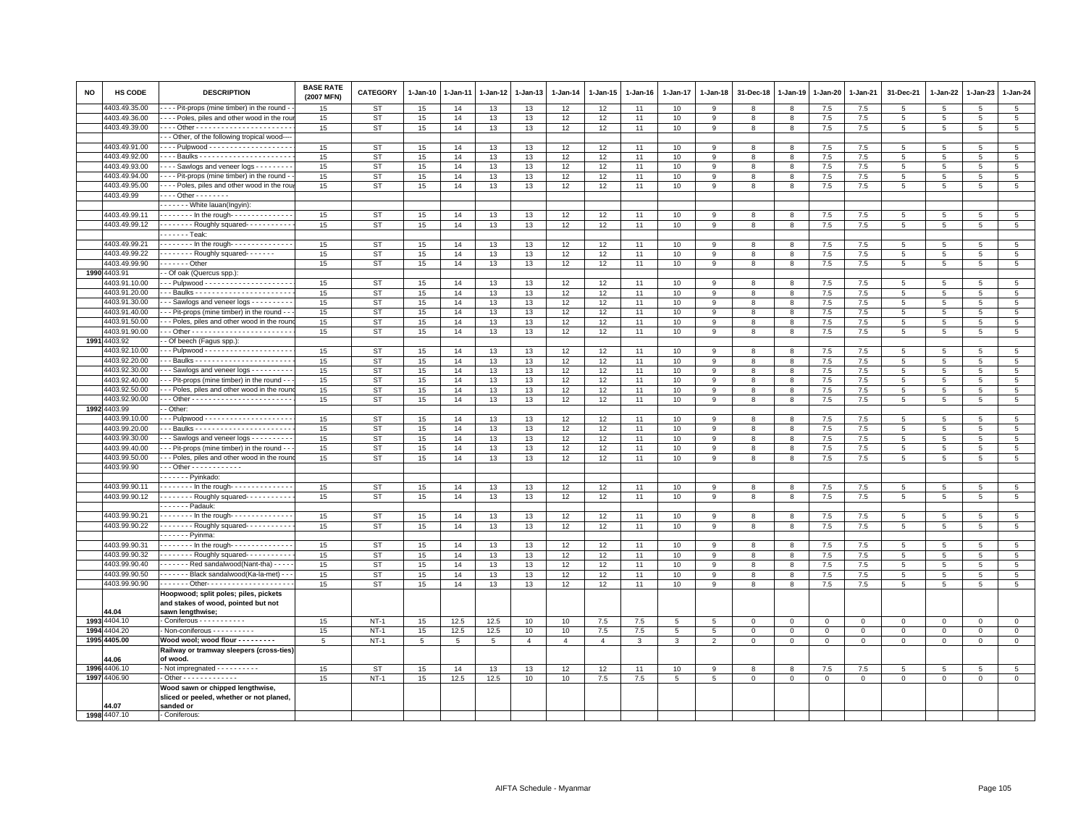| <b>NO</b> | <b>HS CODE</b> | <b>DESCRIPTION</b>                                                                               | <b>BASE RATE</b><br>(2007 MFN) | <b>CATEGORY</b> | 1-Jan-10 | 1-Jan-11 | 1-Jan-12 | 1-Jan-13       | 1-Jan-14       | 1-Jan-15       | 1-Jan-16 | 1-Jan-17 | 1-Jan-18       | 31-Dec-18    | 1-Jan-19     | I-Jan-20    | 1-Jan-21    | 31-Dec-21       | 1-Jan-22        | 1-Jan-23        | 1-Jan-24        |
|-----------|----------------|--------------------------------------------------------------------------------------------------|--------------------------------|-----------------|----------|----------|----------|----------------|----------------|----------------|----------|----------|----------------|--------------|--------------|-------------|-------------|-----------------|-----------------|-----------------|-----------------|
|           | 4403.49.35.00  | - - - Pit-props (mine timber) in the round -                                                     | 15                             | <b>ST</b>       | 15       | 14       | 13       | 13             | 12             | 12             | 11       | 10       | 9              | 8            | 8            | 7.5         | 7.5         | -5              | 5               | -5              | 5               |
|           | 4403.49.36.00  | ---- Poles, piles and other wood in the rou                                                      | 15                             | <b>ST</b>       | 15       | 14       | 13       | 13             | 12             | 12             | 11       | 10       | 9              | 8            | 8            | 7.5         | 7.5         | 5               | 5               | 5               | $5\phantom{.0}$ |
|           | 4403.49.39.00  |                                                                                                  | 15                             | <b>ST</b>       | 15       | 14       | 13       | 13             | 12             | 12             | 11       | 10       | 9              | 8            | 8            | $7.5\,$     | 7.5         | $\overline{5}$  | 5               | 5               | $\,$ 5 $\,$     |
|           |                | --- Other, of the following tropical wood----                                                    |                                |                 |          |          |          |                |                |                |          |          |                |              |              |             |             |                 |                 |                 |                 |
|           | 4403.49.91.00  |                                                                                                  | 15                             | <b>ST</b>       | 15       | 14       | 13       | 13             | 12             | 12             | 11       | 10       | 9              | $\mathbf{R}$ | R            | 7.5         | 7.5         | 5               | 5               | 5               | 5               |
|           | 4403.49.92.00  |                                                                                                  | 15                             | ST              | 15       | 14       | 13       | 13             | 12             | 12             | 11       | 10       | 9              | 8            | 8            | 7.5         | 7.5         | 5               | 5               | 5               | 5               |
|           | 4403.49.93.00  | --- Sawlogs and veneer logs --------                                                             | 15                             | <b>ST</b>       | 15       | 14       | 13       | 13             | 12             | 12             | 11       | 10       | 9              | 8            | 8            | 7.5         | 7.5         | $\overline{5}$  | 5               | 5               | $5\phantom{.0}$ |
|           | 4403.49.94.00  | - - - - Pit-props (mine timber) in the round -                                                   | 15                             | ST              | 15       | 14       | 13       | 13             | 12             | 12             | 11       | 10       | 9              | 8            | 8            | 7.5         | 7.5         | 5               | $5\phantom{.0}$ | 5               | $5\phantom{.0}$ |
|           | 4403.49.95.00  | --- Poles, piles and other wood in the rou                                                       | 15                             | ST              | 15       | 14       | 13       | 13             | 12             | 12             | 11       | 10       | 9              | 8            | 8            | $7.5\,$     | $7.5\,$     | $\,$ 5 $\,$     | 5               | $\overline{5}$  | $\overline{5}$  |
|           | 4403.49.99     | - - - - Other - - - - - - - -                                                                    |                                |                 |          |          |          |                |                |                |          |          |                |              |              |             |             |                 |                 |                 |                 |
|           |                | - - - - - - White lauan(Ingyin):                                                                 |                                |                 |          |          |          |                |                |                |          |          |                |              |              |             |             |                 |                 |                 |                 |
|           | 4403.49.99.11  | $- - - - - -$ In the rough- $- - - - - - - - - - - -$                                            | 15                             | <b>ST</b>       | 15       | 14       | 13       | 13             | 12             | 12             | 11       | 10       | 9              | 8            | 8            | 7.5         | 7.5         | 5               | 5               | $\overline{5}$  | 5               |
|           | 4403.49.99.12  | Roughly squared-----------                                                                       | 15                             | <b>ST</b>       | 15       | 14       | 13       | 13             | 12             | 12             | 11       | 10       | 9              | 8            | 8            | 7.5         | $7.5\,$     | 5               | $5\phantom{.0}$ | 5               | $5\phantom{.0}$ |
|           |                | . <b>. Teak</b> :                                                                                |                                |                 |          |          |          |                |                |                |          |          |                |              |              |             |             |                 |                 |                 |                 |
|           | 4403.49.99.21  | $-$ - - - - - - In the rough- - - - - - - - - - - - -                                            | 15                             | <b>ST</b>       | 15       | 14       | 13       | 13             | 12             | 12             | 11       | 10       | 9              | 8            | 8            | $7.5\,$     | 7.5         | 5               | 5.              | 5               | 5               |
|           | 4403.49.99.22  | $\cdots$ Roughly squared -                                                                       | 15                             | <b>ST</b>       | 15       | 14       | 13       | 13             | 12             | 12             | 11       | 10       | 9              | 8            | 8            | 7.5         | 7.5         | $\overline{5}$  | 5               | 5               | 5               |
|           | 4403.49.99.90  | . - Other                                                                                        | 15                             | <b>ST</b>       | 15       | 14       | 13       | 13             | 12             | 12             | 11       | 10       | 9              | 8            | 8            | $7.5\,$     | 7.5         | $\,$ 5 $\,$     | $5\phantom{.0}$ | $\overline{5}$  | $\overline{5}$  |
| 1990      | 4403.91        | - Of oak (Quercus spp.):                                                                         |                                |                 |          |          |          |                |                |                |          |          |                |              |              |             |             |                 |                 |                 |                 |
|           | 4403.91.10.00  |                                                                                                  | 15                             | <b>ST</b>       | 15       | 14       | 13       | 13             | 12             | 12             | 11       | 10       | 9              | 8            | 8            | 7.5         | 7.5         | 5               | 5               | 5               | $\overline{5}$  |
|           | 4403.91.20.00  |                                                                                                  | 15                             | ST              | 15       | 14       | 13       | 13             | 12             | 12             | 11       | 10       | 9              | 8            | 8            | 7.5         | 7.5         | 5               | 5               | 5               | 5               |
|           | 4403.91.30.00  | - - Sawlogs and veneer logs - - - - - - - - -                                                    | 15                             | <b>ST</b>       | 15       | 14       | 13       | 13             | 12             | 12             | 11       | 10       | 9              | 8            | 8            | 7.5         | 7.5         | $\overline{5}$  | 5               | 5               | $\overline{5}$  |
|           | 4403.91.40.00  | - - Pit-props (mine timber) in the round - -                                                     | 15                             | <b>ST</b>       | 15       | 14       | 13       | 13             | 12             | 12             | 11       | 10       | 9              | 8            | 8            | 7.5         | 7.5         | 5               | 5               | 5               | 5               |
|           | 4403.91.50.00  | - - Poles, piles and other wood in the rour                                                      | 15                             | <b>ST</b>       | 15       | 14       | 13       | 13             | 12             | 12             | 11       | 10       | 9              | 8            | 8            | 7.5         | 7.5         | $\overline{5}$  | 5               | 5               | $\overline{5}$  |
|           | 4403.91.90.00  |                                                                                                  | 15                             | ST              | 15       | 14       | 13       | 13             | 12             | 12             | 11       | 10       | 9              | 8            | 8            | $7.5\,$     | 7.5         | $\overline{5}$  | 5               | 5               | $5\phantom{.0}$ |
| 1991      | 4403.92        | - Of beech (Fagus spp.):                                                                         |                                |                 |          |          |          |                |                |                |          |          |                |              |              |             |             |                 |                 |                 |                 |
|           | 4403.92.10.00  |                                                                                                  | 15                             | <b>ST</b>       | 15       | 14       | 13       | 13             | 12             | 12             | 11       | 10       | 9              | 8            | 8            | 7.5         | 7.5         | 5               | 5               | 5               | $5\phantom{.0}$ |
|           | 4403.92.20.00  | - - Baulks - - - - - - - - - - - - - - - <del>- - - - - - -</del> -                              | 15                             | <b>ST</b>       | 15       | 14       | 13       | 13             | 12             | 12             | 11       | 10       | 9              | 8            | 8            | 7.5         | 7.5         | 5               | 5               | 5               | 5               |
|           | 4403.92.30.00  | - - Sawlogs and veneer logs - - - - - - - -                                                      | 15                             | <b>ST</b>       | 15       | 14       | 13       | 13             | 12             | 12             | 11       | 10       | 9              | 8            | 8            | 7.5         | 7.5         | 5               | -5              | 5               | 5               |
|           | 4403.92.40.00  | - - Pit-props (mine timber) in the round -                                                       | 15                             | <b>ST</b>       | 15       | 14       | 13       | 13             | 12             | 12             | 11       | 10       | 9              | 8            | 8            | 7.5         | 7.5         | 5               | -5              | -5              | 5               |
|           | 4403.92.50.00  | - - Poles, piles and other wood in the rou                                                       | 15                             | <b>ST</b>       | 15       | 14       | 13       | 13             | 12             | 12             | 11       | 10       | $\overline{9}$ | 8            | 8            | $7.5\,$     | 7.5         | $\,$ 5 $\,$     | 5               | 5               | $\,$ 5 $\,$     |
|           | 4403.92.90.00  |                                                                                                  | 15                             | <b>ST</b>       | 15       | 14       | 13       | 13             | 12             | 12             | 11       | 10       | 9              | 8            | 8            | $7.5\,$     | $7.5\,$     | $\,$ 5 $\,$     | 5               | 5               | $\overline{5}$  |
| 1992      | 4403.99        | - Other:                                                                                         |                                |                 |          |          |          |                |                |                |          |          |                |              |              |             |             |                 |                 |                 |                 |
|           | 4403.99.10.00  |                                                                                                  | 15                             | ST              | 15       | 14       | 13       | 13             | 12             | 12             | 11       | 10       | 9              | 8            | 8            | 7.5         | 7.5         | 5               | -5              | -5              | 5               |
|           | 4403.99.20.00  |                                                                                                  | 15                             | <b>ST</b>       | 15       | 14       | 13       | 13             | 12             | 12             | 11       | 10       | 9              | 8            | 8            | 7.5         | 7.5         | 5               | 5               | 5               | $5\phantom{.0}$ |
|           | 4403.99.30.00  | - - Sawlogs and veneer logs - - - - - - - -                                                      | 15                             | <b>ST</b>       | 15       | 14       | 13       | 13             | 12             | 12             | 11       | 10       | 9              | 8            | 8            | 7.5         | 7.5         | $\overline{5}$  | 5               | 5               | 5               |
|           | 4403.99.40.00  | - - Pit-props (mine timber) in the round - -                                                     | 15                             | <b>ST</b>       | 15       | 14       | 13       | 13             | 12             | 12             | 11       | 10       | 9              | 8            | 8            | $7.5\,$     | $7.5\,$     | $\overline{5}$  | 5               | $\overline{5}$  | $\overline{5}$  |
|           | 4403.99.50.00  | - - Poles, piles and other wood in the rour                                                      | 15                             | <b>ST</b>       | 15       | 14       | 13       | 13             | 12             | 12             | 11       | 10       | $\mathbf{Q}$   | $\mathbf{R}$ | $\mathbf{R}$ | 7.5         | 7.5         | 5 <sup>5</sup>  | 5               | $5\overline{5}$ | 5               |
|           | 4403.99.90     | $-$ - Other - - - - - - - - - - -                                                                |                                |                 |          |          |          |                |                |                |          |          |                |              |              |             |             |                 |                 |                 |                 |
|           |                | Pyinkado:                                                                                        |                                |                 |          |          |          |                |                |                |          |          |                |              |              |             |             |                 |                 |                 |                 |
|           | 4403.99.90.11  | . In the rough -                                                                                 | 15                             | ST              | 15       | 14       | 13       | 13             | 12             | 12             | 11       | 10       | 9              | 8            | 8            | 7.5         | 7.5         | $\overline{5}$  | 5               | 5               | $5\phantom{.0}$ |
|           | 4403.99.90.12  | Roughly squared- - - - - - - - -                                                                 | 15                             | <b>ST</b>       | 15       | 14       | 13       | 13             | 12             | 12             | 11       | 10       | 9              | 8            | 8            | 7.5         | 7.5         | 5               | 5               | $5\overline{5}$ | 5               |
|           |                | - - - - - - Padauk:                                                                              |                                |                 |          |          |          |                |                |                |          |          |                |              |              |             |             |                 |                 |                 |                 |
|           | 4403.99.90.21  | $- - - - -$ In the rough- $- - - - - - - - - -$                                                  | 15                             | ST              | 15       | 14       | 13       | 13             | 12             | 12             | 11       | 10       | 9              | 8            | 8            | 7.5         | 7.5         | $5\overline{5}$ | 5               | 5               | 5               |
|           | 4403.99.90.22  | -------- Roughly squared----------                                                               | 15                             | <b>ST</b>       | 15       | 14       | 13       | 13             | 12             | 12             | 11       | 10       | 9              | 8            | 8            | 7.5         | 7.5         | 5               | 5               | 5               | 5               |
|           |                | $---$ Pyinma                                                                                     |                                |                 |          |          |          |                |                |                |          |          |                |              |              |             |             |                 |                 |                 |                 |
|           | 4403.99.90.31  | $- - - - - -$ In the rough- $- - - - - - - - - - - -$                                            | 15                             | ST              | 15       | 14       | 13       | 13             | 12             | 12             | 11       | 10       | 9              | 8            | 8            | 7.5         | 7.5         | 5               | -5              | -5              | $5\phantom{.0}$ |
|           | 4403.99.90.32  | ------- Roughly squared----------                                                                | 15                             | <b>ST</b>       | 15       | 14       | 13       | 13             | 12             | 12             | 11       | 10       | 9              | 8            | 8            | 7.5         | 7.5         | 5               | 5               | 5               | 5               |
|           | 4403.99.90.40  | Red sandalwood(Nant-tha) - - - -                                                                 | 15                             | <b>ST</b>       | 15       | 14       | 13       | 13             | 12             | 12             | 11       | 10       | 9              | 8            | 8            | 7.5         | 7.5         | 5               | 5               | 5               | $\overline{5}$  |
|           | 4403.99.90.50  | ------ Black sandalwood(Ka-la-met) --                                                            | 15                             | <b>ST</b>       | 15       | 14       | 13       | 13             | 12             | 12             | 11       | 10       | 9              | 8            | 8            | 7.5         | 7.5         | 5               | 5               | 5               | $\,$ 5 $\,$     |
|           | 4403.99.90.90  |                                                                                                  | 15                             | <b>ST</b>       | 15       | 14       | 13       | 13             | 12             | 12             | 11       | 10       | 9              | 8            | 8            | 7.5         | 7.5         | 5               | 5               | 5               | $5\phantom{.0}$ |
|           | 44.04          | Hoopwood; split poles; piles, pickets<br>and stakes of wood, pointed but not<br>sawn lengthwise; |                                |                 |          |          |          |                |                |                |          |          |                |              |              |             |             |                 |                 |                 |                 |
|           | 1993 4404.10   | - Coniferous - - - - - - - - - -                                                                 | 15                             | $NT-1$          | 15       | 12.5     | 12.5     | 10             | 10             | 7.5            | 7.5      | 5        | 5              | $\mathbf 0$  | $\mathbf 0$  | $\mathbf 0$ | $\mathbf 0$ | $\mathsf 0$     | $\mathbf 0$     | $\mathsf 0$     | $\mathbf 0$     |
| 1994      | 4404.20        | - Non-coniferous - - - - - - - - - -                                                             | 15                             | $NT-1$          | 15       | 12.5     | 12.5     | 10             | 10             | 7.5            | 7.5      | 5        | 5              | $\mathbf 0$  | $\mathbf 0$  | $\mathbf 0$ | $\mathbf 0$ | $\mathbf 0$     | $\mathbf{0}$    | $\mathsf 0$     | $\mathsf 0$     |
|           | 1995 4405.00   | Wood wool; wood flour - - - - - - - -                                                            | 5                              | $NT-1$          | 5        | 5        | 5        | $\overline{4}$ | $\overline{4}$ | $\overline{4}$ | 3        | 3        | $\overline{2}$ | $\mathbf 0$  | $\Omega$     | $\mathbf 0$ | $\mathbf 0$ | $\mathsf 0$     | $\mathbf 0$     | $\mathbf 0$     | $\mathbf 0$     |
|           |                | Railway or tramway sleepers (cross-ties)                                                         |                                |                 |          |          |          |                |                |                |          |          |                |              |              |             |             |                 |                 |                 |                 |
|           | 44.06          | of wood.                                                                                         |                                |                 |          |          |          |                |                |                |          |          |                |              |              |             |             |                 |                 |                 |                 |
|           | 1996 4406.10   | - Not impregnated - - - - - - - - - -                                                            | 15                             | <b>ST</b>       | 15       | 14       | 13       | 13             | 12             | 12             | 11       | 10       | 9              | 8            | 8            | 7.5         | 7.5         | 5               | 5               | 5               | 5               |
|           | 1997 4406.90   | - Other - - - - - - - - - - - -                                                                  | 15                             | $NT-1$          | 15       | 12.5     | 12.5     | 10             | 10             | 7.5            | 7.5      | 5        | 5              | 0            | $\mathbf 0$  | $\mathbf 0$ | $\mathbf 0$ | $\mathsf 0$     | $\circ$         | 0               | $\mathsf 0$     |
|           |                | Wood sawn or chipped lengthwise,<br>sliced or peeled, whether or not planed,                     |                                |                 |          |          |          |                |                |                |          |          |                |              |              |             |             |                 |                 |                 |                 |
|           | 44.07          | sanded or                                                                                        |                                |                 |          |          |          |                |                |                |          |          |                |              |              |             |             |                 |                 |                 |                 |
|           | 1998 4407.10   | - Coniferous:                                                                                    |                                |                 |          |          |          |                |                |                |          |          |                |              |              |             |             |                 |                 |                 |                 |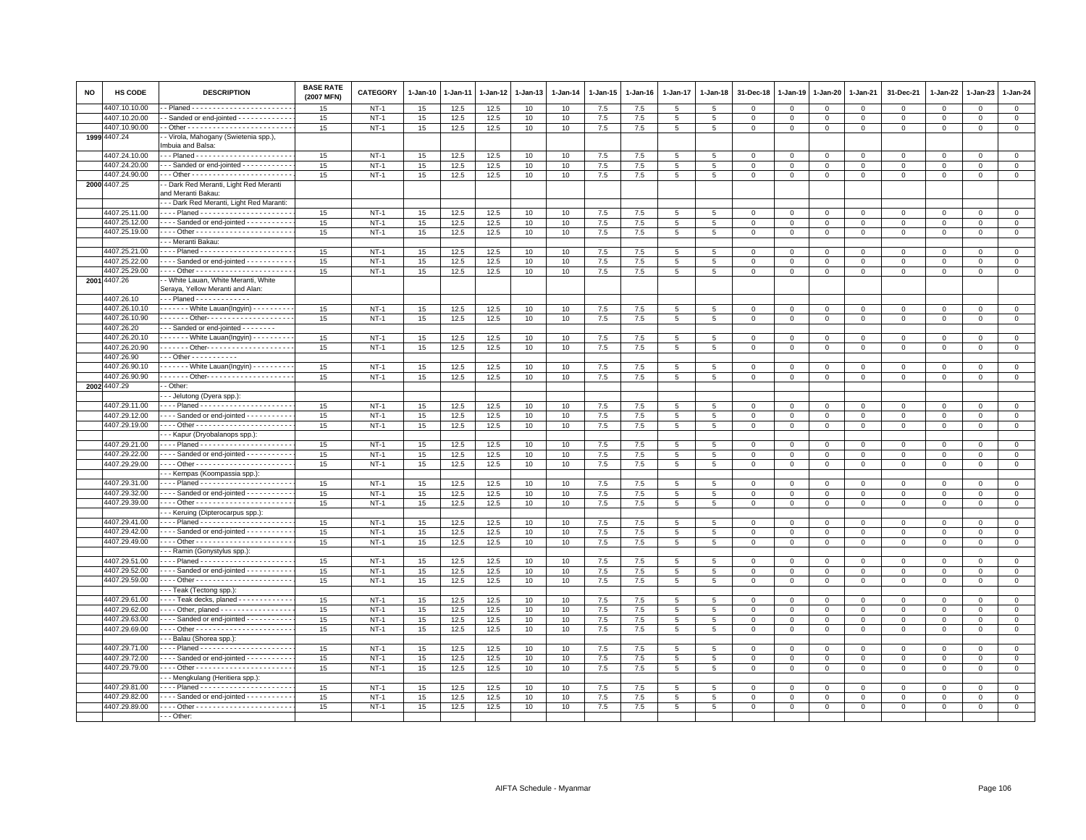| <b>NO</b> | HS CODE                        | <b>DESCRIPTION</b>                                                         | <b>BASE RATE</b><br>(2007 MFN) | <b>CATEGORY</b>       | $1-Jan-10$ | 1-Jan-11     | 1-Jan-12     | 1-Jan-13 | $1-Jan-14$ | $1-Jan-15$ | $1 - Jan-16$ | $1 - Jan-17$    | $1 - Jan-18$    | 31-Dec-18               | 1-Jan-19                   | 1-Jan-20                   | 1-Jan-21                      | 31-Dec-21                  | $1-Jan-22$           | 1-Jan-23                    | $1 - Jan-24$               |
|-----------|--------------------------------|----------------------------------------------------------------------------|--------------------------------|-----------------------|------------|--------------|--------------|----------|------------|------------|--------------|-----------------|-----------------|-------------------------|----------------------------|----------------------------|-------------------------------|----------------------------|----------------------|-----------------------------|----------------------------|
|           | 4407.10.10.00                  |                                                                            | 15                             | $NT-1$                | 15         | 12.5         | 12.5         | 10       | 10         | 7.5        | 7.5          | 5               | 5               | $^{\circ}$              | $\mathbf 0$                | $\mathbf 0$                | $\mathbf 0$                   | $\Omega$                   | $\Omega$             | $\Omega$                    | $\mathbf 0$                |
|           | 4407.10.20.00                  | Sanded or end-jointed - - - - - - - - - - - -                              | 15                             | $NT-1$                | 15         | 12.5         | 12.5         | 10       | 10         | $7.5\,$    | 7.5          | 5               | 5               | $\mathsf 0$             | $\mathbf 0$                | $\mathbf 0$                | $\mathbf 0$                   | $\mathbf 0$                | $\mathbf 0$          | $\mathbf{0}$                | $\circ$                    |
|           | 4407.10.90.00                  |                                                                            | 15                             | $NT-1$                | 15         | 12.5         | 12.5         | 10       | 10         | 7.5        | 7.5          | 5               | 5               | $\mathbf 0$             | $\mathbf 0$                | $\mathbf 0$                | $\mathbf 0$                   | $\mathbf 0$                | 0                    | $\mathbf 0$                 | $\mathbf 0$                |
| 1999      | 4407.24                        | - Virola, Mahogany (Swietenia spp.),<br>mbuia and Balsa:                   |                                |                       |            |              |              |          |            |            |              |                 |                 |                         |                            |                            |                               |                            |                      |                             |                            |
|           | 4407.24.10.00                  |                                                                            | 15                             | $NT-1$                |            |              |              | 10       |            | $7.5\,$    |              | 5               | 5               | $\mathbf 0$             | $\circ$                    | $\mathbf{0}$               | $\mathbf 0$                   | $\mathsf 0$                | $\mathbf 0$          | $\mathbf 0$                 | $\mathbf 0$                |
|           | 1407.24.20.00                  | - - Sanded or end-jointed - - - - - - - - - - -                            | 15                             | $NT-1$                | 15<br>15   | 12.5<br>12.5 | 12.5<br>12.5 | 10       | 10<br>10   | 7.5        | 7.5<br>7.5   | 5               | 5               | $\mathbf 0$             | $\Omega$                   | $\Omega$                   | $\mathbf{0}$                  | $\Omega$                   | $\Omega$             | $\Omega$                    | $\mathbf{0}$               |
|           | 4407.24.90.00                  |                                                                            | 15                             | $NT-1$                | 15         | 12.5         | 12.5         | 10       | 10         | 7.5        | 7.5          | 5               | 5               | $\mathbf 0$             | $\mathbf 0$                | $\mathbf 0$                | $\mathbf 0$                   | $\mathbf 0$                | $\Omega$             | $\mathbf{0}$                | $\mathbf 0$                |
|           | 2000 4407.25                   | - Dark Red Meranti, Light Red Meranti                                      |                                |                       |            |              |              |          |            |            |              |                 |                 |                         |                            |                            |                               |                            |                      |                             |                            |
|           |                                | and Meranti Bakau:                                                         |                                |                       |            |              |              |          |            |            |              |                 |                 |                         |                            |                            |                               |                            |                      |                             |                            |
|           |                                | - - Dark Red Meranti, Light Red Maranti:                                   |                                |                       |            |              |              |          |            |            |              |                 |                 |                         |                            |                            |                               |                            |                      |                             |                            |
|           | 4407.25.11.00                  | --- Planed ---------------------                                           | 15                             | $NT-1$                | 15         | 12.5         | 12.5         | 10       | 10         | 7.5        | 7.5          | 5               | 5               | 0                       | $\mathbf 0$                | $\mathbf 0$                | $\mathbf 0$                   | $^{\circ}$                 | $^{\circ}$           | $\Omega$                    | $\mathbf{0}$               |
|           | 4407.25.12.00                  | --- Sanded or end-jointed ----------                                       | 15                             | <b>NT-1</b>           | 15         | 12.5         | 12.5         | 10       | 10         | 7.5        | 7.5          | 5               | -5              | $\Omega$                | $\Omega$                   | $\Omega$                   | $\mathbf 0$                   | $\mathbf{0}$               | $\Omega$             | $\mathbf{0}$                | $\mathsf 0$                |
|           | 4407.25.19.00                  | --- Other ------------------------                                         | 15                             | $NT-1$                | 15         | 12.5         | 12.5         | 10       | 10         | 7.5        | 7.5          | 5               | 5               | $\mathbf 0$             | $\mathbf 0$                | $\mathbf 0$                | $\mathbf 0$                   | $\mathbf{0}$               | $\mathbf 0$          | $\mathbf{0}$                | $\mathsf 0$                |
|           |                                | - - Meranti Bakau:                                                         |                                |                       |            |              |              |          |            |            |              |                 |                 |                         |                            |                            |                               |                            |                      |                             |                            |
|           | 4407.25.21.00                  | --- Planed ----------------------                                          | 15                             | $NT-1$                | 15         | 12.5         | 12.5         | 10       | 10         | 7.5        | 7.5          | 5               | -5              | 0                       | $\mathbf 0$                | $^{\circ}$                 | $\mathbf 0$                   | $\mathbf 0$                | $\Omega$             | $\Omega$                    | $\mathbf{0}$               |
|           | 4407.25.22.00                  | --- Sanded or end-jointed ----------                                       | 15                             | $NT-1$                | 15         | 12.5         | 12.5         | 10       | 10         | 7.5        | 7.5          | $\overline{5}$  | $5^{\circ}$     | $\mathbf 0$             | $\Omega$                   | $\Omega$                   | $\Omega$                      | $\Omega$                   | $\Omega$             | $\Omega$                    | $\mathbf 0$                |
|           | 4407.25.29.00                  | --- Other ---------------------                                            | $15\,$                         | $NT-1$                | 15         | 12.5         | 12.5         | 10       | 10         | 7.5        | 7.5          | 5               | 5               | $\mathbf 0$             | $\mathbf 0$                | $\mathsf 0$                | $\mathbf 0$                   | $\Omega$                   | $\mathbf 0$          | $\mathbf{0}$                | $\mathbf 0$                |
|           | 2001 4407.26                   | - White Lauan, White Meranti, White                                        |                                |                       |            |              |              |          |            |            |              |                 |                 |                         |                            |                            |                               |                            |                      |                             |                            |
|           | 4407.26.10                     | Seraya, Yellow Meranti and Alan:<br>$-$ - Planed - - - - - - - - - - - - - |                                |                       |            |              |              |          |            |            |              |                 |                 |                         |                            |                            |                               |                            |                      |                             |                            |
|           | 4407.26.10.10                  |                                                                            |                                | $NT-1$                | 15         | 12.5         | 12.5         |          | 10         | 7.5        | 7.5          |                 |                 |                         |                            |                            |                               |                            |                      |                             | $\mathbf 0$                |
|           | 4407.26.10.90                  | ------ Other--------------------                                           | 15<br>15                       | $NT-1$                | 15         | 12.5         | 12.5         | 10<br>10 | 10         | 7.5        | 7.5          | 5<br>5          | 5<br>5          | $\mathbf 0$<br>$\,0\,$  | $\mathbf 0$<br>$\mathsf 0$ | $\mathbf 0$<br>$\mathsf 0$ | $\mathbf 0$<br>$\mathbf 0$    | $\mathbf 0$<br>$\mathsf 0$ | 0<br>$\mathsf 0$     | $\mathbf 0$<br>$\circ$      | $\overline{0}$             |
|           | 4407.26.20                     | - - Sanded or end-jointed - - - - - - - -                                  |                                |                       |            |              |              |          |            |            |              |                 |                 |                         |                            |                            |                               |                            |                      |                             |                            |
|           | 1407.26.20.10                  | - - - - - - White Lauan(Ingyin) - - - - - - - - -                          | 15                             | $NT-1$                | 15         | 12.5         | 12.5         | 10       | 10         | 7.5        | 7.5          | 5               | 5               | $\mathbf 0$             | $\mathbf{0}$               | $\mathbf{0}$               | $\mathbf 0$                   | $^{\circ}$                 | $\mathbf{0}$         | $\Omega$                    | $\mathsf 0$                |
|           | 4407.26.20.90                  | ------ Other--------------------                                           | 15                             | $NT-1$                | 15         | 12.5         | 12.5         | 10       | 10         | 7.5        | 7.5          | 5               | -5              | $\Omega$                | $\mathbf 0$                | $\Omega$                   | $\mathbf{0}$                  | $\Omega$                   | $\Omega$             | $\Omega$                    | $\mathbf 0$                |
|           | 4407.26.90                     | - - Other - - - - - - - - - -                                              |                                |                       |            |              |              |          |            |            |              |                 |                 |                         |                            |                            |                               |                            |                      |                             |                            |
|           | 4407.26.90.10                  | ------ White Lauan(Ingyin) ---------                                       | 15                             | $NT-1$                | 15         | 12.5         | 12.5         | 10       | 10         | 7.5        | 7.5          | 5               | 5               | $^{\circ}$              | $\mathbf 0$                | $\mathbf 0$                | $\mathsf 0$                   | 0                          | 0                    | $\mathbf 0$                 | $\mathbf 0$                |
|           | 4407.26.90.90                  | ------ Other--------------------                                           | 15                             | $NT-1$                | 15         | 12.5         | 12.5         | 10       | 10         | 7.5        | 7.5          | 5               | $\overline{5}$  | $\overline{0}$          | $\mathbf 0$                | $\mathbf 0$                | $\overline{0}$                | $\mathbf 0$                | $\mathbf{O}$         | $\mathbf{O}$                | $\overline{0}$             |
|           | 2002 4407.29                   | - Other:                                                                   |                                |                       |            |              |              |          |            |            |              |                 |                 |                         |                            |                            |                               |                            |                      |                             |                            |
|           |                                | - Jelutong (Dyera spp.)                                                    |                                |                       |            |              |              |          |            |            |              |                 |                 |                         |                            |                            |                               |                            |                      |                             |                            |
|           | 4407.29.11.00                  | --- Planed ----------------------                                          | 15                             | $NT-1$                | 15         | 12.5         | 12.5         | 10       | 10         | 7.5        | 7.5          | 5               | 5               | $\mathbf 0$             | $\mathbf 0$                | $\mathbf 0$                | $\mathbf 0$                   | $\mathbf 0$                | $\mathbf 0$          | $\mathbf 0$                 | $\mathsf 0$                |
|           | 1407.29.12.00                  | --- Sanded or end-jointed ----------                                       | 15                             | $NT-1$                | 15         | 12.5         | 12.5         | 10       | 10         | $7.5\,$    | 7.5          | 5               | 5               | $\mathbf 0$             | $\mathbf 0$                | $\Omega$                   | $\mathbf{0}$                  | $\Omega$                   | $\Omega$             | $\Omega$                    | $\mathbf{0}$               |
|           | 4407.29.19.00                  |                                                                            | 15                             | $NT-1$                | 15         | 12.5         | 12.5         | 10       | 10         | 7.5        | 7.5          | 5               | 5               | $\overline{0}$          | $\mathbf 0$                | $\Omega$                   | $\mathbf 0$                   | $\mathbf{0}$               | $\Omega$             | $\mathbf{0}$                | $\mathbf 0$                |
|           |                                | - - Kapur (Dryobalanops spp.)                                              |                                |                       |            |              |              |          |            |            |              |                 |                 |                         |                            |                            |                               |                            |                      |                             |                            |
|           | 4407.29.21.00                  | --- Planed ----------------------                                          | 15                             | $NT-1$                | 15         | 12.5         | 12.5         | 10       | 10         | 7.5        | 7.5          | 5               | 5               | $^{\circ}$              | $\mathbf 0$                | $\mathbf 0$                | $^{\circ}$                    | 0                          | $\Omega$             | $\mathbf 0$                 | $\mathbf 0$                |
|           | 4407.29.22.00                  | --- Sanded or end-jointed ----------                                       | 15                             | $NT-1$                | 15         | 12.5         | 12.5         | 10       | 10         | 7.5        | 7.5          | 5               | 5               | $\mathbf 0$             | $\mathbf 0$                | $\mathbf{0}$               | $\mathbf 0$                   | $\mathsf 0$                | $\mathbf 0$          | $\Omega$                    | $\mathsf 0$                |
|           | 4407.29.29.00                  | --- Other -----------------------                                          | 15                             | $NT-1$                | 15         | 12.5         | 12.5         | 10       | 10         | 7.5        | 7.5          | 5               | 5               | $\mathbf 0$             | $\mathbf 0$                | $\mathsf 0$                | $\mathbf 0$                   | $\mathbf 0$                | $\mathbf 0$          | $\mathbf 0$                 | $\mathsf 0$                |
|           |                                | - - Kempas (Koompassia spp.)                                               |                                |                       |            |              |              |          |            |            |              |                 |                 |                         |                            |                            |                               |                            |                      |                             |                            |
|           | 4407.29.31.00<br>1407.29.32.00 | --- Planed ----------------------<br>--- Sanded or end-jointed ----------- | 15<br>15                       | $NT-1$<br>$NT-1$      | 15<br>15   | 12.5<br>12.5 | 12.5<br>12.5 | 10<br>10 | 10<br>10   | 7.5<br>7.5 | 7.5<br>7.5   | 5<br>5          | 5<br>5          | $\Omega$<br>$\mathbf 0$ | $\mathbf 0$<br>$\mathbf 0$ | $\mathsf 0$<br>$\mathbf 0$ | $\mathsf 0$<br>$\mathbf 0$    | $\mathsf 0$<br>$\Omega$    | $\Omega$<br>$\Omega$ | $\mathbf 0$<br>$\mathbf{0}$ | $\mathsf 0$<br>$\mathbf 0$ |
|           | 4407.29.39.00                  | --- Other -----------------------                                          | 15                             | $NT-1$                | 15         | 12.5         | 12.5         | 10       | 10         | 7.5        | 7.5          | 5               | 5               | $\mathbf 0$             | $\mathbf 0$                | $\mathbf 0$                | $\mathbf 0$                   | $\mathbf 0$                | $\Omega$             | $\mathbf{0}$                | $\mathbf 0$                |
|           |                                | - - Keruing (Dipterocarpus spp.)                                           |                                |                       |            |              |              |          |            |            |              |                 |                 |                         |                            |                            |                               |                            |                      |                             |                            |
|           | 4407.29.41.00                  | --- Planed ----------------------                                          | 15                             | $NT-1$                | 15         | 12.5         | 12.5         | 10       | 10         | 7.5        | 7.5          | 5               | 5               | $\mathbf 0$             | $\mathbf 0$                | $\mathsf 0$                | $\mathbf 0$                   | $\mathsf 0$                | $\mathbf 0$          | $\mathbf 0$                 | $\mathsf 0$                |
|           | 4407.29.42.00                  | Sanded or end-jointed - - - - - - - - -                                    | 15                             | $NT-1$                | 15         | 12.5         | 12.5         | 10       | 10         | 7.5        | 7.5          | 5               | 5               | $\mathbf 0$             | $\mathbf 0$                | $\mathbf{0}$               | $\mathbf 0$                   | $\mathbf 0$                | $\mathbf 0$          | $\mathbf{O}$                | $\circ$                    |
|           | 4407.29.49.00                  | --- Other -----------------------                                          | 15                             | $NT-1$                | 15         | 12.5         | 12.5         | 10       | 10         | 7.5        | 7.5          | 5               | 5               | $\mathbf 0$             | $\mathbf 0$                | $\mathsf 0$                | $\mathbf 0$                   | $\mathbf 0$                | $\mathbf 0$          | $\mathbf 0$                 | $\circ$                    |
|           |                                | - - Ramin (Gonystylus spp.):                                               |                                |                       |            |              |              |          |            |            |              |                 |                 |                         |                            |                            |                               |                            |                      |                             |                            |
|           | 4407.29.51.00                  | - - - Planed - - - - - - - - - - - - - - -                                 | 15                             | $NT-1$                | 15         | 12.5         | 12.5         | 10       | 10         | 7.5        | 7.5          | 5               | 5               | $\Omega$                | $\Omega$                   | $\mathbf 0$                | $\mathbf{0}$                  | $\mathbf 0$                | $\Omega$             | $\mathbf{0}$                | $\mathbf{0}$               |
|           | 1407.29.52.00                  | --- Sanded or end-jointed ----------                                       | 15                             | $NT-1$                | 15         | 12.5         | 12.5         | 10       | 10         | 7.5        | 7.5          | 5               | 5               | $\mathbf 0$             | $\mathbf 0$                | $\mathbf 0$                | $\mathbf 0$                   | $\mathbf 0$                | $\mathbf 0$          | $\Omega$                    | $\mathbf 0$                |
|           | 4407.29.59.00                  | --- Other ------------------------                                         | 15                             | $NT-1$                | 15         | 12.5         | 12.5         | 10       | 10         | 7.5        | 7.5          | 5               | 5               | $\mathsf 0$             | $\mathbf 0$                | $\mathbf 0$                | $\mathbf 0$                   | $\mathsf 0$                | 0                    | $\mathsf 0$                 | $\mathsf 0$                |
|           |                                | - - Teak (Tectong spp.):                                                   |                                |                       |            |              |              |          |            |            |              |                 |                 |                         |                            |                            |                               |                            |                      |                             |                            |
|           | 4407.29.61.00                  | Teak decks, planed                                                         | 15                             | $NT-1$                | 15         | 12.5         | 12.5         | 10       | 10         | 7.5        | 7.5          | 5               | 5               | $\mathbf 0$             | $\mathbf 0$                | $\mathsf 0$                | $\mathsf 0$                   | $\mathsf 0$                | $\mathbf 0$          | $\mathbf 0$                 | $\circ$                    |
|           | 4407.29.62.00                  | Other, planed - - - - - - - - - - - - - - - -                              | 15                             | $NT-1$                | 15         | 12.5         | 12.5         | 10       | 10         | 7.5        | 7.5          | 5               | $5\phantom{.0}$ | $\mathbf 0$             | $\mathbf{0}$               | $\mathbf{0}$               | $\mathbb O$                   | $\mathsf 0$                | $\mathsf 0$          | $\mathbf{O}$                | $\mathsf 0$                |
|           | 4407.29.63.00                  | --- Sanded or end-jointed --------                                         | 15                             | <b>NT-1</b>           | 15         | 12.5         | 12.5         | 10       | 10         | 7.5        | 7.5          | $5\overline{5}$ | 5               | $\Omega$                | $\mathbf 0$                | $\Omega$                   | $\overline{0}$                | $\Omega$                   | $\Omega$             | $\mathbf{0}$                | $\mathbf 0$                |
|           | 4407.29.69.00                  | --- Other -----------------------                                          | 15                             | $NT-1$                | 15         | 12.5         | 12.5         | 10       | 10         | 7.5        | 7.5          | 5               | 5               | $\mathbf 0$             | $\mathbf 0$                | $\mathbf 0$                | $\mathbf 0$                   | $^{\circ}$                 | $\mathbf 0$          | $\mathbf 0$                 | $\mathsf 0$                |
|           |                                | - - Balau (Shorea spp.):                                                   |                                |                       |            |              |              |          |            |            |              |                 |                 |                         |                            |                            |                               |                            |                      |                             |                            |
|           | 4407.29.71.00                  | Planed                                                                     | 15                             | $NT-1$                | 15         | 12.5         | 12.5         | 10       | 10         | 7.5        | 7.5          | 5               | 5               | 0                       | $\mathbf 0$                | $\mathbf 0$                | $\mathbf 0$                   | $\mathbf 0$                | $\mathbf 0$          | $\mathbf 0$                 | $\mathbf{0}$               |
|           | 4407.29.72.00<br>4407.29.79.00 | --- Sanded or end-jointed ----------                                       | 15                             | $NT-1$                | 15         | 12.5         | 12.5         | 10       | 10         | 7.5        | 7.5          | 5               | 5               | $\mathbf 0$             | $\mathbf 0$                | $\mathsf 0$                | $\mathbf 0$                   | $\mathsf 0$                | $\mathbf 0$          | $\mathbf 0$                 | $\mathsf 0$                |
|           |                                |                                                                            | 15                             | $NT-1$                | 15         | 12.5         | 12.5         | 10       | 10         | 7.5        | 7.5          | 5               | 5               | $\mathbf 0$             | $\mathsf 0$                | $\,0\,$                    | $\,0\,$                       | $\mathsf 0$                | $\mathbf 0$          | $\mathbf 0$                 | $\mathsf 0$                |
|           | 4407.29.81.00                  | - - Mengkulang (Heritiera spp.):<br>Planed                                 |                                |                       |            |              |              |          | 10         |            |              | 5               |                 | $^{\circ}$              | $\mathbf 0$                | 0                          |                               | $^{\circ}$                 | $\Omega$             | $\Omega$                    | $\mathbf{0}$               |
|           | 4407.29.82.00                  | --- Sanded or end-jointed ----------                                       | 15<br>15                       | <b>NT-1</b><br>$NT-1$ | 15<br>15   | 12.5<br>12.5 | 12.5<br>12.5 | 10<br>10 | 10         | 7.5<br>7.5 | 7.5<br>7.5   | 5               | 5<br>5          | $\Omega$                | $\Omega$                   | $\Omega$                   | $\mathbf 0$<br>$\overline{0}$ | $\mathbf 0$                | $\Omega$             | $\mathbf{0}$                | $\mathbf 0$                |
|           | 4407.29.89.00                  |                                                                            | 15                             | $NT-1$                | 15         | 12.5         | 12.5         | 10       | 10         | 7.5        | 7.5          | 5               | 5               | $\mathbf 0$             | $\mathbf 0$                | $\mathbf 0$                | $\mathbf 0$                   | $\mathsf 0$                | $\mathbf 0$          | $\mathbf 0$                 | $\mathbf 0$                |
|           |                                | - - Other:                                                                 |                                |                       |            |              |              |          |            |            |              |                 |                 |                         |                            |                            |                               |                            |                      |                             |                            |
|           |                                |                                                                            |                                |                       |            |              |              |          |            |            |              |                 |                 |                         |                            |                            |                               |                            |                      |                             |                            |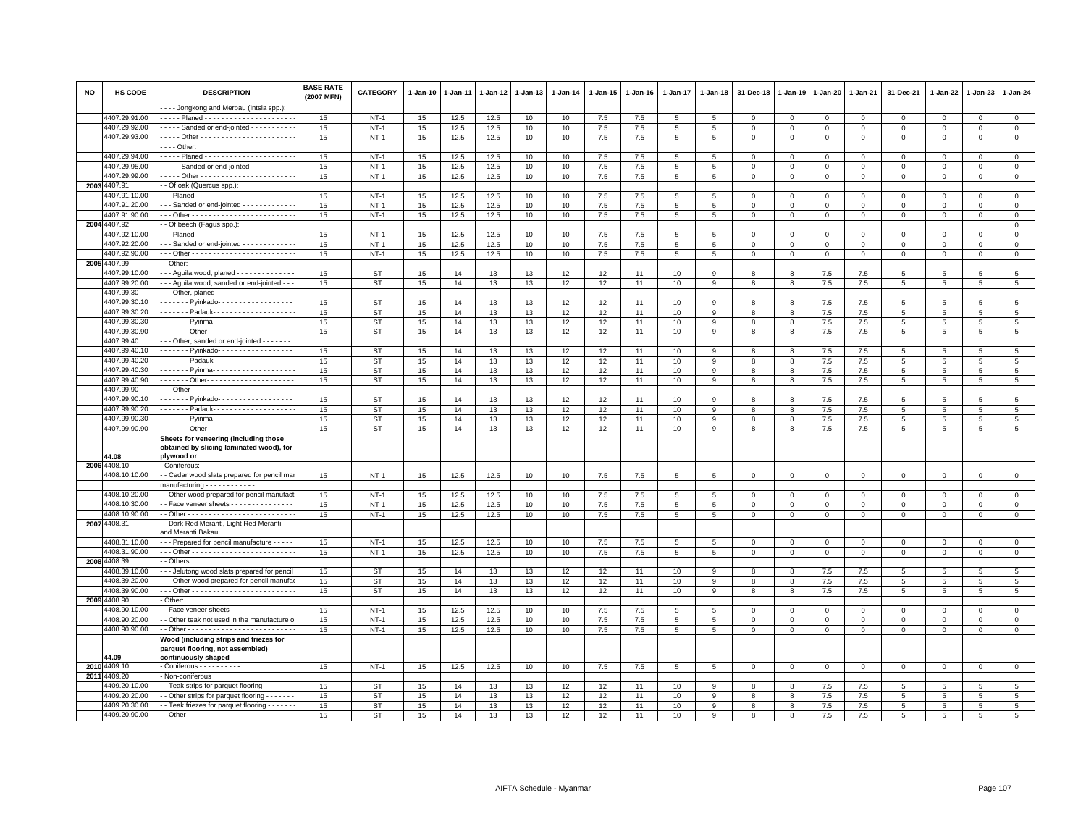| NO   | HS CODE                        | <b>DESCRIPTION</b>                                                         | <b>BASE RATE</b><br>(2007 MFN) | <b>CATEGORY</b> | 1-Jan-10        | $1 - Jan-11$ | $1 - Jan-12$ | $1 - Jan-13$ | $1 - Jan-14$     | 1-Jan-15 | $1 - Jan-16$ | 1-Jan-17        | 1-Jan-18                      | 31-Dec-18   | 1-Jan-19    | 1-Jan-20       | 1-Jan-21       | 31-Dec-21      | 1-Jan-22        | 1-Jan-23        | $1 - Jan-24$    |
|------|--------------------------------|----------------------------------------------------------------------------|--------------------------------|-----------------|-----------------|--------------|--------------|--------------|------------------|----------|--------------|-----------------|-------------------------------|-------------|-------------|----------------|----------------|----------------|-----------------|-----------------|-----------------|
|      |                                | - - - Jongkong and Merbau (Intsia spp.):                                   |                                |                 |                 |              |              |              |                  |          |              |                 |                               |             |             |                |                |                |                 |                 |                 |
|      | 4407.29.91.00                  | ---- Planed ---------------------                                          | 15                             | $NT-1$          | 15              | 12.5         | 12.5         | 10           | 10               | 7.5      | 7.5          | 5               | -5                            | $\mathbf 0$ | 0           | $\mathbf 0$    | $\overline{0}$ | 0              | 0               | $\mathbf 0$     | $\mathbf{O}$    |
|      | 4407.29.92.00<br>4407.29.93.00 | Sanded or end-jointed - - - - - - - -                                      | 15                             | $NT-1$          | 15              | 12.5         | 12.5         | 10           | 10               | 7.5      | 7.5          | 5               | $5^{\circ}$<br>$\overline{5}$ | $\mathbf 0$ | $\mathbf 0$ | $\mathsf 0$    | $\mathbf 0$    | $\mathsf 0$    | $\mathbf 0$     | $\mathbf 0$     | $\mathsf 0$     |
|      |                                | $- -$ Other:                                                               | 15                             | $NT-1$          | 15              | 12.5         | 12.5         | 10           | 10               | 7.5      | 7.5          | $\overline{5}$  |                               | $\,0\,$     | $\mathbf 0$ | $\mathsf 0$    | $\mathbf 0$    | $\mathsf 0$    | $\mathbf 0$     | $\Omega$        | $\overline{0}$  |
|      | 4407.29.94.00                  |                                                                            | 15                             | $NT-1$          | 15              | 12.5         | 12.5         | 10           | 10               | $7.5\,$  | 7.5          | $\overline{5}$  | 5                             | $\mathbf 0$ | 0           | $\Omega$       | $\mathsf 0$    | $\mathbf 0$    | $\Omega$        | $\mathbf{0}$    | $\mathbf 0$     |
|      | 4407.29.95.00                  | Sanded or end-jointed                                                      | 15                             | $NT-1$          | 15              | 12.5         | 12.5         | 10           | 10               | 7.5      | 7.5          | 5               | -5                            | $\mathbf 0$ | $^{\circ}$  | $\mathbf 0$    | $\mathbf 0$    | 0              | $\Omega$        | $\mathbf 0$     | $\mathbf 0$     |
|      | 4407.29.99.00                  |                                                                            | 15                             | $NT -$          | 15              | 12.5         | 12.5         | 10           | 10               | 7.5      | 7.5          | $\overline{5}$  | $5^{\circ}$                   | $\mathbf 0$ | $\mathbf 0$ | $\mathsf 0$    | $\overline{0}$ | $\mathsf 0$    | $\mathbf 0$     | $\Omega$        | $\overline{0}$  |
|      | 2003 4407.91                   | - Of oak (Quercus spp.):                                                   |                                |                 |                 |              |              |              |                  |          |              |                 |                               |             |             |                |                |                |                 |                 |                 |
|      | 4407.91.10.00                  | -- Planed -----------------------                                          | 15                             | $NT-1$          | 15              | 12.5         | 12.5         | 10           | 10               | 7.5      | 7.5          | 5               | 5                             | $\mathbf 0$ | 0           | 0              | $\mathsf 0$    | 0              | $\mathbf 0$     | $^{\circ}$      | $\mathbf 0$     |
|      | 4407.91.20.00                  | - - Sanded or end-jointed - - - - - - - - - -                              | 15                             | $NT-1$          | 15              | 12.5         | 12.5         | 10           | 10               | 7.5      | 7.5          | 5               | 5                             | $\mathbf 0$ | $\mathbf 0$ | $\mathbf 0$    | $\overline{0}$ | $\mathbf 0$    | $\mathbf{0}$    | $\mathbf{0}$    | $\circ$         |
|      | 4407.91.90.00                  |                                                                            | 15                             | $NT-1$          | 15              | 12.5         | 12.5         | 10           | 10               | 7.5      | 7.5          | $\overline{5}$  | 5                             | $\mathbf 0$ | 0           | $\mathsf 0$    | $\mathbf 0$    | $\mathsf 0$    | $\Omega$        | $\Omega$        | $\mathsf 0$     |
| 2004 | 4407.92                        | - Of beech (Fagus spp.):                                                   |                                |                 |                 |              |              |              |                  |          |              |                 |                               |             |             |                |                |                |                 |                 | $\mathbf{0}$    |
|      | 4407.92.10.00                  | -- Planed -----------------------                                          | 15                             | $NT-1$          | 15              | 12.5         | 12.5         | 10           | 10               | $7.5\,$  | 7.5          | 5               | 5                             | $\mathbf 0$ | $^{\circ}$  | $^{\circ}$     | $\mathbf 0$    | $\mathsf 0$    | $\mathbf 0$     | $\mathbf 0$     | $\mathsf 0$     |
|      | 4407.92.20.00                  | - - Sanded or end-jointed - - - - - - - - - -                              | 15                             | $NT-1$          | 15              | 12.5         | 12.5         | 10           | 10               | $7.5\,$  | 7.5          | 5               | 5                             | $\mathbf 0$ | $\mathbf 0$ | $\mathsf 0$    | $\mathbf 0$    | $\mathsf 0$    | $\mathbf 0$     | $\mathbf 0$     | $\mathsf 0$     |
|      | 4407.92.90.00                  |                                                                            | 15                             | $NT-1$          | $15\,$          | 12.5         | 12.5         | 10           | 10               | 7.5      | 7.5          | $\overline{5}$  | $5^{\circ}$                   | $\mathbf 0$ | $\mathsf 0$ | $\mathsf 0$    | $\mathbf 0$    | $\mathsf 0$    | $\mathbf 0$     | $\mathbf 0$     | $\mathsf 0$     |
|      | 2005 4407.99                   | - Other                                                                    |                                |                 |                 |              |              |              |                  |          |              |                 |                               |             |             |                |                |                |                 |                 |                 |
|      | 407.99.10.00                   | - - Aguila wood, planed - - - - - - - - - - - -                            | 15                             | ST              | 15              | 14           | 13           | 13           | 12               | 12       | 11           | 10              | 9                             | 8           | -8          | 7.5            | 7.5            | 5              | 5               | 5               | 5               |
|      | 4407.99.20.00                  | - - Aguila wood, sanded or end-jointed -                                   | 15                             | ST              | 15              | 14           | 13           | 13           | 12               | 12       | 11           | 10              | $\mathbf{Q}$                  | 8           | 8           | 7.5            | 7.5            | 5              | 5               | 5               | 5               |
|      | 4407.99.30                     | $-$ - Other, planed $-$ - - - - -                                          |                                |                 |                 |              |              |              |                  |          |              |                 |                               |             |             |                |                |                |                 |                 |                 |
|      | 4407.99.30.10                  | ------ Pyinkado-----------------                                           | 15                             | ST              | 15              | 14           | 13           | 13           | 12               | 12       | 11           | 10              |                               | 8           | 8           | 7.5            | $7.5\,$        | 5              | 5               | -5              | 5               |
|      | 4407.99.30.20                  | ------ Padauk-------------------                                           | 15                             | ST              | 15 <sub>1</sub> | 14           | 13           | 13           | 12               | 12       | 11           | 10              | 9                             | 8           | 8           | 7.5            | 7.5            | 5              | 5               | 5               | $5\overline{5}$ |
|      | 4407.99.30.30                  | - - - - - - Pyinma- - - - - - - - - - - - - - - - -                        | 15                             | ST              | 15              | 14           | 13           | 13           | 12               | 12       | 11           | 10              | 9                             | 8           | 8           | 7.5            | 7.5            | 5              | 5               | 5               | 5               |
|      | 4407.99.30.90                  | ------ Other--------------------                                           | 15                             | <b>ST</b>       | 15              | 14           | 13           | 13           | 12               | 12       | 11           | 10              | 9                             | 8           | 8           | 7.5            | 7.5            | $\overline{5}$ | 5               | 5               | $\overline{5}$  |
|      | 4407.99.40                     | - - Other, sanded or end-jointed - - - - - -                               |                                |                 |                 |              |              |              |                  |          |              |                 |                               |             |             |                |                |                |                 |                 |                 |
|      | 4407.99.40.10                  | ------ Pyinkado-----------------                                           | 15                             | <b>ST</b>       | 15              | 14           | 13           | 13           | 12               | 12       | 11           | 10              | 9                             | 8           | 8           | 7.5            | 7.5            | 5              | 5               | 5               | 5               |
|      | 4407.99.40.20                  | Padauk-                                                                    | 15                             | <b>ST</b>       | 15              | 14           | 13           | 13           | 12               | 12       | 11           | 10              | $\mathbf{Q}$                  | 8           | 8           | 7.5            | 7.5            | 5              | $5\overline{5}$ | 5               | 5               |
|      | 4407.99.40.30                  | . Pyinma-                                                                  | 15                             | ST              | 15              | 14           | 13           | 13           | 12               | 12       | 11           | 10              | 9                             | 8           | 8           | 7.5            | 7.5            | 5              | 5               | 5               | 5               |
|      | 4407.99.40.90                  | . - Other- - - - - - - - - - - - - - - - - - -                             | 15                             | ST              | 15              | 14           | 13           | 13           | 12               | 12       | 11           | 10              | 9                             | 8           | 8           | 7.5            | 7.5            | 5              | 5               | $5\overline{5}$ | 5               |
|      | 4407.99.90<br>4407.99.90.10    | $-$ - Other - - - - - -                                                    | 15                             | <b>ST</b>       |                 |              |              | 13           |                  |          | 11           |                 | $\mathbf{Q}$                  |             | 8           |                |                | $\overline{5}$ | $5\overline{5}$ | 5               | 5               |
|      | 4407.99.90.20                  | ------ Pyinkado-----------------<br>------ Padauk-------------------       | 15                             | ST              | 15<br>15        | 14<br>14     | 13<br>13     | 13           | 12<br>12         | 12<br>12 | 11           | 10<br>10        | 9                             | 8<br>8      | 8           | $7.5\,$<br>7.5 | 7.5<br>7.5     | 5              | 5               |                 | 5               |
|      | 4407.99.90.30                  | . Pyinma- -                                                                | 15                             | <b>ST</b>       | 15              | 14           | 13           | 13           | 12               | 12       | 11           | 10              | 9                             | 8           | 8           | 7.5            | 7.5            | 5              | 5               | 5<br>-5         | 5               |
|      | 4407.99.90.90                  |                                                                            | 15                             | <b>ST</b>       | 15              | 14           | 13           | 13           | 12               | 12       | 11           | 10              | 9                             | 8           | 8           | 7.5            | 7.5            | 5              | 5               | 5               | 5               |
|      |                                | Sheets for veneering (including those                                      |                                |                 |                 |              |              |              |                  |          |              |                 |                               |             |             |                |                |                |                 |                 |                 |
|      |                                | obtained by slicing laminated wood), for                                   |                                |                 |                 |              |              |              |                  |          |              |                 |                               |             |             |                |                |                |                 |                 |                 |
|      | 4.08                           | plywood or                                                                 |                                |                 |                 |              |              |              |                  |          |              |                 |                               |             |             |                |                |                |                 |                 |                 |
|      | 2006 4408.10                   | Coniferous:                                                                |                                |                 |                 |              |              |              |                  |          |              |                 |                               |             |             |                |                |                |                 |                 |                 |
|      | 4408.10.10.00                  | - Cedar wood slats prepared for pencil ma                                  | 15                             | $NT-1$          | 15              | 12.5         | 12.5         | 10           | 10               | 7.5      | 7.5          | -5              |                               | $\mathbf 0$ | $\mathbf 0$ | $\mathbf 0$    | $\mathbf 0$    | 0              | 0               | $\mathbf 0$     | 0               |
|      |                                | nanufacturing - - - - - - - - - - -                                        |                                |                 |                 |              |              |              |                  |          |              |                 |                               |             |             |                |                |                |                 |                 |                 |
|      | 4408.10.20.00                  | - Other wood prepared for pencil manufac                                   | 15                             | $NT-1$          | 15              | 12.5         | 12.5         | 10           | 10               | $7.5\,$  | 7.5          | 5               |                               | $^{\circ}$  | $^{\circ}$  | 0              | $\mathbf 0$    | $\mathbf 0$    |                 | 0               | $\mathbf 0$     |
|      | 4408.10.30.00                  | - Face veneer sheets - - - - - - - - - - - - -                             | 15                             | $NT-1$          | 15              | 12.5         | 12.5         | 10           | 10               | $7.5\,$  | 7.5          | 5               | 5                             | $\,0\,$     | $\mathsf 0$ | $\Omega$       | $\mathsf 0$    | $\Omega$       | $\Omega$        | $\Omega$        | $\mathbf 0$     |
|      | 4408.10.90.00                  |                                                                            | 15                             | $NT-1$          | 15              | 12.5         | 12.5         | 10           | 10 <sup>10</sup> | 7.5      | 7.5          | 5               | 5                             | $\mathbf 0$ | $\circ$     | $\mathbf 0$    | $\mathbf{0}$   | $\mathbf 0$    | 0               | $\mathbf{0}$    | $\mathbf{0}$    |
|      | 2007 4408.31                   | - Dark Red Meranti, Light Red Meranti<br>and Meranti Bakau:                |                                |                 |                 |              |              |              |                  |          |              |                 |                               |             |             |                |                |                |                 |                 |                 |
|      | 4408.31.10.00                  | - - Prepared for pencil manufacture - - - -                                | 15                             | $NT-1$          | 15              | 12.5         | 12.5         | 10           | 10               | $7.5\,$  | 7.5          | $\sqrt{5}$      | 5                             | $\,0\,$     | $\mathsf 0$ | $\mathbf 0$    | $\,0\,$        | $\mathsf 0$    | $\mathbf 0$     | $\mathbf 0$     | $\mathbf 0$     |
|      | 4408.31.90.00                  |                                                                            | 15                             | $NT-1$          | $15\,$          | 12.5         | 12.5         | 10           | 10               | $7.5\,$  | 7.5          | $\overline{5}$  | 5                             | $\mathbf 0$ | $\mathbf 0$ | 0              | $\circ$        | $\mathsf 0$    | $\mathbf 0$     | $\mathbf{0}$    | $\mathsf 0$     |
|      | 2008 4408.39                   | Others                                                                     |                                |                 |                 |              |              |              |                  |          |              |                 |                               |             |             |                |                |                |                 |                 |                 |
|      | 1408.39.10.00                  | - Jelutong wood slats prepared for penc                                    | 15                             | <b>ST</b>       | 15              | 14           | 13           | 13           | 12               | 12       | 11           | 10              | $\mathbf{Q}$                  | 8           | 8           | 7.5            | 7.5            | 5              | $\overline{5}$  | 5               | 5               |
|      | 4408.39.20.00                  | - - Other wood prepared for pencil manufa                                  | 15                             | <b>ST</b>       | 15              | 14           | 13           | 13           | 12               | 12       | 11           | 10              | 9                             | 8           | 8           | 7.5            | 7.5            | $\overline{5}$ | 5               | 5               | 5               |
|      | 4408.39.90.00                  |                                                                            | 15                             | ST              | $15\,$          | 14           | 13           | 13           | 12               | 12       | 11           | 10              | 9                             | 8           | 8           | $7.5\,$        | $7.5\,$        | $\overline{5}$ | 5               | 5               | 5               |
|      | 2009 4408.90                   | Other:                                                                     |                                |                 |                 |              |              |              |                  |          |              |                 |                               |             |             |                |                |                |                 |                 |                 |
|      | 4408.90.10.00                  | - Face veneer sheets - - - - - - - - - - - - -                             | 15                             | $NT-1$          | 15              | 12.5         | 12.5         | 10           | 10               | 7.5      | 7.5          | 5               | 5                             | $\mathbf 0$ | $\Omega$    | $\mathbf 0$    | $\mathbf 0$    | $\mathbf 0$    | $\mathbf{0}$    | $\Omega$        | $\circ$         |
|      | 4408.90.20.00                  | - Other teak not used in the manufacture                                   | 15                             | $NT-1$          | 15              | 12.5         | 12.5         | 10           | 10               | 7.5      | 7.5          | 5               | 5                             | $\mathbf 0$ | 0           | 0              | $\mathbf 0$    | 0              | 0               | $^{\circ}$      | $\mathbf 0$     |
|      | 4408.90.90.00                  |                                                                            | 15                             | $NT-1$          | 15              | 12.5         | 12.5         | 10           | 10               | $7.5\,$  | 7.5          | $5\phantom{.0}$ | $5\phantom{.0}$               | $\mathsf 0$ | $\mathsf 0$ | $\mathbf 0$    | $\circ$        | $\mathbf 0$    | $\mathbf 0$     | $\mathbf 0$     | $\mathsf 0$     |
|      |                                | Wood (including strips and friezes for<br>parquet flooring, not assembled) |                                |                 |                 |              |              |              |                  |          |              |                 |                               |             |             |                |                |                |                 |                 |                 |
|      | 4.09                           | continuously shaped                                                        |                                |                 |                 |              |              |              |                  |          |              |                 |                               |             |             |                |                |                |                 |                 |                 |
|      | 2010 4409.10                   | Coniferous - - - - - - - - -                                               | 15                             | $NT-1$          | 15              | 12.5         | 12.5         | 10           | 10               | 7.5      | 7.5          | 5               | 5                             | $\mathbf 0$ | 0           | 0              | $\mathbf 0$    | $\mathbf 0$    | $\mathbf 0$     | $\mathbf 0$     | $\mathbf 0$     |
|      | 2011 4409.20                   | Non-coniferous                                                             |                                |                 |                 |              |              |              |                  |          |              |                 |                               |             |             |                |                |                |                 |                 |                 |
|      | 4409.20.10.00                  | - Teak strips for parquet flooring - - - - - -                             | 15                             | ST              | 15 <sub>1</sub> | 14           | 13           | 13           | 12               | 12       | 11           | 10              | 9                             | 8           | 8           | 7.5            | 7.5            | 5              | 5               | 5               | 5               |
|      | 4409.20.20.00                  | - Other strips for parquet flooring - - - - -                              | 15                             | <b>ST</b>       | 15              | 14           | 13           | 13           | 12               | 12       | 11           | 10              | 9                             | 8           | 8           | 7.5            | 7.5            | 5              | 5               | 5               | 5               |
|      | 4409.20.30.00                  | - - Teak friezes for parquet flooring - - - - - -                          | 15                             | <b>ST</b>       | 15              | 14           | 13           | 13           | 12               | 12       | 11           | 10              | 9                             | 8           | 8           | 7.5            | 7.5            | 5              | 5               | 5               | 5               |
|      | 4409.20.90.00                  |                                                                            | 15                             | ST              | 15              | 14           | 13           | 13           | 12               | 12       | 11           | 10              | 9                             | 8           | 8           | 7.5            | 7.5            | 5              | 5               | $5^{\circ}$     | $5\overline{5}$ |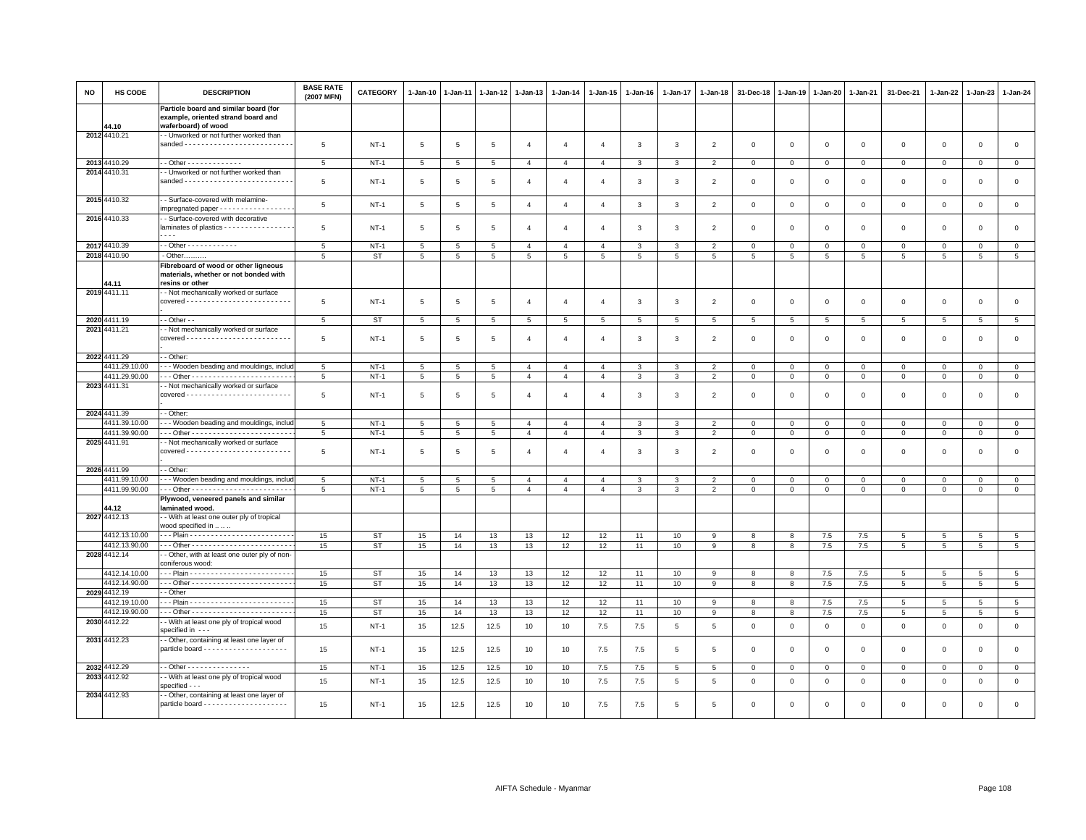| NO | HS CODE                        | <b>DESCRIPTION</b>                                                                                                 | <b>BASE RATE</b><br>(2007 MFN) | CATEGORY               | 1-Jan-10        | 1-Jan-11        | 1-Jan-12        | 1-Jan-13       | $1-Jan-14$     | 1-Jan-15       | 1-Jan-16     | 1-Jan-17       | 1-Jan-18                         | 31-Dec-18        | 1-Jan-19       | 1-Jan-20        | 1-Jan-21       | 31-Dec-21         | $1 - Jan-22$        | 1-Jan-23            | 1-Jan-24                           |
|----|--------------------------------|--------------------------------------------------------------------------------------------------------------------|--------------------------------|------------------------|-----------------|-----------------|-----------------|----------------|----------------|----------------|--------------|----------------|----------------------------------|------------------|----------------|-----------------|----------------|-------------------|---------------------|---------------------|------------------------------------|
|    | 44.10                          | Particle board and similar board (for<br>example, oriented strand board and<br>waferboard) of wood                 |                                |                        |                 |                 |                 |                |                |                |              |                |                                  |                  |                |                 |                |                   |                     |                     |                                    |
|    | 2012 4410.21                   | - Unworked or not further worked than                                                                              | 5                              | $NT-1$                 | 5               | 5               | 5               | $\overline{4}$ | $\overline{4}$ | $\overline{4}$ | 3            | 3              | $\overline{2}$                   | $\mathbf{0}$     | $\Omega$       | $\mathbf{0}$    | $\mathbf 0$    | $\mathbf 0$       | $\mathbf 0$         | $\mathbf 0$         | $\mathsf 0$                        |
|    | 2013 4410.29                   | - - Other - - - - - - - - - - - - -                                                                                | $5\phantom{.0}$                | <b>NT-1</b>            | $5\phantom{.0}$ | $\overline{5}$  | $5\phantom{.0}$ | $\overline{4}$ | $\overline{4}$ | $\overline{4}$ | 3            | $\mathbf{3}$   | $\overline{2}$                   | $\overline{0}$   | $\,0\,$        | $\mathbf 0$     | $\mathbf 0$    | $\overline{0}$    | $\mathbf{0}$        | $\mathbf 0$         | $\overline{0}$                     |
|    | 2014 4410.31                   | - Unworked or not further worked than<br>sanded --------------------------                                         | 5                              | $NT-1$                 | 5               | 5               | 5               | $\overline{a}$ | $\overline{4}$ | $\overline{4}$ | $\mathbf{3}$ | 3              | $\overline{2}$                   | $\mathbf 0$      | $\overline{0}$ | $\mathbf 0$     | $\mathbf 0$    | $\mathbf 0$       | $\Omega$            | $\Omega$            | $\circ$                            |
|    | 2015 4410.32                   | - Surface-covered with melamine-<br>impregnated paper - - - - - - - - - - - - - - - -                              | 5                              | $NT-1$                 | $5\phantom{.0}$ | 5               | $\sqrt{5}$      | $\overline{4}$ | $\overline{4}$ | $\overline{4}$ | 3            | $\mathbf{3}$   | $\overline{2}$                   | $\,0\,$          | $\overline{0}$ | $\mathbf 0$     | $\mathsf 0$    | $\mathsf 0$       | $\mathbf 0$         | $\mathsf 0$         | $\mathsf 0$                        |
|    | 2016 4410.33                   | - Surface-covered with decorative<br>laminates of plastics - - - - - - - - - - - - - - - -<br>$\sim$ $\sim$ $\sim$ | 5                              | $NT-1$                 | 5               | 5               | 5               | $\overline{4}$ | $\overline{4}$ | $\overline{4}$ | 3            | 3              | $\overline{2}$                   | $\mathbf 0$      | $\mathbf 0$    | $\mathbf 0$     | $\mathbf 0$    | $\mathsf 0$       | $\mathbf 0$         | $\mathsf 0$         | $\mathbf 0$                        |
|    | 2017 4410.39                   | - - Other - - - - - - - - - - - -                                                                                  | 5                              | <b>NT-1</b>            | 5               | 5               | 5               | $\overline{a}$ | $\overline{a}$ | $\overline{a}$ | 3            | 3              | $\overline{2}$                   | $\Omega$         | $\mathbf 0$    | $\mathbf 0$     | $\Omega$       | 0                 | $\Omega$            | $\Omega$            | $\overline{0}$                     |
|    | 2018 4410.90                   | - Other.                                                                                                           | 5                              | <b>ST</b>              | 5               | 5               | 5               | 5              | 5              | 5              | 5            | 5              | 5                                | $5^{\circ}$      | 5              | $5\overline{5}$ | 5              | 5                 | 5                   | 5                   | 5                                  |
|    | 44.11                          | Fibreboard of wood or other ligneous<br>materials, whether or not bonded with<br>resins or other                   |                                |                        |                 |                 |                 |                |                |                |              |                |                                  |                  |                |                 |                |                   |                     |                     |                                    |
|    | 2019 4411.11                   | - Not mechanically worked or surface                                                                               |                                |                        |                 |                 |                 |                |                |                |              |                |                                  |                  |                |                 |                |                   |                     |                     |                                    |
|    |                                |                                                                                                                    | 5                              | $NT-1$                 | 5               | 5               | 5               | 4              | $\overline{a}$ | $\overline{4}$ | 3            | 3              | $\overline{2}$                   | $\mathbf 0$      | $\overline{0}$ | $\mathbf 0$     | $\mathbf 0$    | $\mathsf 0$       | 0                   | $\mathbf 0$         | $\mathbf 0$                        |
|    | 2020 4411.19<br>2021 4411.21   | - - Other - -                                                                                                      | 5                              | <b>ST</b>              | 5               | $\overline{5}$  | 5               | 5              | 5              | 5              | 5            | $\overline{5}$ | 5                                | 5                | 5              | $\,$ 5 $\,$     | $\overline{5}$ | $\overline{5}$    | 5                   | 5                   | $5\phantom{.0}$                    |
|    |                                | - Not mechanically worked or surface                                                                               | 5                              | $NT-1$                 | 5               | 5               | 5               | $\overline{4}$ | $\overline{a}$ | $\overline{4}$ | 3            | 3              | $\overline{2}$                   | $\mathbf 0$      | $\mathbf 0$    | $\mathbf 0$     | $\mathbf 0$    | $\mathsf 0$       | $\mathbf 0$         | $\mathsf 0$         | $\mathbf 0$                        |
|    | 2022 4411.29                   | - Other:                                                                                                           |                                |                        |                 |                 |                 |                |                |                |              |                |                                  |                  |                |                 |                |                   |                     |                     |                                    |
|    | 4411.29.10.00                  | - - - Wooden beading and mouldings, includ                                                                         | 5                              | $NT-1$                 | 5               | 5               | 5               | $\overline{4}$ | $\overline{4}$ | $\overline{4}$ | $\mathbf{3}$ | 3              | $\overline{2}$                   | $\mathbf 0$      | $\overline{0}$ | $\mathbf{0}$    | $\mathbf{0}$   | $\mathbf 0$       | $\mathbf 0$         | $\mathbf{0}$        | $\circ$                            |
|    | 4411.29.90.00<br>2023 4411.31  | - Not mechanically worked or surface                                                                               | 5                              | $NT-1$                 | 5               | 5               | 5               | $\overline{4}$ | $\overline{4}$ | $\overline{4}$ | 3            | 3              | $\overline{2}$                   | $\mathbf 0$      | $\mathbf{0}$   | $\overline{0}$  | $\mathbf 0$    | $\mathsf 0$       | $\mathbf 0$         | $\mathsf 0$         | $\mathsf 0$                        |
|    |                                |                                                                                                                    | 5                              | $NT-1$                 | 5               | 5               | 5               | $\overline{a}$ | $\overline{4}$ | $\overline{4}$ | 3            | 3              | -2                               | $\mathbf 0$      | $\overline{0}$ | $\overline{0}$  | 0              | 0                 | 0                   | 0                   | $\mathsf 0$                        |
|    | 2024 4411.39                   | - Other:                                                                                                           |                                |                        |                 |                 |                 |                |                |                |              |                |                                  |                  |                |                 |                |                   |                     |                     |                                    |
|    | 4411.39.10.00                  | - - Wooden beading and mouldings, includ                                                                           | 5                              | $NT-1$                 | 5               | 5               | 5               | $\Delta$       | $\mathbf{A}$   | $\mathbf{A}$   | 3            | 3              | $\mathcal{P}$                    | $\Omega$         | $\Omega$       | $\Omega$        | $\Omega$       | $\Omega$          | $\Omega$            | $\Omega$            | $\mathbf 0$                        |
|    | 4411.39.90.00<br>2025 4411.91  | - Not mechanically worked or surface                                                                               | 5                              | $NT-1$                 | 5               | 5               | 5               | $\overline{4}$ | $\overline{4}$ | $\overline{4}$ | $\mathbf{3}$ | 3              | $\overline{2}$                   | $\mathbf 0$      | $\mathsf 0$    | $\mathbf 0$     | $\mathbf 0$    | $\mathsf 0$       | $\mathbf 0$         | $\mathbf 0$         | $\mathbf 0$                        |
|    |                                |                                                                                                                    | 5                              | $NT-1$                 | 5               | 5               | 5               | $\overline{4}$ | $\overline{4}$ | $\overline{a}$ | 3            | 3              | $\overline{2}$                   | $\overline{0}$   | $^{\circ}$     | $\mathbf 0$     | $\mathbf 0$    | $\mathbf 0$       | 0                   | $\Omega$            | $\mathbf 0$                        |
|    | 2026 4411.99<br>4411.99.10.00  | - Other:<br>-- Wooden beading and mouldings, inclu-                                                                |                                | $NT-1$                 |                 | 5               | 5               | $\overline{4}$ | $\overline{4}$ | $\overline{4}$ |              | 3              |                                  |                  | $\mathbf 0$    | $\mathbf 0$     | $\mathbf 0$    |                   |                     |                     | $\mathbf 0$                        |
|    | 4411.99.90.00                  |                                                                                                                    | 5<br>$5\phantom{.0}$           | $NT-1$                 | 5<br>5          | $5\phantom{.0}$ | 5               | $\overline{4}$ | $\overline{4}$ | $\overline{4}$ | 3<br>3       | 3              | $\overline{2}$<br>$\overline{2}$ | 0<br>$\mathbf 0$ | $\mathbf 0$    | $\overline{0}$  | $\mathbf 0$    | 0<br>$\mathbf{0}$ | 0<br>$\mathbf 0$    | 0<br>0              | $\overline{0}$                     |
|    |                                | Plywood, veneered panels and similar                                                                               |                                |                        |                 |                 |                 |                |                |                |              |                |                                  |                  |                |                 |                |                   |                     |                     |                                    |
|    | 44.12                          | laminated wood.                                                                                                    |                                |                        |                 |                 |                 |                |                |                |              |                |                                  |                  |                |                 |                |                   |                     |                     |                                    |
|    | 2027 4412.13<br>4412.13.10.00  | - With at least one outer ply of tropical<br>wood specified in   .                                                 |                                |                        |                 |                 |                 |                |                |                |              |                |                                  |                  |                |                 |                |                   |                     |                     |                                    |
|    | 4412.13.90.00                  |                                                                                                                    | 15<br>15                       | <b>ST</b><br><b>ST</b> | 15<br>15        | 14<br>14        | 13<br>13        | 13<br>13       | 12<br>12       | 12<br>12       | 11<br>11     | 10<br>10       | 9<br>9                           | 8<br>8           | 8<br>8         | 7.5<br>7.5      | 7.5<br>7.5     | 5<br>5            | 5<br>$\overline{5}$ | 5<br>$\overline{5}$ | $5\phantom{.0}$<br>$5\overline{5}$ |
|    | 2028 4412.14                   | - Other, with at least one outer ply of non-                                                                       |                                |                        |                 |                 |                 |                |                |                |              |                |                                  |                  |                |                 |                |                   |                     |                     |                                    |
|    |                                | coniferous wood:                                                                                                   |                                |                        |                 |                 |                 |                |                |                |              |                |                                  |                  |                |                 |                |                   |                     |                     |                                    |
|    | 4412.14.10.00<br>4412.14.90.00 |                                                                                                                    | 15<br>15                       | ST<br><b>ST</b>        | 15<br>15        | 14<br>14        | 13<br>13        | 13<br>13       | 12<br>12       | 12<br>12       | 11<br>11     | 10<br>10       | 9<br>9                           | 8<br>8           | 8<br>8         | 7.5<br>7.5      | 7.5<br>7.5     | 5<br>5            | 5<br>5              | 5<br>5              | $5\phantom{.0}$<br>5               |
|    | 2029 4412.19                   | - Other                                                                                                            |                                |                        |                 |                 |                 |                |                |                |              |                |                                  |                  |                |                 |                |                   |                     |                     |                                    |
|    | 4412.19.10.00                  |                                                                                                                    | 15                             | <b>ST</b>              | 15              | 14              | 13              | 13             | 12             | 12             | 11           | 10             | 9                                | 8                | 8              | $7.5\,$         | 7.5            | 5                 | 5                   | 5                   | $\,$ 5 $\,$                        |
|    | 4412.19.90.00                  |                                                                                                                    | 15                             | <b>ST</b>              | 15              | 14              | 13              | 13             | 12             | 12             | 11           | 10             | 9                                | 8                | 8              | 7.5             | 7.5            | 5                 | 5                   | 5                   | 5                                  |
|    | 2030 4412.22                   | - With at least one ply of tropical wood<br>specified in ---                                                       | 15                             | $NT-1$                 | 15              | 12.5            | 12.5            | 10             | 10             | 7.5            | 7.5          | 5              | 5                                | $\mathbf 0$      | $\overline{0}$ | $\mathbf 0$     | $\mathbf 0$    | $\mathsf 0$       | 0                   | $\mathbf 0$         | $\circ$                            |
|    | 2031 4412.23                   | - Other, containing at least one layer of                                                                          | 15                             | <b>NT-1</b>            | 15              | 12.5            | 12.5            | 10             | 10             | 7.5            | 7.5          | 5              | 5                                | $\mathsf 0$      | $\overline{0}$ | $\mathbf 0$     | $\mathbf 0$    | $\mathsf 0$       | $\mathbf 0$         | $\mathsf 0$         | $\,0\,$                            |
|    | 2032 4412.29                   | - Other - - - - - - - - - - - - - - -                                                                              | 15                             | $NT-1$                 | 15              | 12.5            | 12.5            | 10             | 10             | 7.5            | 7.5          | 5              | 5                                | $^{\circ}$       | $^{\circ}$     | $\mathbf 0$     | $\mathbf 0$    | 0                 | 0                   | 0                   | $\mathbf 0$                        |
|    | 2033 4412.92                   | - With at least one ply of tropical wood<br>specified - - -                                                        | 15                             | $NT-1$                 | 15              | 12.5            | 12.5            | 10             | 10             | 7.5            | 7.5          | 5              | 5                                | $\mathbf 0$      | $\mathbf{0}$   | $\mathbf 0$     | $\mathbf 0$    | $\mathsf 0$       | 0                   | $\mathsf 0$         | $\mathsf 0$                        |
|    | 2034 4412.93                   | - Other, containing at least one layer of                                                                          | 15                             | $NT-1$                 | 15              | 12.5            | 12.5            | 10             | 10             | 7.5            | 7.5          | 5              | 5                                | $\Omega$         | $\mathbf{0}$   | $\mathbf 0$     | $\Omega$       | $\Omega$          | $\mathbf 0$         | $\mathbf 0$         | $\mathbf 0$                        |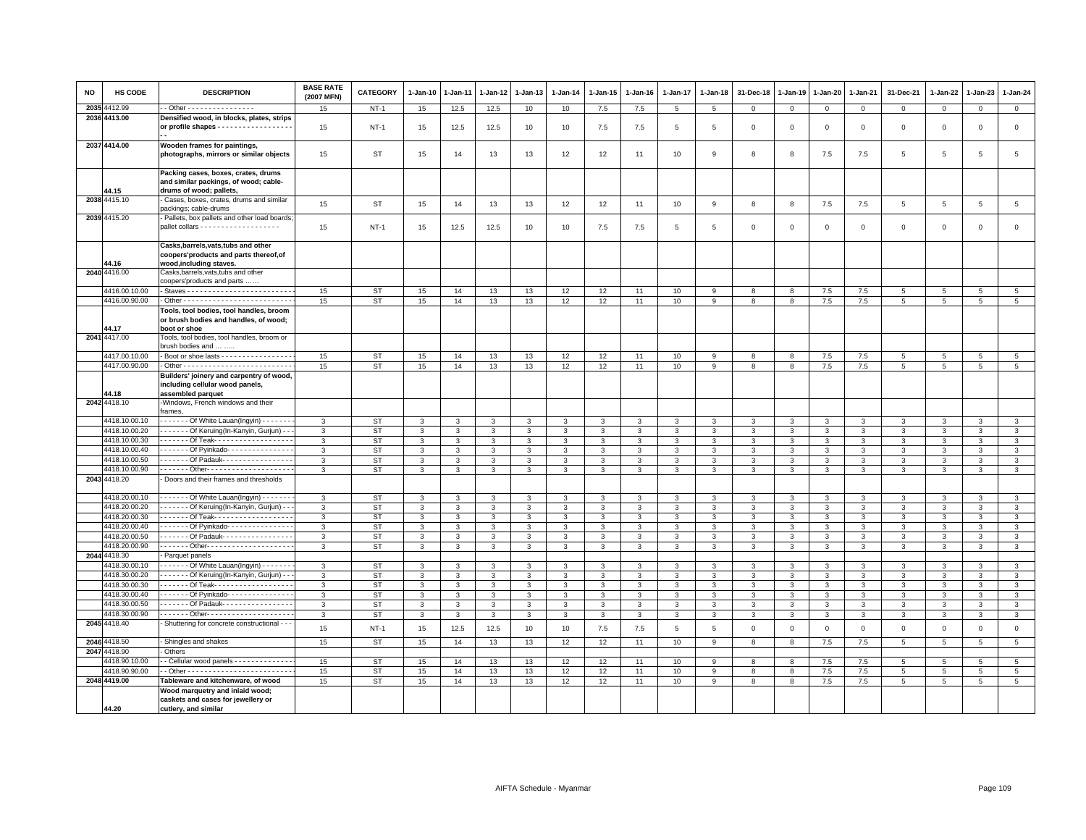| <b>NO</b> | <b>HS CODE</b>                 | <b>DESCRIPTION</b>                                                                                        | <b>BASE RATE</b><br>(2007 MFN) | <b>CATEGORY</b>        | $1 - Jan-10$      | 1-Jan-11 | 1-Jan-12          | 1-Jan-13          | $1 - Jan-14$      | $1 - Jan-15$      | $1-Jan-16$        | 1-Jan-17          | $1 - Jan-18$    | 31-Dec-18    | $1 - Jan-19$ | 1-Jan-20          | $1 - Jan-21$      | 31-Dec-21           | $1 - Jan-22$      | 1-Jan-23          | 1-Jan-24                         |
|-----------|--------------------------------|-----------------------------------------------------------------------------------------------------------|--------------------------------|------------------------|-------------------|----------|-------------------|-------------------|-------------------|-------------------|-------------------|-------------------|-----------------|--------------|--------------|-------------------|-------------------|---------------------|-------------------|-------------------|----------------------------------|
|           | 2035 4412.99                   | - Other - - - - - - - - - - - - - - - -                                                                   | 15                             | $NT-1$                 | 15                | 12.5     | 12.5              | 10                | 10                | 7.5               | 7.5               | $\,$ 5 $\,$       | $5\phantom{.0}$ | $\mathbf 0$  | $\,0\,$      | $\overline{0}$    | $\overline{0}$    | $\mathsf{O}\xspace$ | $\mathsf 0$       | $\mathsf 0$       | $\overline{0}$                   |
|           | 2036 4413.00                   | Densified wood, in blocks, plates, strips                                                                 |                                |                        |                   |          |                   |                   |                   |                   |                   |                   |                 |              |              |                   |                   |                     |                   |                   |                                  |
|           |                                | or profile shapes - - - - - - - - - - - - - - - - -                                                       | 15                             | $NT-1$                 | 15                | 12.5     | 12.5              | 10                | 10                | $7.5\,$           | 7.5               | 5                 | 5               | $\mathbf 0$  | $\mathsf 0$  | $\mathbf 0$       | $\mathbf 0$       | $\mathsf 0$         | $\mathsf 0$       | $\mathbf 0$       | $\mathsf 0$                      |
|           | 2037 4414.00                   | Wooden frames for paintings,<br>photographs, mirrors or similar objects                                   | 15                             | ST                     | 15                | 14       | 13                | 13                | 12                | 12                | 11                | 10                | 9               | 8            | 8            | 7.5               | 7.5               | 5                   | 5                 | 5                 | 5                                |
|           |                                | Packing cases, boxes, crates, drums<br>and similar packings, of wood; cable-                              |                                |                        |                   |          |                   |                   |                   |                   |                   |                   |                 |              |              |                   |                   |                     |                   |                   |                                  |
|           | 44.15<br>2038 4415.10          | drums of wood; pallets.<br>Cases, boxes, crates, drums and similar                                        | 15                             | <b>ST</b>              | 15                | 14       | 13                | 13                | 12                | 12                | 11                | 10                | 9               | 8            | 8            | 7.5               | 7.5               | $\overline{5}$      | 5                 | $\overline{5}$    | $\overline{5}$                   |
|           | 2039 4415.20                   | packings; cable-drums<br>Pallets, box pallets and other load boards                                       |                                |                        |                   |          |                   |                   |                   |                   |                   |                   |                 |              |              |                   |                   |                     |                   |                   |                                  |
|           |                                |                                                                                                           | 15                             | $NT-1$                 | 15                | 12.5     | 12.5              | 10                | 10                | 7.5               | 7.5               | 5                 | 5               | $\mathbf 0$  | $\mathbf 0$  | $\mathsf 0$       | $\mathbf 0$       | $\mathsf 0$         | $\mathsf 0$       | $\mathsf 0$       | $\mathbf 0$                      |
|           | 44.16                          | Casks, barrels, vats, tubs and other<br>coopers'products and parts thereof, of<br>wood, including staves. |                                |                        |                   |          |                   |                   |                   |                   |                   |                   |                 |              |              |                   |                   |                     |                   |                   |                                  |
|           | 2040 4416.00                   | Casks,barrels,vats,tubs and other<br>coopers'products and parts                                           |                                |                        |                   |          |                   |                   |                   |                   |                   |                   |                 |              |              |                   |                   |                     |                   |                   |                                  |
|           | 4416.00.10.00                  |                                                                                                           | 15                             | <b>ST</b>              | 15                | 14       | 13                | 13                | 12                | 12                | 11                | 10                | 9               | 8            | 8            | 7.5               | 7.5               | 5                   | 5                 | 5                 | $5\phantom{.0}$                  |
|           | 4416.00.90.00                  |                                                                                                           | 15                             | <b>ST</b>              | 15                | 14       | 13                | 13                | 12                | 12                | 11                | 10                | 9               | 8            | 8            | 7.5               | 7.5               | 5                   | 5                 | 5                 | $5\overline{5}$                  |
|           | 14.17                          | Tools, tool bodies, tool handles, broom<br>or brush bodies and handles, of wood;<br>boot or shoe          |                                |                        |                   |          |                   |                   |                   |                   |                   |                   |                 |              |              |                   |                   |                     |                   |                   |                                  |
|           | 2041 4417.00                   | Tools, tool bodies, tool handles, broom or<br>brush bodies and                                            |                                |                        |                   |          |                   |                   |                   |                   |                   |                   |                 |              |              |                   |                   |                     |                   |                   |                                  |
|           | 4417.00.10.00                  | Boot or shoe lasts - - - - - - - - - - - - - - - -                                                        | 15                             | <b>ST</b>              | 15                | 14       | 13                | 13                | 12                | 12                | 11                | 10                | 9               | 8            | 8            | 7.5               | 7.5               | 5                   | $5\overline{5}$   | 5                 | $5\overline{5}$                  |
|           | 4417.00.90.00                  |                                                                                                           | 15                             | <b>ST</b>              | 15                | 14       | 13                | 13                | 12                | 12                | 11                | 10                | 9               | 8            | 8            | 7.5               | 7.5               | 5                   | 5                 | 5                 | $\overline{5}$                   |
|           | 44.18                          | Builders' joinery and carpentry of wood,<br>including cellular wood panels,<br>assembled parquet          |                                |                        |                   |          |                   |                   |                   |                   |                   |                   |                 |              |              |                   |                   |                     |                   |                   |                                  |
|           | 2042 4418.10                   | -Windows, French windows and their<br>frames,                                                             |                                |                        |                   |          |                   |                   |                   |                   |                   |                   |                 |              |              |                   |                   |                     |                   |                   |                                  |
|           | 4418.10.00.10                  | - - - - - - Of White Lauan(Ingyin) - - - - - -                                                            | $\mathcal{R}$                  | <b>ST</b>              | 3                 | 3        | 3                 | $\mathbf{3}$      | 3                 | 3                 |                   | $\mathbf{3}$      | $\mathcal{R}$   | 3            | 3            | 3                 | 3                 | $\mathbf{3}$        | 3                 | 3                 | 3                                |
|           | 4418.10.00.20                  | - - - - - - Of Keruing(In-Kanyin, Gurjun) - -                                                             | 3                              | <b>ST</b>              | 3                 | 3        | 3                 | 3                 | $\mathbf{3}$      | 3                 | 3                 | 3                 | 3               | 3            | 3            | 3                 | $\mathbf{3}$      | 3                   | 3                 | 3                 | 3                                |
|           | 4418.10.00.30                  | ------ Of Teak-------------------                                                                         | 3                              | <b>ST</b>              | 3                 | 3        | 3                 | 3                 | 3                 | 3                 | 3                 | 3                 | 3               | 3            | 3            | 3                 | 3                 | 3                   | 3                 | 3                 | $\mathbf{3}$                     |
|           | 4418.10.00.40                  | ------ Of Pyinkado---------------                                                                         | $\mathbf{3}$                   | <b>ST</b>              | $\mathbf{3}$      | 3        | $\mathbf{3}$      | $\mathbf{3}$      | $\mathbf{3}$      | 3                 | 3                 | 3                 | 3               | 3            | 3            | $\mathbf{3}$      | $\mathbf{3}$      | $\mathbf{3}$        | 3                 | $\mathbf{3}$      | $\mathbf{3}$                     |
|           | 4418.10.00.50                  | ------ Of Padauk----------------                                                                          | 3                              | <b>ST</b>              | 3                 | 3        | 3                 | 3                 | 3                 | 3                 | 3                 | 3                 | 3               | 3            | 3            | 3                 | 3                 | 3                   | 3                 | 3                 | 3                                |
|           | 4418.10.00.90                  |                                                                                                           | 3                              | <b>ST</b>              | 3                 | 3        | 3                 | 3                 | 3                 | 3                 | 3                 | 3                 | 3               | 3            | 3            | 3                 | $\mathbf{3}$      | 3                   | 3                 | 3                 | 3                                |
|           | 2043 4418.20                   | Doors and their frames and thresholds                                                                     |                                |                        |                   |          |                   |                   |                   |                   |                   |                   |                 |              |              |                   |                   |                     |                   |                   |                                  |
|           | 4418.20.00.10                  | ------ Of White Lauan(Ingyin) ------                                                                      | 3                              | <b>ST</b>              | 3                 | 3        | 3                 | 3                 | 3                 | 3                 | $\mathcal{R}$     | 3                 | 3               | 3            | 3            | 3                 | 3                 | 3                   | 3                 | 3                 | 3                                |
|           | 4418.20.00.20<br>4418.20.00.30 | - - - - - - Of Keruing(In-Kanyin, Gurjun) - -<br>. Of Teak-                                               | 3                              | <b>ST</b>              | 3                 | 3        | 3                 | 3                 | $\mathbf{3}$      | 3                 | 3                 | 3                 | 3               | 3            | 3            | 3                 | $\mathbf{3}$      | 3                   | 3                 | 3                 | $\mathbf{3}$                     |
|           | 4418.20.00.40                  | ------ Of Pyinkado---------------                                                                         | 3<br>$\mathbf{3}$              | <b>ST</b><br><b>ST</b> | 3<br>$\mathbf{3}$ | 3<br>3   | 3<br>$\mathbf{3}$ | 3<br>$\mathbf{3}$ | 3<br>$\mathbf{3}$ | 3<br>$\mathbf{3}$ | 3<br>$\mathbf{3}$ | 3<br>$\mathbf{3}$ | 3<br>3          | 3<br>3       | 3<br>3       | 3<br>$\mathbf{3}$ | 3<br>$\mathbf{3}$ | 3<br>$\mathbf{3}$   | 3<br>$\mathbf{3}$ | 3<br>$\mathbf{3}$ | $\mathbf{3}$<br>$\mathbf{3}$     |
|           | 4418.20.00.50                  | Of Padauk- - - - - - - - - - - - - - - -                                                                  | 3                              | <b>ST</b>              | 3                 | 3        | 3                 | 3                 | 3                 | 3                 | 3                 | 3                 | 3               | 3            | 3            | 3                 | $\mathbf{3}$      | 3                   | 3                 | 3                 | 3                                |
|           | 4418.20.00.90                  | ------ Other---------------------                                                                         | 3                              | <b>ST</b>              | $\mathbf{3}$      | 3        | 3                 | $\mathbf{3}$      | 3                 | 3                 | 3                 | 3                 | 3               | 3            | 3            | 3                 | $\mathbf{3}$      | 3                   | 3                 | 3                 | 3                                |
|           | 2044 4418.30                   | Parquet panels                                                                                            |                                |                        |                   |          |                   |                   |                   |                   |                   |                   |                 |              |              |                   |                   |                     |                   |                   |                                  |
|           | 4418.30.00.10                  | - - - - - - Of White Lauan(Ingyin) - - - - - -                                                            | 3                              | <b>ST</b>              | 3                 | 3        | 3                 | 3                 | 3                 | 3                 | $\mathcal{R}$     | 3                 | 3               | 3            | 3            | 3                 | $\mathbf{3}$      | 3                   | 3                 | 3                 | $\mathbf{3}$                     |
|           | 4418.30.00.20                  | - - - - - - Of Keruing(In-Kanyin, Gurjun) - -                                                             | 3                              | <b>ST</b>              | 3                 | 3        | 3                 | 3                 | $\mathbf{3}$      | 3                 | 3                 | 3                 | 3               | 3            | 3            | $\mathbf{3}$      | $\mathbf{3}$      | $\mathbf{3}$        | 3                 | 3                 | $\mathbf{3}$                     |
|           | 4418.30.00.30                  | . Of Teak-                                                                                                | 3                              | <b>ST</b>              | 3                 | 3        | 3                 | 3                 | 3                 | 3                 | 3                 | 3                 | 3               | 3            | 3            | 3                 | $\mathbf{3}$      | 3                   | 3                 | 3                 | $\mathbf{3}$                     |
|           | 4418.30.00.40                  | ------ Of Pyinkado---------------                                                                         | 3                              | <b>ST</b>              | $\mathbf{3}$      | 3        | 3                 | 3                 | 3                 | 3                 | 3                 | $\mathbf{3}$      | 3               | 3            | 3            | 3                 | $\mathbf{3}$      | 3                   | 3                 | 3                 | 3                                |
|           | 4418.30.00.50                  | ------ Of Padauk----------------                                                                          | 3                              | <b>ST</b>              | 3                 | 3        | 3                 | 3                 | 3                 | $\mathbf{3}$      | 3                 | 3                 | 3               | 3            | 3            | 3                 | $\mathbf{3}$      | 3                   | 3                 | 3                 | $\mathbf{3}$                     |
|           | 4418.30.00.90                  | Other---------------------                                                                                | 3                              | <b>ST</b>              | $\mathbf{3}$      | 3        | 3                 | 3                 | 3                 | 3                 | 3                 | 3                 | 3               | 3            | 3            | 3                 | $\mathbf{3}$      | 3                   | 3                 | 3                 | 3                                |
|           | 2045 4418.40                   | - Shuttering for concrete constructional - - -                                                            | 15                             | $NT-1$                 | 15                | 12.5     | 12.5              | 10                | 10                | 7.5               | 7.5               | 5                 | 5               | $\mathbf{0}$ | $\mathbf 0$  | $\mathsf 0$       | $\mathbf 0$       | $\mathsf 0$         | $\Omega$          | $\mathbf{0}$      | $\mathsf 0$                      |
|           | 2046 4418.50                   | Shingles and shakes                                                                                       | 15                             | <b>ST</b>              | 15                | 14       | 13                | 13                | 12                | 12                | 11                | 10                | 9               | 8            | 8            | 7.5               | 7.5               | 5                   | $\overline{5}$    | $5\phantom{.0}$   | $5\phantom{.0}$                  |
|           | 2047 4418.90                   | Others                                                                                                    |                                |                        |                   |          |                   |                   |                   |                   |                   |                   |                 |              |              |                   |                   |                     |                   |                   |                                  |
|           | 4418.90.10.00                  | - Cellular wood panels - - - - - - - - - - - - -                                                          | 15                             | <b>ST</b>              | 15                | 14       | 13                | 13                | 12                | 12                | 11                | 10                | 9               | 8            | 8            | 7.5               | 7.5               | 5                   | 5                 | 5                 | 5 <sup>5</sup>                   |
|           | 4418.90.90.00<br>2048 4419.00  | Tableware and kitchenware, of wood                                                                        | 15                             | <b>ST</b><br><b>ST</b> | 15                | 14       | 13                | 13                | 12<br>12          | 12<br>12          | 11                | 10                | 9               | 8<br>8       | 8            | $7.5$             | 7.5<br>7.5        | 5                   | 5<br>5            | 5                 | $\overline{5}$<br>$\overline{5}$ |
|           |                                | Wood marquetry and inlaid wood;                                                                           | 15                             |                        | 15                | 14       | 13                | 13                |                   |                   | 11                | 10                | 9               |              | 8            | 7.5               |                   | 5                   |                   | 5                 |                                  |
|           | 44.20                          | caskets and cases for jewellery or<br>cutlery, and similar                                                |                                |                        |                   |          |                   |                   |                   |                   |                   |                   |                 |              |              |                   |                   |                     |                   |                   |                                  |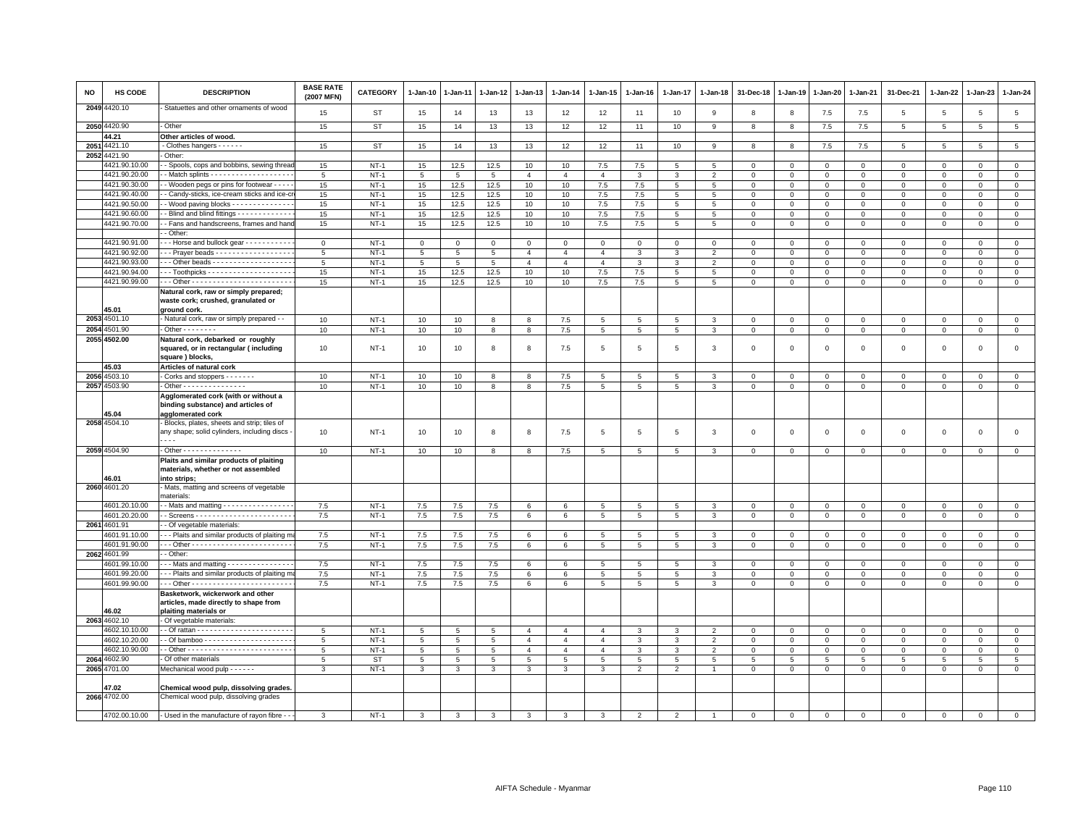| NO | HS CODE               | <b>DESCRIPTION</b>                                                                                 | <b>BASE RATE</b><br>(2007 MFN) | <b>CATEGORY</b> | 1-Jan-10        | $1 - Jan-11$    | $1 - Jan-12$    | 1-Jan-13       | $1-Jan-14$     | $1-Jan-15$      | $1 - Jan-16$   | $1 - Jan-17$   | $1 - Jan-18$   | 31-Dec-18               | $1 - Jan-19$   | $1 - Jan-20$   | 1-Jan-21     | 31-Dec-21      | 1-Jan-22        | 1-Jan-23        | $1 - Jan-24$    |
|----|-----------------------|----------------------------------------------------------------------------------------------------|--------------------------------|-----------------|-----------------|-----------------|-----------------|----------------|----------------|-----------------|----------------|----------------|----------------|-------------------------|----------------|----------------|--------------|----------------|-----------------|-----------------|-----------------|
|    | 2049 4420.10          | Statuettes and other ornaments of wood                                                             | 15                             | ST              | 15              | 14              | 13              | 13             | 12             | 12              | 11             | 10             | 9              | 8                       | 8              | 7.5            | 7.5          | 5              | 5               | 5               | 5               |
|    | 2050 4420.90          | Other                                                                                              | 15                             | ST              | 15              | 14              | 13              | 13             | 12             | 12              | 11             | 10             | 9              | 8                       | 8              | 7.5            | 7.5          | $\overline{5}$ | 5               | $\overline{5}$  | $5\phantom{.0}$ |
|    | 44.21                 | Other articles of wood.                                                                            |                                |                 |                 |                 |                 |                |                |                 |                |                |                |                         |                |                |              |                |                 |                 |                 |
|    | 2051 4421.10          | - Clothes hangers - - - - - -                                                                      | 15                             | <b>ST</b>       | 15              | 14              | 13              | 13             | 12             | 12              | 11             | 10             | 9              | 8                       | 8              | 7.5            | 7.5          | 5              | 5               | 5               | $\overline{5}$  |
|    | 2052 4421.90          | Other:                                                                                             |                                |                 |                 |                 |                 |                |                |                 |                |                |                |                         |                |                |              |                |                 |                 |                 |
|    | 4421.90.10.00         | - Spools, cops and bobbins, sewing threa                                                           | 15                             | $NT-1$          | 15              | 12.5            | 12.5            | 10             | 10             | 7.5             | 7.5            | 5              | -5             | $\Omega$                | $\Omega$       | $\mathbf 0$    | $\Omega$     | $\Omega$       | $\Omega$        | $\Omega$        | $\mathbf 0$     |
|    | 4421.90.20.00         | - Match splints - - - - - - - - - - - - - - - - - -                                                | $\overline{5}$                 | $NT-1$          | $5\phantom{.0}$ | $5\phantom{.0}$ | 5               | $\mathbf{A}$   | $\overline{4}$ | $\overline{4}$  | 3              | 3              | $\overline{2}$ | $\overline{0}$          | $\mathbf 0$    | $\mathbf{0}$   | $\mathbf 0$  | $\mathbf 0$    | $\Omega$        | $\Omega$        | $\mathsf 0$     |
|    | 4421.90.30.00         | - Wooden pegs or pins for footwear - - - -                                                         | 15                             | $NT-1$          | 15              | 12.5            | 12.5            | 10             | 10             | 7.5             | 7.5            | 5              | 5              | $\mathbf 0$             | $\mathbf 0$    | $\mathsf 0$    | $\mathbf{O}$ | $\mathsf 0$    | $\mathbf 0$     | $\mathsf 0$     | $\mathbf 0$     |
|    | 4421.90.40.00         | - Candy-sticks, ice-cream sticks and ice-cr                                                        | 15                             | $NT-1$          | 15              | 12.5            | 12.5            | 10             | 10             | 7.5             | 7.5            | 5              | $\,$ 5 $\,$    | $\mathbf{0}$            | $\mathbf 0$    | $\overline{0}$ | $\mathbf 0$  | $\mathbf 0$    | $\mathbf 0$     | $\mathsf 0$     | $\overline{0}$  |
|    | 4421.90.50.00         | - Wood paving blocks - - - - - - - - - - - -                                                       | 15                             | $NT-1$          | 15              | 12.5            | 12.5            | 10             | 10             | 7.5             | 7.5            | 5              | 5              | $\overline{0}$          | $\mathbf{0}$   | $\mathbf{0}$   | $\mathbf{0}$ | $\mathbf 0$    | $\mathbf 0$     | $\mathbf{0}$    | $\mathbf{0}$    |
|    | 4421.90.60.00         | Blind and blind fittings - - - - - - - - - - - -                                                   | 15                             | $NT-1$          | 15              | 12.5            | 12.5            | 10             | 10             | 7.5             | 7.5            | 5              | 5              | $\overline{\mathbf{0}}$ | $\mathbf 0$    | $\mathbf{0}$   | $\mathbf 0$  | $\Omega$       | $\Omega$        | $\Omega$        | $\mathsf 0$     |
|    | 4421.90.70.00         | - Fans and handscreens, frames and hand                                                            | 15                             | $NT-1$          | 15              | 12.5            | 12.5            | 10             | 10             | 7.5             | 7.5            | 5              | $\overline{5}$ | $\mathbf 0$             | $\mathbf 0$    | $\mathbf{O}$   | $\mathsf 0$  | $\mathsf 0$    | $\mathbf 0$     | $\mathsf 0$     | $\mathsf 0$     |
|    |                       | - Other:                                                                                           |                                |                 |                 |                 |                 |                |                |                 |                |                |                |                         |                |                |              |                |                 |                 |                 |
|    | 4421.90.91.00         | -- Horse and bullock gear - - - - - - - - -                                                        | $\mathbf 0$                    | $NT-1$          | $\circ$         | $\overline{0}$  | $\overline{0}$  | $\mathbf 0$    | $\circ$        | $\mathbf{0}$    | $\mathbf 0$    | $\mathbf 0$    | $\mathbf{0}$   | $\overline{0}$          | $\overline{0}$ | $\mathbf{0}$   | $\mathbf 0$  | $\mathbf 0$    | $\Omega$        | $\mathbf 0$     | $\circ$         |
|    | 4421.90.92.00         | - - Prayer beads - - - - - - - - - - - - - - - - -                                                 | 5                              | $NT-1$          | $\overline{5}$  | $\sqrt{5}$      | 5               | $\overline{4}$ | $\overline{4}$ | $\overline{4}$  | 3              | 3              | $\overline{2}$ | $\overline{\mathbf{0}}$ | $\mathbf 0$    | $\mathsf 0$    | $^{\circ}$   | 0              | $\mathbf 0$     | $^{\circ}$      | $\mathsf 0$     |
|    | 4421.90.93.00         | -- Other beads ------------------                                                                  | 5                              | $NT-1$          | $\overline{5}$  | 5               | $5\overline{5}$ | $\overline{4}$ | $\overline{4}$ | $\overline{4}$  | 3              | 3              | $\overline{2}$ | $\mathsf 0$             | $\mathsf 0$    | $\mathbf{O}$   | $\Omega$     | $\mathsf 0$    | $\Omega$        | $\Omega$        | $\mathbf 0$     |
|    | 4421.90.94.00         |                                                                                                    | 15                             | $NT-1$          | 15              | 12.5            | 12.5            | 10             | 10             | 7.5             | 7.5            | $\overline{5}$ | 5              | $\mathbf 0$             | $\mathbf 0$    | $\mathbf{O}$   | $\mathsf 0$  | $\mathsf 0$    | $\mathbf 0$     | $^{\circ}$      | $\mathbf 0$     |
|    | 4421.90.99.00         |                                                                                                    | 15                             | $NT-1$          | 15              | 12.5            | 12.5            | 10             | 10             | 7.5             | 7.5            | 5              | 5              | $\overline{0}$          | $\circ$        | $\mathbf 0$    | $\mathbf 0$  | $\mathbf 0$    | $\Omega$        | $\mathbf 0$     | $\mathbf{0}$    |
|    |                       | Natural cork, raw or simply prepared;                                                              |                                |                 |                 |                 |                 |                |                |                 |                |                |                |                         |                |                |              |                |                 |                 |                 |
|    |                       | waste cork; crushed, granulated or                                                                 |                                |                 |                 |                 |                 |                |                |                 |                |                |                |                         |                |                |              |                |                 |                 |                 |
|    | 45.01<br>2053 4501.10 | ground cork.                                                                                       |                                |                 |                 |                 |                 |                |                |                 |                |                |                |                         |                |                |              |                |                 |                 |                 |
|    |                       | - Natural cork, raw or simply prepared - -                                                         | 10                             | $NT-1$          | 10              | 10              | 8               | 8              | 7.5            | 5               | 5              | 5              | 3              | $\mathbf 0$             | $\mathbf{0}$   | $\mathbf{0}$   | $\mathbf{0}$ | $\mathsf 0$    | $\mathbf 0$     | $\mathsf 0$     | $\mathbf 0$     |
|    | 2054 4501.90          | $\overline{O}$ ther - - - - - - - -                                                                | 10                             | $NT-1$          | 10              | 10              | 8               | $\overline{8}$ | 7.5            | $\overline{5}$  | 5              | $\overline{5}$ | $\mathbf{3}$   | $\overline{0}$          | $\overline{0}$ | $\mathsf 0$    | $\mathsf 0$  | $\mathsf 0$    | $\mathsf 0$     | 0               | $\overline{0}$  |
|    | 2055 4502.00          | Natural cork, debarked or roughly<br>squared, or in rectangular (including<br>square) blocks,      | 10                             | $NT-1$          | 10              | 10              | 8               | 8              | 7.5            | 5               | 5              | 5              | 3              | $\overline{\mathbf{0}}$ | $\mathbf 0$    | $\mathbf 0$    | $\circ$      | $\mathbf 0$    | $\mathbf 0$     | $\mathbf 0$     | $\circ$         |
|    | 45.03                 | Articles of natural cork                                                                           |                                |                 |                 |                 |                 |                |                |                 |                |                |                |                         |                |                |              |                |                 |                 |                 |
|    | 2056 4503.10          | Corks and stoppers - - - - - -                                                                     | 10                             | $NT-1$          | 10              | 10              | 8               | 8              | 7.5            | $5\phantom{.0}$ | 5              | $\sqrt{5}$     | 3              | $\mathbf 0$             | $\mathbf 0$    | $\,0\,$        | $\mathsf 0$  | $\mathsf 0$    | $\Omega$        | $\Omega$        | $\overline{0}$  |
|    | 2057 4503.90          | Other - - - - - - - - - - - - - - -                                                                | 10                             | $NT-1$          | 10              | 10              | 8               | 8              | 7.5            | 5               | 5              | 5              | 3              | $\overline{\mathbf{0}}$ | $\mathbf 0$    | $\mathsf 0$    | $\mathsf 0$  | $\mathsf 0$    | 0               | 0               | $\mathbf 0$     |
|    |                       | Agglomerated cork (with or without a                                                               |                                |                 |                 |                 |                 |                |                |                 |                |                |                |                         |                |                |              |                |                 |                 |                 |
|    | 45.04                 | binding substance) and articles of<br>agglomerated cork                                            |                                |                 |                 |                 |                 |                |                |                 |                |                |                |                         |                |                |              |                |                 |                 |                 |
|    | 2058 4504.10          | Blocks, plates, sheets and strip; tiles of                                                         |                                |                 |                 |                 |                 |                |                |                 |                |                |                |                         |                |                |              |                |                 |                 |                 |
|    |                       | any shape; solid cylinders, including discs                                                        | 10                             | $NT-1$          | 10              | 10              | 8               | 8              | 7.5            | $5\phantom{.0}$ | 5              | $\overline{5}$ | 3              | $\overline{0}$          | $\mathbf 0$    | $\,0\,$        | $\mathsf 0$  | $\mathsf 0$    | $\mathbf 0$     | $\mathsf 0$     | $\mathsf 0$     |
|    |                       | $- - -$                                                                                            |                                |                 |                 |                 |                 |                |                |                 |                |                |                |                         |                |                |              |                |                 |                 |                 |
|    | 2059 4504.90          | Other - - - - - - - - - - - - - -                                                                  | 10                             | $NT-1$          | 10              | 10              | 8               | 8              | 7.5            | $5\overline{5}$ | 5              | 5              | 3              | $\overline{0}$          | $\mathbf{0}$   | $\mathbf{0}$   | $\circ$      | $\mathbf 0$    | $\mathbf 0$     | $\mathbf{0}$    | $\mathbf{0}$    |
|    | 46.01                 | Plaits and similar products of plaiting<br>materials, whether or not assembled<br>into strips;     |                                |                 |                 |                 |                 |                |                |                 |                |                |                |                         |                |                |              |                |                 |                 |                 |
|    | 2060 4601.20          | Mats, matting and screens of vegetable<br>materials:                                               |                                |                 |                 |                 |                 |                |                |                 |                |                |                |                         |                |                |              |                |                 |                 |                 |
|    | 4601.20.10.00         | - Mats and matting - - - - - - - - - - - - - - -                                                   | 7.5                            | $NT-1$          | 7.5             | 7.5             | 7.5             | 6              | 6              | $5\overline{5}$ | 5              | 5              | 3              | $\mathbf 0$             | $\mathbf 0$    | $\mathbf 0$    | $\mathbf 0$  | $\mathsf 0$    | $\mathbf 0$     | $\mathbf{0}$    | $\mathbf 0$     |
|    | 4601.20.20.00         |                                                                                                    | 7.5                            | $NT-1$          | 7.5             | $7.5\,$         | $7.5\,$         | 6              | $\,6\,$        | 5               | 5              | 5              | 3              | $\overline{0}$          | $\mathsf 0$    | $\overline{0}$ | $\mathbf{O}$ | 0              | 0               | $\mathsf 0$     | $\mathbf 0$     |
|    | 2061 4601.91          | Of vegetable materials:                                                                            |                                |                 |                 |                 |                 |                |                |                 |                |                |                |                         |                |                |              |                |                 |                 |                 |
|    | 4601.91.10.00         | - - Plaits and similar products of plaiting m                                                      | 7.5                            | $NT-1$          | $7.5\,$         | $7.5\,$         | $7.5\,$         | 6              | 6              | 5               | 5              | 5              | 3              | $\overline{0}$          | $\mathbf 0$    | $\mathbf 0$    | $\mathsf 0$  | $\mathbf 0$    | $\mathbf 0$     | $^{\circ}$      | $\mathbf 0$     |
|    | 4601.91.90.00         |                                                                                                    | 7.5                            | $NT-1$          | 7.5             | 7.5             | 7.5             | 6              | 6              | 5               | 5              | 5              | 3              | $\mathbf 0$             | $\mathbf{0}$   | $\mathbf{0}$   | $\circ$      | $\mathbf 0$    | $\mathbf 0$     | $\mathbf 0$     | $\circ$         |
|    | 2062 4601.99          | - Other:                                                                                           |                                |                 |                 |                 |                 |                |                |                 |                |                |                |                         |                |                |              |                |                 |                 |                 |
|    | 4601.99.10.00         | - - Mats and matting - - - - - - - - - - - - - -                                                   | 7.5                            | $NT-1$          | 7.5             | 7.5             | 7.5             | 6              | 6              | $5\overline{5}$ | 5              | 5              | 3              | $\overline{\mathbf{0}}$ | $\mathbf 0$    | $\mathbf 0$    | $\mathbf{O}$ | $\mathsf 0$    | $\mathbf 0$     | $\mathsf 0$     | $\mathbf 0$     |
|    | 4601.99.20.00         | - - Plaits and similar products of plaiting m                                                      | 7.5                            | $NT-1$          | $7.5\,$         | $7.5\,$         | $7.5\,$         | 6              | 6              | 5               | 5              | 5              | 3              | $\overline{0}$          | $\mathbf 0$    | $\mathbf 0$    | $\mathbf 0$  | $\mathsf 0$    | $\mathbf 0$     | $^{\circ}$      | $\,0\,$         |
|    | 4601.99.90.00         |                                                                                                    | 7.5                            | $NT-1$          | 7.5             | 7.5             | 7.5             | 6              | 6              | 5               | 5              | 5              | 3              | $\mathbf 0$             | $\mathsf 0$    | $\mathsf 0$    | $\circ$      | $\mathbf 0$    | $\mathbf 0$     | $\mathbf 0$     | $\circ$         |
|    | 46.02                 | Basketwork, wickerwork and other<br>articles, made directly to shape from<br>plaiting materials or |                                |                 |                 |                 |                 |                |                |                 |                |                |                |                         |                |                |              |                |                 |                 |                 |
|    | 2063 4602.10          | Of vegetable materials:                                                                            |                                |                 |                 |                 |                 |                |                |                 |                |                |                |                         |                |                |              |                |                 |                 |                 |
|    | 4602.10.10.00         |                                                                                                    | 5                              | $NT-1$          | 5               | 5               | 5               | $\overline{4}$ | $\overline{4}$ | $\overline{4}$  | 3              | 3              | $\overline{2}$ | $\mathbf 0$             | $\mathbf 0$    | $\mathsf 0$    | $\mathsf 0$  | $\mathsf 0$    | $\mathbf 0$     | $\mathsf 0$     | $\mathbf 0$     |
|    | 4602.10.20.00         |                                                                                                    | $5\phantom{.0}$                | $NT-1$          | $5\phantom{.0}$ | 5               | $5\phantom{.0}$ | $\overline{4}$ | $\overline{4}$ | $\overline{4}$  | 3              | 3              | $\overline{2}$ | $\mathbf 0$             | $\mathbf 0$    | $\overline{0}$ | $\mathbf{O}$ | $\mathsf 0$    | $\mathbf 0$     | $\mathsf 0$     | $\overline{0}$  |
|    | 4602.10.90.00         |                                                                                                    | 5                              | $NT-1$          | 5               | 5               | $5\overline{5}$ | $\overline{4}$ | $\overline{4}$ | $\overline{4}$  | 3              | 3              | $\overline{2}$ | $\overline{0}$          | $\mathbf{0}$   | $\mathbf{0}$   | $\mathbf{0}$ | $\mathbf 0$    | $\mathbf 0$     | $\mathbf 0$     | $\circ$         |
|    | 2064 4602.90          | Of other materials                                                                                 | 5                              | <b>ST</b>       | $\overline{5}$  | 5               | 5               | 5              | 5              | $5\phantom{.0}$ | 5              | 5              | 5              | 5                       | 5              | 5              | 5            | 5              | $5\overline{5}$ | $5\overline{5}$ | $\overline{5}$  |
|    | 2065 4701.00          | Mechanical wood pulp - - - - - -                                                                   | 3                              | $NT-1$          | $\mathbf{3}$    | 3               | 3               | 3              | $\mathbf{3}$   | $\mathbf{3}$    | $\overline{2}$ | $\overline{2}$ | $\mathbf{1}$   | $\mathsf 0$             | $\mathsf 0$    | $\mathbf 0$    | $\mathsf 0$  | $\mathsf 0$    | $\mathsf 0$     | $\mathsf 0$     | $\mathsf 0$     |
|    | 17.02<br>2066 4702.00 | Chemical wood pulp, dissolving grades<br>Chemical wood pulp, dissolving grades                     |                                |                 |                 |                 |                 |                |                |                 |                |                |                |                         |                |                |              |                |                 |                 |                 |
|    | 4702.00.10.00         | - Used in the manufacture of rayon fibre                                                           | 3                              | $NT-1$          | 3               | 3               | 3               | $\overline{3}$ | 3              | 3               | 2              | $\overline{2}$ |                | $\Omega$                | $\Omega$       | $\mathbf 0$    | $\mathbf 0$  | $\mathbf 0$    | $\mathbf 0$     | $\mathbf 0$     | $\overline{0}$  |
|    |                       |                                                                                                    |                                |                 |                 |                 |                 |                |                |                 |                |                |                |                         |                |                |              |                |                 |                 |                 |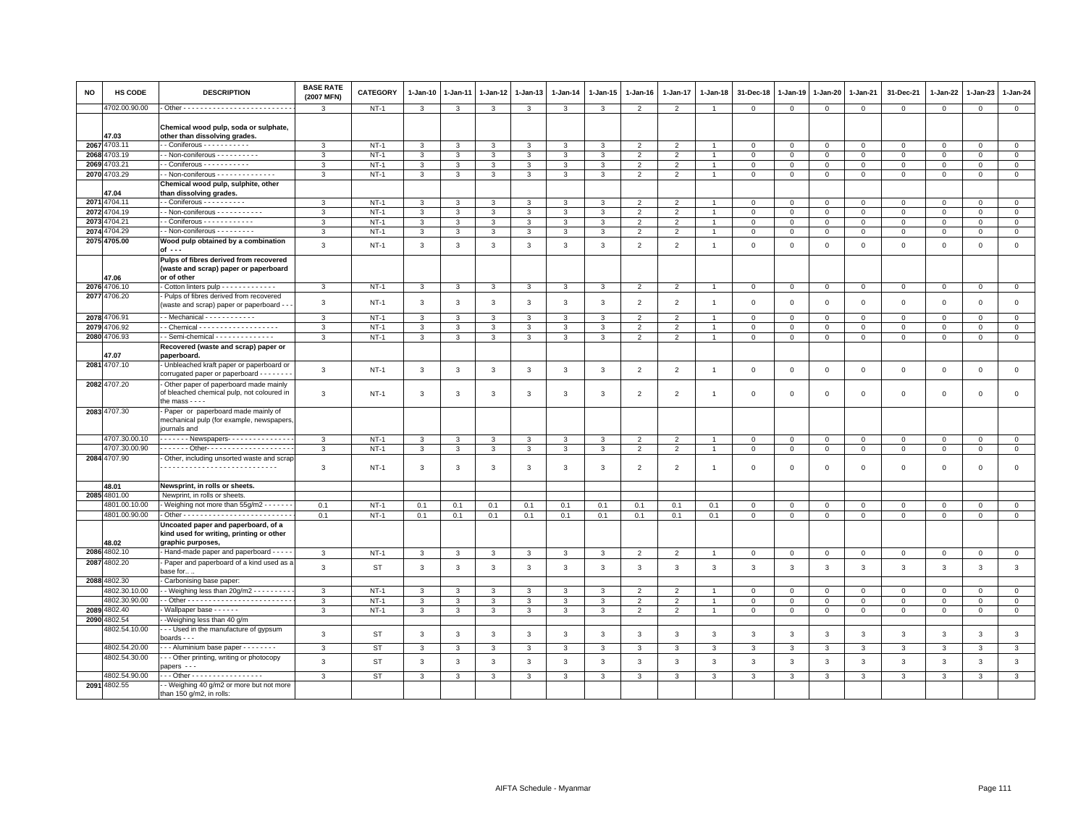| NO   | HS CODE                        | <b>DESCRIPTION</b>                                                                                        | <b>BASE RATE</b><br>(2007 MFN) | CATEGORY  | 1-Jan-10     | 1-Jan-11                | 1-Jan-12     | 1-Jan-13     | 1-Jan-14     | 1-Jan-15     | 1-Jan-16       | 1-Jan-17                 | 1-Jan-18       | 31-Dec-18    | 1-Jan-19       | 1-Jan-20                    | 1-Jan-21       | 31-Dec-21        | 1-Jan-22     | 1-Jan-23     | 1-Jan-24       |
|------|--------------------------------|-----------------------------------------------------------------------------------------------------------|--------------------------------|-----------|--------------|-------------------------|--------------|--------------|--------------|--------------|----------------|--------------------------|----------------|--------------|----------------|-----------------------------|----------------|------------------|--------------|--------------|----------------|
|      | 4702.00.90.00                  |                                                                                                           | 3                              | $NT-1$    | $\mathbf{3}$ | 3                       | 3            | $\mathbf{3}$ | 3            | 3            | $\overline{2}$ | $\overline{2}$           |                | $\mathsf 0$  | $\mathbf 0$    | $\mathbf 0$                 | $\mathbf 0$    | $\mathbf 0$      | 0            | $\mathbf 0$  | $\mathbf{0}$   |
|      | 47.03                          | Chemical wood pulp, soda or sulphate,<br>other than dissolving grades.                                    |                                |           |              |                         |              |              |              |              |                |                          |                |              |                |                             |                |                  |              |              |                |
|      | 2067 4703.11                   | - Coniferous - - - - - - - - - - -                                                                        | 3                              | $NT-1$    | 3            | 3                       | 3            | 3            | 3            | 3            | $\overline{2}$ | $\overline{2}$           |                | $\,0\,$      | $\mathsf 0$    | $\mathbf 0$                 | $\mathsf 0$    | $\Omega$         | $\mathbf 0$  | $\Omega$     | $\mathsf 0$    |
|      | 2068 4703.19                   | - Non-coniferous - - - - - - - - -                                                                        | 3                              | $NT-1$    | $\mathbf{3}$ | $\mathbf{3}$            | $\mathbf{3}$ | $\mathbf{3}$ | 3            | $\mathbf{3}$ | $\overline{2}$ | $\overline{2}$           | $\overline{1}$ | $\mathbf 0$  | $\mathbf 0$    | $\mathbf 0$                 | $\mathbf 0$    | $\mathbf 0$      | 0            | $\mathbf 0$  | $\mathbf{0}$   |
| 2069 | 4703.21                        | $-$ Coniferous $        -$                                                                                | 3                              | $NT-1$    | $\mathbf{3}$ | 3                       | 3            | 3            | 3            | 3            | $\overline{2}$ | $\overline{2}$           |                | $\mathbf 0$  | $\mathbf 0$    | $\mathsf 0$                 | $\mathsf 0$    | $\mathbf 0$      | 0            | $\mathbf 0$  | $\mathsf 0$    |
|      | 2070 4703.29                   | - Non-coniferous - - - - - - - - - - - - - -                                                              | 3                              | $NT-1$    | $\mathbf{3}$ | 3                       | 3            | 3            | 3            | 3            | $\overline{2}$ | $\overline{2}$           |                | $\mathbf 0$  | $\mathbf{0}$   | $\mathbf{0}$                | $\overline{0}$ | $\mathbf 0$      | $\circ$      | $\circ$      | $\circ$        |
|      | 47.04                          | Chemical wood pulp, sulphite, other<br>than dissolving grades.                                            |                                |           |              |                         |              |              |              |              |                |                          |                |              |                |                             |                |                  |              |              |                |
|      | 2071 4704.11                   | $-$ Coniferous $        -$                                                                                | 3                              | $NT-1$    | $\mathbf{3}$ | 3                       | 3            | $\mathbf{3}$ | 3            | 3            | $\overline{2}$ | $\overline{2}$           |                | $\mathbf 0$  | $\Omega$       | $\mathbf 0$                 | $\overline{0}$ | $\mathbf{0}$     | $\Omega$     | $\mathbf{0}$ | $\mathbb O$    |
|      | 2072 4704.19                   | - Non-coniferous - - - - - - - - - -                                                                      | 3                              | $NT-1$    | $\mathbf{3}$ | 3                       | 3            | 3            | 3            | 3            | $\overline{2}$ | $\overline{2}$           |                | $\mathsf 0$  | $\mathbf 0$    | $\mathbf 0$                 | $\mathbf 0$    | $\mathbf 0$      | 0            | $\mathbf 0$  | $\overline{0}$ |
| 2073 | 4704.21                        | - Coniferous - - - - - - - - - - -                                                                        | 3                              | $NT-1$    | $\mathbf{3}$ | 3                       | 3            | $\mathbf{3}$ | 3            | 3            | $\overline{2}$ | $\overline{2}$           |                | $\mathbf 0$  | $\mathbf 0$    | $\mathsf 0$                 | $\mathbf 0$    | $\mathbf{0}$     | $\Omega$     | $\mathbf{0}$ | $\mathsf 0$    |
| 2074 | 1704.29                        | - Non-coniferous - - - - - - - - -                                                                        | 3                              | $NT-1$    | 3            | 3                       | 3            | 3            | 3            | 3            | 2              | $\overline{2}$           |                | $\mathbf 0$  | $\mathbf 0$    | $\mathbf 0$                 | $\mathbf 0$    | $\mathbf 0$      | 0            | $\mathbf 0$  | $\mathbf 0$    |
|      | 2075 4705.00                   | Wood pulp obtained by a combination<br>of ---                                                             | 3                              | $NT-1$    | $\mathbf{3}$ | $\overline{\mathbf{3}}$ | $\mathbf{3}$ | $\mathbf{3}$ | 3            | $\mathbf{3}$ | $\overline{2}$ | $\overline{2}$           | $\overline{1}$ | $\mathbf 0$  | $\mathbf 0$    | $\mathsf 0$                 | $\mathbf 0$    | $\mathbf 0$      | 0            | $\mathbf 0$  | $\mathsf 0$    |
|      |                                | Pulps of fibres derived from recovered<br>(waste and scrap) paper or paperboard                           |                                |           |              |                         |              |              |              |              |                |                          |                |              |                |                             |                |                  |              |              |                |
|      | 17.06<br>2076 4706.10          | or of other<br>Cotton linters pulp - - - - - - - - - - - - -                                              | 3                              | $NT-1$    | 3            | 3                       | 3            | 3            | 3            | 3            | $\overline{2}$ | $\overline{2}$           |                | $\mathsf 0$  | $\mathsf 0$    |                             | $\mathbf 0$    |                  | 0            | $\mathbf 0$  | $\mathsf 0$    |
|      | 2077 4706.20                   | - Pulps of fibres derived from recovered                                                                  | 3                              | $NT-1$    | $\mathbf{3}$ | 3                       | 3            | 3            | 3            | 3            | $\overline{2}$ | $\overline{2}$           |                | $\mathbf 0$  | $\mathbf 0$    | $\mathbf{0}$<br>$\mathbf 0$ | $\mathsf 0$    | 0<br>$\mathbf 0$ | $\mathbf 0$  | $\mathbf 0$  | $\mathsf 0$    |
|      | 2078 4706.91                   | (waste and scrap) paper or paperboard - -                                                                 | 3                              | $NT-1$    | 3            | 3                       | 3            | 3            | 3            | 3            |                | $\mathcal{D}$            |                | $\mathbf 0$  | $^{\circ}$     | $\mathbf 0$                 | $\Omega$       | $\Omega$         | $\Omega$     | $\Omega$     | $\mathsf 0$    |
|      | 2079 4706.92                   |                                                                                                           | 3                              | $NT-1$    | 3            | 3                       | 3            | 3            | 3            | 3            | $\overline{2}$ | $\overline{\phantom{0}}$ |                | $\mathbf 0$  | $\mathbf 0$    | $\Omega$                    | $\mathbf 0$    | $\mathbf{0}$     | $\Omega$     | $\mathbf{0}$ | $\mathbf 0$    |
|      | 2080 4706.93                   | - Semi-chemical - - - - - - - - - - - - - -                                                               | 3                              | $NT-1$    | $\mathbf{3}$ | 3                       | 3            | 3            | 3            | 3            | $\overline{2}$ | $\overline{2}$           |                | $\mathbf 0$  | $\mathbf 0$    | $\mathsf 0$                 | $\mathbf 0$    | $\mathbf 0$      | $\Omega$     | $\mathbf{0}$ | $\mathbf 0$    |
|      |                                | Recovered (waste and scrap) paper or                                                                      |                                |           |              |                         |              |              |              |              |                |                          |                |              |                |                             |                |                  |              |              |                |
|      | 7.07                           | paperboard.                                                                                               |                                |           |              |                         |              |              |              |              |                |                          |                |              |                |                             |                |                  |              |              |                |
|      | 2081 4707.10                   | Unbleached kraft paper or paperboard or<br>corrugated paper or paperboard - - - - - - -                   | 3                              | NT-1      | $\mathbf{3}$ | 3                       | $\mathbf{3}$ | $\mathbf{3}$ | 3            | $\mathbf{3}$ | $\overline{2}$ | $\overline{2}$           | $\overline{1}$ | $\mathbf 0$  | 0              | $\mathbf 0$                 | $\,0\,$        | $\mathbf 0$      | 0            | $\mathbf 0$  | $\mathsf 0$    |
|      | 2082 4707.20                   | Other paper of paperboard made mainly<br>of bleached chemical pulp, not coloured in<br>the mass $-\cdots$ | 3                              | $NT-1$    | 3            | 3                       | 3            | 3            | 3            | 3            | $\overline{2}$ | $\overline{2}$           |                | $\mathbf 0$  | $\mathbf 0$    | $\mathsf 0$                 | $\mathsf 0$    | $\mathbf 0$      | $\mathbf 0$  | $\mathbf 0$  | $\mathsf 0$    |
|      | 2083 4707.30                   | Paper or paperboard made mainly of<br>mechanical pulp (for example, newspapers<br>journals and            |                                |           |              |                         |              |              |              |              |                |                          |                |              |                |                             |                |                  |              |              |                |
|      | 4707.30.00.10                  | . Newspapers- -                                                                                           | 3                              | $NT-1$    | 3            | 3                       | 3            | 3            | 3            | 3            | $\overline{2}$ | $\overline{2}$           |                | $\mathbf 0$  | $\mathbf 0$    | $\mathbf 0$                 | $\mathbf 0$    | $\mathbf 0$      | 0            | $\mathbf 0$  | $\mathbf 0$    |
|      | 4707.30.00.90                  | . Other-                                                                                                  | $\mathbf{3}$                   | $NT-1$    | $\mathbf{3}$ | $\mathbf{3}$            | $\mathbf{3}$ | $\mathbf{3}$ | $\mathbf{3}$ | 3            | $\overline{2}$ | $\overline{2}$           | $\overline{1}$ | $\mathbf{0}$ | $\overline{0}$ | $\mathbf{0}$                | $\overline{0}$ | $\mathbf{0}$     | 0            | $\mathbf 0$  | $\overline{0}$ |
|      | 2084 4707.90                   | - Other, including unsorted waste and scrap                                                               | 3                              | NT-1      | 3            | 3                       | 3            | 3            | 3            | 3            | $\overline{2}$ | $\overline{2}$           |                | $\mathbf 0$  | $\mathbf 0$    | $\mathsf 0$                 | $\mathsf 0$    | $\mathbf 0$      | 0            | $\mathbf 0$  | $\mathsf 0$    |
|      | 48.01                          | Newsprint, in rolls or sheets.                                                                            |                                |           |              |                         |              |              |              |              |                |                          |                |              |                |                             |                |                  |              |              |                |
|      | 2085 4801.00                   | Newprint, in rolls or sheets                                                                              |                                |           |              |                         |              |              |              |              |                |                          |                |              |                |                             |                |                  |              |              |                |
|      | 4801.00.10.00                  | Weighing not more than 55g/m2 - - - - - -                                                                 | 0.1                            | $NT-1$    | 0.1          | 0.1                     | 0.1          | 0.1          | 0.1          | 0.1          | 0.1            | 0.1                      | 0.1            | $\mathbf 0$  | $\mathbf 0$    | $\mathbf 0$                 | $\mathbf 0$    | $\mathbf 0$      | 0            | $\mathbf 0$  | $\mathbf{0}$   |
|      | 4801.00.90.00                  |                                                                                                           | 0.1                            | $NT-1$    | 0.1          | 0.1                     | 0.1          | 0.1          | 0.1          | 0.1          | 0.1            | 0.1                      | 0.1            | $\mathbf 0$  | $\mathbf 0$    | $\mathbf{0}$                | $\overline{0}$ | $\mathbf 0$      | 0            | $\mathbf 0$  | $\overline{0}$ |
|      | 48.02                          | Uncoated paper and paperboard, of a<br>kind used for writing, printing or other<br>graphic purposes,      |                                |           |              |                         |              |              |              |              |                |                          |                |              |                |                             |                |                  |              |              |                |
|      | 2086 4802.10                   | Hand-made paper and paperboard - - - -                                                                    | $\mathbf{3}$                   | $NT-1$    | $\mathbf{3}$ | $\mathbf{3}$            | $\mathbf{3}$ | $\mathbf{3}$ | 3            | 3            | $\overline{2}$ | $\overline{2}$           | $\overline{1}$ | $\mathbf 0$  | $\mathbf 0$    | $\mathbf{0}$                | $\mathbf 0$    | $\mathbf 0$      | 0            | $\mathbf{0}$ | $\circ$        |
|      | 2087 4802.20                   | Paper and paperboard of a kind used as a<br>ase for                                                       | $\mathbf{3}$                   | <b>ST</b> | $\mathbf{3}$ | $\overline{\mathbf{3}}$ | $\mathbf{3}$ | $\mathbf{3}$ | $\mathbf{3}$ | $\mathbf{3}$ | 3              | $\mathbf{3}$             | $\mathbf{3}$   | 3            | 3              | 3                           | $\mathbf{3}$   | $\mathbf{3}$     | 3            | 3            | $\mathbf{3}$   |
|      | 2088 4802.30                   | Carbonising base paper:                                                                                   |                                |           |              |                         |              |              |              |              |                |                          |                |              |                |                             |                |                  |              |              |                |
|      | 4802.30.10.00                  | - - Weighing less than 20g/m2 - - - - - - - -                                                             | $\mathbf{3}$                   | $NT-1$    | $\mathbf{3}$ | $\mathbf{3}$            | $\mathbf{3}$ | $\mathbf{3}$ | 3            | $\mathbf{3}$ | 2              | 2                        | $\overline{1}$ | $\mathbf 0$  | $\mathbf 0$    | $\mathbf{0}$                | $\mathbf{0}$   | $\mathbf{0}$     | $\mathbf{0}$ | $\mathbf{0}$ | $\circ$        |
|      | 4802.30.90.00                  |                                                                                                           | 3                              | $NT-1$    | $\mathbf{3}$ | 3                       | 3            | $\mathbf{3}$ | 3            | 3            | $\overline{2}$ | $\overline{2}$           |                | $\mathbf 0$  | $\mathbf 0$    | $\mathbf 0$                 | $\mathbf 0$    | $\mathbf 0$      | 0            | $\mathbf{0}$ | $\mathbf 0$    |
|      | 2089 4802.40                   | Wallpaper base - - - - - -                                                                                | 3                              | $NT-1$    | $\mathbf{3}$ | $\mathbf{3}$            | $\mathbf{3}$ | $\mathbf{3}$ | $\mathbf{3}$ | $\mathbf{3}$ | $\overline{2}$ | $\overline{2}$           | $\overline{1}$ | $\mathbf 0$  | $\mathbf 0$    | $\mathbf{0}$                | $\circ$        | $\mathbf 0$      | 0            | $\mathbf 0$  | $\overline{0}$ |
|      | 2090 4802.54                   | -Weighing less than 40 g/m                                                                                |                                |           |              |                         |              |              |              |              |                |                          |                |              |                |                             |                |                  |              |              |                |
|      | 4802.54.10.00                  | - - Used in the manufacture of gypsum<br>boards - - -                                                     | $\mathbf{3}$                   | <b>ST</b> | $\mathbf{3}$ | 3                       | $\mathbf{3}$ | $\mathbf{3}$ | $\mathbf{3}$ | 3            | 3              | $\mathbf{3}$             | 3              | 3            | 3              | 3                           | 3              | 3                | 3            | $\mathbf{3}$ | $\mathbf{3}$   |
|      | 4802.54.20.00<br>4802.54.30.00 | - - - Aluminium base paper - - - - - - - -                                                                | 3                              | ST        | 3            | 3                       | 3            | 3            | 3            | 3            | 3              | 3                        | 3              | 3            | 3              | 3                           | 3              | 3                | 3            | 3            | $\mathbf{3}$   |
|      |                                | - - Other printing, writing or photocopy<br>papers ---                                                    | 3                              | <b>ST</b> | $\mathbf{3}$ | 3                       | $\mathbf{3}$ | $\mathbf{3}$ | $\mathbf{3}$ | $\mathbf{3}$ | 3              | $\mathbf{3}$             | 3              | $\mathbf{3}$ | 3              | $\mathbf{3}$                | $\mathbf{3}$   | $\mathbf{3}$     | $\mathbf{3}$ | 3            | $\mathbf{3}$   |
|      | 4802.54.90.00<br>2091 4802.55  | $-$ - Other - - - - - - - - - - - - - - - - -                                                             | 3                              | <b>ST</b> | $\mathbf{3}$ | 3                       | 3            | 3            | 3            | 3            | 3              | 3                        | 3              | 3            | 3              | 3                           | 3              | 3                | 3            | 3            | $\mathbf{3}$   |
|      |                                | - - Weighing 40 g/m2 or more but not more<br>than 150 g/m2, in rolls:                                     |                                |           |              |                         |              |              |              |              |                |                          |                |              |                |                             |                |                  |              |              |                |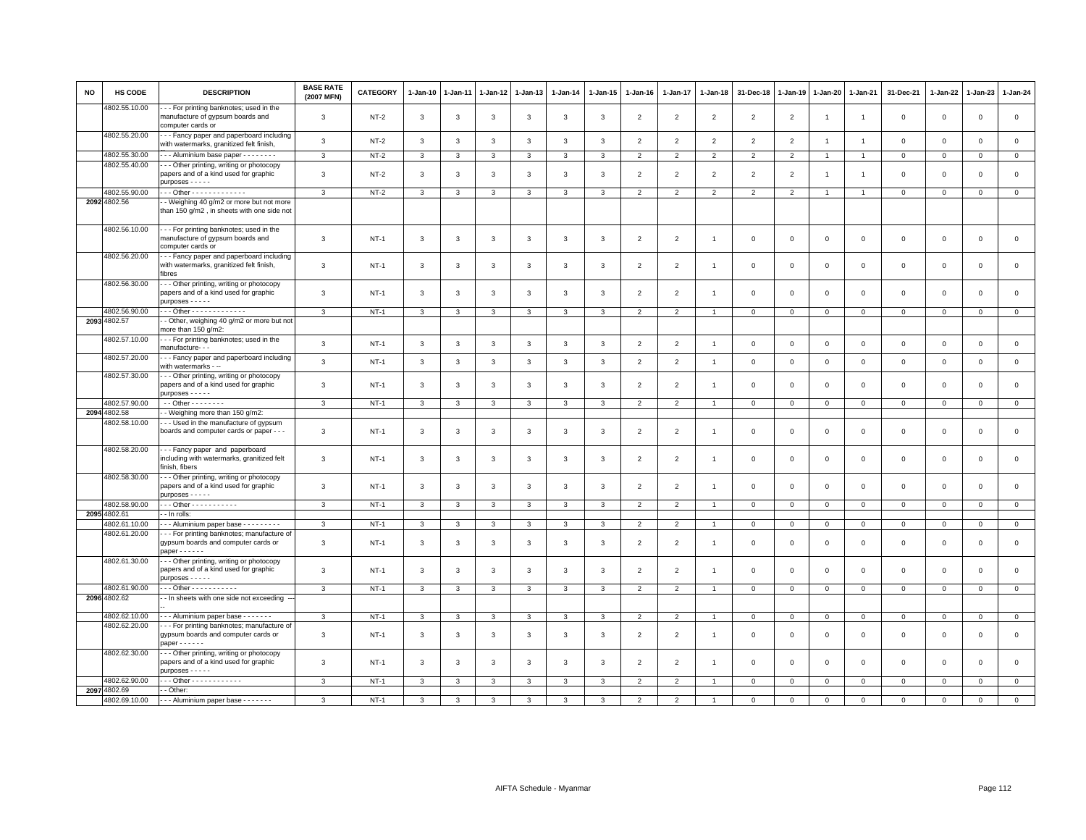| <b>NO</b> | <b>HS CODE</b> | <b>DESCRIPTION</b>                                                                                           | <b>BASE RATE</b><br>(2007 MFN) | <b>CATEGORY</b> | $1-Jan-10$   | 1-Jan-11     | 1-Jan-12     | 1-Jan-13     | $1-Jan-14$   | $1 - Jan-15$ | $1-Jan-16$     | $1-Jan-17$     | 1-Jan-18       | 31-Dec-18      | $1 - Jan-19$   | 1-Jan-20       | 1-Jan-21       | 31-Dec-21           | 1-Jan-22     | $1-Jan-23$   | 1-Jan-24     |
|-----------|----------------|--------------------------------------------------------------------------------------------------------------|--------------------------------|-----------------|--------------|--------------|--------------|--------------|--------------|--------------|----------------|----------------|----------------|----------------|----------------|----------------|----------------|---------------------|--------------|--------------|--------------|
|           | 4802.55.10.00  | -- For printing banknotes; used in the<br>manufacture of gypsum boards and<br>computer cards or              | 3                              | NT-2            | 3            | 3            | 3            | 3            | 3            | 3            | $\overline{2}$ | $\overline{2}$ | $\overline{2}$ | $\overline{2}$ | $\overline{2}$ | $\overline{1}$ | $\overline{1}$ | $\mathsf 0$         | $\mathbf 0$  | $\mathsf 0$  | $\mathsf 0$  |
|           | 4802.55.20.00  | -- Fancy paper and paperboard including<br>with watermarks, granitized felt finish,                          | 3                              | $NT-2$          | 3            | 3            | 3            | $\mathbf{3}$ | 3            | 3            | $\overline{2}$ | $\overline{2}$ | $\overline{2}$ | $\overline{2}$ | $\overline{2}$ | $\overline{1}$ | $\overline{1}$ | $\mathsf 0$         | $\mathbf 0$  | $\mathsf 0$  | $\mathsf 0$  |
|           | 4802.55.30.00  | --- Aluminium base paper --------                                                                            | $\mathbf{3}$                   | $NT-2$          | $\mathbf{3}$ | 3            | $\mathbf{3}$ | 3            | 3            | 3            | $\overline{2}$ | $\mathfrak{p}$ | $\overline{2}$ | $\overline{2}$ | $\overline{2}$ | $\overline{1}$ | $\overline{1}$ | $\mathbf 0$         | $\mathbf 0$  | $\mathbf 0$  | $\mathbf{0}$ |
|           | 4802.55.40.00  | - - Other printing, writing or photocopy                                                                     |                                |                 |              |              |              |              |              |              |                |                |                |                |                |                |                |                     |              |              |              |
|           |                | papers and of a kind used for graphic<br>purposes - - - - -                                                  | 3                              | $NT-2$          | 3            | 3            | 3            | 3            | 3            | 3            | $\overline{2}$ | $\overline{2}$ | $\overline{2}$ | $\overline{2}$ | $\overline{2}$ | $\overline{1}$ | 1              | $\mathbf 0$         | $\mathbf 0$  | $\mathbf 0$  | $\mathbf 0$  |
|           | 4802.55.90.00  | Other - - - - - - - - - - - - -                                                                              | 3                              | $NT-2$          | 3            | 3            | 3            | 3            | 3            | 3            | $\overline{2}$ | $\mathfrak{p}$ | 2              | $\overline{2}$ | $\overline{2}$ |                | $\overline{1}$ | $\mathbf{0}$        | $\Omega$     | $\mathbf 0$  | $\circ$      |
|           | 2092 4802.56   | - Weighing 40 g/m2 or more but not more<br>than 150 g/m2, in sheets with one side not                        |                                |                 |              |              |              |              |              |              |                |                |                |                |                |                |                |                     |              |              |              |
|           | 4802.56.10.00  | - - For printing banknotes; used in the<br>manufacture of gypsum boards and<br>computer cards or             | 3                              | $NT-1$          | $\mathbf{3}$ | 3            | 3            | 3            | 3            | 3            | $\overline{2}$ | $\overline{2}$ |                | $\mathbf 0$    | $\mathbf 0$    | $\mathbf 0$    | $\mathbf 0$    | $\mathsf 0$         | $\mathbf 0$  | $\mathsf 0$  | $\mathbf 0$  |
|           | 4802.56.20.00  | --- Fancy paper and paperboard including<br>with watermarks, granitized felt finish,<br>fibres               | 3                              | $NT-1$          | 3            | 3            | 3            | 3            | 3            | 3            | $\overline{2}$ | $\overline{2}$ | $\mathbf{1}$   | $\mathbf 0$    | $\mathbf 0$    | $\mathbf 0$    | $\mathbf 0$    | $\mathsf 0$         | $\mathbf 0$  | $\mathsf 0$  | $\mathbf 0$  |
|           | 4802.56.30.00  | - - - Other printing, writing or photocopy<br>papers and of a kind used for graphic<br>$purposes - - - -$    | 3                              | $NT-1$          | $\mathbf{3}$ | 3            | 3            | 3            | 3            | 3            | $\overline{2}$ | $\overline{2}$ | $\mathbf{1}$   | $\mathbf 0$    | $\mathbf 0$    | $\mathsf 0$    | $\mathbf 0$    | $\mathsf 0$         | $\mathbf 0$  | $\mathsf 0$  | $\mathbf 0$  |
|           | 4802.56.90.00  | Other - - - - - - - - - - - - -                                                                              | $\mathbf{3}$                   | $NT-1$          | 3            | 3            | 3            | $\mathbf{3}$ | 3            | 3            | $\overline{2}$ | $\overline{2}$ | $\overline{1}$ | $\mathbf 0$    | $\mathbf 0$    | $\mathsf 0$    | $\mathbf 0$    | $\mathbf 0$         | $\mathbf 0$  | $\mathbf{0}$ | $\mathsf 0$  |
|           | 2093 4802.57   | - Other, weighing 40 g/m2 or more but not<br>more than 150 g/m2:                                             |                                |                 |              |              |              |              |              |              |                |                |                |                |                |                |                |                     |              |              |              |
|           | 4802.57.10.00  | --- For printing banknotes; used in the<br>manufacture- - -                                                  | 3                              | $NT-1$          | $\mathbf{3}$ | 3            | $\mathbf{3}$ | 3            | 3            | 3            | $\overline{2}$ | 2              | $\overline{1}$ | $\mathbf{0}$   | $\mathbf{0}$   | $\mathbf 0$    | $\mathbf{0}$   | $\mathbf 0$         | $\mathbf{0}$ | $\mathbf 0$  | $\mathbf 0$  |
|           | 4802.57.20.00  | --- Fancy paper and paperboard including<br>with watermarks - --                                             | 3                              | $NT-1$          | 3            | 3            | 3            | $\mathbf{3}$ | 3            | 3            | $\overline{2}$ | $\overline{2}$ | $\overline{1}$ | $\mathbf 0$    | $\mathsf 0$    | $\mathbf 0$    | $\mathbf 0$    | $\mathsf 0$         | $\mathbf 0$  | $\mathsf 0$  | $\mathsf 0$  |
|           | 4802.57.30.00  | --- Other printing, writing or photocopy<br>papers and of a kind used for graphic<br>$purposes - - - -$      | 3                              | $NT-1$          | 3            | 3            | 3            | 3            | 3            | 3            | $\overline{2}$ | $\overline{2}$ | $\overline{1}$ | $\mathbf 0$    | $\Omega$       | $\mathbf 0$    | $\mathbf 0$    | 0                   | $\mathbf 0$  | $\mathbf 0$  | $\mathbf 0$  |
|           | 4802.57.90.00  | $-$ - Other - - - - - - - -                                                                                  | $\mathbf{3}$                   | $NT-1$          | $\mathbf{3}$ | $\mathbf{3}$ | $\mathbf{3}$ | $\mathbf{3}$ | $\mathbf{3}$ | $\mathbf{3}$ | $\overline{2}$ | $\overline{2}$ | $\overline{1}$ | $\,0\,$        | $\,0\,$        | $\mathbf 0$    | $\overline{0}$ | $\mathsf{O}\xspace$ | $\mathbf 0$  | $\,0\,$      | $\mathbf 0$  |
|           | 2094 4802.58   | - Weighing more than 150 g/m2:                                                                               |                                |                 |              |              |              |              |              |              |                |                |                |                |                |                |                |                     |              |              |              |
|           | 4802.58.10.00  | - - Used in the manufacture of gypsum<br>boards and computer cards or paper - - -                            | 3                              | $NT-1$          | 3            | 3            | 3            | 3            | $\mathbf{3}$ | 3            | $\overline{2}$ | $\mathfrak{p}$ |                | $\overline{0}$ | $\mathbf 0$    | $\mathbf 0$    | $\mathbf{0}$   | $\mathbf 0$         | $\Omega$     | $\mathbf 0$  | $\mathbf 0$  |
|           | 4802.58.20.00  | --- Fancy paper and paperboard<br>including with watermarks, granitized felt<br>finish, fibers               | 3                              | $NT-1$          | 3            | 3            | 3            | 3            | 3            | 3            | $\overline{2}$ | $\overline{2}$ |                | $\mathbf{0}$   | $\mathbf 0$    | $\mathbf 0$    | $\mathbf{0}$   | $\mathbf 0$         | $\Omega$     | $\mathbf 0$  | $\mathbf 0$  |
|           | 4802.58.30.00  | --- Other printing, writing or photocopy<br>papers and of a kind used for graphic<br>$purposes - - - -$      | 3                              | $NT-1$          | 3            | 3            | 3            | 3            | $\mathbf{3}$ | 3            | $\overline{2}$ | 2              | $\overline{1}$ | $\mathbf{0}$   | $\mathbf 0$    | $\mathbf 0$    | $\mathbf{0}$   | $\mathbf 0$         | $\mathbf 0$  | $\mathbf 0$  | $\mathbf 0$  |
|           | 4802.58.90.00  | $-$ - Other - - - - - - - - - - -                                                                            | 3                              | $NT-1$          | 3            | 3            | 3            | 3            | 3            | 3            | $\overline{2}$ | $\overline{2}$ |                | $\mathbf 0$    | $\mathbf 0$    | $\mathbf 0$    | $\mathbf 0$    | $\mathbf 0$         | $\mathbf 0$  | $\mathbf 0$  | $\mathbf 0$  |
|           | 2095 4802.61   | - In rolls:                                                                                                  |                                |                 |              |              |              |              |              |              |                |                |                |                |                |                |                |                     |              |              |              |
|           | 4802.61.10.00  | -- Aluminium paper base - - - - - - - -                                                                      | 3                              | $NT-1$          | $\mathbf{3}$ | $\mathbf{R}$ | 3            | 3            | 3            | 3            | $\overline{2}$ | $\mathcal{P}$  |                | $\mathbf{0}$   | $\mathsf 0$    | $\mathbf 0$    | $\mathbf{0}$   | $\mathbf{0}$        | $\mathbf{0}$ | $\mathbf 0$  | $\mathsf 0$  |
|           | 4802.61.20.00  | --- For printing banknotes; manufacture of<br>gypsum boards and computer cards or<br>$paper----$             | 3                              | $NT-1$          | 3            | 3            | 3            | 3            | $\mathbf{3}$ | 3            | $\overline{2}$ | $\mathfrak{p}$ |                | $\Omega$       | $\mathbf 0$    | $\mathbf 0$    | $\mathbf{0}$   | $\mathbf 0$         | $\Omega$     | $\mathbf 0$  | $\circ$      |
|           | 4802.61.30.00  | --- Other printing, writing or photocopy<br>papers and of a kind used for graphic<br>$p$ urposes - - - - -   | 3                              | $NT-1$          | 3            | 3            | 3            | 3            | $\mathbf{3}$ | 3            | $\overline{2}$ | 2              | $\overline{1}$ | $\overline{0}$ | $\mathbf 0$    | $\mathbf 0$    | $\mathbf{0}$   | $\mathbf 0$         | $\mathbf 0$  | $\mathbf 0$  | $\mathbf 0$  |
|           | 4802.61.90.00  | $-$ - Other - - - - - - - - - - -                                                                            | $\mathbf{3}$                   | $NT-1$          | 3            | 3            | 3            | 3            | 3            | 3            | $\overline{2}$ | $\overline{2}$ |                | $\mathbf 0$    | $\mathsf 0$    | $\mathsf 0$    | $\mathbf 0$    | $\mathsf 0$         | $\mathbf 0$  | $\mathsf 0$  | $\mathsf 0$  |
|           | 2096 4802.62   | - In sheets with one side not exceeding -                                                                    |                                |                 |              |              |              |              |              |              |                |                |                |                |                |                |                |                     |              |              |              |
|           | 4802.62.10.00  | --- Aluminium paper base -------                                                                             | $\mathbf{a}$                   | $NT-1$          | 3            | 3            | 3            | 3            | 3            | 3            | $\overline{2}$ | $\overline{2}$ |                | $\mathbf{0}$   | $\mathbf{0}$   | $\mathbf 0$    | $\mathbf 0$    | $\mathbf 0$         | $\Omega$     | $\mathbf 0$  | $\mathsf 0$  |
|           | 4802.62.20.00  | - - - For printing banknotes; manufacture of<br>gypsum boards and computer cards or<br>$paper----$           | 3                              | $NT-1$          | 3            | 3            | 3            | 3            | $\mathbf{3}$ | 3            | $\overline{2}$ | $\mathfrak{p}$ | $\overline{1}$ | $\overline{0}$ | $\mathbf 0$    | $\mathbf 0$    | $\mathbf{0}$   | $\mathbf 0$         | $\Omega$     | $\mathbf 0$  | $\circ$      |
|           | 4802.62.30.00  | - - - Other printing, writing or photocopy<br>papers and of a kind used for graphic<br>$p$ urposes - - - - - | 3                              | $NT-1$          | 3            | 3            | 3            | 3            | $\mathbf{3}$ | 3            | $\overline{2}$ | 2              | $\overline{1}$ | $\mathbf{0}$   | $\mathbf 0$    | $\mathbf 0$    | $\mathbf{0}$   | $\mathbf 0$         | $\mathbf 0$  | $\mathbf 0$  | $\mathbf 0$  |
|           | 4802.62.90.00  | $-$ - Other - - - - - - - - - - - -                                                                          | 3                              | $NT-1$          | 3            | 3            | 3            | 3            | 3            | 3            | $\overline{2}$ | $\overline{2}$ |                | $\mathbf 0$    | $\mathbf 0$    | $\mathbf 0$    | $\mathbf 0$    | $\mathbf 0$         | 0            | $\mathbf 0$  | $\mathbf 0$  |
|           | 2097 4802.69   | - - Other:                                                                                                   |                                |                 |              |              |              |              |              |              |                |                |                |                |                |                |                |                     |              |              |              |
|           | 4802.69.10.00  | --- Aluminium paper base -------                                                                             | $\mathbf{z}$                   | $NT-1$          | $\mathbf{R}$ | $\mathbf{a}$ | $\mathbf{R}$ | $\mathbf{R}$ | $\mathbf{z}$ | $\mathbf{3}$ | $\overline{2}$ | $\mathcal{P}$  |                | $\Omega$       | $\Omega$       | $\Omega$       | $\Omega$       | $\Omega$            | $\Omega$     | $\Omega$     | $\Omega$     |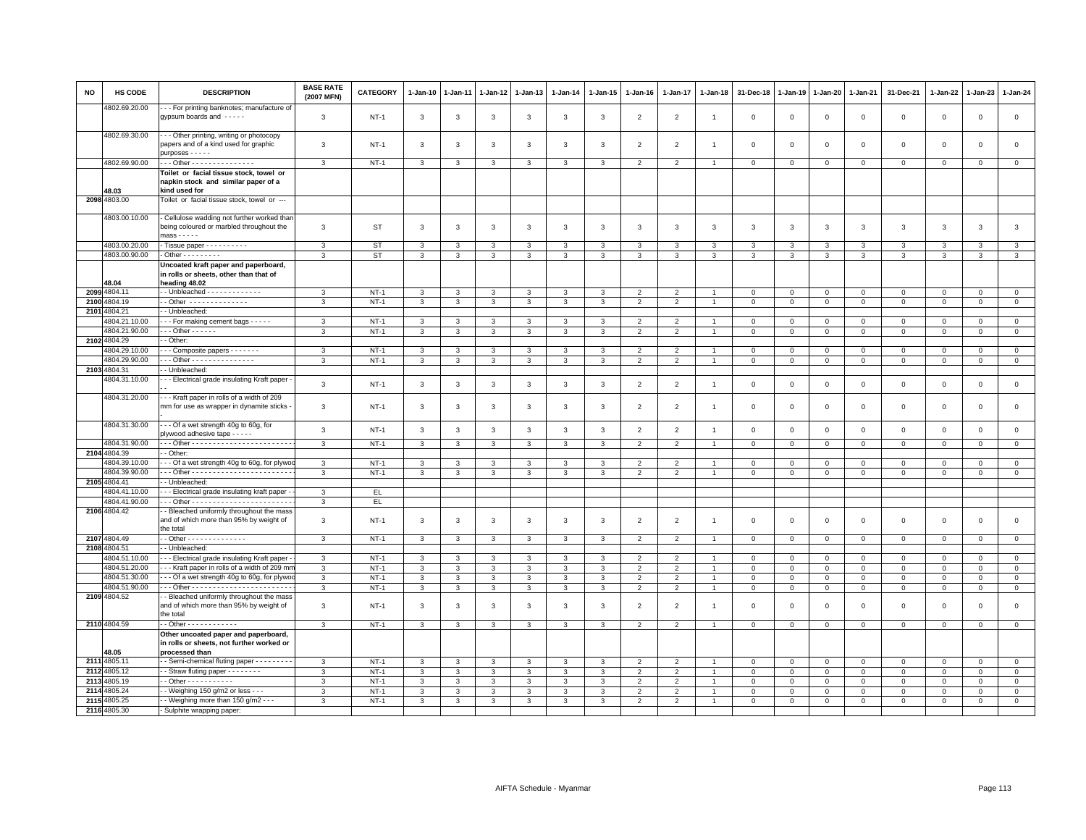| <b>NO</b> | HS CODE                        | <b>DESCRIPTION</b>                                                                                      | <b>BASE RATE</b><br>(2007 MFN) | CATEGORY         | $1-Jan-10$                   | $1 - Jan-11$ | 1-Jan-12     | 1-Jan-13          | $1 - Jan-14$ | $1 - Jan-15$            | $1-Jan-16$               | $1 - Jan-17$                     | $1 - Jan-18$   | 31-Dec-18                  | $1 - Jan-19$                | 1-Jan-20                     | $1 - Jan-21$                 | 31-Dec-21               | $1 - Jan-22$            | 1-Jan-23     | $1-Jan-24$                    |
|-----------|--------------------------------|---------------------------------------------------------------------------------------------------------|--------------------------------|------------------|------------------------------|--------------|--------------|-------------------|--------------|-------------------------|--------------------------|----------------------------------|----------------|----------------------------|-----------------------------|------------------------------|------------------------------|-------------------------|-------------------------|--------------|-------------------------------|
|           | 4802.69.20.00                  | - - For printing banknotes; manufacture of<br>gypsum boards and -----                                   | 3                              | $NT-1$           | $\mathbf{3}$                 | 3            | 3            | $\mathbf{3}$      | $\mathbf{3}$ | 3                       | $\overline{2}$           | $\overline{2}$                   | $\overline{1}$ | $\mathbf 0$                | $\mathbf 0$                 | $\,0\,$                      | $\mathbf 0$                  | $\mathbf 0$             | $\mathbf 0$             | $\mathsf 0$  | $\mathsf 0$                   |
|           | 4802.69.30.00                  | - - Other printing, writing or photocopy<br>papers and of a kind used for graphic<br>purposes - - - - - | 3                              | $NT-1$           | 3                            | $\mathbf{3}$ | 3            | 3                 | 3            | 3                       | $\overline{2}$           | $\overline{2}$                   | $\overline{1}$ | $\overline{\mathbf{0}}$    | $\overline{0}$              | $\mathbf 0$                  | $\mathbf{0}$                 | $\mathbf 0$             | $\Omega$                | $\mathbf{0}$ | $\mathsf 0$                   |
|           | 4802.69.90.00                  | - - Other - - - - - - - - - - - - - - -                                                                 | 3                              | $NT-1$           | 3                            | 3            | 3            | 3                 | 3            | 3                       | $\overline{2}$           | $\overline{2}$                   | $\overline{1}$ | $\mathbf 0$                | $\mathbf{0}$                | $\mathbf 0$                  | $\mathbf 0$                  | $\mathbf 0$             | $\mathbf 0$             | $\mathbf{0}$ | $\mathsf 0$                   |
|           |                                | Toilet or facial tissue stock, towel or                                                                 |                                |                  |                              |              |              |                   |              |                         |                          |                                  |                |                            |                             |                              |                              |                         |                         |              |                               |
|           |                                | napkin stock and similar paper of a                                                                     |                                |                  |                              |              |              |                   |              |                         |                          |                                  |                |                            |                             |                              |                              |                         |                         |              |                               |
|           | 48.03<br>2098 4803.00          | kind used for<br>Toilet or facial tissue stock, towel or ---                                            |                                |                  |                              |              |              |                   |              |                         |                          |                                  |                |                            |                             |                              |                              |                         |                         |              |                               |
|           |                                |                                                                                                         |                                |                  |                              |              |              |                   |              |                         |                          |                                  |                |                            |                             |                              |                              |                         |                         |              |                               |
|           | 4803.00.10.00                  | - Cellulose wadding not further worked thar<br>being coloured or marbled throughout the<br>$mass - - -$ | 3                              | <b>ST</b>        | 3                            | 3            | 3            | $\mathbf{3}$      | 3            | 3                       | 3                        | 3                                | 3              | 3                          | 3                           | $\mathbf{3}$                 | 3                            | 3                       | 3                       | $\mathbf{3}$ | $\mathbf{3}$                  |
|           | 4803.00.20.00                  | Tissue paper - - - - - - - - - -                                                                        | 3                              | ST               | 3                            | 3            | 3            | 3                 | 3            | 3                       | 3                        | 3                                | 3              | 3                          | 3                           | 3                            | 3                            | 3                       | 3                       | 3            | $\mathbf{3}$                  |
|           | 4803.00.90.00                  | $\cdot$ Other - - - - - - - - -                                                                         | 3                              | <b>ST</b>        | $\overline{3}$               | 3            | 3            | 3                 | 3            | 3                       | 3                        | 3                                | 3              | 3                          | 3                           | 3                            | 3                            | 3                       | 3                       | 3            | $\overline{3}$                |
|           | 48.04                          | Uncoated kraft paper and paperboard,<br>in rolls or sheets, other than that of<br>heading 48.02         |                                |                  |                              |              |              |                   |              |                         |                          |                                  |                |                            |                             |                              |                              |                         |                         |              |                               |
|           | 2099 4804.11                   |                                                                                                         | 3                              | $NT-1$           | 3                            | 3            | 3            | 3                 | 3            | 3                       | $\overline{2}$           | $\overline{2}$                   |                | $^{\circ}$                 | $^{\circ}$                  | $\mathbf 0$                  | $\mathbf 0$                  | 0                       | $^{\circ}$              | $\mathbf 0$  | $\mathbf{0}$                  |
| 2100      | 4804.19                        | - Other --------------                                                                                  | 3                              | $NT-1$           | $\overline{3}$               | 3            | 3            | 3                 | $\mathbf{3}$ | $\overline{3}$          | $\overline{2}$           | $\overline{2}$                   |                | $\mathsf 0$                | $\mathbf 0$                 | $\mathsf 0$                  | $\mathsf 0$                  | $\mathsf 0$             | $\mathbf 0$             | $\circ$      | $\overline{0}$                |
|           | 2101 4804.21                   | - Unbleached:                                                                                           |                                |                  |                              |              |              |                   |              |                         |                          |                                  |                |                            |                             |                              |                              |                         |                         |              |                               |
|           | 1804.21.10.00                  | - - For making cement bags - - - - -                                                                    | 3                              | $NT-1$           | 3                            | 3            | 3            | 3                 | 3            | 3                       | $\overline{2}$           | $\mathfrak{p}$                   |                | $\Omega$                   | $\mathbf 0$                 | $\Omega$                     | $\mathbf{0}$                 | $\mathbf 0$             | $\Omega$                | $\Omega$     | $\mathbf 0$                   |
|           | 4804.21.90.00                  | $-$ - Other - - - - - -                                                                                 | 3                              | $NT-1$           | $\mathbf{3}$                 | 3            | 3            | 3                 | 3            | 3                       | $\overline{2}$           | $\overline{2}$                   | $\overline{1}$ | $\mathbf 0$                | $\mathbb O$                 | $\mathbf{O}$                 | $\mathbf{0}$                 | $\mathbf 0$             | $\mathbf 0$             | $\mathbf 0$  | $\overline{0}$                |
|           | 2102 4804.29                   | - Other:                                                                                                |                                |                  |                              |              |              |                   |              |                         |                          |                                  |                |                            |                             |                              |                              |                         |                         |              |                               |
|           | 4804.29.10.00<br>4804.29.90.00 | - - Composite papers - - - - - - -<br>-- Other - - - - - - - - - - - - - - -                            | 3                              | $NT-1$           | 3                            | 3            | 3            | 3                 | 3            | 3                       | $\overline{2}$           | $\overline{2}$                   |                | $\mathbf 0$                | $\mathbf{0}$                | 0                            | $\mathbf 0$                  | $\mathbf 0$             | $^{\circ}$              | $\mathbf 0$  | $\mathsf 0$<br>$\overline{0}$ |
|           | 2103 4804.31                   | - Unbleached:                                                                                           | 3                              | $NT-1$           | 3                            | 3            | 3            | 3                 | $\mathbf{3}$ | 3                       | $\overline{2}$           | $\overline{2}$                   | $\overline{1}$ | $\mathbf{0}$               | $\mathbf 0$                 | $\overline{0}$               | $\mathbf{0}$                 | $\mathbf 0$             | $\mathbf 0$             | $\mathbf 0$  |                               |
|           | 4804.31.10.00                  | - - Electrical grade insulating Kraft paper                                                             |                                |                  |                              |              |              |                   |              |                         |                          |                                  |                |                            |                             |                              |                              |                         |                         |              |                               |
|           | 4804.31.20.00                  | --- Kraft paper in rolls of a width of 209                                                              | 3                              | $NT-1$           | $\mathbf{3}$                 | 3            | 3            | $\mathbf{3}$      | $\mathbf{3}$ | $\mathbf{3}$            | $\overline{2}$           | $\overline{2}$                   | $\overline{1}$ | $\mathbf 0$                | $\mathbf 0$                 | $\mathbf 0$                  | $\mathbf 0$                  | $\mathbf 0$             | $\mathbf 0$             | $\mathbf 0$  | $\mathsf 0$                   |
|           |                                | mm for use as wrapper in dynamite sticks                                                                | 3                              | $NT-1$           | $\mathbf{3}$                 | 3            | 3            | $\mathbf{3}$      | $\mathbf{3}$ | 3                       | $\overline{2}$           | $\overline{2}$                   | -1             | $\mathbf 0$                | $\mathbf 0$                 | $\,0\,$                      | $\mathbf 0$                  | $\mathsf 0$             | $\mathbf 0$             | $\mathsf 0$  | $\mathsf 0$                   |
|           | 4804.31.30.00                  | - - Of a wet strength 40g to 60g, for<br>plywood adhesive tape - - - - -                                | 3                              | $NT-1$           | 3                            | 3            | 3            | $\mathbf{3}$      | 3            | $\mathbf{3}$            | 2                        | 2                                | $\overline{1}$ | $\overline{0}$             | $\mathbf 0$                 | $\mathbf 0$                  | $\mathbf{0}$                 | $\mathbf 0$             | $\Omega$                | $\mathbf{0}$ | $\mathsf 0$                   |
|           | 4804.31.90.00<br>2104 4804.39  | . Other                                                                                                 | $\mathbf{3}$                   | $NT-1$           | $\mathbf{3}$                 | $\mathbf{3}$ | $\mathbf{3}$ | $\mathbf{3}$      | $\mathbf{3}$ | $\mathbf{3}$            | $\overline{2}$           | $\overline{2}$                   | $\overline{1}$ | $\mathbf{0}$               | $\mathbb O$                 | $\circ$                      | $\mathbf 0$                  | $\mathsf 0$             | $\mathbf 0$             | $\mathsf 0$  | $\overline{0}$                |
|           | 4804.39.10.00                  | - - Of a wet strength 40g to 60g, for plywo                                                             | 3                              | $NT-1$           | 3                            | 3            | 3            | 3                 | 3            | 3                       |                          |                                  |                | $\mathbf 0$                | $\mathbf 0$                 | $\mathbf 0$                  | $\Omega$                     | $\mathbf 0$             | 0                       | $\Omega$     | $\mathsf 0$                   |
|           | 4804.39.90.00                  |                                                                                                         | 3                              | $NT-1$           | $\mathbf{3}$                 | 3            | 3            | 3                 | 3            | 3                       | 2                        | 2                                | $\overline{1}$ | $\mathbf 0$                | $\overline{0}$              | $\mathbf 0$                  | $\mathbf{0}$                 | $\mathbf 0$             | $\Omega$                | $\Omega$     | $\mathbf{0}$                  |
|           | 2105 4804.41                   | - Unbleached:                                                                                           |                                |                  |                              |              |              |                   |              |                         |                          |                                  |                |                            |                             |                              |                              |                         |                         |              |                               |
|           | 4804.41.10.00                  | - Electrical grade insulating kraft paper -                                                             | 3                              | EL               |                              |              |              |                   |              |                         |                          |                                  |                |                            |                             |                              |                              |                         |                         |              |                               |
|           | 4804.41.90.00                  |                                                                                                         | 3                              | EL.              |                              |              |              |                   |              |                         |                          |                                  |                |                            |                             |                              |                              |                         |                         |              |                               |
|           | 2106 4804.42                   | - Bleached uniformly throughout the mass<br>and of which more than 95% by weight of<br>the total        | 3                              | $NT-1$           | 3                            | 3            | 3            | $\mathbf{3}$      | 3            | 3                       | $\overline{2}$           | $\overline{2}$                   | $\overline{1}$ | $\overline{\mathbf{0}}$    | $\mathbf 0$                 | $\mathbf 0$                  | $\mathbf 0$                  | $\mathbf 0$             | $^{\circ}$              | $\mathbf 0$  | $\mathsf 0$                   |
|           | 2107 4804.49                   | - Other - - - - - - - - - - - - - -                                                                     | 3                              | $NT-1$           | 3                            | 3            | 3            | 3                 | 3            | $\overline{\mathbf{3}}$ | $\overline{2}$           | $\overline{2}$                   |                | $\mathsf 0$                | $\mathbf 0$                 | $\mathsf 0$                  | $\mathsf 0$                  | $\circ$                 | $\Omega$                | $\circ$      | $\mathsf 0$                   |
|           | 2108 4804.51                   | - Unbleached:                                                                                           |                                |                  |                              |              |              |                   |              |                         | $\mathcal{P}$            |                                  |                |                            |                             |                              |                              |                         |                         | $\Omega$     |                               |
|           | 4804.51.10.00<br>4804.51.20.00 | - - Electrical grade insulating Kraft paper<br>- - Kraft paper in rolls of a width of 209 mn            | 3<br>$\mathbf{3}$              | $NT-1$<br>$NT-1$ | $\mathbf{3}$<br>$\mathbf{3}$ | 3<br>3       | 3<br>3       | 3<br>$\mathbf{3}$ | 3<br>3       | 3<br>3                  | $\overline{2}$           | $\overline{2}$<br>$\overline{2}$ | $\mathbf{1}$   | $\mathbf 0$<br>$\mathsf 0$ | $\mathbf{0}$<br>$\mathbb O$ | $\mathbf{0}$<br>$\mathbf{O}$ | $\mathbf{0}$<br>$\mathbf{O}$ | $\Omega$<br>$\mathsf 0$ | $\Omega$<br>$\mathbf 0$ | $\mathbf 0$  | $\mathsf 0$<br>$\mathsf 0$    |
|           | 4804.51.30.00                  | --- Of a wet strength 40g to 60g, for plywo                                                             | 3                              | $NT-1$           | $\mathbf{3}$                 | 3            | 3            | $\mathbf{3}$      | $\mathbf{3}$ | 3                       | $\overline{2}$           | $\overline{2}$                   | $\overline{1}$ | $\mathbf{0}$               | $\circ$                     | $\overline{0}$               | $\mathbf{0}$                 | $\mathbf 0$             | $\circ$                 | $\mathbf 0$  | $\overline{0}$                |
|           | 4804.51.90.00                  |                                                                                                         | 3                              | $NT-1$           | $\mathbf{3}$                 | $\mathbf{3}$ | $\mathbf{3}$ | $\mathbf{3}$      | $\mathbf{3}$ | $\mathbf{3}$            | 2                        | 2                                | $\overline{1}$ | $\mathbf{0}$               | $\mathbf{0}$                | $\mathbf{0}$                 | $\overline{0}$               | $\mathbf{0}$            | $\mathbf{0}$            | $\mathbf{0}$ | $\circ$                       |
|           | 2109 4804.52                   | - Bleached uniformly throughout the mass                                                                |                                |                  |                              |              |              |                   |              |                         |                          |                                  |                |                            |                             |                              |                              |                         |                         |              |                               |
|           |                                | and of which more than 95% by weight of<br>the total                                                    | 3                              | $NT-1$           | 3                            | 3            | 3            | 3                 | 3            | 3                       | $\overline{\phantom{0}}$ | $\overline{2}$                   | $\overline{1}$ | $\mathbf 0$                | $\mathbf 0$                 | $\mathbf 0$                  | $\mathbf 0$                  | $\Omega$                | $^{\circ}$              | $\mathbf 0$  | $\mathsf 0$                   |
|           | 2110 4804.59                   |                                                                                                         | 3                              | <b>NT-1</b>      | 3                            | 3            | 3            | 3                 | 3            | 3                       | $\overline{2}$           | 2                                | $\overline{1}$ | $\mathsf 0$                | $\,0\,$                     | $\mathsf 0$                  | $\mathbf 0$                  | $\Omega$                | $\mathbf 0$             | $\mathbf 0$  | $\mathsf{O}\xspace$           |
|           | 48.05                          | Other uncoated paper and paperboard,<br>in rolls or sheets, not further worked or<br>processed than     |                                |                  |                              |              |              |                   |              |                         |                          |                                  |                |                            |                             |                              |                              |                         |                         |              |                               |
|           | 2111 4805.11                   | - Semi-chemical fluting paper - - - - - - - - -                                                         | 3                              | $NT-1$           | 3                            | 3            | 3            | 3                 | 3            | 3                       | $\overline{2}$           | $\overline{2}$                   |                | $\mathbf 0$                | $\mathbf{0}$                | $\mathbf 0$                  | $\mathbf 0$                  | $\mathbf 0$             | $\mathbf 0$             | $\mathbf 0$  | $\mathsf 0$                   |
|           | 2112 4805.12                   | - Straw fluting paper - - - - - - - -                                                                   | 3                              | $NT-1$           | $\mathbf{3}$                 | 3            | 3            | $\mathbf{3}$      | $\mathbf{3}$ | 3                       | $\overline{2}$           | $\overline{2}$                   | $\overline{1}$ | $\mathbf 0$                | $\mathbf 0$                 | $\overline{0}$               | $\mathbf 0$                  | $\mathbf 0$             | $\mathbf 0$             | $\mathbf 0$  | $\overline{0}$                |
| 2113      | 4805.19                        | $-$ Other $        -$                                                                                   | 3                              | $NT-1$           | $\mathbf{3}$                 | 3            | 3            | 3                 | 3            | $\mathbf{3}$            | 2                        | $\overline{2}$                   | $\overline{1}$ | $\overline{0}$             | $\overline{0}$              | $\mathbf 0$                  | $\mathbf{0}$                 | $\mathbf 0$             | $\mathbf{0}$            | $\mathbf{0}$ | $\mathsf 0$                   |
| 2114      | 4805.24                        | - Weighing 150 g/m2 or less - - -                                                                       | 3                              | $NT-1$           | $\overline{3}$               | 3            | 3            | 3                 | 3            | $\overline{3}$          | $\overline{2}$           | 2                                | $\mathbf{1}$   | $\mathbf 0$                | $\mathbf{0}$                | 0                            | $\mathbf 0$                  | 0                       | $^{\circ}$              | $\mathbf 0$  | $\overline{0}$                |
| 2115      | 4805.25<br>2116 4805.30        | - Weighing more than 150 g/m2 - - -                                                                     | 3                              | $NT-1$           | 3                            | 3            | 3            | 3                 | 3            | 3                       | $\overline{2}$           | $\overline{2}$                   | $\mathbf{1}$   | $\mathsf 0$                | $\mathsf 0$                 | $\mathsf 0$                  | $\mathbf 0$                  | $\mathbf 0$             | $\mathbf 0$             | $\mathbf 0$  | $\mathsf 0$                   |
|           |                                | - Sulphite wrapping paper:                                                                              |                                |                  |                              |              |              |                   |              |                         |                          |                                  |                |                            |                             |                              |                              |                         |                         |              |                               |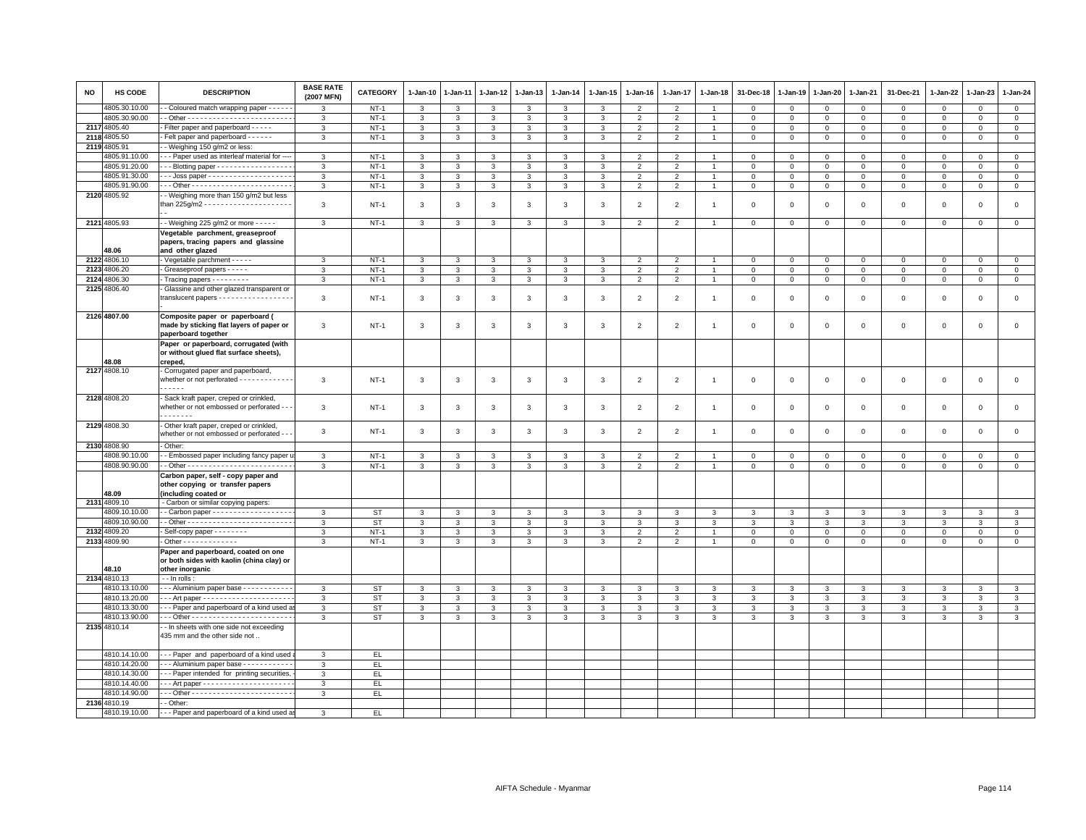| <b>NO</b> | HS CODE               | <b>DESCRIPTION</b>                                                                                              | <b>BASE RATE</b><br>(2007 MFN) | <b>CATEGORY</b> | 1-Jan-10       | 1-Jan-11     | 1-Jan-12     | 1-Jan-13                     | 1-Jan-14          | 1-Jan-15       | $1 - Jan-16$   | $1 - Jan-17$   | 1-Jan-18       | 31-Dec-18         | 1-Jan-19     | 1-Jan-20       | 1-Jan-21          | 31-Dec-21           | 1-Jan-22       | 1-Jan-23            | $1 - Jan-24$   |
|-----------|-----------------------|-----------------------------------------------------------------------------------------------------------------|--------------------------------|-----------------|----------------|--------------|--------------|------------------------------|-------------------|----------------|----------------|----------------|----------------|-------------------|--------------|----------------|-------------------|---------------------|----------------|---------------------|----------------|
|           | 4805.30.10.00         | - Coloured match wrapping paper - - - - -                                                                       | 3                              | $NT-1$          | 3              | 3            | 3            | 3                            | 3                 | 3              | $\overline{2}$ | $\overline{2}$ |                | $\mathbf 0$       | $\mathsf 0$  | $\mathsf 0$    | $\mathsf 0$       | $\mathbf 0$         | $\mathbf 0$    | $\mathbf 0$         | $\mathbf 0$    |
|           | 4805.30.90.00         |                                                                                                                 | $\mathbf{3}$                   | $NT-1$          | 3              | 3            | 3            | $\mathbf{3}$                 | 3                 | 3              | $\overline{2}$ | $\overline{2}$ | $\mathbf{1}$   | $\,0\,$           | $\mathsf 0$  | $\mathbf{0}$   | $\mathsf 0$       | $\mathsf 0$         | $\mathbf 0$    | $\mathbf{0}$        | $\overline{0}$ |
|           | 2117 4805.40          | Filter paper and paperboard - - - -                                                                             | $\overline{3}$                 | $NT-1$          | 3              | 3            | 3            | $\mathbf{3}$                 | 3                 | $\mathbf{3}$   | $\overline{2}$ | $\overline{2}$ | $\overline{1}$ | $\mathbf 0$       | $\Omega$     | $\mathbf 0$    | $\mathbf 0$       | $\mathbf{0}$        | $\mathbf 0$    | $\mathbf 0$         | $\circ$        |
|           | 2118 4805.50          | Felt paper and paperboard - - - - - -                                                                           | 3                              | $NT-1$          | $\mathbf{3}$   | 3            | $\mathbf{3}$ | $\mathbf{3}$                 | $\overline{3}$    | $\mathbf{3}$   | $\overline{2}$ | $\overline{2}$ | $\overline{1}$ | $\,0\,$           | $\mathbf 0$  | $\mathsf 0$    | $\mathbf 0$       | $\mathbf 0$         | $\mathbf 0$    | $\mathbf 0$         | $\mathsf 0$    |
|           | 2119 4805.91          | - Weighing 150 g/m2 or less:                                                                                    |                                |                 |                |              |              |                              |                   |                |                |                |                |                   |              |                |                   |                     |                |                     |                |
|           | 4805.91.10.00         | - - Paper used as interleaf material for --                                                                     | $\mathbf{3}$                   | $NT-1$          | 3              | 3            | 3            | $\mathbf{3}$                 | 3                 | 3              | 2              | $\overline{2}$ | $\mathbf{1}$   | $\mathbf 0$       | 0            | $\mathbf 0$    | $\mathbf 0$       | $\mathbf 0$         | $\mathbf 0$    | 0                   | $\mathbf 0$    |
|           | 4805.91.20.00         | - - Blotting paper - - - - - - - - - - - - - - - -                                                              | 3                              | $NT-1$          | $\mathbf{3}$   | $\mathbf{3}$ | $\mathbf{3}$ | $\mathbf{3}$                 | 3                 | 3              | $\overline{2}$ | $\overline{2}$ | $\overline{1}$ | $\mathsf 0$       | $\Omega$     | $\mathbf 0$    | $\mathbf 0$       | $\mathbf 0$         | $\mathbf 0$    | $\mathbf 0$         | $\mathsf 0$    |
|           | 4805.91.30.00         | -- Joss paper --------------------                                                                              | 3                              | $NT-1$          | 3              | 3            | 3            | $\mathbf{3}$                 | 3                 | $\mathbf{3}$   | $\overline{2}$ | $\overline{2}$ |                | $\,0\,$           | $\mathbf 0$  | $\mathsf 0$    | $\,0\,$           | $\mathsf 0$         | $\mathbf 0$    | $\mathbf 0$         | $\mathsf 0$    |
|           | 4805.91.90.00         |                                                                                                                 | $\mathbf{3}$                   | $NT-1$          | $\mathbf{3}$   | 3            | 3            | $\mathbf{3}$                 | 3                 | $\mathbf{3}$   | $\overline{2}$ | $\overline{2}$ | $\mathbf{1}$   | $\mathsf 0$       | $\mathbf 0$  | $\mathbf{0}$   | $\overline{0}$    | $\mathbf{0}$        | $\overline{0}$ | $\mathbf 0$         | $\overline{0}$ |
|           | 2120 4805.92          | - Weighing more than 150 g/m2 but less                                                                          | 3                              | $NT-1$          | 3              | 3            | $\mathbf{3}$ | $\mathbf{3}$                 | $\mathbf{3}$      | 3              | $\overline{2}$ | $\overline{2}$ | $\overline{1}$ | $\mathbf 0$       | $\mathbf 0$  | $\mathsf 0$    | $\mathbf 0$       | $\mathsf 0$         | $\mathbf 0$    | $\mathbf 0$         | $\mathsf 0$    |
|           | 2121 4805.93          | - - Weighing 225 g/m2 or more - - - - -                                                                         | $\mathbf{3}$                   | $NT-1$          | 3              | 3            | $\mathbf{3}$ | $\mathbf{3}$                 | 3                 | $\mathbf{3}$   | $\overline{2}$ | $\overline{2}$ | $\overline{1}$ | $\mathbf 0$       | $\mathbf 0$  | $\mathbf 0$    | $\mathsf 0$       | $\mathbf 0$         | $\mathbf 0$    | $\overline{0}$      | $\mathsf 0$    |
|           | 48.06                 | Vegetable parchment, greaseproof<br>papers, tracing papers and glassine<br>and other glazed                     |                                |                 |                |              |              |                              |                   |                |                |                |                |                   |              |                |                   |                     |                |                     |                |
|           | 2122 4806.10          | Vegetable parchment - - - - -                                                                                   | 3                              | $NT-1$          | 3              | 3            | 3            | $\mathbf{3}$                 | 3                 | $\mathbf{3}$   | $\overline{2}$ | $\overline{2}$ | $\overline{1}$ | $\mathbf 0$       | $\mathbf 0$  | $\mathbf{0}$   | $\mathbf 0$       | $\mathbf{0}$        | $\mathbf{0}$   | $\mathbf 0$         | $\mathbf{0}$   |
|           | 2123 4806.20          | - Greaseproof papers - - - - -                                                                                  | 3                              | $NT-1$          | 3              | 3            | 3            | $\mathbf{3}$                 | 3                 | $\mathbf{3}$   | $\overline{2}$ | $\overline{2}$ | $\overline{1}$ | $\mathbf 0$       | 0            | $\mathbf 0$    | $\mathsf 0$       | $\mathbf 0$         | $\mathsf 0$    | $\mathbf 0$         | $\mathsf 0$    |
|           | 2124 4806.30          | Tracing papers - - - - - - - -                                                                                  | $\mathbf{3}$                   | $NT-1$          | $\mathbf{3}$   | $\mathbf{3}$ | $\mathbf{3}$ | $\mathbf{3}$                 | $\mathbf{3}$      | $\mathbf{3}$   | $\overline{2}$ | $\overline{2}$ | $\overline{1}$ | $\mathbf 0$       | $\,0\,$      | $\mathbf 0$    | $\mathbf 0$       | $\mathsf{O}\xspace$ | $\mathsf 0$    | $\mathsf 0$         | $\mathsf 0$    |
|           | 2125 4806.40          | Glassine and other glazed transparent or<br>translucent papers - - - - - - - - - - - - - - - - -                | 3                              | $NT-1$          | 3              | 3            | 3            | $\mathbf{3}$                 | 3                 | 3              | $\overline{2}$ | $\overline{2}$ | $\overline{1}$ | $\mathbf 0$       | $^{\circ}$   | $\mathsf 0$    | $\mathsf 0$       | $\mathbf 0$         | $\mathbf 0$    | $\mathbf 0$         | $\mathbf 0$    |
|           | 2126 4807.00          | Composite paper or paperboard (<br>made by sticking flat layers of paper or<br>paperboard together              | 3                              | $NT-1$          | 3              | 3            | 3            | $\mathbf{3}$                 | 3                 | 3              | $\overline{2}$ | $\overline{2}$ | $\overline{1}$ | $\mathbf 0$       | $\Omega$     | $\mathbf 0$    | $\mathsf 0$       | $\mathbf 0$         | $^{\circ}$     | 0                   | $\mathbf 0$    |
|           | 48.08                 | Paper or paperboard, corrugated (with<br>or without glued flat surface sheets),<br>creped,                      |                                |                 |                |              |              |                              |                   |                |                |                |                |                   |              |                |                   |                     |                |                     |                |
|           | 2127 4808.10          | Corrugated paper and paperboard,                                                                                |                                |                 |                |              |              |                              |                   |                |                |                |                |                   |              |                |                   |                     |                |                     |                |
|           |                       | whether or not perforated - - - - - - - - - - - -                                                               | 3                              | $NT-1$          | 3              | 3            | $\mathbf{3}$ | $\mathbf{3}$                 | 3                 | $\mathbf{3}$   | $\overline{2}$ | $\overline{2}$ | $\mathbf{1}$   | $\mathsf 0$       | 0            | $\mathsf 0$    | $\mathbf 0$       | $\mathsf 0$         | $\mathbf 0$    | $\mathsf 0$         | $\mathsf 0$    |
|           | 2128 4808.20          | - Sack kraft paper, creped or crinkled,<br>whether or not embossed or perforated - -<br>. <b>.</b>              | 3                              | $NT-1$          | 3              | 3            | $\mathbf{3}$ | $\mathbf{3}$                 | 3                 | $\mathbf{3}$   | $\overline{2}$ | $\overline{2}$ | $\overline{1}$ | $\mathsf 0$       | $\mathsf 0$  | $\mathsf 0$    | $\mathsf 0$       | $\mathsf 0$         | $\mathbf 0$    | $\mathsf 0$         | $\mathsf 0$    |
|           | 2129 4808.30          | - Other kraft paper, creped or crinkled,<br>whether or not embossed or perforated                               | $\mathbf{3}$                   | $NT-1$          | $\mathbf{3}$   | 3            | $\mathbf{3}$ | $\mathbf{3}$                 | 3                 | $\mathbf{3}$   | $\overline{2}$ | $\overline{2}$ | $\overline{1}$ | $\mathsf 0$       | $\Omega$     | $\mathbf 0$    | $\,0\,$           | $\mathsf 0$         | $\,$ 0         | $\mathsf{O}\xspace$ | $\mathsf 0$    |
|           | 2130 4808.90          | - Other:                                                                                                        |                                |                 |                |              |              |                              |                   |                |                |                |                |                   |              |                |                   |                     |                |                     |                |
|           | 4808.90.10.00         | - Embossed paper including fancy paper u                                                                        | 3                              | $NT-1$          | 3              | 3            | 3            | 3                            | 3                 | 3              | $\overline{2}$ | $\overline{2}$ |                | $\mathbf 0$       | $^{\circ}$   | $^{\circ}$     | $^{\circ}$        | $\circ$             | $\Omega$       | 0                   | $\mathbf 0$    |
|           | 4808.90.90.00         |                                                                                                                 | 3                              | $NT-1$          | $\overline{3}$ | 3            | 3            | $\overline{\mathbf{3}}$      | $\overline{3}$    | $\overline{3}$ | $\overline{2}$ | $\overline{2}$ |                | $\mathbf 0$       | $\mathbf 0$  | $\mathbf 0$    | $\overline{0}$    | $\mathbf 0$         | $\mathbf 0$    | $\mathbf 0$         | $\overline{0}$ |
|           | 48.09                 | Carbon paper, self - copy paper and<br>other copying or transfer papers<br>(including coated or                 |                                |                 |                |              |              |                              |                   |                |                |                |                |                   |              |                |                   |                     |                |                     |                |
|           | 2131 4809.10          | - Carbon or similar copying papers:                                                                             |                                |                 |                |              |              |                              |                   |                |                |                |                |                   |              |                |                   |                     |                |                     |                |
|           | 4809.10.10.00         |                                                                                                                 | $\mathbf{3}$                   | ST              | 3              | 3            | 3            | $\mathbf{3}$                 | $\mathbf{3}$      | $\mathbf{3}$   | 3              | 3              | $\mathcal{R}$  | 3                 | 3            | $\mathbf{3}$   | 3                 | $\mathbf{3}$        | $\mathbf{3}$   | 3                   | $\mathbf{3}$   |
|           | 4809.10.90.00         |                                                                                                                 | 3                              | ST              | $\mathbf{3}$   | 3            | 3            | $\mathbf{3}$                 | $\mathbf{3}$      | 3              | 3              | 3              | 3              | $\mathbf{3}$      | 3            | 3              | 3                 | 3                   | 3              | 3                   | $\mathbf{3}$   |
|           | 2132 4809.20          | Self-copy paper - - - - - - - -                                                                                 | $\mathbf{3}$                   | $NT-1$          | $\mathbf{3}$   | 3            | 3            | $\mathbf{3}$                 | $\mathbf{3}$      | $\mathbf{3}$   | $\overline{2}$ | $\overline{2}$ | $\mathbf{1}$   | $\,0\,$           | $\mathbf 0$  | $\overline{0}$ | $\mathbf{0}$      | $\mathbf 0$         | $\mathbf 0$    | $\mathbf{0}$        | $\overline{0}$ |
|           | 2133 4809.90          | Other - - - - - - - - - - -<br>Paper and paperboard, coated on one<br>or both sides with kaolin (china clay) or | 3                              | $NT-1$          | $\mathbf{3}$   | 3            | 3            | $\mathbf{3}$                 | $\mathbf{3}$      | $\mathbf{3}$   | $\overline{2}$ | $\overline{2}$ | $\mathbf{1}$   | $\mathbf 0$       | $\mathbf 0$  | $\mathbf 0$    | $\mathbf 0$       | $\mathbf{0}$        | $\Omega$       | $\mathbf 0$         | $\circ$        |
|           | 48.10<br>2134 4810.13 | other inorganic                                                                                                 |                                |                 |                |              |              |                              |                   |                |                |                |                |                   |              |                |                   |                     |                |                     |                |
|           | 4810.13.10.00         | - - In rolls                                                                                                    | 3                              |                 | 3              | 3            | 3            |                              |                   | 3              | 3              | 3              | 3              | 3                 | 3            | 3              |                   | 3                   | 3              | 3                   | 3              |
|           | 4810.13.20.00         | -- Aluminium paper base -----------                                                                             |                                | ST<br>ST        | 3              |              | 3            | $\mathbf{3}$                 | 3<br>$\mathbf{3}$ |                | 3              |                | $\mathcal{R}$  |                   | 3            | 3              | 3                 | 3                   | 3              | 3                   | $\mathbf{3}$   |
|           | 4810.13.30.00         |                                                                                                                 | $\mathbf{3}$<br>3              | ST              | $\mathbf{3}$   | 3            |              | $\mathbf{3}$<br>$\mathbf{3}$ | $\mathbf{3}$      | 3<br>3         | 3              | 3              |                | 3<br>$\mathbf{3}$ | $\mathbf{3}$ | 3              | 3<br>$\mathbf{3}$ |                     |                |                     | $\mathbf{3}$   |
|           | 4810.13.90.00         | -- Paper and paperboard of a kind used a                                                                        |                                |                 |                | 3            | 3            |                              |                   |                |                | 3              | 3              |                   |              |                |                   | 3                   | 3              | 3                   |                |
|           |                       |                                                                                                                 | $\mathbf{3}$                   | ST              | $\mathbf{3}$   | 3            | 3            | $\mathbf{3}$                 | $\mathbf{3}$      | $\mathbf{3}$   | 3              | $\mathbf{3}$   | 3              | 3                 | 3            | 3              | $\mathbf{3}$      | 3                   | 3              | 3                   | $\mathbf{3}$   |
|           | 2135 4810.14          | - In sheets with one side not exceeding<br>435 mm and the other side not                                        |                                |                 |                |              |              |                              |                   |                |                |                |                |                   |              |                |                   |                     |                |                     |                |
|           | 4810.14.10.00         | -- Paper and paperboard of a kind used                                                                          | 3                              | EL.             |                |              |              |                              |                   |                |                |                |                |                   |              |                |                   |                     |                |                     |                |
|           | 4810.14.20.00         | - - Aluminium paper base - - - - - - - - - - -                                                                  | $\mathbf{3}$                   | EL.             |                |              |              |                              |                   |                |                |                |                |                   |              |                |                   |                     |                |                     |                |
|           | 4810.14.30.00         | - - Paper intended for printing securities,                                                                     | $\mathbf{3}$                   | EL.             |                |              |              |                              |                   |                |                |                |                |                   |              |                |                   |                     |                |                     |                |
|           | 4810.14.40.00         |                                                                                                                 | 3                              | EL.             |                |              |              |                              |                   |                |                |                |                |                   |              |                |                   |                     |                |                     |                |
|           | 4810.14.90.00         |                                                                                                                 | $\mathbf{3}$                   | EL.             |                |              |              |                              |                   |                |                |                |                |                   |              |                |                   |                     |                |                     |                |
|           | 2136 4810.19          | - Other:                                                                                                        |                                |                 |                |              |              |                              |                   |                |                |                |                |                   |              |                |                   |                     |                |                     |                |
|           | 4810.19.10.00         | --- Paper and paperboard of a kind used as                                                                      | 3                              | EL.             |                |              |              |                              |                   |                |                |                |                |                   |              |                |                   |                     |                |                     |                |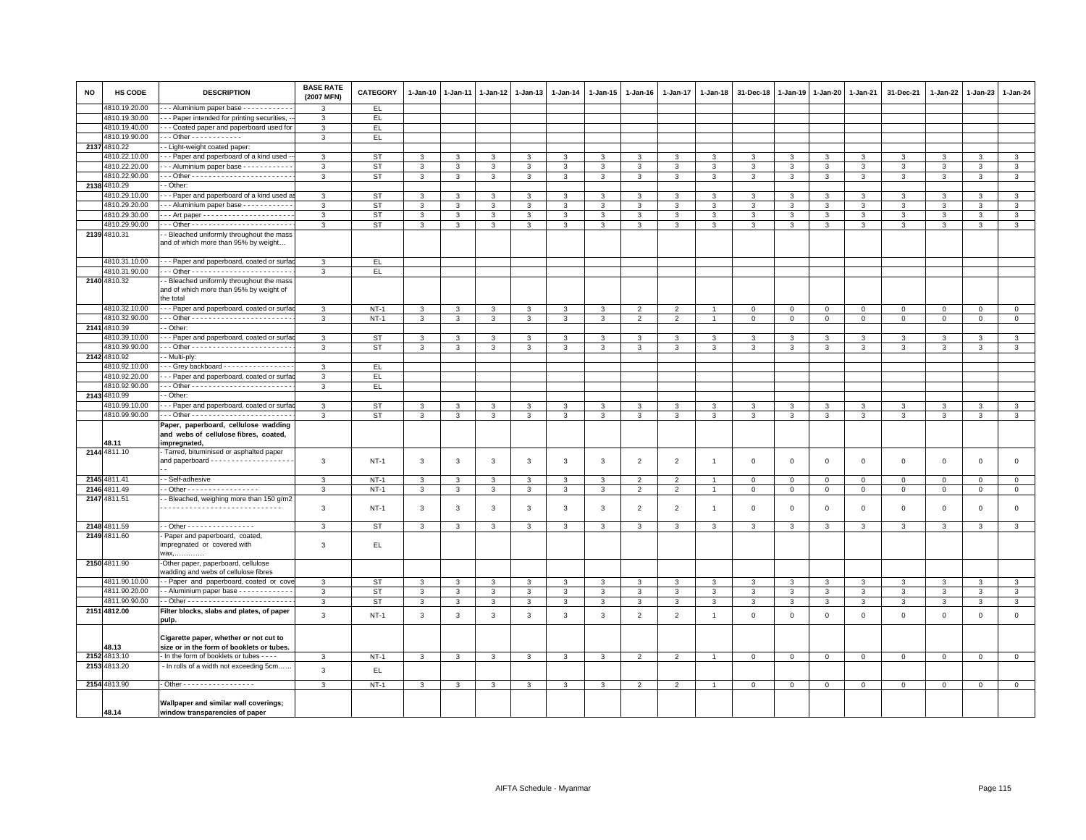| <b>NO</b> | HS CODE       | <b>DESCRIPTION</b>                                                                               | <b>BASE RATE</b><br>(2007 MFN) | <b>CATEGORY</b> | 1-Jan-10     | $1-Jan-11$   | 1-Jan-12     | $1 - Jan-13$ | 1-Jan-14     | 1-Jan-15       | $1 - Jan-16$   | $1 - Jan-17$   | 1-Jan-18       | 31-Dec-18    | $1 - Jan-19$ | $1 - Jan-20$ | 1-Jan-21       | 31-Dec-21    | $1 - Jan-22$ | $1-Jan-23$     | 1-Jan-24       |
|-----------|---------------|--------------------------------------------------------------------------------------------------|--------------------------------|-----------------|--------------|--------------|--------------|--------------|--------------|----------------|----------------|----------------|----------------|--------------|--------------|--------------|----------------|--------------|--------------|----------------|----------------|
|           | 4810.19.20.00 | -- Aluminium paper base -----------                                                              | 3                              | EL.             |              |              |              |              |              |                |                |                |                |              |              |              |                |              |              |                |                |
|           | 4810.19.30.00 | - - Paper intended for printing securities, -                                                    | 3                              | EL.             |              |              |              |              |              |                |                |                |                |              |              |              |                |              |              |                |                |
|           | 4810.19.40.00 | - - Coated paper and paperboard used for                                                         | 3                              | EL.             |              |              |              |              |              |                |                |                |                |              |              |              |                |              |              |                |                |
|           | 4810.19.90.00 | Other - - - - - - - - - - - -                                                                    | 3                              | EL.             |              |              |              |              |              |                |                |                |                |              |              |              |                |              |              |                |                |
|           | 2137 4810.22  | - Light-weight coated paper:                                                                     |                                |                 |              |              |              |              |              |                |                |                |                |              |              |              |                |              |              |                |                |
|           | 4810.22.10.00 | - - Paper and paperboard of a kind used -                                                        | 3                              | ST              | 3            |              | 3            | 3            |              | 3              |                |                |                | 3            | 3            | 3            | 3              | 3            | 3            | 3              | 3              |
|           | 4810.22.20.00 | - - Aluminium paper base - - - - - - - - - -                                                     | 3                              | <b>ST</b>       | 3            | 3            | 3            | 3            | $\mathbf{3}$ | 3              | 3              | 3              | 3              | 3            | $\mathbf{3}$ | $\mathbf{3}$ | 3              | $\mathbf{3}$ | 3            | 3              | 3              |
|           | 4810.22.90.00 |                                                                                                  | 3                              | <b>ST</b>       | $\mathbf{3}$ | 3            | 3            | 3            | 3            | 3              | 3              | 3              | 3              | 3            | 3            | 3            | $\mathbf{3}$   | 3            | 3            | 3              | $\mathbf{3}$   |
|           | 2138 4810.29  | - Other:                                                                                         |                                |                 |              |              |              |              |              |                |                |                |                |              |              |              |                |              |              |                |                |
|           | 4810.29.10.00 | - - Paper and paperboard of a kind used a                                                        | 3                              | <b>ST</b>       | $\mathbf{3}$ | 3            | 3            | 3            | $\mathbf{3}$ | $\mathbf{3}$   | 3              | 3              | $\mathbf{3}$   | 3            | 3            | 3            | $\mathbf{3}$   | 3            | 3            | 3              | $\mathbf{3}$   |
|           | 4810.29.20.00 | -- Aluminium paper base -----------                                                              | 3                              | <b>ST</b>       | $\mathbf{3}$ | 3            | 3            | $\mathbf{3}$ | 3            | 3              | 3              | 3              | 3              | 3            | 3            | 3            | 3              | 3            | 3            | 3              | 3              |
|           | 4810.29.30.00 |                                                                                                  | $\mathbf{3}$                   | <b>ST</b>       | 3            | 3            | 3            | 3            | $\mathbf{3}$ | 3              | 3              | 3              | 3              | 3            | $\mathbf{3}$ | 3            | $\mathbf{3}$   | $\mathbf{3}$ | 3            | 3              | $\overline{3}$ |
|           | 4810.29.90.00 |                                                                                                  | 3                              | <b>ST</b>       | 3            | 3            | 3            | $\mathbf{3}$ | 3            | 3              | 3              | 3              | 3              | $\mathbf{3}$ | 3            | 3            | $\mathbf{3}$   | 3            | 3            | 3              | $\mathbf{3}$   |
|           | 2139 4810.31  | - Bleached uniformly throughout the mass<br>and of which more than 95% by weight                 |                                |                 |              |              |              |              |              |                |                |                |                |              |              |              |                |              |              |                |                |
|           | 4810.31.10.00 | - - Paper and paperboard, coated or surfa                                                        | 3                              | EL.             |              |              |              |              |              |                |                |                |                |              |              |              |                |              |              |                |                |
|           | 4810.31.90.00 |                                                                                                  | $\mathbf{3}$                   | EL              |              |              |              |              |              |                |                |                |                |              |              |              |                |              |              |                |                |
|           | 2140 4810.32  | - Bleached uniformly throughout the mass<br>and of which more than 95% by weight of<br>the total |                                |                 |              |              |              |              |              |                |                |                |                |              |              |              |                |              |              |                |                |
|           | 4810.32.10.00 | - - Paper and paperboard, coated or surfa                                                        | 3                              | $NT-1$          | 3            | 3            | 3            | $\mathbf{3}$ | 3            | 3              | $\overline{2}$ | $\overline{2}$ |                | $\mathbf 0$  | $\mathbf 0$  | $\mathsf 0$  | $\mathbf 0$    | $\mathsf 0$  | $\mathbf 0$  | $\overline{0}$ | $\mathbf 0$    |
|           | 4810.32.90.00 |                                                                                                  | 3                              | $NT-1$          | 3            | 3            | 3            | $\mathbf{3}$ | $\mathbf{3}$ | $\mathbf{3}$   | $\overline{2}$ | $\overline{2}$ |                | $\mathbf 0$  | $\mathsf 0$  | $\mathbf 0$  | $\overline{0}$ | $\mathsf 0$  | $\mathbf 0$  | $\mathsf 0$    | $\overline{0}$ |
|           | 2141 4810.39  | - Other:                                                                                         |                                |                 |              |              |              |              |              |                |                |                |                |              |              |              |                |              |              |                |                |
|           | 4810.39.10.00 | - - Paper and paperboard, coated or surfa                                                        | 3                              | <b>ST</b>       | 3            | 3            | 3            | 3            | 3            | 3              | 3              | 3              | 3              | 3            | 3            | 3            | 3              | 3            | 3            | 3              | 3              |
|           | 4810.39.90.00 |                                                                                                  | $\mathbf{3}$                   | <b>ST</b>       | 3            | 3            | 3            | 3            | $\mathbf{3}$ | 3              | 3              | 3              | 3              | 3            | 3            | 3            | $\mathbf{3}$   | 3            | 3            | $\mathbf{3}$   | $\mathbf{3}$   |
|           | 2142 4810.92  | - Multi-ply:                                                                                     |                                |                 |              |              |              |              |              |                |                |                |                |              |              |              |                |              |              |                |                |
|           | 4810.92.10.00 | -- Grey backboard ----------------                                                               | 3                              | EL.             |              |              |              |              |              |                |                |                |                |              |              |              |                |              |              |                |                |
|           | 4810.92.20.00 | - - Paper and paperboard, coated or surfa                                                        | 3                              | EL.             |              |              |              |              |              |                |                |                |                |              |              |              |                |              |              |                |                |
|           | 4810.92.90.00 |                                                                                                  | 3                              | EL.             |              |              |              |              |              |                |                |                |                |              |              |              |                |              |              |                |                |
|           | 2143 4810.99  | - Other:                                                                                         |                                |                 |              |              |              |              |              |                |                |                |                |              |              |              |                |              |              |                |                |
|           | 4810.99.10.00 | - - Paper and paperboard, coated or surfa                                                        | 3                              | <b>ST</b>       | 3            | 3            | $\mathbf{3}$ | $\mathbf{3}$ | $\mathbf{3}$ | 3              | 3              | 3              | $\mathbf{3}$   | 3            | 3            | $\mathbf{3}$ | $\mathbf{3}$   | 3            | 3            | $\mathbf{3}$   | $\mathbf{3}$   |
|           | 4810.99.90.00 |                                                                                                  | 3                              | <b>ST</b>       | 3            | 3            | 3            | $\mathbf{3}$ | $\mathbf{3}$ | 3              | $\mathbf{3}$   | 3              | 3              | 3            | $\mathbf{3}$ | $\mathbf{3}$ | $\mathbf{3}$   | 3            | 3            | 3              | $\mathbf{3}$   |
|           |               | Paper, paperboard, cellulose wadding<br>and webs of cellulose fibres, coated,                    |                                |                 |              |              |              |              |              |                |                |                |                |              |              |              |                |              |              |                |                |
|           | 48.11         | impregnated.                                                                                     |                                |                 |              |              |              |              |              |                |                |                |                |              |              |              |                |              |              |                |                |
|           | 2144 4811.10  | Tarred, bituminised or asphalted paper<br>and paperboard - - - - - - - - - - - - - - - - - -     | 3                              | $NT-1$          | 3            | 3            | 3            | $\mathbf{3}$ | 3            | 3              | 2              | $\overline{2}$ | $\overline{1}$ | $\mathbf 0$  | $\mathbf 0$  | $\mathsf 0$  | $\mathbf 0$    | $\mathsf 0$  | $\mathbf 0$  | $\mathsf 0$    | $\mathsf 0$    |
|           | 2145 4811.41  | - Self-adhesive                                                                                  | 3                              | $NT-1$          | 3            | 3            | 3            | 3            | 3            | 3              | $\mathfrak{p}$ | $\overline{2}$ |                | $\,0\,$      | $\mathbf 0$  | $\mathsf 0$  | $\mathbf 0$    | $\Omega$     | $\mathbf 0$  | $\mathbf 0$    | $\mathsf 0$    |
|           | 2146 4811.49  | - Other - - - - - - - - - - - - - - - - -                                                        | 3                              | $NT-1$          | 3            | 3            | 3            | $\mathbf{3}$ | 3            | 3              | $\overline{2}$ | $\overline{2}$ | $\overline{1}$ | $\mathbf 0$  | $\mathbf 0$  | $\mathbf 0$  | $\mathbf 0$    | $\mathbf 0$  | $\mathbf 0$  | $\mathbf 0$    | $\mathbf 0$    |
|           | 2147 4811.51  | - Bleached, weighing more than 150 g/m2                                                          | 3                              | $NT-1$          | 3            | 3            | 3            | 3            | 3            | 3              | $\overline{2}$ | $\overline{2}$ | $\overline{1}$ | $\mathbf 0$  | $\mathbf 0$  | $\,0\,$      | $\,0\,$        | $\mathbf 0$  | $\mathbf 0$  | $\mathbf 0$    | $\mathbf 0$    |
|           | 2148 4811.59  | - Other - - - - - - - - - - - - - - - -                                                          | $\mathbf{3}$                   | <b>ST</b>       | $\mathbf{3}$ | 3            | $\mathbf{3}$ | 3            | $\mathbf{3}$ | 3              | 3              | 3              | 3              | 3            | $\mathbf{3}$ | $\mathbf{3}$ | $\mathbf{3}$   | $\mathbf{3}$ | 3            | $\mathbf{3}$   | $\mathbf{3}$   |
|           | 2149 4811.60  | Paper and paperboard, coated,<br>impregnated or covered with<br>wax,                             | 3                              | EL.             |              |              |              |              |              |                |                |                |                |              |              |              |                |              |              |                |                |
|           | 2150 4811.90  | -Other paper, paperboard, cellulose<br>wadding and webs of cellulose fibres                      |                                |                 |              |              |              |              |              |                |                |                |                |              |              |              |                |              |              |                |                |
|           | 4811.90.10.00 | - Paper and paperboard, coated or cove                                                           | 3                              | <b>ST</b>       | 3            | 3            | 3            | 3            | 3            | 3              |                | 3              | 3              | 3            | 3            | 3            | 3              | 3            | 3            | 3              | 3              |
|           | 4811.90.20.00 | - Aluminium paper base - - - - - - - - - - - -                                                   | 3                              | <b>ST</b>       | $\mathbf{3}$ | 3            | 3            | $\mathbf{3}$ | $\mathbf{3}$ | 3              | 3              | 3              | $\mathbf{3}$   | 3            | 3            | $\mathbf{3}$ | $\mathbf{3}$   | 3            | 3            | 3              | $\mathbf{3}$   |
|           | 4811.90.90.00 |                                                                                                  | 3                              | <b>ST</b>       | 3            | 3            | $\mathbf{3}$ | 3            | $\mathbf{3}$ | $\overline{3}$ | 3              | 3              | 3              | 3            | 3            | $\mathbf{3}$ | $\mathbf{3}$   | $\mathbf{3}$ | 3            | $\mathbf{3}$   | 3              |
|           | 2151 4812.00  | Filter blocks, slabs and plates, of paper                                                        | 3                              | $NT-1$          | $\mathbf{3}$ | 3            | 3            | 3            | $\mathbf{3}$ | 3              | $\overline{2}$ | $\overline{2}$ | $\overline{1}$ | $\mathsf 0$  | $\mathsf 0$  | $\mathsf 0$  | $\mathbf 0$    | $\mathsf 0$  | $\mathbf 0$  | $\mathsf 0$    | $\mathsf 0$    |
|           |               | pulp.<br>Cigarette paper, whether or not cut to                                                  |                                |                 |              |              |              |              |              |                |                |                |                |              |              |              |                |              |              |                |                |
|           | 48.13         | size or in the form of booklets or tubes.                                                        |                                |                 |              |              |              |              |              |                |                |                |                |              |              |              |                |              |              |                |                |
|           | 2152 4813.10  | - In the form of booklets or tubes - - - -                                                       | $\mathbf{3}$                   | $NT-1$          | $\mathbf{3}$ | $\mathbf{3}$ | $\mathbf{3}$ | $\mathbf{3}$ | $\mathbf{3}$ | $\mathbf{3}$   | $\overline{2}$ | $\overline{2}$ |                | $\,0\,$      | $\,0\,$      | $\mathbf 0$  | $\,0\,$        | $\mathsf 0$  | $\mathbf 0$  | $\mathsf 0$    | $\mathbf 0$    |
|           | 2153 4813.20  | - In rolls of a width not exceeding 5cm                                                          | $\mathbf{3}$                   | EL              |              |              |              |              |              |                |                |                |                |              |              |              |                |              |              |                |                |
|           | 2154 4813.90  | . Other - - - - - - - - - - - - - - - - -                                                        | 3                              | $NT-1$          | 3            | 3            | 3            | 3            | 3            | 3              | $\mathfrak{p}$ | $\overline{2}$ |                | 0            | $\mathbf 0$  | $\mathbf 0$  | $\mathbf 0$    | $\mathbf 0$  | $\mathbf 0$  | $\mathbf{0}$   | $\mathbf 0$    |
|           | 48.14         | Wallpaper and similar wall coverings;<br>window transparencies of paper                          |                                |                 |              |              |              |              |              |                |                |                |                |              |              |              |                |              |              |                |                |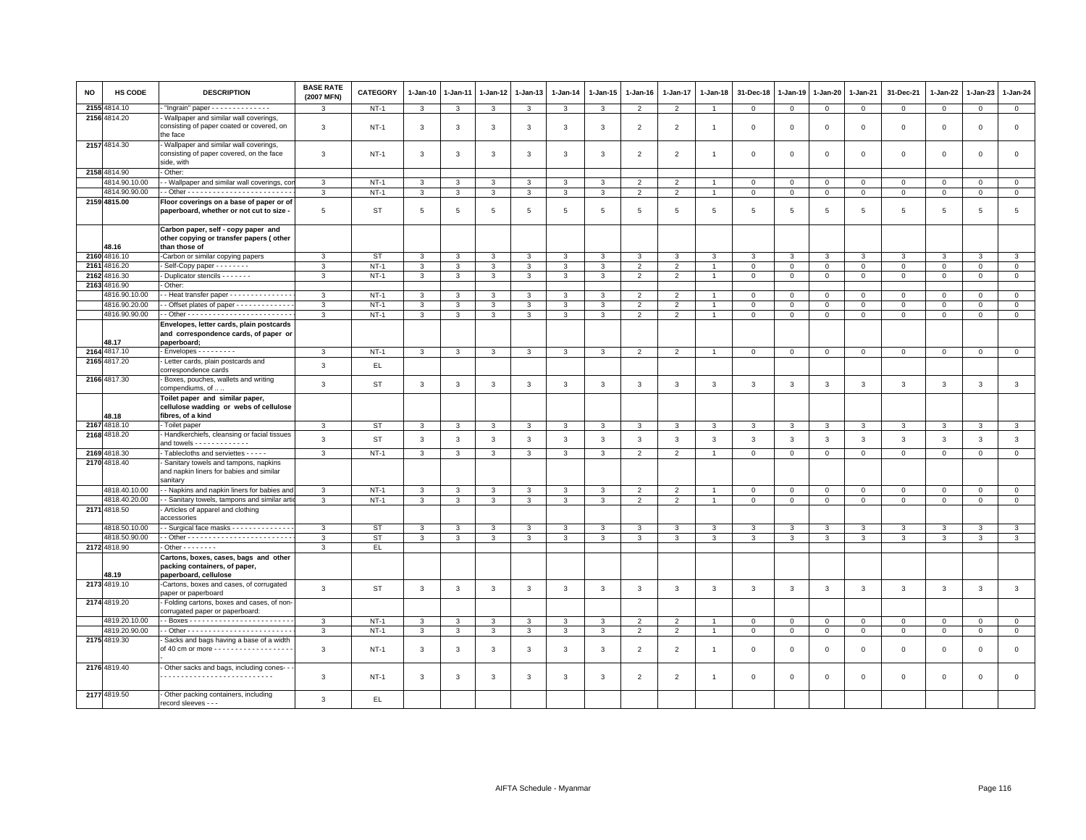| <b>NO</b> | <b>HS CODE</b>                 | <b>DESCRIPTION</b>                                                                               | <b>BASE RATE</b><br>(2007 MFN) | <b>CATEGORY</b> | $1-Jan-10$      | $1-Jan-11$              | $1-Jan-12$     | $1 - Jan-13$ | 1-Jan-14        | $1 - Jan-15$ | $1-Jan-16$     | 1-Jan-17                 | $1 - Jan-18$   | 31-Dec-18      | 1-Jan-19     | 1-Jan-20       | 1-Jan-21       | 31-Dec-21           | 1-Jan-22     | 1-Jan-23       | 1-Jan-24       |
|-----------|--------------------------------|--------------------------------------------------------------------------------------------------|--------------------------------|-----------------|-----------------|-------------------------|----------------|--------------|-----------------|--------------|----------------|--------------------------|----------------|----------------|--------------|----------------|----------------|---------------------|--------------|----------------|----------------|
|           | 2155 4814.10                   | "Ingrain" paper - - - - - - - - - - - - - -                                                      | 3                              | $NT-1$          | 3               | 3                       | $\mathbf{3}$   | 3            | 3               | 3            | $\overline{2}$ | $\overline{2}$           | $\overline{1}$ | $\mathbf 0$    | $\mathbf 0$  | $\overline{0}$ | $\overline{0}$ | $\mathbf 0$         | $\mathbf 0$  | $\mathbf 0$    | $\mathbf{0}$   |
|           | 2156 4814.20                   | - Wallpaper and similar wall coverings,<br>consisting of paper coated or covered, on<br>the face | 3                              | $NT-1$          | 3               | 3                       | $\mathbf{3}$   | 3            | 3               | 3            | $\overline{2}$ | $\overline{2}$           | $\overline{1}$ | $\,0\,$        | 0            | 0              | $\mathbf 0$    | $\mathsf 0$         | $\mathbf 0$  | $\mathbf 0$    | $\mathbf 0$    |
|           | 2157 4814.30                   | Wallpaper and similar wall coverings<br>consisting of paper covered, on the face<br>side, with   | 3                              | <b>NT-1</b>     | 3               | 3                       | $\mathbf{3}$   | 3            | 3               | 3            | $\overline{2}$ | $\overline{2}$           | -1             | $\mathbf 0$    | $\Omega$     | $\mathbf 0$    | $\mathbf 0$    | $\mathsf 0$         | $\circ$      | $\mathbf{0}$   | $\mathbf 0$    |
|           | 2158 4814.90                   | - Other:                                                                                         |                                |                 |                 |                         |                |              |                 |              |                |                          |                |                |              |                |                |                     |              |                |                |
|           | 4814.90.10.00                  | - Wallpaper and similar wall coverings, cor                                                      | 3                              | $NT-1$          | 3               | 3                       | 3              | 3            | 3               | 3            | $\overline{2}$ | $\overline{\phantom{0}}$ |                | $\mathbf 0$    | $^{\circ}$   | $\mathbf 0$    | $\mathbf 0$    | $\mathsf 0$         | $\Omega$     | $\mathbf 0$    | $\mathbf 0$    |
|           | 4814.90.90.00                  |                                                                                                  | $\mathbf{3}$                   | $NT-1$          | $\mathbf{3}$    | $\overline{\mathbf{3}}$ | $\mathbf{3}$   | $\mathbf{3}$ | $\mathbf{3}$    | $\mathbf{3}$ | $\overline{2}$ | $\overline{2}$           | $\mathbf{1}$   | $\overline{0}$ | $\mathsf 0$  | $\mathsf 0$    | $\overline{0}$ | $\mathsf{O}\xspace$ | $\mathbf 0$  | $\mathbf 0$    | $\overline{0}$ |
|           | 2159 4815.00                   | Floor coverings on a base of paper or of<br>paperboard, whether or not cut to size -             | $5\phantom{.0}$                | ST              | $5\phantom{.0}$ | $\overline{5}$          | $\,$ 5 $\,$    | $\,$ 5 $\,$  | $5\phantom{.0}$ | 5            | $\overline{5}$ | $\sqrt{5}$               | 5              | $\,$ 5 $\,$    | 5            | 5              | $\sqrt{5}$     | $\,$ 5 $\,$         | 5            | 5              | 5              |
|           | 48.16                          | Carbon paper, self - copy paper and<br>other copying or transfer papers (other<br>than those of  |                                |                 |                 |                         |                |              |                 |              |                |                          |                |                |              |                |                |                     |              |                |                |
|           | 2160 4816.10                   | -Carbon or similar copying papers                                                                | $\mathbf{3}$                   | <b>ST</b>       | 3               | 3                       | $\mathbf{3}$   | 3            | 3               | 3            | 3              | $\mathbf{3}$             | 3              | 3              | 3            | 3              | $\mathbf{3}$   | 3                   | 3            | 3              | $\mathbf{3}$   |
|           | 2161 4816.20                   | - Self-Copy paper - - - - - - - -                                                                | 3                              | $NT-1$          | $\mathbf{3}$    | 3                       | 3              | 3            | $\mathbf{3}$    | 3            | 2              | $\overline{2}$           |                | $\mathbf 0$    | $\mathsf 0$  | $\mathsf 0$    | $\mathbf 0$    | $\mathsf 0$         | $\mathbf 0$  | $\mathbf 0$    | $\mathsf 0$    |
|           | 2162 4816.30                   | - Duplicator stencils - - - - - - -                                                              | $\mathbf{3}$                   | $NT-1$          | $\mathbf{3}$    | $\mathbf{3}$            | 3              | $\mathbf{3}$ | $\mathbf{3}$    | $\mathbf{3}$ | $\overline{2}$ | $\overline{2}$           | $\mathbf{1}$   | $\mathsf 0$    | $\mathsf 0$  | $\mathbf 0$    | $\circ$        | $\mathbf 0$         | $\mathbf 0$  | $\mathbf{0}$   | $\mathbf{0}$   |
|           | 2163 4816.90                   | Other:                                                                                           |                                |                 |                 |                         |                |              |                 |              |                |                          |                |                |              |                |                |                     |              |                |                |
|           | 4816.90.10.00                  | - Heat transfer paper - - - - - - - - - - - - - -                                                | $\mathbf{3}$                   | $NT-1$          | $\mathbf{3}$    | 3                       | $\overline{3}$ | 3            | 3               | 3            | $\overline{2}$ | $\overline{2}$           |                | $\mathbf 0$    | $\Omega$     | $\mathbf 0$    | $\mathbf{0}$   | $\mathbf 0$         | $\Omega$     | $\mathbf{0}$   | $\circ$        |
|           | 4816.90.20.00                  | - Offset plates of paper - - - - - - - - - - - - -                                               | 3                              | $NT-1$          | $\mathbf{3}$    | $\mathbf{3}$            | $\mathbf{3}$   | $\mathbf{3}$ | 3               | 3            | $\overline{2}$ | $\overline{2}$           |                | $\mathsf 0$    | $\mathsf 0$  | $\mathsf 0$    | $\mathbf 0$    | $\mathsf 0$         | $\mathbf 0$  | $\mathbf 0$    | $\mathsf 0$    |
|           | 4816.90.90.00                  |                                                                                                  | 3                              | $NT-1$          | $\mathbf{3}$    | 3                       | 3              | 3            | 3               | 3            | $\overline{2}$ | 2                        | $\mathbf{1}$   | $\mathbf 0$    | $\mathsf 0$  | $\mathbf 0$    | $\mathbf{0}$   | $\mathbf 0$         | 0            | $\mathbf 0$    | $\mathsf 0$    |
|           | 48.17                          | Envelopes, letter cards, plain postcards<br>and correspondence cards, of paper or<br>paperboard; |                                |                 |                 |                         |                |              |                 |              |                |                          |                |                |              |                |                |                     |              |                |                |
|           | 2164 4817.10                   | - Envelopes - - - - - - - - -                                                                    | 3                              | $NT-1$          | 3               | 3                       | 3              | $\mathbf{3}$ | 3               | 3            | $\overline{2}$ | $\overline{2}$           | -1             | $\mathbf 0$    | $\mathbf 0$  | $\mathbf 0$    | $\mathbf{0}$   | $\mathbf 0$         | $\mathbf 0$  | $\mathbf{0}$   | $\overline{0}$ |
|           | 2165 4817.20                   | Letter cards, plain postcards and<br>correspondence cards                                        | 3                              | EL.             |                 |                         |                |              |                 |              |                |                          |                |                |              |                |                |                     |              |                |                |
|           | 2166 4817.30                   | - Boxes, pouches, wallets and writing<br>compendiums, of<br>Toilet paper and similar paper,      | $\mathbf{3}$                   | <b>ST</b>       | $\mathbf{3}$    | 3                       | $\mathbf{3}$   | $\mathbf{3}$ | 3               | $\mathbf{3}$ | 3              | $\mathbf{3}$             | 3              | $\mathbf{3}$   | 3            | 3              | $\mathbf{3}$   | $\mathbf{3}$        | 3            | $\mathbf{3}$   | $\mathbf{3}$   |
|           | 48.18                          | cellulose wadding or webs of cellulose<br>fibres, of a kind                                      |                                |                 |                 |                         |                |              |                 |              |                |                          |                |                |              |                |                |                     |              |                |                |
|           | 2167 4818.10                   | - Toilet paper                                                                                   | 3                              | <b>ST</b>       | 3               | 3                       | 3              | 3            | 3               | 3            | 3              | 3                        | $\mathcal{R}$  | 3              | 3            | 3              | $\mathbf{3}$   | 3                   | 3            | 3              | 3              |
|           | 2168 4818.20                   | - Handkerchiefs, cleansing or facial tissues<br>and towels - - - - - - - - - - - -               | $\mathbf{3}$                   | <b>ST</b>       | $\mathbf{3}$    | $\mathbf{3}$            | $\mathbf{3}$   | $\mathbf{3}$ | $\mathbf{3}$    | $\mathbf{3}$ | $\mathbf{3}$   | $\mathbf{3}$             | 3              | $\mathbf{3}$   | $\mathbf{3}$ | 3              | $\mathbf{3}$   | $\mathbf{3}$        | 3            | $\mathbf{3}$   | $_{\rm 3}$     |
|           | 2169 4818.30                   | - Tablecloths and serviettes - - - - -                                                           | $\mathbf{3}$                   | $NT-1$          | $\mathbf{3}$    | $\mathbf{3}$            | $\mathbf{3}$   | $\mathbf{3}$ | $\mathbf{3}$    | $\mathbf{3}$ | $\overline{2}$ | $\overline{2}$           | $\overline{1}$ | $\overline{0}$ | $\mathsf 0$  | $\mathbf 0$    | $\overline{0}$ | $\mathbf 0$         | $\circ$      | $\circ$        | $\overline{0}$ |
|           | 2170 4818.40                   | - Sanitary towels and tampons, napkins<br>and napkin liners for babies and similar<br>sanitarv   |                                |                 |                 |                         |                |              |                 |              |                |                          |                |                |              |                |                |                     |              |                |                |
|           | 4818.40.10.00                  | - Napkins and napkin liners for babies and                                                       | 3                              | $NT-1$          | 3               | 3                       | 3              | 3            | 3               | 3            | $\mathfrak{p}$ | $\overline{\phantom{0}}$ |                | $\mathbf 0$    | $\mathsf 0$  | $\mathbf 0$    | $\mathbf 0$    | $\mathbf 0$         | $\Omega$     | $\mathbf{0}$   | $\mathbf 0$    |
|           | 4818.40.20.00                  | - Sanitary towels, tampons and similar arti                                                      | 3                              | $NT-1$          | 3               | $\mathbf{3}$            | 3              | 3            | 3               | 3            | 2              | $\overline{2}$           | $\overline{1}$ | $\mathbf 0$    | $\mathsf 0$  | $\mathsf 0$    | $\mathbf 0$    | $\mathbf{0}$        | $\mathbf 0$  | $\mathbf{0}$   | $\mathbf 0$    |
|           | 2171 4818.50                   | Articles of apparel and clothing<br>accessories                                                  |                                |                 |                 |                         |                |              |                 |              |                |                          |                |                |              |                |                |                     |              |                |                |
|           | 4818.50.10.00<br>4818.50.90.00 | - - Surgical face masks - - - - - - - - - - - - -                                                | $\mathbf{3}$                   | <b>ST</b>       | 3               | 3                       | 3              | $\mathbf{3}$ | 3               | 3            | 3              | 3                        | 3              | 3              | 3            | 3              | $\mathbf{3}$   | 3                   | 3            | 3              | 3              |
|           | 2172 4818.90                   | $-$ Other $      -$                                                                              | $\mathbf{3}$<br>3              | ST              | $\mathbf{3}$    | $\mathbf{3}$            | $\mathbf{3}$   | $\mathbf{3}$ | $\mathbf{3}$    | $\mathbf{3}$ | 3              | $\mathbf{3}$             | 3              | 3              | $\mathbf{3}$ | $\mathbf{3}$   | $\mathbf{3}$   | 3                   | $\mathbf{3}$ | 3              | $\mathbf{3}$   |
|           |                                | Cartons, boxes, cases, bags and other<br>packing containers, of paper,                           |                                | EL.             |                 |                         |                |              |                 |              |                |                          |                |                |              |                |                |                     |              |                |                |
|           | 48.19<br>2173 4819.10          | paperboard, cellulose<br>-Cartons, boxes and cases, of corrugated<br>paper or paperboard         | $\mathbf{3}$                   | <b>ST</b>       | $\mathbf{3}$    | 3                       | $\overline{3}$ | $\mathbf{3}$ | $\mathbf{3}$    | $\mathbf{3}$ | 3              | $\overline{3}$           | 3              | 3              | $\mathbf{3}$ | 3              | $\overline{3}$ | $\mathbf{3}$        | $\mathbf{3}$ | 3              | $\mathbf{3}$   |
|           | 2174 4819.20                   | - Folding cartons, boxes and cases, of non-<br>corrugated paper or paperboard:                   |                                |                 |                 |                         |                |              |                 |              |                |                          |                |                |              |                |                |                     |              |                |                |
|           | 4819.20.10.00                  |                                                                                                  | $\mathbf{3}$                   | $NT-1$          | 3               | 3                       | 3              | $\mathbf{3}$ | 3               | 3            | $\overline{2}$ | $\overline{2}$           |                | $\mathsf 0$    | $\mathsf 0$  | $\mathsf 0$    | $\circ$        | $\mathsf 0$         | $\mathsf 0$  | $\mathbf 0$    | $\circ$        |
|           | 4819.20.90.00                  |                                                                                                  | $\mathbf{3}$                   | $NT-1$          | $\mathbf{3}$    | 3                       | 3              | $\mathbf{3}$ | 3               | 3            | $\overline{2}$ | 2                        | $\overline{1}$ | $\mathbf 0$    | $\mathbf{0}$ | $\mathbf 0$    | $\overline{0}$ | $\circ$             | $\mathbf{0}$ | $\overline{0}$ | $\mathbf{0}$   |
|           | 2175 4819.30                   | Sacks and bags having a base of a width<br>of 40 cm or more - - - - - - - - - - - - - - - - - -  | $\mathbf{3}$                   | $NT-1$          | 3               | 3                       | 3              | 3            | 3               | 3            | $\overline{2}$ | $\overline{2}$           | $\overline{1}$ | $\mathbf 0$    | 0            | $\mathbf 0$    | $\mathbf 0$    | $\mathsf 0$         | $\circ$      | $\mathbf 0$    | $\mathbf 0$    |
|           | 2176 4819.40                   | - Other sacks and bags, including cones--                                                        | 3                              | $NT-1$          | 3               | 3                       | 3              | $\mathbf{3}$ | 3               | 3            | $\overline{2}$ | $\overline{2}$           | $\mathbf{1}$   | $\Omega$       | $\Omega$     | $\Omega$       | $\Omega$       | $\Omega$            | $\Omega$     | $\Omega$       | $\mathbf 0$    |
|           | 2177 4819.50                   | - Other packing containers, including<br>record sleeves - - -                                    | 3                              | EL              |                 |                         |                |              |                 |              |                |                          |                |                |              |                |                |                     |              |                |                |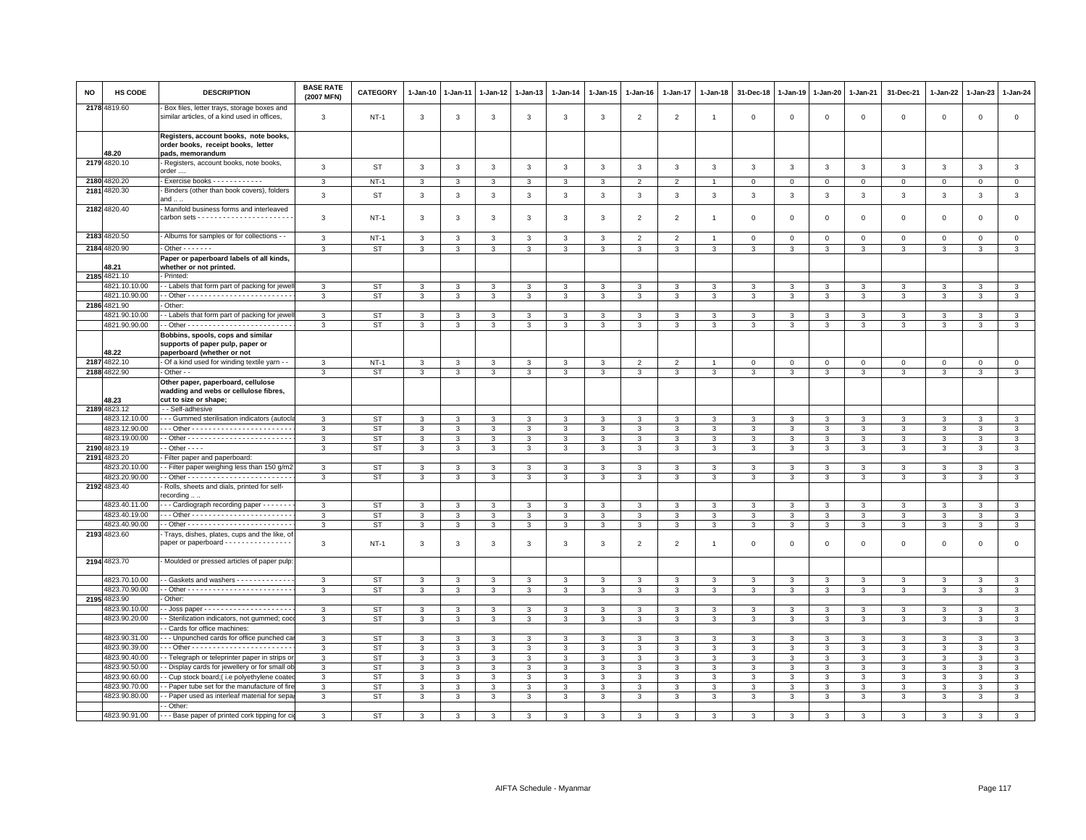| <b>NO</b> | HS CODE                        | <b>DESCRIPTION</b>                                                                                   | <b>BASE RATE</b><br>(2007 MFN) | CATEGORY               | $1 - Jan-10$   | $1-Jan-11$                   | 1-Jan-12     | 1-Jan-13       | $1 - Jan-14$      | $1 - Jan-15$   | $1 - Jan-16$      | $1 - Jan-17$                 | $1 - Jan-18$   | 31-Dec-18          | $1 - Jan-19$                 | $1-Jan-20$        | $1 - Jan-21$      | 31-Dec-21                    | 1-Jan-22       | 1-Jan-23      | $1 - Jan-24$                   |
|-----------|--------------------------------|------------------------------------------------------------------------------------------------------|--------------------------------|------------------------|----------------|------------------------------|--------------|----------------|-------------------|----------------|-------------------|------------------------------|----------------|--------------------|------------------------------|-------------------|-------------------|------------------------------|----------------|---------------|--------------------------------|
|           | 2178 4819.60                   | Box files, letter trays, storage boxes and<br>similar articles, of a kind used in offices,           | 3                              | $NT-1$                 | 3              | 3                            | 3            | 3              | 3                 | 3              | $\overline{2}$    | 2                            | $\overline{1}$ | $\mathbf 0$        | $\mathbf 0$                  | $\,0\,$           | $\mathbf 0$       | $\mathsf 0$                  | $\mathbf 0$    | $\mathsf 0$   | $\mathsf 0$                    |
|           |                                | Registers, account books, note books,<br>order books, receipt books, letter                          |                                |                        |                |                              |              |                |                   |                |                   |                              |                |                    |                              |                   |                   |                              |                |               |                                |
|           | 48.20<br>2179 4820.10          | pads, memorandum<br>Registers, account books, note books,                                            | 3                              | <b>ST</b>              | $\mathbf{3}$   | 3                            | 3            | $\mathbf{3}$   | $\mathbf{3}$      | 3              | 3                 | $\mathbf{3}$                 | 3              | $\mathbf{3}$       | $\mathbf{3}$                 | $\mathbf{3}$      | $\mathbf{3}$      | 3                            | 3              | $\mathbf{3}$  | $\mathbf{3}$                   |
|           | 2180 4820.20                   | order.<br>- Exercise books - - - - - - - - - - -                                                     | 3                              | $NT-1$                 | $\mathbf{3}$   | 3                            | 3            | 3              | $\mathbf{3}$      | 3              | 2                 | 2                            |                | $\mathbf{0}$       | $\overline{0}$               | $\mathbf{0}$      | $\mathbf{0}$      | $\mathbf 0$                  | $\mathbf{0}$   | $\mathbf{0}$  | $\circ$                        |
|           | 2181 4820.30                   | - Binders (other than book covers), folders<br>and $\dots$                                           | $\mathsf 3$                    | <b>ST</b>              | $\mathbf{3}$   | 3                            | $\mathbf{3}$ | 3              | $\mathbf{3}$      | $\mathbf{3}$   | $\mathbf{3}$      | 3                            | 3              | $\mathbf{3}$       | $\mathbf{3}$                 | $\mathbf{3}$      | $\mathbf{3}$      | $\mathbf{3}$                 | $\mathbf{3}$   | $\mathbf{3}$  | $\mathbf{3}$                   |
|           | 2182 4820.40                   | - Manifold business forms and interleaved                                                            | 3                              | <b>NT-1</b>            | 3              | 3                            | 3            | 3              | 3                 | 3              | $\overline{2}$    | 2                            | $\overline{1}$ | $\mathbf{0}$       | $\Omega$                     | $\mathbf 0$       | $\Omega$          | $\mathbf 0$                  | $\mathbf 0$    | $\Omega$      | $\circ$                        |
|           | 2183 4820.50                   | - Albums for samples or for collections - -                                                          | 3                              | $NT-1$                 | $\mathbf{3}$   | $\mathbf{3}$                 | 3            | 3              | 3                 | 3              | $\overline{2}$    | 2                            | $\overline{1}$ | $\mathbf 0$        | $\mathbf{0}$                 | $\mathbf 0$       | $\mathbf{0}$      | $\mathsf 0$                  | $\Omega$       | $\mathbf 0$   | $\mathbf 0$                    |
|           | 2184 4820.90                   | $-$ Other $     -$                                                                                   | $\overline{3}$                 | <b>ST</b>              | $\overline{3}$ | 3                            | 3            | $\overline{3}$ | $\overline{3}$    | $\overline{3}$ | $\overline{3}$    | $\overline{3}$               | $\overline{3}$ | 3                  | $\overline{3}$               | $\overline{3}$    | $\overline{3}$    | $\overline{3}$               | $\overline{3}$ | 3             | $\overline{\mathbf{3}}$        |
|           | 48.21                          | Paper or paperboard labels of all kinds,<br>whether or not printed.                                  |                                |                        |                |                              |              |                |                   |                |                   |                              |                |                    |                              |                   |                   |                              |                |               |                                |
|           | 2185 4821.10                   | - Printed:                                                                                           |                                |                        |                |                              |              |                |                   |                |                   |                              |                |                    |                              |                   |                   |                              |                |               |                                |
|           | 4821.10.10.00                  | - Labels that form part of packing for jewe                                                          | 3                              | <b>ST</b>              | 3              | 3<br>$\overline{\mathbf{3}}$ | 3<br>3       | 3              | 3                 | 3              | 3                 | 3<br>$\overline{\mathbf{3}}$ | 3              | 3                  | 3                            | 3                 | $\mathbf{3}$      | 3                            | 3              | 3             | 3                              |
|           | 4821.10.90.00<br>2186 4821.90  | Other:                                                                                               | $\overline{3}$                 | <b>ST</b>              | $\overline{3}$ |                              |              | $\overline{3}$ | $\overline{3}$    | $\overline{3}$ | $\overline{3}$    |                              | 3              | $\overline{3}$     | 3                            | 3                 | $\overline{3}$    | $\overline{3}$               | 3              | $\mathcal{R}$ | $\overline{3}$                 |
|           | 4821.90.10.00                  | - Labels that form part of packing for jewe                                                          | 3                              | ST                     | 3              | 3                            | 3            | 3              | 3                 | 3              | 3                 | 3                            | 3              | 3                  | 3                            | 3                 | 3                 | 3                            | 3              | 3             | $\mathbf{3}$                   |
|           | 4821.90.90.00                  |                                                                                                      | 3                              | <b>ST</b>              | 3              | $\mathbf{3}$                 | 3            | 3              | 3                 | 3              | 3                 | 3                            | 3              | 3                  | 3                            | 3                 | $\mathbf{3}$      | 3                            | 3              | 3             | $\mathbf{3}$                   |
|           | 48.22                          | Bobbins, spools, cops and similar<br>supports of paper pulp, paper or<br>paperboard (whether or not  |                                |                        |                |                              |              |                |                   |                |                   |                              |                |                    |                              |                   |                   |                              |                |               |                                |
|           | 2187 4822.10                   | - Of a kind used for winding textile yarn - -                                                        | $\mathbf{3}$                   | $NT-1$                 | 3              | 3                            | 3            | 3              | 3                 | 3              | $\overline{2}$    | $\overline{2}$               |                | $\mathbf 0$        | $\mathbf 0$                  | $\mathbf 0$       | $\mathsf 0$       | $\mathsf 0$                  | $\mathbf 0$    | $\Omega$      | $\mathbf 0$                    |
|           | 2188 4822.90                   | - Other - -                                                                                          | 3                              | <b>ST</b>              | 3              | 3                            | 3            | 3              | 3                 | 3              | 3                 | 3                            | 3              | 3                  | 3                            | 3                 | $\mathbf{3}$      | 3                            | 3              | 3             | $\mathbf{3}$                   |
|           | 48.23                          | Other paper, paperboard, cellulose<br>wadding and webs or cellulose fibres,<br>cut to size or shape; |                                |                        |                |                              |              |                |                   |                |                   |                              |                |                    |                              |                   |                   |                              |                |               |                                |
|           | 2189 4823.12                   | - - Self-adhesive                                                                                    |                                |                        |                |                              |              |                |                   |                |                   |                              |                |                    |                              |                   |                   |                              |                |               |                                |
|           | 4823.12.10.00                  | - - Gummed sterilisation indicators (autocl                                                          | 3                              | ST                     | 3              | 3                            | 3            | 3              | 3                 | 3              | 3                 | 3                            | 3              | 3                  | 3                            | 3                 | 3                 | 3                            | 3              | 3             | $\mathbf{3}$                   |
|           | 4823.12.90.00<br>4823.19.00.00 |                                                                                                      | 3                              | <b>ST</b><br><b>ST</b> | 3              | 3<br>$\mathbf{3}$            | 3<br>3       | 3              | 3                 | 3<br>3         | 3<br>$\mathbf{3}$ | 3<br>3                       | 3              | 3<br>3             | $\mathbf{3}$<br>$\mathbf{3}$ | 3                 | 3<br>$\mathbf{3}$ | 3<br>$\mathbf{3}$            | 3              | 3             | $\mathbf{3}$<br>$\overline{3}$ |
|           | 2190 4823.19                   | $-$ Other $  -$                                                                                      | 3<br>3                         | <b>ST</b>              | 3<br>3         | 3                            | 3            | 3<br>3         | 3<br>$\mathbf{3}$ | 3              | 3                 | 3                            | 3<br>3         | 3                  | 3                            | 3<br>3            | 3                 | 3                            | 3<br>3         | 3<br>3        | $\mathbf{3}$                   |
|           | 2191 4823.20                   | Filter paper and paperboard:                                                                         |                                |                        |                |                              |              |                |                   |                |                   |                              |                |                    |                              |                   |                   |                              |                |               |                                |
|           | 4823.20.10.00                  | - Filter paper weighing less than 150 g/m2                                                           | 3                              | <b>ST</b>              | 3              | $\mathbf{a}$                 | $\mathbf{3}$ | 3              | 3                 | 3              | 3                 | $\mathbf{3}$                 | 3              | $\mathbf{\hat{z}}$ | $\mathbf{a}$                 | $\mathbf{a}$      | $\mathbf{a}$      | $\mathbf{3}$                 | 3              | $\mathcal{R}$ | $\mathbf{3}$                   |
|           | 4823.20.90.00                  |                                                                                                      | 3                              | <b>ST</b>              | 3              | $\mathbf{3}$                 | 3            | 3              | 3                 | $\mathbf{3}$   | 3                 | 3                            | 3              | $\mathbf{3}$       | $\mathbf{3}$                 | $\mathbf{3}$      | $\mathbf{3}$      | 3                            | 3              | 3             | $\mathbf{3}$                   |
|           | 2192 4823.40                   | Rolls, sheets and dials, printed for self-<br>recording.                                             |                                |                        |                |                              |              |                |                   |                |                   |                              |                |                    |                              |                   |                   |                              |                |               |                                |
|           | 4823.40.11.00                  | - - Cardiograph recording paper - - - - - -                                                          | 3                              | <b>ST</b>              | 3              | 3                            | 3            | 3              | 3                 | 3              | 3                 | 3                            | 3              | 3                  | 3                            | 3                 | 3                 | 3                            | 3              | 3             | 3                              |
|           | 4823.40.19.00                  |                                                                                                      | $\mathbf{3}$                   | <b>ST</b>              | $\mathbf{3}$   | $\mathbf{3}$                 | $\mathbf{3}$ | $\mathbf{3}$   | $\mathbf{3}$      | $\mathbf{3}$   | 3                 | $\mathbf{3}$                 | 3              | $\mathbf{3}$       | $\mathbf{3}$                 | $\mathbf{3}$      | $\mathbf{3}$      | $\mathbf{3}$                 | 3              | $\mathbf{3}$  | $\mathbf{3}$                   |
|           | 4823.40.90.00                  |                                                                                                      | $\mathbf{3}$                   | <b>ST</b>              | $\mathbf{3}$   | 3                            | 3            | 3              | 3                 | 3              | 3                 | 3                            | 3              | 3                  | 3                            | $\mathbf{3}$      | 3                 | 3                            | 3              | 3             | $\mathbf{3}$                   |
|           | 2193 4823.60                   | Trays, dishes, plates, cups and the like, o<br>paper or paperboard - - - - - - - - - - - - - - - -   | 3                              | $NT-1$                 | 3              | 3                            | 3            | 3              | 3                 | 3              | $\overline{2}$    | $\overline{2}$               | $\overline{1}$ | $\mathbf 0$        | $\mathbf 0$                  | $\mathbf 0$       | $\mathsf 0$       | $\mathsf 0$                  | $\mathsf 0$    | $\mathsf 0$   | $\mathsf 0$                    |
|           | 2194 4823.70                   | Moulded or pressed articles of paper pulp:                                                           |                                |                        |                |                              |              |                |                   |                |                   |                              |                |                    |                              |                   |                   |                              |                |               |                                |
|           |                                |                                                                                                      |                                |                        |                |                              |              |                |                   |                |                   |                              |                |                    |                              |                   |                   |                              |                |               |                                |
|           | 4823.70.10.00<br>4823.70.90.00 | - Gaskets and washers - - - - - - - - - - - -                                                        | 3<br>$\mathbf{3}$              | <b>ST</b><br><b>ST</b> | 3<br>3         | 3<br>3                       | 3<br>3       | 3<br>3         | 3<br>$\mathbf{3}$ | 3<br>3         | 3<br>$\mathbf{3}$ | 3<br>3                       | 3<br>3         | 3<br>$\mathbf{3}$  | $\overline{3}$<br>3          | $\mathbf{3}$<br>3 | 3<br>$\mathbf{3}$ | $\mathbf{3}$<br>$\mathbf{3}$ | 3<br>3         | 3<br>3        | $\overline{3}$<br>$\mathbf{3}$ |
|           | 2195 4823.90                   | Other:                                                                                               |                                |                        |                |                              |              |                |                   |                |                   |                              |                |                    |                              |                   |                   |                              |                |               |                                |
|           | 4823.90.10.00                  |                                                                                                      | 3                              | <b>ST</b>              | 3              | 3                            | 3            | $\mathbf{3}$   | $\mathbf{3}$      | 3              | 3                 | 3                            | 3              | 3                  | 3                            | $\mathbf{3}$      | $\mathbf{3}$      | 3                            | 3              | $\mathbf{3}$  | $\mathbf{3}$                   |
|           | 4823.90.20.00                  | - Sterilization indicators, not gummed; coc                                                          | 3                              | <b>ST</b>              | 3              | 3                            | 3            | 3              | 3                 | 3              | 3                 | 3                            | 3              | 3                  | 3                            | 3                 | $\mathbf{3}$      | 3                            | 3              | 3             | 3                              |
|           |                                | - Cards for office machines:                                                                         |                                |                        |                |                              |              |                |                   |                |                   |                              |                |                    |                              |                   |                   |                              |                |               |                                |
|           | 4823.90.31.00                  | - - Unpunched cards for office punched ca                                                            | 3                              | <b>ST</b>              | 3              | 3                            | 3            | 3              | 3                 | 3              | 3                 | 3                            | 3              | 3                  | 3                            | 3                 | 3                 | 3                            | 3              | 3             | $\mathbf{3}$                   |
|           | 4823.90.39.00<br>4823.90.40.00 |                                                                                                      | 3                              | <b>ST</b><br><b>ST</b> | 3<br>3         | 3<br>3                       | 3<br>3       | 3              | $\mathbf{3}$      | 3<br>3         | 3                 | $\mathbf{3}$                 | 3              | 3<br>3             | 3<br>3                       | $\mathbf{3}$<br>3 | 3                 | 3                            | 3              | $\mathbf{3}$  | $\mathbf{3}$<br>$\mathbf{3}$   |
|           | 4823.90.50.00                  | - Telegraph or teleprinter paper in strips o<br>- Display cards for jewellery or for small ol        | 3<br>3                         | <b>ST</b>              | 3              | 3                            | 3            | 3<br>3         | 3<br>3            | 3              | 3<br>3            | 3<br>3                       | 3<br>3         | 3                  | 3                            | 3                 | 3<br>3            | 3<br>3                       | 3<br>3         | 3<br>3        | $\mathbf{3}$                   |
|           | 4823.90.60.00                  | - Cup stock board; (i.e polyethylene coate                                                           | 3                              | ST                     | 3              | 3                            | 3            | 3              | 3                 | 3              | 3                 | 3                            | 3              | 3                  | 3                            | 3                 | 3                 | 3                            | 3              | 3             | $\mathbf{3}$                   |
|           | 4823.90.70.00                  | - Paper tube set for the manufacture of fir                                                          | 3                              | <b>ST</b>              | 3              | 3                            | 3            | 3              | 3                 | 3              | 3                 | 3                            | 3              | 3                  | 3                            | 3                 | 3                 | 3                            | 3              |               | 3                              |
|           | 4823.90.80.00                  | - Paper used as interleaf material for sepa                                                          | 3                              | <b>ST</b>              | 3              | 3                            | 3            | 3              | 3                 | 3              | $\mathbf{3}$      | 3                            | 3              | 3                  | 3                            | 3                 | 3                 | 3                            | 3              |               | $\overline{3}$                 |
|           |                                | - Other:                                                                                             |                                |                        |                |                              |              |                |                   |                |                   |                              |                |                    |                              |                   |                   |                              |                |               |                                |
|           | 4823.90.91.00                  | - - - Base paper of printed cork tipping for ci                                                      | 3                              | ST                     | 3              |                              |              |                |                   |                |                   |                              | 3              | 3                  |                              | 3                 |                   |                              | 3              |               | 3                              |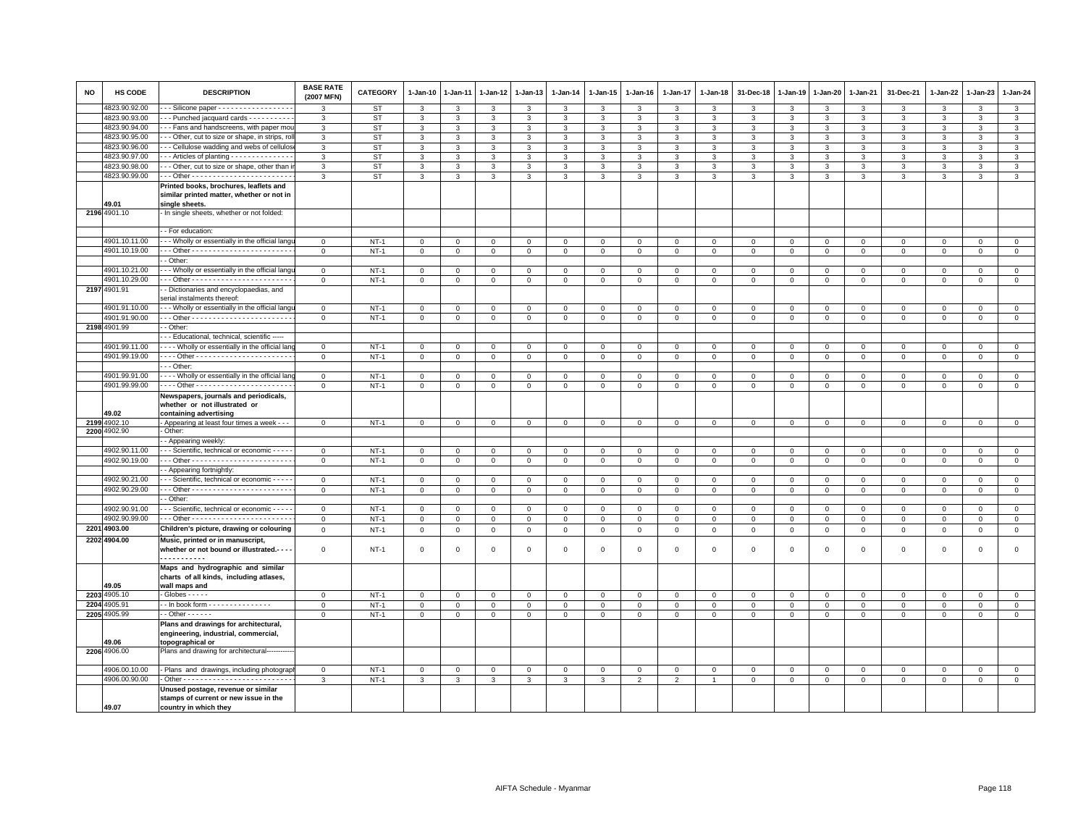| <b>NO</b> | <b>HS CODE</b>               | <b>DESCRIPTION</b>                                       | <b>BASE RATE</b><br>(2007 MFN) | <b>CATEGORY</b> | $1-Jan-10$          | $1-Jan-11$   | 1-Jan-12         | 1-Jan-13       | $1-Jan-14$             | $1 - Jan-15$   | $1-Jan-16$          | $1-Jan-17$                 | 1-Jan-18                   | 31-Dec-18               | $1-Jan-19$     | 1-Jan-20            | 1-Jan-21                   | 31-Dec-21    | 1-Jan-22                   | 1-Jan-23      | 1-Jan-24                |
|-----------|------------------------------|----------------------------------------------------------|--------------------------------|-----------------|---------------------|--------------|------------------|----------------|------------------------|----------------|---------------------|----------------------------|----------------------------|-------------------------|----------------|---------------------|----------------------------|--------------|----------------------------|---------------|-------------------------|
|           | 4823.90.92.00                | - - Silicone paper - - - - - - - - - - - - - - - - -     | 3                              | <b>ST</b>       | 3                   | 3            | 3                | 3              | 3                      | 3              | 3                   | 3                          | 3                          | 3                       | 3              | 3                   | 3                          | 3            | 3                          | 3             | 3                       |
|           | 4823.90.93.00                | -- Punched jacquard cards ----------                     | 3                              | ST              | $\mathbf{3}$        | 3            | 3                | $\mathbf{3}$   | $\mathbf{3}$           | $\mathbf{3}$   | 3                   | $\mathbf{3}$               | 3                          | $\mathbf{3}$            | $\mathbf{3}$   | $\mathbf{3}$        | $\mathbf{3}$               | 3            | 3                          | 3             | $\mathbf{3}$            |
|           | 4823.90.94.00                | - - Fans and handscreens, with paper mou                 | 3                              | <b>ST</b>       | $\mathbf{3}$        | 3            | 3                | 3              | 3                      | 3              | $\mathbf{3}$        | $\mathbf{3}$               | 3                          | $\mathbf{3}$            | $\mathbf{3}$   | $\mathbf{3}$        | $\mathbf{3}$               | 3            | 3                          | $\mathcal{R}$ | $\overline{\mathbf{3}}$ |
|           | 4823.90.95.00                | - - Other, cut to size or shape, in strips, ro           | 3                              | <b>ST</b>       | $\mathbf{3}$        | 3            | 3                | 3              | 3                      | 3              | $\mathbf{3}$        | $\mathbf{3}$               | 3                          | 3                       | 3              | $\mathbf{3}$        | 3                          | 3            | 3                          | 3             | $\mathbf{3}$            |
|           | 4823.90.96.00                | - - Cellulose wadding and webs of cellulos               | 3                              | <b>ST</b>       | 3                   | 3            | 3                | 3              | 3                      | 3              | 3                   | $\mathbf{3}$               | 3                          | 3                       | 3              | $\mathbf{3}$        | 3                          | 3            | 3                          | 3             | $\mathbf{3}$            |
|           | 4823.90.97.00                | -- Articles of planting - - - - - - - - - - - - - -      | 3                              | <b>ST</b>       | $\mathbf{3}$        | 3            | 3                | 3              | $\mathbf{3}$           | $\mathbf{3}$   | $\mathbf{3}$        | $\mathbf{3}$               | 3                          | 3                       | $\mathbf{3}$   | $\mathbf{3}$        | 3                          | $\mathbf{3}$ | 3                          | 3             | $\mathbf{3}$            |
|           | 4823.90.98.00                | - - Other, cut to size or shape, other than i            | 3                              | <b>ST</b>       | $\mathbf{3}$        | 3            | 3                | 3              | $\mathbf{3}$           | $\mathbf{3}$   | $\mathbf{3}$        | $\mathbf{3}$               | 3                          | 3                       | $\mathbf{3}$   | $\mathbf{3}$        | 3                          | 3            | 3                          | 3             | $\overline{\mathbf{3}}$ |
|           | 4823.90.99.00                |                                                          | 3                              | <b>ST</b>       | $\mathbf{3}$        | $\mathbf{3}$ | 3                | $\mathbf{3}$   | $\mathbf{3}$           | $\mathbf{3}$   | $\mathbf{3}$        | 3                          | $\mathbf{3}$               | $\mathbf{3}$            | $\mathbf{3}$   | $\mathbf{3}$        | $\mathbf{3}$               | 3            | 3                          | 3             | $\mathbf{3}$            |
|           |                              | Printed books, brochures, leaflets and                   |                                |                 |                     |              |                  |                |                        |                |                     |                            |                            |                         |                |                     |                            |              |                            |               |                         |
|           |                              | similar printed matter, whether or not in                |                                |                 |                     |              |                  |                |                        |                |                     |                            |                            |                         |                |                     |                            |              |                            |               |                         |
|           | 49.01                        | single sheets.                                           |                                |                 |                     |              |                  |                |                        |                |                     |                            |                            |                         |                |                     |                            |              |                            |               |                         |
|           | 2196 4901.10                 | In single sheets, whether or not folded:                 |                                |                 |                     |              |                  |                |                        |                |                     |                            |                            |                         |                |                     |                            |              |                            |               |                         |
|           |                              |                                                          |                                |                 |                     |              |                  |                |                        |                |                     |                            |                            |                         |                |                     |                            |              |                            |               |                         |
|           |                              | - For education:                                         |                                |                 |                     |              |                  |                |                        |                |                     |                            |                            |                         |                |                     |                            |              |                            |               |                         |
|           | 4901.10.11.00                | - - Wholly or essentially in the official lang           | $\mathbf 0$                    | $NT-1$          | $\mathbf{0}$        | $\mathbf{0}$ | $\mathbf{0}$     | $\circ$        | $\mathbf 0$            | $\mathbf{0}$   | $\mathbf 0$         | $\mathbf{0}$               | $\mathbf 0$                | $\overline{0}$          | $\circ$        | $\circ$             | $\mathbf 0$                | $\circ$      | $\Omega$                   | $\mathbf 0$   | $\mathbf{0}$            |
|           | 4901.10.19.00                |                                                          | $\mathsf 0$                    | $NT-1$          | $\mathsf 0$         | $\mathbf 0$  | $\mathbf 0$      | $\mathsf 0$    | $\mathsf 0$            | $\mathbf 0$    | $\mathbf{O}$        | 0                          | $\mathsf 0$                | $\mathbf 0$             | $\mathbf 0$    | $\mathbf 0$         | $\mathsf 0$                | $\mathbf 0$  | $\mathbf 0$                | $\mathbf 0$   | $\mathbf{0}$            |
|           |                              | - Other:                                                 |                                |                 |                     |              |                  |                |                        |                |                     |                            |                            |                         |                |                     |                            |              |                            |               |                         |
|           | 4901.10.21.00                | - - Wholly or essentially in the official lange          | $\mathbf 0$                    | $NT-1$          | $\mathbf{O}$        | 0            | 0                | $\mathbf 0$    | $\mathsf 0$            | $\mathbf 0$    | $\mathsf 0$         | 0                          | $\mathbf 0$                | $\mathbf 0$             | $\mathbf 0$    | $\mathbf 0$         | $\mathbf{0}$               | $\mathbf 0$  | $\Omega$                   | $\mathbf 0$   | $\mathbf 0$             |
|           | 4901.10.29.00                |                                                          | $\mathbf 0$                    | $NT-1$          | $\overline{0}$      | $\mathbf 0$  | $\mathbf 0$      | $\circ$        | $\mathsf 0$            | $\overline{0}$ | $\mathsf 0$         | $\mathbf 0$                | $\,0\,$                    | $\mathbf 0$             | $\mathbf 0$    | $\mathbf 0$         | $\mathbf 0$                | $\mathbf 0$  | $\Omega$                   | $\Omega$      | $\overline{0}$          |
|           | 2197 4901.91                 | - Dictionaries and encyclopaedias, and                   |                                |                 |                     |              |                  |                |                        |                |                     |                            |                            |                         |                |                     |                            |              |                            |               |                         |
|           |                              | serial instalments thereof:                              |                                |                 |                     |              |                  |                |                        |                |                     |                            |                            |                         |                |                     |                            |              |                            |               |                         |
|           | 4901.91.10.00                | - - Wholly or essentially in the official lange          | $\mathbf 0$                    | $NT-1$          | $\Omega$            | $\Omega$     | 0                | $\Omega$       | 0                      | $\Omega$       | $\Omega$            | $\Omega$                   | $\Omega$                   | $\Omega$                | $^{\circ}$     | 0                   | $\Omega$                   | $\Omega$     | $\Omega$                   | $\Omega$      | $\mathbf 0$             |
|           | 4901.91.90.00                |                                                          | $\mathbf{0}$                   | $NT-1$          | $\mathbf{0}$        | $\mathbf{0}$ | $\mathbf{0}$     | $\mathbf{0}$   | $\mathbf 0$            | $\mathbf 0$    | $\mathbf{0}$        | $\mathbf{0}$               | $\mathsf 0$                | $\mathbf 0$             | $\mathbf{0}$   | $\mathbf{O}$        | $\overline{0}$             | $\mathbf{0}$ | $\mathbf{0}$               | $\mathbf{0}$  | $\mathbf{0}$            |
|           | 2198 4901.99                 | - Other:                                                 |                                |                 |                     |              |                  |                |                        |                |                     |                            |                            |                         |                |                     |                            |              |                            |               |                         |
|           |                              | - - Educational, technical, scientific -----             |                                |                 |                     |              |                  |                |                        |                |                     |                            |                            |                         |                |                     |                            |              |                            |               |                         |
|           | 4901.99.11.00                | Wholly or essentially in the official lan                | $\mathbf{0}$                   | $NT-1$          | $\mathbf{0}$        | $\mathbf{0}$ | $\mathbf{0}$     | $\mathbf{0}$   | $\mathbf 0$            | $\mathbf{0}$   | $\mathbf{0}$        | $\mathbf{0}$               | $\mathbf 0$                | $\overline{0}$          | $\overline{0}$ | $\mathbf{0}$        | $\mathbf{0}$               | $\mathbf{0}$ | $\mathbf{0}$               | $\mathbf{0}$  | $\mathbf{0}$            |
|           | 4901.99.19.00                |                                                          | $\mathbf 0$                    | $NT-1$          | $\mathbf 0$         | $\mathbf 0$  | 0                | $\overline{0}$ | 0                      | $\mathbf 0$    | $\mathbf{0}$        | $\mathbf 0$                | $\mathsf 0$                | $\overline{0}$          | $\mathbb O$    | $\mathbf{0}$        | $\mathbf 0$                | $\mathbf 0$  | $\circ$                    | $\mathbf 0$   | $\mathbf{0}$            |
|           |                              | - - Other:                                               |                                |                 |                     |              |                  |                |                        |                |                     |                            |                            |                         |                |                     |                            |              |                            |               |                         |
|           | 4901.99.91.00                | Wholly or essentially in the official lan                | $\Omega$                       | $NT-1$          | $\Omega$            | $\Omega$     | $\Omega$         | $\Omega$       | 0                      | $\Omega$       | $\Omega$            | $\Omega$                   | $\Omega$                   | $\Omega$                | $\Omega$       | $\Omega$            | $\Omega$                   | $\Omega$     | $\Omega$                   | $\Omega$      | $\mathbf{0}$            |
|           | 4901.99.99.00                | --- Other -----------------------                        | $\mathsf 0$                    | $NT-1$          | $\mathsf{O}\xspace$ | $\mathsf 0$  | $\mathsf 0$      | $\,0\,$        | $\mathbf 0$            | $\mathsf 0$    | $\mathsf{O}\xspace$ | $\mathsf 0$                | $\,0\,$                    | $\mathbf 0$             | $\mathbf 0$    | $\mathsf{O}\xspace$ | $\,0\,$                    | $\mathsf 0$  | $\mathbf 0$                | $\mathsf 0$   | $\mathsf 0$             |
|           |                              | Newspapers, journals and periodicals,                    |                                |                 |                     |              |                  |                |                        |                |                     |                            |                            |                         |                |                     |                            |              |                            |               |                         |
|           |                              | whether or not illustrated or                            |                                |                 |                     |              |                  |                |                        |                |                     |                            |                            |                         |                |                     |                            |              |                            |               |                         |
|           | 49.02                        | containing advertising                                   |                                |                 |                     |              |                  |                |                        |                |                     |                            |                            |                         |                |                     |                            |              |                            |               |                         |
|           | 2199 4902.10<br>2200 4902.90 | - Appearing at least four times a week - - -<br>Other:   | $\overline{0}$                 | $NT-1$          | $\mathbf{0}$        | $\mathbf{0}$ | $\mathbf{0}$     | $\overline{0}$ | $\mathbf{0}$           | $\mathbf{0}$   | $\overline{0}$      | $\mathbf 0$                | $\mathbf{0}$               | $\overline{0}$          | $\mathbf{0}$   | $\overline{0}$      | $\mathbf{0}$               | $\mathbf 0$  | $\mathbf 0$                | $\mathbf 0$   | $\mathbf{0}$            |
|           |                              | - Appearing weekly:                                      |                                |                 |                     |              |                  |                |                        |                |                     |                            |                            |                         |                |                     |                            |              |                            |               |                         |
|           | 4902.90.11.00                | - - Scientific, technical or economic - - - -            | $\mathbf 0$                    | $NT-1$          | $\Omega$            | $\mathbf{0}$ | $\mathbf{0}$     | $\mathbf{0}$   | $\mathsf 0$            | $\mathbf{0}$   | $\mathbf 0$         | $\Omega$                   | $\mathsf 0$                | $\mathbf 0$             | $\mathbf{0}$   | $\mathbf 0$         | $\mathbf{0}$               | $\mathbf 0$  | $\Omega$                   | $\mathbf 0$   | $\mathsf 0$             |
|           | 4902.90.19.00                |                                                          | $\mathbf 0$                    | $NT-1$          | 0                   | $\mathbf 0$  | $\mathbf 0$      | $\mathbf 0$    | $\mathsf 0$            | $\mathbf 0$    | $\mathbf{O}$        | $\mathbf 0$                | $\mathbf 0$                | $\mathbf 0$             | $\mathsf 0$    | $\mathbf{0}$        | $\mathbf{0}$               | $\mathbf 0$  | $\mathbf 0$                | $\mathbf 0$   | $\circ$                 |
|           |                              | - Appearing fortnightly:                                 |                                |                 |                     |              |                  |                |                        |                |                     |                            |                            |                         |                |                     |                            |              |                            |               |                         |
|           | 4902.90.21.00                | - - Scientific, technical or economic - - - -            | $\mathsf 0$                    | $NT-1$          | $\mathsf 0$         | $\mathbf 0$  |                  | $\mathsf 0$    |                        | $\mathbf 0$    | $\mathsf 0$         | $\mathbf 0$                |                            | $\mathsf 0$             | $\mathbb O$    | $\mathsf 0$         |                            | $\mathsf 0$  |                            | $\mathsf 0$   | $\mathsf 0$             |
|           | 4902.90.29.00                |                                                          | $\mathsf 0$                    | $NT-1$          | $\circ$             | $\mathbf{0}$ | 0<br>$\mathbf 0$ | $\circ$        | $\mathbf 0$<br>$\circ$ | $\mathbf 0$    | $\mathbf{0}$        | $\mathbf 0$                | $\mathbf 0$<br>$\mathsf 0$ | $\mathbf 0$             | $\mathbf{0}$   | $\circ$             | $\mathbf 0$<br>$\mathbf 0$ | $\mathbf 0$  | $^{\circ}$<br>$\mathbf{0}$ | $\mathsf 0$   | $\mathbf{0}$            |
|           |                              | - Other:                                                 |                                |                 |                     |              |                  |                |                        |                |                     |                            |                            |                         |                |                     |                            |              |                            |               |                         |
|           | 4902.90.91.00                | - - Scientific, technical or economic - - - -            | $\mathbf 0$                    | $NT-1$          | $\mathsf 0$         | $\Omega$     | $\mathbf{0}$     | $\mathbf{0}$   |                        | $\mathbf{0}$   |                     |                            |                            | $\overline{\mathbf{0}}$ | $\mathbf 0$    | $\mathbf{0}$        | $\circ$                    | $\mathbf{0}$ | $\Omega$                   | $\mathbf{0}$  | $\mathsf 0$             |
|           | 4902.90.99.00                |                                                          | $\mathbf 0$                    | $NT-1$          |                     | $\mathbf{0}$ |                  | $\mathbf{0}$   | $\mathsf 0$            |                | $\mathsf 0$         | $\mathsf 0$<br>$\mathbf 0$ | $\mathsf 0$                |                         |                |                     | $\mathbf{0}$               |              | $\Omega$                   | $\mathbf{0}$  | $\mathsf 0$             |
|           | 2201 4903.00                 |                                                          |                                |                 | $\mathbf{O}$        |              | $\mathbf 0$      |                | $\mathbf 0$            | $\mathbf 0$    | $\mathbf{O}$        |                            | $\mathsf 0$                | $\mathbf 0$             | $\mathbf{0}$   | $\mathbf{O}$        |                            | $\mathbf 0$  |                            |               |                         |
|           |                              | Children's picture, drawing or colouring                 | $\mathsf 0$                    | $NT-1$          | $\mathbf 0$         | $\mathsf 0$  | $\mathbf 0$      | $\mathsf 0$    | $\mathsf 0$            | $\mathbf 0$    | $\circ$             | $\mathsf 0$                | $\mathbf 0$                | $\mathbf 0$             | $\,0\,$        | $\mathsf 0$         | $\mathbf{0}$               | $\mathsf 0$  | $\mathbf 0$                | $\mathsf 0$   | $\mathsf 0$             |
|           | 2202 4904.00                 | Music, printed or in manuscript,                         |                                |                 |                     |              |                  |                |                        |                |                     |                            |                            |                         |                |                     |                            |              |                            |               |                         |
|           |                              | whether or not bound or illustrated.----                 | $\mathsf 0$                    | $NT-1$          | $\mathbf{O}$        | $\mathbf 0$  | $\mathbf 0$      | $\mathbf 0$    | $\mathsf 0$            | $\mathbf 0$    | $\mathsf 0$         | $\mathbf 0$                | $\mathsf 0$                | $\mathbf 0$             | $\mathbf 0$    | $\mathbf 0$         | $\mathbf 0$                | $\mathbf 0$  | $\mathbf 0$                | $\mathbf 0$   | $\mathsf 0$             |
|           |                              | . <b>.</b>                                               |                                |                 |                     |              |                  |                |                        |                |                     |                            |                            |                         |                |                     |                            |              |                            |               |                         |
|           |                              | Maps and hydrographic and similar                        |                                |                 |                     |              |                  |                |                        |                |                     |                            |                            |                         |                |                     |                            |              |                            |               |                         |
|           | 49.05                        | charts of all kinds, including atlases,<br>wall maps and |                                |                 |                     |              |                  |                |                        |                |                     |                            |                            |                         |                |                     |                            |              |                            |               |                         |
|           | 2203 4905.10                 | $Globes - - - - -$                                       | $\mathbf 0$                    | $NT-1$          | $\mathbf 0$         | $\Omega$     | $\mathbf{0}$     | $\mathbf{0}$   | $\mathsf 0$            | $\mathbf 0$    | $\mathbf 0$         | $\mathbf 0$                | $\mathbf 0$                | $\mathsf 0$             | $\mathbf{0}$   | $\mathbf 0$         | $\mathbf{0}$               | $\mathbf 0$  | $\Omega$                   | $\circ$       | $\mathbf{0}$            |
| 2204      | 1905.91                      | - In book form - - - - - - - - - - - - - -               | $\mathbf 0$                    | $NT-1$          | 0                   | $\mathbf 0$  | $\mathbf 0$      | $\mathbf 0$    | $\mathsf 0$            | $\mathbf 0$    | $\mathbf{O}$        | 0                          | $\mathbf 0$                | $\mathbf 0$             | $\mathbf{0}$   | $\mathbf{0}$        | $\mathbf 0$                | $\mathbf 0$  | $\mathbf 0$                | $\mathbf 0$   | $\mathbf{0}$            |
|           | 2205 4905.99                 | $-$ Other $- - - -$                                      | $\Omega$                       | $NT-1$          | $\mathsf 0$         | $\mathbf 0$  | $\mathbf 0$      | $\mathbf 0$    | $\mathsf 0$            | $\mathbf 0$    | $\mathsf 0$         | $\mathbf 0$                | $\mathsf 0$                | $\mathsf 0$             | $\mathbf 0$    | $\mathsf 0$         | $\mathbf 0$                | $\Omega$     | $\Omega$                   | $\Omega$      | $\mathsf 0$             |
|           |                              | Plans and drawings for architectural,                    |                                |                 |                     |              |                  |                |                        |                |                     |                            |                            |                         |                |                     |                            |              |                            |               |                         |
|           |                              | engineering, industrial, commercial,                     |                                |                 |                     |              |                  |                |                        |                |                     |                            |                            |                         |                |                     |                            |              |                            |               |                         |
|           | 19.06                        | topographical or                                         |                                |                 |                     |              |                  |                |                        |                |                     |                            |                            |                         |                |                     |                            |              |                            |               |                         |
|           | 2206 4906.00                 | Plans and drawing for architectural-                     |                                |                 |                     |              |                  |                |                        |                |                     |                            |                            |                         |                |                     |                            |              |                            |               |                         |
|           |                              |                                                          |                                |                 |                     |              |                  |                |                        |                |                     |                            |                            |                         |                |                     |                            |              |                            |               |                         |
|           | 4906.00.10.00                | Plans and drawings, including photograp                  | $\mathsf 0$                    | $NT-1$          | $\mathsf 0$         | $\mathbf 0$  | $\mathbf 0$      | $\overline{0}$ | $\mathsf 0$            | $\mathbf 0$    | 0                   | 0                          | $\mathsf 0$                | $\overline{\mathbf{0}}$ | $\mathbf 0$    | $\mathbf 0$         | $\mathsf 0$                | $\mathbf 0$  | $^{\circ}$                 | $\mathbf 0$   | $\mathbf{0}$            |
|           | 4906.00.90.00                | $\cdot$ Other - - - - - - - - - - - - - - - - - -        | 3                              | $NT-1$          | 3                   | 3            | 3                | $\mathbf{3}$   | 3                      | 3              | $\overline{2}$      | $\overline{2}$             |                            | $\mathsf 0$             | $\mathsf 0$    | $\mathsf 0$         | $\mathsf 0$                | $\mathsf 0$  | $^{\circ}$                 | $\mathsf 0$   | $\overline{0}$          |
|           |                              | Unused postage, revenue or similar                       |                                |                 |                     |              |                  |                |                        |                |                     |                            |                            |                         |                |                     |                            |              |                            |               |                         |
|           |                              | stamps of current or new issue in the                    |                                |                 |                     |              |                  |                |                        |                |                     |                            |                            |                         |                |                     |                            |              |                            |               |                         |
|           | 49.07                        | country in which they                                    |                                |                 |                     |              |                  |                |                        |                |                     |                            |                            |                         |                |                     |                            |              |                            |               |                         |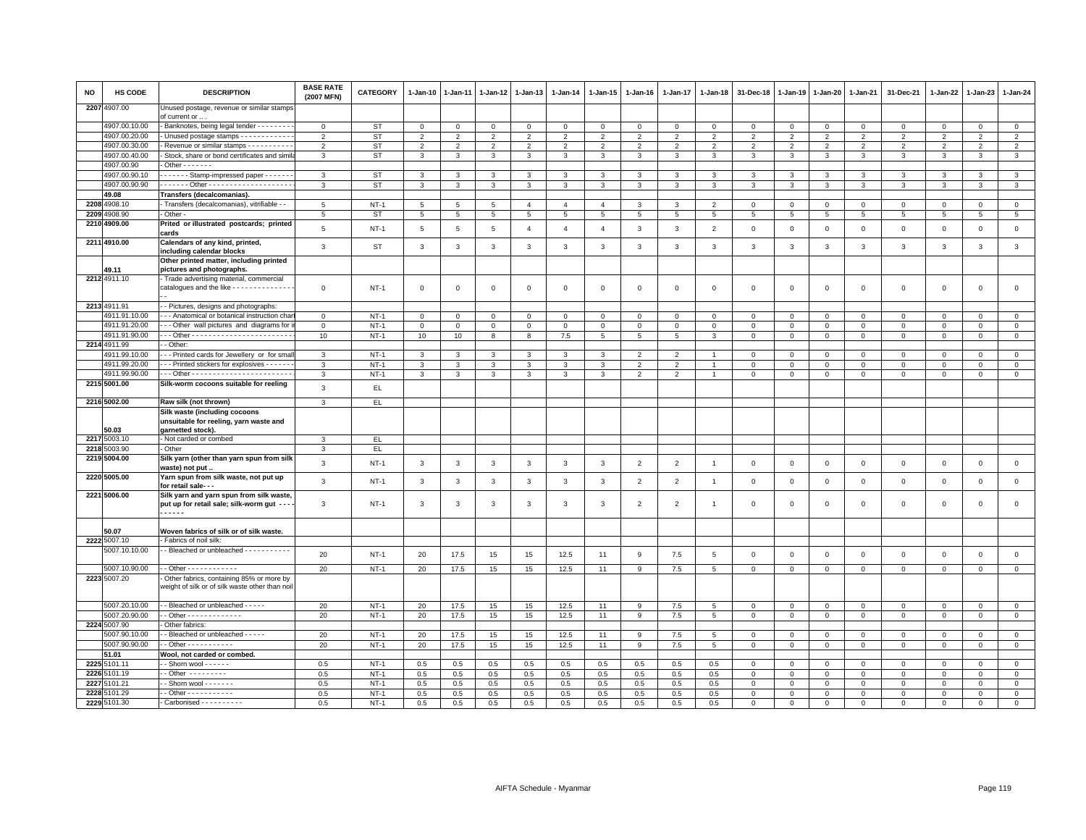| NO   | HS CODE       | <b>DESCRIPTION</b>                                                                           | <b>BASE RATE</b><br>(2007 MFN) | <b>CATEGORY</b> | 1-Jan-10        | 1-Jan-11                | $1-Jan-12$     | 1-Jan-13       | 1-Jan-14        | 1-Jan-15        | 1-Jan-16        | 1-Jan-17                 | 1-Jan-18       | 31-Dec-18      | 1-Jan-19       | 1-Jan-20       | 1-Jan-21       | 31-Dec-21      | 1-Jan-22       | 1-Jan-23       | 1-Jan-24       |
|------|---------------|----------------------------------------------------------------------------------------------|--------------------------------|-----------------|-----------------|-------------------------|----------------|----------------|-----------------|-----------------|-----------------|--------------------------|----------------|----------------|----------------|----------------|----------------|----------------|----------------|----------------|----------------|
|      | 2207 4907.00  | Unused postage, revenue or similar stamps<br>of current or .                                 |                                |                 |                 |                         |                |                |                 |                 |                 |                          |                |                |                |                |                |                |                |                |                |
|      | 4907.00.10.00 | Banknotes, being legal tender - - - - - - - -                                                | $\mathsf 0$                    | <b>ST</b>       | $\mathbf{O}$    | $\mathbf 0$             | $\Omega$       | $\mathsf 0$    | $\mathsf 0$     | $\mathbf 0$     | $\Omega$        | $\mathbf 0$              | $\Omega$       | $\mathbf 0$    | $\mathbf 0$    | $\mathbf 0$    | $\mathbf 0$    | $\Omega$       | $\Omega$       | $\Omega$       | $\mathsf 0$    |
|      | 4907.00.20.00 | Unused postage stamps - - - - - - - - - - -                                                  | $\overline{2}$                 | <b>ST</b>       | $\overline{2}$  | $\overline{2}$          | 2              | $\overline{2}$ | $\overline{2}$  | $\overline{2}$  | $\overline{2}$  | $\overline{2}$           | $\overline{2}$ | $\overline{2}$ | $\overline{2}$ | $\overline{2}$ | $\overline{2}$ | 2              | $\mathfrak{p}$ | $\overline{2}$ | $\overline{2}$ |
|      | 4907.00.30.00 | Revenue or similar stamps - - - - - - - - - -                                                | $\overline{2}$                 | <b>ST</b>       | $\overline{2}$  | 2                       | $\overline{2}$ | 2              | 2               | 2               | 2               | $\overline{2}$           | $\overline{2}$ | $\overline{2}$ | $\overline{2}$ | 2              | $\overline{2}$ | $\overline{2}$ | $\mathfrak{p}$ | $\overline{2}$ | 2              |
|      | 4907.00.40.00 | Stock, share or bond certificates and simi                                                   | 3                              | ST              | $\mathbf{3}$    | 3                       | 3              | 3              | 3               | 3               | 3               | 3                        | 3              | 3              | 3              | 3              | 3              | 3              | 3              | 3              | 3              |
|      | 4907.00.90    | Other - - - - - - $\cdot$                                                                    |                                |                 |                 |                         |                |                |                 |                 |                 |                          |                |                |                |                |                |                |                |                |                |
|      | 4907.00.90.10 | Stamp-impressed paper - - - - - -                                                            | $\mathbf{3}$                   | <b>ST</b>       | 3               | 3                       | 3              | 3              | 3               | 3               | 3               | 3                        | 3              | 3              | 3              | 3              | 3              | 3              | 3              | 3              | $\mathbf{3}$   |
|      | 4907.00.90.90 |                                                                                              | $\mathbf{3}$                   | ST              | $\mathbf{3}$    | 3                       | 3              | $\mathbf{3}$   | 3               | 3               | 3               | 3                        | 3              | 3              | 3              | 3              | 3              | 3              | 3              | 3              | $\mathbf{3}$   |
|      | 49.08         | Transfers (decalcomanias).                                                                   |                                |                 |                 |                         |                |                |                 |                 |                 |                          |                |                |                |                |                |                |                |                |                |
|      | 2208 4908.10  | - Transfers (decalcomanias), vitrifiable - -                                                 | 5                              | $NT-1$          | $5\overline{5}$ | 5                       | 5              | $\overline{4}$ | $\overline{4}$  | $\overline{4}$  | 3               | 3                        | $\overline{2}$ | $\mathbf 0$    | $\mathbf 0$    | $\mathbf 0$    | $\mathbf 0$    | $\mathbf 0$    | 0              | $\mathbf 0$    | $\mathsf 0$    |
|      | 2209 4908.90  | - Other -                                                                                    | 5                              | ST              | $5\overline{5}$ | 5                       | 5              | 5              | $5\overline{5}$ | $5\overline{5}$ | $5\overline{5}$ | 5                        | 5              | 5              | 5              | 5              | 5              | 5              | 5              | 5              | 5              |
|      | 2210 4909.00  | Prited or illustrated postcards; printed                                                     | $\overline{5}$                 | $NT-1$          | 5               | $5\phantom{.0}$         | 5              | $\overline{4}$ | $\overline{4}$  | $\overline{4}$  | 3               | $\mathbf{3}$             | $\overline{2}$ | $\mathbf 0$    | $\mathsf 0$    | $\mathbf 0$    | $\mathbf 0$    | $\mathbf 0$    | $\mathbf 0$    | $\mathbf 0$    | $\mathsf 0$    |
|      |               | cards                                                                                        |                                |                 |                 |                         |                |                |                 |                 |                 |                          |                |                |                |                |                |                |                |                |                |
|      | 2211 4910.00  | Calendars of any kind, printed,<br>including calendar blocks                                 | 3                              | <b>ST</b>       | $\mathbf{3}$    | 3                       | 3              | 3              | $\mathbf{3}$    | 3               | 3               | $\overline{3}$           | 3              | 3              | 3              | $\mathbf{3}$   | 3              | 3              | 3              | 3              | $\mathbf{3}$   |
|      |               | Other printed matter, including printed                                                      |                                |                 |                 |                         |                |                |                 |                 |                 |                          |                |                |                |                |                |                |                |                |                |
|      | 49.11         | pictures and photographs.                                                                    |                                |                 |                 |                         |                |                |                 |                 |                 |                          |                |                |                |                |                |                |                |                |                |
|      | 2212 4911.10  | Trade advertising material, commercial                                                       |                                |                 |                 |                         |                |                |                 |                 |                 |                          |                |                |                |                |                |                |                |                |                |
|      |               | catalogues and the like - - - - - - - - - - - - -                                            | $\mathbf 0$                    | $NT-1$          | $\mathsf 0$     | $\mathbf 0$             | $\mathbf 0$    | $\overline{0}$ | $\mathbf 0$     | $\mathbf 0$     | $\Omega$        | $\mathbf 0$              | $\Omega$       | $\mathbf 0$    | $\mathbf 0$    | $\mathbf 0$    | $\mathbf 0$    | $\mathbf 0$    | $\mathbf 0$    | $\mathbf 0$    | $\mathsf 0$    |
|      | 2213 4911.91  | - Pictures, designs and photographs:                                                         |                                |                 |                 |                         |                |                |                 |                 |                 |                          |                |                |                |                |                |                |                |                |                |
|      | 4911.91.10.00 | - - Anatomical or botanical instruction char                                                 | $\mathbf{0}$                   | $NT-1$          | $\circ$         | $\Omega$                | $\mathbf{0}$   | $\mathbf 0$    | $\mathbf{0}$    | $\Omega$        | $\mathbf 0$     | $\Omega$                 | $\Omega$       | $\overline{0}$ | $\mathbf 0$    | $\mathbf 0$    | $\Omega$       | $\mathbf{0}$   | $\Omega$       | $\mathbf{0}$   | $\mathbf{0}$   |
|      | 4911.91.20.00 | --- Other wall pictures and diagrams for                                                     | $\mathbf 0$                    | $NT-1$          | $\mathbf{O}$    | $\mathbf 0$             | $^{\circ}$     | $\mathbf 0$    | $\mathbf 0$     | $\mathbf 0$     | 0               | $\circ$                  | $^{\circ}$     | $\mathbf 0$    | $\mathbf 0$    | $\mathbf 0$    | $\mathbf 0$    | $\mathbf 0$    | 0              | $\mathbf 0$    | $\mathsf 0$    |
|      | 4911.91.90.00 |                                                                                              | 10                             | $NT-1$          | 10              | 10                      | 8              | 8              | 7.5             | $5\phantom{.0}$ | 5               | 5                        | 3              | $\mathbf 0$    | $\mathbf 0$    | $\mathbf{0}$   | $\mathbf{0}$   | $\mathbf{0}$   | $\circ$        | $\mathbf 0$    | $\mathbf{0}$   |
|      | 2214 4911.99  | - Other                                                                                      |                                |                 |                 |                         |                |                |                 |                 |                 |                          |                |                |                |                |                |                |                |                |                |
|      | 4911.99.10.00 | -- Printed cards for Jewellery or for smal                                                   | 3                              | $NT-1$          | $\mathbf{3}$    | 3                       | $\mathbf{3}$   | 3              | 3               | 3               | $\overline{2}$  | $\overline{\phantom{0}}$ |                | $\mathbf 0$    | $\mathbf 0$    | $\mathbf 0$    | $\mathsf 0$    | $\mathbf{0}$   | $\Omega$       | $\Omega$       | $\mathsf 0$    |
|      | 4911.99.20.00 | --- Printed stickers for explosives ------                                                   | 3                              | $NT-1$          | 3               | 3                       | 3              | 3              | 3               | 3               | 2               | $\overline{2}$           |                | $\overline{0}$ | $\mathbf 0$    | $\mathbf 0$    | $\mathbf 0$    | $\mathbf{0}$   | $\Omega$       | $\mathbf{0}$   | $\mathbf 0$    |
|      | 4911.99.90.00 |                                                                                              | 3                              | $NT-1$          | 3               | 3                       | 3              | 3              | 3               | 3               | 2               | $\overline{2}$           |                | $\mathbf 0$    | $\mathbf 0$    | $\mathbf 0$    | $\mathbf 0$    | 0              | 0              | $\mathbf 0$    | $\mathbf 0$    |
|      | 2215 5001.00  | Silk-worm cocoons suitable for reeling                                                       |                                |                 |                 |                         |                |                |                 |                 |                 |                          |                |                |                |                |                |                |                |                |                |
|      |               |                                                                                              | $\mathbf{3}$                   | EL.             |                 |                         |                |                |                 |                 |                 |                          |                |                |                |                |                |                |                |                |                |
|      | 2216 5002.00  | Raw silk (not thrown)                                                                        | 3                              | EL.             |                 |                         |                |                |                 |                 |                 |                          |                |                |                |                |                |                |                |                |                |
|      | 50.03         | Silk waste (including cocoons<br>unsuitable for reeling, yarn waste and<br>garnetted stock). |                                |                 |                 |                         |                |                |                 |                 |                 |                          |                |                |                |                |                |                |                |                |                |
|      | 2217 5003.10  | - Not carded or combed                                                                       | 3                              | EL              |                 |                         |                |                |                 |                 |                 |                          |                |                |                |                |                |                |                |                |                |
|      | 2218 5003.90  | Other                                                                                        | 3                              | EL.             |                 |                         |                |                |                 |                 |                 |                          |                |                |                |                |                |                |                |                |                |
|      | 2219 5004.00  | Silk yarn (other than yarn spun from silk<br>waste) not put.                                 | $\mathbf{3}$                   | $NT-1$          | $\mathbf{3}$    | $\overline{3}$          | $\mathbf{3}$   | $\mathbf{3}$   | $\mathbf{3}$    | $\mathbf{3}$    | $\overline{2}$  | $\overline{c}$           | $\overline{1}$ | $\mathbf 0$    | $\mathbf{0}$   | $\mathbf 0$    | $\mathbf{0}$   | $\mathbf{0}$   | $\Omega$       | $\mathbf 0$    | $\mathsf 0$    |
|      | 2220 5005.00  | Yarn spun from silk waste, not put up<br>for retail sale- - -                                | $\mathbf{3}$                   | $NT-1$          | 3               | $\overline{\mathbf{3}}$ | $\mathbf{3}$   | $\mathbf{3}$   | 3               | $\mathbf{3}$    | $\overline{2}$  | $\overline{2}$           | $\overline{1}$ | $\mathbf 0$    | $\mathbf 0$    | $\mathbf 0$    | $\mathbf 0$    | $\mathbf 0$    | $\mathbf 0$    | $\mathsf 0$    | $\mathsf 0$    |
|      | 2221 5006.00  | Silk yarn and yarn spun from silk waste,<br>put up for retail sale; silk-worm gut - - -      | 3                              | $NT-1$          | $\mathbf{3}$    | 3                       | 3              | 3              | 3               | 3               | $\overline{2}$  | $\overline{2}$           | $\overline{1}$ | $\mathbf 0$    | $\mathbf 0$    | $\mathsf 0$    | $\mathsf 0$    | $\circ$        | 0              | $\mathbf 0$    | $\mathsf 0$    |
|      |               | .                                                                                            |                                |                 |                 |                         |                |                |                 |                 |                 |                          |                |                |                |                |                |                |                |                |                |
|      | 50.07         | Woven fabrics of silk or of silk waste.                                                      |                                |                 |                 |                         |                |                |                 |                 |                 |                          |                |                |                |                |                |                |                |                |                |
|      | 2222 5007.10  | - Fabrics of noil silk:                                                                      |                                |                 |                 |                         |                |                |                 |                 |                 |                          |                |                |                |                |                |                |                |                |                |
|      | 5007.10.10.00 | - Bleached or unbleached - - - - - - - - - -                                                 | 20                             | $NT-1$          | 20              | 17.5                    | 15             | 15             | 12.5            | 11              | 9               | 7.5                      | 5              | $\mathbf 0$    | $\mathbf 0$    | $\mathsf 0$    | $\mathbf 0$    | $\mathbf 0$    | $\mathbf 0$    | $\mathbf 0$    | $\mathsf 0$    |
|      | 5007.10.90.00 | - - Other - - - - - - - - - - -                                                              | 20                             | $NT-1$          | 20              | 17.5                    | 15             | 15             | 12.5            | 11              | q               | 7.5                      | 5              | $\mathbf 0$    | $\mathbf 0$    | $\mathbf 0$    | $\mathbf 0$    | $\Omega$       | $\Omega$       | $\mathbf{0}$   | $\mathsf 0$    |
|      | 2223 5007.20  | Other fabrics, containing 85% or more by<br>weight of silk or of silk waste other than noi   |                                |                 |                 |                         |                |                |                 |                 |                 |                          |                |                |                |                |                |                |                |                |                |
|      | 5007.20.10.00 | - Bleached or unbleached - - - - -                                                           | 20                             | $NT-1$          | 20              | 17.5                    | 15             | 15             | 12.5            | 11              | q               | 7.5                      | 5              | $\Omega$       | $\mathbf 0$    | $\Omega$       | $\mathbf 0$    | $\mathbf{0}$   | $\Omega$       | $\mathbf{0}$   | $\mathsf 0$    |
|      | 5007.20.90.00 | $-$ Other - - - - - - - - - - - - -                                                          | 20                             | $NT-1$          | 20              | 17.5                    | 15             | 15             | 12.5            | 11              | 9               | 7.5                      | 5              | $\mathbf 0$    | $\mathsf 0$    | $\mathbf 0$    | $\mathbf 0$    | $\mathbf 0$    | 0              | $\mathbf{0}$   | $\overline{0}$ |
|      | 2224 5007.90  | Other fabrics:                                                                               |                                |                 |                 |                         |                |                |                 |                 |                 |                          |                |                |                |                |                |                |                |                |                |
|      | 5007.90.10.00 | - Bleached or unbleached - - - - -                                                           | 20                             | $NT-1$          | 20              | 17.5                    | 15             | 15             | 12.5            | 11              | 9               | 7.5                      | 5              | $\mathbf 0$    | $\mathbf 0$    | $\mathsf 0$    | $\mathsf 0$    | $\mathbf 0$    | $\mathbf 0$    | $\mathbf 0$    | $\mathbf 0$    |
|      | 5007.90.90.00 | - Other - - - - - - - - - - -                                                                | 20                             | $NT-1$          | 20              | 17.5                    | 15             | 15             | 12.5            | 11              | 9               | 7.5                      | 5              | $\mathbf 0$    | $\mathsf 0$    | $\mathsf 0$    | $\mathbf 0$    | $\Omega$       | $\Omega$       | $\mathbf{0}$   | $\mathsf 0$    |
|      | 51.01         | Wool, not carded or combed.                                                                  |                                |                 |                 |                         |                |                |                 |                 |                 |                          |                |                |                |                |                |                |                |                |                |
|      | 2225 5101.11  | $\cdot$ - Shorn wool - - - - - -                                                             | 0.5                            | $NT-1$          | 0.5             | 0.5                     | 0.5            | 0.5            | 0.5             | 0.5             | 0.5             | 0.5                      | 0.5            | $^{\circ}$     | $^{\circ}$     | $\mathbf 0$    | $\mathbf 0$    | $\mathbf 0$    | $\Omega$       | $\mathbf 0$    | $\mathbf 0$    |
|      | 2226 5101.19  | $-$ Other $       -$                                                                         | 0.5                            | $NT-1$          | 0.5             | 0.5                     | 0.5            | 0.5            | 0.5             | 0.5             | 0.5             | 0.5                      | 0.5            | $\mathbf 0$    | $\mathsf 0$    | $\mathbf 0$    | $\mathbf{0}$   | $\circ$        | $\Omega$       | $\Omega$       | $\mathbf 0$    |
|      | 2227 5101.21  | - Shorn wool - - - - - - -                                                                   | 0.5                            | $NT-1$          | 0.5             | 0.5                     | 0.5            | 0.5            | 0.5             | 0.5             | 0.5             | 0.5                      | 0.5            | $\mathbf 0$    | $\mathsf 0$    | $\mathsf 0$    | $\mathbf 0$    | $\mathbf 0$    | $\mathbf 0$    | $\mathbf 0$    | $\mathsf 0$    |
| 2228 | 5101.29       | $-$ Other $        -$                                                                        | 0.5                            | $NT-1$          | 0.5             | 0.5                     | 0.5            | 0.5            | 0.5             | 0.5             | 0.5             | 0.5                      | 0.5            | $\mathsf 0$    | $\mathbf 0$    | $\mathbf 0$    | $\Omega$       | $\Omega$       | $\Omega$       | $\Omega$       | $\mathbf 0$    |
|      | 2229 5101.30  | - Carbonised - - - - - - - - - -                                                             | 0.5                            | $NT-1$          | 0.5             | 0.5                     | 0.5            | 0.5            | 0.5             | 0.5             | 0.5             | 0.5                      | 0.5            | $\mathbf{0}$   | $\mathbf{0}$   | $\mathbf{0}$   | $\mathbf 0$    | $\Omega$       | $\Omega$       | $\Omega$       | $\mathbf 0$    |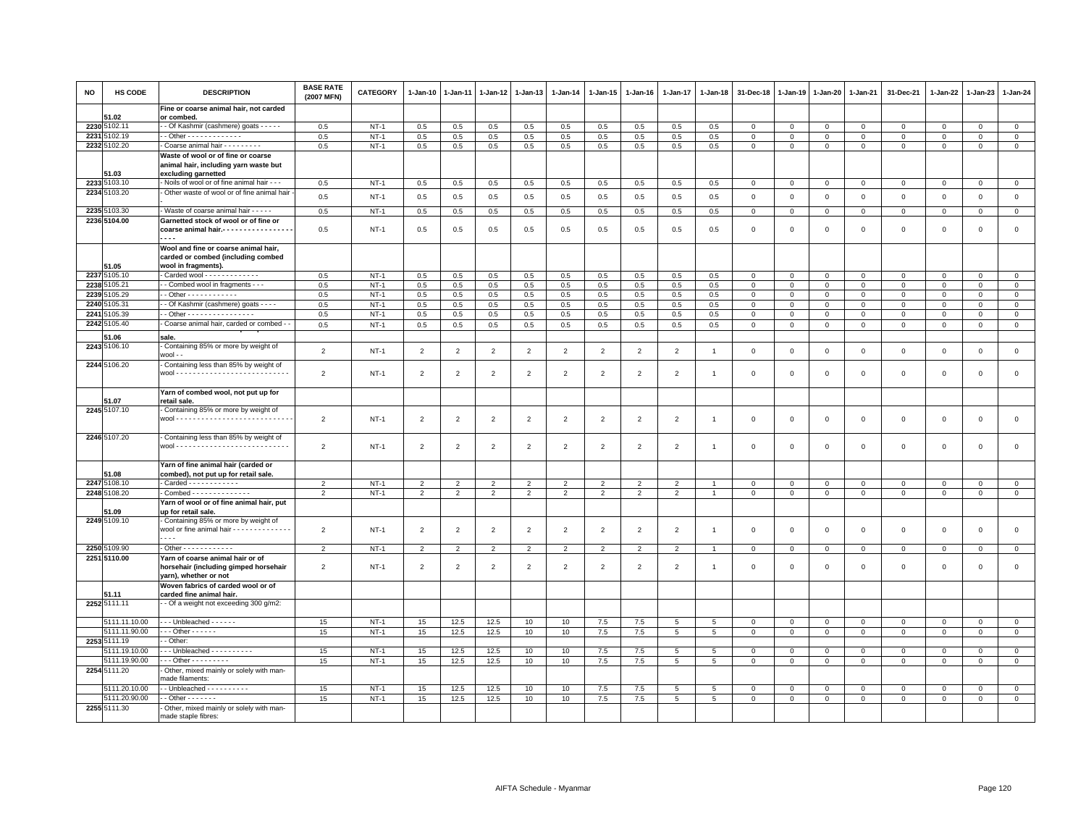| NO   | HS CODE                      | <b>DESCRIPTION</b>                                                                                 | <b>BASE RATE</b><br>(2007 MFN) | <b>CATEGORY</b> | 1-Jan-10       | 1-Jan-11       | $1-Jan-12$     | 1-Jan-13       | 1-Jan-14       | 1-Jan-15       | 1-Jan-16       | 1-Jan-17                 | 1-Jan-18       | 31-Dec-18      | 1-Jan-19       | 1-Jan-20       | 1-Jan-21       | 31-Dec-21      | 1-Jan-22     | 1-Jan-23     | 1-Jan-24       |
|------|------------------------------|----------------------------------------------------------------------------------------------------|--------------------------------|-----------------|----------------|----------------|----------------|----------------|----------------|----------------|----------------|--------------------------|----------------|----------------|----------------|----------------|----------------|----------------|--------------|--------------|----------------|
|      | 51.02                        | Fine or coarse animal hair, not carded<br>or combed.                                               |                                |                 |                |                |                |                |                |                |                |                          |                |                |                |                |                |                |              |              |                |
|      | 2230 5102.11                 | - Of Kashmir (cashmere) goats - - - - -                                                            | 0.5                            | $NT-1$          | 0.5            | 0.5            | 0.5            | 0.5            | 0.5            | 0.5            | 0.5            | 0.5                      | 0.5            | $\mathbf 0$    | $\mathsf 0$    | $\mathbf{0}$   | $\mathbf 0$    | $\mathbf 0$    | 0            | $\mathbf 0$  | $\circ$        |
|      | 2231 5102.19                 | - Other - - - - - - - - - - - - -                                                                  | 0.5                            | $NT-1$          | 0.5            | 0.5            | 0.5            | 0.5            | 0.5            | 0.5            | 0.5            | 0.5                      | 0.5            | $\mathsf 0$    | $\mathsf 0$    | $\mathbf 0$    | $\mathbf 0$    | $\mathsf 0$    | 0            | $\mathsf 0$  | $\mathbf{0}$   |
|      | 2232 5102.20                 | Coarse animal hair - - - - - - - - -                                                               | 0.5                            | $NT-1$          | 0.5            | 0.5            | $0.5\,$        | 0.5            | 0.5            | 0.5            | 0.5            | 0.5                      | 0.5            | $\mathbf 0$    | $\,0\,$        | $\,0\,$        | $\,$ 0         | $\mathbf 0$    | $\mathbf 0$  | $\Omega$     | $\overline{0}$ |
|      |                              | Waste of wool or of fine or coarse                                                                 |                                |                 |                |                |                |                |                |                |                |                          |                |                |                |                |                |                |              |              |                |
|      |                              | animal hair, including yarn waste but                                                              |                                |                 |                |                |                |                |                |                |                |                          |                |                |                |                |                |                |              |              |                |
|      | 51.03                        | excluding garnetted                                                                                |                                |                 |                |                |                |                |                |                |                |                          |                |                |                |                |                |                |              |              |                |
|      | 2233 5103.10                 | - Noils of wool or of fine animal hair - - -                                                       | 0.5                            | $NT-1$          | 0.5            | 0.5            | 0.5            | 0.5            | 0.5            | 0.5            | 0.5            | 0.5                      | 0.5            | $\mathbf 0$    | $\mathbf 0$    | $\mathbf 0$    | $\mathsf 0$    | $\mathbf 0$    | 0            | $\mathbf 0$  | $\mathbf 0$    |
|      | 2234 5103.20                 | Other waste of wool or of fine animal hair                                                         | 0.5                            | $NT-1$          | 0.5            | 0.5            | 0.5            | 0.5            | 0.5            | 0.5            | 0.5            | 0.5                      | 0.5            | $\mathbf 0$    | $\mathbf 0$    | $\mathbf 0$    | $\mathbf{0}$   | $\mathbf 0$    | $\mathbf{0}$ | $\mathbf{0}$ | $\mathbf 0$    |
|      |                              |                                                                                                    |                                |                 |                |                |                |                |                |                |                |                          |                |                |                |                |                |                |              |              |                |
|      | 2235 5103.30<br>2236 5104.00 | - Waste of coarse animal hair - - - - -                                                            | 0.5                            | $NT-1$          | 0.5            | 0.5            | 0.5            | 0.5            | 0.5            | 0.5            | 0.5            | 0.5                      | 0.5            | $\mathbf 0$    | $\mathbf 0$    | $\mathbf 0$    | $\mathbf 0$    | $\mathbf 0$    | $\mathbf 0$  | $\mathbf 0$  | $\mathbf 0$    |
|      |                              | Garnetted stock of wool or of fine or<br>coarse animal hair .---------------<br>$- - -$            | 0.5                            | $NT-1$          | 0.5            | 0.5            | 0.5            | 0.5            | 0.5            | 0.5            | 0.5            | 0.5                      | 0.5            | $\mathbf 0$    | $\mathsf 0$    | $\,0\,$        | $\mathbb O$    | $\mathsf 0$    | $\mathbf 0$  | $\,0\,$      | $\mathsf 0$    |
|      | 51.05                        | Wool and fine or coarse animal hair,<br>carded or combed (including combed<br>wool in fragments).  |                                |                 |                |                |                |                |                |                |                |                          |                |                |                |                |                |                |              |              |                |
|      | 2237 5105.10                 | Carded wool - - - - - - - - - - - -                                                                | 0.5                            | $NT-1$          | 0.5            | 0.5            | 0.5            | 0.5            | 0.5            | 0.5            | 0.5            | 0.5                      | 0.5            | $\mathbf 0$    | $\mathbf 0$    | $\mathbf 0$    | $\mathbf 0$    | $\mathbf 0$    | $\mathbf 0$  | $\mathsf 0$  | $\mathsf 0$    |
|      | 2238 5105.21                 | - Combed wool in fragments - - -                                                                   | 0.5                            | $NT-1$          | 0.5            | 0.5            | 0.5            | 0.5            | 0.5            | 0.5            | 0.5            | 0.5                      | 0.5            | $\mathbf 0$    | $\mathbf 0$    | $^{\circ}$     | $\mathbf 0$    | $\mathbf 0$    | $\Omega$     | $\Omega$     | $\mathsf 0$    |
|      | 2239 5105.29                 | - Other - - - - - - - - - - - -                                                                    | 0.5                            | $NT-1$          | 0.5            | 0.5            | 0.5            | 0.5            | 0.5            | 0.5            | 0.5            | 0.5                      | 0.5            | $\mathbf 0$    | $\mathbf 0$    | $\mathbf{0}$   | $\mathbf 0$    | $\mathbf 0$    | 0            | $\mathbf 0$  | $\mathbf 0$    |
|      | 2240 5105.31                 | - - Of Kashmir (cashmere) goats - - - -                                                            | 0.5                            | $NT-1$          | 0.5            | 0.5            | 0.5            | 0.5            | 0.5            | 0.5            | 0.5            | 0.5                      | $0.5^{\circ}$  | $\mathbf{0}$   | $\mathbf 0$    | $\mathbf{0}$   | $\mathbf 0$    | $\mathbf{0}$   | $\Omega$     | $\mathbf{0}$ | $\mathbf{0}$   |
| 2241 | 5105.39                      | - - Other - - - - - - - - - - - - - - - -                                                          | 0.5                            | $NT-1$          | 0.5            | 0.5            | 0.5            | 0.5            | 0.5            | 0.5            | 0.5            | 0.5                      | 0.5            | $\mathbf 0$    | $\mathbf 0$    | $\mathsf 0$    | $\mathsf 0$    | $\mathbf 0$    | $\Omega$     | $\Omega$     | $\mathsf 0$    |
|      | 2242 5105.40                 | Coarse animal hair, carded or combed - -                                                           | 0.5                            | $NT-1$          | 0.5            | 0.5            | 0.5            | 0.5            | 0.5            | 0.5            | 0.5            | 0.5                      | 0.5            | $\mathbf 0$    | $\mathbf 0$    | $\mathbf 0$    | $\mathbf{0}$   | $\mathbf{0}$   | 0            | $\mathbf 0$  | $\mathbf 0$    |
|      | 51.06                        | sale                                                                                               |                                |                 |                |                |                |                |                |                |                |                          |                |                |                |                |                |                |              |              |                |
|      | 2243 5106.10                 | Containing 85% or more by weight of                                                                |                                |                 |                |                |                |                |                |                |                |                          |                |                |                |                |                |                |              |              |                |
|      | 2244 5106.20                 | wool - -<br>Containing less than 85% by weight of                                                  | $\overline{2}$                 | $NT-1$          | $\overline{2}$ | $\overline{2}$ | $\overline{2}$ | 2              | $\overline{2}$ | $\overline{2}$ | 2              | $\overline{2}$           |                | $\mathbf{0}$   | $\mathbf 0$    | $\mathbf 0$    | $\mathbf 0$    | $\mathbf{0}$   | $\Omega$     | $\mathbf{0}$ | $\mathbf{0}$   |
|      |                              |                                                                                                    | $\overline{2}$                 | $NT-1$          | $\overline{2}$ | $\overline{2}$ | $\overline{2}$ | 2              | $\overline{2}$ | $\overline{2}$ | 2              | $\overline{2}$           | $\overline{1}$ | $\mathbf 0$    | $\mathbf 0$    | $\mathsf 0$    | $\mathbf 0$    | $\mathbf{0}$   | $\Omega$     | $\mathbf 0$  | $\mathsf 0$    |
|      |                              | Yarn of combed wool, not put up for                                                                |                                |                 |                |                |                |                |                |                |                |                          |                |                |                |                |                |                |              |              |                |
|      | 51.07                        | retail sale.                                                                                       |                                |                 |                |                |                |                |                |                |                |                          |                |                |                |                |                |                |              |              |                |
|      | 2245 5107.10                 | Containing 85% or more by weight of                                                                | $\overline{2}$                 | $NT-1$          | $\overline{2}$ | $\overline{2}$ | $\overline{2}$ | $\overline{2}$ | $\overline{2}$ | $\overline{2}$ | $\overline{2}$ | $\overline{2}$           | $\overline{1}$ | $\mathbf 0$    | $\mathbf 0$    | $\mathbf 0$    | $\mathbf 0$    | $\mathbf 0$    | $\mathbf 0$  | $\mathbf 0$  | $\mathsf 0$    |
|      | 2246 5107.20                 | - Containing less than 85% by weight of                                                            |                                |                 |                |                |                |                |                |                |                |                          |                |                |                |                |                |                |              |              |                |
|      |                              |                                                                                                    | $\overline{2}$                 | $NT-1$          | $\overline{2}$ | $\overline{2}$ | $\overline{2}$ | $\overline{2}$ | $\overline{2}$ | $\overline{2}$ | $\overline{2}$ | $\overline{2}$           | $\overline{1}$ | $\mathbf 0$    | $\mathbf 0$    | $\mathsf 0$    | $\mathbf 0$    | $\mathsf 0$    | 0            | $\mathsf 0$  | $\mathsf 0$    |
|      | 51.08                        | Yarn of fine animal hair (carded or<br>combed), not put up for retail sale.                        |                                |                 |                |                |                |                |                |                |                |                          |                |                |                |                |                |                |              |              |                |
|      | 2247 5108.10                 | - Carded - - - - - - - - - - - -                                                                   | $\overline{2}$                 | $NT-1$          | $\overline{2}$ | $\overline{2}$ | $\overline{2}$ | $\mathfrak{p}$ | $\overline{2}$ | $\overline{2}$ | $\overline{2}$ | $\overline{\phantom{a}}$ |                | $\mathbf 0$    | $\mathbf 0$    | $\Omega$       | $\mathbf 0$    | $\circ$        | $\Omega$     | $\circ$      | $\mathsf 0$    |
|      | 2248 5108.20                 | - Combed - - - - - - - - - - - - - -                                                               | $\overline{2}$                 | $NT-1$          | $\overline{2}$ | $\overline{2}$ | $\overline{2}$ | $\overline{2}$ | $\overline{2}$ | $\overline{2}$ | $\overline{2}$ | $\overline{2}$           | $\overline{1}$ | $\mathbf 0$    | $\mathbf 0$    | $\mathbf{0}$   | $\mathbf 0$    | $\mathbf 0$    | 0            | $\mathbf 0$  | $\overline{0}$ |
|      |                              | Yarn of wool or of fine animal hair, put                                                           |                                |                 |                |                |                |                |                |                |                |                          |                |                |                |                |                |                |              |              |                |
|      | 51.09                        | up for retail sale.                                                                                |                                |                 |                |                |                |                |                |                |                |                          |                |                |                |                |                |                |              |              |                |
|      | 2249 5109.10                 | Containing 85% or more by weight of                                                                |                                |                 |                |                |                |                |                |                |                |                          |                |                |                |                |                |                |              |              |                |
|      |                              | wool or fine animal hair - - - - - - - - - - - -                                                   | $\overline{2}$                 | $NT-1$          | $\overline{2}$ | $\overline{2}$ | $\overline{2}$ | $\overline{2}$ | $\overline{2}$ | $\overline{2}$ | $\overline{2}$ | $\overline{2}$           | $\overline{1}$ | $\mathbf 0$    | $\mathsf 0$    | $\mathsf 0$    | $\mathsf 0$    | $\mathsf 0$    | $\mathbf 0$  | $\mathsf 0$  | $\mathsf 0$    |
|      |                              | $\overline{\phantom{a}}$                                                                           |                                |                 |                |                |                |                |                |                |                |                          |                |                |                |                |                |                |              |              |                |
|      | 2250 5109.90<br>2251 5110.00 | - Other - - - - - - - - - - - -                                                                    | $\overline{2}$                 | $NT-1$          | $\overline{2}$ | $\overline{2}$ | $\overline{2}$ | $\overline{2}$ | $\overline{2}$ | $\overline{2}$ | $\overline{2}$ | $\overline{2}$           | $\overline{1}$ | $\mathbf{0}$   | $\overline{0}$ | $\overline{0}$ | $\overline{0}$ | $\overline{0}$ | $\mathbf 0$  | $\mathbf{0}$ | $\overline{0}$ |
|      |                              | Yarn of coarse animal hair or of<br>horsehair (including gimped horsehair<br>yarn), whether or not | $\overline{2}$                 | $NT-1$          | 2              | $\overline{2}$ | $\overline{2}$ | 2              | $\overline{2}$ | $\overline{2}$ | 2              | $\overline{2}$           | $\overline{1}$ | $\overline{0}$ | $\mathbf 0$    | $\mathbf{0}$   | $\mathbf 0$    | $\mathbf{0}$   | $\Omega$     | $\mathbf{0}$ | $\mathsf 0$    |
|      |                              | Woven fabrics of carded wool or of                                                                 |                                |                 |                |                |                |                |                |                |                |                          |                |                |                |                |                |                |              |              |                |
|      | 51.11                        | carded fine animal hair.                                                                           |                                |                 |                |                |                |                |                |                |                |                          |                |                |                |                |                |                |              |              |                |
|      | 2252 5111.11                 | - Of a weight not exceeding 300 g/m2:                                                              |                                |                 |                |                |                |                |                |                |                |                          |                |                |                |                |                |                |              |              |                |
|      | 5111.11.10.00                | -- Unbleached ------                                                                               | 15                             | $NT-1$          | 15             | 12.5           | 12.5           | 10             | 10             | 7.5            | 7.5            | 5                        | 5              | $\mathbf 0$    | $\mathbf 0$    | $\mathbf 0$    | $\mathbf 0$    | $\mathbf 0$    | 0            | $\mathbf 0$  | $\mathbf 0$    |
|      | 5111.11.90.00                | $-0$ ther $-0$                                                                                     | 15                             | $NT-1$          | 15             | 12.5           | 12.5           | 10             | 10             | 7.5            | 7.5            | 5                        | 5              | $\mathbf{0}$   | $\mathbf{0}$   | $\Omega$       | $\mathbf 0$    | $\mathbf 0$    | $\Omega$     | $\circ$      | $\mathsf 0$    |
|      | 2253 5111.19                 | - Other:                                                                                           |                                |                 |                |                |                |                |                |                |                |                          |                |                |                |                |                |                |              |              |                |
|      | 5111.19.10.00                | -- Unbleached ----------                                                                           | 15                             | $NT-1$          | 15             | 12.5           | 12.5           | 10             | 10             | 7.5            | 7.5            | 5                        | 5              | $\Omega$       | $\Omega$       | $\Omega$       | $\mathbf{0}$   | $\mathbf 0$    | $\Omega$     | $\Omega$     | $\mathsf 0$    |
|      | 5111.19.90.00                | $-$ - Other - - - - - - - - -                                                                      | 15                             | $NT-1$          | 15             | 12.5           | 12.5           | 10             | 10             | 7.5            | 7.5            | $5\overline{5}$          | 5              | $\mathbf{0}$   | $\circ$        | $\mathbf{0}$   | $\mathbf{0}$   | $\mathbf 0$    | 0            | $\mathbf 0$  | $\mathbf{0}$   |
|      | 2254 5111.20                 | Other, mixed mainly or solely with man-<br>nade filaments:                                         |                                |                 |                |                |                |                |                |                |                |                          |                |                |                |                |                |                |              |              |                |
|      | 5111.20.10.00                | - Unbleached - - - - - - - - - -                                                                   | 15                             | $NT-1$          | 15             | 12.5           | 12.5           | 10             | 10             | 7.5            | 7.5            | 5                        | 5              | $\mathbf 0$    | $\mathbf 0$    | $\mathsf 0$    | $\mathbf 0$    | $\Omega$       | $\mathbf 0$  | $\Omega$     | $\mathbb O$    |
|      | 5111.20.90.00                | $-$ Other $     -$                                                                                 | 15                             | $NT-1$          | 15             | 12.5           | 12.5           | 10             | 10             | 7.5            | 7.5            | 5                        | $\,$ 5 $\,$    | $\mathbf 0$    | $\,0\,$        | $\mathbf 0$    | $\mathbf 0$    | $\mathsf 0$    | 0            | $\mathbf 0$  | $\mathsf 0$    |
|      | 2255 5111.30                 | Other, mixed mainly or solely with man-<br>made staple fibres:                                     |                                |                 |                |                |                |                |                |                |                |                          |                |                |                |                |                |                |              |              |                |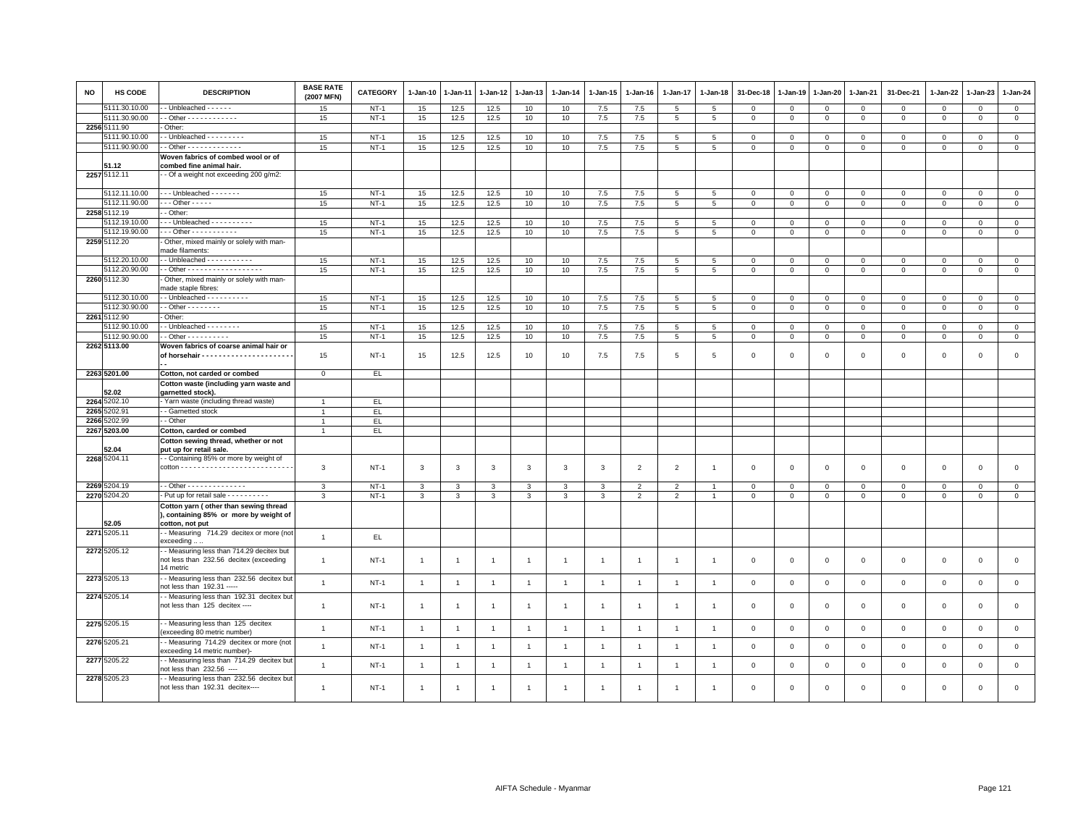| <b>NO</b> | <b>HS CODE</b> | <b>DESCRIPTION</b>                                                                                        | <b>BASE RATE</b><br>(2007 MFN) | <b>CATEGORY</b> | $1-Jan-10$     | 1-Jan-11       | 1-Jan-12             | 1-Jan-13       | $1-Jan-14$      | $1 - Jan-15$   | $1-Jan-16$     | 1-Jan-17        | 1-Jan-18        | 31-Dec-18    | $1-Jan-19$     | 1-Jan-20       | 1-Jan-21     | 31-Dec-21    | 1-Jan-22    | $1-Jan-23$   | 1-Jan-24       |
|-----------|----------------|-----------------------------------------------------------------------------------------------------------|--------------------------------|-----------------|----------------|----------------|----------------------|----------------|-----------------|----------------|----------------|-----------------|-----------------|--------------|----------------|----------------|--------------|--------------|-------------|--------------|----------------|
|           | 5111.30.10.00  | - Unbleached - - - - -                                                                                    | 15                             | $NT-1$          | 15             | 12.5           | 12.5                 | 10             | 10              | 7.5            | 7.5            | 5               | 5               | 0            | $\mathbf 0$    | $\mathbf 0$    | $\mathbf{0}$ | $\mathbf 0$  | 0           | 0            | $\mathbf{0}$   |
|           | 5111.30.90.00  | - Other - - - - - - - - - - - -                                                                           | 15                             | $NT-1$          | 15             | 12.5           | 12.5                 | 10             | 10              | 7.5            | 7.5            | 5               | 5               | $\mathbf 0$  | $\mathbb O$    | $\mathbf 0$    | $\mathbf{0}$ | $\mathsf 0$  | $\mathbf 0$ | $\mathbf{0}$ | $\mathsf 0$    |
|           | 2256 5111.90   | Other:                                                                                                    |                                |                 |                |                |                      |                |                 |                |                |                 |                 |              |                |                |              |              |             |              |                |
|           | 5111.90.10.00  | - Unbleached - - - - - - - -                                                                              | 15                             | $NT-1$          | 15             | 12.5           | 12.5                 | 10             | 10              | 7.5            | 7.5            | 5               | 5               | 0            | $^{\circ}$     | $\mathbf 0$    | 0            | 0            | 0           | $\mathbf 0$  | $\mathbf 0$    |
|           | 5111.90.90.00  | . - Other - - - - - - - - - - - - -                                                                       | 15                             | $NT-1$          | 15             | 12.5           | 12.5                 | 10             | 10              | $7.5$          | 7.5            | 5               | 5               | $\mathbf 0$  | $\mathbb O$    | $\mathsf 0$    | $\mathbf{0}$ | $\mathsf 0$  | $\mathbf 0$ | $\Omega$     | $\mathsf 0$    |
|           |                | Woven fabrics of combed wool or of                                                                        |                                |                 |                |                |                      |                |                 |                |                |                 |                 |              |                |                |              |              |             |              |                |
|           | 51.12          | combed fine animal hair.                                                                                  |                                |                 |                |                |                      |                |                 |                |                |                 |                 |              |                |                |              |              |             |              |                |
|           | 2257 5112.11   | - Of a weight not exceeding 200 g/m2:                                                                     |                                |                 |                |                |                      |                |                 |                |                |                 |                 |              |                |                |              |              |             |              |                |
|           | 5112.11.10.00  | --- Unbleached -------                                                                                    | 15                             | $NT-1$          | 15             | 12.5           | 12.5                 | 10             | 10              | 7.5            | 7.5            | $\,$ 5 $\,$     | $\,$ 5          | $\mathbf 0$  | $\mathbf 0$    | $\mathbf 0$    | $\mathsf 0$  | $\mathsf 0$  | $\Omega$    | $\mathsf 0$  | $\overline{0}$ |
|           | 5112.11.90.00  | $\cdots$ Other - - - - -                                                                                  | 15                             | $NT-1$          | 15             | 12.5           | 12.5                 | 10             | 10              | 7.5            | 7.5            | 5               | 5               | $\mathbf 0$  | $\mathbf 0$    | $\overline{0}$ | $\mathbf{0}$ | $\mathsf 0$  | $\mathbf 0$ | $\mathbf 0$  | $\mathsf 0$    |
|           | 2258 5112.19   | - Other:                                                                                                  |                                |                 |                |                |                      |                |                 |                |                |                 |                 |              |                |                |              |              |             |              |                |
|           | 5112.19.10.00  | $\cdots$ Unbleached $\cdots$                                                                              | 15                             | $NT-1$          | 15             | 12.5           | 12.5                 | 10             | 10              | $7.5\,$        | 7.5            | $5\overline{5}$ | 5               | $\mathbf 0$  | $\mathbf 0$    | $\mathbf 0$    | $\mathbf 0$  | 0            | $\mathbf 0$ | $^{\circ}$   | $\mathsf 0$    |
|           | 5112.19.90.00  | . - - Other - - - - - - - - - - -                                                                         | 15                             | $NT-1$          | 15             | 12.5           | 12.5                 | 10             | 10              | 7.5            | 7.5            | 5               | 5               | $\mathbf 0$  | $\mathsf 0$    | $\mathbf{0}$   | $\mathbf 0$  | $\mathbf 0$  | $\mathbf 0$ | $\mathsf 0$  | $\mathbf{0}$   |
|           | 2259 5112.20   | Other, mixed mainly or solely with man-<br>made filaments:                                                |                                |                 |                |                |                      |                |                 |                |                |                 |                 |              |                |                |              |              |             |              |                |
|           | 5112.20.10.00  | $\cdot$ - Unbleached - - - - - - - - - - -                                                                | 15                             | $NT-1$          | 15             | 12.5           | 12.5                 | 10             | 10              | $7.5$          | 7.5            | 5               | 5               | $\mathbf 0$  | $\overline{0}$ | $\mathbf 0$    | $\mathbf 0$  | 0            | 0           | $\mathbf 0$  | $\mathsf 0$    |
|           | 5112.20.90.00  | - Other - - - - - - - - - - - - - - - - - -                                                               | 15                             | $NT-1$          | 15             | 12.5           | 12.5                 | 10             | 10              | $7.5\,$        | 7.5            | 5               | $\overline{5}$  | $\mathbf 0$  | $\mathbf 0$    | $\circ$        | $\mathbf 0$  | 0            | 0           | 0            | $\mathbf 0$    |
|           | 2260 5112.30   | Other, mixed mainly or solely with man-                                                                   |                                |                 |                |                |                      |                |                 |                |                |                 |                 |              |                |                |              |              |             |              |                |
|           |                | made staple fibres:                                                                                       |                                |                 |                |                |                      |                |                 |                |                |                 |                 |              |                |                |              |              |             |              |                |
|           | 5112.30.10.00  | - Unbleached - - - - - - - - -                                                                            | 15                             | $NT-1$          | 15             | 12.5           | 12.5                 | 10             | 10              | 7.5            | 7.5            | $5\overline{5}$ | 5               | $\Omega$     | $\Omega$       | $\mathbf{0}$   | $\mathbf 0$  | $\mathbf 0$  | $\mathbf 0$ | $\mathbf 0$  | $\circ$        |
|           | 5112.30.90.00  | $\cdot$ - Other - - - - - - - -                                                                           | 15                             | $NT-1$          | 15             | 12.5           | 12.5                 | 10             | 10 <sub>1</sub> | 7.5            | 7.5            | $5\overline{5}$ | $5\phantom{.0}$ | $\mathbf 0$  | $\mathsf 0$    | $\mathbf{0}$   | $\mathbf{0}$ | $\mathbf{0}$ | $\mathbf 0$ | $\mathbf{O}$ | $\overline{0}$ |
|           | 2261 5112.90   | Other:                                                                                                    |                                |                 |                |                |                      |                |                 |                |                |                 |                 |              |                |                |              |              |             |              |                |
|           | 5112.90.10.00  | - Unbleached - - - - - - - -                                                                              | 15                             | $NT-1$          | 15             | 12.5           | 12.5                 | 10             | 10              | 7.5            | 7.5            | 5               | 5               | $\mathbf 0$  | $\mathbf{0}$   | $\mathbf 0$    | $\mathbf 0$  | $\mathsf 0$  | 0           | $\mathsf 0$  | $\mathbf 0$    |
|           | 5112.90.90.00  | - - Other - - - - - - - - - -                                                                             | 15                             | $NT-1$          | 15             | 12.5           | 12.5                 | 10             | 10              | 7.5            | 7.5            | 5               | 5               | $\mathsf 0$  | $\mathsf 0$    | $\overline{0}$ | $\mathbf 0$  | $\mathbf 0$  | $\mathbf 0$ | $\mathsf 0$  | $\mathbf 0$    |
|           | 2262 5113.00   | Woven fabrics of coarse animal hair or                                                                    |                                |                 |                |                |                      |                |                 |                |                |                 |                 |              |                |                |              |              |             |              |                |
|           |                |                                                                                                           | 15                             | $NT-1$          | 15             | 12.5           | 12.5                 | 10             | 10              | 7.5            | 7.5            | $5\overline{5}$ | 5               | $\mathbf 0$  | $\Omega$       | $\mathbf 0$    | $\mathbf 0$  | $\mathbf 0$  | $\mathbf 0$ | $\mathbf 0$  | $\mathbf{0}$   |
|           | 2263 5201.00   | Cotton, not carded or combed                                                                              | $\mathbf{O}$                   | EL              |                |                |                      |                |                 |                |                |                 |                 |              |                |                |              |              |             |              |                |
|           |                | Cotton waste (including yarn waste and                                                                    |                                |                 |                |                |                      |                |                 |                |                |                 |                 |              |                |                |              |              |             |              |                |
|           | 52.02          | garnetted stock).                                                                                         |                                |                 |                |                |                      |                |                 |                |                |                 |                 |              |                |                |              |              |             |              |                |
|           | 2264 5202.10   | Yarn waste (including thread waste)                                                                       | $\mathbf{1}$                   | EL.             |                |                |                      |                |                 |                |                |                 |                 |              |                |                |              |              |             |              |                |
| 2265      | 5202.91        | - Garnetted stock                                                                                         | $\overline{1}$                 | EL.             |                |                |                      |                |                 |                |                |                 |                 |              |                |                |              |              |             |              |                |
| 2266      | 5202.99        | - Other                                                                                                   | $\overline{1}$                 | EL              |                |                |                      |                |                 |                |                |                 |                 |              |                |                |              |              |             |              |                |
|           | 2267 5203.00   | Cotton, carded or combed                                                                                  | $\overline{1}$                 | EL.             |                |                |                      |                |                 |                |                |                 |                 |              |                |                |              |              |             |              |                |
|           |                | Cotton sewing thread, whether or not                                                                      |                                |                 |                |                |                      |                |                 |                |                |                 |                 |              |                |                |              |              |             |              |                |
|           | 52.04          | put up for retail sale.                                                                                   |                                |                 |                |                |                      |                |                 |                |                |                 |                 |              |                |                |              |              |             |              |                |
|           | 2268 5204.11   | - Containing 85% or more by weight of                                                                     | 3                              | $NT-1$          | 3              | $\mathbf{3}$   | 3                    | 3              | 3               | 3              | $\overline{2}$ | $\overline{2}$  | $\overline{1}$  | $\Omega$     | $\Omega$       | $\mathbf{0}$   | $\mathbf 0$  | $\mathbf 0$  | $\mathbf 0$ | $\mathbf 0$  | $\mathsf 0$    |
|           | 2269 5204.19   | - - Other - - - - - - - - - - - - - -                                                                     | 3                              | $NT-1$          | 3              | 3              | 3                    | 3              | 3               | 3              | 2              | $\overline{2}$  |                 | $^{\circ}$   | $^{\circ}$     | $\mathbf 0$    | 0            | 0            | 0           | 0            | $\mathbf 0$    |
|           | 2270 5204.20   | - Put up for retail sale - - - - - - - - - -                                                              | $\mathbf{3}$                   | $NT-1$          | $\mathbf{3}$   | 3              | 3                    | 3              | 3               | 3              | $\overline{2}$ | $\overline{2}$  | $\overline{1}$  | $\mathbf 0$  | $\mathbb O$    | $\mathbf 0$    | $\mathbf 0$  | $\mathsf 0$  | $\mathbf 0$ | $\Omega$     | $\mathsf 0$    |
|           | 52.05          | Cotton yarn (other than sewing thread<br>), containing 85% or more by weight of<br>cotton, not put        |                                |                 |                |                |                      |                |                 |                |                |                 |                 |              |                |                |              |              |             |              |                |
|           | 2271 5205.11   | - Measuring 714.29 decitex or more (not<br>exceeding                                                      | $\overline{1}$                 | EL.             |                |                |                      |                |                 |                |                |                 |                 |              |                |                |              |              |             |              |                |
|           | 2272 5205.12   | - Measuring less than 714.29 decitex but<br>not less than 232.56 decitex (exceeding<br>14 metric          | $\mathbf{1}$                   | $NT-1$          | $\overline{1}$ | $\overline{1}$ | $\overline{1}$       | $\mathbf{1}$   | $\overline{1}$  | $\overline{1}$ | $\overline{1}$ | $\overline{1}$  | $\overline{1}$  | $\mathbf{0}$ | $\overline{0}$ | $\mathbf{0}$   | $\mathbf 0$  | $\mathbf 0$  | $\mathbf 0$ | $\mathbf 0$  | $\mathbf 0$    |
|           | 2273 5205.13   | - Measuring less than 232.56 decitex but<br>not less than 192.31 -----                                    | $\mathbf{1}$                   | $NT-1$          | $\overline{1}$ | $\overline{1}$ | $\blacktriangleleft$ | $\overline{1}$ | $\overline{1}$  | $\overline{1}$ | $\overline{1}$ | $\overline{1}$  | $\overline{1}$  | $\mathbf 0$  | $\overline{0}$ | $\mathbf 0$    | $\mathbf 0$  | $\mathbf 0$  | $\mathbf 0$ | $\mathbf 0$  | $\mathsf 0$    |
|           | 2274 5205.14   | - Measuring less than 192.31 decitex but<br>not less than 125 decitex ----                                | $\mathbf{1}$                   | $NT-1$          | $\overline{1}$ | $\overline{1}$ | $\overline{1}$       | $\mathbf{1}$   | $\overline{1}$  | $\mathbf{1}$   | $\overline{1}$ | $\mathbf{1}$    | $\overline{1}$  | $\mathbf 0$  | $\Omega$       | $\mathbf 0$    | $\mathbf 0$  | $\mathbf 0$  | $\mathbf 0$ | $\mathbf{0}$ | $\mathbf 0$    |
|           | 2275 5205.15   | -- Measuring less than 125 decitex                                                                        | $\overline{1}$                 | $NT-1$          | $\overline{1}$ | $\overline{1}$ | $\overline{1}$       | $\overline{1}$ | $\mathbf{1}$    | $\overline{1}$ | $\overline{1}$ | $\mathbf{1}$    | $\overline{1}$  | $\Omega$     | $\Omega$       | $\mathbf{0}$   | $\mathbf 0$  | $\mathbf 0$  | $\mathbf 0$ | $\mathbf 0$  | $\mathbf 0$    |
|           | 2276 5205.21   | (exceeding 80 metric number)<br>- Measuring 714.29 decitex or more (not                                   | $\mathbf{1}$                   | $NT-1$          | $\overline{1}$ | $\overline{1}$ | $\overline{1}$       | $\mathbf{1}$   | $\mathbf{1}$    | $\mathbf{1}$   | $\overline{1}$ | $\overline{1}$  | $\overline{1}$  | $\mathbf 0$  | $\mathbf{0}$   | $\mathbf 0$    | $\mathsf 0$  | $\mathsf 0$  | $\mathsf 0$ | $\mathsf 0$  | $\mathsf 0$    |
|           | 2277 5205.22   | exceeding 14 metric number)-<br>- Measuring less than 714.29 decitex but                                  | $\mathbf{1}$                   | $NT-1$          | $\overline{1}$ | $\overline{1}$ | $\overline{1}$       | $\mathbf{1}$   | $\mathbf{1}$    | $\overline{1}$ | $\overline{1}$ | $\overline{1}$  | $\overline{1}$  | $\mathbf 0$  | $\mathbf{0}$   | $\mathbf 0$    | $\mathsf 0$  | $\mathsf 0$  | $\mathbf 0$ | $\mathsf 0$  | $\mathsf 0$    |
|           | 2278 5205.23   | not less than 232.56 ----<br>- Measuring less than 232.56 decitex but<br>not less than 192.31 decitex---- | $\overline{1}$                 | $NT-1$          | $\overline{1}$ |                |                      | $\mathbf{1}$   |                 |                |                |                 |                 | $\Omega$     | $\Omega$       | $\mathbf 0$    | $\Omega$     | $\mathbf 0$  | $\mathbf 0$ | $\mathbf 0$  | $\Omega$       |
|           |                |                                                                                                           |                                |                 |                |                |                      |                |                 |                |                |                 |                 |              |                |                |              |              |             |              |                |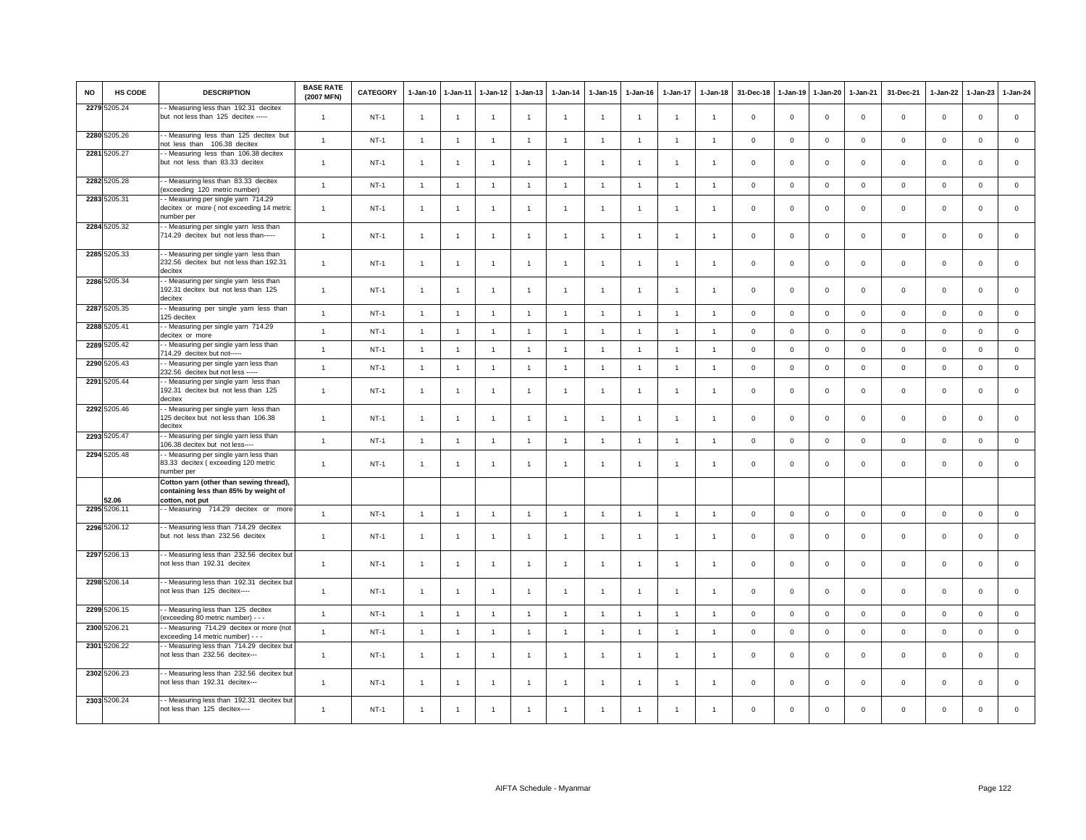| <b>NO</b> | <b>HS CODE</b> | <b>DESCRIPTION</b>                                                                                  | <b>BASE RATE</b><br>(2007 MFN) | <b>CATEGORY</b> | 1-Jan-10       | $1-Jan-11$     | $1-Jan-12$     | $1-Jan-13$     | $1 - Jan-14$   | 1-Jan-15       | $1-Jan-16$     | 1-Jan-17       | $1-Jan-18$     | 31-Dec-18      | 1-Jan-19       | 1-Jan-20       | 1-Jan-21     | 31-Dec-21    | 1-Jan-22    | $1-Jan-23$   | 1-Jan-24     |
|-----------|----------------|-----------------------------------------------------------------------------------------------------|--------------------------------|-----------------|----------------|----------------|----------------|----------------|----------------|----------------|----------------|----------------|----------------|----------------|----------------|----------------|--------------|--------------|-------------|--------------|--------------|
|           | 2279 5205.24   | - Measuring less than 192.31 decitex<br>but not less than 125 decitex -----                         | $\overline{1}$                 | $NT-1$          | $\mathbf{1}$   | $\overline{1}$ | $\overline{1}$ | $\overline{1}$ | $\overline{1}$ | $\overline{1}$ | -1             | $\overline{1}$ | $\overline{1}$ | $\mathbf 0$    | $\overline{0}$ | $\mathbf 0$    | $\mathbf 0$  | $\mathsf 0$  | $\mathbf 0$ | $\mathbf 0$  | $\mathsf 0$  |
|           | 2280 5205.26   | - Measuring less than 125 decitex but<br>not less than 106.38 decitex                               | $\mathbf{1}$                   | $NT-1$          | $\overline{1}$ | $\overline{1}$ | $\overline{1}$ | $\mathbf{1}$   | $\mathbf{1}$   | $\mathbf{1}$   | $\overline{1}$ | $\overline{1}$ | $\overline{1}$ | $\mathbf 0$    | $\overline{0}$ | $\mathbf 0$    | $\mathbf{0}$ | $\mathbf 0$  | $\mathbf 0$ | $\mathbf{0}$ | $\mathbf 0$  |
|           | 2281 5205.27   | -- Measuring less than 106.38 decitex<br>but not less than 83.33 decitex                            | $\overline{1}$                 | $NT-1$          | $\overline{1}$ |                |                | $\overline{1}$ |                | $\overline{1}$ |                |                |                | $\overline{0}$ | $\Omega$       | $\Omega$       | $\mathbf 0$  | $\mathbf 0$  | $\Omega$    | $\Omega$     | $\mathbf 0$  |
|           | 2282 5205.28   | - Measuring less than 83.33 decitex<br>(exceeding 120 metric number)                                | $\overline{1}$                 | $NT-1$          | $\overline{1}$ | $\overline{1}$ | $\overline{1}$ | $\overline{1}$ | $\overline{1}$ | $\overline{1}$ | $\overline{1}$ | $\overline{1}$ | $\overline{1}$ | $\mathbf 0$    | $\circ$        | $\mathbf 0$    | $\mathsf 0$  | $\mathbb O$  | $\mathbf 0$ | $\mathbf{0}$ | $\circ$      |
|           | 2283 5205.31   | - Measuring per single yarn 714.29<br>decitex or more (not exceeding 14 metric<br>number per        | $\overline{1}$                 | $NT-1$          | $\overline{1}$ | $\overline{1}$ | $\overline{1}$ | $\overline{1}$ | $\overline{1}$ | $\mathbf{1}$   | $\mathbf{1}$   | $\overline{1}$ | $\overline{1}$ | $\Omega$       | $\overline{0}$ | $\overline{0}$ | $\Omega$     | $\mathbf 0$  | $\mathbf 0$ | $\mathbf 0$  | $\mathsf 0$  |
|           | 2284 5205.32   | - Measuring per single yarn less than<br>714.29 decitex but not less than-----                      | $\overline{1}$                 | $NT-1$          | $\mathbf{1}$   | $\overline{1}$ | $\mathbf{1}$   | $\mathbf{1}$   | $\overline{1}$ | $\overline{1}$ |                | $\mathbf{1}$   | $\overline{1}$ | $\mathbf 0$    | $\mathbf 0$    | $\mathbf 0$    | $\mathbf 0$  | $\mathsf 0$  | $\mathbf 0$ | $\mathsf 0$  | $\mathbf 0$  |
|           | 2285 5205.33   | - Measuring per single yarn less than<br>232.56 decitex but not less than 192.31<br>decitex         | $\overline{1}$                 | $NT-1$          | $\overline{1}$ | $\overline{1}$ | $\overline{1}$ | $\mathbf{1}$   | $\overline{1}$ | $\mathbf{1}$   | -1             | -1             |                | $\mathbf 0$    | $\mathbf 0$    | $\mathbf 0$    | $\mathbf 0$  | $\mathsf 0$  | $\mathbf 0$ | $\mathbf 0$  | $\mathbf 0$  |
|           | 2286 5205.34   | - Measuring per single yarn less than<br>192.31 decitex but not less than 125<br>decitex            | $\overline{1}$                 | $NT-1$          | $\overline{1}$ | $\overline{1}$ | $\mathbf{1}$   | $\mathbf{1}$   | $\overline{1}$ | $\overline{1}$ | $\overline{1}$ | $\overline{1}$ | $\overline{1}$ | $\overline{0}$ | $\overline{0}$ | $\mathbf 0$    | $\mathbf 0$  | $\mathsf 0$  | $\mathbf 0$ | $\mathsf 0$  | $\mathbf 0$  |
|           | 2287 5205.35   | -- Measuring per single yarn less than<br>125 decitex                                               | $\mathbf{1}$                   | $NT-1$          | $\overline{1}$ | $\mathbf{1}$   | $\mathbf{1}$   | $\mathbf{1}$   | $\overline{1}$ | $\overline{1}$ | $\overline{1}$ | $\overline{1}$ | $\overline{1}$ | $\overline{0}$ | $\,$ 0         | $\mathsf 0$    | $\mathbf 0$  | $\mathsf 0$  | $\mathsf 0$ | $\mathsf 0$  | $\mathsf 0$  |
|           | 2288 5205.41   | - Measuring per single yarn 714.29<br>decitex or more                                               | $\mathbf{1}$                   | $NT-1$          | $\overline{1}$ | $\overline{1}$ | $\overline{1}$ | $\mathbf{1}$   | $\overline{1}$ | $\overline{1}$ | $\overline{1}$ | $\overline{1}$ | $\overline{1}$ | $\mathbf{0}$   | $\overline{0}$ | $\mathbf{0}$   | $\mathbf{0}$ | $\mathbf 0$  | $\mathbf 0$ | $\mathbf{0}$ | $\mathbf{0}$ |
|           | 2289 5205.42   | - - Measuring per single yarn less than<br>714.29 decitex but not-----                              | $\overline{1}$                 | $NT-1$          | $\overline{1}$ | $\overline{1}$ | $\overline{1}$ | $\mathbf{1}$   | $\overline{1}$ | $\overline{1}$ | $\overline{1}$ | $\overline{1}$ | $\overline{1}$ | $\,0\,$        | $\,$ 0         | $\mathbf 0$    | $\mathsf 0$  | $\mathsf 0$  | $\mathsf 0$ | $\mathbf 0$  | $\mathsf 0$  |
|           | 2290 5205.43   | - Measuring per single yarn less than<br>232.56 decitex but not less ----                           | $\overline{1}$                 | $NT-1$          | $\overline{1}$ | $\overline{1}$ | $\overline{1}$ | $\mathbf{1}$   | $\overline{1}$ | $\overline{1}$ | $\overline{1}$ | $\mathbf{1}$   | $\overline{1}$ | $\mathbf 0$    | $\overline{0}$ | $\mathbf{0}$   | $\mathbf 0$  | $\mathbf 0$  | $\mathbf 0$ | $\mathbf{0}$ | $\mathbf 0$  |
|           | 2291 5205.44   | - Measuring per single yarn less than<br>192.31 decitex but not less than 125<br>decitex            | $\overline{1}$                 | $NT-1$          | $\overline{1}$ | -1             | $\mathbf{1}$   | $\overline{1}$ | $\overline{1}$ | $\overline{1}$ | $\mathbf{1}$   | $\mathbf{1}$   | $\overline{1}$ | $\mathbf 0$    | $^{\circ}$     | $\mathbf 0$    | 0            | $\Omega$     | 0           | $\Omega$     | $\mathsf 0$  |
|           | 2292 5205.46   | - Measuring per single yarn less than<br>125 decitex but not less than 106.38<br>decitex            | $\mathbf{1}$                   | $NT-1$          | $\overline{1}$ | $\mathbf{1}$   | $\overline{1}$ | $\overline{1}$ | $\overline{1}$ | $\overline{1}$ | -1             | 1              | $\mathbf{1}$   | $\mathbf 0$    | $\mathbf{0}$   | $\mathbf 0$    | $\mathsf 0$  | $\mathsf 0$  | $\mathsf 0$ | $\mathsf 0$  | $\mathsf 0$  |
|           | 2293 5205.47   | - - Measuring per single yarn less than<br>106.38 decitex but not less----                          | $\overline{1}$                 | $NT-1$          | $\overline{1}$ | $\overline{1}$ | $\overline{1}$ | $\overline{1}$ | $\overline{1}$ | $\overline{1}$ | $\overline{1}$ | $\overline{1}$ | $\overline{1}$ | $\mathbf 0$    | $\overline{0}$ | $\mathbf 0$    | $\mathbf 0$  | $\mathsf 0$  | $\mathbf 0$ | $\mathsf 0$  | $\mathsf 0$  |
|           | 2294 5205.48   | - Measuring per single yarn less than<br>83.33 decitex (exceeding 120 metric<br>number per          | $\mathbf{1}$                   | <b>NT-1</b>     | $\overline{1}$ | $\overline{1}$ | $\overline{1}$ | $\mathbf{1}$   | $\overline{1}$ | $\overline{1}$ | $\overline{1}$ | $\overline{1}$ | $\overline{1}$ | $\mathbf 0$    | $\overline{0}$ | $\mathbf 0$    | $\mathbf 0$  | $\mathsf 0$  | $^{\circ}$  | $\Omega$     | $\mathsf 0$  |
|           | 52.06          | Cotton yarn (other than sewing thread),<br>containing less than 85% by weight of<br>cotton, not put |                                |                 |                |                |                |                |                |                |                |                |                |                |                |                |              |              |             |              |              |
|           | 2295 5206.1    | -Measuring 714.29 decitex or more                                                                   | $\overline{1}$                 | $NT-1$          | $\overline{1}$ | $\overline{1}$ | $\overline{1}$ | $\overline{1}$ | $\overline{1}$ | $\overline{1}$ | $\overline{1}$ | $\overline{1}$ | $\overline{1}$ | $\mathbf 0$    | $\overline{0}$ | $\mathbf 0$    | $\mathbf 0$  | $\mathbf{0}$ | $\mathbf 0$ | $\mathbf 0$  | $\mathsf 0$  |
|           | 2296 5206.12   | - Measuring less than 714.29 decitex<br>but not less than 232.56 decitex                            | $\mathbf{1}$                   | $NT-1$          | $\overline{1}$ | $\overline{1}$ | $\overline{1}$ | $\overline{1}$ | $\overline{1}$ | $\overline{1}$ | $\mathbf{1}$   | $\overline{1}$ | $\overline{1}$ | $\mathbf 0$    | $\overline{0}$ | $\mathbf 0$    | $\mathbf 0$  | $\Omega$     | $\Omega$    | $\mathbf{0}$ | $\mathbf 0$  |
|           | 2297 5206.13   | -- Measuring less than 232.56 decitex but<br>not less than 192.31 decitex                           | $\mathbf{1}$                   | $NT-1$          | $\overline{1}$ | $\mathbf{1}$   | 1              | $\mathbf{1}$   | $\overline{1}$ | $\mathbf{1}$   | -1             | $\mathbf{1}$   | $\overline{1}$ | $\mathbf 0$    | $\mathbf 0$    | $\mathbf 0$    | $\mathsf 0$  | $\mathsf 0$  | $\mathbf 0$ | $\mathsf 0$  | $\mathsf 0$  |
|           | 2298 5206.14   | -- Measuring less than 192.31 decitex but<br>not less than 125 decitex----                          | $\overline{1}$                 | $NT-1$          | $\overline{1}$ | $\mathbf{1}$   | $\mathbf{1}$   | $\overline{1}$ | $\overline{1}$ | $\overline{1}$ | -1             | $\mathbf{1}$   | $\overline{1}$ | $\mathbf 0$    | $^{\circ}$     | $\mathbf 0$    | 0            | $\mathsf 0$  | 0           | $\mathbf 0$  | $\mathbf 0$  |
|           | 2299 5206.15   | -- Measuring less than 125 decitex<br>(exceeding 80 metric number) - - -                            | $\mathbf{1}$                   | $NT-1$          | $\overline{1}$ | $\overline{1}$ | $\overline{1}$ | $\overline{1}$ | $\overline{1}$ | $\overline{1}$ | $\overline{1}$ | $\mathbf{1}$   | $\overline{1}$ | $\mathbf 0$    | $\overline{0}$ | $\mathbf 0$    | $\mathbf{0}$ | $\mathbf 0$  | $\mathbf 0$ | $\mathbf{0}$ | $\mathbf 0$  |
|           | 2300 5206.21   | - Measuring 714.29 decitex or more (not<br>exceeding 14 metric number) - - -                        | $\overline{1}$                 | $NT-1$          | $\overline{1}$ | 1              | 1              | $\mathbf{1}$   | $\overline{1}$ | $\overline{1}$ |                | $\overline{1}$ | $\overline{1}$ | $\mathbf 0$    | $\overline{0}$ | $\,0\,$        | $\mathsf 0$  | $\mathsf 0$  | $\mathbf 0$ | $\mathbf 0$  | $\mathsf 0$  |
|           | 2301 5206.22   | - Measuring less than 714.29 decitex but<br>not less than 232.56 decitex---                         | $\mathbf{1}$                   | $NT-1$          | $\overline{1}$ | $\mathbf{1}$   | $\overline{1}$ | -1             | -1             | $\overline{1}$ | -1             | $\mathbf{1}$   | -1             | $\mathbf 0$    | $\mathbf 0$    | $\mathbf 0$    | $\mathbf 0$  | $\mathsf 0$  | $\mathbf 0$ | $\Omega$     | $\mathbf 0$  |
|           | 2302 5206.23   | - Measuring less than 232.56 decitex but<br>not less than 192.31 decitex---                         | $\overline{1}$                 | $NT-1$          | $\overline{1}$ | -1             | -1             | $\overline{1}$ | -1             | $\overline{1}$ |                | $\mathbf{1}$   | $\mathbf{1}$   | $\mathbf 0$    | $\mathbf 0$    | $\Omega$       | $\mathbf 0$  | $\mathbf 0$  | 0           | $\Omega$     | $\mathbf 0$  |
|           | 2303 5206.24   | - - Measuring less than 192.31 decitex but<br>not less than 125 decitex----                         | $\overline{1}$                 | $NT-1$          | $\mathbf{1}$   | $\overline{1}$ | $\overline{1}$ | $\mathbf{1}$   | $\mathbf{1}$   | $\overline{1}$ | $\mathbf{1}$   | $\mathbf{1}$   | $\overline{1}$ | 0              | $\overline{0}$ | $^{\circ}$     | $\mathbf 0$  | $\mathbf 0$  | $\mathsf 0$ | $\mathsf 0$  | $\mathsf 0$  |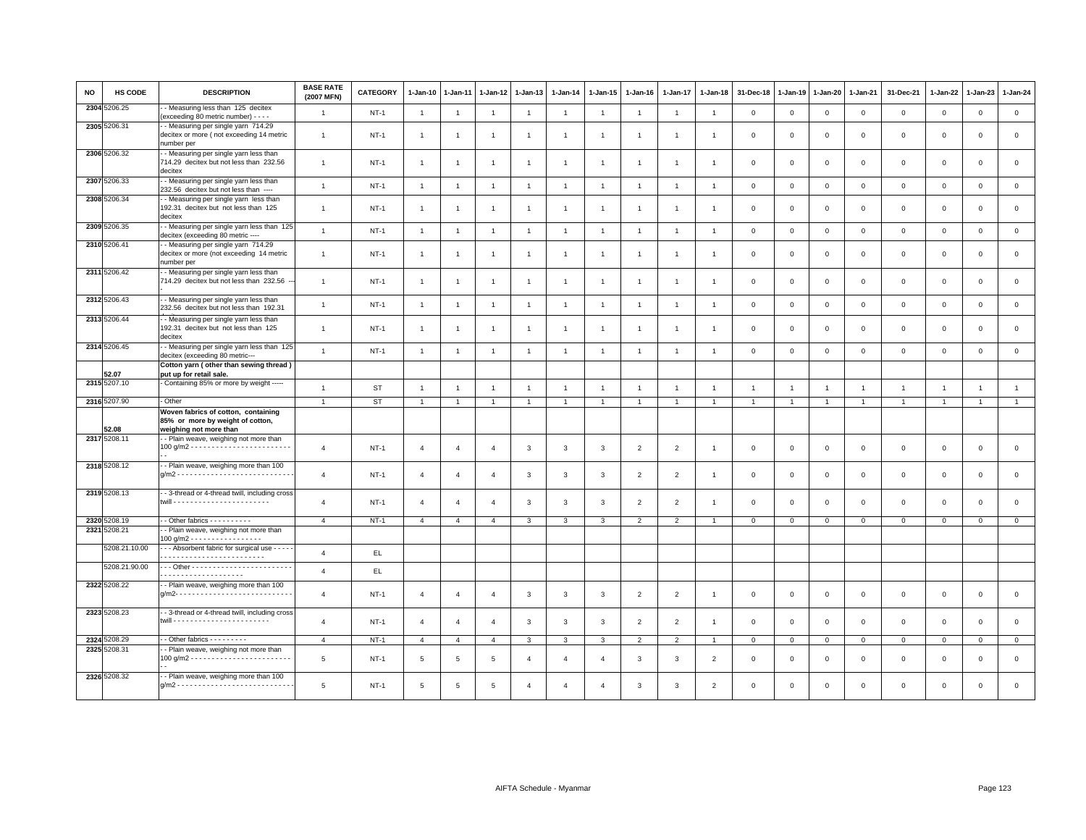| <b>NO</b> | <b>HS CODE</b> | <b>DESCRIPTION</b>                                                                                | <b>BASE RATE</b><br>(2007 MFN) | <b>CATEGORY</b> | $1 - Jan-10$   | 1-Jan-11              | 1-Jan-12              | $1-Jan-13$     | $1-Jan-14$     | 1-Jan-15       | $1-Jan-16$     | 1-Jan-17       | $1-Jan-18$     | 31-Dec-18      | $1-Jan-19$     | 1-Jan-20       | 1-Jan-21       | 31-Dec-21    | 1-Jan-22       | $1-Jan-23$     | 1-Jan-24       |
|-----------|----------------|---------------------------------------------------------------------------------------------------|--------------------------------|-----------------|----------------|-----------------------|-----------------------|----------------|----------------|----------------|----------------|----------------|----------------|----------------|----------------|----------------|----------------|--------------|----------------|----------------|----------------|
|           | 2304 5206.25   | - Measuring less than 125 decitex<br>(exceeding 80 metric number) - - - -                         | $\overline{1}$                 | $NT-1$          | $\overline{1}$ | $\overline{1}$        | $\overline{1}$        | $\overline{1}$ | $\overline{1}$ | $\overline{1}$ | $\overline{1}$ | $\overline{1}$ | $\overline{1}$ | $\mathbf{0}$   | $\mathsf 0$    | $\mathbf 0$    | $\mathbf 0$    | $\mathsf 0$  | $\mathsf 0$    | $\mathbf 0$    | $\mathsf 0$    |
|           | 2305 5206.31   | - Measuring per single yarn 714.29<br>decitex or more (not exceeding 14 metric<br>number per      | $\mathbf{1}$                   | <b>NT-1</b>     | $\overline{1}$ |                       |                       | $\mathbf{1}$   |                | $\overline{1}$ |                | $\mathbf{1}$   |                | $\mathbf 0$    | $\mathbf 0$    | $\mathbf 0$    | $\mathbf 0$    | $\mathsf 0$  | $\mathbf 0$    | $\mathbf 0$    | $\mathbf 0$    |
|           | 2306 5206.32   | - Measuring per single yarn less than<br>714.29 decitex but not less than 232.56<br>decitex       | $\overline{1}$                 | $NT-1$          | $\overline{1}$ |                       | $\mathbf{1}$          | $\overline{1}$ | $\overline{1}$ | $\overline{1}$ |                | $\overline{1}$ | $\overline{1}$ | $\mathbf 0$    | $\mathbf 0$    | $\mathbf 0$    | $\mathbf 0$    | $\mathsf 0$  | $\mathbf 0$    | $\mathbf 0$    | $\mathbf 0$    |
|           | 2307 5206.33   | - Measuring per single yarn less than<br>232.56 decitex but not less than ----                    | $\overline{1}$                 | $NT-1$          | $\overline{1}$ | $\overline{1}$        | $\overline{1}$        | $\overline{1}$ | $\overline{1}$ | $\overline{1}$ | $\overline{1}$ | $\overline{1}$ | $\overline{1}$ | $\overline{0}$ | $\circ$        | $\mathbf{0}$   | $\mathbf 0$    | $\mathbf 0$  | $\mathbf 0$    | $\mathbf{0}$   | $\mathsf 0$    |
|           | 2308 5206.34   | - Measuring per single yarn less than<br>192.31 decitex but not less than 125<br>decitex          | $\overline{1}$                 | $NT-1$          | $\overline{1}$ | $\overline{1}$        | $\overline{1}$        | $\overline{1}$ | $\overline{1}$ | $\overline{1}$ | $\overline{1}$ | $\mathbf{1}$   | $\overline{1}$ | $\mathbf 0$    | $\mathbf 0$    | $\mathbf 0$    | $\mathbf 0$    | $\mathsf 0$  | $\mathbf 0$    | $\mathsf 0$    | $\mathsf 0$    |
|           | 2309 5206.35   | - Measuring per single yarn less than 125<br>decitex (exceeding 80 metric ----                    | $\overline{1}$                 | $NT-1$          | $\overline{1}$ | $\mathbf{1}$          | $\overline{1}$        | $\mathbf{1}$   | $\mathbf{1}$   | $\overline{1}$ |                | $\overline{1}$ | $\overline{1}$ | $\mathbf 0$    | $\overline{0}$ | $\mathbf 0$    | $\mathbf 0$    | $\mathsf 0$  | $\mathbf 0$    | $\mathbf 0$    | $\circ$        |
|           | 2310 5206.41   | - Measuring per single yarn 714.29<br>decitex or more (not exceeding 14 metric<br>number per      | $\mathbf{1}$                   | $NT-1$          | $\overline{1}$ | $\mathbf{1}$          | 1                     | $\overline{1}$ | -1             | $\overline{1}$ | -1             | $\mathbf{1}$   | $\overline{1}$ | $\mathbf 0$    | $^{\circ}$     | $\mathbf 0$    | 0              | 0            | 0              | 0              | $\mathbf 0$    |
|           | 2311 5206.42   | - Measuring per single yarn less than<br>714.29 decitex but not less than 232.56                  | $\overline{1}$                 | $NT-1$          | $\overline{1}$ |                       |                       | $\overline{1}$ | $\overline{1}$ | $\overline{1}$ |                | $\mathbf{1}$   |                | $\mathbf 0$    | $\mathbf 0$    | $\mathbf 0$    | $\mathbf 0$    | $\mathbf 0$  | $\mathbf 0$    | $\mathbf 0$    | $\mathbf 0$    |
|           | 2312 5206.43   | - Measuring per single yarn less than<br>232.56 decitex but not less than 192.31                  | $\mathbf{1}$                   | $NT-1$          | $\overline{1}$ | $\overline{1}$        | $\overline{1}$        | $\mathbf{1}$   | $\mathbf{1}$   | $\mathbf{1}$   | $\overline{1}$ | $\mathbf{1}$   | $\overline{1}$ | $\,0\,$        | $\,0\,$        | $\mathbf 0$    | $\mathsf 0$    | $\mathsf 0$  | $\mathsf 0$    | $\mathbf 0$    | $\mathsf 0$    |
|           | 2313 5206.44   | - Measuring per single yarn less than<br>192.31 decitex but not less than 125<br>decitex          | $\overline{1}$                 | $NT-1$          | $\mathbf{1}$   | -1                    | -1                    | $\overline{1}$ | $\overline{1}$ | $\overline{1}$ |                | 1              |                | $^{\circ}$     | $^{\circ}$     | $^{\circ}$     | 0              | 0            | 0              | $\Omega$       | $\mathbf 0$    |
|           | 2314 5206.45   | - Measuring per single yarn less than 125<br>decitex (exceeding 80 metric---                      | $\mathbf{1}$                   | $NT-1$          | $\overline{1}$ | $\mathbf{1}$          | $\mathbf{1}$          | $\mathbf{1}$   | $\mathbf{1}$   | $\mathbf{1}$   | $\overline{1}$ | $\mathbf{1}$   | $\overline{1}$ | $\mathbf 0$    | $\mathbb O$    | $\mathbf 0$    | $\mathsf 0$    | $\mathsf 0$  | $\mathsf 0$    | $\mathsf 0$    | $\mathsf 0$    |
|           | 52.07          | Cotton yarn (other than sewing thread)<br>put up for retail sale.                                 |                                |                 |                |                       |                       |                |                |                |                |                |                |                |                |                |                |              |                |                |                |
|           | 2315 5207.10   | - Containing 85% or more by weight -----                                                          | $\overline{1}$                 | <b>ST</b>       | $\overline{1}$ | $\overline{1}$        | $\overline{1}$        | $\overline{1}$ | $\mathbf{1}$   | $\overline{1}$ | $\overline{1}$ | $\mathbf{1}$   | $\overline{1}$ | $\overline{1}$ | $\overline{1}$ | $\overline{1}$ | $\overline{1}$ | $\mathbf{1}$ | $\overline{1}$ | $\overline{1}$ | $\overline{1}$ |
|           | 2316 5207.90   | - Other                                                                                           | $\overline{1}$                 | <b>ST</b>       | $\overline{1}$ | $\overline{1}$        | $\overline{1}$        | $\overline{1}$ | $\overline{1}$ | $\mathbf{1}$   | $\overline{1}$ | $\mathbf{1}$   | $\overline{1}$ | $\overline{1}$ | $\overline{1}$ | $\overline{1}$ | $\mathbf{1}$   | $\mathbf{1}$ | $\overline{1}$ | $\overline{1}$ | $\mathbf{1}$   |
|           | 52.08          | Woven fabrics of cotton, containing<br>85% or more by weight of cotton,<br>weighing not more than |                                |                 |                |                       |                       |                |                |                |                |                |                |                |                |                |                |              |                |                |                |
|           | 2317 5208.11   | - Plain weave, weighing not more than                                                             | $\overline{4}$                 | $NT-1$          | $\overline{4}$ | $\overline{4}$        | $\overline{4}$        | 3              | $\mathbf{3}$   | 3              | $\overline{2}$ | $\overline{2}$ | $\overline{1}$ | $\mathbf 0$    | $\Omega$       | $\mathbf 0$    | $\mathsf 0$    | $\mathbf 0$  | $\mathbf 0$    | $\mathbf 0$    | $\mathbf 0$    |
|           | 2318 5208.12   | - Plain weave, weighing more than 100                                                             | $\overline{4}$                 | $NT-1$          | $\overline{4}$ | $\overline{4}$        | $\overline{4}$        | $\mathbf{3}$   | $\mathbf{3}$   | $\mathbf{3}$   | $\overline{2}$ | $\overline{2}$ | $\overline{1}$ | $\,0\,$        | $\,$ 0         | $\mathbf 0$    | $\mathsf 0$    | $\mathsf 0$  | $\mathsf 0$    | $\mathbf 0$    | $\mathsf 0$    |
|           | 2319 5208.13   | - - 3-thread or 4-thread twill, including cross                                                   | $\overline{4}$                 | $NT-1$          | $\overline{4}$ | $\boldsymbol{\Delta}$ | $\boldsymbol{\Delta}$ | 3              | 3              | 3              | $\overline{2}$ | 2              | -1             | $\mathbf 0$    | $\Omega$       | $\mathbf 0$    | $\mathbf 0$    | $\mathsf 0$  | $\mathbf 0$    | $\Omega$       | $\mathbf 0$    |
|           | 2320 5208.19   | $\cdot$ - Other fabrics - - - - - - - - - -                                                       | $\overline{4}$                 | $NT-1$          | $\overline{4}$ | $\overline{a}$        | $\overline{4}$        | 3              | $\mathcal{R}$  | 3              | $\overline{2}$ | $\mathcal{P}$  |                | $\Omega$       | $\Omega$       | $\mathbf 0$    | $\Omega$       | $\Omega$     | $\Omega$       | $\Omega$       | $\circ$        |
|           | 2321 5208.21   | - Plain weave, weighing not more than<br>100 g/m2 - - - - - - - - - - - - - - - - -               |                                |                 |                |                       |                       |                |                |                |                |                |                |                |                |                |                |              |                |                |                |
|           | 5208.21.10.00  | - - - Absorbent fabric for surgical use - - - - -                                                 | $\overline{4}$                 | EL.             |                |                       |                       |                |                |                |                |                |                |                |                |                |                |              |                |                |                |
|           | 5208.21.90.00  | .                                                                                                 | $\overline{4}$                 | EL.             |                |                       |                       |                |                |                |                |                |                |                |                |                |                |              |                |                |                |
|           | 2322 5208.22   | - Plain weave, weighing more than 100                                                             | $\overline{4}$                 | $NT-1$          | 4              | $\overline{4}$        | $\overline{4}$        | 3              | 3              | 3              | $\overline{2}$ | $\overline{2}$ | $\overline{1}$ | $\mathbf 0$    | $^{\circ}$     | $\overline{0}$ | 0              | 0            | 0              | 0              | $\mathbf 0$    |
|           | 2323 5208.23   | - 3-thread or 4-thread twill, including cross                                                     | $\overline{4}$                 | $NT-1$          | $\overline{4}$ | $\overline{4}$        | $\overline{4}$        | 3              | 3              | 3              | $\overline{2}$ | 2              | $\overline{1}$ | $\mathbf 0$    | $\mathbf 0$    | $\mathbf 0$    | $\mathbf 0$    | $\mathbf 0$  | $\mathbf 0$    | $\mathsf 0$    | $\mathbf 0$    |
|           | 2324 5208.29   | - - Other fabrics - - - - - - - - -                                                               | $\overline{4}$                 | $NT-1$          | $\overline{4}$ | $\overline{4}$        | $\overline{4}$        | 3              | 3              | 3              | 2              | 2              | $\overline{1}$ | $\Omega$       | $\mathbf 0$    | $\overline{0}$ | $\mathbf{0}$   | $\mathbf{0}$ | $\mathbf 0$    | $\mathbf 0$    | $\mathbf{0}$   |
|           | 2325 5208.31   | - Plain weave, weighing not more than                                                             | $5\overline{5}$                | <b>NT-1</b>     | 5              | 5                     | 5                     | $\overline{4}$ | $\overline{4}$ | $\overline{4}$ | 3              | 3              | $\overline{2}$ | $^{\circ}$     | $^{\circ}$     | $\mathbf 0$    | $\mathbf 0$    | 0            | 0              | $\mathbf 0$    | $\mathsf 0$    |
|           | 2326 5208.32   | - Plain weave, weighing more than 100                                                             | 5                              | $NT-1$          | 5              | 5                     | 5                     | $\Delta$       | $\overline{a}$ | $\Delta$       | 3              | 3              | $\overline{2}$ | $\Omega$       | $\Omega$       | $\Omega$       | $\mathbf 0$    | $\mathbf 0$  | $\mathbf 0$    | $\mathbf 0$    | $\mathbf 0$    |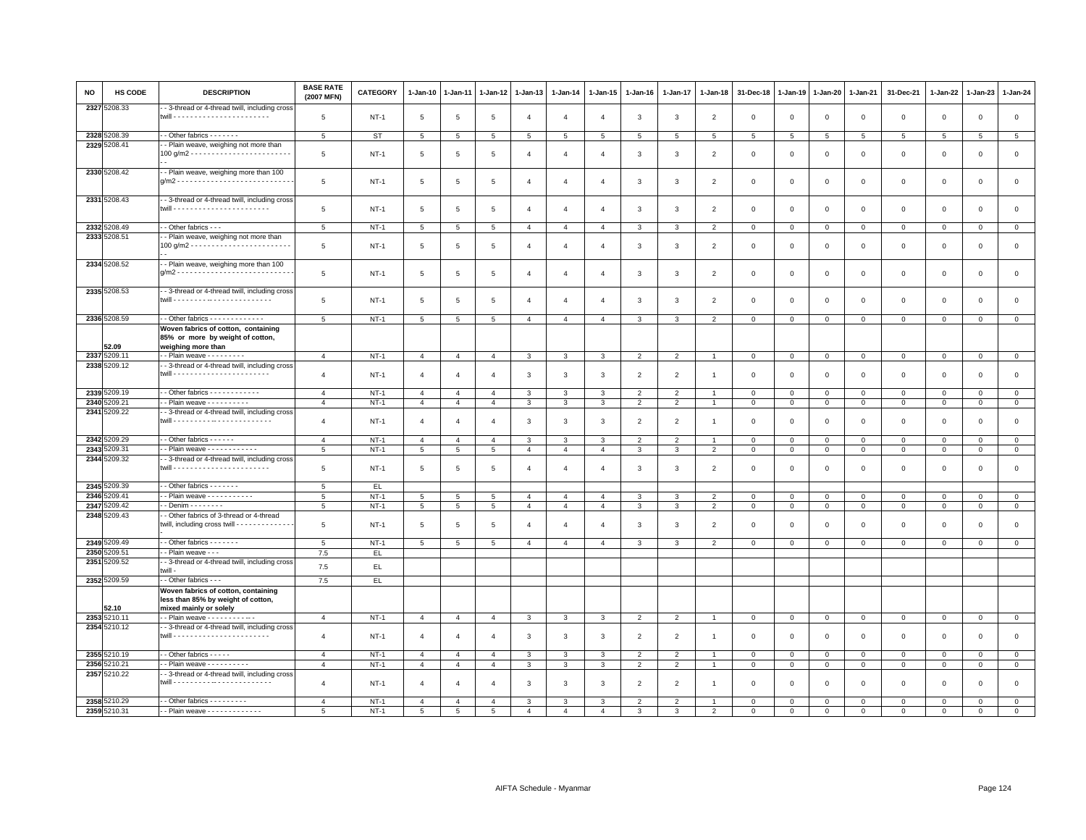| <b>NO</b> | HS CODE                      | <b>DESCRIPTION</b>                                                                                | <b>BASE RATE</b><br>(2007 MFN) | CATEGORY    | $1 - Jan-10$    | 1-Jan-11       | 1-Jan-12        | $1 - Jan-13$   | $1 - Jan-14$    | $1 - Jan-15$   | $1-Jan-16$     | 1-Jan-17                 | $1 - Jan-18$             | 31-Dec-18   | 1-Jan-19       | 1-Jan-20        | $1 - Jan-21$   | 31-Dec-21       | 1-Jan-22    | 1-Jan-23     | $1 - Jan-24$    |
|-----------|------------------------------|---------------------------------------------------------------------------------------------------|--------------------------------|-------------|-----------------|----------------|-----------------|----------------|-----------------|----------------|----------------|--------------------------|--------------------------|-------------|----------------|-----------------|----------------|-----------------|-------------|--------------|-----------------|
|           | 2327 5208.33                 | - 3-thread or 4-thread twill, including cross                                                     | 5                              | $NT-1$      | 5               | 5              | 5               | 4              | $\overline{a}$  | $\overline{4}$ | 3              | 3                        | $\overline{2}$           | $\mathbf 0$ | $\overline{0}$ | $\mathsf 0$     | $\mathbf 0$    | $\mathsf 0$     | $\mathbf 0$ | $\mathbf 0$  | $\mathbf 0$     |
|           | 2328 5208.39                 | - - Other fabrics - - - - - - -                                                                   | 5                              | <b>ST</b>   | $5\phantom{.0}$ | 5              | $5\overline{5}$ | 5              | $5\overline{5}$ | 5              | 5              | 5                        | 5                        | 5           | 5              | $5\overline{5}$ | 5              | $5\overline{5}$ | 5           | 5            | $5\phantom{.0}$ |
|           | 2329 5208.41                 | - - Plain weave, weighing not more than                                                           |                                |             |                 |                |                 |                |                 |                |                |                          |                          |             |                |                 |                |                 |             |              |                 |
|           |                              |                                                                                                   | $\overline{5}$                 | <b>NT-1</b> | 5               | 5              | 5               | $\overline{4}$ | $\overline{4}$  | $\overline{4}$ | 3              | 3                        | $\overline{2}$           | $\mathbf 0$ | $\mathbf 0$    | $\mathsf 0$     | $\mathsf 0$    | $\mathbf 0$     | $\mathsf 0$ | $\mathbf 0$  | $\mathbf 0$     |
|           | 2330 5208.42                 | - Plain weave, weighing more than 100                                                             | 5                              | $NT-1$      | 5               | 5              | 5               | $\overline{4}$ | $\overline{a}$  | $\overline{4}$ | 3              | 3                        | $\overline{2}$           | $\mathbf 0$ | $\overline{0}$ | $\mathbf 0$     | 0              | $\mathsf 0$     | 0           | $\mathbf 0$  | $\mathbf 0$     |
|           | 2331 5208.43                 | - 3-thread or 4-thread twill, including cross                                                     | 5                              | <b>NT-1</b> | 5               | 5              | 5               | 4              | $\overline{4}$  | $\overline{4}$ | 3              | 3                        | $\overline{2}$           | $\mathbf 0$ | $^{\circ}$     | $\mathbf 0$     | 0              | 0               | 0           | $\mathbf 0$  | $\mathbf 0$     |
|           | 2332 5208.49                 | - - Other fabrics - - -                                                                           | $5\overline{5}$                | $NT-1$      | 5               | 5              | 5               | $\overline{4}$ | $\overline{4}$  | $\overline{4}$ | 3              | 3                        | $\overline{2}$           | $\mathbf 0$ | $\mathbf 0$    | $\overline{0}$  | $\mathbf 0$    | $\mathbf 0$     | $\mathbf 0$ | $\mathbf 0$  | $\mathbf 0$     |
|           | 2333 5208.51                 | - Plain weave, weighing not more than                                                             |                                |             |                 |                |                 |                |                 |                |                |                          |                          |             |                |                 |                |                 |             |              |                 |
|           |                              |                                                                                                   | 5                              | $NT-1$      | 5               | 5              | 5               | $\overline{4}$ | $\overline{4}$  | $\overline{4}$ | $\mathbf{3}$   | 3                        | $\overline{2}$           | $\mathbf 0$ | $\overline{0}$ | $\mathbf 0$     | $\mathbf{0}$   | $\mathbf 0$     | $\mathbf 0$ | $\mathbf 0$  | $\mathbf 0$     |
|           | 2334 5208.52                 | - - Plain weave, weighing more than 100                                                           | 5                              | $NT-1$      | 5               | 5              | 5               | $\overline{4}$ | $\overline{4}$  | $\overline{4}$ | 3              | 3                        | $\overline{2}$           | $\mathbf 0$ | $\mathbf 0$    | $\mathbf 0$     | $\mathbf 0$    | $\mathsf 0$     | 0           | 0            | $\mathbf 0$     |
|           | 2335 5208.53                 | - 3-thread or 4-thread twill, including cross                                                     | 5                              | $NT-1$      | 5               | 5              | 5               | $\overline{4}$ | $\overline{4}$  | $\overline{4}$ | 3              | 3                        | $\overline{2}$           | $\mathbf 0$ | $\mathbf 0$    | $\mathbf 0$     | $\mathbf 0$    | $\mathsf 0$     | $\mathbf 0$ | $\mathsf 0$  | $\mathbf 0$     |
|           | 2336 5208.59                 | - - Other fabrics - - - - - - - - - - - -                                                         | 5                              | $NT-1$      | $5\phantom{.0}$ | $\overline{5}$ | 5               | $\overline{4}$ | $\overline{a}$  | $\overline{4}$ | 3              | 3                        | $\overline{2}$           | $\mathsf 0$ | $\mathbb O$    | $\mathbf 0$     | $\mathsf 0$    | $\mathsf 0$     | $\mathbf 0$ | $\mathsf 0$  | $\overline{0}$  |
|           | 52.09                        | Woven fabrics of cotton, containing<br>85% or more by weight of cotton,<br>weighing more than     |                                |             |                 |                |                 |                |                 |                |                |                          |                          |             |                |                 |                |                 |             |              |                 |
|           | 2337 5209.11                 | - - Plain weave - - - - - - - - -                                                                 | $\overline{4}$                 | $NT-1$      | $\overline{4}$  | $\overline{4}$ | $\overline{4}$  | $\mathbf{3}$   | 3               | $\mathbf{3}$   | $\overline{2}$ | 2                        | $\overline{1}$           | $\mathbf 0$ | $\mathbf 0$    | $\overline{0}$  | $\overline{0}$ | $\mathbf 0$     | $\mathbf 0$ | $\mathsf 0$  | $\overline{0}$  |
|           | 2338 5209.12                 | - 3-thread or 4-thread twill, including cross                                                     |                                |             |                 |                |                 |                |                 |                |                |                          |                          |             |                |                 |                |                 |             |              |                 |
|           |                              |                                                                                                   | $\overline{4}$                 | <b>NT-1</b> | $\overline{a}$  | $\overline{4}$ | $\overline{4}$  | 3              | 3               | 3              | $\overline{2}$ | $\overline{2}$           | $\overline{1}$           | $\mathbf 0$ | $^{\circ}$     | $\mathbf 0$     | $\mathbf 0$    | 0               | 0           | $\Omega$     | $\mathsf 0$     |
|           | 2339 5209.19                 | $\cdot$ - Other fabrics - - - - - - - - - - - -                                                   | $\overline{4}$                 | $NT-1$      | $\overline{4}$  | $\overline{4}$ | $\overline{4}$  | $\mathcal{R}$  | 3               | 3              | $\overline{2}$ | $\overline{2}$           | $\overline{1}$           | $\Omega$    | $\circ$        | $\mathbf{0}$    | $\Omega$       | $\mathbf 0$     | $\Omega$    | $\mathbf 0$  | $\mathbf{0}$    |
|           | 2340 5209.21                 | - - Plain weave - - - - - - - - - -                                                               | $\overline{4}$                 | $NT-1$      | $\overline{4}$  | 4              | 4               | 3              | 3               | 3              | $\overline{2}$ | $\overline{2}$           | $\overline{1}$           | 0           | $\mathbf 0$    | $\overline{0}$  | $\mathbf{0}$   | $\mathbf 0$     | 0           | $\mathbf 0$  | $\mathbf{0}$    |
|           | 2341 5209.22                 | - 3-thread or 4-thread twill, including cross                                                     | $\overline{4}$                 | $NT-1$      | $\overline{4}$  | $\overline{4}$ | $\overline{4}$  | 3              | 3               | 3              | $\overline{2}$ | $\overline{2}$           | $\overline{1}$           | $^{\circ}$  | $^{\circ}$     | $\mathbf 0$     | 0              | 0               | 0           | $\Omega$     | $\mathsf 0$     |
|           | 2342 5209.29                 | $\cdot$ - Other fabrics - - - - - -                                                               | $\overline{4}$                 | $NT-1$      | $\overline{4}$  | $\overline{4}$ | $\overline{4}$  | 3              | 3               | 3              | $\overline{2}$ | 2                        |                          | $\mathbf 0$ | $\mathbf{0}$   | $\mathbf{0}$    | $\mathbf{0}$   | $\mathbf 0$     | $\mathbf 0$ | $\mathbf 0$  | $\mathbf{0}$    |
|           | 2343 5209.31                 | - - Plain weave - - - - - - - - - - -                                                             | 5                              | $NT-1$      | 5               | 5              | 5               | $\overline{4}$ | $\overline{4}$  | $\overline{4}$ | 3              | 3                        | $\overline{2}$           | $\mathbf 0$ | $\mathbf{0}$   | $\overline{0}$  | $\mathbf{0}$   | $\mathbf{0}$    | 0           | $\mathbf 0$  | $\overline{0}$  |
|           | 2344 5209.32                 | - 3-thread or 4-thread twill, including cross                                                     | 5                              | $NT-1$      | 5               | 5              | 5               | $\overline{4}$ | $\overline{4}$  | $\overline{4}$ | 3              | 3                        | $\overline{2}$           | $^{\circ}$  | $^{\circ}$     | $\mathbf 0$     | 0              | 0               | 0           | $\Omega$     | $\mathsf 0$     |
|           | 2345 5209.39                 | - - Other fabrics - - - - - - -                                                                   | 5                              | EL.         |                 |                |                 |                |                 |                |                |                          |                          |             |                |                 |                |                 |             |              |                 |
|           | 2346 5209.41                 | - - Plain weave - - - - - - - - - - -                                                             | 5                              | <b>NT-1</b> | 5               | 5              | 5               | 4              | $\overline{4}$  | $\overline{4}$ | 3              | 3                        | $\overline{2}$           | 0           | $^{\circ}$     | $\mathbf 0$     | 0              | 0               | $^{\circ}$  | $^{\circ}$   | $\mathbf{0}$    |
| 2347      | 5209.42                      | $-Denim - - - - - - -$                                                                            | $\,$ 5 $\,$                    | $NT-1$      | $\overline{5}$  | 5              | 5               | $\overline{4}$ | $\overline{4}$  | $\overline{4}$ | $\mathbf{3}$   | 3                        | $\overline{2}$           | $\mathbf 0$ | $\,$ 0         | $\mathbb O$     | $\mathsf 0$    | $\mathsf 0$     | $\mathsf 0$ | $\mathsf 0$  | $\,0\,$         |
|           | 2348 5209.43                 | - Other fabrics of 3-thread or 4-thread<br>twill, including cross twill - - - - - - - - - - - - - | 5                              | $NT-1$      | 5               | 5              | 5               | $\overline{4}$ | $\overline{4}$  | $\overline{4}$ | 3              | 3                        | $\overline{2}$           | $\mathbf 0$ | $\mathbf 0$    | $\mathbf 0$     | $\mathbf 0$    | $\mathsf 0$     | $\mathbf 0$ | $\mathsf 0$  | $\mathsf 0$     |
|           | 2349 5209.49                 | - - Other fabrics - - - - - - -                                                                   | 5                              | <b>NT-1</b> | 5               | 5              | 5               | $\overline{4}$ | $\overline{4}$  | $\overline{4}$ | 3              | 3                        | $\overline{2}$           | 0           | $\mathbf 0$    | $\mathbf 0$     | $\mathbf{0}$   | $\mathbf 0$     | 0           | $\mathbf 0$  | $\overline{0}$  |
|           | 2350 5209.51<br>2351 5209.52 | - - Plain weave - - -<br>- 3-thread or 4-thread twill, including cross                            | 7.5<br>7.5                     | EL.<br>EL.  |                 |                |                 |                |                 |                |                |                          |                          |             |                |                 |                |                 |             |              |                 |
|           |                              | twill -<br>- - Other fabrics - - -                                                                | 7.5                            | EL.         |                 |                |                 |                |                 |                |                |                          |                          |             |                |                 |                |                 |             |              |                 |
|           | 2352 5209.59                 | Woven fabrics of cotton, containing                                                               |                                |             |                 |                |                 |                |                 |                |                |                          |                          |             |                |                 |                |                 |             |              |                 |
|           | 52.10                        | less than 85% by weight of cotton,<br>mixed mainly or solely                                      |                                |             |                 |                |                 |                |                 |                |                |                          |                          |             |                |                 |                |                 |             |              |                 |
|           | 2353 5210.11                 | - - Plain weave - - - - - - - - - - -                                                             | $\overline{4}$                 | <b>NT-1</b> | $\overline{4}$  | $\overline{4}$ | $\overline{4}$  | $\mathbf{3}$   | $\mathbf{3}$    | 3              | $\overline{2}$ | $\overline{2}$           | $\overline{1}$           | $\mathbf 0$ | $\mathbf 0$    | $\mathbf 0$     | $\mathbf 0$    | $\overline{0}$  | $\mathsf 0$ | $\mathsf 0$  | $\overline{0}$  |
|           | 2354 5210.12                 | - 3-thread or 4-thread twill, including cross                                                     | $\overline{4}$                 | <b>NT-1</b> | $\overline{4}$  | $\overline{4}$ | $\overline{4}$  | 3              | 3               | 3              | $\overline{2}$ | 2                        | $\overline{1}$           | $\mathbf 0$ | $\mathbf 0$    | $\mathbf 0$     | $\mathbf 0$    | $\mathsf 0$     | $\mathbf 0$ | $\mathsf 0$  | $\mathsf 0$     |
|           | 2355 5210.19                 | - - Other fabrics - - - - -                                                                       | $\overline{4}$                 | $NT-1$      | $\overline{4}$  | $\overline{4}$ | $\overline{4}$  | $\mathbf{3}$   | $\mathbf{3}$    | $\mathbf{3}$   | $\overline{2}$ | $\overline{2}$           | $\overline{1}$           | $\mathbf 0$ | $\overline{0}$ | $\mathbf 0$     | $\mathbf{0}$   | $\mathbf 0$     | $\mathbf 0$ | $\mathbf{0}$ | $\mathbf 0$     |
|           | 2356 5210.21                 | - - Plain weave - - - - - - - - - -                                                               | $\overline{4}$                 | <b>NT-1</b> | $\overline{4}$  | $\overline{4}$ | $\overline{4}$  | 3              | 3               | 3              | $\overline{2}$ | $\overline{2}$           | $\overline{1}$           | $\mathbf 0$ | $\,0\,$        | $\mathbf 0$     | $\mathbf 0$    | $\mathsf 0$     | $\mathsf 0$ | $\mathsf 0$  | $\mathbf 0$     |
|           | 2357 5210.22                 | - 3-thread or 4-thread twill, including cross                                                     | $\overline{4}$                 | <b>NT-1</b> | $\overline{4}$  | $\overline{4}$ | $\overline{4}$  | 3              | 3               | 3              | $\overline{2}$ | $\overline{2}$           | $\overline{1}$           | $\mathbf 0$ | $^{\circ}$     | $\mathbf 0$     | $\mathbf{0}$   | $\mathsf 0$     | $^{\circ}$  | $^{\circ}$   | $\mathsf 0$     |
|           | 2358 5210.29                 | -- Other fabrics ---------                                                                        | $\overline{4}$                 | $NT-1$      | $\overline{4}$  | $\overline{4}$ | $\overline{4}$  | 3              | $\mathcal{R}$   | 3              | $\overline{2}$ | $\overline{\phantom{a}}$ |                          | $\Omega$    | $\mathbf 0$    | $\mathbf 0$     | $\Omega$       | $\Omega$        | $\Omega$    | $\Omega$     | $\mathbf 0$     |
|           | 2359 5210.31                 | - - Plain weave - - - - - - - - - - - - -                                                         | 5                              | $NT-1$      | 5               | 5              | $\overline{5}$  | $\overline{4}$ | $\overline{4}$  | $\overline{4}$ | 3              | 3                        | $\overline{\phantom{0}}$ | $\Omega$    | $\Omega$       | $\Omega$        | $\Omega$       | $\mathbf 0$     | $\Omega$    | $\Omega$     | $\Omega$        |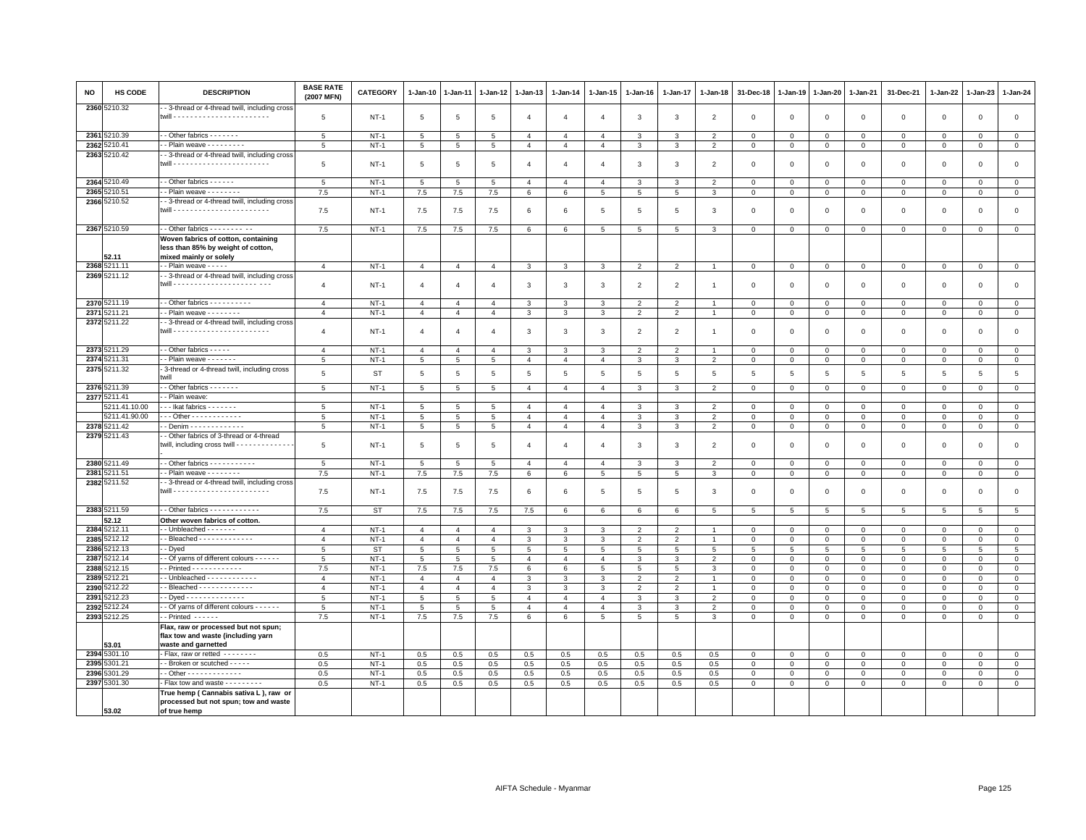| NO           | HS CODE                  | <b>DESCRIPTION</b>                                                                                  | <b>BASE RATE</b><br>(2007 MFN) | <b>CATEGORY</b>     | 1-Jan-10       | 1-Jan-11            | 1-Jan-12         | 1-Jan-13                         | 1-Jan-14                         | 1-Jan-15                         | 1-Jan-16       | 1-Jan-17                 | 1-Jan-18                         | 31-Dec-18                  | 1-Jan-19         | 1-Jan-20         | $1 - Jan-21$            | 31-Dec-21                   | 1-Jan-22                       | 1-Jan-23                    | 1-Jan-24                   |
|--------------|--------------------------|-----------------------------------------------------------------------------------------------------|--------------------------------|---------------------|----------------|---------------------|------------------|----------------------------------|----------------------------------|----------------------------------|----------------|--------------------------|----------------------------------|----------------------------|------------------|------------------|-------------------------|-----------------------------|--------------------------------|-----------------------------|----------------------------|
|              | 2360 5210.32             | - 3-thread or 4-thread twill, including cross                                                       | 5                              | $NT-1$              | 5              | 5                   | 5                | $\overline{4}$                   | $\overline{4}$                   | $\overline{4}$                   | $\mathbf{3}$   | $\mathbf{3}$             | $\overline{2}$                   | $\mathbf 0$                | $\mathbf 0$      | $\mathsf 0$      | $\mathbf 0$             | $\mathbf 0$                 | $\mathbf 0$                    | $\mathbf{0}$                | $\mathbf 0$                |
|              |                          |                                                                                                     |                                |                     |                |                     |                  |                                  |                                  |                                  |                |                          |                                  |                            |                  |                  |                         |                             |                                |                             |                            |
|              | 2361 5210.39             | - - Other fabrics - - - - - - -                                                                     | 5                              | $NT-1$              | 5              | 5                   | 5                | $\overline{4}$                   | $\overline{4}$                   | $\overline{4}$                   | 3              | 3                        | $\overline{2}$                   | $\mathbf 0$                | $\mathbf 0$      | $\mathbf 0$      | $\mathbf 0$             | $\mathbf 0$                 | $\mathbf 0$                    | $\Omega$                    | $\mathbf 0$                |
| 2362         | 5210.41<br>2363 5210.42  | - Plain weave - - - - - - - -<br>- 3-thread or 4-thread twill, including cross                      | $5\overline{5}$                | $NT-1$              | $\overline{5}$ | 5                   | $5\phantom{.0}$  | $\overline{4}$                   | $\overline{4}$                   | $\overline{4}$                   | 3              | 3                        | $\overline{2}$                   | $\mathbf 0$                | $\mathsf 0$      | $\mathbf 0$      | $\mathbf 0$             | $\mathsf 0$                 | $\mathbf 0$                    | $\mathbf 0$                 | $\mathbf 0$                |
|              |                          |                                                                                                     | 5                              | $NT-1$              | 5              | 5                   | 5                | $\overline{4}$                   | $\overline{4}$                   | $\overline{4}$                   | $\mathbf{3}$   | $\mathbf{3}$             | $\overline{2}$                   | $\mathbf 0$                | $\Omega$         | $\mathbf 0$      | $\mathbf{0}$            | $\mathbf 0$                 | $\mathbf 0$                    | $\mathbf{0}$                | $\mathbf{0}$               |
|              | 2364 5210.49             | - Other fabrics - - - - - -                                                                         | 5                              | $NT-1$              | 5              | 5                   | 5                | $\overline{4}$                   | $\overline{4}$                   | $\overline{a}$                   | 3              | 3                        | $\overline{2}$                   | $\mathbf 0$                | $\mathbf 0$      | $\mathbf 0$      | $\overline{0}$          | $\Omega$                    | $\Omega$                       | $\Omega$                    | $\mathbf 0$                |
| 2365         | 5210.51                  | - Plain weave - - - - - - -                                                                         | 7.5                            | $NT-1$              | 7.5            | 7.5                 | 7.5              | $6\phantom{.0}$                  | $\,6\,$                          | $\overline{5}$                   | 5              | 5                        | 3                                | $\mathbf 0$                | $\,0\,$          | $\,0\,$          | $\overline{0}$          | $\mathsf 0$                 | $\mathbf 0$                    | $\mathsf 0$                 | $\overline{0}$             |
|              | 2366 5210.52             | - 3-thread or 4-thread twill, including cross                                                       | 7.5                            | $NT-1$              | 7.5            | 7.5                 | 7.5              | 6                                | 6                                | 5                                | -5             | 5                        | 3                                | $\mathbf 0$                | $\mathbf 0$      | $\mathbf 0$      | $\mathbf 0$             | $\mathsf 0$                 | $\mathbf 0$                    | $\mathbf{0}$                | $\mathbf 0$                |
|              | 2367 5210.59             | - - Other fabrics - - - - - - - - - -                                                               | 7.5                            | $NT-1$              | 7.5            | 7.5                 | 7.5              | 6                                | 6                                | 5 <sub>5</sub>                   | 5              | 5                        | 3                                | $\mathbf 0$                | $\mathbf 0$      | $\mathbf 0$      | $\mathbf 0$             | $\mathbf 0$                 | $\mathbf 0$                    | $\mathbf 0$                 | $\mathbf{0}$               |
|              | 52.11                    | Woven fabrics of cotton, containing<br>less than 85% by weight of cotton,<br>mixed mainly or solely |                                |                     |                |                     |                  |                                  |                                  |                                  |                |                          |                                  |                            |                  |                  |                         |                             |                                |                             |                            |
|              | 2368 5211.11             | - Plain weave - - - - -                                                                             | $\overline{4}$                 | $NT-1$              | $\overline{4}$ | $\overline{4}$      | $\overline{4}$   | $\mathbf{3}$                     | 3                                | 3                                | $\overline{2}$ | $\overline{2}$           |                                  | $\mathbf 0$                | 0                | $\mathbf 0$      | $\circ$                 | $\mathsf 0$                 | $\overline{0}$                 | $\mathbf{0}$                | $\mathsf 0$                |
|              | 2369 5211.12             | - 3-thread or 4-thread twill, including cross                                                       |                                |                     |                |                     |                  |                                  |                                  |                                  |                |                          |                                  |                            |                  |                  |                         |                             |                                |                             |                            |
|              |                          |                                                                                                     | $\overline{4}$                 | $NT-1$              | $\overline{4}$ | $\overline{4}$      | $\overline{4}$   | 3                                | 3                                | 3                                | $\overline{2}$ | $\overline{2}$           | $\overline{1}$                   | $\mathbf 0$                | $\mathbf 0$      | $\mathsf 0$      | $\mathbf 0$             | $\mathsf 0$                 | $\mathbf 0$                    | $\mathbf 0$                 | $\mathsf 0$                |
|              | 2370 5211.19             | $-$ Other fabrics $        -$                                                                       | $\overline{4}$                 | $NT-1$              | $\overline{4}$ | $\overline{4}$      | $\overline{4}$   | 3                                | 3                                | 3                                | $\overline{2}$ | $\overline{2}$           |                                  | $\mathbf 0$                | $\mathbf 0$      | $\mathbf 0$      | $\mathbf 0$             | $\mathbf 0$                 | $\mathbf 0$                    | $\mathbf 0$                 | $\mathbf 0$                |
| 2371         | 211.21                   | - Plain weave - - - - - - - -                                                                       | $\overline{4}$                 | $NT-1$              | $\overline{4}$ | $\overline{4}$      | $\overline{4}$   | $\mathbf{3}$                     | 3                                | $\mathbf{3}$                     | $\overline{2}$ | $\overline{2}$           | $\mathbf{1}$                     | $\mathbf 0$                | $\mathbf 0$      | $\mathbf 0$      | $\overline{0}$          | $\mathsf 0$                 | $\mathbf{0}$                   | $\mathbf{O}$                | $\mathbf{0}$               |
|              | 2372 5211.22             | - 3-thread or 4-thread twill, including cross                                                       | $\overline{4}$                 | $NT-1$              | $\overline{4}$ | $\overline{4}$      | $\overline{4}$   | $\mathbf{3}$                     | 3                                | 3                                | $\overline{2}$ | $\overline{2}$           | $\overline{1}$                   | $\mathbf 0$                | $\mathbf 0$      | $\mathsf 0$      | $\mathbf 0$             | $\mathsf 0$                 | $\overline{0}$                 | $\mathbf 0$                 | $\mathbf 0$                |
|              | 2373 5211.29             | - - Other fabrics - - - - -                                                                         | $\overline{4}$                 | $NT-1$              | $\overline{4}$ | $\overline{4}$      | $\overline{4}$   | $\mathbf{3}$                     | 3                                | 3                                | $\overline{2}$ | $\overline{2}$           |                                  | $\mathbf 0$                | $\mathbf 0$      | $\mathbf 0$      | $\mathbf 0$             | $\mathbf 0$                 | $\mathbf 0$                    | $\overline{0}$              | $\mathbf 0$                |
| 2374         | 211.31                   | - Plain weave - - - - - - -                                                                         | 5                              | $NT-1$              | 5              | 5                   | 5                | $\overline{4}$                   | $\overline{4}$                   | $\overline{4}$                   | 3              | 3                        | $\overline{2}$                   | $\mathbf 0$                | 0                | $\mathbf 0$      | $\mathbf 0$             | $\mathbf 0$                 | $\mathbf{0}$                   | $\Omega$                    | $\circ$                    |
| 2375         | 5211.32                  | 3-thread or 4-thread twill, including cross<br>hwill                                                | 5                              | <b>ST</b>           | 5              | 5                   | 5                | 5                                | 5                                | 5                                | 5              | 5                        | 5                                | 5                          | 5                | 5                | 5                       | 5                           | 5                              | 5                           | 5                          |
|              | 2376 5211.39             | - Other fabrics - - - - - - -                                                                       | 5                              | $NT-1$              | 5              | $\overline{5}$      | $\overline{5}$   | $\overline{4}$                   | $\overline{4}$                   | $\overline{4}$                   | $\mathcal{R}$  | 3                        | $\overline{\phantom{0}}$         | $\mathbf 0$                | $\mathbf 0$      | $\mathsf 0$      | $\mathbf 0$             | $\mathbf{0}$                | $\Omega$                       | $\mathbf{0}$                | $\circ$                    |
|              | 2377 5211.41             | - Plain weave:                                                                                      |                                |                     |                |                     |                  |                                  |                                  |                                  |                |                          |                                  |                            |                  |                  |                         |                             |                                |                             |                            |
|              | 5211.41.10.00            | Ikat fabrics -------                                                                                | 5                              | NT-1                | 5              | 5                   | 5                | 4                                | $\overline{4}$                   | 4                                | 3              | 3                        | $\overline{2}$                   | $^{\circ}$                 | $\mathbf 0$      | $\mathbf 0$      | $\mathbf 0$             | $\mathbf 0$                 | $\mathbf 0$                    | $\Omega$                    | $\mathbf{0}$               |
| 2378         | 5211.41.90.00<br>5211.42 | . - - Other - - - - - - - - - - - -<br>- Denim - - - - - - - - - - - - -                            | 5                              | $NT-1$<br>$NT-1$    | 5<br>5         | $\overline{5}$<br>5 | 5<br>$\,$ 5 $\,$ | $\overline{4}$<br>$\overline{4}$ | $\overline{4}$<br>$\overline{4}$ | $\overline{4}$<br>$\overline{4}$ | 3<br>3         | 3<br>3                   | $\overline{2}$<br>$\overline{2}$ | $\mathbf 0$<br>$\mathbf 0$ | $\mathbf 0$      | $\mathbf 0$      | $\mathbf{0}$<br>$\,0\,$ | $\mathbf{0}$<br>$\mathsf 0$ | $\mathbf 0$<br>$\mathbf 0$     | $\mathbf{0}$<br>$\mathbf 0$ | $\mathbf 0$<br>$\mathsf 0$ |
|              | 2379 5211.43             | - Other fabrics of 3-thread or 4-thread                                                             | $\overline{5}$                 |                     |                |                     |                  |                                  |                                  |                                  |                |                          |                                  |                            | $\mathsf 0$      | $\mathbf 0$      |                         |                             |                                |                             |                            |
|              |                          | twill, including cross twill - - - - - - - - - - - - -                                              | $\overline{5}$                 | <b>NT-1</b>         | 5              | 5                   | 5                | $\overline{4}$                   | $\overline{4}$                   | $\overline{4}$                   | 3              | 3                        | $\overline{2}$                   | $\mathbf 0$                | $\mathbf 0$      | $\mathbf 0$      | $\mathbf 0$             | $\mathsf 0$                 | 0                              | $\mathbf 0$                 | $\mathbf 0$                |
|              | 2380 5211.49             | - Other fabrics - - - - - - - - - -                                                                 | 5                              | $NT-1$              | 5              | 5                   | 5                | $\overline{4}$                   | $\overline{4}$                   | $\overline{4}$                   | 3              | 3                        | $\overline{2}$                   | $\mathbf{0}$               | $\mathbf{0}$     | $\mathbf 0$      | $\mathbf{0}$            | $\mathbf 0$                 | $\mathbf{0}$                   | $\mathbf{0}$                | $\mathsf 0$                |
|              | 2381 5211.51             | - Plain weave - - - - - - -                                                                         | 7.5                            | $NT-1$              | 7.5            | 7.5                 | 7.5              | 6                                | 6                                | 5                                | 5              | 5                        | 3                                | $\mathbf 0$                | $\mathbf 0$      | $\mathbf 0$      | $\mathbf 0$             | $\mathbf 0$                 | $\mathbf 0$                    | $\mathbf 0$                 | $\mathsf 0$                |
|              | 2382 5211.52             | - 3-thread or 4-thread twill, including cross                                                       | 7.5                            | <b>NT-1</b>         | 7.5            | 7.5                 | 7.5              | 6                                | 6                                | 5                                | 5              | 5                        | 3                                | $\mathbf 0$                | $\mathbf 0$      | $\mathbf 0$      | $\mathsf 0$             | $\mathsf 0$                 | 0                              | $^{\circ}$                  | $\mathbf 0$                |
|              | 2383 5211.59             | - Other fabrics - - - - - - - - - - -                                                               | 7.5                            | <b>ST</b>           | 7.5            | 7.5                 | 7.5              | 7.5                              | $6\phantom{.0}$                  | 6                                | 6              | 6                        | 5                                | $\overline{5}$             | 5                | 5                | 5                       | 5                           | $5\overline{5}$                | 5                           | $5\overline{5}$            |
|              | 52.12                    | Other woven fabrics of cotton.                                                                      |                                |                     |                |                     |                  |                                  |                                  |                                  |                |                          |                                  |                            |                  |                  |                         |                             |                                |                             |                            |
| 2384         | 5212.11                  | $-$ Unbleached $     -$                                                                             | $\overline{4}$                 | $NT-1$              | $\overline{4}$ | $\overline{4}$      | $\overline{4}$   | 3                                | 3                                | 3                                | $\overline{2}$ | $\overline{\phantom{0}}$ |                                  | $\mathbf 0$                | $\mathbf 0$      | $\mathbf 0$      | $\mathbf{0}$            | $\mathbf 0$                 | $\mathbf 0$                    | $\mathbf{0}$                | $\mathbf{0}$               |
| 2385         | 5212.12                  | - Bleached - - - - - - - - - - - -                                                                  | $\overline{4}$                 | $NT-1$              | $\overline{4}$ | $\overline{4}$      | $\overline{4}$   | 3                                | 3                                | 3                                | $\overline{2}$ | $\overline{2}$           |                                  | $\mathbf 0$                | $\mathbf 0$      | $\mathsf 0$      | $\mathbf 0$             | $\mathsf 0$                 | $\mathbf 0$                    | $\mathbf 0$                 | $\mathbf 0$                |
| 2386<br>2387 | 3212.13<br>212.14        | - Dyed<br>- Of yarns of different colours - - - - - -                                               | 5<br>5                         | <b>ST</b><br>$NT-1$ | 5<br>5         | 5<br>5              | 5<br>5           | 5<br>$\overline{4}$              | 5<br>$\overline{4}$              | 5<br>$\overline{4}$              | 5<br>3         | 5<br>3                   | 5<br>$\overline{2}$              | 5<br>$\mathbf 0$           | 5<br>$\mathbf 0$ | 5<br>$\mathsf 0$ | 5<br>$\mathbf 0$        | 5<br>$\mathbf 0$            | $5\overline{5}$<br>$\mathbf 0$ | -5<br>$\mathbf 0$           | 5<br>$\mathsf 0$           |
| 2388         | 5212.15                  |                                                                                                     | 7.5                            | $NT-1$              | 7.5            | 7.5                 | 7.5              | 6                                | 6                                | 5                                | 5              | 5                        | 3                                | $\mathbf{0}$               | $\mathbf 0$      | $\mathbf 0$      | $\mathbf 0$             | $\mathbf 0$                 | $\mathbf{0}$                   | $\Omega$                    | $\mathbf{0}$               |
| 2389         | 212.21                   |                                                                                                     | $\mathbf{A}$                   | $NT-1$              | $\overline{4}$ | $\mathbf{A}$        | $\mathbf{A}$     | 3                                | 3                                | 3                                | $\overline{2}$ | $\overline{2}$           | $\overline{1}$                   | $\overline{0}$             | $\mathbf 0$      | $\mathbf 0$      | $\overline{0}$          | $\mathbf 0$                 | $\Omega$                       | $\mathbf{0}$                | $\mathbf{0}$               |
| 2390         | 212.22                   | - Bleached - - - - - - - - - - - -                                                                  | $\overline{4}$                 | $NT-1$              | $\overline{4}$ | $\overline{4}$      | $\overline{4}$   | 3                                | 3                                | 3                                | $\overline{2}$ | $\overline{2}$           |                                  | $\mathbf 0$                | $\overline{0}$   | $\mathbf{0}$     | $\mathbf 0$             | $\mathsf 0$                 | $\Omega$                       | $\Omega$                    | $\mathbf 0$                |
| 2391         | 212.23                   | - Dyed - - - - - - - - - - - - - -                                                                  | 5                              | $NT-1$              | 5              | 5                   | 5                | $\overline{4}$                   | $\overline{4}$                   | $\overline{4}$                   | 3              | 3                        | $\overline{2}$                   | $\overline{0}$             | $\mathbf 0$      | $\mathbf 0$      | $\mathbf{0}$            | $\mathbf 0$                 | $\mathbf 0$                    | $\mathbf{0}$                | $\mathbf{0}$               |
| 2392         | 212.24                   | - Of yarns of different colours - - - - - -                                                         | 5                              | $NT-1$              | 5              | 5                   | 5                | 4                                | $\overline{4}$                   | 4                                | 3              | 3                        | $\overline{2}$                   | $\mathbf 0$                | $\mathbf 0$      | $\mathbf 0$      | $\mathbf 0$             | 0                           | 0                              | $\mathbf 0$                 | 0                          |
| 2393         | 3212.25                  | $\overline{\cdot}$ Printed $\cdot \cdot \cdot \cdot \cdot$                                          | 7.5                            | $NT-1$              | $7.5\,$        | $7.5\,$             | $7.5\,$          | 6                                | 6                                | 5 <sup>5</sup>                   | 5              | 5                        | 3                                | $\mathbf 0$                | $\,0\,$          | $\,0\,$          | $\,0\,$                 | $\mathbf{0}$                | $\mathsf 0$                    | $\mathbf 0$                 | $\circ$                    |
|              | 53.01                    | Flax, raw or processed but not spun;<br>flax tow and waste (including yarn                          |                                |                     |                |                     |                  |                                  |                                  |                                  |                |                          |                                  |                            |                  |                  |                         |                             |                                |                             |                            |
|              | 2394 5301.10             | waste and garnetted<br>- Flax, raw or retted --------                                               | 0.5                            | $NT-1$              | 0.5            | 0.5                 | 0.5              | 0.5                              | 0.5                              | 0.5                              | 0.5            | 0.5                      | 0.5                              | $\mathbf 0$                | $\mathbf 0$      | $\mathbf 0$      | $\mathbf 0$             | $\mathbf 0$                 | $^{\circ}$                     | $\mathbf 0$                 | $\mathbf 0$                |
| 2395         | 301.21                   | - Broken or scutched - - - - -                                                                      | 0.5                            | $NT-1$              | 0.5            | 0.5                 | 0.5              | 0.5                              | 0.5                              | 0.5                              | 0.5            | 0.5                      | 0.5                              | $\mathbf 0$                | $\mathbf 0$      | $\mathbf 0$      | $\mathbf{0}$            | $\Omega$                    | $\Omega$                       | $\Omega$                    | $\mathsf 0$                |
| 2396         | 5301.29                  | - Other - - - - - - - - - - - -                                                                     | 0.5                            | $NT-1$              | 0.5            | 0.5                 | 0.5              | 0.5                              | 0.5                              | 0.5                              | 0.5            | 0.5                      | 0.5                              | $^{\circ}$                 | $\mathbf 0$      | $\mathbf 0$      | $\mathbf 0$             | 0                           | 0                              | $\mathbf 0$                 | $\mathbf 0$                |
|              | 2397 5301.30             | Flax tow and waste - - - - - - - -                                                                  | 0.5                            | $NT-1$              | 0.5            | 0.5                 | $0.5\,$          | 0.5                              | 0.5                              | 0.5                              | 0.5            | 0.5                      | 0.5                              | $\mathsf 0$                | $\mathbf 0$      | $\mathbf 0$      | $\overline{0}$          | $\mathsf 0$                 | $\mathsf 0$                    | $\mathbf 0$                 | $\overline{0}$             |
|              |                          | True hemp (Cannabis sativa L), raw or<br>processed but not spun; tow and waste                      |                                |                     |                |                     |                  |                                  |                                  |                                  |                |                          |                                  |                            |                  |                  |                         |                             |                                |                             |                            |
|              | 53.02                    | of true hemp                                                                                        |                                |                     |                |                     |                  |                                  |                                  |                                  |                |                          |                                  |                            |                  |                  |                         |                             |                                |                             |                            |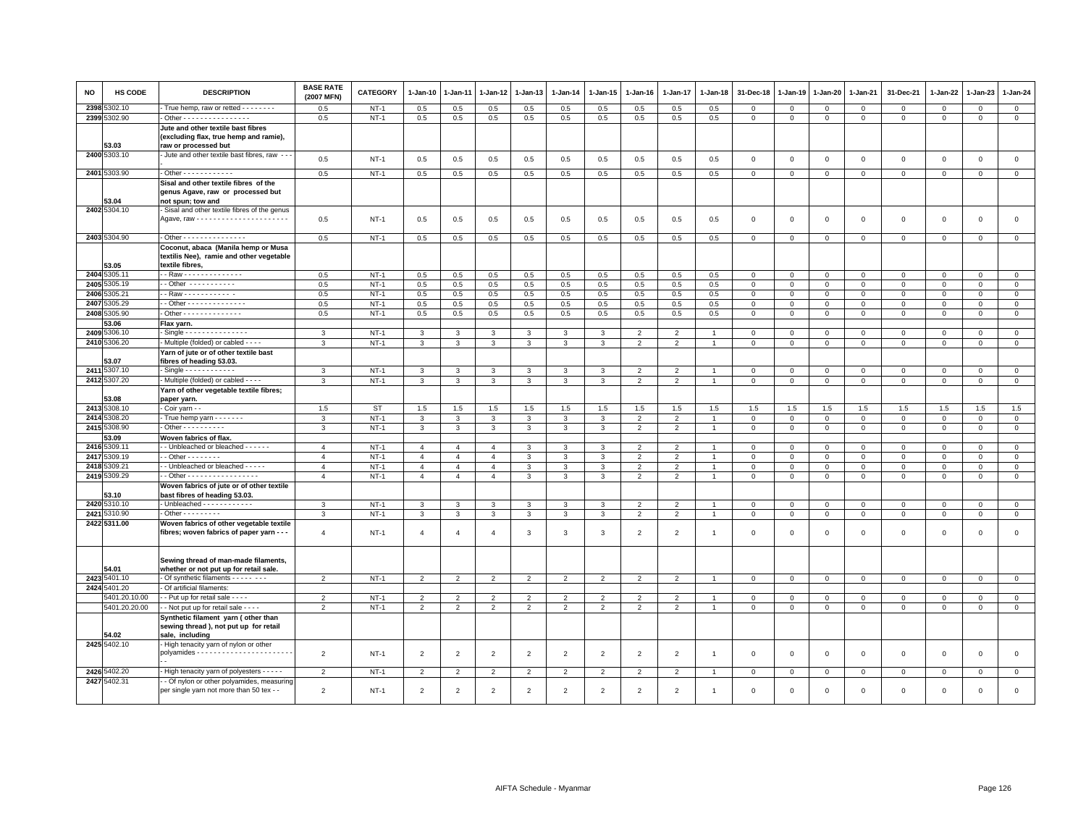| <b>NO</b> | <b>HS CODE</b>       | <b>DESCRIPTION</b>                                                                                   | <b>BASE RATE</b><br>(2007 MFN) | <b>CATEGORY</b> | $1 - Jan-10$   | $1-Jan-11$     | 1-Jan-12       | 1-Jan-13       | $1-Jan-14$               | 1-Jan-15       | $1-Jan-16$     | 1-Jan-17       | $1-Jan-18$            | 31-Dec-18    | 1-Jan-19       | 1-Jan-20       | 1-Jan-21     | 31-Dec-21    | 1-Jan-22     | $1-Jan-23$   | $1 - Jan-24$   |
|-----------|----------------------|------------------------------------------------------------------------------------------------------|--------------------------------|-----------------|----------------|----------------|----------------|----------------|--------------------------|----------------|----------------|----------------|-----------------------|--------------|----------------|----------------|--------------|--------------|--------------|--------------|----------------|
| 2398      | 5302.10              | True hemp, raw or retted - - - - - - - -                                                             | 0.5                            | $NT-1$          | 0.5            | 0.5            | 0.5            | 0.5            | 0.5                      | 0.5            | 0.5            | 0.5            | 0.5                   | $\Omega$     | $\Omega$       | $\overline{0}$ | $\mathbf{0}$ | $\mathbf 0$  | $\mathbf 0$  | $\Omega$     | $\mathbf 0$    |
|           | 2399 5302.90         | . Other - - - - - - - - - - - - - - - -                                                              | 0.5                            | $NT-1$          | 0.5            | 0.5            | 0.5            | 0.5            | 0.5                      | 0.5            | 0.5            | 0.5            | 0.5                   | 0            | $\mathbf 0$    | $\mathsf 0$    | $\mathsf 0$  | 0            | 0            | 0            | $\mathbf 0$    |
|           | 53.03                | Jute and other textile bast fibres<br>(excluding flax, true hemp and ramie),<br>raw or processed but |                                |                 |                |                |                |                |                          |                |                |                |                       |              |                |                |              |              |              |              |                |
|           | 2400 5303.10         | - Jute and other textile bast fibres, raw - -                                                        | 0.5                            | $NT-1$          | 0.5            | 0.5            | 0.5            | 0.5            | 0.5                      | 0.5            | 0.5            | 0.5            | 0.5                   | $\mathbf 0$  | $\overline{0}$ | $\mathbf 0$    | $\mathbf 0$  | $\mathsf 0$  | $\mathbf 0$  | $\mathbf 0$  | $\mathbf 0$    |
|           | 2401 5303.90         | $-$ Other - - - - - - - - - - - -                                                                    | 0.5                            | $NT-1$          | 0.5            | 0.5            | 0.5            | 0.5            | 0.5                      | 0.5            | 0.5            | 0.5            | 0.5                   | $\mathbf 0$  | $\mathbf 0$    | $\overline{0}$ | $\mathbf{0}$ | $\mathbf 0$  | $\mathbf 0$  | $\mathbf 0$  | $\mathbf{0}$   |
|           |                      | Sisal and other textile fibres of the                                                                |                                |                 |                |                |                |                |                          |                |                |                |                       |              |                |                |              |              |              |              |                |
|           | 53.04                | genus Agave, raw or processed but<br>not spun; tow and                                               |                                |                 |                |                |                |                |                          |                |                |                |                       |              |                |                |              |              |              |              |                |
|           | 2402 5304.10         | Sisal and other textile fibres of the genus                                                          | 0.5                            | $NT-1$          | 0.5            | 0.5            | 0.5            | 0.5            | 0.5                      | 0.5            | 0.5            | 0.5            | 0.5                   | $\mathbf 0$  | $\Omega$       | $\mathbf{0}$   | $\mathbf 0$  | $\mathbf 0$  | $\mathbf 0$  | $\mathbf 0$  | $\mathbf{0}$   |
|           | 2403 5304.90         | - Other - - - - - - - - - - - - - - -                                                                | 0.5                            | $NT-1$          | 0.5            | 0.5            | 0.5            | 0.5            | 0.5                      | 0.5            | 0.5            | 0.5            | 0.5                   | $\Omega$     | $\Omega$       | $\mathbf 0$    | $\mathbf 0$  | $\Omega$     | $\Omega$     | $\Omega$     | $\mathbf 0$    |
|           |                      | Coconut, abaca (Manila hemp or Musa                                                                  |                                |                 |                |                |                |                |                          |                |                |                |                       |              |                |                |              |              |              |              |                |
|           | 53.05                | textilis Nee), ramie and other vegetable<br>textile fibres,                                          |                                |                 |                |                |                |                |                          |                |                |                |                       |              |                |                |              |              |              |              |                |
|           | 2404 5305.11         | - - Raw - - - - - - - - - - - - - -                                                                  | 0.5                            | $NT-1$          | 0.5            | 0.5            | 0.5            | 0.5            | 0.5                      | 0.5            | 0.5            | 0.5            | 0.5                   | 0            | $\mathbf 0$    | $\mathbf 0$    | 0            | 0            | 0            | 0            | $\mathbf{0}$   |
|           | 2405 5305.19         | -- Other -----------                                                                                 | 0.5                            | $NT-1$          | 0.5            | 0.5            | 0.5            | 0.5            | 0.5                      | 0.5            | 0.5            | 0.5            | 0.5                   | $\mathbf{0}$ | $\circ$        | $\mathbf{0}$   | $\mathbf{0}$ | $\mathbf{0}$ | $\mathbf 0$  | $\mathbf{0}$ | $\mathbf 0$    |
|           | 2406 5305.21         | - Raw - - - - - - - - - - -                                                                          | 0.5                            | $NT-1$          | 0.5            | 0.5            | 0.5            | 0.5            | 0.5                      | 0.5            | 0.5            | 0.5            | 0.5                   | $\Omega$     | $\Omega$       | $\mathbf{0}$   | $\mathbf{0}$ | $\mathbf 0$  | $\Omega$     | $\mathbf 0$  | $\mathsf 0$    |
| 2407      | 5305.29              | $-$ Other - - - - - - - - - - - - - -                                                                | 0.5                            | $NT-1$          | 0.5            | 0.5            | 0.5            | 0.5            | 0.5                      | 0.5            | 0.5            | 0.5            | 0.5                   | $\mathbf 0$  | $\mathbf 0$    | $\mathbf{0}$   | $\Omega$     | 0            | $\Omega$     | 0            | $\mathbf 0$    |
|           | 2408 5305.90         | - Other - - - - - - - - - - - - - -                                                                  | 0.5                            | $NT-1$          | 0.5            | 0.5            | 0.5            | 0.5            | 0.5                      | 0.5            | 0.5            | 0.5            | 0.5                   | $\Omega$     | $\Omega$       | $\mathbf{0}$   | $\mathbf 0$  | $\mathbf 0$  | $\mathbf 0$  | $\mathbf 0$  | $\mathsf 0$    |
|           | 53.06                | Flax yarn.                                                                                           |                                |                 |                |                |                |                |                          |                |                |                |                       |              |                |                |              |              |              |              |                |
| 2409      | 5306.10              | $-Single - - - - - - - - - - - - -$                                                                  | 3                              | $NT-1$          | 3              | 3              | 3              | 3              | 3                        | 3              | $\overline{2}$ | $\overline{2}$ | $\blacktriangleleft$  | $\mathbf 0$  | $\mathbf 0$    | $\mathbf 0$    | $\mathbf 0$  | 0            | $^{\circ}$   | $^{\circ}$   | $\mathbf{0}$   |
|           | 2410 5306.20         | - Multiple (folded) or cabled - - - -                                                                | 3                              | $NT-1$          | $\mathbf{3}$   | 3              | 3              | 3              | $\mathbf{3}$             | 3              | $\overline{2}$ | 2              | $\overline{1}$        | $\mathbf 0$  | $\mathbf{0}$   | $\mathbf{0}$   | $\mathbf{0}$ | $\mathbf 0$  | $\mathbf 0$  | $\mathbf 0$  | $\mathbf 0$    |
|           |                      | Yarn of jute or of other textile bast                                                                |                                |                 |                |                |                |                |                          |                |                |                |                       |              |                |                |              |              |              |              |                |
|           | 53.07                | fibres of heading 53.03.                                                                             |                                |                 |                |                |                |                |                          |                |                |                |                       |              |                |                |              |              |              |              |                |
|           | 2411 5307.10         | $-Single - - - - - - - - - - -$                                                                      | 3                              | $NT-1$          | 3              | 3              | 3              | 3              | 3                        | 3              | $\overline{2}$ | $\overline{2}$ |                       | $\mathbf 0$  | $\mathbf 0$    | $\mathbf 0$    | $\mathbf 0$  | $\mathbf 0$  | $^{\circ}$   | $^{\circ}$   | $\mathbf 0$    |
|           | 2412 5307.20         | - Multiple (folded) or cabled - - - -                                                                | 3                              | $NT-1$          | $\mathbf{3}$   | 3              | 3              | 3              | 3                        | 3              | $\overline{2}$ | 2              | $\overline{1}$        | $\mathbf 0$  | $\mathbf{0}$   | $\mathbf 0$    | $\mathbf{0}$ | $\mathsf 0$  | $\mathbf 0$  | $\mathbf 0$  | $\mathsf 0$    |
|           |                      | Yarn of other vegetable textile fibres;                                                              |                                |                 |                |                |                |                |                          |                |                |                |                       |              |                |                |              |              |              |              |                |
|           | 53.08                | paper yarn.                                                                                          |                                |                 |                |                |                |                |                          |                |                |                |                       |              |                |                |              |              |              |              |                |
|           | 2413 5308.10         | Coir yarn - -                                                                                        | 1.5                            | <b>ST</b>       | 1.5            | 1.5            | 1.5            | $1.5\,$        | 1.5                      | 1.5            | 1.5            | 1.5            | 1.5<br>$\overline{1}$ | 1.5          | 1.5            | 1.5            | 1.5          | 1.5          | 1.5          | 1.5          | 1.5            |
|           | 2414 5308.20         | True hemp yarn - - - - - - -                                                                         | 3                              | $NT-1$          | $\mathbf{3}$   | $\mathbf{3}$   | 3              | $\mathbf{3}$   | $\mathbf{3}$             | $\mathbf{3}$   | $\overline{2}$ | $\overline{2}$ |                       | $\mathbf 0$  | $\mathbf{0}$   | $\mathbf{0}$   | $\mathbf{0}$ | $\mathbf{0}$ | $\mathbf 0$  | $\mathbf 0$  | $\mathsf 0$    |
|           | 2415 5308.90         | - Other - - - - - - - - - -                                                                          | 3                              | $NT-1$          | $\mathbf{3}$   | 3              | 3              | 3              | 3                        | 3              | $\overline{2}$ | $\overline{2}$ | $\overline{1}$        | $\mathbf 0$  | $\mathbf 0$    | $\mathbf 0$    | $\mathbf 0$  | $\mathsf 0$  | $\mathbf 0$  | $\mathsf 0$  | $\mathbf 0$    |
|           | 53.09<br>2416 5309.1 | Woven fabrics of flax.<br>-- Unbleached or bleached - - - - - -                                      | $\overline{4}$                 | $NT-1$          | $\overline{4}$ | $\overline{4}$ | $\overline{4}$ | 3              | 3                        | 3              | $\overline{2}$ | 2              |                       | $\Omega$     | $\Omega$       | $\mathbf{0}$   | $\mathbf 0$  | $\mathbf 0$  | $\Omega$     | $\mathbf 0$  | $\mathsf 0$    |
|           | 2417 5309.19         | $-$ Other $      -$                                                                                  | $\overline{4}$                 | $NT-1$          | $\overline{4}$ | $\overline{4}$ | $\overline{4}$ | 3              | 3                        | 3              | $\overline{2}$ | 2              |                       | $\mathbf 0$  | $\mathbf 0$    | 0              | $\mathbf 0$  | $\mathsf 0$  | 0            | $\mathbf 0$  | $\mathbf 0$    |
|           | 2418 5309.21         | - Unbleached or bleached - - - - -                                                                   | $\overline{4}$                 | $NT-1$          | $\overline{4}$ | $\overline{4}$ | $\overline{4}$ | $\mathbf{3}$   | $\mathbf{3}$             | 3              | $\overline{2}$ | $\overline{2}$ | $\overline{1}$        | $\mathbf{0}$ | $\mathbf{0}$   | $\overline{0}$ | $\mathbf{0}$ | $\mathbf{0}$ | $\mathbf{0}$ | $\mathbf{0}$ | $\overline{0}$ |
|           | 2419 5309.29         | - - Other - - - - - - - - - - - - - - - - -                                                          | $\overline{4}$                 | $NT-1$          | $\overline{4}$ | $\overline{a}$ | $\overline{a}$ | $\mathbf{3}$   | $\mathbf{3}$             | $\mathbf{3}$   | $\overline{2}$ | $\overline{2}$ | $\overline{1}$        | $\mathbf{0}$ | $\mathbf{0}$   | $\overline{0}$ | $\Omega$     | $\mathbf{0}$ | $\Omega$     | $\mathbf{0}$ | $\mathbf 0$    |
|           | 53.10                | Woven fabrics of jute or of other textile<br>bast fibres of heading 53.03.                           |                                |                 |                |                |                |                |                          |                |                |                |                       |              |                |                |              |              |              |              |                |
|           | 2420 5310.10         | - Unbleached - - - - - - - - - - -                                                                   | 3                              | $NT-1$          | 3              | 3              | 3              | 3              | 3                        | 3              | $\overline{2}$ | $\overline{2}$ |                       | 0            | $^{\circ}$     | $\mathbf 0$    | 0            | 0            | 0            | 0            | $\mathbf 0$    |
| 2421      | 5310.90              | $-$ Other - - - - - - - - -                                                                          | 3                              | $NT-1$          | $\mathbf{3}$   | $\mathbf{3}$   | 3              | 3              | $\mathbf{3}$             | 3              | 2              | 2              |                       | $\mathbf 0$  | $\overline{0}$ | $\mathbf{0}$   | $\mathbf{0}$ | $\mathbf 0$  | $\Omega$     | $\mathbf 0$  | $\mathsf 0$    |
|           | 2422 5311.00         | Woven fabrics of other vegetable textile<br>fibres; woven fabrics of paper yarn - - -                | $\overline{4}$                 | $NT-1$          | $\overline{4}$ | $\overline{4}$ | $\overline{4}$ | 3              | $\mathbf{3}$             | 3              | $\overline{2}$ | 2              | $\overline{1}$        | $\Omega$     | $\Omega$       | $\mathbf 0$    | $\mathbf 0$  | $\mathbf 0$  | $\mathbf 0$  | $\mathbf 0$  | $\mathsf 0$    |
|           | 54.01                | Sewing thread of man-made filaments,<br>whether or not put up for retail sale.                       |                                |                 |                |                |                |                |                          |                |                |                |                       |              |                |                |              |              |              |              |                |
|           | 2423 5401.10         | - Of synthetic filaments - - - - - - - -                                                             | $\overline{2}$                 | $NT-1$          | 2              | 2              | 2              | 2              | 2                        | 2              | 2              | 2              |                       | $\mathbf{0}$ | $\mathbf{0}$   | $\mathbf{0}$   | $\mathbf{0}$ | $\mathbf 0$  | $\mathbf{0}$ | $\mathbf{0}$ | $\mathbf{0}$   |
|           | 2424 5401.20         | - Of artificial filaments:                                                                           |                                |                 |                |                |                |                |                          |                |                |                |                       |              |                |                |              |              |              |              |                |
|           | 5401.20.10.00        | - - Put up for retail sale - - - -                                                                   | $\overline{2}$                 | $NT-1$          | $\overline{2}$ | $\mathcal{P}$  | $\overline{2}$ | $\overline{2}$ | $\overline{2}$           | 2              | $\mathcal{P}$  | $\overline{2}$ |                       | $\mathbf 0$  | $\mathbf 0$    | $\mathbf{0}$   | $\mathbf{0}$ | $\Omega$     | $\Omega$     | $\Omega$     | $\mathbf 0$    |
|           | 5401.20.20.00        | - Not put up for retail sale - - - -                                                                 | $\overline{2}$                 | $NT-1$          | $\overline{2}$ | 2              | $\overline{2}$ | 2              | $\overline{2}$           | $\overline{2}$ | 2              | 2              | $\overline{1}$        | $\mathbf{0}$ | $\mathbf{0}$   | $\mathbf{0}$   | $\mathbf{0}$ | $\mathbf{0}$ | $\mathbf 0$  | $\mathbf{0}$ | $\circ$        |
|           | 54.02                | Synthetic filament yarn ( other than<br>sewing thread ), not put up for retail<br>sale, including    |                                |                 |                |                |                |                |                          |                |                |                |                       |              |                |                |              |              |              |              |                |
|           | 2425 5402.10         | High tenacity yarn of nylon or other                                                                 | $\overline{2}$                 | $NT-1$          | $\overline{2}$ | $\overline{2}$ | $\overline{2}$ | $\overline{2}$ | $\overline{2}$           | $\overline{2}$ | $\overline{2}$ | 2              | $\overline{1}$        | $\Omega$     | $\Omega$       | $\mathbf{0}$   | $\mathbf 0$  | $\mathbf 0$  | $\mathbf 0$  | $\mathbf 0$  | $\circ$        |
|           | 2426 5402.20         | - High tenacity yarn of polyesters - - - - -                                                         | 2                              | $NT-1$          | $\overline{2}$ | $\mathcal{P}$  | $\overline{2}$ | $\overline{2}$ | $\overline{2}$           | $\overline{2}$ | $\overline{2}$ | $\mathfrak{p}$ | $\overline{1}$        | $\Omega$     | $\Omega$       | $\mathbf 0$    | $\mathbf 0$  | 0            | 0            | $\Omega$     | $\circ$        |
|           | 2427 5402.31         | - Of nylon or other polyamides, measuring                                                            |                                |                 |                |                |                |                |                          |                |                |                |                       |              |                |                |              |              |              |              |                |
|           |                      | per single yarn not more than 50 tex - -                                                             | $\overline{2}$                 | $NT-1$          | $\overline{2}$ | $\overline{2}$ | $\overline{2}$ | $\overline{2}$ | $\overline{\phantom{0}}$ | $\overline{2}$ | $\overline{2}$ | $\overline{2}$ | $\overline{1}$        | $\Omega$     | $\mathbf 0$    | $\mathbf 0$    | $\mathbf 0$  | $\mathbf 0$  | $\mathbf 0$  | $\mathbf 0$  | $\Omega$       |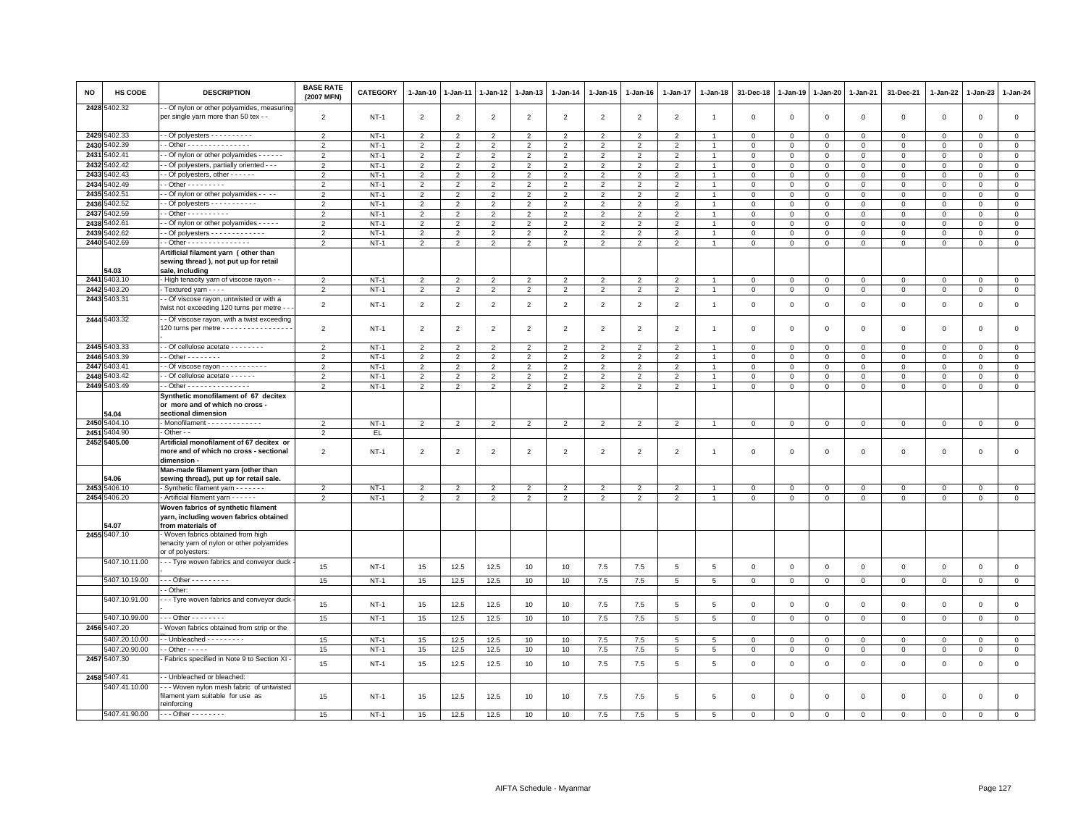| NO | <b>HS CODE</b> | <b>DESCRIPTION</b>                                                                                    | <b>BASE RATE</b><br>(2007 MFN) | <b>CATEGORY</b> | 1-Jan-10       | $1-Jan-11$     | 1-Jan-12       | $1 - Jan-13$   | $1-Jan-14$     | $1 - Jan-15$   | $1 - Jan-16$   | $1 - Jan-17$    | 1-Jan-18       | 31-Dec-18   | $1 - Jan-19$ | 1-Jan-20     | 1-Jan-21     | 31-Dec-21    | $1 - Jan-22$   | 1-Jan-23     | $1 - Jan-24$   |
|----|----------------|-------------------------------------------------------------------------------------------------------|--------------------------------|-----------------|----------------|----------------|----------------|----------------|----------------|----------------|----------------|-----------------|----------------|-------------|--------------|--------------|--------------|--------------|----------------|--------------|----------------|
|    | 2428 5402.32   | - Of nylon or other polyamides, measuring<br>per single yarn more than 50 tex - -                     | $\overline{2}$                 | $NT-1$          | $\overline{2}$ | $\overline{2}$ | $\overline{2}$ | $\overline{2}$ | $\overline{2}$ | $\overline{2}$ | $\overline{2}$ | $\overline{2}$  | $\overline{1}$ | $\mathsf 0$ | $\Omega$     | $\mathsf 0$  | $\mathsf 0$  | $\mathsf 0$  | $\overline{0}$ | $\mathsf 0$  | $\mathsf 0$    |
|    | 2429 5402.33   | - - Of polyesters - - - - - - - - - -                                                                 | $\overline{2}$                 | $NT-1$          | $\overline{2}$ | $\overline{2}$ | $\overline{2}$ | $\overline{2}$ | $\overline{2}$ | $\overline{2}$ | $\overline{2}$ | $\overline{2}$  | $\overline{1}$ | $\mathbf 0$ | 0            | 0            | $\mathbf 0$  | $\mathbf 0$  | $\mathbf{0}$   | 0            | $\mathbf 0$    |
|    | 2430 5402.39   | - Other - - - - - - - - - - - - - - -                                                                 | $\overline{2}$                 | $NT-1$          | 2              | $\overline{2}$ | 2              | $\overline{2}$ | $\overline{2}$ | $\overline{2}$ | $\overline{2}$ | $\overline{2}$  | $\overline{1}$ | $\mathbf 0$ | $\mathsf 0$  | $\Omega$     | $\mathbf 0$  | $\Omega$     | $\circ$        | $\Omega$     | $\overline{0}$ |
|    | 2431 5402.41   | - Of nylon or other polyamides - - - - - -                                                            | $\overline{2}$                 | $NT-1$          | $\overline{2}$ | $\overline{2}$ | $\overline{2}$ | $\overline{2}$ | $\overline{2}$ | $\overline{2}$ | $\overline{2}$ | $\overline{2}$  | $\overline{1}$ | $\mathbf 0$ | $\mathsf 0$  | $\circ$      | $\circ$      | $\mathbf 0$  | $\mathbf 0$    | $\circ$      | $\mathsf 0$    |
|    | 2432 5402.42   | - Of polyesters, partially oriented - - -                                                             | $\overline{2}$                 | $NT-1$          | $\overline{2}$ | $\overline{2}$ | $\overline{2}$ | $\overline{2}$ | $\overline{2}$ | $\overline{2}$ | $\overline{2}$ | $\overline{2}$  | $\overline{1}$ | $\mathbf 0$ | $\mathsf 0$  | $\mathsf 0$  | $\mathbf 0$  | $\mathbf{0}$ | $\Omega$       | $\mathbf 0$  | $\mathbf 0$    |
|    | 2433 5402.43   | - Of polyesters, other - - - - - -                                                                    | $\overline{2}$                 | $NT-1$          | 2              | $\overline{2}$ | $\overline{2}$ | 2              | $\overline{2}$ | $\overline{2}$ | $\overline{2}$ | $\overline{2}$  | $\overline{1}$ | $\,0\,$     | $\mathsf 0$  | $\mathsf 0$  | $\mathsf 0$  | $\mathbf{0}$ | $\mathbf 0$    | $\mathbf{0}$ | $\mathsf 0$    |
|    | 2434 5402.49   | $-$ Other $       -$                                                                                  | $\overline{2}$                 | $NT-1$          | $\overline{2}$ | $\overline{2}$ | $\overline{2}$ | $\overline{2}$ | $\overline{2}$ | $\overline{2}$ | $\overline{2}$ | $\overline{2}$  | $\overline{1}$ | $\mathbf 0$ | $\mathsf 0$  | $\mathsf 0$  | $\mathbf 0$  | $\mathbf 0$  | $\mathsf 0$    | $\mathbf 0$  | $\mathsf 0$    |
|    | 2435 5402.51   | - Of nylon or other polyamides - - - -                                                                | $\overline{2}$                 | $NT-1$          | $\overline{2}$ | $\overline{2}$ | $\overline{2}$ | $\overline{2}$ | $\overline{2}$ | $\overline{2}$ | $\overline{2}$ | $\overline{2}$  | $\mathbf{1}$   | $\mathbf 0$ | $\mathbf 0$  | $^{\circ}$   | $\mathbf 0$  | $\mathbf 0$  | $\mathbf{0}$   | $^{\circ}$   | $\circ$        |
|    | 2436 5402.52   | $\cdot$ - Of polyesters $\cdot$ - $\cdot$ - $\cdot$ - $\cdot$ - $\cdot$ - $\cdot$                     | $\overline{2}$                 | $NT-1$          | $\overline{2}$ | $\overline{2}$ | $\overline{2}$ | $\overline{2}$ | $\overline{2}$ | $\overline{2}$ | $\overline{2}$ | $\overline{2}$  | $\overline{1}$ | $\mathbf 0$ | 0            | 0            | $\mathbf 0$  | $\mathbf 0$  | $\Omega$       | $\mathbf 0$  | $\mathbf 0$    |
|    | 2437 5402.59   | $-$ Other - - - - - - - - - -                                                                         | $\overline{2}$                 | $NT-1$          | $\overline{2}$ | $\overline{2}$ | 2              | $\overline{2}$ | $\overline{2}$ | 2              | $\overline{2}$ | $\overline{2}$  | $\mathbf{1}$   | $\mathbf 0$ | $\Omega$     | $\Omega$     | $\mathsf 0$  | $\mathbf{0}$ | $\Omega$       | $\Omega$     | $\mathsf 0$    |
|    | 2438 5402.61   | - Of nylon or other polyamides - - - - -                                                              | $\overline{2}$                 | $NT-1$          | $\overline{2}$ | $\overline{2}$ | $\overline{2}$ | $\overline{2}$ | $\overline{2}$ | $\overline{2}$ | $\overline{2}$ | $\overline{2}$  | $\overline{1}$ | $\mathsf 0$ | $\mathsf 0$  | $\mathsf 0$  | $\mathbf 0$  | $\mathsf 0$  | $\mathbf 0$    | $\mathbf 0$  | $\mathsf 0$    |
|    | 2439 5402.62   |                                                                                                       | $\overline{2}$                 | $NT-1$          | $\overline{2}$ | $\overline{2}$ | $\overline{2}$ | $\overline{2}$ | $\overline{2}$ | $\overline{2}$ | $\overline{2}$ | $\overline{2}$  | $\overline{1}$ | $\mathbf 0$ | $\mathsf 0$  | $\mathsf{O}$ | $\mathsf 0$  | $\mathbf 0$  | 0              | $\mathbf 0$  | $\mathsf 0$    |
|    | 2440 5402.69   | - Other - - - - - - - - - - - - - -                                                                   | 2                              | $NT-1$          | 2              | 2              | 2              | 2              | 2              | 2              | 2              | 2               | $\overline{1}$ | $\mathbf 0$ | $\mathbf 0$  | $\mathbf 0$  | $\mathbf 0$  | $\mathbf{0}$ | $\mathbf 0$    | $\mathbf{0}$ | $\circ$        |
|    | 54.03          | Artificial filament yarn (other than<br>sewing thread ), not put up for retail<br>sale, including     |                                |                 |                |                |                |                |                |                |                |                 |                |             |              |              |              |              |                |              |                |
|    | 2441 5403.10   | - High tenacity yarn of viscose rayon - -                                                             | $\overline{2}$                 | $NT-1$          | $\overline{2}$ | $\overline{2}$ | $\overline{2}$ | $\overline{2}$ | $\overline{2}$ | $\overline{2}$ | $\overline{2}$ | $\overline{2}$  | $\overline{1}$ | $\mathbf 0$ | 0            | $\Omega$     | $\mathbf{0}$ | $\mathbf{0}$ | $\circ$        | $\mathbf 0$  | $\circ$        |
|    | 2442 5403.20   | - Textured yarn - - - -                                                                               | $\overline{2}$                 | $NT-1$          | $\overline{2}$ | $\overline{2}$ | $\overline{2}$ | $\overline{2}$ | $\overline{2}$ | $\overline{2}$ | $\overline{2}$ | $\overline{2}$  | $\overline{1}$ | $\mathbf 0$ | $\mathsf 0$  | $\circ$      | $\mathbf 0$  | $\mathsf 0$  | $\circ$        | $\mathbf 0$  | $\circ$        |
|    | 2443 5403.31   | - Of viscose rayon, untwisted or with a<br>twist not exceeding 120 turns per metre -                  | $\overline{2}$                 | $NT-1$          | $\overline{2}$ | $\overline{2}$ | $\overline{2}$ | $\overline{2}$ | $\overline{2}$ | $\overline{2}$ | $\overline{2}$ | $\overline{2}$  | $\overline{1}$ | $\mathbf 0$ | $\mathbf 0$  | $\mathsf 0$  | $\mathbf 0$  | $\mathbf 0$  | $\mathbf 0$    | $\mathbf 0$  | $\mathsf 0$    |
|    | 2444 5403.32   | - Of viscose rayon, with a twist exceeding<br>120 turns per metre - - - - - - - - - - - - - - -       | $\overline{2}$                 | $NT-1$          | $\overline{2}$ | $\overline{2}$ | $\overline{2}$ | $\overline{2}$ | $\overline{2}$ | $\overline{2}$ | $\overline{2}$ | $\overline{2}$  | $\overline{1}$ | $\mathsf 0$ | $\mathbf 0$  | $\mathbf 0$  | $\mathbf 0$  | $\mathsf 0$  | $\mathbf 0$    | $\mathbf 0$  | $\mathsf 0$    |
|    | 2445 5403.33   | - Of cellulose acetate - - - - - - - -                                                                | 2                              | $NT-1$          | $\overline{2}$ | $\overline{2}$ | $\overline{2}$ | 2              | $\overline{2}$ | $\overline{2}$ | $\overline{2}$ | $\overline{2}$  | $\overline{1}$ | $\mathbf 0$ | $\mathbf 0$  | $\mathbf 0$  | $\mathbf 0$  | $\mathbf{0}$ | $\mathbf 0$    | $\mathbf{0}$ | $\mathbf{0}$   |
|    | 2446 5403.39   | $-$ Other $      -$                                                                                   | $\overline{2}$                 | $NT-1$          | $\overline{2}$ | $\overline{2}$ | $\overline{2}$ | $\overline{2}$ | 2              | $\overline{2}$ | $\overline{2}$ | -2              | -1             | $\mathbf 0$ | $\Omega$     | $\Omega$     | $\mathbf 0$  | $\Omega$     | $\Omega$       | $\Omega$     | $\mathbf{0}$   |
|    | 2447 5403.41   | - - Of viscose rayon - - - - - - - - - - -                                                            | $\overline{2}$                 | $NT-1$          | $\overline{2}$ | $\overline{2}$ | $\overline{2}$ | $\overline{2}$ | $\overline{2}$ | $\overline{2}$ | $\overline{2}$ | $\overline{2}$  | $\overline{1}$ | $\mathbf 0$ | $\mathsf 0$  | $\mathsf 0$  | $\mathbf 0$  | $\mathbf 0$  | $\mathsf 0$    | $\mathbf 0$  | $\mathbf 0$    |
|    | 2448 5403.42   | - Of cellulose acetate - - - - - -                                                                    | $\overline{2}$                 | $NT-1$          | $\overline{2}$ | $\overline{2}$ | $\overline{2}$ | $\overline{2}$ | $\overline{2}$ | $\overline{2}$ | $\overline{2}$ | $\overline{2}$  | $\overline{1}$ | $\mathbf 0$ | $\Omega$     | $\Omega$     | $\mathbf 0$  | $\mathbf 0$  | $\mathbf 0$    | $\circ$      | $\mathbf 0$    |
|    | 2449 5403.49   | - Other - - - - - - - - - - - - - -                                                                   | $\overline{2}$                 | $NT-1$          | $\overline{2}$ | $\overline{2}$ | $\overline{2}$ | $\overline{2}$ | $\overline{2}$ | $\overline{2}$ | $\overline{2}$ | $\overline{2}$  | $\overline{1}$ | $\mathbf 0$ | $\mathsf 0$  | $\mathsf 0$  | $\mathsf 0$  | $\mathbf 0$  | $\mathsf 0$    | $\mathbf 0$  | $\mathbf 0$    |
|    | 54.04          | Synthetic monofilament of 67 decitex<br>or more and of which no cross -<br>sectional dimension        |                                |                 |                |                |                |                |                |                |                |                 |                |             |              |              |              |              |                |              |                |
|    | 2450 5404.10   | - Monofilament - - - - - - - - - - - -                                                                | $\overline{\phantom{0}}$       | $NT-1$          | $\overline{2}$ | $\overline{2}$ | $\overline{2}$ | 2              | $\overline{2}$ | $\overline{2}$ | $\overline{2}$ | $\overline{2}$  | $\overline{1}$ | $\mathbf 0$ | $\Omega$     | $\mathsf 0$  | $\mathsf 0$  | $\mathbf{0}$ | $\mathbf 0$    | $\mathbf 0$  | $\mathbf 0$    |
|    | 2451 5404.90   | Other - -                                                                                             | $\overline{2}$                 | EL.             |                |                |                |                |                |                |                |                 |                |             |              |              |              |              |                |              |                |
|    | 2452 5405.00   | Artificial monofilament of 67 decitex or<br>more and of which no cross - sectional<br>dimension -     | $\overline{2}$                 | $NT-1$          | $\overline{2}$ | $\overline{2}$ | $\overline{2}$ | $\overline{2}$ | $\overline{2}$ | $\overline{2}$ | $\overline{2}$ | $\overline{2}$  | -1             | $\mathbf 0$ | $\Omega$     | $\mathsf 0$  | $\mathsf 0$  | $\mathbf 0$  | $\mathbf 0$    | $\mathbf 0$  | $\mathsf 0$    |
|    | 54.06          | Man-made filament yarn (other than<br>sewing thread), put up for retail sale.                         |                                |                 |                |                |                |                |                |                |                |                 |                |             |              |              |              |              |                |              |                |
|    | 2453 5406.10   | - Synthetic filament yarn - - - - - -                                                                 | $\overline{2}$                 | $NT-1$          | $\overline{2}$ | $\overline{2}$ | $\overline{2}$ | $\overline{2}$ | $\overline{2}$ | $\overline{2}$ | $\overline{2}$ | $\overline{2}$  | $\overline{1}$ | $\mathbf 0$ | 0            | $\circ$      | $\mathsf 0$  | $\mathbf 0$  | $\mathsf 0$    | $\mathbf 0$  | $\mathsf 0$    |
|    | 2454 5406.20   | Artificial filament yarn - - - - - -                                                                  | $\overline{2}$                 | $NT-1$          | $\overline{2}$ | $\overline{2}$ | $\overline{2}$ | $\overline{2}$ | $\overline{2}$ | $\overline{2}$ | $\overline{2}$ | $\overline{2}$  | $\mathbf{1}$   | $\mathsf 0$ | $\mathsf 0$  | $\mathbf{O}$ | $\mathsf 0$  | $\mathsf 0$  | $\mathbf 0$    | $\mathsf 0$  | $\circ$        |
|    | 4.07           | Woven fabrics of synthetic filament<br>yarn, including woven fabrics obtained<br>from materials of    |                                |                 |                |                |                |                |                |                |                |                 |                |             |              |              |              |              |                |              |                |
|    | 2455 5407.10   | - Woven fabrics obtained from high<br>tenacity yarn of nylon or other polyamides<br>or of polyesters: |                                |                 |                |                |                |                |                |                |                |                 |                |             |              |              |              |              |                |              |                |
|    | 5407.10.11.00  | - - Tyre woven fabrics and conveyor duck                                                              | 15                             | $NT-1$          | 15             | 12.5           | 12.5           | 10             | 10             | 7.5            | 7.5            | 5               | 5              | $\mathbf 0$ | $\mathbf 0$  | $\mathbf 0$  | $\mathbf{0}$ | $\mathbf{0}$ | $\mathbf 0$    | $\mathbf 0$  | $\mathbf 0$    |
|    | 5407.10.19.00  | $\cdot$ - - Other - - - - - - - - -                                                                   | 15                             | $NT-1$          | 15             | 12.5           | 12.5           | 10             | 10             | 7.5            | 7.5            | 5               | 5              | $\mathbf 0$ | $\circ$      | $\mathbf{0}$ | $\mathbf 0$  | $\mathbf 0$  | $\circ$        | $\mathbf 0$  | $\mathbf{0}$   |
|    |                | - Other                                                                                               |                                |                 |                |                |                |                |                |                |                |                 |                |             |              |              |              |              |                |              |                |
|    | 5407.10.91.00  | - - Tyre woven fabrics and conveyor duck                                                              | 15                             | $NT-1$          | 15             | 12.5           | 12.5           | 10             | 10             | 7.5            | 7.5            | 5               | 5              | $\mathsf 0$ | $\mathsf 0$  | $\mathsf 0$  | $\mathsf 0$  | $\mathsf 0$  | $\mathbf{0}$   | $\mathbf 0$  | $\mathsf 0$    |
|    | 5407.10.99.00  | $-$ - Other - - - - - - - -                                                                           | 15                             | $NT-1$          | 15             | 12.5           | 12.5           | 10             | 10             | 7.5            | 7.5            | 5               | 5              | $\mathsf 0$ | $\mathbf 0$  | $\mathbf 0$  | $\mathbf 0$  | $\mathbf 0$  | $\mathbf 0$    | $\mathbf{0}$ | $\mathsf 0$    |
|    | 2456 5407.20   | Woven fabrics obtained from strip or the                                                              |                                |                 |                |                |                |                |                |                |                |                 |                |             |              |              |              |              |                |              |                |
|    | 5407.20.10.00  | $-$ Unbleached $       -$                                                                             | 15                             | $NT-1$          | 15             | 12.5           | 12.5           | 10             | 10             | 7.5            | $7.5\,$        | $\overline{5}$  | 5              | $\mathbf 0$ | $\mathbf 0$  | $^{\circ}$   | $\mathbf{0}$ | $\mathbf 0$  | $\mathbf 0$    | $\mathbf{0}$ | $\mathbf{0}$   |
|    | 5407.20.90.00  | $-$ Other $  -$                                                                                       | 15                             | $NT-1$          | 15             | 12.5           | 12.5           | 10             | 10             | 7.5            | 7.5            | 5               | 5              | $\mathbf 0$ | $\mathbf 0$  | 0            | $\mathbf 0$  | $\mathbf 0$  | $\mathbf 0$    | $\mathbf 0$  | $\mathbf{0}$   |
|    | 2457 5407.30   | Fabrics specified in Note 9 to Section XI -                                                           | 15                             | $NT-1$          | 15             | 12.5           | 12.5           | 10             | 10             | 7.5            | 7.5            | $5\phantom{.0}$ | 5              | $\mathsf 0$ | $\mathsf 0$  | $\mathsf 0$  | $\mathbf 0$  | $\mathsf 0$  | $\mathbf{0}$   | $\mathbf{0}$ | $\mathsf 0$    |
|    | 2458 5407.41   | - Unbleached or bleached:                                                                             |                                |                 |                |                |                |                |                |                |                |                 |                |             |              |              |              |              |                |              |                |
|    | 5407.41.10.00  | -- Woven nylon mesh fabric of untwisted<br>filament yarn suitable for use as<br>reinforcing           | 15                             | $NT-1$          | 15             | 12.5           | 12.5           | 10             | 10             | 7.5            | 7.5            | 5               | 5              | $\mathbf 0$ | $\mathbf 0$  | $\mathsf 0$  | $\mathsf 0$  | $\mathbf 0$  | $\mathbf 0$    | $\mathbf 0$  | $\mathsf 0$    |
|    | 5407.41.90.00  | $- - -$ Other - - - - - - - -                                                                         | 15                             | $NT-1$          | 15             | 12.5           | 12.5           | 10             | 10             | 7.5            | 7.5            | $\overline{5}$  | 5              | $\Omega$    | $\Omega$     | $\Omega$     | $\Omega$     | $\Omega$     | $\Omega$       | $\Omega$     | $\Omega$       |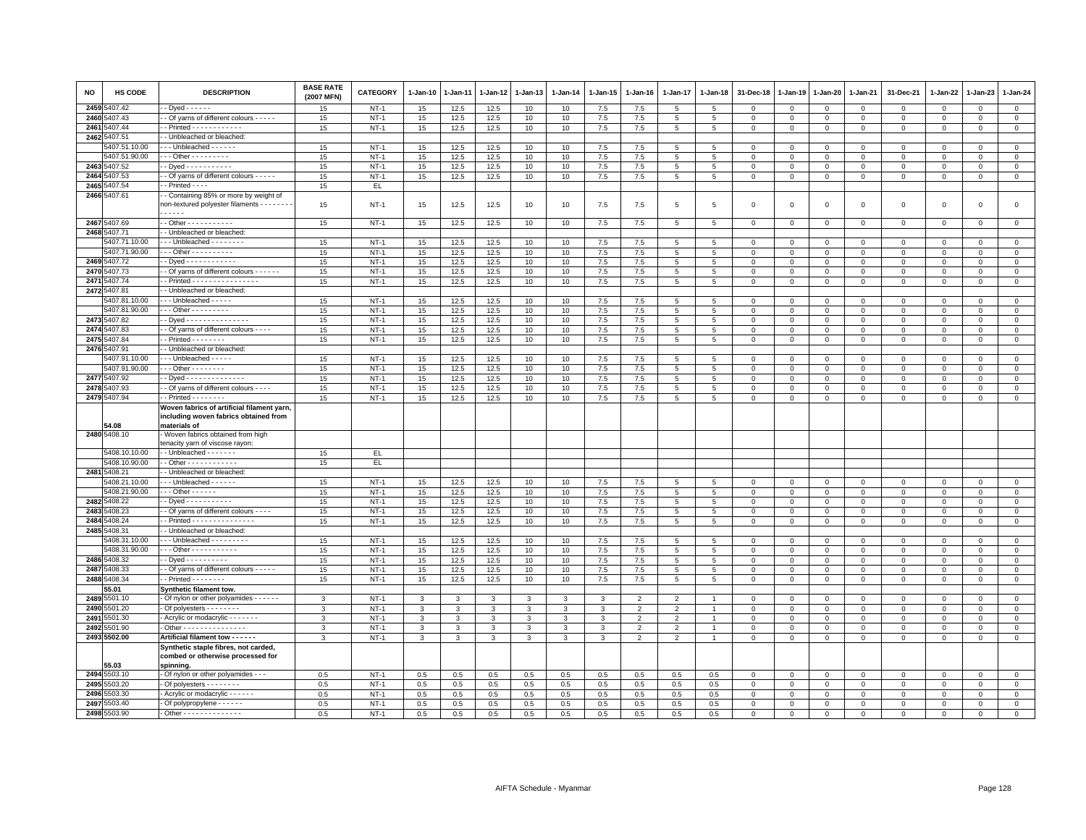| <b>NO</b> | HS CODE                        | <b>DESCRIPTION</b>                                                                                     | <b>BASE RATE</b><br>(2007 MFN) | CATEGORY         | 1-Jan-10                     | 1-Jan-11     | $1 - Jan-12$ | 1-Jan-13 | $1-Jan-14$ | 1-Jan-15   | $1 - Jan-16$                     | $1 - Jan-17$                     | $1 - Jan-18$        | 31-Dec-18                                 | $1 - Jan-19$               | 1-Jan-20                   | 1-Jan-21                | 31-Dec-21               | 1-Jan-22                 | 1-Jan-23               | 1-Jan-24                   |
|-----------|--------------------------------|--------------------------------------------------------------------------------------------------------|--------------------------------|------------------|------------------------------|--------------|--------------|----------|------------|------------|----------------------------------|----------------------------------|---------------------|-------------------------------------------|----------------------------|----------------------------|-------------------------|-------------------------|--------------------------|------------------------|----------------------------|
|           | 2459 5407.42                   | - Dyed - - - - - -                                                                                     | 15                             | $NT-1$           | 15                           | 12.5         | 12.5         | 10       | 10         | 7.5        | 7.5                              | 5                                | 5                   | $^{\circ}$                                | $^{\circ}$                 | $^{\circ}$                 | $^{\circ}$              | $\Omega$                | $\mathbf 0$              | $\Omega$               | $\mathbf 0$                |
|           | 2460 5407.43                   | Of yarns of different colours - - - - -                                                                | 15                             | $NT-1$           | 15                           | 12.5         | 12.5         | 10       | 10         | 7.5        | 7.5                              | 5                                | $\overline{5}$      | $\mathsf 0$                               | $\,0\,$                    | $\mathbf 0$                | 0                       | $\mathbf 0$             | $\mathbf 0$              | $^{\circ}$             | $\overline{0}$             |
|           | 2461 5407.44<br>2462 5407.51   | - Printed - - - - - - - - - - - -                                                                      | 15                             | $NT-1$           | 15                           | 12.5         | 12.5         | 10       | 10         | 7.5        | 7.5                              | 5                                | $\overline{5}$      | $\overline{\mathbf{0}}$                   | $\mathbf{0}$               | $\mathbf 0$                | $\mathbf{0}$            | $\mathsf 0$             | $\mathbf 0$              | $\mathsf 0$            | $\mathbf 0$                |
|           | 5407.51.10.00                  | - Unbleached or bleached:<br>- - Unbleached - - - - - -                                                | 15                             | $NT-1$           | 15                           | 12.5         | 12.5         | 10       | 10         | 7.5        | 7.5                              | 5                                | 5                   | $\overline{0}$                            | $\overline{0}$             | $\mathbf 0$                | $\mathbf{0}$            | $\mathbf 0$             | $\mathbf 0$              | $\mathbf{0}$           | $\circ$                    |
|           | 5407.51.90.00                  | $-$ - Other - - - - - - - - -                                                                          | 15                             | $NT-1$           | 15                           | 12.5         | 12.5         | 10       | 10         | 7.5        | 7.5                              | 5                                | 5                   | $\mathsf 0$                               | $\mathbf 0$                | $\mathbf 0$                | $\Omega$                | $\mathbf 0$             | $\Omega$                 | $\Omega$               | $\mathsf 0$                |
|           | 2463 5407.52                   | - Dyed - - - - - - - - - - -                                                                           | 15                             | $NT-1$           | 15                           | 12.5         | 12.5         | 10       | 10         | 7.5        | 7.5                              | 5                                | $\overline{5}$      | $\overline{\mathbf{0}}$                   | $\mathbf 0$                | $\mathbf 0$                | $\mathsf 0$             | $\mathsf 0$             | $\mathbf 0$              | $\mathsf 0$            | $\mathsf 0$                |
|           | 2464 5407.53                   | - Of yarns of different colours - - - - -                                                              | 15                             | NT-              | 15                           | 12.5         | 12.5         | 10       | 10         | 7.5        | 7.5                              | 5                                | $\overline{5}$      | $\mathbf 0$                               | $\mathbf 0$                | $\mathsf 0$                | $\mathbf 0$             | $\mathsf 0$             | $\mathbf 0$              | $^{\circ}$             | $\mathsf 0$                |
|           | 2465 5407.54                   | $-$ Printed $- -$                                                                                      | 15                             | EL.              |                              |              |              |          |            |            |                                  |                                  |                     |                                           |                            |                            |                         |                         |                          |                        |                            |
|           | 2466 5407.61                   | - Containing 85% or more by weight of<br>non-textured polyester filaments - - - - - - -<br>$- - - - -$ | 15                             | $NT-1$           | 15                           | 12.5         | 12.5         | 10       | 10         | 7.5        | 7.5                              | 5                                | 5                   | $\overline{\mathbf{0}}$                   | $\mathbf 0$                | $\mathbf 0$                | 0                       | $\mathsf 0$             | $\mathbf 0$              | $\mathbf 0$            | $\mathsf 0$                |
|           | 2467 5407.69                   | $-$ Other - - - - - - - - - - -                                                                        | 15                             | $NT-1$           | 15                           | 12.5         | 12.5         | 10       | 10         | 7.5        | 7.5                              | 5                                | 5                   | $\mathbf 0$                               | $\mathbf 0$                | $\mathbf 0$                | $\mathbf{0}$            | 0                       | $\Omega$                 | $\mathbf 0$            | $\overline{0}$             |
|           | 2468 5407.71                   | - Unbleached or bleached:                                                                              |                                |                  |                              |              |              |          |            |            |                                  |                                  |                     |                                           |                            |                            |                         |                         |                          |                        |                            |
|           | 5407.71.10.00                  | - - Unbleached - - - - - - - -                                                                         | 15                             | $NT-1$           | 15                           | 12.5         | 12.5         | 10       | 10         | 7.5        | 7.5                              | 5                                | 5                   | $\,0\,$                                   | $\mathsf 0$                | $\mathbf 0$                | $\Omega$                | 0                       | $\Omega$                 | $\Omega$               | $\mathbf 0$                |
|           | 5407.71.90.00                  | $-$ - Other - - - - - - - - - -                                                                        | 15                             | $NT-1$           | 15                           | 12.5         | 12.5         | 10       | 10         | 7.5        | 7.5                              | 5                                | 5                   | $\Omega$                                  | $\overline{0}$             | $\mathbf 0$                | $\Omega$                | $\mathbf 0$             | $\mathbf 0$              | $\Omega$               | $\circ$                    |
|           | 2469 5407.72                   | - Dyed - - - - - - - - - - - -                                                                         | 15                             | $NT-1$           | 15                           | 12.5         | 12.5         | 10       | 10         | 7.5        | 7.5                              | 5                                | 5                   | $\mathbf 0$                               | $\mathbf 0$                | $\mathsf 0$                | 0                       | 0                       | $\mathbf 0$              | $\Omega$               | $\mathsf 0$                |
|           | 2470 5407.73                   | - Of yarns of different colours - - - - - -                                                            | 15                             | $NT-1$           | 15                           | 12.5         | 12.5         | 10       | 10         | 7.5        | 7.5                              | 5                                | 5                   | $\mathbf 0$                               | $\mathbf 0$                | $\mathbf 0$                | 0                       | $\mathsf 0$             | $\mathbf 0$              | $\mathsf 0$            | $\mathbf 0$                |
|           | 2471 5407.74                   | $-$ Printed $- - - - - - - - - - - - - -$                                                              | 15                             | $NT-1$           | 15                           | 12.5         | 12.5         | 10       | 10         | 7.5        | 7.5                              | 5                                | $\,$ 5 $\,$         | $\mathbf 0$                               | $\mathsf{O}\xspace$        | $\mathbf 0$                | $\mathbf 0$             | $\mathsf 0$             | $\mathbf 0$              | $\mathsf 0$            | $\overline{0}$             |
|           | 2472 5407.81                   | - Unbleached or bleached:                                                                              |                                |                  |                              |              |              |          |            |            |                                  |                                  |                     |                                           |                            |                            |                         |                         |                          |                        |                            |
|           | 5407.81.10.00<br>5407.81.90.00 | --- Unbleached -----<br>$-$ - Other - - - - - - - - -                                                  | 15<br>15                       | $NT-1$<br>$NT-1$ | 15                           | 12.5         | 12.5         | 10<br>10 | 10         | 7.5        | 7.5                              | 5                                | 5                   | $\overline{\mathbf{0}}$                   | $\mathbf 0$                | $\mathbf 0$                | $\mathbf 0$<br>$\Omega$ | 0                       | $\mathbf 0$              | $^{\circ}$             | $\mathsf 0$                |
|           | 2473 5407.82                   | - Dyed - - - - - - - - - - - - - - -                                                                   | 15                             | $NT-1$           | 15<br>15                     | 12.5<br>12.5 | 12.5<br>12.5 | 10       | 10<br>10   | 7.5<br>7.5 | 7.5<br>7.5                       | 5<br>$\overline{5}$              | 5<br>5              | $\mathbf 0$<br>$\mathbf 0$                | $\mathbf 0$<br>$\mathbf 0$ | $\mathbf 0$<br>$\mathsf 0$ | $\mathsf 0$             | $\Omega$<br>$\mathsf 0$ | $\Omega$<br>$\mathbf{0}$ | $\Omega$<br>$^{\circ}$ | $\mathsf 0$<br>$\mathbf 0$ |
|           | 2474 5407.83                   | - Of yarns of different colours - - - -                                                                | 15                             | $NT-1$           | 15                           | 12.5         | 12.5         | 10       | 10         | 7.5        | 7.5                              | 5                                | 5                   | $\overline{\mathbf{0}}$                   | $\mathbf 0$                | $\mathbf 0$                | $\mathbf 0$             | $\mathbf 0$             | $\Omega$                 | $\Omega$               | $\mathsf 0$                |
|           | 2475 5407.84                   | - Printed - - - - - - - -                                                                              | 15                             | $NT-1$           | 15                           | 12.5         | 12.5         | 10       | 10         | 7.5        | 7.5                              | 5                                | 5                   | $\mathbf 0$                               | $\mathsf 0$                | $\mathbf{O}$               | $\mathsf 0$             | $\mathsf 0$             | 0                        | 0                      | $\mathbf 0$                |
|           | 2476 5407.91                   | - Unbleached or bleached:                                                                              |                                |                  |                              |              |              |          |            |            |                                  |                                  |                     |                                           |                            |                            |                         |                         |                          |                        |                            |
|           | 5407.91.10.00                  | - - Unbleached - - - - -                                                                               | 15                             | $NT-1$           | 15                           | 12.5         | 12.5         | 10       | 10         | 7.5        | 7.5                              | 5                                | 5                   | $^{\circ}$                                | $^{\circ}$                 | $^{\circ}$                 | 0                       | $\mathbf 0$             | $\mathbf{0}$             | $^{\circ}$             | $\circ$                    |
|           | 5407.91.90.00                  | $-$ - Other - - - - - - - -                                                                            | 15                             | $NT-1$           | 15                           | 12.5         | 12.5         | 10       | 10         | 7.5        | 7.5                              | $5\overline{5}$                  | 5                   | $\overline{0}$                            | $\mathbf 0$                | $\mathbf{0}$               | $\Omega$                | $\Omega$                | $\Omega$                 | $\Omega$               | $\mathsf 0$                |
|           | 2477 5407.92                   | - Dyed - - - - - - - - - - - - - -                                                                     | 15                             | $NT-1$           | 15                           | 12.5         | 12.5         | 10       | 10         | 7.5        | 7.5                              | 5                                | 5                   | $\mathbf 0$                               | $\mathbf 0$                | 0                          | $\mathbf 0$             | 0                       | $\mathbf 0$              | $\Omega$               | $\mathbf 0$                |
|           | 2478 5407.93                   | - Of yarns of different colours - - - -                                                                | 15                             | $NT-1$           | 15                           | 12.5         | 12.5         | 10       | 10         | 7.5        | 7.5                              | 5                                | $\overline{5}$      | $\mathsf 0$                               | $\mathsf 0$                | $\mathsf 0$                | $\mathbf 0$             | $\mathbf 0$             | $\mathbf{0}$             | $\Omega$               | $\overline{0}$             |
|           | 2479 5407.94                   | - Printed - - - - - - - -                                                                              | 15                             | $NT-1$           | 15                           | 12.5         | 12.5         | 10       | 10         | 7.5        | 7.5                              | 5                                | $\overline{5}$      | $\mathbf 0$                               | $\mathbf 0$                | $\mathsf 0$                | $\mathbf 0$             | $\mathsf 0$             | $\mathbf 0$              | $\mathbf 0$            | $\mathsf 0$                |
|           | 54.08                          | Woven fabrics of artificial filament yarn,<br>including woven fabrics obtained from<br>materials of    |                                |                  |                              |              |              |          |            |            |                                  |                                  |                     |                                           |                            |                            |                         |                         |                          |                        |                            |
|           | 2480 5408.10                   | Woven fabrics obtained from high<br>enacity yarn of viscose rayon:                                     |                                |                  |                              |              |              |          |            |            |                                  |                                  |                     |                                           |                            |                            |                         |                         |                          |                        |                            |
|           | 5408.10.10.00                  | $-$ Unbleached $     -$                                                                                | 15                             | EL.              |                              |              |              |          |            |            |                                  |                                  |                     |                                           |                            |                            |                         |                         |                          |                        |                            |
|           | 5408.10.90.00                  | - Other - - - - - - - - - - -                                                                          | 15                             | EL.              |                              |              |              |          |            |            |                                  |                                  |                     |                                           |                            |                            |                         |                         |                          |                        |                            |
|           | 2481 5408.21<br>5408.21.10.00  | - Unbleached or bleached:<br>$-$ - Unbleached $-$ - $-$ - $-$                                          | 15                             | $NT-1$           |                              | 12.5         | 12.5         | 10       | 10         | 7.5        |                                  | 5                                |                     | $\mathbf 0$                               | $\mathbf 0$                |                            | $\Omega$                | $\Omega$                | $\Omega$                 | $\Omega$               | $\circ$                    |
|           | 5408.21.90.00                  | $-$ - Other - - - - - -                                                                                | 15                             | $NT-1$           | 15<br>15                     | 12.5         | 12.5         | 10       | 10         | 7.5        | 7.5<br>7.5                       | 5                                | 5<br>$\overline{5}$ | $\overline{\mathbf{0}}$                   | $\mathbf 0$                | 0<br>$\mathbf 0$           | $\mathsf 0$             | $\mathsf 0$             | $\mathbf 0$              | $\Omega$               | $\mathsf 0$                |
|           | 2482 5408.22                   | - Dyed - - - - - - - - - - -                                                                           | 15                             | $NT-1$           | 15                           | 12.5         | 12.5         | 10       | 10         | 7.5        | 7.5                              | 5                                | $\,$ 5 $\,$         | $\mathbf 0$                               | $\mathbf 0$                | $\mathbf 0$                | $\mathsf 0$             | $\mathsf 0$             | $\Omega$                 | $\mathbf 0$            | $\overline{0}$             |
| 2483      | 5408.23                        | Of yarns of different colours - - - -                                                                  | 15                             | $NT-1$           | 15                           | 12.5         | 12.5         | 10       | 10         | 7.5        | 7.5                              | 5                                | 5                   | $\Omega$                                  | $\Omega$                   | $\Omega$                   | $\Omega$                | $\mathbf 0$             | $\mathbf 0$              | $\mathbf 0$            | $\circ$                    |
|           | 2484 5408.24                   |                                                                                                        | 15                             | $NT-1$           | 15                           | 12.5         | 12.5         | 10       | 10         | 7.5        | 7.5                              | 5                                | 5                   | $\mathsf 0$                               | $\mathsf 0$                | $\mathbf{O}$               | $\mathbf{O}$            | 0                       | 0                        | 0                      | $\mathbf{0}$               |
|           | 2485 5408.31                   | - Unbleached or bleached:                                                                              |                                |                  |                              |              |              |          |            |            |                                  |                                  |                     |                                           |                            |                            |                         |                         |                          |                        |                            |
|           | 5408.31.10.00                  | -- Unbleached --------                                                                                 | 15                             | $NT-1$           | 15                           | 12.5         | 12.5         | 10       | 10         | 7.5        | 7.5                              | $\sqrt{5}$                       | 5                   | $\overline{\mathbf{0}}$                   | $\mathbf 0$                | $\mathbf 0$                | $\mathsf 0$             | $\mathbf 0$             | $\Omega$                 | $\Omega$               | $\overline{0}$             |
|           | 5408.31.90.00                  | $-$ - Other - - - - - - - - - - -                                                                      | 15                             | $NT-1$           | 15                           | 12.5         | 12.5         | 10       | 10         | 7.5        | 7.5                              | 5                                | 5                   | $\Omega$                                  | $\Omega$                   | $\mathbf 0$                | $\Omega$                | $\mathbf 0$             | $\Omega$                 | $\mathbf 0$            | $\mathbf{0}$               |
|           | 2486 5408.32                   | - Dyed - - - - - - - - - -                                                                             | 15                             | $NT-1$           | 15                           | 12.5         | 12.5         | 10       | 10         | 7.5        | 7.5                              | 5                                | 5                   | $\mathbf 0$                               | $\mathbf{0}$               | $\mathbf{0}$               | $\mathbf{0}$            | 0                       | 0                        | 0                      | $\circ$                    |
|           | 2487 5408.33                   | Of yarns of different colours - - - - -                                                                | 15                             | $NT-1$           | 15                           | 12.5         | 12.5         | 10       | 10         | 7.5        | 7.5                              | 5                                | $\overline{5}$      | $\mathbf 0$                               | $\mathbf 0$                | $\mathsf 0$                | $\Omega$                | $\mathbf 0$             | $\Omega$                 | $\Omega$               | $\mathsf 0$                |
|           | 2488 5408.34                   | $-$ Printed $      -$                                                                                  | 15                             | $NT-1$           | 15                           | 12.5         | 12.5         | 10       | 10         | 7.5        | 7.5                              | 5                                | 5                   | $\mathbf 0$                               | $\mathbf 0$                | $\mathsf 0$                | $\mathbf 0$             | $\mathsf 0$             | $\mathbf 0$              | $\mathbf 0$            | $\mathsf 0$                |
|           | 55.01                          | Synthetic filament tow.                                                                                |                                |                  |                              |              |              |          |            |            |                                  |                                  |                     |                                           |                            |                            |                         |                         |                          |                        |                            |
|           | 2489 5501.10                   | - Of nylon or other polyamides - - - - - -                                                             | 3<br>3                         | $NT-1$           | 3                            | 3<br>3       | 3<br>3       | 3<br>3   | 3<br>3     | 3<br>3     | $\overline{2}$<br>$\overline{2}$ | $\mathfrak{p}$<br>$\overline{2}$ |                     | $\Omega$                                  | $\Omega$<br>$\Omega$       | $\Omega$                   | $\Omega$<br>$\Omega$    | $\Omega$                | $\Omega$<br>$\Omega$     | $\Omega$<br>$\Omega$   | $\circ$                    |
|           | 2490 5501.20                   | Of polyesters - - - - - - -                                                                            | 3                              | $NT-1$<br>$NT-1$ | $\mathbf{3}$<br>$\mathbf{3}$ | 3            | 3            | 3        | 3          | 3          | $\overline{2}$                   | $\overline{2}$                   | $\overline{1}$      | $\mathbf 0$                               | $\mathbf 0$                | $\mathbf 0$                | $\mathbf 0$             | $\mathbf 0$             | $\mathbf 0$              | $\mathbf 0$            | $\mathsf 0$<br>$\mathsf 0$ |
| 2491      | 5501.30<br>2492 5501.90        | Acrylic or modacrylic - - - - - - -<br>$\cdot$ Other - - - - - - - - - - - - - - -                     | 3                              | $NT-1$           |                              | 3            | 3            | 3        |            | 3          | $\overline{2}$                   | $\overline{2}$                   | $\overline{1}$      | $\overline{\mathbf{0}}$<br>$\overline{0}$ | $\mathsf 0$                | $\mathbf 0$<br>$\mathbf 0$ | $\Omega$                | $\mathsf 0$<br>$\Omega$ | $\Omega$                 | $\Omega$               | $\mathbf 0$                |
|           | 2493 5502.00                   | Artificial filament tow - - - - - -                                                                    | 3                              | $NT-1$           | 3<br>3                       | 3            | 3            | 3        | 3<br>3     | 3          | $\overline{2}$                   | $\overline{2}$                   | $\overline{1}$      | $\mathbf 0$                               | $\mathbf{0}$               | $\mathsf 0$                | $\mathsf 0$             | $\Omega$                | 0                        | $\Omega$               | $\mathbf 0$                |
|           |                                | Synthetic staple fibres, not carded,<br>combed or otherwise processed for                              |                                |                  |                              |              |              |          |            |            |                                  |                                  |                     |                                           |                            |                            |                         |                         |                          |                        |                            |
|           | 55.03<br>2494 5503.10          | spinning.<br>Of nylon or other polyamides - - -                                                        | 0.5                            | $NT-1$           | 0.5                          | 0.5          | 0.5          | 0.5      | 0.5        | 0.5        | 0.5                              | 0.5                              | 0.5                 | $\mathbf 0$                               | $\overline{0}$             | $\mathbf 0$                | $\circ$                 | $\Omega$                | $\mathbf 0$              | $\Omega$               | $\mathbf{0}$               |
|           | 2495 5503.20                   | Of polyesters - - - - - - -                                                                            | 0.5                            | $NT-1$           | 0.5                          | 0.5          | 0.5          | 0.5      | 0.5        | 0.5        | 0.5                              | 0.5                              | 0.5                 | $\mathbf 0$                               | $\mathbf{0}$               | $\mathbf{0}$               | $\mathbf{O}$            | $\mathsf 0$             | $\mathbf 0$              | $\mathsf 0$            | $\circ$                    |
| 2496      | 503.30                         | Acrylic or modacrylic - - - - -                                                                        | 0.5                            | NT-              | 0.5                          | 0.5          | $0.5\,$      | 0.5      | 0.5        | 0.5        | 0.5                              | 0.5                              | 0.5                 | $\overline{0}$                            | $\mathbf 0$                | $\mathsf 0$                | $\mathbf 0$             | $\mathbf 0$             | $\Omega$                 | $\Omega$               | $\,0\,$                    |
|           | 2497 5503.40                   | Of polypropylene - - - - - -                                                                           | 0.5                            | $NT-1$           | 0.5                          | 0.5          | 0.5          | 0.5      | 0.5        | 0.5        | 0.5                              | 0.5                              | 0.5                 | $\mathbf 0$                               | $\mathbf 0$                | $\mathsf 0$                | $\Omega$                | $\mathbf 0$             | $\Omega$                 | $\Omega$               | $\mathbf{0}$               |
|           | 2498 5503.90                   | - Other - - - - - - - - - - - - - -                                                                    | 0.5                            | $NT-1$           | 0.5                          | 0.5          | $0.5\,$      | 0.5      | 0.5        | 0.5        | 0.5                              | 0.5                              | 0.5                 | $\mathsf 0$                               | $\mathsf 0$                | $\mathbf 0$                | $\Omega$                | $\Omega$                | $\mathbf 0$              | $\mathbf 0$            | $\Omega$                   |
|           |                                |                                                                                                        |                                |                  |                              |              |              |          |            |            |                                  |                                  |                     |                                           |                            |                            |                         |                         |                          |                        |                            |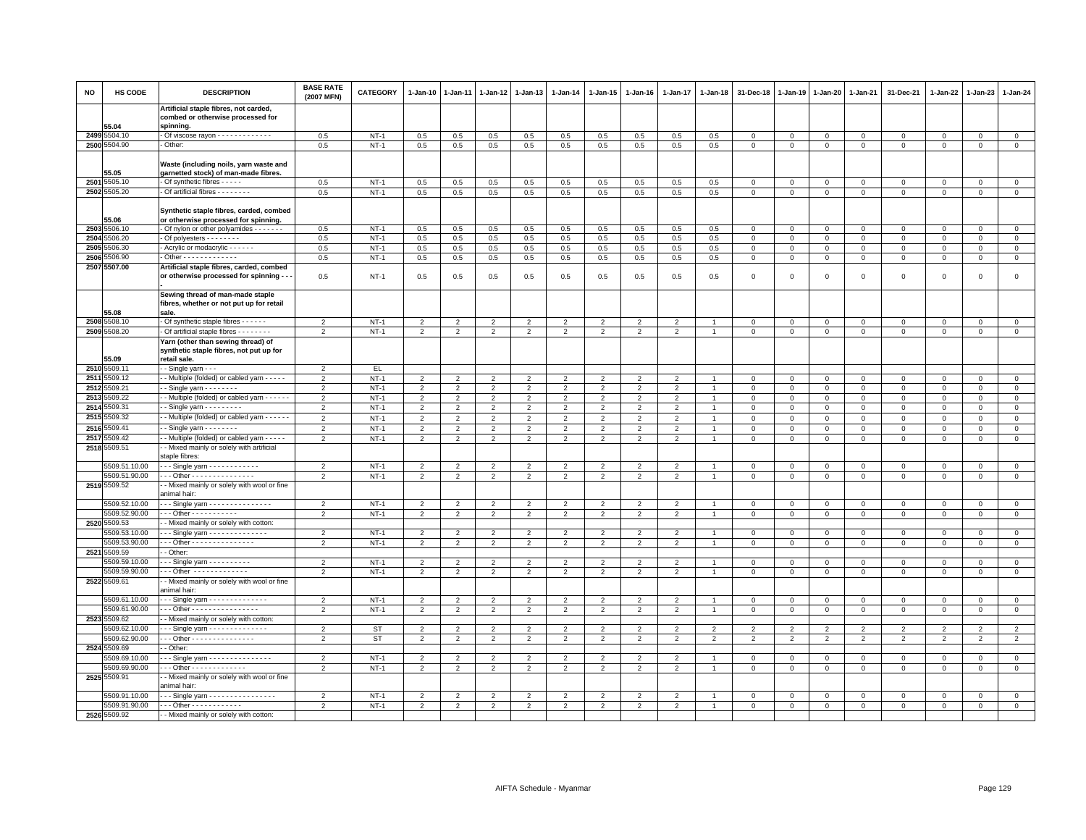| <b>NO</b> | HS CODE                       | <b>DESCRIPTION</b>                                                                                 | <b>BASE RATE</b><br>(2007 MFN) | <b>CATEGORY</b> | 1-Jan-10                         | $1 - Jan-11$            | $1-Jan-12$     | $1 - Jan-13$             | 1-Jan-14                         | 1-Jan-15                 | $1 - Jan-16$   | $1 - Jan-17$             | 1-Jan-18       | 31-Dec-18      | $1 - Jan-19$   | 1-Jan-20       | 1-Jan-21       | 31-Dec-21      | $1 - Jan-22$   | 1-Jan-23       | $1 - Jan-24$        |
|-----------|-------------------------------|----------------------------------------------------------------------------------------------------|--------------------------------|-----------------|----------------------------------|-------------------------|----------------|--------------------------|----------------------------------|--------------------------|----------------|--------------------------|----------------|----------------|----------------|----------------|----------------|----------------|----------------|----------------|---------------------|
|           |                               | Artificial staple fibres, not carded,<br>combed or otherwise processed for                         |                                |                 |                                  |                         |                |                          |                                  |                          |                |                          |                |                |                |                |                |                |                |                |                     |
|           | 55.04                         | spinning.                                                                                          |                                |                 |                                  |                         |                |                          |                                  |                          |                |                          |                |                |                |                |                |                |                |                |                     |
|           | 2499 5504.10                  | Of viscose rayon - - - - - - - - - - - - -                                                         | 0.5                            | $NT-1$          | 0.5                              | 0.5                     | 0.5            | 0.5                      | 0.5                              | 0.5                      | 0.5            | 0.5                      | 0.5            | $\mathbf 0$    | $\circ$        | $\mathbf 0$    | $\mathbf 0$    | 0              | 0              | $\mathbf 0$    | $\mathbf 0$         |
|           | 2500 5504.90                  | Other:                                                                                             | 0.5                            | $NT-1$          | 0.5                              | 0.5                     | $0.5\,$        | 0.5                      | 0.5                              | 0.5                      | 0.5            | 0.5                      | 0.5            | $\mathbf 0$    | $\,0\,$        | $\mathsf 0$    | $\mathbf 0$    | $\mathbf 0$    | $\Omega$       | $\mathbf 0$    | $\overline{0}$      |
|           | 55.05                         | Waste (including noils, yarn waste and<br>garnetted stock) of man-made fibres.                     |                                |                 |                                  |                         |                |                          |                                  |                          |                |                          |                |                |                |                |                |                |                |                |                     |
|           | 2501 5505.10                  | Of synthetic fibres - - - - -                                                                      | 0.5                            | $NT-1$          | 0.5                              | 0.5                     | $0.5\,$        | 0.5                      | 0.5                              | 0.5                      | 0.5            | 0.5                      | 0.5            | $\mathbf 0$    | $\mathbf 0$    | $\mathbf 0$    | $\mathsf 0$    | $\mathbf 0$    | $^{\circ}$     | $\Omega$       | $\mathsf 0$         |
|           | 2502 5505.20                  | - Of artificial fibres - - - - - - - -                                                             | 0.5                            | $NT-1$          | 0.5                              | 0.5                     | 0.5            | 0.5                      | 0.5                              | 0.5                      | 0.5            | 0.5                      | 0.5            | $\mathsf 0$    | $\mathsf 0$    | $\mathbf 0$    | $\mathbf 0$    | $\mathsf 0$    | 0              | $\mathsf 0$    | $\mathbf{0}$        |
|           | 55.06                         | Synthetic staple fibres, carded, combed<br>or otherwise processed for spinning.                    |                                |                 |                                  |                         |                |                          |                                  |                          |                |                          |                |                |                |                |                |                |                |                |                     |
|           | 2503 5506.10                  | - Of nylon or other polyamides - - - - - - -                                                       | 0.5                            | $NT-1$          | 0.5                              | 0.5                     | 0.5            | 0.5                      | 0.5                              | 0.5                      | 0.5            | 0.5                      | 0.5            | $\mathbf 0$    | $\mathbf 0$    | $\mathbf{0}$   | $\mathbf{0}$   | $\mathbf{0}$   | $\Omega$       | $\mathbf{0}$   | $\mathbf{0}$        |
|           | 2504 5506.20                  | Of polyesters - - - - - - - -                                                                      | 0.5                            | $NT-1$          | 0.5                              | 0.5                     | 0.5            | 0.5                      | 0.5                              | 0.5                      | 0.5            | 0.5                      | 0.5            | $\,0\,$        | $\mathbf 0$    | $\mathbf 0$    | $\circ$        | $\mathbf 0$    | 0              | $\mathbf 0$    | $\mathsf 0$         |
|           | 2505 5506.30                  | - Acrylic or modacrylic - - - - - -                                                                | 0.5                            | $NT-1$          | 0.5                              | 0.5                     | 0.5            | 0.5                      | 0.5                              | 0.5                      | 0.5            | 0.5                      | 0.5            | $\mathbf 0$    | $\mathsf 0$    | $\mathbf 0$    | $\mathbf 0$    | $\mathsf 0$    | 0              | $\mathsf 0$    | $\mathsf 0$         |
| 2506      | 5506.90                       | - Other - - - - - - - - - - - - -                                                                  | 0.5                            | $NT-1$          | 0.5                              | 0.5                     | $0.5\,$        | 0.5                      | 0.5                              | 0.5                      | 0.5            | 0.5                      | 0.5            | $\mathbf 0$    | $\,0\,$        | $\,0\,$        | $\,0\,$        | $\mathsf 0$    | $\mathbf 0$    | $\mathsf 0$    | $\mathsf 0$         |
|           | 2507 5507.00                  | Artificial staple fibres, carded, combed                                                           |                                |                 |                                  |                         |                |                          |                                  |                          |                |                          |                |                |                |                |                |                |                |                |                     |
|           |                               | or otherwise processed for spinning -                                                              | 0.5                            | $NT-1$          | 0.5                              | 0.5                     | 0.5            | 0.5                      | 0.5                              | 0.5                      | 0.5            | 0.5                      | 0.5            | $\mathbf 0$    | $\mathbf 0$    | $\mathbf 0$    | $\mathsf 0$    | $\mathbf{0}$   | $\Omega$       | $\mathbf 0$    | $\mathsf 0$         |
|           |                               | Sewing thread of man-made staple                                                                   |                                |                 |                                  |                         |                |                          |                                  |                          |                |                          |                |                |                |                |                |                |                |                |                     |
|           |                               | fibres, whether or not put up for retail                                                           |                                |                 |                                  |                         |                |                          |                                  |                          |                |                          |                |                |                |                |                |                |                |                |                     |
|           | 55.08<br>2508 5508.10         | sale.<br>Of synthetic staple fibres - - - - - -                                                    | $\overline{2}$                 | $NT-1$          | $\overline{2}$                   | $\overline{2}$          | $\overline{2}$ | $\overline{2}$           | $\overline{2}$                   | $\overline{2}$           | $\overline{2}$ | $\overline{2}$           |                | $\mathbf 0$    | $\,0\,$        | $\,0\,$        | $\,0\,$        | $\mathbf 0$    | $\Omega$       | $\mathbf 0$    | $\mathsf 0$         |
|           | 2509 5508.20                  | - Of artificial staple fibres - - - - - - - -                                                      | $\overline{2}$                 | $NT-1$          | $\overline{2}$                   | 2                       | $\overline{2}$ | $\overline{2}$           | $\overline{2}$                   | $\overline{2}$           | 2              | $\overline{2}$           |                | $\mathbf{0}$   | $\mathbf{0}$   | $\mathbf 0$    | $\circ$        | $\mathbf{0}$   | $\mathbf 0$    | $\mathbf{0}$   | $\mathsf 0$         |
|           |                               | Yarn (other than sewing thread) of                                                                 |                                |                 |                                  |                         |                |                          |                                  |                          |                |                          |                |                |                |                |                |                |                |                |                     |
|           | 55.09                         | synthetic staple fibres, not put up for<br>retail sale.                                            |                                |                 |                                  |                         |                |                          |                                  |                          |                |                          |                |                |                |                |                |                |                |                |                     |
|           | 2510 5509.11                  | - - Single yarn - - -                                                                              | $\overline{2}$                 | EL.             |                                  |                         |                |                          |                                  |                          |                |                          |                |                |                |                |                |                |                |                |                     |
|           | 2511 5509.12                  | - Multiple (folded) or cabled yarn - - - - -                                                       | $\overline{2}$                 | $NT-1$          | $\overline{2}$                   | $\overline{2}$          | $\overline{2}$ | $\overline{2}$           | $\overline{2}$                   | $\overline{2}$           | $\overline{2}$ | $\overline{2}$           |                | $\mathbf 0$    | $\mathbf 0$    | $\mathbf 0$    | $\mathbf 0$    | $\mathbf 0$    | 0              | $\mathbf 0$    | $\mathbf 0$         |
| 2512      | 5509.21                       | $-Single$ varn $- - - - - - -$                                                                     | $\overline{2}$                 | $NT-1$          | $\overline{2}$                   | $\overline{2}$          | $\overline{2}$ | $\overline{2}$           | $\overline{2}$                   | $\overline{2}$           | $\overline{2}$ | $\overline{2}$           |                | $\mathbf 0$    | $\mathsf 0$    | $\mathbf 0$    | $\mathbf{0}$   | $\mathbf 0$    | $^{\circ}$     | $\mathbf 0$    | $\overline{0}$      |
| 2513      | 5509.22                       | - - Multiple (folded) or cabled yarn - - - - -                                                     | $\overline{2}$                 | $NT-1$          | $\overline{2}$                   | $\overline{2}$          | $\overline{2}$ | $\overline{2}$           | $\overline{2}$                   | $\overline{2}$           | $\overline{2}$ | $\overline{2}$           | $\overline{1}$ | $\mathsf 0$    | $\mathbf 0$    | $\mathbf 0$    | $\mathbf 0$    | $\mathbf 0$    | $\mathbf 0$    | $\mathbf 0$    | $\mathsf 0$         |
| 2514      | 5509.31                       | $\cdot$ - Single yarn $\cdot$ - $\cdot$ - $\cdot$ - $\cdot$                                        | $\overline{2}$                 | $NT-1$          | $\overline{2}$                   | $\overline{2}$          | $\overline{2}$ | $\overline{2}$           | $\overline{2}$                   | $\overline{2}$           | $\overline{2}$ | $\overline{2}$           |                | $\mathbf 0$    | $\mathbf 0$    | $\mathbf 0$    | $\mathsf 0$    | $\mathbf 0$    | $\Omega$       | $\Omega$       | $\mathsf 0$         |
| 2515      | 509.32                        | - Multiple (folded) or cabled yarn - - - - -                                                       | $\overline{2}$                 | $NT-1$          | $\overline{2}$                   | $\overline{2}$          | $\overline{2}$ | $\overline{2}$           | $\overline{2}$                   | $\overline{2}$           | $\overline{2}$ | $\overline{2}$           |                | 0              | $\mathbf 0$    | $^{\circ}$     | $\mathbf 0$    | $\mathbf 0$    | 0              | $\mathbf 0$    | $\mathsf 0$         |
| 2516      | 5509.41                       | Single yarn - - - - - - -                                                                          | $\overline{2}$                 | $NT-1$          | $\overline{2}$                   | $\overline{2}$          | $\mathcal{P}$  | $\overline{\phantom{a}}$ | $\overline{2}$                   | $\overline{\phantom{a}}$ | $\overline{2}$ | $\overline{\phantom{0}}$ |                | $\overline{0}$ | $\mathbf 0$    | $\mathbf 0$    | $\mathbf 0$    | $\Omega$       | $\Omega$       | $\Omega$       | $\overline{0}$      |
| 2517      | 509.42                        | - Multiple (folded) or cabled yarn - - - - -                                                       | $\mathfrak{p}$                 | $NT-1$          | $\overline{2}$                   | $\overline{2}$          | $\overline{2}$ | $\overline{2}$           | $\overline{2}$                   | $\overline{2}$           | $\overline{2}$ | $\overline{\phantom{0}}$ |                | $\mathbf 0$    | $\mathbf 0$    | $\mathbf 0$    | $\mathbf 0$    | $\mathbf 0$    | $\mathbf 0$    | $\mathbf 0$    | $\mathsf 0$         |
|           | 2518 5509.51                  | - Mixed mainly or solely with artificial<br>staple fibres:                                         |                                |                 |                                  |                         |                |                          |                                  |                          |                |                          |                |                |                |                |                |                |                |                |                     |
|           | 5509.51.10.00                 | - - - Single yarn - - - - - - - - - - - -                                                          | $\overline{2}$                 | $NT-1$          | $\overline{2}$                   | $\overline{2}$          | $\overline{2}$ | $\overline{2}$           | $\overline{2}$                   | $\overline{2}$           | $\overline{2}$ | $\overline{2}$           |                | $\mathbf 0$    | $\mathbf 0$    | $\mathbf 0$    | $\mathsf 0$    | $\mathbf 0$    | $\mathbf 0$    | $\mathbf 0$    | $\mathbf{0}$        |
|           | 5509.51.90.00                 | Other - - - - - - - - - - - - - -                                                                  | $\overline{2}$                 | $NT-1$          | $\overline{2}$                   | $\overline{2}$          | $\overline{2}$ | $\overline{2}$           | $\overline{2}$                   | $\overline{2}$           | $\overline{2}$ | $\overline{2}$           |                | $\,0\,$        | $\,0\,$        | $\mathbf 0$    | $\,0\,$        | $\,0\,$        | $\mathbf 0$    | $\mathsf 0$    | $\overline{0}$      |
|           | 2519 5509.52                  | - Mixed mainly or solely with wool or fine<br>animal hair:                                         |                                |                 |                                  |                         |                |                          |                                  |                          |                |                          |                |                |                |                |                |                |                |                |                     |
|           | 5509.52.10.00                 | --- Single yarn ---------------                                                                    | $\overline{2}$                 | $NT-1$          | $\overline{2}$                   | $\overline{2}$          | $\overline{2}$ | $\overline{2}$           | $\overline{2}$                   | $\overline{2}$           | $\overline{2}$ | $\overline{2}$           |                | $\mathbf 0$    | $\mathbf 0$    | $\mathbf 0$    | $\mathbf{0}$   | $\mathbf 0$    | $^{\circ}$     | $\mathbf 0$    | $\circ$             |
|           | 5509.52.90.00                 | - - - Other - - - - - - - - - - -                                                                  | $\overline{2}$                 | $NT-1$          | $\overline{2}$                   | $\overline{2}$          | $\overline{2}$ | 2                        | $\overline{2}$                   | $\overline{2}$           | $\overline{2}$ | $\overline{2}$           | $\overline{1}$ | $\mathbf 0$    | $\mathsf 0$    | $\mathbf{0}$   | $\circ$        | $\mathbf 0$    | 0              | $\mathbf 0$    | $\circ$             |
|           | 2520 5509.53<br>5509.53.10.00 | - Mixed mainly or solely with cotton:<br>$-$ - Single yarn $-$ - $-$ - $-$ - $-$ - $-$ - $-$ - $-$ | $\overline{2}$                 | $NT-1$          |                                  | $\mathfrak{p}$          | $\mathfrak{p}$ | $\overline{2}$           |                                  | $\mathfrak{p}$           | $\overline{2}$ | $\overline{\phantom{0}}$ |                | $\mathbf 0$    | $\mathbf 0$    | $\Omega$       | $\Omega$       | $\Omega$       | $\Omega$       | $\Omega$       | $\mathsf 0$         |
|           | 5509.53.90.00                 | Other - - - - - - - - - - - - - - -                                                                | $\overline{2}$                 | $NT-1$          | $\overline{2}$<br>$\overline{2}$ | $\overline{2}$          | $\overline{2}$ | $\overline{2}$           | $\overline{2}$<br>$\overline{2}$ | $\overline{2}$           | $\overline{2}$ | $\overline{2}$           |                | $\mathbf 0$    | $\mathbf 0$    | $\mathbf 0$    | $\mathbf 0$    | $\mathbf 0$    | $\mathbf 0$    | $\mathbf 0$    | $\mathsf 0$         |
|           | 2521 5509.59                  | - Other                                                                                            |                                |                 |                                  |                         |                |                          |                                  |                          |                |                          |                |                |                |                |                |                |                |                |                     |
|           | 5509.59.10.00                 | - - Single yarn - - - - - - - - - -                                                                | $\overline{2}$                 | $NT-1$          | 2                                | $\overline{\mathbf{c}}$ | $\overline{2}$ | $\overline{2}$           | 2                                | $\overline{2}$           | $\overline{2}$ | $\overline{2}$           |                | $\mathbf 0$    | $\mathbf 0$    | $\mathbf 0$    | $\mathbf 0$    | $\mathbf 0$    | $\Omega$       | $\mathbf{0}$   | $\mathsf 0$         |
|           | 5509.59.90.00                 | - - Other - - - - - - - - - - - - -                                                                | $\overline{2}$                 | $NT-1$          | $\overline{2}$                   | $\overline{2}$          | $\overline{2}$ | $\overline{2}$           | $\overline{2}$                   | $\overline{2}$           | $\overline{2}$ | $\overline{2}$           |                | $\mathbf 0$    | $\mathbf 0$    | $\mathbf 0$    | $\mathbf 0$    | $\mathbf 0$    | $\mathbf 0$    | $\mathbf 0$    | $\mathsf{O}\xspace$ |
|           | 2522 5509.61                  | - Mixed mainly or solely with wool or fine<br>animal hair:                                         |                                |                 |                                  |                         |                |                          |                                  |                          |                |                          |                |                |                |                |                |                |                |                |                     |
|           | 5509.61.10.00                 | - - Single yarn - - - - - - - - - - - - -                                                          | $\overline{2}$                 | $NT-1$          | $\overline{2}$                   | $\overline{2}$          | 2              | $\overline{2}$           | $\overline{2}$                   | 2                        | $\overline{2}$ | $\overline{2}$           |                | $\mathbf 0$    | $\mathbf 0$    | $\mathbf 0$    | $\mathbf 0$    | $\circ$        | $\Omega$       | $\Omega$       | $\mathsf 0$         |
|           | 5509.61.90.00                 | - - Other - - - - - - - - - - - - - - - -                                                          | $\overline{2}$                 | $NT-1$          | $\overline{2}$                   | $\overline{2}$          | $\overline{2}$ | $\overline{2}$           | $\overline{2}$                   | $\overline{2}$           | 2              | $\overline{2}$           |                | $\mathbf 0$    | $\mathbf 0$    | $\mathbf 0$    | $\mathsf 0$    | $\mathbf 0$    | 0              | $\mathbf 0$    | $\mathsf 0$         |
|           | 2523 5509.62                  | - Mixed mainly or solely with cotton:                                                              |                                |                 |                                  |                         |                |                          |                                  |                          |                |                          |                |                |                |                |                |                |                |                |                     |
|           | 5509.62.10.00                 | - - Single yarn - - - - - - - - - - - - -                                                          | $\overline{2}$                 | ST              | 2                                | $\overline{2}$          | $\overline{2}$ | $\overline{2}$           | $\overline{2}$                   | $\overline{2}$           | $\overline{2}$ | $\overline{2}$           | $\overline{2}$ | $\overline{2}$ | $\overline{2}$ | $\overline{2}$ | $\overline{2}$ | $\overline{2}$ | $\overline{2}$ | 2              | $\overline{2}$      |
|           | 5509.62.90.00                 | - - Other - - - - - - - - - - - - - - -                                                            | $\overline{2}$                 | <b>ST</b>       | $\overline{2}$                   | $\overline{2}$          | $\overline{2}$ | $\overline{2}$           | $\overline{2}$                   | $\overline{2}$           | $\overline{2}$ | $\overline{2}$           | $\overline{2}$ | $\overline{2}$ | $\overline{2}$ | $\overline{2}$ | $\overline{2}$ | $\overline{2}$ | $\overline{2}$ | $\overline{2}$ | $\overline{2}$      |
|           | 2524 5509.69                  | - Other:                                                                                           |                                |                 |                                  |                         |                |                          |                                  |                          |                |                          |                |                |                |                |                |                |                |                |                     |
|           | 5509.69.10.00                 | - - Single yarn - - - - - - - - - - - - - -                                                        | $\overline{2}$                 | $NT-1$          | $\overline{2}$                   | $\overline{\mathbf{c}}$ | $\overline{2}$ | $\overline{2}$           | $\overline{2}$                   | $\overline{2}$           | $\overline{2}$ | $\overline{2}$           |                | $\mathbf 0$    | $\overline{0}$ | $\mathbf 0$    | $\mathbf 0$    | $\mathsf 0$    | $^{\circ}$     | $^{\circ}$     | $\mathsf 0$         |
|           | 5509.69.90.00                 | - - - Other - - - - - - - - - - - - -                                                              | $\overline{2}$                 | $NT-1$          | $\overline{2}$                   | $\overline{2}$          | $\overline{2}$ | $\overline{2}$           | $\overline{2}$                   | $\overline{2}$           | $\overline{2}$ | $\overline{2}$           | $\overline{1}$ | $\mathsf 0$    | $\mathbf 0$    | $\mathbf 0$    | $\mathbf 0$    | $\mathbf 0$    | 0              | $\mathbf 0$    | $\mathsf 0$         |
|           | 2525 5509.91                  | - Mixed mainly or solely with wool or fine<br>animal hair:                                         |                                |                 |                                  |                         |                |                          |                                  |                          |                |                          |                |                |                |                |                |                |                |                |                     |
|           | 5509.91.10.00                 | - - Single yarn - - - - - - - - - - - - - - - -                                                    | $\overline{2}$                 | $NT-1$          | $\overline{2}$                   | $\overline{2}$          | $\overline{2}$ | $\overline{2}$           | $\overline{2}$                   | $\overline{2}$           | $\overline{2}$ | $\overline{2}$           |                | $\mathbf 0$    | $\mathbf 0$    | $\mathbf 0$    | $\mathsf 0$    | $\mathbf 0$    | $\mathbf 0$    | $\mathbf 0$    | $\mathsf 0$         |
|           | 5509.91.90.00                 | $\cdots$ Other - - - - - - - - - - - -                                                             | $\overline{2}$                 | $NT-1$          | $\overline{2}$                   | $\overline{2}$          | $\overline{2}$ | $\overline{2}$           | $\overline{2}$                   | $\overline{2}$           | $\overline{2}$ | $\mathfrak{p}$           |                | $\mathbf 0$    | $\mathsf 0$    | $\mathbf 0$    | $\mathbf 0$    | $\mathsf 0$    | 0              | $\mathbf 0$    | $\overline{0}$      |
|           | 2526 5509.92                  | - - Mixed mainly or solely with cotton:                                                            |                                |                 |                                  |                         |                |                          |                                  |                          |                |                          |                |                |                |                |                |                |                |                |                     |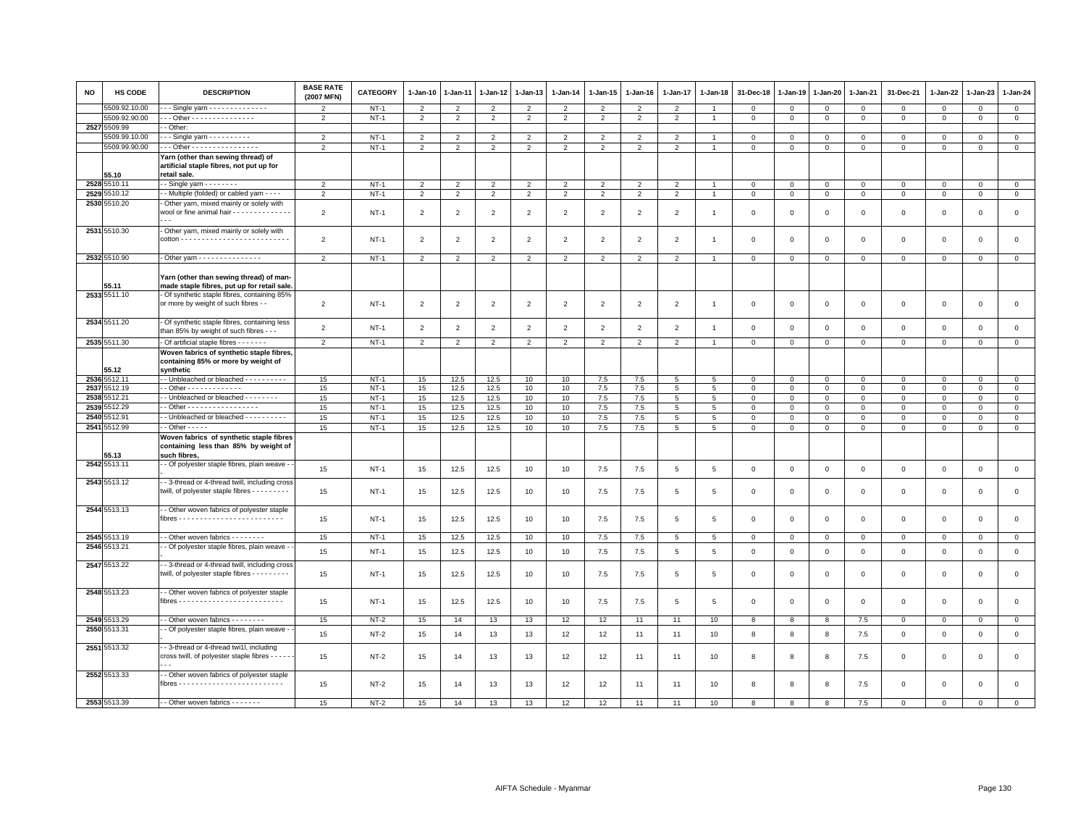| <b>NO</b> | HS CODE               | <b>DESCRIPTION</b>                                                                                                                   | <b>BASE RATE</b><br>(2007 MFN) | <b>CATEGORY</b> | 1-Jan-10       | 1-Jan-11       | 1-Jan-12       | 1-Jan-13       | 1-Jan-14       | 1-Jan-15       | 1-Jan-16                 | 1-Jan-17        | 1-Jan-18       | 31-Dec-18      | 1-Jan-19       | 1-Jan-20       | 1-Jan-21       | 31-Dec-21    | 1-Jan-22    | 1-Jan-23     | 1-Jan-24       |
|-----------|-----------------------|--------------------------------------------------------------------------------------------------------------------------------------|--------------------------------|-----------------|----------------|----------------|----------------|----------------|----------------|----------------|--------------------------|-----------------|----------------|----------------|----------------|----------------|----------------|--------------|-------------|--------------|----------------|
|           | 5509.92.10.00         | - - Single yarn - - - - - - - - - - - - - -                                                                                          | $\mathfrak{p}$                 | $NT-1$          | $\overline{2}$ | $\overline{2}$ | $\overline{2}$ | $\overline{2}$ | $\overline{2}$ | $\overline{2}$ | $\overline{\phantom{0}}$ | $\overline{2}$  |                | $\Omega$       | $\mathbf 0$    | 0              | $\mathbf 0$    | $\Omega$     | $\Omega$    | $\Omega$     | $\mathbf 0$    |
|           | 5509.92.90.00         | -- Other - - - - - - - - - - - - - - -                                                                                               | 2                              | $NT-1$          | $\overline{2}$ | $\overline{2}$ | $\overline{2}$ | $\overline{2}$ | $\overline{2}$ | $\overline{2}$ | $\overline{2}$           | $\overline{2}$  | $\overline{1}$ | $\overline{0}$ | $\mathbf 0$    | $\overline{0}$ | $\overline{0}$ | $\mathbf 0$  | $\mathbf 0$ | $\mathbf 0$  | $\mathbf{0}$   |
| 2527      | 5509.99               | - Other:                                                                                                                             |                                |                 |                |                |                |                |                |                |                          |                 |                |                |                |                |                |              |             |              |                |
|           | 5509.99.10.00         | $-$ - Single yarn $-$ - - - - - - - - -                                                                                              | $\overline{2}$                 | $NT-1$          | $\overline{2}$ | $\overline{2}$ | $\overline{2}$ | $\overline{2}$ | $\overline{2}$ | $\overline{2}$ | $\overline{2}$           | 2               |                | $\Omega$       | $\mathbf 0$    | $\mathbf 0$    | $\mathbf 0$    | $\mathsf 0$  | $\Omega$    | $\Omega$     | $\mathbf 0$    |
|           | 5509.99.90.00         | -- Other - - - - - - - - - - - - - - - -                                                                                             | 2                              | $NT-1$          | $\overline{2}$ | $\overline{2}$ | $\overline{2}$ | $\overline{2}$ | 2              | $\overline{2}$ | $\overline{2}$           | $\overline{2}$  | $\overline{1}$ | $\mathbf{0}$   | $\circ$        | $\mathbf{0}$   | $\mathbf{0}$   | $\mathbf 0$  | $\mathbf 0$ | $\circ$      | $\overline{0}$ |
|           |                       | Yarn (other than sewing thread) of                                                                                                   |                                |                 |                |                |                |                |                |                |                          |                 |                |                |                |                |                |              |             |              |                |
|           |                       | artificial staple fibres, not put up for                                                                                             |                                |                 |                |                |                |                |                |                |                          |                 |                |                |                |                |                |              |             |              |                |
|           | 55.10                 | retail sale.                                                                                                                         |                                |                 |                |                |                |                |                |                |                          |                 |                |                |                |                |                |              |             |              |                |
|           | 2528 5510.11          | $-$ Single yarn $       -$                                                                                                           | $\overline{2}$                 | $NT-1$          | $\overline{2}$ | $\overline{2}$ | $\overline{2}$ | $\overline{2}$ | $\overline{2}$ | $\overline{2}$ | $\overline{2}$           | $\overline{2}$  |                | $\mathbf 0$    | $\mathsf 0$    | $\mathbf 0$    | $\mathbf 0$    | $\mathbf 0$  | $\mathbf 0$ | $\Omega$     | $\overline{0}$ |
|           | 2529 5510.12          | - Multiple (folded) or cabled yarn - - - -                                                                                           | $\overline{2}$                 | $NT-1$          | $\overline{2}$ | $\overline{2}$ | $\overline{2}$ | $\overline{2}$ | $\overline{2}$ | $\overline{2}$ | 2                        | $\overline{2}$  | $\overline{1}$ | $\overline{0}$ | $\mathbf 0$    | $\overline{0}$ | $\mathbf{0}$   | $\mathbf{0}$ | $\mathbf 0$ | $\mathsf 0$  | $\mathbf{0}$   |
|           | 2530 5510.20          | Other yarn, mixed mainly or solely with<br>wool or fine animal hair - - - - - - - - - - - - -                                        | $\overline{2}$                 | $NT-1$          | $\overline{2}$ | $\overline{2}$ | 2              | $\overline{2}$ | $\overline{2}$ | $\overline{2}$ | $\overline{2}$           | $\overline{2}$  | $\overline{1}$ | 0              | $^{\circ}$     | $\mathbf 0$    | $\mathbf 0$    | $\mathsf 0$  | 0           | $^{\circ}$   | $\mathbf 0$    |
|           | 2531 5510.30          | Other yarn, mixed mainly or solely with                                                                                              | $\overline{2}$                 | $NT-1$          | $\overline{2}$ | $\overline{2}$ | 2              | $\overline{2}$ | $\overline{2}$ | $\overline{2}$ | $\overline{2}$           | 2               | $\overline{1}$ | $^{\circ}$     | $^{\circ}$     | $\overline{0}$ | $\mathbf 0$    | $\mathsf 0$  | 0           | $^{\circ}$   | $\mathbf 0$    |
|           | 2532 5510.90          | - Other yarn - - - - - - - - - - - - - -                                                                                             | $\mathfrak{p}$                 | $NT-1$          | $\overline{2}$ | $\overline{2}$ | $\overline{2}$ | $\overline{2}$ | $\overline{2}$ | 2              | $\overline{2}$           | $\overline{2}$  |                | $\Omega$       | $\Omega$       | $\circ$        | $\mathbf 0$    | $\mathbf 0$  | $\mathbf 0$ | $\mathbf 0$  | $\mathbf 0$    |
|           | 55.11<br>2533 5511.10 | Yarn (other than sewing thread) of man-<br>made staple fibres, put up for retail sale.<br>Of synthetic staple fibres, containing 85% |                                |                 |                |                |                |                |                |                |                          |                 |                |                |                |                |                |              |             |              |                |
|           |                       | or more by weight of such fibres - -                                                                                                 | $\overline{2}$                 | $NT-1$          | $\overline{2}$ | $\overline{2}$ | $\overline{2}$ | $\overline{2}$ | $\overline{2}$ | $\overline{2}$ | $\overline{2}$           | $\overline{2}$  | $\overline{1}$ | $\mathbf 0$    | $\mathbf{0}$   | $\mathbf 0$    | $\mathbf 0$    | $\mathsf 0$  | $\mathbf 0$ | $\mathbf 0$  | $\mathbf 0$    |
|           | 2534 5511.20          | - Of synthetic staple fibres, containing less<br>than 85% by weight of such fibres - - -                                             | $\overline{2}$                 | $NT-1$          | $\overline{2}$ | $\overline{2}$ | $\overline{2}$ | $\overline{2}$ | $\overline{2}$ | $\overline{2}$ | $\overline{2}$           | $\overline{2}$  | $\overline{1}$ | $\mathbf 0$    | $\mathbf{0}$   | $\mathbf 0$    | $\mathsf 0$    | $\mathsf 0$  | $\mathbf 0$ | $\mathsf 0$  | $\mathsf 0$    |
|           | 2535 5511.30          | - Of artificial staple fibres - - - - - - -                                                                                          | $\overline{2}$                 | $NT-1$          | $\overline{2}$ | $\overline{2}$ | $\overline{2}$ | $\overline{2}$ | $\overline{2}$ | $\overline{2}$ | $\overline{2}$           | $\overline{2}$  | $\overline{1}$ | $\mathsf 0$    | $\overline{0}$ | $\overline{0}$ | $\circ$        | $\mathsf 0$  | $\mathsf 0$ | $\mathbf 0$  | $\overline{0}$ |
|           | 55.12                 | Woven fabrics of synthetic staple fibres,<br>containing 85% or more by weight of<br>synthetic                                        |                                |                 |                |                |                |                |                |                |                          |                 |                |                |                |                |                |              |             |              |                |
|           | 2536 5512.11          | - Unbleached or bleached - - - - - - - - -                                                                                           | 15                             | $NT-1$          | 15             | 12.5           | 12.5           | 10             | 10             | 7.5            | 7.5                      | 5               | 5              | $\mathbf{0}$   | $\overline{0}$ | $\mathbf{0}$   | $\mathbf{0}$   | $\mathbf{0}$ | $\mathbf 0$ | $\mathbf{0}$ | $\mathbf{0}$   |
| 2537      | 5512.19               | $-$ Other - - - - - - - - - - - - -                                                                                                  | 15                             | $NT-1$          | 15             | 12.5           | 12.5           | 10             | 10             | 7.5            | 7.5                      | 5               | 5              | $\mathbf 0$    | $\mathbf{0}$   | $\mathbf{0}$   | $\mathbf{0}$   | $\mathsf 0$  | $\Omega$    | $\mathbf 0$  | $\overline{0}$ |
| 2538      | 5512.21               | - Unbleached or bleached - - - - - - - -                                                                                             | 15                             | $NT-1$          | 15             | 12.5           | 12.5           | 10             | 10             | 7.5            | 7.5                      | 5               | 5              | $\mathbf 0$    | $\mathbf 0$    | $\mathbf 0$    | $\mathbf 0$    | $\mathbf 0$  | $\Omega$    | $\mathbf 0$  | $\circ$        |
| 2539      | 5512.29               | - Other - - - - - - - - - - - - - - - -                                                                                              | 15                             | $NT-1$          | 15             | 12.5           | 12.5           | 10             | 10             | 7.5            | 7.5                      | 5               | 5              | $\mathbf 0$    | $\mathbf 0$    | $\mathbf 0$    | $\mathbf 0$    | $\mathsf 0$  | $\Omega$    | 0            | $\mathbf 0$    |
| 2540      | 5512.91               | - Unbleached or bleached - - - - - - - - -                                                                                           | 15                             | $NT-1$          | 15             | 12.5           | 12.5           | 10             | 10             | 7.5            | 7.5                      | $\overline{5}$  | $\,$ 5         | $\mathbf 0$    | $\circ$        | $\overline{0}$ | $\mathbf 0$    | $\mathsf 0$  | $\Omega$    | $\mathbf 0$  | $\overline{0}$ |
|           | 2541 5512.99          | $-$ Other $   -$                                                                                                                     | 15                             | $NT-1$          | 15             | 12.5           | 12.5           | 10             | 10             | 7.5            | 7.5                      | $5\overline{5}$ | 5              | $\mathbf 0$    | $\mathbf 0$    | $\mathbf 0$    | $\mathbf{0}$   | $\mathbf 0$  | $\mathbf 0$ | $\mathbf{0}$ | $\mathbf{0}$   |
|           | 55.13                 | Woven fabrics of synthetic staple fibres<br>containing less than 85% by weight of<br>such fibres,                                    |                                |                 |                |                |                |                |                |                |                          |                 |                |                |                |                |                |              |             |              |                |
|           | 2542 5513.11          | - Of polyester staple fibres, plain weave -                                                                                          | 15                             | $NT-1$          | 15             | 12.5           | 12.5           | 10             | 10             | 7.5            | $7.5$                    | 5               | 5              | $\mathsf 0$    | $\mathbb O$    | $\mathbf 0$    | $\mathbf 0$    | $\mathsf 0$  | $\mathsf 0$ | $\mathsf 0$  | $\mathsf 0$    |
|           | 2543 5513.12          | - 3-thread or 4-thread twill, including cross<br>twill, of polyester staple fibres - - - - - - - - -                                 | 15                             | $NT-1$          | 15             | 12.5           | 12.5           | 10             | 10             | 7.5            | 7.5                      | 5               | 5              | $\mathbf 0$    | $\Omega$       | $\mathbf 0$    | $\mathbf 0$    | $\mathbf 0$  | $\mathbf 0$ | $\mathbf 0$  | $\mathbf{0}$   |
|           | 2544 5513.13          | - - Other woven fabrics of polyester staple                                                                                          | 15                             | $NT-1$          | 15             | 12.5           | 12.5           | 10             | 10             | 7.5            | 7.5                      | $5\overline{5}$ | 5              | $\mathbf 0$    | $\Omega$       | $\mathbf 0$    | $\mathbf 0$    | $\mathbf 0$  | $\mathbf 0$ | $\mathbf 0$  | $\mathbf 0$    |
|           | 2545 5513.19          | - Other woven fabrics - - - - - - -                                                                                                  | 15                             | $NT-1$          | 15             | 12.5           | 12.5           | 10             | 10             | 7.5            | 7.5                      | 5               | 5              | $\mathbf 0$    | $\mathbf 0$    | $\overline{0}$ | $\mathbf 0$    | $\mathbf 0$  | 0           | $\mathbf 0$  | $\overline{0}$ |
|           | 2546 5513.21          | - Of polyester staple fibres, plain weave -                                                                                          | 15                             | $NT-1$          | 15             | 12.5           | 12.5           | 10             | 10             | 7.5            | 7.5                      | $5\overline{5}$ | $\,$ 5         | $\mathbf{0}$   | $\,0\,$        | $\mathbb O$    | $\circ$        | $\mathsf 0$  | $\mathsf 0$ | $\,0\,$      | $\mathsf 0$    |
|           | 2547 5513.22          | - 3-thread or 4-thread twill, including cross                                                                                        |                                |                 |                |                |                |                |                |                |                          |                 |                |                |                |                |                |              |             |              |                |
|           |                       | twill, of polyester staple fibres - - - - - - - - -                                                                                  | 15                             | $NT-1$          | 15             | 12.5           | 12.5           | 10             | 10             | 7.5            | 7.5                      | $\overline{5}$  | 5              | $\mathsf 0$    | $\overline{0}$ | $\mathsf 0$    | $\mathsf 0$    | $\mathsf 0$  | $\mathbf 0$ | $\mathsf 0$  | $\mathbf{0}$   |
|           | 2548 5513.23          | - Other woven fabrics of polyester staple                                                                                            | 15                             | $NT-1$          | 15             | 12.5           | 12.5           | 10             | 10             | 7.5            | 7.5                      | 5               | 5              | $\mathbf 0$    | $\overline{0}$ | $\mathbf 0$    | $\mathsf 0$    | $\mathsf 0$  | $\mathbf 0$ | $\mathsf 0$  | $\mathsf 0$    |
|           | 2549 5513.29          | - Other woven fabrics - - - - - - -                                                                                                  | 15                             | $NT-2$          | 15             | 14             | 13             | 13             | 12             | 12             | 11                       | 11              | 10             | 8              | 8              | 8              | 7.5            | $\mathbf 0$  | $\mathbf 0$ | $\mathbf{0}$ | $\mathbf{0}$   |
|           | 2550 5513.31          | - Of polyester staple fibres, plain weave -                                                                                          | 15                             | $NT-2$          | 15             | 14             | 13             | 13             | 12             | 12             | 11                       | 11              | 10             | 8              | 8              | 8              | 7.5            | $\mathbf 0$  | 0           | 0            | $\circ$        |
|           | 2551 5513.32          | - 3-thread or 4-thread twi1l, including<br>cross twill, of polyester staple fibres - - - -                                           | 15                             | $NT-2$          | 15             | 14             | 13             | 13             | 12             | 12             | 11                       | 11              | 10             | 8              | 8              | 8              | 7.5            | $\mathsf 0$  | $\mathbf 0$ | $\mathsf 0$  | $\mathbf 0$    |
|           | 2552 5513.33          | - Other woven fabrics of polyester staple                                                                                            | 15                             | $NT-2$          | 15             | 14             | 13             | 13             | 12             | 12             | 11                       | 11              | 10             | 8              | 8              | 8              | 7.5            | 0            | 0           | 0            | $\mathsf 0$    |
|           | 2553 5513.39          | - - Other woven fabrics - - - - - - -                                                                                                | 15                             | $NT-2$          | 15             | 14             | 13             | 13             | 12             | 12             | 11                       | 11              | 10             | $\mathbf{a}$   | $\mathbf{R}$   | $\mathbf{R}$   | 7.5            | $\Omega$     | $\Omega$    | $\Omega$     | $\mathbf{0}$   |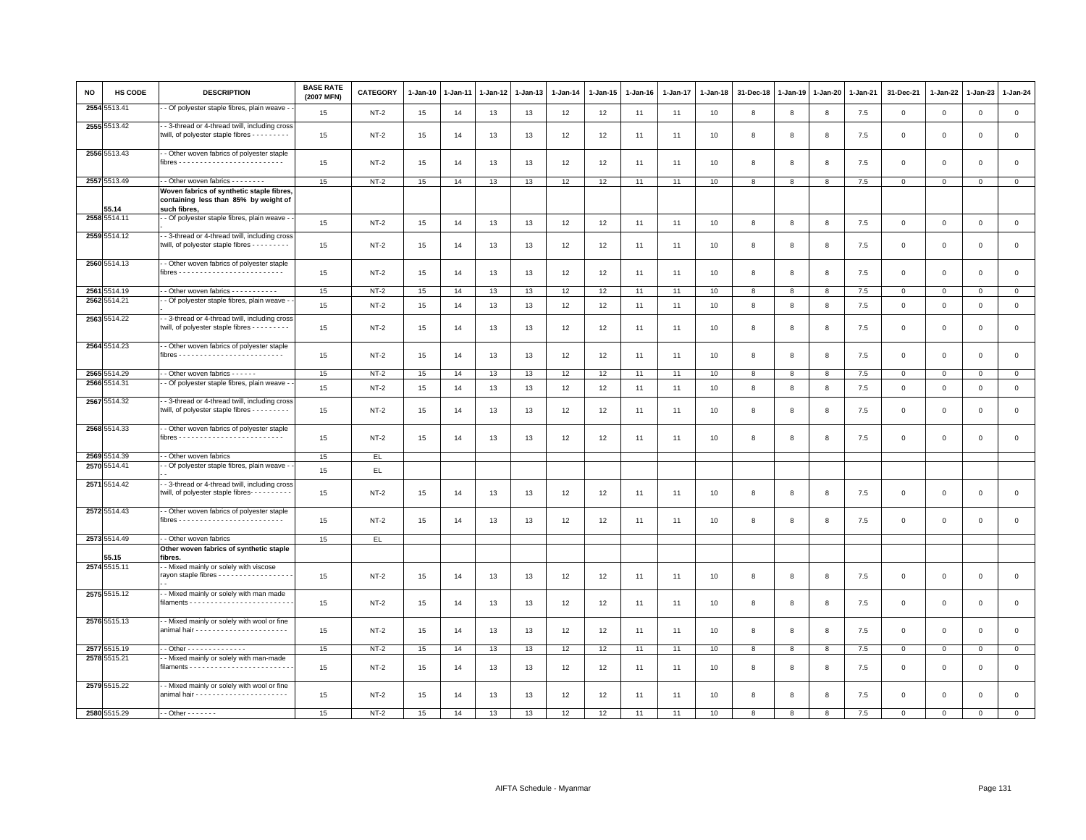| <b>NO</b> | HS CODE      | <b>DESCRIPTION</b>                                                                                   | <b>BASE RATE</b><br>(2007 MFN) | CATEGORY      | $1-Jan-10$ | 1-Jan-11 | 1-Jan-12 | 1-Jan-13 | $1-Jan-14$ | $1 - Jan-15$ | 1-Jan-16 | 1-Jan-17 | 1-Jan-18 | 31-Dec-18    | $1 - Jan-19$ | $1 - Jan-20$ | 1-Jan-21 | 31-Dec-21    | $1 - Jan-22$ | 1-Jan-23    | $1 - Jan-24$   |
|-----------|--------------|------------------------------------------------------------------------------------------------------|--------------------------------|---------------|------------|----------|----------|----------|------------|--------------|----------|----------|----------|--------------|--------------|--------------|----------|--------------|--------------|-------------|----------------|
| 2554      | 5513.41      | - Of polyester staple fibres, plain weave -                                                          | 15                             | $NT-2$        | 15         | 14       | 13       | 13       | 12         | 12           | 11       | 11       | 10       | 8            | 8            | 8            | 7.5      | $\mathbf 0$  | $\mathbf 0$  | $\mathsf 0$ | $\mathbf 0$    |
|           | 2555 5513.42 | - 3-thread or 4-thread twill, including cross<br>twill, of polyester staple fibres - - - - - - - -   | 15                             | $NT-2$        | 15         | 14       | 13       | 13       | 12         | 12           | 11       | 11       | 10       | 8            | 8            | 8            | 7.5      | $\mathsf 0$  | $\mathbf 0$  | $\mathsf 0$ | $\mathbf 0$    |
|           | 2556 5513.43 | - Other woven fabrics of polyester staple                                                            | 15                             | $NT-2$        | 15         | 14       | 13       | 13       | 12         | 12           | 11       | 11       | 10       | 8            | 8            | 8            | 7.5      | $\mathsf 0$  | $\mathsf 0$  | $\mathsf 0$ | $\mathsf 0$    |
|           | 2557 5513.49 | - Other woven fabrics - - - - - - -                                                                  | 15                             | $NT-2$        | 15         | 14       | 13       | 13       | 12         | 12           | 11       | 11       | 10       | 8            | 8            | 8            | 7.5      | $\mathsf 0$  | $\mathbf 0$  | $\mathbf 0$ | $\mathbf 0$    |
|           | 55.14        | Woven fabrics of synthetic staple fibres,<br>containing less than 85% by weight of<br>such fibres,   |                                |               |            |          |          |          |            |              |          |          |          |              |              |              |          |              |              |             |                |
|           | 2558 5514.11 | - Of polyester staple fibres, plain weave -                                                          | 15                             | $NT-2$        | 15         | 14       | 13       | 13       | 12         | 12           | 11       | 11       | 10       | 8            | 8            | 8            | 7.5      | $\mathbf{0}$ | $\mathsf 0$  | $\mathbf 0$ | $\mathsf 0$    |
|           | 2559 5514.12 | - 3-thread or 4-thread twill, including cross<br>twill, of polyester staple fibres - - - - - - - - - | 15                             | $NT-2$        | 15         | 14       | 13       | 13       | 12         | 12           | 11       | 11       | 10       | 8            | 8            | 8            | 7.5      | $\mathsf 0$  | $\mathsf 0$  | $\mathbf 0$ | $\mathsf 0$    |
|           | 2560 5514.13 | - Other woven fabrics of polyester staple                                                            | 15                             | $NT-2$        | 15         | 14       | 13       | 13       | 12         | 12           | 11       | 11       | 10       | 8            | 8            | 8            | 7.5      | $\mathsf 0$  | $\mathbf 0$  | $\mathsf 0$ | $\mathsf 0$    |
|           | 2561 5514.19 | - Other woven fabrics - - - - - - - - - -                                                            | 15                             | $NT-2$        | 15         | 14       | 13       | 13       | 12         | 12           | 11       | 11       | 10       | 8            | 8            | 8            | 7.5      | 0            | $\mathbf 0$  | $\mathbf 0$ | $\overline{0}$ |
|           | 2562 5514.21 | - Of polyester staple fibres, plain weave -                                                          | 15                             | $NT-2$        | 15         | 14       | 13       | 13       | 12         | 12           | 11       | 11       | 10       | 8            | 8            | 8            | 7.5      | $\mathbf 0$  | $\mathbf 0$  | $\mathbf 0$ | $\mathbf{0}$   |
|           | 2563 5514.22 | - 3-thread or 4-thread twill, including cross<br>twill, of polyester staple fibres - - - - - - - - - | 15                             | $NT-2$        | 15         | 14       | 13       | 13       | 12         | 12           | 11       | 11       | 10       | 8            | 8            | 8            | 7.5      | $\mathsf 0$  | $\mathbf 0$  | $\mathsf 0$ | $\mathbf 0$    |
|           | 2564 5514.23 | - Other woven fabrics of polyester staple                                                            | 15                             | $NT-2$        | 15         | 14       | 13       | 13       | 12         | 12           | 11       | 11       | 10       | 8            | 8            | 8            | 7.5      | $\mathsf 0$  | $\mathbf 0$  | $\mathsf 0$ | $\mathsf 0$    |
|           | 2565 5514.29 | - Other woven fabrics - - - - - -                                                                    | 15                             | $NT-2$        | 15         | 14       | 13       | 13       | 12         | 12           | 11       | 11       | 10       | 8            | 8            | 8            | 7.5      | $\mathsf 0$  | $\mathsf 0$  | $\mathsf 0$ | $\mathbf 0$    |
|           | 2566 5514.31 | - Of polyester staple fibres, plain weave -                                                          | 15                             | $NT-2$        | 15         | 14       | 13       | 13       | 12         | 12           | 11       | 11       | 10       | 8            | 8            | 8            | 7.5      | $\mathsf 0$  | 0            | $\circ$     | $\mathsf 0$    |
|           | 2567 5514.32 | - 3-thread or 4-thread twill, including cross<br>twill, of polyester staple fibres - - - - - - - -   | 15                             | $NT-2$        | 15         | 14       | 13       | 13       | 12         | 12           | 11       | 11       | 10       | 8            | 8            | 8            | 7.5      | $\mathsf 0$  | 0            | $^{\circ}$  | $\mathsf 0$    |
|           | 2568 5514.33 | - Other woven fabrics of polyester staple                                                            | 15                             | $NT-2$        | 15         | 14       | 13       | 13       | 12         | 12           | 11       | 11       | 10       | 8            | 8            | $\mathbf{R}$ | 7.5      | $\mathsf 0$  | $\mathbf 0$  | $\Omega$    | $\mathbf 0$    |
|           | 2569 5514.39 | - Other woven fabrics                                                                                | 15                             | EL.           |            |          |          |          |            |              |          |          |          |              |              |              |          |              |              |             |                |
|           | 2570 5514.41 | - Of polyester staple fibres, plain weave -                                                          | 15                             | $\mathsf{EL}$ |            |          |          |          |            |              |          |          |          |              |              |              |          |              |              |             |                |
|           | 2571 5514.42 | - 3-thread or 4-thread twill, including cross<br>twill, of polyester staple fibres---------          | 15                             | $NT-2$        | 15         | 14       | 13       | 13       | 12         | 12           | 11       | 11       | 10       | 8            | 8            | 8            | 7.5      | $\mathbf 0$  | $\mathbf 0$  | $\mathbf 0$ | $\mathsf 0$    |
|           | 2572 5514.43 | - Other woven fabrics of polyester staple                                                            | 15                             | $NT-2$        | 15         | 14       | 13       | 13       | 12         | 12           | 11       | 11       | 10       | 8            | 8            | 8            | 7.5      | $\mathbf 0$  | $\mathbf 0$  | $\mathbf 0$ | $\circ$        |
|           | 2573 5514.49 | - - Other woven fabrics                                                                              | 15                             | EL.           |            |          |          |          |            |              |          |          |          |              |              |              |          |              |              |             |                |
|           | 55.15        | Other woven fabrics of synthetic staple<br>fibres.                                                   |                                |               |            |          |          |          |            |              |          |          |          |              |              |              |          |              |              |             |                |
|           | 2574 5515.11 | - Mixed mainly or solely with viscose<br>rayon staple fibres - - - - - - - - - - - - - - - - -       | 15                             | $NT-2$        | 15         | 14       | 13       | 13       | 12         | 12           | 11       | 11       | 10       | 8            | 8            | 8            | 7.5      | $\mathsf 0$  | $\mathbf 0$  | $\mathbf 0$ | $\mathbf 0$    |
|           | 2575 5515.12 | - Mixed mainly or solely with man made                                                               | 15                             | $NT-2$        | 15         | 14       | 13       | 13       | 12         | 12           | 11       | 11       | 10       | 8            | 8            | 8            | 7.5      | $\mathsf 0$  | 0            | $\mathbf 0$ | $\mathbf 0$    |
|           | 2576 5515.13 | - Mixed mainly or solely with wool or fine                                                           | 15                             | $NT-2$        | 15         | 14       | 13       | 13       | 12         | 12           | 11       | 11       | 10       | 8            | 8            | 8            | 7.5      | $\mathsf 0$  | $\mathbf 0$  | $\mathsf 0$ | $\mathbf 0$    |
|           | 2577 5515.19 | - - Other - - - - - - - - - - - - - -                                                                | 15                             | $NT-2$        | 15         | 14       | 13       | 13       | 12         | 12           | 11       | 11       | 10       | 8            | 8            | 8            | 7.5      | $\circ$      | $\mathbf 0$  | $\mathbf 0$ | $\mathbf{0}$   |
|           | 2578 5515.21 | - Mixed mainly or solely with man-made                                                               | 15                             | $NT-2$        | 15         | 14       | 13       | 13       | 12         | 12           | 11       | 11       | 10       | 8            | 8            | 8            | 7.5      | $\mathsf 0$  | 0            | 0           | $\mathbf 0$    |
|           | 2579 5515.22 | - Mixed mainly or solely with wool or fine                                                           | 15                             | $NT-2$        | 15         | 14       | 13       | 13       | 12         | 12           | 11       | -11      | 10       | 8            | 8            | 8            | 7.5      | 0            | 0            | 0           | $\mathsf 0$    |
|           | 2580 5515.29 | $-$ - Other $-$ - $-$ - $-$ - $-$                                                                    | 15                             | $NT-2$        | 15         | 14       | 13       | 13       | 12         | 12           | 11       | 11       | 10       | $\mathbf{R}$ | $\mathbf{R}$ | 8            | 7.5      | $\Omega$     | $\Omega$     | $\mathbf 0$ | $\mathbf{0}$   |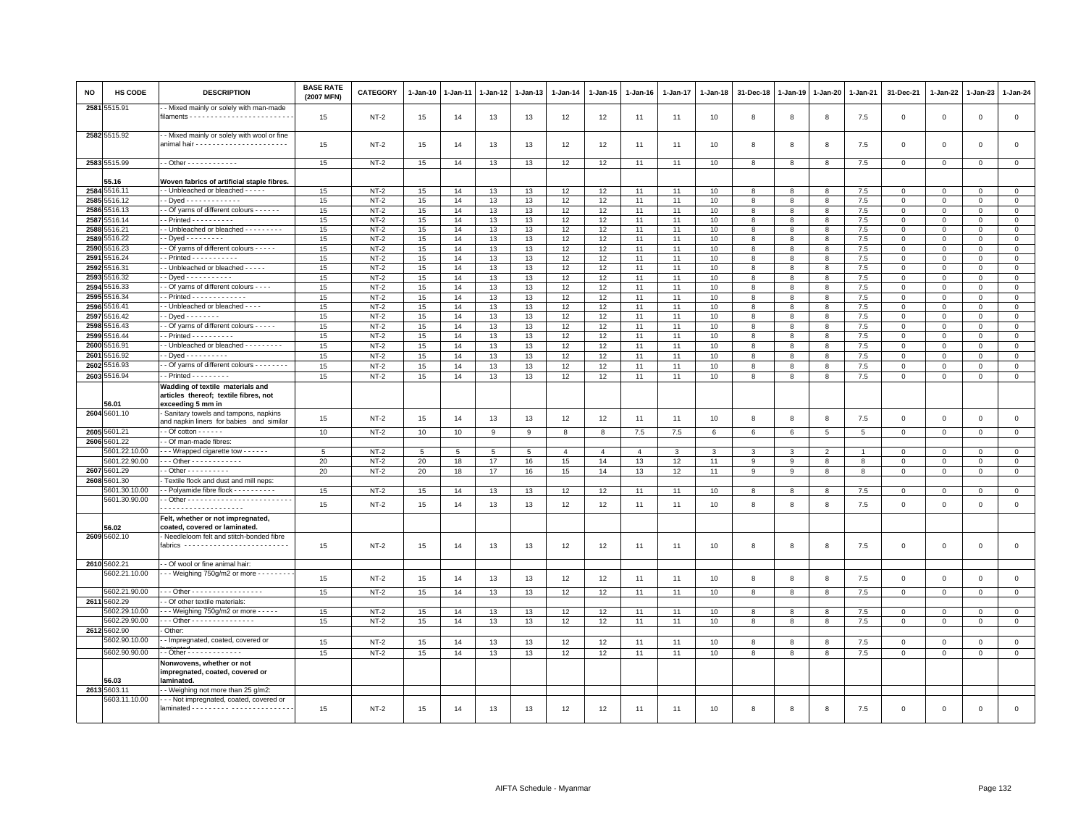| NO           | <b>HS CODE</b>                | <b>DESCRIPTION</b>                                                                                            | <b>BASE RATE</b><br>(2007 MFN) | <b>CATEGORY</b>  | 1-Jan-10 | 1-Jan-11 | 1-Jan-12 | 1-Jan-13 | 1-Jan-14       | $1 - Jan-15$   | 1-Jan-16       | 1-Jan-17 | $1-Jan-18$ | 31-Dec-18 | $1-Jan-19$   | 1-Jan-20                 | 1-Jan-21       | 31-Dec-21                   | 1-Jan-22                | 1-Jan-23                   | $1-Jan-24$                  |
|--------------|-------------------------------|---------------------------------------------------------------------------------------------------------------|--------------------------------|------------------|----------|----------|----------|----------|----------------|----------------|----------------|----------|------------|-----------|--------------|--------------------------|----------------|-----------------------------|-------------------------|----------------------------|-----------------------------|
|              | 2581 5515.91                  | - Mixed mainly or solely with man-made                                                                        | 15                             | NT-2             | 15       | 14       | 13       | 13       | 12             | 12             | 11             | 11       | 10         | 8         | 8            | 8                        | 7.5            | $\mathbf 0$                 | $\mathsf 0$             | $\,0\,$                    | $\,0\,$                     |
|              | 2582 5515.92                  | - Mixed mainly or solely with wool or fine                                                                    | 15                             | NT-2             | 15       | 14       | 13       | 13       | 12             | 12             | 11             | 11       | 10         | 8         | 8            | 8                        | 7.5            | $\mathbf 0$                 | $\mathbf 0$             | $\mathsf 0$                | $\mathbf 0$                 |
|              | 2583 5515.99                  | $-$ Other - - - - - - - - - - - -                                                                             | 15                             | $NT-2$           | 15       | 14       | 13       | 13       | 12             | 12             | 11             | 11       | 10         | 8         | 8            | 8                        | 7.5            | $\mathbf 0$                 | 0                       | $\mathbf 0$                | $\circ$                     |
|              |                               |                                                                                                               |                                |                  |          |          |          |          |                |                |                |          |            |           |              |                          |                |                             |                         |                            |                             |
|              | 55.16                         | Woven fabrics of artificial staple fibres.                                                                    |                                |                  |          |          |          |          |                |                |                |          |            |           |              |                          |                |                             |                         |                            |                             |
|              | 2584 5516.11<br>2585 5516.12  | - Unbleached or bleached - - - - -<br>- Dved - - - - - - - - - - - - -                                        | 15<br>15                       | $NT-2$<br>$NT-2$ | 15<br>15 | 14<br>14 | 13<br>13 | 13<br>13 | 12<br>12       | 12<br>12       | 11<br>11       | 11<br>11 | 10<br>10   | 8<br>8    | $\mathbf{R}$ | 8<br>$\mathbf{R}$        | 7.5<br>7.5     | $^{\circ}$<br>$\Omega$      | $\Omega$<br>$\Omega$    | 0<br>$\mathbf 0$           | $\mathbf 0$<br>$\mathbf{0}$ |
| 2586         | 5516.13                       | - Of yarns of different colours - - - - - -                                                                   | 15                             | $NT-2$           | 15       | 14       | 13       | 13       | 12             | 12             | 11             | 11       | 10         | 8         | 8            | 8                        | 7.5            | $\mathbf 0$                 | $\mathbf 0$             | $\mathbf 0$                | $\mathbf 0$                 |
| 2587         | 5516.14                       | $-$ Printed $- - - - - - - - -$                                                                               | 15                             | $NT-2$           | 15       | 14       | 13       | 13       | 12             | 12             | 11             | 11       | 10         | 8         | 8            | 8                        | 7.5            | $\Omega$                    | $\Omega$                | $\Omega$                   | $\mathbf{0}$                |
|              | 2588 5516.21                  | - Unbleached or bleached - - - - - - - - -                                                                    | 15                             | $NT-2$           | 15       | 14       | 13       | 13       | 12             | 12             | 11             | 11       | 10         | 8         | 8            | 8                        | 7.5            | $\mathbf 0$                 | $\mathbf 0$             | $\mathbf 0$                | $\circ$                     |
|              | 2589 5516.22                  | $-Dyed - \cdots - \cdots$                                                                                     | 15                             | $NT-2$           | 15       | 14       | 13       | 13       | 12             | 12             | 11             | 11       | 10         | 8         | 8            | 8                        | 7.5            | $\mathbf 0$                 | $\mathsf 0$             | $\mathsf 0$                | $\circ$                     |
| 2590<br>2591 | 5516.23<br>5516.24            | - Of yarns of different colours - - - - -<br>$-$ Printed $- - - - - - - - -$                                  | 15<br>15                       | $NT-2$<br>$NT-2$ | 15<br>15 | 14<br>14 | 13<br>13 | 13<br>13 | 12<br>12       | 12<br>12       | 11<br>11       | 11<br>11 | 10<br>10   | 8<br>8    | 8<br>8       | 8<br>8                   | 7.5<br>7.5     | $\mathbf 0$<br>$\mathbf{0}$ | $\Omega$<br>$\mathbf 0$ | $\Omega$<br>$\mathbf 0$    | $\mathbf 0$<br>$\circ$      |
| 2592         | 5516.31                       | - Unbleached or bleached - - - - -                                                                            | 15                             | $NT-2$           | 15       | 14       | 13       | 13       | 12             | 12             | 11             | 11       | 10         | 8         | 8            | 8                        | 7.5            | $\mathbf 0$                 | $\Omega$                | $\Omega$                   | $\mathbf{0}$                |
| 2593         | 5516.32                       | - Dyed - - - - - - - - - - -                                                                                  | 15                             | $NT-2$           | 15       | 14       | 13       | 13       | 12             | 12             | 11             | 11       | 10         | 8         | 8            | 8                        | 7.5            | $\circ$                     | 0                       | $\mathbf 0$                | $\mathbf 0$                 |
| 2594         | 5516.33                       | - Of yarns of different colours - - - -                                                                       | 15                             | $NT-2$           | 15       | 14       | 13       | 13       | 12             | 12             | 11             | 11       | 10         | 8         | 8            | 8                        | 7.5            | $\mathsf 0$                 | $\Omega$                | $\mathsf 0$                | $\overline{0}$              |
| 2595         | 5516.34                       | - Printed - - - - - - - - - - - - -                                                                           | 15                             | $NT-2$           | 15       | 14       | 13       | 13       | 12             | 12             | 11             | 11       | 10         | 8         | 8            | 8                        | 7.5            | $\mathbf 0$                 | $\mathbf 0$             | $\mathbf 0$                | $\circ$                     |
| 2596         | 5516.41                       | - Unbleached or bleached - - - -                                                                              | 15                             | $NT-2$           | 15       | 14       | 13       | 13       | 12             | 12             | 11             | 11       | 10         | 8         | 8            | 8                        | $7.5\,$        | $\mathbf 0$                 | $\mathbf 0$             | $\mathbf{0}$               | $\overline{0}$              |
| 2597         | 5516.42                       | $-Dyed$ - - - - - - - -                                                                                       | 15                             | $NT-2$           | 15       | 14       | 13       | 13       | 12             | 12             | 11             | 11       | 10         | 8         | 8            | 8                        | 7.5            | $\mathbf 0$                 | $\mathsf 0$             | $\Omega$                   | $\mathbf 0$                 |
| 2598<br>2599 | 5516.43<br>5516.44            | - Of yarns of different colours - - - - -<br>$-$ Printed $- - - - - - - - -$                                  | 15<br>15                       | $NT-2$<br>$NT-2$ | 15<br>15 | 14<br>14 | 13<br>13 | 13<br>13 | 12<br>12       | 12<br>12       | 11<br>11       | 11<br>11 | 10<br>10   | 8<br>8    | 8<br>8       | 8<br>8                   | 7.5<br>7.5     | $\Omega$<br>$\mathbf{0}$    | $\Omega$<br>$\mathbf 0$ | $\mathbf 0$<br>$\mathbf 0$ | $\mathbf{0}$<br>$\circ$     |
| 2600         | 5516.91                       | - Unbleached or bleached - - - - - - - - -                                                                    | 15                             | $NT-2$           | 15       | 14       | 13       | 13       | 12             | 12             | 11             | 11       | 10         | 8         | 8            | 8                        | 7.5            | $\circ$                     | 0                       | $\mathbf 0$                | $\mathbf 0$                 |
| 2601         | 516.92                        | - Dyed - - - - - - - - - -                                                                                    | 15                             | $NT-2$           | 15       | 14       | 13       | 13       | 12             | 12             | 11             | 11       | 10         | 8         | 8            | 8                        | 7.5            | $\mathbf 0$                 | $\mathbf 0$             | $\mathbf 0$                | $\mathbf 0$                 |
| 2602         | 5516.93                       | - Of yarns of different colours - - - - - - - -                                                               | 15                             | $NT-2$           | 15       | 14       | 13       | 13       | 12             | 12             | 11             | 11       | 10         | 8         | 8            | 8                        | 7.5            | $\mathbf 0$                 | $\mathsf 0$             | $\mathsf 0$                | $\circ$                     |
| 2603         | 5516.94                       | $-$ Printed $       -$                                                                                        | 15                             | $NT-2$           | 15       | 14       | 13       | 13       | 12             | 12             | 11             | 11       | 10         | 8         | 8            | 8                        | 7.5            | $\mathbf 0$                 | $\mathbf 0$             | $\mathbf{0}$               | $\mathbf 0$                 |
|              | 56.01                         | Wadding of textile materials and<br>articles thereof; textile fibres, not<br>exceeding 5 mm in                |                                |                  |          |          |          |          |                |                |                |          |            |           |              |                          |                |                             |                         |                            |                             |
|              | 2604 5601.10                  | Sanitary towels and tampons, napkins<br>and napkin liners for babies and similar                              | 15                             | $NT-2$           | 15       | 14       | 13       | 13       | 12             | 12             | 11             | 11       | 10         | 8         | 8            | 8                        | 7.5            | $\mathbf{0}$                | $\Omega$                | $\mathbf 0$                | $\circ$                     |
|              | 2605 5601.21                  | $-$ Of cotton $    -$                                                                                         | 10                             | NT-2             | 10       | 10       | 9        | 9        | 8              | 8              | 7.5            | 7.5      | 6          | 6         | 6            | $5\overline{5}$          | 5              | $\mathbf 0$                 | $\mathsf 0$             | $\mathbf 0$                | $\mathbf 0$                 |
|              | 2606 5601.22<br>5601.22.10.00 | - Of man-made fibres:<br>- - Wrapped cigarette tow - - - - - -                                                | 5                              | $NT-2$           | 5        | 5        | 5        | 5        | $\overline{4}$ | $\overline{4}$ | $\overline{4}$ | 3        | 3          | 3         | 3            | $\overline{\phantom{a}}$ | $\overline{1}$ | $\Omega$                    | $\Omega$                | $\Omega$                   | $\mathbf{0}$                |
|              | 5601.22.90.00                 | - - Other - - - - - - - - - - - -                                                                             | 20                             | $NT-2$           | 20       | 18       | 17       | 16       | 15             | 14             | 13             | 12       | 11         | 9         | 9            | 8                        | 8              | $^{\circ}$                  | $\mathbf 0$             | $\Omega$                   | $\circ$                     |
|              | 2607 5601.29                  | $-$ Other $        -$                                                                                         | 20                             | $NT-2$           | 20       | 18       | 17       | 16       | 15             | 14             | 13             | 12       | 11         | 9         | 9            | 8                        | 8              | $\mathbf 0$                 | $\mathsf 0$             | $\mathbf 0$                | $\mathbf 0$                 |
|              | 2608 5601.30                  | Textile flock and dust and mill neps:                                                                         |                                |                  |          |          |          |          |                |                |                |          |            |           |              |                          |                |                             |                         |                            |                             |
|              | 5601.30.10.00                 | - Polyamide fibre flock - - - - - - - - - -                                                                   | 15                             | $NT-2$           | 15       | 14       | 13       | 13       | 12             | 12             | 11             | 11       | 10         | 8         | 8            | 8                        | 7.5            | $\mathbf 0$                 | $\mathbf 0$             | $\mathsf 0$                | $\mathbf 0$                 |
|              | 5601.30.90.00                 | .                                                                                                             | 15                             | $NT-2$           | 15       | 14       | 13       | 13       | 12             | 12             | 11             | 11       | 10         | 8         | 8            | 8                        | 7.5            | $\mathsf 0$                 | $\mathsf 0$             | $\mathsf 0$                | $\circ$                     |
|              | 56.02<br>2609 5602.10         | Felt, whether or not impregnated,<br>coated, covered or laminated.<br>Needleloom felt and stitch-bonded fibre |                                |                  |          |          |          |          |                |                |                |          |            |           |              |                          |                |                             |                         |                            |                             |
|              |                               | fabrics --------------------------                                                                            | 15                             | $NT-2$           | 15       | 14       | 13       | 13       | 12             | 12             | 11             | 11       | 10         | 8         | 8            | 8                        | 7.5            | $\mathbf 0$                 | 0                       | $\mathbf 0$                | $\mathbf 0$                 |
|              | 2610 5602.21                  | - Of wool or fine animal hair:                                                                                |                                |                  |          |          |          |          |                |                |                |          |            |           |              |                          |                |                             |                         |                            |                             |
|              | 5602.21.10.00                 | - - - Weighing 750g/m2 or more - - - - - - - -                                                                | 15                             | $NT-2$           | 15       | 14       | 13       | 13       | 12             | 12             | 11             | 11       | 10         | 8         | 8            | 8                        | 7.5            | $\mathbf{0}$                | $\mathsf 0$             | $\mathbf 0$                | $\circ$                     |
|              | 5602.21.90.00                 | Other - - - - - - - - - - - - - - - - -<br>- Of other textile materials:                                      | 15                             | NT-2             | 15       | 14       | 13       | 13       | 12             | 12             | 11             | 11       | 10         | 8         | 8            | 8                        | 7.5            | $\Omega$                    | $\mathbf 0$             | $\Omega$                   | $\mathbf 0$                 |
|              | 2611 5602.29<br>5602.29.10.00 | - - Weighing $750g/m2$ or more - - - - -                                                                      | 15                             | $NT-2$           | 15       | 14       | 13       | 13       | 12             | 12             | 11             | 11       | 10         | 8         | 8            | 8                        | 7.5            | $^{\circ}$                  | 0                       | $\mathbf 0$                | $\mathbf 0$                 |
|              | 5602.29.90.00                 | Other - - - - - - - - - - - - - - -                                                                           | 15                             | $NT-2$           | 15       | 14       | 13       | 13       | 12             | 12             | 11             | 11       | 10         | 8         | 8            | 8                        | 7.5            | $^{\circ}$                  | $\mathbf 0$             | $^{\circ}$                 | $\mathbf{0}$                |
|              | 2612 5602.90                  | Other:                                                                                                        |                                |                  |          |          |          |          |                |                |                |          |            |           |              |                          |                |                             |                         |                            |                             |
|              | 5602.90.10.00                 | - Impregnated, coated, covered or                                                                             | 15                             | $NT-2$           | 15       | 14       | 13       | 13       | 12             | 12             | 11             | 11       | 10         | 8         | 8            | 8                        | 7.5            | $\Omega$                    | $\Omega$                | $\mathbf 0$                | $\circ$                     |
|              | 5602.90.90.00                 | - Other - - - - - - - - - - - -                                                                               | 15                             | $NT-2$           | 15       | 14       | 13       | 13       | 12             | 12             | 11             | 11       | 10         | 8         | 8            | 8                        | 7.5            | $\mathbf 0$                 | $\Omega$                | $\mathbf 0$                | $\mathbb O$                 |
|              | 56.03                         | Nonwovens, whether or not<br>impregnated, coated, covered or<br>laminated.                                    |                                |                  |          |          |          |          |                |                |                |          |            |           |              |                          |                |                             |                         |                            |                             |
|              | 2613 5603.11                  | - Weighing not more than 25 g/m2:                                                                             |                                |                  |          |          |          |          |                |                |                |          |            |           |              |                          |                |                             |                         |                            |                             |
|              | 5603.11.10.00                 | - - Not impregnated, coated, covered or                                                                       | 15                             | $NT-2$           | 15       | 14       | 13       | 13       | 12             | 12             | 11             | 11       | 10         | 8         | R            | 8                        | 7.5            | $\Omega$                    | $\Omega$                | $\Omega$                   | $\Omega$                    |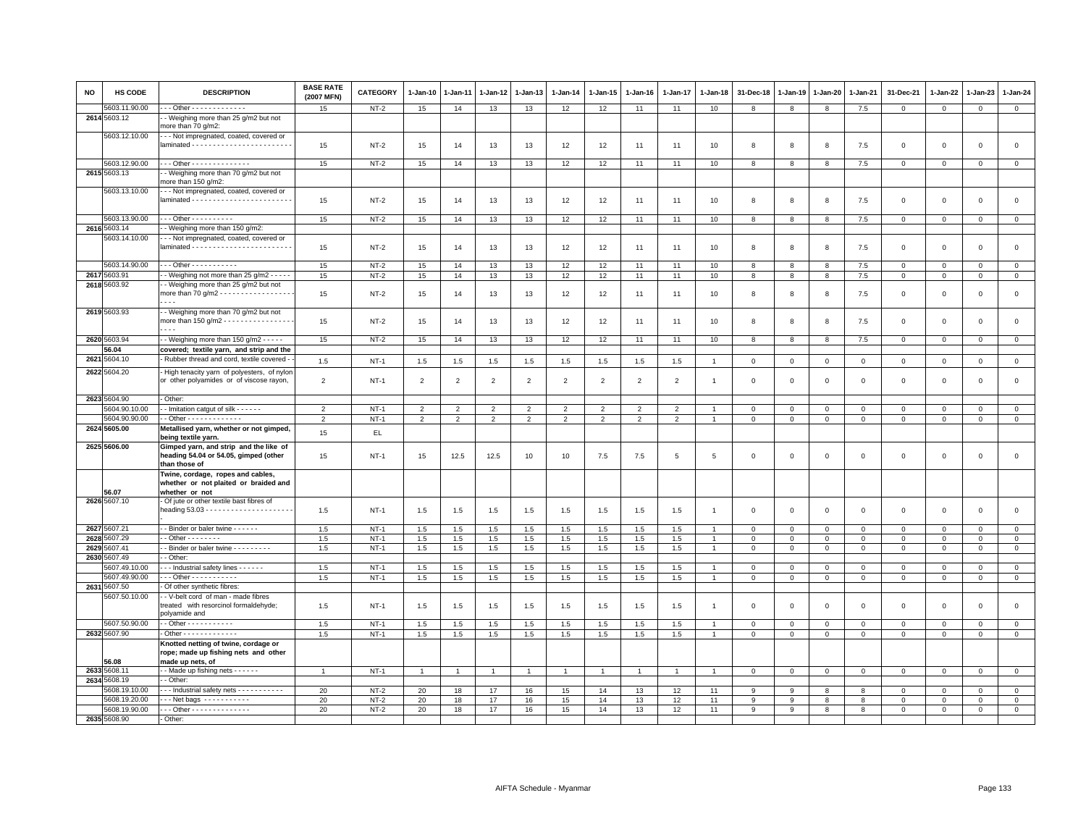| <b>NO</b> | HS CODE       | <b>DESCRIPTION</b>                                                                               | <b>BASE RATE</b><br>(2007 MFN) | <b>CATEGORY</b> | 1-Jan-10       | 1-Jan-11       | 1-Jan-12       | 1-Jan-13       | 1-Jan-14       | 1-Jan-15       | 1-Jan-16       | 1-Jan-17       | 1-Jan-18       | 31-Dec-18    | 1-Jan-19    | 1-Jan-20     | 1-Jan-21     | 31-Dec-21    | 1-Jan-22     | 1-Jan-23     | $1-Jan-24$     |
|-----------|---------------|--------------------------------------------------------------------------------------------------|--------------------------------|-----------------|----------------|----------------|----------------|----------------|----------------|----------------|----------------|----------------|----------------|--------------|-------------|--------------|--------------|--------------|--------------|--------------|----------------|
|           | 5603.11.90.00 | $-$ - Other - - - - - - - - - - - - -                                                            | 15                             | $NT-2$          | 15             | 14             | 13             | 13             | 12             | 12             | 11             | 11             | 10             | 8            | 8           | 8            | 7.5          | $\mathbf 0$  | $\mathbf 0$  | $\mathsf 0$  | $\overline{0}$ |
|           | 2614 5603.12  | - Weighing more than 25 g/m2 but not<br>nore than 70 g/m2:                                       |                                |                 |                |                |                |                |                |                |                |                |                |              |             |              |              |              |              |              |                |
|           | 5603.12.10.00 | - - Not impregnated, coated, covered or                                                          | 15                             | NT-2            | 15             | 14             | 13             | 13             | 12             | 12             | 11             | 11             | 10             | 8            | 8           | 8            | 7.5          | $\mathbf 0$  | $\Omega$     | $\Omega$     | $\mathsf 0$    |
|           | 5603.12.90.00 | --- Other --------------                                                                         | 15                             | $NT-2$          | 15             | 14             | 13             | 13             | 12             | 12             | 11             | 11             | 10             | 8            | 8           | 8            | $7.5\,$      | $\mathsf 0$  | $\Omega$     | $\mathsf 0$  | $\mathsf 0$    |
|           | 2615 5603.13  | - Weighing more than 70 g/m2 but not<br>more than 150 g/m2:                                      |                                |                 |                |                |                |                |                |                |                |                |                |              |             |              |              |              |              |              |                |
|           | 5603.13.10.00 | - - Not impregnated, coated, covered or                                                          | 15                             | $NT-2$          | 15             | 14             | 13             | 13             | 12             | 12             | 11             | 11             | 10             | 8            | 8           | 8            | 7.5          | $\mathsf 0$  | $\circ$      | $\mathbf 0$  | $\mathbf 0$    |
|           | 5603.13.90.00 | $-$ - Other - - - - - - - - - -                                                                  | 15                             | $NT-2$          | 15             | 14             | 13             | 13             | 12             | 12             | 11             | 11             | 10             | 8            | 8           | 8            | 7.5          | $\mathsf 0$  | $\mathbf 0$  | $\mathsf 0$  | $\mathbf 0$    |
|           | 2616 5603.14  | - Weighing more than 150 g/m2:                                                                   |                                |                 |                |                |                |                |                |                |                |                |                |              |             |              |              |              |              |              |                |
|           | 5603.14.10.00 | - - Not impregnated, coated, covered or                                                          |                                |                 |                |                |                |                |                |                |                |                |                |              |             |              |              |              |              |              |                |
|           |               |                                                                                                  | 15                             | NT-2            | 15             | 14             | 13             | 13             | 12             | 12             | 11             | 11             | 10             | 8            | 8           | 8            | 7.5          | $\mathsf 0$  | $\mathbf 0$  | $\mathsf 0$  | $\mathsf 0$    |
|           | 5603.14.90.00 | - - - Other - - - - - - - - - - -                                                                | 15                             | $NT-2$          | 15             | 14             | 13             | 13             | 12             | 12             | 11             | 11             | 10             | 8            | 8           | 8            | 7.5          | $\circ$      | $\Omega$     | $\mathbf 0$  | $\mathbf{0}$   |
|           | 2617 5603.91  | - - Weighing not more than 25 g/m2 - - -                                                         | 15                             | $NT-2$          | 15             | 14             | 13             | 13             | 12             | 12             | 11             | 11             | 10             | 8            | 8           | 8            | 7.5          | $\mathbf{0}$ | $\mathbf{0}$ | $\mathbf 0$  | $\mathbf{0}$   |
|           | 2618 5603.92  | - Weighing more than 25 g/m2 but not<br>more than 70 g/m2 - - - - - - - - - - - - - - - - -      | 15                             | NT-2            | 15             | 14             | 13             | 13             | 12             | 12             | 11             | 11             | 10             | 8            | 8           | 8            | 7.5          | 0            | $\circ$      | $\mathbf 0$  | $\mathsf 0$    |
|           | 2619 5603.93  | - Weighing more than 70 g/m2 but not<br>more than $150$ g/m2 - - - - - - - - - - - - - - - -     | 15                             | NT-2            | 15             | 14             | 13             | 13             | 12             | 12             | 11             | 11             | 10             | 8            | 8           | 8            | 7.5          | $\mathsf 0$  | $\mathbf 0$  | $\mathsf 0$  | $\mathsf 0$    |
|           | 2620 5603.94  | - - Weighing more than 150 g/m2 - - - - -                                                        | 15                             | $NT-2$          | 15             | 14             | 13             | 13             | 12             | 12             | 11             | 11             | 10             | 8            | 8           | 8            | 7.5          | $\mathbf 0$  | $\Omega$     | $\Omega$     | $\mathbf 0$    |
|           | 56.04         | covered; textile yarn, and strip and the                                                         |                                |                 |                |                |                |                |                |                |                |                |                |              |             |              |              |              |              |              |                |
| 2621      | 5604.10       | - Rubber thread and cord, textile covered -                                                      |                                |                 |                |                |                |                |                |                |                |                |                |              |             |              |              |              |              |              | $\mathbf{0}$   |
|           |               |                                                                                                  | 1.5                            | $NT-1$          | 1.5            | 1.5            | 1.5            | 1.5            | 1.5            | 1.5            | 1.5            | 1.5            | $\overline{1}$ | $\mathbf 0$  | $\mathbf 0$ | $\mathbf{0}$ | $\mathbf 0$  | $\mathbf{0}$ | $\circ$      | $\mathbf 0$  |                |
|           | 2622 5604.20  | - High tenacity yarn of polyesters, of nylor<br>or other polyamides or of viscose rayon,         | $\overline{2}$                 | $NT-1$          | $\overline{2}$ | $\overline{2}$ | $\overline{2}$ | $\overline{2}$ | $\overline{2}$ | $\overline{2}$ | $\overline{2}$ | $\overline{2}$ |                | $\mathbf 0$  | $\Omega$    | $\Omega$     | $\mathbf 0$  | $\mathsf 0$  | 0            | $\Omega$     | $\mathsf 0$    |
|           | 2623 5604.90  | - Other:                                                                                         |                                |                 |                |                |                |                |                |                |                |                |                |              |             |              |              |              |              |              |                |
|           | 5604.90.10.00 | -- Imitation catgut of silk ------                                                               | $\overline{2}$                 | $NT-1$          | $\overline{2}$ | $\overline{2}$ | $\overline{2}$ | $\overline{2}$ | $\overline{2}$ | $\overline{2}$ | $\overline{2}$ | $\overline{2}$ |                | $\mathbf 0$  | $\mathbf 0$ | $\mathbf 0$  | $\mathbf 0$  | $\mathsf 0$  | $\Omega$     | $\mathsf 0$  | $\mathsf 0$    |
|           | 5604.90.90.00 | - Other - - - - - - - - - - - -                                                                  | $\mathcal{P}$                  | $NT-1$          | $\overline{2}$ | $\overline{2}$ | $\overline{2}$ | $\overline{2}$ | $\overline{2}$ | $\overline{2}$ | $\overline{2}$ | $\overline{2}$ |                | $\mathbf 0$  | $\mathbf 0$ | $\mathbf 0$  | $\mathsf 0$  | $\mathsf 0$  | $\mathbf 0$  | $\mathsf 0$  | $\overline{0}$ |
|           | 2624 5605.00  | Metallised yarn, whether or not gimped,<br>being textile yarn.                                   | 15                             | EL.             |                |                |                |                |                |                |                |                |                |              |             |              |              |              |              |              |                |
|           | 2625 5606.00  | Gimped yarn, and strip and the like of<br>heading 54.04 or 54.05, gimped (other<br>than those of | 15                             | $NT-1$          | 15             | 12.5           | 12.5           | 10             | 10             | 7.5            | 7.5            | 5              | 5              | 0            | $\mathbf 0$ | $\mathsf 0$  | 0            | $\mathsf 0$  | $\mathbf 0$  | 0            | $\mathsf 0$    |
|           | 56.07         | Twine, cordage, ropes and cables,<br>whether or not plaited or braided and<br>whether or not     |                                |                 |                |                |                |                |                |                |                |                |                |              |             |              |              |              |              |              |                |
|           | 2626 5607.10  | - Of jute or other textile bast fibres of                                                        | 1.5                            | $NT-1$          | 1.5            | 1.5            | 1.5            | 1.5            | 1.5            | 1.5            | 1.5            | 1.5            | $\overline{1}$ | $\Omega$     | $\Omega$    | $\Omega$     | $\mathbf 0$  | $\mathbf 0$  | $\Omega$     | $\Omega$     | $\mathsf 0$    |
|           | 2627 5607.21  | - Binder or baler twine - - - - - -                                                              | 1.5                            | $NT-1$          | 1.5            | 1.5            | 1.5            | 1.5            | 1.5            | 1.5            | 1.5            | 1.5            |                | $\mathbf{0}$ | $\Omega$    | $\mathbf{0}$ | $\Omega$     | $\Omega$     | $\Omega$     | $\Omega$     | $\mathbf{0}$   |
| 2628      | 5607.29       | - Other - - - - - - - -                                                                          | 1.5                            | <b>NT-1</b>     | 1.5            | 1.5            | 1.5            | 1.5            | 1.5            | 1.5            | 1.5            | 1.5            |                | 0            | 0           | $\mathbf 0$  | $\mathbf 0$  | 0            | $\circ$      | 0            | $\mathbf 0$    |
| 2629      | 5607.41       | - Binder or baler twine - - - - - - - - -                                                        | 1.5                            | $NT-1$          | 1.5            | 1.5            | 1.5            | 1.5            | 1.5            | 1.5            | 1.5            | 1.5            |                | $\mathbf 0$  | $\Omega$    | $\Omega$     | $\circ$      | $\mathsf 0$  | $\mathbf 0$  | $\mathbf 0$  | $\circ$        |
|           | 2630 5607.49  | - Other:                                                                                         |                                |                 |                |                |                |                |                |                |                |                |                |              |             |              |              |              |              |              |                |
|           | 5607.49.10.00 | - - Industrial safety lines - - - - - -                                                          | $1.5\,$                        | $NT-1$          | 1.5            | 1.5            | 1.5            | 1.5            | $1.5\,$        | 1.5            | 1.5            | 1.5            |                | $\mathbf 0$  | $\mathbf 0$ | $\mathbf 0$  | $\mathbf 0$  | $\mathsf 0$  | 0            | $\Omega$     | $\mathsf 0$    |
|           | 5607.49.90.00 | - - - Other - - - - - - - - - - -                                                                | 1.5                            | $NT-1$          | 1.5            | 1.5            | 1.5            | 1.5            | 1.5            | 1.5            | 1.5            | 1.5            | $\overline{1}$ | $\mathbf 0$  | $\mathbf 0$ | $\mathbf 0$  | $\mathbf{0}$ | $\mathbf{0}$ | $\mathbf 0$  | $\mathsf 0$  | $\overline{0}$ |
| 2631      | 5607.50       | - Of other synthetic fibres:                                                                     |                                |                 |                |                |                |                |                |                |                |                |                |              |             |              |              |              |              |              |                |
|           | 5607.50.10.00 | -- V-belt cord of man - made fibres<br>treated with resorcinol formaldehyde;<br>polyamide and    | 1.5                            | $NT-1$          | 1.5            | 1.5            | 1.5            | 1.5            | 1.5            | 1.5            | 1.5            | 1.5            |                | $\Omega$     | $\Omega$    | $\Omega$     | $\mathbf 0$  | $\mathbf 0$  | $\Omega$     | $\Omega$     | $\mathsf 0$    |
|           | 5607.50.90.00 | $-$ Other - - - - - - - - - - -                                                                  | 1.5                            | $NT-1$          | 1.5            |                | 1.5            | 1.5            | 1.5            | 1.5            | 1.5            | 1.5            |                | $\Omega$     | $\Omega$    | $\mathbf 0$  | $\Omega$     | 0            | $\Omega$     | $\Omega$     | $\mathbf 0$    |
|           | 2632 5607.90  | Other - - - - - - - - - - - -                                                                    | 1.5                            | $NT-1$          | 1.5            | 1.5<br>1.5     | 1.5            | 1.5            | 1.5            | 1.5            | 1.5            | 1.5            | $\overline{1}$ | $\mathbf 0$  | $\mathsf 0$ | 0            | $\mathsf 0$  | 0            | $\circ$      | $\mathbf 0$  | $\mathbf 0$    |
|           |               | Knotted netting of twine, cordage or                                                             |                                |                 |                |                |                |                |                |                |                |                |                |              |             |              |              |              |              |              |                |
|           | 56.08         | rope; made up fishing nets and other<br>made up nets, of                                         |                                |                 |                |                |                |                |                |                |                |                |                |              |             |              |              |              |              |              |                |
|           | 2633 5608.11  | - - Made up fishing nets - - - - - -                                                             | $\overline{1}$                 | $NT-1$          | $\mathbf{1}$   |                | $\overline{1}$ | $\overline{1}$ | $\overline{1}$ | $\mathbf{1}$   | $\mathbf{1}$   | $\overline{1}$ |                | $\mathbf 0$  | $\mathbf 0$ | $\mathbf 0$  | $\mathbf{0}$ | $\mathsf 0$  | $\mathbf 0$  | $\mathbf{O}$ | $\mathbf 0$    |
|           | 2634 5608.19  | - Other:                                                                                         |                                |                 |                |                |                |                |                |                |                |                |                |              |             |              |              |              |              |              |                |
|           | 5608.19.10.00 | -- Industrial safety nets - - - - - - - - - -                                                    | 20                             | $NT-2$          | 20             | 18             | 17             | 16             | 15             | 14             | 13             | 12             | 11             | 9            | 9           | 8            | 8            | $\mathbf 0$  | $\mathbf{0}$ | $\mathbf 0$  | $\mathbf{0}$   |
|           | 5608.19.20.00 | -- Net bags -----------                                                                          | 20                             | $NT-2$          | 20             | 18             | 17             | 16             | 15             | 14             | 13             | 12             | 11             | 9            | 9           | 8            | 8            | $\mathbf 0$  | $\Omega$     | $\Omega$     | $\mathsf 0$    |
|           | 5608.19.90.00 | Other - - - - - - - - - - - - - -                                                                | 20                             | $NT-2$          | 20             | 18             | 17             | 16             | 15             | 14             | 13             | 12             | 11             | 9            | 9           | 8            | 8            | 0            | $\circ$      | $\mathbf 0$  | $\mathsf 0$    |
|           | 2635 5608.90  | - Other:                                                                                         |                                |                 |                |                |                |                |                |                |                |                |                |              |             |              |              |              |              |              |                |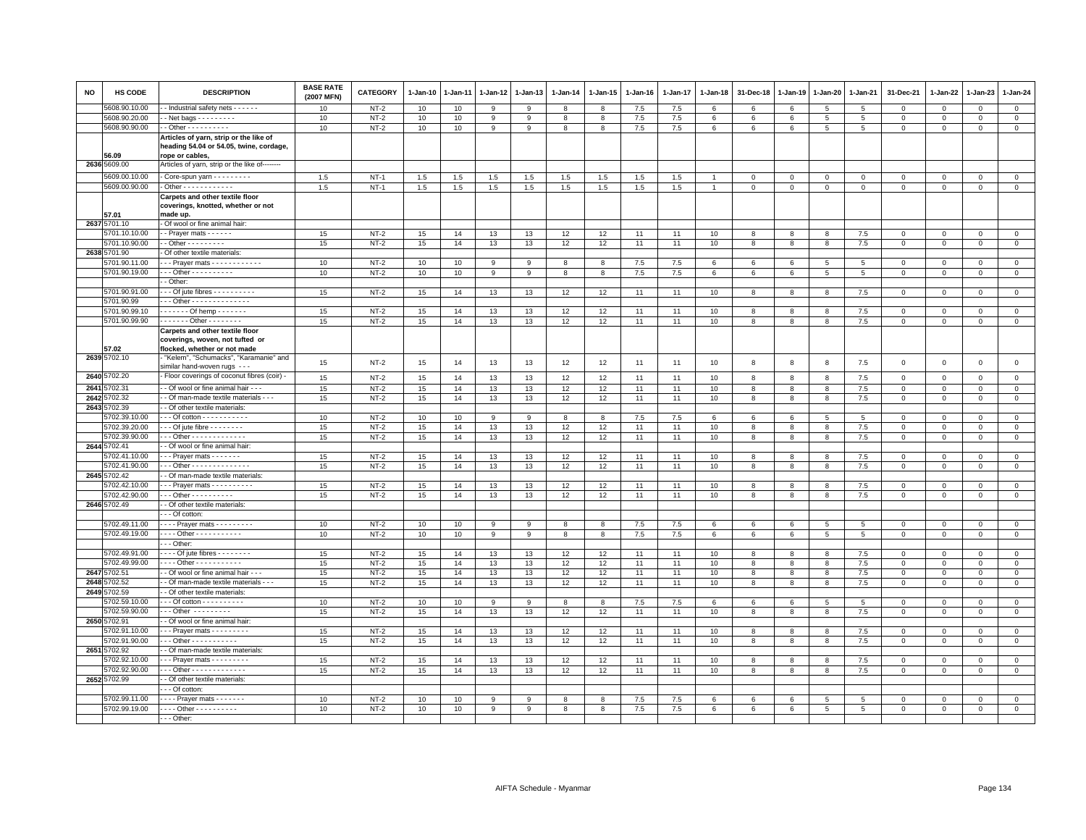| <b>NO</b> | <b>HS CODE</b>              | <b>DESCRIPTION</b>                                                                                   | <b>BASE RATE</b><br>(2007 MFN) | <b>CATEGORY</b> | 1-Jan-10 | 1-Jan-11 | 1-Jan-12 | 1-Jan-13 | 1-Jan-14 | 1-Jan-15 | 1-Jan-16   | 1-Jan-17   | 1-Jan-18       | 31-Dec-18      | 1-Jan-19             | 1-Jan-20             | 1-Jan-21        | 31-Dec-21             | 1-Jan-22                  | 1-Jan-23               | 1-Jan-24                   |
|-----------|-----------------------------|------------------------------------------------------------------------------------------------------|--------------------------------|-----------------|----------|----------|----------|----------|----------|----------|------------|------------|----------------|----------------|----------------------|----------------------|-----------------|-----------------------|---------------------------|------------------------|----------------------------|
|           | 5608.90.10.00               | - Industrial safety nets - - - - - -                                                                 | 10                             | $NT-2$          | 10       | 10       | 9        | 9        | 8        | 8        | 7.5        | 7.5        | 6              | 6              | 6                    | 5                    | $5\overline{5}$ | $\mathbf 0$           | $\mathbf 0$               | $\mathbf 0$            | $\mathsf 0$                |
|           | 5608.90.20.00               |                                                                                                      | 10                             | $NT-2$          | 10       | 10       | 9        | 9        | 8        | 8        | 7.5        | $7.5$      | 6              | 6              | 6                    | 5                    | $5\phantom{.0}$ | 0                     | $\mathbf 0$               | $\circ$                | $\overline{0}$             |
|           | 5608.90.90.00               | $-$ Other $        -$                                                                                | 10                             | $NT-2$          | 10       | 10       | 9        | 9        | 8        | 8        | 7.5        | 7.5        | 6              | 6              | 6                    | 5                    | 5               | $\mathbf 0$           | $\mathbf{0}$              | $\mathbf{0}$           | $\mathbf{0}$               |
|           | 56.09                       | Articles of yarn, strip or the like of<br>heading 54.04 or 54.05, twine, cordage,<br>rope or cables, |                                |                 |          |          |          |          |          |          |            |            |                |                |                      |                      |                 |                       |                           |                        |                            |
|           | 2636 5609.00                | Articles of yarn, strip or the like of--------                                                       |                                |                 |          |          |          |          |          |          |            |            |                |                |                      |                      |                 |                       |                           |                        |                            |
|           | 5609.00.10.00               | Core-spun yarn - - - - - - - - -                                                                     | 1.5                            | $NT-1$          | 1.5      | 1.5      | 1.5      | 1.5      | 1.5      | 1.5      | 1.5        | 1.5        |                | $\mathbf 0$    | $\mathbf 0$          | $\mathbf 0$          | $\mathbf 0$     | $\mathbf 0$           | $\mathbf 0$               | $\mathbf 0$            | $\mathsf 0$                |
|           | 5609.00.90.00               | $\cdot$ Other - - - - - - - - - - - -                                                                | 1.5                            | $NT-1$          | 1.5      | 1.5      | 1.5      | 1.5      | 1.5      | 1.5      | 1.5        | 1.5        | $\overline{1}$ | $\overline{0}$ | $\overline{0}$       | $\overline{0}$       | $\mathsf 0$     | $\mathsf 0$           | $\mathbf 0$               | $\mathsf 0$            | $\overline{0}$             |
|           | 57.01                       | Carpets and other textile floor<br>coverings, knotted, whether or not<br>made up.                    |                                |                 |          |          |          |          |          |          |            |            |                |                |                      |                      |                 |                       |                           |                        |                            |
|           | 2637 5701.10                | Of wool or fine animal hair:                                                                         |                                |                 |          |          |          |          |          |          |            |            |                |                |                      |                      |                 |                       |                           |                        |                            |
|           | 5701.10.10.00               | - Prayer mats - - - - - -                                                                            | 15                             | $NT-2$          | 15       | 14       | 13       | 13       | 12       | 12       | 11         | 11         | 10             | 8              | 8                    | 8                    | 7.5             | $\mathbf{0}$          | $\mathbf{0}$              | $\mathbf{0}$           | $\circ$                    |
|           | 5701.10.90.00               | $-$ Other $       -$                                                                                 | 15                             | $NT-2$          | 15       | 14       | 13       | 13       | 12       | 12       | 11         | 11         | 10             | 8              | 8                    | 8                    | 7.5             | $\mathbf 0$           | $\circ$                   | $\mathbf 0$            | $\mathbf 0$                |
|           | 2638 5701.90                | Of other textile materials                                                                           |                                |                 |          |          |          |          |          |          |            |            |                |                |                      |                      |                 |                       |                           |                        |                            |
|           | 5701.90.11.00               | -- Prayer mats - - - - - - - - - - -                                                                 | 10                             | $NT-2$          | 10       | 10       | 9        | 9        | 8        | 8        | 7.5        | 7.5        | 6              | 6              | 6                    | 5                    | 5               | $\Omega$              | $\Omega$                  | $\Omega$               | $\mathsf 0$                |
|           | 5701.90.19.00               | $-$ - Other - - - - - - - - - -<br>- Other:                                                          | 10                             | $NT-2$          | 10       | 10       | 9        | 9        | 8        | 8        | 7.5        | 7.5        | 6              | 6              | 6                    | $5\overline{5}$      | 5               | $\mathbf 0$           | $\mathbf 0$               | $\mathbf 0$            | $\mathbf{0}$               |
|           |                             |                                                                                                      |                                |                 |          |          |          |          |          |          |            |            |                |                |                      |                      |                 |                       |                           |                        |                            |
|           | 5701.90.91.00<br>5701.90.99 | $-$ - Of jute fibres $-$ - - - - - - - - -<br>$-$ - Other - - - - - - - - - - - - - -                | 15                             | $NT-2$          | 15       | 14       | 13       | 13       | 12       | 12       | 11         | 11         | 10             | 8              | 8                    | 8                    | 7.5             | $\mathbf 0$           | $\mathbf 0$               | $\mathbf 0$            | $\circ$                    |
|           | 5701.90.99.10               | $- - - - -$ Of hemp $- - - - - -$                                                                    | 15                             | $NT-2$          | 15       | 14       | 13       | 13       | 12       | 12       | 11         | 11         | 10             | 8              | 8                    | 8                    | 7.5             | $\mathbf 0$           | $\Omega$                  | $\mathbf{0}$           | $\mathbf 0$                |
|           | 5701.90.99.90               | . Other                                                                                              | 15                             | $NT-2$          | 15       | 14       | 13       | 13       | 12       | 12       | 11         | 11         | 10             | 8              | 8                    | 8                    | 7.5             | 0                     | $\circ$                   | $\mathbf 0$            | $\circ$                    |
|           | 57.02                       | Carpets and other textile floor<br>coverings, woven, not tufted or<br>flocked, whether or not made   |                                |                 |          |          |          |          |          |          |            |            |                |                |                      |                      |                 |                       |                           |                        |                            |
|           | 2639 5702.10                | "Kelem", "Schumacks", "Karamanie" and<br>similar hand-woven rugs ---                                 | 15                             | $NT-2$          | 15       | 14       | 13       | 13       | 12       | 12       | 11         | 11         | 10             | 8              | 8                    | 8                    | 7.5             | $\mathbf 0$           | $\mathbf 0$               | $\mathbf 0$            | $\mathsf 0$                |
|           | 2640 5702.20                | Floor coverings of coconut fibres (coir) -                                                           | 15                             | $NT-2$          | 15       | 14       | 13       | 13       | 12       | 12       | 11         | 11         | 10             | 8              | 8                    | 8                    | 7.5             | $\mathbf 0$           | $\mathbf 0$               | $\mathbf 0$            | $\mathbf 0$                |
|           | 2641 5702.31                | - Of wool or fine animal hair - - -                                                                  | 15                             | $NT-2$          | 15       | 14       | 13       | 13       | 12       | 12       | 11         | 11         | 10             | 8              | 8                    | 8                    | 7.5             | $\mathbf 0$           | $\mathbf 0$               | $\Omega$               | $\mathbf{0}$               |
|           | 2642 5702.32                | - Of man-made textile materials - - -                                                                | 15                             | $NT-2$          | 15       | 14       | 13       | 13       | 12       | 12       | 11         | 11         | 10             | 8              | 8                    | 8                    | $7.5\,$         | $\circ$               | $\mathbf{0}$              | $\circ$                | $\mathbf{0}$               |
|           | 2643 5702.39                | - Of other textile materials:                                                                        |                                |                 |          |          |          |          |          |          |            |            |                |                |                      |                      |                 |                       |                           |                        |                            |
|           | 5702.39.10.00               | $-$ - Of cotton - - - - - - - - - - -                                                                | 10                             | $NT-2$          | 10       | 10       | 9        | 9        | 8        | 8        | 7.5        | 7.5        | 6              | 6              | 6                    | 5                    | 5               | $\mathbf{0}$          | $\Omega$                  | $\mathbf{0}$           | $\mathbf{0}$               |
|           | 5702.39.20.00               | $-$ - Of jute fibre $-$ - - - - - - -                                                                | 15                             | $NT-2$          | 15       | 14       | 13       | 13       | 12       | 12       | 11         | 11         | 10             | 8              | 8                    | 8                    | 7.5             | $\mathbf 0$           | $^{\circ}$                | $\mathbf 0$            | $\mathsf 0$                |
|           | 5702.39.90.00               | - - Other - - - - - - - - - - - - -                                                                  | 15                             | $NT-2$          | 15       | 14       | 13       | 13       | 12       | 12       | 11         | 11         | 10             | 8              | 8                    | 8                    | 7.5             | $\mathsf 0$           | $\mathsf 0$               | $\mathsf 0$            | $\mathsf{O}\xspace$        |
|           | 2644 5702.41                | - Of wool or fine animal hair:                                                                       |                                |                 |          |          |          |          |          |          |            |            |                |                |                      |                      |                 |                       |                           |                        |                            |
|           | 5702.41.10.00               | $-$ - Prayer mats $-$ - $-$ - $-$ -                                                                  | 15                             | $NT-2$          | 15       | 14       | 13       | 13       | 12       | 12       | 11         | 11         | 10             | 8              | 8                    | 8                    | 7.5             | $\Omega$              | $\Omega$                  | $\mathbf 0$            | $\mathsf 0$                |
|           | 5702.41.90.00               | - - Other - - - - - - - - - - - - - -                                                                | 15                             | $NT-2$          | 15       | 14       | 13       | 13       | 12       | 12       | 11         | 11         | 10             | 8              | 8                    | 8                    | 7.5             | $\mathbf 0$           | $\mathbf 0$               | $\mathbf 0$            | $\mathbb O$                |
|           | 2645 5702.42                | - Of man-made textile materials:                                                                     |                                |                 |          |          |          |          |          |          |            |            |                |                |                      |                      |                 |                       |                           |                        |                            |
|           | 5702.42.10.00               | $-$ - Praver mats $-$ - $-$ - $-$ - $-$ - $-$                                                        | 15                             | $NT-2$          | 15       | 14       | 13       | 13       | 12       | 12       | 11         | 11         | 10             | 8              | 8                    | 8                    | 7.5             | 0                     | $\Omega$                  | $\Omega$               | $\mathbf 0$                |
|           | 5702.42.90.00               | $-$ - Other - - - - - - - - - -                                                                      | 15                             | $NT-2$          | 15       | 14       | 13       | 13       | 12       | 12       | 11         | 11         | 10             | 8              | 8                    | 8                    | 7.5             | $\mathbf 0$           | $\mathbf{0}$              | $\mathbf{0}$           | $\mathbf{0}$               |
|           | 2646 5702.49                | - Of other textile materials:<br>- - Of cotton:                                                      |                                |                 |          |          |          |          |          |          |            |            |                |                |                      |                      |                 |                       |                           |                        |                            |
|           | 5702.49.11.00               | $\cdots$ Prayer mats $\cdots$                                                                        |                                |                 |          |          |          |          |          |          |            |            |                |                |                      |                      |                 |                       |                           |                        |                            |
|           | 5702.49.19.00               | . Other - - - - - - - - - - -                                                                        | 10<br>10                       | NT-2<br>$NT-2$  | 10<br>10 | 10<br>10 | 9<br>9   | 9<br>9   | 8<br>8   | 8<br>8   | 7.5<br>7.5 | 7.5<br>7.5 | 6<br>6         | 6<br>6         | 6<br>$6\phantom{.}6$ | 5<br>$5\overline{5}$ | 5<br>5          | $^{\circ}$<br>$\circ$ | $^{\circ}$<br>$\mathbf 0$ | $\mathbf 0$<br>$\circ$ | $\mathbf 0$<br>$\mathbb O$ |
|           |                             | - - Other:                                                                                           |                                |                 |          |          |          |          |          |          |            |            |                |                |                      |                      |                 |                       |                           |                        |                            |
|           | 5702.49.91.00               | $- -$ - Of jute fibres $- - - - - -$                                                                 | 15                             | $NT-2$          | 15       | 14       | 13       | 13       | 12       | 12       | 11         | 11         | 10             | $\mathbf{8}$   | 8                    | 8                    | 7.5             | $\circ$               | $\Omega$                  | $\circ$                | $\mathsf 0$                |
|           | 5702.49.99.00               | $\cdots$ Other - - - - - - - - - - -                                                                 | 15                             | $NT-2$          | 15       | 14       | 13       | 13       | 12       | 12       | 11         | 11         | 10             | 8              | 8                    | 8                    | $7.5\,$         | 0                     | $\mathbf 0$               | $^{\circ}$             | $\mathsf 0$                |
|           | 2647 5702.51                | - Of wool or fine animal hair - - -                                                                  | 15                             | $NT-2$          | 15       | 14       | 13       | 13       | 12       | 12       | 11         | 11         | 10             | 8              | 8                    | 8                    | 7.5             | $\mathbf 0$           | $\mathbf 0$               | $\mathbf 0$            | $\mathsf 0$                |
| 2648      | 5702.52                     | - Of man-made textile materials - - -                                                                | 15                             | $NT-2$          | 15       | 14       | 13       | 13       | 12       | 12       | 11         | 11         | 10             | 8              | 8                    | 8                    | $7.5\,$         | $\mathsf 0$           | $\Omega$                  | $\mathbf 0$            | $\mathsf 0$                |
|           | 2649 5702.59                | - Of other textile materials:                                                                        |                                |                 |          |          |          |          |          |          |            |            |                |                |                      |                      |                 |                       |                           |                        |                            |
|           | 5702.59.10.00               | $-$ - Of cotton - - - - - - - - - -                                                                  | 10                             | $NT-2$          | 10       | 10       | 9        | 9        | 8        | 8        | 7.5        | 7.5        | 6              | 6              | 6                    | 5                    | 5               | 0                     | $\circ$                   | $\mathbf 0$            | $\mathbf{0}$               |
|           | 5702.59.90.00               | $-$ - Other $-$ - - - - - - - -                                                                      | 15                             | $NT-2$          | 15       | 14       | 13       | 13       | 12       | 12       | 11         | 11         | 10             | 8              | 8                    | 8                    | 7.5             | $\mathbf 0$           | $\mathbf{0}$              | $\Omega$               | $\mathbf{0}$               |
|           | 2650 5702.91                | - Of wool or fine animal hair:                                                                       |                                |                 |          |          |          |          |          |          |            |            |                |                |                      |                      |                 |                       |                           |                        |                            |
|           | 5702.91.10.00               | - - Prayer mats - - - - - - - -                                                                      | 15                             | $NT-2$          | 15       | 14       | 13       | 13       | 12       | 12       | 11         | 11         | 10             | 8              | 8                    | 8                    | 7.5             | $\mathbf 0$           | $\Omega$                  | $\Omega$               | $\mathsf 0$                |
|           | 5702.91.90.00               | $-$ - Other - - - - - - - - - - -                                                                    | 15                             | $NT-2$          | 15       | 14       | 13       | 13       | 12       | 12       | 11         | 11         | 10             | 8              | 8                    | 8                    | 7.5             | $\mathbf 0$           | $\mathbf 0$               | $\mathbf 0$            | $\circ$                    |
|           | 2651 5702.92                | - Of man-made textile materials:                                                                     |                                |                 |          |          |          |          |          |          |            |            |                |                |                      |                      |                 |                       |                           |                        |                            |
|           | 5702.92.10.00               | - - Prayer mats - - - - - - - -                                                                      | 15                             | $NT-2$          | 15       | 14       | 13       | 13       | 12       | 12       | 11         | 11         | 10             | 8              | 8                    | 8                    | 7.5             | $^{\circ}$            | $\Omega$                  | $\Omega$               | $\mathsf{O}\xspace$        |
|           | 5702.92.90.00               | $-$ - Other - - - - - - - - - - - - -                                                                | 15                             | $NT-2$          | 15       | 14       | 13       | 13       | 12       | 12       | 11         | 11         | 10             | 8              | 8                    | 8                    | 7.5             | $\mathbf 0$           | $\mathbf 0$               | $\mathbf 0$            | $\mathbf{0}$               |
|           | 2652 5702.99                | - Of other textile materials:                                                                        |                                |                 |          |          |          |          |          |          |            |            |                |                |                      |                      |                 |                       |                           |                        |                            |
|           |                             | - - Of cotton:                                                                                       |                                |                 |          |          |          |          |          |          |            |            |                |                |                      |                      |                 |                       |                           |                        |                            |
|           | 5702.99.11.00               | Prayer mats                                                                                          | 10                             | $NT-2$          | 10       | 10       | 9        | 9        | 8        | 8        | 7.5        | 7.5        | 6              | 6              | 6                    | 5                    | 5               | 0                     | $^{\circ}$                | $\Omega$               | $\mathbb O$                |
|           | 5702.99.19.00               | Other - - - - - - - - -                                                                              | 10                             | $NT-2$          | 10       | 10       | 9        | 9        | 8        | 8        | 7.5        | 7.5        | 6              | 6              | 6                    | 5                    | 5               | $\mathbf 0$           | $\mathbf{0}$              | $\mathbf 0$            | $\mathbf{0}$               |
|           |                             | $\cdots$ Other:                                                                                      |                                |                 |          |          |          |          |          |          |            |            |                |                |                      |                      |                 |                       |                           |                        |                            |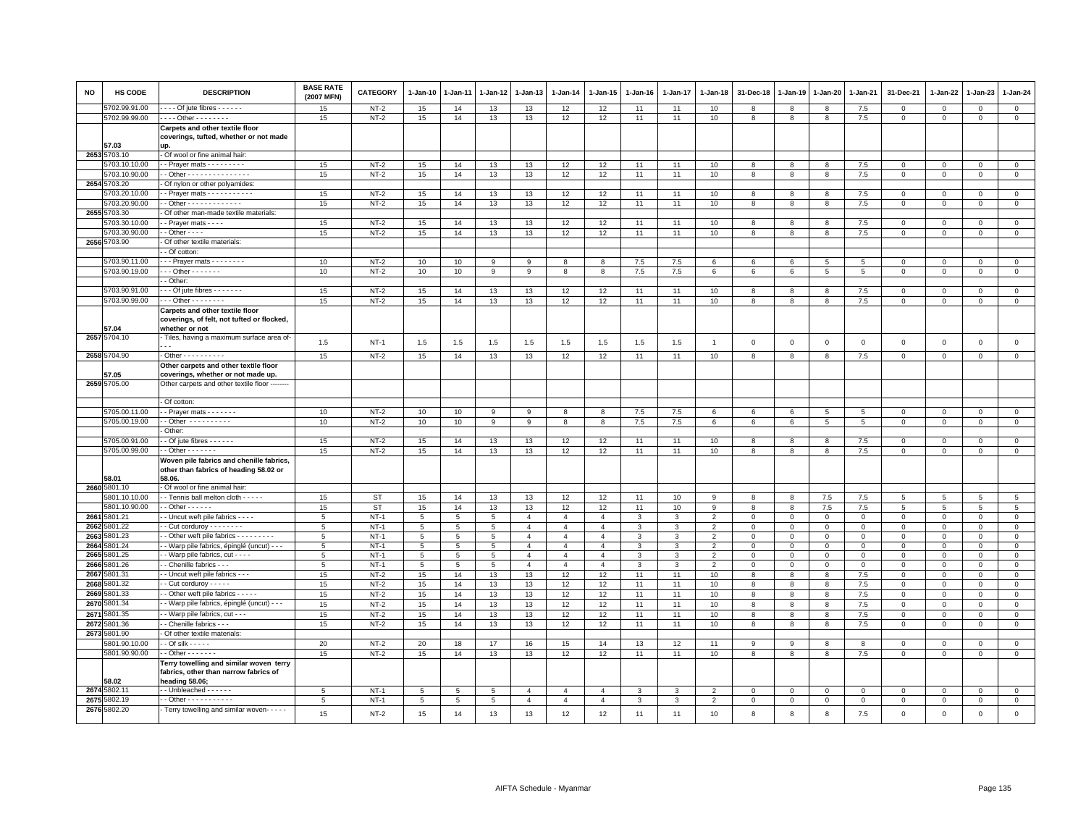| <b>NO</b> | HS CODE                        | <b>DESCRIPTION</b>                                            | <b>BASE RATE</b><br>(2007 MFN) | <b>CATEGORY</b>  | 1-Jan-10 | 1-Jan-11       | 1-Jan-12        | 1-Jan-13       | 1-Jan-14       | 1-Jan-15       | 1-Jan-16      | 1-Jan-17     | 1-Jan-18       | 31-Dec-18      | 1-Jan-19    | 1-Jan-20    | 1-Jan-21       | 31-Dec-21                  | 1-Jan-22                   | 1-Jan-23                   | 1-Jan-24                      |
|-----------|--------------------------------|---------------------------------------------------------------|--------------------------------|------------------|----------|----------------|-----------------|----------------|----------------|----------------|---------------|--------------|----------------|----------------|-------------|-------------|----------------|----------------------------|----------------------------|----------------------------|-------------------------------|
|           | 5702.99.91.00                  | $- - -$ Of jute fibres $- - - - -$                            | 15                             | $NT-2$           | 15       | 14             | 13              | 13             | 12             | 12             | 11            | 11           | 10             | 8              | 8           | 8           | 7.5            | $\mathsf 0$                | $\mathbf 0$                | $\mathbf 0$                | $\mathbf 0$                   |
|           | 5702.99.99.00                  | $- - -$ Other - - - - - - - -                                 | $15\,$                         | $NT-2$           | 15       | 14             | 13              | 13             | 12             | 12             | 11            | 11           | 10             | 8              | 8           | 8           | $7.5\,$        | $\mathsf 0$                | $\mathsf 0$                | $\mathsf 0$                | $\overline{0}$                |
|           |                                | Carpets and other textile floor                               |                                |                  |          |                |                 |                |                |                |               |              |                |                |             |             |                |                            |                            |                            |                               |
|           | 57.03                          | coverings, tufted, whether or not made<br>up.                 |                                |                  |          |                |                 |                |                |                |               |              |                |                |             |             |                |                            |                            |                            |                               |
| 2653      | 5703.10                        | - Of wool or fine animal hair:                                |                                |                  |          |                |                 |                |                |                |               |              |                |                |             |             |                |                            |                            |                            |                               |
|           | 5703.10.10.00                  | - Prayer mats - - - - - - - -                                 | 15                             | $NT-2$           | 15       | 14             | 13              | 13             | 12             | 12             | 11            | 11           | 10             | 8              | 8           | 8           | 7.5            | $\mathsf 0$                | $\mathbf 0$                | $\mathbf 0$                | $\mathsf 0$                   |
|           | 5703.10.90.00                  | - Other - - - - - - - - - - - - - - -                         | 15                             | $NT-2$           | 15       | 14             | 13              | 13             | 12             | 12             | 11            | 11           | 10             | 8              | 8           | 8           | 7.5            | $\mathsf 0$                | $\mathbf{0}$               | $\mathbf{0}$               | $\overline{0}$                |
|           | 2654 5703.20                   | Of nylon or other polyamides                                  |                                |                  |          |                |                 |                |                |                |               |              |                |                |             |             |                |                            |                            |                            |                               |
|           | 5703.20.10.00                  | - Prayer mats - - - - - - - - - -                             | 15                             | $NT-2$           | 15       | 14             | 13              | 13             | 12             | 12             | 11            | 11           | 10             | 8              | 8           | 8           | $7.5\,$        | $\mathbf 0$                | $\Omega$                   | $\Omega$                   | $\mathsf 0$                   |
|           | 5703.20.90.00                  | - Other - - - - - - - - - - - - -                             | 15                             | $NT-2$           | 15       | 14             | 13              | 13             | 12             | 12             | 11            | 11           | 10             | 8              | 8           | 8           | $7.5\,$        | $\mathsf 0$                | $\Omega$                   | $\mathbf 0$                | $\mathbf 0$                   |
|           | 2655 5703.30                   | Of other man-made textile materials:                          |                                |                  |          |                |                 |                |                |                |               |              |                |                |             |             |                |                            |                            |                            |                               |
|           | 5703.30.10.00                  | - Prayer mats - - - -                                         | 15                             | $NT-2$           | 15       | 14             | 13              | 13             | 12             | 12             | 11            | 11           | 10             | 8              | -8          | 8           | 7.5            | $\mathbf{0}$               | $\Omega$                   | $\Omega$                   | $\mathbf 0$                   |
|           | 5703.30.90.00                  | $-$ Other $  -$                                               | 15                             | $NT-2$           | 15       | 14             | 13              | 13             | 12             | 12             | 11            | 11           | 10             | 8              | 8           | 8           | 7.5            | $\mathbf{0}$               | $\Omega$                   | $\mathbf{0}$               | $\circ$                       |
|           | 2656 5703.90                   | Of other textile materials:                                   |                                |                  |          |                |                 |                |                |                |               |              |                |                |             |             |                |                            |                            |                            |                               |
|           |                                | - Of cotton:                                                  |                                |                  |          |                |                 |                |                |                |               |              |                |                |             |             |                |                            |                            |                            |                               |
|           | 5703.90.11.00                  | - - Prayer mats - - - - - - - -                               | 10                             | $NT-2$           | 10       | 10             | 9               | 9              | 8              | 8              | 7.5           | 7.5          | 6              | 6              | 6           | -5          | 5              | $\Omega$                   | $\Omega$                   | $\Omega$                   | $\mathbf 0$                   |
|           | 5703.90.19.00                  | $-0$ ther $-0$<br>- Other:                                    | 10                             | $NT-2$           | 10       | 10             | 9               | 9              | 8              | 8              | 7.5           | 7.5          | 6              | 6              | 6           | 5           | 5              | $\mathbf 0$                | $\mathbf 0$                | $\mathbf{0}$               | $\mathsf 0$                   |
|           | 5703.90.91.00                  | $-$ - Of jute fibres - - - - - - -                            | 15                             | $NT-2$           | 15       | 14             | 13              | 13             | 12             | 12             | 11            | 11           | 10             | 8              | 8           | 8           | 7.5            | $\mathsf 0$                | $\Omega$                   | $\Omega$                   | $\circ$                       |
|           | 5703.90.99.00                  | $\cdots$ Other $\cdots \cdots \cdots$                         | 15                             | $NT-2$           | 15       | 14             | 13              | 13             | 12             | 12             | 11            | 11           | 10             | 8              | 8           | 8           | 7.5            | $\mathbf 0$                | 0                          | $\mathbf 0$                | $\mathbf 0$                   |
|           |                                | Carpets and other textile floor                               |                                |                  |          |                |                 |                |                |                |               |              |                |                |             |             |                |                            |                            |                            |                               |
|           | 57.04                          | coverings, of felt, not tufted or flocked,<br>whether or not  |                                |                  |          |                |                 |                |                |                |               |              |                |                |             |             |                |                            |                            |                            |                               |
|           | 2657 5704.10                   | Tiles, having a maximum surface area of-                      |                                |                  |          |                |                 |                |                |                |               |              |                |                |             |             |                |                            |                            |                            |                               |
|           |                                |                                                               | 1.5                            | $NT-1$           | 1.5      | 1.5            | 1.5             | 1.5            | 1.5            | 1.5            | 1.5           | 1.5          | $\overline{1}$ | $\mathbf 0$    | $\mathbf 0$ | $\mathsf 0$ | $\,0\,$        | $\mathsf 0$                | $\mathbf 0$                | $\mathbf 0$                | $\mathsf 0$                   |
|           | 2658 5704.90                   | $\cdot$ Other - - - - - - - - - -                             | 15                             | $NT-2$           | 15       | 14             | 13              | 13             | 12             | 12             | 11            | 11           | 10             | 8              | 8           | 8           | 7.5            | $\mathbf 0$                | $\circ$                    | $\mathbf 0$                | $\overline{0}$                |
|           |                                | Other carpets and other textile floor                         |                                |                  |          |                |                 |                |                |                |               |              |                |                |             |             |                |                            |                            |                            |                               |
|           | 7.05                           | coverings, whether or not made up.                            |                                |                  |          |                |                 |                |                |                |               |              |                |                |             |             |                |                            |                            |                            |                               |
|           | 2659 5705.00                   | Other carpets and other textile floor                         |                                |                  |          |                |                 |                |                |                |               |              |                |                |             |             |                |                            |                            |                            |                               |
|           |                                | Of cotton:                                                    |                                |                  |          |                |                 |                |                |                |               |              |                |                |             |             |                |                            |                            |                            |                               |
|           | 5705.00.11.00                  | - Prayer mats - - - - - - -                                   | 10                             | $NT-2$           | 10       | 10             | 9               | 9              | 8              | 8              | 7.5           | 7.5          | 6              | 6              | 6           | 5           | 5              | $\mathbf{0}$               | $\mathbf{0}$               | $\mathbf{0}$               | $\mathbf{0}$                  |
|           | 5705.00.19.00                  | $\cdot$ - Other $\cdot$ - - - - - - - - -                     | 10                             | $NT-2$           | 10       | 10             | 9               | 9              | 8              | 8              | 7.5           | 7.5          | 6              | 6              | 6           | 5           | 5              | $\mathbf 0$                | 0                          | $\mathbf 0$                | $\mathbf 0$                   |
|           |                                | Other:                                                        |                                |                  |          |                |                 |                |                |                |               |              |                |                |             |             |                |                            |                            |                            |                               |
|           | 5705.00.91.00<br>5705.00.99.00 | - Of jute fibres - - - - - -<br>$-$ Other $     -$            | 15<br>15                       | $NT-2$<br>$NT-2$ | 15<br>15 | 14<br>14       | 13<br>13        | 13<br>13       | 12<br>12       | 12<br>12       | 11<br>11      | 11<br>11     | 10<br>10       | 8<br>8         | 8<br>8      | 8<br>8      | 7.5<br>$7.5\,$ | $\mathbf 0$<br>$\mathbf 0$ | $\mathbf 0$<br>$\mathbf 0$ | $\mathbf 0$<br>$\mathbf 0$ | $\mathbf 0$<br>$\mathsf 0$    |
|           |                                | Woven pile fabrics and chenille fabrics                       |                                |                  |          |                |                 |                |                |                |               |              |                |                |             |             |                |                            |                            |                            |                               |
|           | 58.01                          | other than fabrics of heading 58.02 or<br>58.06.              |                                |                  |          |                |                 |                |                |                |               |              |                |                |             |             |                |                            |                            |                            |                               |
|           | 2660 5801.10                   | Of wool or fine animal hair:                                  |                                |                  |          |                |                 |                |                |                |               |              |                |                |             |             |                |                            |                            |                            |                               |
|           | 5801.10.10.00                  | - Tennis ball melton cloth - - - - -                          | 15                             | <b>ST</b>        | 15       | 14             | 13              | 13             | 12             | 12             | 11            | 10           | 9              | 8              | 8           | 7.5         | 7.5            | 5                          | 5                          | 5                          | 5                             |
|           | 5801.10.90.00                  | $-$ Other $- - - - -$                                         | 15                             | <b>ST</b>        | 15       | 14             | 13              | 13             | 12             | 12             | 11            | 10           | 9              | 8              | 8           | 7.5         | 7.5            | 5                          | 5                          | 5                          | $5\phantom{.0}$               |
|           | 2661 5801.21                   | - Uncut weft pile fabrics - - - -                             | 5                              | $NT-1$           | 5        | 5              | 5               | $\overline{4}$ | $\overline{4}$ | $\overline{4}$ | 3             | 3            | $\overline{2}$ | $\mathbf 0$    | $\mathbf 0$ | $\mathbf 0$ | $\mathbf 0$    | $\mathsf 0$                | $\Omega$                   | $\mathsf 0$                | $\mathsf 0$                   |
| 2662      | 5801.22                        | - Cut corduroy - - - - - - -                                  | 5                              | $NT-1$           | 5        | 5              | 5               | $\overline{4}$ | $\overline{4}$ | $\overline{4}$ | 3             | 3            | $\overline{2}$ | $\mathbf 0$    | $\mathbf 0$ | $\mathbf 0$ | $\mathbf 0$    | $\mathbf 0$                | $\Omega$                   | $\mathbf{0}$               | $\mathsf 0$                   |
| 2663      | 5801.23                        | - Other weft pile fabrics - - - - - - - - -                   | 5                              | $NT-1$           | 5        | 5              | 5               | $\overline{4}$ | $\overline{4}$ | $\overline{4}$ | 3             | 3            | $\overline{2}$ | $\mathbf 0$    | $\mathbf 0$ | $\mathsf 0$ | $\mathbf 0$    | $\mathbf 0$                | $\mathbf 0$                | $\mathbf 0$                | $\mathsf 0$                   |
| 2664      | 5801.24                        | - Warp pile fabrics, épinglé (uncut) - - -                    | 5                              | $NT-1$           | 5        | $\overline{5}$ | 5               | $\overline{4}$ | $\overline{4}$ | $\overline{4}$ | 3             | 3            | $\overline{2}$ | $\mathbf 0$    | $\mathbf 0$ | $\mathsf 0$ | $\mathbf 0$    | $\mathbf 0$                | $\Omega$                   | $\mathbf{0}$               | $\mathsf 0$                   |
| 2665      | 5801.25                        | - Warp pile fabrics, cut - - - -                              | 5                              | $NT-1$           | 5        | 5              | $5\phantom{.0}$ | $\overline{4}$ | $\overline{4}$ | $\overline{4}$ | 3             | 3            | $\overline{2}$ | $\,0\,$        | $\mathbf 0$ | $\mathbf 0$ | $\mathbf 0$    | $\mathsf 0$                | 0                          | $\mathbf 0$                | $\mathbf{0}$                  |
| 2666      | 6801.26                        | - Chenille fabrics - - -                                      | 5                              | $NT-1$           | 5        | 5 <sub>1</sub> | 5               | $\mathbf{A}$   | $\overline{4}$ | $\overline{4}$ | $\mathcal{R}$ | $\mathbf{3}$ | $\overline{2}$ | $\mathbf 0$    | $\mathbf 0$ | $\mathsf 0$ | $\mathbf 0$    | $\mathbf 0$                | $\Omega$                   | $\mathbf 0$                | $\mathsf 0$                   |
| 2667      | 5801.31                        | - Uncut weft pile fabrics - - -                               | 15                             | $NT-2$           | 15       | 14             | 13              | 13             | 12             | 12             | 11            | 11           | 10             | 8              | 8           | 8           | 7.5            | $\mathbf 0$                | $\Omega$                   | $\mathbf{0}$               | $\mathbf 0$                   |
| 2668      | 5801.32<br>5801.33             | Cut corduroy - - - - -<br>- Other weft pile fabrics - - - - - | 15                             | $NT-2$           | 15       | 14             | 13              | 13             | 12             | 12             | 11            | 11           | 10             | 8              | 8           | 8           | 7.5            | $\mathbf 0$                | $\mathbf 0$                | $\mathbf 0$                | $\mathbf 0$                   |
| 2669      |                                |                                                               | 15                             | $NT-2$           | 15       | 14             | 13              | 13             | 12             | 12             | 11            | 11           | 10             | 8              | 8           | 8           | 7.5            | $\mathbf 0$                | $\mathbf 0$                | $\circ$                    | $\mathbf{0}$                  |
| 2670      | 5801.34                        | - Warp pile fabrics, épinglé (uncut) - - -                    | 15                             | $NT-2$           | 15       | 14             | 13              | 13             | 12             | 12             | 11            | 11           | 10             | 8              | 8           | 8           | 7.5            | $\mathbf{0}$               | $\mathbf{0}$               | $\mathbf{0}$               | $\mathsf 0$                   |
| 2671      | 5801.35<br>6801.36             | - Warp pile fabrics, cut - - -<br>- Chenille fabrics - - -    | 15                             | $NT-2$<br>$NT-2$ | 15       | 14<br>14       | 13              | 13             | 12             | 12             | 11<br>11      | 11<br>11     | 10<br>10       | 8              | 8           | 8           | 7.5<br>7.5     | $\mathsf 0$                | $\Omega$                   | $^{\circ}$                 | $\mathbf 0$<br>$\overline{0}$ |
| 2672      | 2673 5801.90                   | Of other textile materials:                                   | 15                             |                  | 15       |                | 13              | 13             | 12             | 12             |               |              |                | 8              | 8           | 8           |                | $\mathbf 0$                | $\mathbf 0$                | $\mathbf{0}$               |                               |
|           | 5801.90.10.00                  | $-$ Of silk $   -$                                            | 20                             | $NT-2$           | 20       | 18             | 17              | 16             | 15             | 14             | 13            | 12           | 11             | 9              | 9           | 8           | 8              | $\mathsf 0$                | $\Omega$                   | $\mathsf 0$                | $\mathsf 0$                   |
|           | 5801.90.90.00                  | $-$ Other $     -$                                            | 15                             | $NT-2$           | 15       | 14             | 13              | 13             | 12             | 12             | 11            | 11           | 10             | 8              | 8           | 8           | 7.5            | $\mathsf 0$                | $\mathbf 0$                | $\mathsf 0$                | $\circ$                       |
|           |                                | Terry towelling and similar woven terry                       |                                |                  |          |                |                 |                |                |                |               |              |                |                |             |             |                |                            |                            |                            |                               |
|           | 58.02                          | fabrics, other than narrow fabrics of<br>heading 58.06;       |                                |                  |          |                |                 |                |                |                |               |              |                |                |             |             |                |                            |                            |                            |                               |
|           | 2674 5802.11                   | - Unbleached - - - - - -                                      | 5                              | $NT-1$           | 5        | 5              | 5               | $\overline{4}$ | $\overline{4}$ | $\overline{4}$ | 3             | 3            | 2              | $\overline{0}$ | $\mathbf 0$ | $\mathbf 0$ | $\mathbf{0}$   | $\mathbf{0}$               | $\mathbf{0}$               | $\mathbf{0}$               | $\circ$                       |
| 2675      | 5802.19                        |                                                               | $5\overline{5}$                | $NT-1$           | 5        | 5              | 5               | $\overline{4}$ | $\overline{4}$ | $\overline{4}$ | 3             | 3            | $\overline{2}$ | $\mathbf 0$    | $\mathbf 0$ | $\mathbf 0$ | $\mathbf 0$    | $\mathbf 0$                | $\mathbf 0$                | $\mathbf 0$                | $\mathbf 0$                   |
|           | 2676 5802.20                   | - Terry towelling and similar woven- - - - -                  | 15                             | $NT-2$           | 15       | 14             | 13              | 13             | 12             | 12             | 11            | 11           | 10             | 8              | 8           | 8           | 7.5            | $\mathbf 0$                | $\mathbf 0$                | $\mathbf 0$                | $\mathsf 0$                   |
|           |                                |                                                               |                                |                  |          |                |                 |                |                |                |               |              |                |                |             |             |                |                            |                            |                            |                               |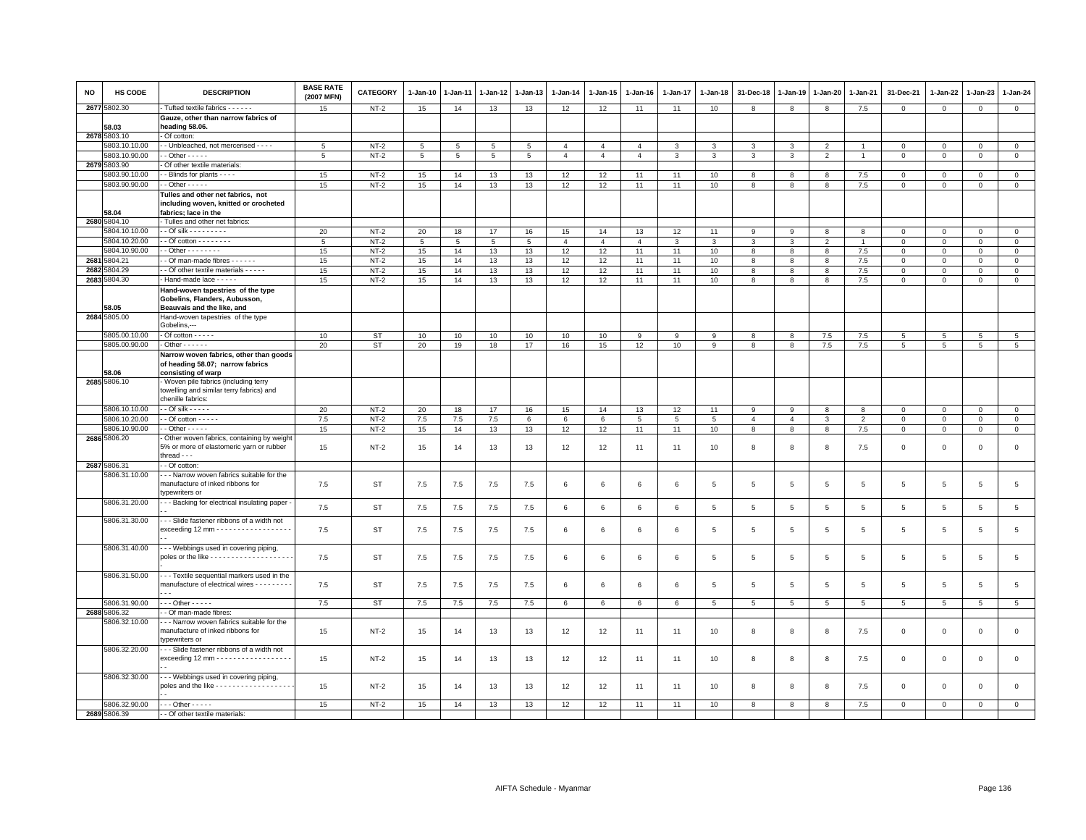| NO   | <b>HS CODE</b>                 | <b>DESCRIPTION</b>                                                                   | <b>BASE RATE</b><br>(2007 MFN) | <b>CATEGORY</b>  | $1-Jan-10$      | 1-Jan-11 | 1-Jan-12 | 1-Jan-13        | $1 - Jan-14$   | $1 - Jan-15$    | $1-Jan-16$     | $1-Jan-17$   | 1-Jan-18         | 31-Dec-18      | $1 - Jan-19$          | $1-Jan-20$      | $1 - Jan-21$    | 31-Dec-21               | 1-Jan-22                | 1-Jan-23                    | $1 - Jan-24$                |
|------|--------------------------------|--------------------------------------------------------------------------------------|--------------------------------|------------------|-----------------|----------|----------|-----------------|----------------|-----------------|----------------|--------------|------------------|----------------|-----------------------|-----------------|-----------------|-------------------------|-------------------------|-----------------------------|-----------------------------|
|      | 2677 5802.30                   | Tufted textile fabrics - - - - - -                                                   | 15                             | $NT-2$           | 15              | 14       | 13       | 13              | 12             | 12              | 11             | 11           | 10               | 8              | 8                     | 8               | $7.5\,$         | $\circ$                 | $\mathbf{0}$            | $\mathsf 0$                 | $\mathbf{0}$                |
|      |                                | Gauze, other than narrow fabrics of                                                  |                                |                  |                 |          |          |                 |                |                 |                |              |                  |                |                       |                 |                 |                         |                         |                             |                             |
|      | 58.03<br>2678 5803.10          | heading 58.06.<br>Of cotton                                                          |                                |                  |                 |          |          |                 |                |                 |                |              |                  |                |                       |                 |                 |                         |                         |                             |                             |
|      | 5803.10.10.00                  | - Unbleached, not mercerised - - - -                                                 | 5                              | $NT-2$           | 5               | 5        | 5        | 5               | $\overline{4}$ | $\overline{4}$  | $\overline{4}$ | $\mathbf{3}$ | 3                | 3              | $\mathbf{3}$          | $\overline{2}$  | $\overline{1}$  | $\mathbf 0$             | $\mathbf 0$             | $\mathbf 0$                 | $\overline{0}$              |
|      | 5803.10.90.00                  | $-$ Other $- - -$                                                                    | -5                             | $NT-2$           | $5\overline{5}$ | 5        | 5        | $5\overline{5}$ | $\overline{4}$ | $\overline{4}$  | $\overline{4}$ | 3            | 3                | 3              | $\mathbf{3}$          | $\overline{2}$  | $\overline{1}$  | $\mathbf{0}$            | $\Omega$                | $\mathbf{0}$                | $\mathbf{0}$                |
|      | 2679 5803.90                   | Of other textile materials:                                                          |                                |                  |                 |          |          |                 |                |                 |                |              |                  |                |                       |                 |                 |                         |                         |                             |                             |
|      | 5803.90.10.00                  | - Blinds for plants - - - -                                                          | 15                             | $NT-2$           | 15              | 14       | 13       | 13              | 12             | 12              | 11             | 11           | 10               | 8              | 8                     | 8               | 7.5             | $\Omega$                | $\Omega$                | $\Omega$                    | $\mathbf 0$                 |
|      | 5803.90.90.00                  | $-$ Other $- - - -$                                                                  | 15                             | $NT-2$           | 15              | 14       | 13       | 13              | 12             | 12              | 11             | 11           | 10 <sup>10</sup> | 8              | 8                     | 8               | $7.5\,$         | $\mathsf 0$             | $\mathbf 0$             | $\mathsf 0$                 | $\mathsf 0$                 |
|      |                                | Tulles and other net fabrics, not                                                    |                                |                  |                 |          |          |                 |                |                 |                |              |                  |                |                       |                 |                 |                         |                         |                             |                             |
|      |                                | including woven, knitted or crocheted                                                |                                |                  |                 |          |          |                 |                |                 |                |              |                  |                |                       |                 |                 |                         |                         |                             |                             |
|      | 58.04                          | fabrics; lace in the                                                                 |                                |                  |                 |          |          |                 |                |                 |                |              |                  |                |                       |                 |                 |                         |                         |                             |                             |
|      | 2680 5804.10                   | Tulles and other net fabrics:                                                        |                                |                  |                 |          |          |                 |                |                 |                |              |                  |                |                       |                 |                 |                         |                         |                             |                             |
|      | 5804.10.10.00                  | $-$ Of silk - - - - - - - - -                                                        | 20                             | $NT-2$           | 20              | 18       | 17       | 16              | 15             | 14              | 13             | 12           | 11               | 9              | 9                     | 8               | 8               | $\mathbf 0$             | $\circ$                 | $\mathbf{0}$                | $\mathbf 0$                 |
|      | 5804.10.20.00<br>5804.10.90.00 | $-$ Of cotton $       -$<br>$-$ Other $      -$                                      | 5                              | $NT-2$           | $5\overline{5}$ | 5        | 5        | 5               | $\overline{4}$ | $\overline{4}$  | $\overline{a}$ | 3            | 3                | 3<br>8         | $\mathbf{3}$          | 2               | $\overline{1}$  | $\Omega$<br>$\mathbf 0$ | $\mathbf 0$<br>$\Omega$ | $\mathbf 0$<br>$\mathbf{0}$ | $\mathbf{0}$                |
| 2681 | 5804.21                        | - Of man-made fibres - - - - - -                                                     | 15<br>15                       | $NT-2$<br>$NT-2$ | 15<br>15        | 14<br>14 | 13<br>13 | 13<br>13        | 12<br>12       | 12<br>12        | 11<br>11       | 11<br>11     | 10<br>10         | 8              | 8<br>$\boldsymbol{8}$ | 8<br>8          | 7.5<br>7.5      | $\mathbf{0}$            | $\Omega$                | $\Omega$                    | $\mathbf 0$<br>$\mathbf{0}$ |
| 2682 | 5804.29                        | - Of other textile materials - - - - -                                               | 15                             | $NT-2$           | 15              | 14       | 13       | 13              | 12             | 12              | 11             | 11           | 10 <sup>10</sup> | 8              | 8                     | 8               | 7.5             | $\mathsf 0$             | $\mathbf 0$             | $\mathbf 0$                 | $\mathsf 0$                 |
|      | 2683 5804.30                   | Hand-made lace - - - - -                                                             | 15                             | $NT-2$           | 15              | 14       | 13       | 13              | 12             | 12              | 11             | 11           | 10               | 8              | 8                     | 8               | $7.5\,$         | $\mathbf 0$             | $\mathbf 0$             | $\mathbf 0$                 | $\overline{0}$              |
|      |                                | Hand-woven tapestries of the type                                                    |                                |                  |                 |          |          |                 |                |                 |                |              |                  |                |                       |                 |                 |                         |                         |                             |                             |
|      |                                | Gobelins, Flanders, Aubusson,                                                        |                                |                  |                 |          |          |                 |                |                 |                |              |                  |                |                       |                 |                 |                         |                         |                             |                             |
|      | 58.05                          | Beauvais and the like, and                                                           |                                |                  |                 |          |          |                 |                |                 |                |              |                  |                |                       |                 |                 |                         |                         |                             |                             |
|      | 2684 5805.00                   | Hand-woven tapestries of the type                                                    |                                |                  |                 |          |          |                 |                |                 |                |              |                  |                |                       |                 |                 |                         |                         |                             |                             |
|      |                                | Gobelins,---                                                                         |                                |                  |                 |          |          |                 |                |                 |                |              |                  |                |                       |                 |                 |                         |                         |                             |                             |
|      | 5805.00.10.00                  | $-1$ Of cotton $-1$                                                                  | 10                             | ST               | 10              | 10       | 10       | 10              | 10             | 10              | 9              | 9            | 9                | 8              | 8                     | 7.5             | $7.5\,$         | $5\phantom{.0}$         | $\overline{5}$          | 5                           | $\overline{5}$              |
|      | 5805.00.90.00                  | $\cdot$ Other $\cdot$ $\cdot$ $\cdot$ $\cdot$ $\cdot$ $\cdot$                        | 20                             | ST               | 20              | 19       | 18       | 17              | 16             | 15              | 12             | 10           | 9                | 8              | 8                     | 7.5             | 7.5             | 5                       | 5                       | 5                           | 5                           |
|      |                                | Narrow woven fabrics, other than goods<br>of heading 58.07; narrow fabrics           |                                |                  |                 |          |          |                 |                |                 |                |              |                  |                |                       |                 |                 |                         |                         |                             |                             |
|      | 58.06                          | consisting of warp                                                                   |                                |                  |                 |          |          |                 |                |                 |                |              |                  |                |                       |                 |                 |                         |                         |                             |                             |
|      | 2685 5806.10                   | Woven pile fabrics (including terry                                                  |                                |                  |                 |          |          |                 |                |                 |                |              |                  |                |                       |                 |                 |                         |                         |                             |                             |
|      |                                | towelling and similar terry fabrics) and                                             |                                |                  |                 |          |          |                 |                |                 |                |              |                  |                |                       |                 |                 |                         |                         |                             |                             |
|      |                                | chenille fabrics:                                                                    |                                |                  |                 |          |          |                 |                |                 |                |              |                  |                |                       |                 |                 |                         |                         |                             |                             |
|      | 5806.10.10.00                  | $-$ Of silk $   -$                                                                   | 20                             | $NT-2$           | 20              | 18       | 17       | 16              | 15             | 14              | 13             | 12           | 11               | 9              | 9                     | 8               | 8               | $\mathbf{0}$            | $\mathbf{0}$            | $\mathbf{0}$                | $\mathbb O$                 |
|      | 5806.10.20.00                  | $-$ Of cotton $   -$                                                                 | 7.5                            | $NT-2$           | 7.5             | 7.5      | 7.5      | 6               | 6              | $6\overline{6}$ | 5              | 5            | 5                | $\overline{4}$ | $\overline{4}$        | $\mathbf{3}$    | $\overline{2}$  | $\mathsf 0$             | $\Omega$                | $\mathbf 0$                 | $\overline{0}$              |
|      | 5806.10.90.00                  | $-$ Other $   -$                                                                     | 15                             | $NT-2$           | 15              | 14       | 13       | 13              | 12             | 12              | 11             | 11           | 10               | 8              | 8                     | 8               | 7.5             | $\circ$                 | $\mathbf{0}$            | $\circ$                     | $\mathbf{0}$                |
|      | 2686 5806.20                   | Other woven fabrics, containing by weigh<br>5% or more of elastomeric yarn or rubber | 15                             | $NT-2$           | 15              | 14       | 13       | 13              | 12             | 12              | 11             | 11           | 10               | 8              | 8                     | 8               | 7.5             | $\mathsf 0$             | $\mathbf 0$             | $\mathsf 0$                 | $\mathsf 0$                 |
|      |                                | thread $ -$                                                                          |                                |                  |                 |          |          |                 |                |                 |                |              |                  |                |                       |                 |                 |                         |                         |                             |                             |
|      | 2687 5806.31                   | - Of cotton:                                                                         |                                |                  |                 |          |          |                 |                |                 |                |              |                  |                |                       |                 |                 |                         |                         |                             |                             |
|      | 5806.31.10.00                  | - - Narrow woven fabrics suitable for the                                            |                                |                  |                 |          |          |                 |                |                 |                |              |                  |                |                       |                 |                 |                         |                         |                             |                             |
|      |                                | manufacture of inked ribbons for                                                     | 7.5                            | <b>ST</b>        | $7.5$           | 7.5      | 7.5      | 7.5             | 6              | 6               | 6              | 6            | 5                | $\,$ 5 $\,$    | $\sqrt{5}$            | $\,$ 5 $\,$     | $5\phantom{.0}$ | $\,$ 5 $\,$             | $\overline{5}$          | $\,$ 5 $\,$                 | $\overline{5}$              |
|      |                                | ypewriters or                                                                        |                                |                  |                 |          |          |                 |                |                 |                |              |                  |                |                       |                 |                 |                         |                         |                             |                             |
|      | 5806.31.20.00                  | - - Backing for electrical insulating paper -                                        | 7.5                            | ST               | 7.5             | 7.5      | 7.5      | 7.5             | 6              | 6               | 6              | 6            | 5                | 5              | 5                     | 5               | 5               | 5                       | 5                       | 5                           | $5\phantom{.0}$             |
|      | 5806.31.30.00                  | - - Slide fastener ribbons of a width not                                            |                                |                  |                 |          |          |                 |                |                 |                |              |                  |                |                       |                 |                 |                         |                         |                             |                             |
|      |                                | exceeding 12 mm - - - - - - - - - - - - - - - - -                                    | 7.5                            | <b>ST</b>        | 7.5             | 7.5      | 7.5      | 7.5             | 6              | 6               | 6              | 6            | 5                | $\overline{5}$ | $\sqrt{5}$            | $5\phantom{.0}$ | $5\phantom{.0}$ | 5                       | 5                       | 5                           | $\,$ 5 $\,$                 |
|      |                                |                                                                                      |                                |                  |                 |          |          |                 |                |                 |                |              |                  |                |                       |                 |                 |                         |                         |                             |                             |
|      | 5806.31.40.00                  | - - Webbings used in covering piping,                                                |                                |                  |                 |          |          |                 |                |                 |                |              |                  |                |                       |                 |                 |                         |                         |                             |                             |
|      |                                |                                                                                      | 7.5                            | <b>ST</b>        | $7.5$           | 7.5      | 7.5      | 7.5             | 6              | 6               | 6              | 6            | 5                | $\sqrt{5}$     | 5                     | 5               | 5               | 5                       | 5                       | 5                           | $\overline{5}$              |
|      |                                |                                                                                      |                                |                  |                 |          |          |                 |                |                 |                |              |                  |                |                       |                 |                 |                         |                         |                             |                             |
|      | 5806.31.50.00                  | --- Textile sequential markers used in the                                           |                                |                  |                 |          |          |                 |                |                 | 6              |              |                  |                |                       |                 |                 |                         |                         |                             |                             |
|      |                                | manufacture of electrical wires - - - - - - - - -<br>$\sim$ $\sim$                   | 7.5                            | <b>ST</b>        | 7.5             | 7.5      | 7.5      | 7.5             | 6              | 6               |                | 6            | 5                | 5              | 5                     | 5               | 5               | 5                       | 5                       | 5                           | 5                           |
|      | 5806.31.90.00                  | $\cdots$ Other - - - - -                                                             | 7.5                            | <b>ST</b>        | 7.5             | $7.5$    | $7.5$    | 7.5             | 6              | 6               | 6              | 6            | 5                | 5              | 5                     | 5               | 5               | 5                       | 5                       | 5                           | 5                           |
|      | 2688 5806.32                   | - Of man-made fibres:                                                                |                                |                  |                 |          |          |                 |                |                 |                |              |                  |                |                       |                 |                 |                         |                         |                             |                             |
|      | 5806.32.10.00                  | - - Narrow woven fabrics suitable for the                                            |                                |                  |                 |          |          |                 |                |                 |                |              |                  |                |                       |                 |                 |                         |                         |                             |                             |
|      |                                | manufacture of inked ribbons for                                                     | 15                             | $NT-2$           | 15              | 14       | 13       | 13              | 12             | 12              | 11             | 11           | 10               | 8              | 8                     | 8               | 7.5             | $\mathbf 0$             | $\mathbf 0$             | $\mathbf 0$                 | $\mathsf 0$                 |
|      |                                | ypewriters or                                                                        |                                |                  |                 |          |          |                 |                |                 |                |              |                  |                |                       |                 |                 |                         |                         |                             |                             |
|      | 5806.32.20.00                  | - - Slide fastener ribbons of a width not                                            |                                |                  |                 |          |          |                 |                |                 |                |              |                  |                |                       |                 |                 |                         |                         |                             |                             |
|      |                                | exceeding 12 mm $\cdots$                                                             | 15                             | $NT-2$           | 15              | 14       | 13       | 13              | 12             | 12              | 11             | 11           | 10               | 8              | 8                     | 8               | 7.5             | $\mathbf 0$             | $^{\circ}$              | $\mathbf 0$                 | $\mathsf 0$                 |
|      | 5806.32.30.00                  | - - Webbings used in covering piping,                                                |                                |                  |                 |          |          |                 |                |                 |                |              |                  |                |                       |                 |                 |                         |                         |                             |                             |
|      |                                | poles and the like - - - - - - - - - - - - - - - - - -                               | 15                             | $NT-2$           | 15              | 14       | 13       | 13              | 12             | 12              | 11             | 11           | 10               | 8              | -8                    | 8               | 7.5             | $\Omega$                | $\Omega$                | $\Omega$                    | $\mathsf 0$                 |
|      |                                |                                                                                      |                                |                  |                 |          |          |                 |                |                 |                |              |                  |                |                       |                 |                 |                         |                         |                             |                             |
|      | 5806.32.90.00                  | $\cdots$ Other - - - - -                                                             | 15                             | $NT-2$           | 15              | 14       | 13       | 13              | 12             | 12              | 11             | 11           | 10               | 8              | 8                     | 8               | 7.5             | $\Omega$                | $\Omega$                | $\Omega$                    | $\mathsf 0$                 |
|      | 2689 5806.39                   | - Of other textile materials:                                                        |                                |                  |                 |          |          |                 |                |                 |                |              |                  |                |                       |                 |                 |                         |                         |                             |                             |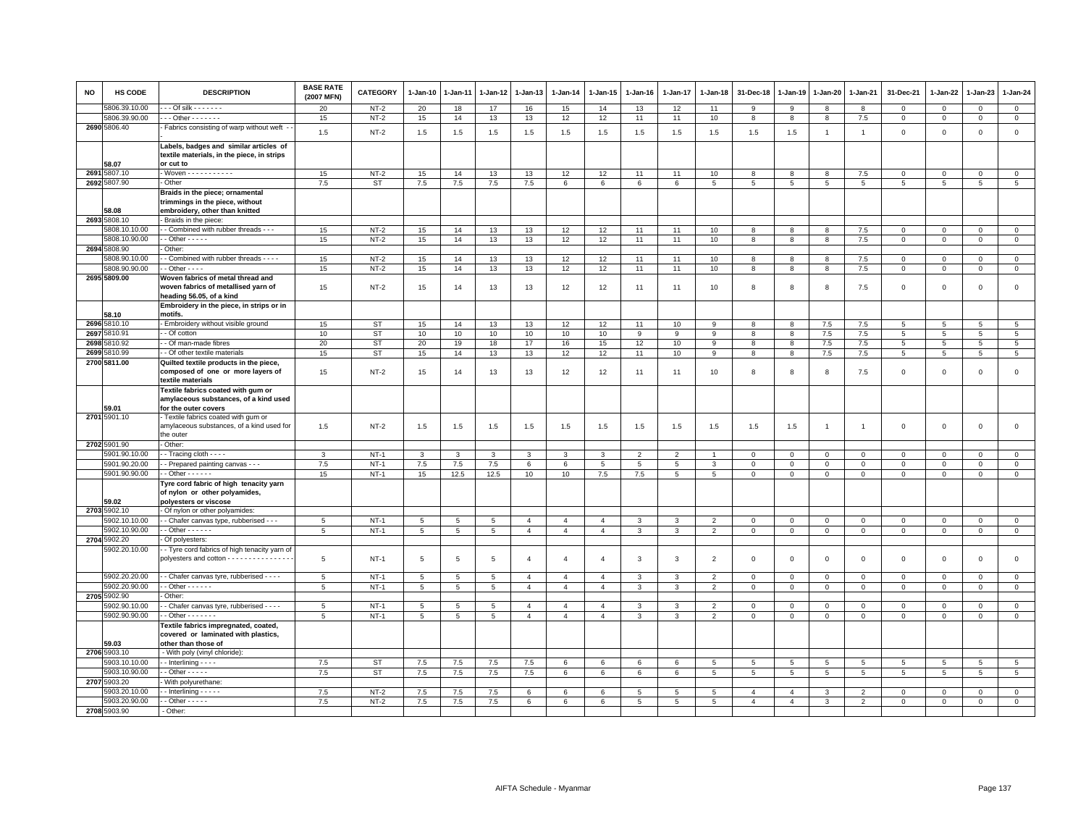| <b>NO</b> | HS CODE                        | <b>DESCRIPTION</b>                                                                                   | <b>BASE RATE</b><br>(2007 MFN) | <b>CATEGORY</b>  | $1-Jan-10$ | 1-Jan-11 | 1-Jan-12       | 1-Jan-13                         | $1-Jan-14$                       | $1 - Jan-15$                     | 1-Jan-16       | $1-Jan-17$     | 1-Jan-18                         | 31-Dec-18      | 1-Jan-19       | 1-Jan-20                | 1-Jan-21       | 31-Dec-21      | $1 - Jan-22$ | 1-Jan-23       | 1-Jan-24                   |
|-----------|--------------------------------|------------------------------------------------------------------------------------------------------|--------------------------------|------------------|------------|----------|----------------|----------------------------------|----------------------------------|----------------------------------|----------------|----------------|----------------------------------|----------------|----------------|-------------------------|----------------|----------------|--------------|----------------|----------------------------|
|           | 5806.39.10.00                  | $-$ - Of silk $-$ - $-$ - $-$ -                                                                      | 20                             | $NT-2$           | 20         | 18       | 17             | 16                               | 15                               | 14                               | 13             | 12             | 11                               | 9              | 9              | 8                       | 8              | $\Omega$       | $\mathbf 0$  | $\Omega$       | $\mathbf{0}$               |
|           | 5806.39.90.00                  | $\cdots$ Other - - - - - - -                                                                         | 15                             | $NT-2$           | 15         | 14       | 13             | 13                               | 12                               | 12                               | 11             | 11             | 10                               | 8              | -8             | 8                       | 7.5            | $\mathbf 0$    | $\mathbf 0$  | $\mathbf 0$    | $\mathbf{0}$               |
|           | 2690 5806.40                   | Fabrics consisting of warp without weft                                                              | 1.5                            | $NT-2$           | $1.5\,$    | 1.5      | 1.5            | 1.5                              | 1.5                              | 1.5                              | 1.5            | 1.5            | 1.5                              | 1.5            | 1.5            | $\overline{1}$          | $\overline{1}$ | $\mathsf 0$    | $\mathbf 0$  | $\mathsf 0$    | $\mathsf 0$                |
|           | 58.07                          | Labels, badges and similar articles of<br>textile materials, in the piece, in strips<br>or cut to    |                                |                  |            |          |                |                                  |                                  |                                  |                |                |                                  |                |                |                         |                |                |              |                |                            |
|           | 2691 5807.10                   | - Woven - - - - - - - - - - -                                                                        | 15                             | $NT-2$           | 15         | 14       | 13             | 13                               | 12                               | 12                               | 11             | 11             | 10                               | 8              | 8              | 8                       | 7.5            | 0              | $\Omega$     | 0              | $\circ$                    |
|           | 2692 5807.90                   | - Other                                                                                              | 7.5                            | <b>ST</b>        | 7.5        | 7.5      | 7.5            | 7.5                              | 6                                | 6                                | 6              | 6              | 5                                | 5              | 5              | 5                       | 5              | 5              | 5            | 5              | $\overline{5}$             |
|           | 58.08                          | Braids in the piece; ornamental<br>trimmings in the piece, without<br>embroidery, other than knitted |                                |                  |            |          |                |                                  |                                  |                                  |                |                |                                  |                |                |                         |                |                |              |                |                            |
|           | 2693 5808.10                   | Braids in the piece:                                                                                 |                                |                  |            |          |                |                                  |                                  |                                  |                |                |                                  |                |                |                         |                |                |              |                |                            |
|           | 5808.10.10.00                  | - - Combined with rubber threads - - -                                                               | 15                             | $NT-2$           | 15         | 14       | 13             | 13                               | 12                               | 12                               | 11             | 11             | 10                               | $\mathbf{8}$   | 8              | 8                       | 7.5            | $\mathbf 0$    | $\mathbf 0$  | $\mathbf{0}$   | $\mathsf 0$                |
|           | 5808.10.90.00                  | - - Other - - - - -                                                                                  | 15                             | $NT-2$           | 15         | 14       | 13             | 13                               | 12                               | 12                               | 11             | 11             | 10                               | 8              | 8              | 8                       | 7.5            | $\mathsf 0$    | $\mathbf 0$  | $\mathsf 0$    | $\mathsf 0$                |
|           | 2694 5808.90                   | Other:                                                                                               |                                |                  |            |          |                |                                  |                                  |                                  |                |                |                                  |                |                |                         |                |                |              |                |                            |
|           | 5808.90.10.00                  | - Combined with rubber threads - - - -                                                               | 15                             | $NT-2$           | 15         | 14       | 13             | 13                               | 12                               | 12                               | 11             | 11             | 10                               | 8              | 8              | 8                       | 7.5            | $\mathsf 0$    | 0            | 0              | $\mathsf 0$                |
|           | 5808.90.90.00                  | $-$ Other $-$ -                                                                                      | 15                             | $NT-2$           | 15         | 14       | 13             | 13                               | 12                               | 12                               | 11             | 11             | 10                               | $\overline{8}$ | $\overline{8}$ | $\overline{\mathbf{8}}$ | 7.5            | $\mathsf 0$    | $\mathsf 0$  | $\mathsf 0$    | $\overline{0}$             |
|           | 2695 5809.00                   | Woven fabrics of metal thread and<br>woven fabrics of metallised yarn of<br>heading 56.05, of a kind | 15                             | $NT-2$           | 15         | 14       | 13             | 13                               | 12                               | 12                               | 11             | 11             | 10                               | 8              | 8              | 8                       | 7.5            | $\mathsf 0$    | $\mathbf 0$  | $\mathsf 0$    | $\mathsf 0$                |
|           |                                | Embroidery in the piece, in strips or in                                                             |                                |                  |            |          |                |                                  |                                  |                                  |                |                |                                  |                |                |                         |                |                |              |                |                            |
| 2696      | 58.10<br>5810.10               | motifs.<br>- Embroidery without visible ground                                                       | 15                             | <b>ST</b>        | 15         | 14       | 13             | 13                               | 12                               | 12                               | 11             | 10             | 9                                | 8              | -8             | 7.5                     | 7.5            | 5              | 5            | 5              | 5                          |
| 2697      | 5810.91                        | - Of cotton                                                                                          | 10                             | <b>ST</b>        | 10         | 10       | 10             | 10                               | 10                               | 10                               | 9              | 9              | $\overline{9}$                   | 8              | 8              | 7.5                     | 7.5            | 5              | 5            | 5              | 5                          |
| 2698      | 5810.92                        | - Of man-made fibres                                                                                 | 20                             | <b>ST</b>        | 20         | 19       | 18             | 17                               | 16                               | 15                               | 12             | 10             | 9                                | 8              | 8              | $7.5\,$                 | 7.5            | $\overline{5}$ | 5            | $\overline{5}$ | $\overline{5}$             |
|           | 2699 5810.99                   | - Of other textile materials                                                                         | 15                             | <b>ST</b>        | 15         | 14       | 13             | 13                               | 12                               | 12                               | 11             | 10             | 9                                | 8              | -8             | 7.5                     | 7.5            | $5^{\circ}$    | 5            | 5              | 5                          |
|           | 2700 5811.00                   | Quilted textile products in the piece,                                                               |                                |                  |            |          |                |                                  |                                  |                                  |                |                |                                  |                |                |                         |                |                |              |                |                            |
|           |                                | composed of one or more layers of<br>textile materials                                               | 15                             | $NT-2$           | 15         | 14       | 13             | 13                               | 12                               | 12                               | 11             | 11             | 10                               | 8              | 8              | 8                       | 7.5            | $\mathbf 0$    | $\Omega$     | $\Omega$       | $\mathsf 0$                |
|           | 59.01                          | Textile fabrics coated with gum or<br>amylaceous substances, of a kind used<br>for the outer covers  |                                |                  |            |          |                |                                  |                                  |                                  |                |                |                                  |                |                |                         |                |                |              |                |                            |
|           | 2701 5901.10                   | Textile fabrics coated with gum or<br>amylaceous substances, of a kind used for<br>the outer         | 1.5                            | $NT-2$           | 1.5        | 1.5      | 1.5            | 1.5                              | 1.5                              | 1.5                              | 1.5            | 1.5            | 1.5                              | 1.5            | 1.5            | $\overline{1}$          | $\mathbf{1}$   | $\mathbf 0$    | $\mathbf 0$  | $\mathbf 0$    | $\mathsf 0$                |
|           | 2702 5901.90                   | Other:                                                                                               |                                |                  |            |          |                |                                  |                                  |                                  |                |                |                                  |                |                |                         |                |                |              |                |                            |
|           | 5901.90.10.00                  | - Tracing cloth - - - -                                                                              | 3                              | $NT-1$           | 3          | 3        | 3              | 3                                | 3                                | 3                                | $\overline{2}$ | $\overline{2}$ |                                  | 0              | $^{\circ}$     | $\mathbf 0$             | 0              | 0              | 0            | $\mathbf 0$    | $\mathbf 0$                |
|           | 5901.90.20.00                  | - - Prepared painting canvas - - -                                                                   | 7.5                            | $NT-1$           | 7.5        | 7.5      | 7.5            | 6                                | 6                                | 5                                | 5              | 5              | 3                                | $\overline{0}$ | $\mathbf{0}$   | $\mathbf{0}$            | $\Omega$       | $\mathbf 0$    | $\Omega$     | $\Omega$       | $\mathsf 0$                |
|           | 5901.90.90.00                  | $-$ Other $    -$                                                                                    | 15                             | $NT-1$           | 15         | 12.5     | 12.5           | 10                               | 10                               | 7.5                              | 7.5            | 5              | 5                                | $\mathbf 0$    | $\mathbf 0$    | $\mathbf 0$             | $\mathbf 0$    | $\mathsf 0$    | $\mathbf 0$  | $\mathsf 0$    | $\mathsf 0$                |
|           | 59.02                          | Tyre cord fabric of high tenacity yarn<br>of nylon or other polyamides,<br>polyesters or viscose     |                                |                  |            |          |                |                                  |                                  |                                  |                |                |                                  |                |                |                         |                |                |              |                |                            |
|           | 2703 5902.10                   | - Of nylon or other polyamides                                                                       |                                |                  |            |          |                |                                  |                                  |                                  |                |                |                                  |                |                |                         |                |                |              |                |                            |
|           | 5902.10.10.00<br>5902.10.90.00 | - Chafer canvas type, rubberised - - -<br>$-$ Other $    -$                                          | 5                              | $NT-1$<br>$NT-1$ | 5          | 5        | $\overline{5}$ | $\overline{4}$<br>$\overline{4}$ | $\overline{4}$<br>$\overline{4}$ | $\overline{4}$<br>$\overline{4}$ | 3<br>3         | 3<br>3         | $\overline{2}$<br>$\overline{2}$ | $\Omega$       | $\Omega$       | $\mathbf{0}$            | $\mathbf 0$    | $\mathbf 0$    | $\Omega$     | $\Omega$       | $\mathsf 0$<br>$\mathsf 0$ |
|           | 2704 5902.20                   | Of polyesters:                                                                                       | 5                              |                  | 5          | 5        | 5              |                                  |                                  |                                  |                |                |                                  | $\mathbf 0$    | $\mathbf 0$    | $\mathbf 0$             | $\mathbf 0$    | $\mathsf 0$    | $\mathbf 0$  | $\mathsf 0$    |                            |
|           | 5902.20.10.00                  | - Tyre cord fabrics of high tenacity yarn of<br>polyesters and cotton - - - - - - - - - - - - -      | 5                              | $NT-1$           | 5          | 5        | 5              | 4                                | $\overline{a}$                   | $\overline{4}$                   | 3              | 3              | $\overline{2}$                   | $^{\circ}$     | $^{\circ}$     | $\mathbf 0$             | 0              | 0              | 0            | 0              | $\mathsf 0$                |
|           | 5902.20.20.00                  | - Chafer canvas tyre, rubberised - - - -                                                             | 5                              | $NT-1$           | 5          | 5        | $\overline{5}$ | $\overline{4}$                   | $\overline{4}$                   | $\overline{4}$                   | 3              | 3              | $\overline{2}$                   | $\Omega$       | $\Omega$       | $\mathbf{0}$            | $\mathbf 0$    | $\mathbf 0$    | $\mathbf 0$  | $\mathbf 0$    | $\mathbf{0}$               |
|           | 5902.20.90.00                  | $\cdot$ - Other $\cdot$ - $\cdot$ - $\cdot$                                                          | 5                              | $NT-1$           | 5          | 5        | 5              | $\overline{4}$                   | $\overline{4}$                   | $\overline{4}$                   | 3              | 3              | $\overline{2}$                   | $\mathbf 0$    | $\mathbf 0$    | $\mathbf 0$             | $\mathbf{0}$   | $\mathbf 0$    | 0            | 0              | $\overline{0}$             |
|           | 2705 5902.90                   | Other:                                                                                               |                                |                  |            |          |                |                                  |                                  |                                  |                |                |                                  |                |                |                         |                |                |              |                |                            |
|           | 5902.90.10.00                  | - Chafer canvas tyre, rubberised - - - -                                                             | 5                              | $NT-1$           | 5          | 5        | 5              | $\overline{4}$                   | $\overline{4}$                   | $\overline{4}$                   | 3              | 3              | $\overline{2}$                   | $\mathbf 0$    | $\mathbf 0$    | $\mathbf 0$             | $\mathbf 0$    | $\mathsf 0$    | 0            | 0              | $\mathbf 0$                |
|           | 5902.90.90.00                  | $-$ Other $     -$                                                                                   | 5                              | $NT-1$           | 5          | 5        | 5              | $\overline{4}$                   | $\overline{4}$                   | $\overline{4}$                   | $\mathbf{3}$   | 3              | $\overline{2}$                   | $\mathbf 0$    | $\overline{0}$ | $\mathsf 0$             | $\mathbf{0}$   | 0              | $\mathsf 0$  | 0              | $\overline{0}$             |
|           | 59.03                          | Textile fabrics impregnated, coated,<br>covered or laminated with plastics,<br>other than those of   |                                |                  |            |          |                |                                  |                                  |                                  |                |                |                                  |                |                |                         |                |                |              |                |                            |
|           | 2706 5903.10                   | - With poly (vinyl chloride):                                                                        |                                |                  |            |          |                |                                  |                                  |                                  |                |                |                                  |                |                |                         |                |                |              |                |                            |
|           | 5903.10.10.00                  | $-$ Interlining $  -$                                                                                | 7.5                            | <b>ST</b>        | $7.5\,$    | $7.5\,$  | $7.5\,$        | $7.5\,$                          | 6                                | 6                                | 6              | 6              | 5                                | 5              | 5              | 5                       | 5              | 5              | 5            | 5              | $5\phantom{.0}$            |
|           | 5903.10.90.00                  | $\overline{\cdot}$ Other $\cdots$                                                                    | 7.5                            | <b>ST</b>        | 7.5        | 7.5      | 7.5            | 7.5                              | 6                                | 6                                | 6              | 6              | 5                                | 5              | 5              | $5^{\circ}$             | 5              | 5              | 5            | $\overline{5}$ | 5                          |
| 2707      | 5903.20                        | With polyurethane:                                                                                   |                                |                  |            |          |                |                                  |                                  |                                  |                |                |                                  |                |                |                         |                |                |              |                |                            |
|           | 5903.20.10.00                  | $-$ Interlining $- - -$                                                                              | 7.5                            | $NT-2$           | 7.5        | 7.5      | 7.5            | 6                                | 6                                | 6                                | 5              | 5              | 5                                | $\overline{4}$ | $\overline{4}$ | 3                       | $\overline{2}$ | 0              | 0            | 0              | $\mathbf 0$                |
|           | 5903.20.90.00                  | $-$ Other $   -$                                                                                     | 7.5                            | $NT-2$           | 7.5        | $7.5\,$  | $7.5\,$        | 6                                | 6                                | 6                                | 5              | 5              | $\,$ 5 $\,$                      | $\overline{4}$ | $\overline{4}$ | 3                       | $\overline{2}$ | $\mathbf 0$    | $\mathbf 0$  | $\mathsf 0$    | $\overline{0}$             |
|           | 2708 5903.90                   | - Other:                                                                                             |                                |                  |            |          |                |                                  |                                  |                                  |                |                |                                  |                |                |                         |                |                |              |                |                            |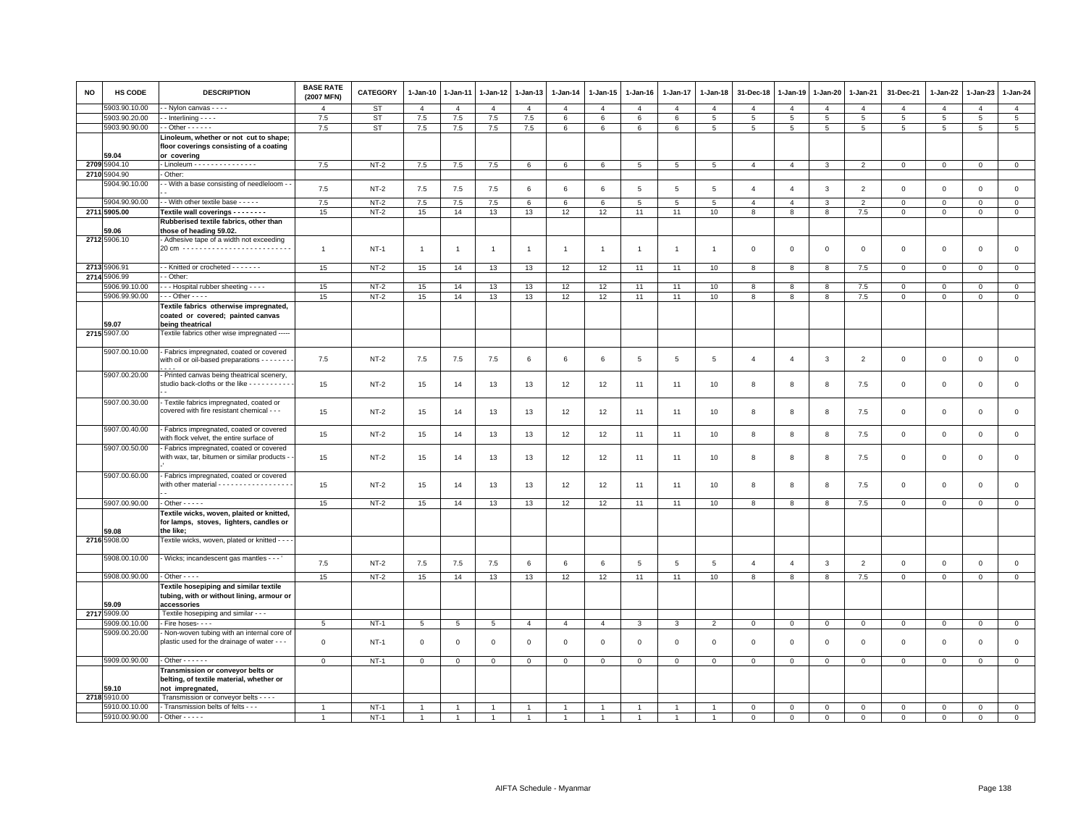| <b>NO</b> | HS CODE               | <b>DESCRIPTION</b>                                                                                 | <b>BASE RATE</b><br>(2007 MFN) | <b>CATEGORY</b> | 1-Jan-10       | 1-Jan-11       | 1-Jan-12       | 1-Jan-13       | 1-Jan-14        | 1-Jan-15       | 1-Jan-16       | $1-Jan-17$      | 1-Jan-18        | 31-Dec-18      | 1-Jan-19       | 1-Jan-20       | 1-Jan-21       | 31-Dec-21           | 1-Jan-22       | 1-Jan-23       | 1-Jan-24        |
|-----------|-----------------------|----------------------------------------------------------------------------------------------------|--------------------------------|-----------------|----------------|----------------|----------------|----------------|-----------------|----------------|----------------|-----------------|-----------------|----------------|----------------|----------------|----------------|---------------------|----------------|----------------|-----------------|
|           | 5903.90.10.00         | - Nylon canvas - - - -                                                                             | $\overline{4}$                 | <b>ST</b>       | $\overline{4}$ | $\overline{4}$ | $\overline{4}$ | $\overline{4}$ | $\overline{4}$  | $\overline{4}$ | $\mathbf{A}$   | $\overline{4}$  | $\overline{4}$  | $\overline{4}$ | $\overline{4}$ | $\overline{4}$ | $\overline{4}$ | $\overline{4}$      | $\overline{4}$ | $\overline{4}$ | $\overline{4}$  |
|           | 5903.90.20.00         | $-$ Interlining $  -$                                                                              | 7.5                            | <b>ST</b>       | 7.5            | 7.5            | 7.5            | 7.5            | 6               | 6              | 6              | 6               | 5               | 5              | 5              | 5              | 5              | 5                   | 5              | 5              | $5\overline{5}$ |
|           | 5903.90.90.00         | $-$ Other $    -$                                                                                  | 7.5                            | <b>ST</b>       | 7.5            | 7.5            | $7.5$          | 7.5            | $6\phantom{.}6$ | 6              | $\,6\,$        | 6               | $\overline{5}$  | 5              | 5              | 5              | 5              | 5                   | 5              | 5              | 5               |
|           | 59.04                 | Linoleum, whether or not cut to shape;<br>floor coverings consisting of a coating<br>or covering   |                                |                 |                |                |                |                |                 |                |                |                 |                 |                |                |                |                |                     |                |                |                 |
|           | 2709 5904.10          | - Linoleum - - - - - - - - - - - - - - -                                                           | 7.5                            | $NT-2$          | 7.5            | 7.5            | 7.5            | 6              | 6               | 6              | 5              | $5\overline{5}$ | $5\phantom{.0}$ | $\overline{4}$ | $\overline{4}$ | 3              | 2              | $\mathbf 0$         | $\mathbf{0}$   | $\mathbf{O}$   | $\overline{0}$  |
|           | 2710 5904.90          | - Other:                                                                                           |                                |                 |                |                |                |                |                 |                |                |                 |                 |                |                |                |                |                     |                |                |                 |
|           | 5904.90.10.00         | - With a base consisting of needleloom - -                                                         |                                |                 |                |                |                |                |                 |                |                |                 |                 |                |                |                |                |                     |                |                |                 |
|           |                       |                                                                                                    | 7.5                            | $NT-2$          | 7.5            | 7.5            | 7.5            | 6              | 6               | 6              | 5              | $\overline{5}$  | 5               | $\overline{4}$ | $\overline{4}$ | 3              | $\overline{2}$ | $\mathsf 0$         | $\mathbf 0$    | $\mathsf 0$    | $\mathsf 0$     |
|           | 5904.90.90.00         | - - With other textile base - - - - -                                                              | 7.5                            | $NT-2$          | 7.5            | 7.5            | 7.5            | 6              | 6               | 6              | -5             | $5\overline{5}$ | 5               | $\overline{4}$ | $\overline{4}$ | 3              | $\overline{2}$ | $\mathbf 0$         | $\Omega$       | $\mathsf 0$    | $\mathbf 0$     |
|           | 2711 5905.00          | Textile wall coverings - - - - - - - -                                                             | 15                             | $NT-2$          | 15             | 14             | 13             | 13             | 12              | 12             | 11             | 11              | 10              | 8              | $^{\rm 8}$     | 8              | $7.5\,$        | $\mathbf 0$         | $\mathbf{0}$   | $\mathbf{0}$   | $\overline{0}$  |
|           |                       | Rubberised textile fabrics, other than                                                             |                                |                 |                |                |                |                |                 |                |                |                 |                 |                |                |                |                |                     |                |                |                 |
|           | 59.06                 | those of heading 59.02.                                                                            |                                |                 |                |                |                |                |                 |                |                |                 |                 |                |                |                |                |                     |                |                |                 |
|           | 2712 5906.10          | - Adhesive tape of a width not exceeding                                                           |                                |                 |                |                |                |                |                 |                |                |                 |                 |                |                |                |                |                     |                |                |                 |
|           |                       | 20 cm ---------------------------                                                                  | $\mathbf{1}$                   | $NT-1$          | $\overline{1}$ | $\overline{1}$ | $\overline{1}$ | $\overline{1}$ | $\overline{1}$  | $\overline{1}$ | $\overline{1}$ | $\mathbf{1}$    | $\overline{1}$  | $\mathbf 0$    | $\mathbf 0$    | $\mathsf 0$    | $\mathbf 0$    | $\mathsf 0$         | $\mathbf 0$    | $\mathsf 0$    | $\mathsf 0$     |
|           |                       |                                                                                                    |                                |                 |                |                |                |                |                 |                |                |                 |                 |                |                |                |                |                     |                |                |                 |
|           | 2713 5906.91          | - - Knitted or crocheted - - - - - - -                                                             | 15                             | $NT-2$          | 15             | 14             | 13             | 13             | 12              | 12             | 11             | 11              | 10              | 8              | 8              | 8              | 7.5            | $\mathsf 0$         | $\mathbf 0$    | $\mathsf 0$    | $\mathsf 0$     |
|           | 2714 5906.99          | - Other:                                                                                           |                                |                 |                |                |                |                |                 |                |                |                 |                 |                |                |                |                |                     |                |                |                 |
|           | 5906.99.10.00         | - - - Hospital rubber sheeting - - - -                                                             | 15                             | $NT-2$          | 15             | 14             | 13             | 13             | 12              | 12             | 11             | 11              | 10              | 8              | 8              | 8              | $7.5\,$        | $\mathsf 0$         | $\mathbf 0$    | $\mathsf 0$    | $\circ$         |
|           | 5906.99.90.00         | $\cdots$ Other - - - -                                                                             | 15                             | $NT-2$          | 15             | 14             | 13             | 13             | 12              | 12             | 11             | 11              | 10              | 8              | 8              | 8              | 7.5            | $\mathsf 0$         | $\mathsf 0$    | $\mathsf 0$    | $\overline{0}$  |
|           |                       | Textile fabrics otherwise impregnated,<br>coated or covered; painted canvas                        |                                |                 |                |                |                |                |                 |                |                |                 |                 |                |                |                |                |                     |                |                |                 |
|           | 59.07<br>2715 5907.00 | being theatrical<br>Textile fabrics other wise impregnated -----                                   |                                |                 |                |                |                |                |                 |                |                |                 |                 |                |                |                |                |                     |                |                |                 |
|           |                       |                                                                                                    |                                |                 |                |                |                |                |                 |                |                |                 |                 |                |                |                |                |                     |                |                |                 |
|           | 5907.00.10.00         | - Fabrics impregnated, coated or covered<br>with oil or oil-based preparations - - - - - -         | 7.5                            | $NT-2$          | 7.5            | 7.5            | 7.5            | 6              | 6               | 6              | 5              | $\overline{5}$  | $\,$ 5 $\,$     | $\overline{4}$ | $\overline{4}$ | 3              | $\overline{2}$ | $\mathsf{O}\xspace$ | $\mathbf 0$    | $\mathsf 0$    | $\mathbf 0$     |
|           | 5907.00.20.00         | - Printed canvas being theatrical scenery,<br>studio back-cloths or the like - - - - - - - - - -   | 15                             | $NT-2$          | 15             | 14             | 13             | 13             | 12              | 12             | 11             | 11              | 10              | 8              | 8              | 8              | 7.5            | $\mathsf 0$         | $\mathsf 0$    | $\mathsf 0$    | $\mathsf 0$     |
|           | 5907.00.30.00         | - Textile fabrics impregnated, coated or<br>covered with fire resistant chemical - - -             | 15                             | NT-2            | 15             | 14             | 13             | 13             | 12              | 12             | 11             | 11              | 10              | 8              | 8              | 8              | 7.5            | $\mathsf 0$         | $\mathbf 0$    | $\mathsf 0$    | $\mathbf 0$     |
|           | 5907.00.40.00         | - Fabrics impregnated, coated or covered<br>with flock velvet, the entire surface of               | 15                             | $NT-2$          | 15             | 14             | 13             | 13             | 12              | 12             | 11             | 11              | 10              | 8              | 8              | 8              | 7.5            | $\mathsf 0$         | $\mathbf 0$    | $\mathsf 0$    | $\mathsf 0$     |
|           | 5907.00.50.00         | - Fabrics impregnated, coated or covered<br>with wax, tar, bitumen or similar products -           | 15                             | NT-2            | 15             | 14             | 13             | 13             | 12              | 12             | 11             | -11             | 10              | 8              | 8              | 8              | 7.5            | $\mathbf 0$         | $\mathbf 0$    | $\mathsf 0$    | $\mathbf 0$     |
|           | 5907.00.60.00         | - Fabrics impregnated, coated or covered<br>with other material - - - - - - - - - - - - - - - - -  | 15                             | $NT-2$          | 15             | 14             | 13             | 13             | 12              | 12             | 11             | 11              | 10              | 8              | 8              | 8              | 7.5            | $\mathbf 0$         | $\mathbf 0$    | $\mathbf 0$    | $\mathbf{0}$    |
|           |                       |                                                                                                    |                                |                 |                |                |                |                |                 |                |                |                 |                 |                |                |                |                |                     |                |                |                 |
|           | 5907.00.90.00         | $-$ Other $   -$                                                                                   | 15                             | $NT-2$          | 15             | 14             | 13             | 13             | 12              | 12             | 11             | 11              | 10              | 8              | 8              | 8              | 7.5            | $\mathbf 0$         | $\mathbf 0$    | $\mathbf{0}$   | $\mathsf 0$     |
|           |                       | Textile wicks, woven, plaited or knitted,                                                          |                                |                 |                |                |                |                |                 |                |                |                 |                 |                |                |                |                |                     |                |                |                 |
|           |                       | for lamps, stoves, lighters, candles or                                                            |                                |                 |                |                |                |                |                 |                |                |                 |                 |                |                |                |                |                     |                |                |                 |
|           | 59.08                 | the like;                                                                                          |                                |                 |                |                |                |                |                 |                |                |                 |                 |                |                |                |                |                     |                |                |                 |
|           | 2716 5908.00          | Textile wicks, woven, plated or knitted - - -                                                      |                                |                 |                |                |                |                |                 |                |                |                 |                 |                |                |                |                |                     |                |                |                 |
|           |                       |                                                                                                    |                                |                 |                |                |                |                |                 |                |                |                 |                 |                |                |                |                |                     |                |                |                 |
|           | 5908.00.10.00         | - Wicks; incandescent gas mantles - - -                                                            | 7.5                            | $NT-2$          | 7.5            | 7.5            | 7.5            | 6              | 6               | 6              | 5              | 5               | 5               | $\overline{4}$ | $\overline{4}$ | 3              | $\overline{2}$ | $\mathsf 0$         | $\mathbf 0$    | $\mathsf 0$    | $\mathsf 0$     |
|           |                       | $-$ Other $  -$                                                                                    |                                |                 |                |                |                |                |                 |                |                |                 |                 |                |                |                |                |                     |                |                |                 |
|           | 5908.00.90.00         |                                                                                                    | 15                             | $NT-2$          | 15             | 14             | 13             | 13             | 12              | 12             | 11             | 11              | 10              | 8              | 8              | 8              | 7.5            | $\mathbf 0$         | $\mathbf 0$    | $\mathbf 0$    | $\mathsf 0$     |
|           | 59.09                 | Textile hosepiping and similar textile<br>tubing, with or without lining, armour or<br>accessories |                                |                 |                |                |                |                |                 |                |                |                 |                 |                |                |                |                |                     |                |                |                 |
|           | 2717 5909.00          | Textile hosepiping and similar - - -                                                               |                                |                 |                |                |                |                |                 |                |                |                 |                 |                |                |                |                |                     |                |                |                 |
|           | 5909.00.10.00         | - Fire hoses- - - -                                                                                | 5                              | $NT-1$          | 5              | 5              | 5              | $\overline{4}$ | $\overline{4}$  | $\overline{4}$ | 3              | 3               | $\overline{2}$  | $\mathbf 0$    | $\mathbf 0$    | $\mathbf{0}$   | $\mathbf 0$    | $\mathbf 0$         | $\mathbf 0$    | $\mathbf{0}$   | $\mathbf 0$     |
|           | 5909.00.20.00         | - Non-woven tubing with an internal core of                                                        |                                |                 |                |                |                |                |                 |                |                |                 |                 |                |                |                |                |                     |                |                |                 |
|           |                       | plastic used for the drainage of water - - -                                                       | $\mathbf 0$                    | $NT-1$          | $\mathbf 0$    | $\mathbf 0$    | $\mathsf 0$    | $\mathsf 0$    | $\mathbf 0$     | $\mathbf 0$    | $\Omega$       | $\mathbf 0$     | $\mathsf 0$     | $\mathbf 0$    | $\mathsf 0$    | $\mathbf 0$    | $\mathbf 0$    | $\mathsf 0$         | $\mathsf 0$    | $\mathbf 0$    | $\mathsf 0$     |
|           | 5909.00.90.00         | $-$ Other $    -$                                                                                  | $\mathbf{0}$                   | $NT-1$          | $\mathbf{0}$   | $\mathbf{0}$   | $\mathbf{0}$   | $\overline{0}$ | $\mathbf{0}$    | $\mathbf{0}$   | $\mathbf 0$    | $\mathbf 0$     | $\mathbf 0$     | $\mathbf{0}$   | $\mathbf 0$    | $\mathbf{0}$   | $\overline{0}$ | $\mathbf 0$         | $\mathbf{0}$   | $\mathbf{0}$   | $\mathbf{0}$    |
|           | 59.10                 | Transmission or conveyor belts or<br>belting, of textile material, whether or<br>not impregnated,  |                                |                 |                |                |                |                |                 |                |                |                 |                 |                |                |                |                |                     |                |                |                 |
|           | 2718 5910.00          | Transmission or conveyor belts - - - -                                                             |                                |                 |                |                |                |                |                 |                |                |                 |                 |                |                |                |                |                     |                |                |                 |
|           | 5910.00.10.00         | - Transmission belts of felts - - -                                                                | $\overline{1}$                 | $NT-1$          |                |                |                |                |                 |                |                |                 |                 | $\Omega$       | $\Omega$       | $\Omega$       | $\Omega$       | $\Omega$            | $\Omega$       | $\Omega$       | $\mathbf 0$     |
|           | 5910.00.90.00         | $-$ Other $- - - -$                                                                                | $\overline{1}$                 | $NT-1$          |                |                |                |                |                 |                |                |                 |                 | $\Omega$       | $\Omega$       | $\Omega$       | $\Omega$       |                     | $\Omega$       | $\Omega$       | $\Omega$        |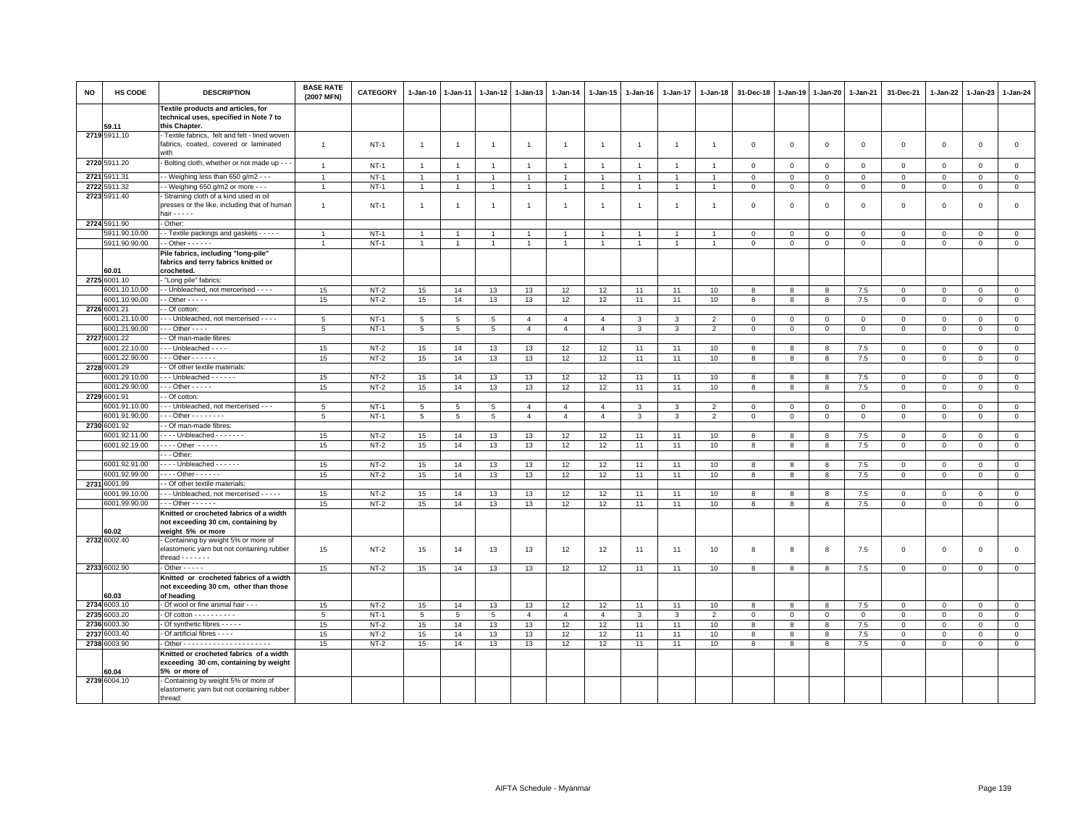| <b>NO</b> | HS CODE                        | <b>DESCRIPTION</b>                                                                                      | <b>BASE RATE</b><br>(2007 MFN) | <b>CATEGORY</b>  | 1-Jan-10       | 1-Jan-11        | 1-Jan-12       | 1-Jan-13       | 1-Jan-14       | 1-Jan-15       | 1-Jan-16       | 1-Jan-17       | 1-Jan-18       | 31-Dec-18    | 1-Jan-19       | 1-Jan-20       | 1-Jan-21       | 31-Dec-21        | 1-Jan-22         | 1-Jan-23                  | $1-Jan-24$                 |
|-----------|--------------------------------|---------------------------------------------------------------------------------------------------------|--------------------------------|------------------|----------------|-----------------|----------------|----------------|----------------|----------------|----------------|----------------|----------------|--------------|----------------|----------------|----------------|------------------|------------------|---------------------------|----------------------------|
|           | 59.11                          | Textile products and articles, for<br>technical uses, specified in Note 7 to<br>this Chapter.           |                                |                  |                |                 |                |                |                |                |                |                |                |              |                |                |                |                  |                  |                           |                            |
|           | 2719 5911.10                   | Textile fabrics, felt and felt - lined woven<br>fabrics, coated, covered or laminated<br>with           | $\overline{1}$                 | $NT-1$           | $\overline{1}$ | $\overline{1}$  | $\overline{1}$ | $\overline{1}$ | $\overline{1}$ | $\mathbf{1}$   | $\overline{1}$ | $\overline{1}$ | $\overline{1}$ | $\mathbf 0$  | $\overline{0}$ | $\mathbf 0$    | $\mathbf 0$    | $\mathsf 0$      | $\mathbf 0$      | $\mathbf 0$               | $\mathsf 0$                |
|           | 2720 5911.20                   | Bolting cloth, whether or not made up - -                                                               | $\overline{1}$                 | $NT-1$           | $\overline{1}$ | $\overline{1}$  | $\overline{1}$ | $\overline{1}$ | $\overline{1}$ | $\overline{1}$ | $\overline{1}$ | $\overline{1}$ | $\overline{1}$ | $\mathbf 0$  | $\overline{0}$ | $\mathbf 0$    | $\mathbf 0$    | $\mathsf 0$      | 0                | $\mathsf 0$               | $\mathsf 0$                |
| 2721      | 5911.31                        | - - Weighing less than 650 g/m2 - - -                                                                   | $\overline{1}$                 | $NT-1$           | $\overline{1}$ | $\overline{1}$  | $\overline{1}$ | $\overline{1}$ | $\overline{1}$ | $\mathbf{1}$   |                | $\overline{1}$ |                | $\mathbf 0$  | $\overline{0}$ | $\Omega$       | $\Omega$       | $\Omega$         | $\Omega$         | $\Omega$                  | $\circ$                    |
| 2722      | 911.32                         | - Weighing 650 g/m2 or more - - -                                                                       | $\overline{1}$                 | $NT-1$           | $\mathbf{1}$   | $\mathbf{1}$    | $\overline{1}$ | $\overline{1}$ |                | $\overline{1}$ |                | $\overline{1}$ | $\overline{1}$ | $\mathbf 0$  | $\mathbf 0$    | $\overline{0}$ | $\mathbf 0$    | $\mathsf 0$      | 0                | $\mathbf 0$               | $\mathbf 0$                |
|           | 2723 5911.40                   | Straining cloth of a kind used in oil<br>presses or the like, including that of human<br>hair $- - - -$ | $\overline{1}$                 | $NT-1$           | $\mathbf{1}$   |                 | $\overline{1}$ | $\overline{1}$ | $\overline{1}$ | $\overline{1}$ |                | $\overline{1}$ | $\overline{1}$ | $\mathbf 0$  | $\Omega$       | $\mathbf 0$    | $\mathbf 0$    | $\mathbf 0$      | $\mathbf 0$      | $\Omega$                  | $\mathbf 0$                |
|           | 2724 5911.90                   | - Other:                                                                                                |                                |                  |                |                 |                |                |                |                |                |                |                |              |                |                |                |                  |                  |                           |                            |
|           | 5911.90.10.00                  | - Textile packings and gaskets - - - - -                                                                | $\overline{1}$                 | $NT-1$           | $\overline{1}$ |                 | $\overline{1}$ | $\overline{1}$ |                | -1             |                | -1             |                | $\Omega$     | $\Omega$       | $\mathbf{0}$   | $\Omega$       | $\Omega$         | $\Omega$         | $\Omega$                  | $\mathbf 0$                |
|           | 5911.90.90.00                  | $-$ Other $    -$                                                                                       | $\overline{1}$                 | $NT-1$           | $\mathbf{1}$   |                 | $\mathbf{1}$   | $\overline{1}$ |                | $\overline{1}$ |                |                | $\overline{1}$ | $\mathbf 0$  | $\mathbf 0$    | $\mathbf 0$    | $\mathbf 0$    | $\mathsf 0$      | $\mathbf 0$      | $\mathbf 0$               | $\mathbf 0$                |
|           | 60.01                          | Pile fabrics, including "long-pile'<br>fabrics and terry fabrics knitted or<br>crocheted.               |                                |                  |                |                 |                |                |                |                |                |                |                |              |                |                |                |                  |                  |                           |                            |
|           | 2725 6001.10                   | "Long pile" fabrics:                                                                                    |                                |                  |                |                 |                |                |                |                |                |                |                |              |                |                |                |                  |                  |                           |                            |
|           | 6001.10.10.00                  | - Unbleached, not mercerised - - - -                                                                    | 15                             | $NT-2$           | 15             | 14              | 13             | 13             | 12             | 12             | 11             | 11             | 10             | 8            | 8              | 8              | 7.5            | $\mathbf 0$      | $\mathbf 0$      | $\mathbf 0$               | $\mathsf 0$                |
|           | 6001.10.90.00<br>2726 6001.21  | $-$ Other $- - - -$                                                                                     | 15                             | $NT-2$           | 15             | 14              | 13             | 13             | 12             | 12             | 11             | 11             | 10             | 8            | 8              | 8              | 7.5            | $\mathsf 0$      | $\mathbf 0$      | $\mathsf 0$               | $\mathbf 0$                |
|           | 6001.21.10.00                  | - Of cotton:<br>- - Unbleached, not mercerised - - - -                                                  | $\overline{5}$                 | $NT-1$           | 5              | $5\overline{5}$ | 5 <sup>5</sup> | $\overline{4}$ | $\overline{4}$ | $\overline{a}$ | 3              | $\mathbf{a}$   | $\overline{2}$ | $\Omega$     | $\Omega$       | $\Omega$       | $\Omega$       | $\Omega$         | $\Omega$         | $\Omega$                  | $\mathsf 0$                |
|           | 6001.21.90.00                  | $\cdot$ - Other - - - -                                                                                 | 5                              | $NT-1$           | 5              | 5               | 5              | $\overline{4}$ | $\overline{4}$ | $\overline{4}$ | 3              | 3              | $\overline{2}$ | $^{\circ}$   | $\mathbf 0$    | $\mathbf 0$    | $\mathbf 0$    | 0                | 0                | 0                         | $\mathbf 0$                |
|           | 2727 6001.22                   | - Of man-made fibres:                                                                                   |                                |                  |                |                 |                |                |                |                |                |                |                |              |                |                |                |                  |                  |                           |                            |
|           | 6001.22.10.00                  | -- Unbleached ----                                                                                      | 15                             | $NT-2$           | 15             | 14              | 13             | 13             | 12             | 12             | 11             | 11             | 10             | 8            | $\mathbf{8}$   | 8              | 7.5            | $\mathbf 0$      | $\Omega$         | $\mathbf{0}$              | $\circ$                    |
|           | 6001.22.90.00                  | $-0$ ther $-0$                                                                                          | 15                             | $NT-2$           | 15             | 14              | 13             | 13             | 12             | 12             | 11             | 11             | 10             | 8            | 8              | 8              | 7.5            | $\mathsf 0$      | $\mathbf 0$      | $\mathsf 0$               | $\overline{0}$             |
|           | 2728 6001.29                   | - Of other textile materials:                                                                           |                                |                  |                |                 |                |                |                |                |                |                |                |              |                |                |                |                  |                  |                           |                            |
|           | 6001.29.10.00                  | - - - Unbleached - - - - - -                                                                            | 15                             | $NT-2$           | 15             | 14              | 13             | 13             | 12             | 12             | 11             | 11             | 10             | 8            | 8              | 8              | 7.5            | $\mathbf{0}$     | $\mathbf 0$      | $\mathbf{0}$              | $\circ$                    |
|           | 6001.29.90.00<br>2729 6001.91  | $\cdots$ Other - - - - -<br>- Of cotton:                                                                | 15                             | $NT-2$           | 15             | 14              | 13             | 13             | 12             | 12             | 11             | 11             | 10             | 8            | 8              | 8              | 7.5            | $\mathsf 0$      | $\mathbf 0$      | $\Omega$                  | $\mathbf 0$                |
|           | 6001.91.10.00                  | - - Unbleached, not mercerised - - -                                                                    | 5                              | $NT-1$           | 5              | 5               | 5              | $\overline{4}$ | $\overline{4}$ | $\overline{4}$ | 3              | 3              | $\overline{2}$ | $\Omega$     | $\mathbf 0$    | $\mathbf{0}$   | $\mathbf 0$    | $\mathbf 0$      | $\Omega$         | $\mathbf 0$               | $\mathbf 0$                |
|           | 6001.91.90.00                  | $-$ - Other - - - - - - - -                                                                             | 5                              | $NT-1$           | 5              | 5               | 5              | $\overline{4}$ | $\overline{4}$ | $\overline{4}$ | 3              | 3              | $\overline{2}$ | $\mathbf 0$  | $\mathbf 0$    | $\mathbf 0$    | $\mathbf 0$    | $\mathsf 0$      | $\mathbf 0$      | $\mathsf 0$               | $\mathbf 0$                |
|           | 2730 6001.92                   | - Of man-made fibres:                                                                                   |                                |                  |                |                 |                |                |                |                |                |                |                |              |                |                |                |                  |                  |                           |                            |
|           | 6001.92.11.00                  | - - - - Unbleached - - - - - - -                                                                        | 15                             | $NT-2$           | 15             | 14              | 13             | 13             | 12             | 12             | 11             | 11             | 10             | 8            | 8              | 8              | 7.5            | $\mathsf 0$      | 0                | 0                         | $\mathbf 0$                |
|           | 6001.92.19.00                  | $\cdots$ Other $\cdots$                                                                                 | 15                             | $NT-2$           | 15             | 14              | 13             | 13             | 12             | 12             | 11             | 11             | 10             | 8            | 8              | 8              | 7.5            | $\mathsf 0$      | $\mathbf 0$      | 0                         | $\mathsf 0$                |
|           |                                | $-$ Other                                                                                               |                                |                  |                |                 |                |                |                |                |                |                |                |              |                |                |                |                  |                  |                           |                            |
|           | 6001.92.91.00<br>6001.92.99.00 | - - - - Unbleached - - - - - -<br>. Other -                                                             | 15<br>15                       | $NT-2$<br>$NT-2$ | 15<br>15       | 14<br>14        | 13<br>13       | 13<br>13       | 12<br>12       | 12<br>12       | 11<br>11       | 11<br>11       | 10<br>10       | 8<br>8       | 8<br>8         | 8<br>8         | 7.5<br>7.5     | 0<br>$\mathsf 0$ | 0<br>$\mathbf 0$ | $\mathbf 0$<br>$^{\circ}$ | $\mathbf 0$<br>$\mathsf 0$ |
| 2731      | 6001.99                        | - Of other textile materials:                                                                           |                                |                  |                |                 |                |                |                |                |                |                |                |              |                |                |                |                  |                  |                           |                            |
|           | 6001.99.10.00                  | - - - Unbleached, not mercerised - - - - -                                                              | 15                             | $NT-2$           | 15             | 14              | 13             | 13             | 12             | 12             | 11             | 11             | 10             | 8            | 8              | 8              | 7.5            | $\mathsf 0$      | $\mathbf 0$      | $\mathbf 0$               | $\mathbf 0$                |
|           | 6001.99.90.00                  | $- -$ Other $- - - -$                                                                                   | 15                             | $NT-2$           | 15             | 14              | 13             | 13             | 12             | 12             | 11             | 11             | 10             | 8            | 8              | 8              | 7.5            | 0                | 0                | $^{\circ}$                | $\mathsf 0$                |
|           | 60.02                          | Knitted or crocheted fabrics of a width<br>not exceeding 30 cm, containing by<br>weight 5% or more      |                                |                  |                |                 |                |                |                |                |                |                |                |              |                |                |                |                  |                  |                           |                            |
|           | 2732 6002.40                   | Containing by weight 5% or more of<br>elastomeric yarn but not containing rubber<br>thread $\cdots$     | 15                             | $NT-2$           | 15             | 14              | 13             | 13             | 12             | 12             | 11             | 11             | 10             | 8            | 8              | 8              | 7.5            | $\mathsf 0$      | 0                | $\mathsf 0$               | $\mathsf 0$                |
|           | 2733 6002.90                   | $-$ Other $   -$                                                                                        | 15                             | $NT-2$           | 15             | 14              | 13             | 13             | 12             | 12             | 11             | 11             | 10             | 8            | 8              | 8              | 7.5            | $\mathbf 0$      | $\mathbf 0$      | $\mathbf 0$               | $\overline{0}$             |
|           |                                | Knitted or crocheted fabrics of a width<br>not exceeding 30 cm, other than those                        |                                |                  |                |                 |                |                |                |                |                |                |                |              |                |                |                |                  |                  |                           |                            |
|           | 60.03<br>2734 6003.10          | of heading<br>Of wool or fine animal hair - - -                                                         | 15                             | $NT-2$           | 15             | 14              | 13             | 13             | 12             | 12             | 11             | 11             | 10             | 8            | 8              | 8              | 7.5            | $\mathsf 0$      | $\mathbf 0$      | $\mathbf{0}$              | $\mathbf 0$                |
|           | 2735 6003.20                   | - Of cotton - - - - - - - - - -                                                                         | 5                              | $NT-1$           | 5              | 5               | 5              | $\overline{4}$ | $\overline{4}$ | $\overline{4}$ | 3              | 3              | 2              | $\mathbf{0}$ | $\mathbf 0$    | $\overline{0}$ | $\overline{0}$ | $\mathbf 0$      | $\mathbf 0$      | $\mathbf{0}$              | $\mathbf 0$                |
|           | 2736 6003.30                   | - Of synthetic fibres - - - - -                                                                         | 15                             | $NT-2$           | 15             | 14              | 13             | 13             | 12             | 12             | 11             | 11             | 10             | 8            | 8              | 8              | 7.5            | $\mathsf 0$      | $\Omega$         | $\Omega$                  | $\mathsf 0$                |
| 2737      | 6003.40                        | Of artificial fibres - - - -                                                                            | 15                             | $NT-2$           | 15             | 14              | 13             | 13             | 12             | 12             | 11             | 11             | 10             | 8            | 8              | 8              | 7.5            | $\mathsf 0$      | $\mathbf 0$      | $\mathsf 0$               | $\mathbf 0$                |
|           | 2738 6003.90                   |                                                                                                         | 15                             | $NT-2$           | 15             | 14              | 13             | 13             | 12             | 12             | 11             | 11             | 10             | 8            | 8              | 8              | 7.5            | 0                | 0                | 0                         | $\overline{0}$             |
|           | 60.04                          | Knitted or crocheted fabrics of a width<br>exceeding 30 cm, containing by weight<br>5% or more of       |                                |                  |                |                 |                |                |                |                |                |                |                |              |                |                |                |                  |                  |                           |                            |
|           | 2739 6004.10                   | Containing by weight 5% or more of<br>elastomeric yarn but not containing rubber<br>thread:             |                                |                  |                |                 |                |                |                |                |                |                |                |              |                |                |                |                  |                  |                           |                            |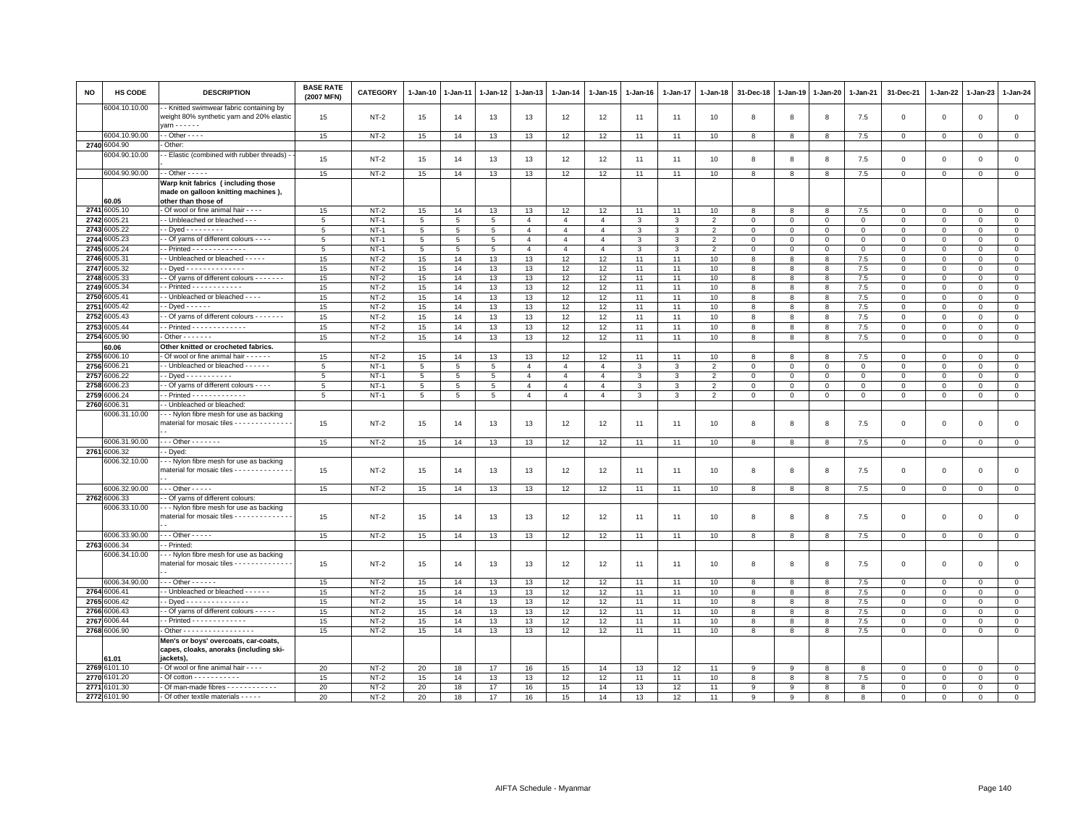| NO           | <b>HS CODE</b>                | <b>DESCRIPTION</b>                                                                               | <b>BASE RATE</b><br>(2007 MFN) | <b>CATEGORY</b>  | 1-Jan-10 | 1-Jan-11 | 1-Jan-12 | $1-Jan-13$     | $1-Jan-14$     | 1-Jan-15       | 1-Jan-16     | 1-Jan-17 | $1-Jan-18$     | 31-Dec-18    | $1-Jan-19$  | 1-Jan-20     | 1-Jan-21     | 31-Dec-21                  | 1-Jan-22                   | $1-Jan-23$              | $1-Jan-24$                   |
|--------------|-------------------------------|--------------------------------------------------------------------------------------------------|--------------------------------|------------------|----------|----------|----------|----------------|----------------|----------------|--------------|----------|----------------|--------------|-------------|--------------|--------------|----------------------------|----------------------------|-------------------------|------------------------------|
|              | 6004.10.10.00                 | - Knitted swimwear fabric containing by<br>weight 80% synthetic yarn and 20% elastic             | 15                             | NT-2             | 15       | 14       | 13       | 13             | 12             | 12             | 11           | 11       | 10             | 8            | 8           | 8            | 7.5          | $\mathbf 0$                | $\mathbf 0$                | $\mathbf 0$             | $\circ$                      |
|              |                               | arn - - - - - -                                                                                  |                                |                  |          |          |          |                |                |                |              |          |                |              |             |              |              |                            |                            |                         |                              |
|              | 6004.10.90.00                 | $-$ Other $-  -$<br>Other                                                                        | 15                             | $NT-2$           | 15       | 14       | 13       | 13             | 12             | 12             | 11           | 11       | 10             | 8            | 8           | 8            | 7.5          | 0                          | 0                          | 0                       | $\mathsf 0$                  |
|              | 2740 6004.90<br>6004.90.10.00 | - Elastic (combined with rubber threads)                                                         |                                |                  |          |          |          |                |                |                |              |          |                |              |             |              |              |                            |                            |                         |                              |
|              |                               |                                                                                                  | 15                             | $NT-2$           | 15       | 14       | 13       | 13             | 12             | 12             | 11           | 11       | 10             | 8            | 8           | 8            | 7.5          | $\mathbf 0$                | $\mathbf 0$                | $\mathbf 0$             | $\mathsf 0$                  |
|              | 6004.90.90.00                 | $-$ Other $- - - -$                                                                              | 15                             | $NT-2$           | 15       | 14       | 13       | 13             | 12             | 12             | 11           | 11       | 10             | 8            | 8           | 8            | 7.5          | $\mathsf 0$                | $\mathbf 0$                | $\mathsf 0$             | $\mathsf 0$                  |
|              |                               | Warp knit fabrics (including those                                                               |                                |                  |          |          |          |                |                |                |              |          |                |              |             |              |              |                            |                            |                         |                              |
|              |                               | made on galloon knitting machines),                                                              |                                |                  |          |          |          |                |                |                |              |          |                |              |             |              |              |                            |                            |                         |                              |
|              | 60.05                         | other than those of                                                                              |                                |                  |          |          |          |                |                |                |              |          |                |              |             |              |              |                            |                            |                         |                              |
| 2741         | 6005.10                       | Of wool or fine animal hair - - - -                                                              | 15                             | $NT-2$           | 15       | 14       | 13       | 13             | 12             | 12             | 11           | 11       | 10             | 8            | 8           | 8            | 7.5          | 0                          | 0                          | $\mathbf 0$             | $\mathsf 0$                  |
|              | 2742 6005.21                  | - Unbleached or bleached - - -                                                                   | $\overline{5}$                 | $NT-1$           | 5        | 5        | 5        | $\mathbf{A}$   | $\overline{4}$ | $\overline{4}$ | 3            | 3        | $\overline{2}$ | $\Omega$     | $\Omega$    | $\Omega$     | $\Omega$     | $\Omega$                   | $\Omega$                   | $\Omega$                | $\mathsf 0$                  |
| 2743         | 6005.22                       | - Dyed - - - - - - - - -                                                                         | 5                              | $NT-1$           | 5        | 5        | 5        | $\overline{4}$ | $\overline{4}$ | $\overline{4}$ | $\mathbf{3}$ | 3        | $\overline{2}$ | $\Omega$     | $\mathbf 0$ | $\mathbf 0$  | $\mathbf{0}$ | $\mathbf 0$                | $\mathbf 0$                | $\mathbf 0$             | $\circ$                      |
| 2744<br>2745 | 6005.23<br>3005.24            | - Of yarns of different colours - - - -<br>$-$ Printed $- - - - - - - - - - - -$                 | 5                              | $NT-1$           | 5        | 5        | 5        | $\overline{4}$ | $\overline{4}$ | $\overline{4}$ | 3            | 3        | $\overline{2}$ | $\mathbf 0$  | $\mathbf 0$ | $\mathbf 0$  | 0            | 0                          | $\mathbf 0$                | $^{\circ}$              | $\mathbf 0$                  |
|              |                               |                                                                                                  | 5                              | $NT-1$           | 5        | 5        | 5        | $\overline{4}$ | $\overline{4}$ | $\overline{4}$ | -3           | 3        | $\overline{2}$ | $\Omega$     | $\mathbf 0$ | $^{\circ}$   | $\Omega$     | $\mathbf 0$                | $\Omega$                   | $\Omega$                | $\mathbf 0$                  |
| 2746         | 6005.31<br>2747 6005.32       | - Unbleached or bleached - - - - -<br>- Dyed - - - - - - - - - - - - - -                         | 15<br>15                       | $NT-2$<br>$NT-2$ | 15<br>15 | 14<br>14 | 13<br>13 | 13<br>13       | 12<br>12       | 12<br>12       | 11<br>11     | 11<br>11 | 10<br>10       | 8<br>8       | 8<br>8      | 8<br>8       | 7.5<br>7.5   | $\mathbf 0$<br>$\mathbf 0$ | $\mathbf 0$<br>$\mathbf 0$ | $\mathbf 0$<br>$\Omega$ | $\mathbf{0}$<br>$\mathbf{0}$ |
| 2748         | 6005.33                       | - Of yarns of different colours - - - - - - -                                                    | 15                             | $NT-2$           | 15       | 14       | 13       | 13             | 12             | 12             | 11           | 11       | 10             | 8            | 8           | 8            | 7.5          | $\Omega$                   | $\Omega$                   | $\Omega$                | $\mathbf{0}$                 |
| 2749         | 6005.34                       | - Printed - - - - - - - - - - - -                                                                | 15                             | $NT-2$           | 15       | 14       | 13       | 13             | 12             | 12             | 11           | 11       | 10             | 8            | 8           | 8            | 7.5          | $\mathsf 0$                | $\mathbf 0$                | $\mathsf 0$             | $\mathbf 0$                  |
| 2750         | 6005.41                       | - Unbleached or bleached - - - -                                                                 | 15                             | $NT-2$           | 15       | 14       | 13       | 13             | 12             | 12             | 11           | 11       | 10             | 8            | 8           | 8            | 7.5          | $\mathsf 0$                | $\Omega$                   | $\Omega$                | $\,0\,$                      |
| 2751         | 005.42                        | $-Dyed - - - - -$                                                                                | 15                             | $NT-2$           | 15       | 14       | 13       | 13             | 12             | 12             | 11           | 11       | 10             | 8            | 8           | 8            | 7.5          | $\Omega$                   | $\mathbf 0$                | $\mathbf 0$             | $\mathsf 0$                  |
| 2752         | 6005.43                       | - Of yarns of different colours - - - - - - -                                                    | 15                             | $NT-2$           | 15       | 14       | 13       | 13             | 12             | 12             | 11           | 11       | 10             | 8            | 8           | 8            | 7.5          | $\mathbf 0$                | $\mathbf 0$                | $\mathbf 0$             | $\mathsf 0$                  |
| 2753         | 6005.44                       |                                                                                                  | 15                             | $NT-2$           | 15       | 14       | 13       | 13             | 12             | 12             | 11           | 11       | 10             | 8            | 8           | 8            | 7.5          | $\mathbf 0$                | $\mathbf 0$                | $\mathbf 0$             | $\mathbf{0}$                 |
| 2754         | 6005.90                       | $\cdot$ Other $\cdot \cdot \cdot \cdot \cdot \cdot$                                              | 15                             | $NT-2$           | 15       | 14       | 13       | 13             | 12             | 12             | 11           | 11       | 10             | 8            | 8           | 8            | 7.5          | $\mathsf 0$                | $\mathbf 0$                | $\mathsf 0$             | $\mathbf 0$                  |
|              | 60.06                         | Other knitted or crocheted fabrics.                                                              |                                |                  |          |          |          |                |                |                |              |          |                |              |             |              |              |                            |                            |                         |                              |
|              | 2755 6006.10                  | Of wool or fine animal hair - - - - - -                                                          | 15                             | $NT-2$           | 15       | 14       | 13       | 13             | 12             | 12             | 11           | 11       | 10             | 8            | 8           | 8            | 7.5          | $\mathbf 0$                | $\mathbf 0$                | $\Omega$                | $\mathbf{0}$                 |
| 2756         | 6006.21                       | - Unbleached or bleached - - - - - -                                                             | 5                              | $NT-1$           | 5        | 5        | 5        | $\overline{a}$ | $\overline{4}$ | $\overline{4}$ | 3            | 3        | $\overline{2}$ | 0            | $\mathbf 0$ | $\mathbf 0$  | $\mathbf 0$  | 0                          | 0                          | $\mathbf 0$             | $\mathbf 0$                  |
| 2757         | 6006.22                       | - Dved - - - - - - - - - - -                                                                     | 5                              | $NT-1$           | 5        | 5        | 5        | $\overline{4}$ | $\overline{4}$ | $\overline{4}$ | $\mathbf{3}$ | 3        | $\overline{2}$ | $\Omega$     | $\Omega$    | $\mathbf 0$  | $\Omega$     | $\mathbf 0$                | $\Omega$                   | $\Omega$                | $\mathsf 0$                  |
| 2758         | 006.23                        | - Of yarns of different colours - - - -                                                          | 5                              | $NT-1$           | 5        | 5        | 5        | $\overline{4}$ | $\overline{4}$ | $\overline{4}$ | $\mathbf{3}$ | 3        | $\overline{2}$ | $\Omega$     | $\Omega$    | $\Omega$     | $\mathbf 0$  | $\mathbf 0$                | $\mathbf 0$                | $\mathbf 0$             | $\circ$                      |
| 2759         | 006.24                        | - Printed - - - - - - - - - - - - -                                                              | 5                              | $NT-1$           | 5        | 5        | 5        | $\overline{4}$ | $\overline{4}$ | $\overline{4}$ | 3            | 3        | $\overline{2}$ | 0            | $\mathbf 0$ | 0            | 0            | 0                          | 0                          | 0                       | $\mathbf 0$                  |
| 2760         | 6006.31                       | - Unbleached or bleached:                                                                        |                                |                  |          |          |          |                |                |                |              |          |                |              |             |              |              |                            |                            |                         |                              |
|              | 6006.31.10.00                 | - - Nylon fibre mesh for use as backing<br>material for mosaic tiles - - - - - - - - - - - - - - | 15                             | $NT-2$           | 15       | 14       | 13       | 13             | 12             | 12             | 11           | 11       | 10             | 8            | 8           | 8            | 7.5          | $\mathbf 0$                | $\mathbf 0$                | $\mathbf 0$             | $\mathsf 0$                  |
|              | 6006.31.90.00                 | $-$ - Other - - - - - - -                                                                        | 15                             | $NT-2$           | 15       | 14       | 13       | 13             | 12             | 12             | 11           | 11       | 10             | 8            | 8           | 8            | 7.5          | $\mathsf 0$                | $\mathbf 0$                | $\mathbf 0$             | $\mathsf 0$                  |
|              | 2761 6006.32                  | - Dyed:                                                                                          |                                |                  |          |          |          |                |                |                |              |          |                |              |             |              |              |                            |                            |                         |                              |
|              | 6006.32.10.00                 | - - Nylon fibre mesh for use as backing                                                          |                                |                  |          |          |          |                |                |                |              |          |                |              |             |              |              |                            |                            |                         |                              |
|              |                               | material for mosaic tiles - - - - - - - - - - - - -                                              | 15                             | $NT-2$           | 15       | 14       | 13       | 13             | 12             | 12             | 11           | 11       | 10             | 8            | 8           | 8            | 7.5          | $\mathsf 0$                | $\mathbf 0$                | $\Omega$                | $\Omega$                     |
|              | 6006.32.90.00                 | $-$ - Other - - - - -                                                                            | 15                             | $NT-2$           | 15       | 14       | 13       | 13             | 12             | 12             | 11           | 11       | 10             | 8            | 8           | 8            | 7.5          | $\mathbf 0$                | $\Omega$                   | $\mathbf 0$             | $\mathbf{0}$                 |
|              | 2762 6006.33                  | - Of yarns of different colours:                                                                 |                                |                  |          |          |          |                |                |                |              |          |                |              |             |              |              |                            |                            |                         |                              |
|              | 6006.33.10.00                 | - - Nylon fibre mesh for use as backing<br>material for mosaic tiles - - - - - - - - - - - - -   | 15                             | $NT-2$           | 15       | 14       | 13       | 13             | 12             | 12             | 11           | 11       | 10             | 8            | 8           | 8            | 7.5          | $\mathsf 0$                | 0                          | $\Omega$                | $\mathsf 0$                  |
|              | 6006.33.90.00                 | $-$ - Other - - - - -                                                                            | 15                             | $NT-2$           | 15       | 14       | 13       | 13             | 12             | 12             | 11           | 11       | 10             | 8            | 8           | 8            | 7.5          | $\mathbf 0$                | $\mathbf 0$                | $\mathbf 0$             | $\mathbf 0$                  |
|              | 2763 6006.34                  | Printed:                                                                                         |                                |                  |          |          |          |                |                |                |              |          |                |              |             |              |              |                            |                            |                         |                              |
|              | 6006.34.10.00                 | - - Nylon fibre mesh for use as backing<br>material for mosaic tiles - - - - - - - - - - - - -   | 15                             | NT-2             | 15       | 14       | 13       | 13             | 12             | 12             | 11           | 11       | 10             | 8            | 8           | 8            | 7.5          | $\mathsf 0$                | $\mathbf 0$                | $\mathsf 0$             | $\mathbf 0$                  |
|              | 6006.34.90.00                 | $-$ - Other - - - - - -                                                                          | 15                             | $NT-2$           | 15       | 14       | 13       | 13             | 12             | 12             | 11           | 11       | 10             | 8            | 8           | 8            | 7.5          | $\mathbf 0$                | $\Omega$                   | $\Omega$                | $\mathbf{0}$                 |
| 2764         | 6006.41                       | - Unbleached or bleached - - - - - -                                                             | 15                             | $NT-2$           | 15       | 14       | 13       | 13             | 12             | 12             | 11           | 11       | 10             | 8            | 8           | $\mathbf{R}$ | 7.5          | $\mathbf 0$                | $\Omega$                   | $\Omega$                | $\mathsf 0$                  |
| 2765         | 6006.42                       | Dyed - - - - - - - - - - - - - - -                                                               | 15                             | $NT-2$           | 15       | 14       | 13       | 13             | 12             | 12             | 11           | 11       | 10             | 8            | 8           | 8            | 7.5          | 0                          | 0                          | $\mathbf 0$             | $\mathbf 0$                  |
| 2766         | 6006.43                       | - Of yarns of different colours - - - - -                                                        | 15                             | $NT-2$           | 15       | 14       | 13       | 13             | 12             | 12             | 11           | 11       | 10             | 8            | 8           | 8            | 7.5          | 0                          | 0                          | $\mathbf 0$             | $\mathbf 0$                  |
| 2767         | 6006.44                       | - Printed - - - - - - - - - - - - -                                                              | 15                             | $NT-2$           | 15       | 14       | 13       | 13             | 12             | 12             | 11           | 11       | 10             | 8            | 8           | 8            | $7.5\,$      | $\mathbf 0$                | $\Omega$                   | $\Omega$                | $\mathbf 0$                  |
|              | 2768 6006.90                  | . Other - - - - - - - - - - - - - - - - -                                                        | 15                             | $NT-2$           | 15       | 14       | 13       | 13             | 12             | 12             | 11           | 11       | 10             | 8            | 8           | 8            | 7.5          | $\mathbf 0$                | $\mathbf 0$                | $\mathbf 0$             | $\circ$                      |
|              | 61.01                         | Men's or boys' overcoats, car-coats,<br>capes, cloaks, anoraks (including ski-<br>jackets).      |                                |                  |          |          |          |                |                |                |              |          |                |              |             |              |              |                            |                            |                         |                              |
| 2769         | 6101.10                       | Of wool or fine animal hair - - - -                                                              | 20                             | $NT-2$           | 20       | 18       | 17       | 16             | 15             | 14             | 13           | 12       | 11             | 9            | 9           | 8            | 8            | 0                          | 0                          | $\mathbf 0$             | $\mathbf 0$                  |
| 2770         | 3101.20                       | $\cdot$ Of cotton $\cdot \cdot \cdot \cdot \cdot \cdot \cdot \cdot \cdot$                        | 15                             | $NT-2$           | 15       | 14       | 13       | 13             | 12             | 12             | 11           | 11       | 10             | 8            | 8           | 8            | 7.5          | 0                          | 0                          | $\mathbf 0$             | $\mathsf 0$                  |
| 2771         | \$101.30                      | - Of man-made fibres - - - - - - - - - - -                                                       | 20                             | $NT-2$           | 20       | 18       | 17       | 16             | 15             | 14             | 13           | 12       | 11             | $\mathbf{9}$ | 9           | 8            | 8            | $\Omega$                   | $\Omega$                   | $\Omega$                | $\mathbf 0$                  |
|              | 2772 6101.90                  | - Of other textile materials - - - - -                                                           | 20                             | $NT-2$           | 20       | 18       | 17       | 16             | 15             | 14             | 13           | 12       | 11             | 9            | 9           | 8            | 8            | $\Omega$                   | $\mathbf 0$                | $\Omega$                | $\Omega$                     |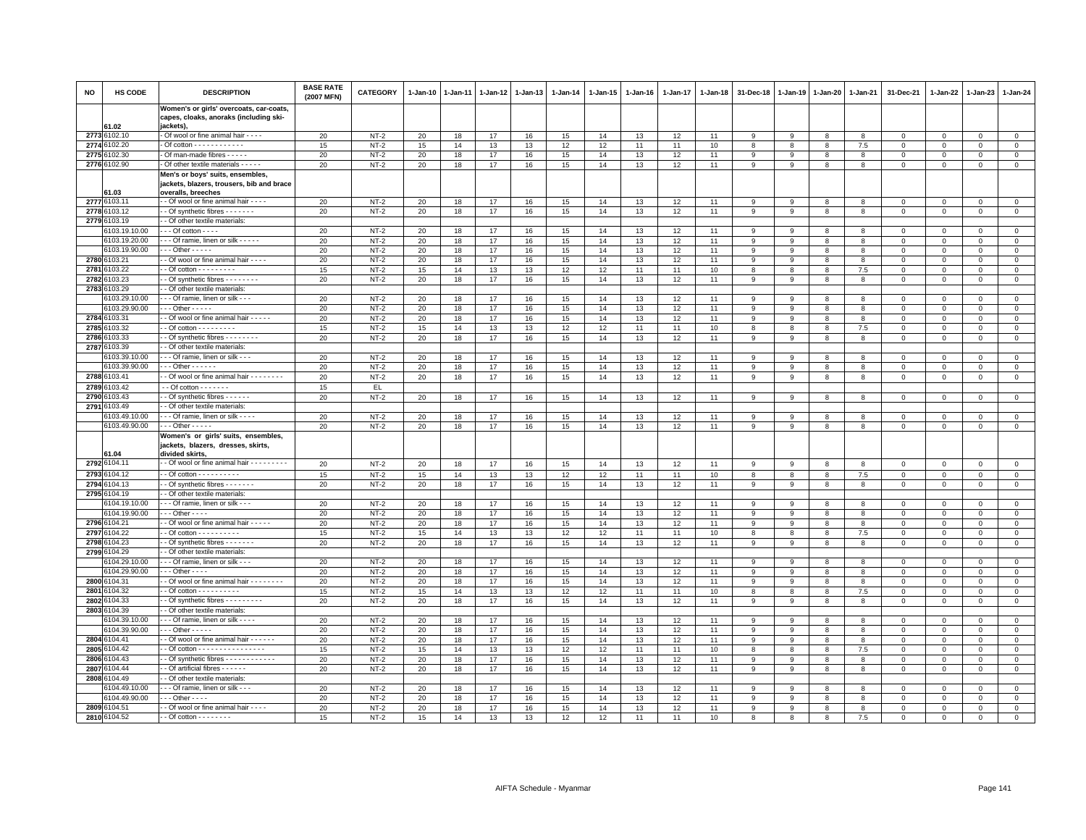| <b>NO</b> | HS CODE                        | <b>DESCRIPTION</b>                                                                             | <b>BASE RATE</b><br>(2007 MFN) | <b>CATEGORY</b>  | $1-Jan-10$ | $1-Jan-11$ | 1-Jan-12 | $1-Jan-13$ | $1 - Jan-14$ | 1-Jan-15 | $1-Jan-16$ | 1-Jan-17 | 1-Jan-18 | 31-Dec-18        | $1 - Jan-19$ | 1-Jan-20     | 1-Jan-21     | 31-Dec-21                  | 1-Jan-22                 | 1-Jan-23             | 1-Jan-24                |
|-----------|--------------------------------|------------------------------------------------------------------------------------------------|--------------------------------|------------------|------------|------------|----------|------------|--------------|----------|------------|----------|----------|------------------|--------------|--------------|--------------|----------------------------|--------------------------|----------------------|-------------------------|
|           | 61.02                          | Women's or girls' overcoats, car-coats,<br>capes, cloaks, anoraks (including ski-<br>jackets), |                                |                  |            |            |          |            |              |          |            |          |          |                  |              |              |              |                            |                          |                      |                         |
|           | 2773 6102.10                   | Of wool or fine animal hair - - - -                                                            | 20                             | $NT-2$           | 20         | 18         | 17       | 16         | 15           | 14       | 13         | 12       | 11       | 9                | 9            | 8            | 8            | $\Omega$                   | $\mathbf 0$              | $\Omega$             | $\mathsf 0$             |
| 2774      | 3102.20                        | - Of cotton - - - - - - - - - - -                                                              | 15                             | $NT-2$           | 15         | 14         | 13       | 13         | 12           | 12       | 11         | 11       | 10       | 8                | 8            | 8            | 7.5          | $\mathbf 0$                | $\Omega$                 | $\Omega$             | $\mathbf 0$             |
|           | 2775 6102.30                   | - Of man-made fibres - - - - -                                                                 | 20                             | $NT-2$           | 20         | 18         | 17       | 16         | 15           | 14       | 13         | 12       | 11       | 9                | 9            | 8            | 8            | $\mathbf 0$                | $\mathbf{0}$             | $\Omega$             | $\mathbf 0$             |
|           | 2776 6102.90                   | - Of other textile materials - - - - -                                                         | 20                             | $NT-2$           | 20         | 18         | 17       | 16         | 15           | 14       | 13         | 12       | 11       | 9                | 9            | 8            | 8            | 0                          | 0                        | $\mathbf 0$          | $\mathbf 0$             |
|           |                                | Men's or boys' suits, ensembles,<br>jackets, blazers, trousers, bib and brace                  |                                |                  |            |            |          |            |              |          |            |          |          |                  |              |              |              |                            |                          |                      |                         |
|           | 61.03<br>2777 6103.11          | overalls, breeches<br>- - Of wool or fine animal hair - - - -                                  | 20                             | $NT-2$           | 20         | 18         | 17       | 16         | 15           | 14       | 13         | 12       | 11       | 9                | 9            | 8            | 8            | $\mathbf 0$                | $\mathbf{0}$             | $\mathbf{0}$         | $\mathbf{0}$            |
|           | 2778 6103.12                   | - - Of synthetic fibres - - - - - - -                                                          | 20                             | $NT-2$           | 20         | 18         | 17       | 16         | 15           | 14       | 13         | 12       | 11       | 9                | 9            | 8            | 8            | 0                          | $\mathbf 0$              | $\mathbf 0$          | $\mathbf 0$             |
|           | 2779 6103.19                   | - Of other textile materials:                                                                  |                                |                  |            |            |          |            |              |          |            |          |          |                  |              |              |              |                            |                          |                      |                         |
|           | 103.19.10.00                   | $-$ - Of cotton $-$ - - -                                                                      | 20                             | $NT-2$           | 20         | 18         | 17       | 16         | 15           | 14       | 13         | 12       | 11       | 9                | 9            | 8            | 8            | 0                          | $\mathbf 0$              | $^{\circ}$           | $\mathbf 0$             |
|           | 6103.19.20.00                  | - - - Of ramie, linen or silk - - - - -                                                        | 20                             | $NT-2$           | 20         | 18         | 17       | 16         | 15           | 14       | 13         | 12       | 11       | 9                | 9            | 8            | 8            | $\mathsf 0$                | $\mathbf 0$              | $\mathbf 0$          | $\mathbf 0$             |
|           | 6103.19.90.00                  | $\cdots$ Other - - - - -                                                                       | 20                             | $NT-2$           | 20         | 18         | 17       | 16         | 15           | 14       | 13         | 12       | 11       | 9                | 9            | 8            | 8            | 0                          | $\Omega$                 | $\Omega$             | $\mathbf 0$             |
|           | 2780 6103.21                   | - Of wool or fine animal hair - - - -                                                          | 20                             | $NT-2$           | 20         | 18         | 17       | 16         | 15           | 14       | 13         | 12       | 11       | 9                | 9            | 8            | 8            | $\Omega$                   | $\Omega$                 | $\Omega$             | $\mathbf 0$             |
| 2781      | 6103.22                        |                                                                                                | 15                             | $NT-2$           | 15         | 14         | 13       | 13         | 12           | 12       | 11         | 11       | 10       | 8                | 8            | 8            | 7.5          | 0                          | $\mathbf 0$              | $\mathbf 0$          | 0                       |
| 2782      | 103.23                         | - Of synthetic fibres - - - - - - - -                                                          | 20                             | $NT-2$           | 20         | 18         | 17       | 16         | 15           | 14       | 13         | 12       | 11       | 9                | 9            | 8            | 8            | $\Omega$                   | $\Omega$                 | $\Omega$             | $\Omega$                |
|           | 2783 6103.29                   | - Of other textile materials:                                                                  |                                |                  |            |            |          |            |              |          |            |          |          |                  |              |              |              |                            |                          |                      |                         |
|           | 103.29.10.00                   | - - Of ramie. linen or silk - - -                                                              | 20                             | $NT-2$           | 20         | 18         | 17       | 16         | 15           | 14       | 13         | 12       | 11       | 9                | $\mathbf{q}$ | $\mathbf{R}$ | 8            | $\Omega$                   | $\Omega$                 | $\Omega$             | $\mathsf 0$             |
|           | 6103.29.90.00                  | $\cdots$ Other - - - - -                                                                       | 20                             | $NT-2$           | 20         | 18         | 17       | 16         | 15           | 14       | 13         | 12       | 11       | 9                | 9            | 8            | 8            | $\mathbf 0$                | 0                        | $\Omega$             | $\mathbf{0}$            |
|           | 2784 6103.31                   | - Of wool or fine animal hair - - - - -                                                        | 20                             | $NT-2$           | 20         | 18         | 17       | 16         | 15           | 14       | 13         | 12       | 11       | 9                | 9            | 8            | 8            | $\mathbf 0$                | $\Omega$                 | $\Omega$             | $\mathbf 0$             |
|           | 2785 6103.32                   | $-$ Of cotton $        -$                                                                      | 15                             | $NT-2$           | 15         | 14         | 13       | 13         | 12           | 12       | 11         | 11       | 10       | 8                | 8            | 8            | 7.5          | $\mathsf 0$                | $\mathbf 0$              | $\mathbf 0$          | $\mathsf 0$             |
| 2786      | 103.33                         | - Of synthetic fibres - - - - - - -                                                            | 20                             | $NT-2$           | 20         | 18         | 17       | 16         | 15           | 14       | 13         | 12       | 11       | 9                | 9            | 8            | 8            | $\mathbf 0$                | $\mathbf 0$              | $\Omega$             | $\mathsf 0$             |
| 2787      | 103.39                         | - Of other textile materials:                                                                  |                                |                  |            |            |          |            |              |          |            |          |          |                  |              |              |              |                            |                          |                      |                         |
|           | 103.39.10.00                   | - - Of ramie, linen or silk - - -                                                              | 20                             | $NT-2$           | 20         | 18         | 17       | 16         | 15           | 14       | 13         | 12       | 11       | $\mathbf{q}$     | $\mathbf{q}$ | $\mathbf{R}$ | $\mathbf{R}$ | $\Omega$                   | $\Omega$                 | $\Omega$             | $\Omega$                |
|           | 3103.39.90.00                  | - - Other - - - - - -                                                                          | 20                             | $NT-2$           | 20         | 18         | 17       | 16         | 15           | 14       | 13         | 12       | 11       | 9                | 9            | 8            | 8            | 0                          | $\Omega$                 | $^{\circ}$           | $\mathbf 0$             |
|           | 2788 6103.41                   | - Of wool or fine animal hair - - - - - - - -                                                  | 20                             | $NT-2$           | 20         | 18         | 17       | 16         | 15           | 14       | 13         | 12       | 11       | 9                | 9            | 8            | 8            | $\mathbf 0$                | $\circ$                  | $\mathbf 0$          | $\mathsf 0$             |
| 2789      | 103.42                         | $-$ Of cotton $     -$                                                                         | 15                             | EL               |            |            |          |            |              |          |            |          |          |                  |              |              |              |                            |                          |                      |                         |
| 2790      | 103.43                         | - Of synthetic fibres - - - - - -                                                              | 20                             | $NT-2$           | 20         | 18         | 17       | 16         | 15           | 14       | 13         | 12       | 11       | 9                | 9            | 8            | 8            | $\mathsf 0$                | $\mathbf 0$              | $\mathbf 0$          | $\mathsf 0$             |
| 2791      | 103.49                         | - Of other textile materials:                                                                  |                                |                  |            |            |          |            |              |          |            |          |          |                  |              |              |              |                            |                          |                      |                         |
|           | 6103.49.10.00<br>6103.49.90.00 | - - Of ramie, linen or silk - - - -<br>$-$ - Other - - - - -                                   | 20<br>20                       | $NT-2$<br>$NT-2$ | 20<br>20   | 18<br>18   | 17<br>17 | 16<br>16   | 15<br>15     | 14<br>14 | 13<br>13   | 12<br>12 | 11<br>11 | -9<br>9          | 9<br>9       | 8<br>8       | 8<br>8       | $\mathsf 0$<br>$\mathbf 0$ | $\Omega$<br>$\Omega$     | $\Omega$<br>$\Omega$ | $\mathbf 0$<br>$\Omega$ |
|           | 1.04                           | Women's or girls' suits, ensembles,<br>jackets, blazers, dresses, skirts,<br>divided skirts.   |                                |                  |            |            |          |            |              |          |            |          |          |                  |              |              |              |                            |                          |                      |                         |
| 2792      | 6104.11                        | - Of wool or fine animal hair - - - - - - - -                                                  |                                | $NT-2$           | 20         |            | 17       | 16         | 15           | 14       |            | 12       |          | $\mathsf g$      |              |              | 8            | $\mathsf 0$                |                          | $\mathsf 0$          | $\mathsf 0$             |
|           | 2793 6104.12                   |                                                                                                | 20                             |                  |            | 18         |          |            |              |          | 13         |          | 11       |                  | 9<br>8       | 8            |              | $\Omega$                   | $\mathbf{0}$<br>$\Omega$ | $\Omega$             | $\Omega$                |
| 2794      | 3104.13                        | - Of cotton - - - - - - - - - -<br>- Of synthetic fibres - - - - - -                           | 15<br>20                       | $NT-2$<br>$NT-2$ | 15<br>20   | 14<br>18   | 13       | 13<br>16   | 12           | 12<br>14 | 11<br>13   | 11       | 10       | 8                |              | 8            | 7.5          |                            |                          | $\Omega$             | $\mathbf{0}$            |
|           | 2795 6104.19                   | - Of other textile materials:                                                                  |                                |                  |            |            | 17       |            | 15           |          |            | 12       | 11       | 9                | -9           | 8            | 8            | $\mathbf 0$                | $\mathbf 0$              |                      |                         |
|           | 104.19.10.00                   | - - - Of ramie, linen or silk - - -                                                            | 20                             | $NT-2$           | 20         | 18         | 17       | 16         | 15           | 14       | 13         | 12       | 11       | 9                | 9            | 8            | 8            | $\Omega$                   | $\Omega$                 | $\Omega$             | $\mathsf 0$             |
|           | 6104.19.90.00                  | $\cdots$ Other - - - -                                                                         | 20                             | $NT-2$           | 20         | 18         | 17       | 16         | 15           | 14       | 13         | 12       | 11       | 9                | 9            | 8            | 8            | $\mathsf 0$                | $\mathbf 0$              | $\mathbf 0$          | $\mathsf 0$             |
| 2796      | 6104.21                        | - Of wool or fine animal hair - - - - -                                                        | 20                             | $NT-2$           | 20         | 18         | 17       | 16         | 15           | 14       | 13         | 12       | 11       | $\boldsymbol{9}$ | 9            | 8            | 8            | $\mathsf 0$                | $\mathbf 0$              | $\Omega$             | $\circ$                 |
| 2797      | 104.22                         | $-$ Of cotton $        -$                                                                      | 15                             | $NT-2$           | 15         | 14         | 13       | 13         | 12           | 12       | 11         | 11       | 10       | $\mathbf{R}$     | $\mathbf{R}$ | $\mathbf{R}$ | 7.5          | $\Omega$                   | $\Omega$                 | $\mathbf{0}$         | $\mathbf{0}$            |
| 2798      | 104.23                         | - Of synthetic fibres - - - - - - -                                                            | 20                             | $NT-2$           | 20         | 18         | 17       | 16         | 15           | 14       | 13         | 12       | 11       | 9                | 9            | 8            | 8            | $\mathbf 0$                | $\mathbf{0}$             | $\mathbf{0}$         | $\mathbf{0}$            |
| 2799      | 6104.29                        | - Of other textile materials:                                                                  |                                |                  |            |            |          |            |              |          |            |          |          |                  |              |              |              |                            |                          |                      |                         |
|           | 104.29.10.00                   | - - Of ramie, linen or silk - - -                                                              | 20                             | $NT-2$           | 20         | 18         | 17       | 16         | 15           | 14       | 13         | 12       | 11       | 9                | 9            | 8            | 8            | $\Omega$                   | $\Omega$                 | $\Omega$             | $\circ$                 |
|           | 3104.29.90.00                  | $\cdot$ - Other - - - -                                                                        | 20                             | $NT-2$           | 20         | 18         | 17       | 16         | 15           | 14       | 13         | 12       | 11       | 9                | 9            | 8            | 8            | $\mathsf 0$                | $\mathbf 0$              | $\mathbf 0$          | $\mathsf 0$             |
| 2800      | 104.31                         | - Of wool or fine animal hair - - - - - - -                                                    | 20                             | $NT-2$           | 20         | 18         | 17       | 16         | 15           | 14       | 13         | 12       | 11       | 9                | 9            | 8            | 8            | $\mathsf 0$                | $\mathbf 0$              | $\mathbf 0$          | $\mathsf 0$             |
| 2801      | 104.32                         | $-$ Of cotton $        -$                                                                      | 15                             | $NT-2$           | 15         | 14         | 13       | 13         | 12           | 12       | 11         | 11       | 10       | 8                | 8            | 8            | 7.5          | $\mathbf 0$                | $\Omega$                 | $\mathbf{0}$         | $\circ$                 |
| 2802      | 104.33                         | - Of synthetic fibres - - - - - - - - -                                                        | 20                             | $NT-2$           | 20         | 18         | 17       | 16         | 15           | 14       | 13         | 12       | 11       | 9                | 9            | 8            | 8            | $\mathbf 0$                | $\mathbf 0$              | $\mathbf 0$          | $\mathbf{0}$            |
| 2803      | 6104.39                        | - Of other textile materials:                                                                  |                                |                  |            |            |          |            |              |          |            |          |          |                  |              |              |              |                            |                          |                      |                         |
|           | 104.39.10.00                   | - - Of ramie, linen or silk - - - -                                                            | 20                             | $NT-2$           | 20         | 18         | 17       | 16         | 15           | 14       | 13         | 12       | 11       | 9                | 9            | 8            | 8            | $\mathsf 0$                | $\Omega$                 | $\Omega$             | $\mathsf 0$             |
|           | 6104.39.90.00                  | $\cdot$ - Other - - - - -                                                                      | 20                             | $NT-2$           | 20         | 18         | 17       | 16         | 15           | 14       | 13         | 12       | 11       | 9                | 9            | 8            | 8            | $\mathbf 0$                | $\mathbf 0$              | $\mathbf 0$          | $\mathsf 0$             |
| 2804      | 6104.41                        | - Of wool or fine animal hair - - - - - -                                                      | 20                             | $NT-2$           | 20         | 18         | 17       | 16         | 15           | 14       | 13         | 12       | 11       | 9                | 9            | 8            | 8            | $\Omega$                   | $\Omega$                 | $\Omega$             | $\mathbf 0$             |
| 2805      | 104.42                         |                                                                                                | 15                             | $NT-2$           | 15         | 14         | 13       | 13         | 12           | 12       | 11         | 11       | 10       | 8                | 8            | 8            | 7.5          | $\mathbf 0$                | $\Omega$                 | $\mathbf{0}$         | $\mathbf{0}$            |
| 2806      | 104.43                         | - - Of synthetic fibres - - - - - - - - - - -                                                  | 20                             | $NT-2$           | 20         | 18         | 17       | 16         | 15           | 14       | 13         | 12       | 11       | 9                | 9            | 8            | 8            | 0                          | 0                        | $^{\circ}$           | $\mathbf 0$             |
| 2807      | 104.44ۃ                        | - Of artificial fibres - - - - - -                                                             | 20                             | $NT-2$           | 20         | 18         | 17       | 16         | 15           | 14       | 13         | 12       | 11       | 9                | 9            | 8            | 8            | $\mathsf 0$                | $\mathbf 0$              | $\mathbf{0}$         | $\mathbf 0$             |
|           | 2808 6104.49                   | - Of other textile materials:                                                                  |                                |                  |            |            |          |            |              |          |            |          |          | 9                | $\mathsf{Q}$ |              | 8            |                            | $\Omega$                 | $\Omega$             | $\Omega$                |
|           | 104.49.10.00<br>6104.49.90.00  | - - Of ramie, linen or silk - - -                                                              | 20                             | $NT-2$           | 20         | 18         | 17       | 16         | 15           | 14       | 13         | 12       | 11       |                  | 9            | 8<br>8       | 8            | $\mathbf 0$<br>$\Omega$    | $\Omega$                 | $\Omega$             | $\Omega$                |
|           | 2809 6104.51                   | - - - Other - - - -<br>- Of wool or fine animal hair - - - -                                   | 20<br>20                       | $NT-2$<br>$NT-2$ | 20<br>20   | 18<br>18   | 17<br>17 | 16<br>16   | 15<br>15     | 14<br>14 | 13<br>13   | 12<br>12 | 11<br>11 | 9<br>9           | 9            | 8            | 8            | $\Omega$                   | $\Omega$                 | $\mathbf{0}$         | $\Omega$                |
|           | 2810 6104.52                   | $-$ - Of cotton $-$ - - - - - - -                                                              | 15                             | $NT-2$           | 15         | 14         | 13       | 13         | 12           | 12       | 11         | 11       | 10       | 8                | 8            | 8            | 7.5          | 0                          | 0                        | $\mathbf 0$          | $\mathbf 0$             |
|           |                                |                                                                                                |                                |                  |            |            |          |            |              |          |            |          |          |                  |              |              |              |                            |                          |                      |                         |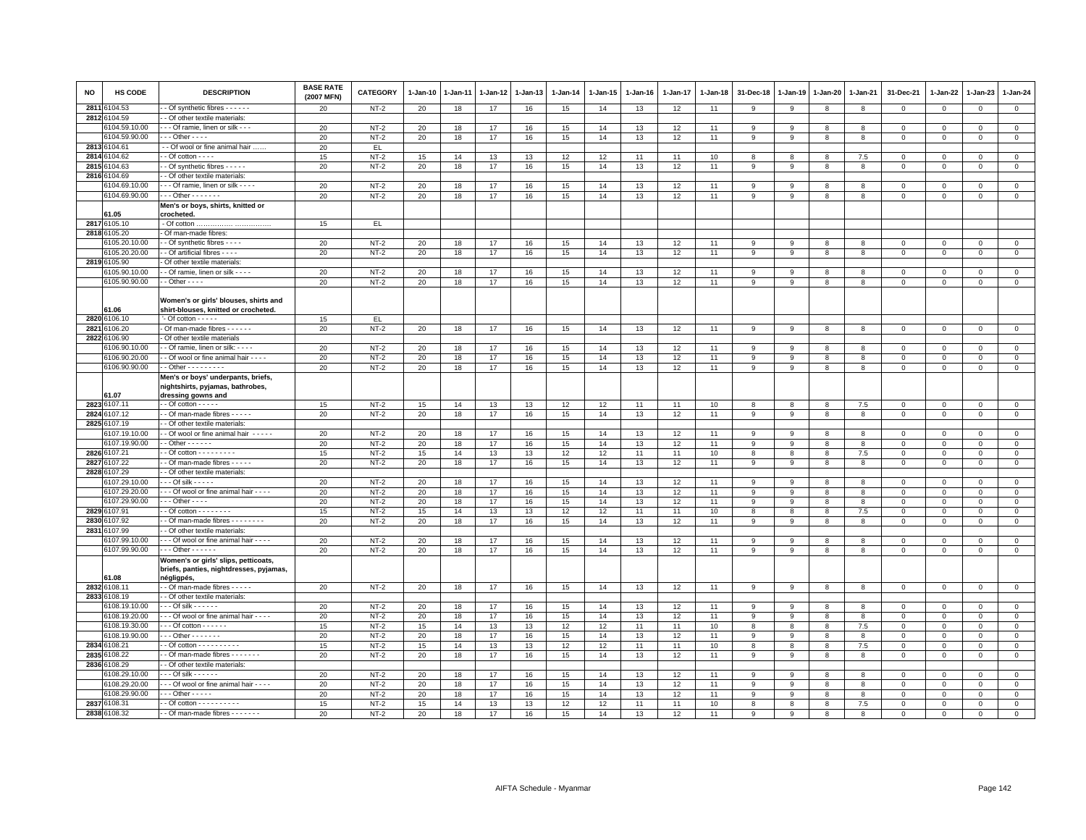| NO   | <b>HS CODE</b>            | <b>DESCRIPTION</b>                                               | <b>BASE RATE</b><br>(2007 MFN) | <b>CATEGORY</b>  | $1-Jan-10$ | 1-Jan-11 | 1-Jan-12 | 1-Jan-13 | $1-Jan-14$ | $1 - Jan-15$ | $1-Jan-16$ | 1-Jan-17 | 1-Jan-18 | 31-Dec-18    | 1-Jan-19     | 1-Jan-20     | 1-Jan-21     | 31-Dec-21               | 1-Jan-22      | $1-Jan-23$                | 1-Jan-24                   |
|------|---------------------------|------------------------------------------------------------------|--------------------------------|------------------|------------|----------|----------|----------|------------|--------------|------------|----------|----------|--------------|--------------|--------------|--------------|-------------------------|---------------|---------------------------|----------------------------|
| 2811 | \$104.53                  | - Of synthetic fibres - - - - - -                                | 20                             | $NT-2$           | 20         | 18       | 17       | 16       | 15         | 14           | 13         | 12       | 11       | 9            | 9            | 8            | 8            | $\mathbf 0$             | $\mathbf 0$   | $\mathbf 0$               | $\mathbf 0$                |
|      | 2812 6104.59              | - Of other textile materials:                                    |                                |                  |            |          |          |          |            |              |            |          |          |              |              |              |              |                         |               |                           |                            |
|      | 104.59.10.00              | - - Of ramie, linen or silk - - -                                | 20                             | $NT-2$           | 20         | 18       | 17       | 16       | 15         | 14           | 13         | 12       | 11       | -9           | 9            | 8            | 8            | $\mathbf 0$             | $\Omega$      | $\Omega$                  | $\mathsf 0$                |
|      | 6104.59.90.00             | $- -$ - Other - - - -                                            | 20                             | $NT-2$           | 20         | 18       | 17       | 16       | 15         | 14           | 13         | 12       | 11       | 9            | 9            | 8            | 8            | 0                       | 0             | $\mathbf 0$               | $\mathbf 0$                |
| 2813 | 3104.61                   | - Of wool or fine animal hair                                    | 20                             | EL.              |            |          |          |          |            |              |            |          |          |              |              |              |              |                         |               |                           |                            |
| 2814 | 104.62                    | $-$ Of cotton $  -$                                              | 15                             | $NT-2$           | 15         | 14       | 13       | 13       | 12         | 12           | 11         | 11       | 10       | 8<br>9       | 8<br>9       | 8            | 7.5<br>8     | $\Omega$                | $\Omega$      | $\Omega$                  | $\mathbf{0}$               |
| 2815 | 104.63                    | - Of synthetic fibres - - - - -<br>- Of other textile materials: | 20                             | $NT-2$           | 20         | 18       | 17       | 16       | 15         | 14           | 13         | 12       | 11       |              |              | 8            |              | $\mathsf 0$             | $\mathbf 0$   | $\Omega$                  | $\mathsf 0$                |
| 2816 | \$104.69<br>6104.69.10.00 | Of ramie, linen or silk - - - -                                  | 20                             | $NT-2$           |            |          |          |          |            | 14           |            |          | 11       | 9            | 9            |              | 8            |                         | $\Omega$      |                           | $\overline{0}$             |
|      | 6104.69.90.00             | $- - -$ Other - - - - - - -                                      | 20                             | $NT-2$           | 20<br>20   | 18<br>18 | 17<br>17 | 16<br>16 | 15<br>15   | 14           | 13<br>13   | 12<br>12 | 11       | 9            | 9            | 8<br>8       | 8            | 0<br>$\Omega$           | $\mathbf 0$   | $^{\circ}$<br>$\mathbf 0$ | $\circ$                    |
|      |                           | Men's or boys, shirts, knitted or                                |                                |                  |            |          |          |          |            |              |            |          |          |              |              |              |              |                         |               |                           |                            |
|      | 61.05                     | crocheted.                                                       |                                |                  |            |          |          |          |            |              |            |          |          |              |              |              |              |                         |               |                           |                            |
| 2817 | 6105.10                   |                                                                  | 15                             | EL.              |            |          |          |          |            |              |            |          |          |              |              |              |              |                         |               |                           |                            |
| 2818 | 6105.20                   | Of man-made fibres:                                              |                                |                  |            |          |          |          |            |              |            |          |          |              |              |              |              |                         |               |                           |                            |
|      | 3105.20.10.00             | - Of synthetic fibres - - - -                                    | 20                             | $NT-2$           | 20         | 18       | 17       | 16       | 15         | 14           | 13         | 12       | 11       | 9            | 9            | 8            | 8            | $\mathbf 0$             | $\Omega$      | $\Omega$                  | $\mathbf 0$                |
|      | 6105.20.20.00             | - Of artificial fibres - - - -                                   | 20                             | $NT-2$           | 20         | 18       | 17       | 16       | 15         | 14           | 13         | 12       | 11       | 9            | 9            | 8            | 8            | $\mathsf 0$             | $\mathbf 0$   | $\mathbf 0$               | $\,0\,$                    |
|      | 2819 6105.90              | Of other textile materials:                                      |                                |                  |            |          |          |          |            |              |            |          |          |              |              |              |              |                         |               |                           |                            |
|      | 6105.90.10.00             | - Of ramie, linen or silk - - - -                                | 20                             | $NT-2$           | 20         | 18       | 17       | 16       | 15         | 14           | 13         | 12       | 11       | 9            | 9            | 8            | 8            | 0                       | 0             | $\mathbf 0$               | $\mathbf 0$                |
|      | 6105.90.90.00             | $-$ - Other $-$ - $-$                                            | 20                             | $NT-2$           | 20         | 18       | 17       | 16       | 15         | 14           | 13         | 12       | 11       | 9            | 9            | 8            | 8            | $\mathsf 0$             | $\mathbf 0$   | $\mathsf 0$               | $\overline{0}$             |
|      |                           |                                                                  |                                |                  |            |          |          |          |            |              |            |          |          |              |              |              |              |                         |               |                           |                            |
|      |                           | Women's or girls' blouses, shirts and                            |                                |                  |            |          |          |          |            |              |            |          |          |              |              |              |              |                         |               |                           |                            |
|      | 61.06                     | shirt-blouses, knitted or crocheted.                             |                                |                  |            |          |          |          |            |              |            |          |          |              |              |              |              |                         |               |                           |                            |
|      | 2820 6106.10              | $-$ Of cotton $   -$                                             | 15                             | EL.              |            |          |          |          |            |              |            |          |          |              |              |              |              |                         |               |                           |                            |
| 2821 | 106.20                    | Of man-made fibres - - - - - -                                   | 20                             | $NT-2$           | 20         | 18       | 17       | 16       | 15         | 14           | 13         | 12       | 11       | 9            | 9            | 8            | 8            | $\Omega$                | $\Omega$      | $\Omega$                  | $\mathsf 0$                |
| 2822 | 6106.90<br>106.90.10.00   | Of other textile materials<br>- Of ramie, linen or silk: - - - - |                                |                  |            |          |          |          |            |              |            |          |          | 9            | 9            |              | 8            |                         |               |                           |                            |
|      | 6106.90.20.00             | - Of wool or fine animal hair - - - -                            | 20<br>20                       | $NT-2$<br>$NT-2$ | 20<br>20   | 18<br>18 | 17<br>17 | 16<br>16 | 15<br>15   | 14<br>14     | 13<br>13   | 12<br>12 | 11<br>11 | 9            | 9            | 8<br>8       | 8            | $\Omega$<br>$\mathsf 0$ | $\Omega$      | $\Omega$<br>$\Omega$      | $\mathsf 0$<br>$\mathbf 0$ |
|      | 6106.90.90.00             | $-$ - Other $-$ - $-$ - $-$ - $-$ -                              | 20                             | $NT-2$           | 20         | 18       | 17       | 16       | 15         | 14           | 13         | 12       | 11       | 9            | 9            | 8            | 8            | 0                       | 0<br>$\Omega$ | $\Omega$                  | $\overline{0}$             |
|      |                           | Men's or boys' underpants, briefs,                               |                                |                  |            |          |          |          |            |              |            |          |          |              |              |              |              |                         |               |                           |                            |
|      | 61.07                     | nightshirts, pyjamas, bathrobes,<br>dressing gowns and           |                                |                  |            |          |          |          |            |              |            |          |          |              |              |              |              |                         |               |                           |                            |
| 2823 | 6107.11                   | $\cdot$ - Of cotton - - - - -                                    | 15                             | $NT-2$           | 15         | 14       | 13       | 13       | 12         | 12           | 11         | 11       | 10       | 8            | 8            | 8            | 7.5          | $\mathsf 0$             | $\mathbf 0$   | $\mathsf 0$               | $\mathbf 0$                |
| 2824 | 107.12                    | - Of man-made fibres - - - -                                     | 20                             | $NT-2$           | 20         | 18       | 17       | 16       | 15         | 14           | 13         | 12       | 11       | 9            | 9            | 8            | 8            | $\mathbf 0$             | $\Omega$      | $\Omega$                  | $\mathsf 0$                |
|      | 2825 6107.19              | - Of other textile materials:                                    |                                |                  |            |          |          |          |            |              |            |          |          |              |              |              |              |                         |               |                           |                            |
|      | 6107.19.10.00             | - Of wool or fine animal hair - - - - -                          | 20                             | $NT-2$           | 20         | 18       | 17       | 16       | 15         | 14           | 13         | 12       | 11       | 9            | 9            | 8            | 8            | $\mathsf 0$             | $\Omega$      | $\Omega$                  | $\overline{0}$             |
|      | 6107.19.90.00             | $-$ Other $    -$                                                | 20                             | $NT-2$           | 20         | 18       | 17       | 16       | 15         | 14           | 13         | 12       | 11       | 9            | 9            | 8            | 8            | $\mathsf 0$             | $\mathbf 0$   | $\mathsf 0$               | $\mathsf 0$                |
| 2826 | 107.21                    | $-$ Of cotton $       -$                                         | 15                             | $NT-2$           | 15         | 14       | 13       | 13       | 12         | 12           | 11         | 11       | 10       | 8            | 8            | 8            | 7.5          | $\mathbf 0$             | $\Omega$      | $\Omega$                  | $\mathsf 0$                |
| 2827 | 6107.22                   | - Of man-made fibres - - - - -                                   | 20                             | $NT-2$           | 20         | 18       | 17       | 16       | 15         | 14           | 13         | 12       | 11       | 9            | 9            | 8            | 8            | 0                       | 0             | 0                         | $\mathsf 0$                |
| 2828 | 6107.29                   | - Of other textile materials:                                    |                                |                  |            |          |          |          |            |              |            |          |          |              |              |              |              |                         |               |                           |                            |
|      | 6107.29.10.00             | $-$ - Of silk - - - - -                                          | 20                             | $NT-2$           | 20         | 18       | 17       | 16       | 15         | 14           | 13         | 12       | 11       | 9            | 9            | 8            | 8            | $\mathbf 0$             | $\Omega$      | $\mathbf 0$               | $\circ$                    |
|      | 6107.29.20.00             | Of wool or fine animal hair                                      | 20                             | $NT-2$           | 20         | 18       | 17       | 16       | 15         | 14           | 13         | 12       | 11       | 9            | 9            | 8            | 8            | $\mathsf 0$             | $\mathbf 0$   | $^{\circ}$                | $\mathsf 0$                |
|      | 6107.29.90.00             | $-$ - Other - - - -                                              | 20                             | $NT-2$           | 20         | 18       | 17       | 16       | 15         | 14           | 13         | 12       | 11       | 9            | 9            | 8            | 8            | $\mathsf 0$             | $\Omega$      | $\Omega$                  | $\mathbf 0$                |
|      | 2829 6107.91              | $-$ Of cotton $       -$                                         | 15                             | $NT-2$           | 15         | 14       | 13       | 13       | 12         | 12           | 11         | 11       | 10       | 8            | 8            | 8            | 7.5          | $\mathbf 0$             | $\Omega$      | $\Omega$                  | $\mathbf 0$                |
|      | 2830 6107.92              | - Of man-made fibres - - - - - - - -                             | 20                             | $NT-2$           | 20         | 18       | 17       | 16       | 15         | 14           | 13         | 12       | 11       | 9            | 9            | 8            | 8            | $\Omega$                | $\mathbf 0$   | $\mathbf 0$               | $\mathsf 0$                |
| 2831 | 6107.99                   | - Of other textile materials:                                    |                                |                  |            |          |          |          |            |              |            |          |          |              |              |              |              |                         |               |                           |                            |
|      | 107.99.10.00              | - - Of wool or fine animal hair - - - -                          | 20                             | $NT-2$           | 20         | 18       | 17       | 16       | 15         | 14           | 13         | 12       | 11       | 9            | 9            | 8            | 8            | $\mathbf 0$             | $\Omega$      | $\Omega$                  | $\mathsf 0$                |
|      | 6107.99.90.00             | $\cdots$ Other - - - - - -                                       | 20                             | $NT-2$           | 20         | 18       | 17       | 16       | 15         | 14           | 13         | 12       | 11       | 9            | 9            | 8            | 8            | $\Omega$                | $\Omega$      | $\Omega$                  | $\mathbf 0$                |
|      |                           | Women's or girls' slips, petticoats,                             |                                |                  |            |          |          |          |            |              |            |          |          |              |              |              |              |                         |               |                           |                            |
|      | 61.08                     | briefs, panties, nightdresses, pyjamas,<br>négligpés,            |                                |                  |            |          |          |          |            |              |            |          |          |              |              |              |              |                         |               |                           |                            |
|      | 2832 6108.11              | - Of man-made fibres - - - - -                                   | 20                             | $NT-2$           | 20         | 18       | 17       | 16       | 15         | 14           | 13         | 12       | 11       | 9            | 9            | 8            | 8            | $\mathsf 0$             | $\mathbf 0$   | $\mathbf{0}$              | $\mathbf 0$                |
|      | 2833 6108.19              | - Of other textile materials:                                    |                                |                  |            |          |          |          |            |              |            |          |          |              |              |              |              |                         |               |                           |                            |
|      | 6108.19.10.00             | - - Of silk - - - - - -                                          | 20                             | $NT-2$           | 20         | 18       | 17       | 16       | 15         | 14           | 13         | 12       | 11       | 9            | 9            | 8            | 8            | $\mathbf 0$             | $\Omega$      | $\Omega$                  | $\mathbf 0$                |
|      | 6108.19.20.00             | - - Of wool or fine animal hair - - - -                          | 20                             | $NT-2$           | 20         | 18       | 17       | 16       | 15         | 14           | 13         | 12       | 11       | 9            | 9            | 8            | 8            | $\mathsf 0$             | $\Omega$      | $\Omega$                  | $\mathbf 0$                |
|      | 6108.19.30.00             | - - Of cotton - - - - - -                                        | 15                             | $NT-2$           | 15         | 14       | 13       | 13       | 12         | 12           | 11         | 11       | 10       | 8            | 8            | 8            | 7.5          | $\mathsf 0$             | $\Omega$      | $\Omega$                  | $\overline{0}$             |
|      | 6108.19.90.00             | $\cdots$ Other $\cdots$                                          | 20                             | $NT-2$           | 20         | 18       | 17       | 16       | 15         | 14           | 13         | 12       | 11       | 9            | 9            | 8            | 8            | $\mathsf 0$             | $\Omega$      | $\Omega$                  | $\mathsf 0$                |
| 2834 | 3108.21                   | $-$ Of cotton $        -$                                        | 15                             | $NT-2$           | 15         | 14       | 13       | 13       | 12         | 12           | 11         | 11       | 10       | 8            | 8            | 8            | 7.5          | $\mathbf 0$             | $\Omega$      | $\Omega$                  | $\mathsf 0$                |
| 2835 | 6108.22                   | - Of man-made fibres - - - - - - -                               | 20                             | $NT-2$           | 20         | 18       | 17       | 16       | 15         | 14           | 13         | 12       | 11       | 9            | 9            | 8            | 8            | $\mathsf 0$             | 0             | 0                         | $\mathbf 0$                |
|      | 2836 6108.29              | - Of other textile materials:                                    |                                |                  |            |          |          |          |            |              |            |          |          |              |              |              |              |                         |               |                           |                            |
|      | 6108.29.10.00             | - - - Of silk - - - - - -                                        | 20                             | $NT-2$           | 20         | 18       | 17       | 16       | 15         | 14           | 13         | 12       | 11       | 9            | 9            | 8            | 8            | $\mathbf 0$             | $\mathbf 0$   | $\mathbf 0$               | $\circ$                    |
|      | 6108.29.20.00             | - - - Of wool or fine animal hair - - - -                        | 20                             | $NT-2$           | 20         | 18       | 17       | 16       | 15         | 14           | 13         | 12       | 11       | 9            | 9            | 8            | 8            | 0                       | $\Omega$      | $\Omega$                  | $\mathsf 0$                |
|      | 6108.29.90.00             | $\cdots$ Other - - - - -                                         | 20                             | $NT-2$           | 20         | 18       | 17       | 16       | 15         | 14           | 13         | 12       | 11       | 9            | 9            | 8            | 8            | $\Omega$                | $\Omega$      | $\Omega$                  | $\Omega$                   |
|      | 2837 6108.31              | $\cdot$ - Of cotton - - - - - - - - - -                          | 15                             | $NT-2$           | 15         | 14       | 13       | 13       | 12         | 12           | 11         | 11       | 10       | 8            | 8            | 8            | 7.5          | $\mathsf 0$             | $\mathbf 0$   | $\mathbf 0$               | $\mathbf 0$                |
| 2838 | 108.32                    | - - Of man-made fibres - - - - - - -                             | 20                             | $NT-2$           | 20         | 18       | 17       | 16       | 15         | 14           | 13         | 12       | 11       | $\mathbf{q}$ | $\mathbf{q}$ | $\mathbf{R}$ | $\mathbf{a}$ | $\Omega$                | $\Omega$      | $\Omega$                  | $\Omega$                   |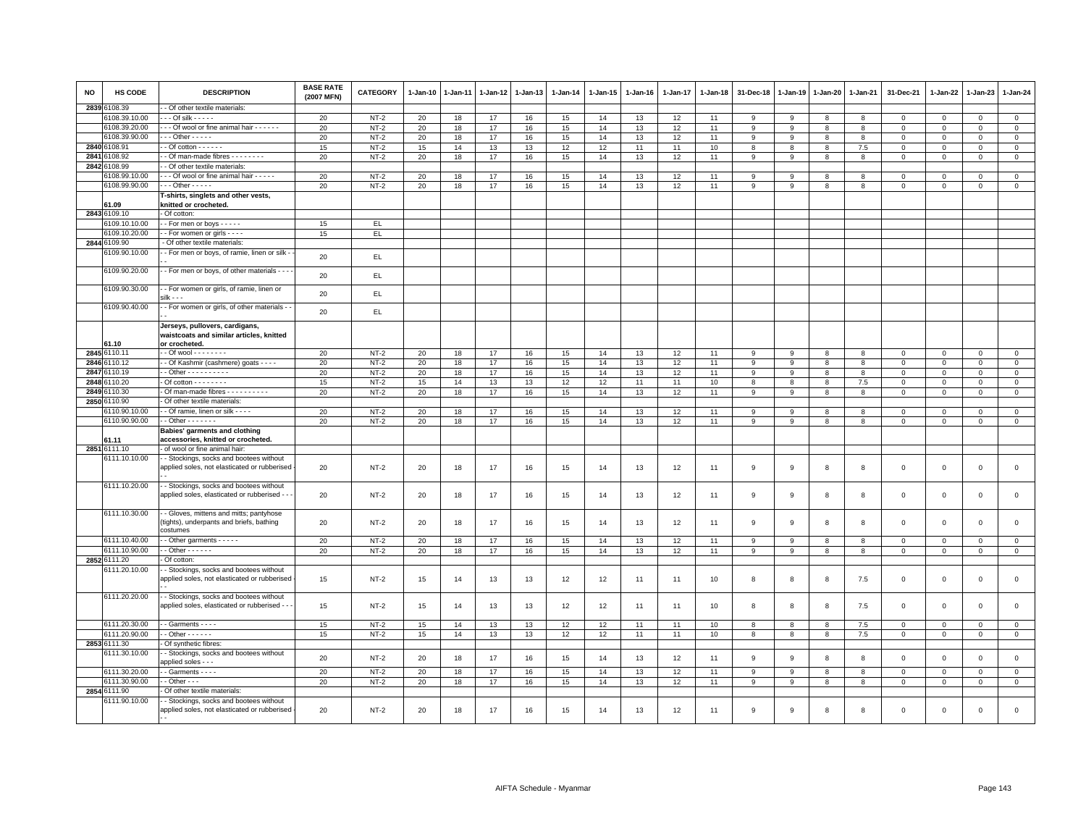| <b>NO</b> | <b>HS CODE</b> | <b>DESCRIPTION</b>                                                                            | <b>BASE RATE</b><br>(2007 MFN) | <b>CATEGORY</b> | 1-Jan-10 | 1-Jan-11 | 1-Jan-12 | 1-Jan-13 | 1-Jan-14 | 1-Jan-15 | 1-Jan-16 | 1-Jan-17 | 1-Jan-18 | 31-Dec-18 | 1-Jan-19       | 1-Jan-20       | 1-Jan-21 | 31-Dec-21    | 1-Jan-22    | 1-Jan-23       | 1-Jan-24            |
|-----------|----------------|-----------------------------------------------------------------------------------------------|--------------------------------|-----------------|----------|----------|----------|----------|----------|----------|----------|----------|----------|-----------|----------------|----------------|----------|--------------|-------------|----------------|---------------------|
|           | 2839 6108.39   | - Of other textile materials:                                                                 |                                |                 |          |          |          |          |          |          |          |          |          |           |                |                |          |              |             |                |                     |
|           | 6108.39.10.00  | $\cdots$ Of silk - - - - -                                                                    | 20                             | $NT-2$          | 20       | 18       | 17       | 16       | 15       | 14       | 13       | 12       | 11       | 9         | 9              | 8              | 8        | 0            | 0           | $\mathbf 0$    | $\mathbf{0}$        |
|           | 6108.39.20.00  | --- Of wool or fine animal hair ------                                                        | 20                             | $NT-2$          | 20       | 18       | 17       | 16       | 15       | 14       | 13       | 12       | 11       | 9         | 9              | 8              | 8        | $\Omega$     | $\Omega$    | $\mathbf{0}$   | $\mathbf 0$         |
|           | 6108.39.90.00  | $\cdots$ Other - - - - -                                                                      | 20                             | $NT-2$          | 20       | 18       | 17       | 16       | 15       | 14       | 13       | 12       | 11       | 9         | 9              | 8              | 8        | $\mathbf 0$  | $\Omega$    | $\Omega$       | $\mathbb O$         |
|           | 2840 6108.91   | $-$ Of cotton $     -$                                                                        | 15                             | $NT-2$          | 15       | 14       | 13       | 13       | 12       | 12       | 11       | 11       | 10       | 8         | 8              | 8              | 7.5      | $\circ$      | $\Omega$    | $\Omega$       | $\mathbf{0}$        |
| 2841      | 3108.92        | - Of man-made fibres - - - - - - - -                                                          | 20                             | $NT-2$          | 20       | 18       | 17       | 16       | 15       | 14       | 13       | 12       | 11       | 9         | 9              | 8              | 8        | $\mathbf{0}$ | $^{\circ}$  | $\mathbf 0$    | $\circ$             |
|           | 2842 6108.99   | - Of other textile materials:                                                                 |                                |                 |          |          |          |          |          |          |          |          |          |           |                |                |          |              |             |                |                     |
|           | 6108.99.10.00  | --- Of wool or fine animal hair -----                                                         | 20                             | $NT-2$          | 20       | 18       | 17       | 16       | 15       | 14       | 13       | 12       | 11       | 9         | 9              | 8              | 8        | $^{\circ}$   | $\Omega$    | $\Omega$       | $\mathsf 0$         |
|           | 6108.99.90.00  | $\cdots$ Other - - - - -                                                                      | 20                             | $NT-2$          | 20       | 18       | 17       | 16       | 15       | 14       | 13       | 12       | 11       | 9         | 9              | 8              | 8        | $\mathbf 0$  | $\Omega$    | $\mathbf 0$    | $\mathsf{O}\xspace$ |
|           |                | T-shirts, singlets and other vests,                                                           |                                |                 |          |          |          |          |          |          |          |          |          |           |                |                |          |              |             |                |                     |
|           | 61.09          | knitted or crocheted.                                                                         |                                |                 |          |          |          |          |          |          |          |          |          |           |                |                |          |              |             |                |                     |
|           | 2843 6109.10   | - Of cotton:                                                                                  |                                |                 |          |          |          |          |          |          |          |          |          |           |                |                |          |              |             |                |                     |
|           | 6109.10.10.00  | -- For men or boys -----                                                                      | 15                             | EL              |          |          |          |          |          |          |          |          |          |           |                |                |          |              |             |                |                     |
|           | 3109.10.20.00  | - For women or girls - - - -                                                                  | 15                             | EL.             |          |          |          |          |          |          |          |          |          |           |                |                |          |              |             |                |                     |
|           | 2844 6109.90   | - Of other textile materials:                                                                 |                                |                 |          |          |          |          |          |          |          |          |          |           |                |                |          |              |             |                |                     |
|           | 3109.90.10.00  | - For men or boys, of ramie, linen or silk -                                                  | 20                             | EL.             |          |          |          |          |          |          |          |          |          |           |                |                |          |              |             |                |                     |
|           | 6109.90.20.00  | - For men or boys, of other materials - - -                                                   | 20                             | EL              |          |          |          |          |          |          |          |          |          |           |                |                |          |              |             |                |                     |
|           | 6109.90.30.00  | - - For women or girls, of ramie, linen or                                                    |                                |                 |          |          |          |          |          |          |          |          |          |           |                |                |          |              |             |                |                     |
|           | 6109.90.40.00  | - For women or girls, of other materials -                                                    | 20                             | EL              |          |          |          |          |          |          |          |          |          |           |                |                |          |              |             |                |                     |
|           |                |                                                                                               | 20                             | EL              |          |          |          |          |          |          |          |          |          |           |                |                |          |              |             |                |                     |
|           | 61.10          | Jerseys, pullovers, cardigans,<br>waistcoats and similar articles, knitted<br>or crocheted.   |                                |                 |          |          |          |          |          |          |          |          |          |           |                |                |          |              |             |                |                     |
|           | 2845 6110.11   | - - Of wool - - - - - - - -                                                                   | 20                             | $NT-2$          | 20       | 18       | 17       | 16       | 15       | 14       | 13       | 12       | 11       | 9         | 9              | 8              | 8        | $\mathbf{0}$ | $\Omega$    | $\Omega$       | $\mathbb O$         |
|           | 2846 6110.12   | - Of Kashmir (cashmere) goats - - - -                                                         | 20                             | $NT-2$          | 20       | 18       | 17       | 16       | 15       | 14       | 13       | 12       | 11       | 9         | 9              | 8              | 8        | $\mathbf 0$  | $\Omega$    | $\Omega$       | $\mathsf 0$         |
|           | 2847 6110.19   | $-$ Other $        -$                                                                         | 20                             | $NT-2$          | 20       | 18       | 17       | 16       | 15       | 14       | 13       | 12       | 11       | 9         | 9              | 8              | 8        | $\mathbf 0$  | 0           | $\mathbf 0$    | $\circ$             |
| 2848      | 3110.20        | $-$ Of cotton $       -$                                                                      | 15                             | $NT-2$          | 15       | 14       | 13       | 13       | 12       | 12       | 11       | 11       | 10       | 8         | 8              | 8              | 7.5      | $\Omega$     | $\Omega$    | $\Omega$       | $\mathbf 0$         |
|           | 2849 6110.30   | - Of man-made fibres - - - - - - - - - -                                                      | 20                             | $NT-2$          | 20       | 18       | 17       | 16       | 15       | 14       | 13       | 12       | 11       | 9         | 9              | 8              | 8        | $\mathbf 0$  | $\Omega$    | $\Omega$       | $\overline{0}$      |
|           | 2850 6110.90   | Of other textile materials:                                                                   |                                |                 |          |          |          |          |          |          |          |          |          |           |                |                |          |              |             |                |                     |
|           | 6110.90.10.00  | - Of ramie, linen or silk - - - -                                                             | 20                             | $NT-2$          | 20       | 18       | 17       | 16       | 15       | 14       | 13       | 12       | 11       | 9         | 9              | 8              | 8        | $\mathbf{0}$ | $\Omega$    | $\Omega$       | $\mathbf 0$         |
|           | 6110.90.90.00  | $-$ - Other $-$ - - - - - -                                                                   | 20                             | $NT-2$          | 20       | 18       | 17       | 16       | 15       | 14       | 13       | 12       | 11       | 9         | 9              | 8              | 8        | $\mathbf 0$  | 0           | $\mathbf 0$    | $\mathbf{0}$        |
|           | 61.11          | Babies' garments and clothing<br>accessories, knitted or crocheted.                           |                                |                 |          |          |          |          |          |          |          |          |          |           |                |                |          |              |             |                |                     |
|           | 2851 6111.10   | of wool or fine animal hair                                                                   |                                |                 |          |          |          |          |          |          |          |          |          |           |                |                |          |              |             |                |                     |
|           | 6111.10.10.00  | - Stockings, socks and bootees without                                                        |                                |                 |          |          |          |          |          |          |          |          |          |           |                |                |          |              |             |                |                     |
|           |                | applied soles, not elasticated or rubberised                                                  | 20                             | $NT-2$          | 20       | 18       | 17       | 16       | 15       | 14       | 13       | 12       | 11       | 9         | 9              | 8              | 8        | $\mathbf 0$  | $\mathbf 0$ | $\mathbf 0$    | $\mathsf 0$         |
|           | 6111.10.20.00  | - Stockings, socks and bootees without<br>applied soles, elasticated or rubberised - -        | 20                             | $NT-2$          | 20       | 18       | 17       | 16       | 15       | 14       | 13       | 12       | 11       | 9         | -9             | 8              | 8        | $\mathbf 0$  | 0           | $\mathbf 0$    | $\mathsf 0$         |
|           | 6111.10.30.00  | - Gloves, mittens and mitts; pantyhose<br>tights), underpants and briefs, bathing<br>costumes | 20                             | $NT-2$          | 20       | 18       | 17       | 16       | 15       | 14       | 13       | 12       | 11       | 9         | 9              | 8              | 8        | $\mathbf 0$  | $\mathbf 0$ | $\mathsf 0$    | $\mathsf 0$         |
|           | 6111.10.40.00  | - Other garments - - - - -                                                                    | 20                             | $NT-2$          | 20       | 18       | 17       | 16       | 15       | 14       | 13       | 12       | 11       | 9         | 9              | 8              | 8        | $\mathbf 0$  | 0           | $\mathbf 0$    | $\mathbf 0$         |
|           | 6111.10.90.00  | $-$ Other $    -$                                                                             | 20                             | $NT-2$          | 20       | 18       | 17       | 16       | 15       | 14       | 13       | 12       | 11       | 9         | 9              | 8              | 8        | $\mathbf 0$  | $\mathbf 0$ | $\mathbf{0}$   | $\mathbf{0}$        |
|           | 2852 6111.20   | Of cotton:                                                                                    |                                |                 |          |          |          |          |          |          |          |          |          |           |                |                |          |              |             |                |                     |
|           | 6111.20.10.00  | - Stockings, socks and bootees without<br>applied soles, not elasticated or rubberised        | 15                             | $NT-2$          | 15       | 14       | 13       | 13       | 12       | 12       | 11       | 11       | 10       | 8         | 8              | 8              | 7.5      | $\mathbf 0$  | $\mathbf 0$ | $\mathsf 0$    | $\mathsf 0$         |
|           | 6111.20.20.00  | - Stockings, socks and bootees without<br>applied soles, elasticated or rubberised - -        | 15                             | $NT-2$          | 15       | 14       | 13       | 13       | 12       | 12       | 11       | 11       | 10       | 8         | 8              | 8              | 7.5      | $\mathbf 0$  | $\mathbf 0$ | $\mathbf 0$    | $\mathsf 0$         |
|           | 6111.20.30.00  | - Garments - - - -                                                                            | 15                             | $NT-2$          | 15       | 14       | 13       | 13       | 12       | 12       | 11       | 11       | 10       | 8         | 8              | 8              | 7.5      | $\Omega$     | $\Omega$    | $\Omega$       | $\mathsf 0$         |
|           | 6111.20.90.00  | $-$ Other $- - - - -$                                                                         | 15                             | $NT-2$          | 15       | 14       | 13       | 13       | 12       | 12       | 11       | 11       | 10       | 8         | 8              | 8              | 7.5      | $\mathbf 0$  | 0           | $\mathbf 0$    | $\mathbf{0}$        |
|           | 2853 6111.30   | - Of synthetic fibres:                                                                        |                                |                 |          |          |          |          |          |          |          |          |          |           |                |                |          |              |             |                |                     |
|           | 6111.30.10.00  | - Stockings, socks and bootees without<br>applied soles - - -                                 | 20                             | $NT-2$          | 20       | 18       | 17       | 16       | 15       | 14       | 13       | 12       | 11       | 9         | 9              | 8              | 8        | $\mathsf 0$  | $\mathbf 0$ | $\mathsf 0$    | $\mathsf 0$         |
|           | 6111.30.20.00  | - Garments - - - -                                                                            | 20                             | $NT-2$          | 20       | 18       | 17       | 16       | 15       | 14       | 13       | 12       | 11       | $_{9}$    | $\overline{9}$ | $\overline{8}$ | 8        | $\Omega$     | $\Omega$    | $\overline{0}$ | $\overline{0}$      |
|           | 6111.30.90.00  | $-$ Other $ -$                                                                                | 20                             | $NT-2$          | 20       | 18       | 17       | 16       | 15       | 14       | 13       | 12       | 11       | 9         | 9              | 8              | 8        | $\mathbf 0$  | $\mathbf 0$ | $\mathbf 0$    | $\mathsf 0$         |
|           | 2854 6111.90   | Of other textile materials:                                                                   |                                |                 |          |          |          |          |          |          |          |          |          |           |                |                |          |              |             |                |                     |
|           | 6111.90.10.00  | - Stockings, socks and bootees without                                                        |                                |                 |          |          |          |          |          |          |          |          |          |           |                |                |          |              |             |                |                     |
|           |                | applied soles, not elasticated or rubberised                                                  | 20                             | $NT-2$          | 20       | 18       | 17       | 16       | 15       | 14       | 13       | 12       | 11       | q         | 9              | 8              | 8        | $\Omega$     | $\Omega$    | $\Omega$       | $\Omega$            |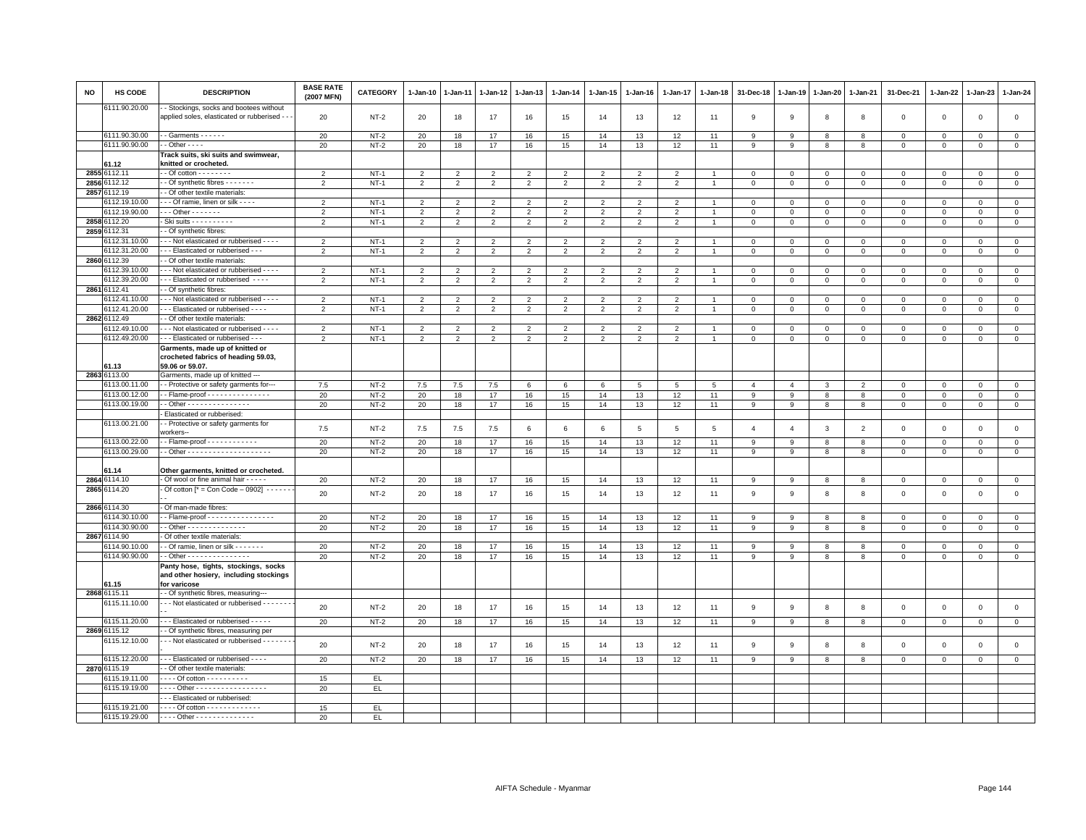| NO   | HS CODE                        | <b>DESCRIPTION</b>                                                                       | <b>BASE RATE</b><br>(2007 MFN)   | <b>CATEGORY</b>  | 1-Jan-10                         | 1-Jan-11                         | 1-Jan-12                         | 1-Jan-13                         | 1-Jan-14                         | 1-Jan-15                         | 1-Jan-16                         | 1-Jan-17            | 1-Jan-18       | 31-Dec-18                   | 1-Jan-19                | 1-Jan-20                    | 1-Jan-21                   | 31-Dec-21                  | 1-Jan-22                | 1-Jan-23                | 1-Jan-24                    |
|------|--------------------------------|------------------------------------------------------------------------------------------|----------------------------------|------------------|----------------------------------|----------------------------------|----------------------------------|----------------------------------|----------------------------------|----------------------------------|----------------------------------|---------------------|----------------|-----------------------------|-------------------------|-----------------------------|----------------------------|----------------------------|-------------------------|-------------------------|-----------------------------|
|      | 6111.90.20.00                  | - Stockings, socks and bootees without<br>applied soles, elasticated or rubberised - -   | 20                               | $NT-2$           | 20                               | 18                               | 17                               | 16                               | 15                               | 14                               | 13                               | 12                  | 11             | 9                           | 9                       | 8                           | 8                          | $\mathbf 0$                | $\mathbf 0$             | $\mathbf{0}$            | $\mathbf 0$                 |
|      | 6111.90.30.00                  | $-$ Garments $- - - -$                                                                   | 20                               | $NT-2$           | 20                               | 18                               | 17                               | 16                               | 15                               | 14                               | 13                               | 12                  | 11             | 9                           | 9                       | 8                           | 8                          | $\mathsf 0$                | $\mathbf 0$             | $\mathbf{0}$            | $\mathbf 0$                 |
|      | 6111.90.90.00                  | $\cdot$ - Other - - - -                                                                  | 20                               | $NT-2$           | 20                               | 18                               | 17                               | 16                               | 15                               | 14                               | 13                               | 12                  | 11             | 9                           | 9                       | 8                           | 8                          | $\mathsf 0$                | $\Omega$                | $\mathsf 0$             | $\mathsf 0$                 |
|      |                                | Track suits, ski suits and swimwear,                                                     |                                  |                  |                                  |                                  |                                  |                                  |                                  |                                  |                                  |                     |                |                             |                         |                             |                            |                            |                         |                         |                             |
|      | 61.12                          | knitted or crocheted.                                                                    |                                  |                  |                                  |                                  |                                  |                                  |                                  |                                  |                                  |                     |                |                             |                         |                             |                            |                            |                         |                         |                             |
| 2855 | 6112.11                        | $-$ Of cotton $       -$                                                                 | $\overline{2}$                   | $NT-1$           | $\overline{2}$                   | $\overline{2}$                   | $\overline{2}$                   | $\overline{2}$                   | $\overline{2}$                   | $\overline{2}$                   | $\mathfrak{p}$                   | $\overline{2}$      |                | $\Omega$                    | $\Omega$                | $\mathsf 0$                 | $\Omega$                   | $\Omega$                   | $\Omega$                | $\Omega$                | $\mathbf 0$                 |
| 2856 | 3112.12                        | - Of synthetic fibres - - - - - - -                                                      | $\overline{2}$                   | $NT-1$           | $\overline{2}$                   | $\overline{2}$                   | $\overline{2}$                   | $\overline{2}$                   | $\overline{2}$                   | $\overline{2}$                   | $\overline{2}$                   | $\overline{2}$      | $\overline{1}$ | $\mathbf 0$                 | $\mathsf 0$             | $\mathbf 0$                 | $\mathbf 0$                | $\mathbf 0$                | $\mathbf 0$             | $\mathsf 0$             | $\overline{0}$              |
| 2857 | 3112.19                        | - Of other textile materials                                                             |                                  |                  |                                  |                                  |                                  |                                  |                                  |                                  |                                  |                     |                |                             |                         |                             |                            |                            |                         |                         |                             |
|      | 3112.19.10.00<br>3112.19.90.00 | - - - Of ramie, linen or silk - - - -<br>$-$ - Other - - - - - - -                       | $\mathcal{P}$                    | $NT-1$           | $\overline{2}$                   | $\overline{2}$                   | $\overline{2}$                   | $\overline{2}$                   | $\overline{2}$                   | $\overline{2}$                   | $\overline{2}$                   | $\overline{2}$      |                | $\mathbf 0$                 | $\mathbf 0$             | $\mathbf 0$                 | $\mathbf 0$                | $\mathsf 0$                | $^{\circ}$              | $\mathbf{0}$            | $\mathsf 0$                 |
|      | 2858 6112.20                   | - Ski suits - - - - - - - - - -                                                          | $\overline{2}$<br>$\overline{2}$ | $NT-1$<br>$NT-1$ | $\overline{2}$<br>$\overline{2}$ | $\overline{2}$<br>$\overline{2}$ | 2<br>$\overline{2}$              | $\overline{2}$<br>$\overline{2}$ | $\overline{2}$<br>$\overline{2}$ | $\overline{2}$<br>$\overline{2}$ | 2<br>$\overline{2}$              | 2<br>$\overline{2}$ | $\overline{1}$ | $\mathbf{0}$<br>$\mathbf 0$ | $\circ$<br>$\mathbf 0$  | $\Omega$<br>$\mathbf 0$     | $\mathbf 0$<br>$\mathbf 0$ | $\mathbf 0$<br>$\mathsf 0$ | $\Omega$<br>$\mathbf 0$ | $\Omega$<br>0           | $\mathbf{0}$<br>$\mathbf 0$ |
|      | 2859 6112.31                   | - Of synthetic fibres:                                                                   |                                  |                  |                                  |                                  |                                  |                                  |                                  |                                  |                                  |                     |                |                             |                         |                             |                            |                            |                         |                         |                             |
|      | 6112.31.10.00                  | - - Not elasticated or rubberised - - - -                                                | $\overline{2}$                   | $NT-1$           | $\overline{2}$                   | $\mathfrak{p}$                   | $\mathfrak{p}$                   | 2                                | $\overline{2}$                   | $\overline{2}$                   | $\overline{2}$                   | $\overline{2}$      | $\overline{1}$ | $\mathbf 0$                 | $\mathsf 0$             | $\mathsf 0$                 | $\mathsf 0$                | $\mathsf 0$                | $\mathbf 0$             | $\mathbf 0$             | $\mathsf 0$                 |
|      | 6112.31.20.00                  | -- Elasticated or rubberised ---                                                         | $\overline{2}$                   | $NT-1$           | $\overline{2}$                   | $\overline{2}$                   | $\overline{2}$                   | $\overline{2}$                   | $\overline{2}$                   | $\overline{2}$                   | $\overline{2}$                   | $\overline{2}$      | $\mathbf{1}$   | $\mathbf 0$                 | $\mathsf 0$             | $\mathbf{0}$                | $\mathsf 0$                | $\mathsf 0$                | $\mathbf 0$             | $\mathsf 0$             | $\mathsf 0$                 |
|      | 2860 6112.39                   | - Of other textile materials:                                                            |                                  |                  |                                  |                                  |                                  |                                  |                                  |                                  |                                  |                     |                |                             |                         |                             |                            |                            |                         |                         |                             |
|      | 3112.39.10.00                  | - - Not elasticated or rubberised - - - -                                                | $\overline{2}$                   | $NT-1$           | 2                                | $\mathfrak{p}$                   | $\overline{2}$                   | $\overline{2}$                   | $\overline{2}$                   | 2                                | 2                                | $\overline{2}$      |                | $\mathbf 0$                 | $\mathbf{0}$            | $\mathbf{0}$                | $\mathbf 0$                | $\mathbf 0$                | $\Omega$                | $\Omega$                | $\mathsf 0$                 |
|      | 6112.39.20.00                  | - - Elasticated or rubberised - - - -                                                    | $\mathfrak{p}$                   | $NT-1$           | $\overline{2}$                   | $\overline{2}$                   | $\overline{2}$                   | $\overline{2}$                   | $\overline{2}$                   | $\overline{2}$                   | $\overline{2}$                   | $\overline{2}$      |                | $\Omega$                    | $\Omega$                | $\mathbf 0$                 | $\mathbf 0$                | $\mathsf 0$                | $\mathbf 0$             | $\Omega$                | $\mathbf 0$                 |
| 2861 | 6112.41                        | - Of synthetic fibres:                                                                   |                                  |                  |                                  |                                  |                                  |                                  |                                  |                                  |                                  |                     |                |                             |                         |                             |                            |                            |                         |                         |                             |
|      | 6112.41.10.00                  | - - - Not elasticated or rubberised - - - -                                              | $\overline{2}$                   | $NT-1$           | $\overline{2}$                   | $\overline{2}$                   | $\overline{2}$                   | $\overline{2}$                   | $\overline{2}$                   | $\overline{2}$                   | $\overline{2}$                   | $\overline{2}$      |                | $\mathbf 0$                 | $\mathbf 0$             | $\mathbf 0$                 | $\mathbf 0$                | $\mathsf 0$                | $\mathbf 0$             | $\mathsf 0$             | $\mathbf 0$                 |
|      | 6112.41.20.00                  | - - - Elasticated or rubberised - - - -                                                  | $\overline{2}$                   | $NT-1$           | $\overline{2}$                   | $\overline{2}$                   | $\overline{2}$                   | $\overline{2}$                   | $\overline{2}$                   | $\overline{2}$                   | $\overline{2}$                   | $\overline{2}$      | $\overline{1}$ | $\mathbf 0$                 | $\,$ 0                  | $\mathbf 0$                 | $\mathsf 0$                | $\mathsf 0$                | $\mathbf 0$             | $\mathsf 0$             | $\overline{0}$              |
|      | 2862 6112.49                   | - Of other textile materials:                                                            |                                  | $NT-1$           |                                  |                                  |                                  |                                  |                                  |                                  |                                  |                     |                |                             |                         |                             |                            |                            |                         |                         |                             |
|      | 6112.49.10.00<br>6112.49.20.00 | - - Not elasticated or rubberised - - - -<br>- - Elasticated or rubberised - -           | $\overline{2}$<br>$\overline{2}$ | $NT-1$           | $\overline{2}$<br>$\overline{2}$ | $\overline{2}$<br>$\overline{2}$ | $\overline{2}$<br>$\overline{2}$ | $\overline{2}$<br>$\overline{2}$ | $\overline{2}$<br>$\overline{2}$ | $\overline{2}$<br>$\overline{2}$ | $\overline{2}$<br>$\overline{2}$ | $\overline{2}$<br>2 |                | $\Omega$<br>$\mathbf 0$     | $\Omega$<br>$\mathbf 0$ | $\mathbf{0}$<br>$\mathbf 0$ | $\mathbf 0$<br>$\mathbf 0$ | $\Omega$<br>$\Omega$       | $\Omega$                | $\mathbf 0$<br>$\Omega$ | $\mathbf 0$<br>$\mathbf 0$  |
|      |                                | Garments, made up of knitted or                                                          |                                  |                  |                                  |                                  |                                  |                                  |                                  |                                  |                                  |                     |                |                             |                         |                             |                            |                            | 0                       |                         |                             |
|      |                                | crocheted fabrics of heading 59.03,                                                      |                                  |                  |                                  |                                  |                                  |                                  |                                  |                                  |                                  |                     |                |                             |                         |                             |                            |                            |                         |                         |                             |
|      | 61.13                          | 59.06 or 59.07.                                                                          |                                  |                  |                                  |                                  |                                  |                                  |                                  |                                  |                                  |                     |                |                             |                         |                             |                            |                            |                         |                         |                             |
|      | 2863 6113.00                   | Garments, made up of knitted ---                                                         |                                  |                  |                                  |                                  |                                  |                                  |                                  |                                  |                                  |                     |                |                             |                         |                             |                            |                            |                         |                         |                             |
|      | 6113.00.11.00                  | -- Protective or safety garments for---                                                  | 7.5                              | $NT-2$           | 7.5                              | 7.5                              | 7.5                              | 6                                | 6                                | 6                                | 5                                | 5                   | 5              | 4                           | $\overline{4}$          | 3                           | $\overline{2}$             | 0                          | $\Omega$                | $\mathbf 0$             | $\mathbf{0}$                |
|      | 6113.00.12.00                  | - - Flame-proof - - - - - - - - - - - - - -                                              | 20                               | $NT-2$           | 20                               | 18                               | 17                               | 16                               | 15                               | 14                               | 13                               | 12                  | 11             | 9                           | 9                       | 8                           | 8                          | $\mathbf 0$                | $\mathbf 0$             | $\mathbf 0$             | $\circ$                     |
|      | 6113.00.19.00                  | - - Other - - - - - - - - - - - - - - -                                                  | 20                               | $NT-2$           | 20                               | 18                               | 17                               | 16                               | 15                               | 14                               | 13                               | 12                  | 11             | 9                           | 9                       | 8                           | 8                          | 0                          | 0                       | $\mathbf 0$             | $\mathsf 0$                 |
|      | 6113.00.21.00                  | Elasticated or rubberised:<br>- Protective or safety garments for                        |                                  |                  |                                  |                                  |                                  |                                  |                                  |                                  |                                  |                     |                |                             |                         |                             |                            |                            |                         |                         |                             |
|      |                                | workers--                                                                                | 7.5                              | $NT-2$           | 7.5                              | 7.5                              | 7.5                              | 6                                | 6                                | 6                                | 5                                | 5                   | 5              | $\overline{4}$              | $\overline{4}$          | 3                           | $\overline{2}$             | $\mathsf 0$                | $\mathbf 0$             | $\mathsf 0$             | $\mathsf 0$                 |
|      | 6113.00.22.00                  |                                                                                          | 20                               | $NT-2$           | 20                               | 18                               | 17                               | 16                               | 15                               | 14                               | 13                               | 12                  | 11             | 9                           | 9                       | 8                           | 8                          | $\mathbf 0$                | $\mathbf 0$             | $\mathbf 0$             | $\circ$                     |
|      | 6113.00.29.00                  |                                                                                          | 20                               | $NT-2$           | 20                               | 18                               | 17                               | 16                               | 15                               | 14                               | 13                               | 12                  | 11             | 9                           | 9                       | 8                           | 8                          | $\mathsf 0$                | $\mathbf 0$             | $\mathsf 0$             | $\mathsf 0$                 |
|      |                                |                                                                                          |                                  |                  |                                  |                                  |                                  |                                  |                                  |                                  |                                  |                     |                |                             |                         |                             |                            |                            |                         |                         |                             |
|      | 61.14<br>2864 6114.10          | Other garments, knitted or crocheted.<br>Of wool or fine animal hair - - - - -           |                                  |                  |                                  |                                  |                                  |                                  |                                  |                                  |                                  |                     |                |                             | 9                       |                             |                            |                            |                         |                         | $\overline{0}$              |
|      | 2865 6114.20                   | Of cotton $[^* = Con Code - 0902] - - - - - -$                                           | 20                               | $NT-2$           | 20                               | 18                               | 17                               | 16                               | 15                               | 14                               | 13                               | 12                  | 11             | 9                           |                         | 8                           | 8                          | $\mathbf 0$                | $\mathbf 0$             | $\mathsf 0$             |                             |
|      | 2866 6114.30                   | - Of man-made fibres:                                                                    | 20                               | $NT-2$           | 20                               | 18                               | 17                               | 16                               | 15                               | 14                               | 13                               | 12                  | 11             | 9                           | 9                       | 8                           | 8                          | $\mathsf 0$                | $\mathsf 0$             | $\mathbf 0$             | $\mathsf 0$                 |
|      | 3114.30.10.00                  |                                                                                          | 20                               | $NT-2$           | 20                               | 18                               | 17                               | 16                               | 15                               | 14                               | 13                               | 12                  | 11             | 9                           | 9                       | 8                           | 8                          | $\Omega$                   | $\Omega$                | $\Omega$                | $\mathsf 0$                 |
|      | 6114.30.90.00                  | - - Other - - - - - - - - - - - - - -                                                    | 20                               | $NT-2$           | 20                               | 18                               | 17                               | 16                               | 15                               | 14                               | 13                               | 12                  | 11             | 9                           | 9                       | 8                           | 8                          | $\mathsf 0$                | $\mathbf 0$             | $\mathsf 0$             | $\mathbf 0$                 |
|      | 2867 6114.90                   | Of other textile materials:                                                              |                                  |                  |                                  |                                  |                                  |                                  |                                  |                                  |                                  |                     |                |                             |                         |                             |                            |                            |                         |                         |                             |
|      | 6114.90.10.00                  | - Of ramie, linen or silk - - - - - - -                                                  | 20                               | $NT-2$           | 20                               | 18                               | 17                               | 16                               | 15                               | 14                               | 13                               | 12                  | 11             | 9                           | 9                       | 8                           | 8                          | $\mathsf 0$                | $\Omega$                | $\Omega$                | $\overline{0}$              |
|      | 6114.90.90.00                  | - Other - - - - - - - - - - - - - - -                                                    | 20                               | $NT-2$           | 20                               | 18                               | 17                               | 16                               | 15                               | 14                               | 13                               | 12                  | 11             | 9                           | 9                       | 8                           | 8                          | $\mathsf 0$                | $\mathbf 0$             | $\mathbf 0$             | $\mathbf 0$                 |
|      |                                | Panty hose, tights, stockings, socks                                                     |                                  |                  |                                  |                                  |                                  |                                  |                                  |                                  |                                  |                     |                |                             |                         |                             |                            |                            |                         |                         |                             |
|      | 61.15                          | and other hosiery, including stockings<br>for varicose                                   |                                  |                  |                                  |                                  |                                  |                                  |                                  |                                  |                                  |                     |                |                             |                         |                             |                            |                            |                         |                         |                             |
|      | 2868 6115.11                   | - Of synthetic fibres, measuring--                                                       |                                  |                  |                                  |                                  |                                  |                                  |                                  |                                  |                                  |                     |                |                             |                         |                             |                            |                            |                         |                         |                             |
|      | 6115.11.10.00                  | - - - Not elasticated or rubberised - - - - - - -                                        |                                  |                  |                                  |                                  |                                  |                                  |                                  |                                  |                                  |                     |                |                             |                         |                             |                            |                            |                         |                         |                             |
|      |                                |                                                                                          | 20                               | $NT-2$           | 20                               | 18                               | 17                               | 16                               | 15                               | 14                               | 13                               | 12                  | 11             | 9                           | 9                       | 8                           | 8                          | $\mathsf 0$                | $\mathsf 0$             | $\mathsf 0$             | $\mathsf 0$                 |
|      | 6115.11.20.00                  | -- Elasticated or rubberised - - - - -                                                   | 20                               | $NT-2$           | 20                               | 18                               | 17                               | 16                               | 15                               | 14                               | 13                               | 12                  | 11             | 9                           | 9                       | 8                           | 8                          | $\mathbf{0}$               | $\circ$                 | $\overline{0}$          | $\overline{0}$              |
|      | 2869 6115.12                   | - Of synthetic fibres, measuring per                                                     |                                  |                  |                                  |                                  |                                  |                                  |                                  |                                  |                                  |                     |                |                             |                         |                             |                            |                            |                         |                         |                             |
|      | 6115.12.10.00                  | - - Not elasticated or rubberised - - - - - - -                                          | 20                               | $NT-2$           | 20                               | 18                               | 17                               | 16                               | 15                               | 14                               | 13                               | 12                  | 11             | $\boldsymbol{9}$            | 9                       | 8                           | 8                          | $\mathsf 0$                | $\mathsf 0$             | $\mathsf 0$             | $\mathsf 0$                 |
|      | 6115.12.20.00                  | --- Elasticated or rubberised ----                                                       | 20                               | $NT-2$           | 20                               | 18                               | 17                               | 16                               | 15                               | 14                               | 13                               | 12                  | 11             | 9                           | 9                       | 8                           | 8                          | $\mathsf 0$                | $\mathbf 0$             | $\mathsf 0$             | $\mathbf 0$                 |
|      | 2870 6115.19                   | - Of other textile materials:                                                            |                                  |                  |                                  |                                  |                                  |                                  |                                  |                                  |                                  |                     |                |                             |                         |                             |                            |                            |                         |                         |                             |
|      | 6115.19.11.00<br>6115.19.19.00 | - - - - Of cotton - - - - - - - - - -<br>- - - - Other - - - - - - - - - - - - - - - - - | 15<br>20                         | EL.<br>EL        |                                  |                                  |                                  |                                  |                                  |                                  |                                  |                     |                |                             |                         |                             |                            |                            |                         |                         |                             |
|      |                                | -- Elasticated or rubberised:                                                            |                                  |                  |                                  |                                  |                                  |                                  |                                  |                                  |                                  |                     |                |                             |                         |                             |                            |                            |                         |                         |                             |
|      | 6115.19.21.00                  | - - - - Of cotton - - - - - - - - - - - - -                                              | 15                               | EL.              |                                  |                                  |                                  |                                  |                                  |                                  |                                  |                     |                |                             |                         |                             |                            |                            |                         |                         |                             |
|      | 6115.19.29.00                  | ---- Other ---------------                                                               | 20                               | EL.              |                                  |                                  |                                  |                                  |                                  |                                  |                                  |                     |                |                             |                         |                             |                            |                            |                         |                         |                             |
|      |                                |                                                                                          |                                  |                  |                                  |                                  |                                  |                                  |                                  |                                  |                                  |                     |                |                             |                         |                             |                            |                            |                         |                         |                             |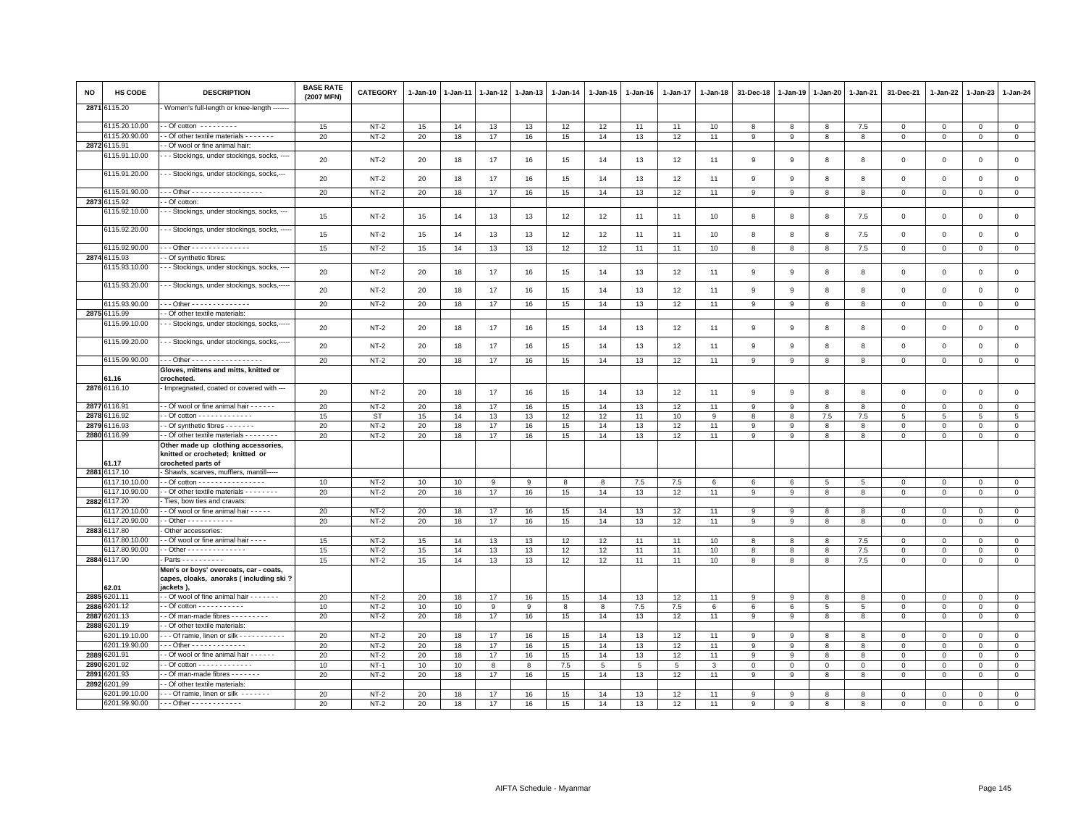| <b>NO</b> | <b>HS CODE</b>                | <b>DESCRIPTION</b>                                                                            | <b>BASE RATE</b><br>(2007 MFN) | <b>CATEGORY</b> | $1-Jan-10$ | 1-Jan-11 | $1 - Jan-12$ | $1-Jan-13$   | 1-Jan-14 | 1-Jan-15 | 1-Jan-16 | 1-Jan-17 | 1-Jan-18     | 31-Dec-18    | $1 - Jan-19$   | 1-Jan-20     | 1-Jan-21     | 31-Dec-21    | 1-Jan-22     | $1-Jan-23$      | 1-Jan-24       |
|-----------|-------------------------------|-----------------------------------------------------------------------------------------------|--------------------------------|-----------------|------------|----------|--------------|--------------|----------|----------|----------|----------|--------------|--------------|----------------|--------------|--------------|--------------|--------------|-----------------|----------------|
| 2871      | 6115.20                       | Women's full-length or knee-length ------                                                     |                                |                 |            |          |              |              |          |          |          |          |              |              |                |              |              |              |              |                 |                |
|           | 6115.20.10.00                 | - - Of cotton - - - - - - - - -                                                               | 15                             | $NT-2$          | 15         | 14       | 13           | 13           | 12       | 12       | 11       | 11       | 10           | 8            | 8              | 8            | 7.5          | $\circ$      | $\circ$      | $\mathbf 0$     | $\overline{0}$ |
|           | 6115.20.90.00                 | - - Of other textile materials - - - - - - -                                                  | 20                             | $NT-2$          | 20         | 18       | 17           | 16           | 15       | 14       | 13       | 12       | 11           | 9            | 9              | 8            | 8            | $\mathbf{0}$ | $\mathbf{0}$ | $\mathbf{0}$    | $\mathbf{0}$   |
|           | 2872 6115.91                  | - Of wool or fine animal hair:                                                                |                                |                 |            |          |              |              |          |          |          |          |              |              |                |              |              |              |              |                 |                |
|           | 6115.91.10.00                 | - Stockings, under stockings, socks, -                                                        | 20                             | $NT-2$          | 20         | 18       | 17           | 16           | 15       | 14       | 13       | 12       | 11           | 9            | 9              | 8            | 8            | $\mathsf 0$  | $\mathbf 0$  | $\mathsf 0$     | $\mathbf 0$    |
|           | 6115.91.20.00                 | - Stockings, under stockings, socks,---                                                       | 20                             | $NT-2$          | 20         | 18       | 17           | 16           | 15       | 14       | 13       | 12       | 11           | 9            | 9              | 8            | 8            | $\mathsf 0$  | $\mathbf{0}$ | $\mathbf 0$     | $\mathsf 0$    |
|           |                               | - - Other - - - - - - - - - - - - - - - - -                                                   |                                |                 |            |          |              |              |          |          |          |          |              |              |                |              |              |              |              |                 |                |
|           | 6115.91.90.00<br>2873 6115.92 | - Of cotton:                                                                                  | 20                             | $NT-2$          | 20         | 18       | 17           | 16           | 15       | 14       | 13       | 12       | 11           | 9            | 9              | 8            | 8            | $\mathbf 0$  | $\circ$      | $\mathbf 0$     | $\mathsf 0$    |
|           | 6115.92.10.00                 | - - Stockings, under stockings, socks, ---                                                    |                                |                 |            |          |              |              |          |          |          |          |              |              |                |              |              |              |              |                 |                |
|           |                               |                                                                                               | 15                             | $NT-2$          | 15         | 14       | 13           | 13           | 12       | 12       | 11       | 11       | 10           | 8            | 8              | 8            | 7.5          | $\mathsf 0$  | $\circ$      | $\mathsf 0$     | $\mathbf 0$    |
|           | 6115.92.20.00                 | - - Stockings, under stockings, socks,                                                        | 15                             | $NT-2$          | 15         | 14       | 13           | 13           | 12       | 12       | 11       | 11       | 10           | 8            | 8              | 8            | 7.5          | $\mathsf 0$  | $\circ$      | $\mathsf 0$     | $\mathsf 0$    |
|           | 6115.92.90.00                 | - - Other - - - - - - - - - - - - - -                                                         | 15                             | $NT-2$          | 15         | 14       | 13           | 13           | 12       | 12       | 11       | 11       | 10           | 8            | 8              | 8            | 7.5          | $\mathsf 0$  | $\Omega$     | $\mathbf 0$     | $\mathbf 0$    |
|           | 2874 6115.93                  | - Of synthetic fibres:                                                                        |                                |                 |            |          |              |              |          |          |          |          |              |              |                |              |              |              |              |                 |                |
|           | 6115.93.10.00                 | - - Stockings, under stockings, socks, -                                                      | 20                             | $NT-2$          | 20         | 18       | 17           | 16           | 15       | 14       | 13       | 12       | 11           | 9            | 9              | 8            | 8            | $\mathsf 0$  | $\mathsf 0$  | $\mathsf 0$     | $\mathsf 0$    |
|           | 6115.93.20.00                 | - - Stockings, under stockings, socks,-----                                                   | 20                             | $NT-2$          | 20         | 18       | 17           | 16           | 15       | 14       | 13       | 12       | 11           | 9            | 9              | 8            | 8            | $\mathbf 0$  | $\mathbf 0$  | $\mathbf 0$     | $\circ$        |
|           | 6115.93.90.00                 | . Other - - - - - - - - - - - - - -                                                           | 20                             | $NT-2$          | 20         | 18       | 17           | 16           | 15       | 14       | 13       | 12       | 11           | 9            | 9              | 8            | 8            | $\mathbf 0$  | $\mathbf 0$  | $\mathbf 0$     | $\mathbf{0}$   |
|           | 2875 6115.99                  | - Of other textile materials:                                                                 |                                |                 |            |          |              |              |          |          |          |          |              |              |                |              |              |              |              |                 |                |
|           | 6115.99.10.00                 | - - Stockings, under stockings, socks,-----                                                   | 20                             | $NT-2$          | 20         | 18       | 17           | 16           | 15       | 14       | 13       | 12       | 11           | 9            | 9              | 8            | 8            | $\mathsf 0$  | $\mathbf 0$  | $\mathsf 0$     | $\mathbf{0}$   |
|           | 6115.99.20.00                 | - - Stockings, under stockings, socks,--                                                      | 20                             | $NT-2$          | 20         | 18       | 17           | 16           | 15       | 14       | 13       | 12       | 11           | 9            | 9              | 8            | 8            | $\mathsf 0$  | $\circ$      | $\mathsf 0$     | $\mathsf 0$    |
|           | 6115.99.90.00                 | - - Other - - - - - - - - - - - - - - - -                                                     | 20                             | $NT-2$          | 20         | 18       | 17           | 16           | 15       | 14       | 13       | 12       | 11           | 9            | 9              | 8            | 8            | $\mathsf 0$  | $\mathbf 0$  | $\mathsf 0$     | $\overline{0}$ |
|           |                               | Gloves, mittens and mitts, knitted or                                                         |                                |                 |            |          |              |              |          |          |          |          |              |              |                |              |              |              |              |                 |                |
|           | 61 16                         | crocheted.                                                                                    |                                |                 |            |          |              |              |          |          |          |          |              |              |                |              |              |              |              |                 |                |
|           | 2876 6116.10                  | - Impregnated, coated or covered with ---                                                     | 20                             | $NT-2$          | 20         | 18       | 17           | 16           | 15       | 14       | 13       | 12       | 11           | 9            | 9              | 8            | 8            | $\mathsf 0$  | $\mathbf 0$  | $\mathsf 0$     | $\mathsf 0$    |
| 2877      | 6116.91                       | - Of wool or fine animal hair - - - - - -                                                     | 20                             | $NT-2$          | 20         | 18       | 17           | 16           | 15       | 14       | 13       | 12       | 11           | 9            | 9              | 8            | 8            | $\mathsf 0$  | $\Omega$     | $\mathbf 0$     | $\mathsf 0$    |
| 2878      | 3116.92                       |                                                                                               | 15                             | <b>ST</b>       | 15         | 14       | 13           | 13           | 12       | 12       | 11       | 10       | 9            | 8            | 8              | 7.5          | 7.5          | 5            | 5            | $5\overline{5}$ | 5              |
| 2879      | 3116.93                       | - Of synthetic fibres - - - - - - -                                                           | 20                             | $NT-2$          | 20         | 18       | 17           | 16           | 15       | 14       | 13       | 12       | 11           | 9            | $\overline{9}$ | 8            | 8            | $\mathsf 0$  | $\mathbf 0$  | $^{\circ}$      | $\mathsf 0$    |
| 2880      | 6116.99                       | - Of other textile materials - - - - - - - -                                                  | 20                             | $NT-2$          | 20         | 18       | 17           | 16           | 15       | 14       | 13       | 12       | 11           | 9            | 9              | 8            | 8            | $\mathsf 0$  | $\mathbf{0}$ | $\mathbf 0$     | $\mathsf 0$    |
|           | 61.17                         | Other made up clothing accessories,<br>knitted or crocheted; knitted or<br>crocheted parts of |                                |                 |            |          |              |              |          |          |          |          |              |              |                |              |              |              |              |                 |                |
|           | 2881 6117.10                  | - Shawls, scarves, mufflers, mantill-----                                                     |                                |                 |            |          |              |              |          |          |          |          |              |              |                |              |              |              |              |                 |                |
|           | 6117.10.10.00                 |                                                                                               | 10                             | $NT-2$          | 10         | 10       | 9            | $\mathbf{q}$ | 8        | 8        | 7.5      | 7.5      | 6            | 6            | 6              | 5            | 5            | $\mathbf 0$  | $\mathbf{0}$ | $\mathbf{0}$    | $\mathbf 0$    |
|           | 6117.10.90.00                 | - Of other textile materials - - - - - - - -                                                  | 20                             | $NT-2$          | 20         | 18       | 17           | 16           | 15       | 14       | 13       | 12       | 11           | 9            | 9              | 8            | 8            | $\mathsf 0$  | $\mathbf 0$  | $\mathsf 0$     | $\mathbf 0$    |
|           | 2882 6117.20                  | Ties, bow ties and cravats:                                                                   |                                |                 |            |          |              |              |          |          |          |          |              |              |                |              |              |              |              |                 |                |
|           | 6117.20.10.00                 | - Of wool or fine animal hair - - - - -                                                       | 20                             | $NT-2$          | 20         | 18       | 17           | 16           | 15       | 14       | 13       | 12       | 11           | $\mathbf{Q}$ | $\mathbf{Q}$   | $\mathbf{R}$ | $\mathbf{R}$ | $\Omega$     | $\Omega$     | $\Omega$        | $\circ$        |
|           | 6117.20.90.00                 | - Other - - - - - - - - - - -                                                                 | 20                             | $NT-2$          | 20         | 18       | 17           | 16           | 15       | 14       | 13       | 12       | 11           | 9            | 9              | 8            | 8            | $\mathsf 0$  | $\circ$      | $\Omega$        | $\mathbf 0$    |
|           | 2883 6117.80                  | Other accessories:                                                                            |                                |                 |            |          |              |              |          |          |          |          |              |              |                |              |              |              |              |                 |                |
|           | 6117.80.10.00                 | - Of wool or fine animal hair - - - -                                                         | 15                             | $NT-2$          | 15         | 14       | 13           | 13           | 12       | 12       | 11       | 11       | 10           | 8            | 8              | 8            | 7.5          | 0            | $\circ$      | 0               | $\mathbf 0$    |
|           | 6117.80.90.00                 | $-$ Other - - - - - - - - - - - - - -                                                         | 15                             | $NT-2$          | 15         | 14       | 13           | 13           | 12       | 12       | 11       | 11       | 10           | 8            | 8              | 8            | 7.5          | $\mathsf 0$  | $\circ$      | 0               | $\mathsf 0$    |
|           | 2884 6117.90                  | Parts - - - - - - - - - -<br>Men's or boys' overcoats, car - coats.                           | 15                             | $NT-2$          | 15         | 14       | 13           | 13           | 12       | 12       | 11       | 11       | 10           | 8            | 8              | 8            | 7.5          | $\mathbf 0$  | $\mathbf 0$  | $\mathsf 0$     | $\mathsf 0$    |
|           | 62.01                         | capes, cloaks, anoraks (including ski?<br>jackets)                                            |                                |                 |            |          |              |              |          |          |          |          |              |              |                |              |              |              |              |                 |                |
|           | 2885 6201.11                  | - Of wool of fine animal hair - - - - - - -                                                   | 20                             | $NT-2$          | 20         | 18       | 17           | 16           | 15       | 14       | 13       | 12       | 11           | 9            | 9              | 8            | 8            | $\mathsf 0$  | $\circ$      | $\mathbf 0$     | $\mathbf 0$    |
| 2886      | 3201.12                       |                                                                                               | 10                             | $NT-2$          | 10         | 10       | 9            | -9           | 8        | 8        | 7.5      | 7.5      | 6            | 6            | 6              | 5            | 5            | $\circ$      | $\circ$      | $\mathbf{0}$    | $\mathbf 0$    |
| 2887      | 6201.13                       | - Of man-made fibres - - - - - - - - -                                                        | 20                             | $NT-2$          | 20         | 18       | 17           | 16           | 15       | 14       | 13       | 12       | 11           | 9            | 9              | 8            | 8            | $\mathbf{0}$ | $\mathbf{0}$ | $\mathbf 0$     | $\mathbf{0}$   |
| 2888      | 6201.19                       | - Of other textile materials:                                                                 |                                |                 |            |          |              |              |          |          |          |          |              |              |                |              |              |              |              |                 |                |
|           | 6201.19.10.00                 | -- Of ramie, linen or silk - - - - - - - - - - -                                              | 20                             | $NT-2$          | 20         | 18       | 17           | 16           | 15       | 14       | 13       | 12       | 11           | 9            | 9              | 8            | 8            | 0            | $\Omega$     | $\Omega$        | $\mathbf 0$    |
|           | 6201.19.90.00                 | $-$ - Other - - - - - - - - - - - - -                                                         | 20                             | $NT-2$          | 20         | 18       | 17           | 16           | 15       | 14       | 13       | 12       | 11           | 9            | 9              | 8            | 8            | $\mathsf 0$  | $\mathbf 0$  | $^{\circ}$      | $\mathbf 0$    |
| 2889      | 6201.91                       | - Of wool or fine animal hair - - - - - -                                                     | 20                             | $NT-2$          | 20         | 18       | 17           | 16           | 15       | 14       | 13       | 12       | 11           | 9            | 9              | 8            | 8            | $\mathsf 0$  | $\Omega$     | $\Omega$        | $\mathsf 0$    |
| 2890      | 201.92                        |                                                                                               | 10                             | $NT-1$          | 10         | 10       | 8            | 8            | 7.5      | 5        | 5        | 5        | $\mathbf{3}$ | $\mathbf 0$  | $\mathbf 0$    | $\mathbf{O}$ | $\mathbf 0$  | $\mathsf 0$  | $\mathbf 0$  | $\mathsf 0$     | $\mathsf 0$    |
| 2891      | 201.93                        | - Of man-made fibres - - - - - - -                                                            | 20                             | $NT-2$          | 20         | 18       | 17           | 16           | 15       | 14       | 13       | 12       | 11           | 9            | 9              | 8            | 8            | $\circ$      | $\circ$      | $\mathbf 0$     | $\mathbf{0}$   |
| 2892      | 3201.99                       | - Of other textile materials:                                                                 |                                |                 |            |          |              |              |          |          |          |          |              |              |                |              |              |              |              |                 |                |
|           | 6201.99.10.00                 | --- Of ramie, linen or silk -------                                                           | 20                             | $NT-2$          | 20         | 18       | 17           | 16           | 15       | 14       | 13       | 12       | 11           | 9            | 9              | 8            | 8            | $\mathbf 0$  | $\circ$      | $\mathbf 0$     | $\mathbf 0$    |
|           | 6201.99.90.00                 | - - - Other - - - - - - - - - - - -                                                           | 20                             | $NT-2$          | 20         | 18       | 17           | 16           | 15       | 14       | 13       | 12       | 11           | 9            | 9              | 8            | 8            | 0            | $\mathbf 0$  | $\mathbf 0$     | $\circ$        |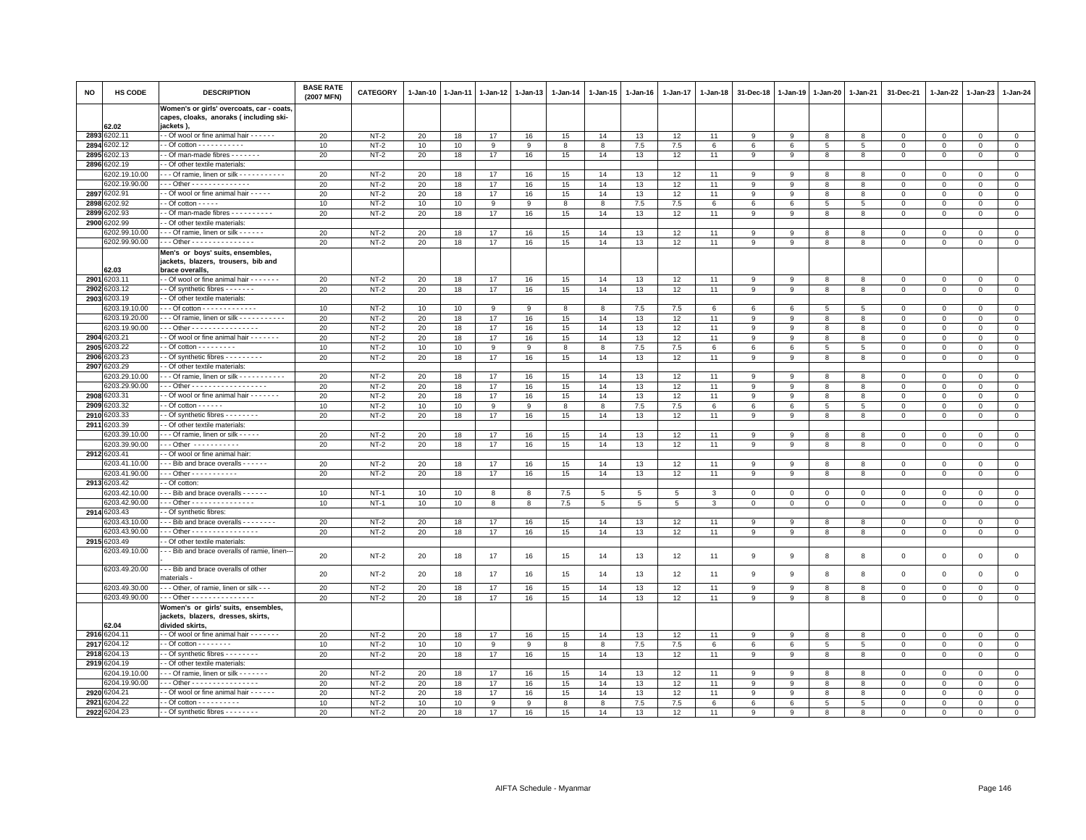| <b>NO</b> | HS CODE                        | <b>DESCRIPTION</b>                                                                                             | <b>BASE RATE</b><br>(2007 MFN) | <b>CATEGORY</b>  | 1-Jan-10 | 1-Jan-11 | 1-Jan-12     | $1 - Jan-13$ | 1-Jan-14 | 1-Jan-15       | 1-Jan-16  | 1-Jan-17  | 1-Jan-18 | 31-Dec-18   | 1-Jan-19       | 1-Jan-20        | 1-Jan-21       | 31-Dec-21                  | 1-Jan-22                   | 1-Jan-23                 | $1-Jan-24$                    |
|-----------|--------------------------------|----------------------------------------------------------------------------------------------------------------|--------------------------------|------------------|----------|----------|--------------|--------------|----------|----------------|-----------|-----------|----------|-------------|----------------|-----------------|----------------|----------------------------|----------------------------|--------------------------|-------------------------------|
|           |                                | Women's or girls' overcoats, car - coats<br>capes, cloaks, anoraks (including ski-                             |                                |                  |          |          |              |              |          |                |           |           |          |             |                |                 |                |                            |                            |                          |                               |
|           | 62.02<br>2893 6202.11          | jackets),<br>- Of wool or fine animal hair - - - - - -                                                         | 20                             | $NT-2$           | 20       | 18       | 17           | 16           | 15       | 14             | 13        | 12        | 11       | 9           | 9              | 8               | 8              | $\Omega$                   | $\Omega$                   | $\Omega$                 | $\mathbf 0$                   |
| 2894      | 3202.12                        | - Of cotton - - - - - - - - - -                                                                                | 10                             | $NT-2$           | 10       | 10       | $\mathsf{Q}$ | $\mathbf{q}$ | 8        | $\mathbf{a}$   | 7.5       | 7.5       | 6        | 6           | 6              | 5               | 5              | $\Omega$                   | $\Omega$                   | $\Omega$                 | $\mathsf 0$                   |
|           | 2895 6202.13                   | - Of man-made fibres - - - - - - -                                                                             | 20                             | $NT-2$           | 20       | 18       | 17           | 16           | 15       | 14             | 13        | 12        | 11       | 9           | 9              | 8               | 8              | 0                          | 0                          | $\mathbf{0}$             | $\mathsf 0$                   |
|           | 2896 6202.19                   | - Of other textile materials:                                                                                  |                                |                  |          |          |              |              |          |                |           |           |          |             |                |                 |                |                            |                            |                          |                               |
|           | 3202.19.10.00                  | -- Of ramie, linen or silk ----------                                                                          | 20                             | $NT-2$           | 20       | 18       | 17           | 16           | 15       | 14             | 13        | 12        | 11       | 9           | 9              | 8               | 8              | $\Omega$                   | $\Omega$                   | $\Omega$                 | $\mathsf 0$                   |
|           | 6202.19.90.00                  | - - Other - - - - - - - - - - - - -                                                                            | 20                             | $NT-2$           | 20       | 18       | 17           | 16           | 15       | 14             | 13        | 12        | 11       | 9           | 9              | 8               | 8              | $\Omega$                   | $\Omega$                   | $\Omega$                 | $\mathsf 0$                   |
|           | 2897 6202.91                   | - Of wool or fine animal hair - - - - -                                                                        | 20                             | $NT-2$           | 20       | 18       | 17           | 16           | 15       | 14             | 13        | 12        | 11       | 9           | 9              | 8               | 8              | $\mathbf 0$                | $\mathbf 0$                | $\Omega$                 | $\mathsf 0$                   |
| 2898      | 202.92                         | $-$ Of cotton $   -$                                                                                           | 10                             | $NT-2$           | 10       | 10       | 9            | 9            | 8        | 8              | 7.5       | 7.5       | 6        | 6           | 6              | $5\phantom{.0}$ | 5              | $\mathbf 0$                | 0                          | $\mathbf{0}$             | $\mathsf 0$                   |
| 2899      | 202.93                         | - Of man-made fibres - - - - - - - - -                                                                         | 20                             | $NT-2$           | 20       | 18       | 17           | 16           | 15       | 14             | 13        | 12        | 11       | 9           | 9              | 8               | 8              | $\mathbf{0}$               | $\mathbf 0$                | $\mathbf{0}$             | $\mathbf{0}$                  |
| 2900      | 6202.99                        | - - Of other textile materials:                                                                                |                                |                  |          |          |              |              |          |                |           |           |          |             |                |                 |                |                            |                            |                          |                               |
|           | 3202.99.10.00                  | --- Of ramie, linen or silk ------                                                                             | 20                             | $NT-2$           | 20       | 18       | 17           | 16           | 15       | 14             | 13        | 12        | 11       | 9           | $\overline{9}$ | 8               | 8              | $\Omega$                   | $\Omega$                   | $\Omega$                 | $\mathsf 0$                   |
|           | 6202.99.90.00                  | Other - - - - - - - - - - - - - - -<br>Men's or boys' suits, ensembles,<br>jackets, blazers, trousers, bib and | 20                             | $NT-2$           | 20       | 18       | 17           | 16           | 15       | 14             | 13        | 12        | 11       | 9           | 9              | 8               | 8              | $\Omega$                   | $\Omega$                   | $\mathbf{0}$             | $\mathbf 0$                   |
|           | 32.03                          | brace overalls,                                                                                                |                                |                  |          |          |              |              |          |                |           |           |          |             |                |                 |                |                            |                            |                          |                               |
| 2901      | 6203.11                        | - Of wool or fine animal hair - - - - - - -                                                                    | 20                             | $NT-2$           | 20       | 18       | 17           | 16           | 15       | 14             | 13        | 12        | 11       | 9           | -9             | 8               | 8              | $\Omega$                   | $\Omega$                   | $\Omega$                 | $\mathsf 0$                   |
| 2902      | 6203.12                        | - Of synthetic fibres - - - - - - -                                                                            | 20                             | $NT-2$           | 20       | 18       | 17           | 16           | 15       | 14             | 13        | 12        | 11       | 9           | 9              | 8               | 8              | $\mathbf 0$                | 0                          | $\mathbf 0$              | $\overline{0}$                |
|           | 2903 6203.19                   | - Of other textile materials:                                                                                  |                                |                  |          |          |              |              |          |                |           |           |          |             |                |                 |                |                            |                            |                          |                               |
|           | 6203.19.10.00                  | - - - Of cotton - - - - - - - - - - - -                                                                        | 10                             | $NT-2$           | 10       | 10       | 9            | 9            | 8        | 8              | 7.5       | 7.5       | 6        | 6           | 6              | 5               | 5              | 0                          | $\Omega$                   | $\Omega$                 | $\mathsf 0$                   |
|           | 3203.19.20.00                  | -- Of ramie, linen or silk - - - - - - - - - - -                                                               | 20                             | $NT-2$           | 20       | 18       | 17           | 16           | 15       | 14             | 13        | 12        | 11       | 9           | 9              | 8               | 8              | $\Omega$                   | $\Omega$                   | $\Omega$                 | $\mathbf 0$                   |
| 2904      | 6203.19.90.00<br>6203.21       | - - Other - - - - - - - - - - - - - - - -<br>- Of wool or fine animal hair - - - - - -                         | 20                             | $NT-2$           | 20       | 18       | 17           | 16           | 15       | 14             | 13        | 12        | 11       | 9<br>9      | 9              | 8               | 8              | $\mathbf 0$<br>$\Omega$    | $\mathbf 0$<br>$\Omega$    | $\mathbf 0$<br>$\Omega$  | $\mathsf 0$                   |
|           | 2905 6203.22                   | $-$ Of cotton $        -$                                                                                      | 20                             | $NT-2$           | 20       | 18       | 17           | 16<br>9      | 15       | 14<br>8        | 13        | 12        | 11       |             | 9              | 8               | 8              |                            |                            | $\Omega$                 | $\mathbf 0$                   |
| 2906      | 6203.23                        | - Of synthetic fibres - - - - - - - - -                                                                        | 10<br>20                       | $NT-2$<br>$NT-2$ | 10<br>20 | 10<br>18 | 9<br>17      | 16           | 8<br>15  | 14             | 7.5<br>13 | 7.5<br>12 | 6<br>11  | 6<br>$\,9$  | 6<br>9         | 5<br>8          | 5<br>8         | $\mathbf 0$<br>$\mathbf 0$ | $\mathbf 0$<br>$\mathbf 0$ | $\mathbf 0$              | $\mathsf 0$<br>$\overline{0}$ |
|           | 2907 6203.29                   | - Of other textile materials:                                                                                  |                                |                  |          |          |              |              |          |                |           |           |          |             |                |                 |                |                            |                            |                          |                               |
|           | 3203.29.10.00                  | - - - Of ramie, linen or silk - - - - - - - - - - -                                                            | 20                             | $NT-2$           | 20       | 18       | 17           | 16           | 15       | 14             | 13        | 12        | 11       | 9           | 9              | 8               | 8              | $\Omega$                   | $\Omega$                   | $\Omega$                 | $\mathsf 0$                   |
|           | 6203.29.90.00                  | Other - - - - - - - - - - - - - - - - -                                                                        | 20                             | $NT-2$           | 20       | 18       | 17           | 16           | 15       | 14             | 13        | 12        | 11       | 9           | 9              | 8               | 8              | $\mathbf 0$                | $\mathbf 0$                | $\mathbf 0$              | $\mathsf 0$                   |
| 2908      | 6203.31                        | - Of wool or fine animal hair - - - - - - -                                                                    | 20                             | $NT-2$           | 20       | 18       | 17           | 16           | 15       | 14             | 13        | 12        | 11       | 9           | 9              | 8               | 8              | $\Omega$                   | $\Omega$                   | $\Omega$                 | $\mathsf 0$                   |
| 2909      | 203.32                         | $-$ Of cotton $    -$                                                                                          | 10                             | $NT-2$           | 10       | 10       | 9            | 9            | 8        | 8              | 7.5       | 7.5       | 6        | 6           | 6              | 5               | $\overline{5}$ | $\Omega$                   | $\Omega$                   | $\mathbf{0}$             | $\mathbf 0$                   |
| 2910      | 203.33                         | - Of synthetic fibres - - - - - - -                                                                            | 20                             | $NT-2$           | 20       | 18       | 17           | 16           | 15       | 14             | 13        | 12        | 11       | 9           | 9              | 8               | 8              | $\mathbf 0$                | $\mathbf 0$                | $\mathbf 0$              | $\mathsf 0$                   |
| 2911      | 6203.39                        | - Of other textile materials:                                                                                  |                                |                  |          |          |              |              |          |                |           |           |          |             |                |                 |                |                            |                            |                          |                               |
|           | 6203.39.10.00                  | - - Of ramie, linen or silk - - - - -                                                                          | 20                             | $NT-2$           | 20       | 18       | 17           | 16           | 15       | 14             | 13        | 12        | 11       | -9          | -9             | -8              | 8              | $\Omega$                   | $\Omega$                   | $\Omega$                 | $\mathsf 0$                   |
|           | 6203.39.90.00                  | $-$ - Other $-$ - - - - - - - - - -                                                                            | 20                             | $NT-2$           | 20       | 18       | 17           | 16           | 15       | 14             | 13        | 12        | 11       | 9           | -9             | 8               | 8              | $\Omega$                   | $\Omega$                   | $\Omega$                 | $\mathsf 0$                   |
|           | 2912 6203.41                   | - Of wool or fine animal hair:                                                                                 |                                |                  |          |          |              |              |          |                |           |           |          |             |                |                 |                |                            |                            |                          |                               |
|           | 3203.41.10.00<br>6203.41.90.00 | - - Bib and brace overalls - - - - - -<br>$-$ - Other - - - - - - - - - - -                                    | 20                             | $NT-2$           | 20       | 18       | 17           | 16           | 15       | 14             | 13        | 12        | 11       | 9           | -9             | 8               | 8              | $\Omega$<br>$\mathbf{0}$   | $\Omega$<br>$\Omega$       | $\Omega$<br>$\mathbf{0}$ | $\mathbf 0$                   |
| 2913      | 6203.42                        | - Of cotton:                                                                                                   | 20                             | $NT-2$           | 20       | 18       | 17           | 16           | 15       | 14             | 13        | 12        | 11       | 9           | 9              | 8               | 8              |                            |                            |                          | $\mathsf 0$                   |
|           | 203.42.10.00                   | - - Bib and brace overalls - - - - - -                                                                         | 10                             | $NT-1$           | 10       | 10       | 8            | 8            | 7.5      | 5 <sup>5</sup> | 5         | 5         | 3        | $\Omega$    | $\mathbf 0$    | $\Omega$        | $\mathbf 0$    | $\mathbf{0}$               | $\Omega$                   | $\mathbf{0}$             | $\mathbf{0}$                  |
|           | 6203.42.90.00                  | - - Other - - - - - - - - - - - - - - -                                                                        | 10                             | $NT-1$           | 10       | 10       | 8            | 8            | 7.5      | 5              | 5         | 5         | 3        | $\mathbf 0$ | $\mathbf 0$    | $\mathbf 0$     | $\mathbf 0$    | $\mathbf 0$                | 0                          | $\mathbf 0$              | $\circ$                       |
| 2914      | 6203.43                        | - Of synthetic fibres:                                                                                         |                                |                  |          |          |              |              |          |                |           |           |          |             |                |                 |                |                            |                            |                          |                               |
|           | 6203.43.10.00                  | - - Bib and brace overalls - - - - - - - -                                                                     | 20                             | $NT-2$           | 20       | 18       | 17           | 16           | 15       | 14             | 13        | 12        | 11       | 9           | 9              | 8               | 8              | $\mathbf 0$                | 0                          | $\mathbf 0$              | $\overline{0}$                |
|           | 6203.43.90.00                  | - - Other - - - - - - - - - - - - - - - -                                                                      | 20                             | $NT-2$           | 20       | 18       | 17           | 16           | 15       | 14             | 13        | 12        | 11       | 9           | 9              | 8               | 8              | $\mathbf{0}$               | $\Omega$                   | $\circ$                  | $\mathbf{0}$                  |
|           | 2915 6203.49                   | - Of other textile materials                                                                                   |                                |                  |          |          |              |              |          |                |           |           |          |             |                |                 |                |                            |                            |                          |                               |
|           | 3203.49.10.00                  | - - Bib and brace overalls of ramie, linen-                                                                    | 20                             | $NT-2$           | 20       | 18       | 17           | 16           | 15       | 14             | 13        | 12        | 11       | 9           | 9              | 8               | 8              | $\mathbf 0$                | 0                          | $\mathbf 0$              | $\mathsf 0$                   |
|           | 6203.49.20.00                  | - - - Bib and brace overalls of other<br>naterials -                                                           | 20                             | $NT-2$<br>$NT-2$ | 20       | 18       | 17           | 16           | 15       | 14             | 13        | 12        | 11       | 9           | 9              | 8               | 8              | $\Omega$                   | $\Omega$<br>$\Omega$       | $\mathbf{0}$<br>$\Omega$ | $\mathbf 0$                   |
|           | 6203.49.30.00<br>6203.49.90.00 | - - Other, of ramie, linen or silk - - -<br>$-$ - Other - - - - - - - - - - - - - - -                          | 20<br>20                       | $NT-2$           | 20<br>20 | 18<br>18 | 17<br>17     | 16<br>16     | 15<br>15 | 14<br>14       | 13<br>13  | 12<br>12  | 11<br>11 | 9<br>9      | 9<br>9         | 8<br>8          | 8<br>8         | $\mathbf 0$<br>$\mathbf 0$ | 0                          | $\mathbf 0$              | $\mathsf 0$<br>$\mathbf 0$    |
|           |                                | Women's or girls' suits, ensembles,                                                                            |                                |                  |          |          |              |              |          |                |           |           |          |             |                |                 |                |                            |                            |                          |                               |
|           | 2.04                           | jackets, blazers, dresses, skirts,<br>divided skirts,                                                          |                                |                  |          |          |              |              |          |                |           |           |          |             |                |                 |                |                            |                            |                          |                               |
| 2916      | 6204.11                        | - Of wool or fine animal hair - - - - - - -                                                                    | 20                             | $NT-2$           | 20       | 18       | 17           | 16           | 15       | 14             | 13        | 12        | 11       | 9           | 9              | 8               | 8              | $\Omega$                   | $\Omega$                   | $\Omega$                 | $\mathsf 0$                   |
| 2917      | 3204.12                        | $-$ Of cotton $       -$                                                                                       | 10                             | $NT-2$           | 10       | 10       | 9            | 9            | 8        | 8              | 7.5       | 7.5       | 6        | 6           | 6              | 5               | 5              | $\Omega$                   | $\Omega$                   | $\Omega$                 | $\mathsf 0$                   |
| 2918      | 3204.13                        | - Of synthetic fibres - - - - - - -                                                                            | 20                             | $NT-2$           | 20       | 18       | 17           | 16           | 15       | 14             | 13        | 12        | 11       | 9           | 9              | 8               | 8              | $\mathbf 0$                | $\Omega$                   | $\mathbf{0}$             | $\mathsf 0$                   |
| 2919      | 6204.19                        | - Of other textile materials:                                                                                  |                                |                  |          |          |              |              |          |                |           |           |          |             |                |                 |                |                            |                            |                          |                               |
|           | 6204.19.10.00<br>6204.19.90.00 | --- Of ramie, linen or silk -------<br>- - - Other - - - - - - - - - - - - - - -                               | 20                             | $NT-2$<br>$NT-2$ | 20       | 18       | 17<br>17     | 16<br>16     | 15       | 14<br>14       | 13        | 12        | 11       | 9<br>9      | 9<br>9         | 8               | 8<br>8         | 0<br>$\Omega$              | 0<br>$\Omega$              | $\mathbf 0$<br>$\Omega$  | $\mathbf{0}$                  |
| 2920      | 6204.21                        | - - Of wool or fine animal hair - - - - - -                                                                    | 20<br>20                       | $NT-2$           | 20<br>20 | 18<br>18 | 17           | 16           | 15<br>15 | 14             | 13<br>13  | 12<br>12  | 11<br>11 | 9           | 9              | 8<br>8          | 8              | $\Omega$                   | $\mathbf 0$                | $\Omega$                 | $\mathbf 0$<br>$\overline{0}$ |
| 2921      | 6204.22                        | $-$ Of cotton $        -$                                                                                      | 10                             | $NT-2$           | 10       | 10       | 9            | q            | 8        | $\mathbf{R}$   | 7.5       | 7.5       | 6        | 6           | 6              | 5               | 5              | $\Omega$                   | $\Omega$                   | $\Omega$                 | $\mathsf 0$                   |
|           | 2922 6204.23                   | - - Of synthetic fibres - - - - - - - -                                                                        | 20                             | $NT-2$           | 20       | 18       | 17           | 16           | 15       | 14             | 13        | 12        | 11       | 9           | 9              | 8               | 8              | $\mathbf 0$                | 0                          | 0                        | $\mathbf 0$                   |
|           |                                |                                                                                                                |                                |                  |          |          |              |              |          |                |           |           |          |             |                |                 |                |                            |                            |                          |                               |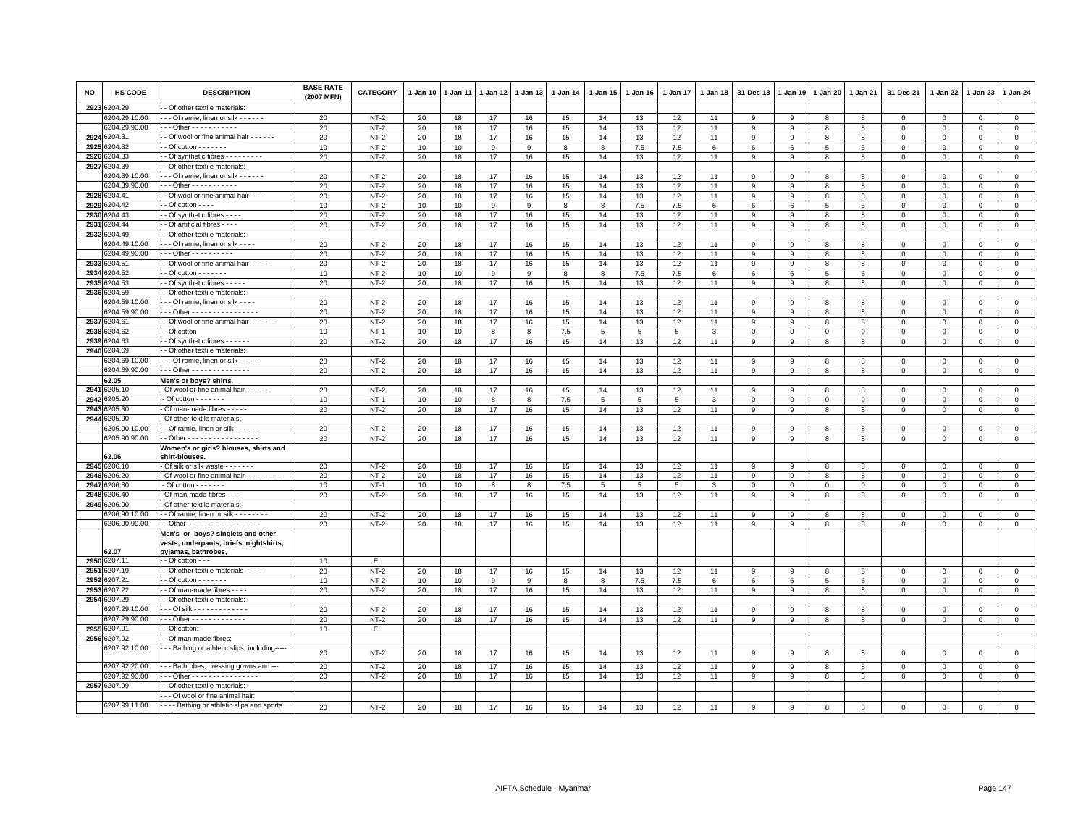| <b>NO</b> | <b>HS CODE</b>   | <b>DESCRIPTION</b>                               | <b>BASE RATE</b><br>(2007 MFN) | CATEGORY    | 1-Jan-10 | 1-Jan-11 | 1-Jan-12 | 1-Jan-13 | 1-Jan-14 | 1-Jan-15        | 1-Jan-16        | 1-Jan-17 | 1-Jan-18       | 31-Dec-18      | 1-Jan-19    | 1-Jan-20    | 1-Jan-21       | 31-Dec-21                  | 1-Jan-22    | 1-Jan-23     | $1 - Jan-24$   |
|-----------|------------------|--------------------------------------------------|--------------------------------|-------------|----------|----------|----------|----------|----------|-----------------|-----------------|----------|----------------|----------------|-------------|-------------|----------------|----------------------------|-------------|--------------|----------------|
| 2923      | 3204.29          | - Of other textile materials:                    |                                |             |          |          |          |          |          |                 |                 |          |                |                |             |             |                |                            |             |              |                |
|           | 6204.29.10.00    | - - Of ramie, linen or silk - - - - - -          | 20                             | <b>NT-2</b> | 20       | 18       | 17       | 16       | 15       | 14              | 13              | 12       | 11             | 9              | 9           | 8           | 8              | 0                          | 0           | $\mathbf 0$  | $\mathbf{0}$   |
|           | 6204.29.90.00    | - - Other - - - - - - - - - -                    | 20                             | $NT-2$      | 20       | 18       | 17       | 16       | 15       | 14              | 13              | 12       | 11             | 9              | 9           | 8           | 8              | $\mathbf 0$                | $\Omega$    | $\Omega$     | $\mathsf 0$    |
| 2924      | 3204.31          | - Of wool or fine animal hair - - - - - -        | 20                             | $NT-2$      | 20       | 18       | 17       | 16       | 15       | 14              | 13              | 12       | 11             | 9              | 9           | 8           | 8              | $\Omega$                   | $\Omega$    | $\Omega$     | $\circ$        |
| 2925      | 204.32           | $-$ Of cotton $      -$                          | 10                             | $NT-2$      | 10       | 10       | 9        | <b>q</b> | 8        | 8               | 7.5             | 7.5      | 6              | 6              | 6           | 5           | 5              | $^{\circ}$                 | $\Omega$    | $\Omega$     | $\mathbf{0}$   |
| 2926      | 204.33           | - Of synthetic fibres - - - - - - - -            | 20                             | $NT-2$      | 20       | 18       | 17       | 16       | 15       | 14              | 13              | 12       | 11             | 9              | 9           | 8           | 8              | $\mathsf 0$                | $\mathbf 0$ | $^{\circ}$   | $\mathbf 0$    |
| 2927      | 3204.39          | Of other textile materials                       |                                |             |          |          |          |          |          |                 |                 |          |                |                |             |             |                |                            |             |              |                |
|           | 204.39.10.00     | - - Of ramie, linen or silk - - - - - -          | 20                             | $NT-2$      | 20       | 18       | 17       | 16       | 15       | 14              | 13              | 12       | 11             | 9              | 9           | 8           | 8              | $\mathsf 0$                | $\mathbf 0$ | $\mathsf 0$  | $\mathsf 0$    |
|           | 6204.39.90.00    | $-$ - Other - - - - - - - - - - -                | 20                             | $NT-2$      | 20       | 18       | 17       | 16       | 15       | 14              | 13              | 12       | 11             | 9              | 9           | 8           | 8              | 0                          | $\Omega$    | $\Omega$     | $\overline{0}$ |
| 2928      | 3204.41          | - Of wool or fine animal hair - - - -            | 20                             | $NT-2$      | 20       | 18       | 17       | 16       | 15       | 14              | 13              | 12       | 11             | 9              | 9           | 8           | 8              | $\mathbf 0$                | $\mathbf 0$ | $\mathbf 0$  | $\mathbf{0}$   |
| 2929      | 3204.42          | - Of cotton - - - -                              | 10                             | $NT-2$      | 10       | 10       | 9        | 9        | 8        | 8               | 7.5             | 7.5      | 6              | 6              | 6           | 5           | 5              | $\mathsf 0$                | $\mathbf 0$ | $^{\circ}$   | $\mathsf 0$    |
| 2930      | 204.43           | - Of synthetic fibres - - - -                    | 20                             | $NT-2$      | 20       | 18       | 17       | 16       | 15       | 14              | 13              | 12       | 11             | 9              | 9           | 8           | 8              | 0                          | $\Omega$    | $\Omega$     | $\mathbf 0$    |
| 2931      | 204.44           | - Of artificial fibres - - - -                   | 20                             | $NT-2$      | 20       | 18       | 17       | 16       | 15       | 14              | 13              | 12       | 11             | 9              | 9           | 8           | 8              | $\mathbf 0$                | $\Omega$    | $\Omega$     | $\mathbf 0$    |
| 2932      | 204.49           | - Of other textile materials                     |                                |             |          |          |          |          |          |                 |                 |          |                |                |             |             |                |                            |             |              |                |
|           | 3204.49.10.00    | - - Of ramie, linen or silk - - - -              | 20                             | $NT-2$      | 20       | 18       | 17       | 16       | 15       | 14              | 13              | 12       | 11             | 9              | 9           | 8           | 8              | 0                          | 0           | $\mathbf 0$  | $\mathbf 0$    |
|           | 6204.49.90.00    | Other - - - - - - - - - -                        | 20                             | $NT-2$      | 20       | 18       | 17       | 16       | 15       | 14              | 13              | 12       | 11             | 9              | 9           | 8           | 8              | $\mathbf 0$                | $\mathbf 0$ | $^{\circ}$   | $\overline{0}$ |
| 2933      | 6204.51          | - Of wool or fine animal hair - - - - -          | 20                             | $NT-2$      | 20       | 18       | 17       | 16       | 15       | 14              | 13              | 12       | 11             | 9              | 9           | 8           | 8              | $\mathbf{0}$               | $\mathbf 0$ | $\mathbf 0$  | $\mathbf{0}$   |
| 2934      | 3204.52          | - Of cotton $\cdots$ - - - - -                   | 10                             | $NT-2$      | 10       | 10       | 9        | 9        | 8        | 8               | 7.5             | 7.5      | 6              | 6              | 6           | 5           | 5              | 0                          | 0           | $\mathbf 0$  | $\mathbf 0$    |
| 2935      | 204.53           | - Of synthetic fibres - - - - -                  | 20                             | $NT-2$      | 20       | 18       | 17       | 16       | 15       | 14              | 13              | 12       | 11             | 9              | 9           | 8           | 8              | $\mathsf 0$                | $\mathbf 0$ | $\mathsf 0$  | $\,0\,$        |
| 2936      | 204.59           | - Of other textile materials:                    |                                |             |          |          |          |          |          |                 |                 |          |                |                |             |             |                |                            |             |              |                |
|           | 3204.59.10.00    | - - Of ramie, linen or silk - - - -              | 20                             | $NT-2$      | 20       | 18       | 17       | 16       | 15       | 14              | 13              | 12       | 11             | 9              | q           | 8           | 8              | $\Omega$                   | $\Omega$    | $\Omega$     | $\mathsf 0$    |
|           | 6204.59.90.00    | - - Other - - - - - - - - - - - - - - - -        | 20                             | $NT-2$      | 20       | 18       | 17       | 16       | 15       | 14              | 13              | 12       | 11             | 9              | 9           | 8           | 8              | $\mathsf 0$                | $\Omega$    | $\Omega$     | $\mathbf 0$    |
| 2937      | 3204.61          | - Of wool or fine animal hair - - - - - -        | 20                             | $NT-2$      | 20       | 18       | 17       | 16       | 15       | 14              | 13              | 12       | 11             | 9              | 9           | 8           | 8              | 0                          | $\Omega$    | $\mathbf 0$  | $\mathbf 0$    |
| 2938      | 3204.62          | - Of cotton                                      | 10                             | $NT-1$      | 10       | 10       | 8        | 8        | 7.5      | $5\phantom{.0}$ | $5\phantom{.0}$ | 5        | $\mathbf{3}$   | $\mathbf 0$    | $\mathbf 0$ | $\mathbf 0$ | $\mathbf 0$    | $\mathsf 0$                | $\mathbf 0$ | $\mathsf 0$  | $\mathsf 0$    |
| 2939      | 3204.63          | - Of synthetic fibres - - - - - -                | 20                             | $NT-2$      | 20       | 18       | 17       | 16       | 15       | 14              | 13              | 12       | 11             | 9              | 9           | 8           | 8              | 0                          | 0           | $\mathbf 0$  | $\mathsf 0$    |
| 2940      | 204.69           | - Of other textile materials:                    |                                |             |          |          |          |          |          |                 |                 |          |                |                |             |             |                |                            |             |              |                |
|           | 3204.69.10.00    | - - Of ramie, linen or silk - - - - -            | 20                             | $NT-2$      | 20       | 18       | 17       | 16       | 15       | 14              | 13              | 12       | 11             | 9              | 9           | 8           | 8              | $\Omega$                   | $\Omega$    | $\Omega$     | $\mathbf{0}$   |
|           | 6204.69.90.00    | - - Other - - - - - - - - - - - - - -            | 20                             | $NT-2$      | 20       | 18       | 17       | 16       | 15       | 14              | 13              | 12       | 11             | 9              | 9           | 8           | 8              | $\mathsf 0$                | $\mathbf 0$ | $\Omega$     | $\mathsf 0$    |
|           | 62.05            | Men's or boys? shirts.                           |                                |             |          |          |          |          |          |                 |                 |          |                |                |             |             |                |                            |             |              |                |
| 2941      | 3205.10          | Of wool or fine animal hair - - - - - -          | 20                             | <b>NT-2</b> | 20       | 18       | 17       | 16       | 15       | 14              | 13              | 12       | 11             | 9              | 9           | 8           | 8              | 0                          | $\Omega$    | $\Omega$     | $\mathbf{0}$   |
| 2942      | 3205.20          | $-$ Of cotton $     -$                           | 10                             | $NT-1$      | 10       | 10       | 8        | 8        | 7.5      | $5\overline{5}$ | $5\phantom{.0}$ | 5        | $\mathbf{3}$   | $\mathbf 0$    | $\mathbf 0$ | $\mathbf 0$ | $\mathbf 0$    | $\mathsf 0$                | $\mathbf 0$ | $\mathsf 0$  | $\mathbf 0$    |
| 2943      | 205.30           | Of man-made fibres - - - - -                     | 20                             | $NT-2$      | 20       | 18       | 17       | 16       | 15       | 14              | 13              | 12       | 11             | 9              | 9           | 8           | 8              | $\mathsf 0$                | $\mathbf 0$ | $\mathbf 0$  | $\mathsf 0$    |
| 2944      | 205.90           | Of other textile materials:                      |                                |             |          |          |          |          |          |                 |                 |          |                |                |             |             |                |                            |             |              |                |
|           | 6205.90.10.00    | - Of ramie, linen or silk - - - - - -            | 20                             | $NT-2$      | 20       | 18       | 17       | 16       | 15       | 14              | 13              | 12       | 11             | 9              | 9           | 8           | 8              | $^{\circ}$                 | $\mathbf 0$ | $^{\circ}$   | $\mathbf 0$    |
|           | 6205.90.90.00    | - Other - - - - - - - - - - - - - - - -          | 20                             | $NT-2$      | 20       | 18       | 17       | 16       | 15       | 14              | 13              | 12       | 11             | $\mathbf{9}$   | 9           | 8           | 8              | $\mathsf 0$                | $\mathbf 0$ | $\mathbf 0$  | $\mathsf 0$    |
|           |                  | Women's or girls? blouses, shirts and            |                                |             |          |          |          |          |          |                 |                 |          |                |                |             |             |                |                            |             |              |                |
|           | 32.06            | shirt-blouses.                                   |                                |             |          |          |          |          |          |                 |                 |          |                |                |             |             |                |                            |             |              |                |
|           | 2945 6206.10     | Of silk or silk waste - - - - - - -              | 20                             | $NT-2$      | 20       | 18       | 17       | 16       | 15       | 14              | 13              | 12       | 11             | 9              | 9           | 8           | 8              | $^{\circ}$                 | 0           | $\Omega$     | $\mathbf{0}$   |
| 2946      | 206.20           | Of wool or fine animal hair - - - - - - - -      | 20                             | $NT-2$      | 20       | 18       | 17       | 16       | 15       | 14              | 13              | 12       | 11             | 9              | 9           | 8           | 8              | $\mathsf 0$                | $\mathbf 0$ | $\mathsf 0$  | $\mathbf 0$    |
| 2947      | 206.30           | $-$ Of cotton $     -$                           | 10                             | $NT-1$      | 10       | $10$     | 8        | 8        | $7.5\,$  | 5               | 5               | 5        | $\overline{3}$ | $\mathbf 0$    | $\mathbf 0$ | $\Omega$    | $\mathbf 0$    | $\mathbf 0$                | $\Omega$    | $\Omega$     | $\mathsf 0$    |
| 2948      | 206.40           | Of man-made fibres - - - -                       | 20                             | $NT-2$      | 20       | 18       | 17       | 16       | 15       | 14              | 13              | 12       | 11             | 9              | 9           | 8           | 8              | $\mathsf 0$                | $\mathbf 0$ | $\mathsf 0$  | $\mathsf 0$    |
| 2949      | 3206.90          | Of other textile materials:                      |                                |             |          |          |          |          |          |                 |                 |          |                |                |             |             |                |                            |             |              |                |
|           | 3206.90.10.00    | - Of ramie, linen or silk - - - - - - - -        | 20                             | $NT-2$      | 20       | 18       | 17       | 16       | 15       | 14              | 13              | 12       | 11             | 9              | 9           | 8           | 8              | 0                          | 0           | 0            | $\mathbf 0$    |
|           | 6206.90.90.00    | - Other - - - - - - - - - - - - - - - -          | 20                             | $NT-2$      | 20       | 18       | 17       | 16       | 15       | 14              | 13              | 12       | 11             | $\mathsf g$    | 9           | 8           | 8              | $\mathsf 0$                | $\mathbf 0$ | $\mathsf 0$  | $\overline{0}$ |
|           |                  | Men's or boys? singlets and other                |                                |             |          |          |          |          |          |                 |                 |          |                |                |             |             |                |                            |             |              |                |
|           |                  | vests, underpants, briefs, nightshirts,          |                                |             |          |          |          |          |          |                 |                 |          |                |                |             |             |                |                            |             |              |                |
| 2950      | 62.07<br>3207.11 | pyjamas, bathrobes,<br>$\cdot$ - Of cotton - - - | 10                             | EL.         |          |          |          |          |          |                 |                 |          |                |                |             |             |                |                            |             |              |                |
| 2951      | 3207.19          | - Of other textile materials - - - - -           | 20                             | $NT-2$      | 20       | 18       | 17       | 16       | 15       | 14              | 13              | 12       | 11             | 9              | 9           | 8           | $\overline{8}$ |                            | $\Omega$    | $\mathsf 0$  | $\overline{0}$ |
| 2952      | 207.21           | - Of cotton - - - - - - -                        | 10                             | $NT-2$      | 10       | 10       | 9        | 9        | 8        | 8               | 7.5             | 7.5      | 6              | 6              | 6           | 5           | 5              | $\mathsf 0$<br>$\mathbf 0$ | $\mathbf 0$ | $\mathbf 0$  | $\circ$        |
| 2953      | 207.22           | - Of man-made fibres - - - -                     | 20                             | $NT-2$      | 20       | 18       | 17       | 16       | 15       | 14              | 13              | 12       | 11             | 9              | 9           | 8           | 8              | $\mathsf 0$                | $\mathbf 0$ | $\mathsf 0$  | $\mathbf 0$    |
| 2954      | 207.29           | - Of other textile materials:                    |                                |             |          |          |          |          |          |                 |                 |          |                |                |             |             |                |                            |             |              |                |
|           | 207.29.10.00     | $-$ - Of silk - - - - - - - - - - - - -          | 20                             | $NT-2$      | 20       | 18       | 17       | 16       | 15       | 14              | 13              | 12       | 11             | 9              | 9           | 8           | 8              | 0                          | 0           | $\mathbf 0$  | $\mathbf 0$    |
|           | 3207.29.90.00    | -- Other - - - - - - - - - - - - -               | 20                             | $NT-2$      | 20       | 18       | 17       | 16       | 15       | 14              | 13              | 12       | 11             | 9              | 9           |             | 8              | $\mathbf{0}$               | $\mathbf 0$ | $\mathbf{0}$ | $\overline{0}$ |
| 2955      | 207.91           | - Of cotton:                                     | 10                             | EL.         |          |          |          |          |          |                 |                 |          |                |                |             | 8           |                |                            |             |              |                |
| 2956      | 3207.92          | - Of man-made fibres:                            |                                |             |          |          |          |          |          |                 |                 |          |                |                |             |             |                |                            |             |              |                |
|           | 3207.92.10.00    | - - Bathing or athletic slips, including-----    |                                |             |          |          |          |          |          |                 |                 |          |                |                |             |             |                |                            |             |              |                |
|           |                  |                                                  | 20                             | $NT-2$      | 20       | 18       | 17       | 16       | 15       | 14              | 13              | 12       | 11             | $\overline{9}$ | 9           | 8           | 8              | $\mathsf 0$                | $\mathsf 0$ | $\mathsf 0$  | $\mathsf 0$    |
|           | 6207.92.20.00    | - - Bathrobes, dressing gowns and ---            | 20                             | $NT-2$      | 20       | 18       | 17       | 16       | 15       | 14              | 13              | 12       | 11             | 9              | 9           | 8           | 8              | $^{\circ}$                 | $\mathbf 0$ | $^{\circ}$   | $\mathbf 0$    |
|           | 3207.92.90.00    | - - Other - - - - - - - - - - - - - - - -        | 20                             | $NT-2$      | 20       | 18       | 17       | 16       | 15       | 14              | 13              | 12       | 11             | 9              | 9           | 8           | 8              | $\mathsf 0$                | $\mathbf 0$ | $\Omega$     | $\mathsf 0$    |
| 2957      | 3207.99          | - Of other textile materials:                    |                                |             |          |          |          |          |          |                 |                 |          |                |                |             |             |                |                            |             |              |                |
|           |                  | - Of wool or fine animal hair:                   |                                |             |          |          |          |          |          |                 |                 |          |                |                |             |             |                |                            |             |              |                |
|           | 6207.99.11.00    | Bathing or athletic slips and sports             | 20                             | $NT-2$      | 20       | 18       | 17       | 16       | 15       | 14              | 13              | 12       | 11             | 9              | 9           | 8           | 8              | $\Omega$                   | $\Omega$    | $\mathbf 0$  | $\Omega$       |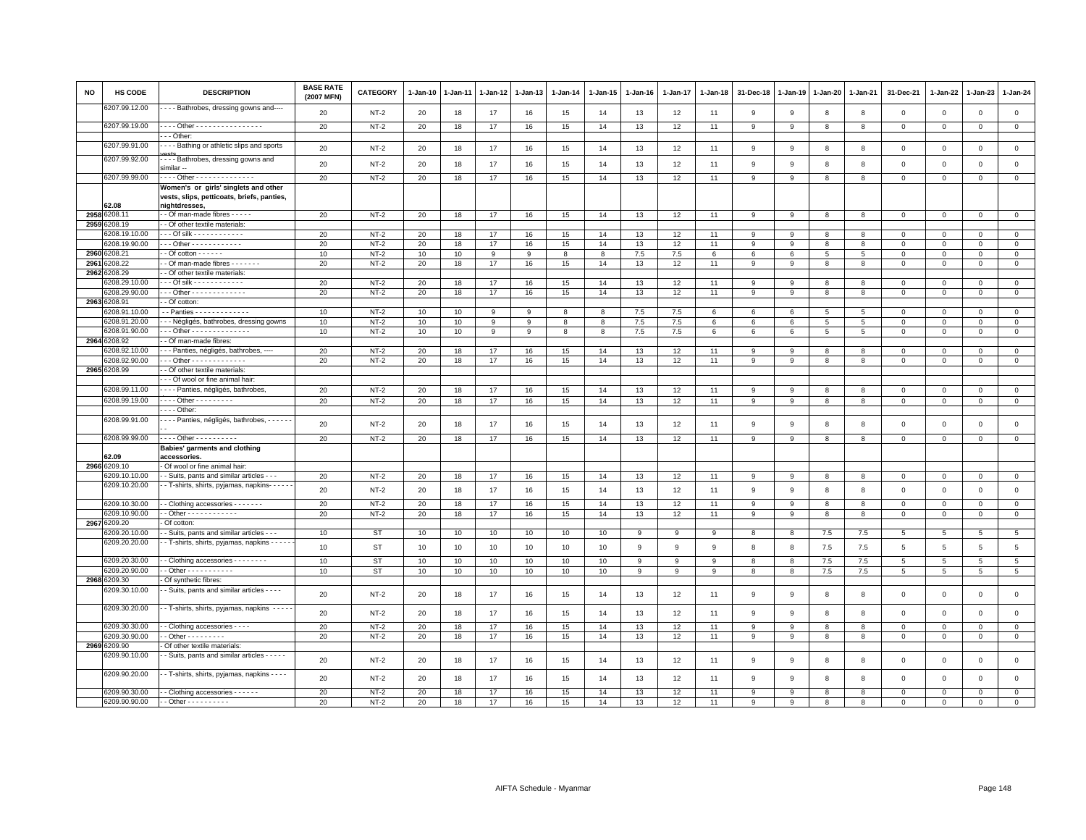| <b>NO</b> | <b>HS CODE</b>           | <b>DESCRIPTION</b>                                                  | <b>BASE RATE</b><br>(2007 MFN) | <b>CATEGORY</b>  | 1-Jan-10 | 1-Jan-11 | 1-Jan-12 | 1-Jan-13 | $1 - Jan-14$ | 1-Jan-15 | 1-Jan-16  | 1-Jan-17  | 1-Jan-18 | 31-Dec-18    | 1-Jan-19     | 1-Jan-20     | 1-Jan-21     | 31-Dec-21        | 1-Jan-22                | 1-Jan-23                | $1-Jan-24$             |
|-----------|--------------------------|---------------------------------------------------------------------|--------------------------------|------------------|----------|----------|----------|----------|--------------|----------|-----------|-----------|----------|--------------|--------------|--------------|--------------|------------------|-------------------------|-------------------------|------------------------|
|           | 3207.99.12.00            | - - - Bathrobes, dressing gowns and----                             | 20                             | NT-2             | 20       | 18       | 17       | 16       | 15           | 14       | 13        | 12        | 11       | 9            | 9            | 8            | 8            | $\mathbf 0$      | $\mathbf 0$             | $\mathbf 0$             | $\mathbf 0$            |
|           | 6207.99.19.00            | --- Other ----------------                                          | 20                             | $NT-2$           | 20       | 18       | 17       | 16       | 15           | 14       | 13        | 12        | 11       | 9            | 9            | 8            | 8            | $\mathsf 0$      | $\mathbf 0$             | $\mathsf 0$             | $\mathbf 0$            |
|           | 6207.99.91.00            | - - Other:<br>- - - Bathing or athletic slips and sports            |                                |                  |          |          |          |          |              |          |           |           |          |              |              |              |              |                  |                         |                         |                        |
|           | 6207.99.92.00            |                                                                     | 20                             | $NT-2$           | 20       | 18       | 17       | 16       | 15           | 14       | 13        | 12        | 11       | 9            | 9            | 8            | 8            | $\mathbf 0$      | $\mathbf 0$             | $\mathbf 0$             | $\mathbf{0}$           |
|           |                          | --- Bathrobes, dressing gowns and<br>similar --                     | 20                             | $NT-2$           | 20       | 18       | 17       | 16       | 15           | 14       | 13        | 12        | 11       | 9            | 9            | 8            | 8            | $\mathsf 0$      | $\mathbf 0$             | $\mathsf 0$             | $\mathsf 0$            |
|           | 6207.99.99.00            | --- Other --------------                                            | 20                             | $NT-2$           | 20       | 18       | 17       | 16       | 15           | 14       | 13        | 12        | 11       | $\mathbf{9}$ | 9            | 8            | 8            | $\mathsf 0$      | $\Omega$                | $\Omega$                | $\overline{0}$         |
|           |                          | Women's or girls' singlets and other                                |                                |                  |          |          |          |          |              |          |           |           |          |              |              |              |              |                  |                         |                         |                        |
|           | 52.08                    | vests, slips, petticoats, briefs, panties,<br>nightdresses          |                                |                  |          |          |          |          |              |          |           |           |          |              |              |              |              |                  |                         |                         |                        |
| 2958      | 6208.1                   | - Of man-made fibres - - - - -                                      | 20                             | $NT-2$           | 20       | 18       | 17       | 16       | 15           | 14       | 13        | 12        | 11       | 9            | 9            | 8            | 8            | $\mathbf 0$      | $\Omega$                | $\Omega$                | $\mathbf 0$            |
| 2959      | 3208.19                  | - Of other textile materials:                                       |                                |                  |          |          |          |          |              |          |           |           |          |              |              |              |              |                  |                         |                         |                        |
|           | 208.19.10.00             | - - Of silk - - - - - - - - - - - -                                 | 20                             | $NT-2$           | 20       | 18       | 17       | 16       | 15           | 14       | 13        | 12        | 11       | 9            | 9            | 8            | 8            | $\Omega$         | $\Omega$                | $\Omega$                | $\mathbf{0}$           |
| 2960      | 6208.19.90.00<br>3208.21 | $-$ - Other - - - - - - - - - - - -                                 | 20                             | $NT-2$           | 20       | 18       | 17       | 16       | 15           | 14       | 13        | 12        | 11       | 9            | 9            | 8            | 8            | $\mathbf 0$      | $\Omega$                | $\Omega$                | $\mathbf 0$            |
| 2961      | 208.22                   | $-$ Of cotton $    -$<br>- Of man-made fibres - - - - - - -         | 10<br>20                       | $NT-2$<br>$NT-2$ | 10<br>20 | 10<br>18 | 9<br>17  | 9<br>16  | 8<br>15      | 8<br>14  | 7.5<br>13 | 7.5<br>12 | 6<br>11  | 6<br>9       | 6<br>9       | 5<br>8       | 5<br>8       | 0<br>$\mathbf 0$ | $\Omega$<br>$\mathbf 0$ | $\Omega$<br>$\mathbf 0$ | $\mathbf 0$<br>$\circ$ |
| 2962      | 208.29                   | - Of other textile materials:                                       |                                |                  |          |          |          |          |              |          |           |           |          |              |              |              |              |                  |                         |                         |                        |
|           | 3208.29.10.00            | - - Of silk - - - - - - - - - - - -                                 | 20                             | $NT-2$           | 20       | 18       | 17       | 16       | 15           | 14       | 13        | 12        | 11       | $\mathsf{Q}$ | q            | $\mathbf{R}$ | $\mathbf{R}$ | $\mathbf 0$      | $\Omega$                | $\Omega$                | $\circ$                |
|           | 6208.29.90.00            | $-$ - Other - - - - - - - - - - - - -                               | 20                             | $NT-2$           | 20       | 18       | 17       | 16       | 15           | 14       | 13        | 12        | 11       | 9            | 9            | 8            | 8            | $\mathsf 0$      | $\mathbf 0$             | $\mathbf 0$             | $\mathbf 0$            |
|           | 2963 6208.91             | - Of cotton:                                                        |                                |                  |          |          |          |          |              |          |           |           |          |              |              |              |              |                  |                         |                         |                        |
|           | 6208.91.10.00            | - - Panties - - - - - - - - - - - - -                               | 10                             | $NT-2$           | 10       | 10       | 9        | 9        | 8            | 8        | 7.5       | 7.5       | 6        | 6            | 6            | 5            | 5            | $\mathbf 0$      | $\mathbf 0$             | $\mathbf 0$             | $\mathbf{0}$           |
|           | 6208.91.20.00            | - - Négligés, bathrobes, dressing gowns                             | 10                             | $NT-2$           | 10       | 10       | 9        | 9        | 8            | 8        | $7.5\,$   | 7.5       | 6        | 6            | 6            | 5            | 5            | $\mathsf 0$      | $\mathbf 0$             | $\mathbf 0$             | $\mathsf 0$            |
|           | 3208.91.90.00            | - - Other - - - - - - - - - - - - - -                               | 10                             | $NT-2$           | 10       | 10       | 9        | 9        | 8            | 8        | 7.5       | 7.5       | 6        | 6            | 6            | 5            | 5            | 0                | 0                       | $\mathbf 0$             | $\mathsf 0$            |
|           | 2964 6208.92             | - Of man-made fibres:                                               |                                |                  |          |          |          |          |              |          |           |           |          |              |              |              |              |                  |                         |                         |                        |
|           | 3208.92.10.00            | - - Panties, négligés, bathrobes, ----                              | 20                             | $NT-2$           | 20       | 18       | 17       | 16       | 15           | 14       | 13        | 12        | 11       | 9            | 9            | 8            | 8            | 0                | $\mathbf 0$             | $^{\circ}$              | $\mathsf 0$            |
|           | 3208.92.90.00            | - - Other - - - - - - - - - - - - -                                 | 20                             | $NT-2$           | 20       | 18       | 17       | 16       | 15           | 14       | 13        | 12        | 11       | 9            | 9            | 8            | 8            | $\mathsf 0$      | $\mathbf 0$             | $\mathbf 0$             | $\mathbf 0$            |
| 2965      | 6208.99                  | - Of other textile materials:                                       |                                |                  |          |          |          |          |              |          |           |           |          |              |              |              |              |                  |                         |                         |                        |
|           |                          | - Of wool or fine animal hair:                                      |                                |                  |          |          |          |          |              |          |           |           |          |              |              |              |              |                  |                         |                         |                        |
|           | 6208.99.11.00            | - - - Panties, négligés, bathrobes,                                 | 20                             | $NT-2$           | 20       | 18       | 17       | 16       | 15           | 14       | 13        | 12        | 11       | q            | q            | $\mathbf{R}$ | $\mathbf{R}$ | $\mathbf 0$      | $\Omega$                | $\Omega$                | $\circ$                |
|           | 6208.99.19.00            | . - - - Other - - - - - - - - .                                     | 20                             | $NT-2$           | 20       | 18       | 17       | 16       | 15           | 14       | 13        | 12        | 11       | 9            | -9           | 8            | 8            | $\mathsf 0$      | $\mathbf 0$             | $\mathbf 0$             | $\mathbf 0$            |
|           |                          | $- -$ Other:                                                        |                                |                  |          |          |          |          |              |          |           |           |          |              |              |              |              |                  |                         |                         |                        |
|           | 6208.99.91.00            | · · · · Panties, négligés, bathrobes, · · · · · ·                   | 20                             | $NT-2$           | 20       | 18       | 17       | 16       | 15           | 14       | 13        | 12        | 11       | 9            | 9            | 8            | 8            | $\mathbf 0$      | $\mathbf 0$             | $\mathbf 0$             | $\mathsf 0$            |
|           | 6208.99.99.00            | Other - - - - - - - - -                                             | 20                             | $NT-2$           | 20       | 18       | 17       | 16       | 15           | 14       | 13        | 12        | 11       | $\mathsf{Q}$ | $\mathsf{q}$ | $\mathbf{R}$ | 8            | $\mathbf 0$      | $\Omega$                | $\Omega$                | $\mathbf 0$            |
|           |                          | Babies' garments and clothing                                       |                                |                  |          |          |          |          |              |          |           |           |          |              |              |              |              |                  |                         |                         |                        |
| 2966      | 32.09<br>3209.10         | accessories.<br>Of wool or fine animal hair:                        |                                |                  |          |          |          |          |              |          |           |           |          |              |              |              |              |                  |                         |                         |                        |
|           | 3209.10.10.00            | - Suits, pants and similar articles - - -                           | 20                             | $NT-2$           | 20       | 18       | 17       | 16       | 15           | 14       | 13        | 12        | 11       | 9            | 9            | 8            | 8            | $\mathbf 0$      | $\mathbf 0$             | $\mathbf 0$             | $\mathbf 0$            |
|           | 6209.10.20.00            | - - T-shirts, shirts, pyjamas, napkins- - - - - -                   | 20                             | $NT-2$           | 20       | 18       | 17       | 16       | 15           | 14       | 13        | 12        | 11       | 9            | 9            | 8            | 8            | $\mathsf 0$      | $\mathbf 0$             | $\mathsf 0$             | $\mathsf 0$            |
|           |                          |                                                                     |                                |                  |          |          |          |          |              |          |           |           |          |              |              |              |              |                  |                         |                         |                        |
|           | 3209.10.30.00            | - Clothing accessories - - - - - - -                                | 20                             | $NT-2$           | 20       | 18       | 17       | 16       | 15           | 14       | 13        | 12        | 11       | 9            | 9            | 8            | 8            | 0                | $\Omega$                | $\Omega$                | $\mathbf 0$            |
|           | 3209.10.90.00            | - Other - - - - - - - - - - - -                                     | 20                             | $NT-2$           | 20       | 18       | 17       | 16       | 15           | 14       | 13        | 12        | 11       | 9            | 9            | 8            | 8            | $\mathbf 0$      | $\mathbf 0$             | $\mathsf 0$             | $\mathbf 0$            |
| 2967      | 3209.20<br>209.20.10.00  | Of cotton:<br>- Suits, pants and similar articles - - -             |                                | <b>ST</b>        |          |          |          |          |              |          |           | 9         |          |              |              |              |              |                  |                         |                         |                        |
|           | 6209.20.20.00            | - T-shirts, shirts, pyjamas, napkins - - - -                        | 10                             |                  | 10       | 10       | 10       | 10       | 10           | 10       | 9         |           | 9        | 8            | 8            | 7.5          | 7.5          | 5                | 5                       | 5                       | $5\phantom{.0}$        |
|           |                          |                                                                     | 10                             | <b>ST</b>        | 10       | 10       | 10       | 10       | 10           | 10       | 9         | 9         | 9        | 8            | 8            | 7.5          | 7.5          | 5                | 5                       | 5                       | $5\phantom{.0}$        |
|           | 6209.20.30.00            | - Clothing accessories - - - - - - - -                              | 10                             | <b>ST</b>        | 10       | $10$     | 10       | 10       | 10           | 10       | 9         | 9         | 9        | 8            | 8            | 7.5          | 7.5          | $\,$ 5 $\,$      | 5                       | 5                       | $\overline{5}$         |
| 2968      | 209.20.90.00<br>3209.30  | - Other - - - - - - - - - - -                                       | 10                             | <b>ST</b>        | 10       | 10       | 10       | 10       | 10           | 10       | 9         | 9         | 9        | 8            | 8            | 7.5          | 7.5          | $\overline{5}$   | 5                       | 5                       | $5\phantom{.0}$        |
|           | 3209.30.10.00            | Of synthetic fibres:<br>- Suits, pants and similar articles - - - - |                                |                  |          |          |          |          |              |          |           |           |          |              |              |              |              |                  |                         |                         |                        |
|           |                          |                                                                     | 20                             | $NT-2$           | 20       | 18       | 17       | 16       | 15           | 14       | 13        | 12        | 11       | 9            | 9            | 8            | 8            | $\mathsf 0$      | $\mathbf 0$             | $\mathsf 0$             | $\mathsf 0$            |
|           | 6209.30.20.00            | - T-shirts, shirts, pyjamas, napkins - - - -                        | 20                             | $NT-2$           | 20       | 18       | 17       | 16       | 15           | 14       | 13        | 12        | 11       | 9            | 9            | 8            | 8            | $\mathsf 0$      | $\mathsf 0$             | $\mathsf 0$             | $\mathsf 0$            |
|           | 6209.30.30.00            | - Clothing accessories - - - -                                      | 20                             | $NT-2$           | 20       | 18       | 17       | 16       | 15           | 14       | 13        | 12        | 11       | 9            | 9            | 8            | 8            | $\Omega$         | $\Omega$                | $\Omega$                | $\mathbf 0$            |
|           | 3209.30.90.00            | $-$ Other $       -$                                                | 20                             | $NT-2$           | 20       | 18       | 17       | 16       | 15           | 14       | 13        | 12        | 11       | 9            | 9            | 8            | 8            | $\mathsf 0$      | $\mathbf 0$             | $\mathsf 0$             | $\overline{0}$         |
| 2969      | 3209.90                  | Of other textile materials:                                         |                                |                  |          |          |          |          |              |          |           |           |          |              |              |              |              |                  |                         |                         |                        |
|           | 3209.90.10.00            | - Suits, pants and similar articles - - - - -                       | 20                             | $NT-2$           | 20       | 18       | 17       | 16       | 15           | 14       | 13        | 12        | 11       | 9            | 9            | 8            | 8            | $\mathsf 0$      | $\mathbf 0$             | $\mathsf 0$             | $\mathsf 0$            |
|           | 6209.90.20.00            | - T-shirts, shirts, pyjamas, napkins - - - -                        | 20                             | $NT-2$           | 20       | 18       | 17       | 16       | 15           | 14       | 13        | 12        | 11       | 9            | 9            | 8            | 8            | $\mathsf 0$      | $\mathbf 0$             | $\mathsf 0$             | $\mathsf 0$            |
|           | 6209.90.30.00            | - Clothing accessories - - - - - -                                  | 20                             | $NT-2$           | 20       | 18       | 17       | 16       | 15           | 14       | 13        | 12        | 11       | 9            | 9            | 8            | 8            | $\mathbf 0$      | $\mathbf 0$             | $\mathbf 0$             | $\mathbf 0$            |
|           | 6209.90.90.00            | $-$ Other $        -$                                               | 20                             | $NT-2$           | 20       | 18       | 17       | 16       | 15           | 14       | 13        | 12        | 11       | 9            | 9            | 8            | 8            | $\Omega$         | $\mathbf 0$             | $\mathbf 0$             | $\mathbf{0}$           |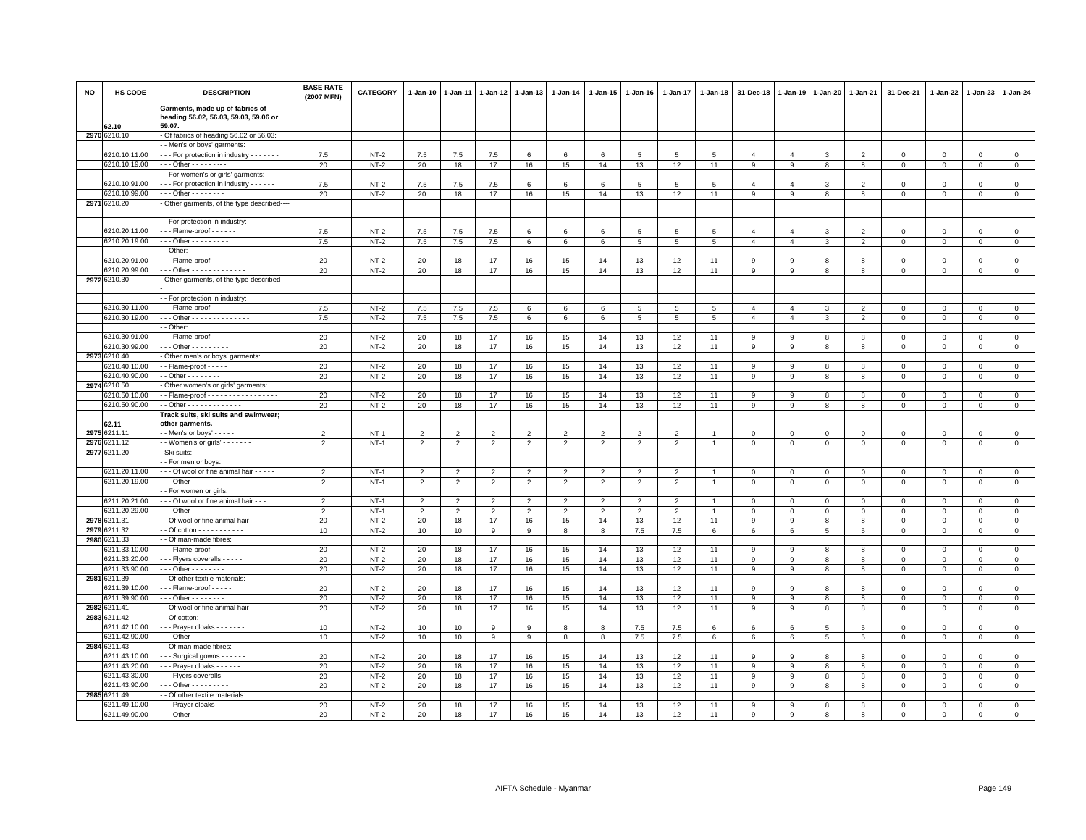| <b>NO</b> | HS CODE                       | <b>DESCRIPTION</b>                                                                 | <b>BASE RATE</b><br>(2007 MFN) | CATEGORY         | $1 - Jan-10$   | $1-Jan-11$     | $1-Jan-12$     | 1-Jan-13       | $1-Jan-14$      | 1-Jan-15       | $1 - Jan-16$   | 1-Jan-17                 | 1-Jan-18        | 31-Dec-18      | 1-Jan-19       | 1-Jan-20     | 1-Jan-21                | 31-Dec-21                   | 1-Jan-22                | $1-Jan-23$                   | 1-Jan-24               |
|-----------|-------------------------------|------------------------------------------------------------------------------------|--------------------------------|------------------|----------------|----------------|----------------|----------------|-----------------|----------------|----------------|--------------------------|-----------------|----------------|----------------|--------------|-------------------------|-----------------------------|-------------------------|------------------------------|------------------------|
|           |                               | Garments, made up of fabrics of<br>heading 56.02, 56.03, 59.03, 59.06 or           |                                |                  |                |                |                |                |                 |                |                |                          |                 |                |                |              |                         |                             |                         |                              |                        |
|           | 62.10<br>2970 6210.10         | 59.07.<br>Of fabrics of heading 56.02 or 56.03:                                    |                                |                  |                |                |                |                |                 |                |                |                          |                 |                |                |              |                         |                             |                         |                              |                        |
|           |                               | - Men's or boys' garments:                                                         |                                |                  |                |                |                |                |                 |                |                |                          |                 |                |                |              |                         |                             |                         |                              |                        |
|           | 6210.10.11.00                 | --- For protection in industry -------                                             | 7.5                            | $NT-2$           | 7.5            | 7.5            | 7.5            | 6              | 6               | 6              | 5              | 5                        | $5\overline{5}$ | $\overline{4}$ | $\overline{4}$ | $\mathbf{3}$ | $\overline{2}$          | $\mathbf 0$                 | $\Omega$                | $\circ$                      | $\overline{0}$         |
|           | 6210.10.19.00                 | - - - Other - - - - - - - -                                                        | 20                             | $NT-2$           | 20             | 18             | 17             | 16             | 15              | 14             | 13             | 12                       | 11              | 9              | 9              | 8            | 8                       | $\mathbf 0$                 | $\mathbf 0$             | $\mathbf 0$                  | $\mathsf 0$            |
|           |                               | - For women's or girls' garments:                                                  |                                |                  |                |                |                |                |                 |                |                |                          |                 |                |                |              |                         |                             |                         |                              |                        |
|           | 6210.10.91.00                 | --- For protection in industry - - - - - -                                         | 7.5                            | $NT-2$           | 7.5            | 7.5            | 7.5            | 6              | 6               | 6              | 5              | 5                        | 5               | $\overline{4}$ | $\overline{4}$ | 3            | $\overline{2}$          | $\mathbf 0$                 | $\Omega$                | $\mathbf{0}$                 | $\circ$                |
|           | 6210.10.99.00                 | $- -$ Other - - - - - - - -                                                        | 20                             | $NT-2$           | 20             | 18             | 17             | 16             | 15              | 14             | 13             | 12                       | 11              | $\overline{9}$ | 9              | 8            | 8                       | $\mathbf 0$                 | $\mathbf 0$             | $\mathbf 0$                  | $\overline{0}$         |
|           | 2971 6210.20                  | Other garments, of the type described----                                          |                                |                  |                |                |                |                |                 |                |                |                          |                 |                |                |              |                         |                             |                         |                              |                        |
|           |                               | - For protection in industry:                                                      |                                |                  |                |                |                |                |                 |                |                |                          |                 |                |                |              |                         |                             |                         |                              |                        |
|           | 6210.20.11.00                 | $\cdots$ Flame-proof - - - - - -                                                   | 7.5                            | $NT-2$           | 7.5            | 7.5            | 7.5            | 6              | 6               | 6              | 5              | 5                        | 5               | $\overline{4}$ | $\overline{a}$ | 3            | $\overline{2}$          | $\mathbf 0$                 | $\mathbf{0}$            | $\mathbf{0}$                 | $\mathbf{0}$           |
|           | 6210.20.19.00                 | $\cdot$ - Other - - - - - - - -                                                    | 7.5                            | $NT-2$           | 7.5            | 7.5            | 7.5            | 6              | $6\phantom{.0}$ | 6              | 5              | 5                        | 5               | $\overline{4}$ | $\overline{4}$ | $\mathbf{3}$ | $\overline{2}$          | $\mathsf 0$                 | $\mathbf 0$             | $\mathbf 0$                  | $\mathsf 0$            |
|           | 6210.20.91.00                 | - Other:<br>$\cdot$ - Flame-proof - - - - - - - - - - -                            | 20                             | $NT-2$           | 20             | 18             | 17             | 16             | 15              | 14             | 13             | 12                       | 11              | 9              | -9             | 8            | 8                       | 0                           | $\Omega$                | $\Omega$                     | $\mathbf 0$            |
|           | 6210.20.99.00                 | Other - - - - - - - - - - - - -                                                    | 20                             | $NT-2$           | 20             | 18             | 17             | 16             | 15              | 14             | 13             | 12                       | 11              | 9              | 9              | 8            | 8                       | $\mathbf{0}$                | $\Omega$                | $\mathbf{0}$                 | $\mathbf{0}$           |
|           | 2972 6210.30                  | - Other garments, of the type described --                                         |                                |                  |                |                |                |                |                 |                |                |                          |                 |                |                |              |                         |                             |                         |                              |                        |
|           |                               |                                                                                    |                                |                  |                |                |                |                |                 |                |                |                          |                 |                |                |              |                         |                             |                         |                              |                        |
|           |                               | - For protection in industry:                                                      |                                |                  |                |                |                |                |                 |                |                |                          |                 |                |                |              |                         |                             |                         |                              |                        |
|           | 6210.30.11.00                 | $\cdots$ Flame-proof - - - - - - -                                                 | 7.5                            | $NT-2$           | 7.5            | 7.5            | 7.5            | 6              | 6               | 6              | 5              | 5                        | 5               | $\overline{4}$ | $\overline{4}$ | 3            | $\overline{2}$          | $\mathbf 0$                 | $\mathbf 0$             | $\mathbf 0$                  | $\mathbf 0$            |
|           | 6210.30.19.00                 | Other - - - - - - - - - - - - - -                                                  | 7.5                            | $NT-2$           | 7.5            | 7.5            | 7.5            | 6              | 6               | 6              | 5              | $5\overline{5}$          | 5               | $\overline{4}$ | $\overline{4}$ | 3            | $\overline{2}$          | $\mathbf{0}$                | $\Omega$                | $\mathbf{0}$                 | $\mathbf 0$            |
|           |                               | - Other:                                                                           |                                |                  |                |                |                |                |                 |                |                |                          |                 |                |                |              |                         |                             |                         |                              |                        |
|           | 6210.30.91.00                 | $-$ - Flame-proof - - - - - - - -                                                  | 20                             | $NT-2$           | 20             | 18             | 17             | 16             | 15              | 14             | 13             | 12                       | 11              | 9              | -9             | 8            | 8                       | $\mathbf 0$                 | $\mathbf 0$             | $\Omega$                     | $\mathsf 0$            |
|           | 6210.30.99.00                 | $-$ - Other - - - - - - - - -                                                      | 20                             | $NT-2$           | 20             | 18             | 17             | 16             | 15              | 14             | 13             | 12                       | 11              | 9              | 9              | 8            | 8                       | $\mathbf 0$                 | $\Omega$                | $\mathbf{0}$                 | $\mathbf 0$            |
| 2973      | 6210.40                       | Other men's or boys' garments:                                                     |                                |                  |                |                |                |                |                 |                |                |                          |                 |                |                |              |                         |                             |                         |                              |                        |
|           | 210.40.10.00                  | - Flame-proof - - - - -                                                            | 20                             | $NT-2$           | 20             | 18             | 17             | 16             | 15              | 14             | 13             | 12                       | 11              | 9              | -9             | 8            | 8                       | 0                           | $\circ$                 | $\mathbf 0$                  | $\mathsf 0$            |
|           | 6210.40.90.00                 | $-$ Other - - - - - - - -                                                          | 20                             | $NT-2$           | 20             | 18             | 17             | 16             | 15              | 14             | 13             | 12                       | 11              | $\overline{9}$ | 9              | 8            | $\overline{\mathbf{8}}$ | $\mathsf{O}\xspace$         | $\circ$                 | $\mathbf 0$                  | $\overline{0}$         |
|           | 2974 6210.50<br>6210.50.10.00 | Other women's or girls' garments:<br>- Flame-proof - - - - - - - - - - - - - - - - |                                |                  |                |                | 17             |                |                 |                |                |                          |                 |                |                |              |                         |                             |                         |                              | $\circ$                |
|           | 6210.50.90.00                 | $-$ Other - - - - - - - - - - - - -                                                | 20<br>20                       | $NT-2$<br>$NT-2$ | 20<br>20       | 18<br>18       | 17             | 16<br>16       | 15<br>15        | 14<br>14       | 13<br>13       | 12<br>12                 | 11<br>11        | 9<br>9         | 9              | 8            | 8<br>8                  | $\mathbf{0}$<br>$\mathsf 0$ | $\mathbf{0}$<br>0       | $\mathbf{0}$                 | $\mathbf 0$            |
|           |                               | Track suits, ski suits and swimwear;                                               |                                |                  |                |                |                |                |                 |                |                |                          |                 |                | 9              | 8            |                         |                             |                         | $\mathbf 0$                  |                        |
|           | 62.11                         | other garments.                                                                    |                                |                  |                |                |                |                |                 |                |                |                          |                 |                |                |              |                         |                             |                         |                              |                        |
|           | 2975 6211.11                  | - - Men's or boys' - - - - -                                                       | $\mathcal{P}$                  | $NT-1$           | $\overline{2}$ | $\mathcal{P}$  | $\mathcal{P}$  | $\mathcal{P}$  | $\mathcal{P}$   | $\mathcal{P}$  | $\mathcal{P}$  | $\mathcal{P}$            |                 | $\Omega$       | $\Omega$       | $\Omega$     | $\Omega$                | $\Omega$                    | $\Omega$                | $\Omega$                     | $\mathbf 0$            |
| 2976      | 6211.12                       | - - Women's or girls' - - - - - - -                                                | $\overline{2}$                 | $NT-1$           | $\overline{2}$ | $\overline{2}$ | $\overline{2}$ | $\overline{2}$ | $\overline{2}$  | $\overline{2}$ | $\overline{2}$ | $\overline{2}$           |                 | $\mathbf 0$    | $\mathbf 0$    | $\mathbf 0$  | $\mathbf 0$             | $\mathbf 0$                 | $\mathbf 0$             | $\mathbf 0$                  | $\mathsf 0$            |
| 2977      | 6211.20                       | · Ski suits:                                                                       |                                |                  |                |                |                |                |                 |                |                |                          |                 |                |                |              |                         |                             |                         |                              |                        |
|           |                               | - For men or boys:                                                                 |                                |                  |                |                |                |                |                 |                |                |                          |                 |                |                |              |                         |                             |                         |                              |                        |
|           | 6211.20.11.00                 | - - - Of wool or fine animal hair - - - - -                                        | $\overline{2}$                 | $NT-1$           | 2              | $\overline{2}$ | 2              | 2              | 2               | 2              | 2              | $\overline{\phantom{0}}$ |                 | $\Omega$       | $\mathbf{0}$   | $\mathbf{0}$ | $\mathbf{0}$            | $\mathbf{0}$                | $\Omega$                | $\mathbf{0}$                 | $\circ$                |
|           | 6211.20.19.00                 | - - - Other - - - - - - - - -                                                      | $\overline{2}$                 | $NT-1$           | $\overline{2}$ | $\overline{2}$ | $\overline{2}$ | $\overline{2}$ | $\overline{2}$  | $\overline{2}$ | $\overline{2}$ | $\overline{2}$           |                 | $\mathbf 0$    | $\mathbf 0$    | $\mathbf 0$  | $\mathbf 0$             | $\mathbf 0$                 | $\mathbf 0$             | $\mathbf 0$                  | $\mathsf 0$            |
|           |                               | - For women or girls:                                                              |                                |                  |                |                |                |                |                 |                |                |                          |                 |                |                |              |                         |                             |                         |                              |                        |
|           | 6211.20.21.00                 | - - Of wool or fine animal hair - - -                                              | $\overline{2}$                 | $NT-1$           | $\overline{2}$ | $\overline{2}$ | $\overline{2}$ | $\overline{2}$ | $\overline{2}$  | $\overline{2}$ | $\overline{2}$ | $\overline{2}$           |                 | $^{\circ}$     | $\circ$        | 0            | $\mathbf 0$             | $\mathsf 0$                 | $\mathbf 0$             | $\mathbf{0}$                 | $\mathbf 0$            |
|           | 6211.20.29.00                 | $-$ - Other - - - - - - - -                                                        | $\overline{2}$                 | $NT-1$           | $\overline{2}$ | $\overline{2}$ | $\overline{2}$ | $\overline{2}$ | 2               | $\overline{2}$ | $\overline{2}$ | $\overline{2}$           |                 | $\mathbf 0$    | $\mathbf 0$    | $\mathbf 0$  | $\mathbf 0$             | $\mathbf{0}$                | $\mathbf 0$             | $\mathbf{0}$                 | $\mathsf 0$            |
| 2979      | 2978 6211.31<br>211.32        | - Of wool or fine animal hair - - - - - - -                                        | 20<br>10                       | $NT-2$<br>$NT-2$ | 20<br>10       | 18<br>10       | 17<br>9        | 16<br>9        | 15<br>8         | 14<br>8        | 13<br>7.5      | 12<br>7.5                | 11<br>6         | 9<br>6         | 9<br>6         | 8<br>5       | 8<br>5                  | $\mathbf{0}$<br>$\mathbf 0$ | $\Omega$<br>$\mathbf 0$ | $\mathbf{0}$<br>$\mathbf{0}$ | $\mathbf 0$<br>$\circ$ |
|           | 2980 6211.33                  | - Of man-made fibres:                                                              |                                |                  |                |                |                |                |                 |                |                |                          |                 |                |                |              |                         |                             |                         |                              |                        |
|           | 6211.33.10.00                 | $\cdots$ Flame-proof - - - - - -                                                   | 20                             | $NT-2$           | 20             | 18             | 17             | 16             | 15              | 14             | 13             | 12                       | 11              | 9              | 9              | 8            | 8                       | $\mathbf{0}$                | $\mathbf 0$             | $\circ$                      | $\mathsf 0$            |
|           | 6211.33.20.00                 | Flyers coveralls                                                                   | 20                             | $NT-2$           | 20             | 18             | 17             | 16             | 15              | 14             | 13             | 12                       | 11              | 9              | 9              | 8            | 8                       | $\mathsf 0$                 | $\Omega$                | $\mathbf 0$                  | $\mathbf 0$            |
|           | 6211.33.90.00                 | $-$ - Other - - - - - - - -                                                        | 20                             | $NT-2$           | 20             | 18             | 17             | 16             | 15              | 14             | 13             | 12                       | 11              | 9              | 9              | 8            | 8                       | $\mathbf 0$                 | $\mathbf 0$             | $\circ$                      | $\circ$                |
| 2981      | 6211.39                       | - Of other textile materials:                                                      |                                |                  |                |                |                |                |                 |                |                |                          |                 |                |                |              |                         |                             |                         |                              |                        |
|           | 6211.39.10.00                 | - - Flame-proof - - - -                                                            | 20                             | $NT-2$           | 20             | 18             | 17             | 16             | 15              | 14             | 13             | 12                       | 11              | 9              | 9              | 8            | 8                       | $\mathsf 0$                 | $\Omega$                | $\Omega$                     | $\mathsf 0$            |
|           | 3211.39.90.00                 | . - - Other - - - - - - - -                                                        | 20                             | $NT-2$           | 20             | 18             | 17             | 16             | 15              | 14             | 13             | 12                       | 11              | 9              | 9              | 8            | 8                       | $\mathsf 0$                 | $\mathbf 0$             | $\mathbf 0$                  | $\mathsf 0$            |
| 2982      | 6211.41                       | - Of wool or fine animal hair - - - - - -                                          | 20                             | $NT-2$           | 20             | 18             | 17             | 16             | 15              | 14             | 13             | 12                       | 11              | 9              | 9              | 8            | 8                       | $\mathsf 0$                 | $\mathsf 0$             | $\mathbf 0$                  | $\mathbf{0}$           |
|           | 2983 6211.42                  | - Of cotton:                                                                       |                                |                  |                |                |                |                |                 |                |                |                          |                 |                |                |              |                         |                             |                         |                              |                        |
|           | 6211.42.10.00                 | - - Prayer cloaks - - - - - - -                                                    | 10                             | $NT-2$           | 10             | 10             | -9             | 9              | 8               | 8              | 7.5            | 7.5                      | 6               | 6              | 6              | 5            | $\overline{5}$          | $\mathbf 0$                 | $\Omega$                | $\mathbf{0}$                 | $\overline{0}$         |
|           | 6211.42.90.00                 | $\cdots$ Other $\cdots$                                                            | 10                             | $NT-2$           | 10             | 10             | 9              | 9              | 8               | 8              | 7.5            | 7.5                      | 6               | 6              | 6              | 5            | 5                       | $\mathsf 0$                 | $\mathbf 0$             | $\mathbf 0$                  | $\mathsf 0$            |
| 2984      | 6211.43                       | - Of man-made fibres:                                                              |                                |                  |                |                |                |                |                 |                |                |                          |                 |                |                |              |                         |                             |                         |                              |                        |
|           | 6211.43.10.00                 | $-$ - Surgical gowns $-$ - $-$ - $-$                                               | 20                             | $NT-2$           | 20             | 18             | 17             | 16             | 15              | 14             | 13             | 12                       | 11              | 9              | -9             | 8            | 8                       | $\mathbf 0$                 | $\mathbf{0}$            | $\mathbf{0}$                 | $\circ$                |
|           | 6211.43.20.00                 | - - - Prayer cloaks - - - - - -                                                    | 20                             | $NT-2$           | 20             | 18             | 17             | 16             | 15              | 14             | 13             | 12                       | 11              | 9              | 9              | 8            | 8                       | $\mathsf 0$                 | $\mathbf 0$             | $\mathbf 0$                  | $\mathbf 0$            |
|           | 6211.43.30.00                 | --- Flyers coveralls -------<br>$\cdots$ Other - - - - - - - - -                   | 20                             | $NT-2$           | 20             | 18             | 17             | 16             | 15              | 14             | 13             | 12                       | 11              | 9              | 9              | 8            | 8                       | $\mathbf{0}$                | $\mathbf 0$             | $\mathbf{0}$                 | $\circ$                |
|           | 6211.43.90.00<br>2985 6211.49 | - Of other textile materials:                                                      | 20                             | $NT-2$           | 20             | 18             | 17             | 16             | 15              | 14             | 13             | 12                       | 11              | 9              | 9              | 8            | 8                       | $\mathbf 0$                 | $\mathbf 0$             | $\mathbf 0$                  | $\circ$                |
|           | 6211.49.10.00                 | --- Prayer cloaks ------                                                           | 20                             | $NT-2$           | 20             | 18             | 17             | 16             | 15              | 14             | 13             | 12                       | 11              | 9              | 9              | 8            | 8                       | $\mathsf 0$                 | $\mathbf 0$             | $\mathbf 0$                  | $\mathsf 0$            |
|           | 6211.49.90.00                 | $- -$ - Other - - - - - - -                                                        | 20                             | $NT-2$           | 20             | 18             | 17             | 16             | 15              | 14             | 13             | 12                       | 11              | 9              | 9              | 8            | 8                       | $\Omega$                    | $\mathbf 0$             | $\mathbf{0}$                 | $\mathbf 0$            |
|           |                               |                                                                                    |                                |                  |                |                |                |                |                 |                |                |                          |                 |                |                |              |                         |                             |                         |                              |                        |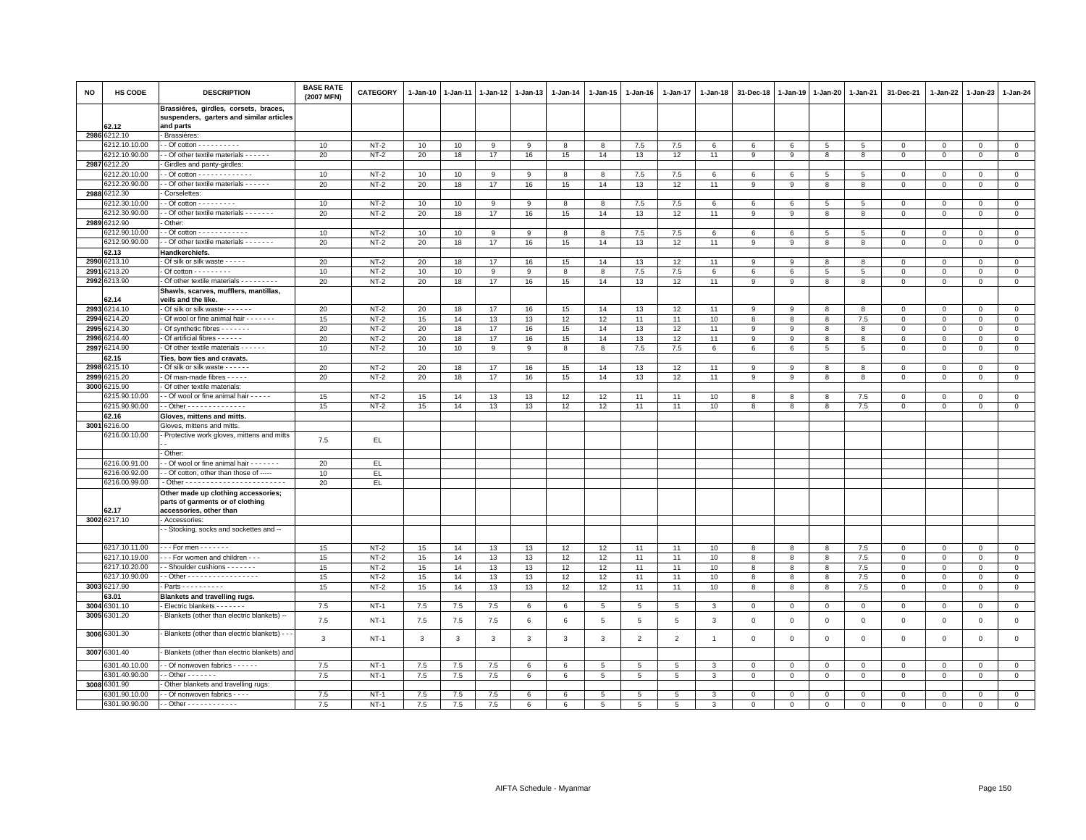| <b>NO</b> | HS CODE                       | <b>DESCRIPTION</b>                                                                  | <b>BASE RATE</b><br>(2007 MFN) | CATEGORY | 1-Jan-10 | $1 - Jan-11$            | $1 - Jan-12$ | 1-Jan-13     | 1-Jan-14 | 1-Jan-15        | 1-Jan-16        | 1-Jan-17        | 1-Jan-18       | 31-Dec-18   | 1-Jan-19     | 1-Jan-20     | 1-Jan-21        | 31-Dec-21                           | 1-Jan-22                   | 1-Jan-23                      | 1-Jan-24       |
|-----------|-------------------------------|-------------------------------------------------------------------------------------|--------------------------------|----------|----------|-------------------------|--------------|--------------|----------|-----------------|-----------------|-----------------|----------------|-------------|--------------|--------------|-----------------|-------------------------------------|----------------------------|-------------------------------|----------------|
|           |                               | Brassiéres, girdles, corsets, braces,<br>suspenders, garters and similar articles   |                                |          |          |                         |              |              |          |                 |                 |                 |                |             |              |              |                 |                                     |                            |                               |                |
|           | 62.12                         | and parts                                                                           |                                |          |          |                         |              |              |          |                 |                 |                 |                |             |              |              |                 |                                     |                            |                               |                |
|           | 2986 6212.10<br>6212.10.10.00 | - Brassiéres:                                                                       |                                | $NT-2$   |          |                         |              |              |          |                 | 7.5             | 7.5             |                |             |              |              | $5\phantom{.0}$ |                                     |                            |                               | $\circ$        |
|           | 6212.10.90.00                 | $\cdot$ - Of cotton - - - - - - - - - -<br>- Of other textile materials - - - - - - | 10<br>20                       | $NT-2$   | 10<br>20 | 10<br>18                | 9<br>17      | 9<br>16      | 8<br>15  | 8<br>14         | 13              | 12              | 6<br>11        | 6<br>9      | 6<br>9       | 5<br>8       | 8               | $\mathbf{0}$<br>$\mathsf{O}\xspace$ | $\mathbf 0$<br>$\mathbf 0$ | $\overline{0}$<br>$\mathbf 0$ | $\mathbf 0$    |
| 2987      | 6212.20                       | Girdles and panty-girdles                                                           |                                |          |          |                         |              |              |          |                 |                 |                 |                |             |              |              |                 |                                     |                            |                               |                |
|           | 3212.20.10.00                 |                                                                                     | 10                             | $NT-2$   | 10       | 10                      | $\mathsf{Q}$ | 9            | 8        | 8               | $7.5\,$         | 7.5             | 6              | 6           | 6            | 5            | 5               | $\Omega$                            | $\Omega$                   | $\Omega$                      | $\Omega$       |
|           | 6212.20.90.00                 | - Of other textile materials - - - - - -                                            | 20                             | $NT-2$   | 20       | 18                      | 17           | 16           | 15       | 14              | 13              | 12              | 11             | 9           | 9            | 8            | 8               | $\mathbf 0$                         | $\mathbf 0$                | $\mathbf{0}$                  | $\circ$        |
|           | 2988 6212.30                  | Corselettes:                                                                        |                                |          |          |                         |              |              |          |                 |                 |                 |                |             |              |              |                 |                                     |                            |                               |                |
|           | 6212.30.10.00                 | $-$ Of cotton $        -$                                                           | 10                             | $NT-2$   | 10       | 10                      | 9            | 9            | 8        | 8               | 7.5             | 7.5             | 6              | 6           | 6            | 5            | 5               | $\mathbf 0$                         | $\mathbf{0}$               | $\mathbf{0}$                  | $\mathbf{0}$   |
|           | 6212.30.90.00                 | - Of other textile materials - - - - - - -                                          | 20                             | $NT-2$   | 20       | 18                      | 17           | 16           | 15       | 14              | 13              | 12              | 11             | 9           | 9            | 8            | 8               | $\mathbf 0$                         | $\Omega$                   | $\mathbf{0}$                  | $\mathbf 0$    |
|           | 2989 6212.90                  | Other:                                                                              |                                |          |          |                         |              |              |          |                 |                 |                 |                |             |              |              |                 |                                     |                            |                               |                |
|           | 6212.90.10.00                 |                                                                                     | 10                             | $NT-2$   | 10       | 10                      | 9            | 9            | 8        | 8               | 7.5             | 7.5             | 6              | 6           | 6            | 5            | 5               | $\mathbf 0$                         | $\mathbf{0}$               | $\mathbf{0}$                  | $\circ$        |
|           | 6212.90.90.00                 | - Of other textile materials - - - - - - -                                          | 20                             | $NT-2$   | 20       | 18                      | 17           | 16           | 15       | 14              | 13              | 12              | 11             | 9           | 9            | 8            | 8               | $\mathbf 0$                         | $\mathbf 0$                | $\mathbf 0$                   | $\mathbf 0$    |
|           | 62.13                         | Handkerchiefs.                                                                      |                                |          |          |                         |              |              |          |                 |                 |                 |                |             |              |              |                 |                                     |                            |                               |                |
| 2990      | 6213.10                       | Of silk or silk waste - - - - -                                                     | 20                             | $NT-2$   | 20       | 18                      | 17           | 16           | 15       | 14              | 13              | 12              | 11             | 9           | -9           | 8            | 8               | $\mathbf 0$                         | $\Omega$                   | $\Omega$                      | $\mathbf 0$    |
| 2991      | 213.20                        | - Of cotton - - - - - - - - -                                                       | 10                             | $NT-2$   | 10       | 10                      | 9            | 9            | 8        | 8               | 7.5             | 7.5             | 6              | 6           | 6            | 5            | 5               | $\mathbf 0$                         | $\Omega$                   | $\Omega$                      | $\circ$        |
|           | 2992 6213.90                  | Of other textile materials - - - - - - - - -                                        | 20                             | $NT-2$   | 20       | 18                      | 17           | 16           | 15       | 14              | 13              | 12              | 11             | 9           | 9            | 8            | 8               | $\mathsf 0$                         | $\mathbf 0$                | $\mathbf 0$                   | $\mathbf 0$    |
|           |                               | Shawls, scarves, mufflers, mantillas,                                               |                                |          |          |                         |              |              |          |                 |                 |                 |                |             |              |              |                 |                                     |                            |                               |                |
|           | 62.14                         | veils and the like.                                                                 |                                |          |          |                         |              |              |          |                 |                 |                 |                |             |              |              |                 |                                     |                            |                               |                |
| 2993      | 6214.10                       | - Of silk or silk waste- - - - - - -                                                | 20                             | $NT-2$   | 20       | 18                      | 17           | 16           | 15       | 14              | 13              | 12              | 11             | 9           | $\mathbf{q}$ | 8            | 8               | $\Omega$                            | $\Omega$                   | $\Omega$                      | $\circ$        |
| 2994      | 214.20                        | Of wool or fine animal hair - - - - - - -                                           | 15                             | $NT-2$   | 15       | 14                      | 13           | 13           | 12       | 12              | 11              | 11              | 10             | 8           | 8            | 8            | 7.5             | $\mathsf 0$                         | $\mathbf 0$                | $\mathbf 0$                   | $\mathbf 0$    |
| 2995      | 214.30                        | - Of synthetic fibres - - - - - - -                                                 | 20                             | $NT-2$   | 20       | 18                      | 17           | 16           | 15       | 14              | 13              | 12              | 11             | 9           | -9           | -8           | 8               | $\mathbf 0$                         | 0                          | $\Omega$                      | $\mathbf 0$    |
| 2996      | 3214.40                       | - Of artificial fibres - - - - - -                                                  | 20                             | $NT-2$   | 20       | 18                      | 17           | 16           | 15       | 14              | 13              | 12              | 11             | 9           | 9            | 8            | 8               | $\mathsf 0$                         | $\mathbf 0$                | $\mathsf 0$                   | $\mathsf 0$    |
| 2997      | 6214.90                       | - Of other textile materials - - - - - -                                            | 10                             | $NT-2$   | 10       | 10                      | 9            | 9            | 8        | 8               | 7.5             | 7.5             | 6              | 6           | 6            | 5            | 5               | $\mathbf 0$                         | $\mathbf 0$                | $\mathbf 0$                   | $\mathsf 0$    |
|           | 62.15                         | Ties, bow ties and cravats.                                                         |                                |          |          |                         |              |              |          |                 |                 |                 |                |             |              |              |                 |                                     |                            |                               |                |
|           | 2998 6215.10                  | - Of silk or silk waste - - - - - -                                                 | 20                             | $NT-2$   | 20       | 18                      | 17           | 16           | 15       | 14              | 13              | 12              | 11             | 9           | -9           | 8            | 8               | $\mathsf 0$                         | $\Omega$                   | $\mathbf 0$                   | $\mathbf 0$    |
| 2999      | 6215.20                       | Of man-made fibres - - - - -                                                        | 20                             | $NT-2$   | 20       | 18                      | 17           | 16           | 15       | 14              | 13              | 12              | 11             | 9           | 9            | 8            | 8               | $\mathsf 0$                         | $\mathbf 0$                | $\Omega$                      | $\overline{0}$ |
| 3000      | 3215.90                       | Of other textile materials:                                                         |                                |          |          |                         |              |              |          |                 |                 |                 |                |             |              |              |                 |                                     |                            |                               |                |
|           | 6215.90.10.00                 | - Of wool or fine animal hair - - - - -                                             | 15                             | $NT-2$   | 15       | 14                      | 13           | 13           | 12       | 12              | 11              | 11              | 10             | 8           | 8            | 8            | 7.5             | $\mathbf 0$                         | $\Omega$                   | $\mathbf 0$                   | $\mathbf 0$    |
|           | 6215.90.90.00                 | - Other - - - - - - - - - - - - -                                                   | 15                             | $NT-2$   | 15       | 14                      | 13           | 13           | 12       | 12              | 11              | 11              | 10             | 8           | 8            | 8            | 7.5             | $\mathbf 0$                         | $\mathbf 0$                | $\circ$                       | $\circ$        |
|           | 62.16                         | Gloves, mittens and mitts.                                                          |                                |          |          |                         |              |              |          |                 |                 |                 |                |             |              |              |                 |                                     |                            |                               |                |
| 3001      | 6216.00                       | Gloves, mittens and mitts.                                                          |                                |          |          |                         |              |              |          |                 |                 |                 |                |             |              |              |                 |                                     |                            |                               |                |
|           | 6216.00.10.00                 | Protective work gloves, mittens and mitts                                           | 7.5                            | EL.      |          |                         |              |              |          |                 |                 |                 |                |             |              |              |                 |                                     |                            |                               |                |
|           |                               | Other:                                                                              |                                |          |          |                         |              |              |          |                 |                 |                 |                |             |              |              |                 |                                     |                            |                               |                |
|           | 6216.00.91.00                 | - Of wool or fine animal hair - - - - - - -                                         | 20                             | EL.      |          |                         |              |              |          |                 |                 |                 |                |             |              |              |                 |                                     |                            |                               |                |
|           | 6216.00.92.00                 | - Of cotton, other than those of -----                                              | 10                             | EL       |          |                         |              |              |          |                 |                 |                 |                |             |              |              |                 |                                     |                            |                               |                |
|           | 6216.00.99.00                 |                                                                                     | 20                             | EL.      |          |                         |              |              |          |                 |                 |                 |                |             |              |              |                 |                                     |                            |                               |                |
|           |                               | Other made up clothing accessories;<br>parts of garments or of clothing             |                                |          |          |                         |              |              |          |                 |                 |                 |                |             |              |              |                 |                                     |                            |                               |                |
|           | 62.17<br>3002 6217.10         | accessories, other than<br>Accessories:                                             |                                |          |          |                         |              |              |          |                 |                 |                 |                |             |              |              |                 |                                     |                            |                               |                |
|           |                               | - Stocking, socks and sockettes and --                                              |                                |          |          |                         |              |              |          |                 |                 |                 |                |             |              |              |                 |                                     |                            |                               |                |
|           |                               |                                                                                     |                                |          |          |                         |              |              |          |                 |                 |                 |                |             |              |              |                 |                                     |                            |                               |                |
|           | 6217.10.11.00                 | $-For$ men $\cdots \cdots$                                                          | 15                             | $NT-2$   | 15       | 14                      | 13           | 13           | 12       | 12              | 11              | 11              | 10             | 8           | 8            | 8            | 7.5             | $\mathbf 0$                         | $\mathbf{0}$               | $\mathbf{0}$                  | $\circ$        |
|           | 6217.10.19.00                 | - - For women and children - - -                                                    | 15                             | $NT-2$   | 15       | 14                      | 13           | 13           | 12       | 12              | 11              | 11              | 10             | 8           | 8            | 8            | 7.5             | $\mathbf 0$                         | $\Omega$                   | $\mathbf 0$                   | $\mathbf 0$    |
|           | 6217.10.20.00                 | - Shoulder cushions - - - - - -                                                     | 15                             | $NT-2$   | 15       | 14                      | 13           | 13           | 12       | 12              | 11              | 11              | 10             | 8           | 8            | 8            | 7.5             | $\mathbf{0}$                        | $\mathbf{0}$               | $\Omega$                      | $\mathsf 0$    |
|           | 6217.10.90.00                 | $-$ Other - - - - - - - - - - - - - - - - -                                         | 15                             | $NT-2$   | 15       | 14                      | 13           | 13           | 12       | 12              | 11              | 11              | 10             | 8           | 8            | 8            | 7.5             | $\mathsf 0$                         | 0                          | $\mathbf 0$                   | $\mathbf 0$    |
|           | 3003 6217.90                  | Parts - - - - - - - - - -                                                           | 15                             | $NT-2$   | 15       | 14                      | 13           | 13           | 12       | 12              | 11              | 11              | 10             | 8           | 8            | 8            | 7.5             | $\mathbf 0$                         | $\mathbf 0$                | $\mathbf{0}$                  | $\circ$        |
|           | 63.01                         | <b>Blankets and travelling rugs.</b>                                                |                                |          |          |                         |              |              |          |                 |                 |                 |                |             |              |              |                 |                                     |                            |                               |                |
| 3004      | 6301.10                       | - Electric blankets - - - - - - -                                                   | 7.5                            | $NT-1$   | 7.5      | 7.5                     | 7.5          | 6            | 6        | 5               | 5               | 5               | 3              | $\mathbf 0$ | $\circ$      | $\mathbf 0$  | $\mathbf 0$     | $\mathsf 0$                         | $\circ$                    | $\mathbf 0$                   | $\mathbf 0$    |
|           | 3005 6301.20                  | Blankets (other than electric blankets) --                                          | $7.5\,$                        | $NT-1$   | 7.5      | 7.5                     | 7.5          | 6            | 6        | $5\phantom{.0}$ | 5               | $\overline{5}$  | 3              | $\mathbf 0$ | $\mathbf 0$  | $\mathbf 0$  | $\,0\,$         | $\mathsf 0$                         | $\mathbf{0}$               | $\mathbf 0$                   | $\mathsf 0$    |
|           | 3006 6301.30                  | - Blankets (other than electric blankets) - -                                       | 3                              | $NT-1$   | 3        | $\overline{\mathbf{3}}$ | $\mathbf{3}$ | $\mathbf{3}$ | 3        | 3               | $\overline{2}$  | $\overline{2}$  | $\overline{1}$ | $\mathbf 0$ | $\mathbf 0$  | $\mathsf 0$  | $\,0\,$         | $\mathsf 0$                         | $\mathbf 0$                | $\mathbf 0$                   | $\mathsf 0$    |
|           | 3007 6301.40                  | - Blankets (other than electric blankets) and                                       |                                |          |          |                         |              |              |          |                 |                 |                 |                |             |              |              |                 |                                     |                            |                               |                |
|           | 6301.40.10.00                 | - Of nonwoven fabrics - - - - - -                                                   | 7.5                            | $NT-1$   | 7.5      | 7.5                     | 7.5          | 6            | 6        | 5               | 5               | 5               | 3              | $\mathbf 0$ | $\circ$      | $\mathbf 0$  | $\mathbf 0$     | 0                                   | $\Omega$                   | $\mathbf 0$                   | $\mathbf 0$    |
|           | 6301.40.90.00                 | $-$ Other $     -$                                                                  | 7.5                            | $NT-1$   | 7.5      | 7.5                     | 7.5          | 6            | $\,6\,$  | $5\phantom{.0}$ | $5\phantom{.0}$ | $5\phantom{.0}$ | 3              | $\mathbf 0$ | $\,0\,$      | $\mathbf{0}$ | $\overline{0}$  | $\mathsf{O}\xspace$                 | $\mathsf 0$                | $\mathbf 0$                   | $\overline{0}$ |
|           | 3008 6301.90                  | Other blankets and travelling rugs:                                                 |                                |          |          |                         |              |              |          |                 |                 |                 |                |             |              |              |                 |                                     |                            |                               |                |
|           | 6301.90.10.00                 | - Of nonwoven fabrics - - - -                                                       | 7.5                            | $NT-1$   | 7.5      | 7.5                     | 7.5          | 6            | 6        | 5               | 5               | 5               | 3              | $\mathbf 0$ | $\mathbf 0$  | $\mathbf 0$  | $\overline{0}$  | $\mathsf 0$                         | $\mathbf 0$                | $\mathbf 0$                   | $\mathsf 0$    |
|           | 6301.90.90.00                 | $-$ Other - - - - - - - - - - -                                                     | $7.5\,$                        | $NT-1$   | 7.5      | 7.5                     | 7.5          | 6            | 6        | 5               | 5               | 5               | 3              | $\mathbf 0$ | $\mathbf 0$  | $\mathbf 0$  | $\mathsf 0$     | 0                                   | $\Omega$                   | $\mathbf{0}$                  | $\Omega$       |
|           |                               |                                                                                     |                                |          |          |                         |              |              |          |                 |                 |                 |                |             |              |              |                 |                                     |                            |                               |                |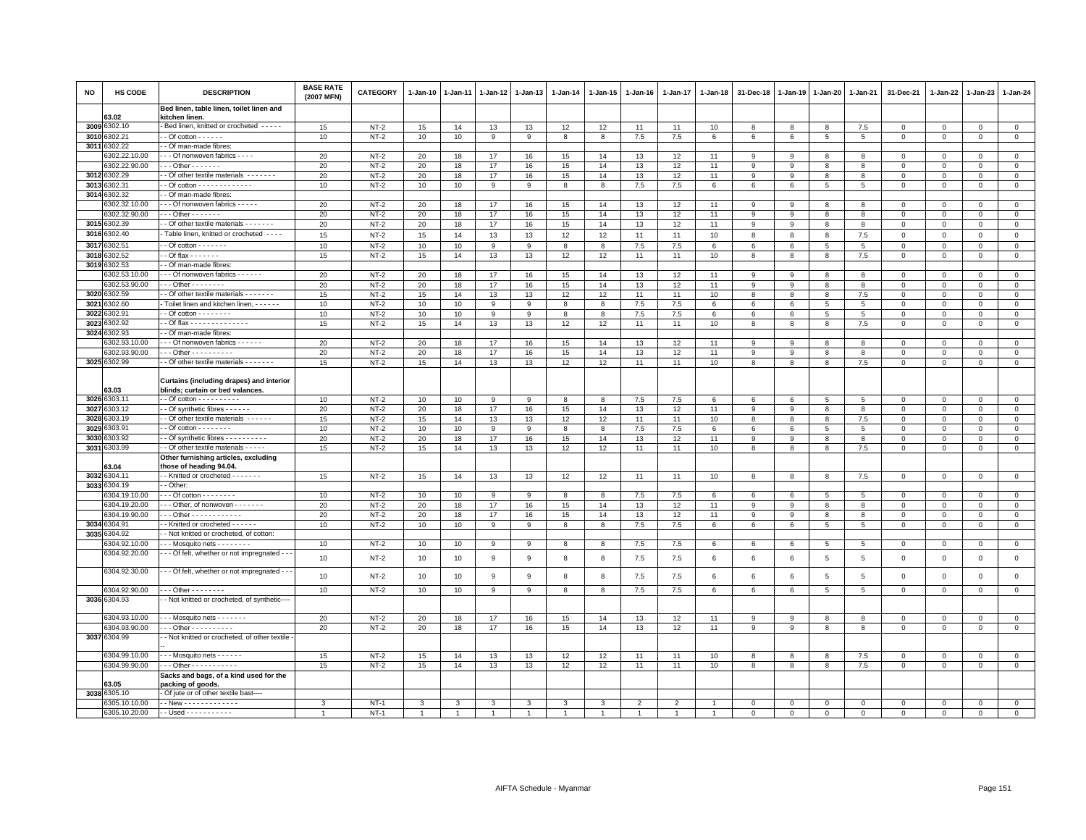| <b>NO</b> | HS CODE               | <b>DESCRIPTION</b>                                                           | <b>BASE RATE</b><br>(2007 MFN) | CATEGORY | 1-Jan-10 | $1 - Jan-11$ | $1 - Jan-12$ | $1 - Jan-13$   | 1-Jan-14 | 1-Jan-15 | $1 - Jan-16$ | $1 - Jan-17$ | $1 - Jan-18$ | 31-Dec-18   | 1-Jan-19    | $1 - Jan-20$   | 1-Jan-21       | 31-Dec-21   | 1-Jan-22     | 1-Jan-23     | $1 - Jan-24$   |
|-----------|-----------------------|------------------------------------------------------------------------------|--------------------------------|----------|----------|--------------|--------------|----------------|----------|----------|--------------|--------------|--------------|-------------|-------------|----------------|----------------|-------------|--------------|--------------|----------------|
|           | 63.02                 | Bed linen, table linen, toilet linen and<br>kitchen linen.                   |                                |          |          |              |              |                |          |          |              |              |              |             |             |                |                |             |              |              |                |
|           | 3009 6302.10          | Bed linen, knitted or crocheted - - - - -                                    | 15                             | $NT-2$   | 15       | 14           | 13           | 13             | 12       | 12       | 11           | 11           | 10           | 8           | 8           | 8              | 7.5            | 0           | 0            | $\mathbf 0$  | $\mathbf{0}$   |
|           | 3010 6302.21          | $-$ Of cotton $    -$                                                        | 10                             | $NT-2$   | 10       | 10           | 9            | 9              | 8        | 8        | 7.5          | 7.5          | $\,6\,$      | 6           | 6           | 5              | 5              | $\mathbf 0$ | $\mathbf 0$  | $\Omega$     | $\overline{0}$ |
|           | 3011 6302.22          | - Of man-made fibres:                                                        |                                |          |          |              |              |                |          |          |              |              |              |             |             |                |                |             |              |              |                |
|           | 6302.22.10.00         | - - Of nonwoven fabrics - - - -                                              | 20                             | $NT-2$   | 20       | 18           | 17           | 16             | 15       | 14       | 13           | 12           | 11           | 9           | 9           | 8              | 8              | $\Omega$    | $\Omega$     | $\Omega$     | $\mathbf{0}$   |
|           | 6302.22.90.00         | $-$ - Other - - - - - - -                                                    | 20                             | $NT-2$   | 20       | 18           | 17           | 16             | 15       | 14       | 13           | 12           | 11           | 9           | 9           | 8              | 8              | 0           | 0            | $\mathbf 0$  | $\mathbf 0$    |
|           | 3012 6302.29          | - Of other textile materials -------                                         | 20                             | $NT-2$   | 20       | 18           | 17           | 16             | 15       | 14       | 13           | 12           | 11           | 9           | 9           | 8              | 8              | $\mathsf 0$ | $\Omega$     | $\Omega$     | $\overline{0}$ |
|           | 3013 6302.31          |                                                                              | 10                             | $NT-2$   | 10       | 10           | 9            | 9              | 8        | 8        | 7.5          | 7.5          | 6            | 6           | 6           | 5              | 5              | $\mathbf 0$ | $\Omega$     | $\mathbf 0$  | $\mathbf 0$    |
|           | 3014 6302.32          | - Of man-made fibres:                                                        |                                |          |          |              |              |                |          |          |              |              |              |             |             |                |                |             |              |              |                |
|           | 6302.32.10.00         | - - Of nonwoven fabrics - - - - -                                            | 20                             | $NT-2$   | 20       | 18           | 17           | 16             | 15       | 14       | 13           | 12           | 11           | 9           | 9           | 8              | 8              | $\mathbf 0$ | $\mathbf 0$  | $\mathbf{0}$ | $\mathsf 0$    |
|           | 6302.32.90.00         | $-$ - Other - - - - - - -                                                    | 20                             | $NT-2$   | 20       | 18           | 17           | 16             | 15       | 14       | 13           | 12           | 11           | 9           | 9           | 8              | 8              | 0           | $\Omega$     | $\Omega$     | $\,0\,$        |
|           | 3015 6302.39          | - Of other textile materials - - - - - -                                     | 20                             | $NT-2$   | 20       | 18           | 17           | 16             | 15       | 14       | 13           | 12           | 11           | 9           | 9           | 8              | 8              | $\mathbf 0$ | $\Omega$     | $\Omega$     | $\mathbf 0$    |
|           | 3016 6302.40          | Table linen, knitted or crocheted - - - -                                    | 15                             | $NT-2$   | 15       | 14           | 13           | 13             | 12       | 12       | 11           | 11           | 10           | 8           | 8           | 8              | 7.5            | $\mathbf 0$ | $\mathbf 0$  | $\mathbf 0$  | $\mathsf 0$    |
|           | 3017 6302.51          | $-$ Of cotton $      -$                                                      | 10                             | $NT-2$   | 10       | 10           | 9            | 9              | 8        | 8        | 7.5          | 7.5          | 6            | 6           | 6           | 5              | $\,$ 5 $\,$    | $\mathbf 0$ | $\mathbf 0$  | $\Omega$     | $\mathsf 0$    |
|           | 3018 6302.52          | $-$ Of flax $- - - - - -$                                                    | 15                             | $NT-2$   | 15       | 14           | 13           | 13             | 12       | 12       | 11           | 11           | 10           | 8           | 8           | 8              | 7.5            | $\mathbf 0$ | $\mathbf 0$  | $\Omega$     | $\circ$        |
|           | 3019 6302.53          | Of man-made fibres:                                                          |                                |          |          |              |              |                |          |          |              |              |              |             |             |                |                |             |              |              |                |
|           | 6302.53.10.00         | - - Of nonwoven fabrics - - - - - -                                          | 20                             | $NT-2$   | 20       | 18           | 17           | 16             | 15       | 14       | 13           | 12           | 11           | 9           | 9           | 8              | 8              | $\mathsf 0$ | $\mathbf 0$  | $\Omega$     | $\mathsf 0$    |
|           | 6302.53.90.00         | $-$ - Other - - - - - - - -                                                  | 20                             | $NT-2$   | 20       | 18           | 17           | 16             | 15       | 14       | 13           | 12           | 11           | 9           | 9           | 8              | 8              | 0           | $\Omega$     | $\Omega$     | $\mathsf 0$    |
|           | 3020 6302.59          | - Of other textile materials - - - - - -                                     | 15                             | $NT-2$   | 15       | 14           | 13           | 13             | 12       | 12       | 11           | 11           | 10           | 8           | 8           | 8              | 7.5            | $\mathbf 0$ | $\mathbf 0$  | $\Omega$     | $\circ$        |
| 3021      | 6302.60               | Toilet linen and kitchen linen, - - - - - -                                  | 10                             | $NT-2$   | 10       | 10           | 9            | 9              | 8        | 8        | 7.5          | 7.5          | 6            | 6           | 6           | 5              | 5              | 0           | $\mathbf 0$  | $^{\circ}$   | $\mathsf 0$    |
|           | 3022 6302.91          | - Of cotton $- - - - - - -$                                                  | 10                             | $NT-2$   | 10       | 10           | 9            | 9              | 8        | 8        | 7.5          | 7.5          | 6            | $\,6\,$     | 6           | 5              | 5              | $\mathsf 0$ | $\Omega$     | $\Omega$     | $\mathbf 0$    |
|           | 3023 6302.92          | - Of flax - - - - - - - - - - - - - -                                        | 15                             | $NT-2$   | 15       | 14           | 13           | 13             | 12       | 12       | 11           | 11           | 10           | 8           | 8           | 8              | 7.5            | $\mathsf 0$ | $\mathbf 0$  | $\mathbf 0$  | $\mathbf{0}$   |
|           | 3024 6302.93          | - Of man-made fibres:                                                        |                                |          |          |              |              |                |          |          |              |              |              |             |             |                |                |             |              |              |                |
|           | 6302.93.10.00         | -- Of nonwoven fabrics - - - - - -                                           | 20                             | $NT-2$   | 20       | 18           | 17           | 16             | 15       | 14       | 13           | 12           | 11           | 9           | 9           | 8              | 8              | $\mathsf 0$ | $\mathbf 0$  | $\mathsf 0$  | $\mathsf 0$    |
|           | 6302.93.90.00         | $-$ - Other - - - - - - - - - -                                              | 20                             | $NT-2$   | 20       | 18           | 17           | 16             | 15       | 14       | 13           | 12           | 11           | 9           | 9           | 8              | 8              | $\Omega$    | $\Omega$     | $\Omega$     | $\circ$        |
|           | 3025 6302.99          | - Of other textile materials - - - - - - -                                   | 15                             | $NT-2$   | 15       | 14           | 13           | 13             | 12       | 12       | 11           | 11           | 10           | 8           | 8           | 8              | 7.5            | $\Omega$    | 0            | $\Omega$     | $\mathbf 0$    |
|           | 63.03                 | Curtains (including drapes) and interior<br>blinds; curtain or bed valances. |                                |          |          |              |              |                |          |          |              |              |              |             |             |                |                |             |              |              |                |
|           | 3026 6303.11          |                                                                              | 10                             | $NT-2$   | 10       | 10           | 9            | 9              | 8        | 8        | $7.5\,$      | 7.5          | 6            | 6           | 6           | 5              | 5              | $\mathsf 0$ | $\mathbf 0$  | $\Omega$     | $\mathsf 0$    |
|           | 3027 6303.12          | - Of synthetic fibres - - - - - -                                            | 20                             | $NT-2$   | 20       | 18           | 17           | 16             | 15       | 14       | 13           | 12           | 11           | 9           | 9           | 8              | 8              | $\mathbf 0$ | $\mathbf 0$  | $\Omega$     | $\mathbf{0}$   |
|           | 3028 6303.19          | - Of other textile materials $\cdots$                                        | 15                             | $NT-2$   | 15       | 14           | 13           | 13             | 12       | 12       | 11           | 11           | 10           | 8           | 8           | 8              | 7.5            | $\mathbf 0$ | $\Omega$     | $\Omega$     | $\mathsf 0$    |
|           | 3029 6303.91          | $-$ Of cotton $       -$                                                     | 10                             | $NT-2$   | 10       | 10           | 9            | 9              | 8        | 8        | 7.5          | 7.5          | 6            | 6           | 6           | 5              | 5              | $\mathsf 0$ | $\mathbf 0$  | $\mathsf 0$  | $\mathsf 0$    |
|           | 3030 6303.92          | - Of synthetic fibres - - - - - - - - - -                                    | 20                             | $NT-2$   | 20       | 18           | 17           | 16             | 15       | 14       | 13           | 12           | 11           | 9           | 9           | 8              | 8              | $\mathbf 0$ | $\mathbf{0}$ | $^{\circ}$   | $\mathbf 0$    |
|           | 3031 6303.99          | - Of other textile materials - - - -                                         | 15                             | $NT-2$   | 15       | 14           | 13           | 13             | 12       | 12       | 11           | 11           | 10           | 8           | 8           | 8              | 7.5            | $\Omega$    | $\Omega$     | $\Omega$     | $\mathbf 0$    |
|           |                       | Other furnishing articles, excluding                                         |                                |          |          |              |              |                |          |          |              |              |              |             |             |                |                |             |              |              |                |
|           | 63.04<br>3032 6304.11 | those of heading 94.04.<br>- Knitted or crocheted - - - - - - -              | 15                             | $NT-2$   |          | 14           |              | 13             | 12       | 12       | 11           | 11           | 10           | 8           | 8           | 8              | 7.5            | $\mathbf 0$ | $\mathbf 0$  | $\mathbf 0$  |                |
|           | 3033 6304.19          | - Other:                                                                     |                                |          | 15       |              | 13           |                |          |          |              |              |              |             |             |                |                |             |              |              | $\circ$        |
|           | 6304.19.10.00         | - - Of cotton - - - - - - - -                                                | 10                             | $NT-2$   | 10       | 10           | 9            | 9              | 8        | 8        | 7.5          | 7.5          | 6            | $\,6\,$     | 6           | 5              | 5              | $\Omega$    | $\Omega$     | $\Omega$     | $\mathsf 0$    |
|           | 6304.19.20.00         | - - Other, of nonwoven - - - - - - -                                         | 20                             | $NT-2$   | 20       | 18           | 17           | 16             | 15       | 14       | 13           | 12           | 11           | 9           | 9           | 8              | 8              | $\mathbf 0$ | $\Omega$     | $\Omega$     | $\mathbf{0}$   |
|           | 6304.19.90.00         | $-$ - Other - - - - - - - - - - - -                                          | 20                             | $NT-2$   | 20       | 18           | 17           | 16             | 15       | 14       | 13           | 12           | 11           | 9           | 9           | 8              | 8              | $\Omega$    | $\Omega$     | $\Omega$     | $\mathbf 0$    |
|           | 3034 6304.91          | - Knitted or crocheted - - - - - -                                           | 10                             | $NT-2$   | 10       | 10           | 9            | 9              | 8        | 8        | 7.5          | 7.5          | 6            | 6           | 6           | 5              | 5              | $\mathsf 0$ | $\mathbf 0$  | $^{\circ}$   | $\mathbf 0$    |
|           | 3035 6304.92          | - Not knitted or crocheted, of cotton:                                       |                                |          |          |              |              |                |          |          |              |              |              |             |             |                |                |             |              |              |                |
|           | 6304.92.10.00         | $-$ - Mosquito nets - - - - - - - -                                          | 10                             | $NT-2$   | 10       | 10           | 9            | 9              | 8        | 8        | 7.5          | 7.5          | 6            | 6           | 6           | 5              | 5              | $\mathsf 0$ | 0            | 0            | $\mathbf 0$    |
|           | 6304.92.20.00         | - - Of felt, whether or not impregnated - -                                  |                                |          |          |              |              |                |          |          |              |              |              |             |             |                |                |             |              |              |                |
|           | 6304.92.30.00         | - - Of felt, whether or not impregnated -                                    | 10                             | $NT-2$   | 10       | 10           | 9            | $\mathsf g$    | 8        | 8        | 7.5          | 7.5          | $\,6\,$      | 6           | 6           | 5              | 5              | $\mathbf 0$ | $\mathbf 0$  | $\mathbf 0$  | $\mathsf 0$    |
|           |                       |                                                                              | 10                             | $NT-2$   | 10       | 10           | 9            | 9              | 8        | 8        | 7.5          | 7.5          | 6            | 6           | 6           | 5              | 5              | $\mathbf 0$ | $\Omega$     | $\mathbf 0$  | $\mathsf 0$    |
|           | 6304.92.90.00         | $-$ - Other - - - - - - - -                                                  | 10                             | $NT-2$   | 10       | 10           | 9            | $\overline{9}$ | 8        | 8        | 7.5          | 7.5          | $\,6\,$      | 6           | 6           | $\overline{5}$ | $\overline{5}$ | $\mathsf 0$ | $\Omega$     | $\Omega$     | $\overline{0}$ |
|           | 3036 6304.93          | - Not knitted or crocheted, of synthetic--                                   |                                |          |          |              |              |                |          |          |              |              |              |             |             |                |                |             |              |              |                |
|           | 6304.93.10.00         | $-$ - Mosquito nets $-$ - - - - - -                                          | 20                             | $NT-2$   | 20       | 18           | 17           | 16             | 15       | 14       | 13           | 12           | 11           | 9           | 9           | 8              | 8              | 0           | $\Omega$     | $\Omega$     | $\mathbf 0$    |
|           | 6304.93.90.00         | - - Other - - - - - - - - - -                                                | 20                             | $NT-2$   | 20       | 18           | 17           | 16             | 15       | 14       | 13           | 12           | 11           | 9           | 9           | 8              | 8              | $\mathbf 0$ | $\mathbf 0$  | $\mathbf 0$  | $\mathsf 0$    |
|           | 3037 6304.99          | - Not knitted or crocheted, of other textile                                 |                                |          |          |              |              |                |          |          |              |              |              |             |             |                |                |             |              |              |                |
|           | 6304.99.10.00         | - - Mosquito nets - - - - - -                                                | 15                             | $NT-2$   | 15       | 14           | 13           | 13             | 12       | 12       | 11           | 11           | 10           | 8           | 8           | 8              | 7.5            | 0           | $\Omega$     | $\Omega$     | $\mathbf{0}$   |
|           | 6304.99.90.00         | $-$ - Other - - - - - - - - - - -                                            | 15                             | $NT-2$   | 15       | 14           | 13           | 13             | 12       | 12       | 11           | 11           | 10           | 8           | 8           | 8              | 7.5            | $\mathsf 0$ | $\mathsf 0$  | $\mathsf 0$  | $\mathbf 0$    |
|           | 63.05                 | Sacks and bags, of a kind used for the<br>packing of goods.                  |                                |          |          |              |              |                |          |          |              |              |              |             |             |                |                |             |              |              |                |
|           | 3038 6305.10          | Of jute or of other textile bast----                                         |                                |          |          |              |              |                |          |          |              |              |              |             |             |                |                |             |              |              |                |
|           | 6305.10.10.00         | $-$ New - - - - - - - - - - - - -                                            | 3                              | $NT-1$   | 3        | 3            | 3            | 3              |          |          |              |              |              | $\mathbf 0$ | $\mathbf 0$ | 0              | $\Omega$       | 0           | $\Omega$     | $^{\circ}$   | $\mathsf 0$    |
|           | 6305.10.20.00         | - - Used - - - - - - - - - - -                                               |                                | $NT-1$   |          |              |              |                |          |          |              |              |              | $\Omega$    | $\Omega$    | $\Omega$       | $\Omega$       |             | $\Omega$     | $\Omega$     | $\Omega$       |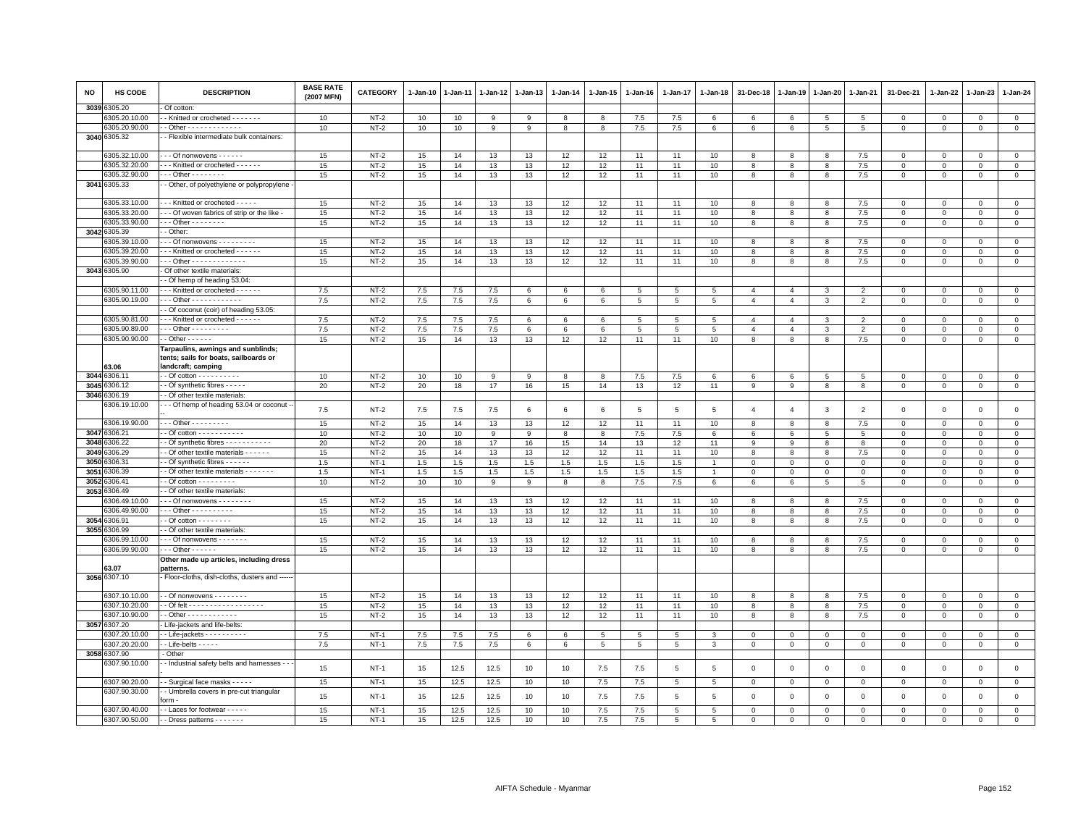| <b>NO</b> | <b>HS CODE</b>                | <b>DESCRIPTION</b>                                                                | <b>BASE RATE</b><br>(2007 MFN) | <b>CATEGORY</b>  | $1-Jan-10$ | $1-Jan-11$ | 1-Jan-12 | $1-Jan-13$ | 1-Jan-14 | $1 - Jan-15$ | $1-Jan-16$  | $1-Jan-17$  | 1-Jan-18       | 31-Dec-18      | $1 - Jan-19$   | $1-Jan-20$   | 1-Jan-21       | 31-Dec-21               | 1-Jan-22      | 1-Jan-23             | $1-Jan-24$                 |
|-----------|-------------------------------|-----------------------------------------------------------------------------------|--------------------------------|------------------|------------|------------|----------|------------|----------|--------------|-------------|-------------|----------------|----------------|----------------|--------------|----------------|-------------------------|---------------|----------------------|----------------------------|
| 3039      | 305.20                        | Of cotton:                                                                        |                                |                  |            |            |          |            |          |              |             |             |                |                |                |              |                |                         |               |                      |                            |
|           | 305.20.10.00                  | - Knitted or crocheted - - - - - - -                                              | 10                             | $NT-2$           | 10         | 10         | 9        | 9          | 8        | 8            | 7.5         | 7.5         | 6              | 6              | 6              | 5            | 5              | $\mathbf 0$             | $\Omega$      | $\mathbf{0}$         | $\mathbf{0}$               |
| 3040      | 6305.20.90.00<br>6305.32      | - Other - - - - - - - - - - - - -                                                 | 10                             | $NT-2$           | 10         | 10         | 9        | 9          | 8        | 8            | 7.5         | 7.5         | 6              | 6              | 6              | 5            | 5              | $\mathbf 0$             | 0             | $\mathbf 0$          | $\mathbf{0}$               |
|           |                               | - Flexible intermediate bulk containers:                                          |                                |                  |            |            |          |            |          |              |             |             |                |                |                |              |                |                         |               |                      |                            |
|           | 6305.32.10.00                 | - - Of nonwovens - - - - - -                                                      | 15                             | $NT-2$           | 15         | 14         | 13       | 13         | 12       | 12           | 11          | 11          | 10             | 8              | 8              | 8            | $7.5\,$        | $\mathsf 0$             | $\Omega$      | $\mathbf 0$          | $\mathbf 0$                |
|           | 3305.32.20.00                 | - - Knitted or crocheted - - - - - -                                              | 15                             | $NT-2$           | 15         | 14         | 13       | 13         | 12       | 12           | 11          | 11          | 10             | 8              | 8              | 8            | 7.5            | $\Omega$                | $\Omega$      | $\mathbf{0}$         | $\mathsf 0$                |
|           | 6305.32.90.00                 | $-$ - Other - - - - - - - -                                                       | 15                             | $NT-2$           | 15         | 14         | 13       | 13         | 12       | 12           | 11          | 11          | 10             | 8              | 8              | 8            | 7.5            | $\mathbf 0$             | 0             | $\Omega$             | $\circ$                    |
|           | 3041 6305.33                  | - Other, of polyethylene or polypropylene                                         |                                |                  |            |            |          |            |          |              |             |             |                |                |                |              |                |                         |               |                      |                            |
|           | 6305.33.10.00                 | - - Knitted or crocheted - - - - -                                                | 15                             | $NT-2$           | 15         | 14         | 13       | 13         | 12       | 12           | 11          | 11          | 10             | 8              | 8              | 8            | 7.5            | $\mathsf 0$             | $\mathbf 0$   | $\Omega$             | $\mathsf 0$                |
|           | 3305.33.20.00                 | - - Of woven fabrics of strip or the like -                                       | 15                             | $NT-2$           | 15         | 14         | 13       | 13         | 12       | 12           | 11          | 11          | 10             | 8              | 8              | 8            | 7.5            | $\mathbf 0$             | $\mathbf 0$   | $\mathbf 0$          | $\circ$                    |
|           | 6305.33.90.00                 | $-$ - Other - - - - - - - -                                                       | 15                             | $NT-2$           | 15         | 14         | 13       | 13         | 12       | 12           | 11          | 11          | 10             | 8              | 8              | 8            | 7.5            | $\mathbf 0$             | $\mathbf{0}$  | $\mathbf{0}$         | $\mathbf{0}$               |
|           | 3042 6305.39                  | - Other                                                                           |                                |                  |            |            |          |            |          |              |             |             |                |                |                |              |                |                         |               |                      |                            |
|           | 3305.39.10.00                 | $-$ - Of nonwovens $-$ - $-$ - $-$ - $-$ -                                        | 15                             | $NT-2$           | 15         | 14         | 13       | 13         | 12       | 12           | 11          | 11          | 10             | 8              | 8              | 8            | 7.5            | $\mathbf 0$             | $\mathbf 0$   | $\mathbf 0$          | $\mathbf 0$                |
|           | 305.39.20.00<br>6305.39.90.00 | - - Knitted or crocheted - - - - - -                                              | 15                             | $NT-2$           | 15         | 14         | 13       | 13         | 12       | 12           | 11          | 11          | 10             | 8              | 8              | 8            | 7.5            | $\mathbf 0$             | $\Omega$      | $\Omega$             | $\mathsf 0$                |
|           | 3043 6305.90                  | - - Other - - - - - - - - - - - -<br>Of other textile materials:                  | 15                             | $NT-2$           | 15         | 14         | 13       | 13         | 12       | 12           | 11          | 11          | 10             | 8              | 8              | 8            | 7.5            | $\mathbf 0$             | $\mathbf 0$   | $\mathbf 0$          | $\mathsf 0$                |
|           |                               | - Of hemp of heading 53.04                                                        |                                |                  |            |            |          |            |          |              |             |             |                |                |                |              |                |                         |               |                      |                            |
|           | 3305.90.11.00                 | - - Knitted or crocheted - - - - - -                                              | 7.5                            | $NT-2$           | 7.5        | 7.5        | 7.5      | 6          | 6        | 6            | 5           | 5           | 5              | $\overline{4}$ | $\overline{4}$ | 3            | $\overline{2}$ | $\Omega$                | $\Omega$      | $\mathbf{0}$         | $\mathbf 0$                |
|           | 6305.90.19.00                 | $-$ - Other - - - - - - - - - - - -                                               | 7.5                            | $NT-2$           | 7.5        | 7.5        | 7.5      | 6          | 6        | 6            | 5           | 5           | 5              | $\overline{4}$ | $\overline{4}$ | 3            | $\overline{2}$ | $\mathbf 0$             | 0             | $\mathbf{0}$         | $\circ$                    |
|           |                               | - Of coconut (coir) of heading 53.05:                                             |                                |                  |            |            |          |            |          |              |             |             |                |                |                |              |                |                         |               |                      |                            |
|           | 6305.90.81.00                 | - - Knitted or crocheted - - - - - -                                              | 7.5                            | $NT-2$           | 7.5        | 7.5        | 7.5      | 6          | 6        | 6            | 5           | 5           | 5              | $\overline{4}$ | $\overline{4}$ | 3            | $\overline{2}$ | $\mathsf 0$             | $\mathbf 0$   | $\mathbf 0$          | $\mathsf 0$                |
|           | 305.90.89.00                  | $-$ - Other - - - - - - - - -                                                     | 7.5                            | $NT-2$           | 7.5        | 7.5        | 7.5      | 6          | 6        | 6            | $5^{\circ}$ | 5           | 5              | $\overline{4}$ | $\overline{4}$ | 3            | $\mathfrak{p}$ | $\Omega$                | $\Omega$      | $\Omega$             | $\mathsf 0$                |
|           | 6305.90.90.00                 | $-$ Other $    -$                                                                 | 15                             | $NT-2$           | 15         | 14         | 13       | 13         | 12       | 12           | 11          | 11          | 10             | 8              | 8              | 8            | 7.5            | $\mathbf 0$             | $\mathbf 0$   | $\mathbf 0$          | $\mathbf 0$                |
|           |                               | Tarpaulins, awnings and sunblinds;<br>tents; sails for boats, sailboards or       |                                |                  |            |            |          |            |          |              |             |             |                |                |                |              |                |                         |               |                      |                            |
|           | 53.06                         | landcraft; camping                                                                |                                |                  |            |            |          |            |          |              |             |             |                |                |                |              |                |                         |               |                      |                            |
| 3044      | 306.11                        | $-$ Of cotton $        -$                                                         | 10                             | $NT-2$           | 10         | 10         | 9        | 9          | 8        | 8            | 7.5         | 7.5         | 6              | 6              | 6              | 5            | 5              | $\mathbf 0$             | $\mathbf 0$   | $\mathbf 0$          | $\circ$                    |
| 3045      | 306.12                        | - Of synthetic fibres - - - - -                                                   | 20                             | $NT-2$           | 20         | 18         | 17       | 16         | 15       | 14           | 13          | 12          | 11             | $\,9$          | 9              | 8            | 8              | $\mathsf 0$             | $\mathbf{0}$  | $\mathbf{O}$         | $\mathsf 0$                |
| 3046      | 306.19                        | - Of other textile materials                                                      |                                |                  |            |            |          |            |          |              |             |             |                |                |                |              |                |                         |               |                      |                            |
|           | 6306.19.10.00                 | - - Of hemp of heading 53.04 or coconut -                                         | $7.5\,$                        | $NT-2$           | $7.5\,$    | 7.5        | $7.5\,$  | 6          | 6        | 6            | 5           | 5           | 5              | $\overline{4}$ | $\overline{4}$ | $\mathbf{3}$ | $\overline{2}$ | $\mathsf 0$             | $\mathbf 0$   | $\mathsf 0$          | $\mathsf 0$                |
| 3047      | 6306.19.90.00<br>306.21       | $-$ - Other - - - - - - - - -                                                     | 15                             | $NT-2$           | 15         | 14         | 13       | 13         | 12       | 12           | 11          | 11          | 10             | 8              | 8              | 8            | 7.5            | $\mathsf 0$             | $\mathbf 0$   | $\mathbf 0$          | $\mathbf 0$                |
| 3048      | 306.22                        | - Of cotton - - - - - - - - - - -                                                 | 10                             | $NT-2$           | 10         | 10         | 9        | 9          | 8        | 8            | 7.5         | 7.5         | 6              | $\,6$          | 6              | 5<br>8       | 5              | $\mathbf 0$<br>$\Omega$ | 0<br>$\Omega$ | $\Omega$<br>$\Omega$ | $\overline{0}$             |
| 3049      | 306.29                        | - Of synthetic fibres - - - - - - - - - -<br>Of other textile materials - - - - - | 20<br>15                       | $NT-2$<br>$NT-2$ | 20<br>15   | 18<br>14   | 17<br>13 | 16<br>13   | 15<br>12 | 14<br>12     | 13<br>11    | 12<br>11    | 11<br>10       | 9<br>8         | 9<br>8         | 8            | 8<br>$7.5\,$   | $\Omega$                | $\Omega$      | $\Omega$             | $\mathsf 0$<br>$\mathsf 0$ |
| 3050      | 306.31                        | - Of synthetic fibres - - - - - -                                                 | 1.5                            | $NT-1$           | 1.5        | 1.5        | 1.5      | 1.5        | 1.5      | 1.5          | 1.5         | 1.5         |                | $\mathbf 0$    | $\mathbf 0$    | $\mathsf 0$  | $\,$ 0         | $\mathsf 0$             | $\mathbf 0$   | $\mathbf 0$          | $\mathsf 0$                |
| 3051      | 306.39                        | - Of other textile materials - - - - - - -                                        | 1.5                            | $NT-1$           | 1.5        | 1.5        | 1.5      | 1.5        | 1.5      | 1.5          | 1.5         | 1.5         |                | $\mathbf 0$    | $\mathbf 0$    | $\Omega$     | $\mathbf 0$    | $\mathbf 0$             | $\Omega$      | $\Omega$             | $\circ$                    |
| 3052      | 306.41                        | - Of cotton - - - - - - - -                                                       | 10                             | $NT-2$           | 10         | 10         | 9        | 9          | 8        | 8            | 7.5         | 7.5         | 6              | 6              | 6              | 5            | 5              | $\mathbf 0$             | $\mathbf 0$   | $\mathbf 0$          | $\mathbf 0$                |
| 3053      | 306.49                        | - Of other textile materials:                                                     |                                |                  |            |            |          |            |          |              |             |             |                |                |                |              |                |                         |               |                      |                            |
|           | 306.49.10.00                  | - - Of nonwovens - - - - - - - -                                                  | 15                             | $NT-2$           | 15         | 14         | 13       | 13         | 12       | 12           | 11          | 11          | 10             | 8              | 8              | 8            | 7.5            | $\mathsf 0$             | $\mathbf 0$   | $\mathbf 0$          | $\circ$                    |
|           | 306.49.90.00                  | Other - - - - - - - - - -                                                         | 15                             | $NT-2$           | 15         | 14         | 13       | 13         | 12       | 12           | 11          | 11          | 10             | 8              | 8              | 8            | 7.5            | $\mathbf 0$             | $\mathbf{0}$  | $\Omega$             | $\circ$                    |
| 3054      | 306.91                        | - Of cotton - - - - - - - -                                                       | 15                             | $NT-2$           | 15         | 14         | 13       | 13         | 12       | 12           | 11          | 11          | 10             | 8              | 8              | 8            | 7.5            | $\mathbf{0}$            | $\Omega$      | $\Omega$             | $\mathbf{0}$               |
| 3055      | 306.99                        | - Of other textile materials                                                      |                                |                  |            |            |          |            |          |              |             |             |                |                |                |              |                |                         |               |                      |                            |
|           | 3306.99.10.00                 | $-$ - Of nonwovens $-$ - - - - - -                                                | 15                             | $NT-2$           | 15         | 14         | 13       | 13         | 12       | 12           | 11          | 11          | 10             | 8              | 8              | 8            | 7.5            | $\mathsf 0$             | 0             | $\mathbf 0$          | $\mathbf 0$                |
|           | 306.99.90.00                  | $\cdots$ Other - - - - - -                                                        | 15                             | $NT-2$           | 15         | 14         | 13       | 13         | 12       | 12           | 11          | 11          | 10             | 8              | 8              | 8            | $7.5\,$        | $\mathbf 0$             | $\mathbf{0}$  | $\circ$              | $\mathbf{0}$               |
|           | 63.07                         | Other made up articles, including dress<br>patterns.                              |                                |                  |            |            |          |            |          |              |             |             |                |                |                |              |                |                         |               |                      |                            |
| 3056      | 6307.10                       | - Floor-cloths, dish-cloths, dusters and --                                       |                                |                  |            |            |          |            |          |              |             |             |                |                |                |              |                |                         |               |                      |                            |
|           | 6307.10.10.00                 | - Of nonwovens - - - - - - - -                                                    | 15                             | $NT-2$           | 15         | 14         | 13       | 13         | 12       | 12           | 11          | 11          | 10             | 8              | 8              | 8            | 7.5            | $\mathsf 0$             | $\Omega$      | $\mathbf 0$          | $\mathbf 0$                |
|           | 3307.10.20.00                 | - Of felt - - - - - - - - - - - - - - - - - -                                     | 15                             | $NT-2$           | 15         | 14         | 13       | 13         | 12       | 12           | 11          | 11          | 10             | 8              | 8              | 8            | 7.5            | $\mathbf{0}$            | 0             | $\mathbf{0}$         | $\mathsf 0$                |
|           | 3307.10.90.00                 | - Other - - - - - - - - - - - -                                                   | 15                             | $NT-2$           | 15         | 14         | 13       | 13         | 12       | 12           | 11          | 11          | 10             | 8              | 8              | 8            | 7.5            | $\mathbf 0$             | 0             | $\mathbf 0$          | $\mathbf 0$                |
| 3057      | 6307.20                       | Life-jackets and life-belts:                                                      |                                |                  |            |            |          |            |          |              |             |             |                |                |                |              |                |                         |               |                      |                            |
|           | 307.20.10.00                  | - Life-jackets - - - - - - - - - -                                                | 7.5                            | $NT-1$           | 7.5        | 7.5        | 7.5      | 6          | 6        | 5            | 5           | 5           | 3              | $\mathbf 0$    | $\mathbf 0$    | $\mathsf 0$  | $\mathbf 0$    | $\mathbf 0$             | $\mathbf 0$   | $\mathbf 0$          | $\circ$                    |
|           | 307.20.20.00                  | - Life-belts - - - - -                                                            | 7.5                            | $NT-1$           | 7.5        | 7.5        | $7.5\,$  | $\,6\,$    | 6        | 5            | 5           | 5           | 3              | $\mathbf 0$    | $\mathsf 0$    | $\circ$      | $\mathbf 0$    | $\mathsf 0$             | $\mathbf 0$   | $\mathbf{O}$         | $\mathbf 0$                |
|           | 3058 6307.90                  | - Other                                                                           |                                |                  |            |            |          |            |          |              |             |             |                |                |                |              |                |                         |               |                      |                            |
|           | 6307.90.10.00                 | - Industrial safety belts and harnesses                                           | 15                             | $NT-1$           | 15         | 12.5       | 12.5     | 10         | 10       | $7.5\,$      | 7.5         | $\,$ 5 $\,$ | $\overline{5}$ | $\mathbf 0$    | $\mathbf 0$    | $\,0\,$      | $\mathbf 0$    | $\mathsf 0$             | $\,0\,$       | $\mathsf 0$          | $\mathsf 0$                |
|           | 6307.90.20.00                 | - Surgical face masks - - - - -                                                   | 15                             | $NT-1$           | 15         | 12.5       | 12.5     | 10         | 10       | 7.5          | 7.5         | 5           | 5              | $\mathbf 0$    | $\mathbf 0$    | $\mathsf 0$  | $\mathbf 0$    | $\mathsf 0$             | $\mathbf 0$   | $\mathbf 0$          | $\mathsf 0$                |
|           | 3307.90.30.00                 | - Umbrella covers in pre-cut triangular<br>orm.                                   | 15                             | $NT-1$           | 15         | 12.5       | 12.5     | 10         | 10       | 7.5          | 7.5         | 5           | 5              | $\mathbf 0$    | $\mathbf 0$    | $\mathsf 0$  | $\mathbf 0$    | $\mathsf 0$             | $\mathbf 0$   | $\mathsf 0$          | $\mathbf 0$                |
|           | 6307.90.40.00                 | - Laces for footwear - - - - -                                                    | 15                             | $NT-1$           | 15         | 12.5       | 12.5     | 10         | 10       | 7.5          | 7.5         | 5           | -5             | $\Omega$       | $\Omega$       | $\Omega$     | $\Omega$       | $\Omega$                | $\Omega$      | $\Omega$             | $\Omega$                   |
|           | 6307.90.50.00                 | - Dress patterns - - - - - - -                                                    | 15                             | $NT-1$           | 15         | 12.5       | 12.5     | 10         | 10       | 7.5          | 7.5         | 5           | 5              | $\Omega$       | $\Omega$       | $\Omega$     | $\Omega$       | $\Omega$                | $\Omega$      | $\Omega$             | $\Omega$                   |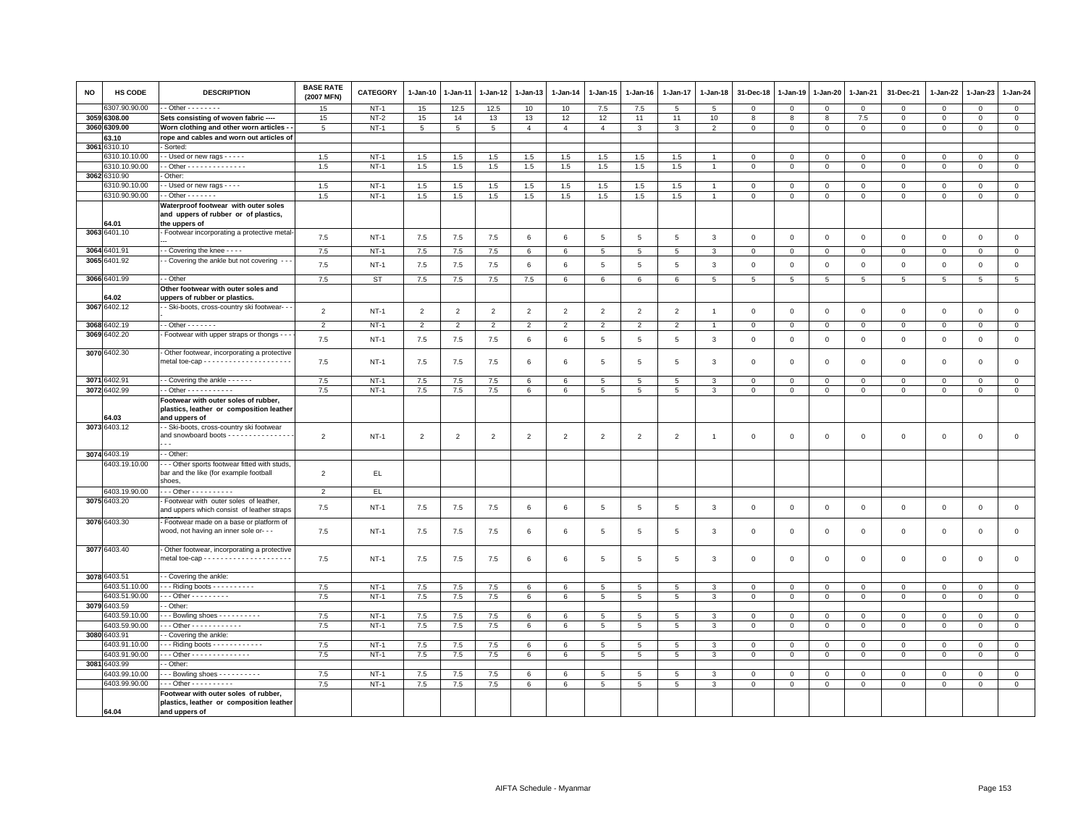| NO   | HS CODE                       | <b>DESCRIPTION</b>                                                                                | <b>BASE RATE</b><br>(2007 MFN) | <b>CATEGORY</b>  | 1-Jan-10       | 1-Jan-11       | 1-Jan-12       | 1-Jan-13       | $1-Jan-14$      | $1 - Jan-15$    | 1-Jan-16        | 1-Jan-17        | 1-Jan-18        | 31-Dec-18       | 1-Jan-19       | 1-Jan-20        | 1-Jan-21                 | 31-Dec-21        | $1 - Jan-22$            | 1-Jan-23                | 1-Jan-24                    |
|------|-------------------------------|---------------------------------------------------------------------------------------------------|--------------------------------|------------------|----------------|----------------|----------------|----------------|-----------------|-----------------|-----------------|-----------------|-----------------|-----------------|----------------|-----------------|--------------------------|------------------|-------------------------|-------------------------|-----------------------------|
|      | 307.90.90.00                  | $\cdot$ - Other $\cdot$ - $\cdot$ - $\cdot$ - $\cdot$                                             | 15                             | $NT-1$           | 15             | 12.5           | 12.5           | 10             | 10              | $7.5\,$         | 7.5             | 5               | 5               | $\mathbf 0$     | $\mathbf 0$    | $\mathbf 0$     | $\mathbf 0$              | $\mathsf 0$      | $\mathbf 0$             | $\mathsf 0$             | $\mathbf 0$                 |
|      | 3059 6308.00                  | Sets consisting of woven fabric ----                                                              | 15                             | $NT-2$           | 15             | 14             | 13             | 13             | 12              | 12              | 11              | 11              | 10              | 8               | 8              | 8               | 7.5                      | $\mathbf 0$      | 0                       | $\mathbf 0$             | $\overline{0}$              |
|      | 3060 6309.00                  | Worn clothing and other worn articles -                                                           | 5                              | $NT-1$           | 5              | 5              | 5              | $\overline{4}$ | $\overline{4}$  | $\overline{4}$  | 3               | 3               | $\overline{2}$  | $\mathbf 0$     | $\mathbf{0}$   | $\mathsf 0$     | $\mathbf 0$              | $\mathbf 0$      | $\mathbf 0$             | $\Omega$                | $\mathsf 0$                 |
|      | 63.10                         | rope and cables and worn out articles of                                                          |                                |                  |                |                |                |                |                 |                 |                 |                 |                 |                 |                |                 |                          |                  |                         |                         |                             |
| 3061 | 310.10                        | Sorted                                                                                            |                                |                  |                |                |                |                |                 |                 |                 |                 |                 |                 |                |                 |                          |                  |                         |                         |                             |
|      | 6310.10.10.00                 | - Used or new rags - - - - -                                                                      | 1.5                            | $NT-1$           | 1.5            | 1.5            | 1.5            | 1.5            | 1.5             | 1.5             | 1.5             | 1.5             |                 | 0               | 0              | $\circ$         | 0                        | $\mathbf 0$      | 0                       | $^{\circ}$              | $\mathbf 0$                 |
|      | 6310.10.90.00                 | - Other - - - - - - - - - - - - - -                                                               | 1.5                            | $NT-1$           | 1.5            | 1.5            | 1.5            | 1.5            | 1.5             | 1.5             | 1.5             | 1.5             |                 | $\Omega$        | $\mathbf{0}$   | $\mathsf 0$     | $\Omega$                 | $\mathsf 0$      | $\Omega$                | $\mathbf 0$             | $\mathsf 0$                 |
|      | 3062 6310.90<br>6310.90.10.00 | Other:                                                                                            |                                |                  |                |                |                |                |                 |                 |                 |                 |                 |                 |                |                 |                          |                  |                         |                         |                             |
|      | 6310.90.90.00                 | - Used or new rags - - - -<br>$\cdot$ - Other - - - - - - -                                       | 1.5<br>1.5                     | $NT-1$<br>$NT-1$ | 1.5<br>1.5     | 1.5            | 1.5            | 1.5<br>1.5     | 1.5<br>1.5      | 1.5<br>1.5      | 1.5<br>1.5      | 1.5<br>1.5      | $\overline{1}$  | $\Omega$        | $\Omega$       | $\mathbf 0$     | $\Omega$<br>$\mathbf{0}$ | 0<br>$\mathbf 0$ | $\Omega$<br>$\mathbf 0$ | $\Omega$<br>$\mathbf 0$ | $\mathbf{0}$<br>$\mathsf 0$ |
|      |                               | Waterproof footwear with outer soles                                                              |                                |                  |                | 1.5            | 1.5            |                |                 |                 |                 |                 |                 | $\mathbf 0$     | $\mathbf{0}$   | $\mathbf 0$     |                          |                  |                         |                         |                             |
|      | 64.01                         | and uppers of rubber or of plastics,<br>the uppers of                                             |                                |                  |                |                |                |                |                 |                 |                 |                 |                 |                 |                |                 |                          |                  |                         |                         |                             |
|      | 3063 6401.10                  | Footwear incorporating a protective metal-                                                        | 7.5                            | $NT-1$           | $7.5\,$        | 7.5            | 7.5            | 6              | 6               | $\,$ 5 $\,$     | $5\phantom{.0}$ | $\,$ 5 $\,$     | $\mathbf{3}$    | $\,0\,$         | $\,$ 0         | $\mathbb O$     | $\mathbf 0$              | $\mathsf 0$      | $\mathsf 0$             | $\mathbf 0$             | $\mathsf 0$                 |
|      | 3064 6401.91                  | - Covering the knee - - - -                                                                       | 7.5                            | $NT-1$           | 7.5            | 7.5            | $7.5$          | 6              | 6               | 5               | 5               | 5               | 3               | $\mathbf 0$     | $\overline{0}$ | $\mathbf 0$     | $\mathbf 0$              | $\mathsf 0$      | $\mathbf 0$             | $\mathsf 0$             | $\mathbf 0$                 |
|      | 3065 6401.92                  | - Covering the ankle but not covering - - -                                                       | 7.5                            | $NT-1$           | 7.5            | 7.5            | 7.5            | 6              | 6               | 5               | 5               | $\overline{5}$  | 3               | $\mathbf 0$     | $\overline{0}$ | $\mathbf 0$     | $\Omega$                 | $\mathbf 0$      | $\Omega$                | $\mathbf 0$             | $\mathsf 0$                 |
|      |                               |                                                                                                   |                                |                  |                |                |                |                |                 |                 |                 |                 |                 |                 |                |                 |                          |                  |                         |                         |                             |
|      | 3066 6401.99                  | - Other                                                                                           | 7.5                            | <b>ST</b>        | $7.5\,$        | $7.5\,$        | 7.5            | 7.5            | 6               | 6               | 6               | 6               | $5\phantom{.0}$ | $5\phantom{.0}$ | $\overline{5}$ | $5\phantom{.0}$ | 5                        | $\overline{5}$   | 5                       | 5                       | $5\phantom{.0}$             |
|      |                               | Other footwear with outer soles and                                                               |                                |                  |                |                |                |                |                 |                 |                 |                 |                 |                 |                |                 |                          |                  |                         |                         |                             |
|      | 64.02<br>3067 6402.12         | uppers of rubber or plastics.<br>- Ski-boots, cross-country ski footwear- -                       |                                |                  |                |                |                |                |                 |                 |                 |                 |                 |                 |                |                 |                          |                  |                         |                         |                             |
|      |                               |                                                                                                   | $\overline{2}$                 | $NT-1$           | $\overline{2}$ | $\overline{2}$ | $\overline{2}$ | $\overline{2}$ | $\overline{2}$  | $\overline{2}$  | $\overline{2}$  | $\overline{2}$  | $\overline{1}$  | $\mathbf 0$     | $\mathbb O$    | $\mathbf 0$     | $\mathbf 0$              | $\mathsf 0$      | $\mathbf 0$             | $\mathbf 0$             | $\mathsf 0$                 |
|      | 3068 6402.19                  | $-$ Other $     -$                                                                                | $\overline{2}$                 | $NT-1$           | $\overline{2}$ | $\overline{2}$ | $\overline{2}$ | $\overline{2}$ | $\overline{2}$  | $\overline{2}$  | $\overline{2}$  | $\overline{2}$  |                 | $\mathbf 0$     | $\Omega$       | $\mathbf 0$     | $\mathbf{0}$             | $\mathsf 0$      | $\mathbf 0$             | $\mathbf{0}$            | $\mathsf 0$                 |
|      | 3069 6402.20                  | Footwear with upper straps or thongs - -                                                          | 7.5                            | $NT-1$           | 7.5            | 7.5            | 7.5            | 6              | 6               | 5               | 5               | 5               | 3               | $\mathbf 0$     | $\mathbf{0}$   | $\mathbf 0$     | $\mathbf 0$              | $\mathsf 0$      | $\mathbf 0$             | $\mathsf 0$             | $\mathsf 0$                 |
|      | 3070 6402.30                  | Other footwear, incorporating a protective                                                        | 7.5                            | $NT-1$           | $7.5\,$        | $7.5\,$        | 7.5            | 6              | 6               | $\overline{5}$  | 5               | $5\overline{5}$ | 3               | $\,0\,$         | $\overline{0}$ | $\mathbf 0$     | $\mathbf 0$              | $\mathbf 0$      | $\mathbf 0$             | $\mathbf 0$             | $\,0\,$                     |
|      |                               |                                                                                                   |                                |                  |                |                |                |                |                 |                 |                 |                 |                 |                 |                |                 |                          |                  |                         |                         |                             |
|      | 3071 6402.91                  | - Covering the ankle - - - - - -                                                                  | 7.5                            | $NT-1$           | 7.5            | 7.5            | 7.5            | 6              | 6               | 5               | 5               | 5               | 3               | $\mathbf 0$     | $\mathbf 0$    | $\mathbf 0$     | $\mathbf 0$              | $\mathsf 0$      | $\mathbf 0$             | $\mathsf 0$             | $\mathsf 0$                 |
|      | 3072 6402.99                  | - Other - - - - - - - - - - -                                                                     | 7.5                            | $NT-1$           | 7.5            | 7.5            | 7.5            | 6              | 6               | $5\phantom{.0}$ | 5               | $5\overline{5}$ | 3               | $\mathbf 0$     | $\mathsf 0$    | $\mathbf{0}$    | $\mathbf{0}$             | $\mathbf 0$      | $\mathbf 0$             | $\mathbf 0$             | $\overline{0}$              |
|      | 64.03                         | Footwear with outer soles of rubber,<br>plastics, leather or composition leather<br>and uppers of |                                |                  |                |                |                |                |                 |                 |                 |                 |                 |                 |                |                 |                          |                  |                         |                         |                             |
|      | 3073 6403.12                  | - Ski-boots, cross-country ski footwear                                                           |                                |                  |                |                |                |                |                 |                 |                 |                 |                 |                 |                |                 |                          |                  |                         |                         |                             |
|      |                               | and snowboard boots - - - - - - - - - - - - - - -                                                 | $\overline{2}$                 | $NT-1$           | $\overline{2}$ | $\overline{2}$ | $\overline{2}$ | $\overline{2}$ | $\overline{2}$  | $\overline{2}$  | $\overline{2}$  | 2               | $\overline{1}$  | $\mathbf{0}$    | $\Omega$       | $\Omega$        | $\mathbf 0$              | $\mathbf 0$      | $\mathbf 0$             | $\mathbf 0$             | $\mathbf 0$                 |
|      | 3074 6403.19                  | - Other                                                                                           |                                |                  |                |                |                |                |                 |                 |                 |                 |                 |                 |                |                 |                          |                  |                         |                         |                             |
|      | 6403.19.10.00                 | -- Other sports footwear fitted with studs,<br>bar and the like (for example football<br>shoes,   | $\overline{2}$                 | EL.              |                |                |                |                |                 |                 |                 |                 |                 |                 |                |                 |                          |                  |                         |                         |                             |
|      | 6403.19.90.00                 | - - - Other - - - - - - - - - -                                                                   | $\overline{2}$                 | EL.              |                |                |                |                |                 |                 |                 |                 |                 |                 |                |                 |                          |                  |                         |                         |                             |
|      | 3075 6403.20                  | Footwear with outer soles of leather,<br>and uppers which consist of leather straps               | 7.5                            | $NT-1$           | $7.5\,$        | 7.5            | 7.5            | 6              | 6               | $\,$ 5 $\,$     | 5               | $\overline{5}$  | 3               | $\overline{0}$  | $\,$ 0         | $\,0\,$         | $\mathbf 0$              | $\mathsf 0$      | $\mathsf 0$             | $\,0\,$                 | $\mathsf 0$                 |
|      | 3076 6403.30                  | - Footwear made on a base or platform of<br>wood, not having an inner sole or- - -                | 7.5                            | $NT-1$           | 7.5            | 7.5            | 7.5            | 6              | 6               | 5               | 5               | 5               | 3               | $\mathbf 0$     | $\mathbf 0$    | $\mathbf 0$     | $\mathbf 0$              | $\mathsf 0$      | 0                       | 0                       | $\mathbf 0$                 |
|      | 3077 6403.40                  | - Other footwear, incorporating a protective                                                      | 7.5                            | $NT-1$           | $7.5\,$        | 7.5            | 7.5            | 6              | 6               | 5               | 5               | 5               | 3               | $\mathbf 0$     | $\mathbf 0$    | $\mathbf 0$     | $\mathsf 0$              | $\mathsf 0$      | $\mathsf 0$             | $\mathsf 0$             | $\mathsf 0$                 |
|      | 3078 6403.51                  | - Covering the ankle:                                                                             |                                |                  |                |                |                |                |                 |                 |                 |                 |                 |                 |                |                 |                          |                  |                         |                         |                             |
|      | 6403.51.10.00                 | --- Riding boots ----------                                                                       | 7.5                            | $NT-1$           | 7.5            | 7.5            | 7.5            | 6              | 6               | $5\overline{5}$ | $5\overline{5}$ | $5\overline{5}$ | 3               | $\mathbf 0$     | $\mathbf{0}$   | $\mathbf 0$     | $\mathbf 0$              | $\mathbf 0$      | $\mathbf 0$             | $\mathbf 0$             | $\mathbf{0}$                |
|      | 6403.51.90.00                 | - - - Other - - - - - - - - -                                                                     | 7.5                            | $NT-1$           | $7.5\,$        | $7.5\,$        | $7.5$          | 6              | 6               | 5               | $5\overline{5}$ | 5               | 3               | $\mathbf 0$     | $\mathbf{0}$   | $\overline{0}$  | $\mathbf 0$              | $\mathbf 0$      | $\mathbf 0$             | 0                       | $\mathsf 0$                 |
|      | 3079 6403.59                  | - Other                                                                                           |                                |                  |                |                |                |                |                 |                 |                 |                 |                 |                 |                |                 |                          |                  |                         |                         |                             |
|      | 6403.59.10.00                 | - - Bowling shoes - - - - - - - - - -                                                             | 7.5                            | $NT-1$           | 7.5            | 7.5            | 7.5            | 6              | 6               | 5               | -5              | 5               | -3              | $\Omega$        | $\Omega$       | $\Omega$        | $\Omega$                 | $\Omega$         | $\Omega$                | $\Omega$                | $\mathbf 0$                 |
|      | 6403.59.90.00                 | - - Other - - - - - - - - - - - -                                                                 | 7.5                            | $NT-1$           | $7.5\,$        | 7.5            | $7.5\,$        | 6              | 6               | 5               | 5               | 5               | 3               | $\mathbf 0$     | $\mathbf 0$    | $\mathsf 0$     | $\Omega$                 | $\mathsf 0$      | $\Omega$                | $\Omega$                | $\mathsf 0$                 |
|      | 3080 6403.91                  | - Covering the ankle:                                                                             |                                |                  |                |                |                |                |                 |                 |                 |                 |                 |                 |                |                 |                          |                  |                         |                         |                             |
|      | 3403.91.10.00                 | $-$ - Riding boots - - - - - - - - - - - -                                                        | 7.5                            | $NT-1$           | 7.5            | 7.5            | 7.5            | 6              | 6               | 5               | 5               | 5               | 3               | $\mathbf 0$     | $\mathbf 0$    | $\mathbf 0$     | $\mathbf 0$              | 0                | 0                       | $\Omega$                | $\mathbf{0}$                |
|      | 5403.91.90.00                 | $-$ - Other - - - - - - - - - - - - - -                                                           | 7.5                            | $NT-1$           | 7.5            | 7.5            | 7.5            | 6              | $6\phantom{.}6$ | $5\phantom{.0}$ | 5               | 5               | 3               | $\circ$         | $\mathbb O$    | $\mathbf 0$     | $\circ$                  | $\mathbf 0$      | $\mathsf 0$             | $\mathsf 0$             | $\mathbf{0}$                |
| 3081 | 6403.99                       | - Other:                                                                                          |                                |                  |                |                |                |                |                 |                 |                 |                 |                 |                 |                |                 |                          |                  |                         |                         |                             |
|      | 6403.99.10.00                 | - - Bowling shoes - - - - - - - - - -                                                             | 7.5                            | $NT-1$           | 7.5            | 7.5            | 7.5            | 6              | 6               | 5               | 5               | $5\overline{5}$ | 3               | $\Omega$        | $\Omega$       | $\mathbf{0}$    | $\mathbf 0$              | $\mathbf 0$      | $\Omega$                | $\mathbf 0$             | $\circ$                     |
|      | 6403.99.90.00                 | $- -$ Other - - - - - - - - - -                                                                   | 7.5                            | $NT-1$           | 7.5            | 7.5            | 7.5            | 6              | 6               | 5               | 5               | 5               | 3               | $\mathbf 0$     | $\mathbf 0$    | $\mathbf 0$     | $\mathbf 0$              | $\mathsf 0$      | $\mathbf 0$             | $\mathsf 0$             | $\mathbf 0$                 |
|      |                               | Footwear with outer soles of rubber,<br>plastics, leather or composition leather                  |                                |                  |                |                |                |                |                 |                 |                 |                 |                 |                 |                |                 |                          |                  |                         |                         |                             |
|      | 64.04                         | and uppers of                                                                                     |                                |                  |                |                |                |                |                 |                 |                 |                 |                 |                 |                |                 |                          |                  |                         |                         |                             |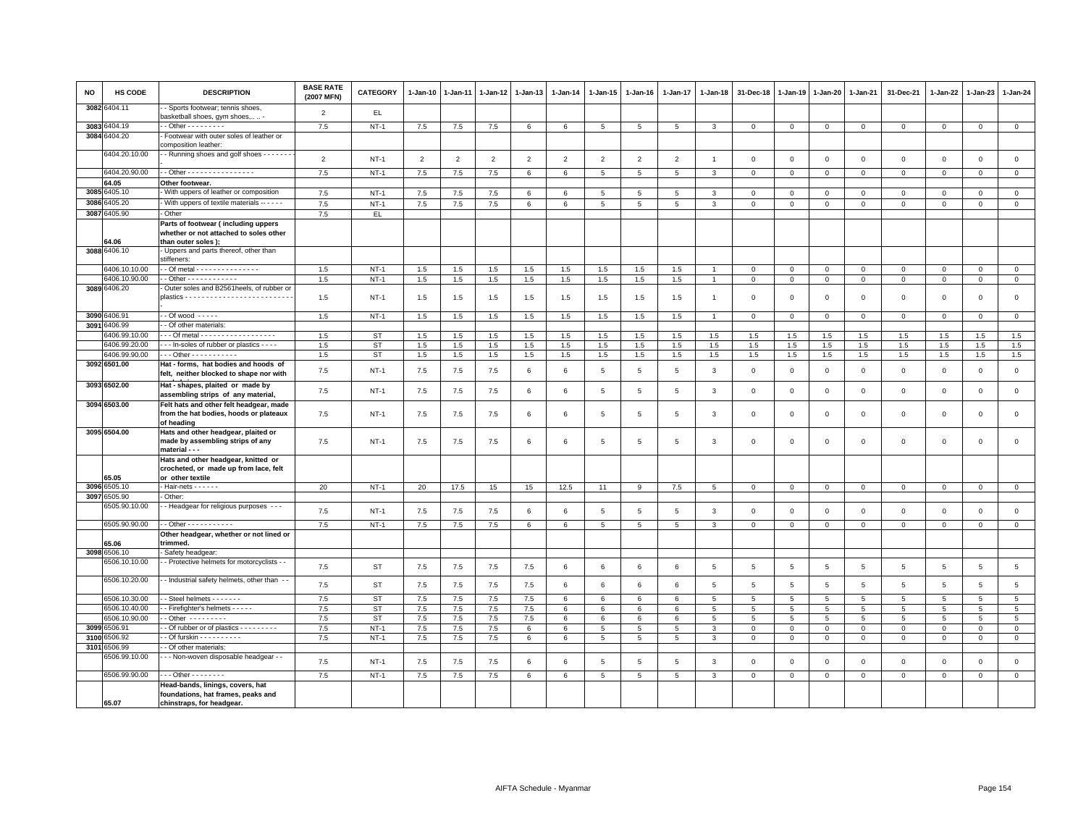| <b>NO</b> | <b>HS CODE</b>                 | <b>DESCRIPTION</b>                                                                                  | <b>BASE RATE</b><br>(2007 MFN) | <b>CATEGORY</b>        | 1-Jan-10       | $1-Jan-11$     | 1-Jan-12       | 1-Jan-13        | $1 - Jan-14$    | 1-Jan-15        | 1-Jan-16        | 1-Jan-17       | 1-Jan-18       | 31-Dec-18               | 1-Jan-19            | 1-Jan-20            | 1-Jan-21       | 31-Dec-21           | 1-Jan-22            | 1-Jan-23       | 1-Jan-24                      |
|-----------|--------------------------------|-----------------------------------------------------------------------------------------------------|--------------------------------|------------------------|----------------|----------------|----------------|-----------------|-----------------|-----------------|-----------------|----------------|----------------|-------------------------|---------------------|---------------------|----------------|---------------------|---------------------|----------------|-------------------------------|
|           | 3082 6404.11                   | Sports footwear; tennis shoes,<br>basketball shoes, gym shoes,  -                                   | $\overline{2}$                 | EL.                    |                |                |                |                 |                 |                 |                 |                |                |                         |                     |                     |                |                     |                     |                |                               |
| 3083      | 3404.19                        | $-$ Other $       -$                                                                                | 7.5                            | $NT-1$                 | 7.5            | 7.5            | 7.5            | $6\phantom{.0}$ | $6\phantom{.}6$ | $5\phantom{.0}$ | 5               | 5              | 3              | $\mathbf{0}$            | $\mathsf 0$         | $\circ$             | $\mathbf 0$    | $\mathbf 0$         | $\mathbf 0$         | $\mathsf 0$    | $\circ$                       |
|           | 3084 6404.20                   | Footwear with outer soles of leather or<br>composition leather:                                     |                                |                        |                |                |                |                 |                 |                 |                 |                |                |                         |                     |                     |                |                     |                     |                |                               |
|           | 6404.20.10.00                  | - Running shoes and golf shoes - - - - - - -                                                        | $\overline{2}$                 | $NT-1$                 | $\overline{2}$ | $\overline{2}$ | $\overline{2}$ | $\overline{2}$  | $\overline{2}$  | $\overline{2}$  | $\overline{2}$  | $\overline{2}$ | $\overline{1}$ | $\mathbf 0$             | $\mathbf 0$         | $\mathbf 0$         | $\mathbf{0}$   | $\mathbf 0$         | $\Omega$            | $\mathbf{0}$   | $\mathsf 0$                   |
|           | 6404.20.90.00                  | - Other - - - - - - - - - - - - - - - -                                                             | 7.5                            | <b>NT-1</b>            | 7.5            | 7.5            | 7.5            | 6               | 6               | $5\phantom{.0}$ | 5               | 5              | 3              | $\mathbf 0$             | $\mathbf 0$         | $\mathsf 0$         | $\overline{0}$ | $\mathbf 0$         | $\mathbf 0$         | $\mathbf 0$    | $\overline{0}$                |
|           | 64.05                          | Other footwear.                                                                                     |                                |                        |                |                |                |                 |                 |                 |                 |                |                |                         |                     |                     |                |                     |                     |                |                               |
|           | 3085 6405.10                   | With uppers of leather or composition                                                               | 7.5                            | $NT-1$                 | 7.5            | 7.5            | 7.5            | 6               | 6               | 5               | 5               | 5              | 3              | $\Omega$                | $\Omega$            | $\mathbf 0$         | $\mathbf{0}$   | $\mathbf 0$         | $\Omega$            | $\Omega$       | $\circ$                       |
| 3086      | 6405.20                        | With uppers of textile materials -----                                                              | 7.5                            | <b>NT-1</b>            | $7.5\,$        | $7.5$          | $7.5\,$        | 6               | 6               | 5               | 5               | 5              | 3              | $\mathbf 0$             | $\mathbf 0$         | $\mathsf 0$         | $\mathbf 0$    | 0                   | $\mathbf 0$         | $\mathbf 0$    | $\mathsf 0$                   |
|           | 3087 6405.90                   | Other                                                                                               | 7.5                            | EL.                    |                |                |                |                 |                 |                 |                 |                |                |                         |                     |                     |                |                     |                     |                |                               |
|           | 64.06                          | Parts of footwear (including uppers<br>whether or not attached to soles other<br>than outer soles); |                                |                        |                |                |                |                 |                 |                 |                 |                |                |                         |                     |                     |                |                     |                     |                |                               |
|           | 3088 6406.10                   | Uppers and parts thereof, other than                                                                |                                |                        |                |                |                |                 |                 |                 |                 |                |                |                         |                     |                     |                |                     |                     |                |                               |
|           |                                | stiffeners:                                                                                         |                                |                        |                |                |                |                 |                 |                 |                 |                |                |                         |                     |                     |                |                     |                     |                |                               |
|           | 6406.10.10.00                  |                                                                                                     | 1.5                            | <b>NT-1</b>            | 1.5            | 1.5            | 1.5            | 1.5             | 1.5             | 1.5             | 1.5             | 1.5            |                | $\Omega$                | $\overline{0}$      | $\mathbf{0}$        | $\mathbf{0}$   | $\mathbf{0}$        | $\Omega$            | $\mathbf{0}$   | $\overline{0}$                |
|           | 6406.10.90.00<br>3089 6406.20  | Outer soles and B2561heels, of rubber or                                                            | 1.5                            | $NT-1$                 | 1.5            | 1.5            | 1.5            | 1.5             | 1.5             | 1.5             | 1.5             | 1.5            | $\overline{1}$ | $\mathbf 0$             | $\mathbf 0$         | $\mathbf 0$         | $\mathbf 0$    | $\mathbf 0$         | $\Omega$            | $\mathbf 0$    | $\,0\,$                       |
|           |                                |                                                                                                     | 1.5                            | $NT-1$                 | 1.5            | 1.5            | 1.5            | 1.5             | 1.5             | 1.5             | 1.5             | 1.5            | $\overline{1}$ | $\mathbf 0$             | $\mathbf 0$         | $\mathbf 0$         | $\mathsf 0$    | $\mathbf 0$         | $\Omega$            | $\mathsf 0$    | $\mathsf 0$                   |
|           | 3090 6406.91                   | $-$ Of wood $   -$                                                                                  | 1.5                            | $NT-1$                 | 1.5            | 1.5            | 1.5            | 1.5             | 1.5             | 1.5             | 1.5             | 1.5            | $\overline{1}$ | $\overline{0}$          | $\overline{0}$      | $\circ$             | $\overline{0}$ | $\mathbf{0}$        | $\mathbf{0}$        | $\circ$        | $\mathbf{0}$                  |
| 3091      | 6406.99                        | - Of other materials:                                                                               |                                |                        |                |                |                |                 |                 |                 |                 |                |                |                         |                     |                     |                |                     |                     |                |                               |
|           | 3406.99.10.00                  | - - Of metal - - - - - - - - - - - - - - - - - -                                                    | 1.5                            | <b>ST</b>              | 1.5            | 1.5            | 1.5            | 1.5             | 1.5             | 1.5             | 1.5             | 1.5            | 1.5            | 1.5                     | 1.5                 | 1.5                 | 1.5            | 1.5                 | 1.5                 | 1.5            | 1.5                           |
|           | 6406.99.20.00                  | - - - In-soles of rubber or plastics - - - -                                                        | 1.5                            | ST                     | 1.5            | 1.5            | 1.5            | 1.5             | 1.5             | 1.5             | 1.5             | 1.5            | 1.5            | 1.5                     | 1.5                 | 1.5                 | 1.5            | 1.5                 | 1.5                 | 1.5            | 1.5                           |
|           | 6406.99.90.00                  | Other - - - - - - - - - -                                                                           | 1.5                            | <b>ST</b>              | 1.5            | 1.5            | 1.5            | 1.5             | 1.5             | 1.5             | 1.5             | 1.5            | 1.5            | $1.5\,$                 | 1.5                 | 1.5                 | 1.5            | 1.5                 | 1.5                 | 1.5            | 1.5                           |
|           | 3092 6501.00                   | Hat - forms, hat bodies and hoods of<br>felt, neither blocked to shape nor with                     | 7.5                            | $NT-1$                 | 7.5            | 7.5            | 7.5            | 6               | 6               | 5               | 5               | 5              | 3              | $\mathbf 0$             | $\mathbf 0$         | $\mathbf 0$         | $\mathsf 0$    | $\mathbf 0$         | $\mathbf 0$         | $\mathbf 0$    | $\mathsf 0$                   |
|           | 3093 6502.00                   | Hat - shapes, plaited or made by<br>assembling strips of any material,                              | 7.5                            | $NT-1$                 | 7.5            | 7.5            | 7.5            | 6               | 6               | 5               | $\overline{5}$  | $\,$ 5 $\,$    | 3              | $\,0\,$                 | $\mathbf 0$         | $\mathbf 0$         | $\mathbf 0$    | $\mathbf 0$         | $\Omega$            | $\,0\,$        | $\mathsf 0$                   |
|           | 3094 6503.00                   | Felt hats and other felt headgear, made<br>from the hat bodies, hoods or plateaux<br>of heading     | 7.5                            | $NT-1$                 | 7.5            | 7.5            | 7.5            | 6               | 6               | 5               | $5\overline{5}$ | 5              | 3              | $\overline{\mathbf{0}}$ | $\mathbf 0$         | $\mathbf 0$         | $\mathbf 0$    | $\mathbf 0$         | $^{\circ}$          | $\mathbf 0$    | $\mathsf 0$                   |
|           | 3095 6504.00                   | Hats and other headgear, plaited or<br>made by assembling strips of any                             | 7.5                            | <b>NT-1</b>            | 7.5            | 7.5            | 7.5            | 6               | 6               | 5               | 5               | 5              | 3              | $\mathbf 0$             | $\mathbf 0$         | $\mathbf 0$         | $\mathbf 0$    | $\mathbf 0$         | $^{\circ}$          | $\mathsf 0$    | $\mathsf 0$                   |
|           |                                | material - - -<br>Hats and other headgear, knitted or<br>crocheted, or made up from lace, felt      |                                |                        |                |                |                |                 |                 |                 |                 |                |                |                         |                     |                     |                |                     |                     |                |                               |
| 3096      | 55.05<br>6505.10               | or other textile<br>Hair-nets - - - - - -                                                           | 20                             | $NT-1$                 | 20             | 17.5           | 15             | 15              | 12.5            | 11              | 9               | 7.5            | $\,$ 5 $\,$    | $\mathsf 0$             | $\mathbb O$         | $\circ$             | $\mathbf 0$    | $\mathsf 0$         | $\mathsf 0$         | $\circ$        | $\circ$                       |
| 3097      | 6505.90                        | - Other:                                                                                            |                                |                        |                |                |                |                 |                 |                 |                 |                |                |                         |                     |                     |                |                     |                     |                |                               |
|           | 3505.90.10.00                  | - Headgear for religious purposes - - -                                                             | 7.5                            | $NT-1$                 | 7.5            | 7.5            | 7.5            | 6               | 6               | 5               | 5               | $\overline{5}$ | 3              | $\mathbf 0$             | $\mathbf 0$         | $\mathbf 0$         | $\mathbf 0$    | $\mathbf 0$         | $\mathbf 0$         | $\mathsf 0$    | $\mathsf 0$                   |
|           | 6505.90.90.00                  | $-$ Other $        -$                                                                               | 7.5                            | $NT-1$                 | $7.5\,$        | 7.5            | 7.5            | 6               | 6               | 5               | 5               | 5              | 3              | $\overline{0}$          | $\mathbf{0}$        | $\overline{0}$      | $\mathbf{0}$   | $\Omega$            | $\Omega$            | $\mathbf{0}$   | $\mathbf{0}$                  |
|           |                                | Other headgear, whether or not lined or                                                             |                                |                        |                |                |                |                 |                 |                 |                 |                |                |                         |                     |                     |                |                     |                     |                |                               |
|           | 55.06                          | trimmed.                                                                                            |                                |                        |                |                |                |                 |                 |                 |                 |                |                |                         |                     |                     |                |                     |                     |                |                               |
| 3098      | 6506.10<br>6506.10.10.00       | Safety headgear:                                                                                    |                                |                        |                |                |                |                 |                 |                 |                 |                |                |                         |                     |                     |                |                     |                     |                |                               |
|           | 6506.10.20.00                  | - Protective helmets for motorcyclists - -<br>- Industrial safety helmets, other than -             | 7.5                            | <b>ST</b>              | $7.5\,$        | $7.5$          | 7.5            | 7.5             | 6               | 6               | 6               | 6              | 5              | $\sqrt{5}$              | $\sqrt{5}$          | 5                   | 5              | 5                   | 5                   | $\overline{5}$ | $5\phantom{.0}$               |
|           |                                |                                                                                                     | 7.5                            | <b>ST</b>              | $7.5\,$        | 7.5            | 7.5            | 7.5             | 6               | 6               | 6               | 6              | 5              | 5                       | 5                   | 5                   | 5              | 5                   | 5                   | 5              | $\,$ 5 $\,$                   |
|           | 6506.10.30.00<br>5506.10.40.00 | - Steel helmets - - - - - - -<br>- Firefighter's helmets - - - - -                                  | 7.5<br>7.5                     | <b>ST</b><br><b>ST</b> | 7.5<br>$7.5\,$ | 7.5<br>$7.5$   | 7.5<br>$7.5\,$ | 7.5<br>7.5      | 6<br>6          | 6<br>6          | 6<br>6          | 6<br>6         | 5<br>5         | 5<br>5                  | 5<br>$\overline{5}$ | 5<br>$\overline{5}$ | 5<br>5         | 5<br>$\overline{5}$ | 5<br>$\overline{5}$ | 5<br>5         | $\overline{5}$<br>$\,$ 5 $\,$ |
|           | 5506.10.90.00                  | - Other ---------                                                                                   | 7.5                            | ST                     | 7.5            | 7.5            | 7.5            | 7.5             | 6               | 6               | 6               | 6              | 5              | 5                       | 5                   | $5\overline{5}$     | 5              | 5                   | 5                   | 5              | 5                             |
| 3099      | 6506.91                        | - Of rubber or of plastics - - - - - - - -                                                          | 7.5                            | $NT-1$                 | 7.5            | 7.5            | 7.5            | 6               | 6               | 5               | 5               | 5              | $\mathbf{3}$   | $\mathbf 0$             | $\mathbf 0$         | $\Omega$            | $\mathbf 0$    | $\Omega$            | $\circ$             | $\Omega$       | $\mathsf 0$                   |
| 3100      | 506.92                         | - Of furskin - - - - - - - - - -                                                                    | 7.5                            | $NT-1$                 | 7.5            | $7.5$          | $7.5\,$        | 6               | 6               | 5               | 5               | 5              | 3              | $\mathsf 0$             | $\mathbf 0$         | $\mathbf{O}$        | $\mathbf 0$    | $\mathbf 0$         | $\mathbf 0$         | $\mathbf 0$    | $\mathsf 0$                   |
| 3101      | 6506.99                        | - Of other materials:                                                                               |                                |                        |                |                |                |                 |                 |                 |                 |                |                |                         |                     |                     |                |                     |                     |                |                               |
|           | 5506.99.10.00                  | - - Non-woven disposable headgear - -                                                               | 7.5                            | $NT-1$                 | $7.5\,$        | 7.5            | 7.5            | 6               | 6               | 5               | 5               | 5              | 3              | $\mathbf 0$             | $\mathbf 0$         | $\,0\,$             | $\mathbf 0$    | $\mathbf 0$         | $\mathsf 0$         | $\,0\,$        | $\mathsf 0$                   |
|           | 6506.99.90.00                  | $-$ - Other - - - - - - - -                                                                         | 7.5                            | $NT-1$                 | 7.5            | 7.5            | 7.5            | 6               | 6               | 5               | 5               | 5              | 3              | $\mathbf 0$             | $\circ$             | $\mathbf{0}$        | $\mathbf{0}$   | $\mathbf{0}$        | $\mathbf{0}$        | $\circ$        | $\mathbf{0}$                  |
|           | 65.07                          | Head-bands, linings, covers, hat<br>foundations, hat frames, peaks and<br>chinstraps, for headgear. |                                |                        |                |                |                |                 |                 |                 |                 |                |                |                         |                     |                     |                |                     |                     |                |                               |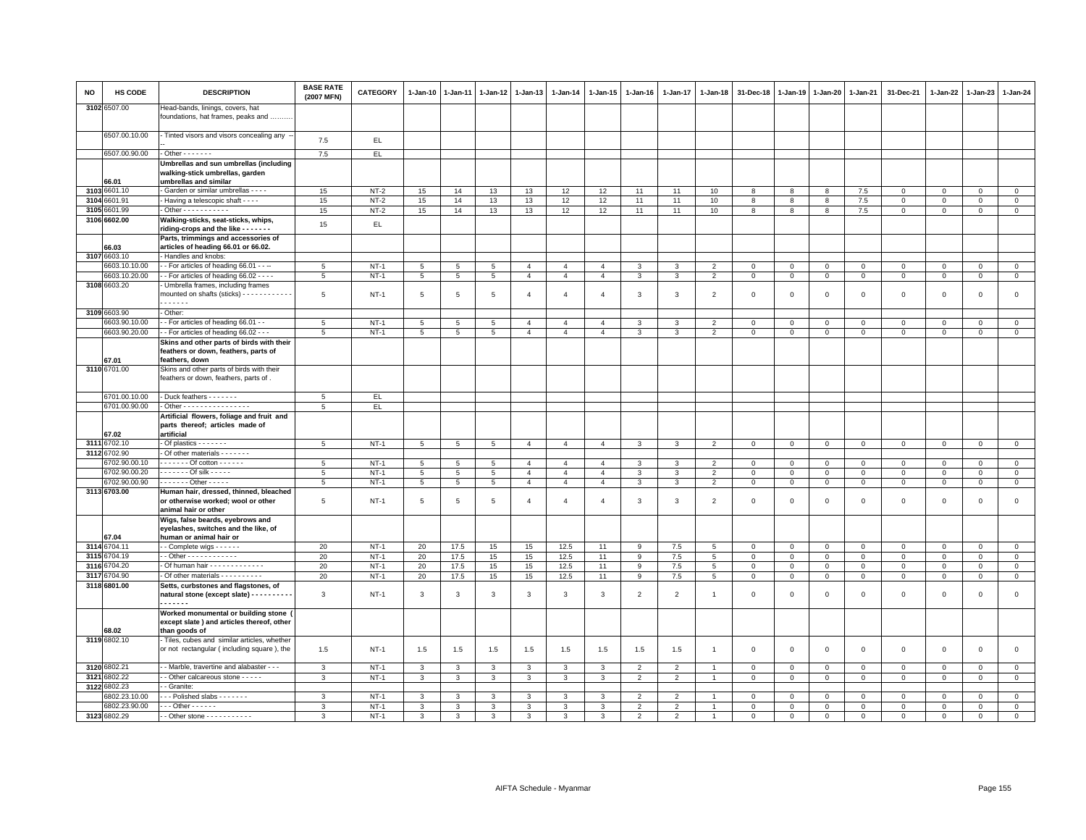| <b>NO</b> | HS CODE                 | <b>DESCRIPTION</b>                                                                                   | <b>BASE RATE</b><br>(2007 MFN) | <b>CATEGORY</b> | 1-Jan-10        | $1 - Jan-11$    | $1-Jan-12$      | $1 - Jan-13$   | 1-Jan-14       | 1-Jan-15       | $1-Jan-16$     | $1 - Jan-17$   | 1-Jan-18       | 31-Dec-18    | 1-Jan-19     | $1-Jan-20$     | $1-Jan-21$   | 31-Dec-21    | 1-Jan-22    | 1-Jan-23       | 1-Jan-24            |
|-----------|-------------------------|------------------------------------------------------------------------------------------------------|--------------------------------|-----------------|-----------------|-----------------|-----------------|----------------|----------------|----------------|----------------|----------------|----------------|--------------|--------------|----------------|--------------|--------------|-------------|----------------|---------------------|
|           | 3102 6507.00            | Head-bands, linings, covers, hat<br>foundations, hat frames, peaks and                               |                                |                 |                 |                 |                 |                |                |                |                |                |                |              |              |                |              |              |             |                |                     |
|           | 6507.00.10.00           | - Tinted visors and visors concealing any -                                                          | 7.5                            | EL              |                 |                 |                 |                |                |                |                |                |                |              |              |                |              |              |             |                |                     |
|           | 6507.00.90.00           | $-$ Other $     -$                                                                                   | 7.5                            | EL.             |                 |                 |                 |                |                |                |                |                |                |              |              |                |              |              |             |                |                     |
|           | 66.01                   | Umbrellas and sun umbrellas (including<br>walking-stick umbrellas, garden<br>umbrellas and similar   |                                |                 |                 |                 |                 |                |                |                |                |                |                |              |              |                |              |              |             |                |                     |
|           | 3103 6601.10            | Garden or similar umbrellas - - - -                                                                  | 15                             | $NT-2$          | 15              | 14              | 13              | 13             | 12             | 12             | 11             | 11             | 10             | 8            | 8            | 8              | 7.5          | $\Omega$     | $\mathbf 0$ | $\mathbf{0}$   | $\overline{0}$      |
| 3104      | 601.91                  | Having a telescopic shaft - - - -                                                                    | 15                             | $NT-2$          | 15              | 14              | 13              | 13             | 12             | 12             | 11             | 11             | 10             | 8            | 8            | 8              | 7.5          | $\mathsf 0$  | $\mathsf 0$ | $\mathsf 0$    | $\mathsf 0$         |
| 3105      | 6601.99                 | $\cdot$ Other - - - - - - - - - - -                                                                  | 15                             | $NT-2$          | 15              | 14              | 13              | 13             | 12             | 12             | 11             | 11             | $10$           | 8            | 8            | 8              | 7.5          | $\mathbf 0$  | $\mathsf 0$ | $\mathbf 0$    | $\mathbf{0}$        |
|           | 3106 6602.00            | Walking-sticks, seat-sticks, whips,<br>riding-crops and the like - - - - - - -                       | 15                             | EL.             |                 |                 |                 |                |                |                |                |                |                |              |              |                |              |              |             |                |                     |
|           | 66.03                   | Parts, trimmings and accessories of<br>articles of heading 66.01 or 66.02.                           |                                |                 |                 |                 |                 |                |                |                |                |                |                |              |              |                |              |              |             |                |                     |
|           | 3107 6603.10            | Handles and knobs:                                                                                   |                                |                 |                 |                 |                 |                |                |                |                |                |                |              |              |                |              |              |             |                |                     |
|           | 6603.10.10.00           | - For articles of heading 66.01 - - --                                                               | $5\overline{5}$                | $NT-1$          | $5\phantom{.0}$ | $\sqrt{5}$      | $5\overline{5}$ | $\overline{4}$ | $\overline{4}$ | $\overline{4}$ | 3              | $\overline{3}$ | $\overline{2}$ | $\,0\,$      | $\mathbf{0}$ | $\Omega$       | $\,0\,$      | $\mathsf 0$  | $\mathbf 0$ | $\mathbf{0}$   | $\overline{0}$      |
|           | 6603.10.20.00           | - - For articles of heading 66.02 - - - -                                                            | 5                              | $NT-1$          | 5               | $5\phantom{.0}$ | 5               | $\overline{4}$ | $\overline{4}$ | $\overline{4}$ | $\mathbf{3}$   | $\mathbf{3}$   | $\overline{2}$ | $\mathsf 0$  | $\mathsf 0$  | $\mathbf{O}$   | $\mathsf 0$  | $\mathbf 0$  | $\mathbf 0$ | $\mathsf 0$    | $\mathsf{O}\xspace$ |
|           | 3108 6603.20            | Umbrella frames, including frames<br>mounted on shafts (sticks) - - - - - - - - - - -<br>.           | 5                              | $NT-1$          | 5               | 5               | 5               | $\overline{4}$ | $\overline{4}$ | $\overline{4}$ | 3              | 3              | $\overline{2}$ | $\mathbf 0$  | $^{\circ}$   | $\mathbf 0$    | $\mathsf 0$  | $\mathbf 0$  | $^{\circ}$  | $\mathbf 0$    | $\mathsf 0$         |
|           | 3109 6603.90            | Other:                                                                                               |                                |                 |                 |                 |                 |                |                |                |                |                |                |              |              |                |              |              |             |                |                     |
|           | 6603.90.10.00           | - For articles of heading 66.01 - -                                                                  | 5                              | $NT-1$          | $5\phantom{.0}$ | 5               | $\overline{5}$  | $\overline{4}$ | $\overline{4}$ | $\overline{4}$ | 3              | 3              | $\overline{2}$ | $\,0\,$      | $\mathsf 0$  | $\mathbf 0$    | $\mathsf 0$  | $\mathbf 0$  | $\Omega$    | $\mathbf 0$    | $\mathsf 0$         |
|           | 6603.90.20.00           | - For articles of heading 66.02 - - -                                                                | 5                              | $NT-1$          | 5               | 5               | $5\overline{5}$ | $\overline{4}$ | $\overline{4}$ | $\overline{4}$ | 3              | $\mathbf{3}$   | $\overline{2}$ | $\mathsf 0$  | $\mathsf 0$  | $\mathbf{O}$   | $\mathbf 0$  | $\mathbf{O}$ | $\mathbf 0$ | $\mathbf 0$    | $\circ$             |
|           | 67.01                   | Skins and other parts of birds with their<br>feathers or down, feathers, parts of<br>feathers, down  |                                |                 |                 |                 |                 |                |                |                |                |                |                |              |              |                |              |              |             |                |                     |
|           | 3110 6701.00            | Skins and other parts of birds with their<br>feathers or down, feathers, parts of.                   |                                |                 |                 |                 |                 |                |                |                |                |                |                |              |              |                |              |              |             |                |                     |
|           | 6701.00.10.00           | - Duck feathers - - - - - - -                                                                        | $5\overline{5}$                | EL.             |                 |                 |                 |                |                |                |                |                |                |              |              |                |              |              |             |                |                     |
|           | 6701.00.90.00           | - Other - - - - - - - - - - - - - - - -                                                              | 5                              | EL.             |                 |                 |                 |                |                |                |                |                |                |              |              |                |              |              |             |                |                     |
|           | 67.02                   | Artificial flowers, foliage and fruit and<br>parts thereof; articles made of<br>artificial           |                                |                 |                 |                 |                 |                |                |                |                |                |                |              |              |                |              |              |             |                |                     |
|           | 3111 6702.10            | $-$ Of plastics $     -$                                                                             | 5                              | $NT-1$          | 5               | 5               | 5               | $\overline{4}$ | $\overline{4}$ | $\overline{4}$ | 3              | 3              | $\overline{2}$ | $\mathbf 0$  | $\mathsf 0$  | $\mathbf 0$    | $\mathbf 0$  | $\mathbf 0$  | $\mathbf 0$ | $\mathbf 0$    | $\mathsf 0$         |
|           | 3112 6702.90            | Of other materials - - - - - - -                                                                     |                                |                 |                 |                 |                 |                |                |                |                |                |                |              |              |                |              |              |             |                |                     |
|           | 3702.90.00.10           | $--- 0f$ cotton $--- 0f$                                                                             | 5                              | $NT-1$          | $5\phantom{.0}$ | 5               | $5\overline{5}$ | $\overline{4}$ | $\overline{4}$ | $\overline{4}$ | 3              | 3              | $\mathcal{P}$  | $\mathsf 0$  | $\mathbf 0$  | $\mathbf 0$    | $\mathbf 0$  | $\mathbf 0$  | $\Omega$    | $\mathbf 0$    | $\mathbf{0}$        |
|           | 6702.90.00.20           | . - Of silk - - - - -                                                                                | $5\phantom{.0}$                | $NT-1$          | $5\phantom{.0}$ | $\,$ 5 $\,$     | $5\phantom{.0}$ | $\overline{4}$ | $\overline{4}$ | $\overline{4}$ | $\mathbf{3}$   | $\mathbf{3}$   | $\overline{2}$ | $\,0\,$      | $\mathsf 0$  | $\mathbf 0$    | $\,0\,$      | $\mathbf 0$  | $\mathsf 0$ | $\mathbf 0$    | $\overline{0}$      |
|           | 6702.90.00.90           | $---$ Other - - - - -                                                                                | 5                              | $NT-1$          | 5               | 5               | 5               | $\overline{4}$ | $\overline{4}$ | $\overline{4}$ | 3              | $\mathbf{3}$   | 2              | $\mathbf 0$  | $\mathsf 0$  | $\mathbf{O}$   | $\mathbf 0$  | $\mathbf 0$  | $\Omega$    | $\mathbf 0$    | $\mathsf 0$         |
|           | 3113 6703.00            | Human hair, dressed, thinned, bleached<br>or otherwise worked; wool or other<br>animal hair or other | 5                              | $NT-1$          | $\overline{5}$  | 5               | 5               | $\overline{4}$ | $\overline{4}$ | $\overline{4}$ | 3              | $\overline{3}$ | $\overline{2}$ | $\mathsf 0$  | $\mathbf 0$  | $\mathsf 0$    | $\mathbf 0$  | $\mathsf 0$  | $\mathbf 0$ | $\mathsf 0$    | $\mathsf 0$         |
|           | 67.04                   | Wigs, false beards, eyebrows and<br>eyelashes, switches and the like, of<br>human or animal hair or  |                                |                 |                 |                 |                 |                |                |                |                |                |                |              |              |                |              |              |             |                |                     |
|           | 3114 6704.11            | - Complete wigs - - - - - -                                                                          | 20                             | $NT-1$          | 20              | 17.5            | 15              | 15             | 12.5           | 11             | 9              | $7.5$          | 5              | $\mathbf 0$  | $\mathsf 0$  | $\mathsf 0$    | $\mathbf 0$  | $\mathbf 0$  | $\mathsf 0$ | $\mathbf 0$    | $\mathsf 0$         |
|           | 3115 6704.19            | - - Other - - - - - - - - - - - -                                                                    | 20                             | $NT-1$          | 20              | 17.5            | 15              | 15             | 12.5           | 11             | 9              | $7.5$          | 5              | $\mathbf{0}$ | $\mathbf{0}$ | $\mathbf{0}$   | $\mathbf{0}$ | $\mathbf{0}$ | $\mathbf 0$ | $\mathbf{0}$   | $\mathsf 0$         |
|           | 3116 6704.20            | - Of human hair - - - - - - - - - - - -                                                              | 20                             | $NT-1$          | 20              | 17.5            | 15              | 15             | 12.5           | 11             | 9              | 7.5            | 5              | $\mathbf 0$  | $\mathbf 0$  | $\mathbf 0$    | $\mathsf 0$  | $\mathbf 0$  | $\mathbf 0$ | $\mathbf{0}$   | $\mathsf 0$         |
|           | 3117 6704.90            | - Of other materials - - - - - - - - -                                                               | 20                             | $NT-1$          | 20              | 17.5            | 15              | 15             | 12.5           | 11             | 9              | 7.5            | 5              | $\mathbf 0$  | $\mathsf 0$  | $\overline{0}$ | $\,0\,$      | $\mathbf{0}$ | $\mathsf 0$ | $\mathbf 0$    | $\mathsf 0$         |
|           | 3118 6801.00            | Setts, curbstones and flagstones, of<br>natural stone (except slate) - - - - - - - - -<br>           | 3                              | $NT-1$          | 3               | 3               | 3               | 3              | 3              | 3              | $\overline{2}$ | $\overline{2}$ | -1             | $\mathbf 0$  | $\Omega$     | $\mathsf 0$    | $\mathbf 0$  | $\mathbf 0$  | $\Omega$    | $\mathsf 0$    | $\mathsf 0$         |
|           | 68.02                   | Worked monumental or building stone<br>except slate ) and articles thereof, other<br>than goods of   |                                |                 |                 |                 |                 |                |                |                |                |                |                |              |              |                |              |              |             |                |                     |
|           | 3119 6802.10            | Tiles, cubes and similar articles, whether                                                           |                                |                 |                 |                 |                 |                |                |                |                |                |                |              |              |                |              |              |             |                |                     |
|           |                         | or not rectangular (including square), the<br>- Marble, travertine and alabaster - - -               | 1.5                            | $NT-1$          | 1.5             | 1.5             | 1.5             | 1.5            | 1.5            | 1.5            | 1.5            | 1.5            | $\overline{1}$ | $\mathsf 0$  | $\mathsf 0$  | $\mathsf 0$    | $\mathsf 0$  | $\mathsf 0$  | $\mathbf 0$ | $\mathsf 0$    | $\mathsf 0$         |
|           | 3120 6802.21            |                                                                                                      | 3                              | $NT-1$          | 3               | 3               | 3               | 3              | 3              | 3              | $\overline{2}$ | $\overline{2}$ | -1             | $\mathbf 0$  | 0            | $\Omega$       | $\mathbf{0}$ | $\Omega$     | 0           | $\Omega$       | $\circ$             |
| 3121      | 6802.22<br>3122 6802.23 | - Other calcareous stone - - - - -<br>- Granite:                                                     | 3                              | $NT-1$          | $\mathbf{3}$    | $\mathbf{3}$    | $\mathbf{3}$    | $\mathbf{3}$   | 3              | $\mathbf{3}$   | $\overline{2}$ | 2              | $\overline{1}$ | $\mathbf 0$  | $\mathsf 0$  | $\mathbf 0$    | $\mathbf 0$  | $\mathbf{0}$ | $\mathbf 0$ | $\overline{0}$ | $\mathbf 0$         |
|           | 802.23.10.00            | - - Polished slabs - - - - - - -                                                                     | 3                              | $NT-1$          | 3               | 3               | 3               | 3              | 3              | 3              | $\overline{2}$ | $\overline{2}$ |                | $\mathbf 0$  | $\mathsf 0$  | $\mathsf 0$    | $\mathsf 0$  | $\mathbf 0$  | $\mathbf 0$ | $\mathbf 0$    | $\mathsf 0$         |
|           | 6802.23.90.00           | $\cdots$ Other - - - - - -                                                                           | 3                              | $NT-1$          | 3               | 3               | 3               | 3              | 3              | 3              | $\overline{2}$ | $\overline{2}$ | -1             | $\,0\,$      | $\mathsf 0$  | 0              | $\mathbf{0}$ | $\mathbf 0$  | 0           | $\mathbf 0$    | $\mathsf{O}\xspace$ |
|           | 3123 6802.29            | $\cdot$ - Other stone - - - - - - - - - - -                                                          | 3                              | $NT-1$          | 3               | 3               | 3               | 3              | $\mathcal{R}$  | 3              | $\mathcal{P}$  | 2              | $\overline{1}$ | $\mathbf 0$  | $\mathbf 0$  | $\mathbf 0$    | $\Omega$     | $\mathbf 0$  | $\Omega$    | $\mathbf 0$    | $\Omega$            |
|           |                         |                                                                                                      |                                |                 |                 |                 |                 |                |                |                |                |                |                |              |              |                |              |              |             |                |                     |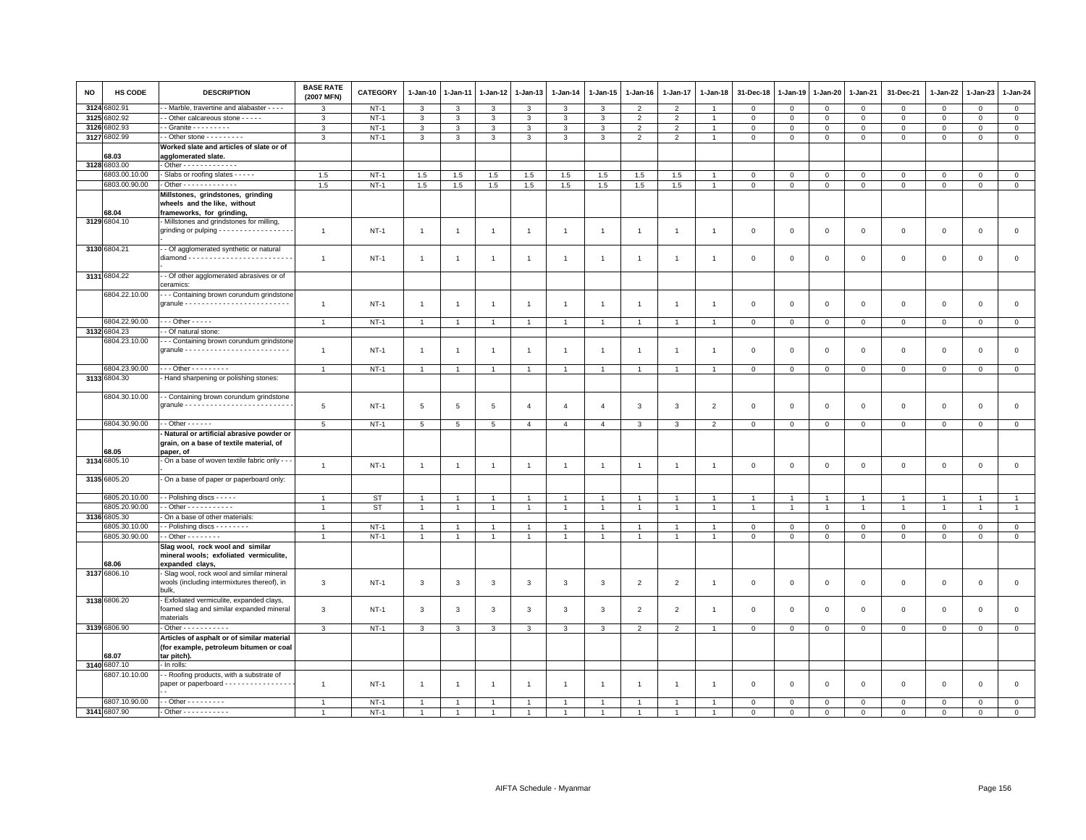| <b>NO</b> | HS CODE       | <b>DESCRIPTION</b>                                                                                  | <b>BASE RATE</b><br>(2007 MFN) | <b>CATEGORY</b> | $1-Jan-10$      | 1-Jan-11       | $1 - Jan-12$            | 1-Jan-13       | $1-Jan-14$     | $1 - Jan-15$   | $1 - Jan-16$   | $1 - Jan-17$   | $1 - Jan-18$   | 31-Dec-18      | $1 - Jan-19$   | 1-Jan-20       | 1-Jan-21       | 31-Dec-21      | 1-Jan-22    | 1-Jan-23       | $1 - Jan-24$   |
|-----------|---------------|-----------------------------------------------------------------------------------------------------|--------------------------------|-----------------|-----------------|----------------|-------------------------|----------------|----------------|----------------|----------------|----------------|----------------|----------------|----------------|----------------|----------------|----------------|-------------|----------------|----------------|
| 3124      | 6802.91       | - Marble, travertine and alabaster - - - -                                                          | 3                              | $NT-1$          | 3               | 3              | 3                       | 3              | $\mathbf{3}$   | 3              | $\overline{2}$ | $\overline{2}$ |                | $\mathbf 0$    | $\mathsf 0$    | $\Omega$       | $\mathsf 0$    | $\Omega$       | $\Omega$    | $\circ$        | $\mathbf 0$    |
|           | 3125 6802.92  | - Other calcareous stone - - - - -                                                                  | 3                              | $NT-1$          | $\mathbf{3}$    | 3              | 3                       | $\mathbf{3}$   | 3              | 3              | 2              | $\overline{2}$ |                | $\mathbf 0$    | $\mathsf 0$    | $\mathbf 0$    | $\mathbf 0$    | $\mathbf 0$    | $\Omega$    | $\mathbf{0}$   | $\mathbf 0$    |
|           | 3126 6802.93  | - Granite - - - - - - - - -                                                                         | $\mathbf{3}$                   | $NT-1$          | $\mathbf{3}$    | 3              | 3                       | $\mathbf{3}$   | $\mathbf{3}$   | 3              | $\overline{2}$ | $\overline{2}$ |                | $\mathbf 0$    | $\mathsf 0$    | $\mathsf 0$    | $\mathbf 0$    | $\mathbf{0}$   | $\Omega$    | $\Omega$       | $\mathbb O$    |
|           | 3127 6802.99  | - - Other stone - - - - - - - - -                                                                   | 3                              | $NT-1$          | $\mathbf{3}$    | 3              | 3                       | 3              | $\mathbf{3}$   | 3              | $\overline{2}$ | $\overline{2}$ | $\overline{1}$ | $\mathsf 0$    | $\mathsf 0$    | $\mathsf 0$    | $\mathbf 0$    | $\mathsf 0$    | 0           | $\mathsf 0$    | $\overline{0}$ |
|           | 68.03         | Worked slate and articles of slate or of<br>agglomerated slate.                                     |                                |                 |                 |                |                         |                |                |                |                |                |                |                |                |                |                |                |             |                |                |
|           | 3128 6803.00  | - Other - - - - - - - - - - - - -                                                                   |                                |                 |                 |                |                         |                |                |                |                |                |                |                |                |                |                |                |             |                |                |
|           | 6803.00.10.00 | - Slabs or roofing slates - - - - -                                                                 | 1.5                            | $NT-1$          | 1.5             | 1.5            | 1.5                     | 1.5            | 1.5            | 1.5            | 1.5            | 1.5            |                | $\mathbf 0$    | $\mathbf 0$    | $\mathsf 0$    | $\mathsf 0$    | $\Omega$       | $\Omega$    | $\mathbf{0}$   | $\mathbf{0}$   |
|           | 6803.00.90.00 | - Other - - - - - - - - - - - - -                                                                   | 1.5                            | $NT-1$          | 1.5             | $1.5\,$        | 1.5                     | 1.5            | 1.5            | 1.5            | 1.5            | 1.5            |                | $\mathsf 0$    | $\mathbf 0$    | $\mathbf 0$    | $\mathbf{0}$   | $\mathbf 0$    | 0           | $\mathbf 0$    | $\mathbf{0}$   |
|           | 68.04         | Millstones, grindstones, grinding<br>wheels and the like, without<br>frameworks, for grinding,      |                                |                 |                 |                |                         |                |                |                |                |                |                |                |                |                |                |                |             |                |                |
|           | 3129 6804.10  | - Millstones and grindstones for milling,<br>grinding or pulping - - - - - - - - - - - - - - - -    | $\mathbf{1}$                   | $NT-1$          | $\overline{1}$  | $\overline{1}$ | $\overline{1}$          | $\overline{1}$ | $\mathbf{1}$   | $\overline{1}$ | $\overline{1}$ | $\overline{1}$ |                | $\mathbf 0$    | $\mathbf 0$    | $\mathbf 0$    | $\mathbf 0$    | $\mathbf 0$    | $\mathbf 0$ | $\mathbf 0$    | $\mathsf 0$    |
|           | 3130 6804.21  | - Of agglomerated synthetic or natural                                                              | $\mathbf{1}$                   | $NT-1$          | $\overline{1}$  | -1             | $\overline{1}$          | -1             | $\mathbf{1}$   | $\overline{1}$ | $\overline{1}$ | $\mathbf{1}$   |                | $\mathbf 0$    | $\mathbf 0$    | $\mathbf 0$    | $\mathsf 0$    | $\mathbf 0$    | $\Omega$    | $\mathbf 0$    | $\mathsf 0$    |
|           | 3131 6804.22  | - - Of other agglomerated abrasives or of<br>ceramics:                                              |                                |                 |                 |                |                         |                |                |                |                |                |                |                |                |                |                |                |             |                |                |
|           | 6804.22.10.00 | --- Containing brown corundum grindstone                                                            | 1                              | $NT-1$          | $\overline{1}$  | $\overline{1}$ | $\overline{1}$          | $\mathbf{1}$   | $\overline{1}$ | $\overline{1}$ |                | $\overline{1}$ |                | $\mathbf 0$    | $\mathbf 0$    | $\mathsf 0$    | $\mathbf 0$    | $\mathbf 0$    | $\mathbf 0$ | $\mathbf 0$    | $\mathsf 0$    |
|           | 6804.22.90.00 | $\cdots$ Other - - - - -                                                                            |                                |                 | $\overline{1}$  | $\overline{1}$ |                         | $\mathbf{1}$   | $\overline{1}$ | $\mathbf{1}$   | $\mathbf{1}$   | $\overline{1}$ |                |                |                |                |                |                |             |                |                |
|           | 3132 6804.23  | - Of natural stone:                                                                                 | $\mathbf{1}$                   | $NT-1$          |                 |                | $\overline{1}$          |                |                |                |                |                |                | $\mathbf 0$    | $\mathbf 0$    | $\overline{0}$ | $\mathsf 0$    | $\mathbf{0}$   | $\mathsf 0$ | $\mathbf 0$    | $\overline{0}$ |
|           | 6804.23.10.00 | - - Containing brown corundum grindstone                                                            |                                |                 |                 |                |                         |                |                |                |                |                |                |                |                |                |                |                |             |                |                |
|           |               |                                                                                                     | $\overline{1}$                 | $NT-1$          | $\overline{1}$  | $\overline{1}$ | $\overline{1}$          | $\mathbf{1}$   | $\overline{1}$ | $\overline{1}$ |                | $\overline{1}$ |                | $\mathbf 0$    | $\mathbf 0$    | $\mathbf 0$    | $\mathsf 0$    | $\mathbf 0$    | $\Omega$    | $\mathbf 0$    | $\mathbf 0$    |
|           | 6804.23.90.00 | $\cdots$ Other - - - - - - - - -                                                                    | $\mathbf{1}$                   | $NT-1$          | $\overline{1}$  |                | $\mathbf{1}$            | $\mathbf{1}$   | $\overline{1}$ | $\mathbf{1}$   |                | $\overline{1}$ |                | $\mathbf 0$    | $\mathsf 0$    | $\,0\,$        | $\mathbf 0$    | $\mathbf 0$    | 0           | $\mathsf 0$    | $\mathbf 0$    |
|           | 3133 6804.30  | Hand sharpening or polishing stones:                                                                |                                |                 |                 |                |                         |                |                |                |                |                |                |                |                |                |                |                |             |                |                |
|           |               |                                                                                                     |                                |                 |                 |                |                         |                |                |                |                |                |                |                |                |                |                |                |             |                |                |
|           | 6804.30.10.00 | - - Containing brown corundum grindstone                                                            | 5                              | $NT-1$          | 5               | 5              | 5                       | $\overline{4}$ | $\overline{4}$ | $\overline{4}$ | $\mathbf{3}$   | 3              | $\overline{2}$ | $\mathbf 0$    | $\mathbf 0$    | $\mathsf 0$    | $\mathbf 0$    | $\mathbf 0$    | 0           | $\mathbf 0$    | $\mathsf 0$    |
|           | 6804.30.90.00 | $-$ Other $- - - - -$                                                                               | $5\phantom{.0}$                | $NT-1$          | $5\phantom{.0}$ | $\,$ 5 $\,$    | $\,$ 5 $\,$             | $\overline{4}$ | $\overline{4}$ | $\overline{4}$ | 3              | 3              | $\overline{2}$ | $\mathbf 0$    | $\mathbf 0$    | $\mathbf 0$    | $\mathsf 0$    | $\mathbf 0$    | $\mathsf 0$ | $\mathbf 0$    | $\mathsf 0$    |
|           | 68.05         | Natural or artificial abrasive powder or<br>grain, on a base of textile material, of<br>paper, of   |                                |                 |                 |                |                         |                |                |                |                |                |                |                |                |                |                |                |             |                |                |
|           | 3134 6805.10  | - On a base of woven textile fabric only - - -                                                      | $\overline{1}$                 | $NT-1$          | $\overline{1}$  | $\overline{1}$ | $\overline{1}$          | $\overline{1}$ | $\overline{1}$ | $\overline{1}$ | $\overline{1}$ | $\overline{1}$ |                | $\mathbf 0$    | $\mathbf 0$    | $\mathsf 0$    | $\mathbf 0$    | $\mathsf 0$    | $\mathbf 0$ | $\mathsf 0$    | $\mathsf 0$    |
|           | 3135 6805.20  | On a base of paper or paperboard only:                                                              |                                |                 |                 |                |                         |                |                |                |                |                |                |                |                |                |                |                |             |                |                |
|           | 6805.20.10.00 | - Polishing discs - - - - -                                                                         |                                | ST              |                 |                |                         |                |                |                |                |                |                |                |                |                |                |                |             |                |                |
|           | 6805.20.90.00 | $-$ Other $        -$                                                                               | $\overline{1}$                 | <b>ST</b>       | $\overline{1}$  | $\overline{1}$ | $\overline{1}$          | $\overline{1}$ | $\overline{1}$ | $\overline{1}$ |                | $\overline{1}$ |                | $\overline{1}$ | $\overline{1}$ | $\overline{1}$ | $\overline{1}$ | $\overline{1}$ |             | $\overline{1}$ | $\mathbf{1}$   |
|           | 3136 6805.30  | On a base of other materials:                                                                       |                                |                 |                 |                |                         |                |                |                |                |                |                |                |                |                |                |                |             |                |                |
|           | 6805.30.10.00 | - Polishing discs - - - - - - - -                                                                   | $\mathbf{1}$                   | $NT-1$          | $\overline{1}$  | 1              | $\overline{1}$          | $\mathbf{1}$   | $\overline{1}$ | 1              | $\mathbf{1}$   | $\mathbf{1}$   |                | $\mathbf 0$    | $\mathbf 0$    | $\mathbf 0$    | $\mathbf 0$    | $\mathbf 0$    | $\mathbf 0$ | $^{\circ}$     | $\overline{0}$ |
|           | 6805.30.90.00 | - - Other - - - - - - - -                                                                           | $\overline{1}$                 | $NT-1$          | $\mathbf{1}$    | $\overline{1}$ | $\overline{1}$          | $\overline{1}$ | $\overline{1}$ | $\mathbf{1}$   | $\overline{1}$ | $\overline{1}$ | $\overline{1}$ | $\mathbf{0}$   | $\mathbf{0}$   | $\Omega$       | $\mathbf{0}$   | $\mathbf 0$    | $\mathbf 0$ | $\mathbf{0}$   | $\mathbf{0}$   |
|           | 68.06         | Slag wool, rock wool and similar<br>mineral wools; exfoliated vermiculite,<br>expanded clays,       |                                |                 |                 |                |                         |                |                |                |                |                |                |                |                |                |                |                |             |                |                |
|           | 3137 6806.10  | Slag wool, rock wool and similar mineral<br>wools (including intermixtures thereof), in<br>bulk.    | $\mathbf{3}$                   | $NT-1$          | $\mathbf{3}$    | 3              | $\mathbf{3}$            | 3              | 3              | 3              | $\overline{2}$ | $\overline{2}$ | $\mathbf{1}$   | $\mathbf 0$    | $\mathbf 0$    | $\mathsf 0$    | $\mathsf 0$    | $\mathbf 0$    | 0           | $\mathbf 0$    | $\mathsf 0$    |
|           | 3138 6806.20  | - Exfoliated vermiculite, expanded clays,<br>foamed slag and similar expanded mineral               | 3                              | $NT-1$          | 3               | 3              | $\overline{\mathbf{3}}$ | $\mathbf{3}$   | 3              | 3              | 2              | $\overline{2}$ | -1             | $\mathbf 0$    | $\mathbf 0$    | $\mathsf 0$    | $\mathbf 0$    | $\mathsf 0$    | $\Omega$    | $\mathsf 0$    | $\mathsf 0$    |
|           | 3139 6806.90  | materials<br>- Other - - - - - - - - - - -                                                          | $\mathbf{3}$                   | $NT-1$          | $\mathbf{3}$    | 3              | $\mathbf{3}$            | $\mathbf{3}$   | $\mathbf{3}$   | $\mathbf{3}$   | $\overline{2}$ | $\overline{2}$ |                | $\mathsf 0$    | $\mathsf 0$    | $\mathbf 0$    | $\circ$        | $\mathsf 0$    | $\mathbf 0$ | $\mathsf 0$    | $\mathbf 0$    |
|           | 68.07         | Articles of asphalt or of similar material<br>(for example, petroleum bitumen or coal<br>tar pitch) |                                |                 |                 |                |                         |                |                |                |                |                |                |                |                |                |                |                |             |                |                |
|           | 3140 6807.10  | - In rolls:                                                                                         |                                |                 |                 |                |                         |                |                |                |                |                |                |                |                |                |                |                |             |                |                |
|           | 6807.10.10.00 | - - Roofing products, with a substrate of<br>paper or paperboard - - - - - - - - - - - - - - -      | $\overline{1}$                 | $NT-1$          | $\overline{1}$  | -1             | $\overline{1}$          | $\mathbf{1}$   | $\mathbf{1}$   | $\overline{1}$ |                |                |                | $\overline{0}$ | $\mathbf 0$    | $\Omega$       | $\mathbf 0$    | $\Omega$       | $\Omega$    | $\mathbf{0}$   | $\mathbf 0$    |
|           | 6807.10.90.00 | $-$ - Other - - - - - - - - -                                                                       | $\overline{1}$                 | $NT-1$          |                 |                |                         |                |                |                |                |                |                | $^{\circ}$     | $^{\circ}$     | $\mathbf 0$    | $\Omega$       | $\Omega$       | 0           | 0              | $\mathsf 0$    |
|           | 3141 6807.90  | $-$ Other $        -$                                                                               | $\overline{1}$                 | $NT-1$          |                 | $\overline{1}$ | $\overline{1}$          |                |                |                |                |                |                | $\Omega$       | $\Omega$       | $\Omega$       | $\Omega$       | $\Omega$       | $\Omega$    | $\Omega$       | $\Omega$       |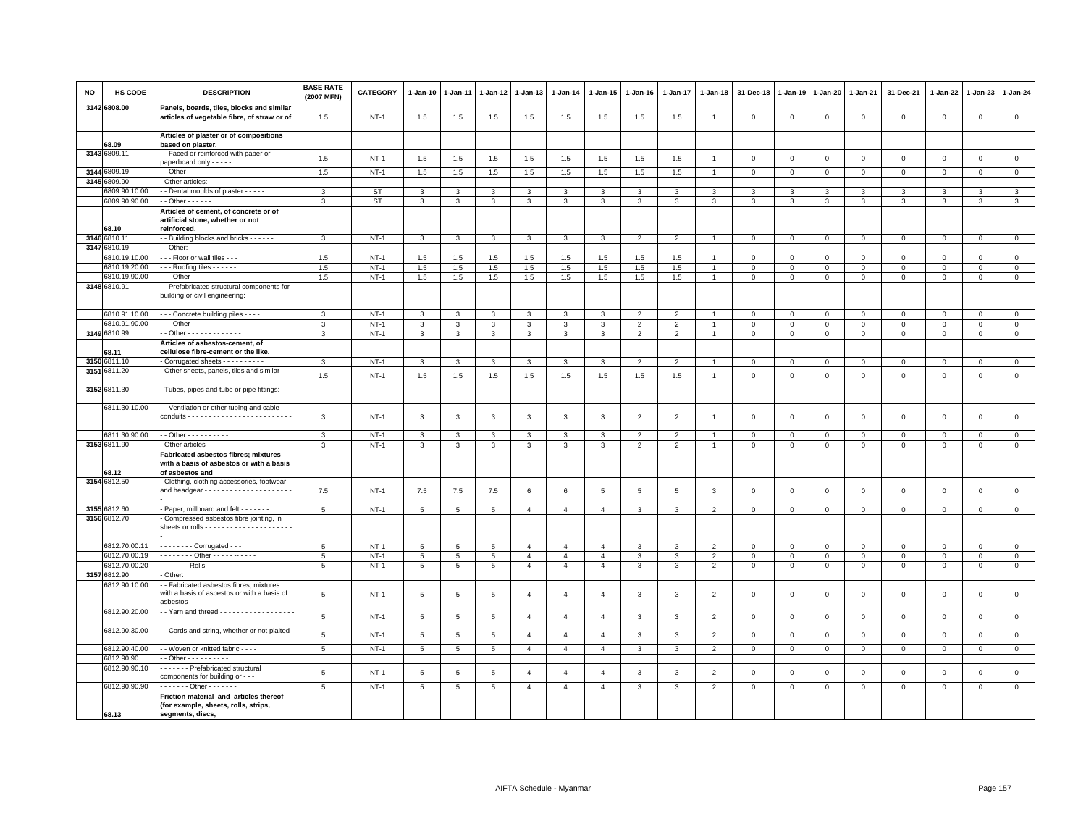| <b>NO</b> | <b>HS CODE</b>               | <b>DESCRIPTION</b>                                                                                         | <b>BASE RATE</b><br>(2007 MFN) | <b>CATEGORY</b> | $1-Jan-10$              | 1-Jan-11        | 1-Jan-12        | 1-Jan-13       | $1-Jan-14$     | 1-Jan-15       | $1-Jan-16$     | $1-Jan-17$     | 1-Jan-18       | 31-Dec-18      | $1-Jan-19$   | $1-Jan-20$     | 1-Jan-21       | 31-Dec-21           | $1-Jan-22$   | $1-Jan-23$          | 1-Jan-24       |
|-----------|------------------------------|------------------------------------------------------------------------------------------------------------|--------------------------------|-----------------|-------------------------|-----------------|-----------------|----------------|----------------|----------------|----------------|----------------|----------------|----------------|--------------|----------------|----------------|---------------------|--------------|---------------------|----------------|
|           | 3142 6808.00                 | Panels, boards, tiles, blocks and similar<br>articles of vegetable fibre, of straw or of                   | 1.5                            | $NT-1$          | 1.5                     | 1.5             | 1.5             | 1.5            | 1.5            | 1.5            | 1.5            | 1.5            | $\overline{1}$ | $\mathbf 0$    | $\mathbf 0$  | $\,0\,$        | $\,0\,$        | $\mathsf 0$         | $\mathsf 0$  | $\mathsf{O}\xspace$ | $\mathbf 0$    |
|           | 68.09                        | Articles of plaster or of compositions<br>based on plaster.                                                |                                |                 |                         |                 |                 |                |                |                |                |                |                |                |              |                |                |                     |              |                     |                |
|           | 3143 6809.11                 | - - Faced or reinforced with paper or                                                                      | 1.5                            | $NT-1$          | 1.5                     | 1.5             | 1.5             | 1.5            | 1.5            | 1.5            | 1.5            | 1.5            | $\mathbf{1}$   | $\mathbf 0$    | $\mathsf 0$  | $\mathsf 0$    | $\mathbf 0$    | $\mathsf 0$         | $\mathbf 0$  | $\mathsf 0$         | $\mathsf 0$    |
|           | 3144 6809.19                 | paperboard only - - - - -                                                                                  |                                |                 |                         |                 |                 |                |                |                |                |                |                |                |              |                |                |                     |              |                     |                |
|           | 3145 6809.90                 | - Other articles:                                                                                          | 1.5                            | $NT-1$          | 1.5                     | 1.5             | 1.5             | 1.5            | 1.5            | 1.5            | 1.5            | 1.5            | $\overline{1}$ | $\,0\,$        | $\mathbf 0$  | $\mathbf 0$    | $\mathbb O$    | $\mathsf{O}\xspace$ | $\mathsf 0$  | $\mathsf 0$         | $\mathsf 0$    |
|           | 6809.90.10.00                | - Dental moulds of plaster - - - - -                                                                       | 3                              | <b>ST</b>       | $\mathbf{3}$            | 3               | 3               | 3              | 3              | 3              | 3              | 3              | 3              | 3              | 3            | 3              | $\mathbf{3}$   | 3                   | 3            | 3                   | $\mathbf{3}$   |
|           | 6809.90.90.00                | $-$ Other $    -$                                                                                          | 3                              | <b>ST</b>       | $\mathbf{3}$            | 3               | 3               | $\mathbf{3}$   | 3              | $\mathbf{3}$   | $\mathbf{3}$   | $\mathbf{3}$   | $\mathbf{3}$   | $\mathbf{3}$   | $\mathbf{3}$ | $\mathbf{3}$   | $\mathbf{3}$   | $\mathbf{3}$        | 3            | 3                   | $\mathbf{3}$   |
|           | 68.10                        | Articles of cement, of concrete or of<br>artificial stone, whether or not<br>reinforced.                   |                                |                 |                         |                 |                 |                |                |                |                |                |                |                |              |                |                |                     |              |                     |                |
|           | 3146 6810.11                 | - Building blocks and bricks - - - - - -                                                                   | $\mathbf{3}$                   | $NT-1$          | $\mathbf{3}$            | $\mathbf{3}$    | $\mathbf{3}$    | $\mathbf{3}$   | $\mathbf{3}$   | $\mathbf{3}$   | $\overline{2}$ | $\overline{2}$ | $\overline{1}$ | $\mathbf 0$    | $\,0\,$      | $\mathbf 0$    | $\mathbf 0$    | $\mathsf 0$         | $\circ$      | $\mathbf 0$         | $\mathsf 0$    |
|           | 3147 6810.19                 | - Other:                                                                                                   |                                |                 |                         |                 |                 |                |                |                |                |                |                |                |              |                |                |                     |              |                     |                |
|           | 6810.19.10.00                | - - Floor or wall tiles - - -                                                                              | 1.5                            | $NT-1$          | 1.5                     | 1.5             | $1.5\,$         | 1.5            | 1.5            | 1.5            | 1.5            | 1.5            |                | $\mathbf 0$    | $\mathbf 0$  | $\mathbf 0$    | $\mathbf 0$    | 0                   | $\Omega$     | $\Omega$            | $\mathsf 0$    |
|           | 6810.19.20.00                | $- -$ Roofing tiles $- - - -$                                                                              | 1.5                            | $NT-1$          | 1.5                     | 1.5             | 1.5             | 1.5            | 1.5            | 1.5            | 1.5            | 1.5            | $\mathbf{1}$   | $\mathbf 0$    | $\mathbf 0$  | $\mathbf 0$    | $\mathsf 0$    | $\mathbf 0$         | $\mathbf 0$  | $\mathsf 0$         | $\mathbf 0$    |
|           | 6810.19.90.00                | $-$ - Other - - - - - - - -                                                                                | 1.5                            | $NT-1$          | 1.5                     | 1.5             | 1.5             | 1.5            | 1.5            | 1.5            | 1.5            | 1.5            | $\mathbf{1}$   | $\mathbf 0$    | $\mathsf 0$  | $\mathsf 0$    | $\mathbf 0$    | $\mathbf{0}$        | $\mathbf 0$  | $\mathbf 0$         | $\mathsf 0$    |
|           | 3148 6810.91                 | - Prefabricated structural components for<br>building or civil engineering:                                |                                |                 |                         |                 |                 |                |                |                |                |                |                |                |              |                |                |                     |              |                     |                |
|           | 6810.91.10.00                | - - - Concrete building piles - - - -                                                                      | 3                              | $NT-1$          | 3                       | 3               | 3               | 3              | 3              | 3              | $\overline{2}$ | $\overline{2}$ | $\mathbf{1}$   | $\mathbf 0$    | $\mathbf 0$  | $\mathbf 0$    | $\mathbf 0$    | $\mathbf 0$         | 0            | $\mathbf 0$         | $\mathbf 0$    |
|           | 6810.91.90.00                | - - - Other - - - - - - - - - - -                                                                          | $\mathbf{3}$                   | $NT-1$          | $\overline{\mathbf{3}}$ | $\mathbf{3}$    | 3               | $\mathbf{3}$   | $\mathbf{3}$   | $\overline{3}$ | 2              | 2              | $\overline{1}$ | $\mathbf 0$    | $\mathsf 0$  | $\circ$        | $\mathbf 0$    | $\mathbf{0}$        | $\mathbf 0$  | $\mathbf 0$         | $\mathsf 0$    |
|           | 3149 6810.99                 | - - Other - - - - - - - - - - - - -                                                                        | 3                              | <b>NT-1</b>     | $\mathbf{3}$            | 3               | 3               | 3              | $\mathbf{3}$   | $\mathbf{3}$   | $\overline{2}$ | $\overline{2}$ | $\overline{1}$ | $\mathbf 0$    | $\mathbf 0$  | $\mathbf 0$    | $\mathbf 0$    | $\mathsf 0$         | $\mathbf 0$  | $\mathbf{0}$        | $\mathbf 0$    |
|           |                              | Articles of asbestos-cement, of                                                                            |                                |                 |                         |                 |                 |                |                |                |                |                |                |                |              |                |                |                     |              |                     |                |
|           | 68.11                        | cellulose fibre-cement or the like.                                                                        |                                |                 |                         |                 |                 |                |                |                |                |                |                | $\Omega$       |              |                |                |                     |              |                     |                |
|           | 3150 6811.10<br>3151 6811.20 | - Corrugated sheets - - - - - - - - - -<br>- Other sheets, panels, tiles and similar                       | 3                              | $NT-1$          | 3                       | -3              | 3               | 3              | 3              | 3              |                | $\mathfrak{p}$ |                |                | $\Omega$     | $\Omega$       | $\Omega$       | $\Omega$            | $\Omega$     | $\Omega$            | $\mathbf 0$    |
|           |                              |                                                                                                            | 1.5                            | $NT-1$          | 1.5                     | 1.5             | 1.5             | 1.5            | 1.5            | 1.5            | 1.5            | 1.5            | $\overline{1}$ | $\,0\,$        | $\,0\,$      | $\mathbf 0$    | $\mathbb O$    | $\mathsf{O}\xspace$ | $\mathbf 0$  | $\mathsf{O}\xspace$ | $\mathsf 0$    |
|           | 3152 6811.30                 | Tubes, pipes and tube or pipe fittings:                                                                    |                                |                 |                         |                 |                 |                |                |                |                |                |                |                |              |                |                |                     |              |                     |                |
|           | 6811.30.10.00                | - - Ventilation or other tubing and cable                                                                  | 3                              | $NT-1$          | $\mathbf{3}$            | 3               | 3               | $\mathbf{3}$   | 3              | $\mathbf{3}$   | $\overline{2}$ | $\overline{2}$ | $\overline{1}$ | $\mathbf 0$    | $\mathbf 0$  | $\mathsf 0$    | $\mathbf 0$    | $\mathsf 0$         | $\mathbf 0$  | $\mathsf 0$         | $\mathsf 0$    |
|           | 6811.30.90.00                | - - Other - - - - - - - - - -                                                                              | $\mathbf{3}$                   | $NT-1$          | $\mathbf{3}$            | $\overline{3}$  | $\mathbf{3}$    | $\mathbf{3}$   | $\mathbf{3}$   | $\mathbf{3}$   | $\overline{2}$ | $\overline{2}$ | $\overline{1}$ | $\mathsf 0$    | $\mathbf 0$  | $\mathsf 0$    | $\mathbf 0$    | $\mathbf{0}$        | $\mathbf 0$  | $\mathbf{0}$        | $\mathsf 0$    |
|           | 3153 6811.90                 | - Other articles - - - - - - - - - - - -                                                                   | 3                              | <b>NT-1</b>     | $\mathbf{3}$            | 3               | 3               | 3              | 3              | $\mathbf{3}$   | $\overline{2}$ | $\overline{2}$ | $\overline{1}$ | $\mathbf 0$    | $\mathbf 0$  | $\mathbf 0$    | $\mathbf 0$    | $\mathbf 0$         | $\mathbf 0$  | $\mathbf 0$         | $\mathbf 0$    |
|           | 68.12                        | <b>Fabricated asbestos fibres; mixtures</b><br>with a basis of asbestos or with a basis<br>of asbestos and |                                |                 |                         |                 |                 |                |                |                |                |                |                |                |              |                |                |                     |              |                     |                |
|           | 3154 6812.50                 | - Clothing, clothing accessories, footwear                                                                 | 7.5                            | $NT-1$          | 7.5                     | 7.5             | 7.5             | 6              | 6              | 5              | 5              | 5              | 3              | $\mathbf 0$    | $\mathbf 0$  | $\mathsf 0$    | $\mathbf 0$    | $\mathsf 0$         | $\mathbf 0$  | $\mathsf 0$         | $\mathbf 0$    |
|           | 3155 6812.60                 | - Paper, millboard and felt - - - - - - -                                                                  | 5                              | $NT-1$          | 5                       | 5               | 5               | $\overline{4}$ | $\overline{4}$ | $\overline{4}$ | 3              | 3              | $\overline{2}$ | $\mathbf 0$    | $\circ$      | $\mathbf{0}$   | $\mathbf{0}$   | $\mathbf{0}$        | $\mathbf{0}$ | $\circ$             | $\mathbf{0}$   |
|           | 3156 6812.70                 | Compressed asbestos fibre jointing, in                                                                     |                                |                 |                         |                 |                 |                |                |                |                |                |                |                |              |                |                |                     |              |                     |                |
|           | 6812.70.00.11                | $\cdots$ Corrugated - - -                                                                                  | $5^{\circ}$                    | $NT-1$          | 5                       | $\overline{5}$  | 5 <sup>5</sup>  | $\overline{4}$ | $\overline{4}$ | $\overline{4}$ | $\mathcal{R}$  | $\mathbf{3}$   | $\overline{2}$ | $\mathbf 0$    | $\mathbf{0}$ | $\mathbf 0$    | $\mathbf{0}$   | $\mathbf{0}$        | $\circ$      | $\mathbf 0$         | $\circ$        |
|           | 6812.70.00.19                | - - - - - - - - Other - - - - - - - - - -                                                                  | 5                              | $NT-1$          | $\overline{5}$          | 5               | $\,$ 5 $\,$     | $\overline{4}$ | $\overline{4}$ | $\overline{4}$ | $\mathbf{3}$   | 3              | $\overline{2}$ | $\,0\,$        | $\,0\,$      | $\mathbf 0$    | $\mathbf 0$    | $\mathbf 0$         | $\mathbf 0$  | $\mathbf 0$         | $\mathbf 0$    |
|           | 6812.70.00.20                | . Rolls                                                                                                    | 5                              | $NT-1$          | $5\phantom{.0}$         | $5\phantom{.0}$ | $5\phantom{.0}$ | $\overline{4}$ | $\overline{4}$ | $\overline{4}$ | 3              | $\mathbf{3}$   | $\overline{2}$ | $\overline{0}$ | $\mathsf 0$  | $\overline{0}$ | $\overline{0}$ | $\mathsf 0$         | $\mathbf{0}$ | $\mathbf{0}$        | $\mathsf 0$    |
|           | 3157 6812.90                 | - Other:                                                                                                   |                                |                 |                         |                 |                 |                |                |                |                |                |                |                |              |                |                |                     |              |                     |                |
|           | 6812.90.10.00                | - - Fabricated asbestos fibres; mixtures<br>with a basis of asbestos or with a basis of<br>asbestos        | 5                              | <b>NT-1</b>     | $5\phantom{.0}$         | 5               | $5\phantom{.0}$ | $\overline{4}$ | $\overline{4}$ | $\overline{4}$ | 3              | 3              | $\overline{2}$ | $\mathbf 0$    | $\mathbf 0$  | $\mathbf 0$    | $\,0\,$        | $\mathsf 0$         | $\mathbf 0$  | $\mathsf 0$         | $\mathbf 0$    |
|           | 6812.90.20.00                | $\cdot$ - Yarn and thread $\cdot$ ----------------                                                         | 5                              | $NT-1$          | 5                       | $\overline{5}$  | 5               | $\overline{4}$ | $\overline{4}$ | $\overline{4}$ | 3              | $\mathbf{3}$   | 2              | $\mathbf 0$    | $\mathbf 0$  | $\mathbf{0}$   | $\mathbf{0}$   | $\mathbf 0$         | $\mathbf{0}$ | $\mathbf 0$         | $\mathbf{0}$   |
|           | 6812.90.30.00                | - Cords and string, whether or not plaited                                                                 | 5                              | <b>NT-1</b>     | 5                       | 5               | 5               | $\overline{4}$ | $\overline{4}$ | $\overline{4}$ | 3              | $\mathbf{3}$   | $\overline{2}$ | $\mathbf 0$    | $\mathsf 0$  | $\mathsf 0$    | $\mathbf 0$    | $\mathsf 0$         | $\mathsf 0$  | $\mathsf 0$         | $\mathsf 0$    |
|           | 6812.90.40.00                | - - Woven or knitted fabric - - - -                                                                        | 5                              | $NT-1$          | $5\overline{)}$         | 5               | $\overline{5}$  | $\overline{4}$ | $\overline{4}$ | $\overline{4}$ | $\mathbf{3}$   | $\mathbf{3}$   | $\overline{2}$ | $\,0\,$        | $\mathsf 0$  | $\mathbf 0$    | $\mathbf 0$    | $\mathsf 0$         | $\mathbf 0$  | $\mathsf 0$         | $\overline{0}$ |
|           | 6812.90.90                   | $-$ Other $        -$                                                                                      |                                |                 |                         |                 |                 |                |                |                |                |                |                |                |              |                |                |                     |              |                     |                |
|           | 6812.90.90.10                | - - - - - - Prefabricated structural<br>components for building or - - -                                   | 5                              | $NT-1$          | $5\phantom{.0}$         | 5               | 5               | $\overline{4}$ | $\overline{4}$ | $\overline{4}$ | 3              | 3              | $\overline{2}$ | $\mathbf 0$    | $\mathsf 0$  | $\mathbf 0$    | $\mathbf 0$    | $\mathsf 0$         | $\mathsf 0$  | $\mathsf 0$         | $\mathsf 0$    |
|           | 6812.90.90.90                | Other - - - - - - -                                                                                        | 5                              | $NT-1$          | 5                       | 5               | 5               | $\overline{4}$ | $\overline{4}$ | $\overline{4}$ | 3              | 3              | $\overline{2}$ | $\mathbf 0$    | $\mathbf 0$  | $\mathbf 0$    | $\mathbf 0$    | $\mathbf{0}$        | $\Omega$     | $\mathsf 0$         | $\mathbf 0$    |
|           | 68.13                        | Friction material and articles thereof<br>(for example, sheets, rolls, strips,<br>segments, discs,         |                                |                 |                         |                 |                 |                |                |                |                |                |                |                |              |                |                |                     |              |                     |                |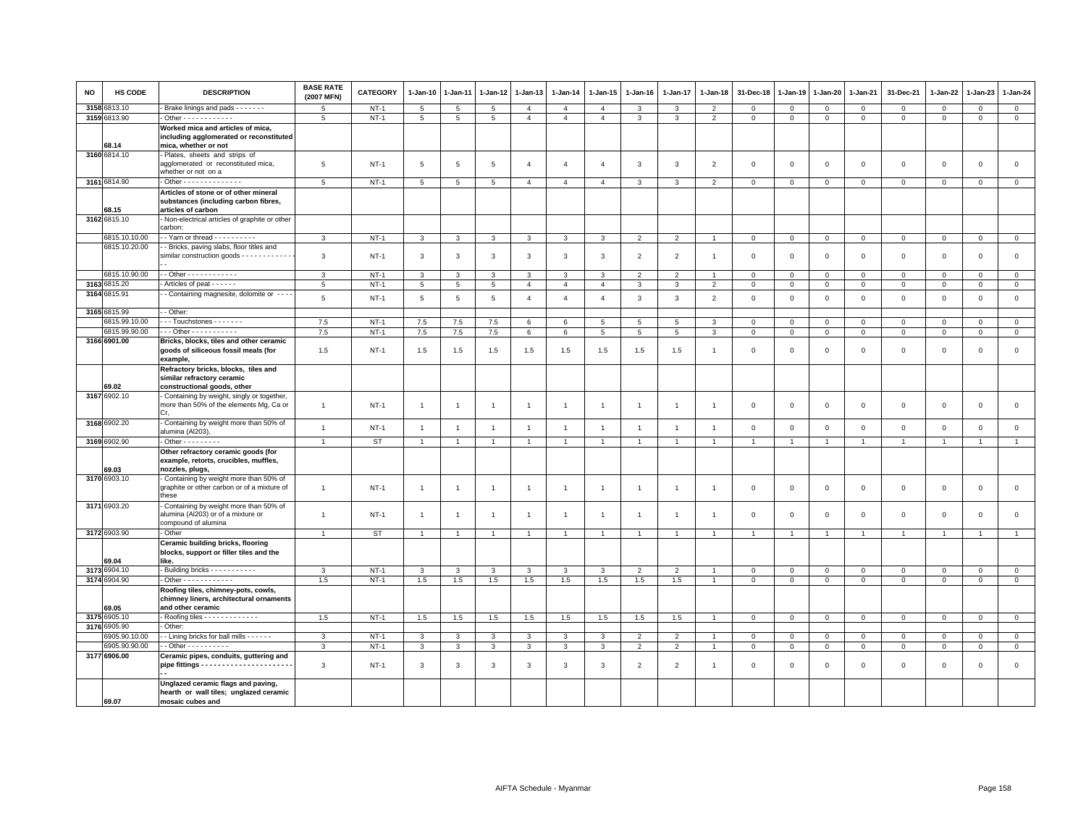| <b>NO</b> | <b>HS CODE</b> | <b>DESCRIPTION</b>                                                                                   | <b>BASE RATE</b><br>(2007 MFN) | CATEGORY  | $1-Jan-10$      | 1-Jan-11        | 1-Jan-12        | $1-Jan-13$     | $1-Jan-14$     | $1-Jan-15$      | $1-Jan-16$     | 1-Jan-17        | $1-Jan-18$               | 31-Dec-18      | 1-Jan-19       | 1-Jan-20       | 1-Jan-21       | 31-Dec-21      | 1-Jan-22       | 1-Jan-23       | 1-Jan-24       |
|-----------|----------------|------------------------------------------------------------------------------------------------------|--------------------------------|-----------|-----------------|-----------------|-----------------|----------------|----------------|-----------------|----------------|-----------------|--------------------------|----------------|----------------|----------------|----------------|----------------|----------------|----------------|----------------|
| 3158      | 6813.10        | Brake linings and pads - - - - - - -                                                                 | 5                              | $NT-1$    | $5\phantom{.0}$ | 5               | $\overline{5}$  | $\overline{4}$ | $\overline{4}$ | $\overline{4}$  | 3              | 3               | $\overline{2}$           | $\mathbf 0$    | $\mathbf 0$    | $\mathbf 0$    | $\overline{0}$ | $\mathbf 0$    | $\mathbf 0$    | $\mathbf 0$    | $\mathbf{0}$   |
|           | 3159 6813.90   | - Other - - - - - - - - - - - -                                                                      | 5                              | $NT-1$    | $5\overline{5}$ | $5\overline{5}$ | $5\overline{5}$ | $\overline{4}$ | $\overline{4}$ | $\overline{4}$  | 3              | $\mathbf{3}$    | $\overline{2}$           | $\mathbf 0$    | $\mathbf 0$    | $\mathbf 0$    | $\circ$        | $\mathbf{0}$   | $\mathbf 0$    | $\mathbf{0}$   | $\circ$        |
|           | 68.14          | Worked mica and articles of mica,<br>including agglomerated or reconstituted<br>mica, whether or not |                                |           |                 |                 |                 |                |                |                 |                |                 |                          |                |                |                |                |                |                |                |                |
|           | 3160 6814.10   | - Plates, sheets and strips of<br>agglomerated or reconstituted mica,<br>whether or not on a         | 5                              | $NT-1$    | 5               | 5               | 5               | $\overline{4}$ | $\overline{4}$ | $\overline{4}$  | 3              | $\overline{3}$  | $\overline{2}$           | $\mathbf 0$    | $\mathbf 0$    | $\mathbf 0$    | $\mathbf 0$    | $\mathsf 0$    | $\overline{0}$ | $\mathsf 0$    | $\mathsf 0$    |
|           | 3161 6814.90   | - Other - - - - - - - - - - - - - -                                                                  | 5                              | $NT-1$    | 5               | 5               | 5               | $\overline{4}$ | $\overline{4}$ | $\overline{4}$  | 3              | $\overline{3}$  | $\overline{\phantom{0}}$ | $\mathbf 0$    | $\mathbf 0$    | $\mathbf 0$    | $\mathbf 0$    | $\mathsf 0$    | $\mathbf 0$    | $\mathbf 0$    | $\mathbf 0$    |
|           | 68.15          | Articles of stone or of other mineral<br>substances (including carbon fibres,<br>articles of carbon  |                                |           |                 |                 |                 |                |                |                 |                |                 |                          |                |                |                |                |                |                |                |                |
|           | 3162 6815.10   | - Non-electrical articles of graphite or other<br>carbon:                                            |                                |           |                 |                 |                 |                |                |                 |                |                 |                          |                |                |                |                |                |                |                |                |
|           | 6815.10.10.00  | $\cdot$ Yarn or thread $\cdot \cdot \cdot \cdot \cdot \cdot \cdot \cdot$                             | 3                              | $NT-1$    | 3               | 3               | $\mathbf{3}$    | $\mathbf{3}$   | 3              | 3               | $\overline{2}$ | $\overline{2}$  |                          | $\mathbf 0$    | $\mathbf 0$    | $\mathsf 0$    | $\circ$        | $\mathsf 0$    | $\circ$        | $\circ$        | $\circ$        |
|           | 6815.10.20.00  | - Bricks, paving slabs, floor titles and<br>similar construction goods - - - - - - - - - - - -       | 3                              | $NT-1$    | $\mathbf{3}$    | 3               | $\mathbf{3}$    | $\mathbf{3}$   | 3              | 3               | $\overline{2}$ | $\overline{2}$  | $\mathbf{1}$             | $\mathbf 0$    | $\mathbf 0$    | $\mathbf 0$    | $\mathbf 0$    | $\mathsf 0$    | $\mathbf 0$    | $\mathbf 0$    | $\mathsf 0$    |
|           | 6815.10.90.00  | - - Other - - - - - - - - - - - -                                                                    | 3                              | $NT-1$    | $\mathbf{3}$    | 3               | 3               | 3              | 3              | 3               | $\overline{2}$ | $\overline{2}$  |                          | $\mathbf 0$    | $\mathbf 0$    | $\mathsf 0$    | $\mathbf 0$    | $\mathbf 0$    | $\Omega$       | $\mathbf 0$    | $\mathsf 0$    |
|           | 3163 6815.20   | - Articles of peat - - - - - -                                                                       | $5\phantom{.0}$                | $NT-1$    | $5\phantom{.0}$ | $5\phantom{.0}$ | $5\overline{5}$ | $\overline{4}$ | $\overline{4}$ | $\overline{4}$  | 3              | $\mathbf{3}$    | $\overline{2}$           | $\,0\,$        | $\,0\,$        | $\overline{0}$ | $\overline{0}$ | $\mathsf 0$    | $\mathbf{0}$   | $\mathbf{O}$   | $\mathbf{0}$   |
|           | 3164 6815.91   | - Containing magnesite, dolomite or - - -                                                            | 5                              | $NT-1$    | $5\phantom{.0}$ | $\overline{5}$  | 5               | $\overline{4}$ | $\overline{4}$ | $\overline{4}$  | 3              | $\overline{3}$  | $\overline{2}$           | $\mathbf 0$    | $\mathbf 0$    | $\mathsf 0$    | $\mathbf 0$    | $\mathsf 0$    | $\mathsf 0$    | $\mathsf 0$    | $\mathsf 0$    |
|           | 3165 6815.99   | - Other:                                                                                             |                                |           |                 |                 |                 |                |                |                 |                |                 |                          |                |                |                |                |                |                |                |                |
|           | 6815.99.10.00  | ---Touchstones -------                                                                               | 7.5                            | $NT-1$    | 7.5             | 7.5             | 7.5             | 6              | 6              | $5\overline{5}$ | 5              | $5\overline{5}$ | 3                        | $\mathsf 0$    | $\mathbf 0$    | $\mathbf 0$    | $\circ$        | $\mathbf 0$    | $\Omega$       | $\mathbf{0}$   | $\circ$        |
|           | 6815.99.90.00  | $-$ - Other - - - - - - - - - - -                                                                    | 7.5                            | $NT-1$    | 7.5             | 7.5             | $7.5\,$         | 6              | 6              | $5\phantom{.0}$ | $5^{\circ}$    | $\sqrt{5}$      | $\mathbf{3}$             | $\mathbf 0$    | $\mathsf 0$    | $\mathbf 0$    | $\mathsf 0$    | $\Omega$       | $\Omega$       | $\Omega$       | $\mathsf 0$    |
|           | 3166 6901.00   | Bricks, blocks, tiles and other ceramic<br>goods of siliceous fossil meals (for<br>example,          | 1.5                            | $NT-1$    | 1.5             | 1.5             | 1.5             | 1.5            | 1.5            | 1.5             | 1.5            | 1.5             | $\mathbf{1}$             | $\overline{0}$ | $\mathbf{0}$   | $\mathbf 0$    | $\mathbf{0}$   | $\mathbf 0$    | $\Omega$       | $\mathbf 0$    | $\circ$        |
|           |                | Refractory bricks, blocks, tiles and<br>similar refractory ceramic                                   |                                |           |                 |                 |                 |                |                |                 |                |                 |                          |                |                |                |                |                |                |                |                |
|           | 69.02          | constructional goods, other                                                                          |                                |           |                 |                 |                 |                |                |                 |                |                 |                          |                |                |                |                |                |                |                |                |
|           | 3167 6902.10   | - Containing by weight, singly or together,<br>more than 50% of the elements Mg, Ca or<br>Cr.        | $\mathbf{1}$                   | $NT-1$    | $\overline{1}$  | $\overline{1}$  | $\overline{1}$  | $\overline{1}$ | $\overline{1}$ | $\overline{1}$  | $\overline{1}$ | $\overline{1}$  | $\mathbf{1}$             | $\overline{0}$ | $\mathbf{0}$   | $\mathbf 0$    | $\mathbf{0}$   | $\mathbf 0$    | $\mathbf{0}$   | $\mathbf{0}$   | $\circ$        |
|           | 3168 6902.20   | - Containing by weight more than 50% of<br>alumina (Al203)                                           | $\mathbf{1}$                   | $NT-1$    | $\overline{1}$  | $\overline{1}$  | $\overline{1}$  | $\overline{1}$ | $\overline{1}$ | $\overline{1}$  | $\overline{1}$ | $\overline{1}$  | $\overline{1}$           | $\mathbf 0$    | $\mathbf 0$    | $\mathbf 0$    | $\mathbf 0$    | $\mathsf 0$    | $\mathbf 0$    | $\mathbf 0$    | $\mathsf 0$    |
|           | 3169 6902.90   | $-$ Other $       -$                                                                                 | $\overline{1}$                 | <b>ST</b> | $\overline{1}$  | $\overline{1}$  | $\overline{1}$  | $\overline{1}$ | $\overline{1}$ | $\mathbf{1}$    | $\overline{1}$ | $\overline{1}$  | $\overline{1}$           | $\overline{1}$ | $\overline{1}$ | $\overline{1}$ | $\overline{1}$ | $\mathbf{1}$   | $\overline{1}$ | $\overline{1}$ | $\overline{1}$ |
|           | 69.03          | Other refractory ceramic goods (for<br>example, retorts, crucibles, muffles,<br>nozzles, plugs,      |                                |           |                 |                 |                 |                |                |                 |                |                 |                          |                |                |                |                |                |                |                |                |
|           | 3170 6903.10   | Containing by weight more than 50% of<br>graphite or other carbon or of a mixture of<br>these        | $\mathbf{1}$                   | $NT-1$    | $\overline{1}$  | $\overline{1}$  | $\overline{1}$  | $\overline{1}$ | $\mathbf{1}$   | $\overline{1}$  | $\overline{1}$ | $\overline{1}$  | $\mathbf{1}$             | $\mathbf 0$    | $\circ$        | $\mathbf 0$    | $\mathbf 0$    | $\mathsf 0$    | $\mathbf 0$    | $\mathbf 0$    | $\mathbf 0$    |
|           | 3171 6903.20   | Containing by weight more than 50% of<br>alumina (Al203) or of a mixture or<br>compound of alumina   | $\overline{1}$                 | $NT-1$    | $\overline{1}$  | 1               | $\overline{1}$  | $\overline{1}$ | $\mathbf{1}$   | $\mathbf{1}$    | -1             | $\mathbf{1}$    | $\mathbf{1}$             | $\mathbf 0$    | $\circ$        | $\mathbf 0$    | $\mathbf 0$    | 0              | $\circ$        | $\mathbf 0$    | $\mathbf 0$    |
|           | 3172 6903.90   | - Other                                                                                              | $\overline{1}$                 | ST        | $\overline{1}$  | $\overline{1}$  | $\overline{1}$  | $\overline{1}$ | $\overline{1}$ | $\overline{1}$  | $\overline{1}$ | $\overline{1}$  | $\overline{A}$           | $\overline{1}$ | $\overline{1}$ | $\overline{1}$ | $\overline{1}$ | $\overline{1}$ | $\overline{1}$ | $\overline{1}$ | $\overline{1}$ |
|           | 69.04          | Ceramic building bricks, flooring<br>blocks, support or filler tiles and the<br>like.                |                                |           |                 |                 |                 |                |                |                 |                |                 |                          |                |                |                |                |                |                |                |                |
|           | 3173 6904.10   | - Building bricks - - - - - - - - - - -                                                              | $\mathbf{3}$                   | $NT-1$    | $\mathbf{3}$    | $\mathbf{3}$    | $\mathbf{3}$    | $\mathbf{3}$   | 3              | $\mathbf{3}$    | $\overline{2}$ | $\overline{2}$  | $\overline{1}$           | $\mathbf 0$    | $\mathbf 0$    | $\mathbf 0$    | $\mathbf 0$    | $\mathbf{0}$   | $\mathbf 0$    | $\overline{0}$ | $\mathbf 0$    |
|           | 3174 6904.90   | $\cdot$ Other $\cdot \cdot \cdot \cdot \cdot \cdot \cdot \cdot \cdot \cdot$                          | 1.5                            | $NT-1$    | 1.5             | 1.5             | 1.5             | 1.5            | 1.5            | 1.5             | 1.5            | 1.5             | $\overline{1}$           | $\mathsf 0$    | $\mathbf 0$    | $\mathbf 0$    | $\mathbf 0$    | $\mathsf 0$    | $\mathsf 0$    | $\mathbf 0$    | $\mathsf 0$    |
|           | 69.05          | Roofing tiles, chimney-pots, cowls,<br>chimney liners, architectural ornaments<br>and other ceramic  |                                |           |                 |                 |                 |                |                |                 |                |                 |                          |                |                |                |                |                |                |                |                |
|           | 3175 6905.10   | - Roofing tiles - - - - - - - - - - - - -                                                            | 1.5                            | $NT-1$    | 1.5             | 1.5             | 1.5             | 1.5            | 1.5            | 1.5             | 1.5            | 1.5             |                          | $\Omega$       | $\mathbf 0$    | $\mathbf 0$    | $\mathbf{0}$   | $\mathbf{0}$   | $\mathbf{0}$   | $\mathbf 0$    | $\circ$        |
|           | 3176 6905.90   | Other:                                                                                               |                                |           |                 |                 |                 |                |                |                 |                |                 |                          |                |                |                |                |                |                |                |                |
|           | 6905.90.10.00  | - Lining bricks for ball mills - - - - - -                                                           | 3                              | $NT-1$    | $\mathbf{3}$    | 3               | 3               | $\mathbf{3}$   | 3              | 3               | $\overline{2}$ | $\overline{2}$  |                          | $\mathbf 0$    | $\mathbf 0$    | $\mathbf{0}$   | $\overline{0}$ | $\mathbf 0$    | 0              | $\mathbf{O}$   | $\mathbf{0}$   |
|           | 6905.90.90.00  | - Other - - - - - - - - -                                                                            | 3                              | $NT-1$    | $\overline{3}$  | 3               | $\mathbf{3}$    | $\mathbf{3}$   | $\mathbf{3}$   | $\overline{3}$  | $\overline{2}$ | $\overline{2}$  |                          | $\mathbf 0$    | $\mathsf 0$    | $\mathsf 0$    | $\,$ 0         | $\mathsf 0$    | $\mathsf 0$    | $\mathsf 0$    | $\mathsf 0$    |
|           | 3177 6906.00   | Ceramic pipes, conduits, guttering and                                                               | 3                              | $NT-1$    | 3               | 3               | 3               | 3              | 3              | 3               | 2              | $\overline{2}$  | -1                       | $\overline{0}$ | $\mathbf{0}$   | $\mathbf{0}$   | $\mathbf 0$    | $\mathbf 0$    | $\mathbf 0$    | $\mathbf{0}$   | $\mathsf 0$    |
|           |                | Unglazed ceramic flags and paving,                                                                   |                                |           |                 |                 |                 |                |                |                 |                |                 |                          |                |                |                |                |                |                |                |                |
|           | 69.07          | hearth or wall tiles; unglazed ceramic<br>mosaic cubes and                                           |                                |           |                 |                 |                 |                |                |                 |                |                 |                          |                |                |                |                |                |                |                |                |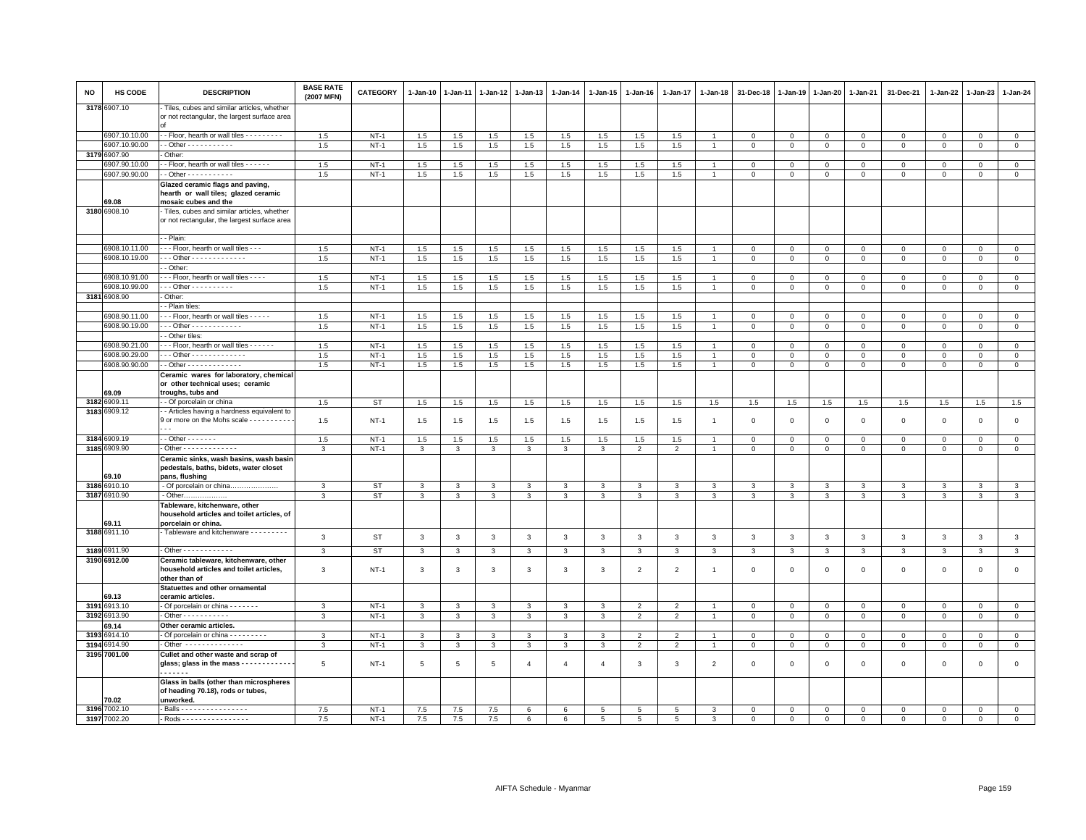| <b>NO</b> | HS CODE               | <b>DESCRIPTION</b>                                                                                 | <b>BASE RATE</b><br>(2007 MFN) | CATEGORY         | 1-Jan-10          | $1 - Jan-11$ | $1 - Jan-12$ | $1 - Jan-13$      | 1-Jan-14       | 1-Jan-15          | 1-Jan-16                         | 1-Jan-17            | $1 - Jan-18$   | 31-Dec-18      | 1-Jan-19                | 1-Jan-20                | 1-Jan-21                | 31-Dec-21               | 1-Jan-22             | $1-Jan-23$               | $1 - Jan-24$                |
|-----------|-----------------------|----------------------------------------------------------------------------------------------------|--------------------------------|------------------|-------------------|--------------|--------------|-------------------|----------------|-------------------|----------------------------------|---------------------|----------------|----------------|-------------------------|-------------------------|-------------------------|-------------------------|----------------------|--------------------------|-----------------------------|
|           | 3178 6907.10          | Tiles, cubes and similar articles, whether<br>or not rectangular, the largest surface area         |                                |                  |                   |              |              |                   |                |                   |                                  |                     |                |                |                         |                         |                         |                         |                      |                          |                             |
|           | 6907.10.10.00         | - Floor, hearth or wall tiles - - - - - - - - -                                                    | 1.5                            | $NT-1$           | 1.5               | 1.5          | 1.5          | 1.5               | 1.5            | 1.5               | 1.5                              | 1.5                 | $\overline{1}$ | $\mathbf 0$    | $\mathbf 0$             | $\overline{0}$          | $\mathbf 0$             | $\circ$                 | $\mathbf 0$          | $\Omega$                 | $\overline{0}$              |
|           | 6907.10.90.00         | - Other - - - - - - - - - - -                                                                      | 1.5                            | $NT-1$           | 1.5               | 1.5          | 1.5          | 1.5               | 1.5            | 1.5               | 1.5                              | 1.5                 | $\overline{1}$ | $\mathbf{0}$   | $\mathbf{0}$            | $\circ$                 | $\mathbf 0$             | $\mathbf 0$             | $\mathsf 0$          | $\mathsf 0$              | $\circ$                     |
| 3179      | 6907.90               | Other:                                                                                             |                                |                  |                   |              |              |                   |                |                   |                                  |                     |                |                |                         |                         |                         |                         |                      |                          |                             |
|           | 907.90.10.00          | - Floor, hearth or wall tiles - - - - - -                                                          | 1.5                            | $NT-1$           | 1.5               | 1.5          | 1.5          | 1.5               | 1.5            | 1.5               | 1.5                              | 1.5                 |                | $\mathbf 0$    | $\mathsf 0$             | $\Omega$                | $\mathbf{0}$            | $\mathbf 0$             | $\Omega$             | $\Omega$                 | $\mathbf{0}$                |
|           | 6907.90.90.00         | $\cdot$ - Other - - - - - - - - - - -                                                              | 1.5                            | $NT-1$           | 1.5               | 1.5          | 1.5          | 1.5               | 1.5            | 1.5               | 1.5                              | 1.5                 | $\overline{1}$ | $\mathbf 0$    | $\mathbf{0}$            | $\mathbf{0}$            | $\mathbf{0}$            | 0                       | $\circ$              | $\mathbf 0$              | $\circ$                     |
|           | 59.08                 | Glazed ceramic flags and paving,<br>hearth or wall tiles; glazed ceramic<br>mosaic cubes and the   |                                |                  |                   |              |              |                   |                |                   |                                  |                     |                |                |                         |                         |                         |                         |                      |                          |                             |
|           | 3180 6908.10          | Tiles, cubes and similar articles, whether                                                         |                                |                  |                   |              |              |                   |                |                   |                                  |                     |                |                |                         |                         |                         |                         |                      |                          |                             |
|           |                       | or not rectangular, the largest surface area                                                       |                                |                  |                   |              |              |                   |                |                   |                                  |                     |                |                |                         |                         |                         |                         |                      |                          |                             |
|           |                       | - Plain:                                                                                           |                                |                  |                   |              |              |                   |                |                   |                                  |                     |                |                |                         |                         |                         |                         |                      |                          |                             |
|           | 6908.10.11.00         | - - Floor, hearth or wall tiles - - -                                                              | 1.5                            | $NT-1$           | 1.5               | 1.5          | 1.5          | 1.5               | 1.5            | 1.5               | 1.5                              | 1.5                 |                | $\Omega$       | $\Omega$                | $\Omega$                | $\Omega$                | $\Omega$                | $\Omega$             | $\Omega$                 | $\mathbf 0$                 |
|           | 6908.10.19.00         | - - Other - - - - - - - - - - - - -<br>- Other:                                                    | 1.5                            | $NT-1$           | $1.5\,$           | 1.5          | 1.5          | $1.5\,$           | $1.5\,$        | 1.5               | 1.5                              | 1.5                 | $\overline{1}$ | $\,0\,$        | $\mathbf 0$             | $\mathbf 0$             | $\mathbf 0$             | $\mathbf 0$             | $\mathbf 0$          | $\mathbf 0$              | $\mathbf 0$                 |
|           | 6908.10.91.00         | - - Floor, hearth or wall tiles - - - -                                                            | 1.5                            | $NT-1$           | 1.5               | 1.5          | 1.5          | 1.5               | 1.5            | 1.5               | 1.5                              | 1.5                 | $\mathbf{1}$   | $\mathbf 0$    | $\mathsf 0$             | $\mathsf 0$             | $\mathbf{0}$            | $\mathbf 0$             | $\Omega$             | $\mathbf 0$              | $\circ$                     |
|           | 6908.10.99.00         | $-$ - Other - - - - - - - - - -                                                                    | 1.5                            | $NT-1$           | 1.5               | 1.5          | 1.5          | 1.5               | 1.5            | 1.5               | 1.5                              | 1.5                 | $\overline{1}$ | $\mathbf 0$    | $\mathbf{0}$            | $\mathbf 0$             | $\mathbf 0$             | 0                       | $\circ$              | $\mathbf{0}$             | $\mathbf{0}$                |
|           | 3181 6908.90          | Other:                                                                                             |                                |                  |                   |              |              |                   |                |                   |                                  |                     |                |                |                         |                         |                         |                         |                      |                          |                             |
|           |                       | - Plain tiles                                                                                      |                                |                  |                   |              |              |                   |                |                   |                                  |                     |                |                |                         |                         |                         |                         |                      |                          |                             |
|           | 6908.90.11.00         | --- Floor, hearth or wall tiles -----                                                              | 1.5                            | <b>NT-1</b>      | 1.5               | 1.5          | 1.5          | 1.5               | 1.5            | 1.5               | 1.5                              | 1.5                 | $\overline{1}$ | $\mathbf{0}$   | $\mathsf 0$             | $\mathbf{0}$            | $\mathbf{O}$            | $\mathbf{0}$            | $\mathbf{0}$         | $^{\circ}$               | $\circ$                     |
|           | 6908.90.19.00         | $-$ - Other - - - - - - - - - - - -                                                                | 1.5                            | $NT-1$           | 1.5               | 1.5          | 1.5          | 1.5               | 1.5            | 1.5               | 1.5                              | 1.5                 | $\mathbf{1}$   | $\mathbf{0}$   | $\mathbf{0}$            | $\overline{0}$          | $\overline{0}$          | $\mathbf 0$             | $\mathbf 0$          | $\Omega$                 | $\mathbf{0}$                |
|           |                       | - Other tiles:                                                                                     |                                |                  |                   |              |              |                   |                |                   |                                  |                     |                |                |                         |                         |                         |                         |                      |                          |                             |
|           | 6908.90.21.00         | - - Floor, hearth or wall tiles - - - - - -                                                        | 1.5                            | $NT-1$           | 1.5               | 1.5          | 1.5          | 1.5               | 1.5            | 1.5               | 1.5                              | 1.5                 | $\mathbf{1}$   | $\mathbf 0$    | $\mathsf 0$             | $\mathbf 0$             | $\Omega$                | $\mathbf 0$             | $^{\circ}$           | $\Omega$                 | $\mathbf 0$                 |
|           | 6908.90.29.00         | $-$ - Other - - - - - - - - - - - - -                                                              | 1.5                            | $NT-1$           | 1.5               | 1.5          | 1.5          | 1.5               | 1.5            | 1.5               | 1.5                              | 1.5                 | $\overline{1}$ | $\overline{0}$ | $\mathbf 0$             | $\mathbf{0}$            | $\Omega$                | $\mathbf 0$             | $\Omega$             | $\Omega$                 | $\circ$                     |
|           | 6908.90.90.00         | - Other - - - - - - - - - - - - -                                                                  | 1.5                            | $NT-1$           | 1.5               | 1.5          | 1.5          | 1.5               | 1.5            | 1.5               | 1.5                              | 1.5                 | $\mathbf{1}$   | $\mathbf{0}$   | $\mathbf{0}$            | $\circ$                 | $\mathbf 0$             | $\mathsf 0$             | $\circ$              | $\mathsf 0$              | $\circ$                     |
|           | 59.09                 | Ceramic wares for laboratory, chemical<br>or other technical uses; ceramic<br>troughs, tubs and    |                                |                  |                   |              |              |                   |                |                   |                                  |                     |                |                |                         |                         |                         |                         |                      |                          |                             |
|           | 3182 6909.11          | - Of porcelain or china                                                                            | 1.5                            | ST               | 1.5               | 1.5          | 1.5          | 1.5               | 1.5            | 1.5               | 1.5                              | 1.5                 | 1.5            | 1.5            | 1.5                     | 1.5                     | 1.5                     | 1.5                     | 1.5                  | 1.5                      | 1.5                         |
|           | 3183 6909.12          | - Articles having a hardness equivalent to                                                         |                                |                  |                   |              |              |                   |                |                   |                                  |                     |                |                |                         |                         |                         |                         |                      |                          |                             |
|           |                       | 9 or more on the Mohs scale - - - - - - - - - -                                                    | 1.5                            | $NT-1$           | 1.5               | 1.5          | 1.5          | 1.5               | 1.5            | 1.5               | 1.5                              | 1.5                 | $\overline{1}$ | $\mathbf 0$    | $\mathbf 0$             | $\mathbf 0$             | $\mathbf 0$             | $\mathsf 0$             | $\mathbf 0$          | $\mathbf 0$              | $\mathsf 0$                 |
|           | 3184 6909.19          | $-$ Other $     -$                                                                                 | 1.5                            | $NT-1$           | $1.5\,$           | 1.5          | $1.5\,$      | 1.5               | 1.5            | $1.5\,$           | 1.5                              | 1.5                 | $\overline{1}$ | $\,0\,$        | $\mathbb O$             | $\circ$                 | $\mathbf 0$             | $\mathsf 0$             | $\Omega$             | $\circ$                  | $\mathbf 0$                 |
|           | 3185 6909.90          | - Other - - - - - - - - - - - - -                                                                  | 3                              | $NT-1$           | 3                 | 3            | 3            | 3                 | 3              | 3                 | $\overline{2}$                   | $\overline{2}$      | $\overline{1}$ | $\mathbf 0$    | $\mathbf{0}$            | $\mathbf 0$             | $\mathbf 0$             | $\mathbf 0$             | $\mathbf 0$          | $\mathbf{0}$             | $\mathbf{0}$                |
|           | 69.10                 | Ceramic sinks, wash basins, wash basin<br>pedestals, baths, bidets, water closet<br>pans, flushing |                                |                  |                   |              |              |                   |                |                   |                                  |                     |                |                |                         |                         |                         |                         |                      |                          |                             |
|           | 3186 6910.10          | - Of porcelain or china                                                                            | 3                              | <b>ST</b>        | $\mathbf{3}$      | 3            | 3            | 3                 | 3              | $\mathbf{3}$      | 3                                | 3                   | 3              | 3              | $\mathbf{3}$            | 3                       | 3                       | 3                       | 3                    | 3                        | $\mathbf{3}$                |
|           | 3187 6910.90          |                                                                                                    | $\mathcal{R}$                  | <b>ST</b>        | $\overline{3}$    | $\mathbf{3}$ | 3            | $\mathbf{3}$      | $\mathbf{3}$   | $\overline{3}$    | $\mathbf{3}$                     | $\mathbf{3}$        | $\mathbf{3}$   | $\mathbf{3}$   | $\mathbf{3}$            | $\mathbf{3}$            | $\mathbf{3}$            | $\mathbf{3}$            | 3                    | $\mathbf{3}$             | $\overline{\mathbf{3}}$     |
|           | 69.11                 | Tableware, kitchenware, other<br>household articles and toilet articles, of<br>porcelain or china. |                                |                  |                   |              |              |                   |                |                   |                                  |                     |                |                |                         |                         |                         |                         |                      |                          |                             |
|           | 3188 6911.10          | Tableware and kitchenware - - - - - - - - -                                                        | 3                              | ST               | $\mathbf{3}$      | 3            | $\mathbf{3}$ | 3                 | 3              | $\mathbf{3}$      | 3                                | $\mathbf{3}$        | 3              | $\mathbf{3}$   | $\mathbf{3}$            | 3                       | $\mathbf{3}$            | 3                       | 3                    | 3                        | $\mathbf{3}$                |
|           |                       |                                                                                                    |                                |                  |                   |              |              |                   |                |                   |                                  |                     |                |                |                         |                         |                         |                         |                      |                          |                             |
|           | 3189 6911.90          | $\cdot$ Other - - - - - - - - - - - -                                                              | 3                              | <b>ST</b>        | $\mathbf{3}$      | $\mathbf{3}$ | $\mathbf{3}$ | $\mathbf{3}$      | $\mathbf{3}$   | $\mathbf{3}$      | $\mathbf{3}$                     | $\mathbf{3}$        | 3              | $\mathbf{3}$   | $\mathbf{3}$            | $\mathbf{3}$            | $\mathbf{3}$            | $\mathbf{3}$            | $\mathbf{3}$         | $\mathbf{3}$             | $\mathbf{3}$                |
|           | 3190 6912.00          | Ceramic tableware, kitchenware, other<br>household articles and toilet articles,<br>other than of  | 3                              | $NT-1$           | 3                 | 3            | 3            | 3                 | 3              | 3                 | $\overline{2}$                   | $\overline{2}$      | $\overline{1}$ | $\mathbf 0$    | $\mathbf 0$             | $\mathbf 0$             | $\mathbf 0$             | $\mathbf 0$             | $^{\circ}$           | $\mathbf 0$              | $\mathsf 0$                 |
|           |                       | Statuettes and other ornamental                                                                    |                                |                  |                   |              |              |                   |                |                   |                                  |                     |                |                |                         |                         |                         |                         |                      |                          |                             |
|           | 69.13<br>3191 6913.10 | ceramic articles.                                                                                  |                                |                  |                   |              |              |                   |                |                   |                                  |                     |                | $\Omega$       |                         |                         |                         |                         |                      |                          |                             |
|           | 3192 6913.90          | - Of porcelain or china - - - - - - -<br>- Other - - - - - - - - - -                               | 3<br>3                         | $NT-1$<br>$NT-1$ | 3<br>$\mathbf{3}$ | 3<br>3       | 3<br>3       | 3<br>$\mathbf{3}$ | 3<br>3         | 3<br>$\mathbf{3}$ | $\overline{2}$<br>$\overline{2}$ | $\mathfrak{p}$<br>2 | $\overline{1}$ | $\mathbf 0$    | $\Omega$<br>$\mathbb O$ | $\Omega$<br>$\mathbf 0$ | $\Omega$<br>$\mathbf 0$ | $\Omega$<br>$\mathbf 0$ | $\Omega$<br>$\Omega$ | $\Omega$<br>$\mathbf{0}$ | $\mathbf{0}$<br>$\mathbb O$ |
|           | 69.14                 | Other ceramic articles.                                                                            |                                |                  |                   |              |              |                   |                |                   |                                  |                     |                |                |                         |                         |                         |                         |                      |                          |                             |
|           | 3193 6914.10          | - Of porcelain or china - - - - - - - - -                                                          | 3                              | $NT-1$           | 3                 | 3            | 3            | $\mathbf{3}$      | 3              | 3                 | $\overline{2}$                   | $\overline{2}$      | $\mathbf{1}$   | $\mathbf{0}$   | $\overline{0}$          | $\overline{0}$          | $\mathbf{0}$            | $\mathbf 0$             | $\mathbf{0}$         | $^{\circ}$               | $\overline{0}$              |
| 3194      | 3914.90               | $\cdot$ Other $\cdot \cdot \cdot \cdot \cdot \cdot \cdot \cdot \cdot \cdot \cdot$                  | $\mathbf{3}$                   | $NT-1$           | $\mathbf{3}$      | 3            | 3            | $\mathbf{3}$      | 3              | $\mathbf{3}$      | $\overline{2}$                   | $\overline{2}$      | $\mathbf{1}$   | $\mathbf 0$    | $\mathbb O$             | $\circ$                 | $\mathbf 0$             | $\mathsf 0$             | $\mathbf 0$          | $\mathsf 0$              | $\circ$                     |
|           | 3195 7001.00          | Cullet and other waste and scrap of<br>glass; glass in the mass - - - - - - - - - - -              | 5                              | <b>NT-1</b>      | 5                 | 5            | 5            | $\overline{4}$    | $\overline{4}$ | 4                 | 3                                | 3                   | $\overline{2}$ | $\mathbf 0$    | $\mathbf 0$             | $\mathbf 0$             | $\mathbf 0$             | 0                       | $^{\circ}$           | $\mathbf 0$              | $\mathsf 0$                 |
|           | 70.02                 | Glass in balls (other than microspheres<br>of heading 70.18), rods or tubes,<br>unworked.          |                                |                  |                   |              |              |                   |                |                   |                                  |                     |                |                |                         |                         |                         |                         |                      |                          |                             |
|           | 3196 7002.10          | - Balls - - - - - - - - - - - - - - - -                                                            | 7.5                            | $NT-1$           | 7.5               | 7.5          | 7.5          | 6                 | 6              | 5                 | 5                                | 5                   | 3              | $\Omega$       | $\Omega$                | $\Omega$                | $\Omega$                | $\Omega$                | $\Omega$             | $\Omega$                 | $\mathbf{0}$                |
|           | 3197 7002.20          | - Rods - - - - - - - - - - - - - - - -                                                             | 7.5                            | $NT-1$           | 7.5               | 7.5          | 7.5          | 6                 | $6^{\circ}$    | $5^{\circ}$       | $\overline{5}$                   | 5                   | $\mathbf{3}$   | $\Omega$       | $\circ$                 | $\circ$                 | $\Omega$                | $\Omega$                | $\Omega$             | $\Omega$                 | $\Omega$                    |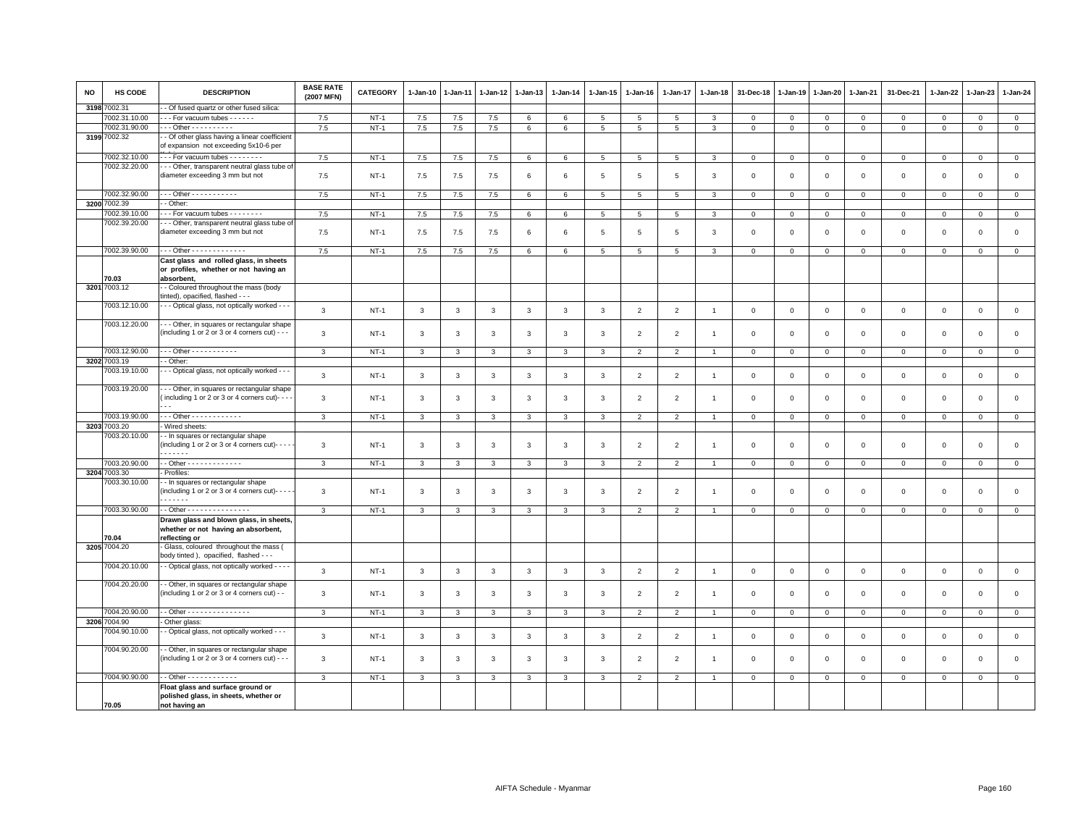| <b>NO</b> | <b>HS CODE</b> | <b>DESCRIPTION</b>                                                                             | <b>BASE RATE</b><br>(2007 MFN) | <b>CATEGORY</b> | $1-Jan-10$   | 1-Jan-11     | 1-Jan-12     | $1-Jan-13$   | $1-Jan-14$   | 1-Jan-15        | $1-Jan-16$               | 1-Jan-17       | 1-Jan-18       | 31-Dec-18   | $1 - Jan-19$ | 1-Jan-20     | 1-Jan-21       | 31-Dec-21           | 1-Jan-22     | $1-Jan-23$   | $1-Jan-24$     |
|-----------|----------------|------------------------------------------------------------------------------------------------|--------------------------------|-----------------|--------------|--------------|--------------|--------------|--------------|-----------------|--------------------------|----------------|----------------|-------------|--------------|--------------|----------------|---------------------|--------------|--------------|----------------|
| 3198      | 7002.31        | - Of fused quartz or other fused silica:                                                       |                                |                 |              |              |              |              |              |                 |                          |                |                |             |              |              |                |                     |              |              |                |
|           | 7002.31.10.00  | - - - For vacuum tubes - - - - - -                                                             | 7.5                            | $NT-1$          | 7.5          | 7.5          | 7.5          | 6            | 6            | $5\phantom{.0}$ | 5                        | 5              | 3              | $\mathbf 0$ | $\mathbf 0$  | $\mathbf 0$  | $\mathbf 0$    | $\mathsf 0$         | $\mathbf 0$  | $\mathbf 0$  | $\circ$        |
|           | 7002.31.90.00  | --- Other ----------                                                                           | 7.5                            | $NT-1$          | 7.5          | $7.5$        | $7.5$        | 6            | 6            | $\overline{5}$  | $5\overline{5}$          | 5              | 3              | $\mathbf 0$ | $\mathbf 0$  | $\mathbf 0$  | $\mathbf 0$    | $\mathbf 0$         | $\mathbf 0$  | $\mathbf 0$  | $\mathsf 0$    |
| 31997     | 7002.32        | - Of other glass having a linear coefficient<br>of expansion not exceeding 5x10-6 per          |                                |                 |              |              |              |              |              |                 |                          |                |                |             |              |              |                |                     |              |              |                |
|           | 7002.32.10.00  | --- For vacuum tubes -------                                                                   | 7.5                            | $NT-1$          | 7.5          | 7.5          | 7.5          | $\,6\,$      | 6            | $\overline{5}$  | 5                        | 5              | 3              | $\mathbf 0$ | $\,0\,$      | $\mathbf 0$  | $\,0\,$        | $\mathsf 0$         | $\mathsf 0$  | $\mathsf 0$  | $\overline{0}$ |
|           | 7002.32.20.00  | - - Other, transparent neutral glass tube of                                                   |                                |                 |              |              |              |              |              |                 |                          |                |                |             |              |              |                |                     |              |              |                |
|           |                | diameter exceeding 3 mm but not                                                                | 7.5                            | $NT-1$          | 7.5          | 7.5          | 7.5          | 6            | 6            | 5               | 5                        | 5              | 3              | $\mathbf 0$ | $\mathbf 0$  | $\mathsf 0$  | $\mathbf 0$    | $\mathsf 0$         | $\mathbf 0$  | $\mathsf 0$  | $\mathsf 0$    |
|           | 7002.32.90.00  | - - - Other - - - - - - - - - - -                                                              | 7.5                            | $NT-1$          | 7.5          | 7.5          | 7.5          | 6            | 6            | $5\overline{5}$ | 5                        | 5              | $\mathbf{3}$   | $\mathbf 0$ | $\mathbf 0$  | $\mathbf{0}$ | $\mathbf{0}$   | $\mathbf{0}$        | $\mathbf{0}$ | $\mathbf{0}$ | $\mathbf{0}$   |
| 3200      | 7002.39        | - Other:                                                                                       |                                |                 |              |              |              |              |              |                 |                          |                |                |             |              |              |                |                     |              |              |                |
|           | 7002.39.10.00  | - - For vacuum tubes - - - - - - -                                                             | 7.5                            | $NT-1$          | 7.5          | $7.5\,$      | $7.5\,$      | 6            | 6            | 5               | 5                        | 5              | 3              | $\mathbf 0$ | $\mathsf 0$  | $\mathbf 0$  | $\mathbf 0$    | $\mathbf 0$         | $\mathbf 0$  | $\mathsf 0$  | $\mathsf 0$    |
|           | 7002.39.20.00  | - - Other, transparent neutral glass tube of<br>diameter exceeding 3 mm but not                | 7.5                            | $NT-1$          | 7.5          | 7.5          | 7.5          | 6            | 6            | 5               | -5                       | 5              | 3              | $\mathbf 0$ | $\mathbf 0$  | $\mathsf 0$  | $\overline{0}$ | $\mathbf 0$         | $\mathbf 0$  | $\mathbf 0$  | $\mathbf 0$    |
|           | 7002.39.90.00  | --- Other -------------                                                                        | 7.5                            | $NT-1$          | 7.5          | 7.5          | 7.5          | 6            | 6            | 5               | 5                        | 5              | 3              | $\mathbf 0$ | $\mathbf 0$  | $\mathbf 0$  | $\mathbf 0$    | $\mathbf 0$         | $\mathbf 0$  | $\mathsf 0$  | $\mathbf 0$    |
|           | 70.03          | Cast glass and rolled glass, in sheets<br>or profiles, whether or not having an<br>absorbent,  |                                |                 |              |              |              |              |              |                 |                          |                |                |             |              |              |                |                     |              |              |                |
| 3201      | 7003.12        | - Coloured throughout the mass (body                                                           |                                |                 |              |              |              |              |              |                 |                          |                |                |             |              |              |                |                     |              |              |                |
|           |                | tinted), opacified, flashed - - -                                                              |                                |                 |              |              |              |              |              |                 |                          |                |                |             |              |              |                |                     |              |              |                |
|           | 7003.12.10.00  | - - Optical glass, not optically worked - - -                                                  | 3                              | $NT-1$          | $\mathbf{3}$ | 3            | 3            | 3            | $\mathbf{3}$ | $\mathbf{3}$    | $\overline{2}$           | $\overline{2}$ | $\overline{1}$ | $\mathbf 0$ | $\mathbf 0$  | $\mathbf 0$  | $\mathbf 0$    | $\mathsf 0$         | $\mathbf 0$  | $\mathsf 0$  | $\mathbf 0$    |
|           | 7003.12.20.00  | - - Other, in squares or rectangular shape<br>(including 1 or 2 or 3 or 4 corners cut) - - -   | 3                              | $NT-1$          | 3            | 3            | 3            | 3            | 3            | 3               | $\overline{2}$           | $\overline{2}$ |                | $\mathbf 0$ | $\mathbf 0$  | $\mathsf 0$  | $\mathbf 0$    | $\mathbf 0$         | $\Omega$     | $\mathbf 0$  | $\mathbf 0$    |
|           |                |                                                                                                |                                |                 |              |              |              |              |              |                 |                          |                |                |             |              |              |                |                     |              |              |                |
|           | 7003.12.90.00  | - - - Other - - - - - - - - - - -                                                              | 3                              | $NT-1$          | $\mathbf{3}$ | 3            | 3            | 3            | 3            | 3               | $\overline{2}$           | $\overline{2}$ | $\overline{1}$ | $\mathbf 0$ | $\mathbf 0$  | $\mathbf{0}$ | $\mathbf 0$    | $\mathbf 0$         | $\mathbf 0$  | $\mathbf 0$  | $\mathbf 0$    |
|           | 3202 7003.19   | - Other:                                                                                       |                                |                 |              |              |              |              |              |                 |                          |                |                |             |              |              |                |                     |              |              |                |
|           | 7003.19.10.00  | - - Optical glass, not optically worked - - -                                                  | 3                              | $NT-1$          | $\mathbf{3}$ | 3            | 3            | 3            | 3            | 3               | $\overline{2}$           | $\overline{2}$ | $\overline{1}$ | $\mathbf 0$ | $\mathbf 0$  | $\mathsf 0$  | $\mathbf 0$    | $\mathbf 0$         | $\mathbf 0$  | $\mathsf 0$  | $\mathsf 0$    |
|           | 7003.19.20.00  | - - Other, in squares or rectangular shape<br>(including 1 or 2 or 3 or 4 corners cut)- - - -  | 3                              | $NT-1$          | 3            | 3            | 3            | 3            | 3            | 3               | $\overline{\phantom{0}}$ | $\overline{2}$ |                | $\mathbf 0$ | $\Omega$     | $\mathbf 0$  | $\Omega$       | $\mathbf 0$         | $\Omega$     | $\mathbf 0$  | $\mathbf 0$    |
|           | 7003.19.90.00  | --- Other ------------                                                                         | 3                              | $NT-1$          | $\mathbf{3}$ | 3            | 3            | 3            | 3            | 3               | 2                        | $\mathfrak{p}$ | $\mathbf{1}$   | $\mathbf 0$ | $\mathbf 0$  | $\mathbf{0}$ | $\circ$        | $\mathbf 0$         | $\mathbf{0}$ | $\mathbf{0}$ | $\mathbf{0}$   |
|           | 3203 7003.20   | Wired sheets:                                                                                  |                                |                 |              |              |              |              |              |                 |                          |                |                |             |              |              |                |                     |              |              |                |
|           | 7003.20.10.00  | - - In squares or rectangular shape<br>(including 1 or 2 or 3 or 4 corners cut)- - - -<br>.    | 3                              | $NT-1$          | 3            | 3            | 3            | $\mathbf{3}$ | 3            | 3               | $\overline{2}$           | $\overline{2}$ |                | $\mathbf 0$ | $\mathsf 0$  | $\mathbf 0$  | $\mathbf 0$    | $\mathsf 0$         | $\mathbf 0$  | $\mathsf 0$  | $\mathsf 0$    |
|           | 7003.20.90.00  | - - Other - - - - - - - - - - - - -                                                            | 3                              | <b>NT-1</b>     | $\mathbf{3}$ | 3            | 3            | $\mathbf{3}$ | 3            | 3               | $\overline{2}$           | $\overline{2}$ | $\overline{1}$ | $\mathbf 0$ | $\mathbf 0$  | $\mathbf 0$  | $\overline{0}$ | $\mathbf 0$         | $\mathbf{O}$ | $\mathbf{O}$ | $\overline{0}$ |
| 3204      | 7003.30        | - Profiles:                                                                                    |                                |                 |              |              |              |              |              |                 |                          |                |                |             |              |              |                |                     |              |              |                |
|           | 7003.30.10.00  | - - In squares or rectangular shape<br>(including 1 or 2 or 3 or 4 corners cut)- $-$           | 3                              | $NT-1$          | 3            | 3            | 3            | 3            | 3            | 3               | $\overline{2}$           | $\overline{2}$ | $\mathbf{1}$   | $\mathbf 0$ | $\mathbf 0$  | $\mathsf 0$  | $\mathbf 0$    | $\mathsf 0$         | $\mathbf 0$  | $\mathbf 0$  | $\mathbf 0$    |
|           | 7003.30.90.00  | - - Other - - - - - - - - - - - - - - -                                                        | 3                              | NT-1            | 3            | 3            | 3            | 3            | 3            | 3               | $\overline{2}$           | $\overline{2}$ |                | $\mathbf 0$ | $\mathbf 0$  | $^{\circ}$   | $\mathbf 0$    | $\mathbf 0$         | 0            | 0            | 0              |
|           | 70.04          | Drawn glass and blown glass, in sheets<br>whether or not having an absorbent,<br>reflecting or |                                |                 |              |              |              |              |              |                 |                          |                |                |             |              |              |                |                     |              |              |                |
|           | 3205 7004.20   | Glass, coloured throughout the mass (<br>body tinted ), opacified, flashed - - -               |                                |                 |              |              |              |              |              |                 |                          |                |                |             |              |              |                |                     |              |              |                |
|           | 7004.20.10.00  | - Optical glass, not optically worked - - - -                                                  | 3                              | $NT-1$          | $\mathbf{3}$ | $\mathbf{3}$ | $\mathbf{3}$ | $\mathbf{3}$ | $\mathbf{3}$ | $\mathbf{3}$    | $\overline{2}$           | $\overline{2}$ | $\overline{1}$ | $\mathsf 0$ | $\mathsf 0$  | $\mathbf 0$  | $\mathbb O$    | $\mathsf{O}\xspace$ | $\,0\,$      | $\mathsf 0$  | $\mathbf 0$    |
|           | 7004.20.20.00  | - Other, in squares or rectangular shape<br>(including 1 or 2 or 3 or 4 corners cut) - -       | 3                              | <b>NT-1</b>     | 3            | 3            | 3            | 3            | 3            | 3               | $\overline{2}$           | $\overline{2}$ | -1             | $\mathbf 0$ | $\mathbf 0$  | $\mathbf 0$  | $\mathbf 0$    | $\mathbf 0$         | $\mathbf 0$  | 0            | $\mathbf 0$    |
|           | 7004.20.90.00  | - - Other - - - - - - - - - - - - - - -                                                        | 3                              | $NT-1$          | $\mathbf{3}$ | 3            | 3            | 3            | 3            | 3               | $\overline{2}$           | $\mathfrak{p}$ |                | $\mathbf 0$ | $\mathbf 0$  | $\mathsf 0$  | $\mathbf 0$    | $\mathbf 0$         | $\mathbf 0$  | $\mathbf 0$  | $\mathbf{0}$   |
|           | 3206 7004.90   | Other glass:                                                                                   |                                |                 |              |              |              |              |              |                 |                          |                |                |             |              |              |                |                     |              |              |                |
|           | 7004.90.10.00  | - Optical glass, not optically worked - - -                                                    | $\mathbf{3}$                   | $NT-1$          | $\mathbf{3}$ | 3            | 3            | 3            | $\mathbf{3}$ | $\mathbf{3}$    | $\overline{2}$           | $\overline{2}$ | $\overline{1}$ | $\,0\,$     | $\mathsf 0$  | $\mathsf 0$  | $\mathbf 0$    | $\mathsf 0$         | $\mathbf 0$  | $\mathbf 0$  | $\mathsf 0$    |
|           | 7004.90.20.00  | - - Other, in squares or rectangular shape<br>(including 1 or 2 or 3 or 4 corners cut) - - -   | 3                              | $NT-1$          | $\mathbf{3}$ | 3            | 3            | 3            | 3            | 3               | $\overline{2}$           | 2              | $\overline{1}$ | $\mathbf 0$ | $\mathbf 0$  | $\mathsf 0$  | $\mathbf{0}$   | $\mathbf 0$         | $\mathbf 0$  | $\mathbf 0$  | $\mathbf 0$    |
|           | 7004.90.90.00  | $-$ Other - - - - - - - - - - - -                                                              | 3                              | $NT-1$          | 3            | 3            | 3            | 3            | 3            | 3               | $\overline{2}$           | $\overline{2}$ |                | $\mathbf 0$ | $\mathbf 0$  | $\mathbf 0$  | $\mathbf 0$    | $\mathbf 0$         | 0            | $\mathbf 0$  | $\mathbf 0$    |
|           | 70.05          | Float glass and surface ground or<br>polished glass, in sheets, whether or<br>not having an    |                                |                 |              |              |              |              |              |                 |                          |                |                |             |              |              |                |                     |              |              |                |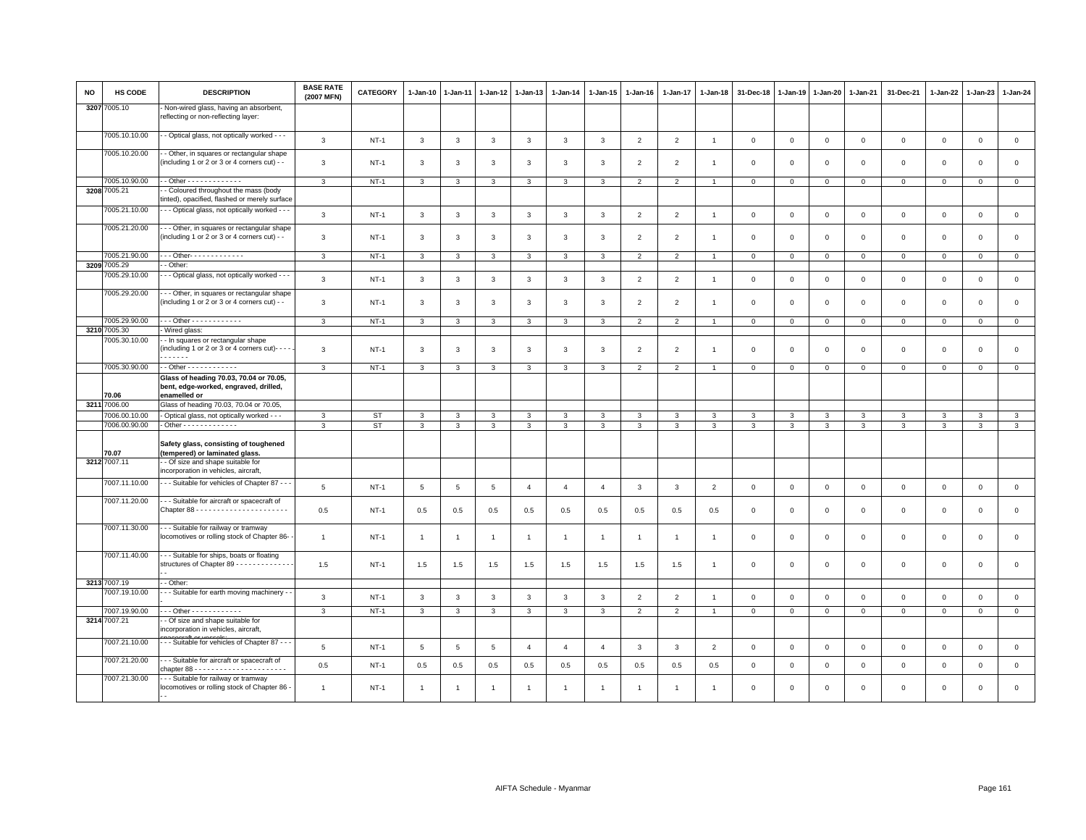| NO   | <b>HS CODE</b>                 | <b>DESCRIPTION</b>                                                                                | <b>BASE RATE</b><br>(2007 MFN) | <b>CATEGORY</b> | $1-Jan-10$   | $1-Jan-11$     | 1-Jan-12 | 1-Jan-13       | $1-Jan-14$     | 1-Jan-15       | 1-Jan-16       | 1-Jan-17       | 1-Jan-18       | 31-Dec-18    | 1-Jan-19     |              | 1-Jan-20 1-Jan-21 | 31-Dec-21   | 1-Jan-22     | $1-Jan-23$  | 1-Jan-24       |
|------|--------------------------------|---------------------------------------------------------------------------------------------------|--------------------------------|-----------------|--------------|----------------|----------|----------------|----------------|----------------|----------------|----------------|----------------|--------------|--------------|--------------|-------------------|-------------|--------------|-------------|----------------|
|      | 3207 7005.10                   | - Non-wired glass, having an absorbent,<br>reflecting or non-reflecting layer:                    |                                |                 |              |                |          |                |                |                |                |                |                |              |              |              |                   |             |              |             |                |
|      | 7005.10.10.00                  | - - Optical glass, not optically worked - - -                                                     | 3                              | $NT-1$          | $\mathbf{3}$ | 3              | 3        | 3              | $\mathbf{3}$   | $\mathbf{3}$   | $\overline{2}$ | $\overline{2}$ | $\overline{1}$ | $\mathbf 0$  | $\mathbf 0$  | $\mathbf 0$  | $\mathbf 0$       | $\mathsf 0$ | $\mathbf 0$  | $\mathsf 0$ | $\mathsf 0$    |
|      | 7005.10.20.00                  | - Other, in squares or rectangular shape<br>(including 1 or 2 or 3 or 4 corners cut) - -          | 3                              | $NT-1$          | 3            | 3              | 3        | 3              | 3              | 3              | $\overline{2}$ | $\overline{2}$ |                | $\Omega$     | $\Omega$     | $\mathbf 0$  | $\mathbf 0$       | $\mathbf 0$ | $\mathbf 0$  | $\mathbf 0$ | $\mathsf 0$    |
|      | 7005.10.90.00                  | - Other - - - - - - - - - - - - -                                                                 | 3                              | $NT-1$          | 3            | 3              | 3        | $\mathbf{3}$   | $\mathbf{3}$   | 3              | $\overline{2}$ | $\overline{2}$ | $\overline{1}$ | $\mathbf 0$  | $\mathbf 0$  | $\mathbf 0$  | $\mathsf 0$       | $\mathsf 0$ | $\mathbf 0$  | $\mathsf 0$ | $\overline{0}$ |
|      | 3208 7005.21                   | - Coloured throughout the mass (body<br>tinted), opacified, flashed or merely surface             |                                |                 |              |                |          |                |                |                |                |                |                |              |              |              |                   |             |              |             |                |
|      | 7005.21.10.00                  | - - Optical glass, not optically worked - - -                                                     | $\mathbf{3}$                   | $NT-1$          | 3            | 3              | 3        | 3              | $\mathbf{3}$   | 3              | $\overline{2}$ | $\overline{2}$ | $\overline{1}$ | $\mathbf 0$  | $\mathbf 0$  | $\mathbf 0$  | $\mathbf 0$       | $\mathsf 0$ | $\mathbf 0$  | $\mathsf 0$ | $\mathsf 0$    |
|      | 7005.21.20.00                  | - - Other, in squares or rectangular shape<br>(including 1 or 2 or 3 or 4 corners cut) - -        | $\mathbf{3}$                   | $NT-1$          | 3            | 3              | 3        | 3              | $\mathbf{3}$   | 3              | $\overline{2}$ | 2              | $\overline{1}$ | $\mathbf{0}$ | $\Omega$     | $\mathbf{0}$ | $\mathbf 0$       | $\mathbf 0$ | $\mathbf{0}$ | $\mathbf 0$ | $\mathbf{0}$   |
|      | 7005.21.90.00                  | - - - Other- - - - - - - - - - - - -                                                              | 3                              | $NT-1$          | 3            | 3              | 3        | 3              | 3              | 3              | $\overline{2}$ | $\overline{2}$ |                | $\mathbf 0$  | $\mathbf 0$  | $\circ$      | $\mathbf 0$       | $\mathbf 0$ | $\circ$      | $\mathbf 0$ | $\mathbf 0$    |
|      | 3209 7005.29                   | - Other:                                                                                          |                                |                 |              |                |          |                |                |                |                |                |                |              |              |              |                   |             |              |             |                |
|      | 7005.29.10.00<br>7005.29.20.00 | - - Optical glass, not optically worked - - -                                                     | 3                              | $NT-1$          | 3            | 3              | 3        | $\mathbf{3}$   | $\mathbf{3}$   | 3              | $\overline{2}$ | $\overline{2}$ | $\overline{1}$ | $\mathbf 0$  | $\mathbf 0$  | $\mathbf 0$  | $\mathsf 0$       | $\mathsf 0$ | $\mathbf 0$  | $\mathsf 0$ | $\mathsf 0$    |
|      |                                | --- Other, in squares or rectangular shape<br>(including 1 or 2 or 3 or 4 corners cut) - -        | $\mathbf{3}$                   | $NT-1$          | 3            | 3              | 3        | $\mathbf{3}$   | 3              | 3              | $\overline{2}$ | $\overline{2}$ | -1             | $\mathbf 0$  | $\Omega$     | $\mathbf 0$  | $\mathbf 0$       | $\mathsf 0$ | $\Omega$     | $\Omega$    | $\mathsf 0$    |
|      | 7005.29.90.00                  | Other - - - - - - - - - - - -                                                                     | 3                              | $NT-1$          | 3            | 3              | 3        | 3              | 3              | 3              | $\overline{2}$ | $\overline{2}$ | $\overline{1}$ | $\mathbf 0$  | $\mathbf 0$  | $\mathbf 0$  | $\mathbf 0$       | $\mathbf 0$ | $\mathbf 0$  | $\mathsf 0$ | $\circ$        |
| 3210 | 7005.30                        | - Wired glass:                                                                                    |                                |                 |              |                |          |                |                |                |                |                |                |              |              |              |                   |             |              |             |                |
|      | 7005.30.10.00                  | - In squares or rectangular shape<br>(including 1 or 2 or 3 or 4 corners cut)- - -<br>.           | 3                              | $NT-1$          | 3            | 3              | 3        | 3              | 3              | 3              | $\overline{2}$ | $\overline{2}$ | -1             | $\mathbf 0$  | $\mathbf 0$  | $\mathbf 0$  | $\mathbf 0$       | $\mathsf 0$ | $\mathsf 0$  | $\mathsf 0$ | $\mathsf 0$    |
|      | 7005.30.90.00                  | $-$ Other - - - - - - - - - - - -                                                                 | $\mathbf{3}$                   | $NT-1$          | $\mathbf{3}$ | 3              | 3        | 3              | $\mathbf{3}$   | 3              | $\overline{2}$ | $\overline{2}$ | $\overline{1}$ | $\mathbf 0$  | $\mathbf 0$  | $\mathbf 0$  | $\mathsf 0$       | $\mathsf 0$ | $\mathbf 0$  | $\mathsf 0$ | $\mathsf 0$    |
|      | 70.06                          | Glass of heading 70.03, 70.04 or 70.05,<br>bent, edge-worked, engraved, drilled,<br>enamelled or  |                                |                 |              |                |          |                |                |                |                |                |                |              |              |              |                   |             |              |             |                |
| 3211 | 7006.00                        | Glass of heading 70.03, 70.04 or 70.05,                                                           |                                |                 |              |                |          |                |                |                |                |                |                |              |              |              |                   |             |              |             |                |
|      | 7006.00.10.00                  | - Optical glass, not optically worked - - -                                                       | 3                              | <b>ST</b>       | 3            | 3              | 3        | 3              | 3              | 3              | 3              | 3              | 3              | 3            | 3            | 3            | 3                 | 3           | 3            | 3           | $\mathbf{3}$   |
|      | 7006.00.90.00                  | - Other - - - - - - - - - - - - -                                                                 | 3                              | <b>ST</b>       | $\mathbf{3}$ | 3              | 3        | 3              | 3              | 3              | $\mathbf{3}$   | 3              | 3              | 3            | 3            | 3            | $\mathbf{3}$      | 3           | 3            | 3           | $\mathbf{3}$   |
|      | 70.07                          | Safety glass, consisting of toughened<br>(tempered) or laminated glass.                           |                                |                 |              |                |          |                |                |                |                |                |                |              |              |              |                   |             |              |             |                |
|      | 3212 7007.11                   | - Of size and shape suitable for<br>incorporation in vehicles, aircraft.                          |                                |                 |              |                |          |                |                |                |                |                |                |              |              |              |                   |             |              |             |                |
|      | 7007.11.10.00                  | - - - Suitable for vehicles of Chapter 87 - -                                                     | 5                              | $NT-1$          | 5            | $\overline{5}$ | 5        | $\overline{4}$ | $\overline{4}$ | $\overline{4}$ | 3              | 3              | $\overline{2}$ | $\mathbf 0$  | $\mathbf 0$  | $\mathbf 0$  | $\mathbf 0$       | $\mathbf 0$ | $\mathbf 0$  | $\mathbf 0$ | $\overline{0}$ |
|      | 7007.11.20.00                  | - - Suitable for aircraft or spacecraft of                                                        | 0.5                            | $NT-1$          | 0.5          | 0.5            | 0.5      | 0.5            | 0.5            | 0.5            | 0.5            | 0.5            | 0.5            | $\Omega$     | $\Omega$     | $\Omega$     | $\mathbf 0$       | $\mathbf 0$ | $\mathbf{0}$ | $\mathbf 0$ | $\mathbf 0$    |
|      | 7007.11.30.00                  | - - - Suitable for railway or tramway<br>locomotives or rolling stock of Chapter 86-              | $\overline{1}$                 | $NT-1$          | $\mathbf{1}$ | $\overline{1}$ | -1       | $\overline{1}$ | $\overline{1}$ | $\overline{1}$ | $\mathbf{1}$   | $\overline{1}$ | -1             | $\mathbf 0$  | $\mathbf 0$  | $\mathsf 0$  | $\mathbf 0$       | $\mathsf 0$ | $\mathbf 0$  | $\mathbf 0$ | $\circ$        |
|      | 7007.11.40.00                  | - - - Suitable for ships, boats or floating<br>structures of Chapter 89 - - - - - - - - - - - - - | 1.5                            | $NT-1$          | 1.5          | 1.5            | 1.5      | 1.5            | 1.5            | 1.5            | 1.5            | 1.5            | -1             | $\mathbf 0$  | $\mathbf 0$  | $\mathbf 0$  | $\mathbf 0$       | $\mathsf 0$ | $\mathsf 0$  | $\mathbf 0$ | $\mathbf 0$    |
|      | 3213 7007.19                   | - Other:                                                                                          |                                |                 |              |                |          |                |                |                |                |                |                |              |              |              |                   |             |              |             |                |
|      | 7007.19.10.00                  | --- Suitable for earth moving machinery -                                                         | 3                              | $NT-1$          | 3            | 3              | 3        | 3              | 3              | 3              | $\overline{2}$ | $\overline{2}$ | $\overline{1}$ | $\mathbf 0$  | $\mathbf 0$  | $\mathbf 0$  | $\mathbf 0$       | $\mathsf 0$ | $\mathbf 0$  | $\mathsf 0$ | $\mathsf 0$    |
|      | 7007.19.90.00                  | --- Other ------------                                                                            | 3                              | $NT-1$          | 3            | 3              | 3        | 3              | 3              | 3              | $\overline{2}$ | 2              | $\overline{1}$ | $\mathbf{0}$ | $\mathbf{0}$ | $\mathbf{0}$ | $\mathbf{0}$      | $\mathbf 0$ | $\mathbf 0$  | $\mathbf 0$ | $\mathbf{0}$   |
|      | 3214 7007.21                   | - Of size and shape suitable for<br>incorporation in vehicles, aircraft,                          |                                |                 |              |                |          |                |                |                |                |                |                |              |              |              |                   |             |              |             |                |
|      | 7007.21.10.00                  | - - - Suitable for vehicles of Chapter 87 - - -                                                   | 5                              | $NT-1$          | 5            | 5              | 5        | $\overline{4}$ | $\overline{4}$ | $\overline{4}$ | 3              | 3              | $\overline{2}$ | $\mathsf 0$  | $\mathbf 0$  | $\mathsf 0$  | $\mathsf 0$       | $\mathsf 0$ | $\mathsf 0$  | $\mathsf 0$ | $\mathsf 0$    |
|      | 7007.21.20.00                  | -- Suitable for aircraft or spacecraft of<br>chapter $88 - 1 - 1 - 1 - 1 - 1 - 1 - 1 - 1 - 1 - 1$ | 0.5                            | $NT-1$          | 0.5          | 0.5            | 0.5      | 0.5            | 0.5            | 0.5            | 0.5            | 0.5            | 0.5            | $\mathbf 0$  | $\mathbf 0$  | $\mathbf 0$  | $\mathbf 0$       | $\mathsf 0$ | $\mathbf 0$  | $\mathsf 0$ | $\mathsf 0$    |
|      | 7007.21.30.00                  | - - - Suitable for railway or tramway<br>locomotives or rolling stock of Chapter 86 -             | $\overline{1}$                 | $NT-1$          | $\mathbf{1}$ | $\overline{1}$ | 1        | $\overline{1}$ | $\overline{1}$ |                |                | $\overline{1}$ |                | $\Omega$     | $\Omega$     | $\Omega$     | $\mathbf 0$       | $\mathbf 0$ | $\mathbf 0$  | $\mathbf 0$ | $\Omega$       |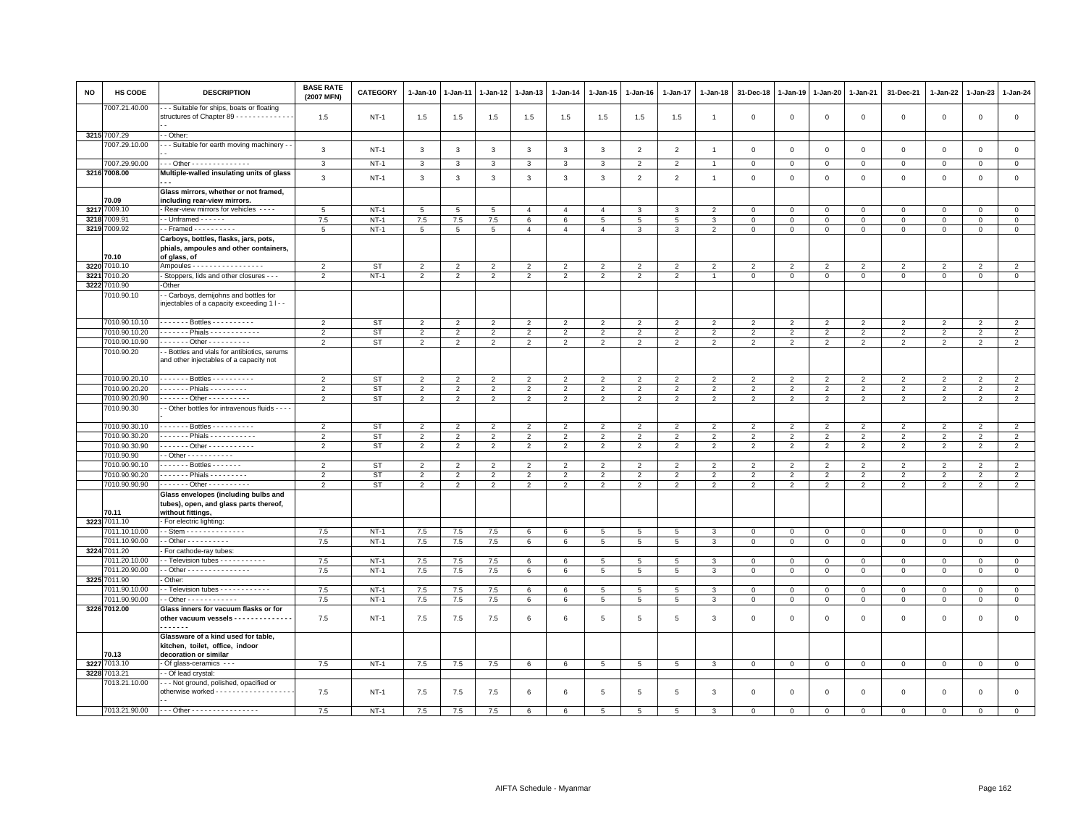| NO   | <b>HS CODE</b>        | <b>DESCRIPTION</b>                                                                              | <b>BASE RATE</b><br>(2007 MFN) | CATEGORY  | $1 - Jan-10$    | $1-Jan-11$      | 1-Jan-12        | 1-Jan-13       | $1-Jan-14$     | $1-Jan-15$      | $1 - Jan-16$   | $1 - Jan-17$    | $1 - Jan-18$   | 31-Dec-18      | $1 - Jan-19$   | $1 - Jan-20$   | $1 - Jan-21$   | 31-Dec-21           | $1 - Jan-22$   | $1-Jan-23$     | 1-Jan-24       |
|------|-----------------------|-------------------------------------------------------------------------------------------------|--------------------------------|-----------|-----------------|-----------------|-----------------|----------------|----------------|-----------------|----------------|-----------------|----------------|----------------|----------------|----------------|----------------|---------------------|----------------|----------------|----------------|
|      | 7007.21.40.00         | - - Suitable for ships, boats or floating<br>structures of Chapter 89 - - - - - - - - - - - - - | 1.5                            | $NT-1$    | 1.5             | 1.5             | 1.5             | 1.5            | 1.5            | 1.5             | 1.5            | 1.5             | $\overline{1}$ | $\mathbf 0$    | $\mathsf 0$    | $\mathbf 0$    | $\mathbf 0$    | $\mathsf 0$         | $\mathsf 0$    | $\mathsf 0$    | $\mathsf 0$    |
|      | 3215 7007.29          | - Other:                                                                                        |                                |           |                 |                 |                 |                |                |                 |                |                 |                |                |                |                |                |                     |                |                |                |
|      | 7007.29.10.00         | - - Suitable for earth moving machinery -                                                       |                                |           |                 |                 |                 |                |                |                 |                |                 |                |                |                |                |                |                     |                |                |                |
|      |                       |                                                                                                 | $\mathbf{3}$                   | $NT-1$    | $\mathbf{3}$    | $\mathbf{3}$    | $\mathbf{3}$    | $\mathbf{3}$   | $\mathbf{3}$   | $\mathbf{3}$    | $\overline{2}$ | $\overline{2}$  | $\overline{1}$ | $\,0\,$        | $\,0\,$        | $\mathbf 0$    | $\mathbf 0$    | $\mathsf{O}\xspace$ | $\,0\,$        | $\mathsf 0$    | $\,0\,$        |
|      | 7007.29.90.00         | - - Other - - - - - - - - - - - - - -                                                           | $\mathbf{3}$                   | $NT-1$    | 3               | 3               | 3               | 3              | $\mathbf{3}$   | 3               | $\overline{2}$ | $\overline{2}$  |                | $\,0\,$        | $\mathsf 0$    | $\mathbf 0$    | $\mathbf{0}$   | $\mathsf{O}\xspace$ | $\mathbf{0}$   | $\circ$        | $\,0\,$        |
|      | 3216 7008.00          | Multiple-walled insulating units of glass                                                       | $\mathbf{3}$                   | $NT-1$    | $\mathbf{3}$    | 3               | $\overline{3}$  | $\mathbf{3}$   | $\mathbf{3}$   | $\overline{3}$  | 2              | 2               | $\overline{1}$ | $\mathbf{0}$   | $\mathbf{0}$   | $\mathbf 0$    | $\mathbf{0}$   | $\mathbf 0$         | $\Omega$       | $\mathbf{0}$   | $\mathbf{0}$   |
|      |                       | Glass mirrors, whether or not framed,                                                           |                                |           |                 |                 |                 |                |                |                 |                |                 |                |                |                |                |                |                     |                |                |                |
|      | 70.09                 | including rear-view mirrors.                                                                    |                                |           |                 |                 |                 |                |                |                 |                |                 |                |                |                |                |                |                     |                |                |                |
|      | 3217 7009.10          | Rear-view mirrors for vehicles ----                                                             | 5                              | $NT-1$    | 5               | 5               | 5               | $\overline{4}$ | $\overline{4}$ | $\overline{4}$  |                | 3               | $\overline{2}$ | $\mathbf 0$    | $\mathbf 0$    | $\mathsf 0$    | $\mathbf 0$    | $\mathsf 0$         | $\mathbf 0$    | $\mathbf 0$    | $\mathsf 0$    |
|      | 3218 7009.91          | $-$ Unframed $- - - - -$                                                                        | 7.5                            | $NT-1$    | 7.5             | $7.5\,$         | $7.5\,$         | 6              | 6              | 5               | 5              | 5               | 3              | $\mathbf 0$    | $\mathbf 0$    | $\mathbf 0$    | $\circ$        | $\mathbf 0$         | $\mathbf 0$    | $\circ$        | $\circ$        |
|      | 3219 7009.92          | $\cdot$ - Framed $\cdot$ - - - - - - - - -                                                      | $5\overline{5}$                | $NT-1$    | $5\overline{5}$ | $5\overline{5}$ | $5\overline{5}$ | $\overline{4}$ | $\overline{4}$ | $\overline{4}$  | $\mathbf{3}$   | $\mathbf{3}$    | $\overline{2}$ | $\mathbf 0$    | $\mathsf 0$    | $\mathbf 0$    | $\mathbf 0$    | $\mathsf 0$         | $\circ$        | $\mathsf 0$    | $\circ$        |
|      |                       | Carboys, bottles, flasks, jars, pots,                                                           |                                |           |                 |                 |                 |                |                |                 |                |                 |                |                |                |                |                |                     |                |                |                |
|      |                       | phials, ampoules and other containers,                                                          |                                |           |                 |                 |                 |                |                |                 |                |                 |                |                |                |                |                |                     |                |                |                |
|      | 70.10<br>3220 7010.10 | of glass, of<br>Ampoules - - - - - - - - - - - - - - - - -                                      | $\overline{2}$                 | <b>ST</b> | $\overline{2}$  | $\overline{2}$  | $\overline{2}$  | $\overline{2}$ | $\overline{2}$ | $\overline{2}$  | $\overline{2}$ | $\overline{2}$  | $\overline{2}$ | $\overline{2}$ | $\overline{2}$ | $\overline{2}$ | $\overline{2}$ | $\overline{2}$      | 2              | $\overline{2}$ | $\overline{2}$ |
| 3221 | 010.20                | - Stoppers, lids and other closures - - -                                                       | $\overline{2}$                 | $NT-1$    | $\overline{2}$  | $\overline{2}$  | $\overline{2}$  | $\overline{2}$ | $\overline{2}$ | $\overline{2}$  | $\overline{2}$ | $\overline{2}$  | $\overline{1}$ | $\mathbf 0$    | $\mathbf 0$    | $\mathbf 0$    | $\mathbf 0$    | $\mathbf 0$         | $\mathbf 0$    | $\mathbf 0$    | $\mathbf{0}$   |
|      | 3222 7010.90          | -Other                                                                                          |                                |           |                 |                 |                 |                |                |                 |                |                 |                |                |                |                |                |                     |                |                |                |
|      | 010.90.10             | - Carboys, demijohns and bottles for                                                            |                                |           |                 |                 |                 |                |                |                 |                |                 |                |                |                |                |                |                     |                |                |                |
|      |                       | injectables of a capacity exceeding 1 I - -                                                     |                                |           |                 |                 |                 |                |                |                 |                |                 |                |                |                |                |                |                     |                |                |                |
|      | 7010.90.10.10         | . Bottles                                                                                       | $\overline{2}$                 | <b>ST</b> | $\overline{2}$  | $\overline{2}$  | $\overline{2}$  | $\overline{2}$ | $\overline{2}$ | $\overline{2}$  | $\mathfrak{p}$ | $\overline{2}$  | $\overline{2}$ | $\overline{2}$ | $\overline{2}$ | $\overline{2}$ | $\overline{2}$ | $\overline{2}$      | $\overline{2}$ | $\overline{2}$ | $\overline{2}$ |
|      | 7010.90.10.20         | . Phials -                                                                                      | $\overline{2}$                 | <b>ST</b> | $\overline{2}$  | $\overline{2}$  | $\overline{2}$  | $\overline{2}$ | $\overline{2}$ | $\overline{2}$  | $\overline{2}$ | $\overline{2}$  | $\overline{2}$ | $\overline{2}$ | $\overline{2}$ | $\overline{2}$ | $\overline{2}$ | $\overline{2}$      | $\overline{2}$ | $\overline{2}$ | $\overline{2}$ |
|      | 7010.90.10.90         | $- - - - - - 0$ then $- - - - - - - - -$                                                        | 2                              | <b>ST</b> | $\overline{2}$  | $\overline{2}$  | $\overline{2}$  | 2              | 2              | $\overline{2}$  | 2              | 2               | 2              | $\overline{2}$ | $\overline{2}$ | $\overline{2}$ | 2              | 2                   | $\overline{2}$ | 2              | $\overline{2}$ |
|      | 7010.90.20            | - Bottles and vials for antibiotics, serums<br>and other injectables of a capacity not          |                                |           |                 |                 |                 |                |                |                 |                |                 |                |                |                |                |                |                     |                |                |                |
|      | 7010.90.20.10         | . Bottles                                                                                       | 2                              | <b>ST</b> | $\overline{2}$  | $\overline{2}$  | 2               | 2              | 2              | 2               | $\overline{2}$ | $\overline{2}$  | 2              | $\overline{2}$ | $\overline{2}$ | $\overline{2}$ | $\overline{2}$ | 2                   | $\overline{2}$ | $\overline{2}$ | $\overline{2}$ |
|      | 7010.90.20.20         | ------ Phials ---------                                                                         | 2                              | <b>ST</b> | $\overline{2}$  | $\overline{2}$  | $\overline{2}$  | $\overline{2}$ | $\overline{2}$ | $\overline{2}$  | $\overline{2}$ | $\overline{2}$  | $\overline{2}$ | $\overline{2}$ | $\overline{2}$ | $\overline{2}$ | $\overline{2}$ | $\overline{2}$      | $\overline{2}$ | $\overline{2}$ | $\overline{2}$ |
|      | 7010.90.20.90         | $- - - - - -$ Other - - - - - - - - - -                                                         | $\overline{2}$                 | <b>ST</b> | $\overline{2}$  | $\overline{2}$  | $\overline{2}$  | $\overline{2}$ | $\overline{2}$ | $\overline{2}$  | $\overline{2}$ | $\overline{2}$  | $\overline{2}$ | $\overline{2}$ | $\overline{2}$ | $\overline{2}$ | $\overline{2}$ | $\overline{2}$      | $\overline{2}$ | $\overline{2}$ | $\overline{2}$ |
|      | 7010.90.30            | - Other bottles for intravenous fluids - - - -                                                  |                                |           |                 |                 |                 |                |                |                 |                |                 |                |                |                |                |                |                     |                |                |                |
|      | 7010.90.30.10         | Bottles                                                                                         | $\overline{2}$                 | <b>ST</b> | $\overline{2}$  | $\overline{2}$  | $\overline{2}$  | $\overline{2}$ | $\overline{2}$ | $\overline{2}$  | $\overline{2}$ | $\overline{2}$  | $\overline{2}$ | $\overline{2}$ | $\overline{2}$ | $\overline{2}$ | $\overline{2}$ | $\overline{2}$      | $\overline{2}$ | 2              | $\overline{2}$ |
|      | 7010.90.30.20         | ------ Phials -----------                                                                       | $\overline{2}$                 | <b>ST</b> | $\overline{2}$  | $\overline{2}$  | $\overline{2}$  | $\overline{2}$ | $\overline{2}$ | $\overline{2}$  | $\overline{2}$ | $\overline{2}$  | $\overline{2}$ | $\overline{2}$ | $\overline{2}$ | $\overline{2}$ | $\overline{2}$ | $\overline{2}$      | $\overline{2}$ | $\overline{2}$ | $\overline{2}$ |
|      | 7010.90.30.90         | . Other -                                                                                       | 2                              | ST        | $\overline{2}$  | 2               | $\overline{2}$  | 2              | $\overline{2}$ | $\overline{2}$  | 2              | 2               | 2              | 2              | 2              | $\overline{2}$ | 2              | 2                   | 2              | 2              | $\overline{2}$ |
|      | 7010.90.90            |                                                                                                 |                                |           |                 |                 |                 |                |                |                 |                |                 |                |                |                |                |                |                     |                |                |                |
|      | 7010.90.90.10         | $----$ Bottles - - - - - - -                                                                    | $\overline{2}$                 | <b>ST</b> | $\overline{2}$  | $\overline{2}$  | $\overline{2}$  | $\overline{2}$ | $\overline{2}$ | $\overline{2}$  | $\overline{2}$ | $\overline{2}$  | $\overline{2}$ | $\overline{2}$ | $\overline{2}$ | $\overline{2}$ | $\overline{2}$ | $\overline{2}$      | $\overline{2}$ | $\overline{2}$ | $\overline{2}$ |
|      | 7010.90.90.20         | $- - - - -$ Phials $- - - - - - -$                                                              | $\overline{2}$                 | <b>ST</b> | $\overline{2}$  | $\overline{2}$  | 2               | $\overline{2}$ | $\overline{2}$ | $\overline{2}$  | $\overline{2}$ | $\overline{2}$  | $\overline{2}$ | $\overline{2}$ | $\overline{2}$ | $\overline{2}$ | $\overline{2}$ | $\overline{2}$      | $\overline{2}$ | $\overline{2}$ | $\overline{2}$ |
|      | 7010.90.90.90         | . Other                                                                                         | $\overline{2}$                 | <b>ST</b> | $\overline{2}$  | $\overline{2}$  | $\overline{2}$  | 2              | $\overline{2}$ | $\overline{2}$  | $\overline{2}$ | $\overline{2}$  | $\overline{2}$ | $\overline{2}$ | $\overline{2}$ | $\overline{2}$ | $\overline{2}$ | $\overline{2}$      | $\overline{2}$ | $\overline{2}$ | $\overline{2}$ |
|      |                       | Glass envelopes (including bulbs and<br>tubes), open, and glass parts thereof,                  |                                |           |                 |                 |                 |                |                |                 |                |                 |                |                |                |                |                |                     |                |                |                |
|      | 70.11<br>3223 7011.10 | without fittings,<br>For electric lighting:                                                     |                                |           |                 |                 |                 |                |                |                 |                |                 |                |                |                |                |                |                     |                |                |                |
|      | 7011.10.10.00         | - Stem - - - - - - - - - - - - - -                                                              | 7.5                            | $NT-1$    | 7.5             | 7.5             | 7.5             | 6              | 6              | 5               | 5              | 5               | 3              | $\mathbf 0$    | $\mathbf 0$    | $\mathbf 0$    | $\mathbf 0$    | $\mathsf 0$         | $\Omega$       | $\mathbf 0$    | $\mathbf 0$    |
|      | 7011.10.90.00         | $-$ Other $        -$                                                                           | 7.5                            | $NT-1$    | 7.5             | 7.5             | 7.5             | 6              | 6              | $\overline{5}$  | 5              | $\overline{5}$  | 3              | $\overline{0}$ | $\,0\,$        | $\mathbf 0$    | $\overline{0}$ | $\mathsf 0$         | $\mathsf 0$    | $\mathsf 0$    | $\overline{0}$ |
|      | 3224 7011.20          | For cathode-ray tubes:                                                                          |                                |           |                 |                 |                 |                |                |                 |                |                 |                |                |                |                |                |                     |                |                |                |
|      | 7011.20.10.00         | - Television tubes - - - - - - - - - -                                                          | 7.5                            | $NT-1$    | 7.5             | 7.5             | 7.5             | 6              | 6              | 5 <sub>5</sub>  | 5              | 5               | 3              | $\mathbf{0}$   | $\mathbf{0}$   | $\mathbf 0$    | $\overline{0}$ | $\mathbf 0$         | $\Omega$       | $\Omega$       | $\mathbf{0}$   |
|      | 7011.20.90.00         | - Other - - - - - - - - - - - - - - -                                                           | 7.5                            | $NT-1$    | 7.5             | 7.5             | 7.5             | 6              | 6              | $5\phantom{.0}$ | 5              | 5               | $\mathbf{3}$   | $\mathbf 0$    | $\mathsf 0$    | $\mathbf 0$    | $\mathbf{0}$   | $\mathbf{0}$        | $\mathbf{0}$   | $\mathbf{0}$   | $\mathsf 0$    |
|      | 3225 7011.90          | Other:                                                                                          |                                |           |                 |                 |                 |                |                |                 |                |                 |                |                |                |                |                |                     |                |                |                |
|      | 7011.90.10.00         | - Television tubes - - - - - - - - - - - -                                                      | 7.5                            | $NT-1$    | 7.5             | 7.5             | 7.5             | 6              | 6              | 5               | 5              | 5               | 3              | $\overline{0}$ | $\mathbf 0$    | $\mathbf 0$    | $\mathbf{0}$   | $\mathbf{0}$        | $\mathbf 0$    | $\mathbf{0}$   | $\circ$        |
|      | 7011.90.90.00         | - Other - - - - - - - - - - - -                                                                 | 7.5                            | $NT-1$    | 7.5             | 7.5             | 7.5             | 6              | 6              | $\overline{5}$  | 5              | 5               | 3              | $\mathbf 0$    | $\mathbf 0$    | $\mathbf 0$    | $\mathbf 0$    | $\mathbf 0$         | $\mathbf 0$    | $\mathbf 0$    | $\mathbf 0$    |
|      | 3226 7012.00          | Glass inners for vacuum flasks or for                                                           |                                |           |                 |                 |                 |                |                |                 |                |                 |                |                |                |                |                |                     |                |                |                |
|      |                       | other vacuum vessels - - - - - - - - - - - - -<br>------                                        | 7.5                            | $NT-1$    | 7.5             | 7.5             | 7.5             | 6              | 6              | $\overline{5}$  | 5              | 5               | 3              | $\mathbf 0$    | $\mathbf 0$    | $\mathbf 0$    | $\mathbf 0$    | $\mathsf 0$         | $\mathbf 0$    | $\mathbf 0$    | $\mathsf 0$    |
|      |                       | Glassware of a kind used for table.<br>kitchen, toilet, office, indoor                          |                                |           |                 |                 |                 |                |                |                 |                |                 |                |                |                |                |                |                     |                |                |                |
|      | 70.13                 | decoration or similar                                                                           |                                |           |                 |                 |                 |                |                |                 |                |                 |                |                |                |                |                |                     |                |                |                |
|      | 3227 7013.10          | - Of glass-ceramics - - -                                                                       | 7.5                            | $NT-1$    | 7.5             | 7.5             | 7.5             | 6              | 6              | $5\overline{5}$ | 5              | 5               | 3              | $\mathbf 0$    | $\mathbf 0$    | $\mathbf 0$    | $\overline{0}$ | $\mathbf 0$         | $\mathbf{0}$   | $\mathbf{0}$   | $\mathbf{0}$   |
|      | 3228 7013.21          | - Of lead crystal:                                                                              |                                |           |                 |                 |                 |                |                |                 |                |                 |                |                |                |                |                |                     |                |                |                |
|      | 7013.21.10.00         | --- Not ground, polished, opacified or<br>otherwise worked - - - - - - - - - - - - - - - - - -  | 7.5                            | $NT-1$    | 7.5             | 7.5             | 7.5             | 6              | 6              | 5               | -5             | $5\overline{5}$ | 3              | $\mathbf 0$    | $\mathbf 0$    | $\mathsf 0$    | $\mathbf{0}$   | $\mathsf 0$         | $\mathbf 0$    | $\mathbf{0}$   | $\mathbf 0$    |
|      |                       | 7013.21.90.00 --- Other ----------------                                                        | 7.5                            | $NT-1$    | 7.5             | 7.5             | 7.5             | 6              |                |                 |                | 5               |                | $\Omega$       | $\Omega$       | $\Omega$       | $\Omega$       | $\Omega$            | $\Omega$       | $\Omega$       | $\mathbf 0$    |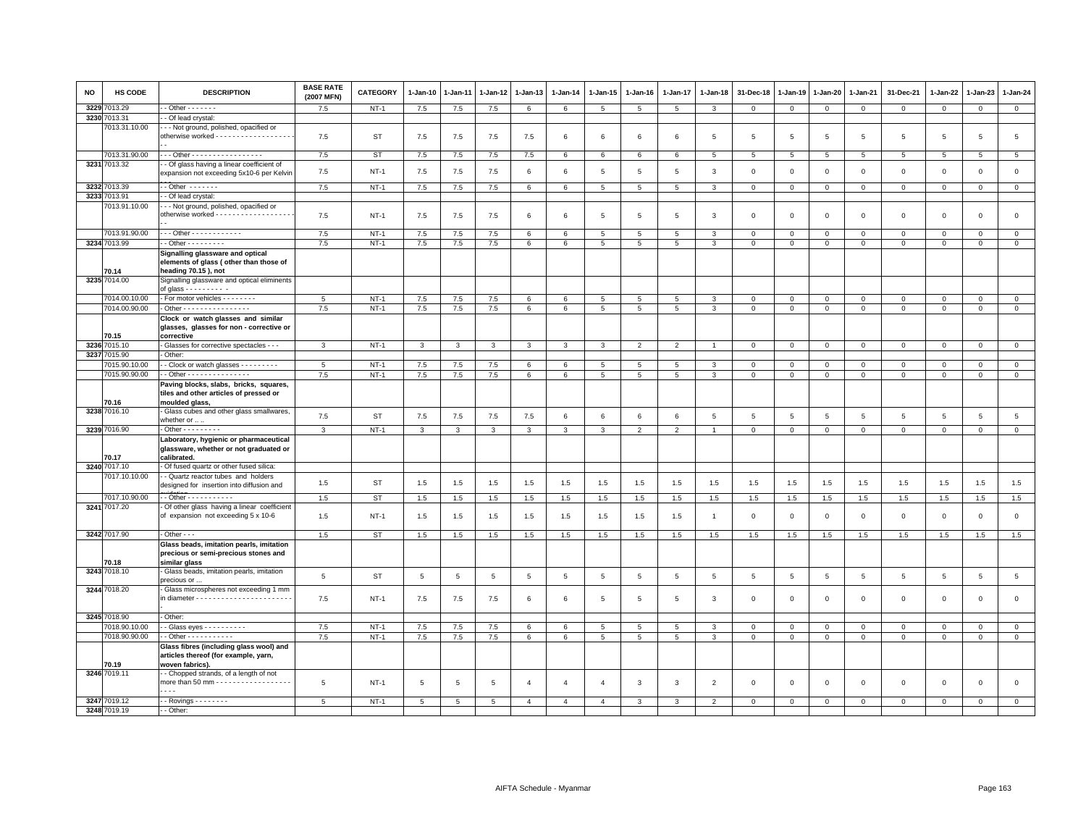| <b>NO</b> | HS CODE               | <b>DESCRIPTION</b>                                                                                                                               | <b>BASE RATE</b><br>(2007 MFN) | <b>CATEGORY</b>  | $1-Jan-10$     | 1-Jan-11       | 1-Jan-12       | 1-Jan-13        | $1 - Jan-14$   | $1 - Jan-15$         | $1-Jan-16$           | 1-Jan-17        | 1-Jan-18       | 31-Dec-18       | 1-Jan-19       | 1-Jan-20       | 1-Jan-21       | 31-Dec-21      | $1 - Jan-22$            | 1-Jan-23        | $1 - Jan-24$              |
|-----------|-----------------------|--------------------------------------------------------------------------------------------------------------------------------------------------|--------------------------------|------------------|----------------|----------------|----------------|-----------------|----------------|----------------------|----------------------|-----------------|----------------|-----------------|----------------|----------------|----------------|----------------|-------------------------|-----------------|---------------------------|
| 3229      | 013.29                | $-$ Other $     -$                                                                                                                               | 7.5                            | $NT-1$           | $7.5\,$        | 7.5            | 7.5            | 6               | 6              | $5\phantom{.0}$      | 5                    | $\overline{5}$  | 3              | $\overline{0}$  | $\,0\,$        | $\overline{0}$ | $\mathbf 0$    | $\mathbf{0}$   | $\mathbf 0$             | $\mathbf{O}$    | $\overline{0}$            |
|           | 3230 7013.31          | - Of lead crystal:                                                                                                                               |                                |                  |                |                |                |                 |                |                      |                      |                 |                |                 |                |                |                |                |                         |                 |                           |
|           | 7013.31.10.00         | - - Not ground, polished, opacified or<br>otherwise worked - - - - - - - - - - - - - - - - -                                                     | 7.5                            | <b>ST</b>        | 7.5            | 7.5            | 7.5            | 7.5             | 6              | 6                    | 6                    | 6               | 5              | 5               | 5              | 5              | 5              | 5              | 5                       | $5\overline{5}$ | $\overline{5}$            |
|           | 7013.31.90.00         | Other - - - - - - - - - - - - - - - - -                                                                                                          | 7.5                            | <b>ST</b>        | $7.5\,$        | 7.5            | 7.5            | 7.5             | 6              | 6                    | 6                    | 6               | 5              | $5\overline{5}$ | 5              | 5              | 5              | 5              | 5                       | 5               | $5\phantom{.0}$           |
|           | 3231 7013.32          | - Of glass having a linear coefficient of<br>expansion not exceeding 5x10-6 per Kelvin                                                           | 7.5                            | $NT-1$           | 7.5            | 7.5            | 7.5            | 6               | 6              | 5                    | 5                    | $5\overline{5}$ | 3              | $\Omega$        | $\Omega$       | $\Omega$       | $\mathbf 0$    | $\mathbf 0$    | $\mathbf 0$             | $\mathbf 0$     | $\mathsf 0$               |
| 3232      | 7013.39               | $-$ Other $     -$                                                                                                                               | 7.5                            | $NT-1$           | $7.5\,$        | $7.5\,$        | $7.5$          | $6\phantom{.0}$ | 6              | 5                    | 5                    | 5               | 3              | $\mathbf 0$     | $\mathbb O$    | $\mathbf 0$    | $\mathbf{0}$   | $\mathsf 0$    | $\mathbf 0$             | $\mathbf{0}$    | $\mathbf{0}$              |
|           | 3233 7013.91          | - Of lead crystal:                                                                                                                               |                                |                  |                |                |                |                 |                |                      |                      |                 |                |                 |                |                |                |                |                         |                 |                           |
|           | 7013.91.10.00         | - - Not ground, polished, opacified or<br>otherwise worked - - - - - - - - - - - - - - - - - -                                                   | 7.5                            | $NT-1$           | 7.5            | 7.5            | 7.5            | 6               | 6              | 5                    | 5                    | 5               | 3              | $\mathbf 0$     | $\mathbf 0$    | $\mathbf 0$    | $\mathbf 0$    | $\mathsf 0$    | 0                       | $\mathsf 0$     | $\mathsf 0$               |
|           | 7013.91.90.00         | --- Other ------------                                                                                                                           | 7.5                            | $NT-1$           | 7.5            | 7.5            | 7.5            | 6               | 6              | 5                    | 5                    | $\overline{5}$  | 3              | $\Omega$        | $\Omega$       | $\mathbf{0}$   | $\Omega$       | $\mathbf 0$    | $\Omega$                | $\Omega$        | $\mathsf 0$               |
|           | 3234 7013.99          | $-$ Other $       -$                                                                                                                             | 7.5                            | $NT-1$           | 7.5            | 7.5            | 7.5            | 6               | 6              | $5\phantom{.0}$      | 5                    | 5               | 3              | $\mathbf 0$     | $\mathsf 0$    | $\mathsf 0$    | $\mathsf 0$    | $\mathsf 0$    | $\mathbf 0$             | $\mathsf 0$     | $\mathbf 0$               |
|           | 70.14<br>3235 7014.00 | Signalling glassware and optical<br>elements of glass (other than those of<br>heading 70.15), not<br>Signalling glassware and optical eliminents |                                |                  |                |                |                |                 |                |                      |                      |                 |                |                 |                |                |                |                |                         |                 |                           |
|           |                       | of glass $- - - - - - -$                                                                                                                         |                                |                  |                |                |                |                 |                |                      |                      |                 |                |                 |                |                |                |                |                         |                 |                           |
|           | 7014.00.10.00         | - For motor vehicles - - - - - - - -                                                                                                             | 5                              | $NT-1$           | 7.5            | 7.5            | 7.5            | 6               | 6              | 5                    | 5                    | 5               | 3              | $\mathbf 0$     | $\overline{0}$ | $\mathbf 0$    | $\mathbf 0$    | $\mathsf 0$    | 0                       | $\mathbf{0}$    | $\circ$                   |
|           | 7014.00.90.00         | - Other - - - - - - - - - - - - - - - -                                                                                                          | 7.5                            | $NT-1$           | 7.5            | 7.5            | 7.5            | $6\phantom{.0}$ | 6              | $\overline{5}$       | 5                    | $\overline{5}$  | 3              | $\overline{0}$  | $\overline{0}$ | $\mathbf 0$    | $\mathsf 0$    | $\mathsf 0$    | $\mathsf 0$             | $\mathsf 0$     | $\overline{0}$            |
|           | 70.15                 | Clock or watch glasses and similar<br>glasses, glasses for non - corrective or<br>corrective                                                     |                                |                  |                |                |                |                 |                |                      |                      |                 |                |                 |                |                |                |                |                         |                 |                           |
|           | 3236 7015.10          | - Glasses for corrective spectacles - - -                                                                                                        | 3                              | $NT-1$           | 3              | 3              | 3              | 3               | 3              | 3                    | $\overline{2}$       | $\overline{2}$  |                | $\Omega$        | $\mathbf 0$    | $\mathbf 0$    | $\mathbf 0$    | $\mathsf 0$    | 0                       | 0               | $\circ$                   |
|           | 3237 7015.90          | Other:                                                                                                                                           |                                |                  |                |                |                |                 |                |                      |                      |                 |                |                 |                |                |                |                |                         |                 |                           |
|           | 7015.90.10.00         | - - Clock or watch glasses - - - - - - - - -                                                                                                     | 5                              | $NT-1$           | 7.5            | 7.5            | 7.5            | 6               | 6              | $5\overline{5}$      | 5                    | 5               | 3              | $\mathbf{0}$    | $\mathbf{0}$   | $\mathbf{0}$   | $\mathbf{0}$   | $\mathbf 0$    | $\mathbf 0$             | $\mathbf{0}$    | $\circ$                   |
|           | 7015.90.90.00         | -- Other ---------------                                                                                                                         | 7.5                            | $NT-1$           | 7.5            | $7.5\,$        | $7.5$          | 6               | 6              | $\overline{5}$       | $5\overline{5}$      | 5               | 3              | 0               | $\mathsf 0$    | $\mathbf 0$    | $\mathbf 0$    | 0              | 0                       | 0               | $\overline{0}$            |
|           | 70.16                 | Paving blocks, slabs, bricks, squares,<br>tiles and other articles of pressed or<br>moulded glass,                                               |                                |                  |                |                |                |                 |                |                      |                      |                 |                |                 |                |                |                |                |                         |                 |                           |
|           | 3238 7016.10          | Glass cubes and other glass smallwares,<br>whether or  .                                                                                         | 7.5                            | <b>ST</b>        | 7.5            | 7.5            | 7.5            | 7.5             | 6              | 6                    | 6                    | $\,6\,$         | 5              | $\sqrt{5}$      | 5              | 5              | 5              | $\overline{5}$ | 5                       | 5               | $5\overline{5}$           |
|           | 3239 7016.90          | $-$ Other $       -$                                                                                                                             | $\mathbf{3}$                   | $NT-1$           | $\overline{3}$ | $\mathbf{3}$   | $\mathbf{3}$   | $\overline{3}$  | $\mathbf{3}$   | $\overline{3}$       | $\overline{2}$       | $\overline{2}$  | $\overline{1}$ | $\mathsf 0$     | $\overline{0}$ | $\overline{0}$ | $\mathsf 0$    | $\mathsf 0$    | $\mathsf 0$             | $\mathbf 0$     | $\overline{0}$            |
|           | 70.17                 | Laboratory, hygienic or pharmaceutical<br>glassware, whether or not graduated or<br>calibrated.                                                  |                                |                  |                |                |                |                 |                |                      |                      |                 |                |                 |                |                |                |                |                         |                 |                           |
|           | 3240 7017.10          | - Of fused quartz or other fused silica:                                                                                                         |                                |                  |                |                |                |                 |                |                      |                      |                 |                |                 |                |                |                |                |                         |                 |                           |
|           | 7017.10.10.00         | - Quartz reactor tubes and holders<br>designed for insertion into diffusion and                                                                  | 1.5                            | <b>ST</b>        | 1.5            | 1.5            | 1.5            | 1.5             | 1.5            | 1.5                  | 1.5                  | 1.5             | 1.5            | 1.5             | 1.5            | 1.5            | 1.5            | 1.5            | 1.5                     | 1.5             | 1.5                       |
|           | 7017.10.90.00         | - - Other - - - - - - - - - - -                                                                                                                  | 1.5                            | <b>ST</b>        | 1.5            | 1.5            | 1.5            | 1.5             | 1.5            | 1.5                  | 1.5                  | 1.5             | 1.5            | 1.5             | 1.5            | 1.5            | 1.5            | 1.5            | 1.5                     | 1.5             | 1.5                       |
|           | 3241 7017.20          | Of other glass having a linear coefficient<br>of expansion not exceeding 5 x 10-6                                                                | 1.5                            | $NT-1$           | 1.5            | 1.5            | 1.5            | $1.5\,$         | 1.5            | 1.5                  | 1.5                  | 1.5             | $\overline{1}$ | $\Omega$        | $\Omega$       | $\,0\,$        | $\mathsf 0$    | $\mathsf 0$    | $\mathsf 0$             | $\mathsf 0$     | $\mathsf 0$               |
|           | 3242 7017.90          | $-$ Other $ -$                                                                                                                                   | 1.5                            | <b>ST</b>        | 1.5            | 1.5            | 1.5            | 1.5             | 1.5            | 1.5                  | 1.5                  | 1.5             | 1.5            | 1.5             | 1.5            | 1.5            | 1.5            | 1.5            | 1.5                     | 1.5             | 1.5                       |
|           | 70.18                 | Glass beads, imitation pearls, imitation<br>precious or semi-precious stones and<br>similar glass                                                |                                |                  |                |                |                |                 |                |                      |                      |                 |                |                 |                |                |                |                |                         |                 |                           |
|           | 3243 7018.10          | Glass beads, imitation pearls, imitation                                                                                                         | 5                              | <b>ST</b>        | 5              | $\overline{5}$ | 5              | 5               | 5              | 5                    | 5                    | 5               | 5              | $\overline{5}$  | 5              | 5              | 5              | 5              | 5                       | 5               | $5\phantom{.0}$           |
|           | 3244 7018.20          | precious or<br>Glass microspheres not exceeding 1 mm                                                                                             | 7.5                            | $NT-1$           | $7.5\,$        | 7.5            | 7.5            | 6               | 6              | 5                    | $5^{\circ}$          | 5               | 3              | $\mathbf 0$     | $\overline{0}$ | $\mathbf 0$    | $\mathbf 0$    | $\mathsf 0$    | $\mathbf 0$             | $\mathbf 0$     | $\mathsf 0$               |
|           | 3245 7018.90          |                                                                                                                                                  |                                |                  |                |                |                |                 |                |                      |                      |                 |                |                 |                |                |                |                |                         |                 |                           |
|           | 7018.90.10.00         | Other:                                                                                                                                           |                                |                  |                |                |                |                 |                |                      |                      |                 |                | $\Omega$        |                |                |                |                |                         |                 |                           |
|           | 7018.90.90.00         | - Glass eyes - - - - - - - - -<br>$\cdot$ - Other - - - - - - - - - - -                                                                          | 7.5<br>7.5                     | $NT-1$<br>$NT-1$ | 7.5<br>7.5     | 7.5<br>7.5     | 7.5            | 6               | 6              | 5<br>$5\phantom{.0}$ | 5<br>$5\overline{5}$ | 5               | 3              |                 | $\Omega$       | $\mathbf 0$    | $\Omega$       | 0              | $\Omega$<br>$\mathbf 0$ | $\Omega$        | $\overline{0}$<br>$\circ$ |
|           | 70.19                 | Glass fibres (including glass wool) and<br>articles thereof (for example, yarn,<br>woven fabrics).                                               |                                |                  |                |                | 7.5            | 6               | 6              |                      |                      | $5\overline{5}$ | 3              | $\mathbf 0$     | $\mathbf{0}$   | $\mathbf 0$    | $\overline{0}$ | $\mathsf 0$    |                         | $\mathsf 0$     |                           |
|           | 3246 7019.11          | - Chopped strands, of a length of not<br>$\sim$ $\sim$                                                                                           | 5                              | $NT-1$           | 5              | 5              | 5              | $\overline{4}$  | $\overline{a}$ | $\overline{4}$       | 3                    | 3               | $\overline{2}$ | $\mathbf 0$     | $\mathbf 0$    | $\mathbf 0$    | $\mathbf 0$    | $\mathsf 0$    | $\mathbf 0$             | $\mathsf 0$     | $\mathsf 0$               |
|           | 3247 7019.12          | $\cdot$ - Rovings - - - - - - - -                                                                                                                | 5                              | $NT-1$           | 5              | $\overline{5}$ | $\overline{5}$ | $\Delta$        | $\Delta$       | $\mathbf{A}$         | 3                    | 3               | $\overline{2}$ | $\Omega$        | $\Omega$       | $\mathbf 0$    | $\Omega$       | $\Omega$       | $\Omega$                | $\Omega$        | $\mathbf 0$               |
|           | 3248 7019.19          | - Other:                                                                                                                                         |                                |                  |                |                |                |                 |                |                      |                      |                 |                |                 |                |                |                |                |                         |                 |                           |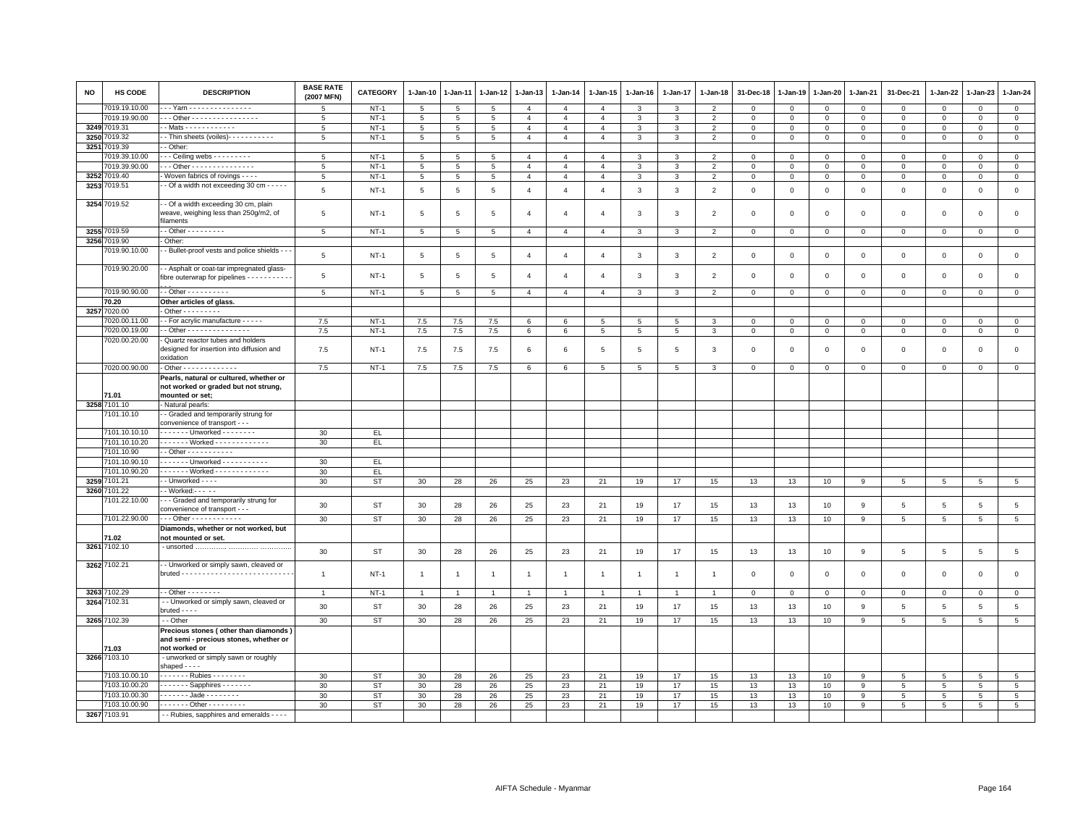| <b>NO</b> | HS CODE                     | <b>DESCRIPTION</b>                                                                               | <b>BASE RATE</b><br>(2007 MFN) | CATEGORY  | 1-Jan-10        | 1-Jan-11       | 1-Jan-12       | 1-Jan-13        | $1 - Jan-14$   | $1 - Jan-15$    | $1 - Jan-16$    | 1-Jan-17       | $1 - Jan-18$             | 31-Dec-18    | $1 - Jan-19$ | $1 - Jan-20$   | 1-Jan-21     | 31-Dec-21       | 1-Jan-22        | 1-Jan-23        | $1-Jan-24$      |
|-----------|-----------------------------|--------------------------------------------------------------------------------------------------|--------------------------------|-----------|-----------------|----------------|----------------|-----------------|----------------|-----------------|-----------------|----------------|--------------------------|--------------|--------------|----------------|--------------|-----------------|-----------------|-----------------|-----------------|
|           | 7019.19.10.00               | - - Yam - - - - - - - - - - - - - - -                                                            | $5\overline{5}$                | $NT-1$    | 5               | 5              | 5              | $\overline{4}$  | $\overline{4}$ | $\overline{4}$  | 3               | 3              | $\overline{2}$           | $\Omega$     | $\Omega$     | $\Omega$       | $\mathbf 0$  | 0               | $\circ$         | $\mathsf 0$     | $\circ$         |
|           | 7019.19.90.00               | - - Other - - - - - - - - - - - - - - - -                                                        | -5                             | $NT-1$    | 5               | 5              | 5              | $\overline{4}$  | $\overline{4}$ | $\overline{4}$  | 3               | 3              | $\overline{2}$           | $\mathbf{0}$ | 0            | $\mathbf{O}$   | $\mathbf{0}$ | $\circ$         | $\mathbf 0$     | $\Omega$        | $\mathbf{0}$    |
|           | 3249 7019.31                | $-Mats - - - - - - - - - - -$                                                                    | -5                             | $NT-1$    | $5\overline{5}$ | 5              | 5              | $\overline{4}$  | $\overline{4}$ | $\overline{4}$  | 3               | 3              | $\overline{2}$           | $\mathbf 0$  | 0            | $\mathbf 0$    | $\mathbf 0$  | 0               | $\circ$         | $\mathbf 0$     | $\circ$         |
| 3250      | 7019.32                     | - Thin sheets (voiles) - - - - - - - - - -                                                       | 5                              | $NT-1$    | $\overline{5}$  | 5              | 5              | $\mathbf{A}$    | $\overline{4}$ | $\overline{4}$  | $\overline{3}$  | 3              | $\overline{2}$           | $\mathbf 0$  | $\mathbf 0$  | $\mathbf 0$    | $\mathbf 0$  | $\mathsf 0$     | $\Omega$        | $\Omega$        | $\overline{0}$  |
|           | 3251 7019.39                | - Other:                                                                                         |                                |           |                 |                |                |                 |                |                 |                 |                |                          |              |              |                |              |                 |                 |                 |                 |
|           | 7019.39.10.00               | $-$ - Ceiling webs $-$ - - - - - - - -                                                           | 5                              | $NT-1$    | 5               | 5              | $\overline{5}$ | $\overline{4}$  | $\overline{4}$ | $\overline{4}$  | 3               | 3              | $\overline{2}$           | $\mathbf 0$  | $\mathbf 0$  | $\mathbf 0$    | $\mathbf 0$  | $\mathsf 0$     | $\mathbf 0$     | $\mathsf 0$     | $\mathbf 0$     |
|           | 7019.39.90.00               | - - - Other - - - - - - - - - - - - - - -                                                        | 5                              | $NT-1$    | 5               | 5              | 5              | $\overline{4}$  | $\overline{4}$ | $\overline{4}$  | 3               | 3              | $\overline{2}$           | $\mathbf 0$  | $\mathbf 0$  | $\mathbf{O}$   | $\mathbf{0}$ | $\mathsf 0$     | $\mathbf{0}$    | $\mathsf 0$     | $\mathbf 0$     |
| 3252      | 7019.40                     | Woven fabrics of rovings - - - -                                                                 | 5                              | $NT-1$    | 5               | 5              | 5              | $\overline{4}$  | $\overline{4}$ | $\overline{4}$  | $\mathbf{3}$    | 3              | $\overline{2}$           | $\Omega$     | $\mathbf 0$  | $\mathsf 0$    | $\mathbf{0}$ | $\mathsf 0$     | $\Omega$        | $\mathbf 0$     | $\mathsf 0$     |
| 3253      | 7019.51                     | - Of a width not exceeding 30 cm - - - - -                                                       | 5                              | $NT-1$    | 5               | 5              | 5              | $\overline{4}$  | $\overline{4}$ | $\overline{4}$  | 3               | 3              | $\overline{2}$           | $\mathbf 0$  | $\mathbf 0$  | $\mathbf{0}$   | $\mathbf{0}$ | $\mathbf 0$     | $\mathbf{0}$    | $\mathbf 0$     | $\mathsf 0$     |
|           | 3254 7019.52                | - Of a width exceeding 30 cm, plain<br>weave, weighing less than 250g/m2, of<br>filaments        | 5                              | $NT-1$    | 5               | 5              | 5              | $\overline{4}$  | $\overline{4}$ | $\overline{a}$  | 3               | 3              | $\overline{2}$           | 0            | $\mathbf 0$  | $\mathbf 0$    | $\mathbf 0$  | $\mathsf 0$     | $\mathbf 0$     | $\mathsf 0$     | $\mathsf 0$     |
|           | 3255 7019.59                | $-$ Other $        -$                                                                            | 5                              | $NT-1$    | $5\overline{5}$ | 5              | 5              | $\overline{4}$  | $\overline{4}$ | $\overline{4}$  | 3               | 3              | $\overline{\phantom{0}}$ | $\mathbf{0}$ | $\Omega$     | $\mathbf{0}$   | $\mathbf{0}$ | $\mathbf{0}$    | $\mathbf{0}$    | $\mathbf{0}$    | $\mathbf{0}$    |
|           | 3256 7019.90                | - Other:                                                                                         |                                |           |                 |                |                |                 |                |                 |                 |                |                          |              |              |                |              |                 |                 |                 |                 |
|           | 7019.90.10.00               | - - Bullet-proof vests and police shields - -                                                    | 5                              | $NT-1$    | $5\overline{5}$ | 5              | 5              | $\overline{4}$  | $\overline{4}$ | $\overline{4}$  | 3               | 3              | $\overline{2}$           | $\mathbf 0$  | $\mathbf{0}$ | $\overline{0}$ | $\mathbf{0}$ | $\mathsf 0$     | $\mathbf{0}$    | $\mathbf 0$     | $\mathbf{0}$    |
|           | 7019.90.20.00               | - - Asphalt or coat-tar impregnated glass-<br>fibre outerwrap for pipelines - - - - - - - - -    | 5                              | $NT-1$    | 5               | 5              | 5              | $\overline{4}$  | $\overline{4}$ | $\overline{4}$  | 3               | 3              | $\overline{2}$           | $\mathbf 0$  | $\mathbf 0$  | $\mathbf 0$    | $\mathbf 0$  | $\mathsf 0$     | $\mathbf 0$     | $\Omega$        | $\mathsf 0$     |
|           | 7019.90.90.00               | $-$ - Other - - - - - - - - - -                                                                  | 5                              | $NT-1$    | $5\overline{5}$ | 5              | 5              | $\overline{4}$  | $\overline{4}$ | $\overline{4}$  | 3               | 3              | 2                        | $\mathbf{0}$ | $\mathbf{0}$ | $\mathbf{0}$   | $\mathbf{0}$ | $\mathbf{0}$    | $\mathbf{0}$    | $\mathbf 0$     | $\circ$         |
|           | 70.20                       | Other articles of glass.                                                                         |                                |           |                 |                |                |                 |                |                 |                 |                |                          |              |              |                |              |                 |                 |                 |                 |
| 3257      | 7020.00                     | Other - - - - - - - - -                                                                          |                                |           |                 |                |                |                 |                |                 |                 |                |                          |              |              |                |              |                 |                 |                 |                 |
|           | 7020.00.11.00               | - For acrylic manufacture - - - - -                                                              | 7.5                            | $NT-1$    | 7.5             | 7.5            | 7.5            | 6               | 6              | 5               | 5               | 5              | 3                        | $\mathbf 0$  | $\mathbf 0$  | $\mathbf 0$    | $\mathbf 0$  | $\mathsf 0$     | 0               | $^{\circ}$      | $\mathbf 0$     |
|           | 7020.00.19.00               | - Other - - - - - - - - - - - - - -                                                              | 7.5                            | $NT-1$    | 7.5             | 7.5            | 7.5            | $6\phantom{.0}$ | $\,6$          | 5               | $5\phantom{.0}$ | 5              | 3                        | $\mathbf 0$  | $\mathbf 0$  | $\mathsf 0$    | $\mathsf 0$  | $\mathsf 0$     | $\mathbf 0$     | $\mathsf 0$     | $\mathsf 0$     |
|           | 7020.00.20.00               | Quartz reactor tubes and holders<br>designed for insertion into diffusion and<br>oxidation       | 7.5                            | $NT-1$    | 7.5             | 7.5            | 7.5            | 6               | 6              | 5               | 5               | 5              | 3                        | $\mathbf 0$  | $\mathbf 0$  | $\mathbf 0$    | $\mathbf 0$  | $\mathsf 0$     | $\mathbf 0$     | $\mathsf 0$     | $\mathbf 0$     |
|           | 7020.00.90.00               | $-$ Other - - - - - - - - - - - - -                                                              | 7.5                            | $NT-1$    | 7.5             | 7.5            | 7.5            | 6               | 6              | $5\phantom{.0}$ | $5\phantom{.0}$ | 5              | $\mathbf{3}$             | $\mathbf 0$  | $\mathbf 0$  | $\mathsf 0$    | $\mathbf{0}$ | $\mathbf 0$     | $\mathbf 0$     | $\mathbf{0}$    | $\overline{0}$  |
|           |                             | Pearls, natural or cultured, whether or<br>not worked or graded but not strung,                  |                                |           |                 |                |                |                 |                |                 |                 |                |                          |              |              |                |              |                 |                 |                 |                 |
| 3258      | 71.01                       | mounted or set;                                                                                  |                                |           |                 |                |                |                 |                |                 |                 |                |                          |              |              |                |              |                 |                 |                 |                 |
|           | 7101.10<br>7101.10.10       | - Natural pearls:<br>- Graded and temporarily strung for                                         |                                |           |                 |                |                |                 |                |                 |                 |                |                          |              |              |                |              |                 |                 |                 |                 |
|           |                             | convenience of transport - - -<br>- - - - - - Unworked - - - - - - - -                           |                                |           |                 |                |                |                 |                |                 |                 |                |                          |              |              |                |              |                 |                 |                 |                 |
|           | 7101.10.10.10               |                                                                                                  | 30                             | EL        |                 |                |                |                 |                |                 |                 |                |                          |              |              |                |              |                 |                 |                 |                 |
|           | 7101.10.10.20               | . Worked                                                                                         | 30                             | EL.       |                 |                |                |                 |                |                 |                 |                |                          |              |              |                |              |                 |                 |                 |                 |
|           | 7101.10.90<br>7101.10.90.10 | $-$ Other $- - - - - - - - - -$<br>------ Unworked -----------                                   | 30                             |           |                 |                |                |                 |                |                 |                 |                |                          |              |              |                |              |                 |                 |                 |                 |
|           | 7101.10.90.20               | Worked                                                                                           |                                | EL.       |                 |                |                |                 |                |                 |                 |                |                          |              |              |                |              |                 |                 |                 |                 |
|           | 3259 7101.21                | - - Unworked - - - -                                                                             | 30<br>30                       | EL<br>ST  | 30              | 28             | 26             | 25              | 23             | 21              | 19              | 17             | 15                       | 13           | 13           | 10             | 9            | $5\overline{5}$ | 5               | 5               | $5\phantom{.0}$ |
|           | 3260 7101.22                | - Worked:--- - -                                                                                 |                                |           |                 |                |                |                 |                |                 |                 |                |                          |              |              |                |              |                 |                 |                 |                 |
|           | 7101.22.10.00               | -- Graded and temporarily strung for<br>convenience of transport - - -                           | 30                             | <b>ST</b> | 30              | 28             | 26             | 25              | 23             | 21              | 19              | 17             | 15                       | 13           | 13           | 10             | 9            | $\,$ 5 $\,$     | $5\phantom{.0}$ | $5\phantom{.0}$ | $\,$ 5 $\,$     |
|           | 7101.22.90.00               | - - - Other - - - - - - - - - - - -                                                              | 30                             | <b>ST</b> | 30              | 28             | 26             | 25              | 23             | 21              | 19              | 17             | 15                       | 13           | 13           | 10             | 9            | 5               | 5               | 5               | 5               |
|           |                             | Diamonds, whether or not worked, but                                                             |                                |           |                 |                |                |                 |                |                 |                 |                |                          |              |              |                |              |                 |                 |                 |                 |
|           | 71.02                       | not mounted or set.                                                                              |                                |           |                 |                |                |                 |                |                 |                 |                |                          |              |              |                |              |                 |                 |                 |                 |
|           | 3261 7102.10                |                                                                                                  | 30                             | <b>ST</b> | 30              | 28             | 26             | 25              | 23             | 21              | 19              | 17             | 15                       | 13           | 13           | 10             | 9            | $\,$ 5 $\,$     | $5\phantom{.0}$ | $5\phantom{.0}$ | $\overline{5}$  |
|           | 3262 7102.21                | - Unworked or simply sawn, cleaved or                                                            | $\overline{1}$                 | $NT-1$    | $\mathbf{1}$    | $\overline{1}$ | $\overline{1}$ | $\overline{1}$  | $\overline{1}$ | $\overline{1}$  | $\overline{1}$  | $\overline{1}$ | -1                       | $\mathbf 0$  | $\mathbf 0$  | $\mathbf 0$    | $\circ$      | $\mathsf 0$     | $\mathsf 0$     | $\mathbf 0$     | $\mathbf 0$     |
|           | 3263 7102.29                | $-$ - Other - - - - - - - -                                                                      | $\overline{1}$                 | $NT-1$    | $\overline{1}$  | $\overline{1}$ | $\overline{1}$ | $\overline{1}$  | $\overline{1}$ | $\overline{1}$  | $\overline{1}$  | $\overline{1}$ | $\overline{1}$           | $\mathbf 0$  | 0            | $\mathbf{0}$   | $\mathbf 0$  | $\mathbf 0$     | $\circ$         | 0               | $\mathbf{0}$    |
| 3264      | 7102.31                     | - - Unworked or simply sawn, cleaved or<br>$bruted - - -$                                        | 30                             | <b>ST</b> | 30              | 28             | 26             | 25              | 23             | 21              | 19              | 17             | 15                       | 13           | 13           | 10             | 9            | $\,$ 5 $\,$     | $\overline{5}$  | $5\phantom{.0}$ | $\overline{5}$  |
|           | 3265 7102.39                | - - Other                                                                                        | 30                             | ST        | 30              | 28             | 26             | 25              | 23             | 21              | 19              | 17             | 15                       | 13           | 13           | 10             | 9            | 5               | $5\phantom{.0}$ | 5               | $\overline{5}$  |
|           | 71.03                       | Precious stones (other than diamonds)<br>and semi - precious stones, whether or<br>not worked or |                                |           |                 |                |                |                 |                |                 |                 |                |                          |              |              |                |              |                 |                 |                 |                 |
|           | 3266 7103.10                | - unworked or simply sawn or roughly<br>shaped $- -$                                             |                                |           |                 |                |                |                 |                |                 |                 |                |                          |              |              |                |              |                 |                 |                 |                 |
|           | 7103.10.00.10               | . Rubies                                                                                         | 30                             | <b>ST</b> | 30              | 28             | 26             | 25              | 23             | 21              | 19              | 17             | 15                       | 13           | 13           | 10             | $\mathbf{q}$ | -5              | 5               | $\mathbf{5}$    | 5               |
|           | 7103.10.00.20               | $\cdots$ $\cdots$ Sapphires $\cdots$                                                             | 30                             | <b>ST</b> | 30              | 28             | 26             | 25              | 23             | 21              | 19              | 17             | 15                       | 13           | 13           | 10             | 9            | 5               | 5               | -5              | 5               |
|           | 7103.10.00.30               | $- - - - -$ Jade - - - - - - - -                                                                 | 30                             | ST        | 30              | 28             | 26             | 25              | 23             | 21              | 19              | 17             | 15                       | 13           | 13           | 10             | -9           | 5               | 5               | 5               | $5\phantom{.0}$ |
|           | 7103.10.00.90               | - - - - - - - Other - - - - - - - - -                                                            | 30                             | ST        | 30              | 28             | 26             | 25              | 23             | 21              | 19              | 17             | 15                       | 13           | 13           | 10             | 9            | $5\overline{5}$ | 5               | $5\overline{5}$ | $5\overline{5}$ |
|           | 3267 7103.91                | - - Rubies, sapphires and emeralds - - - -                                                       |                                |           |                 |                |                |                 |                |                 |                 |                |                          |              |              |                |              |                 |                 |                 |                 |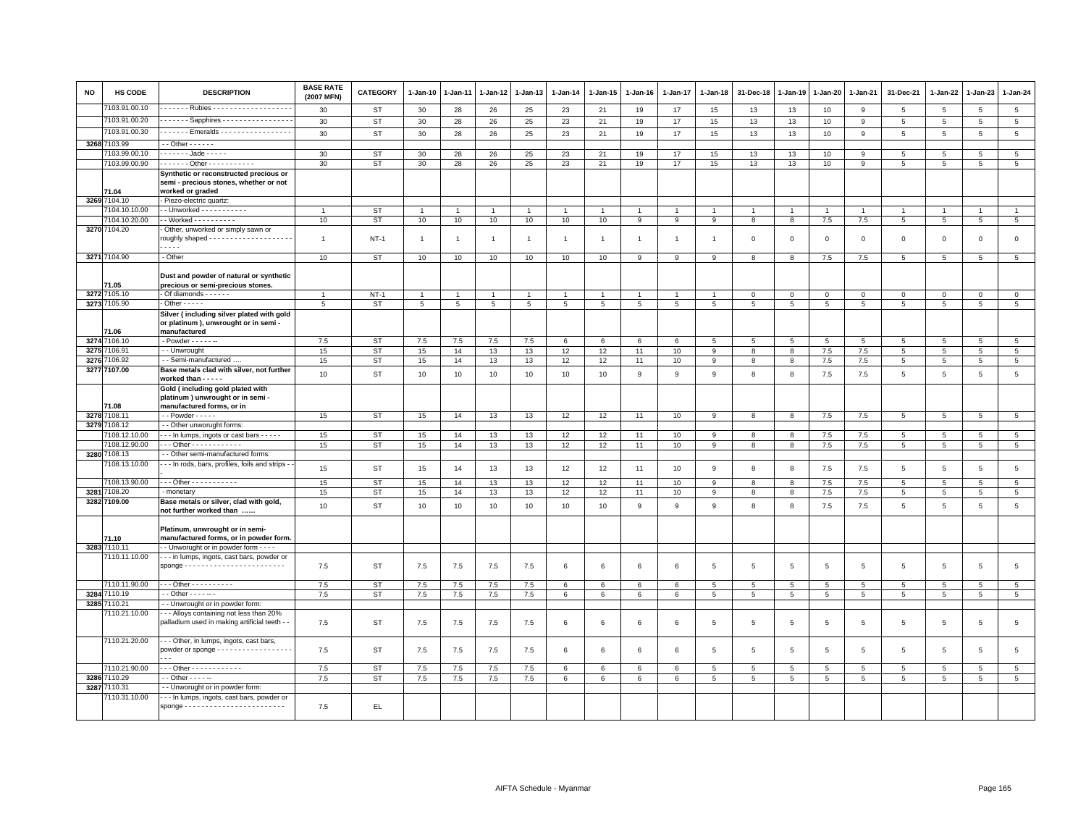| <b>NO</b> | HS CODE                       | <b>DESCRIPTION</b>                                                                                   | <b>BASE RATE</b><br>(2007 MFN) | <b>CATEGORY</b> | 1-Jan-10       | 1-Jan-11       | 1-Jan-12 | 1-Jan-13       | $1-Jan-14$       | $1-Jan-15$     | $1 - Jan-16$   | $1 - Jan-17$   | 1-Jan-18          | 31-Dec-18      | 1-Jan-19       | 1-Jan-20       | 1-Jan-21        | 31-Dec-21      | $1-Jan-22$      | 1-Jan-23        | $1 - Jan-24$    |
|-----------|-------------------------------|------------------------------------------------------------------------------------------------------|--------------------------------|-----------------|----------------|----------------|----------|----------------|------------------|----------------|----------------|----------------|-------------------|----------------|----------------|----------------|-----------------|----------------|-----------------|-----------------|-----------------|
|           | 103.91.00.10                  | ------ Rubies -------------------                                                                    | 30                             | <b>ST</b>       | 30             | 28             | 26       | 25             | 23               | 21             | 19             | 17             | 15                | 13             | 13             | 10             | 9               | 5              | $5\phantom{.0}$ | $5\overline{5}$ | $5\phantom{.0}$ |
|           | 7103.91.00.20                 | ------ Sapphires ----------------                                                                    | 30                             | <b>ST</b>       | 30             | 28             | 26       | 25             | 23               | 21             | 19             | 17             | 15                | 13             | 13             | 10             | 9               | 5              | 5               | 5               | 5               |
|           | 7103.91.00.30                 | Emeralds                                                                                             | 30                             | <b>ST</b>       | 30             | 28             | 26       | 25             | 23               | 21             | 19             | 17             | 15                | 13             | 13             | 10             | $\overline{9}$  | $\overline{5}$ | 5               | $\overline{5}$  | 5               |
|           | 3268 7103.99                  | $-$ - Other $-$ - $-$ - $-$                                                                          |                                |                 |                |                |          |                |                  |                |                |                |                   |                |                |                |                 |                |                 |                 |                 |
|           | 103.99.00.10                  | $---$ Jade - - - - -                                                                                 | 30                             | <b>ST</b>       | 30             | 28             | 26       | 25             | 23               | 21             | 19             | 17             | 15                | 13             | 13             | 10             | 9               | 5              | 5               | 5               | $5\phantom{.0}$ |
|           | 7103.99.00.90                 | ------ Other -----------                                                                             | 30                             | <b>ST</b>       | 30             | 28             | 26       | 25             | 23               | 21             | 19             | 17             | 15                | 13             | 13             | 10             | 9               | 5              | 5               | 5               | 5               |
|           | 71.04                         | Synthetic or reconstructed precious or<br>semi - precious stones, whether or not<br>worked or graded |                                |                 |                |                |          |                |                  |                |                |                |                   |                |                |                |                 |                |                 |                 |                 |
|           | 3269 7104.10                  | Piezo-electric quartz:                                                                               |                                |                 |                |                |          |                |                  |                |                |                |                   |                |                |                |                 |                |                 |                 |                 |
|           | 7104.10.10.00                 | - Unworked - - - - - - - - - - -                                                                     |                                | <b>ST</b>       | $\overline{1}$ |                |          | $\mathbf{1}$   | $\overline{1}$   | $\mathbf{1}$   |                | $\overline{1}$ |                   |                | $\overline{1}$ | $\overline{1}$ | $\overline{1}$  | $\overline{1}$ | $\overline{1}$  | $\overline{1}$  | $\mathbf{1}$    |
|           | 7104.10.20.00                 | - Worked - - - - - - - - - -                                                                         | 10                             | <b>ST</b>       | 10             | 10             | 10       | 10             | 10               | 10             | 9              | 9              | 9                 | 8              | 8              | 7.5            | 7.5             | $\overline{5}$ | $5\phantom{.0}$ | 5               | $5\phantom{.0}$ |
|           | 3270 7104.20                  | Other, unworked or simply sawn or<br>roughly shaped - - - - - - - - - - - - - - - -<br>$\frac{1}{2}$ | $\overline{1}$                 | $NT-1$          | $\overline{1}$ | $\overline{1}$ |          | $\overline{1}$ | $\mathbf{1}$     | $\mathbf{1}$   | $\overline{1}$ | $\overline{1}$ | $\overline{1}$    | $\mathbf 0$    | $\mathbf 0$    | $\mathsf 0$    | $\mathbf 0$     | $\mathsf 0$    | $\mathbf 0$     | $\mathbf 0$     | $\mathbf 0$     |
|           | 3271 7104.90                  | - Other                                                                                              | 10                             | <b>ST</b>       | 10             | 10             | 10       | 10             | 10               | 10             | 9              | 9              | 9                 | 8              | 8              | 7.5            | 7.5             | 5              | 5               | $\overline{5}$  | $\overline{5}$  |
|           | 71.05                         | Dust and powder of natural or synthetic<br>precious or semi-precious stones.                         |                                |                 |                |                |          |                |                  |                |                |                |                   |                |                |                |                 |                |                 |                 |                 |
|           | 3272 7105.10                  | $-$ Of diamonds $    -$                                                                              | $\overline{1}$                 | $NT-1$          | $\mathbf{1}$   |                |          |                |                  |                |                |                |                   | $\Omega$       | $\Omega$       | $\Omega$       | $\mathbf 0$     | $\mathbf{0}$   | $\Omega$        | $\Omega$        | $\mathbf{0}$    |
|           | 3273 7105.90                  | $-$ Other $- - -$                                                                                    | 5                              | <b>ST</b>       | $\overline{5}$ | 5              | 5        | 5              | 5                | $\overline{5}$ | 5              | 5              | 5                 | $\overline{5}$ | 5              | 5              | 5               | 5              | 5               | 5               | $\overline{5}$  |
|           | 71.06                         | Silver (including silver plated with gold<br>or platinum), unwrought or in semi -<br>manufactured    |                                |                 |                |                |          |                |                  |                |                |                |                   |                |                |                |                 |                |                 |                 |                 |
|           | 3274 7106.10                  | - Powder - - - - - --                                                                                | 7.5                            | <b>ST</b>       | $7.5\,$        | 7.5            | $7.5\,$  | $7.5\,$        | $\,6\,$          | 6              | 6              | 6              | 5                 | 5              | $\overline{5}$ | $\,$ 5         | $5\phantom{.0}$ | 5              | 5               | 5               | 5               |
|           | 3275 7106.91                  | - - Unwrought                                                                                        | 15                             | <b>ST</b>       | 15             | 14             | 13       | 13             | 12               | 12             | 11             | 10             | 9                 | 8              | 8              | 7.5            | 7.5             | 5              | $5^{\circ}$     | 5               | $5\overline{5}$ |
| 3276      | 106.92                        | - - Semi-manufactured                                                                                | 15                             | <b>ST</b>       | 15             | 14             | 13       | 13             | 12               | 12             | 11             | 10             | 9                 | 8              | 8              | 7.5            | 7.5             | 5              | 5               | 5               | $\overline{5}$  |
|           | 3277 7107.00                  | Base metals clad with silver, not further                                                            | 10                             | <b>ST</b>       | 10             | 10             | 10       | 10             | 10 <sup>10</sup> | 10             | 9              | 9              | 9                 | 8              | 8              | 7.5            | 7.5             | 5              | 5               | 5               | $\overline{5}$  |
|           |                               | worked than - - - - -<br>Gold (including gold plated with<br>platinum) unwrought or in semi -        |                                |                 |                |                |          |                |                  |                |                |                |                   |                |                |                |                 |                |                 |                 |                 |
|           | 1.08                          | manufactured forms, or in                                                                            |                                |                 |                |                |          |                |                  |                |                |                |                   |                |                |                |                 |                |                 |                 |                 |
|           | 3278 7108.11                  | $-$ - Powder $   -$                                                                                  | 15                             | <b>ST</b>       | 15             | 14             | 13       | 13             | 12               | 12             | 11             | 10             | 9                 | 8              | 8              | 7.5            | 7.5             | 5              | $\overline{5}$  | $\overline{5}$  | $\,$ 5 $\,$     |
| 32797     | 7108.12<br>108.12.10.00       | - - Other unworught forms:<br>In lumps, ingots or cast bars                                          | 15                             | <b>ST</b>       | 15             | 14             | 13       | 13             | 12               | 12             | 11             | 10             | 9                 | 8              | 8              | 7.5            | 7.5             | 5              | 5               | 5               | $5\phantom{.0}$ |
|           | 7108.12.90.00                 | $-$ - Other - - - - - - - - - - - -                                                                  | 15                             | <b>ST</b>       | 15             | 14             | 13       | 13             | 12               | 12             | 11             | 10             | 9                 | 8              | 8              | 7.5            | 7.5             | 5              | 5               | $5\phantom{.0}$ | $5\phantom{.0}$ |
| 3280      | 108.13                        | - - Other semi-manufactured forms:                                                                   |                                |                 |                |                |          |                |                  |                |                |                |                   |                |                |                |                 |                |                 |                 |                 |
|           | 108.13.10.00                  | - - In rods, bars, profiles, foils and strips -                                                      | 15                             | <b>ST</b>       | 15             | 14             | 13       | 13             | 12               | 12             | 11             | 10             | 9                 | 8              | 8              | $7.5$          | 7.5             | $\overline{5}$ | $5\overline{5}$ | 5               | $\,$ 5 $\,$     |
|           | 7108.13.90.00<br>7108.20      | Other - - - - - - - - - - -                                                                          | 15                             | <b>ST</b>       | 15             | 14             | 13       | 13             | 12               | 12             | 11             | 10             | 9<br>$\mathsf{Q}$ | 8              | 8              | 7.5            | 7.5             | 5              | 5               | 5               | 5               |
| 3281      | 3282 7109.00                  | - monetary<br>Base metals or silver, clad with gold,                                                 | 15                             | <b>ST</b>       | 15             | 14             | 13       | 13             | 12               | 12             | 11             | 10             |                   | $\mathbf{8}$   | 8              | 7.5            | 7.5             | 5              | 5               | 5               | $5\phantom{.0}$ |
|           |                               | not further worked than                                                                              | 10                             | <b>ST</b>       | 10             | 10             | 10       | 10             | 10               | 10             | 9              | 9              | 9                 | 8              | 8              | 7.5            | 7.5             | 5              | 5               | 5               | 5               |
|           | 71.10                         | Platinum, unwrought or in semi-<br>manufactured forms, or in powder form.                            |                                |                 |                |                |          |                |                  |                |                |                |                   |                |                |                |                 |                |                 |                 |                 |
|           | 3283 7110.11<br>7110.11.10.00 | - - Unworught or in powder form - - - -<br>- - - in lumps, ingots, cast bars, powder or              |                                |                 |                |                |          |                |                  |                |                |                |                   |                |                |                |                 |                |                 |                 |                 |
|           |                               | $space \dots \dots \dots \dots \dots \dots \dots \dots \dots$                                        | 7.5                            | <b>ST</b>       | 7.5            | 7.5            | 7.5      | 7.5            | 6                | 6              | 6              | 6              | 5                 | 5              | 5              | 5              | 5               | $\overline{5}$ | 5               | 5               | 5               |
|           | 7110.11.90.00                 | $-$ - Other - - - - - - - - - -                                                                      | 7.5                            | <b>ST</b>       | 7.5            | 7.5            | 7.5      | 7.5            | 6                | 6              | 6              | 6              | 5                 | 5              | 5              | 5              | 5               | 5              | 5               | 5               | 5               |
|           | 3284 7110.19                  | $-$ Other $    -$                                                                                    | 7.5                            | <b>ST</b>       | 7.5            | 7.5            | 7.5      | 7.5            | 6                | 6              | 6              | 6              | 5                 | 5              | 5              | 5              | 5               | 5              | 5               | 5               | $5\overline{5}$ |
|           | 3285 7110.21                  | - Unwrought or in powder form:                                                                       |                                |                 |                |                |          |                |                  |                |                |                |                   |                |                |                |                 |                |                 |                 |                 |
|           | 7110.21.10.00                 | - - Alloys containing not less than 20%<br>palladium used in making artificial teeth -               | 7.5                            | <b>ST</b>       | 7.5            | 7.5            | 7.5      | 7.5            | 6                | 6              | 6              | 6              | 5                 | $\overline{5}$ | 5              | 5              | 5               | 5              | 5               | 5               | 5               |
|           | 7110.21.20.00                 | - - - Other, in lumps, ingots, cast bars,<br>powder or sponge - - - - - - - - - - - - - - - - - -    | 7.5                            | <b>ST</b>       | 7.5            | 7.5            | 7.5      | 7.5            | 6                | 6              | 6              | 6              | 5                 | 5              | 5              | 5              | 5               | 5              | 5               | 5               | 5               |
|           | 7110.21.90.00                 | - - - Other - - - - - - - - - - - -                                                                  | 7.5                            | <b>ST</b>       | 7.5            | 7.5            | 7.5      | 7.5            | 6                | 6              | 6              | 6              | 5                 | $\overline{5}$ | $\sqrt{5}$     | 5              | $5\phantom{.0}$ | 5              | $\,$ 5 $\,$     | $\overline{5}$  | $\,$ 5 $\,$     |
| 3286      | 110.29                        | - - Other - - - - --                                                                                 | 7.5                            | <b>ST</b>       | 7.5            | 7.5            | $7.5\,$  | 7.5            | 6                | 6              | 6              | 6              | $\overline{5}$    | $\overline{5}$ | 5              | $\overline{5}$ | $\,$ 5 $\,$     | 5              | 5               | 5               | $5\phantom{.0}$ |
| 3287      | 7110.31                       | -- Unworught or in powder form:                                                                      |                                |                 |                |                |          |                |                  |                |                |                |                   |                |                |                |                 |                |                 |                 |                 |
|           | 7110.31.10.00                 | - - In lumps, ingots, cast bars, powder or                                                           | 7.5                            | EL.             |                |                |          |                |                  |                |                |                |                   |                |                |                |                 |                |                 |                 |                 |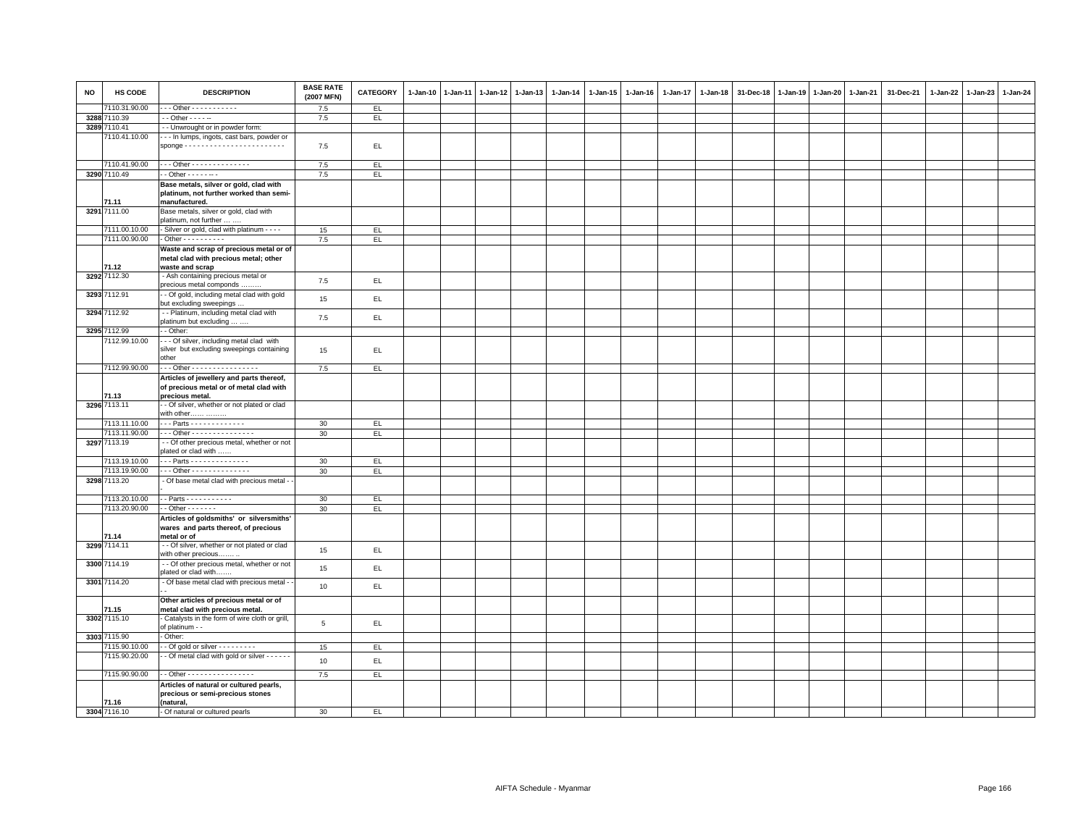| <b>NO</b> | HS CODE       | <b>DESCRIPTION</b>                                                                                          | <b>BASE RATE</b><br>(2007 MFN) | <b>CATEGORY</b> | $1 - Jan-10$ | $1 - Jan-11$ | $1 - Jan-12$ | $1 - Jan-13$ | 1-Jan-14 | 1-Jan-15 | $1 - Jan-16$ | $1 - Jan-17$ | $1 - Jan-18$ | 31-Dec-18 | $1 - Jan-19$ | $1 - Jan-20$ | 1-Jan-21 | 31-Dec-21 | 1-Jan-22 | 1-Jan-23 | $1 - Jan-24$ |
|-----------|---------------|-------------------------------------------------------------------------------------------------------------|--------------------------------|-----------------|--------------|--------------|--------------|--------------|----------|----------|--------------|--------------|--------------|-----------|--------------|--------------|----------|-----------|----------|----------|--------------|
|           | 110.31.90.00  | $-$ - Other - - - - - - - - - - -                                                                           | 7.5                            | EL.             |              |              |              |              |          |          |              |              |              |           |              |              |          |           |          |          |              |
|           | 3288 7110.39  | - - Other - - - - --                                                                                        | 7.5                            | EL              |              |              |              |              |          |          |              |              |              |           |              |              |          |           |          |          |              |
|           | 3289 7110.41  | -- Unwrought or in powder form:                                                                             |                                |                 |              |              |              |              |          |          |              |              |              |           |              |              |          |           |          |          |              |
|           | 7110.41.10.00 | - - In lumps, ingots, cast bars, powder or<br>$space \dots \dots \dots \dots \dots \dots \dots \dots \dots$ | 7.5                            | EL.             |              |              |              |              |          |          |              |              |              |           |              |              |          |           |          |          |              |
|           | 7110.41.90.00 | Other - - - - - - - - - - - - - -                                                                           | 7.5                            | EL.             |              |              |              |              |          |          |              |              |              |           |              |              |          |           |          |          |              |
|           | 3290 7110.49  | $-$ Other $     -$                                                                                          | 7.5                            | EL.             |              |              |              |              |          |          |              |              |              |           |              |              |          |           |          |          |              |
|           | 71.11         | Base metals, silver or gold, clad with<br>platinum, not further worked than semi-<br>manufactured.          |                                |                 |              |              |              |              |          |          |              |              |              |           |              |              |          |           |          |          |              |
|           | 3291 7111.00  | Base metals, silver or gold, clad with                                                                      |                                |                 |              |              |              |              |          |          |              |              |              |           |              |              |          |           |          |          |              |
|           |               | platinum, not further                                                                                       |                                |                 |              |              |              |              |          |          |              |              |              |           |              |              |          |           |          |          |              |
|           | 7111.00.10.00 | - Silver or gold, clad with platinum - - - -                                                                | 15                             | EL.             |              |              |              |              |          |          |              |              |              |           |              |              |          |           |          |          |              |
|           | 7111.00.90.00 | $-$ Other - - - - - - - - - -                                                                               | 7.5                            | EL              |              |              |              |              |          |          |              |              |              |           |              |              |          |           |          |          |              |
|           | 71.12         | Waste and scrap of precious metal or of<br>metal clad with precious metal; other<br>waste and scrap         |                                |                 |              |              |              |              |          |          |              |              |              |           |              |              |          |           |          |          |              |
|           | 3292 7112.30  | - Ash containing precious metal or<br>precious metal componds.                                              | 7.5                            | EL              |              |              |              |              |          |          |              |              |              |           |              |              |          |           |          |          |              |
|           | 3293 7112.91  | - Of gold, including metal clad with gold<br>but excluding sweepings                                        | 15                             | EL              |              |              |              |              |          |          |              |              |              |           |              |              |          |           |          |          |              |
|           | 3294 7112.92  | - - Platinum, including metal clad with<br>platinum but excluding                                           | 7.5                            | EL.             |              |              |              |              |          |          |              |              |              |           |              |              |          |           |          |          |              |
|           | 3295 7112.99  | - Other:                                                                                                    |                                |                 |              |              |              |              |          |          |              |              |              |           |              |              |          |           |          |          |              |
|           | 7112.99.10.00 | - - Of silver, including metal clad with<br>silver but excluding sweepings containing<br>other              | 15                             | EL              |              |              |              |              |          |          |              |              |              |           |              |              |          |           |          |          |              |
|           | 7112.99.90.00 | -- Other - - - - - - - - - - - - - - - -                                                                    | 7.5                            | EL              |              |              |              |              |          |          |              |              |              |           |              |              |          |           |          |          |              |
|           | 71.13         | Articles of jewellery and parts thereof,<br>of precious metal or of metal clad with<br>precious metal.      |                                |                 |              |              |              |              |          |          |              |              |              |           |              |              |          |           |          |          |              |
|           | 3296 7113.11  | - Of silver, whether or not plated or clad<br>with other                                                    |                                |                 |              |              |              |              |          |          |              |              |              |           |              |              |          |           |          |          |              |
|           | 7113.11.10.00 | $\cdots$ Parts - - - - - - - - - - - - -                                                                    | 30                             | EL.             |              |              |              |              |          |          |              |              |              |           |              |              |          |           |          |          |              |
|           | 7113.11.90.00 | Other - - - - - - - - - - - - - - -                                                                         | 30                             | EL              |              |              |              |              |          |          |              |              |              |           |              |              |          |           |          |          |              |
|           | 3297 7113.19  | - - Of other precious metal, whether or not                                                                 |                                |                 |              |              |              |              |          |          |              |              |              |           |              |              |          |           |          |          |              |
|           |               | plated or clad with                                                                                         |                                |                 |              |              |              |              |          |          |              |              |              |           |              |              |          |           |          |          |              |
|           | 7113.19.10.00 | - - Parts - - - - - - - - - - - - - -                                                                       | 30                             | EL              |              |              |              |              |          |          |              |              |              |           |              |              |          |           |          |          |              |
|           | 7113.19.90.00 | $-$ - Other - - - - - - - - - - - - - -                                                                     | 30                             | EL              |              |              |              |              |          |          |              |              |              |           |              |              |          |           |          |          |              |
|           | 3298 7113.20  | - Of base metal clad with precious metal -                                                                  |                                |                 |              |              |              |              |          |          |              |              |              |           |              |              |          |           |          |          |              |
|           | 7113.20.10.00 | - Parts - - - - - - - - - - -                                                                               | 30                             | EL              |              |              |              |              |          |          |              |              |              |           |              |              |          |           |          |          |              |
|           | 7113.20.90.00 | $-$ Other $     -$                                                                                          | 30                             | EL.             |              |              |              |              |          |          |              |              |              |           |              |              |          |           |          |          |              |
|           | 71.14         | Articles of goldsmiths' or silversmiths'<br>wares and parts thereof, of precious<br>metal or of             |                                |                 |              |              |              |              |          |          |              |              |              |           |              |              |          |           |          |          |              |
|           | 3299 7114.11  | - - Of silver, whether or not plated or clad<br>with other precious                                         | 15                             | EL              |              |              |              |              |          |          |              |              |              |           |              |              |          |           |          |          |              |
|           | 3300 7114.19  | - - Of other precious metal, whether or not<br>plated or clad with                                          | 15                             | EL              |              |              |              |              |          |          |              |              |              |           |              |              |          |           |          |          |              |
|           | 3301 7114.20  | - Of base metal clad with precious metal -                                                                  | 10                             | EL              |              |              |              |              |          |          |              |              |              |           |              |              |          |           |          |          |              |
|           | 71.15         | Other articles of precious metal or of<br>metal clad with precious metal.                                   |                                |                 |              |              |              |              |          |          |              |              |              |           |              |              |          |           |          |          |              |
|           | 3302 7115.10  | Catalysts in the form of wire cloth or grill,<br>of platinum - -                                            | $\,$ 5 $\,$                    | EL.             |              |              |              |              |          |          |              |              |              |           |              |              |          |           |          |          |              |
|           | 3303 7115.90  | Other:                                                                                                      |                                |                 |              |              |              |              |          |          |              |              |              |           |              |              |          |           |          |          |              |
|           | 7115.90.10.00 | $-$ Of gold or silver $        -$                                                                           | 15                             | EL.             |              |              |              |              |          |          |              |              |              |           |              |              |          |           |          |          |              |
|           | 7115.90.20.00 | - Of metal clad with gold or silver - - - - - -                                                             | 10                             | EL.             |              |              |              |              |          |          |              |              |              |           |              |              |          |           |          |          |              |
|           | 7115.90.90.00 | - Other - - - - - - - - - - - - - - - - -                                                                   | 7.5                            | EL              |              |              |              |              |          |          |              |              |              |           |              |              |          |           |          |          |              |
|           | 71.16         | Articles of natural or cultured pearls,<br>precious or semi-precious stones<br>(natural,                    |                                |                 |              |              |              |              |          |          |              |              |              |           |              |              |          |           |          |          |              |
|           | 3304 7116.10  | - Of natural or cultured pearls                                                                             | 30                             | EL              |              |              |              |              |          |          |              |              |              |           |              |              |          |           |          |          |              |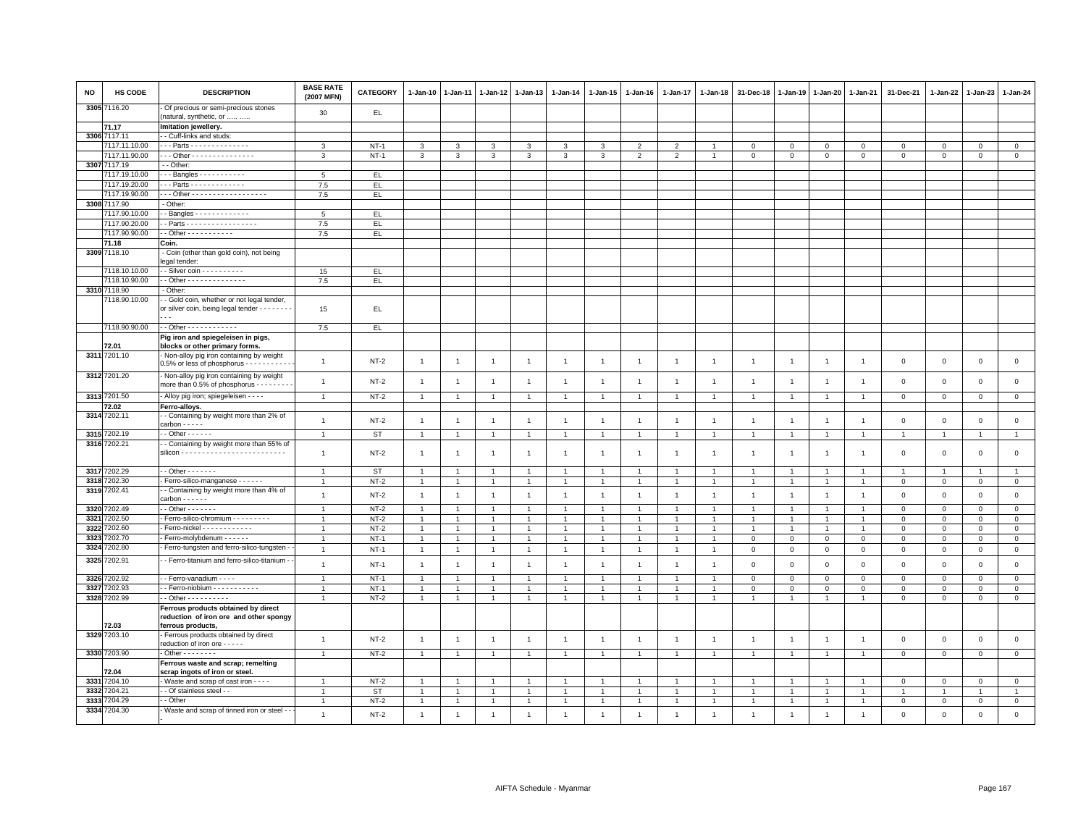| <b>NO</b>    | HS CODE                       | <b>DESCRIPTION</b>                                                                        | <b>BASE RATE</b><br>(2007 MFN) | <b>CATEGORY</b> | $1-Jan-10$                           | $1-Jan-11$     | $1 - Jan-12$                     | $1-Jan-13$                       | 1-Jan-14       | 1-Jan-15                               | $1-Jan-16$     | 1-Jan-17       | 1-Jan-18       | 31-Dec-18                        | 1-Jan-19       | 1-Jan-20                      | 1-Jan-21                         | 31-Dec-21               | 1-Jan-22                | $1-Jan-23$                  | $1-Jan-24$          |
|--------------|-------------------------------|-------------------------------------------------------------------------------------------|--------------------------------|-----------------|--------------------------------------|----------------|----------------------------------|----------------------------------|----------------|----------------------------------------|----------------|----------------|----------------|----------------------------------|----------------|-------------------------------|----------------------------------|-------------------------|-------------------------|-----------------------------|---------------------|
| 33057        | 7116.20                       | Of precious or semi-precious stones<br>(natural, synthetic, or                            | 30                             | EL              |                                      |                |                                  |                                  |                |                                        |                |                |                |                                  |                |                               |                                  |                         |                         |                             |                     |
|              | 71.17                         | Imitation jewellery.                                                                      |                                |                 |                                      |                |                                  |                                  |                |                                        |                |                |                |                                  |                |                               |                                  |                         |                         |                             |                     |
|              | 3306 7117.11                  | - Cuff-links and studs:                                                                   |                                |                 |                                      |                |                                  |                                  |                |                                        |                |                |                |                                  |                |                               |                                  |                         |                         |                             |                     |
|              | 7117.11.10.00                 | Parts - - - - - - - - - - - - - -                                                         | 3                              | $NT-1$          | $\mathbf{3}$                         | 3              | $\mathbf{3}$                     | 3                                | 3              | $\mathbf{3}$                           | $\overline{2}$ | $\overline{2}$ | $\overline{1}$ | $\mathbf 0$                      | $\mathbf 0$    | $\mathsf 0$                   | $\mathbf 0$                      | $\mathbf 0$             | $\mathbf 0$             | $\mathbf 0$                 | $\mathbf{0}$        |
|              | 7117.11.90.00                 | Other - - - - - - - - - - - - - - -                                                       | 3                              | $NT-1$          | $\mathbf{3}$                         | 3              | 3                                | 3                                | $\mathbf{3}$   | 3                                      | $\overline{2}$ | $\overline{2}$ | $\overline{1}$ | $\mathbf 0$                      | $\mathbf{0}$   | $\mathsf 0$                   | $\mathsf 0$                      | $\mathbf 0$             | $\circ$                 | $\mathbf{0}$                | $\overline{0}$      |
|              | 3307 7117.19                  | - Other:                                                                                  |                                |                 |                                      |                |                                  |                                  |                |                                        |                |                |                |                                  |                |                               |                                  |                         |                         |                             |                     |
|              | 7117.19.10.00                 | $-$ - Bangles - - - - - - - - - - -                                                       | 5                              | EL.             |                                      |                |                                  |                                  |                |                                        |                |                |                |                                  |                |                               |                                  |                         |                         |                             |                     |
|              | 7117.19.20.00                 | - - Parts - - - - - - - - - - - -                                                         | 7.5                            | EL              |                                      |                |                                  |                                  |                |                                        |                |                |                |                                  |                |                               |                                  |                         |                         |                             |                     |
|              | 7117.19.90.00                 | - - Other - - - - - - - - - - - - - - - - - -                                             | 7.5                            | EL.             |                                      |                |                                  |                                  |                |                                        |                |                |                |                                  |                |                               |                                  |                         |                         |                             |                     |
|              | 3308 7117.90                  | - Other:                                                                                  |                                |                 |                                      |                |                                  |                                  |                |                                        |                |                |                |                                  |                |                               |                                  |                         |                         |                             |                     |
|              | 7117.90.10.00                 | $-Banales - - - - - - - - - - - -$                                                        | -5                             | EL.             |                                      |                |                                  |                                  |                |                                        |                |                |                |                                  |                |                               |                                  |                         |                         |                             |                     |
|              | 7117.90.20.00                 | - Parts - - - - - - - - - - - - - - - - -                                                 | 7.5                            | EL.             |                                      |                |                                  |                                  |                |                                        |                |                |                |                                  |                |                               |                                  |                         |                         |                             |                     |
|              | 7117.90.90.00                 |                                                                                           | 7.5                            | EL.             |                                      |                |                                  |                                  |                |                                        |                |                |                |                                  |                |                               |                                  |                         |                         |                             |                     |
|              | 71.18<br>3309 7118.10         | Coin.                                                                                     |                                |                 |                                      |                |                                  |                                  |                |                                        |                |                |                |                                  |                |                               |                                  |                         |                         |                             |                     |
|              |                               | - Coin (other than gold coin), not being<br>egal tender:                                  |                                |                 |                                      |                |                                  |                                  |                |                                        |                |                |                |                                  |                |                               |                                  |                         |                         |                             |                     |
|              | 7118.10.10.00                 | - Silver coin - - - - - - - - - -                                                         | 15                             | EL.             |                                      |                |                                  |                                  |                |                                        |                |                |                |                                  |                |                               |                                  |                         |                         |                             |                     |
|              | 7118.10.90.00                 | - Other - - - - - - - - - - - - - -<br>Other:                                             | 7.5                            | EL              |                                      |                |                                  |                                  |                |                                        |                |                |                |                                  |                |                               |                                  |                         |                         |                             |                     |
|              | 3310 7118.90<br>7118.90.10.00 | - Gold coin, whether or not legal tender,                                                 |                                |                 |                                      |                |                                  |                                  |                |                                        |                |                |                |                                  |                |                               |                                  |                         |                         |                             |                     |
|              |                               | or silver coin, being legal tender - - - - - - -                                          | 15                             | EL.             |                                      |                |                                  |                                  |                |                                        |                |                |                |                                  |                |                               |                                  |                         |                         |                             |                     |
|              | 7118.90.90.00                 |                                                                                           | 7.5                            | EL.             |                                      |                |                                  |                                  |                |                                        |                |                |                |                                  |                |                               |                                  |                         |                         |                             |                     |
|              | 72.01                         | Pig iron and spiegeleisen in pigs,<br>blocks or other primary forms.                      |                                |                 |                                      |                |                                  |                                  |                |                                        |                |                |                |                                  |                |                               |                                  |                         |                         |                             |                     |
|              | 3311 7201.10                  | Non-alloy pig iron containing by weight<br>0.5% or less of phosphorus - - - - - - - - - - | $\mathbf{1}$                   | $NT-2$          | $\overline{1}$                       | $\overline{1}$ | $\overline{1}$                   | $\overline{1}$                   | $\overline{1}$ | $\overline{1}$                         | $\overline{1}$ | $\overline{1}$ | $\overline{1}$ | $\overline{1}$                   | $\overline{1}$ | $\overline{1}$                | $\overline{1}$                   | $\mathbf 0$             | $\mathbf 0$             | $\mathbf 0$                 | $\mathsf 0$         |
|              | 3312 7201.20                  | Non-alloy pig iron containing by weight<br>more than 0.5% of phosphorus - - - - - - -     | $\overline{1}$                 | $NT-2$          | $\mathbf{1}$                         | $\overline{1}$ | $\overline{1}$                   | -1                               | $\overline{1}$ | $\overline{1}$                         | -1             | $\mathbf{1}$   | $\overline{1}$ | -1                               | $\overline{1}$ | $\overline{1}$                | $\mathbf{1}$                     | $\mathsf 0$             | $\mathbf 0$             | $\mathsf 0$                 | $\mathsf 0$         |
|              | 3313 7201.50                  | - Alloy pig iron; spiegeleisen - - - -                                                    | $\overline{1}$                 | $NT-2$          | $\overline{1}$                       | $\overline{1}$ | $\overline{1}$                   | $\overline{1}$                   |                | $\overline{1}$                         |                | $\overline{1}$ | $\overline{1}$ | $\overline{1}$                   | $\overline{1}$ | $\overline{1}$                | $\overline{1}$                   | $\mathbf 0$             | $\mathsf 0$             | $\mathsf 0$                 | $\overline{0}$      |
|              | 72.02                         | Ferro-alloys.                                                                             |                                |                 |                                      |                |                                  |                                  |                |                                        |                |                |                |                                  |                |                               |                                  |                         |                         |                             |                     |
|              | 3314 7202.11                  | - Containing by weight more than 2% of<br>carbon - - - - -                                | $\mathbf{1}$                   | $NT-2$          | $\overline{1}$                       | $\overline{1}$ | $\mathbf{1}$                     | $\overline{1}$                   | $\overline{1}$ | $\overline{1}$                         | $\overline{1}$ | $\mathbf{1}$   | $\overline{1}$ | $\overline{1}$                   | $\overline{1}$ | $\overline{1}$                | $\mathbf{1}$                     | $\mathsf 0$             | $\mathbf 0$             | $\mathbf 0$                 | $\mathsf 0$         |
|              | 3315 7202.19                  | $-$ Other $    -$                                                                         | $\overline{1}$                 | <b>ST</b>       | $\overline{1}$                       | $\overline{1}$ | $\mathbf{1}$                     | $\overline{1}$                   | $\overline{1}$ | $\overline{1}$                         | $\overline{1}$ | $\mathbf{1}$   | $\overline{1}$ | $\overline{1}$                   | $\overline{1}$ | $\overline{1}$                | $\overline{1}$                   | $\overline{1}$          | $\overline{1}$          | $\overline{1}$              | $\overline{1}$      |
|              | 3316 7202.21                  | - Containing by weight more than 55% of                                                   |                                |                 |                                      |                |                                  |                                  |                |                                        |                |                |                |                                  |                |                               |                                  |                         |                         |                             |                     |
|              |                               |                                                                                           | $\overline{1}$                 | NT-2            | $\overline{1}$                       | -1             | $\mathbf{1}$                     | $\overline{1}$                   | $\overline{1}$ | $\overline{1}$                         | $\mathbf{1}$   | $\mathbf{1}$   | $\overline{1}$ | $\mathbf{1}$                     | $\mathbf{1}$   | $\overline{1}$                | $\overline{1}$                   | $\mathbf 0$             | $^{\circ}$              | $\mathbf 0$                 | $\mathsf 0$         |
|              | 3317 7202.29                  | $-$ Other $     -$                                                                        | $\overline{1}$                 | <b>ST</b>       | $\mathbf{1}$                         |                | $\mathbf{1}$                     | $\overline{1}$                   |                | $\mathbf{1}$                           |                |                |                |                                  |                |                               |                                  | $\overline{1}$          |                         |                             | $\mathbf{1}$        |
| 3318         | 7202.30                       | Ferro-silico-manganese - - - - - -                                                        | $\overline{1}$                 | $NT-2$          | $\mathbf{1}$                         | $\overline{1}$ | $\mathbf{1}$                     | $\overline{1}$                   | $\overline{1}$ | $\mathbf{1}$                           |                | $\mathbf{1}$   | $\overline{1}$ | $\overline{1}$                   | $\overline{1}$ | $\overline{1}$                | $\overline{1}$                   | $\mathbf 0$             | $\mathbf 0$             | $\mathbf 0$                 | $\mathbf 0$         |
|              | 3319 7202.41                  | - Containing by weight more than 4% of<br>carbon - - - - - -                              | $\mathbf{1}$                   | $NT-2$          | $\overline{1}$                       | $\overline{1}$ | $\overline{1}$                   | $\mathbf{1}$                     | $\overline{1}$ | $\mathbf{1}$                           | $\overline{1}$ | $\mathbf{1}$   | $\overline{1}$ | $\overline{1}$                   | $\overline{1}$ | $\overline{1}$                | $\overline{1}$                   | $\mathsf 0$             | $\mathbf 0$             | $\mathsf 0$                 | $\mathsf 0$         |
| 3320         | 7202.49                       | $-$ Other $     -$                                                                        | $\mathbf{1}$                   | $NT-2$          | $\overline{1}$                       | $\overline{1}$ | $\overline{1}$                   | $\overline{1}$                   | $\overline{1}$ | $\mathbf{1}$                           |                | $\overline{1}$ | $\overline{1}$ | $\overline{1}$                   | $\overline{1}$ | $\overline{1}$                | $\overline{1}$                   | $\mathbf 0$             | $\circ$                 | $\mathbf 0$                 | $\overline{0}$      |
| 3321         | 202.50                        | Ferro-silico-chromium - - - - - - - - -                                                   | $\overline{1}$                 | $NT-2$          | $\mathbf{1}$                         |                | $\mathbf{1}$                     | $\overline{1}$                   |                | $\mathbf{1}$                           |                |                |                |                                  |                | $\mathbf{1}$                  | $\mathbf{1}$                     | $\Omega$                | $\Omega$                | $\mathbf{0}$                | $\mathsf 0$         |
| 3322<br>3323 | 202.60<br>202.70              | Ferro-nickel - - - - - - - - - - - -<br>Ferro-molybdenum - - - - -                        | $\overline{1}$                 | $NT-2$          | $\mathbf{1}$<br>$\ddot{\phantom{0}}$ |                | $\overline{1}$<br>$\overline{1}$ | $\overline{1}$<br>$\overline{1}$ | $\overline{1}$ | $\overline{1}$<br>$\ddot{\phantom{1}}$ |                |                | $\overline{1}$ | $\overline{1}$<br>$\overline{0}$ | $\overline{1}$ | $\overline{1}$<br>$\mathbf 0$ | $\overline{1}$<br>$\overline{0}$ | $\mathbf 0$<br>$\Omega$ | $\mathbf 0$<br>$\Omega$ | $\mathbf 0$<br>$\mathbf{0}$ | $\mathbf{0}$        |
| 3324         | 7202.80                       | Ferro-tungsten and ferro-silico-tungsten                                                  |                                | $NT-1$          |                                      |                |                                  |                                  |                |                                        |                |                |                |                                  | $\mathbf 0$    |                               |                                  |                         |                         |                             | $\mathsf 0$         |
|              |                               |                                                                                           | $\mathbf{1}$                   | $NT-1$          | $\overline{1}$                       | $\mathbf{1}$   | $\overline{1}$                   | $\overline{1}$                   | $\overline{1}$ | $\mathbf{1}$                           | $\overline{1}$ | $\overline{1}$ | $\mathbf{1}$   | $\mathbf 0$                      | $\,0\,$        | $\overline{0}$                | $\mathbf{0}$                     | $\,0\,$                 | $\mathbf 0$             | $\mathbf 0$                 | $\mathbf 0$         |
| 3325         | 7202.91                       | - Ferro-titanium and ferro-silico-titanium                                                | $\mathbf{1}$                   | $NT-1$          | $\overline{1}$                       | $\overline{1}$ | $\mathbf{1}$                     | $\mathbf{1}$                     | $\overline{1}$ | $\mathbf{1}$                           | $\overline{1}$ | $\overline{1}$ | $\overline{1}$ | $\,0\,$                          | $\mathbf 0$    | $\,0\,$                       | $\mathbf{0}$                     | $\mathsf 0$             | $\mathbf 0$             | $\mathbf 0$                 | $\mathsf 0$         |
| 3326         | 202.92                        | - Ferro-vanadium - - - -                                                                  | $\mathbf{1}$                   | $NT-1$          | $\overline{1}$                       | $\overline{1}$ | $\mathbf{1}$                     | $\overline{1}$                   | $\overline{1}$ | $\mathbf{1}$                           | $\overline{1}$ | $\mathbf{1}$   | $\overline{1}$ | $\mathbf 0$                      | $\overline{0}$ | $\mathbf{0}$                  | $\mathbf{0}$                     | $\mathbf{0}$            | $\mathbf{0}$            | $\mathbf{0}$                | $\mathbf{0}$        |
| 3327         | 202.93                        | - Ferro-niobium - - - - - - - - - -                                                       | $\overline{1}$                 | $NT-1$          | $\mathbf{1}$                         | $\mathbf{1}$   | $\overline{1}$                   | $\overline{1}$                   | $\overline{1}$ | $\mathbf{1}$                           |                | $\mathbf{1}$   | $\overline{1}$ | $\mathsf 0$                      | $\,0\,$        | $\mathbf 0$                   | $\mathsf 0$                      | $\mathbf 0$             | $\mathbf{0}$            | $\mathbf 0$                 | $\overline{0}$      |
| 3328         | 7202.99                       | $-$ Other $        -$<br>Ferrous products obtained by direct                              | $\overline{1}$                 | $NT-2$          | $\overline{1}$                       | $\overline{1}$ | $\mathbf{1}$                     | $\overline{1}$                   | $\mathbf{1}$   | $\mathbf{1}$                           | $\mathbf{1}$   | $\mathbf{1}$   | $\overline{1}$ | $\overline{1}$                   | $\overline{1}$ | $\overline{1}$                | $\overline{1}$                   | $\mathbf 0$             | $\mathbf 0$             | $\mathsf 0$                 | $\mathsf 0$         |
|              |                               | reduction of iron ore and other spongy                                                    |                                |                 |                                      |                |                                  |                                  |                |                                        |                |                |                |                                  |                |                               |                                  |                         |                         |                             |                     |
|              | 2.03<br>3329 7203.10          | ferrous products,<br>Ferrous products obtained by direct                                  |                                |                 |                                      |                |                                  |                                  |                |                                        |                |                |                |                                  |                |                               |                                  |                         |                         |                             |                     |
|              |                               | reduction of iron ore - - - - -                                                           | $\overline{1}$                 | $NT-2$          | $\overline{1}$                       | $\overline{1}$ | $\overline{1}$                   | $\overline{1}$                   | $\mathbf{1}$   | $\overline{1}$                         | $\overline{1}$ | $\mathbf{1}$   | $\overline{1}$ | $\overline{1}$                   | $\overline{1}$ | $\overline{1}$                | $\overline{1}$                   | $\mathbf 0$             | $\mathbf 0$             | $\mathsf 0$                 | $\mathsf 0$         |
|              | 3330 7203.90                  | $-$ Other $      -$                                                                       | $\overline{1}$                 | $NT-2$          | $\overline{1}$                       | $\overline{1}$ | $\overline{1}$                   | $\overline{1}$                   | $\overline{1}$ | $\mathbf{1}$                           |                | $\mathbf{1}$   | $\overline{1}$ | $\overline{1}$                   | $\overline{1}$ | $\overline{1}$                | $\overline{1}$                   | $\mathbf 0$             | $\mathbf 0$             | $\mathbf 0$                 | $\circ$             |
|              |                               | Ferrous waste and scrap; remelting                                                        |                                |                 |                                      |                |                                  |                                  |                |                                        |                |                |                |                                  |                |                               |                                  |                         |                         |                             |                     |
|              | 72.04                         | scrap ingots of iron or steel.                                                            |                                |                 |                                      |                |                                  |                                  |                |                                        |                |                |                |                                  |                |                               |                                  |                         |                         |                             |                     |
| 3331         | 7204.10                       | Waste and scrap of cast iron - - - -                                                      | $\overline{1}$                 | $NT-2$          | $\overline{1}$                       | $\overline{1}$ | $\mathbf{1}$                     | $\overline{1}$                   |                | $\overline{1}$                         |                | $\mathbf{1}$   | $\overline{1}$ | -1                               | $\overline{1}$ | $\overline{1}$                | $\mathbf{1}$                     | $\mathbf 0$             | $\mathbf 0$             | $\mathbf 0$                 | $\mathbf 0$         |
| 3332         | 204.21                        | - Of stainless steel - -                                                                  | $\mathbf{1}$                   | <b>ST</b>       | $\mathbf{1}$                         | $\mathbf{1}$   | $\overline{1}$                   | $\overline{1}$                   |                | $\mathbf{1}$                           |                | $\mathbf{1}$   |                | $\overline{1}$                   |                | 1                             | $\mathbf{1}$                     |                         | 1                       | $\overline{1}$              | $\mathbf{1}$        |
| 3333         | 204.29                        | - Other                                                                                   | $\overline{1}$                 | $NT-2$          | $\mathbf{1}$                         |                | $\overline{1}$                   | $\overline{1}$                   |                | $\mathbf{1}$                           |                |                | $\overline{1}$ | $\overline{1}$                   | $\overline{1}$ | $\overline{1}$                | $\overline{1}$                   | $\mathbf 0$             | $\mathbf 0$             | $\mathbf 0$                 | $\mathsf{O}\xspace$ |
|              | 3334 7204.30                  | - Waste and scrap of tinned iron or steel - -                                             | $\overline{1}$                 | $NT-2$          | $\overline{1}$                       | $\overline{1}$ | $\overline{1}$                   | $\overline{1}$                   | $\overline{1}$ | $\overline{1}$                         | $\overline{1}$ | $\mathbf{1}$   | $\overline{1}$ | $\overline{1}$                   | $\overline{1}$ | $\overline{1}$                | $\overline{1}$                   | $\mathsf 0$             | $\mathbf 0$             | $\mathsf 0$                 | $\mathsf{o}$        |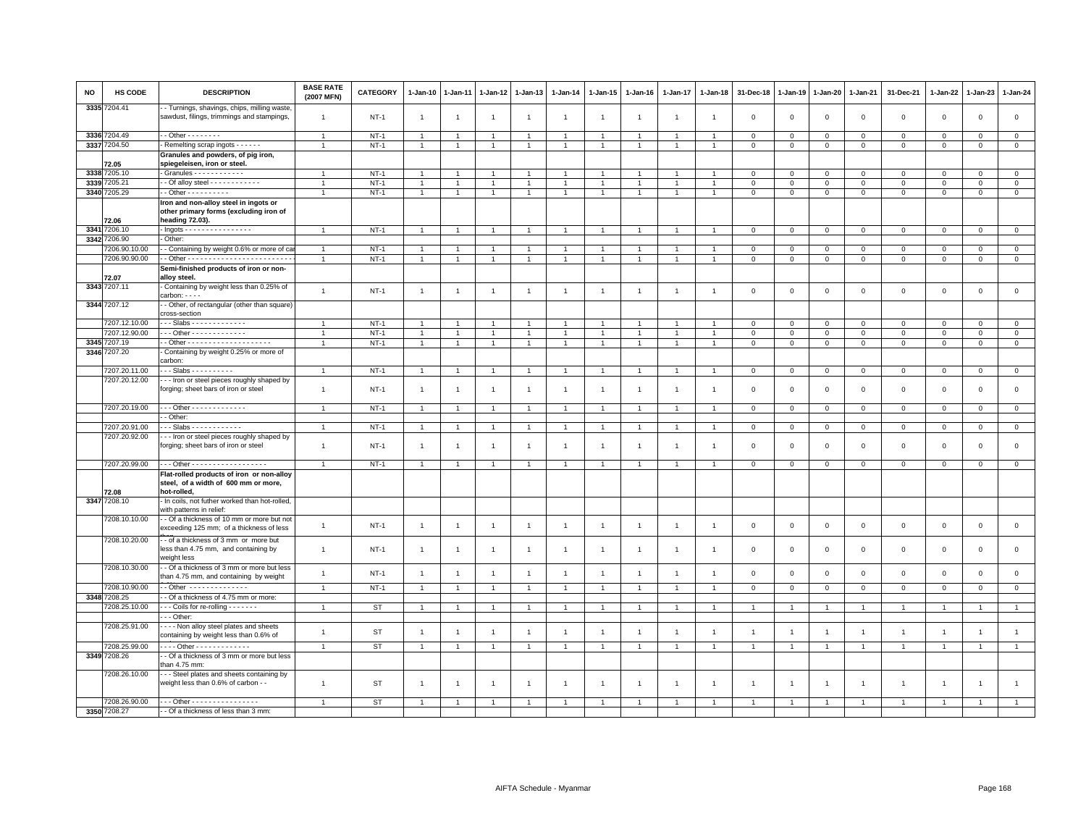| NO   | <b>HS CODE</b> | <b>DESCRIPTION</b>                                                                                 | <b>BASE RATE</b><br>(2007 MFN) | CATEGORY  | $1-Jan-10$     | $1 - Jan-11$   | 1-Jan-12       | $1 - Jan-13$   | $1 - Jan-14$   | $1 - Jan-15$   | $1-Jan-16$     | 1-Jan-17       | $1 - Jan-18$   | 31-Dec-18               | $1 - Jan-19$   | 1-Jan-20       | $1 - Jan-21$   | 31-Dec-21      | $1 - Jan-22$ | 1-Jan-23       | 1-Jan-24       |
|------|----------------|----------------------------------------------------------------------------------------------------|--------------------------------|-----------|----------------|----------------|----------------|----------------|----------------|----------------|----------------|----------------|----------------|-------------------------|----------------|----------------|----------------|----------------|--------------|----------------|----------------|
|      | 3335 7204.41   | - Turnings, shavings, chips, milling waste,<br>sawdust, filings, trimmings and stampings,          | $\mathbf{1}$                   | $NT-1$    | $\overline{1}$ | $\overline{1}$ | $\overline{1}$ | $\overline{1}$ | $\overline{1}$ | $\overline{1}$ | $\mathbf{1}$   | $\mathbf{1}$   | $\overline{1}$ | $\mathbf 0$             | $\mathbf 0$    | $\,0\,$        | $\mathbf 0$    | $\mathbf 0$    | $\mathbf 0$  | $\mathsf 0$    | $\mathsf 0$    |
|      | 3336 7204.49   | - - Other - - - - - - - -                                                                          | $\mathbf{1}$                   | $NT-1$    | $\overline{1}$ | $\overline{1}$ | $\overline{1}$ | $\overline{1}$ | $\overline{1}$ | $\overline{1}$ | $\overline{1}$ | $\mathbf{1}$   | $\overline{1}$ | $\overline{0}$          | $\overline{0}$ | $\mathbf{0}$   | $\circ$        | $\mathbf{0}$   | $\Omega$     | $\mathbf{0}$   | $\mathbf{0}$   |
|      | 3337 7204.50   | Remelting scrap ingots - - - - - -                                                                 | $\overline{1}$                 | $NT-1$    | $\overline{1}$ | $\overline{1}$ | $\mathbf{1}$   | $\overline{1}$ |                | $\overline{1}$ |                | $\mathbf{1}$   | $\mathbf{1}$   | $\mathbf 0$             | $\mathbf 0$    | $\mathbf 0$    | $\mathbf 0$    | $\mathbf 0$    | $\mathbf 0$  | $\mathbf 0$    | $\overline{0}$ |
|      |                | Granules and powders, of pig iron,                                                                 |                                |           |                |                |                |                |                |                |                |                |                |                         |                |                |                |                |              |                |                |
|      | 72.05          | spiegeleisen, iron or steel.                                                                       |                                |           |                |                |                |                |                |                |                |                |                |                         |                |                |                |                |              |                |                |
|      | 3338 7205.10   | Granules - - - - - - - - - - - -                                                                   | $\overline{1}$                 | $NT-1$    |                |                |                |                |                |                |                |                |                | $\Omega$                | $\Omega$       | $\Omega$       | $\Omega$       | $\Omega$       | $\Omega$     | $\Omega$       | $\mathsf 0$    |
|      | 3339 7205.21   |                                                                                                    | $\overline{1}$                 | $NT-1$    | $\overline{1}$ |                | $\overline{1}$ | $\overline{1}$ |                | $\overline{1}$ |                |                | $\overline{1}$ | $\overline{\mathbf{0}}$ | $\mathbf 0$    | $\mathbf{0}$   | $\Omega$       | $\circ$        | $\Omega$     | $\mathbf 0$    | $\mathsf 0$    |
|      |                | $-$ Other $        -$                                                                              |                                |           |                |                |                |                |                | $\mathbf{1}$   |                | $\mathbf{1}$   | $\overline{1}$ |                         |                |                |                |                |              |                |                |
|      | 3340 7205.29   |                                                                                                    | $\mathbf{1}$                   | $NT-1$    | $\overline{1}$ | $\mathbf{1}$   | $\mathbf{1}$   | $\overline{1}$ |                |                |                |                |                | $\mathsf 0$             | $\mathsf 0$    | $\circ$        | $\mathbf 0$    | $\mathsf 0$    | $\mathsf 0$  | $\mathsf 0$    | $\mathbf{0}$   |
|      | 72.06          | Iron and non-alloy steel in ingots or<br>other primary forms (excluding iron of<br>heading 72.03). |                                |           |                |                |                |                |                |                |                |                |                |                         |                |                |                |                |              |                |                |
|      | 3341 7206.10   | $-$ Ingots - - - - - - - - - - - - - - - -                                                         | $\overline{1}$                 | $NT-1$    |                |                | $\overline{1}$ | $\overline{1}$ |                | $\overline{1}$ |                |                |                | $\overline{\mathbf{0}}$ | $\mathbf 0$    | $\mathbf 0$    | $\mathbf 0$    | $\mathbf{0}$   | $\Omega$     | $\circ$        | $\mathbf{0}$   |
|      | 3342 7206.90   | Other:                                                                                             |                                |           |                |                |                |                |                |                |                |                |                |                         |                |                |                |                |              |                |                |
|      | 7206.90.10.00  | - Containing by weight 0.6% or more of ca                                                          | $\overline{1}$                 | $NT-1$    |                |                | $\mathbf{1}$   | $\mathbf{1}$   |                | $\overline{1}$ |                |                |                | $^{\circ}$              | $\mathbf{0}$   | $\mathbf 0$    | $\mathbf 0$    | 0              | $^{\circ}$   | $\mathbf 0$    | $\mathbf{0}$   |
|      | 7206.90.90.00  |                                                                                                    | $\mathbf{1}$                   | $NT-1$    | $\overline{1}$ | $\overline{1}$ | $\mathbf{1}$   | $\overline{1}$ |                | $\mathbf{1}$   |                | $\overline{1}$ | $\overline{1}$ | $\mathbf 0$             | $\mathsf 0$    | $\mathsf 0$    | $\circ$        | $\circ$        | $\mathbf 0$  | $\circ$        | $\overline{0}$ |
|      |                | Semi-finished products of iron or non-                                                             |                                |           |                |                |                |                |                |                |                |                |                |                         |                |                |                |                |              |                |                |
|      | 72.07          | alloy steel.                                                                                       |                                |           |                |                |                |                |                |                |                |                |                |                         |                |                |                |                |              |                |                |
|      | 3343 7207.11   | Containing by weight less than 0.25% of                                                            |                                |           |                |                |                |                |                |                |                |                |                |                         |                |                |                |                |              |                |                |
|      |                | $carbon: - - -$                                                                                    | $\mathbf{1}$                   | $NT-1$    | $\overline{1}$ | $\overline{1}$ | $\overline{1}$ | $\overline{1}$ | $\overline{1}$ | $\overline{1}$ | $\overline{1}$ | $\mathbf{1}$   | $\overline{1}$ | $\mathbf 0$             | $\mathbf 0$    | $\mathsf 0$    | $\mathbf 0$    | $\mathsf 0$    | $\mathbf 0$  | $\mathbf 0$    | $\mathsf 0$    |
|      | 3344 7207.12   | - Other, of rectangular (other than square)<br>cross-section                                       |                                |           |                |                |                |                |                |                |                |                |                |                         |                |                |                |                |              |                |                |
|      | 7207.12.10.00  | - - Slabs - - - - - - - - - - - - -                                                                |                                | $NT-1$    |                |                |                |                |                |                |                |                |                | $\Omega$                | $\mathbf 0$    | $\mathbf{0}$   | $\Omega$       | $\Omega$       | $\Omega$     | $\mathbf 0$    | $\overline{0}$ |
|      | 7207.12.90.00  | Other - - - - - - - - - - - - -                                                                    | $\overline{1}$                 | $NT-1$    | $\overline{1}$ | $\overline{1}$ | $\overline{1}$ | $\overline{1}$ |                | $\overline{1}$ | $\overline{1}$ | $\mathbf{1}$   | $\overline{1}$ | $\overline{0}$          | $\circ$        | $\mathbf{0}$   | $\mathbf{0}$   | $\mathbf{0}$   | $\mathbf{0}$ | $\mathbf{0}$   | $\circ$        |
|      | 3345 7207.19   |                                                                                                    | $\mathbf{1}$                   | $NT-1$    | $\overline{1}$ | $\overline{1}$ | $\mathbf{1}$   | $\overline{1}$ |                | $\mathbf{1}$   |                | $\mathbf{1}$   | $\overline{1}$ | $\mathbf 0$             | $\mathbf{0}$   | $\overline{0}$ | $\mathbf 0$    | $\mathbf 0$    | $\circ$      | $\mathbf 0$    | $\mathbf 0$    |
| 3346 | 7207.20        | Containing by weight 0.25% or more of                                                              |                                |           |                |                |                |                |                |                |                |                |                |                         |                |                |                |                |              |                |                |
|      |                | carbon:                                                                                            |                                |           |                |                |                |                |                |                |                |                |                |                         |                |                |                |                |              |                |                |
|      | 7207.20.11.00  | - - Slabs - - - - - - - - - -                                                                      |                                | $NT-1$    | $\overline{1}$ |                | $\mathbf{1}$   | $\overline{1}$ |                | $\overline{1}$ |                |                |                | $\mathbf 0$             | $\mathbf 0$    | $\circ$        | $\mathsf 0$    | $\mathbf 0$    | $\mathbf 0$  | $\mathsf 0$    | $\mathbf 0$    |
|      | 7207.20.12.00  | - - Iron or steel pieces roughly shaped by<br>forging; sheet bars of iron or steel                 | $\mathbf{1}$                   | $NT-1$    | $\overline{1}$ | $\mathbf{1}$   | $\mathbf{1}$   | $\overline{1}$ | $\overline{1}$ | $\mathbf{1}$   | $\overline{1}$ | $\mathbf{1}$   | $\overline{1}$ | $\overline{\mathbf{0}}$ | $\mathbf 0$    | $\mathbf 0$    | $\mathbf 0$    | $\mathbf 0$    | $\mathbf 0$  | $\mathbf 0$    | $\mathsf 0$    |
|      |                |                                                                                                    |                                |           |                |                |                |                |                |                |                |                |                |                         |                |                |                |                |              |                |                |
|      | 7207.20.19.00  | Other - - - - - - - - - - - - -                                                                    | $\overline{1}$                 | $NT-1$    | $\overline{1}$ | $\overline{1}$ | $\mathbf{1}$   | $\overline{1}$ |                | $\mathbf{1}$   |                |                | $\overline{1}$ | $\overline{\mathbf{0}}$ | $\mathbf 0$    | $\mathbf 0$    | $\overline{0}$ | $\circ$        | $\Omega$     | $\mathbf 0$    | $\overline{0}$ |
|      |                | - Other:                                                                                           |                                |           |                |                |                |                |                |                |                |                |                |                         |                |                |                |                |              |                |                |
|      | 7207.20.91.00  | - - Slabs - - - - - - - - - - - -                                                                  | $\mathbf{1}$                   | $NT-1$    | -1             | -1             | $\overline{1}$ | $\mathbf{1}$   |                | $\overline{1}$ |                | 1              | -1             | $\mathsf 0$             | $\overline{0}$ | $\overline{0}$ | $\mathbf 0$    | $\mathbf 0$    | $\circ$      | $\mathbf 0$    | $\circ$        |
|      | 7207.20.92.00  | - - Iron or steel pieces roughly shaped by                                                         |                                |           |                |                |                |                |                |                |                |                |                |                         |                |                |                |                |              |                |                |
|      |                | forging; sheet bars of iron or steel                                                               | $\mathbf{1}$                   | $NT-1$    | $\overline{1}$ | $\overline{1}$ | $\overline{1}$ | $\overline{1}$ | $\overline{1}$ | $\mathbf{1}$   | $\overline{1}$ | $\mathbf{1}$   | $\overline{1}$ | $\overline{0}$          | $\overline{0}$ | $\mathbf 0$    | $\circ$        | $\mathbf{0}$   | $\Omega$     | $\mathbf{0}$   | $\mathsf 0$    |
|      | 7207.20.99.00  | -- Other - - - - - - - - - - - - - - - - - -                                                       | $\overline{1}$                 | $NT-1$    | $\overline{1}$ |                | $\overline{1}$ | $\overline{1}$ |                | $\overline{1}$ |                |                |                | $\Omega$                | $\mathbf 0$    | $\mathbf 0$    | $\mathbf 0$    | $\mathbf 0$    | $\mathbf 0$  | $\mathbf 0$    | $\mathsf 0$    |
|      | 72.08          | Flat-rolled products of iron or non-alloy<br>steel, of a width of 600 mm or more,<br>hot-rolled.   |                                |           |                |                |                |                |                |                |                |                |                |                         |                |                |                |                |              |                |                |
|      | 3347 7208.10   | - In coils, not futher worked than hot-rolled,                                                     |                                |           |                |                |                |                |                |                |                |                |                |                         |                |                |                |                |              |                |                |
|      |                | with patterns in relief:                                                                           |                                |           |                |                |                |                |                |                |                |                |                |                         |                |                |                |                |              |                |                |
|      | 7208.10.10.00  | - Of a thickness of 10 mm or more but not<br>exceeding 125 mm; of a thickness of less              | $\mathbf{1}$                   | $NT-1$    | $\overline{1}$ | $\overline{1}$ | $\overline{1}$ | $\overline{1}$ | $\mathbf{1}$   | $\mathbf{1}$   | $\overline{1}$ | $\overline{1}$ | $\overline{1}$ | $\mathbf 0$             | $\mathbf 0$    | $\mathbf 0$    | $\mathbf 0$    | $\mathsf 0$    | $\mathbf 0$  | $\mathsf 0$    | $\mathbf 0$    |
|      | 7208.10.20.00  | - of a thickness of 3 mm or more but<br>less than 4.75 mm, and containing by                       | $\mathbf{1}$                   | $NT-1$    | $\overline{1}$ | $\overline{1}$ | $\mathbf{1}$   | $\overline{1}$ | $\overline{1}$ | $\mathbf{1}$   | $\overline{1}$ | $\mathbf{1}$   | $\overline{1}$ | $\mathbf 0$             | $\mathbf 0$    | $\mathbf 0$    | $\mathsf 0$    | $\mathsf 0$    | $\mathbf 0$  | $\mathsf 0$    | $\mathsf 0$    |
|      |                | weight less                                                                                        |                                |           |                |                |                |                |                |                |                |                |                |                         |                |                |                |                |              |                |                |
|      | 7208.10.30.00  | - Of a thickness of 3 mm or more but less<br>than 4.75 mm, and containing by weight                | $\mathbf{1}$                   | $NT-1$    | $\overline{1}$ | $\mathbf{1}$   | $\overline{1}$ | $\overline{1}$ | $\overline{1}$ | $\mathbf{1}$   | $\overline{1}$ | $\mathbf{1}$   | $\overline{1}$ | $\overline{0}$          | $\mathbf 0$    | $\mathbf 0$    | $\circ$        | $\mathbf{0}$   | $\Omega$     | $\mathbf 0$    | $\mathsf 0$    |
|      | 7208.10.90.00  | - Other --------------                                                                             | $\mathbf{1}$                   | $NT-1$    | $\overline{1}$ | $\mathbf{1}$   | $\mathbf{1}$   | $\overline{1}$ |                | $\mathbf{1}$   |                | $\mathbf{1}$   | $\overline{1}$ | $\overline{0}$          | $\mathbf{0}$   | $\mathbf{0}$   | $\mathbf{0}$   | $\mathbf 0$    | $\mathbf 0$  | $\mathbf 0$    | $\overline{0}$ |
|      | 3348 7208.25   | - Of a thickness of 4.75 mm or more:                                                               |                                |           |                |                |                |                |                |                |                |                |                |                         |                |                |                |                |              |                |                |
|      | 7208.25.10.00  | - - Coils for re-rolling - - - - - - -                                                             | $\overline{1}$                 | ST        | $\overline{1}$ |                | $\overline{1}$ | $\overline{1}$ |                | $\overline{1}$ |                |                |                |                         |                | $\overline{1}$ | $\overline{1}$ |                |              |                | $\overline{1}$ |
|      |                | $-$ - Other:                                                                                       |                                |           |                |                |                |                |                |                |                |                |                |                         |                |                |                |                |              |                |                |
|      | 7208.25.91.00  | - - - Non alloy steel plates and sheets<br>containing by weight less than 0.6% of                  | $\mathbf{1}$                   | <b>ST</b> | $\overline{1}$ |                | $\overline{1}$ | $\overline{1}$ |                | $\mathbf{1}$   |                | $\overline{1}$ |                | $\overline{1}$          |                |                | $\overline{1}$ | $\mathbf{1}$   |              | $\overline{1}$ | $\mathbf{1}$   |
|      | 7208.25.99.00  | --- Other -------------                                                                            | $\mathbf{1}$                   | <b>ST</b> | $\overline{1}$ | $\overline{1}$ | $\overline{1}$ | $\overline{1}$ |                | $\overline{1}$ |                | $\mathbf{1}$   | $\overline{1}$ | $\overline{1}$          | $\overline{1}$ | $\overline{1}$ | $\overline{1}$ | $\mathbf{1}$   |              | $\overline{1}$ | $\overline{1}$ |
|      | 3349 7208.26   | - Of a thickness of 3 mm or more but less                                                          |                                |           |                |                |                |                |                |                |                |                |                |                         |                |                |                |                |              |                |                |
|      |                | han 4.75 mm:                                                                                       |                                |           |                |                |                |                |                |                |                |                |                |                         |                |                |                |                |              |                |                |
|      | 7208.26.10.00  | - - Steel plates and sheets containing by<br>weight less than 0.6% of carbon - -                   | $\overline{1}$                 | <b>ST</b> | $\overline{1}$ |                | $\mathbf{1}$   | $\overline{1}$ | $\overline{1}$ | $\overline{1}$ |                | $\overline{1}$ | $\overline{1}$ | $\overline{1}$          |                | $\overline{1}$ | $\overline{1}$ | $\overline{1}$ |              |                | $\overline{1}$ |
|      | 7208.26.90.00  | -- Other - - - - - - - - - - - - - - - -                                                           | $\overline{1}$                 | <b>ST</b> |                |                | $\overline{1}$ | $\overline{1}$ |                |                |                |                |                |                         |                |                |                |                |              |                |                |
|      | 3350 7208.27   | - Of a thickness of less than 3 mm:                                                                |                                |           |                |                |                |                |                |                |                |                |                |                         |                |                |                |                |              |                |                |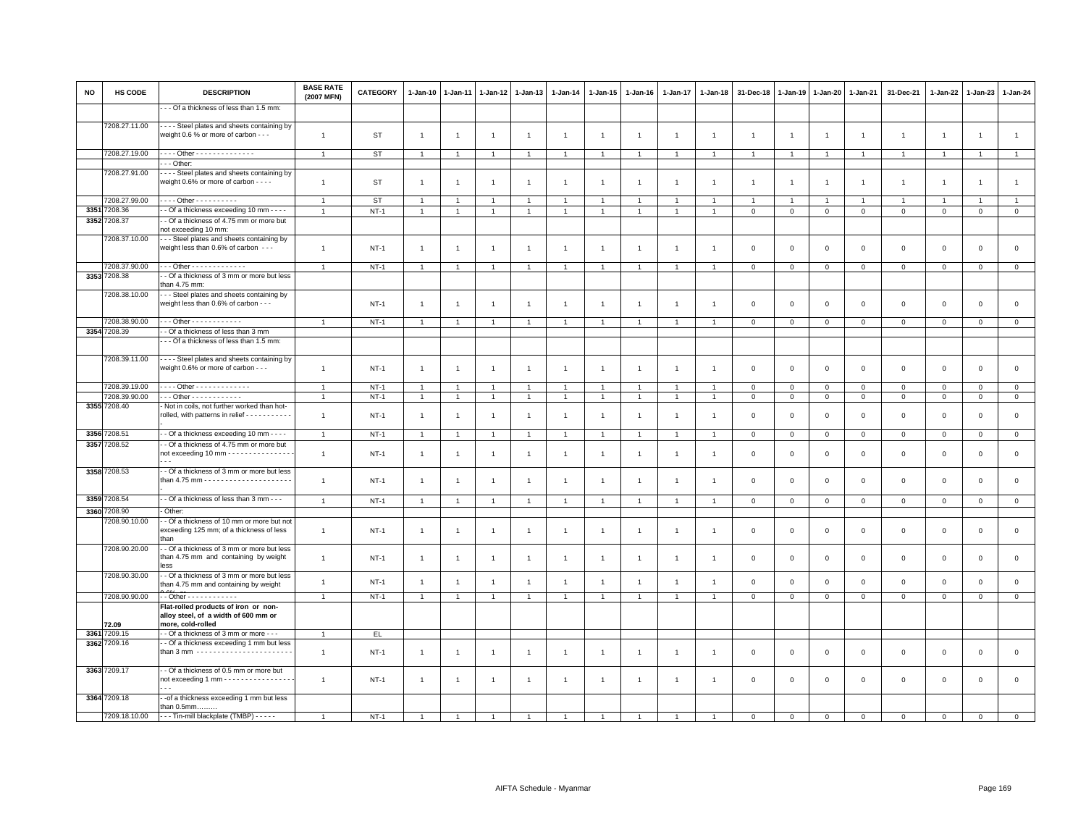| <b>NO</b> | HS CODE       | <b>DESCRIPTION</b>                                                                                  | <b>BASE RATE</b><br>(2007 MFN) | <b>CATEGORY</b> | $1 - Jan-10$   | $1 - Jan-11$   | 1-Jan-12       | $1 - Jan-13$   | $1 - Jan-14$   | $1 - Jan-15$         | 1-Jan-16       | $1 - Jan-17$   | $1 - Jan-18$   | 31-Dec-18      | $1 - Jan-19$   | $1 - Jan-20$   | 1-Jan-21       | 31-Dec-21      | $1 - Jan-22$   | $1-Jan-23$          | 1-Jan-24       |
|-----------|---------------|-----------------------------------------------------------------------------------------------------|--------------------------------|-----------------|----------------|----------------|----------------|----------------|----------------|----------------------|----------------|----------------|----------------|----------------|----------------|----------------|----------------|----------------|----------------|---------------------|----------------|
|           |               | - - Of a thickness of less than 1.5 mm:                                                             |                                |                 |                |                |                |                |                |                      |                |                |                |                |                |                |                |                |                |                     |                |
|           | 7208.27.11.00 | Steel plates and sheets containing by<br>weight 0.6 % or more of carbon - - -                       | $\mathbf{1}$                   | <b>ST</b>       | $\mathbf{1}$   | $\overline{1}$ | $\overline{1}$ | $\mathbf{1}$   | $\overline{1}$ | $\mathbf{1}$         | $\overline{1}$ | $\overline{1}$ | $\overline{1}$ | $\overline{1}$ | $\overline{1}$ | $\overline{1}$ | $\overline{1}$ | $\mathbf{1}$   | $\overline{1}$ | $\overline{1}$      | $\mathbf{1}$   |
|           | 7208.27.19.00 | . Other                                                                                             | $\overline{1}$                 | ST              | $\overline{1}$ | $\overline{1}$ | $\overline{1}$ | $\mathbf{1}$   | $\overline{1}$ | $\overline{1}$       | $\overline{1}$ | $\overline{1}$ | $\overline{1}$ | $\overline{1}$ | $\overline{1}$ | $\overline{1}$ | $\overline{1}$ | $\mathbf{1}$   | $\overline{1}$ | $\overline{1}$      | $\mathbf{1}$   |
|           |               | - - Other:                                                                                          |                                |                 |                |                |                |                |                |                      |                |                |                |                |                |                |                |                |                |                     |                |
|           | 7208.27.91.00 | - - - Steel plates and sheets containing by<br>weight 0.6% or more of carbon - - - -                | $\mathbf{1}$                   | ST              | $\overline{1}$ | $\mathbf{1}$   | $\mathbf{1}$   | $\mathbf{1}$   | $\mathbf{1}$   | $\mathbf{1}$         | $\overline{1}$ | $\overline{1}$ | $\overline{1}$ | $\overline{1}$ | $\overline{1}$ | $\overline{1}$ | $\overline{1}$ | $\overline{1}$ | $\overline{1}$ | $\overline{1}$      | $\mathbf{1}$   |
|           | 7208.27.99.00 | $- - -$ Other - - - - - - - - - -                                                                   | $\overline{1}$                 | <b>ST</b>       | $\overline{1}$ | $\overline{1}$ | $\overline{1}$ | $\overline{1}$ | $\overline{1}$ | $\overline{1}$       | $\overline{1}$ | $\overline{1}$ | $\overline{1}$ | $\overline{1}$ | $\overline{1}$ | $\overline{1}$ | $\overline{1}$ | $\mathbf{1}$   | $\overline{1}$ | $\overline{1}$      | $\overline{1}$ |
| 3351      | 7208.36       | - Of a thickness exceeding 10 mm - - - -                                                            | $\overline{1}$                 | $NT-1$          | $\mathbf{1}$   |                | $\overline{1}$ | $\overline{1}$ | $\overline{1}$ | $\overline{1}$       | $\overline{1}$ |                |                | $\mathbf 0$    | $\mathsf 0$    | $\mathbf 0$    | $\mathsf 0$    | $\mathsf 0$    | $\mathsf 0$    | $\mathsf 0$         | $\mathsf 0$    |
|           | 3352 7208.37  | - Of a thickness of 4.75 mm or more but<br>not exceeding 10 mm:                                     |                                |                 |                |                |                |                |                |                      |                |                |                |                |                |                |                |                |                |                     |                |
|           | 7208.37.10.00 | - - Steel plates and sheets containing by<br>weight less than 0.6% of carbon - - -                  | $\mathbf{1}$                   | $NT-1$          | $\overline{1}$ | $\overline{1}$ | $\overline{1}$ | $\mathbf{1}$   | $\overline{1}$ | $\mathbf{1}$         | $\overline{1}$ | $\overline{1}$ | $\mathbf{1}$   | $\mathbf 0$    | $\mathbf{0}$   | $\mathbf 0$    | $\mathbf 0$    | $\mathsf 0$    | $\mathbf 0$    | $\mathsf 0$         | $\mathsf 0$    |
|           | 7208.37.90.00 | $-$ - Other - - - - - - - - - - - - -                                                               | $\overline{1}$                 | $NT-1$          | $\overline{1}$ | $\overline{1}$ | $\overline{1}$ | $\overline{1}$ | $\overline{1}$ | $\overline{1}$       | $\overline{1}$ | $\overline{1}$ |                | $\mathbf 0$    | $\mathbf 0$    | $\mathbf 0$    | $\mathbf 0$    | $\mathbf 0$    | $\mathbf 0$    | $\mathbf{0}$        | $\mathbf 0$    |
|           | 3353 7208.38  | - Of a thickness of 3 mm or more but less<br>han 4.75 mm:                                           |                                |                 |                |                |                |                |                |                      |                |                |                |                |                |                |                |                |                |                     |                |
|           | 7208.38.10.00 | - - Steel plates and sheets containing by<br>weight less than 0.6% of carbon - - -                  |                                | $NT-1$          | $\overline{1}$ | $\overline{1}$ | $\overline{1}$ | $\mathbf{1}$   | $\overline{1}$ | $\mathbf{1}$         | $\overline{1}$ | $\overline{1}$ | -1             | $\mathbf 0$    | $\mathbf{0}$   | $\mathbf 0$    | $\mathbf 0$    | $\mathbf 0$    | $\mathbf{0}$   | $\mathbf 0$         | $\mathsf 0$    |
|           | 7208.38.90.00 | - - Other - - - - - - - - - - - -                                                                   |                                | $NT-1$          | $\overline{1}$ |                |                |                |                |                      |                |                |                | $\overline{0}$ | $\mathbf 0$    | $\mathbf{0}$   | $\mathbf{0}$   | $\mathbf{0}$   | $\Omega$       | $\mathbf{0}$        | $\mathbf{0}$   |
|           | 3354 7208.39  | - Of a thickness of less than 3 mm                                                                  |                                |                 |                |                |                |                |                |                      |                |                |                |                |                |                |                |                |                |                     |                |
|           |               | - - Of a thickness of less than 1.5 mm:                                                             |                                |                 |                |                |                |                |                |                      |                |                |                |                |                |                |                |                |                |                     |                |
|           | 7208.39.11.00 | Steel plates and sheets containing by<br>weight 0.6% or more of carbon - - -                        | $\mathbf{1}$                   | $NT-1$          | $\overline{1}$ | $\overline{1}$ | $\overline{1}$ | $\mathbf{1}$   | $\overline{1}$ | $\overline{1}$       | $\overline{1}$ | $\overline{1}$ | $\overline{1}$ | $\mathbf 0$    | $\mathsf 0$    | $\mathbf 0$    | $\mathsf 0$    | $\mathsf 0$    | $\mathbf 0$    | $\mathsf{O}\xspace$ | $\mathsf 0$    |
|           | 7208.39.19.00 | Other - - - - - - - - - - - - -                                                                     | $\overline{1}$                 | $NT-1$          | $\overline{1}$ |                | $\overline{1}$ | $\overline{1}$ | $\overline{1}$ |                      |                |                |                | $\overline{0}$ | $\mathbf 0$    | $\mathbf 0$    | $\mathbf{0}$   | $\mathbf 0$    | $\Omega$       | $\mathbf{0}$        | $\mathbf{0}$   |
|           | 7208.39.90.00 | $\cdots$ Other - - - - - - - - - - - -                                                              | $\overline{1}$                 | $NT-1$          | $\overline{1}$ | $\overline{1}$ | -1             | $\mathbf{1}$   | $\mathbf{1}$   | $\mathbf{1}$         | $\mathbf{1}$   | $\overline{1}$ |                | $\mathbf 0$    | $\mathbf 0$    | $\mathbf 0$    | $\mathbf 0$    | $\mathbf 0$    | 0              | $\mathbf 0$         | $\mathbf{0}$   |
|           | 3355 7208.40  | Not in coils, not further worked than hot-<br>rolled, with patterns in relief - - - - - - - - - - - | $\overline{1}$                 | $NT-1$          | $\overline{1}$ | $\overline{1}$ | $\overline{1}$ | $\mathbf{1}$   | $\mathbf{1}$   | $\blacktriangleleft$ | $\overline{1}$ | $\overline{1}$ | $\mathbf{1}$   | $\mathbf{0}$   | $\mathbf 0$    | $\mathbf 0$    | $\mathbf{0}$   | $\mathbf{0}$   | $\overline{0}$ | $\mathbf 0$         | $\circ$        |
|           | 3356 7208.51  | - Of a thickness exceeding 10 mm - - - -                                                            | $\mathbf{1}$                   | $NT-1$          | $\overline{1}$ | $\overline{1}$ | $\mathbf{1}$   | $\mathbf{1}$   | $\overline{1}$ | $\mathbf{1}$         | $\overline{1}$ | $\overline{1}$ |                | $\mathsf 0$    | $\mathsf 0$    | $\mathbf 0$    | $\circ$        | $\mathsf 0$    | $\mathbf{0}$   | $\circ$             | $\circ$        |
|           | 3357 7208.52  | - Of a thickness of 4.75 mm or more but                                                             |                                |                 |                |                |                |                |                |                      |                |                |                |                |                |                |                |                |                |                     |                |
|           | 3358 7208.53  | not exceeding 10 mm - - - - - - - - - - - - - - -<br>- Of a thickness of 3 mm or more but less      | $\mathbf{1}$                   | $NT-1$          | $\overline{1}$ | $\overline{1}$ | $\overline{1}$ | $\mathbf{1}$   | $\overline{1}$ | $\mathbf{1}$         | $\overline{1}$ | $\overline{1}$ | $\overline{1}$ | $\mathbf{0}$   | $\mathbf 0$    | $\mathbf 0$    | $\mathbf{0}$   | $\mathbf 0$    | $\mathbf 0$    | $\mathbf 0$         | $\circ$        |
|           |               |                                                                                                     | $\mathbf{1}$                   | $NT-1$          | $\overline{1}$ |                |                | $\mathbf{1}$   | $\overline{1}$ | $\overline{1}$       | $\overline{1}$ | $\overline{1}$ |                | $\overline{0}$ | $\mathbf 0$    | $\mathbf 0$    | $\overline{0}$ | $\mathbf 0$    | $\Omega$       | $\mathbf{0}$        | $\mathbf 0$    |
|           | 3359 7208.54  | - Of a thickness of less than 3 mm - - -                                                            | $\overline{1}$                 | $NT-1$          | $\overline{1}$ | $\overline{1}$ | $\overline{1}$ | $\mathbf{1}$   | $\mathbf{1}$   | $\overline{1}$       | $\overline{1}$ | $\overline{1}$ | $\overline{1}$ | $\mathbf{0}$   | $\mathbf{0}$   | $\mathsf 0$    | $\mathbf{0}$   | $\mathbf{0}$   | $\overline{0}$ | $\mathbf{0}$        | $\mathsf 0$    |
|           | 3360 7208.90  | Other:                                                                                              |                                |                 |                |                |                |                |                |                      |                |                |                |                |                |                |                |                |                |                     |                |
|           | 7208.90.10.00 | - Of a thickness of 10 mm or more but not<br>exceeding 125 mm; of a thickness of less               | $\mathbf{1}$                   | $NT-1$          | $\overline{1}$ | $\overline{1}$ | $\overline{1}$ | $\mathbf{1}$   | $\overline{1}$ | $\overline{1}$       | $\overline{1}$ | $\overline{1}$ | $\overline{1}$ | $\mathbf{0}$   | $\mathbf 0$    | $\mathbf 0$    | $\mathbf{0}$   | $\mathbf 0$    | $\mathbf 0$    | $\mathbf 0$         | $\circ$        |
|           | 7208.90.20.00 | than<br>- Of a thickness of 3 mm or more but less                                                   |                                |                 |                |                |                |                |                |                      |                |                |                |                |                |                |                |                |                |                     |                |
|           |               | than 4.75 mm and containing by weight<br>ASS                                                        | $\overline{1}$                 | $NT-1$          | $\overline{1}$ |                |                | $\overline{1}$ | $\overline{1}$ | $\overline{1}$       | -1             | $\overline{1}$ |                | $\mathbf 0$    | $\mathbf 0$    | $\mathbf 0$    | $\mathbf 0$    | $\mathsf 0$    | $\Omega$       | $\mathbf{0}$        | $\mathbf 0$    |
|           | 7208.90.30.00 | - Of a thickness of 3 mm or more but less<br>than 4.75 mm and containing by weight                  | $\mathbf{1}$                   | $NT-1$          | $\overline{1}$ | $\overline{1}$ | $\overline{1}$ | $\mathbf{1}$   | $\mathbf{1}$   | $\mathbf{1}$         | $\overline{1}$ | $\overline{1}$ |                | $\mathbf 0$    | $\mathbf 0$    | $\mathbf 0$    | $\mathbf 0$    | $\mathsf 0$    | $\mathbf 0$    | $\mathbf 0$         | $\mathsf 0$    |
|           | 7208.90.90.00 |                                                                                                     | $\overline{1}$                 | $NT-1$          | $\overline{1}$ |                |                | $\mathbf{1}$   | $\overline{1}$ | $\overline{1}$       | $\overline{1}$ | $\overline{1}$ |                | $\mathbf{0}$   | $\mathbf 0$    | $\mathbf{0}$   | $\mathbf 0$    | $\mathbf{0}$   | $\mathbf 0$    | $\mathbf{0}$        | $\mathbf 0$    |
|           | 72.09         | Flat-rolled products of iron or non-<br>alloy steel, of a width of 600 mm or<br>more, cold-rolled   |                                |                 |                |                |                |                |                |                      |                |                |                |                |                |                |                |                |                |                     |                |
|           | 3361 7209.15  | - Of a thickness of 3 mm or more - - -                                                              | $\overline{1}$                 | EL.             |                |                |                |                |                |                      |                |                |                |                |                |                |                |                |                |                     |                |
|           | 3362 7209.16  | - Of a thickness exceeding 1 mm but less<br>than 3 mm    ------------------------                   | $\mathbf{1}$                   | $NT-1$          | $\overline{1}$ | $\overline{1}$ | $\overline{1}$ | $\overline{1}$ | $\overline{1}$ | $\mathbf{1}$         | $\overline{1}$ | $\overline{1}$ |                | $\mathbf 0$    | $\mathbf 0$    | $\mathsf 0$    | $\mathbf 0$    | $\mathsf 0$    | $\Omega$       | $\mathsf 0$         | $\mathsf 0$    |
|           | 3363 7209.17  | - Of a thickness of 0.5 mm or more but<br>not exceeding 1 mm - - - - - - - - - - - - - - - -        | $\overline{1}$                 | <b>NT-1</b>     | $\mathbf{1}$   | 1              |                | 1              | $\overline{1}$ | 1                    | $\overline{1}$ | $\mathbf{1}$   |                | $\mathbf 0$    | $\mathbf 0$    | $\mathsf 0$    | $\mathbf 0$    | $\mathsf 0$    | $\mathbf 0$    | $\mathbf 0$         | $\mathsf 0$    |
|           | 3364 7209.18  | -of a thickness exceeding 1 mm but less                                                             |                                |                 |                |                |                |                |                |                      |                |                |                |                |                |                |                |                |                |                     |                |
|           | 7209.18.10.00 | than 0.5mm<br>- - - Tin-mill blackplate (TMBP) - - - - -                                            |                                | $NT-1$          |                |                |                |                |                |                      |                |                |                | $\Omega$       | $\mathbf 0$    | $\mathbf 0$    | $\mathbf 0$    | $\mathbf 0$    | $\mathbf 0$    | $\mathbf{O}$        | $\mathbf{0}$   |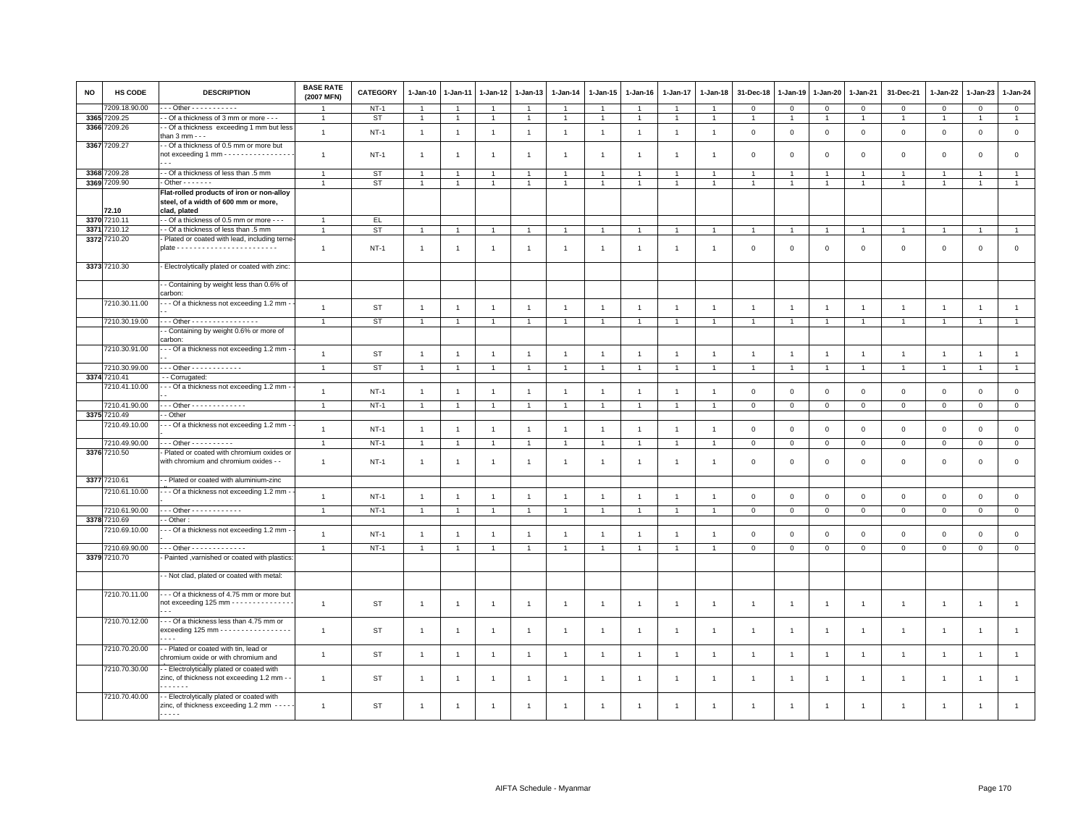| <b>NO</b> | HS CODE       | <b>DESCRIPTION</b>                                                                                | <b>BASE RATE</b><br>(2007 MFN) | <b>CATEGORY</b> | $1-Jan-10$     | 1-Jan-11       | 1-Jan-12       | 1-Jan-13       | $1 - Jan-14$   | $1 - Jan-15$   | $1-Jan-16$     | 1-Jan-17       | $1 - Jan-18$   | 31-Dec-18      | 1-Jan-19       | 1-Jan-20       | 1-Jan-21       | 31-Dec-21      | $1 - Jan-22$   | 1-Jan-23       | 1-Jan-24       |
|-----------|---------------|---------------------------------------------------------------------------------------------------|--------------------------------|-----------------|----------------|----------------|----------------|----------------|----------------|----------------|----------------|----------------|----------------|----------------|----------------|----------------|----------------|----------------|----------------|----------------|----------------|
|           | 7209.18.90.00 | Other - - - - - - - - - - -                                                                       | $\overline{1}$                 | $NT-1$          | -1             | $\overline{1}$ | $\overline{1}$ | $\overline{1}$ |                | $\overline{1}$ |                | $\overline{1}$ |                | $\mathbf 0$    | $\mathbf 0$    | $\mathbf 0$    | $\mathbf 0$    | $\mathbf 0$    | $\mathbf 0$    | $\mathsf 0$    | $\mathbf{0}$   |
| 3365      | 7209.25       | - Of a thickness of 3 mm or more - - -                                                            | $\overline{1}$                 | <b>ST</b>       | $\mathbf{1}$   | $\overline{1}$ | $\mathbf{1}$   | $\mathbf{1}$   | $\mathbf{1}$   | $\mathbf{1}$   | $\overline{1}$ | $\mathbf{1}$   | $\overline{1}$ | $\overline{1}$ | $\overline{1}$ | $\overline{1}$ | $\overline{1}$ | $\mathbf{1}$   | $\overline{1}$ | $\mathbf{1}$   | 1              |
|           | 3366 7209.26  | - Of a thickness exceeding 1 mm but less                                                          | $\mathbf{1}$                   | $NT-1$          | $\overline{1}$ | $\overline{1}$ | $\overline{1}$ | $\overline{1}$ | $\mathbf{1}$   | $\mathbf{1}$   | $\overline{1}$ | $\overline{1}$ | $\overline{1}$ | $\mathbf 0$    | $\mathsf 0$    | $\mathsf 0$    | $\mathbf 0$    | $\mathsf 0$    | $\mathbf 0$    | $\mathsf 0$    | $\mathsf 0$    |
|           |               | than $3$ mm $ -$                                                                                  |                                |                 |                |                |                |                |                |                |                |                |                |                |                |                |                |                |                |                |                |
|           | 3367 7209.27  | - Of a thickness of 0.5 mm or more but                                                            |                                |                 |                |                |                |                |                |                |                |                |                |                |                |                |                |                |                |                |                |
|           |               | not exceeding 1 mm - - - - - - - - - - - - - - - -                                                | $\mathbf{1}$                   | <b>NT-1</b>     | $\overline{1}$ |                | $\overline{1}$ | $\overline{1}$ | $\overline{1}$ | $\overline{1}$ | $\overline{1}$ |                |                | $\mathbf 0$    | $\Omega$       | $\mathbf 0$    | $\Omega$       | $\mathbf 0$    | $\Omega$       | $\mathbf 0$    | $\mathbf{0}$   |
|           | 3368 7209.28  | - Of a thickness of less than .5 mm                                                               | $\overline{1}$                 | ST              |                |                | $\overline{1}$ | $\overline{1}$ |                |                |                |                |                |                |                |                |                | $\overline{1}$ |                |                |                |
|           | 3369 7209.90  | $-$ Other $     -$                                                                                | $\overline{1}$                 |                 | $\overline{1}$ | $\overline{1}$ |                |                |                |                |                |                | $\mathbf{1}$   |                | $\overline{1}$ | $\mathbf{1}$   |                | $\mathbf{1}$   |                | $\overline{1}$ | $\mathbf{1}$   |
|           |               |                                                                                                   |                                | <b>ST</b>       |                |                | $\overline{1}$ | $\overline{1}$ |                | $\overline{1}$ |                |                |                | $\mathbf{1}$   |                |                | $\overline{1}$ |                | $\mathbf{1}$   |                |                |
|           | 72.10         | Flat-rolled products of iron or non-alloy<br>steel, of a width of 600 mm or more,<br>clad, plated |                                |                 |                |                |                |                |                |                |                |                |                |                |                |                |                |                |                |                |                |
|           | 3370 7210.11  | - - Of a thickness of 0.5 mm or more - - -                                                        |                                | EL.             |                |                |                |                |                |                |                |                |                |                |                |                |                |                |                |                |                |
|           | 3371 7210.12  | - - Of a thickness of less than .5 mm                                                             | $\overline{1}$                 | <b>ST</b>       | 1              | -1             | $\mathbf{1}$   | $\overline{1}$ |                | $\mathbf{1}$   |                |                | $\mathbf{1}$   | $\overline{1}$ | $\mathbf{1}$   | $\overline{1}$ | $\overline{1}$ | $\mathbf{1}$   | $\mathbf{1}$   | $\overline{1}$ | $\mathbf{1}$   |
|           | 3372 7210.20  | - Plated or coated with lead, including terne-                                                    |                                |                 |                |                |                |                |                |                |                |                |                |                |                |                |                |                |                |                |                |
|           |               |                                                                                                   | $\overline{1}$                 | $NT-1$          | $\overline{1}$ | -1             | $\overline{1}$ | $\overline{1}$ | $\overline{1}$ | $\overline{1}$ | $\overline{1}$ | $\mathbf{1}$   | $\mathbf{1}$   | $\mathbf 0$    | $\mathbf 0$    | $\mathbf 0$    | $\mathbf 0$    | $\mathbf 0$    | $\mathsf 0$    | $\mathbf 0$    | $\mathsf 0$    |
|           |               |                                                                                                   |                                |                 |                |                |                |                |                |                |                |                |                |                |                |                |                |                |                |                |                |
|           | 3373 7210.30  | - Electrolytically plated or coated with zinc:                                                    |                                |                 |                |                |                |                |                |                |                |                |                |                |                |                |                |                |                |                |                |
|           |               | - Containing by weight less than 0.6% of<br>carbon:                                               |                                |                 |                |                |                |                |                |                |                |                |                |                |                |                |                |                |                |                |                |
|           | 7210.30.11.00 | - - - Of a thickness not exceeding 1.2 mm -                                                       |                                |                 |                |                |                |                |                |                |                |                |                |                |                |                |                |                |                |                |                |
|           |               |                                                                                                   | $\overline{1}$                 | <b>ST</b>       | $\overline{1}$ | $\overline{1}$ | $\mathbf{1}$   | $\mathbf{1}$   | $\overline{1}$ | $\mathbf{1}$   | $\overline{1}$ | $\overline{1}$ | $\overline{1}$ | $\overline{1}$ | $\overline{1}$ | $\overline{1}$ | $\overline{1}$ | $\mathbf{1}$   | $\overline{1}$ | $\overline{1}$ | $\mathbf{1}$   |
|           | 7210.30.19.00 | - - - Other - - - - - - - - - - - - - - - -                                                       | $\overline{1}$                 | <b>ST</b>       | $\overline{1}$ | $\overline{1}$ | $\mathbf{1}$   | $\mathbf{1}$   |                | $\mathbf{1}$   | $\overline{1}$ | $\overline{1}$ | $\overline{1}$ | $\overline{1}$ | $\overline{1}$ | $\overline{1}$ | $\overline{1}$ | $\mathbf{1}$   | $\overline{1}$ | $\mathbf{1}$   | $\mathbf{1}$   |
|           |               | - Containing by weight 0.6% or more of                                                            |                                |                 |                |                |                |                |                |                |                |                |                |                |                |                |                |                |                |                |                |
|           |               | carbon                                                                                            |                                |                 |                |                |                |                |                |                |                |                |                |                |                |                |                |                |                |                |                |
|           | 7210.30.91.00 | - - Of a thickness not exceeding 1.2 mm -                                                         | $\overline{1}$                 | <b>ST</b>       | $\overline{1}$ | $\overline{1}$ | $\overline{1}$ | $\overline{1}$ | $\overline{1}$ | $\overline{1}$ | $\overline{1}$ | $\overline{1}$ | $\overline{1}$ | $\overline{1}$ | $\overline{1}$ | $\overline{1}$ | $\overline{1}$ | $\mathbf{1}$   | $\overline{1}$ | $\overline{1}$ | $\overline{1}$ |
|           |               |                                                                                                   |                                |                 |                |                |                |                |                |                |                |                |                |                |                |                |                |                |                |                |                |
|           | 7210.30.99.00 | - - - Other - - - - - - - - - - - -                                                               | $\mathbf{1}$                   | <b>ST</b>       | $\overline{1}$ | $\overline{1}$ | $\overline{1}$ | $\overline{1}$ | $\overline{1}$ | $\overline{1}$ | $\overline{1}$ | $\overline{1}$ | $\overline{1}$ | $\overline{1}$ | $\overline{1}$ | $\overline{1}$ | $\overline{1}$ | $\mathbf{1}$   | $\overline{1}$ | $\overline{1}$ | $\mathbf{1}$   |
| 3374      | 7210.41       | - - Corrugated:                                                                                   |                                |                 |                |                |                |                |                |                |                |                |                |                |                |                |                |                |                |                |                |
|           | 7210.41.10.00 | - - Of a thickness not exceeding 1.2 mm -                                                         | $\overline{1}$                 | $NT-1$          | $\overline{1}$ | -1             | $\overline{1}$ | $\overline{1}$ | $\overline{1}$ | $\overline{1}$ | -1             | $\mathbf{1}$   | $\mathbf{1}$   | $\mathbf 0$    | $\mathsf 0$    | $\mathbf 0$    | $\mathbf 0$    | $\mathsf 0$    | $\mathsf 0$    | $\mathsf 0$    | $\mathsf 0$    |
|           |               |                                                                                                   |                                |                 |                |                |                |                |                |                |                |                |                |                |                |                |                |                |                |                |                |
|           | 7210.41.90.00 | - - - Other - - - - - - - - - - - - -                                                             | $\overline{1}$                 | $NT-1$          | $\overline{1}$ |                | $\overline{1}$ | $\overline{1}$ |                | $\overline{1}$ |                |                |                | $\mathbf 0$    | $\mathbf 0$    | $\mathbf 0$    | $\mathbf 0$    | $\mathbf{0}$   | $\mathbf 0$    | $\mathsf 0$    | $\mathbf 0$    |
|           | 3375 7210.49  | - Other                                                                                           |                                |                 |                |                |                |                |                |                |                |                |                |                |                |                |                |                |                |                |                |
|           | 7210.49.10.00 | - - - Of a thickness not exceeding 1.2 mm -                                                       | $\overline{1}$                 | $NT-1$          | $\overline{1}$ | $\overline{1}$ | $\overline{1}$ | $\overline{1}$ | $\overline{1}$ | $\mathbf{1}$   | $\overline{1}$ | $\overline{1}$ | $\overline{1}$ | $\mathbf 0$    | $\mathbf 0$    | $\mathbf 0$    | $\mathbf 0$    | $\mathsf 0$    | $\mathbf 0$    | $\mathsf 0$    | $\mathbf 0$    |
|           | 7210.49.90.00 | - - - Other - - - - - - - - - -                                                                   | $\overline{1}$                 | $NT-1$          | $\overline{1}$ | -1             | $\overline{1}$ | $\overline{1}$ |                | $\overline{1}$ |                | $\mathbf{1}$   | $\overline{1}$ | $\,0\,$        | $\mathbf 0$    | $\mathsf 0$    | $\overline{0}$ | $\mathsf 0$    | $\mathbf 0$    | $\mathbf{O}$   | $\mathsf 0$    |
|           | 3376 7210.50  | - Plated or coated with chromium oxides or                                                        |                                |                 |                |                |                |                |                |                |                |                |                |                |                |                |                |                |                |                |                |
|           |               | with chromium and chromium oxides - -                                                             | $\overline{1}$                 | $NT-1$          | $\overline{1}$ | $\overline{1}$ | $\overline{1}$ | $\overline{1}$ | $\mathbf{1}$   | $\overline{1}$ | $\overline{1}$ | $\overline{1}$ | $\overline{1}$ | $\mathbf 0$    | $\mathbf 0$    | $\mathbf 0$    | $\mathbf{0}$   | $\mathbf 0$    | $\Omega$       | $\mathbf 0$    | $\circ$        |
|           |               |                                                                                                   |                                |                 |                |                |                |                |                |                |                |                |                |                |                |                |                |                |                |                |                |
|           | 3377 7210.61  | - - Plated or coated with aluminium-zinc                                                          |                                |                 |                |                |                |                |                |                |                |                |                |                |                |                |                |                |                |                |                |
|           | 7210.61.10.00 | - - Of a thickness not exceeding 1.2 mm -                                                         |                                |                 |                |                |                |                |                |                |                |                |                |                |                |                |                |                |                |                |                |
|           |               |                                                                                                   | $\overline{1}$                 | $NT-1$          | $\overline{1}$ | $\overline{1}$ | $\overline{1}$ | $\overline{1}$ | $\overline{1}$ | $\mathbf{1}$   | $\overline{1}$ | $\overline{1}$ | $\overline{1}$ | $\mathbf 0$    | $\mathbf 0$    | $\mathsf 0$    | $\mathbf 0$    | $\mathsf 0$    | $\mathsf 0$    | $\mathsf 0$    | $\mathsf 0$    |
|           | 7210.61.90.00 | - - - Other - - - - - - - - - - - -                                                               | $\mathbf{1}$                   | $NT-1$          | $\overline{1}$ | $\overline{1}$ | $\overline{1}$ | $\overline{1}$ | $\overline{1}$ | $\overline{1}$ |                |                | $\overline{1}$ | $\mathbf 0$    | $\mathbf 0$    | $\mathbf{0}$   | $\mathbf 0$    | $\mathbf 0$    | $\mathbf 0$    | $\mathbf{O}$   | $\mathbf{0}$   |
|           | 3378 7210.69  | - Other:                                                                                          |                                |                 |                |                |                |                |                |                |                |                |                |                |                |                |                |                |                |                |                |
|           | 7210.69.10.00 | - - Of a thickness not exceeding 1.2 mm -                                                         | $\overline{1}$                 |                 |                |                |                |                |                |                |                |                |                |                |                |                |                |                |                |                |                |
|           |               |                                                                                                   |                                | $NT-1$          | $\overline{1}$ | $\overline{1}$ | $\overline{1}$ | $\overline{1}$ | $\overline{1}$ | $\overline{1}$ | $\overline{1}$ | $\overline{1}$ | $\overline{1}$ | $\mathbf 0$    | $\mathsf 0$    | $\mathbf 0$    | $\mathbf 0$    | $\mathsf 0$    | $\mathbf 0$    | $\mathsf 0$    | $\mathsf 0$    |
|           | 7210.69.90.00 | $-$ - Other - - - - - - - - - - - - -                                                             | $\overline{1}$                 | $NT-1$          |                |                | $\overline{1}$ | $\overline{1}$ |                |                |                |                |                | $\overline{0}$ | $\overline{0}$ | $\mathbf 0$    | $\overline{0}$ | $\mathbf 0$    | $\Omega$       | $\mathbf 0$    | $\overline{0}$ |
|           | 3379 7210.70  | - Painted , varnished or coated with plastics:                                                    |                                |                 |                |                |                |                |                |                |                |                |                |                |                |                |                |                |                |                |                |
|           |               |                                                                                                   |                                |                 |                |                |                |                |                |                |                |                |                |                |                |                |                |                |                |                |                |
|           |               | - Not clad, plated or coated with metal:                                                          |                                |                 |                |                |                |                |                |                |                |                |                |                |                |                |                |                |                |                |                |
|           |               |                                                                                                   |                                |                 |                |                |                |                |                |                |                |                |                |                |                |                |                |                |                |                |                |
|           | 7210.70.11.00 | -- Of a thickness of 4.75 mm or more but<br>not exceeding 125 mm - - - - - - - - - - - - - -      |                                |                 |                |                |                |                |                |                |                |                |                |                |                |                |                |                |                |                |                |
|           |               |                                                                                                   | $\overline{1}$                 | ST              | $\overline{1}$ | -1             | -1             | $\overline{1}$ | $\overline{1}$ | $\mathbf{1}$   | $\overline{1}$ | $\overline{1}$ | $\mathbf{1}$   | $\overline{1}$ | $\overline{1}$ | $\overline{1}$ | $\overline{1}$ | $\mathbf{1}$   | $\overline{1}$ | $\overline{1}$ | $\overline{1}$ |
|           | 7210.70.12.00 | - - - Of a thickness less than 4.75 mm or                                                         |                                |                 |                |                |                |                |                |                |                |                |                |                |                |                |                |                |                |                |                |
|           |               | exceeding 125 mm - - - - - - - - - - - - - - - - -                                                | $\overline{1}$                 | ST              | $\overline{1}$ | -1             | $\mathbf{1}$   | $\overline{1}$ | $\overline{1}$ | $\mathbf{1}$   | $\overline{1}$ | 1              | $\overline{1}$ | $\overline{1}$ | $\overline{1}$ | $\overline{1}$ | $\overline{1}$ | $\mathbf{1}$   | $\overline{1}$ | $\mathbf{1}$   | $\overline{1}$ |
|           |               | $\cdots$                                                                                          |                                |                 |                |                |                |                |                |                |                |                |                |                |                |                |                |                |                |                |                |
|           | 7210.70.20.00 | - - Plated or coated with tin, lead or                                                            |                                |                 |                |                |                |                |                |                |                |                |                |                |                |                |                |                |                |                |                |
|           |               | chromium oxide or with chromium and                                                               | $\overline{1}$                 | <b>ST</b>       | $\overline{1}$ | $\overline{1}$ | $\overline{1}$ | $\overline{1}$ | $\overline{1}$ | $\mathbf{1}$   | $\overline{1}$ | $\overline{1}$ | $\overline{1}$ | $\overline{1}$ | $\overline{1}$ | $\overline{1}$ | $\overline{1}$ | $\overline{1}$ | $\overline{1}$ | $\overline{1}$ | $\mathbf{1}$   |
|           | 7210.70.30.00 | - Electrolytically plated or coated with                                                          |                                |                 |                |                |                |                |                |                |                |                |                |                |                |                |                |                |                |                |                |
|           |               | zinc, of thickness not exceeding 1.2 mm - -                                                       | $\overline{1}$                 | <b>ST</b>       | $\mathbf{1}$   | 1              | $\overline{1}$ | $\overline{1}$ | $\overline{1}$ | $\overline{1}$ | $\overline{1}$ | $\mathbf{1}$   | $\overline{1}$ | $\mathbf{1}$   | $\overline{1}$ | $\overline{1}$ | $\mathbf{1}$   | $\mathbf{1}$   | $\overline{1}$ | $\overline{1}$ | $\mathbf{1}$   |
|           |               |                                                                                                   |                                |                 |                |                |                |                |                |                |                |                |                |                |                |                |                |                |                |                |                |
|           | 7210.70.40.00 | - Electrolytically plated or coated with                                                          |                                |                 |                |                |                |                |                |                |                |                |                |                |                |                |                |                |                |                |                |
|           |               | zinc, of thickness exceeding 1.2 mm - - - - -                                                     | $\overline{1}$                 | <b>ST</b>       | -1             | -1             | -1             |                |                | $\mathbf{1}$   | -1             |                |                |                |                |                | $\mathbf{1}$   |                | $\overline{1}$ | $\mathbf{1}$   | $\overline{1}$ |
|           |               | .                                                                                                 |                                |                 |                |                |                |                |                |                |                |                |                |                |                |                |                |                |                |                |                |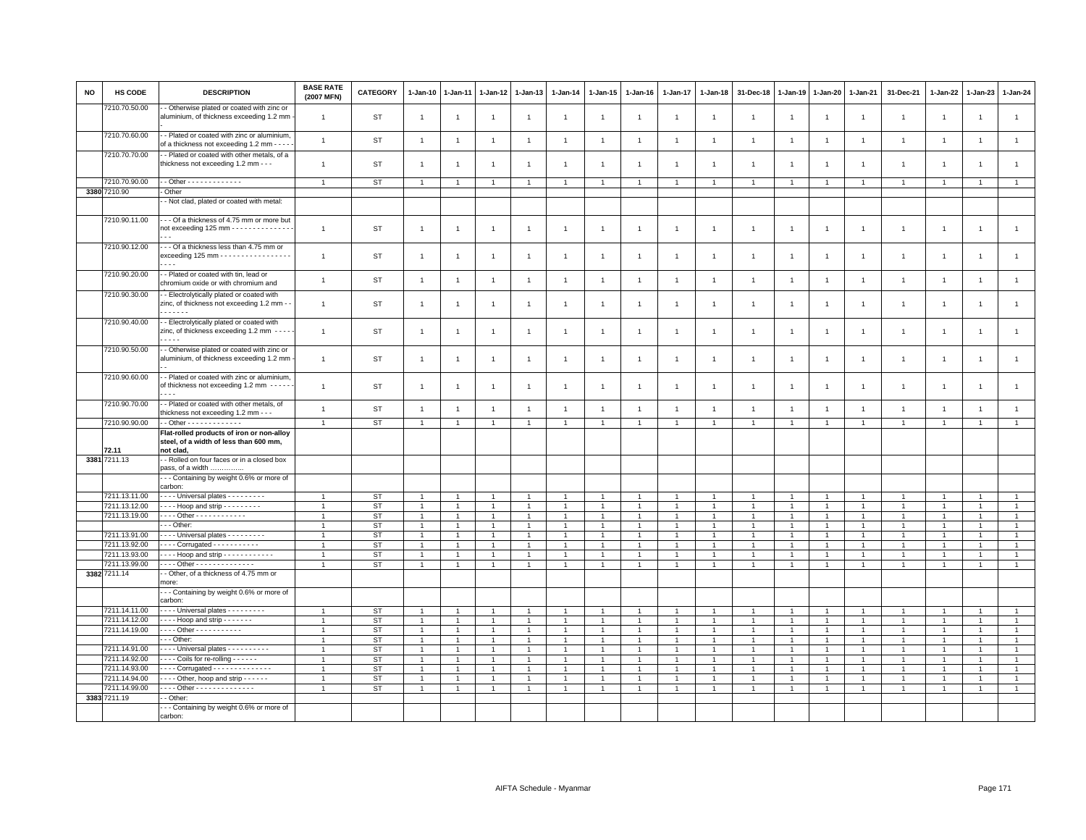| <b>NO</b> | HS CODE                        | <b>DESCRIPTION</b>                                                                                       | <b>BASE RATE</b><br>(2007 MFN) | CATEGORY        | $1-Jan-10$                   | 1-Jan-11       | $1-Jan-12$                       | 1-Jan-13                         | $1 - Jan-14$                     | $1 - Jan-15$                     | $1-Jan-16$     | 1-Jan-17                     | $1 - Jan-18$                     | 31-Dec-18      | $1-Jan-19$     | 1-Jan-20                         | 1-Jan-21                       | 31-Dec-21                      | 1-Jan-22                         | $1-Jan-23$                       | 1-Jan-24                       |
|-----------|--------------------------------|----------------------------------------------------------------------------------------------------------|--------------------------------|-----------------|------------------------------|----------------|----------------------------------|----------------------------------|----------------------------------|----------------------------------|----------------|------------------------------|----------------------------------|----------------|----------------|----------------------------------|--------------------------------|--------------------------------|----------------------------------|----------------------------------|--------------------------------|
|           | 7210.70.50.00                  | - Otherwise plated or coated with zinc or<br>aluminium, of thickness exceeding 1.2 mm                    | $\overline{1}$                 | <b>ST</b>       | $\mathbf{1}$                 | $\overline{1}$ | $\overline{1}$                   | $\mathbf{1}$                     | $\mathbf{1}$                     | $\overline{1}$                   | $\overline{1}$ | $\overline{1}$               | $\overline{1}$                   | $\overline{1}$ | $\overline{1}$ | $\overline{1}$                   | $\mathbf{1}$                   | $\mathbf{1}$                   | $\overline{1}$                   | $\overline{1}$                   | $\mathbf{1}$                   |
|           | 7210.70.60.00                  | - Plated or coated with zinc or aluminium,<br>of a thickness not exceeding 1.2 mm - - - -                | $\overline{1}$                 | <b>ST</b>       | $\mathbf{1}$                 | $\overline{1}$ | $\overline{1}$                   | $\overline{1}$                   | $\overline{1}$                   | $\overline{1}$                   | $\overline{1}$ | $\overline{1}$               | $\overline{1}$                   | $\overline{1}$ | $\overline{1}$ | $\overline{1}$                   | $\overline{1}$                 | $\mathbf{1}$                   | $\overline{1}$                   | $\overline{1}$                   | $\mathbf{1}$                   |
|           | 7210.70.70.00                  | - Plated or coated with other metals, of a<br>thickness not exceeding 1.2 mm - - -                       | $\mathbf{1}$                   | <b>ST</b>       | $\mathbf{1}$                 | $\overline{1}$ | $\overline{1}$                   | $\mathbf{1}$                     | $\overline{1}$                   | $\overline{1}$                   | $\overline{1}$ | $\overline{1}$               | $\overline{1}$                   | $\overline{1}$ | $\overline{1}$ | $\overline{1}$                   | $\overline{1}$                 | $\mathbf{1}$                   | $\overline{1}$                   | $\overline{1}$                   | $\mathbf{1}$                   |
|           | 7210.70.90.00                  | . - Other - - - - - - - - - - - - -                                                                      | $\overline{1}$                 | ST              | $\mathbf{1}$                 | $\overline{1}$ | $\mathbf{1}$                     | $\overline{1}$                   | $\overline{1}$                   | $\overline{1}$                   |                | $\mathbf{1}$                 | $\overline{1}$                   | $\overline{1}$ | $\mathbf{1}$   | $\overline{1}$                   | $\overline{1}$                 | $\overline{1}$                 | $\mathbf{1}$                     | $\overline{1}$                   | $\mathbf{1}$                   |
|           | 3380 7210.90                   | - Other                                                                                                  |                                |                 |                              |                |                                  |                                  |                                  |                                  |                |                              |                                  |                |                |                                  |                                |                                |                                  |                                  |                                |
|           |                                | - Not clad, plated or coated with metal:                                                                 |                                |                 |                              |                |                                  |                                  |                                  |                                  |                |                              |                                  |                |                |                                  |                                |                                |                                  |                                  |                                |
|           | 7210.90.11.00                  | --- Of a thickness of 4.75 mm or more but<br>not exceeding 125 mm - - - - - - - - - - - - - -            | $\overline{1}$                 | <b>ST</b>       | $\mathbf{1}$                 | $\overline{1}$ | $\overline{1}$                   | $\mathbf{1}$                     | $\overline{1}$                   | $\overline{1}$                   | $\overline{1}$ | $\mathbf{1}$                 | $\overline{1}$                   | $\overline{1}$ | $\overline{1}$ | $\overline{1}$                   | $\overline{1}$                 | $\mathbf{1}$                   | $\overline{1}$                   | $\mathbf{1}$                     | $\overline{1}$                 |
|           | 7210.90.12.00                  | --- Of a thickness less than 4.75 mm or<br>$exceeding 125 mm - - - - - - - - - - - - - - - -$<br>$- - -$ | $\overline{1}$                 | <b>ST</b>       | $\mathbf{1}$                 | $\overline{1}$ | $\overline{1}$                   | $\overline{1}$                   | $\overline{1}$                   | $\overline{1}$                   | $\overline{1}$ | $\mathbf{1}$                 | $\overline{1}$                   | $\overline{1}$ | $\overline{1}$ | $\overline{1}$                   | $\mathbf{1}$                   | $\mathbf{1}$                   | $\overline{1}$                   | $\overline{1}$                   | $\mathbf{1}$                   |
|           | 7210.90.20.00                  | - Plated or coated with tin, lead or<br>chromium oxide or with chromium and                              | $\mathbf{1}$                   | <b>ST</b>       | $\mathbf{1}$                 | $\overline{1}$ | $\overline{1}$                   | $\mathbf{1}$                     | $\mathbf{1}$                     | $\overline{1}$                   | $\overline{1}$ | $\overline{1}$               | $\overline{1}$                   | $\overline{1}$ | $\overline{1}$ | $\overline{1}$                   | $\overline{1}$                 | $\mathbf{1}$                   | $\overline{1}$                   | $\overline{1}$                   | $\mathbf{1}$                   |
|           | 7210.90.30.00                  | - Electrolytically plated or coated with<br>zinc, of thickness not exceeding 1.2 mm -<br>.               | $\overline{1}$                 | <b>ST</b>       | $\mathbf{1}$                 | $\overline{1}$ | $\overline{1}$                   | $\overline{1}$                   | $\overline{1}$                   | $\overline{1}$                   | $\overline{1}$ | $\overline{1}$               | $\overline{1}$                   | $\overline{1}$ | $\overline{1}$ | $\overline{1}$                   | $\mathbf{1}$                   | $\mathbf{1}$                   | $\overline{1}$                   | $\overline{1}$                   | $\mathbf{1}$                   |
|           | 7210.90.40.00                  | - Electrolytically plated or coated with<br>zinc, of thickness exceeding 1.2 mm ----                     | $\overline{1}$                 | <b>ST</b>       | $\mathbf{1}$                 | $\overline{1}$ | $\overline{1}$                   | $\mathbf{1}$                     | $\overline{1}$                   | $\overline{1}$                   | $\overline{1}$ | 1                            | $\overline{1}$                   | $\overline{1}$ | $\overline{1}$ | $\overline{1}$                   | $\overline{1}$                 | $\mathbf{1}$                   | $\overline{1}$                   | $\overline{1}$                   | $\mathbf{1}$                   |
|           | 7210.90.50.00                  | - Otherwise plated or coated with zinc or<br>aluminium, of thickness exceeding 1.2 mm                    | $\overline{1}$                 | ST              | $\mathbf{1}$                 | $\overline{1}$ | $\overline{1}$                   | $\mathbf{1}$                     | $\overline{1}$                   | $\mathbf{1}$                     | $\overline{1}$ | $\mathbf{1}$                 | $\overline{1}$                   | $\overline{1}$ | $\overline{1}$ | $\overline{1}$                   | $\overline{1}$                 | $\overline{1}$                 | $\overline{1}$                   | $\overline{1}$                   | $\overline{1}$                 |
|           | 7210.90.60.00                  | - Plated or coated with zinc or aluminium,<br>of thickness not exceeding 1.2 mm -----<br>$\cdots$        | $\overline{1}$                 | <b>ST</b>       | $\mathbf{1}$                 | $\overline{1}$ | $\overline{1}$                   | $\mathbf{1}$                     | $\overline{1}$                   | $\mathbf{1}$                     | $\overline{1}$ | $\mathbf{1}$                 | $\overline{1}$                   | $\overline{1}$ | $\overline{1}$ | $\overline{1}$                   | $\overline{1}$                 | $\mathbf{1}$                   | $\overline{1}$                   | $\mathbf{1}$                     | $\mathbf{1}$                   |
|           | 7210.90.70.00                  | - Plated or coated with other metals, of<br>thickness not exceeding 1.2 mm - - -                         | $\overline{1}$                 | <b>ST</b>       | $\mathbf{1}$                 | $\overline{1}$ | $\overline{1}$                   | $\overline{1}$                   | $\overline{1}$                   | $\overline{1}$                   | $\overline{1}$ | $\mathbf{1}$                 | $\overline{1}$                   | $\overline{1}$ | $\overline{1}$ | $\overline{1}$                   | $\overline{1}$                 | $\mathbf{1}$                   | $\overline{1}$                   | $\overline{1}$                   | $\mathbf{1}$                   |
|           | 7210.90.90.00                  | - Other - - - - - - - - - - - - -                                                                        | $\overline{1}$                 | <b>ST</b>       | $\mathbf{1}$                 | $\overline{1}$ | $\overline{1}$                   | $\overline{1}$                   | $\overline{1}$                   | $\overline{1}$                   | $\overline{1}$ | $\mathbf{1}$                 | $\overline{1}$                   | $\overline{1}$ | $\overline{1}$ | $\overline{1}$                   | $\overline{1}$                 | $\overline{1}$                 | $\overline{1}$                   | $\overline{1}$                   | $\overline{1}$                 |
|           | 72.11                          | Flat-rolled products of iron or non-alloy<br>steel, of a width of less than 600 mm,<br>not clad,         |                                |                 |                              |                |                                  |                                  |                                  |                                  |                |                              |                                  |                |                |                                  |                                |                                |                                  |                                  |                                |
|           | 3381 7211.13                   | - Rolled on four faces or in a closed box<br>pass, of a width                                            |                                |                 |                              |                |                                  |                                  |                                  |                                  |                |                              |                                  |                |                |                                  |                                |                                |                                  |                                  |                                |
|           |                                | --- Containing by weight 0.6% or more of<br>carbon:                                                      |                                |                 |                              |                |                                  |                                  |                                  |                                  |                |                              |                                  |                |                |                                  |                                |                                |                                  |                                  |                                |
|           | 7211.13.11.00<br>7211.13.12.00 | Universal plates - - - - - - - -<br>$\cdots$ Hoop and strip $\cdots$                                     | $\overline{1}$                 | <b>ST</b>       | $\mathbf{1}$                 |                | $\overline{1}$                   | $\overline{1}$<br>$\overline{1}$ | $\overline{1}$                   | $\overline{1}$<br>$\overline{1}$ |                | $\mathbf{1}$<br>$\mathbf{1}$ | $\overline{1}$<br>$\overline{1}$ | $\overline{1}$ | $\overline{1}$ | $\overline{1}$<br>$\overline{1}$ | $\mathbf{1}$<br>$\overline{1}$ | $\mathbf{1}$                   | $\overline{1}$<br>$\overline{1}$ | $\overline{1}$                   | $\mathbf{1}$                   |
|           | 7211.13.19.00                  | . Other - - - - - - - - - - - -                                                                          |                                | <b>ST</b><br>ST | $\mathbf{1}$<br>$\mathbf{1}$ | $\overline{1}$ | $\overline{1}$<br>$\overline{1}$ | $\overline{1}$                   | $\overline{1}$<br>$\overline{1}$ | $\overline{1}$                   |                | $\overline{1}$               | $\overline{1}$                   | $\overline{1}$ | $\overline{1}$ | $\overline{1}$                   | $\overline{1}$                 | $\mathbf{1}$<br>$\overline{1}$ | $\overline{1}$                   | $\overline{1}$<br>$\overline{1}$ | $\mathbf{1}$<br>$\overline{1}$ |
|           |                                | $\cdots$ Other:                                                                                          |                                | <b>ST</b>       | $\overline{1}$               |                | $\overline{1}$                   | $\overline{1}$                   | $\overline{1}$                   | $\overline{1}$                   |                |                              | $\overline{1}$                   |                |                | $\overline{1}$                   | $\mathbf{1}$                   | $\overline{1}$                 |                                  | $\overline{1}$                   | $\mathbf{1}$                   |
|           | 7211.13.91.00                  | --- Universal plates ---------                                                                           |                                | <b>ST</b>       | $\mathbf{1}$                 | -1             | $\overline{1}$                   | $\overline{1}$                   | $\overline{1}$                   | $\overline{1}$                   |                | $\mathbf{1}$                 | $\overline{1}$                   | $\overline{1}$ |                | $\overline{1}$                   | $\overline{1}$                 | $\mathbf{1}$                   | -1                               | $\overline{1}$                   | $\mathbf{1}$                   |
|           | 7211.13.92.00                  | $\cdots$ Corrugated $\cdots$                                                                             | $\overline{1}$                 | <b>ST</b>       | $\mathbf{1}$                 |                | $\overline{1}$                   | $\overline{1}$                   | $\overline{1}$                   | $\mathbf{1}$                     |                | $\mathbf{1}$                 | $\overline{1}$                   | $\overline{1}$ | $\overline{1}$ | $\overline{1}$                   | $\overline{1}$                 | $\mathbf{1}$                   | $\overline{1}$                   | $\overline{1}$                   | $\overline{1}$                 |
|           | 7211.13.93.00                  | $\cdots$ Hoop and strip $\cdots$                                                                         |                                | ST              | $\mathbf{1}$                 | $\overline{1}$ | $\overline{1}$                   | $\overline{1}$                   | $\overline{1}$                   | $\overline{1}$                   |                | 1                            | $\overline{1}$                   | $\overline{1}$ | $\overline{1}$ | $\overline{1}$                   | $\overline{1}$                 | $\mathbf{1}$                   | $\overline{1}$                   | $\overline{1}$                   | $\mathbf{1}$                   |
|           | 7211.13.99.00<br>3382 7211.14  | - - - - Other - - - - - - - - - - - - - -<br>- Other, of a thickness of 4.75 mm or                       |                                | <b>ST</b>       | $\mathbf{1}$                 | $\overline{1}$ | $\overline{1}$                   | $\overline{1}$                   | $\overline{1}$                   | $\overline{1}$                   | $\mathbf{1}$   | $\mathbf{1}$                 | $\mathbf{1}$                     | $\overline{1}$ | $\mathbf{1}$   | $\overline{1}$                   | $\overline{1}$                 | $\mathbf{1}$                   | $\mathbf{1}$                     | $\overline{1}$                   | $\mathbf{1}$                   |
|           |                                | more:<br>--- Containing by weight 0.6% or more of<br>carbon:                                             |                                |                 |                              |                |                                  |                                  |                                  |                                  |                |                              |                                  |                |                |                                  |                                |                                |                                  |                                  |                                |
|           | 7211.14.11.00                  | Universal plates - - - - - - - - -                                                                       | $\overline{1}$                 | ST              | $\mathbf{1}$                 | $\overline{1}$ | $\overline{1}$                   | $\overline{1}$                   | $\overline{1}$                   | $\overline{1}$                   | $\overline{1}$ | $\overline{1}$               | $\overline{1}$                   | $\overline{1}$ | $\overline{1}$ | $\overline{1}$                   | $\overline{1}$                 | $\overline{1}$                 | $\overline{1}$                   | $\overline{1}$                   | $\overline{1}$                 |
|           | 7211.14.12.00                  | $\cdots$ Hoop and strip $\cdots$                                                                         | $\overline{1}$                 | <b>ST</b>       | $\mathbf{1}$                 | $\overline{1}$ | $\overline{1}$                   | $\overline{1}$                   | $\overline{1}$                   | $\mathbf{1}$                     | $\overline{1}$ | $\mathbf{1}$                 | $\overline{1}$                   | $\overline{1}$ | $\mathbf{1}$   | $\overline{1}$                   | $\overline{1}$                 | $\overline{1}$                 | $\overline{1}$                   | $\mathbf{1}$                     | $\mathbf{1}$                   |
|           | 7211.14.19.00                  | . Other                                                                                                  | $\overline{1}$                 | ST              | $\mathbf{1}$                 | $\overline{1}$ | $\overline{1}$                   | $\overline{1}$                   | $\mathbf{1}$                     | $\mathbf{1}$                     | $\overline{1}$ | $\mathbf{1}$                 | $\overline{1}$                   | $\overline{1}$ | $\overline{1}$ | $\overline{1}$                   | $\overline{1}$                 | $\mathbf{1}$                   | $\overline{1}$                   | $\mathbf{1}$                     | $\mathbf{1}$                   |
|           |                                | $\cdot$ - Other:                                                                                         | $\mathbf{1}$                   | <b>ST</b>       | 1                            | $\overline{1}$ | $\overline{1}$                   | $\overline{1}$                   | $\overline{1}$                   | $\mathbf{1}$                     | $\mathbf{1}$   | $\mathbf{1}$                 | $\overline{1}$                   | $\overline{1}$ | $\overline{1}$ | $\mathbf{1}$                     | $\overline{1}$                 | $\mathbf{1}$                   | $\overline{1}$                   | $\overline{1}$                   | $\mathbf{1}$                   |
|           | 7211.14.91.00                  | Universal plates - - - - - - - - -                                                                       |                                | ST              | $\mathbf{1}$                 | $\overline{1}$ | $\overline{1}$                   | $\overline{1}$                   | $\overline{1}$                   | $\overline{1}$                   |                | $\overline{1}$               | $\overline{1}$                   | $\overline{1}$ | $\overline{1}$ | $\overline{1}$                   | $\overline{1}$                 | $\overline{1}$                 | $\overline{1}$                   | $\overline{1}$                   | $\overline{1}$                 |
|           | 7211.14.92.00                  | Coils for re-rolling - - - - - -                                                                         | $\overline{1}$                 | <b>ST</b>       | $\mathbf{1}$                 |                | $\overline{1}$                   | $\overline{1}$                   | $\overline{1}$                   | $\mathbf{1}$                     |                |                              | $\overline{1}$                   | $\overline{1}$ | $\mathbf{1}$   | $\overline{1}$                   | $\overline{1}$                 | $\mathbf{1}$                   | $\overline{1}$                   | $\overline{1}$                   | $\mathbf{1}$                   |
|           | 7211.14.93.00                  | $\cdots$ Corrugated $\cdots$                                                                             |                                | <b>ST</b>       | $\mathbf{1}$                 |                | $\overline{1}$                   | $\overline{1}$                   | $\overline{1}$                   | $\overline{1}$                   |                | 1                            | $\overline{1}$                   | $\overline{1}$ | $\mathbf{1}$   | $\overline{1}$                   | $\overline{1}$                 | $\mathbf{1}$                   |                                  | $\overline{1}$                   | $\mathbf{1}$                   |
|           | 7211.14.94.00                  | ---- Other, hoop and strip ------                                                                        |                                | <b>ST</b>       | $\overline{1}$               |                | $\overline{1}$                   |                                  | $\overline{1}$                   | $\overline{1}$                   |                |                              | $\overline{1}$                   |                |                | $\overline{1}$                   | $\overline{1}$                 | $\mathbf{1}$                   | $\mathbf{1}$                     | $\overline{1}$                   | $\mathbf{1}$<br>$\mathbf{1}$   |
|           | 7211.14.99.00<br>3383 7211.19  | - - - - Other - - - - - - - - - - - - - -<br>- Other:                                                    |                                | <b>ST</b>       | $\mathbf{1}$                 |                | $\overline{1}$                   |                                  | $\overline{1}$                   | $\overline{1}$                   |                |                              | $\overline{1}$                   |                |                |                                  |                                |                                |                                  |                                  |                                |
|           |                                | --- Containing by weight 0.6% or more of<br>carbon:                                                      |                                |                 |                              |                |                                  |                                  |                                  |                                  |                |                              |                                  |                |                |                                  |                                |                                |                                  |                                  |                                |
|           |                                |                                                                                                          |                                |                 |                              |                |                                  |                                  |                                  |                                  |                |                              |                                  |                |                |                                  |                                |                                |                                  |                                  |                                |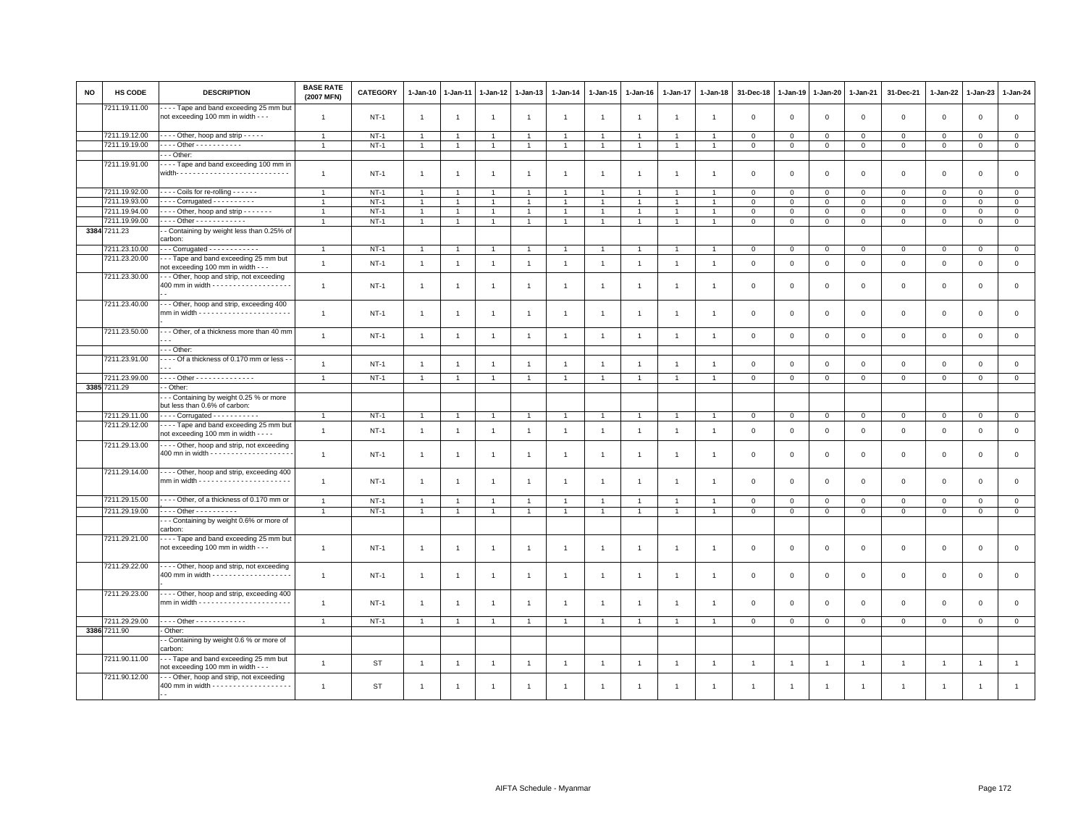| NO | <b>HS CODE</b> | <b>DESCRIPTION</b>                                                                                  | <b>BASE RATE</b><br>(2007 MFN) | CATEGORY    | 1-Jan-10       | 1-Jan-11       | $1 - Jan-12$   | $1 - Jan-13$   | 1-Jan-14       | 1-Jan-15       | 1-Jan-16       | 1-Jan-17       | $1 - Jan-18$   | 31-Dec-18               | $1 - Jan-19$   | 1-Jan-20       | 1-Jan-21       | 31-Dec-21    | $1 - Jan-22$   | 1-Jan-23       | 1-Jan-24       |
|----|----------------|-----------------------------------------------------------------------------------------------------|--------------------------------|-------------|----------------|----------------|----------------|----------------|----------------|----------------|----------------|----------------|----------------|-------------------------|----------------|----------------|----------------|--------------|----------------|----------------|----------------|
|    | 7211.19.11.00  | Tape and band exceeding 25 mm but<br>not exceeding 100 mm in width - - -                            | $\overline{1}$                 | $NT-1$      | $\mathbf{1}$   | $\overline{1}$ | $\overline{1}$ | $\overline{1}$ | $\mathbf{1}$   | $\overline{1}$ | $\overline{1}$ | $\overline{1}$ | $\overline{1}$ | $\overline{0}$          | $\mathbf 0$    | $\mathsf 0$    | $\mathbf 0$    | $\mathbf 0$  | $\mathsf 0$    | $\mathsf 0$    | $\mathsf 0$    |
|    | 7211.19.12.00  | Other, hoop and strip - - - - -                                                                     | $\overline{1}$                 | $NT-1$      | $\overline{1}$ | $\overline{1}$ | $\overline{1}$ | $\overline{1}$ | $\overline{1}$ | $\overline{1}$ |                |                | $\overline{1}$ | $\overline{0}$          | $\mathsf 0$    | $\mathsf 0$    | $\mathbf 0$    | $\mathsf 0$  | $\Omega$       | $\mathbf{0}$   | $\mathsf 0$    |
|    | 7211.19.19.00  | . Other - - - - - - - - - - -                                                                       |                                | $NT-1$      | $\overline{1}$ | $\overline{1}$ | $\overline{1}$ | $\overline{1}$ |                | $\overline{1}$ |                |                |                | $\mathbf{0}$            | $\mathbf 0$    | $\mathbf{0}$   | $\mathbf{0}$   | $\mathbf 0$  | $\mathbf{0}$   | $\circ$        | $\mathbf{0}$   |
|    |                | $- -$ Other:                                                                                        |                                |             |                |                |                |                |                |                |                |                |                |                         |                |                |                |              |                |                |                |
|    | 7211.19.91.00  | ---- Tape and band exceeding 100 mm in                                                              |                                |             |                |                |                |                |                |                |                |                |                |                         |                |                |                |              |                |                |                |
|    |                |                                                                                                     | $\overline{1}$                 | $NT-1$      | $\overline{1}$ | $\overline{1}$ | $\overline{1}$ | $\overline{1}$ | $\overline{1}$ | $\overline{1}$ |                |                |                | $\mathbf 0$             | $\mathbf 0$    | $\mathsf 0$    | $\mathsf 0$    | $\mathsf 0$  | $\mathbf 0$    | $\mathsf 0$    | $\mathbf 0$    |
|    | 7211.19.92.00  | ---- Coils for re-rolling ------                                                                    | $\overline{1}$                 | $NT-1$      | $\mathbf{1}$   | $\overline{1}$ | $\overline{1}$ | $\overline{1}$ | $\mathbf{1}$   | $\overline{1}$ |                | $\overline{1}$ | $\overline{1}$ | $\mathbf 0$             | $\mathbf 0$    | $\mathbf{0}$   | $\mathbf 0$    | $\mathbf 0$  | $\mathbf 0$    | $\mathbf{0}$   | $\mathbf{0}$   |
|    | 7211.19.93.00  | $\cdots$ Corrugated $\cdots$                                                                        |                                | $NT-1$      | $\overline{1}$ | $\overline{1}$ | $\overline{1}$ | $\overline{1}$ | $\overline{1}$ | $\overline{1}$ |                |                | $\overline{1}$ | $\mathbf 0$             | $\mathsf 0$    | $\mathbf 0$    | $\mathbf 0$    | $\mathbf 0$  | $\Omega$       | $\mathbf{0}$   | $\mathsf 0$    |
|    | 7211.19.94.00  | Other, hoop and strip                                                                               | $\overline{1}$                 | $NT-1$      | $\overline{1}$ | $\overline{1}$ | $\overline{1}$ | $\overline{1}$ | $\overline{1}$ | $\overline{1}$ |                | $\overline{1}$ | $\overline{1}$ | $\overline{0}$          | $\mathsf 0$    | $\mathbf{0}$   | $\mathbf{0}$   | $\mathbf 0$  | $\Omega$       | $\Omega$       | $\circ$        |
|    | 7211.19.99.00  | Other - - - - - - - - - - - -                                                                       | $\overline{1}$                 | $NT-1$      | $\mathbf{1}$   | $\overline{1}$ | $\overline{1}$ | $\overline{1}$ | $\overline{1}$ | $\mathbf{1}$   | $\overline{1}$ | $\overline{1}$ | $\overline{1}$ | $\overline{0}$          | $\mathbf 0$    | $\mathbf{0}$   | $\mathbf{0}$   | $\mathbf 0$  | $\mathbf 0$    | $\circ$        | $\circ$        |
|    | 3384 7211.23   | - Containing by weight less than 0.25% of                                                           |                                |             |                |                |                |                |                |                |                |                |                |                         |                |                |                |              |                |                |                |
|    |                | carbon:                                                                                             |                                |             |                |                |                |                |                |                |                |                |                |                         |                |                |                |              |                |                |                |
|    | 7211.23.10.00  | $\cdots$ Corrugated $\cdots$                                                                        | $\mathbf{1}$                   | $NT-1$      | 1              | -1             | $\overline{1}$ | $\overline{1}$ | $\overline{1}$ | $\mathbf{1}$   |                | $\overline{1}$ | $\overline{1}$ | $\overline{0}$          | $\mathbf 0$    | $\mathbf{0}$   | $\overline{0}$ | $\mathbf 0$  | $\mathbf 0$    | $\mathbf{O}$   | $\overline{0}$ |
|    | 7211.23.20.00  | --- Tape and band exceeding 25 mm but                                                               |                                |             |                |                |                |                |                |                |                |                |                |                         |                |                |                |              |                |                |                |
|    |                | not exceeding 100 mm in width - - -                                                                 | $\overline{1}$                 | $NT-1$      | $\mathbf{1}$   | $\overline{1}$ | $\overline{1}$ | $\overline{1}$ | $\mathbf{1}$   | $\mathbf{1}$   | $\overline{1}$ | $\mathbf{1}$   | $\overline{1}$ | $\mathbf 0$             | $\mathsf 0$    | $\mathbf{0}$   | $\mathbf 0$    | $\mathbf 0$  | $\mathbf{0}$   | $\mathbf{O}$   | $\circ$        |
|    | 7211.23.30.00  | -- Other, hoop and strip, not exceeding                                                             |                                |             |                |                |                |                |                |                |                |                |                |                         |                |                |                |              |                |                |                |
|    |                | 400 mm in width - - - - - - - - - - - - - - - - - -                                                 | $\overline{1}$                 | $NT-1$      | $\mathbf{1}$   | -1             | $\overline{1}$ | $\overline{1}$ | $\overline{1}$ | $\overline{1}$ | $\mathbf{1}$   | $\overline{1}$ | $\overline{1}$ | $\overline{0}$          | $\mathbf 0$    | $\mathbf{0}$   | $\mathbf{0}$   | $\mathsf 0$  | $\mathbf 0$    | $\mathbf 0$    | $\mathsf 0$    |
|    | 7211.23.40.00  | -- Other, hoop and strip, exceeding 400                                                             | $\overline{1}$                 | $NT-1$      | $\mathbf{1}$   | $\overline{1}$ | $\overline{1}$ | $\overline{1}$ | $\overline{1}$ | $\overline{1}$ | $\overline{1}$ | $\mathbf{1}$   | $\overline{1}$ | $\mathbf 0$             | $\mathsf 0$    | $\mathsf 0$    | $\mathbf 0$    | $\mathsf 0$  | $\mathbf 0$    | $\mathsf 0$    | $\mathsf 0$    |
|    | 7211.23.50.00  | - - Other, of a thickness more than 40 mm                                                           | $\overline{1}$                 |             |                |                |                | $\overline{1}$ |                |                |                |                |                |                         |                |                |                |              |                |                |                |
|    |                |                                                                                                     |                                | $NT-1$      | $\mathbf{1}$   | $\overline{1}$ | $\overline{1}$ |                | $\overline{1}$ | $\overline{1}$ | $\mathbf{1}$   | $\overline{1}$ | $\overline{1}$ | $\overline{0}$          | $\mathbf{0}$   | $\mathbf 0$    | $\mathbf{0}$   | $\mathsf 0$  | $\circ$        | $\circ$        | $\mathsf 0$    |
|    |                | - - - Other:                                                                                        |                                |             |                |                |                |                |                |                |                |                |                |                         |                |                |                |              |                |                |                |
|    | 7211.23.91.00  | - - - - Of a thickness of 0.170 mm or less -                                                        |                                |             |                |                |                |                |                |                |                |                |                |                         |                |                |                |              |                |                |                |
|    |                |                                                                                                     | $\overline{1}$                 | $NT-1$      | $\mathbf{1}$   | $\overline{1}$ | $\overline{1}$ | $\overline{1}$ | $\overline{1}$ | $\overline{1}$ |                |                | $\overline{1}$ | $\overline{0}$          | $\mathbf 0$    | $\mathbf 0$    | $\mathbf{0}$   | $\mathbf 0$  | $\Omega$       | $\mathbf 0$    | $\mathsf 0$    |
|    | 7211.23.99.00  | Other - - - - - - - - - - - - - -                                                                   |                                | $NT-1$      | $\overline{1}$ | $\overline{1}$ | $\overline{1}$ | $\overline{1}$ |                | $\overline{1}$ |                |                | $\mathbf{1}$   | $\overline{0}$          | $\mathbf 0$    | $\mathbf{0}$   | $\mathbf{0}$   | $\mathbf{0}$ | $\mathbf 0$    | $\mathbf{0}$   | $\mathbf{0}$   |
|    | 3385 7211.29   | - Other:                                                                                            |                                |             |                |                |                |                |                |                |                |                |                |                         |                |                |                |              |                |                |                |
|    |                | - - Containing by weight 0.25 % or more                                                             |                                |             |                |                |                |                |                |                |                |                |                |                         |                |                |                |              |                |                |                |
|    |                | but less than 0.6% of carbon:                                                                       |                                |             |                |                |                |                |                |                |                |                |                |                         |                |                |                |              |                |                |                |
|    | 7211.29.11.00  | $---$ Corrugated $---$                                                                              | $\overline{1}$                 | $NT-1$      | $\mathbf{1}$   | $\overline{1}$ |                | $\overline{1}$ | $\overline{1}$ |                |                | $\overline{1}$ | $\overline{1}$ | $\mathbf 0$             | $\mathbf 0$    | $\mathbf{0}$   | $\mathbf 0$    | $\mathbf 0$  | $\mathbf 0$    | $\mathbf{0}$   | $\mathbf{0}$   |
|    | 7211.29.12.00  | Tape and band exceeding 25 mm but                                                                   |                                |             |                |                | $\overline{1}$ |                |                | $\overline{1}$ |                |                |                |                         |                |                |                |              |                |                |                |
|    | 7211.29.13.00  | not exceeding 100 mm in width - - -<br>D Other, hoop and strip, not exceeding                       | $\overline{1}$                 | $NT-1$      | $\mathbf{1}$   | $\overline{1}$ | $\overline{1}$ | $\mathbf{1}$   | $\overline{1}$ | $\overline{1}$ | $\overline{1}$ | $\overline{1}$ | $\overline{1}$ | $\overline{0}$          | $\mathbf{0}$   | $\mathbf{0}$   | $\mathbf{0}$   | $\mathbf 0$  | $\Omega$       | $\circ$        | $\mathsf 0$    |
|    |                |                                                                                                     | $\overline{1}$                 | $NT-1$      | $\mathbf{1}$   | $\overline{1}$ | $\overline{1}$ | $\mathbf{1}$   | $\overline{1}$ | $\overline{1}$ | $\overline{1}$ | $\overline{1}$ | $\overline{1}$ | $\mathbf 0$             | $\mathbf 0$    | $\mathbf{0}$   | $\mathbf 0$    | $\mathbf 0$  | $\mathbf 0$    | $\circ$        | $\mathsf 0$    |
|    | 7211.29.14.00  | - - - - Other, hoop and strip, exceeding 400                                                        | $\overline{1}$                 | <b>NT-1</b> | $\mathbf{1}$   | -1             | $\overline{1}$ | $\overline{1}$ | $\mathbf{1}$   | $\overline{1}$ | $\overline{1}$ | $\overline{1}$ | $\overline{1}$ | $\overline{\mathbf{0}}$ | $\mathbf 0$    | $\mathbf 0$    | $\mathbf 0$    | 0            | $\mathbf 0$    | $\mathbf 0$    | $\mathbf 0$    |
|    | 7211.29.15.00  | - - - - Other, of a thickness of 0.170 mm or                                                        | $\overline{1}$                 | $NT-1$      | $\overline{1}$ | $\overline{1}$ | $\overline{1}$ | $\overline{1}$ | $\overline{1}$ | $\overline{1}$ |                |                |                | $\overline{\mathbf{0}}$ | $\mathbf 0$    | $\mathsf 0$    | $\mathbf 0$    | $\mathsf 0$  | $\Omega$       | $\mathsf 0$    | $\mathbf 0$    |
|    | 7211.29.19.00  | Other - - - - - - - - -                                                                             | $\overline{1}$                 | $NT-1$      | $\mathbf{1}$   | $\mathbf{1}$   | $\overline{1}$ | $\mathbf{1}$   | $\overline{1}$ | $\overline{1}$ | $\mathbf{1}$   | $\mathbf{1}$   | $\overline{1}$ | $\overline{0}$          | $\mathbf{0}$   | $\mathbf{0}$   | $\mathbf{0}$   | $\mathbf 0$  | $\mathbf{0}$   | $\mathbf{0}$   | $\circ$        |
|    |                | - - Containing by weight 0.6% or more of                                                            |                                |             |                |                |                |                |                |                |                |                |                |                         |                |                |                |              |                |                |                |
|    |                | carbon:                                                                                             |                                |             |                |                |                |                |                |                |                |                |                |                         |                |                |                |              |                |                |                |
|    | 7211.29.21.00  | Tape and band exceeding 25 mm but<br>not exceeding 100 mm in width - - -                            | $\overline{1}$                 | <b>NT-1</b> | $\mathbf{1}$   | -1             | $\overline{1}$ | $\overline{1}$ | $\mathbf{1}$   | $\overline{1}$ | $\overline{1}$ | $\overline{1}$ | $\overline{1}$ | $\overline{\mathbf{0}}$ | $\mathbf 0$    | $\mathbf 0$    | $\mathbf 0$    | $\mathbf 0$  | $\mathbf 0$    | $\mathbf 0$    | $\mathbf 0$    |
|    | 7211.29.22.00  | - - - - Other, hoop and strip, not exceeding<br>400 mm in width - - - - - - - - - - - - - - - - - - | $\overline{1}$                 | $NT-1$      | $\mathbf{1}$   | $\overline{1}$ | $\overline{1}$ | $\overline{1}$ | $\overline{1}$ | $\overline{1}$ |                | $\mathbf{1}$   | $\overline{1}$ | $\overline{\mathbf{0}}$ | $\mathbf 0$    | $\mathbf 0$    | $\mathsf 0$    | $\mathsf 0$  | $\mathbf 0$    | $\mathsf 0$    | $\mathbf 0$    |
|    | 7211.29.23.00  | D Other, hoop and strip, exceeding 400                                                              | $\overline{1}$                 | $NT-1$      | $\mathbf{1}$   | -1             | -1             | $\overline{1}$ | $\overline{1}$ | $\overline{1}$ |                |                |                | $\overline{0}$          | $\Omega$       | $\mathbf 0$    | $\mathbf{0}$   | $\mathbf 0$  | $\mathbf{0}$   | $\mathbf 0$    | $\mathbf 0$    |
|    | 7211.29.29.00  | - - - - Other - - - - - - - - - - - -                                                               | $\overline{1}$                 | $NT-1$      | $\mathbf{1}$   | $\overline{1}$ | $\overline{1}$ | $\overline{1}$ | $\overline{1}$ | $\overline{1}$ |                | $\overline{1}$ | $\overline{1}$ | $\mathbf 0$             | $\mathsf 0$    | $\mathbf{0}$   | $\circ$        | $\mathsf 0$  | $\mathbf 0$    | $\mathbf 0$    | $\circ$        |
|    | 3386 7211.90   | - Other:                                                                                            |                                |             |                |                |                |                |                |                |                |                |                |                         |                |                |                |              |                |                |                |
|    |                | - Containing by weight 0.6 % or more of<br>carbon:                                                  |                                |             |                |                |                |                |                |                |                |                |                |                         |                |                |                |              |                |                |                |
|    | 7211.90.11.00  | --- Tape and band exceeding 25 mm but<br>not exceeding 100 mm in width - - -                        | $\overline{1}$                 | <b>ST</b>   | $\mathbf{1}$   | $\overline{1}$ | $\overline{1}$ | $\overline{1}$ | $\overline{1}$ | $\overline{1}$ | $\mathbf{1}$   | $\overline{1}$ | $\overline{1}$ | $\overline{1}$          | $\overline{1}$ | $\overline{1}$ | $\overline{1}$ | $\mathbf{1}$ | $\overline{1}$ | $\overline{1}$ | $\mathbf{1}$   |
|    | 7211.90.12.00  | -- Other, hoop and strip, not exceeding                                                             | $\overline{1}$                 | <b>ST</b>   | $\overline{1}$ | $\overline{1}$ | -1             | $\overline{1}$ | $\overline{1}$ | -1             |                |                | $\mathbf{1}$   | $\overline{1}$          |                |                | $\overline{1}$ |              | $\overline{1}$ | $\overline{1}$ |                |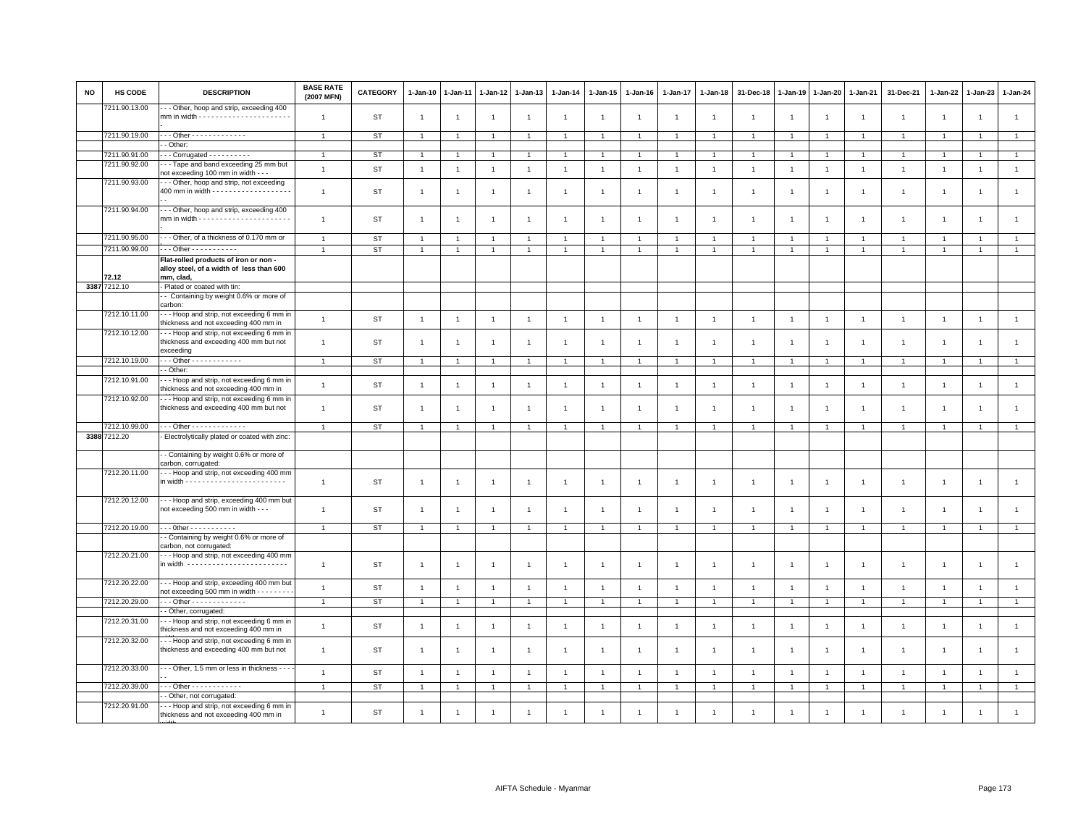| NO | <b>HS CODE</b> | <b>DESCRIPTION</b>                                                                              | <b>BASE RATE</b><br>(2007 MFN) | <b>CATEGORY</b> | 1-Jan-10       | 1-Jan-11       | 1-Jan-12       | $1 - Jan-13$   | $1 - Jan-14$   | 1-Jan-15       | 1-Jan-16       | 1-Jan-17       | 1-Jan-18       | 31-Dec-18      | 1-Jan-19       | 1-Jan-20       | 1-Jan-21       | 31-Dec-21    | 1-Jan-22       | 1-Jan-23       | 1-Jan-24       |
|----|----------------|-------------------------------------------------------------------------------------------------|--------------------------------|-----------------|----------------|----------------|----------------|----------------|----------------|----------------|----------------|----------------|----------------|----------------|----------------|----------------|----------------|--------------|----------------|----------------|----------------|
|    | 7211.90.13.00  | - - Other, hoop and strip, exceeding 400                                                        | $\overline{1}$                 | ST              | $\overline{1}$ | $\mathbf{1}$   | $\overline{1}$ | $\overline{1}$ | $\overline{1}$ | $\overline{1}$ | $\overline{1}$ | $\overline{1}$ | $\overline{1}$ | $\overline{1}$ | $\overline{1}$ | $\overline{1}$ | $\mathbf{1}$   | $\mathbf{1}$ | $\overline{1}$ | $\overline{1}$ | $\mathbf{1}$   |
|    | 7211.90.19.00  | $-$ - Other - - - - - - - - - - - - -                                                           | $\mathbf{1}$                   | ST              | $\overline{1}$ | $\overline{1}$ | $\overline{1}$ | $\overline{1}$ | $\mathbf{1}$   | $\overline{1}$ | $\mathbf{1}$   | $\overline{1}$ | $\overline{1}$ | $\overline{1}$ | $\overline{1}$ | $\overline{1}$ | $\overline{1}$ | $\mathbf{1}$ | $\mathbf{1}$   | $\overline{1}$ | $\overline{1}$ |
|    |                | - Other:                                                                                        |                                |                 |                |                |                |                |                |                |                |                |                |                |                |                |                |              |                |                |                |
|    | 7211.90.91.00  | $-$ - Corrugated $-$ - - - - - - - - -                                                          | $\overline{1}$                 | ST              | $\overline{1}$ | $\mathbf{1}$   | $\overline{1}$ | $\overline{1}$ | $\overline{1}$ | $\overline{1}$ | $\overline{1}$ |                |                |                |                | $\overline{1}$ |                | $\mathbf{1}$ |                | $\mathbf{1}$   | $\mathbf{1}$   |
|    | 7211.90.92.00  | -- Tape and band exceeding 25 mm but<br>not exceeding 100 mm in width - -                       | $\mathbf{1}$                   | ST              | $\overline{1}$ | $\overline{1}$ | $\overline{1}$ | $\overline{1}$ | $\mathbf{1}$   | $\overline{1}$ | $\overline{1}$ | $\overline{1}$ | $\overline{1}$ | $\overline{1}$ | $\overline{1}$ | $\mathbf{1}$   | $\mathbf{1}$   | $\mathbf{1}$ | $\overline{1}$ | $\mathbf{1}$   | $\mathbf{1}$   |
|    | 7211.90.93.00  | -- Other, hoop and strip, not exceeding<br>400 mm in width - - - - - - - - - - - - - - - - - -  | $\overline{1}$                 | ST              | $\overline{1}$ | -1             | $\overline{1}$ | $\overline{1}$ | $\overline{1}$ | $\overline{1}$ | $\overline{1}$ | $\overline{1}$ | $\overline{1}$ | $\overline{1}$ | $\overline{1}$ | $\overline{1}$ | $\overline{1}$ | $\mathbf{1}$ | $\overline{1}$ | $\overline{1}$ | $\overline{1}$ |
|    | 7211.90.94.00  | -- Other, hoop and strip, exceeding 400                                                         | $\mathbf{1}$                   | ST              | $\overline{1}$ | $\mathbf{1}$   | $\overline{1}$ | $\overline{1}$ | $\mathbf{1}$   | $\overline{1}$ | $\overline{1}$ | $\overline{1}$ | $\overline{1}$ | $\overline{1}$ | $\overline{1}$ | $\overline{1}$ | $\overline{1}$ | $\mathbf{1}$ | $\overline{1}$ | $\mathbf{1}$   | $\mathbf{1}$   |
|    | 7211.90.95.00  | -- Other, of a thickness of 0.170 mm or                                                         | $\mathbf{1}$                   | ST              | $\overline{1}$ | $\overline{1}$ | $\overline{1}$ | $\overline{1}$ | $\mathbf{1}$   | $\overline{1}$ | $\overline{1}$ | $\overline{1}$ | $\overline{1}$ | $\overline{1}$ | $\overline{1}$ | $\mathbf{1}$   | $\mathbf{1}$   | $\mathbf{1}$ | $\overline{1}$ | $\overline{1}$ | $\mathbf{1}$   |
|    | 7211.90.99.00  | $\cdots$ Other - $\cdots$ - $\cdots$ - - - - - -                                                | $\mathbf{1}$                   | <b>ST</b>       | $\overline{1}$ | $\overline{1}$ | $\overline{1}$ | $\overline{1}$ | $\mathbf{1}$   | $\overline{1}$ | $\overline{1}$ | $\overline{1}$ | $\overline{1}$ | $\overline{1}$ | $\overline{1}$ | $\overline{1}$ | $\overline{1}$ | $\mathbf{1}$ | $\overline{1}$ | $\overline{1}$ | $\overline{1}$ |
|    | 72.12          | Flat-rolled products of iron or non -<br>alloy steel, of a width of less than 600<br>mm, clad,  |                                |                 |                |                |                |                |                |                |                |                |                |                |                |                |                |              |                |                |                |
|    | 3387 7212.10   | - Plated or coated with tin:                                                                    |                                |                 |                |                |                |                |                |                |                |                |                |                |                |                |                |              |                |                |                |
|    |                | - Containing by weight 0.6% or more of<br>carbon:                                               |                                |                 |                |                |                |                |                |                |                |                |                |                |                |                |                |              |                |                |                |
|    | 7212.10.11.00  | --- Hoop and strip, not exceeding 6 mm in<br>thickness and not exceeding 400 mm in              | $\overline{1}$                 | <b>ST</b>       | $\overline{1}$ | $\overline{1}$ | $\overline{1}$ | $\overline{1}$ | $\overline{1}$ | $\overline{1}$ | $\overline{1}$ | $\overline{1}$ | $\overline{1}$ | $\overline{1}$ | $\overline{1}$ | $\mathbf{1}$   | $\mathbf{1}$   | $\mathbf{1}$ | $\mathbf{1}$   | $\overline{1}$ | $\mathbf{1}$   |
|    | 7212.10.12.00  | -- Hoop and strip, not exceeding 6 mm in<br>thickness and exceeding 400 mm but not<br>exceeding | $\mathbf{1}$                   | ST              | $\overline{1}$ | $\overline{1}$ | $\overline{1}$ | $\overline{1}$ | $\overline{1}$ | $\overline{1}$ | $\overline{1}$ | $\overline{1}$ | $\overline{1}$ | $\overline{1}$ | $\overline{1}$ | $\mathbf{1}$   | $\overline{1}$ | $\mathbf{1}$ | $\overline{1}$ | $\mathbf{1}$   | $\mathbf{1}$   |
|    | 7212.10.19.00  | $-$ - Other - - - - - - - - - - - -                                                             | $\mathbf{1}$                   | ST              | $\overline{1}$ | $\overline{1}$ | $\overline{1}$ | $\overline{1}$ | $\overline{1}$ | $\overline{1}$ | $\mathbf{1}$   | $\overline{1}$ | $\overline{1}$ | $\overline{1}$ | $\overline{1}$ | $\overline{1}$ | $\mathbf{1}$   | $\mathbf{1}$ | $\overline{1}$ | $\overline{1}$ | $\overline{1}$ |
|    |                | - Other:                                                                                        |                                |                 |                |                |                |                |                |                |                |                |                |                |                |                |                |              |                |                |                |
|    | 7212.10.91.00  | - - Hoop and strip, not exceeding 6 mm in<br>thickness and not exceeding 400 mm in              | $\overline{1}$                 | ST              | $\overline{1}$ | $\overline{1}$ | $\overline{1}$ | $\overline{1}$ | $\overline{1}$ | $\overline{1}$ | $\overline{1}$ | $\overline{1}$ | $\overline{1}$ | $\overline{1}$ | $\overline{1}$ | $\overline{1}$ | $\overline{1}$ | $\mathbf{1}$ | $\overline{1}$ | $\overline{1}$ | $\mathbf{1}$   |
|    | 7212.10.92.00  | -- Hoop and strip, not exceeding 6 mm in<br>thickness and exceeding 400 mm but not              | $\overline{1}$                 | ST              | $\overline{1}$ | $\overline{1}$ | $\overline{1}$ | $\overline{1}$ | $\mathbf{1}$   | $\overline{1}$ | $\overline{1}$ | $\overline{1}$ | $\overline{1}$ | $\overline{1}$ | $\overline{1}$ | $\overline{1}$ | $\overline{1}$ | $\mathbf{1}$ | $\overline{1}$ | $\overline{1}$ | $\mathbf{1}$   |
|    | 7212.10.99.00  | $-$ - Other - - - - - - - - - - - - -                                                           | $\overline{1}$                 | <b>ST</b>       |                |                | $\overline{1}$ | $\overline{1}$ |                |                |                |                |                |                |                | $\overline{1}$ |                |              |                | $\overline{1}$ | $\overline{1}$ |
|    | 3388 7212.20   | Electrolytically plated or coated with zinc:                                                    |                                |                 |                |                |                |                |                |                |                |                |                |                |                |                |                |              |                |                |                |
|    |                | - Containing by weight 0.6% or more of<br>carbon, corrugated:                                   |                                |                 |                |                |                |                |                |                |                |                |                |                |                |                |                |              |                |                |                |
|    | 7212.20.11.00  | -- Hoop and strip, not exceeding 400 mm                                                         | $\overline{1}$                 | ST              | $\overline{1}$ | -1             | $\overline{1}$ | $\overline{1}$ | $\overline{1}$ | $\overline{1}$ | $\overline{1}$ | $\overline{1}$ | $\overline{1}$ | $\overline{1}$ | $\overline{1}$ | $\mathbf{1}$   | $\overline{1}$ | $\mathbf{1}$ | $\overline{1}$ | $\mathbf{1}$   | $\mathbf{1}$   |
|    | 7212.20.12.00  | -- Hoop and strip, exceeding 400 mm but<br>not exceeding 500 mm in width - - -                  | $\overline{1}$                 | ST              | $\overline{1}$ | $\overline{1}$ | $\overline{1}$ | $\overline{1}$ | $\overline{1}$ | $\overline{1}$ | $\overline{1}$ | $\overline{1}$ | -1             |                | $\overline{1}$ | $\overline{1}$ | $\overline{1}$ | $\mathbf{1}$ | $\overline{1}$ | $\mathbf{1}$   | $\mathbf{1}$   |
|    | 7212.20.19.00  |                                                                                                 | $\overline{1}$                 | ST              | $\overline{1}$ | $\overline{1}$ | $\overline{1}$ | $\overline{1}$ | $\mathbf{1}$   | $\overline{1}$ | $\overline{1}$ | $\overline{1}$ | $\overline{1}$ | $\overline{1}$ | $\overline{1}$ | $\overline{1}$ | $\mathbf{1}$   | $\mathbf{1}$ | $\overline{1}$ | $\overline{1}$ | $\mathbf{1}$   |
|    |                | - Containing by weight 0.6% or more of<br>carbon, not corrugated:                               |                                |                 |                |                |                |                |                |                |                |                |                |                |                |                |                |              |                |                |                |
|    | 7212.20.21.00  | - - Hoop and strip, not exceeding 400 mm<br>in width -------------------------                  | $\overline{1}$                 | ST              | $\overline{1}$ | 1              | $\overline{1}$ | $\overline{1}$ | $\overline{1}$ | $\overline{1}$ | $\overline{1}$ | $\overline{1}$ | $\mathbf{1}$   | $\overline{1}$ | $\overline{1}$ | $\overline{1}$ | $\overline{1}$ | $\mathbf{1}$ | $\overline{1}$ | $\overline{1}$ | $\mathbf{1}$   |
|    | 7212.20.22.00  | - - Hoop and strip, exceeding 400 mm but<br>not exceeding 500 mm in width - - - - - - - -       | $\mathbf{1}$                   | ST              | $\overline{1}$ | $\overline{1}$ | $\overline{1}$ | $\overline{1}$ | $\overline{1}$ | $\overline{1}$ | $\overline{1}$ | $\overline{1}$ | $\mathbf{1}$   | $\overline{1}$ | $\overline{1}$ | $\overline{1}$ | $\overline{1}$ | $\mathbf{1}$ | $\overline{1}$ | $\overline{1}$ | $\mathbf{1}$   |
|    | 7212.20.29.00  | - - - Other - - - - - - - - - - - - -                                                           | $\overline{1}$                 | ST              | $\overline{1}$ | $\overline{1}$ | $\overline{1}$ | $\mathbf{1}$   | $\mathbf{1}$   | $\mathbf{1}$   | $\overline{1}$ | $\overline{1}$ | $\overline{1}$ | $\overline{1}$ | $\overline{1}$ | $\mathbf{1}$   | $\mathbf{1}$   | $\mathbf{1}$ | $\overline{1}$ | $\mathbf{1}$   | $\mathbf{1}$   |
|    |                | - Other, corrugated:                                                                            |                                |                 |                |                |                |                |                |                |                |                |                |                |                |                |                |              |                |                |                |
|    | 7212.20.31.00  | - - Hoop and strip, not exceeding 6 mm in<br>thickness and not exceeding 400 mm in              | $\overline{1}$                 | ST              | $\overline{1}$ | $\overline{1}$ | $\overline{1}$ | $\overline{1}$ | $\mathbf{1}$   | $\overline{1}$ | $\overline{1}$ | $\overline{1}$ | $\overline{1}$ | $\overline{1}$ | $\overline{1}$ | $\overline{1}$ | $\mathbf{1}$   | $\mathbf{1}$ | $\overline{1}$ | $\mathbf{1}$   | $\mathbf{1}$   |
|    | 7212.20.32.00  | - - Hoop and strip, not exceeding 6 mm in<br>thickness and exceeding 400 mm but not             | $\overline{1}$                 | ST              | $\overline{1}$ | $\overline{1}$ | $\overline{1}$ | $\overline{1}$ | $\overline{1}$ | $\overline{1}$ | $\overline{1}$ | $\overline{1}$ | $\overline{1}$ | $\overline{1}$ | $\overline{1}$ | $\overline{1}$ | $\overline{1}$ | $\mathbf{1}$ | $\overline{1}$ | $\mathbf{1}$   | $\mathbf{1}$   |
|    | 7212.20.33.00  | - - Other, 1.5 mm or less in thickness - - -                                                    | $\mathbf{1}$                   | <b>ST</b>       | $\overline{1}$ | $\mathbf{1}$   | $\overline{1}$ | $\overline{1}$ | $\overline{1}$ | $\mathbf{1}$   | $\overline{1}$ | $\overline{1}$ | $\overline{1}$ | $\overline{1}$ | $\overline{1}$ | $\mathbf{1}$   | $\mathbf{1}$   | $\mathbf{1}$ | $\mathbf{1}$   | $\overline{1}$ | $\mathbf{1}$   |
|    | 7212.20.39.00  | $-$ - Other - - - - - - - - - - - -                                                             | $\overline{1}$                 | ST              | $\overline{1}$ | $\overline{1}$ | $\mathbf{1}$   | $\overline{1}$ | $\overline{1}$ | $\mathbf{1}$   | $\overline{1}$ |                |                |                |                | $\mathbf{1}$   |                | $\mathbf{1}$ | $\mathbf{1}$   | $\mathbf{1}$   | $\mathbf{1}$   |
|    |                | - Other, not corrugated:                                                                        |                                |                 |                |                |                |                |                |                |                |                |                |                |                |                |                |              |                |                |                |
|    | 7212.20.91.00  | -- Hoop and strip, not exceeding 6 mm in<br>thickness and not exceeding 400 mm in               | $\overline{1}$                 | <b>ST</b>       |                | $\overline{1}$ | $\mathbf{1}$   | $\overline{1}$ |                |                |                |                |                |                |                |                |                |              |                |                |                |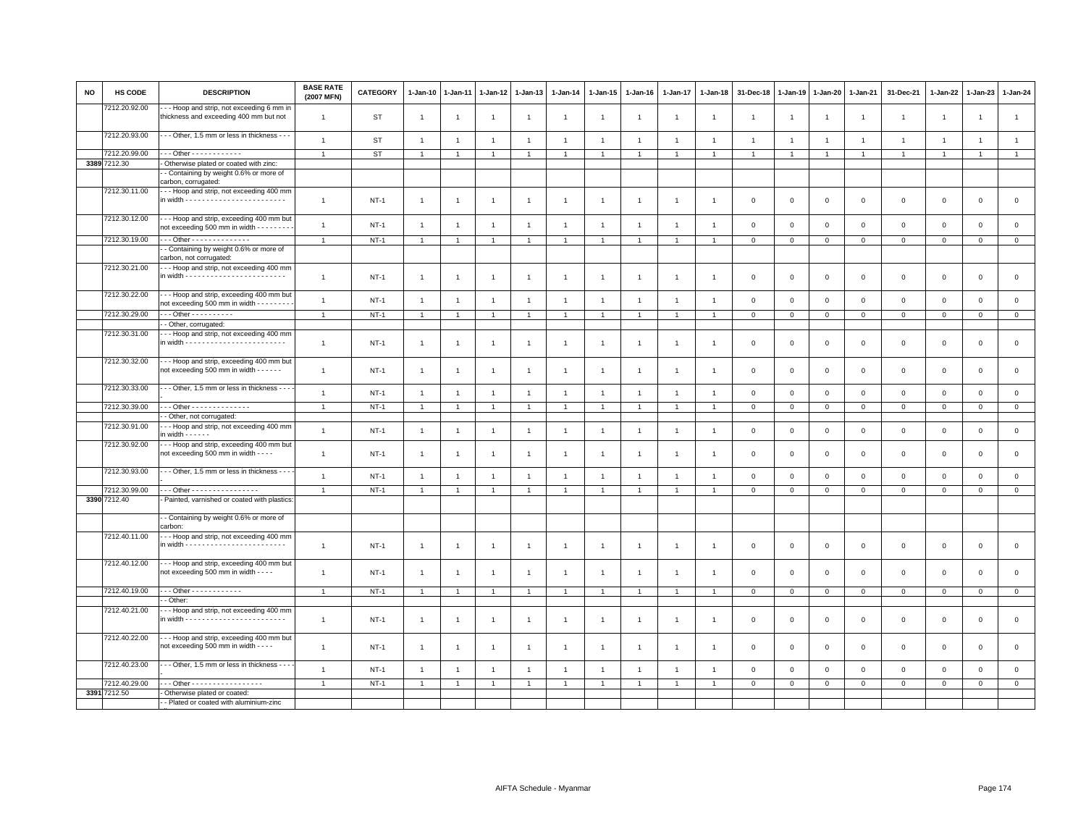| <b>NO</b> | HS CODE       | <b>DESCRIPTION</b>                                                                          | <b>BASE RATE</b><br>(2007 MFN) | <b>CATEGORY</b> | 1-Jan-10       | 1-Jan-11       | $1 - Jan-12$   | $1 - Jan-13$   | 1-Jan-14       | 1-Jan-15       | 1-Jan-16       | 1-Jan-17       | $1 - Jan-18$   | 31-Dec-18               | $1 - Jan-19$   | $1-Jan-20$     | 1-Jan-21       | 31-Dec-21      | $1 - Jan-22$   | 1-Jan-23            | 1-Jan-24       |
|-----------|---------------|---------------------------------------------------------------------------------------------|--------------------------------|-----------------|----------------|----------------|----------------|----------------|----------------|----------------|----------------|----------------|----------------|-------------------------|----------------|----------------|----------------|----------------|----------------|---------------------|----------------|
|           | 7212.20.92.00 | - - Hoop and strip, not exceeding 6 mm in<br>thickness and exceeding 400 mm but not         | $\overline{1}$                 | ST              | $\mathbf{1}$   | $\overline{1}$ | $\overline{1}$ | $\mathbf{1}$   | $\overline{1}$ | $\overline{1}$ | -1             | $\mathbf{1}$   | $\overline{1}$ | $\mathbf{1}$            | $\overline{1}$ | $\overline{1}$ | $\mathbf{1}$   | $\overline{1}$ | $\overline{1}$ | $\overline{1}$      | $\overline{1}$ |
|           | 7212.20.93.00 | --- Other, 1.5 mm or less in thickness ---                                                  | $\overline{1}$                 | ST              | $\overline{1}$ | $\overline{1}$ | $\overline{1}$ | $\mathbf{1}$   | $\overline{1}$ | $\overline{1}$ | $\overline{1}$ | $\overline{1}$ | $\overline{1}$ | $\overline{1}$          | $\overline{1}$ | $\overline{1}$ | $\overline{1}$ | $\mathbf{1}$   | $\overline{1}$ | $\overline{1}$      | $\overline{1}$ |
|           | 7212.20.99.00 | - - - Other - - - - - - - - - - - -                                                         | $\overline{1}$                 | ST              | $\mathbf{1}$   | $\overline{1}$ | $\overline{1}$ | $\overline{1}$ | $\overline{1}$ | $\mathbf{1}$   |                | $\overline{1}$ | $\overline{1}$ | $\overline{1}$          |                | $\overline{1}$ | $\overline{1}$ | $\mathbf{1}$   | $\overline{1}$ | $\overline{1}$      | $\overline{1}$ |
|           | 3389 7212.30  | Otherwise plated or coated with zinc:                                                       |                                |                 |                |                |                |                |                |                |                |                |                |                         |                |                |                |                |                |                     |                |
|           |               | - Containing by weight 0.6% or more of                                                      |                                |                 |                |                |                |                |                |                |                |                |                |                         |                |                |                |                |                |                     |                |
|           |               | carbon, corrugated:                                                                         |                                |                 |                |                |                |                |                |                |                |                |                |                         |                |                |                |                |                |                     |                |
|           | 7212.30.11.00 | -- Hoop and strip, not exceeding 400 mm                                                     | $\overline{1}$                 | $NT-1$          | $\mathbf{1}$   | $\overline{1}$ | $\overline{1}$ | $\mathbf{1}$   | $\overline{1}$ | $\overline{1}$ | $\overline{1}$ | $\overline{1}$ | $\overline{1}$ | $\mathbf 0$             | $\mathbf 0$    | $\mathbf 0$    | $\mathbf 0$    | $\mathbf 0$    | $\mathbf 0$    | $\mathsf 0$         | $\mathsf 0$    |
|           | 7212.30.12.00 | - - - Hoop and strip, exceeding 400 mm but<br>not exceeding 500 mm in width - - - - - - - - | $\overline{1}$                 | $NT-1$          | $\mathbf{1}$   | $\overline{1}$ | $\overline{1}$ | $\overline{1}$ | $\overline{1}$ | $\overline{1}$ |                | $\overline{1}$ | $\overline{1}$ | $\overline{0}$          | $\mathsf 0$    | $\mathsf 0$    | $\mathbf 0$    | $\mathsf 0$    | $\mathbf 0$    | $\mathsf 0$         | $\mathsf 0$    |
|           | 7212.30.19.00 | Other - - - - - - - - - - - - - -                                                           | $\overline{1}$                 | $NT-1$          | $\mathbf{1}$   |                | $\overline{1}$ | $\overline{1}$ |                | $\mathbf{1}$   |                |                |                | $\mathbf 0$             | $\mathbf 0$    | $\,0\,$        | $\mathbf 0$    | $\mathsf 0$    | $\mathsf 0$    | $\mathsf 0$         | $\mathbf 0$    |
|           |               | - Containing by weight 0.6% or more of<br>carbon, not corrugated:                           |                                |                 |                |                |                |                |                |                |                |                |                |                         |                |                |                |                |                |                     |                |
|           | 7212.30.21.00 | - - Hoop and strip, not exceeding 400 mm                                                    | $\mathbf{1}$                   | $NT-1$          | $\mathbf{1}$   | $\overline{1}$ | $\overline{1}$ | $\mathbf{1}$   | $\overline{1}$ | $\overline{1}$ | $\overline{1}$ | $\mathbf{1}$   | $\overline{1}$ | $\overline{0}$          | $\mathbf 0$    | $\mathsf 0$    | $\mathbb O$    | $\mathbf 0$    | $\mathsf 0$    | $\mathbf{O}$        | $\mathsf 0$    |
|           | 7212.30.22.00 | --- Hoop and strip, exceeding 400 mm but<br>not exceeding 500 mm in width - - - - - - -     | $\overline{1}$                 | $NT-1$          | $\overline{1}$ | $\overline{1}$ | $\overline{1}$ | $\overline{1}$ | $\mathbf{1}$   | $\overline{1}$ | -1             | $\overline{1}$ | $\overline{1}$ | $\mathbf 0$             | $\mathbf 0$    | $\mathbf 0$    | $\mathbf 0$    | $\mathbf 0$    | $\mathbf 0$    | $\mathsf 0$         | $\mathsf 0$    |
|           | 7212.30.29.00 |                                                                                             |                                | $NT-1$          | $\overline{1}$ | -1             | $\overline{1}$ | $\overline{1}$ |                | $\overline{1}$ |                |                |                | $\overline{0}$          | $\,0\,$        | $\,0\,$        | $\overline{0}$ | $\overline{0}$ | $\mathbf 0$    | $\overline{0}$      | $\overline{0}$ |
|           |               | - Other, corrugated:                                                                        |                                |                 |                |                |                |                |                |                |                |                |                |                         |                |                |                |                |                |                     |                |
|           | 7212.30.31.00 | - - Hoop and strip, not exceeding 400 mm                                                    | $\overline{1}$                 | $NT-1$          | $\mathbf{1}$   | -1             | $\overline{1}$ | $\overline{1}$ | $\overline{1}$ | $\overline{1}$ | -1             | $\overline{1}$ | $\overline{1}$ | $\overline{\mathbf{0}}$ | $\mathbf 0$    | $\mathsf 0$    | $\mathbf 0$    | $\mathsf 0$    | $\mathbf 0$    | $\mathsf 0$         | $\mathbf 0$    |
|           | 7212.30.32.00 | -- Hoop and strip, exceeding 400 mm but<br>not exceeding 500 mm in width - - - - - -        | $\overline{1}$                 | $NT-1$          | $\mathbf{1}$   | $\overline{1}$ | $\overline{1}$ | $\overline{1}$ | $\overline{1}$ | $\overline{1}$ | $\overline{1}$ | $\mathbf{1}$   | $\overline{1}$ | $\mathbf 0$             | $\mathbf 0$    | $\mathbf 0$    | $\mathbf 0$    | $\mathsf 0$    | $\mathbf 0$    | $\mathsf 0$         | $\mathsf 0$    |
|           | 7212.30.33.00 | - - Other, 1.5 mm or less in thickness - - -                                                | $\overline{1}$                 | $NT-1$          | $\mathbf{1}$   | $\overline{1}$ | $\overline{1}$ | $\overline{1}$ | $\overline{1}$ | $\overline{1}$ | $\overline{1}$ | $\overline{1}$ | $\overline{1}$ | $\mathbf 0$             | $\mathsf 0$    | $\mathbf 0$    | $\mathbf 0$    | $\mathbf 0$    | $\mathbf 0$    | $\mathbf{O}$        | $\mathsf 0$    |
|           | 7212.30.39.00 | Other - - - - - - - - - - - - - -                                                           | $\overline{1}$                 | $NT-1$          | $\overline{1}$ | $\overline{1}$ | $\overline{1}$ | $\overline{1}$ | $\overline{1}$ | $\overline{1}$ |                | $\overline{1}$ | $\overline{1}$ | $\overline{0}$          | $\mathsf 0$    | $\mathsf 0$    | $\overline{0}$ | $\mathsf 0$    | $\Omega$       | $\mathbf 0$         | $\overline{0}$ |
|           |               | - Other, not corrugated:                                                                    |                                |                 |                |                |                |                |                |                |                |                |                |                         |                |                |                |                |                |                     |                |
|           | 7212.30.91.00 | - - Hoop and strip, not exceeding 400 mm<br>in width $- - - - -$                            | $\overline{1}$                 | $NT-1$          | $\mathbf{1}$   | $\overline{1}$ | $\overline{1}$ | $\overline{1}$ | $\overline{1}$ | $\overline{1}$ | $\overline{1}$ | $\overline{1}$ | $\overline{1}$ | $\,0\,$                 | $\,0\,$        | $\mathsf 0$    | $\mathbf 0$    | $\mathsf 0$    | $\mathsf 0$    | $\mathsf 0$         | $\mathsf 0$    |
|           | 7212.30.92.00 | --- Hoop and strip, exceeding 400 mm but<br>not exceeding 500 mm in width - - - -           | $\overline{1}$                 | $NT-1$          | $\mathbf{1}$   | $\overline{1}$ | $\overline{1}$ | $\mathbf{1}$   | $\overline{1}$ | $\overline{1}$ | $\overline{1}$ | $\overline{1}$ | $\overline{1}$ | $\overline{0}$          | $\mathbf 0$    | $\mathbf{0}$   | $\mathbf{0}$   | $\mathbf 0$    | $\Omega$       | $\mathbf 0$         | $\circ$        |
|           | 7212.30.93.00 | - - Other, 1.5 mm or less in thickness - - -                                                | $\mathbf{1}$                   | $NT-1$          | $\mathbf{1}$   | $\overline{1}$ | $\overline{1}$ | $\mathbf{1}$   | $\overline{1}$ | $\overline{1}$ | $\overline{1}$ | $\mathbf{1}$   | $\overline{1}$ | $\mathbf 0$             | $\mathsf 0$    | $\mathsf 0$    | $\mathbf 0$    | $\mathsf 0$    | $\mathsf 0$    | $\mathsf 0$         | $\mathsf 0$    |
|           | 7212.30.99.00 | Other - - - - - - - - - - - - - - - -                                                       |                                | $NT-1$          | $\mathbf{1}$   | $\overline{1}$ | $\overline{1}$ | $\overline{1}$ | $\overline{1}$ | $\mathbf{1}$   |                | $\overline{1}$ | $\overline{1}$ | $\mathbf{0}$            | $\mathbf 0$    | $\mathbf 0$    | $\circ$        | $\mathbf 0$    | $\mathsf 0$    | $\mathbf{0}$        | $\overline{0}$ |
|           | 3390 7212.40  | Painted, varnished or coated with plastics                                                  |                                |                 |                |                |                |                |                |                |                |                |                |                         |                |                |                |                |                |                     |                |
|           |               | - Containing by weight 0.6% or more of<br>carbon:                                           |                                |                 |                |                |                |                |                |                |                |                |                |                         |                |                |                |                |                |                     |                |
|           | 7212.40.11.00 | --- Hoop and strip, not exceeding 400 mm                                                    | $\overline{1}$                 | $NT-1$          | $\mathbf{1}$   | $\overline{1}$ | $\overline{1}$ | $\overline{1}$ | $\overline{1}$ | $\overline{1}$ | $\mathbf{1}$   | $\overline{1}$ | $\overline{1}$ | $\overline{\mathbf{0}}$ | $\mathbf 0$    | $\mathbf 0$    | $\mathbf 0$    | $\mathbf 0$    | $\mathbf 0$    | $\mathbf{O}$        | $\mathsf 0$    |
|           | 7212.40.12.00 | --- Hoop and strip, exceeding 400 mm but<br>not exceeding 500 mm in width - - - -           | $\overline{1}$                 | $NT-1$          | $\mathbf{1}$   | $\overline{1}$ | -1             | $\overline{1}$ | $\overline{1}$ | $\overline{1}$ | $\overline{1}$ | $\overline{1}$ | $\overline{1}$ | $\overline{0}$          | $\mathbf 0$    | $\mathbf 0$    | $\mathbf 0$    | $\mathbf 0$    | $\mathbf 0$    | $\mathsf 0$         | $\mathbf 0$    |
|           | 7212.40.19.00 | $\cdots$ Other - - - - - - - - - - - -                                                      | $\overline{1}$                 | $NT-1$          | $\mathbf{1}$   | $\overline{1}$ | $\overline{1}$ | $\overline{1}$ | $\overline{1}$ | $\overline{1}$ |                | $\overline{1}$ |                | $\mathbf 0$             | $\,0\,$        | $\mathbf 0$    | $\overline{0}$ | $\mathsf 0$    | $\mathbf 0$    | $\mathbf{O}$        | $\mathbf{0}$   |
|           |               | - Other:                                                                                    |                                |                 |                |                |                |                |                |                |                |                |                |                         |                |                |                |                |                |                     |                |
|           | 7212.40.21.00 | - - Hoop and strip, not exceeding 400 mm                                                    |                                |                 |                |                |                |                |                |                |                |                |                |                         |                |                |                |                |                |                     |                |
|           |               |                                                                                             | $\overline{1}$                 | <b>NT-1</b>     | $\mathbf{1}$   | $\overline{1}$ | $\overline{1}$ | $\overline{1}$ | $\overline{1}$ | $\overline{1}$ | $\mathbf{1}$   | $\overline{1}$ | $\overline{1}$ | $\mathbf 0$             | $\mathsf 0$    | $\mathsf 0$    | $\,0\,$        | $\mathsf 0$    | $\mathsf 0$    | $\mathsf{O}\xspace$ | $\mathsf 0$    |
|           | 7212.40.22.00 | -- Hoop and strip, exceeding 400 mm but<br>not exceeding 500 mm in width - - - -            | $\overline{1}$                 | NT-1            | $\mathbf{1}$   | -1             | -1             | -1             | $\overline{1}$ | $\overline{1}$ | -1             | $\overline{1}$ | -1             | $\overline{\mathbf{0}}$ | $\mathbf 0$    | $\mathbf 0$    | $\mathsf 0$    | $\mathsf 0$    | $\mathbf 0$    | $\mathsf 0$         | $\mathbf 0$    |
|           | 7212.40.23.00 | --- Other, 1.5 mm or less in thickness ---                                                  | $\overline{1}$                 | $NT-1$          | $\mathbf{1}$   | $\overline{1}$ | $\overline{1}$ | $\mathbf{1}$   | $\overline{1}$ | $\overline{1}$ | $\overline{1}$ | $\overline{1}$ | $\overline{1}$ | $\overline{0}$          | $\mathsf 0$    | $\mathsf 0$    | $\mathbf 0$    | $\mathsf 0$    | $\mathbf 0$    | $\mathsf 0$         | $\mathsf 0$    |
|           | 7212.40.29.00 | - - Other - - - - - - - - - - - - - - - - -                                                 | $\overline{1}$                 | $NT-1$          | $\mathbf{1}$   | $\overline{1}$ | $\overline{1}$ | $\overline{1}$ | $\overline{1}$ | $\mathbf{1}$   |                | $\overline{1}$ | $\overline{1}$ | $\mathbf{0}$            | $\overline{0}$ | $\mathbf 0$    | $\circ$        | $\mathsf 0$    | $\mathbf 0$    | $\mathbf 0$         | $\overline{0}$ |
|           | 3391 7212.50  | Otherwise plated or coated:                                                                 |                                |                 |                |                |                |                |                |                |                |                |                |                         |                |                |                |                |                |                     |                |
|           |               | - Plated or coated with aluminium-zinc                                                      |                                |                 |                |                |                |                |                |                |                |                |                |                         |                |                |                |                |                |                     |                |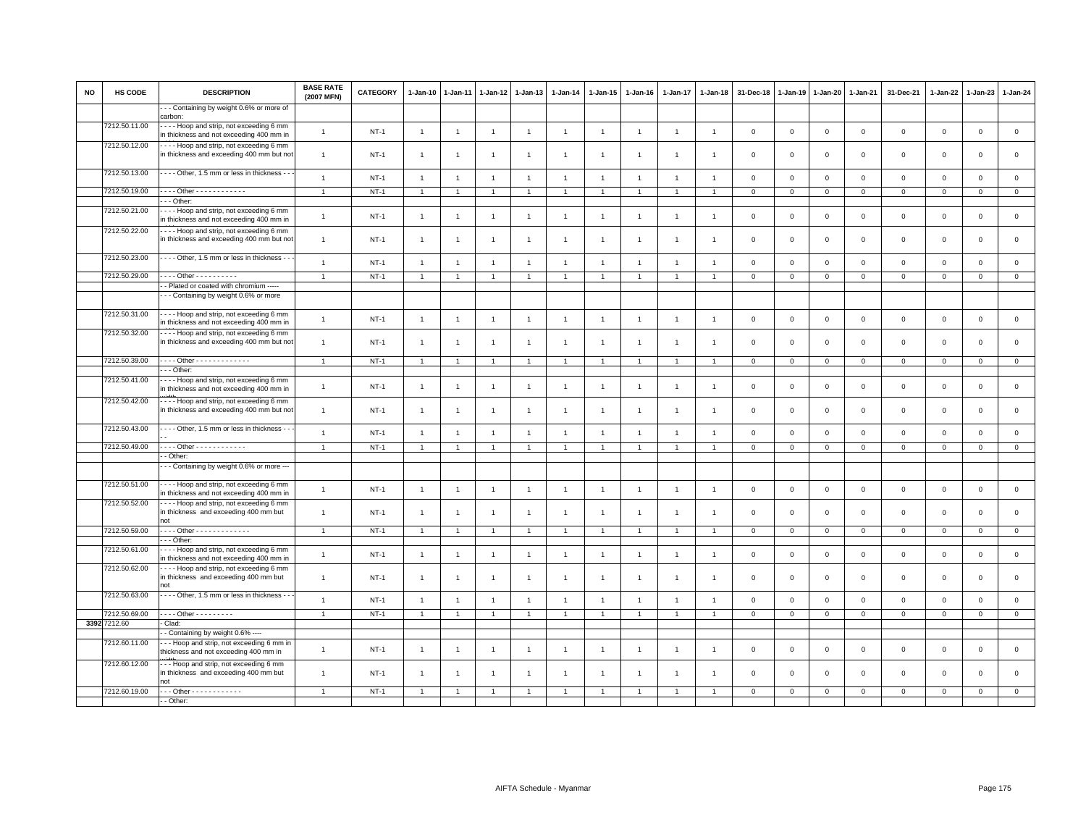| <b>NO</b> | HS CODE       | <b>DESCRIPTION</b>                                                                     | <b>BASE RATE</b><br>(2007 MFN) | <b>CATEGORY</b> | 1-Jan-10       | 1-Jan-11       | 1-Jan-12       | 1-Jan-13       | 1-Jan-14       | 1-Jan-15       | 1-Jan-16       | 1-Jan-17       | 1-Jan-18       | 31-Dec-18      | 1-Jan-19     | 1-Jan-20    | 1-Jan-21       | 31-Dec-21           | 1-Jan-22       | $1-Jan-23$   | 1-Jan-24       |
|-----------|---------------|----------------------------------------------------------------------------------------|--------------------------------|-----------------|----------------|----------------|----------------|----------------|----------------|----------------|----------------|----------------|----------------|----------------|--------------|-------------|----------------|---------------------|----------------|--------------|----------------|
|           |               | - - Containing by weight 0.6% or more of<br>carbon:                                    |                                |                 |                |                |                |                |                |                |                |                |                |                |              |             |                |                     |                |              |                |
|           | 7212.50.11.00 | --- Hoop and strip, not exceeding 6 mm<br>in thickness and not exceeding 400 mm in     | $\mathbf{1}$                   | $NT-1$          | $\overline{1}$ | $\overline{1}$ | $\mathbf{1}$   | $\mathbf{1}$   | $\overline{1}$ | $\mathbf{1}$   | $\overline{1}$ | $\overline{1}$ | $\overline{1}$ | $\mathsf 0$    | $\mathsf 0$  | $\mathsf 0$ | $\mathbf 0$    | $\mathsf 0$         | $\mathbf 0$    | $\mathsf 0$  | $\mathsf 0$    |
|           | 7212.50.12.00 | --- Hoop and strip, not exceeding 6 mm<br>in thickness and exceeding 400 mm but not    | $\mathbf{1}$                   | $NT-1$          | $\overline{1}$ | $\overline{1}$ | $\overline{1}$ | $\mathbf{1}$   | $\overline{1}$ | $\overline{1}$ | $\overline{1}$ | $\overline{1}$ |                | $\mathbf 0$    | $\mathbf 0$  | $\mathbf 0$ | $\mathbf 0$    | $\mathbf 0$         | $\mathbf 0$    | $\mathbf 0$  | $\mathbf 0$    |
|           | 7212.50.13.00 | Other, 1.5 mm or less in thickness - -                                                 | $\mathbf{1}$                   | $NT-1$          | $\overline{1}$ | $\overline{1}$ | $\overline{1}$ | $\mathbf{1}$   | $\overline{1}$ | $\overline{1}$ | $\overline{1}$ | $\overline{1}$ | $\mathbf{1}$   | $\mathbf 0$    | $\mathbf 0$  | $\mathsf 0$ | $\mathbf 0$    | $\mathsf{O}\xspace$ | $\mathbf 0$    | $\mathsf 0$  | $\mathsf 0$    |
|           | 7212.50.19.00 | $- -$ Other - - - - - - - - - - - -                                                    | $\mathbf{1}$                   | $NT-1$          | $\overline{1}$ | $\overline{1}$ | $\overline{1}$ | $\mathbf{1}$   | $\mathbf{1}$   | $\overline{1}$ | $\overline{1}$ | $\overline{1}$ |                | $\mathsf 0$    | $\mathsf 0$  | $\mathbf 0$ | $\mathbf 0$    | $\mathsf 0$         | $\circ$        | $\mathbf 0$  | $\circ$        |
|           | 7212.50.21.00 | $-$ Other:<br>--- Hoop and strip, not exceeding 6 mm                                   |                                |                 |                |                |                |                |                |                |                |                |                |                |              |             |                |                     |                |              |                |
|           |               | in thickness and not exceeding 400 mm in                                               | $\overline{1}$                 | $NT-1$          | $\overline{1}$ | $\overline{1}$ | $\overline{1}$ | $\mathbf{1}$   | $\mathbf{1}$   | $\mathbf{1}$   | $\overline{1}$ | $\overline{1}$ |                | $\mathbf 0$    | $\mathbf 0$  | $\mathbf 0$ | $\mathbf 0$    | $\mathsf 0$         | $\mathbf 0$    | $\mathbf{O}$ | $\mathsf 0$    |
|           | 7212.50.22.00 | Hoop and strip, not exceeding 6 mm<br>in thickness and exceeding 400 mm but not        | $\mathbf{1}$                   | $NT-1$          | $\overline{1}$ | $\overline{1}$ | $\overline{1}$ | $\mathbf{1}$   | $\overline{1}$ | $\overline{1}$ | $\overline{1}$ | $\overline{1}$ |                | $\overline{0}$ | $\mathbf 0$  | $\mathbf 0$ | $\mathbf 0$    | $\mathbf 0$         | $\mathbf 0$    | $\mathbf{0}$ | $\mathbf 0$    |
|           | 7212.50.23.00 | --- Other, 1.5 mm or less in thickness -                                               | $\mathbf{1}$                   | $NT-1$          | $\overline{1}$ | $\overline{1}$ | $\overline{1}$ | $\mathbf{1}$   | $\overline{1}$ | $\overline{1}$ | $\overline{1}$ | $\overline{1}$ | $\overline{1}$ | $\mathbf 0$    | $\mathbf 0$  | $\mathsf 0$ | $\mathbf 0$    | $\mathsf 0$         | $\mathbf 0$    | $\mathbf 0$  | $\mathsf 0$    |
|           | 7212.50.29.00 | $$ Other $$                                                                            | $\overline{1}$                 | $NT-1$          | $\overline{1}$ |                | $\overline{1}$ | $\mathbf{1}$   | $\mathbf{1}$   | $\mathbf{1}$   | $\overline{1}$ | $\overline{1}$ |                | $\mathbf 0$    | $\mathbf{0}$ | $\mathbf 0$ | $\overline{0}$ | $\mathsf 0$         | $\mathbf{0}$   | $\mathbf{0}$ | $\overline{0}$ |
|           |               | - Plated or coated with chromium -----                                                 |                                |                 |                |                |                |                |                |                |                |                |                |                |              |             |                |                     |                |              |                |
|           |               | - - Containing by weight 0.6% or more                                                  |                                |                 |                |                |                |                |                |                |                |                |                |                |              |             |                |                     |                |              |                |
|           | 7212.50.31.00 | --- Hoop and strip, not exceeding 6 mm<br>n thickness and not exceeding 400 mm in      | $\mathbf{1}$                   | $NT-1$          | $\overline{1}$ | $\overline{1}$ | $\overline{1}$ | $\mathbf{1}$   | $\overline{1}$ | $\overline{1}$ | $\overline{1}$ | $\overline{1}$ | $\overline{1}$ | $\mathbf 0$    | $\mathbf 0$  | $\mathsf 0$ | $\mathbf 0$    | $\mathbf 0$         | $\mathbf 0$    | $\mathbf 0$  | $\mathsf 0$    |
|           | 7212.50.32.00 | Hoop and strip, not exceeding 6 mm<br>in thickness and exceeding 400 mm but not        | $\mathbf{1}$                   | $NT-1$          | $\overline{1}$ |                |                | $\overline{1}$ | $\overline{1}$ | $\mathbf{1}$   | $\overline{1}$ | $\mathbf{1}$   |                | $\mathbf 0$    | $\mathbf 0$  | $\mathsf 0$ | $\mathbf 0$    | $\mathsf 0$         | $\mathbf 0$    | $\mathbf 0$  | $\mathbf 0$    |
|           | 7212.50.39.00 | --- Other -------------                                                                | $\overline{1}$                 | <b>NT-1</b>     | $\overline{1}$ |                |                | $\overline{1}$ | $\overline{1}$ |                |                | $\overline{1}$ |                | $\overline{0}$ | $\mathsf 0$  | $\mathbf 0$ | $\mathbf 0$    | $\mathsf 0$         | $\mathbf 0$    | $\mathbf{0}$ | $\mathbf 0$    |
|           |               | - - Other:                                                                             |                                |                 |                |                |                |                |                |                |                |                |                |                |              |             |                |                     |                |              |                |
|           | 7212.50.41.00 | --- Hoop and strip, not exceeding 6 mm<br>in thickness and not exceeding 400 mm in     | $\mathbf{1}$                   | $NT-1$          | $\overline{1}$ | $\overline{1}$ | $\overline{1}$ | $\mathbf{1}$   | $\overline{1}$ | $\overline{1}$ | $\overline{1}$ | $\overline{1}$ |                | $\mathbf 0$    | $\mathbf 0$  | $\mathsf 0$ | $\mathbf 0$    | $\mathbf 0$         | $\mathbf 0$    | $\mathbf{0}$ | $\mathsf 0$    |
|           | 7212.50.42.00 | Hoop and strip, not exceeding 6 mm<br>in thickness and exceeding 400 mm but not        | $\mathbf{1}$                   | $NT-1$          | $\overline{1}$ | $\overline{1}$ | $\overline{1}$ | $\mathbf{1}$   | $\overline{1}$ | $\mathbf{1}$   | -1             | $\overline{1}$ | -1             | $\mathbf 0$    | $\mathbf 0$  | $\mathsf 0$ | $\mathbf 0$    | $\mathsf 0$         | $\mathbf 0$    | $\mathsf 0$  | $\mathsf 0$    |
|           | 7212.50.43.00 | - - - - Other, 1.5 mm or less in thickness - -                                         | $\mathbf{1}$                   | $NT-1$          | $\overline{1}$ | $\overline{1}$ | $\mathbf{1}$   | $\mathbf{1}$   | $\mathbf{1}$   | $\overline{1}$ | $\overline{1}$ | $\overline{1}$ | $\overline{1}$ | $\mathbf 0$    | $\mathbf 0$  | $\mathbf 0$ | $\mathbf 0$    | $\mathsf 0$         | $\overline{0}$ | $\mathbf{O}$ | $\mathsf 0$    |
|           | 7212.50.49.00 | --- Other ------------                                                                 | $\mathbf{1}$                   | $NT-1$          | $\mathbf{1}$   | $\overline{1}$ | $\overline{1}$ | $\overline{1}$ | $\mathbf{1}$   | $\mathbf{1}$   | $\overline{1}$ | $\overline{1}$ |                | $\mathbf 0$    | $\mathsf 0$  | $\mathsf 0$ | $\mathbf 0$    | $\mathsf 0$         | $\mathsf 0$    | $\mathsf 0$  | $\mathsf 0$    |
|           |               | - Other:                                                                               |                                |                 |                |                |                |                |                |                |                |                |                |                |              |             |                |                     |                |              |                |
|           |               | - - Containing by weight 0.6% or more ---                                              |                                |                 |                |                |                |                |                |                |                |                |                |                |              |             |                |                     |                |              |                |
|           | 7212.50.51.00 | --- Hoop and strip, not exceeding 6 mm<br>n thickness and not exceeding 400 mm in      | $\mathbf{1}$                   | $NT-1$          | $\overline{1}$ | $\overline{1}$ | $\mathbf{1}$   | $\mathbf{1}$   | $\overline{1}$ | $\mathbf{1}$   | $\overline{1}$ | $\overline{1}$ | $\overline{1}$ | $\mathsf 0$    | $\mathbf 0$  | $\mathbf 0$ | $\mathbf 0$    | $\mathbf{0}$        | $\mathsf 0$    | $\mathbf 0$  | $\mathsf 0$    |
|           | 7212.50.52.00 | --- Hoop and strip, not exceeding 6 mm<br>in thickness and exceeding 400 mm but<br>not | $\mathbf{1}$                   | $NT-1$          | $\overline{1}$ | $\overline{1}$ | $\overline{1}$ | $\mathbf{1}$   | $\overline{1}$ | $\mathbf{1}$   | -1             | $\overline{1}$ | $\overline{1}$ | $\mathbf 0$    | $\mathbf 0$  | $\mathsf 0$ | $\mathbf 0$    | $\mathsf 0$         | $\mathbf 0$    | $\mathbf{0}$ | $\mathbf 0$    |
|           | 7212.50.59.00 | $- -$ Other - - - - - - - - - - - - -                                                  | $\overline{1}$                 | $NT-1$          | $\overline{1}$ |                |                | $\overline{1}$ |                |                |                |                |                | $\mathbf 0$    | $\mathbf 0$  | $\mathbf 0$ | $\mathbf 0$    | $\mathbf 0$         | $\mathbf 0$    | $\mathbf{0}$ | $\mathbf 0$    |
|           |               | - - Other:                                                                             |                                |                 |                |                |                |                |                |                |                |                |                |                |              |             |                |                     |                |              |                |
|           | 7212.50.61.00 | --- Hoop and strip, not exceeding 6 mm<br>in thickness and not exceeding 400 mm in     | $\mathbf{1}$                   | $NT-1$          | $\overline{1}$ | $\overline{1}$ | $\overline{1}$ | $\mathbf{1}$   | $\overline{1}$ | $\mathbf{1}$   | $\overline{1}$ | $\overline{1}$ | $\overline{1}$ | $\mathbf 0$    | $\mathbf 0$  | $\mathsf 0$ | $\mathbf 0$    | $\mathsf 0$         | $\mathbf 0$    | $\mathsf 0$  | $\mathsf 0$    |
|           | 7212.50.62.00 | Hoop and strip, not exceeding 6 mm<br>in thickness and exceeding 400 mm but<br>hot     | $\mathbf{1}$                   | $NT-1$          | $\overline{1}$ | $\overline{1}$ | $\overline{1}$ | $\mathbf{1}$   | $\overline{1}$ | $\overline{1}$ | $\overline{1}$ | $\overline{1}$ |                | $\mathbf 0$    | $\mathbf 0$  | $\mathsf 0$ | $\mathbf 0$    | $\mathbf 0$         | $\mathbf 0$    | $\mathbf 0$  | $\mathsf 0$    |
|           | 7212.50.63.00 | - - - Other, 1.5 mm or less in thickness - -                                           | $\mathbf{1}$                   | $NT-1$          | $\overline{1}$ | $\overline{1}$ | $\overline{1}$ | $\overline{1}$ | $\overline{1}$ | $\overline{1}$ | $\overline{1}$ | $\overline{1}$ |                | $\mathbf 0$    | $\mathbf 0$  | $\mathsf 0$ | $\mathbf 0$    | $\mathsf 0$         | $\mathbf 0$    | $\mathbf 0$  | $\mathsf 0$    |
|           | 7212.50.69.00 | . Other - - - - - - - - -                                                              | $\overline{1}$                 | $NT-1$          | $\overline{1}$ |                |                | $\overline{1}$ | $\overline{1}$ |                |                |                |                | $\mathbf 0$    | $\mathsf 0$  | $\mathbf 0$ | $\overline{0}$ | $\mathsf 0$         | $\mathbf 0$    | $\mathsf 0$  | $\overline{0}$ |
|           | 3392 7212.60  | Clad:<br>- Containing by weight 0.6% ----                                              |                                |                 |                |                |                |                |                |                |                |                |                |                |              |             |                |                     |                |              |                |
|           | 7212.60.11.00 | --- Hoop and strip, not exceeding 6 mm in<br>thickness and not exceeding 400 mm in     | $\mathbf{1}$                   | $NT-1$          | $\overline{1}$ | $\overline{1}$ | $\overline{1}$ | $\overline{1}$ | $\overline{1}$ | $\overline{1}$ | $\overline{1}$ | $\overline{1}$ | $\mathbf{1}$   | $\mathbf 0$    | $\mathsf 0$  | $\mathbf 0$ | $\mathbf 0$    | $\mathsf 0$         | $\mathsf 0$    | $\mathsf 0$  | $\mathsf 0$    |
|           | 7212.60.12.00 | - - Hoop and strip, not exceeding 6 mm<br>in thickness and exceeding 400 mm but        | $\overline{1}$                 | $NT-1$          | $\mathbf{1}$   |                |                | $\mathbf{1}$   | $\overline{1}$ | $\overline{1}$ |                |                |                | $\Omega$       | $\Omega$     | $\mathbf 0$ | $\overline{0}$ | $\mathbf 0$         | $\Omega$       | $\mathbf{0}$ | $\mathbf 0$    |
|           |               | not                                                                                    |                                |                 |                |                |                |                |                |                |                |                |                |                |              |             |                |                     |                |              |                |
|           | 7212.60.19.00 | $\cdots$ Other - - - - - - - - - - - -<br>- Other                                      |                                | $NT-1$          |                |                |                |                |                |                |                |                |                | $\Omega$       | $\Omega$     | $\mathbf 0$ | 0              | $\Omega$            | $\Omega$       | $\Omega$     | $\mathbf 0$    |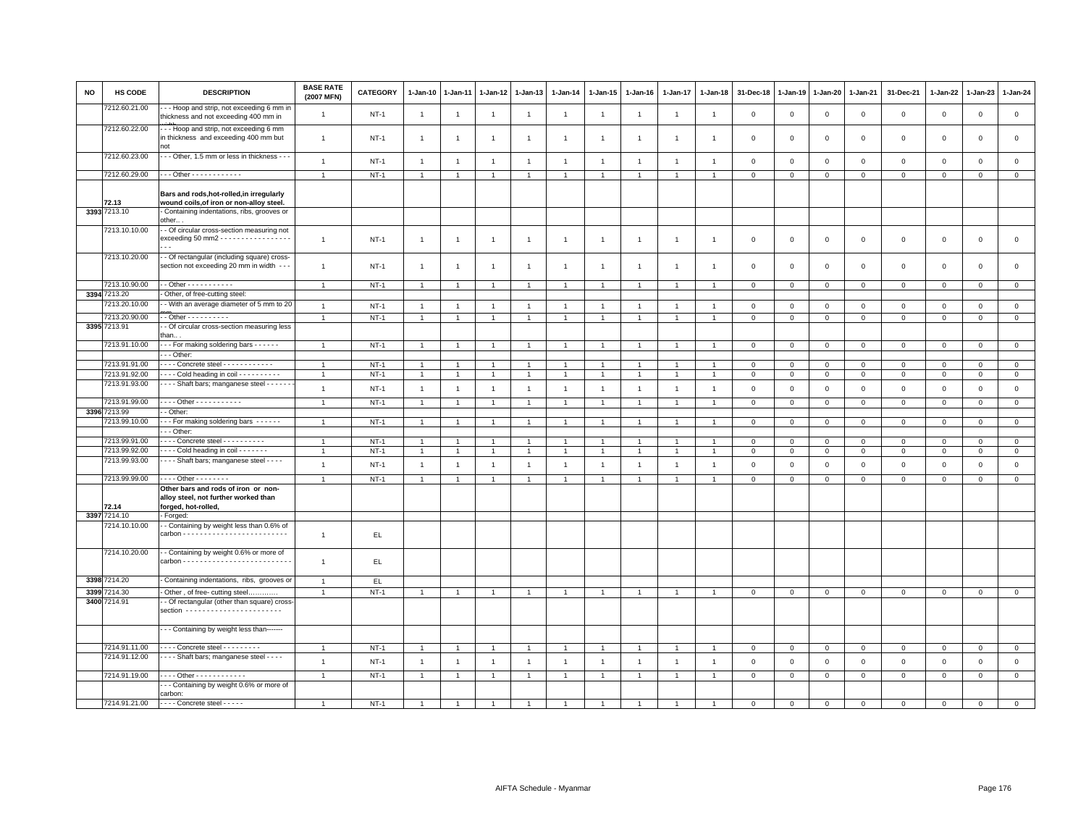| <b>NO</b> | <b>HS CODE</b>                 | <b>DESCRIPTION</b>                                                                                 | <b>BASE RATE</b><br>(2007 MFN) | <b>CATEGORY</b>  | $1-Jan-10$                   | $1-Jan-11$     | 1-Jan-12                         | 1-Jan-13                       | $1-Jan-14$                       | 1-Jan-15                     | 1-Jan-16                       | 1-Jan-17                         | 1-Jan-18                         | 31-Dec-18                  | 1-Jan-19                   | 1-Jan-20                    | 1-Jan-21               | 31-Dec-21                  | 1-Jan-22                   | $1-Jan-23$             | 1-Jan-24       |
|-----------|--------------------------------|----------------------------------------------------------------------------------------------------|--------------------------------|------------------|------------------------------|----------------|----------------------------------|--------------------------------|----------------------------------|------------------------------|--------------------------------|----------------------------------|----------------------------------|----------------------------|----------------------------|-----------------------------|------------------------|----------------------------|----------------------------|------------------------|----------------|
|           | 7212.60.21.00                  | - - Hoop and strip, not exceeding 6 mm in<br>thickness and not exceeding 400 mm in                 | $\overline{1}$                 | $NT-1$           | $\mathbf{1}$                 | $\overline{1}$ | $\overline{1}$                   | $\overline{1}$                 | $\overline{1}$                   | $\overline{1}$               | $\overline{1}$                 | $\overline{1}$                   | -1                               | 0                          | $\mathsf 0$                | $\mathbf 0$                 | $\mathsf 0$            | $\mathsf 0$                | $\mathsf 0$                | $\mathbf 0$            | $\mathsf 0$    |
|           | 7212.60.22.00                  | -- Hoop and strip, not exceeding 6 mm<br>in thickness and exceeding 400 mm but<br>not              | $\overline{1}$                 | $NT-1$           | $\overline{1}$               | $\overline{1}$ | $\overline{1}$                   | $\overline{1}$                 | $\overline{1}$                   | $\mathbf{1}$                 | $\overline{1}$                 | $\overline{1}$                   | $\overline{1}$                   | $\mathbf 0$                | $\mathbf 0$                | $\mathbf 0$                 | $\mathbf 0$            | $\mathsf 0$                | $\mathbf 0$                | $\mathbf 0$            | $\mathbf 0$    |
|           | 7212.60.23.00                  | - - Other, 1.5 mm or less in thickness - - -                                                       | $\overline{1}$                 | $NT-1$           | $\mathbf{1}$                 | $\overline{1}$ | $\overline{1}$                   | $\overline{1}$                 | $\mathbf{1}$                     | $\mathbf{1}$                 | $\overline{1}$                 | $\overline{1}$                   | $\overline{1}$                   | $\mathbf 0$                | $\mathbf 0$                | $\mathsf 0$                 | $\mathbf 0$            | $\mathsf 0$                | $\mathsf 0$                | $\mathbf 0$            | $\mathsf 0$    |
|           | 7212.60.29.00                  | $-$ - Other - - - - - - - - - - - -                                                                | $\overline{1}$                 | $NT-1$           | $\mathbf{1}$                 | $\overline{1}$ | $\overline{1}$                   | $\overline{1}$                 | $\mathbf{1}$                     | 1                            | $\mathbf{1}$                   | $\overline{1}$                   | $\overline{1}$                   | $\mathbf{0}$               | $\mathbf 0$                | $\overline{0}$              | $\circ$                | $\overline{0}$             | $\mathsf 0$                | $\mathbf{0}$           | $\overline{0}$ |
|           |                                | Bars and rods, hot-rolled, in irregularly                                                          |                                |                  |                              |                |                                  |                                |                                  |                              |                                |                                  |                                  |                            |                            |                             |                        |                            |                            |                        |                |
|           | 72.13<br>3393 7213.10          | wound coils, of iron or non-alloy steel.<br>- Containing indentations, ribs, grooves or            |                                |                  |                              |                |                                  |                                |                                  |                              |                                |                                  |                                  |                            |                            |                             |                        |                            |                            |                        |                |
|           |                                | other                                                                                              |                                |                  |                              |                |                                  |                                |                                  |                              |                                |                                  |                                  |                            |                            |                             |                        |                            |                            |                        |                |
|           | 7213.10.10.00                  | - Of circular cross-section measuring not<br>exceeding 50 mm2 - - - - - - - - - - - - - - - - -    | $\overline{1}$                 | $NT-1$           | $\mathbf{1}$                 | -1             | $\overline{1}$                   | $\mathbf{1}$                   | $\overline{1}$                   | $\mathbf{1}$                 | $\overline{1}$                 | $\mathbf{1}$                     | -1                               | 0                          | $\mathbf 0$                | $^{\circ}$                  | 0                      | $\mathsf 0$                | $\circ$                    | $\mathbf 0$            | $\mathsf 0$    |
|           | 7213.10.20.00                  | - Of rectangular (including square) cross-<br>section not exceeding 20 mm in width - - -           | $\overline{1}$                 | $NT-1$           | $\mathbf{1}$                 | $\overline{1}$ | $\overline{1}$                   | $\overline{1}$                 | $\mathbf{1}$                     | $\overline{1}$               | $\overline{1}$                 | $\overline{1}$                   | $\overline{1}$                   | $\mathbf 0$                | $\mathbf 0$                | $\mathbf 0$                 | $\mathbf 0$            | $\mathsf 0$                | $\mathbf 0$                | $\mathsf 0$            | $\mathsf 0$    |
|           | 7213.10.90.00                  | - - Other - - - - - - - - - - -                                                                    | $\overline{1}$                 | $NT-1$           | $\mathbf{1}$                 | $\overline{1}$ | $\mathbf{1}$                     | $\overline{1}$                 | $\mathbf{1}$                     | $\mathbf{1}$                 | $\mathbf{1}$                   | $\mathbf{1}$                     | $\overline{1}$                   | $\mathbf 0$                | 0                          | $\mathbf 0$                 | $\mathbf{0}$           | $\mathbf 0$                | $\mathbf 0$                | $\mathbf 0$            | $\overline{0}$ |
|           | 3394 7213.20<br>7213.20.10.00  | - Other, of free-cutting steel:<br>- With an average diameter of 5 mm to 20                        |                                |                  |                              |                |                                  |                                |                                  |                              |                                |                                  |                                  |                            |                            |                             |                        |                            |                            |                        | $\mathsf 0$    |
|           | 7213.20.90.00                  | $-$ Other $        -$                                                                              | $\overline{1}$                 | $NT-1$<br>$NT-1$ | $\mathbf{1}$<br>$\mathbf{1}$ | $\overline{1}$ | $\overline{1}$<br>$\overline{1}$ | $\mathbf{1}$<br>$\overline{1}$ | $\overline{1}$<br>$\overline{1}$ | $\mathbf{1}$<br>$\mathbf{1}$ | $\overline{1}$<br>$\mathbf{1}$ | $\overline{1}$<br>$\overline{1}$ | $\overline{1}$<br>$\overline{1}$ | $\mathbf 0$<br>$\mathbf 0$ | $\mathbf 0$<br>$\mathbf 0$ | $\mathbf{0}$<br>$\mathbf 0$ | $\circ$<br>$\mathbf 0$ | $\mathbf 0$<br>$\mathsf 0$ | $\mathsf 0$<br>$\mathbf 0$ | $\circ$<br>$\mathsf 0$ | $\mathsf 0$    |
|           | 3395 7213.91                   | - Of circular cross-section measuring less<br>than                                                 |                                |                  |                              |                |                                  |                                |                                  |                              |                                |                                  |                                  |                            |                            |                             |                        |                            |                            |                        |                |
|           | 7213.91.10.00                  | ---- For making soldering bars ------                                                              | $\overline{1}$                 | $NT-1$           | $\mathbf{1}$                 | $\overline{1}$ | $\overline{1}$                   | $\overline{1}$                 | $\overline{1}$                   | $\mathbf{1}$                 | $\overline{1}$                 | $\overline{1}$                   | $\overline{1}$                   | $\mathsf 0$                | $\mathsf 0$                | $\mathbf{0}$                | $\circ$                | $\mathsf 0$                | $\mathsf 0$                | $\mathbf 0$            | $\overline{0}$ |
|           |                                | - - - Other:                                                                                       |                                |                  |                              |                |                                  |                                |                                  |                              |                                |                                  |                                  |                            |                            |                             |                        |                            |                            |                        |                |
|           | 7213.91.91.00                  | $\cdots$ Concrete steel $\cdots$                                                                   | $\overline{1}$                 | $NT-1$           | $\overline{1}$               |                | $\overline{1}$                   | $\mathbf{1}$                   | $\overline{1}$                   | $\overline{1}$               | $\overline{1}$                 | $\overline{1}$                   |                                  | $\mathbf 0$                | $\mathbf 0$                | $\mathbf{0}$                | $\mathbf{0}$           | 0                          | $\mathbf 0$                | $\Omega$               | $\mathsf 0$    |
|           | 7213.91.92.00<br>7213.91.93.00 | Cold heading in coil<br>- - - - Shaft bars; manganese steel - - - - - -                            | $\overline{1}$                 | $NT-1$           | $\mathbf{1}$                 | $\overline{1}$ | $\overline{1}$                   | $\mathbf{1}$                   | $\overline{1}$                   | $\mathbf{1}$                 | $\overline{1}$                 | $\overline{1}$                   | $\overline{1}$                   | $\mathbf 0$                | $\mathbf 0$                | $\overline{0}$              | $\mathbf 0$            | $\mathsf 0$                | $\mathbf 0$                | $\mathbf 0$            | $\mathbf 0$    |
|           |                                |                                                                                                    | $\overline{1}$                 | $NT-1$           | $\mathbf{1}$                 | $\overline{1}$ | $\overline{1}$                   | $\overline{1}$                 | $\overline{1}$                   | $\mathbf{1}$                 | $\overline{1}$                 | $\overline{1}$                   | $\overline{1}$                   | $\mathbf{0}$               | $\mathsf 0$                | $\mathsf 0$                 | $\circ$                | $\mathsf 0$                | $\mathbf{0}$               | $\mathbf 0$            | $\mathsf 0$    |
|           | 7213.91.99.00                  | . Other - - - - - - - - - - -                                                                      | $\overline{1}$                 | $NT-1$           | $\mathbf{1}$                 | $\mathbf{1}$   | $\overline{1}$                   | $\overline{1}$                 | $\overline{1}$                   | $\overline{1}$               | $\overline{1}$                 | $\overline{1}$                   | $\mathbf{1}$                     | $\mathbf 0$                | $\mathbf 0$                | $\mathbf 0$                 | $\mathbf{0}$           | $\mathbf 0$                | $\mathbf 0$                | 0                      | $\overline{0}$ |
|           | 3396 7213.99                   | - - Other:                                                                                         |                                |                  |                              |                |                                  |                                |                                  |                              |                                |                                  |                                  |                            |                            |                             |                        |                            |                            |                        |                |
|           | 7213.99.10.00                  | --- For making soldering bars ------<br>- - Other:                                                 |                                | $NT-1$           | $\overline{1}$               | $\overline{1}$ | $\overline{1}$                   | $\overline{1}$                 | $\overline{1}$                   | $\overline{1}$               | $\overline{1}$                 | $\overline{1}$                   | $\overline{1}$                   | $\mathbf 0$                | $\mathbf 0$                | $\mathbf 0$                 | $\mathbf 0$            | $\mathbf 0$                | $\mathbf 0$                | $\mathbf 0$            | $\overline{0}$ |
|           | 7213.99.91.00                  | ---- Concrete steel ----------                                                                     |                                | $NT-1$           | $\overline{1}$               |                | -1                               | $\overline{1}$                 | $\overline{1}$                   |                              |                                | $\overline{1}$                   |                                  | 0                          | 0                          | $^{\circ}$                  | $\mathbf 0$            | 0                          | $\circ$                    | 0                      | $\mathbf 0$    |
|           | 7213.99.92.00                  | - - - Cold heading in coil - - - - - - -                                                           |                                | $NT-1$           | $\overline{1}$               |                | $\overline{1}$                   | $\overline{1}$                 | $\overline{1}$                   | $\overline{1}$               | $\overline{1}$                 | $\overline{1}$                   | $\overline{1}$                   | $\Omega$                   | $\mathbf 0$                | $\mathsf 0$                 | $\circ$                | $\mathsf 0$                | $\mathbf{0}$               | $\mathbf 0$            | $\mathsf 0$    |
|           | 7213.99.93.00                  | - - - - Shaft bars; manganese steel - - - -                                                        | $\overline{1}$                 | $NT-1$           | $\mathbf{1}$                 | $\overline{1}$ | $\overline{1}$                   | $\overline{1}$                 | $\overline{1}$                   | $\mathbf{1}$                 | $\overline{1}$                 | $\mathbf{1}$                     | $\overline{1}$                   | $\mathbf 0$                | $\mathbf 0$                | $\mathbf 0$                 | $\mathbf 0$            | $\mathsf 0$                | $\mathbf 0$                | $\mathsf 0$            | $\mathsf 0$    |
|           | 7213.99.99.00                  | $- - - -$ Other - - - - - - - -                                                                    | $\overline{1}$                 | $NT-1$           | $\mathbf{1}$                 | $\overline{1}$ | $\overline{1}$                   | $\overline{1}$                 | $\overline{1}$                   | $\mathbf{1}$                 | $\overline{1}$                 | $\overline{1}$                   | $\overline{1}$                   | $\mathbf 0$                | $\Omega$                   | $\mathbf 0$                 | $\mathbf 0$            | $\mathbf 0$                | $\mathbf 0$                | $\mathsf 0$            | $\mathbf{0}$   |
|           | 72.14                          | Other bars and rods of iron or non-<br>alloy steel, not further worked than<br>forged, hot-rolled, |                                |                  |                              |                |                                  |                                |                                  |                              |                                |                                  |                                  |                            |                            |                             |                        |                            |                            |                        |                |
|           | 3397 7214.10                   | - Forged:                                                                                          |                                |                  |                              |                |                                  |                                |                                  |                              |                                |                                  |                                  |                            |                            |                             |                        |                            |                            |                        |                |
|           | 7214.10.10.00                  | - Containing by weight less than 0.6% of                                                           | $\overline{1}$                 | EL.              |                              |                |                                  |                                |                                  |                              |                                |                                  |                                  |                            |                            |                             |                        |                            |                            |                        |                |
|           | 7214.10.20.00                  | - Containing by weight 0.6% or more of                                                             | $\overline{1}$                 | EL.              |                              |                |                                  |                                |                                  |                              |                                |                                  |                                  |                            |                            |                             |                        |                            |                            |                        |                |
|           | 3398 7214.20                   | - Containing indentations, ribs, grooves or                                                        | $\overline{1}$                 | EL               |                              |                |                                  |                                |                                  |                              |                                |                                  |                                  |                            |                            |                             |                        |                            |                            |                        |                |
|           | 3399 7214.30                   | - Other, of free- cutting steel                                                                    | $\overline{1}$                 | $NT-1$           | $\overline{1}$               | $\overline{1}$ | $\mathbf{1}$                     | $\overline{1}$                 | $\overline{1}$                   | $\overline{1}$               | $\overline{1}$                 | $\overline{1}$                   | $\overline{1}$                   | $\mathbf{0}$               | $\overline{0}$             | $\mathbf{O}$                | $\mathbf{0}$           | $\mathbf 0$                | $\mathbf 0$                | $\mathbf{O}$           | $\overline{0}$ |
|           | 3400 7214.91                   | - Of rectangular (other than square) cross<br>section ------------------------                     |                                |                  |                              |                |                                  |                                |                                  |                              |                                |                                  |                                  |                            |                            |                             |                        |                            |                            |                        |                |
|           |                                | - - Containing by weight less than-------                                                          |                                |                  |                              |                |                                  |                                |                                  |                              |                                |                                  |                                  |                            |                            |                             |                        |                            |                            |                        |                |
|           | 7214.91.11.00                  | - - - - Concrete steel - - - - - - - - -                                                           | $\overline{1}$                 | $NT-1$           | $\mathbf{1}$                 | $\overline{1}$ | $\overline{1}$                   | $\overline{1}$                 | $\overline{1}$                   | $\overline{1}$               | $\overline{1}$                 | $\overline{1}$                   | $\overline{1}$                   | $\mathbf{0}$               | $\mathbf 0$                | $\overline{0}$              | $\overline{0}$         | $\mathbf 0$                | $\mathbf 0$                | $\mathbf{0}$           | $\overline{0}$ |
|           | 7214.91.12.00                  | --- Shaft bars; manganese steel - - - -                                                            | $\overline{1}$                 | $NT-1$           | $\mathbf{1}$                 | $\overline{1}$ | $\overline{1}$                   | $\mathbf{1}$                   | $\overline{1}$                   | $\mathbf{1}$                 | $\overline{1}$                 | $\mathbf{1}$                     | $\overline{1}$                   | 0                          | $\mathsf 0$                | $\mathbf 0$                 | $\mathbb O$            | $\mathsf 0$                | $\mathsf 0$                | $\,0\,$                | $\mathsf 0$    |
|           | 7214.91.19.00                  | - - - - Other - - - - - - - - - - - -                                                              | $\overline{1}$                 | $NT-1$           | $\mathbf{1}$                 | $\overline{1}$ | $\overline{1}$                   | $\overline{1}$                 | $\overline{1}$                   | $\mathbf{1}$                 | $\mathbf{1}$                   | $\overline{1}$                   |                                  | $\mathbf{0}$               | $\mathbf 0$                | $\mathbf{0}$                | $\circ$                | $\mathbf 0$                | $\mathbf{0}$               | $\mathbf 0$            | $\mathbf{0}$   |
|           |                                | - - Containing by weight 0.6% or more of<br>carbon:                                                |                                |                  |                              |                |                                  |                                |                                  |                              |                                |                                  |                                  |                            |                            |                             |                        |                            |                            |                        |                |
|           | 7214.91.21.00                  | - - - - Concrete steel - - - - -                                                                   |                                | $NT-1$           |                              |                |                                  |                                |                                  |                              |                                | $\overline{1}$                   |                                  | $\Omega$                   | $\Omega$                   | $\Omega$                    | $\Omega$               | $\Omega$                   | $\Omega$                   | $\Omega$               | $\circ$        |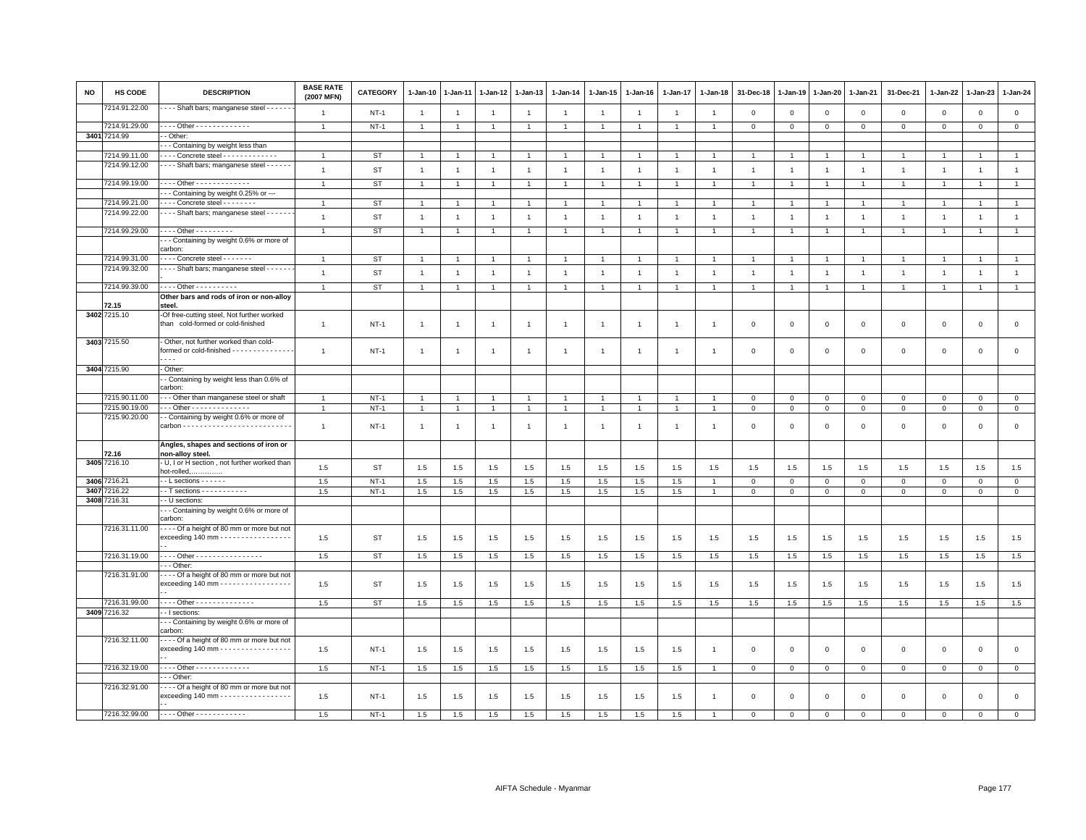| <b>NO</b> | HS CODE       | <b>DESCRIPTION</b>                                                                              | <b>BASE RATE</b><br>(2007 MFN) | CATEGORY  | $1-Jan-10$     | 1-Jan-11       | $1 - Jan-12$   | 1-Jan-13       | $1 - Jan-14$   | 1-Jan-15             | $1 - Jan-16$   | 1-Jan-17       | $1 - Jan-18$   | 31-Dec-18      | $1 - Jan-19$   | $1 - Jan-20$   | 1-Jan-21       | 31-Dec-21      | 1-Jan-22       | 1-Jan-23       | $1-Jan-24$     |
|-----------|---------------|-------------------------------------------------------------------------------------------------|--------------------------------|-----------|----------------|----------------|----------------|----------------|----------------|----------------------|----------------|----------------|----------------|----------------|----------------|----------------|----------------|----------------|----------------|----------------|----------------|
|           | 7214.91.22.00 | Shaft bars; manganese steel - - - - - -                                                         | $\overline{1}$                 | $NT-1$    | $\overline{1}$ | $\overline{1}$ | $\overline{1}$ | $\overline{1}$ | $\overline{1}$ | $\overline{1}$       | $\overline{1}$ | $\overline{1}$ | $\overline{1}$ | $\mathbf{0}$   | $\mathbb O$    | $\mathbf 0$    | $\mathbf{0}$   | $\mathbf{0}$   | $\mathbf{0}$   | $\mathbf 0$    | $\mathsf 0$    |
|           | 7214.91.29.00 | ---- Other - - - - - - - - - - - - -                                                            | $\overline{1}$                 | $NT-1$    | $\mathbf{1}$   | $\overline{1}$ | $\overline{1}$ | $\overline{1}$ | $\mathbf{1}$   | $\mathbf{1}$         | $\overline{1}$ | $\mathbf{1}$   | $\overline{1}$ | $\mathbf{O}$   | $\mathbf 0$    | $\overline{0}$ | $\mathbf{0}$   | $\mathbf 0$    | $\mathbf{0}$   | $\mathbf 0$    | $\circ$        |
|           | 3401 7214.99  | - Other:                                                                                        |                                |           |                |                |                |                |                |                      |                |                |                |                |                |                |                |                |                |                |                |
|           |               | - - Containing by weight less than                                                              |                                |           |                |                |                |                |                |                      |                |                |                |                |                |                |                |                |                |                |                |
|           | 7214.99.11.00 | - - - - Concrete steel - - - - - - - - - - - - -                                                | $\overline{1}$                 | <b>ST</b> | $\overline{1}$ |                |                | $\mathbf{1}$   | $\mathbf{1}$   | $\overline{1}$       | $\overline{1}$ |                |                |                |                | $\overline{1}$ |                |                |                |                | $\mathbf{1}$   |
|           | 7214.99.12.00 | - - - - Shaft bars; manganese steel - - - - - -                                                 | $\mathbf{1}$                   | <b>ST</b> | $\mathbf{1}$   | $\overline{1}$ | $\overline{1}$ | $\mathbf{1}$   | $\overline{1}$ | $\mathbf{1}$         | $\overline{1}$ | $\overline{1}$ | $\overline{1}$ | $\overline{1}$ | $\overline{1}$ | $\overline{1}$ | $\overline{1}$ | $\mathbf{1}$   | $\mathbf{1}$   | $\mathbf{1}$   | $\mathbf{1}$   |
|           | 7214.99.19.00 | Other - - - - - - - - - - - - -                                                                 | $\overline{1}$                 | ST        | $\overline{1}$ | $\overline{1}$ | $\overline{1}$ | $\overline{1}$ | $\overline{1}$ | $\overline{1}$       | $\overline{1}$ | $\overline{1}$ | $\overline{1}$ | $\overline{1}$ | $\overline{1}$ | $\overline{1}$ | $\overline{1}$ | $\overline{1}$ | $\overline{1}$ | $\overline{1}$ | $\overline{1}$ |
|           |               | - - Containing by weight 0.25% or ---                                                           |                                |           |                |                |                |                |                |                      |                |                |                |                |                |                |                |                |                |                |                |
|           | 7214.99.21.00 | Concrete steel - - - - - - -                                                                    |                                | <b>ST</b> | $\overline{1}$ |                |                | $\overline{1}$ | $\mathbf{1}$   | $\mathbf{1}$         | $\overline{1}$ | $\overline{1}$ |                |                |                | $\overline{1}$ |                | $\overline{1}$ |                | $\overline{1}$ | $\mathbf{1}$   |
|           | 7214.99.22.00 | Shaft bars; manganese steel -                                                                   | $\overline{1}$                 | <b>ST</b> | $\overline{1}$ |                |                | $\overline{1}$ | $\overline{1}$ | $\overline{1}$       | $\overline{1}$ | $\overline{1}$ |                | $\overline{1}$ |                | $\overline{1}$ | $\overline{1}$ | $\overline{1}$ |                | $\overline{1}$ | $\mathbf{1}$   |
|           | 7214.99.29.00 | - - - - Other - - - - - - - - -                                                                 | $\overline{1}$                 | ST        | $\mathbf{1}$   | $\overline{1}$ | $\overline{1}$ | $\overline{1}$ | $\overline{1}$ | $\blacktriangleleft$ | $\overline{1}$ | $\overline{1}$ | $\overline{1}$ | $\overline{1}$ | $\overline{1}$ | $\overline{1}$ | $\overline{1}$ | $\overline{1}$ | $\overline{1}$ | $\overline{1}$ | $\mathbf{1}$   |
|           |               | - - Containing by weight 0.6% or more of                                                        |                                |           |                |                |                |                |                |                      |                |                |                |                |                |                |                |                |                |                |                |
|           |               | carbon:                                                                                         |                                |           |                |                |                |                |                |                      |                |                |                |                |                |                |                |                |                |                |                |
|           | 7214.99.31.00 | $\cdots$ Concrete steel $\cdots$                                                                | $\overline{1}$                 | ST        | $\overline{1}$ |                | -1             | $\overline{1}$ | $\mathbf{1}$   | $\mathbf{1}$         |                |                |                |                |                | $\mathbf{1}$   | -1             |                |                | $\overline{1}$ | $\mathbf{1}$   |
|           | 7214.99.32.00 | Shaft bars; manganese steel - - - - - -                                                         | $\overline{1}$                 | <b>ST</b> | $\mathbf{1}$   | $\overline{1}$ | $\overline{1}$ | $\overline{1}$ | $\overline{1}$ | $\overline{1}$       | $\overline{1}$ | $\overline{1}$ | $\overline{1}$ | $\overline{1}$ | $\overline{1}$ | $\overline{1}$ | $\overline{1}$ | $\mathbf{1}$   | $\overline{1}$ | $\overline{1}$ | $\mathbf{1}$   |
|           |               |                                                                                                 |                                |           |                |                |                |                |                |                      |                |                |                |                |                |                |                |                |                |                |                |
|           | 7214.99.39.00 | - - - - Other - - - - - - - - -                                                                 |                                | <b>ST</b> | $\overline{1}$ | $\overline{1}$ | $\overline{1}$ | $\overline{1}$ | $\overline{1}$ | $\overline{1}$       | $\overline{1}$ | $\overline{1}$ |                | $\overline{1}$ | $\overline{1}$ | $\overline{1}$ | $\mathbf{1}$   |                | $\overline{1}$ | $\overline{1}$ | $\overline{1}$ |
|           |               | Other bars and rods of iron or non-alloy                                                        |                                |           |                |                |                |                |                |                      |                |                |                |                |                |                |                |                |                |                |                |
|           | 72.15         | steel.                                                                                          |                                |           |                |                |                |                |                |                      |                |                |                |                |                |                |                |                |                |                |                |
|           | 3402 7215.10  | -Of free-cutting steel, Not further worked<br>than cold-formed or cold-finished                 | $\overline{1}$                 | $NT-1$    | $\mathbf{1}$   | $\overline{1}$ | $\overline{1}$ | $\mathbf{1}$   | $\overline{1}$ | $\mathbf{1}$         | $\overline{1}$ | $\overline{1}$ | $\overline{1}$ | $\mathbf 0$    | $\mathbf 0$    | $\mathbf 0$    | $\mathbf{O}$   | $\mathbf 0$    | $\mathbf 0$    | $\mathbf 0$    | $\mathsf 0$    |
|           | 3403 7215.50  | - Other, not further worked than cold-                                                          |                                |           |                |                |                |                |                |                      |                |                |                |                |                |                |                |                |                |                |                |
|           |               | formed or cold-finished - - - - - - - - - - - - - -<br>$\overline{\phantom{a}}$                 | $\overline{1}$                 | $NT-1$    | $\mathbf{1}$   | $\overline{1}$ | $\overline{1}$ | $\overline{1}$ | $\overline{1}$ | $\blacktriangleleft$ | $\overline{1}$ | $\overline{1}$ | $\overline{1}$ | $\mathbf 0$    | $\mathbf 0$    | $\,0\,$        | $\mathsf 0$    | $\mathbf 0$    | $\Omega$       | $\mathbf 0$    | $\mathsf 0$    |
|           | 3404 7215.90  | - Other:                                                                                        |                                |           |                |                |                |                |                |                      |                |                |                |                |                |                |                |                |                |                |                |
|           |               | - Containing by weight less than 0.6% of                                                        |                                |           |                |                |                |                |                |                      |                |                |                |                |                |                |                |                |                |                |                |
|           |               | carbon:                                                                                         |                                |           |                |                |                |                |                |                      |                |                |                |                |                |                |                |                |                |                |                |
|           | 7215.90.11.00 | -- Other than manganese steel or shaft                                                          | $\mathbf{1}$                   | $NT-1$    | $\overline{1}$ | $\overline{1}$ | $\overline{1}$ | $\overline{1}$ | $\overline{1}$ | $\mathbf{1}$         | $\overline{1}$ | $\overline{1}$ | $\overline{1}$ | $\Omega$       | $\overline{0}$ | $\mathbf{0}$   | $\mathbf 0$    | $\mathbf{0}$   | $\Omega$       | $\mathbf{0}$   | $\,0\,$        |
|           | 7215.90.19.00 | Other - - - - - - - - - - - - -                                                                 |                                | $NT-1$    | $\mathbf{1}$   | $\overline{1}$ | $\overline{1}$ | $\overline{1}$ | $\mathbf{1}$   | $\mathbf{1}$         | $\overline{1}$ | $\overline{1}$ | $\overline{1}$ | $\mathbf 0$    | $\overline{0}$ | $\overline{0}$ | $\mathsf 0$    | $\mathbf 0$    | $\mathbf 0$    | $\mathbf 0$    | $\overline{0}$ |
|           | 7215.90.20.00 | - Containing by weight 0.6% or more of                                                          |                                |           |                |                |                |                |                |                      |                |                |                |                |                |                |                |                |                |                |                |
|           |               | $carbon \dots \dots \dots \dots \dots \dots \dots \dots \dots \dots$                            | $\overline{1}$                 | $NT-1$    | $\mathbf{1}$   | $\overline{1}$ | $\overline{1}$ | $\mathbf{1}$   | $\overline{1}$ | $\mathbf{1}$         | $\overline{1}$ | $\overline{1}$ | $\overline{1}$ | $\mathbf 0$    | $^{\circ}$     | $\mathbf 0$    | 0              | $\mathbf 0$    | $\mathbf 0$    | $\mathbf 0$    | $\mathsf 0$    |
|           | 72.16         | Angles, shapes and sections of iron or<br>non-alloy steel.                                      |                                |           |                |                |                |                |                |                      |                |                |                |                |                |                |                |                |                |                |                |
|           | 3405 7216.10  | - U, I or H section, not further worked than<br>hot-rolled,                                     | 1.5                            | ST        | 1.5            | 1.5            | 1.5            | 1.5            | 1.5            | 1.5                  | 1.5            | 1.5            | 1.5            | 1.5            | 1.5            | 1.5            | 1.5            | 1.5            | 1.5            | 1.5            | 1.5            |
|           | 3406 7216.21  | $\cdot$ - L sections - - - - - -                                                                | 1.5                            | $NT-1$    | 1.5            | 1.5            | 1.5            | 1.5            | 1.5            | 1.5                  | 1.5            | 1.5            |                | $\Omega$       | $\mathbf{0}$   | $\mathbf{0}$   | $\mathbf 0$    | $\mathbf{0}$   | $\Omega$       | $\circ$        | $\circ$        |
| 3407      | 7216.22       | $\cdot$ T sections $\dots \dots \dots$                                                          | 1.5                            | $NT-1$    | 1.5            | 1.5            | 1.5            | 1.5            | 1.5            | 1.5                  | 1.5            | 1.5            | $\mathbf{1}$   | $\mathbf{0}$   | $\mathbf 0$    | $\mathbf 0$    | $\mathbf 0$    | $\circ$        | $\circ$        | $\mathbf 0$    | $\circ$        |
|           | 3408 7216.31  | - U sections                                                                                    |                                |           |                |                |                |                |                |                      |                |                |                |                |                |                |                |                |                |                |                |
|           |               | --- Containing by weight 0.6% or more of                                                        |                                |           |                |                |                |                |                |                      |                |                |                |                |                |                |                |                |                |                |                |
|           |               | carbon:                                                                                         |                                |           |                |                |                |                |                |                      |                |                |                |                |                |                |                |                |                |                |                |
|           | 7216.31.11.00 | ---- Of a height of 80 mm or more but not<br>exceeding 140 mm - - - - - - - - - - - - - - - - - | 1.5                            | <b>ST</b> | 1.5            | 1.5            | 1.5            | 1.5            | 1.5            | 1.5                  | 1.5            | 1.5            | 1.5            | 1.5            | 1.5            | 1.5            | 1.5            | 1.5            | 1.5            | 1.5            | 1.5            |
|           | 7216.31.19.00 | - - - - Other - - - - - - - - - - - - - - - -                                                   | 1.5                            | ST        | 1.5            | 1.5            | 1.5            | 1.5            | 1.5            | 1.5                  | 1.5            | 1.5            | 1.5            | 1.5            | 1.5            | 1.5            | 1.5            | 1.5            | 1.5            | 1.5            | 1.5            |
|           |               | $\cdots$ Other:                                                                                 |                                |           |                |                |                |                |                |                      |                |                |                |                |                |                |                |                |                |                |                |
|           | 7216.31.91.00 | --- Of a height of 80 mm or more but not                                                        |                                |           |                |                |                |                |                |                      |                |                |                |                |                |                |                |                |                |                |                |
|           |               | exceeding 140 mm $\cdots$                                                                       | 1.5                            | ST        | 1.5            | 1.5            | 1.5            | 1.5            | 1.5            | 1.5                  | 1.5            | 1.5            | 1.5            | 1.5            | 1.5            | 1.5            | 1.5            | 1.5            | 1.5            | 1.5            | 1.5            |
|           | 7216.31.99.00 | - - - - Other - - - - - - - - - - - - - -                                                       | 1.5                            | ST        | 1.5            | 1.5            | 1.5            | 1.5            | 1.5            | 1.5                  | 1.5            | 1.5            | 1.5            | 1.5            | 1.5            | 1.5            | 1.5            | 1.5            | 1.5            | 1.5            | 1.5            |
|           | 3409 7216.32  | -- I sections:                                                                                  |                                |           |                |                |                |                |                |                      |                |                |                |                |                |                |                |                |                |                |                |
|           |               | - - Containing by weight 0.6% or more of<br>carbon:                                             |                                |           |                |                |                |                |                |                      |                |                |                |                |                |                |                |                |                |                |                |
|           | 7216.32.11.00 | ---- Of a height of 80 mm or more but not                                                       |                                |           |                |                |                |                |                |                      |                |                |                |                |                |                |                |                |                |                |                |
|           |               | exceeding 140 mm - - - - - - - - - - - - - - - -                                                | 1.5                            | $NT-1$    | 1.5            | 1.5            | 1.5            | 1.5            | 1.5            | 1.5                  | 1.5            | 1.5            | $\mathbf{1}$   | $\mathbf 0$    | $\mathbf 0$    | $\mathbf 0$    | 0              | $\mathbf 0$    | $\mathbf 0$    | $\mathbf 0$    | $\mathsf 0$    |
|           | 7216.32.19.00 | - - - - Other - - - - - - - - - - - - -                                                         | 1.5                            | $NT-1$    | 1.5            | 1.5            | 1.5            | 1.5            | 1.5            | 1.5                  | 1.5            | 1.5            |                | $\mathbf 0$    | $\overline{0}$ | $\mathbb O$    | $\mathsf 0$    | $\mathsf 0$    | $\mathsf 0$    | $\circ$        | $\mathsf 0$    |
|           |               | --- Other:                                                                                      |                                |           |                |                |                |                |                |                      |                |                |                |                |                |                |                |                |                |                |                |
|           | 7216.32.91.00 | --- Of a height of 80 mm or more but not<br>exceeding 140 mm $\cdots$                           | 1.5                            | $NT-1$    | 1.5            | 1.5            | 1.5            | 1.5            | 1.5            | 1.5                  | 1.5            | 1.5            |                | $\mathbf 0$    | $\mathbf 0$    | $\mathbf 0$    | 0              | $\mathbf 0$    | $\mathbf 0$    | $\mathsf 0$    | $\mathsf 0$    |
|           |               | 7216.32.99.00 ---- Other ------------                                                           | 1.5                            | $NT-1$    | 1.5            | 1.5            | 1.5            | 1.5            | 1.5            | 1.5                  | 1.5            | 1.5            |                | $\Omega$       | $\Omega$       | $\mathbf{0}$   | $\Omega$       | $\Omega$       | $\Omega$       | $\mathbf{0}$   | $\mathbf 0$    |
|           |               |                                                                                                 |                                |           |                |                |                |                |                |                      |                |                |                |                |                |                |                |                |                |                |                |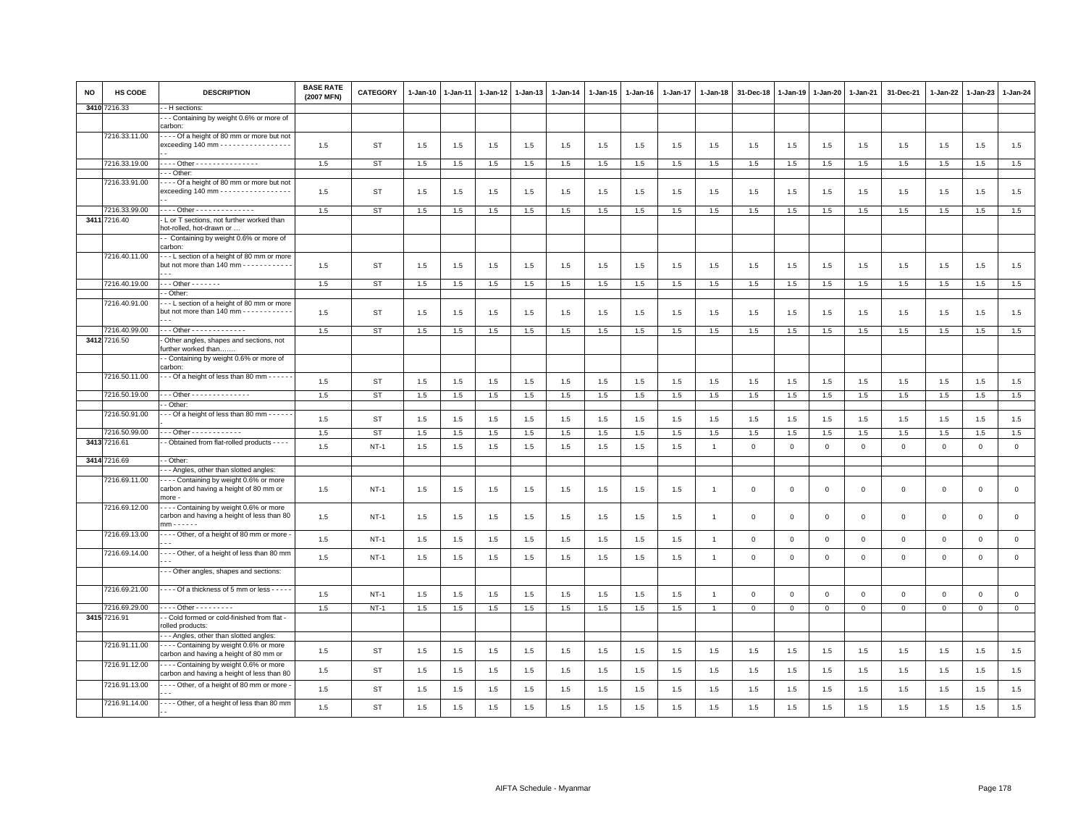| <b>NO</b> | HS CODE                       | <b>DESCRIPTION</b>                                                                                             | <b>BASE RATE</b><br>(2007 MFN) | <b>CATEGORY</b> | $1-Jan-10$ | $1-Jan-11$ | 1-Jan-12 | $1 - Jan-13$ | $1-Jan-14$ | $1 - Jan-15$ | 1-Jan-16 | 1-Jan-17 | $1-Jan-18$     | 31-Dec-18    | $1-Jan-19$   | 1-Jan-20     | $1 - Jan-21$ | 31-Dec-21    | 1-Jan-22     | $1-Jan-23$   | 1-Jan-24     |
|-----------|-------------------------------|----------------------------------------------------------------------------------------------------------------|--------------------------------|-----------------|------------|------------|----------|--------------|------------|--------------|----------|----------|----------------|--------------|--------------|--------------|--------------|--------------|--------------|--------------|--------------|
|           | 3410 7216.33                  | - H sections:<br>- - Containing by weight 0.6% or more of                                                      |                                |                 |            |            |          |              |            |              |          |          |                |              |              |              |              |              |              |              |              |
|           |                               | carbon:                                                                                                        |                                |                 |            |            |          |              |            |              |          |          |                |              |              |              |              |              |              |              |              |
|           | 7216.33.11.00                 | --- Of a height of 80 mm or more but not<br>exceeding 140 mm - - - - - - - - - - - - - - - - -                 | 1.5                            | ST              | 1.5        | 1.5        | 1.5      | 1.5          | 1.5        | 1.5          | 1.5      | 1.5      | 1.5            | 1.5          | 1.5          | 1.5          | 1.5          | 1.5          | 1.5          | 1.5          | 1.5          |
|           | 7216.33.19.00                 | - - - - Other - - - - - - - - - - - - - - - -                                                                  | 1.5                            | <b>ST</b>       | 1.5        | 1.5        | 1.5      | 1.5          | 1.5        | 1.5          | 1.5      | 1.5      | 1.5            | 1.5          | 1.5          | 1.5          | 1.5          | 1.5          | 1.5          | 1.5          | 1.5          |
|           |                               | - - Other:                                                                                                     |                                |                 |            |            |          |              |            |              |          |          |                |              |              |              |              |              |              |              |              |
|           | 7216.33.91.00                 | --- Of a height of 80 mm or more but not<br>exceeding 140 mm - - - - - - - - - - - - - - - - -                 | 1.5                            | ST              | 1.5        | 1.5        | 1.5      | 1.5          | 1.5        | 1.5          | 1.5      | 1.5      | 1.5            | 1.5          | 1.5          | 1.5          | 1.5          | 1.5          | 1.5          | 1.5          | 1.5          |
|           | 7216.33.99.00                 | Other - - - - - - - - - - - - -                                                                                | 1.5                            | <b>ST</b>       | 1.5        | 1.5        | 1.5      | 1.5          | 1.5        | 1.5          | 1.5      | 1.5      | 1.5            | 1.5          | 1.5          | 1.5          | 1.5          | 1.5          | 1.5          | $1.5\,$      | 1.5          |
|           | 3411 7216.40                  | L or T sections, not further worked than<br>not-rolled, hot-drawn or<br>- Containing by weight 0.6% or more of |                                |                 |            |            |          |              |            |              |          |          |                |              |              |              |              |              |              |              |              |
|           |                               | carbon:                                                                                                        |                                |                 |            |            |          |              |            |              |          |          |                |              |              |              |              |              |              |              |              |
|           | 7216.40.11.00                 | --- L section of a height of 80 mm or more<br>but not more than 140 mm - - - - - - - - - -                     | 1.5                            | ST              | 1.5        | 1.5        | 1.5      | 1.5          | 1.5        | 1.5          | 1.5      | 1.5      | 1.5            | 1.5          | 1.5          | 1.5          | 1.5          | 1.5          | 1.5          | 1.5          | 1.5          |
|           | 7216.40.19.00                 | - - - Other - - - - - - -                                                                                      | 1.5                            | ST              | 1.5        | 1.5        | 1.5      | 1.5          | 1.5        | 1.5          | $1.5\,$  | 1.5      | 1.5            | 1.5          | 1.5          | 1.5          | 1.5          | 1.5          | 1.5          | 1.5          | 1.5          |
|           | 7216.40.91.00                 | - Other:<br>--L section of a height of 80 mm or more                                                           |                                |                 |            |            |          |              |            |              |          |          |                |              |              |              |              |              |              |              |              |
|           |                               | but not more than 140 mm - - - - - - - - - - -                                                                 | 1.5                            | <b>ST</b>       | 1.5        | 1.5        | 1.5      | 1.5          | 1.5        | 1.5          | 1.5      | 1.5      | 1.5            | 1.5          | 1.5          | 1.5          | 1.5          | 1.5          | 1.5          | 1.5          | 1.5          |
|           | 7216.40.99.00                 | $-$ - Other - - - - - - - - - - - - -                                                                          | 1.5                            | ST              | 1.5        | 1.5        | 1.5      | 1.5          | 1.5        | 1.5          | 1.5      | 1.5      | 1.5            | 1.5          | 1.5          | 1.5          | 1.5          | 1.5          | 1.5          | 1.5          | 1.5          |
|           | 3412 7216.50                  | Other angles, shapes and sections, not<br>further worked than<br>- Containing by weight 0.6% or more of        |                                |                 |            |            |          |              |            |              |          |          |                |              |              |              |              |              |              |              |              |
|           |                               | carbon:                                                                                                        |                                |                 |            |            |          |              |            |              |          |          |                |              |              |              |              |              |              |              |              |
|           | 7216.50.11.00                 | --- Of a height of less than 80 mm -----                                                                       | 1.5                            | <b>ST</b>       | 1.5        | 1.5        | 1.5      | 1.5          | 1.5        | 1.5          | 1.5      | 1.5      | 1.5            | 1.5          | 1.5          | 1.5          | 1.5          | $1.5\,$      | 1.5          | 1.5          | 1.5          |
|           | 7216.50.19.00                 | - - Other - - - - - - - - - - - - - -<br>- Other:                                                              | 1.5                            | ST              | 1.5        | $1.5$      | 1.5      | 1.5          | 1.5        | 1.5          | 1.5      | 1.5      | 1.5            | 1.5          | 1.5          | 1.5          | 1.5          | 1.5          | 1.5          | 1.5          | 1.5          |
|           | 7216.50.91.00                 | - - Of a height of less than 80 mm - - - - -                                                                   | 1.5                            | ST              | 1.5        | 1.5        | 1.5      | 1.5          | 1.5        | 1.5          | $1.5\,$  | 1.5      | 1.5            | 1.5          | 1.5          | 1.5          | 1.5          | 1.5          | 1.5          | 1.5          | 1.5          |
|           | 7216.50.99.00                 | - - Other - - - - - - - - - - - -                                                                              | 1.5                            | <b>ST</b>       | 1.5        | 1.5        | 1.5      | 1.5          | 1.5        | 1.5          | 1.5      | 1.5      | 1.5            | 1.5          | 1.5          | 1.5          | 1.5          | 1.5          | 1.5          | 1.5          | 1.5          |
|           | 3413 7216.61<br>3414 7216.69  | - Obtained from flat-rolled products - - - -<br>- Other:                                                       | 1.5                            | $NT-1$          | 1.5        | 1.5        | 1.5      | 1.5          | 1.5        | 1.5          | 1.5      | 1.5      | $\overline{1}$ | $\mathbf{0}$ | $\mathbf 0$  | $\mathbf 0$  | $\mathbf 0$  | $\mathbf{0}$ | $\mathbf 0$  | $\mathbf{0}$ | $\circ$      |
|           |                               | - - Angles, other than slotted angles:                                                                         |                                |                 |            |            |          |              |            |              |          |          |                |              |              |              |              |              |              |              |              |
|           | 7216.69.11.00                 | ---- Containing by weight 0.6% or more<br>carbon and having a height of 80 mm or<br>more -                     | 1.5                            | $NT-1$          | 1.5        | 1.5        | 1.5      | 1.5          | 1.5        | 1.5          | 1.5      | 1.5      | $\mathbf{1}$   | $\mathsf 0$  | $\mathbf 0$  | 0            | $\mathbf 0$  | $\mathbf{0}$ | $\circ$      | $\mathsf 0$  | $\mathbf 0$  |
|           | 7216.69.12.00                 | --- Containing by weight 0.6% or more<br>carbon and having a height of less than 80<br>$mm - - - - -$          | 1.5                            | $NT-1$          | 1.5        | 1.5        | 1.5      | 1.5          | 1.5        | 1.5          | 1.5      | 1.5      | $\overline{1}$ | $\Omega$     | $\mathbf 0$  | $\mathbf 0$  | $\mathbf 0$  | $\mathsf 0$  | $\mathbf 0$  | $\mathsf 0$  | $\circ$      |
|           | 7216.69.13.00                 | ---- Other, of a height of 80 mm or more                                                                       | 1.5                            | $NT-1$          | 1.5        | 1.5        | 1.5      | 1.5          | 1.5        | 1.5          | 1.5      | 1.5      | $\overline{1}$ | $\mathbf{0}$ | $\mathbf 0$  | $\mathbf 0$  | $\mathbf 0$  | $\mathbf{0}$ | $\mathbf{0}$ | $\mathbf 0$  | $\circ$      |
|           | 7216.69.14.00                 | --- Other, of a height of less than 80 mm                                                                      | 1.5                            | $NT-1$          | 1.5        | 1.5        | 1.5      | 1.5          | 1.5        | 1.5          | $1.5\,$  | 1.5      | $\mathbf{1}$   | $\mathsf 0$  | $\mathsf 0$  | $\mathsf 0$  | $\mathsf 0$  | $\mathbf{0}$ | $\mathsf 0$  | $\mathsf 0$  | $\mathbf 0$  |
|           |                               | - - Other angles, shapes and sections:                                                                         |                                |                 |            |            |          |              |            |              |          |          |                |              |              |              |              |              |              |              |              |
|           | 7216.69.21.00                 | - - - - Of a thickness of 5 mm or less - - - -                                                                 | 1.5                            | $NT-1$          | 1.5        | 1.5        | 1.5      | 1.5          | 1.5        | 1.5          | $1.5\,$  | 1.5      | $\overline{1}$ | $\mathsf 0$  | $\mathsf 0$  | $\mathbf 0$  | $\mathsf 0$  | $\mathbf{0}$ | $\mathsf 0$  | $\mathsf 0$  | $\circ$      |
|           | 7216.69.29.00<br>3415 7216.91 | $- - -$ Other - - - - - - - - -<br>- Cold formed or cold-finished from flat -                                  | 1.5                            | $NT-1$          | 1.5        | 1.5        | 1.5      | 1.5          | 1.5        | 1.5          | 1.5      | 1.5      | $\mathbf{1}$   | $\mathbf{0}$ | $\mathbf{0}$ | $\mathbf{0}$ | $\mathbf{0}$ | $\mathbf{0}$ | $\mathbf{0}$ | $\mathbf{0}$ | $\mathbf{0}$ |
|           |                               | olled products:                                                                                                |                                |                 |            |            |          |              |            |              |          |          |                |              |              |              |              |              |              |              |              |
|           |                               | - - Angles, other than slotted angles:                                                                         |                                |                 |            |            |          |              |            |              |          |          |                |              |              |              |              |              |              |              |              |
|           | 7216.91.11.00                 | ---- Containing by weight 0.6% or more<br>carbon and having a height of 80 mm or                               | 1.5                            | ST              | 1.5        | 1.5        | 1.5      | 1.5          | 1.5        | 1.5          | 1.5      | 1.5      | 1.5            | 1.5          | 1.5          | 1.5          | 1.5          | 1.5          | 1.5          | 1.5          | 1.5          |
|           | 7216.91.12.00                 | --- Containing by weight 0.6% or more<br>carbon and having a height of less than 80                            | 1.5                            | <b>ST</b>       | 1.5        | 1.5        | 1.5      | 1.5          | 1.5        | 1.5          | 1.5      | 1.5      | 1.5            | 1.5          | 1.5          | 1.5          | 1.5          | 1.5          | 1.5          | 1.5          | 1.5          |
|           | 7216.91.13.00                 | - - - Other, of a height of 80 mm or more -                                                                    | 1.5                            | <b>ST</b>       | 1.5        | 1.5        | 1.5      | 1.5          | 1.5        | 1.5          | 1.5      | 1.5      | 1.5            | 1.5          | 1.5          | 1.5          | 1.5          | 1.5          | 1.5          | 1.5          | 1.5          |
|           | 7216.91.14.00                 | ---- Other, of a height of less than 80 mm                                                                     | 1.5                            | <b>ST</b>       | 1.5        | 1.5        | 1.5      | 1.5          | 1.5        | 1.5          | 1.5      | 1.5      | 1.5            | 1.5          | 1.5          | 1.5          | 1.5          | 1.5          | 1.5          | 1.5          | 1.5          |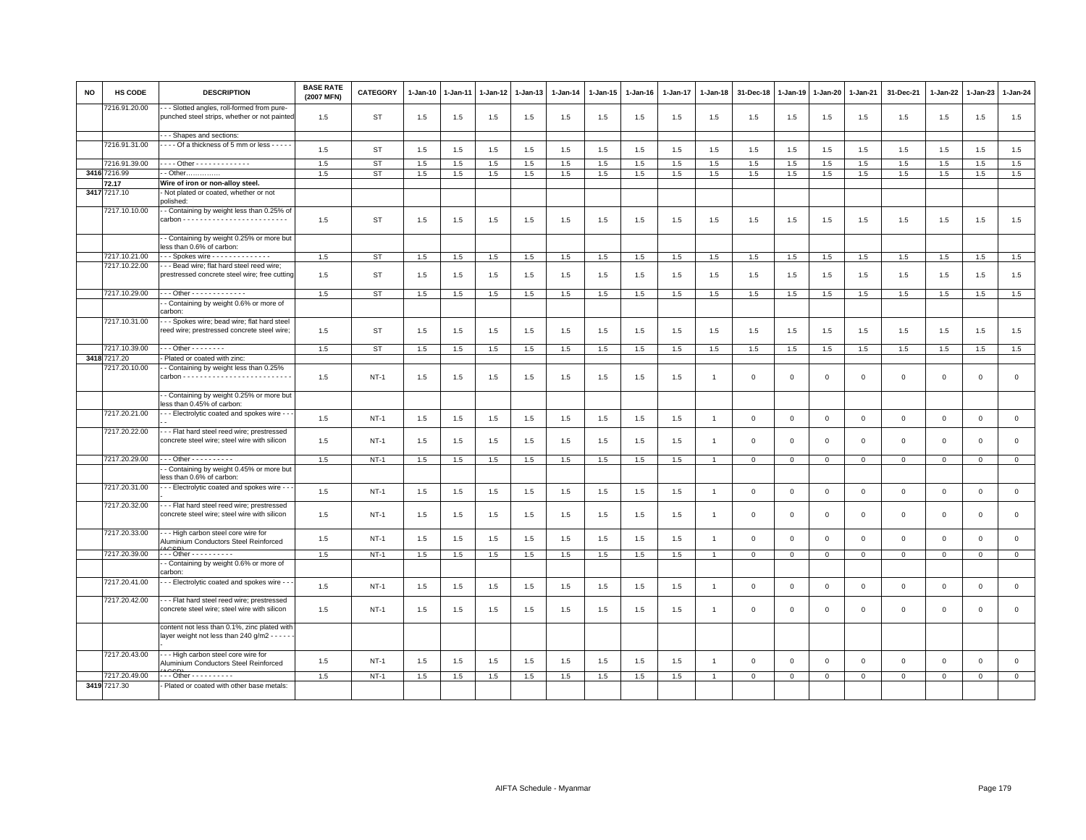| <b>NO</b> | <b>HS CODE</b> | <b>DESCRIPTION</b>                                                                           | <b>BASE RATE</b><br>(2007 MFN) | <b>CATEGORY</b> | 1-Jan-10 | $1-Jan-11$ | 1-Jan-12 | $1-Jan-13$ | $1-Jan-14$ | $1-Jan-15$ | $1-Jan-16$ | 1-Jan-17 | $1-Jan-18$     | 31-Dec-18   | 1-Jan-19     | 1-Jan-20     | 1-Jan-21     | 31-Dec-21    | $1-Jan-22$  | $1-Jan-23$   | 1-Jan-24     |
|-----------|----------------|----------------------------------------------------------------------------------------------|--------------------------------|-----------------|----------|------------|----------|------------|------------|------------|------------|----------|----------------|-------------|--------------|--------------|--------------|--------------|-------------|--------------|--------------|
|           | 7216.91.20.00  | - - - Slotted angles, roll-formed from pure-<br>punched steel strips, whether or not painted | 1.5                            | ST              | 1.5      | 1.5        | 1.5      | 1.5        | 1.5        | 1.5        | 1.5        | 1.5      | 1.5            | 1.5         | 1.5          | 1.5          | 1.5          | 1.5          | 1.5         | 1.5          | 1.5          |
|           |                | --- Shapes and sections:                                                                     |                                |                 |          |            |          |            |            |            |            |          |                |             |              |              |              |              |             |              |              |
|           | 7216.91.31.00  | - - - - Of a thickness of 5 mm or less - - - - -                                             | 1.5                            | <b>ST</b>       | 1.5      | 1.5        | 1.5      | 1.5        | 1.5        | 1.5        | 1.5        | 1.5      | 1.5            | 1.5         | 1.5          | 1.5          | 1.5          | 1.5          | 1.5         | 1.5          | $1.5\,$      |
|           | 7216.91.39.00  | - - - - Other - - - - - - - - - - - - -                                                      | 1.5                            | <b>ST</b>       | 1.5      | 1.5        | 1.5      | 1.5        | 1.5        | 1.5        | 1.5        | 1.5      | 1.5            | 1.5         | 1.5          | 1.5          | 1.5          | 1.5          | 1.5         | $1.5\,$      | 1.5          |
|           | 3416 7216.99   | - Other                                                                                      | 1.5                            | ST              | 1.5      | 1.5        | 1.5      | 1.5        | 1.5        | 1.5        | 1.5        | 1.5      | 1.5            | 1.5         | 1.5          | 1.5          | 1.5          | 1.5          | 1.5         | 1.5          | 1.5          |
|           | 72.17          | Wire of iron or non-alloy steel.                                                             |                                |                 |          |            |          |            |            |            |            |          |                |             |              |              |              |              |             |              |              |
| 3417      | 7217.10        | - Not plated or coated, whether or not<br>polished:                                          |                                |                 |          |            |          |            |            |            |            |          |                |             |              |              |              |              |             |              |              |
|           | 7217.10.10.00  | - Containing by weight less than 0.25% of                                                    | 1.5                            | <b>ST</b>       | 1.5      | 1.5        | 1.5      | 1.5        | 1.5        | 1.5        | 1.5        | 1.5      | 1.5            | 1.5         | 1.5          | 1.5          | 1.5          | 1.5          | 1.5         | 1.5          | 1.5          |
|           |                | - Containing by weight 0.25% or more but<br>less than 0.6% of carbon:                        |                                |                 |          |            |          |            |            |            |            |          |                |             |              |              |              |              |             |              |              |
|           | 7217.10.21.00  | Spokes wire                                                                                  | 1.5                            | ST              | 1.5      | 1.5        | 1.5      | 1.5        | 1.5        | 1.5        | 1.5        | 1.5      | 1.5            | 1.5         | 1.5          | 1.5          | 1.5          | 1.5          | 1.5         | 1.5          | 1.5          |
|           | 7217.10.22.00  | -- Bead wire; flat hard steel reed wire;<br>prestressed concrete steel wire; free cutting    | 1.5                            | <b>ST</b>       | 1.5      | 1.5        | 1.5      | 1.5        | 1.5        | 1.5        | 1.5        | 1.5      | 1.5            | 1.5         | 1.5          | 1.5          | 1.5          | 1.5          | 1.5         | 1.5          | 1.5          |
|           | 7217.10.29.00  | --- Other -------------                                                                      | 1.5                            | ST              | 1.5      | 1.5        | 1.5      | 1.5        | 1.5        | 1.5        | 1.5        | 1.5      | 1.5            | 1.5         | 1.5          | 1.5          | 1.5          | 1.5          | 1.5         | 1.5          | 1.5          |
|           |                | - Containing by weight 0.6% or more of<br>carbon:                                            |                                |                 |          |            |          |            |            |            |            |          |                |             |              |              |              |              |             |              |              |
|           | 7217.10.31.00  | - - Spokes wire; bead wire; flat hard steel<br>reed wire; prestressed concrete steel wire;   | 1.5                            | ST              | 1.5      | 1.5        | 1.5      | 1.5        | 1.5        | 1.5        | 1.5        | 1.5      | 1.5            | 1.5         | 1.5          | 1.5          | 1.5          | 1.5          | 1.5         | 1.5          | 1.5          |
|           | 7217.10.39.00  | $- -$ - Other - - - - - - - -                                                                | 1.5                            | ST              | 1.5      | 1.5        | 1.5      | 1.5        | 1.5        | 1.5        | 1.5        | 1.5      | 1.5            | 1.5         | 1.5          | 1.5          | 1.5          | 1.5          | 1.5         | 1.5          | 1.5          |
|           | 3418 7217.20   | - Plated or coated with zinc:                                                                |                                |                 |          |            |          |            |            |            |            |          |                |             |              |              |              |              |             |              |              |
|           | 7217.20.10.00  | - Containing by weight less than 0.25%                                                       | 1.5                            | $NT-1$          | 1.5      | 1.5        | 1.5      | 1.5        | 1.5        | 1.5        | 1.5        | 1.5      | $\overline{1}$ | $\mathbf 0$ | $\Omega$     | $\mathbf 0$  | $\mathbf 0$  | $\mathbf 0$  | $\Omega$    | $\mathbf 0$  | $\mathbf 0$  |
|           |                | - Containing by weight 0.25% or more but<br>less than 0.45% of carbon:                       |                                |                 |          |            |          |            |            |            |            |          |                |             |              |              |              |              |             |              |              |
|           | 7217.20.21.00  | - - - Electrolytic coated and spokes wire - -                                                | 1.5                            | $NT-1$          | 1.5      | 1.5        | 1.5      | 1.5        | 1.5        | 1.5        | 1.5        | 1.5      | $\overline{1}$ | $\Omega$    | $\mathbf 0$  | $\mathbf{0}$ | $\Omega$     | $\mathbf{0}$ | $\mathbf 0$ | $\mathbf 0$  | $\mathsf 0$  |
|           | 7217.20.22.00  | -- Flat hard steel reed wire; prestressed<br>concrete steel wire; steel wire with silicon    | 1.5                            | $NT-1$          | 1.5      | 1.5        | 1.5      | 1.5        | 1.5        | 1.5        | 1.5        | 1.5      | $\overline{1}$ | $\Omega$    | $\Omega$     | $\mathbf{0}$ | $\mathbf 0$  | $\mathbf 0$  | $\Omega$    | $\mathbf 0$  | $\mathsf 0$  |
|           | 7217.20.29.00  | - - - Other - - - - - - - - - -                                                              | 1.5                            | $NT-1$          | 1.5      | 1.5        | 1.5      | 1.5        | 1.5        | 1.5        | 1.5        | 1.5      |                | $\Omega$    | $\mathbf 0$  | $\mathbf{0}$ | $\mathbf{0}$ | $\mathbf 0$  | $\mathbf 0$ | $\mathsf 0$  | $\mathbf 0$  |
|           |                | - Containing by weight 0.45% or more but<br>less than 0.6% of carbon:                        |                                |                 |          |            |          |            |            |            |            |          |                |             |              |              |              |              |             |              |              |
|           | 7217.20.31.00  | - - Electrolytic coated and spokes wire - -                                                  | 1.5                            | $NT-1$          | 1.5      | 1.5        | 1.5      | 1.5        | 1.5        | 1.5        | 1.5        | 1.5      | $\overline{1}$ | $\mathsf 0$ | $\mathsf 0$  | $\mathsf 0$  | $\mathbf 0$  | $\mathsf 0$  | $\mathsf 0$ | $\mathsf 0$  | $\mathsf 0$  |
|           | 7217.20.32.00  | --- Flat hard steel reed wire; prestressed<br>concrete steel wire; steel wire with silicon   | 1.5                            | $NT-1$          | 1.5      | 1.5        | 1.5      | 1.5        | 1.5        | 1.5        | 1.5        | 1.5      | $\mathbf{1}$   | $\mathbf 0$ | $\mathbf 0$  | $\mathbf 0$  | $\mathsf 0$  | $\mathsf 0$  | $\Omega$    | $\mathbf 0$  | $\mathbf 0$  |
|           | 7217.20.33.00  | --- High carbon steel core wire for<br>Aluminium Conductors Steel Reinforced                 | 1.5                            | $NT-1$          | 1.5      | 1.5        | 1.5      | 1.5        | 1.5        | 1.5        | 1.5        | 1.5      | $\overline{1}$ | $\Omega$    | $\mathbf 0$  | $\mathbf{0}$ | $\mathbf 0$  | $\mathbf{0}$ | $\Omega$    | $\mathbf 0$  | $\mathsf 0$  |
|           | 7217.20.39.00  | . Other - - - - - - - - - -                                                                  | 1.5                            | $NT-1$          | 1.5      | 1.5        | 1.5      | 1.5        | 1.5        | 1.5        | 1.5        | 1.5      | $\overline{1}$ | $\mathbf 0$ | $\mathbf{0}$ | $\mathbf{0}$ | $\mathbf{0}$ | $\mathbf{0}$ | $\mathbf 0$ | $\mathbf{0}$ | $\circ$      |
|           |                | - Containing by weight 0.6% or more of<br>carbon:                                            |                                |                 |          |            |          |            |            |            |            |          |                |             |              |              |              |              |             |              |              |
|           | 7217.20.41.00  | - - Electrolytic coated and spokes wire - -                                                  | 1.5                            | $NT-1$          | 1.5      | 1.5        | 1.5      | 1.5        | 1.5        | 1.5        | 1.5        | 1.5      | $\overline{1}$ | $\mathsf 0$ | $\mathbf 0$  | $\mathbf 0$  | $\mathbf 0$  | $\mathsf 0$  | $\Omega$    | $\,0\,$      | $\mathbf{0}$ |
|           | 7217.20.42.00  | --- Flat hard steel reed wire; prestressed<br>concrete steel wire; steel wire with silicon   | 1.5                            | $NT-1$          | 1.5      | 1.5        | 1.5      | 1.5        | 1.5        | 1.5        | 1.5        | 1.5      | $\overline{1}$ | $\mathbf 0$ | $\mathbf 0$  | $\mathbf{0}$ | $\mathbf 0$  | $\mathbf 0$  | $\Omega$    | $\mathbf{0}$ | $\mathbf 0$  |
|           |                | content not less than 0.1%, zinc plated with<br>layer weight not less than 240 g/m2 - - - -  |                                |                 |          |            |          |            |            |            |            |          |                |             |              |              |              |              |             |              |              |
|           | 7217.20.43.00  | -- High carbon steel core wire for<br>Aluminium Conductors Steel Reinforced                  | 1.5                            | $NT-1$          | 1.5      | 1.5        | 1.5      | 1.5        | 1.5        | 1.5        | 1.5        | 1.5      | $\overline{1}$ | $\Omega$    | $\Omega$     | $\mathbf{0}$ | $\Omega$     | $\Omega$     | $\Omega$    | $\mathsf 0$  | $\mathsf 0$  |
|           | 7217.20.49.00  | - - - Other - - - - - - - - - -                                                              | 1.5                            | $NT-1$          | 1.5      | 1.5        | 1.5      | 1.5        | 1.5        | 1.5        | 1.5        | 1.5      |                | $\Omega$    | $\Omega$     | $\mathbf{0}$ | $\Omega$     | $\mathbf 0$  | 0           | $\mathsf 0$  | $\mathbf 0$  |
|           | 3419 7217.30   | - Plated or coated with other base metals:                                                   |                                |                 |          |            |          |            |            |            |            |          |                |             |              |              |              |              |             |              |              |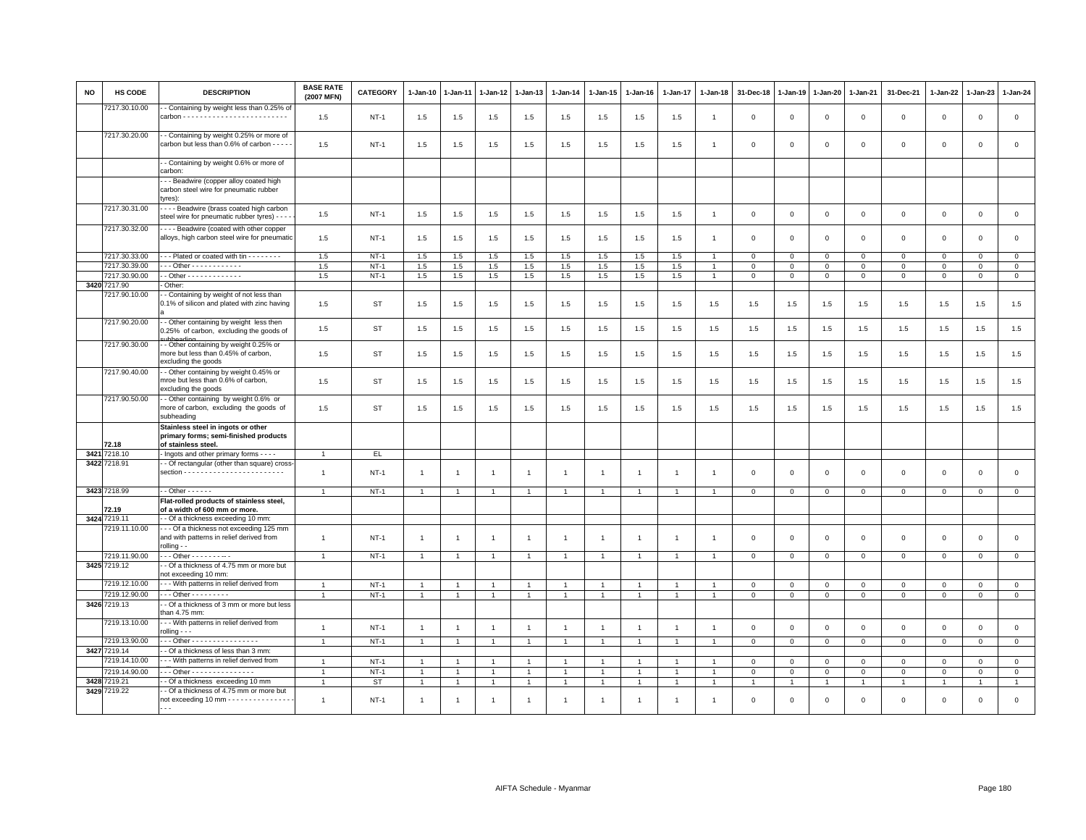| <b>NO</b> | HS CODE                       | <b>DESCRIPTION</b>                                                                                    | <b>BASE RATE</b><br>(2007 MFN) | CATEGORY    | 1-Jan-10       | 1-Jan-11       | 1-Jan-12       | 1-Jan-13       | $1 - Jan-14$   | $1 - Jan-15$   | $1 - Jan-16$   | 1-Jan-17       | $1 - Jan-18$   | 31-Dec-18      | $1 - Jan-19$ | $1-Jan-20$     | 1-Jan-21       | 31-Dec-21      | $1 - Jan-22$   | 1-Jan-23     | $1 - Jan-24$   |
|-----------|-------------------------------|-------------------------------------------------------------------------------------------------------|--------------------------------|-------------|----------------|----------------|----------------|----------------|----------------|----------------|----------------|----------------|----------------|----------------|--------------|----------------|----------------|----------------|----------------|--------------|----------------|
|           | 7217.30.10.00                 | - Containing by weight less than 0.25% of                                                             | 1.5                            | <b>NT-1</b> | 1.5            | 1.5            | 1.5            | 1.5            | 1.5            | 1.5            | 1.5            | 1.5            | $\overline{1}$ | $\mathbf 0$    | $\mathbf 0$  | $\mathbf 0$    | $\mathbf{0}$   | $\mathsf 0$    | $\mathbf 0$    | $\mathbf 0$  | $\mathbf 0$    |
|           | 7217.30.20.00                 | - - Containing by weight 0.25% or more of<br>carbon but less than 0.6% of carbon - - - -              | 1.5                            | $NT-1$      | 1.5            | 1.5            | 1.5            | 1.5            | 1.5            | 1.5            | 1.5            | 1.5            | $\overline{1}$ | $\Omega$       | $\Omega$     | $\mathsf 0$    | $\mathbf 0$    | $\mathsf 0$    | $\mathbf 0$    | $\mathsf 0$  | $\mathbf 0$    |
|           |                               | - - Containing by weight 0.6% or more of<br>carbon:                                                   |                                |             |                |                |                |                |                |                |                |                |                |                |              |                |                |                |                |              |                |
|           |                               | - - Beadwire (copper alloy coated high                                                                |                                |             |                |                |                |                |                |                |                |                |                |                |              |                |                |                |                |              |                |
|           |                               | carbon steel wire for pneumatic rubber<br>tyres):                                                     |                                |             |                |                |                |                |                |                |                |                |                |                |              |                |                |                |                |              |                |
|           | 7217.30.31.00                 | ---- Beadwire (brass coated high carbon<br>steel wire for pneumatic rubber tyres) - - -               | $1.5\,$                        | <b>NT-1</b> | 1.5            | 1.5            | 1.5            | 1.5            | 1.5            | 1.5            | 1.5            | 1.5            | $\overline{1}$ | $\mathsf 0$    | $\mathsf 0$  | $\mathsf 0$    | $\mathbf 0$    | $\mathsf 0$    | $\mathbf 0$    | $\mathsf 0$  | $\mathsf{O}$   |
|           | 7217.30.32.00                 | - - - - Beadwire (coated with other copper<br>alloys, high carbon steel wire for pneumatic            | 1.5                            | $NT-1$      | 1.5            | 1.5            | 1.5            | 1.5            | 1.5            | 1.5            | 1.5            | 1.5            | $\overline{1}$ | $\Omega$       | $\Omega$     | $\mathbf{0}$   | $\mathbf{0}$   | $\mathbf 0$    | $\mathbf{0}$   | $\mathbf 0$  | $\mathbf 0$    |
|           | 7217.30.33.00                 | --- Plated or coated with tin --------                                                                | 1.5                            | $NT-1$      | 1.5            | 1.5            | 1.5            | 1.5            | 1.5            | 1.5            | 1.5            | 1.5            | $\overline{1}$ | $\mathbf 0$    | $\mathbf 0$  | $\mathbf 0$    | $\mathbf 0$    | $\mathsf 0$    | $\circ$        | 0            | $\mathbf 0$    |
|           | 7217.30.39.00                 | $\cdots$ Other - - - - - - - - - - - -                                                                | 1.5                            | $NT-1$      | 1.5            | 1.5            | 1.5            | 1.5            | 1.5            | 1.5            | 1.5            | 1.5            | $\overline{1}$ | $\mathbf 0$    | $\mathsf 0$  | $\mathbf 0$    | $\mathbf{0}$   | $\mathbf 0$    | $\mathbf 0$    | $\mathbf{O}$ | $\overline{0}$ |
|           | 7217.30.90.00<br>3420 7217.90 | $-$ Other - - - - - - - - - - - - -<br>Other:                                                         | 1.5                            | $NT-1$      | 1.5            | 1.5            | 1.5            | 1.5            | 1.5            | 1.5            | 1.5            | 1.5            | $\overline{1}$ | $\mathbf{0}$   | $\mathbf{0}$ | $\mathbf{0}$   | $\mathbf{0}$   | $\mathbf{0}$   | $\mathbf{0}$   | $\mathbf 0$  | $\mathbf{0}$   |
|           | 7217.90.10.00                 | - Containing by weight of not less than<br>0.1% of silicon and plated with zinc having                | 1.5                            | ST          | 1.5            | 1.5            | 1.5            | 1.5            | 1.5            | 1.5            | 1.5            | 1.5            | 1.5            | 1.5            | 1.5          | 1.5            | 1.5            | 1.5            | 1.5            | 1.5          | $1.5\,$        |
|           | 7217.90.20.00                 | - Other containing by weight less then<br>0.25% of carbon, excluding the goods of<br><b>ibhooding</b> | 1.5                            | ST          | 1.5            | 1.5            | 1.5            | 1.5            | 1.5            | 1.5            | 1.5            | 1.5            | 1.5            | 1.5            | 1.5          | 1.5            | 1.5            | 1.5            | 1.5            | 1.5          | 1.5            |
|           | 7217.90.30.00                 | - - Other containing by weight 0.25% or<br>more but less than 0.45% of carbon,<br>excluding the goods | 1.5                            | <b>ST</b>   | 1.5            | 1.5            | 1.5            | 1.5            | 1.5            | 1.5            | 1.5            | 1.5            | 1.5            | 1.5            | 1.5          | 1.5            | 1.5            | 1.5            | 1.5            | 1.5          | 1.5            |
|           | 7217.90.40.00                 | - Other containing by weight 0.45% or<br>mroe but less than 0.6% of carbon,<br>excluding the goods    | 1.5                            | ST          | 1.5            | 1.5            | 1.5            | 1.5            | 1.5            | 1.5            | 1.5            | 1.5            | 1.5            | 1.5            | 1.5          | 1.5            | 1.5            | 1.5            | 1.5            | 1.5          | 1.5            |
|           | 7217.90.50.00                 | - Other containing by weight 0.6% or<br>more of carbon, excluding the goods of                        | 1.5                            | ST          | 1.5            | 1.5            | 1.5            | 1.5            | 1.5            | 1.5            | 1.5            | 1.5            | 1.5            | 1.5            | 1.5          | 1.5            | 1.5            | 1.5            | 1.5            | 1.5          | $1.5\,$        |
|           |                               | subheading<br>Stainless steel in ingots or other<br>primary forms; semi-finished products             |                                |             |                |                |                |                |                |                |                |                |                |                |              |                |                |                |                |              |                |
|           | 72.18                         | of stainless steel.                                                                                   | $\overline{1}$                 |             |                |                |                |                |                |                |                |                |                |                |              |                |                |                |                |              |                |
|           | 3421 7218.10<br>3422 7218.91  | - Ingots and other primary forms - - - -<br>- - Of rectangular (other than square) cross              |                                | EL.         |                |                |                |                |                |                |                |                |                |                |              |                |                |                |                |              |                |
|           |                               |                                                                                                       | $\overline{1}$                 | $NT-1$      | $\mathbf{1}$   | $\overline{1}$ | $\overline{1}$ | $\overline{1}$ | $\overline{1}$ | $\mathbf{1}$   | $\overline{1}$ | $\overline{1}$ | $\overline{1}$ | $\mathbf 0$    | $\mathbf 0$  | $\mathbf 0$    | $\mathbf 0$    | $\mathsf 0$    | $\mathbf 0$    | $\mathsf 0$  | $\mathsf 0$    |
|           | 3423 7218.99                  | $\cdot$ - Other - - - - - -                                                                           | $\overline{1}$                 | $NT-1$      | $\mathbf{1}$   | $\overline{1}$ | $\overline{1}$ | $\overline{1}$ | $\mathbf{1}$   | $\overline{1}$ | $\overline{1}$ | $\mathbf{1}$   | $\overline{1}$ | $\mathbf 0$    | $\mathbf 0$  | $\mathsf 0$    | $\mathbf{O}$   | $\mathbf 0$    | $\mathsf 0$    | $\mathbf{0}$ | $\overline{0}$ |
|           | 72.19                         | Flat-rolled products of stainless steel,<br>of a width of 600 mm or more.                             |                                |             |                |                |                |                |                |                |                |                |                |                |              |                |                |                |                |              |                |
|           | 3424 7219.11                  | - Of a thickness exceeding 10 mm:                                                                     |                                |             |                |                |                |                |                |                |                |                |                |                |              |                |                |                |                |              |                |
|           | 7219.11.10.00                 | - - Of a thickness not exceeding 125 mm<br>and with patterns in relief derived from<br>$rolling -$    | $\overline{1}$                 | $NT-1$      | $\overline{1}$ | $\overline{1}$ | $\overline{1}$ | $\overline{1}$ | $\overline{1}$ | $\mathbf{1}$   | $\overline{1}$ | $\overline{1}$ | -1             | $\Omega$       | $\mathbf 0$  | $\mathbf 0$    | $\Omega$       | $\mathsf 0$    | $\mathbf 0$    | $\mathbf 0$  | $\mathbf 0$    |
|           | 7219.11.90.00                 | --- Other - - - - - - - - -                                                                           |                                | $NT-1$      | $\overline{1}$ |                |                | $\overline{1}$ |                |                |                | $\overline{1}$ |                | $\Omega$       | $\Omega$     | $\Omega$       | $\mathbf{0}$   | $\mathbf 0$    | $\Omega$       | $\Omega$     | $\circ$        |
|           | 3425 7219.12                  | - Of a thickness of 4.75 mm or more but<br>not exceeding 10 mm:                                       |                                |             |                |                |                |                |                |                |                |                |                |                |              |                |                |                |                |              |                |
|           | 7219.12.10.00                 | --- With patterns in relief derived from                                                              | $\overline{1}$                 | $NT-1$      | $\overline{1}$ | -1             | $\overline{1}$ | $\mathbf{1}$   | $\overline{1}$ | $\mathbf{1}$   | $\overline{1}$ | $\overline{1}$ | $\overline{1}$ | 0              | 0            | $\mathbf 0$    | $\mathbf 0$    | 0              | $\circ$        | $\mathbf 0$  | $\mathbf{0}$   |
|           | 7219.12.90.00                 | - - Other - - - - - - - -                                                                             |                                | $NT-1$      | $\overline{1}$ | $\overline{1}$ | $\overline{1}$ | $\overline{1}$ | $\overline{1}$ | $\overline{1}$ | $\overline{1}$ | $\overline{1}$ | $\overline{1}$ | $\mathbf 0$    | $\mathbf 0$  | $\mathsf 0$    | $\overline{0}$ | $\mathsf 0$    | $\overline{0}$ | $\mathsf 0$  | $\overline{0}$ |
|           | 3426 7219.13<br>7219.13.10.00 | - Of a thickness of 3 mm or more but less<br>than 4.75 mm:<br>-- With patterns in relief derived from |                                |             |                |                |                |                |                |                |                |                |                |                |              |                |                |                |                |              |                |
|           |                               | $rolling - -$                                                                                         | $\overline{1}$                 | $NT-1$      | $\overline{1}$ | $\overline{1}$ | $\overline{1}$ | $\mathbf{1}$   | $\overline{1}$ | $\overline{1}$ | $\overline{1}$ | $\overline{1}$ | $\overline{1}$ | $\mathsf 0$    | $\mathsf 0$  | $\mathbf 0$    | $\mathsf 0$    | $\mathsf 0$    | $\mathsf 0$    | $\mathsf 0$  | $\mathsf 0$    |
|           | 7219.13.90.00                 | Other - - - - - - - - - - - - - - -                                                                   | $\overline{1}$                 | $NT-1$      | $\mathbf{1}$   | $\overline{1}$ | $\overline{1}$ | $\overline{1}$ | $\overline{1}$ | $\overline{1}$ | $\overline{1}$ | $\overline{1}$ | $\overline{1}$ | $\Omega$       | $\circ$      | $\circ$        | $\mathbf{0}$   | $\mathbf 0$    | $\Omega$       | $\Omega$     | $\circ$        |
|           | 3427 7219.14                  | - Of a thickness of less than 3 mm:                                                                   |                                |             |                |                |                |                |                |                |                |                |                |                |              |                |                |                |                |              |                |
|           | 7219.14.10.00                 | --- With patterns in relief derived from                                                              | $\mathbf{1}$                   | $NT-1$      | $\overline{1}$ | $\mathbf{1}$   | $\overline{1}$ | $\overline{1}$ | $\overline{1}$ | $\mathbf{1}$   | $\overline{1}$ | $\overline{1}$ | $\overline{1}$ | $\mathbf 0$    | $\mathbf{0}$ | $\mathbf 0$    | $\circ$        | $\mathbf 0$    | $\mathsf 0$    | $\circ$      | $\mathbf{0}$   |
|           | 7219.14.90.00                 | --- Other ---------------                                                                             |                                | $NT-1$      | $\overline{1}$ | $\overline{1}$ | $\overline{1}$ | $\overline{1}$ | $\overline{1}$ | $\overline{1}$ | $\overline{1}$ | $\overline{1}$ | $\overline{1}$ | $\mathbf 0$    | $\mathbf 0$  | $\mathbf 0$    | $\mathbf 0$    | $\mathbf 0$    | $\mathbf 0$    | $\mathsf 0$  | $\mathbf 0$    |
|           | 3428 7219.21<br>3429 7219.22  | - Of a thickness exceeding 10 mm<br>- Of a thickness of 4.75 mm or more but                           | $\overline{1}$                 | ST          | $\overline{1}$ | $\overline{1}$ | $\overline{1}$ | $\overline{1}$ | $\mathbf{1}$   | $\overline{1}$ | $\mathbf{1}$   | $\mathbf{1}$   | $\overline{1}$ | $\overline{1}$ | $\mathbf{1}$ | $\overline{1}$ | $\mathbf{1}$   | $\overline{1}$ | $\mathbf{1}$   |              | $\mathbf{1}$   |
|           |                               | not exceeding 10 mm - - - - - - - - - - - - - - -<br>$\sim$                                           | $\overline{1}$                 | $NT-1$      | 1              | -1             |                | $\overline{1}$ | $\overline{1}$ |                | -1             | -1             |                | $\Omega$       | $\Omega$     | $\Omega$       | $\mathbf 0$    | $\mathbf 0$    | $\mathbf 0$    | $\mathbf 0$  | $\mathbf 0$    |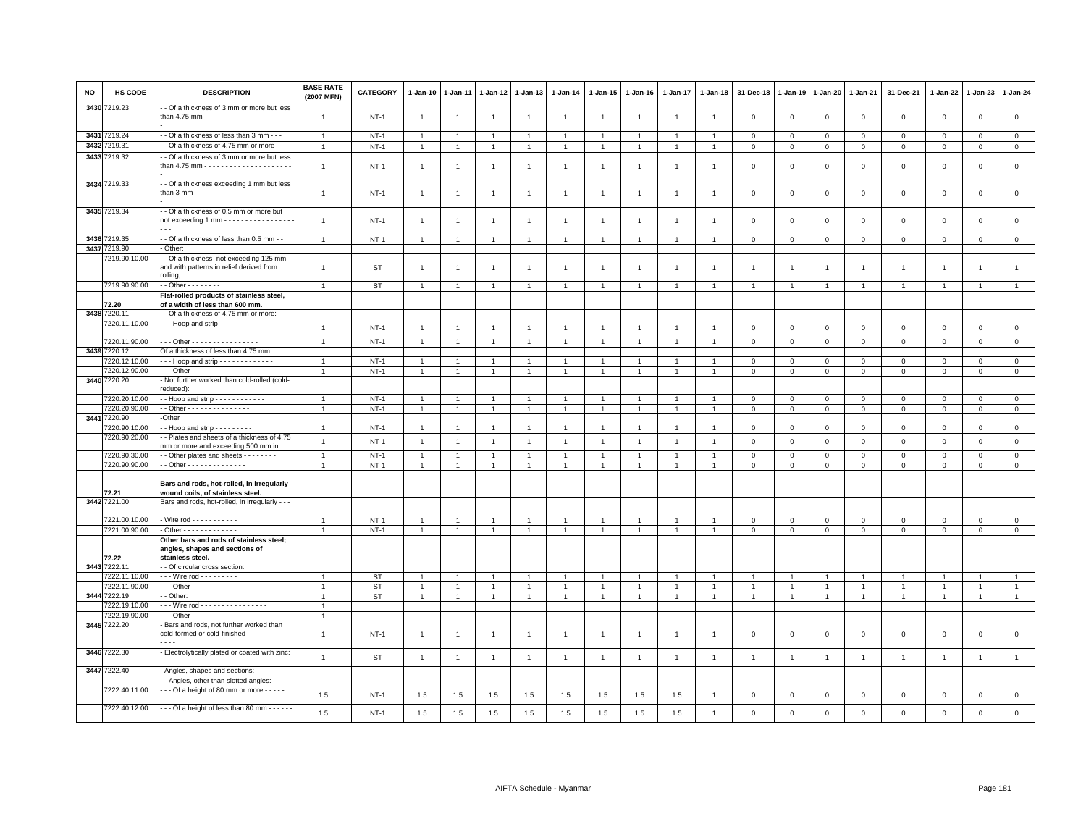| <b>NO</b> | HS CODE                        | <b>DESCRIPTION</b>                                                                                              | <b>BASE RATE</b><br>(2007 MFN)   | <b>CATEGORY</b>        | $1 - Jan-10$                     | $1-Jan-11$                     | $1 - Jan-12$                   | $1-Jan-13$                     | $1 - Jan-14$                   | $1 - Jan-15$                   | $1 - Jan-16$                     | 1-Jan-17                       | $1 - Jan-18$                     | 31-Dec-18                     | $1-Jan-19$                   | $1 - Jan-20$                     | 1-Jan-21                     | 31-Dec-21                    | 1-Jan-22                       | 1-Jan-23                   | 1-Jan-24                      |
|-----------|--------------------------------|-----------------------------------------------------------------------------------------------------------------|----------------------------------|------------------------|----------------------------------|--------------------------------|--------------------------------|--------------------------------|--------------------------------|--------------------------------|----------------------------------|--------------------------------|----------------------------------|-------------------------------|------------------------------|----------------------------------|------------------------------|------------------------------|--------------------------------|----------------------------|-------------------------------|
|           | 3430 7219.23                   | - Of a thickness of 3 mm or more but less                                                                       | $\mathbf{1}$                     | $NT-1$                 | $\overline{1}$                   | $\overline{1}$                 | $\overline{1}$                 | $\mathbf{1}$                   | $\overline{1}$                 | $\overline{1}$                 | $\overline{1}$                   | $\overline{1}$                 | $\overline{1}$                   | $\mathbf 0$                   | $\mathbf 0$                  | $\mathbf 0$                      | $\mathbf 0$                  | $\mathsf 0$                  | $\mathbf 0$                    | $\mathsf 0$                | $\mathbf 0$                   |
|           | 3431 7219.24                   | - Of a thickness of less than 3 mm - - -                                                                        | $\overline{1}$                   | $NT-1$                 | $\overline{1}$                   | $\overline{1}$                 | $\overline{1}$                 | $\overline{1}$                 | $\mathbf{1}$                   | $\overline{1}$                 | $\overline{1}$                   | $\overline{1}$                 | $\overline{1}$                   | $\circ$                       | $\mathsf 0$                  | $\circ$                          | $\mathbf 0$                  | $\circ$                      | $\mathbf 0$                    | $\mathbf{0}$               | $\overline{0}$                |
|           | 3432 7219.31                   | - Of a thickness of 4.75 mm or more - -                                                                         | $\overline{1}$                   | $NT-1$                 | $\overline{1}$                   | $\overline{1}$                 | $\mathbf{1}$                   | $\overline{1}$                 | $\overline{1}$                 | $\mathbf{1}$                   | $\overline{1}$                   | $\overline{1}$                 | $\overline{1}$                   | $\,0\,$                       | $\mathbf 0$                  | $\,0\,$                          | $\mathsf 0$                  | $\mathsf 0$                  | $\mathbf 0$                    | $\mathsf 0$                | $\mathsf 0$                   |
|           | 3433 7219.32                   | - Of a thickness of 3 mm or more but less                                                                       | $\mathbf{1}$                     | $NT-1$                 | $\overline{1}$                   | $\overline{1}$                 | $\overline{1}$                 | $\overline{1}$                 | $\overline{1}$                 | $\mathbf{1}$                   | $\overline{1}$                   | $\overline{1}$                 | $\overline{1}$                   | $\mathbf 0$                   | $\overline{0}$               | $\,0\,$                          | $\mathsf 0$                  | $\mathsf 0$                  | $\mathsf 0$                    | $\mathsf 0$                | $\mathsf 0$                   |
|           | 3434 7219.33                   | - Of a thickness exceeding 1 mm but less                                                                        | $\mathbf{1}$                     | $NT-1$                 | $\overline{1}$                   | $\overline{1}$                 | $\overline{1}$                 | $\mathbf{1}$                   | $\mathbf{1}$                   | $\mathbf{1}$                   | $\overline{1}$                   | $\mathbf{1}$                   | $\overline{1}$                   | $\mathbf 0$                   | $\overline{0}$               | $\mathbf 0$                      | $\mathbf 0$                  | $\mathsf 0$                  | $\mathsf 0$                    | $\mathsf 0$                | $\mathbf 0$                   |
|           | 3435 7219.34                   | - Of a thickness of 0.5 mm or more but<br>not exceeding 1 mm - - - - - - - - - - - - - - - -                    | $\overline{1}$                   | $NT-1$                 | $\overline{1}$                   | $\overline{1}$                 | $\overline{1}$                 | $\mathbf{1}$                   | $\mathbf{1}$                   | 1                              | $\overline{1}$                   | $\mathbf{1}$                   | $\overline{1}$                   | $\Omega$                      | $\Omega$                     | $\mathbf 0$                      | $\mathbf 0$                  | $\mathbf 0$                  | $\mathbf 0$                    | $\mathbf 0$                | $\mathbf 0$                   |
|           | 3436 7219.35                   | - Of a thickness of less than 0.5 mm - -                                                                        | $\mathbf{1}$                     | $NT-1$                 | $\overline{1}$                   | $\overline{1}$                 | $\mathbf{1}$                   | $\mathbf{1}$                   | $\overline{1}$                 | $\mathbf{1}$                   |                                  | $\mathbf{1}$                   | $\overline{1}$                   | $\circ$                       | $\circ$                      | $\overline{0}$                   | $\mathbf 0$                  | $\mathsf 0$                  | $\mathbf 0$                    | $\circ$                    | $\overline{0}$                |
|           | 3437 7219.90<br>7219.90.10.00  | - Other:<br>-- Of a thickness not exceeding 125 mm<br>and with patterns in relief derived from<br>rolling,      | $\mathbf{1}$                     | <b>ST</b>              | $\overline{1}$                   | $\overline{1}$                 | $\overline{1}$                 | $\mathbf{1}$                   | $\overline{1}$                 | $\mathbf{1}$                   | $\overline{1}$                   | $\overline{1}$                 | $\overline{1}$                   | $\overline{1}$                | $\mathbf{1}$                 | $\overline{1}$                   | $\mathbf{1}$                 | $\overline{1}$               | $\overline{1}$                 | $\overline{1}$             | $\mathbf{1}$                  |
|           | 7219.90.90.00                  | $\cdot$ - Other - - - - - - - -                                                                                 | $\overline{1}$                   | <b>ST</b>              | $\overline{1}$                   | $\overline{1}$                 | $\overline{1}$                 | $\overline{1}$                 |                                | $\overline{1}$                 |                                  | -1                             |                                  | $\mathbf{1}$                  | 1                            | $\overline{1}$                   | $\overline{1}$               |                              | $\overline{1}$                 |                            | $\overline{1}$                |
|           |                                | Flat-rolled products of stainless steel,                                                                        |                                  |                        |                                  |                                |                                |                                |                                |                                |                                  |                                |                                  |                               |                              |                                  |                              |                              |                                |                            |                               |
|           | 72.20<br>3438 7220.11          | of a width of less than 600 mm.<br>- Of a thickness of 4.75 mm or more:                                         |                                  |                        |                                  |                                |                                |                                |                                |                                |                                  |                                |                                  |                               |                              |                                  |                              |                              |                                |                            |                               |
|           | 7220.11.10.00                  |                                                                                                                 |                                  |                        |                                  |                                |                                |                                |                                |                                |                                  |                                |                                  |                               |                              |                                  |                              |                              |                                |                            |                               |
|           |                                |                                                                                                                 | $\overline{1}$                   | $NT-1$                 | $\overline{1}$                   | $\overline{1}$                 | $\overline{1}$                 | $\mathbf{1}$                   | $\overline{1}$                 | $\mathbf{1}$                   | $\overline{1}$                   | $\mathbf{1}$                   | $\overline{1}$                   | $\mathbf 0$                   | $\mathsf 0$                  | $\mathbf 0$                      | $\mathsf 0$                  | $\mathsf 0$                  | $\mathsf 0$                    | $\mathsf 0$                | $\mathsf 0$                   |
|           | 7220.11.90.00                  | - - - Other - - - - - - - - - - - - - - -                                                                       | $\overline{1}$                   | $NT-1$                 | $\overline{1}$                   |                                | $\mathbf{1}$                   | $\mathbf{1}$                   |                                | $\mathbf{1}$                   |                                  | $\mathbf{1}$                   |                                  | $\mathbf 0$                   | $\mathsf 0$                  | $\mathbf 0$                      | $\mathbf{0}$                 | $\mathsf 0$                  | $\mathbf 0$                    | $\mathbf 0$                | $\mathbf 0$                   |
|           | 3439 7220.12                   | Of a thickness of less than 4.75 mm:                                                                            |                                  |                        |                                  |                                |                                |                                |                                |                                |                                  |                                |                                  |                               |                              |                                  |                              |                              |                                |                            |                               |
|           | 7220.12.10.00<br>7220.12.90.00 | --- Hoop and strip -------------<br>--- Other ------------                                                      | $\mathbf{1}$<br>$\mathbf{1}$     | $NT-1$<br>$NT-1$       | $\overline{1}$<br>$\overline{1}$ | $\mathbf{1}$<br>$\mathbf{1}$   | $\overline{1}$                 | $\mathbf{1}$<br>$\overline{1}$ |                                | $\overline{1}$<br>$\mathbf{1}$ | $\overline{1}$<br>$\overline{1}$ | $\mathbf{1}$<br>$\mathbf{1}$   | $\overline{1}$<br>$\overline{1}$ | $\mathbf 0$<br>$\overline{0}$ | $\mathbf 0$<br>$\mathbf 0$   | $\mathbf{0}$<br>$\mathbf 0$      | $\mathbf{0}$<br>$\mathbf 0$  | $\mathbf{0}$<br>$\mathbf 0$  | $\circ$<br>$\mathsf 0$         | $\Omega$<br>$\mathsf 0$    | $\mathbf 0$<br>$\mathsf 0$    |
|           | 3440 7220.20                   | Not further worked than cold-rolled (cold-<br>reduced):                                                         |                                  |                        |                                  |                                |                                |                                |                                |                                |                                  |                                |                                  |                               |                              |                                  |                              |                              |                                |                            |                               |
|           | 7220.20.10.00                  | - Hoop and strip - - - - - - - - - - - -                                                                        | $\mathbf{1}$                     | $NT-1$                 |                                  |                                |                                | -1                             |                                |                                |                                  |                                |                                  | 0                             | $^{\circ}$                   | $\mathbf 0$                      | 0                            | 0                            | 0                              | $\mathbf 0$                | $\mathbf 0$                   |
|           | 7220.20.90.00                  | - Other - - - - - - - - - - - - - - -                                                                           | $\overline{1}$                   | $NT-1$                 | $\overline{1}$                   | $\overline{1}$                 | $\mathbf{1}$                   | $\overline{1}$                 |                                | $\mathbf{1}$                   |                                  | $\overline{1}$                 |                                  | $\mathbf{0}$                  | $\mathbb O$                  | $\mathbf 0$                      | $\mathbf{0}$                 | $\mathsf 0$                  | $\mathbf 0$                    | $\mathbf 0$                | $\overline{0}$                |
|           | 3441 7220.90<br>220.90.10.00   | -Other<br>$-$ Hoop and strip $       -$                                                                         |                                  |                        |                                  | $\overline{1}$                 |                                |                                |                                |                                |                                  | $\mathbf{1}$                   |                                  | $\mathbf 0$                   | $\circ$                      |                                  | $\mathbf 0$                  |                              |                                |                            |                               |
|           | 7220.90.20.00                  | - Plates and sheets of a thickness of 4.75                                                                      | $\mathbf{1}$<br>$\overline{1}$   | $NT-1$<br>$NT-1$       | $\mathbf{1}$<br>$\overline{1}$   | $\overline{1}$                 | $\mathbf{1}$<br>$\overline{1}$ | $\mathbf{1}$<br>$\overline{1}$ | $\mathbf{1}$<br>$\overline{1}$ | $\mathbf{1}$<br>$\overline{1}$ | $\overline{1}$<br>$\overline{1}$ | $\overline{1}$                 | $\overline{1}$<br>$\overline{1}$ | $\mathsf 0$                   | $\mathsf 0$                  | $\overline{0}$<br>$\mathbf 0$    | $\mathbf 0$                  | $\mathsf 0$<br>$\mathsf 0$   | $\mathbf 0$<br>$\mathsf 0$     | $\mathbf{0}$               | $\overline{0}$<br>$\mathsf 0$ |
|           | 7220.90.30.00                  | mm or more and exceeding 500 mm in<br>- - Other plates and sheets - - - - - - - -                               | $\mathbf{1}$                     | $NT-1$                 | $\overline{1}$                   | $\mathbf{1}$                   | $\overline{1}$                 | $\overline{1}$                 | $\overline{1}$                 | $\mathbf{1}$                   | $\overline{1}$                   | $\overline{1}$                 | $\overline{1}$                   | $\mathsf 0$                   | $\mathbb O$                  | $\mathbf 0$                      | $\mathsf 0$                  | $\mathsf 0$                  | 0                              | $\mathbf 0$<br>$\mathbf 0$ | $\mathbf{0}$                  |
|           | 7220.90.90.00                  | - - Other - - - - - - - - - - - - - -                                                                           | $\overline{1}$                   | $NT-1$                 | $\overline{1}$                   | $\overline{1}$                 | $\overline{1}$                 | $\overline{1}$                 | $\overline{1}$                 | $\overline{1}$                 | $\overline{1}$                   | $\mathbf{1}$                   | $\overline{1}$                   | $\mathsf 0$                   | $\,0\,$                      | $\mathbf 0$                      | $\mathsf 0$                  | $\mathsf 0$                  | $\mathsf 0$                    | $\mathsf 0$                | $\overline{0}$                |
|           | 72.21                          | Bars and rods, hot-rolled, in irregularly<br>wound coils, of stainless steel.                                   |                                  |                        |                                  |                                |                                |                                |                                |                                |                                  |                                |                                  |                               |                              |                                  |                              |                              |                                |                            |                               |
|           | 3442 7221.00                   | Bars and rods, hot-rolled, in irregularly - - -                                                                 |                                  |                        |                                  |                                |                                |                                |                                |                                |                                  |                                |                                  |                               |                              |                                  |                              |                              |                                |                            |                               |
|           | 7221.00.10.00                  | - Wire rod - - - - - - - - - - -                                                                                | $\overline{1}$                   | $NT-1$                 | $\overline{1}$                   |                                | $\overline{1}$                 | $\overline{1}$                 |                                | $\overline{1}$                 |                                  |                                |                                  | $\mathbf 0$                   | $\mathbf 0$                  | $\mathbf 0$                      | $\mathsf 0$                  | $\mathsf 0$                  | $\mathbf 0$                    | $\mathsf 0$                | $\mathsf 0$                   |
|           | 7221.00.90.00                  | - Other - - - - - - - - - - - - -                                                                               | $\overline{1}$                   | $NT-1$                 | $\overline{1}$                   |                                |                                | $\overline{1}$                 |                                | $\mathbf{1}$                   |                                  |                                | $\overline{1}$                   | $\mathbf 0$                   | $\mathbf 0$                  | $\mathbb O$                      | $\mathsf 0$                  | $\mathsf 0$                  | $\mathsf 0$                    | $\mathsf 0$                | $\overline{0}$                |
|           | 72.22                          | Other bars and rods of stainless steel:<br>angles, shapes and sections of<br>stainless steel.                   |                                  |                        |                                  |                                |                                |                                |                                |                                |                                  |                                |                                  |                               |                              |                                  |                              |                              |                                |                            |                               |
|           | 3443 7222.11                   | - Of circular cross section:                                                                                    |                                  |                        |                                  |                                |                                |                                |                                |                                |                                  |                                |                                  |                               |                              |                                  |                              |                              |                                |                            |                               |
|           | 7222.11.10.00                  | - - - Wire rod - - - - - - - - -                                                                                | $\overline{1}$                   | ST                     | $\overline{1}$                   | $\overline{1}$                 | $\overline{1}$                 | $\mathbf{1}$                   |                                | $\overline{1}$                 |                                  | $\overline{1}$                 | $\overline{1}$                   | $\overline{1}$                | $\overline{1}$               | $\overline{1}$                   | $\overline{1}$               | $\overline{1}$               | $\overline{1}$                 |                            | $\mathbf{1}$                  |
|           | 7222.11.90.00<br>3444 7222.19  | - - - Other - - - - - - - - - - - - -<br>- Other:                                                               | $\overline{1}$<br>$\overline{1}$ | <b>ST</b><br><b>ST</b> | $\mathbf{1}$<br>$\mathbf{1}$     | $\overline{1}$<br>$\mathbf{1}$ | $\mathbf{1}$<br>$\overline{1}$ | $\overline{1}$<br>$\mathbf{1}$ | $\overline{1}$                 | $\mathbf{1}$<br>$\overline{1}$ | $\overline{1}$                   | $\mathbf{1}$<br>$\overline{1}$ | $\overline{1}$<br>$\overline{1}$ | 1<br>$\overline{1}$           | $\mathbf{1}$<br>$\mathbf{1}$ | $\overline{1}$<br>$\overline{1}$ | $\mathbf{1}$<br>$\mathbf{1}$ | $\mathbf{1}$<br>$\mathbf{1}$ | $\overline{1}$<br>$\mathbf{1}$ | $\overline{1}$             | $\mathbf{1}$<br>$\mathbf{1}$  |
|           | 7222.19.10.00                  | Wire rod - - - - - - - - - - - - - - - -                                                                        | $\overline{1}$                   |                        |                                  |                                |                                |                                |                                |                                |                                  |                                |                                  |                               |                              |                                  |                              |                              |                                |                            |                               |
|           | 7222.19.90.00                  | - - - Other - - - - - - - - - - - - -                                                                           | $\overline{1}$                   |                        |                                  |                                |                                |                                |                                |                                |                                  |                                |                                  |                               |                              |                                  |                              |                              |                                |                            |                               |
|           | 3445 7222.20                   | - Bars and rods, not further worked than<br>cold-formed or cold-finished - - - - - - - - - - -<br>$\sim$ $\sim$ | $\mathbf{1}$                     | $NT-1$                 | $\overline{1}$                   | $\overline{1}$                 | $\mathbf{1}$                   | $\mathbf{1}$                   | $\mathbf{1}$                   | $\mathbf{1}$                   | $\overline{1}$                   | $\mathbf{1}$                   | $\overline{1}$                   | $\mathbf 0$                   | $\mathbf{0}$                 | $\mathbf 0$                      | $\mathsf 0$                  | $\mathsf 0$                  | $\mathsf 0$                    | $\mathsf 0$                | $\mathsf 0$                   |
|           | 3446 7222.30                   | Electrolytically plated or coated with zinc:                                                                    | $\overline{1}$                   | <b>ST</b>              | $\overline{1}$                   | $\overline{1}$                 | $\overline{1}$                 | $\overline{1}$                 | $\overline{1}$                 | $\overline{1}$                 | $\overline{1}$                   | $\overline{1}$                 | $\overline{1}$                   | $\overline{1}$                | $\overline{1}$               | $\overline{1}$                   | $\overline{1}$               | $\overline{1}$               | $\overline{1}$                 | $\overline{1}$             | $\overline{1}$                |
|           | 3447 7222.40                   | - Angles, shapes and sections:                                                                                  |                                  |                        |                                  |                                |                                |                                |                                |                                |                                  |                                |                                  |                               |                              |                                  |                              |                              |                                |                            |                               |
|           |                                | - Angles, other than slotted angles:                                                                            |                                  |                        |                                  |                                |                                |                                |                                |                                |                                  |                                |                                  |                               |                              |                                  |                              |                              |                                |                            |                               |
|           | 7222.40.11.00<br>7222.40.12.00 | $-$ - Of a height of 80 mm or more $-$ - - - -<br>Of a height of less than 80 mm - - - - - -                    | 1.5                              | $NT-1$                 | 1.5                              | 1.5                            | 1.5                            | 1.5                            | 1.5                            | 1.5                            | 1.5                              | 1.5                            | $\overline{1}$                   | $\mathbf 0$                   | $\mathbf 0$                  | $\mathbf 0$                      | $\mathbf 0$                  | $\mathsf 0$                  | $\mathbf 0$                    | $\mathsf 0$                | $\mathbf 0$                   |
|           |                                |                                                                                                                 | $1.5\,$                          | $NT-1$                 | $1.5\,$                          | 1.5                            | 1.5                            | $1.5\,$                        | 1.5                            | 1.5                            | 1.5                              | 1.5                            | $\overline{1}$                   | $\mathbf 0$                   | $\mathbf{0}$                 | $\Omega$                         | $\mathbf 0$                  | $\mathbf 0$                  | $\mathsf 0$                    | $\mathsf 0$                | $\mathsf 0$                   |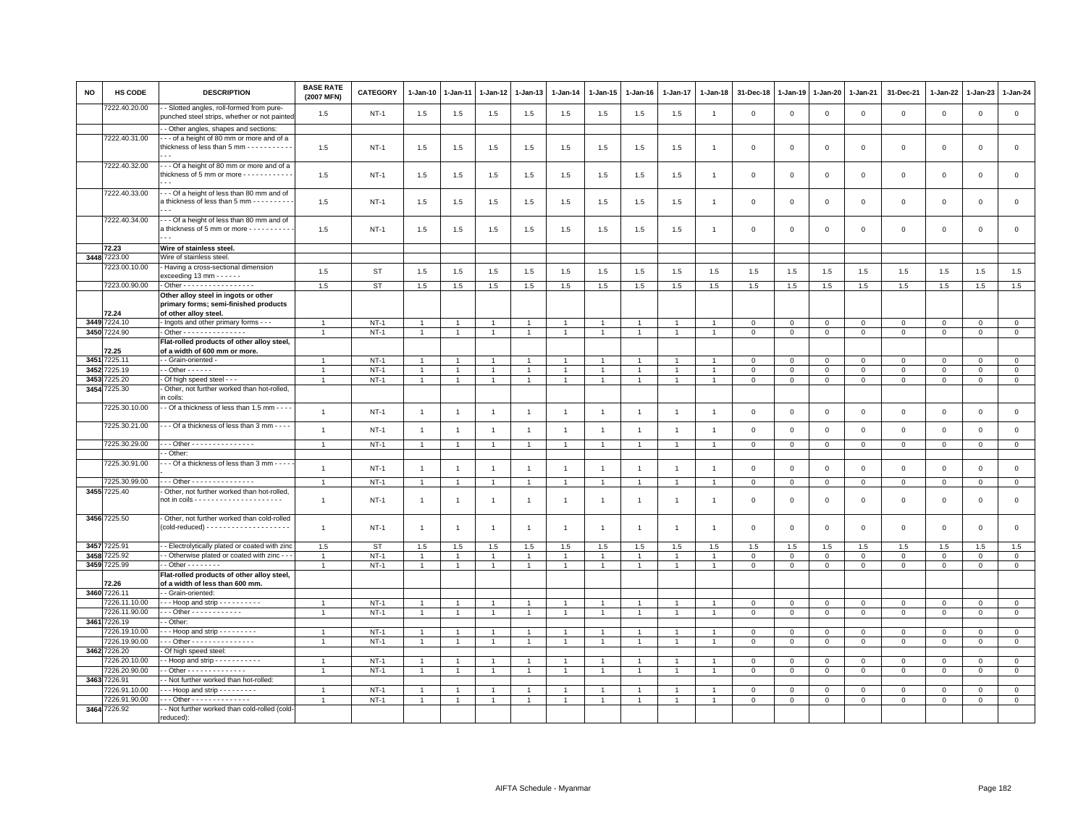| NO   | <b>HS CODE</b>                 | <b>DESCRIPTION</b>                                                                                              | <b>BASE RATE</b><br>(2007 MFN)   | <b>CATEGORY</b>  | 1-Jan-10                         | $1-Jan-11$                       | 1-Jan-12                         | $1-Jan-13$                       | $1-Jan-14$                       | $1 - Jan-15$                   | $1-Jan-16$                       | 1-Jan-17                         | $1 - Jan-18$                   | 31-Dec-18                   | $1-Jan-19$                  | 1-Jan-20                      | 1-Jan-21                    | 31-Dec-21                   | 1-Jan-22                    | $1-Jan-23$                  | 1-Jan-24                   |
|------|--------------------------------|-----------------------------------------------------------------------------------------------------------------|----------------------------------|------------------|----------------------------------|----------------------------------|----------------------------------|----------------------------------|----------------------------------|--------------------------------|----------------------------------|----------------------------------|--------------------------------|-----------------------------|-----------------------------|-------------------------------|-----------------------------|-----------------------------|-----------------------------|-----------------------------|----------------------------|
|      | 7222.40.20.00                  | - Slotted angles, roll-formed from pure-<br>punched steel strips, whether or not painted                        | 1.5                              | $NT-1$           | 1.5                              | 1.5                              | 1.5                              | 1.5                              | 1.5                              | 1.5                            | 1.5                              | 1.5                              | $\mathbf{1}$                   | $\mathbf 0$                 | $\mathbf 0$                 | $\mathbf 0$                   | $\mathbf 0$                 | $\mathbf 0$                 | $\mathbf 0$                 | $\mathsf 0$                 | $\mathsf 0$                |
|      |                                | - Other angles, shapes and sections:                                                                            |                                  |                  |                                  |                                  |                                  |                                  |                                  |                                |                                  |                                  |                                |                             |                             |                               |                             |                             |                             |                             |                            |
|      | 7222.40.31.00                  | - - of a height of 80 mm or more and of a<br>thickness of less than 5 mm - - - - - - - - - - -                  | 1.5                              | $NT-1$           | 1.5                              | 1.5                              | 1.5                              | 1.5                              | 1.5                              | 1.5                            | 1.5                              | 1.5                              | $\overline{1}$                 | 0                           | $\Omega$                    | 0                             | $\mathbf 0$                 | $\mathbf 0$                 | $\circ$                     | 0                           | $\mathbf 0$                |
|      | 7222.40.32.00                  | -- Of a height of 80 mm or more and of a<br>thickness of 5 mm or more - - - - - - - - - - -<br>$\sim$           | 1.5                              | $NT-1$           | 1.5                              | 1.5                              | 1.5                              | 1.5                              | 1.5                              | 1.5                            | 1.5                              | 1.5                              | $\overline{1}$                 | $\mathbf 0$                 | $\mathbf 0$                 | $\mathbf 0$                   | $\mathbf 0$                 | $\mathsf 0$                 | $\mathbf 0$                 | $\mathsf 0$                 | $\mathsf 0$                |
|      | 7222.40.33.00                  | --- Of a height of less than 80 mm and of<br>a thickness of less than 5 mm - - - - - - - - -                    | 1.5                              | $NT-1$           | 1.5                              | 1.5                              | 1.5                              | 1.5                              | 1.5                              | 1.5                            | 1.5                              | 1.5                              | $\mathbf{1}$                   | 0                           | 0                           | $\mathbf 0$                   | $\mathbf 0$                 | $\mathbf 0$                 | $\mathbf 0$                 | $\mathsf 0$                 | $\mathsf 0$                |
|      | 7222.40.34.00                  | --- Of a height of less than 80 mm and of<br>a thickness of 5 mm or more - - - - - - - - - -                    | 1.5                              | $NT-1$           | 1.5                              | 1.5                              | 1.5                              | 1.5                              | 1.5                              | 1.5                            | 1.5                              | 1.5                              | $\overline{1}$                 | $\mathbf 0$                 | $\mathbf 0$                 | $\mathbf 0$                   | $\mathbf 0$                 | $\mathsf 0$                 | $\mathsf 0$                 | $\mathsf 0$                 | $\mathsf 0$                |
|      | 72.23                          | Wire of stainless steel.                                                                                        |                                  |                  |                                  |                                  |                                  |                                  |                                  |                                |                                  |                                  |                                |                             |                             |                               |                             |                             |                             |                             |                            |
|      | 3448 7223.00                   | Wire of stainless steel                                                                                         |                                  |                  |                                  |                                  |                                  |                                  |                                  |                                |                                  |                                  |                                |                             |                             |                               |                             |                             |                             |                             |                            |
|      | 7223.00.10.00                  | - Having a cross-sectional dimension                                                                            |                                  |                  |                                  |                                  |                                  |                                  |                                  |                                |                                  |                                  |                                |                             |                             |                               |                             |                             |                             |                             |                            |
|      |                                | exceeding 13 mm $- - - -$                                                                                       | 1.5                              | <b>ST</b>        | 1.5                              | 1.5                              | 1.5                              | 1.5                              | 1.5                              | 1.5                            | 1.5                              | 1.5                              | 1.5                            | 1.5                         | 1.5                         | 1.5                           | 1.5                         | 1.5                         | 1.5                         | 1.5                         | $1.5\,$                    |
|      | 7223.00.90.00                  | - Other - - - - - - - - - - - - - - - - -                                                                       | 1.5                              | <b>ST</b>        | 1.5                              | 1.5                              | 1.5                              | 1.5                              | 1.5                              | 1.5                            | 1.5                              | 1.5                              | 1.5                            | 1.5                         | 1.5                         | 1.5                           | 1.5                         | 1.5                         | 1.5                         | 1.5                         | 1.5                        |
|      | 72.24                          | Other alloy steel in ingots or other<br>primary forms; semi-finished products<br>of other alloy steel.          |                                  |                  |                                  |                                  |                                  |                                  |                                  |                                |                                  |                                  |                                |                             |                             |                               |                             |                             |                             |                             |                            |
|      | 3449 7224.10                   | - Ingots and other primary forms - - -                                                                          | $\overline{1}$                   | $NT-1$           | $\overline{1}$                   | $\blacktriangleleft$             | $\overline{1}$                   | $\overline{1}$                   | $\overline{1}$                   | $\overline{1}$                 | $\overline{1}$                   | $\overline{1}$                   | $\overline{1}$                 | $\mathbf 0$                 | $\mathbf 0$                 | $\mathsf 0$                   | $\mathbf 0$                 | $\mathbf 0$                 | $\Omega$                    | $\mathbf 0$                 | $\overline{0}$             |
|      | 3450 7224.90                   | - Other - - - - - - - - - - - - - - -                                                                           | $\overline{1}$                   | $NT-1$           | $\mathbf{1}$                     | $\overline{1}$                   | $\overline{1}$                   | $\overline{1}$                   | $\overline{1}$                   | $\overline{1}$                 | $\mathbf{1}$                     | $\mathbf{1}$                     | $\overline{1}$                 | $\mathbf{0}$                | $\mathbf{0}$                | $\mathbf 0$                   | $\mathbf{0}$                | $\circ$                     | $\mathbf 0$                 | $\circ$                     | $\mathbf{0}$               |
|      |                                | Flat-rolled products of other alloy steel,                                                                      |                                  |                  |                                  |                                  |                                  |                                  |                                  |                                |                                  |                                  |                                |                             |                             |                               |                             |                             |                             |                             |                            |
|      | 72.25                          | of a width of 600 mm or more.                                                                                   |                                  |                  |                                  |                                  |                                  |                                  |                                  |                                |                                  |                                  |                                |                             |                             |                               |                             |                             |                             |                             |                            |
| 3451 | 7225.11                        | - - Grain-oriented -                                                                                            | $\overline{1}$                   | $NT-1$           | $\overline{1}$                   |                                  | $\overline{1}$                   | $\overline{1}$                   | $\overline{1}$                   | $\overline{1}$                 |                                  | $\overline{1}$                   |                                | $\mathbf 0$                 | $\mathbf 0$                 | $\mathsf 0$                   | $\mathbf 0$                 | $\mathbf 0$                 | $\mathbf 0$                 | $\mathsf 0$                 | $\mathbf 0$                |
| 3452 | 7225.19                        | $-$ Other $    -$                                                                                               | $\overline{1}$                   | $NT-1$           | $\overline{1}$                   | $\overline{1}$                   | $\overline{1}$                   | $\overline{1}$                   | $\overline{1}$                   | $\mathbf{1}$                   | $\overline{1}$                   | $\overline{1}$                   | $\overline{1}$                 | $\mathsf 0$                 | $\mathbf 0$                 | $\ddot{\mathbf{0}}$           | $\circ$                     | $\mathsf 0$                 | $\mathbf 0$                 | $\mathsf 0$                 | $\overline{0}$             |
| 3453 | 225.20                         | Of high speed steel - - -                                                                                       | $\mathbf{1}$                     | $NT-1$           | $\overline{1}$                   | $\overline{1}$                   | $\overline{1}$                   | $\overline{1}$                   | $\overline{1}$                   | $\mathbf{1}$                   | $\overline{1}$                   | $\mathbf{1}$                     | $\overline{1}$                 | $\mathsf 0$                 | $\mathsf 0$                 | 0                             | $\mathsf 0$                 | $\mathsf 0$                 | $\mathbf 0$                 | $\mathsf 0$                 | $\mathbf 0$                |
| 3454 | '225.30                        | Other, not further worked than hot-rolled,                                                                      |                                  |                  |                                  |                                  |                                  |                                  |                                  |                                |                                  |                                  |                                |                             |                             |                               |                             |                             |                             |                             |                            |
|      | 7225.30.10.00                  | n coils:<br>- Of a thickness of less than 1.5 mm - - -                                                          | $\overline{1}$                   | $NT-1$           | $\overline{1}$                   | $\overline{1}$                   | $\mathbf{1}$                     | $\overline{1}$                   | $\overline{1}$                   | $\mathbf{1}$                   | $\overline{1}$                   | $\overline{1}$                   | $\overline{1}$                 | $\mathsf 0$                 | $\mathbf 0$                 | $\mathsf 0$                   | $\mathsf 0$                 | $\mathsf 0$                 | $\mathsf 0$                 | $\mathsf 0$                 | $\mathsf 0$                |
|      | 7225.30.21.00                  | - - Of a thickness of less than 3 mm - - - -                                                                    | $\overline{1}$                   | $NT-1$           | $\overline{1}$                   | $\overline{1}$                   | $\overline{1}$                   | $\overline{1}$                   | $\overline{1}$                   | $\mathbf{1}$                   | $\overline{1}$                   | $\overline{1}$                   | $\overline{1}$                 | $\mathbf{0}$                | $\mathsf{O}\xspace$         | $\mathbb O$                   | $\mathbf{0}$                | $\,0\,$                     | $\mathbf 0$                 | $\mathbf{0}$                | $\mathsf 0$                |
|      | 7225.30.29.00                  | - - - Other - - - - - - - - - - - - - - -                                                                       | $\mathbf{1}$                     | $NT-1$           | $\overline{1}$                   | $\overline{1}$                   | $\mathbf{1}$                     | $\overline{1}$                   | $\overline{1}$                   | $\mathbf{1}$                   | $\overline{1}$                   | $\overline{1}$                   | $\overline{1}$                 | $\mathbf 0$                 | $\mathbf 0$                 | $\mathbf{O}$                  | $\overline{0}$              | $\overline{0}$              | $\mathbf 0$                 | $\overline{0}$              | $\mathbf{0}$               |
|      |                                | Other:                                                                                                          |                                  |                  |                                  |                                  |                                  |                                  |                                  |                                |                                  |                                  |                                |                             |                             |                               |                             |                             |                             |                             |                            |
|      | 7225.30.91.00<br>7225.30.99.00 | - - Of a thickness of less than 3 mm - - - -<br>- - - Other - - - - - - - - - - - - - - -                       | $\overline{1}$<br>$\overline{1}$ | $NT-1$<br>$NT-1$ | $\overline{1}$<br>$\overline{1}$ | $\overline{1}$<br>$\overline{1}$ | $\overline{1}$<br>$\overline{1}$ | $\overline{1}$<br>$\overline{1}$ | $\overline{1}$<br>$\overline{1}$ | $\overline{1}$<br>$\mathbf{1}$ | $\overline{1}$<br>$\overline{1}$ | $\overline{1}$<br>$\overline{1}$ | $\mathbf{1}$<br>$\overline{1}$ | $\mathsf 0$<br>$\mathbf{0}$ | $\mathbf 0$<br>$\mathbf{0}$ | $\mathsf 0$<br>$\overline{0}$ | $\mathbf 0$<br>$\mathbf{0}$ | $\mathsf 0$<br>$\mathbf{0}$ | $\mathbf 0$<br>$\mathbf{0}$ | $\mathsf 0$<br>$\mathbf{0}$ | $\mathsf 0$<br>$\mathbf 0$ |
|      | 3455 7225.40                   | Other, not further worked than hot-rolled,                                                                      |                                  |                  |                                  |                                  |                                  |                                  |                                  |                                |                                  |                                  |                                |                             |                             |                               |                             |                             |                             |                             |                            |
|      |                                |                                                                                                                 | $\overline{1}$                   | $NT-1$           | $\overline{1}$                   | $\overline{1}$                   | $\overline{1}$                   | $\mathbf{1}$                     | $\overline{1}$                   | $\mathbf{1}$                   | $\overline{1}$                   | $\overline{1}$                   | $\mathbf{1}$                   | $\mathbf 0$                 | $\mathbf 0$                 | $\mathbf 0$                   | $\mathsf 0$                 | $\mathsf 0$                 | $\mathbf 0$                 | $\mathsf 0$                 | $\mathsf 0$                |
|      | 3456 7225.50                   | Other, not further worked than cold-rolled<br>$\text{(cold-reduced)} \dots \dots \dots \dots \dots \dots \dots$ | $\overline{1}$                   | $NT-1$           | $\overline{1}$                   | $\overline{1}$                   | $\overline{1}$                   | $\overline{1}$                   | $\overline{1}$                   | $\overline{1}$                 | $\overline{1}$                   | $\overline{1}$                   | $\mathbf{1}$                   | $\Omega$                    | $\Omega$                    | 0                             | $\Omega$                    | $\,0\,$                     | $\Omega$                    | $\Omega$                    | $\,0\,$                    |
|      | 3457 7225.91                   | - Electrolytically plated or coated with zing                                                                   | 1.5                              | <b>ST</b>        | 1.5                              | 1.5                              | 1.5                              | 1.5                              | 1.5                              | 1.5                            | 1.5                              | 1.5                              | 1.5                            | 1.5                         | 1.5                         | 1.5                           | 1.5                         | 1.5                         | 1.5                         | 1.5                         | 1.5                        |
| 3458 | 7225.92                        | - Otherwise plated or coated with zinc - -                                                                      | $\overline{1}$                   | $NT-1$           | $\overline{1}$                   |                                  |                                  |                                  | $\overline{1}$                   | $\blacktriangleleft$           | $\overline{1}$                   | $\mathbf{1}$                     |                                | $\Omega$                    | $\Omega$                    | $\Omega$                      | $\Omega$                    | $\circ$                     | $\Omega$                    | $\Omega$                    | $\overline{0}$             |
| 3459 | 7225.99                        | - - Other - - - - - - - -                                                                                       | $\overline{1}$                   | $NT-1$           | $\mathbf{1}$                     | $\blacktriangleleft$             | $\overline{1}$                   | $\overline{1}$                   | $\overline{1}$                   | $\overline{1}$                 | $\overline{1}$                   | $\overline{1}$                   | $\overline{1}$                 | $\mathsf 0$                 | $\mathbf 0$                 | $\mathbf 0$                   | $\mathbf 0$                 | $\mathbf 0$                 | $\mathbf 0$                 | $\mathsf 0$                 | $\overline{0}$             |
|      | 72.26<br>3460 7226.11          | Flat-rolled products of other alloy steel,<br>of a width of less than 600 mm.<br>- Grain-oriented:              |                                  |                  |                                  |                                  |                                  |                                  |                                  |                                |                                  |                                  |                                |                             |                             |                               |                             |                             |                             |                             |                            |
|      | 7226.11.10.00                  | $-$ - Hoop and strip $-$ - $-$ - $-$ - $-$ - $-$                                                                | $\overline{1}$                   | $NT-1$           | $\overline{1}$                   | $\overline{1}$                   | $\overline{1}$                   | $\overline{1}$                   | $\overline{1}$                   | $\overline{1}$                 |                                  | $\overline{1}$                   |                                | $\mathbf{0}$                | $\mathbf{0}$                | $\mathbf{0}$                  | $\mathbf{0}$                | $\mathbf{0}$                | $\mathbf{0}$                | $\mathbf 0$                 | $\mathbf{0}$               |
|      | 7226.11.90.00                  | - - - Other - - - - - - - - - - - -                                                                             | $\overline{1}$                   | $NT-1$           | $\overline{1}$                   | $\overline{1}$                   |                                  | $\overline{1}$                   | $\overline{1}$                   | $\overline{1}$                 |                                  | $\overline{1}$                   |                                | $\mathbf 0$                 | $\mathbf 0$                 | $\mathbf 0$                   | $\mathbf 0$                 | $\mathbf 0$                 | $\mathbf 0$                 |                             | $\mathsf 0$                |
| 3461 | 7226.19                        | - Other:                                                                                                        |                                  |                  |                                  |                                  |                                  |                                  |                                  |                                |                                  |                                  |                                |                             |                             |                               |                             |                             |                             | 0                           |                            |
|      | 7226.19.10.00                  | $\cdots$ Hoop and strip $\cdots$ $\cdots$                                                                       | $\mathbf{1}$                     | $NT-1$           |                                  |                                  |                                  |                                  |                                  | $\mathbf{1}$                   |                                  |                                  |                                | 0                           | 0                           | 0                             | 0                           | $\circ$                     | $^{\circ}$                  | 0                           | $\mathbf 0$                |
|      | 7226.19.90.00                  | Other - - - - - - - - - - - - - - -                                                                             |                                  | $NT-1$           | $\overline{1}$                   |                                  |                                  |                                  |                                  | $\mathbf{1}$                   |                                  |                                  |                                | $\Omega$                    | $\Omega$                    | $\Omega$                      | $\Omega$                    | $\mathbf 0$                 | $\mathbf 0$                 | $\Omega$                    | $\mathsf 0$                |
|      | 3462 7226.20                   | Of high speed steel:                                                                                            |                                  |                  |                                  |                                  |                                  |                                  |                                  |                                |                                  |                                  |                                |                             |                             |                               |                             |                             |                             |                             |                            |
|      | 226.20.10.00                   |                                                                                                                 | $\overline{1}$                   | $NT-1$           | $\mathbf{1}$                     | $\mathbf{1}$                     | $\mathbf{1}$                     | $\overline{1}$                   | $\overline{1}$                   | $\overline{1}$                 | $\overline{1}$                   | $\mathbf{1}$                     | -1                             | $\Omega$                    | $\Omega$                    | $\Omega$                      | $\Omega$                    | $\Omega$                    | $\Omega$                    | $\Omega$                    | $\mathbf 0$                |
|      | 7226.20.90.00                  | - Other - - - - - - - - - - - - - -                                                                             | $\overline{1}$                   | $NT-1$           | $\mathbf{1}$                     | $\blacktriangleleft$             | $\overline{1}$                   | $\overline{1}$                   | $\overline{1}$                   | $\overline{1}$                 | $\overline{1}$                   | $\mathbf{1}$                     | $\overline{1}$                 | $\mathbf 0$                 | $\mathbf 0$                 | $\mathbf{0}$                  | $\mathbf{0}$                | $\mathbf{0}$                | $\mathsf 0$                 | $\mathbf{0}$                | $\overline{0}$             |
|      | 3463 7226.91                   | - Not further worked than hot-rolled:                                                                           |                                  |                  |                                  |                                  |                                  |                                  |                                  |                                |                                  |                                  |                                |                             |                             |                               |                             |                             |                             |                             |                            |
|      | 7226.91.10.00                  | --- Hoop and strip ---------                                                                                    | $\mathbf{1}$                     | $NT-1$           | $\overline{1}$                   | $\overline{1}$                   | $\overline{1}$                   | $\overline{1}$                   | $\overline{1}$                   | $\overline{1}$                 | $\overline{1}$                   | $\overline{1}$                   | $\overline{1}$                 | $\mathsf 0$                 | $\mathbf 0$                 | $\Omega$                      | $\mathbf 0$                 | $\mathbf 0$                 | $\Omega$                    | 0                           | $\overline{0}$             |
|      | 226.91.90.00                   | - - - Other - - - - - - - - - - - - -                                                                           | $\overline{1}$                   | $NT-1$           | $\mathbf{1}$                     |                                  |                                  |                                  |                                  | $\overline{1}$                 | $\overline{1}$                   | $\mathbf{1}$                     |                                | $\Omega$                    | $\mathbf 0$                 | $\mathbf 0$                   | $\mathbf 0$                 | $\Omega$                    | $\mathbf{0}$                | $\Omega$                    | $\mathbf 0$                |
|      | 3464 7226.92                   | - Not further worked than cold-rolled (cold-<br>reduced):                                                       |                                  |                  |                                  |                                  |                                  |                                  |                                  |                                |                                  |                                  |                                |                             |                             |                               |                             |                             |                             |                             |                            |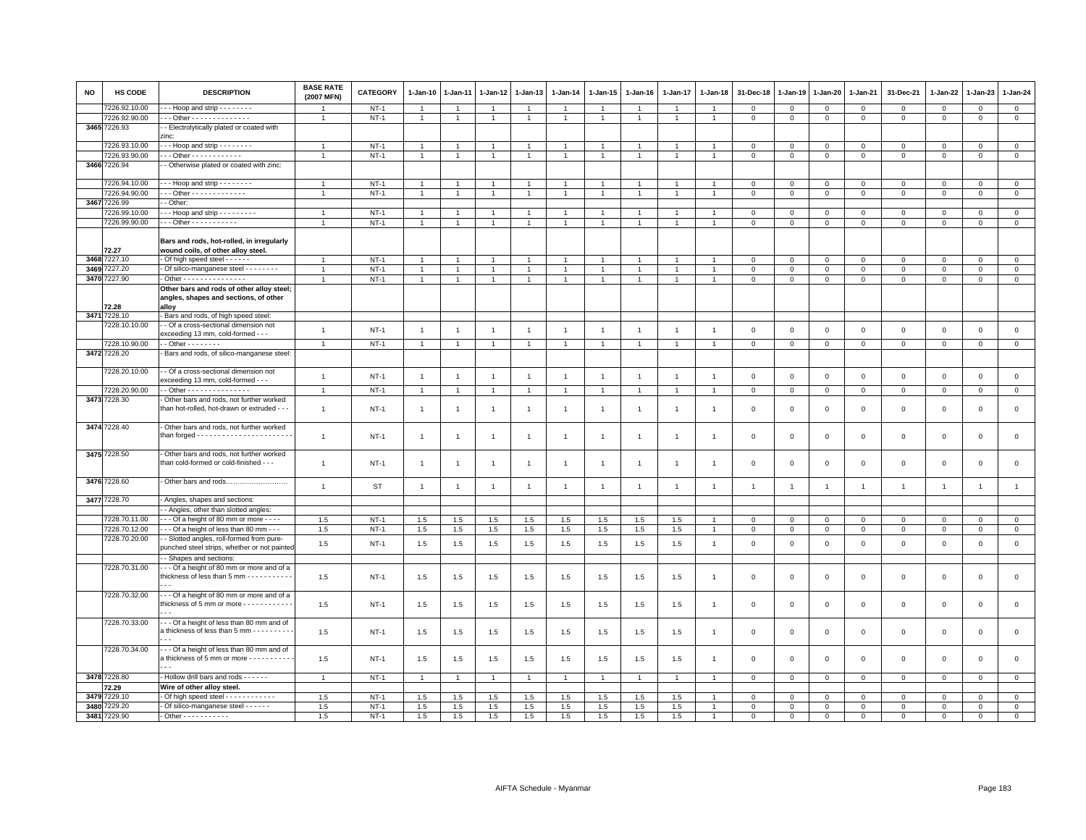| <b>NO</b> | HS CODE       | <b>DESCRIPTION</b>                                                              | <b>BASE RATE</b><br>(2007 MFN) | <b>CATEGORY</b> | $1-Jan-10$     | $1 - Jan-11$   | $1-Jan-12$     | 1-Jan-13       | $1-Jan-14$     | $1 - Jan-15$   | $1-Jan-16$     | $1 - Jan-17$   | $1 - Jan-18$   | 31-Dec-18      | 1-Jan-19       | 1-Jan-20            | 1-Jan-21       | 31-Dec-21           | $1 - Jan-22$   | 1-Jan-23            | $1 - Jan-24$   |
|-----------|---------------|---------------------------------------------------------------------------------|--------------------------------|-----------------|----------------|----------------|----------------|----------------|----------------|----------------|----------------|----------------|----------------|----------------|----------------|---------------------|----------------|---------------------|----------------|---------------------|----------------|
|           | 7226.92.10.00 | $-$ - Hoop and strip $-$ - $-$ - $-$ - $-$                                      |                                | $NT-1$          | $\overline{1}$ | $\overline{1}$ | $\overline{1}$ | $\overline{1}$ | $\overline{1}$ | $\overline{1}$ |                | $\overline{1}$ | -1             | $\mathbf 0$    | $\mathbf 0$    | $\mathbf 0$         | $\mathbf{0}$   | $\mathbf 0$         | $\mathbf{0}$   | $\mathbf{0}$        | $\mathbf{0}$   |
|           | 7226.92.90.00 | Other - - - - - - - - - - - - - -                                               | $\mathbf{1}$                   | $NT-1$          | $\mathbf{1}$   | $\mathbf{1}$   | $\mathbf{1}$   | $\overline{1}$ | $\mathbf{1}$   | $\overline{1}$ | $\mathbf{1}$   | $\overline{1}$ | $\overline{1}$ | $\mathbf 0$    | $\circ$        | $\mathbf 0$         | $\overline{0}$ | $\mathbf 0$         | $\mathbf 0$    | $\mathbf 0$         | $\mathbf{0}$   |
|           | 3465 7226.93  | - Electrolytically plated or coated with<br>zinc:                               |                                |                 |                |                |                |                |                |                |                |                |                |                |                |                     |                |                     |                |                     |                |
|           | 7226.93.10.00 | $-$ - Hoop and strip $-$ - $-$ - $-$ - $-$                                      | $\overline{1}$                 | $NT-1$          | $\overline{1}$ | $\overline{1}$ | $\overline{1}$ | $\overline{1}$ | $\overline{1}$ | $\overline{1}$ | $\overline{1}$ | $\overline{1}$ | $\overline{1}$ | $\mathbf 0$    | $\mathsf 0$    | $\mathsf 0$         | $\mathbf 0$    | $\mathsf 0$         | $\mathsf 0$    | $\mathsf 0$         | $\overline{0}$ |
|           | 7226.93.90.00 | $-$ - Other - - - - - - - - - - - -                                             | $\mathbf{1}$                   | $NT-1$          | $\overline{1}$ | $\overline{1}$ | $\overline{1}$ | $\overline{1}$ | $\overline{1}$ | $\mathbf{1}$   | $\overline{1}$ | 1              |                | $\mathbf 0$    | $\mathsf 0$    | $\mathsf 0$         | $\mathbf 0$    | $\mathbf{0}$        | $\mathbf{0}$   | $\mathbf{0}$        | $\mathsf 0$    |
| 3466      | 7226.94       | - Otherwise plated or coated with zinc:                                         |                                |                 |                |                |                |                |                |                |                |                |                |                |                |                     |                |                     |                |                     |                |
|           | 7226.94.10.00 | - - Hoop and strip - - - - - - - -                                              | $\overline{1}$                 | $NT-1$          | $\overline{1}$ | $\overline{1}$ | $\overline{1}$ | $\overline{1}$ | $\overline{1}$ | $\overline{1}$ |                | $\overline{1}$ |                | $\mathsf 0$    | $\mathbf 0$    | $\mathsf 0$         | $\mathbf 0$    | $\mathbf{0}$        | $\mathbf 0$    | $\circ$             | $\mathsf 0$    |
|           | 7226.94.90.00 | - - Other - - - - - - - - - - - - -                                             | $\overline{1}$                 | $NT-1$          | $\overline{1}$ | $\overline{1}$ | $\overline{1}$ | $\overline{1}$ | $\mathbf{1}$   | $\overline{1}$ | $\overline{1}$ | $\overline{1}$ | $\overline{1}$ | $\mathsf 0$    | $\mathsf 0$    | $\mathsf 0$         | $\overline{0}$ | $\mathsf 0$         | $\mathsf 0$    | $\mathbf 0$         | $\overline{0}$ |
|           | 3467 7226.99  | - Other                                                                         |                                |                 |                |                |                |                |                |                |                |                |                |                |                |                     |                |                     |                |                     |                |
|           | 7226.99.10.00 | - - Hoop and strip - - - - - - - - -                                            |                                | $NT-1$          | $\mathbf{1}$   |                | $\mathbf{1}$   | $\overline{1}$ | $\mathbf{1}$   |                |                |                |                | $\mathbf 0$    | 0              | 0                   | $\mathbf 0$    | $\mathbf 0$         | 0              | $\mathbf 0$         | $\mathbf 0$    |
|           | 7226.99.90.00 | - - - Other - - - - - - - - - -                                                 |                                | $NT-1$          | $\overline{1}$ | $\overline{1}$ | $\overline{1}$ | $\overline{1}$ | $\overline{1}$ | $\overline{1}$ |                | $\overline{1}$ |                | $\mathsf 0$    | $\mathsf 0$    | $\mathsf 0$         | $\mathbf 0$    | $\mathbf 0$         | $\mathsf 0$    | $\mathbf{0}$        | $\mathsf 0$    |
|           |               |                                                                                 |                                |                 |                |                |                |                |                |                |                |                |                |                |                |                     |                |                     |                |                     |                |
|           | 72.27         | Bars and rods, hot-rolled, in irregularly<br>wound coils, of other alloy steel. |                                |                 |                |                |                |                |                |                |                |                |                |                |                |                     |                |                     |                |                     |                |
|           | 3468 7227.10  | Of high speed steel - - - - - -                                                 | 1                              | $NT-1$          |                |                | $\overline{1}$ | -1             |                |                |                |                |                | $\mathsf 0$    | $\mathsf 0$    | $\mathsf 0$         | $\mathbf 0$    | $\mathsf 0$         | $\Omega$       | $\Omega$            | $\mathsf 0$    |
| 3469      | 7227.20       | - Of silico-manganese steel - - - - - - - -                                     | $\overline{1}$                 | $NT-1$          | $\mathbf{1}$   | $\overline{1}$ | $\overline{1}$ | $\overline{1}$ | $\mathbf{1}$   | $\mathbf{1}$   | $\overline{1}$ | $\overline{1}$ | $\overline{1}$ | $\mathsf 0$    | $\mathsf 0$    | $\mathsf 0$         | $\mathbf 0$    | $\mathsf 0$         | $\mathbf 0$    | $\mathsf 0$         | $\circ$        |
|           | 3470 7227.90  | - Other - - - - - - - - - - - - - - -                                           | $\overline{1}$                 | $NT-1$          | $\overline{1}$ | $\overline{1}$ | $\overline{1}$ | $\overline{1}$ | $\mathbf{1}$   | $\overline{1}$ | $\overline{1}$ | $\overline{1}$ | $\overline{1}$ | $\,0\,$        | $\mathsf 0$    | $\mathsf{O}\xspace$ | $\overline{0}$ | $\mathsf 0$         | $\mathsf 0$    | $\mathsf 0$         | $\overline{0}$ |
|           |               | Other bars and rods of other alloy steel;                                       |                                |                 |                |                |                |                |                |                |                |                |                |                |                |                     |                |                     |                |                     |                |
|           | 72.28         | angles, shapes and sections, of other<br>alloy                                  |                                |                 |                |                |                |                |                |                |                |                |                |                |                |                     |                |                     |                |                     |                |
|           | 3471 7228.10  | - Bars and rods, of high speed steel                                            |                                |                 |                |                |                |                |                |                |                |                |                |                |                |                     |                |                     |                |                     |                |
|           | 7228.10.10.00 | - Of a cross-sectional dimension not                                            |                                |                 |                |                |                |                |                |                |                |                |                |                |                |                     |                |                     |                |                     |                |
|           |               | exceeding 13 mm, cold-formed - - -                                              | $\overline{1}$                 | $NT-1$          | $\overline{1}$ | $\overline{1}$ | $\overline{1}$ | $\overline{1}$ | $\mathbf{1}$   | $\overline{1}$ | $\overline{1}$ | $\overline{1}$ | $\overline{1}$ | $\mathsf 0$    | $\mathsf 0$    | $\mathsf{O}\xspace$ | $\mathsf 0$    | $\mathsf 0$         | $\mathbb O$    | $\mathsf 0$         | $\mathbf 0$    |
|           | 7228.10.90.00 | $-$ Other $      -$                                                             | $\overline{1}$                 | $NT-1$          | $\overline{1}$ | $\overline{1}$ | $\overline{1}$ | $\overline{1}$ | $\mathbf{1}$   | $\overline{1}$ | $\overline{1}$ | $\overline{1}$ | $\overline{1}$ | $\mathbf 0$    | $\mathbf{0}$   | $\mathbf 0$         | $\overline{0}$ | $\mathbf 0$         | $\overline{0}$ | $\overline{0}$      | $\overline{0}$ |
|           | 3472 7228.20  | Bars and rods, of silico-manganese steel:                                       |                                |                 |                |                |                |                |                |                |                |                |                |                |                |                     |                |                     |                |                     |                |
|           | 7228.20.10.00 | - Of a cross-sectional dimension not<br>exceeding 13 mm, cold-formed - - -      | $\mathbf{1}$                   | $NT-1$          | $\overline{1}$ | $\overline{1}$ | $\overline{1}$ | $\overline{1}$ | $\mathbf{1}$   | $\overline{1}$ | $\overline{1}$ | $\overline{1}$ | $\overline{1}$ | $\mathbf 0$    | $\mathsf 0$    | $\mathsf{O}\xspace$ | $\mathsf 0$    | $\mathsf 0$         | $\mathbf 0$    | $\mathbf 0$         | $\mathsf 0$    |
|           | 7228.20.90.00 | - - Other - - - - - - - - - - - - - - -                                         | $\overline{1}$                 | $NT-1$          | $\overline{1}$ | $\overline{1}$ | $\overline{1}$ | $\overline{1}$ | $\overline{1}$ | $\mathbf{1}$   | $\overline{1}$ | $\overline{1}$ | $\overline{1}$ | $\mathsf 0$    | $\mathbf 0$    | $\mathsf 0$         | $\mathbf{0}$   | $\mathbf{0}$        | $\circ$        | $\mathbf{0}$        | $\mathsf 0$    |
|           | 3473 7228.30  | - Other bars and rods, not further worked                                       |                                |                 |                |                |                |                |                |                |                |                |                |                |                |                     |                |                     |                |                     |                |
|           |               | than hot-rolled, hot-drawn or extruded - -                                      | $\overline{1}$                 | $NT-1$          | $\overline{1}$ | $\mathbf{1}$   | $\overline{1}$ | $\overline{1}$ | $\mathbf{1}$   | $\overline{1}$ | $\overline{1}$ | $\mathbf{1}$   | $\overline{1}$ | $\mathbf 0$    | $\mathbf 0$    | $\mathsf 0$         | $\mathbf 0$    | $\mathsf 0$         | $\mathbf 0$    | $\mathbf{0}$        | $\mathsf 0$    |
|           |               |                                                                                 |                                |                 |                |                |                |                |                |                |                |                |                |                |                |                     |                |                     |                |                     |                |
|           | 3474 7228.40  | Other bars and rods, not further worked                                         |                                |                 |                |                |                |                |                |                |                |                |                |                |                |                     |                |                     |                |                     |                |
|           |               |                                                                                 | $\mathbf{1}$                   | $NT-1$          | $\overline{1}$ | $\mathbf{1}$   | $\mathbf{1}$   | $\overline{1}$ | $\mathbf{1}$   | $\overline{1}$ | $\overline{1}$ | $\mathbf{1}$   | $\overline{1}$ | $\mathsf 0$    | $\mathsf 0$    | $\mathsf{O}\xspace$ | $\,0\,$        | $\mathsf{O}\xspace$ | $\,0\,$        | $\mathsf{O}\xspace$ | $\,0\,$        |
|           | 3475 7228.50  | - Other bars and rods, not further worked                                       |                                |                 |                |                |                |                |                |                |                |                |                |                |                |                     |                |                     |                |                     |                |
|           |               | than cold-formed or cold-finished - - -                                         | $\mathbf{1}$                   | $NT-1$          | $\overline{1}$ | $\overline{1}$ | $\overline{1}$ | $\overline{1}$ | $\mathbf{1}$   | $\overline{1}$ | $\overline{1}$ | $\overline{1}$ | $\overline{1}$ | $\mathbf 0$    | 0              | $\mathsf 0$         | $\mathsf 0$    | $\mathsf{O}\xspace$ | $\mathbf 0$    | $\mathbf 0$         | $\mathsf 0$    |
|           |               |                                                                                 |                                |                 |                |                |                |                |                |                |                |                |                |                |                |                     |                |                     |                |                     |                |
|           | 3476 7228.60  | - Other bars and rods                                                           |                                |                 |                |                |                |                |                |                |                |                |                |                |                |                     |                |                     |                |                     |                |
|           |               |                                                                                 | $\overline{1}$                 | <b>ST</b>       | $\overline{1}$ | $\overline{1}$ | $\overline{1}$ | $\mathbf{1}$   | $\mathbf{1}$   | $\overline{1}$ | $\overline{1}$ | $\overline{1}$ | $\overline{1}$ | $\overline{1}$ | $\overline{1}$ | $\overline{1}$      | $\overline{1}$ | $\mathbf{1}$        | $\overline{1}$ | $\overline{1}$      | $\mathbf{1}$   |
|           | 3477 7228.70  | - Angles, shapes and sections:                                                  |                                |                 |                |                |                |                |                |                |                |                |                |                |                |                     |                |                     |                |                     |                |
|           |               | - Angles, other than slotted angles:                                            |                                |                 |                |                |                |                |                |                |                |                |                |                |                |                     |                |                     |                |                     |                |
|           | 7228.70.11.00 | --- Of a height of 80 mm or more ----                                           | 1.5                            | $NT-1$          | $1.5\,$        | $1.5\,$        | $1.5\,$        | 1.5            | 1.5            | $1.5\,$        | 1.5            | 1.5            |                | $\,0\,$        | $\mathsf 0$    | $\mathsf 0$         | $\mathbf 0$    | $\mathsf 0$         | $\Omega$       | $\mathbf 0$         | $\mathsf 0$    |
|           | 7228.70.12.00 | - - Of a height of less than 80 mm - - -                                        | 1.5                            | $NT-1$          | 1.5            | 1.5            | 1.5            | 1.5            | 1.5            | 1.5            | 1.5            | 1.5            |                | $\mathsf 0$    | $\mathsf 0$    | $\mathsf 0$         | $\mathbf 0$    | $\mathsf 0$         | $\mathbf 0$    | $\mathsf 0$         | $\circ$        |
|           | 7228.70.20.00 | - Slotted angles, roll-formed from pure-                                        |                                |                 |                |                |                |                |                |                |                |                |                |                |                |                     |                |                     |                |                     |                |
|           |               | punched steel strips, whether or not painted                                    | 1.5                            | $NT-1$          | $1.5\,$        | 1.5            | 1.5            | 1.5            | 1.5            | $1.5\,$        | 1.5            | 1.5            | $\overline{1}$ | $\mathsf 0$    | $\mathsf 0$    | $\mathsf 0$         | $\mathsf 0$    | $\mathsf 0$         | $\mathsf 0$    | $\mathbf 0$         | $\mathsf 0$    |
|           |               | - Shapes and sections:                                                          |                                |                 |                |                |                |                |                |                |                |                |                |                |                |                     |                |                     |                |                     |                |
|           | 7228.70.31.00 | - - Of a height of 80 mm or more and of a                                       |                                |                 |                |                |                |                |                |                |                |                |                |                |                |                     |                |                     |                |                     |                |
|           |               | thickness of less than 5 mm - - - - - - - - - -                                 | 1.5                            | $NT-1$          | 1.5            | 1.5            | 1.5            | 1.5            | 1.5            | 1.5            | 1.5            | 1.5            | -1             | $\mathsf 0$    | $\mathsf 0$    | $\mathsf 0$         | $\mathbf 0$    | $\mathsf 0$         | $\Omega$       | $\mathsf 0$         | $\mathsf 0$    |
|           | 7228.70.32.00 | - - Of a height of 80 mm or more and of a                                       |                                |                 |                |                |                |                |                |                |                |                |                |                |                |                     |                |                     |                |                     |                |
|           |               | thickness of 5 mm or more - - - - - - - - - - -                                 | 1.5                            | $NT-1$          |                |                |                | 1.5            |                |                |                |                | $\overline{1}$ | $\mathsf 0$    | $\mathsf 0$    | $\mathsf 0$         | $\mathbf 0$    | $\mathsf 0$         | $\mathbf 0$    | $\mathbf 0$         | $\mathsf 0$    |
|           |               |                                                                                 |                                |                 | 1.5            | 1.5            | 1.5            |                | 1.5            | 1.5            | 1.5            | 1.5            |                |                |                |                     |                |                     |                |                     |                |
|           | 7228.70.33.00 | - - Of a height of less than 80 mm and of                                       |                                |                 |                |                |                |                |                |                |                |                |                |                |                |                     |                |                     |                |                     |                |
|           |               | a thickness of less than 5 mm - - - - - - - - -                                 | 1.5                            | $NT-1$          | 1.5            | 1.5            | 1.5            | 1.5            | 1.5            | 1.5            | 1.5            | 1.5            | $\overline{1}$ | $\mathbf 0$    | 0              | $\mathsf 0$         | $\mathbf 0$    | $\mathsf 0$         | $\circ$        | $\mathbf 0$         | $\mathbf 0$    |
|           |               |                                                                                 |                                |                 |                |                |                |                |                |                |                |                |                |                |                |                     |                |                     |                |                     |                |
|           | 7228.70.34.00 | --- Of a height of less than 80 mm and of                                       |                                |                 |                |                |                |                |                |                |                |                |                |                |                |                     |                |                     |                |                     |                |
|           |               | a thickness of 5 mm or more - - - - - - - - - -                                 | 1.5                            | $NT-1$          | 1.5            | 1.5            | 1.5            | 1.5            | 1.5            | $1.5\,$        | 1.5            | 1.5            | -1             | $\mathbf 0$    | $\mathbf 0$    | $\mathsf 0$         | $\mathbf 0$    | $\mathsf 0$         | $\mathsf 0$    | $\mathsf 0$         | $\mathsf 0$    |
|           |               |                                                                                 |                                |                 |                |                |                |                |                |                |                |                |                |                |                |                     |                |                     |                |                     |                |
|           | 3478 7228.80  | - Hollow drill bars and rods - - - - - -                                        | $\overline{1}$                 | $NT-1$          | $\mathbf{1}$   | $\overline{1}$ | $\overline{1}$ | $\overline{1}$ | $\mathbf{1}$   | $\overline{1}$ | $\overline{1}$ | $\overline{1}$ | $\overline{1}$ | $\mathsf 0$    | $\mathsf 0$    | $\mathsf 0$         | $\circ$        | $\mathsf 0$         | $\mathsf 0$    | $\mathbf 0$         | $\circ$        |
|           | 72.29         | Wire of other alloy steel.                                                      |                                |                 |                |                |                |                |                |                |                |                |                |                |                |                     |                |                     |                |                     |                |
| 3479      | 7229.10       | Of high speed steel - - - - - - - - - - - -                                     | 1.5                            | $NT-1$          | 1.5            | $1.5\,$        | 1.5            | 1.5            | 1.5            | 1.5            | 1.5            | 1.5            |                | $\mathbf 0$    | $\mathsf 0$    | $\mathsf 0$         | $\mathbf 0$    | $\mathsf 0$         | $\mathbf 0$    | $\mathbf 0$         | $\mathsf 0$    |
| 3480      | 7229.20       | - Of silico-manganese steel - - - - - -                                         | 1.5                            | $NT-1$          | 1.5            | 1.5            | 1.5            | 1.5            | 1.5            | 1.5            | 1.5            | 1.5            |                | $\mathbf 0$    | $\mathsf 0$    | $\Omega$            | $\mathbf{0}$   | $\Omega$            | $\Omega$       | $\mathbf{0}$        | $\circ$        |
| 3481      | 7229.90       | $-$ Other - - - - - - - - - - -                                                 | 1.5                            | $NT-1$          | 1.5            | 1.5            | 1.5            | 1.5            | 1.5            | 1.5            | 1.5            | 1.5            |                | $\mathbf 0$    | $\mathsf 0$    | $\mathbf 0$         | $\mathbf 0$    | $\Omega$            | $\Omega$       | $\mathbf{0}$        | $\mathbf 0$    |
|           |               |                                                                                 |                                |                 |                |                |                |                |                |                |                |                |                |                |                |                     |                |                     |                |                     |                |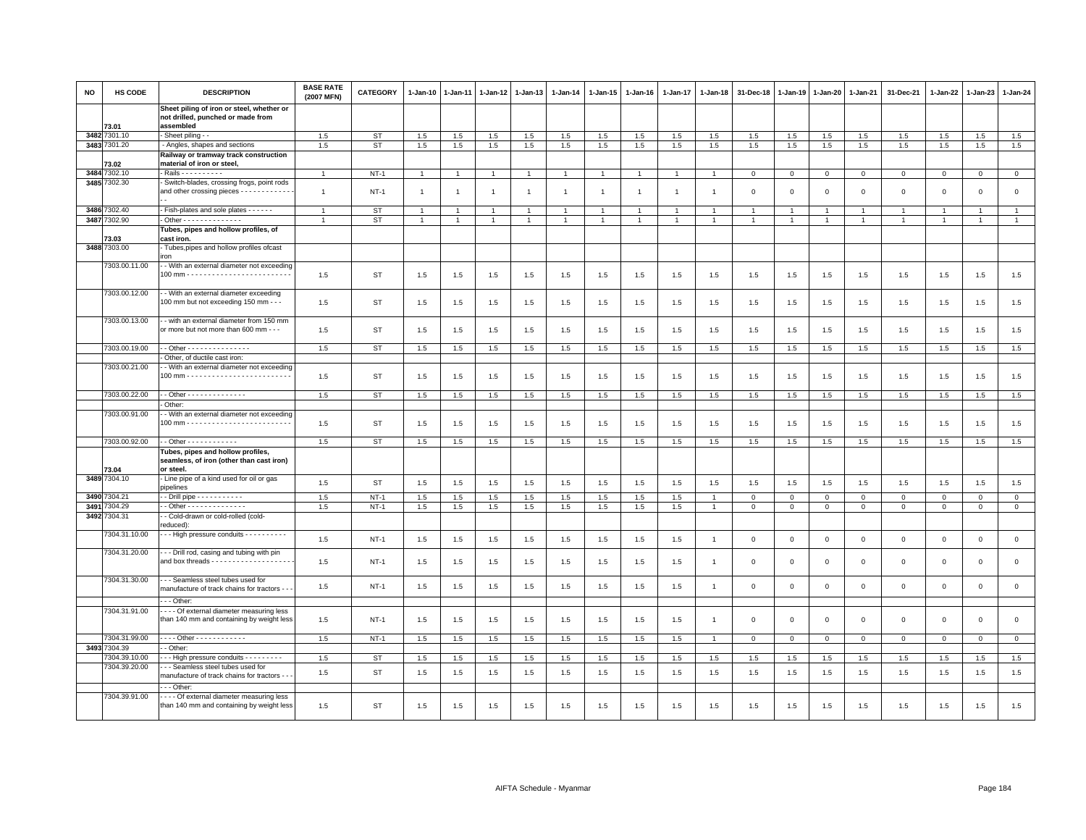| <b>NO</b> | HS CODE       | <b>DESCRIPTION</b>                                                                          | <b>BASE RATE</b><br>(2007 MFN) | CATEGORY    | $1-Jan-10$     | $1-Jan-11$     | $1-Jan-12$     | $1-Jan-13$     | 1-Jan-14       | 1-Jan-15       | 1-Jan-16       | 1-Jan-17       | 1-Jan-18       | 31-Dec-18      | $1 - Jan-19$ | 1-Jan-20       | 1-Jan-21       | 31-Dec-21    | $1 - Jan-22$ | $1-Jan-23$     | 1-Jan-24     |
|-----------|---------------|---------------------------------------------------------------------------------------------|--------------------------------|-------------|----------------|----------------|----------------|----------------|----------------|----------------|----------------|----------------|----------------|----------------|--------------|----------------|----------------|--------------|--------------|----------------|--------------|
|           | 73.01         | Sheet piling of iron or steel, whether or<br>not drilled, punched or made from<br>assembled |                                |             |                |                |                |                |                |                |                |                |                |                |              |                |                |              |              |                |              |
|           | 3482 7301.10  | - Sheet piling - -                                                                          | 1.5                            | <b>ST</b>   | 1.5            | 1.5            | $1.5\,$        | $1.5\,$        | $1.5\,$        | 1.5            | 1.5            | 1.5            | 1.5            | $1.5\,$        | 1.5          | 1.5            | 1.5            | 1.5          | 1.5          | $1.5\,$        | 1.5          |
|           | 3483 7301.20  | - Angles, shapes and sections                                                               | 1.5                            | ST          | 1.5            | 1.5            | 1.5            | 1.5            | 1.5            | 1.5            | 1.5            | 1.5            | 1.5            | 1.5            | 1.5          | 1.5            | 1.5            | 1.5          | 1.5          | 1.5            | 1.5          |
|           |               | Railway or tramway track construction                                                       |                                |             |                |                |                |                |                |                |                |                |                |                |              |                |                |              |              |                |              |
|           | 73.02         | material of iron or steel                                                                   |                                |             |                |                |                |                |                |                |                |                |                |                |              |                |                |              |              |                |              |
| 3484      | 7302.10       | - Rails - - - - - - - - - -                                                                 | $\overline{1}$                 | $NT-1$      |                |                | -1             | $\overline{1}$ |                | $\overline{1}$ |                |                |                | $\overline{0}$ | $\mathbf 0$  | $\mathbf 0$    | $\mathbf{0}$   | $\mathbf{0}$ | $\mathbf{0}$ | $\mathbf{0}$   | $\circ$      |
| 3485      | 7302.30       | - Switch-blades, crossing frogs, point rods                                                 |                                |             |                |                |                |                |                |                |                |                |                |                |              |                |                |              |              |                |              |
|           |               | and other crossing pieces - - - - - - - - - - -                                             | $\overline{1}$                 | $NT-1$      | $\overline{1}$ | $\overline{1}$ | $\overline{1}$ | $\overline{1}$ | $\overline{1}$ | $\mathbf{1}$   | $\overline{1}$ | $\overline{1}$ |                | $\mathbf 0$    | $\mathbf 0$  | $\mathsf 0$    | $\mathbf 0$    | $\mathsf 0$  | $\mathbf 0$  | $\mathsf 0$    | $\mathsf 0$  |
|           | 3486 7302.40  | - Fish-plates and sole plates - - - - - -                                                   | $\overline{1}$                 | <b>ST</b>   |                |                | -1             | -1             |                |                |                |                |                |                |              | $\overline{1}$ | $\overline{1}$ | $\mathbf{1}$ |              | -1             | $\mathbf{1}$ |
|           | 3487 7302.90  | - Other - - - - - - - - - - - - -                                                           | $\overline{1}$                 | <b>ST</b>   | $\overline{1}$ | $\mathbf{1}$   | $\overline{1}$ | $\overline{1}$ |                | $\mathbf{1}$   | $\overline{1}$ |                | $\overline{1}$ | $\mathbf{1}$   | $\mathbf{1}$ | $\overline{1}$ | $\mathbf{1}$   | $\mathbf{1}$ | $\mathbf{1}$ | $\overline{1}$ | $\mathbf{1}$ |
|           |               |                                                                                             |                                |             |                |                |                |                |                |                |                |                |                |                |              |                |                |              |              |                |              |
|           | 73.03         | Tubes, pipes and hollow profiles, of<br>cast iron.                                          |                                |             |                |                |                |                |                |                |                |                |                |                |              |                |                |              |              |                |              |
| 3488      | 7303.00       | - Tubes, pipes and hollow profiles of cast                                                  |                                |             |                |                |                |                |                |                |                |                |                |                |              |                |                |              |              |                |              |
|           |               | iron                                                                                        |                                |             |                |                |                |                |                |                |                |                |                |                |              |                |                |              |              |                |              |
|           | 7303.00.11.00 | - - With an external diameter not exceeding                                                 |                                |             |                |                |                |                |                |                |                |                |                |                |              |                |                |              |              |                |              |
|           |               |                                                                                             | 1.5                            | ST          | 1.5            | 1.5            | 1.5            | 1.5            | 1.5            | 1.5            | 1.5            | 1.5            | 1.5            | 1.5            | 1.5          | 1.5            | 1.5            | 1.5          | 1.5          | 1.5            | 1.5          |
|           |               |                                                                                             |                                |             |                |                |                |                |                |                |                |                |                |                |              |                |                |              |              |                |              |
|           | 7303.00.12.00 | - With an external diameter exceeding                                                       |                                |             |                |                |                |                |                |                |                |                |                |                |              |                |                |              |              |                |              |
|           |               | 100 mm but not exceeding 150 mm - - -                                                       | 1.5                            | ST          | 1.5            | 1.5            | 1.5            | 1.5            | 1.5            | 1.5            | 1.5            | 1.5            | 1.5            | 1.5            | 1.5          | 1.5            | 1.5            | 1.5          | 1.5          | 1.5            | 1.5          |
|           | 7303.00.13.00 | - with an external diameter from 150 mm                                                     |                                |             |                |                |                |                |                |                |                |                |                |                |              |                |                |              |              |                |              |
|           |               | or more but not more than 600 mm - - -                                                      | 1.5                            | ST          | 1.5            | 1.5            | 1.5            | 1.5            | 1.5            | 1.5            | 1.5            | 1.5            | 1.5            | 1.5            | 1.5          | 1.5            | 1.5            | 1.5          | 1.5          | 1.5            | 1.5          |
|           |               |                                                                                             |                                |             |                |                |                |                |                |                |                |                |                |                |              |                |                |              |              |                |              |
|           | 7303.00.19.00 | $-$ Other - - - - - - - - - - - - - - -                                                     | 1.5                            | <b>ST</b>   | 1.5            | 1.5            | 1.5            | 1.5            | 1.5            | 1.5            | 1.5            | 1.5            | 1.5            | 1.5            | 1.5          | 1.5            | 1.5            | 1.5          | 1.5          | 1.5            | 1.5          |
|           |               | Other, of ductile cast iron:                                                                |                                |             |                |                |                |                |                |                |                |                |                |                |              |                |                |              |              |                |              |
|           | 7303.00.21.00 | - With an external diameter not exceeding                                                   |                                |             |                |                |                |                |                |                |                |                |                |                |              |                |                |              |              |                |              |
|           |               |                                                                                             | 1.5                            | ST          | 1.5            | 1.5            | 1.5            | 1.5            | 1.5            | 1.5            | 1.5            | 1.5            | 1.5            | 1.5            | 1.5          | 1.5            | 1.5            | 1.5          | 1.5          | 1.5            | 1.5          |
|           |               |                                                                                             |                                |             |                |                |                |                |                |                |                |                |                |                |              |                |                |              |              |                |              |
|           | 7303.00.22.00 | $-$ Other - - - - - - - - - - - - - -                                                       | 1.5                            | <b>ST</b>   | 1.5            | 1.5            | 1.5            | 1.5            | 1.5            | 1.5            | 1.5            | 1.5            | 1.5            | 1.5            | 1.5          | 1.5            | 1.5            | 1.5          | 1.5          | 1.5            | 1.5          |
|           |               | Other:                                                                                      |                                |             |                |                |                |                |                |                |                |                |                |                |              |                |                |              |              |                |              |
|           | 7303.00.91.00 | - With an external diameter not exceeding                                                   |                                |             |                |                |                |                |                |                |                |                |                |                |              |                |                |              |              |                |              |
|           |               |                                                                                             | 1.5                            | <b>ST</b>   | 1.5            | 1.5            | 1.5            | 1.5            | 1.5            | 1.5            | 1.5            | 1.5            | 1.5            | 1.5            | 1.5          | 1.5            | 1.5            | 1.5          | 1.5          | 1.5            | 1.5          |
|           | 7303.00.92.00 | $-$ Other - - - - - - - - - - - -                                                           | 1.5                            | <b>ST</b>   | 1.5            | 1.5            | 1.5            | 1.5            | 1.5            | 1.5            | 1.5            | 1.5            | 1.5            | 1.5            | 1.5          | 1.5            | 1.5            | 1.5          | 1.5          | 1.5            | 1.5          |
|           |               | Tubes, pipes and hollow profiles,                                                           |                                |             |                |                |                |                |                |                |                |                |                |                |              |                |                |              |              |                |              |
|           |               | seamless, of iron (other than cast iron)                                                    |                                |             |                |                |                |                |                |                |                |                |                |                |              |                |                |              |              |                |              |
|           | 73.04         | or steel.                                                                                   |                                |             |                |                |                |                |                |                |                |                |                |                |              |                |                |              |              |                |              |
|           | 3489 7304.10  | - Line pipe of a kind used for oil or gas                                                   |                                | <b>ST</b>   |                |                |                |                |                |                |                |                |                |                |              |                |                |              |              |                |              |
|           |               | pipelines                                                                                   | 1.5                            |             | 1.5            | 1.5            | 1.5            | 1.5            | 1.5            | 1.5            | 1.5            | 1.5            | 1.5            | 1.5            | 1.5          | 1.5            | 1.5            | 1.5          | 1.5          | 1.5            | 1.5          |
| 3490      | 7304.21       | - Drill pipe - - - - - - - - - - -                                                          | 1.5                            | $NT-1$      | 1.5            | 1.5            | 1.5            | 1.5            | 1.5            | 1.5            | 1.5            | 1.5            |                | $\mathbf 0$    | $\mathbf 0$  | $\mathbf 0$    | $\mathbf 0$    | $\mathsf 0$  | $\Omega$     | $\mathbf 0$    | $\mathbf 0$  |
| 3491      | 304.29        | - Other - - - - - - - - - - - - - -                                                         | 1.5                            | $NT-1$      | 1.5            | 1.5            | 1.5            | 1.5            | 1.5            | 1.5            | 1.5            | 1.5            | $\overline{1}$ | $\mathbf 0$    | $\mathbf 0$  | $\mathbf 0$    | $\mathbf 0$    | $\mathbf 0$  | $\mathbf 0$  | $\mathbf{O}$   | $\mathbf 0$  |
| 3492      | 7304.31       | - Cold-drawn or cold-rolled (cold-<br>reduced)                                              |                                |             |                |                |                |                |                |                |                |                |                |                |              |                |                |              |              |                |              |
|           | 7304.31.10.00 | - - High pressure conduits - - - - - - - - - -                                              | 1.5                            | $NT-1$      | 1.5            | 1.5            | 1.5            | 1.5            | 1.5            | 1.5            | 1.5            | 1.5            | $\overline{1}$ | $\mathsf 0$    | $\mathsf 0$  | $\mathbf 0$    | $\mathbf 0$    | $\mathsf 0$  | $\mathbf 0$  | $\mathsf 0$    | $\mathbf 0$  |
|           | 7304.31.20.00 | -- Drill rod, casing and tubing with pin                                                    |                                |             |                |                |                |                |                |                |                |                |                |                |              |                |                |              |              |                |              |
|           |               | and box threads - - - - - - - - - - - - - - - - - -                                         | 1.5                            | $NT-1$      | 1.5            | 1.5            | 1.5            | 1.5            | 1.5            | 1.5            | 1.5            | 1.5            | $\overline{1}$ | $\mathbf 0$    | $\mathsf 0$  | $\mathbf 0$    | $\mathbf 0$    | $\mathsf 0$  | $\mathsf 0$  | $\mathsf 0$    | $\mathsf 0$  |
|           |               |                                                                                             |                                |             |                |                |                |                |                |                |                |                |                |                |              |                |                |              |              |                |              |
|           | 7304.31.30.00 | - - - Seamless steel tubes used for                                                         |                                |             |                |                |                |                |                |                |                |                |                |                |              |                |                |              |              |                |              |
|           |               | manufacture of track chains for tractors - -                                                | 1.5                            | $NT-1$      | 1.5            | 1.5            | 1.5            | 1.5            | 1.5            | 1.5            | 1.5            | 1.5            | $\overline{1}$ | $\mathbf 0$    | $\mathbf 0$  | $\mathsf 0$    | $\mathbf 0$    | $\mathsf 0$  | $\mathbf 0$  | $\mathsf 0$    | $\mathsf 0$  |
|           |               | - - - Other:                                                                                |                                |             |                |                |                |                |                |                |                |                |                |                |              |                |                |              |              |                |              |
|           | 7304.31.91.00 | Of external diameter measuring less                                                         |                                |             |                |                |                |                |                |                |                |                |                |                |              |                |                |              |              |                |              |
|           |               | than 140 mm and containing by weight less                                                   | 1.5                            | <b>NT-1</b> | 1.5            | 1.5            | 1.5            | 1.5            | 1.5            | 1.5            | 1.5            | 1.5            | $\overline{1}$ | $\mathbf 0$    | $\mathbf 0$  | $\mathsf 0$    | $\mathbf 0$    | $\mathsf 0$  | $\mathbf 0$  | $\mathsf 0$    | $\mathsf 0$  |
|           |               |                                                                                             |                                |             |                |                |                |                |                |                |                |                |                |                |              |                |                |              |              |                |              |
|           | 7304.31.99.00 | - - - - Other - - - - - - - - - - - -                                                       | 1.5                            | $NT-1$      | 1.5            | 1.5            | 1.5            | 1.5            | 1.5            | 1.5            | 1.5            | 1.5            | $\mathbf{1}$   | $\mathbf 0$    | $\mathbf 0$  | $\mathbf 0$    | $\mathbf{0}$   | $\mathbf 0$  | $\mathbf{0}$ | $\circ$        | $\mathbf{0}$ |
|           | 3493 7304.39  | - - Other:                                                                                  |                                |             |                |                |                |                |                |                |                |                |                |                |              |                |                |              |              |                |              |
|           | 7304.39.10.00 | - - - High pressure conduits - - - - - - - -                                                | 1.5                            | <b>ST</b>   | 1.5            | 1.5            | 1.5            | 1.5            | 1.5            | 1.5            | 1.5            | 1.5            | 1.5            | 1.5            | 1.5          | 1.5            | 1.5            | 1.5          | 1.5          | 1.5            | 1.5          |
|           | 7304.39.20.00 | --- Seamless steel tubes used for                                                           | 1.5                            | <b>ST</b>   | 1.5            | 1.5            | 1.5            | 1.5            | 1.5            | 1.5            | 1.5            | 1.5            | 1.5            | 1.5            | 1.5          | 1.5            | 1.5            | 1.5          | 1.5          | 1.5            | 1.5          |
|           |               | manufacture of track chains for tractors - -                                                |                                |             |                |                |                |                |                |                |                |                |                |                |              |                |                |              |              |                |              |
|           |               | - - Other                                                                                   |                                |             |                |                |                |                |                |                |                |                |                |                |              |                |                |              |              |                |              |
|           | 7304.39.91.00 | - - - - Of external diameter measuring less                                                 |                                |             |                |                |                |                |                |                |                |                |                |                |              |                |                |              |              |                |              |
|           |               | than 140 mm and containing by weight less                                                   | 1.5                            | <b>ST</b>   | 1.5            | 1.5            | 1.5            | 1.5            | 1.5            | 1.5            | 1.5            | 1.5            | 1.5            | 1.5            | 1.5          | 1.5            | 1.5            | 1.5          | 1.5          | 1.5            | 1.5          |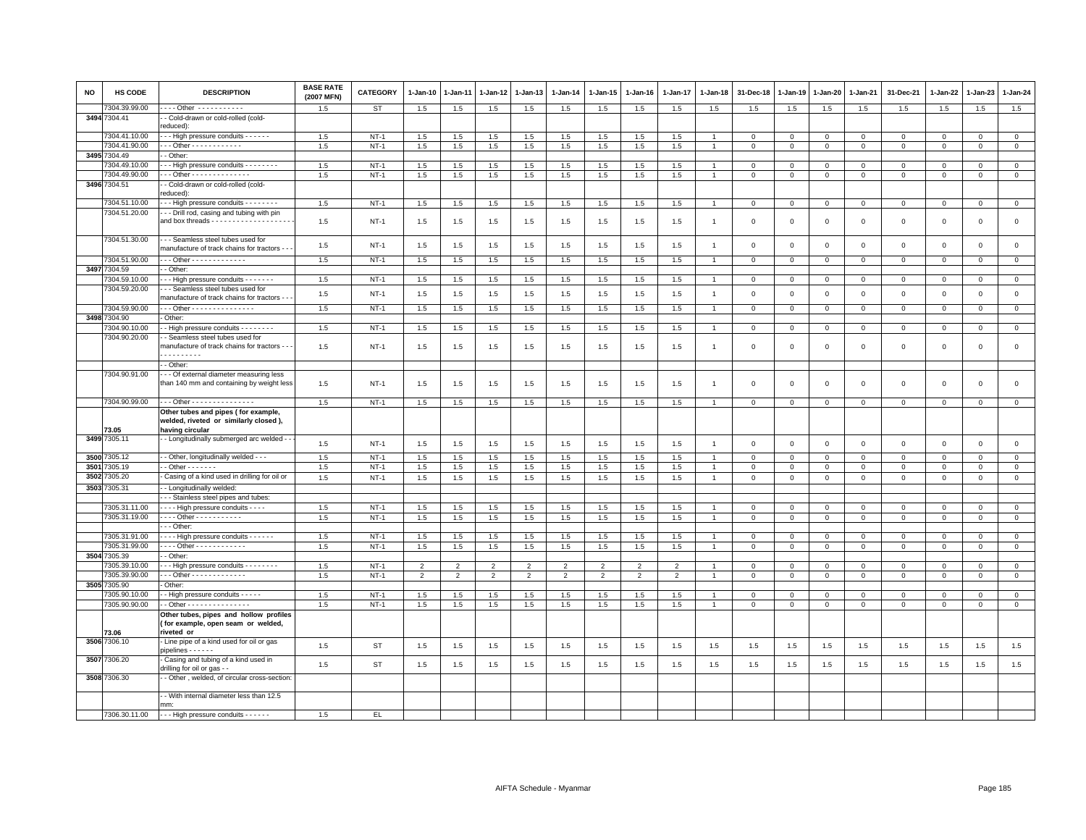| <b>NO</b> | HS CODE       | <b>DESCRIPTION</b>                                                                               | <b>BASE RATE</b><br>(2007 MFN) | <b>CATEGORY</b> | $1-Jan-10$     | 1-Jan-11       | 1-Jan-12       | 1-Jan-13       | $1-Jan-14$     | 1-Jan-15       | $1 - Jan-16$   | $1 - Jan-17$             | 1-Jan-18       | 31-Dec-18      | 1-Jan-19    | 1-Jan-20    | 1-Jan-21       | 31-Dec-21    | $1-Jan-22$   | 1-Jan-23     | $1 - Jan-24$   |
|-----------|---------------|--------------------------------------------------------------------------------------------------|--------------------------------|-----------------|----------------|----------------|----------------|----------------|----------------|----------------|----------------|--------------------------|----------------|----------------|-------------|-------------|----------------|--------------|--------------|--------------|----------------|
|           | 7304.39.99.00 | --- Other -----------                                                                            | 1.5                            | <b>ST</b>       | 1.5            | 1.5            | 1.5            | 1.5            | 1.5            | 1.5            | 1.5            | 1.5                      | 1.5            | 1.5            | 1.5         | 1.5         | 1.5            | 1.5          | 1.5          | 1.5          | 1.5            |
|           | 3494 7304.41  | - Cold-drawn or cold-rolled (cold-<br>reduced):                                                  |                                |                 |                |                |                |                |                |                |                |                          |                |                |             |             |                |              |              |              |                |
|           | 7304.41.10.00 | - - High pressure conduits - - - - - -                                                           | 1.5                            | $NT-1$          | 1.5            | 1.5            | 1.5            | 1.5            | 1.5            | 1.5            | 1.5            | 1.5                      |                | $\mathbf 0$    | $\mathbf 0$ | $\mathbf 0$ | $\mathbf 0$    | $\mathbf 0$  | $\mathbf 0$  | $\mathbf 0$  | $\mathbf 0$    |
|           | 7304.41.90.00 | - - Other - - - - - - - - - - - -                                                                | 1.5                            | $NT-1$          | 1.5            | 1.5            | 1.5            | 1.5            | 1.5            | 1.5            | 1.5            | 1.5                      |                | $\mathbf 0$    | $\,0\,$     | $\mathsf 0$ | $\overline{0}$ | $\mathsf 0$  | $\mathbf 0$  | $\mathsf 0$  | $\overline{0}$ |
|           | 3495 7304.49  | - Other:                                                                                         |                                |                 |                |                |                |                |                |                |                |                          |                |                |             |             |                |              |              |              |                |
|           | 7304.49.10.00 | - - High pressure conduits - - - - - - - -                                                       | 1.5                            | $NT-1$          | 1.5            | 1.5            | 1.5            | 1.5            | 1.5            | 1.5            | 1.5            | 1.5                      |                | $^{\circ}$     | $\mathbf 0$ | $\mathbf 0$ | $\mathbf 0$    | $\mathbf 0$  | $\mathbf 0$  | $\mathbf 0$  | $\mathbf{0}$   |
|           | 7304.49.90.00 | - - Other - - - - - - - - - - - - -                                                              | 1.5                            | $NT-1$          | 1.5            | 1.5            | 1.5            | 1.5            | 1.5            | 1.5            | 1.5            | 1.5                      |                | $\mathbf 0$    | $\mathbf 0$ | $\mathbf 0$ | $\mathbf 0$    | $\mathbf 0$  | $\Omega$     | $\mathbf{0}$ | $\mathbf 0$    |
|           | 3496 7304.51  | - Cold-drawn or cold-rolled (cold-<br>reduced):                                                  |                                |                 |                |                |                |                |                |                |                |                          |                |                |             |             |                |              |              |              |                |
|           | 7304.51.10.00 | - - High pressure conduits - - - - - - - -                                                       | 1.5                            | $NT-1$          | 1.5            | 1.5            | 1.5            | 1.5            | 1.5            | 1.5            | 1.5            | 1.5                      |                | $\mathbf 0$    | $\mathbf 0$ | $\mathbf 0$ | $\mathbf 0$    | $\mathbf 0$  | $\mathbf 0$  | $\mathbf{0}$ | $\mathbf{0}$   |
|           | 7304.51.20.00 | - - Drill rod, casing and tubing with pin<br>and box threads - - - - - - - - - - - - - - - - - - | 1.5                            | $NT-1$          | 1.5            | 1.5            | 1.5            | 1.5            | 1.5            | 1.5            | 1.5            | 1.5                      | $\overline{1}$ | $\overline{0}$ | $\mathbf 0$ | $\mathbf 0$ | $\mathbf{0}$   | $\mathbf 0$  | $\Omega$     | $\mathbf{0}$ | $\mathbf 0$    |
|           | 7304.51.30.00 | - - Seamless steel tubes used for<br>manufacture of track chains for tractors - -                | 1.5                            | $NT-1$          | 1.5            | 1.5            | 1.5            | 1.5            | 1.5            | 1.5            | 1.5            | 1.5                      |                | $\overline{0}$ | $\mathbf 0$ | $\mathsf 0$ | $\mathbf 0$    | $\mathsf 0$  | $\mathbf 0$  | $\mathbf 0$  | $\mathsf 0$    |
|           | 7304.51.90.00 | $-$ - Other - - - - - - - - - - - - -                                                            | 1.5                            | $NT-1$          | 1.5            | 1.5            | 1.5            | 1.5            | 1.5            | 1.5            | 1.5            | 1.5                      |                | $\overline{0}$ | $\Omega$    | $\Omega$    | $\mathbf 0$    | $\mathbf{0}$ | $\Omega$     | $\Omega$     | $\mathbf 0$    |
|           | 3497 7304.59  | - Other                                                                                          |                                |                 |                |                |                |                |                |                |                |                          |                |                |             |             |                |              |              |              |                |
|           | 7304.59.10.00 | - - High pressure conduits - - - - - - -                                                         | 1.5                            | $NT-1$          | 1.5            | 1.5            | 1.5            | 1.5            | 1.5            | 1.5            | 1.5            | 1.5                      |                | $\mathbf 0$    | $\mathbf 0$ | $\mathbf 0$ | $\mathbf 0$    | $\mathsf 0$  | $\mathbf 0$  | $\mathsf 0$  | $\circ$        |
|           | 7304.59.20.00 | --- Seamless steel tubes used for<br>manufacture of track chains for tractors -                  | 1.5                            | $NT-1$          | 1.5            | 1.5            | 1.5            | 1.5            | 1.5            | 1.5            | 1.5            | 1.5                      | $\overline{1}$ | $\mathbf 0$    | $\mathsf 0$ | $\mathbf 0$ | $\mathbf 0$    | $\mathsf 0$  | $\mathsf 0$  | $\mathbf 0$  | $\mathsf 0$    |
|           | 7304.59.90.00 | - - Other - - - - - - - - - - - - - - -                                                          | 1.5                            | $NT-1$          | 1.5            | 1.5            | 1.5            | 1.5            | 1.5            | 1.5            | 1.5            | 1.5                      |                | $\overline{0}$ | $\mathsf 0$ | $\mathbf 0$ | $\overline{0}$ | $\mathsf 0$  | $\mathsf 0$  | $\mathsf 0$  | $\overline{0}$ |
|           | 3498 7304.90  | Other:                                                                                           |                                |                 |                |                |                |                |                |                |                |                          |                |                |             |             |                |              |              |              |                |
|           | 7304.90.10.00 | - High pressure conduits - - - - - - - -                                                         | 1.5                            | $NT-1$          | 1.5            | 1.5            | 1.5            | 1.5            | 1.5            | 1.5            | 1.5            | 1.5                      |                | $\mathbf 0$    | $\mathbf 0$ | $\mathbf 0$ | $\mathbf 0$    | $\mathbf 0$  | 0            | $\mathbf 0$  | $\circ$        |
|           | 7304.90.20.00 | - Seamless steel tubes used for<br>manufacture of track chains for tractors - -<br>.             | 1.5                            | $NT-1$          | 1.5            | 1.5            | 1.5            | 1.5            | 1.5            | 1.5            | 1.5            | 1.5                      | $\overline{1}$ | $\mathbf 0$    | $\mathsf 0$ | $\mathbf 0$ | $\mathbf 0$    | $\mathsf 0$  | $\mathsf 0$  | $\mathbf 0$  | $\mathsf 0$    |
|           |               | - Other:                                                                                         |                                |                 |                |                |                |                |                |                |                |                          |                |                |             |             |                |              |              |              |                |
|           | 7304.90.91.00 | - - Of external diameter measuring less<br>than 140 mm and containing by weight less             | 1.5                            | $NT-1$          | 1.5            | 1.5            | 1.5            | 1.5            | 1.5            | 1.5            | 1.5            | 1.5                      | $\overline{1}$ | $\mathbf 0$    | $\mathbf 0$ | $\,0\,$     | $\mathbf 0$    | $\mathsf 0$  | $\,0\,$      | $\mathbf 0$  | $\mathsf 0$    |
|           | 7304.90.99.00 | - - - Other - - - - - - - - - - - - - - -                                                        | 1.5                            | $NT-1$          | 1.5            | 1.5            | 1.5            | 1.5            | 1.5            | 1.5            | 1.5            | 1.5                      |                | $\mathbf 0$    | $\mathsf 0$ | $\mathbf 0$ | $\mathbf 0$    | $\mathbf{0}$ | $\mathbf 0$  | $\circ$      | $\mathsf 0$    |
|           | 73.05         | Other tubes and pipes (for example,<br>welded, riveted or similarly closed),<br>having circular  |                                |                 |                |                |                |                |                |                |                |                          |                |                |             |             |                |              |              |              |                |
|           | 3499 7305.11  | - Longitudinally submerged arc welded -                                                          | 1.5                            | $NT-1$          | 1.5            | 1.5            | 1.5            | 1.5            | 1.5            | 1.5            | 1.5            | 1.5                      | $\mathbf{1}$   | $\mathbf 0$    | $\mathbf 0$ | $\mathbf 0$ | $\mathbf 0$    | $\mathsf 0$  | $\mathsf 0$  | $\mathsf 0$  | $\mathsf 0$    |
|           | 3500 7305.12  | - Other, longitudinally welded - - -                                                             | 1.5                            | $NT-1$          | 1.5            | 1.5            | 1.5            | 1.5            | 1.5            | 1.5            | 1.5            | 1.5                      |                | $\overline{0}$ | $\mathbf 0$ | $\mathbf 0$ | $\overline{0}$ | $\mathbf 0$  | $\Omega$     | $\mathbf{0}$ | $\circ$        |
| 3501      | 7305.19       | $-$ Other $     -$                                                                               | 1.5                            | $NT-1$          | 1.5            | 1.5            | 1.5            | 1.5            | 1.5            | 1.5            | 1.5            | 1.5                      |                | $\mathbf 0$    | $\mathbf 0$ | $\mathsf 0$ | $\mathbf 0$    | $\mathbf 0$  | $\mathbf 0$  | $\mathbf 0$  | $\mathsf 0$    |
| 3502      | 305.20        | Casing of a kind used in drilling for oil or                                                     | 1.5                            | $NT-1$          | 1.5            | $1.5\,$        | 1.5            | 1.5            | 1.5            | 1.5            | 1.5            | 1.5                      |                | $\mathbf 0$    | $\mathsf 0$ | $\circ$     | $\mathbb O$    | $\mathsf 0$  | $\mathsf 0$  | $\mathbf 0$  | $\mathbf 0$    |
| 3503      | 305.31        | - Longitudinally welded:                                                                         |                                |                 |                |                |                |                |                |                |                |                          |                |                |             |             |                |              |              |              |                |
|           |               | - - Stainless steel pipes and tubes:                                                             |                                |                 |                |                |                |                |                |                |                |                          |                |                |             |             |                |              |              |              |                |
|           | 7305.31.11.00 | - - - High pressure conduits - - - -                                                             | 1.5                            | $NT-1$          | 1.5            | 1.5            | 1.5            | 1.5            | $1.5\,$        | 1.5            | 1.5            | 1.5                      |                | $\,0\,$        | $\mathbf 0$ | $\mathbf 0$ | $\mathbf 0$    | $\mathbf 0$  | $\mathbf 0$  | $\Omega$     | $\circ$        |
|           | 7305.31.19.00 | Other - - - - - - - - - - -                                                                      | 1.5                            | $NT-1$          | 1.5            | 1.5            | 1.5            | 1.5            | 1.5            | 1.5            | 1.5            | 1.5                      | $\overline{1}$ | $\mathsf 0$    | $\mathbf 0$ | $\mathbf 0$ | $\mathbf 0$    | $\mathbf 0$  | $\mathbf 0$  | $\mathbf 0$  | $\circ$        |
|           |               | $-$ Other:                                                                                       |                                |                 |                |                |                |                |                |                |                |                          |                |                |             |             |                |              |              |              |                |
|           | 7305.31.91.00 | - - - High pressure conduits - - - - - -                                                         | 1.5                            | $NT-1$          | 1.5            | 1.5            | 1.5            | 1.5            | 1.5            | 1.5            | 1.5            | 1.5                      |                | $\mathbf 0$    | $\mathbf 0$ | $\Omega$    | $\mathbf 0$    | $\Omega$     | $\Omega$     | $\mathbf{0}$ | $\mathbf 0$    |
|           | 7305.31.99.00 | Other - - - - - - - - - - - -                                                                    | 1.5                            | $NT-1$          | 1.5            | 1.5            | 1.5            | 1.5            | 1.5            | 1.5            | 1.5            | 1.5                      |                | $\mathbf 0$    | $\mathbf 0$ | $\mathbf 0$ | $\mathbf 0$    | $\mathbf 0$  | $\mathbf 0$  | $\mathbf 0$  | $\mathbf 0$    |
| 3504      | 7305.39       | - Other                                                                                          |                                |                 |                |                |                |                |                |                |                |                          |                |                |             |             |                |              |              |              |                |
|           | 7305.39.10.00 | -- High pressure conduits - - - - - - - -                                                        | 1.5                            | $NT-1$          | $\overline{2}$ | $\mathfrak{p}$ | $\mathfrak{p}$ | 2              | 2              | $\overline{2}$ | $\overline{2}$ | $\overline{\phantom{0}}$ |                | $\mathbf 0$    | $\mathbf 0$ | $\mathbf 0$ | $\mathbf{0}$   | $\mathbf{0}$ | $\Omega$     | $\mathbf{0}$ | $\mathbf 0$    |
|           | 305.39.90.00  | $-$ - Other - - - - - - - - - - - - -                                                            | 1.5                            | $NT-1$          | $\overline{2}$ | $\mathfrak{p}$ | $\overline{2}$ | $\overline{2}$ | $\overline{2}$ | $\overline{2}$ | $\overline{2}$ | $\overline{\phantom{a}}$ |                | $\mathbf 0$    | $\mathsf 0$ | $\mathsf 0$ | $\mathbf 0$    | $\mathsf 0$  | $\mathbf 0$  | $\mathbf 0$  | $\mathsf 0$    |
|           | 3505 7305.90  | Other:                                                                                           |                                |                 |                |                |                |                |                |                |                |                          |                |                |             |             |                |              |              |              |                |
|           | 7305.90.10.00 | - High pressure conduits - - - - -                                                               | 1.5                            | $NT-1$          | 1.5            | 1.5            | 1.5            | 1.5            | 1.5            | 1.5            | 1.5            | 1.5                      |                | $\mathbf 0$    | $\mathbf 0$ | $\mathbf 0$ | $\mathbf 0$    | $\mathbf 0$  | $\mathbf{0}$ | $\mathbf 0$  | $\circ$        |
|           | 7305.90.90.00 | - Other - - - - - - - - - - - - - - -                                                            | 1.5                            | $NT-1$          | 1.5            | 1.5            | 1.5            | 1.5            | 1.5            | 1.5            | 1.5            | 1.5                      |                | $\mathbf 0$    | $\mathbf 0$ | $\mathsf 0$ | $\mathbf 0$    | $\mathsf 0$  | $\mathbf 0$  | $\mathbf 0$  | $\mathbf 0$    |
|           |               | Other tubes, pipes and hollow profiles<br>(for example, open seam or welded,                     |                                |                 |                |                |                |                |                |                |                |                          |                |                |             |             |                |              |              |              |                |
|           | 73.06         | riveted or                                                                                       |                                |                 |                |                |                |                |                |                |                |                          |                |                |             |             |                |              |              |              |                |
|           | 3506 7306.10  | Line pipe of a kind used for oil or gas<br>$pipelines - - - - - -$                               | 1.5                            | <b>ST</b>       | 1.5            | 1.5            | 1.5            | 1.5            | 1.5            | 1.5            | 1.5            | 1.5                      | 1.5            | 1.5            | 1.5         | 1.5         | 1.5            | 1.5          | 1.5          | 1.5          | 1.5            |
|           | 3507 7306.20  | Casing and tubing of a kind used in<br>drilling for oil or gas - -                               | 1.5                            | <b>ST</b>       | 1.5            | 1.5            | 1.5            | 1.5            | 1.5            | 1.5            | 1.5            | 1.5                      | 1.5            | 1.5            | 1.5         | 1.5         | 1.5            | 1.5          | 1.5          | 1.5          | 1.5            |
|           | 3508 7306.30  | - Other, welded, of circular cross-section                                                       |                                |                 |                |                |                |                |                |                |                |                          |                |                |             |             |                |              |              |              |                |
|           |               | - With internal diameter less than 12.5<br>mm:                                                   |                                |                 |                |                |                |                |                |                |                |                          |                |                |             |             |                |              |              |              |                |
|           | 7306.30.11.00 | ---- High pressure conduits ------                                                               | 1.5                            | EL.             |                |                |                |                |                |                |                |                          |                |                |             |             |                |              |              |              |                |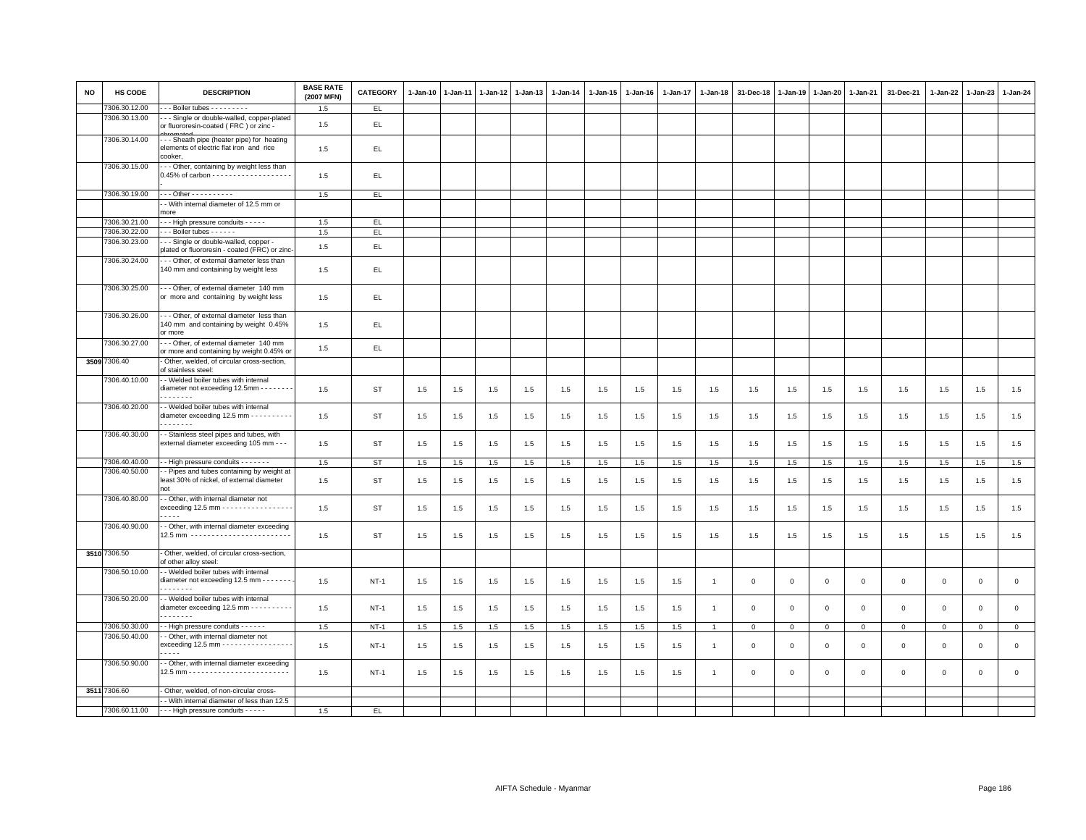| <b>NO</b> | HS CODE       | <b>DESCRIPTION</b>                                                                                | <b>BASE RATE</b><br>(2007 MFN) | CATEGORY    | $1-Jan-10$ | $1 - Jan-11$ | $1 - Jan-12$ | $1 - Jan-13$ | $1 - Jan-14$ | 1-Jan-15 | 1-Jan-16 | $1 - Jan-17$ | $1 - Jan-18$   | 31-Dec-18   | $1 - Jan-19$ | $1 - Jan-20$ | 1-Jan-21       | 31-Dec-21           | 1-Jan-22    | $1-Jan-23$  | 1-Jan-24     |
|-----------|---------------|---------------------------------------------------------------------------------------------------|--------------------------------|-------------|------------|--------------|--------------|--------------|--------------|----------|----------|--------------|----------------|-------------|--------------|--------------|----------------|---------------------|-------------|-------------|--------------|
|           | 7306.30.12.00 | $-$ - Boiler tubes $-$ - $-$ - $-$ - $-$                                                          | 1.5                            | EL.         |            |              |              |              |              |          |          |              |                |             |              |              |                |                     |             |             |              |
|           | 7306.30.13.00 | - - Single or double-walled, copper-plated<br>or fluororesin-coated (FRC) or zinc -               | 1.5                            | EL          |            |              |              |              |              |          |          |              |                |             |              |              |                |                     |             |             |              |
|           | 7306.30.14.00 | --- Sheath pipe (heater pipe) for heating<br>elements of electric flat iron and rice<br>cooker,   | 1.5                            | EL.         |            |              |              |              |              |          |          |              |                |             |              |              |                |                     |             |             |              |
|           | 7306.30.15.00 | --- Other, containing by weight less than                                                         | 1.5                            | EL.         |            |              |              |              |              |          |          |              |                |             |              |              |                |                     |             |             |              |
|           | 7306.30.19.00 | - - - Other - - - - - - - - - -                                                                   | 1.5                            | EL          |            |              |              |              |              |          |          |              |                |             |              |              |                |                     |             |             |              |
|           |               | - With internal diameter of 12.5 mm or<br>more                                                    |                                |             |            |              |              |              |              |          |          |              |                |             |              |              |                |                     |             |             |              |
|           | 7306.30.21.00 | --- High pressure conduits -----                                                                  | 1.5                            | EL.         |            |              |              |              |              |          |          |              |                |             |              |              |                |                     |             |             |              |
|           | 7306.30.22.00 | --- Boiler tubes ------                                                                           | 1.5                            | E           |            |              |              |              |              |          |          |              |                |             |              |              |                |                     |             |             |              |
|           | 7306.30.23.00 | - - Single or double-walled, copper -                                                             |                                |             |            |              |              |              |              |          |          |              |                |             |              |              |                |                     |             |             |              |
|           | 7306.30.24.00 | plated or fluororesin - coated (FRC) or zinc<br>- - - Other, of external diameter less than       | 1.5                            | EL          |            |              |              |              |              |          |          |              |                |             |              |              |                |                     |             |             |              |
|           |               | 140 mm and containing by weight less                                                              | 1.5                            | EL.         |            |              |              |              |              |          |          |              |                |             |              |              |                |                     |             |             |              |
|           | 7306.30.25.00 | -- Other, of external diameter 140 mm<br>or more and containing by weight less                    | 1.5                            | EL.         |            |              |              |              |              |          |          |              |                |             |              |              |                |                     |             |             |              |
|           | 7306.30.26.00 | --- Other, of external diameter less than<br>140 mm and containing by weight 0.45%<br>or more     | 1.5                            | EL.         |            |              |              |              |              |          |          |              |                |             |              |              |                |                     |             |             |              |
|           | 7306.30.27.00 | --- Other, of external diameter 140 mm<br>or more and containing by weight 0.45% or               | 1.5                            | EL.         |            |              |              |              |              |          |          |              |                |             |              |              |                |                     |             |             |              |
|           | 3509 7306.40  | - Other, welded, of circular cross-section,<br>of stainless steel:                                |                                |             |            |              |              |              |              |          |          |              |                |             |              |              |                |                     |             |             |              |
|           | 7306.40.10.00 | - - Welded boiler tubes with internal<br>diameter not exceeding 12.5mm - - - - - - -<br>.         | 1.5                            | ST          | 1.5        | 1.5          | 1.5          | 1.5          | 1.5          | 1.5      | 1.5      | 1.5          | 1.5            | 1.5         | 1.5          | 1.5          | 1.5            | 1.5                 | 1.5         | 1.5         | 1.5          |
|           | 7306.40.20.00 | - - Welded boiler tubes with internal<br>diameter exceeding 12.5 mm - - - - - - - - - -<br>.      | 1.5                            | ST          | 1.5        | 1.5          | 1.5          | 1.5          | 1.5          | 1.5      | 1.5      | 1.5          | 1.5            | 1.5         | 1.5          | 1.5          | 1.5            | 1.5                 | 1.5         | 1.5         | 1.5          |
|           | 7306.40.30.00 | - - Stainless steel pipes and tubes, with<br>external diameter exceeding 105 mm - - -             | 1.5                            | <b>ST</b>   | 1.5        | 1.5          | 1.5          | 1.5          | 1.5          | 1.5      | 1.5      | 1.5          | 1.5            | 1.5         | 1.5          | 1.5          | 1.5            | 1.5                 | 1.5         | 1.5         | 1.5          |
|           | 7306.40.40.00 | - - High pressure conduits - - - - - - -                                                          | 1.5                            | ST          | 1.5        | 1.5          | 1.5          | 1.5          | 1.5          | 1.5      | 1.5      | 1.5          | 1.5            | 1.5         | 1.5          | 1.5          | 1.5            | 1.5                 | 1.5         | 1.5         | 1.5          |
|           | 7306.40.50.00 | - Pipes and tubes containing by weight at<br>least 30% of nickel, of external diameter<br>not     | 1.5                            | <b>ST</b>   | 1.5        | 1.5          | 1.5          | 1.5          | 1.5          | 1.5      | 1.5      | 1.5          | 1.5            | 1.5         | 1.5          | 1.5          | 1.5            | 1.5                 | 1.5         | 1.5         | 1.5          |
|           | 7306.40.80.00 | - - Other, with internal diameter not<br>exceeding 12.5 mm - - - - - - - - - - - - - - - - -<br>. | 1.5                            | ST          | 1.5        | 1.5          | 1.5          | 1.5          | 1.5          | 1.5      | 1.5      | 1.5          | 1.5            | 1.5         | 1.5          | 1.5          | 1.5            | 1.5                 | 1.5         | 1.5         | 1.5          |
|           | 7306.40.90.00 | - Other, with internal diameter exceeding<br>12.5 mm -------------------------                    | 1.5                            | ST          | 1.5        | 1.5          | 1.5          | 1.5          | 1.5          | 1.5      | 1.5      | 1.5          | 1.5            | 1.5         | 1.5          | 1.5          | 1.5            | 1.5                 | 1.5         | 1.5         | 1.5          |
|           | 3510 7306.50  | - Other, welded, of circular cross-section,<br>of other alloy steel:                              |                                |             |            |              |              |              |              |          |          |              |                |             |              |              |                |                     |             |             |              |
|           | 7306.50.10.00 | - - Welded boiler tubes with internal<br>diameter not exceeding 12.5 mm - - - - - - -<br>.        | 1.5                            | <b>NT-1</b> | 1.5        | 1.5          | 1.5          | 1.5          | 1.5          | 1.5      | 1.5      | 1.5          | $\overline{1}$ | $\mathbf 0$ | $\mathbf 0$  | $\mathsf 0$  | $\mathbf 0$    | $\mathsf 0$         | $\mathbf 0$ | $\mathsf 0$ | $\mathsf 0$  |
|           | 7306.50.20.00 | - Welded boiler tubes with internal<br>diameter exceeding 12.5 mm - - - - - - - - - -<br>.        | 1.5                            | $NT-1$      | 1.5        | 1.5          | 1.5          | 1.5          | 1.5          | 1.5      | 1.5      | 1.5          | $\overline{1}$ | $\mathbf 0$ | $\mathbf 0$  | $\mathbf 0$  | $\mathbf 0$    | $\mathsf 0$         | $\mathbf 0$ | $\mathbf 0$ | $\mathsf 0$  |
|           | 7306.50.30.00 | - High pressure conduits - - - - - -                                                              | 1.5                            | $NT-1$      | 1.5        | 1.5          | 1.5          | 1.5          | 1.5          | 1.5      | 1.5      | 1.5          | $\overline{1}$ | $\mathbf 0$ | $\mathsf 0$  | $\mathbf{0}$ | $\overline{0}$ | $\mathsf{O}\xspace$ | $\circ$     | $\mathsf 0$ | $\mathbf{0}$ |
|           | 7306.50.40.00 | - Other, with internal diameter not<br>exceeding 12.5 mm - - - - - - - - - - - - - - - -          | 1.5                            | $NT-1$      | 1.5        | 1.5          | 1.5          | 1.5          | 1.5          | 1.5      | 1.5      | 1.5          | $\overline{1}$ | $\mathbf 0$ | $\mathbf 0$  | $\mathbf 0$  | $\mathbf 0$    | $\mathsf 0$         | $\mathbf 0$ | $\mathsf 0$ | $\mathsf 0$  |
|           | 7306.50.90.00 | $- - -$<br>- - Other, with internal diameter exceeding                                            | 1.5                            | $NT-1$      | 1.5        | 1.5          | 1.5          | 1.5          | 1.5          | 1.5      | 1.5      | 1.5          |                | $\mathbf 0$ | $\mathbf 0$  | $\Omega$     | $\mathbf 0$    | $\mathsf 0$         | $\mathbf 0$ | $\mathbf 0$ | $\mathbf 0$  |
|           |               |                                                                                                   |                                |             |            |              |              |              |              |          |          |              |                |             |              |              |                |                     |             |             |              |
|           | 3511 7306.60  | Other, welded, of non-circular cross-                                                             |                                |             |            |              |              |              |              |          |          |              |                |             |              |              |                |                     |             |             |              |
|           |               | - With internal diameter of less than 12.5                                                        |                                |             |            |              |              |              |              |          |          |              |                |             |              |              |                |                     |             |             |              |
|           | 7306.60.11.00 | ---- High pressure conduits -----                                                                 | 1.5                            | EL.         |            |              |              |              |              |          |          |              |                |             |              |              |                |                     |             |             |              |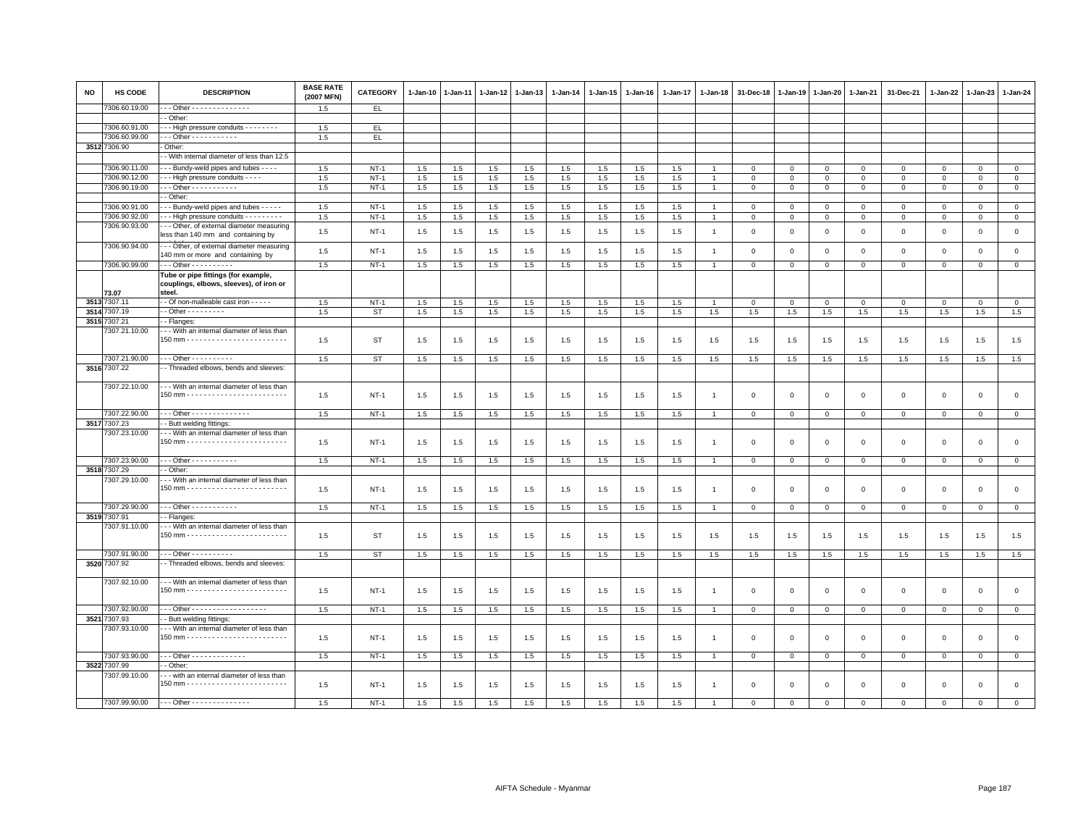| <b>NO</b> | <b>HS CODE</b> | <b>DESCRIPTION</b>                                                                       | <b>BASE RATE</b><br>(2007 MFN) | <b>CATEGORY</b> | 1-Jan-10 | 1-Jan-11 | 1-Jan-12 | 1-Jan-13 | 1-Jan-14 | 1-Jan-15 | 1-Jan-16 | 1-Jan-17 | 1-Jan-18       | 31-Dec-18    | 1-Jan-19     | 1-Jan-20       | 1-Jan-21     | 31-Dec-21    | 1-Jan-22     | 1-Jan-23     | 1-Jan-24       |
|-----------|----------------|------------------------------------------------------------------------------------------|--------------------------------|-----------------|----------|----------|----------|----------|----------|----------|----------|----------|----------------|--------------|--------------|----------------|--------------|--------------|--------------|--------------|----------------|
|           | 7306.60.19.00  | - - Other - - - - - - - - - - - - - -                                                    | 1.5                            | EL              |          |          |          |          |          |          |          |          |                |              |              |                |              |              |              |              |                |
|           |                | - Other:                                                                                 |                                |                 |          |          |          |          |          |          |          |          |                |              |              |                |              |              |              |              |                |
|           | 7306.60.91.00  | - - High pressure conduits - - - - - - - -                                               | $1.5\,$                        | E               |          |          |          |          |          |          |          |          |                |              |              |                |              |              |              |              |                |
|           | 7306.60.99.00  | $-$ - Other - - - - - - - - - - -                                                        | 1.5                            | EL              |          |          |          |          |          |          |          |          |                |              |              |                |              |              |              |              |                |
|           | 3512 7306.90   | Other:                                                                                   |                                |                 |          |          |          |          |          |          |          |          |                |              |              |                |              |              |              |              |                |
|           |                | - With internal diameter of less than 12.5                                               |                                |                 |          |          |          |          |          |          |          |          |                |              |              |                |              |              |              |              |                |
|           | 7306.90.11.00  | - - - Bundy-weld pipes and tubes - - - -                                                 | 1.5                            | $NT-1$          | 1.5      | 1.5      | 1.5      | 1.5      | 1.5      | 1.5      | 1.5      | 1.5      |                | $\Omega$     | $\Omega$     | $\Omega$       | $\Omega$     | 0            | $\Omega$     | $\mathbf 0$  | $\mathbf{0}$   |
|           | 7306.90.12.00  | - - High pressure conduits - - - -                                                       | 1.5                            | $NT-1$          | 1.5      | 1.5      | 1.5      | 1.5      | 1.5      | 1.5      | 1.5      | 1.5      |                | $\Omega$     | $\Omega$     | $\Omega$       | $\Omega$     | $\Omega$     | $\Omega$     | $\Omega$     | $\mathbf{0}$   |
|           | 7306.90.19.00  | $-$ - Other - - - - - - - - - - -                                                        | 1.5                            | $NT-1$          | 1.5      | 1.5      | 1.5      | 1.5      | 1.5      | 1.5      | 1.5      | 1.5      | $\overline{1}$ | $\mathbf 0$  | $\mathbf 0$  | $\mathbf 0$    | $\mathbf 0$  | 0            | $\circ$      | $\mathbf{0}$ | $\mathbf 0$    |
|           |                | - Other:                                                                                 |                                |                 |          |          |          |          |          |          |          |          |                |              |              |                |              |              |              |              |                |
|           | 7306.90.91.00  | - - Bundy-weld pipes and tubes - - - - -                                                 | 1.5                            | $NT-1$          | 1.5      | 1.5      | 1.5      | 1.5      | 1.5      | 1.5      | 1.5      | 1.5      |                | $\Omega$     | $\Omega$     | $\mathbf 0$    | $\mathbf{0}$ | $\Omega$     | $\Omega$     | $\Omega$     | $\mathsf 0$    |
|           | 7306.90.92.00  | - - High pressure conduits - - - - - - - -                                               | 1.5                            | $NT-1$          | 1.5      | 1.5      | 1.5      | 1.5      | 1.5      | 1.5      | 1.5      | 1.5      |                | $\mathbf 0$  | $\mathbf 0$  | 0              | $\mathbf 0$  | $\mathsf 0$  | $\circ$      | $\mathbf 0$  | $\mathbf 0$    |
|           | 7306.90.93.00  | -- Other, of external diameter measuring<br>less than 140 mm and containing by           | 1.5                            | $NT-1$          | 1.5      | 1.5      | 1.5      | 1.5      | 1.5      | 1.5      | 1.5      | 1.5      | $\overline{1}$ | $\Omega$     | $\Omega$     | $\Omega$       | $\Omega$     | $\mathbf 0$  | $\mathbf{0}$ | $\mathbf 0$  | $\mathbf 0$    |
|           | 7306.90.94.00  | -- Other, of external diameter measuring<br>140 mm or more and containing by             | 1.5                            | $NT-1$          | 1.5      | 1.5      | 1.5      | 1.5      | 1.5      | 1.5      | 1.5      | 1.5      | $\overline{1}$ | $\Omega$     | $\Omega$     | $\Omega$       | $\circ$      | $\mathbf 0$  | $\Omega$     | $\mathbf 0$  | $\mathbf 0$    |
|           | 7306.90.99.00  | - - - Other - - - - - - - - - -                                                          | 1.5                            | $NT-1$          | 1.5      | 1.5      | 1.5      | 1.5      | 1.5      | 1.5      | 1.5      | 1.5      | $\overline{1}$ | $\mathbf 0$  | $\mathbf 0$  | $\mathbf{0}$   | $\mathbf 0$  | $\mathbf 0$  | $\circ$      | $\mathbf 0$  | $\mathbf 0$    |
|           | 73.07          | Tube or pipe fittings (for example,<br>couplings, elbows, sleeves), of iron or<br>steel. |                                |                 |          |          |          |          |          |          |          |          |                |              |              |                |              |              |              |              |                |
| 3513      | 7307.11        | - - Of non-malleable cast iron - - - - -                                                 | 1.5                            | $NT-1$          | 1.5      | 1.5      | 1.5      | 1.5      | 1.5      | 1.5      | 1.5      | 1.5      | $\mathbf{1}$   | 0            | 0            | $\mathbf 0$    | $\mathbf{0}$ | $\circ$      | $\circ$      | $\mathbf{0}$ | $\overline{0}$ |
| 3514      | 7307.19        | $-$ Other $       -$                                                                     | $1.5\,$                        | ST              | 1.5      | 1.5      | 1.5      | 1.5      | 1.5      | 1.5      | 1.5      | 1.5      | 1.5            | $1.5\,$      | 1.5          | $1.5\,$        | 1.5          | 1.5          | 1.5          | 1.5          | 1.5            |
| 3515      | 7307.21        | - Flanges:                                                                               |                                |                 |          |          |          |          |          |          |          |          |                |              |              |                |              |              |              |              |                |
|           | 7307.21.10.00  | -- With an internal diameter of less than                                                |                                |                 |          |          |          |          |          |          |          |          |                |              |              |                |              |              |              |              |                |
|           |                |                                                                                          | 1.5                            | ST              | 1.5      | 1.5      | 1.5      | 1.5      | 1.5      | 1.5      | 1.5      | 1.5      | 1.5            | 1.5          | 1.5          | 1.5            | 1.5          | 1.5          | 1.5          | 1.5          | 1.5            |
|           | 7307.21.90.00  | $-$ - Other - - - - - - - - - -                                                          | 1.5                            | <b>ST</b>       | 1.5      | 1.5      | 1.5      | 1.5      | 1.5      | 1.5      | 1.5      | 1.5      | 1.5            | 1.5          | 1.5          | 1.5            | 1.5          | 1.5          | 1.5          | 1.5          | 1.5            |
|           | 3516 7307.22   | - Threaded elbows, bends and sleeves:                                                    |                                |                 |          |          |          |          |          |          |          |          |                |              |              |                |              |              |              |              |                |
|           | 7307.22.10.00  | - - - With an internal diameter of less than                                             | 1.5                            | $NT-1$          | 1.5      | 1.5      | 1.5      | 1.5      | 1.5      | 1.5      | 1.5      | 1.5      | -1             | $\mathbf 0$  | $\mathbf 0$  | $\mathbf 0$    | $\mathsf 0$  | $\mathsf 0$  | $\mathsf 0$  | $\mathsf 0$  | $\mathsf 0$    |
|           | 7307.22.90.00  | - - - Other - - - - - - - - - - - - - -                                                  | 1.5                            | $NT-1$          | 1.5      | 1.5      | 1.5      | 1.5      | 1.5      | 1.5      | 1.5      | 1.5      |                | $\mathbf 0$  | $\mathbf 0$  | $\mathbf 0$    | $\mathbf{0}$ | $\mathbf 0$  | $\mathbf{0}$ | $\mathsf 0$  | $\mathbf 0$    |
|           | 3517 7307.23   | - Butt welding fittings:                                                                 |                                |                 |          |          |          |          |          |          |          |          |                |              |              |                |              |              |              |              |                |
|           | 7307.23.10.00  | - - With an internal diameter of less than                                               | 1.5                            | $NT-1$          | 1.5      | 1.5      | 1.5      | 1.5      | 1.5      | 1.5      | 1.5      | 1.5      | $\mathbf{1}$   | $\Omega$     | $\mathbf 0$  | $\overline{0}$ | $\mathbf{0}$ | $\mathbf 0$  | $\mathbf{0}$ | $\mathbf 0$  | $\circ$        |
|           | 7307.23.90.00  | - - - Other - - - - - - - - - - -                                                        | 1.5                            | $NT-1$          | 1.5      | 1.5      | 1.5      | 1.5      | 1.5      | 1.5      | 1.5      | 1.5      |                | $\mathbf{0}$ | $\mathbf{0}$ | $\mathbf{0}$   | $\mathbf{0}$ | $\mathbf{0}$ | $\mathbf{0}$ | $\mathbf{0}$ | $\mathbf{0}$   |
|           | 3518 7307.29   | - Other                                                                                  |                                |                 |          |          |          |          |          |          |          |          |                |              |              |                |              |              |              |              |                |
|           | 7307.29.10.00  | -- With an internal diameter of less than                                                | 1.5                            | $NT-1$          | 1.5      | 1.5      | 1.5      | 1.5      | 1.5      | 1.5      | 1.5      | 1.5      | $\mathbf{1}$   | 0            | $\mathbf 0$  | $\mathbf 0$    | $\Omega$     | $\mathsf 0$  | $\circ$      | $\Omega$     | $\mathsf 0$    |
|           | 7307.29.90.00  | . Other                                                                                  | 1.5                            | $NT-1$          | 1.5      | 1.5      | 1.5      | 1.5      | 1.5      | 1.5      | 1.5      | 1.5      | -1             | $\Omega$     | 0            | $\mathbf 0$    | $\Omega$     | $\circ$      | $\circ$      | $\mathbf{0}$ | $\mathbf{0}$   |
|           | 3519 7307.91   | - Flanges:                                                                               |                                |                 |          |          |          |          |          |          |          |          |                |              |              |                |              |              |              |              |                |
|           | 7307.91.10.00  | --- With an internal diameter of less than                                               | 1.5                            | <b>ST</b>       | 1.5      | 1.5      | 1.5      | 1.5      | 1.5      | 1.5      | 1.5      | 1.5      | 1.5            | 1.5          | 1.5          | 1.5            | 1.5          | 1.5          | 1.5          | 1.5          | 1.5            |
|           | 7307.91.90.00  | - - - Other - - - - - - - - - -                                                          |                                | ST              | 1.5      |          | 1.5      | 1.5      | 1.5      | 1.5      | 1.5      |          |                |              |              | 1.5            | 1.5          | 1.5          | 1.5          |              | 1.5            |
|           | 3520 7307.92   | - Threaded elbows, bends and sleeves:                                                    | 1.5                            |                 |          | 1.5      |          |          |          |          |          | 1.5      | 1.5            | 1.5          | 1.5          |                |              |              |              | 1.5          |                |
|           | 7307.92.10.00  | - - - With an internal diameter of less than                                             | 1.5                            | $NT-1$          | 1.5      | 1.5      | 1.5      | 1.5      | 1.5      | 1.5      | 1.5      | 1.5      |                | $\Omega$     | $\Omega$     | $\mathbf 0$    | $\mathbf 0$  | $\mathbf 0$  | $\Omega$     | $\mathbf 0$  | $\circ$        |
|           | 7307.92.90.00  | Other - - - - - - - - - - - - - - - - - -                                                | 1.5                            | $NT-1$          | 1.5      | 1.5      | 1.5      | 1.5      | 1.5      | 1.5      | 1.5      | 1.5      | $\overline{1}$ | 0            | $\mathbf 0$  | $\mathbf 0$    | $\mathbf 0$  | 0            | $\circ$      | $\mathsf 0$  | $\mathbf 0$    |
| 3521      | 7307.93        | - Butt welding fittings:                                                                 |                                |                 |          |          |          |          |          |          |          |          |                |              |              |                |              |              |              |              |                |
|           | 7307.93.10.00  | -- With an internal diameter of less than                                                |                                |                 |          |          |          |          |          |          |          |          |                |              |              |                |              |              |              |              |                |
|           |                |                                                                                          | 1.5                            | $NT-1$          | 1.5      | 1.5      | 1.5      | 1.5      | 1.5      | 1.5      | 1.5      | 1.5      |                | 0            | $\mathbf 0$  | $\mathsf 0$    | 0            | $\mathsf 0$  | $\mathbf 0$  | 0            | $\mathsf 0$    |
|           | 7307.93.90.00  | - - - Other - - - - - - - - - - - - -                                                    | 1.5                            | $NT-1$          | 1.5      | 1.5      | 1.5      | 1.5      | 1.5      | 1.5      | 1.5      | 1.5      |                | $\mathsf 0$  | $\mathsf 0$  | $\mathsf 0$    | $\mathsf 0$  | $\mathsf 0$  | $\mathbf 0$  | $\mathbb O$  | $\mathsf 0$    |
|           | 3522 7307.99   | - Other                                                                                  |                                |                 |          |          |          |          |          |          |          |          |                |              |              |                |              |              |              |              |                |
|           | 7307.99.10.00  | - - with an internal diameter of less than                                               | 1.5                            | <b>NT-1</b>     | 1.5      | 1.5      | 1.5      | 1.5      | 1.5      | 1.5      | 1.5      | 1.5      |                | 0            | 0            | $^{\circ}$     | 0            | 0            | $\circ$      | 0            | $\mathsf 0$    |
|           | 7307.99.90.00  | - - - Other - - - - - - - - - - - - - -                                                  | 1.5                            | $NT-1$          | 1.5      | 1.5      | 1.5      | 1.5      | 1.5      | 1.5      | 1.5      | 1.5      |                | $\Omega$     | $\Omega$     | $\Omega$       | $\Omega$     | $\mathbf 0$  | $\Omega$     | $\mathbf 0$  | $\overline{0}$ |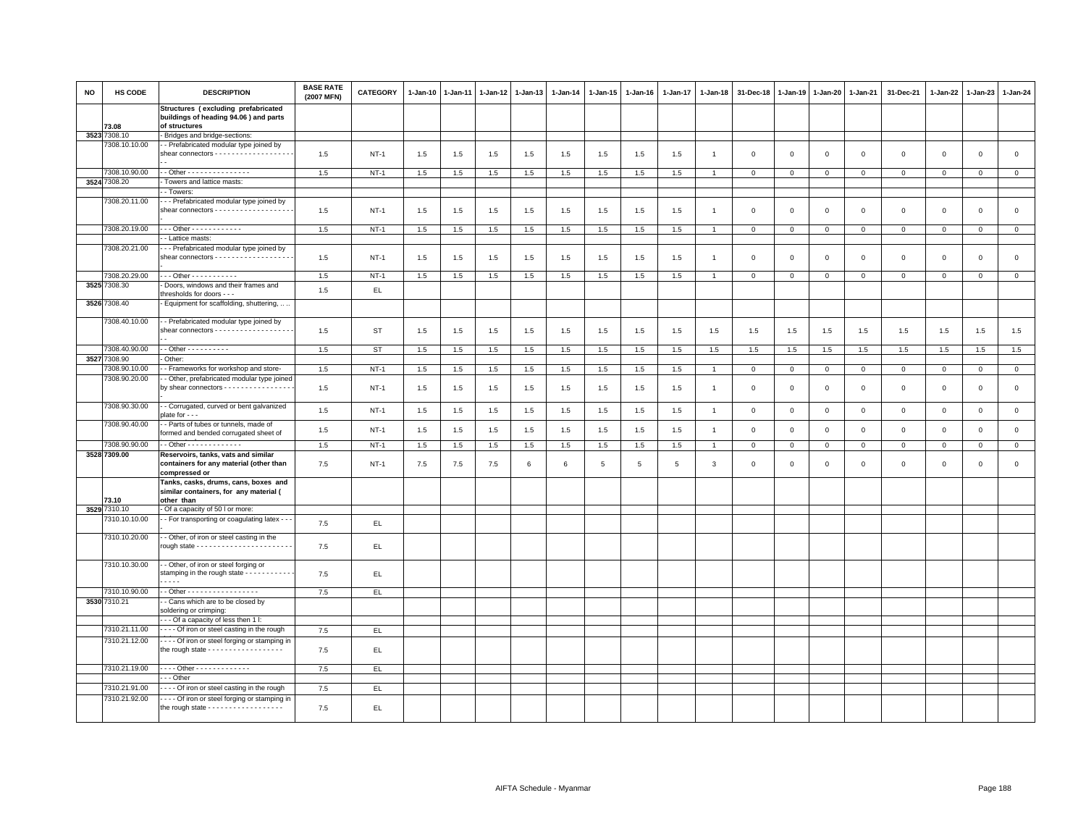| <b>NO</b> | HS CODE       | <b>DESCRIPTION</b>                                                                                     | <b>BASE RATE</b><br>(2007 MFN) | <b>CATEGORY</b> | $1 - Jan-10$ | $1 - Jan-11$ | $1 - Jan-12$ | $1 - Jan-13$ | 1-Jan-14 | 1-Jan-15 | 1-Jan-16 | $1 - Jan-17$    | $1 - Jan-18$   | 31-Dec-18      | $1 - Jan-19$ | $1 - Jan-20$   | 1-Jan-21       | 31-Dec-21           | $1 - Jan-22$ | $1-Jan-23$     | 1-Jan-24       |
|-----------|---------------|--------------------------------------------------------------------------------------------------------|--------------------------------|-----------------|--------------|--------------|--------------|--------------|----------|----------|----------|-----------------|----------------|----------------|--------------|----------------|----------------|---------------------|--------------|----------------|----------------|
|           | 73.08         | Structures (excluding prefabricated<br>buildings of heading 94.06 ) and parts<br>of structures         |                                |                 |              |              |              |              |          |          |          |                 |                |                |              |                |                |                     |              |                |                |
|           | 3523 7308.10  | - Bridges and bridge-sections:                                                                         |                                |                 |              |              |              |              |          |          |          |                 |                |                |              |                |                |                     |              |                |                |
|           | 7308.10.10.00 | - Prefabricated modular type joined by<br>shear connectors - - - - - - - - - - - - - - - - -           | 1.5                            | $NT-1$          | 1.5          | 1.5          | 1.5          | 1.5          | 1.5      | 1.5      | 1.5      | 1.5             | $\overline{1}$ | $\overline{0}$ | $\mathbf 0$  | $\mathbf 0$    | $\mathbf{0}$   | $\mathbf 0$         | $\mathbf 0$  | $\mathbf 0$    | $\mathbf{0}$   |
|           | 7308.10.90.00 | - - Other - - - - - - - - - - - - - - -                                                                | 1.5                            | <b>NT-1</b>     | 1.5          | 1.5          | 1.5          | 1.5          | 1.5      | 1.5      | 1.5      | 1.5             | $\overline{1}$ | $\mathbf 0$    | $\mathsf 0$  | $\mathbf 0$    | $\mathbf 0$    | $\mathbf 0$         | $\mathbf 0$  | $\mathbf{0}$   | $\mathbf 0$    |
|           | 3524 7308.20  | Towers and lattice masts:                                                                              |                                |                 |              |              |              |              |          |          |          |                 |                |                |              |                |                |                     |              |                |                |
|           |               | - Towers                                                                                               |                                |                 |              |              |              |              |          |          |          |                 |                |                |              |                |                |                     |              |                |                |
|           | 7308.20.11.00 | - - Prefabricated modular type joined by<br>shear connectors - - - - - - - - - - - - - - - - -         | 1.5                            | $NT-1$          | 1.5          | 1.5          | 1.5          | 1.5          | 1.5      | 1.5      | 1.5      | 1.5             | $\overline{1}$ | $\mathbf 0$    | $\mathbf 0$  | $\mathsf 0$    | $\mathbf 0$    | $\mathsf 0$         | $\mathsf 0$  | $\mathsf 0$    | $\mathsf 0$    |
|           | 7308.20.19.00 | - - - Other - - - - - - - - - - - -                                                                    | 1.5                            | $NT-1$          | 1.5          | 1.5          | 1.5          | 1.5          | 1.5      | 1.5      | 1.5      | 1.5             |                | $\mathbf{0}$   | $\mathbf 0$  | $\mathbf 0$    | $\mathbf{0}$   | $\mathbf{0}$        | $\mathbf 0$  | $\mathbf{0}$   | $\circ$        |
|           |               | - Lattice masts:                                                                                       |                                |                 |              |              |              |              |          |          |          |                 |                |                |              |                |                |                     |              |                |                |
|           | 7308.20.21.00 | - - Prefabricated modular type joined by<br>shear connectors - - - - - - - - -                         | 1.5                            | $NT-1$          | 1.5          | 1.5          | 1.5          | 1.5          | 1.5      | 1.5      | 1.5      | 1.5             | $\mathbf{1}$   | $\mathbf 0$    | $\mathbf 0$  | $\mathbf 0$    | $\mathbf 0$    | $\mathsf 0$         | $\mathsf 0$  | $\mathbf 0$    | $\mathsf 0$    |
|           | 7308.20.29.00 | --- Other -----------                                                                                  | 1.5                            | $NT-1$          | 1.5          | 1.5          | 1.5          | 1.5          | 1.5      | 1.5      | 1.5      | 1.5             |                | $\mathbf 0$    | $\mathbf 0$  | $\mathsf 0$    | $\mathbf 0$    | $\mathbf{0}$        | $\mathbf 0$  | $\mathbf 0$    | $\mathbf 0$    |
|           | 3525 7308.30  | Doors, windows and their frames and<br>thresholds for doors - - -                                      | 1.5                            | EL.             |              |              |              |              |          |          |          |                 |                |                |              |                |                |                     |              |                |                |
|           | 3526 7308.40  | - Equipment for scaffolding, shuttering,                                                               |                                |                 |              |              |              |              |          |          |          |                 |                |                |              |                |                |                     |              |                |                |
|           | 7308.40.10.00 | - Prefabricated modular type joined by<br>shear connectors - - - - - - - - - - - - - - - - -           | 1.5                            | <b>ST</b>       | 1.5          | 1.5          | 1.5          | $1.5\,$      | 1.5      | 1.5      | 1.5      | 1.5             | 1.5            | 1.5            | 1.5          | 1.5            | 1.5            | 1.5                 | 1.5          | 1.5            | 1.5            |
|           | 7308.40.90.00 | - - Other - - - - - - - - - -                                                                          | 1.5                            | <b>ST</b>       | 1.5          | 1.5          | 1.5          | 1.5          | 1.5      | 1.5      | 1.5      | 1.5             | 1.5            | 1.5            | 1.5          | 1.5            | 1.5            | 1.5                 | 1.5          | 1.5            | 1.5            |
|           | 3527 7308.90  | - Other:                                                                                               |                                |                 |              |              |              |              |          |          |          |                 |                |                |              |                |                |                     |              |                |                |
|           | 7308.90.10.00 | - Frameworks for workshop and store-                                                                   | 1.5                            | $NT-1$          | 1.5          | 1.5          | 1.5          | 1.5          | 1.5      | 1.5      | 1.5      | 1.5             | $\overline{1}$ | $\mathbf 0$    | $\mathbf 0$  | $\overline{0}$ | $\overline{0}$ | $\mathbf{0}$        | $\mathbf 0$  | $\overline{0}$ | $\mathbf{0}$   |
|           | 7308.90.20.00 | - Other, prefabricated modular type joined<br>by shear connectors - - - - - - - - - - - - - - -        | 1.5                            | $NT-1$          | 1.5          | 1.5          | 1.5          | 1.5          | 1.5      | 1.5      | 1.5      | 1.5             |                | $\mathbf 0$    | $\mathbf 0$  | $\mathsf 0$    | $\mathbf 0$    | $\mathsf 0$         | $\mathbf 0$  | $\mathsf 0$    | $\mathsf 0$    |
|           | 7308.90.30.00 | - Corrugated, curved or bent galvanized<br>$plate for - -$                                             | 1.5                            | $NT-1$          | 1.5          | 1.5          | 1.5          | $1.5\,$      | 1.5      | 1.5      | 1.5      | 1.5             | $\overline{1}$ | $\mathbf 0$    | $\,0\,$      | $\mathbf 0$    | $\,0\,$        | $\mathsf{O}\xspace$ | $\mathbf 0$  | $\mathsf 0$    | $\mathsf 0$    |
|           | 7308.90.40.00 | - Parts of tubes or tunnels, made of<br>formed and bended corrugated sheet of                          | 1.5                            | <b>NT-1</b>     | 1.5          | 1.5          | 1.5          | 1.5          | 1.5      | 1.5      | 1.5      | 1.5             | $\overline{1}$ | $\mathbf 0$    | $\mathbf 0$  | $\mathbf 0$    | $\mathbf 0$    | $\mathsf 0$         | $\mathbf 0$  | $\mathsf 0$    | $\mathsf 0$    |
|           | 7308.90.90.00 | - - Other - - - - - - - - - - - - -                                                                    | 1.5                            | <b>NT-1</b>     | 1.5          | 1.5          | 1.5          | 1.5          | 1.5      | 1.5      | 1.5      | 1.5             | $\overline{1}$ | $\mathbf 0$    | $\mathbf 0$  | $\overline{0}$ | $\overline{0}$ | $\mathbf 0$         | $\mathbf{0}$ | $\mathbf 0$    | $\overline{0}$ |
|           | 3528 7309.00  | Reservoirs, tanks, vats and similar<br>containers for any material (other than<br>compressed or        | 7.5                            | $NT-1$          | 7.5          | 7.5          | 7.5          | 6            | 6        | 5        | 5        | $5\phantom{.0}$ | $\mathbf{3}$   | $\mathbf 0$    | $\mathsf 0$  | $\mathbf 0$    | $\mathbf 0$    | $\mathsf 0$         | $\circ$      | $\mathbf 0$    | $\mathsf 0$    |
|           | 73.10         | Tanks, casks, drums, cans, boxes and<br>similar containers, for any material (<br>other than           |                                |                 |              |              |              |              |          |          |          |                 |                |                |              |                |                |                     |              |                |                |
| 3529      | 7310.10       | Of a capacity of 50 l or more:                                                                         |                                |                 |              |              |              |              |          |          |          |                 |                |                |              |                |                |                     |              |                |                |
|           | 7310.10.10.00 | - For transporting or coagulating latex - -                                                            | 7.5                            | EL.             |              |              |              |              |          |          |          |                 |                |                |              |                |                |                     |              |                |                |
|           | 7310.10.20.00 | - Other, of iron or steel casting in the                                                               | 7.5                            | EL              |              |              |              |              |          |          |          |                 |                |                |              |                |                |                     |              |                |                |
|           | 7310.10.30.00 | - Other, of iron or steel forging or<br>stamping in the rough state - - - - - - - - - - -<br>.         | 7.5                            | EL.             |              |              |              |              |          |          |          |                 |                |                |              |                |                |                     |              |                |                |
|           | 7310.10.90.00 | - - Other - - - - - - - - - - - - - - - - -                                                            | 7.5                            | EL.             |              |              |              |              |          |          |          |                 |                |                |              |                |                |                     |              |                |                |
|           | 3530 7310.21  | - Cans which are to be closed by                                                                       |                                |                 |              |              |              |              |          |          |          |                 |                |                |              |                |                |                     |              |                |                |
|           |               | soldering or crimping:<br>- - Of a capacity of less then 1 I:                                          |                                |                 |              |              |              |              |          |          |          |                 |                |                |              |                |                |                     |              |                |                |
|           | 7310.21.11.00 | ---- Of iron or steel casting in the rough                                                             | 7.5                            | EL.             |              |              |              |              |          |          |          |                 |                |                |              |                |                |                     |              |                |                |
|           | 7310.21.12.00 | - - - - Of iron or steel forging or stamping in<br>the rough state - - - - - - - - - - - - - - - - - - | 7.5                            | EL.             |              |              |              |              |          |          |          |                 |                |                |              |                |                |                     |              |                |                |
|           | 7310.21.19.00 | ---- Other -------------                                                                               | 7.5                            | EL.             |              |              |              |              |          |          |          |                 |                |                |              |                |                |                     |              |                |                |
|           |               | - - - Other                                                                                            |                                |                 |              |              |              |              |          |          |          |                 |                |                |              |                |                |                     |              |                |                |
|           | 7310.21.91.00 | - - - Of iron or steel casting in the rough                                                            | 7.5                            | EL.             |              |              |              |              |          |          |          |                 |                |                |              |                |                |                     |              |                |                |
|           | 7310.21.92.00 | --- Of iron or steel forging or stamping in<br>the rough state - - - - - - - - - - - - - - - - - -     | 7.5                            | EL.             |              |              |              |              |          |          |          |                 |                |                |              |                |                |                     |              |                |                |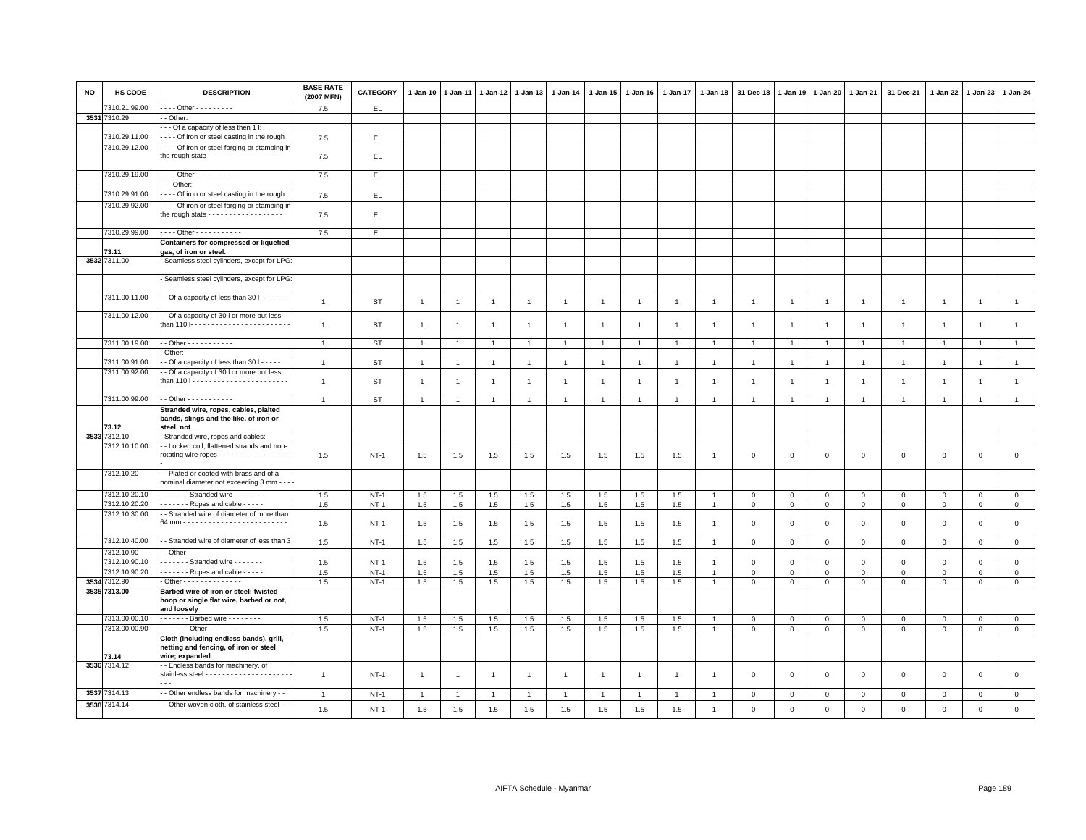| <b>NO</b> | HS CODE       | <b>DESCRIPTION</b>                                                                                     | <b>BASE RATE</b><br>(2007 MFN) | <b>CATEGORY</b> | $1-Jan-10$     | $1 - Jan-11$   | $1-Jan-12$     | $1 - Jan-13$   | 1-Jan-14       | 1-Jan-15       | $1 - Jan-16$   | 1-Jan-17       | $1 - Jan-18$   | 31-Dec-18      | $1 - Jan-19$   | $1 - Jan-20$   | 1-Jan-21       | 31-Dec-21      | $1 - Jan-22$   | $1-Jan-23$     | 1-Jan-24       |
|-----------|---------------|--------------------------------------------------------------------------------------------------------|--------------------------------|-----------------|----------------|----------------|----------------|----------------|----------------|----------------|----------------|----------------|----------------|----------------|----------------|----------------|----------------|----------------|----------------|----------------|----------------|
|           | 7310.21.99.00 | . Other - - - - - - - - -                                                                              | 7.5                            | EL.             |                |                |                |                |                |                |                |                |                |                |                |                |                |                |                |                |                |
|           | 3531 7310.29  | - Other:                                                                                               |                                |                 |                |                |                |                |                |                |                |                |                |                |                |                |                |                |                |                |                |
|           |               | - - Of a capacity of less then 1 I:                                                                    |                                |                 |                |                |                |                |                |                |                |                |                |                |                |                |                |                |                |                |                |
|           | 7310.29.11.00 | - - - - Of iron or steel casting in the rough                                                          | 7.5                            | E               |                |                |                |                |                |                |                |                |                |                |                |                |                |                |                |                |                |
|           | 7310.29.12.00 | - - - - Of iron or steel forging or stamping in<br>the rough state - - - - - - - - - - - - - - - - - - | 7.5                            | EL              |                |                |                |                |                |                |                |                |                |                |                |                |                |                |                |                |                |
|           | 7310.29.19.00 | ---- Other ---------<br>$-$ - Other:                                                                   | 7.5                            | EL              |                |                |                |                |                |                |                |                |                |                |                |                |                |                |                |                |                |
|           | 7310.29.91.00 | Of iron or steel casting in the rough                                                                  |                                |                 |                |                |                |                |                |                |                |                |                |                |                |                |                |                |                |                |                |
|           |               |                                                                                                        | 7.5                            | EL.             |                |                |                |                |                |                |                |                |                |                |                |                |                |                |                |                |                |
|           | 7310.29.92.00 | - - - - Of iron or steel forging or stamping in<br>the rough state - - - - - - - - - - - - - - - - - - | 7.5                            | EL              |                |                |                |                |                |                |                |                |                |                |                |                |                |                |                |                |                |
|           | 7310.29.99.00 | ---- Other -----------                                                                                 | 7.5                            | EL              |                |                |                |                |                |                |                |                |                |                |                |                |                |                |                |                |                |
|           |               | Containers for compressed or liquefied                                                                 |                                |                 |                |                |                |                |                |                |                |                |                |                |                |                |                |                |                |                |                |
|           | 73.11         | gas, of iron or steel.                                                                                 |                                |                 |                |                |                |                |                |                |                |                |                |                |                |                |                |                |                |                |                |
|           | 3532 7311.00  | - Seamless steel cylinders, except for LPG:                                                            |                                |                 |                |                |                |                |                |                |                |                |                |                |                |                |                |                |                |                |                |
|           |               | - Seamless steel cylinders, except for LPG:                                                            |                                |                 |                |                |                |                |                |                |                |                |                |                |                |                |                |                |                |                |                |
|           | 7311.00.11.00 | - - Of a capacity of less than 30   - - - - - - -                                                      | $\overline{1}$                 | <b>ST</b>       | $\overline{1}$ | $\overline{1}$ | $\overline{1}$ | $\overline{1}$ | $\overline{1}$ | $\overline{1}$ | $\overline{1}$ | $\overline{1}$ | $\overline{1}$ | $\overline{1}$ | $\overline{1}$ | $\overline{1}$ | $\overline{1}$ | $\mathbf{1}$   | $\overline{1}$ | $\overline{1}$ | $\overline{1}$ |
|           | 7311.00.12.00 | - Of a capacity of 30 I or more but less<br>than 110  ------------------------                         | $\overline{1}$                 | ST              | $\overline{1}$ | $\overline{1}$ | $\overline{1}$ | $\overline{1}$ | $\overline{1}$ | $\overline{1}$ | $\overline{1}$ | $\mathbf{1}$   | $\mathbf{1}$   | $\overline{1}$ | $\overline{1}$ | $\overline{1}$ | $\overline{1}$ | $\overline{1}$ | $\overline{1}$ | $\overline{1}$ | $\overline{1}$ |
|           | 7311.00.19.00 | - - Other - - - - - - - - - - -                                                                        | $\overline{1}$                 | <b>ST</b>       | $\overline{1}$ | $\overline{1}$ | $\overline{1}$ | $\overline{1}$ | $\overline{1}$ | $\mathbf{1}$   |                | $\mathbf{1}$   |                | $\overline{1}$ |                | $\overline{1}$ | $\overline{1}$ | $\overline{1}$ | $\overline{1}$ | $\overline{1}$ | $\mathbf{1}$   |
|           |               | Other:                                                                                                 |                                |                 |                |                |                |                |                |                |                |                |                |                |                |                |                |                |                |                |                |
|           | 7311.00.91.00 | - Of a capacity of less than 30   - - - - -                                                            | $\overline{1}$                 | <b>ST</b>       | $\mathbf{1}$   | $\overline{1}$ | $\overline{1}$ | $\overline{1}$ | $\overline{1}$ | $\mathbf{1}$   | $\overline{1}$ | $\mathbf{1}$   | $\overline{1}$ | $\overline{1}$ | $\overline{1}$ | $\overline{1}$ | $\overline{1}$ | $\mathbf{1}$   | $\overline{1}$ | $\overline{1}$ | $\mathbf{1}$   |
|           | 7311.00.92.00 | - Of a capacity of 30 I or more but less                                                               |                                |                 |                |                |                |                |                |                |                |                |                |                |                |                |                |                |                |                |                |
|           |               |                                                                                                        | $\overline{1}$                 | ST              | $\overline{1}$ | -1             | $\overline{1}$ | $\overline{1}$ | $\mathbf{1}$   | $\mathbf{1}$   | $\mathbf{1}$   | $\mathbf{1}$   |                | $\mathbf{1}$   | $\overline{1}$ | $\overline{1}$ | $\overline{1}$ | $\mathbf{1}$   | $\overline{1}$ | $\overline{1}$ | $\mathbf{1}$   |
|           | 7311.00.99.00 | - - Other - - - - - - - - - - -                                                                        | $\overline{1}$                 | <b>ST</b>       | $\mathbf{1}$   | -1             | $\overline{1}$ | $\overline{1}$ |                | $\overline{1}$ |                |                | $\overline{1}$ | $\overline{1}$ | $\overline{1}$ | $\overline{1}$ | $\overline{1}$ | $\mathbf{1}$   | $\overline{1}$ | $\overline{1}$ | $\overline{1}$ |
|           | 73.12         | Stranded wire, ropes, cables, plaited<br>bands, slings and the like, of iron or<br>steel, not          |                                |                 |                |                |                |                |                |                |                |                |                |                |                |                |                |                |                |                |                |
|           | 3533 7312.10  | - Stranded wire, ropes and cables:                                                                     |                                |                 |                |                |                |                |                |                |                |                |                |                |                |                |                |                |                |                |                |
|           | 7312.10.10.00 | - Locked coil, flattened strands and non-<br>rotating wire ropes - - - - - - - - - - - - - - - - -     | 1.5                            | $NT-1$          | 1.5            | 1.5            | 1.5            | 1.5            | 1.5            | 1.5            | 1.5            | 1.5            | $\overline{1}$ | $\mathbf 0$    | $\mathsf 0$    | $\mathbf 0$    | $\mathbf 0$    | $\mathsf 0$    | $\mathbf 0$    | $\mathsf 0$    | $\mathsf 0$    |
|           | 7312.10.20    | - Plated or coated with brass and of a<br>nominal diameter not exceeding 3 mm - -                      |                                |                 |                |                |                |                |                |                |                |                |                |                |                |                |                |                |                |                |                |
|           | 7312.10.20.10 | . Stranded wire                                                                                        | 1.5                            | $NT-1$          | 1.5            | 1.5            | 1.5            | 1.5            | 1.5            | 1.5            | 1.5            | 1.5            | $\overline{1}$ | $\mathbf 0$    | $\mathbf{0}$   | $\circ$        | $\mathbf{0}$   | $\mathbf{0}$   | $\mathbf{0}$   | $\mathbf 0$    | $\circ$        |
|           | 7312.10.20.20 | $\cdots$ $\cdots$ - Ropes and cable $\cdots$                                                           | 1.5                            | $NT-1$          | 1.5            | 1.5            | 1.5            | 1.5            | 1.5            | 1.5            | 1.5            | 1.5            | $\mathbf{1}$   | $\mathbf 0$    | $\mathbf 0$    | $\mathbf 0$    | $\mathbf 0$    | $\mathbf 0$    | $\mathbf 0$    | $\mathbf{0}$   | $\mathbf 0$    |
|           | 7312.10.30.00 | - Stranded wire of diameter of more than                                                               | 1.5                            | $NT-1$          | 1.5            | 1.5            | 1.5            | 1.5            | 1.5            | 1.5            | 1.5            | 1.5            | $\overline{1}$ | $\mathbf 0$    | $\Omega$       | $\mathbf 0$    | $\mathbf 0$    | $\mathbf 0$    | $\mathbf 0$    | $\mathsf 0$    | $\mathsf 0$    |
|           | 7312.10.40.00 | - Stranded wire of diameter of less than 3                                                             | 1.5                            | $NT-1$          | 1.5            | 1.5            | 1.5            | 1.5            | 1.5            | 1.5            | 1.5            | 1.5            | $\overline{1}$ | $\overline{0}$ | $\mathbf 0$    | $\mathbf 0$    | $\mathbf{0}$   | $\mathbf 0$    | $\Omega$       | $\mathbf{0}$   | $\mathbf 0$    |
|           | 7312.10.90    | - Other                                                                                                |                                |                 |                |                |                |                |                |                |                |                |                |                |                |                |                |                |                |                |                |
|           | 7312.10.90.10 | Stranded wire                                                                                          | 1.5                            | $NT-1$          | 1.5            | 1.5            | 1.5            | 1.5            | 1.5            | 1.5            | 1.5            | 1.5            |                | $\mathbf 0$    | $\mathsf 0$    | $\mathbf 0$    | $\mathbf 0$    | $\mathbf{0}$   | $\mathbf{0}$   | $\mathbf 0$    | $\overline{0}$ |
|           | 7312.10.90.20 | - - - - - - Ropes and cable - - - - -                                                                  | 1.5                            | $NT-1$          | 1.5            | 1.5            | 1.5            | 1.5            | 1.5            | 1.5            | 1.5            | 1.5            | $\overline{1}$ | $\mathbf 0$    | $\mathbf 0$    | $\mathbf 0$    | $\mathbf 0$    | $\mathbf 0$    | $\mathbf 0$    | $\mathbf 0$    | $\mathsf 0$    |
| 3534      | 7312.90       | - Other - - - - - - - - - - - - - -                                                                    | 1.5                            | $NT-1$          | 1.5            | 1.5            | $1.5\,$        | 1.5            | 1.5            | 1.5            | 1.5            | 1.5            | $\overline{1}$ | $\mathbf 0$    | $\mathsf 0$    | $\mathbf 0$    | $\mathbf 0$    | $\mathbf{0}$   | $\mathbf 0$    | $\mathbf 0$    | $\mathsf 0$    |
|           | 3535 7313.00  | Barbed wire of iron or steel; twisted<br>hoop or single flat wire, barbed or not,<br>and loosely       |                                |                 |                |                |                |                |                |                |                |                |                |                |                |                |                |                |                |                |                |
|           | 7313.00.00.10 | ------- Barbed wire --------                                                                           | 1.5                            | $NT-1$          | 1.5            | 1.5            | 1.5            | 1.5            | 1.5            | 1.5            | 1.5            | 1.5            |                | $\mathbf 0$    | $\mathbf 0$    | $\mathbf 0$    | $\mathbf 0$    | $\mathbf 0$    | $\Omega$       | $\mathsf 0$    | $\mathbf 0$    |
|           | 7313.00.00.90 | - - - - - - - Other - - - - - - - -                                                                    | 1.5                            | $NT-1$          | 1.5            | 1.5            | 1.5            | 1.5            | 1.5            | 1.5            | 1.5            | 1.5            | $\mathbf{1}$   | $\mathbf 0$    | $\mathbf 0$    | $\mathbf 0$    | $\overline{0}$ | $\mathsf 0$    | $\mathbf{O}$   | $\mathsf 0$    | $\mathbf{0}$   |
|           | 73.14         | Cloth (including endless bands), grill,<br>netting and fencing, of iron or steel<br>wire; expanded     |                                |                 |                |                |                |                |                |                |                |                |                |                |                |                |                |                |                |                |                |
|           | 3536 7314.12  | - - Endless bands for machinery, of                                                                    | $\overline{1}$                 | $NT-1$          | $\overline{1}$ | $\overline{1}$ | $\overline{1}$ | $\overline{1}$ | $\overline{1}$ | $\mathbf{1}$   | $\overline{1}$ | $\overline{1}$ | $\overline{1}$ | $\mathbf 0$    | $\mathbf 0$    | $\mathbf 0$    | $\mathbf 0$    | $\mathsf 0$    | $\mathbf 0$    | $\mathsf 0$    | $\mathbf 0$    |
|           | 3537 7314.13  | - Other endless bands for machinery - -                                                                | $\overline{1}$                 | $NT-1$          | $\overline{1}$ | $\overline{1}$ | $\overline{1}$ | $\overline{1}$ | $\overline{1}$ | $\overline{1}$ | $\overline{1}$ | $\overline{1}$ | $\overline{1}$ | $\overline{0}$ | $\mathbf 0$    | $\mathbf 0$    | $\overline{0}$ | $\mathbf{0}$   | $\mathbf 0$    | $\mathbf 0$    | $\circ$        |
|           | 3538 7314.14  | - Other woven cloth, of stainless steel - - -                                                          | 1.5                            | $NT-1$          | 1.5            | 1.5            | 1.5            | $1.5\,$        | 1.5            | 1.5            | 1.5            | 1.5            | $\mathbf{1}$   | $\mathbf 0$    | $\mathbf{0}$   | $\mathbf 0$    | $\mathbf 0$    | $\mathbf 0$    | $\circ$        | $\mathbf 0$    | $\mathbf 0$    |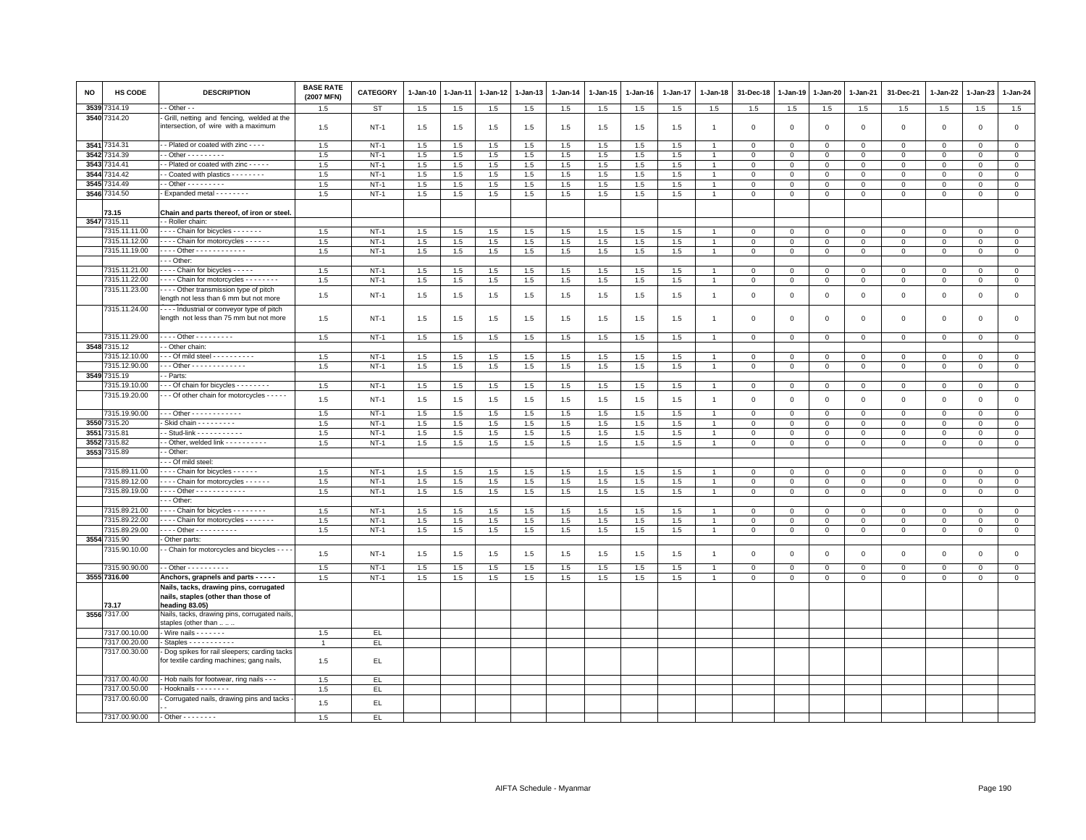| <b>NO</b> | HS CODE       | <b>DESCRIPTION</b>                                                                       | <b>BASE RATE</b><br>(2007 MFN) | <b>CATEGORY</b>  | 1-Jan-10   | 1-Jan-11   | 1-Jan-12   | 1-Jan-13   | $1-Jan-14$ | $1 - Jan-15$ | $1-Jan-16$ | 1-Jan-17   | 1-Jan-18       | 31-Dec-18                  | 1-Jan-19                    | 1-Jan-20                   | 1-Jan-21                   | 31-Dec-21                  | $1 - Jan-22$ | 1-Jan-23                   | $1 - Jan-24$                  |
|-----------|---------------|------------------------------------------------------------------------------------------|--------------------------------|------------------|------------|------------|------------|------------|------------|--------------|------------|------------|----------------|----------------------------|-----------------------------|----------------------------|----------------------------|----------------------------|--------------|----------------------------|-------------------------------|
| 3539      | 314.19        | - Other - -                                                                              | 1.5                            | <b>ST</b>        | 1.5        | 1.5        | 1.5        | 1.5        | 1.5        | 1.5          | 1.5        | 1.5        | 1.5            | 1.5                        | 1.5                         | 1.5                        | 1.5                        | 1.5                        | 1.5          | 1.5                        | 1.5                           |
|           | 3540 7314.20  | Grill, netting and fencing, welded at the<br>intersection, of wire with a maximum        | 1.5                            | <b>NT-1</b>      | 1.5        | 1.5        | 1.5        | 1.5        | 1.5        | 1.5          | 1.5        | 1.5        | $\overline{1}$ | $\mathbf 0$                | $\mathbf 0$                 | $\,0\,$                    | $\mathsf 0$                | $\mathsf 0$                | $\mathsf 0$  | $\mathsf 0$                | $\mathsf 0$                   |
|           | 3541 7314.31  | - - Plated or coated with zinc - - - -                                                   | 1.5                            | $NT-1$           | 1.5        | 1.5        | 1.5        | 1.5        | 1.5        | 1.5          | 1.5        | 1.5        |                | $\Omega$                   | $\Omega$                    | $\mathbf{0}$               | $\mathbf{0}$               | $\mathbf 0$                | $\mathbf 0$  | $\mathbf 0$                | $\mathbf{0}$                  |
|           | 3542 7314.39  | - Other - - - - - - - -                                                                  | 1.5                            | $NT-1$           | 1.5        | 1.5        | 1.5        | 1.5        | 1.5        | 1.5          | 1.5        | 1.5        | $\overline{1}$ | $\overline{0}$             | $\mathbf 0$                 | $\mathbf 0$                | $\mathbf 0$                | 0                          | $\mathbf 0$  | $\mathbf 0$                | $\mathsf 0$                   |
| 3543      | 314.41        | - Plated or coated with zinc - - - - -                                                   | 1.5                            | $NT-1$           | 1.5        | 1.5        | 1.5        | 1.5        | 1.5        | 1.5          | 1.5        | 1.5        |                | $\Omega$                   | $\Omega$                    | $\mathsf 0$                | $\Omega$                   | 0                          | $\Omega$     | $\Omega$                   | $\Omega$                      |
| 3544      | 314.42        | - Coated with plastics - - - - - - - -                                                   | 1.5                            | $NT-1$           | 1.5        | 1.5        | 1.5        | 1.5        | 1.5        | $1.5\,$      | 1.5        | 1.5        |                | $\mathbf 0$                | $\mathbf 0$                 | $\mathbf 0$                | $\mathbf 0$                | $\mathsf 0$                | $\mathbf 0$  | $\mathsf 0$                | $\mathbf 0$                   |
| 3545      | 314.49        | $-$ Other $       -$                                                                     | 1.5                            | $NT-1$           | 1.5        | 1.5        | $1.5\,$    | 1.5        | $1.5\,$    | $1.5\,$      | 1.5        | 1.5        |                | $\mathbf 0$                | $\mathbf{0}$                | $\mathsf 0$                | $\mathbf 0$                | $\mathsf 0$                | $\mathbf 0$  | $\mathbf 0$                | $\,0\,$                       |
| 3546      | 314.50        | Expanded metal - - - - - - -                                                             | 1.5                            | $NT-1$           | 1.5        | 1.5        | 1.5        | 1.5        | 1.5        | 1.5          | 1.5        | 1.5        | $\overline{1}$ | $\mathsf 0$                | $\mathsf 0$                 | $\mathsf 0$                | $\mathbf 0$                | $\mathsf 0$                | $\mathbf 0$  | $\mathsf 0$                | $\overline{0}$                |
|           | 73.15         | Chain and parts thereof, of iron or steel.                                               |                                |                  |            |            |            |            |            |              |            |            |                |                            |                             |                            |                            |                            |              |                            |                               |
|           | 3547 7315.11  | - Roller chain                                                                           |                                |                  |            |            |            |            |            |              |            |            |                |                            |                             |                            |                            |                            |              |                            |                               |
|           | 315.11.11.00  | - - - - Chain for bicycles - - - - - - -                                                 | 1.5                            | $NT-1$           | $1.5\,$    | $1.5\,$    | 1.5        | 1.5        | 1.5        | $1.5\,$      | $1.5\,$    | 1.5        |                | $\mathbf 0$                | $\mathbf 0$                 | $\circ$                    | $\mathbf 0$                | $\Omega$                   | $\Omega$     | $\Omega$                   | $\,0\,$                       |
|           | 7315.11.12.00 | - - - - Chain for motorcycles - - - - - -                                                | 1.5                            | $NT-1$           | 1.5        | 1.5        | 1.5        | 1.5        | 1.5        | 1.5          | 1.5        | 1.5        | $\overline{1}$ | $\mathbf 0$                | $\mathbf 0$                 | $\mathbf{0}$               | $\mathbf{0}$               | $\mathbf 0$                | $\Omega$     | $\mathbf 0$                | $\mathsf 0$                   |
|           | 7315.11.19.00 | - - - - Other - - - - - - - - - - - -                                                    | 1.5                            | $NT-1$           | 1.5        | 1.5        | 1.5        | $1.5\,$    | 1.5        | 1.5          | 1.5        | 1.5        | $\overline{1}$ | $\mathbf 0$                | $\mathbf 0$                 | $\mathbf 0$                | $\mathbf 0$                | $\mathsf 0$                | $\mathbf 0$  | $\mathsf 0$                | $\mathsf 0$                   |
|           |               | $-$ - Other:                                                                             |                                |                  |            |            |            |            |            |              |            |            |                |                            |                             |                            |                            |                            |              |                            |                               |
|           | 7315.11.21.00 | - - - - Chain for bicycles - - - - -                                                     | 1.5                            | $NT-1$           | 1.5        | $1.5\,$    | $1.5\,$    | 1.5        | 1.5        | $1.5\,$      | 1.5        | 1.5        |                | $\Omega$                   | $\Omega$                    | $\mathbf 0$                | $\Omega$                   | $\mathbf 0$                | $\Omega$     | $\Omega$                   | $\mathbf 0$                   |
|           | 7315.11.22.00 | - - - - Chain for motorcycles - - - - - - - -                                            | 1.5                            | <b>NT-1</b>      | 1.5        | 1.5        | 1.5        | 1.5        | 1.5        | 1.5          | 1.5        | 1.5        | $\overline{1}$ | $\mathbf 0$                | $\mathbf 0$                 | $\mathbf 0$                | $\mathsf 0$                | $\mathsf 0$                | $\mathsf 0$  | $\mathsf 0$                | $\,0\,$                       |
|           | 7315.11.23.00 | Other transmission type of pitch<br>length not less than 6 mm but not more               | 1.5                            | <b>NT-1</b>      | 1.5        | 1.5        | 1.5        | 1.5        | 1.5        | 1.5          | 1.5        | 1.5        | $\overline{1}$ | $\mathbf 0$                | $\mathbf 0$                 | $\mathbf 0$                | $\mathsf 0$                | $\mathsf 0$                | $\mathbf 0$  | $\mathsf 0$                | $\mathsf 0$                   |
|           | 7315.11.24.00 | - - - - Industrial or conveyor type of pitch<br>length not less than 75 mm but not more  | 1.5                            | $NT-1$           | 1.5        | 1.5        | 1.5        | 1.5        | 1.5        | 1.5          | 1.5        | 1.5        | $\overline{1}$ | $\mathbf 0$                | $\mathbf 0$                 | $\mathbf 0$                | $\mathbf 0$                | $\mathsf 0$                | $\mathbf 0$  | $\mathbf 0$                | $\mathsf 0$                   |
|           | 7315.11.29.00 | - - - - Other - - - - - - - - -                                                          | 1.5                            | $NT-1$           | 1.5        | 1.5        | 1.5        | 1.5        | 1.5        | 1.5          | 1.5        | 1.5        | $\overline{1}$ | $\mathbf{0}$               | $\mathbf{0}$                | $\overline{0}$             | $\mathbf{0}$               | $\mathbf 0$                | $\Omega$     | $\mathbf{0}$               | $\mathbf{0}$                  |
|           | 3548 7315.12  | - Other chain:                                                                           |                                |                  |            |            |            |            |            |              |            |            |                |                            |                             |                            |                            |                            |              |                            |                               |
|           | 7315.12.10.00 | $-$ - Of mild steel - - - - - - - - - -                                                  | 1.5                            | $NT-1$           | 1.5        | $1.5\,$    | 1.5        | 1.5        | $1.5\,$    | 1.5          | 1.5        | 1.5        |                | $\Omega$                   | $\Omega$                    | $\mathbf{0}$               | $\Omega$                   | $\mathbf 0$                | $\Omega$     | $\Omega$                   | $\mathsf 0$                   |
|           | 7315.12.90.00 | Other - - - - - - - - - - - - -                                                          | 1.5                            | $NT-1$           | 1.5        | 1.5        | $1.5\,$    | 1.5        | 1.5        | 1.5          | 1.5        | 1.5        | $\overline{1}$ | $\mathbf 0$                | $\mathbf{0}$                | $\mathbf 0$                | $\mathbf 0$                | $\mathsf 0$                | $\mathbf 0$  | $\mathsf 0$                | $\,0\,$                       |
|           | 3549 7315.19  | - Parts:                                                                                 |                                |                  |            |            |            |            |            |              |            |            |                |                            |                             |                            |                            |                            |              |                            |                               |
|           | 7315.19.10.00 | --- Of chain for bicycles --------                                                       | 1.5                            | <b>NT-1</b>      | 1.5        | 1.5        | 1.5        | 1.5        | 1.5        | 1.5          | 1.5        | 1.5        | $\overline{1}$ | $\mathbf 0$                | $\,0\,$                     | $\overline{0}$             | $\mathbf 0$                | $\mathsf 0$                | $\Omega$     | 0                          | $\overline{0}$                |
|           | 7315.19.20.00 | - - Of other chain for motorcycles - - - - -                                             | 1.5                            | $NT-1$           | $1.5\,$    | $1.5\,$    | 1.5        | 1.5        | 1.5        | 1.5          | $1.5$      | 1.5        | $\mathbf{1}$   | $\,0\,$                    | $\,$ 0                      | $\,0\,$                    | $\mathsf 0$                | $\mathsf 0$                | $\mathsf 0$  | $\mathsf 0$                | $\mathsf 0$                   |
|           | 7315.19.90.00 | - - - Other - - - - - - - - - - - -                                                      | 1.5                            | $NT-1$           | 1.5        | 1.5        | 1.5        | 1.5        | 1.5        | 1.5          | 1.5        | 1.5        | $\overline{1}$ | $\mathsf 0$                | $\mathbf 0$                 | $\mathbf 0$                | $\mathbf 0$                | $\mathsf 0$                | $\mathbf 0$  | $\mathsf 0$                | $\mathbf 0$                   |
| 3550      | 315.20        | Skid chain - - - - - - - -                                                               | 1.5                            | $NT-1$           | 1.5        | 1.5        | 1.5        | 1.5        | 1.5        | $1.5\,$      | 1.5        | $1.5\,$    | $\mathbf{1}$   | $\mathbf 0$                | $\mathbf 0$                 | $^{\circ}$                 | $\mathbf 0$                | $^{\circ}$                 | $^{\circ}$   | $^{\circ}$                 | $\mathsf 0$                   |
| 3551      | 315.81        | - Stud-link - - - - - - - - - - -                                                        | 1.5                            | $NT-1$           | 1.5        | 1.5        | 1.5        | 1.5        | 1.5        | 1.5          | 1.5        | 1.5        | $\overline{1}$ | $\mathbf 0$                | $\mathbf{0}$                | $\Omega$                   | $\mathbf{0}$               | $\Omega$                   | $\Omega$     | $\Omega$                   | $\mathbf 0$                   |
| 3552      | 315.82        | - Other, welded link - - - - - - - - -                                                   | 1.5                            | $NT-1$           | 1.5        | 1.5        | 1.5        | 1.5        | 1.5        | $1.5\,$      | 1.5        | 1.5        | $\overline{1}$ | $\mathbf 0$                | $\mathbf 0$                 | $\mathsf 0$                | $\mathbf{0}$               | $\mathsf 0$                | $\mathbf 0$  | $\mathbf 0$                | $\mathsf 0$                   |
| 3553      | 7315.89       | - Other:                                                                                 |                                |                  |            |            |            |            |            |              |            |            |                |                            |                             |                            |                            |                            |              |                            |                               |
|           |               | - - Of mild steel:                                                                       |                                |                  |            |            |            |            |            |              |            |            |                |                            |                             |                            |                            |                            |              |                            |                               |
|           | 7315.89.11.00 | - - - - Chain for bicycles - - - - - -                                                   | 1.5                            | $NT-1$           | 1.5        | 1.5        | 1.5        | 1.5        | 1.5        | 1.5          | 1.5        | 1.5        | $\overline{1}$ | $\mathbf 0$                | $\mathbf{0}$                | $\mathbf 0$                | $\mathbf 0$                | $\mathsf 0$                | $\mathbf 0$  | $\mathsf 0$                | $\mathbf 0$                   |
|           | 7315.89.12.00 | - - - - Chain for motorcycles - - - - - -                                                | 1.5                            | $NT-1$           | 1.5        | 1.5        | 1.5        | 1.5        | 1.5        | 1.5          | 1.5        | 1.5        |                | $\mathbf 0$                | $\mathbf 0$                 | $\mathsf 0$                | $\mathsf 0$                | $\mathsf 0$                | $\Omega$     | $\Omega$                   | $\overline{0}$                |
|           | 7315.89.19.00 | ---- Other ------------                                                                  | 1.5                            | $NT-1$           | 1.5        | 1.5        | 1.5        | 1.5        | 1.5        | 1.5          | 1.5        | 1.5        | $\overline{1}$ | $\mathbf 0$                | $\mathbf{0}$                | $\mathbf{0}$               | $\mathbf 0$                | $\mathbf 0$                | $\mathbf 0$  | $\mathbf 0$                | $\circ$                       |
|           | 7315.89.21.00 | $-$ - Other:                                                                             |                                |                  |            |            |            |            |            |              |            |            |                |                            |                             |                            |                            |                            | $\Omega$     |                            |                               |
|           | 7315.89.22.00 | Chain for bicycles<br>Chain for motorcycles - - - - - - -                                | 1.5<br>1.5                     | $NT-1$<br>$NT-1$ | 1.5<br>1.5 | 1.5<br>1.5 | 1.5<br>1.5 | 1.5<br>1.5 | 1.5<br>1.5 | 1.5<br>1.5   | 1.5<br>1.5 | 1.5<br>1.5 |                | $\mathbf 0$<br>$\mathbf 0$ | $\mathbf 0$<br>$\mathbf{0}$ | $\mathbf 0$<br>$\mathsf 0$ | $\mathbf 0$<br>$\mathbf 0$ | $\mathsf 0$                | $\Omega$     | $\mathbf 0$<br>$\mathbf 0$ | $\mathsf 0$<br>$\overline{0}$ |
|           | 7315.89.29.00 | - - - - Other - - - - - - - - - -                                                        | 1.5                            | $NT-1$           | 1.5        | 1.5        | 1.5        | 1.5        | 1.5        | 1.5          | 1.5        | 1.5        | $\overline{1}$ | $\mathbf 0$                | $\mathbf 0$                 | $\mathbf 0$                | $\mathbf 0$                | $\mathsf 0$<br>$\mathsf 0$ | $\mathbf 0$  | $\mathsf 0$                | $\mathbf 0$                   |
|           | 3554 7315.90  | Other parts:                                                                             |                                |                  |            |            |            |            |            |              |            |            |                |                            |                             |                            |                            |                            |              |                            |                               |
|           | 7315.90.10.00 | - Chain for motorcycles and bicycles - - -                                               | 1.5                            | $NT-1$           | 1.5        | 1.5        | 1.5        | 1.5        | 1.5        | 1.5          | 1.5        | 1.5        | $\overline{1}$ | $\mathbf 0$                | $\overline{0}$              | $\,0\,$                    | $\mathbf 0$                | $\mathsf 0$                | $\mathbf 0$  | $\mathsf 0$                | $\mathsf 0$                   |
|           | 7315.90.90.00 | - - Other - - - - - - - - - -                                                            | 1.5                            | $NT-1$           | 1.5        | 1.5        | 1.5        | 1.5        | 1.5        | 1.5          | 1.5        | 1.5        | $\overline{1}$ | $\mathbf 0$                | $\mathbf{0}$                | $\mathsf 0$                | $\mathsf 0$                | $\mathsf 0$                | $\Omega$     | $\mathsf 0$                | $\overline{0}$                |
|           | 3555 7316.00  | Anchors, grapnels and parts - - - - -                                                    | 1.5                            | $NT-1$           | 1.5        | 1.5        | $1.5\,$    | 1.5        | 1.5        | 1.5          | 1.5        | 1.5        | $\overline{1}$ | $\mathbf 0$                | $\mathbf 0$                 | $\mathbf 0$                | $\mathbf 0$                | $\mathsf 0$                | $\mathbf 0$  | $\mathsf 0$                | $\mathsf 0$                   |
|           |               | Nails, tacks, drawing pins, corrugated<br>nails, staples (other than those of            |                                |                  |            |            |            |            |            |              |            |            |                |                            |                             |                            |                            |                            |              |                            |                               |
|           | 73.17         | heading 83.05)                                                                           |                                |                  |            |            |            |            |            |              |            |            |                |                            |                             |                            |                            |                            |              |                            |                               |
|           | 3556 7317.00  | Nails, tacks, drawing pins, corrugated nails<br>staples (other than                      |                                |                  |            |            |            |            |            |              |            |            |                |                            |                             |                            |                            |                            |              |                            |                               |
|           | 7317.00.10.00 | - Wire nails - - - - - - -                                                               | 1.5                            | EL.              |            |            |            |            |            |              |            |            |                |                            |                             |                            |                            |                            |              |                            |                               |
|           | 7317.00.20.00 | Staples - - - - - - - - - - -                                                            | $\overline{1}$                 | EL               |            |            |            |            |            |              |            |            |                |                            |                             |                            |                            |                            |              |                            |                               |
|           | 7317.00.30.00 | Dog spikes for rail sleepers; carding tacks<br>for textile carding machines; gang nails, | 1.5                            | EL.              |            |            |            |            |            |              |            |            |                |                            |                             |                            |                            |                            |              |                            |                               |
|           | 7317.00.40.00 | - Hob nails for footwear, ring nails - - -                                               | 1.5                            | EL.              |            |            |            |            |            |              |            |            |                |                            |                             |                            |                            |                            |              |                            |                               |
|           | 7317.00.50.00 | Hooknails - - - - - - - -                                                                | 1.5                            | EL.              |            |            |            |            |            |              |            |            |                |                            |                             |                            |                            |                            |              |                            |                               |
|           | 7317.00.60.00 | Corrugated nails, drawing pins and tacks                                                 | 1.5                            | EL.              |            |            |            |            |            |              |            |            |                |                            |                             |                            |                            |                            |              |                            |                               |
|           | 7317.00.90.00 | $-$ Other $       -$                                                                     | 1.5                            | EL.              |            |            |            |            |            |              |            |            |                |                            |                             |                            |                            |                            |              |                            |                               |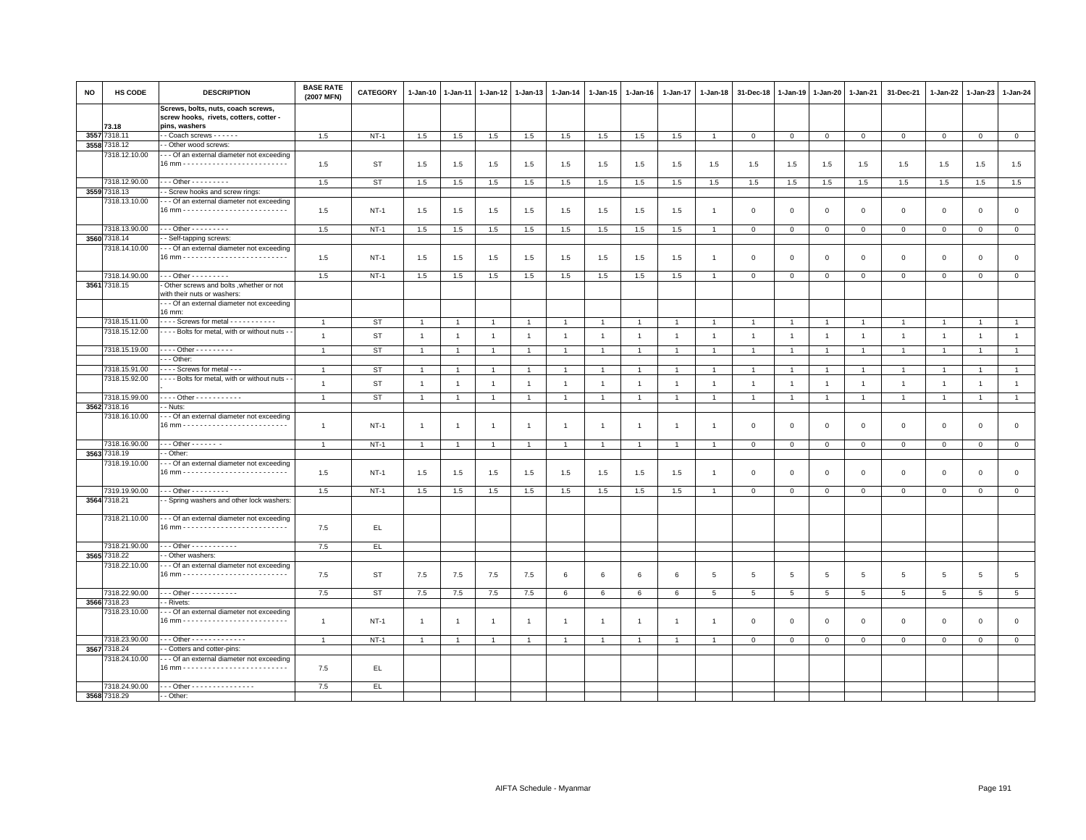| NO   | HS CODE       | <b>DESCRIPTION</b>                                                           | <b>BASE RATE</b><br>(2007 MFN) | CATEGORY    | 1-Jan-10       | 1-Jan-11       | $1 - Jan-12$   | 1-Jan-13       | 1-Jan-14       | 1-Jan-15       | 1-Jan-16       | 1-Jan-17       | 1-Jan-18       | 31-Dec-18      | 1-Jan-19       | 1-Jan-20       | 1-Jan-21        | 31-Dec-21      | 1-Jan-22       | 1-Jan-23       | 1-Jan-24        |
|------|---------------|------------------------------------------------------------------------------|--------------------------------|-------------|----------------|----------------|----------------|----------------|----------------|----------------|----------------|----------------|----------------|----------------|----------------|----------------|-----------------|----------------|----------------|----------------|-----------------|
|      |               | Screws, bolts, nuts, coach screws,<br>screw hooks, rivets, cotters, cotter - |                                |             |                |                |                |                |                |                |                |                |                |                |                |                |                 |                |                |                |                 |
|      | 73.18         | pins, washers                                                                |                                |             |                |                |                |                |                |                |                |                |                |                |                |                |                 |                |                |                |                 |
| 3557 | 7318.11       | - Coach screws - - - - - -                                                   | 1.5                            | $NT-1$      | 1.5            | 1.5            | 1.5            | 1.5            | 1.5            | 1.5            | 1.5            | 1.5            | $\overline{1}$ | $\mathbf 0$    | $\mathbf 0$    | $\mathbf 0$    | $\mathbf 0$     | $\mathbf{0}$   | $\mathbf 0$    | $\mathbf 0$    | $\circ$         |
|      | 3558 7318.12  | - Other wood screws:                                                         |                                |             |                |                |                |                |                |                |                |                |                |                |                |                |                 |                |                |                |                 |
|      | 7318.12.10.00 | - - Of an external diameter not exceeding                                    | 1.5                            | <b>ST</b>   | 1.5            |                |                | 1.5            | 1.5            | 1.5            | 1.5            | 1.5            | 1.5            | 1.5            | 1.5            | 1.5            | 1.5             | 1.5            | 1.5            | 1.5            | 1.5             |
|      |               |                                                                              |                                |             |                | 1.5            | 1.5            |                |                |                |                |                |                |                |                |                |                 |                |                |                |                 |
|      | 7318.12.90.00 | $-$ - Other - - - - - - - - -                                                | 1.5                            | <b>ST</b>   | 1.5            | 1.5            | 1.5            | 1.5            | 1.5            | 1.5            | 1.5            | 1.5            | 1.5            | 1.5            | 1.5            | 1.5            | 1.5             | 1.5            | 1.5            | 1.5            | 1.5             |
|      | 3559 7318.13  | - Screw hooks and screw rings:                                               |                                |             |                |                |                |                |                |                |                |                |                |                |                |                |                 |                |                |                |                 |
|      | 7318.13.10.00 | - - Of an external diameter not exceeding                                    |                                |             |                |                |                |                |                |                |                |                |                |                |                |                |                 |                |                |                |                 |
|      |               |                                                                              | 1.5                            | $NT-1$      | 1.5            | 1.5            | 1.5            | 1.5            | 1.5            | 1.5            | 1.5            | 1.5            |                | $\mathbf 0$    | $\mathbf 0$    | $\mathbf 0$    | $\mathbf 0$     | $\mathbf 0$    | $\mathbf 0$    | $\mathbf{0}$   | $\circ$         |
|      | 7318.13.90.00 | $-$ - Other - - - - - - - - -                                                | 1.5                            | NT-1        | 1.5            | 1.5            | 1.5            | 1.5            | 1.5            | 1.5            | 1.5            | 1.5            |                | $\mathbf 0$    | $\mathbf 0$    | $\mathbf 0$    | $\mathbf 0$     | $\mathbf 0$    | $\mathbf 0$    | $\mathbf{0}$   | $\mathbf 0$     |
|      | 3560 7318.14  | - Self-tapping screws:                                                       |                                |             |                |                |                |                |                |                |                |                |                |                |                |                |                 |                |                |                |                 |
|      | 7318.14.10.00 | - - Of an external diameter not exceeding                                    |                                |             |                |                |                |                |                |                |                |                |                |                |                |                |                 |                |                |                |                 |
|      |               |                                                                              | 1.5                            | $NT-1$      | 1.5            | 1.5            | 1.5            | 1.5            | 1.5            | 1.5            | 1.5            | 1.5            |                | $\mathbf 0$    | $\mathbf 0$    | $\mathsf 0$    | $\mathbf 0$     | $\mathsf 0$    | $\mathbf 0$    | $\mathbf 0$    | $\mathsf 0$     |
|      | 7318.14.90.00 | . - - Other - - - - - - - - -                                                | 1.5                            | $NT-1$      | 1.5            | 1.5            | 1.5            | 1.5            | 1.5            | 1.5            | 1.5            | 1.5            |                | $\mathbf{0}$   | $\mathbf{0}$   | $\mathbf 0$    | $\mathbf{0}$    | $\Omega$       | $\Omega$       | $\circ$        | $\circ$         |
|      | 3561 7318.15  | Other screws and bolts , whether or not                                      |                                |             |                |                |                |                |                |                |                |                |                |                |                |                |                 |                |                |                |                 |
|      |               | with their nuts or washers:                                                  |                                |             |                |                |                |                |                |                |                |                |                |                |                |                |                 |                |                |                |                 |
|      |               | - - Of an external diameter not exceeding                                    |                                |             |                |                |                |                |                |                |                |                |                |                |                |                |                 |                |                |                |                 |
|      |               | 16 mm:                                                                       |                                |             |                |                |                |                |                |                |                |                |                |                |                |                |                 |                |                |                |                 |
|      | 7318.15.11.00 | Screws for metal - - - - - - - - - -                                         |                                | <b>ST</b>   | $\overline{1}$ |                |                |                |                |                |                |                |                |                |                | $\overline{1}$ | $\overline{1}$  |                |                | $\overline{1}$ | $\overline{1}$  |
|      | 7318.15.12.00 | - - - Bolts for metal, with or without nuts -                                | $\overline{1}$                 | <b>ST</b>   | $\overline{1}$ | $\overline{1}$ | $\overline{1}$ | $\overline{1}$ | $\overline{1}$ | $\overline{1}$ | $\overline{1}$ | $\overline{1}$ | $\overline{1}$ | $\overline{1}$ | $\overline{1}$ | $\overline{1}$ | $\overline{1}$  | $\overline{1}$ | $\overline{1}$ | $\overline{1}$ | $\overline{1}$  |
|      |               |                                                                              |                                |             |                |                |                |                |                |                |                |                |                |                |                |                |                 |                |                |                |                 |
|      | 7318.15.19.00 | Other - - - - - - - - -                                                      | $\overline{1}$                 | <b>ST</b>   | $\overline{1}$ | $\overline{1}$ | $\overline{1}$ | $\overline{1}$ | $\overline{1}$ | $\mathbf{1}$   | $\overline{1}$ | $\overline{1}$ | $\overline{1}$ | $\overline{1}$ | $\overline{1}$ | $\overline{1}$ | $\overline{1}$  | $\overline{1}$ | $\overline{1}$ | $\overline{1}$ | $\overline{1}$  |
|      |               | - - Other:                                                                   |                                |             |                |                |                |                |                |                |                |                |                |                |                |                |                 |                |                |                |                 |
|      | 7318.15.91.00 | - - - Screws for metal - - -                                                 | $\overline{1}$                 | ST          | $\overline{1}$ |                |                | $\mathbf{1}$   | $\mathbf{1}$   |                |                |                |                |                |                | -1             | $\mathbf{1}$    | $\mathbf{1}$   | -1             | $\overline{1}$ | $\mathbf{1}$    |
|      | 7318.15.92.00 | - - - Bolts for metal, with or without nuts -                                | $\mathbf{1}$                   | <b>ST</b>   | $\overline{1}$ | $\overline{1}$ | $\overline{1}$ | $\mathbf{1}$   | $\mathbf{1}$   | $\overline{1}$ | $\overline{1}$ | $\overline{1}$ | $\overline{1}$ | $\overline{1}$ | $\overline{1}$ | $\overline{1}$ | $\overline{1}$  | $\mathbf{1}$   | $\overline{1}$ | $\mathbf{1}$   | $\mathbf{1}$    |
|      | 7318.15.99.00 | . Other                                                                      | $\mathbf{1}$                   | <b>ST</b>   | $\overline{1}$ | $\overline{1}$ | $\overline{1}$ | $\mathbf{1}$   | $\mathbf{1}$   | $\overline{1}$ | $\overline{1}$ | $\overline{1}$ |                | $\overline{1}$ | $\overline{1}$ | $\mathbf{1}$   | $\overline{1}$  | $\mathbf{1}$   | $\overline{1}$ | $\overline{1}$ | $\mathbf{1}$    |
|      | 3562 7318.16  | - Nuts:                                                                      |                                |             |                |                |                |                |                |                |                |                |                |                |                |                |                 |                |                |                |                 |
|      | 7318.16.10.00 | - - Of an external diameter not exceeding                                    |                                |             |                |                |                |                |                |                |                |                |                |                |                |                |                 |                |                |                |                 |
|      |               |                                                                              | $\mathbf{1}$                   | $NT-1$      | $\overline{1}$ | $\overline{1}$ | $\mathbf{1}$   | $\mathbf{1}$   | $\overline{1}$ | $\mathbf{1}$   | $\overline{1}$ | $\overline{1}$ |                | $\mathbf 0$    | $\mathbf 0$    | $\mathsf 0$    | $\,0\,$         | $\mathsf 0$    | $\mathbf 0$    | $\mathsf 0$    | $\,0\,$         |
|      |               |                                                                              |                                |             |                |                |                |                |                |                |                |                |                |                |                |                |                 |                |                |                |                 |
|      | 7318.16.90.00 | $\cdots$ Other - - - - - - -                                                 | $\mathbf{1}$                   | $NT-1$      | $\mathbf{1}$   | 1              | $\overline{1}$ | 1              | $\overline{1}$ | $\mathbf{1}$   | $\overline{1}$ | $\overline{1}$ |                | $\mathbf 0$    | $\mathbf{0}$   | $\mathbf{0}$   | $\overline{0}$  | $\mathbf 0$    | $\mathbf 0$    | $\mathbf{O}$   | $\overline{0}$  |
|      | 3563 7318.19  | - Other:                                                                     |                                |             |                |                |                |                |                |                |                |                |                |                |                |                |                 |                |                |                |                 |
|      | 7318.19.10.00 | - - Of an external diameter not exceeding                                    |                                |             |                |                |                |                |                |                |                |                |                |                |                |                |                 |                |                |                |                 |
|      |               |                                                                              | 1.5                            | $NT-1$      | 1.5            | 1.5            | 1.5            | 1.5            | 1.5            | 1.5            | 1.5            | 1.5            |                | $\Omega$       | $\mathbf 0$    | $\mathsf 0$    | $\mathbf{0}$    | $\mathbf 0$    | $\Omega$       | $\mathbf{0}$   | $\mathbf{0}$    |
|      | 7319.19.90.00 | - - - Other - - - - - - - - -                                                | 1.5                            | $NT-1$      |                |                |                |                |                |                |                |                | $\overline{1}$ | $\mathbf 0$    |                | $\circ$        | $\overline{0}$  | $\mathbf{0}$   | $\circ$        | $\mathbf 0$    | $\circ$         |
|      | 3564 7318.21  | - Spring washers and other lock washers:                                     |                                |             | 1.5            | 1.5            | 1.5            | 1.5            | 1.5            | 1.5            | 1.5            | 1.5            |                |                | $\mathbf 0$    |                |                 |                |                |                |                 |
|      |               |                                                                              |                                |             |                |                |                |                |                |                |                |                |                |                |                |                |                 |                |                |                |                 |
|      | 7318.21.10.00 | - - Of an external diameter not exceeding                                    |                                |             |                |                |                |                |                |                |                |                |                |                |                |                |                 |                |                |                |                 |
|      |               |                                                                              | 7.5                            | EL.         |                |                |                |                |                |                |                |                |                |                |                |                |                 |                |                |                |                 |
|      |               |                                                                              |                                |             |                |                |                |                |                |                |                |                |                |                |                |                |                 |                |                |                |                 |
|      | 7318.21.90.00 | - - Other - - - - - - - - - - -                                              | 7.5                            | EL          |                |                |                |                |                |                |                |                |                |                |                |                |                 |                |                |                |                 |
|      | 3565 7318.22  | - Other washers:                                                             |                                |             |                |                |                |                |                |                |                |                |                |                |                |                |                 |                |                |                |                 |
|      | 7318.22.10.00 | - - Of an external diameter not exceeding                                    |                                |             |                |                |                |                |                |                |                |                |                |                |                |                |                 |                |                |                |                 |
|      |               |                                                                              | 7.5                            | ST          | 7.5            | 7.5            | 7.5            | 7.5            | 6              | 6              | 6              | 6              | 5              | $\sqrt{5}$     | 5              | 5              | $5\phantom{.0}$ | 5              | 5              | $\overline{5}$ | $\overline{5}$  |
|      | 7318.22.90.00 | Other - - - - - - - - - - -                                                  | 7.5                            | <b>ST</b>   | 7.5            | 7.5            | 7.5            | 7.5            | 6              | 6              | 6              | 6              | 5              | 5              | 5              | 5              | $5\overline{5}$ | 5              | $5^{\circ}$    | 5              | $5\overline{5}$ |
|      | 3566 7318.23  | - Rivets:                                                                    |                                |             |                |                |                |                |                |                |                |                |                |                |                |                |                 |                |                |                |                 |
|      | 7318.23.10.00 | - - Of an external diameter not exceeding                                    |                                |             |                |                |                |                |                |                |                |                |                |                |                |                |                 |                |                |                |                 |
|      |               |                                                                              | $\mathbf{1}$                   | $NT-1$      | $\overline{1}$ |                |                | $\mathbf{1}$   | $\overline{1}$ | $\mathbf{1}$   | $\overline{1}$ |                |                | $\overline{0}$ | $\mathbf 0$    | $\mathsf 0$    | $\mathbf 0$     | $\mathbf 0$    | $\mathbf 0$    | $\mathbf{0}$   | $\circ$         |
|      |               |                                                                              |                                |             |                |                |                |                |                |                |                |                |                |                |                |                |                 |                |                |                |                 |
|      | 7318.23.90.00 | - - - Other - - - - - - - - - - - - -                                        | $\overline{1}$                 | <b>NT-1</b> | $\overline{1}$ |                |                | $\mathbf{1}$   | $\overline{1}$ |                | $\overline{1}$ | $\mathbf{1}$   |                | $\mathbf 0$    | $\mathbf{0}$   | $\circ$        | $\overline{0}$  | $\mathbf 0$    | $\mathbf 0$    | $\mathbf 0$    | $\mathbf{0}$    |
|      | 3567 7318.24  | - Cotters and cotter-pins:                                                   |                                |             |                |                |                |                |                |                |                |                |                |                |                |                |                 |                |                |                |                 |
|      | 7318.24.10.00 | - - Of an external diameter not exceeding                                    |                                |             |                |                |                |                |                |                |                |                |                |                |                |                |                 |                |                |                |                 |
|      |               |                                                                              | 7.5                            | EL.         |                |                |                |                |                |                |                |                |                |                |                |                |                 |                |                |                |                 |
|      | 7318.24.90.00 | --- Other - - - - - - - - - - - - - - -                                      |                                |             |                |                |                |                |                |                |                |                |                |                |                |                |                 |                |                |                |                 |
|      | 3568 7318.29  |                                                                              | 7.5                            | EL.         |                |                |                |                |                |                |                |                |                |                |                |                |                 |                |                |                |                 |
|      |               | - Other:                                                                     |                                |             |                |                |                |                |                |                |                |                |                |                |                |                |                 |                |                |                |                 |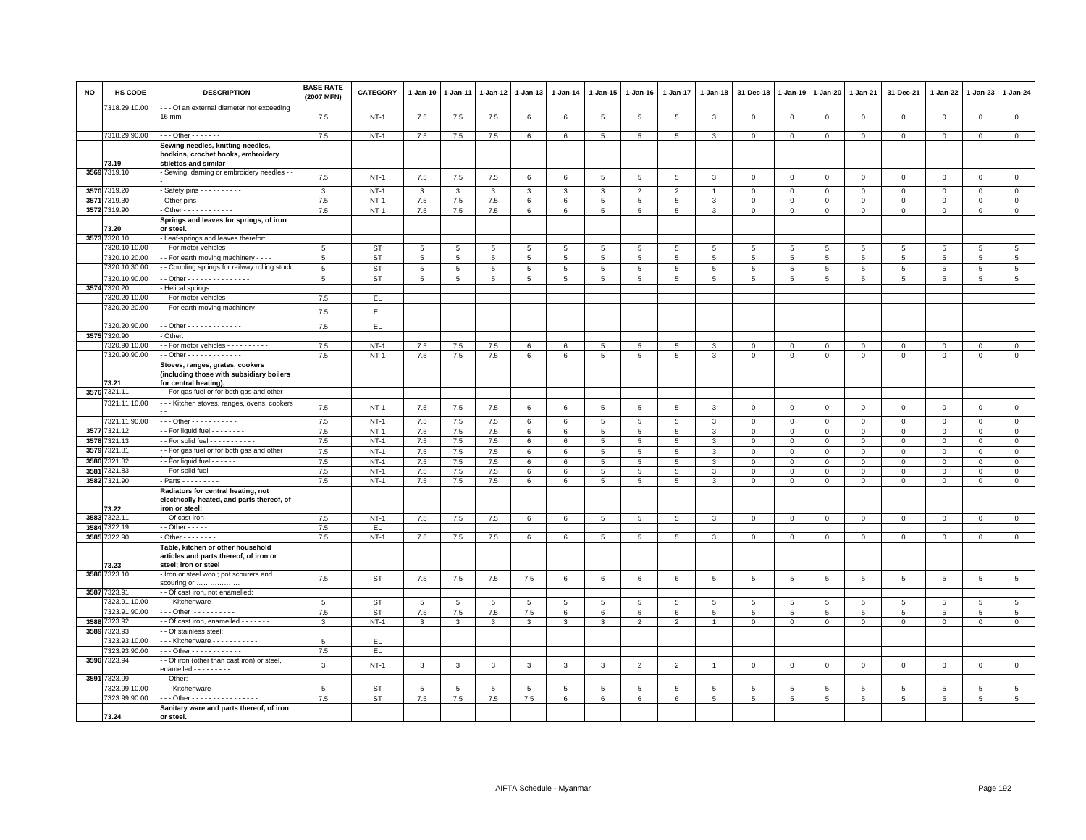| NO   | HS CODE               | <b>DESCRIPTION</b>                                                                                   | <b>BASE RATE</b><br>(2007 MFN) | CATEGORY    | 1-Jan-10    | 1-Jan-11     | 1-Jan-12       | 1-Jan-13       | 1-Jan-14     | 1-Jan-15       | 1-Jan-16        | 1-Jan-17        | 1-Jan-18       | 31-Dec-18       | 1-Jan-19        | 1-Jan-20        | 1-Jan-21        | 31-Dec-21       | 1-Jan-22        | 1-Jan-23       | 1-Jan-24            |
|------|-----------------------|------------------------------------------------------------------------------------------------------|--------------------------------|-------------|-------------|--------------|----------------|----------------|--------------|----------------|-----------------|-----------------|----------------|-----------------|-----------------|-----------------|-----------------|-----------------|-----------------|----------------|---------------------|
|      | 318.29.10.00          | - - Of an external diameter not exceeding                                                            | 7.5                            | <b>NT-1</b> | 7.5         | 7.5          | 7.5            | 6              | 6            | 5              | 5               | 5               | $\mathbf{3}$   | $\mathbf 0$     | $\Omega$        | $\mathbf 0$     | $\circ$         | $\mathbf{0}$    | $\mathbf{0}$    | $\mathbf{0}$   | $\mathsf 0$         |
|      | 7318.29.90.00         | $\cdots$ Other $\cdots$                                                                              | 7.5                            | $NT-1$      | 7.5         | 7.5          | 7.5            | 6              | 6            | 5              | $5\overline{5}$ | 5               | $\mathbf{3}$   | $\mathbf 0$     | $\mathbf 0$     | $\mathbf 0$     | $\mathbf{O}$    | $\mathbf 0$     | $\mathbf 0$     | $\mathbf 0$    | $\circ$             |
|      |                       | Sewing needles, knitting needles,<br>bodkins, crochet hooks, embroidery                              |                                |             |             |              |                |                |              |                |                 |                 |                |                 |                 |                 |                 |                 |                 |                |                     |
|      | 73.19<br>3569 7319.10 | stilettos and similar<br>Sewing, darning or embroidery needles -                                     |                                |             |             |              |                |                |              |                |                 |                 |                |                 |                 |                 |                 |                 |                 |                |                     |
|      |                       |                                                                                                      | 7.5                            | <b>NT-1</b> | 7.5         | 7.5          | 7.5            | 6              | $\,6$        | $\overline{5}$ | $5\phantom{.0}$ | $\overline{5}$  | $\mathbf{3}$   | $\mathbf 0$     | $\overline{0}$  | $\,0\,$         | $\mathbf 0$     | $\mathsf 0$     | $\Omega$        | $\mathbf{0}$   | $\mathsf{O}\xspace$ |
|      | 3570 7319.20          | - Safety pins - - - - - - - - -                                                                      | 3                              | $NT-1$      | 3           | $\mathbf{3}$ | 3              | $\mathbf{3}$   | $\mathbf{3}$ | 3              | $\overline{2}$  | $\overline{2}$  | $\overline{1}$ | $\mathbf 0$     | $\mathbf 0$     | $\mathbb O$     | $\Omega$        | $\mathbf 0$     | $\Omega$        | $\Omega$       | $\overline{0}$      |
| 3571 | 7319.30               | - Other pins - - - - - - - - - - - -                                                                 | 7.5                            | $NT-1$      | 7.5         | 7.5          | 7.5            | 6              | 6            | 5              | $5\phantom{.0}$ | 5               | $\mathbf{3}$   | $\mathsf 0$     | $\mathsf 0$     | $\mathbf 0$     | 0               | $\mathbf 0$     | $\mathbf 0$     | $\mathbf 0$    | $\mathsf 0$         |
|      | 3572 7319.90          | - Other - - - - - - - - - - - -                                                                      | 7.5                            | $NT-1$      | 7.5         | $7.5\,$      | $7.5\,$        | 6              | 6            | 5              | $5\phantom{.0}$ | 5 <sup>5</sup>  | $\overline{3}$ | $\Omega$        | $\mathsf 0$     | $\mathbf 0$     | $\mathbf 0$     | $\mathbf 0$     | $\mathbf 0$     | $\mathbf 0$    | $\mathsf 0$         |
|      | 73.20                 | Springs and leaves for springs, of iron<br>or steel.                                                 |                                |             |             |              |                |                |              |                |                 |                 |                |                 |                 |                 |                 |                 |                 |                |                     |
| 3573 | 7320.10               | - Leaf-springs and leaves therefor:                                                                  |                                |             |             |              |                |                |              |                |                 |                 |                |                 |                 |                 |                 |                 |                 |                |                     |
|      | 7320.10.10.00         | - - For motor vehicles - - - -                                                                       | 5                              | ST          | $5^{\circ}$ | 5            | $\sqrt{5}$     | 5              | 5            | $5^{\circ}$    | $\sqrt{5}$      | $5^{\circ}$     | -5             | 5               | $5\overline{5}$ | $5\overline{5}$ | $5^{\circ}$     | $5\overline{5}$ | $5\overline{5}$ | $5^{\circ}$    | $5\overline{5}$     |
|      | 7320.10.20.00         | - For earth moving machinery - - -                                                                   | 5                              | <b>ST</b>   | 5           | 5            | $\overline{5}$ | $\overline{5}$ | 5            | 5              | 5               | 5               | 5              | 5               | 5               | $\overline{5}$  | 5               | 5               | $\overline{5}$  | $\overline{5}$ | $\overline{5}$      |
|      | 7320.10.30.00         | - Coupling springs for railway rolling stock                                                         | 5                              | <b>ST</b>   | 5           | 5            | 5              | 5              | 5            | 5              | 5               | 5 <sup>5</sup>  | 5              | 5               | 5               | 5               | 5               | 5               | 5               | 5              | $5\phantom{.0}$     |
|      | 7320.10.90.00         | - Other - - - - - - - - - - - - - - -                                                                | $\overline{5}$                 | <b>ST</b>   | 5           | 5            | $\sqrt{5}$     | $5^{\circ}$    | 5            | 5 <sub>1</sub> | $5\phantom{.0}$ | 5 <sup>5</sup>  | 5              | 5               | 5               | 5               | $5^{\circ}$     | 5 <sub>5</sub>  | 5 <sup>1</sup>  | $5^{\circ}$    | $5\phantom{.0}$     |
| 3574 | 7320.20               | Helical springs:                                                                                     |                                |             |             |              |                |                |              |                |                 |                 |                |                 |                 |                 |                 |                 |                 |                |                     |
|      | 320.20.10.00          | - For motor vehicles - - - -                                                                         | 7.5                            | EL.         |             |              |                |                |              |                |                 |                 |                |                 |                 |                 |                 |                 |                 |                |                     |
|      | 7320.20.20.00         | - For earth moving machinery - - - - - - - -                                                         | 7.5                            | EL.         |             |              |                |                |              |                |                 |                 |                |                 |                 |                 |                 |                 |                 |                |                     |
|      | 7320.20.90.00         | - - Other - - - - - - - - - - - - -                                                                  | 7.5                            | EL          |             |              |                |                |              |                |                 |                 |                |                 |                 |                 |                 |                 |                 |                |                     |
| 3575 | 7320.90               | Other:                                                                                               |                                |             |             |              |                |                |              |                |                 |                 |                |                 |                 |                 |                 |                 |                 |                |                     |
|      | 320.90.10.00          | - For motor vehicles - - - - - - - - - -                                                             | 7.5                            | $NT-1$      | 7.5         | 7.5          | 7.5            | 6              | 6            | 5              | 5               | 5               | 3              | $\Omega$        | $\mathbf{0}$    | $\mathbf{0}$    | $\mathbf 0$     | $\mathbf{0}$    | $\Omega$        | $\mathbf 0$    | $\mathbf{0}$        |
|      | 7320.90.90.00         | - - Other - - - - - - - - - - - - -                                                                  | 7.5                            | $NT-1$      | $7.5\,$     | 7.5          | 7.5            | 6              | 6            | 5              | 5               | 5               | 3              | $\mathbf{0}$    | $\mathbf 0$     | $\mathbf 0$     | $\mathbf{0}$    | $\circ$         | $\circ$         | $\mathbf 0$    | $\circ$             |
|      | 73.21                 | Stoves, ranges, grates, cookers<br>(including those with subsidiary boilers<br>for central heating), |                                |             |             |              |                |                |              |                |                 |                 |                |                 |                 |                 |                 |                 |                 |                |                     |
|      | 3576 7321.11          | - For gas fuel or for both gas and other                                                             |                                |             |             |              |                |                |              |                |                 |                 |                |                 |                 |                 |                 |                 |                 |                |                     |
|      | 7321.11.10.00         | - - Kitchen stoves, ranges, ovens, cookers                                                           |                                |             |             |              |                |                |              |                |                 |                 |                |                 |                 |                 |                 |                 |                 |                |                     |
|      |                       |                                                                                                      | 7.5                            | $NT-1$      | 7.5         | 7.5          | 7.5            | 6              | 6            | 5              | 5               | 5               | $\mathbf{3}$   | $\mathbf 0$     | $\mathbf{0}$    | $\mathbf 0$     | $\mathsf 0$     | $\mathsf 0$     | $\mathbf 0$     | $\mathbf 0$    | $\mathsf 0$         |
|      | 7321.11.90.00         | $-$ - Other - - - - - - - - - - -                                                                    | 7.5                            | $NT-1$      | 7.5         | 7.5          | 7.5            | $\epsilon$     | 6            | $\overline{5}$ | $\overline{5}$  | $\overline{5}$  | $\overline{3}$ | $\mathbf 0$     | $\mathbf 0$     | $\overline{0}$  | $\overline{0}$  | $\mathbf{0}$    | $\Omega$        | $\overline{0}$ | $\overline{0}$      |
| 3577 | 7321.12               | - For liquid fuel - - - - - - - -                                                                    | 7.5                            | $NT-1$      | 7.5         | 7.5          | 7.5            | 6              | 6            | 5              | 5               | 5               | 3              | $\mathbf 0$     | $\mathbf 0$     | $\mathsf 0$     | $\mathbf 0$     | $\mathbf 0$     | $\mathbf 0$     | $\Omega$       | $\mathsf 0$         |
| 3578 | 321.13                | - For solid fuel - - - - - - - - - - -                                                               | 7.5                            | $NT-1$      | 7.5         | 7.5          | 7.5            | 6              | 6            | $\,$ 5 $\,$    | 5               | 5               | 3              | $\mathbf 0$     | $\mathsf 0$     | $\mathbf 0$     | $\mathbf{O}$    | $\mathsf 0$     | $\mathbf 0$     | $\mathbf 0$    | $\overline{0}$      |
| 3579 | 321.81                | - For gas fuel or for both gas and other                                                             | 7.5                            | $NT-1$      | $7.5\,$     | $7.5\,$      | $7.5\,$        | 6              | $\,6$        | 5              | $\,$ 5 $\,$     | 5               | $\mathbf{3}$   | $\mathsf 0$     | $\,0\,$         | $\mathbf 0$     | $\mathsf 0$     | $\mathsf 0$     | $\Omega$        | $\mathbf 0$    | $\mathsf 0$         |
| 3580 | 7321.82               | $-$ For liquid fuel $    -$                                                                          | 7.5                            | $NT-1$      | 7.5         | 7.5          | 7.5            | 6              | 6            | 5              | $5\phantom{.0}$ | 5               | 3              | $\mathbf 0$     | $\mathbf 0$     | $\mathbf 0$     | $\mathbf 0$     | $\mathbf 0$     | $\mathbf 0$     | $\mathbf 0$    | $\mathsf 0$         |
| 3581 | 7321.83               | - - For solid fuel - - - - - -                                                                       | 7.5                            | $NT-1$      | 7.5         | 7.5          | 7.5            | 6              | 6            | $\,$ 5 $\,$    | $5\phantom{.0}$ | 5 <sup>5</sup>  | $\mathbf{3}$   | $\mathbf{0}$    | $\mathbf{0}$    | $\mathbf{0}$    | $\mathbf{0}$    | $\mathbf 0$     | $\Omega$        | $\mathbf{0}$   | $\overline{0}$      |
|      | 3582 7321.90          | - Parts - - - - - - - - -                                                                            | 7.5                            | $NT-1$      | 7.5         | 7.5          | 7.5            | 6              | 6            | 5              | $5\overline{5}$ | $5\overline{5}$ | $\mathbf{3}$   | $\mathbf{O}$    | $\mathbf 0$     | $\mathbf 0$     | $\mathbf{0}$    | $\circ$         | $\circ$         | $\mathbf 0$    | $\mathbf{0}$        |
|      | 73.22                 | Radiators for central heating, not<br>electrically heated, and parts thereof, of<br>iron or steel;   |                                |             |             |              |                |                |              |                |                 |                 |                |                 |                 |                 |                 |                 |                 |                |                     |
| 3583 | 7322.11               | - Of cast iron - - - - - - - -                                                                       | 7.5                            | $NT-1$      | 7.5         | 7.5          | 7.5            | 6              | 6            | 5              | 5               | 5               | $\mathbf{3}$   | $\mathbf 0$     | $\mathbf{0}$    | $\mathbf 0$     | $\mathbf{0}$    | $\mathbf 0$     | $\Omega$        | $\mathsf 0$    | $\mathbf{0}$        |
| 3584 | 7322.19               | $\cdot$ -Other - - - - -                                                                             | 7.5                            | EL.         |             |              |                |                |              |                |                 |                 |                |                 |                 |                 |                 |                 |                 |                |                     |
|      | 3585 7322.90          | $-$ Other - - - - - - - -                                                                            | 7.5                            | $NT-1$      | 7.5         | 7.5          | 7.5            | 6              | 6            | 5              | $5\overline{5}$ | $5\overline{5}$ | $\mathbf{3}$   | $\mathbf 0$     | $\mathbf{0}$    | $\mathbf{0}$    | $\circ$         | $\mathbf{0}$    | $\mathbf{0}$    | $\mathbf{0}$   | $\mathbf{0}$        |
|      | 73.23                 | Table, kitchen or other household<br>articles and parts thereof, of iron or<br>steel; iron or steel  |                                |             |             |              |                |                |              |                |                 |                 |                |                 |                 |                 |                 |                 |                 |                |                     |
|      | 3586 7323.10          | Iron or steel wool; pot scourers and<br>scouring or                                                  | 7.5                            | <b>ST</b>   | $7.5\,$     | 7.5          | 7.5            | 7.5            | $\,6\,$      | 6              | 6               | 6               | 5              | 5               | $\,$ 5          | $\overline{5}$  | $5\phantom{.0}$ | 5               | 5               | 5              | $\,$ 5              |
|      | 3587 7323.91          | - - Of cast iron, not enamelled:                                                                     |                                |             |             |              |                |                |              |                |                 |                 |                |                 |                 |                 |                 |                 |                 |                |                     |
|      | 7323.91.10.00         | --- Kitchenware -----------                                                                          | 5                              | ST          | 5           | 5            | 5              | -5             | 5            | 5              | 5               | $\overline{5}$  | 5              | $5\phantom{.0}$ | 5               | 5               | 5               | 5               | 5               | -5             | $5\overline{)}$     |
|      | 323.91.90.00          | --- Other ----------                                                                                 | 7.5                            | <b>ST</b>   | 7.5         | 7.5          | 7.5            | 7.5            | 6            | 6              | $6\phantom{.0}$ | 6               | 5              | 5               | 5               | 5               | 5               | 5               | 5               | $\overline{5}$ | $5\phantom{.0}$     |
| 3588 | 7323.92               | - Of cast iron, enamelled - - - - - - -                                                              | 3                              | $NT-1$      | 3           | 3            | 3              | 3              | 3            | $\mathbf{3}$   | $\overline{2}$  | $\overline{2}$  |                | $\mathbf{O}$    | $\mathbf 0$     | $\mathbf 0$     | $\mathbf{O}$    | $\mathbf 0$     | $\mathbf 0$     | $\mathbf 0$    | $\mathsf 0$         |
| 3589 | 7323.93               | - Of stainless steel:                                                                                |                                |             |             |              |                |                |              |                |                 |                 |                |                 |                 |                 |                 |                 |                 |                |                     |
|      | 7323.93.10.00         | Kitchenware                                                                                          | 5                              | EL.         |             |              |                |                |              |                |                 |                 |                |                 |                 |                 |                 |                 |                 |                |                     |
|      | 7323.93.90.00         | - - - Other - - - - - - - - - - - -                                                                  | 7.5                            | EL.         |             |              |                |                |              |                |                 |                 |                |                 |                 |                 |                 |                 |                 |                |                     |
|      | 3590 7323.94          | - Of iron (other than cast iron) or steel,<br>enamelled - - - - - - - - -                            | 3                              | $NT-1$      | 3           | $\mathbf{3}$ | $\mathbf{3}$   | $\mathbf{3}$   | $\mathbf{3}$ | $\mathbf{3}$   | $\overline{2}$  | $\overline{2}$  | $\overline{1}$ | $\circ$         | $\,0\,$         | $\mathbf 0$     | $\circ$         | $\mathsf 0$     | $\mathsf 0$     | $\mathsf 0$    | $\mathbf 0$         |
| 3591 | 7323.99               | - Other:                                                                                             |                                |             |             |              |                |                |              |                |                 |                 |                |                 |                 |                 |                 |                 |                 |                |                     |
|      | 7323.99.10.00         | - - - Kitchenware - - - - - - - - - -                                                                | 5                              | <b>ST</b>   | 5           | 5            | 5              | 5              | 5            | 5              | 5               | 5               | 5              | 5               | 5               | $\overline{5}$  | 5               | 5               | $\overline{5}$  | 5              | 5                   |
|      | 7323.99.90.00         | - - - Other - - - - - - - - - - - - - - - -<br>Sanitary ware and parts thereof, of iron              | 7.5                            | ST          | $7.5\,$     | 7.5          | 7.5            | 7.5            | 6            | 6              | 6               | 6               | 5              | 5               | 5               | 5               | 5               | 5               | $5\overline{5}$ | 5              | 5                   |
|      | 73.24                 | or steel.                                                                                            |                                |             |             |              |                |                |              |                |                 |                 |                |                 |                 |                 |                 |                 |                 |                |                     |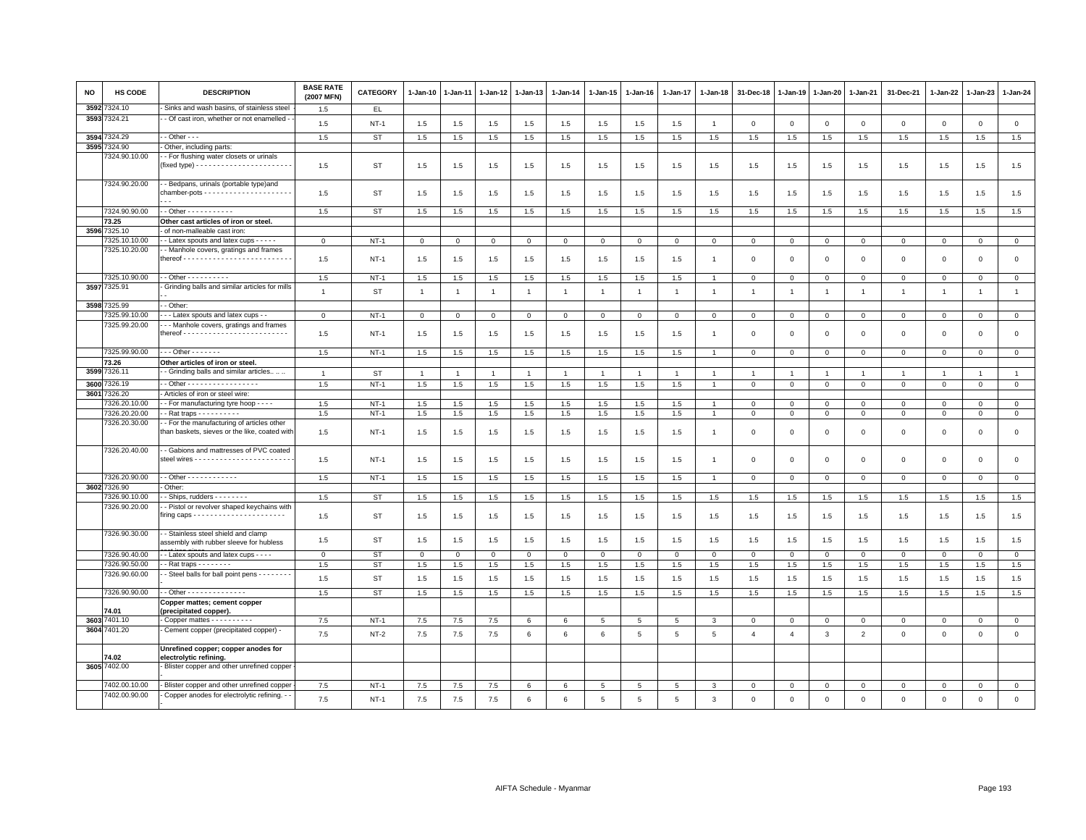| NO   | <b>HS CODE</b>               | <b>DESCRIPTION</b>                                                                              | <b>BASE RATE</b><br>(2007 MFN) | CATEGORY  | 1-Jan-10       | 1-Jan-11       | 1-Jan-12       | 1-Jan-13       | 1-Jan-14       | 1-Jan-15     | 1-Jan-16        | 1-Jan-17       | 1-Jan-18       | 31-Dec-18               | 1-Jan-19       | 1-Jan-20       | 1-Jan-21       | 31-Dec-21      | 1-Jan-22     | 1-Jan-23       | 1-Jan-24       |
|------|------------------------------|-------------------------------------------------------------------------------------------------|--------------------------------|-----------|----------------|----------------|----------------|----------------|----------------|--------------|-----------------|----------------|----------------|-------------------------|----------------|----------------|----------------|----------------|--------------|----------------|----------------|
| 3592 | 324.10                       | Sinks and wash basins, of stainless steel                                                       | 1.5                            | EL.       |                |                |                |                |                |              |                 |                |                |                         |                |                |                |                |              |                |                |
| 3593 | 324.21                       | - Of cast iron, whether or not enamelled                                                        | 1.5                            | $NT-1$    | $1.5\,$        | $1.5$          | 1.5            | 1.5            | 1.5            | 1.5          | 1.5             | 1.5            | $\overline{1}$ | $\overline{\mathbf{0}}$ | $\mathbf 0$    | $\mathbf 0$    | $\mathbf{0}$   | $\mathbf{0}$   | $\mathbf{0}$ | $\mathsf 0$    | $\mathsf 0$    |
| 3594 | 324.29                       | $-$ Other $ -$                                                                                  | 1.5                            | <b>ST</b> | 1.5            | 1.5            | 1.5            | 1.5            | 1.5            | 1.5          | 1.5             | 1.5            | 1.5            | 1.5                     | 1.5            | 1.5            | 1.5            | 1.5            | 1.5          | 1.5            | 1.5            |
| 3595 | 324.90                       | Other, including parts:                                                                         |                                |           |                |                |                |                |                |              |                 |                |                |                         |                |                |                |                |              |                |                |
|      | 7324.90.10.00                | - For flushing water closets or urinals                                                         | 1.5                            | ST        | 1.5            | 1.5            | 1.5            | 1.5            | 1.5            | 1.5          | 1.5             | 1.5            | 1.5            | 1.5                     | 1.5            | 1.5            | 1.5            | 1.5            | 1.5          | 1.5            | 1.5            |
|      | 7324.90.20.00                | - Bedpans, urinals (portable type)and<br>$chamber-pots - - - - - - - - - - - - - - - - - - - -$ | 1.5                            | ST        | 1.5            | 1.5            | 1.5            | 1.5            | 1.5            | 1.5          | 1.5             | 1.5            | 1.5            | 1.5                     | 1.5            | 1.5            | 1.5            | 1.5            | 1.5          | 1.5            | 1.5            |
|      | 7324.90.90.00                | $-$ Other $        -$                                                                           | 1.5                            | <b>ST</b> | $1.5\,$        | 1.5            | 1.5            | 1.5            | 1.5            | 1.5          | 1.5             | 1.5            | 1.5            | 1.5                     | 1.5            | 1.5            | 1.5            | 1.5            | 1.5          | 1.5            | 1.5            |
|      | 73.25                        | Other cast articles of iron or steel.                                                           |                                |           |                |                |                |                |                |              |                 |                |                |                         |                |                |                |                |              |                |                |
| 3596 | 7325.10                      | of non-malleable cast iron:                                                                     |                                |           |                |                |                |                |                |              |                 |                |                |                         |                |                |                |                |              |                |                |
|      | 325.10.10.00                 | - Latex spouts and latex cups - - - - -                                                         | $\mathbf{0}$                   | $NT-1$    | $\Omega$       | $\Omega$       | $\mathbf{0}$   | $\mathbf{0}$   | $\mathbf 0$    | $\mathbf{0}$ | $\mathbf 0$     | $\Omega$       | $\Omega$       | $\Omega$                | $\Omega$       | $\mathbf 0$    | $\mathbf 0$    | $\mathbf 0$    | $\Omega$     | $\mathbf{0}$   | $\mathbf{0}$   |
|      | 7325.10.20.00                | - Manhole covers, gratings and frames                                                           | 1.5                            | $NT-1$    | 1.5            | 1.5            | 1.5            | 1.5            | 1.5            | 1.5          | 1.5             | 1.5            |                | $\mathbf 0$             | $\mathbf 0$    | $\mathbf 0$    | $\mathbf 0$    | $\mathbf 0$    | $\mathbf 0$  | $\mathbf 0$    | $\mathsf 0$    |
|      | 7325.10.90.00                | $-$ Other $        -$                                                                           | 1.5                            | NT-1      | 1.5            | 1.5            | 1.5            | 1.5            | 1.5            | 1.5          | 1.5             | 1.5            | $\overline{1}$ | $\mathbf 0$             | 0              | $\mathbf{0}$   | $\mathbf 0$    | $\mathbf 0$    | $\circ$      | $\mathbf 0$    | $\mathbf{0}$   |
|      | 3597 7325.91                 | Grinding balls and similar articles for mills                                                   | $\overline{1}$                 | <b>ST</b> | $\overline{1}$ | $\overline{1}$ | $\overline{1}$ | $\overline{1}$ | $\overline{1}$ | $\mathbf{1}$ | $\overline{1}$  | $\mathbf{1}$   | $\overline{1}$ | $\overline{1}$          | $\overline{1}$ | $\overline{1}$ | $\overline{1}$ | $\mathbf{1}$   | $\mathbf{1}$ | $\overline{1}$ | $\mathbf{1}$   |
| 3598 | 325.99                       | - Other:                                                                                        |                                |           |                |                |                |                |                |              |                 |                |                |                         |                |                |                |                |              |                |                |
|      | 7325.99.10.00                | - - Latex spouts and latex cups -                                                               | $\mathbf{0}$                   | $NT-1$    | $\Omega$       | $\Omega$       | $\mathbf{0}$   | $\mathbf{0}$   | $\mathbf 0$    | $\mathbf{0}$ | $\Omega$        | $\Omega$       | $\mathbf 0$    | $\Omega$                | $\Omega$       | $\mathsf 0$    | $\mathbf{0}$   | $\mathbf 0$    | $\Omega$     | $\mathbf{0}$   | $\mathbf{0}$   |
|      | 7325.99.20.00                | - - Manhole covers, gratings and frames                                                         | 1.5                            | $NT-1$    | 1.5            | 1.5            | 1.5            | 1.5            | 1.5            | 1.5          | 1.5             | 1.5            |                | $\mathbf 0$             | $\mathbf 0$    | $\mathbf 0$    | $\mathbf 0$    | 0              | $^{\circ}$   | $\mathbf 0$    | $\mathsf 0$    |
|      | 7325.99.90.00                | $-$ - Other - - - - - - -                                                                       | 1.5                            | $NT-1$    | 1.5            | 1.5            | 1.5            | 1.5            | 1.5            | $1.5\,$      | 1.5             | 1.5            | $\overline{1}$ | $\mathbf 0$             | $\mathbf{0}$   | $\mathbf{O}$   | $\mathbf{O}$   | 0              | $\mathbf 0$  | $\mathbf 0$    | $\circ$        |
|      | 73.26                        | Other articles of iron or steel.                                                                |                                |           |                |                |                |                |                |              |                 |                |                |                         |                |                |                |                |              |                |                |
| 3599 | 326.11                       | - Grinding balls and similar articles                                                           | $\overline{1}$                 | ST        | $\overline{1}$ | $\overline{1}$ | $\overline{1}$ | $\overline{1}$ | $\mathbf{1}$   | $\mathbf{1}$ | $\overline{1}$  | 1              | $\overline{1}$ | -1                      | $\overline{1}$ | $\overline{1}$ | $\overline{1}$ | $\overline{1}$ | $\mathbf{1}$ | $\overline{1}$ | $\mathbf{1}$   |
| 3600 | 326.19                       | - Other - - - - - - - - - - - - - - - - -                                                       | 1.5                            | $NT-1$    | 1.5            | 1.5            | 1.5            | 1.5            | 1.5            | 1.5          | 1.5             | 1.5            | $\overline{1}$ | $\mathbf 0$             | $\mathsf 0$    | $\circ$        | $\mathbf 0$    | $\mathsf 0$    | $\mathbf{0}$ | $\circ$        | $\overline{0}$ |
| 3601 | 7326.20                      | Articles of iron or steel wire:                                                                 |                                |           |                |                |                |                |                |              |                 |                |                |                         |                |                |                |                |              |                |                |
|      | 326.20.10.00                 | - For manufacturing tyre hoop - - - -                                                           | 1.5                            | $NT-1$    | 1.5            | 1.5            | 1.5            | 1.5            | 1.5            | 1.5          | 1.5             | 1.5            |                | $^{\circ}$              | $^{\circ}$     | $\mathbf 0$    | $\mathbf{0}$   | 0              | 0            | 0              | $\mathbf{0}$   |
|      | 7326.20.20.00                | - Rat traps - - - - - - - - -                                                                   | 1.5                            | $NT-1$    | 1.5            | 1.5            | 1.5            | 1.5            | 1.5            | 1.5          | 1.5             | 1.5            | $\overline{1}$ | $\overline{\mathbf{0}}$ | $\mathbf 0$    | $\mathbf 0$    | $\mathsf 0$    | $\circ$        | $\Omega$     | $\Omega$       | $\mathsf 0$    |
|      | 7326.20.30.00                | - For the manufacturing of articles other                                                       |                                |           |                |                |                |                |                |              |                 |                |                |                         |                |                |                |                |              |                |                |
|      |                              | than baskets, sieves or the like, coated with                                                   | 1.5                            | $NT-1$    | 1.5            | 1.5            | 1.5            | 1.5            | 1.5            | 1.5          | 1.5             | 1.5            | -1             | $\Omega$                | $\overline{0}$ | $\Omega$       | $\mathbf{0}$   | $\mathbf 0$    | $\Omega$     | $\mathbf{0}$   | $\mathsf 0$    |
|      | 7326.20.40.00                | - Gabions and mattresses of PVC coated                                                          | 1.5                            | $NT-1$    | 1.5            | 1.5            | 1.5            | 1.5            | 1.5            | 1.5          | 1.5             | 1.5            | $\overline{1}$ | $\overline{\mathbf{0}}$ | $\overline{0}$ | $\mathbf 0$    | $\circ$        | $\mathbf 0$    | $\Omega$     | $\mathbf{0}$   | $\mathsf 0$    |
|      | 7326.20.90.00                |                                                                                                 | 1.5                            | $NT-1$    | 1.5            | 1.5            | 1.5            | 1.5            | 1.5            | 1.5          | 1.5             | 1.5            | $\overline{1}$ | $\mathbf 0$             | $\mathbf 0$    | $\mathbf{0}$   | $\mathbf{0}$   | $\mathbf 0$    | $^{\circ}$   | $\mathbf 0$    | $\mathbf 0$    |
|      | 3602 7326.90                 | Other:                                                                                          |                                |           |                |                |                |                |                |              |                 |                |                |                         |                |                |                |                |              |                |                |
|      | 7326.90.10.00                | - Ships, rudders - - - - - - -                                                                  | 1.5                            | <b>ST</b> | 1.5            | 1.5            | 1.5            | 1.5            | 1.5            | 1.5          | 1.5             | 1.5            | 1.5            | 1.5                     | 1.5            | 1.5            | 1.5            | 1.5            | 1.5          | 1.5            | 1.5            |
|      | 7326.90.20.00                | - Pistol or revolver shaped keychains with                                                      | 1.5                            | <b>ST</b> | 1.5            | 1.5            | 1.5            | 1.5            | 1.5            | 1.5          | 1.5             | 1.5            | 1.5            | 1.5                     | 1.5            | 1.5            | 1.5            | 1.5            | 1.5          | 1.5            | 1.5            |
|      | 7326.90.30.00                | - Stainless steel shield and clamp<br>assembly with rubber sleeve for hubless                   | 1.5                            | <b>ST</b> | 1.5            | 1.5            | 1.5            | 1.5            | 1.5            | 1.5          | 1.5             | 1.5            | 1.5            | 1.5                     | 1.5            | 1.5            | 1.5            | 1.5            | 1.5          | 1.5            | 1.5            |
|      | 7326.90.40.00                | - Latex spouts and latex cups - - - -                                                           | $\mathbf 0$                    | <b>ST</b> | 0              | 0              | $\mathbf 0$    | $\Omega$       | $\mathbf 0$    | 0            | $\mathbf 0$     | $\mathbf 0$    | $\mathsf 0$    | $\mathbf 0$             | $\mathbf{0}$   | $\mathbf{0}$   | $\mathbf{0}$   | $\mathbf 0$    | $\circ$      | $\mathbf 0$    | $\circ$        |
|      | 7326.90.50.00                | - Rat traps $- - - - - -$                                                                       | 1.5                            | <b>ST</b> | $1.5\,$        | 1.5            | 1.5            | 1.5            | $1.5\,$        | $1.5\,$      | 1.5             | 1.5            | 1.5            | $1.5\,$                 | 1.5            | 1.5            | 1.5            | 1.5            | 1.5          | 1.5            | 1.5            |
|      | 7326.90.60.00                | - Steel balls for ball point pens - - - - - - - -                                               | 1.5                            | <b>ST</b> | 1.5            | 1.5            | 1.5            | 1.5            | 1.5            | 1.5          | 1.5             | 1.5            | 1.5            | 1.5                     | 1.5            | 1.5            | 1.5            | 1.5            | 1.5          | 1.5            | 1.5            |
|      | 7326.90.90.00                | $-$ Other - - - - - - - - - - - - - -                                                           | 1.5                            | <b>ST</b> | 1.5            | 1.5            | 1.5            | 1.5            | 1.5            | 1.5          | 1.5             | 1.5            | 1.5            | 1.5                     | 1.5            | 1.5            | 1.5            | 1.5            | 1.5          | 1.5            | 1.5            |
|      |                              | Copper mattes; cement copper                                                                    |                                |           |                |                |                |                |                |              |                 |                |                |                         |                |                |                |                |              |                |                |
|      | 74.01                        | (precipitated copper)                                                                           |                                |           |                |                |                |                |                |              |                 |                |                |                         |                |                |                |                |              |                |                |
|      | 3603 7401.10<br>3604 7401.20 | Copper mattes - - - - - - - - - -                                                               | 7.5                            | $NT-1$    | 7.5            | 7.5            | 7.5            | 6              | 6              | 5            | $5\overline{5}$ | 5              | 3              | $^{\circ}$              | $\mathbf 0$    | $\mathbf 0$    | $^{\circ}$     | $\mathbf 0$    | $^{\circ}$   | $\mathbf 0$    | $\mathbf 0$    |
|      |                              | Cement copper (precipitated copper) -                                                           | $7.5\,$                        | $NT-2$    | $7.5\,$        | $7.5$          | 7.5            | 6              | 6              | 6            | 5               | 5              | 5              | $\overline{4}$          | $\overline{4}$ | $\mathbf{3}$   | $\overline{2}$ | $\mathsf 0$    | $\mathbf 0$  | $\mathsf 0$    | $\mathsf{o}$   |
|      | 74.02                        | Unrefined copper; copper anodes for<br>electrolytic refining.                                   |                                |           |                |                |                |                |                |              |                 |                |                |                         |                |                |                |                |              |                |                |
|      | 3605 7402.00                 | Blister copper and other unrefined copper                                                       |                                |           |                |                |                |                |                |              |                 |                |                |                         |                |                |                |                |              |                |                |
|      | 7402.00.10.00                | Blister copper and other unrefined coppe                                                        | 7.5                            | $NT-1$    | 7.5            | 7.5            | 7.5            | 6              | 6              | 5            |                 | 5              | 3              | $\mathbf 0$             | $\mathbf 0$    | $\mathsf 0$    | $\mathbf 0$    | $\mathbf 0$    | $\mathbf 0$  | $\mathbf 0$    | $\mathsf 0$    |
|      | 7402.00.90.00                | Copper anodes for electrolytic refining. -                                                      | 7.5                            | $NT-1$    | 7.5            | 7.5            | $7.5$          | 6              | 6              | 5            | 5               | $\overline{5}$ | 3              | $\mathbf 0$             | $\mathbf 0$    | $\mathbf 0$    | $\circ$        | $\mathbf 0$    | $\mathbf 0$  | $\Omega$       | $\mathbf 0$    |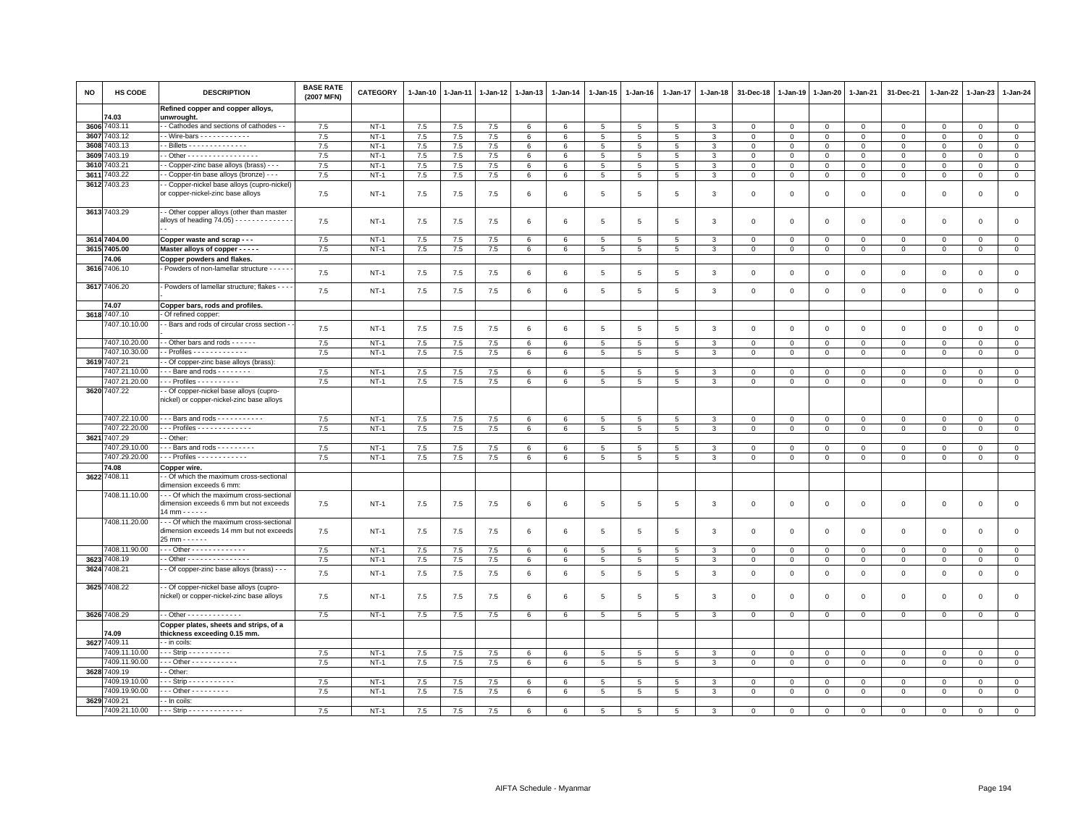| NO   | <b>HS CODE</b> | <b>DESCRIPTION</b>                                                                                          | <b>BASE RATE</b><br>(2007 MFN) | <b>CATEGORY</b> | 1-Jan-10 | 1-Jan-11 | $1 - Jan-12$ | $1 - Jan-13$    | $1-Jan-14$      | $1-Jan-15$      | $1 - Jan-16$    | $1 - Jan-17$    | $1 - Jan-18$ | 31-Dec-18               | $1 - Jan-19$   | $1 - Jan-20$   | 1-Jan-21     | 31-Dec-21   | 1-Jan-22     | 1-Jan-23     | $1 - Jan-24$   |
|------|----------------|-------------------------------------------------------------------------------------------------------------|--------------------------------|-----------------|----------|----------|--------------|-----------------|-----------------|-----------------|-----------------|-----------------|--------------|-------------------------|----------------|----------------|--------------|-------------|--------------|--------------|----------------|
|      | 74.03          | Refined copper and copper alloys,<br>unwrought.                                                             |                                |                 |          |          |              |                 |                 |                 |                 |                 |              |                         |                |                |              |             |              |              |                |
|      | 3606 7403.11   | - Cathodes and sections of cathodes - -                                                                     | 7.5                            | $NT-1$          | 7.5      | 7.5      | 7.5          | 6               | 6               | 5               | 5               | 5               | $\mathbf{3}$ | $\Omega$                | $\mathsf 0$    | $\overline{0}$ | $\mathbf{0}$ | 0           | $\Omega$     | $\Omega$     | $\mathbf{0}$   |
|      | 3607 7403.12   | - Wire-bars - - - - - - - - - - -                                                                           | 7.5                            | $NT-1$          | 7.5      | 7.5      | 7.5          | 6               | 6               | 5               | 5               | 5               | 3            | $\overline{0}$          | $\mathbf 0$    | $\mathbf 0$    | $\mathbf 0$  | $\mathbf 0$ | $\Omega$     | $\Omega$     | $\mathsf 0$    |
|      | 3608 7403.13   | - Billets - - - - - - - - - - - - - -                                                                       | 7.5                            | $NT-1$          | 7.5      | 7.5      | 7.5          | 6               | 6               | 5               | 5               | 5               | 3            | $\mathbf 0$             | $\mathbf 0$    | $\mathsf 0$    | $\Omega$     | $\mathsf 0$ | $\mathbf 0$  | $\Omega$     | $\mathbf 0$    |
| 3609 | 7403.19        | $-$ Other - - - - - - - - - - - - - - - - -                                                                 | 7.5                            | $NT-1$          | 7.5      | 7.5      | 7.5          | 6               | 6               | $5\phantom{.0}$ | 5               | 5               | 3            | $\overline{0}$          | $\mathbf{0}$   | $\overline{0}$ | $\Omega$     | 0           | $\Omega$     | $\Omega$     | $\overline{0}$ |
|      | 3610 7403.21   | - Copper-zinc base alloys (brass) - - -                                                                     | 7.5                            | $NT-1$          | 7.5      | 7.5      | 7.5          | 6               | $6\phantom{.0}$ | $5\overline{5}$ | 5               | 5               | $\mathbf{3}$ | $\mathbf 0$             | $\mathsf 0$    | $\circ$        | $\mathbf{0}$ | $\mathsf 0$ | $\mathbf 0$  | $\mathsf 0$  | $\mathbf 0$    |
|      | 3611 7403.22   | - Copper-tin base alloys (bronze) - - -                                                                     | 7.5                            | $NT-1$          | 7.5      | $7.5$    | 7.5          | 6               | $\,6\,$         | 5               | 5               | $5\phantom{.0}$ | 3            | $\mathbf{0}$            | $\mathbf{0}$   | $\circ$        | $\mathbf{0}$ | $\mathbf 0$ | $\mathbf 0$  | $\mathbf 0$  | $\mathbf 0$    |
|      | 3612 7403.23   | Copper-nickel base alloys (cupro-nickel)<br>or copper-nickel-zinc base alloys                               | 7.5                            | $NT-1$          | 7.5      | 7.5      | 7.5          | 6               | $\,6\,$         | $5\phantom{.0}$ | 5               | 5               | 3            | $\overline{0}$          | $\overline{0}$ | $\,0\,$        | $\circ$      | $\mathbf 0$ | $\Omega$     | $\mathbf 0$  | $\circ$        |
|      | 3613 7403.29   | - Other copper alloys (other than master<br>alloys of heading 74.05) - - - - - - - - - - - - -              | 7.5                            | $NT-1$          | 7.5      | 7.5      | 7.5          | 6               | 6               | $\overline{5}$  | 5               | $5\overline{5}$ | 3            | $\overline{0}$          | $\overline{0}$ | $\overline{0}$ | $\mathbf{0}$ | $\mathbf 0$ | $\mathbf 0$  | $\Omega$     | $\circ$        |
|      | 3614 7404.00   | Copper waste and scrap - - -                                                                                | 7.5                            | $NT-1$          | 7.5      | $7.5$    | 7.5          | 6               | 6               | $\overline{5}$  | 5               | 5               | 3            | $\overline{\mathbf{0}}$ | $\mathbf 0$    | $\mathbf 0$    | $\mathbf 0$  | $\mathsf 0$ | $\mathbf 0$  | $\mathbf 0$  | $\mathsf 0$    |
|      | 3615 7405.00   | Master alloys of copper - - - - -                                                                           | 7.5                            | $NT-1$          | 7.5      | $7.5\,$  | $7.5\,$      | 6               | 6               | 5               | 5               | 5               | 3            | $\mathbf 0$             | $\mathbb O$    | $\mathbf{O}$   | $\mathbf{O}$ | 0           | $\Omega$     | $\Omega$     | $\mathbf 0$    |
|      | 74.06          | Copper powders and flakes.                                                                                  |                                |                 |          |          |              |                 |                 |                 |                 |                 |              |                         |                |                |              |             |              |              |                |
|      | 3616 7406.10   | Powders of non-lamellar structure - - - - -                                                                 | 7.5                            | $NT-1$          | 7.5      | 7.5      | 7.5          | $6\phantom{.0}$ | $\,6\,$         | $5\phantom{.0}$ | $5\phantom{.0}$ | $\,$ 5 $\,$     | 3            | $\,0\,$                 | $\mathbf 0$    | $\,0\,$        | $\mathbf 0$  | $\mathsf 0$ | $\mathbf 0$  | $\mathsf 0$  | $\mathsf 0$    |
|      | 3617 7406.20   | Powders of lamellar structure; flakes - - - -                                                               | 7.5                            | $NT-1$          | 7.5      | 7.5      | 7.5          | 6               | 6               | $5^{\circ}$     | -5              | 5               | 3            | $\overline{0}$          | $\overline{0}$ | $\mathbf{0}$   | $\circ$      | $\mathbf 0$ | $\mathbf 0$  | $\mathbf 0$  | $\mathbf{0}$   |
|      | 74.07          | Copper bars, rods and profiles.                                                                             |                                |                 |          |          |              |                 |                 |                 |                 |                 |              |                         |                |                |              |             |              |              |                |
|      | 3618 7407.10   | Of refined copper:                                                                                          |                                |                 |          |          |              |                 |                 |                 |                 |                 |              |                         |                |                |              |             |              |              |                |
|      | 7407.10.10.00  | - Bars and rods of circular cross section -                                                                 | 7.5                            | $NT-1$          | 7.5      | 7.5      | 7.5          | 6               | 6               | 5               | 5               | 5               | 3            | $\overline{0}$          | $\mathbf 0$    | $\mathbf 0$    | $\mathbf 0$  | $\mathsf 0$ | $\mathbf 0$  | $\mathbf 0$  | $\mathsf 0$    |
|      | 7407.10.20.00  | - Other bars and rods - - - - - -                                                                           | 7.5                            | $NT-1$          | 7.5      | $7.5\,$  | $7.5\,$      | 6               | 6               | $5\overline{5}$ | 5               | 5               | 3            | $\mathbf 0$             | $\,0\,$        | $\mathbf{0}$   | $\Omega$     | $\Omega$    | $\Omega$     | $\Omega$     | $\mathbf 0$    |
|      | 7407.10.30.00  | - Profiles - - - - - - - - - - - - -                                                                        | 7.5                            | $NT-1$          | 7.5      | 7.5      | 7.5          | 6               | 6               | $5\overline{5}$ | 5               | 5               | 3            | $\mathbf 0$             | $\mathbf{0}$   | $\mathbf{0}$   | $\mathbf{0}$ | 0           | 0            | $\mathbf 0$  | $\mathbf 0$    |
|      | 3619 7407.21   | - Of copper-zinc base alloys (brass):                                                                       |                                |                 |          |          |              |                 |                 |                 |                 |                 |              |                         |                |                |              |             |              |              |                |
|      | 7407.21.10.00  | --Bare and rods --------                                                                                    | 7.5                            | $NT-1$          | 7.5      | 7.5      | 7.5          | 6               | 6               | 5 <sup>5</sup>  | 5               | 5               | 3            | $\Omega$                | $\overline{0}$ | $\mathbf 0$    | $\Omega$     | $\mathbf 0$ | $\mathbf 0$  | $\mathbf 0$  | $\mathbf{0}$   |
|      | 7407.21.20.00  | - - Profiles - - - - - - - - - -                                                                            | 7.5                            | $NT-1$          | 7.5      | 7.5      | 7.5          | 6               | 6               | 5               | 5               | 5               | 3            | $\overline{0}$          | $\mathbf{0}$   | $\mathbf 0$    | $\mathbf{0}$ | $\mathbf 0$ | $\mathbf{0}$ | $\mathbf 0$  | $\overline{0}$ |
|      | 3620 7407.22   | - Of copper-nickel base alloys (cupro-<br>nickel) or copper-nickel-zinc base alloys                         |                                |                 |          |          |              |                 |                 |                 |                 |                 |              |                         |                |                |              |             |              |              |                |
|      | 7407.22.10.00  | $\cdot$ - Bars and rods $\cdot$ - $\cdot$ - $\cdot$ - $\cdot$ - $\cdot$ - $\cdot$                           | 7.5                            | $NT-1$          | 7.5      | $7.5$    | 7.5          | 6               | $6\phantom{.0}$ | $5\phantom{.0}$ | 5               | $5\phantom{.0}$ | $\mathbf{3}$ | $\mathbf 0$             | $\mathbb O$    | $\circ$        | $\mathbf 0$  | $\mathbf 0$ | $\mathbf 0$  | $\mathbf 0$  | $\mathbf{0}$   |
|      | 7407.22.20.00  | $-$ - Profiles - - - - - - - - - - - - -                                                                    | 7.5                            | $NT-1$          | 7.5      | $7.5\,$  | $7.5\,$      | 6               | $6\phantom{.0}$ | $5\phantom{.0}$ | 5               | 5               | 3            | $\mathbf 0$             | $\mathsf 0$    | $\mathbf{0}$   | $\circ$      | $\mathbf 0$ | $\mathbf 0$  | $\mathbf 0$  | $\mathbf{0}$   |
|      | 3621 7407.29   | - Other:                                                                                                    |                                |                 |          |          |              |                 |                 |                 |                 |                 |              |                         |                |                |              |             |              |              |                |
|      | 7407.29.10.00  | -- Bars and rods ---------                                                                                  | 7.5                            | $NT-1$          | $7.5\,$  | $7.5\,$  | $7.5\,$      | 6               | 6               | 5               | 5               | 5               | 3            | $\mathbf 0$             | $\mathbf 0$    | $\mathbf 0$    | $\mathbf 0$  | $\mathbf 0$ | $\Omega$     | $\Omega$     | $\,0\,$        |
|      | 7407.29.20.00  | $\cdots$ Profiles $\cdots$                                                                                  | 7.5                            | $NT-1$          | 7.5      | 7.5      | 7.5          | 6               | 6               | $5^{\circ}$     | 5               | 5               | 3            | $\overline{0}$          | $\mathbf{0}$   | $\mathbf{0}$   | $\mathbf{0}$ | $\mathbf 0$ | $\mathbf 0$  | $\mathbf{0}$ | $\circ$        |
|      | 74.08          | Copper wire.                                                                                                |                                |                 |          |          |              |                 |                 |                 |                 |                 |              |                         |                |                |              |             |              |              |                |
|      | 3622 7408.11   | - Of which the maximum cross-sectional                                                                      |                                |                 |          |          |              |                 |                 |                 |                 |                 |              |                         |                |                |              |             |              |              |                |
|      | 7408.11.10.00  | dimension exceeds 6 mm:<br>- - Of which the maximum cross-sectional                                         |                                |                 |          |          |              |                 |                 |                 |                 |                 |              |                         |                |                |              |             |              |              |                |
|      | 7408.11.20.00  | dimension exceeds 6 mm but not exceeds<br>$14 mm \cdots \cdots$<br>- - Of which the maximum cross-sectional | 7.5                            | $NT-1$          | 7.5      | 7.5      | 7.5          | 6               | 6               | $\overline{5}$  | -5              | $5\overline{5}$ | 3            | $\overline{0}$          | $\overline{0}$ | $\overline{0}$ | $\circ$      | $\mathbf 0$ | $\Omega$     | $\Omega$     | $\mathsf 0$    |
|      |                | dimension exceeds 14 mm but not exceeds<br>25 mm - - - - - -                                                | 7.5                            | $NT-1$          | 7.5      | 7.5      | 7.5          | 6               | 6               | 5               | 5               | 5               | -3           | $\Omega$                | $\Omega$       | $\mathbf 0$    | $\Omega$     | $\mathbf 0$ | $\Omega$     | $\Omega$     | $\mathbf{0}$   |
|      | 7408.11.90.00  | - - Other - - - - - - - - - - - - -                                                                         | 7.5                            | $NT-1$          | 7.5      | 7.5      | 7.5          | 6               | 6               | $\overline{5}$  | 5               | 5               | $\mathbf{3}$ | $\overline{0}$          | $\mathbf 0$    | $\mathbf{0}$   | $\Omega$     | $\Omega$    | $\Omega$     | $\Omega$     | $\mathbf{0}$   |
|      | 3623 7408.19   | - Other - - - - - - - - - - - - - - -                                                                       | 7.5                            | $NT-1$          | 7.5      | 7.5      | 7.5          | 6               | 6               | 5               | 5               | 5               | 3            | $\overline{\mathbf{0}}$ | $\mathbf 0$    | $\mathbf{0}$   | $\mathsf 0$  | $\mathsf 0$ | 0            | 0            | $\mathbf 0$    |
|      | 3624 7408.21   | - Of copper-zinc base alloys (brass) - - -                                                                  | 7.5                            | $NT-1$          | 7.5      | 7.5      | 7.5          | 6               | 6               | $5\phantom{.0}$ | 5               | 5               | 3            | $\overline{\mathbf{0}}$ | $\mathbf 0$    | $\mathbf 0$    | $\mathbf{O}$ | $\mathsf 0$ | 0            | $\mathsf 0$  | $\mathsf 0$    |
|      | 3625 7408.22   | - Of copper-nickel base alloys (cupro-<br>nickel) or copper-nickel-zinc base alloys                         | 7.5                            | $NT-1$          | 7.5      | 7.5      | 7.5          | $6\overline{6}$ | 6               | 5               | 5               | 5               | 3            | $\mathbf 0$             | $\mathbf 0$    | $\mathbf 0$    | $\mathbf 0$  | $\mathsf 0$ | $\mathbf 0$  | $\Omega$     | $\mathsf 0$    |
|      | 3626 7408.29   | $-$ Other - - - - - - - - - - - - -                                                                         | 7.5                            | $NT-1$          | 7.5      | 7.5      | 7.5          | 6               | 6               | 5               | 5               | 5               | 3            | $\mathsf 0$             | $\mathbf 0$    | $\mathsf 0$    | $\mathsf 0$  | $\mathsf 0$ | $\mathbf 0$  | $\mathsf 0$  | $\mathbf 0$    |
|      | 74.09          | Copper plates, sheets and strips, of a<br>thickness exceeding 0.15 mm.                                      |                                |                 |          |          |              |                 |                 |                 |                 |                 |              |                         |                |                |              |             |              |              |                |
|      | 3627 7409.11   | - in coils:                                                                                                 |                                |                 |          |          |              |                 |                 |                 |                 |                 |              |                         |                |                |              |             |              |              |                |
|      | 7409.11.10.00  | $-$ - Strip - - - - - - - - - -                                                                             | 7.5                            | $NT-1$          | 7.5      | $7.5\,$  | 7.5          | 6               | 6               | 5               | 5               | 5               | 3            | $\mathbf 0$             | $\mathbf 0$    | $\Omega$       | $^{\circ}$   | 0           | $\Omega$     | $\Omega$     | $\mathsf 0$    |
|      | 7409.11.90.00  | $-$ - Other - - - - - - - - - - -                                                                           | 7.5                            | $NT-1$          | 7.5      | $7.5\,$  | 7.5          | 6               | 6               | 5               | 5               | 5               | 3            | $\mathbf 0$             | $\mathbf{0}$   | $\mathbf{O}$   | $\mathbf{0}$ | $\mathsf 0$ | $\mathbf 0$  | $\mathbf 0$  | $\circ$        |
|      | 3628 7409.19   | - Other:                                                                                                    |                                |                 |          |          |              |                 |                 |                 |                 |                 |              |                         |                |                |              |             |              |              |                |
|      | 7409.19.10.00  | $-$ - Strip - - - - - - - - - - -                                                                           | 7.5                            | $NT-1$          | 7.5      | 7.5      | 7.5          | 6               | 6               | $5\overline{5}$ | 5               | 5               | 3            | $\overline{0}$          | $\overline{0}$ | $\Omega$       | $\mathbf{0}$ | $\Omega$    | $\Omega$     | $\Omega$     | $\mathbf 0$    |
|      | 7409.19.90.00  | $-$ - Other - - - - - - - - -                                                                               | 7.5                            | $NT-1$          | 7.5      | 7.5      | 7.5          | 6               | 6               | 5               | 5               | 5               | 3            | $\mathbf 0$             | $\mathbf 0$    | $\mathbf 0$    | 0            | 0           | 0            | $\mathbf 0$  | $\mathbf 0$    |
|      | 3629 7409.21   | - In coils:                                                                                                 |                                |                 |          |          |              |                 |                 |                 |                 |                 |              |                         |                |                |              |             |              |              |                |
|      | 7409.21.10.00  | . - - Strip - - - - - - - - - - - - -                                                                       | 7.5                            | $NT-1$          | 7.5      | 7.5      | 7.5          | $\epsilon$      | $\epsilon$      | 5.              |                 | 5               | 3            | $\Omega$                | $\mathbf 0$    | $\Omega$       | $\Omega$     | $\Omega$    | $\mathbf 0$  | $\mathbf 0$  | $\mathbf 0$    |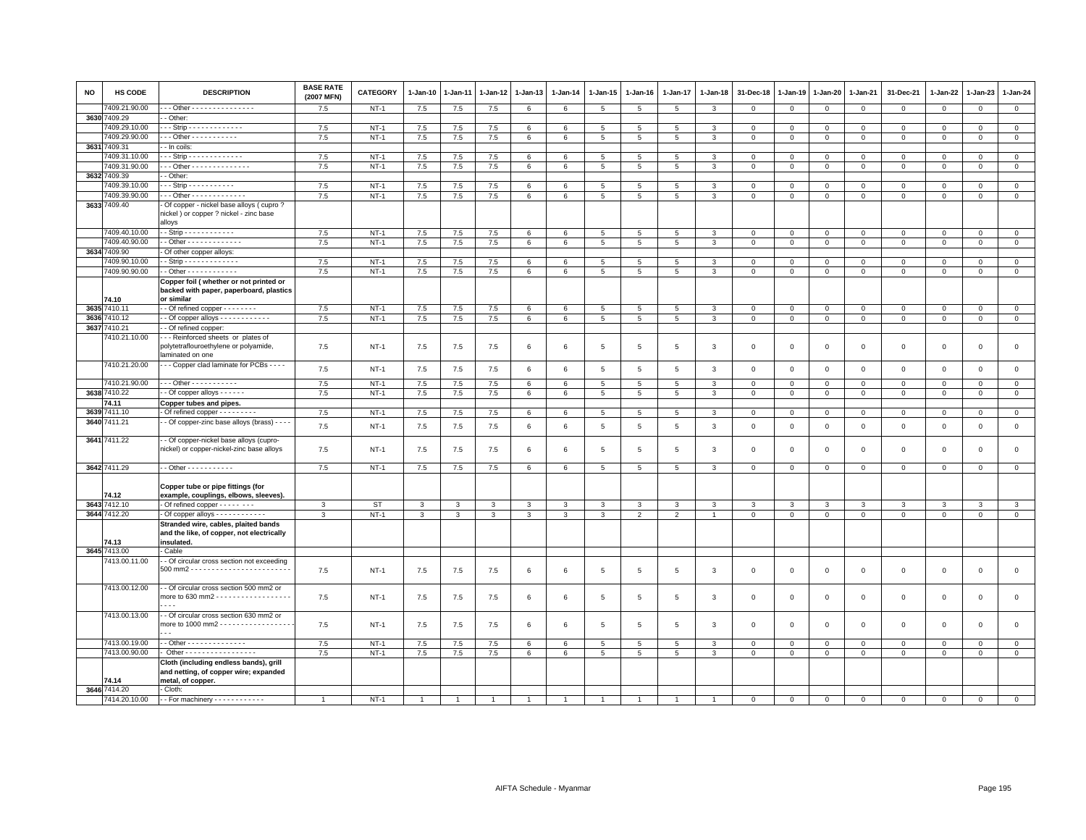| <b>NO</b> | <b>HS CODE</b>        | <b>DESCRIPTION</b>                                                                                                                            | <b>BASE RATE</b><br>(2007 MFN) | <b>CATEGORY</b> | $1-Jan-10$     | $1-Jan-11$     | $1-Jan-12$     | 1-Jan-13     | $1-Jan-14$      | $1-Jan-15$      | $1-Jan-16$      | 1-Jan-17        | 1-Jan-18       | 31-Dec-18      | 1-Jan-19     | 1-Jan-20       | 1-Jan-21       | 31-Dec-21           | 1-Jan-22       | 1-Jan-23       | 1-Jan-24       |
|-----------|-----------------------|-----------------------------------------------------------------------------------------------------------------------------------------------|--------------------------------|-----------------|----------------|----------------|----------------|--------------|-----------------|-----------------|-----------------|-----------------|----------------|----------------|--------------|----------------|----------------|---------------------|----------------|----------------|----------------|
|           | 409.21.90.00          | - - Other - - - - - - - - - - - - - - -                                                                                                       | 7.5                            | $NT-1$          | 7.5            | 7.5            | 7.5            | 6            | 6               | $5\phantom{.0}$ | 5               | $\overline{5}$  | 3              | $\mathbf{0}$   | $\mathbf 0$  | $\overline{0}$ | $\overline{0}$ | $\mathsf 0$         | $\overline{0}$ | $\mathbf{0}$   | $\overline{0}$ |
|           | 3630 7409.29          | - Other                                                                                                                                       |                                |                 |                |                |                |              |                 |                 |                 |                 |                |                |              |                |                |                     |                |                |                |
|           | 409.29.10.00          | - - Strip - - - - - - - - - - - - -                                                                                                           | 7.5                            | $NT-1$          | 7.5            | 7.5            | 7.5            | 6            | 6               | $5\overline{5}$ | 5               | 5               | 3              | $\mathbf 0$    | $\mathbf 0$  | $\mathbf 0$    | $\mathbf 0$    | $\mathbf 0$         | $\mathbf 0$    | $\mathbf 0$    | $\mathbf 0$    |
|           | 7409.29.90.00         | $-$ - Other - - - - - - - - - - -                                                                                                             | 7.5                            | $NT-1$          | 7.5            | 7.5            | 7.5            | 6            | $6\phantom{.0}$ | $5\overline{5}$ | $5\phantom{.0}$ | $\overline{5}$  | 3              | $\mathbf{0}$   | $\circ$      | $\overline{0}$ | $\circ$        | $\mathsf 0$         | $\mathbf{0}$   | $\mathbf{0}$   | $\overline{0}$ |
|           | 3631 7409.31          | - In coils:                                                                                                                                   |                                |                 |                |                |                |              |                 |                 |                 |                 |                |                |              |                |                |                     |                |                |                |
|           | 409.31.10.00          | $-$ - Strip - - - - - - - - - - - - -                                                                                                         | 7.5                            | $NT-1$          | 7.5            | 7.5            | $7.5\,$        | 6            | 6               | 5               | 5               | 5               | 3              | $\mathbf 0$    | $\circ$      | $\mathbf 0$    | $\mathbf 0$    | $\mathsf 0$         | $\circ$        | $\mathbf 0$    | $\mathsf 0$    |
|           | 7409.31.90.00         | $-$ - Other - - - - - - - - - - - - - -                                                                                                       | 7.5                            | $NT-1$          | 7.5            | 7.5            | 7.5            | 6            | 6               | $5\phantom{.0}$ | $5\overline{5}$ | $5\overline{5}$ | 3              | $\mathbf 0$    | $\mathbf 0$  | $\mathbf{0}$   | $\overline{0}$ | $\mathsf 0$         | $\mathbf{0}$   | $\mathbf{O}$   | $\mathbf{0}$   |
|           | 3632 7409.39          | - Other:                                                                                                                                      |                                |                 |                |                |                |              |                 |                 |                 |                 |                |                |              |                |                |                     |                |                |                |
|           | 7409.39.10.00         | $-$ - Strip - - - - - - - - - - -                                                                                                             | 7.5                            | $NT-1$          | 7.5            | 7.5            | 7.5            | 6            | 6               | $5\overline{5}$ | 5               | 5               | 3              | $\mathbf 0$    | $\circ$      | $\mathbf 0$    | $\mathbf 0$    | $\mathbf 0$         | $\circ$        | $\overline{0}$ | $\mathsf 0$    |
|           | 7409.39.90.00         | $-$ - Other - - - - - - - - - - - - -                                                                                                         | $7.5\,$                        | $NT-1$          | 7.5            | 7.5            | $7.5\,$        | 6            | $\,6\,$         | 5               | 5               | 5               | 3              | $\mathbf 0$    | $\mathbf 0$  | $\mathbf 0$    | $\,0\,$        | $\mathsf 0$         | $\mathbf 0$    | $\mathbf 0$    | $\mathsf 0$    |
|           | 3633 7409.40          | Of copper - nickel base alloys (cupro?<br>nickel) or copper ? nickel - zinc base<br>alloys                                                    |                                |                 |                |                |                |              |                 |                 |                 |                 |                |                |              |                |                |                     |                |                |                |
|           | 7409.40.10.00         | $-$ Strip - - - - - - - - - - - -                                                                                                             | 7.5                            | $NT-1$          | 7.5            | 7.5            | 7.5            | 6            | 6               | 5               | 5               | 5               | 3              | $\overline{0}$ | $\mathbf{0}$ | $\mathbf{0}$   | $\mathbf 0$    | $\mathbf{0}$        | $\mathbf 0$    | $\mathbf{0}$   | $\mathbf 0$    |
|           | 7409.40.90.00         | - Other - - - - - - - - - - - - -                                                                                                             | 7.5                            | $NT-1$          | 7.5            | 7.5            | $7.5\,$        | 6            | $\,6\,$         | $5\phantom{.0}$ | 5               | 5               | 3              | $\mathbf 0$    | $\mathbf 0$  | $\mathbf 0$    | $\mathsf 0$    | $\mathsf 0$         | $\mathbf 0$    | $\mathbf{0}$   | $\mathbf 0$    |
| 3634      | 409.90                | Of other copper alloys:                                                                                                                       |                                |                 |                |                |                |              |                 |                 |                 |                 |                |                |              |                |                |                     |                |                |                |
|           | 409.90.10.00          | - Strip - - - - - - - - - - - - -                                                                                                             | 7.5                            | $NT-1$          | 7.5            | 7.5            | 7.5            | 6            | 6               | $5^{\circ}$     | 5               | 5               | 3              | $\mathbf{0}$   | $\mathbf{0}$ | $\mathbf{0}$   | $\circ$        | $\mathbf{0}$        | $\mathbf 0$    | $\mathbf{0}$   | $\mathbf{0}$   |
|           | 7409.90.90.00         | - Other - - - - - - - - - - - -                                                                                                               | 7.5                            | $NT-1$          | 7.5            | 7.5            | 7.5            | 6            | $6\phantom{.0}$ | $5\phantom{.0}$ | $5\phantom{.0}$ | 5               | 3              | $\circ$        | $\mathsf 0$  | $\mathbf{0}$   | $\circ$        | $\mathbf 0$         | $\mathbf{O}$   | $\mathbf{0}$   | $\circ$        |
|           | 74.10                 | Copper foil (whether or not printed or<br>backed with paper, paperboard, plastics<br>or similar                                               |                                |                 |                |                |                |              |                 |                 |                 |                 |                |                |              |                |                |                     |                |                |                |
|           | 3635 7410.11          | - Of refined copper - - - - - - - -                                                                                                           | 7.5                            | $NT-1$          | $7.5\,$        | 7.5            | $7.5\,$        | 6            | 6               | $5\phantom{.0}$ | $5\phantom{.0}$ | $\overline{5}$  | 3              | $\mathbf 0$    | $\mathbf 0$  | $\mathbf 0$    | $\mathsf 0$    | $\mathsf{O}\xspace$ | $\mathbf 0$    | $\mathsf 0$    | $\circ$        |
| 3636      | 410.12                |                                                                                                                                               | 7.5                            | $NT-1$          | 7.5            | 7.5            | 7.5            | 6            | 6               | $5\overline{5}$ | $5\overline{5}$ | 5               | 3              | $\mathbf 0$    | $\mathbf{0}$ | $\overline{0}$ | $\overline{0}$ | $\mathbf 0$         | $\mathbf 0$    | $\overline{0}$ | $\mathbf{0}$   |
| 3637      | 7410.21               | - Of refined copper:                                                                                                                          |                                |                 |                |                |                |              |                 |                 |                 |                 |                |                |              |                |                |                     |                |                |                |
|           | 410.21.10.00          | -- Reinforced sheets or plates of<br>polytetraflouroethylene or polyamide,<br>laminated on one                                                | 7.5                            | NT-1            | 7.5            | 7.5            | 7.5            | 6            | 6               | 5               | 5               | 5               | 3              | 0              | $\circ$      | $\mathbf 0$    | $\mathsf 0$    | $\mathbf{0}$        | $\mathbf 0$    | $\mathbf 0$    | $\mathbf 0$    |
|           | 7410.21.20.00         | - - Copper clad laminate for PCBs - - - -                                                                                                     | 7.5                            | $NT-1$          | 7.5            | 7.5            | 7.5            | 6            | $6\phantom{.0}$ | $5\phantom{.0}$ | 5               | $5\phantom{.0}$ | 3              | $\mathbf 0$    | $\mathbf 0$  | $\mathsf 0$    | $\mathbf 0$    | $\mathsf 0$         | $\mathbb O$    | $\mathbf 0$    | $\mathsf 0$    |
|           | 7410.21.90.00         | $-$ - Other - - - - - - - - - - -                                                                                                             | 7.5                            | $NT-1$          | 7.5            | 7.5            | 7.5            | 6            | 6               | 5               | 5               | 5               | 3              | $\mathbf 0$    | $\mathbf 0$  | $\mathbf 0$    | $\mathsf 0$    | $\mathbf 0$         | $\mathbf 0$    | $\mathbf{0}$   | $\mathbf 0$    |
|           | 3638 7410.22          | $-$ Of copper alloys $    -$                                                                                                                  | 7.5                            | $NT-1$          | 7.5            | 7.5            | 7.5            | 6            | 6               | 5               | 5               | 5               | 3              | $\mathbf 0$    | $\mathbf 0$  | $\mathbf 0$    | $\mathbf{0}$   | $\mathbf 0$         | $\mathbf 0$    | $\mathbf{0}$   | $\mathbf{0}$   |
|           | 74.11                 | Copper tubes and pipes.                                                                                                                       |                                |                 |                |                |                |              |                 |                 |                 |                 |                |                |              |                |                |                     |                |                |                |
| 3639      | 411.10                | Of refined copper - - - - - - - - -                                                                                                           | 7.5                            | $NT-1$          | 7.5            | 7.5            | 7.5            | 6            | 6               | 5               | 5               | 5               | 3              | $\mathbf 0$    | $\circ$      | $\mathbf 0$    | $\mathbf{0}$   | $\mathbf 0$         | $\mathbf 0$    | $\mathbf 0$    | $\mathbf{0}$   |
|           | 3640 7411.21          | - Of copper-zinc base alloys (brass) - - - -                                                                                                  | 7.5                            | $NT-1$          | 7.5            | 7.5            | 7.5            | 6            | $6\phantom{.0}$ | 5               | 5               | 5               | 3              | $\mathbf 0$    | $\mathbf 0$  | $\mathsf 0$    | $\mathbf 0$    | $\mathsf 0$         | $\mathsf 0$    | $\mathbf 0$    | $\mathsf 0$    |
|           | 3641 7411.22          | - Of copper-nickel base alloys (cupro-<br>nickel) or copper-nickel-zinc base alloys                                                           | 7.5                            | $NT-1$          | 7.5            | 7.5            | 7.5            | 6            | 6               | 5               | 5               | 5               | 3              | $\mathbf 0$    | $\circ$      | $\mathbf 0$    | $\mathbf 0$    | $\mathbf 0$         | $\circ$        | $\mathbf 0$    | $\mathbf 0$    |
|           | 3642 7411.29          | - - Other - - - - - - - - - - -                                                                                                               | 7.5                            | $NT-1$          | 7.5            | 7.5            | 7.5            | 6            | 6               | 5               | $5\overline{5}$ | $5\phantom{.0}$ | 3              | $\mathbf{0}$   | $\mathbf{0}$ | $\mathbf{0}$   | $\circ$        | $\mathbf 0$         | $\circ$        | $\mathbf 0$    | $\overline{0}$ |
|           | 74.12                 | Copper tube or pipe fittings (for<br>example, couplings, elbows, sleeves).                                                                    |                                |                 |                |                |                |              |                 |                 |                 |                 |                |                |              |                |                |                     |                |                |                |
|           | 3643 7412.10          | Of refined copper - - - - - - - -                                                                                                             | 3                              | ST              | $\mathbf{3}$   | 3              | 3              | 3            | 3               | 3               | 3               | 3               | 3              | 3              | 3            | 3              | $\mathbf{3}$   | 3                   | 3              | 3              | 3              |
|           | 3644 7412.20<br>74.13 | - Of copper alloys - - - - - - - - - - - -<br>Stranded wire, cables, plaited bands<br>and the like, of copper, not electrically<br>insulated. | 3                              | $NT-1$          | $\mathbf{3}$   | 3              | $\mathbf{3}$   | $\mathbf{3}$ | 3               | $\mathbf{3}$    | $\overline{2}$  | $\overline{2}$  | $\overline{1}$ | $\mathbf 0$    | $\mathbf 0$  | $\mathbf 0$    | $\mathbf 0$    | $\mathbf 0$         | $\mathbf 0$    | $\mathbf 0$    | $\mathbf 0$    |
|           | 3645 7413.00          | Cable                                                                                                                                         |                                |                 |                |                |                |              |                 |                 |                 |                 |                |                |              |                |                |                     |                |                |                |
|           | 7413.00.11.00         | - Of circular cross section not exceeding                                                                                                     | 7.5                            | $NT-1$          | 7.5            | 7.5            | 7.5            | 6            | 6               | $5\phantom{.0}$ | $\overline{5}$  | $\overline{5}$  | 3              | $\mathbf 0$    | $\mathbf 0$  | $\mathsf 0$    | $\,0\,$        | $\mathsf{O}\xspace$ | $\mathbf 0$    | $\mathsf 0$    | $\mathbf 0$    |
|           | 7413.00.12.00         | - Of circular cross section 500 mm2 or<br>$\sim$ $\sim$ $\sim$                                                                                | 7.5                            | $NT-1$          | 7.5            | 7.5            | 7.5            | 6            | 6               | $5\overline{5}$ | 5               | 5               | 3              | $\mathbf 0$    | $\circ$      | $\mathbf 0$    | $\mathbf 0$    | $\mathbf 0$         | $\mathbf 0$    | $\mathbf 0$    | $\mathbf 0$    |
|           | 7413.00.13.00         | - Of circular cross section 630 mm2 or<br>more to 1000 mm2 - - - - - - - - - - - - - - - - -                                                  | 7.5                            | $NT-1$          | 7.5            | 7.5            | 7.5            | 6            | 6               | 5               | 5               | 5               | 3              | $\mathbf 0$    | $\mathbf 0$  | $\mathbf 0$    | $\mathbf 0$    | $\mathsf 0$         | $\mathbf 0$    | $\mathbf 0$    | $\mathbf 0$    |
|           | 7413.00.19.00         | - Other - - - - - - - - - - - - - -                                                                                                           | 7.5                            | $NT-1$          | 7.5            | 7.5            | 7.5            | 6            | 6               | 5               | 5               | 5               | 3              | $\mathbf 0$    | $\mathbf 0$  | $\circ$        | $\overline{0}$ | $\mathsf 0$         | $\mathbf 0$    | $\mathbf 0$    | $\mathbf 0$    |
|           | 7413.00.90.00         | Other - - - - - - - - - - - - - - - - -                                                                                                       | 7.5                            | $NT-1$          | 7.5            | 7.5            | 7.5            | 6            | 6               | 5               | $5\overline{5}$ | 5               | 3              | $\mathbf 0$    | $\mathbf 0$  | $\mathbf 0$    | $\mathbf 0$    | $\mathbf{0}$        | $\mathbf 0$    | $\mathbf{0}$   | $\mathsf 0$    |
|           | 74.14                 | Cloth (including endless bands), grill<br>and netting, of copper wire; expanded<br>metal, of copper.                                          |                                |                 |                |                |                |              |                 |                 |                 |                 |                |                |              |                |                |                     |                |                |                |
|           | 3646 7414.20          | Cloth:                                                                                                                                        |                                |                 |                |                |                |              |                 |                 |                 |                 |                |                |              |                |                |                     |                |                |                |
|           | 7414.20.10.00         | -- For machinery ------------                                                                                                                 | $\overline{1}$                 | $NT-1$          | $\overline{1}$ | $\overline{1}$ | $\overline{1}$ |              | $\overline{1}$  |                 | $\overline{1}$  |                 |                | $\mathbf 0$    | $\mathbf{0}$ | $\mathbf{0}$   | $\mathbf 0$    | $\mathbf 0$         | $\Omega$       | $\circ$        | $\mathbf 0$    |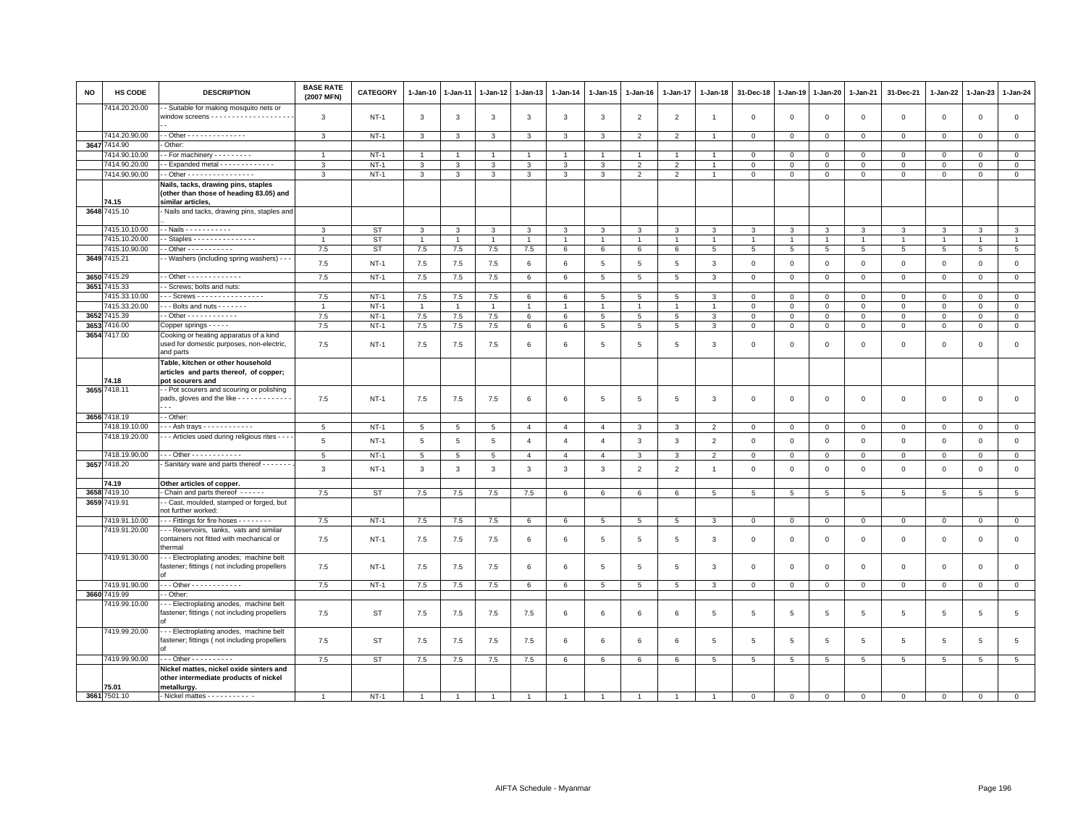| NO           | HS CODE           | <b>DESCRIPTION</b>                                                                                  | <b>BASE RATE</b><br>(2007 MFN) | <b>CATEGORY</b> | 1-Jan-10       | 1-Jan-11       | 1-Jan-12       | 1-Jan-13       | 1-Jan-14        | 1-Jan-15       | 1-Jan-16       | 1-Jan-17       | 1-Jan-18        | 31-Dec-18       | 1-Jan-19       | 1-Jan-20        | 1-Jan-21        | 31-Dec-21           | 1-Jan-22        | 1-Jan-23        | 1-Jan-24        |
|--------------|-------------------|-----------------------------------------------------------------------------------------------------|--------------------------------|-----------------|----------------|----------------|----------------|----------------|-----------------|----------------|----------------|----------------|-----------------|-----------------|----------------|-----------------|-----------------|---------------------|-----------------|-----------------|-----------------|
|              | 414.20.20.00      | - Suitable for making mosquito nets or                                                              | 3                              | $NT-1$          | 3              | 3              | 3              | 3              | 3               | 3              | $\overline{2}$ | $\overline{2}$ | $\overline{1}$  | $\mathbf 0$     | $\mathbf 0$    | $\mathsf 0$     | $\mathbf 0$     | $\mathsf 0$         | $\mathbf 0$     | $\mathbf 0$     | $\mathbf 0$     |
|              | 7414.20.90.00     | - Other - - - - - - - - - - - - - -                                                                 | $\mathbf{3}$                   | $NT-1$          | $\mathbf{3}$   | 3              | $\mathbf{3}$   | $\mathbf{3}$   | $\mathbf{3}$    | $\mathbf{3}$   | $\overline{2}$ | $\overline{2}$ |                 | $\mathbf 0$     | $\mathsf 0$    | $\,0\,$         | $\,0\,$         | $\mathsf{O}\xspace$ | $\,0\,$         | $\mathsf 0$     | $\mathbf 0$     |
|              | 3647 7414.90      | Other:                                                                                              |                                |                 |                |                |                |                |                 |                |                |                |                 |                 |                |                 |                 |                     |                 |                 |                 |
|              | 7414.90.10.00     | - For machinery - - - - - - - - -                                                                   | $\overline{1}$                 | $NT-1$          | $\overline{1}$ |                | $\overline{1}$ | $\overline{1}$ | $\overline{1}$  | $\mathbf{1}$   | $\overline{1}$ | $\overline{1}$ | $\overline{1}$  | $\mathbf 0$     | $\mathbf 0$    | $\mathbf 0$     | $\mathbf 0$     | $\mathbf 0$         | $\mathbf 0$     | $\mathbf 0$     | $\mathbf 0$     |
|              | 7414.90.20.00     | - Expanded metal - - - - - - - - - - - -                                                            | 3                              | $NT-1$          | 3              | 3              | 3              | 3              | 3               | 3              | $\overline{2}$ | $\overline{2}$ |                 | $\mathbf 0$     | $\mathbf 0$    | $\mathsf 0$     | $\,0\,$         | $\mathbf 0$         | $\mathbf 0$     | $\mathbf 0$     | $\mathsf 0$     |
|              | 7414.90.90.00     | - Other - - - - - - - - - - - - - - - -                                                             | 3                              | $NT-1$          | 3              | 3              | 3              | 3              | $\mathbf{3}$    | 3              | $\overline{2}$ | $\overline{2}$ |                 | $\mathbf 0$     | $\mathsf 0$    | $\mathsf 0$     | $\mathbf 0$     | $\mathsf 0$         | $\mathsf 0$     | $\mathbf 0$     | $\circ$         |
|              | 74.15             | Nails, tacks, drawing pins, staples<br>(other than those of heading 83.05) and<br>similar articles, |                                |                 |                |                |                |                |                 |                |                |                |                 |                 |                |                 |                 |                     |                 |                 |                 |
|              | 3648 7415.10      | Nails and tacks, drawing pins, staples and                                                          |                                |                 |                |                |                |                |                 |                |                |                |                 |                 |                |                 |                 |                     |                 |                 |                 |
|              | 7415.10.10.00     | - Nails - - - - - - - - - - -                                                                       | 3                              | <b>ST</b>       | 3              | 3              | 3              | 3              | 3               | 3              |                | 3              | 3               | 3               | 3              | 3               | 3               | 3                   | 3               | 3               | 3               |
|              | 7415.10.20.00     | Staples - - - - - - - - - - - - - - -                                                               | $\overline{1}$                 | <b>ST</b>       | $\mathbf{1}$   | $\overline{1}$ | $\overline{1}$ | $\overline{1}$ | $\overline{1}$  | $\mathbf{1}$   | $\overline{1}$ | $\overline{1}$ |                 | $\overline{1}$  | $\overline{1}$ | $\overline{1}$  | $\overline{1}$  | $\overline{1}$      | $\overline{1}$  | $\overline{1}$  | $\mathbf{1}$    |
|              | 7415.10.90.00     | - Other - - - - - - - - - - -                                                                       | 7.5                            | <b>ST</b>       | 7.5            | $7.5\,$        | $7.5\,$        | 7.5            | $6\phantom{.0}$ | 6              | 6              | 6              | $5\phantom{.0}$ | $\overline{5}$  | $\,$ 5 $\,$    | $\,$ 5 $\,$     | $5\phantom{.0}$ | $\,$ 5 $\,$         | $5\phantom{.0}$ | $5\phantom{.0}$ | $5\phantom{.0}$ |
|              | 3649 7415.21      | - Washers (including spring washers) - - -                                                          | 7.5                            | $NT-1$          | 7.5            | 7.5            | 7.5            | 6              | 6               | 5              | 5              | 5              | 3               | $\mathbf 0$     | $\mathbf 0$    | $\,0\,$         | $\,0\,$         | $\mathsf 0$         | $\mathbf 0$     | $\mathbf 0$     | $\mathsf 0$     |
| 3650         | 415.29            | - Other - - - - - - - - - - - - -                                                                   | 7.5                            | $NT-1$          | 7.5            | 7.5            | 7.5            | 6              | $6\phantom{.0}$ | $\overline{5}$ | 5              | 5              | $\mathbf{3}$    | $\mathbf 0$     | $\mathsf 0$    | $\mathsf 0$     | $\overline{0}$  | $\mathsf 0$         | $\mathsf 0$     | $\mathsf 0$     | $\overline{0}$  |
|              | 3651 7415.33      | - Screws; bolts and nuts:                                                                           |                                |                 |                |                |                |                |                 |                |                |                |                 |                 |                |                 |                 |                     |                 |                 |                 |
|              | 7415.33.10.00     | - - Screws - - - - - - - - - - - - - - -                                                            | 7.5                            | $NT-1$          | 7.5            | 7.5            | 7.5            | 6              | 6               | 5              | 5              | 5              | $\mathbf{3}$    | $\overline{0}$  | $\mathbf 0$    | $\mathbf 0$     | $\mathbf{0}$    | $\mathbf{0}$        | $\mathbf 0$     | $\mathbf{0}$    | $\circ$         |
|              | 7415.33.20.00     | - - Bolts and nuts - - - - - - -                                                                    |                                | $NT-1$          | $\mathbf{1}$   |                |                | 1              | $\overline{1}$  |                |                |                |                 | $\mathbf 0$     | $\mathsf 0$    | $\mathsf 0$     | $\mathsf 0$     | $\mathsf 0$         | $\mathbf 0$     | $\mathbf 0$     | $\mathbf 0$     |
| 36527        | 7415.39           |                                                                                                     | 7.5                            | $NT-1$          | 7.5            | 7.5            | 7.5            | 6              | 6               | 5              | 5              | 5              | 3               | $\mathbf 0$     | $\mathbf{0}$   | $\circ$         | $\mathbf 0$     | $\mathsf 0$         | 0               | $\mathbf 0$     | $\circ$         |
| 3653         | 7416.00           | Copper springs - - - - -                                                                            | 7.5                            | $NT-1$          | 7.5            | 7.5            | $7.5\,$        | 6              | 6               | 5              | 5              | 5              | $\mathbf{3}$    | $\mathbf 0$     | $\mathsf 0$    | $\mathbf 0$     | $\mathbf 0$     | $\mathbf 0$         | $\mathbf 0$     | $\mathbf{0}$    | $\mathsf 0$     |
|              | 3654 7417.00      | Cooking or heating apparatus of a kind<br>used for domestic purposes, non-electric,<br>and parts    | 7.5                            | $NT-1$          | 7.5            | 7.5            | 7.5            | 6              | 6               | 5              | 5              | 5              | 3               | $\Omega$        | $\mathbf 0$    | $\mathsf 0$     | $\mathbf{0}$    | $\mathbf 0$         | $\Omega$        | $\mathbf 0$     | $\mathbf 0$     |
|              | 74.18             | Table, kitchen or other household<br>articles and parts thereof, of copper;<br>pot scourers and     |                                |                 |                |                |                |                |                 |                |                |                |                 |                 |                |                 |                 |                     |                 |                 |                 |
|              | 3655 7418.11      | - Pot scourers and scouring or polishing                                                            |                                |                 |                |                |                |                |                 |                |                |                |                 |                 |                |                 |                 |                     |                 |                 |                 |
|              |                   | pads, gloves and the like - - - - - - - - - - - - -                                                 | 7.5                            | $NT-1$          | 7.5            | 7.5            | 7.5            | 6              | 6               | 5              | 5              | 5              | $\mathbf{3}$    | $\mathbf 0$     | $\mathbf 0$    | $\mathbf 0$     | $\mathbf 0$     | $\mathsf 0$         | $\mathsf 0$     | $\mathsf 0$     | $\mathsf 0$     |
|              | 3656 7418.19      | - Other                                                                                             |                                |                 |                |                |                |                |                 |                |                |                |                 |                 |                |                 |                 |                     |                 |                 |                 |
|              | 7418.19.10.00     | $-$ - Ash trays $-$ - - - - - - - - - - -                                                           | 5                              | $NT-1$          | 5              | 5              | 5              | $\overline{4}$ | $\overline{4}$  | $\overline{4}$ | 3              | 3              | $\overline{2}$  | $\mathbf 0$     | $\mathbf 0$    | $\mathbf 0$     | $\mathbf 0$     | $\mathbf 0$         | $\mathbf 0$     | $\mathbf 0$     | $\mathbf{0}$    |
|              | 7418.19.20.00     | - - Articles used during religious rites - - -                                                      | 5                              | $NT-1$          | 5              | 5              | 5              | $\overline{4}$ | $\overline{4}$  | $\overline{4}$ | 3              | $\overline{3}$ | $\overline{2}$  | $\mathbf 0$     | $\mathbf 0$    | $\mathsf 0$     | $\mathbf 0$     | $\mathsf 0$         | $\mathsf 0$     | $\mathbf 0$     | $\mathsf 0$     |
|              | 7418.19.90.00     | - - Other - - - - - - - - - - - -                                                                   | 5                              | $NT-1$          | 5              | 5              | 5              | $\overline{a}$ | $\overline{4}$  | $\Delta$       | $\mathbf{a}$   | 3              | $\mathcal{P}$   | $\mathbf 0$     | $\mathsf 0$    | $\mathbf 0$     | $\mathbf{0}$    | $\mathbf 0$         | $\Omega$        | $\Omega$        | $\Omega$        |
|              | 3657 7418.20      | Sanitary ware and parts thereof - - - - - - -                                                       | 3                              | $NT-1$          | 3              | 3              | 3              | 3              | $\mathbf{3}$    | 3              | $\overline{2}$ | $\overline{2}$ | $\overline{1}$  | $\mathbf{0}$    | $\mathbf 0$    | $\mathbf 0$     | $\mathbf{0}$    | $\mathbf 0$         | $\Omega$        | $\mathbf{0}$    | $\mathbf 0$     |
|              | 74.19             | Other articles of copper.                                                                           |                                |                 |                |                |                |                |                 |                |                |                |                 |                 |                |                 |                 |                     |                 |                 | $5\overline{5}$ |
| 3658<br>3659 | 419.10<br>7419.91 | Chain and parts thereof - - - - - -<br>- Cast, moulded, stamped or forged, but                      | 7.5                            | <b>ST</b>       | 7.5            | 7.5            | $7.5\,$        | $7.5\,$        | 6               | 6              | 6              | 6              | 5               | $5\phantom{.0}$ | 5              | 5               | 5               | 5                   | $\overline{5}$  | 5               |                 |
|              | 7419.91.10.00     | tot further worked:<br>- - Fittings for fire hoses - - - - - - - -                                  | 7.5                            | $NT-1$          | 7.5            | 7.5            | 7.5            | 6              | 6               | 5              | 5              | 5              | $\mathbf{3}$    | $\mathbf{0}$    | $\mathbf 0$    | $\mathbf{0}$    | $\mathbf{0}$    | $\mathbf{0}$        | $\mathbf{0}$    | $\circ$         | $\circ$         |
|              | 7419.91.20.00     | - - Reservoirs, tanks, vats and similar                                                             |                                |                 |                |                |                |                |                 |                |                |                |                 |                 |                |                 |                 |                     |                 |                 |                 |
|              |                   | containers not fitted with mechanical or<br>hermal                                                  | 7.5                            | $NT-1$          | 7.5            | 7.5            | 7.5            | 6              | 6               | 5              | 5              | 5              | 3               | $\mathbf 0$     | $\mathbf 0$    | $\,0\,$         | $\mathbf 0$     | $\mathsf 0$         | $\mathbf 0$     | $\mathbf 0$     | $\mathbf 0$     |
|              | 7419.91.30.00     | - - Electroplating anodes; machine belt<br>fastener; fittings (not including propellers             | 7.5                            | $NT-1$          | 7.5            | 7.5            | 7.5            | 6              | 6               | 5              | 5              | 5              | $\mathbf{3}$    | $\mathbf{0}$    | $\mathbf 0$    | $\mathbf 0$     | $\mathbf{0}$    | $\mathbf 0$         | $\mathbf 0$     | $\mathbf{0}$    | $\mathbf 0$     |
|              | 7419.91.90.00     | $-$ - Other - - - - - - - - - - - -                                                                 | 7.5                            | $NT-1$          | 7.5            | 7.5            | 7.5            | 6              | $6\phantom{.0}$ | 5              | 5              | 5              | $\mathbf{3}$    | $\mathbf 0$     | $\mathsf 0$    | $\mathbf 0$     | $\mathbf 0$     | $\mathsf 0$         | $\mathbf{0}$    | $\mathbf 0$     | $\circ$         |
|              | 3660 7419.99      | - Other                                                                                             |                                |                 |                |                |                |                |                 |                |                |                |                 |                 |                |                 |                 |                     |                 |                 |                 |
|              | 7419.99.10.00     | - - Electroplating anodes, machine belt                                                             |                                |                 |                |                |                |                |                 |                |                |                |                 |                 |                |                 |                 |                     |                 |                 |                 |
|              |                   | fastener; fittings (not including propellers                                                        | 7.5                            | <b>ST</b>       | 7.5            | 7.5            | 7.5            | 7.5            | 6               | 6              | 6              | 6              | 5               | 5               | 5              | 5               | 5               | 5                   | 5               | 5               | 5               |
|              | 7419.99.20.00     | - - Electroplating anodes, machine belt<br>fastener; fittings (not including propellers             | 7.5                            | <b>ST</b>       | 7.5            | 7.5            | 7.5            | 7.5            | 6               | 6              | 6              | 6              | 5               | 5               | 5              | 5               | 5               | 5                   | 5               | 5               | 5               |
|              | 7419.99.90.00     | Other - - - - - - - - - -                                                                           | 7.5                            | <b>ST</b>       | $7.5$          | $7.5\,$        | 7.5            | 7.5            | 6               | 6              | 6              | 6              | 5               | 5               | $\overline{5}$ | $5\phantom{.0}$ | 5               | 5                   | 5               | 5               | $5\overline{5}$ |
|              | 75.01             | Nickel mattes, nickel oxide sinters and<br>other intermediate products of nickel<br>metallurgy.     |                                |                 |                |                |                |                |                 |                |                |                |                 |                 |                |                 |                 |                     |                 |                 |                 |
|              | 3661 7501.10      | - Nickel mattes - - - - - - - - - -                                                                 | $\overline{1}$                 | $NT-1$          | $\overline{1}$ |                |                |                |                 |                | $\overline{1}$ |                |                 | $\Omega$        | $\mathbf{0}$   | $\mathbf 0$     | $\Omega$        | $\mathbf 0$         | $\Omega$        | $\mathbf{0}$    | $\mathbf 0$     |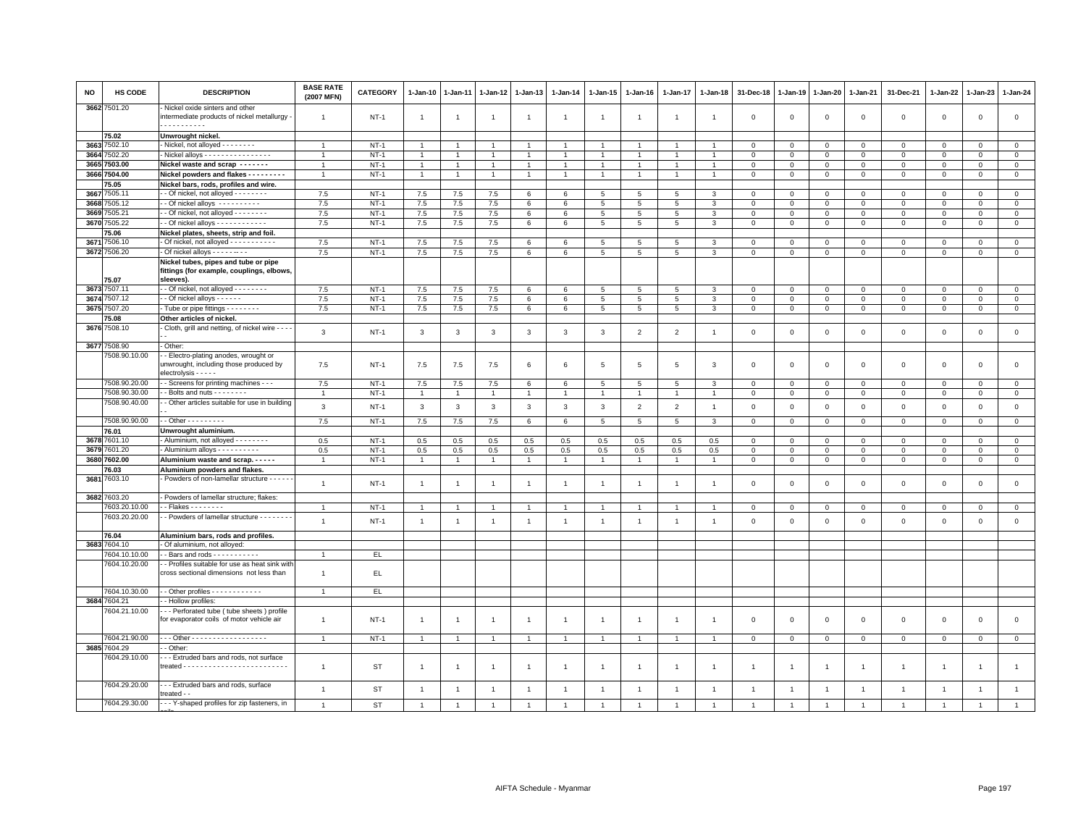| NO           | HS CODE           | <b>DESCRIPTION</b>                                                                             | <b>BASE RATE</b><br>(2007 MFN) | <b>CATEGORY</b>  | 1-Jan-10       | 1-Jan-11       | 1-Jan-12       | 1-Jan-13       | 1-Jan-14       | 1-Jan-15        | 1-Jan-16        | 1-Jan-17        | 1-Jan-18       | 31-Dec-18                  | 1-Jan-19                   | 1-Jan-20            | 1-Jan-21                      | 31-Dec-21                  | 1-Jan-22               | 1-Jan-23               | 1-Jan-24                      |
|--------------|-------------------|------------------------------------------------------------------------------------------------|--------------------------------|------------------|----------------|----------------|----------------|----------------|----------------|-----------------|-----------------|-----------------|----------------|----------------------------|----------------------------|---------------------|-------------------------------|----------------------------|------------------------|------------------------|-------------------------------|
|              | 3662 7501.20      | Nickel oxide sinters and other<br>intermediate products of nickel metallurgy<br>.              | $\mathbf{1}$                   | <b>NT-1</b>      | -1             | -1             | $\mathbf{1}$   | $\overline{1}$ | -1             | $\mathbf{1}$    | -1              | 1               | -1             | $\mathbf 0$                | $\mathsf 0$                | $\mathsf 0$         | $\,0\,$                       | $\mathsf 0$                | $\,0\,$                | $\mathbf 0$            | $\mathbf 0$                   |
|              | 75.02             | Unwrought nickel.                                                                              |                                |                  |                |                |                |                |                |                 |                 |                 |                |                            |                            |                     |                               |                            |                        |                        |                               |
| 3663         | 7502.10           | - Nickel, not alloyed - - - - - - - -                                                          | $\overline{1}$                 | $NT-1$           | $\overline{1}$ | $\overline{1}$ | $\overline{1}$ | $\overline{1}$ | $\overline{1}$ | $\overline{1}$  | $\overline{1}$  | $\overline{1}$  |                | $\mathbf 0$                | $\mathsf 0$                | $\mathbf 0$         | $\mathbf 0$                   | $\mathbf 0$                | $\mathbf{0}$           | $\mathbf{0}$           | $\overline{0}$                |
| 3664         | 7502.20           | Nickel alloys - - - - - - - - - - - - - - -                                                    | $\overline{1}$                 | $NT-1$           | $\mathbf{1}$   |                | $\mathbf{1}$   | $\overline{1}$ | $\overline{1}$ |                 |                 |                 |                | $\mathbf 0$                | $\mathsf 0$                | $\mathsf 0$         | $\mathbf 0$                   | $\mathsf 0$                | $\mathbf 0$            | $\mathbf{0}$           | $\mathsf 0$                   |
| 3665         | 7503.00           | Nickel waste and scrap -------                                                                 | $\overline{1}$                 | $NT-1$           | $\overline{1}$ | $\overline{1}$ | $\overline{1}$ | $\overline{1}$ | $\mathbf{1}$   | $\mathbf{1}$    |                 | $\overline{1}$  | $\overline{1}$ | $\mathbf 0$                | $\mathsf 0$                | $\mathsf 0$         | $\mathbf 0$                   | $\mathbf 0$                | $\mathbf 0$            | $\mathbf 0$            | $\mathbf 0$                   |
| 3666         | 7504.00           | Nickel powders and flakes - - - - - - - - -                                                    | $\overline{1}$                 | $NT-1$           | $\mathbf{1}$   | $\overline{1}$ | $\overline{1}$ | $\overline{1}$ | $\overline{1}$ | $\overline{1}$  | $\overline{1}$  | $\overline{1}$  | $\overline{1}$ | $\,0\,$                    | $\mathbf 0$                | $\mathsf 0$         | $\mathbf 0$                   | $\mathsf 0$                | $\mathbf 0$            | $\mathbf 0$            | $\circ$                       |
|              | 75.05             | Nickel bars, rods, profiles and wire.                                                          |                                |                  |                |                |                |                |                |                 |                 |                 |                |                            |                            |                     |                               |                            |                        |                        |                               |
| 3667         | 7505.11           | - Of nickel, not alloyed - - - - - - - -                                                       | 7.5                            | $NT-1$           | 7.5            | 7.5            | 7.5            | 6              | 6              | 5               | 5               | 5               | 3              | $\mathbf 0$                | 0                          | $\mathbf 0$         | $\mathbf{0}$                  | $\mathbf 0$                | $\mathbf 0$            | $\circ$                | $\circ$                       |
| 3668         | 7505.12           | - Of nickel alloys ----------                                                                  | 7.5                            | $NT-1$           | 7.5            | 7.5            | 7.5            | 6              | 6              | $5\phantom{.0}$ | 5               | 5               | 3              | $\mathsf 0$                | $\mathsf 0$                | $\mathsf 0$         | $\mathbf 0$                   | $\mathsf 0$                | $\mathbf 0$            | $\mathsf 0$            | $\mathsf 0$                   |
| 3669         | 7505.21           | - - Of nickel, not alloyed - - - - - - - -                                                     | 7.5                            | $NT-1$           | 7.5            | 7.5            | 7.5            | 6              | 6              | 5               | 5               | 5               | 3              | $\mathbf 0$                | $\mathsf 0$                | $\mathsf 0$         | $\mathbf 0$                   | $\mathsf 0$                | $\Omega$               | $\mathbf 0$            | $\mathsf 0$                   |
| 3670         | 505.22            | $\cdot$ - Of nickel alloys - - - - - - - - - - - -                                             | 7.5                            | $NT-1$           | 7.5            | 7.5            | 7.5            | 6              | 6              | $5\overline{5}$ | 5               | 5               | 3              | $\mathbf 0$                | $\mathsf 0$                | $\mathbf 0$         | $\mathbf 0$                   | $\mathbf 0$                | $\mathbf 0$            | $\mathbf{0}$           | $\mathbf 0$                   |
|              | 5.06              | Nickel plates, sheets, strip and foil.                                                         |                                |                  |                |                |                |                |                |                 |                 |                 |                |                            |                            |                     |                               |                            |                        |                        |                               |
| 3671         | 7506.10           | - Of nickel, not alloyed - - - - - - - - - -                                                   | 7.5                            | $NT-1$           | 7.5            | 7.5            | 7.5            | 6              | 6              | $5\phantom{.0}$ | 5               | $\overline{5}$  | 3              | $\mathbf 0$                | 0                          | 0                   | $\mathsf 0$                   | $\mathsf 0$                | $\mathbf 0$            | $\mathbf 0$            | $\mathsf 0$                   |
|              | 3672 7506.20      | - Of nickel alloys - - - - - - - -                                                             | 7.5                            | $NT-1$           | 7.5            | 7.5            | 7.5            | 6              | 6              | $5\phantom{.0}$ | 5               | 5               | $\mathbf{3}$   | $\mathsf 0$                | $\mathsf 0$                | $\mathsf 0$         | $\mathbf 0$                   | $\mathsf 0$                | $\Omega$               | $\mathsf 0$            | $\circ$                       |
|              | 75.07             | Nickel tubes, pipes and tube or pipe<br>fittings (for example, couplings, elbows,<br>sleeves). |                                |                  |                |                |                |                |                |                 |                 |                 |                |                            |                            |                     |                               |                            |                        |                        |                               |
| 3673         | 7507.11           | - Of nickel, not alloyed - - - - - - - -                                                       | 7.5                            | $NT-1$           | 7.5            | 7.5            | 7.5            | 6              | 6              | 5               | 5               | 5               | $\mathcal{R}$  | $\mathbf 0$                | $\mathsf 0$                | $\Omega$            | $\mathbf 0$                   | $\mathbf 0$                | $\circ$                | $\overline{0}$         | $\overline{0}$                |
| 3674         | 7507.12           | - Of nickel alloys - - - - - -                                                                 | 7.5                            | $NT-1$           | 7.5            | 7.5            | 7.5            | 6              | 6              | $5^{\circ}$     | 5               | 5               | 3              | $\mathbf 0$                | $\mathbf 0$                | $\mathbf{0}$        | $\mathbf{0}$                  | $\mathbf{0}$               | $\mathbf{0}$           | $\mathbf{0}$           | $\mathbf{0}$                  |
| 3675         | 7507.20           | Tube or pipe fittings - - - - - - - -                                                          | 7.5                            | $NT-1$           | 7.5            | 7.5            | 7.5            | 6              | 6              | $5\phantom{.0}$ | 5 <sub>5</sub>  | $5\phantom{.0}$ | 3              | $\mathbf 0$                | $\mathbf 0$                | $\overline{0}$      | $\overline{0}$                | $\mathsf 0$                | $\overline{0}$         | $\mathbf{0}$           | $\overline{0}$                |
|              | 5.08              | Other articles of nickel                                                                       |                                |                  |                |                |                |                |                |                 |                 |                 |                |                            |                            |                     |                               |                            |                        |                        |                               |
|              | 3676 7508.10      | Cloth, grill and netting, of nickel wire - - - -                                               |                                |                  |                |                |                |                |                |                 |                 |                 |                |                            |                            |                     |                               |                            |                        |                        |                               |
|              | 3677 7508.90      | Other:                                                                                         | 3                              | $NT-1$           | 3              | 3              | 3              | $\mathbf{3}$   | 3              | $\mathbf{3}$    | $\overline{2}$  | $\overline{2}$  | $\overline{1}$ | $\mathbf 0$                | $\mathsf 0$                | $\mathsf 0$         | $\mathbf 0$                   | $\mathsf 0$                | $\mathbf 0$            | $\mathbf 0$            | $\mathsf 0$                   |
|              | 7508.90.10.00     | - Electro-plating anodes, wrought or                                                           |                                |                  |                |                |                |                |                |                 |                 |                 |                |                            |                            |                     |                               |                            |                        |                        |                               |
|              |                   | unwrought, including those produced by<br>$electrolysis - - - -$                               | 7.5                            | $NT-1$           | 7.5            | 7.5            | 7.5            | 6              | 6              | 5               | 5               | 5               | 3              | $\mathbf 0$                | $\mathsf 0$                | $\mathsf 0$         | $\mathbf 0$                   | $\mathsf 0$                | $\mathbf{0}$           | $\mathbf{0}$           | $\mathbf 0$                   |
|              | 7508.90.20.00     | - Screens for printing machines - - -                                                          | 7.5                            | $NT-1$           | 7.5            | 7.5            | 7.5            | 6              | 6              | 5               | 5               | 5               | 3              | $\mathbf 0$                | 0                          | 0                   | $\mathbf 0$                   | 0                          | $\circ$                | $\mathbf 0$            | $\mathbf 0$                   |
|              | 7508.90.30.00     | - Bolts and nuts - - - - - - - -                                                               | $\overline{1}$                 | $NT-1$           | $\mathbf{1}$   | $\overline{1}$ | $\overline{1}$ | $\overline{1}$ | $\mathbf{1}$   | $\overline{1}$  | $\overline{1}$  | $\overline{1}$  | $\overline{1}$ | $\mathbf{0}$               | $\mathbf 0$                | $\overline{0}$      | $\overline{0}$                | $\mathsf{O}\xspace$        | $\overline{0}$         | $\overline{0}$         | $\overline{0}$                |
|              | 7508.90.40.00     | - Other articles suitable for use in building                                                  | $\mathbf{3}$                   | $NT-1$           | $\mathbf{3}$   | $\mathbf{3}$   | $\mathbf{3}$   | $\mathbf{3}$   | 3              | $\mathbf{3}$    | $\overline{2}$  | $\overline{2}$  | $\overline{1}$ | $\mathsf 0$                | $\mathsf 0$                | $\mathsf 0$         | $\mathbf 0$                   | $\mathsf 0$                | $\overline{0}$         | $\mathsf 0$            | $\mathsf 0$                   |
|              |                   |                                                                                                |                                |                  |                |                |                |                |                |                 |                 |                 |                |                            |                            |                     |                               |                            |                        |                        |                               |
|              | 7508.90.90.00     | - - Other - - - - - - - - -                                                                    | 7.5                            | $NT-1$           | 7.5            | $7.5$          | $7.5\,$        | 6              | 6              | $5\phantom{.0}$ | $5\overline{5}$ | 5               | 3              | $\mathbf 0$                | $\mathsf 0$                | $\mathbf 0$         | $\mathbf 0$                   | $\mathbf 0$                | $\mathbf 0$            | $\overline{0}$         | $\mathsf 0$                   |
|              | 76.01             | Unwrought aluminium.                                                                           |                                |                  |                |                |                |                |                |                 |                 |                 |                |                            |                            |                     |                               |                            |                        |                        |                               |
| 3678<br>3679 | 7601.10<br>601.20 | - Aluminium, not alloyed - - - - - - - -                                                       | 0.5<br>0.5                     | $NT-1$<br>$NT-1$ | 0.5<br>0.5     | 0.5<br>0.5     | 0.5            | 0.5<br>0.5     | 0.5<br>0.5     | 0.5<br>0.5      | 0.5<br>0.5      | 0.5<br>0.5      | 0.5            | $\mathbf 0$<br>$\mathsf 0$ | 0                          | 0<br>$\Omega$       | $\mathbf 0$<br>$\overline{0}$ | $\mathbf 0$<br>$\mathbf 0$ | $\circ$<br>$\mathbf 0$ | $\mathbf 0$<br>$\circ$ | $\mathbf 0$<br>$\overline{0}$ |
| 3680         | 7602.00           | - Aluminium alloys - - - - - - - - -<br>Aluminium waste and scrap.                             |                                | $NT-1$           | $\mathbf{1}$   |                | $0.5\,$        |                | $\overline{1}$ | $\overline{1}$  | $\overline{1}$  |                 | 0.5            |                            | $\mathsf 0$<br>$\mathbf 0$ | $\mathbf{0}$        | $\mathbf{0}$                  | $\mathbf{0}$               | $\mathbf{0}$           | $\mathbf{0}$           | $\circ$                       |
|              | 76.03             |                                                                                                | $\mathbf{1}$                   |                  |                | $\overline{1}$ | $\mathbf{1}$   | $\mathbf{1}$   |                |                 |                 | $\mathbf{1}$    | $\mathbf{1}$   | $\mathbf 0$                |                            |                     |                               |                            |                        |                        |                               |
| 3681         | 7603.10           | Aluminium powders and flakes.<br>- Powders of non-lamellar structure - - - - -                 |                                |                  |                |                |                |                |                |                 |                 |                 |                |                            |                            |                     |                               |                            |                        |                        |                               |
|              |                   |                                                                                                | $\mathbf{1}$                   | $NT-1$           | $\overline{1}$ | $\overline{1}$ | $\overline{1}$ | $\overline{1}$ | $\overline{1}$ | $\overline{1}$  | $\overline{1}$  | $\overline{1}$  | $\overline{1}$ | $\,0\,$                    | $\mathsf 0$                | $\mathsf{O}\xspace$ | $\,0\,$                       | $\mathsf{O}\xspace$        | $\,0\,$                | $\mathsf 0$            | $\mathbf 0$                   |
|              | 3682 7603.20      | - Powders of lamellar structure; flakes:                                                       |                                |                  |                |                |                |                |                |                 |                 |                 |                |                            |                            |                     |                               |                            |                        |                        |                               |
|              | 7603.20.10.00     | - Flakes - - - - - - - -                                                                       | $\mathbf{1}$                   | <b>NT-1</b>      | $\overline{1}$ | $\mathbf{1}$   | $\overline{1}$ | $\overline{1}$ | $\mathbf{1}$   | 1               | $\overline{1}$  | $\mathbf{1}$    |                | $\mathsf 0$                | 0                          | $\overline{0}$      | $\overline{0}$                | $\mathbf{0}$               | $\mathbf 0$            | $\mathbf 0$            | $\overline{0}$                |
|              | 7603.20.20.00     | - Powders of lamellar structure - - - - - - -                                                  |                                |                  |                |                |                |                |                |                 |                 |                 |                |                            |                            |                     |                               |                            |                        |                        |                               |
|              |                   |                                                                                                | $\overline{1}$                 | $NT-1$           | $\mathbf{1}$   | $\overline{1}$ | $\mathbf{1}$   | $\overline{1}$ | $\mathbf{1}$   | $\mathbf{1}$    | $\mathbf{1}$    | $\mathbf{1}$    | $\overline{1}$ | $\,0\,$                    | $\mathsf 0$                | $\mathsf 0$         | $\,0\,$                       | $\mathsf 0$                | $\mathbf 0$            | $\mathsf 0$            | $\mathsf 0$                   |
|              | 76.04             | Aluminium bars, rods and profiles.                                                             |                                |                  |                |                |                |                |                |                 |                 |                 |                |                            |                            |                     |                               |                            |                        |                        |                               |
| 3683         | 7604.10           | Of aluminium, not alloyed:                                                                     |                                |                  |                |                |                |                |                |                 |                 |                 |                |                            |                            |                     |                               |                            |                        |                        |                               |
|              | 7604.10.10.00     | $\cdot$ - Bars and rods - - - - - - - - - -                                                    |                                | EL               |                |                |                |                |                |                 |                 |                 |                |                            |                            |                     |                               |                            |                        |                        |                               |
|              | 7604.10.20.00     | - Profiles suitable for use as heat sink with<br>cross sectional dimensions not less than      | $\mathbf{1}$                   | EL.              |                |                |                |                |                |                 |                 |                 |                |                            |                            |                     |                               |                            |                        |                        |                               |
|              | 7604.10.30.00     | $\cdot$ - Other profiles - - - - - - - - - - - -                                               | $\mathbf{1}$                   | EL.              |                |                |                |                |                |                 |                 |                 |                |                            |                            |                     |                               |                            |                        |                        |                               |
|              | 3684 7604.21      | - Hollow profiles:                                                                             |                                |                  |                |                |                |                |                |                 |                 |                 |                |                            |                            |                     |                               |                            |                        |                        |                               |
|              | 7604.21.10.00     |                                                                                                |                                |                  |                |                |                |                |                |                 |                 |                 |                |                            |                            |                     |                               |                            |                        |                        |                               |
|              |                   | - - Perforated tube (tube sheets) profile<br>for evaporator coils of motor vehicle air         | $\overline{1}$                 | $NT-1$           | $\overline{1}$ | $\overline{1}$ | $\overline{1}$ | $\overline{1}$ | $\overline{1}$ | $\overline{1}$  | $\overline{1}$  | $\overline{1}$  | $\overline{1}$ | $\mathbf 0$                | 0                          | $\mathbf 0$         | $\mathbf 0$                   | $\mathsf 0$                | $\mathbf 0$            | $\mathbf 0$            | $\mathsf 0$                   |
|              | 7604.21.90.00     | - - Other - - - - - - - - - - - - - - - - - -                                                  | $\overline{1}$                 | $NT-1$           | $\overline{1}$ | $\mathbf{1}$   | $\overline{1}$ | $\overline{1}$ | $\overline{1}$ | $\mathbf{1}$    | $\overline{1}$  | $\mathbf{1}$    |                | $\mathbf 0$                | $\mathsf 0$                | $\mathbf 0$         | $\mathbf{0}$                  | $\mathbf 0$                | $\mathbf{0}$           | $\mathbf{0}$           | $\circ$                       |
|              | 3685 7604.29      | - Other:                                                                                       |                                |                  |                |                |                |                |                |                 |                 |                 |                |                            |                            |                     |                               |                            |                        |                        |                               |
|              | 7604.29.10.00     | - - Extruded bars and rods, not surface                                                        | $\mathbf{1}$                   | ST               | $\overline{1}$ | $\mathbf{1}$   | $\overline{1}$ | $\overline{1}$ | -1             | $\overline{1}$  | $\mathbf{1}$    | $\mathbf{1}$    | -1             | $\overline{1}$             | $\mathbf{1}$               | $\mathbf{1}$        | $\overline{1}$                | $\mathbf{1}$               | $\overline{1}$         | $\overline{1}$         | $\mathbf{1}$                  |
|              | 7604.29.20.00     | - - Extruded bars and rods, surface<br>treated - -                                             | $\overline{1}$                 | ST               | $\overline{1}$ | $\overline{1}$ | $\overline{1}$ | $\overline{1}$ | $\overline{1}$ | $\overline{1}$  | $\overline{1}$  | $\overline{1}$  | $\overline{1}$ | $\overline{1}$             | $\overline{1}$             | $\overline{1}$      | $\overline{1}$                | $\overline{1}$             | $\overline{1}$         | $\overline{1}$         | $\overline{1}$                |
|              | 7604.29.30.00     | -- Y-shaped profiles for zip fasteners, in                                                     | $\overline{1}$                 | <b>ST</b>        |                |                | $\overline{1}$ | $\overline{1}$ |                |                 |                 |                 | $\overline{1}$ |                            |                            |                     | $\overline{1}$                | $\overline{1}$             | $\overline{1}$         | $\overline{1}$         | $\overline{1}$                |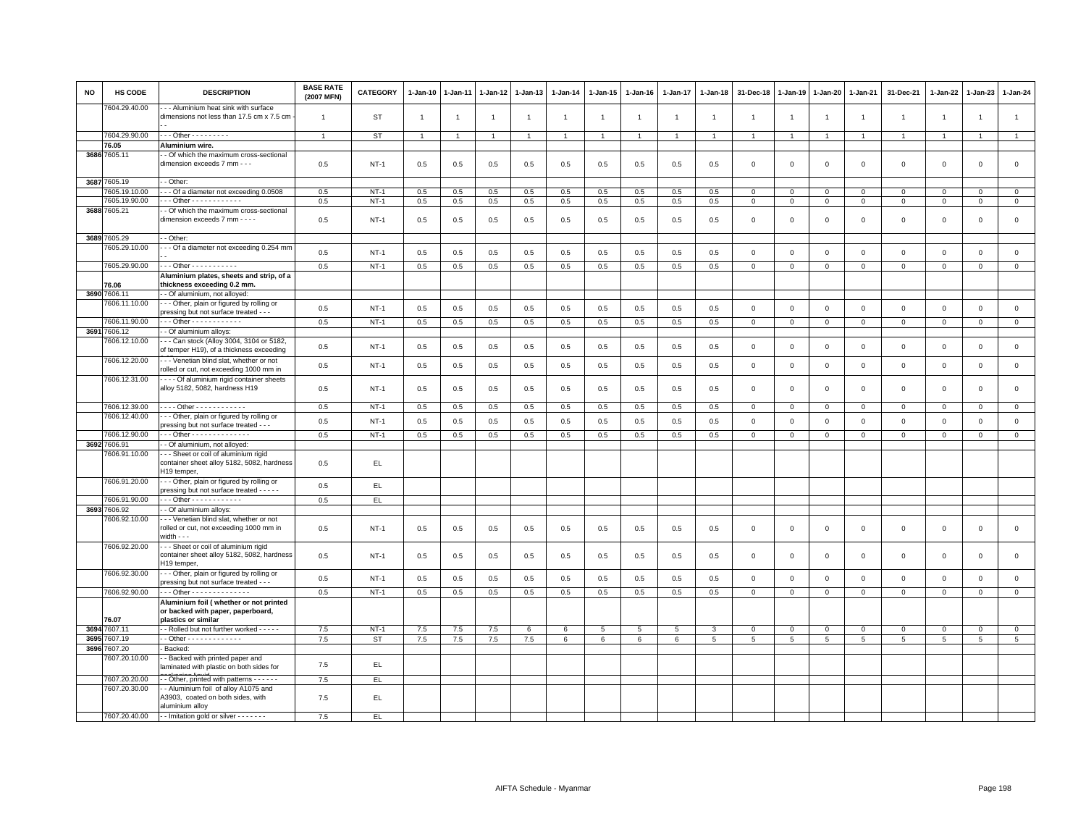| <b>NO</b>    | HS CODE                  | <b>DESCRIPTION</b>                                                                                | <b>BASE RATE</b><br>(2007 MFN) | CATEGORY  | 1-Jan-10     | 1-Jan-11       | $1 - Jan-12$   | 1-Jan-13       | 1-Jan-14        | 1-Jan-15       | 1-Jan-16        | 1-Jan-17       | $1 - Jan-18$   | 31-Dec-18               | $1 - Jan-19$   | 1-Jan-20       | 1-Jan-21       | 31-Dec-21    | $1 - Jan-22$   | 1-Jan-23            | 1-Jan-24       |
|--------------|--------------------------|---------------------------------------------------------------------------------------------------|--------------------------------|-----------|--------------|----------------|----------------|----------------|-----------------|----------------|-----------------|----------------|----------------|-------------------------|----------------|----------------|----------------|--------------|----------------|---------------------|----------------|
|              | 7604.29.40.00            | - - Aluminium heat sink with surface<br>dimensions not less than 17.5 cm x 7.5 cm                 | $\overline{1}$                 | <b>ST</b> | $\mathbf{1}$ | $\overline{1}$ | $\overline{1}$ | $\mathbf{1}$   | $\overline{1}$  | $\overline{1}$ | $\overline{1}$  | $\overline{1}$ | $\overline{1}$ | $\overline{1}$          | $\overline{1}$ | $\overline{1}$ | $\overline{1}$ | $\mathbf{1}$ | $\overline{1}$ | $\overline{1}$      | $\mathbf{1}$   |
|              | 7604.29.90.00            | - - - Other - - - - - - - - -                                                                     | $\overline{1}$                 | ST        | $\mathbf{1}$ | -1             | $\overline{1}$ | $\overline{1}$ | $\mathbf{1}$    | $\mathbf{1}$   |                 | $\overline{1}$ | $\overline{1}$ | $\overline{1}$          | $\overline{1}$ | $\overline{1}$ | $\overline{1}$ | $\mathbf{1}$ | $\mathbf{1}$   | $\overline{1}$      | $\mathbf{1}$   |
|              | 76.05                    | Aluminium wire.                                                                                   |                                |           |              |                |                |                |                 |                |                 |                |                |                         |                |                |                |              |                |                     |                |
|              | 3686 7605.11             | - Of which the maximum cross-sectional                                                            |                                |           |              |                |                |                |                 |                |                 |                |                |                         |                |                |                |              |                |                     |                |
|              |                          | dimension exceeds 7 mm - - -                                                                      | 0.5                            | $NT-1$    | 0.5          | 0.5            | 0.5            | 0.5            | 0.5             | 0.5            | 0.5             | 0.5            | 0.5            | $\mathbf 0$             | $\mathbf 0$    | $\mathbf 0$    | $\mathbf 0$    | $\mathbf 0$  | $\mathbf 0$    | $\mathbf 0$         | $\mathbf 0$    |
|              | 3687 7605.19             | - Other:                                                                                          |                                |           |              |                |                |                |                 |                |                 |                |                |                         |                |                |                |              |                |                     |                |
|              | 7605.19.10.00            | -- Of a diameter not exceeding 0.0508                                                             | 0.5                            | $NT-1$    | 0.5          | 0.5            | 0.5            | 0.5            | 0.5             | 0.5            | 0.5             | 0.5            | 0.5            | $^{\circ}$              | $\mathbf 0$    | $\mathbf{0}$   | $\mathbf{0}$   | $^{\circ}$   | 0              | $^{\circ}$          | $\mathbf{0}$   |
|              | 7605.19.90.00            | Other - - - - - - - - - - - -                                                                     | 0.5                            | $NT-1$    | 0.5          | 0.5            | 0.5            | 0.5            | 0.5             | 0.5            | 0.5             | 0.5            | 0.5            | $\overline{0}$          | $\mathbf 0$    | $\mathbf{0}$   | $\overline{0}$ | $\mathbf{0}$ | $\mathbf 0$    | $\mathbf 0$         | $\circ$        |
|              | 3688 7605.21             | - Of which the maximum cross-sectional<br>dimension exceeds 7 mm - - - -                          | 0.5                            | $NT-1$    | 0.5          | 0.5            | 0.5            | 0.5            | 0.5             | 0.5            | 0.5             | 0.5            | 0.5            | $\mathbf 0$             | $\mathbf 0$    | $\mathbf 0$    | $\mathbf 0$    | $\mathsf 0$  | $\mathbf 0$    | $\mathsf 0$         | $\mathsf 0$    |
|              | 3689 7605.29             | - Other                                                                                           |                                |           |              |                |                |                |                 |                |                 |                |                |                         |                |                |                |              |                |                     |                |
|              | 7605.29.10.00            | --- Of a diameter not exceeding 0.254 mm                                                          | 0.5                            | $NT-1$    | 0.5          | 0.5            | 0.5            | 0.5            | 0.5             | 0.5            | 0.5             | 0.5            | 0.5            | $\overline{\mathbf{0}}$ | $\mathbf 0$    | $\mathbf 0$    | $\mathbf{0}$   | $\mathbf 0$  | $\mathbf{0}$   | $\mathbf 0$         | $\circ$        |
|              | 7605.29.90.00            | - - - Other - - - - - - - - - - -                                                                 | 0.5                            | $NT-1$    | 0.5          | 0.5            | 0.5            | 0.5            | 0.5             | 0.5            | 0.5             | 0.5            | 0.5            | $\mathbf 0$             | $\mathsf 0$    | $\mathbf 0$    | $\mathbf 0$    | $\mathsf 0$  | $\mathbf 0$    | $\mathbf 0$         | $\overline{0}$ |
|              |                          | Aluminium plates, sheets and strip, of a                                                          |                                |           |              |                |                |                |                 |                |                 |                |                |                         |                |                |                |              |                |                     |                |
|              | 76.06<br>3690 7606.11    | thickness exceeding 0.2 mm.<br>- Of aluminium, not alloyed:                                       |                                |           |              |                |                |                |                 |                |                 |                |                |                         |                |                |                |              |                |                     |                |
|              | 7606.11.10.00            | - - Other, plain or figured by rolling or<br>pressing but not surface treated - - -               | 0.5                            | $NT-1$    | 0.5          | 0.5            | 0.5            | 0.5            | 0.5             | 0.5            | 0.5             | 0.5            | 0.5            | $\mathbf 0$             | $\mathsf 0$    | $\mathbf 0$    | $\mathbf 0$    | $\mathsf 0$  | $\mathbf 0$    | $\mathsf 0$         | $\mathsf 0$    |
|              | 7606.11.90.00            | - - - Other - - - - - - - - - - - -                                                               | 0.5                            | $NT-1$    | 0.5          | 0.5            | 0.5            | 0.5            | 0.5             | 0.5            | 0.5             | 0.5            | 0.5            | $\mathbf 0$             | $\mathsf 0$    | $\mathbf 0$    | $\mathbf 0$    | $\mathsf 0$  | $\mathsf 0$    | $\mathbf 0$         | $\mathsf 0$    |
| 3691         | 7606.12                  | - Of aluminium alloys:                                                                            |                                |           |              |                |                |                |                 |                |                 |                |                |                         |                |                |                |              |                |                     |                |
|              | 7606.12.10.00            | --- Can stock (Alloy 3004, 3104 or 5182,                                                          |                                |           |              |                |                |                |                 |                |                 |                |                |                         |                |                |                |              |                |                     |                |
|              |                          | of temper H19), of a thickness exceeding                                                          | 0.5                            | $NT-1$    | 0.5          | 0.5            | 0.5            | 0.5            | 0.5             | 0.5            | 0.5             | 0.5            | 0.5            | $\mathbf 0$             | $\mathsf 0$    | $\,0\,$        | $\mathbf 0$    | $\mathsf 0$  | $\mathbf 0$    | $\mathsf 0$         | $\mathsf 0$    |
|              | 7606.12.20.00            | --- Venetian blind slat, whether or not<br>rolled or cut, not exceeding 1000 mm in                | 0.5                            | $NT-1$    | 0.5          | 0.5            | 0.5            | 0.5            | 0.5             | 0.5            | 0.5             | 0.5            | 0.5            | $\overline{\mathbf{0}}$ | $\mathbf 0$    | $\mathbf 0$    | $\mathbf 0$    | $\mathsf 0$  | $\mathbf 0$    | $\mathsf 0$         | $\mathbf 0$    |
|              | 7606.12.31.00            | Of aluminium rigid container sheets<br>alloy 5182, 5082, hardness H19                             | 0.5                            | $NT-1$    | 0.5          | 0.5            | 0.5            | 0.5            | 0.5             | 0.5            | 0.5             | 0.5            | 0.5            | $\mathbf 0$             | $\mathbf 0$    | $\mathsf 0$    | $\mathbf 0$    | $\mathsf 0$  | $\mathbf 0$    | $\mathsf 0$         | $\mathsf 0$    |
|              | 7606.12.39.00            | . Other - - - - - - - - - - - -                                                                   | 0.5                            | $NT-1$    | 0.5          | 0.5            | 0.5            | 0.5            | 0.5             | 0.5            | 0.5             | 0.5            | 0.5            | $\overline{0}$          | $\mathsf 0$    | $\mathbf{0}$   | $\overline{0}$ | $\Omega$     | $\Omega$       | $\mathbf 0$         | $\mathbf 0$    |
|              | 7606.12.40.00            | --- Other, plain or figured by rolling or<br>pressing but not surface treated - - -               | 0.5                            | $NT-1$    | 0.5          | 0.5            | 0.5            | 0.5            | 0.5             | 0.5            | 0.5             | 0.5            | 0.5            | $\overline{0}$          | $\mathbf{0}$   | $\mathbf 0$    | $\mathbf{0}$   | $\mathbf 0$  | $\mathbf{0}$   | $\mathbf 0$         | $\circ$        |
|              | 7606.12.90.00            | Other - - - - - - - - - - - - - -                                                                 | 0.5                            | $NT-1$    | 0.5          | 0.5            | 0.5            | 0.5            | 0.5             | 0.5            | 0.5             | 0.5            | 0.5            | $\overline{0}$          | $\mathsf 0$    | $\overline{0}$ | $\overline{0}$ | $\mathsf 0$  | $\mathbf{0}$   | $\mathbf{0}$        | $\overline{0}$ |
| 3692         | 7606.91                  | - Of aluminium, not alloyed:                                                                      |                                |           |              |                |                |                |                 |                |                 |                |                |                         |                |                |                |              |                |                     |                |
|              | 606.91.10.00             | --- Sheet or coil of aluminium rigid<br>container sheet alloy 5182, 5082, hardness<br>H19 temper, | 0.5                            | EL        |              |                |                |                |                 |                |                 |                |                |                         |                |                |                |              |                |                     |                |
|              | 7606.91.20.00            | - - Other, plain or figured by rolling or                                                         | 0.5                            | EL.       |              |                |                |                |                 |                |                 |                |                |                         |                |                |                |              |                |                     |                |
|              |                          | pressing but not surface treated - - - - -                                                        |                                |           |              |                |                |                |                 |                |                 |                |                |                         |                |                |                |              |                |                     |                |
| 3693         | 7606.91.90.00<br>7606.92 | - - - Other - - - - - - - - - - - -<br>- Of aluminium alloys:                                     | 0.5                            | EL.       |              |                |                |                |                 |                |                 |                |                |                         |                |                |                |              |                |                     |                |
|              | 7606.92.10.00            | --- Venetian blind slat, whether or not                                                           |                                |           |              |                |                |                |                 |                |                 |                |                |                         |                |                |                |              |                |                     |                |
|              |                          | rolled or cut, not exceeding 1000 mm in<br>width - - -                                            | 0.5                            | $NT-1$    | 0.5          | 0.5            | 0.5            | 0.5            | 0.5             | 0.5            | 0.5             | 0.5            | 0.5            | $\mathbf 0$             | $\mathsf 0$    | $\mathsf 0$    | $\mathbf 0$    | $\mathsf 0$  | $\mathbf 0$    | $\mathsf 0$         | $\mathsf 0$    |
|              | 7606.92.20.00            | - - Sheet or coil of aluminium rigid<br>container sheet alloy 5182, 5082, hardness<br>H19 temper  | 0.5                            | $NT-1$    | 0.5          | 0.5            | 0.5            | 0.5            | 0.5             | 0.5            | 0.5             | 0.5            | 0.5            | $\overline{0}$          | $\mathbf 0$    | $\mathbf 0$    | $\mathbf 0$    | $\mathsf 0$  | $\mathbf 0$    | $\mathsf 0$         | $\mathsf 0$    |
|              | 7606.92.30.00            | --- Other, plain or figured by rolling or<br>pressing but not surface treated - - -               | 0.5                            | $NT-1$    | 0.5          | 0.5            | 0.5            | 0.5            | 0.5             | 0.5            | 0.5             | 0.5            | 0.5            | $\,0\,$                 | $\mathsf 0$    | $\,0\,$        | $\mathbf 0$    | $\mathsf 0$  | $\mathsf 0$    | $\mathsf{O}\xspace$ | $\mathsf 0$    |
|              | 7606.92.90.00            | . - - Other - - - - - - - - - - - - -                                                             | 0.5                            | $NT-1$    | 0.5          | 0.5            | 0.5            | 0.5            | 0.5             | 0.5            | 0.5             | 0.5            | 0.5            | $\overline{0}$          | $\,0\,$        | $\mathbf 0$    | $\mathbf 0$    | $\mathbf 0$  | $\mathbf 0$    | $\mathbf 0$         | $\mathbf 0$    |
|              |                          | Aluminium foil (whether or not printed<br>or backed with paper, paperboard,                       |                                |           |              |                |                |                |                 |                |                 |                |                |                         |                |                |                |              |                |                     |                |
|              | 76.07                    | plastics or similar                                                                               |                                |           |              |                |                |                |                 |                |                 |                |                |                         |                |                |                |              |                |                     |                |
| 3694         | 7607.11                  | - Rolled but not further worked - - - - -                                                         | 7.5                            | $NT-1$    | 7.5          | 7.5            | 7.5            | 6              | 6               | 5              | $5\overline{5}$ | 5              | 3              | $\mathbf 0$             | $\mathbf 0$    | $\mathbf{0}$   | $\mathbf 0$    | $\mathsf 0$  | $\mathbf 0$    | $\mathsf 0$         | $\circ$        |
| 3695<br>3696 | 7607.19                  | - - Other - - - - - - - - - - - - -<br>Backed:                                                    | 7.5                            | <b>ST</b> | 7.5          | 7.5            | 7.5            | 7.5            | $6\phantom{.}6$ | 6              | 6               | 6              | 5              | 5                       | 5              | 5              | 5              | 5            | 5              | 5                   | 5              |
|              | 7607.20<br>7607.20.10.00 | - Backed with printed paper and<br>laminated with plastic on both sides for                       | 7.5                            | EL        |              |                |                |                |                 |                |                 |                |                |                         |                |                |                |              |                |                     |                |
|              | 7607.20.20.00            | - Other, printed with patterns - - - - - -                                                        | 7.5                            | EL.       |              |                |                |                |                 |                |                 |                |                |                         |                |                |                |              |                |                     |                |
|              | 7607.20.30.00            | - Aluminium foil of alloy A1075 and<br>A3903, coated on both sides, with<br>aluminium alloy       | 7.5                            | EL        |              |                |                |                |                 |                |                 |                |                |                         |                |                |                |              |                |                     |                |
|              | 7607.20.40.00            | - - Imitation gold or silver - - - - - - -                                                        | 7.5                            | EL.       |              |                |                |                |                 |                |                 |                |                |                         |                |                |                |              |                |                     |                |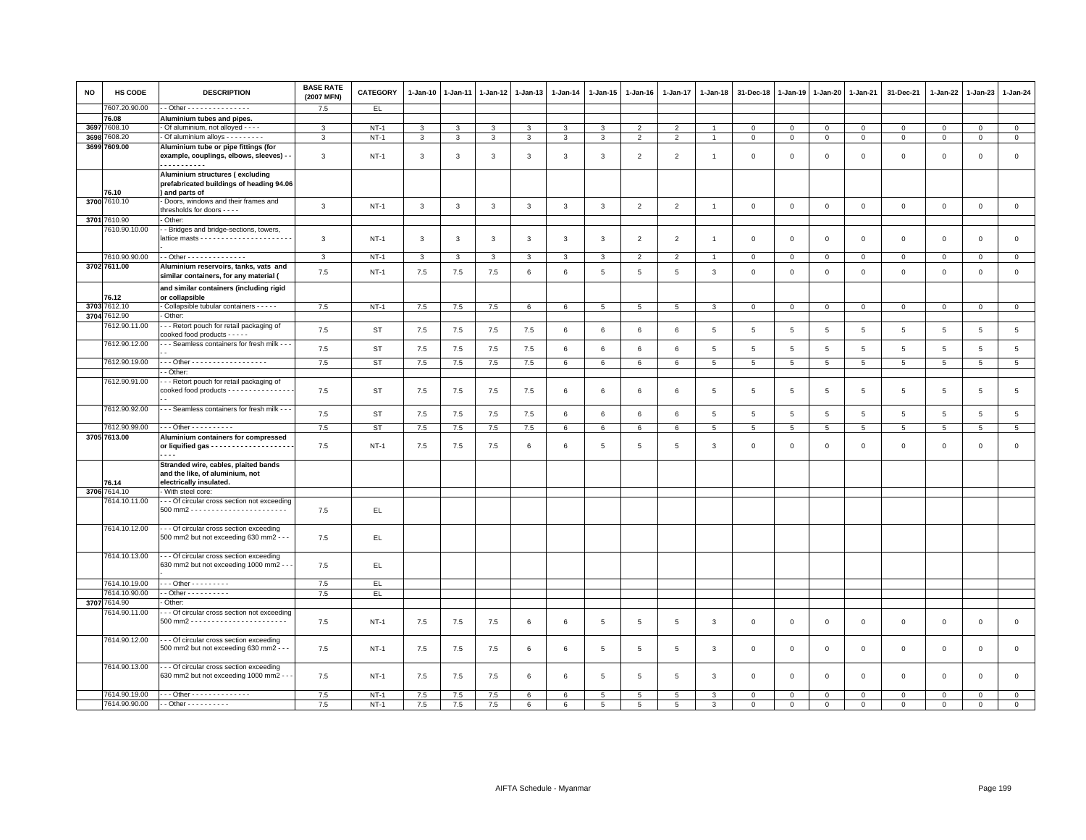| <b>NO</b> | <b>HS CODE</b> | <b>DESCRIPTION</b>                                                                                 | <b>BASE RATE</b><br>(2007 MFN) | <b>CATEGORY</b> | $1-Jan-10$   | $1-Jan-11$   | 1-Jan-12     | $1-Jan-13$   | 1-Jan-14        | 1-Jan-15       | $1-Jan-16$     | 1-Jan-17       | $1-Jan-18$     | 31-Dec-18               | $1-Jan-19$     | 1-Jan-20        | 1-Jan-21        | 31-Dec-21      | 1-Jan-22       | $1-Jan-23$     | $1-Jan-24$      |
|-----------|----------------|----------------------------------------------------------------------------------------------------|--------------------------------|-----------------|--------------|--------------|--------------|--------------|-----------------|----------------|----------------|----------------|----------------|-------------------------|----------------|-----------------|-----------------|----------------|----------------|----------------|-----------------|
|           | 7607.20.90.00  | $-$ Other - - - - - - - - - - - - - - -                                                            | 7.5                            | EL.             |              |              |              |              |                 |                |                |                |                |                         |                |                 |                 |                |                |                |                 |
|           | 76.08          | Aluminium tubes and pipes.                                                                         |                                |                 |              |              |              |              |                 |                |                |                |                |                         |                |                 |                 |                |                |                |                 |
| 3697      | 7608.10        | Of aluminium, not alloyed - - - -                                                                  | 3                              | <b>NT-1</b>     | $\mathbf{3}$ | 3            | 3            | $\mathbf{3}$ | 3               | 3              | $\overline{2}$ | $\overline{2}$ | $\overline{1}$ | $\mathbf 0$             | $\,0\,$        | $\mathbf{0}$    | $\mathbf 0$     | $\mathbf 0$    | $\circ$        | $\mathbf 0$    | $\mathbf{0}$    |
| 3698      | 608.20         | Of aluminium alloys - - - - - - - -                                                                | 3                              | $NT-1$          | 3            | 3            | 3            | $\mathbf{3}$ | $\mathbf{3}$    | 3              | $\overline{2}$ | $\overline{2}$ | $\overline{1}$ | $\mathbf{0}$            | $\mathbf{0}$   | $\circ$         | $\mathbf 0$     | $\mathsf 0$    | $\mathbf{0}$   | $\circ$        | $\circ$         |
|           | 3699 7609.00   | Aluminium tube or pipe fittings (for<br>example, couplings, elbows, sleeves) - -<br><u></u>        | 3                              | $NT-1$          | 3            | 3            | 3            | 3            | $\mathbf{3}$    | 3              | $\overline{2}$ | $\overline{2}$ | $\overline{1}$ | $\overline{\mathbf{0}}$ | $\overline{0}$ | $\mathbf 0$     | $\mathbf{0}$    | $\mathbf{0}$   | $\Omega$       | $\mathbf{0}$   | $\mathsf 0$     |
|           | 76.10          | Aluminium structures (excluding<br>prefabricated buildings of heading 94.06<br>) and parts of      |                                |                 |              |              |              |              |                 |                |                |                |                |                         |                |                 |                 |                |                |                |                 |
|           | 3700 7610.10   | Doors, windows and their frames and<br>thresholds for doors - - - -                                | 3                              | $NT-1$          | $\mathbf{3}$ | $\mathbf{3}$ | $\mathbf{3}$ | $\mathbf{3}$ | $\mathbf{3}$    | $\mathbf{3}$   | $\overline{2}$ | 2              | $\overline{1}$ | $\overline{0}$          | $\overline{0}$ | $\mathbf{0}$    | $\mathbf{0}$    | $\circ$        | $\mathbf{0}$   | $\circ$        | $\circ$         |
|           | 3701 7610.90   | Other:                                                                                             |                                |                 |              |              |              |              |                 |                |                |                |                |                         |                |                 |                 |                |                |                |                 |
|           | 7610.90.10.00  | - Bridges and bridge-sections, towers,                                                             | 3                              | $NT-1$          | $\mathbf{3}$ | $\mathbf{3}$ | 3            | $\mathbf{3}$ | $\mathbf{3}$    | 3              | $\overline{2}$ | $\overline{2}$ | -1             | $\mathbf 0$             | $\mathbf 0$    | $\mathbf 0$     | $\mathbf 0$     | $\mathsf 0$    | $\Omega$       | $\mathsf 0$    | $\mathsf 0$     |
|           | 7610.90.90.00  | - - Other - - - - - - - - - - - - - -                                                              | $\mathbf{3}$                   | $NT-1$          | $\mathbf{3}$ | 3            | $\mathbf{3}$ | 3            | 3               | 3              | $\overline{2}$ | $\overline{2}$ | $\overline{1}$ | $\mathbf 0$             | $\mathbf 0$    | $\mathbf 0$     | $\mathbf 0$     | $\mathbf 0$    | $\mathbf 0$    | $\mathbf 0$    | $\mathsf 0$     |
|           | 3702 7611.00   | Aluminium reservoirs, tanks, vats and<br>similar containers, for any material (                    | 7.5                            | $NT-1$          | 7.5          | 7.5          | 7.5          | 6            | 6               | 5              | 5              | 5              | 3              | $\overline{0}$          | $\overline{0}$ | $\Omega$        | $\mathbf{0}$    | $\circ$        | $\Omega$       | $\mathbf{0}$   | $\mathbf 0$     |
|           | 76.12          | and similar containers (including rigid<br>or collapsible                                          |                                |                 |              |              |              |              |                 |                |                |                |                |                         |                |                 |                 |                |                |                |                 |
|           | 3703 7612.10   | Collapsible tubular containers - - - - -                                                           | 7.5                            | $NT-1$          | 7.5          | 7.5          | 7.5          | 6            | 6               | 5              | 5              | 5              | 3              | $\mathbf 0$             | 0              | $\mathbf 0$     | $\mathbf 0$     | $\mathbf 0$    | $\circ$        | $\mathbf 0$    | $\mathbf{0}$    |
|           | 3704 7612.90   | Other:                                                                                             |                                |                 |              |              |              |              |                 |                |                |                |                |                         |                |                 |                 |                |                |                |                 |
|           | 7612.90.11.00  | - - Retort pouch for retail packaging of<br>cooked food products - - - - -                         | 7.5                            | ST              | 7.5          | 7.5          | 7.5          | 7.5          | 6               | 6              | 6              | 6              | 5              | 5                       | 5              | 5               | 5               | 5              | 5              | 5              | $5\phantom{.0}$ |
|           | 7612.90.12.00  | - - Seamless containers for fresh milk - - -                                                       | 7.5                            | <b>ST</b>       | 7.5          | $7.5$        | 7.5          | 7.5          | $\,6\,$         | $\,6\,$        | 6              | 6              | $\sqrt{5}$     | $\sqrt{5}$              | $\overline{5}$ | $\overline{5}$  | $\overline{5}$  | $\,$ 5 $\,$    | $\overline{5}$ | 5              | $\,$ 5          |
|           | 7612.90.19.00  | Other - - - - - - - - - - - - - - - - -                                                            | 7.5                            | ST              | 7.5          | 7.5          | 7.5          | 7.5          | 6               | 6              | 6              | 6              | 5              | 5                       | 5              | 5               | 5               | 5              | 5              | 5              | $5\overline{5}$ |
|           |                | - Other:                                                                                           |                                |                 |              |              |              |              |                 |                |                |                |                |                         |                |                 |                 |                |                |                |                 |
|           | 7612.90.91.00  | - - Retort pouch for retail packaging of                                                           |                                |                 |              |              |              |              |                 |                |                |                |                |                         |                |                 |                 |                |                |                |                 |
|           |                | cooked food products - - - - - - - - - - - - - -                                                   | 7.5                            | ST              | 7.5          | 7.5          | 7.5          | 7.5          | 6               | 6              | 6              | 6              | 5              | 5                       | 5              | 5               | $5\phantom{.0}$ | 5              | 5              | $\overline{5}$ | $\,$ 5 $\,$     |
|           | 7612.90.92.00  | - - Seamless containers for fresh milk - - -                                                       | 7.5                            | <b>ST</b>       | 7.5          | 7.5          | 7.5          | 7.5          | 6               | 6              | 6              | 6              | $\,$ 5         | $\overline{5}$          | $\overline{5}$ | $5\phantom{.0}$ | $5\phantom{.0}$ | $\overline{5}$ | $\overline{5}$ | $\,$ 5 $\,$    | $\overline{5}$  |
|           | 7612.90.99.00  | $-$ - Other - - - - - - - - - -                                                                    | 7.5                            | <b>ST</b>       | $7.5\,$      | 7.5          | $7.5$        | 7.5          | 6               | 6              | 6              | 6              | $\,$ 5         | 5                       | 5              | 5               | 5               | $\overline{5}$ | 5              | 5              | $\overline{5}$  |
|           | 3705 7613.00   | Aluminium containers for compressed                                                                | 7.5                            | $NT-1$          | 7.5          | 7.5          | 7.5          | 6            | 6               | 5              | 5              | 5              | 3              | $\mathbf 0$             | $\mathbf 0$    | $\mathbf 0$     | $\mathbf 0$     | $\Omega$       | $\mathbf 0$    | $\mathbf 0$    | $\mathsf 0$     |
|           | 76.14          | Stranded wire, cables, plaited bands<br>and the like, of aluminium, not<br>electrically insulated. |                                |                 |              |              |              |              |                 |                |                |                |                |                         |                |                 |                 |                |                |                |                 |
|           | 3706 7614.10   | With steel core:                                                                                   |                                |                 |              |              |              |              |                 |                |                |                |                |                         |                |                 |                 |                |                |                |                 |
|           | 7614.10.11.00  | - - Of circular cross section not exceeding                                                        | 7.5                            | EL              |              |              |              |              |                 |                |                |                |                |                         |                |                 |                 |                |                |                |                 |
|           | 7614.10.12.00  | -- Of circular cross section exceeding<br>500 mm2 but not exceeding 630 mm2 - - -                  | 7.5                            | EL.             |              |              |              |              |                 |                |                |                |                |                         |                |                 |                 |                |                |                |                 |
|           | 7614.10.13.00  | - - Of circular cross section exceeding<br>630 mm2 but not exceeding 1000 mm2 - -                  | 7.5                            | EL.             |              |              |              |              |                 |                |                |                |                |                         |                |                 |                 |                |                |                |                 |
|           |                |                                                                                                    |                                |                 |              |              |              |              |                 |                |                |                |                |                         |                |                 |                 |                |                |                |                 |
|           | 7614.10.19.00  | $-$ - Other - - - - - - - - -                                                                      | 7.5                            | EL.             |              |              |              |              |                 |                |                |                |                |                         |                |                 |                 |                |                |                |                 |
|           | 7614.10.90.00  | $-$ Other $        -$                                                                              | 7.5                            | EL              |              |              |              |              |                 |                |                |                |                |                         |                |                 |                 |                |                |                |                 |
|           | 3707 7614.90   | Other:                                                                                             |                                |                 |              |              |              |              |                 |                |                |                |                |                         |                |                 |                 |                |                |                |                 |
|           | 7614.90.11.00  | - - Of circular cross section not exceeding                                                        | 7.5                            | $NT-1$          | $7.5$        | 7.5          | 7.5          | 6            | $6\phantom{.}6$ | 5              | 5              | 5              | 3              | $\mathbf 0$             | $\mathbf 0$    | $\mathbf 0$     | $\mathbf 0$     | $\mathsf 0$    | $\mathbf 0$    | $\mathsf 0$    | $\mathsf 0$     |
|           | 7614.90.12.00  | - - Of circular cross section exceeding<br>500 mm2 but not exceeding 630 mm2 - - -                 | 7.5                            | $NT-1$          | 7.5          | 7.5          | 7.5          | 6            | 6               | 5              | 5              | 5              | 3              | $\mathbf 0$             | $\mathbf 0$    | $\mathbf 0$     | $\overline{0}$  | $\mathbf{0}$   | $\mathbf{0}$   | $\mathbf{0}$   | $\mathsf 0$     |
|           | 7614.90.13.00  | - - Of circular cross section exceeding<br>630 mm2 but not exceeding 1000 mm2 - -                  | 7.5                            | $NT-1$          | 7.5          | 7.5          | 7.5          | 6            | 6               | 5              | 5              | 5              | 3              | $\Omega$                | $\overline{0}$ | $\Omega$        | $\mathbf 0$     | $\mathbf 0$    | $\Omega$       | $\mathbf{0}$   | $\mathbf 0$     |
|           | 7614.90.19.00  | . - - Other - - - - - - - - - - - - - -                                                            | 7.5                            | $NT-1$          | 7.5          | 7.5          | 7.5          | 6            | 6               | 5              | 5              | 5              | 3              | $\mathbf 0$             | $^{\circ}$     | $\mathsf 0$     | $\mathbf 0$     | $\Omega$       | $^{\circ}$     | $\Omega$       | $\mathsf 0$     |
|           | 7614.90.90.00  | - - Other - - - - - - - - - -                                                                      | 7.5                            | $NT-1$          | 7.5          | 7.5          | 7.5          | 6            | 6               | $\overline{5}$ | 5              | 5              | 3              | $\Omega$                | $\mathbf 0$    | $\mathbf 0$     | $\Omega$        | $\Omega$       | $\Omega$       | $\Omega$       | $\mathbf 0$     |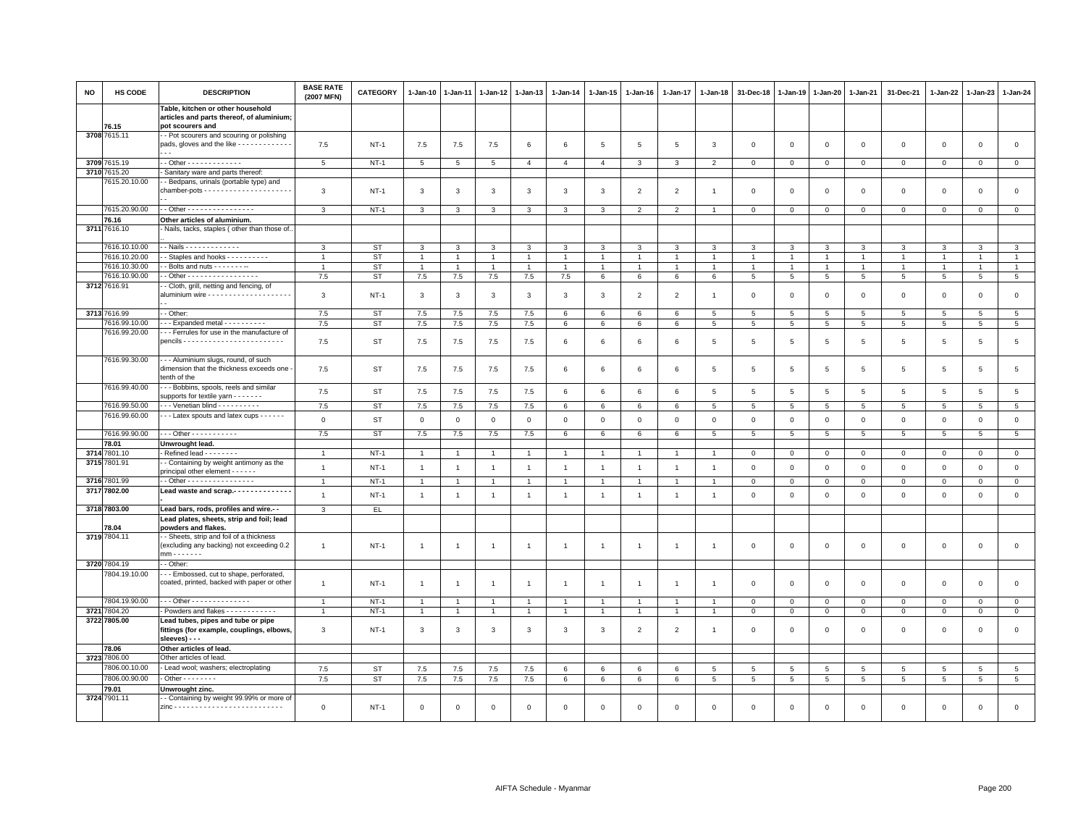| <b>NO</b> | HS CODE                        | <b>DESCRIPTION</b>                                                                                              | <b>BASE RATE</b><br>(2007 MFN)   | CATEGORY         | $1-Jan-10$                   | 1-Jan-11                         | $1 - Jan-12$                     | $1-Jan-13$                       | $1 - Jan-14$                     | $1 - Jan-15$                           | $1 - Jan-16$                     | 1-Jan-17                         | $1 - Jan-18$                     | 31-Dec-18         | $1 - Jan-19$      | $1-Jan-20$                      | $1 - Jan-21$                   | 31-Dec-21                    | 1-Jan-22                         | 1-Jan-23         | $1-Jan-24$                       |
|-----------|--------------------------------|-----------------------------------------------------------------------------------------------------------------|----------------------------------|------------------|------------------------------|----------------------------------|----------------------------------|----------------------------------|----------------------------------|----------------------------------------|----------------------------------|----------------------------------|----------------------------------|-------------------|-------------------|---------------------------------|--------------------------------|------------------------------|----------------------------------|------------------|----------------------------------|
|           | 76 15                          | Table, kitchen or other household<br>articles and parts thereof, of aluminium;<br>pot scourers and              |                                  |                  |                              |                                  |                                  |                                  |                                  |                                        |                                  |                                  |                                  |                   |                   |                                 |                                |                              |                                  |                  |                                  |
|           | 3708 7615.11                   | - Pot scourers and scouring or polishing<br>pads, gloves and the like - - - - - - - - - - - -<br>$\sim$ $\sim$  | 7.5                              | <b>NT-1</b>      | 7.5                          | 7.5                              | 7.5                              | 6                                | 6                                | 5                                      | 5                                | 5                                | 3                                | 0                 | $\mathbf 0$       | $^{\circ}$                      | 0                              | $\mathsf 0$                  | $\mathsf 0$                      | 0                | $\mathsf 0$                      |
|           | 3709 7615.19                   | - - Other - - - - - - - - - - - - -                                                                             | 5                                | $NT-1$           | 5                            | 5                                | 5                                | $\mathbf{A}$                     | $\overline{4}$                   | $\overline{4}$                         | 3                                | $\mathbf{3}$                     | $\overline{2}$                   | $\mathbf{0}$      | $\mathbf{0}$      | $\overline{0}$                  | $\mathbf{0}$                   | $\circ$                      | $\mathbf{0}$                     | $\mathbf{0}$     | $\mathbf{0}$                     |
| 3710      | 7615.20                        | Sanitary ware and parts thereof:                                                                                |                                  |                  |                              |                                  |                                  |                                  |                                  |                                        |                                  |                                  |                                  |                   |                   |                                 |                                |                              |                                  |                  |                                  |
|           | 7615.20.10.00                  | - Bedpans, urinals (portable type) and                                                                          | 3                                | $NT-1$           | 3                            | 3                                | 3                                | 3                                | 3                                | 3                                      | $\overline{2}$                   | 2                                | -1                               | 0                 | $\mathbf 0$       | 0                               | $\mathbf{0}$                   | $^{\circ}$                   | $\mathbf 0$                      | $^{\circ}$       | $\mathsf 0$                      |
|           | 7615.20.90.00                  | - - Other - - - - - - - - - - - - - - - -                                                                       | $\mathbf{B}$                     | $NT-1$           | 3                            | 3                                | 3                                | 3                                | 3                                | 3                                      | $\overline{2}$                   | 2                                |                                  | $\Omega$          | $\Omega$          | $\Omega$                        | $\mathbf 0$                    | $\mathbf 0$                  | $\mathbf{0}$                     | $\mathbf 0$      | $\mathbf{0}$                     |
|           | 76.16                          | Other articles of aluminium.                                                                                    |                                  |                  |                              |                                  |                                  |                                  |                                  |                                        |                                  |                                  |                                  |                   |                   |                                 |                                |                              |                                  |                  |                                  |
|           | 3711 7616.10                   | Nails, tacks, staples (other than those of.                                                                     |                                  |                  |                              |                                  |                                  |                                  |                                  |                                        |                                  |                                  |                                  |                   |                   |                                 |                                |                              |                                  |                  |                                  |
|           | 7616.10.10.00                  | - - Nails - - - - - - - - - - - - -                                                                             | 3                                | ST               | 3                            | 3                                | 3                                | 3                                | 3                                | 3                                      | 3                                | 3                                | 3                                | 3                 | 3                 | 3                               | 3                              | 3                            | 3                                | 3                | 3                                |
|           | 7616.10.20.00<br>7616.10.30.00 | - Staples and hooks - - - - - - - - -                                                                           |                                  | ST               | $\mathbf{1}$<br>$\mathbf{1}$ | $\overline{1}$<br>$\overline{1}$ | $\overline{1}$<br>$\overline{1}$ | $\overline{1}$<br>$\overline{1}$ | $\overline{1}$                   | $\mathbf{1}$<br>$\overline{1}$         | $\overline{1}$                   | $\overline{1}$<br>$\overline{1}$ | $\overline{1}$<br>$\overline{1}$ | $\overline{1}$    | $\mathbf{1}$      | $\overline{1}$                  | $\overline{1}$<br>$\mathbf{1}$ | $\mathbf{1}$<br>$\mathbf{1}$ | $\overline{1}$<br>$\overline{1}$ |                  | $\overline{1}$<br>$\overline{1}$ |
|           | 7616.10.90.00                  | $-$ Bolts and nuts $     -$<br>- Other - - - - - - - - - - - - - - - - -                                        | 7.5                              | <b>ST</b><br>ST  | 7.5                          | $7.5\,$                          | $7.5\,$                          | $7.5\,$                          | $\mathbf{1}$<br>$7.5\,$          | 6                                      | $\mathbf{1}$<br>6                | 6                                | 6                                | $\mathbf{1}$<br>5 | $\mathbf{1}$<br>5 | $\mathbf{1}$<br>$5\overline{5}$ | $5\overline{5}$                | 5                            | 5                                | 5                | $5\phantom{.0}$                  |
|           | 3712 7616.91                   | - Cloth, grill, netting and fencing, of                                                                         | 3                                | $NT-1$           | 3                            | 3                                | 3                                | 3                                | $\mathbf{3}$                     | 3                                      | $\overline{2}$                   | $\overline{2}$                   | -1                               | $\mathbf 0$       | $\mathbf 0$       | $\mathbf 0$                     | $\mathbf 0$                    | $\mathsf 0$                  | $\mathbf 0$                      | $\mathsf 0$      | $\mathsf 0$                      |
|           | 3713 7616.99                   | - - Other:                                                                                                      | 7.5                              | <b>ST</b>        | 7.5                          | 7.5                              | 7.5                              | 7.5                              | 6                                | 6                                      | 6                                | 6                                | 5                                | 5                 | 5                 | 5                               | 5                              | 5                            | 5                                | 5                | $5\phantom{.0}$                  |
|           | 7616.99.10.00<br>7616.99.20.00 | - - Expanded metal - - - - - - - - -<br>--- Ferrules for use in the manufacture of                              | 7.5<br>7.5                       | ST<br>ST         | 7.5<br>7.5                   | 7.5<br>7.5                       | 7.5<br>7.5                       | 7.5<br>7.5                       | 6<br>6                           | 6<br>6                                 | 6<br>6                           | 6<br>6                           | 5<br>5                           | 5<br>5            | 5<br>5            | 5<br>5                          | 5<br>5                         | $\overline{5}$<br>5          | 5<br>$5\phantom{.0}$             | 5<br>5           | $5\phantom{.0}$<br>$\,$ 5 $\,$   |
|           | 7616.99.30.00                  | --- Aluminium slugs, round, of such<br>dimension that the thickness exceeds one -<br>tenth of the               | 7.5                              | <b>ST</b>        | 7.5                          | 7.5                              | 7.5                              | 7.5                              | $\,6$                            | 6                                      | 6                                | 6                                | 5                                | 5                 | 5                 | 5                               | 5                              | 5                            | 5                                | 5                | $5\phantom{.0}$                  |
|           | 7616.99.40.00                  | - - Bobbins, spools, reels and similar<br>supports for textile yarn $\cdots$                                    | 7.5                              | <b>ST</b>        | 7.5                          | 7.5                              | 7.5                              | 7.5                              | $\,6\,$                          | 6                                      | 6                                | 6                                | 5                                | 5                 | 5                 | 5                               | 5                              | 5                            | 5                                | 5                | $5\phantom{.0}$                  |
|           | 7616.99.50.00                  | --- Venetian blind ----------                                                                                   | 7.5                              | ST               | 7.5                          | 7.5                              | 7.5                              | 7.5                              | $6\phantom{.0}$                  | 6                                      | 6                                | 6                                | 5                                | 5                 | 5                 | 5                               | 5                              | 5                            | 5                                | 5                | $5\phantom{.0}$                  |
|           | 7616.99.60.00                  | --- Latex spouts and latex cups ------                                                                          | $\mathbf{0}$                     | <b>ST</b>        | $\mathsf 0$                  | $\mathsf 0$                      | $\mathsf 0$                      | $\mathsf 0$                      | $\mathbf 0$                      | $\mathsf 0$                            | $\mathbf 0$                      | $\mathsf 0$                      | $\mathbf 0$                      | $\mathsf 0$       | $\mathbf 0$       | $\mathsf 0$                     | $\mathsf 0$                    | $\mathsf 0$                  | $\mathsf 0$                      | $\mathsf 0$      | $\mathsf 0$                      |
|           | 7616.99.90.00                  | --- Other -----------                                                                                           | 7.5                              | ST               | 7.5                          | 7.5                              | 7.5                              | 7.5                              | 6                                | 6                                      | $6\phantom{.0}$                  | 6                                | 5                                | $\overline{5}$    | $5\phantom{.0}$   | 5                               | 5                              | 5                            | 5                                | 5                | $\overline{5}$                   |
|           | 78.01                          | Unwrought lead.                                                                                                 |                                  |                  |                              |                                  |                                  |                                  |                                  |                                        |                                  |                                  |                                  |                   |                   |                                 |                                |                              |                                  |                  |                                  |
|           | 3714 7801.10<br>3715 7801.91   | - Refined lead - - - - - - - -<br>- Containing by weight antimony as the<br>principal other element - - - - - - | $\overline{1}$<br>$\overline{1}$ | $NT-1$<br>$NT-1$ | $\mathbf{1}$<br>$\mathbf{1}$ | $\overline{1}$                   | $\overline{1}$<br>$\overline{1}$ | $\overline{1}$<br>$\overline{1}$ | $\overline{1}$<br>$\overline{1}$ | $\overline{1}$<br>$\blacktriangleleft$ | $\overline{1}$<br>$\overline{1}$ | $\overline{1}$<br>$\overline{1}$ | $\overline{1}$<br>$\overline{1}$ | 0<br>0            | 0<br>$\mathbf 0$  | $\circ$<br>$\mathbf 0$          | $\mathbf 0$<br>$\mathbf 0$     | $\mathsf 0$<br>$\mathsf 0$   | $\mathbf 0$<br>$\mathsf 0$       | 0<br>$\mathbf 0$ | $\overline{0}$<br>$\mathsf 0$    |
|           | 3716 7801.99                   | - - Other - - - - - - - - - - - - - - -                                                                         | $\overline{1}$                   | $NT-1$           | $\mathbf{1}$                 |                                  | $\overline{1}$                   | $\overline{1}$                   | $\overline{1}$                   | $\overline{1}$                         | $\overline{1}$                   | $\overline{1}$                   |                                  | $\mathbf 0$       | $\mathbf 0$       | $\mathbf 0$                     | $\mathbf 0$                    | $\mathsf 0$                  | $\mathbf 0$                      | $\mathsf 0$      | $\mathbf 0$                      |
|           | 3717 7802.00                   | Lead waste and scrap.-------------                                                                              | $\overline{1}$                   | $NT-1$           | $\mathbf{1}$                 | $\overline{1}$                   | $\overline{1}$                   | $\overline{1}$                   | $\overline{1}$                   | $\overline{1}$                         | $\overline{1}$                   | $\overline{1}$                   | -1                               | $\mathbf 0$       | $\mathsf 0$       | $\mathsf 0$                     | $\mathsf 0$                    | $\mathsf 0$                  | $\mathsf 0$                      | $\mathsf 0$      | $\mathsf 0$                      |
|           | 3718 7803.00                   | Lead bars, rods, profiles and wire.-                                                                            | 3                                | EL.              |                              |                                  |                                  |                                  |                                  |                                        |                                  |                                  |                                  |                   |                   |                                 |                                |                              |                                  |                  |                                  |
|           | 78.04                          | Lead plates, sheets, strip and foil; lead<br>powders and flakes.                                                |                                  |                  |                              |                                  |                                  |                                  |                                  |                                        |                                  |                                  |                                  |                   |                   |                                 |                                |                              |                                  |                  |                                  |
|           | 3719 7804.11                   | - - Sheets, strip and foil of a thickness<br>(excluding any backing) not exceeding 0.2<br>$mm - - - - - -$      | $\overline{1}$                   | $NT-1$           | $\mathbf{1}$                 | $\overline{1}$                   | $\overline{1}$                   | $\overline{1}$                   | $\mathbf{1}$                     | $\mathbf{1}$                           | $\overline{1}$                   | $\overline{1}$                   | $\overline{1}$                   | $\mathbf 0$       | $\mathbf 0$       | $\mathbf 0$                     | $\mathsf 0$                    | $\mathsf 0$                  | $\mathsf 0$                      | $\mathsf 0$      | $\mathsf 0$                      |
|           | 3720 7804.19                   | - - Other:                                                                                                      |                                  |                  |                              |                                  |                                  |                                  |                                  |                                        |                                  |                                  |                                  |                   |                   |                                 |                                |                              |                                  |                  |                                  |
|           | 7804.19.10.00                  | --- Embossed, cut to shape, perforated,<br>coated, printed, backed with paper or other                          | $\overline{1}$                   | $NT-1$           | $\overline{1}$               | $\overline{1}$                   | -1                               | $\overline{1}$                   | $\overline{1}$                   | $\mathbf{1}$                           | $\overline{1}$                   | $\overline{1}$                   | -1                               | $\mathbf 0$       | $\mathbf 0$       | $\Omega$                        | $\Omega$                       | $\mathsf 0$                  | $\mathbf 0$                      | $\Omega$         | $\mathsf 0$                      |
|           | 7804.19.90.00                  | - - - Other - - - - - - - - - - - - -                                                                           |                                  | $NT-1$           | $\overline{1}$               |                                  |                                  |                                  | $\overline{1}$                   |                                        | $\mathbf{1}$                     |                                  |                                  | $\mathbf 0$       | 0                 | $\mathbf 0$                     | $\mathbf 0$                    | 0                            | $\circ$                          | $\mathbf 0$      | $\mathbf 0$                      |
|           | 3721 7804.20                   | - Powders and flakes - - - - - - - - - - -                                                                      | $\mathbf{1}$                     | $NT-1$           | -1                           | -1                               | $\overline{1}$                   | $\overline{1}$                   | $\overline{1}$                   | $\mathbf{1}$                           | $\mathbf{1}$                     | $\mathbf{1}$                     | $\overline{1}$                   | 0                 | $\mathsf 0$       | $\mathbf{0}$                    | $\mathbf 0$                    | $\mathbf{0}$                 | $\mathbf 0$                      | $^{\circ}$       | $\overline{0}$                   |
|           | 3722 7805.00                   | Lead tubes, pipes and tube or pipe<br>fittings (for example, couplings, elbows,<br>sleeves) - - -               | 3                                | $NT-1$           | 3                            | 3                                | 3                                | 3                                | 3                                | 3                                      | $\overline{2}$                   | 2                                | $\overline{1}$                   | $\Omega$          | $\Omega$          | $\Omega$                        | $\mathbf 0$                    | $\mathbf 0$                  | $\mathbf{0}$                     | $\mathbf 0$      | $\circ$                          |
|           | 78.06                          | Other articles of lead.                                                                                         |                                  |                  |                              |                                  |                                  |                                  |                                  |                                        |                                  |                                  |                                  |                   |                   |                                 |                                |                              |                                  |                  |                                  |
|           | 3723 7806.00<br>7806.00.10.00  | Other articles of lead.                                                                                         |                                  |                  |                              |                                  |                                  |                                  |                                  |                                        |                                  |                                  |                                  |                   |                   |                                 |                                |                              |                                  |                  |                                  |
|           |                                | - Lead wool; washers; electroplating                                                                            | 7.5                              | <b>ST</b>        | 7.5                          | 7.5                              | 7.5                              | 7.5                              | $6\phantom{1}6$                  | 6                                      | 6                                | 6                                | 5                                | 5                 | 5                 | 5                               | 5                              | 5                            | 5                                | 5                | $5\phantom{.0}$                  |
|           | 7806.00.90.00<br>79.01         | $-$ Other $      -$<br>Unwrought zinc.                                                                          | 7.5                              | <b>ST</b>        | 7.5                          | 7.5                              | 7.5                              | 7.5                              | 6                                | 6                                      | 6                                | 6                                | 5                                | $\overline{5}$    | 5                 | 5                               | $\overline{5}$                 | $5\overline{5}$              | 5                                | $\overline{5}$   | $5\phantom{.0}$                  |
|           | 3724 7901.11                   | - Containing by weight 99.99% or more of                                                                        |                                  |                  |                              |                                  |                                  |                                  |                                  |                                        |                                  |                                  |                                  |                   |                   |                                 |                                |                              |                                  |                  |                                  |
|           |                                |                                                                                                                 | $\mathbf 0$                      | $NT-1$           | $\mathbf 0$                  | $\Omega$                         | $\Omega$                         | $\Omega$                         | $\mathbf 0$                      | $\Omega$                               | $\mathsf 0$                      | $\Omega$                         | $\Omega$                         | $\Omega$          | $\mathbf 0$       | $\mathbf 0$                     | $\Omega$                       | $\Omega$                     | $\mathbf 0$                      | $\Omega$         | $\Omega$                         |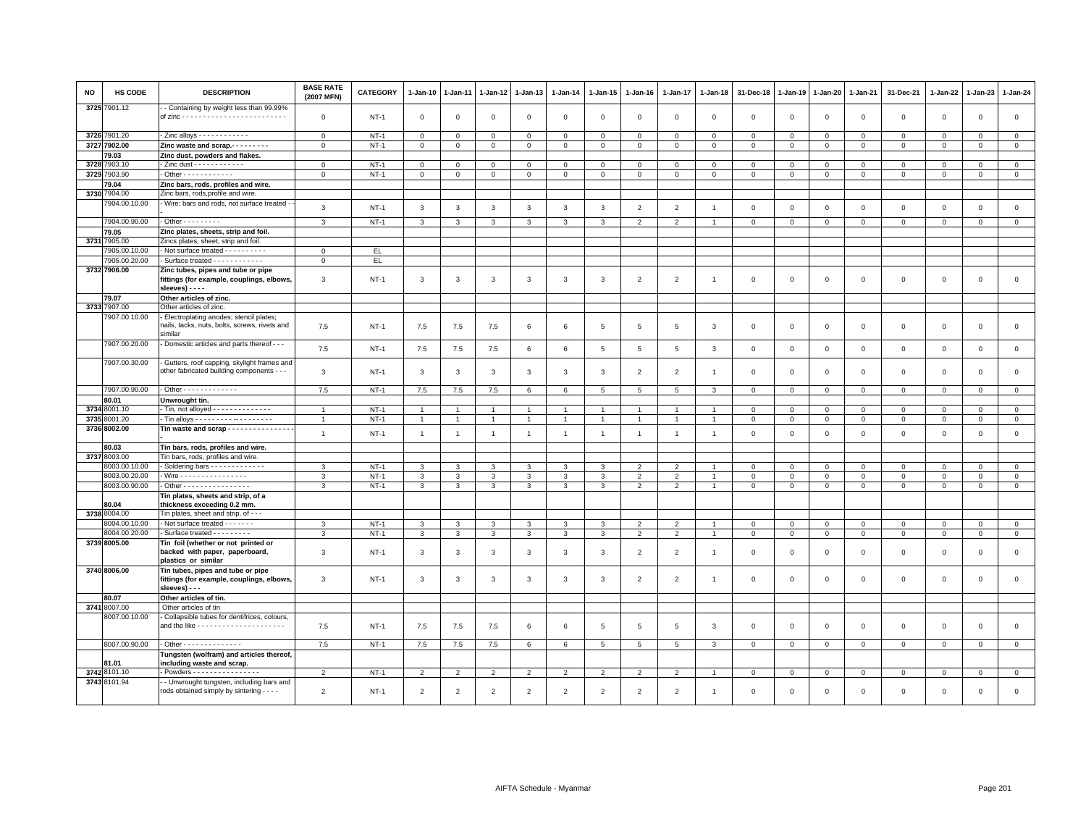| NO   | HS CODE       | <b>DESCRIPTION</b>                                                                                 | <b>BASE RATE</b><br>(2007 MFN) | <b>CATEGORY</b> | $1-Jan-10$     | $1-Jan-11$     | $1-Jan-12$     | $1-Jan-13$      | $1-Jan-14$     | $1 - Jan-15$    | $1-Jan-16$      | 1-Jan-17                 | $1-Jan-18$     | 31-Dec-18    | 1-Jan-19     | 1-Jan-20     | 1-Jan-21       | 31-Dec-21    | 1-Jan-22     | 1-Jan-23       | 1-Jan-24       |
|------|---------------|----------------------------------------------------------------------------------------------------|--------------------------------|-----------------|----------------|----------------|----------------|-----------------|----------------|-----------------|-----------------|--------------------------|----------------|--------------|--------------|--------------|----------------|--------------|--------------|----------------|----------------|
|      | 3725 7901.12  | - Containing by weight less than 99.99%                                                            | $\mathbf 0$                    | <b>NT-1</b>     | $\mathbf 0$    | $\mathbf 0$    | $\mathbf 0$    | $\mathbf 0$     | $\mathbf 0$    | $\mathbf 0$     | $\mathbf 0$     | $\mathbf{0}$             | $\mathbf 0$    | $\mathbf 0$  | 0            | $\mathsf 0$  | $\mathbf 0$    | $\mathsf 0$  | $\mathbf 0$  | $\mathbf 0$    | $\mathbf 0$    |
|      |               |                                                                                                    |                                |                 |                |                |                |                 |                |                 |                 |                          |                |              |              |              |                |              |              |                |                |
|      | 3726 7901.20  |                                                                                                    | $\mathsf 0$                    | $NT-1$          | $\mathsf 0$    | $\mathbf 0$    | $\Omega$       | $\mathbf 0$     | $\mathbf 0$    | $\mathbf 0$     | $\mathbf 0$     | $\mathbf 0$              | $\Omega$       | $\mathbf 0$  | $\mathsf 0$  | $\mathsf 0$  | $\mathbf 0$    | $\mathbf 0$  | $\Omega$     | $\mathbf 0$    | $\mathsf 0$    |
|      | 3727 7902.00  | Zinc waste and scrap                                                                               | $\mathsf 0$                    | $NT-1$          | $\mathsf 0$    | $\mathbf 0$    | $\mathbf 0$    | $\mathbf 0$     | $\mathsf 0$    | $\mathsf 0$     | $\mathsf 0$     | $\,0\,$                  | $\mathbf 0$    | $\mathsf 0$  | $\mathsf 0$  | $\mathsf 0$  | $\,0\,$        | $\mathsf 0$  | $\mathbf 0$  | $\mathsf 0$    | $\circ$        |
|      | 79.03         | Zinc dust, powders and flakes.                                                                     |                                |                 |                |                |                |                 |                |                 |                 |                          |                |              |              |              |                |              |              |                |                |
| 3728 | 7903.10       | - Zinc dust - - - - - - - - - - - -                                                                | $\mathbf{0}$                   | $NT-1$          | $\mathbf{0}$   | $\mathbf 0$    | $\mathbf 0$    | $\mathbf 0$     | $\mathbf{O}$   | $\mathbf 0$     | $\mathbf{0}$    | $\mathbf 0$              | $\Omega$       | $\mathbf 0$  | 0            | $\mathsf 0$  | $\mathbf 0$    | $\mathbf 0$  | $\Omega$     | $\mathbf 0$    | $\mathsf 0$    |
| 3729 | 7903.90       | - Other - - - - - - - - - - - -                                                                    | $\mathbf{O}$                   | $NT-1$          | $\mathsf 0$    | $\mathbf 0$    | $\mathsf 0$    | $\mathbf 0$     | $\mathsf 0$    | $\mathbf 0$     | $\circ$         | $\mathbb O$              | $\mathsf 0$    | $\mathsf 0$  | $\mathsf 0$  | $\mathsf 0$  | $\circ$        | $\mathsf 0$  | $\mathsf 0$  | $\circ$        | $\overline{0}$ |
|      | 79.04         | Zinc bars, rods, profiles and wire.                                                                |                                |                 |                |                |                |                 |                |                 |                 |                          |                |              |              |              |                |              |              |                |                |
| 3730 | 7904.00       | Zinc bars, rods, profile and wire                                                                  |                                |                 |                |                |                |                 |                |                 |                 |                          |                |              |              |              |                |              |              |                |                |
|      | 7904.00.10.00 | - Wire; bars and rods, not surface treated -                                                       | 3                              | $NT-1$          | 3              | 3              | 3              | 3               | 3              | $\mathbf{3}$    | $\overline{2}$  | $\overline{2}$           | -1             | $\mathsf 0$  | $\mathbf 0$  | $\mathsf 0$  | $\mathbf 0$    | $\mathsf 0$  | $\mathsf 0$  | $\mathsf 0$    | $\mathsf 0$    |
|      | 7904.00.90.00 | $-$ Other $       -$                                                                               | 3                              | $NT-1$          | 3              | 3              | $\mathbf{3}$   | 3               | 3              | 3               | $\overline{2}$  | $\overline{2}$           | $\overline{1}$ | $\mathbf 0$  | $\mathsf 0$  | $\mathsf 0$  | $\mathbf 0$    | $\mathbf 0$  | $\mathbf 0$  | $\mathbf 0$    | $\mathbf 0$    |
|      | 79.05         | Zinc plates, sheets, strip and foil.                                                               |                                |                 |                |                |                |                 |                |                 |                 |                          |                |              |              |              |                |              |              |                |                |
|      | 3731 7905.00  | Zincs plates, sheet, strip and foil.                                                               |                                |                 |                |                |                |                 |                |                 |                 |                          |                |              |              |              |                |              |              |                |                |
|      | 7905.00.10.00 | - Not surface treated - - - - - - - - - -                                                          | $\mathbf{0}$                   | EL.             |                |                |                |                 |                |                 |                 |                          |                |              |              |              |                |              |              |                |                |
|      | 7905.00.20.00 | - Surface treated - - - - - - - - - - -                                                            | $\mathbf{0}$                   | EL.             |                |                |                |                 |                |                 |                 |                          |                |              |              |              |                |              |              |                |                |
|      | 3732 7906.00  | Zinc tubes, pipes and tube or pipe<br>fittings (for example, couplings, elbows<br>sleeves) - - - - | 3                              | $NT-1$          | 3              | $\mathbf{3}$   | 3              | 3               | 3              | 3               | $\overline{2}$  | $\overline{2}$           | -1             | $\mathbf 0$  | $\Omega$     | 0            | $\mathbf 0$    | $\mathsf 0$  | $\circ$      | $\mathbf{0}$   | $\mathbf 0$    |
|      | 79.07         | Other articles of zinc.                                                                            |                                |                 |                |                |                |                 |                |                 |                 |                          |                |              |              |              |                |              |              |                |                |
|      | 3733 7907.00  | Other articles of zinc.                                                                            |                                |                 |                |                |                |                 |                |                 |                 |                          |                |              |              |              |                |              |              |                |                |
|      | 7907.00.10.00 | Electroplating anodes; stencil plates;<br>nails, tacks, nuts, bolts, screws, rivets and<br>similar | 7.5                            | $NT-1$          | 7.5            | 7.5            | 7.5            | 6               | 6              | 5               | 5               | 5                        | 3              | $\mathbf 0$  | 0            | $\mathsf 0$  | $\mathbf 0$    | $\mathsf 0$  | $\mathbf 0$  | $\mathbf 0$    | $\mathsf 0$    |
|      | 7907.00.20.00 | Domestic articles and parts thereof - - -                                                          | 7.5                            | $NT-1$          | 7.5            | 7.5            | 7.5            | 6               | 6              | 5               | 5               | 5                        | 3              | $\mathbf 0$  | 0            | $\mathsf 0$  | $\mathbf 0$    | $\mathbf 0$  | $\mathbf{0}$ | $\mathbf{O}$   | $\mathsf 0$    |
|      | 7907.00.30.00 | Gutters, roof capping, skylight frames and<br>other fabricated building components - - -           | 3                              | <b>NT-1</b>     | 3              | 3              | $\mathbf{3}$   | 3               | 3              | 3               | $\overline{2}$  | $\overline{2}$           | $\mathbf{1}$   | $\mathbf 0$  | $\Omega$     | $\Omega$     | $\mathsf 0$    | $\mathsf 0$  | $\Omega$     | $\mathbf{0}$   | $\mathbf 0$    |
|      | 7907.00.90.00 | - Other - - - - - - - - - - - - -                                                                  | 7.5                            | $NT-1$          | 7.5            | $7.5$          | $7.5\,$        | 6               | 6              | 5               | 5               | 5                        | $\mathcal{R}$  | $\mathbf 0$  | $\mathsf 0$  | $\mathsf 0$  | $\mathbf 0$    | $\mathsf 0$  | $\mathbf 0$  | $\mathbf 0$    | $\mathsf 0$    |
|      | 80.01         | Unwrought tin.                                                                                     |                                |                 |                |                |                |                 |                |                 |                 |                          |                |              |              |              |                |              |              |                |                |
|      | 3734 8001.10  | Tin, not alloyed --------------                                                                    | $\overline{1}$                 | $NT-1$          | $\overline{1}$ |                | $\overline{1}$ | $\overline{1}$  | $\mathbf{1}$   | $\mathbf{1}$    |                 |                          |                | $\mathbf 0$  | $\mathsf 0$  | $\mathbf 0$  | $\mathbf{0}$   | $\mathbf 0$  | $\mathbf 0$  | $\mathbf 0$    | $\mathbf{0}$   |
|      | 3735 8001.20  | - Tin alloys - - - - - - - - - - - - - - - - - -                                                   | $\overline{1}$                 | $NT-1$          | $\overline{1}$ | $\overline{1}$ | $\overline{1}$ | $\overline{1}$  | $\mathbf{1}$   | $\overline{1}$  | $\overline{1}$  | $\overline{1}$           | $\overline{1}$ | $\mathbf 0$  | $\mathbf 0$  | $\mathbf{0}$ | $\mathbf{0}$   | $\mathbf{0}$ | $\mathbf{0}$ | $\overline{0}$ | $\mathbf 0$    |
|      | 3736 8002.00  | Tin waste and scrap - - - - - - - - - - - - - - -                                                  | $\mathbf{1}$                   | $NT-1$          | $\overline{1}$ | $\overline{1}$ | $\overline{1}$ | $\overline{1}$  | $\mathbf{1}$   | $\overline{1}$  | $\overline{1}$  | $\overline{1}$           | $\overline{1}$ | $\mathbf 0$  | $\mathbf 0$  | $\mathbf 0$  | $\mathbf{0}$   | $\mathbf 0$  | $\Omega$     | $\mathbf 0$    | $\mathbf{0}$   |
|      | 80.03         | Tin bars, rods, profiles and wire.                                                                 |                                |                 |                |                |                |                 |                |                 |                 |                          |                |              |              |              |                |              |              |                |                |
|      | 3737 8003.00  | Tin bars, rods, profiles and wire.                                                                 |                                |                 |                |                |                |                 |                |                 |                 |                          |                |              |              |              |                |              |              |                |                |
|      | 3003.00.10.00 | Soldering bars - - - - - - - - - - - - -                                                           | 3                              | $NT-1$          | 3              | 3              | 3              | 3               | 3              | 3               | $\mathcal{P}$   | $\overline{\phantom{0}}$ |                | $\mathbf 0$  | $\mathbf 0$  | $\mathbf 0$  | $\mathbf{0}$   | $\mathbf 0$  | $\Omega$     | $\mathbf{0}$   | $\circ$        |
|      | 8003.00.20.00 | Wire - - - - - - - - - - - - - - - -                                                               | 3                              | $NT-1$          | 3              | 3              | 3              | 3               | 3              | 3               | $\overline{2}$  | $\overline{2}$           | $\mathbf{1}$   | $\mathsf 0$  | 0            | 0            | $\circ$        | $\mathbf 0$  | 0            | $\mathbf 0$    | $\mathsf 0$    |
|      | 8003.00.90.00 | - Other - - - - - - - - - - - - - - - -                                                            | 3                              | $NT-1$          | $\mathbf{3}$   | $\mathbf{3}$   | 3              | $\mathbf{3}$    | 3              | $\mathbf{3}$    | 2               | $\overline{2}$           | $\overline{1}$ | $\mathbf 0$  | $\mathsf 0$  | $\mathsf 0$  | $\mathbf 0$    | $\mathbf{0}$ | $\mathbf 0$  | $\mathbf{0}$   | $\mathsf 0$    |
|      | 80.04         | Tin plates, sheets and strip, of a<br>thickness exceeding 0.2 mm.                                  |                                |                 |                |                |                |                 |                |                 |                 |                          |                |              |              |              |                |              |              |                |                |
|      | 3738 8004.00  | Tin plates, sheet and strip, of - - -                                                              |                                |                 |                |                |                |                 |                |                 |                 |                          |                |              |              |              |                |              |              |                |                |
|      | 8004.00.10.00 | - Not surface treated - - - - - - -                                                                | $\mathbf{3}$                   | $NT-1$          | $\mathbf{3}$   | 3              | 3              | 3               | 3              | $\mathbf{R}$    | $\overline{2}$  | $\mathcal{D}$            |                | $\mathbf 0$  | $\mathbf 0$  | $\mathbf 0$  | $\mathbf{0}$   | $\mathbf{0}$ | $\Omega$     | $\mathbf{0}$   | $\circ$        |
|      | 8004.00.20.00 | Surface treated - - - - - - - - -                                                                  | 3                              | $NT-1$          | 3              | 3              | 3              | 3               | $\mathbf{3}$   | 3               | 2               | $\overline{2}$           |                | $\mathbf{0}$ | $\mathbf 0$  | $\mathbf{0}$ | $\circ$        | $\mathbf{0}$ | $\mathbf 0$  | $\mathbf{0}$   | $\circ$        |
|      | 3739 8005.00  | Tin foil (whether or not printed or<br>backed with paper, paperboard,<br>plastics or similar       | 3                              | $NT-1$          | 3              | 3              | 3              | 3               | 3              | 3               | $\overline{2}$  | $\overline{2}$           | $\overline{1}$ | $\mathbf 0$  | $^{\circ}$   | $\mathsf 0$  | $\mathbf 0$    | $\mathsf 0$  | $\mathbf 0$  | $\mathbf 0$    | $\mathbf 0$    |
|      | 3740 8006.00  | Tin tubes, pipes and tube or pipe<br>fittings (for example, couplings, elbows,<br>sleeves) - - -   | 3                              | $NT-1$          | 3              | 3              | 3              | 3               | 3              | 3               | $\overline{2}$  | $\overline{2}$           | -1             | $\mathbf 0$  | $\Omega$     | $^{\circ}$   | $\mathbf 0$    | $\mathsf 0$  | $^{\circ}$   | $\mathbf 0$    | $\mathbf 0$    |
|      | 80.07         | Other articles of tin.                                                                             |                                |                 |                |                |                |                 |                |                 |                 |                          |                |              |              |              |                |              |              |                |                |
|      | 3741 8007.00  | Other articles of tin                                                                              |                                |                 |                |                |                |                 |                |                 |                 |                          |                |              |              |              |                |              |              |                |                |
|      | 8007.00.10.00 | - Collapsible tubes for dentifrices, colours,                                                      | 7.5                            | $NT-1$          | 7.5            | 7.5            | 7.5            | $6\phantom{.0}$ | 6              | 5               | 5               | 5                        | 3              | $\mathsf 0$  | $\mathbf 0$  | $\mathsf 0$  | $\mathbf 0$    | $\mathsf 0$  | $\mathsf 0$  | $\mathsf 0$    | $\mathsf 0$    |
|      | 8007.00.90.00 | - Other - - - - - - - - - - - - - -                                                                | 7.5                            | $NT-1$          | 7.5            | 7.5            | 7.5            | 6               | 6              | $5\overline{5}$ | $5\overline{5}$ | 5                        | 3              | $\mathbf 0$  | $\mathbf{0}$ | $\mathbf 0$  | $\mathbf{0}$   | $\mathbf{0}$ | $\mathbf 0$  | $\overline{0}$ | $\mathsf 0$    |
|      | <b>B1.01</b>  | Tungsten (wolfram) and articles thereof,<br>including waste and scrap.                             |                                |                 |                |                |                |                 |                |                 |                 |                          |                |              |              |              |                |              |              |                |                |
|      | 3742 8101.10  | Powders - - - - - - - - - - - - - - - -                                                            | $\overline{2}$                 | $NT-1$          | $\overline{2}$ | $\overline{2}$ | $\overline{2}$ | $\overline{2}$  | 2              | $\overline{2}$  | 2               | $\overline{2}$           |                | $\,0\,$      | 0            | $\mathbf 0$  | $\overline{0}$ | $^{\circ}$   | $\mathbf{0}$ | $\mathbf{O}$   | $\circ$        |
|      | 3743 8101.94  | - Unwrought tungsten, including bars and                                                           |                                |                 |                |                |                |                 |                |                 |                 |                          |                |              |              |              |                |              |              |                |                |
|      |               | rods obtained simply by sintering - - - -                                                          | $\overline{2}$                 | $NT-1$          | $\overline{2}$ | $\overline{2}$ | $\overline{2}$ | $\overline{2}$  | $\overline{2}$ | $\mathcal{P}$   | $\overline{2}$  | $\overline{2}$           | -1             | $\mathbf 0$  | $\Omega$     | $\mathbf 0$  | $\mathbf{0}$   | $\Omega$     | $\mathbf 0$  | $\mathbf{0}$   | $\Omega$       |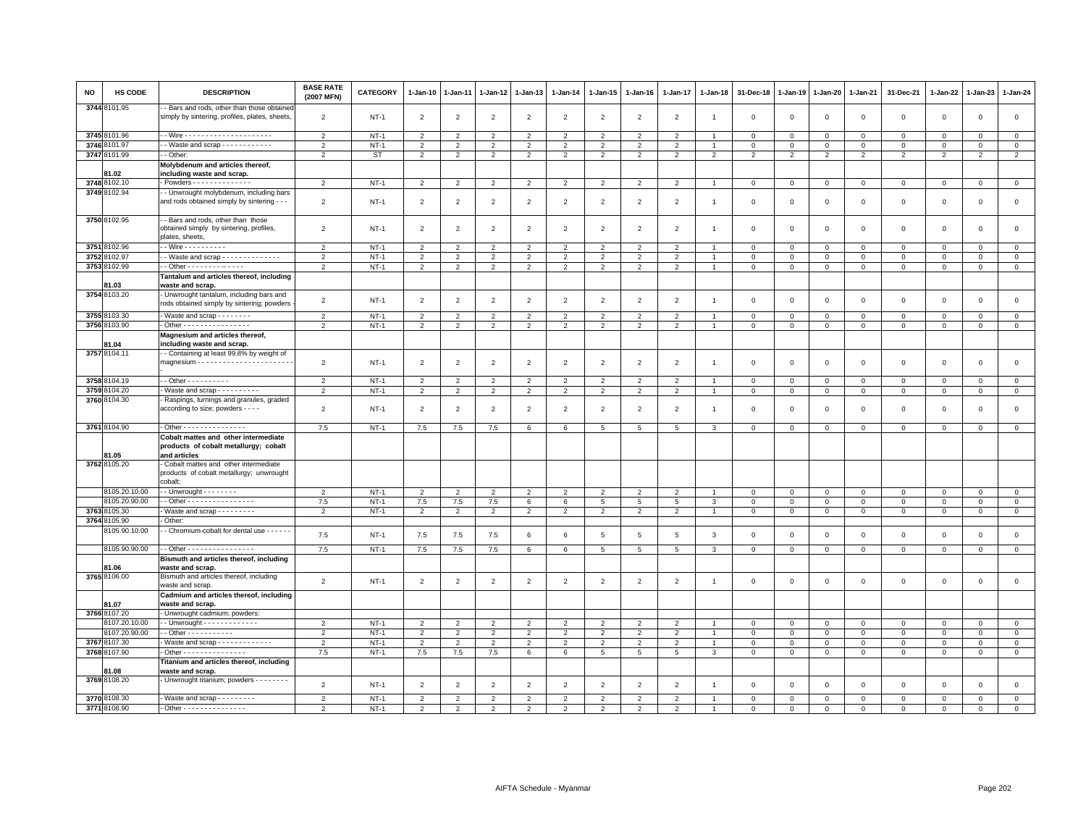| <b>NO</b> | HS CODE               | <b>DESCRIPTION</b>                                                                              | <b>BASE RATE</b><br>(2007 MFN) | CATEGORY  | $1 - Jan-10$   | 1-Jan-11       | 1-Jan-12       | 1-Jan-13       | $1 - Jan-14$   | $1 - Jan-15$    | $1-Jan-16$      | 1-Jan-17       | 1-Jan-18       | 31-Dec-18      | 1-Jan-19       | 1-Jan-20       | $1 - Jan-21$   | 31-Dec-21      | $1 - Jan-22$ | 1-Jan-23       | $1 - Jan-24$   |
|-----------|-----------------------|-------------------------------------------------------------------------------------------------|--------------------------------|-----------|----------------|----------------|----------------|----------------|----------------|-----------------|-----------------|----------------|----------------|----------------|----------------|----------------|----------------|----------------|--------------|----------------|----------------|
|           | 3744 8101.95          | - Bars and rods, other than those obtaine<br>simply by sintering, profiles, plates, sheets,     | $\overline{2}$                 | $NT-1$    | $\overline{2}$ | 2              | $\overline{c}$ | $\overline{2}$ | $\overline{2}$ | $\overline{2}$  | $\overline{2}$  | $\overline{2}$ | $\overline{1}$ | $\mathbf 0$    | $\mathbf 0$    | $\mathsf 0$    | $\mathbf 0$    | $\mathsf 0$    | $\mathbf 0$  | $\mathsf 0$    | $\mathsf 0$    |
|           | 3745 8101.96          |                                                                                                 | 2                              | $NT-1$    | 2              | $\overline{2}$ | 2              | $\overline{2}$ | $\overline{2}$ | 2               | $\overline{2}$  | 2              |                | $\mathbf{0}$   | $\Omega$       | $\mathbf{0}$   | $\mathbf{0}$   | $\mathbf 0$    | $\mathbf 0$  | $\mathbf{0}$   | $\circ$        |
|           | 3746 8101.97          | - - Waste and scrap - - - - - - - - - - - -                                                     | $\overline{2}$                 | $NT-1$    | $\overline{2}$ | $\overline{2}$ | $\overline{2}$ | $\overline{2}$ | $\overline{2}$ | $\overline{2}$  | $\overline{2}$  | 2              | $\overline{1}$ | $\mathbf 0$    | $\mathbf 0$    | $\mathbf 0$    | $\mathbf 0$    | $\mathsf 0$    | $\mathbf 0$  | $\mathsf 0$    | $\mathbf 0$    |
|           | 3747 8101.99          | - Other:                                                                                        | $\overline{2}$                 | <b>ST</b> | $\overline{2}$ | $\overline{2}$ | 2              | $\overline{2}$ | $\overline{2}$ | $\overline{2}$  | $\overline{2}$  | $\overline{2}$ | $\overline{2}$ | $\overline{2}$ | $\overline{2}$ | $\overline{2}$ | $\overline{2}$ | $\overline{2}$ | 2            | $\overline{2}$ | $\overline{2}$ |
|           |                       | Molybdenum and articles thereof,                                                                |                                |           |                |                |                |                |                |                 |                 |                |                |                |                |                |                |                |              |                |                |
|           | 81.02                 | including waste and scrap.                                                                      |                                |           |                |                |                |                |                |                 |                 |                |                |                |                |                |                |                |              |                |                |
|           | 3748 8102.10          | Powders - - - - - - - - - - - - -                                                               | $\overline{\phantom{a}}$       | $NT-1$    | $\overline{2}$ | $\overline{2}$ | $\overline{2}$ | $\overline{2}$ | $\overline{2}$ | $\overline{2}$  | $\overline{2}$  | $\overline{2}$ |                | $\mathbf 0$    | $\mathbf{0}$   | $\overline{0}$ | $\mathbf 0$    | $\mathsf 0$    | $\Omega$     | $\mathsf 0$    | $\overline{0}$ |
|           | 3749 8102.94          | - Unwrought molybdenum, including bars                                                          |                                |           |                |                |                |                |                |                 |                 |                |                |                |                |                |                |                |              |                |                |
|           |                       | and rods obtained simply by sintering -                                                         | $\overline{2}$                 | $NT-1$    | $\overline{2}$ | $\overline{2}$ | $\overline{2}$ | $\overline{2}$ | $\overline{2}$ | $\overline{2}$  | $\overline{2}$  | $\overline{2}$ | -1             | $\mathbf 0$    | $\mathbf{0}$   | $\mathbf 0$    | $\mathsf 0$    | $\mathsf 0$    | $\mathbf 0$  | $\mathsf 0$    | $\mathsf 0$    |
|           | 3750 8102.95          | - Bars and rods, other than those<br>obtained simply by sintering, profiles,<br>plates, sheets, | $\overline{2}$                 | $NT-1$    | $\overline{2}$ | $\overline{2}$ | $\overline{2}$ | $\overline{2}$ | $\overline{2}$ | $\overline{2}$  | $\overline{2}$  | $\overline{2}$ | $\overline{1}$ | $\,0\,$        | $\,$ 0         | $\mathbf{0}$   | $\mathbf{0}$   | $\mathbf 0$    | $\mathbf 0$  | $\mathbf 0$    | $\mathsf 0$    |
|           | 3751 8102.96          | - Wire - - - - - - - - - -                                                                      | $\mathcal{P}$                  | $NT-1$    | $\overline{2}$ | $\mathfrak{p}$ | $\overline{2}$ | $\overline{2}$ | $\overline{2}$ | $\mathcal{P}$   | $\overline{2}$  | $\overline{2}$ |                | $\Omega$       | $\overline{0}$ | $\mathbf 0$    | $\mathbf 0$    | $\mathsf 0$    | $\mathbf 0$  | $\mathbf 0$    | $\mathsf 0$    |
|           | 3752 8102.97          | - Waste and scrap - - - - - - - - - - - - - -                                                   | $\overline{2}$                 | $NT-1$    | 2              | 2              | 2              | 2              | $\overline{2}$ | $\overline{2}$  | $\overline{2}$  | $\overline{2}$ |                | $\mathbf 0$    | $\mathbf 0$    | $\mathbf 0$    | $\Omega$       | $^{\circ}$     | $\Omega$     | $\Omega$       | $\circ$        |
|           | 3753 8102.99          | $-$ Other - - - - - - - - - - - - -                                                             | $\overline{2}$                 | $NT-1$    | $\overline{2}$ | $\overline{2}$ | $\overline{2}$ | $\overline{2}$ | $\overline{2}$ | $\overline{2}$  | $\overline{2}$  | $\overline{2}$ | $\overline{1}$ | $\mathbf 0$    | $\mathbf 0$    | $\mathbf 0$    | $\mathsf 0$    | $\mathsf 0$    | $\mathbf 0$  | $\mathsf 0$    | $\mathbf 0$    |
|           | 81.03                 | Tantalum and articles thereof, including<br>waste and scrap.                                    |                                |           |                |                |                |                |                |                 |                 |                |                |                |                |                |                |                |              |                |                |
|           | 3754 8103.20          | Unwrought tantalum, including bars and<br>rods obtained simply by sintering; powders            | $\overline{2}$                 | $NT-1$    | $\overline{2}$ | $\overline{2}$ | $\overline{2}$ | $\overline{2}$ | $\overline{2}$ | $\overline{2}$  | $\overline{2}$  | $\overline{2}$ | $\overline{1}$ | $\mathbf 0$    | $\mathbf 0$    | $\mathbf 0$    | $\mathbf 0$    | $\mathsf 0$    | $\mathbf 0$  | $\mathsf 0$    | $\,0\,$        |
|           | 3755 8103.30          | - Waste and scrap - - - - - - - -                                                               | $\overline{2}$                 | $NT-1$    | $\mathfrak{D}$ | $\mathfrak{D}$ | $\overline{2}$ | $\mathfrak{D}$ | $\overline{2}$ | $\mathcal{P}$   | $\overline{2}$  | $\mathfrak{D}$ |                | $\Omega$       | $\Omega$       | $\Omega$       | $\Omega$       | $\Omega$       | $\Omega$     | $\Omega$       | $\Omega$       |
|           | 3756 8103.90          | . Other - - - - - - - - - - - - - - - -                                                         | $\overline{2}$                 | $NT-1$    | $\overline{2}$ | $\overline{2}$ | $\overline{2}$ | 2              | $\overline{2}$ | $\overline{2}$  | $\overline{2}$  | $\overline{2}$ | $\mathbf{1}$   | $\mathbf 0$    | $\mathbf 0$    | $\mathbf 0$    | 0              | 0              | 0            | $\mathbf 0$    | $\circ$        |
|           | 81.04                 | Magnesium and articles thereof,<br>including waste and scrap.                                   |                                |           |                |                |                |                |                |                 |                 |                |                |                |                |                |                |                |              |                |                |
|           | 3757 8104.11          | - Containing at least 99.8% by weight of                                                        | $\overline{2}$                 | $NT-1$    | $\overline{2}$ | $\overline{2}$ | $\overline{2}$ | $\overline{2}$ | $\overline{2}$ | $\overline{2}$  | $\overline{2}$  | 2              | $\overline{1}$ | $\Omega$       | $\Omega$       | $\mathbf{0}$   | $\mathbf{0}$   | $\mathbf 0$    | $\mathbf 0$  | $\mathbf 0$    | $\mathsf 0$    |
|           |                       |                                                                                                 |                                |           |                |                |                |                |                |                 |                 |                |                |                |                |                |                |                |              |                |                |
|           | 3758 8104.19          | - - Other - - - - - - - - - -                                                                   | $\overline{2}$                 | $NT-1$    | $\overline{2}$ | $\overline{2}$ | 2              | $\overline{2}$ | $\overline{2}$ | $\overline{2}$  | $\overline{2}$  | $\overline{2}$ |                | $^{\circ}$     | $^{\circ}$     | $\mathbf 0$    | $\mathbf 0$    | $\mathsf 0$    | $\Omega$     | $\Omega$       | $\circ$        |
|           | 3759 8104.20          | - Waste and scrap - - - - - - - - - -                                                           | $\overline{2}$                 | $NT-1$    | $\overline{2}$ | $\overline{2}$ | $\overline{2}$ | $\overline{2}$ | $\overline{2}$ | $\overline{2}$  | $\overline{2}$  | $\overline{2}$ | $\overline{1}$ | $\mathbf 0$    | $\overline{0}$ | $\mathbf 0$    | $\mathbf 0$    | $\mathsf 0$    | $\mathbf 0$  | 0              | $\overline{0}$ |
|           | 3760 8104.30          | Raspings, turnings and granules, graded<br>according to size; powders - - - -                   | $\overline{2}$                 | $NT-1$    | $\overline{2}$ | 2              | 2              | $\overline{2}$ | $\overline{2}$ | $\overline{2}$  | $\overline{2}$  | 2              | -1             | $\mathbf{0}$   | $\Omega$       | $\mathbf 0$    | $\mathbf 0$    | $\mathbf 0$    | $\Omega$     | $\mathbf 0$    | $\mathbf{0}$   |
|           |                       |                                                                                                 |                                |           |                |                |                |                |                |                 |                 |                |                |                |                |                |                |                |              |                |                |
|           | 3761 8104.90          | - Other - - - - - - - - - - - - - - -                                                           | 7.5                            | $NT-1$    | 7.5            | 7.5            | 7.5            | 6              | 6              | 5               | $5\overline{5}$ | 5              | 3              | $\mathbf 0$    | $\circ$        | $\mathbf 0$    | $\mathbf 0$    | $\mathsf 0$    | 0            | $\mathbf 0$    | $\circ$        |
|           | 31.05                 | Cobalt mattes and other intermediate<br>products of cobalt metallurgy; cobalt<br>and articles   |                                |           |                |                |                |                |                |                 |                 |                |                |                |                |                |                |                |              |                |                |
|           | 3762 8105.20          | Cobalt mattes and other intermediate                                                            |                                |           |                |                |                |                |                |                 |                 |                |                |                |                |                |                |                |              |                |                |
|           |                       | products of cobalt metallurgy; unwrought<br>cobalt:                                             |                                |           |                |                |                |                |                |                 |                 |                |                |                |                |                |                |                |              |                |                |
|           | 8105.20.10.00         | $\cdot$ - Unwrought - - - - - - - -                                                             | $\overline{2}$                 | $NT-1$    | 2              | $\overline{2}$ | 2              | 2              | $\overline{2}$ | $\overline{2}$  | $\overline{2}$  | 2              |                | $\mathbf 0$    | $\overline{0}$ | $\mathbf{0}$   | $\mathbf{0}$   | $\mathbf 0$    | $\mathbf 0$  | $\mathbf{0}$   | $\mathbf 0$    |
|           | 8105.20.90.00         | $-$ Other - - - - - - - - - - - - - - - -                                                       | 7.5                            | $NT-1$    | 7.5            | 7.5            | 7.5            | 6              | 6              | 5               | $5\overline{5}$ | 5              | 3              | $\mathbf 0$    | $\mathbf 0$    | $\mathbf 0$    | $\mathbf 0$    | $\mathsf 0$    | $\mathbf 0$  | $\mathsf 0$    | $\mathbf 0$    |
|           | 3763 8105.30          | Waste and scrap - - - - - - - - -                                                               | $\overline{2}$                 | $NT-1$    | $\overline{2}$ | $\overline{2}$ | $\overline{2}$ | $\overline{2}$ | $\overline{2}$ | $\overline{2}$  | $\overline{2}$  | $\overline{2}$ | $\overline{1}$ | $\mathbf{0}$   | $\circ$        | $\overline{0}$ | $\overline{0}$ | $\mathbf 0$    | $\mathbf 0$  | $\mathbf{0}$   | $\mathbf{0}$   |
| 3764      | 8105.90               | Other:                                                                                          |                                |           |                |                |                |                |                |                 |                 |                |                |                |                |                |                |                |              |                |                |
|           | 3105.90.10.00         | - Chromium-cobalt for dental use - - - - - -                                                    | 7.5                            | $NT-1$    | 7.5            | 7.5            | 7.5            | 6              | 6              | 5               | 5               | 5              | $\mathbf{3}$   | $\mathsf 0$    | $\mathbb O$    | $\mathbf 0$    | $\mathsf 0$    | $\mathsf 0$    | $\mathbf 0$  | $\mathsf 0$    | $\mathsf 0$    |
|           | 8105.90.90.00         | - - Other - - - - - - - - - - - - - - - -                                                       | 7.5                            | $NT-1$    | 7.5            | 7.5            | 7.5            | 6              | 6              | $5\overline{5}$ | 5               | 5              | 3              | $\mathbf 0$    | $\mathbf{0}$   | $\overline{0}$ | $\mathbf{0}$   | $\mathbf 0$    | $\mathbf 0$  | $\mathbf 0$    | $\mathbf{0}$   |
|           | 81.06                 | Bismuth and articles thereof, including<br>waste and scrap.                                     |                                |           |                |                |                |                |                |                 |                 |                |                |                |                |                |                |                |              |                |                |
|           | 3765 8106.00          | Bismuth and articles thereof, including                                                         | $\overline{2}$                 | $NT-1$    | $\overline{2}$ | $\overline{2}$ | $\overline{2}$ | $\overline{2}$ | $\overline{2}$ | $\overline{2}$  | $\overline{2}$  | $\overline{2}$ | $\overline{1}$ | $\mathbf 0$    | $\overline{0}$ | $\mathbf 0$    | $\mathbf 0$    | $\mathsf 0$    | 0            | $\mathsf 0$    | $\mathsf 0$    |
|           |                       | waste and scrap.<br>Cadmium and articles thereof, including                                     |                                |           |                |                |                |                |                |                 |                 |                |                |                |                |                |                |                |              |                |                |
|           | 81.07                 | waste and scrap.                                                                                |                                |           |                |                |                |                |                |                 |                 |                |                |                |                |                |                |                |              |                |                |
|           | 3766 8107.20          | - Unwrought cadmium; powders:                                                                   |                                |           |                |                |                |                |                |                 |                 |                |                |                |                |                |                |                |              |                |                |
|           | 8107.20.10.00         | - - Unwrought - - - - - - - - - - - -                                                           | 2                              | $NT-1$    | 2              | 2              | 2              | 2              | $\overline{2}$ | 2               | 2               | 2              |                | $\mathbf{0}$   | $\overline{0}$ | $\mathbf{0}$   | $\mathbf{0}$   | $\mathbf 0$    | $\mathbf 0$  | $\mathbf{0}$   | $\mathbf{0}$   |
|           | 8107.20.90.00         | $-$ - Other - - - - - - - - - - -                                                               | $\overline{2}$                 | $NT-1$    | $\overline{2}$ | $\overline{2}$ | $\overline{2}$ | $\overline{2}$ | $\overline{2}$ | $\overline{2}$  | $\overline{2}$  | 2              |                | $\overline{0}$ | $\mathbf 0$    | $\mathbf 0$    | $\mathbf 0$    | 0              | 0            | $\mathbf 0$    | $\mathbf 0$    |
|           | 3767 8107.30          | - Waste and scrap - - - - - - - - - - - - -                                                     | $\overline{2}$                 | $NT-1$    | $\overline{2}$ | $\overline{2}$ | $\overline{c}$ | $\overline{2}$ | $\overline{2}$ | $\overline{2}$  | $\overline{2}$  | $\overline{2}$ |                | $\Omega$       | $\Omega$       | $\mathsf 0$    | $\mathsf 0$    | $\mathsf 0$    | $\mathbf 0$  | $\mathsf 0$    | $\mathsf 0$    |
|           | 3768 8107.90          | - Other - - - - - - - - - - - - - - -                                                           | 7.5                            | $NT-1$    | 7.5            | 7.5            | 7.5            | 6              | 6              | $5\overline{5}$ | $5\overline{5}$ | 5              | 3              | $\mathbf 0$    | $\mathbf{0}$   | $\mathbf 0$    | $\mathbf 0$    | $\mathbf 0$    | $\mathbf 0$  | $\mathsf 0$    | $\mathbf 0$    |
|           |                       | Titanium and articles thereof, including                                                        |                                |           |                |                |                |                |                |                 |                 |                |                |                |                |                |                |                |              |                |                |
|           | 81.08<br>3769 8108.20 | waste and scrap.<br>- Unwrought titanium; powders - - - - - - - -                               |                                |           |                |                |                |                |                |                 |                 |                |                |                |                |                |                |                |              |                |                |
|           |                       |                                                                                                 | $\overline{2}$                 | $NT-1$    | $\overline{2}$ | $\overline{2}$ | $\overline{2}$ | $\overline{2}$ | $\overline{2}$ | $\overline{2}$  | $\overline{2}$  | $\overline{2}$ |                | $\Omega$       | $\Omega$       | $\Omega$       | $\mathbf 0$    | $\mathbf 0$    | $\mathbf 0$  | $\mathbf 0$    | $\mathbf 0$    |
|           | 3770 8108.30          | - Waste and scrap - - - - - - - - -                                                             | $\overline{2}$                 | $NT-1$    | $\overline{2}$ | $\overline{2}$ | $\overline{2}$ | $\overline{2}$ | $\overline{2}$ | $\overline{2}$  | $\overline{2}$  | $\overline{2}$ |                | $\Omega$       | $\mathbf 0$    | $\mathbf 0$    | $\mathbf 0$    | $\mathsf 0$    | $\mathbf 0$  | $\mathsf 0$    | $\mathbf 0$    |
|           | 3771 8108.90          | $-$ Other - - - - - - - - - - - - - - -                                                         | $\overline{2}$                 | $NT-1$    | $\overline{2}$ | $\mathfrak{D}$ | $\overline{2}$ | $\mathfrak{D}$ | $\mathcal{P}$  | $\overline{2}$  | $\overline{2}$  | $\mathfrak{D}$ |                | $\Omega$       | $\Omega$       | $\Omega$       | $\Omega$       | $\Omega$       | $\Omega$     | $\Omega$       | $\Omega$       |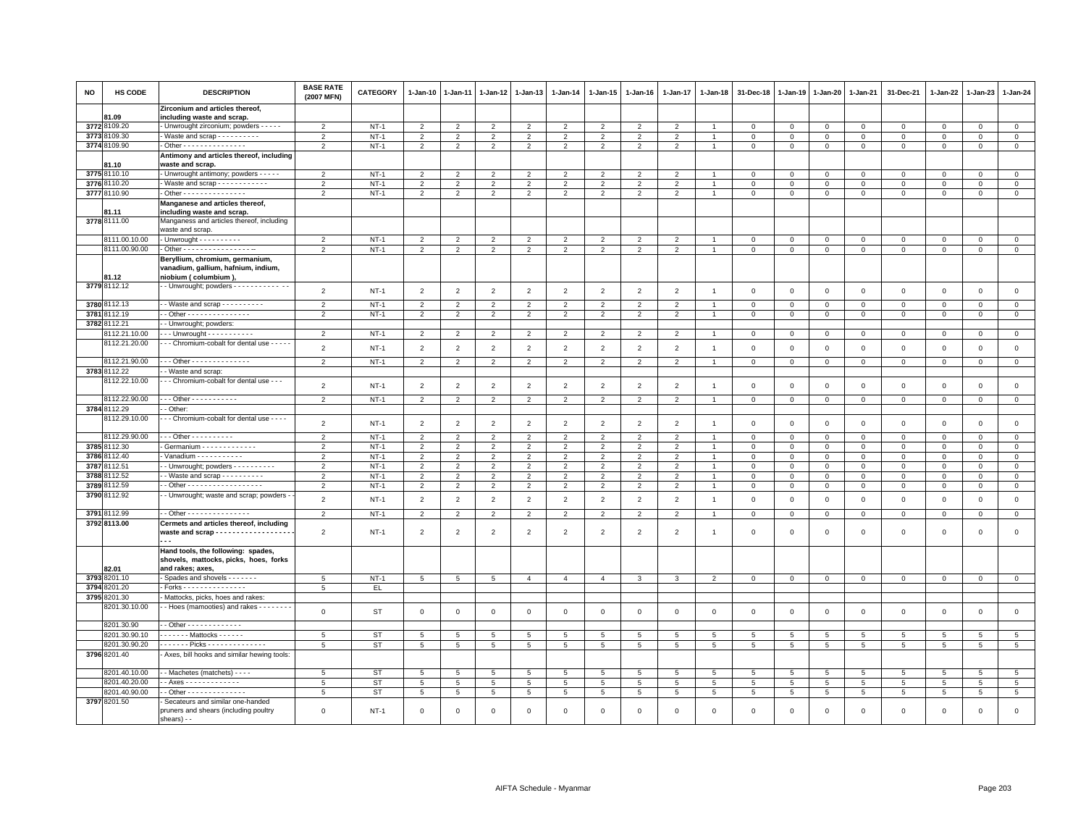| <b>NO</b>    | HS CODE                      | <b>DESCRIPTION</b>                                                                     | <b>BASE RATE</b><br>(2007 MFN) | <b>CATEGORY</b> | 1-Jan-10                         | 1-Jan-11                         | 1-Jan-12                         | 1-Jan-13            | 1-Jan-14            | 1-Jan-15            | 1-Jan-16            | 1-Jan-17            | 1-Jan-18        | 31-Dec-18                | 1-Jan-19             | 1-Jan-20                 | 1-Jan-21                 | 31-Dec-21       | 1-Jan-22             | 1-Jan-23                | $1 - Jan-24$       |
|--------------|------------------------------|----------------------------------------------------------------------------------------|--------------------------------|-----------------|----------------------------------|----------------------------------|----------------------------------|---------------------|---------------------|---------------------|---------------------|---------------------|-----------------|--------------------------|----------------------|--------------------------|--------------------------|-----------------|----------------------|-------------------------|--------------------|
|              | 81.09                        | Zirconium and articles thereof,<br>including waste and scrap.                          |                                |                 |                                  |                                  |                                  |                     |                     |                     |                     |                     |                 |                          |                      |                          |                          |                 |                      |                         |                    |
|              | 3772 8109.20                 | - Unwrought zirconium; powders - - - - -                                               | $\overline{2}$                 | $NT-1$          | $\overline{2}$                   | $\mathcal{P}$                    | $\overline{2}$                   | $\overline{2}$      | $\overline{2}$      | $\overline{2}$      | $\overline{2}$      | 2                   |                 | $\Omega$                 | $\Omega$             | $\Omega$                 | $\Omega$                 | $\Omega$        | $\Omega$             | $\Omega$                | $\mathbf 0$        |
| 3773         | 3109.30                      | - Waste and scrap - - - - - - - - -                                                    | $\overline{2}$                 | $NT-1$          | $\overline{2}$                   | $\overline{2}$                   | $\overline{2}$                   | $\overline{2}$      | $\overline{2}$      | $\overline{2}$      | $\overline{2}$      | $\overline{2}$      | $\overline{1}$  | 0                        | 0                    | $\mathbf 0$              | $\mathbf{0}$             | $\circ$         | $\circ$              | $\mathbf 0$             | $\mathbf{0}$       |
| 3774         | 8109.90                      | - Other - - - - - - - - - - - - - - -                                                  | $\overline{2}$                 | $NT-1$          | $\overline{2}$                   | 2                                | $\overline{2}$                   | 2                   | $\overline{2}$      | 2                   | $\overline{2}$      | 2                   | $\overline{1}$  | $\mathbf 0$              | $\mathsf 0$          | $\mathsf 0$              | $\mathbf{0}$             | $\mathsf 0$     | $\mathbf 0$          | $\mathsf 0$             | $\mathsf 0$        |
|              |                              | Antimony and articles thereof, including                                               |                                |                 |                                  |                                  |                                  |                     |                     |                     |                     |                     |                 |                          |                      |                          |                          |                 |                      |                         |                    |
|              | 81.10                        | waste and scrap.                                                                       |                                |                 |                                  |                                  |                                  |                     |                     |                     |                     |                     |                 |                          |                      |                          |                          |                 |                      |                         |                    |
| 3775         | 8110.10                      | - Unwrought antimony; powders - - - - -                                                | $\overline{2}$                 | $NT-1$          | $\overline{2}$                   | $\mathcal{P}$                    | $\mathcal{P}$                    | $\mathcal{P}$       | $\overline{2}$      | $\mathcal{P}$       | $\mathfrak{p}$      | $\mathfrak{p}$      |                 | $\Omega$                 | $\Omega$             | $\Omega$                 | $\Omega$                 | $\Omega$        | $\Omega$             | $\Omega$                | $\mathbf{0}$       |
| 3776         | 3110.20                      | - Waste and scrap - - - - - - - - - - - -                                              | $\overline{2}$                 | $NT-1$          | $\overline{2}$                   | $\overline{2}$                   | $\overline{2}$                   | 2                   | $\overline{2}$      | 2                   | 2                   | 2                   | $\overline{1}$  | $\mathbf{0}$             | $\mathbf 0$          | $\mathbf{0}$             | $\mathbf 0$              | $\mathbf{0}$    | $\mathbf{0}$         | $\mathbf 0$             | $\mathbf{0}$       |
|              | 3777 8110.90                 | - Other - - - - - - - - - - - - - - -                                                  | $\overline{2}$                 | $NT-1$          | $\overline{2}$                   | 2                                | $\overline{2}$                   | 2                   | 2                   | 2                   | $\overline{2}$      | 2                   | $\overline{1}$  | $\mathbf{0}$             | $\mathbf 0$          | $\mathbf{0}$             | $\mathbf{0}$             | $\mathbf 0$     | $\mathbf{0}$         | $\mathbf 0$             | $\circ$            |
|              | <b>B1.11</b>                 | Manganese and articles thereof,<br>including waste and scrap.                          |                                |                 |                                  |                                  |                                  |                     |                     |                     |                     |                     |                 |                          |                      |                          |                          |                 |                      |                         |                    |
|              | 3778 8111.00                 | Manganess and articles thereof, including<br>waste and scrap.                          |                                |                 |                                  |                                  |                                  |                     |                     |                     |                     |                     |                 |                          |                      |                          |                          |                 |                      |                         |                    |
|              | 8111.00.10.00                | $-$ Unwrought $        -$                                                              | $\overline{2}$                 | $NT-1$          | $\overline{2}$                   | $\overline{2}$                   | $\overline{2}$                   | $\overline{2}$      | $\overline{2}$      | $\overline{2}$      | $\overline{2}$      | 2                   |                 | $\Omega$                 | $\Omega$             | 0                        | $\Omega$                 | $\circ$         | $\Omega$             | 0                       | $\overline{0}$     |
|              | 8111.00.90.00                | - Other - - - - - - - - - - - - - - - - -                                              | 2                              | $NT-1$          | $\overline{2}$                   | $\overline{2}$                   | 2                                | 2                   | $\overline{2}$      | $\overline{2}$      | $\overline{2}$      | $\overline{2}$      | $\overline{1}$  | $\mathbf{0}$             | $\mathbf 0$          | $\circ$                  | $\mathbf{0}$             | $\mathbf{0}$    | $\mathbf{0}$         | $\mathbf 0$             | $\circ$            |
|              |                              | Beryllium, chromium, germanium,                                                        |                                |                 |                                  |                                  |                                  |                     |                     |                     |                     |                     |                 |                          |                      |                          |                          |                 |                      |                         |                    |
|              |                              | vanadium, gallium, hafnium, indium,                                                    |                                |                 |                                  |                                  |                                  |                     |                     |                     |                     |                     |                 |                          |                      |                          |                          |                 |                      |                         |                    |
|              | 81.12                        | niobium (columbium).                                                                   |                                |                 |                                  |                                  |                                  |                     |                     |                     |                     |                     |                 |                          |                      |                          |                          |                 |                      |                         |                    |
|              | 3779 8112.12                 | - Unwrought; powders - - - - - - - - - - - -                                           | $\overline{2}$                 | $NT-1$          | $\overline{2}$                   | $\overline{2}$                   | $\overline{2}$                   | $\overline{2}$      | $\overline{2}$      | $\overline{2}$      | $\overline{2}$      | $\overline{2}$      | $\mathbf{1}$    | $\mathbf 0$              | $\mathbf 0$          | $\overline{0}$           | $\mathbf 0$              | $\mathsf 0$     | $\mathbf 0$          | $\mathsf 0$             | $\mathbf 0$        |
|              |                              |                                                                                        |                                |                 |                                  |                                  |                                  |                     |                     |                     |                     |                     |                 |                          |                      |                          |                          |                 |                      |                         |                    |
|              | 3780 8112.13<br>3781 8112.19 | $\cdot$ - Waste and scrap - - - - - - - - - -<br>- Other - - - - - - - - - - - - - - - | 2<br>$\overline{2}$            | $NT-1$          | $\overline{2}$<br>$\overline{2}$ | $\overline{2}$<br>$\overline{2}$ | $\overline{2}$<br>$\overline{2}$ | 2<br>$\overline{2}$ | $\overline{2}$<br>2 | 2<br>$\overline{2}$ | $\overline{2}$<br>2 | 2<br>$\overline{2}$ | $\overline{1}$  | $\mathbf{0}$<br>$\Omega$ | $\Omega$<br>$\Omega$ | $\Omega$<br>$\mathbf{0}$ | $\mathbf{0}$<br>$\Omega$ | $\mathbf 0$     | $\Omega$<br>$\Omega$ | $\Omega$<br>$\mathbf 0$ | $\circ$<br>$\circ$ |
|              | 3782 8112.21                 | - Unwrought; powders:                                                                  |                                | $NT-1$          |                                  |                                  |                                  |                     |                     |                     |                     |                     |                 |                          |                      |                          |                          | $\mathsf 0$     |                      |                         |                    |
|              | 8112.21.10.00                | - - Unwrought - - - - - - - - - - -                                                    | $\overline{2}$                 | $NT-1$          | $\overline{2}$                   | $\overline{2}$                   | $\overline{2}$                   | 2                   | $\overline{2}$      | $\overline{2}$      | $\overline{2}$      | $\overline{2}$      | 1.              | $\mathsf 0$              | $\mathbf 0$          | $\mathbf 0$              | $\circ$                  | $\mathsf 0$     | $\circ$              | $\mathbf{0}$            | $\mathbf{0}$       |
|              | 8112.21.20.00                | - - - Chromium-cobalt for dental use - - - - -                                         |                                |                 |                                  |                                  |                                  |                     |                     |                     |                     |                     |                 |                          |                      |                          |                          |                 |                      |                         |                    |
|              |                              |                                                                                        | $\overline{2}$                 | $NT-1$          | $\overline{2}$                   | $\overline{2}$                   | $\overline{2}$                   | 2                   | $\overline{2}$      | $\overline{2}$      | $\overline{2}$      | 2                   | $\overline{1}$  | $\Omega$                 | $\mathbf 0$          | $\mathbf{0}$             | $\mathbf{0}$             | $\mathbf 0$     | $\mathbf{0}$         | $\mathbf 0$             | $\mathsf 0$        |
|              | 8112.21.90.00                | Other - - - - - - - - - - - - - -                                                      | $\overline{2}$                 | $NT-1$          | $\overline{2}$                   | $\overline{2}$                   | $\overline{2}$                   | $\overline{2}$      | $\overline{2}$      | $\overline{2}$      | $\overline{2}$      | $\overline{2}$      | $\overline{1}$  | $\mathsf 0$              | $\mathsf 0$          | $\mathbf 0$              | $\mathbf 0$              | $\mathsf 0$     | $\Omega$             | $\mathbf 0$             | $\mathbf 0$        |
|              | 3783 8112.22                 | - Waste and scrap:                                                                     |                                |                 |                                  |                                  |                                  |                     |                     |                     |                     |                     |                 |                          |                      |                          |                          |                 |                      |                         |                    |
|              | 8112.22.10.00                | - - Chromium-cobalt for dental use - - -                                               |                                | $NT-1$          |                                  |                                  |                                  |                     |                     |                     |                     |                     | $\overline{1}$  |                          |                      |                          |                          |                 | $\mathsf 0$          | $\mathsf 0$             | $\mathsf 0$        |
|              |                              |                                                                                        | $\overline{2}$                 |                 | $\overline{2}$                   | $\overline{2}$                   | $\overline{2}$                   | $\overline{2}$      | $\overline{2}$      | $\overline{2}$      | $\overline{2}$      | $\overline{2}$      |                 | 0                        | $\mathbf 0$          | $\mathbf 0$              | $\mathbf 0$              | $\mathsf 0$     |                      |                         |                    |
|              | 8112.22.90.00                | $-$ - Other - - - - - - - - - - -                                                      | $\overline{2}$                 | $NT-1$          | 2                                | $\overline{2}$                   | $\overline{2}$                   | $\overline{2}$      | $\overline{2}$      | $\overline{2}$      | $\overline{2}$      | 2                   | $\overline{1}$  | 0                        | 0                    | $\mathbf 0$              | $\mathbf 0$              | $\circ$         | $\circ$              | 0                       | $\mathbf 0$        |
|              | 3784 8112.29                 | - Other                                                                                |                                |                 |                                  |                                  |                                  |                     |                     |                     |                     |                     |                 |                          |                      |                          |                          |                 |                      |                         |                    |
|              | 8112.29.10.00                | - - - Chromium-cobalt for dental use - - - -                                           | $\overline{2}$                 | $NT-1$          | $\overline{2}$                   | $\overline{2}$                   | $\overline{2}$                   | $\overline{2}$      | $\overline{2}$      | $\overline{2}$      | $\overline{2}$      | 2                   | $\overline{1}$  | $\mathbf 0$              | $\mathbf 0$          | $\mathbf 0$              | $\mathbf 0$              | 0               | $\circ$              | $\mathbf 0$             | $\mathbf 0$        |
|              | 8112.29.90.00                | - - - Other - - - - - - - - - -                                                        | $\overline{\phantom{0}}$       | $NT-1$          | $\overline{2}$                   | $\overline{2}$                   | $\overline{2}$                   | $\overline{2}$      | $\overline{2}$      | $\overline{2}$      | $\overline{2}$      | 2                   |                 | $\Omega$                 | $\Omega$             | $\Omega$                 | $\mathbf 0$              | $\mathbf 0$     | $\mathbf{0}$         | $\mathbf 0$             | $\mathbf{0}$       |
|              | 3785 8112.30                 | Germanium - - - - - - - - - - - - -                                                    | $\overline{2}$                 | $NT-1$          | $\overline{2}$                   | $\overline{2}$                   | $\overline{2}$                   | $\overline{2}$      | $\overline{2}$      | $\overline{2}$      | $\overline{2}$      | 2                   | $\overline{1}$  | 0                        | 0                    | $\mathbf{0}$             | $\Omega$                 | $\circ$         | $\circ$              | $\mathbf{0}$            | $\mathbf{0}$       |
|              | 3786 8112.40                 | - Vanadium - - - - - - - - - -                                                         | $\overline{2}$                 | $NT-1$          | 2                                | 2                                | 2                                | 2                   | $\overline{2}$      | 2                   | 2                   | 2                   |                 | $\Omega$                 | $\Omega$             | $\mathbf{0}$             | $\mathbf{0}$             | $\mathbf 0$     | $\mathbf{0}$         | $\mathbf 0$             | $\circ$            |
|              | 3787 8112.51                 | - Unwrought; powders - - - - - - - - - -                                               | $\overline{2}$                 | $NT-1$          | $\overline{2}$                   | $\overline{2}$                   | $\overline{2}$                   | 2                   | $\overline{2}$      | $\overline{2}$      | $\overline{2}$      | $\overline{2}$      |                 | 0                        | $\mathbf 0$          | 0                        | $\mathbf 0$              | 0               | $^{\circ}$           | 0                       | $\mathsf 0$        |
| 3788         | 3112.52                      | - Waste and scrap - - - - - - - - -                                                    | $\overline{2}$                 | $NT-1$          | $\overline{2}$                   | $\overline{2}$                   | $\overline{2}$                   | $\overline{2}$      | $\overline{2}$      | $\overline{2}$      | $\overline{2}$      | $\overline{2}$      |                 | $\Omega$                 | $\mathbf 0$          | $\mathbf 0$              | $\Omega$                 | $\mathsf 0$     | $\Omega$             | $\Omega$                | $\mathbf{0}$       |
| 3789         | 3112.59                      | - Other - - - - - - - - - - - - - - - - - -                                            | $\overline{2}$                 | $NT-1$          | $\overline{2}$                   | $\overline{2}$                   | $\overline{2}$                   | $\overline{2}$      | $\overline{2}$      | $\overline{2}$      | $\overline{2}$      | 2                   | $\overline{1}$  | $\mathbf 0$              | $\mathbf 0$          | $\mathbf 0$              | $\mathbf 0$              | $\mathbf 0$     | $\mathbf 0$          | $\mathsf 0$             | $\mathbf 0$        |
|              | 3790 8112.92                 | - Unwrought; waste and scrap; powders -                                                | $\overline{2}$                 | $NT-1$          | $\overline{2}$                   | $\overline{2}$                   | $\overline{2}$                   | $\overline{2}$      | $\overline{2}$      | $\overline{2}$      | $\overline{2}$      | $\overline{2}$      | $\overline{1}$  | $\mathsf 0$              | $\mathbf 0$          | $\mathbf 0$              | $\mathbf 0$              | $\mathsf 0$     | $\mathbf 0$          | $\mathsf 0$             | $\mathsf 0$        |
| 3791         | 8112.99                      | - Other - - - - - - - - - - - - - - -                                                  | $\overline{2}$                 | $NT-1$          | $\overline{2}$                   | $\overline{2}$                   | $\overline{2}$                   | 2                   | $\overline{2}$      | $\overline{2}$      | $\overline{2}$      | $\overline{2}$      | $\overline{1}$  | $\mathbf 0$              | $\mathbf 0$          | $\mathsf 0$              | $\mathbf 0$              | $\mathbf 0$     | $\mathbf 0$          | $\mathbf 0$             | $\overline{0}$     |
|              | 3792 8113.00                 | Cermets and articles thereof, including                                                |                                |                 |                                  |                                  |                                  |                     |                     |                     |                     |                     |                 |                          |                      |                          |                          |                 |                      |                         |                    |
|              |                              | waste and scrap - - - - - - - - - - - - - - - - - -                                    | $\overline{2}$                 | $NT-1$          | $\overline{2}$                   | $\overline{2}$                   | $\overline{2}$                   | $\overline{2}$      | $\overline{2}$      | $\overline{2}$      | $\overline{2}$      | $\overline{2}$      | -1              | $\mathbf 0$              | $\mathbf 0$          | $\mathbf 0$              | $\mathbf 0$              | $\mathsf 0$     | $\mathbf{0}$         | $\mathsf 0$             | $\mathsf 0$        |
|              |                              | Hand tools, the following: spades,<br>shovels, mattocks, picks, hoes, forks            |                                |                 |                                  |                                  |                                  |                     |                     |                     |                     |                     |                 |                          |                      |                          |                          |                 |                      |                         |                    |
|              | 82.01                        | and rakes; axes,                                                                       |                                |                 |                                  |                                  |                                  |                     |                     |                     |                     |                     |                 |                          |                      |                          |                          |                 |                      |                         |                    |
| 3793         | 3201.10                      | Spades and shovels - - - - - - -                                                       | 5                              | $NT-1$          | 5                                | 5                                | 5                                | $\overline{4}$      | $\overline{4}$      | $\overline{4}$      | $\mathbf{3}$        | 3                   | $\overline{2}$  | $\mathbf 0$              | $\mathbf 0$          | $\mathbf{0}$             | $\mathbf 0$              | $\mathbf 0$     | $\mathbf{0}$         | $\mathbf{0}$            | $\mathbf 0$        |
| 3794<br>3795 | 3201.20<br>3201.30           | Forks - - - - - - - - - - - - - - -                                                    | $5\overline{5}$                | EL.             |                                  |                                  |                                  |                     |                     |                     |                     |                     |                 |                          |                      |                          |                          |                 |                      |                         |                    |
|              | 8201.30.10.00                | Mattocks, picks, hoes and rakes:<br>- Hoes (mamooties) and rakes - - - - - - -         |                                |                 |                                  |                                  |                                  |                     |                     |                     |                     |                     |                 |                          |                      |                          |                          |                 |                      |                         |                    |
|              |                              |                                                                                        | $\mathbf 0$                    | ST              | $\mathbf 0$                      | 0                                | $\mathbf 0$                      | $\mathbf{0}$        | $\mathsf 0$         | $\mathbf 0$         | $\mathsf 0$         | $\mathbf 0$         | $\mathbf 0$     | $\mathbf 0$              | $\mathbf 0$          | $\mathbf 0$              | $\mathbf{0}$             | $\mathsf 0$     | $\mathbf 0$          | $\mathbf 0$             | $\mathbf{0}$       |
|              | 8201.30.90                   | - Other - - - - - - - - - - - - -                                                      |                                |                 |                                  |                                  |                                  |                     |                     |                     |                     |                     |                 |                          |                      |                          |                          |                 |                      |                         |                    |
|              | 8201.30.90.10                | $\cdots$ Mattocks -                                                                    | 5                              | ST              | $5\phantom{.0}$                  | 5                                | 5                                | 5                   | $5\phantom{.0}$     | $5\phantom{.0}$     | $5\phantom{.0}$     | $\overline{5}$      | $5\phantom{.0}$ | $\overline{5}$           | $\overline{5}$       | $5\phantom{.0}$          | $\overline{5}$           | $\overline{5}$  | 5                    | -5                      | $5\phantom{.0}$    |
|              | 8201.30.90.20                | $- - - - -$ Picks - - - - - - - - - - - - - -                                          | 5                              | <b>ST</b>       | $5\phantom{.0}$                  | 5                                | $5\phantom{.0}$                  | 5                   | $5\phantom{.0}$     | $\,$ 5 $\,$         | $5\phantom{.0}$     | 5                   | $5\phantom{.0}$ | 5                        | 5                    | $5\phantom{.0}$          | $5\phantom{.0}$          | $5\phantom{.0}$ | $\overline{5}$       | $\overline{5}$          | $5\phantom{.0}$    |
|              | 3796 8201.40                 | - Axes, bill hooks and similar hewing tools:                                           |                                |                 |                                  |                                  |                                  |                     |                     |                     |                     |                     |                 |                          |                      |                          |                          |                 |                      |                         |                    |
|              | 8201.40.10.00                | - Machetes (matchets) - - - -                                                          | 5                              | ST              | $\overline{5}$                   | 5                                | $\overline{5}$                   | $5\overline{5}$     | $\overline{5}$      | 5                   | $\overline{5}$      | 5                   | 5               | 5                        | $\overline{5}$       | 5                        | $5\overline{5}$          | 5               | 5                    | 5 <sup>1</sup>          | $\overline{5}$     |
|              | 8201.40.20.00                | - Axes - - - - - - - - - - - -                                                         | 5                              | <b>ST</b>       | 5                                | $5\phantom{.0}$                  | $\overline{5}$                   | 5                   | $5\phantom{.0}$     | $5\phantom{.0}$     | $5\phantom{.0}$     | 5                   | $5\phantom{.0}$ | $5\phantom{.0}$          | 5                    | 5                        | 5                        | 5               | $5\phantom{.0}$      | 5                       | $5\phantom{.0}$    |
|              | 8201.40.90.00                | - Other - - - - - - - - - - - - - -                                                    | 5                              | <b>ST</b>       | 5                                | $5\phantom{.0}$                  | 5                                | 5                   | $5\phantom{.0}$     | $5\phantom{.0}$     | $5\phantom{.0}$     | 5                   | $5\phantom{.0}$ | 5                        | 5                    | $\overline{5}$           | 5                        | 5               | $\overline{5}$       | 5                       | $5\phantom{.0}$    |
|              | 3797 8201.50                 | Secateurs and similar one-handed<br>pruners and shears (including poultry              | $\Omega$                       | $NT-1$          | $\mathbf 0$                      | $\Omega$                         | $\Omega$                         | $\Omega$            | $\mathbf 0$         | $\Omega$            | $\mathbf 0$         | $\Omega$            | $\Omega$        | $\Omega$                 | $\Omega$             | $\Omega$                 | $\Omega$                 | $\mathbf 0$     | $\mathbf{0}$         | $\mathbf 0$             | $\mathbf 0$        |
|              |                              | shears) - -                                                                            |                                |                 |                                  |                                  |                                  |                     |                     |                     |                     |                     |                 |                          |                      |                          |                          |                 |                      |                         |                    |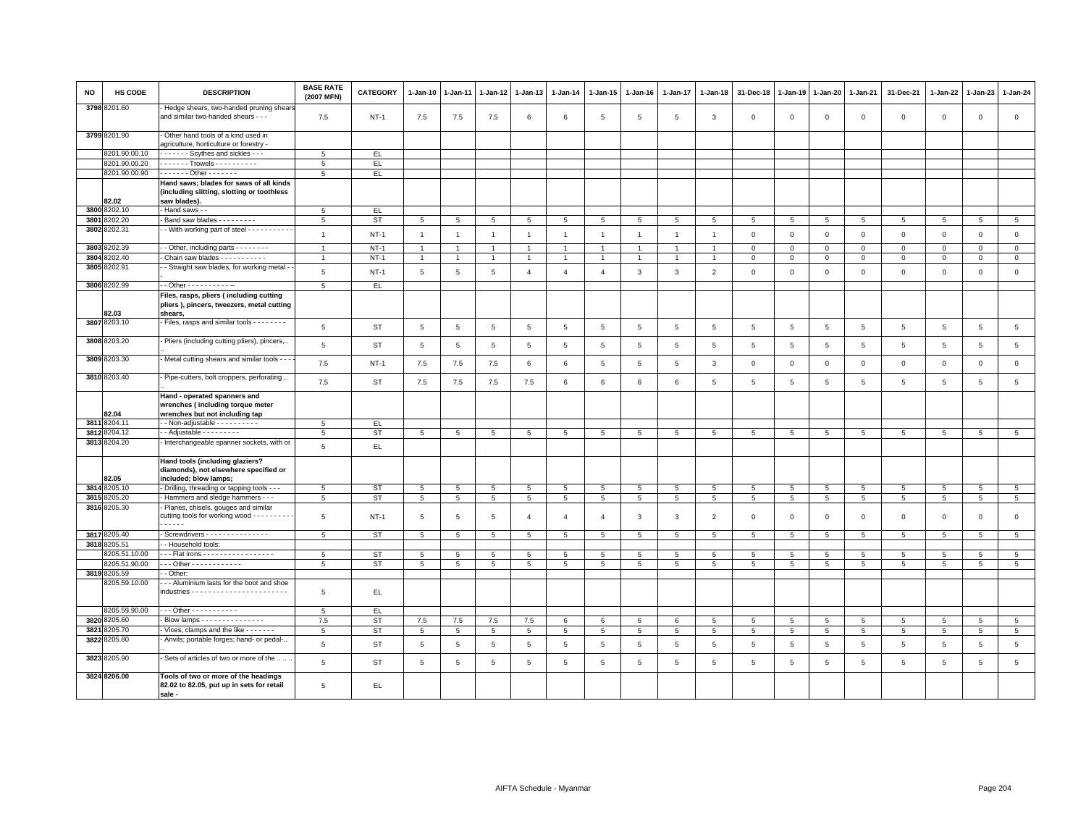| NO   | HS CODE       | <b>DESCRIPTION</b>                                                                                     | <b>BASE RATE</b><br>(2007 MFN) | <b>CATEGORY</b> | $1-Jan-10$      | $1-Jan-11$               |                 | 1-Jan-12 1-Jan-13 | 1-Jan-14        | $1 - Jan-15$    | $1-Jan-16$      | 1-Jan-17        | $1-Jan-18$     | 31-Dec-18       | 1-Jan-19       | 1-Jan-20        | 1-Jan-21                 | 31-Dec-21      | 1-Jan-22        | 1-Jan-23        | 1-Jan-24        |
|------|---------------|--------------------------------------------------------------------------------------------------------|--------------------------------|-----------------|-----------------|--------------------------|-----------------|-------------------|-----------------|-----------------|-----------------|-----------------|----------------|-----------------|----------------|-----------------|--------------------------|----------------|-----------------|-----------------|-----------------|
|      | 3798 8201.60  | Hedge shears, two-handed pruning shear<br>and similar two-handed shears - - -                          | 7.5                            | $NT-1$          | 7.5             | 7.5                      | 7.5             | 6                 | 6               | 5               | 5               | 5               | 3              | $\mathsf 0$     | $\mathsf 0$    | $\mathsf 0$     | $\mathbf 0$              | $\mathsf 0$    | $\mathbf 0$     | $\mathbf 0$     | $\mathsf 0$     |
|      | 3799 8201.90  | - Other hand tools of a kind used in<br>agriculture, horticulture or forestry -                        |                                |                 |                 |                          |                 |                   |                 |                 |                 |                 |                |                 |                |                 |                          |                |                 |                 |                 |
|      | 8201.90.00.10 | Scythes and sickles - - -                                                                              | $\overline{5}$                 | EL.             |                 |                          |                 |                   |                 |                 |                 |                 |                |                 |                |                 |                          |                |                 |                 |                 |
|      | 8201.90.00.20 | . Trowels                                                                                              | $5\phantom{.0}$                | $\mathsf{EL}$   |                 |                          |                 |                   |                 |                 |                 |                 |                |                 |                |                 |                          |                |                 |                 |                 |
|      | 8201.90.00.90 | - - - - - - - Other - - - - - - -                                                                      | 5                              | EL.             |                 |                          |                 |                   |                 |                 |                 |                 |                |                 |                |                 |                          |                |                 |                 |                 |
|      | 82.02         | Hand saws; blades for saws of all kinds<br>(including slitting, slotting or toothless<br>saw blades).  |                                |                 |                 |                          |                 |                   |                 |                 |                 |                 |                |                 |                |                 |                          |                |                 |                 |                 |
|      | 3800 8202.10  | - Hand saws - -                                                                                        | $5\phantom{.0}$                | EL.             |                 |                          |                 |                   |                 |                 |                 |                 |                |                 |                |                 |                          |                |                 |                 |                 |
| 3801 | 8202.20       | Band saw blades - - - - - - - -                                                                        | 5                              | ST              | 5               | 5                        | 5               | 5                 | $5\overline{5}$ | 5               | 5               | 5               | 5              | 5               | 5              | 5               | 5                        | 5              | 5               | 5               | $5\phantom{.0}$ |
|      | 3802 8202.31  | - With working part of steel - - - - - - - - - -                                                       |                                |                 |                 |                          |                 |                   |                 |                 |                 |                 |                |                 |                |                 |                          |                |                 |                 |                 |
|      |               |                                                                                                        | $\overline{1}$                 | $NT-1$          | $\overline{1}$  | $\overline{1}$           | $\overline{1}$  | $\overline{1}$    | $\mathbf{1}$    | $\overline{1}$  | $\mathbf{1}$    | $\overline{1}$  | $\overline{1}$ | $\mathsf 0$     | $\mathbf 0$    | $\mathsf 0$     | $\mathbf 0$              | $\mathsf 0$    | $\mathbf 0$     | $\mathbf{0}$    | $\mathsf 0$     |
|      | 3803 8202.39  | - - Other, including parts - - - - - - - -                                                             | $\overline{1}$                 | $NT-1$          | $\overline{1}$  | $\overline{1}$           | $\overline{1}$  | $\overline{1}$    | $\overline{1}$  | $\overline{1}$  |                 |                 |                | $\mathbf{0}$    | $\mathbf 0$    | $\mathbf 0$     | $\mathbf{0}$             | $\Omega$       | $\Omega$        | $\Omega$        | $\circ$         |
| 3804 | 8202.40       | Chain saw blades - - - - - - - - - -                                                                   | $\overline{1}$                 | $NT-1$          | $\mathbf{1}$    | $\overline{1}$           | $\overline{1}$  | $\overline{1}$    | $\mathbf{1}$    | $\overline{1}$  | $\overline{1}$  | $\overline{1}$  | $\overline{1}$ | $\mathsf 0$     | $\mathsf 0$    | $\mathsf 0$     | $\circ$                  | $\mathsf 0$    | $\mathbf 0$     | $\mathsf 0$     | $\circ$         |
|      | 3805 8202.91  | - Straight saw blades, for working metal -                                                             | $5\phantom{.0}$                | $NT-1$          | $\,$ 5 $\,$     | $\sqrt{5}$               | $\sqrt{5}$      | $\overline{4}$    | $\overline{4}$  | $\overline{4}$  | 3               | $\mathbf{3}$    | $\overline{2}$ | $\mathsf 0$     | $\mathsf 0$    | $\mathsf 0$     | $\mathbf 0$              | $\mathsf 0$    | $\mathsf 0$     | $\mathsf 0$     | $\mathsf 0$     |
|      | 3806 8202.99  | $-$ Other - - - - - - - - - - -                                                                        | 5                              | EL.             |                 |                          |                 |                   |                 |                 |                 |                 |                |                 |                |                 |                          |                |                 |                 |                 |
|      | B2.03         | Files, rasps, pliers (including cutting<br>pliers ), pincers, tweezers, metal cutting<br>shears.       |                                |                 |                 |                          |                 |                   |                 |                 |                 |                 |                |                 |                |                 |                          |                |                 |                 |                 |
|      | 3807 8203.10  | - Files, rasps and similar tools - - - - - - - -                                                       | 5                              | ST              | 5               | 5                        | 5               | 5                 | 5               | 5               | $5\overline{5}$ | 5               | 5              | 5               | 5              | 5               | 5                        | 5              | 5               | 5               | $5\phantom{.0}$ |
|      | 3808 8203.20  | - Pliers (including cutting pliers), pincers,.                                                         | $\,$ 5 $\,$                    | <b>ST</b>       | $\,$ 5 $\,$     | 5                        | $\,$ 5 $\,$     | $5\phantom{.0}$   | $5\phantom{.0}$ | $\,$ 5 $\,$     | $\,$ 5 $\,$     | 5               | 5              | $\,$ 5 $\,$     | $\overline{5}$ | $\,$ 5 $\,$     | $\overline{5}$           | $\overline{5}$ | 5               | $\overline{5}$  | $\,$ 5 $\,$     |
|      | 3809 8203.30  | - Metal cutting shears and similar tools -                                                             | 7.5                            | $NT-1$          | 7.5             | 7.5                      | 7.5             | 6                 | 6               | 5               | 5               | 5               | 3              | $\mathbf 0$     | $\mathsf 0$    | $\mathsf 0$     | $\mathbf 0$              | $\mathbf 0$    | $\mathbf 0$     | $\mathbf 0$     | $\mathsf 0$     |
|      | 3810 8203.40  | - Pipe-cutters, bolt croppers, perforating                                                             | 7.5                            | ST              | 7.5             | 7.5                      | 7.5             | 7.5               | 6               | 6               | 6               | 6               | 5              | $\,$ 5 $\,$     | 5              | 5               | $\,$ 5 $\,$              | $\overline{5}$ | 5               | 5               | 5               |
|      | 82.04         | Hand - operated spanners and<br>wrenches (including torque meter<br>wrenches but not including tap     |                                |                 |                 |                          |                 |                   |                 |                 |                 |                 |                |                 |                |                 |                          |                |                 |                 |                 |
|      | 3811 8204.11  | - - Non-adjustable - - - - - - - - - -                                                                 | $5\overline{5}$                | EL.             |                 |                          |                 |                   |                 |                 |                 |                 |                |                 |                |                 |                          |                |                 |                 |                 |
|      | 3812 8204.12  | - Adjustable - - - - - - - - -                                                                         | $\overline{\phantom{a}}$       | <b>ST</b>       | $\overline{5}$  | $\overline{\phantom{a}}$ | $5\phantom{.0}$ | $\overline{5}$    | $5\phantom{.0}$ | $5\phantom{.0}$ | $5\phantom{.0}$ | $5\phantom{.0}$ | 5              | $\,$ 5 $\,$     | $\overline{5}$ | 5               | $\overline{\phantom{a}}$ | $\overline{5}$ | $5\phantom{.0}$ | $5\phantom{.0}$ | $\overline{5}$  |
|      | 3813 8204.20  | Interchangeable spanner sockets, with or                                                               | 5                              | EL.             |                 |                          |                 |                   |                 |                 |                 |                 |                |                 |                |                 |                          |                |                 |                 |                 |
|      | 82.05         | Hand tools (including glaziers?<br>diamonds), not elsewhere specified or<br>included; blow lamps;      |                                |                 |                 |                          |                 |                   |                 |                 |                 |                 |                |                 |                |                 |                          |                |                 |                 |                 |
|      | 3814 8205.10  | - Drilling, threading or tapping tools - - -                                                           | 5                              | ST              | 5               | $\,$ 5 $\,$              | 5               | 5                 | 5               | $5\phantom{.0}$ | 5               | $\overline{5}$  | 5              | $\sqrt{5}$      | $\overline{5}$ | 5               | $5\overline{5}$          | 5              | 5               | 5               | $5\overline{5}$ |
|      | 3815 8205.20  | - Hammers and sledge hammers - - -                                                                     | 5                              | ST              | $5\phantom{.0}$ | 5                        | 5               | 5                 | 5               | $5\phantom{.0}$ | $5\overline{5}$ | 5               | 5              | $5\phantom{.0}$ | 5              | 5               | 5                        | 5              | 5               | 5               | $5\overline{5}$ |
|      | 3816 8205.30  | Planes, chisels, gouges and similar<br>cutting tools for working wood - - - - - - - - -<br>$- - - - -$ | $\overline{5}$                 | $NT-1$          | 5               | 5                        | $\overline{5}$  | $\overline{4}$    | $\overline{4}$  | $\mathbf{A}$    | 3               | 3               | $\overline{2}$ | $\mathbf{0}$    | $\mathbf 0$    | $\mathbf 0$     | $\mathbf{0}$             | $\mathbf 0$    | $\Omega$        | $\mathbf 0$     | $\mathbf 0$     |
|      | 3817 8205.40  | Screwdrivers - - - - - - - - - - - - - - -                                                             | $5\overline{5}$                | <b>ST</b>       | 5               | 5                        | 5               | 5                 | 5               | 5               | 5               | 5               | 5              | 5               | 5              | 5               | 5                        | 5              | 5               | 5               | 5               |
|      | 3818 8205.51  | - Household tools:                                                                                     |                                |                 |                 |                          |                 |                   |                 |                 |                 |                 |                |                 |                |                 |                          |                |                 |                 |                 |
|      | 3205.51.10.00 | --- Flat irons ------------------                                                                      | 5                              | <b>ST</b>       | 5               | 5                        | 5               | $5\overline{5}$   | $5\overline{5}$ | $5\overline{5}$ | 5               | 5               | 5              | 5               | 5              | 5               | 5                        | 5              | 5               | 5               | $5\overline{5}$ |
|      | 8205.51.90.00 | $\cdots$ Other - - - - - - - - - - - -                                                                 | 5                              | ST              | $5\overline{5}$ | $5\overline{5}$          | $5\overline{5}$ | 5                 | $5\overline{5}$ | $5\overline{5}$ | $5\overline{5}$ | 5               | 5              | 5               | 5              | 5               | $5\overline{5}$          | 5              | $5\overline{5}$ | 5               | $5\overline{5}$ |
|      | 3819 8205.59  | - Other:                                                                                               |                                |                 |                 |                          |                 |                   |                 |                 |                 |                 |                |                 |                |                 |                          |                |                 |                 |                 |
|      | 8205.59.10.00 | - - Aluminium lasts for the boot and shoe                                                              | 5                              | EL.             |                 |                          |                 |                   |                 |                 |                 |                 |                |                 |                |                 |                          |                |                 |                 |                 |
|      | 3205.59.90.00 | --- Other -----------                                                                                  | 5                              | EL              |                 |                          |                 |                   |                 |                 |                 |                 |                |                 |                |                 |                          |                |                 |                 |                 |
|      | 3820 8205.60  | - Blow lamps - - - - - - - - - - - - - -                                                               | 7.5                            | <b>ST</b>       | 7.5             | $7.5\,$                  | 7.5             | 7.5               | 6               | 6               | 6               | 6               | 5              | $\overline{5}$  | $\overline{5}$ | $5\phantom{.0}$ | $5\overline{5}$          | $\overline{5}$ | $5\overline{5}$ | 5               | $5\overline{5}$ |
| 3821 | 3205.70       | Vices, clamps and the like - - - - - - -                                                               | 5                              | ST              | $5\overline{5}$ | 5                        | 5               | 5                 | 5               | $5\overline{5}$ | 5               | 5               | 5              | 5               | 5              | $5\overline{5}$ | $5\overline{5}$          | 5              | $5\overline{5}$ | 5               | $5\overline{5}$ |
|      | 3822 8205.80  | - Anvils; portable forges; hand- or pedal-.                                                            | $\,$ 5 $\,$                    | <b>ST</b>       | 5               | 5                        | 5               | 5                 | $5\phantom{.0}$ | 5               | 5               | 5               | 5              | $\,$ 5 $\,$     | $\overline{5}$ | 5               | $5\phantom{.0}$          | 5              | 5               | 5               | $\overline{5}$  |
|      | 3823 8205.90  | Sets of articles of two or more of the                                                                 | $5\phantom{.0}$                | ST              | 5               | 5                        | $\sqrt{5}$      | 5                 | $5\phantom{.0}$ | 5               | 5               | $\overline{5}$  | 5              | $\sqrt{5}$      | $\overline{5}$ | 5               | 5                        | 5              | 5               | 5               | $\overline{5}$  |
|      | 3824 8206.00  | Tools of two or more of the headings<br>82.02 to 82.05, put up in sets for retail<br>sale -            | 5                              | EL.             |                 |                          |                 |                   |                 |                 |                 |                 |                |                 |                |                 |                          |                |                 |                 |                 |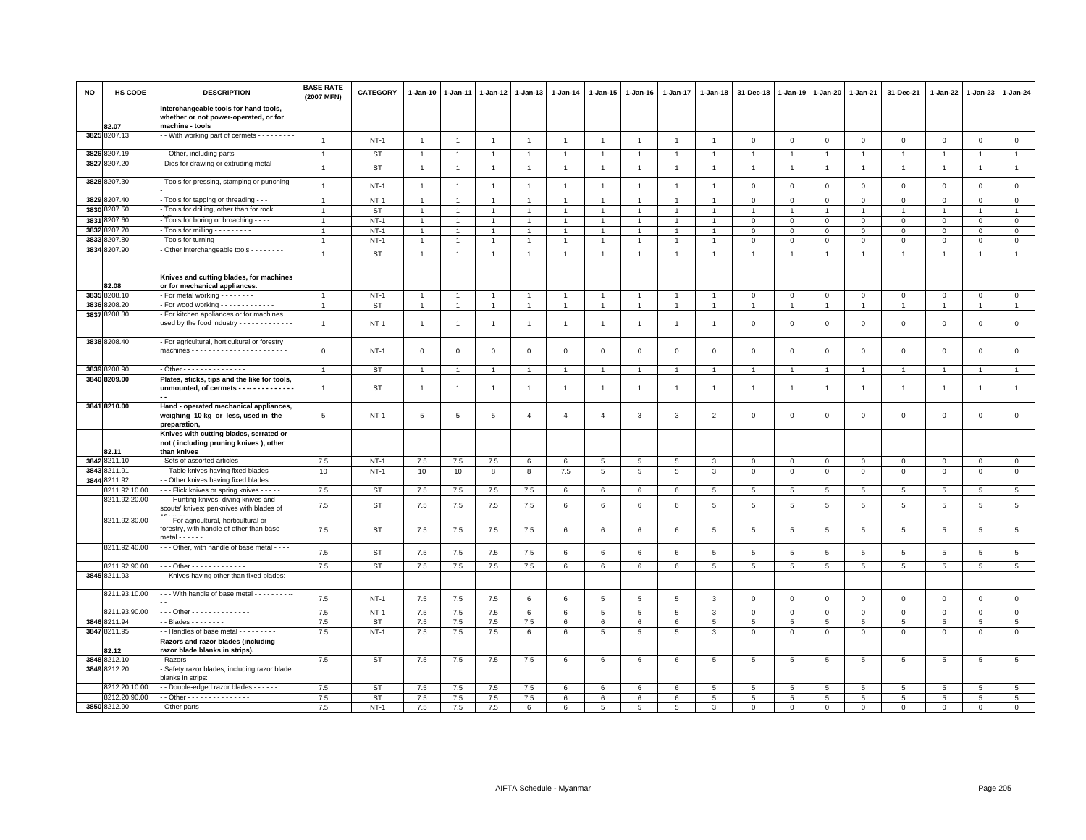| <b>NO</b> | <b>HS CODE</b>        | <b>DESCRIPTION</b>                                                                                           | <b>BASE RATE</b><br>(2007 MFN) | <b>CATEGORY</b> | $1-Jan-10$     | 1-Jan-11       | $1-Jan-12$     | $1-Jan-13$      | $1-Jan-14$      | $1 - Jan-15$   | $1-Jan-16$     | 1-Jan-17        | $1-Jan-18$      | 31-Dec-18       | $1-Jan-19$      | 1-Jan-20        | 1-Jan-21        | 31-Dec-21      | 1-Jan-22       | 1-Jan-23        | 1-Jan-24        |
|-----------|-----------------------|--------------------------------------------------------------------------------------------------------------|--------------------------------|-----------------|----------------|----------------|----------------|-----------------|-----------------|----------------|----------------|-----------------|-----------------|-----------------|-----------------|-----------------|-----------------|----------------|----------------|-----------------|-----------------|
|           | 82.07                 | Interchangeable tools for hand tools,<br>whether or not power-operated, or for<br>machine - tools            |                                |                 |                |                |                |                 |                 |                |                |                 |                 |                 |                 |                 |                 |                |                |                 |                 |
|           | 3825 8207.13          | - With working part of cermets - - - - - - -                                                                 | $\overline{1}$                 | $NT-1$          | $\overline{1}$ | $\overline{1}$ | $\overline{1}$ | $\mathbf{1}$    | $\overline{1}$  | $\overline{1}$ | $\overline{1}$ | $\mathbf{1}$    | $\overline{1}$  | $\mathbf 0$     | $\overline{0}$  | $\mathbf 0$     | $\mathbf 0$     | $\mathbf 0$    | $\mathbf 0$    | $\mathbf{0}$    | $\mathbf 0$     |
|           | 3826 8207.19          | - Other, including parts - - - - - - - -                                                                     | $\overline{1}$                 | <b>ST</b>       | $\overline{1}$ | $\overline{1}$ | $\overline{1}$ | $\overline{1}$  | $\overline{1}$  | $\overline{1}$ |                | $\overline{1}$  | $\overline{1}$  | $\overline{1}$  | $\overline{1}$  | $\overline{1}$  | $\mathbf{1}$    | $\mathbf{1}$   | $\overline{1}$ |                 | $\overline{1}$  |
| 3827      | 3207.20               | Dies for drawing or extruding metal - - - -                                                                  | $\overline{1}$                 | <b>ST</b>       | $\overline{1}$ | $\mathbf{1}$   | $\overline{1}$ | $\mathbf{1}$    | $\mathbf{1}$    | $\mathbf{1}$   | $\overline{1}$ | $\mathbf{1}$    | $\overline{1}$  | $\overline{1}$  | $\overline{1}$  | $\overline{1}$  | $\mathbf{1}$    | $\mathbf{1}$   | $\overline{1}$ | $\overline{1}$  | $\mathbf{1}$    |
|           | 3828 8207.30          | Tools for pressing, stamping or punching                                                                     | $\mathbf{1}$                   | $NT-1$          | $\overline{1}$ | $\overline{1}$ | $\overline{1}$ | $\mathbf{1}$    | $\overline{1}$  | $\overline{1}$ | $\overline{1}$ | $\mathbf{1}$    | $\overline{1}$  | $\mathbf 0$     | $\overline{0}$  | $\mathbf 0$     | $\mathbf 0$     | $\mathsf 0$    | $\mathbf 0$    | $\mathsf 0$     | $\mathsf 0$     |
|           | 3829 8207.40          | - Tools for tapping or threading - - -                                                                       | $\overline{1}$                 | $NT-1$          | $\overline{1}$ |                |                | $\overline{1}$  |                 |                |                |                 |                 | $\Omega$        | $\Omega$        | $\mathbf 0$     | $\Omega$        | $\mathbf 0$    | $\Omega$       | $\mathbf 0$     | $\mathbf{0}$    |
| 3830      | 3207.50               | Tools for drilling, other than for rock                                                                      | $\overline{1}$                 | <b>ST</b>       | $\overline{1}$ | $\mathbf{1}$   | $\overline{1}$ | $\overline{1}$  | $\overline{1}$  | $\overline{1}$ |                | $\overline{1}$  | $\overline{1}$  | 1               | 1               | $\mathbf{1}$    | $\mathbf{1}$    | $\mathbf{1}$   | $\mathbf{1}$   | $\mathbf{1}$    | $\mathbf{1}$    |
| 3831      | 3207.60               | Tools for boring or broaching - - -                                                                          | $\overline{1}$                 | $NT-1$          | $\overline{1}$ |                |                | $\overline{1}$  |                 | $\overline{1}$ |                | $\overline{1}$  |                 | $\mathbf 0$     | $\circ$         | $\mathbf{0}$    | $\mathsf 0$     | $\mathsf 0$    | $\Omega$       | $\Omega$        | $\mathsf 0$     |
| 3832      | 8207.70               | Tools for milling - - - - - - - - -                                                                          | $\overline{1}$                 | $NT-1$          | $\mathbf{1}$   |                |                | $\overline{1}$  |                 | $\overline{1}$ |                | 1               |                 | $\mathbf 0$     | $\mathbf 0$     | $\mathbf 0$     | $\mathsf 0$     | $\mathsf 0$    | $\mathbf 0$    | 0               | $\mathbf 0$     |
| 3833      | 3207.80               | Tools for turning - - - - - - - - - -                                                                        | $\overline{1}$                 | $NT-1$          | $\mathbf{1}$   |                | $\mathbf{1}$   | $\overline{1}$  |                 | $\overline{1}$ |                | 1               |                 | $\mathbf 0$     | $\,0\,$         | $\mathbf 0$     | $\mathbf 0$     | $\mathsf 0$    | $\mathbf 0$    | 0               | $\overline{0}$  |
| 3834      | 8207.90               | Other interchangeable tools - - - - - - -                                                                    | $\mathbf{1}$                   | <b>ST</b>       | $\overline{1}$ | $\overline{1}$ | $\overline{1}$ | $\mathbf{1}$    | $\overline{1}$  | $\overline{1}$ | $\overline{1}$ | $\overline{1}$  | $\overline{1}$  | $\overline{1}$  | $\overline{1}$  | $\overline{1}$  | $\mathbf{1}$    | $\overline{1}$ | $\overline{1}$ | $\overline{1}$  | $\overline{1}$  |
|           | 82.08                 | Knives and cutting blades, for machines<br>or for mechanical appliances.                                     |                                |                 |                |                |                |                 |                 |                |                |                 |                 |                 |                 |                 |                 |                |                |                 |                 |
|           | 3835 8208.10          | - For metal working - - - - - - -                                                                            | $\overline{1}$                 | $NT-1$          | $\overline{1}$ |                | $\mathbf{1}$   | $\overline{1}$  |                 | $\overline{1}$ |                | $\overline{1}$  |                 | $\mathbf 0$     | $\mathbf 0$     | $\mathbf 0$     | $\mathbf 0$     | $\mathsf 0$    | $\mathbf 0$    | $\mathsf 0$     | $\mathbf 0$     |
|           | 3836 8208.20          | - For wood working - - - - - - - - - - - -                                                                   | $\overline{1}$                 | <b>ST</b>       | $\overline{1}$ | $\overline{1}$ | $\overline{1}$ | $\overline{1}$  | $\overline{1}$  | $\mathbf{1}$   | $\overline{1}$ | $\overline{1}$  | $\overline{1}$  | $\overline{1}$  | $\overline{1}$  | $\overline{1}$  | $\overline{1}$  | $\overline{1}$ | $\overline{1}$ |                 | $\overline{1}$  |
|           | 3837 8208.30          | For kitchen appliances or for machines<br>used by the food industry - - - - - - - - - - - -<br>$\sim$ $\sim$ | $\overline{1}$                 | $NT-1$          | $\overline{1}$ | -1             | $\overline{1}$ | $\overline{1}$  | $\overline{1}$  | $\mathbf{1}$   | $\overline{1}$ | $\mathbf{1}$    | $\overline{1}$  | $\mathbf{0}$    | $\Omega$        | $\mathbf 0$     | $\mathbf 0$     | $\mathbf 0$    | $\mathbf 0$    | $\mathbf 0$     | $\circ$         |
|           | 3838 8208.40          | - For agricultural, horticultural or forestry                                                                | $\mathsf 0$                    | $NT-1$          | $\mathbf 0$    | $\mathbf 0$    | $\mathbf 0$    | $\mathsf 0$     | $\mathsf 0$     | $\mathsf 0$    | $\mathsf 0$    | $\mathbf 0$     | $\mathsf 0$     | $\mathbf 0$     | $\mathbf 0$     | $\mathbf 0$     | $\mathsf 0$     | $\mathsf 0$    | $\mathbf 0$    | $\mathsf 0$     | $\mathsf 0$     |
|           | 3839 8208.90          | - Other - - - - - - - - - - - - - - -                                                                        | $\overline{1}$                 | <b>ST</b>       | $\mathbf{1}$   | $\overline{1}$ | $\overline{1}$ | $\mathbf{1}$    |                 | $\overline{1}$ |                | $\overline{1}$  |                 | $\overline{1}$  | 1               | $\overline{1}$  | $\overline{1}$  | $\overline{1}$ | $\overline{1}$ |                 | $\overline{1}$  |
|           | 3840 8209.00          | Plates, sticks, tips and the like for tools,                                                                 |                                |                 |                |                |                |                 |                 |                |                |                 |                 |                 |                 |                 |                 |                |                |                 |                 |
|           |                       | unmounted, of cermets - - -- - - - - - - - -                                                                 | $\overline{1}$                 | <b>ST</b>       | $\overline{1}$ | $\overline{1}$ | $\overline{1}$ | $\mathbf{1}$    | $\overline{1}$  | $\overline{1}$ | $\overline{1}$ | $\overline{1}$  | $\overline{1}$  | $\overline{1}$  | $\overline{1}$  | $\overline{1}$  | $\mathbf{1}$    | $\overline{1}$ | $\overline{1}$ | $\overline{1}$  | $\mathbf{1}$    |
|           | 3841 8210.00          | Hand - operated mechanical appliances,<br>weighing 10 kg or less, used in the<br>preparation,                | 5                              | $NT-1$          | 5              | 5              | 5              | $\overline{4}$  | $\overline{4}$  | $\overline{4}$ | 3              | 3               | $\overline{2}$  | $\mathbf 0$     | $\overline{0}$  | $\mathbf 0$     | $\mathbf 0$     | $\mathsf 0$    | 0              | $\mathbf 0$     | $\mathbf 0$     |
|           |                       | Knives with cutting blades, serrated or<br>not (including pruning knives), other                             |                                |                 |                |                |                |                 |                 |                |                |                 |                 |                 |                 |                 |                 |                |                |                 |                 |
|           | 82.11<br>3842 8211.10 | than knives<br>Sets of assorted articles - - - - - - - - -                                                   | 7.5                            | $NT-1$          | 7.5            | 7.5            | 7.5            | 6               | 6               | 5              | 5              | 5               | 3               | $\mathbf 0$     | $\overline{0}$  | $\mathbf 0$     | $\mathbf 0$     | $\mathsf 0$    | $\mathbf 0$    | $\mathsf 0$     | $\mathbf 0$     |
| 3843      | 8211.91               | - Table knives having fixed blades - - -                                                                     | 10                             | $NT-1$          | 10             | 10             | 8              | 8               | 7.5             | $\overline{5}$ | 5              | 5               | 3               | $\mathbf 0$     | $\overline{0}$  | $\mathbf 0$     | $\mathbf 0$     | $\mathsf 0$    | $\mathbf 0$    | $\mathsf 0$     | $\overline{0}$  |
| 3844      | 3211.92               | - Other knives having fixed blades:                                                                          |                                |                 |                |                |                |                 |                 |                |                |                 |                 |                 |                 |                 |                 |                |                |                 |                 |
|           | 8211.92.10.00         | - - - Flick knives or spring knives - - - - -                                                                | 7.5                            | ST              | 7.5            | 7.5            | 7.5            | 7.5             | 6               | 6              | 6              | 6               | 5               | 5               | 5               | 5               | 5               | 5              | 5              | 5               | $5\overline{5}$ |
|           | 8211.92.20.00         | -- Hunting knives, diving knives and<br>scouts' knives; penknives with blades of                             | 7.5                            | <b>ST</b>       | 7.5            | 7.5            | 7.5            | 7.5             | 6               | 6              | 6              | 6               | 5               | 5               | 5               | 5               | 5               | 5              | 5              | 5               | $5\phantom{.0}$ |
|           | 8211.92.30.00         | --- For agricultural, horticultural or<br>forestry, with handle of other than base<br>$metal - - - - -$      | 7.5                            | <b>ST</b>       | $7.5\,$        | 7.5            | 7.5            | 7.5             | 6               | 6              | 6              | 6               | 5               | $\overline{5}$  | 5               | $5\phantom{.0}$ | 5               | 5              | 5              | 5               | $\,$ 5 $\,$     |
|           | 8211.92.40.00         | --- Other, with handle of base metal ----                                                                    | 7.5                            | <b>ST</b>       | 7.5            | 7.5            | 7.5            | 7.5             | 6               | 6              | 6              | $\,6\,$         | 5               | 5               | 5               | $\overline{5}$  | 5               | $\overline{5}$ | 5              | 5               | $5\phantom{.0}$ |
|           | 8211.92.90.00         | $\cdots$ Other - - - - - - - - - - - - -                                                                     | 7.5                            | <b>ST</b>       | 7.5            | 7.5            | 7.5            | 7.5             | 6               | 6              | 6              | 6               | $5\phantom{.0}$ | $5\phantom{.0}$ | $5\phantom{.0}$ | $5\phantom{.0}$ | $5\phantom{.0}$ | $\overline{5}$ | 5              | $\overline{5}$  | $\overline{5}$  |
|           | 3845 8211.93          | - Knives having other than fixed blades:                                                                     |                                |                 |                |                |                |                 |                 |                |                |                 |                 |                 |                 |                 |                 |                |                |                 |                 |
|           | 8211.93.10.00         | - - With handle of base metal - - - - - - - -                                                                | 7.5                            | $NT-1$          | 7.5            | 7.5            | 7.5            | 6               | 6               | 5              | 5              | $5\overline{5}$ | 3               | $\mathbf 0$     | $\overline{0}$  | $\mathbf 0$     | $\mathbf 0$     | $\mathsf 0$    | $\mathbf 0$    | $\mathbf 0$     | $\mathsf 0$     |
|           | 8211.93.90.00         | $-$ - Other - - - - - - - - - - - - - -                                                                      | 7.5                            | $NT-1$          | 7.5            | 7.5            | 7.5            | 6               | 6               | 5              | 5              | 5               | 3               | $\mathbf{0}$    | $\mathbf 0$     | $\mathbf 0$     | $\Omega$        | 0              | $\Omega$       | $\Omega$        | $\mathbf 0$     |
|           | 3846 8211.94          | $-Blades - - - - - - -$                                                                                      | 7.5                            | ST              | 7.5            | 7.5            | $7.5$          | 7.5             | $6\phantom{.}6$ | 6              | 6              | 6               | 5               | $5\phantom{.0}$ | 5               | $5\overline{5}$ | 5               | 5              | 5              | 5               | $5\phantom{.0}$ |
|           | 3847 8211.95          | - Handles of base metal - - - - - - - - -                                                                    | 7.5                            | $NT-1$          | 7.5            | 7.5            | 7.5            | $6\phantom{.0}$ | 6               | $\overline{5}$ | 5              | 5               | 3               | $\mathbf 0$     | $\mathsf 0$     | $\mathsf 0$     | $\mathbf 0$     | $\mathbf 0$    | $\mathbf 0$    | $\mathsf 0$     | $\overline{0}$  |
|           | 82.12                 | Razors and razor blades (including<br>razor blade blanks in strips).                                         |                                |                 |                |                |                |                 |                 |                |                |                 |                 |                 |                 |                 |                 |                |                |                 |                 |
|           | 3848 8212.10          | - Razors - - - - - - - - - -                                                                                 | 7.5                            | <b>ST</b>       | $7.5\,$        | $7.5\,$        | 7.5            | 7.5             | 6               | 6              | 6              | 6               | 5               | $5\overline{5}$ | 5               | 5               | 5               | 5              | 5              | $5\overline{5}$ | $5\overline{)}$ |
|           | 3849 8212.20          | Safety razor blades, including razor blade<br>blanks in strips:                                              |                                |                 |                |                |                |                 |                 |                |                |                 |                 |                 |                 |                 |                 |                |                |                 |                 |
|           | 3212.20.10.00         | - Double-edged razor blades - - - - - -                                                                      | 7.5                            | <b>ST</b>       | 7.5            | 7.5            | 7.5            | 7.5             | 6               | 6              | 6              | 6               | 5               | 5               | $5\overline{5}$ | $\overline{5}$  | $\overline{5}$  | 5              | 5              | 5               | 5               |
|           | 8212.20.90.00         | - - Other - - - - - - - - - - - - - - -                                                                      | 7.5                            | ST              | 7.5            | 7.5            | 7.5            | 7.5             | 6               | 6              | 6              | 6               | 5               | 5               | 5               | 5               | 5               | 5              | 5              | 5               | $5\phantom{.0}$ |
|           | 3850 8212.90          |                                                                                                              | 7.5                            | $NT-1$          | 7.5            | 7.5            | 7.5            | 6               | 6               | 5              | 5              | 5               | 3               | $\Omega$        | $\mathbf 0$     | $\mathbf{0}$    | $\mathbf 0$     | $\Omega$       | $\mathbf 0$    | $\mathbf 0$     | $\circ$         |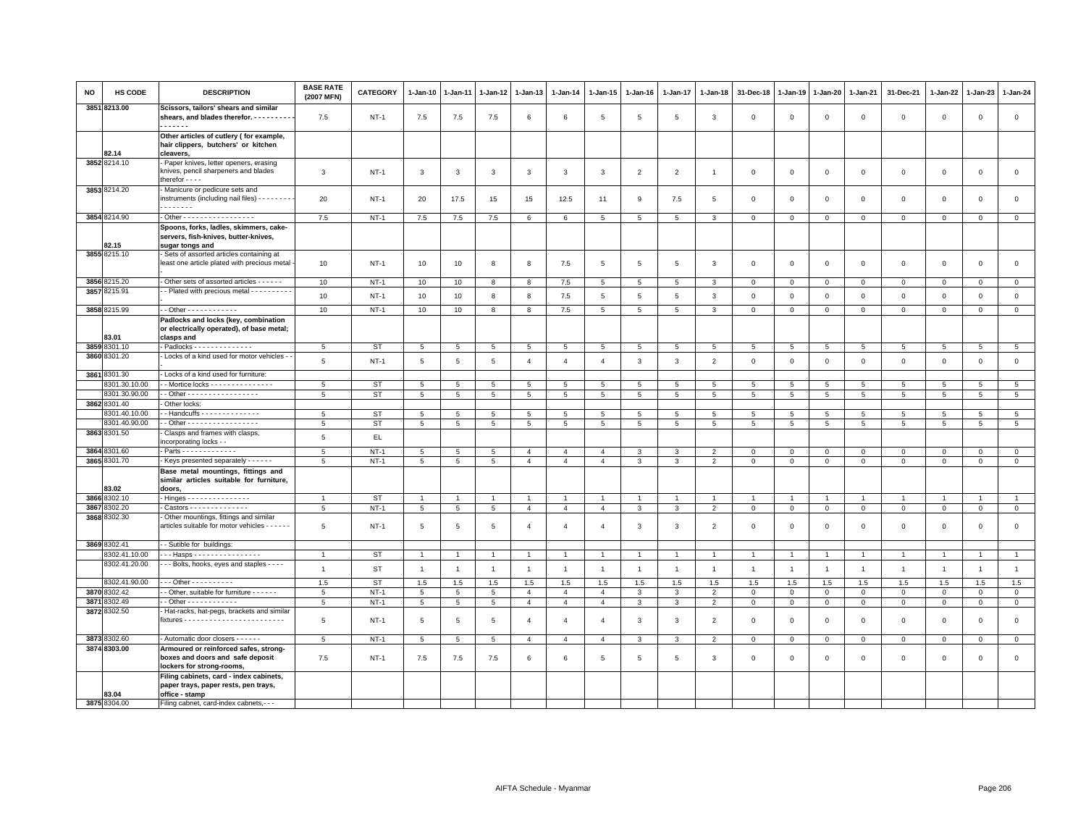| NO   | <b>HS CODE</b>                 | <b>DESCRIPTION</b>                                                                                     | <b>BASE RATE</b><br>(2007 MFN) | <b>CATEGORY</b>     | 1-Jan-10        | $1-Jan-11$      | 1-Jan-12        | 1-Jan-13              | $1 - Jan-14$          | $1 - Jan-15$          | $1-Jan-16$     | 1-Jan-17       | 1-Jan-18                         | 31-Dec-18          | 1-Jan-19            | 1-Jan-20                    | 1-Jan-21                 | 31-Dec-21                  | 1-Jan-22                    | 1-Jan-23            | 1-Jan-24        |
|------|--------------------------------|--------------------------------------------------------------------------------------------------------|--------------------------------|---------------------|-----------------|-----------------|-----------------|-----------------------|-----------------------|-----------------------|----------------|----------------|----------------------------------|--------------------|---------------------|-----------------------------|--------------------------|----------------------------|-----------------------------|---------------------|-----------------|
|      | 3851 8213.00                   | Scissors, tailors' shears and similar<br>shears, and blades therefor. - - - - - - - - -                | 7.5                            | $NT-1$              | 7.5             | 7.5             | 7.5             | 6                     | 6                     | 5                     | $\overline{5}$ | 5              | 3                                | $\Omega$           | $\mathbf 0$         | $\mathsf 0$                 | $\mathbf 0$              | $\mathbf 0$                | $\mathbf 0$                 | $\mathbf 0$         | $\circ$         |
|      |                                | <br>Other articles of cutlery (for example,<br>hair clippers, butchers' or kitchen                     |                                |                     |                 |                 |                 |                       |                       |                       |                |                |                                  |                    |                     |                             |                          |                            |                             |                     |                 |
|      | 82.14<br>3852 8214.10          | cleavers.<br>Paper knives, letter openers, erasing<br>knives, pencil sharpeners and blades             | 3                              | $NT-1$              | 3               | 3               | 3               | 3                     | 3                     | 3                     | $\overline{2}$ | $\overline{2}$ | -1                               | $\mathbf 0$        | $\mathbf 0$         | $\mathsf 0$                 | $\mathbf 0$              | $\mathsf 0$                | $\mathbf 0$                 | $\mathbf 0$         | $\mathbf 0$     |
|      | 3853 8214.20                   | therefor - - - -<br>Manicure or pedicure sets and                                                      |                                |                     |                 |                 |                 |                       |                       |                       |                |                |                                  |                    |                     |                             |                          |                            |                             |                     |                 |
|      |                                | instruments (including nail files) - - - - - - - -<br>.                                                | 20                             | $NT-1$              | 20              | 17.5            | 15              | 15                    | 12.5                  | 11                    | 9              | 7.5            | 5                                | $\mathbf 0$        | $\mathbf 0$         | $\mathsf 0$                 | $\mathbf 0$              | $\mathsf 0$                | $\mathbf 0$                 | $\mathbf 0$         | $\mathbf 0$     |
|      | 3854 8214.90                   | - Other - - - - - - - - - - - - - - - - -                                                              | 7.5                            | $NT-1$              | 7.5             | 7.5             | 7.5             | 6                     | 6                     | $5\phantom{.0}$       | 5              | 5              | 3                                | $\mathbf 0$        | $\mathbf{0}$        | $\mathbf{0}$                | $\overline{0}$           | $\mathsf 0$                | $\overline{0}$              | $\mathbf{O}$        | $\mathbf{0}$    |
|      | 82.15                          | Spoons, forks, ladles, skimmers, cake-<br>servers, fish-knives, butter-knives,<br>sugar tongs and      |                                |                     |                 |                 |                 |                       |                       |                       |                |                |                                  |                    |                     |                             |                          |                            |                             |                     |                 |
|      | 3855 8215.10                   | Sets of assorted articles containing at<br>least one article plated with precious metal                | 10                             | NT-1                | 10              | 10              | 8               | 8                     | 7.5                   | 5                     | 5              | 5              | -3                               | $\mathbf 0$        | $\mathbf 0$         | $\mathbf 0$                 | $\mathbf 0$              | $\mathbf 0$                | $\mathbf 0$                 | $\mathbf{O}$        | $\mathbf 0$     |
|      | 3856 8215.20                   | Other sets of assorted articles - - - - - -                                                            | 10                             | $NT-1$              | 10              | 10              | 8               | 8                     | 7.5                   | 5                     | 5              | 5              | 3                                | $\mathbf{0}$       | $\mathbf{0}$        | $\mathbf 0$                 | $\mathbf{0}$             | $\mathbf 0$                | $\mathbf{0}$                | $\mathbf 0$         | $\mathbf{0}$    |
|      | 3857 8215.91                   | - Plated with precious metal - - - - - - - - -                                                         | 10                             | $NT-1$              | 10              | 10              | 8               | 8                     | 7.5                   | 5                     | 5              | 5              | $\mathbf{3}$                     | $\mathbf 0$        | $\mathbf 0$         | $\mathbf 0$                 | $\mathbf 0$              | $\mathsf 0$                | $\mathbf 0$                 | $\mathbf{0}$        | $\mathsf 0$     |
|      | 3858 8215.99                   | $-$ Other - - - - - - - - - - - -                                                                      | 10                             | $NT-1$              | 10              | 10              | 8               | 8                     | 7.5                   | $5\phantom{.0}$       | 5              | 5              | 3                                | $\overline{0}$     | $\overline{0}$      | $\mathbf{0}$                | $\overline{0}$           | $\mathbf{0}$               | $\overline{0}$              | $\mathbf 0$         | $\mathbf{0}$    |
|      | 83.01                          | Padlocks and locks (key, combination<br>or electrically operated), of base metal;<br>clasps and        |                                |                     |                 |                 |                 |                       |                       |                       |                |                |                                  |                    |                     |                             |                          |                            |                             |                     |                 |
|      | 3859 8301.10                   | Padlocks - - - - - - - - - - - - -                                                                     | $5\overline{5}$                | <b>ST</b>           | $5\phantom{.0}$ | $5\phantom{.0}$ | $5\phantom{.0}$ | 5                     | 5                     | 5                     | 5              | 5              | 5                                | 5                  | 5                   | $5\phantom{.0}$             | $5\overline{5}$          | 5                          | $5\overline{5}$             | 5                   | $5\phantom{.0}$ |
|      | 3860 8301.20                   | - Locks of a kind used for motor vehicles -                                                            | 5                              | $NT-1$              | 5               | $\overline{5}$  | 5               | $\overline{4}$        | $\overline{4}$        | $\overline{4}$        | 3              | $\mathbf{3}$   | $\overline{2}$                   | $\mathbf 0$        | $\mathbf{0}$        | $\mathsf 0$                 | $\mathsf 0$              | $\mathsf 0$                | $\circ$                     | $\mathsf 0$         | $\mathsf 0$     |
|      | 3861 8301.30                   | Locks of a kind used for furniture:                                                                    |                                |                     |                 |                 |                 |                       |                       |                       |                |                |                                  |                    |                     |                             |                          |                            |                             |                     |                 |
|      | 8301.30.10.00                  | - Mortice locks - - - - - - - - - - - - - - -                                                          | 5                              | <b>ST</b>           | 5               | 5               | 5               | 5                     | 5                     | 5                     | 5              | 5              | 5                                | 5                  | 5                   | 5                           | 5                        | 5                          | 5                           | 5                   | 5               |
|      | 8301.30.90.00                  | - Other - - - - - - - - - - - - - - - - -                                                              | $5\phantom{.0}$                | <b>ST</b>           | 5               | $\,$ 5 $\,$     | 5               | $\overline{5}$        | $5\phantom{.0}$       | $\overline{5}$        | 5              | 5              | $5\phantom{.0}$                  | $\overline{5}$     | $\,$ 5 $\,$         | $\,$ 5 $\,$                 | $\overline{\phantom{a}}$ | $\overline{5}$             | 5                           | $5\phantom{.0}$     | $5\phantom{.0}$ |
|      | 3862 8301.40<br>8301.40.10.00  | Other locks:<br>- Handcuffs - - - - - - - - - - - - - -                                                | 5                              | <b>ST</b>           |                 | 5               | 5               | $\overline{5}$        | 5                     | 5                     | 5              | 5              | 5                                | 5                  |                     | 5                           | 5                        | 5                          | 5                           | 5                   | $\overline{5}$  |
|      | 8301.40.90.00                  | $-$ Other - - - - - - - - - - - - - - - - -                                                            | 5                              | ST                  | 5<br>5          | 5               | 5               | 5                     | 5                     | 5                     | 5              | 5              | 5                                | 5                  | $\overline{5}$<br>5 | 5                           | 5                        | 5                          | 5                           | 5                   | $5\overline{5}$ |
|      | 3863 8301.50                   | Clasps and frames with clasps,<br>incorporating locks - -                                              | 5                              | EL.                 |                 |                 |                 |                       |                       |                       |                |                |                                  |                    |                     |                             |                          |                            |                             |                     |                 |
|      | 3864 8301.60                   | Parts - - - - - - - - - - - - -                                                                        | 5                              | $NT-1$              | 5               | 5               | 5               | $\overline{4}$        | $\overline{4}$        | $\overline{4}$        | 3              | 3              | $\overline{2}$                   | $\mathbf 0$        | $\mathbf 0$         | $\mathbf 0$                 | $\mathbf 0$              | $\mathbf 0$                | $\mathbf 0$                 | $\mathbf 0$         | $\mathsf 0$     |
|      | 3865 8301.70                   | Keys presented separately - - - - - -                                                                  | $5\phantom{.0}$                | $NT-1$              | 5               | 5               | 5               | $\overline{4}$        | $\overline{4}$        | $\overline{4}$        | 3              | 3              | $\overline{2}$                   | $\,0\,$            | $\,0\,$             | $\mathbf 0$                 | $\mathbf 0$              | $\mathsf{O}\xspace$        | $\mathsf 0$                 | $\mathsf 0$         | $\overline{0}$  |
|      | 83.02                          | Base metal mountings, fittings and<br>similar articles suitable for furniture,<br>doors,               |                                |                     |                 |                 |                 |                       |                       |                       |                |                |                                  |                    |                     |                             |                          |                            |                             |                     |                 |
|      | 3866 8302.10                   | Hinges - - - - - - - - - - - - - - -                                                                   | $\overline{1}$                 | <b>ST</b>           | $\overline{1}$  | $\overline{1}$  | $\overline{1}$  | $\overline{1}$        | $\overline{1}$        | $\overline{1}$        | $\overline{1}$ | $\overline{1}$ |                                  | $\overline{1}$     | $\overline{1}$      | $\overline{1}$              | $\overline{1}$           | $\overline{1}$             | $\overline{1}$              | $\overline{1}$      | $\overline{1}$  |
| 3867 | 8302.20                        | $-Castors - - - - - - - - - - - - -$                                                                   | $5\overline{5}$                | $NT-1$              | 5               | $\,$ 5 $\,$     | $\overline{5}$  | $\overline{4}$        | $\overline{4}$        | $\overline{4}$        | 3              | 3              | $\overline{2}$                   | $\overline{0}$     | $\,0\,$             | $\mathbf 0$                 | $\mathbf 0$              | $\mathsf{O}\xspace$        | $\mathbf 0$                 | $\mathsf 0$         | $\overline{0}$  |
|      | 3868 8302.30                   | Other mountings, fittings and similar<br>articles suitable for motor vehicles - - - - - -              | 5                              | $NT-1$              | 5               | 5               | 5               | $\Delta$              | $\overline{4}$        | $\mathbf{A}$          | 3              | 3              | $\overline{2}$                   | $\mathbf 0$        | $\mathbf 0$         | $\mathsf 0$                 | $\mathbf 0$              | $\mathsf 0$                | $\mathbf 0$                 | $\mathsf 0$         | $\mathsf 0$     |
|      | 3869 8302.41                   | - Sutible for buildings:                                                                               |                                |                     |                 |                 |                 |                       |                       |                       |                |                |                                  |                    |                     |                             |                          |                            |                             |                     |                 |
|      | 8302.41.10.00<br>8302.41.20.00 | -- Hasps - - - - - - - - - - - - - - - -                                                               | $\overline{1}$                 | ST                  | $\mathbf{1}$    | 1               | $\overline{1}$  | $\mathbf{1}$          | $\mathbf{1}$          | -1                    | $\mathbf{1}$   | $\overline{1}$ | $\overline{1}$                   | $\overline{1}$     | $\overline{1}$      | $\overline{1}$              | $\overline{1}$           | $\mathbf{1}$               | $\overline{1}$              | $\mathbf{1}$        | $\mathbf{1}$    |
|      |                                | - - Bolts, hooks, eyes and staples - - - -                                                             | $\mathbf{1}$                   | <b>ST</b>           | $\overline{1}$  | $\overline{1}$  | $\overline{1}$  | $\mathbf{1}$          | $\mathbf{1}$          | $\mathbf{1}$          | $\overline{1}$ | $\overline{1}$ | $\overline{1}$                   | $\overline{1}$     | $\overline{1}$      | $\overline{1}$              | $\overline{1}$           | $\mathbf{1}$               | $\overline{1}$              | $\overline{1}$      | $\mathbf{1}$    |
|      | 8302.41.90.00<br>3870 8302.42  | $-$ - Other - - - - - - - - - -<br>- Other, suitable for furniture - - - - - -                         | 1.5                            | <b>ST</b><br>$NT-1$ | 1.5             | 1.5             | 1.5             | 1.5<br>$\overline{4}$ | 1.5<br>$\overline{4}$ | 1.5<br>$\overline{4}$ | 1.5            | 1.5<br>3       | 1.5                              | 1.5<br>$\mathbf 0$ | 1.5<br>$\mathsf 0$  | 1.5                         | 1.5<br>$\mathbf 0$       | 1.5                        | 1.5                         | 1.5<br>$\mathbf{0}$ | 1.5<br>$\circ$  |
| 3871 | 8302.49                        | - Other - - - - - - - - - - - -                                                                        | $5\overline{5}$<br>5           | $NT-1$              | 5<br>5          | 5<br>5          | 5<br>5          | $\overline{4}$        | $\overline{4}$        | $\overline{4}$        | 3<br>3         | $\mathbf{3}$   | $\overline{2}$<br>$\overline{2}$ | $\mathbf 0$        | $\mathbf 0$         | $\mathbf{0}$<br>$\mathsf 0$ | $\mathbf 0$              | $\mathbf 0$<br>$\mathbf 0$ | $\mathbf{0}$<br>$\mathbf 0$ | $\mathbf{0}$        | $\mathsf 0$     |
|      | 3872 8302.50                   | Hat-racks, hat-pegs, brackets and similar                                                              |                                |                     |                 |                 |                 |                       |                       |                       |                |                |                                  |                    |                     |                             |                          |                            |                             |                     |                 |
|      |                                |                                                                                                        | 5                              | $NT-1$              | 5               | 5               | 5               | $\overline{4}$        | $\overline{4}$        | $\overline{4}$        | 3              | 3              | $\overline{2}$                   | $\mathbf 0$        | $\mathbf 0$         | $\mathsf 0$                 | $\mathbf 0$              | $\mathsf 0$                | $\mathbf 0$                 | $\mathsf 0$         | $\mathsf 0$     |
|      | 3873 8302.60                   | Automatic door closers - - - - - -                                                                     | $5\phantom{.0}$                | <b>NT-1</b>         | $5\phantom{.0}$ | $5\phantom{.0}$ | $5\phantom{.0}$ | $\overline{4}$        | $\overline{4}$        | $\overline{4}$        | 3              | 3              | $\overline{2}$                   | $\mathbf 0$        | $\mathsf 0$         | $\mathbf 0$                 | $\mathbf 0$              | $\mathsf 0$                | $\mathbf 0$                 | $\mathbf 0$         | $\mathbf{0}$    |
|      | 3874 8303.00                   | Armoured or reinforced safes, strong-<br>boxes and doors and safe deposit<br>lockers for strong-rooms, | 7.5                            | $NT-1$              | 7.5             | 7.5             | 7.5             | 6                     | 6                     | 5                     | 5              | 5              | 3                                | $\mathbf 0$        | $\mathbf 0$         | $\mathbf 0$                 | $\mathbf 0$              | $\mathsf 0$                | $\mathbf 0$                 | $\mathbf 0$         | $\mathsf 0$     |
|      | 83.04                          | Filing cabinets, card - index cabinets,<br>paper trays, paper rests, pen trays,<br>office - stamp      |                                |                     |                 |                 |                 |                       |                       |                       |                |                |                                  |                    |                     |                             |                          |                            |                             |                     |                 |
|      | 3875 8304.00                   | Filing cabnet, card-index cabnets,- - -                                                                |                                |                     |                 |                 |                 |                       |                       |                       |                |                |                                  |                    |                     |                             |                          |                            |                             |                     |                 |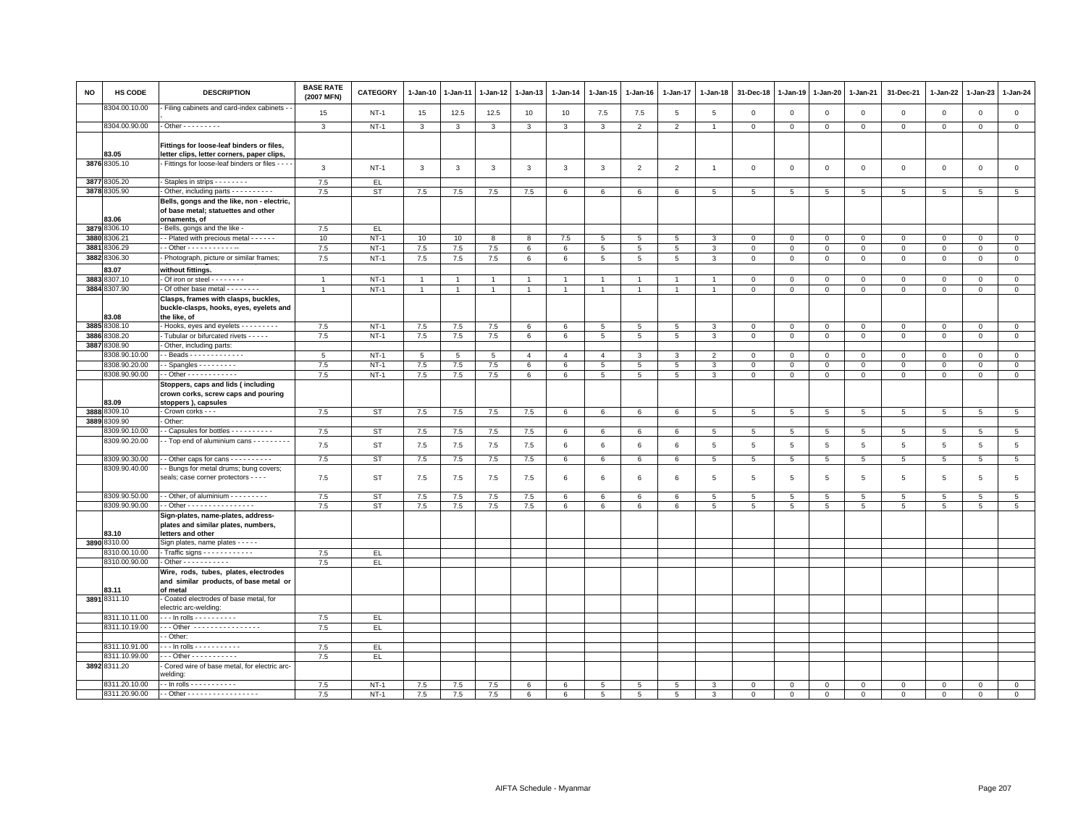| <b>NO</b> | <b>HS CODE</b> | <b>DESCRIPTION</b>                                                                                 | <b>BASE RATE</b><br>(2007 MFN) | CATEGORY  | 1-Jan-10       | $1-Jan-11$     | $1 - Jan-12$   | $1 - Jan-13$   | 1-Jan-14        | 1-Jan-15        | 1-Jan-16        | 1-Jan-17        | 1-Jan-18       | 31-Dec-18       | 1-Jan-19        | $1-Jan-20$      | 1-Jan-21        | 31-Dec-21      | 1-Jan-22    | $1-Jan-23$   | $1 - Jan-24$    |
|-----------|----------------|----------------------------------------------------------------------------------------------------|--------------------------------|-----------|----------------|----------------|----------------|----------------|-----------------|-----------------|-----------------|-----------------|----------------|-----------------|-----------------|-----------------|-----------------|----------------|-------------|--------------|-----------------|
|           | 8304.00.10.00  | Filing cabinets and card-index cabinets -                                                          | 15                             | $NT-1$    | 15             | 12.5           | 12.5           | 10             | 10              | 7.5             | 7.5             | 5               | 5              | $\mathbf 0$     | $\overline{0}$  | $\mathbf 0$     | $\mathbf 0$     | $\mathsf 0$    | $\mathbf 0$ | $\mathsf 0$  | $\mathsf 0$     |
|           | 8304.00.90.00  | $-$ Other $       -$                                                                               | $\mathbf{3}$                   | $NT-1$    | $\mathbf{3}$   | $\mathbf{3}$   | $\mathbf{3}$   | $\mathbf{3}$   | 3               | $\mathbf{3}$    | $\overline{2}$  | $\overline{2}$  | $\overline{1}$ | $\circ$         | $\mathbf 0$     | $\circ$         | $\mathsf 0$     | $\mathsf 0$    | $\mathbf 0$ | $\mathbf 0$  | $\mathsf 0$     |
|           | 83.05          | Fittings for loose-leaf binders or files,<br>letter clips, letter corners, paper clips,            |                                |           |                |                |                |                |                 |                 |                 |                 |                |                 |                 |                 |                 |                |             |              |                 |
|           | 3876 8305.10   | Fittings for loose-leaf binders or files - - - -                                                   | $\mathbf{3}$                   | $NT-1$    | $\mathbf{3}$   | $\mathbf{3}$   | $\mathbf{3}$   | $\mathbf{3}$   | $\mathbf{3}$    | $\mathbf{3}$    | $\overline{2}$  | $\overline{2}$  | $\overline{1}$ | $\mathbf 0$     | $\mathbb O$     | $\mathbf 0$     | $\mathsf 0$     | $\mathsf 0$    | $\mathsf 0$ | $\mathsf 0$  | $\mathsf 0$     |
| 3877      | 8305.20        | Staples in strips - - - - - - - -                                                                  | 7.5                            | EL.       |                |                |                |                |                 |                 |                 |                 |                |                 |                 |                 |                 |                |             |              |                 |
|           | 3878 8305.90   | - Other, including parts - - - - - - - - -                                                         | 7.5                            | <b>ST</b> | 7.5            | 7.5            | 7.5            | 7.5            | 6               | 6               | 6               | 6               | 5              | 5               | 5               | $5\overline{5}$ | 5               | 5              | 5           | 5            | $5\overline{5}$ |
|           | 83.06          | Bells, gongs and the like, non - electric,<br>of base metal; statuettes and other<br>ornaments, of |                                |           |                |                |                |                |                 |                 |                 |                 |                |                 |                 |                 |                 |                |             |              |                 |
|           | 3879 8306.10   | - Bells, gongs and the like -                                                                      | 7.5                            | EL.       |                |                |                |                |                 |                 |                 |                 |                |                 |                 |                 |                 |                |             |              |                 |
|           | 3880 8306.21   | - - Plated with precious metal - - - - - -                                                         | 10                             | $NT-1$    | 10             | 10             | 8              | 8              | 7.5             | $5\phantom{.0}$ | $\overline{5}$  | $\overline{5}$  | 3              | $\mathbf 0$     | $\,0\,$         | $\mathbf 0$     | $\mathbf 0$     | 0              | 0           | 0            | $\mathsf 0$     |
| 3881      | 3306.29        | $-$ Other - - - - - - - - - - - -                                                                  | 7.5                            | $NT-1$    | $7.5\,$        | $7.5\,$        | 7.5            | 6              | $\,6\,$         | $5\phantom{.0}$ | $5\phantom{.0}$ | $\overline{5}$  | 3              | $\circ$         | $\,0\,$         | $\overline{0}$  | $\overline{0}$  | $\overline{0}$ | $\mathbf 0$ | $\mathbf{0}$ | $\overline{0}$  |
| 3882      | 8306.30        | Photograph, picture or similar frames;                                                             | 7.5                            | $NT-1$    | 7.5            | 7.5            | $7.5$          | 6              | $6\phantom{.}6$ | $5\phantom{.0}$ | 5               | $5\phantom{.0}$ | 3              | $\,0\,$         | $\,0\,$         | $\mathbf 0$     | $\mathbf 0$     | $\mathbf{0}$   | $\mathbf 0$ | $\mathbf 0$  | $\mathsf 0$     |
|           | 83.07          | without fittings.                                                                                  |                                |           |                |                |                |                |                 |                 |                 |                 |                |                 |                 |                 |                 |                |             |              |                 |
| 3883      | 8307.10        | Of iron or steel - - - - - - - -                                                                   | $\overline{1}$                 | $NT-1$    | $\overline{1}$ | $\overline{1}$ | $\overline{1}$ | $\mathbf{1}$   | $\overline{1}$  | $\mathbf{1}$    |                 | $\overline{1}$  | $\overline{1}$ | $\mathbf 0$     | $\mathbf 0$     | $\mathbf 0$     | $\mathbf 0$     | $\mathsf 0$    | 0           | $\mathsf 0$  | $\mathbf 0$     |
|           | 3884 8307.90   | - Of other base metal - - - - - - - -                                                              | $\overline{1}$                 | $NT-1$    | $\overline{1}$ | $\mathbf{1}$   | $\mathbf{1}$   | $\overline{1}$ | $\mathbf{1}$    | $\mathbf{1}$    | $\overline{1}$  | $\mathbf{1}$    | $\overline{1}$ | $\mathsf 0$     | $\mathsf 0$     | $\mathsf 0$     | $\mathsf 0$     | $\mathsf 0$    | $\mathbf 0$ | $\mathbf 0$  | $\overline{0}$  |
|           | 83.08          | Clasps, frames with clasps, buckles,<br>buckle-clasps, hooks, eyes, eyelets and<br>the like, of    |                                |           |                |                |                |                |                 |                 |                 |                 |                |                 |                 |                 |                 |                |             |              |                 |
|           | 3885 8308.10   | Hooks, eyes and eyelets - - - - - - - - -                                                          | 7.5                            | $NT-1$    | 7.5            | 7.5            | 7.5            | 6              | 6               | 5               | 5               | 5               | 3              | $\mathbf{0}$    | $\mathbf{0}$    | $\mathbf 0$     | $\mathbf{0}$    | $\mathbf 0$    | $\mathbf 0$ | $\mathbf{0}$ | $\mathbf 0$     |
| 3886      | 8308.20        | Tubular or bifurcated rivets - - - - -                                                             | 7.5                            | $NT-1$    | 7.5            | 7.5            | 7.5            | 6              | 6               | $5\overline{5}$ | 5               | 5               | 3              | $\mathbf 0$     | $\mathbf 0$     | $\mathbf 0$     | $\mathbf 0$     | $\mathsf 0$    | $\mathbf 0$ | $\mathsf 0$  | $\mathbf 0$     |
| 3887      | 3308.90        | - Other, including parts:                                                                          |                                |           |                |                |                |                |                 |                 |                 |                 |                |                 |                 |                 |                 |                |             |              |                 |
|           | 3308.90.10.00  | $-Beads - - - - - - - - - - - - -$                                                                 | 5                              | $NT-1$    | 5              | 5              | 5              | $\overline{4}$ | $\overline{4}$  | $\overline{4}$  | 3               | 3               | $\overline{2}$ | $\Omega$        | $\mathbf 0$     | $\mathbf 0$     | $\mathbf 0$     | $\mathbf 0$    | $\mathbf 0$ | $\mathbf 0$  | $\mathbf 0$     |
|           | 8308.90.20.00  | - Spangles $- - - - - - - -$                                                                       | 7.5                            | $NT-1$    | 7.5            | 7.5            | 7.5            | 6              | 6               | 5               | 5               | 5               | 3              | $\mathbf 0$     | $\mathbf 0$     | $\mathbf 0$     | $\mathbf 0$     | $\mathsf 0$    | $\mathbf 0$ | $\mathsf 0$  | $\mathsf 0$     |
|           | 8308.90.90.00  | $-$ Other - - - - - - - - - - - -                                                                  | 7.5                            | $NT-1$    | 7.5            | 7.5            | 7.5            | 6              | 6               | $\overline{5}$  | 5               | $\overline{5}$  | 3              | $\mathbf 0$     | $\mathbf{0}$    | $\mathsf 0$     | $\mathbf 0$     | $\mathsf 0$    | $\mathbf 0$ | $\mathbf 0$  | $\overline{0}$  |
|           | 83.09          | Stoppers, caps and lids (including<br>crown corks, screw caps and pouring<br>stoppers), capsules   |                                |           |                |                |                |                |                 |                 |                 |                 |                |                 |                 |                 |                 |                |             |              |                 |
|           | 3888 8309.10   | - Crown corks - - -                                                                                | 7.5                            | <b>ST</b> | $7.5\,$        | 7.5            | 7.5            | 7.5            | 6               | 6               | 6               | 6               | 5              | 5               | 5               | $\,$ 5 $\,$     | 5               | $\overline{5}$ | 5           | 5            | $5\phantom{.0}$ |
|           | 3889 8309.90   | Other:                                                                                             |                                |           |                |                |                |                |                 |                 |                 |                 |                |                 |                 |                 |                 |                |             |              |                 |
|           | 3309.90.10.00  | - Capsules for bottles - - - - - - - - -                                                           | 7.5                            | <b>ST</b> | 7.5            | 7.5            | 7.5            | 7.5            | 6               | 6               | 6               | 6               | 5              | $5\overline{5}$ | $5\overline{5}$ | $5\overline{5}$ | 5               | 5              | 5           | 5            | $5\overline{5}$ |
|           | 8309.90.20.00  | - Top end of aluminium cans - - - - - - - -                                                        | 7.5                            | <b>ST</b> | 7.5            | 7.5            | 7.5            | 7.5            | $6\phantom{.}6$ | 6               | 6               | 6               | 5              | $5\phantom{.0}$ | $\overline{5}$  | 5               | $5\phantom{.0}$ | 5              | 5           | 5            | $5\phantom{.0}$ |
|           | 8309.90.30.00  | - Other caps for cans - - - - - - - - - -                                                          | 7.5                            | <b>ST</b> | $7.5\,$        | 7.5            | 7.5            | 7.5            | 6               | 6               | 6               | 6               | 5              | 5               | 5               | 5               | 5               | $\overline{5}$ | 5           | 5            | $\overline{5}$  |
|           | 8309.90.40.00  | - Bungs for metal drums; bung covers;<br>seals; case corner protectors - - - -                     | 7.5                            | <b>ST</b> | 7.5            | 7.5            | 7.5            | 7.5            | 6               | 6               | 6               | 6               | 5              | 5               | 5               | $\overline{5}$  | 5               | 5              | 5           | 5            | $\,$ 5 $\,$     |
|           | 8309.90.50.00  | - Other, of aluminium - - - - - - - - -                                                            | 7.5                            | <b>ST</b> | $7.5\,$        | 7.5            | 7.5            | 7.5            | 6               | 6               | 6               | 6               | 5              | 5               | 5               | 5               | $\overline{5}$  | 5              | 5           | 5            | 5               |
|           | 8309.90.90.00  | - Other - - - - - - - - - - - - - - - -                                                            | 7.5                            | <b>ST</b> | 7.5            | 7.5            | 7.5            | 7.5            | 6               | 6               | 6               | 6               | 5              | 5               | 5               | 5               | 5               | 5              | 5           | 5            | 5               |
|           | 83.10          | Sign-plates, name-plates, address-<br>plates and similar plates, numbers,<br>letters and other     |                                |           |                |                |                |                |                 |                 |                 |                 |                |                 |                 |                 |                 |                |             |              |                 |
|           | 3890 8310.00   | Sign plates, name plates - - - - -                                                                 |                                |           |                |                |                |                |                 |                 |                 |                 |                |                 |                 |                 |                 |                |             |              |                 |
|           | 8310.00.10.00  | - Traffic signs $- - - - - - - - - -$                                                              | 7.5                            | EL        |                |                |                |                |                 |                 |                 |                 |                |                 |                 |                 |                 |                |             |              |                 |
|           | 8310.00.90.00  |                                                                                                    | 7.5                            | EL.       |                |                |                |                |                 |                 |                 |                 |                |                 |                 |                 |                 |                |             |              |                 |
|           | 83.11          | Wire, rods, tubes, plates, electrodes<br>and similar products, of base metal or<br>of metal        |                                |           |                |                |                |                |                 |                 |                 |                 |                |                 |                 |                 |                 |                |             |              |                 |
|           | 3891 8311.10   | Coated electrodes of base metal, for<br>electric arc-welding:                                      |                                |           |                |                |                |                |                 |                 |                 |                 |                |                 |                 |                 |                 |                |             |              |                 |
|           | 8311.10.11.00  | . In rolls - - - - - - - - - -                                                                     | 7.5                            | EL.       |                |                |                |                |                 |                 |                 |                 |                |                 |                 |                 |                 |                |             |              |                 |
|           | 8311.10.19.00  | --- Other -----------------                                                                        | 7.5                            | EL.       |                |                |                |                |                 |                 |                 |                 |                |                 |                 |                 |                 |                |             |              |                 |
|           |                | - Other:                                                                                           |                                |           |                |                |                |                |                 |                 |                 |                 |                |                 |                 |                 |                 |                |             |              |                 |
|           | 8311.10.91.00  | . - - In rolls - - - - - - - - - - -                                                               | 7.5                            | EL.       |                |                |                |                |                 |                 |                 |                 |                |                 |                 |                 |                 |                |             |              |                 |
|           | 8311.10.99.00  | --- Other -----------                                                                              | 7.5                            | EL.       |                |                |                |                |                 |                 |                 |                 |                |                 |                 |                 |                 |                |             |              |                 |
|           | 3892 8311.20   | Cored wire of base metal, for electric arc-<br>welding:                                            |                                |           |                |                |                |                |                 |                 |                 |                 |                |                 |                 |                 |                 |                |             |              |                 |
|           | 8311.20.10.00  | - - In rolls - - - - - - - - - - -                                                                 | 7.5                            | $NT-1$    | 7.5            | 7.5            | 7.5            | 6              | 6               | 5               | 5               | 5               | 3              | $\Omega$        | $\Omega$        | $\mathbf{0}$    | $\Omega$        | $\mathbf 0$    | $\mathbf 0$ | $\mathbf 0$  | $\mathsf 0$     |
|           | 8311.20.90.00  | - - Other - - - - - - - - - - - - - - - - -                                                        | 7.5                            | $NT-1$    | 7.5            | 7.5            | 7.5            | 6              | 6               | $\overline{5}$  | 5               | 5               | 3              | $\Omega$        | $\Omega$        | $\mathsf 0$     | $\mathbf{0}$    | $\mathsf 0$    | $\mathbf 0$ | $\mathbf 0$  | $\overline{0}$  |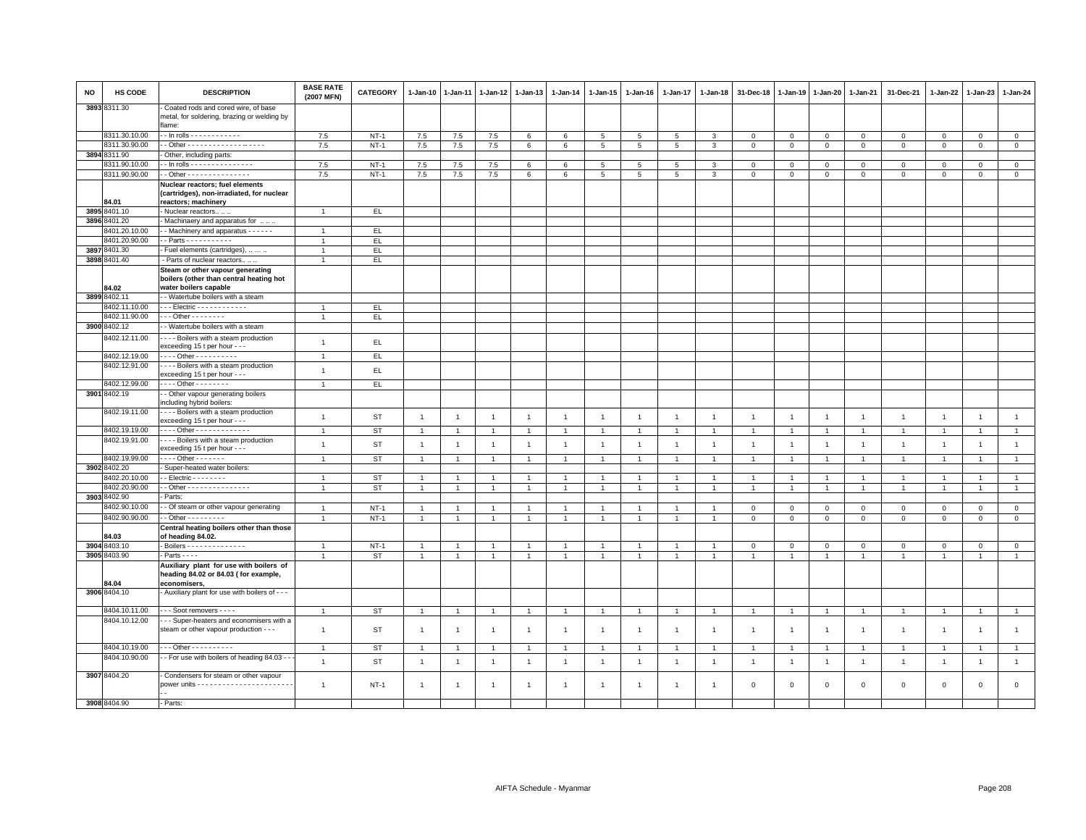| NO   | HS CODE                       | <b>DESCRIPTION</b>                                                                                   | <b>BASE RATE</b><br>(2007 MFN) | <b>CATEGORY</b> | $1 - Jan-10$   | 1-Jan-11       | 1-Jan-12       | $1 - Jan-13$   | 1-Jan-14        | 1-Jan-15        | 1-Jan-16       | 1-Jan-17       | 1-Jan-18       | 31-Dec-18               | 1-Jan-19       | 1-Jan-20       | 1-Jan-21       | 31-Dec-21      | 1-Jan-22       | 1-Jan-23       | 1-Jan-24       |
|------|-------------------------------|------------------------------------------------------------------------------------------------------|--------------------------------|-----------------|----------------|----------------|----------------|----------------|-----------------|-----------------|----------------|----------------|----------------|-------------------------|----------------|----------------|----------------|----------------|----------------|----------------|----------------|
|      | 3893 8311.30                  | Coated rods and cored wire, of base<br>metal, for soldering, brazing or welding by<br>flame:         |                                |                 |                |                |                |                |                 |                 |                |                |                |                         |                |                |                |                |                |                |                |
|      | 8311.30.10.00                 | . - In rolls - - - - - - - - - - - -                                                                 | 7.5                            | $NT-1$          | 7.5            | 7.5            | 7.5            | 6              | $6\phantom{.}6$ | $5\overline{)}$ | 5              | 5              | 3              | $\mathbf 0$             | $\mathbf 0$    | $\mathbf{0}$   | $\mathbf 0$    | $\circ$        | $\mathbf{0}$   | $\circ$        | $\overline{0}$ |
|      | 8311.30.90.00                 |                                                                                                      | 7.5                            | $NT-1$          | 7.5            | 7.5            | 7.5            | 6              | 6               | 5               | 5              | 5              | 3              | $\mathbf 0$             | $\mathbf 0$    | $\mathbf{0}$   | $\mathbf 0$    | $\mathbf 0$    | $\mathbf 0$    | $\mathbf 0$    | $\mathbf{0}$   |
|      | 3894 8311.90                  | Other, including parts:                                                                              |                                |                 |                |                |                |                |                 |                 |                |                |                |                         |                |                |                |                |                |                |                |
|      | 8311.90.10.00                 | - In rolls - - - - - - - - - - - - - - -                                                             | 7.5                            | $NT-1$          | 7.5            | $7.5$          | 7.5            | 6              | 6               | 5               | 5              | 5              | 3              | $\overline{\mathbf{0}}$ | $\mathbf 0$    | $\mathbf 0$    | $\mathbf 0$    | $\circ$        | $\Omega$       | $\mathbf{0}$   | $\overline{0}$ |
|      | 8311.90.90.00                 | - Other - - - - - - - - - - - - - - -                                                                | 7.5                            | $NT-1$          | 7.5            | 7.5            | 7.5            | 6              | 6               | 5               | 5              | 5              | 3              | $\mathbf 0$             | $\mathbf{0}$   | $\mathbf{O}$   | $\mathbf 0$    | $\mathbf 0$    | $\mathbf 0$    | $\mathbf 0$    | $\mathsf 0$    |
|      |                               | Nuclear reactors; fuel elements                                                                      |                                |                 |                |                |                |                |                 |                 |                |                |                |                         |                |                |                |                |                |                |                |
|      |                               | (cartridges), non-irradiated, for nuclear                                                            |                                |                 |                |                |                |                |                 |                 |                |                |                |                         |                |                |                |                |                |                |                |
|      | 84.01                         | reactors; machinery                                                                                  |                                |                 |                |                |                |                |                 |                 |                |                |                |                         |                |                |                |                |                |                |                |
| 3895 | 3401.10                       | Nuclear reactors                                                                                     | $\overline{1}$                 | EL              |                |                |                |                |                 |                 |                |                |                |                         |                |                |                |                |                |                |                |
| 3896 | 8401.20                       | Machinaery and apparatus for                                                                         |                                |                 |                |                |                |                |                 |                 |                |                |                |                         |                |                |                |                |                |                |                |
|      | 8401.20.10.00                 | - Machinery and apparatus - - - - - -                                                                | $\overline{1}$                 | EL.             |                |                |                |                |                 |                 |                |                |                |                         |                |                |                |                |                |                |                |
|      | 8401.20.90.00                 | - Parts - - - - - - - - - - -                                                                        | $\overline{1}$                 | EL              |                |                |                |                |                 |                 |                |                |                |                         |                |                |                |                |                |                |                |
| 3897 | 8401.30                       | Fuel elements (cartridges),                                                                          | $\mathbf{1}$                   | EL.             |                |                |                |                |                 |                 |                |                |                |                         |                |                |                |                |                |                |                |
|      | 3898 8401.40                  | - Parts of nuclear reactors                                                                          | $\mathbf{1}$                   | EL.             |                |                |                |                |                 |                 |                |                |                |                         |                |                |                |                |                |                |                |
|      | 84.02                         | Steam or other vapour generating<br>boilers (other than central heating hot<br>water boilers capable |                                |                 |                |                |                |                |                 |                 |                |                |                |                         |                |                |                |                |                |                |                |
|      | 3899 8402.11                  | - Watertube boilers with a steam                                                                     |                                |                 |                |                |                |                |                 |                 |                |                |                |                         |                |                |                |                |                |                |                |
|      | 8402.11.10.00                 | - - Electric - - - - - - - - - - -                                                                   | $\overline{1}$                 | EL              |                |                |                |                |                 |                 |                |                |                |                         |                |                |                |                |                |                |                |
|      | 8402.11.90.00                 | $-$ - Other - - - - - - - -                                                                          | $\mathbf{1}$                   | EL.             |                |                |                |                |                 |                 |                |                |                |                         |                |                |                |                |                |                |                |
|      | 3900 8402.12                  | - Watertube boilers with a steam                                                                     |                                |                 |                |                |                |                |                 |                 |                |                |                |                         |                |                |                |                |                |                |                |
|      | 8402.12.11.00                 | - - - Boilers with a steam production                                                                |                                |                 |                |                |                |                |                 |                 |                |                |                |                         |                |                |                |                |                |                |                |
|      |                               | exceeding 15 t per hour - - -                                                                        | $\mathbf{1}$                   | EL.             |                |                |                |                |                 |                 |                |                |                |                         |                |                |                |                |                |                |                |
|      | 8402.12.19.00                 | Other - - - - - - - - - -                                                                            | $\overline{1}$                 | EL              |                |                |                |                |                 |                 |                |                |                |                         |                |                |                |                |                |                |                |
|      | 8402.12.91.00                 | Boilers with a steam production                                                                      |                                |                 |                |                |                |                |                 |                 |                |                |                |                         |                |                |                |                |                |                |                |
|      |                               | exceeding 15 t per hour - - -                                                                        | $\mathbf{1}$                   | EL.             |                |                |                |                |                 |                 |                |                |                |                         |                |                |                |                |                |                |                |
|      | 8402.12.99.00                 | . Other - - - - - - - -                                                                              | $\mathbf{1}$                   | EL.             |                |                |                |                |                 |                 |                |                |                |                         |                |                |                |                |                |                |                |
|      | 3901 8402.19                  | - Other vapour generating boilers<br>ncluding hybrid boilers:                                        |                                |                 |                |                |                |                |                 |                 |                |                |                |                         |                |                |                |                |                |                |                |
|      | 8402.19.11.00                 | - - - Boilers with a steam production<br>exceeding 15 t per hour - - -                               | $\mathbf{1}$                   | <b>ST</b>       | $\overline{1}$ | $\overline{1}$ | $\overline{1}$ | $\mathbf{1}$   | $\overline{1}$  | $\mathbf{1}$    | $\overline{1}$ | $\overline{1}$ | $\overline{1}$ | $\overline{1}$          | $\overline{1}$ | $\overline{1}$ | $\overline{1}$ | $\overline{1}$ | $\overline{1}$ | $\mathbf{1}$   | $\overline{1}$ |
|      | 8402.19.19.00                 | --- Other -------------                                                                              | $\mathbf{1}$                   | <b>ST</b>       | $\overline{1}$ | $\overline{1}$ | $\mathbf{1}$   | $\mathbf{1}$   | $\overline{1}$  | $\mathbf{1}$    | $\overline{1}$ | $\overline{1}$ | $\overline{1}$ | $\overline{1}$          | $\overline{1}$ | $\overline{1}$ | $\overline{1}$ | $\mathbf{1}$   | $\overline{1}$ | $\mathbf{1}$   | $\mathbf{1}$   |
|      | 8402.19.91.00                 | Boilers with a steam production<br>exceeding 15 t per hour - - -                                     | $\mathbf{1}$                   | <b>ST</b>       | $\overline{1}$ | $\overline{1}$ | $\overline{1}$ | $\overline{1}$ | $\mathbf{1}$    | $\mathbf{1}$    | $\overline{1}$ | $\mathbf{1}$   | $\overline{1}$ | $\overline{1}$          | $\overline{1}$ | $\overline{1}$ | $\overline{1}$ | $\overline{1}$ | $\overline{1}$ | $\overline{1}$ | $\mathbf{1}$   |
|      | 8402.19.99.00                 | $- - -$ Other $- - - - - -$                                                                          | $\overline{1}$                 | <b>ST</b>       | $\overline{1}$ | $\overline{1}$ | $\overline{1}$ | $\overline{1}$ | $\overline{1}$  | $\overline{1}$  |                | $\mathbf{1}$   | $\overline{1}$ | $\overline{1}$          | $\overline{1}$ | $\overline{1}$ | $\overline{1}$ | $\overline{1}$ | $\overline{1}$ | $\overline{1}$ | $\mathbf{1}$   |
|      | 3902 8402.20                  | Super-heated water boilers:                                                                          |                                |                 |                |                |                |                |                 |                 |                |                |                |                         |                |                |                |                |                |                |                |
|      | 8402.20.10.00                 | $-$ Electric $      -$                                                                               | $\overline{1}$                 | ST              | $\mathbf{1}$   |                | $\mathbf{1}$   | $\overline{1}$ |                 | $\mathbf{1}$    |                |                | $\overline{1}$ | $\mathbf{1}$            |                | $\overline{1}$ | $\overline{1}$ | $\overline{1}$ |                | $\overline{1}$ | $\mathbf{1}$   |
|      | 8402.20.90.00                 | - Other - - - - - - - - - - - - - - -                                                                | $\overline{1}$                 | <b>ST</b>       | $\overline{1}$ | $\overline{1}$ | $\mathbf{1}$   | $\overline{1}$ | $\overline{1}$  | $\mathbf{1}$    | $\overline{1}$ | $\mathbf{1}$   | $\overline{1}$ | $\overline{1}$          | $\overline{1}$ | $\overline{1}$ | $\overline{1}$ | $\mathbf{1}$   | $\overline{1}$ | $\overline{1}$ | $\overline{1}$ |
|      | 3903 8402.90<br>8402.90.10.00 | Parts:<br>- Of steam or other vapour generating                                                      |                                |                 |                |                |                |                |                 |                 |                |                |                |                         |                |                |                |                |                |                |                |
|      |                               |                                                                                                      | $\overline{1}$                 | $NT-1$          | $\overline{1}$ | $\overline{1}$ | $\overline{1}$ | $\mathbf{1}$   | $\overline{1}$  | $\mathbf{1}$    | $\overline{1}$ | $\overline{1}$ | $\mathbf{1}$   | $\mathbf 0$             | $\mathbb O$    | $\circ$        | $\mathbf 0$    | $\mathsf 0$    | $\mathbf 0$    | $\mathsf 0$    | $\mathbf{0}$   |
|      | 8402.90.90.00                 | $-$ Other $       -$<br>Central heating boilers other than those                                     | $\mathbf{1}$                   | $NT-1$          | $\overline{1}$ | $\mathbf{1}$   | $\mathbf{1}$   | $\overline{1}$ | $\mathbf{1}$    | $\mathbf{1}$    | $\overline{1}$ | $\overline{1}$ | $\mathbf{1}$   | $\mathbf{0}$            | $\mathbf{0}$   | $\circ$        | $\mathbf 0$    | $\mathsf 0$    | $\mathbf 0$    | $\mathsf 0$    | $\mathbf{0}$   |
|      | 34.03                         | of heading 84.02.                                                                                    |                                |                 |                |                |                |                |                 |                 |                |                |                |                         |                |                |                |                |                |                |                |
|      | 3904 8403.10                  | Boilers - - - - - - - - - - - - - -                                                                  | $\mathbf{1}$                   | $NT-1$          | $\overline{1}$ | $\overline{1}$ | $\overline{1}$ | $\overline{1}$ | $\overline{1}$  | $\overline{1}$  | $\overline{1}$ | $\overline{1}$ | $\overline{1}$ | $\mathbf 0$             | $\mathbf 0$    | $\mathbf 0$    | $\overline{0}$ | $\mathbf{0}$   | $\mathbf{0}$   | $\circ$        | $\mathbf{0}$   |
|      | 3905 8403.90                  | $Parts - - -$                                                                                        |                                | <b>ST</b>       | $\overline{1}$ | $\overline{1}$ | $\mathbf{1}$   | $\overline{1}$ |                 | $\overline{1}$  |                | $\mathbf{1}$   | $\overline{1}$ | $\overline{1}$          | $\mathbf{1}$   |                | $\overline{1}$ |                |                | -1             | $\overline{1}$ |
|      |                               | Auxiliary plant for use with boilers of<br>heading 84.02 or 84.03 (for example,<br>economisers,      |                                |                 |                |                |                |                |                 |                 |                |                |                |                         |                |                |                |                |                |                |                |
|      | 34.04<br>3906 8404.10         | - Auxiliary plant for use with boilers of - - -                                                      |                                |                 |                |                |                |                |                 |                 |                |                |                |                         |                |                |                |                |                |                |                |
|      | 8404.10.11.00                 | - - Soot removers - - - -                                                                            | $\mathbf{1}$                   | <b>ST</b>       | $\overline{1}$ | $\mathbf{1}$   | $\mathbf{1}$   | $\mathbf{1}$   | $\overline{1}$  | $\mathbf{1}$    | $\overline{1}$ | $\mathbf{1}$   | $\overline{1}$ | $\overline{1}$          | $\overline{1}$ | $\overline{1}$ | $\overline{1}$ | $\mathbf{1}$   | $\overline{1}$ | $\overline{1}$ | $\mathbf{1}$   |
|      | 8404.10.12.00                 | - - Super-heaters and economisers with a                                                             |                                |                 |                |                |                |                |                 |                 |                |                |                |                         |                |                |                |                |                |                |                |
|      |                               | steam or other vapour production - - -                                                               | $\mathbf{1}$                   | ST              | $\overline{1}$ | $\overline{1}$ | $\overline{1}$ | $\overline{1}$ | $\mathbf{1}$    | $\mathbf{1}$    | $\overline{1}$ | $\overline{1}$ | $\overline{1}$ | $\overline{1}$          | $\overline{1}$ | $\overline{1}$ | $\overline{1}$ | $\overline{1}$ | $\overline{1}$ | $\overline{1}$ | $\mathbf{1}$   |
|      | 8404.10.19.00                 | - - Other - - - - - - - - - -                                                                        | $\overline{1}$                 | <b>ST</b>       | $\overline{1}$ | $\overline{1}$ | $\overline{1}$ | $\overline{1}$ |                 | $\overline{1}$  |                | $\overline{1}$ | $\overline{1}$ | $\overline{1}$          | $\overline{1}$ | $\overline{1}$ | $\overline{1}$ | $\overline{1}$ | $\mathbf{1}$   | $\overline{1}$ | $\mathbf{1}$   |
|      | 8404.10.90.00                 | - For use with boilers of heading 84.03 -                                                            | $\mathbf{1}$                   | <b>ST</b>       | $\overline{1}$ | $\overline{1}$ | $\overline{1}$ | $\overline{1}$ | $\overline{1}$  | $\mathbf{1}$    | $\overline{1}$ | $\overline{1}$ | $\overline{1}$ | $\overline{1}$          | $\overline{1}$ | $\overline{1}$ | $\blacksquare$ | $\mathbf{1}$   | $\overline{1}$ | $\mathbf{1}$   | $\overline{1}$ |
|      | 3907 8404.20                  | Condensers for steam or other vapour                                                                 |                                |                 |                |                |                |                |                 |                 |                |                |                |                         |                |                |                |                |                |                |                |
|      |                               |                                                                                                      | $\overline{1}$                 | $NT-1$          | $\overline{1}$ | $\overline{1}$ | $\mathbf{1}$   | $\overline{1}$ | $\mathbf{1}$    | $\mathbf{1}$    | $\overline{1}$ | $\mathbf{1}$   | $\overline{1}$ | $\overline{0}$          | $\mathbf 0$    | $\,0\,$        | $\mathbf{0}$   | $\mathbf 0$    | $\circ$        | $\mathbf 0$    | $\mathsf 0$    |
|      | 3908 8404.90                  | - Parts:                                                                                             |                                |                 |                |                |                |                |                 |                 |                |                |                |                         |                |                |                |                |                |                |                |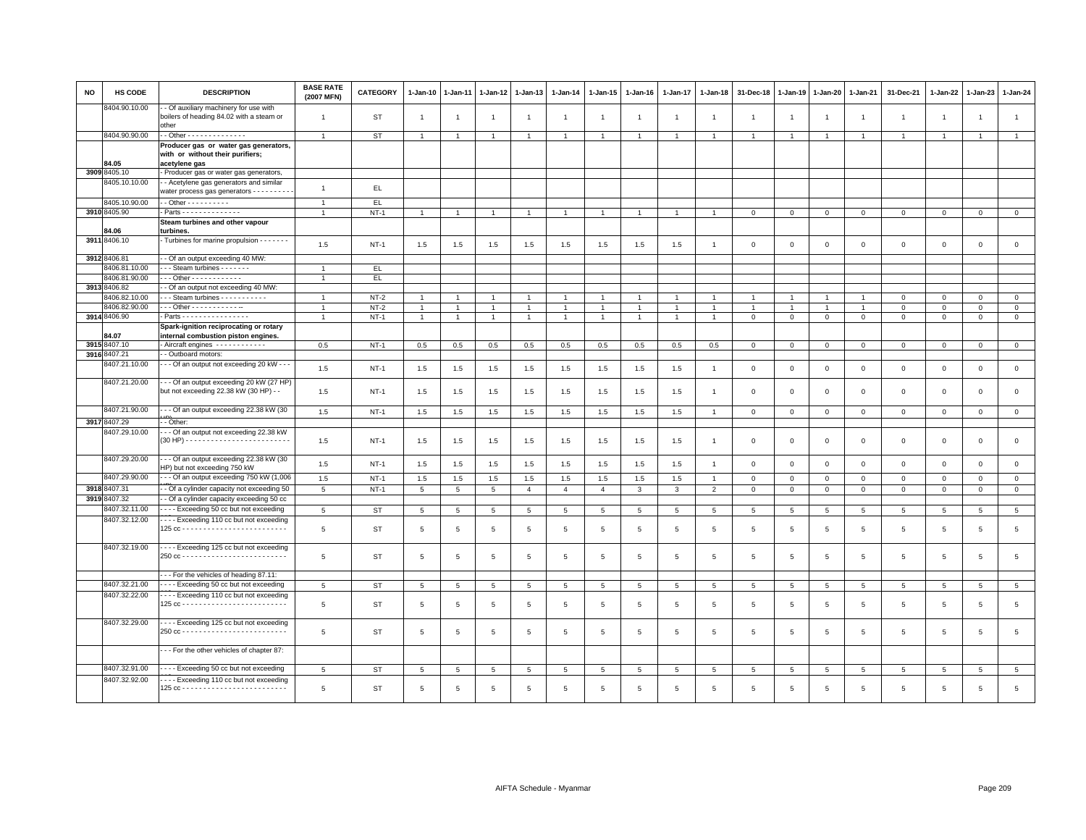| NO | <b>HS CODE</b>                | <b>DESCRIPTION</b>                                                                         | <b>BASE RATE</b><br>(2007 MFN) | <b>CATEGORY</b> | $1-Jan-10$     | $1-Jan-11$      | 1-Jan-12        | $1-Jan-13$     | $1-Jan-14$     | 1-Jan-15       | $1 - Jan-16$   | 1-Jan-17        | $1-Jan-18$      | 31-Dec-18      | $1-Jan-19$     | 1-Jan-20        | 1-Jan-21        | 31-Dec-21       | 1-Jan-22        | $1-Jan-23$     | 1-Jan-24            |
|----|-------------------------------|--------------------------------------------------------------------------------------------|--------------------------------|-----------------|----------------|-----------------|-----------------|----------------|----------------|----------------|----------------|-----------------|-----------------|----------------|----------------|-----------------|-----------------|-----------------|-----------------|----------------|---------------------|
|    | 8404.90.10.00                 | - Of auxiliary machinery for use with<br>boilers of heading 84.02 with a steam or<br>other | $\overline{1}$                 | ST              | $\overline{1}$ | $\overline{1}$  |                 | $\overline{1}$ | $\overline{1}$ | $\overline{1}$ |                | $\overline{1}$  | $\overline{1}$  | $\overline{1}$ | $\overline{1}$ | $\overline{1}$  | $\overline{1}$  | $\overline{1}$  | 1               | $\overline{1}$ | $\overline{1}$      |
|    | 8404.90.90.00                 | - Other - - - - - - - - - - - - - -                                                        | $\overline{1}$                 | ST              | $\overline{1}$ | $\overline{1}$  |                 | $\overline{1}$ | $\overline{1}$ | $\overline{1}$ |                | $\overline{1}$  |                 |                |                | $\overline{1}$  |                 |                 |                 |                | $\mathbf{1}$        |
|    |                               | Producer gas or water gas generators,<br>with or without their purifiers;                  |                                |                 |                |                 |                 |                |                |                |                |                 |                 |                |                |                 |                 |                 |                 |                |                     |
|    | 84.05<br>3909 8405.10         | acetylene gas<br>Producer gas or water gas generators,                                     |                                |                 |                |                 |                 |                |                |                |                |                 |                 |                |                |                 |                 |                 |                 |                |                     |
|    | 8405.10.10.00                 | - Acetylene gas generators and similar                                                     |                                |                 |                |                 |                 |                |                |                |                |                 |                 |                |                |                 |                 |                 |                 |                |                     |
|    |                               | water process gas generators - - - - - - - -                                               | $\mathbf{1}$                   | EL.             |                |                 |                 |                |                |                |                |                 |                 |                |                |                 |                 |                 |                 |                |                     |
|    |                               |                                                                                            |                                |                 |                |                 |                 |                |                |                |                |                 |                 |                |                |                 |                 |                 |                 |                |                     |
|    | 8405.10.90.00<br>3910 8405.90 | $-$ Other - - - - - - - - - -                                                              | $\overline{1}$                 | EL              |                |                 |                 |                |                |                |                |                 |                 | $\Omega$       | $\Omega$       |                 |                 |                 |                 |                |                     |
|    |                               | - Parts - - - - - - - - - - - - - -                                                        | $\overline{1}$                 | $NT-1$          | $\overline{1}$ | $\overline{1}$  |                 | $\overline{1}$ | $\overline{1}$ | $\mathbf{1}$   |                | $\overline{1}$  |                 |                |                | $\mathbf 0$     | $\mathbf{O}$    | $\Omega$        | $\Omega$        | $\Omega$       | $\mathbf 0$         |
|    | 84.06                         | Steam turbines and other vapour<br>turbines.                                               |                                |                 |                |                 |                 |                |                |                |                |                 |                 |                |                |                 |                 |                 |                 |                |                     |
|    | 3911 8406.10                  | Turbines for marine propulsion - - - - - - -                                               | 1.5                            | $NT-1$          | 1.5            | 1.5             | 1.5             | 1.5            | 1.5            | 1.5            | 1.5            | 1.5             | $\overline{1}$  | $\Omega$       | $\Omega$       | $\Omega$        | $\Omega$        | $\Omega$        | $\Omega$        | $\Omega$       | $\mathbf{0}$        |
|    | 3912 8406.81                  | - - Of an output exceeding 40 MW:                                                          |                                |                 |                |                 |                 |                |                |                |                |                 |                 |                |                |                 |                 |                 |                 |                |                     |
|    | 8406.81.10.00                 | --- Steam turbines -------                                                                 | $\overline{1}$                 | EL.             |                |                 |                 |                |                |                |                |                 |                 |                |                |                 |                 |                 |                 |                |                     |
|    | 8406.81.90.00                 | $-$ - Other - - - - - - - - - - - -                                                        |                                | EL.             |                |                 |                 |                |                |                |                |                 |                 |                |                |                 |                 |                 |                 |                |                     |
|    | 3913 8406.82                  | - Of an output not exceeding 40 MW:                                                        |                                |                 |                |                 |                 |                |                |                |                |                 |                 |                |                |                 |                 |                 |                 |                |                     |
|    | 8406.82.10.00                 | Steam turbines - - - - - - - - - -                                                         |                                | $NT-2$          |                |                 |                 |                |                |                |                |                 |                 |                |                |                 |                 | $\Omega$        | $\Omega$        | $\Omega$       | $\mathbf 0$         |
|    | 8406.82.90.00                 | - - - Other - - - - - - - - - - - -                                                        |                                | $NT-2$          | $\mathbf{1}$   |                 | -1              | $\overline{1}$ | $\overline{1}$ | $\mathbf{1}$   | 1              | -1              |                 |                |                | 1               | 1               | $\circ$         | $\Omega$        | $\mathbf 0$    | $\overline{0}$      |
|    | 3914 8406.90                  | - Parts - - - - - - - - - - - - - - - -                                                    | $\overline{1}$                 | $NT-1$          | $\mathbf{1}$   | $\overline{1}$  | $\overline{1}$  | $\overline{1}$ | $\overline{1}$ | $\mathbf{1}$   | $\mathbf{1}$   | $\mathbf{1}$    | $\overline{1}$  | $\mathbf 0$    | $\mathbf{0}$   | $\mathbf 0$     | $\mathbf{0}$    | $\mathbf{0}$    | $\mathbf{0}$    | $\mathbf{0}$   | $\circ$             |
|    |                               | Spark-ignition reciprocating or rotary                                                     |                                |                 |                |                 |                 |                |                |                |                |                 |                 |                |                |                 |                 |                 |                 |                |                     |
|    | 84.07                         | internal combustion piston engines.                                                        |                                |                 |                |                 |                 |                |                |                |                |                 |                 |                |                |                 |                 |                 |                 |                |                     |
|    | 3915 8407.10                  | Aircraft engines ------------                                                              | 0.5                            | $NT-1$          | 0.5            | 0.5             | 0.5             | 0.5            | 0.5            | 0.5            | 0.5            | 0.5             | 0.5             | $\Omega$       | $\Omega$       | $\mathbf 0$     | $\mathbf{0}$    | $\circ$         | $\Omega$        | $\Omega$       | $\circ$             |
|    | 3916 8407.21                  | - Outboard motors:                                                                         |                                |                 |                |                 |                 |                |                |                |                |                 |                 |                |                |                 |                 |                 |                 |                |                     |
|    | 8407.21.10.00                 | - - - Of an output not exceeding 20 kW - - -                                               | 1.5                            | $NT-1$          | 1.5            | 1.5             | 1.5             | 1.5            | 1.5            | 1.5            | 1.5            | 1.5             | $\overline{1}$  | $\mathbf{O}$   | $\mathbf{0}$   | $\mathbf 0$     | 0               | $\mathbf 0$     | $\mathbf 0$     | $\mathsf 0$    | $\mathbf{0}$        |
|    | 8407.21.20.00                 | -- Of an output exceeding 20 kW (27 HP)<br>but not exceeding 22.38 kW (30 HP) - -          | 1.5                            | $NT-1$          | 1.5            | 1.5             | 1.5             | 1.5            | 1.5            | 1.5            | 1.5            | 1.5             | $\overline{1}$  | $\Omega$       | $\mathbf 0$    | $\overline{0}$  | $\circ$         | $\mathbf{0}$    | $\Omega$        | $\mathbf 0$    | $\mathsf 0$         |
|    | 8407.21.90.00                 | --- Of an output exceeding 22.38 kW (30                                                    | 1.5                            | $NT-1$          | 1.5            | 1.5             | 1.5             | 1.5            | 1.5            | 1.5            | 1.5            | 1.5             | $\overline{1}$  | $\circ$        | $\mathbf 0$    | $\mathbf{0}$    | $\mathbf{0}$    | $\mathbf{0}$    | $\mathbf{0}$    | $\circ$        | $\circ$             |
|    | 3917 8407.29                  | - Other:                                                                                   |                                |                 |                |                 |                 |                |                |                |                |                 |                 |                |                |                 |                 |                 |                 |                |                     |
|    | 8407.29.10.00                 | - - Of an output not exceeding 22.38 kW                                                    | 1.5                            | $NT-1$          | 1.5            | 1.5             | 1.5             | 1.5            | 1.5            | 1.5            | 1.5            | 1.5             | $\overline{1}$  | $\mathbf 0$    | $\mathbf 0$    | $\mathbf 0$     | 0               | $\mathbf 0$     | $\mathbf 0$     | $\mathsf 0$    | $\mathsf 0$         |
|    | 8407.29.20.00                 | --- Of an output exceeding 22.38 kW (30<br>HP) but not exceeding 750 kW                    | 1.5                            | $NT-1$          | 1.5            | 1.5             | 1.5             | 1.5            | 1.5            | 1.5            | 1.5            | 1.5             | $\overline{1}$  | $\mathbf 0$    | $\overline{0}$ | $\mathbf{0}$    | $\circ$         | $\mathbf 0$     | $\Omega$        | $\mathbf{0}$   | $\mathsf{O}\xspace$ |
|    | 8407.29.90.00                 | --- Of an output exceeding 750 kW (1,006                                                   | 1.5                            | $NT-1$          | 1.5            | 1.5             | 1.5             | 1.5            | 1.5            | 1.5            | 1.5            | 1.5             | $\overline{1}$  | $\mathbf 0$    | $\mathbf{0}$   | $\mathbf 0$     | $\mathbf{0}$    | $\mathbf 0$     | $\mathbf 0$     | $\mathbf 0$    | $\mathsf 0$         |
|    | 3918 8407.31                  | - Of a cylinder capacity not exceeding 50                                                  | $5\overline{5}$                | $NT-1$          | 5              | 5               | 5               | $\overline{4}$ | $\overline{4}$ | $\overline{4}$ | $\mathbf{3}$   | $\mathbf{3}$    | $\overline{2}$  | $\mathbf 0$    | $\mathbf 0$    | $\overline{0}$  | $\mathbf{0}$    | $\mathbf 0$     | $\mathbf{0}$    | $\mathsf 0$    | $\mathbf{0}$        |
|    | 3919 8407.32                  | - Of a cylinder capacity exceeding 50 cc                                                   |                                |                 |                |                 |                 |                |                |                |                |                 |                 |                |                |                 |                 |                 |                 |                |                     |
|    | 8407.32.11.00                 | ---- Exceeding 50 cc but not exceeding                                                     | 5                              | <b>ST</b>       | 5              | 5               | 5               | 5              | 5              | 5              | 5              | 5               | 5               | $\overline{5}$ | 5              | $5\overline{5}$ | 5               | 5               | $5\overline{5}$ | 5              | 5                   |
|    | 8407.32.12.00                 | Exceeding 110 cc but not exceeding                                                         | 5                              | <b>ST</b>       | 5              | $\overline{5}$  | $5\phantom{.0}$ | $\overline{5}$ | $\,$ 5 $\,$    | $\,$ 5 $\,$    | 5              | $\overline{5}$  | $5\phantom{.0}$ | $\overline{5}$ | 5              | $\overline{5}$  | $5\phantom{.0}$ | 5               | 5               | $\overline{5}$ | $\,$ 5 $\,$         |
|    | 8407.32.19.00                 | ---- Exceeding 125 cc but not exceeding                                                    | 5                              | ST              | 5              | 5               | 5               | 5              | 5              | 5              | 5              | 5               | 5               | 5              | 5              | 5               | 5               | 5               | 5               | 5              | $\overline{5}$      |
|    |                               | --- For the vehicles of heading 87.11:                                                     |                                |                 |                |                 |                 |                |                |                |                |                 |                 |                |                |                 |                 |                 |                 |                |                     |
|    | 8407.32.21.00                 | --- Exceeding 50 cc but not exceeding                                                      | $\overline{5}$                 | ST              | 5              | $5\phantom{.0}$ | 5               | 5              | $\,$ 5 $\,$    | $\overline{5}$ | $\,$ 5 $\,$    | $\overline{5}$  | $5\phantom{.0}$ | 5              | 5              | $5\phantom{.0}$ | $5\phantom{.0}$ | $5\phantom{.0}$ | 5               | 5              | $5\phantom{.0}$     |
|    | 8407.32.22.00                 | --- Exceeding 110 cc but not exceeding                                                     |                                |                 |                |                 |                 |                |                |                |                |                 |                 |                |                |                 |                 |                 |                 |                |                     |
|    |                               |                                                                                            | 5                              | <b>ST</b>       | 5              | 5               | 5               | 5              | 5              | 5              | 5              | 5               | 5               | 5              | 5              | 5               | 5               | 5               | 5               | 5              | $\overline{5}$      |
|    | 8407.32.29.00                 | ---- Exceeding 125 cc but not exceeding                                                    | 5                              | ST              | 5              | 5               | 5               | 5              | 5              | 5              | $\overline{5}$ | $5\overline{5}$ | 5               | 5              | 5              | $\overline{5}$  | 5               | 5               | $5\overline{5}$ | $\overline{5}$ | 5                   |
|    |                               | --- For the other vehicles of chapter 87:                                                  |                                |                 |                |                 |                 |                |                |                |                |                 |                 |                |                |                 |                 |                 |                 |                |                     |
|    | 8407.32.91.00                 | --- Exceeding 50 cc but not exceeding                                                      | 5                              | ST              | 5              | 5               | 5               | 5              | 5              | 5              | 5              | 5               | 5               | 5              | 5              | 5               | 5               | 5               | 5               | 5              | 5                   |
|    | 8407.32.92.00                 | Exceeding 110 cc but not exceeding                                                         | 5                              | <b>ST</b>       | 5              | 5               | 5               | 5              | 5              | $\overline{5}$ | 5              | $5\overline{5}$ | 5               | 5              | 5              | 5               | 5               | 5               | 5               | 5              | 5                   |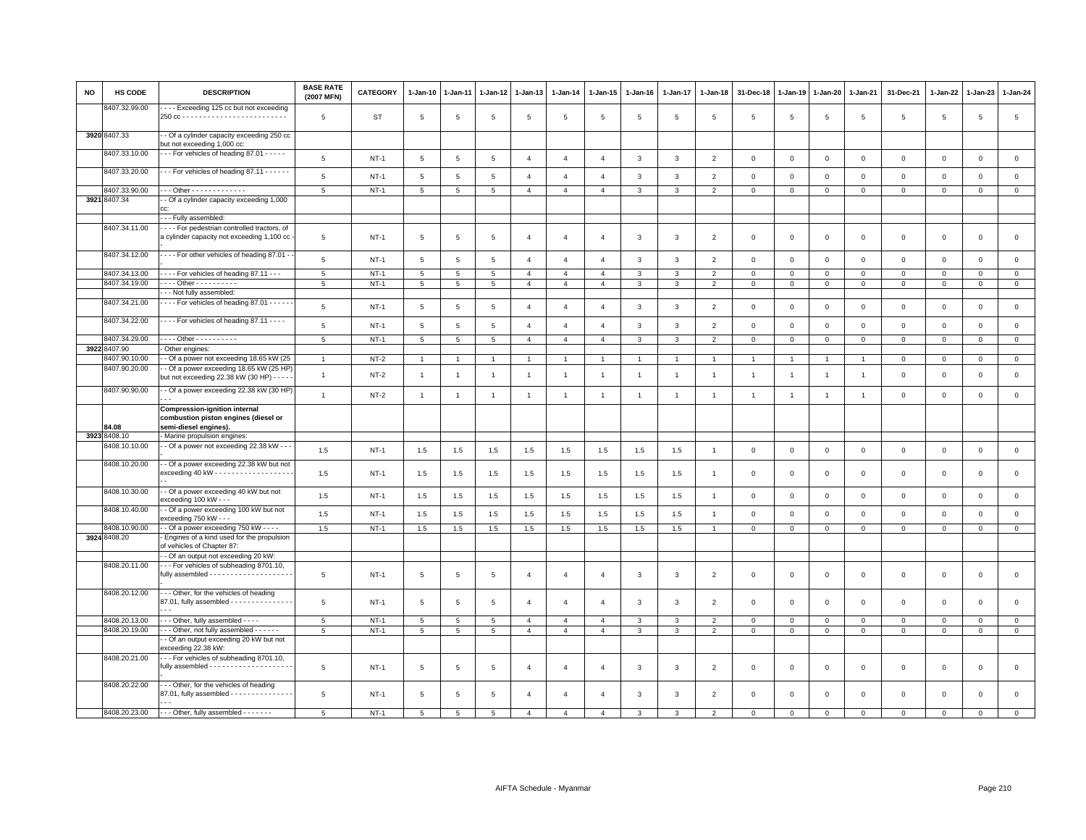| <b>NO</b> | HS CODE               | <b>DESCRIPTION</b>                                                                                             | <b>BASE RATE</b><br>(2007 MFN) | <b>CATEGORY</b> | $1-Jan-10$      | 1-Jan-11        | 1-Jan-12        | 1-Jan-13       | $1 - Jan-14$   | $1 - Jan-15$   | $1-Jan-16$     | 1-Jan-17       | $1 - Jan-18$   | 31-Dec-18      | $1 - Jan-19$   | $1 - Jan-20$   | $1 - Jan-21$   | 31-Dec-21           | 1-Jan-22     | $1-Jan-23$          | 1-Jan-24       |
|-----------|-----------------------|----------------------------------------------------------------------------------------------------------------|--------------------------------|-----------------|-----------------|-----------------|-----------------|----------------|----------------|----------------|----------------|----------------|----------------|----------------|----------------|----------------|----------------|---------------------|--------------|---------------------|----------------|
|           | 8407.32.99.00         | --- Exceeding 125 cc but not exceeding                                                                         | $\overline{5}$                 | ST              | $5\phantom{.0}$ | $\overline{5}$  | 5               | $\overline{5}$ | 5              | 5              | 5              | 5              | $\overline{5}$ | 5              | 5              | $\,$ 5         | $\,$ 5 $\,$    | $\,$ 5 $\,$         | 5            | $\,$ 5 $\,$         | $\,$ 5 $\,$    |
|           | 3920 8407.33          | - Of a cylinder capacity exceeding 250 cc<br>but not exceeding 1,000 cc:                                       |                                |                 |                 |                 |                 |                |                |                |                |                |                |                |                |                |                |                     |              |                     |                |
|           | 8407.33.10.00         | --- For vehicles of heading 87.01 -----                                                                        | 5                              | $NT-1$          | $\,$ 5 $\,$     | 5               | $\,$ 5 $\,$     | $\overline{4}$ | $\overline{4}$ | $\overline{4}$ | 3              | $\overline{3}$ | $\overline{2}$ | $\mathbf 0$    | $\mathbf{0}$   | $\mathbf 0$    | $\mathbb O$    | $\mathsf 0$         | $\circ$      | $\mathsf{O}\xspace$ | $\mathbf 0$    |
|           | 8407.33.20.00         | $\cdots$ For vehicles of heading 87.11 $\cdots$                                                                | 5                              | $NT-1$          | $5\phantom{.0}$ | 5               | 5               | $\overline{4}$ | $\overline{4}$ | $\overline{4}$ | 3              | 3              | $\overline{2}$ | $\mathbf 0$    | $\mathsf 0$    | $\mathbf 0$    | $\mathbf 0$    | $\mathsf 0$         | $\mathbf 0$  | $\mathsf 0$         | $\mathsf 0$    |
|           | 8407.33.90.00         | --- Other - - - - - - - - - - - - -                                                                            | 5                              | $NT-1$          | $5\overline{5}$ | 5               | 5               | $\overline{4}$ | $\overline{4}$ | $\overline{4}$ | 3              | 3              | $\overline{2}$ | $\mathbf 0$    | $\mathbf 0$    | $\mathbf{0}$   | $\mathbf 0$    | $\mathbf 0$         | $\mathbf 0$  | $\mathbf{O}$        | $\mathbf 0$    |
|           | 3921 8407.34          | - Of a cylinder capacity exceeding 1,000                                                                       |                                |                 |                 |                 |                 |                |                |                |                |                |                |                |                |                |                |                     |              |                     |                |
|           | 8407.34.11.00         | --- Fully assembled:<br>--- For pedestrian controlled tractors, of                                             |                                |                 |                 |                 |                 |                |                |                |                |                |                |                |                |                |                |                     |              |                     |                |
|           |                       | a cylinder capacity not exceeding 1,100 cc                                                                     | 5                              | $NT-1$          | 5               | 5               | 5               | $\overline{4}$ | $\overline{a}$ | $\overline{4}$ | 3              | 3              | $\overline{2}$ | $\mathbf 0$    | $\mathbf 0$    | $\mathsf 0$    | $\mathbf 0$    | $\mathsf 0$         | $\mathbf 0$  | $\mathsf 0$         | $\mathsf 0$    |
|           | 8407.34.12.00         | - - - - For other vehicles of heading 87.01 -                                                                  | 5                              | $NT-1$          | 5               | 5               | 5               | $\overline{4}$ | $\overline{4}$ | $\overline{4}$ | 3              | 3              | $\overline{2}$ | $\mathbf 0$    | $\mathsf 0$    | $\mathbf 0$    | $\mathbf 0$    | $\mathsf 0$         | $\mathbf 0$  | $\mathsf 0$         | $\mathsf 0$    |
|           | 8407.34.13.00         | - - - - For vehicles of heading 87.11 - - -                                                                    | $\overline{5}$                 | $NT-1$          | 5               | $\sqrt{5}$      | 5               | $\overline{4}$ | $\overline{4}$ | $\overline{4}$ | 3              | $\overline{3}$ | $\overline{2}$ | $\mathbf 0$    | $\mathsf 0$    | $\mathbf 0$    | $\overline{0}$ | $\mathsf 0$         | $\Omega$     | $\mathbf 0$         | $\mathsf 0$    |
|           | 8407.34.19.00         | $- - -$ Other - - - - - - - - - -<br>--- Not fully assembled:                                                  | 5                              | $NT-1$          | 5               | 5               | 5               | $\overline{4}$ | $\overline{4}$ | $\overline{4}$ | 3              | 3              | $\overline{2}$ | $\mathbf 0$    | $\mathbf{0}$   | $\mathbf{0}$   | $\mathbf{0}$   | $\mathbf{0}$        | $\mathbf{0}$ | $\mathbf 0$         | $\circ$        |
|           | 8407.34.21.00         | - - - - For vehicles of heading 87.01 - - - - -                                                                | 5                              | $NT-1$          | $5\overline{5}$ | 5               | 5               | $\overline{4}$ | $\overline{4}$ | $\overline{4}$ | 3              | $\mathbf{3}$   | $\overline{2}$ | $\mathbf 0$    | $\mathsf 0$    | $\mathsf 0$    | $\mathbf 0$    | $\mathsf 0$         | $\mathbf 0$  | $\mathbf 0$         | $\mathsf 0$    |
|           | 8407.34.22.00         | - - - - For vehicles of heading 87.11 - - - -                                                                  | 5                              | $NT-1$          | 5               | $5\overline{5}$ | $5\overline{5}$ | $\overline{4}$ | $\overline{4}$ | $\overline{4}$ | 3              | $\mathbf{3}$   | $\overline{2}$ | $\mathbf{0}$   | $\mathbf{0}$   | $\circ$        | $\mathbf{0}$   | $\mathbf{0}$        | $\circ$      | $\mathbf 0$         | $\mathbf{0}$   |
|           | 8407.34.29.00         | . Other - - - - - - - - - -                                                                                    | $\,$ 5 $\,$                    | $NT-1$          | 5               | 5               | $\overline{5}$  | $\overline{4}$ | $\overline{4}$ | $\overline{4}$ | 3              | 3              | $\overline{2}$ | $\mathbf 0$    | $\mathbf 0$    | $\mathsf 0$    | $\mathbf{0}$   | $\mathsf{O}\xspace$ | $\mathbf{0}$ | $\circ$             | $\overline{0}$ |
|           | 3922 8407.90          | - Other engines:                                                                                               |                                |                 |                 |                 |                 |                |                |                |                |                |                |                |                |                |                |                     |              |                     |                |
|           | 8407.90.10.00         | - Of a power not exceeding 18.65 kW (25                                                                        | $\overline{1}$                 | $NT-2$          | $\overline{1}$  |                 | $\overline{1}$  | $\overline{1}$ |                | $\overline{1}$ |                |                |                |                |                | $\overline{1}$ | $\overline{1}$ | 0                   | $\mathbf 0$  | $\mathsf 0$         | $\mathsf 0$    |
|           | 8407.90.20.00         | - Of a power exceeding 18.65 kW (25 HP)<br>but not exceeding 22.38 kW (30 HP) - - - -                          | $\overline{1}$                 | $NT-2$          | $\overline{1}$  | $\overline{1}$  | $\overline{1}$  | $\overline{1}$ | $\mathbf{1}$   | $\mathbf{1}$   | $\overline{1}$ | $\overline{1}$ | $\overline{1}$ | $\overline{1}$ | $\overline{1}$ | $\overline{1}$ | $\overline{1}$ | $\mathsf 0$         | $\mathbf{0}$ | $\mathbf 0$         | $\mathsf 0$    |
|           | 8407.90.90.00         | - Of a power exceeding 22.38 kW (30 HP)                                                                        | $\mathbf{1}$                   | $NT-2$          | $\overline{1}$  | $\overline{1}$  | $\overline{1}$  | $\overline{1}$ | $\overline{1}$ | $\mathbf{1}$   | $\overline{1}$ | $\overline{1}$ | $\overline{1}$ | $\overline{1}$ | $\overline{1}$ | $\overline{1}$ | $\overline{1}$ | $\mathbf{0}$        | $\circ$      | $\mathbf 0$         | $\mathbf{0}$   |
|           |                       | <b>Compression-ignition internal</b><br>combustion piston engines (diesel or                                   |                                |                 |                 |                 |                 |                |                |                |                |                |                |                |                |                |                |                     |              |                     |                |
|           | 84.08<br>3923 8408.10 | semi-diesel engines).<br>- Marine propulsion engines:                                                          |                                |                 |                 |                 |                 |                |                |                |                |                |                |                |                |                |                |                     |              |                     |                |
|           | 8408.10.10.00         | - Of a power not exceeding 22.38 kW - - -                                                                      | 1.5                            | $NT-1$          | 1.5             | 1.5             | 1.5             | 1.5            | 1.5            | 1.5            | 1.5            | 1.5            | $\overline{1}$ | $\mathbf 0$    | $\mathbf{0}$   | $\mathbf 0$    | $\mathbf 0$    | $\mathsf 0$         | $\mathsf 0$  | $\mathsf 0$         | $\mathsf 0$    |
|           | 8408.10.20.00         | - Of a power exceeding 22.38 kW but not                                                                        | 1.5                            | $NT-1$          | 1.5             | 1.5             | 1.5             | 1.5            | 1.5            | 1.5            | 1.5            | 1.5            |                | $\mathbf 0$    | $\mathbf 0$    | $\mathsf 0$    | $\mathbf 0$    | $\mathbf 0$         | $\Omega$     | $\mathbf 0$         | $\mathbf 0$    |
|           | 8408.10.30.00         | - - Of a power exceeding 40 kW but not                                                                         |                                |                 |                 |                 |                 |                |                |                |                |                |                |                |                |                |                |                     |              |                     |                |
|           |                       | exceeding 100 kW - - -                                                                                         | 1.5                            | $NT-1$          | 1.5             | 1.5             | $1.5\,$         | 1.5            | 1.5            | 1.5            | 1.5            | 1.5            | $\mathbf{1}$   | $\mathbf 0$    | $\mathsf 0$    | $\mathsf 0$    | $\mathsf 0$    | $\mathsf 0$         | $\mathsf 0$  | $\mathsf 0$         | $\mathsf 0$    |
|           | 8408.10.40.00         | - Of a power exceeding 100 kW but not<br>exceeding 750 kW - - -                                                | 1.5                            | $NT-1$          | 1.5             | 1.5             | 1.5             | 1.5            | 1.5            | 1.5            | 1.5            | 1.5            | $\overline{1}$ | $\mathbf 0$    | $\mathbf{0}$   | $\mathbf{0}$   | $\mathbf{0}$   | $\mathbf{0}$        | $\mathbf{0}$ | $\mathbf 0$         | $\mathsf 0$    |
|           | 8408.10.90.00         | - - Of a power exceeding 750 kW - - - -                                                                        | 1.5                            | $NT-1$          | 1.5             | 1.5             | 1.5             | 1.5            | 1.5            | 1.5            | 1.5            | 1.5            | $\overline{1}$ | $\mathbf 0$    | $\mathbf 0$    | $\mathbf{0}$   | $\circ$        | $\mathbf 0$         | 0            | $\mathbf{0}$        | $\mathbf{0}$   |
|           | 3924 8408.20          | - Engines of a kind used for the propulsion<br>of vehicles of Chapter 87:                                      |                                |                 |                 |                 |                 |                |                |                |                |                |                |                |                |                |                |                     |              |                     |                |
|           |                       | - Of an output not exceeding 20 kW:                                                                            |                                |                 |                 |                 |                 |                |                |                |                |                |                |                |                |                |                |                     |              |                     |                |
|           | 8408.20.11.00         | -- For vehicles of subheading 8701.10,                                                                         | $\overline{5}$                 | $NT-1$          | 5               | 5               | 5               | $\overline{a}$ | $\overline{4}$ | $\overline{4}$ | 3              | 3              | $\overline{2}$ | $\mathbf 0$    | $\mathbf 0$    | $\mathsf 0$    | $\mathbf 0$    | $\mathbf 0$         | $\mathbf 0$  | $\mathsf 0$         | $\mathsf 0$    |
|           | 8408.20.12.00         | - - Other, for the vehicles of heading<br>87.01, fully assembled - - - - - - - - - - -                         | $\overline{5}$                 | $NT-1$          | 5               | $\overline{5}$  | 5               | $\mathbf{A}$   | $\overline{4}$ | $\overline{4}$ | 3              | 3              | 2              | $\mathbf{0}$   | $\mathbf 0$    | $\mathbf 0$    | $\mathbf{0}$   | $\mathbf 0$         | $\mathbf 0$  | $\mathbf 0$         | $\mathbf 0$    |
|           | 8408.20.13.00         | - - - Other, fully assembled - - - -                                                                           | 5                              | $NT-1$          | 5               | 5               | 5               | $\overline{4}$ | $\overline{4}$ | $\overline{4}$ | 3              | 3              | $\overline{2}$ | $\mathbf 0$    | $\mathbf 0$    | $\mathsf 0$    | $\mathbf 0$    | $\mathsf 0$         | $\mathbf 0$  | $\mathsf 0$         | $\mathbf 0$    |
|           | 8408.20.19.00         | --- Other, not fully assembled ------                                                                          | 5                              | $NT-1$          | $5\overline{)}$ | $5\phantom{.0}$ | 5               | $\overline{4}$ | $\overline{4}$ | $\overline{4}$ | $\mathbf{3}$   | 3              | $\overline{2}$ | $\overline{0}$ | $\mathbf{0}$   | $\mathbf{0}$   | $\circ$        | $\mathsf 0$         | $\mathbf{O}$ | $\mathsf 0$         | $\overline{0}$ |
|           |                       | - Of an output exceeding 20 kW but not<br>exceeding 22.38 kW:                                                  |                                |                 |                 |                 |                 |                |                |                |                |                |                |                |                |                |                |                     |              |                     |                |
|           | 8408.20.21.00         | --- For vehicles of subheading 8701.10,<br>fully assembled - - - - - - - - - - - - - - - - - -                 | 5                              | <b>NT-1</b>     | 5               | 5               | 5               | $\overline{4}$ | $\overline{4}$ | $\overline{4}$ | 3              | 3              | $\overline{2}$ | $\mathbf 0$    | $\mathbf 0$    | $\mathbf 0$    | $\mathbf 0$    | $\mathbf 0$         | $\mathbf 0$  | $\mathsf 0$         | $\mathsf 0$    |
|           | 8408.20.22.00         | -- Other, for the vehicles of heading<br>87.01, fully assembled - - - - - - - - - - - - - - -<br>$\sim$ $\sim$ | 5                              | $NT-1$          | 5               | 5               | 5               | $\overline{a}$ | $\overline{4}$ | $\overline{4}$ | 3              | 3              | $\overline{2}$ | $\mathbf 0$    | $\mathbf 0$    | $\mathbf 0$    | $\mathbf 0$    | $\mathsf 0$         | $\mathbf 0$  | 0                   | $\mathbf 0$    |
|           | 8408.20.23.00         | --- Other, fully assembled -------                                                                             | 5                              | $NT-1$          | 5               | $\overline{5}$  | 5               | $\mathbf{A}$   | $\mathbf{A}$   | $\mathbf{A}$   | $\mathbf{B}$   | 3              | $\overline{2}$ | $\Omega$       | $\Omega$       | $\Omega$       | $\Omega$       | $\Omega$            | $\Omega$     | $\mathbf 0$         | $\Omega$       |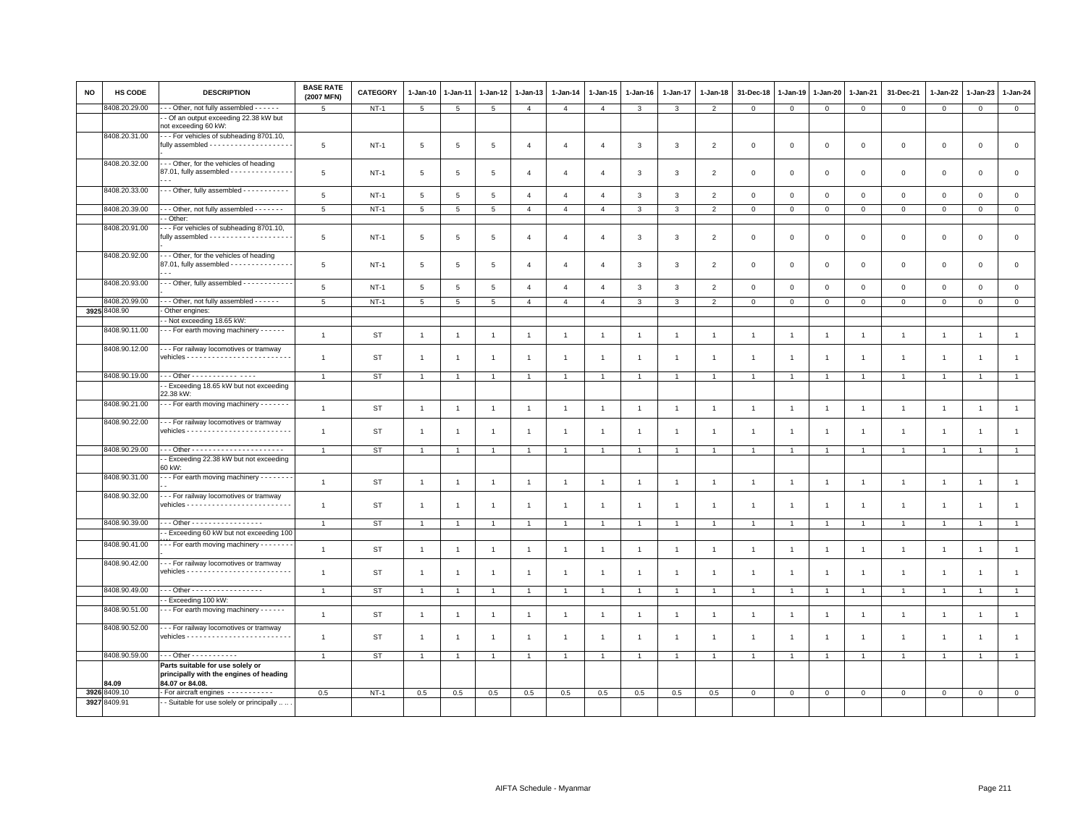| <b>NO</b> | <b>HS CODE</b> | <b>DESCRIPTION</b>                                                                             | <b>BASE RATE</b><br>(2007 MFN) | <b>CATEGORY</b> | $1 - Jan-10$    | $1-Jan-11$     | 1-Jan-12       | $1 - Jan-13$   | $1 - Jan-14$   | $1 - Jan-15$   | $1 - Jan-16$            | $1-Jan-17$     | $1 - Jan-18$             | 31-Dec-18      | $1 - Jan-19$   | $1 - Jan-20$   | 1-Jan-21       | 31-Dec-21      | 1-Jan-22            | $1-Jan-23$     | $1 - Jan-24$   |
|-----------|----------------|------------------------------------------------------------------------------------------------|--------------------------------|-----------------|-----------------|----------------|----------------|----------------|----------------|----------------|-------------------------|----------------|--------------------------|----------------|----------------|----------------|----------------|----------------|---------------------|----------------|----------------|
|           | 8408.20.29.00  | - - Other, not fully assembled - - - - - -                                                     | $\overline{5}$                 | $NT-1$          | $5\phantom{.0}$ | $\overline{5}$ | $\overline{5}$ | $\overline{4}$ | $\overline{4}$ | $\overline{4}$ | $\mathbf{3}$            | 3              | $\overline{2}$           | $\mathbf 0$    | $\mathbf{0}$   | $\mathbf 0$    | $\mathbf 0$    | $\mathbf{0}$   | $\mathsf{O}\xspace$ | $\mathbf 0$    | $\overline{0}$ |
|           |                | - Of an output exceeding 22.38 kW but<br>not exceeding 60 kW:                                  |                                |                 |                 |                |                |                |                |                |                         |                |                          |                |                |                |                |                |                     |                |                |
|           | 8408.20.31.00  | -- For vehicles of subheading 8701.10,                                                         | 5                              | $NT-1$          | 5               | 5              | 5              | $\overline{4}$ | $\overline{4}$ | $\overline{4}$ | 3                       | 3              | $\overline{2}$           | $\mathbf 0$    | $\mathbf 0$    | $\mathbf 0$    | $\mathbf 0$    | $\mathbf 0$    | $\mathbf 0$         | $\mathsf 0$    | $\mathbf 0$    |
|           | 8408.20.32.00  | - - Other, for the vehicles of heading<br>87.01, fully assembled - - - - - - - - - - - - - -   | 5                              | $NT-1$          | 5               | 5              | 5              | $\overline{4}$ | $\overline{4}$ | $\overline{4}$ | 3                       | 3              | $\overline{2}$           | $\mathbf 0$    | $\mathbf 0$    | $\mathbf 0$    | $\mathbf 0$    | $\mathbf 0$    | $\mathbf 0$         | $\mathsf 0$    | $\mathbf 0$    |
|           | 8408.20.33.00  | -- Other, fully assembled -----------                                                          | $\,$ 5 $\,$                    | $NT-1$          | 5               | $\overline{5}$ | $\overline{5}$ | $\overline{4}$ | $\overline{4}$ | $\overline{4}$ | $\mathbf{3}$            | $\mathbf{3}$   | $\overline{2}$           | $\mathbf{0}$   | $\mathbf 0$    | $\circ$        | $\mathbf 0$    | $\mathbf 0$    | $\mathsf 0$         | $\mathbf 0$    | $\circ$        |
|           | 8408.20.39.00  | - - Other, not fully assembled - - - - - - -                                                   | 5                              | $NT-1$          | 5               | 5              | 5              | $\overline{4}$ | $\overline{4}$ | $\overline{4}$ | $\mathbf{3}$            | 3              | $\overline{2}$           | $\mathbf 0$    | $\mathbf 0$    | $\mathbf{0}$   | $\mathbf{0}$   | $\mathbf 0$    | $\mathbf 0$         | $\mathbf{0}$   | $\mathbf 0$    |
|           |                | - Other:                                                                                       |                                |                 |                 |                |                |                |                |                |                         |                |                          |                |                |                |                |                |                     |                |                |
|           | 8408.20.91.00  | -- For vehicles of subheading 8701.10,<br>fully assembled - - - - - - - - - - - - - - - - - -  | 5                              | $NT-1$          | 5               | 5              | 5              | $\overline{4}$ | $\overline{4}$ | $\overline{4}$ | $\mathbf{3}$            | $\mathbf{3}$   | $\overline{2}$           | $\mathsf 0$    | $\mathsf 0$    | $\mathsf 0$    | $\mathsf 0$    | $\mathsf 0$    | $\mathsf 0$         | $\mathsf 0$    | $\mathsf 0$    |
|           | 8408.20.92.00  | - - Other, for the vehicles of heading<br>87.01, fully assembled - - - - - - - - - - - - - -   | 5                              | $NT-1$          | 5               | $\overline{5}$ | 5              | $\overline{a}$ | $\overline{4}$ | $\overline{4}$ | 3                       | 3              | $\overline{\phantom{0}}$ | $\mathbf{0}$   | $\Omega$       | $\Omega$       | $\mathbf 0$    | $\mathbf{0}$   | $\mathbf{0}$        | $\mathbf 0$    | $\mathbf 0$    |
|           | 8408.20.93.00  | - - Other, fully assembled - - - - - - - - - - -                                               | $\,$ 5 $\,$                    | $NT-1$          | 5               | 5              | $\overline{5}$ | $\overline{4}$ | $\overline{4}$ | $\overline{4}$ | $\mathbf{3}$            | $\mathbf{3}$   | $\overline{2}$           | $\mathsf 0$    | 0              | $\mathsf 0$    | $\mathsf 0$    | $\mathsf 0$    | $\circ$             | $\mathsf 0$    | $\mathsf 0$    |
|           | 8408.20.99.00  | - - Other, not fully assembled - - - - - -                                                     | $\overline{5}$                 | $NT-1$          | $\overline{5}$  | 5              | 5              | $\mathbf{A}$   | $\overline{4}$ | $\overline{4}$ | $\overline{\mathbf{3}}$ | $\mathbf{3}$   | $\overline{2}$           | $\mathbf{0}$   | $\mathsf 0$    | $\circ$        | $\overline{0}$ | $\mathsf 0$    | $\mathbf 0$         | $\mathbf{0}$   | $\overline{0}$ |
|           | 3925 8408.90   | Other engines:                                                                                 |                                |                 |                 |                |                |                |                |                |                         |                |                          |                |                |                |                |                |                     |                |                |
|           | 8408.90.11.00  | - Not exceeding 18.65 kW:<br>--- For earth moving machinery ------                             | $\mathbf{1}$                   | <b>ST</b>       | $\overline{1}$  | $\overline{1}$ | $\overline{1}$ | $\overline{1}$ | $\mathbf{1}$   | $\overline{1}$ | $\overline{1}$          | $\mathbf{1}$   | $\overline{1}$           | $\overline{1}$ | $\mathbf{1}$   | $\overline{1}$ | $\mathbf{1}$   | $\overline{1}$ | $\overline{1}$      | $\overline{1}$ | $\mathbf{1}$   |
|           | 8408.90.12.00  | - - - For railway locomotives or tramway                                                       |                                |                 |                 |                |                |                |                |                |                         |                |                          |                |                |                |                |                |                     |                |                |
|           |                |                                                                                                | $\mathbf{1}$                   | <b>ST</b>       | $\overline{1}$  | -1             | $\overline{1}$ |                | $\overline{1}$ | $\overline{1}$ | $\overline{1}$          | $\overline{1}$ | $\overline{1}$           | $\overline{1}$ |                | $\mathbf{1}$   | $\overline{1}$ | $\overline{1}$ | $\overline{1}$      |                | $\overline{1}$ |
|           | 8408.90.19.00  | - - Other - - - - - - - - - - - - - - -                                                        | $\overline{1}$                 | <b>ST</b>       | $\overline{1}$  |                |                |                | 1              |                |                         |                |                          |                |                |                | -1             |                |                     |                |                |
|           |                | - Exceeding 18.65 kW but not exceeding<br>22.38 kW:                                            |                                |                 |                 |                |                |                |                |                |                         |                |                          |                |                |                |                |                |                     |                |                |
|           | 8408.90.21.00  | - - - For earth moving machinery - - - - - - -                                                 | $\overline{1}$                 | <b>ST</b>       | $\mathbf{1}$    | $\overline{1}$ | $\overline{1}$ | $\overline{1}$ | $\overline{1}$ | $\overline{1}$ | $\overline{1}$          | $\overline{1}$ | $\overline{1}$           | $\overline{1}$ |                | $\overline{1}$ | $\overline{1}$ | $\overline{1}$ | $\overline{1}$      | $\overline{1}$ | $\overline{1}$ |
|           | 8408.90.22.00  | - - For railway locomotives or tramway                                                         | $\overline{1}$                 | <b>ST</b>       | $\overline{1}$  | -1             | $\overline{1}$ | $\overline{1}$ | $\overline{1}$ | $\overline{1}$ | $\overline{1}$          | $\mathbf{1}$   | $\overline{1}$           | $\overline{1}$ | -1             | $\mathbf{1}$   | $\mathbf{1}$   | $\overline{1}$ | $\overline{1}$      | $\overline{1}$ | $\overline{1}$ |
|           | 8408.90.29.00  |                                                                                                | $\overline{1}$                 | ST              | $\mathbf{1}$    | $\overline{1}$ | $\overline{1}$ | $\overline{1}$ | $\overline{1}$ | $\overline{1}$ | $\overline{1}$          | $\mathbf{1}$   | $\overline{1}$           | $\overline{1}$ | $\overline{1}$ | $\overline{1}$ | $\overline{1}$ | $\overline{1}$ | $\overline{1}$      | $\overline{1}$ | $\overline{1}$ |
|           |                | - Exceeding 22.38 kW but not exceeding<br>60 kW:                                               |                                |                 |                 |                |                |                |                |                |                         |                |                          |                |                |                |                |                |                     |                |                |
|           | 8408.90.31.00  | - - For earth moving machinery - - - - - - -                                                   | $\overline{1}$                 | ST              | $\mathbf{1}$    | $\overline{1}$ | $\overline{1}$ | $\overline{1}$ | $\overline{1}$ | $\overline{1}$ | $\overline{1}$          | $\overline{1}$ | $\overline{1}$           | $\overline{1}$ | $\mathbf{1}$   | $\overline{1}$ | $\mathbf{1}$   | $\overline{1}$ | $\overline{1}$      | $\overline{1}$ | $\mathbf{1}$   |
|           | 8408.90.32.00  | - - For railway locomotives or tramway                                                         | $\overline{1}$                 | <b>ST</b>       | $\overline{1}$  | $\overline{1}$ | $\overline{1}$ | $\overline{1}$ | $\mathbf{1}$   | $\mathbf{1}$   | $\overline{1}$          | $\mathbf{1}$   | $\overline{1}$           | $\overline{1}$ | $\mathbf{1}$   | $\overline{1}$ | $\overline{1}$ | $\overline{1}$ | $\overline{1}$      | $\overline{1}$ | $\mathbf{1}$   |
|           | 8408.90.39.00  | - - Other - - - - - - - - - - - - - - - - -                                                    | $\overline{1}$                 | <b>ST</b>       | $\overline{1}$  |                | $\overline{1}$ |                | $\overline{1}$ | $\overline{1}$ | $\overline{1}$          | $\overline{1}$ |                          | $\overline{1}$ |                |                | $\overline{1}$ | $\overline{1}$ | $\overline{1}$      |                | $\overline{1}$ |
|           |                | - Exceeding 60 kW but not exceeding 100                                                        |                                |                 |                 |                |                |                |                |                |                         |                |                          |                |                |                |                |                |                     |                |                |
|           | 8408.90.41.00  | - - For earth moving machinery - - - - - - -                                                   | $\overline{1}$                 | <b>ST</b>       | $\mathbf{1}$    | $\overline{1}$ | $\overline{1}$ | $\overline{1}$ | $\mathbf{1}$   | $\overline{1}$ | $\overline{1}$          | $\mathbf{1}$   | $\overline{1}$           | $\overline{1}$ | $\mathbf{1}$   | $\overline{1}$ | $\mathbf{1}$   | $\overline{1}$ | $\overline{1}$      | $\overline{1}$ | $\mathbf{1}$   |
|           | 8408.90.42.00  | - - For railway locomotives or tramway                                                         | $\mathbf{1}$                   | <b>ST</b>       | $\mathbf{1}$    | $\overline{1}$ | $\overline{1}$ | $\overline{1}$ | $\mathbf{1}$   | $\overline{1}$ | $\mathbf{1}$            | $\overline{1}$ | $\mathbf{1}$             | $\mathbf{1}$   |                |                | $\overline{1}$ | $\overline{1}$ | $\overline{1}$      | $\overline{1}$ | $\overline{1}$ |
|           | 8408.90.49.00  | - - Other - - - - - - - - - - - - - - - - -<br>- Exceeding 100 kW:                             | $\overline{1}$                 | <b>ST</b>       | $\overline{1}$  |                | $\overline{1}$ |                | $\overline{1}$ | $\overline{1}$ | $\overline{1}$          | $\overline{1}$ | $\overline{1}$           | $\overline{1}$ |                |                | $\overline{1}$ | $\overline{1}$ | -1                  |                | $\overline{1}$ |
|           | 8408.90.51.00  | - - For earth moving machinery - - - - - -                                                     |                                |                 |                 |                |                |                |                |                |                         |                |                          |                |                |                |                |                |                     |                |                |
|           |                |                                                                                                | $\overline{1}$                 | ST              | $\mathbf{1}$    | $\overline{1}$ | $\overline{1}$ | $\overline{1}$ | $\overline{1}$ | $\overline{1}$ | $\overline{1}$          | $\overline{1}$ | $\overline{1}$           | $\overline{1}$ | $\mathbf{1}$   | $\overline{1}$ | $\overline{1}$ | $\overline{1}$ | $\overline{1}$      | $\overline{1}$ | $\overline{1}$ |
|           | 8408.90.52.00  | -- For railway locomotives or tramway                                                          | $\overline{1}$                 | <b>ST</b>       | $\mathbf{1}$    | $\overline{1}$ | $\overline{1}$ | $\overline{1}$ | $\mathbf{1}$   | $\overline{1}$ | $\overline{1}$          | $\overline{1}$ | $\overline{1}$           | $\overline{1}$ | -1             | $\overline{1}$ | $\mathbf{1}$   | $\overline{1}$ | $\overline{1}$      | $\overline{1}$ | $\overline{1}$ |
|           | 8408.90.59.00  | $-$ - Other - - - - - - - - - - -                                                              | $\overline{1}$                 | <b>ST</b>       | $\mathbf{1}$    | $\overline{1}$ | $\overline{1}$ | $\overline{1}$ | $\mathbf{1}$   | $\overline{1}$ | $\overline{1}$          | $\mathbf{1}$   | $\overline{1}$           | $\overline{1}$ | $\mathbf{1}$   | $\overline{1}$ | $\mathbf{1}$   | $\overline{1}$ | $\overline{1}$      | $\overline{1}$ | $\mathbf{1}$   |
|           | 84.09          | Parts suitable for use solely or<br>principally with the engines of heading<br>84.07 or 84.08. |                                |                 |                 |                |                |                |                |                |                         |                |                          |                |                |                |                |                |                     |                |                |
|           | 3926 8409.10   | - For aircraft engines - - - - - - - - - -                                                     | 0.5                            | $NT-1$          | 0.5             | 0.5            | 0.5            | 0.5            | 0.5            | 0.5            | 0.5                     | 0.5            | 0.5                      | $\mathbf{0}$   | $\mathbf 0$    | $\circ$        | $\mathsf 0$    | $\mathsf 0$    | $\mathbf 0$         | $\circ$        | $\mathbf{0}$   |
|           | 3927 8409.91   | - Suitable for use solely or principally                                                       |                                |                 |                 |                |                |                |                |                |                         |                |                          |                |                |                |                |                |                     |                |                |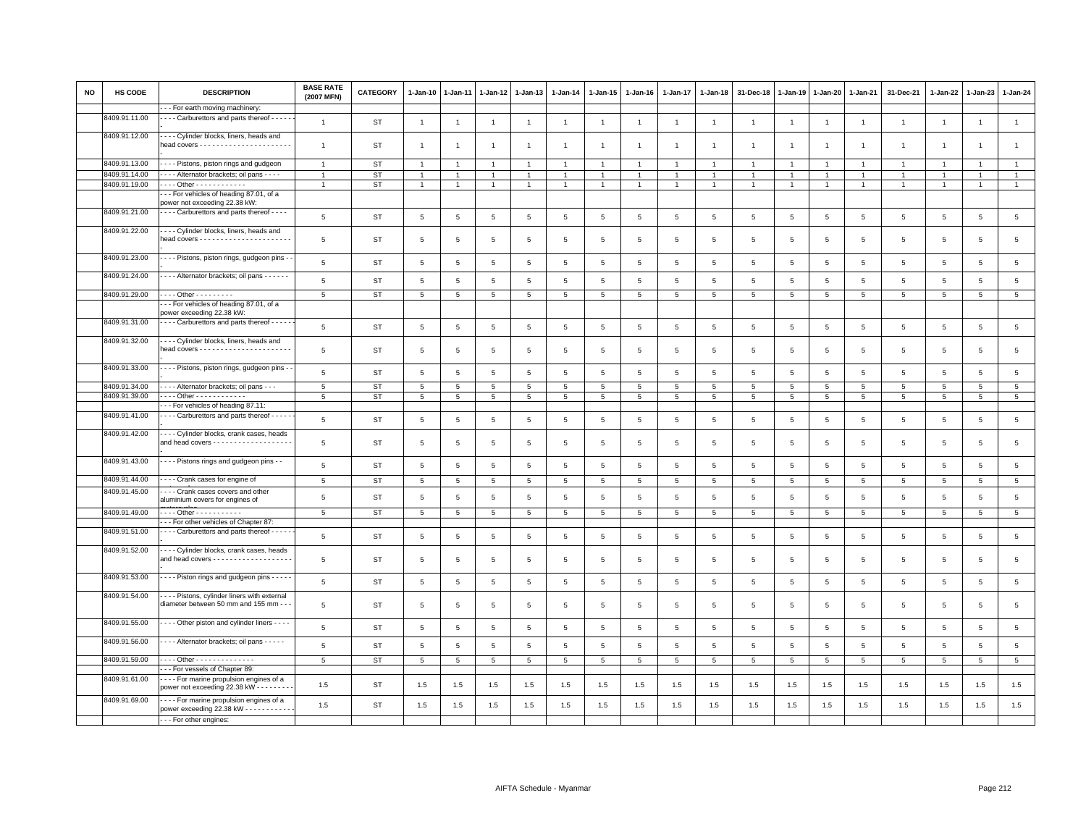| <b>NO</b> | HS CODE       | <b>DESCRIPTION</b>                                                                               | <b>BASE RATE</b><br>(2007 MFN) | <b>CATEGORY</b> | $1 - Jan-10$    | $1-Jan-11$      | $1 - Jan-12$    | $1 - Jan-13$   | $1 - Jan-14$    | 1-Jan-15        | $1 - Jan-16$    | 1-Jan-17        | 1-Jan-18        | 31-Dec-18       | $1 - Jan-19$   | $1-Jan-20$      | 1-Jan-21        | 31-Dec-21       | 1-Jan-22        | $1-Jan-23$      | $1-Jan-24$      |
|-----------|---------------|--------------------------------------------------------------------------------------------------|--------------------------------|-----------------|-----------------|-----------------|-----------------|----------------|-----------------|-----------------|-----------------|-----------------|-----------------|-----------------|----------------|-----------------|-----------------|-----------------|-----------------|-----------------|-----------------|
|           |               | - - For earth moving machinery:                                                                  |                                |                 |                 |                 |                 |                |                 |                 |                 |                 |                 |                 |                |                 |                 |                 |                 |                 |                 |
|           | 8409.91.11.00 | - - - Carburettors and parts thereof - - - - -                                                   | $\overline{1}$                 | ST              | $\mathbf{1}$    | $\overline{1}$  | $\overline{1}$  | $\overline{1}$ | $\overline{1}$  | $\overline{1}$  | $\overline{1}$  | $\overline{1}$  | $\overline{1}$  | $\mathbf{1}$    | $\overline{1}$ | $\overline{1}$  | $\mathbf{1}$    | $\overline{1}$  | $\mathbf{1}$    | $\overline{1}$  | $\overline{1}$  |
|           | 8409.91.12.00 | --- Cylinder blocks, liners, heads and                                                           | $\overline{1}$                 | <b>ST</b>       | $\overline{1}$  | -1              | $\overline{1}$  | $\overline{1}$ | $\overline{1}$  | $\overline{1}$  | $\overline{1}$  | $\mathbf{1}$    | $\overline{1}$  |                 | $\overline{1}$ | $\overline{1}$  | $\overline{1}$  | $\mathbf{1}$    | $\overline{1}$  | $\overline{1}$  | $\mathbf{1}$    |
|           | 8409.91.13.00 | Pistons, piston rings and gudgeon                                                                | $\overline{1}$                 | ST              | $\mathbf{1}$    |                 | $\overline{1}$  |                | $\overline{1}$  | $\overline{1}$  | $\overline{1}$  | $\overline{1}$  | $\overline{1}$  |                 |                | $\overline{1}$  | $\overline{1}$  |                 | $\overline{1}$  | $\overline{1}$  | $\mathbf{1}$    |
|           | 8409.91.14.00 | - - - - Alternator brackets; oil pans - - - -                                                    | $\overline{1}$                 | <b>ST</b>       | $\overline{1}$  |                 | $\overline{1}$  |                | $\mathbf{1}$    | $\overline{1}$  | $\mathbf{1}$    | $\mathbf{1}$    | $\overline{1}$  | $\overline{1}$  |                | $\overline{1}$  | $\overline{1}$  | $\overline{1}$  | $\overline{1}$  | $\overline{1}$  | $\mathbf{1}$    |
|           | 8409.91.19.00 | $\cdots$ Other - - - - - - - - - - - -                                                           | $\overline{1}$                 | <b>ST</b>       | $\mathbf{1}$    | $\overline{1}$  | $\overline{1}$  | $\overline{1}$ | $\overline{1}$  | $\overline{1}$  | $\mathbf{1}$    | $\overline{1}$  | $\overline{1}$  | $\overline{1}$  | $\mathbf{1}$   | $\overline{1}$  | $\overline{1}$  | $\overline{1}$  | $\mathbf{1}$    | $\mathbf{1}$    | $\mathbf{1}$    |
|           |               | -- For vehicles of heading 87.01, of a<br>power not exceeding 22.38 kW:                          |                                |                 |                 |                 |                 |                |                 |                 |                 |                 |                 |                 |                |                 |                 |                 |                 |                 |                 |
|           | 8409.91.21.00 | - - - - Carburettors and parts thereof - - - -                                                   | $\,$ 5 $\,$                    | <b>ST</b>       | 5               | 5               | $\overline{5}$  | 5              | 5               | 5               | 5               | 5               | 5               | $\sqrt{5}$      | 5              | 5               | 5               | $\overline{5}$  | 5               | 5               | $\overline{5}$  |
|           | 8409.91.22.00 | --- Cylinder blocks, liners, heads and                                                           |                                |                 |                 |                 |                 |                |                 |                 |                 |                 |                 |                 |                |                 |                 |                 |                 |                 |                 |
|           |               |                                                                                                  | 5                              | <b>ST</b>       | 5               | 5               | 5               | 5              | 5               | 5               | 5               | 5               | 5               | 5               | 5              | 5               | 5               | 5               | 5               | 5               | $\overline{5}$  |
|           | 8409.91.23.00 | - - - - Pistons, piston rings, gudgeon pins -                                                    | $5\phantom{.0}$                | <b>ST</b>       | $5\phantom{.0}$ | 5               | 5               | 5              | $5\phantom{.0}$ | 5               | 5               | 5               | 5               | 5               | 5              | 5               | 5               | 5               | 5               | 5               | $5\phantom{.0}$ |
|           | 8409.91.24.00 | - - - Alternator brackets; oil pans - - - - - -                                                  | $\overline{5}$                 | <b>ST</b>       | $\,$ 5 $\,$     | $\overline{5}$  | $5\phantom{.0}$ | $\overline{5}$ | $\,$ 5 $\,$     | $\overline{5}$  | 5               | $\overline{5}$  | $\,$ 5 $\,$     | $\,$ 5 $\,$     | $\overline{5}$ | 5               | $\,$ 5 $\,$     | $\,$ 5 $\,$     | 5               | $5\phantom{.0}$ | $5\phantom{.0}$ |
|           | 8409.91.29.00 | $- - -$ Other - - - - - - - - -                                                                  | 5                              | ST              | 5               | $5^{\circ}$     | 5               | 5              | 5               | $5\overline{5}$ | $5\overline{5}$ | 5               | 5               | 5               | 5              | 5               | 5               | 5               | 5               | 5               | $5\overline{5}$ |
|           |               | -- For vehicles of heading 87.01, of a<br>bower exceeding 22.38 kW:                              |                                |                 |                 |                 |                 |                |                 |                 |                 |                 |                 |                 |                |                 |                 |                 |                 |                 |                 |
|           | 8409.91.31.00 | - - - - Carburettors and parts thereof - - - - -                                                 | $5\phantom{.0}$                | <b>ST</b>       | 5               | $\overline{5}$  | 5               | 5              | 5               | 5               | 5               | 5               | 5               | 5               | 5              | 5               | 5               | 5               | 5               | $\overline{5}$  | 5               |
|           | 8409.91.32.00 | - - - Cylinder blocks, liners, heads and                                                         |                                |                 |                 |                 |                 |                |                 |                 |                 |                 |                 |                 |                |                 |                 |                 |                 |                 |                 |
|           |               |                                                                                                  | 5                              | <b>ST</b>       | 5               | 5               | 5               | 5              | 5               | 5               | 5               | 5               | 5               | 5               | 5              | 5               | 5               | -5              | 5               | 5               | $\overline{5}$  |
|           | 8409.91.33.00 | - - - - Pistons, piston rings, gudgeon pins -                                                    | 5                              | <b>ST</b>       | 5               | 5               | 5               | 5              | 5               | 5               | 5               | 5               | 5               | $5\overline{5}$ | 5              | 5               | 5               | 5               | 5               | 5               | $5\phantom{.0}$ |
|           | 8409.91.34.00 | - - - Alternator brackets; oil pans - - -                                                        | $5\phantom{.0}$                | <b>ST</b>       | $5\phantom{.0}$ | 5               | 5               | 5              | $5\phantom{.0}$ | $5\phantom{.0}$ | $5\overline{5}$ | $5\overline{5}$ | $5\phantom{.0}$ | $5\phantom{.0}$ | $\overline{5}$ | $5\phantom{.0}$ | $5\phantom{.0}$ | $5\phantom{.0}$ | 5               | 5               | $5\overline{)}$ |
|           | 8409.91.39.00 | $\cdots$ Other - - - - - - - - - - - -                                                           | $5\overline{5}$                | ST              | 5               | 5               | $5\phantom{.0}$ | 5              | $5\overline{5}$ | 5               | $5\overline{5}$ | 5               | $5\overline{5}$ | $5\overline{5}$ | 5              | 5               | $5\overline{5}$ | $5\overline{5}$ | $5\phantom{.0}$ | 5               | $5\overline{5}$ |
|           |               | - - For vehicles of heading 87.11:                                                               |                                |                 |                 |                 |                 |                |                 |                 |                 |                 |                 |                 |                |                 |                 |                 |                 |                 |                 |
|           | 8409.91.41.00 | - - - - Carburettors and parts thereof - - - - -                                                 | 5                              | <b>ST</b>       | 5               | 5               | 5               | 5              | 5               | 5               | 5               | 5               | 5               | 5               | 5              | 5               | 5               | $\overline{5}$  | 5               | 5               | $\overline{5}$  |
|           | 8409.91.42.00 | - - - Cylinder blocks, crank cases, heads<br>and head covers - - - - - - - - - - - - - - - - - - | 5                              | ST              | 5               | 5               | 5               | 5              | 5               | 5               | 5               | 5               | 5               | 5               | 5              | 5               | 5               | 5               | 5               | 5               | $\,$ 5 $\,$     |
|           | 8409.91.43.00 | - - - - Pistons rings and gudgeon pins - -                                                       | 5                              | <b>ST</b>       | 5               | 5               | 5               | 5              | 5               | 5               | 5               | 5               | 5               | $\overline{5}$  | 5              | 5               | 5               | 5               | 5               | 5               | $\overline{5}$  |
|           | 8409.91.44.00 | --- Crank cases for engine of                                                                    | $5\overline{5}$                | <b>ST</b>       | 5               | $5\phantom{.0}$ | $5\phantom{.0}$ | 5              | $5\overline{5}$ | 5               | $5\overline{5}$ | 5               | 5               | 5               | 5              | 5               | 5               | $\overline{5}$  | 5               | 5               | $5\overline{5}$ |
|           | 8409.91.45.00 | - - - - Crank cases covers and other<br>aluminium covers for engines of                          | 5                              | <b>ST</b>       | 5               | 5               | 5               | 5              | 5               | 5               | 5               | 5               | 5               | 5               | 5              | 5               | 5               | 5               | 5               | 5               | $\overline{5}$  |
|           | 8409.91.49.00 | $\cdots$ Other - - - - - - - - - - -                                                             | 5                              | <b>ST</b>       | 5               | 5               | 5               | 5              | 5               | 5               | 5               | 5               | 5               | 5               | 5              | 5               | 5               | 5               | 5               | 5               | 5               |
|           |               | - - For other vehicles of Chapter 87:                                                            |                                |                 |                 |                 |                 |                |                 |                 |                 |                 |                 |                 |                |                 |                 |                 |                 |                 |                 |
|           | 8409.91.51.00 | Carburettors and parts thereof                                                                   |                                |                 |                 |                 |                 |                |                 |                 |                 |                 |                 |                 |                |                 |                 |                 |                 |                 |                 |
|           | 8409.91.52.00 | --- Cylinder blocks, crank cases, heads                                                          | $5\phantom{.0}$                | <b>ST</b>       | 5               | 5               | 5               | 5              | 5               | 5               | $5\phantom{.0}$ | $\overline{5}$  | 5               | 5               | 5              | 5               | 5               | $\overline{5}$  | 5               | 5               | $\overline{5}$  |
|           |               | and head covers - - - - - - - - - - - - - - - - - -                                              | $5\phantom{.0}$                | <b>ST</b>       | $\,$ 5 $\,$     | 5               | $5\phantom{.0}$ | $\overline{5}$ | $\,$ 5 $\,$     | $\overline{5}$  | $5\phantom{.0}$ | $\overline{5}$  | 5               | $\,$ 5 $\,$     | 5              | 5               | $\overline{5}$  | $\,$ 5 $\,$     | 5               | 5               | $\,$ 5 $\,$     |
|           | 8409.91.53.00 | - - - - Piston rings and gudgeon pins - - - - -                                                  | 5                              | ST              | 5               | 5               | 5               | 5              | 5               | 5               | 5               | 5               | 5               | 5               | 5              | 5               | 5               | 5               | $5\overline{5}$ | $\overline{5}$  | $\overline{5}$  |
|           | 8409.91.54.00 | Pistons, cylinder liners with external<br>diameter between 50 mm and 155 mm - -                  | 5                              | ST              | 5               | 5               | -5              | -5             | 5               | 5               | 5               | 5               | 5               | 5               | 5              | 5               | 5               | 5               | 5               | 5               | $\overline{5}$  |
|           | 8409.91.55.00 | - - - - Other piston and cylinder liners - - - -                                                 | $5\phantom{.0}$                | <b>ST</b>       | $5\phantom{.0}$ | 5               | 5               | 5              | 5               | $5\phantom{.0}$ | $5\phantom{.0}$ | 5               | 5               | $\,$ 5 $\,$     | 5              | $\overline{5}$  | $\overline{5}$  | $5\phantom{.0}$ | $5\overline{5}$ | 5               | $\overline{5}$  |
|           | 8409.91.56.00 | ---- Alternator brackets; oil pans -----                                                         | $\overline{5}$                 | <b>ST</b>       | 5               | 5               | 5               | 5              | 5               | 5               | $5\overline{5}$ | 5               | 5               | $\sqrt{5}$      | 5              | 5               | 5               | $\overline{5}$  | 5               | 5               | $\,$ 5 $\,$     |
|           | 8409.91.59.00 | $- - -$ Other - - - - - - - - - - - - - -                                                        | 5                              | <b>ST</b>       | 5               | -5              | -5              | -5             | $5\phantom{.0}$ | 5               | $5\overline{5}$ | 5               | 5               | 5               | 5              | 5               | $5\phantom{.0}$ | 5               | 5               | -5              | $5\overline{5}$ |
|           |               | -- For vessels of Chapter 89:                                                                    |                                |                 |                 |                 |                 |                |                 |                 |                 |                 |                 |                 |                |                 |                 |                 |                 |                 |                 |
|           | 8409.91.61.00 | - - - - For marine propulsion engines of a<br>power not exceeding 22.38 kW - - - - - - - -       | 1.5                            | <b>ST</b>       | 1.5             | 1.5             | 1.5             | 1.5            | 1.5             | 1.5             | 1.5             | 1.5             | 1.5             | 1.5             | 1.5            | 1.5             | 1.5             | 1.5             | 1.5             | 1.5             | 1.5             |
|           | 8409.91.69.00 | --- For marine propulsion engines of a<br>power exceeding 22.38 kW - - - - - - - - - - -         | 1.5                            | ST              | 1.5             | 1.5             | 1.5             | 1.5            | 1.5             | 1.5             | 1.5             | 1.5             | 1.5             | 1.5             | 1.5            | 1.5             | 1.5             | 1.5             | 1.5             | 1.5             | $1.5\,$         |
|           |               | - - - For other engines:                                                                         |                                |                 |                 |                 |                 |                |                 |                 |                 |                 |                 |                 |                |                 |                 |                 |                 |                 |                 |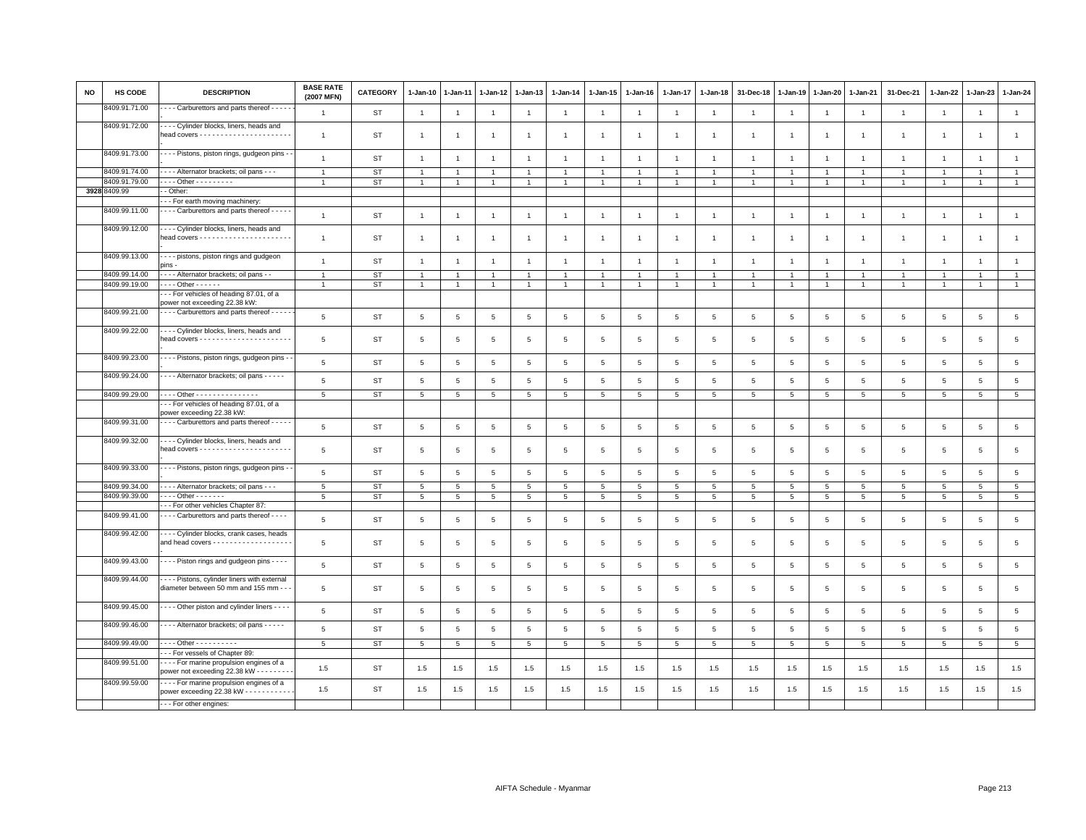| <b>NO</b> | HS CODE       | <b>DESCRIPTION</b>                                                                             | <b>BASE RATE</b><br>(2007 MFN) | <b>CATEGORY</b> | 1-Jan-10        | 1-Jan-11        | $1 - Jan-12$   | $1-Jan-13$      | $1 - Jan-14$    | 1-Jan-15             | $1 - Jan-16$    | 1-Jan-17        | $1 - Jan-18$    | 31-Dec-18       | $1 - Jan-19$    | $1-Jan-20$      | $1 - Jan-21$    | 31-Dec-21       | 1-Jan-22        | $1-Jan-23$      | $1 - Jan-24$    |
|-----------|---------------|------------------------------------------------------------------------------------------------|--------------------------------|-----------------|-----------------|-----------------|----------------|-----------------|-----------------|----------------------|-----------------|-----------------|-----------------|-----------------|-----------------|-----------------|-----------------|-----------------|-----------------|-----------------|-----------------|
|           | 8409.91.71.00 | - - - Carburettors and parts thereof - - - - -                                                 | $\mathbf{1}$                   | ST              | $\mathbf{1}$    | $\overline{1}$  | $\overline{1}$ | $\overline{1}$  | $\overline{1}$  | $\mathbf{1}$         | $\overline{1}$  | $\overline{1}$  | $\overline{1}$  | $\overline{1}$  | $\overline{1}$  | $\overline{1}$  | $\overline{1}$  | $\mathbf{1}$    | $\overline{1}$  | $\overline{1}$  | $\mathbf{1}$    |
|           | 8409.91.72.00 | --- Cylinder blocks, liners, heads and<br>head covers - - - - - - - - - - - - - - - - -        | $\overline{1}$                 | ST              | $\mathbf{1}$    | $\overline{1}$  | $\overline{1}$ | $\overline{1}$  | $\overline{1}$  | $\blacktriangleleft$ | $\overline{1}$  | $\overline{1}$  | $\mathbf{1}$    | $\overline{1}$  | $\overline{1}$  | $\overline{1}$  | $\mathbf{1}$    | $\mathbf{1}$    | $\overline{1}$  | $\overline{1}$  | $\mathbf{1}$    |
|           | 8409.91.73.00 | - - - - Pistons, piston rings, gudgeon pins -                                                  | $\overline{1}$                 | <b>ST</b>       | $\mathbf{1}$    | $\overline{1}$  | $\overline{1}$ | $\overline{1}$  | $\mathbf{1}$    | $\mathbf{1}$         | $\overline{1}$  | $\overline{1}$  | $\overline{1}$  | $\overline{1}$  | $\overline{1}$  | $\overline{1}$  | $\mathbf{1}$    | $\mathbf{1}$    | $\overline{1}$  | $\mathbf{1}$    | 1               |
|           | 8409.91.74.00 | --- Alternator brackets; oil pans - - -                                                        | $\overline{1}$                 | ST              |                 |                 | $\overline{1}$ | $\overline{1}$  | $\overline{1}$  |                      |                 |                 |                 |                 |                 |                 | $\overline{1}$  | $\mathbf{1}$    |                 |                 | $\mathbf{1}$    |
|           | 8409.91.79.00 | . Other - - - - - - - - -                                                                      |                                | <b>ST</b>       | $\overline{1}$  |                 | $\overline{1}$ | $\overline{1}$  | $\overline{1}$  | $\blacktriangleleft$ | $\overline{1}$  | $\overline{1}$  |                 |                 |                 | $\overline{1}$  | $\overline{1}$  | $\overline{1}$  | $\overline{1}$  |                 | $\overline{1}$  |
|           | 3928 8409.99  | - Other:<br>- - For earth moving machinery:                                                    |                                |                 |                 |                 |                |                 |                 |                      |                 |                 |                 |                 |                 |                 |                 |                 |                 |                 |                 |
|           | 8409.99.11.00 | - - - - Carburettors and parts thereof - - - - -                                               |                                |                 |                 |                 |                |                 |                 |                      |                 |                 |                 |                 |                 |                 |                 |                 |                 |                 |                 |
|           | 8409.99.12.00 | - - - - Cylinder blocks, liners, heads and                                                     | $\overline{1}$                 | <b>ST</b>       | $\mathbf{1}$    | $\overline{1}$  | $\mathbf{1}$   | $\mathbf{1}$    | $\overline{1}$  | $\mathbf{1}$         | $\overline{1}$  | $\mathbf{1}$    | $\overline{1}$  | $\mathbf{1}$    | $\overline{1}$  | $\overline{1}$  | $\mathbf{1}$    | $\overline{1}$  | $\overline{1}$  | $\overline{1}$  | $\mathbf{1}$    |
|           |               |                                                                                                | $\overline{1}$                 | ST              | $\mathbf{1}$    | $\overline{1}$  | $\overline{1}$ | $\overline{1}$  | $\overline{1}$  | $\overline{1}$       | $\overline{1}$  | $\overline{1}$  |                 |                 |                 | $\overline{1}$  | $\mathbf{1}$    | $\mathbf{1}$    | $\overline{1}$  | $\overline{1}$  | $\mathbf{1}$    |
|           | 8409.99.13.00 | - - - - pistons, piston rings and gudgeon<br>pins -                                            | $\overline{1}$                 | <b>ST</b>       | $\overline{1}$  | $\overline{1}$  | $\overline{1}$ | $\overline{1}$  | $\overline{1}$  | $\overline{1}$       | $\overline{1}$  | $\overline{1}$  | $\overline{1}$  | $\overline{1}$  | $\overline{1}$  | $\overline{1}$  | $\overline{1}$  | $\mathbf{1}$    | $\overline{1}$  | $\overline{1}$  | $\mathbf{1}$    |
|           | 8409.99.14.00 | - - - Alternator brackets; oil pans - -                                                        | $\overline{1}$                 | ST              | $\overline{1}$  | $\overline{1}$  | $\overline{1}$ | $\overline{1}$  | $\overline{1}$  | $\overline{1}$       | $\overline{1}$  | $\overline{1}$  | $\overline{1}$  |                 |                 | $\overline{1}$  | $\overline{1}$  | $\mathbf{1}$    | $\overline{1}$  |                 | $\overline{1}$  |
|           | 8409.99.19.00 | $- - -$ Other $- - - - -$                                                                      | $\overline{1}$                 | <b>ST</b>       | $\mathbf{1}$    | $\overline{1}$  | $\overline{1}$ | $\mathbf{1}$    | $\overline{1}$  | $\mathbf{1}$         | $\mathbf{1}$    | $\mathbf{1}$    | $\overline{1}$  |                 | $\mathbf{1}$    | $\mathbf{1}$    | $\mathbf{1}$    | $\overline{1}$  | $\overline{1}$  |                 | $\mathbf{1}$    |
|           |               | -- For vehicles of heading 87.01, of a<br>power not exceeding 22.38 kW:                        |                                |                 |                 |                 |                |                 |                 |                      |                 |                 |                 |                 |                 |                 |                 |                 |                 |                 |                 |
|           | 8409.99.21.00 | - - - Carburettors and parts thereof - - - - -                                                 | 5                              | <b>ST</b>       | $5\phantom{.0}$ | 5               | 5              | 5               | $5\phantom{.0}$ | 5                    | 5               | 5               | 5               | 5               | $\overline{5}$  | 5               | 5               | $\overline{5}$  | 5               | 5               | $5\overline{5}$ |
|           | 8409.99.22.00 | Cylinder blocks, liners, heads and                                                             |                                |                 |                 |                 |                |                 |                 |                      |                 |                 |                 |                 |                 |                 |                 |                 |                 |                 |                 |
|           |               |                                                                                                | 5                              | <b>ST</b>       | 5               | 5               | 5              | 5               | 5               | 5                    | 5               | 5               | 5               | $5\overline{5}$ | 5               | $5^{\circ}$     | 5               | 5               | 5               | 5               | 5               |
|           | 8409.99.23.00 | - - - - Pistons, piston rings, gudgeon pins -                                                  | $\,$ 5 $\,$                    | <b>ST</b>       | 5               | 5               | 5              | 5               | $5\phantom{.0}$ | 5                    | 5               | 5               | 5               | $\overline{5}$  | $5\phantom{.0}$ | 5               | 5               | 5               | 5               | 5               | $5\overline{5}$ |
|           | 8409.99.24.00 | - - - - Alternator brackets; oil pans - - - - -                                                | $\overline{5}$                 | <b>ST</b>       | 5               | 5               | 5              | 5               | $5\phantom{.0}$ | $5\phantom{.0}$      | $5\phantom{.0}$ | 5               | 5               | 5               | $\overline{5}$  | 5               | 5               | 5               | 5               | 5               | $5\overline{5}$ |
|           | 8409.99.29.00 | Other                                                                                          | 5                              | ST              | $\overline{5}$  | $5\phantom{.0}$ | $\,$ 5 $\,$    | $\,$ 5 $\,$     | $5\overline{)}$ | $5\phantom{.0}$      | $5^{\circ}$     | $5\phantom{.0}$ | $5\phantom{.0}$ | $5\phantom{.0}$ | $5\phantom{.0}$ | $5\phantom{.0}$ | $\overline{5}$  | $5\overline{5}$ | $\overline{5}$  | 5               | $5\overline{)}$ |
|           |               | -- For vehicles of heading 87.01, of a<br>power exceeding 22.38 kW:                            |                                |                 |                 |                 |                |                 |                 |                      |                 |                 |                 |                 |                 |                 |                 |                 |                 |                 |                 |
|           | 8409.99.31.00 | - - - - Carburettors and parts thereof - - - - -                                               | 5                              | <b>ST</b>       | 5               | 5               | 5              | 5               | $\,$ 5 $\,$     | 5                    | 5               | 5               | 5               | $\overline{5}$  | 5               | 5               | 5               | $\overline{5}$  | 5               | 5               | $5\phantom{.0}$ |
|           | 8409.99.32.00 | --- Cylinder blocks, liners, heads and                                                         | 5                              | ST              | 5               | 5               | 5              | 5               | 5               | 5                    | 5               | 5               | 5               | 5               | 5               | 5               | 5               | 5               | 5               | 5               | $5\overline{5}$ |
|           | 8409.99.33.00 | - - - Pistons, piston rings, gudgeon pins -                                                    | 5                              | ST              | $5\phantom{.0}$ | 5               | $\,$ 5 $\,$    | 5               | $\,$ 5 $\,$     | 5                    | $\,$ 5 $\,$     | 5               | 5               | 5               | 5               | $5\phantom{.0}$ | 5               | $\,$ 5 $\,$     | $\overline{5}$  | $5\phantom{.0}$ | $5\overline{5}$ |
|           | 8409.99.34.00 | --- Alternator brackets; oil pans ---                                                          | 5                              | <b>ST</b>       | 5               | 5               | 5              | 5               | 5               | 5                    | 5               | 5               | 5               | 5               | 5               | 5               | 5               | 5               | 5               | 5               | $5^{\circ}$     |
|           | 8409.99.39.00 | - - - - Other - - - - - - -                                                                    | 5                              | <b>ST</b>       | $5\phantom{.0}$ | 5               | 5              | $5\overline{5}$ | $5\overline{5}$ | 5                    | $5\overline{5}$ | 5               | 5               | $5\overline{5}$ | 5               | 5               | $5\overline{5}$ | $5\overline{5}$ | 5               | 5               | 5 <sub>5</sub>  |
|           |               | -- For other vehicles Chapter 87:                                                              |                                |                 |                 |                 |                |                 |                 |                      |                 |                 |                 |                 |                 |                 |                 |                 |                 |                 |                 |
|           | 8409.99.41.00 | - - - - Carburettors and parts thereof - - - -                                                 | 5                              | ST              | 5               | 5               | 5              | 5               | 5               | 5                    | 5               | 5               | 5               | 5               | 5               | 5               | 5               | 5               | 5               | 5               | $5\phantom{.0}$ |
|           | 8409.99.42.00 | --- Cylinder blocks, crank cases, heads<br>and head covers - - - - - - - - - - - - - - - - - - | 5                              | ST              | 5               | 5               | 5              | 5               | 5               | 5                    | 5               | 5               | 5               | 5               | 5               | 5               | 5               | 5               | 5               | 5               | $5\overline{5}$ |
|           | 8409.99.43.00 | - - - - Piston rings and gudgeon pins - - - -                                                  | $\overline{5}$                 | <b>ST</b>       | $5\phantom{.0}$ | 5               | $\,$ 5 $\,$    | 5               | $\,$ 5 $\,$     | $\overline{5}$       | 5               | 5               | 5               | 5               | $5\phantom{.0}$ | 5               | $5\phantom{.0}$ | $\overline{5}$  | 5               | 5               | $5\overline{5}$ |
|           | 8409.99.44.00 | --- Pistons, cylinder liners with external<br>diameter between 50 mm and 155 mm - -            | $\,$ 5 $\,$                    | <b>ST</b>       | 5               | $\overline{5}$  | $\overline{5}$ | $5\phantom{.0}$ | $\,$ 5 $\,$     | $\,$ 5 $\,$          | $\,$ 5          | $\overline{5}$  | 5               | $\,$ 5 $\,$     | 5               | $5\phantom{.0}$ | 5               | $\,$ 5 $\,$     | $5\phantom{.0}$ | $5\phantom{.0}$ | $\overline{5}$  |
|           | 8409.99.45.00 | - - - - Other piston and cylinder liners - - - -                                               | $\,$ 5 $\,$                    | <b>ST</b>       | 5 <sub>5</sub>  | $\,$ 5 $\,$     | $\,$ 5 $\,$    | $\,$ 5 $\,$     | $\,$ 5 $\,$     | $\,$ 5 $\,$          | $\,$ 5 $\,$     | 5               | 5               | $\,$ 5 $\,$     | 5               | $\overline{5}$  | $\,$ 5 $\,$     | $\,$ 5 $\,$     | $\overline{5}$  | $\,$ 5 $\,$     | $5\phantom{.0}$ |
|           | 8409.99.46.00 | ---- Alternator brackets; oil pans -----                                                       | 5                              | <b>ST</b>       | 5               | 5               | 5              | 5               | 5               | 5                    | 5               | 5               | 5               | $\overline{5}$  | $\overline{5}$  | 5               | 5               | $\overline{5}$  | 5               | 5               | $5\overline{5}$ |
|           | 8409.99.49.00 | $- - -$ Other - - - - - - - - - -                                                              | 5                              | <b>ST</b>       | 5               | 5               | 5              | 5               | 5               | 5                    | 5               | 5               | 5               | 5               | 5               | 5               | $5\overline{5}$ | 5               | 5               | 5               | $5\overline{5}$ |
|           |               | -- For vessels of Chapter 89:                                                                  |                                |                 |                 |                 |                |                 |                 |                      |                 |                 |                 |                 |                 |                 |                 |                 |                 |                 |                 |
|           | 8409.99.51.00 | ---- For marine propulsion engines of a<br>power not exceeding 22.38 kW - - - - - - - -        | 1.5                            | ST              | 1.5             | 1.5             | 1.5            | 1.5             | 1.5             | 1.5                  | 1.5             | 1.5             | 1.5             | 1.5             | 1.5             | 1.5             | 1.5             | 1.5             | 1.5             | 1.5             | 1.5             |
|           | 8409.99.59.00 | ---- For marine propulsion engines of a<br>power exceeding 22.38 kW - - - - - - - - - - -      | 1.5                            | <b>ST</b>       | 1.5             | 1.5             | 1.5            | 1.5             | $1.5\,$         | 1.5                  | 1.5             | 1.5             | 1.5             | 1.5             | 1.5             | 1.5             | 1.5             | 1.5             | 1.5             | 1.5             | 1.5             |
|           |               | --- For other engines:                                                                         |                                |                 |                 |                 |                |                 |                 |                      |                 |                 |                 |                 |                 |                 |                 |                 |                 |                 |                 |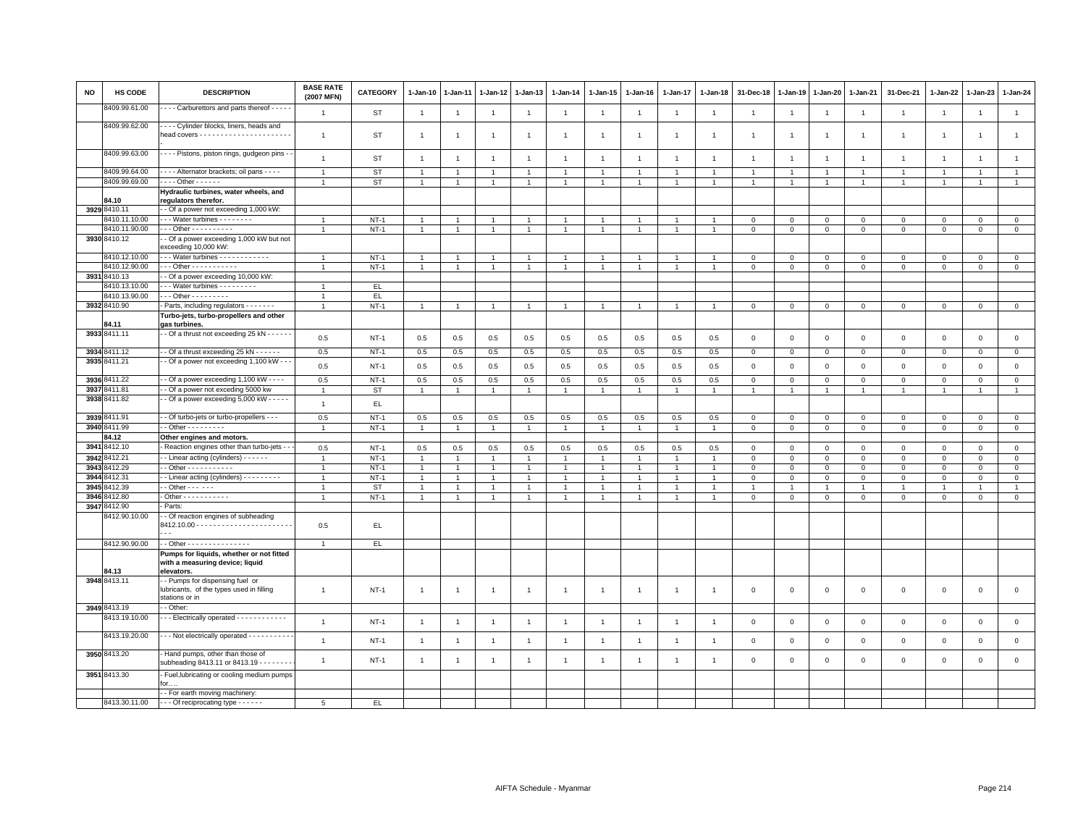| <b>NO</b> | <b>HS CODE</b>                | <b>DESCRIPTION</b>                                                                                         | <b>BASE RATE</b><br>(2007 MFN) | <b>CATEGORY</b>  | $1-Jan-10$                       | $1-Jan-11$                     | $1-Jan-12$          | 1-Jan-13                         | $1-Jan-14$                     | $1 - Jan-15$                   | $1-Jan-16$          | 1-Jan-17              | $1-Jan-18$          | 31-Dec-18                  | 1-Jan-19         | 1-Jan-20                   | 1-Jan-21                      | 31-Dec-21                          | 1-Jan-22                | 1-Jan-23                   | 1-Jan-24                   |
|-----------|-------------------------------|------------------------------------------------------------------------------------------------------------|--------------------------------|------------------|----------------------------------|--------------------------------|---------------------|----------------------------------|--------------------------------|--------------------------------|---------------------|-----------------------|---------------------|----------------------------|------------------|----------------------------|-------------------------------|------------------------------------|-------------------------|----------------------------|----------------------------|
|           | 8409.99.61.00                 | - - - Carburettors and parts thereof - - - - -                                                             | $\overline{1}$                 | ST               | $\overline{1}$                   | $\overline{1}$                 | $\overline{1}$      | $\overline{1}$                   | $\overline{1}$                 | $\overline{1}$                 | $\overline{1}$      | $\overline{1}$        | $\overline{1}$      | $\overline{1}$             | $\mathbf{1}$     | $\overline{1}$             | $\overline{1}$                | $\overline{1}$                     | $\overline{1}$          | $\overline{1}$             | $\mathbf{1}$               |
|           | 8409.99.62.00                 | --- Cylinder blocks, liners, heads and                                                                     | $\overline{1}$                 | ST               | $\overline{1}$                   | $\overline{1}$                 | $\overline{1}$      | $\overline{1}$                   | $\mathbf{1}$                   | $\overline{1}$                 | -1                  | $\overline{1}$        | $\mathbf{1}$        | $\overline{1}$             | $\overline{1}$   | $\overline{1}$             | $\overline{1}$                | $\mathbf{1}$                       | $\overline{1}$          | $\overline{1}$             | $\mathbf{1}$               |
|           | 8409.99.63.00                 | - - - - Pistons, piston rings, gudgeon pins -                                                              | $\overline{1}$                 | ST               | $\overline{1}$                   | $\overline{1}$                 | $\overline{1}$      | $\overline{1}$                   | $\overline{1}$                 | $\overline{1}$                 | $\overline{1}$      | $\overline{1}$        | $\overline{1}$      | $\overline{1}$             | $\overline{1}$   | $\mathbf{1}$               | $\overline{1}$                | $\overline{1}$                     | $\overline{1}$          | $\mathbf{1}$               | $\overline{1}$             |
|           | 8409.99.64.00                 | - - - - Alternator brackets; oil pans - - - -                                                              | $\overline{1}$                 | <b>ST</b>        | $\overline{1}$                   | $\overline{1}$                 | $\overline{1}$      | $\overline{1}$                   | $\overline{1}$                 | $\mathbf{1}$                   | $\overline{1}$      | $\overline{1}$        | $\overline{1}$      | $\overline{1}$             |                  | $\overline{1}$             | $\overline{1}$                | $\overline{1}$                     | $\overline{1}$          | $\overline{1}$             | $\overline{1}$             |
|           | 8409.99.69.00                 | $\cdots$ Other - - - - - -                                                                                 |                                | <b>ST</b>        | $\overline{1}$                   | $\overline{1}$                 | $\overline{1}$      | $\overline{1}$                   | $\overline{1}$                 | $\mathbf{1}$                   | -1                  | $\mathbf{1}$          |                     | $\overline{1}$             |                  |                            | $\overline{1}$                | $\mathbf{1}$                       | 1                       | $\overline{1}$             | $\overline{1}$             |
|           | 84.10                         | Hydraulic turbines, water wheels, and<br>regulators therefor.                                              |                                |                  |                                  |                                |                     |                                  |                                |                                |                     |                       |                     |                            |                  |                            |                               |                                    |                         |                            |                            |
|           | 3929 8410.11                  | - - Of a power not exceeding 1,000 kW:                                                                     |                                |                  |                                  |                                |                     |                                  |                                |                                |                     |                       |                     |                            |                  |                            |                               |                                    |                         |                            |                            |
|           | 3410.11.10.00                 | --- Water turbines --------                                                                                | $\mathbf{1}$                   | $NT-1$           | $\overline{1}$                   | $\overline{1}$                 | $\overline{1}$      | $\overline{1}$                   | $\overline{1}$                 | $\overline{1}$                 | $\overline{1}$      | $\overline{1}$        | $\overline{1}$      | $\mathbf 0$                | $\mathbf{0}$     | $\mathbf{0}$               | $\mathbf 0$                   | $\mathbf{0}$                       | $\mathbf{0}$            | $\overline{0}$             | $\circ$                    |
|           | 8410.11.90.00                 | - - - Other - - - - - - - - - -                                                                            | $\overline{1}$                 | $NT-1$           | $\mathbf{1}$                     | $\mathbf{1}$                   | $\mathbf{1}$        | $\overline{1}$                   | $\mathbf{1}$                   | $\overline{1}$                 | $\mathbf{1}$        | $\mathbf{1}$          |                     | $\mathsf 0$                | $\mathsf 0$      | $\mathbf 0$                | $\mathbf 0$                   | $\mathsf 0$                        | $\mathbf 0$             | $\mathsf 0$                | $\mathsf 0$                |
|           | 3930 8410.12                  | - Of a power exceeding 1,000 kW but not<br>exceeding 10,000 kW:                                            |                                |                  |                                  |                                |                     |                                  |                                |                                |                     |                       |                     |                            |                  |                            |                               |                                    |                         |                            |                            |
|           | 8410.12.10.00                 | -- Water turbines ------------                                                                             | $\overline{1}$                 | $NT-1$           | $\overline{1}$<br>$\overline{1}$ | $\overline{1}$<br>$\mathbf{1}$ | $\overline{1}$      | $\overline{1}$<br>$\overline{1}$ | $\mathbf{1}$<br>$\overline{1}$ | $\overline{1}$<br>$\mathbf{1}$ |                     | $\overline{1}$<br>1   |                     | $\mathbf 0$                | $^{\circ}$       | $\Omega$                   | $\mathbf 0$                   | $\mathbf 0$                        | $\mathbf{0}$            | $\mathbf{0}$               | $\mathbf{0}$               |
|           | 8410.12.90.00<br>3931 8410.13 | $-$ - Other - - - - - - - - - - -<br>- Of a power exceeding 10,000 kW:                                     |                                | $NT-1$           |                                  |                                | $\mathbf{1}$        |                                  |                                |                                |                     |                       |                     | $\mathbf 0$                | $\mathsf 0$      | $\mathsf 0$                | $\mathbf 0$                   | $\mathbf 0$                        | $\mathbf 0$             | $\mathbf 0$                | $\mathbf 0$                |
|           | 3410.13.10.00                 | $\cdots$ Water turbines $\cdots$                                                                           | $\overline{1}$                 | EL.              |                                  |                                |                     |                                  |                                |                                |                     |                       |                     |                            |                  |                            |                               |                                    |                         |                            |                            |
|           | 8410.13.90.00                 | $-$ - Other - - - - - - - - -                                                                              | $\overline{1}$                 | EL.              |                                  |                                |                     |                                  |                                |                                |                     |                       |                     |                            |                  |                            |                               |                                    |                         |                            |                            |
|           | 3932 8410.90                  | Parts, including regulators - - - - - - -                                                                  | $\overline{1}$                 | $NT-1$           | $\overline{1}$                   | $\overline{1}$                 | $\mathbf{1}$        | $\mathbf{1}$                     | $\overline{1}$                 | $\overline{1}$                 | $\overline{1}$      | $\mathbf{1}$          |                     | $\mathbf 0$                | $\mathsf 0$      | $\mathbf 0$                | $\mathsf 0$                   | $\mathsf 0$                        | $\mathsf 0$             | $\mathsf 0$                | $\overline{0}$             |
|           | 84.11                         | Turbo-jets, turbo-propellers and other<br>gas turbines.                                                    |                                |                  |                                  |                                |                     |                                  |                                |                                |                     |                       |                     |                            |                  |                            |                               |                                    |                         |                            |                            |
|           | 3933 8411.11                  | - - Of a thrust not exceeding 25 kN - - - - - -                                                            | 0.5                            | $NT-1$           | 0.5                              | 0.5                            | 0.5                 | 0.5                              | 0.5                            | 0.5                            | 0.5                 | 0.5                   | 0.5                 | $\mathbf 0$                | $\mathsf 0$      | $\mathsf 0$                | $\mathbf 0$                   | $\mathsf 0$                        | $\mathbf 0$             | $\mathbf 0$                | $\mathsf 0$                |
|           | 3934 8411.12                  | - Of a thrust exceeding 25 kN - - - - - -                                                                  | 0.5                            | $NT-1$           | 0.5                              | 0.5                            | 0.5                 | $0.5\,$                          | 0.5                            | 0.5                            | 0.5                 | 0.5                   | 0.5                 | $\mathbf 0$                | $\mathbf 0$      | $\overline{0}$             | $\overline{0}$                | $\mathsf 0$                        | $\mathbf 0$             | $\mathbf 0$                | $\overline{0}$             |
|           | 3935 8411.21                  | - Of a power not exceeding 1,100 kW - -                                                                    | 0.5                            | $NT-1$           | 0.5                              | 0.5                            | 0.5                 | 0.5                              | 0.5                            | 0.5                            | 0.5                 | 0.5                   | 0.5                 | $\,0\,$                    | $\mathsf 0$      | $\,0\,$                    | $\mathbf 0$                   | $\mathbf 0$                        | $\mathbf{0}$            | $\mathbf{0}$               | $\mathsf 0$                |
|           | 3936 8411.22                  | - Of a power exceeding 1,100 kW - - - -                                                                    | 0.5                            | $NT-1$           | 0.5                              | 0.5                            | 0.5                 | 0.5                              | 0.5                            | 0.5                            | 0.5                 | 0.5                   | 0.5                 | $\,0\,$                    | $\mathsf 0$      | $\,0\,$                    | $\overline{0}$                | $\mathsf 0$                        | $\mathsf 0$             | $\mathbf 0$                | $\overline{0}$             |
|           | 3937 8411.81                  | - Of a power not exceding 5000 kw                                                                          | $\overline{1}$                 | ST               | -1                               | $\mathbf{1}$                   | $\mathbf{1}$        | $\overline{1}$                   | $\overline{1}$                 | $\mathbf{1}$                   | $\overline{1}$      | 1                     |                     | $\overline{1}$             |                  | -1                         | $\overline{1}$                | $\mathbf{1}$                       | 1                       | $\mathbf{1}$               | $\mathbf{1}$               |
|           | 3938 8411.82                  | - Of a power exceeding 5,000 kW - - - - -                                                                  | $\overline{1}$                 | EL.              |                                  |                                |                     |                                  |                                |                                |                     |                       |                     |                            |                  |                            |                               |                                    |                         |                            |                            |
|           | 3939 8411.91<br>3940 8411.99  | - Of turbo-jets or turbo-propellers - - -<br>$-$ Other $       -$                                          | 0.5<br>$\mathbf{1}$            | $NT-1$<br>$NT-1$ | 0.5<br>$\mathbf{1}$              | 0.5<br>$\mathbf{1}$            | 0.5<br>$\mathbf{1}$ | 0.5<br>$\overline{1}$            | 0.5<br>$\mathbf{1}$            | 0.5<br>$\mathbf{1}$            | 0.5<br>$\mathbf{1}$ | 0.5<br>$\overline{1}$ | 0.5<br>$\mathbf{1}$ | $\mathbf 0$<br>$\mathbf 0$ | 0<br>$\mathsf 0$ | $\mathsf 0$<br>$\mathsf 0$ | $\mathbf 0$<br>$\overline{0}$ | $\mathsf 0$<br>$\mathsf{O}\xspace$ | $\Omega$<br>$\mathbf 0$ | $\mathbf 0$<br>$\mathsf 0$ | $\mathbf 0$<br>$\mathbf 0$ |
|           | 84.12                         | Other engines and motors.                                                                                  |                                |                  |                                  |                                |                     |                                  |                                |                                |                     |                       |                     |                            |                  |                            |                               |                                    |                         |                            |                            |
|           | 3941 8412.10                  | Reaction engines other than turbo-jets -                                                                   | 0.5                            | $NT-1$           | 0.5                              | 0.5                            | 0.5                 | 0.5                              | 0.5                            | 0.5                            | 0.5                 | 0.5                   | 0.5                 | $\mathbf 0$                | $\mathbf{0}$     | $\mathbf{0}$               | $\mathbf{0}$                  | $\mathbf{0}$                       | $\mathbf{0}$            | $\circ$                    | $\circ$                    |
|           | 3942 8412.21                  | - Linear acting (cylinders) - - - - - -                                                                    | $\overline{1}$                 | $NT-1$           | $\overline{1}$                   | $\overline{1}$                 | $\overline{1}$      | $\overline{1}$                   | $\mathbf{1}$                   | $\overline{1}$                 | $\overline{1}$      | $\overline{1}$        | $\overline{1}$      | $\mathsf 0$                | $\mathsf 0$      | $\mathsf 0$                | $\mathbf 0$                   | $\mathsf 0$                        | $\mathbf 0$             | $\mathbf 0$                | $\mathsf 0$                |
|           | 3943 8412.29                  | - Other - - - - - - - - - -                                                                                |                                | $NT-1$           | $\overline{1}$                   |                                | $\overline{1}$      | $\overline{1}$                   | $\mathbf{1}$                   | $\overline{1}$                 |                     | $\overline{1}$        |                     | $\mathbf 0$                | 0                | $\mathsf 0$                | $\mathbf 0$                   | $\mathsf 0$                        | $\mathbf 0$             | $\mathbf 0$                | $\mathsf 0$                |
|           | 3944 8412.31                  | - Linear acting (cylinders) - - - - - - - -                                                                | $\overline{1}$                 | $NT-1$           | $\overline{1}$                   | $\overline{1}$                 | $\overline{1}$      | $\overline{1}$                   | $\mathbf{1}$                   | $\mathbf{1}$                   |                     | -1                    |                     | $\,0\,$                    | 0                | 0                          | $\mathsf 0$                   | $\mathsf 0$                        | $\mathbf{0}$            | $\mathbf{0}$               | $\mathbf{0}$               |
|           | 3945 8412.39                  | - - Other - - - - - -                                                                                      | $\overline{1}$                 | <b>ST</b>        | $\mathbf{1}$                     | $\overline{1}$                 | $\overline{1}$      | $\overline{1}$                   | $\mathbf{1}$                   | $\overline{1}$                 | $\overline{1}$      | $\overline{1}$        | $\overline{1}$      | $\overline{1}$             | $\overline{1}$   | $\mathbf{1}$               | $\overline{1}$                | $\mathbf{1}$                       | $\overline{1}$          | $\overline{1}$             | $\mathbf{1}$               |
|           | 3946 8412.80                  | $-$ Other - - - - - - - - - - -                                                                            | $\overline{1}$                 | $NT-1$           | $\mathbf{1}$                     | $\overline{1}$                 | $\overline{1}$      | $\overline{1}$                   | $\mathbf{1}$                   | $\overline{1}$                 | $\overline{1}$      | $\overline{1}$        | $\overline{1}$      | $\mathbf 0$                | $\mathsf 0$      | $\mathsf 0$                | $\mathbf 0$                   | $\mathsf 0$                        | $\mathbf 0$             | $\mathbf 0$                | $\mathsf 0$                |
|           | 3947 8412.90<br>8412.90.10.00 | Parts:<br>- Of reaction engines of subheading<br>$\overline{a}$                                            | 0.5                            | EL.              |                                  |                                |                     |                                  |                                |                                |                     |                       |                     |                            |                  |                            |                               |                                    |                         |                            |                            |
|           | 8412.90.90.00                 | - - Other - - - - - - - - - - - - - - -                                                                    | $\overline{1}$                 | EL.              |                                  |                                |                     |                                  |                                |                                |                     |                       |                     |                            |                  |                            |                               |                                    |                         |                            |                            |
|           |                               | Pumps for liquids, whether or not fitted<br>with a measuring device; liquid                                |                                |                  |                                  |                                |                     |                                  |                                |                                |                     |                       |                     |                            |                  |                            |                               |                                    |                         |                            |                            |
|           | 84.13<br>3948 8413.11         | elevators.<br>- Pumps for dispensing fuel or<br>lubricants, of the types used in filling<br>stations or in | $\mathbf{1}$                   | $NT-1$           | $\overline{1}$                   | $\overline{1}$                 | $\overline{1}$      | $\overline{1}$                   | $\mathbf{1}$                   | $\overline{1}$                 | $\overline{1}$      | $\overline{1}$        | $\overline{1}$      | $\mathbf 0$                | 0                | 0                          | $\mathbf 0$                   | $\mathsf 0$                        | $\mathbf 0$             | $\mathbf{O}$               | $\mathsf 0$                |
|           | 3949 8413.19                  | - Other:                                                                                                   |                                |                  |                                  |                                |                     |                                  |                                |                                |                     |                       |                     |                            |                  |                            |                               |                                    |                         |                            |                            |
|           | 8413.19.10.00                 | --- Electrically operated ------------                                                                     | $\overline{1}$                 | $NT-1$           | $\overline{1}$                   | $\overline{1}$                 | $\overline{1}$      | $\overline{1}$                   | $\overline{1}$                 | $\overline{1}$                 | $\overline{1}$      | $\overline{1}$        | $\overline{1}$      | $\,0\,$                    | $\mathsf 0$      | $\mathsf 0$                | $\mathbf 0$                   | $\mathsf 0$                        | $\mathbf{0}$            | $\mathsf 0$                | $\mathsf 0$                |
|           | 8413.19.20.00                 | - - - Not electrically operated - - - - - - - - - -                                                        | $\overline{1}$                 | $NT-1$           | $\mathbf{1}$                     | $\overline{1}$                 | $\overline{1}$      | $\overline{1}$                   | $\overline{1}$                 | $\overline{1}$                 | $\overline{1}$      | $\overline{1}$        | $\overline{1}$      | $\mathbf 0$                | $\mathsf 0$      | $\mathsf 0$                | $\mathbf 0$                   | $\mathsf 0$                        | $\mathbf 0$             | $\mathbf 0$                | $\mathsf 0$                |
|           | 3950 8413.20                  | Hand pumps, other than those of<br>subheading 8413.11 or 8413.19 - - - - - - - -                           | $\overline{1}$                 | $NT-1$           | $\overline{1}$                   | $\overline{1}$                 | $\mathbf{1}$        | $\overline{1}$                   | $\overline{1}$                 | $\mathbf{1}$                   | $\overline{1}$      | $\overline{1}$        | $\overline{1}$      | $\mathsf 0$                | $\mathbf 0$      | $\mathsf 0$                | $\mathbf 0$                   | $\mathsf 0$                        | $\mathbf{0}$            | $\mathsf 0$                | $\mathsf 0$                |
|           | 3951 8413.30                  | Fuel, lubricating or cooling medium pumps<br>or.                                                           |                                |                  |                                  |                                |                     |                                  |                                |                                |                     |                       |                     |                            |                  |                            |                               |                                    |                         |                            |                            |
|           |                               | - For earth moving machinery:                                                                              |                                |                  |                                  |                                |                     |                                  |                                |                                |                     |                       |                     |                            |                  |                            |                               |                                    |                         |                            |                            |
|           | 8413.30.11.00                 | - - - Of reciprocating type - - - - - -                                                                    | 5                              | EL               |                                  |                                |                     |                                  |                                |                                |                     |                       |                     |                            |                  |                            |                               |                                    |                         |                            |                            |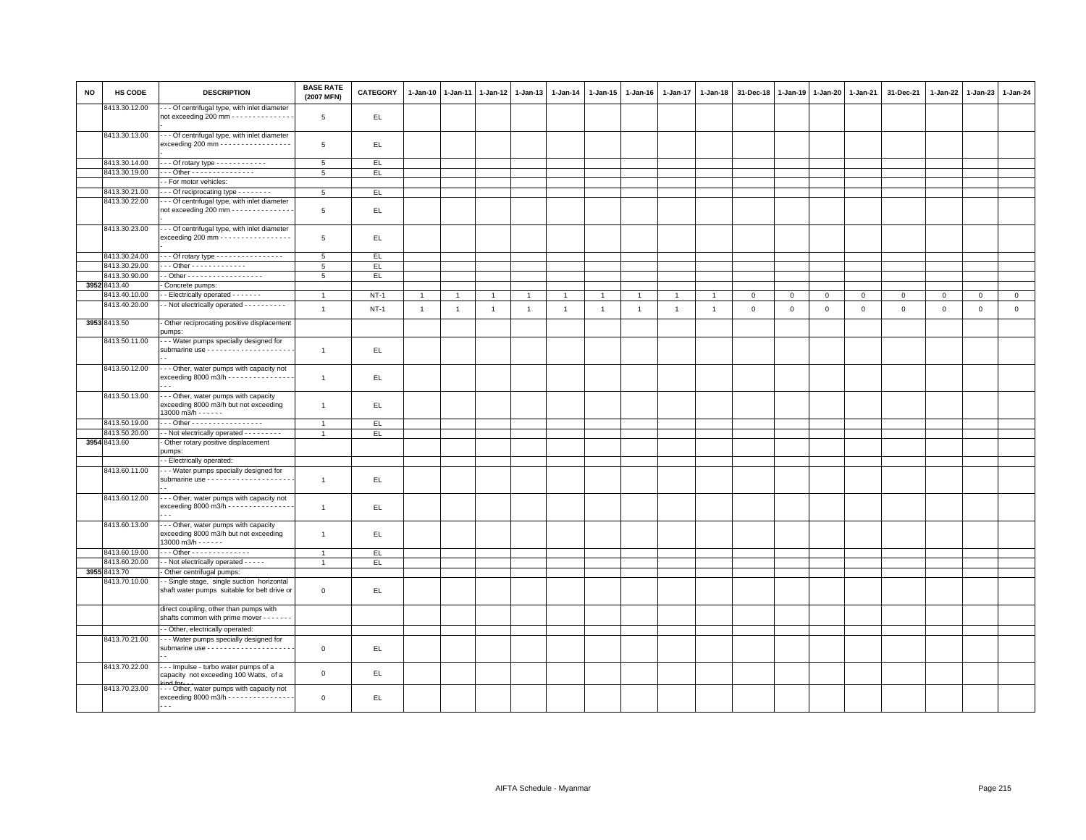| <b>NO</b> | HS CODE                       | <b>DESCRIPTION</b>                                                                                         | <b>BASE RATE</b><br>(2007 MFN) | <b>CATEGORY</b> | $1-Jan-10$     | $1-Jan-11$     | $1-Jan-12$     | $1 - Jan-13$   | 1-Jan-14     | 1-Jan-15       | 1-Jan-16     | 1-Jan-17       | $1-Jan-18$     | 31-Dec-18   | 1-Jan-19    | $1 - Jan-20$ | 1-Jan-21    | 31-Dec-21   | 1-Jan-22    | $1-Jan-23$  | 1-Jan-24    |
|-----------|-------------------------------|------------------------------------------------------------------------------------------------------------|--------------------------------|-----------------|----------------|----------------|----------------|----------------|--------------|----------------|--------------|----------------|----------------|-------------|-------------|--------------|-------------|-------------|-------------|-------------|-------------|
|           | 8413.30.12.00                 | - - Of centrifugal type, with inlet diameter<br>not exceeding 200 mm - - - - - - - - - - - - - -           | 5                              | EL.             |                |                |                |                |              |                |              |                |                |             |             |              |             |             |             |             |             |
|           | 8413.30.13.00                 | - - Of centrifugal type, with inlet diameter<br>exceeding 200 mm - - - - - - - - - - - - - - - - -         | 5                              | EL.             |                |                |                |                |              |                |              |                |                |             |             |              |             |             |             |             |             |
|           | 8413.30.14.00                 | --- Of rotary type ------------                                                                            | 5                              | EL.             |                |                |                |                |              |                |              |                |                |             |             |              |             |             |             |             |             |
|           | 8413.30.19.00                 | - - Other - - - - - - - - - - - - - - -                                                                    | 5                              | EL.             |                |                |                |                |              |                |              |                |                |             |             |              |             |             |             |             |             |
|           |                               | - For motor vehicles:                                                                                      |                                |                 |                |                |                |                |              |                |              |                |                |             |             |              |             |             |             |             |             |
|           | 8413.30.21.00                 | - - Of reciprocating type - - - - - - - -                                                                  | 5                              |                 |                |                |                |                |              |                |              |                |                |             |             |              |             |             |             |             |             |
|           |                               |                                                                                                            |                                | EL              |                |                |                |                |              |                |              |                |                |             |             |              |             |             |             |             |             |
|           | 8413.30.22.00                 | - - - Of centrifugal type, with inlet diameter<br>not exceeding 200 mm $\cdots$                            | 5                              | EL              |                |                |                |                |              |                |              |                |                |             |             |              |             |             |             |             |             |
|           | 8413.30.23.00                 | --- Of centrifugal type, with inlet diameter<br>exceeding 200 mm - - - - - - - - - - - - - - - - -         | 5                              | EL.             |                |                |                |                |              |                |              |                |                |             |             |              |             |             |             |             |             |
|           | 8413.30.24.00                 | $\cdots$ Of rotary type $\cdots$                                                                           | 5                              | EL.             |                |                |                |                |              |                |              |                |                |             |             |              |             |             |             |             |             |
|           | 8413.30.29.00                 | $\cdot$ - Other - - - - - - - - - - - - -                                                                  | 5                              | EL              |                |                |                |                |              |                |              |                |                |             |             |              |             |             |             |             |             |
|           | 8413.30.90.00                 | - Other - - - - - - - - - - - - - - - - - -                                                                | 5                              | EL.             |                |                |                |                |              |                |              |                |                |             |             |              |             |             |             |             |             |
|           | 3952 8413.40                  | Concrete pumps:                                                                                            |                                |                 |                |                |                |                |              |                |              |                |                |             |             |              |             |             |             |             |             |
|           | 3413.40.10.00                 |                                                                                                            |                                |                 |                |                |                |                |              |                |              |                |                |             |             |              |             |             |             |             |             |
|           | 8413.40.20.00                 | - Electrically operated - - - - - - -                                                                      | $\mathbf{1}$                   | $NT-1$          | $\mathbf{1}$   | $\overline{1}$ | $\overline{1}$ | $\overline{1}$ | $\mathbf{1}$ | $\overline{1}$ |              | $\mathbf{1}$   |                | $\mathbf 0$ | $\mathbf 0$ | $\mathbf 0$  | $\mathbf 0$ | $\mathsf 0$ | $\mathbf 0$ | $\circ$     | $\circ$     |
|           |                               | - - Not electrically operated - - - - - - - - - -                                                          | $\mathbf{1}$                   | $NT-1$          | $\overline{1}$ | $\overline{1}$ | $\overline{1}$ | $\overline{1}$ | $\mathbf{1}$ | $\mathbf{1}$   | $\mathbf{1}$ | $\overline{1}$ | $\overline{1}$ | $\mathbf 0$ | $\mathsf 0$ | $\mathsf 0$  | $\mathbf 0$ | $\mathsf 0$ | $\mathsf 0$ | $\mathsf 0$ | $\mathsf 0$ |
|           | 3953 8413.50<br>8413.50.11.00 | - Other reciprocating positive displacement<br>pumps:<br>- - - Water pumps specially designed for          |                                |                 |                |                |                |                |              |                |              |                |                |             |             |              |             |             |             |             |             |
|           |                               |                                                                                                            | $\mathbf{1}$                   | EL              |                |                |                |                |              |                |              |                |                |             |             |              |             |             |             |             |             |
|           | 8413.50.12.00                 | - - Other, water pumps with capacity not<br>exceeding 8000 m3/h - - - - - - - - - - - - - - -              | $\overline{1}$                 | EL.             |                |                |                |                |              |                |              |                |                |             |             |              |             |             |             |             |             |
|           | 8413.50.13.00                 | - - - Other, water pumps with capacity<br>exceeding 8000 m3/h but not exceeding<br>13000 m3/h - - - - - -  | $\mathbf{1}$                   | EL.             |                |                |                |                |              |                |              |                |                |             |             |              |             |             |             |             |             |
|           | 8413.50.19.00                 | --- Other ------------------                                                                               | $\mathbf{1}$                   | EL.             |                |                |                |                |              |                |              |                |                |             |             |              |             |             |             |             |             |
|           | 8413.50.20.00                 | - - Not electrically operated - - - - - - - - -                                                            |                                | EL              |                |                |                |                |              |                |              |                |                |             |             |              |             |             |             |             |             |
|           | 3954 8413.60                  | Other rotary positive displacement                                                                         |                                |                 |                |                |                |                |              |                |              |                |                |             |             |              |             |             |             |             |             |
|           |                               | pumps:                                                                                                     |                                |                 |                |                |                |                |              |                |              |                |                |             |             |              |             |             |             |             |             |
|           |                               | - Electrically operated:                                                                                   |                                |                 |                |                |                |                |              |                |              |                |                |             |             |              |             |             |             |             |             |
|           | 8413.60.11.00                 | - - Water pumps specially designed for                                                                     |                                |                 |                |                |                |                |              |                |              |                |                |             |             |              |             |             |             |             |             |
|           |                               |                                                                                                            | $\overline{1}$                 | EL.             |                |                |                |                |              |                |              |                |                |             |             |              |             |             |             |             |             |
|           | 8413.60.12.00                 | --- Other, water pumps with capacity not                                                                   |                                |                 |                |                |                |                |              |                |              |                |                |             |             |              |             |             |             |             |             |
|           |                               | exceeding 8000 m3/h - - - - - - - - - - - - - - -                                                          | $\overline{1}$                 | EL.             |                |                |                |                |              |                |              |                |                |             |             |              |             |             |             |             |             |
|           | 8413.60.13.00                 | --- Other, water pumps with capacity<br>exceeding 8000 m3/h but not exceeding<br>$13000$ m $3/h - - - - -$ | $\overline{1}$                 | EL.             |                |                |                |                |              |                |              |                |                |             |             |              |             |             |             |             |             |
|           | 8413.60.19.00                 | . Other - - - - - - - - - - - - - -                                                                        | $\overline{1}$                 | EL.             |                |                |                |                |              |                |              |                |                |             |             |              |             |             |             |             |             |
|           | 8413.60.20.00                 | - - Not electrically operated - - - - -                                                                    | $\mathbf{1}$                   | EL.             |                |                |                |                |              |                |              |                |                |             |             |              |             |             |             |             |             |
|           | 3955 8413.70                  | Other centrifugal pumps:                                                                                   |                                |                 |                |                |                |                |              |                |              |                |                |             |             |              |             |             |             |             |             |
|           | 8413.70.10.00                 | - Single stage, single suction horizontal                                                                  |                                |                 |                |                |                |                |              |                |              |                |                |             |             |              |             |             |             |             |             |
|           |                               | shaft water pumps suitable for belt drive or                                                               | $\circ$                        | EL.             |                |                |                |                |              |                |              |                |                |             |             |              |             |             |             |             |             |
|           |                               | direct coupling, other than pumps with<br>shafts common with prime mover - - - - - - -                     |                                |                 |                |                |                |                |              |                |              |                |                |             |             |              |             |             |             |             |             |
|           |                               | - Other, electrically operated:                                                                            |                                |                 |                |                |                |                |              |                |              |                |                |             |             |              |             |             |             |             |             |
|           | 8413.70.21.00                 | - - Water pumps specially designed for                                                                     | $\mathbf 0$                    | EL.             |                |                |                |                |              |                |              |                |                |             |             |              |             |             |             |             |             |
|           | 8413.70.22.00                 | --- Impulse - turbo water pumps of a                                                                       | $\mathbf 0$                    | EL              |                |                |                |                |              |                |              |                |                |             |             |              |             |             |             |             |             |
|           | 8413.70.23.00                 | capacity not exceeding 100 Watts, of a<br>--- Other, water pumps with capacity not                         |                                |                 |                |                |                |                |              |                |              |                |                |             |             |              |             |             |             |             |             |
|           |                               | exceeding 8000 m3/h - - - - - - - - - - - - - - -<br>$\cdots$                                              | $\mathbf 0$                    | EL.             |                |                |                |                |              |                |              |                |                |             |             |              |             |             |             |             |             |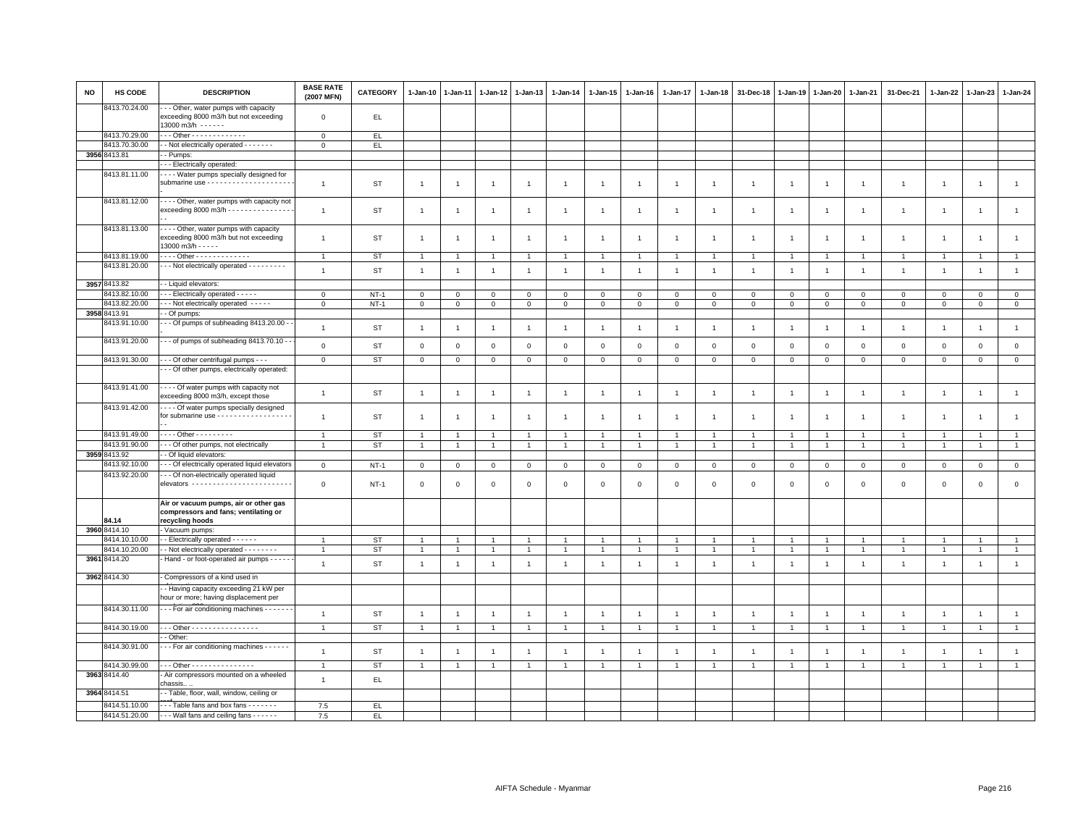| <b>NO</b> | HS CODE                        | <b>DESCRIPTION</b>                                                                                        | <b>BASE RATE</b><br>(2007 MFN) | <b>CATEGORY</b> | $1 - Jan-10$   | $1-Jan-11$     | 1-Jan-12       | $1-Jan-13$     | 1-Jan-14       | 1-Jan-15             | $1 - Jan-16$   | 1-Jan-17       | 1-Jan-18       | 31-Dec-18      | 1-Jan-19       | 1-Jan-20       | 1-Jan-21       | 31-Dec-21      | 1-Jan-22       | $1-Jan-23$     | 1-Jan-24       |
|-----------|--------------------------------|-----------------------------------------------------------------------------------------------------------|--------------------------------|-----------------|----------------|----------------|----------------|----------------|----------------|----------------------|----------------|----------------|----------------|----------------|----------------|----------------|----------------|----------------|----------------|----------------|----------------|
|           | 8413.70.24.00                  | - - Other, water pumps with capacity<br>exceeding 8000 m3/h but not exceeding<br>13000 m3/h - - - - - -   | $\mathsf 0$                    | EL.             |                |                |                |                |                |                      |                |                |                |                |                |                |                |                |                |                |                |
|           | 8413.70.29.00                  |                                                                                                           | $\mathbf{0}$                   | EL.             |                |                |                |                |                |                      |                |                |                |                |                |                |                |                |                |                |                |
|           | 8413.70.30.00                  | - - Not electrically operated - - - - - - -                                                               | $\Omega$                       | EL.             |                |                |                |                |                |                      |                |                |                |                |                |                |                |                |                |                |                |
|           | 3956 8413.81                   | - Pumps:                                                                                                  |                                |                 |                |                |                |                |                |                      |                |                |                |                |                |                |                |                |                |                |                |
|           |                                | - - Electrically operated:                                                                                |                                |                 |                |                |                |                |                |                      |                |                |                |                |                |                |                |                |                |                |                |
|           | 8413.81.11.00                  | - - - Water pumps specially designed for                                                                  |                                |                 |                |                |                |                |                |                      |                |                |                |                |                |                |                |                |                |                |                |
|           |                                |                                                                                                           | $\overline{1}$                 | ST              | $\mathbf{1}$   | 1              | $\overline{1}$ | $\overline{1}$ | $\mathbf{1}$   | $\overline{1}$       | -1             | $\overline{1}$ | $\mathbf{1}$   | $\overline{1}$ | $\overline{1}$ | $\overline{1}$ | $\overline{1}$ | $\overline{1}$ | $\mathbf{1}$   | $\mathbf{1}$   | $\mathbf{1}$   |
|           | 8413.81.12.00                  | - Other, water pumps with capacity not<br>exceeding 8000 m3/h - - - - - - - - - - - -                     | $\overline{1}$                 | ST              | $\mathbf{1}$   | -1             | -1             | $\overline{1}$ | $\overline{1}$ | $\overline{1}$       | $\overline{1}$ | $\mathbf{1}$   |                | $\overline{1}$ | $\overline{1}$ | $\mathbf{1}$   | $\overline{1}$ | $\mathbf{1}$   | $\mathbf{1}$   | $\overline{1}$ | $\overline{1}$ |
|           | 8413.81.13.00                  | - - - - Other, water pumps with capacity<br>exceeding 8000 m3/h but not exceeding<br>13000 m3/h - - - - - | $\overline{1}$                 | ST              | $\mathbf{1}$   | $\overline{1}$ | $\overline{1}$ | $\overline{1}$ | $\mathbf{1}$   | $\mathbf{1}$         | $\overline{1}$ | $\overline{1}$ | $\mathbf{1}$   | $\overline{1}$ | $\overline{1}$ | $\overline{1}$ | $\overline{1}$ | $\mathbf{1}$   | $\mathbf{1}$   | $\mathbf{1}$   | $\mathbf{1}$   |
|           | 8413.81.19.00                  | Other - - - - - - - - - - - - -                                                                           | $\overline{1}$                 | ST              | $\mathbf{1}$   | -1             | $\overline{1}$ | $\overline{1}$ |                | $\mathbf{1}$         |                | $\mathbf{1}$   |                | $\overline{1}$ | $\overline{1}$ | $\overline{1}$ | $\overline{1}$ | $\mathbf{1}$   | $\overline{1}$ | $\mathbf{1}$   | $\overline{1}$ |
|           | 8413.81.20.00                  | --- Not electrically operated ---------                                                                   | $\overline{1}$                 | ST              | $\overline{1}$ | $\overline{1}$ | $\overline{1}$ | $\mathbf{1}$   | $\overline{1}$ | $\mathbf{1}$         | $\overline{1}$ | $\overline{1}$ | $\overline{1}$ | $\overline{1}$ | $\overline{1}$ | $\overline{1}$ | $\overline{1}$ | $\mathbf{1}$   | $\overline{1}$ | $\mathbf{1}$   | $\mathbf{1}$   |
|           |                                |                                                                                                           |                                |                 |                |                |                |                |                |                      |                |                |                |                |                |                |                |                |                |                |                |
|           | 3957 8413.82                   | - Liquid elevators:                                                                                       |                                |                 |                |                |                |                |                |                      |                |                |                |                |                |                |                |                |                |                |                |
|           | 3413.82.10.00                  | - - Electrically operated - - - - -                                                                       | $\Omega$                       | $NT-1$          | $\mathbf{0}$   | $\Omega$       | $\mathbf{0}$   | $\Omega$       | $\mathbf 0$    | $\Omega$             | $\Omega$       | $\Omega$       | $\Omega$       | $\mathbf 0$    | $\circ$        | $\mathbf{0}$   | $\Omega$       | $\mathbf{0}$   | $\Omega$       | $\mathbf 0$    | $\mathbf 0$    |
|           | 8413.82.20.00                  | - - Not electrically operated - - - - -                                                                   | $\mathsf 0$                    | $NT-1$          | $\mathbf 0$    | $\mathbf 0$    | $\mathbf 0$    | $\mathbf 0$    | $\mathbf 0$    | 0                    | $\mathbf 0$    | $\mathbf 0$    | $\mathbf 0$    | $\mathbf 0$    | $\mathbf 0$    | $\mathbf 0$    | $\mathbf 0$    | $\mathbf 0$    | $\mathbf 0$    | $\mathbf{0}$   | $\mathsf 0$    |
|           | 3958 8413.91                   | - Of pumps:                                                                                               |                                |                 |                |                |                |                |                |                      |                |                |                |                |                |                |                |                |                |                |                |
|           | 8413.91.10.00<br>8413.91.20.00 | - - Of pumps of subheading 8413.20.00 -<br>- - of pumps of subheading 8413.70.10 -                        | $\overline{1}$                 | <b>ST</b>       | $\mathbf{1}$   | $\overline{1}$ | $\overline{1}$ | $\overline{1}$ | $\overline{1}$ | $\mathbf{1}$         | $\overline{1}$ | $\overline{1}$ | $\overline{1}$ | $\overline{1}$ | $\overline{1}$ | $\overline{1}$ | $\overline{1}$ | $\overline{1}$ | $\overline{1}$ | $\mathbf{1}$   | $\mathbf{1}$   |
|           |                                |                                                                                                           | $\mathbf 0$                    | ST              | $\mathbf 0$    | $\Omega$       | $\overline{0}$ | $\mathbf{0}$   | $\mathbf 0$    | $\mathbf 0$          | $\Omega$       | $\overline{0}$ | $\mathbf 0$    | $\mathbf 0$    | $\mathbf{0}$   | $\mathbf 0$    | $\mathbf 0$    | $\mathbf 0$    | $\overline{0}$ | $\mathbf 0$    | $\mathsf 0$    |
|           | 8413.91.30.00                  | - - - Of other centrifugal pumps - - -                                                                    | $\mathbf{0}$                   | ST              | $\mathbf{0}$   | $\mathbf 0$    | $\mathbf{0}$   | $\mathbf{0}$   | $\mathbf 0$    | $\mathbf{O}$         | $\mathbf 0$    | $\mathbf 0$    | $\mathbf 0$    | $\mathbf 0$    | $\mathbf 0$    | $\mathbf 0$    | $\mathbf 0$    | $\mathbf 0$    | $\mathbf{0}$   | $\mathbf{0}$   | $\circ$        |
|           |                                | - - Of other pumps, electrically operated:                                                                |                                |                 |                |                |                |                |                |                      |                |                |                |                |                |                |                |                |                |                |                |
|           | 8413.91.41.00                  | - - - - Of water pumps with capacity not<br>exceeding 8000 m3/h, except those                             | $\overline{1}$                 | ST              | $\mathbf{1}$   | $\overline{1}$ | $\overline{1}$ | $\overline{1}$ | $\overline{1}$ | $\mathbf{1}$         | $\overline{1}$ | $\overline{1}$ | $\overline{1}$ | $\overline{1}$ | $\overline{1}$ | $\overline{1}$ | $\overline{1}$ | $\mathbf{1}$   | $\overline{1}$ | $\mathbf{1}$   | $\overline{1}$ |
|           | 8413.91.42.00                  | Of water pumps specially designed<br>for submarine use - - - - - - - - - - - - - - - - -                  | $\overline{1}$                 | ST              | $\overline{1}$ | -1             | $\overline{1}$ | $\overline{1}$ | $\overline{1}$ | $\overline{1}$       | -1             | $\overline{1}$ | -1             | $\overline{1}$ | -1             | $\overline{1}$ | $\overline{1}$ | $\overline{1}$ | $\overline{1}$ | $\overline{1}$ | $\overline{1}$ |
|           | 8413.91.49.00                  | . Other - - - - - - - - -                                                                                 |                                |                 |                |                |                |                |                |                      |                | $\overline{1}$ |                | $\overline{1}$ | $\overline{1}$ |                |                | $\overline{1}$ |                |                | $\overline{1}$ |
|           | 8413.91.90.00                  | - - Of other pumps, not electrically                                                                      |                                | ST              | $\overline{1}$ | $\overline{1}$ | $\overline{1}$ | $\overline{1}$ |                | $\overline{1}$       |                |                |                |                |                | $\overline{1}$ | $\overline{1}$ |                | $\overline{1}$ | $\overline{1}$ |                |
|           |                                |                                                                                                           | $\overline{1}$                 | <b>ST</b>       | $\mathbf{1}$   | $\overline{1}$ | $\overline{1}$ | $\overline{1}$ | $\overline{1}$ | $\mathbf{1}$         | $\overline{1}$ | $\mathbf{1}$   | $\overline{1}$ | $\overline{1}$ | $\overline{1}$ | $\mathbf{1}$   | $\overline{1}$ | $\mathbf{1}$   | $\overline{1}$ | $\mathbf{1}$   | $\mathbf{1}$   |
|           | 3959 8413.92                   | - Of liquid elevators:                                                                                    |                                |                 |                |                |                |                |                |                      |                |                |                |                |                |                |                |                |                |                |                |
|           | 8413.92.10.00                  | - - Of electrically operated liquid elevators                                                             | $\mathsf 0$                    | $NT-1$          | $\mathsf 0$    | $\mathsf 0$    | $\mathbf 0$    | $\mathbf 0$    | $\mathbf 0$    | $\mathbf 0$          | $\mathsf 0$    | $\mathsf 0$    | $\mathbf 0$    | $\mathbf 0$    | $\mathbf{0}$   | $\mathbf 0$    | $\mathbf 0$    | $\mathsf 0$    | $\mathsf 0$    | $\mathbf 0$    | $\mathsf 0$    |
|           | 8413.92.20.00                  | - - Of non-electrically operated liquid<br>elevators ------------------------                             | $\mathbf 0$                    | <b>NT-1</b>     | $\mathbf 0$    | $^{\circ}$     | $\mathbf 0$    | $\mathbf 0$    | $\mathbf 0$    | 0                    | $\Omega$       | $\Omega$       | $\Omega$       | $\mathbf 0$    | $\Omega$       | $\mathsf 0$    | $\mathbf 0$    | $\mathsf 0$    | $^{\circ}$     | $\mathsf 0$    | $\mathsf 0$    |
|           | 84.14                          | Air or vacuum pumps, air or other gas<br>compressors and fans; ventilating or<br>recycling hoods          |                                |                 |                |                |                |                |                |                      |                |                |                |                |                |                |                |                |                |                |                |
|           | 3960 8414.10                   | Vacuum pumps:                                                                                             |                                |                 |                |                |                |                |                |                      |                |                |                |                |                |                |                |                |                |                |                |
|           | 8414.10.10.00                  | - - Electrically operated - - - - - -                                                                     |                                | ST              | 1              |                | $\overline{1}$ | -1             |                | $\mathbf{1}$         |                |                |                |                |                |                | -1             | -1             |                |                | $\mathbf{1}$   |
|           | 8414.10.20.00                  | - - Not electrically operated - - - - - - - -                                                             |                                | <b>ST</b>       | $\overline{1}$ |                | $\overline{1}$ | $\overline{1}$ |                | $\ddot{\phantom{1}}$ |                |                |                |                |                |                |                | $\overline{1}$ |                |                | $\mathbf{1}$   |
|           | 3961 8414.20                   | Hand - or foot-operated air pumps - - - - -                                                               | $\overline{1}$                 | <b>ST</b>       | $\mathbf{1}$   | $\overline{1}$ | $\overline{1}$ | $\overline{1}$ | $\mathbf{1}$   | $\mathbf{1}$         | $\overline{1}$ | $\mathbf{1}$   | $\overline{1}$ | $\overline{1}$ | $\overline{1}$ | $\overline{1}$ | $\overline{1}$ | $\overline{1}$ | $\overline{1}$ | $\mathbf{1}$   | $\mathbf{1}$   |
|           | 3962 8414.30                   | Compressors of a kind used in                                                                             |                                |                 |                |                |                |                |                |                      |                |                |                |                |                |                |                |                |                |                |                |
|           |                                | - Having capacity exceeding 21 kW per<br>hour or more; having displacement per                            |                                |                 |                |                |                |                |                |                      |                |                |                |                |                |                |                |                |                |                |                |
|           | 8414.30.11.00                  | - - - For air conditioning machines - - - - - -                                                           | $\overline{1}$                 | <b>ST</b>       | $\mathbf{1}$   | $\overline{1}$ | $\overline{1}$ | $\mathbf{1}$   | $\overline{1}$ | $\mathbf{1}$         | $\overline{1}$ | $\overline{1}$ | $\overline{1}$ | $\overline{1}$ | $\overline{1}$ | $\overline{1}$ | $\overline{1}$ | $\overline{1}$ | $\overline{1}$ | $\overline{1}$ | $\mathbf{1}$   |
|           | 8414.30.19.00                  | Other -                                                                                                   | $\overline{1}$                 | <b>ST</b>       | $\overline{1}$ | $\overline{1}$ | $\overline{1}$ | $\overline{1}$ | $\overline{1}$ | $\overline{1}$       | -1             | $\overline{1}$ | $\overline{1}$ | $\overline{1}$ | $\overline{1}$ | $\overline{1}$ | $\overline{1}$ | $\mathbf{1}$   | $\overline{1}$ | $\mathbf{1}$   | $\mathbf{1}$   |
|           |                                | - Other:                                                                                                  |                                |                 |                |                |                |                |                |                      |                |                |                |                |                |                |                |                |                |                |                |
|           | 8414.30.91.00                  | - - For air conditioning machines - - - - -                                                               | $\overline{1}$                 | <b>ST</b>       | $\overline{1}$ | -1             | $\overline{1}$ | $\overline{1}$ | $\overline{1}$ | $\overline{1}$       | $\overline{1}$ | $\overline{1}$ |                | $\overline{1}$ | $\overline{1}$ | $\overline{1}$ | $\overline{1}$ | $\overline{1}$ | $\overline{1}$ | $\mathbf{1}$   | $\mathbf{1}$   |
|           | 8414.30.99.00                  | - - - Other - - - - - - - - - - - - - - -                                                                 | $\overline{1}$                 | ST              | $\overline{1}$ | $\overline{1}$ | $\overline{1}$ | $\overline{1}$ |                | $\blacktriangleleft$ |                |                |                |                |                |                | $\overline{1}$ | $\overline{1}$ | $\overline{1}$ | $\overline{1}$ | $\overline{1}$ |
|           | 3963 8414.40                   | - Air compressors mounted on a wheeled<br>chassis.                                                        | $\overline{1}$                 | EL              |                |                |                |                |                |                      |                |                |                |                |                |                |                |                |                |                |                |
|           | 3964 8414.51                   | - - Table, floor, wall, window, ceiling or                                                                |                                |                 |                |                |                |                |                |                      |                |                |                |                |                |                |                |                |                |                |                |
|           | 8414.51.10.00                  | ---Table fans and box fans -------                                                                        | 7.5                            | EL.             |                |                |                |                |                |                      |                |                |                |                |                |                |                |                |                |                |                |
|           | 8414.51.20.00                  | --- Wall fans and ceiling fans ------                                                                     | 7.5                            | EL.             |                |                |                |                |                |                      |                |                |                |                |                |                |                |                |                |                |                |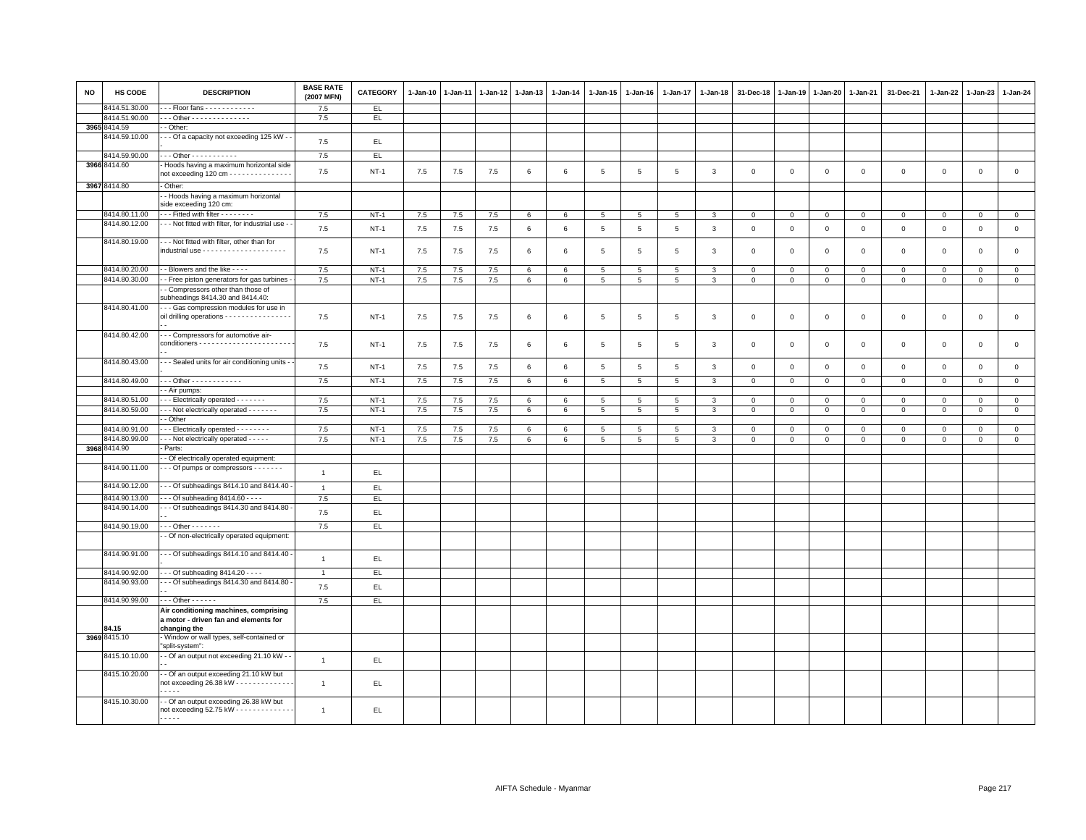| <b>NO</b> | HS CODE       | <b>DESCRIPTION</b>                                                                                | <b>BASE RATE</b><br>(2007 MFN) | <b>CATEGORY</b> | $1 - Jan-10$ | $1-Jan-11$ | $1 - Jan-12$ | $1 - Jan-13$ | 1-Jan-14        | 1-Jan-15        | $1-Jan-16$ | 1-Jan-17        | 1-Jan-18      | 31-Dec-18   | 1-Jan-19     | 1-Jan-20     | 1-Jan-21    | 31-Dec-21    | 1-Jan-22     | $1-Jan-23$   | 1-Jan-24            |
|-----------|---------------|---------------------------------------------------------------------------------------------------|--------------------------------|-----------------|--------------|------------|--------------|--------------|-----------------|-----------------|------------|-----------------|---------------|-------------|--------------|--------------|-------------|--------------|--------------|--------------|---------------------|
|           | 8414.51.30.00 | $-$ - Floor fans $-$ - - - - - - - - - - - -                                                      | 7.5                            | EL.             |              |            |              |              |                 |                 |            |                 |               |             |              |              |             |              |              |              |                     |
|           | 8414.51.90.00 | - - Other - - - - - - - - - - - - - -                                                             | 7.5                            | EL.             |              |            |              |              |                 |                 |            |                 |               |             |              |              |             |              |              |              |                     |
|           | 3965 8414.59  | - Other:                                                                                          |                                |                 |              |            |              |              |                 |                 |            |                 |               |             |              |              |             |              |              |              |                     |
|           | 8414.59.10.00 | - Of a capacity not exceeding 125 kW - -                                                          | 7.5                            | EL.             |              |            |              |              |                 |                 |            |                 |               |             |              |              |             |              |              |              |                     |
|           | 8414.59.90.00 | - - - Other - - - - - - - - - - -                                                                 | 7.5                            | EL              |              |            |              |              |                 |                 |            |                 |               |             |              |              |             |              |              |              |                     |
|           | 3966 8414.60  | Hoods having a maximum horizontal side<br>not exceeding $120$ cm - - - - - - - - - - - - - - -    | 7.5                            | $NT-1$          | 7.5          | 7.5        | 7.5          | 6            | 6               | 5               | 5          | 5               | 3             | $\mathbf 0$ | $\mathbf 0$  | $\mathsf 0$  | $\mathbf 0$ | $\mathbf 0$  | $\mathbf{0}$ | $\mathbf 0$  | $\mathsf 0$         |
|           | 3967 8414.80  | Other:                                                                                            |                                |                 |              |            |              |              |                 |                 |            |                 |               |             |              |              |             |              |              |              |                     |
|           |               | - Hoods having a maximum horizontal                                                               |                                |                 |              |            |              |              |                 |                 |            |                 |               |             |              |              |             |              |              |              |                     |
|           |               | side exceeding 120 cm:                                                                            |                                |                 |              |            |              |              |                 |                 |            |                 |               |             |              |              |             |              |              |              |                     |
|           | 8414.80.11.00 | - - Fitted with filter - - - - - - - -                                                            | 7.5                            | $NT-1$          | 7.5          | 7.5        | 7.5          | 6            | $6\phantom{.0}$ | $5\phantom{.0}$ | 5          | $5\overline{5}$ | 3             | $\mathsf 0$ | $\mathbb O$  | $\circ$      | $\mathbf 0$ | $\circ$      | $\mathbf 0$  | $\circ$      | $\mathsf 0$         |
|           | 8414.80.12.00 | - - Not fitted with filter, for industrial use -                                                  | 7.5                            | $NT-1$          | 7.5          | 7.5        | 7.5          | 6            | $6\phantom{.0}$ | $5\phantom{.0}$ | 5          | 5               | $\mathbf{3}$  | $\mathsf 0$ | $\mathbf{0}$ | $\mathbf 0$  | $\mathbf 0$ | $\circ$      | $\mathsf 0$  | $\circ$      | $\mathsf 0$         |
|           | 8414.80.19.00 | - - Not fitted with filter, other than for                                                        | 7.5                            | $NT-1$          | 7.5          | 7.5        | 7.5          | 6            | 6               | 5               | 5          | $5\overline{5}$ | 3             | $\mathbf 0$ | $\mathbf 0$  | $\mathbf 0$  | $\mathbf 0$ | $\mathbf 0$  | $\Omega$     | $\mathbf 0$  | $\mathbf{0}$        |
|           | 8414.80.20.00 | - Blowers and the like - - - -                                                                    | 7.5                            | $NT-1$          | 7.5          | 7.5        | 7.5          | 6            | 6               | 5               | 5          | 5               | 3             | $\mathbf 0$ | $\mathsf 0$  | $\mathsf 0$  | $\mathsf 0$ | $\mathbf 0$  | $\mathbf 0$  | $\mathbf 0$  | $\mathbf 0$         |
|           | 8414.80.30.00 | - Free piston generators for gas turbines                                                         | 7.5                            | $NT-1$          | 7.5          | 7.5        | $7.5\,$      | 6            | $6\phantom{.0}$ | $5\phantom{.0}$ | 5          | $\overline{5}$  | 3             | $\mathsf 0$ | $\mathbf 0$  | $\mathbf 0$  | $\mathbf 0$ | $\mathbf 0$  | $\Omega$     | $\Omega$     | $\mathsf 0$         |
|           |               | - Compressors other than those of                                                                 |                                |                 |              |            |              |              |                 |                 |            |                 |               |             |              |              |             |              |              |              |                     |
|           |               | subheadings 8414.30 and 8414.40:                                                                  |                                |                 |              |            |              |              |                 |                 |            |                 |               |             |              |              |             |              |              |              |                     |
|           | 8414.80.41.00 | - - Gas compression modules for use in<br>oil drilling operations - - - - - - - - - - - - - - - - | 7.5                            | $NT-1$          | 7.5          | 7.5        | 7.5          | 6            | 6               | 5               | 5          | 5               | 3             | $\mathbf 0$ | $\mathbf 0$  | $\mathbf 0$  | $\mathsf 0$ | $\mathbf 0$  | $\mathsf 0$  | $\mathsf 0$  | $\mathsf 0$         |
|           |               |                                                                                                   |                                |                 |              |            |              |              |                 |                 |            |                 |               |             |              |              |             |              |              |              |                     |
|           | 8414.80.42.00 | - - Compressors for automotive air-                                                               | 7.5                            | $NT-1$          | 7.5          | 7.5        | 7.5          | 6            | $\,6\,$         | $5\phantom{.0}$ | 5          | 5               | 3             | $\,0\,$     | $\mathsf 0$  | $\mathbf 0$  | $\mathsf 0$ | $\mathbf 0$  | $\mathsf 0$  | $\mathsf 0$  | $\mathsf{O}\xspace$ |
|           | 8414.80.43.00 | - - Sealed units for air conditioning units -                                                     | 7.5                            | $NT-1$          | 7.5          | 7.5        | 7.5          | 6            | $\,6\,$         | 5               | 5          | 5               | 3             | $\mathsf 0$ | $\mathsf 0$  | $\mathsf 0$  | $\,0\,$     | $\mathsf 0$  | $\mathbf 0$  | $\mathsf 0$  | $\mathsf{O}\xspace$ |
|           | 8414.80.49.00 | $-$ - Other - - - - - - - - - - - -                                                               | 7.5                            | $NT-1$          | $7.5\,$      | 7.5        | 7.5          | 6            | $\,6\,$         | 5               | 5          | 5               | 3             | $\mathsf 0$ | $\mathsf 0$  | $\mathsf 0$  | $\mathbf 0$ | $\mathsf 0$  | $\mathbf 0$  | $\mathsf 0$  | $\mathsf{O}\xspace$ |
|           |               | - Air pumps:                                                                                      |                                |                 |              |            |              |              |                 |                 |            |                 |               |             |              |              |             |              |              |              |                     |
|           | 8414.80.51.00 | - - Electrically operated - - - - - - -                                                           | 7.5                            | $NT-1$          | 7.5          | 7.5        | 7.5          | 6            | $6\phantom{.0}$ | $5\phantom{.0}$ | 5          | $\overline{5}$  | $\mathcal{R}$ | $\mathsf 0$ | $\mathsf 0$  | $\mathsf 0$  | $\mathbf 0$ | $\mathbf 0$  | $\Omega$     | $\mathbf 0$  | $\mathbf{0}$        |
|           | 8414.80.59.00 | - - Not electrically operated - - - - - - -                                                       | $7.5\,$                        | $NT-1$          | $7.5\,$      | $7.5\,$    | $7.5\,$      | 6            | $\,6\,$         | $5\phantom{.0}$ | 5          | 5               | 3             | $\mathbf 0$ | $\mathsf 0$  | $\mathsf 0$  | $\mathbf 0$ | $\mathbf 0$  | $\Omega$     | $\mathsf 0$  | $\mathsf 0$         |
|           |               | - Other                                                                                           |                                |                 |              |            |              |              |                 |                 |            |                 |               |             |              |              |             |              |              |              |                     |
|           | 8414.80.91.00 | - - Electrically operated - - - - - - - -                                                         | 7.5                            | $NT-1$          | 7.5          | 7.5        | 7.5          | 6            | 6               | 5               | 5          | 5               | 3             | $\mathbf 0$ | 0            | $\mathbf{0}$ | $\mathbf 0$ | $\mathbf{0}$ | 0            | $\mathbf{0}$ | $\mathbf 0$         |
|           | 8414.80.99.00 | Not electrically operated - - - - -                                                               | 7.5                            | $NT-1$          | 7.5          | 7.5        | 7.5          | 6            | 6               | $\overline{5}$  | 5          | 5               | 3             | $\mathbf 0$ | $\mathbf 0$  | $\mathbf 0$  | $\mathbf 0$ | $\mathbf 0$  | $\Omega$     | $\mathbf 0$  | $\overline{0}$      |
|           | 3968 8414.90  | Parts:                                                                                            |                                |                 |              |            |              |              |                 |                 |            |                 |               |             |              |              |             |              |              |              |                     |
|           |               | - Of electrically operated equipment:                                                             |                                |                 |              |            |              |              |                 |                 |            |                 |               |             |              |              |             |              |              |              |                     |
|           | 8414.90.11.00 | - - Of pumps or compressors - - - - - - -                                                         | $\overline{1}$                 | EL.             |              |            |              |              |                 |                 |            |                 |               |             |              |              |             |              |              |              |                     |
|           | 8414.90.12.00 | - - Of subheadings 8414.10 and 8414.40 -                                                          | $\overline{1}$                 | EL.             |              |            |              |              |                 |                 |            |                 |               |             |              |              |             |              |              |              |                     |
|           | 8414.90.13.00 | - - Of subheading 8414.60 - - - -                                                                 | 7.5                            | EL.             |              |            |              |              |                 |                 |            |                 |               |             |              |              |             |              |              |              |                     |
|           | 8414.90.14.00 | - - Of subheadings 8414.30 and 8414.80 -                                                          |                                |                 |              |            |              |              |                 |                 |            |                 |               |             |              |              |             |              |              |              |                     |
|           |               |                                                                                                   | 7.5                            | EL.             |              |            |              |              |                 |                 |            |                 |               |             |              |              |             |              |              |              |                     |
|           | 8414.90.19.00 | $-0$ ther $-0$                                                                                    | 7.5                            | EL.             |              |            |              |              |                 |                 |            |                 |               |             |              |              |             |              |              |              |                     |
|           |               | - Of non-electrically operated equipment:                                                         |                                |                 |              |            |              |              |                 |                 |            |                 |               |             |              |              |             |              |              |              |                     |
|           | 8414.90.91.00 | - - Of subheadings 8414.10 and 8414.40 -                                                          | $\overline{1}$                 | EL.             |              |            |              |              |                 |                 |            |                 |               |             |              |              |             |              |              |              |                     |
|           | 8414.90.92.00 | $-$ - Of subheading 8414.20 $-$ - - -                                                             | $\overline{1}$                 | EL.             |              |            |              |              |                 |                 |            |                 |               |             |              |              |             |              |              |              |                     |
|           | 8414.90.93.00 | - - Of subheadings 8414.30 and 8414.80 -                                                          | 7.5                            | EL.             |              |            |              |              |                 |                 |            |                 |               |             |              |              |             |              |              |              |                     |
|           |               |                                                                                                   |                                |                 |              |            |              |              |                 |                 |            |                 |               |             |              |              |             |              |              |              |                     |
|           | 8414.90.99.00 | $\cdots$ Other - - - - - -                                                                        | 7.5                            | EL.             |              |            |              |              |                 |                 |            |                 |               |             |              |              |             |              |              |              |                     |
|           | 34.15         | Air conditioning machines, comprising<br>a motor - driven fan and elements for<br>changing the    |                                |                 |              |            |              |              |                 |                 |            |                 |               |             |              |              |             |              |              |              |                     |
|           | 3969 8415.10  | Window or wall types, self-contained or                                                           |                                |                 |              |            |              |              |                 |                 |            |                 |               |             |              |              |             |              |              |              |                     |
|           |               | 'split-system":                                                                                   |                                |                 |              |            |              |              |                 |                 |            |                 |               |             |              |              |             |              |              |              |                     |
|           | 8415.10.10.00 | - - Of an output not exceeding 21.10 kW - -                                                       | $\mathbf{1}$                   | EL.             |              |            |              |              |                 |                 |            |                 |               |             |              |              |             |              |              |              |                     |
|           | 8415.10.20.00 | - Of an output exceeding 21.10 kW but<br>not exceeding 26.38 kW - - - - - - - - - - - - -         | $\mathbf{1}$                   | EL.             |              |            |              |              |                 |                 |            |                 |               |             |              |              |             |              |              |              |                     |
|           | 8415.10.30.00 | - Of an output exceeding 26.38 kW but<br>not exceeding 52.75 kW - - - - - - - - - - - - -<br>.    | $\overline{1}$                 | EL.             |              |            |              |              |                 |                 |            |                 |               |             |              |              |             |              |              |              |                     |
|           |               |                                                                                                   |                                |                 |              |            |              |              |                 |                 |            |                 |               |             |              |              |             |              |              |              |                     |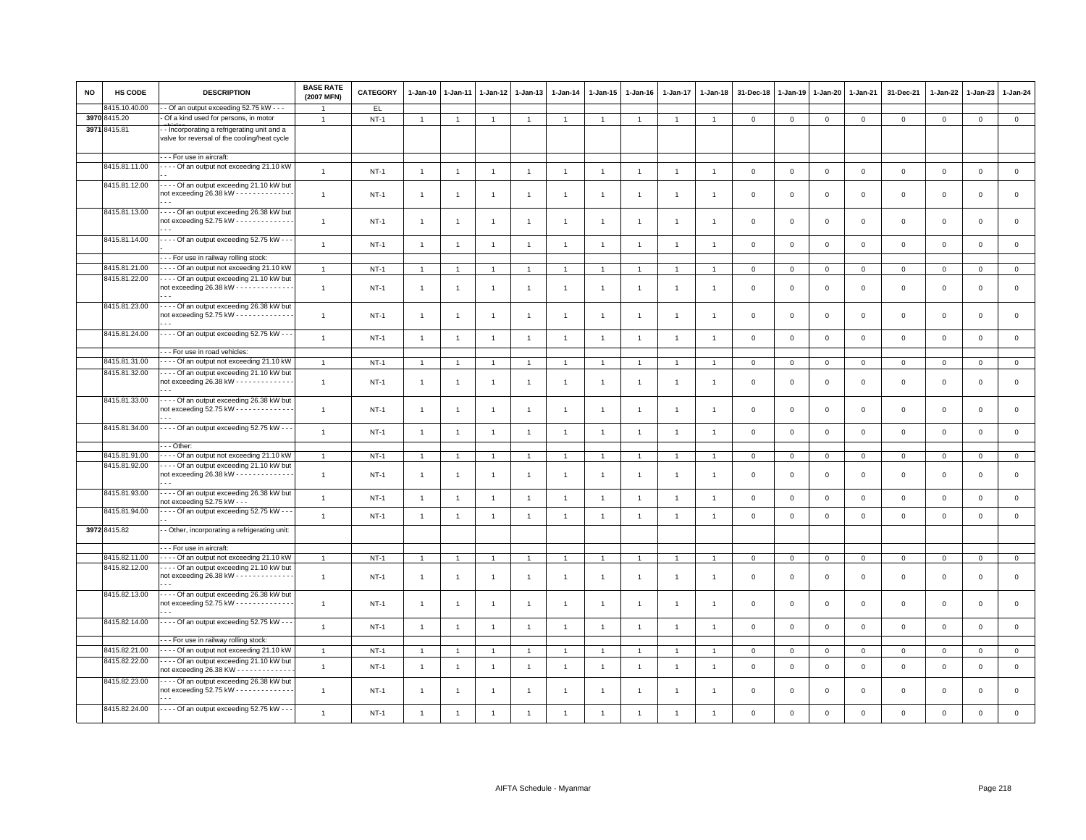| <b>NO</b> | HS CODE       | <b>DESCRIPTION</b>                                                                              | <b>BASE RATE</b><br>(2007 MFN) | <b>CATEGORY</b> | $1-Jan-10$     | 1-Jan-11       | 1-Jan-12       | 1-Jan-13       | $1-Jan-14$     | 1-Jan-15             | $1-Jan-16$     | $1 - Jan-17$   | $1 - Jan-18$   | 31-Dec-18      | $1-Jan-19$  | 1-Jan-20       | $1-Jan-21$     | 31-Dec-21           | 1-Jan-22     | $1-Jan-23$   | 1-Jan-24       |
|-----------|---------------|-------------------------------------------------------------------------------------------------|--------------------------------|-----------------|----------------|----------------|----------------|----------------|----------------|----------------------|----------------|----------------|----------------|----------------|-------------|----------------|----------------|---------------------|--------------|--------------|----------------|
|           | 8415.10.40.00 | - Of an output exceeding 52.75 kW - - -                                                         |                                | EL.             |                |                |                |                |                |                      |                |                |                |                |             |                |                |                     |              |              |                |
| 3970      | 8415.20       | - Of a kind used for persons, in motor                                                          | $\overline{1}$                 | $NT-1$          | $\overline{1}$ | $\overline{1}$ | $\overline{1}$ | $\overline{1}$ | $\mathbf{1}$   | $\mathbf{1}$         | $\overline{1}$ | $\overline{1}$ | $\overline{1}$ | $\mathbf 0$    | $\mathbf 0$ | $\mathsf 0$    | $\mathbf 0$    | $\mathbf 0$         | $\circ$      | $\mathbf{O}$ | $\mathsf 0$    |
|           | 3971 8415.81  | - Incorporating a refrigerating unit and a<br>valve for reversal of the cooling/heat cycle      |                                |                 |                |                |                |                |                |                      |                |                |                |                |             |                |                |                     |              |              |                |
|           |               | -- For use in aircraft:                                                                         |                                |                 |                |                |                |                |                |                      |                |                |                |                |             |                |                |                     |              |              |                |
|           | 8415.81.11.00 | - - - - Of an output not exceeding 21.10 kW                                                     | $\overline{1}$                 | $NT-1$          | $\overline{1}$ | $\overline{1}$ | $\overline{1}$ | $\mathbf{1}$   | $\overline{1}$ | $\mathbf{1}$         | $\overline{1}$ | $\overline{1}$ | $\overline{1}$ | $\mathbf 0$    | $\mathsf 0$ | $\mathsf 0$    | $\,0\,$        | $\mathsf 0$         | $\mathbf 0$  | $\mathsf 0$  | $\mathsf 0$    |
|           | 8415.81.12.00 | - - - - Of an output exceeding 21.10 kW but<br>not exceeding 26.38 kW - - - - - - - - - - - - - | $\mathbf{1}$                   | $NT-1$          | $\overline{1}$ | -1             | $\overline{1}$ | $\overline{1}$ | $\mathbf{1}$   | $\mathbf{1}$         | $\overline{1}$ | $\mathbf{1}$   | $\overline{1}$ | $\mathbf 0$    | $\mathsf 0$ | $\mathsf 0$    | $\mathbf 0$    | $\mathsf 0$         | $\mathsf 0$  | $\mathsf 0$  | $\mathsf 0$    |
|           | 8415.81.13.00 | ---- Of an output exceeding 26.38 kW but<br>not exceeding 52.75 kW - - - - - - - - - - - - -    | $\overline{1}$                 | $NT-1$          | $\overline{1}$ | -1             | -1             | $\mathbf{1}$   | $\overline{1}$ | $\overline{1}$       | $\overline{1}$ | $\mathbf{1}$   |                | $\mathbf 0$    | $\mathbf 0$ | $\mathsf 0$    | $\mathbf 0$    | $\mathsf 0$         | $\mathbf 0$  | $\mathbf 0$  | $\mathsf 0$    |
|           | 8415.81.14.00 | - - - - Of an output exceeding 52.75 kW - - -                                                   | $\overline{1}$                 | $NT-1$          | $\overline{1}$ | $\overline{1}$ | $\overline{1}$ | $\overline{1}$ | $\overline{1}$ | $\overline{1}$       | $\overline{1}$ | $\overline{1}$ | $\overline{1}$ | $\overline{0}$ | $\mathbf 0$ | $\mathbf{0}$   | $\mathbf{0}$   | $\mathbf 0$         | $\mathbf{0}$ | $\mathbf 0$  | $\mathsf 0$    |
|           |               | - - For use in railway rolling stock:                                                           |                                |                 |                |                |                |                |                |                      |                |                |                |                |             |                |                |                     |              |              |                |
|           | 8415.81.21.00 | - - - - Of an output not exceeding 21.10 kW                                                     | $\overline{1}$                 | $NT-1$          | $\overline{1}$ | $\overline{1}$ | $\overline{1}$ | $\overline{1}$ | $\mathbf{1}$   | $\blacktriangleleft$ | $\overline{1}$ | $\mathbf{1}$   |                | $\mathbf 0$    | $\mathsf 0$ | $\mathbf 0$    | $\mathbf 0$    | $\mathsf 0$         | $\mathbf 0$  | $\mathbf{O}$ | $\circ$        |
|           | 8415.81.22.00 | --- Of an output exceeding 21.10 kW but<br>not exceeding 26.38 kW - - - - - - - - - - - - -     | $\overline{1}$                 | $NT-1$          | $\overline{1}$ | -1             | -1             | $\overline{1}$ | $\overline{1}$ | $\mathbf{1}$         | $\overline{1}$ | $\mathbf{1}$   | $\mathbf{1}$   | $\mathbf 0$    | $\mathbf 0$ | $\mathsf 0$    | $\mathbf 0$    | $\mathsf 0$         | $\mathbf 0$  | $\mathbf 0$  | $\mathsf 0$    |
|           | 8415.81.23.00 | - - - - Of an output exceeding 26.38 kW but<br>not exceeding 52.75 kW - - - - - - - - - - - - - | $\mathbf{1}$                   | $NT-1$          | $\overline{1}$ | $\overline{1}$ | $\overline{1}$ | $\overline{1}$ | $\overline{1}$ | $\mathbf{1}$         | $\overline{1}$ | $\mathbf{1}$   |                | $\mathbf 0$    | $\mathbf 0$ | $\mathsf 0$    | $\mathbf 0$    | $\mathsf 0$         | $\mathbf 0$  | $\mathsf 0$  | $\mathsf 0$    |
|           | 8415.81.24.00 | - - - - Of an output exceeding 52.75 kW - - -                                                   | $\overline{1}$                 | $NT-1$          | $\overline{1}$ | $\overline{1}$ | $\overline{1}$ | $\overline{1}$ | $\overline{1}$ | $\overline{1}$       | $\overline{1}$ | $\mathbf{1}$   | $\overline{1}$ | $\mathbf 0$    | $\mathsf 0$ | $\,0\,$        | $\mathbf 0$    | $\mathsf 0$         | $\mathsf 0$  | $\mathsf 0$  | $\mathbf 0$    |
|           |               | -- For use in road vehicles:                                                                    |                                |                 |                |                |                |                |                |                      |                |                |                |                |             |                |                |                     |              |              |                |
|           | 8415.81.31.00 | ---- Of an output not exceeding 21.10 kW                                                        | $\mathbf{1}$                   | $NT-1$          | $\overline{1}$ | $\overline{1}$ | $\mathbf{1}$   | $\overline{1}$ | $\overline{1}$ | $\mathbf{1}$         | $\overline{1}$ | $\overline{1}$ | $\overline{1}$ | $\mathbf 0$    | $\mathsf 0$ | $\mathbf{0}$   | $\mathbf 0$    | $\mathsf 0$         | $\mathbf 0$  | $\mathsf 0$  | $\mathsf 0$    |
|           | 8415.81.32.00 | --- Of an output exceeding 21.10 kW but<br>not exceeding 26.38 kW - - - - - - - - - - - - -     | $\overline{1}$                 | <b>NT-1</b>     | $\overline{1}$ |                | $\overline{1}$ | $\overline{1}$ | $\overline{1}$ | $\overline{1}$       | $\overline{1}$ | $\overline{1}$ |                | $\mathbf 0$    | $\mathbf 0$ | $\,0\,$        | $\mathbf 0$    | $\mathsf 0$         | $\mathsf 0$  | $\mathsf 0$  | $\mathsf 0$    |
|           | 8415.81.33.00 | Of an output exceeding 26.38 kW but<br>not exceeding 52.75 kW - - - - - - - - - - - - -         | $\overline{1}$                 | $NT-1$          | $\overline{1}$ | -1             | $\overline{1}$ | $\overline{1}$ | $\mathbf{1}$   | $\mathbf{1}$         | $\overline{1}$ | $\mathbf{1}$   | $\overline{1}$ | $\mathbf 0$    | $\mathbf 0$ | $\mathsf 0$    | $\mathbf 0$    | $\mathsf 0$         | $\mathbf 0$  | $\mathsf 0$  | $\mathsf 0$    |
|           | 8415.81.34.00 | - - - - Of an output exceeding 52.75 kW - - -                                                   | $\overline{1}$                 | $NT-1$          | $\overline{1}$ | $\overline{1}$ | $\overline{1}$ | $\overline{1}$ | $\overline{1}$ | $\mathbf{1}$         | $\overline{1}$ | $\overline{1}$ | $\overline{1}$ | $\mathbf 0$    | $\mathsf 0$ | $\circ$        | $\mathbf{0}$   | $\mathbf{0}$        | $\mathsf 0$  | $\mathbf 0$  | $\mathsf 0$    |
|           |               | - - Other:                                                                                      |                                |                 |                |                |                |                |                |                      |                |                |                |                |             |                |                |                     |              |              |                |
|           | 8415.81.91.00 | ---- Of an output not exceeding 21.10 kW                                                        | $\overline{1}$                 | $NT-1$          | $\overline{1}$ | $\overline{1}$ | $\overline{1}$ | $\overline{1}$ |                | $\mathbf{1}$         |                |                | $\overline{1}$ | $\mathbf 0$    | $\mathbf 0$ | $\mathbf 0$    | $\mathbf 0$    | $\mathbf{0}$        | $\mathbf 0$  | $\mathbf{0}$ | $\overline{0}$ |
|           | 8415.81.92.00 | - - - - Of an output exceeding 21.10 kW but<br>not exceeding 26.38 kW - - - - - - - - - - - - - | $\overline{1}$                 | $NT-1$          | $\overline{1}$ | -1             | $\overline{1}$ | $\overline{1}$ | $\overline{1}$ | $\overline{1}$       | -1             | -1             |                | $\mathbf 0$    | $\mathbf 0$ | $\mathsf 0$    | $\mathbf 0$    | $\mathsf 0$         | $\mathbf 0$  | $\mathsf 0$  | $\mathsf 0$    |
|           | 8415.81.93.00 | ---- Of an output exceeding 26.38 kW but<br>not exceeding 52.75 kW - - -                        | $\mathbf{1}$                   | $NT-1$          | $\overline{1}$ | $\overline{1}$ | $\overline{1}$ | $\overline{1}$ | $\overline{1}$ | $\mathbf{1}$         | $\overline{1}$ | $\overline{1}$ | $\overline{1}$ | $\mathbf 0$    | $\mathsf 0$ | $\mathbf 0$    | $\,0\,$        | $\mathsf{O}\xspace$ | $\,0\,$      | $\mathsf 0$  | $\mathbf 0$    |
|           | 8415.81.94.00 | - - - - Of an output exceeding 52.75 kW - - -                                                   | $\mathbf{1}$                   | $NT-1$          | $\overline{1}$ | $\overline{1}$ | $\overline{1}$ | $\mathbf{1}$   | $\mathbf{1}$   | $\mathbf{1}$         | $\overline{1}$ | $\overline{1}$ | $\overline{1}$ | $\mathbf 0$    | $\mathbf 0$ | $\mathbf 0$    | $\mathbf 0$    | $\mathsf 0$         | $\mathbf{0}$ | $\mathbf 0$  | $\mathsf 0$    |
|           | 3972 8415.82  | - Other, incorporating a refrigerating unit:                                                    |                                |                 |                |                |                |                |                |                      |                |                |                |                |             |                |                |                     |              |              |                |
|           |               | -- For use in aircraft:                                                                         |                                |                 |                |                |                |                |                |                      |                |                |                |                |             |                |                |                     |              |              |                |
|           | 8415.82.11.00 | - - - - Of an output not exceeding 21.10 kW                                                     | $\overline{1}$                 | $NT-1$          | 1              | $\mathbf{1}$   | $\mathbf{1}$   | -1             | $\mathbf{1}$   | 1                    |                | 1              | $\overline{1}$ | $\mathbf{0}$   | $\mathsf 0$ | $\overline{0}$ | $\overline{0}$ | $\mathsf{O}\xspace$ | $\mathsf 0$  | $\mathsf 0$  | $\overline{0}$ |
|           | 8415.82.12.00 | - - - - Of an output exceeding 21.10 kW but<br>not exceeding 26.38 kW - - - - - - - - - - - - - | $\mathbf{1}$                   | $NT-1$          | $\overline{1}$ | $\overline{1}$ | $\overline{1}$ | $\overline{1}$ | $\overline{1}$ | $\mathbf{1}$         | $\overline{1}$ | $\overline{1}$ | $\overline{1}$ | $\mathbf 0$    | $\mathbf 0$ | $\mathbf 0$    | $\mathbf 0$    | $\mathsf 0$         | $\mathsf 0$  | $\mathsf 0$  | $\mathsf 0$    |
|           | 8415.82.13.00 | ---- Of an output exceeding 26.38 kW but<br>not exceeding 52.75 kW - - - - - - - - - - - - -    | $\mathbf{1}$                   | $NT-1$          | $\overline{1}$ | -1             | $\overline{1}$ | $\overline{1}$ |                | $\overline{1}$       | -1             |                |                | $\mathbf 0$    | $^{\circ}$  | $^{\circ}$     | $\mathbf 0$    | $\mathsf 0$         | $\mathbf 0$  | $\mathbf 0$  | $\mathbf 0$    |
|           | 8415.82.14.00 | - - - - Of an output exceeding 52.75 kW - - -                                                   | $\overline{1}$                 | $NT-1$          | $\overline{1}$ | $\overline{1}$ | $\overline{1}$ | $\overline{1}$ | $\overline{1}$ | $\mathbf{1}$         | $\overline{1}$ | $\overline{1}$ | $\mathbf{1}$   | $\mathbf 0$    | $\mathbf 0$ | $\mathbf 0$    | $\mathbf 0$    | $\mathbf 0$         | $\mathbf 0$  | $\mathbf{O}$ | $\mathsf 0$    |
|           |               | -- For use in railway rolling stock:                                                            |                                |                 |                |                |                |                |                |                      |                |                |                |                |             |                |                |                     |              |              |                |
|           | 8415.82.21.00 | --- Of an output not exceeding 21.10 kW                                                         | $\overline{1}$                 | $NT-1$          | $\overline{1}$ | -1             | $\overline{1}$ | $\overline{1}$ |                | $\overline{1}$       |                |                |                | $\mathbf 0$    | $\mathbf 0$ | $\mathbf 0$    | $\mathbf 0$    | 0                   | $\circ$      | 0            | $\mathbf 0$    |
|           | 8415.82.22.00 | ---- Of an output exceeding 21.10 kW but<br>not exceeding 26.38 KW - - - - - - - - - - - - -    | $\mathbf{1}$                   | $NT-1$          | $\overline{1}$ | $\overline{1}$ | $\overline{1}$ | $\overline{1}$ | $\overline{1}$ | $\mathbf{1}$         | $\overline{1}$ | $\overline{1}$ | $\overline{1}$ | $\mathbf 0$    | $\mathsf 0$ | $\mathbf 0$    | $\mathbf 0$    | $\mathsf 0$         | $\mathbf 0$  | $\mathsf 0$  | $\mathsf 0$    |
|           | 8415.82.23.00 | --- Of an output exceeding 26.38 kW but<br>not exceeding 52.75 kW - - - - - - - - - - - - -     | $\mathbf{1}$                   | $NT-1$          | $\overline{1}$ | -1             | $\overline{1}$ | $\overline{1}$ | $\overline{1}$ | $\overline{1}$       | -1             | $\mathbf{1}$   |                | $\mathbf 0$    | $\mathbf 0$ | $\mathbf 0$    | $\mathbf{0}$   | $\mathsf 0$         | $\mathbf 0$  | $\mathsf 0$  | $\mathsf 0$    |
|           | 8415.82.24.00 | - - - - Of an output exceeding 52.75 kW - - -                                                   | $\overline{1}$                 | $NT-1$          |                |                | $\overline{1}$ | -1             |                |                      |                |                |                | $\mathbf 0$    | $\mathsf 0$ | $\mathbf 0$    | $\overline{0}$ | $\mathbf 0$         | $\mathbf 0$  | $\mathsf 0$  | $\mathsf 0$    |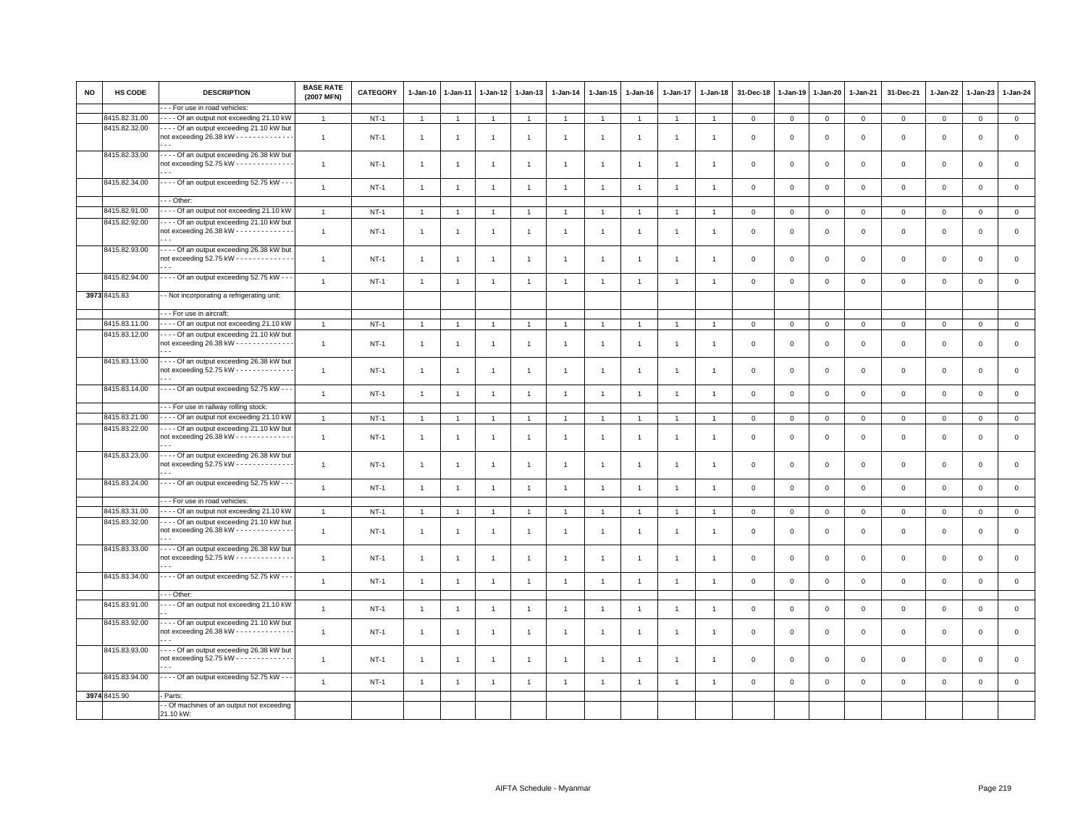| NO | HS CODE                        | <b>DESCRIPTION</b>                                                                              | <b>BASE RATE</b><br>(2007 MFN) | <b>CATEGORY</b> | 1-Jan-10       | 1-Jan-11       | $1 - Jan-12$   | $1-Jan-13$     | $1 - Jan-14$   | 1-Jan-15       | $1 - Jan-16$   | $1-Jan-17$     | $1 - Jan-18$   | 31-Dec-18               | $1 - Jan-19$ | 1-Jan-20       | $1 - Jan-21$   | 31-Dec-21    | 1-Jan-22       | $1-Jan-23$     | 1-Jan-24     |
|----|--------------------------------|-------------------------------------------------------------------------------------------------|--------------------------------|-----------------|----------------|----------------|----------------|----------------|----------------|----------------|----------------|----------------|----------------|-------------------------|--------------|----------------|----------------|--------------|----------------|----------------|--------------|
|    |                                | - - For use in road vehicles:                                                                   |                                |                 |                |                |                |                |                |                |                |                |                |                         |              |                |                |              |                |                |              |
|    | 8415.82.31.00                  | ---- Of an output not exceeding 21.10 kW                                                        | $\overline{1}$                 | $NT-1$          | $\mathbf{1}$   | $\overline{1}$ | $\overline{1}$ | $\overline{1}$ | $\overline{1}$ | $\mathbf{1}$   | $\overline{1}$ | $\overline{1}$ | $\overline{1}$ | $\mathbf 0$             | $\mathsf 0$  | $\mathsf 0$    | $\mathbf 0$    | $\mathsf 0$  | $\mathbf{0}$   | $\mathbf 0$    | $\circ$      |
|    | 8415.82.32.00                  | --- Of an output exceeding 21.10 kW but<br>not exceeding 26.38 kW - - - - - - - - - - - - -     | $\overline{1}$                 | $NT-1$          | $\mathbf{1}$   | $\mathbf{1}$   | -1             | $\overline{1}$ | $\overline{1}$ | 1              |                | 1              |                | $^{\circ}$              | $^{\circ}$   | $^{\circ}$     | $\mathsf 0$    | $\mathsf 0$  | 0              | $\mathbf 0$    | $\mathsf 0$  |
|    | 8415.82.33.00                  | --- Of an output exceeding 26.38 kW but<br>not exceeding 52.75 kW - - - - - - - - - - - - -     | $\overline{1}$                 | $NT-1$          | $\overline{1}$ | -1             | -1             | -1             | -1             | -1             |                | -1             | -1             | $\overline{\mathbf{0}}$ | $\mathbf 0$  | $\Omega$       | $\mathbf 0$    | $\mathsf 0$  | $\mathbf 0$    | $\mathbf 0$    | $\mathsf 0$  |
|    | 8415.82.34.00                  | - - - - Of an output exceeding 52.75 kW - - -                                                   | $\overline{1}$                 | $NT-1$          | $\mathbf{1}$   | $\overline{1}$ | $\overline{1}$ | $\mathbf{1}$   | $\overline{1}$ | $\overline{1}$ | $\overline{1}$ | $\overline{1}$ | $\overline{1}$ | $\overline{0}$          | $\mathsf 0$  | $\mathsf 0$    | $\mathbf 0$    | $\mathsf 0$  | $\mathsf 0$    | $\mathsf 0$    | $\mathsf 0$  |
|    |                                | - - Other:                                                                                      |                                |                 |                |                |                |                |                |                |                |                |                |                         |              |                |                |              |                |                |              |
|    | 8415.82.91.00                  | - Of an output not exceeding 21.10 kW                                                           | $\overline{1}$                 | <b>NT-1</b>     | $\overline{1}$ | $\overline{1}$ | $\overline{1}$ | $\overline{1}$ | $\mathbf{1}$   | $\mathbf{1}$   | $\overline{1}$ | $\overline{1}$ | $\overline{1}$ | $\overline{0}$          | $\,0\,$      | $\,0\,$        | $\overline{0}$ | $\mathsf 0$  | $\overline{0}$ | $\mathbf 0$    | $\mathsf 0$  |
|    | 8415.82.92.00                  | ---- Of an output exceeding 21.10 kW but<br>not exceeding 26.38 kW - - - - - - - - - - - - -    | $\overline{1}$                 | $NT-1$          | $\overline{1}$ | $\overline{1}$ | $\overline{1}$ | $\overline{1}$ | $\overline{1}$ | $\overline{1}$ |                |                |                | $\mathbf 0$             | $\mathbf 0$  | $\Omega$       | $\mathsf 0$    | $\mathsf 0$  | $\mathbf 0$    | $\mathbf 0$    | $\mathsf 0$  |
|    | 8415.82.93.00                  | ---- Of an output exceeding 26.38 kW but<br>not exceeding 52.75 kW - - - - - - - - - - - - -    | $\overline{1}$                 | $NT-1$          | $\mathbf{1}$   | -1             | $\overline{1}$ | $\overline{1}$ | $\overline{1}$ | $\overline{1}$ | $\mathbf{1}$   | 1              | $\overline{1}$ | $\overline{\mathbf{0}}$ | $\mathbf 0$  | $\mathbf 0$    | $\mathsf 0$    | $\mathbf 0$  | $\mathbf 0$    | $\mathsf 0$    | $\mathbf 0$  |
|    | 8415.82.94.00                  | - - - - Of an output exceeding 52.75 kW - - -                                                   | $\overline{1}$                 | $NT-1$          | $\overline{1}$ | $\overline{1}$ | $\overline{1}$ | $\mathbf{1}$   | $\overline{1}$ | $\overline{1}$ | $\overline{1}$ | $\overline{1}$ | $\overline{1}$ | $\overline{0}$          | $\mathbf 0$  | $\mathbf 0$    | $\mathbf 0$    | $\mathsf 0$  | $\mathbf 0$    | $\mathsf 0$    | $\mathsf 0$  |
|    | 3973 8415.83                   | - Not incorporating a refrigerating unit:                                                       |                                |                 |                |                |                |                |                |                |                |                |                |                         |              |                |                |              |                |                |              |
|    |                                | --- For use in aircraft:                                                                        |                                |                 |                |                |                |                |                |                |                |                |                |                         |              |                |                |              |                |                |              |
|    | 8415.83.11.00<br>8415.83.12.00 | - - - - Of an output not exceeding 21.10 kW<br>---- Of an output exceeding 21.10 kW but         | $\overline{1}$                 | $NT-1$          | $\mathbf{1}$   | $\overline{1}$ | $\overline{1}$ | $\overline{1}$ | $\overline{1}$ | $\overline{1}$ | $\overline{1}$ | $\overline{1}$ | $\overline{1}$ | $\mathbf 0$             | $\mathbf 0$  | $\overline{0}$ | $\mathbf 0$    | $\mathbf{0}$ | $\overline{0}$ | $\overline{0}$ | $\circ$      |
|    |                                | not exceeding 26.38 kW - - - - - - - - - - - - -                                                | $\overline{1}$                 | $NT-1$          | $\mathbf{1}$   | $\overline{1}$ | $\overline{1}$ | $\overline{1}$ | $\overline{1}$ | $\overline{1}$ | -1             | 1              | $\overline{1}$ | $\mathbf 0$             | $\mathbf 0$  | $\mathbf 0$    | $\mathbf 0$    | $\mathsf 0$  | $\mathbf 0$    | $\mathsf 0$    | $\mathsf 0$  |
|    | 8415.83.13.00                  | --- Of an output exceeding 26.38 kW but<br>not exceeding 52.75 kW - - - - - - - - - - - - -     | $\overline{1}$                 | $NT-1$          | $\mathbf{1}$   | $\overline{1}$ | $\overline{1}$ | $\overline{1}$ | $\overline{1}$ | $\overline{1}$ |                | $\overline{1}$ | $\overline{1}$ | $\mathbf 0$             | $\mathbf 0$  | $\mathbf 0$    | $\mathbf 0$    | $\mathsf 0$  | $\mathbf 0$    | $\mathsf 0$    | $\mathsf 0$  |
|    | 8415.83.14.00                  | - - - - Of an output exceeding 52.75 kW - -                                                     | $\overline{1}$                 | $NT-1$          | $\overline{1}$ | $\overline{1}$ | $\overline{1}$ | $\mathbf{1}$   | $\overline{1}$ | $\mathbf{1}$   | $\overline{1}$ | $\overline{1}$ | $\overline{1}$ | $\mathbf 0$             | $\mathsf 0$  | $\mathsf 0$    | $\mathbf 0$    | $\mathsf 0$  | $\overline{0}$ | $\mathsf 0$    | $\mathsf 0$  |
|    |                                | - - For use in railway rolling stock:                                                           |                                |                 |                |                |                |                |                |                |                |                |                |                         |              |                |                |              |                |                |              |
|    | 8415.83.21.00                  | ---- Of an output not exceeding 21.10 kW                                                        | $\overline{1}$                 | $NT-1$          | $\overline{1}$ | $\overline{1}$ | $\overline{1}$ | $\overline{1}$ | $\overline{1}$ | $\overline{1}$ | $\overline{1}$ | $\overline{1}$ | $\overline{1}$ | $\mathbf 0$             | $\mathbf 0$  | $\mathbf 0$    | $\overline{0}$ | $\mathbf 0$  | $\overline{0}$ | $\mathbf{0}$   | $\mathbf{0}$ |
|    | 8415.83.22.00                  | ---- Of an output exceeding 21.10 kW but<br>not exceeding 26.38 kW - - - - - - - - - - - - -    | $\overline{1}$                 | $NT-1$          | $\mathbf{1}$   | $\overline{1}$ | $\overline{1}$ | $\overline{1}$ | $\overline{1}$ | $\overline{1}$ | -1             | 1              | $\mathbf{1}$   | $\mathbf 0$             | $\mathbf 0$  | $\mathbf 0$    | $\mathbf{0}$   | $\mathsf 0$  | $\mathbf 0$    | $\mathsf 0$    | $\mathsf 0$  |
|    | 8415.83.23.00                  | Of an output exceeding 26.38 kW but<br>not exceeding 52.75 kW - - - - - - - - - - - - -         | $\overline{1}$                 | <b>NT-1</b>     | $\mathbf{1}$   | $\overline{1}$ | $\overline{1}$ | $\overline{1}$ | $\mathbf{1}$   | $\overline{1}$ |                | 1              | $\overline{1}$ | $\overline{\mathbf{0}}$ | $\mathbf 0$  | $\mathbf 0$    | $\mathbf 0$    | $\mathsf 0$  | $\mathbf 0$    | $\mathsf 0$    | $\mathsf 0$  |
|    | 8415.83.24.00                  | - - - Of an output exceeding 52.75 kW - - -                                                     | $\overline{1}$                 | $NT-1$          | $\overline{1}$ | $\overline{1}$ | $\overline{1}$ | $\overline{1}$ | $\overline{1}$ | $\mathbf{1}$   | $\overline{1}$ | $\overline{1}$ | $\overline{1}$ | $\mathbf 0$             | $\mathsf 0$  | $\mathsf 0$    | $\mathbf 0$    | $\mathsf 0$  | $\overline{0}$ | $\mathsf 0$    | $\mathsf 0$  |
|    |                                | - - For use in road vehicles:                                                                   |                                |                 |                |                |                |                |                |                |                |                |                |                         |              |                |                |              |                |                |              |
|    | 8415.83.31.00                  | - Of an output not exceeding 21.10 kW                                                           | $\overline{1}$                 | $NT-1$          | $\mathbf{1}$   | $\overline{1}$ | $\overline{1}$ | $\overline{1}$ | $\overline{1}$ | $\overline{1}$ | $\overline{1}$ | $\overline{1}$ | $\overline{1}$ | $\mathbf 0$             | $\mathbf 0$  | $\mathbf{0}$   | $\overline{0}$ | $\mathbf 0$  | $\mathbf 0$    | $\mathbf{O}$   | $\mathbf{0}$ |
|    | 8415.83.32.00                  | - - - Of an output exceeding 21.10 kW but<br>not exceeding $26.38$ kW - - - - - - - - - - - - - | $\overline{1}$                 | <b>NT-1</b>     | $\mathbf{1}$   | $\overline{1}$ | $\overline{1}$ | $\overline{1}$ | $\overline{1}$ | $\overline{1}$ |                |                | $\overline{1}$ | $\mathbf 0$             | $\mathbf 0$  | $\mathsf 0$    | $\mathsf 0$    | $\mathsf 0$  | $\mathbf 0$    | $\mathsf 0$    | $\mathsf 0$  |
|    | 8415.83.33.00                  | ---- Of an output exceeding 26.38 kW but<br>not exceeding 52.75 kW - - - - - - - - - - - - -    | $\overline{1}$                 | $NT-1$          | $\overline{1}$ | $\overline{1}$ | $\overline{1}$ | $\overline{1}$ | $\overline{1}$ | $\overline{1}$ | -1             | $\overline{1}$ | $\overline{1}$ | $\overline{0}$          | $\mathbf 0$  | $\mathsf 0$    | $\mathsf 0$    | $\mathsf 0$  | $\mathbf 0$    | $\mathsf 0$    | $\,0\,$      |
|    | 8415.83.34.00                  | - - - Of an output exceeding 52.75 kW - -                                                       | $\overline{1}$                 | $NT-1$          | $\overline{1}$ | $\overline{1}$ | $\overline{1}$ | $\overline{1}$ | $\mathbf{1}$   | $\overline{1}$ | $\overline{1}$ | $\mathbf{1}$   | $\overline{1}$ | $\mathbf 0$             | $\mathbf 0$  | $\mathsf 0$    | $\mathbf 0$    | $\mathbf{0}$ | $\circ$        | $\circ$        | $\mathsf 0$  |
|    |                                | - - Other:                                                                                      |                                |                 |                |                |                |                |                |                |                |                |                |                         |              |                |                |              |                |                |              |
|    | 8415.83.91.00                  | --- Of an output not exceeding 21.10 kW                                                         | $\overline{1}$                 | $NT-1$          | $\overline{1}$ | $\overline{1}$ | $\overline{1}$ | $\overline{1}$ | $\overline{1}$ | $\overline{1}$ | $\mathbf{1}$   | $\overline{1}$ | $\overline{1}$ | $\overline{0}$          | $\mathbf 0$  | $\Omega$       | $\mathbf 0$    | $\mathbf 0$  | $\Omega$       | $\mathbf 0$    | $\mathsf 0$  |
|    | 8415.83.92.00                  | ---- Of an output exceeding 21.10 kW but<br>not exceeding 26.38 kW - - - - - - - - - - - - -    | $\overline{1}$                 | $NT-1$          | $\overline{1}$ | $\overline{1}$ | $\overline{1}$ | $\overline{1}$ | $\overline{1}$ | $\overline{1}$ |                | 1              | $\overline{1}$ | $\overline{\mathbf{0}}$ | $\mathbf 0$  | $\mathsf 0$    | $\mathsf 0$    | $\mathsf 0$  | $\mathbf 0$    | $\mathsf 0$    | $\mathbf 0$  |
|    | 8415.83.93.00                  | ---- Of an output exceeding 26.38 kW but<br>not exceeding 52.75 kW - - - - - - - - - - - - -    | $\overline{1}$                 | $NT-1$          | $\mathbf{1}$   | $\overline{1}$ | $\overline{1}$ | $\overline{1}$ | $\overline{1}$ | $\overline{1}$ | $\mathbf{1}$   | $\mathbf{1}$   | $\overline{1}$ | $\overline{\mathbf{0}}$ | $\mathbf 0$  | $\Omega$       | $\mathsf 0$    | $\mathsf 0$  | $\mathbf 0$    | $\mathsf 0$    | $\mathsf 0$  |
|    | 8415.83.94.00                  | - - - - Of an output exceeding 52.75 kW - -                                                     | $\mathbf{1}$                   | $NT-1$          | $\mathbf{1}$   | $\overline{1}$ | $\overline{1}$ | $\mathbf{1}$   | $\overline{1}$ | $\overline{1}$ | $\overline{1}$ | $\mathbf{1}$   | $\overline{1}$ | $\mathsf 0$             | $\mathsf 0$  | $\mathsf 0$    | $\mathbf 0$    | $\mathsf 0$  | $\mathsf 0$    | $\mathsf 0$    | $\mathsf 0$  |
|    | 3974 8415.90                   | - Parts:                                                                                        |                                |                 |                |                |                |                |                |                |                |                |                |                         |              |                |                |              |                |                |              |
|    |                                | - Of machines of an output not exceeding<br>21.10 kW:                                           |                                |                 |                |                |                |                |                |                |                |                |                |                         |              |                |                |              |                |                |              |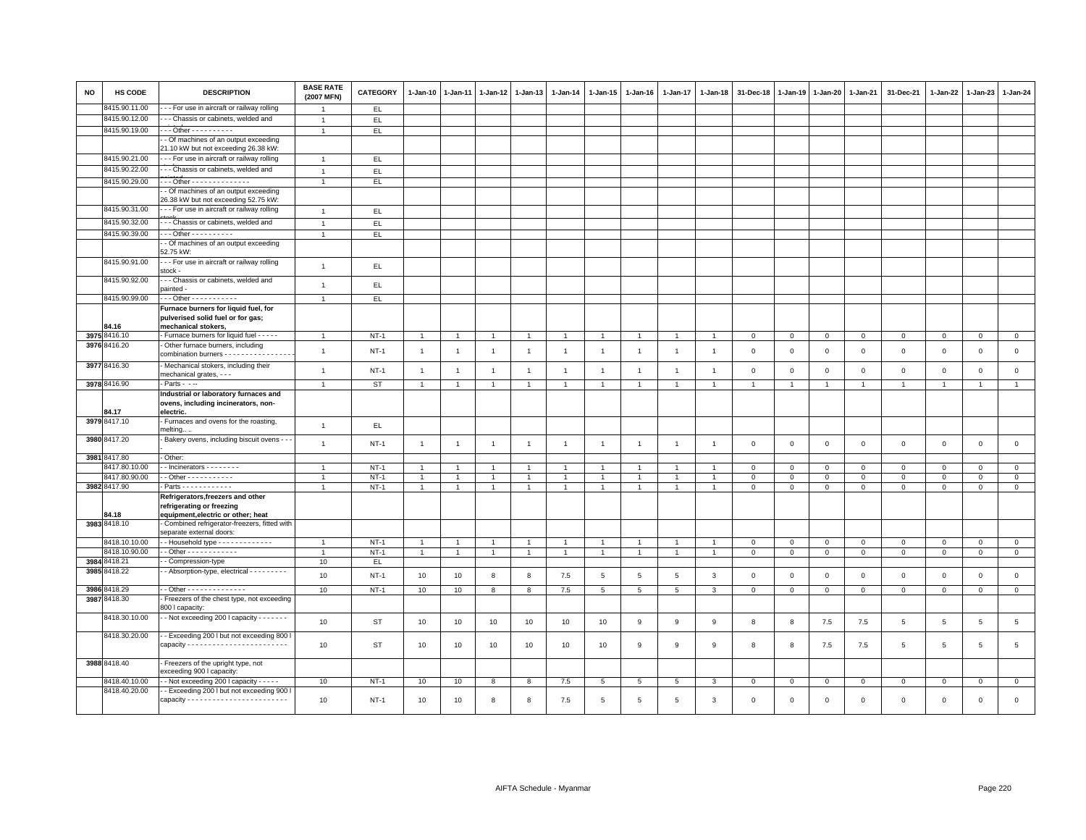| <b>NO</b> | HS CODE                        | <b>DESCRIPTION</b>                                                                      | <b>BASE RATE</b><br>(2007 MFN) | CATEGORY      | $1 - Jan-10$   | 1-Jan-11       | $1 - Jan-12$   | $1-Jan-13$     | 1-Jan-14       | $1 - Jan-15$         | $1 - Jan-16$   | 1-Jan-17       | $1 - Jan-18$   | 31-Dec-18      | $1 - Jan-19$ | 1-Jan-20       | 1-Jan-21     | 31-Dec-21      | 1-Jan-22       | 1-Jan-23     | $1 - Jan-24$    |
|-----------|--------------------------------|-----------------------------------------------------------------------------------------|--------------------------------|---------------|----------------|----------------|----------------|----------------|----------------|----------------------|----------------|----------------|----------------|----------------|--------------|----------------|--------------|----------------|----------------|--------------|-----------------|
|           | 8415.90.11.00                  | - - For use in aircraft or railway rolling                                              |                                | EL.           |                |                |                |                |                |                      |                |                |                |                |              |                |              |                |                |              |                 |
|           | 8415.90.12.00                  | - - Chassis or cabinets, welded and                                                     | $\overline{1}$                 | EL            |                |                |                |                |                |                      |                |                |                |                |              |                |              |                |                |              |                 |
|           | 8415.90.19.00                  |                                                                                         |                                | EL            |                |                |                |                |                |                      |                |                |                |                |              |                |              |                |                |              |                 |
|           |                                | - Of machines of an output exceeding                                                    |                                |               |                |                |                |                |                |                      |                |                |                |                |              |                |              |                |                |              |                 |
|           | 8415.90.21.00                  | 21.10 kW but not exceeding 26.38 kW:<br>--- For use in aircraft or railway rolling      |                                |               |                |                |                |                |                |                      |                |                |                |                |              |                |              |                |                |              |                 |
|           | 8415.90.22.00                  | - - Chassis or cabinets, welded and                                                     | $\overline{1}$                 | EL.           |                |                |                |                |                |                      |                |                |                |                |              |                |              |                |                |              |                 |
|           |                                |                                                                                         | $\overline{1}$                 | EL            |                |                |                |                |                |                      |                |                |                |                |              |                |              |                |                |              |                 |
|           | 8415.90.29.00                  | $-$ - Other - - - - - - - - - - - - - -<br>- Of machines of an output exceeding         |                                | EL            |                |                |                |                |                |                      |                |                |                |                |              |                |              |                |                |              |                 |
|           |                                | 26.38 kW but not exceeding 52.75 kW:                                                    |                                |               |                |                |                |                |                |                      |                |                |                |                |              |                |              |                |                |              |                 |
|           | 8415.90.31.00                  | - - - For use in aircraft or railway rolling                                            | $\overline{1}$                 | EL.           |                |                |                |                |                |                      |                |                |                |                |              |                |              |                |                |              |                 |
|           | 8415.90.32.00                  | - - Chassis or cabinets, welded and                                                     |                                | EL            |                |                |                |                |                |                      |                |                |                |                |              |                |              |                |                |              |                 |
|           | 8415.90.39.00                  | - - Other - - - - - - - - - -                                                           |                                | EL            |                |                |                |                |                |                      |                |                |                |                |              |                |              |                |                |              |                 |
|           |                                | - Of machines of an output exceeding                                                    |                                |               |                |                |                |                |                |                      |                |                |                |                |              |                |              |                |                |              |                 |
|           |                                | 52.75 kW:                                                                               |                                |               |                |                |                |                |                |                      |                |                |                |                |              |                |              |                |                |              |                 |
|           | 8415.90.91.00                  | --- For use in aircraft or railway rolling                                              | $\overline{1}$                 | EL            |                |                |                |                |                |                      |                |                |                |                |              |                |              |                |                |              |                 |
|           |                                | stock -                                                                                 |                                |               |                |                |                |                |                |                      |                |                |                |                |              |                |              |                |                |              |                 |
|           | 8415.90.92.00                  | - - Chassis or cabinets, welded and<br>painted -                                        | $\overline{1}$                 | EL            |                |                |                |                |                |                      |                |                |                |                |              |                |              |                |                |              |                 |
|           | 8415.90.99.00                  | $\cdots$ Other - - - - - - - - - - -                                                    | $\overline{1}$                 | E             |                |                |                |                |                |                      |                |                |                |                |              |                |              |                |                |              |                 |
|           |                                | Furnace burners for liquid fuel, for                                                    |                                |               |                |                |                |                |                |                      |                |                |                |                |              |                |              |                |                |              |                 |
|           |                                | pulverised solid fuel or for gas;                                                       |                                |               |                |                |                |                |                |                      |                |                |                |                |              |                |              |                |                |              |                 |
|           | 84.16                          | mechanical stokers,                                                                     |                                |               |                |                |                |                |                |                      |                |                |                |                |              |                |              |                |                |              |                 |
|           | 3975 8416.10                   | - Furnace burners for liquid fuel - - - - -                                             |                                | $NT-1$        | $\overline{1}$ |                | $\overline{1}$ | $\overline{1}$ | $\overline{1}$ | $\overline{1}$       |                | $\overline{1}$ |                | $\Omega$       | $\Omega$     | $\mathbf 0$    | $\mathsf 0$  | $\mathsf 0$    | $\mathbf 0$    | $\mathbf 0$  | $\mathsf 0$     |
|           | 3976 8416.20                   | - Other furnace burners, including<br>combination burners - - - - - - - - - - - - - - - | $\overline{1}$                 | $NT-1$        | $\mathbf{1}$   | $\overline{1}$ | $\overline{1}$ | $\overline{1}$ | $\overline{1}$ | $\overline{1}$       | $\overline{1}$ | $\overline{1}$ | $\overline{1}$ | 0              | $\mathsf 0$  | $\mathbf 0$    | $\mathbf 0$  | $\mathsf 0$    | $\mathsf 0$    | $\mathbf 0$  | $\mathsf 0$     |
|           |                                |                                                                                         |                                |               |                |                |                |                |                |                      |                |                |                |                |              |                |              |                |                |              |                 |
|           | 3977 8416.30                   | - Mechanical stokers, including their<br>mechanical grates, - - -                       | $\overline{1}$                 | $NT-1$        | $\mathbf{1}$   | $\overline{1}$ | $\overline{1}$ | $\mathbf{1}$   | $\overline{1}$ | $\mathbf{1}$         | $\mathbf{1}$   | $\mathbf{1}$   | $\overline{1}$ | $\mathbf 0$    | $\,0\,$      | $\mathbf 0$    | $\mathbf 0$  | $\,0\,$        | $\mathsf 0$    | $\,0\,$      | $\mathsf 0$     |
|           | 3978 8416.90                   | $-$ Parts $ -$                                                                          | $\overline{1}$                 | ST            | $\mathbf{1}$   | $\overline{1}$ | $\overline{1}$ | $\overline{1}$ | $\overline{1}$ | $\blacktriangleleft$ | $\mathbf{1}$   | $\overline{1}$ | $\overline{1}$ | $\overline{1}$ | $\mathbf{1}$ | $\overline{1}$ | $\mathbf{1}$ | 1              | $\overline{1}$ |              | $\overline{1}$  |
|           |                                | Industrial or laboratory furnaces and                                                   |                                |               |                |                |                |                |                |                      |                |                |                |                |              |                |              |                |                |              |                 |
|           |                                | ovens, including incinerators, non-                                                     |                                |               |                |                |                |                |                |                      |                |                |                |                |              |                |              |                |                |              |                 |
|           | 84.17                          | electric.                                                                               |                                |               |                |                |                |                |                |                      |                |                |                |                |              |                |              |                |                |              |                 |
|           | 3979 8417.10                   | - Furnaces and ovens for the roasting,<br>melting.                                      | $\overline{1}$                 | EL            |                |                |                |                |                |                      |                |                |                |                |              |                |              |                |                |              |                 |
|           | 3980 8417.20                   | Bakery ovens, including biscuit ovens - -                                               |                                |               |                |                |                |                |                |                      |                |                |                |                |              |                |              |                |                |              |                 |
|           |                                |                                                                                         | $\overline{1}$                 | $NT-1$        | $\overline{1}$ | $\overline{1}$ | $\overline{1}$ | $\overline{1}$ | $\overline{1}$ | $\overline{1}$       | $\overline{1}$ | $\overline{1}$ | $\overline{1}$ | $\mathbf{0}$   | $\mathbf{0}$ | $\mathbf{0}$   | $\mathbf{0}$ | $\mathbf{0}$   | $\mathbf{0}$   | $\mathbf 0$  | $\mathbf 0$     |
|           | 3981 8417.80                   | - Other:                                                                                |                                |               |                |                |                |                |                |                      |                |                |                |                |              |                |              |                |                |              |                 |
|           | 8417.80.10.00                  | $\frac{1}{2}$ - Incinerators - - - - - - - -                                            | $\overline{1}$                 | $NT-1$        | $\overline{1}$ | $\overline{1}$ | $\overline{1}$ | $\overline{1}$ | $\overline{1}$ | $\overline{1}$       | $\mathbf{1}$   | $\overline{1}$ | $\overline{1}$ | $\mathbf 0$    | $\mathbf 0$  | $\mathbf{0}$   | $\mathbf{0}$ | $\mathbf 0$    | $\mathbf{0}$   | $\mathbf{0}$ | $\mathsf 0$     |
|           | 8417.80.90.00                  | - - Other - - - - - - - - - - -                                                         |                                | $NT-1$        | $\mathbf{1}$   | $\overline{1}$ | $\mathbf{1}$   | $\overline{1}$ | $\overline{1}$ | $\mathbf{1}$         | $\mathbf{1}$   | $\overline{1}$ | $\overline{1}$ | $\mathbf 0$    | 0            | 0              | $\mathbf 0$  | 0              | $\circ$        | $\mathbf 0$  | $\mathbf 0$     |
|           | 3982 8417.90                   | Parts - - - - - - - - - - - -                                                           |                                | $NT-1$        | $\mathbf{1}$   | $\overline{1}$ | $\mathbf{1}$   | $\overline{1}$ | $\mathbf{1}$   | $\mathbf{1}$         | $\mathbf{1}$   | $\mathbf{1}$   | $\overline{1}$ | $\mathbf 0$    | $\mathsf 0$  | $\mathbf{O}$   | $\mathbf{0}$ | $\mathbf{0}$   | $\mathbf 0$    | $\mathbf{O}$ | $\overline{0}$  |
|           |                                | Refrigerators, freezers and other<br>refrigerating or freezing                          |                                |               |                |                |                |                |                |                      |                |                |                |                |              |                |              |                |                |              |                 |
|           | 84.18                          | equipment, electric or other; heat                                                      |                                |               |                |                |                |                |                |                      |                |                |                |                |              |                |              |                |                |              |                 |
|           | 3983 8418.10                   | - Combined refrigerator-freezers, fitted with                                           |                                |               |                |                |                |                |                |                      |                |                |                |                |              |                |              |                |                |              |                 |
|           |                                | separate external doors:                                                                |                                |               |                |                |                |                |                |                      |                |                |                |                |              |                |              |                |                |              |                 |
|           | 8418.10.10.00                  | - Household type - - - - - - - - - - - -                                                |                                | $NT-1$        | $\overline{1}$ |                | $\overline{1}$ | $\overline{1}$ | $\overline{1}$ | $\mathbf{1}$         |                |                |                | $\mathbf 0$    | $\mathbf 0$  | $\mathbf 0$    | $\mathbf 0$  | $\mathbf 0$    | $\mathbf 0$    | $\mathsf 0$  | $\mathbf 0$     |
| 3984      | 8418.10.90.00<br>8418.21       | $-$ Other - - - - - - - - - - - -<br>Compression-type                                   | 10                             | $NT-1$<br>EL. | $\overline{1}$ | $\overline{1}$ | $\overline{1}$ | $\overline{1}$ | $\overline{1}$ | $\mathbf{1}$         | $\overline{1}$ | $\overline{1}$ | $\overline{1}$ | $\mathsf 0$    | $\Omega$     | $\mathbf{0}$   | $\mathbf{0}$ | $\mathbf 0$    | $\mathbf 0$    | $\mathbf 0$  | $\mathsf 0$     |
| 3985      | 3418.22                        | - Absorption-type, electrical - - - - - - - - -                                         |                                |               |                |                |                |                |                |                      |                |                |                |                |              |                |              |                |                |              |                 |
|           |                                |                                                                                         | 10                             | $NT-1$        | 10             | 10             | 8              | 8              | 7.5            | $\,$ 5 $\,$          | $\,$ 5         | 5              | $\mathbf{3}$   | $\mathbf 0$    | $\mathsf 0$  | $\mathbf 0$    | $\mathsf 0$  | $\mathsf 0$    | $\mathsf 0$    | $\mathbf 0$  | $\mathsf 0$     |
|           | 3986 8418.29                   | - - Other - - - - - - - - - - - - - -                                                   | 10                             | $NT-1$        | 10             | 10             | 8              | 8              | 7.5            | 5                    | 5              | 5              | $\mathbf{3}$   | $\mathbf{0}$   | $\mathbf{0}$ | $\mathbf{0}$   | $\mathbf{0}$ | $\mathbf 0$    | $\mathbf 0$    | $\mathbf{0}$ | $\mathbf{0}$    |
|           | 3987 8418.30                   | - Freezers of the chest type, not exceeding                                             |                                |               |                |                |                |                |                |                      |                |                |                |                |              |                |              |                |                |              |                 |
|           |                                | 800 I capacity:                                                                         |                                |               |                |                |                |                |                |                      |                |                |                |                |              |                |              |                |                |              |                 |
|           | 8418.30.10.00                  | - - Not exceeding 200 I capacity - - - - - - -                                          | 10 <sup>10</sup>               | ST            | 10             | 10             | 10             | 10             | 10             | 10                   | 9              | 9              | 9              | 8              | 8            | 7.5            | 7.5          | 5              | 5              | 5            | $5\phantom{.0}$ |
|           | 8418.30.20.00                  | - Exceeding 200 I but not exceeding 800 I                                               |                                |               |                |                |                |                |                |                      |                |                |                |                |              |                |              |                |                |              |                 |
|           |                                |                                                                                         | 10                             | ST            | 10             | 10             | 10             | 10             | 10             | 10                   | 9              | 9              | 9              | 8              | 8            | 7.5            | 7.5          | $\overline{5}$ | 5              | 5            | $\overline{5}$  |
|           |                                |                                                                                         |                                |               |                |                |                |                |                |                      |                |                |                |                |              |                |              |                |                |              |                 |
|           | 3988 8418.40                   | - Freezers of the upright type, not                                                     |                                |               |                |                |                |                |                |                      |                |                |                |                |              |                |              |                |                |              |                 |
|           |                                | exceeding 900 I capacity                                                                |                                |               |                |                |                |                |                |                      |                |                |                |                |              |                |              |                |                |              |                 |
|           | 8418.40.10.00<br>8418.40.20.00 | - Not exceeding 200 I capacity - - - - -<br>- Exceeding 200 I but not exceeding 900     | 10                             | $NT-1$        | 10             | 10             | 8              | 8              | $7.5\,$        | $\overline{5}$       | 5              | 5              | 3              | $\mathbf 0$    | $\mathbf 0$  | $\mathbf 0$    | $\mathbf 0$  | 0              | $\mathbf 0$    | $\mathsf 0$  | $\mathsf 0$     |
|           |                                |                                                                                         | 10                             | $NT-1$        | 10             | 10             | 8              | 8              | 7.5            | 5                    | 5              | 5              | $\overline{3}$ | $\Omega$       | $\mathbf 0$  | $\mathbf 0$    | $\mathbf 0$  | $\mathsf 0$    | $\mathsf 0$    | $\mathbf 0$  | $\mathbf{0}$    |
|           |                                |                                                                                         |                                |               |                |                |                |                |                |                      |                |                |                |                |              |                |              |                |                |              |                 |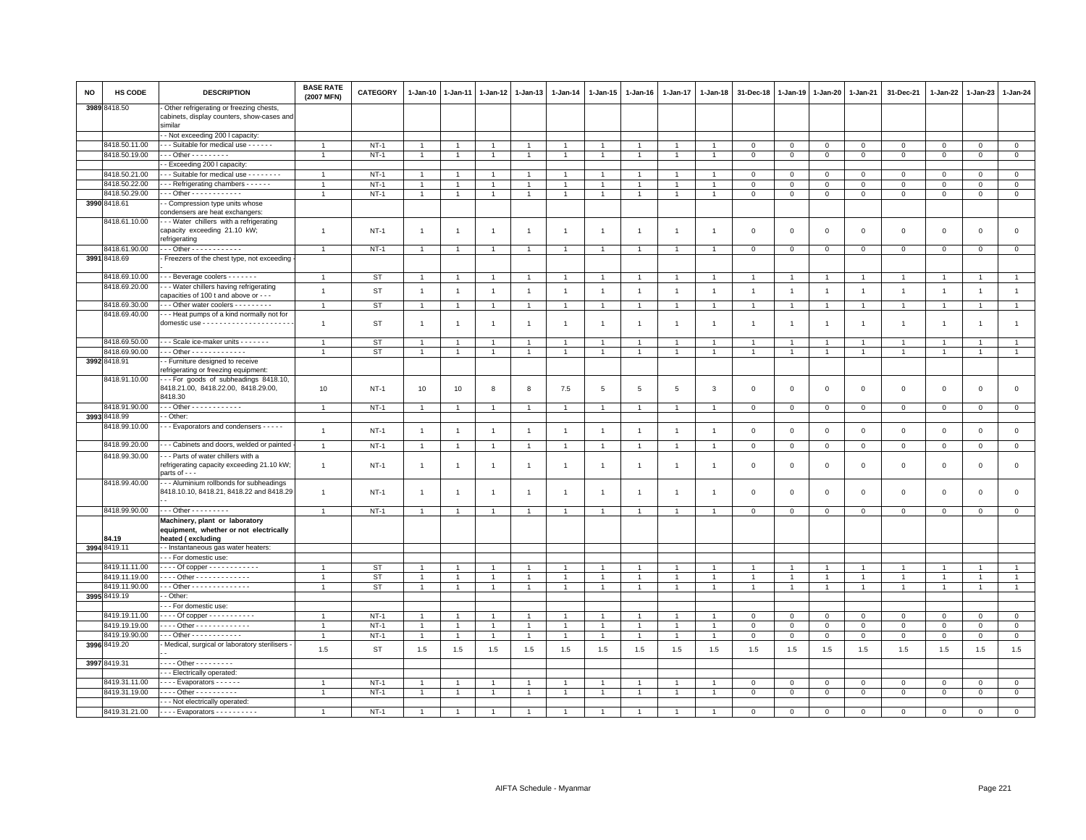| <b>NO</b> | HS CODE                       | <b>DESCRIPTION</b>                                                                                 | <b>BASE RATE</b><br>(2007 MFN) | CATEGORY                 | 1-Jan-10                | $1 - Jan-11$            | 1-Jan-12            | 1-Jan-13              | $1 - Jan-14$          | 1-Jan-15              | 1-Jan-16       | 1-Jan-17            | $1 - Jan-18$          | 31-Dec-18                 | 1-Jan-19                | 1-Jan-20            | 1-Jan-21            | 31-Dec-21          | 1-Jan-22           | 1-Jan-23           | $1 - Jan-24$          |
|-----------|-------------------------------|----------------------------------------------------------------------------------------------------|--------------------------------|--------------------------|-------------------------|-------------------------|---------------------|-----------------------|-----------------------|-----------------------|----------------|---------------------|-----------------------|---------------------------|-------------------------|---------------------|---------------------|--------------------|--------------------|--------------------|-----------------------|
|           | 3989 8418.50                  | Other refrigerating or freezing chests,<br>cabinets, display counters, show-cases and<br>similar   |                                |                          |                         |                         |                     |                       |                       |                       |                |                     |                       |                           |                         |                     |                     |                    |                    |                    |                       |
|           |                               | - Not exceeding 200 I capacity                                                                     |                                |                          |                         |                         |                     |                       |                       |                       |                |                     |                       |                           |                         |                     |                     |                    |                    |                    |                       |
|           | 8418.50.11.00                 | - - Suitable for medical use - - - - - -                                                           | $\overline{1}$                 | $NT-1$                   | $\overline{1}$          | $\overline{1}$          | $\overline{1}$      | $\overline{1}$        |                       | $\blacktriangleleft$  |                |                     |                       | $\mathbf 0$               | $\mathbf 0$             | $\mathbf 0$         | $\mathbf 0$         | $\Omega$           | $\Omega$           | $\Omega$           | $\mathbf 0$           |
|           | 8418.50.19.00                 | - - Other - - - - - - - - -                                                                        | $\overline{1}$                 | $NT-1$                   | $\mathbf{1}$            | $\mathbf{1}$            | $\overline{1}$      | $\overline{1}$        |                       | $\overline{1}$        |                | $\overline{1}$      | $\overline{1}$        | $\mathbf 0$               | $\mathbf 0$             | $\mathsf 0$         | $\mathsf 0$         | $\mathbf 0$        | $\mathbf 0$        | $\mathbf{0}$       | $\mathsf 0$           |
|           |                               | - Exceeding 200 I capacity:                                                                        |                                |                          |                         |                         |                     |                       |                       |                       |                |                     |                       |                           |                         |                     |                     |                    |                    |                    |                       |
|           | 8418.50.21.00                 | - - Suitable for medical use - - - - - - - -                                                       | $\overline{1}$                 | $NT-1$                   |                         |                         |                     |                       |                       |                       |                |                     |                       | $\Omega$                  | $\Omega$                | $\mathbf 0$         | $\Omega$            | $\Omega$           | $\Omega$           | $\Omega$           | $\mathsf 0$           |
|           | 8418.50.22.00                 | - - Refrigerating chambers - - - - -                                                               | $\overline{1}$                 | $NT-1$                   | $\overline{1}$          |                         | $\overline{1}$      | $\overline{1}$        |                       | $\overline{1}$        |                |                     | $\overline{1}$        | $\mathbf 0$               | $\mathbf 0$             | $\Omega$            | $\Omega$            | $\Omega$           | $\Omega$           | $\Omega$           | $\mathsf 0$           |
|           | 8418.50.29.00                 | $-$ - Other - - - - - - - - - - - -                                                                | $\overline{1}$                 | $NT-1$                   | $\overline{1}$          | $\overline{1}$          | $\overline{1}$      | $\overline{1}$        |                       | $\mathbf{1}$          |                | $\mathbf{1}$        | $\overline{1}$        | $\mathbf 0$               | $\mathbf 0$             | $\mathsf 0$         | $\mathbf 0$         | $\mathbf 0$        | $^{\circ}$         | $\mathbf 0$        | $\mathsf 0$           |
|           | 3990 8418.61                  | - Compression type units whose<br>condensers are heat exchangers:                                  |                                |                          |                         |                         |                     |                       |                       |                       |                |                     |                       |                           |                         |                     |                     |                    |                    |                    |                       |
|           | 8418.61.10.00                 | - - Water chillers with a refrigerating<br>capacity exceeding 21.10 kW;<br>refrigerating           | $\overline{1}$                 | $NT-1$                   | $\overline{1}$          | $\overline{1}$          | $\overline{1}$      | $\overline{1}$        | $\overline{1}$        | $\overline{1}$        | $\overline{1}$ | $\mathbf{1}$        | $\overline{1}$        | $\mathbf 0$               | $\mathbf 0$             | $\mathbf 0$         | $\mathsf 0$         | $\circ$            | $\mathbf 0$        | $\mathsf 0$        | $\mathsf 0$           |
|           | 8418.61.90.00                 | $-$ - Other - - - - - - - - - - - -                                                                | $\overline{1}$                 | $NT-1$                   | $\overline{1}$          | $\overline{1}$          | $\overline{1}$      | $\overline{1}$        | -1                    | $\overline{1}$        | $\mathbf{1}$   | $\mathbf{1}$        | $\overline{1}$        | $\mathbf 0$               | $\mathbf 0$             | $\mathbf 0$         | $\mathbf 0$         | $\mathbf 0$        | $^{\circ}$         | $\mathbf 0$        | $\mathbf{0}$          |
|           | 3991 8418.69                  | Freezers of the chest type, not exceeding                                                          |                                |                          |                         |                         |                     |                       |                       |                       |                |                     |                       |                           |                         |                     |                     |                    |                    |                    |                       |
|           |                               |                                                                                                    |                                |                          |                         |                         |                     |                       |                       |                       |                |                     |                       |                           |                         |                     |                     |                    |                    |                    |                       |
|           | 8418.69.10.00                 | - - Beverage coolers - - - - - - -                                                                 | $\overline{1}$                 | ST                       | $\overline{1}$          |                         | $\overline{1}$      | $\overline{1}$        |                       | $\overline{1}$        |                |                     |                       | $\overline{1}$            |                         | $\overline{1}$      | -1                  | $\overline{1}$     |                    | $\overline{1}$     | $\mathbf{1}$          |
|           | 8418.69.20.00                 | - - Water chillers having refrigerating<br>capacities of 100 t and above or - - -                  | $\mathbf{1}$                   | <b>ST</b>                | $\overline{1}$          | $\overline{1}$          | $\overline{1}$      | $\overline{1}$        | $\mathbf{1}$          | $\mathbf{1}$          | $\overline{1}$ | $\overline{1}$      | $\overline{1}$        | $\overline{1}$            | $\overline{1}$          | $\overline{1}$      | $\overline{1}$      | $\mathbf{1}$       | $\overline{1}$     | $\mathbf{1}$       | $\mathbf{1}$          |
|           | 8418.69.30.00                 | - - Other water coolers - - - - - - - - -                                                          | $\overline{1}$                 | <b>ST</b>                | $\overline{1}$          | $\overline{1}$          | $\mathbf{1}$        | $\overline{1}$        |                       | $\mathbf{1}$          |                | $\mathbf{1}$        | $\mathbf{1}$          | $\overline{1}$            |                         | $\overline{1}$      | $\overline{1}$      | $\overline{1}$     | $\overline{1}$     | $\overline{1}$     | $\mathbf{1}$          |
|           | 8418.69.40.00                 | - - Heat pumps of a kind normally not for                                                          |                                |                          |                         |                         |                     |                       |                       |                       |                |                     |                       |                           |                         |                     |                     |                    |                    |                    |                       |
|           |                               |                                                                                                    | $\overline{1}$                 | ST                       | $\overline{1}$          | $\overline{1}$          | $\mathbf{1}$        | $\overline{1}$        | $\overline{1}$        | $\overline{1}$        | $\overline{1}$ | $\mathbf{1}$        | $\overline{1}$        | $\overline{1}$            | $\overline{1}$          | $\overline{1}$      | $\overline{1}$      | $\overline{1}$     |                    | $\overline{1}$     | $\mathbf{1}$          |
|           | 8418.69.50.00                 | --- Scale ice-maker units -------                                                                  | $\overline{1}$                 | <b>ST</b>                | $\overline{1}$          | $\overline{1}$          | $\overline{1}$      | $\overline{1}$        |                       | $\overline{1}$        |                |                     | $\overline{1}$        | $\overline{1}$            | $\overline{1}$          | $\overline{1}$      | $\overline{1}$      | $\overline{1}$     | $\overline{1}$     | $\overline{1}$     | $\mathbf{1}$          |
|           | 8418.69.90.00                 | Other - - - - - - - - - - - - -                                                                    |                                | <b>ST</b>                | $\overline{1}$          | $\mathbf{1}$            | $\overline{1}$      | $\overline{1}$        | $\overline{1}$        | $\mathbf{1}$          | $\overline{1}$ | $\mathbf{1}$        | $\overline{1}$        | $\mathbf{1}$              | 1                       | $\overline{1}$      | $\overline{1}$      | $\overline{1}$     | $\overline{1}$     | $\overline{1}$     | $\mathbf{1}$          |
|           | 3992 8418.91                  | - Furniture designed to receive<br>refrigerating or freezing equipment:                            |                                |                          |                         |                         |                     |                       |                       |                       |                |                     |                       |                           |                         |                     |                     |                    |                    |                    |                       |
|           | 8418.91.10.00                 | -- For goods of subheadings 8418.10,<br>8418.21.00, 8418.22.00, 8418.29.00,<br>8418.30             | 10                             | $NT-1$                   | 10                      | 10                      | 8                   | 8                     | 7.5                   | 5                     | -5             | 5                   | 3                     | $\overline{\mathbf{0}}$   | $\mathbf 0$             | $\mathbf 0$         | $\mathsf 0$         | $\mathbf{0}$       | $\Omega$           | $\mathbf{0}$       | $\mathsf 0$           |
|           | 8418.91.90.00                 | - - Other - - - - - - - - - - - -                                                                  |                                | $NT-1$                   | $\overline{1}$          | $\overline{1}$          | $\overline{1}$      | $\overline{1}$        |                       | $\overline{1}$        |                |                     |                       | $\overline{\mathbf{0}}$   | $\mathbf 0$             | $\mathbf 0$         | $\mathbf 0$         | $\mathbf 0$        | $\mathbf 0$        | $\mathbf 0$        | $\mathbf{0}$          |
|           | 3993 8418.99                  | - Other:                                                                                           |                                |                          |                         |                         |                     |                       |                       |                       |                |                     |                       |                           |                         |                     |                     |                    |                    |                    |                       |
|           | 8418.99.10.00                 | - - Evaporators and condensers - - - - -                                                           | $\mathbf{1}$                   | $NT-1$                   | $\overline{1}$          | $\overline{1}$          | $\overline{1}$      | $\overline{1}$        | $\overline{1}$        | $\overline{1}$        | $\overline{1}$ | $\mathbf{1}$        | $\overline{1}$        | $\overline{\mathbf{0}}$   | $\mathbf 0$             | $\mathbf 0$         | $\mathbf 0$         | $\mathbf 0$        | $^{\circ}$         | $\mathbf 0$        | $\mathsf 0$           |
|           | 8418.99.20.00                 | - - Cabinets and doors, welded or painted                                                          | $\overline{1}$                 | $NT-1$                   | $\overline{1}$          | $\overline{1}$          | $\overline{1}$      | $\mathbf{1}$          | $\overline{1}$        | $\overline{1}$        | $\overline{1}$ | $\overline{1}$      | $\overline{1}$        | $\mathbf 0$               | $\mathbf{0}$            | $\mathbf 0$         | $\overline{0}$      | $\mathbf 0$        | $\mathbf 0$        | $\mathbf 0$        | $\mathbb O$           |
|           | 8418.99.30.00                 | - - Parts of water chillers with a<br>refrigerating capacity exceeding 21.10 kW;<br>parts of - - - | $\mathbf{1}$                   | $NT-1$                   | $\overline{1}$          | $\overline{1}$          | $\overline{1}$      | $\overline{1}$        | $\overline{1}$        | $\overline{1}$        | $\overline{1}$ | $\mathbf{1}$        | $\overline{1}$        | $\overline{\mathbf{0}}$   | $\overline{0}$          | $\overline{0}$      | $\circ$             | $\mathbf{0}$       | $\Omega$           | $\mathbf 0$        | $\mathsf 0$           |
|           | 8418.99.40.00                 | -- Aluminium rollbonds for subheadings<br>8418.10.10, 8418.21, 8418.22 and 8418.29                 | $\overline{1}$                 | $NT-1$                   | $\overline{1}$          |                         | $\mathbf{1}$        | $\overline{1}$        | $\overline{1}$        | $\overline{1}$        |                |                     |                       | $\mathbf 0$               | $\mathbf 0$             | $\mathbf 0$         | $\mathbf 0$         | $\mathbf 0$        | $\mathbf 0$        | $\mathbf 0$        | $\mathsf 0$           |
|           | 8418.99.90.00                 |                                                                                                    |                                |                          |                         |                         |                     |                       |                       |                       |                |                     |                       |                           |                         |                     |                     |                    |                    |                    |                       |
|           |                               | $\cdots$ Other - - - - - - - - -                                                                   | $\mathbf{1}$                   | $NT-1$                   | $\overline{1}$          | $\overline{1}$          | $\overline{1}$      | $\overline{1}$        |                       | $\overline{1}$        |                |                     | $\overline{1}$        | $\mathsf 0$               | $\mathsf{O}\xspace$     | $\mathsf 0$         | $\mathsf 0$         | $\mathbf 0$        | $\mathbf 0$        | $\mathsf 0$        | $\overline{0}$        |
|           | 84.19                         | Machinery, plant or laboratory<br>equipment, whether or not electrically<br>heated (excluding      |                                |                          |                         |                         |                     |                       |                       |                       |                |                     |                       |                           |                         |                     |                     |                    |                    |                    |                       |
|           | 3994 8419.11                  | - Instantaneous gas water heaters:                                                                 |                                |                          |                         |                         |                     |                       |                       |                       |                |                     |                       |                           |                         |                     |                     |                    |                    |                    |                       |
|           |                               | - - For domestic use:                                                                              |                                |                          |                         |                         |                     |                       |                       |                       |                |                     |                       |                           |                         |                     |                     |                    |                    |                    |                       |
|           | 8419.11.11.00                 | - - - Of copper - - - - - - - - - - - -                                                            | $\overline{1}$                 | ST                       |                         |                         |                     |                       |                       |                       |                |                     |                       |                           |                         |                     |                     |                    |                    |                    |                       |
|           | 8419.11.19.00                 | - - - Other - - - - - - - - - - - - -                                                              | $\overline{1}$                 | <b>ST</b>                | $\overline{1}$          |                         | $\overline{1}$      | $\overline{1}$        |                       | $\overline{1}$        |                |                     |                       | $\overline{1}$            | $\overline{1}$          | $\overline{1}$      | $\overline{1}$      |                    |                    |                    | $\mathbf{1}$          |
|           | 8419.11.90.00                 | - - Other - - - - - - - - - - - - - -                                                              | $\overline{1}$                 | ST                       | $\overline{1}$          |                         |                     | $\overline{1}$        |                       | $\mathbf{1}$          |                |                     |                       |                           |                         |                     | $\overline{1}$      |                    |                    |                    | $\mathbf{1}$          |
|           | 3995 8419.19                  | - Other:                                                                                           |                                |                          |                         |                         |                     |                       |                       |                       |                |                     |                       |                           |                         |                     |                     |                    |                    |                    |                       |
|           |                               | - - For domestic use:                                                                              |                                |                          |                         |                         |                     |                       |                       |                       |                |                     |                       |                           |                         |                     |                     |                    |                    |                    |                       |
|           | 8419.19.11.00                 | Of copper - - - - - - - - - -                                                                      |                                | $NT-1$                   |                         |                         |                     | $\overline{1}$        |                       |                       |                |                     |                       | $^{\circ}$                | $\mathbf 0$             | $\mathbf 0$         | $\Omega$            | $\mathbf 0$        | $\Omega$           | $\mathbf{0}$       | $\mathsf 0$           |
|           | 8419.19.19.00                 | Other - - - - - - - - - - - - -                                                                    |                                | $NT-1$                   | -1                      | -1                      | -1                  | $\mathbf{1}$          |                       | 1                     |                |                     |                       | $\mathbf 0$               | $\mathbf{0}$            | $\mathbf 0$         | $\Omega$            | $\Omega$           | $\Omega$           | $\mathbf{0}$       | $\mathbf{0}$          |
|           | 8419.19.90.00<br>3996 8419.20 | - - - Other - - - - - - - - - - - -<br>Medical, surgical or laboratory sterilisers                 | $\mathbf{1}$<br>1.5            | <b>NT-1</b><br><b>ST</b> | $\mathbf{1}$<br>$1.5\,$ | $\overline{1}$<br>$1.5$ | $\mathbf{1}$<br>1.5 | $\overline{1}$<br>1.5 | $\overline{1}$<br>1.5 | $\overline{1}$<br>1.5 | 1.5            | $\mathbf{1}$<br>1.5 | $\overline{1}$<br>1.5 | $\overline{0}$<br>$1.5\,$ | $\mathbf{0}$<br>$1.5\,$ | $\mathbf{0}$<br>1.5 | $\mathbf{0}$<br>1.5 | $\mathbf 0$<br>1.5 | $\mathbf 0$<br>1.5 | $\mathbf 0$<br>1.5 | $\overline{0}$<br>1.5 |
|           | 3997 8419.31                  | $--- Other------$                                                                                  |                                |                          |                         |                         |                     |                       |                       |                       |                |                     |                       |                           |                         |                     |                     |                    |                    |                    |                       |
|           |                               | - - Electrically operated:                                                                         |                                |                          |                         |                         |                     |                       |                       |                       |                |                     |                       |                           |                         |                     |                     |                    |                    |                    |                       |
|           | 8419.31.11.00                 | Evaporators - - - - - -                                                                            | $\overline{1}$                 | $NT-1$                   | $\mathbf{1}$            |                         |                     | $\overline{1}$        |                       | $\mathbf{1}$          |                |                     |                       | $^{\circ}$                | $\mathbf 0$             | 0                   | $\mathbf 0$         | $\mathbf 0$        | $^{\circ}$         | $\mathbf 0$        | $\mathbf{0}$          |
|           | 8419.31.19.00                 | . Other - - - - - - - - - -                                                                        | $\overline{1}$                 | $NT-1$                   | $\overline{1}$          |                         | $\overline{1}$      | $\overline{1}$        |                       | $\mathbf{1}$          |                |                     |                       | $\,0\,$                   | $\mathbf 0$             | $\mathsf 0$         | $\mathsf 0$         | $\mathbf 0$        | $\mathbf 0$        | $\Omega$           | $\overline{0}$        |
|           |                               | - - Not electrically operated:                                                                     |                                |                          |                         |                         |                     |                       |                       |                       |                |                     |                       |                           |                         |                     |                     |                    |                    |                    |                       |
|           | 8419.31.21.00                 | $\cdots$ Evaporators $\cdots$                                                                      |                                | $NT-1$                   |                         |                         |                     |                       |                       |                       |                |                     |                       | $\Omega$                  | $\Omega$                | 0                   | $\Omega$            |                    | $\Omega$           | 0                  | $\mathbf 0$           |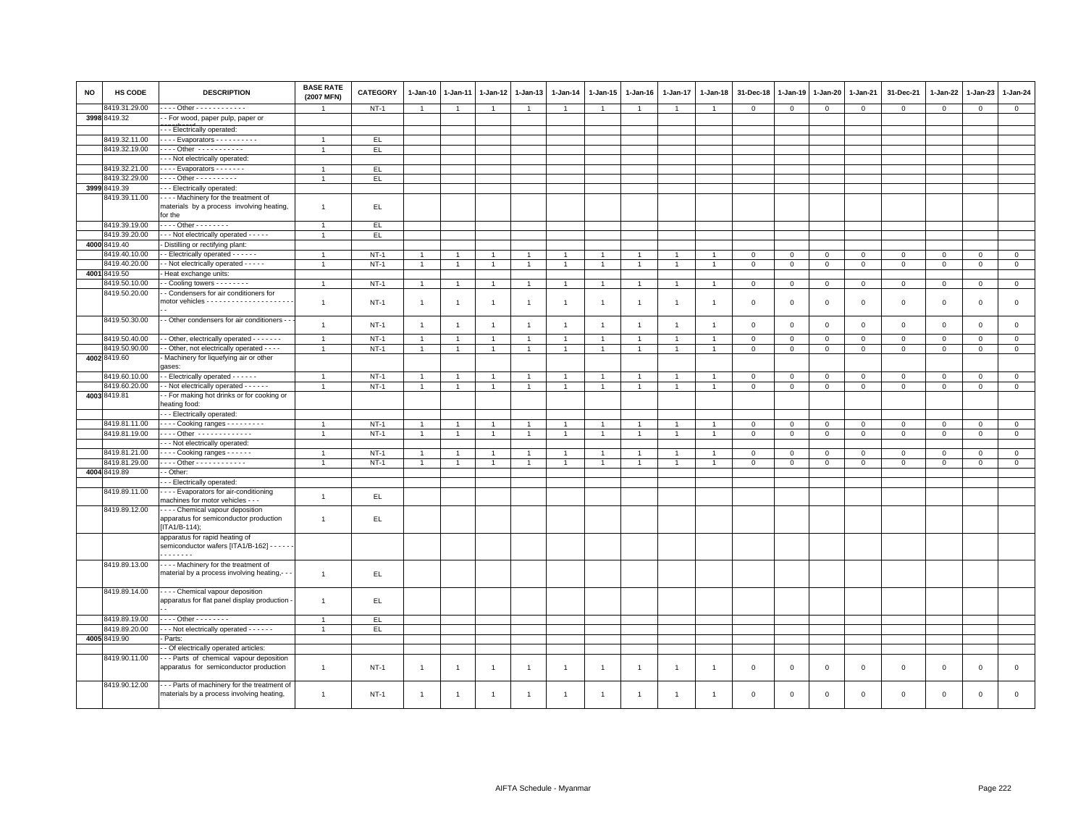| NO | HS CODE       | <b>DESCRIPTION</b>                                                                      | <b>BASE RATE</b><br>(2007 MFN) | <b>CATEGORY</b> | $1 - Jan-10$   | $1 - Jan-11$   | $1 - Jan-12$   | 1-Jan-13       | $1 - Jan-14$   | 1-Jan-15       | $1 - Jan-16$   | $1 - Jan-17$   | 1-Jan-18       | 31-Dec-18    | 1-Jan-19     | 1-Jan-20    | 1-Jan-21     | 31-Dec-21   | 1-Jan-22     | 1-Jan-23     | 1-Jan-24     |
|----|---------------|-----------------------------------------------------------------------------------------|--------------------------------|-----------------|----------------|----------------|----------------|----------------|----------------|----------------|----------------|----------------|----------------|--------------|--------------|-------------|--------------|-------------|--------------|--------------|--------------|
|    | 419.31.29.00  | --- Other ------------                                                                  |                                | $NT-1$          | $\overline{1}$ | $\mathbf{1}$   | $\overline{1}$ | $\mathbf{1}$   | $\overline{1}$ | $\mathbf{1}$   | $\overline{1}$ | 1              | -1             | $\mathsf 0$  | $\mathsf 0$  | $\mathsf 0$ | $\mathsf 0$  | $\mathsf 0$ | $\,0\,$      | $\mathsf 0$  | $\mathbf{0}$ |
|    | 3998 8419.32  | - For wood, paper pulp, paper or                                                        |                                |                 |                |                |                |                |                |                |                |                |                |              |              |             |              |             |              |              |              |
|    |               | - - Electrically operated:                                                              |                                |                 |                |                |                |                |                |                |                |                |                |              |              |             |              |             |              |              |              |
|    | 8419.32.11.00 | - - - - Evaporators - - - - - - - - - -                                                 |                                | EL.             |                |                |                |                |                |                |                |                |                |              |              |             |              |             |              |              |              |
|    | 8419.32.19.00 | $\cdots$ Other $\cdots$                                                                 | $\overline{1}$                 | EL.             |                |                |                |                |                |                |                |                |                |              |              |             |              |             |              |              |              |
|    |               | - - Not electrically operated:                                                          |                                |                 |                |                |                |                |                |                |                |                |                |              |              |             |              |             |              |              |              |
|    | 8419.32.21.00 | ---- Evaporators -------                                                                | $\overline{1}$                 | EL.             |                |                |                |                |                |                |                |                |                |              |              |             |              |             |              |              |              |
|    | 8419.32.29.00 | - - - - Other - - - - - - - - - -                                                       | -1                             | EL.             |                |                |                |                |                |                |                |                |                |              |              |             |              |             |              |              |              |
|    | 3999 8419.39  | -- Electrically operated:                                                               |                                |                 |                |                |                |                |                |                |                |                |                |              |              |             |              |             |              |              |              |
|    | 8419.39.11.00 | --- Machinery for the treatment of                                                      |                                |                 |                |                |                |                |                |                |                |                |                |              |              |             |              |             |              |              |              |
|    |               | materials by a process involving heating,<br>for the                                    | $\overline{1}$                 | EL.             |                |                |                |                |                |                |                |                |                |              |              |             |              |             |              |              |              |
|    | 8419.39.19.00 | . Other - - - - - - - -                                                                 | $\overline{1}$                 | EL.             |                |                |                |                |                |                |                |                |                |              |              |             |              |             |              |              |              |
|    | 8419.39.20.00 | - - Not electrically operated - - - - -                                                 | $\overline{1}$                 | EL.             |                |                |                |                |                |                |                |                |                |              |              |             |              |             |              |              |              |
|    | 4000 8419.40  | - Distilling or rectifying plant:                                                       |                                |                 |                |                |                |                |                |                |                |                |                |              |              |             |              |             |              |              |              |
|    | 3419.40.10.00 | - Electrically operated - - - - - -                                                     | -1                             | $NT-1$          | $\overline{1}$ |                | $\overline{1}$ | $\overline{1}$ | -1             | $\overline{1}$ |                |                |                | $\mathbf 0$  | 0            | $\mathbf 0$ | $\mathbf 0$  | $\mathsf 0$ | $\circ$      | $\mathbf 0$  | $\mathbf 0$  |
|    | 3419.40.20.00 | - Not electrically operated - - - - -                                                   | 1                              | $NT-1$          | $\overline{1}$ | $\overline{1}$ | $\overline{1}$ | $\overline{1}$ | $\overline{1}$ | $\overline{1}$ | $\overline{1}$ | $\overline{1}$ |                | $\mathbf 0$  | $\mathbf{0}$ | $\mathbf 0$ | $\circ$      | $\mathbf 0$ | $\mathbf 0$  | $\mathbf{0}$ | $\circ$      |
|    | 4001 8419.50  | Heat exchange units:                                                                    |                                |                 |                |                |                |                |                |                |                |                |                |              |              |             |              |             |              |              |              |
|    | 3419.50.10.00 | - Cooling towers - - - - - - - -                                                        | $\overline{1}$                 | $NT-1$          | $\overline{1}$ | $\overline{1}$ | $\overline{1}$ | $\overline{1}$ | $\overline{1}$ | $\overline{1}$ | $\overline{1}$ | $\mathbf{1}$   |                | $\mathbf 0$  | 0            | $\mathsf 0$ | $\mathbf 0$  | $\mathbf 0$ | $\mathbf 0$  | $\mathbf 0$  | $\mathbf 0$  |
|    | 8419.50.20.00 | - Condensers for air conditioners for                                                   | $\overline{1}$                 | $NT-1$          | $\overline{1}$ | $\mathbf{1}$   | $\overline{1}$ | $\overline{1}$ | $\mathbf{1}$   | $\overline{1}$ | $\overline{1}$ | $\overline{1}$ | $\overline{1}$ | $\mathbf{0}$ | $\mathbf 0$  | $\mathsf 0$ | $\mathbf 0$  | $\mathsf 0$ | $\mathbf{0}$ | $\mathbf 0$  | $\circ$      |
|    | 8419.50.30.00 | - Other condensers for air conditioners -                                               | $\overline{1}$                 | $NT-1$          | $\overline{1}$ | $\overline{1}$ | $\overline{1}$ | $\overline{1}$ | $\overline{1}$ | $\overline{1}$ | $\overline{1}$ | $\overline{1}$ | $\overline{1}$ | $\mathsf 0$  | $\mathsf 0$  | $\mathsf 0$ | $\mathsf 0$  | $\mathsf 0$ | $\mathsf 0$  | $\mathbf 0$  | $\mathsf 0$  |
|    | 8419.50.40.00 | - Other, electrically operated - - - - - - -                                            | $\overline{1}$                 | $NT-1$          | $\overline{1}$ |                | $\mathbf{1}$   | $\overline{1}$ | $\overline{1}$ | $\overline{1}$ |                |                |                | $\mathbf 0$  | $\mathsf 0$  | $\mathbf 0$ | $\mathbf 0$  | $\mathbf 0$ | $\Omega$     | $\mathbf{0}$ | $\mathbf 0$  |
|    | 8419.50.90.00 | - Other, not electrically operated - - - -                                              | $\overline{1}$                 | $NT-1$          | $\overline{1}$ | $\overline{1}$ | $\overline{1}$ | $\overline{1}$ | $\mathbf{1}$   | $\overline{1}$ | $\overline{1}$ | $\overline{1}$ | $\overline{1}$ | $\mathbf 0$  | $\mathsf 0$  | $\mathsf 0$ | $\mathbf 0$  | $\mathbf 0$ | $\mathbf 0$  | $\mathbf 0$  | $\mathbf 0$  |
|    | 4002 8419.60  | Machinery for liquefying air or other<br>ases:                                          |                                |                 |                |                |                |                |                |                |                |                |                |              |              |             |              |             |              |              |              |
|    | 3419.60.10.00 | - Electrically operated - - - - - -                                                     | $\mathbf{1}$                   | $NT-1$          | $\overline{1}$ | $\mathbf{1}$   | $\overline{1}$ | $\overline{1}$ | $\overline{1}$ | 1              | $\overline{1}$ | $\overline{1}$ |                | $\mathbf 0$  | 0            | $\mathbf 0$ | $\mathbf{0}$ | $\mathbf 0$ | $\mathbf 0$  | $\Omega$     | $\mathbf{0}$ |
|    | 8419.60.20.00 | - Not electrically operated - - - - - -                                                 | $\overline{1}$                 | $NT-1$          | $\overline{1}$ | $\overline{1}$ | $\overline{1}$ | $\overline{1}$ | $\mathbf{1}$   | $\overline{1}$ | $\overline{1}$ | $\overline{1}$ | $\overline{1}$ | $\mathbf 0$  | $\mathsf 0$  | $\mathsf 0$ | $\mathbf 0$  | $\mathbf 0$ | $\Omega$     | $\mathbf 0$  | $\mathbf 0$  |
|    | 4003 8419.81  | - For making hot drinks or for cooking or<br>eating food:                               |                                |                 |                |                |                |                |                |                |                |                |                |              |              |             |              |             |              |              |              |
|    |               | - - Electrically operated:                                                              |                                |                 |                |                |                |                |                |                |                |                |                |              |              |             |              |             |              |              |              |
|    | 8419.81.11.00 | Cooking ranges - - - - - - - - -                                                        |                                | $NT-1$          | $\overline{1}$ | $\overline{1}$ | $\overline{1}$ | $\overline{1}$ | $\overline{1}$ | $\overline{1}$ |                | $\overline{1}$ |                | $\mathbf 0$  | 0            | $\mathbf 0$ | $\mathbf 0$  | $\mathsf 0$ | $\circ$      | $\mathsf 0$  | $\mathsf 0$  |
|    | 8419.81.19.00 | ---- Other -------------                                                                |                                | $NT-1$          | $\overline{1}$ |                |                | $\overline{1}$ |                | $\mathbf{1}$   |                |                |                | $\mathbf 0$  | $\mathsf 0$  | $\mathsf 0$ | $\mathbf 0$  | $\mathsf 0$ | $\mathbf 0$  | $\mathsf 0$  | $\mathsf 0$  |
|    |               | - - Not electrically operated:                                                          |                                |                 |                |                |                |                |                |                |                |                |                |              |              |             |              |             |              |              |              |
|    | 8419.81.21.00 | $\cdots$ Cooking ranges $\cdots$                                                        | $\overline{1}$                 | $NT-1$          |                |                |                | -1             | $\overline{1}$ |                |                |                |                | $\mathbf 0$  | 0            | $\mathbf 0$ | $\mathbf 0$  | $\mathbf 0$ | $^{\circ}$   | $\mathbf 0$  | $\mathbf 0$  |
|    | 8419.81.29.00 | . Other                                                                                 |                                | $NT-1$          |                |                |                | $\overline{1}$ | $\overline{1}$ |                |                |                |                | $\mathbf 0$  | $\mathbf 0$  | $\mathsf 0$ | $\mathbf 0$  | $\mathbf 0$ | $\Omega$     | $\Omega$     | $\Omega$     |
|    | 4004 8419.89  | - Other:                                                                                |                                |                 |                |                |                |                |                |                |                |                |                |              |              |             |              |             |              |              |              |
|    |               | - - Electrically operated:                                                              |                                |                 |                |                |                |                |                |                |                |                |                |              |              |             |              |             |              |              |              |
|    | 8419.89.11.00 | --- Evaporators for air-conditioning<br>machines for motor vehicles - - -               | $\mathbf{1}$                   | EL              |                |                |                |                |                |                |                |                |                |              |              |             |              |             |              |              |              |
|    | 8419.89.12.00 | - - - - Chemical vapour deposition<br>apparatus for semiconductor production            | $\mathbf{1}$                   | EL.             |                |                |                |                |                |                |                |                |                |              |              |             |              |             |              |              |              |
|    |               | $[ITA1/B-114]$<br>apparatus for rapid heating of                                        |                                |                 |                |                |                |                |                |                |                |                |                |              |              |             |              |             |              |              |              |
|    |               | semiconductor wafers [ITA1/B-162] - - - - - -<br>.                                      |                                |                 |                |                |                |                |                |                |                |                |                |              |              |             |              |             |              |              |              |
|    | 8419.89.13.00 | ---- Machinery for the treatment of<br>material by a process involving heating,- -      | $\overline{1}$                 | EL.             |                |                |                |                |                |                |                |                |                |              |              |             |              |             |              |              |              |
|    | 8419.89.14.00 | - - - - Chemical vapour deposition<br>apparatus for flat panel display production       | $\overline{1}$                 | EL.             |                |                |                |                |                |                |                |                |                |              |              |             |              |             |              |              |              |
|    | 8419.89.19.00 | $\cdots$ Other - - - - - - - -                                                          | $\overline{1}$                 | EL.             |                |                |                |                |                |                |                |                |                |              |              |             |              |             |              |              |              |
|    | 8419.89.20.00 | - - - Not electrically operated - - - - - -                                             | $\overline{1}$                 | EL.             |                |                |                |                |                |                |                |                |                |              |              |             |              |             |              |              |              |
|    | 4005 8419.90  | Parts:                                                                                  |                                |                 |                |                |                |                |                |                |                |                |                |              |              |             |              |             |              |              |              |
|    |               | - Of electrically operated articles                                                     |                                |                 |                |                |                |                |                |                |                |                |                |              |              |             |              |             |              |              |              |
|    | 8419.90.11.00 | -- Parts of chemical vapour deposition                                                  |                                |                 |                |                |                |                |                |                |                |                |                |              |              |             |              |             |              |              |              |
|    |               | apparatus for semiconductor production                                                  | $\overline{1}$                 | $NT-1$          | $\overline{1}$ | $\overline{1}$ | $\overline{1}$ | $\overline{1}$ | $\overline{1}$ | $\overline{1}$ | $\overline{1}$ | $\overline{1}$ | $\overline{1}$ | $\mathbf 0$  | $\mathbf 0$  | $\mathbf 0$ | $\mathbf 0$  | $\mathbf 0$ | $\mathbf{0}$ | $\mathbf 0$  | $\circ$      |
|    | 8419.90.12.00 | -- Parts of machinery for the treatment of<br>materials by a process involving heating, | $\overline{1}$                 | $NT-1$          | $\overline{1}$ | $\mathbf{1}$   | $\mathbf{1}$   | $\overline{1}$ | $\overline{1}$ | $\mathbf{1}$   | $\overline{1}$ | $\mathbf{1}$   | -1             | $\mathbf 0$  | $\mathbf 0$  | $\mathbf 0$ | $\Omega$     | $\mathbf 0$ | $\Omega$     | $\mathbf 0$  | $\Omega$     |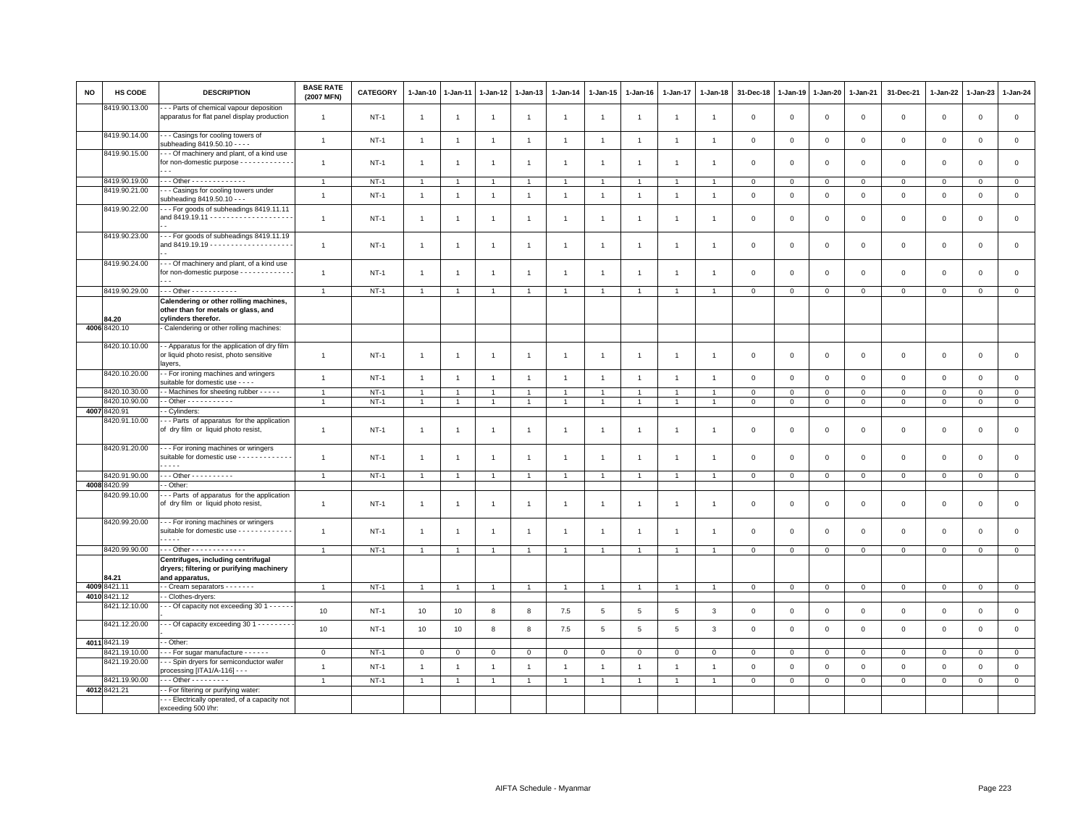| <b>NO</b> | HS CODE                       | <b>DESCRIPTION</b>                                                                                         | <b>BASE RATE</b><br>(2007 MFN) | CATEGORY | 1-Jan-10       | 1-Jan-11       | $1 - Jan-12$   | 1-Jan-13       | $1-Jan-14$     | $1 - Jan-15$   | $1 - Jan-16$   | $1 - Jan-17$   | $1 - Jan-18$   | 31-Dec-18      | $1 - Jan-19$   | $1 - Jan-20$   | $1 - Jan-21$   | 31-Dec-21    | 1-Jan-22     | 1-Jan-23     | 1-Jan-24       |
|-----------|-------------------------------|------------------------------------------------------------------------------------------------------------|--------------------------------|----------|----------------|----------------|----------------|----------------|----------------|----------------|----------------|----------------|----------------|----------------|----------------|----------------|----------------|--------------|--------------|--------------|----------------|
|           | 8419.90.13.00                 | - - Parts of chemical vapour deposition<br>apparatus for flat panel display production                     | $\overline{1}$                 | $NT-1$   | $\mathbf{1}$   | -1             | $\overline{1}$ | $\overline{1}$ | $\overline{1}$ | $\overline{1}$ | $\overline{1}$ | $\overline{1}$ | $\overline{1}$ | $\mathbf 0$    | $\mathbf 0$    | $\,0\,$        | $\mathsf 0$    | $\mathsf 0$  | $\mathbf 0$  | $\mathbf 0$  | $\,0\,$        |
|           | 8419.90.14.00                 | --- Casings for cooling towers of<br>subheading 8419.50.10 - - - -                                         | $\overline{1}$                 | $NT-1$   | $\mathbf{1}$   | $\overline{1}$ | $\mathbf{1}$   | $\overline{1}$ | $\overline{1}$ | $\mathbf{1}$   | $\overline{1}$ | $\overline{1}$ | $\overline{1}$ | $\mathbf 0$    | $\overline{0}$ | $\mathbf 0$    | $\circ$        | $\mathbf{0}$ | $\mathbf{0}$ | $\mathbf 0$  | $\mathsf 0$    |
|           | 8419.90.15.00                 | --- Of machinery and plant, of a kind use<br>for non-domestic purpose - - - - - - - - - - - -              | $\mathbf{1}$                   | $NT-1$   | $\mathbf{1}$   | $\overline{1}$ | $\overline{1}$ | $\overline{1}$ | $\overline{1}$ | $\overline{1}$ | $\overline{1}$ | $\overline{1}$ | $\overline{1}$ | $\mathbf 0$    | $\mathbf{0}$   | $\mathbf 0$    | $\mathbf 0$    | $\mathsf 0$  | $\mathbf 0$  | $\mathbf 0$  | $\mathsf 0$    |
|           | 8419.90.19.00                 | Other - - - - - - - - - - - - -                                                                            | $\overline{1}$                 | $NT-1$   | $\mathbf{1}$   |                | $\overline{1}$ | $\mathbf{1}$   | $\overline{1}$ | $\mathbf{1}$   |                | $\overline{1}$ | $\overline{1}$ | $\mathbf 0$    | $^{\circ}$     | $\mathbf 0$    | $\mathbf 0$    | $\circ$      | $\mathbf 0$  | $\mathbf 0$  | $\mathsf 0$    |
|           | 8419.90.21.00                 | - - Casings for cooling towers under                                                                       | $\overline{1}$                 | $NT-1$   | $\overline{1}$ | $\overline{1}$ | $\overline{1}$ | $\overline{1}$ | $\overline{1}$ | $\mathbf{1}$   | $\overline{1}$ | $\mathbf{1}$   | $\overline{1}$ | $\,0\,$        | $\,$ 0         | $\,0\,$        | $\circ$        | $\mathsf 0$  | $\mathsf 0$  | $\mathsf 0$  | $\mathsf 0$    |
|           | 8419.90.22.00                 | subheading 8419.50.10 - - -<br>--- For goods of subheadings 8419.11.11                                     | $\overline{1}$                 | $NT-1$   | $\mathbf{1}$   | $\overline{1}$ | $\overline{1}$ | $\overline{1}$ | $\overline{1}$ | $\mathbf{1}$   | $\overline{1}$ | $\overline{1}$ | $\overline{1}$ | $\mathbf 0$    | $\mathbf 0$    | $\mathbf 0$    | 0              | $\mathbf 0$  | $\mathbf 0$  | $\mathsf 0$  | $\mathsf 0$    |
|           | 8419.90.23.00                 | --- For goods of subheadings 8419.11.19                                                                    | $\overline{1}$                 | $NT-1$   | $\mathbf{1}$   | $\overline{1}$ | $\mathbf{1}$   | $\overline{1}$ | $\mathbf{1}$   | $\mathbf{1}$   | $\overline{1}$ | $\overline{1}$ | $\overline{1}$ | $\mathbf 0$    | $\mathbf{0}$   | $\mathbf 0$    | $\mathbf 0$    | $\mathsf 0$  | $\mathbf 0$  | $\mathbf 0$  | $\mathsf 0$    |
|           | 8419.90.24.00                 | -- Of machinery and plant, of a kind use<br>for non-domestic purpose - - - - - - - - - - - -               | $\mathbf{1}$                   | $NT-1$   | $\overline{1}$ | $\overline{1}$ | $\overline{1}$ | $\overline{1}$ | $\overline{1}$ | $\overline{1}$ | $\overline{1}$ | $\overline{1}$ |                | $\mathbf 0$    | $\Omega$       | $\mathbf 0$    | $\mathbf 0$    | $\mathbf{0}$ | $\Omega$     | $\mathbf 0$  | $\mathsf 0$    |
|           | 8419.90.29.00                 | - - - Other - - - - - - - - - - -                                                                          | $\overline{1}$                 | $NT-1$   | $\overline{1}$ | $\overline{1}$ | $\overline{1}$ | $\overline{1}$ | $\overline{1}$ | $\mathbf{1}$   |                | $\overline{1}$ |                | $\Omega$       | $\mathbf 0$    | $\mathbf 0$    | $\circ$        | $\mathbf 0$  | $\mathbf{0}$ | $\mathbf{0}$ | $\mathbf 0$    |
|           | 84.20                         | Calendering or other rolling machines,<br>other than for metals or glass, and<br>cylinders therefor.       |                                |          |                |                |                |                |                |                |                |                |                |                |                |                |                |              |              |              |                |
|           | 4006 8420.10                  | - Calendering or other rolling machines:                                                                   |                                |          |                |                |                |                |                |                |                |                |                |                |                |                |                |              |              |              |                |
|           | 8420.10.10.00                 | - Apparatus for the application of dry film<br>or liquid photo resist, photo sensitive<br>layers,          | $\overline{1}$                 | $NT-1$   | $\overline{1}$ | $\overline{1}$ | $\overline{1}$ | $\mathbf{1}$   | $\overline{1}$ | $\mathbf{1}$   | $\overline{1}$ | $\overline{1}$ | $\overline{1}$ | $\mathbf 0$    | $\mathbf 0$    | $\mathbf 0$    | $\mathbf{O}$   | $\mathsf 0$  | $\mathbf 0$  | $\mathbf 0$  | $\mathsf 0$    |
|           | 8420.10.20.00                 | - For ironing machines and wringers<br>suitable for domestic use - - - -                                   | $\overline{1}$                 | $NT-1$   | $\mathbf{1}$   | $\overline{1}$ | $\overline{1}$ | $\overline{1}$ | $\overline{1}$ | $\mathbf{1}$   | $\overline{1}$ | $\overline{1}$ | $\overline{1}$ | $\mathbf 0$    | $\overline{0}$ | $\mathbf 0$    | $\mathsf 0$    | $\mathsf 0$  | $\mathbf 0$  | $\mathsf 0$  | $\mathsf 0$    |
|           | 8420.10.30.00                 | - Machines for sheeting rubber - - - - -                                                                   | $\overline{1}$                 | $NT-1$   | $\mathbf{1}$   | $\overline{1}$ | $\overline{1}$ | $\overline{1}$ | $\overline{1}$ | $\mathbf{1}$   | $\mathbf{1}$   | $\overline{1}$ | $\overline{1}$ | $\mathbf 0$    | $\mathbf 0$    | $\mathbf{0}$   | $\circ$        | $\mathbf 0$  | $\mathbf{0}$ | $\circ$      | $\mathbf{0}$   |
|           | 8420.10.90.00<br>4007 8420.91 | $-$ Other - - - - - - - - - - -<br>- Cylinders:                                                            | $\overline{1}$                 | $NT-1$   | $\mathbf{1}$   | $\overline{1}$ | $\overline{1}$ | $\overline{1}$ | $\mathbf{1}$   | $\overline{1}$ | $\mathbf{1}$   | $\overline{1}$ | $\overline{1}$ | $\mathbf{0}$   | $\circ$        | $\overline{0}$ | $\mathbf{0}$   | $\mathbf 0$  | $\mathbf 0$  | $\mathbf 0$  | $\circ$        |
|           | 8420.91.10.00                 | -- Parts of apparatus for the application                                                                  |                                |          |                |                |                |                |                |                |                |                |                |                |                |                |                |              |              |              |                |
|           |                               | of dry film or liquid photo resist,                                                                        | $\overline{1}$                 | $NT-1$   | $\mathbf{1}$   | $\overline{1}$ | $\overline{1}$ | $\mathbf{1}$   | $\mathbf{1}$   | $\overline{1}$ | $\overline{1}$ | $\overline{1}$ | $\overline{1}$ | $\mathbf 0$    | $\mathbf 0$    | $\mathbf 0$    | $\mathbf 0$    | $\mathsf 0$  | $\mathbf 0$  | $\mathbf 0$  | $\mathsf 0$    |
|           | 8420.91.20.00                 | --- For ironing machines or wringers<br>suitable for domestic use - - - - - - - - - - - - -<br>.           | $\overline{1}$                 | $NT-1$   | $\mathbf{1}$   | $\overline{1}$ | $\overline{1}$ | $\overline{1}$ | $\overline{1}$ | $\mathbf{1}$   | $\overline{1}$ | $\overline{1}$ | $\overline{1}$ | $\Omega$       | $\Omega$       | $\Omega$       | $\mathbf 0$    | $\mathbf{0}$ | $\Omega$     | $\mathbf 0$  | $\mathsf 0$    |
|           | 8420.91.90.00                 | - - - Other - - - - - - - - - -                                                                            | $\overline{1}$                 | $NT-1$   | $\overline{1}$ | $\overline{1}$ | $\overline{1}$ | $\overline{1}$ | $\overline{1}$ | $\mathbf{1}$   | $\overline{1}$ | $\overline{1}$ | $\overline{1}$ | $\mathbf 0$    | $\mathbf 0$    | $\mathbf 0$    | $\overline{0}$ | $\mathsf 0$  | $\mathbf{0}$ | $\mathbf{0}$ | $\mathsf 0$    |
|           | 4008 8420.99                  | - Other:                                                                                                   |                                |          |                |                |                |                |                |                |                |                |                |                |                |                |                |              |              |              |                |
|           | 8420.99.10.00                 | - - Parts of apparatus for the application<br>of dry film or liquid photo resist,                          | $\overline{1}$                 | $NT-1$   | $\overline{1}$ | $\overline{1}$ | $\overline{1}$ | $\overline{1}$ | $\overline{1}$ | $\mathbf{1}$   | $\overline{1}$ | $\overline{1}$ | $\overline{1}$ | $\mathbf 0$    | $\mathbf 0$    | $\mathbf 0$    | 0              | $\mathbf 0$  | $\mathbf 0$  | $\mathsf 0$  | $\mathsf 0$    |
|           | 8420.99.20.00                 | --- For ironing machines or wringers<br>suitable for domestic use - - - - - - - - - - - -<br>- - - -       | $\overline{1}$                 | $NT-1$   | $\mathbf{1}$   | $\overline{1}$ | $\overline{1}$ | $\overline{1}$ | $\overline{1}$ | $\mathbf{1}$   | $\overline{1}$ | $\overline{1}$ | $\overline{1}$ | $\mathbf 0$    | $\mathbf{0}$   | $\mathbf 0$    | $\mathbf 0$    | $\mathsf 0$  | $\mathbf 0$  | $\mathsf 0$  | $\mathsf 0$    |
|           | 8420.99.90.00                 | - - - Other - - - - - - - - - - - - -                                                                      | $\mathbf{1}$                   | $NT-1$   | $\mathbf{1}$   | $\overline{1}$ | $\overline{1}$ | $\overline{1}$ | $\overline{1}$ | $\overline{1}$ | $\overline{1}$ | $\overline{1}$ | $\overline{1}$ | $\mathbf 0$    | $\mathsf 0$    | $\mathbf 0$    | $\mathsf 0$    | $\mathsf 0$  | $\mathsf 0$  | $\mathsf 0$  | $\mathbf 0$    |
|           | 84.21                         | Centrifuges, including centrifugal<br>dryers; filtering or purifying machinery<br>and apparatus,           |                                |          |                |                |                |                |                |                |                |                |                |                |                |                |                |              |              |              |                |
| 4009      | 8421.11                       | - Cream separators - - - - - - -                                                                           | $\overline{1}$                 | $NT-1$   | $\overline{1}$ | $\overline{1}$ | $\overline{1}$ | $\overline{1}$ | $\overline{1}$ | $\overline{1}$ | $\overline{1}$ | $\overline{1}$ | $\overline{1}$ | $\overline{0}$ | $\overline{0}$ | $\overline{0}$ | $\mathbf{0}$   | $\mathbf{0}$ | $\mathbf{0}$ | $\circ$      | $\mathbf 0$    |
|           | 4010 8421.12                  | - Clothes-dryers:                                                                                          |                                |          |                |                |                |                |                |                |                |                |                |                |                |                |                |              |              |              |                |
|           | 8421.12.10.00                 | - - Of capacity not exceeding 30 1 - - - - -                                                               | 10                             | $NT-1$   | 10             | 10             | 8              | 8              | 7.5            | $\,$ 5 $\,$    | $\,$ 5         | 5              | $\overline{3}$ | $\mathbf 0$    | $\overline{0}$ | $\mathbf{0}$   | $\circ$        | $\mathbf 0$  | $\Omega$     | $\mathbf 0$  | $\mathsf 0$    |
|           | 8421.12.20.00                 | - - Of capacity exceeding 30 1 - - - - - - - -                                                             | 10                             | $NT-1$   | 10             | 10             | 8              | 8              | 7.5            | $\,$ 5 $\,$    | $\,$ 5 $\,$    | $\,$ 5 $\,$    | $\mathbf{3}$   | $\mathsf 0$    | $\mathsf 0$    | $\mathbf 0$    | $\mathsf 0$    | $\mathsf 0$  | $\mathsf 0$  | $\mathbf 0$  | $\mathbf 0$    |
|           | 4011 8421.19                  | - Other:                                                                                                   |                                |          |                |                |                |                |                |                |                |                |                |                |                |                |                |              |              |              |                |
|           | 8421.19.10.00                 | --- For sugar manufacture ------                                                                           | $\mathbf{0}$                   | $NT-1$   | $\mathbf{0}$   | $\mathbf 0$    | $\mathbf 0$    | $\mathbf 0$    | $\mathbf 0$    | $\mathbf{0}$   | $\mathbf{0}$   | $\mathbf{0}$   | $\mathbf 0$    | $\mathbf{0}$   | $\circ$        | $\mathbf 0$    | $\mathbf{0}$   | $\mathbf 0$  | $\circ$      | $\mathbf 0$  | $\mathbf{0}$   |
|           | 8421.19.20.00                 | -- Spin dryers for semiconductor wafer<br>processing [ITA1/A-116] - - -                                    | $\overline{1}$                 | $NT-1$   | $\mathbf{1}$   | $\overline{1}$ | $\overline{1}$ | $\overline{1}$ | $\mathbf{1}$   | $\mathbf{1}$   | $\overline{1}$ | $\overline{1}$ | $\overline{1}$ | $\mathbf 0$    | $\overline{0}$ | $\mathbf 0$    | $\circ$        | $\mathsf 0$  | $\mathsf 0$  | $\mathbf 0$  | $\mathsf 0$    |
|           | 8421.19.90.00                 | - - - Other - - - - - - - - -                                                                              | $\overline{1}$                 | $NT-1$   | $\overline{1}$ | $\overline{1}$ | $\overline{1}$ | $\mathbf{1}$   | $\mathbf{1}$   | $\mathbf{1}$   | 1              | $\mathbf{1}$   | $\overline{1}$ | $\mathbf{0}$   | $\mathbf 0$    | $\circ$        | $\circ$        | $\circ$      | $\mathsf 0$  | $\circ$      | $\overline{0}$ |
|           | 4012 8421.21                  | - For filtering or purifying water:<br>- - Electrically operated, of a capacity not<br>exceeding 500 l/hr: |                                |          |                |                |                |                |                |                |                |                |                |                |                |                |                |              |              |              |                |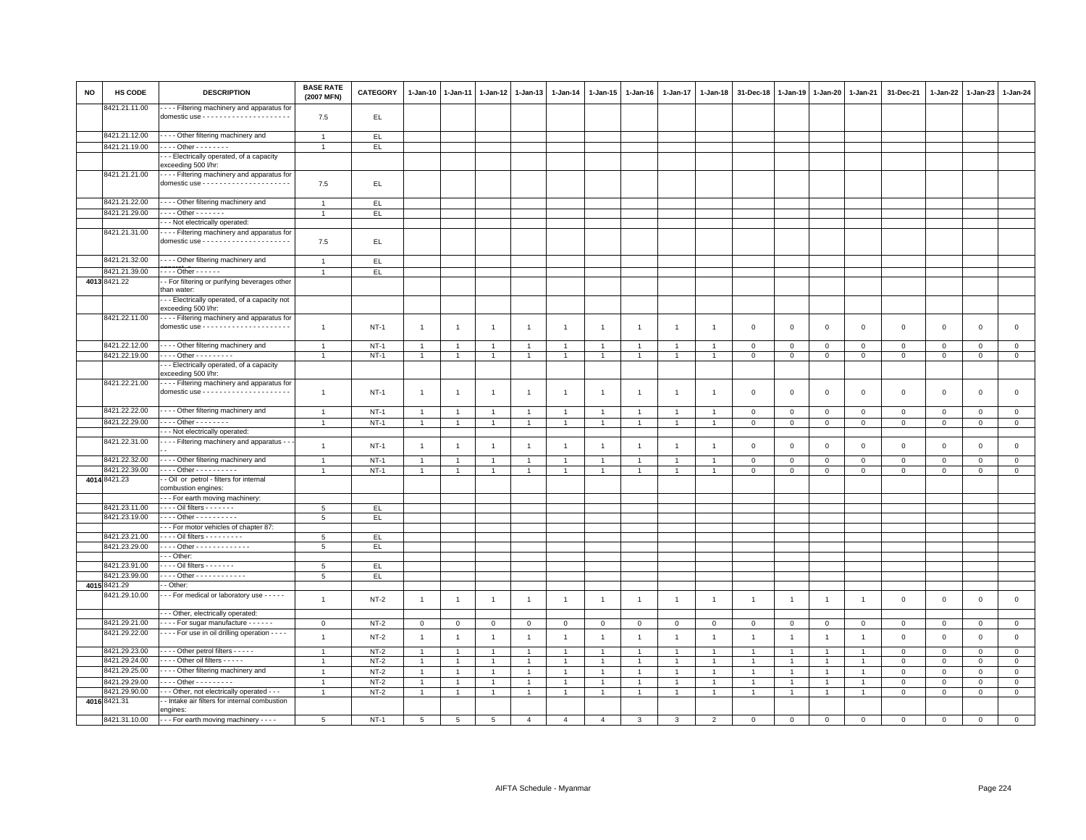| <b>NO</b> | HS CODE                        | <b>DESCRIPTION</b>                                                       | <b>BASE RATE</b><br>(2007 MFN) | <b>CATEGORY</b> | $1 - Jan-10$   | $1-Jan-11$     | $1 - Jan-12$   | $1-Jan-13$     | 1-Jan-14       | 1-Jan-15       | $1-Jan-16$     | 1-Jan-17       | 1-Jan-18       | 31-Dec-18      | 1-Jan-19       | 1-Jan-20       | 1-Jan-21       | 31-Dec-21           | $1 - Jan-22$ | $1-Jan-23$   | 1-Jan-24       |
|-----------|--------------------------------|--------------------------------------------------------------------------|--------------------------------|-----------------|----------------|----------------|----------------|----------------|----------------|----------------|----------------|----------------|----------------|----------------|----------------|----------------|----------------|---------------------|--------------|--------------|----------------|
|           | 8421.21.11.00                  | --- Filtering machinery and apparatus for                                | 7.5                            | EL              |                |                |                |                |                |                |                |                |                |                |                |                |                |                     |              |              |                |
|           |                                |                                                                          |                                |                 |                |                |                |                |                |                |                |                |                |                |                |                |                |                     |              |              |                |
|           | 8421.21.12.00                  | - - - Other filtering machinery and                                      | $\overline{1}$                 | EL              |                |                |                |                |                |                |                |                |                |                |                |                |                |                     |              |              |                |
|           | 8421.21.19.00                  | $\cdots$ Other - - - - - - -<br>- - Electrically operated, of a capacity | $\overline{1}$                 | EL              |                |                |                |                |                |                |                |                |                |                |                |                |                |                     |              |              |                |
|           |                                | exceeding 500 l/hr:                                                      |                                |                 |                |                |                |                |                |                |                |                |                |                |                |                |                |                     |              |              |                |
|           | 8421.21.21.00                  | - - - Filtering machinery and apparatus for                              |                                |                 |                |                |                |                |                |                |                |                |                |                |                |                |                |                     |              |              |                |
|           |                                |                                                                          | 7.5                            | EL.             |                |                |                |                |                |                |                |                |                |                |                |                |                |                     |              |              |                |
|           | 8421.21.22.00                  | - - - - Other filtering machinery and                                    | $\overline{1}$                 | EL              |                |                |                |                |                |                |                |                |                |                |                |                |                |                     |              |              |                |
|           | 8421.21.29.00                  | $- - -$ Other - - - - - - -                                              | $\overline{1}$                 | EL.             |                |                |                |                |                |                |                |                |                |                |                |                |                |                     |              |              |                |
|           |                                | -- Not electrically operated:                                            |                                |                 |                |                |                |                |                |                |                |                |                |                |                |                |                |                     |              |              |                |
|           | 8421.21.31.00                  | - - - - Filtering machinery and apparatus for                            | 7.5                            | EL              |                |                |                |                |                |                |                |                |                |                |                |                |                |                     |              |              |                |
|           | 8421.21.32.00                  | - - - - Other filtering machinery and                                    | $\overline{1}$                 | EL              |                |                |                |                |                |                |                |                |                |                |                |                |                |                     |              |              |                |
|           | 8421.21.39.00                  | $\cdots$ Other - - - - - -                                               | $\overline{1}$                 | EL              |                |                |                |                |                |                |                |                |                |                |                |                |                |                     |              |              |                |
|           | 4013 8421.22                   | - For filtering or purifying beverages other                             |                                |                 |                |                |                |                |                |                |                |                |                |                |                |                |                |                     |              |              |                |
|           |                                | than water:                                                              |                                |                 |                |                |                |                |                |                |                |                |                |                |                |                |                |                     |              |              |                |
|           |                                | - - Electrically operated, of a capacity not<br>exceeding 500 l/hr:      |                                |                 |                |                |                |                |                |                |                |                |                |                |                |                |                |                     |              |              |                |
|           | 8421.22.11.00                  | - - - - Filtering machinery and apparatus for                            | $\overline{1}$                 | $NT-1$          | $\overline{1}$ | $\overline{1}$ | $\overline{1}$ | $\overline{1}$ | $\overline{1}$ | $\mathbf{1}$   | $\overline{1}$ | $\overline{1}$ | $\overline{1}$ | $\mathbf 0$    | $\mathbf 0$    | $\mathsf 0$    | $\mathbf 0$    | $\mathbf 0$         | $\mathbf 0$  | $\mathbf 0$  | $\mathbf 0$    |
|           | 8421.22.12.00                  | - - - - Other filtering machinery and                                    | $\overline{1}$                 | $NT-1$          | $\overline{1}$ | $\overline{1}$ | $\mathbf{1}$   | $\overline{1}$ | $\overline{1}$ | $\mathbf{1}$   | $\overline{1}$ | $\overline{1}$ | $\overline{1}$ | $\mathbf 0$    | $\mathsf 0$    | $\mathsf 0$    | $\mathbf 0$    | $\mathsf 0$         | $\mathsf 0$  | $\mathsf 0$  | $\mathsf 0$    |
|           | 8421.22.19.00                  | - - - - Other - - - - - - - - -                                          | $\overline{1}$                 | $NT-1$          | $\mathbf{1}$   | $\overline{1}$ | $\overline{1}$ | $\mathbf{1}$   | $\overline{1}$ | $\mathbf{1}$   | $\overline{1}$ | $\mathbf{1}$   | $\overline{1}$ | $\overline{0}$ | $\mathsf 0$    | $\mathbf 0$    | $\overline{0}$ | $\mathsf 0$         | $\mathbf 0$  | $\mathsf 0$  | $\overline{0}$ |
|           |                                | - - Electrically operated, of a capacity<br>exceeding 500 l/hr:          |                                |                 |                |                |                |                |                |                |                |                |                |                |                |                |                |                     |              |              |                |
|           | 8421.22.21.00                  | - - - - Filtering machinery and apparatus for                            | $\overline{1}$                 | <b>NT-1</b>     | $\overline{1}$ | $\overline{1}$ | $\overline{1}$ | $\overline{1}$ | $\mathbf{1}$   | $\mathbf{1}$   | $\overline{1}$ | $\mathbf{1}$   | $\overline{1}$ | $\mathbf 0$    | $\mathbf 0$    | $\mathsf 0$    | $\mathbf 0$    | $\mathbf 0$         | $\mathbf 0$  | $\mathsf 0$  | $\mathsf 0$    |
|           |                                |                                                                          |                                |                 |                |                |                |                |                |                |                |                |                |                |                |                |                |                     |              |              |                |
|           | 8421.22.22.00                  | - - - Other filtering machinery and                                      | $\overline{1}$                 | $NT-1$          | $\mathbf{1}$   | $\mathbf{1}$   | $\overline{1}$ | $\overline{1}$ | $\overline{1}$ | $\overline{1}$ | -1             | $\overline{1}$ | $\mathbf{1}$   | $\mathbf 0$    | $\mathsf 0$    | $\mathbf 0$    | $\mathsf 0$    | $\mathsf 0$         | $\mathsf 0$  | $\mathbf{O}$ | $\mathbf 0$    |
|           | 8421.22.29.00                  | $\cdots$ Other - - - - - - -                                             | $\overline{1}$                 | $NT-1$          | $\mathbf{1}$   | $\overline{1}$ | $\overline{1}$ | $\overline{1}$ | $\overline{1}$ | $\mathbf{1}$   | $\overline{1}$ | $\mathbf{1}$   | $\overline{1}$ | $\mathbf 0$    | $\,0\,$        | $\,0\,$        | $\,$ 0         | $\mathsf 0$         | $\mathbf 0$  | $\mathsf 0$  | $\mathsf 0$    |
|           |                                | - - Not electrically operated:                                           |                                |                 |                |                |                |                |                |                |                |                |                |                |                |                |                |                     |              |              |                |
|           | 8421.22.31.00                  | - - - Filtering machinery and apparatus - -                              | $\overline{1}$                 | $NT-1$          | $\overline{1}$ | $\overline{1}$ | $\overline{1}$ | $\overline{1}$ | $\overline{1}$ | $\mathbf{1}$   | $\overline{1}$ | $\overline{1}$ | $\overline{1}$ | $\mathbf 0$    | $\,0\,$        | $\,0\,$        | $\mathbf 0$    | $\mathsf{O}\xspace$ | $\,0\,$      | $\mathbf 0$  | $\mathsf 0$    |
|           | 8421.22.32.00                  | - - - - Other filtering machinery and                                    | $\mathbf{1}$                   | $NT-1$          | $\overline{1}$ | $\overline{1}$ | $\overline{1}$ | $\overline{1}$ |                | $\overline{1}$ |                |                |                | $\mathbf 0$    | $\mathbf 0$    | $\mathsf 0$    | $\mathbf 0$    | $\mathsf 0$         | $\mathbf 0$  | $\mathsf 0$  | $\mathsf 0$    |
|           | 8421.22.39.00<br>4014 8421.23  | . Other<br>- Oil or petrol - filters for internal                        |                                | $NT-1$          | $\overline{1}$ | $\overline{1}$ | $\overline{1}$ | $\overline{1}$ |                | $\mathbf{1}$   |                |                | $\mathbf{1}$   | $\mathbf 0$    | $\mathsf 0$    | $\mathsf 0$    | $\mathbf 0$    | $\mathbf 0$         | $\mathbf 0$  | $\mathbf 0$  | $\mathsf 0$    |
|           |                                | combustion engines:                                                      |                                |                 |                |                |                |                |                |                |                |                |                |                |                |                |                |                     |              |              |                |
|           |                                | --- For earth moving machinery:                                          |                                |                 |                |                |                |                |                |                |                |                |                |                |                |                |                |                     |              |              |                |
|           | 8421.23.11.00                  | - - - - Oil filters - - - - - - -                                        | 5                              | E               |                |                |                |                |                |                |                |                |                |                |                |                |                |                     |              |              |                |
|           | 8421.23.19.00                  | - - - - Other - - - - - - - - - -                                        | 5                              | EL              |                |                |                |                |                |                |                |                |                |                |                |                |                |                     |              |              |                |
|           |                                | - - For motor vehicles of chapter 87:                                    |                                |                 |                |                |                |                |                |                |                |                |                |                |                |                |                |                     |              |              |                |
|           | 8421.23.21.00<br>8421.23.29.00 | - - - - Oil filters - - - - - - - - -<br>Other - - - - - - - - - - - - - | 5<br>5                         | EL<br>EL.       |                |                |                |                |                |                |                |                |                |                |                |                |                |                     |              |              |                |
|           |                                | $- -$ Other:                                                             |                                |                 |                |                |                |                |                |                |                |                |                |                |                |                |                |                     |              |              |                |
|           | 8421.23.91.00                  | - - - - Oil filters - - - - - - -                                        | 5                              | EL.             |                |                |                |                |                |                |                |                |                |                |                |                |                |                     |              |              |                |
|           | 8421.23.99.00                  | - - - - Other - - - - - - - - - - - -                                    | 5                              | EL              |                |                |                |                |                |                |                |                |                |                |                |                |                |                     |              |              |                |
|           | 4015 8421.29                   | - Other:                                                                 |                                |                 |                |                |                |                |                |                |                |                |                |                |                |                |                |                     |              |              |                |
|           | 8421.29.10.00                  | - - - For medical or laboratory use - - - - -                            | $\mathbf{1}$                   | $NT-2$          | $\overline{1}$ | $\overline{1}$ | $\overline{1}$ | $\overline{1}$ | $\overline{1}$ | $\mathbf{1}$   | $\overline{1}$ | $\overline{1}$ | $\overline{1}$ | $\overline{1}$ | $\overline{1}$ | $\overline{1}$ | $\overline{1}$ | $\mathsf 0$         | $\mathbf 0$  | $\mathsf 0$  | $\mathsf 0$    |
|           |                                | - - Other, electrically operated:                                        |                                |                 |                |                |                |                |                |                |                |                |                |                |                |                |                |                     |              |              |                |
|           | 8421.29.21.00                  | - - - - For sugar manufacture - - - - - -                                | $\mathbf 0$                    | $NT-2$          | 0              | $^{\circ}$     | $\mathbf 0$    | $^{\circ}$     | $\mathsf 0$    | $\mathbf 0$    | $^{\circ}$     | $\mathbf 0$    | $\mathbf 0$    | $\mathbf 0$    | $\mathbf 0$    | $\mathbf 0$    | $\mathbf 0$    | $\mathsf 0$         | $\mathbf 0$  | $\mathsf 0$  | $\mathbf 0$    |
|           | 8421.29.22.00                  | - - - - For use in oil drilling operation - - - -                        | $\overline{1}$                 | $NT-2$          | $\overline{1}$ | $\overline{1}$ | $\overline{1}$ | $\overline{1}$ | $\mathbf{1}$   | $\mathbf{1}$   | $\overline{1}$ | $\overline{1}$ | $\overline{1}$ | $\overline{1}$ | $\overline{1}$ | $\overline{1}$ | $\overline{1}$ | $\mathsf 0$         | $\mathbf 0$  | $\mathsf 0$  | $\mathsf 0$    |
|           | 8421.29.23.00                  | ---- Other petrol filters -----                                          | $\overline{1}$                 | $NT-2$          | 1              | $\overline{1}$ | $\overline{1}$ | $\overline{1}$ |                | $\mathbf{1}$   |                |                | $\mathbf{1}$   | $\overline{1}$ | $\overline{1}$ | $\overline{1}$ | $\overline{1}$ | $\mathbf 0$         | $\Omega$     | $\mathsf 0$  | $\mathbf 0$    |
|           | 8421.29.24.00                  | Other oil filters                                                        | $\overline{1}$                 | $NT-2$          | $\mathbf{1}$   | $\overline{1}$ | $\overline{1}$ | $\overline{1}$ | $\overline{1}$ | $\overline{1}$ | $\overline{1}$ | $\mathbf{1}$   | $\overline{1}$ | $\overline{1}$ | $\overline{1}$ | $\overline{1}$ | $\overline{1}$ | $\mathbf 0$         | $\mathbf{0}$ | $\mathbf 0$  | $\mathsf 0$    |
|           | 8421.29.25.00                  | - - - - Other filtering machinery and                                    | $\mathbf{1}$                   | $NT-2$          | $\overline{1}$ | $\overline{1}$ | $\overline{1}$ | $\overline{1}$ | $\overline{1}$ | $\mathbf{1}$   | $\overline{1}$ | $\overline{1}$ | $\overline{1}$ | $\overline{1}$ | $\overline{1}$ | $\overline{1}$ | $\overline{1}$ | $\mathbf{0}$        | $\mathbf{0}$ | $\mathbf{0}$ | $\circ$        |
|           | 8421.29.29.00                  | $- - -$ Other - - - - - - - - -                                          | $\overline{1}$                 | $NT-2$          | $\overline{1}$ | $\overline{1}$ | $\overline{1}$ | $\overline{1}$ | $\overline{1}$ | $\mathbf{1}$   | $\overline{1}$ | $\mathbf{1}$   | $\overline{1}$ | $\mathbf{1}$   | $\overline{1}$ | $\overline{1}$ | $\overline{1}$ | $\mathbf{0}$        | $\Omega$     | $\mathbf 0$  | $\mathbf{0}$   |
|           | 8421.29.90.00                  | - - Other, not electrically operated - - -                               | $\overline{1}$                 | $NT-2$          | $\mathbf{1}$   | $\overline{1}$ | $\overline{1}$ | $\overline{1}$ |                | $\mathbf{1}$   |                |                |                | $\mathbf{1}$   | $\mathbf{1}$   | $\overline{1}$ | $\overline{1}$ | $\mathsf 0$         | $\mathbf 0$  | $\mathsf 0$  | $\mathsf 0$    |
|           | 4016 8421.31                   | - Intake air filters for internal combustion<br>engines:                 |                                |                 |                |                |                |                |                |                |                |                |                |                |                |                |                |                     |              |              |                |
|           | 8421.31.10.00                  | - - - For earth moving machinery - - - -                                 | $\overline{5}$                 | $NT-1$          | $\overline{5}$ | $\overline{5}$ | $\overline{5}$ | $\overline{4}$ | $\overline{4}$ | $\Delta$       | 3              | 3              | $\overline{2}$ | $\Omega$       | $\mathbf{0}$   | $\mathbf 0$    | $\overline{0}$ | $\mathbf 0$         | $\Omega$     | $\mathbf{0}$ | $\circ$        |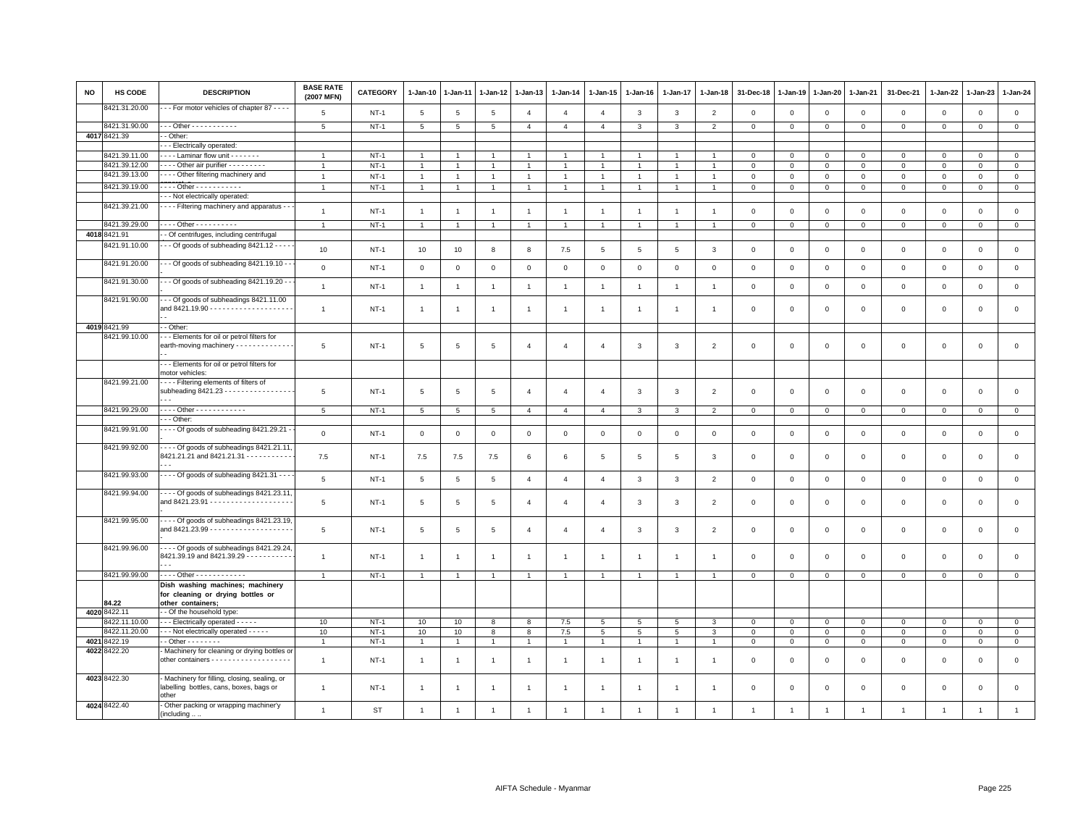| <b>NO</b> | HS CODE                        | <b>DESCRIPTION</b>                                                                              | <b>BASE RATE</b><br>(2007 MFN) | <b>CATEGORY</b> | $1 - Jan-10$    | 1-Jan-11       | $1 - Jan-12$    | 1-Jan-13       | $1 - Jan-14$   | $1 - Jan-15$    | $1 - Jan-16$   | 1-Jan-17       | $1 - Jan-18$   | 31-Dec-18      | $1 - Jan-19$   | 1-Jan-20       | 1-Jan-21       | 31-Dec-21           | $1 - Jan-22$   | 1-Jan-23       | $1 - Jan-24$   |
|-----------|--------------------------------|-------------------------------------------------------------------------------------------------|--------------------------------|-----------------|-----------------|----------------|-----------------|----------------|----------------|-----------------|----------------|----------------|----------------|----------------|----------------|----------------|----------------|---------------------|----------------|----------------|----------------|
|           | 3421.31.20.00                  | - - For motor vehicles of chapter 87 - - - -                                                    | 5                              | $NT-1$          | 5               | 5              | 5               | $\overline{4}$ | $\overline{4}$ | $\overline{4}$  | 3              | $\mathbf{3}$   | $\overline{2}$ | $\mathbf 0$    | $\mathbf{0}$   | $\mathbf 0$    | $\mathbf 0$    | $\mathbf 0$         | $\mathbf 0$    | $\mathbf 0$    | $\mathsf 0$    |
|           | 8421.31.90.00                  | $-$ - Other - - - - - - - - - - -                                                               | $5\overline{5}$                | $NT-1$          | 5               | 5              | 5               | $\overline{4}$ | $\overline{4}$ | $\overline{4}$  | 3              | 3              | $\overline{2}$ | $\mathbf 0$    | $\mathbf 0$    | $\mathbf 0$    | $\mathbf{0}$   | $\mathbf 0$         | $\mathbf 0$    | $\mathbf 0$    | $\overline{0}$ |
|           | 4017 8421.39                   | - Other:                                                                                        |                                |                 |                 |                |                 |                |                |                 |                |                |                |                |                |                |                |                     |                |                |                |
|           |                                | - - Electrically operated:                                                                      |                                |                 |                 |                |                 |                |                |                 |                |                |                |                |                |                |                |                     |                |                |                |
|           | 3421.39.11.00                  | ---- Laminar flow unit -------                                                                  | $\overline{1}$                 | $NT-1$          | $\overline{1}$  |                |                 | $\overline{1}$ |                | $\overline{1}$  |                |                |                | $\mathbf 0$    | $\mathbf 0$    | $\mathbf 0$    | $\mathbf 0$    | $\mathsf 0$         | $\mathbf 0$    | $\mathsf 0$    | $\mathbf{0}$   |
|           | 8421.39.12.00<br>8421.39.13.00 | Other air purifier - - - - - - - - -                                                            | $\overline{1}$                 | $NT-1$          | $\mathbf{1}$    |                | $\mathbf{1}$    | $\overline{1}$ | $\mathbf{1}$   | $\overline{1}$  |                | 1              | $\mathbf{1}$   | $\mathbf 0$    | $\mathbf 0$    | $\mathbf 0$    | $\mathbf{0}$   | $\mathbf{0}$        | $\circ$        | $\mathbf 0$    | $\mathbf{0}$   |
|           |                                | - - - Other filtering machinery and                                                             | $\overline{1}$                 | $NT-1$          | $\mathbf{1}$    |                |                 | $\overline{1}$ |                | $\overline{1}$  |                |                |                | $\mathbf 0$    | $\mathbf 0$    | $\mathbf 0$    | $\mathbf 0$    | 0                   | 0              | $^{\circ}$     | $\mathsf 0$    |
|           | 8421.39.19.00                  | . Other - - - - - - - - - - -                                                                   | $\overline{1}$                 | $NT-1$          | $\mathbf{1}$    |                | $\overline{1}$  | $\mathbf{1}$   | $\overline{1}$ | $\mathbf{1}$    |                | $\overline{1}$ | $\overline{1}$ | $\mathbf 0$    | $\mathbf 0$    | $\overline{0}$ | $\mathbf 0$    | $\mathsf 0$         | $\mathbf 0$    | $\mathsf 0$    | $\mathbf{0}$   |
|           |                                | - - Not electrically operated:                                                                  |                                |                 |                 |                |                 |                |                |                 |                |                |                |                |                |                |                |                     |                |                |                |
|           | 8421.39.21.00                  | - - - Filtering machinery and apparatus - -                                                     | $\overline{1}$                 | <b>NT-1</b>     | $\overline{1}$  |                | 1               | $\mathbf{1}$   | $\mathbf{1}$   | $\mathbf{1}$    |                | $\overline{1}$ | $\overline{1}$ | $\mathbf 0$    | $\,$ 0         | $\mathsf 0$    | $\mathsf 0$    | $\mathsf 0$         | $\mathbf 0$    | $\mathsf 0$    | $\mathsf{O}$   |
|           | 8421.39.29.00                  | $- - -$ Other - - - - - - - - - -                                                               | $\overline{1}$                 | <b>NT-1</b>     | $\overline{1}$  | $\overline{1}$ | $\mathbf{1}$    | $\mathbf{1}$   | $\mathbf{1}$   | $\mathbf{1}$    | $\mathbf{1}$   | $\mathbf{1}$   | $\overline{1}$ | $\mathbf{0}$   | $\mathbf 0$    | $\overline{0}$ | $\overline{0}$ | $\mathbf{0}$        | $\mathbf{0}$   | $\overline{0}$ | $\overline{0}$ |
|           | 4018 8421.91                   | - Of centrifuges, including centrifugal                                                         |                                |                 |                 |                |                 |                |                |                 |                |                |                |                |                |                |                |                     |                |                |                |
|           | 8421.91.10.00                  | - - Of goods of subheading 8421.12 - - - -                                                      |                                |                 |                 |                |                 |                |                |                 |                |                |                |                |                |                |                |                     |                |                |                |
|           |                                |                                                                                                 | 10                             | $NT-1$          | 10              | 10             | 8               | 8              | 7.5            | 5               | 5              | 5              | 3              | $\mathsf 0$    | $\mathbb O$    | $\mathbf 0$    | $\mathsf 0$    | $\mathsf 0$         | $\mathbf 0$    | $\mathsf 0$    | $\mathsf 0$    |
|           | 8421.91.20.00                  | - - Of goods of subheading 8421.19.10 - -                                                       | $\mathbf 0$                    | $NT-1$          | $\mathsf 0$     | $\mathbf 0$    | $\mathbf 0$     | $\mathsf 0$    | $\,0\,$        | $\mathsf 0$     | $\mathsf 0$    | $\mathsf 0$    | $\mathbf 0$    | $\,0\,$        | $\,0\,$        | $\mathsf 0$    | $\mathsf 0$    | $\mathsf 0$         | $\mathsf 0$    | $\mathsf 0$    | $\mathsf 0$    |
|           | 8421.91.30.00                  | - Of goods of subheading 8421.19.20 -                                                           |                                |                 |                 |                |                 |                |                |                 |                |                |                |                |                |                |                |                     |                |                |                |
|           |                                |                                                                                                 | $\overline{1}$                 | $NT-1$          | $\overline{1}$  | $\overline{1}$ | $\overline{1}$  | $\mathbf{1}$   | $\mathbf{1}$   | $\overline{1}$  | $\overline{1}$ | $\mathbf{1}$   | $\overline{1}$ | $\mathbf 0$    | $\overline{0}$ | $\mathsf 0$    | $\mathbf 0$    | $\mathsf 0$         | $\mathbf 0$    | $\mathbf 0$    | $\mathsf 0$    |
|           | 8421.91.90.00                  | - - Of goods of subheadings 8421.11.00                                                          | $\mathbf{1}$                   | <b>NT-1</b>     | $\overline{1}$  |                | 1               | $\overline{1}$ | $\overline{1}$ | $\overline{1}$  |                | 1              |                | $^{\circ}$     | $^{\circ}$     | $\mathbf 0$    | 0              | 0                   | 0              | 0              | $\mathsf 0$    |
|           |                                |                                                                                                 |                                |                 |                 |                |                 |                |                |                 |                |                |                |                |                |                |                |                     |                |                |                |
|           | 4019 8421.99<br>8421.99.10.00  | - Other:<br>- - Elements for oil or petrol filters for                                          |                                |                 |                 |                |                 |                |                |                 |                |                |                |                |                |                |                |                     |                |                |                |
|           |                                | earth-moving machinery - - - - - - - - - - - -                                                  | 5                              | $NT-1$          | 5               | 5              | 5               | $\overline{4}$ | $\overline{4}$ | $\overline{4}$  | 3              | 3              | $\overline{2}$ | $\mathbf 0$    | $\mathbf 0$    | $\mathbf 0$    | $\mathsf 0$    | $\mathsf 0$         | $\mathbf 0$    | $\mathsf 0$    | $\mathsf 0$    |
|           |                                | --- Elements for oil or petrol filters for<br>motor vehicles:                                   |                                |                 |                 |                |                 |                |                |                 |                |                |                |                |                |                |                |                     |                |                |                |
|           | 8421.99.21.00                  | --- Filtering elements of filters of<br>subheading 8421.23 - - - - - - - - - - - - - - - -      | $\overline{5}$                 | $NT-1$          | 5               | 5              | 5               | $\overline{4}$ | $\overline{a}$ | $\overline{4}$  | 3              | 3              | $\overline{2}$ | $\mathbf 0$    | $\mathbf 0$    | $\mathbf 0$    | $\mathbf 0$    | $\mathsf 0$         | $\mathsf 0$    | $\mathsf 0$    | $\mathbf 0$    |
|           | 8421.99.29.00                  | - - - - Other - - - - - - - - - - - -                                                           | 5                              | $NT-1$          | $5\phantom{.0}$ | 5              | $5\overline{5}$ | $\overline{4}$ | $\overline{4}$ | $\overline{4}$  | $\mathbf{3}$   | $\mathbf{3}$   | $\overline{2}$ | $\mathbf{0}$   | $\mathbf{0}$   | $\overline{0}$ | $\overline{0}$ | $\mathbf{0}$        | $\mathbf 0$    | $\mathbf{0}$   | $\mathbf{0}$   |
|           |                                | $\cdots$ Other:                                                                                 |                                |                 |                 |                |                 |                |                |                 |                |                |                |                |                |                |                |                     |                |                |                |
|           | 8421.99.91.00                  | - - - Of goods of subheading 8421.29.21 -                                                       |                                |                 |                 |                |                 |                |                |                 |                |                |                |                |                |                |                |                     |                |                |                |
|           |                                |                                                                                                 | $\mathsf 0$                    | $NT-1$          | $\overline{0}$  | $\mathbf 0$    | $\mathbf 0$     | $\mathbf{0}$   | $\mathbf 0$    | $\mathbf{0}$    | $\mathsf 0$    | $\mathbf 0$    | $\mathbf 0$    | $\mathbf{0}$   | $\mathbf{0}$   | $\mathbf 0$    | $\mathbf{0}$   | $\mathsf 0$         | $\mathbf 0$    | $\mathbf 0$    | $\mathbf{0}$   |
|           | 8421.99.92.00                  | $\cdots$ Of goods of subheadings 8421.21.11,<br>8421.21.21 and 8421.21.31 - - - - - - - - - - - | 7.5                            | <b>NT-1</b>     | 7.5             | 7.5            | 7.5             | 6              | 6              | 5               | 5              | 5              | 3              | $\mathbf 0$    | $^{\circ}$     | $\circ$        | 0              | 0                   | 0              | 0              | $\mathbf 0$    |
|           | 8421.99.93.00                  | $- - -$ Of goods of subheading 8421.31 $- -$                                                    | $5\phantom{.0}$                | $NT-1$          | $5\phantom{.0}$ | $\,$ 5 $\,$    | $\overline{5}$  | $\overline{4}$ | $\overline{4}$ | $\overline{4}$  | $\mathbf{3}$   | $\mathbf{3}$   | $\overline{2}$ | $\,0\,$        | $\,0\,$        | $\mathbf 0$    | $\mathsf 0$    | $\mathsf 0$         | $\mathsf 0$    | $\,0\,$        | $\mathsf 0$    |
|           | 8421.99.94.00                  | . - - - Of goods of subheadings 8421.23.11,                                                     | 5                              | $NT-1$          | 5               | 5              | 5               | $\overline{4}$ | $\overline{4}$ | $\overline{4}$  | $\mathbf{3}$   | 3              | $\overline{2}$ | $\Omega$       | $\Omega$       | $\mathbf 0$    | $\mathbf 0$    | $\mathbf 0$         | $\mathbf 0$    | $\mathbf 0$    | $\mathbf 0$    |
|           | 8421.99.95.00                  | ---- Of goods of subheadings 8421.23.19,                                                        | $\overline{5}$                 | <b>NT-1</b>     | 5               | 5              | 5               | $\overline{4}$ | $\overline{4}$ | $\overline{4}$  | 3              | 3              | $\overline{2}$ | $\mathbf{0}$   | $\Omega$       | $\,0\,$        | $\mathsf 0$    | $\mathbf 0$         | $\mathsf 0$    | $\mathbf 0$    | $\mathbf{0}$   |
|           | 8421.99.96.00                  | ---- Of goods of subheadings 8421.29.24,<br>8421.39.19 and 8421.39.29 - - - - - - - - - -       | $\mathbf{1}$                   | $NT-1$          | $\overline{1}$  | $\overline{1}$ | $\overline{1}$  | $\overline{1}$ | $\overline{1}$ | $\overline{1}$  | $\overline{1}$ | $\overline{1}$ | $\overline{1}$ | $\mathbf 0$    | $\overline{0}$ | $\mathbf 0$    | $\mathbf 0$    | $\mathsf 0$         | $\mathsf 0$    | $\mathsf 0$    | $\mathsf 0$    |
|           | 8421.99.99.00                  | - - - - Other - - - - - - - - - - - -                                                           | $\overline{1}$                 | $NT-1$          | $\overline{1}$  |                | $\overline{1}$  | $\mathbf{1}$   |                | $\mathbf{1}$    |                | 1              |                | $\mathsf 0$    | $\mathsf 0$    | $\mathbb O$    | $\mathsf 0$    | $\mathsf 0$         | $\mathbf 0$    | $\mathsf 0$    | $\overline{0}$ |
|           | 84.22                          | Dish washing machines; machinery<br>for cleaning or drying bottles or<br>other containers;      |                                |                 |                 |                |                 |                |                |                 |                |                |                |                |                |                |                |                     |                |                |                |
|           | 4020 8422.11                   | - Of the household type:                                                                        |                                |                 |                 |                |                 |                |                |                 |                |                |                |                |                |                |                |                     |                |                |                |
|           | 3422.11.10.00                  | - - - Electrically operated - - - - -                                                           | 10                             | $NT-1$          | 10              | 10             | 8               | 8              | 7.5            | 5               | 5              | 5              | 3              | $\mathbf 0$    | $\mathbf{0}$   | $\mathbf{0}$   | $\mathbf{0}$   | $\mathbf 0$         | $\mathbf 0$    | $\mathbf 0$    | $\mathbf{0}$   |
|           | 8422.11.20.00                  | - - - Not electrically operated - - - - -                                                       | 10                             | $NT-1$          | 10              | 10             | 8               | 8              | 7.5            | $5\phantom{.0}$ | 5              | 5              | 3              | 0              | $\mathbf 0$    | $\mathbf{0}$   | $\mathbf{0}$   | $\mathbf{0}$        | 0              | $\mathbf{0}$   | $\overline{0}$ |
| 4021      | 8422.19                        | $\cdot$ - Other - - - - - - - -                                                                 | $\overline{1}$                 | $NT-1$          | $\mathbf{1}$    |                | $\overline{1}$  | $\overline{1}$ |                | $\mathbf{1}$    |                | $\overline{1}$ |                | $\,0\,$        | $\,$ 0         | $\mathbb O$    | $\mathsf 0$    | $\mathsf{O}\xspace$ | $\mathsf 0$    | $\mathsf 0$    | $\overline{0}$ |
|           | 4022 8422.20                   | - Machinery for cleaning or drying bottles or                                                   |                                |                 |                 |                |                 |                |                |                 |                |                |                |                |                |                |                |                     |                |                |                |
|           |                                |                                                                                                 | $\overline{1}$                 | $NT-1$          | $\mathbf{1}$    |                |                 | $\overline{1}$ | $\overline{1}$ | $\overline{1}$  |                |                |                | $\mathbf 0$    | $\mathbf 0$    | $\mathbf 0$    | $\mathbf 0$    | $\mathsf 0$         | $\mathbf 0$    | $\Omega$       | $\mathsf 0$    |
|           | 4023 8422.30                   | Machinery for filling, closing, sealing, or<br>labelling bottles, cans, boxes, bags or<br>other | $\overline{1}$                 | <b>NT-1</b>     | $\mathbf{1}$    |                |                 | $\overline{1}$ | $\overline{1}$ | $\overline{1}$  |                | -1             |                | $^{\circ}$     | $\Omega$       | $\mathbf 0$    | 0              | 0                   | 0              | $\Omega$       | $\mathbf{0}$   |
|           | 4024 8422.40                   | Other packing or wrapping machiner'y<br>(including                                              | $\mathbf{1}$                   | <b>ST</b>       | $\overline{1}$  | $\overline{1}$ | $\overline{1}$  | $\mathbf{1}$   | $\overline{1}$ | $\overline{1}$  | $\overline{1}$ | $\overline{1}$ | $\overline{1}$ | $\overline{1}$ | $\overline{1}$ | $\overline{1}$ | $\overline{1}$ | $\overline{1}$      | $\overline{1}$ | $\overline{1}$ | $\overline{1}$ |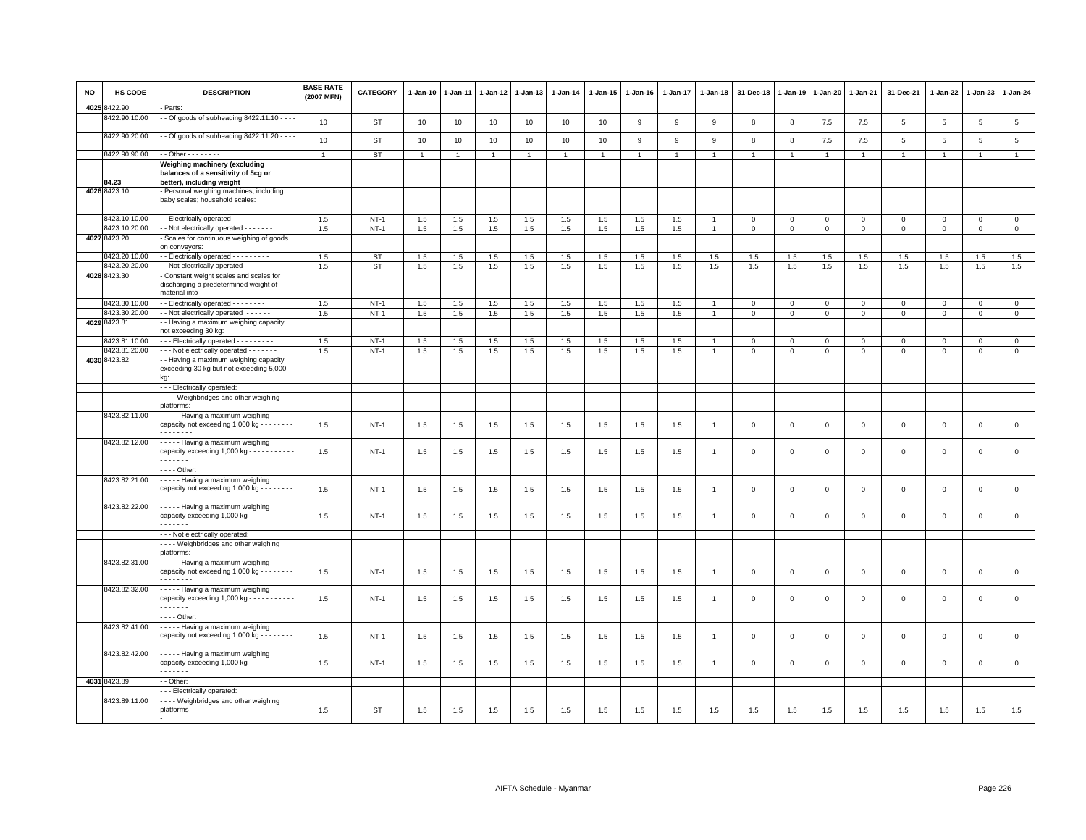| <b>NO</b> | <b>HS CODE</b> | <b>DESCRIPTION</b>                                                                                      | <b>BASE RATE</b><br>(2007 MFN) | <b>CATEGORY</b> | $1 - Jan-10$   | 1-Jan-11       | 1-Jan-12       | 1-Jan-13       | $1-Jan-14$   | $1-Jan-15$   | $1 - Jan-16$   | $1 - Jan-17$   | $1 - Jan-18$   | 31-Dec-18      | $1 - Jan-19$   | $1-Jan-20$     | 1-Jan-21       | 31-Dec-21      | $1 - Jan-22$   | 1-Jan-23        | $1 - Jan-24$ |
|-----------|----------------|---------------------------------------------------------------------------------------------------------|--------------------------------|-----------------|----------------|----------------|----------------|----------------|--------------|--------------|----------------|----------------|----------------|----------------|----------------|----------------|----------------|----------------|----------------|-----------------|--------------|
| 4025      | 422.90         | Parts:                                                                                                  |                                |                 |                |                |                |                |              |              |                |                |                |                |                |                |                |                |                |                 |              |
|           | 3422.90.10.00  | - Of goods of subheading 8422.11.10 - - -                                                               | 10                             | ST              | 10             | 10             | 10             | 10             | 10           | 10           | 9              | 9              | 9              | 8              | 8              | 7.5            | 7.5            | $\overline{5}$ | $\overline{5}$ | $5\phantom{.0}$ | $\,$ 5 $\,$  |
|           | 8422.90.20.00  | - Of goods of subheading 8422.11.20 - - -                                                               | 10                             | <b>ST</b>       | 10             | 10             | 10             | 10             | 10           | 10           | 9              | 9              | 9              | 8              | 8              | $7.5$          | 7.5            | 5              | 5              | 5               | $\,$ 5 $\,$  |
|           | 8422.90.90.00  | $-$ Other $      -$                                                                                     | $\mathbf{1}$                   | <b>ST</b>       | $\overline{1}$ | $\overline{1}$ | $\overline{1}$ | $\overline{1}$ | $\mathbf{1}$ | $\mathbf{1}$ | $\overline{1}$ | $\overline{1}$ | $\overline{1}$ | $\overline{1}$ | $\overline{1}$ | $\overline{1}$ | $\overline{1}$ | $\mathbf{1}$   | $\overline{1}$ | $\overline{1}$  | $\mathbf{1}$ |
|           | 34.23          | Weighing machinery (excluding<br>balances of a sensitivity of 5cg or<br>better), including weight       |                                |                 |                |                |                |                |              |              |                |                |                |                |                |                |                |                |                |                 |              |
|           | 4026 8423.10   | Personal weighing machines, including<br>baby scales; household scales:                                 |                                |                 |                |                |                |                |              |              |                |                |                |                |                |                |                |                |                |                 |              |
|           | 8423.10.10.00  | - Electrically operated - - - - - - -                                                                   | 1.5                            | $NT-1$          | 1.5            | 1.5            | 1.5            | 1.5            | 1.5          | 1.5          | 1.5            | 1.5            |                | $\mathbf 0$    | $\mathsf 0$    | $\mathbf 0$    | $\,0\,$        | $\mathsf 0$    | $\mathbf 0$    | $\mathsf 0$     | $\mathbf 0$  |
|           | 8423.10.20.00  | - Not electrically operated - - - - - - -                                                               | 1.5                            | $NT-1$          | 1.5            | 1.5            | 1.5            | 1.5            | 1.5          | 1.5          | 1.5            | 1.5            |                | $\mathbf{0}$   | $\mathbf 0$    | $\mathbf 0$    | $\mathbf 0$    | $\mathbf{0}$   | $\mathbf 0$    | $\mathbf 0$     | $\circ$      |
|           | 4027 8423.20   | Scales for continuous weighing of goods<br>on conveyors:                                                |                                |                 |                |                |                |                |              |              |                |                |                |                |                |                |                |                |                |                 |              |
|           | 8423.20.10.00  | - Electrically operated - - - - - - - - -                                                               | 1.5                            | <b>ST</b>       | 1.5            | 1.5            | 1.5            | 1.5            | 1.5          | 1.5          | 1.5            | 1.5            | 1.5            | 1.5            | 1.5            | 1.5            | 1.5            | 1.5            | 1.5            | 1.5             | 1.5          |
|           | 8423.20.20.00  | - Not electrically operated - - - - - - - - -                                                           | 1.5                            | <b>ST</b>       | 1.5            | 1.5            | 1.5            | 1.5            | 1.5          | 1.5          | 1.5            | 1.5            | 1.5            | 1.5            | 1.5            | 1.5            | 1.5            | 1.5            | 1.5            | 1.5             | 1.5          |
|           | 4028 8423.30   | Constant weight scales and scales for<br>discharging a predetermined weight of<br>material into         |                                |                 |                |                |                |                |              |              |                |                |                |                |                |                |                |                |                |                 |              |
|           | 8423.30.10.00  | - Electrically operated - - - - - - - -                                                                 | 1.5                            | $NT-1$          | 1.5            | 1.5            | 1.5            | 1.5            | 1.5          | 1.5          | 1.5            | 1.5            |                | $\mathbf 0$    | $\mathbf 0$    | $\mathsf 0$    | $\mathbf 0$    | $\mathsf 0$    | $\mathbf 0$    | $\mathbf 0$     | $\mathbf 0$  |
|           | 8423.30.20.00  | - Not electrically operated - - - - - -                                                                 | 1.5                            | $NT-1$          | 1.5            | $1.5\,$        | $1.5\,$        | 1.5            | $1.5\,$      | $1.5\,$      | 1.5            | 1.5            |                | $\mathbf 0$    | $\mathbf 0$    | $\mathsf 0$    | $\mathbf 0$    | $\mathbf{0}$   | $\Omega$       | $\mathbf 0$     | $\circ$      |
|           | 4029 8423.81   | - Having a maximum weighing capacity<br>not exceeding 30 kg:                                            |                                |                 |                |                |                |                |              |              |                |                |                |                |                |                |                |                |                |                 |              |
|           | 423.81.10.00   | - - Electrically operated - - - - - - - - -                                                             | 1.5                            | $NT-1$          | 1.5            | 1.5            | 1.5            | 1.5            | $1.5\,$      | 1.5          | 1.5            | 1.5            |                | $\mathbf 0$    | $\mathbf 0$    | $\mathsf 0$    | $\mathsf 0$    | $\mathsf 0$    | $\mathbf 0$    | $\Omega$        | $\circ$      |
|           | 8423.81.20.00  | - - Not electrically operated - - - - - - -                                                             | 1.5                            | <b>NT-1</b>     | 1.5            | 1.5            | 1.5            | 1.5            | 1.5          | 1.5          | 1.5            | 1.5            |                | $\mathbf 0$    | $\mathsf 0$    | $\mathbf 0$    | $\mathbf 0$    | $\mathbf 0$    | $\mathbf 0$    | $\mathbf{0}$    | $\mathbf{0}$ |
|           | 4030 8423.82   | - Having a maximum weighing capacity<br>exceeding 30 kg but not exceeding 5,000                         |                                |                 |                |                |                |                |              |              |                |                |                |                |                |                |                |                |                |                 |              |
|           |                | - - Electrically operated:                                                                              |                                |                 |                |                |                |                |              |              |                |                |                |                |                |                |                |                |                |                 |              |
|           |                | - - - Weighbridges and other weighing                                                                   |                                |                 |                |                |                |                |              |              |                |                |                |                |                |                |                |                |                |                 |              |
|           | 8423.82.11.00  | blatforms:<br>- - - - Having a maximum weighing                                                         |                                |                 |                |                |                |                |              |              |                |                |                |                |                |                |                |                |                |                 |              |
|           |                | capacity not exceeding 1,000 kg - - - -<br>.                                                            | 1.5                            | $NT-1$          | 1.5            | 1.5            | 1.5            | 1.5            | 1.5          | 1.5          | 1.5            | 1.5            | $\overline{1}$ | $\mathbf 0$    | $\mathsf 0$    | $\mathbf 0$    | $\mathbf 0$    | $\mathsf 0$    | $\mathbf 0$    | $\mathsf 0$     | $\mathsf 0$  |
|           | 8423.82.12.00  | - - - - - Having a maximum weighing<br>capacity exceeding 1,000 kg - - - - - - - - - -<br>$- - - - - -$ | 1.5                            | $NT-1$          | 1.5            | 1.5            | 1.5            | 1.5            | 1.5          | 1.5          | 1.5            | 1.5            |                | $\mathbf 0$    | $\mathbf 0$    | $\mathbf 0$    | $\mathbf 0$    | $\mathsf 0$    | $\mathbf 0$    | $\mathbf 0$     | $\mathbf 0$  |
|           |                | $\cdots$ - Other:                                                                                       |                                |                 |                |                |                |                |              |              |                |                |                |                |                |                |                |                |                |                 |              |
|           | 8423.82.21.00  | - - - - Having a maximum weighing<br>capacity not exceeding 1,000 kg - - - - - - -<br>.                 | 1.5                            | $NT-1$          | 1.5            | 1.5            | 1.5            | 1.5            | 1.5          | 1.5          | 1.5            | 1.5            | $\overline{1}$ | $\mathbf 0$    | $\mathbf 0$    | $\mathbf 0$    | $\mathbf 0$    | $\mathbf 0$    | $\mathbf{0}$   | $\mathbf{0}$    | $\circ$      |
|           | 8423.82.22.00  | · - - - - Having a maximum weighing<br>capacity exceeding 1,000 kg - - - - - - - - -<br>.               | 1.5                            | $NT-1$          | 1.5            | 1.5            | 1.5            | 1.5            | 1.5          | 1.5          | 1.5            | 1.5            |                | $\Omega$       | $\mathbf 0$    | $\mathbf 0$    | $\Omega$       | $\mathbf 0$    | $\Omega$       | $\mathbf{0}$    | $\mathbf 0$  |
|           |                | - - Not electrically operated:                                                                          |                                |                 |                |                |                |                |              |              |                |                |                |                |                |                |                |                |                |                 |              |
|           |                | - - - Weighbridges and other weighing<br>platforms:                                                     |                                |                 |                |                |                |                |              |              |                |                |                |                |                |                |                |                |                |                 |              |
|           | 8423.82.31.00  | - - - - Having a maximum weighing<br>capacity not exceeding 1,000 kg - - - - - - - -<br>.               | 1.5                            | NT-1            | 1.5            | 1.5            | 1.5            | 1.5            | 1.5          | 1.5          | 1.5            | 1.5            |                | $\mathbf 0$    | $\mathbf 0$    | $\mathbf 0$    | $\mathbf 0$    | 0              | $\mathbf 0$    | $\mathbf 0$     | $\mathbf 0$  |
|           | 8423.82.32.00  | - - - - Having a maximum weighing<br>capacity exceeding 1,000 kg - - - - - - - - -<br>.                 | 1.5                            | $NT-1$          | 1.5            | 1.5            | 1.5            | 1.5            | 1.5          | 1.5          | 1.5            | 1.5            | -1             | $\mathbf 0$    | $\mathbf 0$    | $\mathsf 0$    | $\mathbf 0$    | $\mathsf 0$    | $\mathbf 0$    | $\mathsf 0$     | $\mathsf 0$  |
|           |                | $\cdots$ - Other:                                                                                       |                                |                 |                |                |                |                |              |              |                |                |                |                |                |                |                |                |                |                 |              |
|           | 8423.82.41.00  | - - - - Having a maximum weighing<br>capacity not exceeding 1,000 kg - - - - -<br>.                     | 1.5                            | <b>NT-1</b>     | 1.5            | 1.5            | 1.5            | 1.5            | 1.5          | 1.5          | 1.5            | 1.5            |                | $\mathbf 0$    | 0              | $\,0\,$        | $\mathsf 0$    | $\mathsf 0$    | $\mathsf 0$    | $\mathbf 0$     | $\mathbf 0$  |
|           | 8423.82.42.00  | - - - - Having a maximum weighing<br>capacity exceeding $1,000$ kg - - - - - - - - -                    | 1.5                            | $NT-1$          | 1.5            | 1.5            | 1.5            | 1.5            | 1.5          | 1.5          | 1.5            | 1.5            | -1             | $\mathbf 0$    | $\Omega$       | $\mathsf 0$    | $\mathbf 0$    | $\mathsf 0$    | $\mathbf 0$    | $\mathbf 0$     | $\mathsf 0$  |
|           | 4031 8423.89   | - Other:                                                                                                |                                |                 |                |                |                |                |              |              |                |                |                |                |                |                |                |                |                |                 |              |
|           |                | - Electrically operated:                                                                                |                                |                 |                |                |                |                |              |              |                |                |                |                |                |                |                |                |                |                 |              |
|           | 8423.89.11.00  | - Weighbridges and other weighing                                                                       |                                |                 |                |                |                |                |              |              |                |                |                |                |                |                |                |                |                |                 |              |
|           |                |                                                                                                         | 1.5                            | <b>ST</b>       | 1.5            | 1.5            | 1.5            | 1.5            | 1.5          | 1.5          | 1.5            | 1.5            | 1.5            | 1.5            | 1.5            | 1.5            | 1.5            | 1.5            | 1.5            | 1.5             | 1.5          |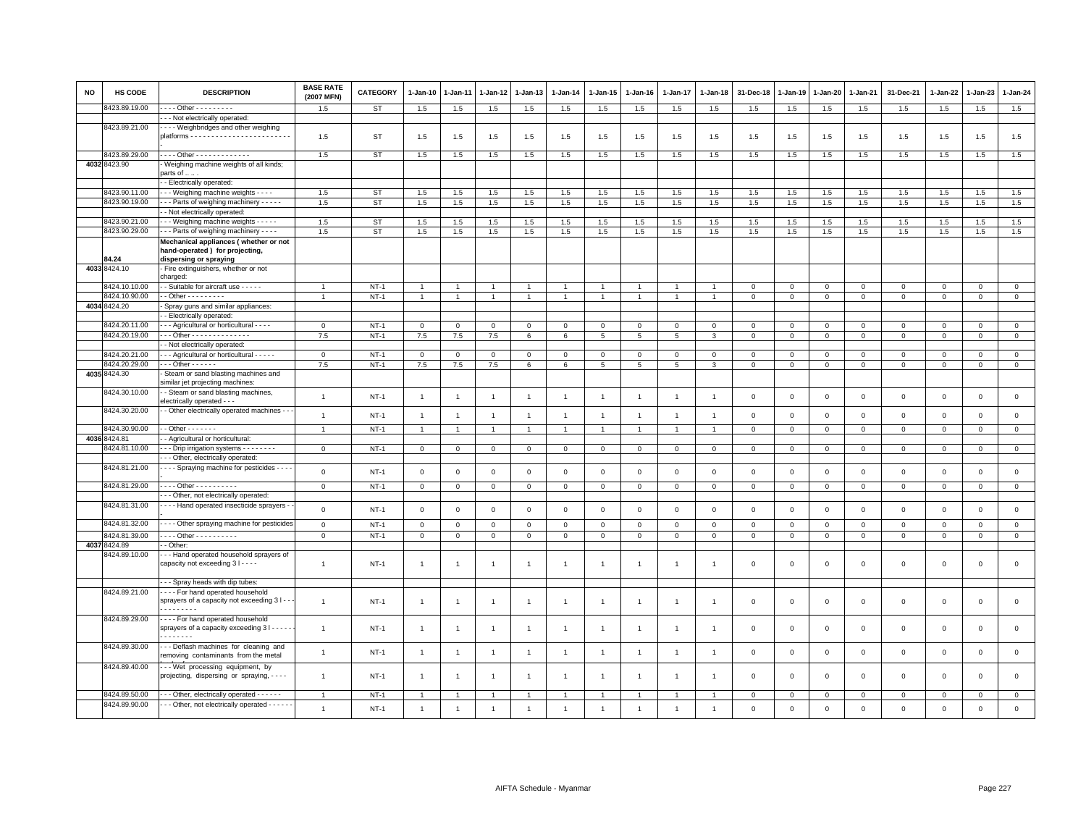| NO | <b>HS CODE</b>                 | <b>DESCRIPTION</b>                                                      | <b>BASE RATE</b><br>(2007 MFN) | <b>CATEGORY</b> | $1 - Jan-10$   | 1-Jan-11       | 1-Jan-12       | 1-Jan-13       | $1-Jan-14$     | $1-Jan-15$     | $1 - Jan-16$   | $1 - Jan-17$   | $1 - Jan-18$   | 31-Dec-18      | $1 - Jan-19$ | 1-Jan-20     | 1-Jan-21       | 31-Dec-21           | 1-Jan-22     | 1-Jan-23            | $1 - Jan-24$   |
|----|--------------------------------|-------------------------------------------------------------------------|--------------------------------|-----------------|----------------|----------------|----------------|----------------|----------------|----------------|----------------|----------------|----------------|----------------|--------------|--------------|----------------|---------------------|--------------|---------------------|----------------|
|    | 3423.89.19.00                  | - - - Other - - - - - - - - -                                           | 1.5                            | <b>ST</b>       | 1.5            | 1.5            | 1.5            | 1.5            | 1.5            | 1.5            | 1.5            | 1.5            | 1.5            | 1.5            | 1.5          | 1.5          | $1.5\,$        | 1.5                 | 1.5          | 1.5                 | 1.5            |
|    |                                | - - Not electrically operated:                                          |                                |                 |                |                |                |                |                |                |                |                |                |                |              |              |                |                     |              |                     |                |
|    | 8423.89.21.00                  | - - - Weighbridges and other weighing                                   |                                |                 |                |                |                |                |                |                |                |                |                |                |              |              |                |                     |              |                     |                |
|    |                                |                                                                         | 1.5                            | <b>ST</b>       | 1.5            | 1.5            | 1.5            | 1.5            | 1.5            | 1.5            | 1.5            | 1.5            | 1.5            | 1.5            | 1.5          | 1.5          | 1.5            | 1.5                 | 1.5          | 1.5                 | 1.5            |
|    |                                |                                                                         |                                |                 |                |                |                |                |                |                |                |                |                |                |              |              |                |                     |              |                     |                |
|    | 8423.89.29.00                  | Other - - - - - - - - - - - - -                                         | 1.5                            | <b>ST</b>       | 1.5            | 1.5            | 1.5            | 1.5            | 1.5            | 1.5            | 1.5            | 1.5            | 1.5            | 1.5            | 1.5          | 1.5          | 1.5            | 1.5                 | 1.5          | 1.5                 | 1.5            |
|    | 4032 8423.90                   | Weighing machine weights of all kinds;<br>parts of                      |                                |                 |                |                |                |                |                |                |                |                |                |                |              |              |                |                     |              |                     |                |
|    |                                | - Electrically operated:                                                |                                |                 |                |                |                |                |                |                |                |                |                |                |              |              |                |                     |              |                     |                |
|    | 8423.90.11.00                  | - - Weighing machine weights - - - -                                    | 1.5                            | <b>ST</b>       | 1.5            | 1.5            | 1.5            | 1.5            | 1.5            | 1.5            | 1.5            | 1.5            | 1.5            | 1.5            | 1.5          | 1.5          | 1.5            | 1.5                 | 1.5          | 1.5                 | 1.5            |
|    | 3423.90.19.00                  | - - Parts of weighing machinery - - - - -                               | 1.5                            | <b>ST</b>       | 1.5            | 1.5            | 1.5            | 1.5            | 1.5            | 1.5            | 1.5            | 1.5            | 1.5            | 1.5            | 1.5          | 1.5          | 1.5            | 1.5                 | 1.5          | 1.5                 | 1.5            |
|    |                                | - Not electrically operated:                                            |                                |                 |                |                |                |                |                |                |                |                |                |                |              |              |                |                     |              |                     |                |
|    | 8423.90.21.00                  | - - Weighing machine weights - - - - -                                  | 1.5                            | <b>ST</b>       | 1.5            | 1.5            | 1.5            | 1.5            | 1.5            | 1.5            | 1.5            | 1.5            | 1.5            | $1.5\,$        | 1.5          | 1.5          | 1.5            | 1.5                 | 1.5          | 1.5                 | 1.5            |
|    | 8423.90.29.00                  | - - Parts of weighing machinery - - - -                                 | 1.5                            | <b>ST</b>       | 1.5            | 1.5            | 1.5            | 1.5            | 1.5            | 1.5            | 1.5            | 1.5            | 1.5            | 1.5            | 1.5          | 1.5          | 1.5            | 1.5                 | 1.5          | 1.5                 | 1.5            |
|    |                                | Mechanical appliances (whether or not                                   |                                |                 |                |                |                |                |                |                |                |                |                |                |              |              |                |                     |              |                     |                |
|    |                                | hand-operated) for projecting,                                          |                                |                 |                |                |                |                |                |                |                |                |                |                |              |              |                |                     |              |                     |                |
|    | 34.24                          | dispersing or spraying                                                  |                                |                 |                |                |                |                |                |                |                |                |                |                |              |              |                |                     |              |                     |                |
|    | 4033 8424.10                   | Fire extinguishers, whether or not                                      |                                |                 |                |                |                |                |                |                |                |                |                |                |              |              |                |                     |              |                     |                |
|    |                                | charged:                                                                |                                |                 |                |                |                |                |                |                |                |                |                |                |              |              |                |                     |              |                     |                |
|    | 8424.10.10.00                  | - Suitable for aircraft use - - - - -                                   |                                | $NT-1$          | $\mathbf{1}$   |                |                |                |                |                |                |                |                | $\mathbf 0$    | $\mathbf 0$  | $\mathbf 0$  | $\mathbf 0$    | $\mathsf 0$         | $\Omega$     | $\mathbf 0$         | $\mathbf 0$    |
|    | 3424.10.90.00                  | $-$ Other $       -$                                                    | $\overline{1}$                 | $NT-1$          | $\mathbf{1}$   |                |                | $\mathbf{1}$   | $\mathbf{1}$   | $\mathbf{1}$   |                |                |                | $\overline{0}$ | $\mathbf 0$  | $\mathbf 0$  | $\overline{0}$ | $\mathsf{O}\xspace$ | $\mathbf 0$  | $\mathbf 0$         | $\overline{0}$ |
|    | 4034 8424.20                   | Spray guns and similar appliances:                                      |                                |                 |                |                |                |                |                |                |                |                |                |                |              |              |                |                     |              |                     |                |
|    |                                | - Electrically operated:                                                |                                |                 |                |                |                |                |                |                |                |                |                |                |              |              |                |                     |              |                     |                |
|    | 8424.20.11.00                  | - - Agricultural or horticultural - - - -                               | $\Omega$                       | $NT-1$          | $\mathsf 0$    | $\Omega$       | $\Omega$       | $\Omega$       | $\circ$        | $\Omega$       | $\Omega$       | $\Omega$       | $^{\circ}$     | $\mathbf 0$    | $\mathbf 0$  | $\Omega$     | $\mathsf 0$    | $\Omega$            | $\Omega$     | $\Omega$            | $\mathsf 0$    |
|    | 8424.20.19.00                  | $-$ - Other - - - - - - - - - - - - - -                                 | 7.5                            | $NT-1$          | 7.5            | 7.5            | 7.5            | 6              | 6              | 5              | 5              | 5              | 3              | $\mathbf{0}$   | $\mathbf 0$  | $\mathbf 0$  | $\mathbf 0$    | $\mathbf{0}$        | $\mathbf{0}$ | $\mathbf{0}$        | $\mathbf{0}$   |
|    |                                | - Not electrically operated:                                            |                                |                 |                |                |                |                |                |                |                |                |                |                |              |              |                |                     |              |                     |                |
|    | 8424.20.21.00<br>3424.20.29.00 | - - Agricultural or horticultural - - - - -<br>$-$ Other $    -$        | $\mathsf 0$                    | $NT-1$          | $\mathsf 0$    | $\mathbf 0$    | $\mathbf 0$    | $\mathbf 0$    | $\mathbf 0$    | $\mathbf 0$    | $\mathbf 0$    | $\mathbf 0$    | $\mathsf 0$    | $\mathbf 0$    | $\mathbf 0$  | $\mathsf 0$  | $\mathbf 0$    | $\mathsf 0$         | $\mathbf 0$  | $\mathbf 0$         | $\mathsf 0$    |
|    | 4035 8424.30                   |                                                                         | 7.5                            | $NT-1$          | 7.5            | $7.5\,$        | 7.5            | 6              | 6              | 5 <sub>5</sub> | 5              | 5              | 3              | $\mathbf{0}$   | $\mathbf 0$  | $\mathbf 0$  | $\circ$        | $\mathbf 0$         | $\mathbf{0}$ | $\mathbf{O}$        | $\mathbf{0}$   |
|    |                                | Steam or sand blasting machines and<br>similar jet projecting machines: |                                |                 |                |                |                |                |                |                |                |                |                |                |              |              |                |                     |              |                     |                |
|    | 8424.30.10.00                  | - Steam or sand blasting machines,                                      |                                |                 |                |                |                |                |                |                |                |                |                |                |              |              |                |                     |              |                     |                |
|    |                                | electrically operated - - -                                             | $\mathbf{1}$                   | $NT-1$          | $\overline{1}$ | $\overline{1}$ | $\overline{1}$ | $\mathbf{1}$   | $\mathbf{1}$   | $\mathbf{1}$   | $\overline{1}$ | $\overline{1}$ | $\overline{1}$ | $\mathbf 0$    | $\mathsf 0$  | $\,0\,$      | $\mathbf 0$    | $\mathsf{O}\xspace$ | $\,0\,$      | $\mathsf 0$         | $\mathbf 0$    |
|    | 8424.30.20.00                  | - Other electrically operated machines - -                              |                                |                 |                |                |                |                |                |                |                |                |                |                |              |              |                |                     |              |                     |                |
|    |                                |                                                                         | $\overline{1}$                 | $NT-1$          | $\overline{1}$ | $\overline{1}$ | $\overline{1}$ | $\mathbf{1}$   | $\mathbf{1}$   | $\mathbf{1}$   | $\overline{1}$ | $\overline{1}$ |                | $\mathbf 0$    | $\mathbf 0$  | $\mathbf 0$  | $\mathbf 0$    | $\mathsf 0$         | $\mathsf 0$  | $\mathsf 0$         | $\mathsf 0$    |
|    | 8424.30.90.00                  | $-$ Other $     -$                                                      | $\mathbf{1}$                   | $NT-1$          | $\overline{1}$ |                | $\overline{1}$ | $\overline{1}$ | $\overline{1}$ | 1              | $\mathbf{1}$   | $\overline{1}$ |                | $\mathbf 0$    | $\mathbf 0$  | $\mathbf{0}$ | $\overline{0}$ | $\mathbf 0$         | $\mathbf{0}$ | $\mathbf{0}$        | $\mathbf{0}$   |
|    | 4036 8424.81                   | - Agricultural or horticultural:                                        |                                |                 |                |                |                |                |                |                |                |                |                |                |              |              |                |                     |              |                     |                |
|    | 3424.81.10.00                  | - - Drip irrigation systems - - - - - - - -                             | $\mathsf 0$                    | $NT-1$          | $\mathsf 0$    | 0              | 0              | $\mathbf 0$    | $\mathbf 0$    | $\mathbf 0$    | $\mathbf 0$    | $\overline{0}$ | 0              | $\mathbf 0$    | $\mathbf 0$  | $\mathbf 0$  | $\mathbf 0$    | $\mathbf 0$         | $\mathbf 0$  | $\mathbf 0$         | $\mathsf 0$    |
|    |                                | - - Other, electrically operated:                                       |                                |                 |                |                |                |                |                |                |                |                |                |                |              |              |                |                     |              |                     |                |
|    | 8424.81.21.00                  | - - - Spraying machine for pesticides - - - -                           | $\mathbf 0$                    | $NT-1$          | $\mathsf 0$    | $\mathbf 0$    | $\mathbf 0$    | $\mathsf 0$    | $\mathsf 0$    | $\mathbf 0$    | $\mathbf 0$    | $\mathsf 0$    | $\mathbf 0$    | $\mathbf 0$    | $\mathsf 0$  | $\mathbf 0$  | $\mathbf 0$    | $\mathsf 0$         | $\mathsf 0$  | $\mathsf 0$         | $\mathsf 0$    |
|    |                                |                                                                         |                                |                 |                |                |                |                |                |                |                |                |                |                |              |              |                |                     |              |                     |                |
|    | 8424.81.29.00                  | Other - - - - - - - - -                                                 | $\mathsf 0$                    | $NT-1$          | $\mathbf{0}$   | $\mathbf 0$    | $\mathbf 0$    | $\circ$        | $\mathsf 0$    | $\mathbf 0$    | $\mathsf 0$    | $\mathbf 0$    | $\mathbf 0$    | $\,0\,$        | $\mathbf 0$  | $\mathbf 0$  | $\overline{0}$ | $\mathsf 0$         | $\mathbf 0$  | $\mathbf 0$         | $\overline{0}$ |
|    |                                | - - Other, not electrically operated:                                   |                                |                 |                |                |                |                |                |                |                |                |                |                |              |              |                |                     |              |                     |                |
|    | 8424.81.31.00                  | - - - Hand operated insecticide sprayers -                              | $\mathsf 0$                    | $NT-1$          | $\mathbf 0$    | $\mathbf 0$    | $\mathbf 0$    | $\mathbf 0$    | $\mathsf 0$    | $\mathbf 0$    | $\mathbf 0$    | $\mathbf 0$    | $\mathbf 0$    | $\mathbf 0$    | $\mathbf 0$  | $\mathbf 0$  | $\mathbf 0$    | $\mathsf 0$         | $\mathsf 0$  | $\mathsf 0$         | $\mathsf 0$    |
|    | 8424.81.32.00                  | - - - Other spraying machine for pesticides                             | $\mathsf 0$                    | $NT-1$          | $\mathbf 0$    | $\mathbf 0$    | $\mathbf 0$    |                | $\mathbf 0$    | $\mathbf 0$    | $\Omega$       | $\overline{0}$ | $\Omega$       | $\mathbf 0$    |              |              | $\mathbf 0$    | $\mathsf 0$         | $\mathbf{0}$ | $\mathsf 0$         | $\mathbf 0$    |
|    |                                |                                                                         |                                |                 |                |                |                | $\mathbf 0$    |                |                |                |                |                |                | $\mathbf 0$  | $\mathsf 0$  |                |                     |              |                     |                |
|    | 8424.81.39.00<br>4037 8424.89  | Other - - - - - - - - - -<br>- Other:                                   | $\mathbf{O}$                   | $NT-1$          | $\mathbf{0}$   | $\mathbf{0}$   | 0              | $\mathbf{0}$   | $\mathbf{0}$   | $\mathbf{0}$   | $\mathbf{0}$   | $\mathbf 0$    | 0              | $\mathbf{0}$   | $\mathbf{0}$ | $\mathbf{0}$ | $\circ$        | $\mathbf 0$         | $\mathbf{0}$ | $\mathbf{0}$        | $\mathbf{0}$   |
|    | 8424.89.10.00                  | - - Hand operated household sprayers of                                 |                                |                 |                |                |                |                |                |                |                |                |                |                |              |              |                |                     |              |                     |                |
|    |                                | capacity not exceeding 3 I - - - -                                      | $\mathbf{1}$                   | $NT-1$          | $\mathbf{1}$   |                |                | 1              | $\overline{1}$ | 1              | -1             |                |                | $\mathbf 0$    | $\mathbf 0$  | $\mathsf 0$  | $\mathbf 0$    | $\mathbf 0$         | $\mathbf 0$  | $\mathbf{0}$        | $\mathbf 0$    |
|    |                                |                                                                         |                                |                 |                |                |                |                |                |                |                |                |                |                |              |              |                |                     |              |                     |                |
|    |                                | - - Spray heads with dip tubes:                                         |                                |                 |                |                |                |                |                |                |                |                |                |                |              |              |                |                     |              |                     |                |
|    | 8424.89.21.00                  | --- For hand operated household                                         |                                |                 |                |                |                |                |                |                |                |                |                |                |              |              |                |                     |              |                     |                |
|    |                                | sprayers of a capacity not exceeding 3 I - -                            | $\overline{1}$                 | $NT-1$          | $\overline{1}$ | $\overline{1}$ | $\overline{1}$ | $\mathbf{1}$   | $\overline{1}$ | $\mathbf{1}$   | $\overline{1}$ | $\overline{1}$ |                | $\mathbf 0$    | $\mathbf 0$  | $\,0\,$      | $\,0\,$        | $\mathsf 0$         | $\,0\,$      | $\mathsf 0$         | $\mathsf 0$    |
|    |                                | .                                                                       |                                |                 |                |                |                |                |                |                |                |                |                |                |              |              |                |                     |              |                     |                |
|    | 8424.89.29.00                  | For hand operated household                                             |                                |                 |                |                |                |                |                |                |                |                |                |                |              |              |                |                     |              |                     |                |
|    |                                | sprayers of a capacity exceeding 3 I - - - -                            | $\mathbf{1}$                   | $NT-1$          | $\overline{1}$ | $\overline{1}$ | $\overline{1}$ | $\mathbf{1}$   | $\overline{1}$ | $\mathbf{1}$   | $\overline{1}$ | $\overline{1}$ | -1             | $\mathbf 0$    | $\mathbf 0$  | $\,0\,$      | $\mathbf 0$    | $\mathsf{O}\xspace$ | $\,0\,$      | $\mathsf{O}\xspace$ | $\,0\,$        |
|    |                                | .                                                                       |                                |                 |                |                |                |                |                |                |                |                |                |                |              |              |                |                     |              |                     |                |
|    | 8424.89.30.00                  | -- Deflash machines for cleaning and                                    | $\mathbf{1}$                   | $NT-1$          | $\overline{1}$ | $\overline{1}$ | $\overline{1}$ | $\mathbf{1}$   | $\overline{1}$ | $\mathbf{1}$   | $\overline{1}$ | $\overline{1}$ | $\overline{1}$ | $\mathbf 0$    | $\mathsf 0$  | $\,0\,$      | $\,0\,$        | $\mathsf{O}\xspace$ | $\mathbf 0$  | $\mathsf 0$         | $\circ$        |
|    |                                | removing contaminants from the metal                                    |                                |                 |                |                |                |                |                |                |                |                |                |                |              |              |                |                     |              |                     |                |
|    | 8424.89.40.00                  | -- Wet processing equipment, by                                         |                                |                 |                |                |                |                |                |                |                |                |                |                |              |              |                |                     |              |                     |                |
|    |                                | projecting, dispersing or spraying, - - -                               | $\overline{1}$                 | $NT-1$          | -1             | 1              | 1              | $\mathbf{1}$   | $\overline{1}$ | $\overline{1}$ | -1             | $\mathbf{1}$   |                | $\mathbf 0$    | $\mathbf 0$  | $\mathsf 0$  | $\mathbf 0$    | $\mathsf 0$         | $\mathbf 0$  | $\mathbf 0$         | $\mathbf 0$    |
|    | 8424.89.50.00                  | - Other, electrically operated - - - - - -                              |                                | $NT-1$          |                |                |                |                |                |                |                |                |                | $\Omega$       | $\Omega$     | $\mathbf 0$  | $\Omega$       | $\Omega$            | $\Omega$     | $\mathbf{0}$        | $\Omega$       |
|    | 8424.89.90.00                  | - - Other, not electrically operated - - - - -                          |                                |                 |                |                |                |                |                |                |                |                |                |                |              |              |                |                     |              |                     |                |
|    |                                |                                                                         | $\overline{1}$                 | $NT-1$          | $\mathbf{1}$   | 1              |                | 1              | $\overline{1}$ |                | -1             | $\overline{1}$ |                | $\mathbf 0$    | $\mathbf 0$  | $\mathbf 0$  | $\mathbf 0$    | $\Omega$            | $\mathbf 0$  | $\mathbf 0$         | $\Omega$       |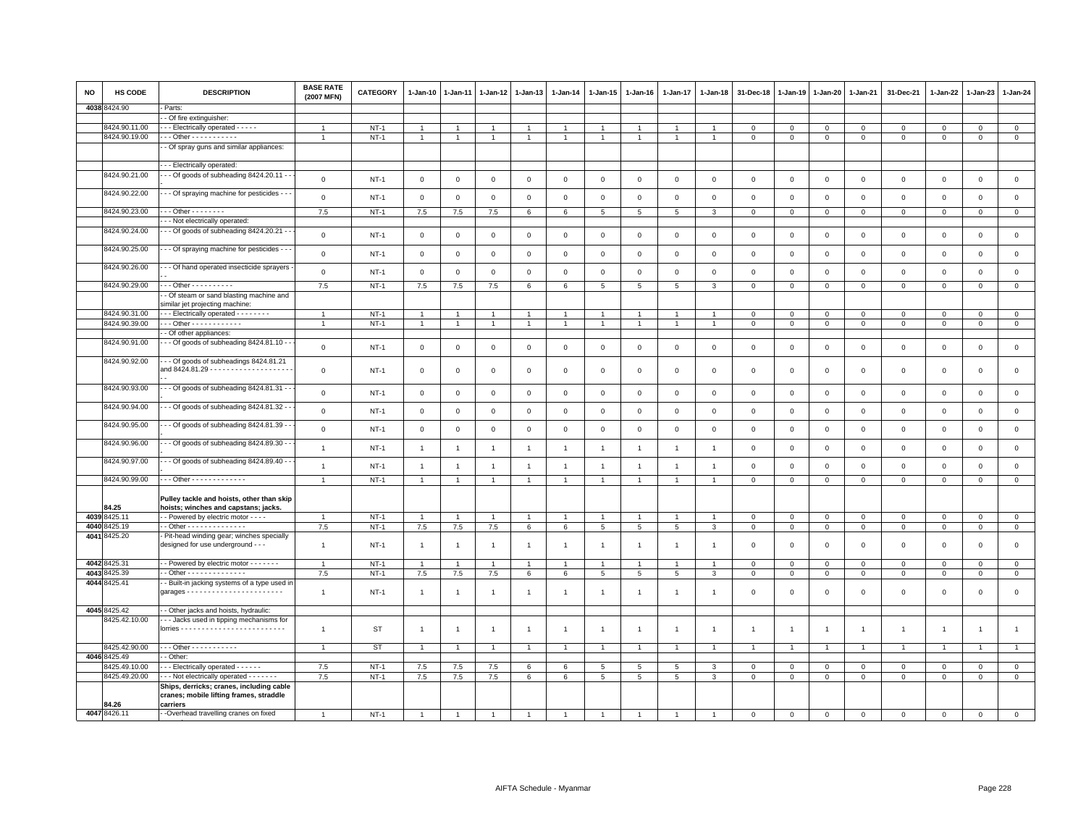| <b>NO</b> | HS CODE       | <b>DESCRIPTION</b>                                                                              | <b>BASE RATE</b><br>(2007 MFN) | <b>CATEGORY</b> | 1-Jan-10       | $1-Jan-11$     | 1-Jan-12       | $1 - Jan-13$         | $1 - Jan-14$   | 1-Jan-15        | $1 - Jan-16$    | $1 - Jan-17$    | $1 - Jan-18$   | 31-Dec-18      | $1 - Jan-19$   | $1 - Jan-20$   | $1 - Jan-21$   | 31-Dec-21           | $1 - Jan-22$   | $1-Jan-23$          | 1-Jan-24       |
|-----------|---------------|-------------------------------------------------------------------------------------------------|--------------------------------|-----------------|----------------|----------------|----------------|----------------------|----------------|-----------------|-----------------|-----------------|----------------|----------------|----------------|----------------|----------------|---------------------|----------------|---------------------|----------------|
|           | 4038 8424.90  | Parts:                                                                                          |                                |                 |                |                |                |                      |                |                 |                 |                 |                |                |                |                |                |                     |                |                     |                |
|           |               | - Of fire extinguisher:                                                                         |                                |                 |                |                |                |                      |                |                 |                 |                 |                |                |                |                |                |                     |                |                     |                |
|           | 8424.90.11.00 | - - Electrically operated - - - - -                                                             | $\overline{1}$                 | $NT-1$          | $\overline{1}$ |                |                | $\overline{1}$       | $\overline{1}$ |                 |                 | $\overline{1}$  |                | $^{\circ}$     | $\mathbf 0$    | $\mathbf 0$    | $\mathbf 0$    | $\mathbf 0$         | $\mathbf 0$    | $\mathbf 0$         | $\mathbf 0$    |
|           | 8424.90.19.00 | - - Other - - - - - - - - - -                                                                   |                                | $NT-1$          | $\overline{1}$ | $\mathbf{1}$   |                | $\overline{1}$       | $\overline{1}$ | $\overline{1}$  |                 | $\overline{1}$  |                | $\overline{0}$ | $\,0\,$        | $\mathbf 0$    | $\overline{0}$ | $\mathsf 0$         | $\mathbf 0$    | $\Omega$            | $\overline{0}$ |
|           |               | - Of spray guns and similar appliances:                                                         |                                |                 |                |                |                |                      |                |                 |                 |                 |                |                |                |                |                |                     |                |                     |                |
|           |               | - - Electrically operated:                                                                      |                                |                 |                |                |                |                      |                |                 |                 |                 |                |                |                |                |                |                     |                |                     |                |
|           | 8424.90.21.00 | - - Of goods of subheading 8424.20.11 -                                                         | $\mathbf 0$                    | <b>NT-1</b>     | $\mathbf 0$    | 0              | 0              | $\mathbf 0$          | $\mathbf 0$    | $\mathbf 0$     | $\mathbf 0$     | $\mathbf 0$     | $\mathsf 0$    | $\mathbf 0$    | $\mathsf 0$    | $\mathbf 0$    | $\mathbf 0$    | $\mathsf 0$         | $\mathbf 0$    | $\mathbf{O}$        | $\mathsf 0$    |
|           | 8424.90.22.00 | - Of spraying machine for pesticides -                                                          | $\mathsf 0$                    | $NT-1$          | $\overline{0}$ | $\mathbf 0$    | $\mathbf 0$    | $\mathsf 0$          | $\mathbf 0$    | $\mathbf 0$     | $\mathbf 0$     | $\,0\,$         | $\mathsf 0$    | $\,0\,$        | $\mathsf 0$    | $\,0\,$        | $\mathbf 0$    | $\mathsf{O}\xspace$ | $\mathbf 0$    | $\mathsf 0$         | $\mathsf 0$    |
|           | 8424.90.23.00 | - - Other - - - - - - - -                                                                       | 7.5                            | $NT-1$          | 7.5            | 7.5            | 7.5            | 6                    | 6              | 5               | 5               | 5               | 3              | $\mathbf 0$    | $\mathbf 0$    | $\mathbf 0$    | $\mathbf 0$    | $\mathbf 0$         | $\mathbf 0$    | $\mathbf 0$         | $\mathbf 0$    |
|           |               | - - Not electrically operated:                                                                  |                                |                 |                |                |                |                      |                |                 |                 |                 |                |                |                |                |                |                     |                |                     |                |
|           | 8424.90.24.00 | - - Of goods of subheading 8424.20.21 - -                                                       | $\mathbf 0$                    | $NT-1$          | $\mathbf{0}$   | $\mathbf 0$    | $\mathbf{0}$   | $\mathbf 0$          | $\mathbf 0$    | $\mathbf 0$     | $\mathbf 0$     | $\mathbf 0$     | $\mathbf 0$    | $\mathbf 0$    | $\mathbf 0$    | $\mathbf 0$    | $\mathbf 0$    | $\mathbf{0}$        | $\mathbf 0$    | $\mathbf 0$         | $\circ$        |
|           | 8424.90.25.00 | - - Of spraying machine for pesticides -                                                        | $\mathsf{O}\xspace$            | $NT-1$          | $\mathbf{0}$   | $\mathbf 0$    | $\mathsf 0$    | $\mathbf 0$          | $\mathbf 0$    | $\mathsf 0$     | $\mathbf 0$     | $\,0\,$         | $\mathsf 0$    | $\mathbf 0$    | $\mathsf 0$    | $\,0\,$        | $\,0\,$        | $\mathsf{O}\xspace$ | $\mathbf 0$    | $\mathsf{O}\xspace$ | $\mathsf 0$    |
|           | 8424.90.26.00 | - - Of hand operated insecticide sprayers                                                       | $\mathsf 0$                    | <b>NT-1</b>     | $\mathbf 0$    | $\mathsf 0$    | $\mathsf 0$    | $\mathbf 0$          | $\mathbf 0$    | 0               | $\Omega$        | $\mathsf 0$     | $\Omega$       | $\mathbf 0$    | $\mathsf 0$    | $\,0\,$        | $\,0\,$        | $\mathsf 0$         | $\mathsf 0$    | $\mathbf 0$         | $\,0\,$        |
|           | 8424.90.29.00 | - - Other - - - - - - - - - -                                                                   | 7.5                            | $NT-1$          | $7.5\,$        | $7.5\,$        | $7.5\,$        | $6\phantom{.0}$      | $\,6\,$        | 5               | 5               | 5               | 3              | $\mathbf 0$    | $\mathsf 0$    | $\,0\,$        | $\,0\,$        | $\mathsf 0$         | $\mathbf 0$    | $\mathsf 0$         | $\,0\,$        |
|           |               | - Of steam or sand blasting machine and<br>similar jet projecting machine:                      |                                |                 |                |                |                |                      |                |                 |                 |                 |                |                |                |                |                |                     |                |                     |                |
|           | 8424.90.31.00 | - - Electrically operated - - - - - - - -                                                       | $\overline{1}$                 | $NT-1$          | $\overline{1}$ |                |                | $\blacktriangleleft$ |                | $\mathbf{1}$    |                 | $\overline{1}$  |                | $\mathbf 0$    | $\circ$        | $\mathbf 0$    | $\mathbf{0}$   | $\Omega$            | $\Omega$       | $\mathbf{0}$        | $\circ$        |
|           | 8424.90.39.00 | - - Other - - - - - - - - - - - -                                                               | $\overline{1}$                 | $NT-1$          | $\overline{1}$ | $\overline{1}$ | $\overline{1}$ | $\mathbf{1}$         | $\overline{1}$ | $\mathbf{1}$    | $\overline{1}$  | $\overline{1}$  | $\overline{1}$ | $\mathbf{0}$   | $\mathbf 0$    | $\mathbf{0}$   | $\mathbf 0$    | $\mathbf{0}$        | $\mathbf{0}$   | $\mathbf{0}$        | $\mathbf{0}$   |
|           |               | - Of other appliances:                                                                          |                                |                 |                |                |                |                      |                |                 |                 |                 |                |                |                |                |                |                     |                |                     |                |
|           | 8424.90.91.00 | - - Of goods of subheading 8424.81.10 - -                                                       | $\mathsf 0$                    | $NT-1$          | $\mathbf 0$    | $\mathbf 0$    | $\mathbf 0$    | $\mathbf 0$          | $\mathbf 0$    | $\mathbf 0$     | $\mathbf 0$     | $\mathbf 0$     | $\mathsf 0$    | $\mathbf 0$    | $\mathbf 0$    | $\mathbf 0$    | $\mathbf 0$    | $\mathbf 0$         | $\mathbf 0$    | $\mathbf 0$         | $\mathsf 0$    |
|           | 8424.90.92.00 | - - Of goods of subheadings 8424.81.21<br>and 8424.81.29 - - - - - - - - - - - - - - - - - -    | $\mathsf 0$                    | <b>NT-1</b>     | $\circ$        | 0              | 0              | $\mathbf 0$          | $\mathbf 0$    | 0               | $\mathbf 0$     | 0               | $\mathbf 0$    | $\mathbf 0$    | 0              | $\mathbf 0$    | $\mathbf 0$    | $\mathsf 0$         | $\mathbf 0$    | $\mathbf 0$         | $\mathsf 0$    |
|           | 8424.90.93.00 | - - Of goods of subheading 8424.81.31 - -                                                       | $\mathsf 0$                    | $NT-1$          | $\mathsf 0$    | 0              | 0              | $\mathsf 0$          | $\mathsf 0$    | $\mathbf 0$     | 0               | $\mathsf 0$     | $^{\circ}$     | $\mathbf 0$    | $\mathbf 0$    | $\mathbf 0$    | $\mathbf 0$    | $\mathsf 0$         | $\mathbf 0$    | $\mathsf 0$         | $\mathsf 0$    |
|           | 8424.90.94.00 | - - Of goods of subheading 8424.81.32 -                                                         | $\mathsf 0$                    | <b>NT-1</b>     | $\mathsf 0$    | 0              | 0              | $\mathbf 0$          | $\mathbf 0$    | $\mathbf 0$     | $\circ$         | $\mathbf 0$     | $\mathsf 0$    | $\mathbf 0$    | $\mathsf 0$    | $\mathbf 0$    | $\mathbb O$    | $\mathsf{O}\xspace$ | $\mathbf 0$    | $\mathbf 0$         | $\,0\,$        |
|           | 8424.90.95.00 | - - Of goods of subheading 8424.81.39 -                                                         | $\mathsf 0$                    | $NT-1$          | $\overline{0}$ | $\mathbf 0$    | $\mathbf 0$    | $\mathbf 0$          | $\mathbf 0$    | $\mathbf{0}$    | $\mathsf 0$     | $\mathbf 0$     | $\mathbf 0$    | $\mathbf 0$    | $\mathbf 0$    | $\mathbf 0$    | $\mathbf 0$    | $\mathbf 0$         | $\mathbf 0$    | $\mathbf 0$         | $\mathsf 0$    |
|           | 8424.90.96.00 | - - Of goods of subheading 8424.89.30 -                                                         | $\mathbf{1}$                   | $NT-1$          | $\overline{1}$ | $\mathbf{1}$   | $\overline{1}$ | $\mathbf{1}$         | $\mathbf{1}$   | $\mathbf{1}$    | $\mathbf{1}$    | $\overline{1}$  | $\overline{1}$ | $\mathbf 0$    | $\,0\,$        | $\mathbf 0$    | $\mathbb O$    | $\mathsf 0$         | $\mathsf 0$    | $\mathsf{O}\xspace$ | $\mathsf 0$    |
|           | 8424.90.97.00 | - - Of goods of subheading 8424.89.40 - -                                                       | $\mathbf{1}$                   | $NT-1$          | $\overline{1}$ | $\overline{1}$ | $\overline{1}$ | $\mathbf{1}$         | $\mathbf{1}$   | $\overline{1}$  | $\mathbf{1}$    | $\overline{1}$  | $\overline{1}$ | $\mathbf 0$    | $\mathbf 0$    | $\mathsf 0$    | $\mathbf 0$    | $\mathsf 0$         | $\mathbf 0$    | $\mathbf 0$         | $\mathsf 0$    |
|           | 8424.90.99.00 | - - Other - - - - - - - - - - - - -                                                             | $\overline{1}$                 | $NT-1$          | $\mathbf{1}$   | $\mathbf{1}$   | $\mathbf{1}$   | $\mathbf{1}$         | $\mathbf{1}$   | $\mathbf{1}$    | $\overline{1}$  | $\overline{1}$  | $\overline{1}$ | $\mathbf 0$    | $\mathbf 0$    | $\mathbf 0$    | $\overline{0}$ | $\mathsf{O}\xspace$ | $\mathsf 0$    | $\mathsf 0$         | $\mathsf 0$    |
|           | 34.25         | Pulley tackle and hoists, other than skip<br>hoists; winches and capstans; jacks.               |                                |                 |                |                |                |                      |                |                 |                 |                 |                |                |                |                |                |                     |                |                     |                |
| 4039      | 3425.11       | - Powered by electric motor - - - -                                                             | $\overline{1}$                 | $NT-1$          | $\overline{1}$ | $\overline{1}$ | $\overline{1}$ | $\overline{1}$       | $\overline{1}$ | $\overline{1}$  | $\overline{1}$  | $\overline{1}$  |                | $\,0\,$        | $\mathbf 0$    | $\mathbf 0$    | $\mathbf 0$    | $\mathsf 0$         | $\mathsf 0$    | $\mathsf 0$         | $\mathsf 0$    |
| 4040      | 3425.19       | - Other - - - - - - - - - - - - - -                                                             | 7.5                            | $NT-1$          | 7.5            | 7.5            | $7.5\,$        | 6                    | $\,6\,$        | $5\phantom{.0}$ | $\,$ 5 $\,$     | $5\phantom{.0}$ | 3              | $\mathbf 0$    | $\mathsf 0$    | $\mathbf 0$    | $\mathbb O$    | $\mathsf 0$         | $\mathbf{0}$   | $\mathbf{O}$        | $\mathsf 0$    |
|           | 4041 8425.20  | Pit-head winding gear; winches specially<br>designed for use underground - - -                  | $\overline{1}$                 | $NT-1$          | $\overline{1}$ | -1             | $\overline{1}$ | $\overline{1}$       | $\overline{1}$ | $\overline{1}$  | -1              | $\overline{1}$  |                | $\mathbf 0$    | $\mathbf 0$    | $\mathsf 0$    | $\mathbf 0$    | $\mathsf 0$         | $\mathbf 0$    | $\mathbf 0$         | $\mathbf 0$    |
|           |               |                                                                                                 |                                |                 |                |                |                |                      |                |                 |                 |                 |                |                |                |                |                |                     |                |                     |                |
|           | 4042 8425.31  | - Powered by electric motor - - - - - - -                                                       | $\overline{1}$                 | $NT-1$          | $\overline{1}$ |                |                |                      |                |                 |                 |                 |                | $\mathbf 0$    | $\mathbf 0$    | $\,0\,$        | $\mathbf 0$    | $\mathbf 0$         | $\Omega$       | $\mathbf 0$         | $\mathsf 0$    |
| 4043      | 3425.39       | - Other - - - - - - - - - - - - -                                                               | 7.5                            | <b>NT-1</b>     | 7.5            | 7.5            | $7.5\,$        | 6                    | 6              | $\,$ 5 $\,$     | $5\phantom{.0}$ | 5               | 3              | $\mathbf 0$    | $\mathsf 0$    | $\mathbf 0$    | $\,0\,$        | $\mathsf 0$         | $\mathsf 0$    | $\mathbf 0$         | $\,0\,$        |
|           | 4044 8425.41  | - Built-in jacking systems of a type used ir                                                    | $\mathbf{1}$                   | $NT-1$          | $\overline{1}$ | $\overline{1}$ | $\overline{1}$ | $\mathbf{1}$         | $\overline{1}$ | $\mathbf{1}$    | $\overline{1}$  | $\mathbf{1}$    |                | $\mathbf 0$    | $\mathbf 0$    | $\mathsf 0$    | $\mathbf 0$    | $\mathbf 0$         | $\mathbf 0$    | $\mathbf 0$         | $\mathsf 0$    |
|           | 4045 8425.42  | - Other jacks and hoists, hydraulic:                                                            |                                |                 |                |                |                |                      |                |                 |                 |                 |                |                |                |                |                |                     |                |                     |                |
|           | 8425.42.10.00 | - - Jacks used in tipping mechanisms for                                                        |                                |                 |                |                |                |                      |                |                 |                 |                 |                |                |                |                |                |                     |                |                     |                |
|           |               |                                                                                                 | $\mathbf{1}$                   | ST              | $\overline{1}$ | $\mathbf{1}$   | $\mathbf{1}$   | $\mathbf{1}$         | $\mathbf{1}$   | $\mathbf{1}$    | $\overline{1}$  | $\overline{1}$  | $\overline{1}$ | $\overline{1}$ | $\overline{1}$ | $\overline{1}$ | $\overline{1}$ | $\mathbf{1}$        | $\overline{1}$ | $\overline{1}$      | $\mathbf{1}$   |
|           | 8425.42.90.00 | $-$ - Other - - - - - - - - - - -                                                               | $\overline{1}$                 | ST              |                |                |                |                      |                |                 |                 |                 |                |                |                |                |                |                     |                | $\overline{1}$      |                |
|           | 4046 8425.49  | - Other:                                                                                        |                                |                 |                |                |                |                      |                |                 |                 |                 |                |                |                |                |                |                     |                |                     |                |
|           | 8425.49.10.00 | - - Electrically operated - - - - - -                                                           | 7.5                            | $NT-1$          | 7.5            | 7.5            | $7.5\,$        | 6                    | 6              | 5               | $\overline{5}$  | 5               | 3              | $\mathbf 0$    | $\mathbf 0$    | $\mathbf 0$    | $\mathbf 0$    | $\mathbf 0$         | $\Omega$       | $\mathbf 0$         | $\mathsf 0$    |
|           | 8425.49.20.00 | - - Not electrically operated - - - - - - -                                                     | 7.5                            | $NT-1$          | 7.5            | $7.5\,$        | 7.5            | 6                    | 6              | 5               | 5               | 5               | 3              | $\mathbf 0$    | $\mathsf 0$    | $\mathbf 0$    | $\mathbf 0$    | $\mathsf 0$         | $\mathsf 0$    | $\mathbf 0$         | $\,0\,$        |
|           | 84.26         | Ships, derricks; cranes, including cable<br>cranes; mobile lifting frames, straddle<br>carriers |                                |                 |                |                |                |                      |                |                 |                 |                 |                |                |                |                |                |                     |                |                     |                |
|           | 4047 8426.11  | -Overhead travelling cranes on fixed                                                            | $\mathbf{1}$                   | $NT-1$          |                |                |                |                      |                |                 |                 |                 |                | $\Omega$       | $\Omega$       | $\mathbf 0$    | $\mathsf 0$    | $\mathbf 0$         | $\Omega$       | $\mathbf 0$         | $\mathsf 0$    |
|           |               |                                                                                                 |                                |                 |                |                |                |                      |                |                 |                 |                 |                |                |                |                |                |                     |                |                     |                |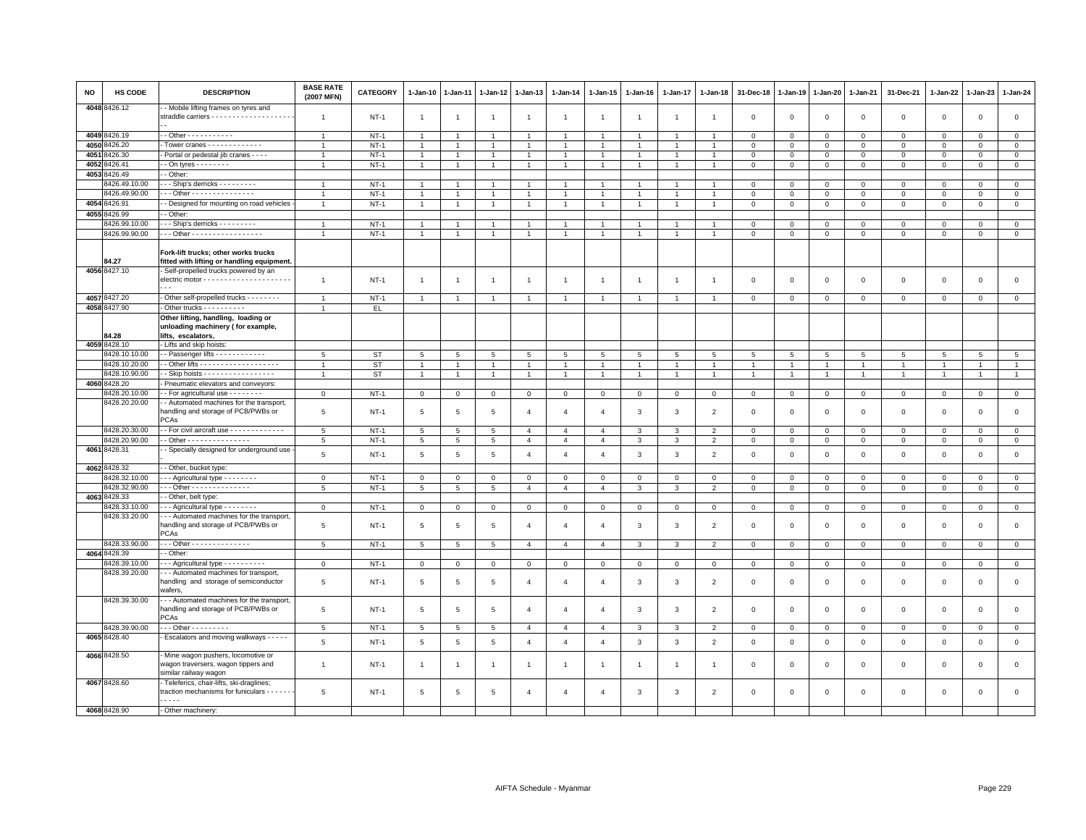| NO   | HS CODE                  | <b>DESCRIPTION</b>                                                                                                    | <b>BASE RATE</b><br>(2007 MFN) | CATEGORY    | $1-Jan-10$      | $1 - Jan-11$    | $1 - Jan-12$    | $1 - Jan-13$   | $1-Jan-14$     | $1 - Jan-15$    | $1 - Jan-16$         | $1 - Jan-17$   | $1 - Jan-18$   | 31-Dec-18    | $1 - Jan-19$   | 1-Jan-20       | 1-Jan-21       | 31-Dec-21           | $1 - Jan-22$   | 1-Jan-23       | $1 - Jan-24$ |
|------|--------------------------|-----------------------------------------------------------------------------------------------------------------------|--------------------------------|-------------|-----------------|-----------------|-----------------|----------------|----------------|-----------------|----------------------|----------------|----------------|--------------|----------------|----------------|----------------|---------------------|----------------|----------------|--------------|
|      | 4048 8426.12             | - Mobile lifting frames on tyres and                                                                                  | -1                             | $NT-1$      | $\overline{1}$  | $\mathbf{1}$    | $\overline{1}$  | $\overline{1}$ | $\overline{1}$ | $\overline{1}$  | -1                   | $\overline{1}$ | $\overline{1}$ | $\mathsf 0$  | $\mathsf 0$    | $\mathsf 0$    | $\mathbf 0$    | $\mathsf 0$         | $\,0\,$        | $\mathbf 0$    | $\mathsf 0$  |
|      | 4049 8426.19             | - - Other - - - - - - - - - - -                                                                                       | $\overline{1}$                 | $NT-1$      | $\overline{1}$  | $\overline{1}$  | $\overline{1}$  | $\overline{1}$ | $\overline{1}$ | $\overline{1}$  | $\overline{1}$       | $\overline{1}$ | $\overline{1}$ | $\mathbf 0$  | $\mathbf 0$    | $\mathbf 0$    | $\mathbf{0}$   | $\mathbf 0$         | $\mathbf{0}$   | $\mathbf{0}$   | $\circ$      |
|      | 4050 8426.20             | - Tower cranes - - - - - - - - - - - -                                                                                |                                | $NT-1$      | $\overline{1}$  | $\overline{1}$  | $\mathbf{1}$    | $\overline{1}$ | $\overline{1}$ | $\overline{1}$  |                      | $\overline{1}$ |                | $\mathbf 0$  | $\mathsf 0$    | $\mathsf 0$    | $\mathbf 0$    | $\mathsf 0$         | $\mathbf 0$    | $\mathbf 0$    | $\mathbf 0$  |
| 4051 | 8426.30                  | - Portal or pedestal jib cranes - - - -                                                                               | $\overline{1}$                 | $NT-1$      | $\overline{1}$  | $\mathbf{1}$    | $\mathbf{1}$    | $\overline{1}$ | $\overline{1}$ | 1               | $\overline{1}$       | $\mathbf{1}$   | $\mathbf{1}$   | $\mathbf 0$  | $\mathsf 0$    | $\Omega$       | $\mathbf{0}$   | $\Omega$            | $\Omega$       | $\Omega$       | $\circ$      |
| 4052 | 8426.41                  | $\cdot$ - On tyres - - - - - - - -                                                                                    | $\overline{1}$                 | $NT-1$      | $\mathbf{1}$    | $\overline{1}$  | $\overline{1}$  | $\overline{1}$ | $\mathbf{1}$   | $\overline{1}$  | $\overline{1}$       | $\overline{1}$ | $\overline{1}$ | $\mathbf 0$  | $\mathsf 0$    | $\mathsf 0$    | $\mathbf 0$    | $\mathbf 0$         | $\mathbf 0$    | $\mathbf 0$    | $\mathbf 0$  |
| 4053 | 8426.49                  | - Other:                                                                                                              |                                |             |                 |                 |                 |                |                |                 |                      |                |                |              |                |                |                |                     |                |                |              |
|      | 3426.49.10.00            | $-$ - Ship's derricks - - - - - - - - -                                                                               | $\overline{1}$                 | $NT-1$      | $\mathbf{1}$    | $\mathbf{1}$    | $\overline{1}$  | $\overline{1}$ | $\mathbf{1}$   | $\mathbf{1}$    |                      | -1             |                | $\mathbf 0$  | $\mathbf 0$    | $\mathbf 0$    | $\mathbf{0}$   | $\mathbf{0}$        | $\Omega$       | $\mathbf{0}$   | $\mathbf{0}$ |
|      | 3426.49.90.00            | $\cdot$ - Other - - - - - - - - - - - - - - -                                                                         | $\overline{1}$                 | $NT-1$      | $\overline{1}$  | $\mathbf{1}$    | $\overline{1}$  | $\overline{1}$ | $\mathbf{1}$   | $\mathbf{1}$    | $\blacktriangleleft$ | $\overline{1}$ | -1             | $\mathbf 0$  | $\mathsf 0$    | $\mathbf 0$    | $\mathsf 0$    | $\mathsf 0$         | $\mathbf 0$    | $\mathbf{0}$   | $\mathsf 0$  |
| 4054 | 8426.91                  | - Designed for mounting on road vehicles                                                                              | $\overline{1}$                 | $NT-1$      | $\mathbf{1}$    | $\overline{1}$  | $\overline{1}$  | $\overline{1}$ | $\mathbf{1}$   | $\overline{1}$  | $\overline{1}$       | $\overline{1}$ | $\overline{1}$ | $\mathbf 0$  | $\mathsf 0$    | $\mathsf 0$    | $\mathbf 0$    | $\mathsf 0$         | $\mathsf 0$    | $\mathbf 0$    | $\mathsf 0$  |
|      | 4055 8426.99             | - Other                                                                                                               |                                |             |                 |                 |                 |                |                |                 |                      |                |                |              |                |                |                |                     |                |                |              |
|      | 3426.99.10.00            | - - Ship's derricks - - - - - - - - -                                                                                 |                                | $NT-1$      |                 |                 |                 | $\overline{1}$ |                |                 |                      |                |                | $\Omega$     | $\Omega$       | $\Omega$       | $\Omega$       | $\mathbf 0$         | $\Omega$       | $\Omega$       | $\mathbf 0$  |
|      | 8426.99.90.00            | $-$ - Other - - - - - - - - - - - - - - - - -                                                                         |                                | $NT-1$      | $\overline{1}$  | $\overline{1}$  | $\overline{1}$  | $\overline{1}$ | $\overline{1}$ | $\overline{1}$  | $\overline{1}$       | $\overline{1}$ | $\overline{1}$ | $\mathbf 0$  | $\mathsf 0$    | $\mathsf 0$    | $\,0\,$        | $\mathsf 0$         | $\mathbf 0$    | $\mathbf 0$    | $\mathsf 0$  |
|      | 84.27                    | Fork-lift trucks; other works trucks<br>fitted with lifting or handling equipment.                                    |                                |             |                 |                 |                 |                |                |                 |                      |                |                |              |                |                |                |                     |                |                |              |
|      | 4056 8427.10             | Self-propelled trucks powered by an<br>electric motor - - - - - - - - - - - - - - - - - -<br>$\overline{\phantom{a}}$ | $\overline{1}$                 | $NT-1$      | $\overline{1}$  | $\overline{1}$  | $\overline{1}$  | $\overline{1}$ | $\mathbf{1}$   | $\overline{1}$  | $\overline{1}$       | $\overline{1}$ | $\overline{1}$ | $\mathsf 0$  | $\mathbf 0$    | $\mathsf 0$    | $\mathbf 0$    | $\mathsf 0$         | $\mathbf{0}$   | $\mathsf 0$    | $\mathsf 0$  |
|      | 4057 8427.20             | - Other self-propelled trucks - - - - - - - -                                                                         | $\overline{1}$                 | $NT-1$      | $\overline{1}$  | $\overline{1}$  | $\overline{1}$  | $\overline{1}$ | $\overline{1}$ | $\overline{1}$  | $\overline{1}$       | $\overline{1}$ | $\overline{1}$ | $\mathbf 0$  | $\mathsf 0$    | $\mathbf 0$    | $\mathbf 0$    | $\mathbf 0$         | $\mathsf 0$    | $\overline{0}$ | $\mathsf 0$  |
|      | 4058 8427.90             | Other trucks - - - - - - - - -                                                                                        | $\mathbf{1}$                   | EL.         |                 |                 |                 |                |                |                 |                      |                |                |              |                |                |                |                     |                |                |              |
|      | 84.28                    | Other lifting, handling, loading or<br>unloading machinery (for example,<br>lifts, escalators,                        |                                |             |                 |                 |                 |                |                |                 |                      |                |                |              |                |                |                |                     |                |                |              |
|      | 4059 8428.10             | - Lifts and skip hoists:                                                                                              |                                |             |                 |                 |                 |                |                |                 |                      |                |                |              |                |                |                |                     |                |                |              |
|      | 3428.10.10.00            | - Passenger lifts - - - - - - - - - - - -                                                                             | 5                              | <b>ST</b>   | 5               | 5               | 5               | 5              | 5              | $5\overline{5}$ | 5                    | 5              | 5              | 5            | 5              | 5              | 5              | 5                   | 5              | 5              | 5            |
|      | 8428.10.20.00            |                                                                                                                       | $\mathbf{1}$                   | ST          | $\mathbf{1}$    | $\overline{1}$  | $\mathbf{1}$    | $\overline{1}$ | $\mathbf{1}$   | $\mathbf{1}$    | $\overline{1}$       | $\overline{1}$ | $\overline{1}$ | $\mathbf{1}$ | $\overline{1}$ | $\mathbf{1}$   | $\overline{1}$ | $\mathbf{1}$        | $\mathbf{1}$   | $\mathbf{1}$   | $\mathbf{1}$ |
|      | 8428.10.90.00            | - Skip hoists - - - - - - - - - - - - - - - - -                                                                       | $\overline{1}$                 | <b>ST</b>   | $\mathbf{1}$    | $\overline{1}$  | $\overline{1}$  | $\overline{1}$ | $\mathbf{1}$   | $\mathbf{1}$    | $\overline{1}$       | $\overline{1}$ | $\overline{1}$ | $\mathbf{1}$ | $\mathbf{1}$   | $\overline{1}$ | $\overline{1}$ | $\mathbf{1}$        | $\overline{1}$ | $\mathbf{1}$   | $\mathbf{1}$ |
|      | 4060 8428.20             | Pneumatic elevators and conveyors:                                                                                    |                                |             |                 |                 |                 |                |                |                 |                      |                |                |              |                |                |                |                     |                |                |              |
|      | 8428.20.10.00            | - For agricultural use - - - - - - - -                                                                                | $\mathbf 0$                    | NT-1        | $\mathbf{O}$    | $\mathbf 0$     | $\mathbf 0$     | $\mathbf 0$    | $\mathbf{O}$   | $\mathbf 0$     | $\mathbf 0$          | $\mathsf 0$    | $^{\circ}$     | $\mathbf 0$  | $\mathsf 0$    | $\mathsf{O}$   | $\overline{0}$ | $\mathbf 0$         | $\mathbf 0$    | $\mathbf 0$    | $\mathsf 0$  |
|      | 8428.20.20.00            | - Automated machines for the transport,<br>nandling and storage of PCB/PWBs or<br><b>PCAs</b>                         | 5                              | $NT-1$      | $5\phantom{.0}$ | 5               | 5               | $\overline{4}$ | $\overline{4}$ | $\overline{4}$  | 3                    | $\mathbf{3}$   | $\overline{2}$ | $\mathbf 0$  | $\mathsf 0$    | $\mathsf 0$    | $\,0\,$        | $\mathsf 0$         | $\,0\,$        | $\mathsf 0$    | $\,0\,$      |
|      | 8428.20.30.00            | - For civil aircraft use - - - - - - - - - - - - -                                                                    | 5                              | $NT-1$      | 5               | 5               | 5               | $\overline{4}$ | $\overline{4}$ | $\overline{4}$  | 3                    | 3              | $\overline{2}$ | $\mathsf 0$  | $\mathsf 0$    | $\mathbf 0$    | $\circ$        | $\mathbf{0}$        | $\mathbf 0$    | $\mathbf 0$    | $\circ$      |
|      | 8428.20.90.00            | - - Other - - - - - - - - - - - - - - -                                                                               | 5                              | $NT-1$      | $5\phantom{.0}$ | 5               | $5\overline{5}$ | $\overline{4}$ | $\overline{4}$ | $\overline{4}$  | 3                    | $\mathbf{3}$   | $\overline{2}$ | $\mathbf 0$  | $\mathbf 0$    | $\mathbf{0}$   | $\circ$        | $\mathbf 0$         | $\mathbf 0$    | $\mathbf{0}$   | $\mathbf{0}$ |
|      | 4061 8428.31             | - Specially designed for underground use                                                                              | $5\phantom{.0}$                | $NT-1$      | $5\phantom{.0}$ | $5\phantom{.0}$ | $\overline{5}$  | $\overline{4}$ | $\overline{4}$ | $\overline{4}$  | 3                    | $\mathbf{3}$   | $\overline{2}$ | $\mathbf 0$  | $\mathsf 0$    | $\mathsf 0$    | $\mathbf 0$    | $\mathsf 0$         | $\mathbf 0$    | $\mathsf 0$    | $\mathsf 0$  |
|      | 4062 8428.32             | - Other, bucket type:                                                                                                 |                                |             |                 |                 |                 |                |                |                 |                      |                |                |              |                |                |                |                     |                |                |              |
|      | 3428.32.10.00            | - - Agricultural type - - - - - - - -                                                                                 | $\mathbf{0}$                   | $NT-1$      | $\overline{0}$  | $\mathsf 0$     | $\mathsf 0$     | $\mathbf{O}$   | $\mathbf 0$    | $\mathbf 0$     | $\mathbf{0}$         | $\mathsf 0$    | $\mathbf{0}$   | $\mathsf 0$  | 0              | $\mathbf 0$    | $\overline{0}$ | $\mathsf 0$         | 0              | $\mathbf 0$    | $\mathsf 0$  |
| 4063 | 3428.32.90.00<br>8428.33 | Other - - - - - - - - - - - - - -                                                                                     | 5                              | $NT-1$      | 5 <sup>5</sup>  | 5               | 5 <sup>5</sup>  | $\overline{4}$ | $\overline{4}$ | $\overline{4}$  | 3                    | $\mathbf{3}$   | $\mathcal{P}$  | $\mathbf 0$  | $\mathbf 0$    | $\mathbf{0}$   | $\mathbf{0}$   | $\mathbf{0}$        | $\Omega$       | $\mathbf{0}$   | $\circ$      |
|      | 3428.33.10.00            | - Other, belt type:<br>- - Agricultural type - - - - - - - -                                                          | $\circ$                        | $NT-1$      | $\mathbf{0}$    | $\mathbf 0$     | $\mathbf 0$     | $\mathbf{0}$   | $\mathbf{O}$   | $\mathbf{0}$    | $\mathbf{0}$         | $\overline{0}$ | $\mathbf{0}$   | $\mathbf 0$  | $\mathbf 0$    | $\mathbf 0$    | $\circ$        | $\mathbf{0}$        | $\mathbf 0$    | $\mathbf{0}$   | $\circ$      |
|      | 8428.33.20.00            | - - Automated machines for the transport<br>handling and storage of PCB/PWBs or<br>PCAs                               | $\overline{5}$                 | $NT-1$      | 5               | 5               | 5               | $\overline{a}$ | $\overline{4}$ | $\Delta$        | 3                    | $\mathbf{3}$   | 2              | $\mathbf{0}$ | $\mathbf 0$    | $\mathbf 0$    | $\mathbf{0}$   | $\mathbf 0$         | $\Omega$       | $\mathbf{0}$   | $\mathbf 0$  |
|      | 8428.33.90.00            | $\cdot$ - Other - - - - - - - - - - - - - -                                                                           | 5                              | $NT-1$      | $5\phantom{.0}$ | $\sqrt{5}$      | $\overline{5}$  | $\overline{4}$ | $\overline{4}$ | $\overline{4}$  | 3                    | $\mathbf{3}$   | 2              | $\,0\,$      | $\,0\,$        | $\mathbb O$    | $\mathsf 0$    | $\mathsf{O}\xspace$ | $\,0\,$        | $\mathbf 0$    | $\,0\,$      |
|      | 4064 8428.39             | - Other                                                                                                               |                                |             |                 |                 |                 |                |                |                 |                      |                |                |              |                |                |                |                     |                |                |              |
|      | 8428.39.10.00            | - - Agricultural type - - - - - - - - -                                                                               | $\mathbf 0$                    | $NT-1$      | $\mathbf 0$     | $\mathbf 0$     | $\,0\,$         | $\mathbf 0$    | $\mathbf{O}$   | $\mathbf 0$     | $\mathbf 0$          | $\mathbf 0$    | $^{\circ}$     | $\mathbf 0$  | $\mathsf 0$    | $\mathsf{O}$   | $\mathbf 0$    | $\mathbf 0$         | $\mathbf 0$    | $\mathbf 0$    | $\mathbf 0$  |
|      | 8428.39.20.00            | - - Automated machines for transport,<br>handling and storage of semiconductor<br>wafers.                             | 5                              | $NT-1$      | $5\phantom{.0}$ | 5               | 5               | $\overline{4}$ | $\overline{4}$ | $\overline{4}$  | 3                    | $\mathbf{3}$   | $\overline{2}$ | $\,0\,$      | $\mathsf 0$    | $\mathsf 0$    | $\,0\,$        | $\mathsf 0$         | $\,0\,$        | $\mathsf 0$    | $\mathsf 0$  |
|      | 8428.39.30.00            | - - Automated machines for the transport,<br>handling and storage of PCB/PWBs or<br>PCAs                              | $5\overline{5}$                | $NT-1$      | 5               | 5               | 5               | $\overline{a}$ | $\overline{4}$ | $\mathbf{A}$    | 3                    | 3              | $\overline{2}$ | $\mathsf 0$  | $\mathbf 0$    | $\mathsf 0$    | $\mathbf{0}$   | $\mathsf 0$         | $\mathsf 0$    | $\mathbf{0}$   | $\mathsf 0$  |
|      | 8428.39.90.00            | $- -$ Other - - - - - - - - -                                                                                         | 5                              | $NT-1$      | $5\phantom{.0}$ | 5               | 5               | $\overline{4}$ | $\overline{4}$ | $\overline{4}$  | $\mathbf{3}$         | $\mathbf{3}$   | 2              | $\mathbf 0$  | $\mathbf 0$    | $\mathbf{0}$   | $\circ$        | $\mathbf{0}$        | $\mathbf{0}$   | $\mathbf{0}$   | $\mathbf{0}$ |
|      | 4065 8428.40             | - Escalators and moving walkways - - - - -                                                                            | 5                              | $NT-1$      | 5               | 5               | 5               | $\overline{4}$ | $\overline{4}$ | $\overline{4}$  | 3                    | $\mathbf{3}$   | $\overline{2}$ | $\mathsf 0$  | $\mathsf 0$    | $\mathsf 0$    | $\mathsf 0$    | $\mathsf 0$         | $\mathsf 0$    | $\mathsf 0$    | $\mathsf 0$  |
|      | 4066 8428.50             | Mine wagon pushers, locomotive or<br>wagon traversers, wagon tippers and<br>similar railway wagon                     | $\mathbf{1}$                   | <b>NT-1</b> | $\overline{1}$  | $\mathbf{1}$    | 1               | $\overline{1}$ | $\overline{1}$ | $\overline{1}$  | $\overline{1}$       | $\mathbf{1}$   | -1             | $\mathbf 0$  | $^{\circ}$     | $^{\circ}$     | $\mathbf 0$    | $\mathsf 0$         | $^{\circ}$     | $\mathbf 0$    | $\mathbf 0$  |
|      | 4067 8428.60             | Teleferics, chair-lifts, ski-draglines;<br>traction mechanisms for funiculars - - - - - -                             | $\overline{5}$                 | $NT-1$      | 5               | 5               | 5               | $\overline{a}$ | $\mathbf{A}$   | $\mathbf{A}$    | 3                    | $\mathbf{3}$   | 2              | $\mathbf 0$  | $\mathbf 0$    | $\mathbf 0$    | $\mathbf{0}$   | $\mathbf 0$         | $\Omega$       | $\mathbf{0}$   | $\mathbf 0$  |
|      | 4068 8428.90             | - Other machinery:                                                                                                    |                                |             |                 |                 |                 |                |                |                 |                      |                |                |              |                |                |                |                     |                |                |              |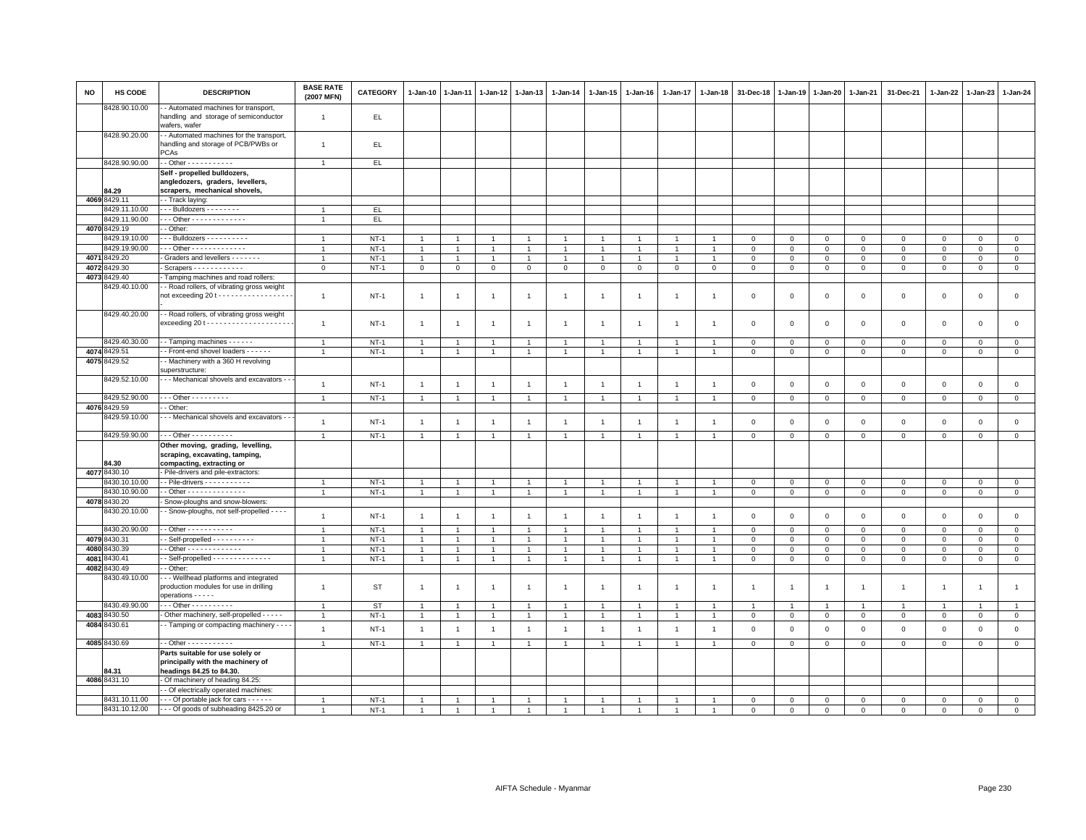| <b>NO</b> | HS CODE                       | <b>DESCRIPTION</b>                                                                                | <b>BASE RATE</b><br>(2007 MFN) | <b>CATEGORY</b>  | $1-Jan-10$                   | $1 - Jan-11$   | $1 - Jan-12$                  | $1 - Jan-13$                  | 1-Jan-14                      | 1-Jan-15       | 1-Jan-16       | $1 - Jan-17$                | 1-Jan-18                      | 31-Dec-18                  | 1-Jan-19                   | $1 - Jan-20$               | 1-Jan-21                   | 31-Dec-21                  | 1-Jan-22         | $1-Jan-23$             | 1-Jan-24                   |
|-----------|-------------------------------|---------------------------------------------------------------------------------------------------|--------------------------------|------------------|------------------------------|----------------|-------------------------------|-------------------------------|-------------------------------|----------------|----------------|-----------------------------|-------------------------------|----------------------------|----------------------------|----------------------------|----------------------------|----------------------------|------------------|------------------------|----------------------------|
|           | 8428.90.10.00                 | - Automated machines for transport,<br>handling and storage of semiconductor<br>wafers, wafer     | $\overline{1}$                 | EL.              |                              |                |                               |                               |                               |                |                |                             |                               |                            |                            |                            |                            |                            |                  |                        |                            |
|           | 8428.90.20.00                 | - Automated machines for the transport,<br>handling and storage of PCB/PWBs or<br>PCAs            | $\mathbf{1}$                   | EL.              |                              |                |                               |                               |                               |                |                |                             |                               |                            |                            |                            |                            |                            |                  |                        |                            |
|           | 8428.90.90.00                 | - - Other - - - - - - - - - - -                                                                   | $\overline{1}$                 | EL               |                              |                |                               |                               |                               |                |                |                             |                               |                            |                            |                            |                            |                            |                  |                        |                            |
|           |                               | Self - propelled bulldozers,                                                                      |                                |                  |                              |                |                               |                               |                               |                |                |                             |                               |                            |                            |                            |                            |                            |                  |                        |                            |
|           |                               | angledozers, graders, levellers,                                                                  |                                |                  |                              |                |                               |                               |                               |                |                |                             |                               |                            |                            |                            |                            |                            |                  |                        |                            |
|           | 84.29                         | scrapers, mechanical shovels,                                                                     |                                |                  |                              |                |                               |                               |                               |                |                |                             |                               |                            |                            |                            |                            |                            |                  |                        |                            |
|           | 4069 8429.11                  | - - Track laying:                                                                                 |                                |                  |                              |                |                               |                               |                               |                |                |                             |                               |                            |                            |                            |                            |                            |                  |                        |                            |
|           | 8429.11.10.00                 | - - - Bulldozers - - - - - - - -                                                                  | $\overline{1}$                 | EL               |                              |                |                               |                               |                               |                |                |                             |                               |                            |                            |                            |                            |                            |                  |                        |                            |
|           | 8429.11.90.00                 | $-$ - Other - - - - - - - - - - - - -                                                             | $\overline{1}$                 | EL.              |                              |                |                               |                               |                               |                |                |                             |                               |                            |                            |                            |                            |                            |                  |                        |                            |
|           | 4070 8429.19<br>8429.19.10.00 | - Other:<br>- - Bulldozers - - - - - - - - - -                                                    |                                |                  |                              |                |                               | $\overline{1}$                |                               | $\overline{1}$ |                |                             |                               |                            |                            |                            |                            |                            | $\Omega$         |                        |                            |
|           | 3429.19.90.00                 | Other - - - - - - - - - - - - -                                                                   | $\overline{1}$                 | $NT-1$           | $\overline{1}$               |                |                               | $\overline{1}$                |                               | $\mathbf{1}$   |                |                             |                               | $\mathbf 0$<br>$\mathbf 0$ | $\Omega$                   | $\Omega$                   | $\overline{0}$             | $\mathbf 0$                |                  | $\mathbf{0}$           | $\mathsf 0$                |
| 4071      | 3429.20                       | Graders and levellers                                                                             |                                | $NT-1$           |                              | $\overline{1}$ | -1                            |                               |                               | $\mathbf{1}$   | $\mathbf{1}$   |                             |                               |                            | $\mathbf 0$                | $\mathbf 0$                | $\mathbf 0$                | $\mathsf 0$                | $\mathbf 0$      | $\mathsf 0$            | $\mathsf 0$                |
| 4072      | 3429.30                       | Scrapers - - - - - - - - - - -                                                                    | $\overline{1}$<br>$\mathbf 0$  | $NT-1$<br>$NT-1$ | $\mathbf{1}$<br>$\mathbf{0}$ | $\mathbf 0$    | $\overline{1}$<br>$\mathbf 0$ | $\overline{1}$<br>$\mathbf 0$ | $\overline{1}$<br>$\mathbf 0$ | $\mathbf{0}$   | $\mathbf{0}$   | $\mathbf{1}$<br>$\mathbf 0$ | $\overline{1}$<br>$\mathbf 0$ | $\mathbf 0$<br>$\mathbf 0$ | $\mathsf 0$<br>$\mathbf 0$ | $\mathbf 0$<br>$\mathbf 0$ | $\mathbf 0$<br>$\mathbf 0$ | $\mathbf 0$<br>$\mathbf 0$ | $\mathbf 0$<br>0 | $\circ$<br>$\mathbf 0$ | $\mathsf 0$<br>$\mathbf 0$ |
| 4073      | 3429.40                       | Tamping machines and road rollers:                                                                |                                |                  |                              |                |                               |                               |                               |                |                |                             |                               |                            |                            |                            |                            |                            |                  |                        |                            |
|           | 3429.40.10.00                 | - - Road rollers, of vibrating gross weight                                                       |                                |                  |                              |                |                               |                               |                               |                |                |                             |                               |                            |                            |                            |                            |                            |                  |                        |                            |
|           |                               | not exceeding 20 t - - - - - - - - - - - - - - - - -                                              | $\overline{1}$                 | $NT-1$           | $\overline{1}$               | -1             | $\overline{1}$                | $\overline{1}$                | $\overline{1}$                | $\mathbf{1}$   | -1             | $\mathbf{1}$                |                               | $\mathbf 0$                | $\mathsf 0$                | $\,0\,$                    | $\,0\,$                    | $\mathsf{O}\xspace$        | $\,0\,$          | $\mathsf 0$            | $\mathsf 0$                |
|           | 8429.40.20.00                 | - - Road rollers, of vibrating gross weight                                                       | $\overline{1}$                 | $NT-1$           | $\overline{1}$               | -1             | $\overline{1}$                | $\overline{1}$                | $\overline{1}$                | $\overline{1}$ | $\overline{1}$ | $\overline{1}$              | $\mathbf{1}$                  | $\mathbf 0$                | $\mathbf 0$                | $\mathbf 0$                | $\mathbf 0$                | $\mathsf 0$                | $\mathbf 0$      | $\mathbf 0$            | $\mathsf 0$                |
|           | 8429.40.30.00                 | - - Tamping machines - - - - - -                                                                  | $\overline{1}$                 | $NT-1$           | $\overline{1}$               | $\overline{1}$ | $\overline{1}$                | $\overline{1}$                |                               | $\overline{1}$ |                | $\overline{1}$              | $\overline{1}$                | $\mathbf 0$                | $\mathbf 0$                | $\mathbf 0$                | $\mathbf 0$                | $\mathbf 0$                | $\Omega$         | $\mathbf 0$            | $\mathbf 0$                |
| 4074      | 3429.51                       | - Front-end shovel loaders - - - - - -                                                            | $\mathbf{1}$                   | $NT-1$           | 1                            | $\mathbf{1}$   | 1                             | $\overline{1}$                |                               | $\overline{1}$ |                | -1                          | 1                             | $\mathbf 0$                | $\mathbf 0$                | $\circ$                    | $\mathbf 0$                | $\mathbf 0$                | $\mathbf{0}$     | $\mathsf 0$            | $\,0\,$                    |
| 4075      | 3429.52                       | - Machinery with a 360 H revolving<br>superstructure:                                             |                                |                  |                              |                |                               |                               |                               |                |                |                             |                               |                            |                            |                            |                            |                            |                  |                        |                            |
|           | 8429.52.10.00                 | - - - Mechanical shovels and excavators - -                                                       | $\overline{1}$                 | <b>NT-1</b>      | $\overline{1}$               | $\overline{1}$ | $\overline{1}$                | $\overline{1}$                | $\overline{1}$                | $\mathbf{1}$   | $\overline{1}$ | $\overline{1}$              | $\mathbf{1}$                  | $\mathbf 0$                | $\mathbf 0$                | $\mathbf 0$                | $\mathsf 0$                | $\mathsf 0$                | $\mathbf 0$      | $\mathsf 0$            | $\mathsf 0$                |
|           | 8429.52.90.00                 | $-$ - Other - - - - - - - - -                                                                     | $\overline{1}$                 | $NT-1$           | $\mathbf{1}$                 | $\overline{1}$ | $\mathbf{1}$                  | $\overline{1}$                | $\overline{1}$                | $\mathbf{1}$   | $\mathbf{1}$   | $\mathbf{1}$                | $\mathbf{1}$                  | $\mathbf 0$                | $\mathbf 0$                | $\mathsf 0$                | $\overline{0}$             | $\mathsf{O}\xspace$        | $\circ$          | $\mathsf 0$            | $\circ$                    |
|           | 4076 8429.59                  | - Other:                                                                                          |                                |                  |                              |                |                               |                               |                               |                |                |                             |                               |                            |                            |                            |                            |                            |                  |                        |                            |
|           | 8429.59.10.00                 | - - Mechanical shovels and excavators - -                                                         | $\overline{1}$                 | $NT-1$           | $\overline{1}$               | $\overline{1}$ | $\mathbf{1}$                  | $\mathbf{1}$                  | $\overline{1}$                | $\mathbf{1}$   | $\overline{1}$ | $\overline{1}$              | $\overline{1}$                | $\,0\,$                    | $\mathsf 0$                | $\mathbf 0$                | $\mathbf 0$                | $\mathsf 0$                | $\mathbf 0$      | $\mathsf 0$            | $\mathsf 0$                |
|           | 8429.59.90.00                 | - - - Other - - - - - - - - - -                                                                   | $\overline{1}$                 | <b>NT-1</b>      | $\overline{1}$               | $\overline{1}$ | $\overline{1}$                | $\overline{1}$                | $\overline{1}$                | $\overline{1}$ | $\overline{1}$ | $\overline{1}$              | $\overline{1}$                | $\mathbf 0$                | $\mathbf 0$                | $\mathbf 0$                | $\mathbf 0$                | $\mathbf 0$                | $\mathbf 0$      | $\mathsf 0$            | $\mathbf 0$                |
|           | 84.30                         | Other moving, grading, levelling,<br>scraping, excavating, tamping,<br>compacting, extracting or  |                                |                  |                              |                |                               |                               |                               |                |                |                             |                               |                            |                            |                            |                            |                            |                  |                        |                            |
|           | 4077 8430.10                  | Pile-drivers and pile-extractors:                                                                 |                                |                  |                              |                |                               |                               |                               |                |                |                             |                               |                            |                            |                            |                            |                            |                  |                        |                            |
|           | 8430.10.10.00                 | - - Pile-drivers - - - - - - - - - - -                                                            | $\overline{1}$                 | $NT-1$           | $\mathbf{1}$                 | $\overline{1}$ | $\overline{1}$                | $\overline{1}$                |                               | $\mathbf{1}$   |                |                             |                               | $\mathbf 0$                | $\mathbf 0$                | $\mathsf 0$                | $\mathbf 0$                | $\mathsf 0$                | $\mathbf 0$      | $\mathsf 0$            | $\mathsf 0$                |
|           | 8430.10.90.00                 | - - Other - - - - - - - - - - - - - -                                                             | $\overline{1}$                 | $NT-1$           | $\mathbf{1}$                 | $\overline{1}$ | $\overline{1}$                | $\overline{1}$                | $\overline{1}$                | $\mathbf{1}$   |                | $\mathbf{1}$                | $\overline{1}$                | $\mathbf 0$                | $\mathbf 0$                | $\mathbf 0$                | $\circ$                    | $\mathbf 0$                | $\mathbf{O}$     | $\mathbf{0}$           | $\overline{0}$             |
|           | 4078 8430.20                  | - Snow-ploughs and snow-blowers:                                                                  |                                |                  |                              |                |                               |                               |                               |                |                |                             |                               |                            |                            |                            |                            |                            |                  |                        |                            |
|           | 8430.20.10.00                 | - Snow-ploughs, not self-propelled - - - -                                                        | $\mathbf{1}$                   | $NT-1$           | $\overline{1}$               | $\overline{1}$ | $\overline{1}$                | $\overline{1}$                | $\mathbf{1}$                  | $\mathbf{1}$   | $\overline{1}$ | $\overline{1}$              | $\overline{1}$                | $\mathbf 0$                | $\mathsf 0$                | $\mathbf 0$                | $\mathbf 0$                | $\mathsf 0$                | $\mathsf 0$      | $\mathsf 0$            | $\mathsf 0$                |
|           | 8430.20.90.00                 |                                                                                                   | $\overline{1}$                 | $NT-1$           | $\mathbf{1}$                 | $\overline{1}$ | $\overline{1}$                | $\overline{1}$                |                               | $\overline{1}$ |                | $\overline{1}$              | -1                            | $\mathsf 0$                | $\mathsf 0$                | $\circ$                    | $\mathsf 0$                | $\mathsf 0$                | $\mathbf 0$      | $\mathsf 0$            | $\mathsf 0$                |
|           | 4079 8430.31                  | - Self-propelled - - - - - - - - - -                                                              | $\overline{1}$                 | $NT-1$           | $\overline{1}$               | $\overline{1}$ | $\mathbf{1}$                  | $\overline{1}$                | $\overline{1}$                | $\overline{1}$ | $\overline{1}$ | $\overline{1}$              | $\overline{1}$                | $\mathbf 0$                | $\mathbf 0$                | $\mathbf 0$                | $\mathbf 0$                | $\mathbf 0$                | $\mathbf 0$      | $\mathbf 0$            | $\mathbf 0$                |
| 4080      | 3430.39                       | - Other - - - - - - - - - - - - -                                                                 | $\overline{1}$                 | $NT-1$           | $\overline{1}$               | $\overline{1}$ | $\overline{1}$                | $\overline{1}$                |                               | $\overline{1}$ |                |                             | $\overline{1}$                | $\overline{0}$             | $\,0\,$                    | $\,0\,$                    | $\overline{0}$             | $\mathsf 0$                | $\Omega$         | $\mathsf 0$            | $\overline{0}$             |
| 4081      | 3430.41<br>4082 8430.49       | - Self-propelled - - - - - - - - - - - - -<br>- Other:                                            | $\overline{1}$                 | $NT-1$           | $\mathbf{1}$                 | $\overline{1}$ | $\overline{1}$                | $\overline{1}$                | $\overline{1}$                | $\mathbf{1}$   | $\overline{1}$ | $\mathbf{1}$                |                               | $\mathbf 0$                | $\mathbf 0$                | $\mathbf 0$                | $\mathbf 0$                | $\mathsf 0$                | $\mathbf 0$      | $\mathbf 0$            | $\circ$                    |
|           | 8430.49.10.00                 | - - Wellhead platforms and integrated<br>production modules for use in drilling                   | $\overline{1}$                 | <b>ST</b>        | $\overline{1}$               | -1             | -1                            | $\overline{1}$                | $\overline{1}$                | $\overline{1}$ | $\overline{1}$ | $\mathbf{1}$                | $\mathbf{1}$                  | $\overline{1}$             | $\overline{1}$             | $\overline{1}$             | $\overline{1}$             | $\mathbf{1}$               | $\overline{1}$   | $\overline{1}$         | $\overline{1}$             |
|           | 8430.49.90.00                 | operations - - - - -<br>- - - Other - - - - - - - - - -                                           |                                | <b>ST</b>        |                              |                | $\overline{1}$                | $\overline{1}$                |                               |                |                |                             |                               |                            |                            | $\overline{1}$             |                            | $\overline{1}$             | -1               |                        |                            |
|           | 4083 8430.50                  | - Other machinery, self-propelled - - - - -                                                       | $\overline{1}$                 | $NT-1$           | $\mathbf{1}$                 | $\overline{1}$ | $\overline{1}$                | $\overline{1}$                | $\overline{1}$                | $\overline{1}$ |                | $\overline{1}$              | $\overline{1}$                | $\mathsf 0$                | $\mathsf 0$                | $\mathbf 0$                | $\mathbf 0$                | $\mathsf 0$                | $\mathbf 0$      | $\mathsf 0$            | $\mathbf 0$                |
| 4084      | 430.61                        | - Tamping or compacting machinery - - -                                                           |                                |                  |                              |                |                               |                               |                               |                |                |                             |                               |                            |                            |                            |                            |                            |                  |                        |                            |
|           |                               |                                                                                                   | $\overline{1}$                 | $NT-1$           | $\overline{1}$               | $\overline{1}$ | $\overline{1}$                | $\mathbf{1}$                  | $\overline{1}$                | $\mathbf{1}$   | $\overline{1}$ | $\overline{1}$              | $\overline{1}$                | $\,0\,$                    | $\,0\,$                    | $\,0\,$                    | $\,0\,$                    | $\mathsf{O}\xspace$        | $\mathsf 0$      | $\mathsf 0$            | $\mathsf 0$                |
|           | 4085 8430.69                  | - - Other - - - - - - - - - - -                                                                   | $\overline{1}$                 | $NT-1$           | $\overline{1}$               | $\overline{1}$ | $\overline{1}$                | $\overline{1}$                | $\overline{1}$                | $\mathbf{1}$   | $\overline{1}$ | $\overline{1}$              | $\overline{1}$                | $\mathbf 0$                | $\mathbf 0$                | $\mathbf 0$                | $\mathbf 0$                | $\mathbf 0$                | $\mathbf 0$      | $\mathbf{0}$           | $\circ$                    |
|           | B4.31                         | Parts suitable for use solely or<br>principally with the machinery of<br>headings 84.25 to 84.30. |                                |                  |                              |                |                               |                               |                               |                |                |                             |                               |                            |                            |                            |                            |                            |                  |                        |                            |
|           | 4086 8431.10                  | - Of machinery of heading 84.25:                                                                  |                                |                  |                              |                |                               |                               |                               |                |                |                             |                               |                            |                            |                            |                            |                            |                  |                        |                            |
|           |                               | - Of electrically operated machines:                                                              |                                |                  |                              |                |                               |                               |                               |                |                |                             |                               |                            |                            |                            |                            |                            |                  |                        |                            |
|           | 8431.10.11.00                 | --- Of portable jack for cars ------                                                              |                                | $NT-1$           |                              |                |                               |                               |                               |                |                |                             |                               | $\mathbf 0$                | $\mathbf 0$                | $\mathbf 0$                | $\mathbf 0$                | $\Omega$                   | $\mathbf 0$      | $\Omega$               | $\mathsf 0$                |
|           | 8431.10.12.00                 | - - - Of goods of subheading 8425.20 or                                                           | $\overline{1}$                 | $NT-1$           | $\overline{1}$               | $\overline{1}$ | $\overline{1}$                | $\overline{1}$                |                               |                |                | $\overline{1}$              | $\overline{1}$                | $\Omega$                   | $\Omega$                   | $\Omega$                   | $\Omega$                   | $\Omega$                   | $\Omega$         | $\Omega$               | $\Omega$                   |
|           |                               |                                                                                                   |                                |                  |                              |                |                               |                               |                               |                |                |                             |                               |                            |                            |                            |                            |                            |                  |                        |                            |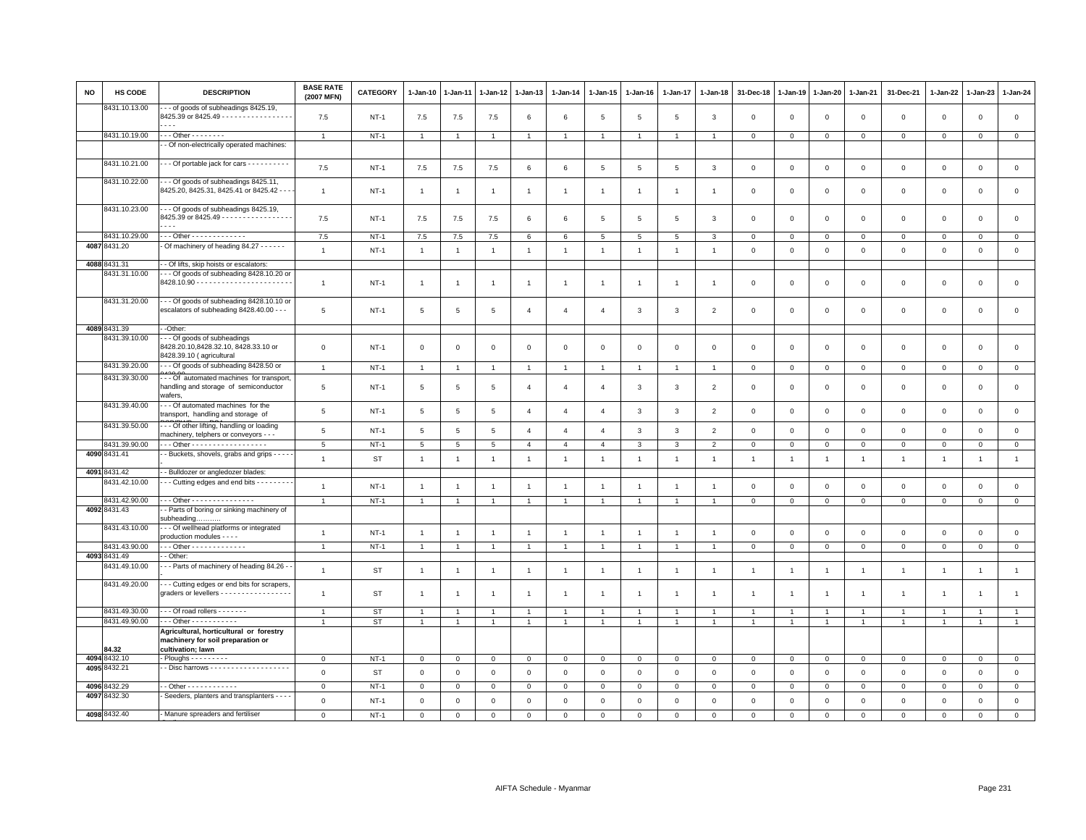| NO | <b>HS CODE</b>                | <b>DESCRIPTION</b>                                                                                                 | <b>BASE RATE</b><br>(2007 MFN) | CATEGORY    | 1-Jan-10                         | 1-Jan-11       | 1-Jan-12       | 1-Jan-13       | 1-Jan-14       | 1-Jan-15       | 1-Jan-16       | 1-Jan-17       | 1-Jan-18       | 31-Dec-18      | 1-Jan-19       | 1-Jan-20       | 1-Jan-21       | 31-Dec-21      | 1-Jan-22                | 1-Jan-23                | 1-Jan-24            |
|----|-------------------------------|--------------------------------------------------------------------------------------------------------------------|--------------------------------|-------------|----------------------------------|----------------|----------------|----------------|----------------|----------------|----------------|----------------|----------------|----------------|----------------|----------------|----------------|----------------|-------------------------|-------------------------|---------------------|
|    | 8431.10.13.00                 | - - of goods of subheadings 8425.19,<br>8425.39 or 8425.49 - - - - - - - - - - - - - - - -<br>.                    | 7.5                            | <b>NT-1</b> | 7.5                              | 7.5            | 7.5            | 6              | 6              | 5              | 5              | 5              | $\mathbf{3}$   | $\mathbf 0$    | $\mathbf 0$    | $\mathbf 0$    | $\mathbf{O}$   | $\mathbf{0}$   | $\mathbf{0}$            | $\mathbf 0$             | $\mathsf 0$         |
|    | 8431.10.19.00                 | $\cdots$ Other $\cdots \cdots \cdots$                                                                              | $\overline{1}$                 | $NT-1$      | $\mathbf{1}$                     |                | $\overline{1}$ | $\overline{1}$ | $\overline{1}$ | $\overline{1}$ | $\mathbf{1}$   | $\overline{1}$ | $\overline{1}$ | $\mathbf{O}$   | $\mathbf 0$    | $\mathbf 0$    | $\mathbf{O}$   | $\mathbf 0$    | $\mathbf 0$             | $\mathbf 0$             | $\mathbf{0}$        |
|    |                               | - Of non-electrically operated machines:                                                                           |                                |             |                                  |                |                |                |                |                |                |                |                |                |                |                |                |                |                         |                         |                     |
|    | 8431.10.21.00                 | - - Of portable jack for cars - - - - - - - - - -                                                                  | 7.5                            | $NT-1$      | 7.5                              | 7.5            | 7.5            | 6              | $\,6$          | $\,$ 5 $\,$    | $\overline{5}$ | 5              | 3              | $\mathbf 0$    | $\overline{0}$ | $\mathbf 0$    | $\mathsf 0$    | $\mathsf 0$    | $\mathbf 0$             | $\mathsf 0$             | $\mathbf 0$         |
|    | 8431.10.22.00                 | - - Of goods of subheadings 8425.11,<br>8425.20, 8425.31, 8425.41 or 8425.42 - - -                                 | $\overline{1}$                 | <b>NT-1</b> | $\mathbf{1}$                     | -1             | $\overline{1}$ | $\overline{1}$ | $\overline{1}$ | $\mathbf{1}$   | $\overline{1}$ | $\mathbf{1}$   | $\mathbf{1}$   | $\mathbf 0$    | $\overline{0}$ | $\,0\,$        | $\mathbf{O}$   | $\mathbf 0$    | $\mathbf{0}$            | $\mathsf 0$             | $\mathsf 0$         |
|    | 8431.10.23.00                 | - - Of goods of subheadings 8425.19,<br>8425.39 or 8425.49 - - - - - - - - - - - - - - - -<br>$\sim$ $\sim$ $\sim$ | 7.5                            | $NT-1$      | 7.5                              | 7.5            | 7.5            | 6              | 6              | 5              | 5              | 5              | $\mathbf{3}$   | $\mathbf 0$    | $\mathbf 0$    | $\mathbf 0$    | $\mathbf 0$    | $\mathbf{0}$   | $\Omega$                | $\mathbf 0$             | $\mathbf 0$         |
|    | 8431.10.29.00                 | - - - Other - - - - - - - - - - - - -                                                                              | 7.5                            | $NT-1$      | $7.5\,$                          | $7.5\,$        | 7.5            | 6              | $\,6$          | 5              | 5              | 5              | $\mathbf{3}$   | $\mathbf 0$    | $\mathbf 0$    | $\mathbf 0$    | $\Omega$       | $\mathbf 0$    | $\Omega$                | $\Omega$                | $\mathsf 0$         |
|    | 4087 8431.20                  | Of machinery of heading 84.27 - - - - - -                                                                          | $\mathbf{1}$                   | $NT-1$      | $\overline{1}$                   | $\mathbf{1}$   | $\overline{1}$ | $\overline{1}$ | $\overline{1}$ | $\overline{1}$ | $\overline{1}$ | $\mathbf{1}$   | $\overline{1}$ | $\mathbf 0$    | $\mathbf 0$    | $\mathbf 0$    | $\circ$        | $\mathbf{0}$   | $\Omega$                | $\Omega$                | $\mathsf 0$         |
|    | 4088 8431.31                  | - Of lifts, skip hoists or escalators:                                                                             |                                |             |                                  |                |                |                |                |                |                |                |                |                |                |                |                |                |                         |                         |                     |
|    | 8431.31.10.00                 | - - Of goods of subheading 8428.10.20 or                                                                           | $\overline{1}$                 | $NT-1$      | $\overline{1}$                   | $\overline{1}$ |                | $\overline{1}$ | $\overline{1}$ | $\mathbf{1}$   | $\overline{1}$ | $\overline{1}$ | $\overline{1}$ | $\mathbf 0$    | $\overline{0}$ | $\mathbf 0$    | $\mathbf{O}$   | $\mathbf{0}$   | $\mathbf 0$             | $\mathbf 0$             | $\mathsf 0$         |
|    | 8431.31.20.00                 | --- Of goods of subheading 8428.10.10 or<br>escalators of subheading 8428.40.00 - - -                              | 5                              | <b>NT-1</b> | 5                                | $\overline{5}$ | $\overline{5}$ | $\overline{4}$ | $\overline{4}$ | $\overline{4}$ | 3              | 3              | $\overline{2}$ | $\mathbf 0$    | $\mathbf 0$    | $\mathbf 0$    | 0              | $\mathbf 0$    | $\mathbf 0$             | $\mathsf 0$             | $\mathsf 0$         |
|    | 4089 8431.39                  | -Other:                                                                                                            |                                |             |                                  |                |                |                |                |                |                |                |                |                |                |                |                |                |                         |                         |                     |
|    | 8431.39.10.00                 | - - Of goods of subheadings<br>8428.20.10,8428.32.10, 8428.33.10 or<br>8428.39.10 (agricultural                    | $\mathsf 0$                    | $NT-1$      | $\mathbf 0$                      | $\mathbf 0$    | $\mathbf 0$    | $\mathsf 0$    | $\mathbf 0$    | $\mathbf 0$    | $\mathsf 0$    | $\mathbf 0$    | $\mathbf 0$    | $\mathbf 0$    | $\mathbf 0$    | $\mathbf 0$    | $\mathbf 0$    | $\mathbf 0$    | $\mathbf 0$             | $\mathbf 0$             | $\mathsf 0$         |
|    | 8431.39.20.00                 | --- Of goods of subheading 8428.50 or                                                                              | $\mathbf{1}$                   | $NT-1$      | $\mathbf{1}$                     | $\overline{1}$ | $\overline{1}$ | $\overline{1}$ | $\overline{1}$ | $\overline{1}$ | $\overline{1}$ | $\overline{1}$ | $\overline{1}$ | $\circ$        | $\mathbf 0$    | $\mathbb O$    | $\circ$        | $\mathbf 0$    | $\mathbf 0$             | $\mathsf 0$             | $\circ$             |
|    | 8431.39.30.00                 | -- Of automated machines for transport<br>handling and storage of semiconductor<br>wafers.                         | $\overline{5}$                 | <b>NT-1</b> | 5                                | 5              | 5              | $\overline{4}$ | $\overline{4}$ | $\mathbf{A}$   | 3              | 3              | $\overline{2}$ | $\mathbf 0$    | $\overline{0}$ | $\mathsf 0$    | $\mathbf{0}$   | $\mathsf 0$    | $\Omega$                | $\mathbf 0$             | $\mathsf 0$         |
|    | 8431.39.40.00                 | - - Of automated machines for the<br>transport, handling and storage of                                            | $5\phantom{.0}$                | $NT-1$      | 5                                | $\overline{5}$ | $\,$ 5 $\,$    | $\overline{4}$ | $\overline{4}$ | $\overline{4}$ | $\mathbf{3}$   | 3              | $\overline{2}$ | $\mathbf 0$    | $\,$ 0         | $\,0\,$        | $\mathsf 0$    | $\mathsf 0$    | $\mathbf 0$             | $\mathbf 0$             | $\mathsf 0$         |
|    | 8431.39.50.00                 | - - Of other lifting, handling or loading<br>machinery, telphers or conveyors - - -                                | 5                              | $NT-1$      | 5                                | 5              | 5              | $\overline{4}$ | $\overline{4}$ | $\overline{4}$ | 3              | $\mathbf{3}$   | $\overline{2}$ | $\circ$        | $\mathbb O$    | $\mathbf 0$    | $\mathbf{0}$   | $\mathsf 0$    | $\mathbf 0$             | $\mathsf 0$             | $\mathsf 0$         |
|    | 8431.39.90.00                 | Other - - - - - - - - - - - - - - - - -                                                                            | $\,$ 5 $\,$                    | $NT-1$      | 5                                | $\overline{5}$ | $\overline{5}$ | $\overline{4}$ | $\overline{4}$ | $\overline{4}$ | 3              | 3              | $\overline{2}$ | $\mathsf 0$    | $\mathbf 0$    | $\mathsf 0$    | $\mathbf{O}$   | $\mathsf 0$    | $\mathbf 0$             | $\mathbf 0$             | $\mathsf{O}\xspace$ |
|    | 4090 8431.41                  | - Buckets, shovels, grabs and grips - - - -                                                                        | $\overline{1}$                 | <b>ST</b>   | $\mathbf{1}$                     | $\overline{1}$ | $\overline{1}$ | $\overline{1}$ | $\overline{1}$ | $\overline{1}$ | $\overline{1}$ | $\overline{1}$ | $\overline{1}$ | $\overline{1}$ | $\mathbf{1}$   | $\overline{1}$ | $\overline{1}$ | $\overline{1}$ | $\mathbf{1}$            | $\overline{1}$          | $\mathbf{1}$        |
|    | 4091 8431.42                  | - Bulldozer or angledozer blades:                                                                                  |                                |             |                                  |                |                |                |                |                |                |                |                |                |                |                |                |                |                         |                         |                     |
|    | 8431.42.10.00                 | Cutting edges and end bits - - - - - - - -                                                                         | $\overline{1}$                 | $NT-1$      | $\mathbf{1}$                     | $\overline{1}$ | $\overline{1}$ | $\mathbf{1}$   | $\overline{1}$ | $\mathbf{1}$   | $\overline{1}$ | $\overline{1}$ | $\overline{1}$ | $\mathbf 0$    | $\,0\,$        | $\mathbf 0$    | $\circ$        | $\mathbf 0$    | $\mathbf 0$             | $\mathsf 0$             | $\mathbf{0}$        |
|    | 8431.42.90.00                 | Other - - - - - - - - - - - - - - -                                                                                | $\overline{1}$                 | $NT-1$      | $\mathbf{1}$                     | $\overline{1}$ | $\overline{1}$ | $\mathbf{1}$   | $\mathbf{1}$   | $\mathbf{1}$   | $\overline{1}$ | $\overline{1}$ | $\overline{1}$ | $\circ$        | $\mathbb O$    | $\mathbf 0$    | $\circ$        | $\mathbf 0$    | $\mathbf 0$             | $\mathbf 0$             | $\circ$             |
|    | 4092 8431.43                  | - Parts of boring or sinking machinery of<br>subheading.                                                           |                                |             |                                  |                |                |                |                |                |                |                |                |                |                |                |                |                |                         |                         |                     |
|    | 8431.43.10.00                 | - - Of wellhead platforms or integrated<br>production modules - - - -                                              | $\mathbf{1}$                   | <b>NT-1</b> | $\overline{1}$<br>$\overline{1}$ | $\overline{1}$ | $\overline{1}$ | $\overline{1}$ | $\overline{1}$ | $\overline{1}$ | $\overline{1}$ | $\overline{1}$ | $\overline{1}$ | $\mathbf 0$    | $\overline{0}$ | $\mathbf 0$    | $\mathbf{O}$   | $\mathbf 0$    | $\mathbf 0$<br>$\Omega$ | $\mathbf 0$<br>$\Omega$ | $\mathsf 0$         |
|    | 8431.43.90.00<br>4093 8431.49 | -- Other - <u>- - - - - - - - - - - -</u><br>- Other:                                                              |                                | $NT-1$      |                                  |                |                |                |                |                |                | $\overline{1}$ |                | $\Omega$       | $\mathbf{0}$   | $\mathbf 0$    | $\mathbf 0$    | $\Omega$       |                         |                         | $\mathbf 0$         |
|    | 8431.49.10.00                 | - - Parts of machinery of heading 84.26 -                                                                          | $\mathbf{1}$                   | <b>ST</b>   | $\overline{1}$                   | $\overline{1}$ |                | $\overline{1}$ | $\overline{1}$ | $\overline{1}$ | $\overline{1}$ | $\overline{1}$ | $\overline{1}$ | $\overline{1}$ | $\overline{1}$ | $\overline{1}$ | $\overline{1}$ | $\overline{1}$ | $\mathbf{1}$            | $\overline{1}$          | $\mathbf{1}$        |
|    | 8431.49.20.00                 | - - Cutting edges or end bits for scrapers,<br>graders or levellers - - - - - - - - - - - - - - - -                | $\mathbf{1}$                   | ST          | $\overline{1}$                   | -1             | -1             | $\overline{1}$ | $\mathbf{1}$   | $\mathbf{1}$   | $\overline{1}$ | $\overline{1}$ | $\overline{1}$ | $\overline{1}$ | $\overline{1}$ | $\overline{1}$ | $\overline{1}$ | $\overline{1}$ | 1                       | $\overline{1}$          | $\overline{1}$      |
|    | 8431.49.30.00                 | - - Of road rollers - - - - - - -                                                                                  |                                | ST          | $\overline{1}$                   |                |                | -1             | $\overline{1}$ | $\overline{1}$ |                | $\overline{ }$ |                |                |                | $\overline{1}$ |                |                |                         |                         | $\mathbf{1}$        |
|    | 8431.49.90.00                 | Other - - - - - - - - - - -                                                                                        | $\overline{1}$                 | ST          | $\mathbf{1}$                     | $\mathbf{1}$   | $\overline{1}$ | $\mathbf{1}$   | $\overline{1}$ | $\mathbf{1}$   | $\mathbf{1}$   | $\overline{1}$ |                | $\overline{1}$ | $\mathbf{1}$   | $\overline{1}$ | $\mathbf{1}$   |                | $\overline{1}$          | $\overline{1}$          | $\overline{1}$      |
|    | 84.32                         | Agricultural, horticultural or forestry<br>machinery for soil preparation or<br>cultivation; lawn                  |                                |             |                                  |                |                |                |                |                |                |                |                |                |                |                |                |                |                         |                         |                     |
|    | 4094 8432.10                  | - Ploughs - - - - - - - -                                                                                          | $\mathbf 0$                    | $NT-1$      | $\mathbf 0$                      | $\Omega$       | $\Omega$       | $\Omega$       | $\mathsf 0$    | $\Omega$       | $\mathbf 0$    | $\Omega$       | $\Omega$       | $\Omega$       | $\overline{0}$ | $\Omega$       | $\Omega$       | $\Omega$       | $\Omega$                | $\Omega$                | $\mathsf 0$         |
|    | 4095 8432.21                  | - - Disc harrows - - - - - - - - - - - - - - - - - -                                                               | $\mathsf 0$                    | ST          | 0                                | $\mathbf 0$    | $\mathbf 0$    | $\mathbf 0$    | $\mathsf 0$    | $\mathbf 0$    | $\mathbf 0$    | $\mathbf 0$    | $\mathbf 0$    | 0              | $\mathbf{0}$   | $\mathbf 0$    | $\mathbf 0$    | $\circ$        | $\circ$                 | $\mathbf 0$             | $\mathsf{o}$        |
|    | 4096 8432.29                  |                                                                                                                    | $\mathsf 0$                    | $NT-1$      | $\mathbf 0$                      | $\mathbf{0}$   | $\mathbf{0}$   | $\mathbf 0$    | $\mathsf 0$    | $\mathbf 0$    | $\mathbf 0$    | $\mathbf 0$    | $\mathbf 0$    | $\mathbf 0$    | $\mathbf 0$    | $\mathbf 0$    | 0              | $\mathbf 0$    | $\Omega$                | $\mathbf 0$             | $\mathbf 0$         |
|    | 4097 8432.30                  | Seeders, planters and transplanters - - -                                                                          | $\mathbf 0$                    | <b>NT-1</b> | $\mathsf 0$                      | $\mathbf 0$    | $\mathsf 0$    | $\mathsf 0$    | $\,0\,$        | $\mathbf 0$    | $\,0\,$        | $\mathsf 0$    | $\,0\,$        | $\mathsf 0$    | $\,0\,$        | $\mathsf 0$    | $\mathbf 0$    | $\mathsf 0$    | $\mathbf 0$             | $\,0\,$                 | $\mathsf{o}$        |
|    | 4098 8432.40                  | - Manure spreaders and fertiliser                                                                                  | $\mathbf 0$                    | $NT-1$      | $\mathbf 0$                      | $\mathbf{0}$   | $\Omega$       | $\mathbf 0$    | $\mathbf 0$    | $\Omega$       | $\mathbf 0$    | $\mathbf 0$    | $\mathbf 0$    | $\Omega$       | $\mathsf 0$    | $\mathsf 0$    | $\Omega$       | $\mathbf 0$    | $\mathbf 0$             | $\Omega$                | $\mathbf 0$         |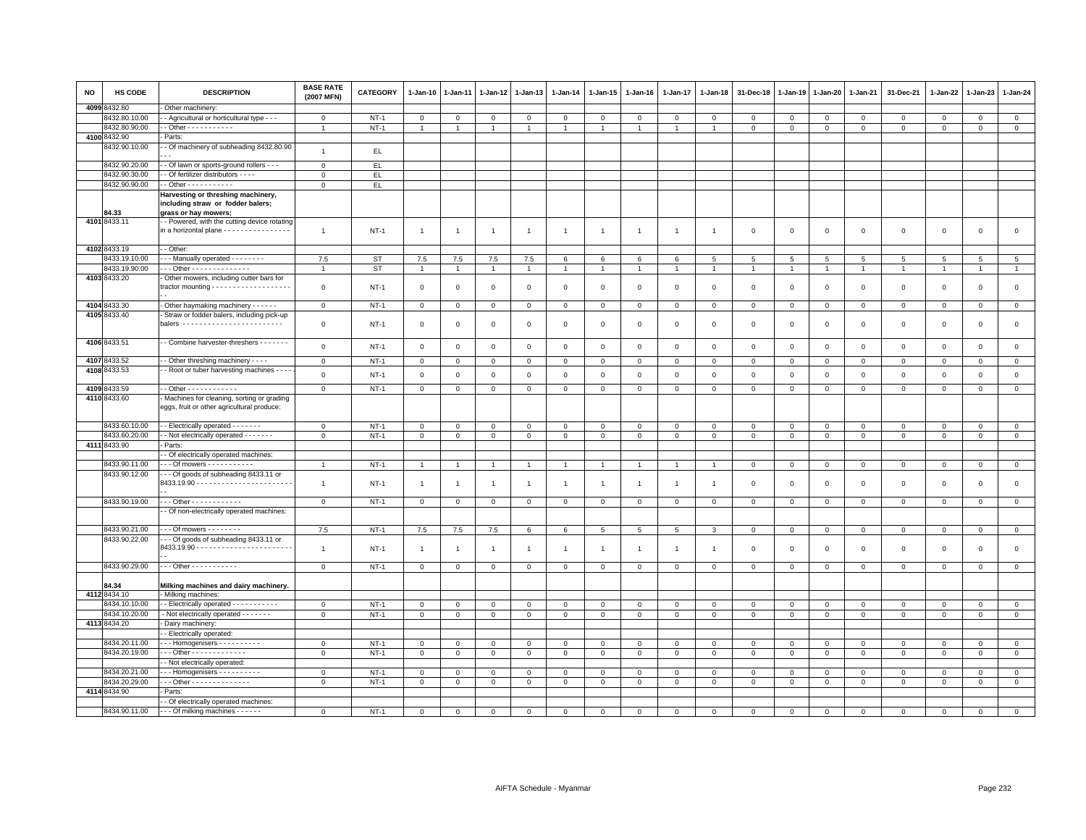| NO     | HS CODE                        | <b>DESCRIPTION</b>                                                                                   | <b>BASE RATE</b><br>(2007 MFN) | <b>CATEGORY</b> | 1-Jan-10                    | 1-Jan-11       | $1 - Jan-12$   | 1-Jan-13       | $1 - Jan-14$   | 1-Jan-15       | 1-Jan-16       | 1-Jan-17        | 1-Jan-18       | 31-Dec-18      | $1 - Jan-19$   | $1 - Jan-20$   | 1-Jan-21       | 31-Dec-21      | $1 - Jan-22$   | 1-Jan-23     | 1-Jan-24                      |
|--------|--------------------------------|------------------------------------------------------------------------------------------------------|--------------------------------|-----------------|-----------------------------|----------------|----------------|----------------|----------------|----------------|----------------|-----------------|----------------|----------------|----------------|----------------|----------------|----------------|----------------|--------------|-------------------------------|
| 4099 8 | 3432.80                        | Other machinery:                                                                                     |                                |                 |                             |                |                |                |                |                |                |                 |                |                |                |                |                |                |                |              |                               |
|        | 3432.80.10.00                  | - Agricultural or horticultural type - - -                                                           | $\mathbf 0$                    | $NT-1$          | 0                           | 0              | 0              | $\mathbf{0}$   | 0              | $\mathbf{0}$   | $\mathbf 0$    | $\circ$         | $\mathbf 0$    | 0              | $\mathbf 0$    | $\mathbf 0$    | $\mathbf{0}$   | $\mathbf 0$    | 0              | 0            | $\overline{0}$                |
|        | 8432.80.90.00                  | $-$ Other - - - - - - - - - - -                                                                      |                                | $NT-1$          | $\mathbf{1}$                |                |                | $\overline{1}$ |                | $\overline{1}$ |                | 1               |                | $\overline{0}$ | $\mathbf 0$    | $\mathbf 0$    | $\mathbf{0}$   | $\Omega$       | $\mathbf 0$    | $\mathbf 0$  | $\mathsf 0$                   |
|        | 4100 8432.90                   | Parts:                                                                                               |                                |                 |                             |                |                |                |                |                |                |                 |                |                |                |                |                |                |                |              |                               |
|        | 3432.90.10.00                  | - Of machinery of subheading 8432.80.90                                                              | $\overline{1}$                 | EL.             |                             |                |                |                |                |                |                |                 |                |                |                |                |                |                |                |              |                               |
|        | 8432.90.20.00                  | - Of lawn or sports-ground rollers - - -                                                             | $\mathbf{0}$                   | EL.             |                             |                |                |                |                |                |                |                 |                |                |                |                |                |                |                |              |                               |
|        | 8432.90.30.00                  | - Of fertilizer distributors - - -                                                                   | $\mathbf 0$                    | EL.             |                             |                |                |                |                |                |                |                 |                |                |                |                |                |                |                |              |                               |
|        | 8432.90.90.00                  | $-$ Other $- - - - - - - - - -$                                                                      | $\mathsf 0$                    | EL              |                             |                |                |                |                |                |                |                 |                |                |                |                |                |                |                |              |                               |
|        | 84.33                          | Harvesting or threshing machinery,<br>including straw or fodder balers;<br>grass or hay mowers;      |                                |                 |                             |                |                |                |                |                |                |                 |                |                |                |                |                |                |                |              |                               |
|        | 4101 8433.11                   | - Powered, with the cutting device rotating<br>in a horizontal plane - - - - - - - - - - - - - - - - | $\mathbf{1}$                   | $NT-1$          | $\overline{1}$              | $\mathbf{1}$   | $\mathbf{1}$   | $\mathbf{1}$   | $\overline{1}$ | $\mathbf{1}$   | $\overline{1}$ | $\overline{1}$  | $\overline{1}$ | $\,0\,$        | $\,$ 0         | $\,0\,$        | $\mathsf 0$    | $\mathsf 0$    | $\mathsf 0$    | $\mathsf 0$  | $\mathsf 0$                   |
|        | 4102 8433.19                   | - Other:                                                                                             |                                |                 |                             |                |                |                |                |                |                |                 |                |                |                |                |                |                |                |              |                               |
|        | 8433.19.10.00                  | - - Manually operated - - - - - - - -                                                                | 7.5                            | <b>ST</b>       | 7.5                         | 7.5            | 7.5            | 7.5            | 6              | 6              | 6              | 6               | 5              | 5              | 5              | 5              | 5              | 5              | 5              | 5            | 5                             |
|        | 8433.19.90.00                  | -- Other - - - - - - - - - - - - -                                                                   | $\overline{1}$                 | <b>ST</b>       | $\overline{1}$              |                | $\overline{1}$ | $\overline{1}$ |                | $\overline{1}$ |                | $\overline{1}$  |                | $\overline{1}$ | $\overline{1}$ | $\overline{1}$ | $\overline{1}$ | $\overline{1}$ | $\overline{1}$ |              | $\overline{1}$                |
|        | 4103 8433.20                   | Other mowers, including cutter bars for                                                              | $\mathbf 0$                    | $NT-1$          | $\mathbf{0}$                | $\Omega$       | $\mathbf{0}$   | $\mathbf 0$    | $\mathbf{0}$   | $\mathbf{0}$   | $\mathbf 0$    | $\mathbf{0}$    | $\mathbf 0$    | $\Omega$       | $\Omega$       | $\mathbf 0$    | $\mathbf 0$    | $\mathbf 0$    | $\mathbf 0$    | $\mathbf{0}$ | $\circ$                       |
|        | 4104 8433.30                   | - Other haymaking machinery - - - - - -                                                              | $\mathbf{0}$                   | <b>NT-1</b>     | $\mathbf 0$                 | $\mathbf 0$    | 0              | $\mathbf 0$    | $\mathbf 0$    | $\mathbf 0$    | $\mathsf 0$    | $\mathbf 0$     | $\mathsf 0$    | $\mathbf 0$    | $\mathbf 0$    | $\mathbf 0$    | $\mathsf 0$    | $\mathsf 0$    | $\mathbf 0$    | $\mathsf 0$  | $\mathbf{0}$                  |
|        | 4105 8433.40                   | Straw or fodder balers, including pick-up<br>balers -------------------------                        | $\mathsf 0$                    | $NT-1$          | $\mathbf 0$                 | $\mathsf 0$    | $^{\circ}$     | $\mathbf 0$    | $\mathsf 0$    | $\mathbf 0$    | $\mathsf 0$    | $\mathbf 0$     | $\mathsf 0$    | $\mathbf 0$    | $\overline{0}$ | $\mathsf 0$    | $\mathbf 0$    | $\mathsf 0$    | $\mathbf 0$    | $\mathsf 0$  | $\mathsf 0$                   |
|        | 4106 8433.51                   | - Combine harvester-threshers - - - - - - -                                                          | $\mathbf 0$                    | $NT-1$          | $\mathbf 0$                 | $\Omega$       | $\mathbf{0}$   | $\mathbf{0}$   | $\mathsf 0$    | $\mathbf{0}$   | $\mathbf 0$    | $\mathbf{0}$    | $\mathbf 0$    | $\mathbf{0}$   | $\overline{0}$ | $\mathbf 0$    | $\mathbf{0}$   | $\mathbf 0$    | $\mathbf 0$    | $\mathbf 0$  | $\mathbf 0$                   |
|        | 4107 8433.52                   | - Other threshing machinery - - - -                                                                  | $\mathbf{O}$                   | $NT-1$          | $\mathbf{0}$                | 0              | 0              | $\mathbf 0$    | $\mathbf{0}$   | $\mathbf{0}$   | $\mathbf{0}$   | $\circ$         | $\mathbf 0$    | 0              | $\circ$        | $\mathbf 0$    | $\mathbf{0}$   | $\mathbf 0$    | 0              | $\circ$      | $\mathbf{0}$                  |
|        | 4108 8433.53                   | - Root or tuber harvesting machines - - -                                                            | $\mathbf 0$                    | $NT-1$          | $\mathbf 0$                 |                | $\mathbf 0$    | $\mathbf 0$    | $\mathsf 0$    | $\mathbf 0$    | $\mathsf 0$    | $\mathbf 0$     | $\mathsf 0$    |                | $\overline{0}$ | $\mathbf 0$    | $\mathbf 0$    | $\mathsf 0$    | $\mathbf 0$    | $\mathsf 0$  | $\mathsf 0$                   |
|        |                                |                                                                                                      |                                |                 |                             | 0              |                |                |                |                |                |                 |                | $\mathbf 0$    |                |                |                |                |                |              |                               |
|        | 4109 8433.59                   | $-$ Other $- - - - - - - - - - -$                                                                    | $\mathbf{0}$                   | $NT-1$          | $\mathbf{0}$                | $\mathbf 0$    | $\mathbf 0$    | $\overline{0}$ | $\mathsf 0$    | $\mathbf{O}$   | $\mathbf{O}$   | $\mathbf 0$     | $\mathsf 0$    | $\mathbf{O}$   | $\mathbf 0$    | $\overline{0}$ | $\mathbf 0$    | $\mathbf 0$    | $\mathbf 0$    | $\mathbf 0$  | $\mathbf{0}$                  |
|        | 4110 8433.60                   | Machines for cleaning, sorting or grading<br>eggs, fruit or other agricultural produce:              |                                |                 |                             |                |                |                |                |                |                |                 |                |                |                |                |                |                |                |              |                               |
|        | 8433.60.10.00                  | - - Electrically operated - - - - - - -                                                              | $\mathbf 0$                    | $NT-1$          | $\mathsf 0$                 | $\mathbf 0$    | $\mathbf 0$    | $\circ$        | $\mathbf 0$    | $\mathsf 0$    | $\mathbf 0$    | $\mathbf 0$     | $\mathbf 0$    | $\Omega$       | $\mathbf{0}$   | $\mathbf{0}$   | $\mathbf{0}$   | $\mathbf 0$    | $\mathbf 0$    | $\mathbf{0}$ | $\mathbf 0$                   |
|        | 8433.60.20.00                  | - Not electrically operated - - - - - - -                                                            | $\mathsf 0$                    | $NT-1$          | $\mathsf 0$                 | $\mathbf 0$    | 0              | $\overline{0}$ | 0              | $\mathbf 0$    | $\mathbf{O}$   | $\mathbf 0$     | $\mathsf 0$    | $\mathbf 0$    | $\mathbb O$    | $\mathbf 0$    | $\mathbf 0$    | $\mathsf 0$    | 0              | 0            | $\overline{0}$                |
|        | 4111 8433.90                   | Parts:                                                                                               |                                |                 |                             |                |                |                |                |                |                |                 |                |                |                |                |                |                |                |              |                               |
|        |                                | - Of electrically operated machines:                                                                 | $\overline{1}$                 |                 | $\overline{1}$              |                |                | $\overline{1}$ |                | $\overline{1}$ |                |                 |                |                |                |                |                |                |                |              |                               |
|        | 8433.90.11.00<br>8433.90.12.00 | - - Of mowers - - - - - - - - - -<br>- - Of goods of subheading 8433.11 or                           |                                | $NT-1$          |                             |                | $\overline{1}$ |                |                |                |                |                 |                | $\overline{0}$ | $\mathbf 0$    | $\mathbf 0$    | $\mathbf 0$    | $\mathsf 0$    | $\mathbf 0$    | $\mathbf 0$  | $\mathsf 0$                   |
|        |                                |                                                                                                      | $\overline{1}$                 | $NT-1$          | $\overline{1}$              | $\overline{1}$ | $\overline{1}$ | $\mathbf{1}$   | $\overline{1}$ | $\overline{1}$ | $\overline{1}$ | $\mathbf{1}$    | $\overline{1}$ | $\Omega$       | $\Omega$       | $\mathbf 0$    | $\mathbf 0$    | $\mathbf 0$    | $\Omega$       | $\mathbf 0$  | $\mathsf 0$                   |
|        | 8433.90.19.00                  | $-$ - Other - - - - - - - - - - - -                                                                  | $\mathbf{0}$                   | <b>NT-1</b>     | $\mathbf 0$                 | $\mathbf 0$    | 0              | $\mathbf 0$    | $\mathsf 0$    | $\mathbf 0$    | $\mathsf 0$    | $\mathsf 0$     | $\,0\,$        | $\mathbf 0$    | $\,0\,$        | $\mathbf 0$    | $\mathbf 0$    | $\mathsf 0$    | $\mathsf 0$    | $\mathsf 0$  | $\mathbf 0$                   |
|        |                                | - Of non-electrically operated machines:                                                             |                                |                 |                             |                |                |                |                |                |                |                 |                |                |                |                |                |                |                |              |                               |
|        | 8433.90.21.00                  | - - - Of mowers - - - - - - - -                                                                      | 7.5                            | $NT-1$          | 7.5                         | 7.5            |                | 6              | 6              | 5              | 5              | $5\overline{5}$ | 3              | $\mathbf{0}$   | $\mathbf{0}$   | $\mathbf{0}$   | $\mathbf{0}$   | $\mathbf{0}$   | $\mathbf 0$    | $\mathbf{0}$ | $\mathbf{0}$                  |
|        | 8433.90.22.00                  | -- Of goods of subheading 8433.11 or                                                                 |                                |                 |                             |                | 7.5            |                |                |                |                |                 |                |                |                |                |                |                |                |              |                               |
|        |                                |                                                                                                      | $\overline{1}$                 | <b>NT-1</b>     | $\mathbf{1}$                | $\overline{1}$ | 1              | $\overline{1}$ | $\mathbf{1}$   | $\overline{1}$ |                | $\mathbf{1}$    | $\overline{1}$ | $\mathbf 0$    | $\mathbf 0$    | $\mathbf 0$    | $\mathbf 0$    | $\mathsf 0$    | $\mathbf 0$    | $\mathsf 0$  | $\mathsf 0$                   |
|        | 8433.90.29.00                  | --- Other -----------                                                                                | $\mathbf 0$                    | $NT-1$          | $\mathsf 0$                 | $\mathbf 0$    | $\mathbf 0$    | $\mathsf 0$    | $\mathsf 0$    | $\mathsf 0$    | $\mathsf 0$    | $\Omega$        | $\mathbf{0}$   | $\overline{0}$ | $\mathbf{0}$   | $\mathsf 0$    | $\mathsf 0$    | $\mathsf 0$    | $\mathbf 0$    | $\mathbf 0$  | $\mathsf 0$                   |
|        | 84.34<br>4112 8434.10          | Milking machines and dairy machinery.                                                                |                                |                 |                             |                |                |                |                |                |                |                 |                |                |                |                |                |                |                |              |                               |
|        | 8434.10.10.00                  | Milking machines:<br>- - Electrically operated - - - - - - - - - - -                                 |                                |                 |                             |                |                |                |                |                |                |                 |                |                |                |                |                |                |                |              |                               |
|        | 8434.10.20.00                  |                                                                                                      | $\mathbf 0$                    | $NT-1$          | $\mathbf{0}$<br>$\mathbf 0$ | $\mathbf{0}$   | $\mathbf{0}$   | $\mathbf{0}$   | $\mathbf 0$    | $\circ$        | $\mathbf{0}$   | $\mathbf{0}$    | $\mathbf 0$    | $\mathbf 0$    | $\overline{0}$ | $\mathbf{0}$   | $\mathbf{0}$   | $\mathbf{0}$   | $\mathbf 0$    | $\mathbf 0$  | $\mathbf 0$<br>$\overline{0}$ |
|        | 4113 8434.20                   | - Not electrically operated - - - - - - -<br>- Dairy machinery:                                      | $\mathsf 0$                    | $NT-1$          |                             | $\mathbf 0$    | $\mathbf 0$    | $\overline{0}$ | $\mathbf 0$    | $\mathbf 0$    | $\mathbf{O}$   | $\mathbf 0$     | $\mathsf 0$    | $\mathbf 0$    | $\mathbf 0$    | $\mathbf{0}$   | $\mathbf 0$    | $\mathbf 0$    | 0              | $\mathsf 0$  |                               |
|        |                                | - Electrically operated:                                                                             |                                |                 |                             |                |                |                |                |                |                |                 |                |                |                |                |                |                |                |              |                               |
|        | 8434.20.11.00                  | $\cdots$ Homogenisers $\cdots$                                                                       | $\mathbf 0$                    | $NT-1$          | $\mathsf 0$                 | $\Omega$       | $\mathbf 0$    | $\Omega$       | $\Omega$       | $\mathsf 0$    | $\mathsf 0$    | $\Omega$        | $\mathbf 0$    | $\overline{0}$ | $\mathbf{0}$   | $\mathbf{0}$   | $\mathbf 0$    | $\mathbf 0$    | $\mathbf 0$    | $\Omega$     | $\mathsf 0$                   |
|        | 8434.20.19.00                  | Other - - - - - - - - - - - - -                                                                      | $\mathsf 0$                    | <b>NT-1</b>     | $\mathsf 0$                 | 0              | $\mathbf 0$    | $\mathbf 0$    | $\mathsf 0$    | $\mathbf 0$    | $\mathbf 0$    | $\mathbf 0$     | $\mathbf 0$    | $\Omega$       | $\Omega$       | $\mathbf 0$    | $\mathbf 0$    | $\mathsf 0$    | $\mathsf 0$    | $\mathbf 0$  | $\mathbf 0$                   |
|        |                                | - Not electrically operated:                                                                         |                                |                 |                             |                |                |                |                |                |                |                 |                |                |                |                |                |                |                |              |                               |
|        | 8434.20.21.00                  | $\cdots$ Homogenisers $\cdots$                                                                       | $\mathsf 0$                    | $NT-1$          | $\mathbf 0$                 | $\mathbf 0$    | $\mathbf 0$    | $\mathbf 0$    | $\mathsf 0$    | $\mathsf 0$    | $\mathsf 0$    | $\mathbf 0$     | $\mathsf 0$    | $\mathbf 0$    | $\mathbf 0$    | $\mathbf 0$    | $\mathbf 0$    | $\mathsf 0$    | $\mathbf 0$    | $\mathsf 0$  | $\mathbf 0$                   |
|        | 8434.20.29.00                  | - - - Other - - - - - - - - - - - - - -                                                              | $\mathsf 0$                    | $NT-1$          | $\mathsf 0$                 | $\mathbf 0$    | 0              | $\mathbf 0$    | $\mathbf 0$    | $\mathsf 0$    | $\mathsf 0$    | $\mathbf 0$     | $\mathsf 0$    | $\mathbf 0$    | $\mathbf 0$    | $\mathbf 0$    | $\mathbf 0$    | $\mathsf 0$    | $\mathbf 0$    | $\Omega$     | $\overline{0}$                |
|        | 4114 8434.90                   | Parts:                                                                                               |                                |                 |                             |                |                |                |                |                |                |                 |                |                |                |                |                |                |                |              |                               |
|        |                                | - - Of electrically operated machines:                                                               |                                |                 |                             |                |                |                |                |                |                |                 |                |                |                |                |                |                |                |              |                               |
|        | 8434.90.11.00                  | - - - Of milking machines - - - - - -                                                                | $\mathbf 0$                    | $NT-1$          | $\Omega$                    | $\Omega$       | $\Omega$       | $\Omega$       |                | $\Omega$       |                | $\Omega$        | $\Omega$       |                | $\Omega$       | $\Omega$       | $\Omega$       | $\Omega$       | $\Omega$       | $\mathbf 0$  | $\mathbf{0}$                  |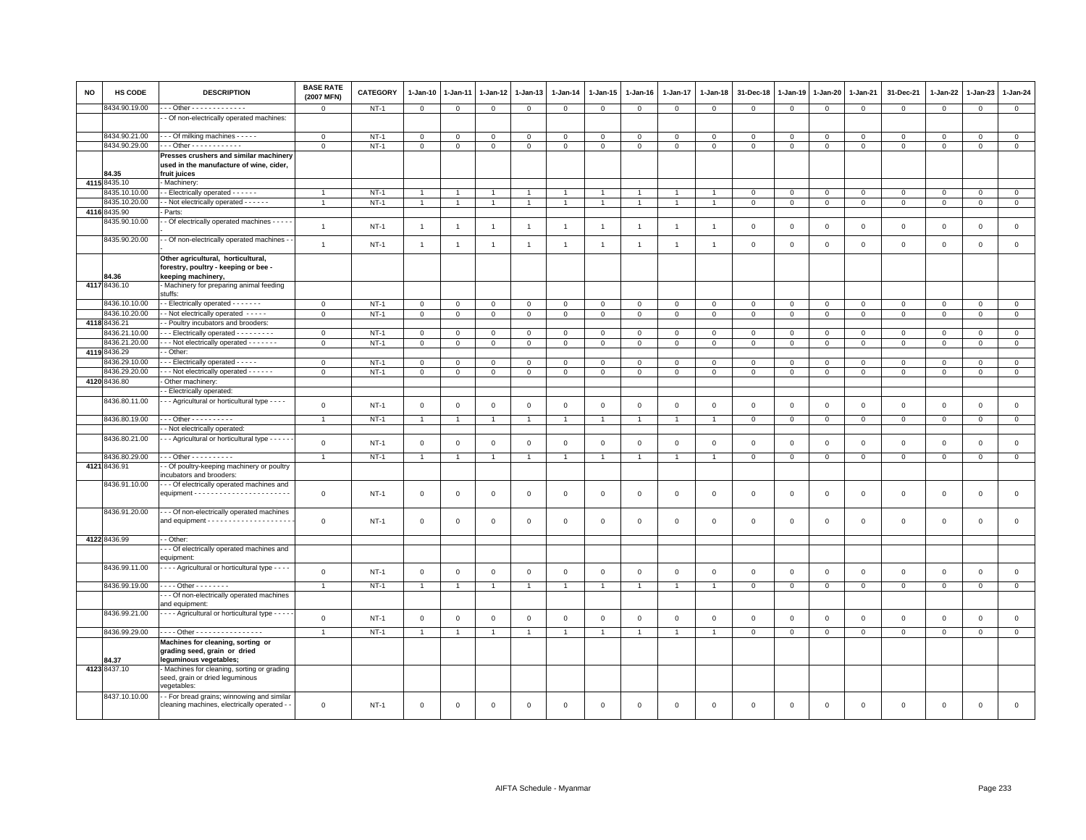| <b>NO</b> | <b>HS CODE</b>        | <b>DESCRIPTION</b>                                                                                                    | <b>BASE RATE</b><br>(2007 MFN) | <b>CATEGORY</b> | $1 - Jan-10$   | 1-Jan-11       | 1-Jan-12       | 1-Jan-13       | $1-Jan-14$     | $1 - Jan-15$   | $1 - Jan-16$   | $1 - Jan-17$   | $1 - Jan-18$   | 31-Dec-18      | $1 - Jan-19$ | 1-Jan-20     | $1 - Jan-21$   | 31-Dec-21      | $1 - Jan-22$   | 1-Jan-23       | $1 - Jan-24$   |
|-----------|-----------------------|-----------------------------------------------------------------------------------------------------------------------|--------------------------------|-----------------|----------------|----------------|----------------|----------------|----------------|----------------|----------------|----------------|----------------|----------------|--------------|--------------|----------------|----------------|----------------|----------------|----------------|
|           | 434.90.19.00          | - - Other - - - - - - - - - - - - -                                                                                   | $\mathsf 0$                    | $NT-1$          | $\mathbb O$    | $\mathbf{0}$   | $\mathbf{0}$   | $\circ$        | $\mathsf 0$    | $\circ$        | $\mathsf 0$    | $\mathbf 0$    | $\mathsf 0$    | $\mathsf 0$    | $\mathbb O$  | $\mathsf 0$  | $\mathsf 0$    | $\mathsf 0$    | $\circ$        | $\mathbf 0$    | $\mathbf{0}$   |
|           |                       | - Of non-electrically operated machines:                                                                              |                                |                 |                |                |                |                |                |                |                |                |                |                |              |              |                |                |                |                |                |
|           | 8434.90.21.00         | - - Of milking machines - - - - -                                                                                     | $\mathbf 0$                    | $NT-1$          | $\mathsf 0$    | $\mathbf 0$    | $\Omega$       | $\Omega$       | $\mathbf{0}$   | $\mathbf 0$    | $\Omega$       | $\mathbf{0}$   | $\Omega$       | $\Omega$       | $\Omega$     | $\mathbf{0}$ | $\mathbf 0$    | $\mathbf 0$    | $\Omega$       | $\Omega$       | $\mathsf 0$    |
|           | 8434.90.29.00         | . - - Other - - - - - - - - - - -                                                                                     | $\mathbf 0$                    | $NT-1$          | $\mathbb O$    | $\mathbf 0$    | $\mathbf 0$    | $\mathbf 0$    | $\mathbf 0$    | $\mathbf 0$    | $\mathbf 0$    | $\mathbf{0}$   | $\mathbf 0$    | $\mathbf 0$    | $\,0\,$      | $\mathbf 0$  | $\,$ 0         | $\mathsf 0$    | $\mathbf 0$    | $\mathbf 0$    | $\mathbf 0$    |
|           |                       | Presses crushers and similar machinery                                                                                |                                |                 |                |                |                |                |                |                |                |                |                |                |              |              |                |                |                |                |                |
|           | 84.35                 | used in the manufacture of wine, cider,<br>fruit juices                                                               |                                |                 |                |                |                |                |                |                |                |                |                |                |              |              |                |                |                |                |                |
|           | 4115 8435.10          | - Machinery:                                                                                                          |                                |                 |                |                |                |                |                |                |                |                |                |                |              |              |                |                |                |                |                |
|           | 3435.10.10.00         | - - Electrically operated - - - - - -                                                                                 | $\overline{1}$                 | $NT-1$          |                |                |                |                |                |                |                |                |                | $\mathbf 0$    | $\circ$      | $\mathbf 0$  | $\mathbf 0$    | 0              | $\circ$        | $\mathbf 0$    | $\mathbf 0$    |
|           | 3435.10.20.00         | - Not electrically operated - - - - - -                                                                               | $\mathbf{1}$                   | $NT-1$          | $\overline{1}$ | $\mathbf{1}$   | $\mathbf{1}$   | $\mathbf{1}$   | $\overline{1}$ | $\mathbf{1}$   | $\mathbf{1}$   | $\mathbf{1}$   |                | $\mathbf 0$    | $\,0\,$      | $\circ$      | $\overline{0}$ | $\mathsf 0$    | $\mathbf{0}$   | $\mathbf{O}$   | $\mathbf 0$    |
|           | 4116 8435.90          | Parts:                                                                                                                |                                |                 |                |                |                |                |                |                |                |                |                |                |              |              |                |                |                |                |                |
|           | 3435.90.10.00         | - Of electrically operated machines - - - - -                                                                         | $\overline{1}$                 | $NT-1$          | $\overline{1}$ | $\overline{1}$ | $\overline{1}$ | $\overline{1}$ | $\mathbf{1}$   | $\overline{1}$ | $\overline{1}$ | $\overline{1}$ | $\overline{1}$ | $\mathbf 0$    | $\mathsf 0$  | $\,0\,$      | $\mathsf 0$    | $\mathsf 0$    | $\mathbf 0$    | $\mathsf 0$    | $\mathsf 0$    |
|           | 8435.90.20.00         | - Of non-electrically operated machines -                                                                             | $\mathbf{1}$                   | $NT-1$          | $\overline{1}$ | $\overline{1}$ | $\overline{1}$ | $\mathbf{1}$   | $\overline{1}$ | $\overline{1}$ | $\overline{1}$ | $\overline{1}$ | $\overline{1}$ | $\mathbf 0$    | $\mathbf 0$  | $\,0\,$      | $\mathbf 0$    | $\mathsf 0$    | $\overline{0}$ | $\mathsf 0$    | $\mathbf 0$    |
|           | <b>84.36</b>          | Other agricultural, horticultural,<br>forestry, poultry - keeping or bee -<br>keeping machinery,                      |                                |                 |                |                |                |                |                |                |                |                |                |                |              |              |                |                |                |                |                |
|           | 4117 8436.10          | - Machinery for preparing animal feeding                                                                              |                                |                 |                |                |                |                |                |                |                |                |                |                |              |              |                |                |                |                |                |
|           | 3436.10.10.00         | stuffs:<br>- Electrically operated - - - - - - -                                                                      | $\mathbf 0$                    | $NT-1$          | $\mathsf 0$    | $\mathsf 0$    | $\mathsf 0$    | $\mathbf 0$    | $\mathbf 0$    | 0              | $\mathbf 0$    | $\overline{0}$ | $^{\circ}$     | $\mathbf 0$    | $\circ$      | $\mathbf 0$  | $\mathbf 0$    | $\mathsf 0$    | $\circ$        | $\mathbf 0$    | $\mathsf 0$    |
|           | 3436.10.20.00         | - Not electrically operated - - - - -                                                                                 | $\mathsf 0$                    | $NT-1$          | $\mathsf 0$    | $\mathsf 0$    | $\mathbf{0}$   | $\mathsf 0$    | $\mathbf 0$    | $\mathsf 0$    | $\mathbf 0$    | $\,0\,$        | $\,0\,$        | $\,0\,$        | $\,0\,$      | $\mathbf{0}$ | $\overline{0}$ | $\mathsf 0$    | $\mathbf{0}$   | $\mathbf 0$    | $\mathbf 0$    |
|           | 4118 8436.21          | - Poultry incubators and brooders:                                                                                    |                                |                 |                |                |                |                |                |                |                |                |                |                |              |              |                |                |                |                |                |
|           | 8436.21.10.00         | --- Electrically operated ---------                                                                                   | $\mathbf{0}$                   | $NT-1$          | $\mathbf 0$    | $\mathbf 0$    | $\Omega$       | $\mathbf{0}$   | $\mathbf 0$    | $\mathbf{O}$   | $\Omega$       | $\overline{0}$ | $\Omega$       | $\mathbf 0$    | $\circ$      | $\mathbf 0$  | $\mathbf 0$    | $\mathbf{0}$   | $\Omega$       | $\Omega$       | $\mathsf 0$    |
|           | 8436.21.20.00         | - - - Not electrically operated - - - - - - -                                                                         | $\mathsf 0$                    | $NT-1$          | $\mathbf 0$    | $\mathsf 0$    | $\mathbf 0$    | $\mathbf 0$    | $\mathsf 0$    | $\mathbf 0$    | $\mathsf 0$    | $\mathbf 0$    | $\mathbf 0$    | $\mathbf 0$    | $\mathbf 0$  | $\mathbf 0$  | $\mathbf 0$    | $\mathsf 0$    | $\mathbf 0$    | $\mathbf 0$    | $\mathsf 0$    |
|           | 4119 8436.29          | - Other:                                                                                                              |                                |                 |                |                |                |                |                |                |                |                |                |                |              |              |                |                |                |                |                |
|           | 3436.29.10.00         | - - Electrically operated - - - - -                                                                                   | $\mathbf 0$                    | $NT-1$          | $\mathbf 0$    | $\Omega$       | $\Omega$       | $\Omega$       | $\mathbf{0}$   | $\Omega$       | $\mathbf{0}$   | $\Omega$       | $\Omega$       | $\Omega$       | $\Omega$     | $\mathbf{0}$ | $\overline{0}$ | $\mathbf 0$    | $\Omega$       | $\mathbf{0}$   | $\mathsf 0$    |
|           | 8436.29.20.00         | - - - Not electrically operated - - - - - -                                                                           | $\mathbf 0$                    | $NT-1$          | $\overline{0}$ | $\mathbf 0$    | $\overline{0}$ | $\mathbf 0$    | $\mathsf 0$    | $\overline{0}$ | $\mathsf 0$    | $\overline{0}$ | $\mathbf 0$    | $\mathbf 0$    | $\mathbf 0$  | $\mathsf 0$  | $\overline{0}$ | $\mathsf 0$    | $\mathbf 0$    | $\mathsf 0$    | $\overline{0}$ |
|           | 4120 8436.80          | Other machinery:                                                                                                      |                                |                 |                |                |                |                |                |                |                |                |                |                |              |              |                |                |                |                |                |
|           |                       | - Electrically operated:                                                                                              |                                |                 |                |                |                |                |                |                |                |                |                |                |              |              |                |                |                |                |                |
|           | 8436.80.11.00         | - - Agricultural or horticultural type - - - -                                                                        | $\mathsf 0$                    | $NT-1$          | $\mathbb O$    | $\mathbf 0$    | $\mathbf 0$    | $\circ$        | $\mathbf 0$    | $\mathbf 0$    | $\mathbf 0$    | $\mathbb O$    | $\mathbf{0}$   | $\mathbf 0$    | $\mathbf 0$  | $\mathsf 0$  | $\mathbf 0$    | $\mathsf 0$    | $\mathbb O$    | $\mathbf 0$    | $\mathsf 0$    |
|           | 8436.80.19.00         | $-$ - Other - - - - - - - - - -                                                                                       | $\overline{1}$                 | $NT-1$          | $\overline{1}$ | $\overline{1}$ | $\overline{1}$ | $\overline{1}$ | $\overline{1}$ | $\overline{1}$ | $\overline{1}$ | $\overline{1}$ |                | $\mathbf 0$    | $\mathbf 0$  | $\mathbf 0$  | $\mathbf 0$    | $\mathbf 0$    | $\mathbf 0$    | $\mathbf 0$    | $\mathbf 0$    |
|           |                       | - Not electrically operated:                                                                                          |                                |                 |                |                |                |                |                |                |                |                |                |                |              |              |                |                |                |                |                |
|           | 8436.80.21.00         | - - Agricultural or horticultural type - - - -                                                                        | $\mathsf 0$                    | $NT-1$          | $\mathbf 0$    | $\mathbf 0$    | $\mathsf 0$    | $\mathsf 0$    | $\mathsf 0$    | $\mathbf 0$    | $\mathsf 0$    | $\overline{0}$ | $\Omega$       | $\mathbf 0$    | $\mathsf 0$  | $\mathsf 0$  | $\mathbf 0$    | $\mathsf 0$    | $\mathsf 0$    | $\mathsf 0$    | $\mathsf 0$    |
|           | 8436.80.29.00         | - - - Other - - - - - - - - - -                                                                                       | $\overline{1}$                 | $NT-1$          | $\overline{1}$ | $\overline{1}$ | $\overline{1}$ | $\overline{1}$ | $\overline{1}$ | $\mathbf{1}$   | $\overline{1}$ | $\overline{1}$ |                | $\mathbf 0$    | $\,0\,$      | $\,0\,$      | $\overline{0}$ | $\overline{0}$ | $\mathsf 0$    | $\mathsf 0$    | $\overline{0}$ |
|           | 4121 8436.91          | - Of poultry-keeping machinery or poultry<br>ncubators and brooders:                                                  |                                |                 |                |                |                |                |                |                |                |                |                |                |              |              |                |                |                |                |                |
|           | 8436.91.10.00         | - - Of electrically operated machines and                                                                             | $\mathbf 0$                    | $NT-1$          | $\mathsf 0$    | $\mathbf 0$    | $\mathbf 0$    | $\mathbf 0$    | $\mathbf 0$    | $\mathbf 0$    | $\mathbf 0$    | $\overline{0}$ | $\mathsf 0$    | $\mathbf 0$    | $\mathbf 0$  | $\mathsf 0$  | $\mathbf 0$    | $\mathsf 0$    | $\,0\,$        | $\mathbf 0$    | $\mathbf 0$    |
|           | 8436.91.20.00         | - - Of non-electrically operated machines                                                                             | $\mathbf 0$                    | $NT-1$          | $\mathsf 0$    | $\mathbf 0$    | $\mathsf 0$    | $\mathbf 0$    | $\mathbf 0$    | $\mathbf 0$    | $\mathbf 0$    | $\overline{0}$ | $^{\circ}$     | $\mathbf 0$    | $\mathbf 0$  | $\mathbf 0$  | $\,$ 0         | $\mathsf 0$    | $\,0\,$        | $\mathbf 0$    | $\mathbf 0$    |
|           | 4122 8436.99          | - Other                                                                                                               |                                |                 |                |                |                |                |                |                |                |                |                |                |              |              |                |                |                |                |                |
|           |                       | - - Of electrically operated machines and<br>equipment:                                                               |                                |                 |                |                |                |                |                |                |                |                |                |                |              |              |                |                |                |                |                |
|           | 8436.99.11.00         | - - - Agricultural or horticultural type - - -                                                                        | $\mathsf 0$                    | $NT-1$          | $\mathbf 0$    | $\mathbf 0$    | $\mathbf 0$    | $\circ$        | $\mathbf 0$    | $\mathsf 0$    | $\mathbf 0$    | $\overline{0}$ | $\mathbf 0$    | $\mathbf 0$    | $\mathbf 0$  | $\mathbf 0$  | $\mathbf 0$    | $\mathbf 0$    | $\mathbb O$    | $\mathsf 0$    | $\mathsf 0$    |
|           | 8436.99.19.00         | - - - - Other - - - - - - - -                                                                                         | $\overline{1}$                 | $NT-1$          | $\overline{1}$ | $\overline{1}$ | $\overline{1}$ | $\overline{1}$ | $\overline{1}$ | $\overline{1}$ | $\overline{1}$ | $\overline{1}$ | $\overline{1}$ | $\mathbf 0$    | $\mathbf{0}$ | $\mathbf 0$  | $\mathbf{0}$   | $\mathbf 0$    | $\mathbf{0}$   | $\overline{0}$ | $\circ$        |
|           |                       | - - Of non-electrically operated machines<br>and equipment:                                                           |                                |                 |                |                |                |                |                |                |                |                |                |                |              |              |                |                |                |                |                |
|           | 8436.99.21.00         | - Agricultural or horticultural type - - - -                                                                          | $\circ$                        | $NT-1$          | $\mathbf 0$    | $\Omega$       | $\mathbf{0}$   | $\circ$        | $\mathbf 0$    | $\mathbf 0$    | $\mathbf{0}$   | $\overline{0}$ | $\Omega$       | $\overline{0}$ | $\mathbf{0}$ | $\mathbf{0}$ | $\overline{0}$ | $\mathbf 0$    | $\mathbf{0}$   | $\mathbf{0}$   | $\circ$        |
|           | 8436.99.29.00         | - - - - Other - - - - - - - - - - - - - - -                                                                           | $\mathbf{1}$                   | $NT-1$          | $\overline{1}$ | $\overline{1}$ | $\overline{1}$ | $\overline{1}$ | $\overline{1}$ | $\overline{1}$ | $\overline{1}$ | $\overline{1}$ | $\overline{1}$ | $\mathbf 0$    | $\,0\,$      | $\,0\,$      | $\mathbf 0$    | $\mathsf 0$    | $\mathsf 0$    | $\mathbf 0$    | $\mathsf 0$    |
|           |                       | Machines for cleaning, sorting or<br>grading seed, grain or dried                                                     |                                |                 |                |                |                |                |                |                |                |                |                |                |              |              |                |                |                |                |                |
|           | 84.37<br>4123 8437.10 | leguminous vegetables;<br>Machines for cleaning, sorting or grading<br>seed, grain or dried leguminous<br>vegetables: |                                |                 |                |                |                |                |                |                |                |                |                |                |              |              |                |                |                |                |                |
|           | 8437.10.10.00         | - - For bread grains; winnowing and similar<br>cleaning machines, electrically operated - -                           | $\mathbf 0$                    | $NT-1$          | $\mathbf 0$    | $\mathbf 0$    | $\mathbf 0$    | $\mathbf 0$    | $\mathbf 0$    | $\mathbf 0$    | $\mathbf 0$    | $\mathbf 0$    | $\mathbf 0$    | $\mathbf 0$    | $\mathbf 0$  | $\mathbf 0$  | $\mathbf 0$    | $\mathsf 0$    | $\mathsf 0$    | $\mathbf 0$    | $\Omega$       |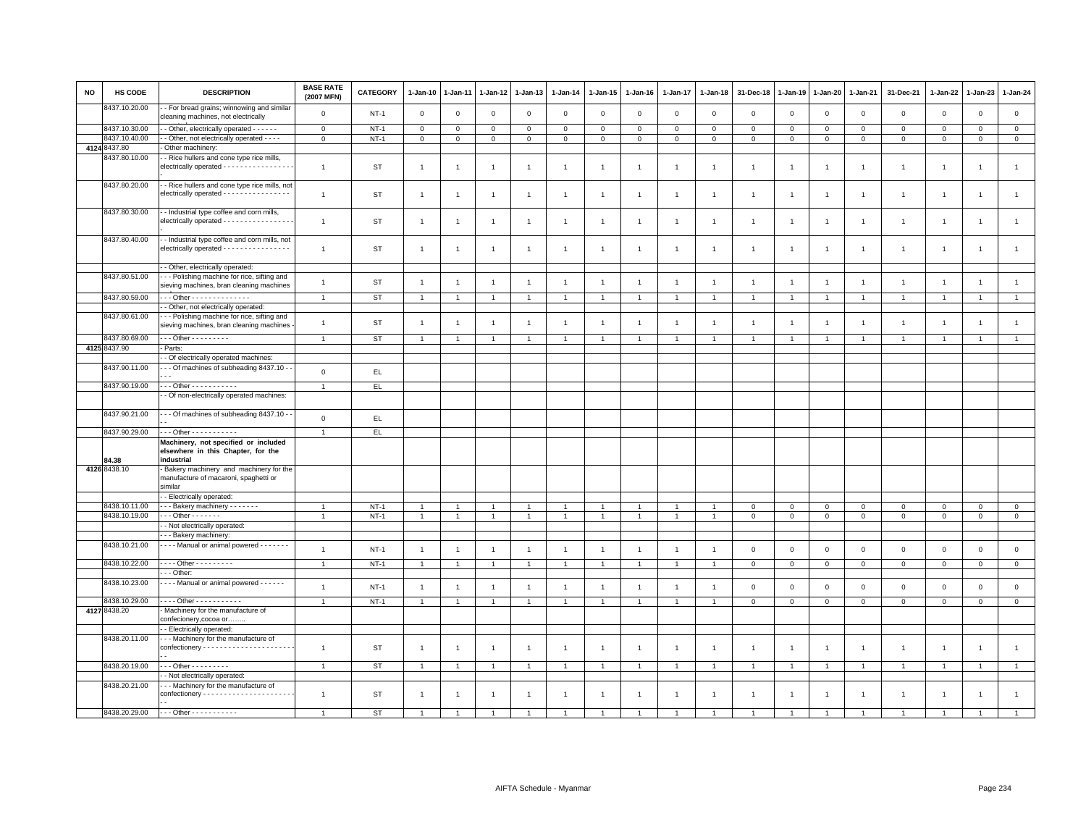| <b>NO</b> | HS CODE       | <b>DESCRIPTION</b>                                                                                    | <b>BASE RATE</b><br>(2007 MFN) | CATEGORY      | $1 - Jan-10$   | $1-Jan-11$     | $1 - Jan-12$   | 1-Jan-13       | $1 - Jan-14$   | $1 - Jan-15$   | $1 - Jan-16$   | $1 - Jan-17$   | $1 - Jan-18$   | 31-Dec-18      | $1 - Jan-19$   | $1 - Jan-20$   | $1 - Jan-21$   | 31-Dec-21      | 1-Jan-22       | $1-Jan-23$     | 1-Jan-24       |
|-----------|---------------|-------------------------------------------------------------------------------------------------------|--------------------------------|---------------|----------------|----------------|----------------|----------------|----------------|----------------|----------------|----------------|----------------|----------------|----------------|----------------|----------------|----------------|----------------|----------------|----------------|
|           | 8437.10.20.00 | - For bread grains; winnowing and similar<br>cleaning machines, not electrically                      | $\mathsf 0$                    | $NT-1$        | $\mathbf 0$    | $\mathbf 0$    | $\mathbf 0$    | $\mathbf 0$    | $\mathbf 0$    | $\mathbf 0$    | $\mathsf 0$    | $\mathbf 0$    | $\mathbf 0$    | $\mathbf 0$    | $\mathbf 0$    | $\mathsf 0$    | $\mathbf 0$    | $\mathsf 0$    | $\mathbf 0$    | $\mathbf 0$    | $\mathsf 0$    |
|           | 8437.10.30.00 | - Other, electrically operated - - - - - -                                                            | $\circ$                        | $NT-1$        | $\mathbf{0}$   | $\mathbf 0$    | $\mathbf 0$    | $\mathbf 0$    | $\mathbf 0$    | $\mathbf 0$    | $\mathbf 0$    | $\mathbf 0$    | $\mathbf 0$    | $\mathbf 0$    | $\mathbf 0$    | $\mathbf 0$    | $\mathbf 0$    | $\mathbf 0$    | $\mathbf{0}$   | $\overline{0}$ | $\mathsf 0$    |
|           | 8437.10.40.00 | - Other, not electrically operated - - - -                                                            | $\circ$                        | $NT-1$        | $\mathsf 0$    | $\mathbf{0}$   | 0              | $\mathbf 0$    | $\mathsf 0$    | $\mathbf{0}$   | $\mathbf 0$    | $\mathbf 0$    | $\mathbf 0$    | $\mathbf 0$    | $\mathbf 0$    | $\mathbf 0$    | $\mathbf 0$    | $\mathbf 0$    | $\mathbf{0}$   | $\mathbf{O}$   | $\circ$        |
|           | 4124 8437.80  | Other machinery:                                                                                      |                                |               |                |                |                |                |                |                |                |                |                |                |                |                |                |                |                |                |                |
|           | 3437.80.10.00 | - Rice hullers and cone type rice mills,<br>electrically operated - - - - - - - - - - - - - - - -     | $\overline{1}$                 | <b>ST</b>     | $\overline{1}$ | $\overline{1}$ | $\mathbf{1}$   | $\mathbf{1}$   | $\mathbf{1}$   | $\mathbf{1}$   | $\overline{1}$ | $\overline{1}$ | $\overline{1}$ | $\overline{1}$ | $\overline{1}$ | $\overline{1}$ | $\overline{1}$ | $\mathbf{1}$   | $\overline{1}$ | $\overline{1}$ | $\mathbf{1}$   |
|           | 8437.80.20.00 | - Rice hullers and cone type rice mills, not<br>electrically operated - - - - - - - - - - - - - - - - | $\mathbf{1}$                   | <b>ST</b>     | $\overline{1}$ | $\overline{1}$ | $\overline{1}$ | $\mathbf{1}$   | $\overline{1}$ | $\mathbf{1}$   | $\overline{1}$ | $\overline{1}$ | -1             | $\overline{1}$ | $\overline{1}$ | $\overline{1}$ | $\overline{1}$ | $\mathbf{1}$   | $\overline{1}$ | $\overline{1}$ | $\overline{1}$ |
|           | 8437.80.30.00 | - Industrial type coffee and corn mills,<br>electrically operated - - - - - - - - - - - - - - - -     | $\mathbf{1}$                   | ST            | $\overline{1}$ | $\overline{1}$ | $\overline{1}$ | $\mathbf{1}$   | $\mathbf{1}$   | $\mathbf{1}$   | $\overline{1}$ | $\overline{1}$ | $\overline{1}$ | $\overline{1}$ | $\overline{1}$ | $\overline{1}$ | $\overline{1}$ | $\mathbf{1}$   | $\overline{1}$ | $\overline{1}$ | $\mathbf{1}$   |
|           | 8437.80.40.00 | - Industrial type coffee and corn mills, not<br>electrically operated - - - - - - - - - - - - - - - - | $\mathbf{1}$                   | <b>ST</b>     | $\overline{1}$ | 1              | 1              | $\overline{1}$ | $\overline{1}$ | $\overline{1}$ | $\overline{1}$ | $\overline{1}$ |                | $\overline{1}$ | $\overline{1}$ | $\overline{1}$ | $\overline{1}$ | $\mathbf{1}$   | $\overline{1}$ | $\overline{1}$ | $\mathbf{1}$   |
|           |               | - Other, electrically operated:                                                                       |                                |               |                |                |                |                |                |                |                |                |                |                |                |                |                |                |                |                |                |
|           | 8437.80.51.00 | - - Polishing machine for rice, sifting and<br>sieving machines, bran cleaning machines               | $\mathbf{1}$                   | <b>ST</b>     | $\mathbf{1}$   | $\overline{1}$ | 1              | $\mathbf{1}$   | $\overline{1}$ | $\overline{1}$ | $\mathbf{1}$   | $\overline{1}$ | $\overline{1}$ | $\overline{1}$ | $\overline{1}$ | $\overline{1}$ | $\overline{1}$ | $\mathbf{1}$   | $\mathbf{1}$   | $\overline{1}$ | $\mathbf{1}$   |
|           | 8437.80.59.00 | - - Other - - - - - - - - - - - - - -                                                                 | $\overline{1}$                 | <b>ST</b>     | $\overline{1}$ |                | $\mathbf{1}$   | $\mathbf{1}$   | $\mathbf{1}$   | $\overline{1}$ | $\overline{1}$ | $\overline{1}$ |                | $\overline{1}$ | $\overline{1}$ | $\overline{1}$ | $\overline{1}$ | $\mathbf{1}$   | $\overline{1}$ | $\overline{1}$ | $\mathbf{1}$   |
|           |               | - Other, not electrically operated:                                                                   |                                |               |                |                |                |                |                |                |                |                |                |                |                |                |                |                |                |                |                |
|           | 8437.80.61.00 | - - Polishing machine for rice, sifting and<br>sieving machines, bran cleaning machines               | $\mathbf{1}$                   | <b>ST</b>     | $\mathbf{1}$   | $\overline{1}$ | $\overline{1}$ | $\mathbf{1}$   | $\mathbf{1}$   | $\mathbf{1}$   | $\overline{1}$ | $\overline{1}$ | $\overline{1}$ | $\overline{1}$ | $\overline{1}$ | $\overline{1}$ | $\overline{1}$ | $\mathbf{1}$   | $\overline{1}$ | $\overline{1}$ | $\mathbf{1}$   |
|           | 8437.80.69.00 | $\cdots$ Other - - - - - - - - -                                                                      | $\mathbf{1}$                   | <b>ST</b>     | $\mathbf{1}$   |                |                | $\mathbf{1}$   |                |                |                |                |                |                |                | $\mathbf{1}$   | $\overline{1}$ | $\mathbf{1}$   | $\mathbf{1}$   | $\overline{1}$ |                |
|           | 4125 8437.90  | Parts:                                                                                                |                                |               |                |                |                |                |                |                |                |                |                |                |                |                |                |                |                |                |                |
|           |               | - Of electrically operated machines:                                                                  |                                |               |                |                |                |                |                |                |                |                |                |                |                |                |                |                |                |                |                |
|           | 8437.90.11.00 | - - Of machines of subheading 8437.10 -                                                               | $\mathsf{O}\xspace$            | EL.           |                |                |                |                |                |                |                |                |                |                |                |                |                |                |                |                |                |
|           | 8437.90.19.00 | $-$ - Other - - - - - - - - - - -                                                                     | $\overline{1}$                 | EL.           |                |                |                |                |                |                |                |                |                |                |                |                |                |                |                |                |                |
|           |               | - Of non-electrically operated machines:                                                              |                                |               |                |                |                |                |                |                |                |                |                |                |                |                |                |                |                |                |                |
|           | 8437.90.21.00 | - - Of machines of subheading 8437.10 -                                                               | $\mathsf 0$                    | $\mathsf{EL}$ |                |                |                |                |                |                |                |                |                |                |                |                |                |                |                |                |                |
|           | 8437.90.29.00 | . - - Other - - - - - - - - - - -                                                                     | $\overline{1}$                 |               |                |                |                |                |                |                |                |                |                |                |                |                |                |                |                |                |                |
|           |               | Machinery, not specified or included                                                                  |                                | EL.           |                |                |                |                |                |                |                |                |                |                |                |                |                |                |                |                |                |
|           | 34.38         | elsewhere in this Chapter, for the<br>industrial                                                      |                                |               |                |                |                |                |                |                |                |                |                |                |                |                |                |                |                |                |                |
|           | 4126 8438.10  | Bakery machinery and machinery for the<br>manufacture of macaroni, spaghetti or<br>similar            |                                |               |                |                |                |                |                |                |                |                |                |                |                |                |                |                |                |                |                |
|           |               | - Electrically operated:                                                                              |                                |               |                |                |                |                |                |                |                |                |                |                |                |                |                |                |                |                |                |
|           | 8438.10.11.00 | - - Bakery machinery - - - - - - -                                                                    | $\overline{1}$                 | $NT-1$        | -1             |                | 1              | 1              | $\mathbf{1}$   | $\mathbf{1}$   |                | -1             |                | $\mathbf 0$    | $\mathbf 0$    | $\mathbf 0$    | $\overline{0}$ | $\mathbf 0$    | $\mathbf 0$    | $\Omega$       | $\mathbf{0}$   |
|           | 8438.10.19.00 | $-0$ ther $-0$                                                                                        | $\overline{1}$                 | $NT-1$        | $\overline{1}$ | $\mathbf{1}$   | $\mathbf{1}$   | $\overline{1}$ | $\mathbf{1}$   | $\mathbf{1}$   | $\overline{1}$ | $\overline{1}$ | $\overline{1}$ | $\mathbf 0$    | $\mathsf 0$    | $\mathsf 0$    | $\mathbf 0$    | $\mathsf 0$    | $\mathbf 0$    | $\mathbf 0$    | $\circ$        |
|           |               | - Not electrically operated:                                                                          |                                |               |                |                |                |                |                |                |                |                |                |                |                |                |                |                |                |                |                |
|           |               | - - Bakery machinery:                                                                                 |                                |               |                |                |                |                |                |                |                |                |                |                |                |                |                |                |                |                |                |
|           | 8438.10.21.00 | - - - Manual or animal powered - - - - - - -                                                          | $\overline{1}$                 | $NT-1$        | $\overline{1}$ | $\overline{1}$ | $\overline{1}$ | $\overline{1}$ | $\overline{1}$ | $\overline{1}$ | $\overline{1}$ | $\overline{1}$ | $\mathbf{1}$   | $\mathbf 0$    | $\mathbf 0$    | $\mathsf 0$    | $\mathbf 0$    | $\mathbf 0$    | $\mathsf 0$    | $\mathbf 0$    | $\mathsf 0$    |
|           | 8438.10.22.00 | Other - - - - - - - -                                                                                 | $\overline{1}$                 | $NT-1$        | $\overline{1}$ | $\overline{1}$ | $\overline{1}$ | $\overline{1}$ | $\overline{1}$ | $\mathbf{1}$   | $\overline{1}$ | $\overline{1}$ | $\overline{1}$ | $\mathbf{0}$   | $\mathbf 0$    | $\mathbf{0}$   | $\mathbf{0}$   | $\mathbf{0}$   | $\mathbf{0}$   | $\mathbf{0}$   | $\mathbf{0}$   |
|           |               | - - Other:                                                                                            |                                |               |                |                |                |                |                |                |                |                |                |                |                |                |                |                |                |                |                |
|           | 8438.10.23.00 | --- Manual or animal powered ------                                                                   | $\mathbf{1}$                   | $NT-1$        | $\overline{1}$ | $\overline{1}$ | $\overline{1}$ | $\mathbf{1}$   | $\mathbf{1}$   | $\mathbf{1}$   | $\overline{1}$ | $\overline{1}$ | $\overline{1}$ | $\mathbf 0$    | $\mathbf 0$    | $\mathbf 0$    | $\mathbf 0$    | $\mathsf 0$    | $\mathbf 0$    | $\mathbf{O}$   | $\mathsf 0$    |
|           | 8438.10.29.00 | $- - -$ Other $- - - - - - - - - -$                                                                   | $\overline{1}$                 | $NT-1$        | $\overline{1}$ |                | $\overline{1}$ | $\overline{1}$ | $\overline{1}$ |                |                | $\mathbf{1}$   |                | $\mathbf 0$    | $\mathbf 0$    | $\mathbf 0$    | $\mathbf 0$    | $\mathbf 0$    | 0              | $\mathbf 0$    | $\mathbf 0$    |
|           | 4127 8438.20  | Machinery for the manufacture of<br>confecionery, cocoa or                                            |                                |               |                |                |                |                |                |                |                |                |                |                |                |                |                |                |                |                |                |
|           |               | - Electrically operated:                                                                              |                                |               |                |                |                |                |                |                |                |                |                |                |                |                |                |                |                |                |                |
|           | 8438.20.11.00 | - - Machinery for the manufacture of                                                                  | $\overline{1}$                 | ST            | $\overline{1}$ | $\overline{1}$ | $\overline{1}$ | $\mathbf{1}$   | $\mathbf{1}$   | $\overline{1}$ | $\overline{1}$ | $\overline{1}$ | $\overline{1}$ | $\overline{1}$ | $\overline{1}$ | $\overline{1}$ | $\overline{1}$ | $\mathbf{1}$   | $\overline{1}$ | $\overline{1}$ | $\overline{1}$ |
|           | 8438.20.19.00 | $-$ - Other - - - - - - - - -                                                                         | $\overline{1}$                 | <b>ST</b>     | $\overline{1}$ | $\overline{1}$ | $\overline{1}$ | $\overline{1}$ | $\overline{1}$ | $\overline{1}$ | $\overline{1}$ | $\overline{1}$ |                |                | $\overline{1}$ | $\overline{1}$ | $\overline{1}$ | $\overline{1}$ | $\overline{1}$ | $\overline{1}$ | $\overline{1}$ |
|           |               | - Not electrically operated:                                                                          |                                |               |                |                |                |                |                |                |                |                |                |                |                |                |                |                |                |                |                |
|           | 8438.20.21.00 | - - Machinery for the manufacture of                                                                  | $\overline{1}$                 | <b>ST</b>     | 1              | 1              | 1              | $\overline{1}$ | $\mathbf{1}$   | 1              | -1             | $\mathbf{1}$   |                |                |                | $\overline{1}$ | 1              | $\overline{1}$ | $\mathbf{1}$   | -1             | $\overline{1}$ |
|           | 8438.20.29.00 | - - - Other - - - - - - - - - - -                                                                     |                                | <b>ST</b>     |                |                |                |                |                |                |                |                |                |                |                |                |                |                |                |                |                |
|           |               |                                                                                                       |                                |               |                |                |                |                |                |                |                |                |                |                |                |                |                |                |                |                |                |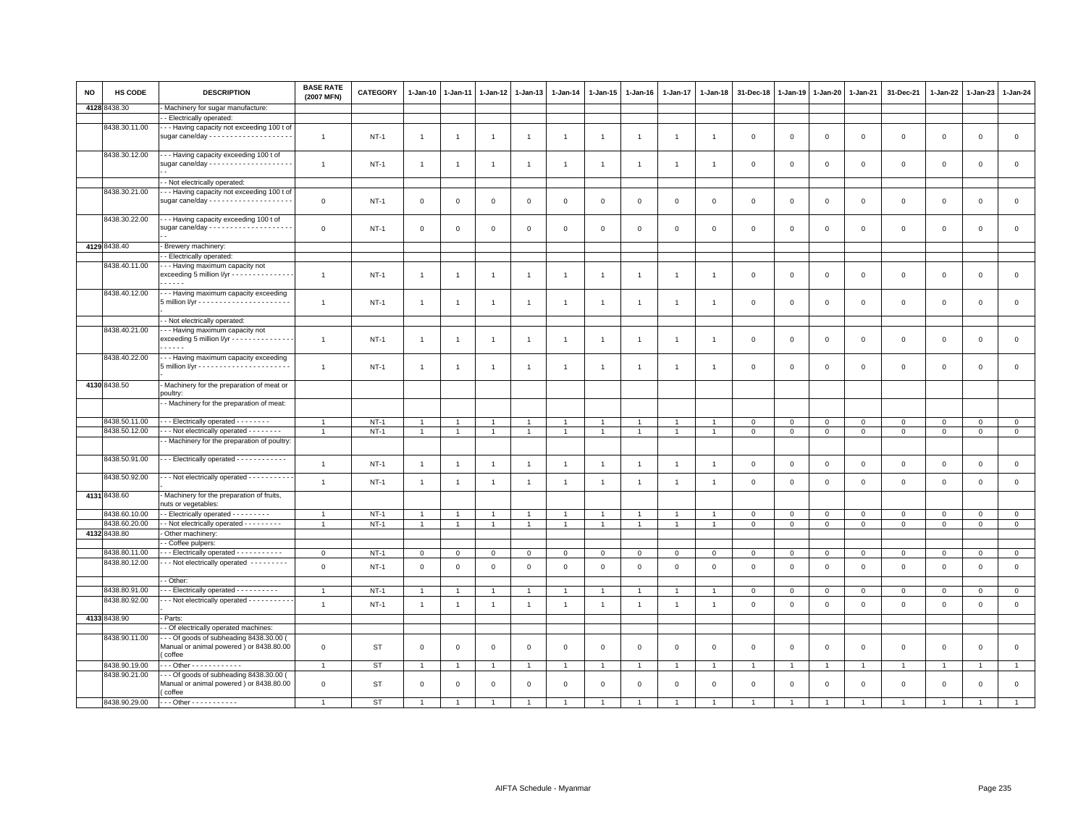| NO | HS CODE       | <b>DESCRIPTION</b>                                                                                     | <b>BASE RATE</b><br>(2007 MFN) | <b>CATEGORY</b> | 1-Jan-10       | 1-Jan-11       | 1-Jan-12       | $1-Jan-13$     | 1-Jan-14       | 1-Jan-15             | $1 - Jan-16$   | 1-Jan-17       | $1 - Jan-18$   | 31-Dec-18    | 1-Jan-19    | 1-Jan-20       | 1-Jan-21       | 31-Dec-21      | 1-Jan-22       | 1-Jan-23       | $1 - Jan-24$   |
|----|---------------|--------------------------------------------------------------------------------------------------------|--------------------------------|-----------------|----------------|----------------|----------------|----------------|----------------|----------------------|----------------|----------------|----------------|--------------|-------------|----------------|----------------|----------------|----------------|----------------|----------------|
|    | 4128 8438.30  | Machinery for sugar manufacture:                                                                       |                                |                 |                |                |                |                |                |                      |                |                |                |              |             |                |                |                |                |                |                |
|    |               | - Electrically operated:                                                                               |                                |                 |                |                |                |                |                |                      |                |                |                |              |             |                |                |                |                |                |                |
|    | 8438.30.11.00 | - - Having capacity not exceeding 100 t of<br>sugar cane/day - - - - - - - - - - - - - - - - - -       | $\overline{1}$                 | $NT-1$          | $\overline{1}$ | $\overline{1}$ | $\overline{1}$ | $\overline{1}$ | $\overline{1}$ | $\overline{1}$       |                | $\overline{1}$ | $\overline{1}$ | $\mathsf 0$  | $\mathbf 0$ | $\mathbf 0$    | $\mathsf 0$    | $\mathsf 0$    | $\mathbf 0$    | $\mathsf 0$    | $\mathsf 0$    |
|    | 8438.30.12.00 | - - Having capacity exceeding 100 t of                                                                 | $\overline{1}$                 | <b>NT-1</b>     | $\mathbf{1}$   | $\overline{1}$ | $\overline{1}$ | $\mathbf{1}$   | $\overline{1}$ | $\mathbf{1}$         | $\overline{1}$ | $\overline{1}$ | $\overline{1}$ | $\mathbf 0$  | $\mathbf 0$ | $\mathbf 0$    | $\mathbf 0$    | $\mathsf 0$    | $\mathbf 0$    | $\mathsf 0$    | $\mathbf 0$    |
|    |               | - Not electrically operated:                                                                           |                                |                 |                |                |                |                |                |                      |                |                |                |              |             |                |                |                |                |                |                |
|    | 8438.30.21.00 | - - Having capacity not exceeding 100 t of                                                             | $\mathsf 0$                    | $NT-1$          | 0              | 0              | $\mathbf 0$    | $\mathbf 0$    | $\mathbf 0$    | $\mathbf 0$          | $\mathbf 0$    | 0              | $\mathbf 0$    | 0            | $\mathsf 0$ | $\mathbf 0$    | $\mathbf 0$    | $\mathsf 0$    | $\mathbf 0$    | $\mathsf 0$    | $\mathbf 0$    |
|    | 8438.30.22.00 | --- Having capacity exceeding 100 t of                                                                 | $\mathsf 0$                    | $NT-1$          | $\mathbf{0}$   | 0              | 0              | $\mathbf 0$    | $\,0\,$        | $\mathbf 0$          | $\mathbf 0$    | 0              | $\mathbf 0$    | 0            | $\mathsf 0$ | $\mathbf 0$    | $\mathbf 0$    | $\mathsf 0$    | $\circ$        | $\mathbf 0$    | $\mathbf 0$    |
|    | 4129 8438.40  | - Brewery machinery:                                                                                   |                                |                 |                |                |                |                |                |                      |                |                |                |              |             |                |                |                |                |                |                |
|    |               | - Electrically operated:                                                                               |                                |                 |                |                |                |                |                |                      |                |                |                |              |             |                |                |                |                |                |                |
|    | 8438.40.11.00 | --- Having maximum capacity not<br>exceeding 5 million l/yr - - - - - - - - - - - - - -<br>.           | $\overline{1}$                 | <b>NT-1</b>     | $\mathbf{1}$   | $\overline{1}$ | $\overline{1}$ | $\overline{1}$ | $\overline{1}$ | $\mathbf{1}$         | $\overline{1}$ | $\overline{1}$ | $\overline{1}$ | $\mathbf 0$  | $\mathbf 0$ | $\mathbf 0$    | $\mathsf 0$    | $\mathsf 0$    | $\mathsf 0$    | $\,0\,$        | $\mathsf 0$    |
|    | 8438.40.12.00 | - - - Having maximum capacity exceeding                                                                | $\overline{1}$                 | $NT-1$          | $\mathbf{1}$   | $\overline{1}$ | $\overline{1}$ | $\overline{1}$ | $\overline{1}$ | $\mathbf{1}$         | $\overline{1}$ | $\overline{1}$ | $\overline{1}$ | $\Omega$     | $\mathbf 0$ | $\mathbf 0$    | $\mathbf 0$    | $\mathsf 0$    | $\mathbf 0$    | $\mathsf 0$    | $\mathbf{0}$   |
|    |               | - Not electrically operated:                                                                           |                                |                 |                |                |                |                |                |                      |                |                |                |              |             |                |                |                |                |                |                |
|    | 8438.40.21.00 | - - Having maximum capacity not<br>exceeding 5 million l/yr - - - - - - - - - - - - - -<br>$- - - - -$ | $\mathbf{1}$                   | <b>NT-1</b>     | $\mathbf{1}$   | -1             | $\overline{1}$ | $\mathbf{1}$   | $\overline{1}$ | $\overline{1}$       | $\overline{1}$ | $\mathbf{1}$   | -1             | 0            | 0           | $\circ$        | 0              | $\mathsf 0$    | $\mathbf 0$    | $\mathbf 0$    | $\mathbf 0$    |
|    | 8438.40.22.00 | --- Having maximum capacity exceeding                                                                  | $\overline{1}$                 | $NT-1$          | -1             | $\overline{1}$ | -1             | $\overline{1}$ | $\overline{1}$ | $\mathbf{1}$         | $\overline{1}$ | $\mathbf{1}$   | $\mathbf{1}$   | $\mathsf 0$  | $\mathsf 0$ | $\mathbf 0$    | $\mathbf 0$    | $\mathsf 0$    | $\mathbf 0$    | $\mathsf 0$    | $\mathsf 0$    |
|    | 4130 8438.50  | - Machinery for the preparation of meat or                                                             |                                |                 |                |                |                |                |                |                      |                |                |                |              |             |                |                |                |                |                |                |
|    |               | poultry:                                                                                               |                                |                 |                |                |                |                |                |                      |                |                |                |              |             |                |                |                |                |                |                |
|    |               | - Machinery for the preparation of meat:                                                               |                                |                 |                |                |                |                |                |                      |                |                |                |              |             |                |                |                |                |                |                |
|    | 8438.50.11.00 | --- Electrically operated --------                                                                     | $\overline{1}$                 | $NT-1$          | $\mathbf{1}$   |                |                | $\overline{1}$ | $\overline{1}$ | $\overline{1}$       |                |                |                | $\mathbf 0$  | $\mathbf 0$ | $\mathbf 0$    | $\mathbf 0$    | $\mathsf 0$    | $\mathbf 0$    | $\mathbf 0$    | $\overline{0}$ |
|    | 8438.50.12.00 | - - Not electrically operated - - - - - - - -                                                          | $\overline{1}$                 | $NT-1$          | $\mathbf{1}$   | $\overline{1}$ | $\mathbf{1}$   | $\overline{1}$ | $\overline{1}$ | $\mathbf{1}$         | $\overline{1}$ | $\mathbf{1}$   | $\mathbf{1}$   | $\mathbf{0}$ | $\mathbf 0$ | $\mathbf{0}$   | $\mathbf{0}$   | $\mathbf{0}$   | $\mathbf{0}$   | $\overline{0}$ | $\overline{0}$ |
|    | 8438.50.91.00 | - Machinery for the preparation of poultry:<br>- - Electrically operated - - - - - - - - - - - -       |                                |                 |                |                |                |                |                |                      |                |                |                |              |             |                |                |                |                |                |                |
|    |               |                                                                                                        | $\overline{1}$                 | $NT-1$          | $\overline{1}$ | $\overline{1}$ | $\overline{1}$ | $\overline{1}$ | $\overline{1}$ | $\overline{1}$       | $\overline{1}$ | $\overline{1}$ | $\overline{1}$ | $\mathbf 0$  | $\mathbf 0$ | $\mathbf 0$    | $\mathbf 0$    | $\mathsf 0$    | $\mathbf 0$    | $\mathsf 0$    | $\mathsf 0$    |
|    | 8438.50.92.00 | - - Not electrically operated - - - - - - - - - -                                                      | $\overline{1}$                 | $NT-1$          | $\overline{1}$ | $\overline{1}$ | $\overline{1}$ | $\overline{1}$ | $\overline{1}$ | $\overline{1}$       | $\overline{1}$ | $\overline{1}$ | $\overline{1}$ | $\mathsf 0$  | $\mathbf 0$ | $\mathbf 0$    | $\mathbf 0$    | $\mathsf 0$    | $\mathsf 0$    | $\mathsf 0$    | $\mathsf 0$    |
|    | 4131 8438.60  | Machinery for the preparation of fruits,<br>nuts or vegetables:                                        |                                |                 |                |                |                |                |                |                      |                |                |                |              |             |                |                |                |                |                |                |
|    | 8438.60.10.00 | - Electrically operated - - - - - - - - -                                                              |                                | $NT-1$          | $\overline{1}$ |                | $\overline{1}$ | $\overline{1}$ | $\overline{1}$ | $\mathbf{1}$         | $\mathbf{1}$   | $\overline{1}$ | $\overline{1}$ | $\mathbf 0$  | 0           | $\mathbf 0$    | $\mathbf 0$    | $\mathsf 0$    | $\circ$        | $\mathbf 0$    | $\circ$        |
|    | 8438.60.20.00 | - - Not electrically operated - - - - - - - - -                                                        |                                | $NT-1$          | $\mathbf{1}$   | $\overline{1}$ | $\overline{1}$ | $\overline{1}$ | $\overline{1}$ | $\overline{1}$       | $\overline{1}$ | $\overline{1}$ | $\overline{1}$ | $\mathbf 0$  | $\mathbf 0$ | $\mathbf 0$    | $\mathbf{0}$   | $\mathbf{0}$   | $\mathbf 0$    | $\mathbf{0}$   | $\overline{0}$ |
|    | 4132 8438.80  | Other machinery                                                                                        |                                |                 |                |                |                |                |                |                      |                |                |                |              |             |                |                |                |                |                |                |
|    |               | - Coffee pulpers:                                                                                      |                                |                 |                |                |                |                |                |                      |                |                |                |              |             |                |                |                |                |                |                |
|    | 8438.80.11.00 | -- Electrically operated -----------                                                                   | $\mathbf{0}$                   | $NT-1$          | $\mathbf{0}$   | $\mathbf 0$    | $\mathbf 0$    | $\mathbf 0$    | $\circ$        | $\mathsf 0$          | $\overline{0}$ | $\mathbf 0$    | $\circ$        | $\mathbf 0$  | $\mathsf 0$ | $\mathbf 0$    | $\mathbf{0}$   | $\mathbf 0$    | $\mathbf 0$    | $\overline{0}$ | $\overline{0}$ |
|    | 8438.80.12.00 | - - Not electrically operated - - - - - - - - -                                                        | $\mathsf 0$                    | $NT-1$          | $\mathbf 0$    | $\mathsf 0$    | $\mathbf 0$    | $\mathsf 0$    | $\mathbf 0$    | $\mathsf 0$          | $\mathsf 0$    | $\mathsf 0$    | $\,0\,$        | $\mathsf 0$  | $\mathbf 0$ | $\mathbf 0$    | $\mathbf 0$    | $\mathsf 0$    | $\mathsf 0$    | $\mathbf 0$    | $\mathsf 0$    |
|    |               | - Other:                                                                                               |                                |                 |                |                |                |                |                |                      |                |                |                |              |             |                |                |                |                |                |                |
|    | 8438.80.91.00 | - - Electrically operated - - - - - - - - - -                                                          | -1                             | $NT-1$          | -1             |                | -1             | $\overline{1}$ | $\overline{1}$ | $\blacktriangleleft$ |                | $\mathbf{1}$   |                | 0            | 0           | $\circ$        | $\mathbf{0}$   | $\mathbf 0$    | $\mathbf 0$    | 0              | $\overline{0}$ |
|    | 8438.80.92.00 | - - Not electrically operated - - - - - - - - - -                                                      | $\overline{1}$                 | $NT-1$          | $\mathbf{1}$   | $\overline{1}$ | $\mathbf{1}$   | $\mathbf{1}$   | $\overline{1}$ | $\mathbf{1}$         | $\overline{1}$ | $\overline{1}$ | $\overline{1}$ | $\mathbf 0$  | $\mathbf 0$ | $\mathbf 0$    | $\circ$        | $\mathsf 0$    | $\mathbf{0}$   | $\mathsf 0$    | $\mathsf 0$    |
|    | 4133 8438.90  | Parts:                                                                                                 |                                |                 |                |                |                |                |                |                      |                |                |                |              |             |                |                |                |                |                |                |
|    |               | - Of electrically operated machines:                                                                   |                                |                 |                |                |                |                |                |                      |                |                |                |              |             |                |                |                |                |                |                |
|    | 8438.90.11.00 | $-$ - Of goods of subheading 8438.30.00 (<br>Manual or animal powered ) or 8438.80.00<br>coffee        | $\mathsf 0$                    | ST              | $\mathsf 0$    | $\mathbf 0$    | $\mathbf 0$    | $\,0\,$        | $\,0\,$        | $\mathsf 0$          | $\,0\,$        | $\mathsf 0$    | $\,$ 0         | $\mathsf 0$  | $\,0\,$     | $\mathbf 0$    | $\mathbf 0$    | $\mathsf 0$    | $\mathsf 0$    | $\mathbf 0$    | $\mathsf 0$    |
|    | 8438.90.19.00 | $-$ - Other - - - - - - - - - - - -                                                                    | $\mathbf{1}$                   | <b>ST</b>       | $\mathbf{1}$   |                | $\overline{1}$ | $\overline{1}$ | $\mathbf{1}$   |                      |                | $\overline{1}$ |                |              |             | $\overline{1}$ | $\overline{1}$ | $\overline{1}$ | $\overline{1}$ |                | $\mathbf{1}$   |
|    | 8438.90.21.00 | - - Of goods of subheading 8438.30.00 (<br>Manual or animal powered) or 8438.80.00<br>(coffee          | $\mathsf 0$                    | ST              | $\mathbf 0$    | $^{\circ}$     | 0              | $\mathbf 0$    | $\mathsf 0$    | $\mathbf 0$          | $\mathsf 0$    | $\mathbf 0$    | $\mathbf 0$    | $\mathbf 0$  | $\mathbf 0$ | $\mathbf 0$    | $\mathbf 0$    | $\mathsf 0$    | $\mathbf 0$    | $\mathsf 0$    | $\mathsf 0$    |
|    | 8438.90.29.00 | --- Other -----------                                                                                  |                                | <b>ST</b>       |                |                |                |                |                |                      |                |                |                |              |             | $\overline{1}$ |                |                |                |                |                |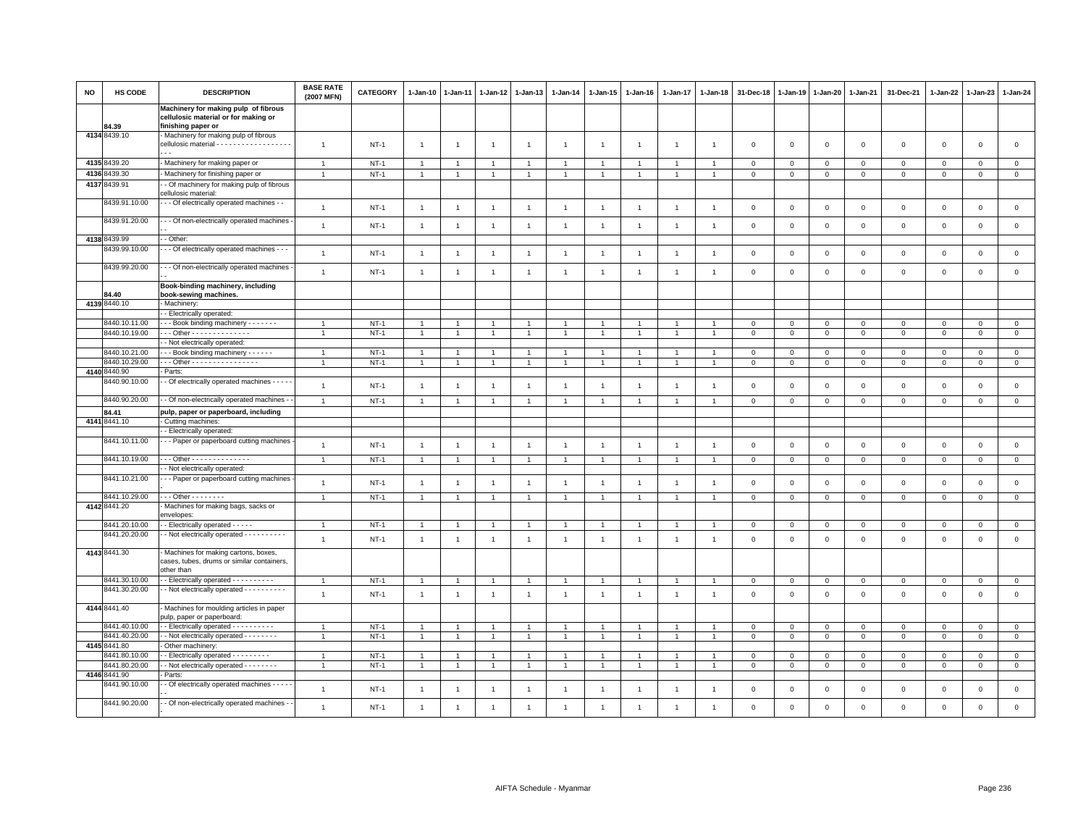| NO | HS CODE       | <b>DESCRIPTION</b>                                                                                        | <b>BASE RATE</b><br>(2007 MFN) | <b>CATEGORY</b> | $1 - Jan-10$   | $1-Jan-11$     | 1-Jan-12       | $1 - Jan-13$   | $1 - Jan-14$   | $1 - Jan-15$   | $1 - Jan-16$   | 1-Jan-17       | $1-Jan-18$     | 31-Dec-18    | 1-Jan-19     | 1-Jan-20            | $1 - Jan-21$ | 31-Dec-21    | 1-Jan-22     | $1-Jan-23$   | 1-Jan-24       |
|----|---------------|-----------------------------------------------------------------------------------------------------------|--------------------------------|-----------------|----------------|----------------|----------------|----------------|----------------|----------------|----------------|----------------|----------------|--------------|--------------|---------------------|--------------|--------------|--------------|--------------|----------------|
|    | 84.39         | Machinery for making pulp of fibrous<br>cellulosic material or for making or<br>finishing paper or        |                                |                 |                |                |                |                |                |                |                |                |                |              |              |                     |              |              |              |              |                |
|    | 4134 8439.10  | Machinery for making pulp of fibrous<br>cellulosic material - - - - - - - - - - - - - - - - - -<br>$\sim$ | $\overline{1}$                 | $NT-1$          | $\mathbf{1}$   | $\overline{1}$ | $\overline{1}$ | $\overline{1}$ | $\overline{1}$ | $\overline{1}$ | $\overline{1}$ | $\overline{1}$ | $\overline{1}$ | $\mathbf 0$  | $\Omega$     | $\Omega$            | $\mathbf 0$  | $\mathbf 0$  | $\mathbf{0}$ | $\mathbf 0$  | $\mathbf 0$    |
|    | 4135 8439.20  | - Machinery for making paper or                                                                           | $\overline{1}$                 | $NT-1$          | $\overline{1}$ | $\overline{1}$ | $\overline{1}$ | $\overline{1}$ | $\overline{1}$ | $\overline{1}$ | $\overline{1}$ | $\overline{1}$ | $\overline{1}$ | $\mathbf 0$  | $\mathbf 0$  | $\circ$             | $\mathbf{O}$ | $\mathsf 0$  | $\circ$      | $\mathsf 0$  | $\mathbf 0$    |
|    | 4136 8439.30  | Machinery for finishing paper or                                                                          | $\overline{1}$                 | $NT-1$          | $\overline{1}$ | $\overline{1}$ | $\overline{1}$ | $\overline{1}$ | $\overline{1}$ | $\overline{1}$ | $\overline{1}$ | $\mathbf{1}$   | $\overline{1}$ | $\mathbf 0$  | $\mathbf 0$  | $\mathbf 0$         | $\mathbf 0$  | $\mathbf 0$  | $\Omega$     | $\mathbf 0$  | $\circ$        |
|    | 4137 8439.91  | - Of machinery for making pulp of fibrous                                                                 |                                |                 |                |                |                |                |                |                |                |                |                |              |              |                     |              |              |              |              |                |
|    |               | cellulosic material:                                                                                      |                                |                 |                |                |                |                |                |                |                |                |                |              |              |                     |              |              |              |              |                |
|    | 8439.91.10.00 | - - Of electrically operated machines - -                                                                 | $\overline{1}$                 | $NT-1$          | $\overline{1}$ | $\overline{1}$ | $\overline{1}$ | $\overline{1}$ | $\mathbf{1}$   | $\overline{1}$ | 1              | $\overline{1}$ | $\overline{1}$ | $\mathbf 0$  | $\mathsf 0$  | $\mathsf{O}\xspace$ | $\mathsf 0$  | $\mathsf 0$  | $\mathbf 0$  | $\mathbf 0$  | $\mathsf 0$    |
|    | 8439.91.20.00 | - - Of non-electrically operated machines                                                                 | $\overline{1}$                 | $NT-1$          | $\mathbf{1}$   | -1             | $\overline{1}$ | $\overline{1}$ | $\overline{1}$ | $\overline{1}$ | $\overline{1}$ | $\overline{1}$ | $\overline{1}$ | $\mathsf 0$  | $\mathsf 0$  | $\mathsf 0$         | $\mathsf 0$  | $\mathsf 0$  | $\mathsf 0$  | $\mathbf 0$  | $\mathsf 0$    |
|    | 4138 8439.99  | - Other:                                                                                                  |                                |                 |                |                |                |                |                |                |                |                |                |              |              |                     |              |              |              |              |                |
|    | 8439.99.10.00 | - - Of electrically operated machines - - -                                                               | $\overline{1}$                 | $NT-1$          | $\mathbf{1}$   | $\overline{1}$ | $\overline{1}$ | $\overline{1}$ | $\overline{1}$ | $\overline{1}$ | $\overline{1}$ | $\overline{1}$ | $\overline{1}$ | $\mathsf 0$  | $\mathsf 0$  | $\mathsf 0$         | $\mathsf 0$  | $\mathsf 0$  | $\mathsf 0$  | $\mathbf 0$  | $\mathsf 0$    |
|    | 8439.99.20.00 | - - Of non-electrically operated machines                                                                 | $\overline{1}$                 | $NT-1$          | $\mathbf{1}$   | $\overline{1}$ | $\overline{1}$ | $\overline{1}$ | $\overline{1}$ | $\overline{1}$ | $\overline{1}$ | $\overline{1}$ | $\overline{1}$ | $\mathbf 0$  | $\mathbf 0$  | $\mathbf 0$         | $\mathsf 0$  | $\mathbf 0$  | $\Omega$     | $\mathsf 0$  | $\mathsf 0$    |
|    | 84.40         | Book-binding machinery, including<br>book-sewing machines.                                                |                                |                 |                |                |                |                |                |                |                |                |                |              |              |                     |              |              |              |              |                |
|    | 4139 8440.10  | - Machinery:                                                                                              |                                |                 |                |                |                |                |                |                |                |                |                |              |              |                     |              |              |              |              |                |
|    |               | - Electrically operated:                                                                                  |                                |                 |                |                |                |                |                |                |                |                |                |              |              |                     |              |              |              |              |                |
|    | 8440.10.11.00 | --- Book binding machinery -------                                                                        |                                | $NT-1$          | $\overline{1}$ |                | $\overline{1}$ |                | $\overline{1}$ | $\overline{1}$ |                | $\overline{1}$ |                | $\mathbf 0$  | $\mathbf 0$  | $\mathbf 0$         | $\mathsf 0$  | $\mathbf 0$  | $\mathbf 0$  | $\mathsf 0$  | $\mathbf 0$    |
|    | 8440.10.19.00 | Other - - - - - - - - - - - - -                                                                           |                                | $NT-1$          | $\overline{1}$ |                |                |                | $\overline{1}$ |                |                |                |                | $\mathbf 0$  | $\mathbf 0$  | $\mathbf 0$         | $\mathsf 0$  | $\mathbf 0$  | $\mathbf 0$  | $\mathsf 0$  | $\mathsf 0$    |
|    |               | - Not electrically operated:                                                                              |                                |                 |                |                |                |                |                |                |                |                |                |              |              |                     |              |              |              |              |                |
|    | 8440.10.21.00 | --- Book binding machinery ------                                                                         | $\overline{1}$                 | $NT-1$          | $\overline{1}$ |                | $\overline{1}$ |                | $\mathbf{1}$   | $\overline{1}$ |                |                |                | $\mathbf 0$  | $\mathbf 0$  | $\mathbf 0$         | $\mathsf 0$  | $\mathbf 0$  | $\mathbf 0$  | $\mathsf 0$  | $\mathbf 0$    |
|    | 8440.10.29.00 | Other - - - - - - - - - - - - - - - -                                                                     | $\overline{1}$                 | $NT-1$          | $\overline{1}$ |                | $\overline{1}$ |                | $\overline{1}$ | $\overline{1}$ | $\overline{1}$ | $\mathbf{1}$   |                | $\mathbf 0$  | $\mathbf 0$  | $\mathbf 0$         | $\Omega$     | $\mathsf 0$  | $\Omega$     | $\mathbf 0$  | $\circ$        |
|    | 4140 8440.90  | Parts:                                                                                                    |                                |                 |                |                |                |                |                |                |                |                |                |              |              |                     |              |              |              |              |                |
|    | 8440.90.10.00 | - Of electrically operated machines - - - -                                                               | $\overline{1}$                 | $NT-1$          | $\overline{1}$ |                | $\overline{1}$ | -1             | $\overline{1}$ | $\overline{1}$ |                | $\overline{1}$ | -1             | $\mathbf 0$  | $\mathbf 0$  | 0                   | $\mathbf 0$  | $\mathsf 0$  | $\circ$      | $\mathbf 0$  | $\mathsf 0$    |
|    | 8440.90.20.00 | - Of non-electrically operated machines -                                                                 | $\overline{1}$                 | $NT-1$          | $\overline{1}$ | $\mathbf{1}$   | $\overline{1}$ | $\overline{1}$ | $\overline{1}$ | $\overline{1}$ | $\overline{1}$ | $\mathbf{1}$   | $\overline{1}$ | $\mathbf{0}$ | $\mathsf 0$  | $\mathsf 0$         | $\circ$      | $\mathsf 0$  | $\mathbf 0$  | $\mathbf 0$  | $\mathsf 0$    |
|    | 84.41         | pulp, paper or paperboard, including                                                                      |                                |                 |                |                |                |                |                |                |                |                |                |              |              |                     |              |              |              |              |                |
|    | 4141 8441.10  | Cutting machines:                                                                                         |                                |                 |                |                |                |                |                |                |                |                |                |              |              |                     |              |              |              |              |                |
|    |               | - Electrically operated:                                                                                  |                                |                 |                |                |                |                |                |                |                |                |                |              |              |                     |              |              |              |              |                |
|    | 8441.10.11.00 | - - Paper or paperboard cutting machines                                                                  | $\overline{1}$                 | $NT-1$          | $\mathbf{1}$   | -1             | $\overline{1}$ | $\overline{1}$ | $\overline{1}$ | $\overline{1}$ | $\mathbf{1}$   | $\overline{1}$ | $\mathbf{1}$   | $\mathbf 0$  | $\mathbf{0}$ | $\mathbf{0}$        | $\mathbf 0$  | $\mathbf{0}$ | $\mathbf{0}$ | $\mathbf 0$  | $\mathbf 0$    |
|    | 8441.10.19.00 | Other - - - - - - - - - - - - -                                                                           | $\overline{1}$                 | $NT-1$          | $\overline{1}$ |                | $\overline{1}$ |                | $\overline{1}$ | $\overline{1}$ | 1              | $\overline{1}$ |                | 0            | $\mathbf 0$  | $\mathbf 0$         | $\mathsf 0$  | $\mathsf 0$  | $\mathbf 0$  | $\mathsf 0$  | $\mathbf 0$    |
|    |               | - Not electrically operated:                                                                              |                                |                 |                |                |                |                |                |                |                |                |                |              |              |                     |              |              |              |              |                |
|    | 8441.10.21.00 | - - Paper or paperboard cutting machines                                                                  | $\overline{1}$                 | $NT-1$          | $\mathbf{1}$   | $\overline{1}$ | $\overline{1}$ | $\overline{1}$ | $\mathbf{1}$   | $\mathbf{1}$   | $\overline{1}$ | $\mathbf{1}$   | $\overline{1}$ | $\mathbf 0$  | $\mathbf 0$  | $\mathbf 0$         | $\mathsf 0$  | $\mathbf 0$  | $\mathsf 0$  | $\mathbf 0$  | $\mathbf{0}$   |
|    | 8441.10.29.00 | $\cdot$ - Other - - - - - - - -                                                                           | $\overline{1}$                 | $NT-1$          | $\overline{1}$ |                | -1             |                | $\mathbf{1}$   | $\overline{1}$ | $\overline{1}$ | $\mathbf{1}$   |                | $\Omega$     | $\mathbf 0$  | $\mathsf 0$         | $\mathbf{O}$ | $\mathsf 0$  | $\mathbf 0$  | $\mathbf 0$  | $\overline{0}$ |
|    | 4142 8441.20  | Machines for making bags, sacks or<br>envelopes:                                                          |                                |                 |                |                |                |                |                |                |                |                |                |              |              |                     |              |              |              |              |                |
|    | 8441.20.10.00 | - Electrically operated - - - - -                                                                         |                                | $NT-1$          |                |                |                |                |                |                |                |                |                | $\Omega$     | $\Omega$     | $\Omega$            | $\Omega$     | $\mathbf 0$  | $\Omega$     | $\mathbf 0$  | $\mathsf 0$    |
|    | 8441.20.20.00 | - Not electrically operated - - - - - - - - - -                                                           | $\overline{1}$                 | $NT-1$          | $\mathbf{1}$   | $\overline{1}$ | $\overline{1}$ | $\overline{1}$ | $\overline{1}$ | $\overline{1}$ | $\overline{1}$ | $\overline{1}$ | $\overline{1}$ | $\mathbf 0$  | $\Omega$     | $\Omega$            | $\mathbf 0$  | $\mathbf 0$  | $\mathbf{0}$ | $\mathbf 0$  | $\mathbf{0}$   |
|    | 4143 8441.30  | Machines for making cartons, boxes,<br>cases, tubes, drums or similar containers,<br>other than           |                                |                 |                |                |                |                |                |                |                |                |                |              |              |                     |              |              |              |              |                |
|    | 8441.30.10.00 | - Electrically operated - - - - - - - - - -                                                               | $\overline{1}$                 | $NT-1$          | $\overline{1}$ |                | $\overline{1}$ |                | $\overline{1}$ |                |                |                |                | $\mathbf 0$  | $^{\circ}$   | $\mathbf 0$         | $\mathsf 0$  | $\mathbf 0$  | $\circ$      | $\mathsf 0$  | $\overline{0}$ |
|    | 8441.30.20.00 | - Not electrically operated - - - - - - - - - -                                                           | $\overline{1}$                 | $NT-1$          | $\overline{1}$ | $\overline{1}$ | $\overline{1}$ | $\overline{1}$ | $\overline{1}$ | $\overline{1}$ | $\overline{1}$ | $\mathbf{1}$   | $\overline{1}$ | $\mathbf 0$  | $\mathbf{0}$ | $\mathbf{0}$        | $\mathbf 0$  | $\mathbf 0$  | $\mathbf{0}$ | $\mathbf{0}$ | $\circ$        |
|    | 4144 8441.40  | Machines for moulding articles in paper<br>pulp, paper or paperboard:                                     |                                |                 |                |                |                |                |                |                |                |                |                |              |              |                     |              |              |              |              |                |
|    | 8441.40.10.00 | - Electrically operated - - - - - - - - - -                                                               | $\overline{1}$                 | $NT-1$          | $\overline{1}$ | $\overline{1}$ | $\overline{1}$ | $\overline{1}$ | $\overline{1}$ | $\overline{1}$ |                | $\overline{1}$ | $\overline{1}$ | $\Omega$     | $\Omega$     | $\Omega$            | $\Omega$     | $\Omega$     | $\Omega$     | $\mathbf 0$  | $\mathbf{0}$   |
|    | 8441.40.20.00 | - Not electrically operated - - - - - - - -                                                               | $\overline{1}$                 | $NT-1$          | $\overline{1}$ |                | $\overline{1}$ |                | $\overline{1}$ | $\overline{1}$ | $\mathbf{1}$   |                |                | $\Omega$     | $\Omega$     | $\mathbf 0$         | $\mathbf 0$  | $\mathsf 0$  | $\Omega$     | $\mathsf 0$  | $\mathbf 0$    |
|    | 4145 8441.80  | Other machinery:                                                                                          |                                |                 |                |                |                |                |                |                |                |                |                |              |              |                     |              |              |              |              |                |
|    | 8441.80.10.00 | - Electrically operated - - - - - - - - -                                                                 | $\overline{1}$                 | $NT-1$          | $\overline{1}$ |                | $\overline{1}$ |                | $\overline{1}$ | $\overline{1}$ | 1              |                |                | 0            | $\mathbf 0$  | $\mathbf 0$         | $\mathbf{O}$ | $\mathsf 0$  | $\mathbf 0$  | $^{\circ}$   | $\mathbf 0$    |
|    | 8441.80.20.00 | - Not electrically operated - - - - - - - -                                                               | $\overline{1}$                 | $NT-1$          | $\overline{1}$ | -1             | $\overline{1}$ |                | $\overline{1}$ | $\overline{1}$ | $\overline{1}$ | $\mathbf{1}$   |                | $\mathbf 0$  | $\mathbf 0$  | $\mathbf 0$         | $\mathbf 0$  | $\mathsf 0$  | $\mathbf{0}$ | $\mathsf 0$  | $\mathsf 0$    |
|    | 4146 8441.90  | Parts:                                                                                                    |                                |                 |                |                |                |                |                |                |                |                |                |              |              |                     |              |              |              |              |                |
|    | 8441.90.10.00 | - Of electrically operated machines - - - -                                                               | $\overline{1}$                 | $NT-1$          | $\overline{1}$ | $\overline{1}$ | $\overline{1}$ | $\overline{1}$ | $\mathbf{1}$   | $\overline{1}$ | $\overline{1}$ | $\overline{1}$ | $\overline{1}$ | $\mathbf 0$  | $\mathbf 0$  | $\mathsf 0$         | $\mathsf 0$  | $\mathsf 0$  | $\,0\,$      | $\,0\,$      | $\mathsf 0$    |
|    | 8441.90.20.00 | - Of non-electrically operated machines -                                                                 | $\overline{1}$                 | $NT-1$          | $\overline{1}$ | $\overline{1}$ | $\overline{1}$ | $\overline{1}$ | $\overline{1}$ | $\overline{1}$ | 1              | $\overline{1}$ | $\overline{1}$ | $\Omega$     | $\mathbf 0$  | $\mathbf 0$         | $\mathbf 0$  | $\mathbf 0$  | $\mathbf 0$  | $\mathbf 0$  | $\mathsf 0$    |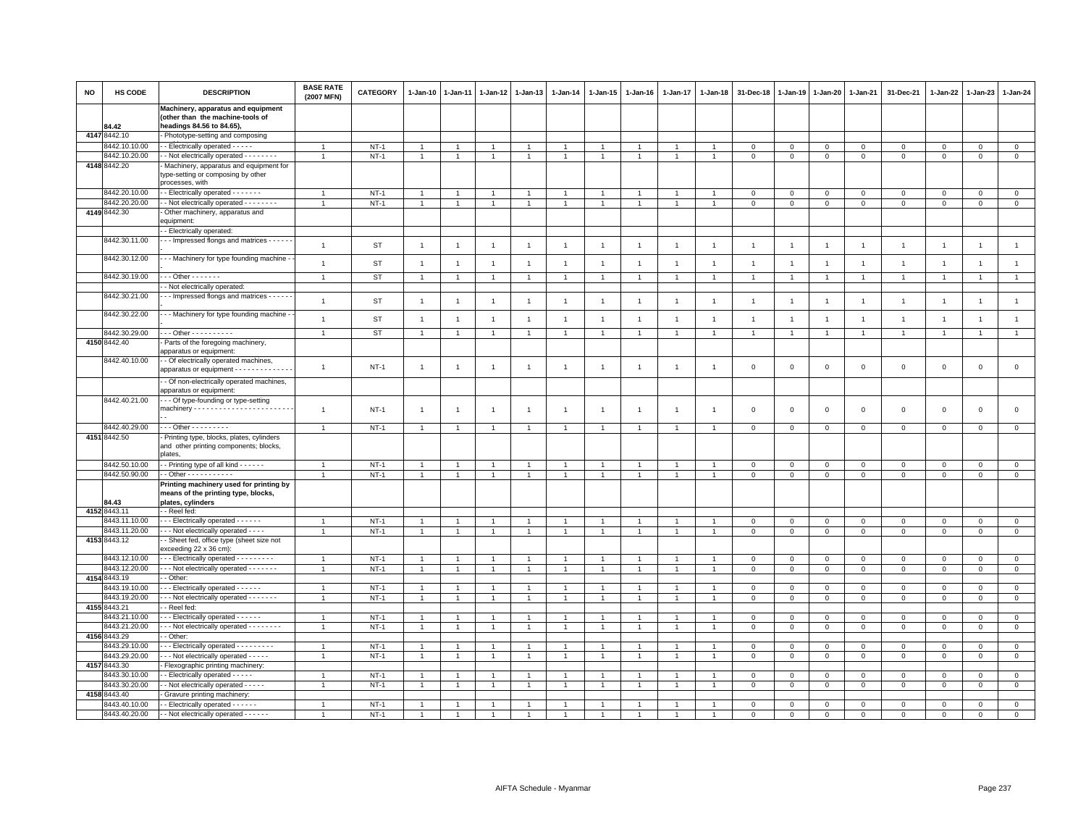| <b>NO</b> | HS CODE                       | <b>DESCRIPTION</b>                                                                                  | <b>BASE RATE</b><br>(2007 MFN) | <b>CATEGORY</b> | 1-Jan-10       | $1 - Jan-11$   | 1-Jan-12       | $1 - Jan-13$   | 1-Jan-14                       | 1-Jan-15                       | $1-Jan-16$     | $1 - Jan-17$   | 1-Jan-18       | 31-Dec-18      | 1-Jan-19       | 1-Jan-20       | 1-Jan-21                    | 31-Dec-21      | 1-Jan-22                    | 1-Jan-23       | 1-Jan-24       |
|-----------|-------------------------------|-----------------------------------------------------------------------------------------------------|--------------------------------|-----------------|----------------|----------------|----------------|----------------|--------------------------------|--------------------------------|----------------|----------------|----------------|----------------|----------------|----------------|-----------------------------|----------------|-----------------------------|----------------|----------------|
|           |                               | Machinery, apparatus and equipment<br>(other than the machine-tools of                              |                                |                 |                |                |                |                |                                |                                |                |                |                |                |                |                |                             |                |                             |                |                |
|           | 84.42                         | headings 84.56 to 84.65),                                                                           |                                |                 |                |                |                |                |                                |                                |                |                |                |                |                |                |                             |                |                             |                |                |
|           | 4147 8442.10                  | Phototype-setting and composing                                                                     |                                |                 |                |                |                |                |                                |                                |                |                |                |                |                |                |                             |                |                             |                |                |
|           | 3442.10.10.00                 | - - Electrically operated - - - - -                                                                 | $\overline{1}$                 | $NT-1$          | $\overline{1}$ | -1             | $\overline{1}$ | $\overline{1}$ | $\mathbf{1}$                   | $\overline{1}$                 | $\overline{1}$ | $\overline{1}$ |                | $\mathbf 0$    | $\circ$        | $\mathbf 0$    | $\,0\,$                     | $\mathbf 0$    | 0                           | $\mathbf 0$    | $\mathsf 0$    |
|           | 3442.10.20.00                 | - - Not electrically operated - - - - - - - -                                                       | $\overline{1}$                 | $NT-1$          | 1              | $\mathbf{1}$   | $\overline{1}$ | $\overline{1}$ | $\overline{1}$                 | $\mathbf{1}$                   |                | $\mathbf{1}$   |                | $\mathbf 0$    | $\,0\,$        | $\mathsf 0$    | $\,0\,$                     | $\mathsf 0$    | $\mathsf 0$                 | $\mathbf 0$    | $\overline{0}$ |
|           | 4148 8442.20                  | Machinery, apparatus and equipment for<br>type-setting or composing by other<br>processes, with     |                                |                 |                |                |                |                |                                |                                |                |                |                |                |                |                |                             |                |                             |                |                |
|           | 8442.20.10.00                 | - Electrically operated - - - - - - -                                                               |                                | $NT-1$          |                |                |                |                |                                |                                |                |                |                | $\mathbf 0$    | $\mathbf 0$    | $\Omega$       | $\mathbf 0$                 | $\Omega$       | $\Omega$                    | $\Omega$       | $\mathbf 0$    |
|           | 8442.20.20.00                 | - Not electrically operated - - - - - - - -                                                         | $\overline{1}$                 | $NT-1$          | $\mathbf{1}$   | $\overline{1}$ | $\overline{1}$ | $\overline{1}$ | $\mathbf{1}$                   | $\overline{1}$                 | $\overline{1}$ | $\mathbf{1}$   |                | $\mathbf 0$    | $\mathbf 0$    | $\mathbf 0$    | $\mathsf 0$                 | $\mathsf 0$    | $\mathbf 0$                 | $\mathbf{0}$   | $\circ$        |
|           | 4149 8442.30                  | Other machinery, apparatus and<br>equipment:                                                        |                                |                 |                |                |                |                |                                |                                |                |                |                |                |                |                |                             |                |                             |                |                |
|           |                               | - Electrically operated:                                                                            |                                |                 |                |                |                |                |                                |                                |                |                |                |                |                |                |                             |                |                             |                |                |
|           | 8442.30.11.00                 | -- Impressed flongs and matrices - - - -                                                            | $\overline{1}$                 | ST              | $\overline{1}$ | $\overline{1}$ | $\overline{1}$ | $\overline{1}$ | $\mathbf{1}$                   | $\overline{1}$                 | $\mathbf{1}$   | $\overline{1}$ | $\mathbf{1}$   | $\overline{1}$ | $\overline{1}$ | $\mathbf{1}$   | $\overline{1}$              | $\mathbf{1}$   | $\overline{1}$              | $\overline{1}$ | $\mathbf{1}$   |
|           | 8442.30.12.00                 | - Machinery for type founding machine -                                                             | $\overline{1}$                 | ST              | $\overline{1}$ | $\overline{1}$ | $\overline{1}$ | $\overline{1}$ | $\overline{1}$                 | $\overline{1}$                 | $\mathbf{1}$   | $\overline{1}$ | $\overline{1}$ | $\overline{1}$ | $\overline{1}$ | $\overline{1}$ | $\overline{1}$              | $\overline{1}$ | $\overline{1}$              | $\overline{1}$ | $\overline{1}$ |
|           | 8442.30.19.00                 | $-$ - Other - - - - - - -                                                                           | $\overline{1}$                 | <b>ST</b>       | 1              |                | -1             |                | $\mathbf{1}$                   |                                |                |                |                | $\overline{1}$ |                | $\overline{1}$ | 1                           | $\mathbf{1}$   |                             | -1             |                |
|           |                               | - Not electrically operated:                                                                        |                                |                 |                |                |                |                |                                |                                |                |                |                |                |                |                |                             |                |                             |                |                |
|           | 8442.30.21.00                 | - - Impressed flongs and matrices - - - - -                                                         | $\mathbf{1}$                   | ST              | $\overline{1}$ | $\overline{1}$ | $\overline{1}$ | $\overline{1}$ | $\mathbf{1}$                   | $\overline{1}$                 | $\overline{1}$ | $\overline{1}$ | $\overline{1}$ | $\overline{1}$ | $\overline{1}$ | $\overline{1}$ | $\overline{1}$              | $\mathbf{1}$   | $\overline{1}$              | $\overline{1}$ | $\mathbf{1}$   |
|           | 8442.30.22.00                 | - Machinery for type founding machine -                                                             | $\overline{1}$                 | ST              | $\overline{1}$ | $\overline{1}$ | $\overline{1}$ | $\overline{1}$ | $\overline{1}$                 | $\overline{1}$                 | $\overline{1}$ | $\overline{1}$ | $\overline{1}$ | $\overline{1}$ | $\overline{1}$ | $\overline{1}$ | $\overline{1}$              | $\mathbf{1}$   | $\overline{1}$              | $\overline{1}$ | $\overline{1}$ |
|           | 8442.30.29.00                 | - - Other - - - - - - - - - -                                                                       | $\overline{1}$                 | ST              | -1             | $\overline{1}$ | $\overline{1}$ | $\mathbf{1}$   | $\mathbf{1}$                   | 1                              | $\mathbf{1}$   | $\overline{1}$ |                | $\overline{1}$ | $\overline{1}$ | $\overline{1}$ | $\overline{1}$              | $\mathbf{1}$   | $\mathbf{1}$                | $\overline{1}$ | $\mathbf{1}$   |
|           | 4150 8442.40                  | Parts of the foregoing machinery,<br>apparatus or equipment:                                        |                                |                 |                |                |                |                |                                |                                |                |                |                |                |                |                |                             |                |                             |                |                |
|           | 8442.40.10.00                 | - Of electrically operated machines,<br>apparatus or equipment - - - - - - - - - - -                | $\mathbf{1}$                   | $NT-1$          | $\overline{1}$ | $\overline{1}$ | $\overline{1}$ | $\overline{1}$ | $\overline{1}$                 | $\overline{1}$                 | $\overline{1}$ | $\overline{1}$ | $\overline{1}$ | $\mathbf 0$    | $\,0\,$        | $\,0\,$        | $\mathbf 0$                 | $\mathsf 0$    | $\,0\,$                     | $\mathsf 0$    | $\mathsf 0$    |
|           |                               | - Of non-electrically operated machines,<br>apparatus or equipment:                                 |                                |                 |                |                |                |                |                                |                                |                |                |                |                |                |                |                             |                |                             |                |                |
|           | 8442.40.21.00                 | - - Of type-founding or type-setting                                                                |                                |                 |                |                |                |                |                                |                                |                |                |                |                |                |                |                             |                |                             |                |                |
|           |                               |                                                                                                     | $\overline{1}$                 | $NT-1$          | $\overline{1}$ | -1             | $\overline{1}$ | $\overline{1}$ | $\mathbf{1}$                   | $\mathbf{1}$                   | $\overline{1}$ | 1              | -1             | $\mathbf 0$    | $\mathsf 0$    | $\mathsf 0$    | $\mathbf 0$                 | $\mathsf 0$    | $\mathsf 0$                 | $\mathsf 0$    | $\mathsf 0$    |
|           | 3442.40.29.00                 | - - - Other - - - - - - - - -                                                                       | $\mathbf{1}$                   | $NT-1$          | $\overline{1}$ | $\overline{1}$ | $\overline{1}$ |                | $\overline{1}$                 | $\mathbf{1}$                   | $\overline{1}$ | $\overline{1}$ |                | $\mathbf 0$    | $\mathbf 0$    | $\mathbf 0$    | $\mathbf{0}$                | $\mathbf 0$    | $\mathbf 0$                 | $\mathbf 0$    | $\mathbf{0}$   |
|           | 4151 8442.50                  | Printing type, blocks, plates, cylinders<br>and other printing components; blocks,<br>plates,       |                                |                 |                |                |                |                |                                |                                |                |                |                |                |                |                |                             |                |                             |                |                |
|           | 8442.50.10.00                 | - - Printing type of all kind - - - - - -                                                           | $\mathbf{1}$                   | $NT-1$          |                |                | $\mathbf{1}$   | $\overline{1}$ | $\mathbf{1}$                   | $\mathbf{1}$                   |                |                |                | $\overline{0}$ | $\mathbf{0}$   | $\mathbf{0}$   | $\overline{0}$              | $\mathbf 0$    | $\mathbf{0}$                | $\mathbf{0}$   | $\circ$        |
|           | 8442.50.90.00                 | - - Other - - - - - - - - - - -                                                                     | $\overline{1}$                 | $NT-1$          | $\mathbf{1}$   | 1              | 1              | $\overline{1}$ | $\mathbf{1}$                   | 1                              | $\overline{1}$ | 1              |                | $\mathbf 0$    | $\circ$        | $\mathbf 0$    | $\circ$                     | $\mathbf 0$    | 0                           | $\mathbf 0$    | $\mathbf 0$    |
|           | 84.43                         | Printing machinery used for printing by<br>means of the printing type, blocks,<br>plates, cylinders |                                |                 |                |                |                |                |                                |                                |                |                |                |                |                |                |                             |                |                             |                |                |
|           | 4152 8443.11                  | - Reel fed:                                                                                         |                                |                 |                |                |                |                |                                |                                |                |                |                |                |                |                |                             |                |                             |                |                |
|           | 8443.11.10.00                 | - - - Electrically operated - - - - - -                                                             | $\mathbf{1}$                   | $NT-1$          | $\overline{1}$ | $\mathbf{1}$   | $\mathbf{1}$   | $\overline{1}$ | $\overline{1}$                 | $\mathbf{1}$                   | $\overline{1}$ | $\mathbf{1}$   |                | $\overline{0}$ | $\mathbf 0$    | $\mathbf{0}$   | $\overline{0}$              | $\mathbf{0}$   | $\mathbf 0$                 | $\mathbf{O}$   | $\overline{0}$ |
|           | 8443.11.20.00                 | - - - Not electrically operated - - - -                                                             | $\overline{1}$                 | $NT-1$          | $\mathbf{1}$   | $\overline{1}$ | $\overline{1}$ | $\overline{1}$ | $\mathbf{1}$                   | $\mathbf{1}$                   | $\overline{1}$ | $\overline{1}$ | $\overline{1}$ | $\mathsf 0$    | $\mathsf 0$    | $\mathbf 0$    | $\circ$                     | $\mathsf 0$    | $\mathbf{0}$                | $\mathsf 0$    | $\circ$        |
|           | 4153 8443.12                  | - Sheet fed, office type (sheet size not<br>exceeding 22 x 36 cm):                                  |                                |                 |                |                |                |                |                                |                                |                |                |                |                |                |                |                             |                |                             |                |                |
|           | 8443.12.10.00                 | - - Electrically operated - - - - - - - -                                                           |                                | $NT-1$          | $\overline{1}$ | $\overline{1}$ | $\overline{1}$ | $\overline{1}$ | $\overline{1}$                 | $\mathbf{1}$                   |                | $\mathbf{1}$   |                | $\mathbf 0$    | $\mathbf 0$    | $\mathbf 0$    | $\mathbf 0$                 | $\mathsf 0$    | $\mathbf 0$                 | $\mathbf 0$    | $\mathsf 0$    |
|           | 8443.12.20.00                 | - - - Not electrically operated - - - - - - -                                                       | $\overline{1}$                 | $NT-1$          | $\mathbf{1}$   | -1             | $\mathbf{1}$   | $\overline{1}$ | $\overline{1}$                 | 1                              |                | 1              |                | $\mathbf 0$    | $\,0\,$        | $\circ$        | $\mathsf 0$                 | $\mathsf 0$    | 0                           | $\mathbf{0}$   | $\mathsf 0$    |
| 4154      | 8443.19                       | - Other                                                                                             |                                |                 |                |                |                |                |                                |                                |                |                |                |                |                |                |                             |                |                             |                |                |
|           | 3443.19.10.00                 | - - Electrically operated - - - - - -                                                               | $\overline{1}$                 | $NT-1$          | $\overline{1}$ |                | $\overline{1}$ |                | $\overline{1}$                 |                                |                |                |                | $\mathbf 0$    | $\circ$        | $\mathbf 0$    | $\mathbf 0$                 | 0              | $\circ$                     | $\mathbf 0$    | $\mathbf 0$    |
|           | 3443.19.20.00<br>4155 8443.21 | - - Not electrically operated - - - - - - -                                                         | $\overline{1}$                 | $NT-1$          | $\mathbf{1}$   | $\overline{1}$ | $\overline{1}$ | $\overline{1}$ | $\overline{1}$                 | $\mathbf{1}$                   | $\overline{1}$ | 1              |                | $\mathbf 0$    | $\mathsf 0$    | $\mathsf 0$    | $\mathbf 0$                 | $\mathsf 0$    | $\mathsf 0$                 | $\mathbf 0$    | $\overline{0}$ |
|           | 3443.21.10.00                 | - Reel fed:                                                                                         | $\mathbf{1}$                   | $NT-1$          | $\overline{1}$ | $\overline{1}$ | $\overline{1}$ | $\overline{1}$ |                                |                                | $\overline{1}$ |                |                |                |                |                |                             |                |                             |                | $\circ$        |
|           | 3443.21.20.00                 | - - Electrically operated - - - - - -<br>--- Not electrically operated --------                     | $\overline{1}$                 | $NT-1$          | $\overline{1}$ |                |                |                | $\mathbf{1}$<br>$\overline{1}$ | $\overline{1}$<br>$\mathbf{1}$ |                |                |                | $\overline{0}$ | $\mathbf{0}$   | $\mathbf{0}$   | $\mathbf{0}$<br>$\mathbf 0$ | $\mathbf{0}$   | $\mathbf{0}$<br>$\mathbf 0$ | $\mathbf{0}$   | $\mathbf 0$    |
| 4156      | 8443.29                       | - Other                                                                                             |                                |                 |                |                |                |                |                                |                                |                |                |                | $\mathbf 0$    | $\circ$        | $\mathbf 0$    |                             | 0              |                             | $\mathbf 0$    |                |
|           | 3443.29.10.00                 | - - Electrically operated - - - - - - - - -                                                         | $\overline{1}$                 | $NT-1$          |                |                |                |                |                                |                                |                |                |                | $\mathbf 0$    | $\mathbf 0$    | $\mathbf 0$    | $\mathbf 0$                 | $\mathsf 0$    | $\mathbf 0$                 | $\mathbf 0$    | $\mathbf 0$    |
|           | 3443.29.20.00                 | - - Not electrically operated - - - -                                                               | $\overline{1}$                 | $NT-1$          |                |                |                |                |                                |                                |                |                |                | $\Omega$       | $\Omega$       | $\,0\,$        | $\,$ 0                      | $\mathsf 0$    | $\Omega$                    | $\Omega$       | $\Omega$       |
| 4157      | 8443.30                       | Flexographic printing machinery                                                                     |                                |                 |                |                |                |                |                                |                                |                |                |                |                |                |                |                             |                |                             |                |                |
|           | 3443.30.10.00                 | - Electrically operated - - - - -                                                                   | $\mathbf{1}$                   | $NT-1$          |                |                |                | 1              | -1                             |                                |                |                |                | $\mathbf 0$    | $^{\circ}$     | $^{\circ}$     | $\overline{0}$              | $^{\circ}$     | $^{\circ}$                  | $\Omega$       | $\mathbf{0}$   |
|           | 3443.30.20.00                 | - Not electrically operated - - - - -                                                               | $\overline{1}$                 | $NT-1$          | $\mathbf{1}$   | $\mathbf{1}$   | $\mathbf{1}$   |                | $\mathbf{1}$                   | $\mathbf{1}$                   |                |                |                | $\mathbf 0$    | $\mathbf 0$    | $\mathbf 0$    | $\circ$                     | $\mathsf 0$    | $\mathbf 0$                 | $\mathsf 0$    | $\mathbf{0}$   |
| 4158      | 8443.40                       | Gravure printing machinery                                                                          |                                |                 |                |                |                |                |                                |                                |                |                |                |                |                |                |                             |                |                             |                |                |
|           | 8443.40.10.00                 | - Electrically operated - - - - - -                                                                 |                                | $NT-1$          |                |                |                |                |                                |                                |                |                |                | $^{\circ}$     | $\mathbf 0$    | $\mathbf 0$    | $\mathbf 0$                 | $\mathsf 0$    | $\mathbf 0$                 | $\mathbf 0$    | $\mathbf 0$    |
|           | 8443.40.20.00                 | - - Not electrically operated - - - - - -                                                           |                                | $NT-1$          |                |                |                |                |                                |                                |                |                |                | $\mathbf 0$    | $\mathbf 0$    | $\mathbf 0$    | $\mathsf 0$                 | $\Omega$       | $\mathbf 0$                 | $\mathbf{0}$   | $\mathbf 0$    |
|           |                               |                                                                                                     |                                |                 |                |                |                |                |                                |                                |                |                |                |                |                |                |                             |                |                             |                |                |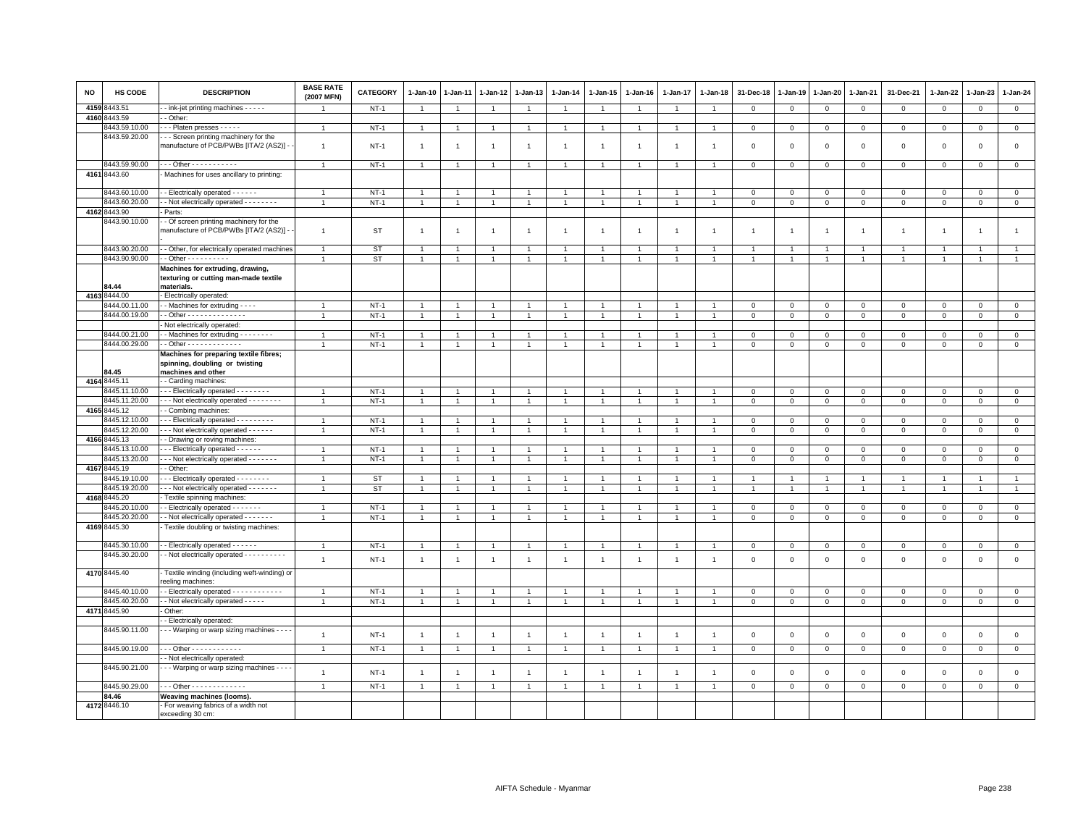| <b>NO</b> | HS CODE                        | <b>DESCRIPTION</b>                                                                             | <b>BASE RATE</b><br>(2007 MFN) | <b>CATEGORY</b> | $1-Jan-10$     | 1-Jan-11       | $1 - Jan-12$   | 1-Jan-13       | $1 - Jan-14$   | 1-Jan-15       | $1-Jan-16$     | 1-Jan-17       | 1-Jan-18       | 31-Dec-18      | 1-Jan-19       | $1 - Jan-20$   | 1-Jan-21       | 31-Dec-21      | 1-Jan-22       | 1-Jan-23       | 1-Jan-24       |
|-----------|--------------------------------|------------------------------------------------------------------------------------------------|--------------------------------|-----------------|----------------|----------------|----------------|----------------|----------------|----------------|----------------|----------------|----------------|----------------|----------------|----------------|----------------|----------------|----------------|----------------|----------------|
| 4159      | 3443.51                        | - ink-jet printing machines - - - - -                                                          |                                | $NT-1$          | $\overline{1}$ | $\overline{1}$ | $\overline{1}$ | $\mathbf{1}$   |                | $\overline{1}$ |                | $\mathbf{1}$   | $\overline{1}$ | $\mathbf 0$    | $\mathbf{0}$   | $\mathbf 0$    | $\mathbf 0$    | 0              | $\mathbf 0$    | $\mathbf 0$    | $\mathbf 0$    |
|           | 4160 8443.59                   | - Other:                                                                                       |                                |                 |                |                |                |                |                |                |                |                |                |                |                |                |                |                |                |                |                |
|           | 3443.59.10.00                  | Platen presses - - - - -                                                                       | $\overline{1}$                 | $NT-1$          | $\overline{1}$ | $\overline{1}$ | $\overline{1}$ | $\overline{1}$ | $\overline{1}$ | $\overline{1}$ | $\overline{1}$ | $\overline{1}$ | $\overline{1}$ | $\overline{0}$ | $\overline{0}$ | $\mathbf{0}$   | $\mathbf{0}$   | $\mathbf{0}$   | $\mathbf{0}$   | $\mathbf{0}$   | $\mathbf{0}$   |
|           | 8443.59.20.00                  | -- Screen printing machinery for the<br>manufacture of PCB/PWBs [ITA/2 (AS2)] -                | $\overline{1}$                 | <b>NT-1</b>     | $\mathbf{1}$   |                |                | $\overline{1}$ | $\overline{1}$ | $\overline{1}$ |                | $\mathbf{1}$   |                | $\overline{0}$ | $\mathbf 0$    | $\mathbf 0$    | $\mathbf 0$    | $\mathsf 0$    | $\mathbf 0$    | $\mathsf 0$    | $\mathsf 0$    |
|           | 8443.59.90.00                  | $-$ - Other - - - - - - - - - - -                                                              | $\overline{1}$                 | $NT-1$          | -1             |                | $\overline{1}$ | $\mathbf{1}$   |                | $\overline{1}$ |                | -1             |                | $\mathbf 0$    | $\mathbf 0$    | $\mathbf 0$    | $\mathbf 0$    | 0              | 0              | 0              | $\mathbf{0}$   |
|           | 4161 8443.60                   | Machines for uses ancillary to printing:                                                       |                                |                 |                |                |                |                |                |                |                |                |                |                |                |                |                |                |                |                |                |
|           | 3443.60.10.00                  | - Electrically operated - - - - - -                                                            | $\overline{1}$                 | $NT-1$          | $\overline{1}$ |                | $\overline{1}$ | $\overline{1}$ |                | $\overline{1}$ |                |                |                | $\Omega$       | $\Omega$       | $\mathbf{0}$   | $\Omega$       | $\mathbf 0$    | $\Omega$       | $\Omega$       | $\mathsf 0$    |
|           | 8443.60.20.00                  | - Not electrically operated - - - - - - - -                                                    | $\overline{1}$                 | $NT-1$          | $\overline{1}$ | $\mathbf{1}$   | $\overline{1}$ | $\mathbf{1}$   | $\overline{1}$ | $\overline{1}$ | $\overline{1}$ | $\mathbf{1}$   | $\overline{1}$ | $\mathbf 0$    | $\mathbf 0$    | $\mathbf 0$    | $\mathbf 0$    | $\mathsf 0$    | 0              | $\mathbf 0$    | $\mathbf 0$    |
|           | 4162 8443.90                   | Parts:                                                                                         |                                |                 |                |                |                |                |                |                |                |                |                |                |                |                |                |                |                |                |                |
|           | 3443.90.10.00                  | - Of screen printing machinery for the<br>manufacture of PCB/PWBs [ITA/2 (AS2)] -              | $\overline{1}$                 | ST              | $\overline{1}$ | $\overline{1}$ | $\overline{1}$ | $\overline{1}$ | $\overline{1}$ | $\overline{1}$ | $\overline{1}$ | $\overline{1}$ | $\overline{1}$ | $\overline{1}$ | $\overline{1}$ | $\overline{1}$ | $\overline{1}$ | $\overline{1}$ | $\overline{1}$ | $\overline{1}$ | $\overline{1}$ |
|           | 8443.90.20.00                  | - Other, for electrically operated machines                                                    | $\overline{1}$                 | ST              | $\overline{1}$ | $\overline{1}$ | $\overline{1}$ | $\overline{1}$ |                | $\overline{1}$ |                | $\overline{1}$ | $\overline{1}$ | $\overline{1}$ | $\overline{1}$ | $\overline{1}$ | $\overline{1}$ | $\overline{1}$ | $\overline{1}$ |                | $\overline{1}$ |
|           | 8443.90.90.00                  | $-$ Other $        -$                                                                          | $\overline{1}$                 | <b>ST</b>       | -1             | $\overline{1}$ | $\mathbf{1}$   | $\mathbf{1}$   |                | $\mathbf{1}$   |                | 1              | -1             | $\overline{1}$ | 1              | -1             | $\mathbf{1}$   |                | $\mathbf{1}$   |                | $\mathbf{1}$   |
|           | 84.44                          | Machines for extruding, drawing,<br>texturing or cutting man-made textile<br>materials.        |                                |                 |                |                |                |                |                |                |                |                |                |                |                |                |                |                |                |                |                |
|           | 4163 8444.00                   | Electrically operated:                                                                         |                                |                 |                |                |                |                |                |                |                |                |                |                |                |                |                |                |                |                |                |
|           | 3444.00.11.00                  | - Machines for extruding - - - -                                                               |                                | $NT-1$          | $\mathbf{1}$   |                | $\mathbf{1}$   | -1             |                | $\mathbf{1}$   |                |                |                | $\mathbf 0$    | $\mathbf 0$    | $\mathbf 0$    | $\mathbf 0$    | $\mathbf 0$    | $\mathbf 0$    | $\mathbf{0}$   | $\mathsf 0$    |
|           | 8444.00.19.00                  | $-$ Other - - - - - - - - - - - - - -                                                          | $\overline{1}$                 | $NT-1$          | $\mathbf{1}$   | $\overline{1}$ | $\mathbf{1}$   | $\overline{1}$ | $\mathbf{1}$   | $\mathbf{1}$   |                | $\mathbf{1}$   | $\overline{1}$ | $\mathbf{0}$   | $\circ$        | $\mathbf{0}$   | $\mathbf 0$    | $\mathbf 0$    | $\mathbf 0$    | $\mathbf 0$    | $\mathsf 0$    |
|           |                                | Not electrically operated:                                                                     |                                |                 |                |                |                |                |                |                |                |                |                |                |                |                |                |                |                |                |                |
|           | 8444.00.21.00                  | - Machines for extruding - - - - - - - -                                                       | $\overline{1}$                 | $NT-1$          | $\mathbf{1}$   |                | $\mathbf{1}$   | $\mathbf{1}$   |                | $\overline{1}$ |                | $\overline{1}$ | $\mathbf{1}$   | $\mathbf 0$    | $\mathbf{0}$   | $\mathbf 0$    | $\mathsf 0$    | $\mathsf 0$    | $\mathbf 0$    | $\mathsf 0$    | $\overline{0}$ |
|           | 8444.00.29.00                  | - Other - - - - - - - - - - - - -                                                              | $\overline{1}$                 | $NT-1$          | $\mathbf{1}$   | $\mathbf{1}$   | $\mathbf{1}$   | $\mathbf{1}$   |                | $\mathbf{1}$   |                | 1              | -1             | $\mathbf 0$    | $\,0\,$        | $\circ$        | $\mathbf 0$    | 0              | $^{\circ}$     | 0              | $\mathbf 0$    |
|           | 84.45                          | Machines for preparing textile fibres;<br>spinning, doubling or twisting<br>machines and other |                                |                 |                |                |                |                |                |                |                |                |                |                |                |                |                |                |                |                |                |
|           | 4164 8445.11                   | - Carding machines:                                                                            |                                |                 |                |                |                |                |                |                |                |                |                |                |                |                |                |                |                |                |                |
|           | 3445.11.10.00                  | --- Electrically operated --------                                                             | -1                             | $NT-1$          | -1             |                | $\overline{1}$ | $\overline{1}$ |                | $\overline{1}$ |                | -1             |                | $\mathbf{0}$   | $\mathbf{0}$   | $\mathbf{0}$   | $\mathbf{0}$   | $\mathbf 0$    | $\mathbf 0$    | $\Omega$       | $\mathbf 0$    |
|           | 8445.11.20.00                  | - - - Not electrically operated - - - - - - - -                                                | $\overline{1}$                 | $NT-1$          | $\mathbf{1}$   |                | $\overline{1}$ | $\overline{1}$ | $\overline{1}$ | $\mathbf{1}$   |                | $\mathbf{1}$   |                | $\mathbf 0$    | $\mathbf 0$    | $\mathbf{0}$   | $\mathbf 0$    | $\mathsf 0$    | $\mathbf 0$    | $\mathsf 0$    | $\overline{0}$ |
|           | 4165 8445.12                   | - Combing machines:                                                                            |                                |                 |                |                |                |                |                |                |                |                |                |                |                |                |                |                |                |                |                |
|           | 8445.12.10.00                  | - - Electrically operated - - - - - - - - -                                                    | $\overline{1}$                 | $NT-1$          | $\overline{1}$ |                |                | $\overline{1}$ |                | $\overline{1}$ |                | $\mathbf{1}$   |                | $\mathbf 0$    | $\mathbf 0$    | $\mathbf 0$    | $\mathbf 0$    | $\mathsf 0$    | 0              | $\mathsf 0$    | $\mathbf 0$    |
|           | 8445.12.20.00                  | - - Not electrically operated - - - - - -                                                      | $\overline{1}$                 | $NT-1$          | $\mathbf{1}$   | $\mathbf{1}$   | $\overline{1}$ | $\overline{1}$ |                | $\overline{1}$ |                | $\mathbf{1}$   | $\overline{1}$ | $\mathbf 0$    | $\mathsf 0$    | $\overline{0}$ | $\mathbf 0$    | 0              | 0              | $\mathbf 0$    | $\mathbf 0$    |
|           | 4166 8445.13                   | - Drawing or roving machines                                                                   |                                |                 | $\overline{1}$ |                |                |                |                |                |                | $\overline{1}$ |                |                |                |                |                |                |                |                |                |
|           | 3445.13.10.00<br>8445.13.20.00 | - - Electrically operated - - - - -                                                            | $\overline{1}$                 | $NT-1$          |                |                | $\overline{1}$ | $\overline{1}$ |                | $\overline{1}$ |                |                |                | $\mathbf 0$    | $\mathbf 0$    | $\mathbf{0}$   | $\mathbf 0$    | $\mathbf 0$    | $\Omega$       | $\Omega$       | $\mathbf 0$    |
|           | 4167 8445.19                   | - - Not electrically operated - - - - - - -<br>- Other:                                        |                                | $NT-1$          | $\overline{1}$ |                |                | -1             |                | $\overline{1}$ |                |                |                | $\mathbf 0$    | $\mathbf 0$    | $\mathbf 0$    | $\mathbf 0$    | $\mathsf 0$    | $\mathbf 0$    | $\mathbf 0$    | $\mathbf 0$    |
|           | 3445.19.10.00                  | - - Electrically operated - - - - - - - -                                                      | $\overline{1}$                 | <b>ST</b>       | $\overline{1}$ |                | $\overline{1}$ | $\overline{1}$ |                | $\overline{1}$ |                | $\overline{1}$ |                | $\overline{1}$ | $\overline{1}$ | $\overline{1}$ | $\overline{1}$ | $\overline{1}$ | $\overline{1}$ | $\overline{1}$ | $\overline{1}$ |
|           | 3445.19.20.00                  | --- Not electrically operated -------                                                          |                                | <b>ST</b>       | $\overline{1}$ |                |                | $\overline{1}$ |                | $\overline{1}$ |                |                |                |                |                | $\overline{1}$ |                |                | $\overline{1}$ |                | $\overline{1}$ |
| 4168      | 8445.20                        | Textile spinning machines:                                                                     |                                |                 |                |                |                |                |                |                |                |                |                |                |                |                |                |                |                |                |                |
|           | 8445.20.10.00                  | - Electrically operated - - - - - - -                                                          | $\overline{1}$                 | $NT-1$          | $\mathbf{1}$   |                | $\mathbf{1}$   | $\overline{1}$ |                | $\overline{1}$ |                | $\mathbf{1}$   |                | $\mathbf 0$    | $\mathbf 0$    | $\mathbf 0$    | $\mathbf 0$    | $\mathsf 0$    | $^{\circ}$     | $\mathsf 0$    | $\mathbf 0$    |
|           | 8445.20.20.00                  | - Not electrically operated - - - - - - -                                                      | $\overline{1}$                 | $NT-1$          | $\overline{1}$ | $\overline{1}$ | $\mathbf{1}$   | $\overline{1}$ | $\overline{1}$ | $\mathbf{1}$   | $\overline{1}$ | $\mathbf{1}$   | $\overline{1}$ | $\Omega$       | $\mathbf{0}$   | $\mathbf{0}$   | $\mathbf{0}$   | $\mathsf 0$    | $\mathbf 0$    | $\mathbf 0$    | $\mathsf 0$    |
|           | 4169 8445.30                   | Textile doubling or twisting machines:                                                         |                                |                 |                |                |                |                |                |                |                |                |                |                |                |                |                |                |                |                |                |
|           |                                |                                                                                                |                                |                 |                |                |                |                |                |                |                |                |                |                |                |                |                |                |                |                |                |
|           | 3445.30.10.00                  | - Electrically operated - - - - - -                                                            | $\mathbf{1}$                   | $NT-1$          | $\overline{1}$ |                | $\mathbf{1}$   | $\mathbf{1}$   | $\overline{1}$ | $\mathbf{1}$   |                | 1              |                | $\mathbf 0$    | $\,0\,$        | $\mathbf 0$    | $\mathbf 0$    | $\mathsf 0$    | $\mathbf 0$    | $\mathsf 0$    | $\overline{0}$ |
|           | 8445.30.20.00                  | - Not electrically operated - - - - - - - - - -                                                | $\overline{1}$                 | $NT-1$          | $\overline{1}$ | $\mathbf{1}$   | $\mathbf{1}$   | $\overline{1}$ | $\mathbf{1}$   | $\overline{1}$ | $\overline{1}$ | $\overline{1}$ | $\overline{1}$ | $\mathbf 0$    | $\,0\,$        | $\mathbf 0$    | $\mathbf 0$    | $\mathsf 0$    | $\mathbf 0$    | $\mathbf 0$    | $\mathsf 0$    |
|           | 4170 8445.40                   | Textile winding (including weft-winding) or<br>reeling machines:                               |                                |                 |                |                |                |                |                |                |                |                |                |                |                |                |                |                |                |                |                |
|           | 8445.40.10.00                  | - Electrically operated - - - - - - - - - - - -                                                | $\overline{1}$                 | $NT-1$          | $\mathbf{1}$   |                | $\overline{1}$ | $\overline{1}$ |                | $\overline{1}$ |                | $\mathbf{1}$   |                | $\mathbf 0$    | $\mathbf 0$    | $\mathbf 0$    | $\mathbf 0$    | $\mathsf 0$    | 0              | 0              | $\mathbf 0$    |
|           | 8445.40.20.00                  | - Not electrically operated - - - - -                                                          | $\overline{1}$                 | $NT-1$          | $\mathbf{1}$   |                | $\mathbf{1}$   | $\overline{1}$ |                | $\overline{1}$ |                | $\mathbf{1}$   | $\overline{1}$ | $\mathbf 0$    | $\mathsf 0$    | $\mathbf 0$    | $\mathsf 0$    | $\mathsf 0$    | $\mathbf 0$    | $\mathsf 0$    | $\overline{0}$ |
|           | 4171 8445.90                   | Other:                                                                                         |                                |                 |                |                |                |                |                |                |                |                |                |                |                |                |                |                |                |                |                |
|           |                                | - Electrically operated:                                                                       |                                |                 |                |                |                |                |                |                |                |                |                |                |                |                |                |                |                |                |                |
|           | 8445.90.11.00                  | - - Warping or warp sizing machines - - -                                                      | $\overline{1}$                 | $NT-1$          | $\overline{1}$ | $\overline{1}$ | $\overline{1}$ | $\mathbf{1}$   | $\overline{1}$ | $\overline{1}$ | $\overline{1}$ | $\mathbf{1}$   | $\overline{1}$ | $\mathbf{0}$   | $\mathbf{0}$   | $\mathbf{0}$   | $\mathbf{0}$   | $\mathbf 0$    | $\mathbf 0$    | $\mathbf 0$    | $\mathbf 0$    |
|           | 8445.90.19.00                  | Other - - - - - - - - - - - -                                                                  | $\mathbf{1}$                   | $NT-1$          | $\mathbf{1}$   | $\overline{1}$ | $\mathbf{1}$   | $\mathbf{1}$   | $\mathbf{1}$   | $\mathbf{1}$   |                | $\mathbf{1}$   | $\overline{1}$ | $\mathbf 0$    | $\mathbf 0$    | $\overline{0}$ | $\mathbf{0}$   | $\mathbf{0}$   | $\mathbf 0$    | $\mathbf{0}$   | $\overline{0}$ |
|           |                                | - Not electrically operated:                                                                   |                                |                 |                |                |                |                |                |                |                |                |                |                |                |                |                |                |                |                |                |
|           | 8445.90.21.00                  | - - Warping or warp sizing machines - - - -                                                    | $\overline{1}$                 | $NT-1$          | $\overline{1}$ | $\mathbf{1}$   | $\mathbf{1}$   | $\overline{1}$ | $\overline{1}$ | $\overline{1}$ | $\overline{1}$ | $\overline{1}$ | $\overline{1}$ | $\mathbf 0$    | $\overline{0}$ | $\mathbf 0$    | $\mathbf 0$    | $\mathsf 0$    | 0              | $\mathsf 0$    | $\mathsf 0$    |
|           | 8445.90.29.00                  | - - - Other - - - - - - - - - - - - -                                                          | $\overline{1}$                 | $NT-1$          | $\overline{1}$ |                | $\overline{1}$ | $\overline{1}$ |                | $\overline{1}$ |                | $\overline{1}$ |                | $\mathbf 0$    | $\mathbf{0}$   | $\mathbf 0$    | $\mathbf{0}$   | $\mathsf 0$    | $\mathbf 0$    | $\mathbf{0}$   | $\circ$        |
|           | 84.46                          | Weaving machines (looms).                                                                      |                                |                 |                |                |                |                |                |                |                |                |                |                |                |                |                |                |                |                |                |
|           | 4172 8446.10                   | - For weaving fabrics of a width not<br>exceeding 30 cm:                                       |                                |                 |                |                |                |                |                |                |                |                |                |                |                |                |                |                |                |                |                |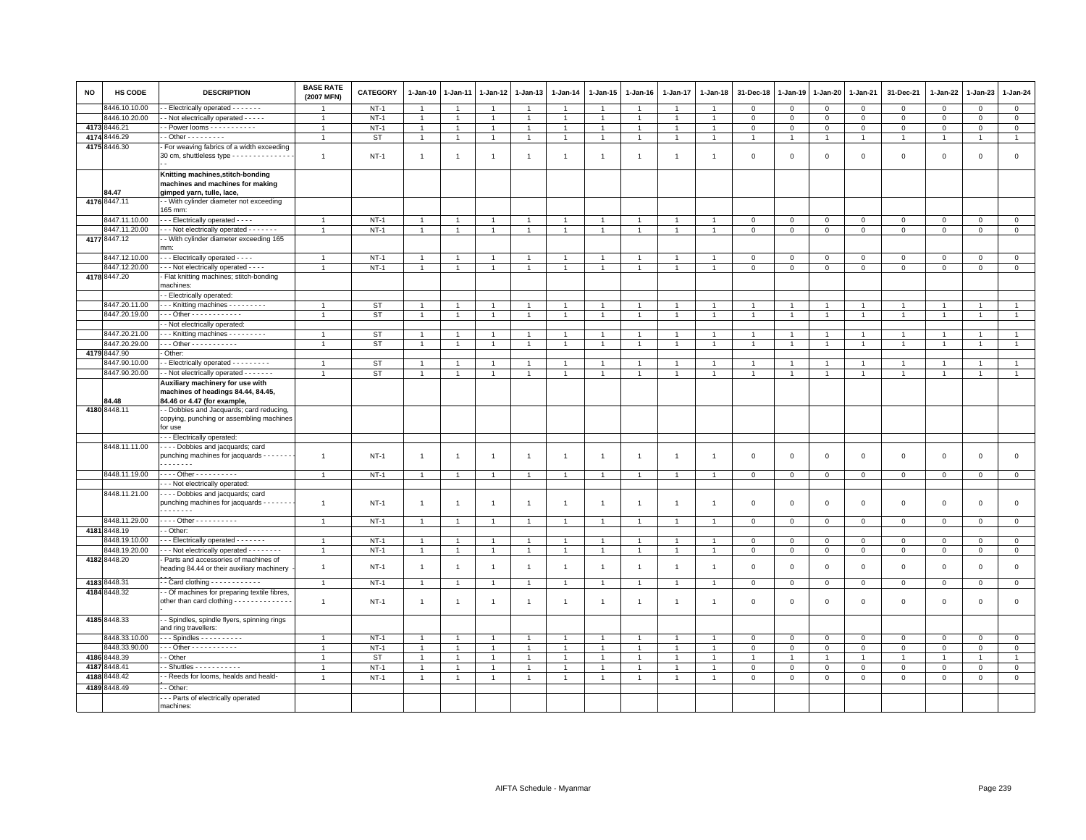| <b>NO</b> | HS CODE                        | <b>DESCRIPTION</b>                                                                                    | <b>BASE RATE</b><br>(2007 MFN) | <b>CATEGORY</b> | 1-Jan-10                         | $1-Jan-11$                     | 1-Jan-12                       | 1-Jan-13                         | 1-Jan-14       | 1-Jan-15                     | $1-Jan-16$     | $1-Jan-17$                   | $1 - Jan-18$                     | 31-Dec-18                        | $1-Jan-19$                       | $1-Jan-20$                       | 1-Jan-21                         | 31-Dec-21      | 1-Jan-22                       | 1-Jan-23                       | $1 - Jan-24$                     |
|-----------|--------------------------------|-------------------------------------------------------------------------------------------------------|--------------------------------|-----------------|----------------------------------|--------------------------------|--------------------------------|----------------------------------|----------------|------------------------------|----------------|------------------------------|----------------------------------|----------------------------------|----------------------------------|----------------------------------|----------------------------------|----------------|--------------------------------|--------------------------------|----------------------------------|
|           | 3446.10.10.00                  | - Electrically operated - - - - - - -                                                                 |                                | $NT-1$          | $\overline{1}$                   |                                | $\overline{1}$                 | $\overline{1}$                   |                | $\overline{1}$               |                |                              |                                  | $\Omega$                         | $\Omega$                         | $\Omega$                         | $\mathbf{0}$                     | $\mathbf{0}$   | $\Omega$                       | $\mathbf{0}$                   | $\mathbf 0$                      |
|           | 8446.10.20.00                  | - Not electrically operated - - - - -                                                                 | $\overline{1}$                 | $NT-1$          | $\mathbf{1}$                     |                                | $\mathbf{1}$                   | $\overline{1}$                   | $\overline{1}$ | $\mathbf{1}$                 |                | 1                            | $\overline{1}$                   | $\mathbf 0$                      | $\mathbf 0$                      | $\mathbf 0$                      | $\mathbf 0$                      | $\mathbf 0$    | $\mathbf 0$                    | $\mathbf 0$                    | $\overline{0}$                   |
| 4173      | 3446.21                        | - Power looms - - - - - - - - - -                                                                     | $\overline{1}$                 | $NT-1$          | $\overline{1}$                   |                                | $\overline{1}$                 | $\overline{1}$                   |                | $\overline{1}$               |                |                              |                                  | $\overline{\mathbf{0}}$          | $\mathbf 0$                      | $\mathbf{0}$                     | $\mathbf 0$                      | $\mathbf 0$    | $\Omega$                       | $\Omega$                       | $\mathbb O$                      |
| 4174      | 3446.29                        | - Other - - - - - - - - -                                                                             | $\overline{1}$                 | <b>ST</b>       | $\mathbf{1}$                     | $\mathbf{1}$                   | $\mathbf{1}$                   | $\overline{1}$                   |                | $\mathbf{1}$                 |                | $\mathbf{1}$                 | $\mathbf{1}$                     | $\overline{1}$                   | 1                                | $\overline{1}$                   | $\mathbf{1}$                     | $\mathbf{1}$   | $\mathbf{1}$                   | $\overline{1}$                 | $\mathbf{1}$                     |
|           | 4175 8446.30                   | For weaving fabrics of a width exceeding<br>30 cm, shuttleless type - - - - - - - - - - - - - -       | $\mathbf{1}$                   | <b>NT-1</b>     | $\overline{1}$                   |                                | 1                              | $\overline{1}$                   | $\overline{1}$ | $\overline{1}$               | $\overline{1}$ | $\mathbf{1}$                 | $\overline{1}$                   | $\mathbf 0$                      | $\mathbf 0$                      | $\mathbf 0$                      | $\mathbf 0$                      | $\mathbf 0$    | $\mathsf 0$                    | $\mathbf 0$                    | $\mathsf 0$                      |
|           |                                | Knitting machines, stitch-bonding<br>machines and machines for making                                 |                                |                 |                                  |                                |                                |                                  |                |                              |                |                              |                                  |                                  |                                  |                                  |                                  |                |                                |                                |                                  |
|           | 84.47<br>4176 8447.11          | gimped yarn, tulle, lace,<br>- With cylinder diameter not exceeding                                   |                                |                 |                                  |                                |                                |                                  |                |                              |                |                              |                                  |                                  |                                  |                                  |                                  |                |                                |                                |                                  |
|           |                                | 165 mm:                                                                                               |                                |                 |                                  |                                |                                |                                  |                |                              |                |                              |                                  |                                  |                                  |                                  |                                  |                |                                |                                |                                  |
|           | 8447.11.10.00<br>8447.11.20.00 | - - - Electrically operated - - - -                                                                   | $\mathbf{1}$<br>$\overline{1}$ | $NT-1$          | $\overline{1}$                   | $\overline{1}$                 | $\overline{1}$                 | $\overline{1}$<br>$\overline{1}$ | $\overline{1}$ | $\overline{1}$               |                | $\overline{1}$               | $\overline{1}$                   | $\mathbf 0$                      | $\mathbb O$                      | $\circ$                          | $\mathbf 0$                      | $\mathsf 0$    | $\mathsf 0$                    | $\mathsf 0$                    | $\circ$                          |
|           |                                | --- Not electrically operated -------                                                                 |                                | $NT-1$          | $\mathbf{1}$                     | $\overline{1}$                 | $\overline{1}$                 |                                  |                | $\mathbf{1}$                 |                | $\mathbf{1}$                 | $\overline{1}$                   | $\mathbf 0$                      | $\mathbf 0$                      | $\mathbf 0$                      | $\mathbf 0$                      | $\mathbf 0$    | $\mathbf 0$                    | $\mathbf 0$                    | $\overline{0}$                   |
|           | 4177 8447.12                   | - With cylinder diameter exceeding 165<br>mm:                                                         |                                |                 |                                  |                                |                                |                                  |                |                              |                |                              |                                  |                                  |                                  |                                  |                                  |                |                                |                                |                                  |
|           | 8447.12.10.00                  | - - Electrically operated - - - -                                                                     | $\overline{1}$                 | $NT-1$          |                                  |                                |                                |                                  |                |                              |                |                              |                                  | $\Omega$                         | $\Omega$                         | $\Omega$                         | $\Omega$                         | $\Omega$       | $\Omega$                       | $\Omega$                       | $\mathsf 0$                      |
|           | 8447.12.20.00<br>4178 8447.20  | - - Not electrically operated - - - -<br>Flat knitting machines; stitch-bonding                       | $\overline{1}$                 | $NT-1$          | $\overline{1}$                   |                                | $\overline{1}$                 | $\overline{1}$                   |                | $\mathbf{1}$                 |                |                              | $\overline{1}$                   | $\mathbf 0$                      | $\mathbf 0$                      | $\mathsf 0$                      | $\mathbf 0$                      | $\Omega$       | $\Omega$                       | $\mathbf{0}$                   | $\mathbb O$                      |
|           |                                | machines:                                                                                             |                                |                 |                                  |                                |                                |                                  |                |                              |                |                              |                                  |                                  |                                  |                                  |                                  |                |                                |                                |                                  |
|           |                                | - Electrically operated:                                                                              |                                |                 |                                  |                                |                                |                                  |                |                              |                |                              |                                  |                                  |                                  |                                  |                                  |                |                                |                                |                                  |
|           | 8447.20.11.00                  | - - Knitting machines - - - - - - - - -                                                               | $\overline{1}$                 | <b>ST</b>       | $\overline{1}$                   | $\overline{1}$                 | $\overline{1}$                 | $\overline{1}$                   | $\overline{1}$ | $\overline{1}$               |                | $\overline{1}$               | $\overline{1}$                   | $\overline{1}$                   | $\overline{1}$                   | $\overline{1}$                   | $\overline{1}$                   | $\overline{1}$ | $\overline{1}$                 | $\overline{1}$                 | $\mathbf{1}$                     |
|           | 8447.20.19.00                  | $-$ - Other - - - - - - - - - - - -                                                                   | $\overline{1}$                 | <b>ST</b>       | $\mathbf{1}$                     | $\mathbf{1}$                   | $\mathbf{1}$                   | $\overline{1}$                   |                | $\mathbf{1}$                 |                | $\mathbf{1}$                 | $\mathbf{1}$                     | $\mathbf{1}$                     | $\mathbf{1}$                     | $\overline{1}$                   | $\mathbf{1}$                     | $\mathbf{1}$   | $\overline{1}$                 | $\overline{1}$                 | $\mathbf{1}$                     |
|           |                                | - Not electrically operated:                                                                          |                                |                 |                                  |                                |                                |                                  |                |                              |                |                              |                                  |                                  |                                  |                                  |                                  |                |                                |                                |                                  |
|           | 8447.20.21.00<br>8447.20.29.00 | - - Knitting machines - - - - - - - - -<br>$-$ - Other - - - - - - - - - - -                          | $\overline{1}$                 | <b>ST</b>       | $\overline{1}$                   | $\overline{1}$                 | $\overline{1}$                 | $\overline{1}$                   |                | $\overline{1}$               |                | $\mathbf{1}$                 | $\overline{1}$                   | $\overline{1}$                   | $\overline{1}$                   | $\overline{1}$                   | $\overline{1}$                   | $\mathbf{1}$   | $\overline{1}$                 | $\overline{1}$                 | $\overline{1}$                   |
|           |                                |                                                                                                       | $\overline{1}$                 | <b>ST</b>       | $\overline{1}$                   |                                | $\overline{1}$                 | $\overline{1}$                   |                | $\overline{1}$               |                |                              |                                  | $\overline{1}$                   |                                  | $\overline{1}$                   | $\overline{1}$                   | $\overline{1}$ |                                | $\overline{1}$                 | $\mathbf{1}$                     |
|           | 4179 8447.90                   | Other:                                                                                                |                                |                 |                                  |                                |                                |                                  |                |                              |                |                              |                                  |                                  |                                  |                                  |                                  |                |                                |                                |                                  |
|           | 8447.90.10.00<br>8447.90.20.00 | - Electrically operated - - - - - - - - -<br>- Not electrically operated - - - - - - -                | $\mathbf{1}$<br>$\overline{1}$ | ST              | $\overline{1}$<br>$\overline{1}$ | $\mathbf{1}$<br>$\overline{1}$ | $\mathbf{1}$<br>$\overline{1}$ | $\overline{1}$                   | $\overline{1}$ | $\mathbf{1}$<br>$\mathbf{1}$ |                | $\mathbf{1}$<br>$\mathbf{1}$ | $\overline{1}$<br>$\overline{1}$ | $\overline{1}$<br>$\overline{1}$ | $\overline{1}$<br>$\overline{1}$ | $\overline{1}$<br>$\overline{1}$ | $\overline{1}$<br>$\overline{1}$ | $\overline{1}$ | $\overline{1}$<br>$\mathbf{1}$ | $\mathbf{1}$<br>$\overline{1}$ | $\overline{1}$<br>$\overline{1}$ |
|           |                                |                                                                                                       |                                | <b>ST</b>       |                                  |                                |                                | $\overline{1}$                   |                |                              |                |                              |                                  |                                  |                                  |                                  |                                  |                |                                |                                |                                  |
|           | 34.48                          | Auxiliary machinery for use with<br>machines of headings 84.44, 84.45,<br>84.46 or 4.47 (for example, |                                |                 |                                  |                                |                                |                                  |                |                              |                |                              |                                  |                                  |                                  |                                  |                                  |                |                                |                                |                                  |
|           | 4180 8448.11                   | - Dobbies and Jacquards; card reducing,                                                               |                                |                 |                                  |                                |                                |                                  |                |                              |                |                              |                                  |                                  |                                  |                                  |                                  |                |                                |                                |                                  |
|           |                                | copying, punching or assembling machines<br>for use                                                   |                                |                 |                                  |                                |                                |                                  |                |                              |                |                              |                                  |                                  |                                  |                                  |                                  |                |                                |                                |                                  |
|           |                                | - - Electrically operated:                                                                            |                                |                 |                                  |                                |                                |                                  |                |                              |                |                              |                                  |                                  |                                  |                                  |                                  |                |                                |                                |                                  |
|           | 8448.11.11.00                  | Dobbies and jacquards; card                                                                           |                                |                 |                                  |                                |                                |                                  |                |                              |                |                              |                                  |                                  |                                  |                                  |                                  |                |                                |                                |                                  |
|           |                                | punching machines for jacquards - - - - - - -<br>.                                                    | $\overline{1}$                 | $NT-1$          | $\overline{1}$                   | $\mathbf{1}$                   | $\overline{1}$                 | $\overline{1}$                   | $\mathbf{1}$   | $\mathbf{1}$                 | $\overline{1}$ | $\mathbf{1}$                 | $\overline{1}$                   | $\mathbf 0$                      | $\mathbf 0$                      | $\mathbf 0$                      | $\mathbf{0}$                     | $\mathsf 0$    | $\mathbf 0$                    | $\mathbf 0$                    | $\mathsf 0$                      |
|           | 8448.11.19.00                  | . Other                                                                                               | $\mathbf{1}$                   | $NT-1$          | $\overline{1}$                   | $\overline{1}$                 | $\overline{1}$                 | $\overline{1}$                   | $\overline{1}$ | $\overline{1}$               | $\overline{1}$ | $\overline{1}$               | $\overline{1}$                   | $\mathbf 0$                      | $\,0\,$                          | $\mathsf 0$                      | $\mathbf{0}$                     | $\mathbf 0$    | $\mathsf 0$                    | $\mathsf 0$                    | $\overline{0}$                   |
|           |                                | - - Not electrically operated:                                                                        |                                |                 |                                  |                                |                                |                                  |                |                              |                |                              |                                  |                                  |                                  |                                  |                                  |                |                                |                                |                                  |
|           | 8448.11.21.00                  | - - - Dobbies and jacquards; card<br>punching machines for jacquards - - - - - - -<br>.               | $\overline{1}$                 | $NT-1$          | $\overline{1}$                   | $\mathbf{1}$                   | $\mathbf{1}$                   | $\overline{1}$                   | $\overline{1}$ | $\overline{1}$               | $\overline{1}$ | $\mathbf{1}$                 | $\overline{1}$                   | $\mathbf 0$                      | $\mathbf 0$                      | $\mathbf 0$                      | $\mathbf 0$                      | $\mathbf 0$    | $\mathbf 0$                    | $\mathbf 0$                    | $\mathsf 0$                      |
|           | 8448.11.29.00                  | Other - - - - - - - - - -                                                                             | $\overline{1}$                 | $NT-1$          | $\overline{1}$                   | $\overline{1}$                 | $\mathbf{1}$                   | $\overline{1}$                   | $\overline{1}$ | $\overline{1}$               | $\overline{1}$ | $\mathbf{1}$                 | $\overline{1}$                   | $\mathbf 0$                      | $\mathbf 0$                      | $\mathbf{0}$                     | $\mathbf 0$                      | $\mathbf 0$    | $\circ$                        | $\mathbf 0$                    | $\mathbf{0}$                     |
|           | 4181 8448.19                   | - Other:                                                                                              |                                |                 |                                  |                                |                                |                                  |                |                              |                |                              |                                  |                                  |                                  |                                  |                                  |                |                                |                                |                                  |
|           | 3448.19.10.00                  | - - Electrically operated - - - - - - -                                                               | $\overline{1}$                 | $NT-1$          | $\overline{1}$                   |                                | $\overline{1}$                 | $\overline{1}$                   | $\overline{1}$ | $\overline{1}$               |                | $\mathbf{1}$                 | $\overline{1}$                   | $\mathbf 0$                      | $\mathbf{0}$                     | $\mathbf{0}$                     | $\mathbf{0}$                     | $\mathbf 0$    | $\Omega$                       | $\Omega$                       | $\mathbf 0$                      |
|           | 3448.19.20.00                  | - - - Not electrically operated - - - - - - -                                                         | $\overline{1}$                 | $NT-1$          | $\mathbf{1}$                     | $\overline{1}$                 | $\mathbf{1}$                   | $\overline{1}$                   | $\overline{1}$ | $\mathbf{1}$                 | $\overline{1}$ | $\overline{1}$               | $\overline{1}$                   | $\mathbf 0$                      | $\mathbf 0$                      | $\,0\,$                          | $\,0\,$                          | $\mathsf 0$    | $\mathsf 0$                    | $\mathsf 0$                    | $\,0\,$                          |
|           | 4182 8448.20                   | Parts and accessories of machines of<br>heading 84.44 or their auxiliary machinery                    | $\mathbf{1}$                   | $NT-1$          | $\overline{1}$                   | $\overline{1}$                 | $\overline{1}$                 | $\overline{1}$                   | $\overline{1}$ | $\mathbf{1}$                 | $\overline{1}$ | $\mathbf{1}$                 | $\overline{1}$                   | $\overline{\mathbf{0}}$          | $\mathbf 0$                      | $\mathbf 0$                      | $\circ$                          | $\circ$        | $\Omega$                       | $\mathsf 0$                    | $\mathsf 0$                      |
|           | 4183 8448.31                   | - Card clothing - - - - - - - - - - - -                                                               | $\overline{1}$                 | $NT-1$          | $\overline{1}$                   | $\overline{1}$                 | $\overline{1}$                 | $\overline{1}$                   | $\mathbf{1}$   | $\mathbf{1}$                 | $\overline{1}$ | $\overline{1}$               | $\overline{1}$                   | $\overline{0}$                   | $\mathbf{0}$                     | $\overline{0}$                   | $\mathbf{0}$                     | $\mathbf 0$    | $\mathbf 0$                    | $\mathbf 0$                    | $\mathbf{0}$                     |
|           | 4184 8448.32                   | - Of machines for preparing textile fibres,                                                           |                                |                 |                                  |                                |                                |                                  |                |                              |                |                              |                                  |                                  |                                  |                                  |                                  |                |                                |                                |                                  |
|           |                                | other than card clothing - - - - - - - - - - - - - -                                                  | $\mathbf{1}$                   | <b>NT-1</b>     | $\overline{1}$                   | -1                             | 1                              | $\overline{1}$                   | $\overline{1}$ | $\overline{1}$               | $\mathbf{1}$   | 1                            | $\overline{1}$                   | $\mathbf 0$                      | $\mathbf{0}$                     | $^{\circ}$                       | $\mathbf 0$                      | $\mathbf 0$    | $^{\circ}$                     | $\mathbf 0$                    | $\mathsf 0$                      |
|           | 4185 8448.33                   | - Spindles, spindle flyers, spinning rings<br>and ring travellers:                                    |                                |                 |                                  |                                |                                |                                  |                |                              |                |                              |                                  |                                  |                                  |                                  |                                  |                |                                |                                |                                  |
|           | 8448.33.10.00                  | $-$ - Spindles - - - - - - - - - -                                                                    | $\overline{1}$                 | $NT-1$          | $\overline{1}$                   |                                | $\overline{1}$                 | $\overline{1}$                   |                | $\overline{1}$               |                |                              |                                  | $\overline{\mathbf{0}}$          | $\mathbf 0$                      | $\mathbf 0$                      | $\mathbf 0$                      | $\mathbf 0$    | $\mathbf 0$                    | $\mathbf 0$                    | $\mathbf{0}$                     |
|           | 8448.33.90.00                  | $-$ - Other - - - - - - - - - - -                                                                     | $\overline{1}$                 | $NT-1$          | $\ddot{\phantom{0}}$             |                                | $\overline{1}$                 | $\overline{1}$                   |                | $\overline{1}$               |                |                              |                                  | $\mathbf 0$                      | $\mathbf 0$                      | $\mathbf 0$                      | $\mathbf 0$                      | $\mathsf 0$    | $\Omega$                       | $\mathbf{0}$                   | $\overline{0}$                   |
| 4186      | 3448.39                        | - Other                                                                                               | $\overline{1}$                 | <b>ST</b>       | $\mathbf{1}$                     |                                | $\mathbf{1}$                   | $\overline{1}$                   |                | $\overline{1}$               |                |                              |                                  |                                  |                                  | 1                                | -1                               | $\overline{1}$ |                                | $\overline{1}$                 | $\mathbf{1}$                     |
| 4187      | 3448.41                        | - Shuttles - - - - - - - - - -                                                                        | $\overline{1}$                 | $NT-1$          | $\mathbf{1}$                     |                                | $\overline{1}$                 | $\overline{1}$                   |                | $\overline{1}$               |                |                              |                                  | $\mathbf 0$                      | $\mathbf 0$                      | $\mathsf 0$                      | $\mathbf 0$                      | $\mathbf 0$    | $\Omega$                       | $\mathbf{0}$                   | $\mathsf 0$                      |
| 4188      | 3448.42                        | - Reeds for looms, healds and heald-                                                                  | $\overline{1}$                 | $NT-1$          | $\overline{1}$                   | 1                              | $\overline{1}$                 | $\overline{1}$                   | -1             | $\mathbf{1}$                 |                | 1                            | $\overline{1}$                   | $\mathbf 0$                      | $\mathbf 0$                      | $\mathbf 0$                      | $\mathsf 0$                      | 0              | $^{\circ}$                     | $\mathbf 0$                    | $\mathsf 0$                      |
|           | 4189 8448.49                   | - Other:                                                                                              |                                |                 |                                  |                                |                                |                                  |                |                              |                |                              |                                  |                                  |                                  |                                  |                                  |                |                                |                                |                                  |
|           |                                | - - Parts of electrically operated<br>machines:                                                       |                                |                 |                                  |                                |                                |                                  |                |                              |                |                              |                                  |                                  |                                  |                                  |                                  |                |                                |                                |                                  |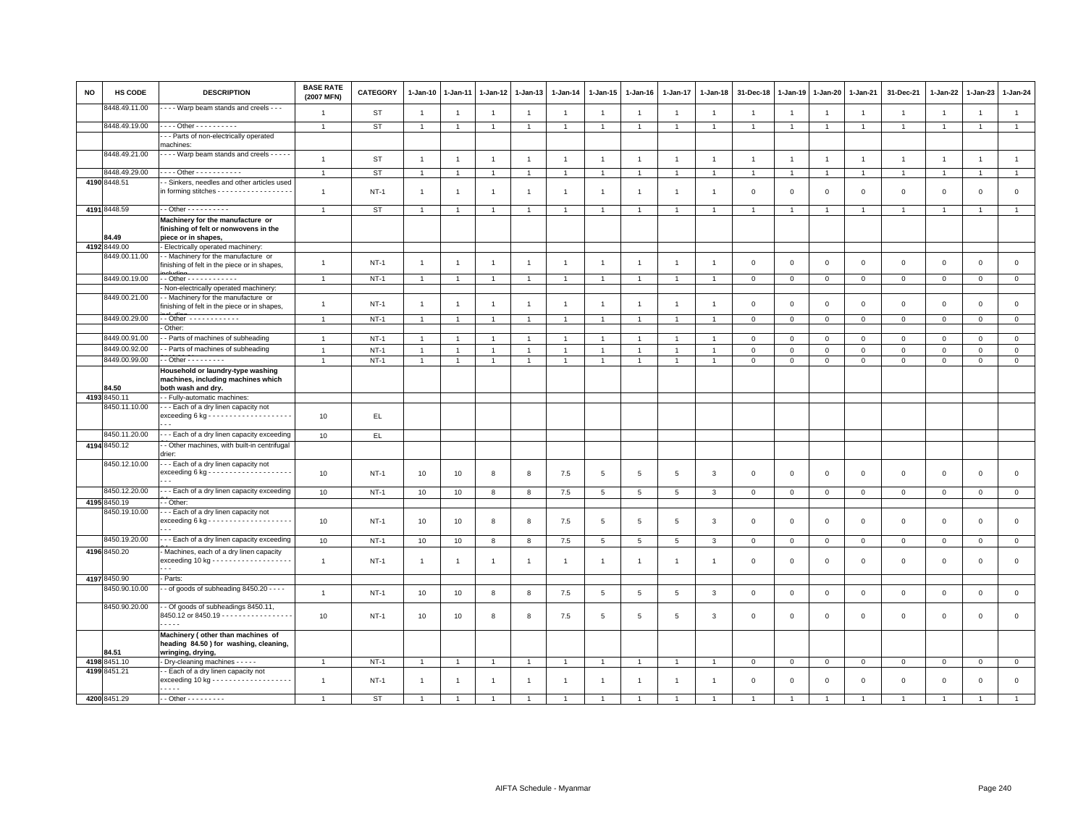| <b>NO</b> | <b>HS CODE</b> | <b>DESCRIPTION</b>                                                                                      | <b>BASE RATE</b><br>(2007 MFN) | <b>CATEGORY</b> | $1-Jan-10$     | $1-Jan-11$     | 1-Jan-12       | $1-Jan-13$     | $1-Jan-14$     | 1-Jan-15             | $1-Jan-16$      | 1-Jan-17        | 1-Jan-18       | 31-Dec-18      | $1 - Jan-19$   | 1-Jan-20       | 1-Jan-21       | 31-Dec-21           | 1-Jan-22       | $1-Jan-23$     | 1-Jan-24       |
|-----------|----------------|---------------------------------------------------------------------------------------------------------|--------------------------------|-----------------|----------------|----------------|----------------|----------------|----------------|----------------------|-----------------|-----------------|----------------|----------------|----------------|----------------|----------------|---------------------|----------------|----------------|----------------|
|           | 8448.49.11.00  | Warp beam stands and creels - - -                                                                       | $\overline{1}$                 | <b>ST</b>       | $\overline{1}$ | $\overline{1}$ | $\overline{1}$ | $\overline{1}$ | $\overline{1}$ | $\overline{1}$       | $\overline{1}$  | $\overline{1}$  | $\overline{1}$ | $\overline{1}$ | $\overline{1}$ | $\overline{1}$ | $\overline{1}$ | $\mathbf{1}$        | $\overline{1}$ | $\overline{1}$ | $\mathbf{1}$   |
|           | 8448.49.19.00  | Other - - - - - - - - -                                                                                 | $\overline{1}$                 | <b>ST</b>       | $\overline{1}$ | $\overline{1}$ | $\overline{1}$ | $\overline{1}$ | $\overline{1}$ | $\overline{1}$       | $\overline{1}$  | $\overline{1}$  | $\overline{1}$ | $\overline{1}$ | $\overline{1}$ | $\overline{1}$ | $\overline{1}$ | $\mathbf{1}$        | $\overline{1}$ | $\overline{1}$ | $\overline{1}$ |
|           |                | -- Parts of non-electrically operated<br>machines:                                                      |                                |                 |                |                |                |                |                |                      |                 |                 |                |                |                |                |                |                     |                |                |                |
|           | 8448.49.21.00  | - - - - Warp beam stands and creels - - - - -                                                           | $\overline{1}$                 | <b>ST</b>       | $\overline{1}$ | $\overline{1}$ | $\overline{1}$ | $\overline{1}$ | $\overline{1}$ | $\overline{1}$       | $\overline{1}$  | $\overline{1}$  | $\overline{1}$ | $\overline{1}$ | $\overline{1}$ | $\overline{1}$ | $\overline{1}$ | $\mathbf{1}$        | $\overline{1}$ | $\overline{1}$ | $\mathbf{1}$   |
|           | 8448.49.29.00  | - - - - Other - - - - - - - - - - -                                                                     | $\overline{1}$                 | <b>ST</b>       |                | $\overline{1}$ | $\overline{1}$ | $\overline{1}$ |                | $\overline{1}$       |                 |                 |                | $\overline{1}$ | $\overline{1}$ | $\overline{1}$ | $\overline{1}$ | $\overline{1}$      | $\overline{1}$ | $\overline{1}$ | $\overline{1}$ |
|           | 4190 8448.51   | - Sinkers, needles and other articles used                                                              |                                |                 |                |                |                |                |                |                      |                 |                 |                |                |                |                |                |                     |                |                |                |
|           |                | in forming stitches - - - - - - - - - - - - - - - - - -                                                 | $\overline{1}$                 | <b>NT-1</b>     | $\overline{1}$ | -1             | $\overline{1}$ | $\overline{1}$ | $\overline{1}$ | $\mathbf{1}$         | $\overline{1}$  | $\mathbf{1}$    | $\mathbf{1}$   | $\mathbf 0$    | $\mathbf 0$    | $\mathsf 0$    | $\mathsf 0$    | $\mathsf 0$         | $\mathbf 0$    | $\mathsf 0$    | $\mathsf 0$    |
|           | 4191 8448.59   | - - Other - - - - - - - - - -                                                                           | $\mathbf{1}$                   | ST              | $\overline{1}$ | $\overline{1}$ | $\overline{1}$ | $\overline{1}$ | $\overline{1}$ | $\mathbf{1}$         | $\overline{1}$  | $\overline{1}$  | $\overline{1}$ | $\overline{1}$ | $\overline{1}$ | $\overline{1}$ | $\overline{1}$ | $\overline{1}$      | $\overline{1}$ | $\overline{1}$ | $\overline{1}$ |
|           | 84.49          | Machinery for the manufacture or<br>finishing of felt or nonwovens in the<br>piece or in shapes,        |                                |                 |                |                |                |                |                |                      |                 |                 |                |                |                |                |                |                     |                |                |                |
|           | 4192 8449.00   | - Electrically operated machinery:                                                                      |                                |                 |                |                |                |                |                |                      |                 |                 |                |                |                |                |                |                     |                |                |                |
|           | 8449.00.11.00  | - Machinery for the manufacture or                                                                      |                                |                 |                |                |                |                |                |                      |                 |                 |                |                |                |                |                |                     |                |                |                |
|           |                | finishing of felt in the piece or in shapes,                                                            | $\mathbf{1}$                   | $NT-1$          | $\overline{1}$ | $\overline{1}$ | $\overline{1}$ | $\overline{1}$ | $\overline{1}$ | $\mathbf{1}$         | $\overline{1}$  | $\overline{1}$  | $\overline{1}$ | $\,0\,$        | $\mathsf 0$    | $\mathbf 0$    | $\mathbf 0$    | $\mathsf 0$         | $\mathsf 0$    | $\mathsf 0$    | $\mathsf 0$    |
|           | 8449.00.19.00  | $-$ Other - - - - - - - - - - - -                                                                       | $\overline{1}$                 | $NT-1$          | $\overline{1}$ | $\overline{1}$ | $\overline{1}$ | $\overline{1}$ | $\overline{1}$ | $\blacktriangleleft$ | -1              | $\overline{1}$  | $\mathbf{1}$   | $\mathbf 0$    | $\mathsf 0$    | $\mathsf 0$    | $\mathbf 0$    | $\mathbf{0}$        | $\mathbf{0}$   | $\circ$        | $\circ$        |
|           |                | - Non-electrically operated machinery:                                                                  |                                |                 |                |                |                |                |                |                      |                 |                 |                |                |                |                |                |                     |                |                |                |
|           | 8449.00.21.00  | - Machinery for the manufacture or<br>finishing of felt in the piece or in shapes,                      | $\mathbf{1}$                   | $NT-1$          | $\overline{1}$ | $\overline{1}$ | $\overline{1}$ | $\overline{1}$ | $\overline{1}$ | $\overline{1}$       | $\mathbf{1}$    | $\mathbf{1}$    | $\mathbf{1}$   | $\mathbf 0$    | $\mathbf 0$    | $\mathbf 0$    | $\mathbf{0}$   | $\mathbf 0$         | $\mathbf 0$    | $\mathbf 0$    | $\mathsf 0$    |
|           | 8449.00.29.00  |                                                                                                         | $\overline{1}$                 | $NT-1$          |                | $\overline{1}$ | $\overline{1}$ | $\overline{1}$ |                | $\overline{1}$       |                 |                 |                | $\mathbf 0$    | $\mathsf 0$    | $\mathbf 0$    | $\mathbf 0$    | $\mathbf{0}$        | $\mathbf{0}$   | $\mathbf{0}$   | $\circ$        |
|           |                | Other:                                                                                                  |                                |                 |                |                |                |                |                |                      |                 |                 |                |                |                |                |                |                     |                |                |                |
|           | 8449.00.91.00  | - Parts of machines of subheading                                                                       | $\mathbf{1}$                   | $NT-1$          | $\overline{1}$ | $\overline{1}$ | $\overline{1}$ | $\overline{1}$ | $\overline{1}$ | $\overline{1}$       | $\overline{1}$  | $\overline{1}$  | $\overline{1}$ | $\mathbf 0$    | $\mathsf 0$    | $\mathsf 0$    | $\mathbf 0$    | $\mathsf 0$         | $\mathbf 0$    | $\mathsf 0$    | $\mathsf 0$    |
|           | 8449.00.92.00  | - Parts of machines of subheading                                                                       | $\overline{1}$                 | $NT-1$          | $\overline{1}$ | $\overline{1}$ | $\overline{1}$ | $\overline{1}$ | $\overline{1}$ | $\mathbf{1}$         | -1              | $\overline{1}$  |                | $\mathbf 0$    | $\mathsf 0$    | $\mathbf 0$    | $\mathbf 0$    | $\mathsf 0$         | $\mathbf 0$    | $\mathbf 0$    | $\mathsf 0$    |
|           | 8449.00.99.00  | $-$ Other $       -$                                                                                    | $\overline{1}$                 | $NT-1$          | $\overline{1}$ | $\overline{1}$ | $\overline{1}$ | $\overline{1}$ | $\overline{1}$ | $\mathbf{1}$         |                 |                 | $\overline{1}$ | $\mathbf 0$    | $\mathsf 0$    | $\mathbf 0$    | $\mathbf 0$    | $\mathbf{0}$        | $\mathbf 0$    | $\mathbf 0$    | $\overline{0}$ |
|           |                | Household or laundry-type washing<br>machines, including machines which                                 |                                |                 |                |                |                |                |                |                      |                 |                 |                |                |                |                |                |                     |                |                |                |
|           | 84.50          | both wash and dry.                                                                                      |                                |                 |                |                |                |                |                |                      |                 |                 |                |                |                |                |                |                     |                |                |                |
|           | 4193 8450.11   | - - Fully-automatic machines:                                                                           |                                |                 |                |                |                |                |                |                      |                 |                 |                |                |                |                |                |                     |                |                |                |
|           | 8450.11.10.00  | - - - Each of a dry linen capacity not                                                                  |                                |                 |                |                |                |                |                |                      |                 |                 |                |                |                |                |                |                     |                |                |                |
|           |                |                                                                                                         | 10                             | EL.             |                |                |                |                |                |                      |                 |                 |                |                |                |                |                |                     |                |                |                |
|           | 8450.11.20.00  | --- Each of a dry linen capacity exceeding                                                              | 10                             | EL.             |                |                |                |                |                |                      |                 |                 |                |                |                |                |                |                     |                |                |                |
|           | 4194 8450.12   | - Other machines, with built-in centrifugal                                                             |                                |                 |                |                |                |                |                |                      |                 |                 |                |                |                |                |                |                     |                |                |                |
|           |                | drier:                                                                                                  |                                |                 |                |                |                |                |                |                      |                 |                 |                |                |                |                |                |                     |                |                |                |
|           | 8450.12.10.00  | --- Each of a dry linen capacity not                                                                    | 10                             | $NT-1$          | 10             | 10             | 8              | 8              | 7.5            | $5\phantom{.0}$      | 5               | $5\phantom{.0}$ | 3              | $\mathbf 0$    | $\mathbf{0}$   | $\mathsf 0$    | $\mathbf 0$    | $\mathsf 0$         | $\circ$        | $\mathbf 0$    | $\circ$        |
|           | 8450.12.20.00  | --- Each of a dry linen capacity exceeding                                                              | 10                             | <b>NT-1</b>     | 10             | 10             | 8              | 8              | 7.5            | $5\phantom{.0}$      | $5\phantom{.0}$ | 5               | 3              | $\mathbf 0$    | $\mathbf 0$    | $\mathbf 0$    | $\overline{0}$ | $\mathbf 0$         | $\mathbf 0$    | $\mathbf{O}$   | $\mathbf{0}$   |
|           | 4195 8450.19   | - Other:                                                                                                |                                |                 |                |                |                |                |                |                      |                 |                 |                |                |                |                |                |                     |                |                |                |
|           | 8450.19.10.00  | - - Each of a dry linen capacity not<br>$\sim$ $\sim$                                                   | 10                             | $NT-1$          | 10             | 10             | 8              | 8              | 7.5            | 5                    | 5               | 5               | 3              | $\mathbf 0$    | $\mathbf 0$    | $\mathsf 0$    | $\mathbf 0$    | $\mathsf{O}\xspace$ | $\mathbf 0$    | $\mathbf{O}$   | $\mathsf 0$    |
|           | 8450.19.20.00  | -- Each of a dry linen capacity exceeding                                                               | 10                             | $NT-1$          | 10             | 10             | 8              | 8              | 7.5            | 5                    | 5               | 5               | 3              | $\mathbf 0$    | $\mathbf 0$    | $\mathbf 0$    | $\mathbf 0$    | $\mathbf 0$         | $\mathbf 0$    | $\mathbf{O}$   | $\mathbf{0}$   |
|           | 4196 8450.20   | - Machines, each of a dry linen capacity<br>exceeding 10 kg - - - - - - - - - - - - - - - - - -         | $\overline{1}$                 | $NT-1$          | $\overline{1}$ | -1             | -1             | $\overline{1}$ | $\overline{1}$ | $\overline{1}$       | $\mathbf{1}$    | $\mathbf{1}$    | $\mathbf{1}$   | $\mathbf 0$    | $\mathbf 0$    | $\mathsf 0$    | $\mathbf 0$    | $\mathsf 0$         | $\mathbf 0$    | $\mathsf 0$    | $\mathsf 0$    |
|           | 4197 8450.90   | Parts:                                                                                                  |                                |                 |                |                |                |                |                |                      |                 |                 |                |                |                |                |                |                     |                |                |                |
|           | 8450.90.10.00  | - of goods of subheading 8450.20 - - - -                                                                |                                |                 |                |                |                |                |                |                      |                 |                 |                |                |                |                |                |                     |                |                |                |
|           |                |                                                                                                         | $\mathbf{1}$                   | $NT-1$          | 10             | 10             | 8              | 8              | 7.5            | 5                    | 5               | $\sqrt{5}$      | $\mathbf{3}$   | $\mathbf 0$    | $\,0\,$        | $\mathbf 0$    | $\mathbf 0$    | $\mathsf{O}\xspace$ | $\mathbf 0$    | $\mathsf 0$    | $\mathsf 0$    |
|           | 8450.90.20.00  | - - Of goods of subheadings 8450.11,<br>8450.12 or 8450.19 - - - - - - - - - - - - - - - - -<br>$- - -$ | 10                             | $NT-1$          | 10             | 10             | 8              | 8              | 7.5            | 5                    | 5               | 5               | 3              | $\mathbf 0$    | $\mathbf 0$    | $\mathsf 0$    | $\mathbf 0$    | $\mathsf 0$         | $\mathbf 0$    | $\mathsf 0$    | $\mathsf 0$    |
|           | 84.51          | Machinery (other than machines of<br>heading 84.50 ) for washing, cleaning,<br>wringing, drying,        |                                |                 |                |                |                |                |                |                      |                 |                 |                |                |                |                |                |                     |                |                |                |
|           | 4198 8451.10   | - Dry-cleaning machines - - - - -                                                                       | $\overline{1}$                 | $NT-1$          | $\overline{1}$ | $\overline{1}$ | $\mathbf{1}$   | $\overline{1}$ |                | $\overline{1}$       | $\overline{1}$  | $\overline{1}$  | $\overline{1}$ | $\mathbf 0$    | $\overline{0}$ | $\overline{0}$ | $\mathbf 0$    | $\mathbf{0}$        | $\mathbf 0$    | $\overline{0}$ | $\mathbf 0$    |
|           | 4199 8451.21   | - Each of a dry linen capacity not<br>exceeding 10 kg - - - - - - - - - - - - - - - - - -<br>$- - - -$  | $\overline{1}$                 | $NT-1$          | $\mathbf{1}$   | -1             | $\overline{1}$ | $\overline{1}$ | $\overline{1}$ | $\overline{1}$       | $\mathbf{1}$    | $\overline{1}$  | $\overline{1}$ | $\mathbf 0$    | $\mathbf 0$    | $\mathsf 0$    | $\mathbf 0$    | $\mathbf 0$         | $\mathbf 0$    | $\mathsf 0$    | $\mathbf 0$    |
|           | 4200 8451.29   | - - Other - - - - - - - - -                                                                             | $\overline{1}$                 | <b>ST</b>       |                | $\overline{1}$ | $\overline{1}$ | $\overline{1}$ |                |                      |                 |                 |                |                | $\overline{1}$ | $\overline{1}$ |                | $\overline{1}$      | $\overline{1}$ | $\overline{1}$ | $\overline{1}$ |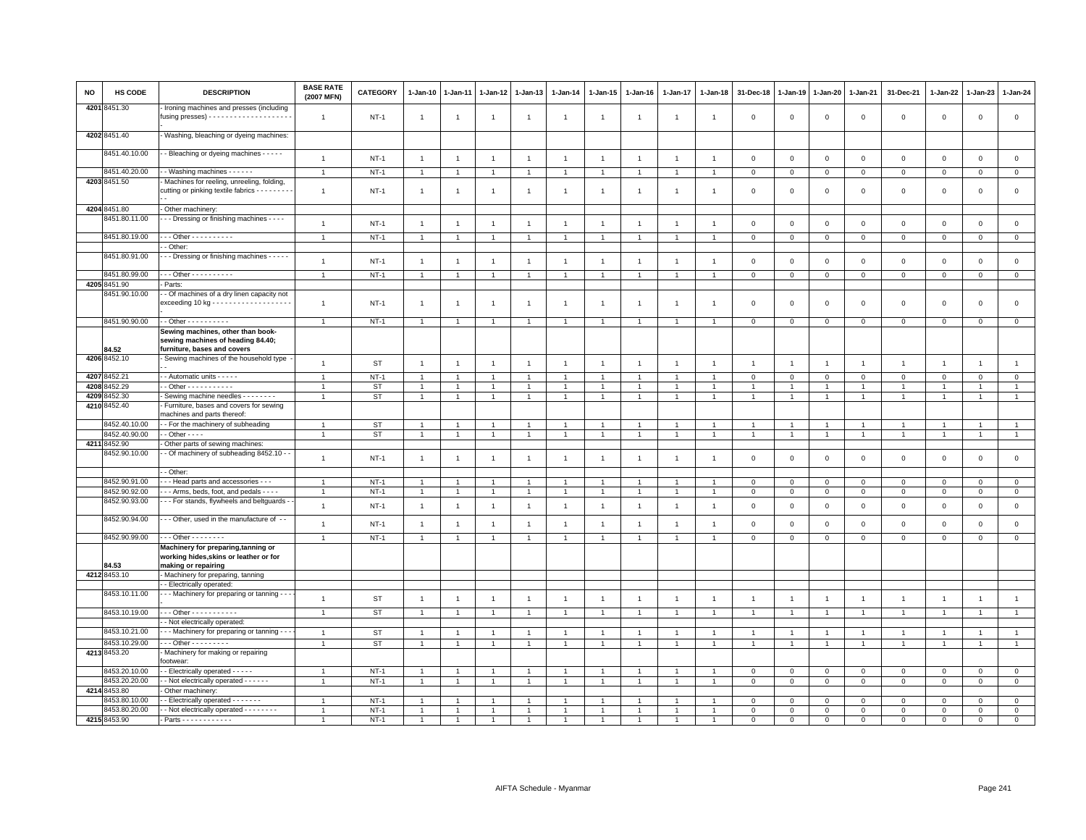| NO   | HS CODE       | <b>DESCRIPTION</b>                                                                                    | <b>BASE RATE</b><br>(2007 MFN) | CATEGORY               | 1-Jan-10             | 1-Jan-11       | 1-Jan-12       | 1-Jan-13       | 1-Jan-14       | 1-Jan-15             | 1-Jan-16       | 1-Jan-17       | 1-Jan-18       | 31-Dec-18      | 1-Jan-19       | 1-Jan-20       | 1-Jan-21       | 31-Dec-21           | 1-Jan-22       | 1-Jan-23       | 1-Jan-24       |
|------|---------------|-------------------------------------------------------------------------------------------------------|--------------------------------|------------------------|----------------------|----------------|----------------|----------------|----------------|----------------------|----------------|----------------|----------------|----------------|----------------|----------------|----------------|---------------------|----------------|----------------|----------------|
|      | 4201 8451.30  | Ironing machines and presses (including                                                               | $\overline{1}$                 | $NT-1$                 | $\overline{1}$       | $\overline{1}$ | $\overline{1}$ | $\overline{1}$ | $\overline{1}$ | $\mathbf{1}$         | -1             | $\mathbf{1}$   | -1             | $\mathbf 0$    | $\mathbf 0$    | $\mathsf 0$    | $\mathbf 0$    | $\mathbf 0$         | $\mathbf 0$    | $\mathbf{0}$   | $\mathsf 0$    |
|      | 4202 8451.40  | Washing, bleaching or dyeing machines:                                                                |                                |                        |                      |                |                |                |                |                      |                |                |                |                |                |                |                |                     |                |                |                |
|      | 8451.40.10.00 | - Bleaching or dyeing machines - - - -                                                                | $\mathbf{1}$                   | $NT-1$                 | $\overline{1}$       | $\overline{1}$ | $\overline{1}$ | $\mathbf{1}$   | $\overline{1}$ | $\overline{1}$       | $\overline{1}$ | $\overline{1}$ | $\mathbf{1}$   | $\mathbf 0$    | $\mathsf 0$    | $\mathbf 0$    | $\mathbf 0$    | $\mathsf 0$         | $\mathbf 0$    | $\mathsf 0$    | $\mathsf 0$    |
|      | 8451.40.20.00 | - Washing machines - - - - - -                                                                        | $\overline{1}$                 | $NT-1$                 | $\overline{1}$       | $\overline{1}$ | $\overline{1}$ | $\mathbf{1}$   | $\mathbf{1}$   | $\mathbf{1}$         | $\overline{1}$ | $\overline{1}$ |                | $\mathbf 0$    | $\mathbf 0$    | $\mathbf 0$    | $\mathbf 0$    | $\mathbf 0$         | $\mathbf 0$    | $\overline{0}$ | $\mathsf 0$    |
|      | 4203 8451.50  | Machines for reeling, unreeling, folding,                                                             |                                |                        |                      |                |                |                |                |                      |                |                |                |                |                |                |                |                     |                |                |                |
|      |               | cutting or pinking textile fabrics - - - - - - - -                                                    | $\mathbf{1}$                   | $NT-1$                 | $\overline{1}$       | $\overline{1}$ | $\overline{1}$ | $\overline{1}$ | $\overline{1}$ | $\mathbf{1}$         | $\overline{1}$ | $\overline{1}$ | -1             | $\mathbf 0$    | $\mathbf 0$    | $\,0\,$        | $\mathbf 0$    | $\mathsf 0$         | $\mathsf 0$    | $\mathsf 0$    | $\mathsf 0$    |
|      | 4204 8451.80  | Other machinery:                                                                                      |                                |                        |                      |                |                |                |                |                      |                |                |                |                |                |                |                |                     |                |                |                |
|      | 8451.80.11.00 | - - Dressing or finishing machines - - - -                                                            | $\mathbf{1}$                   | $NT-1$                 | $\overline{1}$       | $\overline{1}$ | $\overline{1}$ | $\mathbf{1}$   | $\overline{1}$ | $\mathbf{1}$         | $\overline{1}$ | $\overline{1}$ | $\overline{1}$ | $\mathbf 0$    | $\mathsf 0$    | $\mathbf 0$    | $\,0\,$        | $\mathsf{O}\xspace$ | $\mathbf 0$    | $\mathsf 0$    | $\mathsf 0$    |
|      | 8451.80.19.00 | $-$ - Other - - - - - - - - - -                                                                       | $\mathbf{1}$                   | $NT-1$                 | $\overline{1}$       | $\overline{1}$ | $\overline{1}$ | $\mathbf{1}$   | $\mathbf{1}$   | $\overline{1}$       | $\overline{1}$ | $\overline{1}$ | $\overline{1}$ | $\mathbf 0$    | $\mathbf 0$    | $\mathbf{0}$   | $\mathbf 0$    | $\mathbf 0$         | $\mathbf{0}$   | $\mathbf{0}$   | $\mathbf{0}$   |
|      |               | - Other                                                                                               |                                |                        |                      |                |                |                |                |                      |                |                |                |                |                |                |                |                     |                |                |                |
|      | 8451.80.91.00 | - - Dressing or finishing machines - - - -                                                            | $\overline{1}$                 | $NT-1$                 | $\overline{1}$       |                |                | $\overline{1}$ | $\overline{1}$ |                      | -1             | $\overline{1}$ |                | $\mathbf 0$    | $\mathbf 0$    | $\mathsf 0$    | $\mathbf 0$    | $\mathsf 0$         | $\mathbf 0$    | $\mathbf 0$    | $\mathsf 0$    |
|      | 8451.80.99.00 | $-$ - Other - - - - - - - - - -                                                                       | $\overline{1}$                 | $NT-1$                 | $\overline{1}$       | $\overline{1}$ | $\overline{1}$ | $\mathbf{1}$   | $\mathbf{1}$   | $\blacktriangleleft$ | $\overline{1}$ | $\overline{1}$ |                | $\mathsf 0$    | $\mathbf 0$    | $\mathsf 0$    | $\mathbf 0$    | $\mathsf 0$         | $\mathbf 0$    | $\circ$        | $\circ$        |
|      | 4205 8451.90  | Parts:                                                                                                |                                |                        |                      |                |                |                |                |                      |                |                |                |                |                |                |                |                     |                |                |                |
|      | 8451.90.10.00 | - Of machines of a dry linen capacity not                                                             | $\overline{1}$                 | $NT-1$                 | $\mathbf{1}$         | $\overline{1}$ | $\overline{1}$ | $\mathbf{1}$   | $\overline{1}$ | $\overline{1}$       | -1             | $\mathbf{1}$   | -1             | $\mathbf 0$    | $\mathbf 0$    | $\mathsf 0$    | $\mathbf 0$    | $\mathsf 0$         | $\mathsf 0$    | $\mathsf 0$    | $\mathsf 0$    |
|      | 8451.90.90.00 | - - Other - - - - - - - - - -                                                                         | $\overline{1}$                 | $NT-1$                 | $\overline{1}$       | $\overline{1}$ | $\overline{1}$ | $\overline{1}$ | $\overline{1}$ | $\overline{1}$       | $\overline{1}$ | $\overline{1}$ |                | $\mathbf 0$    | $\mathbf 0$    | $\mathsf 0$    | $\mathbf 0$    | $\mathsf 0$         | $\mathbf 0$    | $\mathsf 0$    | $\mathsf 0$    |
|      | 34.52         | Sewing machines, other than book-<br>sewing machines of heading 84.40;<br>furniture, bases and covers |                                |                        |                      |                |                |                |                |                      |                |                |                |                |                |                |                |                     |                |                |                |
|      | 4206 8452.10  | Sewing machines of the household type                                                                 | $\overline{1}$                 | <b>ST</b>              | $\overline{1}$       | $\overline{1}$ | $\overline{1}$ | $\mathbf{1}$   | $\overline{1}$ | $\overline{1}$       | $\overline{1}$ | $\overline{1}$ | $\overline{1}$ | $\overline{1}$ | $\overline{1}$ | $\overline{1}$ | $\overline{1}$ | $\overline{1}$      | $\overline{1}$ | $\overline{1}$ | $\mathbf{1}$   |
| 4207 | 8452.21       | - Automatic units - - - - -                                                                           | $\overline{1}$                 | $NT-1$                 | $\overline{1}$       |                |                | 1              | $\overline{1}$ |                      |                |                |                | $\overline{0}$ | $\mathbf{0}$   | $\mathbf 0$    | $\mathbf 0$    | $\mathsf 0$         | $\mathbf 0$    | $\mathbf{O}$   | $\circ$        |
|      | 4208 8452.29  | - - Other - - - - - - - - - - -                                                                       | $\overline{1}$                 | <b>ST</b>              | $\mathbf{1}$         | $\overline{1}$ | $\mathbf{1}$   | $\overline{1}$ | $\mathbf{1}$   | $\mathbf{1}$         | $\overline{1}$ | $\overline{1}$ | $\overline{1}$ | $\overline{1}$ | $\overline{1}$ | $\overline{1}$ | $\overline{1}$ | $\overline{1}$      | $\overline{1}$ | $\overline{1}$ | $\mathbf{1}$   |
| 4209 | 3452.30       | Sewing machine needles - - - - - - - -                                                                | $\mathbf{1}$                   | <b>ST</b>              | $\mathbf{1}$         | $\overline{1}$ | $\mathbf{1}$   | $\overline{1}$ | $\mathbf{1}$   | $\mathbf{1}$         | $\overline{1}$ | $\overline{1}$ | $\overline{1}$ | $\overline{1}$ | $\overline{1}$ | $\overline{1}$ | $\overline{1}$ | $\mathbf{1}$        | $\overline{1}$ | $\overline{1}$ | $\overline{1}$ |
| 4210 | 3452.40       | Furniture, bases and covers for sewing<br>machines and parts thereof:                                 |                                |                        |                      |                |                |                |                |                      |                |                |                |                |                |                |                |                     |                |                |                |
|      | 8452.40.10.00 | - For the machinery of subheading                                                                     | $\overline{1}$                 | <b>ST</b>              |                      |                |                |                | $\overline{1}$ |                      |                |                |                |                |                | $\overline{1}$ | $\overline{1}$ | $\overline{1}$      |                | $\overline{1}$ | $\mathbf{1}$   |
|      | 8452.40.90.00 | $-$ Other $ -$                                                                                        |                                | <b>ST</b>              | $\ddot{\phantom{0}}$ |                | $\overline{1}$ | $\overline{1}$ | $\overline{1}$ |                      |                |                |                |                |                | $\overline{1}$ | $\overline{1}$ | $\overline{1}$      | $\overline{1}$ | $\overline{1}$ | $\overline{1}$ |
| 4211 | 3452.90       | Other parts of sewing machines                                                                        |                                |                        |                      |                |                |                |                |                      |                |                |                |                |                |                |                |                     |                |                |                |
|      | 3452.90.10.00 | - Of machinery of subheading 8452.10 - -                                                              | $\mathbf{1}$                   | $NT-1$                 | $\overline{1}$       | $\overline{1}$ | $\mathbf{1}$   | $\mathbf{1}$   | $\overline{1}$ | $\overline{1}$       | $\overline{1}$ | $\overline{1}$ | $\overline{1}$ | $\mathsf 0$    | $\mathsf 0$    | $\mathsf 0$    | $\mathbf 0$    | $\mathsf 0$         | $\mathsf 0$    | $\mathbf 0$    | $\mathsf 0$    |
|      |               | - Other                                                                                               |                                |                        |                      |                |                |                |                |                      |                |                |                |                |                |                |                |                     |                |                |                |
|      | 8452.90.91.00 | - - Head parts and accessories - - -                                                                  | $\overline{1}$                 | $NT-1$                 | $\ddot{\phantom{0}}$ |                |                | $\overline{1}$ | $\overline{1}$ |                      |                |                |                | $\mathbf 0$    | $\mathsf 0$    | $\mathbf 0$    | $\mathbf{0}$   | $\mathbf 0$         | $\Omega$       | $\Omega$       | $\mathsf 0$    |
|      | 8452.90.92.00 | - - Arms, beds, foot, and pedals - - - -                                                              | $\overline{1}$                 | <b>NT-1</b>            | $\mathbf{1}$         | $\mathbf{1}$   | $\mathbf{1}$   | $\mathbf{1}$   | $\overline{1}$ | $\mathbf{1}$         | $\overline{1}$ | $\overline{1}$ |                | $\mathbf 0$    | $\mathsf 0$    | $\,0\,$        | $\mathsf 0$    | $\mathsf 0$         | $\mathsf 0$    | $\mathbf 0$    | $\mathbf 0$    |
|      | 8452.90.93.00 | - - For stands, flywheels and beltguards -                                                            | $\mathbf{1}$                   | $NT-1$                 | $\overline{1}$       | $\overline{1}$ | $\overline{1}$ | $\mathbf{1}$   | $\mathbf{1}$   | $\overline{1}$       | $\overline{1}$ | $\overline{1}$ | $\mathbf{1}$   | $\mathbf 0$    | $\mathbf 0$    | $\mathbf 0$    | $\mathbf 0$    | $\mathbf 0$         | $\mathbf 0$    | $\mathbf 0$    | $\mathbf 0$    |
|      | 8452.90.94.00 | - - Other, used in the manufacture of --                                                              | $\mathbf{1}$                   | <b>NT-1</b>            | $\overline{1}$       | $\mathbf{1}$   | $\overline{1}$ | $\mathbf{1}$   | $\mathbf{1}$   | $\overline{1}$       | $\overline{1}$ | $\overline{1}$ |                | $\mathbf 0$    | $\mathbf 0$    | $\mathbf 0$    | $\mathbf 0$    | $\mathsf 0$         | $\mathbf 0$    | $\mathbf 0$    | $\mathsf 0$    |
|      | 8452.90.99.00 | $-0$ ther $-0$                                                                                        | $\overline{1}$                 | $NT-1$                 | $\overline{1}$       | $\overline{1}$ | $\mathbf{1}$   | $\overline{1}$ | $\overline{1}$ | $\mathbf{1}$         | $\overline{1}$ | $\overline{1}$ |                | $\mathbf 0$    | $\mathsf 0$    | $\mathbf 0$    | $\mathbf{0}$   | $\mathbf{0}$        | $\mathbf 0$    | $\mathbf 0$    | $\overline{0}$ |
|      | 4.53          | Machinery for preparing, tanning or<br>working hides, skins or leather or for                         |                                |                        |                      |                |                |                |                |                      |                |                |                |                |                |                |                |                     |                |                |                |
|      | 4212 8453.10  | making or repairing<br>Machinery for preparing, tanning                                               |                                |                        |                      |                |                |                |                |                      |                |                |                |                |                |                |                |                     |                |                |                |
|      |               | - Electrically operated:                                                                              |                                |                        |                      |                |                |                |                |                      |                |                |                |                |                |                |                |                     |                |                |                |
|      | 8453.10.11.00 | - - Machinery for preparing or tanning - -                                                            | $\overline{1}$                 | <b>ST</b>              | $\overline{1}$       | $\overline{1}$ | $\overline{1}$ | $\mathbf{1}$   | $\mathbf{1}$   | $\mathbf{1}$         | $\overline{1}$ | $\overline{1}$ | $\overline{1}$ | $\overline{1}$ | $\overline{1}$ | $\overline{1}$ | $\overline{1}$ | $\overline{1}$      | $\overline{1}$ | $\mathbf{1}$   | $\mathbf{1}$   |
|      | 8453.10.19.00 | - - Other - - - - - - - - - - -<br>- Not electrically operated:                                       | $\overline{1}$                 | <b>ST</b>              | $\overline{1}$       |                |                | $\mathbf{1}$   | $\overline{1}$ |                      |                | $\overline{1}$ |                |                |                | $\overline{1}$ | $\overline{1}$ | $\overline{1}$      |                | $\overline{1}$ | $\overline{1}$ |
|      | 8453.10.21.00 | - - Machinery for preparing or tanning -                                                              | $\overline{1}$                 |                        | $\overline{1}$       | $\overline{1}$ | $\overline{1}$ | $\overline{1}$ | $\overline{1}$ | $\overline{1}$       | $\overline{1}$ | $\overline{1}$ | $\overline{1}$ | $\overline{1}$ | $\overline{1}$ | $\overline{1}$ | $\overline{1}$ | $\overline{1}$      | $\overline{1}$ | $\overline{1}$ | $\mathbf{1}$   |
|      | 3453.10.29.00 | $-$ - Other - - - - - - - - -                                                                         | $\overline{1}$                 | <b>ST</b><br><b>ST</b> |                      |                |                | $\mathbf{1}$   | $\overline{1}$ | $\mathbf{1}$         | $\overline{1}$ | $\mathbf{1}$   |                |                |                |                | $\overline{1}$ | $\mathbf{1}$        |                | $\overline{1}$ |                |
|      | 4213 8453.20  | Machinery for making or repairing                                                                     |                                |                        | $\overline{1}$       | 1              | $\overline{1}$ |                |                |                      |                |                |                |                |                | $\overline{1}$ |                |                     | $\overline{1}$ |                | $\mathbf{1}$   |
|      | 8453.20.10.00 | ootwear:<br>- Electrically operated - - - - -                                                         |                                | $NT-1$                 | $\overline{1}$       |                |                | $\overline{1}$ | $\overline{1}$ | $\overline{1}$       |                | $\overline{1}$ |                | $\Omega$       | $\Omega$       | $\mathbf 0$    | $\mathbf{0}$   | $\mathbf{0}$        | $\circ$        | $\mathbf 0$    | $\circ$        |
|      | 8453.20.20.00 | - Not electrically operated - - - - - -                                                               |                                | $NT-1$                 | $\mathbf{1}$         |                |                | $\overline{1}$ | $\overline{1}$ |                      |                |                |                | $\mathbf 0$    | $\mathbf 0$    | $\mathbf 0$    | $\mathbf 0$    | $\mathbf 0$         | $\mathbf 0$    | $\mathbf 0$    | $\mathsf 0$    |
|      | 4214 8453.80  | Other machinery:                                                                                      |                                |                        |                      |                |                |                |                |                      |                |                |                |                |                |                |                |                     |                |                |                |
|      | 3453.80.10.00 | - Electrically operated - - - - - - -                                                                 | $\overline{1}$                 | $NT-1$                 |                      |                |                |                |                |                      |                |                |                | $\mathbf 0$    | $\mathbf 0$    | 0              | $\mathsf 0$    | $\mathbf 0$         | 0              | $\mathbf 0$    | $\mathsf 0$    |
|      | 8453.80.20.00 | - Not electrically operated - - - - - - - -                                                           | $\overline{1}$                 | $NT-1$                 | $\overline{1}$       |                |                |                |                |                      |                |                |                | $\Omega$       | $\Omega$       | $\Omega$       | $\Omega$       | $\mathbf 0$         | $\Omega$       | $\mathbf{0}$   | $\mathbf 0$    |
|      | 4215 8453.90  | - Parts - - - - - - - - - - - -                                                                       |                                | $NT-1$                 | $\overline{1}$       |                |                |                |                |                      |                |                |                | $\Omega$       | $\Omega$       | $\mathbf 0$    | $\Omega$       | $\Omega$            | $\Omega$       | $\Omega$       | $\Omega$       |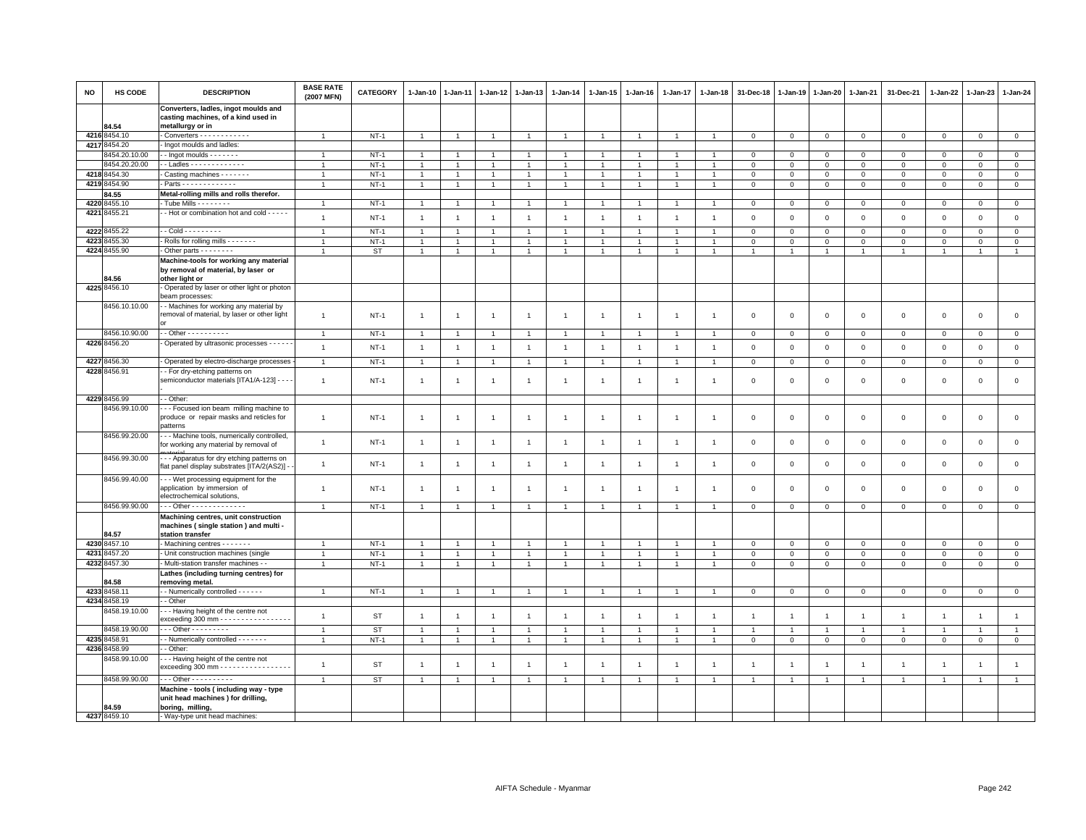| <b>NO</b> | HS CODE                      | <b>DESCRIPTION</b>                                                                                | <b>BASE RATE</b><br>(2007 MFN) | <b>CATEGORY</b> | $1 - Jan-10$   | $1 - Jan-11$   | $1 - Jan-12$   | $1 - Jan-13$   | $1 - Jan-14$   | 1-Jan-15       | $1-Jan-16$           | $1 - Jan-17$         | 1-Jan-18       | 31-Dec-18      | 1-Jan-19       | $1 - Jan-20$   | $1 - Jan-21$   | 31-Dec-21           | 1-Jan-22       | 1-Jan-23       | 1-Jan-24       |
|-----------|------------------------------|---------------------------------------------------------------------------------------------------|--------------------------------|-----------------|----------------|----------------|----------------|----------------|----------------|----------------|----------------------|----------------------|----------------|----------------|----------------|----------------|----------------|---------------------|----------------|----------------|----------------|
|           |                              | Converters, ladles, ingot moulds and<br>casting machines, of a kind used in                       |                                |                 |                |                |                |                |                |                |                      |                      |                |                |                |                |                |                     |                |                |                |
|           | 84.54                        | metallurgy or in                                                                                  |                                |                 |                |                |                |                |                |                |                      |                      |                |                |                |                |                |                     |                |                |                |
|           | 4216 8454.10<br>4217 8454.20 | Converters - - - - - - - - - - -<br>Ingot moulds and ladles:                                      | $\overline{1}$                 | $NT-1$          | $\overline{1}$ | -1             | $\overline{1}$ | $\overline{1}$ | $\overline{1}$ | $\mathbf{1}$   |                      | $\overline{1}$       |                | $\mathbf 0$    | $\mathbf 0$    | $\mathbf{0}$   | $\circ$        | $\mathbf 0$         | $\mathbf{0}$   | $\mathbf{O}$   | $\overline{0}$ |
|           | 8454.20.10.00                | $\cdot$ - Ingot moulds - - - - - - -                                                              | $\overline{1}$                 | $NT-1$          | $\overline{1}$ | -1             | $\overline{1}$ | $\overline{1}$ | $\mathbf{1}$   | 1              | $\overline{1}$       | $\overline{1}$       |                | $\mathbf 0$    | $\circ$        | $\mathbf 0$    | $\mathbf 0$    | $\mathbf 0$         | $\circ$        | $\overline{0}$ | $\mathsf 0$    |
|           | 3454.20.20.00                | - Ladles - - - - - - - - - - - -                                                                  | $\overline{1}$                 | $NT-1$          |                |                | -1             | $\overline{1}$ | $\overline{1}$ |                |                      |                      |                | $\mathbf 0$    | $\mathbf 0$    | $\mathbf 0$    | $\mathbf 0$    | $\mathsf 0$         | $\mathbf 0$    | $\mathbf 0$    | $\mathsf 0$    |
|           | 4218 8454.30                 | Casting machines - - - - - - -                                                                    | $\overline{1}$                 | $NT-1$          | 1              |                | $\mathbf{1}$   |                | $\overline{1}$ |                |                      |                      |                | $\mathbf 0$    | $\mathbf 0$    | $\mathbf 0$    | $\mathbf 0$    | $\mathbf 0$         | $\mathbf 0$    | $\mathbf 0$    | $\mathbf 0$    |
|           | 4219 8454.90                 | $-Parts - - - - - - - - - - -$                                                                    | $\overline{1}$                 | $NT-1$          | $\overline{1}$ | $\overline{1}$ | $\overline{1}$ | $\overline{1}$ | $\overline{1}$ | $\overline{1}$ | $\blacktriangleleft$ | $\overline{1}$       |                | $\mathbf 0$    | $\,0\,$        | $\,0\,$        | $\,0\,$        | $\mathbf{0}$        | $\Omega$       | $\circ$        | $\circ$        |
|           | <b>84.55</b>                 | Metal-rolling mills and rolls therefor.                                                           |                                |                 |                |                |                |                |                |                |                      |                      |                |                |                |                |                |                     |                |                |                |
| 4220      | 8455.10                      | Tube Mills - - - - - - -                                                                          | $\overline{1}$                 | $NT-1$          | $\overline{1}$ |                | $\overline{1}$ | $\overline{1}$ | $\overline{1}$ | 1              |                      |                      |                | $\mathbf 0$    | $\mathbf 0$    | $\mathsf 0$    | $\mathsf 0$    | $\mathbf 0$         | $\mathbf 0$    | $\mathbf 0$    | $\overline{0}$ |
| 4221      | 8455.21                      | - Hot or combination hot and cold - - - - -                                                       |                                |                 |                |                |                |                |                |                |                      |                      |                |                |                |                |                |                     |                |                |                |
|           |                              |                                                                                                   | $\overline{1}$                 | $NT-1$          | $\overline{1}$ | $\overline{1}$ | $\overline{1}$ | $\overline{1}$ | $\mathbf{1}$   | $\overline{1}$ | $\overline{1}$       | $\overline{1}$       | $\overline{1}$ | $\mathbf 0$    | $\mathbf 0$    | $\mathbf 0$    | $\mathbf 0$    | $\mathsf 0$         | $\mathbf 0$    | $\mathbf 0$    | $\mathsf 0$    |
| 4222      | 8455.22                      | - - Cold - - - - - - - - -                                                                        | $\mathbf{1}$                   | $NT-1$          | $\overline{1}$ | $\overline{1}$ | $\overline{1}$ | $\overline{1}$ | $\mathbf{1}$   | $\overline{1}$ | $\overline{1}$       | $\overline{1}$       | $\mathbf{1}$   | $\mathbf{0}$   | $\mathbf{0}$   | $\mathbf 0$    | $\mathbf{0}$   | $\Omega$            | $\Omega$       | $\Omega$       | $\circ$        |
| 4223      | 8455.30                      | - Rolls for rolling mills - - - - - - -                                                           | $\overline{1}$                 | $NT-1$          | $\overline{1}$ | $\overline{1}$ | $\mathbf{1}$   | $\overline{1}$ | $\mathbf{1}$   | $\mathbf{1}$   | $\overline{1}$       | $\overline{1}$       |                | $\mathbf 0$    | $\mathbf 0$    | $\mathbf 0$    | $\mathbf 0$    | $\mathbf 0$         | $\mathbf 0$    | $\mathbf 0$    | $\mathbf 0$    |
|           | 4224 8455.90                 | Other parts - - - - - - - -                                                                       | $\mathbf{1}$                   | <b>ST</b>       | $\mathbf{1}$   | $\mathbf{1}$   | 1              | $\overline{1}$ | $\mathbf{1}$   | $\mathbf{1}$   |                      | 1                    |                |                |                | -1             | 1              |                     | -1             | $\mathbf{1}$   | $\mathbf{1}$   |
|           | <b>B4.56</b>                 | Machine-tools for working any material<br>by removal of material, by laser or<br>other light or   |                                |                 |                |                |                |                |                |                |                      |                      |                |                |                |                |                |                     |                |                |                |
|           | 4225 8456.10                 | - Operated by laser or other light or photon                                                      |                                |                 |                |                |                |                |                |                |                      |                      |                |                |                |                |                |                     |                |                |                |
|           |                              | beam processes:                                                                                   |                                |                 |                |                |                |                |                |                |                      |                      |                |                |                |                |                |                     |                |                |                |
|           | 8456.10.10.00                | - - Machines for working any material by<br>removal of material, by laser or other light          | $\mathbf{1}$                   | $NT-1$          | $\overline{1}$ | $\mathbf{1}$   | $\overline{1}$ | $\mathbf{1}$   | $\overline{1}$ | $\overline{1}$ | $\overline{1}$       | $\mathbf{1}$         | $\mathbf{1}$   | $\mathbf 0$    | $\mathbf 0$    | $\mathbf 0$    | $\mathbf 0$    | $\mathbf 0$         | $\mathbf 0$    | $\mathbf 0$    | $\mathbf 0$    |
|           | 8456.10.90.00                | - - Other - - - - - - - - - -                                                                     | $\overline{1}$                 | <b>NT-1</b>     | $\mathbf{1}$   | $\overline{1}$ | $\overline{1}$ | $\mathbf{1}$   | $\overline{1}$ | $\mathbf{1}$   | $\overline{1}$       | $\overline{1}$       |                | $\mathbf 0$    | $\mathbf 0$    | $\mathbf 0$    | $\overline{0}$ | $\mathsf 0$         | $\mathbf 0$    | $\mathbf 0$    | $\mathbf 0$    |
|           | 4226 8456.20                 | Operated by ultrasonic processes - - - - -                                                        | $\overline{1}$                 | $NT-1$          | $\overline{1}$ | $\overline{1}$ | $\overline{1}$ | $\overline{1}$ | $\mathbf{1}$   | $\overline{1}$ | $\overline{1}$       | $\overline{1}$       | $\overline{1}$ | $\mathbf 0$    | $\,0\,$        | $\mathbb O$    | $\mathbf 0$    | $\mathsf{O}\xspace$ | $\mathbb O$    | $\mathsf 0$    | $\mathbf 0$    |
|           |                              |                                                                                                   |                                |                 |                |                |                |                |                |                |                      |                      |                |                |                |                |                |                     |                |                |                |
| 4227      | 8456.30                      | Operated by electro-discharge processes                                                           | $\mathbf{1}$                   | $NT-1$          | $\overline{1}$ | $\overline{1}$ | $\overline{1}$ | $\overline{1}$ | $\overline{1}$ | $\overline{1}$ | $\overline{1}$       | $\overline{1}$       | $\overline{1}$ | $\mathbf 0$    | $\mathbf 0$    | $\mathbf 0$    | $\mathbf 0$    | $\mathbf 0$         | $\mathbf 0$    | $\mathbf 0$    | $\mathsf 0$    |
|           | 4228 8456.91                 | - For dry-etching patterns on<br>semiconductor materials [ITA1/A-123] - - -                       | $\mathbf{1}$                   | $NT-1$          | $\overline{1}$ | $\mathbf{1}$   | $\overline{1}$ | $\overline{1}$ | $\mathbf{1}$   | $\mathbf{1}$   | -1                   | $\mathbf{1}$         |                | $\mathbf 0$    | $\overline{0}$ | $\mathsf 0$    | $\mathbf 0$    | $\mathsf 0$         | $\mathbf 0$    | $\mathbf 0$    | $\mathsf 0$    |
|           | 4229 8456.99                 | - - Other:                                                                                        |                                |                 |                |                |                |                |                |                |                      |                      |                |                |                |                |                |                     |                |                |                |
|           | 8456.99.10.00                | --- Focused ion beam milling machine to<br>produce or repair masks and reticles for<br>patterns   | $\mathbf{1}$                   | $NT-1$          | $\overline{1}$ | $\overline{1}$ | $\overline{1}$ | $\mathbf{1}$   | $\mathbf{1}$   | $\overline{1}$ | $\overline{1}$       | $\mathbf{1}$         | -1             | $\mathbf 0$    | $\mathbf 0$    | $\,0\,$        | $\,0\,$        | $\mathsf 0$         | $\,0\,$        | $\mathsf 0$    | $\mathsf 0$    |
|           | 8456.99.20.00                | - - Machine tools, numerically controlled,<br>for working any material by removal of              | $\mathbf{1}$                   | <b>NT-1</b>     | $\overline{1}$ | $\mathbf{1}$   | $\overline{1}$ | $\overline{1}$ | $\overline{1}$ | $\overline{1}$ | $\overline{1}$       | $\mathbf{1}$         | -1             | $\mathbf 0$    | $\,0\,$        | $\mathsf 0$    | $\,0\,$        | $\mathsf 0$         | $\,0\,$        | $\mathsf 0$    | $\mathbf 0$    |
|           | 8456.99.30.00                | -- Apparatus for dry etching patterns on<br>lat panel display substrates [ITA/2(AS2)] -           | $\mathbf{1}$                   | $NT-1$          | $\overline{1}$ | $\overline{1}$ | $\overline{1}$ | $\overline{1}$ | $\mathbf{1}$   | $\overline{1}$ | $\overline{1}$       | $\overline{1}$       | $\overline{1}$ | $\mathbf 0$    | $\,0\,$        | $\mathsf 0$    | $\,0\,$        | $\mathsf{O}\xspace$ | $\,0\,$        | $\mathsf 0$    | $\mathbf 0$    |
|           | 8456.99.40.00                | - - Wet processing equipment for the<br>application by immersion of<br>electrochemical solutions  | $\overline{1}$                 | $NT-1$          | $\overline{1}$ | $\overline{1}$ | $\overline{1}$ | $\overline{1}$ | $\overline{1}$ | $\overline{1}$ | -1                   | $\mathbf{1}$         | $\overline{1}$ | $\overline{0}$ | $\mathbf{0}$   | $\,0\,$        | $\mathbf{0}$   | $\mathbf 0$         | $\mathbf{0}$   | $\mathbf 0$    | $\mathbf{0}$   |
|           | 8456.99.90.00                | Other - - - - - - - - - - - - -                                                                   | $\mathbf{1}$                   | $NT-1$          | $\overline{1}$ | $\overline{1}$ | $\overline{1}$ | $\overline{1}$ | $\overline{1}$ | $\overline{1}$ | $\overline{1}$       | $\overline{1}$       | $\overline{1}$ | $\mathbf 0$    | $\overline{0}$ | $\mathbf 0$    | $\overline{0}$ | $\mathsf 0$         | $\,0\,$        | $\mathbf 0$    | $\overline{0}$ |
|           | 84.57                        | Machining centres, unit construction<br>machines (single station) and multi -<br>station transfer |                                |                 |                |                |                |                |                |                |                      |                      |                |                |                |                |                |                     |                |                |                |
|           | 4230 8457.10                 | - Machining centres - - - - - - -                                                                 | $\mathbf{1}$                   | $NT-1$          |                |                | 1              |                |                |                |                      |                      |                | $\mathbf 0$    | $\circ$        | $\mathbf 0$    | $\mathbf 0$    | $\mathbf 0$         | $\mathbf 0$    | $\mathbf 0$    | $\mathbf 0$    |
| 4231      | 3457.20                      | - Unit construction machines (single                                                              | $\overline{1}$                 | $NT-1$          | $\overline{1}$ | $\overline{1}$ | $\overline{1}$ | $\overline{1}$ | $\overline{1}$ | $\mathbf{1}$   |                      | $\ddot{\phantom{0}}$ |                | $\mathbf 0$    | $\mathsf 0$    | $\mathsf 0$    | $\mathbf 0$    | $\mathbf 0$         | $\mathbf 0$    | $\mathbf{0}$   | $\mathsf 0$    |
|           | 4232 8457.30                 | - Multi-station transfer machines -                                                               | $\overline{1}$                 | $NT-1$          | $\overline{1}$ | $\mathbf{1}$   | $\mathbf{1}$   | $\mathbf{1}$   | $\overline{1}$ | $\mathbf{1}$   | $\overline{1}$       | $\mathbf{1}$         |                | $\mathbf 0$    | $\,0\,$        | $\,0\,$        | $\mathsf 0$    | $\mathsf 0$         | $\mathsf 0$    | $\mathbf 0$    | $\mathbf 0$    |
|           | 84.58                        | Lathes (including turning centres) for<br>removing metal.                                         |                                |                 |                |                |                |                |                |                |                      |                      |                |                |                |                |                |                     |                |                |                |
|           | 4233 8458.11                 | - Numerically controlled - - - - - -                                                              | $\overline{1}$                 | $NT-1$          | $\overline{1}$ | $\overline{1}$ | $\overline{1}$ | $\overline{1}$ | $\mathbf{1}$   | $\overline{1}$ | $\overline{1}$       | $\overline{1}$       | $\overline{1}$ | $\mathsf 0$    | $\circ$        | $\mathbf 0$    | $\circ$        | $\mathsf 0$         | $\mathbf 0$    | $\mathsf 0$    | $\circ$        |
|           | 4234 8458.19                 | - Other                                                                                           |                                |                 |                |                |                |                |                |                |                      |                      |                |                |                |                |                |                     |                |                |                |
|           | 8458.19.10.00                | -- Having height of the centre not<br>exceeding 300 mm - - - - - - - - - - - - - - -              | $\overline{1}$                 | <b>ST</b>       | $\overline{1}$ | $\overline{1}$ | $\overline{1}$ | $\mathbf{1}$   | $\overline{1}$ | $\overline{1}$ | $\overline{1}$       | $\mathbf{1}$         | $\overline{1}$ | $\overline{1}$ | $\overline{1}$ | $\overline{1}$ | $\overline{1}$ | $\mathbf{1}$        | $\overline{1}$ | $\overline{1}$ | $\mathbf{1}$   |
|           | 8458.19.90.00                | $-$ - Other - - - - - - - - -                                                                     | $\overline{1}$                 | ST              |                |                | -1             |                |                |                |                      |                      |                | $\mathbf{1}$   |                | $\overline{1}$ | $\mathbf{1}$   | $\mathbf{1}$        | $\mathbf{1}$   | -1             | $\mathbf{1}$   |
| 4235      | 3458.91                      | - Numerically controlled - - - - - - -                                                            | $\overline{1}$                 | $NT-1$          | $\overline{1}$ | $\overline{1}$ | $\overline{1}$ | $\overline{1}$ | $\overline{1}$ | $\mathbf{1}$   |                      | $\ddot{\phantom{0}}$ |                | $\mathbf 0$    | $\mathsf 0$    | $\mathsf 0$    | $\mathbf{0}$   | $\mathbf 0$         | $\Omega$       | $\mathbf 0$    | $\overline{0}$ |
|           | 4236 8458.99                 | - Other:                                                                                          |                                |                 |                |                |                |                |                |                |                      |                      |                |                |                |                |                |                     |                |                |                |
|           | 8458.99.10.00                | - - Having height of the centre not<br>exceeding 300 mm - - - - - - - - - - - - - - - -           | $\overline{1}$                 | <b>ST</b>       | $\overline{1}$ | $\overline{1}$ | $\overline{1}$ | $\overline{1}$ | $\mathbf{1}$   | $\overline{1}$ | $\overline{1}$       | $\mathbf{1}$         | $\mathbf{1}$   | $\overline{1}$ | $\overline{1}$ | $\overline{1}$ | $\overline{1}$ | $\overline{1}$      | $\overline{1}$ | $\overline{1}$ | $\mathbf{1}$   |
|           | 8458.99.90.00                | $-$ - Other - - - - - - - - - -                                                                   | $\overline{1}$                 | ST              | $\overline{1}$ | $\overline{1}$ | $\overline{1}$ | $\overline{1}$ | $\overline{1}$ | $\overline{1}$ |                      | $\overline{1}$       |                | $\overline{1}$ |                | $\overline{1}$ | $\overline{1}$ | $\mathbf{1}$        | $\overline{1}$ | $\overline{1}$ | $\overline{1}$ |
|           | 84.59                        | Machine - tools (including way - type<br>unit head machines) for drilling,<br>boring, milling,    |                                |                 |                |                |                |                |                |                |                      |                      |                |                |                |                |                |                     |                |                |                |
|           | 4237 8459.10                 | - Way-type unit head machines:                                                                    |                                |                 |                |                |                |                |                |                |                      |                      |                |                |                |                |                |                     |                |                |                |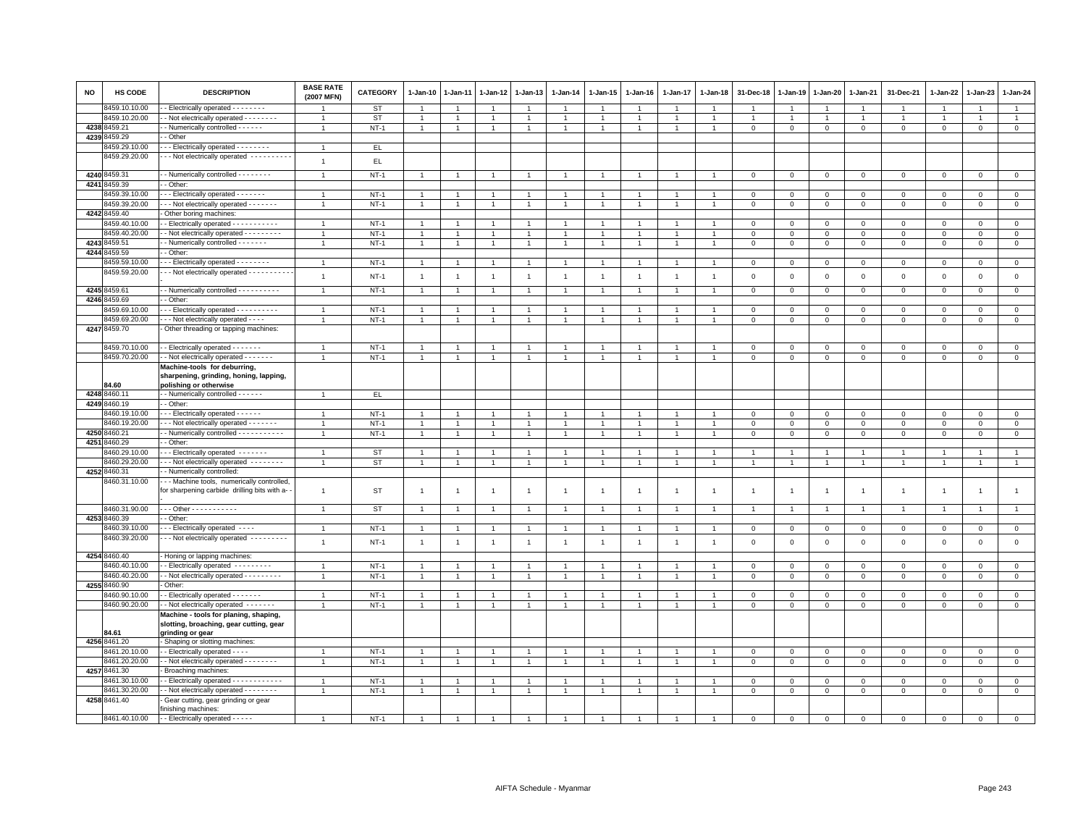| <b>NO</b> | HS CODE       | <b>DESCRIPTION</b>                                                                               | <b>BASE RATE</b><br>(2007 MFN) | CATEGORY    | $1-Jan-10$     | $1 - Jan-11$   | 1-Jan-12       | 1-Jan-13       | $1 - Jan-14$   | 1-Jan-15             | $1-Jan-16$     | $1 - Jan-17$ | $1 - Jan-18$   | 31-Dec-18      | $1 - Jan-19$   | 1-Jan-20       | 1-Jan-21       | 31-Dec-21      | $1 - Jan-22$   | 1-Jan-23       | $1 - Jan-24$   |
|-----------|---------------|--------------------------------------------------------------------------------------------------|--------------------------------|-------------|----------------|----------------|----------------|----------------|----------------|----------------------|----------------|--------------|----------------|----------------|----------------|----------------|----------------|----------------|----------------|----------------|----------------|
|           | 8459.10.10.00 | - Electrically operated - - - - - - - -                                                          |                                | ST          |                |                |                | $\overline{1}$ |                |                      |                |              |                | $\overline{1}$ | $\overline{1}$ | $\overline{1}$ | $\overline{1}$ |                |                | $\overline{1}$ | $\mathbf{1}$   |
|           | 3459.10.20.00 | Not electrically operated - - - - - - - -                                                        | $\overline{1}$                 | <b>ST</b>   | 1              | $\mathbf{1}$   | $\mathbf{1}$   | $\overline{1}$ | -1             | $\mathbf{1}$         |                | 1            | $\overline{1}$ | $\mathbf{1}$   | 1              | $\overline{1}$ | $\overline{1}$ | $\mathbf{1}$   | -1             | $\overline{1}$ | $\mathbf{1}$   |
|           | 4238 8459.21  | - Numerically controlled - - - - - -                                                             | $\overline{1}$                 | $NT-1$      | $\mathbf{1}$   | $\overline{1}$ | $\overline{1}$ | $\overline{1}$ | $\overline{1}$ | $\mathbf{1}$         |                | $\mathbf{1}$ | $\overline{1}$ | $\mathbf 0$    | $\mathbf{0}$   | $\mathbf 0$    | $\mathbf{0}$   | $\mathbf 0$    | $\circ$        | $\mathbf 0$    | $\mathbf 0$    |
| 4239      | 459.29        | - Other                                                                                          |                                |             |                |                |                |                |                |                      |                |              |                |                |                |                |                |                |                |                |                |
|           | 8459.29.10.00 | - - Electrically operated - - - - - - - -                                                        | $\mathbf{1}$                   | EL.         |                |                |                |                |                |                      |                |              |                |                |                |                |                |                |                |                |                |
|           | 8459.29.20.00 | - - Not electrically operated - - - - - - - - - -                                                | $\mathbf{1}$                   | EL          |                |                |                |                |                |                      |                |              |                |                |                |                |                |                |                |                |                |
|           | 4240 8459.31  | - Numerically controlled - - - - - - - -                                                         | $\overline{1}$                 | $NT-1$      | $\overline{1}$ |                | $\overline{1}$ | $\overline{1}$ |                |                      |                |              |                | $\Omega$       | $\mathbf 0$    | $\mathbf 0$    | $\mathbf 0$    | $\Omega$       | $\Omega$       | $\mathbf{0}$   | $\mathbf{0}$   |
| 4241      | 3459.39       | - Other:                                                                                         |                                |             |                |                |                |                |                |                      |                |              |                |                |                |                |                |                |                |                |                |
|           | 3459.39.10.00 | - - Electrically operated - - - - - - -                                                          |                                | $NT-1$      | $\mathbf{1}$   |                |                | $\overline{1}$ |                | $\overline{1}$       |                |              |                | $\mathbf 0$    | $\mathsf 0$    | $\mathsf 0$    | $\mathbf 0$    | $\mathbf 0$    | $\mathbf 0$    | $\mathbf 0$    | $\mathsf 0$    |
|           | 3459.39.20.00 | - - Not electrically operated - - - - - - -                                                      | $\overline{1}$                 | $NT-1$      | $\mathbf{1}$   | $\mathbf{1}$   | $\mathbf{1}$   | $\overline{1}$ | $\mathbf{1}$   | $\mathbf{1}$         |                | $\mathbf{1}$ | $\mathbf{1}$   | $\mathsf 0$    | $\overline{0}$ | $\mathbf{0}$   | $\mathbf 0$    | $\mathbf{0}$   | $\mathbf 0$    | $\circ$        | $\overline{0}$ |
|           | 4242 8459.40  | Other boring machines:                                                                           |                                |             |                |                |                |                |                |                      |                |              |                |                |                |                |                |                |                |                |                |
|           | 3459.40.10.00 | - Electrically operated - - - - - - - - - - -                                                    | $\overline{1}$                 | $NT-1$      | $\overline{1}$ |                |                | $\overline{1}$ |                | $\blacktriangleleft$ |                |              |                | $\mathbf 0$    | $\mathbf 0$    | $\mathbf{0}$   | $\mathsf 0$    | $\circ$        | $\Omega$       | $\Omega$       | $\mathsf 0$    |
|           | 8459.40.20.00 | - Not electrically operated - - - - - - - - -                                                    |                                | $NT-1$      | $\mathbf{1}$   |                |                | $\overline{1}$ |                | $\mathbf{1}$         |                |              |                | $\mathbf 0$    | $\mathbf 0$    | $\mathbf 0$    | $^{\circ}$     | 0              | $^{\circ}$     | $\Omega$       | $\mathsf 0$    |
|           | 4243 8459.51  | Numerically controlled - - - - - - -                                                             | $\mathbf{1}$                   | $NT-1$      | -1             | $\overline{1}$ | $\overline{1}$ | $\overline{1}$ |                | $\overline{1}$       |                | 1            | $\overline{1}$ | $\overline{0}$ | $\overline{0}$ | $\overline{0}$ | $\mathbf{0}$   | $\mathbf 0$    | $\circ$        | $\mathbf 0$    | $\overline{0}$ |
|           | 4244 8459.59  | - Other:                                                                                         |                                |             |                |                |                |                |                |                      |                |              |                |                |                |                |                |                |                |                |                |
|           | 3459.59.10.00 | - - Electrically operated - - - - - - - -                                                        | $\overline{1}$                 | $NT-1$      | $\overline{1}$ |                | $\overline{1}$ | $\overline{1}$ |                | $\overline{1}$       |                |              |                | $\overline{0}$ | $\mathbf 0$    | $\,0\,$        | $\mathbf 0$    | $\mathbf 0$    | $^{\circ}$     | $\mathbf 0$    | $\mathsf 0$    |
|           | 8459.59.20.00 | - - Not electrically operated - - - - - - - - - -                                                | $\mathbf{1}$                   | $NT-1$      | $\overline{1}$ | $\mathbf{1}$   | $\overline{1}$ | $\overline{1}$ | $\overline{1}$ | $\mathbf{1}$         | $\overline{1}$ | $\mathbf{1}$ | $\overline{1}$ | $\mathbf 0$    | $\mathbf 0$    | $\mathbf 0$    | $\mathsf 0$    | $\mathsf 0$    | $\mathbf 0$    | $\mathsf 0$    | $\mathsf 0$    |
|           | 4245 8459.61  | - Numerically controlled - - - - - - - - - -                                                     | $\mathbf{1}$                   | $NT-1$      | $\overline{1}$ | $\mathbf{1}$   | $\overline{1}$ | $\overline{1}$ | $\overline{1}$ | $\mathbf{1}$         |                | 1            | $\overline{1}$ | $\overline{0}$ | $\overline{0}$ | $\overline{0}$ | $\mathbf{0}$   | $\mathbf 0$    | $\mathbf 0$    | $\mathbf 0$    | $\mathbf{0}$   |
|           | 4246 8459.69  | - Other:                                                                                         |                                |             |                |                |                |                |                |                      |                |              |                |                |                |                |                |                |                |                |                |
|           | 3459.69.10.00 | - - Electrically operated - - - - - - - - - -                                                    | $\overline{1}$                 | $NT-1$      |                |                |                | $\overline{1}$ |                |                      |                |              |                | $\mathbf 0$    | $\mathbf 0$    | $\mathbf 0$    | $\mathbf 0$    | $\Omega$       | $\Omega$       | $\mathbf 0$    | $\overline{0}$ |
|           | 3459.69.20.00 | - - Not electrically operated - - - -                                                            | $\overline{1}$                 | $NT-1$      | $\overline{1}$ | $\mathbf{1}$   | $\overline{1}$ | $\overline{1}$ |                | $\mathbf{1}$         | $\overline{1}$ |              | $\overline{1}$ | $\mathsf 0$    | $\mathbf 0$    | $\mathsf 0$    | $\mathbf 0$    | $\mathbf 0$    | $\mathbf 0$    | $\mathbf 0$    | $\mathsf 0$    |
|           | 4247 8459.70  | Other threading or tapping machines:                                                             |                                |             |                |                |                |                |                |                      |                |              |                |                |                |                |                |                |                |                |                |
|           |               |                                                                                                  |                                |             |                |                |                |                |                |                      |                |              |                |                |                |                |                |                |                |                |                |
|           | 8459.70.10.00 | - Electrically operated - - - - - - -                                                            | $\overline{1}$                 | $NT-1$      | $\overline{1}$ |                | $\overline{1}$ | $\overline{1}$ |                | $\overline{1}$       |                |              |                | $^{\circ}$     | $^{\circ}$     | $\mathbf 0$    | $^{\circ}$     | $\Omega$       | $\Omega$       | $\Omega$       | $\mathbf 0$    |
|           | 8459.70.20.00 | - Not electrically operated - - - - - - -                                                        | $\overline{1}$                 | $NT-1$      | $\overline{1}$ | $\overline{1}$ | $\overline{1}$ | $\overline{1}$ |                | $\overline{1}$       |                |              | $\overline{1}$ | $\overline{0}$ | $\overline{0}$ | $\overline{0}$ | $\,0\,$        | $\mathsf 0$    | $\Omega$       | $\mathbf 0$    | $\overline{0}$ |
|           | 34.60         | Machine-tools for deburring,<br>sharpening, grinding, honing, lapping,<br>polishing or otherwise |                                |             |                |                |                |                |                |                      |                |              |                |                |                |                |                |                |                |                |                |
|           | 4248 8460.1   | - Numerically controlled - - - - - -                                                             | $\overline{1}$                 | EL.         |                |                |                |                |                |                      |                |              |                |                |                |                |                |                |                |                |                |
|           | 4249 8460.19  | - Other                                                                                          |                                |             |                |                |                |                |                |                      |                |              |                |                |                |                |                |                |                |                |                |
|           | 8460.19.10.00 | - - Electrically operated - - - - - -                                                            | $\overline{1}$                 | $NT-1$      |                |                |                |                |                |                      |                |              |                | $\mathbf 0$    | $\mathbf 0$    | $\mathbf 0$    | $\mathbf 0$    | $\mathbf 0$    | 0              | $\mathbf 0$    | $\mathbb O$    |
|           | 3460.19.20.00 | - - Not electrically operated - - - - - - -                                                      | $\mathbf{1}$                   | $NT-1$      | -1             | 1              | $\overline{1}$ | $\overline{1}$ |                | $\overline{1}$       |                |              | -1             | $\,0\,$        | $\,0\,$        | 0              | $\mathbf{0}$   | $\mathbf{0}$   | $^{\circ}$     | $\mathbf 0$    | $\mathbb O$    |
|           | 4250 8460.21  | - Numerically controlled - - - - - - - - - - -                                                   | $\overline{1}$                 | $NT-1$      | $\mathbf{1}$   |                | $\overline{1}$ | $\overline{1}$ |                | $\mathbf{1}$         |                |              |                | $\mathbf 0$    | $\mathbf{0}$   | $\mathbf 0$    | $\mathbf 0$    | $\mathbf 0$    | $\Omega$       | $\Omega$       | $\mathsf 0$    |
| 4251      | 3460.29       | - Other:                                                                                         |                                |             |                |                |                |                |                |                      |                |              |                |                |                |                |                |                |                |                |                |
|           | 3460.29.10.00 | -- Electrically operated -------                                                                 | $\mathbf{1}$                   | ST          | $\overline{1}$ | $\mathbf{1}$   | $\overline{1}$ | $\overline{1}$ |                | $\overline{1}$       |                |              | $\overline{1}$ | -1             | $\overline{1}$ | $\overline{1}$ | $\mathbf{1}$   | $\overline{1}$ |                | $\overline{1}$ | $\overline{1}$ |
|           | 3460.29.20.00 | - - Not electrically operated - - - - - - - -                                                    | $\overline{1}$                 | ST          | $\overline{1}$ | $\mathbf{1}$   | $\mathbf{1}$   | $\overline{1}$ | $\overline{1}$ | $\mathbf{1}$         |                | $\mathbf{1}$ | $\overline{1}$ | -1             | 1              | $\overline{1}$ | $\overline{1}$ | $\mathbf{1}$   | -1             | $\overline{1}$ | $\mathbf{1}$   |
|           | 4252 8460.31  | - Numerically controlled                                                                         |                                |             |                |                |                |                |                |                      |                |              |                |                |                |                |                |                |                |                |                |
|           | 3460.31.10.00 | - - Machine tools, numerically controlled,                                                       |                                |             |                |                |                |                |                |                      |                |              |                |                |                |                |                |                |                |                |                |
|           |               | for sharpening carbide drilling bits with a-                                                     | $\overline{1}$                 | <b>ST</b>   | $\overline{1}$ | $\overline{1}$ | $\overline{1}$ | $\overline{1}$ | $\overline{1}$ | $\overline{1}$       | $\overline{1}$ | $\mathbf{1}$ | $\overline{1}$ | $\overline{1}$ | $\overline{1}$ | $\overline{1}$ | $\overline{1}$ | $\overline{1}$ | $\overline{1}$ | $\overline{1}$ | $\overline{1}$ |
|           | 8460.31.90.00 | $-$ - Other - - - - - - - - - - -                                                                |                                | ST          | $\mathbf{1}$   |                | $\overline{1}$ | $\overline{1}$ |                | $\overline{1}$       |                |              |                |                |                | $\overline{1}$ | -1             | $\overline{1}$ | $\overline{1}$ | $\overline{1}$ |                |
|           | 4253 8460.39  | - Other:                                                                                         |                                |             |                |                |                |                |                |                      |                |              |                |                |                |                |                |                |                |                |                |
|           | 8460.39.10.00 | - - Electrically operated - - - -                                                                | $\overline{1}$                 | $NT-1$      | $\overline{1}$ |                | $\overline{1}$ | $\overline{1}$ |                | $\overline{1}$       |                |              |                | $\mathbf 0$    | $\mathbf 0$    | $\mathbf 0$    | $\mathbf 0$    | $\mathbf 0$    | $\mathbf 0$    | $\mathbf 0$    | $\mathbf{0}$   |
|           | 8460.39.20.00 | Not electrically operated                                                                        | $\mathbf{1}$                   | $NT-1$      | $\overline{1}$ | $\mathbf{1}$   | $\mathbf{1}$   | $\mathbf{1}$   | $\overline{1}$ | $\mathbf{1}$         | $\overline{1}$ | $\mathbf{1}$ | $\overline{1}$ | $\mathbf 0$    | $\mathsf 0$    | $\,$ 0         | $\circ$        | $\mathsf 0$    | $\mathbf 0$    | $\mathbf 0$    | $\mathbf 0$    |
|           | 4254 8460.40  | Honing or lapping machines:                                                                      |                                |             |                |                |                |                |                |                      |                |              |                |                |                |                |                |                |                |                |                |
|           | 3460.40.10.00 | - Electrically operated ---------                                                                | $\mathbf{1}$                   | <b>NT-1</b> |                |                |                | $\mathbf{1}$   |                | $\overline{1}$       |                |              |                | $\mathbf 0$    | $\mathbf 0$    | 0              | $\mathbf 0$    | 0              | $^{\circ}$     | $^{\circ}$     | $\overline{0}$ |
|           | 3460.40.20.00 | - Not electrically operated - - - - - - - - -                                                    | $\overline{1}$                 | $NT-1$      | $\overline{1}$ |                | $\overline{1}$ | $\overline{1}$ | $\overline{1}$ | $\mathbf{1}$         |                |              | $\overline{1}$ | $\mathbf 0$    | $\mathbb O$    | $\mathbf{0}$   | $\mathbf 0$    | $\mathbf 0$    | $\mathbf 0$    | $\mathbf 0$    | $\circ$        |
| 4255      | 3460.90       | Other:                                                                                           |                                |             |                |                |                |                |                |                      |                |              |                |                |                |                |                |                |                |                |                |
|           | 8460.90.10.00 | - Electrically operated - - - - - - -                                                            | $\overline{1}$                 | $NT-1$      | $\overline{1}$ |                | $\overline{1}$ | $\overline{1}$ |                | $\overline{1}$       |                |              |                | $\mathbf 0$    | $\mathsf 0$    | $\mathsf 0$    | $\mathbf 0$    | $\mathbf 0$    | $\mathbf 0$    | $\mathbf 0$    | $\mathsf 0$    |
|           | 8460.90.20.00 | - Not electrically operated -------                                                              | $\overline{1}$                 | $NT-1$      | $\mathbf{1}$   | $\overline{1}$ | $\overline{1}$ | $\overline{1}$ |                | $\overline{1}$       |                |              | $\overline{1}$ | $\mathbf 0$    | $\mathsf 0$    | $\mathbf 0$    | $\mathbf 0$    | 0              | $\circ$        | $\mathbf 0$    | $\mathbf 0$    |
|           |               | Machine - tools for planing, shaping,                                                            |                                |             |                |                |                |                |                |                      |                |              |                |                |                |                |                |                |                |                |                |
|           |               | slotting, broaching, gear cutting, gear                                                          |                                |             |                |                |                |                |                |                      |                |              |                |                |                |                |                |                |                |                |                |
|           | 34.61         | grinding or gear                                                                                 |                                |             |                |                |                |                |                |                      |                |              |                |                |                |                |                |                |                |                |                |
|           | 4256 8461.20  | Shaping or slotting machines:                                                                    |                                |             |                |                |                |                |                |                      |                |              |                |                |                |                |                |                |                |                |                |
|           | 3461.20.10.00 | - Electrically operated - - - -                                                                  | $\overline{1}$                 | $NT-1$      | 1              | $\mathbf{1}$   | $\mathbf{1}$   | $\overline{1}$ | $\overline{1}$ | $\mathbf{1}$         |                | $\mathbf{1}$ | $\mathbf{1}$   | $\overline{0}$ | $\mathsf 0$    | $\mathbf 0$    | $\mathbf{0}$   | $\mathbf{0}$   | $\Omega$       | $\mathbf{0}$   | $\mathbf{0}$   |
|           | 8461.20.20.00 | - Not electrically operated - - - - - - - -                                                      | $\mathbf{1}$                   | $NT-1$      | $\overline{1}$ | $\overline{1}$ | $\overline{1}$ | $\overline{1}$ | $\overline{1}$ | $\mathbf{1}$         |                | $\mathbf{1}$ | $\overline{1}$ | $\mathbf 0$    | $\mathsf 0$    | $\mathbf{0}$   | $\mathbf{0}$   | $\mathbf 0$    | $\mathbf 0$    | $\mathbf{0}$   | $\mathbf{0}$   |
|           | 4257 8461.30  | Broaching machines:                                                                              |                                |             |                |                |                |                |                |                      |                |              |                |                |                |                |                |                |                |                |                |
|           | 8461.30.10.00 | - Electrically operated - - - - - - - - - - -                                                    | $\overline{1}$                 | <b>NT-1</b> | $\overline{1}$ | $\mathbf{1}$   | $\mathbf{1}$   | $\overline{1}$ | $\overline{1}$ | $\mathbf{1}$         |                | 1            | $\overline{1}$ | $\overline{0}$ | $\,0\,$        | $\mathbf 0$    | $\mathbf 0$    | $\mathbf 0$    | $\mathbf 0$    | $\mathbf 0$    | $\mathbf{0}$   |
|           | 8461.30.20.00 | - Not electrically operated - - - - - - - -                                                      | $\overline{1}$                 | $NT-1$      | $\mathbf{1}$   | $\mathbf{1}$   | $\mathbf{1}$   | $\mathbf{1}$   |                | $\mathbf{1}$         |                |              |                | $\mathbf 0$    | $\mathsf 0$    | $\mathsf 0$    | $\mathsf 0$    | $\mathbf 0$    | $\mathbf 0$    | $\mathbf 0$    | $\mathsf 0$    |
|           | 4258 8461.40  | Gear cutting, gear grinding or gear<br>finishing machines:                                       |                                |             |                |                |                |                |                |                      |                |              |                |                |                |                |                |                |                |                |                |
|           | 8461.40.10.00 | - - Electrically operated - - - - -                                                              | $\overline{1}$                 | $NT-1$      |                |                |                |                |                |                      |                |              |                | $\Omega$       | $\Omega$       | $\Omega$       | $\Omega$       | $\Omega$       | $\Omega$       | $\Omega$       | $\mathbf 0$    |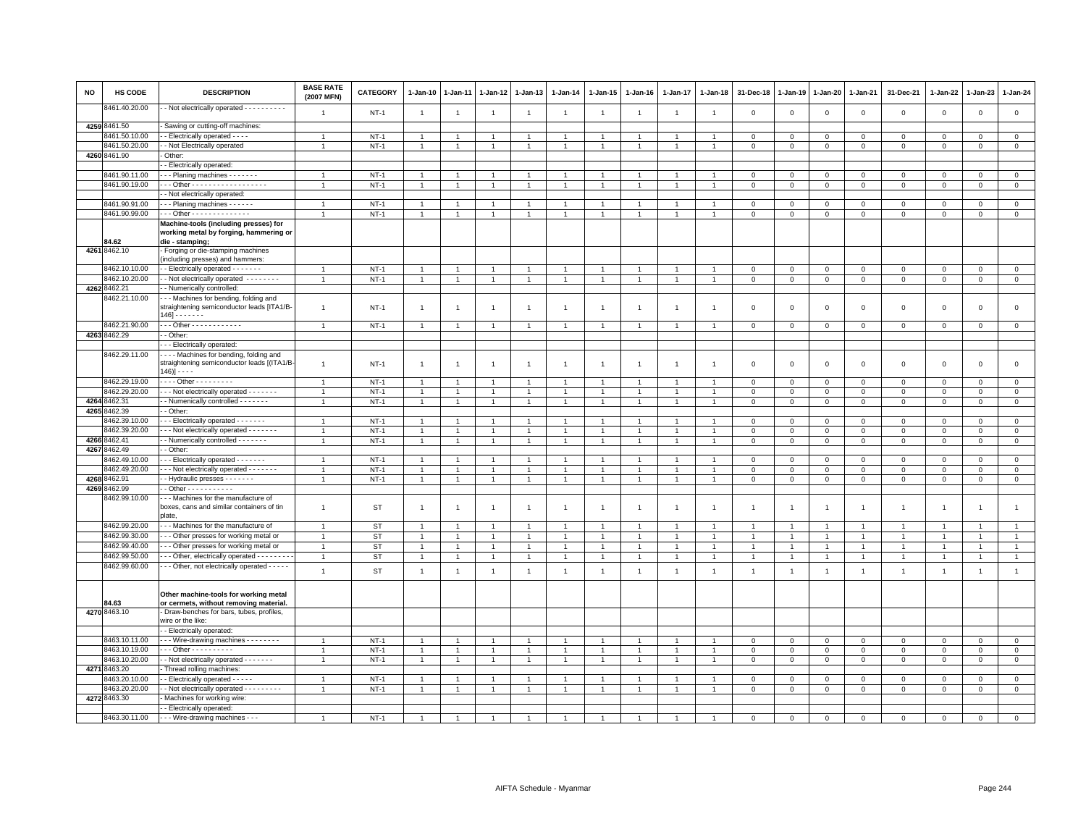| <b>NO</b> | HS CODE                 | <b>DESCRIPTION</b>                                                                                                | <b>BASE RATE</b><br>(2007 MFN) | <b>CATEGORY</b> | $1 - Jan-10$   | 1-Jan-11       | $1 - Jan-12$   | $1 - Jan-13$   | $1 - Jan-14$         | $1 - Jan-15$         | $1 - Jan-16$   | 1-Jan-17       | 1-Jan-18       | 31-Dec-18      | $1 - Jan-19$   | 1-Jan-20       | 1-Jan-21       | 31-Dec-21      | 1-Jan-22       | 1-Jan-23       | $1-Jan-24$     |
|-----------|-------------------------|-------------------------------------------------------------------------------------------------------------------|--------------------------------|-----------------|----------------|----------------|----------------|----------------|----------------------|----------------------|----------------|----------------|----------------|----------------|----------------|----------------|----------------|----------------|----------------|----------------|----------------|
|           | 8461.40.20.00           | - Not electrically operated - - - - - - - - - -                                                                   | $\overline{1}$                 | $NT-1$          | $\overline{1}$ | $\mathbf{1}$   | $\overline{1}$ | $\mathbf{1}$   |                      | $\overline{1}$       |                | $\overline{1}$ | $\overline{1}$ | $\mathbf 0$    | $\overline{0}$ | $\mathbf 0$    | $\mathsf 0$    | $\mathsf 0$    | $\mathbf 0$    | $\mathsf 0$    | $\mathsf 0$    |
|           | 4259 8461.50            | Sawing or cutting-off machines:                                                                                   |                                |                 |                |                |                |                |                      |                      |                |                |                |                |                |                |                |                |                |                |                |
|           | 8461.50.10.00           | - Electrically operated - - - -                                                                                   | $\overline{1}$                 | $NT-1$          | $\overline{1}$ |                |                | $\mathbf{1}$   |                      | $\overline{1}$       |                |                |                | 0              | 0              | $\circ$        | $\mathbf 0$    | $\mathsf 0$    | 0              | $^{\circ}$     | $\mathbf 0$    |
|           | 3461.50.20.00           | - Not Electrically operated                                                                                       | $\overline{1}$                 | $NT-1$          | $\mathbf{1}$   |                |                | $\overline{1}$ |                      | $\mathbf{1}$         |                | $\overline{1}$ |                | $\mathbf 0$    | $\mathbf 0$    | $\mathbf 0$    | $\mathsf 0$    | $\mathsf 0$    | $\Omega$       | $\Omega$       | $\mathsf 0$    |
|           | 4260 8461.90            | - Other:                                                                                                          |                                |                 |                |                |                |                |                      |                      |                |                |                |                |                |                |                |                |                |                |                |
|           |                         | - Electrically operated:                                                                                          |                                |                 |                |                |                |                |                      |                      |                |                |                |                |                |                |                |                |                |                |                |
|           | 8461.90.11.00           | - - Planing machines - - - - - - -                                                                                | $\overline{1}$                 | $NT-1$          |                |                |                | -1             |                      |                      |                |                |                | $\Omega$       | $\Omega$       | $\mathbf 0$    | $\mathbf 0$    | $\Omega$       | $\Omega$       | $\Omega$       | $\mathbf 0$    |
|           | 8461.90.19.00           | - - Other - - - - - - - - - - - - - - - - - -                                                                     |                                | $NT-1$          |                |                |                |                |                      |                      |                |                |                | $\Omega$       | $\Omega$       | $\mathsf 0$    | $\mathbf 0$    | $\mathsf 0$    | $\Omega$       | $\Omega$       | $\overline{0}$ |
|           |                         | - Not electrically operated:                                                                                      |                                |                 |                |                |                |                |                      |                      |                |                |                |                |                |                |                |                |                |                |                |
|           | 8461.90.91.00           | - - Planing machines - - - - - -                                                                                  | $\overline{1}$                 | $NT-1$          | $\mathbf{1}$   |                | $\mathbf{1}$   | $\overline{1}$ |                      | $\mathbf{1}$         |                |                |                | $\mathbf 0$    | $\mathbf 0$    | 0              | $\mathbf 0$    | 0              | $^{\circ}$     | $^{\circ}$     | $\overline{0}$ |
|           | 8461.90.99.00           | $-$ - Other - - - - - - - - - - - - - -                                                                           | $\overline{1}$                 | <b>NT-1</b>     | $\mathbf{1}$   |                | $\overline{1}$ | $\overline{1}$ | $\overline{1}$       | $\overline{1}$       |                | $\overline{1}$ | $\overline{1}$ | $\mathbf 0$    | $\mathbf{0}$   | $\mathbf{0}$   | $\mathbf 0$    | $\mathbf 0$    | $\mathbf 0$    | $\mathbf 0$    | $\mathbf 0$    |
|           | 84.62                   | Machine-tools (including presses) for<br>working metal by forging, hammering or<br>die - stamping;                |                                |                 |                |                |                |                |                      |                      |                |                |                |                |                |                |                |                |                |                |                |
|           | 4261 8462.10            | Forging or die-stamping machines<br>(including presses) and hammers:                                              |                                |                 |                |                |                |                |                      |                      |                |                |                |                |                |                |                |                |                |                |                |
|           | 8462.10.10.00           | - Electrically operated - - - - - - -                                                                             | $\overline{1}$                 | $NT-1$          |                |                |                | $\overline{1}$ |                      | -1                   |                |                |                | $^{\circ}$     | $\mathbf 0$    | $\mathbf 0$    | 0              | 0              | 0              | $\mathbf 0$    | $\mathbf 0$    |
|           | 8462.10.20.00           | - Not electrically operated --------                                                                              | $\overline{1}$                 | $NT-1$          | $\overline{1}$ |                | $\mathbf{1}$   | $\overline{1}$ | $\overline{1}$       | $\mathbf{1}$         |                | $\overline{1}$ | $\overline{1}$ | $\Omega$       | $\Omega$       | $\mathbf{0}$   | $\mathbf{0}$   | $\mathbf 0$    | $\mathbf 0$    | $\mathbf 0$    | $\mathbf{0}$   |
|           | 4262 8462.21            | - Numerically controlled:                                                                                         |                                |                 |                |                |                |                |                      |                      |                |                |                |                |                |                |                |                |                |                |                |
|           | 462.21.10.00            | - - Machines for bending, folding and<br>straightening semiconductor leads [ITA1/B<br>$146 - - - - - -$           | $\overline{1}$                 | $NT-1$          | $\overline{1}$ | $\mathbf{1}$   | $\overline{1}$ | $\overline{1}$ | $\overline{1}$       | $\overline{1}$       | -1             | 1              |                | $\mathbf 0$    | $\mathbf 0$    | $\,0\,$        | $\mathbf 0$    | $\mathsf 0$    | $\mathbf 0$    | $\mathsf 0$    | $\mathbf 0$    |
|           | 8462.21.90.00           | . - - Other - - - - - - - - - - - -                                                                               | $\overline{1}$                 | $NT-1$          | $\overline{1}$ |                | $\overline{1}$ | $\overline{1}$ |                      | $\overline{1}$       |                | $\overline{1}$ |                | 0              | $\mathbf 0$    | $\mathbf 0$    | $\mathbf 0$    | 0              | 0              | $\mathbf 0$    | $\mathbf 0$    |
|           | 4263 8462.29            | - Other:                                                                                                          |                                |                 |                |                |                |                |                      |                      |                |                |                |                |                |                |                |                |                |                |                |
|           | 8462.29.11.00           | - - Electrically operated:<br>--- Machines for bending, folding and<br>straightening semiconductor leads [(ITA1/B | $\overline{1}$                 | <b>NT-1</b>     | $\mathbf{1}$   | -1             | $\overline{1}$ | $\overline{1}$ | $\overline{1}$       | $\overline{1}$       |                | 1              |                | 0              | $\overline{0}$ | $\overline{0}$ | 0              | 0              | 0              | 0              | $\,0\,$        |
|           |                         | $146$ ] - - - -                                                                                                   |                                |                 |                |                |                |                |                      |                      |                |                |                |                |                |                |                |                |                |                |                |
|           | 8462.29.19.00           | Other - - - - - - - - -                                                                                           | $\overline{1}$                 | $NT-1$          | $\overline{1}$ |                | $\overline{1}$ | $\overline{1}$ |                      | $\overline{1}$       |                |                |                | $\mathbf 0$    | $^{\circ}$     | $\mathbf 0$    | $\mathbf 0$    | $\mathsf 0$    | $\Omega$       | $\Omega$       | $\mathbf 0$    |
|           | 8462.29.20.00           | - - Not electrically operated - - - - - - -                                                                       | -1                             | $NT-1$          | $\overline{1}$ |                |                | $\overline{1}$ |                      | $\overline{1}$       |                |                |                | $\mathbf 0$    | $\mathbf{0}$   | $\mathsf 0$    | $\Omega$       | $\mathsf 0$    | $\Omega$       | $\Omega$       | $\overline{0}$ |
|           | 4264 8462.31            | - Numenically controlled - - - - - - -                                                                            | $\overline{1}$                 | $NT-1$          | $\overline{1}$ |                | $\mathbf{1}$   | $\overline{1}$ |                      | $\overline{1}$       |                |                |                | $\mathbf 0$    | $\mathbf 0$    | $\mathbf 0$    | $\mathbf 0$    | $\mathsf 0$    | $\mathbf 0$    | $\mathsf 0$    | $\mathsf 0$    |
|           | 4265 8462.39            | - Other:                                                                                                          |                                |                 |                |                |                |                |                      |                      |                |                |                |                |                |                |                |                |                |                |                |
|           | 3462.39.10.00           | - - - Electrically operated - - - - - - -                                                                         | $\overline{1}$                 | $NT-1$          | $\overline{1}$ |                | $\overline{1}$ | $\mathbf{1}$   | $\overline{1}$       | $\overline{1}$       |                | $\overline{1}$ | $\overline{1}$ | $\mathbf{0}$   | $\overline{0}$ | $\mathbf{0}$   | $\mathbf{0}$   | $\mathbf 0$    | $\mathbf 0$    | $\mathbf{0}$   | $\mathbf{0}$   |
|           | 8462.39.20.00           | - - - Not electrically operated - - - - - - -                                                                     | $\overline{1}$                 | $NT-1$          | $\mathbf{1}$   |                |                | $\overline{1}$ |                      | $\overline{1}$       |                | $\mathbf{1}$   | $\overline{1}$ | $\overline{0}$ | $\mathbf 0$    | $\mathbf 0$    | $\mathsf 0$    | $\mathsf 0$    | $\Omega$       | $\Omega$       | $\mathsf 0$    |
| 4267      | 4266 8462.41<br>8462.49 | - Numerically controlled - - - - - - -<br>- Other:                                                                | $\overline{1}$                 | $NT-1$          | $\mathbf{1}$   |                |                | $\overline{1}$ |                      | $\overline{1}$       |                |                |                | $\mathbf 0$    | $\mathbf 0$    | $\mathbf 0$    | $\mathbf 0$    | $\mathsf 0$    | $\mathbf 0$    | $\mathbf 0$    | $\mathsf 0$    |
|           | 3462.49.10.00           | - - - Electrically operated - - - - - -                                                                           | $\overline{1}$                 | $NT-1$          | $\overline{1}$ |                | $\overline{1}$ | $\overline{1}$ |                      | $\mathbf{1}$         |                | $\overline{1}$ |                | $\Omega$       | $\Omega$       | $\mathbf{0}$   | $\mathbf 0$    | $\mathbf 0$    | $\mathbf 0$    | $\mathbf 0$    | $\mathsf 0$    |
|           | 8462.49.20.00           | - - - Not electrically operated - - - - - - -                                                                     | $\overline{1}$                 | $NT-1$          | $\overline{1}$ |                | $\overline{1}$ | $\overline{1}$ |                      | $\mathbf{1}$         |                | $\overline{1}$ | $\overline{1}$ | $\,0\,$        | $\mathbf 0$    | $\mathbf 0$    | $\mathbf 0$    | $\mathsf 0$    | $\Omega$       | $\mathsf 0$    | $\overline{0}$ |
|           | 4268 8462.91            | - Hydraulic presses - - - - - - -                                                                                 | $\overline{1}$                 | $NT-1$          | $\mathbf{1}$   |                | $\mathbf{1}$   | $\overline{1}$ | $\overline{1}$       | $\overline{1}$       | $\overline{1}$ | $\mathbf{1}$   |                | 0              | $\mathsf 0$    | $\mathsf 0$    | $\mathbf 0$    | $\mathsf 0$    | $\mathbf 0$    | $\mathsf 0$    | $\mathsf 0$    |
|           | 4269 8462.99            | $-$ Other - - - - - - - - - - -                                                                                   |                                |                 |                |                |                |                |                      |                      |                |                |                |                |                |                |                |                |                |                |                |
|           | 3462.99.10.00           | --- Machines for the manufacture of<br>boxes, cans and similar containers of tin                                  | $\overline{1}$                 | ST              | -1             | $\overline{1}$ | $\overline{1}$ | $\overline{1}$ | $\overline{1}$       | $\mathbf{1}$         | $\overline{1}$ | $\overline{1}$ | $\mathbf{1}$   | $\overline{1}$ | 1              | $\overline{1}$ | $\mathbf{1}$   | $\overline{1}$ | $\overline{1}$ | $\overline{1}$ | $\mathbf{1}$   |
|           |                         | plate,                                                                                                            |                                |                 |                |                |                |                |                      |                      |                |                |                |                |                |                |                |                |                |                |                |
|           | 8462.99.20.00           | - - Machines for the manufacture of                                                                               | $\overline{1}$                 | <b>ST</b>       | $\overline{1}$ | $\overline{1}$ | $\mathbf{1}$   | $\mathbf{1}$   | $\overline{1}$       | $\mathbf{1}$         |                | $\overline{1}$ | $\overline{1}$ | $\overline{1}$ | $\overline{1}$ | $\overline{1}$ | $\mathbf{1}$   | $\mathbf{1}$   | $\mathbf{1}$   | $\overline{1}$ | $\overline{1}$ |
|           | 8462.99.30.00           | - - Other presses for working metal or                                                                            | $\overline{1}$                 | <b>ST</b>       | $\overline{1}$ | $\overline{1}$ | $\overline{1}$ | $\overline{1}$ | $\mathbf{1}$         | $\overline{1}$       |                | $\overline{1}$ | $\overline{1}$ | $\mathbf{1}$   | $\overline{1}$ | $\overline{1}$ | $\overline{1}$ | $\overline{1}$ | $\overline{1}$ | $\overline{1}$ | $\overline{1}$ |
|           | 8462.99.40.00           | - - Other presses for working metal or                                                                            | $\overline{1}$                 | <b>ST</b>       | $\overline{1}$ |                | $\overline{1}$ | $\overline{1}$ | $\blacktriangleleft$ | $\blacktriangleleft$ |                | $\mathbf{1}$   | $\mathbf{1}$   | $\overline{1}$ | $\overline{1}$ | $\overline{1}$ | $\mathbf{1}$   | $\overline{1}$ | $\overline{1}$ | $\mathbf{1}$   | $\overline{1}$ |
|           | 8462.99.50.00           | - - Other, electrically operated - - - - - - - -                                                                  | $\overline{1}$                 | <b>ST</b>       | $\mathbf{1}$   | $\mathbf{1}$   | $\overline{1}$ | $\mathbf{1}$   | $\overline{1}$       | $\mathbf{1}$         | $\overline{1}$ | $\mathbf{1}$   | $\overline{1}$ | $\overline{1}$ | $\mathbf{1}$   | $\overline{1}$ | $\overline{1}$ | $\mathbf{1}$   | $\overline{1}$ | $\overline{1}$ | $\overline{1}$ |
|           | 8462.99.60.00           | - - Other, not electrically operated - - - - -                                                                    | $\overline{1}$                 | <b>ST</b>       | $\overline{1}$ | $\overline{1}$ | $\mathbf{1}$   | $\overline{1}$ | $\overline{1}$       | $\overline{1}$       | $\overline{1}$ | $\overline{1}$ | $\overline{1}$ | $\overline{1}$ | $\overline{1}$ | $\overline{1}$ | $\overline{1}$ | $\overline{1}$ | $\overline{1}$ | $\overline{1}$ | $\overline{1}$ |
|           | 84.63                   | Other machine-tools for working metal<br>or cermets, without removing material.                                   |                                |                 |                |                |                |                |                      |                      |                |                |                |                |                |                |                |                |                |                |                |
|           | 4270 8463.10            | - Draw-benches for bars, tubes, profiles,<br>wire or the like:                                                    |                                |                 |                |                |                |                |                      |                      |                |                |                |                |                |                |                |                |                |                |                |
|           |                         | - Electrically operated:                                                                                          |                                |                 |                |                |                |                |                      |                      |                |                |                |                |                |                |                |                |                |                |                |
|           | 8463.10.11.00           | - - Wire-drawing machines - - - - - - - -                                                                         | $\overline{1}$                 | $NT-1$          | $\overline{1}$ |                | $\overline{1}$ | $\overline{1}$ |                      | $\overline{1}$       |                |                |                | $\Omega$       | $\Omega$       | $\mathbf 0$    | $\Omega$       | $\mathsf 0$    | $\mathbf 0$    | $\mathsf 0$    | $\mathbf 0$    |
|           | 8463.10.19.00           | - - Other - - - - - - - - - -                                                                                     | $\overline{1}$                 | $NT-1$          | $\overline{1}$ |                | $\overline{1}$ | $\overline{1}$ |                      | $\overline{1}$       |                |                |                | $\mathbf 0$    | $\mathbf{0}$   | $\mathbf 0$    | $\Omega$       | $\mathbf 0$    | $\Omega$       | $\Omega$       | $\mathsf 0$    |
|           | 8463.10.20.00           | - Not electrically operated - - - - - - -                                                                         |                                | $NT-1$          | $\mathbf{1}$   |                |                |                |                      | $\overline{1}$       |                |                |                | 0              | $\mathbf 0$    | $\mathbf 0$    | $\mathbf 0$    | $\mathsf 0$    | 0              | 0              | $\mathbf 0$    |
|           | 4271 8463.20            | Thread rolling machines:                                                                                          |                                |                 |                |                |                |                |                      |                      |                |                |                |                |                |                |                |                |                |                |                |
|           | 8463.20.10.00           | - - Electrically operated - - - - -                                                                               | $\overline{1}$                 | $NT-1$          | $\mathbf{1}$   |                | $\overline{1}$ | $\mathbf{1}$   |                      | $\mathbf{1}$         |                | $\overline{1}$ | $\overline{1}$ | $\mathbf 0$    | $\mathbf 0$    | $\mathbf 0$    | $\mathbf 0$    | $\mathsf 0$    | $\mathbf 0$    | $\mathsf 0$    | $\mathbf 0$    |
|           | 8463.20.20.00           | - - Not electrically operated - - - - - - - - -                                                                   | $\overline{1}$                 | $NT-1$          | $\overline{1}$ |                | $\overline{1}$ | $\overline{1}$ |                      | $\mathbf{1}$         |                | $\mathbf{1}$   | $\overline{1}$ | $\mathbf 0$    | $\,0\,$        | $\mathbf 0$    | $\mathbf 0$    | $\mathsf 0$    | $\mathbf 0$    | $\mathsf 0$    | $\overline{0}$ |
|           | 4272 8463.30            | Machines for working wire:                                                                                        |                                |                 |                |                |                |                |                      |                      |                |                |                |                |                |                |                |                |                |                |                |
|           |                         | - Electrically operated:                                                                                          |                                |                 |                |                |                |                |                      |                      |                |                |                |                |                |                |                |                |                |                |                |
|           |                         | 8463.30.11.00 - - - Wire-drawing machines - - -                                                                   |                                | $NT-1$          |                |                |                |                |                      |                      |                |                |                |                |                | $\Omega$       |                |                |                |                | $\Omega$       |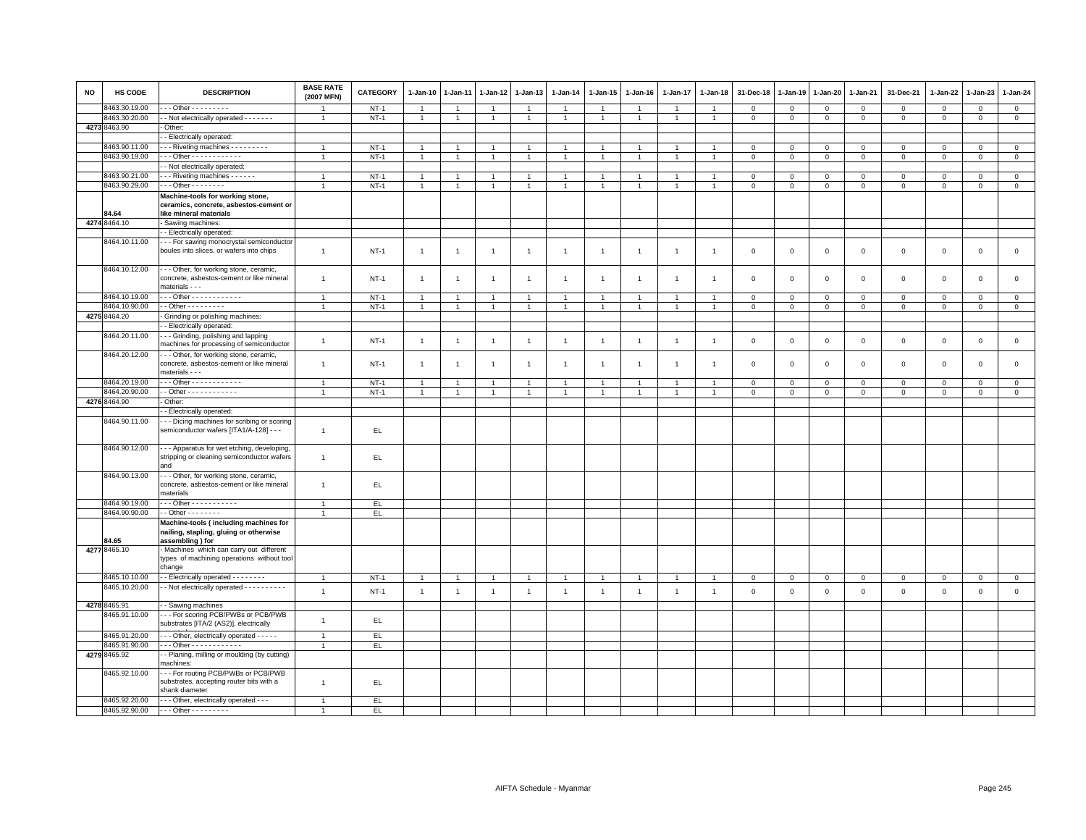| <b>NO</b> | <b>HS CODE</b> | <b>DESCRIPTION</b>                                                                                     | <b>BASE RATE</b><br>(2007 MFN) | CATEGORY | $1-Jan-10$     | 1-Jan-11       | $1 - Jan-12$   | $1-Jan-13$     | $1 - Jan-14$   | $1 - Jan-15$   | $1 - Jan-16$   | 1-Jan-17       | $1-Jan-18$     | 31-Dec-18               | $1 - Jan-19$   | 1-Jan-20     | 1-Jan-21       | 31-Dec-21   | $1 - Jan-22$ | $1-Jan-23$   | 1-Jan-24       |
|-----------|----------------|--------------------------------------------------------------------------------------------------------|--------------------------------|----------|----------------|----------------|----------------|----------------|----------------|----------------|----------------|----------------|----------------|-------------------------|----------------|--------------|----------------|-------------|--------------|--------------|----------------|
|           | 8463.30.19.00  | $\cdots$ Other $\cdots$                                                                                |                                | $NT-1$   | $\overline{1}$ |                | $\overline{1}$ | $\overline{1}$ | $\overline{1}$ | $\overline{1}$ |                |                |                | $\mathsf 0$             | $\mathsf 0$    | $\mathbf 0$  | $\mathsf 0$    | $\mathbf 0$ | $\mathsf 0$  | $\Omega$     | $\mathsf 0$    |
|           | 8463.30.20.00  | - - Not electrically operated - - - - - - -                                                            | $\overline{1}$                 | $NT-1$   | $\mathbf{1}$   | $\overline{1}$ | $\overline{1}$ | $\overline{1}$ | $\overline{1}$ | $\overline{1}$ | $\overline{1}$ | $\overline{1}$ | $\overline{1}$ | $\mathbf{0}$            | $\mathbf 0$    | $\mathbf{0}$ | $\mathbf{0}$   | $\mathbf 0$ | $\mathbf{0}$ | $\mathbf{0}$ | $\mathbf{0}$   |
|           | 4273 8463.90   | - Other:                                                                                               |                                |          |                |                |                |                |                |                |                |                |                |                         |                |              |                |             |              |              |                |
|           |                | - Electrically operated:                                                                               |                                |          |                |                |                |                |                |                |                |                |                |                         |                |              |                |             |              |              |                |
|           | 8463.90.11.00  | --- Riveting machines ---------                                                                        | $\overline{1}$                 | $NT-1$   | $\overline{1}$ | $\overline{1}$ | $\overline{1}$ | $\overline{1}$ | $\overline{1}$ | $\overline{1}$ |                | $\mathbf{1}$   |                | $\mathbf 0$             | $\mathbf 0$    | $\mathbf{0}$ | $\mathbf{0}$   | $\mathbf 0$ | $\mathbf 0$  | $\mathbf 0$  | $\mathbf{0}$   |
|           | 8463.90.19.00  | Other - - - - - - - - - - - -                                                                          |                                | $NT-1$   | $\mathbf{1}$   | $\overline{1}$ | $\overline{1}$ | $\overline{1}$ | $\overline{1}$ | $\overline{1}$ |                | $\overline{1}$ | $\overline{1}$ | $\overline{0}$          | $\overline{0}$ | $\mathbf 0$  | $\overline{0}$ | $\mathbf 0$ | $\Omega$     | $\mathbf 0$  | $\overline{0}$ |
|           |                | - Not electrically operated:                                                                           |                                |          |                |                |                |                |                |                |                |                |                |                         |                |              |                |             |              |              |                |
|           | 8463.90.21.00  | - - Riveting machines - - - - - -                                                                      | $\overline{1}$                 | $NT-1$   | 1              |                | $\mathbf{1}$   | $\overline{1}$ | $\mathbf{1}$   | $\overline{1}$ |                | -1             |                | $\mathbf 0$             | $\mathsf 0$    | $\mathbf 0$  | $\mathbf 0$    | $\mathbf 0$ | $\Omega$     | $\Omega$     | $\mathbf{0}$   |
|           | 8463.90.29.00  | - - - Other - - - - - - - -                                                                            | $\overline{1}$                 | $NT-1$   | $\mathbf{1}$   | $\overline{1}$ | $\overline{1}$ | $\overline{1}$ | $\mathbf{1}$   | $\mathbf{1}$   | $\overline{1}$ | $\mathbf{1}$   | $\overline{1}$ | $\mathbf{0}$            | $\mathbf 0$    | $\mathbf 0$  | $\mathbf 0$    | $\mathsf 0$ | $\mathsf 0$  | $\mathbf 0$  | $\circ$        |
|           | 84.64          | Machine-tools for working stone,<br>ceramics, concrete, asbestos-cement or<br>like mineral materials   |                                |          |                |                |                |                |                |                |                |                |                |                         |                |              |                |             |              |              |                |
|           | 4274 8464.10   | Sawing machines:                                                                                       |                                |          |                |                |                |                |                |                |                |                |                |                         |                |              |                |             |              |              |                |
|           |                | - Electrically operated:                                                                               |                                |          |                |                |                |                |                |                |                |                |                |                         |                |              |                |             |              |              |                |
|           | 8464.10.11.00  |                                                                                                        |                                |          |                |                |                |                |                |                |                |                |                |                         |                |              |                |             |              |              |                |
|           |                | - - - For sawing monocrystal semiconductor<br>boules into slices, or wafers into chips                 | $\overline{1}$                 | $NT-1$   | $\mathbf{1}$   | $\overline{1}$ | $\overline{1}$ | $\mathbf{1}$   | $\overline{1}$ | $\overline{1}$ | $\overline{1}$ | $\overline{1}$ | $\overline{1}$ | $\mathbf 0$             | $\mathbf 0$    | $\mathbf{0}$ | $\mathbf 0$    | $\mathbf 0$ | $\mathbf 0$  | $\mathsf 0$  | $\mathsf 0$    |
|           | 8464.10.12.00  | - - Other, for working stone, ceramic,<br>concrete, asbestos-cement or like mineral<br>materials - - - | $\overline{1}$                 | $NT-1$   | $\mathbf{1}$   | -1             | $\overline{1}$ | $\overline{1}$ | $\overline{1}$ | $\overline{1}$ | $\mathbf{1}$   | -1             | $\overline{1}$ | $\overline{\mathbf{0}}$ | $\mathbf 0$    | $\mathbf 0$  | $\mathbf 0$    | $\mathsf 0$ | $\mathbf 0$  | $\mathbf{O}$ | $\mathbf 0$    |
|           | 8464.10.19.00  | Other - - - - - - - - - - - -                                                                          | $\overline{1}$                 | $NT-1$   | $\overline{1}$ | $\overline{1}$ | $\overline{1}$ | $\overline{1}$ | $\overline{1}$ | $\overline{1}$ | $\overline{1}$ | $\overline{1}$ | $\overline{1}$ | $\overline{\mathbf{0}}$ | $\mathbf 0$    | $\mathbf 0$  | $\mathbf 0$    | $\mathbf 0$ | $\mathbf{0}$ | $\mathbf 0$  | $\circ$        |
|           | 8464.10.90.00  | $\cdot$ - Other - $\cdot$ - $\cdot$ - $\cdot$ - $\cdot$                                                |                                | $NT-1$   | $\mathbf{1}$   | $\overline{1}$ | $\overline{1}$ | $\overline{1}$ | $\overline{1}$ | $\overline{1}$ |                | $\overline{1}$ | $\overline{1}$ | $\mathbf 0$             | $\mathsf 0$    | $\mathsf 0$  | $\mathbf 0$    | $\mathsf 0$ | $\mathsf 0$  | $\mathsf 0$  | $\mathsf 0$    |
|           | 4275 8464.20   | Grinding or polishing machines:                                                                        |                                |          |                |                |                |                |                |                |                |                |                |                         |                |              |                |             |              |              |                |
|           |                | - Electrically operated:                                                                               |                                |          |                |                |                |                |                |                |                |                |                |                         |                |              |                |             |              |              |                |
|           | 8464.20.11.00  | --- Grinding, polishing and lapping<br>machines for processing of semiconductor                        | $\mathbf{1}$                   | $NT-1$   | $\mathbf{1}$   | $\overline{1}$ | $\overline{1}$ | $\overline{1}$ | $\overline{1}$ | $\overline{1}$ | $\overline{1}$ | $\overline{1}$ | $\overline{1}$ | $\mathbf 0$             | $\mathsf 0$    | $\mathbf 0$  | $\mathbf 0$    | $\mathsf 0$ | $\mathbf 0$  | $\mathsf 0$  | $\mathsf 0$    |
|           | 8464.20.12.00  | - - Other, for working stone, ceramic,<br>concrete, asbestos-cement or like mineral<br>materials - - - | $\overline{1}$                 | $NT-1$   | $\mathbf{1}$   | $\overline{1}$ | $\overline{1}$ | $\overline{1}$ | $\overline{1}$ | $\overline{1}$ |                | $\overline{1}$ | $\overline{1}$ | $\overline{0}$          | $\mathbf 0$    | $\mathsf 0$  | $\mathbf 0$    | $\mathsf 0$ | $\mathbf 0$  | $\mathsf 0$  | $\mathbf 0$    |
|           | 8464.20.19.00  | Other - - - - - - - - - - - -                                                                          |                                | $NT-1$   | $\overline{1}$ | $\overline{1}$ | $\overline{1}$ | $\overline{1}$ | $\overline{1}$ | $\overline{1}$ |                | $\overline{1}$ | $\overline{1}$ | $\overline{0}$          | $\mathsf 0$    | $\mathbf 0$  | $\mathbf 0$    | $\mathsf 0$ | $\mathbf 0$  | $\mathbf 0$  | $\mathsf 0$    |
|           | 8464.20.90.00  | - - Other - - - - - - - - - - - -                                                                      |                                | $NT-1$   | $\overline{1}$ | $\overline{1}$ | $\overline{1}$ |                | $\overline{1}$ | $\overline{1}$ |                | $\mathbf{1}$   | $\overline{1}$ | $\overline{\mathbf{0}}$ | $\mathbf 0$    | $\mathbf 0$  | $\overline{0}$ | $\mathbf 0$ | $\Omega$     | $\mathbf 0$  | $\mathbf 0$    |
|           | 4276 8464.90   | - Other:                                                                                               |                                |          |                |                |                |                |                |                |                |                |                |                         |                |              |                |             |              |              |                |
|           |                | - Electrically operated:                                                                               |                                |          |                |                |                |                |                |                |                |                |                |                         |                |              |                |             |              |              |                |
|           | 8464.90.11.00  | -- Dicing machines for scribing or scoring                                                             |                                |          |                |                |                |                |                |                |                |                |                |                         |                |              |                |             |              |              |                |
|           |                | semiconductor wafers [ITA1/A-128] - - -                                                                | $\overline{1}$                 | EL       |                |                |                |                |                |                |                |                |                |                         |                |              |                |             |              |              |                |
|           | 8464.90.12.00  | - - Apparatus for wet etching, developing,<br>stripping or cleaning semiconductor wafers<br>and        | $\overline{1}$                 | EL.      |                |                |                |                |                |                |                |                |                |                         |                |              |                |             |              |              |                |
|           | 8464.90.13.00  | - - Other, for working stone, ceramic,<br>concrete, asbestos-cement or like mineral<br>materials       | $\overline{1}$                 | EL       |                |                |                |                |                |                |                |                |                |                         |                |              |                |             |              |              |                |
|           | 8464.90.19.00  | $\cdots$ Other - - - - - - - - - - -                                                                   | $\overline{1}$                 | EL.      |                |                |                |                |                |                |                |                |                |                         |                |              |                |             |              |              |                |
|           | 8464.90.90.00  | - - Other - - - - - - - -                                                                              |                                | EL.      |                |                |                |                |                |                |                |                |                |                         |                |              |                |             |              |              |                |
|           | 84.65          | Machine-tools (including machines for<br>nailing, stapling, gluing or otherwise<br>assembling) for     |                                |          |                |                |                |                |                |                |                |                |                |                         |                |              |                |             |              |              |                |
|           | 4277 8465.10   | - Machines which can carry out different<br>types of machining operations without tool<br>change       |                                |          |                |                |                |                |                |                |                |                |                |                         |                |              |                |             |              |              |                |
|           | 8465.10.10.00  | - - Electrically operated - - - - - - - -                                                              | $\overline{1}$                 | $NT-1$   | $\mathbf{1}$   | $\overline{1}$ | $\overline{1}$ | $\overline{1}$ | $\overline{1}$ | $\overline{1}$ |                | $\overline{1}$ | $\overline{1}$ | $\mathbf 0$             | $\mathbf 0$    | $\mathbf 0$  | $\overline{0}$ | $\mathsf 0$ | $\mathbf 0$  | $\mathbf{0}$ | $\overline{0}$ |
|           | 8465.10.20.00  | - Not electrically operated - - - - - - - - - -                                                        | $\overline{1}$                 | $NT-1$   | $\mathbf{1}$   | $\mathbf{1}$   | $\overline{1}$ | $\mathbf{1}$   | $\mathbf{1}$   | $\mathbf{1}$   | $\overline{1}$ | $\mathbf{1}$   | $\mathbf{1}$   | $\mathbf 0$             | $\mathsf 0$    | $\,0\,$      | $\mathbb O$    | $\mathsf 0$ | $\mathsf 0$  | $\mathsf 0$  | $\mathsf 0$    |
|           | 4278 8465.91   | - Sawing machines                                                                                      |                                |          |                |                |                |                |                |                |                |                |                |                         |                |              |                |             |              |              |                |
|           | 8465.91.10.00  | --- For scoring PCB/PWBs or PCB/PWB<br>substrates [ITA/2 (AS2)], electrically                          | $\overline{1}$                 | EL       |                |                |                |                |                |                |                |                |                |                         |                |              |                |             |              |              |                |
|           | 8465.91.20.00  | - - - Other, electrically operated - - - - -                                                           | $\overline{1}$                 | EL.      |                |                |                |                |                |                |                |                |                |                         |                |              |                |             |              |              |                |
|           | 8465.91.90.00  | $- -$ Other - - - - - - - - - - - -                                                                    |                                | EL.      |                |                |                |                |                |                |                |                |                |                         |                |              |                |             |              |              |                |
|           | 4279 8465.92   | - Planing, milling or moulding (by cutting)<br>machines:                                               |                                |          |                |                |                |                |                |                |                |                |                |                         |                |              |                |             |              |              |                |
|           | 8465.92.10.00  | --- For routing PCB/PWBs or PCB/PWB<br>substrates, accepting router bits with a<br>shank diameter      | $\overline{1}$                 | EL.      |                |                |                |                |                |                |                |                |                |                         |                |              |                |             |              |              |                |
|           | 8465.92.20.00  | - - - Other, electrically operated - - -                                                               |                                | EL.      |                |                |                |                |                |                |                |                |                |                         |                |              |                |             |              |              |                |
|           | 8465.92.90.00  | --- Other ---------                                                                                    |                                | EL.      |                |                |                |                |                |                |                |                |                |                         |                |              |                |             |              |              |                |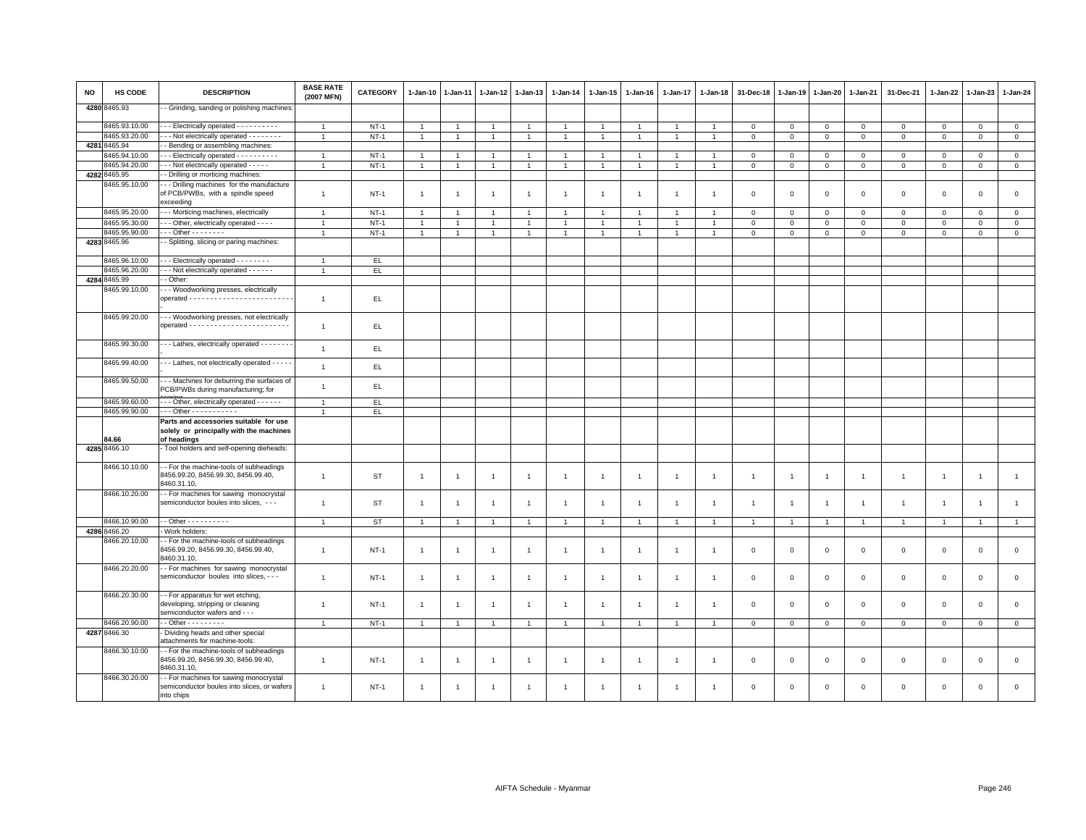| NO | HS CODE       | <b>DESCRIPTION</b>                                                                                      | <b>BASE RATE</b><br>(2007 MFN) | <b>CATEGORY</b> | 1-Jan-10       | 1-Jan-11       | $1-Jan-12$     | $1 - Jan-13$   | 1-Jan-14             | 1-Jan-15       | $1 - Jan-16$   | 1-Jan-17             | 1-Jan-18       | 31-Dec-18      | 1-Jan-19       | 1-Jan-20       | $1 - Jan-21$   | 31-Dec-21           | 1-Jan-22       | $1-Jan-23$     | 1-Jan-24       |
|----|---------------|---------------------------------------------------------------------------------------------------------|--------------------------------|-----------------|----------------|----------------|----------------|----------------|----------------------|----------------|----------------|----------------------|----------------|----------------|----------------|----------------|----------------|---------------------|----------------|----------------|----------------|
|    | 4280 8465.93  | - Grinding, sanding or polishing machines                                                               |                                |                 |                |                |                |                |                      |                |                |                      |                |                |                |                |                |                     |                |                |                |
|    | 8465.93.10.00 | --- Electrically operated ----------                                                                    | $\overline{1}$                 | $NT-1$          | $\overline{1}$ | $\overline{1}$ | $\overline{1}$ | $\overline{1}$ | $\mathbf{1}$         | $\overline{1}$ | $\overline{1}$ | $\overline{1}$       | $\overline{1}$ | $\mathbf{0}$   | $\mathbf 0$    | $\mathbf{0}$   | $\circ$        | $\Omega$            | $\mathbf{0}$   | $\Omega$       | $\circ$        |
|    | 8465.93.20.00 | - - - Not electrically operated - - - - - - - -                                                         | $\overline{1}$                 | $NT-1$          | $\overline{1}$ | $\overline{1}$ | $\overline{1}$ | $\overline{1}$ | $\overline{1}$       | $\mathbf{1}$   | $\overline{1}$ | $\mathbf{1}$         |                | $\mathbf 0$    | $\,0\,$        | $\mathsf 0$    | $\overline{0}$ | $\mathsf 0$         | $\mathbf 0$    | $\mathsf 0$    | $\,0\,$        |
|    | 4281 8465.94  | - Bending or assembling machines:                                                                       |                                |                 |                |                |                |                |                      |                |                |                      |                |                |                |                |                |                     |                |                |                |
|    | 3465.94.10.00 | -- Electrically operated - - - - - - - - - -                                                            | $\mathbf{1}$                   | $NT-1$          | $\overline{1}$ | $\overline{1}$ | $\overline{1}$ | $\overline{1}$ | $\overline{1}$       | $\overline{1}$ | $\overline{1}$ | $\overline{1}$       |                | $\overline{0}$ | $\mathbf{0}$   | $\mathbf{0}$   | $\mathbf{0}$   | $\mathbf{0}$        | $\mathbf{0}$   | $\mathbf{0}$   | $\circ$        |
|    | 8465.94.20.00 | - - - Not electrically operated - - - - -                                                               | $\overline{1}$                 | $NT-1$          | $\mathbf{1}$   | $\mathbf{1}$   | $\overline{1}$ | $\overline{1}$ | $\overline{1}$       | $\mathbf{1}$   | $\overline{1}$ | $\mathbf{1}$         |                | $\mathbf 0$    | $\mathbf 0$    | $\mathbf 0$    | $\mathbf 0$    | $\mathbf 0$         | $\mathbf 0$    | $\mathbf 0$    | $\mathbf 0$    |
|    | 4282 8465.95  | - Drilling or morticing machines:                                                                       |                                |                 |                |                |                |                |                      |                |                |                      |                |                |                |                |                |                     |                |                |                |
|    | 3465.95.10.00 | - - Drilling machines for the manufacture<br>of PCB/PWBs, with a spindle speed<br>exceeding             | $\mathbf{1}$                   | $NT-1$          | $\overline{1}$ | $\overline{1}$ | $\overline{1}$ | $\overline{1}$ | $\overline{1}$       | $\overline{1}$ | $\overline{1}$ | $\overline{1}$       | $\overline{1}$ | $\mathbf 0$    | $\mathbf 0$    | $\mathbf 0$    | $\,0\,$        | $\mathsf{O}\xspace$ | $\,0\,$        | $\mathsf 0$    | $\mathbf 0$    |
|    | 8465.95.20.00 | - - Morticing machines, electrically                                                                    | $\overline{1}$                 | $NT-1$          | $\overline{1}$ | $\overline{1}$ | $\overline{1}$ | $\overline{1}$ | $\mathbf{1}$         | $\mathbf{1}$   | $\mathbf{1}$   | $\overline{1}$       | $\mathbf{1}$   | $\mathbf 0$    | $\circ$        | $\mathbf 0$    | $\mathbf 0$    | $\mathbf 0$         | $\circ$        | $\mathbf 0$    | $\mathbf 0$    |
|    | 8465.95.30.00 | - - Other, electrically operated - - - -                                                                | $\overline{1}$                 | $NT-1$          | $\overline{1}$ |                | $\overline{1}$ | $\overline{1}$ | $\overline{1}$       | $\overline{1}$ | -1             | $\ddot{\phantom{0}}$ |                | $\mathbf 0$    | $\mathbf 0$    | $\mathbf 0$    | $\mathbf 0$    | $\mathsf 0$         | $\Omega$       | $\mathsf 0$    | $\mathsf 0$    |
|    | 3465.95.90.00 | $-$ - Other - - - - - - - -                                                                             | $\mathbf{1}$                   | $NT-1$          | $\overline{1}$ | $\mathbf{1}$   | 1              | $\overline{1}$ | $\overline{1}$       | $\mathbf{1}$   | $\overline{1}$ | $\mathbf{1}$         |                | $\mathbf 0$    | $\mathbf 0$    | $\mathbf 0$    | $\circ$        | $\mathbf 0$         | $\mathbf 0$    | $\mathbf 0$    | $\circ$        |
|    | 4283 8465.96  | - Splitting, slicing or paring machines:                                                                |                                |                 |                |                |                |                |                      |                |                |                      |                |                |                |                |                |                     |                |                |                |
|    | 8465.96.10.00 | --- Electrically operated --------                                                                      |                                |                 |                |                |                |                |                      |                |                |                      |                |                |                |                |                |                     |                |                |                |
|    |               |                                                                                                         | $\overline{1}$                 | EL.             |                |                |                |                |                      |                |                |                      |                |                |                |                |                |                     |                |                |                |
|    | 8465.96.20.00 | -- Not electrically operated - - - - - -                                                                | $\overline{1}$                 | EL.             |                |                |                |                |                      |                |                |                      |                |                |                |                |                |                     |                |                |                |
|    | 4284 8465.99  | - Other:                                                                                                |                                |                 |                |                |                |                |                      |                |                |                      |                |                |                |                |                |                     |                |                |                |
|    | 8465.99.10.00 | - - Woodworking presses, electrically                                                                   | $\overline{1}$                 | EL.             |                |                |                |                |                      |                |                |                      |                |                |                |                |                |                     |                |                |                |
|    | 8465.99.20.00 | - - Woodworking presses, not electrically                                                               | $\overline{1}$                 | EL.             |                |                |                |                |                      |                |                |                      |                |                |                |                |                |                     |                |                |                |
|    | 8465.99.30.00 | --- Lathes, electrically operated --------                                                              | $\overline{1}$                 | EL.             |                |                |                |                |                      |                |                |                      |                |                |                |                |                |                     |                |                |                |
|    | 8465.99.40.00 | - - - Lathes, not electrically operated - - - - -                                                       | $\mathbf{1}$                   | EL.             |                |                |                |                |                      |                |                |                      |                |                |                |                |                |                     |                |                |                |
|    | 8465.99.50.00 | - - - Machines for deburring the surfaces of<br>PCB/PWBs during manufacturing; for                      | $\mathbf{1}$                   | EL              |                |                |                |                |                      |                |                |                      |                |                |                |                |                |                     |                |                |                |
|    | 8465.99.60.00 | --- Other, electrically operated ------                                                                 | $\overline{1}$                 | EL              |                |                |                |                |                      |                |                |                      |                |                |                |                |                |                     |                |                |                |
|    | 8465.99.90.00 | . Other - - - - - - - - - - -                                                                           | $\overline{1}$                 | EL.             |                |                |                |                |                      |                |                |                      |                |                |                |                |                |                     |                |                |                |
|    | <b>B4.66</b>  | Parts and accessories suitable for use<br>solely or principally with the machines<br>of headings        |                                |                 |                |                |                |                |                      |                |                |                      |                |                |                |                |                |                     |                |                |                |
|    | 4285 8466.10  | Tool holders and self-opening dieheads:                                                                 |                                |                 |                |                |                |                |                      |                |                |                      |                |                |                |                |                |                     |                |                |                |
|    | 8466.10.10.00 | - For the machine-tools of subheadings<br>8456.99.20, 8456.99.30, 8456.99.40,<br>8460.31.10,            | $\overline{1}$                 | ST              | $\overline{1}$ | $\overline{1}$ | $\overline{1}$ | $\overline{1}$ | $\overline{1}$       | $\overline{1}$ | $\overline{1}$ | $\overline{1}$       | $\overline{1}$ | $\overline{1}$ | $\overline{1}$ | $\overline{1}$ | $\overline{1}$ | $\mathbf{1}$        | $\overline{1}$ | $\overline{1}$ | $\mathbf{1}$   |
|    | 8466.10.20.00 | - For machines for sawing monocrystal<br>semiconductor boules into slices, ---                          | $\overline{1}$                 | ST              | $\overline{1}$ | -1             | $\overline{1}$ | $\overline{1}$ | $\overline{1}$       | $\mathbf{1}$   | $\overline{1}$ | 1                    | -1             | $\overline{1}$ |                | $\overline{1}$ | $\overline{1}$ | $\mathbf{1}$        | $\overline{1}$ | $\overline{1}$ | $\mathbf{1}$   |
|    | 8466.10.90.00 | $\cdot$ - Other - - - - - - - - - -                                                                     | $\overline{1}$                 | <b>ST</b>       | $\overline{1}$ |                | $\overline{1}$ | 1              | $\overline{1}$       |                | -1             | $\overline{1}$       |                |                |                | $\overline{1}$ | $\overline{1}$ | $\overline{1}$      | $\overline{1}$ | $\overline{1}$ | $\overline{1}$ |
|    | 4286 8466.20  | Work holders:                                                                                           |                                |                 |                |                |                |                |                      |                |                |                      |                |                |                |                |                |                     |                |                |                |
|    | 8466.20.10.00 | - For the machine-tools of subheadings<br>8456.99.20, 8456.99.30, 8456.99.40,<br>8460.31.10,            | $\overline{1}$                 | $NT-1$          | $\overline{1}$ | -1             | $\overline{1}$ | $\overline{1}$ | $\overline{1}$       | $\overline{1}$ | -1             | $\overline{1}$       | $\overline{1}$ | $\mathbf 0$    | $\mathbf 0$    | $\mathbf 0$    | $\mathbf 0$    | $\mathsf 0$         | $\mathbf 0$    | $\mathbf{0}$   | $\mathsf 0$    |
|    | 8466.20.20.00 | - For machines for sawing monocrystal<br>semiconductor boules into slices, - - -                        | $\overline{1}$                 | $NT-1$          | $\overline{1}$ | -1             | $\overline{1}$ | $\overline{1}$ | $\overline{1}$       | $\mathbf{1}$   | $\overline{1}$ | 1                    | -1             | $\mathbf{0}$   | $\mathbf{0}$   | $\mathbf 0$    | $\mathbf 0$    | $\mathbf 0$         | $\mathsf 0$    | $\mathbf 0$    | $\mathsf 0$    |
|    | 8466.20.30.00 | - For apparatus for wet etching,<br>developing, stripping or cleaning<br>semiconductor wafers and - - - | $\overline{1}$                 | $NT-1$          | $\overline{1}$ | -1             | $\overline{1}$ | $\overline{1}$ | $\overline{1}$       | $\overline{1}$ | $\overline{1}$ | $\mathbf{1}$         | $\overline{1}$ | $\mathbf 0$    | $\mathbf 0$    | $\mathbf 0$    | $\mathbf 0$    | $\mathbf 0$         | $\mathbf 0$    | $\mathsf 0$    | $\mathbf 0$    |
|    | 3466.20.90.00 | $-$ Other - - - - - - - - -                                                                             | $\mathbf{1}$                   | $NT-1$          | $\mathbf{1}$   | $\overline{1}$ | $\overline{1}$ | $\overline{1}$ | $\overline{1}$       | $\overline{1}$ | $\overline{1}$ | $\mathbf{1}$         | $\overline{1}$ | $\mathsf 0$    | $\mathsf 0$    | $\mathbf{O}$   | $\circ$        | $\mathsf 0$         | $\circ$        | $\mathsf 0$    | $\circ$        |
|    | 4287 8466.30  | Dividing heads and other special<br>attachments for machine-tools:                                      |                                |                 |                |                |                |                |                      |                |                |                      |                |                |                |                |                |                     |                |                |                |
|    | 8466.30.10.00 | - - For the machine-tools of subheadings<br>8456.99.20, 8456.99.30, 8456.99.40,<br>8460.31.10,          | $\mathbf{1}$                   | $NT-1$          | $\overline{1}$ | $\mathbf{1}$   | $\overline{1}$ | $\overline{1}$ | $\overline{1}$       | $\mathbf{1}$   | $\mathbf{1}$   | $\mathbf{1}$         | -1             | $\mathbf 0$    | $\mathbf{0}$   | $\mathbf 0$    | $\mathbf 0$    | $\mathbf{0}$        | $\mathbf 0$    | $\mathbf{0}$   | $\mathbf 0$    |
|    | 8466.30.20.00 | - For machines for sawing monocrystal<br>semiconductor boules into slices, or wafers<br>into chips      | $\overline{1}$                 | $NT-1$          | $\mathbf{1}$   | $\overline{1}$ | $\overline{1}$ | $\overline{1}$ | $\blacktriangleleft$ | -1             |                | 1                    |                | $\overline{0}$ | $\mathbf{0}$   | $\mathbf{0}$   | $\Omega$       | $\Omega$            | $\Omega$       | $\Omega$       | $\Omega$       |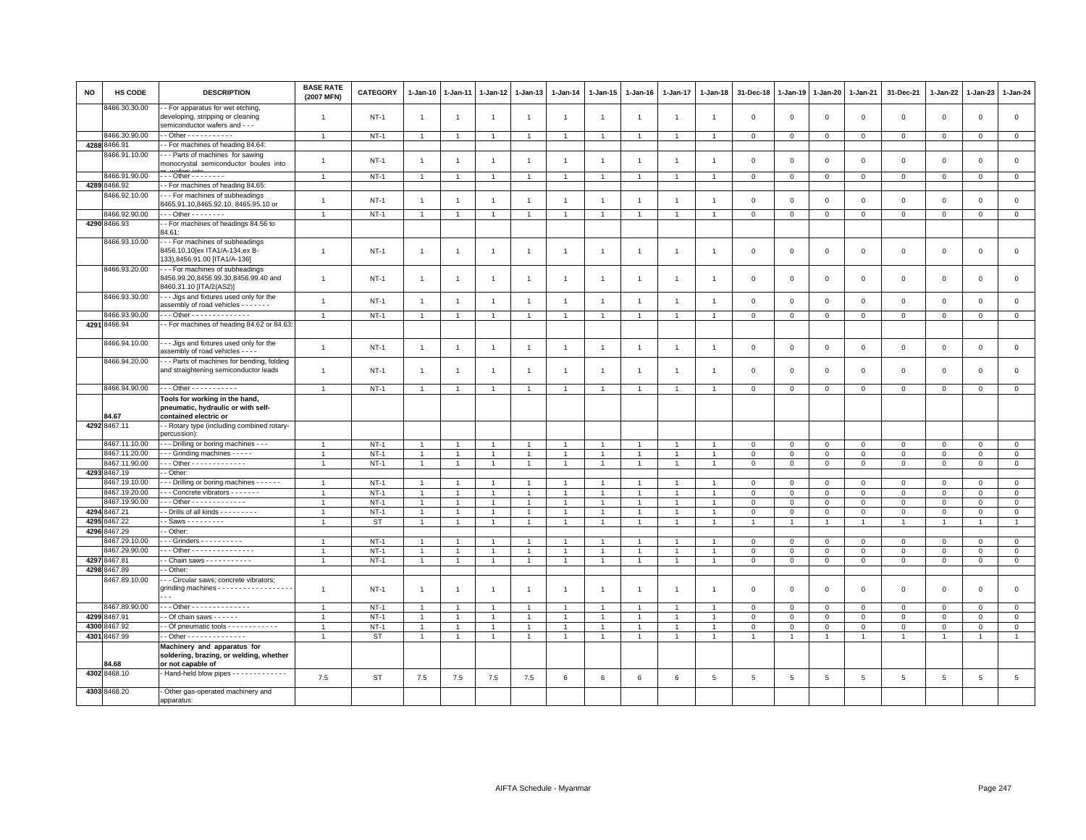| <b>NO</b> | <b>HS CODE</b>                | <b>DESCRIPTION</b>                                                                                         | <b>BASE RATE</b><br>(2007 MFN) | CATEGORY  | 1-Jan-10       | 1-Jan-11       | 1-Jan-12       | $1 - Jan-13$   | 1-Jan-14       | $1 - Jan-15$   | 1-Jan-16       | 1-Jan-17       | 1-Jan-18       | 31-Dec-18      | $1 - Jan-19$   | $1-Jan-20$     | 1-Jan-21     | 31-Dec-21      | $1 - Jan-22$ | 1-Jan-23     | $1-Jan-24$     |
|-----------|-------------------------------|------------------------------------------------------------------------------------------------------------|--------------------------------|-----------|----------------|----------------|----------------|----------------|----------------|----------------|----------------|----------------|----------------|----------------|----------------|----------------|--------------|----------------|--------------|--------------|----------------|
|           | 8466.30.30.00                 | - For apparatus for wet etching,<br>developing, stripping or cleaning<br>semiconductor wafers and - - -    | $\mathbf{1}$                   | $NT-1$    | $\overline{1}$ | -1             | -1             | $\overline{1}$ | $\overline{1}$ | $\overline{1}$ | $\overline{1}$ | $\mathbf{1}$   | $\overline{1}$ | $\mathbf 0$    | $\mathbf 0$    | $\,0\,$        | $\mathbf 0$  | $\mathsf 0$    | $\mathbf 0$  | $\mathbf 0$  | $\mathsf 0$    |
|           | 8466.30.90.00                 | $-$ Other - - - - - - - - - -                                                                              | $\overline{1}$                 | $NT-1$    | $\overline{1}$ | $\overline{1}$ | $\overline{1}$ | $\overline{1}$ | $\overline{1}$ | $\overline{1}$ |                | $\overline{1}$ |                | $\Omega$       | $\overline{0}$ | $\mathbf 0$    | $\Omega$     | $\mathsf 0$    | $\Omega$     | $\Omega$     | $\mathbf 0$    |
|           | 4288 8466.91                  | - For machines of heading 84.64:                                                                           |                                |           |                |                |                |                |                |                |                |                |                |                |                |                |              |                |              |              |                |
|           | 3466.91.10.00                 | - - Parts of machines for sawing                                                                           |                                |           |                |                |                |                |                |                |                |                |                |                |                |                |              |                |              |              |                |
|           |                               | monocrystal semiconductor boules into                                                                      | $\overline{1}$                 | $NT-1$    | $\mathbf{1}$   | $\overline{1}$ | $\overline{1}$ | $\overline{1}$ | $\overline{1}$ | $\overline{1}$ | $\overline{1}$ | $\mathbf{1}$   | $\overline{1}$ | $\mathsf 0$    | $\overline{0}$ | $\mathbf 0$    | $\mathbf 0$  | $\mathsf 0$    | $\mathsf 0$  | $\mathsf 0$  | $\mathsf 0$    |
|           | 8466.91.90.00                 | $-$ Other - $       -$                                                                                     | $\mathbf{1}$                   | $NT-1$    | $\overline{1}$ | $\overline{1}$ | $\overline{1}$ | $\overline{1}$ | $\mathbf{1}$   | $\overline{1}$ | $\overline{1}$ | $\overline{1}$ | $\overline{1}$ | $\mathbf{0}$   | $\mathbf 0$    | $\mathbf{0}$   | $\mathbf{0}$ | $\mathbf{0}$   | $\circ$      | $\mathbf{0}$ | $\overline{0}$ |
|           | 4289 8466.92                  | - For machines of heading 84.65:                                                                           |                                |           |                |                |                |                |                |                |                |                |                |                |                |                |              |                |              |              |                |
|           | 8466.92.10.00                 | - - For machines of subheadings                                                                            |                                |           |                |                |                |                |                |                |                |                |                |                |                |                |              |                |              |              |                |
|           |                               | 8465.91.10,8465.92.10, 8465.95.10 or                                                                       | $\overline{1}$                 | $NT-1$    | $\overline{1}$ | $\overline{1}$ | $\overline{1}$ | $\overline{1}$ | $\overline{1}$ | $\overline{1}$ | $\overline{1}$ | $\overline{1}$ | $\overline{1}$ | $\mathbf 0$    | $\mathsf 0$    | $\mathbf 0$    | $\mathsf 0$  | $\mathsf 0$    | $\mathbf 0$  | $\mathsf 0$  | $\mathsf 0$    |
|           | 8466.92.90.00                 | $\cdots$ Other $\cdots$                                                                                    | $\overline{1}$                 | $NT-1$    |                |                | $\overline{1}$ | $\overline{1}$ | $\overline{1}$ | $\overline{1}$ |                | $\overline{1}$ | $\overline{1}$ | $\mathbf 0$    | $\mathbf 0$    | $\mathsf 0$    | $\mathbf 0$  | $\mathsf 0$    | $\mathbf 0$  | 0            | $\mathbf 0$    |
|           | 4290 8466.93                  | - For machines of headings 84.56 to                                                                        |                                |           |                |                |                |                |                |                |                |                |                |                |                |                |              |                |              |              |                |
|           |                               | 34.61:                                                                                                     |                                |           |                |                |                |                |                |                |                |                |                |                |                |                |              |                |              |              |                |
|           | 8466.93.10.00                 | --- For machines of subheadings<br>8456.10.10 [ex ITA1/A-134, ex B-<br>133),8456.91.00 [ITA1/A-136]        | $\mathbf{1}$                   | $NT-1$    | $\overline{1}$ | $\overline{1}$ | $\overline{1}$ | $\overline{1}$ | $\mathbf{1}$   | $\overline{1}$ | $\mathbf{1}$   | $\overline{1}$ | $\mathbf{1}$   | $\mathbf 0$    | $\overline{0}$ | $\mathbf 0$    | $\mathbf 0$  | $\mathsf 0$    | $\mathsf 0$  | $\mathbf 0$  | $\mathsf 0$    |
|           | 8466.93.20.00                 | - - For machines of subheadings                                                                            |                                |           |                |                |                |                |                |                |                |                |                |                |                |                |              |                |              |              |                |
|           | 8466.93.30.00                 | 8456.99.20,8456.99.30,8456.99.40 and<br>8460.31.10 [ITA/2(AS2)]<br>- - Jigs and fixtures used only for the | $\overline{1}$                 | $NT-1$    | $\overline{1}$ | $\overline{1}$ | $\overline{1}$ | $\overline{1}$ | $\overline{1}$ | $\overline{1}$ | $\overline{1}$ | $\overline{1}$ | $\overline{1}$ | $\mathbf 0$    | $\overline{0}$ | $\mathbf 0$    | $\mathbf 0$  | $\mathsf 0$    | $\mathbf 0$  | $\mathbf 0$  | $\mathsf 0$    |
|           |                               | assembly of road vehicles - - - - - - -                                                                    | $\overline{1}$                 | $NT-1$    | $\overline{1}$ | $\overline{1}$ | $\overline{1}$ | $\overline{1}$ | $\overline{1}$ | $\overline{1}$ | $\overline{1}$ | $\overline{1}$ | $\overline{1}$ | $\Omega$       | $\mathbf{0}$   | $\mathbf{0}$   | $\mathbf{0}$ | $\mathbb O$    | $\mathbf 0$  | $\mathbf 0$  | $\circ$        |
|           | 8466.93.90.00                 | Other - - - - - - - - - - - - - -                                                                          | $\overline{1}$                 | $NT-1$    | $\overline{1}$ | $\overline{1}$ | $\overline{1}$ | $\overline{1}$ | $\overline{1}$ | $\overline{1}$ | $\overline{1}$ | $\overline{1}$ | $\overline{1}$ | $\mathsf 0$    | $\mathbf 0$    | $\circ$        | $\circ$      | $\mathsf 0$    | $\mathsf 0$  | $\mathbf 0$  | $\mathbf{0}$   |
|           | 4291 8466.94                  | - For machines of heading 84.62 or 84.63:                                                                  |                                |           |                |                |                |                |                |                |                |                |                |                |                |                |              |                |              |              |                |
|           | 8466.94.10.00                 | -- Jigs and fixtures used only for the<br>assembly of road vehicles - - - -                                | $\overline{1}$                 | $NT-1$    | $\overline{1}$ | $\overline{1}$ | $\overline{1}$ | $\overline{1}$ | $\overline{1}$ | $\overline{1}$ | $\overline{1}$ | $\overline{1}$ | $\overline{1}$ | $\mathsf 0$    | $\,0\,$        | $\mathbf 0$    | $\mathsf 0$  | $\mathsf 0$    | $\mathsf 0$  | $\mathbf 0$  | $\mathsf 0$    |
|           | 8466.94.20.00                 | - - Parts of machines for bending, folding<br>and straightening semiconductor leads                        | $\overline{1}$                 | $NT-1$    | $\overline{1}$ | -1             | $\overline{1}$ | $\overline{1}$ | $\overline{1}$ | $\overline{1}$ | $\mathbf{1}$   | $\overline{1}$ | $\overline{1}$ | $\mathbf 0$    | $\overline{0}$ | $\overline{0}$ | $\mathbf{0}$ | $\mathsf 0$    | $\mathbf 0$  | $\mathbf 0$  | $\mathsf 0$    |
|           | 8466.94.90.00                 | $-$ - Other - - - - - - - - - - -                                                                          | $\overline{1}$                 | $NT-1$    | $\overline{1}$ | 1              | $\overline{1}$ | $\overline{1}$ |                | $\overline{1}$ |                | $\mathbf{1}$   |                | $\Omega$       | $\mathbf 0$    | $\mathbf 0$    | $\mathbf 0$  | $\Omega$       | $\mathbf 0$  | $\mathbf 0$  | $\mathsf 0$    |
|           |                               | Tools for working in the hand,                                                                             |                                |           |                |                |                |                |                |                |                |                |                |                |                |                |              |                |              |              |                |
|           | 34.67                         | pneumatic, hydraulic or with self-<br>contained electric or                                                |                                |           |                |                |                |                |                |                |                |                |                |                |                |                |              |                |              |              |                |
|           | 4292 8467.11                  | - Rotary type (including combined rotary-<br>percussion)                                                   |                                |           |                |                |                |                |                |                |                |                |                |                |                |                |              |                |              |              |                |
|           | 8467.11.10.00                 | - - Drilling or boring machines - - -                                                                      | $\overline{1}$                 | $NT-1$    | $\overline{1}$ | -1             | $\overline{1}$ | $\overline{1}$ | $\overline{1}$ | $\overline{1}$ | $\mathbf{1}$   | $\overline{1}$ | $\overline{1}$ | 0              | $\mathbf 0$    | $\mathbf 0$    | $\mathbf{0}$ | $\mathbf 0$    | 0            | $\mathbf 0$  | $\mathbf{0}$   |
|           | 8467.11.20.00                 | - - Grinding machines - - - - -                                                                            | $\overline{1}$                 | $NT-1$    | $\mathbf{1}$   | $\overline{1}$ | $\overline{1}$ | $\overline{1}$ | $\overline{1}$ | $\mathbf{1}$   | $\overline{1}$ | $\overline{1}$ |                | $\Omega$       | $\Omega$       | $\circ$        | $\Omega$     | $\mathbf 0$    | $\Omega$     | $\Omega$     | $\mathsf 0$    |
|           | 8467.11.90.00                 | $-$ - Other - - - - - - - - - - - - -                                                                      | $\overline{1}$                 | $NT-1$    | $\mathbf{1}$   | $\overline{1}$ | $\overline{1}$ | $\overline{1}$ | $\overline{1}$ | $\overline{1}$ | $\overline{1}$ | 1              | $\overline{1}$ | $\mathbf 0$    | $\mathbf{0}$   | $\mathbf 0$    | $\mathbf 0$  | $\mathbf 0$    | $\mathbf 0$  | $\mathbf 0$  | $\circ$        |
|           | 4293 8467.19<br>8467.19.10.00 | - Other:<br>- - Drilling or boring machines - - - - - -                                                    | $\overline{1}$                 | $NT-1$    | $\overline{1}$ |                | $\overline{1}$ | $\overline{1}$ | $\overline{1}$ | $\overline{1}$ |                |                |                | $\Omega$       | $\Omega$       | $\mathbf{0}$   | $\Omega$     | $\mathbf 0$    | $\Omega$     | $\mathbf 0$  | $\mathbf 0$    |
|           | 8467.19.20.00                 | - - Concrete vibrators - - - - - - -                                                                       |                                | $NT-1$    |                |                | $\overline{1}$ |                | $\overline{1}$ | $\overline{1}$ |                |                |                | $\Omega$       | $\Omega$       | $\Omega$       | $\Omega$     | $\mathsf 0$    | $\Omega$     | $\Omega$     | $\mathsf 0$    |
|           | 8467.19.90.00                 | $-$ - Other - - - - - - - - - - - - -                                                                      | $\mathbf{1}$                   | $NT-1$    | 1              |                | -1             | $\overline{1}$ | $\overline{1}$ | $\mathbf{1}$   |                | -1             |                | $\mathbf 0$    | $\mathbf 0$    | 0              | $\mathbf 0$  | 0              | $\Omega$     | $\mathbf 0$  | $\mathsf 0$    |
|           | 4294 8467.21                  | - Drills of all kinds - - - - - - - -                                                                      | $\overline{1}$                 | $NT-1$    | $\mathbf{1}$   | $\overline{1}$ | $\overline{1}$ | $\overline{1}$ | $\overline{1}$ | $\overline{1}$ | $\overline{1}$ | $\overline{1}$ |                | $\Omega$       | $\mathbf 0$    | $\mathbf{0}$   | $\mathbf{0}$ | $\mathbf 0$    | $\mathbf 0$  | $\mathbf 0$  | $\circ$        |
|           | 4295 8467.22                  | - Saws - - - - - - - - -                                                                                   |                                | <b>ST</b> | $\overline{1}$ | $\overline{1}$ | $\overline{1}$ | $\overline{1}$ | $\overline{1}$ | $\overline{1}$ | $\mathbf{1}$   | $\mathbf{1}$   |                |                |                | $\mathbf{1}$   | $\mathbf{1}$ |                |              |              | $\overline{1}$ |
| 4296      | 8467.29                       | - Other:                                                                                                   |                                |           |                |                |                |                |                |                |                |                |                |                |                |                |              |                |              |              |                |
|           | 8467.29.10.00                 | $-$ - Grinders $-$ - - - - - - - - -                                                                       | $\overline{1}$                 | $NT-1$    | $\overline{1}$ | $\overline{1}$ | $\overline{1}$ | $\overline{1}$ | $\overline{1}$ | $\overline{1}$ | $\overline{1}$ | $\overline{1}$ |                | $\Omega$       | $\Omega$       | $\overline{0}$ | $\mathbf{0}$ | $\mathbf 0$    | $\mathbf 0$  | $\mathbf{0}$ | $\circ$        |
|           | 8467.29.90.00                 | - - Other - - - - - - - - - - - - - - -                                                                    | $\overline{1}$                 | $NT-1$    | 1              |                | $\overline{1}$ | $\overline{1}$ | $\overline{1}$ | $\overline{1}$ | $\overline{1}$ | $\overline{1}$ |                | $\mathbf 0$    | $\mathbf 0$    | $\Omega$       | $\Omega$     | $\mathsf 0$    | $\Omega$     | $\mathbf 0$  | $\overline{0}$ |
|           | 4297 8467.81                  | - Chain saws - - - - - - - - - - -                                                                         | $\overline{1}$                 | $NT-1$    | $\mathbf{1}$   | $\mathbf{1}$   | $\overline{1}$ | $\overline{1}$ | $\overline{1}$ | $\overline{1}$ | $\overline{1}$ | $\overline{1}$ |                | $\mathbf 0$    | $\mathbf 0$    | $\mathbf 0$    | $\mathbf 0$  | $\mathsf 0$    | $\mathbf 0$  | $\mathbf{O}$ | $\overline{0}$ |
|           | 4298 8467.89                  | - Other:                                                                                                   |                                |           |                |                |                |                |                |                |                |                |                |                |                |                |              |                |              |              |                |
|           | 8467.89.10.00                 | - - Circular saws; concrete vibrators;<br>grinding machines - - - - - - - - - - - - - - - - - -            | $\overline{1}$                 | $NT-1$    | $\overline{1}$ | $\overline{1}$ | $\overline{1}$ | $\overline{1}$ | $\overline{1}$ | $\overline{1}$ | $\overline{1}$ | $\mathbf{1}$   | $\overline{1}$ | $\mathbf 0$    | $\mathbf 0$    | $\mathsf 0$    | $\mathbf 0$  | $\mathsf 0$    | $\mathbf 0$  | $\mathsf 0$  | $\mathsf 0$    |
|           | 8467.89.90.00                 | $-$ - Other - - - - - - - - - - - - - -                                                                    | $\overline{1}$                 | $NT-1$    |                |                | $\overline{1}$ | $\overline{1}$ | $\mathbf{1}$   | $\overline{1}$ |                | 1              |                | $\Omega$       | $\circ$        | $\mathbf 0$    | $\Omega$     | $\mathsf 0$    | 0            | $\mathbf 0$  | $\mathbf 0$    |
| 4299      | 8467.91                       | - Of chain saws - - - - - -                                                                                | $\overline{1}$                 | $NT-1$    | $\overline{1}$ | $\overline{1}$ | $\overline{1}$ | $\overline{1}$ | $\overline{1}$ | $\mathbf{1}$   | $\overline{1}$ | $\overline{1}$ |                | $\Omega$       | $\overline{0}$ | $\mathbf 0$    | $\mathbf 0$  | $\mathbf 0$    | $\mathbf 0$  | $\mathbf 0$  | $\mathsf 0$    |
|           | 4300 8467.92                  | - Of pneumatic tools - - - - - - - - - - - -                                                               | $\mathbf{1}$                   | $NT-1$    | $\overline{1}$ |                | $\overline{1}$ | $\overline{1}$ | $\mathbf{1}$   | $\overline{1}$ | 1              | 1              | $\mathbf{1}$   | $\mathbf 0$    | $\mathbf 0$    | $\mathbf 0$    | $\mathbf 0$  | $\mathsf 0$    | $\mathbf 0$  | $\mathsf 0$  | $\circ$        |
|           | 4301 8467.99                  | $-$ Other - - - - - - - - - - - - - -                                                                      | $\overline{1}$                 | ST        | $\mathbf{1}$   | $\overline{1}$ | $\mathbf{1}$   | $\overline{1}$ | $\mathbf{1}$   | 1              | $\mathbf{1}$   | $\mathbf{1}$   | $\overline{1}$ | $\overline{1}$ | $\overline{1}$ | $\overline{1}$ | $\mathbf{1}$ | $\mathbf{1}$   | $\mathbf{1}$ | $\mathbf{1}$ | 1              |
|           | 34.68                         | Machinery and apparatus for<br>soldering, brazing, or welding, whether<br>or not capable of                |                                |           |                |                |                |                |                |                |                |                |                |                |                |                |              |                |              |              |                |
|           | 4302 8468.10                  | Hand-held blow pipes - - - - - - - - - - - -                                                               | 7.5                            | <b>ST</b> | 7.5            | 7.5            | $7.5\,$        | 7.5            | $\,6\,$        | 6              | $\,6\,$        | 6              | 5              | $\,$ 5 $\,$    | 5              | 5              | 5            | $\overline{5}$ | 5            | 5            | $\overline{5}$ |
|           | 4303 8468.20                  | Other gas-operated machinery and<br>apparatus:                                                             |                                |           |                |                |                |                |                |                |                |                |                |                |                |                |              |                |              |              |                |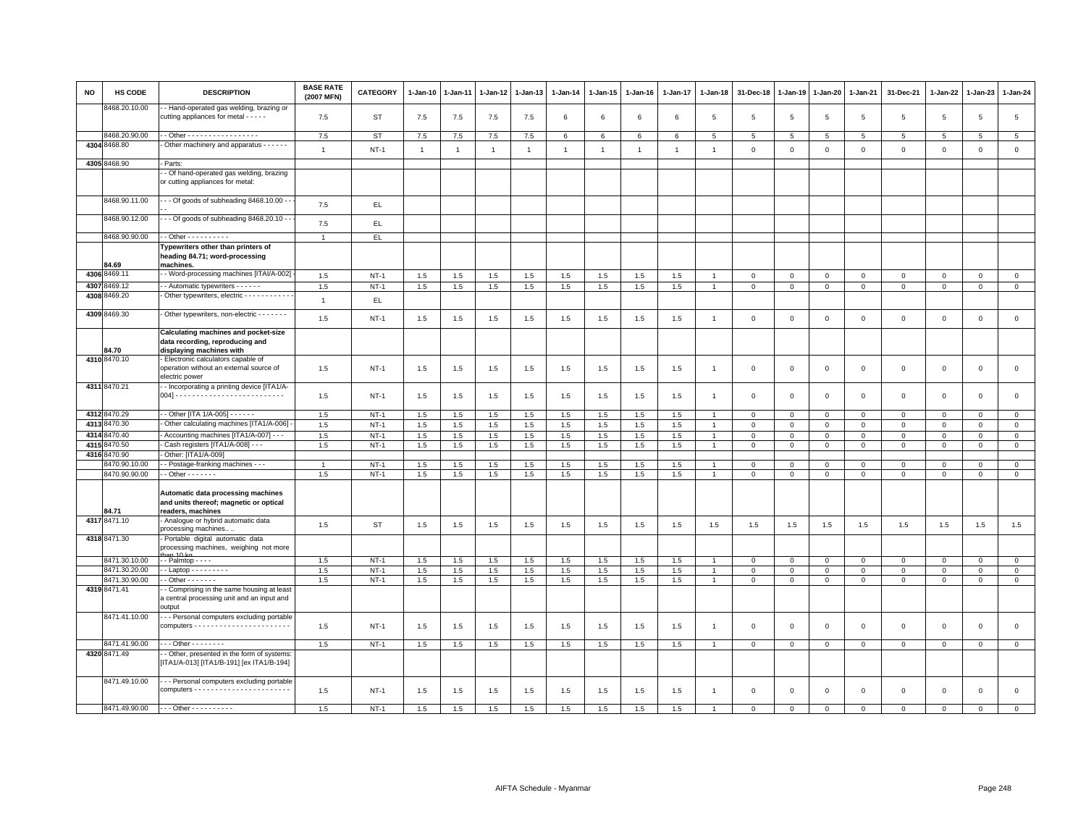| <b>NO</b> | <b>HS CODE</b>                 | <b>DESCRIPTION</b>                                                                                         | <b>BASE RATE</b><br>(2007 MFN) | <b>CATEGORY</b>  | $1-Jan-10$     | $1-Jan-11$ | 1-Jan-12       | 1-Jan-13       | $1-Jan-14$     | $1 - Jan-15$ | $1-Jan-16$     | $1-Jan-17$   | $1-Jan-18$                       | 31-Dec-18                  | $1-Jan-19$      | 1-Jan-20         | 1-Jan-21                   | 31-Dec-21        | $1-Jan-22$             | 1-Jan-23                | $1-Jan-24$                  |
|-----------|--------------------------------|------------------------------------------------------------------------------------------------------------|--------------------------------|------------------|----------------|------------|----------------|----------------|----------------|--------------|----------------|--------------|----------------------------------|----------------------------|-----------------|------------------|----------------------------|------------------|------------------------|-------------------------|-----------------------------|
|           | 8468.20.10.00                  | - Hand-operated gas welding, brazing or<br>cutting appliances for metal - - - - -                          | 7.5                            | ST               | 7.5            | 7.5        | 7.5            | 7.5            | 6              | 6            | 6              | 6            | 5                                | 5                          | 5               | $\sqrt{5}$       | $\overline{5}$             | 5                | $\,$ 5 $\,$            | 5                       | $\,$ 5 $\,$                 |
|           | 8468.20.90.00                  | . - Other - - - - - - - - - - - - - - - -                                                                  | 7.5                            | <b>ST</b>        | 7.5            | 7.5        | 7.5            | 7.5            | 6              | 6            | 6              | 6            | 5                                | 5                          | $5\overline{5}$ | 5                | 5                          | 5                | $\overline{5}$         | 5                       | $5\overline{)}$             |
|           | 4304 8468.80                   | Other machinery and apparatus - - - - - -                                                                  | $\mathbf{1}$                   | $NT-1$           | $\overline{1}$ | 1          | $\overline{1}$ | $\overline{1}$ | $\mathbf{1}$   | $\mathbf{1}$ | $\overline{1}$ | $\mathbf{1}$ | $\overline{1}$                   | $\mathbf 0$                | $\mathbf 0$     | $\mathsf 0$      | $\mathbf 0$                | $\mathsf 0$      | $\mathbf 0$            | $\mathbf 0$             | $\mathsf 0$                 |
|           | 4305 8468.90                   | Parts:                                                                                                     |                                |                  |                |            |                |                |                |              |                |              |                                  |                            |                 |                  |                            |                  |                        |                         |                             |
|           |                                | - Of hand-operated gas welding, brazing<br>or cutting appliances for metal:                                |                                |                  |                |            |                |                |                |              |                |              |                                  |                            |                 |                  |                            |                  |                        |                         |                             |
|           | 8468.90.11.00                  | - - Of goods of subheading 8468.10.00 -                                                                    | 7.5                            | EL.              |                |            |                |                |                |              |                |              |                                  |                            |                 |                  |                            |                  |                        |                         |                             |
|           | 8468.90.12.00                  | - - Of goods of subheading 8468.20.10 -                                                                    | 7.5                            | EL               |                |            |                |                |                |              |                |              |                                  |                            |                 |                  |                            |                  |                        |                         |                             |
|           | 8468.90.90.00                  | $-$ Other $        -$                                                                                      | $\overline{1}$                 | EL               |                |            |                |                |                |              |                |              |                                  |                            |                 |                  |                            |                  |                        |                         |                             |
|           | 34.69                          | Typewriters other than printers of<br>heading 84.71; word-processing<br>machines.                          |                                |                  |                |            |                |                |                |              |                |              |                                  |                            |                 |                  |                            |                  |                        |                         |                             |
|           | 4306 8469.11                   | - Word-processing machines [ITAI/A-002]                                                                    | 1.5                            | $NT-1$           | 1.5            | 1.5        | 1.5            | 1.5            | 1.5            | 1.5          | 1.5            | 1.5          | $\overline{1}$                   | $\overline{\mathbf{0}}$    | $\mathbf 0$     | $\mathbf 0$      | $\mathbf 0$                | $\circ$          | $\Omega$               | $\mathbf 0$             | $\mathsf 0$                 |
| 4307      | 3469.12                        | - Automatic typewriters - - - - - -                                                                        | 1.5                            | $NT-1$           | 1.5            | 1.5        | 1.5            | 1.5            | 1.5            | 1.5          | 1.5            | 1.5          | $\mathbf{1}$                     | $\mathbf{0}$               | $\mathbf{0}$    | $\overline{0}$   | $\overline{0}$             | $\circ$          | $\circ$                | $\mathbf 0$             | $\overline{0}$              |
|           | 4308 8469.20                   | Other typewriters, electric - - - - - - - - - -                                                            | $\overline{1}$                 | EL.              |                |            |                |                |                |              |                |              |                                  |                            |                 |                  |                            |                  |                        |                         |                             |
|           | 4309 8469.30                   | Other typewriters, non-electric - - - - - - -                                                              | 1.5                            | $NT-1$           | 1.5            | 1.5        | 1.5            | 1.5            | 1.5            | 1.5          | 1.5            | 1.5          | $\overline{1}$                   | $\mathbf 0$                | $\mathbf 0$     | $\mathbf 0$      | $\mathbf{0}$               | $\mathbf 0$      | $^{\circ}$             | $\mathbf 0$             | $\mathsf 0$                 |
|           | 34.70                          | <b>Calculating machines and pocket-size</b><br>data recording, reproducing and<br>displaying machines with |                                |                  |                |            |                |                |                |              |                |              |                                  |                            |                 |                  |                            |                  |                        |                         |                             |
|           | 4310 8470.10                   | Electronic calculators capable of<br>operation without an external source of<br>electric power             | 1.5                            | $NT-1$           | $1.5\,$        | 1.5        | 1.5            | 1.5            | 1.5            | 1.5          | 1.5            | 1.5          | $\overline{1}$                   | $\mathbf 0$                | $\mathbf 0$     | $\mathbf 0$      | $\mathbf 0$                | $\mathsf 0$      | $\mathbf 0$            | $\mathsf 0$             | $\mathsf 0$                 |
|           | 4311 8470.21                   | - Incorporating a printing device [ITA1/A-                                                                 | 1.5                            | $NT-1$           | 1.5            | 1.5        | 1.5            | 1.5            | 1.5            | 1.5          | 1.5            | 1.5          | $\overline{1}$                   | $\mathbf 0$                | $\overline{0}$  | $\mathbf 0$      | $\mathbf{0}$               | $\mathbf{0}$     | $\Omega$               | $\mathbf{0}$            | $\mathsf 0$                 |
|           | 4312 8470.29                   | - - Other [ITA 1/A-005] - - - - - -                                                                        | 1.5                            | $NT-1$           | 1.5            | 1.5        | 1.5            | 1.5            | 1.5            | 1.5          | 1.5            | 1.5          | $\overline{1}$                   | $\mathbf 0$                | $\mathbf{0}$    | $\mathbf{0}$     | $\mathbf{0}$               | $\mathbf 0$      | $\circ$                | $\mathbf 0$             | $\mathbf{0}$                |
| 4313      | 8470.30                        | Other calculating machines [ITA1/A-006]                                                                    | 1.5                            | $NT-1$           | 1.5            | 1.5        | 1.5            | 1.5            | 1.5            | 1.5          | 1.5            | 1.5          | $\overline{1}$                   | $\mathbf 0$                | $\mathbf 0$     | $\mathbf 0$      | $\mathsf 0$                | $\mathsf 0$      | $\mathbf 0$            | $\mathsf 0$             | $\mathsf 0$                 |
|           | 4314 8470.40                   | - Accounting machines [ITA1/A-007] - - -                                                                   | 1.5                            | $NT-1$           | 1.5            | 1.5        | 1.5            | 1.5            | 1.5            | 1.5          | 1.5            | 1.5          | $\overline{1}$                   | $\mathbf 0$                | $\mathbf{0}$    | $\mathbf{0}$     | $\overline{0}$             | $\mathbf 0$      | $\mathbf{0}$           | $\mathbf{0}$            | $\mathbf{0}$                |
| 4315      | 3470.50                        | Cash registers [ITA1/A-008] - -                                                                            | 1.5                            | $NT-1$           | 1.5            | 1.5        | 1.5            | 1.5            | 1.5            | 1.5          | 1.5            | 1.5          |                                  | $\mathbf 0$                | $\mathbf 0$     | $\mathbf 0$      | $\Omega$                   | $\mathsf 0$      | $\Omega$               | $\mathbf 0$             | $\mathsf 0$                 |
| 4316      | 3470.90                        | Other: [ITA1/A-009]                                                                                        |                                |                  |                |            |                |                |                |              |                |              |                                  |                            |                 |                  |                            |                  |                        |                         |                             |
|           | 8470.90.10.00<br>8470.90.90.00 | - Postage-franking machines - - -<br>$-$ Other $     -$                                                    | $\mathbf{1}$<br>1.5            | $NT-1$<br>$NT-1$ | 1.5<br>$1.5\,$ | 1.5<br>1.5 | 1.5<br>$1.5\,$ | 1.5<br>1.5     | 1.5<br>$1.5\,$ | 1.5<br>1.5   | 1.5<br>1.5     | 1.5<br>1.5   | $\overline{1}$<br>$\overline{1}$ | $\mathbf 0$<br>$\mathsf 0$ | 0<br>$\Omega$   | 0<br>$\mathsf 0$ | $\mathbf 0$<br>$\mathbf 0$ | 0<br>$\mathsf 0$ | $^{\circ}$<br>$\Omega$ | $\mathbf 0$<br>$\Omega$ | $\mathbf{0}$<br>$\mathsf 0$ |
|           | 84.71                          | Automatic data processing machines<br>and units thereof; magnetic or optical<br>readers, machines          |                                |                  |                |            |                |                |                |              |                |              |                                  |                            |                 |                  |                            |                  |                        |                         |                             |
|           | 4317 8471.10                   | Analogue or hybrid automatic data<br>processing machines                                                   | 1.5                            | <b>ST</b>        | 1.5            | 1.5        | 1.5            | 1.5            | 1.5            | 1.5          | 1.5            | 1.5          | 1.5                              | 1.5                        | 1.5             | 1.5              | 1.5                        | 1.5              | 1.5                    | 1.5                     | 1.5                         |
|           | 4318 8471.30                   | Portable digital automatic data<br>processing machines, weighing not more                                  |                                |                  |                |            |                |                |                |              |                |              |                                  |                            |                 |                  |                            |                  |                        |                         |                             |
|           | 8471.30.10.00                  | $-$ Palmtop $  -$                                                                                          | 1.5                            | $NT-1$           | 1.5            | 1.5        | 1.5            | 1.5            | 1.5            | 1.5          | 1.5            | 1.5          |                                  | $\overline{\mathbf{0}}$    | $\mathbf 0$     | $\mathbf 0$      | $\mathbf 0$                | $\mathbf 0$      | $\mathbf 0$            | $\mathbf{0}$            | $\mathbf{0}$                |
|           | 8471.30.20.00                  | $-Laptop - - - - - - - -$                                                                                  | 1.5                            | $NT-1$           | 1.5            | 1.5        | 1.5            | 1.5            | 1.5            | 1.5          | 1.5            | 1.5          | $\mathbf{1}$                     | $\,0\,$                    | $\,0\,$         | $\overline{0}$   | $\mathsf 0$                | $\mathbf 0$      | $^{\circ}$             | $\mathbf 0$             | $\overline{0}$              |
|           | 8471.30.90.00                  | $-$ Other $     -$                                                                                         | 1.5                            | $NT-1$           | 1.5            | 1.5        | 1.5            | 1.5            | 1.5            | 1.5          | 1.5            | 1.5          | $\overline{1}$                   | $\overline{0}$             | $\circ$         | $\mathbf{0}$     | $\circ$                    | $\mathbf 0$      | $\mathbf{0}$           | $\mathbf{0}$            | $\mathbf{0}$                |
|           | 4319 8471.41                   | - Comprising in the same housing at least<br>a central processing unit and an input and<br>output          |                                |                  |                |            |                |                |                |              |                |              |                                  |                            |                 |                  |                            |                  |                        |                         |                             |
|           | 8471.41.10.00                  | - - Personal computers excluding portable                                                                  | 1.5                            | $NT-1$           | 1.5            | 1.5        | 1.5            | 1.5            | 1.5            | 1.5          | 1.5            | 1.5          | $\overline{1}$                   | $\overline{\mathbf{0}}$    | $\mathbf 0$     | $\mathbf 0$      | $\mathbf 0$                | 0                | $^{\circ}$             | $\mathbf 0$             | $\mathsf 0$                 |
|           | 8471.41.90.00                  | $-$ - Other - - - - - - - -                                                                                | 1.5                            | $NT-1$           | $1.5\,$        | 1.5        | 1.5            | 1.5            | 1.5            | 1.5          | 1.5            | 1.5          | $\overline{1}$                   | $\mathbf 0$                | $\mathbf 0$     | $\mathbf 0$      | $\mathsf 0$                | $\mathbf 0$      | $\Omega$               | $\mathbf 0$             | $\mathsf 0$                 |
|           | 4320 8471.49                   | - Other, presented in the form of systems:<br>[ITA1/A-013] [ITA1/B-191] [ex ITA1/B-194]                    |                                |                  |                |            |                |                |                |              |                |              |                                  |                            |                 |                  |                            |                  |                        |                         |                             |
|           | 8471.49.10.00                  | - - Personal computers excluding portable                                                                  | 1.5                            | $NT-1$           | 1.5            | 1.5        | 1.5            | 1.5            | 1.5            | 1.5          | 1.5            | 1.5          | $\overline{1}$                   | $\overline{\mathbf{0}}$    | $\overline{0}$  | $\mathbf 0$      | $\circ$                    | $\circ$          | $\mathbf{0}$           | $\mathbf{0}$            | $\mathsf 0$                 |
|           | 8471.49.90.00                  | - - - Other - - - - - - - - - -                                                                            | 1.5                            | $NT-1$           | 1.5            | 1.5        | 1.5            | 1.5            | 1.5            | 1.5          | 1.5            | 1.5          | $\blacktriangleleft$             | $\Omega$                   | $\Omega$        | $\mathbf 0$      | $\Omega$                   | $\Omega$         | $\Omega$               | $\mathbf{0}$            | $\mathbf 0$                 |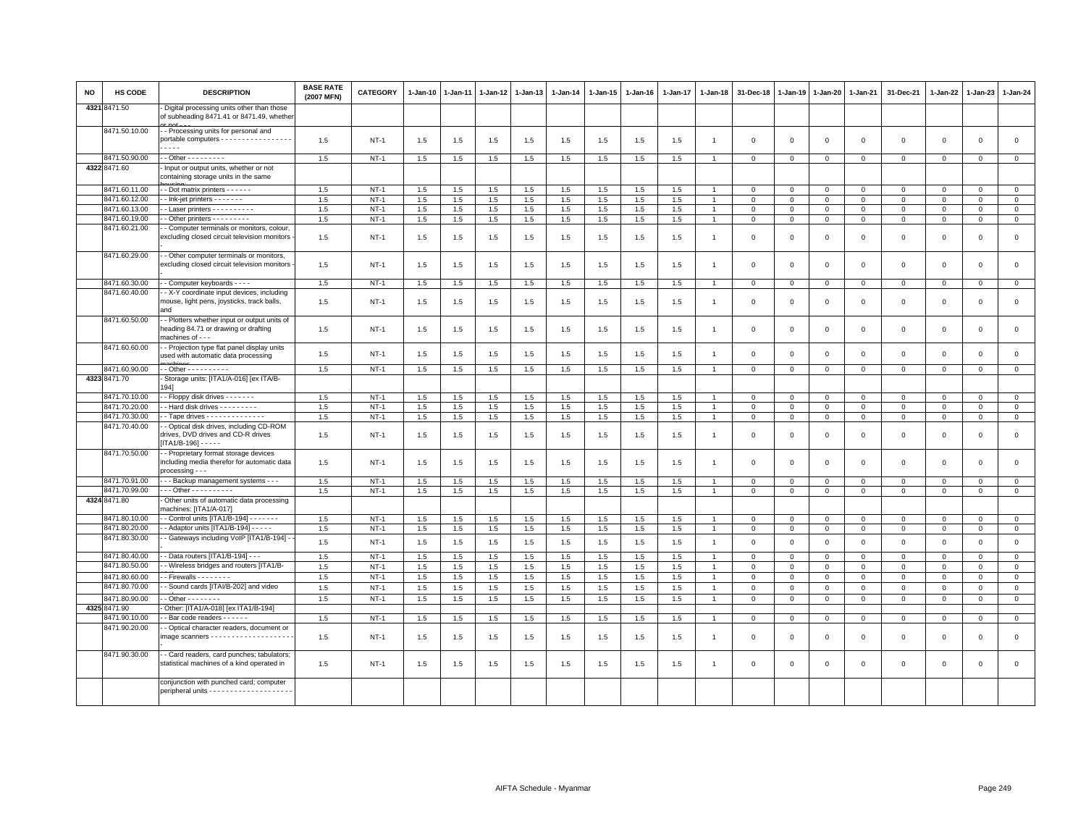| NO   | HS CODE                        | <b>DESCRIPTION</b>                                                                                        | <b>BASE RATE</b><br>(2007 MFN) | <b>CATEGORY</b>  | 1-Jan-10 | 1-Jan-11   | 1-Jan-12   | 1-Jan-13   | 1-Jan-14   | 1-Jan-15   | 1-Jan-16   | 1-Jan-17   | 1-Jan-18       | 31-Dec-18               | 1-Jan-19                | 1-Jan-20     | 1-Jan-21                | 31-Dec-21    | 1-Jan-22                | 1-Jan-23    | 1-Jan-24                    |
|------|--------------------------------|-----------------------------------------------------------------------------------------------------------|--------------------------------|------------------|----------|------------|------------|------------|------------|------------|------------|------------|----------------|-------------------------|-------------------------|--------------|-------------------------|--------------|-------------------------|-------------|-----------------------------|
|      | 4321 8471.50                   | Digital processing units other than those<br>of subheading 8471.41 or 8471.49, whethe                     |                                |                  |          |            |            |            |            |            |            |            |                |                         |                         |              |                         |              |                         |             |                             |
|      | 8471.50.10.00                  | - Processing units for personal and<br>portable computers - - - - - - - - - - - - - - - -                 | 1.5                            | $NT-1$           | 1.5      | 1.5        | 1.5        | 1.5        | 1.5        | 1.5        | 1.5        | 1.5        | $\overline{1}$ | $\Omega$                | $\Omega$                | $\Omega$     | $\mathbf 0$             | $\mathbf 0$  | $\mathsf 0$             | $\mathbf 0$ | $\mathsf 0$                 |
|      | 8471.50.90.00                  | - - Other - - - - - - - - -                                                                               | 1.5                            | $NT-1$           | 1.5      | 1.5        | 1.5        | 1.5        | 1.5        | 1.5        | 1.5        | 1.5        | 1              | $\Omega$                | $\Omega$                | $\Omega$     | $\mathbf 0$             | $\mathbf 0$  | $\mathbf{0}$            | $\mathbf 0$ | $\circ$                     |
|      | 4322 8471.60                   | Input or output units, whether or not<br>containing storage units in the same                             |                                |                  |          |            |            |            |            |            |            |            |                |                         |                         |              |                         |              |                         |             |                             |
|      | 8471.60.11.00                  | - - Dot matrix printers - - - - - -                                                                       | 1.5                            | $NT-1$           | 1.5      | 1.5        | 1.5        | 1.5        | 1.5        | 1.5        | 1.5        | 1.5        |                | $\Omega$                | $\Omega$                | $\mathbf{0}$ | $\mathbf{0}$            | $\mathbf 0$  | $\mathbf{0}$            | $\mathbf 0$ | $\circ$                     |
|      | 8471.60.12.00                  | - Ink-jet printers - - - - - - -                                                                          | 1.5                            | $NT-1$           | 1.5      | 1.5        | 1.5        | 1.5        | 1.5        | 1.5        | 1.5        | 1.5        |                | $\mathbf 0$             | $\mathbf 0$             | $\mathbf 0$  | $\mathbf 0$             | $\mathsf 0$  | $\mathbf 0$             | $\mathsf 0$ | $\overline{0}$              |
|      | 8471.60.13.00                  | - Laser printers - - - - - - - - - -                                                                      | 1.5                            | $NT-1$           | 1.5      | 1.5        | 1.5        | 1.5        | 1.5        | 1.5        | 1.5        | 1.5        |                | $\mathbf{0}$            | $\Omega$                | $\Omega$     | $\mathbf 0$             | 0            | $\Omega$                | $\Omega$    | $\mathbf 0$                 |
|      | 8471.60.19.00                  | - Other printers - - - - - - - -                                                                          | 1.5                            | $NT-1$           | 1.5      | 1.5        | 1.5        | 1.5        | 1.5        | 1.5        | 1.5        | 1.5        | $\overline{1}$ | $\mathbf{0}$            | $\mathbf{0}$            | $\mathbf{0}$ | $\mathbf{0}$            | $\mathbf{0}$ | $\mathbf{0}$            | $\mathbf 0$ | $\circ$                     |
|      | 8471.60.21.00                  | - Computer terminals or monitors, colour,<br>excluding closed circuit television monitors                 | 1.5                            | $NT-1$           | 1.5      | 1.5        | 1.5        | 1.5        | 1.5        | 1.5        | 1.5        | 1.5        |                | $\mathbf 0$             | $\Omega$                | $\mathbf 0$  | $\mathbf 0$             | $\mathsf 0$  | 0                       | $\Omega$    | $\mathsf 0$                 |
|      | 8471.60.29.00                  | - Other computer terminals or monitors,<br>excluding closed circuit television monitors                   | 1.5                            | $NT-1$           | 1.5      | 1.5        | 1.5        | 1.5        | 1.5        | 1.5        | 1.5        | 1.5        |                | $\mathbf 0$             | $\Omega$                | $\mathbf 0$  | $\mathbf 0$             | $\mathsf 0$  | 0                       | $\Omega$    | $\mathbf 0$                 |
|      | 8471.60.30.00                  | - Computer keyboards - - - -                                                                              | 1.5                            | $NT-1$           | 1.5      | 1.5        | 1.5        | 1.5        | 1.5        | 1.5        | 1.5        | 1.5        |                | $\Omega$                | $\Omega$                | $\Omega$     | $\mathbf{0}$            | $\mathsf 0$  | $\mathbf{0}$            | $\mathbf 0$ | $\circ$                     |
|      | 8471.60.40.00                  | - X-Y coordinate input devices, including<br>mouse, light pens, joysticks, track balls,<br>and            | 1.5                            | $NT-1$           | 1.5      | 1.5        | 1.5        | 1.5        | 1.5        | 1.5        | 1.5        | 1.5        | $\overline{1}$ | $\mathbf 0$             | 0                       | $^{\circ}$   | 0                       | $\mathsf 0$  | $\mathbf 0$             | 0           | $\mathsf 0$                 |
|      | 8471.60.50.00                  | - Plotters whether input or output units of<br>heading 84.71 or drawing or drafting<br>machines of - - -  | 1.5                            | $NT-1$           | 1.5      | 1.5        | 1.5        | 1.5        | 1.5        | 1.5        | 1.5        | 1.5        | $\overline{1}$ | $\mathbf 0$             | $\mathbf 0$             | $\mathbf 0$  | 0                       | $\mathsf 0$  | 0                       | $\Omega$    | $\mathsf 0$                 |
|      | 8471.60.60.00                  | - Projection type flat panel display units<br>used with automatic data processing                         | 1.5                            | $NT-1$           | 1.5      | 1.5        | 1.5        | 1.5        | 1.5        | 1.5        | 1.5        | 1.5        | -1             | $\mathbf 0$             | $\mathbf 0$             | $\mathbf 0$  | $\mathbf 0$             | $\mathsf 0$  | $\circ$                 | $\mathsf 0$ | $\mathsf 0$                 |
|      | 8471.60.90.00                  | - - Other - - - - - - - - - -                                                                             | 1.5                            | $NT-1$           | 1.5      | 1.5        | 1.5        | 1.5        | 1.5        | 1.5        | 1.5        | 1.5        | $\overline{1}$ | $\mathbf{0}$            | $\mathbf{0}$            | $\mathbf{0}$ | $\circ$                 | $\mathbf 0$  | $\mathbf 0$             | $\mathbf 0$ | $\mathbf{0}$                |
|      | 4323 8471.70                   | - Storage units: [ITA1/A-016] [ex ITA/B-<br>1941                                                          |                                |                  |          |            |            |            |            |            |            |            |                |                         |                         |              |                         |              |                         |             |                             |
|      | 8471.70.10.00                  | - Floppy disk drives - - - - - - -                                                                        | 1.5                            | $NT-1$           | 1.5      | 1.5        | 1.5        | 1.5        | 1.5        | 1.5        | 1.5        | 1.5        |                | $\Omega$                | $\Omega$                | $\mathsf 0$  | $\mathbf 0$             | $\mathbf 0$  | $\mathbf{0}$            | $\mathbf 0$ | $\mathsf 0$                 |
|      | 8471.70.20.00                  | - Hard disk drives - - - - - - - -                                                                        | 1.5                            | $NT-1$           | 1.5      | 1.5        | 1.5        | 1.5        | 1.5        | 1.5        | 1.5        | 1.5        | $\overline{1}$ | $\mathbf 0$             | $\mathsf 0$             | $\mathbf 0$  | $\mathsf 0$             | $\mathsf 0$  | $\mathbf 0$             | $\mathsf 0$ | $\mathsf 0$                 |
|      | 8471.70.30.00                  | - Tape drives - - - - - - - - - - - - -                                                                   | 1.5                            | $NT-1$           | 1.5      | 1.5        | 1.5        | 1.5        | 1.5        | 1.5        | 1.5        | 1.5        | $\overline{1}$ | $\mathbf 0$             | $\Omega$                | $\mathbf 0$  | $\mathsf 0$             | $\mathsf 0$  | $\mathbf{0}$            | $\mathsf 0$ | $\overline{0}$              |
|      | 8471.70.40.00                  | - Optical disk drives, including CD-ROM<br>drives, DVD drives and CD-R drives<br>$[ITA1/B-196]$ - - - - - | 1.5                            | $NT-1$           | 1.5      | 1.5        | 1.5        | 1.5        | 1.5        | 1.5        | 1.5        | 1.5        | $\overline{1}$ | $\mathbf 0$             | $\mathbf 0$             | $\mathbf 0$  | $\mathbf 0$             | $\mathsf 0$  | $\mathbf 0$             | $\mathsf 0$ | $\mathbf 0$                 |
|      | 8471.70.50.00                  | - Proprietary format storage devices<br>including media therefor for automatic data<br>processing - - -   | 1.5                            | $NT-1$           | 1.5      | 1.5        | 1.5        | 1.5        | 1.5        | 1.5        | 1.5        | 1.5        | $\overline{1}$ | $\mathbf 0$             | $\Omega$                | $\Omega$     | $\mathbf 0$             | $\mathbf 0$  | $\mathbf{0}$            | $\Omega$    | $\mathsf 0$                 |
|      | 8471.70.91.00                  | - - Backup management systems - - -                                                                       | 1.5                            | $NT-1$           | 1.5      | 1.5        | 1.5        | 1.5        | 1.5        | 1.5        | 1.5        | 1.5        |                | $\Omega$                | $\Omega$                | $\Omega$     | $\mathbf 0$             | $\mathbf 0$  | $\Omega$                | $\mathbf 0$ | $\mathsf 0$                 |
|      | 8471.70.99.00                  | $-$ - Other - - - - - - - - - -                                                                           | 1.5                            | $NT-1$           | 1.5      | 1.5        | 1.5        | 1.5        | 1.5        | 1.5        | 1.5        | 1.5        | $\overline{1}$ | $\mathbf{0}$            | $\Omega$                | $\Omega$     | $\mathbf{0}$            | $\Omega$     | $\mathbf{0}$            | $\mathbf 0$ | $\mathbf{0}$                |
| 4324 | 8471.80                        | Other units of automatic data processing<br>machines: [ITA1/A-017]                                        |                                |                  |          |            |            |            |            |            |            |            |                |                         |                         |              |                         |              |                         |             |                             |
|      | 8471.80.10.00<br>8471.80.20.00 | - Control units [ITA1/B-194] - - - - - - -<br>- - Adaptor units [ITA1/B-194] - - - - -                    | 1.5<br>1.5                     | $NT-1$<br>$NT-1$ | 1.5      | 1.5<br>1.5 | 1.5<br>1.5 | 1.5<br>1.5 | 1.5<br>1.5 | 1.5<br>1.5 | 1.5<br>1.5 | 1.5<br>1.5 |                | $\Omega$<br>$\mathbf 0$ | $\Omega$<br>$\mathsf 0$ | $\mathbf{0}$ | $\Omega$<br>$\mathbf 0$ | $\Omega$     | $\Omega$<br>$\mathsf 0$ | $\mathbf 0$ | $\mathbf 0$<br>$\mathbf{0}$ |
|      | 8471.80.30.00                  | - Gateways including VoIP [ITA1/B-194]                                                                    |                                |                  | 1.5      |            |            |            |            |            |            |            | $\overline{1}$ |                         |                         | $\mathbf{0}$ |                         | $\mathbf 0$  |                         | $\mathsf 0$ |                             |
|      |                                |                                                                                                           | 1.5                            | $NT-1$           | 1.5      | 1.5        | 1.5        | 1.5        | 1.5        | 1.5        | 1.5        | 1.5        | $\overline{1}$ | $\mathbf 0$             | $\mathbf 0$             | $\mathbf 0$  | $\mathsf 0$             | $\mathsf 0$  | $\Omega$                | $\mathsf 0$ | $\mathsf 0$                 |
|      | 8471.80.40.00                  | - Data routers [ITA1/B-194] - - -                                                                         | 1.5                            | $NT-1$           | 1.5      | 1.5        | 1.5        | 1.5        | 1.5        | 1.5        | 1.5        | 1.5        |                | $\Omega$                | $\Omega$                | $\mathbf 0$  | $\Omega$                | $\mathsf 0$  | $\Omega$                | $\Omega$    | $\mathbf 0$                 |
|      | 8471.80.50.00                  | - Wireless bridges and routers [ITA1/B-                                                                   | 1.5                            | $NT-1$           | 1.5      | 1.5        | 1.5        | 1.5        | 1.5        | 1.5        | 1.5        | 1.5        | $\overline{1}$ | $\mathbf{0}$            | $\mathbf 0$             | $\mathbf 0$  | $\mathbf{0}$            | $\mathsf 0$  | $\mathbf{0}$            | $\mathbf 0$ | $\mathsf 0$                 |
|      | 8471.80.60.00                  | $-$ Firewalls $      -$                                                                                   | 1.5                            | $NT-1$           | 1.5      | 1.5        | 1.5        | 1.5        | 1.5        | 1.5        | 1.5        | 1.5        |                | $\Omega$                | $\Omega$                | $\Omega$     | $\mathbf 0$             | $\Omega$     | $\Omega$                | $\mathbf 0$ | $\circ$                     |
|      | 8471.80.70.00                  | - Sound cards [ITAI/B-202] and video                                                                      | 1.5                            | $NT-1$           | 1.5      | 1.5        | 1.5        | 1.5        | 1.5        | 1.5        | 1.5        | 1.5        | $\overline{1}$ | $\mathbf 0$             | $\overline{0}$          | $\mathbf 0$  | $\mathbf{0}$            | $\mathsf 0$  | $\mathbf 0$             | $\mathsf 0$ | $\mathsf 0$                 |
|      | 8471.80.90.00                  | $-$ Other $      -$                                                                                       | 1.5                            | $NT-1$           | 1.5      | 1.5        | 1.5        | 1.5        | 1.5        | 1.5        | 1.5        | 1.5        | $\overline{1}$ | $\mathbf 0$             | $\Omega$                | $\mathbf 0$  | $\mathbf 0$             | $\mathbf 0$  | $\mathbf 0$             | $\mathsf 0$ | $\overline{0}$              |
|      | 4325 8471.90                   | Other: [ITA1/A-018] [ex ITA1/B-194]                                                                       |                                |                  |          |            |            |            |            |            |            |            |                |                         |                         |              |                         |              |                         |             |                             |
|      | 8471.90.10.00                  | - Bar code readers - - - - - -                                                                            | 1.5                            | $NT-1$           | 1.5      | 1.5        | 1.5        | 1.5        | 1.5        | 1.5        | 1.5        | 1.5        |                | $\mathbf 0$             | $\mathbf 0$             | $\mathbf 0$  | $\mathbf 0$             | $\mathsf 0$  | $\mathbf 0$             | $\mathsf 0$ | $\overline{0}$              |
|      | 8471.90.20.00                  | - Optical character readers, document or                                                                  |                                |                  |          |            |            |            |            |            |            |            |                |                         |                         |              |                         |              |                         |             |                             |
|      |                                |                                                                                                           | 1.5                            | $NT-1$           | 1.5      | 1.5        | 1.5        | 1.5        | 1.5        | 1.5        | 1.5        | 1.5        | $\overline{1}$ | $\Omega$                | $\Omega$                | $\Omega$     | $\mathbf 0$             | $\mathbf 0$  | $\mathbf{0}$            | $\mathbf 0$ | $\circ$                     |
|      | 8471.90.30.00                  | - Card readers, card punches; tabulators;<br>statistical machines of a kind operated in                   | 1.5                            | $NT-1$           | 1.5      | 1.5        | 1.5        | 1.5        | 1.5        | 1.5        | 1.5        | 1.5        |                | $\Omega$                | $\Omega$                | $\Omega$     | $\mathbf 0$             | $\mathbf 0$  | $\mathbf 0$             | $\mathbf 0$ | $\mathsf 0$                 |
|      |                                | conjunction with punched card; computer                                                                   |                                |                  |          |            |            |            |            |            |            |            |                |                         |                         |              |                         |              |                         |             |                             |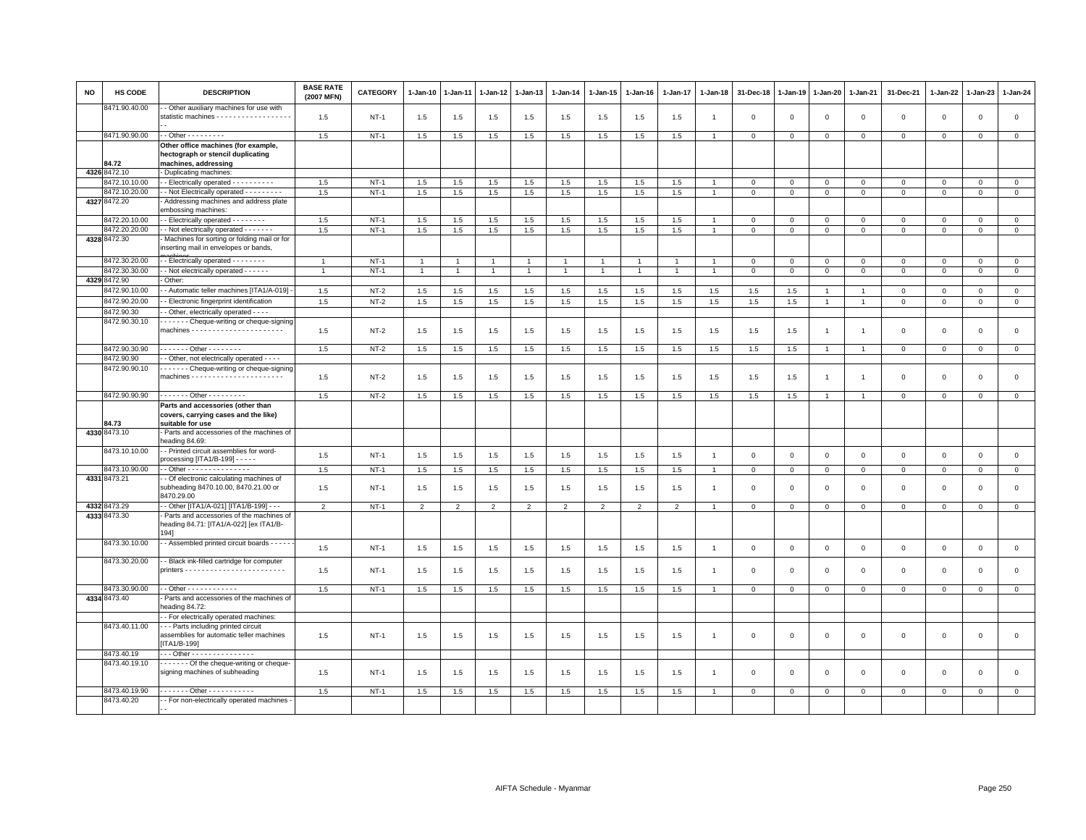| <b>NO</b> | HS CODE       | <b>DESCRIPTION</b>                                                                                | <b>BASE RATE</b><br>(2007 MFN) | <b>CATEGORY</b> | $1-Jan-10$     | 1-Jan-11       | 1-Jan-12       | 1-Jan-13       | 1-Jan-14       | 1-Jan-15       | 1-Jan-16       | $1-Jan-17$     | 1-Jan-18       | 31-Dec-18      | 1-Jan-19    | 1-Jan-20       | 1-Jan-21       | 31-Dec-21           | 1-Jan-22     | $1-Jan-23$   | 1-Jan-24       |
|-----------|---------------|---------------------------------------------------------------------------------------------------|--------------------------------|-----------------|----------------|----------------|----------------|----------------|----------------|----------------|----------------|----------------|----------------|----------------|-------------|----------------|----------------|---------------------|--------------|--------------|----------------|
|           | 8471.90.40.00 | - Other auxiliary machines for use with<br>statistic machines - - - - - - - - - - - - - - - - - - | 1.5                            | $NT-1$          | 1.5            | 1.5            | 1.5            | 1.5            | 1.5            | 1.5            | 1.5            | 1.5            | $\mathbf{1}$   | $\mathbf 0$    | $\mathsf 0$ | $\mathbf 0$    | $\mathbf 0$    | $\mathsf 0$         | $\mathsf 0$  | $\mathbf 0$  | $\mathsf 0$    |
|           | 8471.90.90.00 | $-$ - Other - - - - - - - - -                                                                     | 1.5                            | $NT-1$          | 1.5            | 1.5            | 1.5            | 1.5            | 1.5            | 1.5            | 1.5            | 1.5            | $\overline{1}$ | $\mathbf 0$    | $\mathbf 0$ | $\mathbf{0}$   | $\mathbf 0$    | $\mathsf 0$         | $\mathbf{O}$ | $\mathbf 0$  | $\mathbf{0}$   |
|           |               | Other office machines (for example,                                                               |                                |                 |                |                |                |                |                |                |                |                |                |                |             |                |                |                     |              |              |                |
|           | 84.72         | hectograph or stencil duplicating<br>machines, addressing                                         |                                |                 |                |                |                |                |                |                |                |                |                |                |             |                |                |                     |              |              |                |
|           | 4326 8472.10  | - Duplicating machines:                                                                           |                                |                 |                |                |                |                |                |                |                |                |                |                |             |                |                |                     |              |              |                |
|           | 8472.10.10.00 | - - Electrically operated - - - - - - - - - -                                                     | 1.5                            | $NT-1$          | 1.5            | 1.5            | 1.5            | 1.5            | 1.5            | 1.5            | 1.5            | 1.5            | $\overline{1}$ | $\mathbf{0}$   | $\mathbf 0$ | $\mathbf{0}$   | $\mathbf{0}$   | $\mathbf{0}$        | $\mathbf{0}$ | $\mathbf{0}$ | $\mathbf{0}$   |
|           | 8472.10.20.00 | - Not Electrically operated - - - - - - - - -                                                     | 1.5                            | $NT-1$          | 1.5            | 1.5            | $1.5\,$        | 1.5            | 1.5            | 1.5            | 1.5            | 1.5            |                | $\mathbf 0$    | $\mathsf 0$ | $\mathsf 0$    | $\mathbf 0$    | $\mathsf 0$         | $\mathbf 0$  | $\mathbf 0$  | $\mathsf 0$    |
|           | 4327 8472.20  | Addressing machines and address plate<br>embossing machines:                                      |                                |                 |                |                |                |                |                |                |                |                |                |                |             |                |                |                     |              |              |                |
|           | 8472.20.10.00 | - - Electrically operated - - - - - - - -                                                         | 1.5                            | $NT-1$          | 1.5            | 1.5            | 1.5            | 1.5            | 1.5            | 1.5            | 1.5            | 1.5            |                | $\mathbf 0$    | $\Omega$    | $\Omega$       | $\mathbf 0$    | $\mathbf 0$         | $\Omega$     | $\mathbf 0$  | $\mathbf 0$    |
|           | 8472.20.20.00 | - Not electrically operated - - - - - - -                                                         | 1.5                            | $NT-1$          | 1.5            | 1.5            | 1.5            | 1.5            | 1.5            | 1.5            | 1.5            | 1.5            |                | $\mathbf 0$    | $\mathsf 0$ | $\mathbf 0$    | $\overline{0}$ | $\Omega$            | $\Omega$     | $\Omega$     | $\overline{0}$ |
|           | 4328 8472.30  | Machines for sorting or folding mail or for<br>inserting mail in envelopes or bands,              |                                |                 |                |                |                |                |                |                |                |                |                |                |             |                |                |                     |              |              |                |
|           | 8472.30.20.00 | - Electrically operated - - - - - - - -                                                           | $\mathbf{1}$                   | $NT-1$          | -1             |                | $\overline{1}$ | $\overline{1}$ |                | $\mathbf{1}$   |                |                |                | $\mathbf 0$    | $\Omega$    | $\Omega$       | $\mathbf{0}$   | $\Omega$            | $\mathbf 0$  | $\Omega$     | $\circ$        |
|           | 8472.30.30.00 | - Not electrically operated - - - - - -                                                           | $\overline{1}$                 | $NT-1$          | $\mathbf{1}$   | $\overline{1}$ | $\overline{1}$ | $\overline{1}$ | $\overline{1}$ | $\mathbf{1}$   | $\overline{1}$ | $\mathbf{1}$   | $\overline{1}$ | $\mathbf 0$    | $\mathbf 0$ | $\mathbf 0$    | $\mathbf 0$    | $\mathbf 0$         | $\mathbf 0$  | $\mathbf{0}$ | $\mathbf{0}$   |
|           | 4329 8472.90  | Other:                                                                                            |                                |                 |                |                |                |                |                |                |                |                |                |                |             |                |                |                     |              |              |                |
|           | 8472.90.10.00 | - Automatic teller machines [ITA1/A-019]                                                          | 1.5                            | $NT-2$          | 1.5            | 1.5            | 1.5            | 1.5            | 1.5            | 1.5            | 1.5            | 1.5            | 1.5            | 1.5            | 1.5         | $\mathbf{1}$   | 1              | $\mathbf 0$         | $\Omega$     | $\Omega$     | $\mathsf 0$    |
|           | 8472.90.20.00 | - Electronic fingerprint identification                                                           | 1.5                            | $NT-2$          | 1.5            | $1.5\,$        | 1.5            | $1.5\,$        | $1.5\,$        | 1.5            | 1.5            | 1.5            | $1.5\,$        | $1.5\,$        | 1.5         | $\mathbf{1}$   | $\overline{1}$ | $\mathsf 0$         | $\mathbf 0$  | $\mathsf 0$  | $\mathsf{o}\,$ |
|           | 8472.90.30    | - Other, electrically operated - - - -                                                            |                                |                 |                |                |                |                |                |                |                |                |                |                |             |                |                |                     |              |              |                |
|           | 8472.90.30.10 | Cheque-writing or cheque-signing                                                                  | 1.5                            | $NT-2$          | 1.5            | 1.5            | 1.5            | 1.5            | 1.5            | 1.5            | 1.5            | 1.5            | 1.5            | 1.5            | 1.5         | $\overline{1}$ | $\overline{1}$ | $\mathbf 0$         | $\mathbf 0$  | $\mathbf 0$  | $\mathbf 0$    |
|           | 8472.90.30.90 | . Other                                                                                           |                                |                 |                |                |                |                |                |                |                |                |                |                |             | $\overline{1}$ | $\overline{1}$ |                     |              |              |                |
|           | 8472.90.90    | - Other, not electrically operated - - - -                                                        | 1.5                            | $NT-2$          | 1.5            | 1.5            | 1.5            | 1.5            | 1.5            | 1.5            | 1.5            | 1.5            | 1.5            | 1.5            | 1.5         |                |                | $\mathsf 0$         | $\mathbf 0$  | $\mathsf 0$  | $\mathbf 0$    |
|           | 8472.90.90.10 | Cheque-writing or cheque-signing                                                                  |                                |                 |                |                |                |                |                |                |                |                |                |                |             |                |                |                     |              |              |                |
|           |               |                                                                                                   | 1.5                            | $NT-2$          | 1.5            | 1.5            | 1.5            | 1.5            | 1.5            | 1.5            | 1.5            | 1.5            | 1.5            | 1.5            | 1.5         | $\overline{1}$ | $\overline{1}$ | $\mathsf 0$         | $\mathsf 0$  | $\mathbf 0$  | $\mathsf 0$    |
|           | 8472.90.90.90 | - - - - - - - Other - - - - - - - - -                                                             | 1.5                            | $NT-2$          | 1.5            | 1.5            | 1.5            | 1.5            | 1.5            | 1.5            | 1.5            | 1.5            | 1.5            | 1.5            | 1.5         | $\mathbf{1}$   | $\mathbf{1}$   | $\mathbf 0$         | $\mathbf 0$  | $\mathsf 0$  | $\circ$        |
|           | 84.73         | Parts and accessories (other than<br>covers, carrying cases and the like)<br>suitable for use     |                                |                 |                |                |                |                |                |                |                |                |                |                |             |                |                |                     |              |              |                |
|           | 4330 8473.10  | - Parts and accessories of the machines of<br>heading 84.69:                                      |                                |                 |                |                |                |                |                |                |                |                |                |                |             |                |                |                     |              |              |                |
|           | 8473.10.10.00 | - Printed circuit assemblies for word-<br>processing $[ITA1/B-199] - - -$                         | 1.5                            | $NT-1$          | 1.5            | 1.5            | 1.5            | 1.5            | 1.5            | 1.5            | 1.5            | 1.5            | $\overline{1}$ | $\mathbf 0$    | $\mathbf 0$ | $\mathbf{0}$   | $\mathbf 0$    | $\mathsf 0$         | $\mathbf{0}$ | $\mathbf{0}$ | $\mathbf 0$    |
|           | 8473.10.90.00 | - - Other - - - - - - - - - - - - - - -                                                           | 1.5                            | $NT-1$          | 1.5            | 1.5            | 1.5            | 1.5            | 1.5            | 1.5            | 1.5            | 1.5            |                | $\mathbf 0$    | $\mathbf 0$ | $\mathbf 0$    | $\mathbf 0$    | $\mathbf 0$         | 0            | $\mathsf 0$  | $\mathbf 0$    |
|           | 4331 8473.21  | - Of electronic calculating machines of<br>subheading 8470.10.00, 8470.21.00 or<br>8470.29.00     | 1.5                            | $NT-1$          | 1.5            | 1.5            | 1.5            | 1.5            | 1.5            | 1.5            | 1.5            | 1.5            | $\overline{1}$ | $\mathbf 0$    | $\mathbf 0$ | $\mathsf 0$    | $\mathbf 0$    | $\mathsf 0$         | $\mathbf 0$  | $\mathsf 0$  | $\mathsf 0$    |
|           | 4332 8473.29  | - Other [ITA1/A-021] [ITA1/B-199] - - -                                                           | $\overline{2}$                 | $NT-1$          | $\overline{2}$ | $\overline{2}$ | $\overline{2}$ | $\overline{2}$ | $\overline{2}$ | $\overline{2}$ | $\overline{2}$ | $\overline{2}$ |                | $\,0\,$        | $\,0\,$     | $\mathbf 0$    | $\mathbf 0$    | $\mathsf{O}\xspace$ | $\mathsf 0$  | $\mathsf 0$  | $\circ$        |
|           | 4333 8473.30  | - Parts and accessories of the machines of<br>heading 84.71: [ITA1/A-022] [ex ITA1/B-<br>1941     |                                |                 |                |                |                |                |                |                |                |                |                |                |             |                |                |                     |              |              |                |
|           | 8473.30.10.00 | - - Assembled printed circuit boards - - - - -                                                    | 1.5                            | $NT-1$          | 1.5            | 1.5            | 1.5            | 1.5            | 1.5            | 1.5            | 1.5            | 1.5            | $\overline{1}$ | $\mathbf 0$    | $\mathsf 0$ | $\mathsf 0$    | $\mathbf 0$    | $\mathsf 0$         | $\mathbf 0$  | $\mathsf 0$  | $\mathsf 0$    |
|           | 8473.30.20.00 | - Black ink-filled cartridge for computer                                                         | 1.5                            | $NT-1$          | 1.5            | 1.5            | 1.5            | 1.5            | 1.5            | 1.5            | 1.5            | 1.5            |                | $\mathbf 0$    | $\Omega$    | $\mathbf 0$    | $\mathbf 0$    | 0                   | $\circ$      | $\Omega$     | $\mathbf 0$    |
|           | 8473.30.90.00 | $-$ Other - - - - - - - - - - - -                                                                 | 1.5                            | $NT-1$          | 1.5            | 1.5            | 1.5            | 1.5            | 1.5            | 1.5            | 1.5            | 1.5            |                | $\Omega$       | $\mathbf 0$ | $\mathsf 0$    | $\mathbf{0}$   | $\Omega$            | $\Omega$     | $\mathbf 0$  | $\mathbf 0$    |
|           | 4334 8473.40  | Parts and accessories of the machines of<br>heading 84.72:                                        |                                |                 |                |                |                |                |                |                |                |                |                |                |             |                |                |                     |              |              |                |
|           |               | - - For electrically operated machines:                                                           |                                |                 |                |                |                |                |                |                |                |                |                |                |             |                |                |                     |              |              |                |
|           | 8473.40.11.00 | --- Parts including printed circuit<br>assemblies for automatic teller machines<br>$[ITA1/B-199]$ | 1.5                            | $NT-1$          | 1.5            | 1.5            | 1.5            | 1.5            | 1.5            | 1.5            | 1.5            | 1.5            | $\mathbf{1}$   | $\mathbf 0$    | $\mathbf 0$ | $\mathsf 0$    | $\mathbf 0$    | $\mathsf 0$         | $\mathbf 0$  | $\mathsf 0$  | $\mathsf 0$    |
|           | 8473.40.19    | Other - - - - - - - - - - - - - - -                                                               |                                |                 |                |                |                |                |                |                |                |                |                |                |             |                |                |                     |              |              |                |
|           | 8473.40.19.10 | Of the cheque-writing or cheque-<br>signing machines of subheading                                | 1.5                            | $NT-1$          | 1.5            | 1.5            | 1.5            | 1.5            | 1.5            | 1.5            | 1.5            | 1.5            |                | $\overline{0}$ | $\mathbf 0$ | $\mathbf 0$    | $\Omega$       | $\mathbf 0$         | $\Omega$     | $\Omega$     | $\mathbf 0$    |
|           | 8473.40.19.90 | . Other                                                                                           | 1.5                            | $NT-1$          | 1.5            | 1.5            | 1.5            | 1.5            | 1.5            | 1.5            | 1.5            | 1.5            |                | $\Omega$       | $\,0\,$     | $\,0\,$        | $\mathbf{0}$   | $\Omega$            | $\Omega$     | $\mathbf 0$  | $\Omega$       |
|           | 8473.40.20    | - For non-electrically operated machines -                                                        |                                |                 |                |                |                |                |                |                |                |                |                |                |             |                |                |                     |              |              |                |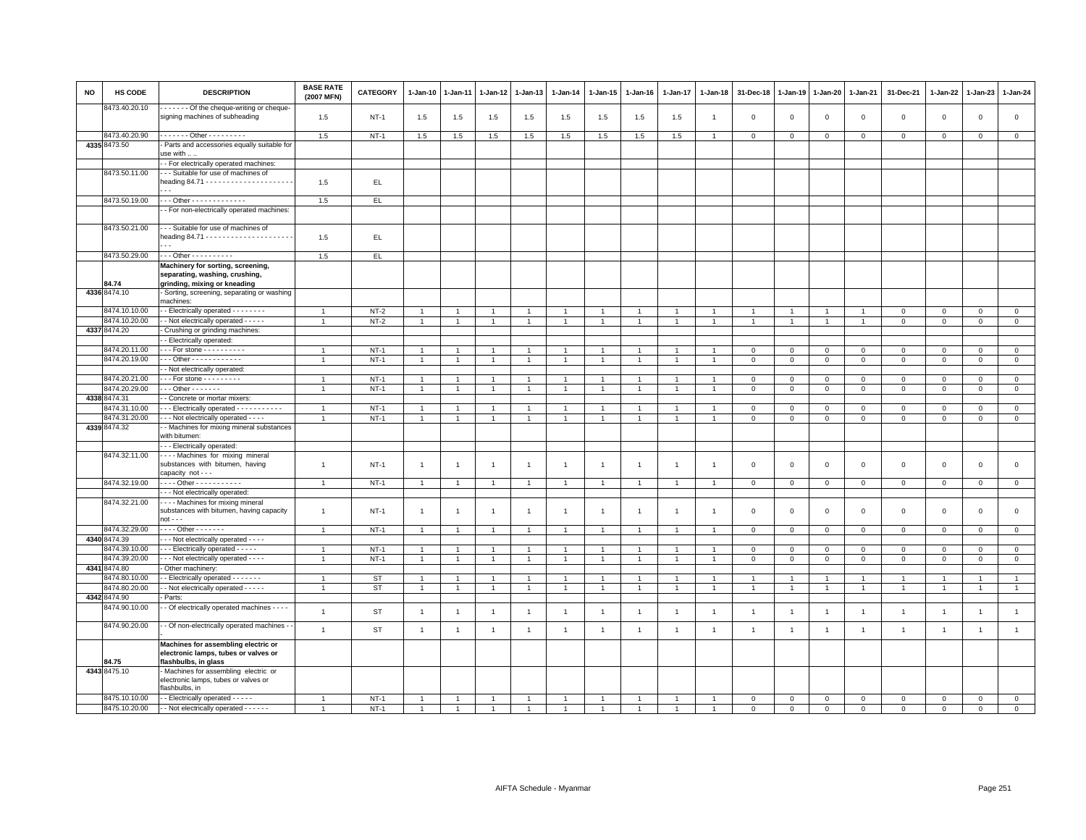| NO | HS CODE                        | <b>DESCRIPTION</b>                                                                                  | <b>BASE RATE</b><br>(2007 MFN)   | CATEGORY         | $1 - Jan-10$                   | 1-Jan-11       | 1-Jan-12                       | 1-Jan-13                       | $1-Jan-14$                       | $1-Jan-15$                       | $1 - Jan-16$   | $1 - Jan-17$   | $1 - Jan-18$   | 31-Dec-18      | $1 - Jan-19$                     | $1 - Jan-20$                   | $1 - Jan-21$                     | 31-Dec-21                  | 1-Jan-22                    | 1-Jan-23                    | $1 - Jan-24$               |
|----|--------------------------------|-----------------------------------------------------------------------------------------------------|----------------------------------|------------------|--------------------------------|----------------|--------------------------------|--------------------------------|----------------------------------|----------------------------------|----------------|----------------|----------------|----------------|----------------------------------|--------------------------------|----------------------------------|----------------------------|-----------------------------|-----------------------------|----------------------------|
|    | 8473.40.20.10                  | - - - - - - Of the cheque-writing or cheque-<br>signing machines of subheading                      | 1.5                              | $NT-1$           | 1.5                            | 1.5            | 1.5                            | 1.5                            | 1.5                              | 1.5                              | 1.5            | 1.5            | $\overline{1}$ | $\mathbf 0$    | $\mathbf 0$                      | $\,0\,$                        | $\,0\,$                          | $\mathbf 0$                | $\,0\,$                     | $\mathbf 0$                 | $\mathsf 0$                |
|    | 8473.40.20.90                  | . Other                                                                                             | 1.5                              | $NT-1$           | 1.5                            | 1.5            | 1.5                            | 1.5                            | 1.5                              | 1.5                              | 1.5            | 1.5            | $\overline{1}$ | $\overline{0}$ | $\mathbf 0$                      | $\mathsf 0$                    | $\mathbf{0}$                     | $\mathbf{0}$               | $\mathbf{0}$                | $\mathbf 0$                 | $\circ$                    |
|    | 4335 8473.50                   | Parts and accessories equally suitable for                                                          |                                  |                  |                                |                |                                |                                |                                  |                                  |                |                |                |                |                                  |                                |                                  |                            |                             |                             |                            |
|    |                                | use with                                                                                            |                                  |                  |                                |                |                                |                                |                                  |                                  |                |                |                |                |                                  |                                |                                  |                            |                             |                             |                            |
|    |                                | - For electrically operated machines:                                                               |                                  |                  |                                |                |                                |                                |                                  |                                  |                |                |                |                |                                  |                                |                                  |                            |                             |                             |                            |
|    | 8473.50.11.00                  | - - Suitable for use of machines of                                                                 |                                  |                  |                                |                |                                |                                |                                  |                                  |                |                |                |                |                                  |                                |                                  |                            |                             |                             |                            |
|    |                                |                                                                                                     | 1.5                              | EL.              |                                |                |                                |                                |                                  |                                  |                |                |                |                |                                  |                                |                                  |                            |                             |                             |                            |
|    | 8473.50.19.00                  | $-$ - Other - - - - - - - - - - - - -                                                               | 1.5                              | EL.              |                                |                |                                |                                |                                  |                                  |                |                |                |                |                                  |                                |                                  |                            |                             |                             |                            |
|    |                                | - For non-electrically operated machines:                                                           |                                  |                  |                                |                |                                |                                |                                  |                                  |                |                |                |                |                                  |                                |                                  |                            |                             |                             |                            |
|    |                                |                                                                                                     |                                  |                  |                                |                |                                |                                |                                  |                                  |                |                |                |                |                                  |                                |                                  |                            |                             |                             |                            |
|    | 8473.50.21.00                  | --- Suitable for use of machines of                                                                 | 1.5                              | EL.              |                                |                |                                |                                |                                  |                                  |                |                |                |                |                                  |                                |                                  |                            |                             |                             |                            |
|    | 8473.50.29.00                  | $- -$ Other - - - - - - - - - -                                                                     | 1.5                              | EL.              |                                |                |                                |                                |                                  |                                  |                |                |                |                |                                  |                                |                                  |                            |                             |                             |                            |
|    |                                | Machinery for sorting, screening,                                                                   |                                  |                  |                                |                |                                |                                |                                  |                                  |                |                |                |                |                                  |                                |                                  |                            |                             |                             |                            |
|    |                                | separating, washing, crushing,                                                                      |                                  |                  |                                |                |                                |                                |                                  |                                  |                |                |                |                |                                  |                                |                                  |                            |                             |                             |                            |
|    | 34.74                          | grinding, mixing or kneading                                                                        |                                  |                  |                                |                |                                |                                |                                  |                                  |                |                |                |                |                                  |                                |                                  |                            |                             |                             |                            |
|    | 4336 8474.10                   | Sorting, screening, separating or washing<br>machines:                                              |                                  |                  |                                |                |                                |                                |                                  |                                  |                |                |                |                |                                  |                                |                                  |                            |                             |                             |                            |
|    |                                |                                                                                                     |                                  |                  |                                |                |                                |                                |                                  |                                  |                |                |                |                |                                  |                                |                                  |                            |                             |                             |                            |
|    | 8474.10.10.00<br>8474.10.20.00 | - Electrically operated - - - - - - - -<br>- Not electrically operated - - - - -                    | $\overline{1}$<br>$\overline{1}$ | $NT-2$<br>$NT-2$ | $\mathbf{1}$<br>$\overline{1}$ | 1              | $\overline{1}$<br>$\mathbf{1}$ | $\overline{1}$<br>$\mathbf{1}$ | $\overline{1}$<br>$\overline{1}$ | $\overline{1}$<br>$\overline{1}$ | $\overline{1}$ | $\mathbf{1}$   | $\overline{1}$ | $\overline{1}$ | $\overline{1}$<br>$\overline{1}$ | $\mathbf{1}$<br>$\overline{1}$ | $\overline{1}$<br>$\overline{1}$ | $\mathbf 0$<br>$\mathsf 0$ | $\mathbf 0$<br>$\mathbf{0}$ | $\mathbf 0$<br>$\mathbf{0}$ | $\mathsf 0$<br>$\mathsf 0$ |
|    | 4337 8474.20                   | Crushing or grinding machines:                                                                      |                                  |                  |                                |                |                                |                                |                                  |                                  |                |                |                |                |                                  |                                |                                  |                            |                             |                             |                            |
|    |                                | - Electrically operated:                                                                            |                                  |                  |                                |                |                                |                                |                                  |                                  |                |                |                |                |                                  |                                |                                  |                            |                             |                             |                            |
|    | 8474.20.11.00                  | - - For stone - - - - - - - - - -                                                                   |                                  | $NT-1$           | -1                             |                | 1                              | $\mathbf{1}$                   | $\mathbf{1}$                     | 1                                |                |                |                | $\mathbf 0$    | $\mathbf 0$                      | $\mathbf 0$                    | $\mathbf{0}$                     | $\mathbf 0$                | $\mathbf{0}$                | $\mathbf{0}$                | $\circ$                    |
|    | 8474.20.19.00                  | $-$ - Other - - - - - - - - - - - -                                                                 | $\overline{1}$                   | <b>NT-1</b>      | $\mathbf{1}$                   |                | $\mathbf{1}$                   | $\overline{1}$                 | $\overline{1}$                   | 1                                |                | $\overline{1}$ |                | $\mathbf 0$    | $\mathsf 0$                      | $\,0\,$                        | $\mathsf 0$                      | $\mathbf 0$                | $\Omega$                    | $\mathbf 0$                 | $\mathbf 0$                |
|    |                                | - Not electrically operated:                                                                        |                                  |                  |                                |                |                                |                                |                                  |                                  |                |                |                |                |                                  |                                |                                  |                            |                             |                             |                            |
|    | 8474.20.21.00                  | $-$ - For stone - - - - - - - - -                                                                   | $\overline{1}$                   | $NT-1$           | $\mathbf{1}$                   |                |                                | $\mathbf{1}$                   | $\overline{1}$                   | 1                                | $\overline{1}$ | $\overline{1}$ |                | $\mathbf 0$    | $\mathbf 0$                      | $\mathsf 0$                    | $\mathbf 0$                      | $\mathsf 0$                | $\mathbf 0$                 | $\mathbf 0$                 | $\circ$                    |
|    | 8474.20.29.00                  | . - - Other - - - - - - -                                                                           | $\overline{1}$                   | $NT-1$           | $\mathbf{1}$                   | $\overline{1}$ | $\mathbf{1}$                   | $\overline{1}$                 | $\mathbf{1}$                     | $\mathbf{1}$                     | $\overline{1}$ | $\overline{1}$ | $\overline{1}$ | $\mathbf{0}$   | $\mathbf{0}$                     | $\overline{0}$                 | $\circ$                          | $\mathbf 0$                | $\mathbf{0}$                | $\overline{0}$              | $\overline{0}$             |
|    | 4338 8474.31                   | - Concrete or mortar mixers:                                                                        |                                  |                  |                                |                |                                |                                |                                  |                                  |                |                |                |                |                                  |                                |                                  |                            |                             |                             |                            |
|    | 8474.31.10.00                  | - - Electrically operated - - - - - - - - - -                                                       | $\overline{1}$                   | $NT-1$           | $\overline{1}$                 |                |                                | $\overline{1}$                 | $\overline{1}$                   |                                  | $\overline{1}$ | $\overline{1}$ |                | $\mathbf 0$    | $\mathbf 0$                      | $\mathbf 0$                    | $\mathbf 0$                      | $\mathsf 0$                | $\Omega$                    | $\mathbf{0}$                | $\mathsf 0$                |
|    | 8474.31.20.00                  | - - - Not electrically operated - - - -                                                             | $\overline{1}$                   | $NT-1$           | $\mathbf{1}$                   | 1              | 1                              | $\overline{1}$                 | $\overline{1}$                   | $\mathbf{1}$                     | $\mathbf{1}$   | $\mathbf{1}$   |                | $\mathbf 0$    | $\mathbf 0$                      | $\mathsf 0$                    | $\mathbf 0$                      | $\mathbf 0$                | $\mathbf 0$                 | $\mathbf{0}$                | $\mathsf 0$                |
|    | 4339 8474.32                   | - Machines for mixing mineral substances<br>with bitumen:                                           |                                  |                  |                                |                |                                |                                |                                  |                                  |                |                |                |                |                                  |                                |                                  |                            |                             |                             |                            |
|    |                                | - - Electrically operated:                                                                          |                                  |                  |                                |                |                                |                                |                                  |                                  |                |                |                |                |                                  |                                |                                  |                            |                             |                             |                            |
|    | 8474.32.11.00                  | Machines for mixing mineral<br>substances with bitumen, having                                      | $\mathbf{1}$                     | $NT-1$           | $\overline{1}$                 | $\mathbf{1}$   | $\mathbf{1}$                   | $\mathbf{1}$                   | $\overline{1}$                   | $\mathbf{1}$                     | $\overline{1}$ | $\overline{1}$ | $\overline{1}$ | $\mathbf 0$    | $\mathsf 0$                      | $\mathbf 0$                    | $\mathbf 0$                      | $\mathsf 0$                | $\mathbf 0$                 | $\mathsf 0$                 | $\mathsf 0$                |
|    |                                | capacity not - - -                                                                                  |                                  |                  |                                |                |                                |                                |                                  |                                  |                |                |                |                |                                  |                                |                                  |                            |                             |                             |                            |
|    | 8474.32.19.00                  | . Other - - - - - - - - - - -                                                                       | $\overline{1}$                   | $NT-1$           | $\mathbf{1}$                   | $\mathbf{1}$   | $\overline{1}$                 | $\overline{1}$                 | $\overline{1}$                   | $\mathbf{1}$                     | $\overline{1}$ | $\overline{1}$ | $\overline{1}$ | $\mathbf{0}$   | $\mathbf 0$                      | $\mathbf 0$                    | $\overline{0}$                   | $\mathbf{0}$               | $\mathbf{0}$                | $\mathbf{0}$                | $\mathbf{0}$               |
|    | 8474.32.21.00                  | - - Not electrically operated:<br>--- Machines for mixing mineral                                   |                                  |                  |                                |                |                                |                                |                                  |                                  |                |                |                |                |                                  |                                |                                  |                            |                             |                             |                            |
|    |                                | substances with bitumen, having capacity                                                            | $\overline{1}$                   | $NT-1$           | $\overline{1}$                 | $\overline{1}$ | $\overline{1}$                 | $\overline{1}$                 | $\overline{1}$                   | $\mathbf{1}$                     | $\overline{1}$ | $\mathbf{1}$   | -1             | $\mathbf 0$    | $\mathbf 0$                      | $\mathsf 0$                    | $\mathbf 0$                      | $\mathsf 0$                | $\mathsf 0$                 | $\mathsf 0$                 | $\mathsf 0$                |
|    |                                | $not - -$                                                                                           |                                  |                  |                                |                |                                |                                |                                  |                                  |                |                |                |                |                                  |                                |                                  |                            |                             |                             |                            |
|    | 8474.32.29.00                  | $\cdots$ Other - - - - - - -                                                                        | $\overline{1}$                   | $NT-1$           | $\overline{1}$                 |                |                                | $\overline{1}$                 | $\overline{1}$                   |                                  |                |                |                | $\mathbf 0$    | $\mathbf 0$                      | $\mathsf 0$                    | $\mathbf 0$                      | $\mathsf 0$                | $\Omega$                    | $\mathsf 0$                 | $\mathsf 0$                |
|    | 4340 8474.39                   | - - Not electrically operated - - - -                                                               |                                  |                  |                                |                |                                |                                |                                  |                                  |                |                |                |                |                                  |                                |                                  |                            |                             |                             |                            |
|    | 3474.39.10.00                  | - - Electrically operated - - - - -                                                                 |                                  | $NT-1$           | $\mathbf{1}$                   |                |                                | $\overline{1}$                 | $\overline{1}$                   | 1                                |                |                |                | $\mathbf 0$    | $\mathbf 0$                      | $\mathsf 0$                    | $\mathbf 0$                      | $\mathsf 0$                | $\mathbf 0$                 | $\mathbf 0$                 | $\mathsf 0$                |
|    | 8474.39.20.00                  | - - - Not electrically operated - - - -                                                             | $\overline{1}$                   | $NT-1$           | $\mathbf{1}$                   |                | 1                              | $\overline{1}$                 | $\mathbf{1}$                     | $\mathbf{1}$                     | $\mathbf{1}$   | $\overline{1}$ |                | $\mathbf 0$    | $\mathbf{0}$                     | $\mathbf 0$                    | $\circ$                          | $\mathbf 0$                | 0                           | $\mathbf{0}$                | $\circ$                    |
|    | 4341 8474.80                   | Other machinery:                                                                                    |                                  |                  |                                |                |                                |                                |                                  |                                  |                |                |                |                |                                  |                                |                                  |                            |                             |                             |                            |
|    | 8474.80.10.00                  | - Electrically operated - - - - - - -                                                               | $\overline{1}$                   | ST               | $\overline{1}$                 | $\overline{1}$ | $\mathbf{1}$                   | $\mathbf{1}$                   | $\mathbf{1}$                     | $\mathbf{1}$                     | $\overline{1}$ | $\overline{1}$ |                | $\overline{1}$ | $\overline{1}$                   | $\overline{1}$                 | $\overline{1}$                   | $\mathbf{1}$               | $\overline{1}$              | $\overline{1}$              | $\mathbf{1}$               |
|    | 3474.80.20.00                  | - Not electrically operated - - - - -                                                               | $\overline{1}$                   | <b>ST</b>        | $\overline{1}$                 | $\mathbf{1}$   | 1                              | $\mathbf{1}$                   | $\overline{1}$                   | $\mathbf{1}$                     | $\mathbf{1}$   | $\mathbf{1}$   |                | $\overline{1}$ | $\overline{1}$                   | $\overline{1}$                 | $\overline{1}$                   | $\overline{1}$             | $\overline{1}$              | $\overline{1}$              | $\overline{1}$             |
|    | 4342 8474.90                   | Parts:                                                                                              |                                  |                  |                                |                |                                |                                |                                  |                                  |                |                |                |                |                                  |                                |                                  |                            |                             |                             |                            |
|    | 8474.90.10.00                  | - Of electrically operated machines - - - -                                                         | $\mathbf{1}$                     | <b>ST</b>        | $\overline{1}$                 | $\mathbf{1}$   | $\overline{1}$                 | $\mathbf{1}$                   | $\mathbf{1}$                     | $\overline{1}$                   | $\overline{1}$ | $\overline{1}$ | $\overline{1}$ | $\overline{1}$ | $\overline{1}$                   | $\overline{1}$                 | $\overline{1}$                   | $\mathbf{1}$               | $\overline{1}$              | $\overline{1}$              | $\mathbf{1}$               |
|    | 8474.90.20.00                  | - Of non-electrically operated machines -                                                           | $\mathbf{1}$                     | <b>ST</b>        | $\overline{1}$                 | $\overline{1}$ | $\overline{1}$                 | $\mathbf{1}$                   | $\mathbf{1}$                     | $\overline{1}$                   | $\overline{1}$ | $\overline{1}$ | $\overline{1}$ | $\overline{1}$ | $\overline{1}$                   | $\overline{1}$                 | $\overline{1}$                   | $\mathbf{1}$               | $\overline{1}$              | $\mathbf{1}$                | $\mathbf{1}$               |
|    | 84.75                          | Machines for assembling electric or<br>electronic lamps, tubes or valves or<br>flashbulbs, in glass |                                  |                  |                                |                |                                |                                |                                  |                                  |                |                |                |                |                                  |                                |                                  |                            |                             |                             |                            |
|    | 4343 8475.10                   | Machines for assembling electric or<br>electronic lamps, tubes or valves or<br>flashbulbs, in       |                                  |                  |                                |                |                                |                                |                                  |                                  |                |                |                |                |                                  |                                |                                  |                            |                             |                             |                            |
|    | 8475.10.10.00                  | - Electrically operated - - - - -                                                                   | $\overline{1}$                   | $NT-1$           | $\overline{1}$                 |                |                                |                                |                                  |                                  |                |                |                | $\mathbf 0$    | $\mathbf 0$                      | $\mathbf 0$                    | $\mathbf 0$                      | $\Omega$                   | $\mathbf 0$                 | $\Omega$                    | $\mathsf 0$                |
|    | 8475.10.20.00                  | - - Not electrically operated - - - - - -                                                           | $\overline{1}$                   | $NT-1$           | $\mathbf{1}$                   | $\mathbf{1}$   | $\blacktriangleleft$           | $\overline{1}$                 | $\overline{1}$                   | $\blacktriangleleft$             | $\overline{1}$ | $\overline{1}$ | $\overline{1}$ | $\mathbf{0}$   | $\mathbf{0}$                     | $\mathbf{0}$                   | $\mathbf{0}$                     | $\mathbf{0}$               | $\mathbf 0$                 | $\mathbf 0$                 | $\circ$                    |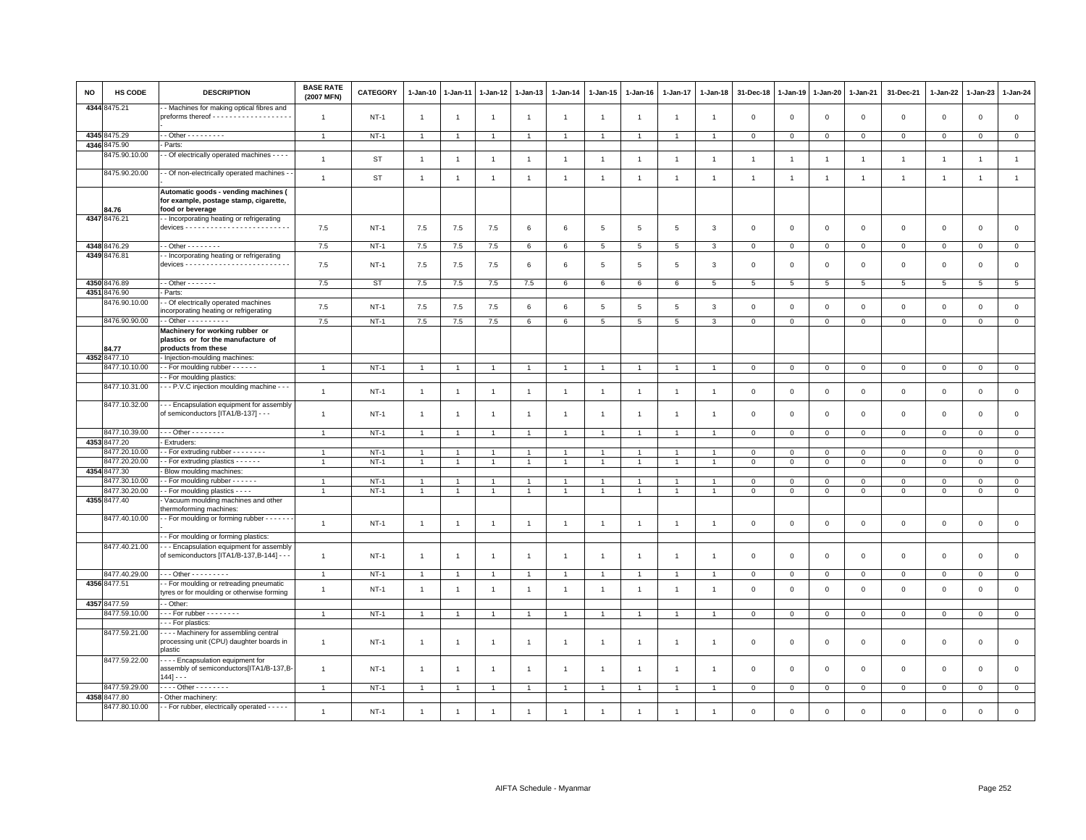| NO   | HS CODE       | <b>DESCRIPTION</b>                                                                                 | <b>BASE RATE</b><br>(2007 MFN) | <b>CATEGORY</b> | $1 - Jan-10$   | 1-Jan-11       | 1-Jan-12       | 1-Jan-13       | $1-Jan-14$      | $1 - Jan-15$    | $1 - Jan-16$   | $1 - Jan-17$    | $1 - Jan-18$   | 31-Dec-18      | $1 - Jan-19$   | 1-Jan-20        | $1 - Jan-21$    | 31-Dec-21    | 1-Jan-22       | 1-Jan-23       | $1 - Jan-24$    |
|------|---------------|----------------------------------------------------------------------------------------------------|--------------------------------|-----------------|----------------|----------------|----------------|----------------|-----------------|-----------------|----------------|-----------------|----------------|----------------|----------------|-----------------|-----------------|--------------|----------------|----------------|-----------------|
|      | 4344 8475.21  | - Machines for making optical fibres and                                                           | $\overline{1}$                 | $NT-1$          | $\overline{1}$ | $\overline{1}$ | $\overline{1}$ | $\overline{1}$ | $\overline{1}$  | $\mathbf{1}$    | $\overline{1}$ | $\mathbf{1}$    | -1             | $\mathbf 0$    | $\mathsf 0$    | $\,0\,$         | $\,0\,$         | $\mathsf 0$  | $\,0\,$        | $\mathsf 0$    | $\mathsf 0$     |
|      | 4345 8475.29  | $-$ Other $       -$                                                                               | $\overline{1}$                 | $NT-1$          | $\overline{1}$ |                |                | $\overline{1}$ | $\overline{1}$  |                 |                |                 |                | $\mathbf 0$    | $\mathbf 0$    | $\mathbf 0$     | $\mathbf 0$     | $\mathbf 0$  | $\mathbf 0$    | $\mathbf 0$    | $\mathbf{0}$    |
| 4346 | 3475.90       | Parts:                                                                                             |                                |                 |                |                |                |                |                 |                 |                |                 |                |                |                |                 |                 |              |                |                |                 |
|      | 3475.90.10.00 | - Of electrically operated machines - - - -                                                        |                                |                 |                |                |                |                |                 |                 |                |                 |                |                |                |                 |                 |              |                |                |                 |
|      |               |                                                                                                    | $\overline{1}$                 | <b>ST</b>       | $\overline{1}$ | $\mathbf{1}$   | $\overline{1}$ | $\mathbf{1}$   | $\mathbf{1}$    | $\overline{1}$  | $\overline{1}$ | $\overline{1}$  | $\overline{1}$ | $\overline{1}$ | $\overline{1}$ | $\overline{1}$  | $\overline{1}$  | $\mathbf{1}$ | $\overline{1}$ | $\overline{1}$ | $\mathbf{1}$    |
|      | 8475.90.20.00 | - Of non-electrically operated machines -                                                          | $\mathbf{1}$                   | <b>ST</b>       | $\overline{1}$ | $\overline{1}$ | $\overline{1}$ | $\mathbf{1}$   | $\mathbf{1}$    | $\mathbf{1}$    | $\overline{1}$ | $\overline{1}$  | $\overline{1}$ | $\overline{1}$ | $\overline{1}$ | $\overline{1}$  | $\mathbf{1}$    | $\mathbf{1}$ | $\overline{1}$ | $\overline{1}$ | $\mathbf{1}$    |
|      | 34.76         | Automatic goods - vending machines (<br>for example, postage stamp, cigarette,<br>food or beverage |                                |                 |                |                |                |                |                 |                 |                |                 |                |                |                |                 |                 |              |                |                |                 |
|      | 4347 8476.21  | - Incorporating heating or refrigerating                                                           | 7.5                            | $NT-1$          | 7.5            | 7.5            | 7.5            | 6              | 6               | 5               | 5              | 5               | 3              | $\mathbf 0$    | $\mathbf 0$    | $\mathsf 0$     | $\mathbf 0$     | $\mathsf 0$  | $\mathbf 0$    | $\mathbf 0$    | $\mathbf 0$     |
|      | 4348 8476.29  | $-$ Other $      -$                                                                                | 7.5                            | $NT-1$          | 7.5            | 7.5            | 7.5            | 6              | 6               | $5\phantom{.0}$ | 5              | $5\phantom{.0}$ | 3              | $\mathbf{0}$   | $\mathbf{0}$   | $\overline{0}$  | $\overline{0}$  | $\mathbf 0$  | $\overline{0}$ | $\mathbf 0$    | $\overline{0}$  |
|      | 4349 8476.81  | - Incorporating heating or refrigerating                                                           |                                |                 |                |                |                |                |                 |                 |                |                 |                |                |                |                 |                 |              |                |                |                 |
|      |               |                                                                                                    | 7.5                            | $NT-1$          | 7.5            | 7.5            | 7.5            | 6              | 6               | 5               | 5              | 5               | $\mathbf{3}$   | $\mathbf 0$    | $\mathbf 0$    | $\mathbf 0$     | $\mathbf{0}$    | $\mathbf 0$  | $\mathbf 0$    | $\mathbf{0}$   | $\circ$         |
|      | 4350 8476.89  | $\cdot$ - Other - - - - - - -                                                                      | 7.5                            | ST              | 7.5            | 7.5            | 7.5            | 7.5            | 6               | 6               | 6              | 6               | 5              | $\overline{5}$ | $\overline{5}$ | $5\phantom{.0}$ | $5\phantom{.0}$ | 5            | $\overline{5}$ | 5              | $5\overline{5}$ |
| 4351 | 3476.90       | Parts:                                                                                             |                                |                 |                |                |                |                |                 |                 |                |                 |                |                |                |                 |                 |              |                |                |                 |
|      | 8476.90.10.00 | - Of electrically operated machines<br>ncorporating heating or refrigerating                       | 7.5                            | <b>NT-1</b>     | 7.5            | 7.5            | 7.5            | 6              | 6               | 5               | 5              | $\overline{5}$  | 3              | $\mathbf 0$    | $\mathbf 0$    | $\mathsf 0$     | $\,0\,$         | $\mathsf 0$  | $\mathbf 0$    | $\mathbf 0$    | $\mathsf 0$     |
|      | 8476.90.90.00 | $-$ Other $        -$                                                                              | 7.5                            | $NT-1$          | 7.5            | 7.5            | 7.5            | 6              | $6\overline{6}$ | 5               | $\overline{5}$ | $\overline{5}$  | 3              | $\mathbf 0$    | $\mathsf 0$    | $\mathbf 0$     | $\mathbf 0$     | $\mathbf 0$  | $\mathbf 0$    | $\mathbf{0}$   | $\mathsf 0$     |
|      | 4.77          | Machinery for working rubber or<br>plastics or for the manufacture of<br>products from these       |                                |                 |                |                |                |                |                 |                 |                |                 |                |                |                |                 |                 |              |                |                |                 |
|      | 4352 8477.10  | Injection-moulding machines:                                                                       |                                |                 |                |                |                |                |                 |                 |                |                 |                |                |                |                 |                 |              |                |                |                 |
|      | 8477.10.10.00 | - For moulding rubber - - - - - -                                                                  | $\overline{1}$                 | $NT-1$          | $\overline{1}$ |                | $\overline{1}$ | $\overline{1}$ | $\overline{1}$  | $\mathbf{1}$    | $\overline{1}$ | $\overline{1}$  |                | $\mathbf 0$    | $\mathbf 0$    | $\mathbf{0}$    | $\mathbf{0}$    | $\mathbf{0}$ | $\mathbf{0}$   | $\mathbf{0}$   | $\mathbf{0}$    |
|      |               | - For moulding plastics:                                                                           |                                |                 |                |                |                |                |                 |                 |                |                 |                |                |                |                 |                 |              |                |                |                 |
|      | 8477.10.31.00 | - - P.V.C injection moulding machine - - -                                                         | $\overline{1}$                 | $NT-1$          | $\overline{1}$ | $\mathbf{1}$   | $\overline{1}$ | $\mathbf{1}$   | $\mathbf{1}$    | $\mathbf{1}$    | $\overline{1}$ | $\overline{1}$  | $\overline{1}$ | $\mathbf 0$    | $\mathbf 0$    | $\mathbf 0$     | $\mathbf 0$     | $\mathbf 0$  | $\mathbf 0$    | $\mathbf{O}$   | $\mathsf 0$     |
|      | 8477.10.32.00 | - - Encapsulation equipment for assembly<br>of semiconductors [ITA1/B-137] - - -                   | $\mathbf{1}$                   | $NT-1$          | $\mathbf{1}$   | -1             |                | $\overline{1}$ | $\mathbf{1}$    | $\overline{1}$  | -1             | $\overline{1}$  |                | $\mathbf 0$    | $\mathbf 0$    | $\mathsf 0$     | $\mathbf 0$     | $\mathsf 0$  | $\mathbf 0$    | $\mathsf 0$    | $\mathsf 0$     |
|      | 8477.10.39.00 | Other - - - - - - -                                                                                | $\overline{1}$                 | $NT-1$          | $\overline{1}$ |                |                | $\overline{1}$ | $\overline{1}$  |                 |                |                 |                | $\mathbf 0$    | $\mathbf 0$    | $\mathsf 0$     | $\mathbf 0$     | $\mathsf 0$  | $\mathbf 0$    | $\mathbf 0$    | $\mathsf 0$     |
| 4353 | 3477.20       | Extruders:                                                                                         |                                |                 |                |                |                |                |                 |                 |                |                 |                |                |                |                 |                 |              |                |                |                 |
|      | 3477.20.10.00 | - For extruding rubber - - - - - - - -                                                             | $\overline{1}$                 | $NT-1$          | $\mathbf{1}$   |                |                | $\overline{1}$ | $\overline{1}$  |                 |                |                 |                | $\mathbf 0$    | $\overline{0}$ | $\mathbf{0}$    | $\overline{0}$  | $\mathsf 0$  | $\mathbf{O}$   | $\mathbf{O}$   | $\overline{0}$  |
|      | 8477.20.20.00 | - For extruding plastics - - - - - -                                                               | $\overline{1}$                 | $NT-1$          | $\mathbf{1}$   | $\mathbf{1}$   | $\mathbf{1}$   | $\overline{1}$ | $\mathbf{1}$    | $\mathbf{1}$    | $\mathbf{1}$   | $\overline{1}$  | $\overline{1}$ | $\mathbf 0$    | $\mathbf 0$    | $\mathbf 0$     | $\mathbf 0$     | $\mathsf 0$  | $\mathbf{0}$   | $\mathbf 0$    | $\circ$         |
| 4354 | 3477.30       | Blow moulding machines:                                                                            |                                |                 |                |                |                |                |                 |                 |                |                 |                |                |                |                 |                 |              |                |                |                 |
|      | 477.30.10.00  | - For moulding rubber - - - - - -                                                                  |                                | $NT-1$          | -1             |                |                | 1              |                 |                 |                |                 |                | $\mathbf 0$    | $\mathbf 0$    | $\mathbf 0$     | $\mathbf{0}$    | $\mathbf 0$  | $\Omega$       | $\mathbf{0}$   | $\circ$         |
|      | 3477.30.20.00 | - - For moulding plastics - - - -                                                                  | $\overline{1}$                 | $NT-1$          | $\mathbf{1}$   |                | 1              | $\mathbf{1}$   | $\overline{1}$  | 1               |                | $\overline{1}$  |                | $\mathbf 0$    | $\mathsf 0$    | $\mathbf 0$     | $\,0\,$         | $\mathbf 0$  | $\mathbf 0$    | $\mathbf 0$    | $\mathbf 0$     |
|      | 4355 8477.40  | Vacuum moulding machines and other                                                                 |                                |                 |                |                |                |                |                 |                 |                |                 |                |                |                |                 |                 |              |                |                |                 |
|      |               | hermoforming machines:                                                                             |                                |                 |                |                |                |                |                 |                 |                |                 |                |                |                |                 |                 |              |                |                |                 |
|      | 8477.40.10.00 | - For moulding or forming rubber - - - - - -                                                       | $\overline{1}$                 | $NT-1$          | $\overline{1}$ | $\overline{1}$ | $\overline{1}$ | $\mathbf{1}$   | $\overline{1}$  | $\overline{1}$  | $\overline{1}$ | $\overline{1}$  | $\overline{1}$ | $\mathbf 0$    | $\mathbf 0$    | $\mathsf 0$     | $\mathbf 0$     | $\mathsf 0$  | $\mathbf 0$    | $\mathbf{0}$   | $\mathsf 0$     |
|      |               | - For moulding or forming plastics:                                                                |                                |                 |                |                |                |                |                 |                 |                |                 |                |                |                |                 |                 |              |                |                |                 |
|      | 8477.40.21.00 | - - Encapsulation equipment for assembly<br>of semiconductors [ITA1/B-137,B-144] - - -             | $\overline{1}$                 | $NT-1$          | $\overline{1}$ | $\overline{1}$ |                | $\mathbf{1}$   | $\overline{1}$  | $\overline{1}$  | $\overline{1}$ | $\overline{1}$  | $\overline{1}$ | $\mathbf 0$    | $\mathbf 0$    | $\mathbf 0$     | $\mathbf 0$     | $\mathsf 0$  | $\mathsf 0$    | $\mathsf 0$    | $\mathsf 0$     |
|      | 8477.40.29.00 | . - - Other - - - - - - - - -                                                                      | $\overline{1}$                 | $NT-1$          | $\overline{1}$ | $\overline{1}$ | $\overline{1}$ | $\overline{1}$ | $\overline{1}$  | -1              | $\overline{1}$ | $\overline{1}$  | $\overline{1}$ | $\mathbf 0$    | $\mathbf 0$    | $\mathbf 0$     | $\mathbf 0$     | $\mathbf 0$  | $\mathbf 0$    | $\overline{0}$ | $\mathsf 0$     |
|      | 4356 8477.51  | - For moulding or retreading pneumatic<br>tyres or for moulding or otherwise forming               | $\overline{1}$                 | $NT-1$          | $\overline{1}$ | $\overline{1}$ | $\overline{1}$ | $\mathbf{1}$   | $\overline{1}$  | $\overline{1}$  | $\overline{1}$ | $\overline{1}$  |                | $\mathbf 0$    | $\mathsf 0$    | $\,0\,$         | $\,0\,$         | $\mathsf 0$  | $\mathbf 0$    | $\mathbf 0$    | $\mathbf 0$     |
|      | 4357 8477.59  | - Other                                                                                            |                                |                 |                |                |                |                |                 |                 |                |                 |                |                |                |                 |                 |              |                |                |                 |
|      | 3477.59.10.00 | $\cdots$ For rubber - - - - - - - -                                                                |                                | $NT-1$          | $\overline{1}$ |                |                |                |                 |                 |                |                 |                | $\mathbf 0$    | $\mathbf 0$    | $\mathbf 0$     | $\mathbf 0$     | $\mathbf 0$  | 0              | $\mathbf 0$    | $\mathbf 0$     |
|      |               | - - For plastics:                                                                                  |                                |                 |                |                |                |                |                 |                 |                |                 |                |                |                |                 |                 |              |                |                |                 |
|      | 8477.59.21.00 | Machinery for assembling central<br>processing unit (CPU) daughter boards in<br>plastic            | $\mathbf{1}$                   | $NT-1$          | $\overline{1}$ | $\mathbf{1}$   | $\overline{1}$ | $\mathbf{1}$   | $\overline{1}$  | $\mathbf{1}$    | $\overline{1}$ | $\overline{1}$  | -1             | $\mathbf 0$    | $\mathbf 0$    | $\mathsf 0$     | $\mathbf 0$     | $\mathsf 0$  | $\mathbf 0$    | $\mathsf 0$    | $\mathsf 0$     |
|      | 8477.59.22.00 | - - - Encapsulation equipment for<br>assembly of semiconductors[ITA1/B-137,B-<br>$144] - -$        | $\overline{1}$                 | $NT-1$          | $\mathbf{1}$   |                |                | $\mathbf{1}$   | $\overline{1}$  | $\overline{1}$  | -1             | $\overline{1}$  |                | $\mathbf 0$    | $\mathbf 0$    | $\mathsf 0$     | $\mathbf 0$     | $\mathsf 0$  | $\mathbf 0$    | $\mathsf 0$    | $\mathsf 0$     |
|      | 8477.59.29.00 | $- -$ Other - - - - - - - -                                                                        | $\overline{1}$                 | $NT-1$          | $\overline{1}$ |                | 1              | $\mathbf{1}$   |                 | 1               |                |                 |                | $\mathbf 0$    | $\mathbf 0$    | $\circ$         | $\overline{0}$  | $\mathbf 0$  | $\mathbf 0$    | $\mathbf{0}$   | $\mathbf{0}$    |
|      | 4358 8477.80  | Other machinery:                                                                                   |                                |                 |                |                |                |                |                 |                 |                |                 |                |                |                |                 |                 |              |                |                |                 |
|      | 8477.80.10.00 | - For rubber, electrically operated - - - - -                                                      | $\mathbf{1}$                   | $NT-1$          | $\overline{1}$ | $\overline{1}$ | $\overline{1}$ | $\mathbf{1}$   | $\overline{1}$  | $\overline{1}$  | $\overline{1}$ | $\overline{1}$  | $\overline{1}$ | $\mathbf 0$    | $\mathsf 0$    | $\,0\,$         | $\mathsf 0$     | $\mathsf 0$  | $\mathbf 0$    | $\mathsf 0$    | $\mathbf 0$     |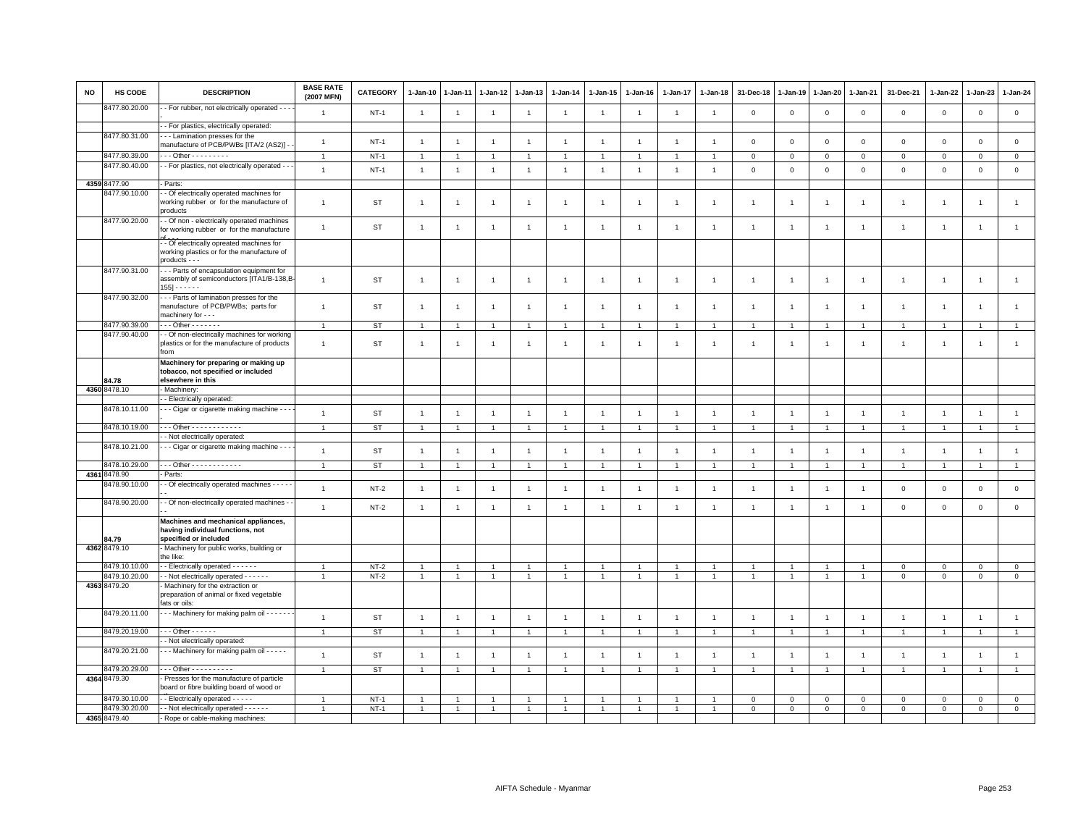| <b>NO</b> | <b>HS CODE</b> | <b>DESCRIPTION</b>                                                                                        | <b>BASE RATE</b><br>(2007 MFN) | <b>CATEGORY</b> | 1-Jan-10       | 1-Jan-11       | 1-Jan-12       | 1-Jan-13       | $1 - Jan-14$   | 1-Jan-15       | 1-Jan-16       | 1-Jan-17       | 1-Jan-18       | 31-Dec-18               | 1-Jan-19       | 1-Jan-20       | 1-Jan-21       | 31-Dec-21      | 1-Jan-22       | 1-Jan-23       | 1-Jan-24            |
|-----------|----------------|-----------------------------------------------------------------------------------------------------------|--------------------------------|-----------------|----------------|----------------|----------------|----------------|----------------|----------------|----------------|----------------|----------------|-------------------------|----------------|----------------|----------------|----------------|----------------|----------------|---------------------|
|           | 8477.80.20.00  | - For rubber, not electrically operated - - -                                                             | $\mathbf{1}$                   | $NT-1$          | $\overline{1}$ | $\mathbf{1}$   | $\overline{1}$ | $\overline{1}$ | $\overline{1}$ | $\mathbf{1}$   | $\overline{1}$ | $\overline{1}$ | $\mathbf{1}$   | $\mathbf 0$             | $\mathbf 0$    | $\mathbf 0$    | $\mathsf 0$    | $\mathsf 0$    | $\mathbf 0$    | $\mathsf 0$    | $\mathsf{O}\xspace$ |
|           |                | - For plastics, electrically operated:                                                                    |                                |                 |                |                |                |                |                |                |                |                |                |                         |                |                |                |                |                |                |                     |
|           | 8477.80.31.00  | - - Lamination presses for the<br>manufacture of PCB/PWBs [ITA/2 (AS2)] -                                 | $\mathbf{1}$                   | $NT-1$          | $\overline{1}$ | $\overline{1}$ | $\overline{1}$ | $\overline{1}$ | $\mathbf{1}$   | $\mathbf{1}$   | $\overline{1}$ | $\mathbf{1}$   | $\overline{1}$ | $\overline{\mathbf{0}}$ | $\mathbf 0$    | $\,0\,$        | $\mathbf 0$    | $\mathsf 0$    | $\mathsf 0$    | $\mathsf 0$    | $\mathsf 0$         |
|           | 8477.80.39.00  | $-$ - Other - - - - - - - - -                                                                             |                                | $NT-1$          | -1             |                | $\overline{1}$ | -1             |                |                |                |                |                | $\mathbf 0$             | $\mathbf 0$    | $\mathsf 0$    | $\mathbf 0$    | $\mathsf 0$    | $\Omega$       | $\mathbf 0$    | $\mathsf 0$         |
|           | 8477.80.40.00  | - For plastics, not electrically operated - -                                                             |                                |                 |                |                |                |                |                |                |                |                |                |                         |                |                |                |                |                |                | $\mathsf 0$         |
|           |                |                                                                                                           | $\mathbf{1}$                   | $NT-1$          | $\overline{1}$ | $\overline{1}$ | $\overline{1}$ | $\overline{1}$ | $\mathbf{1}$   | $\mathbf{1}$   | $\overline{1}$ | $\mathbf{1}$   | $\overline{1}$ | $\mathbf 0$             | $\mathbf 0$    | $\mathbf 0$    | $\mathbf 0$    | $\mathsf 0$    | $\mathbf 0$    | $\mathsf 0$    |                     |
|           | 4359 8477.90   | Parts:                                                                                                    |                                |                 |                |                |                |                |                |                |                |                |                |                         |                |                |                |                |                |                |                     |
|           | 8477.90.10.00  | - Of electrically operated machines for<br>working rubber or for the manufacture of<br>products           | $\overline{1}$                 | ST              | $\overline{1}$ |                | $\overline{1}$ | $\overline{1}$ | $\overline{1}$ | $\mathbf{1}$   | $\overline{1}$ | $\mathbf{1}$   | $\overline{1}$ | $\mathbf{1}$            | $\mathbf{1}$   | $\overline{1}$ | $\overline{1}$ | $\overline{1}$ | $\mathbf{1}$   | $\overline{1}$ | $\mathbf{1}$        |
|           | 8477.90.20.00  | - Of non - electrically operated machines<br>for working rubber or for the manufacture                    | $\mathbf{1}$                   | <b>ST</b>       | $\overline{1}$ | $\overline{1}$ | $\overline{1}$ | $\overline{1}$ | $\mathbf{1}$   | $\mathbf{1}$   | $\overline{1}$ | $\mathbf{1}$   | $\overline{1}$ | $\overline{1}$          | $\overline{1}$ | $\overline{1}$ | $\overline{1}$ | $\overline{1}$ | $\overline{1}$ | $\overline{1}$ | $\mathbf{1}$        |
|           |                | - Of electrically opreated machines for<br>working plastics or for the manufacture of<br>products - - -   |                                |                 |                |                |                |                |                |                |                |                |                |                         |                |                |                |                |                |                |                     |
|           | 8477.90.31.00  | - - Parts of encapsulation equipment for<br>assembly of semiconductors [ITA1/B-138,B-<br>$155] - - - - -$ | $\mathbf{1}$                   | <b>ST</b>       | $\overline{1}$ | $\overline{1}$ | $\overline{1}$ | $\overline{1}$ | $\overline{1}$ | $\mathbf{1}$   | $\overline{1}$ | $\mathbf{1}$   | $\overline{1}$ | $\overline{1}$          | -1             | $\overline{1}$ | $\overline{1}$ | $\overline{1}$ | $\overline{1}$ | $\overline{1}$ | $\overline{1}$      |
|           | 8477.90.32.00  | -- Parts of lamination presses for the<br>manufacture of PCB/PWBs; parts for<br>machinery for - - -       | $\mathbf{1}$                   | ST              | $\overline{1}$ | $\mathbf{1}$   | $\mathbf{1}$   | $\overline{1}$ | $\mathbf{1}$   | $\mathbf{1}$   | $\overline{1}$ | 1              | $\overline{1}$ | $\overline{1}$          | $\mathbf{1}$   | $\overline{1}$ | $\overline{1}$ | $\mathbf{1}$   | $\overline{1}$ | $\mathbf{1}$   | $\overline{1}$      |
|           | 8477.90.39.00  | $-0$ ther $-0$                                                                                            | $\mathbf{1}$                   | ST              | $\overline{1}$ | $\overline{1}$ | $\mathbf{1}$   | $\mathbf{1}$   | $\overline{1}$ | $\mathbf{1}$   |                | $\mathbf{1}$   | $\overline{1}$ | $\overline{1}$          | $\overline{1}$ | $\overline{1}$ | $\overline{1}$ | $\overline{1}$ | $\mathbf{1}$   | $\overline{1}$ | $\mathbf{1}$        |
|           | 8477.90.40.00  | - Of non-electrically machines for working                                                                |                                |                 |                |                |                |                |                |                |                |                |                |                         |                |                |                |                |                |                |                     |
|           |                | plastics or for the manufacture of products<br>from                                                       | $\mathbf{1}$                   | <b>ST</b>       | $\overline{1}$ | $\overline{1}$ | $\overline{1}$ | $\overline{1}$ | $\mathbf{1}$   | $\overline{1}$ | $\overline{1}$ | $\mathbf{1}$   | $\overline{1}$ | $\mathbf{1}$            | 1              | $\overline{1}$ | $\overline{1}$ | $\overline{1}$ | $\overline{1}$ | $\overline{1}$ | $\mathbf{1}$        |
|           | 34.78          | Machinery for preparing or making up<br>tobacco, not specified or included<br>elsewhere in this           |                                |                 |                |                |                |                |                |                |                |                |                |                         |                |                |                |                |                |                |                     |
|           | 4360 8478.10   | Machinery:                                                                                                |                                |                 |                |                |                |                |                |                |                |                |                |                         |                |                |                |                |                |                |                     |
|           |                | - Electrically operated:                                                                                  |                                |                 |                |                |                |                |                |                |                |                |                |                         |                |                |                |                |                |                |                     |
|           | 8478.10.11.00  | - - Cigar or cigarette making machine -                                                                   | $\mathbf{1}$                   | <b>ST</b>       | $\overline{1}$ | $\overline{1}$ | $\mathbf{1}$   | $\mathbf{1}$   | $\overline{1}$ | $\mathbf{1}$   | $\overline{1}$ | $\overline{1}$ | $\overline{1}$ | $\overline{1}$          | $\overline{1}$ | $\overline{1}$ | $\overline{1}$ | $\overline{1}$ | $\overline{1}$ | $\overline{1}$ | $\overline{1}$      |
|           | 8478.10.19.00  | $-$ - Other - - - - - - - - - - - -                                                                       | $\overline{1}$                 | <b>ST</b>       | $\overline{1}$ | $\overline{1}$ | $\mathbf{1}$   | $\overline{1}$ |                | $\overline{1}$ |                | $\overline{1}$ | $\overline{1}$ | $\overline{1}$          | $\overline{1}$ | $\overline{1}$ | $\overline{1}$ | $\overline{1}$ | $\overline{1}$ | $\overline{1}$ | $\mathbf{1}$        |
|           |                | - Not electrically operated:                                                                              |                                |                 |                |                |                |                |                |                |                |                |                |                         |                |                |                |                |                |                |                     |
|           | 8478.10.21.00  | - - Cigar or cigarette making machine - - -                                                               | $\overline{1}$                 | <b>ST</b>       | $\overline{1}$ | $\mathbf{1}$   | $\mathbf{1}$   | $\overline{1}$ | $\overline{1}$ | $\overline{1}$ | $\overline{1}$ | $\mathbf{1}$   | $\overline{1}$ | $\overline{1}$          | $\overline{1}$ | $\overline{1}$ | $\overline{1}$ | $\overline{1}$ |                | $\overline{1}$ | $\mathbf{1}$        |
|           | 8478.10.29.00  | - - Other - - - - - - - - - - - -                                                                         | $\mathbf{1}$                   | <b>ST</b>       | $\mathbf{1}$   | $\overline{1}$ | $\mathbf{1}$   | $\overline{1}$ |                | $\mathbf{1}$   |                | $\mathbf{1}$   | $\overline{1}$ | $\overline{1}$          | $\overline{1}$ | $\overline{1}$ | $\overline{1}$ | $\overline{1}$ | $\overline{1}$ | $\overline{1}$ | $\mathbf{1}$        |
|           | 4361 8478.90   | Parts:                                                                                                    |                                |                 |                |                |                |                |                |                |                |                |                |                         |                |                |                |                |                |                |                     |
|           | 8478.90.10.00  | - Of electrically operated machines - - - -                                                               | $\mathbf{1}$                   | $NT-2$          | $\overline{1}$ | $\overline{1}$ | $\overline{1}$ | $\overline{1}$ | $\overline{1}$ | $\mathbf{1}$   | $\overline{1}$ | $\mathbf{1}$   | $\overline{1}$ | $\overline{1}$          | $\overline{1}$ | $\overline{1}$ | $\overline{1}$ | $\mathsf 0$    | $\mathbf 0$    | $\mathsf 0$    | $\mathbf 0$         |
|           | 8478.90.20.00  | - Of non-electrically operated machines -                                                                 | $\mathbf{1}$                   | $NT-2$          | $\overline{1}$ | $\overline{1}$ | $\overline{1}$ | $\overline{1}$ | $\overline{1}$ | $\mathbf{1}$   | $\overline{1}$ | $\mathbf{1}$   | $\overline{1}$ | $\overline{1}$          | $\overline{1}$ | $\overline{1}$ | $\overline{1}$ | $\mathbf 0$    | $\mathsf 0$    | $\mathbf 0$    | $\mathsf 0$         |
|           | 84.79          | Machines and mechanical appliances,<br>having individual functions, not<br>specified or included          |                                |                 |                |                |                |                |                |                |                |                |                |                         |                |                |                |                |                |                |                     |
|           | 4362 8479.10   | - Machinery for public works, building or<br>the like:                                                    |                                |                 |                |                |                |                |                |                |                |                |                |                         |                |                |                |                |                |                |                     |
|           | 8479.10.10.00  | - Electrically operated - - - - - -                                                                       | $\mathbf{1}$                   | $NT-2$          | -1             |                | $\overline{1}$ | $\overline{1}$ |                | $\mathbf{1}$   |                |                |                |                         |                | 1              | -1             | $\mathsf 0$    | $\Omega$       | $\circ$        | $\mathsf{O}\xspace$ |
|           | 8479.10.20.00  | - Not electrically operated - - - - - -                                                                   | $\overline{1}$                 | $NT-2$          | $\mathbf{1}$   | $\overline{1}$ | $\mathbf{1}$   | $\overline{1}$ | $\overline{1}$ | $\mathbf{1}$   |                | $\mathbf{1}$   | $\overline{1}$ | $\overline{1}$          | $\overline{1}$ | $\overline{1}$ | $\overline{1}$ | $\mathbf 0$    | $\mathbf 0$    | $\mathbf 0$    | $\overline{0}$      |
|           | 4363 8479.20   | Machinery for the extraction or<br>preparation of animal or fixed vegetable<br>fats or oils:              |                                |                 |                |                |                |                |                |                |                |                |                |                         |                |                |                |                |                |                |                     |
|           | 8479.20.11.00  | - - Machinery for making palm oil - - - - - -                                                             | $\overline{1}$                 | <b>ST</b>       | $\overline{1}$ | $\overline{1}$ | $\mathbf{1}$   | $\overline{1}$ | $\mathbf{1}$   | $\mathbf{1}$   | $\overline{1}$ | $\overline{1}$ | $\overline{1}$ | $\overline{1}$          | $\overline{1}$ | $\overline{1}$ | $\overline{1}$ | $\overline{1}$ | $\overline{1}$ | $\mathbf{1}$   | $\mathbf{1}$        |
|           | 8479.20.19.00  | $-0$ ther $-0$                                                                                            | $\mathbf{1}$                   | <b>ST</b>       | $\overline{1}$ | $\overline{1}$ | $\mathbf{1}$   | $\mathbf{1}$   | $\overline{1}$ | $\mathbf{1}$   | $\overline{1}$ | $\overline{1}$ | $\overline{1}$ | $\overline{1}$          | $\overline{1}$ | $\overline{1}$ | $\mathbf{1}$   | $\overline{1}$ | $\overline{1}$ | $\overline{1}$ | $\overline{1}$      |
|           |                | - Not electrically operated:                                                                              |                                |                 |                |                |                |                |                |                |                |                |                |                         |                |                |                |                |                |                |                     |
|           | 8479.20.21.00  | - - Machinery for making palm oil - - - - -                                                               | $\mathbf{1}$                   | <b>ST</b>       | $\overline{1}$ | $\overline{1}$ | $\mathbf{1}$   | $\mathbf{1}$   | $\overline{1}$ | $\mathbf{1}$   | $\overline{1}$ | $\overline{1}$ | $\overline{1}$ | $\overline{1}$          | $\overline{1}$ | $\overline{1}$ | $\mathbf{1}$   | $\overline{1}$ | $\overline{1}$ | $\overline{1}$ | $\mathbf{1}$        |
|           | 8479.20.29.00  | $-$ - Other - - - - - - - - - -                                                                           | $\mathbf{1}$                   | <b>ST</b>       | $\mathbf{1}$   | $\overline{1}$ | $\mathbf{1}$   | $\mathbf{1}$   |                | $\mathbf{1}$   |                | $\mathbf{1}$   | $\mathbf{1}$   | $\overline{1}$          | $\overline{1}$ | $\overline{1}$ | $\overline{1}$ | $\overline{1}$ | $\mathbf{1}$   | $\overline{1}$ | $\mathbf{1}$        |
|           | 4364 8479.30   | Presses for the manufacture of particle<br>board or fibre building board of wood or                       |                                |                 |                |                |                |                |                |                |                |                |                |                         |                |                |                |                |                |                |                     |
|           | 8479.30.10.00  | - Electrically operated - -                                                                               | $\overline{1}$                 | $NT-1$          | $\overline{1}$ | $\overline{1}$ | $\overline{1}$ | $\overline{1}$ |                | $\overline{1}$ |                | $\overline{1}$ | $\overline{1}$ | $\overline{\mathbf{0}}$ | $\mathbf 0$    | $\mathbf{0}$   | $\mathsf 0$    | $\circ$        | $\mathbf 0$    | $\circ$        | $\mathbf{0}$        |
|           | 8479.30.20.00  | - Not electrically operated - - - - - -<br>- Rope or cable-making machines:                               |                                | $NT-1$          | $\mathbf{1}$   | $\mathbf{1}$   | $\overline{1}$ | $\overline{1}$ |                | $\mathbf{1}$   |                |                |                | $\mathbf 0$             | $\mathbf 0$    | $\mathsf 0$    | $\mathbf 0$    | $\mathbf 0$    | $\mathbf 0$    | $\mathbf 0$    | $\mathbf{0}$        |
|           | 4365 8479.40   |                                                                                                           |                                |                 |                |                |                |                |                |                |                |                |                |                         |                |                |                |                |                |                |                     |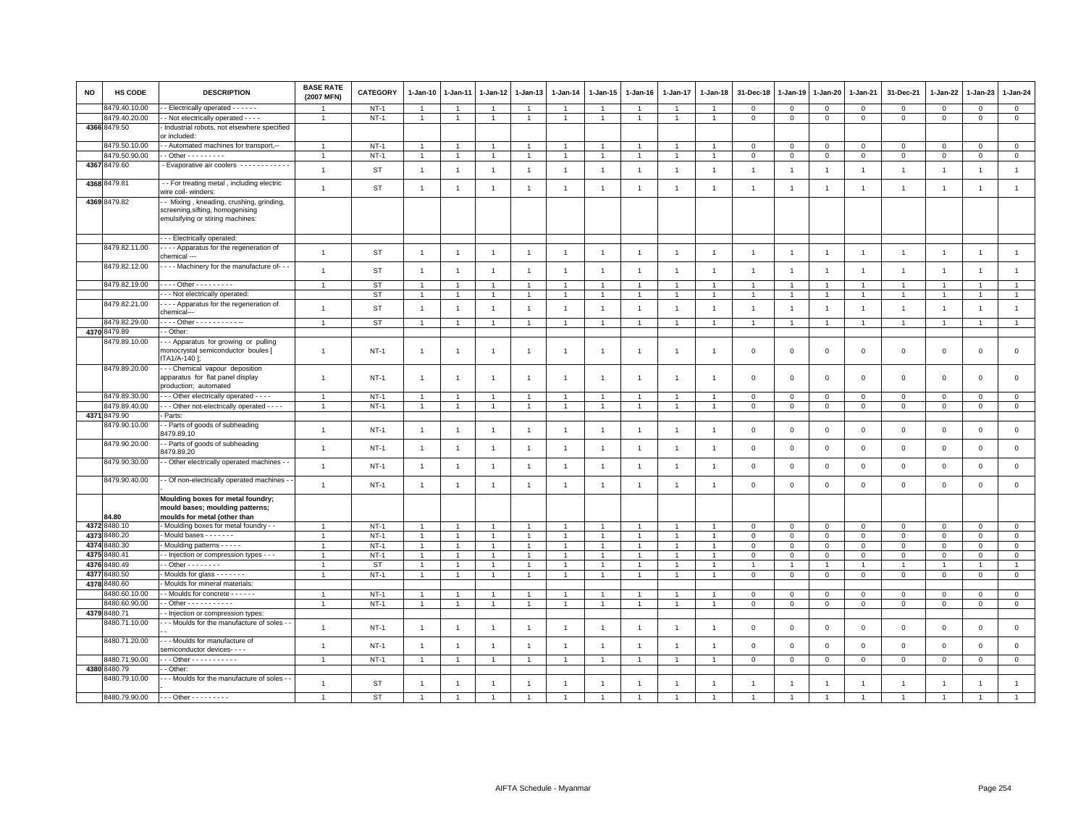| <b>NO</b> | <b>HS CODE</b> | <b>DESCRIPTION</b>                                                                                                                           | <b>BASE RATE</b><br>(2007 MFN) | <b>CATEGORY</b> | 1-Jan-10       | 1-Jan-11       | 1-Jan-12       | 1-Jan-13       | 1-Jan-14       | 1-Jan-15             | 1-Jan-16       | 1-Jan-17       | 1-Jan-18       | 31-Dec-18      | 1-Jan-19       | 1-Jan-20       | 1-Jan-21       | 31-Dec-21           | 1-Jan-22       | 1-Jan-23       | $1 - Jan-24$   |
|-----------|----------------|----------------------------------------------------------------------------------------------------------------------------------------------|--------------------------------|-----------------|----------------|----------------|----------------|----------------|----------------|----------------------|----------------|----------------|----------------|----------------|----------------|----------------|----------------|---------------------|----------------|----------------|----------------|
|           | 3479.40.10.00  | - Electrically operated - - - - - -                                                                                                          |                                | $NT-1$          |                |                |                | 1              | $\overline{1}$ |                      |                |                |                | $\mathbf 0$    | $\circ$        | $\mathbf 0$    | $\mathbf 0$    | $\mathbf 0$         | $\mathbf{0}$   | $\mathbf{0}$   | $\circ$        |
|           | 8479.40.20.00  | - Not electrically operated - - - -                                                                                                          | $\overline{1}$                 | $NT-1$          | $\mathbf{1}$   | $\overline{1}$ | $\overline{1}$ | $\overline{1}$ | $\mathbf{1}$   | $\mathbf{1}$         | $\mathbf{1}$   | $\overline{1}$ | $\overline{1}$ | $\mathbf 0$    | $\mathsf 0$    | $\mathbf 0$    | $\mathbf 0$    | $\mathbf{0}$        | $\mathsf 0$    | $\circ$        | $\circ$        |
|           | 4366 8479.50   | Industrial robots, not elsewhere specified<br>or included:                                                                                   |                                |                 |                |                |                |                |                |                      |                |                |                |                |                |                |                |                     |                |                |                |
|           | 8479.50.10.00  | - Automated machines for transport,--                                                                                                        | $\mathbf{1}$                   | $NT-1$          | 1              |                | -1             |                | $\overline{1}$ |                      |                | -1             |                | $\mathbf 0$    | $\circ$        | $\mathbf 0$    | $\mathbf 0$    | $\mathbf 0$         | $\mathbf 0$    | $\Omega$       | $\mathbf 0$    |
|           | 8479.50.90.00  | $-$ Other $       -$                                                                                                                         | $\overline{1}$                 | $NT-1$          | $\mathbf{1}$   | $\overline{1}$ | $\overline{1}$ | $\overline{1}$ | $\mathbf{1}$   | $\overline{1}$       | $\overline{1}$ | $\overline{1}$ | $\overline{1}$ | $\mathbf{0}$   | $\mathbf{0}$   | $\mathbf{0}$   | $\mathbf{0}$   | $\mathbf{0}$        | $\mathbf{0}$   | $\mathbf{0}$   | $\mathsf 0$    |
|           | 4367 8479.60   | Evaporative air coolers ------------                                                                                                         | $\overline{1}$                 | <b>ST</b>       | $\overline{1}$ | $\overline{1}$ | $\overline{1}$ | $\overline{1}$ | $\overline{1}$ | $\overline{1}$       | $\overline{1}$ | $\overline{1}$ | $\overline{1}$ | $\overline{1}$ | $\overline{1}$ | $\overline{1}$ | $\overline{1}$ | $\overline{1}$      | $\overline{1}$ | $\overline{1}$ | $\overline{1}$ |
|           | 4368 8479.81   | - - For treating metal, including electric<br>wire coil- winders:                                                                            | $\mathbf{1}$                   | ST              | $\overline{1}$ | $\overline{1}$ | $\overline{1}$ | $\overline{1}$ | $\mathbf{1}$   | $\overline{1}$       | $\overline{1}$ | $\overline{1}$ | $\overline{1}$ | $\overline{1}$ | $\overline{1}$ | $\overline{1}$ | $\overline{1}$ | $\overline{1}$      | $\overline{1}$ | $\overline{1}$ | $\overline{1}$ |
|           | 4369 8479.82   | - Mixing, kneading, crushing, grinding,<br>screening, sifting, homogenising<br>emulsifying or stiring machines:<br>-- Electrically operated: |                                |                 |                |                |                |                |                |                      |                |                |                |                |                |                |                |                     |                |                |                |
|           | 8479.82.11.00  | - - - - Apparatus for the regeneration of<br>chemical ---                                                                                    | $\overline{1}$                 | ST              | $\overline{1}$ | $\overline{1}$ | $\overline{1}$ | $\overline{1}$ | $\overline{1}$ | $\overline{1}$       | $\overline{1}$ | $\overline{1}$ | $\overline{1}$ | $\overline{1}$ | $\overline{1}$ | $\overline{1}$ | $\overline{1}$ | $\mathbf{1}$        | $\overline{1}$ | $\overline{1}$ | $\overline{1}$ |
|           | 8479.82.12.00  | - - - - Machinery for the manufacture of---                                                                                                  | $\overline{1}$                 | <b>ST</b>       | $\overline{1}$ | $\overline{1}$ | $\overline{1}$ | $\overline{1}$ | $\overline{1}$ | $\overline{1}$       | $\overline{1}$ | $\overline{1}$ | $\overline{1}$ | $\overline{1}$ | $\overline{1}$ | $\overline{1}$ | $\overline{1}$ | $\overline{1}$      | $\overline{1}$ | $\overline{1}$ | $\overline{1}$ |
|           | 8479.82.19.00  | - - - - Other - - - - - - - - -                                                                                                              | $\overline{1}$                 | ST              | $\overline{1}$ | $\overline{1}$ | $\overline{1}$ | $\overline{1}$ | $\overline{1}$ | $\overline{1}$       | $\overline{1}$ | $\overline{1}$ |                |                |                | $\overline{1}$ | $\overline{1}$ | $\overline{1}$      | $\overline{1}$ | $\overline{1}$ | $\overline{1}$ |
|           |                | -- Not electrically operated:                                                                                                                |                                | ST              | $\overline{1}$ | $\overline{1}$ | $\overline{1}$ | $\overline{1}$ | $\overline{1}$ | -1                   |                | $\mathbf{1}$   |                |                |                | $\overline{1}$ | $\overline{1}$ | $\overline{1}$      | $\overline{1}$ | $\overline{1}$ | $\overline{1}$ |
|           | 8479.82.21.00  | - Apparatus for the regeneration of<br>chemical---                                                                                           | $\overline{1}$                 | <b>ST</b>       | $\overline{1}$ | $\overline{1}$ | $\overline{1}$ | $\overline{1}$ | $\overline{1}$ | $\overline{1}$       | $\overline{1}$ | $\overline{1}$ | $\overline{1}$ | $\overline{1}$ | $\overline{1}$ | $\overline{1}$ | $\overline{1}$ | $\mathbf{1}$        | $\overline{1}$ | $\overline{1}$ | $\overline{1}$ |
|           | 8479.82.29.00  | - - - - Other - - - - - - - - - - -                                                                                                          | $\overline{1}$                 | ST              | $\overline{1}$ | $\overline{1}$ | $\overline{1}$ | $\overline{1}$ | $\overline{1}$ | $\overline{1}$       | $\overline{1}$ | $\overline{1}$ |                | $\overline{1}$ |                | $\overline{1}$ | $\overline{1}$ | $\overline{1}$      | $\overline{1}$ | $\overline{1}$ | $\overline{1}$ |
|           | 4370 8479.89   | - Other:                                                                                                                                     |                                |                 |                |                |                |                |                |                      |                |                |                |                |                |                |                |                     |                |                |                |
|           | 8479.89.10.00  | -- Apparatus for growing or pulling<br>monocrystal semiconductor boules [<br>ITA1/A-140 ]:                                                   | $\overline{1}$                 | $NT-1$          | $\overline{1}$ | $\overline{1}$ | $\overline{1}$ | $\overline{1}$ | $\overline{1}$ | $\overline{1}$       |                | $\mathbf{1}$   | $\overline{1}$ | $\mathbf 0$    | $\mathbf{0}$   | $\mathbf 0$    | $\mathbf 0$    | $\mathsf 0$         | $\mathbf 0$    | $\mathbf 0$    | $\mathbf 0$    |
|           | 8479.89.20.00  | --- Chemical vapour deposition<br>apparatus for flat panel display<br>production; automated                                                  | $\overline{1}$                 | $NT-1$          | $\overline{1}$ | $\overline{1}$ | $\overline{1}$ | $\overline{1}$ | $\overline{1}$ | $\overline{1}$       | -1             | $\mathbf{1}$   |                | $\mathbf 0$    | $\mathbf 0$    | $\mathbf 0$    | $\mathbf 0$    | $\mathsf 0$         | $\mathbf 0$    | $\mathbf 0$    | $\mathbf 0$    |
|           | 8479.89.30.00  | - - Other electrically operated - - - -                                                                                                      | $\overline{1}$                 | $NT-1$          | $\overline{1}$ | $\overline{1}$ | $\overline{1}$ |                | $\overline{1}$ | $\overline{1}$       |                | $\overline{1}$ |                | $\mathbf 0$    | $\circ$        | $\mathbf 0$    | $\mathbf 0$    | $\mathsf 0$         | $\mathbf 0$    | $\mathbf 0$    | $\mathbf 0$    |
|           | 8479.89.40.00  | - - Other not-electrically operated - - - -                                                                                                  | $\overline{1}$                 | $NT-1$          | $\overline{1}$ | $\overline{1}$ | $\overline{1}$ | $\overline{1}$ | $\overline{1}$ | $\overline{1}$       | $\overline{1}$ | 1              |                | $\mathbf 0$    | $\mathbf 0$    | $\mathsf 0$    | $\mathbf 0$    | $\mathsf 0$         | $\mathbf 0$    | $\mathsf 0$    | $\mathsf 0$    |
|           | 4371 8479.90   | Parts:                                                                                                                                       |                                |                 |                |                |                |                |                |                      |                |                |                |                |                |                |                |                     |                |                |                |
|           | 8479.90.10.00  | - Parts of goods of subheading<br>8479.89.10                                                                                                 | $\overline{1}$                 | $NT-1$          | $\overline{1}$ | $\overline{1}$ | $\overline{1}$ | $\overline{1}$ | $\mathbf{1}$   | $\overline{1}$       | $\overline{1}$ | $\overline{1}$ | -1             | $\mathbf 0$    | $\mathbf 0$    | $\mathbf 0$    | $\mathbf 0$    | $\mathsf 0$         | $\overline{0}$ | $\mathbf 0$    | $\mathsf 0$    |
|           | 8479.90.20.00  | - Parts of goods of subheading<br>8479.89.20                                                                                                 | $\overline{1}$                 | $NT-1$          | $\overline{1}$ | $\overline{1}$ | $\overline{1}$ | $\overline{1}$ | $\overline{1}$ | $\overline{1}$       | $\overline{1}$ | $\overline{1}$ | $\overline{1}$ | $\mathbf 0$    | $\mathbf 0$    | $\mathbf 0$    | $\mathbf 0$    | $\mathsf 0$         | $\mathbf 0$    | $\mathbf 0$    | $\mathsf 0$    |
|           | 8479.90.30.00  | - Other electrically operated machines - -                                                                                                   | $\overline{1}$                 | $NT-1$          | $\overline{1}$ | $\overline{1}$ | $\overline{1}$ | $\overline{1}$ | $\mathbf{1}$   | $\overline{1}$       | $\overline{1}$ | $\overline{1}$ | $\overline{1}$ | $\mathbf 0$    | $\mathbf 0$    | $\mathsf 0$    | $\,0\,$        | $\mathsf 0$         | $\,0\,$        | $\mathbf 0$    | $\,0\,$        |
|           | 8479.90.40.00  | - Of non-electrically operated machines -                                                                                                    | $\mathbf{1}$                   | $NT-1$          | $\overline{1}$ | $\overline{1}$ | $\overline{1}$ | $\overline{1}$ | $\overline{1}$ | $\overline{1}$       | $\overline{1}$ | $\overline{1}$ | $\overline{1}$ | $\mathbf 0$    | $\mathbf 0$    | $\mathsf 0$    | $\,0\,$        | $\mathsf{O}\xspace$ | $\,0\,$        | $\mathsf 0$    | $\mathsf 0$    |
|           |                | Moulding boxes for metal foundry;<br>mould bases; moulding patterns;                                                                         |                                |                 |                |                |                |                |                |                      |                |                |                |                |                |                |                |                     |                |                |                |
|           | 84.80          | moulds for metal (other than                                                                                                                 |                                |                 |                |                |                |                |                |                      |                |                |                |                |                |                |                |                     |                |                |                |
|           | 4372 8480.10   | - Moulding boxes for metal foundry - -                                                                                                       | $\overline{1}$                 | $NT-1$          | $\overline{1}$ | $\overline{1}$ | $\overline{1}$ | $\overline{1}$ | $\mathbf{1}$   | $\overline{1}$       | $\overline{1}$ | $\overline{1}$ | $\overline{1}$ | $\mathbf 0$    | $\mathbf 0$    | $\mathbf 0$    | $\mathbf 0$    | $\mathbf{0}$        | $\mathbf 0$    | $\circ$        | $\mathsf 0$    |
|           | 4373 8480.20   | - Mould bases - - - - - - -                                                                                                                  | $\overline{1}$                 | $NT-1$          | $\mathbf{1}$   | $\mathbf{1}$   | $\overline{1}$ | $\overline{1}$ | $\overline{1}$ | $\overline{1}$       | $\overline{1}$ | $\mathbf{1}$   |                | $\mathbf 0$    | $\mathbf 0$    | $\mathbf 0$    | $\mathbf 0$    | $\mathbf 0$         | $\mathbf 0$    | $\mathbf 0$    | $\mathbf 0$    |
| 4374      | 8480.30        | - Moulding patterns - - - - -                                                                                                                | $\overline{1}$                 | $NT-1$          | $\overline{1}$ | $\mathbf{1}$   | $\overline{1}$ | $\overline{1}$ | $\mathbf{1}$   | $\mathbf{1}$         | $\overline{1}$ | $\overline{1}$ |                | $\mathsf 0$    | $\mathsf 0$    | $\mathbf 0$    | $\circ$        | $\mathsf 0$         | $\mathbf 0$    | $\mathbf{O}$   | $\overline{0}$ |
| 4375      | 480.41         | - Injection or compression types - - -                                                                                                       | $\overline{1}$                 | $NT-1$          | $\overline{1}$ | $\overline{1}$ | $\overline{1}$ | $\overline{1}$ | $\overline{1}$ | $\ddot{\phantom{1}}$ |                | $\overline{1}$ |                | $\mathbf{0}$   | $\mathbf 0$    | $\mathbf{0}$   | $\,$ 0         | $\mathbf 0$         | $\Omega$       | $\mathbf{0}$   | $\overline{0}$ |
| 4376      | 1480.49        | $-$ Other $       -$                                                                                                                         | $\mathbf{1}$                   | ST              | $\overline{1}$ |                | $\mathbf{1}$   | 1              | $\overline{1}$ | $\mathbf{1}$         |                |                |                |                |                |                | $\overline{1}$ |                     |                |                |                |
| 4377      | 3480.50        | Moulds for glass - - - - - - -                                                                                                               | $\mathbf{1}$                   | $NT-1$          | $\mathbf{1}$   | $\overline{1}$ | $\mathbf{1}$   | $\overline{1}$ | $\mathbf{1}$   | $\mathbf{1}$         | $\overline{1}$ | $\mathbf{1}$   |                | $\mathbf 0$    | $\mathbf 0$    | $\mathbf 0$    | $\circ$        | $\mathbf 0$         | $\mathbf 0$    | $\mathbf{O}$   | $\mathsf 0$    |
| 4378      | 8480.60        | Moulds for mineral materials:                                                                                                                |                                |                 |                |                |                |                |                |                      |                |                |                |                |                |                |                |                     |                |                |                |
|           | 8480.60.10.00  | - Moulds for concrete - - - - - -                                                                                                            | $\overline{1}$                 | $NT-1$          | $\overline{1}$ |                | $\overline{1}$ | $\overline{1}$ | $\overline{1}$ |                      |                | $\mathbf{1}$   |                | $\mathbf 0$    | $\mathbf 0$    | $\mathbf 0$    | $\mathbf 0$    | $\mathsf 0$         | $\Omega$       | $\mathbf 0$    | $\mathsf 0$    |
|           | 3480.60.90.00  | $-$ Other - - - - - - - - - - -                                                                                                              | $\overline{1}$                 | $NT-1$          | $\overline{1}$ |                | $\mathbf{1}$   | $\overline{1}$ | $\overline{1}$ |                      |                | $\overline{1}$ |                | $\mathbf 0$    | $\,0\,$        | $\mathbf 0$    | $\,0\,$        | $\mathsf 0$         | $\mathsf 0$    | $\mathsf 0$    | $\overline{0}$ |
|           | 4379 8480.71   | - Injection or compression types                                                                                                             |                                |                 |                |                |                |                |                |                      |                |                |                |                |                |                |                |                     |                |                |                |
|           | 8480.71.10.00  | - - Moulds for the manufacture of soles - -                                                                                                  | $\overline{1}$                 | $NT-1$          | $\overline{1}$ | $\overline{1}$ | $\overline{1}$ | $\overline{1}$ | $\overline{1}$ | $\overline{1}$       | $\overline{1}$ | $\overline{1}$ | $\overline{1}$ | $\mathbf 0$    | $\mathbf 0$    | $\mathbf 0$    | $\mathbf 0$    | $\mathsf 0$         | $\overline{0}$ | $\mathbf 0$    | $\mathbf 0$    |
|           | 8480.71.20.00  | - - Moulds for manufacture of<br>semiconductor devices- - - -                                                                                | $\overline{1}$                 | $NT-1$          | $\overline{1}$ | $\overline{1}$ | $\overline{1}$ | $\overline{1}$ | $\overline{1}$ | $\overline{1}$       | -1             | $\overline{1}$ | $\overline{1}$ | $\mathbf{0}$   | $\mathbf{0}$   | $\mathbf 0$    | $\mathbf{0}$   | $\mathbf 0$         | $\Omega$       | $\mathbf{0}$   | $\circ$        |
|           | 8480.71.90.00  | -- Other - - - - - - - - - -                                                                                                                 | $\overline{1}$                 | $NT-1$          | $\overline{1}$ | $\overline{1}$ | $\overline{1}$ | $\overline{1}$ | $\overline{1}$ | $\overline{1}$       |                | $\overline{1}$ |                | $\mathbf 0$    | $\,0\,$        | $\mathsf 0$    | $\,$ 0         | $\mathsf 0$         | $\,0\,$        | $\mathbf 0$    | $\mathbf 0$    |
|           | 4380 8480.79   | - Other                                                                                                                                      |                                |                 |                |                |                |                |                |                      |                |                |                |                |                |                |                |                     |                |                |                |
|           | 8480.79.10.00  | - - Moulds for the manufacture of soles                                                                                                      | $\overline{1}$                 | ST              |                |                | $\overline{1}$ | $\overline{1}$ |                |                      |                |                |                |                |                |                | $\overline{1}$ | $\mathbf{1}$        | $\overline{1}$ | $\overline{1}$ | $\mathbf{1}$   |
|           | 8480.79.90.00  | - - - Other - - - - - - - - -                                                                                                                | $\overline{1}$                 | <b>ST</b>       |                |                |                |                |                |                      |                |                |                |                |                |                |                |                     |                | $\overline{1}$ |                |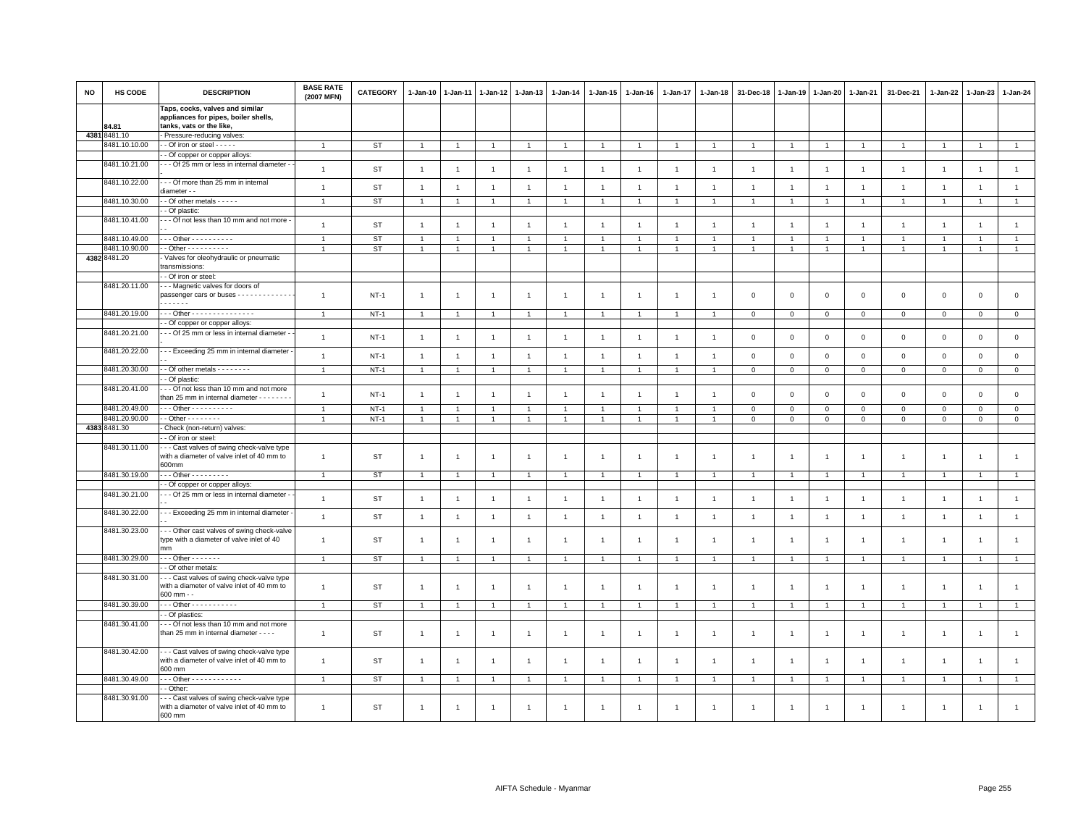| <b>NO</b> | HS CODE              | <b>DESCRIPTION</b>                                                                                      | <b>BASE RATE</b><br>(2007 MFN) | <b>CATEGORY</b> | $1 - Jan-10$   | $1 - Jan-11$   |                | 1-Jan-12 1-Jan-13 | 1-Jan-14       | $1 - Jan-15$   | $1 - Jan-16$   | $1 - Jan-17$   | $1 - Jan-18$   | 31-Dec-18      | 1-Jan-19       | $1-Jan-20$     | 1-Jan-21       | 31-Dec-21           | 1-Jan-22       | $1 - Jan-23$         | 1-Jan-24       |
|-----------|----------------------|---------------------------------------------------------------------------------------------------------|--------------------------------|-----------------|----------------|----------------|----------------|-------------------|----------------|----------------|----------------|----------------|----------------|----------------|----------------|----------------|----------------|---------------------|----------------|----------------------|----------------|
|           |                      | Taps, cocks, valves and similar<br>appliances for pipes, boiler shells,                                 |                                |                 |                |                |                |                   |                |                |                |                |                |                |                |                |                |                     |                |                      |                |
|           | 84.81<br>43818481.10 | tanks, vats or the like,<br>- Pressure-reducing valves:                                                 |                                |                 |                |                |                |                   |                |                |                |                |                |                |                |                |                |                     |                |                      |                |
|           | 8481.10.10.00        | - - Of iron or steel - - - - -                                                                          | $\overline{1}$                 | ST              | $\overline{1}$ | $\overline{1}$ | $\overline{1}$ | $\overline{1}$    | $\overline{1}$ | $\overline{1}$ | $\overline{1}$ | $\overline{1}$ | $\overline{1}$ | $\overline{1}$ | $\overline{1}$ | $\overline{1}$ | $\overline{1}$ | $\mathbf{1}$        | $\overline{1}$ | $\overline{1}$       | $\overline{1}$ |
|           |                      | - Of copper or copper alloys                                                                            |                                |                 |                |                |                |                   |                |                |                |                |                |                |                |                |                |                     |                |                      |                |
|           | 8481.10.21.00        | - - Of 25 mm or less in internal diameter -                                                             | $\overline{1}$                 | ST              | $\overline{1}$ | $\overline{1}$ | $\overline{1}$ | $\overline{1}$    | $\overline{1}$ | $\overline{1}$ | $\overline{1}$ | $\overline{1}$ | $\overline{1}$ | $\overline{1}$ | $\overline{1}$ | $\overline{1}$ | $\mathbf{1}$   | $\mathbf{1}$        | $\overline{1}$ | $\overline{1}$       | $\mathbf{1}$   |
|           | 8481.10.22.00        | -- Of more than 25 mm in internal<br>diameter - -                                                       | $\mathbf{1}$                   | <b>ST</b>       | $\overline{1}$ | $\overline{1}$ | $\overline{1}$ | $\overline{1}$    | $\overline{1}$ | $\overline{1}$ | $\overline{1}$ | $\overline{1}$ | -1             | $\overline{1}$ | $\overline{1}$ | $\overline{1}$ | $\overline{1}$ | $\mathbf{1}$        | $\overline{1}$ | $\overline{1}$       | $\mathbf{1}$   |
|           | 8481.10.30.00        | - Of other metals - - - - -                                                                             | $\overline{1}$                 | <b>ST</b>       |                |                | $\overline{1}$ | $\overline{1}$    |                |                |                |                |                |                |                |                |                |                     |                |                      | $\mathbf{1}$   |
|           |                      | - Of plastic:                                                                                           |                                |                 |                |                |                |                   |                |                |                |                |                |                |                |                |                |                     |                |                      |                |
|           | 8481.10.41.00        | - - Of not less than 10 mm and not more -                                                               | $\overline{1}$                 | ST              | $\overline{1}$ | $\overline{1}$ | $\overline{1}$ | $\overline{1}$    | $\overline{1}$ | $\overline{1}$ | $\overline{1}$ | $\overline{1}$ | $\overline{1}$ | $\overline{1}$ | $\overline{1}$ | $\overline{1}$ | $\overline{1}$ | $\mathbf{1}$        | $\overline{1}$ | $\overline{1}$       | $\mathbf{1}$   |
|           | 8481.10.49.00        | $-$ - Other - - - - - - - - - -                                                                         | $\overline{1}$                 | ST              |                |                |                | -1                | $\mathbf{1}$   | 1              |                |                |                |                |                |                | $\overline{1}$ | 1                   |                |                      | $\mathbf{1}$   |
|           | 8481.10.90.00        | $-$ Other - - - - - - - - -                                                                             | $\overline{1}$                 | <b>ST</b>       |                | $\overline{1}$ |                | $\overline{1}$    | $\overline{1}$ |                |                |                |                |                |                |                |                |                     |                |                      | $\mathbf{1}$   |
|           | 4382 8481.20         | Valves for oleohydraulic or pneumatic                                                                   |                                |                 |                |                |                |                   |                |                |                |                |                |                |                |                |                |                     |                |                      |                |
|           |                      | transmissions:                                                                                          |                                |                 |                |                |                |                   |                |                |                |                |                |                |                |                |                |                     |                |                      |                |
|           |                      | - Of iron or steel:                                                                                     |                                |                 |                |                |                |                   |                |                |                |                |                |                |                |                |                |                     |                |                      |                |
|           | 8481.20.11.00        | - - Magnetic valves for doors of<br>passenger cars or buses<br><b>.</b>                                 | $\overline{1}$                 | $NT-1$          | $\overline{1}$ | $\overline{1}$ | $\overline{1}$ | $\overline{1}$    | $\overline{1}$ | $\overline{1}$ | $\overline{1}$ | $\overline{1}$ | $\overline{1}$ | $\mathbf 0$    | $\mathbf 0$    | $\mathsf 0$    | $\mathsf 0$    | $\mathbf 0$         | $\mathbf 0$    | $\mathbf 0$          | $\mathsf 0$    |
|           | 8481.20.19.00        | - - Other - - - - - - - - - - - - - - -                                                                 | $\overline{1}$                 | $NT-1$          | $\overline{1}$ |                | $\overline{1}$ | $\overline{1}$    |                |                | -1             |                |                | $\mathbf{0}$   | $\Omega$       | $\circ$        | $\mathsf 0$    | $\Omega$            | $\mathbf{0}$   | $\mathbf 0$          | $\mathbf 0$    |
|           |                      | - Of copper or copper alloys:                                                                           |                                |                 |                |                |                |                   |                |                |                |                |                |                |                |                |                |                     |                |                      |                |
|           | 8481.20.21.00        | - - Of 25 mm or less in internal diameter -                                                             | $\overline{1}$                 | $NT-1$          | $\overline{1}$ | $\overline{1}$ | $\overline{1}$ | $\overline{1}$    | $\overline{1}$ | $\overline{1}$ | $\overline{1}$ | $\overline{1}$ | $\overline{1}$ | $\mathbf 0$    | $\mathbf 0$    | $\mathbf 0$    | $\mathsf 0$    | $\mathsf 0$         | $\mathbf 0$    | $\mathbf 0$          | $\mathsf 0$    |
|           | 8481.20.22.00        | -- Exceeding 25 mm in internal diameter -                                                               | $\overline{1}$                 | $NT-1$          | $\overline{1}$ | $\overline{1}$ | $\overline{1}$ | $\overline{1}$    | $\overline{1}$ | $\overline{1}$ | $\overline{1}$ | $\overline{1}$ | $\mathbf{1}$   | $\mathsf 0$    | $\mathbf 0$    | $\mathsf 0$    | $\mathbf 0$    | $\mathsf 0$         | $\mathsf 0$    | $\overline{0}$       | $\mathbf 0$    |
|           | 8481.20.30.00        | - - Of other metals - - - - - - - -                                                                     | $\overline{1}$                 | $NT-1$          | $\mathbf{1}$   | $\overline{1}$ | $\overline{1}$ | $\overline{1}$    | $\overline{1}$ | $\overline{1}$ | $\overline{1}$ | $\overline{1}$ | $\overline{1}$ | $\,0\,$        | $\mathsf 0$    | $\mathsf 0$    | $\overline{0}$ | $\mathsf{O}\xspace$ | $\,0\,$        | $\overline{0}$       | $\overline{0}$ |
|           |                      | - Of plastic:                                                                                           |                                |                 |                |                |                |                   |                |                |                |                |                |                |                |                |                |                     |                |                      |                |
|           | 8481.20.41.00        | - - Of not less than 10 mm and not more<br>than 25 mm in internal diameter - - - - - - -                | $\overline{1}$                 | $NT-1$          | $\overline{1}$ | $\overline{1}$ | $\overline{1}$ | $\overline{1}$    | $\overline{1}$ | $\overline{1}$ | $\overline{1}$ | $\overline{1}$ |                | $\mathsf 0$    | $\mathsf 0$    | $\mathbf 0$    | $\mathsf 0$    | $\mathbf 0$         | $\mathsf 0$    | $\mathbf 0$          | $\mathsf 0$    |
|           | 8481.20.49.00        | $\cdot$ - Other - - - - - - - - - -                                                                     | $\overline{1}$                 | $NT-1$          | $\overline{1}$ | $\overline{1}$ | $\overline{1}$ | $\overline{1}$    | $\overline{1}$ | $\overline{1}$ | $\overline{1}$ | $\overline{1}$ | $\overline{1}$ | $\mathsf 0$    | $\circ$        | $\mathsf 0$    | $\mathsf 0$    | $\mathsf 0$         | $\mathsf 0$    | $\mathbf 0$          | $\mathbf 0$    |
|           | 3481.20.90.00        | $-$ Other $       -$                                                                                    | $\overline{1}$                 | $NT-1$          | $\mathbf{1}$   | $\overline{1}$ | $\overline{1}$ | $\overline{1}$    | $\mathbf{1}$   | $\mathbf{1}$   | $\mathbf{1}$   | $\overline{1}$ | $\overline{1}$ | $\mathbf 0$    | $\mathbf 0$    | $\mathbf 0$    | $\mathbf 0$    | $\overline{0}$      | $\mathbf{0}$   | $\mathbf{0}$         | $\overline{0}$ |
|           | 4383 8481.30         | Check (non-return) valves:                                                                              |                                |                 |                |                |                |                   |                |                |                |                |                |                |                |                |                |                     |                |                      |                |
|           |                      | - Of iron or steel:                                                                                     |                                |                 |                |                |                |                   |                |                |                |                |                |                |                |                |                |                     |                |                      |                |
|           | 8481.30.11.00        | - - Cast valves of swing check-valve type<br>with a diameter of valve inlet of 40 mm to<br>600mm        | $\overline{1}$                 | ST              | $\overline{1}$ | $\overline{1}$ | $\overline{1}$ | $\overline{1}$    | $\overline{1}$ | $\overline{1}$ | $\overline{1}$ | $\overline{1}$ | $\overline{1}$ | $\overline{1}$ | $\overline{1}$ | $\overline{1}$ | $\overline{1}$ | $\mathbf{1}$        | $\overline{1}$ | $\mathbf{1}$         | $\mathbf{1}$   |
|           | 8481.30.19.00        | $-$ - Other - - - - - - - - -                                                                           | $\overline{1}$                 | ST              | $\mathbf{1}$   |                | $\overline{1}$ | -1                |                | $\overline{1}$ |                |                |                |                |                | $\mathbf{1}$   |                |                     |                | $\blacktriangleleft$ | $\mathbf{1}$   |
|           |                      | - Of copper or copper alloys:                                                                           |                                |                 |                |                |                |                   |                |                |                |                |                |                |                |                |                |                     |                |                      |                |
|           | 8481.30.21.00        | - - - Of 25 mm or less in internal diameter -                                                           | $\overline{1}$                 | ST              | $\overline{1}$ | $\overline{1}$ | $\overline{1}$ | $\overline{1}$    | $\overline{1}$ | $\overline{1}$ | $\overline{1}$ | $\overline{1}$ | $\overline{1}$ | $\overline{1}$ | $\overline{1}$ | $\overline{1}$ | $\mathbf{1}$   | $\mathbf{1}$        | $\overline{1}$ | $\overline{1}$       | $\mathbf{1}$   |
|           | 8481.30.22.00        | -- Exceeding 25 mm in internal diameter                                                                 | $\overline{1}$                 | ST              | $\overline{1}$ | $\overline{1}$ | $\overline{1}$ | $\overline{1}$    | $\overline{1}$ | $\overline{1}$ | $\overline{1}$ | $\overline{1}$ | $\overline{1}$ | $\overline{1}$ | $\overline{1}$ | $\overline{1}$ | $\overline{1}$ | $\mathbf{1}$        | $\overline{1}$ | $\overline{1}$       | $\mathbf{1}$   |
|           | 8481.30.23.00        | - - Other cast valves of swing check-valve<br>type with a diameter of valve inlet of 40<br>mm           | $\mathbf{1}$                   | ST              | $\overline{1}$ | $\mathbf{1}$   | $\overline{1}$ | $\overline{1}$    | $\overline{1}$ | 1              | $\overline{1}$ | $\overline{1}$ | $\overline{1}$ | $\overline{1}$ | $\overline{1}$ | $\overline{1}$ | $\overline{1}$ | $\mathbf{1}$        | $\overline{1}$ | $\mathbf{1}$         | $\overline{1}$ |
|           | 8481.30.29.00        | $\cdots$ Other $\cdots$                                                                                 | $\overline{1}$                 | ST              | $\overline{1}$ | $\overline{1}$ | $\overline{1}$ | $\overline{1}$    | $\overline{1}$ | $\overline{1}$ | $\overline{1}$ | $\overline{1}$ | $\overline{1}$ |                | $\overline{1}$ | $\overline{1}$ | $\overline{1}$ | $\mathbf{1}$        | $\overline{1}$ | $\overline{1}$       | $\overline{1}$ |
|           |                      | - Of other metals:                                                                                      |                                |                 |                |                |                |                   |                |                |                |                |                |                |                |                |                |                     |                |                      |                |
|           | 8481.30.31.00        | - - Cast valves of swing check-valve type<br>with a diameter of valve inlet of 40 mm to<br>$600$ mm - - | $\overline{1}$                 | ST              | $\overline{1}$ | $\mathbf{1}$   | $\overline{1}$ | $\overline{1}$    | $\overline{1}$ | $\overline{1}$ | $\overline{1}$ | $\overline{1}$ | $\overline{1}$ | $\mathbf{1}$   | $\overline{1}$ | $\overline{1}$ | $\overline{1}$ | $\mathbf{1}$        | $\overline{1}$ | $\mathbf{1}$         | $\mathbf{1}$   |
|           | 8481.30.39.00        | $-$ - Other - - - - - - - - - - -                                                                       | $\overline{1}$                 | <b>ST</b>       | $\overline{1}$ |                | $\overline{1}$ | $\overline{1}$    |                | $\overline{1}$ |                |                | $\overline{1}$ |                |                | $\overline{1}$ |                |                     |                | $\overline{1}$       | $\mathbf{1}$   |
|           |                      | - Of plastics:                                                                                          |                                |                 |                |                |                |                   |                |                |                |                |                |                |                |                |                |                     |                |                      |                |
|           | 8481.30.41.00        | -- Of not less than 10 mm and not more<br>than 25 mm in internal diameter - - - -                       | $\overline{1}$                 | ST              | $\overline{1}$ | -1             | $\overline{1}$ | $\overline{1}$    | $\overline{1}$ | 1              | -1             | $\overline{1}$ | $\overline{1}$ | $\overline{1}$ | $\overline{1}$ | $\overline{1}$ | $\mathbf{1}$   | $\mathbf{1}$        | $\overline{1}$ | $\overline{1}$       | $\overline{1}$ |
|           | 8481.30.42.00        | --- Cast valves of swing check-valve type<br>with a diameter of valve inlet of 40 mm to<br>600 mm       | $\mathbf{1}$                   | ST              | $\overline{1}$ | $\overline{1}$ | $\overline{1}$ | $\overline{1}$    | $\mathbf{1}$   | $\overline{1}$ | $\overline{1}$ | $\overline{1}$ | $\overline{1}$ | $\overline{1}$ | $\overline{1}$ | $\overline{1}$ | $\mathbf{1}$   | $\mathbf{1}$        | $\overline{1}$ | $\overline{1}$       | $\mathbf{1}$   |
|           | 8481.30.49.00        | . Other - - - - - - - - - - - -                                                                         | $\overline{1}$                 | ST              | $\overline{1}$ | $\overline{1}$ | $\overline{1}$ | $\overline{1}$    | $\overline{1}$ | $\overline{1}$ | $\overline{1}$ | $\overline{1}$ | $\overline{1}$ | $\overline{1}$ | $\overline{1}$ | $\overline{1}$ | $\overline{1}$ | $\mathbf{1}$        | $\overline{1}$ | $\overline{1}$       | $\overline{1}$ |
|           |                      | - Other:                                                                                                |                                |                 |                |                |                |                   |                |                |                |                |                |                |                |                |                |                     |                |                      |                |
|           | 8481.30.91.00        | - - Cast valves of swing check-valve type<br>with a diameter of valve inlet of 40 mm to<br>600 mm       | $\overline{1}$                 | <b>ST</b>       | $\overline{1}$ |                | $\overline{1}$ | $\overline{1}$    |                |                |                |                |                |                |                |                |                | $\mathbf{1}$        |                | $\mathbf{1}$         |                |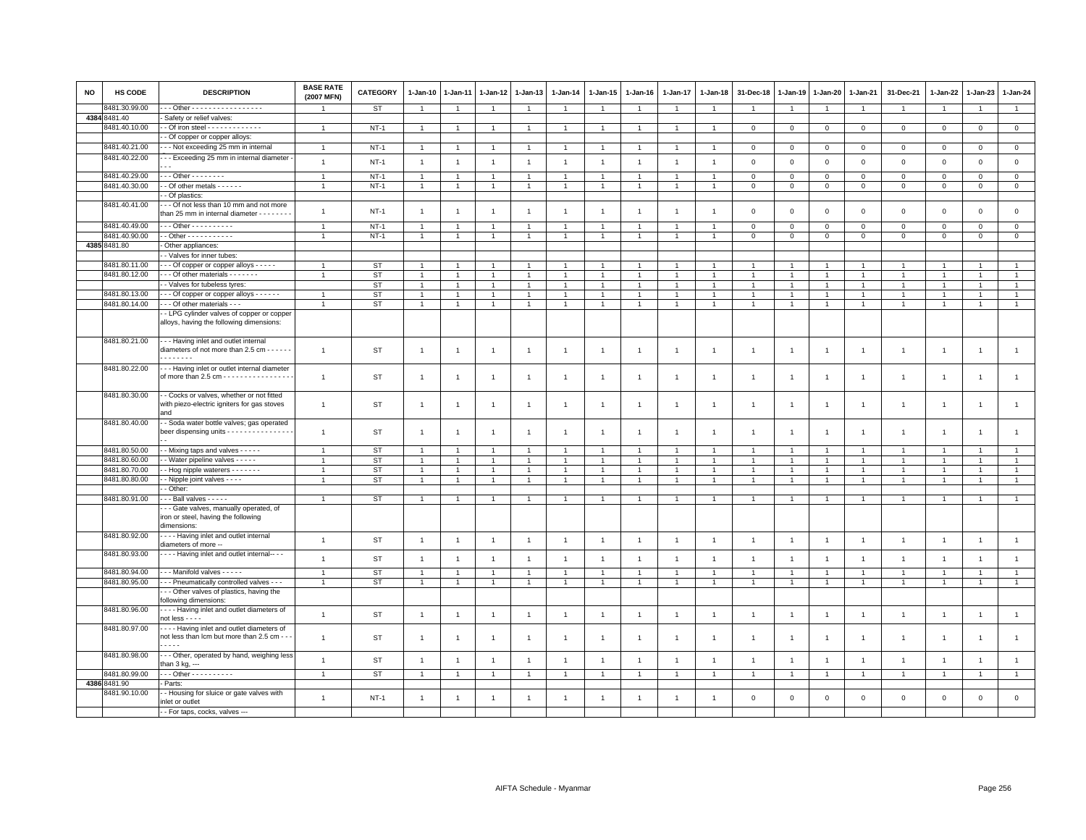| <b>NO</b> | <b>HS CODE</b> | <b>DESCRIPTION</b>                                                                                  | <b>BASE RATE</b><br>(2007 MFN) | <b>CATEGORY</b> | $1 - Jan-10$   | $1-Jan-11$           | $1 - Jan-12$   | 1-Jan-13       | 1-Jan-14       | $1 - Jan-15$   | $1-Jan-16$     | $1 - Jan-17$   | 1-Jan-18       | 31-Dec-18      | $1 - Jan-19$   | 1-Jan-20       | $1-Jan-21$     | 31-Dec-21      | 1-Jan-22       | $1 - Jan-23$   | 1-Jan-24            |
|-----------|----------------|-----------------------------------------------------------------------------------------------------|--------------------------------|-----------------|----------------|----------------------|----------------|----------------|----------------|----------------|----------------|----------------|----------------|----------------|----------------|----------------|----------------|----------------|----------------|----------------|---------------------|
|           | 3481.30.99.00  | - - Other - - - - - - - - - - - - - - - - -                                                         |                                | ST              | -1             |                      | -1             | $\overline{1}$ | 1              | $\overline{1}$ | 1              |                | $\overline{1}$ | -1             |                | $\overline{1}$ | $\overline{1}$ | $\overline{1}$ |                | $\mathbf{1}$   | $\mathbf{1}$        |
|           | 4384 8481.40   | Safety or relief valves:                                                                            |                                |                 |                |                      |                |                |                |                |                |                |                |                |                |                |                |                |                |                |                     |
|           | 8481.40.10.00  |                                                                                                     | $\overline{1}$                 | $NT-1$          | $\overline{1}$ | $\overline{1}$       | $\overline{1}$ | $\overline{1}$ | $\overline{1}$ | $\overline{1}$ | $\overline{1}$ | $\overline{1}$ | $\overline{1}$ | $\mathbf{0}$   | $\mathbf{0}$   | $\circ$        | $\circ$        | $\mathsf 0$    | $\,0\,$        | $\mathbf{0}$   | $\overline{0}$      |
|           |                | - Of copper or copper alloys:                                                                       |                                |                 |                |                      |                |                |                |                |                |                |                |                |                |                |                |                |                |                |                     |
|           | 8481.40.21.00  | - - Not exceeding 25 mm in internal                                                                 | $\overline{1}$                 | NT-1            | $\overline{1}$ | $\overline{1}$       | $\mathbf{1}$   | $\overline{1}$ | -1             | $\overline{1}$ |                |                | $\mathbf{1}$   | $\mathbf 0$    | 0              | 0              | $\mathbf 0$    | 0              | 0              | $\mathbf 0$    | $\overline{0}$      |
|           | 8481.40.22.00  | - - Exceeding 25 mm in internal diameter                                                            | $\overline{1}$                 | $NT-1$          | $\mathbf{1}$   | $\overline{1}$       | $\overline{1}$ | $\overline{1}$ | $\overline{1}$ | $\overline{1}$ | $\overline{1}$ | $\overline{1}$ | $\overline{1}$ | $\mathsf 0$    | $\mathsf 0$    | $\mathsf 0$    | $\mathbf{0}$   | $\mathbf 0$    | $\mathsf 0$    | $\mathbf 0$    | $\circ$             |
|           | 8481.40.29.00  | $-$ - Other - - - - - - - -                                                                         | $\overline{1}$                 | $NT-1$          | $\overline{1}$ |                      |                | $\overline{1}$ | $\mathbf{1}$   | $\overline{1}$ | $\mathbf{1}$   |                | $\mathbf{1}$   | $\mathbf 0$    | 0              | 0              | $\mathbf 0$    | 0              | 0              | $\mathbf 0$    | $\mathbf 0$         |
|           | 8481.40.30.00  | - Of other metals - - - - - -                                                                       | $\overline{1}$                 | $NT-1$          | $\mathbf{1}$   | $\blacktriangleleft$ | $\overline{1}$ | $\overline{1}$ | $\mathbf{1}$   | $\mathbf{1}$   | $\mathbf{1}$   |                | $\overline{1}$ | $\mathsf 0$    | $\overline{0}$ | $\mathsf 0$    | $\mathsf 0$    | $\mathsf 0$    | $\,0\,$        | $\overline{0}$ | $\overline{0}$      |
|           |                | - Of plastics:                                                                                      |                                |                 |                |                      |                |                |                |                |                |                |                |                |                |                |                |                |                |                |                     |
|           | 8481.40.41.00  | - - Of not less than 10 mm and not more<br>than 25 mm in internal diameter - - - - - -              | $\overline{1}$                 | $NT-1$          | $\overline{1}$ | $\overline{1}$       |                | $\overline{1}$ | $\overline{1}$ | $\overline{1}$ | $\overline{1}$ | $\overline{1}$ | $\overline{1}$ | $\mathsf 0$    | $\mathsf 0$    | $\mathsf 0$    | $\mathsf 0$    | $\mathsf 0$    | $\mathsf 0$    | $\,0\,$        | $\mathsf{O}\xspace$ |
|           | 8481.40.49.00  | $-$ - Other - - - - - - - - - -                                                                     | $\overline{1}$                 | $NT-1$          |                |                      |                | $\overline{1}$ |                |                |                |                |                | $\Omega$       | $\mathbf 0$    | $\mathbf 0$    | $\Omega$       | $\overline{0}$ | $\mathbf 0$    | $\mathbf 0$    | $\overline{0}$      |
|           | 8481.40.90.00  | - Other - - - - - - - - - - -                                                                       | 1                              | $NT-1$          | $\overline{1}$ |                      |                | $\overline{1}$ | $\mathbf{1}$   | $\overline{1}$ |                |                |                | $\mathsf 0$    | $\mathbf 0$    | $\mathsf 0$    | $\mathbf 0$    | $\mathbf 0$    | $\mathsf 0$    | $\mathbf 0$    | $\mathbf 0$         |
|           | 4385 8481.80   | Other appliances:                                                                                   |                                |                 |                |                      |                |                |                |                |                |                |                |                |                |                |                |                |                |                |                     |
|           |                | - Valves for inner tubes:                                                                           |                                |                 |                |                      |                |                |                |                |                |                |                |                |                |                |                |                |                |                |                     |
|           | 8481.80.11.00  | - - Of copper or copper alloys - - - - -                                                            |                                | <b>ST</b>       |                |                      |                |                |                |                |                |                |                |                |                |                |                |                |                |                | $\overline{1}$      |
|           | 8481.80.12.00  | - - Of other materials - - - - - - -                                                                | $\mathbf{1}$                   | <b>ST</b>       |                |                      |                | $\overline{1}$ | $\mathbf{1}$   | $\overline{1}$ |                |                |                |                |                | $\overline{1}$ | $\overline{1}$ | $\overline{1}$ |                | $\overline{1}$ | $\mathbf{1}$        |
|           |                | - Valves for tubeless tyres:                                                                        |                                | <b>ST</b>       | $\overline{1}$ |                      | $\mathbf{1}$   | $\overline{1}$ | -1             | $\overline{1}$ |                |                | -1             | $\overline{1}$ |                | $\mathbf{1}$   | $\overline{1}$ | $\overline{1}$ |                | $\overline{1}$ | $\mathbf{1}$        |
|           | 8481.80.13.00  | - - Of copper or copper alloys - - - - - -                                                          | $\overline{1}$                 | <b>ST</b>       | $\overline{1}$ |                      |                | $\overline{1}$ | $\mathbf{1}$   | $\overline{1}$ | $\mathbf{1}$   |                | $\overline{1}$ | $\overline{1}$ |                | $\overline{1}$ | $\overline{1}$ | $\mathbf{1}$   |                | $\overline{1}$ | 1                   |
|           | 8481.80.14.00  | - - Of other materials - - -                                                                        | $\overline{1}$                 | <b>ST</b>       | $\overline{1}$ | $\overline{1}$       | $\overline{1}$ | $\overline{1}$ | $\mathbf{1}$   | $\overline{1}$ | $\overline{1}$ |                | $\overline{1}$ | $\overline{1}$ | $\overline{1}$ | $\overline{1}$ | $\overline{1}$ | $\mathbf{1}$   |                | $\overline{1}$ | $\mathbf{1}$        |
|           |                | - LPG cylinder valves of copper or copper<br>alloys, having the following dimensions:               |                                |                 |                |                      |                |                |                |                |                |                |                |                |                |                |                |                |                |                |                     |
|           | 8481.80.21.00  | --- Having inlet and outlet internal<br>diameters of not more than 2.5 cm - - - - - -<br>.          | $\overline{1}$                 | ST              | $\mathbf{1}$   | $\overline{1}$       | $\overline{1}$ | $\overline{1}$ | $\overline{1}$ | $\overline{1}$ | $\overline{1}$ | $\overline{1}$ | $\overline{1}$ | $\overline{1}$ | $\overline{1}$ | $\overline{1}$ | $\overline{1}$ | $\overline{1}$ | $\overline{1}$ | $\overline{1}$ | $\mathbf{1}$        |
|           | 8481.80.22.00  | - - Having inlet or outlet internal diameter<br>of more than 2.5 cm - - - - - - - - - - - - - - - - | $\overline{1}$                 | ST              | $\overline{1}$ |                      |                | $\overline{1}$ | $\mathbf{1}$   | $\overline{1}$ | $\overline{1}$ |                | $\mathbf{1}$   | $\overline{1}$ | $\mathbf{1}$   | $\overline{1}$ | $\overline{1}$ | $\overline{1}$ |                | $\overline{1}$ | $\mathbf{1}$        |
|           | 8481.80.30.00  | - Cocks or valves, whether or not fitted<br>with piezo-electric igniters for gas stoves<br>and      | $\overline{1}$                 | ST              | $\overline{1}$ |                      |                | $\mathbf{1}$   | $\mathbf{1}$   | $\overline{1}$ | $\mathbf{1}$   | $\overline{1}$ | $\mathbf{1}$   | $\overline{1}$ | -1             | -1             | $\overline{1}$ | $\mathbf{1}$   | $\overline{1}$ | $\mathbf{1}$   | $\mathbf{1}$        |
|           | 8481.80.40.00  | - Soda water bottle valves; gas operated<br>beer dispensing units - - - - - - - - - - - - - - -     | $\overline{1}$                 | ST              | $\overline{1}$ | $\overline{1}$       |                | $\overline{1}$ | $\overline{1}$ | $\overline{1}$ | $\mathbf{1}$   | $\overline{1}$ | $\overline{1}$ | $\overline{1}$ | -1             | -1             | $\overline{1}$ | $\overline{1}$ | $\mathbf{1}$   | $\overline{1}$ | $\mathbf{1}$        |
|           | 8481.80.50.00  | - Mixing taps and valves - - - - -                                                                  | $\overline{1}$                 | <b>ST</b>       |                |                      |                | $\overline{1}$ | $\mathbf{1}$   |                | $\mathbf{1}$   |                |                |                |                | $\overline{1}$ |                | $\mathbf{1}$   |                | $\overline{1}$ | $\mathbf{1}$        |
|           | 8481.80.60.00  | - Water pipeline valves - - - - -                                                                   | $\overline{1}$                 | <b>ST</b>       | $\overline{1}$ |                      |                | $\overline{1}$ | $\mathbf{1}$   | $\overline{1}$ | $\mathbf{1}$   |                | $\overline{1}$ | $\mathbf{1}$   |                | $\overline{1}$ | $\mathbf{1}$   | $\overline{1}$ |                | $\overline{1}$ | $\mathbf{1}$        |
|           | 8481.80.70.00  | - Hog nipple waterers - - - - - - -                                                                 | $\overline{1}$                 | <b>ST</b>       | $\overline{1}$ | $\overline{1}$       | $\overline{1}$ | $\overline{1}$ | $\overline{1}$ | $\overline{1}$ | $\mathbf{1}$   |                | $\overline{1}$ | $\overline{1}$ | $\overline{1}$ | $\overline{1}$ | $\overline{1}$ | $\overline{1}$ |                | $\mathbf{1}$   | $\mathbf{1}$        |
|           | 8481.80.80.00  | - Nipple joint valves - - - -                                                                       | $\overline{1}$                 | ST              | $\overline{1}$ | $\overline{1}$       | $\overline{1}$ | $\mathbf{1}$   | $\overline{1}$ | $\overline{1}$ | $\overline{1}$ |                | $\mathbf{1}$   | $\overline{1}$ | $\overline{1}$ | $\overline{1}$ | $\overline{1}$ | $\mathbf{1}$   |                | $\overline{1}$ | $\mathbf{1}$        |
|           |                | - Other:                                                                                            |                                |                 |                |                      |                |                |                |                |                |                |                |                |                |                |                |                |                |                |                     |
|           | 8481.80.91.00  | - - Ball valves - - - - -                                                                           | $\overline{1}$                 | ST              | $\overline{1}$ | $\blacktriangleleft$ | $\overline{1}$ | $\overline{1}$ | $\mathbf{1}$   | $\overline{1}$ | $\mathbf{1}$   |                | $\overline{1}$ | $\overline{1}$ |                | $\overline{1}$ | $\overline{1}$ | $\overline{1}$ |                | $\overline{1}$ | $\mathbf{1}$        |
|           |                | - - Gate valves, manually operated, of<br>iron or steel, having the following<br>dimensions:        |                                |                 |                |                      |                |                |                |                |                |                |                |                |                |                |                |                |                |                |                     |
|           | 8481.80.92.00  | - - - Having inlet and outlet internal<br>diameters of more --                                      | $\overline{1}$                 | ST              | $\overline{1}$ | $\overline{1}$       | $\overline{1}$ | $\overline{1}$ | $\overline{1}$ | $\overline{1}$ | $\overline{1}$ | $\overline{1}$ | $\overline{1}$ | $\overline{1}$ | $\overline{1}$ | $\overline{1}$ | $\overline{1}$ | $\overline{1}$ | $\overline{1}$ | $\overline{1}$ | $\mathbf{1}$        |
|           | 8481.80.93.00  | - - - Having inlet and outlet internal-- - -                                                        | $\overline{1}$                 | <b>ST</b>       | $\overline{1}$ |                      | $\overline{1}$ | $\overline{1}$ | $\overline{1}$ | $\overline{1}$ |                |                | $\overline{1}$ | $\overline{1}$ | f.             | $\overline{1}$ | $\overline{1}$ | $\mathbf{1}$   |                | $\overline{1}$ | $\mathbf{1}$        |
|           | 8481.80.94.00  | - - Manifold valves - - - - -                                                                       | $\overline{1}$                 | <b>ST</b>       | $\overline{1}$ |                      |                | $\overline{1}$ | $\overline{1}$ | $\overline{1}$ | $\mathbf{1}$   |                | $\overline{1}$ | $\overline{1}$ |                | $\overline{1}$ | $\overline{1}$ | $\overline{1}$ |                |                | $\mathbf{1}$        |
|           | 8481.80.95.00  | - - Pneumatically controlled valves - - -                                                           |                                | <b>ST</b>       | $\overline{1}$ |                      |                |                |                | $\overline{1}$ |                |                | $\mathbf{1}$   |                |                |                |                | $\overline{1}$ |                |                |                     |
|           |                | - - Other valves of plastics, having the<br>following dimensions:                                   |                                |                 |                |                      |                |                |                |                |                |                |                |                |                |                |                |                |                |                |                     |
|           | 8481.80.96.00  | Having inlet and outlet diameters of<br>not less $-\cdots$                                          | $\overline{1}$                 | ST              | $\overline{1}$ | $\overline{1}$       | $\overline{1}$ | $\overline{1}$ | $\overline{1}$ | $\mathbf{1}$   | $\overline{1}$ | $\overline{1}$ | $\overline{1}$ | $\mathbf{1}$   | $\overline{1}$ | $\overline{1}$ | $\mathbf{1}$   | $\overline{1}$ | $\overline{1}$ | $\overline{1}$ | $\overline{1}$      |
|           | 8481.80.97.00  | ---- Having inlet and outlet diameters of<br>not less than Icm but more than 2.5 cm - -<br>.        | $\overline{1}$                 | ST              | $\mathbf{1}$   | $\overline{1}$       | $\overline{1}$ | $\overline{1}$ | $\overline{1}$ | $\overline{1}$ | $\overline{1}$ | $\overline{1}$ | $\overline{1}$ | $\overline{1}$ | $\overline{1}$ | $\overline{1}$ | $\overline{1}$ | $\mathbf{1}$   | $\overline{1}$ | $\overline{1}$ | $\mathbf{1}$        |
|           | 8481.80.98.00  | -- Other, operated by hand, weighing less<br>than 3 kg, ---                                         | $\overline{1}$                 | ST              | $\overline{1}$ | $\overline{1}$       | $\overline{1}$ | $\overline{1}$ | $\overline{1}$ | $\overline{1}$ | $\overline{1}$ | $\overline{1}$ | $\mathbf{1}$   | $\overline{1}$ | $\overline{1}$ | $\overline{1}$ | $\overline{1}$ | $\overline{1}$ | $\overline{1}$ | $\overline{1}$ | $\mathbf{1}$        |
|           | 8481.80.99.00  | $-$ - Other - - - - - - - - - -                                                                     | $\overline{1}$                 | ST              | $\overline{1}$ |                      | $\overline{1}$ | $\overline{1}$ | $\overline{1}$ | $\overline{1}$ | -1             |                | $\overline{1}$ | $\overline{1}$ | $\mathbf{1}$   | $\overline{1}$ | $\overline{1}$ | $\overline{1}$ |                | $\overline{1}$ | $\mathbf{1}$        |
|           | 4386 8481.90   | - Parts:                                                                                            |                                |                 |                |                      |                |                |                |                |                |                |                |                |                |                |                |                |                |                |                     |
|           | 8481.90.10.00  | - Housing for sluice or gate valves with<br>inlet or outlet                                         | $\overline{1}$                 | $NT-1$          | $\overline{1}$ | $\overline{1}$       | $\overline{1}$ | $\overline{1}$ | $\mathbf{1}$   | $\overline{1}$ | $\mathbf{1}$   |                | $\overline{1}$ | $\mathbf 0$    | 0              | $\mathsf 0$    | $\mathbf 0$    | $\mathbf 0$    | 0              | $\mathbf 0$    | $\mathbf 0$         |
|           |                | -- For taps, cocks, valves ---                                                                      |                                |                 |                |                      |                |                |                |                |                |                |                |                |                |                |                |                |                |                |                     |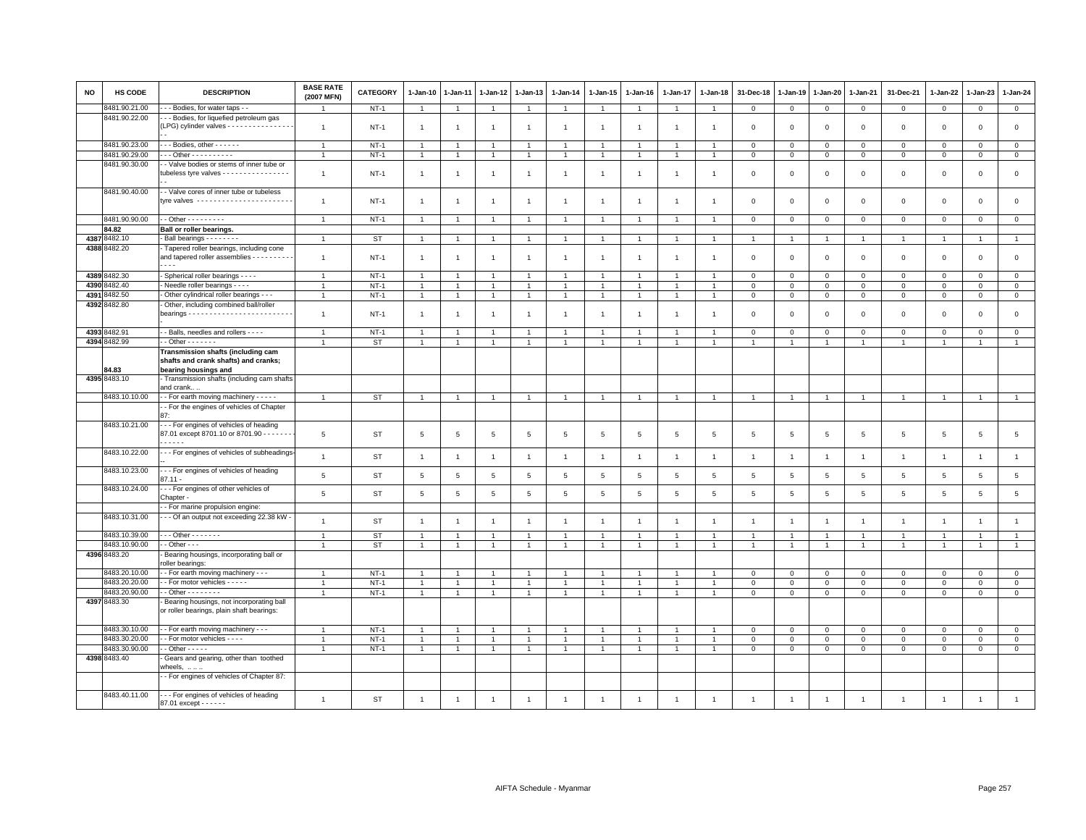| <b>NO</b> | <b>HS CODE</b> | <b>DESCRIPTION</b>                                                                | <b>BASE RATE</b><br>(2007 MFN) | <b>CATEGORY</b> | $1-Jan-10$      | 1-Jan-11       | 1-Jan-12       | $1-Jan-13$     | $1-Jan-14$     | $1 - Jan-15$         | $1-Jan-16$     | $1-Jan-17$     | 1-Jan-18       | 31-Dec-18      | 1-Jan-19       | 1-Jan-20       | 1-Jan-21       | 31-Dec-21           | 1-Jan-22       | 1-Jan-23       | 1-Jan-24        |
|-----------|----------------|-----------------------------------------------------------------------------------|--------------------------------|-----------------|-----------------|----------------|----------------|----------------|----------------|----------------------|----------------|----------------|----------------|----------------|----------------|----------------|----------------|---------------------|----------------|----------------|-----------------|
|           | 3481.90.21.00  | - - Bodies, for water taps - -                                                    | $\overline{1}$                 | $NT-1$          | 1               | -1             | $\mathbf{1}$   | $\mathbf{1}$   |                | $\mathbf{1}$         |                | $\mathbf{1}$   | $\overline{1}$ | $\mathbf{0}$   | $\mathbf 0$    | $\mathbf{0}$   | $\overline{0}$ | $\mathbf{0}$        | $\mathbf 0$    | $\mathbf{0}$   | $\mathbf{0}$    |
|           | 8481.90.22.00  | -- Bodies, for liquefied petroleum gas                                            |                                |                 |                 |                |                |                |                |                      |                |                |                |                |                |                |                |                     |                |                |                 |
|           |                | (LPG) cylinder valves - - - - - - - - - - - - - - -                               | $\overline{1}$                 | $NT-1$          | $\overline{1}$  | $\overline{1}$ | $\overline{1}$ | $\overline{1}$ | $\overline{1}$ | $\overline{1}$       | $\overline{1}$ | $\overline{1}$ | $\overline{1}$ | $\mathbf 0$    | $\mathbf 0$    | $\mathsf 0$    | $\mathbf{0}$   | $\mathbf 0$         | $\mathbf 0$    | $\mathbf 0$    | $\mathsf 0$     |
|           |                |                                                                                   |                                |                 |                 |                |                |                |                |                      |                |                |                |                |                |                |                |                     |                |                |                 |
|           | 8481.90.23.00  | Bodies, other - - - - - -                                                         | $\overline{1}$                 | $NT-1$          | $\mathbf{1}$    | -1             | $\overline{1}$ | $\overline{1}$ |                | $\overline{1}$       |                |                |                | $\mathbf 0$    | $\mathbf 0$    | $\mathbf 0$    | $\mathbf 0$    | $\mathbf 0$         | 0              | 0              | $\mathbf 0$     |
|           | 8481.90.29.00  | $-$ - Other - - - - - - - - - -                                                   | $\mathbf{1}$                   | $NT-1$          | $\mathbf{1}$    | $\overline{1}$ | $\overline{1}$ | $\overline{1}$ | $\overline{1}$ | $\overline{1}$       |                |                | $\overline{1}$ | $\mathbf 0$    | $\mathbf 0$    | $\mathbf{0}$   | $\mathbf 0$    | $\mathbf 0$         | $\mathbf{0}$   | $\mathbf{O}$   | $\circ$         |
|           | 8481.90.30.00  | - Valve bodies or stems of inner tube or                                          |                                |                 |                 |                |                |                |                |                      |                |                |                |                |                |                |                |                     |                |                |                 |
|           |                | tubeless tyre valves - - - - - - - - - - - - - - - -                              | $\overline{1}$                 | $NT-1$          | $\overline{1}$  | -1             | $\overline{1}$ | $\overline{1}$ | $\overline{1}$ | $\mathbf{1}$         | $\overline{1}$ | $\mathbf{1}$   | $\mathbf{1}$   | $\mathbf 0$    | $\mathbf 0$    | $\mathsf 0$    | $\mathbf 0$    | $\mathsf 0$         | $\mathbf 0$    | $\mathsf 0$    | $\mathsf 0$     |
|           | 8481.90.40.00  |                                                                                   |                                |                 |                 |                |                |                |                |                      |                |                |                |                |                |                |                |                     |                |                |                 |
|           |                | - - Valve cores of inner tube or tubeless<br>tvre valves ------------------------ | $\overline{1}$                 | $NT-1$          | $\overline{1}$  | -1             | $\overline{1}$ | $\overline{1}$ | $\overline{1}$ | $\blacktriangleleft$ | $\overline{1}$ | $\mathbf{1}$   |                | $\mathbf 0$    | $\mathbf{0}$   | $\mathbf 0$    | $\mathbf 0$    | $\mathbf{0}$        | $\mathsf 0$    | $\mathbf 0$    | $\circ$         |
|           |                |                                                                                   |                                |                 |                 |                |                |                |                |                      |                |                |                |                |                |                |                |                     |                |                |                 |
|           | 8481.90.90.00  | - - Other - - - - - - - - -                                                       | $\mathbf{1}$                   | $NT-1$          | $\overline{1}$  | $\overline{1}$ | $\overline{1}$ | $\overline{1}$ | $\overline{1}$ | $\mathbf{1}$         | $\overline{1}$ | $\overline{1}$ | $\overline{1}$ | $\mathbf 0$    | $\mathbf 0$    | $\mathbf{0}$   | $\mathbf{0}$   | $\mathbf{0}$        | $\mathbf{0}$   | $\mathbf{0}$   | $\mathbf{0}$    |
|           | 84.82          | Ball or roller bearings.                                                          |                                |                 |                 |                |                |                |                |                      |                |                |                |                |                |                |                |                     |                |                |                 |
|           | 4387 8482.10   | Ball bearings - - - - - - -                                                       | $\overline{1}$                 | <b>ST</b>       | 1               |                | $\mathbf{1}$   | $\overline{1}$ |                | 1                    |                |                |                | $\mathbf{1}$   |                | $\mathbf{1}$   | $\overline{1}$ | $\mathbf{1}$        | $\overline{1}$ | -1             | $\mathbf{1}$    |
|           | 4388 8482.20   | - Tapered roller bearings, including cone                                         |                                |                 |                 |                |                |                |                |                      |                |                |                |                |                |                |                |                     |                |                |                 |
|           |                | and tapered roller assemblies - - - - - - - - -                                   | $\overline{1}$                 | $NT-1$          | $\overline{1}$  | $\overline{1}$ | $\overline{1}$ | $\overline{1}$ | $\overline{1}$ | $\mathbf{1}$         | $\overline{1}$ | $\overline{1}$ | $\overline{1}$ | $\overline{0}$ | $\mathbf 0$    | $\mathbf 0$    | $\mathbf{0}$   | $\mathbf 0$         | $\mathbf 0$    | $\mathbf 0$    | $\circ$         |
|           |                | $\sim$ $\sim$                                                                     |                                |                 |                 |                |                |                |                |                      |                |                |                |                |                |                |                |                     |                |                |                 |
|           | 4389 8482.30   | - Spherical roller bearings - - - -                                               |                                | $NT-1$          |                 |                | $\mathbf{1}$   | $\overline{1}$ |                | $\mathbf{1}$         |                |                |                | $\mathbf 0$    | $\mathbf 0$    | $\mathbf 0$    | $\mathbf 0$    | $\mathbf 0$         | 0              | 0              | $\mathbf 0$     |
|           | 4390 8482.40   | - Needle roller bearings - - - -                                                  | $\overline{1}$                 | $NT-1$          | $\mathbf{1}$    | $\overline{1}$ | $\mathbf{1}$   | $\mathbf{1}$   | $\mathbf{1}$   | $\mathbf{1}$         | $\overline{1}$ | $\mathbf{1}$   | $\overline{1}$ | $\overline{0}$ | $\mathsf 0$    | $\mathbf 0$    | $\overline{0}$ | $\mathsf{O}\xspace$ | $\mathbf{0}$   | $\mathbf{0}$   | $\overline{0}$  |
| 4391      | 8482.50        | - Other cylindrical roller bearings - - -                                         | $\overline{1}$                 | $NT-1$          | $\overline{1}$  | $\mathbf{1}$   | $\overline{1}$ | $\overline{1}$ | $\overline{1}$ | $\mathbf{1}$         | $\overline{1}$ | $\overline{1}$ | $\overline{1}$ | $\mathbf 0$    | $\mathsf 0$    | $\overline{0}$ | $\mathbf{0}$   | $\mathbf{0}$        | $\mathbf{0}$   | $\mathbf{0}$   | $\circ$         |
|           | 4392 8482.80   | - Other, including combined ball/roller                                           |                                |                 |                 |                |                |                |                |                      |                |                |                |                |                |                |                |                     |                |                |                 |
|           |                | bearings $\cdots$                                                                 | $\overline{1}$                 | $NT-1$          | $\overline{1}$  | -1             | $\overline{1}$ | $\overline{1}$ | $\overline{1}$ | $\overline{1}$       | -1             | -1             |                | $\mathbf 0$    | $\mathbf 0$    | $\mathbf 0$    | $\mathbf 0$    | $\mathsf 0$         | $\mathbf 0$    | $\mathsf 0$    | $\mathbf 0$     |
|           |                |                                                                                   |                                |                 |                 |                |                |                |                |                      |                |                |                |                |                |                |                |                     |                |                |                 |
|           | 4393 8482.91   | - Balls, needles and rollers - - - -                                              | $\overline{1}$                 | $NT-1$          |                 |                | $\overline{1}$ | $\overline{1}$ |                | $\overline{1}$       |                |                |                | $\mathbf 0$    | $\mathbf 0$    | $\mathsf 0$    | $\mathbf 0$    | $\mathsf 0$         | $\mathbf 0$    | $\mathsf 0$    | $\mathsf 0$     |
|           | 4394 8482.99   | $-$ Other $     -$                                                                | $\overline{1}$                 | <b>ST</b>       | $\mathbf{1}$    | $\overline{1}$ | $\overline{1}$ | $\overline{1}$ | $\overline{1}$ | $\mathbf{1}$         | $\overline{1}$ | $\mathbf{1}$   | $\overline{1}$ | $\overline{1}$ | $\overline{1}$ | $\overline{1}$ | $\overline{1}$ | $\mathbf{1}$        | $\mathbf{1}$   | $\overline{1}$ | $\overline{1}$  |
|           |                | Transmission shafts (including cam                                                |                                |                 |                 |                |                |                |                |                      |                |                |                |                |                |                |                |                     |                |                |                 |
|           | 34.83          | shafts and crank shafts) and cranks;<br>bearing housings and                      |                                |                 |                 |                |                |                |                |                      |                |                |                |                |                |                |                |                     |                |                |                 |
|           | 4395 8483.10   | - Transmission shafts (including cam shafts                                       |                                |                 |                 |                |                |                |                |                      |                |                |                |                |                |                |                |                     |                |                |                 |
|           |                | and crank                                                                         |                                |                 |                 |                |                |                |                |                      |                |                |                |                |                |                |                |                     |                |                |                 |
|           | 8483.10.10.00  | - - For earth moving machinery - - - - -                                          | $\overline{1}$                 | <b>ST</b>       |                 | -1             | $\overline{1}$ | $\overline{1}$ |                | $\overline{1}$       |                |                |                |                | $\overline{1}$ | $\overline{1}$ | $\overline{1}$ | $\overline{1}$      | $\overline{1}$ | $\overline{1}$ | $\overline{1}$  |
|           |                | - For the engines of vehicles of Chapter                                          |                                |                 |                 |                |                |                |                |                      |                |                |                |                |                |                |                |                     |                |                |                 |
|           |                | 87 <sup>°</sup>                                                                   |                                |                 |                 |                |                |                |                |                      |                |                |                |                |                |                |                |                     |                |                |                 |
|           | 8483.10.21.00  | --- For engines of vehicles of heading                                            |                                |                 |                 |                |                |                |                |                      |                |                |                |                |                |                |                |                     |                |                |                 |
|           |                | 87.01 except 8701.10 or 8701.90 - - - - - -                                       | 5                              | <b>ST</b>       | 5               | 5              | 5              | 5              | 5              | 5                    | 5              | 5              | $\overline{5}$ | 5              | 5              | 5              | 5              | 5                   | 5              | 5              | $5\phantom{.0}$ |
|           |                | -----                                                                             |                                |                 |                 |                |                |                |                |                      |                |                |                |                |                |                |                |                     |                |                |                 |
|           | 8483.10.22.00  | - - - For engines of vehicles of subheadings                                      | $\mathbf{1}$                   | <b>ST</b>       | $\overline{1}$  | $\overline{1}$ | $\overline{1}$ | $\overline{1}$ | $\overline{1}$ | $\mathbf{1}$         | $\overline{1}$ | $\overline{1}$ | $\overline{1}$ | $\overline{1}$ | $\overline{1}$ | $\overline{1}$ | $\overline{1}$ | $\mathbf{1}$        | $\overline{1}$ | $\overline{1}$ | $\mathbf{1}$    |
|           |                |                                                                                   |                                |                 |                 |                |                |                |                |                      |                |                |                |                |                |                |                |                     |                |                |                 |
|           | 8483.10.23.00  | --- For engines of vehicles of heading<br>$87.11 -$                               | 5                              | <b>ST</b>       | $5\phantom{.0}$ | 5              | 5              | 5              | 5              | 5                    | 5              | 5              | 5              | $\sqrt{5}$     | 5              | 5              | 5              | 5                   | 5              | 5              | $5\phantom{.0}$ |
|           | 8483.10.24.00  | -- For engines of other vehicles of                                               |                                |                 |                 |                |                |                |                |                      |                |                |                |                |                |                |                |                     |                |                |                 |
|           |                | Chapter -                                                                         | 5                              | <b>ST</b>       | $5\phantom{.0}$ | 5              | 5              | 5              | 5              | 5                    | 5              | 5              | 5              | 5              | 5              | 5              | 5              | 5                   | $\overline{5}$ | 5              | $5\phantom{.0}$ |
|           |                | - For marine propulsion engine:                                                   |                                |                 |                 |                |                |                |                |                      |                |                |                |                |                |                |                |                     |                |                |                 |
|           | 8483.10.31.00  | - - Of an output not exceeding 22.38 kW -                                         |                                |                 |                 |                |                |                |                |                      |                |                |                |                |                |                |                |                     |                |                |                 |
|           |                |                                                                                   | $\overline{1}$                 | <b>ST</b>       | $\overline{1}$  | $\overline{1}$ | $\overline{1}$ | $\overline{1}$ | $\overline{1}$ | $\mathbf{1}$         | $\overline{1}$ | $\overline{1}$ | $\overline{1}$ | $\overline{1}$ | $\overline{1}$ | $\overline{1}$ | $\overline{1}$ | $\mathbf{1}$        | $\overline{1}$ | $\overline{1}$ | $\mathbf{1}$    |
|           | 8483.10.39.00  | $\cdots$ Other - - - - - - -                                                      | $\overline{1}$                 | <b>ST</b>       |                 |                |                | $\overline{1}$ |                |                      |                |                |                |                |                |                | $\mathbf{1}$   | $\overline{1}$      |                |                | $\overline{1}$  |
|           | 8483.10.90.00  | $-$ Other $ -$                                                                    | $\overline{1}$                 | <b>ST</b>       |                 |                | $\overline{1}$ | $\overline{1}$ |                | $\overline{1}$       |                |                |                |                |                |                | $\overline{1}$ | $\overline{1}$      |                | $\overline{1}$ | $\overline{1}$  |
|           | 4396 8483.20   | Bearing housings, incorporating ball or                                           |                                |                 |                 |                |                |                |                |                      |                |                |                |                |                |                |                |                     |                |                |                 |
|           |                | roller bearings:                                                                  |                                |                 |                 |                |                |                |                |                      |                |                |                |                |                |                |                |                     |                |                |                 |
|           | 8483.20.10.00  | - - For earth moving machinery - - -                                              | $\overline{1}$                 | $NT-1$          |                 |                |                |                |                |                      |                |                |                | $\Omega$       | $\Omega$       | $\Omega$       | $\mathbf{0}$   | $\mathbf 0$         | $\Omega$       | $\Omega$       | $\mathbf 0$     |
|           | 8483.20.20.00  | - For motor vehicles - - - - -                                                    | $\overline{1}$                 | $NT-1$          | $\overline{1}$  | $\overline{1}$ | $\overline{1}$ | $\overline{1}$ |                | $\mathbf{1}$         | $\overline{1}$ | $\overline{1}$ | $\overline{1}$ | $\mathbf 0$    | $\,0\,$        | $\,0\,$        | $\,$ 0         | $\mathsf 0$         | $\mathbf 0$    | $\mathsf 0$    | $\mathsf 0$     |
|           | 8483.20.90.00  | $-$ Other $      -$                                                               | $\overline{1}$                 | $NT-1$          | $\overline{1}$  | $\overline{1}$ | $\overline{1}$ | $\overline{1}$ | $\overline{1}$ | $\mathbf{1}$         | $\overline{1}$ | $\mathbf{1}$   | $\mathbf{1}$   | $\mathbf 0$    | $\mathbf 0$    | $\mathbf 0$    | $\mathbf 0$    | $\mathbf 0$         | $\mathbf 0$    | $\mathsf 0$    | $\mathsf 0$     |
|           | 4397 8483.30   | Bearing housings, not incorporating ball                                          |                                |                 |                 |                |                |                |                |                      |                |                |                |                |                |                |                |                     |                |                |                 |
|           |                | or roller bearings, plain shaft bearings:                                         |                                |                 |                 |                |                |                |                |                      |                |                |                |                |                |                |                |                     |                |                |                 |
|           | 8483.30.10.00  | - For earth moving machinery - - -                                                | $\mathbf{1}$                   | $NT-1$          |                 |                | $\overline{1}$ | $\overline{1}$ |                | $\overline{1}$       |                |                |                | $\mathbf 0$    | $\mathsf 0$    | $\mathsf 0$    | $\mathbf 0$    | $\mathsf 0$         | $\Omega$       | 0              | $\overline{0}$  |
|           | 8483.30.20.00  | - - For motor vehicles - - - -                                                    | $\overline{1}$                 | $NT-1$          | $\mathbf{1}$    |                | $\overline{1}$ | $\overline{1}$ |                | $\overline{1}$       |                |                |                | $\mathbf{0}$   | $\Omega$       | $\Omega$       | $\mathbf 0$    | $\mathbf{0}$        | $\Omega$       | $\mathbf 0$    | $\circ$         |
|           | 8483.30.90.00  | $-$ - Other $-$ - $-$ -                                                           | $\mathbf{1}$                   | $NT-1$          | $\mathbf{1}$    | $\overline{1}$ | $\mathbf{1}$   | $\mathbf{1}$   | $\overline{1}$ | $\mathbf{1}$         |                |                | $\overline{1}$ | $\mathbf 0$    | $\mathsf 0$    | $\mathbf 0$    | $\mathbb O$    | $\mathbf 0$         | $\mathbf 0$    | $\mathbf{O}$   | $\overline{0}$  |
|           | 4398 8483.40   | - Gears and gearing, other than toothed                                           |                                |                 |                 |                |                |                |                |                      |                |                |                |                |                |                |                |                     |                |                |                 |
|           |                | wheels, $\dots$                                                                   |                                |                 |                 |                |                |                |                |                      |                |                |                |                |                |                |                |                     |                |                |                 |
|           |                | - For engines of vehicles of Chapter 87:                                          |                                |                 |                 |                |                |                |                |                      |                |                |                |                |                |                |                |                     |                |                |                 |
|           |                |                                                                                   |                                |                 |                 |                |                |                |                |                      |                |                |                |                |                |                |                |                     |                |                |                 |
|           | 8483.40.11.00  | - - - For engines of vehicles of heading                                          | $\overline{1}$                 | <b>ST</b>       |                 |                | $\overline{1}$ |                |                |                      |                |                |                |                |                |                |                |                     |                | $\overline{1}$ | $\overline{1}$  |
|           |                | 87.01 except - - - - - -                                                          |                                |                 |                 |                |                |                |                |                      |                |                |                |                |                |                |                |                     |                |                |                 |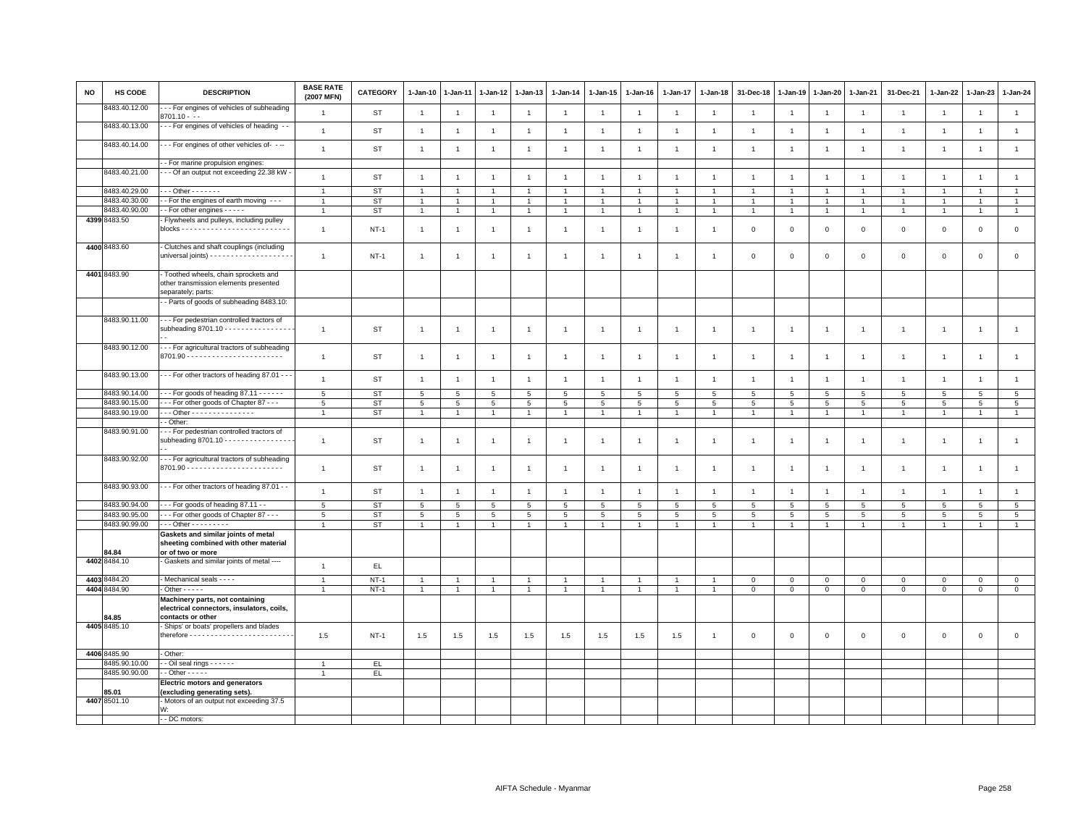| <b>NO</b> | HS CODE       | <b>DESCRIPTION</b>                                                                                   | <b>BASE RATE</b><br>(2007 MFN) | <b>CATEGORY</b> | $1 - Jan-10$    | $1-Jan-11$      | $1 - Jan-12$    | $1-Jan-13$      | $1 - Jan-14$   | $1 - Jan-15$         | $1 - Jan-16$    | $1 - Jan-17$   | $1 - Jan-18$   | 31-Dec-18       | $1 - Jan-19$    | $1-Jan-20$      | 1-Jan-21        | 31-Dec-21       | 1-Jan-22       | 1-Jan-23        | $1 - Jan-24$    |
|-----------|---------------|------------------------------------------------------------------------------------------------------|--------------------------------|-----------------|-----------------|-----------------|-----------------|-----------------|----------------|----------------------|-----------------|----------------|----------------|-----------------|-----------------|-----------------|-----------------|-----------------|----------------|-----------------|-----------------|
|           | 3483.40.12.00 | -- For engines of vehicles of subheading<br>$3701.10 - -$                                            | $\overline{1}$                 | <b>ST</b>       | $\overline{1}$  | $\mathbf{1}$    | $\mathbf{1}$    | $\mathbf{1}$    | $\overline{1}$ | $\overline{1}$       | $\overline{1}$  | $\overline{1}$ | $\overline{1}$ | $\overline{1}$  | $\overline{1}$  | $\overline{1}$  | $\mathbf{1}$    | $\overline{1}$  | $\overline{1}$ | $\overline{1}$  | $\mathbf{1}$    |
|           | 8483.40.13.00 | - - For engines of vehicles of heading - -                                                           | $\overline{1}$                 | <b>ST</b>       | $\overline{1}$  | $\overline{1}$  | $\overline{1}$  | $\overline{1}$  | $\overline{1}$ | $\overline{1}$       | $\mathbf{1}$    | $\overline{1}$ | $\overline{1}$ | $\overline{1}$  | $\overline{1}$  | $\overline{1}$  | $\overline{1}$  | $\overline{1}$  | $\overline{1}$ | $\overline{1}$  | $\mathbf{1}$    |
|           | 8483.40.14.00 | - - For engines of other vehicles of- - --                                                           | $\overline{1}$                 | <b>ST</b>       | $\overline{1}$  | $\overline{1}$  | $\mathbf{1}$    | $\mathbf{1}$    | $\mathbf{1}$   | $\mathbf{1}$         | $\overline{1}$  | $\mathbf{1}$   | $\overline{1}$ | $\overline{1}$  | $\overline{1}$  | $\overline{1}$  | $\mathbf{1}$    | $\mathbf{1}$    | $\overline{1}$ | $\overline{1}$  | $\overline{1}$  |
|           |               | - For marine propulsion engines:                                                                     |                                |                 |                 |                 |                 |                 |                |                      |                 |                |                |                 |                 |                 |                 |                 |                |                 |                 |
|           | 8483.40.21.00 | - - Of an output not exceeding 22.38 kW -                                                            |                                |                 |                 |                 |                 |                 |                |                      |                 |                |                |                 |                 |                 |                 |                 |                |                 |                 |
|           |               |                                                                                                      | $\overline{1}$                 | <b>ST</b>       | $\overline{1}$  | $\overline{1}$  | $\overline{1}$  | $\mathbf{1}$    | $\mathbf{1}$   | $\mathbf{1}$         | $\overline{1}$  | $\overline{1}$ | $\overline{1}$ | $\overline{1}$  | $\overline{1}$  | $\overline{1}$  | $\mathbf{1}$    | $\mathbf{1}$    | $\overline{1}$ | $\overline{1}$  | $\mathbf{1}$    |
|           | 8483.40.29.00 | $-0$ ther $-0$                                                                                       | $\overline{1}$                 | <b>ST</b>       | $\mathbf{1}$    | $\overline{1}$  | $\overline{1}$  | $\mathbf{1}$    | $\overline{1}$ | $\blacktriangleleft$ |                 | $\mathbf{1}$   | $\overline{1}$ | $\overline{1}$  | $\overline{1}$  | $\overline{1}$  | $\mathbf{1}$    | $\overline{1}$  | $\mathbf{1}$   | $\overline{1}$  | $\mathbf{1}$    |
|           | 8483.40.30.00 | - For the engines of earth moving - - -                                                              | $\overline{1}$                 | <b>ST</b>       | $\overline{1}$  | $\overline{1}$  | $\overline{1}$  | $\overline{1}$  | $\mathbf{1}$   | $\mathbf{1}$         | $\overline{1}$  | $\overline{1}$ | $\overline{1}$ | $\overline{1}$  | $\overline{1}$  | $\overline{1}$  | $\overline{1}$  | $\overline{1}$  | $\overline{1}$ | $\overline{1}$  | $\mathbf{1}$    |
|           | 8483.40.90.00 | - For other engines - - - - -                                                                        | $\overline{1}$                 | <b>ST</b>       | $\overline{1}$  | $\overline{1}$  | $\overline{1}$  | $\overline{1}$  | $\overline{1}$ | $\overline{1}$       |                 | $\overline{1}$ | $\overline{1}$ | $\overline{1}$  | $\overline{1}$  | $\overline{1}$  | $\overline{1}$  | $\mathbf{1}$    | $\overline{1}$ | $\overline{1}$  | $\overline{1}$  |
|           | 4399 8483.50  | Flywheels and pulleys, including pulley                                                              | $\overline{1}$                 | $NT-1$          | $\overline{1}$  | $\mathbf{1}$    | $\overline{1}$  | $\mathbf{1}$    | $\overline{1}$ | $\mathbf{1}$         | $\overline{1}$  | 1              | $\overline{1}$ | $\mathbf 0$     | $\mathbf{0}$    | $\,0\,$         | $\mathsf 0$     | $\mathsf 0$     | $\mathsf 0$    | $\mathsf 0$     | $\mathsf 0$     |
|           | 4400 8483.60  | Clutches and shaft couplings (including                                                              | $\overline{1}$                 | $NT-1$          | $\overline{1}$  | $\overline{1}$  | $\mathbf{1}$    | $\overline{1}$  | $\overline{1}$ | $\overline{1}$       | -1              | $\overline{1}$ | $\overline{1}$ | $\mathbf 0$     | $^{\circ}$      | $\mathbf 0$     | $\mathbf 0$     | $\mathsf 0$     | $\mathbf 0$    | $\mathsf 0$     | $\mathsf 0$     |
|           | 4401 8483.90  | - Toothed wheels, chain sprockets and<br>other transmission elements presented<br>separately; parts: |                                |                 |                 |                 |                 |                 |                |                      |                 |                |                |                 |                 |                 |                 |                 |                |                 |                 |
|           |               | - Parts of goods of subheading 8483.10:                                                              |                                |                 |                 |                 |                 |                 |                |                      |                 |                |                |                 |                 |                 |                 |                 |                |                 |                 |
|           | 8483.90.11.00 | - - For pedestrian controlled tractors of<br>subheading 8701.10 - - - - - - - - - - - - - - - -      | $\overline{1}$                 | ST              | $\mathbf{1}$    | $\overline{1}$  | $\mathbf{1}$    | $\mathbf{1}$    | $\overline{1}$ | $\mathbf{1}$         | $\overline{1}$  | $\mathbf{1}$   | $\overline{1}$ | $\overline{1}$  | $\mathbf{1}$    | $\overline{1}$  | 1               | $\mathbf{1}$    | $\overline{1}$ | $\overline{1}$  | $\mathbf{1}$    |
|           | 8483.90.12.00 | --- For agricultural tractors of subheading                                                          | $\overline{1}$                 | <b>ST</b>       | $\overline{1}$  | $\overline{1}$  | $\mathbf{1}$    | $\overline{1}$  | $\overline{1}$ | $\mathbf{1}$         | $\overline{1}$  | $\mathbf{1}$   | $\overline{1}$ | $\overline{1}$  | $\mathbf{1}$    | $\overline{1}$  | $\mathbf{1}$    | $\overline{1}$  | $\overline{1}$ | $\overline{1}$  | $\mathbf{1}$    |
|           | 8483.90.13.00 | - - - For other tractors of heading 87.01 - - -                                                      | $\mathbf{1}$                   | <b>ST</b>       | $\overline{1}$  | $\mathbf{1}$    | $\mathbf{1}$    | $\mathbf{1}$    | $\mathbf{1}$   | $\mathbf{1}$         | $\mathbf{1}$    | $\mathbf{1}$   | $\overline{1}$ | $\overline{1}$  | $\overline{1}$  | $\overline{1}$  | $\mathbf{1}$    | $\mathbf{1}$    | $\mathbf{1}$   | $\overline{1}$  | $\mathbf{1}$    |
|           | 8483.90.14.00 | $-$ - For goods of heading 87.11 $-$ - $-$ - -                                                       | 5                              | <b>ST</b>       | 5               | 5               | 5               | 5               | 5              | 5                    | 5               | 5              | 5              | 5               | 5               | 5               | $\overline{5}$  | 5               | 5              | $5\overline{5}$ | $5\phantom{.0}$ |
|           | 8483.90.15.00 | - - For other goods of Chapter 87 - - -                                                              | $5\phantom{.0}$                | <b>ST</b>       | $5\phantom{.0}$ | $5\phantom{.0}$ | 5               | 5               | 5              | $5\phantom{.0}$      | $5\overline{5}$ | 5              | $\overline{5}$ | $5\overline{5}$ | $5\overline{5}$ | $5\overline{5}$ | $5\overline{5}$ | $5\phantom{.0}$ | 5              | 5               | $\overline{5}$  |
|           | 8483.90.19.00 | - - Other - - - - - - - - - - - - - -                                                                | $\overline{1}$                 | <b>ST</b>       | $\mathbf{1}$    | $\overline{1}$  | $\mathbf{1}$    | $\overline{1}$  | $\overline{1}$ | $\mathbf{1}$         |                 | $\mathbf{1}$   | $\overline{1}$ | $\overline{1}$  | $\mathbf{1}$    | $\overline{1}$  | $\overline{1}$  | $\overline{1}$  | $\overline{1}$ |                 | $\overline{1}$  |
|           |               | - Other:                                                                                             |                                |                 |                 |                 |                 |                 |                |                      |                 |                |                |                 |                 |                 |                 |                 |                |                 |                 |
|           | 8483.90.91.00 | - - For pedestrian controlled tractors of<br>subheading 8701.10 - - - - - - - - - - - - - - - -      | $\overline{1}$                 | <b>ST</b>       | $\overline{1}$  | $\overline{1}$  | $\mathbf{1}$    | $\overline{1}$  | $\overline{1}$ | $\overline{1}$       | $\overline{1}$  | $\mathbf{1}$   | $\mathbf{1}$   | $\overline{1}$  | $\mathbf{1}$    | $\overline{1}$  | $\mathbf{1}$    | $\mathbf{1}$    | $\mathbf{1}$   | $\overline{1}$  | $\mathbf{1}$    |
|           | 8483.90.92.00 | - - For agricultural tractors of subheading                                                          | $\mathbf{1}$                   | <b>ST</b>       | $\overline{1}$  | $\mathbf{1}$    | $\overline{1}$  | $\mathbf{1}$    | $\mathbf{1}$   | $\mathbf{1}$         | $\overline{1}$  | $\mathbf{1}$   | $\overline{1}$ | $\overline{1}$  | $\mathbf{1}$    | $\overline{1}$  | $\mathbf{1}$    | $\mathbf{1}$    | $\mathbf{1}$   | $\overline{1}$  | $\mathbf{1}$    |
|           | 8483.90.93.00 | - - For other tractors of heading 87.01 - -                                                          | $\mathbf{1}$                   | <b>ST</b>       | $\overline{1}$  | $\mathbf{1}$    | $\overline{1}$  | $\mathbf{1}$    | $\overline{1}$ | $\mathbf{1}$         | $\overline{1}$  | $\mathbf{1}$   | $\overline{1}$ | $\overline{1}$  | $\overline{1}$  | $\overline{1}$  | $\mathbf{1}$    | $\overline{1}$  | $\overline{1}$ | $\overline{1}$  | $\overline{1}$  |
|           | 8483.90.94.00 | - - For goods of heading 87.11 - -                                                                   | $5\phantom{.0}$                | <b>ST</b>       | 5               | 5               | 5               | 5               | 5              | 5                    | 5               | 5              | 5              | 5               | 5               | 5               | 5               | $\overline{5}$  | 5              | 5               | $5\phantom{.0}$ |
|           | 8483.90.95.00 | -- For other goods of Chapter 87 ---                                                                 | $5\phantom{.0}$                | <b>ST</b>       | 5               | 5               | $5\phantom{.0}$ | $5\phantom{.0}$ | 5              | $5\phantom{.0}$      | $5\phantom{.0}$ | 5              | $\,$ 5 $\,$    | $5\phantom{.0}$ | 5               | $5\phantom{.0}$ | $5\phantom{.0}$ | 5               | 5              | $5\phantom{.0}$ | $\overline{5}$  |
|           | 8483.90.99.00 | - - - Other - - - - - - - - -                                                                        | $\overline{1}$                 | ST              | $\overline{1}$  | $\mathbf{1}$    | $\mathbf{1}$    | $\overline{1}$  | $\overline{1}$ | $\overline{1}$       | $\overline{1}$  | $\mathbf{1}$   | $\overline{1}$ | $\overline{1}$  | $\overline{1}$  | $\overline{1}$  | $\mathbf{1}$    | $\overline{1}$  | $\overline{1}$ | $\overline{1}$  | $\mathbf{1}$    |
|           | 84.84         | Gaskets and similar joints of metal<br>sheeting combined with other material<br>or of two or more    |                                |                 |                 |                 |                 |                 |                |                      |                 |                |                |                 |                 |                 |                 |                 |                |                 |                 |
|           | 4402 8484.10  | Gaskets and similar joints of metal ----                                                             | $\overline{1}$                 | $\mathsf{EL}$   |                 |                 |                 |                 |                |                      |                 |                |                |                 |                 |                 |                 |                 |                |                 |                 |
|           | 4403 8484.20  | - Mechanical seals - - - -                                                                           | $\overline{1}$                 | $NT-1$          |                 |                 | $\overline{1}$  | $\overline{1}$  |                |                      |                 |                |                | $\mathbf 0$     | $^{\circ}$      | $\mathbf 0$     | $\mathbf 0$     | $\mathsf 0$     | $\Omega$       | $\mathsf 0$     | $\mathbf 0$     |
|           | 4404 8484.90  | $-$ Other $- - -$                                                                                    | $\overline{1}$                 | $NT-1$          | $\overline{1}$  | $\overline{1}$  | $\mathbf{1}$    | $\overline{1}$  | $\overline{1}$ | $\mathbf{1}$         | $\overline{1}$  | $\mathbf{1}$   | $\overline{1}$ | $\mathsf 0$     | $\mathbb O$     | $\mathbf 0$     | $\mathsf 0$     | $\mathsf 0$     | $\mathbf 0$    | $\mathbf 0$     | $\mathsf 0$     |
|           | 84.85         | Machinery parts, not containing<br>electrical connectors, insulators, coils,<br>contacts or other    |                                |                 |                 |                 |                 |                 |                |                      |                 |                |                |                 |                 |                 |                 |                 |                |                 |                 |
|           | 4405 8485.10  | Ships' or boats' propellers and blades                                                               | 1.5                            | <b>NT-1</b>     | 1.5             | 1.5             | 1.5             | 1.5             | 1.5            | 1.5                  | 1.5             | 1.5            | $\overline{1}$ | $\mathbf 0$     | $\mathbf 0$     | $\mathbf 0$     | $\mathbf 0$     | $\mathsf 0$     | $\mathbf 0$    | $\mathsf 0$     | $\mathsf 0$     |
|           | 4406 8485.90  | - Other:                                                                                             |                                |                 |                 |                 |                 |                 |                |                      |                 |                |                |                 |                 |                 |                 |                 |                |                 |                 |
|           | 8485.90.10.00 | - Oil seal rings - - - - - -                                                                         |                                | EL              |                 |                 |                 |                 |                |                      |                 |                |                |                 |                 |                 |                 |                 |                |                 |                 |
|           | 8485.90.90.00 | $-$ Other $- - - -$                                                                                  | $\overline{1}$                 | EL.             |                 |                 |                 |                 |                |                      |                 |                |                |                 |                 |                 |                 |                 |                |                 |                 |
|           | 85.01         | <b>Electric motors and generators</b><br>(excluding generating sets).                                |                                |                 |                 |                 |                 |                 |                |                      |                 |                |                |                 |                 |                 |                 |                 |                |                 |                 |
|           | 4407 8501.10  | Motors of an output not exceeding 37.5<br>W:                                                         |                                |                 |                 |                 |                 |                 |                |                      |                 |                |                |                 |                 |                 |                 |                 |                |                 |                 |
|           |               | - - DC motors:                                                                                       |                                |                 |                 |                 |                 |                 |                |                      |                 |                |                |                 |                 |                 |                 |                 |                |                 |                 |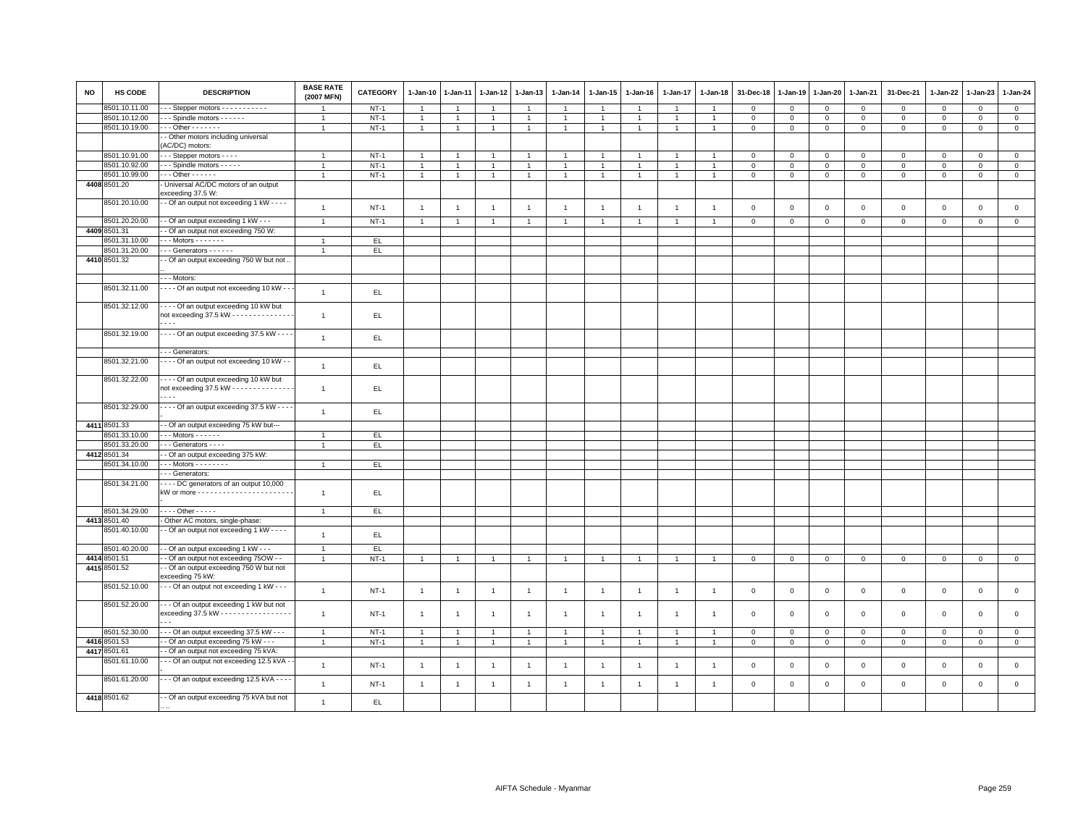| <b>NO</b> | <b>HS CODE</b> | <b>DESCRIPTION</b>                                          | <b>BASE RATE</b><br>(2007 MFN) | <b>CATEGORY</b> | 1-Jan-10       | $1-Jan-11$     | 1-Jan-12       | 1-Jan-13       | $1-Jan-14$     | $1 - Jan-15$   | $1-Jan-16$     | 1-Jan-17       | $1 - Jan-18$   | 31-Dec-18    | $1-Jan-19$  | 1-Jan-20       | 1-Jan-21       | 31-Dec-21    | $1-Jan-22$   | $1-Jan-23$   | 1-Jan-24       |
|-----------|----------------|-------------------------------------------------------------|--------------------------------|-----------------|----------------|----------------|----------------|----------------|----------------|----------------|----------------|----------------|----------------|--------------|-------------|----------------|----------------|--------------|--------------|--------------|----------------|
|           | 8501.10.11.00  | -- Stepper motors - - - - - - - - - - -                     |                                | $NT-1$          | $\overline{1}$ |                | $\overline{1}$ | $\overline{1}$ | $\overline{1}$ | $\overline{1}$ | -1             | $\mathbf{1}$   | $\mathbf{1}$   | $\mathbf{0}$ | $\Omega$    | $\mathbf{0}$   | $\mathbf{0}$   | $\Omega$     | $\mathbf{0}$ | $\Omega$     | $\overline{0}$ |
|           | 8501.10.12.00  | --- Spindle motors ------                                   | $\mathbf{1}$                   | $NT-1$          | $\overline{1}$ | $\overline{1}$ | $\overline{1}$ | $\overline{1}$ | $\overline{1}$ | $\mathbf{1}$   | $\mathbf{1}$   | $\mathbf{1}$   | $\overline{1}$ | $\mathbf 0$  | $\mathbf 0$ | $\mathbf{O}$   | $\mathbf 0$    | $\mathbf 0$  | $\mathbf 0$  | $\mathbf 0$  | $\mathbf{0}$   |
|           | 8501.10.19.00  | $-0$ ther $-0$                                              | $\overline{1}$                 | $NT-1$          | $\overline{1}$ | $\overline{1}$ | $\overline{1}$ | $\overline{1}$ | $\overline{1}$ | $\mathbf{1}$   | $\overline{1}$ | $\mathbf{1}$   | $\overline{1}$ | $\mathbf 0$  | $\mathbf 0$ | $\mathbf 0$    | $\mathbf{0}$   | $\mathbf 0$  | $\mathbf 0$  | $\mathsf 0$  | $\overline{0}$ |
|           |                | - Other motors including universal<br>(AC/DC) motors:       |                                |                 |                |                |                |                |                |                |                |                |                |              |             |                |                |              |              |              |                |
|           | 8501.10.91.00  | - - Stepper motors - - - -                                  | $\overline{1}$                 | $NT-1$          |                |                |                |                |                |                |                |                |                | 0            | $\Omega$    | $\mathbf 0$    | 0              | $\circ$      | $\circ$      | 0            | $\mathbf{0}$   |
|           | 8501.10.92.00  | - - Spindle motors - - - - -                                | $\overline{1}$                 | $NT-1$          | $\overline{1}$ | $\overline{1}$ | $\overline{1}$ | $\overline{1}$ | $\overline{1}$ | $\overline{1}$ |                | $\overline{1}$ | $\overline{1}$ | $\mathbf{0}$ | $\Omega$    | $\Omega$       | $\circ$        | $\mathbf 0$  | $\Omega$     | $\Omega$     | $\overline{0}$ |
|           | 8501.10.99.00  | $-0$ ther $-0$                                              | $\overline{1}$                 | $NT-1$          | $\mathbf{1}$   | $\overline{1}$ | $\overline{1}$ | $\overline{1}$ | $\overline{1}$ | $\mathbf{1}$   | $\mathbf{1}$   | $\overline{1}$ | $\mathbf{1}$   | $\mathbf 0$  | $\mathbf 0$ | 0              | $\mathbf 0$    | $\mathbf 0$  | $\mathbf 0$  | $\mathsf 0$  | $\mathbf 0$    |
|           | 4408 8501.20   | Universal AC/DC motors of an output                         |                                |                 |                |                |                |                |                |                |                |                |                |              |             |                |                |              |              |              |                |
|           |                | exceeding 37.5 W:                                           |                                |                 |                |                |                |                |                |                |                |                |                |              |             |                |                |              |              |              |                |
|           | 8501.20.10.00  | - Of an output not exceeding 1 kW - - - -                   | $\overline{1}$                 | $NT-1$          | $\overline{1}$ | $\overline{1}$ | $\overline{1}$ | $\overline{1}$ | $\overline{1}$ | $\mathbf{1}$   | $\overline{1}$ | $\overline{1}$ | $\overline{1}$ | $\Omega$     | $\mathsf 0$ | $\mathbf 0$    | $\mathsf 0$    | $\mathsf 0$  | $\mathsf 0$  | $\mathbf 0$  | $\mathsf 0$    |
|           | 8501.20.20.00  | - Of an output exceeding 1 kW - - -                         | $\overline{1}$                 | $NT-1$          | $\overline{1}$ | $\overline{1}$ | $\overline{1}$ | $\overline{1}$ | $\overline{1}$ | $\mathbf{1}$   | $\overline{1}$ | $\overline{1}$ | $\overline{1}$ | $\mathbf 0$  | $\mathbf 0$ | $\mathbf{O}$   | $\overline{0}$ | $\mathbf 0$  | $\mathbf 0$  | $\mathbf 0$  | $\overline{0}$ |
|           | 4409 8501.31   | - Of an output not exceeding 750 W:                         |                                |                 |                |                |                |                |                |                |                |                |                |              |             |                |                |              |              |              |                |
|           | 8501.31.10.00  | $-$ - Motors $-$ - - - - - -                                | $\overline{1}$                 | EL.             |                |                |                |                |                |                |                |                |                |              |             |                |                |              |              |              |                |
|           | 8501.31.20.00  | - - Generators - - - - - -                                  | $\mathbf{1}$                   | EL.             |                |                |                |                |                |                |                |                |                |              |             |                |                |              |              |              |                |
|           | 4410 8501.32   | - Of an output exceeding 750 W but not                      |                                |                 |                |                |                |                |                |                |                |                |                |              |             |                |                |              |              |              |                |
|           |                |                                                             |                                |                 |                |                |                |                |                |                |                |                |                |              |             |                |                |              |              |              |                |
|           |                | - - - Motors:                                               |                                |                 |                |                |                |                |                |                |                |                |                |              |             |                |                |              |              |              |                |
|           | 8501.32.11.00  | - - - - Of an output not exceeding 10 kW - -                | $\overline{1}$                 | EL.             |                |                |                |                |                |                |                |                |                |              |             |                |                |              |              |              |                |
|           |                |                                                             |                                |                 |                |                |                |                |                |                |                |                |                |              |             |                |                |              |              |              |                |
|           | 8501.32.12.00  | Of an output exceeding 10 kW but                            |                                |                 |                |                |                |                |                |                |                |                |                |              |             |                |                |              |              |              |                |
|           |                | not exceeding 37.5 kW - - - - - - - - - - - - - -           | $\overline{1}$                 | EL.             |                |                |                |                |                |                |                |                |                |              |             |                |                |              |              |              |                |
|           |                | $\overline{\phantom{a}}$                                    |                                |                 |                |                |                |                |                |                |                |                |                |              |             |                |                |              |              |              |                |
|           | 8501.32.19.00  | $\cdots$ Of an output exceeding 37.5 kW $\cdots$            | $\overline{1}$                 | EL              |                |                |                |                |                |                |                |                |                |              |             |                |                |              |              |              |                |
|           |                |                                                             |                                |                 |                |                |                |                |                |                |                |                |                |              |             |                |                |              |              |              |                |
|           |                | - - Generators:                                             |                                |                 |                |                |                |                |                |                |                |                |                |              |             |                |                |              |              |              |                |
|           | 8501.32.21.00  | - - - Of an output not exceeding 10 kW - -                  | $\overline{1}$                 | EL.             |                |                |                |                |                |                |                |                |                |              |             |                |                |              |              |              |                |
|           |                |                                                             |                                |                 |                |                |                |                |                |                |                |                |                |              |             |                |                |              |              |              |                |
|           | 8501.32.22.00  | Of an output exceeding 10 kW but                            |                                |                 |                |                |                |                |                |                |                |                |                |              |             |                |                |              |              |              |                |
|           |                | not exceeding $37.5$ kW - - - - - - - - - - - - - -         | $\overline{1}$                 | EL.             |                |                |                |                |                |                |                |                |                |              |             |                |                |              |              |              |                |
|           |                | $\sim$ $\sim$                                               |                                |                 |                |                |                |                |                |                |                |                |                |              |             |                |                |              |              |              |                |
|           | 8501.32.29.00  | $\cdots$ Of an output exceeding 37.5 kW $\cdots$            | $\overline{1}$                 | EL.             |                |                |                |                |                |                |                |                |                |              |             |                |                |              |              |              |                |
|           |                |                                                             |                                |                 |                |                |                |                |                |                |                |                |                |              |             |                |                |              |              |              |                |
|           | 4411 8501.33   | - Of an output exceeding 75 kW but---                       |                                |                 |                |                |                |                |                |                |                |                |                |              |             |                |                |              |              |              |                |
|           | 8501.33.10.00  | $\cdots$ Motors - - - - - -                                 |                                | EL.             |                |                |                |                |                |                |                |                |                |              |             |                |                |              |              |              |                |
|           | 8501.33.20.00  | - - Generators - - - -                                      |                                | EL.             |                |                |                |                |                |                |                |                |                |              |             |                |                |              |              |              |                |
|           | 4412 8501.34   | - Of an output exceeding 375 kW:                            |                                |                 |                |                |                |                |                |                |                |                |                |              |             |                |                |              |              |              |                |
|           | 8501.34.10.00  | $-$ - Motors - - - - - - - -                                | $\overline{1}$                 | EL.             |                |                |                |                |                |                |                |                |                |              |             |                |                |              |              |              |                |
|           |                | - - - Generators:                                           |                                |                 |                |                |                |                |                |                |                |                |                |              |             |                |                |              |              |              |                |
|           | 8501.34.21.00  | DC generators of an output 10,000                           |                                |                 |                |                |                |                |                |                |                |                |                |              |             |                |                |              |              |              |                |
|           |                |                                                             | $\overline{1}$                 | EL.             |                |                |                |                |                |                |                |                |                |              |             |                |                |              |              |              |                |
|           |                |                                                             |                                |                 |                |                |                |                |                |                |                |                |                |              |             |                |                |              |              |              |                |
|           | 8501.34.29.00  | . Other -                                                   | $\overline{1}$                 | EL              |                |                |                |                |                |                |                |                |                |              |             |                |                |              |              |              |                |
|           | 4413 8501.40   | Other AC motors, single-phase:                              |                                |                 |                |                |                |                |                |                |                |                |                |              |             |                |                |              |              |              |                |
|           | 8501.40.10.00  | - Of an output not exceeding 1 kW - - - -                   | $\overline{1}$                 | EL              |                |                |                |                |                |                |                |                |                |              |             |                |                |              |              |              |                |
|           |                |                                                             |                                |                 |                |                |                |                |                |                |                |                |                |              |             |                |                |              |              |              |                |
|           | 8501.40.20.00  | - Of an output exceeding 1 kW - - -                         | $\overline{1}$                 | E               |                |                |                |                |                |                |                |                |                |              |             |                |                |              |              |              |                |
|           | 4414 8501.51   | - Of an output not exceeding 750W - -                       | $\overline{1}$                 | $NT-1$          | $\overline{1}$ | $\mathbf{1}$   | $\mathbf{1}$   | $\overline{1}$ | $\overline{1}$ | $\overline{1}$ | $\overline{1}$ | $\overline{1}$ | $\overline{1}$ | $\circ$      | $\mathbf 0$ | $\overline{0}$ | $\overline{0}$ | $\mathbf{0}$ | $\mathbf{0}$ | $\mathbf{0}$ | $\mathbf{0}$   |
|           | 4415 8501.52   | - Of an output exceeding 750 W but not                      |                                |                 |                |                |                |                |                |                |                |                |                |              |             |                |                |              |              |              |                |
|           |                | exceeding 75 kW:                                            |                                |                 |                |                |                |                |                |                |                |                |                |              |             |                |                |              |              |              |                |
|           | 8501.52.10.00  | --- Of an output not exceeding 1 kW ---                     | $\overline{1}$                 | $NT-1$          | $\overline{1}$ | $\overline{1}$ | $\overline{1}$ | $\overline{1}$ | $\overline{1}$ | $\mathbf{1}$   | $\overline{1}$ | $\overline{1}$ | $\overline{1}$ | $\mathbf 0$  | $\mathbf 0$ | $\mathbf{0}$   | $\mathbf{0}$   | $\mathbf 0$  | $\mathbf 0$  | $\mathbf 0$  | $\overline{0}$ |
|           |                |                                                             |                                |                 |                |                |                |                |                |                |                |                |                |              |             |                |                |              |              |              |                |
|           | 8501.52.20.00  | - - Of an output exceeding 1 kW but not                     |                                |                 |                |                |                |                |                |                |                |                |                |              |             |                |                |              |              |              |                |
|           |                | exceeding 37.5 kW - - - - - - - - - - - - - - - -<br>$\sim$ | $\overline{1}$                 | $NT-1$          | $\overline{1}$ | $\overline{1}$ | $\overline{1}$ | $\overline{1}$ | $\overline{1}$ | $\overline{1}$ | $\overline{1}$ | $\overline{1}$ | $\overline{1}$ | $\Omega$     | $\Omega$    | $\mathbf 0$    | $\mathbf 0$    | $\mathbf 0$  | $\mathbf{0}$ | $\mathbf 0$  | $\mathbf{0}$   |
|           | 8501.52.30.00  |                                                             |                                |                 |                |                |                |                |                |                |                |                |                |              |             |                |                |              |              |              |                |
|           |                | - - - Of an output exceeding 37.5 kW - - -                  | $\overline{1}$                 | $NT-1$          | $\overline{1}$ | $\overline{1}$ | $\overline{1}$ | $\overline{1}$ | $\overline{1}$ | $\overline{1}$ | $\overline{1}$ | $\overline{1}$ | $\overline{1}$ | $\mathbf 0$  | $\mathbf 0$ | $\mathbf{O}$   | $\mathbf 0$    | $\mathbf 0$  | $\mathbf 0$  | $\mathbf 0$  | $\mathbf 0$    |
|           | 4416 8501.53   | - Of an output exceeding 75 kW - - -                        | $\overline{1}$                 | $NT-1$          | $\mathbf{1}$   | $\mathbf{1}$   | $\mathbf{1}$   | $\mathbf{1}$   | $\overline{1}$ | $\mathbf{1}$   | $\overline{1}$ | $\overline{1}$ | $\overline{1}$ | $\mathbf 0$  | $\mathbf 0$ | $\mathsf 0$    | $\circ$        | $\mathsf 0$  | $\mathsf 0$  | $\mathsf 0$  | $\overline{0}$ |
|           | 4417 8501.61   | - Of an output not exceeding 75 kVA:                        |                                |                 |                |                |                |                |                |                |                |                |                |              |             |                |                |              |              |              |                |
|           | 8501.61.10.00  | - - Of an output not exceeding 12.5 kVA -                   | $\overline{1}$                 | <b>NT-1</b>     | $\overline{1}$ | $\mathbf{1}$   | $\overline{1}$ | $\overline{1}$ | $\overline{1}$ | $\mathbf{1}$   | $\overline{1}$ | $\overline{1}$ | $\overline{1}$ | $\mathbf 0$  | $\mathbf 0$ | $\mathbf{0}$   | $\overline{0}$ | $\mathsf 0$  | $\mathbf 0$  | $\mathbf 0$  | $\mathsf 0$    |
|           |                |                                                             |                                |                 |                |                |                |                |                |                |                |                |                |              |             |                |                |              |              |              |                |
|           | 8501.61.20.00  | - - Of an output exceeding 12.5 kVA - - - -                 | $\overline{1}$                 | $NT-1$          | $\overline{1}$ | $\overline{1}$ | $\overline{1}$ | $\overline{1}$ | $\overline{1}$ | $\mathbf{1}$   | $\overline{1}$ | $\overline{1}$ | $\overline{1}$ | $\mathbf{0}$ | $\Omega$    | $\mathbf{0}$   | $\mathbf{0}$   | $\mathbf{0}$ | $\mathbf{0}$ | $\mathbf 0$  | $\mathbf{0}$   |
|           | 4418 8501.62   | - Of an output exceeding 75 kVA but not                     |                                |                 |                |                |                |                |                |                |                |                |                |              |             |                |                |              |              |              |                |
|           |                |                                                             | $\overline{1}$                 | EL              |                |                |                |                |                |                |                |                |                |              |             |                |                |              |              |              |                |
|           |                |                                                             |                                |                 |                |                |                |                |                |                |                |                |                |              |             |                |                |              |              |              |                |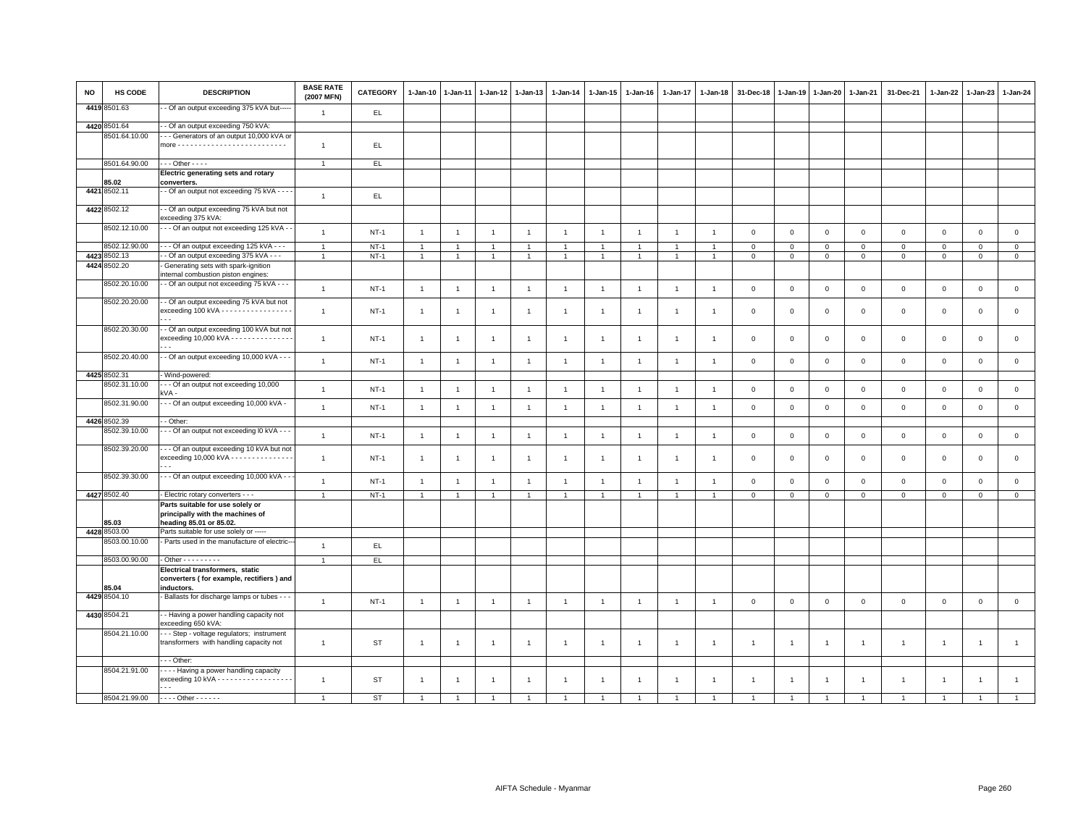| <b>NO</b> | HS CODE       | <b>DESCRIPTION</b>                                                                                                        | <b>BASE RATE</b><br>(2007 MFN) | <b>CATEGORY</b> | 1-Jan-10       | 1-Jan-11       | 1-Jan-12       | 1-Jan-13       | 1-Jan-14       | 1-Jan-15       | 1-Jan-16       | 1-Jan-17       | 1-Jan-18       | 31-Dec-18      | 1-Jan-19       | 1-Jan-20       | 1-Jan-21       | 31-Dec-21      | 1-Jan-22       | 1-Jan-23       | 1-Jan-24            |
|-----------|---------------|---------------------------------------------------------------------------------------------------------------------------|--------------------------------|-----------------|----------------|----------------|----------------|----------------|----------------|----------------|----------------|----------------|----------------|----------------|----------------|----------------|----------------|----------------|----------------|----------------|---------------------|
|           | 4419 8501.63  | - Of an output exceeding 375 kVA but----                                                                                  | $\overline{1}$                 | EL.             |                |                |                |                |                |                |                |                |                |                |                |                |                |                |                |                |                     |
|           | 4420 8501.64  | - Of an output exceeding 750 kVA:                                                                                         |                                |                 |                |                |                |                |                |                |                |                |                |                |                |                |                |                |                |                |                     |
|           | 8501.64.10.00 | - - Generators of an output 10,000 kVA or                                                                                 | $\overline{1}$                 | EL.             |                |                |                |                |                |                |                |                |                |                |                |                |                |                |                |                |                     |
|           | 8501.64.90.00 | $\cdots$ Other - - - -                                                                                                    | $\overline{1}$                 | EL.             |                |                |                |                |                |                |                |                |                |                |                |                |                |                |                |                |                     |
|           |               | Electric generating sets and rotary                                                                                       |                                |                 |                |                |                |                |                |                |                |                |                |                |                |                |                |                |                |                |                     |
|           | 85.02         | converters.                                                                                                               |                                |                 |                |                |                |                |                |                |                |                |                |                |                |                |                |                |                |                |                     |
|           | 4421 8502.11  | - Of an output not exceeding 75 kVA - - - -                                                                               | $\mathbf{1}$                   | EL.             |                |                |                |                |                |                |                |                |                |                |                |                |                |                |                |                |                     |
|           | 4422 8502.12  | - Of an output exceeding 75 kVA but not<br>exceeding 375 kVA:                                                             |                                |                 |                |                |                |                |                |                |                |                |                |                |                |                |                |                |                |                |                     |
|           | 8502.12.10.00 | - - Of an output not exceeding 125 kVA - -                                                                                | $\overline{1}$                 | $NT-1$          | $\overline{1}$ | $\overline{1}$ | $\overline{1}$ | $\overline{1}$ | $\overline{1}$ | $\overline{1}$ | $\overline{1}$ | $\overline{1}$ | $\overline{1}$ | $\mathbf 0$    | $\mathsf 0$    | $\mathbf 0$    | $\mathsf 0$    | $\mathbf 0$    | $\mathsf 0$    | $\mathbf 0$    | $\mathsf 0$         |
|           | 8502.12.90.00 | - - - Of an output exceeding 125 kVA - - -                                                                                | $\overline{1}$                 | $NT-1$          | 1              |                | $\overline{1}$ | $\overline{1}$ | $\mathbf{1}$   | -1             |                | -1             |                | $\mathbf 0$    | 0              | $\mathbf 0$    | $\mathsf 0$    | $\mathbf 0$    | 0              | $\mathbf 0$    | $\mathsf 0$         |
|           | 4423 8502.13  | - Of an output exceeding 375 kVA - - -                                                                                    | $\overline{1}$                 | $NT-1$          | $\overline{1}$ | $\overline{1}$ | $\overline{1}$ | $\overline{1}$ | $\mathbf{1}$   | $\mathbf{1}$   | $\overline{1}$ | $\overline{1}$ | $\overline{1}$ | $\mathbf 0$    | $\mathbf 0$    | $\mathsf 0$    | $\mathbf 0$    | $\mathbf 0$    | $\Omega$       | $\mathbf{0}$   | $\mathsf 0$         |
|           | 4424 8502.20  | Generating sets with spark-ignition                                                                                       |                                |                 |                |                |                |                |                |                |                |                |                |                |                |                |                |                |                |                |                     |
|           |               | internal combustion piston engines:                                                                                       |                                |                 |                |                |                |                |                |                |                |                |                |                |                |                |                |                |                |                |                     |
|           | 8502.20.10.00 | - - Of an output not exceeding 75 kVA - - -                                                                               | $\overline{1}$                 | $NT-1$          | $\overline{1}$ | $\overline{1}$ | $\overline{1}$ | $\overline{1}$ | $\overline{1}$ | $\overline{1}$ | $\overline{1}$ | $\overline{1}$ | $\overline{1}$ | $\mathbf 0$    | $\mathsf 0$    | $\mathbf 0$    | $\mathbf 0$    | $\mathbf 0$    | $\mathsf 0$    | $\mathsf 0$    | $\mathsf 0$         |
|           |               |                                                                                                                           |                                |                 |                |                |                |                |                |                |                |                |                |                |                |                |                |                |                |                |                     |
|           | 8502.20.20.00 | - Of an output exceeding 75 kVA but not                                                                                   |                                |                 |                |                |                |                |                |                |                |                |                |                |                |                |                |                |                |                |                     |
|           |               | exceeding 100 kVA - - - - - - - - - - - - - - - -                                                                         | $\overline{1}$                 | $NT-1$          | $\overline{1}$ | $\overline{1}$ | $\overline{1}$ | $\overline{1}$ | $\mathbf{1}$   | $\overline{1}$ | $\overline{1}$ | $\overline{1}$ | -1             | $\mathbf 0$    | $\Omega$       | $\mathsf 0$    | $\mathbf 0$    | $\mathbf 0$    | $\mathbf 0$    | $\mathbf 0$    | $\mathsf 0$         |
|           | 8502.20.30.00 |                                                                                                                           |                                |                 |                |                |                |                |                |                |                |                |                |                |                |                |                |                |                |                |                     |
|           |               | - Of an output exceeding 100 kVA but not<br>exceeding 10,000 kVA - - - - - - - - - - - - - -<br>$\sim$ $\sim$             | $\mathbf{1}$                   | $NT-1$          | $\overline{1}$ | $\overline{1}$ | $\overline{1}$ | $\overline{1}$ | $\overline{1}$ | $\overline{1}$ | $\overline{1}$ | $\mathbf{1}$   | $\overline{1}$ | $\mathsf 0$    | $\mathsf 0$    | $\mathsf 0$    | $\mathbf 0$    | $\mathsf 0$    | $\mathbf 0$    | $\mathsf 0$    | $\mathsf 0$         |
|           | 8502.20.40.00 | - - Of an output exceeding 10,000 kVA - - -                                                                               | $\overline{1}$                 | $NT-1$          | $\overline{1}$ | $\overline{1}$ | $\overline{1}$ | $\overline{1}$ | $\overline{1}$ | $\overline{1}$ | $\overline{1}$ | $\overline{1}$ | $\overline{1}$ | $\mathsf 0$    | $\mathsf 0$    | $\mathsf 0$    | $\mathbf 0$    | $\mathbf 0$    | $\mathbf 0$    | $\mathsf 0$    | $\mathsf 0$         |
|           | 4425 8502.31  | Wind-powered:                                                                                                             |                                |                 |                |                |                |                |                |                |                |                |                |                |                |                |                |                |                |                |                     |
|           | 8502.31.10.00 | - - Of an output not exceeding 10,000                                                                                     |                                |                 |                |                |                |                |                |                |                |                |                |                |                |                |                |                |                |                |                     |
|           |               | kVA -                                                                                                                     | $\overline{1}$                 | $NT-1$          | $\overline{1}$ | $\overline{1}$ | $\overline{1}$ | $\overline{1}$ | $\overline{1}$ | $\overline{1}$ | $\overline{1}$ | $\overline{1}$ | $\overline{1}$ | $\mathsf 0$    | $\mathsf 0$    | $\mathbf 0$    | $\mathsf 0$    | $\mathsf 0$    | $\,0\,$        | $\mathbf 0$    | $\mathsf{O}\xspace$ |
|           | 8502.31.90.00 | - - Of an output exceeding 10,000 kVA -                                                                                   | $\overline{1}$                 | $NT-1$          | $\overline{1}$ | $\overline{1}$ | $\overline{1}$ | $\mathbf{1}$   | $\mathbf{1}$   | $\overline{1}$ | $\overline{1}$ | $\overline{1}$ | $\overline{1}$ | $\mathsf 0$    | $\mathbf 0$    | $\mathbf 0$    | $\mathbf 0$    | $\mathbf 0$    | $\mathsf 0$    | $\mathbf 0$    | $\mathsf 0$         |
|           | 4426 8502.39  | - Other:                                                                                                                  |                                |                 |                |                |                |                |                |                |                |                |                |                |                |                |                |                |                |                |                     |
|           | 8502.39.10.00 | - - Of an output not exceeding I0 kVA - - -                                                                               | $\overline{1}$                 | $NT-1$          | $\overline{1}$ | $\overline{1}$ | $\overline{1}$ | $\mathbf{1}$   | $\mathbf{1}$   | $\overline{1}$ | $\overline{1}$ | $\overline{1}$ | $\overline{1}$ | $\mathbf 0$    | $\mathbb O$    | $\mathbf 0$    | $\mathbf 0$    | $\mathsf 0$    | $\mathsf 0$    | $\mathsf 0$    | $\mathsf 0$         |
|           | 8502.39.20.00 | - - Of an output exceeding 10 kVA but not<br>exceeding 10,000 kVA - - - - - - - - - - - - - -<br>$\overline{\phantom{a}}$ | $\overline{1}$                 | $NT-1$          | $\overline{1}$ | $\overline{1}$ | $\overline{1}$ | $\mathbf{1}$   | $\mathbf{1}$   | $\overline{1}$ | $\overline{1}$ | $\overline{1}$ | $\overline{1}$ | $\mathbf 0$    | $\mathbf{0}$   | $\mathbf 0$    | $\mathsf 0$    | $\mathbf{O}$   | $\mathbf 0$    | $\mathbf 0$    | $\mathsf 0$         |
|           | 8502.39.30.00 | - - Of an output exceeding 10,000 kVA - -                                                                                 | $\overline{1}$                 | $NT-1$          | $\overline{1}$ | $\overline{1}$ | $\overline{1}$ | $\mathbf{1}$   | $\overline{1}$ | $\overline{1}$ | $\overline{1}$ | $\overline{1}$ | $\overline{1}$ | $\mathsf 0$    | $\mathbf 0$    | $\mathbf 0$    | $\mathsf 0$    | $\mathsf 0$    | $\mathsf 0$    | $\mathsf 0$    | $\mathsf 0$         |
|           | 4427 8502.40  | - Electric rotary converters - - -                                                                                        | $\overline{1}$                 | $NT-1$          | $\mathbf{1}$   | $\overline{1}$ | $\overline{1}$ | $\overline{1}$ | $\overline{1}$ | $\mathbf{1}$   |                | $\mathbf{1}$   |                | $\mathsf 0$    | $\mathbb O$    | $\mathsf 0$    | $\mathbf 0$    | $\mathsf 0$    | $\mathbf 0$    | $\mathsf 0$    | $\overline{0}$      |
|           |               | Parts suitable for use solely or                                                                                          |                                |                 |                |                |                |                |                |                |                |                |                |                |                |                |                |                |                |                |                     |
|           |               | principally with the machines of                                                                                          |                                |                 |                |                |                |                |                |                |                |                |                |                |                |                |                |                |                |                |                     |
|           | 85.03         | heading 85.01 or 85.02.                                                                                                   |                                |                 |                |                |                |                |                |                |                |                |                |                |                |                |                |                |                |                |                     |
|           | 4428 8503.00  | Parts suitable for use solely or -----                                                                                    |                                |                 |                |                |                |                |                |                |                |                |                |                |                |                |                |                |                |                |                     |
|           | 8503.00.10.00 | Parts used in the manufacture of electric-                                                                                | $\overline{1}$                 | EL              |                |                |                |                |                |                |                |                |                |                |                |                |                |                |                |                |                     |
|           | 8503.00.90.00 | $\cdot$ Other $\cdot \cdot \cdot \cdot \cdot \cdot \cdot$                                                                 | $\overline{1}$                 | EL.             |                |                |                |                |                |                |                |                |                |                |                |                |                |                |                |                |                     |
|           |               | Electrical transformers, static                                                                                           |                                |                 |                |                |                |                |                |                |                |                |                |                |                |                |                |                |                |                |                     |
|           | 35.04         | converters (for example, rectifiers) and<br>inductors.                                                                    |                                |                 |                |                |                |                |                |                |                |                |                |                |                |                |                |                |                |                |                     |
|           | 4429 8504.10  | - Ballasts for discharge lamps or tubes - -                                                                               |                                |                 |                |                |                |                |                |                |                |                |                |                |                |                |                |                |                |                |                     |
|           |               |                                                                                                                           | $\mathbf{1}$                   | $NT-1$          | $\overline{1}$ | $\overline{1}$ | $\overline{1}$ | $\overline{1}$ | $\mathbf{1}$   | $\overline{1}$ | $\mathbf{1}$   | $\overline{1}$ | $\overline{1}$ | $\mathbf 0$    | $\,0\,$        | $\mathbf 0$    | $\mathbf 0$    | $\mathsf 0$    | $\mathsf 0$    | $\mathsf 0$    | $\mathsf 0$         |
|           | 4430 8504.21  | - Having a power handling capacity not<br>exceeding 650 kVA:                                                              |                                |                 |                |                |                |                |                |                |                |                |                |                |                |                |                |                |                |                |                     |
|           | 8504.21.10.00 | --- Step - voltage regulators; instrument<br>transformers with handling capacity not                                      | $\mathbf{1}$                   | ST              | $\overline{1}$ | $\overline{1}$ | $\overline{1}$ | $\overline{1}$ | $\overline{1}$ | $\overline{1}$ | $\overline{1}$ | $\overline{1}$ | $\overline{1}$ | $\overline{1}$ | $\overline{1}$ | $\overline{1}$ | $\overline{1}$ | $\mathbf{1}$   | $\overline{1}$ | $\overline{1}$ | $\mathbf{1}$        |
|           |               | - - Other:                                                                                                                |                                |                 |                |                |                |                |                |                |                |                |                |                |                |                |                |                |                |                |                     |
|           | 8504.21.91.00 | --- Having a power handling capacity<br>exceeding 10 kVA - - - - - - - - - - - - - - - - -<br>$\sim$ $\sim$               | $\overline{1}$                 | ST              | $\overline{1}$ | $\overline{1}$ | $\overline{1}$ | $\overline{1}$ | $\overline{1}$ | $\overline{1}$ | $\overline{1}$ | $\overline{1}$ | $\overline{1}$ | $\overline{1}$ | $\overline{1}$ | $\overline{1}$ | $\overline{1}$ | $\overline{1}$ | $\overline{1}$ | $\mathbf{1}$   | $\mathbf{1}$        |
|           | 8504.21.99.00 | $- - -$ Other - - - - - -                                                                                                 | $\overline{1}$                 | <b>ST</b>       | $\overline{1}$ | $\overline{1}$ | $\overline{1}$ | $\overline{1}$ |                |                |                | 1              |                |                | $\mathbf{1}$   |                | $\overline{1}$ | $\overline{1}$ | $\overline{1}$ | $\overline{1}$ | $\overline{1}$      |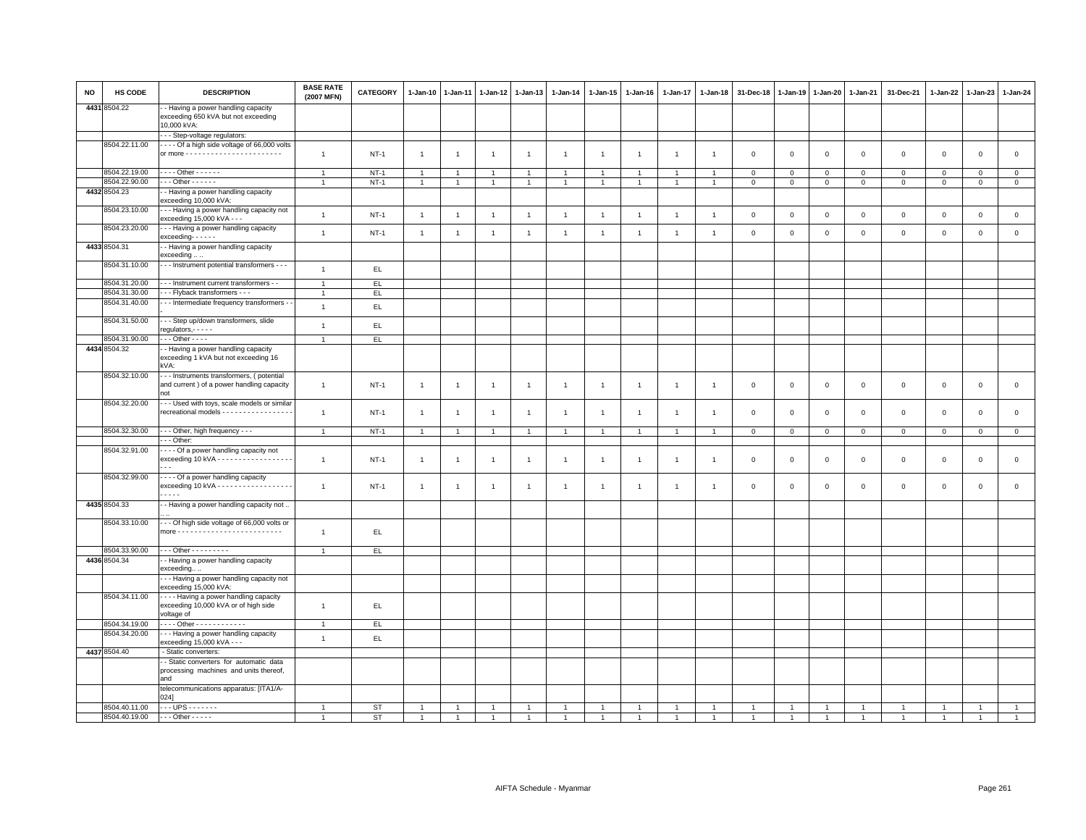| <b>NO</b> | HS CODE                        | <b>DESCRIPTION</b>                                                                                      | <b>BASE RATE</b><br>(2007 MFN) | <b>CATEGORY</b> | $1-Jan-10$     | $1-Jan-11$     | $1-Jan-12$           | $1-Jan-13$     | 1-Jan-14       | 1-Jan-15       | $1-Jan-16$     | 1-Jan-17       | 1-Jan-18       | 31-Dec-18      | 1-Jan-19       | $1 - Jan-20$   | 1-Jan-21       | 31-Dec-21           | $1 - Jan-22$   | $1-Jan-23$     | 1-Jan-24       |
|-----------|--------------------------------|---------------------------------------------------------------------------------------------------------|--------------------------------|-----------------|----------------|----------------|----------------------|----------------|----------------|----------------|----------------|----------------|----------------|----------------|----------------|----------------|----------------|---------------------|----------------|----------------|----------------|
|           | 4431 8504.22                   | - Having a power handling capacity<br>exceeding 650 kVA but not exceeding<br>10,000 kVA:                |                                |                 |                |                |                      |                |                |                |                |                |                |                |                |                |                |                     |                |                |                |
|           |                                | - - Step-voltage regulators:                                                                            |                                |                 |                |                |                      |                |                |                |                |                |                |                |                |                |                |                     |                |                |                |
|           | 8504.22.11.00                  | - - - - Of a high side voltage of 66,000 volts                                                          | $\mathbf{1}$                   | $NT-1$          | $\overline{1}$ | $\overline{1}$ | $\overline{1}$       | $\mathbf{1}$   | $\mathbf{1}$   | $\mathbf{1}$   | $\overline{1}$ | $\overline{1}$ | $\overline{1}$ | $\mathbf 0$    | $\mathsf 0$    | $\mathbf 0$    | $\mathbf 0$    | $\mathsf 0$         | $\mathsf 0$    | $\mathsf 0$    | $\mathsf 0$    |
|           | 8504.22.19.00                  | $\cdots$ Other - - - - - -                                                                              | $\overline{1}$                 | $NT-1$          | $\overline{1}$ | $\overline{1}$ | $\overline{1}$       | $\overline{1}$ | $\overline{1}$ | $\overline{1}$ | -1             | $\overline{1}$ | $\overline{1}$ | $\mathbf 0$    | $\mathsf 0$    | $\mathbf 0$    | $\mathbf 0$    | $\mathsf 0$         | $\mathsf 0$    | $\mathbf 0$    | $\mathsf 0$    |
|           | 8504.22.90.00                  | $\cdots$ Other - - - - - -                                                                              | $\overline{1}$                 | $NT-1$          | $\overline{1}$ | $\mathbf{1}$   | $\mathbf{1}$         | $\overline{1}$ |                | $\overline{1}$ | $\overline{1}$ | $\overline{1}$ |                | $\mathbf 0$    | $\mathbf 0$    | $\mathbf 0$    | $\mathbf 0$    | $\mathbf 0$         | $\mathbf 0$    | $\mathbf 0$    | $\mathsf 0$    |
|           | 4432 8504.23                   | - Having a power handling capacity<br>exceeding 10,000 kVA:                                             |                                |                 |                |                |                      |                |                |                |                |                |                |                |                |                |                |                     |                |                |                |
|           | 8504.23.10.00<br>8504.23.20.00 | -- Having a power handling capacity not<br>exceeding 15,000 kVA - - -                                   | $\mathbf{1}$                   | $NT-1$          | $\overline{1}$ | $\overline{1}$ | $\overline{1}$       | $\overline{1}$ | $\overline{1}$ | $\mathbf{1}$   | $\overline{1}$ | $\overline{1}$ | $\overline{1}$ | $\,0\,$        | $\,0\,$        | $\mathsf 0$    | $\,0\,$        | $\mathsf{O}\xspace$ | $\mathbf 0$    | $\mathsf 0$    | $\mathsf 0$    |
|           |                                | - - - Having a power handling capacity<br>$exceeding-----$                                              | $\mathbf{1}$                   | $NT-1$          | $\overline{1}$ | $\mathbf{1}$   | $\overline{1}$       | $\overline{1}$ | $\overline{1}$ | $\mathbf{1}$   | $\overline{1}$ | $\overline{1}$ | $\overline{1}$ | $\mathbf 0$    | $\mathsf 0$    | $\mathsf 0$    | $\mathbf 0$    | $\mathsf 0$         | $\mathbf 0$    | $\mathbf 0$    | $\mathsf 0$    |
|           | 4433 8504.31                   | - Having a power handling capacity<br>exceeding                                                         |                                |                 |                |                |                      |                |                |                |                |                |                |                |                |                |                |                     |                |                |                |
|           | 8504.31.10.00                  | - - - Instrument potential transformers - - -                                                           | $\overline{1}$                 | EL              |                |                |                      |                |                |                |                |                |                |                |                |                |                |                     |                |                |                |
|           | 8504.31.20.00                  | - - Instrument current transformers - -                                                                 | $\overline{1}$                 | EL.             |                |                |                      |                |                |                |                |                |                |                |                |                |                |                     |                |                |                |
|           | 8504.31.30.00                  | - - Flyback transformers - - -                                                                          | $\overline{1}$                 | EL.             |                |                |                      |                |                |                |                |                |                |                |                |                |                |                     |                |                |                |
|           | 8504.31.40.00                  | - - Intermediate frequency transformers -                                                               | $\mathbf{1}$                   | EL              |                |                |                      |                |                |                |                |                |                |                |                |                |                |                     |                |                |                |
|           | 8504.31.50.00                  | - - Step up/down transformers, slide                                                                    | $\overline{1}$                 | EL              |                |                |                      |                |                |                |                |                |                |                |                |                |                |                     |                |                |                |
|           | 8504.31.90.00                  | regulators, - - - - -<br>$\cdots$ Other - - - -                                                         | $\overline{1}$                 | EL.             |                |                |                      |                |                |                |                |                |                |                |                |                |                |                     |                |                |                |
|           | 4434 8504.32                   | - Having a power handling capacity                                                                      |                                |                 |                |                |                      |                |                |                |                |                |                |                |                |                |                |                     |                |                |                |
|           |                                | exceeding 1 kVA but not exceeding 16<br>kVA:                                                            |                                |                 |                |                |                      |                |                |                |                |                |                |                |                |                |                |                     |                |                |                |
|           | 8504.32.10.00                  | -- Instruments transformers, (potential<br>and current ) of a power handling capacity<br>not            | $\mathbf{1}$                   | <b>NT-1</b>     | $\overline{1}$ | $\overline{1}$ | $\overline{1}$       | $\overline{1}$ | $\overline{1}$ | $\mathbf{1}$   | $\overline{1}$ | $\overline{1}$ | $\overline{1}$ | $\mathbf 0$    | $\mathsf 0$    | $\mathsf 0$    | $\mathbf 0$    | $\mathsf 0$         | $\mathsf 0$    | $\mathsf 0$    | $\mathsf 0$    |
|           | 8504.32.20.00                  | -- Used with toys, scale models or similar                                                              |                                |                 |                |                |                      |                |                |                |                |                |                |                |                |                |                |                     |                |                |                |
|           |                                | recreational models - - - - - - - - - - - - - - - -                                                     | $\overline{1}$                 | $NT-1$          | $\overline{1}$ | -1             | $\overline{1}$       | $\overline{1}$ | $\overline{1}$ | $\mathbf{1}$   | $\overline{1}$ | $\overline{1}$ | $\mathbf{1}$   | $\mathbf 0$    | $\mathbf 0$    | $\mathbf 0$    | $\mathbf 0$    | $\mathsf 0$         | $\mathbf 0$    | $\mathsf 0$    | $\mathsf 0$    |
|           | 8504.32.30.00                  | - - - Other, high frequency - - -                                                                       | $\overline{1}$                 | $NT-1$          | $\overline{1}$ | $\overline{1}$ | $\mathbf{1}$         | $\overline{1}$ | $\overline{1}$ | $\mathbf{1}$   | $\overline{1}$ | $\overline{1}$ | $\overline{1}$ | $\mathbf 0$    | $\overline{0}$ | $\mathbf 0$    | $\overline{0}$ | $\mathsf 0$         | $\circ$        | $\mathbf 0$    | $\mathsf 0$    |
|           |                                | - - Other:                                                                                              |                                |                 |                |                |                      |                |                |                |                |                |                |                |                |                |                |                     |                |                |                |
|           | 8504.32.91.00                  | --- Of a power handling capacity not<br>exceeding 10 kVA - - - - - - - - - - - - - - - - - -            | $\overline{1}$                 | $NT-1$          | $\overline{1}$ | $\overline{1}$ | $\overline{1}$       | $\overline{1}$ | $\overline{1}$ | $\mathbf{1}$   | $\overline{1}$ | $\overline{1}$ | $\overline{1}$ | $\mathbf 0$    | $\mathbf 0$    | $\mathbf 0$    | $\mathbf 0$    | $\mathbf 0$         | $\mathbf 0$    | $\mathsf 0$    | $\mathsf 0$    |
|           | 8504.32.99.00                  | - - - - Of a power handling capacity<br>exceeding 10 kVA - - - - - - - - - - - - - - - - -<br>$- - - -$ | $\overline{1}$                 | $NT-1$          | $\overline{1}$ | $\overline{1}$ | $\overline{1}$       | $\overline{1}$ | $\overline{1}$ | $\mathbf{1}$   | $\overline{1}$ | $\mathbf{1}$   | $\mathbf{1}$   | $\mathbf 0$    | $\mathbf 0$    | $\mathsf 0$    | $\mathbf 0$    | $\mathsf 0$         | $\mathbf 0$    | $\mathbf{O}$   | $\mathbf 0$    |
|           | 4435 8504.33                   | - Having a power handling capacity not                                                                  |                                |                 |                |                |                      |                |                |                |                |                |                |                |                |                |                |                     |                |                |                |
|           | 8504.33.10.00                  | --- Of high side voltage of 66,000 volts or                                                             | $\overline{1}$                 | EL.             |                |                |                      |                |                |                |                |                |                |                |                |                |                |                     |                |                |                |
|           | 8504.33.90.00                  | - - - Other - - - - - - - - -                                                                           | $\overline{1}$                 | E               |                |                |                      |                |                |                |                |                |                |                |                |                |                |                     |                |                |                |
|           | 4436 8504.34                   | - Having a power handling capacity<br>exceeding                                                         |                                |                 |                |                |                      |                |                |                |                |                |                |                |                |                |                |                     |                |                |                |
|           |                                | -- Having a power handling capacity not<br>exceeding 15,000 kVA:                                        |                                |                 |                |                |                      |                |                |                |                |                |                |                |                |                |                |                     |                |                |                |
|           | 8504.34.11.00                  | --- Having a power handling capacity<br>exceeding 10,000 kVA or of high side<br>voltage of              | $\overline{1}$                 | EL.             |                |                |                      |                |                |                |                |                |                |                |                |                |                |                     |                |                |                |
|           | 8504.34.19.00                  | - - - - Other - - - - - - - - - - - -                                                                   | $\overline{1}$                 | EL              |                |                |                      |                |                |                |                |                |                |                |                |                |                |                     |                |                |                |
|           | 8504.34.20.00                  | -- Having a power handling capacity<br>exceeding 15,000 kVA - - -                                       | $\overline{1}$                 | EL              |                |                |                      |                |                |                |                |                |                |                |                |                |                |                     |                |                |                |
|           | 4437 8504.40                   | - Static converters:                                                                                    |                                |                 |                |                |                      |                |                |                |                |                |                |                |                |                |                |                     |                |                |                |
|           |                                | - Static converters for automatic data<br>processing machines and units thereof,<br>and                 |                                |                 |                |                |                      |                |                |                |                |                |                |                |                |                |                |                     |                |                |                |
|           |                                | telecommunications apparatus: [ITA1/A-<br>024]                                                          |                                |                 |                |                |                      |                |                |                |                |                |                |                |                |                |                |                     |                |                |                |
|           | 8504.40.11.00                  | $\cdots$ UPS $\cdots$                                                                                   | $\overline{1}$                 | <b>ST</b>       |                |                |                      |                |                |                |                |                |                |                |                |                |                |                     |                |                |                |
|           | 8504.40.19.00                  | $- -$ - Other - - - - -                                                                                 | $\overline{1}$                 | <b>ST</b>       | $\overline{1}$ | $\overline{1}$ | $\blacktriangleleft$ | $\overline{1}$ |                | $\overline{1}$ |                | $\mathbf{1}$   | $\overline{1}$ | $\overline{1}$ | $\overline{1}$ | $\overline{1}$ |                | $\overline{1}$      | $\overline{1}$ | $\overline{1}$ | $\overline{1}$ |
|           |                                |                                                                                                         |                                |                 |                |                |                      |                |                |                |                |                |                |                |                |                |                |                     |                |                |                |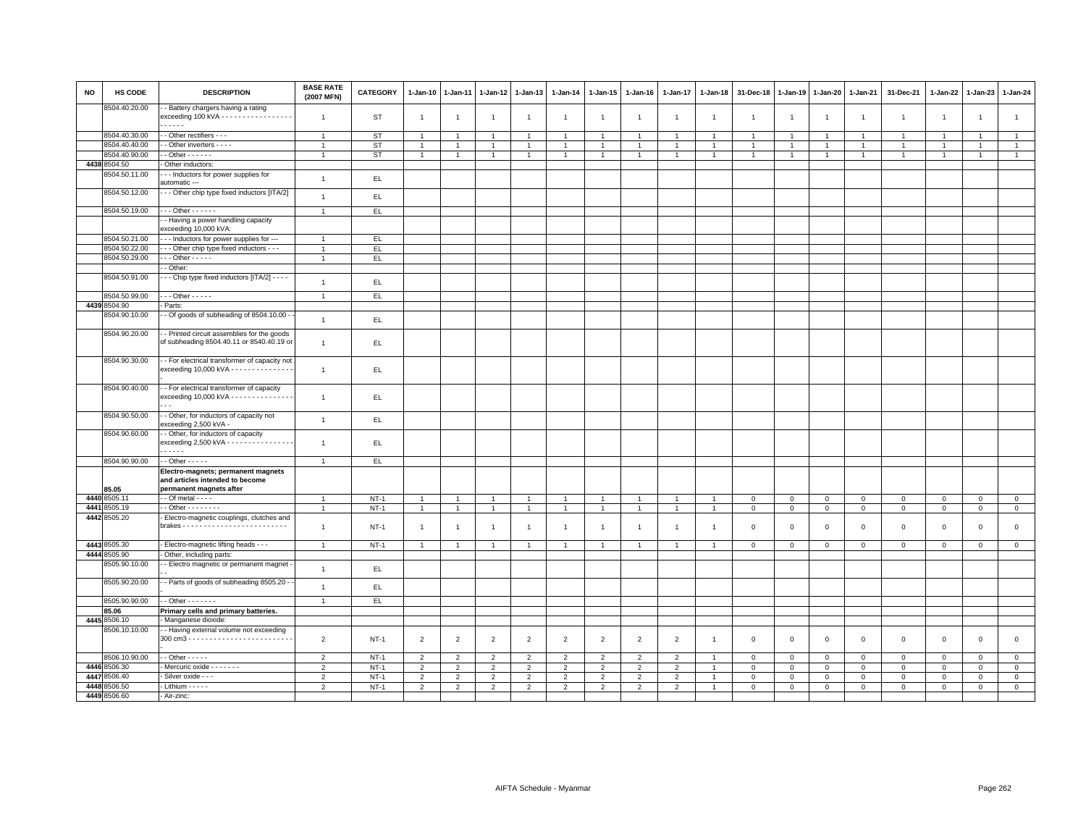| <b>NO</b> | HS CODE       | <b>DESCRIPTION</b>                                                                               | <b>BASE RATE</b><br>(2007 MFN) | CATEGORY    | $1 - Jan-10$   | 1-Jan-11             | 1-Jan-12       | $1 - Jan-13$   | 1-Jan-14       | 1-Jan-15       | 1-Jan-16       | 1-Jan-17       | 1-Jan-18       | 31-Dec-18               | 1-Jan-19       | 1-Jan-20       | 1-Jan-21       | 31-Dec-21      | 1-Jan-22       | 1-Jan-23       | 1-Jan-24       |
|-----------|---------------|--------------------------------------------------------------------------------------------------|--------------------------------|-------------|----------------|----------------------|----------------|----------------|----------------|----------------|----------------|----------------|----------------|-------------------------|----------------|----------------|----------------|----------------|----------------|----------------|----------------|
|           | 8504.40.20.00 | - Battery chargers having a rating<br>.                                                          | $\overline{1}$                 | ST          | $\overline{1}$ | $\overline{1}$       | $\overline{1}$ | $\overline{1}$ | $\overline{1}$ | $\overline{1}$ | $\overline{1}$ | $\mathbf{1}$   | $\overline{1}$ | $\overline{1}$          | $\overline{1}$ | $\overline{1}$ | $\overline{1}$ | $\overline{1}$ | $\overline{1}$ | $\overline{1}$ | $\overline{1}$ |
|           | 8504.40.30.00 | - Other rectifiers - - -                                                                         | $\overline{1}$                 | <b>ST</b>   | $\overline{1}$ |                      | $\overline{1}$ | $\overline{1}$ |                | $\overline{1}$ |                |                | $\overline{1}$ | $\overline{1}$          | $\overline{1}$ | $\overline{1}$ | $\overline{1}$ | $\overline{1}$ |                | $\overline{1}$ | $\overline{1}$ |
|           | 8504.40.40.00 | - Other inverters - - - -                                                                        | $\overline{1}$                 | ST          | $\mathbf{1}$   |                      | $\overline{1}$ | $\overline{1}$ |                | $\overline{1}$ |                |                |                | $\overline{1}$          |                | $\overline{1}$ | -1             | $\overline{1}$ |                | $\overline{1}$ | $\mathbf{1}$   |
|           | 8504.40.90.00 | $-$ Other $    -$                                                                                | $\overline{1}$                 | <b>ST</b>   | $\overline{1}$ | $\overline{1}$       | $\mathbf{1}$   | $\overline{1}$ | $\overline{1}$ | $\mathbf{1}$   |                | $\mathbf{1}$   | $\overline{1}$ | $\overline{1}$          | $\overline{1}$ | $\overline{1}$ | $\overline{1}$ | $\mathbf{1}$   | $\overline{1}$ | $\overline{1}$ | $\mathbf{1}$   |
|           | 4438 8504.50  | Other inductors:                                                                                 |                                |             |                |                      |                |                |                |                |                |                |                |                         |                |                |                |                |                |                |                |
|           | 3504.50.11.00 | -- Inductors for power supplies for<br>automatic ---                                             | $\mathbf{1}$                   | EL.         |                |                      |                |                |                |                |                |                |                |                         |                |                |                |                |                |                |                |
|           | 8504.50.12.00 | - - Other chip type fixed inductors [ITA/2]                                                      | $\overline{1}$                 | EL          |                |                      |                |                |                |                |                |                |                |                         |                |                |                |                |                |                |                |
|           | 8504.50.19.00 | $-0$ ther $-0$                                                                                   | $\overline{1}$                 | EL          |                |                      |                |                |                |                |                |                |                |                         |                |                |                |                |                |                |                |
|           |               | - Having a power handling capacity<br>exceeding 10,000 kVA:                                      |                                |             |                |                      |                |                |                |                |                |                |                |                         |                |                |                |                |                |                |                |
|           | 8504.50.21.00 | - - Inductors for power supplies for ---                                                         | $\overline{1}$                 | EL.         |                |                      |                |                |                |                |                |                |                |                         |                |                |                |                |                |                |                |
|           | 8504.50.22.00 | - - Other chip type fixed inductors - - -                                                        | $\overline{1}$                 | EL          |                |                      |                |                |                |                |                |                |                |                         |                |                |                |                |                |                |                |
|           | 8504.50.29.00 | $-0$ ther $-0$                                                                                   | $\mathbf{1}$                   | EL          |                |                      |                |                |                |                |                |                |                |                         |                |                |                |                |                |                |                |
|           |               | - Other:                                                                                         |                                |             |                |                      |                |                |                |                |                |                |                |                         |                |                |                |                |                |                |                |
|           | 8504.50.91.00 | - - Chip type fixed inductors [ITA/2] - - - -                                                    | $\overline{1}$                 | EL          |                |                      |                |                |                |                |                |                |                |                         |                |                |                |                |                |                |                |
|           | 8504.50.99.00 | $-0$ ther $-0$                                                                                   | $\mathbf{1}$                   | EL.         |                |                      |                |                |                |                |                |                |                |                         |                |                |                |                |                |                |                |
|           | 4439 8504.90  | Parts:                                                                                           |                                |             |                |                      |                |                |                |                |                |                |                |                         |                |                |                |                |                |                |                |
|           | 8504.90.10.00 | - Of goods of subheading of 8504.10.00 -                                                         | $\mathbf{1}$                   | EL          |                |                      |                |                |                |                |                |                |                |                         |                |                |                |                |                |                |                |
|           | 8504.90.20.00 | - Printed circuit assemblies for the goods<br>of subheading 8504.40.11 or 8540.40.19 or          | $\mathbf{1}$                   | EL.         |                |                      |                |                |                |                |                |                |                |                         |                |                |                |                |                |                |                |
|           | 8504.90.30.00 | - For electrical transformer of capacity not<br>exceeding 10,000 kVA - - - - - - - - - - - - - - | $\mathbf{1}$                   | EL.         |                |                      |                |                |                |                |                |                |                |                         |                |                |                |                |                |                |                |
|           | 8504.90.40.00 | - For electrical transformer of capacity<br>exceeding 10,000 kVA - - - - - - - - - - - - - - -   | $\mathbf{1}$                   | EL.         |                |                      |                |                |                |                |                |                |                |                         |                |                |                |                |                |                |                |
|           | 8504.90.50.00 | - Other, for inductors of capacity not<br>exceeding 2,500 kVA ·                                  | $\mathbf{1}$                   | EL.         |                |                      |                |                |                |                |                |                |                |                         |                |                |                |                |                |                |                |
|           | 8504.90.60.00 | - Other, for inductors of capacity<br>exceeding 2,500 kVA - - - - - - - - - - - - - - -<br>.     | $\mathbf{1}$                   | EL.         |                |                      |                |                |                |                |                |                |                |                         |                |                |                |                |                |                |                |
|           | 8504.90.90.00 | $-$ Other $   -$                                                                                 | $\mathbf{1}$                   | EL.         |                |                      |                |                |                |                |                |                |                |                         |                |                |                |                |                |                |                |
|           |               | Electro-magnets; permanent magnets                                                               |                                |             |                |                      |                |                |                |                |                |                |                |                         |                |                |                |                |                |                |                |
|           | 85.05         | and articles intended to become<br>permanent magnets after                                       |                                |             |                |                      |                |                |                |                |                |                |                |                         |                |                |                |                |                |                |                |
|           | 4440 8505.11  | $-$ Of metal $  -$                                                                               | $\overline{1}$                 | $NT-1$      | $\overline{1}$ | $\overline{1}$       | $\overline{1}$ | $\overline{1}$ | $\overline{1}$ | $\overline{1}$ |                | $\overline{1}$ | $\overline{1}$ | $\mathbf 0$             | $\mathsf 0$    | $\mathbf 0$    | $\mathbf 0$    | $\mathbf 0$    | $\circ$        | $\mathbf 0$    | $\mathbf{0}$   |
|           | 4441 8505.19  | $-$ Other $       -$                                                                             | $\mathbf{1}$                   | $NT-1$      | $\mathbf{1}$   | $\blacktriangleleft$ | $\mathbf{1}$   | $\mathbf{1}$   | $\overline{1}$ | $\mathbf{1}$   | $\overline{1}$ | $\mathbf{1}$   | $\overline{1}$ | $\mathbf{0}$            | $\mathbf{0}$   | $\mathsf{O}$   | $\overline{0}$ | $\mathsf 0$    | $\mathsf 0$    | $\mathbf 0$    | $\overline{0}$ |
|           | 4442 8505.20  | Electro-magnetic couplings, clutches and                                                         |                                |             |                |                      |                |                |                |                |                |                |                |                         |                |                |                |                |                |                |                |
|           |               |                                                                                                  | $\mathbf{1}$                   | $NT-1$      | $\overline{1}$ | $\overline{1}$       | $\overline{1}$ | $\overline{1}$ | $\overline{1}$ | $\mathbf{1}$   | $\overline{1}$ | $\mathbf{1}$   | $\overline{1}$ | $\overline{\mathbf{0}}$ | $\mathbf 0$    | $\mathbf 0$    | $\mathbf{0}$   | $\mathbf{0}$   | $\Omega$       | $\mathbf{0}$   | $\mathsf 0$    |
|           | 4443 8505.30  | Electro-magnetic lifting heads - - -                                                             | $\overline{1}$                 | $NT-1$      | $\overline{1}$ | $\overline{1}$       | $\overline{1}$ | $\overline{1}$ | $\overline{1}$ | $\overline{1}$ | $\overline{1}$ | $\mathbf{1}$   | $\overline{1}$ | $\overline{0}$          | $\mathbb O$    | $\circ$        | $\mathbf{0}$   | $\circ$        | $\mathbf{0}$   | $\circ$        | $\circ$        |
|           | 4444 8505.90  | Other, including parts:                                                                          |                                |             |                |                      |                |                |                |                |                |                |                |                         |                |                |                |                |                |                |                |
|           | 8505.90.10.00 | - Electro magnetic or permanent magnet                                                           | $\mathbf{1}$                   | EL.         |                |                      |                |                |                |                |                |                |                |                         |                |                |                |                |                |                |                |
|           | 8505.90.20.00 | - Parts of goods of subheading 8505.20 -                                                         | $\overline{1}$                 | EL          |                |                      |                |                |                |                |                |                |                |                         |                |                |                |                |                |                |                |
|           | 8505.90.90.00 | $\cdot$ - Other - - - - - - -                                                                    | $\overline{1}$                 | EL.         |                |                      |                |                |                |                |                |                |                |                         |                |                |                |                |                |                |                |
|           | 85.06         | Primary cells and primary batteries.                                                             |                                |             |                |                      |                |                |                |                |                |                |                |                         |                |                |                |                |                |                |                |
|           | 4445 8506.10  | Manganese dioxide:                                                                               |                                |             |                |                      |                |                |                |                |                |                |                |                         |                |                |                |                |                |                |                |
|           | 8506.10.10.00 | - Having external volume not exceeding                                                           | 2                              | $NT-1$      | $\overline{2}$ | $\overline{2}$       | $\overline{2}$ | $\overline{2}$ | $\overline{2}$ | $\overline{2}$ | 2              | 2              | $\overline{1}$ | $\mathbf 0$             | $\mathbf 0$    | $\mathbf 0$    | $\mathbf 0$    | $\circ$        | $\mathbf 0$    | $\mathsf 0$    | $\mathbb O$    |
|           | 8506.10.90.00 | $-$ Other $   -$                                                                                 | $\overline{2}$                 | $NT-1$      | $\overline{2}$ | $\overline{2}$       | $\overline{2}$ | $\overline{2}$ | $\overline{2}$ | $\overline{2}$ | $\overline{2}$ | $\overline{2}$ |                | $\mathbf 0$             | $\,0\,$        | $\circ$        | $\mathbf 0$    | $\mathsf 0$    | $\mathbf 0$    | $\mathsf 0$    | $\mathbf{0}$   |
|           | 4446 8506.30  | Mercuric oxide - - - - - - -                                                                     | $\overline{2}$                 | <b>NT-1</b> | $\overline{2}$ | $\overline{2}$       | $\overline{2}$ | $\overline{2}$ | $\overline{2}$ | $\overline{2}$ | 2              | $\overline{2}$ | $\overline{1}$ | $\overline{0}$          | $\mathbf{0}$   | $\overline{0}$ | $\overline{0}$ | $\mathbf 0$    | $\mathbf 0$    | $\mathbf 0$    | $\mathbf 0$    |
| 4447      | 8506.40       | Silver oxide - - -                                                                               | $\overline{2}$                 | $NT-1$      | 2              | $\overline{2}$       | $\mathfrak{p}$ | 2              | $\overline{2}$ | $\overline{2}$ | 2              | $\mathfrak{p}$ | $\overline{1}$ | $\mathsf 0$             | $\mathsf 0$    | $\mathbf 0$    | $\circ$        | $\mathbf 0$    | $\mathbf{0}$   | $\mathbf{0}$   | $\overline{0}$ |
|           | 4448 8506.50  | Lithium - - - - -                                                                                | $\overline{2}$                 | $NT-1$      | 2              | $\overline{2}$       | $\overline{2}$ | 2              | $\overline{2}$ | $\overline{2}$ | 2              | 2              | $\overline{1}$ | $\mathbf{0}$            | $\mathbf 0$    | $\mathbf{O}$   | $\circ$        | $\mathbf{0}$   | $\mathbf{0}$   | $\mathbf{0}$   | $\mathbf{0}$   |
|           | 4449 8506.60  | - Air-zinc:                                                                                      |                                |             |                |                      |                |                |                |                |                |                |                |                         |                |                |                |                |                |                |                |
|           |               |                                                                                                  |                                |             |                |                      |                |                |                |                |                |                |                |                         |                |                |                |                |                |                |                |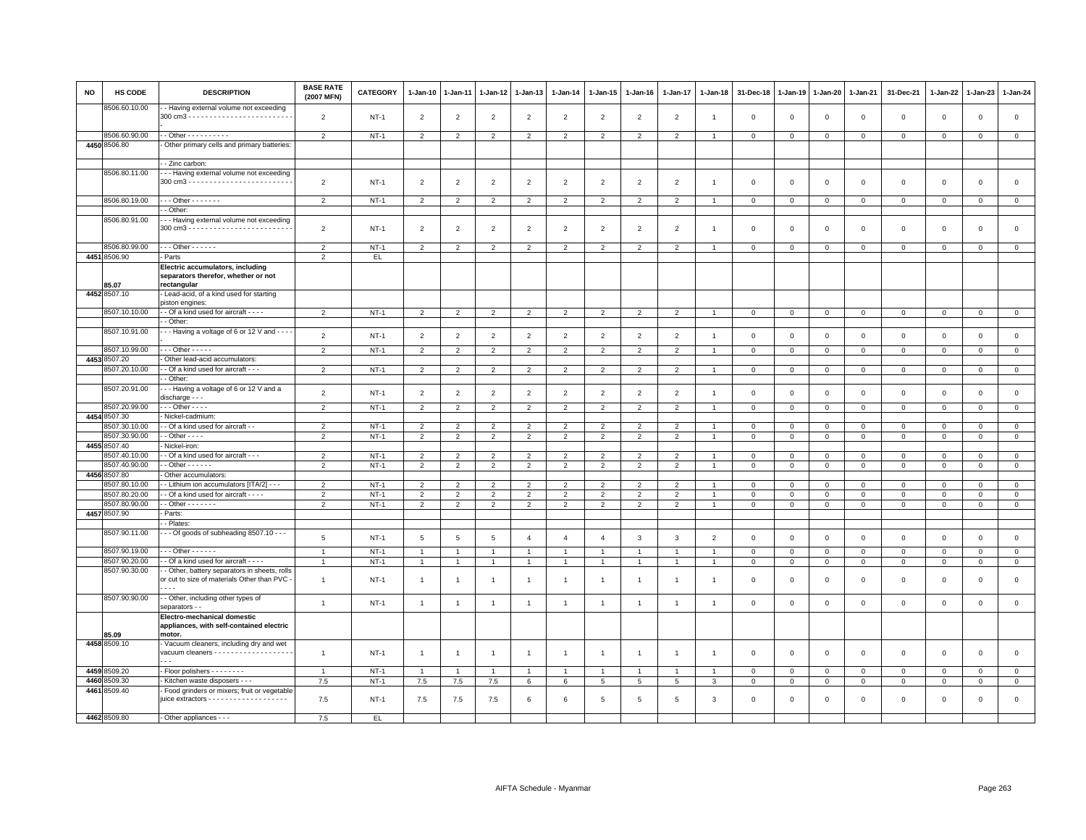| <b>NO</b> | <b>HS CODE</b>                 | <b>DESCRIPTION</b>                                                                              | <b>BASE RATE</b><br>(2007 MFN) | <b>CATEGORY</b>  | 1-Jan-10            | $1-Jan-11$               | 1-Jan-12                         | $1-Jan-13$                       | $1-Jan-14$                       | 1-Jan-15            | 1-Jan-16                         | 1-Jan-17                         | $1-Jan-18$     | 31-Dec-18                  | $1-Jan-19$                  | 1-Jan-20                   | 1-Jan-21                      | 31-Dec-21                  | 1-Jan-22                    | 1-Jan-23                   | 1-Jan-24                    |
|-----------|--------------------------------|-------------------------------------------------------------------------------------------------|--------------------------------|------------------|---------------------|--------------------------|----------------------------------|----------------------------------|----------------------------------|---------------------|----------------------------------|----------------------------------|----------------|----------------------------|-----------------------------|----------------------------|-------------------------------|----------------------------|-----------------------------|----------------------------|-----------------------------|
|           | 8506.60.10.00                  | - Having external volume not exceeding                                                          | $\overline{2}$                 | $NT-1$           | $\overline{2}$      | $\overline{2}$           | $\overline{2}$                   | $\overline{2}$                   | $\overline{2}$                   | $\overline{2}$      | $\overline{2}$                   | $\overline{2}$                   | $\mathbf{1}$   | $\mathbf 0$                | $\mathbf 0$                 | $\,0\,$                    | $\mathbf 0$                   | $\mathbf 0$                | $\mathbf 0$                 | $\mathsf 0$                | $\mathsf 0$                 |
|           | 8506.60.90.00                  | - - Other - - - - - - - - - -                                                                   | 2                              | <b>NT-1</b>      | $\overline{2}$      | $\overline{2}$           | $\overline{2}$                   | $\overline{2}$                   | $\overline{2}$                   | $\overline{2}$      | 2                                | $\overline{2}$                   | $\overline{1}$ | $\mathbf 0$                | $\mathbf{0}$                | $\mathbf{0}$               | $\overline{0}$                | $\mathbf 0$                | $\mathbf 0$                 | $\mathbf{0}$               | $\mathbf{0}$                |
|           | 4450 8506.80                   | Other primary cells and primary batteries:                                                      |                                |                  |                     |                          |                                  |                                  |                                  |                     |                                  |                                  |                |                            |                             |                            |                               |                            |                             |                            |                             |
|           |                                | - Zinc carbon:                                                                                  |                                |                  |                     |                          |                                  |                                  |                                  |                     |                                  |                                  |                |                            |                             |                            |                               |                            |                             |                            |                             |
|           | 8506.80.11.00                  | - - Having external volume not exceeding                                                        |                                |                  |                     |                          |                                  |                                  |                                  |                     |                                  |                                  |                |                            |                             |                            |                               |                            |                             |                            |                             |
|           |                                |                                                                                                 | $\overline{2}$                 | $NT-1$           | $\overline{2}$      | $\overline{2}$           | $\overline{2}$                   | $\overline{2}$                   | $\overline{2}$                   | $\overline{2}$      | $\overline{2}$                   | 2                                | $\mathbf{1}$   | $\mathbf 0$                | $\mathbf{0}$                | $\mathbf{0}$               | $\mathbf 0$                   | $\circ$                    | $\circ$                     | 0                          | $\mathbf 0$                 |
|           | 8506.80.19.00                  | $\cdots$ Other - - - - - - -                                                                    | $\overline{2}$                 | $NT-1$           | $\overline{2}$      | $\overline{2}$           | $\overline{2}$                   | $\overline{2}$                   | $\overline{2}$                   | $\overline{2}$      | $\overline{2}$                   | $\overline{2}$                   | $\overline{1}$ | $\overline{0}$             | $\overline{0}$              | $\mathbf{0}$               | $\overline{0}$                | $\circ$                    | $\mathbf 0$                 | $\circ$                    | $\mathbf{0}$                |
|           |                                | - Other:                                                                                        |                                |                  |                     |                          |                                  |                                  |                                  |                     |                                  |                                  |                |                            |                             |                            |                               |                            |                             |                            |                             |
|           | 8506.80.91.00                  | - - Having external volume not exceeding                                                        | $\overline{2}$                 | $NT-1$           | $\overline{2}$      | $\overline{2}$           | $\overline{2}$                   | $\overline{2}$                   | $\overline{2}$                   | $\overline{2}$      | $\overline{2}$                   | $\overline{2}$                   | $\mathbf{1}$   | $\mathsf 0$                | $\mathbf 0$                 | $\,0\,$                    | $\mathbf 0$                   | $\mathsf 0$                | $\mathsf 0$                 | $\mathsf 0$                | $\mathsf 0$                 |
|           | 8506.80.99.00                  | $\cdots$ Other - - - - - -                                                                      | $\overline{2}$                 | $NT-1$           | $\overline{2}$      | $\overline{2}$           | $\overline{2}$                   | $\overline{2}$                   | $\overline{2}$                   | $\overline{2}$      | $\overline{2}$                   | $\overline{2}$                   | $\overline{1}$ | $\mathbf{0}$               | $\mathbf 0$                 | $\mathbf 0$                | $\overline{0}$                | $\mathbf 0$                | $\mathbf 0$                 | $\mathbf 0$                | $\mathbf{0}$                |
|           | 4451 8506.90                   | - Parts                                                                                         | $\overline{2}$                 | EL.              |                     |                          |                                  |                                  |                                  |                     |                                  |                                  |                |                            |                             |                            |                               |                            |                             |                            |                             |
|           |                                | Electric accumulators, including<br>separators therefor, whether or not                         |                                |                  |                     |                          |                                  |                                  |                                  |                     |                                  |                                  |                |                            |                             |                            |                               |                            |                             |                            |                             |
|           | 85.07                          | rectangular                                                                                     |                                |                  |                     |                          |                                  |                                  |                                  |                     |                                  |                                  |                |                            |                             |                            |                               |                            |                             |                            |                             |
|           | 4452 8507.10                   | Lead-acid, of a kind used for starting                                                          |                                |                  |                     |                          |                                  |                                  |                                  |                     |                                  |                                  |                |                            |                             |                            |                               |                            |                             |                            |                             |
|           | 8507.10.10.00                  | piston engines:<br>- Of a kind used for aircraft - - - -                                        | $\overline{2}$                 | $NT-1$           | $\overline{2}$      | $\overline{2}$           | $\overline{2}$                   | $\overline{2}$                   | $\overline{2}$                   | $\overline{2}$      | $\overline{2}$                   | $\overline{2}$                   |                | $\mathbf 0$                | $\mathbf 0$                 | $\mathbf 0$                | $\mathbf 0$                   | $\mathbf{0}$               | $\Omega$                    | $\mathsf 0$                | $\mathbf 0$                 |
|           |                                | - Other:                                                                                        |                                |                  |                     |                          |                                  |                                  |                                  |                     |                                  |                                  |                |                            |                             |                            |                               |                            |                             |                            |                             |
|           | 8507.10.91.00                  | - - Having a voltage of 6 or 12 V and - - -                                                     | $\overline{2}$                 | $NT-1$           | $\overline{2}$      | $\overline{2}$           | $\overline{2}$                   | 2                                | $\overline{2}$                   | $\overline{2}$      | $\overline{2}$                   | $\overline{2}$                   | $\overline{1}$ | $\mathbf 0$                | $\mathbf 0$                 | $\overline{0}$             | $\overline{0}$                | $\mathbf{0}$               | $\mathbf{0}$                | $\mathbf 0$                | $\mathsf 0$                 |
|           | 8507.10.99.00                  | $\cdots$ Other - - - - -                                                                        | $\overline{2}$                 | $NT-1$           | $\overline{2}$      | $\overline{2}$           | $\overline{2}$                   | $\overline{2}$                   | $\overline{2}$                   | $\overline{2}$      | $\overline{2}$                   | $\overline{2}$                   | $\overline{1}$ | $\overline{0}$             | $\overline{0}$              | $\overline{0}$             | $\overline{0}$                | $\mathbf 0$                | $\circ$                     | $\mathbf{0}$               | $\mathbf{0}$                |
|           | 4453 8507.20                   | - Other lead-acid accumulators:                                                                 |                                |                  |                     |                          |                                  |                                  |                                  |                     |                                  |                                  |                |                            |                             |                            |                               |                            |                             |                            |                             |
|           | 8507.20.10.00                  | - - Of a kind used for aircraft - - -                                                           | 2                              | $NT-1$           | 2                   | 2                        | 2                                | 2                                | 2                                | 2                   | $\overline{2}$                   | 2                                | $\overline{1}$ | $\overline{0}$             | $\mathbf{0}$                | $\mathbf{0}$               | $\mathbf 0$                   | $\mathbf{0}$               | $\mathbf{0}$                | $\overline{0}$             | $\mathbf{0}$                |
|           |                                | - Other:                                                                                        |                                |                  |                     |                          |                                  |                                  |                                  |                     |                                  |                                  |                |                            |                             |                            |                               |                            |                             |                            |                             |
|           | 8507.20.91.00                  | -- Having a voltage of 6 or 12 V and a<br>discharge - - -                                       | $\overline{2}$                 | $NT-1$           | $\overline{2}$      | $\overline{2}$           | $\overline{2}$                   | $\overline{2}$                   | $\overline{2}$                   | $\overline{2}$      | $\overline{2}$                   | $\overline{2}$                   | $\overline{1}$ | $\,0\,$                    | $\mathbb O$                 | $\mathbf 0$                | $\mathbf 0$                   | $\mathbf 0$                | $\mathsf 0$                 | $\mathsf 0$                | $\mathsf 0$                 |
|           | 8507.20.99.00                  | $\cdots$ Other - - - -                                                                          | $\overline{2}$                 | $NT-1$           | $\overline{2}$      | $\mathcal{P}$            | $\overline{2}$                   | $\overline{2}$                   | $\overline{2}$                   | $\overline{2}$      | $\overline{2}$                   | $\overline{2}$                   |                | $\mathbf 0$                | $\mathbf 0$                 | $\mathbf 0$                | $\mathbf 0$                   | $\mathbf 0$                | $\mathbf 0$                 | $\mathbf{O}$               | $\mathbf 0$                 |
|           | 4454 8507.30                   | Nickel-cadmium:<br>- Of a kind used for aircraft - -                                            |                                | $NT-1$           | $\overline{2}$      | $\overline{\phantom{a}}$ | $\overline{\phantom{a}}$         | $\mathcal{P}$                    |                                  | $\overline{2}$      | $\overline{2}$                   | $\overline{2}$                   |                | $\mathbf 0$                | $\mathbf 0$                 | $\mathbf 0$                | $\mathbf 0$                   |                            |                             |                            |                             |
|           | 3507.30.10.00<br>8507.30.90.00 | $-$ Other $- -$                                                                                 | $\overline{2}$                 | $NT-1$           | $\overline{2}$      | $\overline{2}$           | $\overline{2}$                   | $\overline{2}$                   | $\overline{2}$<br>$\overline{2}$ | $\overline{2}$      | $\overline{2}$                   | $\overline{2}$                   | $\overline{1}$ | $\overline{0}$             | $\overline{0}$              | $\overline{0}$             | $\overline{0}$                | $\mathbf 0$<br>$\mathbf 0$ | $\mathbf 0$<br>$\mathbf{0}$ | $\mathsf 0$<br>$\mathbf 0$ | $\mathbf 0$<br>$\mathbf{0}$ |
|           | 4455 8507.40                   | Nickel-iron:                                                                                    |                                |                  |                     |                          |                                  |                                  |                                  |                     |                                  |                                  |                |                            |                             |                            |                               |                            |                             |                            |                             |
|           | 8507.40.10.00                  | - Of a kind used for aircraft - - -                                                             | $\overline{2}$                 | $NT-1$           | 2                   | $\overline{2}$           | $\overline{2}$                   | $\overline{2}$                   | 2                                | $\overline{2}$      | $\overline{2}$                   | $\overline{2}$                   | $\overline{1}$ | $\mathbf 0$                | $\overline{0}$              | $\mathbf{0}$               | $\overline{0}$                | $\circ$                    | $\Omega$                    | $\Omega$                   | $\mathsf 0$                 |
|           | 8507.40.90.00                  | $-$ Other $    -$                                                                               | $\overline{2}$                 | $NT-1$           | $\overline{2}$      | $\overline{2}$           | $\overline{2}$                   | $\overline{2}$                   | $\overline{2}$                   | $\overline{2}$      | $\overline{2}$                   | $\overline{2}$                   | $\overline{1}$ | $\,0\,$                    | $\mathbf{0}$                | $\mathbf{0}$               | $\overline{0}$                | $\mathbf 0$                | 0                           | $\mathbf 0$                | $\mathbf 0$                 |
|           | 4456 8507.80                   | Other accumulators:                                                                             |                                |                  |                     |                          |                                  |                                  |                                  |                     |                                  |                                  |                |                            |                             |                            |                               |                            |                             |                            |                             |
|           | 8507.80.10.00<br>8507.80.20.00 | - Lithium ion accumulators [ITA/2] - - -<br>- Of a kind used for aircraft - - - -               | $\overline{2}$                 | $NT-1$           | $\overline{2}$      |                          | $\overline{2}$                   | $\overline{2}$                   | $\overline{2}$                   | $\overline{2}$      | $\overline{2}$                   | $\overline{2}$                   |                | $\mathbf 0$                | $\mathbf 0$                 | $\mathbf 0$                | $\mathbf 0$                   | $\mathbf 0$                | $\mathbf 0$<br>$\Omega$     | $\mathsf 0$                | $\mathbf 0$                 |
|           | 8507.80.90.00                  | $-$ Other $     -$                                                                              | 2<br>$\overline{2}$            | $NT-1$<br>$NT-1$ | 2<br>$\overline{2}$ | 2<br>$\overline{2}$      | $\overline{2}$<br>$\overline{2}$ | $\overline{2}$<br>$\overline{2}$ | 2<br>$\overline{2}$              | 2<br>$\overline{2}$ | $\overline{2}$<br>$\overline{2}$ | $\overline{2}$<br>$\overline{2}$ | $\overline{1}$ | $\mathsf 0$<br>$\mathbf 0$ | $\mathbb O$<br>$\mathbf{0}$ | $\mathbf 0$<br>$\mathbf 0$ | $\overline{0}$<br>$\mathbf 0$ | $\circ$<br>$\mathbf 0$     | $\mathbf 0$                 | $\mathbf 0$<br>$\mathbf 0$ | $\mathsf 0$<br>$\mathbf 0$  |
|           | 4457 8507.90                   | - Parts:                                                                                        |                                |                  |                     |                          |                                  |                                  |                                  |                     |                                  |                                  |                |                            |                             |                            |                               |                            |                             |                            |                             |
|           |                                | - Plates:                                                                                       |                                |                  |                     |                          |                                  |                                  |                                  |                     |                                  |                                  |                |                            |                             |                            |                               |                            |                             |                            |                             |
|           | 8507.90.11.00                  | - - Of goods of subheading 8507.10 - - -                                                        | 5                              | $NT-1$           | $5\phantom{.0}$     | $\overline{5}$           | $\overline{5}$                   | $\overline{4}$                   | $\overline{4}$                   | $\overline{4}$      | $\mathbf{3}$                     | 3                                | $\overline{2}$ | $\,0\,$                    | $\mathbf 0$                 | $\,0\,$                    | $\mathbf 0$                   | $\mathsf 0$                | $\mathsf 0$                 | $\mathsf 0$                | $\mathsf 0$                 |
|           | 8507.90.19.00                  | $-$ - Other - - - - - -                                                                         | $\overline{1}$                 | $NT-1$           | $\mathbf{1}$        | $\overline{1}$           | $\overline{1}$                   | $\overline{1}$                   | $\mathbf{1}$                     | $\mathbf{1}$        | $\overline{1}$                   | $\overline{1}$                   | $\overline{1}$ | $\mathbf 0$                | $\mathbf 0$                 | $\mathbf 0$                | $\overline{0}$                | $\mathsf 0$                | $\mathsf 0$                 | $\mathbf 0$                | $\overline{0}$              |
|           | 8507.90.20.00                  | - Of a kind used for aircraft - - - -                                                           | $\overline{1}$                 | $NT-1$           | $\overline{1}$      | $\overline{1}$           | $\overline{1}$                   | $\mathbf{1}$                     | $\overline{1}$                   | $\mathbf{1}$        | $\mathbf{1}$                     | $\mathbf{1}$                     |                | $\,0\,$                    | $\,0\,$                     | $\overline{0}$             | $\mathbf 0$                   | $\mathbf 0$                | $\mathbf 0$                 | $\mathsf 0$                | $\mathbf 0$                 |
|           | 8507.90.30.00                  | - Other, battery separators in sheets, rolls<br>or cut to size of materials Other than PVC<br>. | $\overline{1}$                 | $NT-1$           | $\overline{1}$      |                          |                                  | $\overline{1}$                   | $\overline{1}$                   | $\mathbf{1}$        |                                  | $\mathbf{1}$                     |                | $\mathbf 0$                | $\mathbf 0$                 | $\mathbf 0$                | $\mathsf 0$                   | $\mathbf 0$                | $\mathbf 0$                 | $\mathsf 0$                | $\mathsf 0$                 |
|           | 8507.90.90.00                  | - Other, including other types of<br>separators - -                                             | $\overline{1}$                 | $NT-1$           | $\overline{1}$      | $\overline{1}$           | $\overline{1}$                   | $\mathbf{1}$                     | $\overline{1}$                   | $\mathbf{1}$        | $\overline{1}$                   | $\overline{1}$                   | $\overline{1}$ | $\,0\,$                    | $\mathbf 0$                 | $\,0\,$                    | $\mathbf 0$                   | $\mathbf 0$                | $\,0\,$                     | $\mathsf{O}\xspace$        | $\mathsf 0$                 |
|           |                                | Electro-mechanical domestic                                                                     |                                |                  |                     |                          |                                  |                                  |                                  |                     |                                  |                                  |                |                            |                             |                            |                               |                            |                             |                            |                             |
|           | 85.09                          | appliances, with self-contained electric<br>motor.                                              |                                |                  |                     |                          |                                  |                                  |                                  |                     |                                  |                                  |                |                            |                             |                            |                               |                            |                             |                            |                             |
|           | 4458 8509.10                   | - Vacuum cleaners, including dry and wet                                                        |                                |                  |                     |                          |                                  |                                  |                                  |                     |                                  |                                  |                |                            |                             |                            |                               |                            |                             |                            |                             |
|           |                                | vacuum cleaners - - - - - - - - - - - - - - - - - -<br>$\sim$ $\sim$                            | $\overline{1}$                 | $NT-1$           | $\overline{1}$      | $\overline{1}$           | $\overline{1}$                   | $\mathbf{1}$                     | $\overline{1}$                   | $\mathbf{1}$        | $\overline{1}$                   | $\mathbf{1}$                     | $\overline{1}$ | $\mathbf 0$                | $\mathbf 0$                 | $\mathbf 0$                | $\overline{0}$                | $\mathbf 0$                | $\mathbf 0$                 | $\mathbf{0}$               | $\mathbf 0$                 |
|           | 4459 8509.20                   | - Floor polishers - - - - - - - -                                                               | $\overline{1}$                 | $NT-1$           | $\mathbf{1}$        | $\overline{1}$           | $\overline{1}$                   | $\overline{1}$                   | $\overline{1}$                   | $\mathbf{1}$        | $\overline{1}$                   | $\mathbf{1}$                     | $\overline{1}$ | $\mathbf 0$                | $\mathbf 0$                 | $\circ$                    | $\mathbf 0$                   | $\circ$                    | $\mathbf 0$                 | $\mathbf{0}$               | $\mathsf 0$                 |
|           | 4460 8509.30                   | - Kitchen waste disposers - - -                                                                 | 7.5                            | $NT-1$           | 7.5                 | 7.5                      | 7.5                              | 6                                | 6                                | $5\overline{5}$     | 5                                | $5\phantom{.0}$                  | 3              | $\overline{0}$             | $\mathbf{0}$                | $\overline{0}$             | $\overline{0}$                | $\mathbf 0$                | $\mathbf 0$                 | $\mathbf 0$                | $\mathsf 0$                 |
|           | 4461 8509.40                   | Food grinders or mixers; fruit or vegetable                                                     | 7.5                            | $NT-1$           | 7.5                 | 7.5                      | 7.5                              | -6                               | 6                                | $\overline{5}$      | -5                               | $5\overline{5}$                  | -3             | $\Omega$                   | $\overline{0}$              | $\mathbf 0$                | $\circ$                       | $\mathbf{0}$               | $\Omega$                    | $\mathbf 0$                | $\circ$                     |
|           | 4462 8509.80                   | - Other appliances - - -                                                                        | 7.5                            | EL.              |                     |                          |                                  |                                  |                                  |                     |                                  |                                  |                |                            |                             |                            |                               |                            |                             |                            |                             |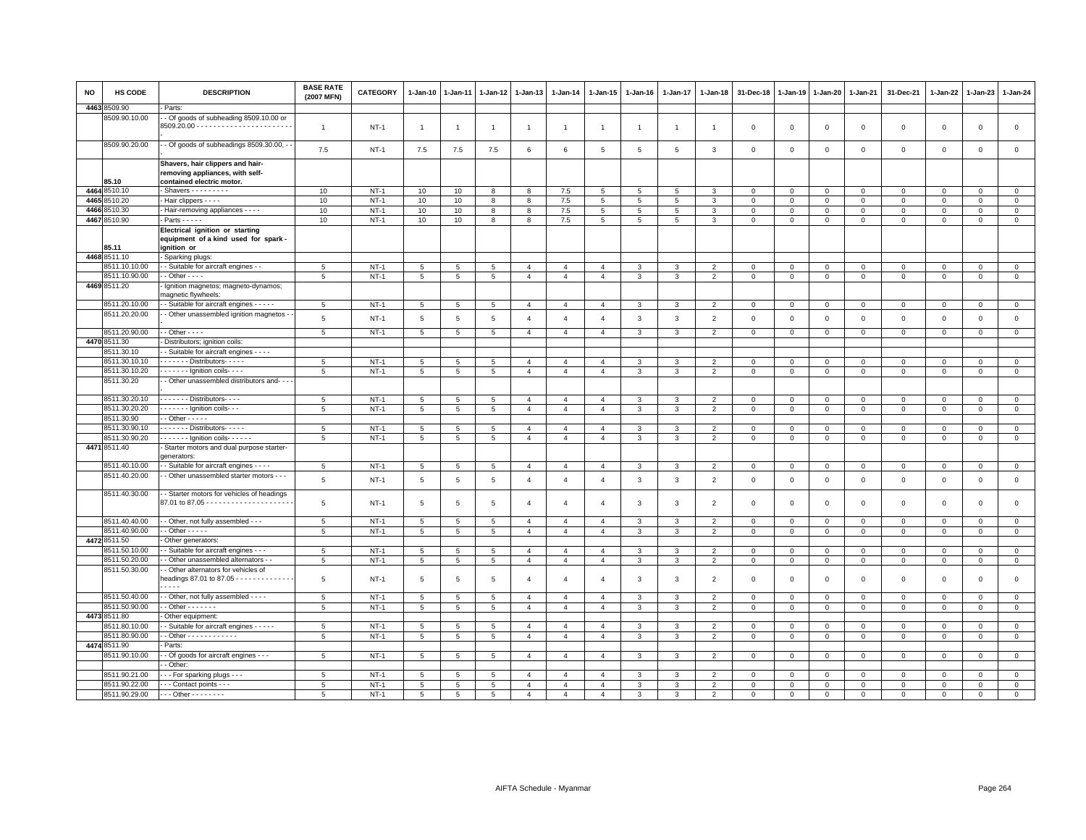| <b>NO</b> | <b>HS CODE</b>                 | <b>DESCRIPTION</b>                                                                               | <b>BASE RATE</b><br>(2007 MFN) | <b>CATEGORY</b>  | 1-Jan-10             | 1-Jan-11       | 1-Jan-12       | 1-Jan-13                         | 1-Jan-14                         | 1-Jan-15                         | 1-Jan-16     | 1-Jan-17       | $1 - Jan-18$                     | 31-Dec-18               | 1-Jan-19                | 1-Jan-20                | 1-Jan-21                     | 31-Dec-21                  | 1-Jan-22                     | 1-Jan-23                   | 1-Jan-24                |
|-----------|--------------------------------|--------------------------------------------------------------------------------------------------|--------------------------------|------------------|----------------------|----------------|----------------|----------------------------------|----------------------------------|----------------------------------|--------------|----------------|----------------------------------|-------------------------|-------------------------|-------------------------|------------------------------|----------------------------|------------------------------|----------------------------|-------------------------|
| 4463      | 8509.90                        | Parts:                                                                                           |                                |                  |                      |                |                |                                  |                                  |                                  |              |                |                                  |                         |                         |                         |                              |                            |                              |                            |                         |
|           | 8509.90.10.00                  | - Of goods of subheading 8509.10.00 or                                                           | $\overline{1}$                 | $NT-1$           | $\overline{1}$       | $\overline{1}$ | $\overline{1}$ | $\overline{1}$                   | $\overline{1}$                   | $\mathbf{1}$                     |              | $\overline{1}$ |                                  | $\mathbf 0$             | $\mathbf 0$             | $\mathbf 0$             | $\mathsf 0$                  | $\mathsf 0$                | $\mathbf 0$                  | $\mathsf 0$                | $\mathsf 0$             |
|           | 8509.90.20.00                  | - Of goods of subheadings 8509.30.00, -                                                          | 7.5                            | $NT-1$           | 7.5                  | 7.5            | 7.5            | 6                                | 6                                | 5                                | 5            | 5              | 3                                | $\mathbf 0$             | $\mathbf 0$             | $\mathsf 0$             | $\mathbf 0$                  | $\mathsf 0$                | $\mathbf 0$                  | $\mathsf 0$                | $\mathsf 0$             |
|           | 85.10                          | Shavers, hair clippers and hair-<br>removing appliances, with self-<br>contained electric motor. |                                |                  |                      |                |                |                                  |                                  |                                  |              |                |                                  |                         |                         |                         |                              |                            |                              |                            |                         |
|           | 4464 8510.10                   | $-$ Shavers $- - - - - - - -$                                                                    | 10                             | $NT-1$           | 10                   | 10             | 8              | 8                                | 7.5                              | 5                                | 5            | 5              | 3                                | 0                       | 0                       | 0                       | 0                            | $\circ$                    | $\circ$                      | $\mathbf{0}$               | $\mathbf{0}$            |
|           | 4465 8510.20                   | - Hair clippers - - - -                                                                          | 10                             | $NT-1$           | 10                   | 10             | 8              | 8                                | 7.5                              | 5                                | 5            | 5              | $\overline{3}$                   | $\mathbf{0}$            | $\mathbf{0}$            | $\circ$                 | $\mathbf{0}$                 | $\mathbf 0$                | $\Omega$                     | $\mathbf 0$                | $\mathsf 0$             |
| 4466      | 3510.30                        | - Hair-removing appliances - - - -                                                               | 10                             | $NT-1$           | 10                   | 10             | 8              | 8                                | 7.5                              | 5                                | 5            | 5              | 3                                | $\mathbf 0$             | $\mathbf 0$             | $\mathbf 0$             | $\mathbf 0$                  | $\mathsf 0$                | $\circ$                      | $\mathsf 0$                | $\mathbf 0$             |
|           | 4467 8510.90                   | - Parts - - - - -                                                                                | 10                             | $NT-1$           | 10 <sup>10</sup>     | 10             | 8              | 8                                | 7.5                              | 5                                | 5            | 5              | $\mathbf{3}$                     | $\mathbf{0}$            | $\mathsf 0$             | $\mathbf{O}$            | $\mathbf{0}$                 | $\mathbf 0$                | $\mathbf 0$                  | $\mathsf 0$                | $\overline{0}$          |
|           | 85.11                          | Electrical ignition or starting<br>equipment of a kind used for spark -<br>ignition or           |                                |                  |                      |                |                |                                  |                                  |                                  |              |                |                                  |                         |                         |                         |                              |                            |                              |                            |                         |
|           | 4468 8511.10                   | - Sparking plugs:                                                                                |                                |                  |                      |                |                |                                  |                                  |                                  |              |                |                                  |                         |                         |                         |                              |                            |                              |                            |                         |
|           | 8511.10.10.00                  | - - Suitable for aircraft engines - -                                                            | 5                              | $NT-1$           | $5\overline{5}$      | 5              | 5              | $\overline{4}$                   | $\overline{4}$                   | $\overline{4}$                   | 3            | 3              | $\overline{2}$                   | $\mathbf{0}$            | $\mathbf 0$             | $\mathbf{0}$            | $\mathbf{0}$                 | $\mathbf 0$                | $\mathbf{0}$                 | $\mathbf{0}$               | $\mathsf 0$             |
|           | 8511.10.90.00                  | $\cdot$ - Other - - - -                                                                          | 5                              | $NT-1$           | 5                    | 5              | 5              | $\overline{4}$                   | $\overline{4}$                   | $\overline{4}$                   | $\mathbf{3}$ | 3              | $\overline{2}$                   | $\mathbf 0$             | $\mathbf 0$             | $\mathbf 0$             | $\mathbf 0$                  | $\mathsf 0$                | $\mathbf 0$                  | $\mathbf 0$                | $\mathsf 0$             |
|           | 4469 8511.20                   | Ignition magnetos; magneto-dynamos;<br>magnetic flywheels:                                       |                                |                  |                      |                |                |                                  |                                  |                                  |              |                |                                  |                         |                         |                         |                              |                            |                              |                            |                         |
|           | 8511.20.10.00                  | - Suitable for aircraft engines - - - - -                                                        | 5                              | $NT-1$           | 5                    | 5              | 5              | $\overline{4}$                   | $\overline{4}$                   | $\overline{4}$                   | 3            | 3              | $\overline{\phantom{0}}$         | $\Omega$                | $\Omega$                | $\mathbf 0$             | $\mathbf{0}$                 | $\mathbf 0$                | $\mathbf{0}$                 | $\mathbf 0$                | $\mathbf{0}$            |
|           | 8511.20.20.00<br>8511.20.90.00 | - Other unassembled ignition magnetos<br>- - Other - - - -                                       | 5<br>5                         | $NT-1$<br>$NT-1$ | 5<br>$5\overline{5}$ | 5<br>5         | 5<br>5         | $\overline{4}$<br>$\overline{4}$ | $\overline{4}$<br>$\overline{4}$ | $\overline{4}$<br>$\overline{4}$ | 3<br>3       | 3<br>3         | $\overline{2}$<br>$\overline{2}$ | $\Omega$<br>$\mathbf 0$ | $\Omega$<br>$\mathbf 0$ | $\Omega$<br>$\mathbf 0$ | $\mathbf{0}$<br>$\mathbf{0}$ | $\mathbf 0$<br>$\mathsf 0$ | $\mathbf{0}$<br>$\mathbf{0}$ | $\mathbf 0$<br>$\mathbf 0$ | $\mathbf{0}$<br>$\circ$ |
|           | 4470 8511.30                   | Distributors; ignition coils:                                                                    |                                |                  |                      |                |                |                                  |                                  |                                  |              |                |                                  |                         |                         |                         |                              |                            |                              |                            |                         |
|           | 8511.30.10                     | - Suitable for aircraft engines - - - -                                                          |                                |                  |                      |                |                |                                  |                                  |                                  |              |                |                                  |                         |                         |                         |                              |                            |                              |                            |                         |
|           | 8511.30.10.10                  | - - - - - - - Distributors- - - - -                                                              | 5                              | $NT-1$           | 5                    | 5              | 5              | $\overline{4}$                   | $\overline{4}$                   | $\overline{4}$                   | 3            | 3              | $\overline{2}$                   | 0                       | 0                       | 0                       | 0                            | 0                          | $\circ$                      | 0                          | $\mathsf 0$             |
|           | 8511.30.10.20                  | $- - - - -$ Ignition coils - - -                                                                 | 5                              | $NT-1$           | 5                    | 5              | 5              | $\overline{4}$                   | $\overline{4}$                   | $\overline{4}$                   | $\mathbf{3}$ | 3              | $\overline{2}$                   | $\mathbf 0$             | $\mathbf 0$             | $\mathbf 0$             | $\circ$                      | $\mathsf 0$                | $\mathbf 0$                  | $\mathbf 0$                | $\mathsf 0$             |
|           | 8511.30.20                     | - Other unassembled distributors and- - -                                                        |                                |                  |                      |                |                |                                  |                                  |                                  |              |                |                                  |                         |                         |                         |                              |                            |                              |                            |                         |
|           | 8511.30.20.10                  | - - - - - - - Distributors - - - -                                                               | 5                              | $NT-1$           | $5\overline{5}$      | 5              | 5              | $\overline{4}$                   | $\overline{4}$                   | $\overline{4}$                   | 3            | 3              | $\overline{2}$                   | 0                       | 0                       | $\mathbf 0$             | $\mathbf 0$                  | 0                          | $\mathbf 0$                  | $\mathsf 0$                | $\circ$                 |
|           | 8511.30.20.20                  | $- - - - -$ Ignition coils --                                                                    | 5                              | $NT-1$           | $\overline{5}$       | 5              | 5              | $\overline{4}$                   | $\overline{4}$                   | $\overline{4}$                   | $\mathbf{3}$ | 3              | $\overline{2}$                   | $\mathbf 0$             | $\mathbf 0$             | $\mathbf 0$             | $\mathbf 0$                  | $\mathsf 0$                | $\mathbf 0$                  | $\mathbf 0$                | $\mathsf 0$             |
|           | 8511.30.90                     | $-$ Other $- - - -$                                                                              |                                |                  |                      |                |                |                                  |                                  |                                  |              |                |                                  |                         |                         |                         |                              |                            |                              |                            |                         |
|           | 8511.30.90.10                  | - - - - - - Distributors - - - - -                                                               | $5\overline{5}$                | $NT-1$           | 5                    | 5              | 5              | $\overline{4}$                   | $\overline{4}$                   | $\overline{4}$                   | 3            | 3              | $\overline{2}$                   | $\Omega$                | $\Omega$                | $\Omega$                | $\Omega$                     | $\Omega$                   | $\Omega$                     | $\Omega$                   | $\mathbf 0$             |
|           | 8511.30.90.20                  | $\cdots$ Ignition coils $\cdots$                                                                 | 5                              | $NT-1$           | $\overline{5}$       | $\,$ 5 $\,$    | $\,$ 5 $\,$    | $\overline{4}$                   | $\overline{4}$                   | $\overline{4}$                   | $\mathbf{3}$ | 3              | $\overline{2}$                   | $\mathsf 0$             | $\mathsf 0$             | $\mathsf 0$             | $\mathsf 0$                  | $\mathsf 0$                | $\mathbf 0$                  | $\mathsf 0$                | $\overline{0}$          |
|           | 4471 8511.40                   | Starter motors and dual purpose starter-<br>generators:                                          |                                |                  |                      |                |                |                                  |                                  |                                  |              |                |                                  |                         |                         |                         |                              |                            |                              |                            |                         |
|           | 8511.40.10.00                  | - - Suitable for aircraft engines - - - -                                                        | 5                              | $NT-1$           | $5\overline{5}$      | 5              | 5              | $\overline{4}$                   | $\overline{4}$                   | $\overline{4}$                   | 3            | 3              | $\overline{2}$                   | $\mathbf{0}$            | $\mathbf 0$             | $\overline{0}$          | $\mathbf{0}$                 | $\mathbf 0$                | $\mathbf{0}$                 | $\mathbf{0}$               | $\mathbf 0$             |
|           | 8511.40.20.00                  | - Other unassembled starter motors - - -                                                         | 5                              | $NT-1$           | 5                    | 5              | 5              | $\overline{4}$                   | $\overline{4}$                   | $\overline{4}$                   | 3            | 3              | $\overline{2}$                   | $\mathbf 0$             | $\mathbf 0$             | $\mathbf 0$             | $\mathbf 0$                  | $\mathsf 0$                | $\mathbf 0$                  | $\mathsf 0$                | $\mathsf 0$             |
|           | 8511.40.30.00                  | - Starter motors for vehicles of headings                                                        | 5                              | NT-1             | 5                    | 5              | 5              | $\overline{4}$                   | $\overline{4}$                   | $\overline{4}$                   | 3            | 3              | $\overline{2}$                   | 0                       | $\mathbf 0$             | $^{\circ}$              | 0                            | 0                          | $^{\circ}$                   | $\mathbf 0$                | $\mathbf 0$             |
|           | 8511.40.40.00                  | - Other, not fully assembled - - -                                                               | 5                              | $NT-1$           | 5                    | 5              | 5              | $\overline{4}$                   | $\overline{4}$                   | $\overline{4}$                   | 3            | 3              | $\overline{2}$                   | $\mathbf 0$             | $\circ$                 | $\mathbf 0$             | $\mathbf 0$                  | 0                          | $\circ$                      | $\mathbf 0$                | $\mathsf 0$             |
|           | 8511.40.90.00                  | $-$ Other $   -$                                                                                 | 5                              | $NT-1$           | 5                    | 5              | 5              | $\overline{4}$                   | $\overline{4}$                   | $\overline{4}$                   | 3            | 3              | $\overline{2}$                   | $\mathbf 0$             | $\mathbf 0$             | $\mathbf 0$             | $\mathbf 0$                  | $\mathsf 0$                | $\mathbf 0$                  | $\mathbf 0$                | $\mathbf 0$             |
|           | 4472 8511.50                   | Other generators:                                                                                |                                |                  |                      |                |                |                                  |                                  |                                  |              |                |                                  |                         |                         |                         |                              |                            |                              |                            |                         |
|           | 8511.50.10.00                  | - Suitable for aircraft engines - - -                                                            | 5                              | $NT-1$           | 5                    | 5              | 5              | $\overline{4}$                   | $\overline{4}$                   | $\overline{4}$                   | 3            | 3              | $\overline{2}$                   | $\mathbf 0$             | $\mathbf 0$             | $^{\circ}$              | $\mathbf 0$                  | 0                          | $\circ$                      | $\mathbf 0$                | $\mathsf 0$             |
|           | 8511.50.20.00                  | - Other unassembled alternators - -                                                              | 5                              | $NT-1$           | 5                    | 5              | 5              | $\overline{4}$                   | $\overline{4}$                   | $\overline{4}$                   | 3            | 3              | $\overline{2}$                   | 0                       | 0                       | $\mathbf{0}$            | $\mathbf 0$                  | 0                          | $\circ$                      | $^{\circ}$                 | $\mathsf 0$             |
|           | 8511.50.30.00                  | - Other alternators for vehicles of<br>headings 87.01 to 87.05 - - - - - - - - - - - - -         | 5                              | $NT-1$           | 5                    | 5              | 5              | $\overline{4}$                   | $\overline{4}$                   | $\overline{4}$                   | 3            | 3              | $\overline{2}$                   | $\Omega$                | $\mathbf 0$             | $\mathsf 0$             | $\mathbf{0}$                 | $\mathsf 0$                | $\mathbf 0$                  | $\mathbf 0$                | $\mathsf 0$             |
|           | 8511.50.40.00                  | - Other, not fully assembled - - - -                                                             | 5                              | $NT-1$           | 5                    | 5              | $\overline{5}$ | $\overline{4}$                   | $\overline{4}$                   | $\overline{4}$                   | 3            | 3              | $\overline{2}$                   | $\mathbf 0$             | $\mathbf 0$             | $\mathsf 0$             | $\mathbf 0$                  | $\mathsf 0$                | $\mathbf 0$                  | $\Omega$                   | $\mathbf 0$             |
|           | 8511.50.90.00                  | $-$ Other $     -$                                                                               | 5                              | $NT-1$           | 5                    | 5              | 5              | $\overline{4}$                   | $\overline{4}$                   | $\overline{4}$                   | $\mathbf{3}$ | 3              | $\overline{2}$                   | $\mathbf 0$             | $\mathbf 0$             | $\mathbf 0$             | $\mathbf 0$                  | $\mathsf 0$                | $\mathbf 0$                  | 0                          | $\mathbf 0$             |
|           | 4473 8511.80                   | Other equipment:                                                                                 |                                |                  |                      |                |                |                                  |                                  |                                  |              |                |                                  |                         |                         |                         |                              |                            |                              |                            |                         |
|           | 8511.80.10.00                  | - Suitable for aircraft engines - - - - -                                                        | 5                              | $NT-1$           | $\overline{5}$       | 5              | 5              | $\overline{4}$                   | $\overline{4}$                   | $\overline{4}$                   | 3            | 3              | $\overline{2}$                   | $\Omega$                | $\Omega$                | $\Omega$                | $\mathbf 0$                  | $\mathbf 0$                | $\mathbf{0}$                 | $\mathbf 0$                | $\circ$                 |
|           | 8511.80.90.00                  | - Other - - - - - - - - - - - -                                                                  | 5                              | $NT-1$           | 5                    | 5              | 5              | $\overline{4}$                   | $\overline{4}$                   | $\overline{4}$                   | 3            | 3              | $\overline{\phantom{0}}$         | $\Omega$                | $\Omega$                | $\mathbf 0$             | $\mathbf 0$                  | $\mathsf 0$                | $\mathbf{0}$                 | $\Omega$                   | $\mathbf 0$             |
|           | 4474 8511.90                   | Parts:                                                                                           |                                |                  |                      |                |                |                                  |                                  |                                  |              |                |                                  |                         |                         |                         |                              |                            |                              |                            |                         |
|           | 8511.90.10.00                  | - Of goods for aircraft engines - - -                                                            | 5                              | <b>NT-1</b>      | $5\overline{5}$      | $\overline{5}$ | 5              | $\overline{4}$                   | $\overline{4}$                   | $\overline{4}$                   | 3            | 3              | $\overline{2}$                   | $\mathbf 0$             | $\mathbf 0$             | $\mathbf{0}$            | $\mathbf{0}$                 | $\mathsf 0$                | $\mathbf 0$                  | $\mathsf 0$                | $\mathbf{0}$            |
|           |                                | - Other:                                                                                         |                                |                  |                      |                |                |                                  |                                  |                                  |              |                |                                  |                         |                         |                         |                              |                            |                              |                            |                         |
|           | 8511.90.21.00                  | - - For sparking plugs - - -                                                                     | 5                              | $NT-1$           | 5                    | 5              | 5              | $\overline{4}$                   | $\overline{4}$                   | $\overline{4}$                   | 3            | 3              | $\overline{2}$                   | $\mathbf 0$             | $\mathbf 0$             | $\mathbf 0$             | $\mathbf 0$                  | 0                          | $\circ$                      | 0                          | $\overline{0}$          |
|           | 8511.90.22.00                  | - - - Contact points - - -                                                                       | 5                              | $NT-1$           | 5                    | $\overline{5}$ | 5              | $\Delta$                         | $\overline{4}$                   | $\overline{4}$                   | 3            | $\mathbf{R}$   | $\overline{2}$                   | $\Omega$                | $\Omega$                | $\mathbf{0}$            | $\Omega$                     | $\Omega$                   | $\mathbf{0}$                 | $\mathbf 0$                | $\Omega$                |
|           | 8511.90.29.00                  | --- Other --------                                                                               | 5                              | $NT-1$           | 5                    | 5              | 5              | $\mathbf{A}$                     | $\overline{4}$                   | $\mathbf{A}$                     | 3            | 3              | $\overline{2}$                   | $\Omega$                | $\mathbf 0$             | $\Omega$                | $\mathbf 0$                  | $\Omega$                   | $\mathbf{0}$                 | $\mathbf 0$                | $\Omega$                |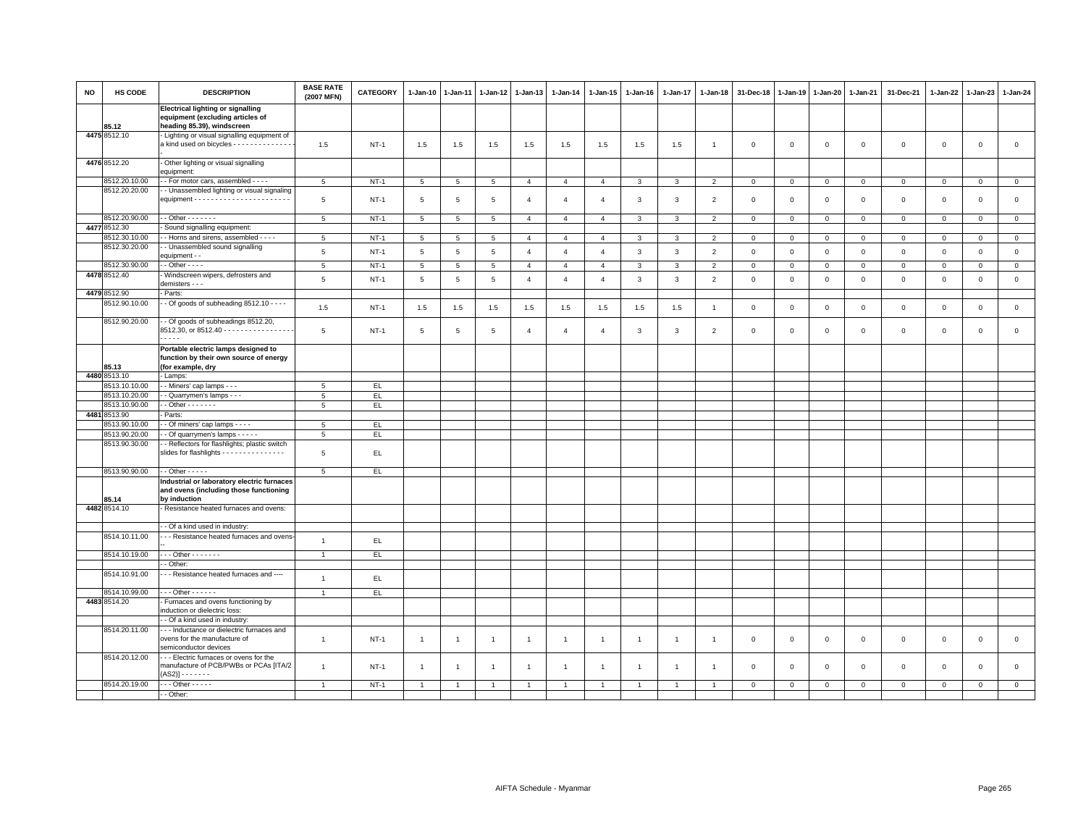| <b>NO</b> | HS CODE                       | <b>DESCRIPTION</b>                                                                                         | <b>BASE RATE</b><br>(2007 MFN) | CATEGORY    | 1-Jan-10        | 1-Jan-11        | 1-Jan-12        | $1 - Jan-13$   | 1-Jan-14       | 1-Jan-15       | 1-Jan-16       | 1-Jan-17       | 1-Jan-18       | 31-Dec-18      | 1-Jan-19       | 1-Jan-20       | 1-Jan-21       | 31-Dec-21      | 1-Jan-22     | 1-Jan-23     | 1-Jan-24       |
|-----------|-------------------------------|------------------------------------------------------------------------------------------------------------|--------------------------------|-------------|-----------------|-----------------|-----------------|----------------|----------------|----------------|----------------|----------------|----------------|----------------|----------------|----------------|----------------|----------------|--------------|--------------|----------------|
|           | 85.12                         | <b>Electrical lighting or signalling</b><br>equipment (excluding articles of<br>heading 85.39), windscreen |                                |             |                 |                 |                 |                |                |                |                |                |                |                |                |                |                |                |              |              |                |
|           | 4475 8512.10                  | - Lighting or visual signalling equipment of<br>a kind used on bicycles - - - - - - - - - - - - - -        | 1.5                            | $NT-1$      | 1.5             | 1.5             | 1.5             | 1.5            | 1.5            | 1.5            | 1.5            | 1.5            | $\overline{1}$ | $\mathbf 0$    | $\overline{0}$ | $\mathbf 0$    | $\mathsf 0$    | $\mathsf 0$    | $\mathbf 0$  | $\mathbf 0$  | $\mathsf 0$    |
|           | 4476 8512.20                  | Other lighting or visual signalling<br>equipment:                                                          |                                |             |                 |                 |                 |                |                |                |                |                |                |                |                |                |                |                |              |              |                |
|           | 8512.20.10.00                 | - - For motor cars, assembled - - - -                                                                      | 5                              | $NT-1$      | 5               | 5               | 5               | $\overline{4}$ | $\overline{4}$ | $\overline{4}$ | 3              | $\mathbf{3}$   | $\overline{2}$ | $\mathbf 0$    | $\mathbf{0}$   | $\overline{0}$ | $\overline{0}$ | $\mathbf{0}$   | $\mathbf 0$  | $\mathbf 0$  | $\mathbf{0}$   |
|           | 8512.20.20.00                 | - Unassembled lighting or visual signaling                                                                 | 5                              | <b>NT-1</b> | 5               | $\overline{5}$  | $5\phantom{.0}$ | $\overline{4}$ | $\overline{4}$ | $\overline{4}$ | $\mathbf{3}$   | $\mathbf{3}$   | $\overline{2}$ | $\mathbf 0$    | $\overline{0}$ | $\mathbf 0$    | $\mathsf 0$    | $\mathsf 0$    | $\mathbf 0$  | $\mathbf 0$  | $\mathsf 0$    |
|           |                               |                                                                                                            |                                |             |                 |                 |                 |                |                |                |                |                |                |                |                |                |                |                |              |              |                |
|           | 8512.20.90.00<br>4477 8512.30 | $-$ - Other $-$ - - - - - -<br>Sound signalling equipment:                                                 | $5\phantom{.0}$                | <b>NT-1</b> | $5\phantom{.0}$ | $5\phantom{.0}$ | $5\phantom{.0}$ | $\overline{4}$ | $\overline{4}$ | $\overline{4}$ | $\mathbf{3}$   | $\mathbf{3}$   | $\overline{2}$ | $\overline{0}$ | $\,0\,$        | $\mathbf 0$    | $\mathbf 0$    | $\overline{0}$ | $\mathbf{0}$ | $\,0\,$      | $\overline{0}$ |
|           | 8512.30.10.00                 | - Horns and sirens, assembled - - - -                                                                      | 5                              | $NT-1$      | 5               | 5               | 5               | $\overline{4}$ | $\overline{4}$ | $\overline{4}$ | $\mathbf{3}$   | $\mathbf{3}$   | $\overline{2}$ | $\overline{0}$ | $\mathbf{0}$   | $\overline{0}$ | $\mathbf{0}$   | $\mathbf{0}$   | $\mathbf{0}$ | $\mathbf{0}$ | $\mathbf 0$    |
|           | 8512.30.20.00                 | - - Unassembled sound signalling                                                                           |                                |             |                 |                 |                 |                |                |                |                |                |                |                |                |                |                |                |              |              |                |
|           |                               | equipment - -                                                                                              | 5                              | $NT-1$      | 5               | 5               | 5               | $\overline{4}$ | $\overline{4}$ | $\overline{4}$ | $\mathbf{3}$   | $\mathbf{3}$   | $\overline{2}$ | $\mathbf 0$    | $\mathsf 0$    | $\mathbf 0$    | $\mathsf 0$    | $\mathsf 0$    | $\mathbf 0$  | $\mathsf 0$  | $\mathsf 0$    |
|           | 8512.30.90.00                 | $-$ - Other $-$ - $-$                                                                                      | 5                              | $NT-1$      | 5               | 5               | $5\overline{5}$ | $\overline{4}$ | $\overline{4}$ | $\overline{4}$ | 3              | 3              | $\overline{2}$ | $\mathbf 0$    | $\mathbf{0}$   | $\overline{0}$ | $\mathbf{0}$   | $\mathbf{0}$   | $\mathbf 0$  | $\mathbf{0}$ | $\overline{0}$ |
|           | 4478 8512.40                  | Windscreen wipers, defrosters and<br>demisters - - -                                                       | 5                              | $NT-1$      | $5\phantom{.0}$ | $\overline{5}$  | $\overline{5}$  | $\overline{4}$ | $\overline{4}$ | $\overline{4}$ | $\mathbf{3}$   | $\mathbf{3}$   | $\overline{2}$ | $\,0\,$        | $\,0\,$        | $\mathbb O$    | $\circ$        | $\mathsf 0$    | $\mathsf 0$  | $\mathbf 0$  | $\mathsf 0$    |
|           | 4479 8512.90                  | Parts:                                                                                                     |                                |             |                 |                 |                 |                |                |                |                |                |                |                |                |                |                |                |              |              |                |
|           | 8512.90.10.00                 | $-$ Of goods of subheading 8512.10 $  -$                                                                   | 1.5                            | $NT-1$      | 1.5             | 1.5             | 1.5             | 1.5            | 1.5            | 1.5            | 1.5            | 1.5            | $\overline{1}$ | $\mathbf 0$    | $\overline{0}$ | $\mathbf 0$    | $\mathsf 0$    | $\mathsf 0$    | $\mathsf 0$  | $\mathbf 0$  | $\mathsf 0$    |
|           | 8512.90.20.00                 | - - Of goods of subheadings 8512.20,<br>8512.30, or 8512.40 - - - - - - - - - - - - - - - -<br>$\cdots$    | 5                              | $NT-1$      | 5               | 5               | 5               | $\overline{4}$ | $\overline{4}$ | $\overline{4}$ | 3              | 3              | $\overline{2}$ | $\mathbf 0$    | $\mathbf 0$    | $\mathsf 0$    | $\mathbf 0$    | $\mathsf 0$    | $\mathbf 0$  | $\mathsf 0$  | $\mathbf 0$    |
|           | 85.13                         | Portable electric lamps designed to<br>function by their own source of energy<br>(for example, dry         |                                |             |                 |                 |                 |                |                |                |                |                |                |                |                |                |                |                |              |              |                |
|           | 4480 8513.10                  | - Lamps:                                                                                                   |                                |             |                 |                 |                 |                |                |                |                |                |                |                |                |                |                |                |              |              |                |
|           | 8513.10.10.00                 | - Miners' cap lamps - - -                                                                                  | 5                              | EL.         |                 |                 |                 |                |                |                |                |                |                |                |                |                |                |                |              |              |                |
|           | 8513.10.20.00                 | - Quarrymen's lamps - - -                                                                                  | 5                              | EL.         |                 |                 |                 |                |                |                |                |                |                |                |                |                |                |                |              |              |                |
|           | 8513.10.90.00                 | $-$ Other $     -$                                                                                         | 5                              | EL          |                 |                 |                 |                |                |                |                |                |                |                |                |                |                |                |              |              |                |
|           | 4481 8513.90                  | Parts:                                                                                                     |                                |             |                 |                 |                 |                |                |                |                |                |                |                |                |                |                |                |              |              |                |
|           | 8513.90.10.00                 | - Of miners' cap lamps - - - -                                                                             | 5                              | EL.         |                 |                 |                 |                |                |                |                |                |                |                |                |                |                |                |              |              |                |
|           | 8513.90.20.00                 | - Of quarrymen's lamps - - - - -                                                                           | 5                              | EL.         |                 |                 |                 |                |                |                |                |                |                |                |                |                |                |                |              |              |                |
|           | 8513.90.30.00                 | - Reflectors for flashlights; plastic switch<br>slides for flashlights - - - - - - - - - - - - - - -       | 5                              | EL.         |                 |                 |                 |                |                |                |                |                |                |                |                |                |                |                |              |              |                |
|           | 8513.90.90.00                 | $\cdot$ - Other - - - - -                                                                                  | $5\phantom{.0}$                | EL.         |                 |                 |                 |                |                |                |                |                |                |                |                |                |                |                |              |              |                |
|           |                               | Industrial or laboratory electric furnaces                                                                 |                                |             |                 |                 |                 |                |                |                |                |                |                |                |                |                |                |                |              |              |                |
|           | 85.14                         | and ovens (including those functioning                                                                     |                                |             |                 |                 |                 |                |                |                |                |                |                |                |                |                |                |                |              |              |                |
|           | 4482 8514.10                  | by induction<br>Resistance heated furnaces and ovens:                                                      |                                |             |                 |                 |                 |                |                |                |                |                |                |                |                |                |                |                |              |              |                |
|           |                               | - Of a kind used in industry:                                                                              |                                |             |                 |                 |                 |                |                |                |                |                |                |                |                |                |                |                |              |              |                |
|           | 8514.10.11.00                 | - - Resistance heated furnaces and ovens                                                                   | $\overline{1}$                 |             |                 |                 |                 |                |                |                |                |                |                |                |                |                |                |                |              |              |                |
|           |                               |                                                                                                            |                                | EL.         |                 |                 |                 |                |                |                |                |                |                |                |                |                |                |                |              |              |                |
|           | 8514.10.19.00                 | $\cdots$ Other - - - - - - -                                                                               | $\overline{1}$                 | EL.         |                 |                 |                 |                |                |                |                |                |                |                |                |                |                |                |              |              |                |
|           |                               | - Other:                                                                                                   |                                |             |                 |                 |                 |                |                |                |                |                |                |                |                |                |                |                |              |              |                |
|           | 8514.10.91.00                 | --- Resistance heated furnaces and ----                                                                    | $\overline{1}$                 | EL          |                 |                 |                 |                |                |                |                |                |                |                |                |                |                |                |              |              |                |
|           | 8514.10.99.00                 | - - - Other - - - - - -                                                                                    | $\overline{1}$                 | EL.         |                 |                 |                 |                |                |                |                |                |                |                |                |                |                |                |              |              |                |
|           | 4483 8514.20                  | - Furnaces and ovens functioning by<br>induction or dielectric loss:                                       |                                |             |                 |                 |                 |                |                |                |                |                |                |                |                |                |                |                |              |              |                |
|           |                               | - Of a kind used in industry:                                                                              |                                |             |                 |                 |                 |                |                |                |                |                |                |                |                |                |                |                |              |              |                |
|           | 8514.20.11.00                 | -- Inductance or dielectric furnaces and<br>ovens for the manufacture of<br>semiconductor devices          | $\mathbf{1}$                   | $NT-1$      | $\overline{1}$  | $\overline{1}$  | $\overline{1}$  | $\overline{1}$ | $\overline{1}$ | $\mathbf{1}$   | $\overline{1}$ | $\overline{1}$ | $\overline{1}$ | $\overline{0}$ | $\,0\,$        | $\mathsf 0$    | $\mathsf 0$    | $\mathsf 0$    | $\mathsf 0$  | $\mathbf 0$  | $\mathsf 0$    |
|           | 8514.20.12.00                 | - - Electric furnaces or ovens for the<br>manufacture of PCB/PWBs or PCAs [ITA/2<br>(AS2)] - - - - - - -   | $\overline{1}$                 | $NT-1$      | $\overline{1}$  | $\overline{1}$  | $\mathbf{1}$    | $\overline{1}$ | $\overline{1}$ | $\overline{1}$ | $\mathbf{1}$   | -1             | $\overline{1}$ | $\mathbf 0$    | $\mathbf 0$    | $\overline{0}$ | $\mathbf 0$    | $\mathsf 0$    | $\mathbf 0$  | $\Omega$     | $\circ$        |
|           | 8514.20.19.00                 | $-0$ ther $-0$                                                                                             | $\overline{1}$                 | $NT-1$      |                 |                 |                 |                |                |                |                |                |                | $\Omega$       | $\mathbf{0}$   | $\mathsf 0$    | $\Omega$       | $\mathsf 0$    | $\mathbf 0$  | $\Omega$     | $\overline{0}$ |
|           |                               | - Other:                                                                                                   |                                |             |                 |                 |                 |                |                |                |                |                |                |                |                |                |                |                |              |              |                |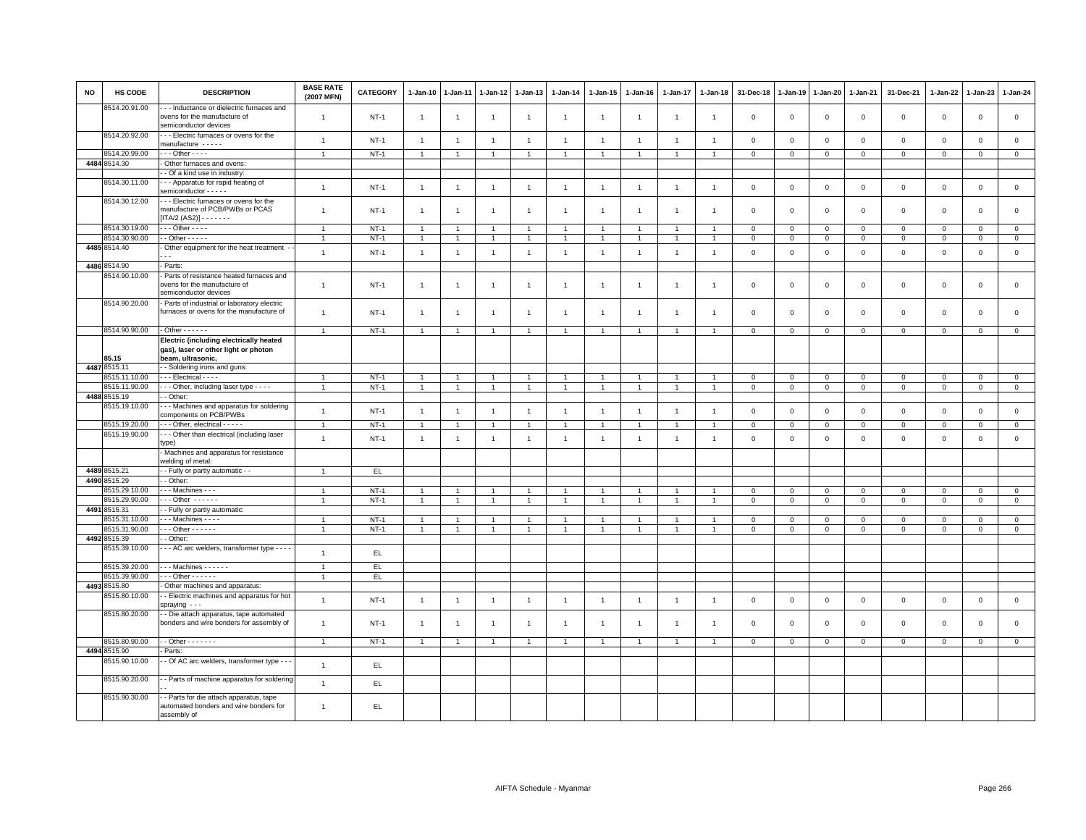| <b>NO</b> | HS CODE                       | <b>DESCRIPTION</b>                                                                                       | <b>BASE RATE</b><br>(2007 MFN) | <b>CATEGORY</b> | $1 - Jan-10$   | 1-Jan-11       | 1-Jan-12             | 1-Jan-13       | $1 - Jan-14$   | $1 - Jan-15$         | $1 - Jan-16$   | $1 - Jan-17$   | $1 - Jan-18$   | 31-Dec-18      | $1 - Jan-19$ | 1-Jan-20     | 1-Jan-21       | 31-Dec-21           | 1-Jan-22     | 1-Jan-23       | 1-Jan-24       |
|-----------|-------------------------------|----------------------------------------------------------------------------------------------------------|--------------------------------|-----------------|----------------|----------------|----------------------|----------------|----------------|----------------------|----------------|----------------|----------------|----------------|--------------|--------------|----------------|---------------------|--------------|----------------|----------------|
|           | 8514.20.91.00                 | - - Inductance or dielectric furnaces and<br>ovens for the manufacture of<br>semiconductor devices       | $\overline{1}$                 | $NT-1$          | $\overline{1}$ | $\overline{1}$ | $\mathbf{1}$         | $\mathbf{1}$   | $\overline{1}$ | $\mathbf{1}$         | $\overline{1}$ | $\overline{1}$ | $\overline{1}$ | $\mathbf 0$    | $\mathsf 0$  | $\mathbf 0$  | $\mathbf 0$    | $\mathsf 0$         | $\mathsf 0$  | $\mathsf 0$    | $\mathsf 0$    |
|           | 8514.20.92.00                 | --- Electric furnaces or ovens for the<br>manufacture -----                                              | $\overline{1}$                 | $NT-1$          | $\overline{1}$ | $\overline{1}$ | $\overline{1}$       | $\overline{1}$ | $\overline{1}$ | $\overline{1}$       | $\overline{1}$ | $\overline{1}$ | $\overline{1}$ | $\mathbf 0$    | $\mathsf 0$  | $\mathsf 0$  | $\mathbf 0$    | $\mathsf 0$         | $\mathsf 0$  | $\mathsf 0$    | $\mathsf 0$    |
|           | 8514.20.99.00                 | $-$ - Other - - - -                                                                                      | $\overline{1}$                 | $NT-1$          | $\overline{1}$ | $\overline{1}$ | $\mathbf{1}$         | $\mathbf{1}$   | $\mathbf{1}$   | $\mathbf{1}$         | $\overline{1}$ | $\overline{1}$ |                | $\mathbf{0}$   | $\mathsf 0$  | $\mathbf 0$  | $\mathbf{0}$   | $\mathbf{0}$        | $\circ$      | $\mathbf{0}$   | $\overline{0}$ |
|           | 4484 8514.30                  | Other furnaces and ovens:                                                                                |                                |                 |                |                |                      |                |                |                      |                |                |                |                |              |              |                |                     |              |                |                |
|           |                               | - Of a kind use in industry:                                                                             |                                |                 |                |                |                      |                |                |                      |                |                |                |                |              |              |                |                     |              |                |                |
|           | 8514.30.11.00                 | -- Apparatus for rapid heating of<br>semiconductor - - - - -                                             | $\overline{1}$                 | $NT-1$          | $\overline{1}$ | $\overline{1}$ | $\overline{1}$       | $\mathbf{1}$   | $\overline{1}$ | $\mathbf{1}$         | $\overline{1}$ | $\overline{1}$ | $\overline{1}$ | $\mathbf{0}$   | $\mathbf 0$  | $\mathbf 0$  | $\mathbf 0$    | $\mathsf 0$         | $\circ$      | $\circ$        | $\mathsf 0$    |
|           | 8514.30.12.00                 | - - Electric furnaces or ovens for the<br>manufacture of PCB/PWBs or PCAS<br>$[ITA/2 (AS2)] - - - - - -$ | $\mathbf{1}$                   | $NT-1$          | $\overline{1}$ | $\overline{1}$ | $\overline{1}$       | $\mathbf{1}$   | $\overline{1}$ | $\overline{1}$       | $\overline{1}$ | $\overline{1}$ | $\mathbf{1}$   | $\mathbf 0$    | $\mathbf 0$  | $\mathsf 0$  | $\mathbf 0$    | $\mathsf 0$         | $\mathbf 0$  | $\mathbf{0}$   | $\mathsf 0$    |
|           | 8514.30.19.00                 | $\cdots$ Other - - - -                                                                                   | $\overline{1}$                 | $NT-1$          | $\mathbf{1}$   |                | $\overline{1}$       | $\mathbf{1}$   | $\overline{1}$ | $\overline{1}$       |                | $\overline{1}$ |                | $\mathbf 0$    | $\mathbf 0$  | $\mathsf 0$  | $\mathbf 0$    | $\mathsf 0$         | $\mathbf 0$  | $\mathbf 0$    | $\circ$        |
|           | 8514.30.90.00                 | $\cdot$ - Other - - - - -                                                                                | $\overline{1}$                 | $NT-1$          | $\overline{1}$ |                | $\overline{1}$       | $\overline{1}$ | $\mathbf{1}$   | 1                    | $\mathbf{1}$   | $\overline{1}$ |                | $\mathsf 0$    | $\mathbf 0$  | $\mathbf{0}$ | $\circ$        | $\mathbf 0$         | $\mathbf 0$  | $\mathbf{0}$   | $\mathbf{0}$   |
|           | 4485 8514.40                  | - Other equipment for the heat treatment -                                                               | $\mathbf{1}$                   | $NT-1$          | $\overline{1}$ | $\overline{1}$ | $\overline{1}$       | $\mathbf{1}$   | $\mathbf{1}$   | $\overline{1}$       | $\overline{1}$ | $\overline{1}$ | $\overline{1}$ | $\mathbf 0$    | $\mathsf 0$  | $\mathbf 0$  | $\mathbb O$    | $\mathsf 0$         | $\mathsf 0$  | $\mathsf 0$    | $\mathsf 0$    |
|           | 4486 8514.90                  | Parts:                                                                                                   |                                |                 |                |                |                      |                |                |                      |                |                |                |                |              |              |                |                     |              |                |                |
|           | 8514.90.10.00                 | Parts of resistance heated furnaces and<br>ovens for the manufacture of<br>semiconductor devices         | $\mathbf{1}$                   | $NT-1$          | $\overline{1}$ | $\overline{1}$ | $\overline{1}$       | $\overline{1}$ | $\overline{1}$ | $\mathbf{1}$         | $\overline{1}$ | $\overline{1}$ | -1             | $\mathbf 0$    | $\mathbf 0$  | $\mathsf 0$  | $\mathbf 0$    | $\mathbf 0$         | $\mathbf 0$  | $\mathbf{0}$   | $\mathsf 0$    |
|           | 8514.90.20.00                 | - Parts of industrial or laboratory electric<br>furnaces or ovens for the manufacture of                 | $\mathbf{1}$                   | $NT-1$          | $\overline{1}$ |                |                      | $\overline{1}$ | $\overline{1}$ | $\overline{1}$       | -1             | $\overline{1}$ |                | $\overline{0}$ | $\mathbf 0$  | $\mathbf 0$  | $\mathbf 0$    | $\mathbf 0$         | $\Omega$     | $\mathbf{0}$   | $\mathbf{0}$   |
|           | 8514.90.90.00                 | $-$ Other $    -$                                                                                        | $\mathbf{1}$                   | $NT-1$          | $\overline{1}$ | $\overline{1}$ | $\overline{1}$       | $\overline{1}$ | $\overline{1}$ | $\overline{1}$       | $\overline{1}$ | $\overline{1}$ | $\overline{1}$ | $\mathsf 0$    | $\,0\,$      | $\mathbf 0$  | $\overline{0}$ | $\mathsf 0$         | $\mathsf 0$  | $\mathsf 0$    | $\mathsf 0$    |
|           | 35.15                         | Electric (including electrically heated<br>gas), laser or other light or photon<br>beam, ultrasonic,     |                                |                 |                |                |                      |                |                |                      |                |                |                |                |              |              |                |                     |              |                |                |
|           | 4487 8515.11                  | - Soldering irons and guns:                                                                              |                                |                 |                |                |                      |                |                |                      |                |                |                |                |              |              |                |                     |              |                |                |
|           | 8515.11.10.00                 | - - Electrical - - - -                                                                                   | $\overline{1}$                 | $NT-1$          | $\overline{1}$ | $\overline{1}$ |                      | $\overline{1}$ | $\overline{1}$ | $\overline{1}$       | $\overline{1}$ | $\overline{1}$ |                | $\mathbf 0$    | $\mathsf 0$  | $\mathbf{0}$ | $\mathbf 0$    | $\mathbf{0}$        | $\mathbf{0}$ | $\overline{0}$ | $\mathsf 0$    |
|           | 8515.11.90.00                 | - - Other, including laser type - - - -                                                                  | $\overline{1}$                 | $NT-1$          | $\overline{1}$ |                |                      | $\overline{1}$ | $\overline{1}$ | $\overline{1}$       | $\overline{1}$ | $\overline{1}$ |                | $\mathbf 0$    | $\mathbf 0$  | $\mathsf 0$  | $\mathbf 0$    | $\mathsf 0$         | $\mathbf 0$  | $\mathbf 0$    | $\mathbf 0$    |
|           | 4488 8515.19                  | - Other:                                                                                                 |                                |                 |                |                |                      |                |                |                      |                |                |                |                |              |              |                |                     |              |                |                |
|           | 8515.19.10.00                 | - - Machines and apparatus for soldering<br>components on PCB/PWBs                                       | $\mathbf{1}$                   | $NT-1$          | $\overline{1}$ | $\overline{1}$ | $\overline{1}$       | $\mathbf{1}$   | $\mathbf{1}$   | $\overline{1}$       | $\overline{1}$ | $\overline{1}$ | $\overline{1}$ | $\overline{0}$ | $\mathbf 0$  | $\mathbf 0$  | $\mathbf 0$    | $\mathbf 0$         | $\mathbf{0}$ | $\mathbf{0}$   | $\mathsf 0$    |
|           | 8515.19.20.00                 | - - Other, electrical - - - - -                                                                          | $\overline{1}$                 | $NT-1$          | $\overline{1}$ |                | $\overline{1}$       | $\overline{1}$ | $\overline{1}$ | $\mathbf{1}$         |                | $\overline{1}$ |                | $\mathbf{0}$   | $\mathbf 0$  | $\mathsf 0$  | $\mathbf 0$    | $\mathbf{0}$        | $\mathbf 0$  | $\mathbf{0}$   | $\circ$        |
|           | 8515.19.90.00                 | -- Other than electrical (including laser<br>type)                                                       | $\mathbf{1}$                   | $NT-1$          | $\overline{1}$ | $\mathbf{1}$   | $\overline{1}$       | $\mathbf{1}$   | $\overline{1}$ | $\mathbf{1}$         | $\overline{1}$ | $\overline{1}$ | $\overline{1}$ | $\mathbf{0}$   | $\mathbf{0}$ | $\mathbf 0$  | $\mathbf{0}$   | $\mathbf 0$         | $\mathbf 0$  | $\mathbf{0}$   | $\mathsf 0$    |
|           |                               | Machines and apparatus for resistance<br>welding of metal:                                               |                                |                 |                |                |                      |                |                |                      |                |                |                |                |              |              |                |                     |              |                |                |
|           | 4489 8515.21                  | - Fully or partly automatic - -                                                                          | $\overline{1}$                 | EL.             |                |                |                      |                |                |                      |                |                |                |                |              |              |                |                     |              |                |                |
|           | 4490 8515.29                  | - Other:                                                                                                 |                                |                 |                |                |                      |                |                |                      |                |                |                |                |              |              |                |                     |              |                |                |
|           | 3515.29.10.00                 | Machines - - -                                                                                           | $\overline{1}$                 | $NT-1$          | $\overline{1}$ |                | $\overline{1}$       | $\mathbf{1}$   | $\overline{1}$ | $\overline{1}$       | $\overline{1}$ | $\overline{1}$ |                | $\mathbf{0}$   | $\mathbf 0$  | $\mathbf 0$  | $\mathbf{0}$   | $\mathbf{0}$        | $\mathbf{0}$ | $\circ$        | $\mathbf{0}$   |
|           | 8515.29.90.00                 | $-0$ ther $-0$                                                                                           | -1                             | $NT-1$          | $\mathbf{1}$   |                | 1                    | $\overline{1}$ | $\mathbf{1}$   | $\mathbf{1}$         | $\overline{1}$ | $\mathbf{1}$   |                | $\mathbf 0$    | $\mathbf 0$  | $\mathbf 0$  | $\mathbf 0$    | $\mathbf 0$         | 0            | $\mathbf 0$    | $\mathbf{0}$   |
|           | 4491 8515.31                  | - Fully or partly automatic:                                                                             |                                |                 |                |                |                      |                |                |                      |                |                |                |                |              |              |                |                     |              |                |                |
|           | 8515.31.10.00                 | - - Machines - - - -                                                                                     | $\overline{1}$                 | $NT-1$          | $\overline{1}$ |                |                      | $\overline{1}$ | $\overline{1}$ |                      |                |                |                | $\mathbf 0$    | $\mathbf 0$  | $\mathbf 0$  | $\mathbf 0$    | $\mathbf 0$         | $\Omega$     | $\mathbf 0$    | $\mathbf 0$    |
|           | 8515.31.90.00<br>4492 8515.39 | $-$ - Other - - - - - -<br>- Other:                                                                      | $\overline{1}$                 | $NT-1$          | $\overline{1}$ | $\overline{1}$ | $\blacktriangleleft$ | $\mathbf{1}$   | $\overline{1}$ | $\blacktriangleleft$ | $\overline{1}$ | $\overline{1}$ | $\overline{1}$ | $\mathbf{0}$   | $\mathbf{0}$ | $\mathbf{0}$ | $\mathbf{0}$   | $\mathbf{0}$        | $\mathbf{0}$ | $\circ$        | $\mathsf 0$    |
|           | 8515.39.10.00                 | - - AC arc welders, transformer type - - - -                                                             | $\overline{1}$                 | EL.             |                |                |                      |                |                |                      |                |                |                |                |              |              |                |                     |              |                |                |
|           | 8515.39.20.00                 | $-$ - Machines $-$ - - - - -                                                                             | $\overline{1}$                 | EL.             |                |                |                      |                |                |                      |                |                |                |                |              |              |                |                     |              |                |                |
|           | 3515.39.90.00                 | $-0$ ther $-0$                                                                                           | $\overline{1}$                 | EL.             |                |                |                      |                |                |                      |                |                |                |                |              |              |                |                     |              |                |                |
|           | 4493 8515.80                  | Other machines and apparatus:                                                                            |                                |                 |                |                |                      |                |                |                      |                |                |                |                |              |              |                |                     |              |                |                |
|           | 8515.80.10.00                 | - Electric machines and apparatus for hot<br>spraying $-$ -                                              | $\mathbf{1}$                   | $NT-1$          | $\overline{1}$ | $\overline{1}$ | $\overline{1}$       | $\mathbf{1}$   | $\overline{1}$ | $\overline{1}$       | $\overline{1}$ | $\overline{1}$ | $\overline{1}$ | $\mathbf 0$    | $\mathbf 0$  | $\mathbf 0$  | $\,0\,$        | $\mathsf{O}\xspace$ | $\mathbf 0$  | $\mathsf 0$    | $\mathsf 0$    |
|           | 8515.80.20.00                 | - Die attach apparatus, tape automated<br>bonders and wire bonders for assembly of                       | $\mathbf{1}$                   | $NT-1$          | $\mathbf{1}$   |                |                      | $\mathbf{1}$   | $\overline{1}$ | $\mathbf{1}$         | $\overline{1}$ |                |                | $\mathbf 0$    | $\mathsf 0$  | $\mathbf 0$  | $\mathbf 0$    | $\mathsf 0$         | $\mathbf 0$  | $\mathsf 0$    | $\mathsf 0$    |
|           | 8515.80.90.00                 | $\cdot$ - Other - - - - - - -                                                                            | $\overline{1}$                 | $NT-1$          | $\overline{1}$ |                |                      | $\mathbf{1}$   | $\overline{1}$ | $\mathbf{1}$         | $\mathbf{1}$   | $\overline{1}$ |                | $\mathbf 0$    | $\mathbf{0}$ | $\mathbf{0}$ | $\circ$        | $\mathbf 0$         | $\mathbf{0}$ | $\mathbf{O}$   | $\overline{0}$ |
|           | 4494 8515.90                  | - Parts:                                                                                                 |                                |                 |                |                |                      |                |                |                      |                |                |                |                |              |              |                |                     |              |                |                |
|           | 8515.90.10.00                 | - - Of AC arc welders, transformer type - - -                                                            | $\overline{1}$                 | EL.             |                |                |                      |                |                |                      |                |                |                |                |              |              |                |                     |              |                |                |
|           | 8515.90.20.00                 | - Parts of machine apparatus for soldering                                                               | $\overline{1}$                 | EL              |                |                |                      |                |                |                      |                |                |                |                |              |              |                |                     |              |                |                |
|           | 8515.90.30.00                 | - Parts for die attach apparatus, tape<br>automated bonders and wire bonders for<br>assembly of          | $\mathbf{1}$                   | EL.             |                |                |                      |                |                |                      |                |                |                |                |              |              |                |                     |              |                |                |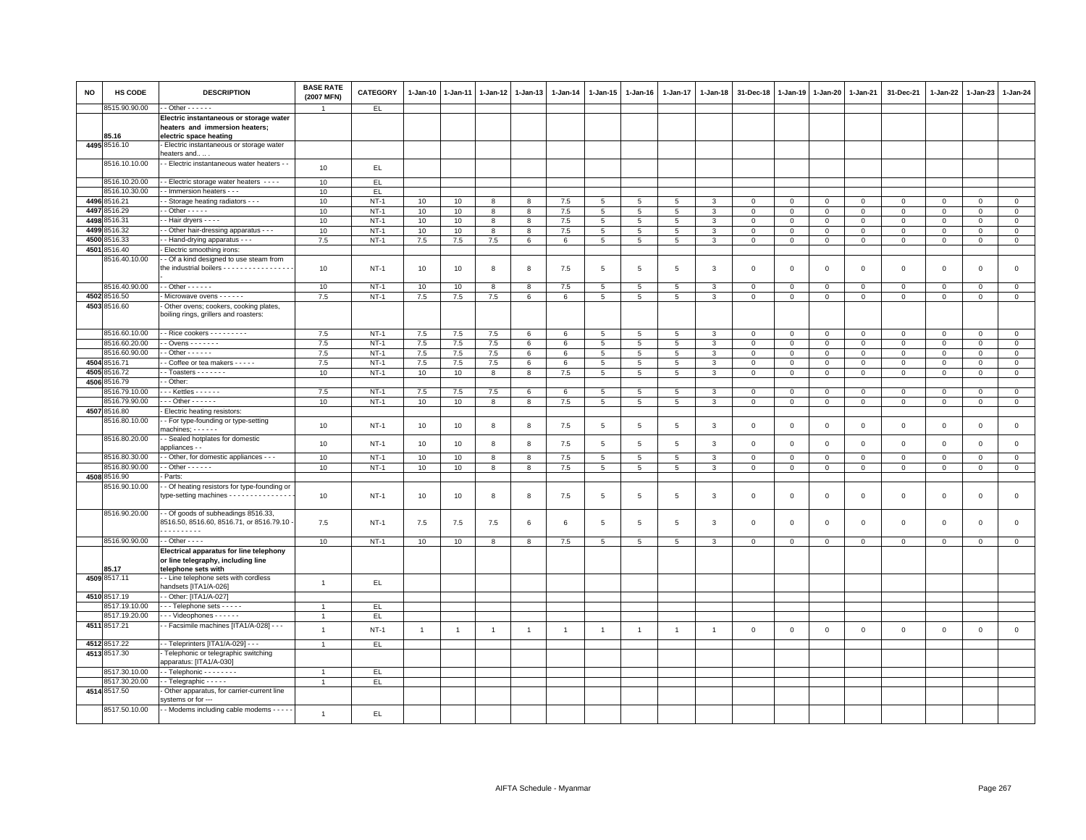| <b>NO</b> | HS CODE                        | <b>DESCRIPTION</b>                                                                                                              | <b>BASE RATE</b><br>(2007 MFN) | <b>CATEGORY</b>  | $1 - Jan-10$   | $1 - Jan-11$   | $1 - Jan-12$   | $1 - Jan-13$   | $1 - Jan-14$    | 1-Jan-15             | $1 - Jan-16$    | $1 - Jan-17$    | 1-Jan-18       | 31-Dec-18                  | 1-Jan-19           | $1 - Jan-20$               | 1-Jan-21                   | 31-Dec-21                          | $1 - Jan-22$           | $1-Jan-23$                 | 1-Jan-24                      |
|-----------|--------------------------------|---------------------------------------------------------------------------------------------------------------------------------|--------------------------------|------------------|----------------|----------------|----------------|----------------|-----------------|----------------------|-----------------|-----------------|----------------|----------------------------|--------------------|----------------------------|----------------------------|------------------------------------|------------------------|----------------------------|-------------------------------|
|           | 8515.90.90.00                  | $-$ Other $- - - - -$                                                                                                           | -1                             | EL.              |                |                |                |                |                 |                      |                 |                 |                |                            |                    |                            |                            |                                    |                        |                            |                               |
|           | 85.16                          | Electric instantaneous or storage water<br>heaters and immersion heaters;<br>electric space heating                             |                                |                  |                |                |                |                |                 |                      |                 |                 |                |                            |                    |                            |                            |                                    |                        |                            |                               |
|           | 4495 8516.10                   | Electric instantaneous or storage water<br>heaters and                                                                          |                                |                  |                |                |                |                |                 |                      |                 |                 |                |                            |                    |                            |                            |                                    |                        |                            |                               |
|           | 8516.10.10.00                  | - Electric instantaneous water heaters - -                                                                                      | 10                             | EL.              |                |                |                |                |                 |                      |                 |                 |                |                            |                    |                            |                            |                                    |                        |                            |                               |
|           | 8516.10.20.00                  | - - Electric storage water heaters - - - -                                                                                      | 10                             | EL.              |                |                |                |                |                 |                      |                 |                 |                |                            |                    |                            |                            |                                    |                        |                            |                               |
|           | 8516.10.30.00                  | - Immersion heaters - - -                                                                                                       | 10                             | EL.              |                |                |                |                |                 |                      |                 |                 |                |                            |                    |                            |                            |                                    |                        |                            |                               |
|           | 4496 8516.21                   | - Storage heating radiators - - -                                                                                               | 10                             | $NT-1$           | 10             | 10             | 8              | 8              | 7.5             | $5\overline{5}$      | 5               | 5               | 3              | $\overline{0}$             | $\Omega$           | $\mathbf{0}$               | $\overline{0}$             | $\mathbf 0$                        | $\mathbf{0}$           | $\mathbf{0}$               | $\mathbf{0}$                  |
|           | 4497 8516.29                   | $-$ Other $   -$                                                                                                                | 10                             | $NT-1$           | 10             | 10             | 8              | 8              | 7.5             | $5\phantom{.0}$      | $5\overline{5}$ | $5\phantom{.0}$ | 3              | $\mathbf 0$                | $\mathbf 0$        | $\mathbf 0$                | $\mathbf 0$                | $\mathbf 0$                        | $\mathbf 0$            | $\mathbf 0$                | $\mathsf 0$                   |
| 4498      | 3516.31                        | - Hair dryers - - - -                                                                                                           | 10                             | $NT-1$           | 10             | 10             | 8              | 8              | 7.5             | 5                    | 5               | 5               | 3              | $\mathbf 0$                | $\mathsf 0$        | $\Omega$                   | $\mathbf 0$                | $\mathsf 0$                        | $\mathbf 0$            | $\mathbf 0$                | $\mathsf 0$                   |
| 4499      | 3516.32                        | - Other hair-dressing apparatus - - -                                                                                           | 10                             | $NT-1$           | 10             | 10             | 8              | 8              | 7.5             | 5                    | 5               | $\overline{5}$  | 3              | $\mathbf 0$                | $\,0\,$            | $\circ$                    | $\mathsf 0$                | $\mathsf 0$                        | 0                      | $\mathbf{0}$               | $\mathbf 0$                   |
| 4500      | 516.33                         | - - Hand-drying apparatus - -                                                                                                   | 7.5                            | $NT-1$           | 7.5            | 7.5            | 7.5            | 6              | 6               | $5^{\circ}$          | $5\overline{5}$ | 5               | 3              | $\overline{0}$             | $\mathbf{0}$       | $\mathbf{0}$               | $\mathbf{0}$               | $\mathbf{0}$                       | $\mathbf{0}$           | $\mathbf{0}$               | $\circ$                       |
| 4501      | 8516.40<br>3516.40.10.00       | - Electric smoothing irons:<br>- Of a kind designed to use steam from<br>the industrial boilers - - - - - - - - - - - - - - - - | 10                             | $NT-1$           | 10             | 10             | 8              | 8              | 7.5             | $5\phantom{.0}$      | 5               | 5               | 3              | $\mathbf 0$                | $\mathbf 0$        | $\mathbf 0$                | $\mathbf 0$                | $\mathsf 0$                        | $\mathbf{0}$           | $\mathsf 0$                | $\mathsf 0$                   |
|           | 8516.40.90.00                  | - - Other - - - - - -                                                                                                           | 10                             | $NT-1$           | 10             | 10             | 8              | 8              | 7.5             | 5                    | 5               | 5               | 3              | $\mathbf 0$                | $\circ$            | $\mathbf 0$                | $\mathbf 0$                | $\mathsf 0$                        | $\Omega$               | $\mathbf 0$                | $\mathbf 0$                   |
|           | 4502 8516.50                   | - Microwave ovens - - - - - -                                                                                                   | 7.5                            | $NT-1$           | 7.5            | 7.5            | 7.5            | 6              | 6               | $\overline{5}$       | 5               | $\overline{5}$  | 3              | $\overline{0}$             | $\mathbf 0$        | $\mathbf 0$                | $\overline{0}$             | $\mathbf{0}$                       | $\mathbf 0$            | $\mathbf 0$                | $\overline{0}$                |
|           | 4503 8516.60                   | Other ovens; cookers, cooking plates,<br>boiling rings, grillers and roasters:                                                  |                                |                  |                |                |                |                |                 |                      |                 |                 |                |                            |                    |                            |                            |                                    |                        |                            |                               |
|           | 8516.60.10.00                  | - - Rice cookers - - - - - - - - -                                                                                              | 7.5                            | $NT-1$           | 7.5            | 7.5            | 7.5            | 6              | 6               | 5                    | 5               | 5               | 3              | $\mathbf 0$                | $\circ$            | $\mathbf 0$                | $\mathbf{0}$               | $\mathbf 0$                        | 0                      | $\mathbf 0$                | $\mathbf 0$                   |
|           | 8516.60.20.00                  | $-$ Ovens $    -$                                                                                                               | 7.5                            | $NT-1$           | 7.5            | 7.5            | 7.5            | 6              | $6\phantom{.0}$ | $5\overline{)}$      | 5               | 5               | 3              | $\mathbf 0$                | $\mathsf 0$        | $\mathbf{0}$               | $\mathbf 0$                | $\mathbf{0}$                       | $\mathbf 0$            | $\circ$                    | $\mathsf 0$                   |
|           | 8516.60.90.00                  | $-$ Other $    -$                                                                                                               | 7.5                            | $NT-1$           | $7.5\,$        | 7.5            | $7.5\,$        | 6              | 6               | $5\phantom{.0}$      | 5               | $\,$ 5          | 3              | $\mathbf 0$                | $\mathbf 0$        | $\mathbf 0$                | $\mathbf 0$                | $\mathbf 0$                        | $\mathbf 0$            | $\overline{0}$             | $\mathsf 0$                   |
| 4504      | 8516.71                        | Coffee or tea makers - - - - -                                                                                                  | 7.5                            | $NT-1$           | 7.5            | 7.5            | $7.5\,$        | 6              | $\,6\,$         | 5                    | 5               | 5               | 3              | $\mathbf 0$                | $\,0\,$            | $\mathbf 0$                | $\,0\,$                    | $\mathsf 0$                        | $\mathbf 0$            | $\Omega$                   | $\mathsf 0$                   |
| 4505      | 3516.72                        | $-$ Toasters $     -$                                                                                                           | 10                             | $NT-1$           | 10             | 10             | 8              | 8              | 7.5             | 5                    | 5               | 5               | 3              | $\overline{0}$             | $\mathbf{0}$       | $\mathbf 0$                | $\mathbf{0}$               | $\mathbf{0}$                       | $\mathbf 0$            | $\mathbf{0}$               | $\mathbf 0$                   |
| 4506      | 3516.79                        | - Other:                                                                                                                        |                                |                  |                |                |                |                |                 |                      |                 |                 |                |                            |                    |                            |                            |                                    |                        |                            |                               |
|           | 8516.79.10.00<br>8516.79.90.00 | $\cdots$ Kettles $\cdots$<br>$-$ - Other - - - - - -                                                                            | 7.5<br>10                      | $NT-1$<br>$NT-1$ | 7.5<br>10      | 7.5<br>10      | $7.5\,$<br>8   | 6<br>8         | 6<br>7.5        | $5\phantom{.0}$<br>5 | 5<br>5          | 5<br>5          | 3<br>3         | $\mathbf 0$<br>$\mathbf 0$ | $\circ$<br>$\,0\,$ | $\mathbf 0$<br>$\mathbf 0$ | $\mathbf 0$<br>$\mathsf 0$ | $\mathbf 0$<br>$\mathsf{O}\xspace$ | $\circ$<br>$\mathsf 0$ | $\mathbf 0$<br>$\mathsf 0$ | $\mathsf 0$<br>$\overline{0}$ |
|           | 4507 8516.80                   | Electric heating resistors:                                                                                                     |                                |                  |                |                |                |                |                 |                      |                 |                 |                |                            |                    |                            |                            |                                    |                        |                            |                               |
|           | 8516.80.10.00                  | - For type-founding or type-setting                                                                                             |                                |                  |                |                |                |                |                 |                      |                 |                 |                |                            |                    |                            |                            |                                    |                        |                            |                               |
|           |                                | $machines: - - - - -$                                                                                                           | 10                             | $NT-1$           | 10             | 10             | 8              | 8              | 7.5             | $5\phantom{.0}$      | $\,$ 5 $\,$     | $\,$ 5          | $\mathbf{3}$   | $\mathbf 0$                | $\mathsf 0$        | $\,0\,$                    | $\,0\,$                    | $\mathsf 0$                        | $\mathsf 0$            | $\mathsf 0$                | $\mathsf 0$                   |
|           | 8516.80.20.00<br>8516.80.30.00 | - Sealed hotplates for domestic<br>appliances - ·                                                                               | 10                             | $NT-1$           | 10             | 10             | 8              | 8              | 7.5             | 5                    | 5               | 5               | 3              | $\mathbf 0$                | $\mathbf{0}$       | $\mathbf 0$                | $\mathbf 0$                | $\mathsf 0$                        | $\mathbf 0$            | $\mathbf 0$                | $\mathbf 0$                   |
|           |                                | - Other, for domestic appliances - - -<br>$-$ Other $    -$                                                                     | 10                             | $NT-1$           | 10             | 10             | 8              | 8              | 7.5             | $5\phantom{.0}$      | -5              | $\overline{5}$  | 3              | $\mathbf 0$                | $\mathbf 0$        | $\circ$                    | $\overline{0}$             | $\mathbf{0}$                       | $\mathbf{0}$           | $\circ$                    | $\mathbf{0}$                  |
| 4508      | 8516.80.90.00<br>8516.90       | Parts:                                                                                                                          | 10                             | $NT-1$           | 10             | 10             | 8              | 8              | 7.5             | $5\overline{5}$      | 5               | 5               | 3              | $\mathbf 0$                | $\mathbf 0$        | $\mathbf 0$                | $\mathbf 0$                | $\mathbf 0$                        | $\Omega$               | $\mathbf 0$                | $\mathbf 0$                   |
|           | 3516.90.10.00                  | - Of heating resistors for type-founding or<br>type-setting machines - - - - - - - - - - - - - - -                              | 10                             | $NT-1$           | 10             | 10             | 8              | 8              | 7.5             | 5                    | 5               | 5               | 3              | $\mathbf 0$                | $\mathbf 0$        | $\mathsf 0$                | $\mathbf 0$                | $\mathsf 0$                        | $\mathbf 0$            | $\mathsf 0$                | $\mathsf 0$                   |
|           | 8516.90.20.00                  | - Of goods of subheadings 8516.33,<br>8516.50, 8516.60, 8516.71, or 8516.79.10<br>.                                             | 7.5                            | $NT-1$           | 7.5            | 7.5            | 7.5            | 6              | 6               | $5\overline{5}$      | 5               | 5               | 3              | $\mathbf 0$                | $\mathbf 0$        | $\mathsf 0$                | $\mathbf 0$                | $\mathsf 0$                        | $\mathsf 0$            | $\mathbf 0$                | $\mathsf 0$                   |
|           | 8516.90.90.00                  | - - Other - - - -                                                                                                               | 10                             | $NT-1$           | 10             | 10             | 8              | 8              | $7.5\,$         | $5\phantom{.0}$      | 5               | $5\phantom{.0}$ | $\mathbf{3}$   | $\mathbf 0$                | $\,0\,$            | $\,0\,$                    | $\,0\,$                    | $\mathsf 0$                        | $\,0\,$                | $\mathsf 0$                | $\mathbf 0$                   |
|           | 85.17                          | Electrical apparatus for line telephony<br>or line telegraphy, including line<br>telephone sets with                            |                                |                  |                |                |                |                |                 |                      |                 |                 |                |                            |                    |                            |                            |                                    |                        |                            |                               |
|           | 4509 8517.11                   | - Line telephone sets with cordless<br>andsets [ITA1/A-026]                                                                     | $\overline{1}$                 | EL.              |                |                |                |                |                 |                      |                 |                 |                |                            |                    |                            |                            |                                    |                        |                            |                               |
|           | 4510 8517.19                   | - Other: [ITA1/A-027]                                                                                                           |                                |                  |                |                |                |                |                 |                      |                 |                 |                |                            |                    |                            |                            |                                    |                        |                            |                               |
|           | 8517.19.10.00                  | - - Telephone sets - - - - -                                                                                                    |                                | EL               |                |                |                |                |                 |                      |                 |                 |                |                            |                    |                            |                            |                                    |                        |                            |                               |
|           | 8517.19.20.00                  | - - - Videophones - - - - - -                                                                                                   | $\mathbf{1}$                   | EL.              |                |                |                |                |                 |                      |                 |                 |                |                            |                    |                            |                            |                                    |                        |                            |                               |
|           | 4511 8517.21                   | - Facsimile machines [ITA1/A-028] - - -                                                                                         | $\overline{1}$                 |                  |                |                |                |                |                 |                      |                 |                 |                |                            |                    |                            |                            |                                    |                        |                            |                               |
|           |                                |                                                                                                                                 |                                | $NT-1$           | $\overline{1}$ | $\overline{1}$ | $\overline{1}$ | $\overline{1}$ | $\overline{1}$  | $\overline{1}$       | $\overline{1}$  | $\overline{1}$  | $\overline{1}$ | $\mathbf 0$                | $\mathsf 0$        | $\mathsf 0$                | $\mathbf 0$                | $\mathsf 0$                        | $\mathsf 0$            | $\mathsf 0$                | $\mathsf 0$                   |
|           | 4512 8517.22<br>4513 8517.30   | - - Teleprinters [ITA1/A-029] - - -<br>Telephonic or telegraphic switching                                                      | $\mathbf{1}$                   | EL.              |                |                |                |                |                 |                      |                 |                 |                |                            |                    |                            |                            |                                    |                        |                            |                               |
|           |                                | apparatus: [ITA1/A-030]                                                                                                         |                                |                  |                |                |                |                |                 |                      |                 |                 |                |                            |                    |                            |                            |                                    |                        |                            |                               |
|           | 8517.30.10.00<br>8517.30.20.00 | - Telephonic - - - - - - -                                                                                                      | $\overline{1}$                 | EL.              |                |                |                |                |                 |                      |                 |                 |                |                            |                    |                            |                            |                                    |                        |                            |                               |
|           | 4514 8517.50                   | - Telegraphic - - - - -<br>Other apparatus, for carrier-current line                                                            | $\overline{1}$                 | EL.              |                |                |                |                |                 |                      |                 |                 |                |                            |                    |                            |                            |                                    |                        |                            |                               |
|           |                                | systems or for ---                                                                                                              |                                |                  |                |                |                |                |                 |                      |                 |                 |                |                            |                    |                            |                            |                                    |                        |                            |                               |
|           | 8517.50.10.00                  | - - Modems including cable modems - - - - -                                                                                     | $\overline{1}$                 | EL               |                |                |                |                |                 |                      |                 |                 |                |                            |                    |                            |                            |                                    |                        |                            |                               |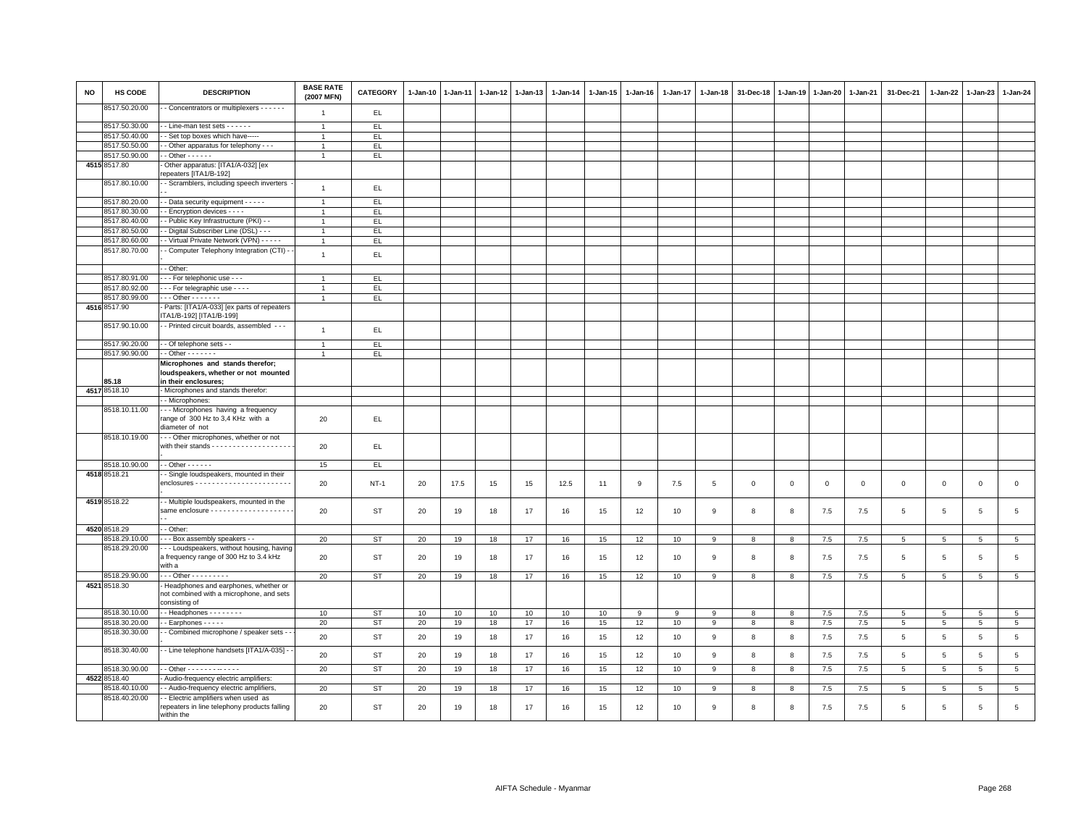| <b>NO</b> | HS CODE                       | <b>DESCRIPTION</b>                                                                                | <b>BASE RATE</b><br>(2007 MFN) | <b>CATEGORY</b> | $1-Jan-10$ | $1-Jan-11$ | $1-Jan-12$ | $1 - Jan-13$ | 1-Jan-14 | 1-Jan-15 | $1-Jan-16$ | 1-Jan-17 | 1-Jan-18    | 31-Dec-18   | 1-Jan-19       | $1 - Jan-20$ | 1-Jan-21    | 31-Dec-21       | $1 - Jan-22$    | $1-Jan-23$      | 1-Jan-24        |
|-----------|-------------------------------|---------------------------------------------------------------------------------------------------|--------------------------------|-----------------|------------|------------|------------|--------------|----------|----------|------------|----------|-------------|-------------|----------------|--------------|-------------|-----------------|-----------------|-----------------|-----------------|
|           | 8517.50.20.00                 | - Concentrators or multiplexers - - - - - -                                                       | $\overline{1}$                 | EL              |            |            |            |              |          |          |            |          |             |             |                |              |             |                 |                 |                 |                 |
|           | 8517.50.30.00                 | - Line-man test sets - - - - - -                                                                  | $\overline{1}$                 | EL.             |            |            |            |              |          |          |            |          |             |             |                |              |             |                 |                 |                 |                 |
|           | 8517.50.40.00                 | - Set top boxes which have-----                                                                   | $\overline{1}$                 | EL.             |            |            |            |              |          |          |            |          |             |             |                |              |             |                 |                 |                 |                 |
|           | 8517.50.50.00                 | - Other apparatus for telephony - - -                                                             |                                | EL.             |            |            |            |              |          |          |            |          |             |             |                |              |             |                 |                 |                 |                 |
|           | 8517.50.90.00                 | $-$ Other $    -$                                                                                 | $\overline{1}$                 | EL.             |            |            |            |              |          |          |            |          |             |             |                |              |             |                 |                 |                 |                 |
|           | 4515 8517.80                  | Other apparatus: [ITA1/A-032] [ex<br>repeaters [ITA1/B-192]                                       |                                |                 |            |            |            |              |          |          |            |          |             |             |                |              |             |                 |                 |                 |                 |
|           | 8517.80.10.00                 | - Scramblers, including speech inverters                                                          | $\overline{1}$                 | EL              |            |            |            |              |          |          |            |          |             |             |                |              |             |                 |                 |                 |                 |
|           | 8517.80.20.00                 |                                                                                                   | $\overline{1}$                 | EL              |            |            |            |              |          |          |            |          |             |             |                |              |             |                 |                 |                 |                 |
|           | 8517.80.30.00                 | - Data security equipment - - - - -<br>- Encryption devices - - - -                               |                                | EL.             |            |            |            |              |          |          |            |          |             |             |                |              |             |                 |                 |                 |                 |
|           | 8517.80.40.00                 | - Public Key Infrastructure (PKI) - -                                                             | $\overline{1}$                 | EL.             |            |            |            |              |          |          |            |          |             |             |                |              |             |                 |                 |                 |                 |
|           | 8517.80.50.00                 | - Digital Subscriber Line (DSL) - - -                                                             | $\mathbf{1}$                   | EL.             |            |            |            |              |          |          |            |          |             |             |                |              |             |                 |                 |                 |                 |
|           | 8517.80.60.00                 | - Virtual Private Network (VPN) - - - - -                                                         | $\blacktriangleleft$           | EL              |            |            |            |              |          |          |            |          |             |             |                |              |             |                 |                 |                 |                 |
|           | 8517.80.70.00                 | - Computer Telephony Integration (CTI) -                                                          |                                |                 |            |            |            |              |          |          |            |          |             |             |                |              |             |                 |                 |                 |                 |
|           |                               |                                                                                                   | $\mathbf{1}$                   | EL              |            |            |            |              |          |          |            |          |             |             |                |              |             |                 |                 |                 |                 |
|           |                               | - Other:                                                                                          |                                |                 |            |            |            |              |          |          |            |          |             |             |                |              |             |                 |                 |                 |                 |
|           | 8517.80.91.00                 | --- For telephonic use ---                                                                        | $\overline{1}$                 | EL.             |            |            |            |              |          |          |            |          |             |             |                |              |             |                 |                 |                 |                 |
|           | 8517.80.92.00                 | - - - For telegraphic use - - - -                                                                 | $\overline{1}$                 | EL              |            |            |            |              |          |          |            |          |             |             |                |              |             |                 |                 |                 |                 |
|           | 8517.80.99.00<br>4516 8517.90 | $\cdots$ Other $\cdots$                                                                           | $\mathbf{1}$                   | EL.             |            |            |            |              |          |          |            |          |             |             |                |              |             |                 |                 |                 |                 |
|           |                               | Parts: [ITA1/A-033] [ex parts of repeaters<br>ITA1/B-192] [ITA1/B-199]                            |                                |                 |            |            |            |              |          |          |            |          |             |             |                |              |             |                 |                 |                 |                 |
|           | 8517.90.10.00                 | - - Printed circuit boards, assembled - - -                                                       | $\overline{1}$                 | EL.             |            |            |            |              |          |          |            |          |             |             |                |              |             |                 |                 |                 |                 |
|           | 8517.90.20.00                 | - Of telephone sets - -                                                                           | $\overline{1}$                 | EL              |            |            |            |              |          |          |            |          |             |             |                |              |             |                 |                 |                 |                 |
|           | 8517.90.90.00                 | $-$ Other $     -$                                                                                |                                | EL.             |            |            |            |              |          |          |            |          |             |             |                |              |             |                 |                 |                 |                 |
|           |                               | Microphones and stands therefor;<br>loudspeakers, whether or not mounted                          |                                |                 |            |            |            |              |          |          |            |          |             |             |                |              |             |                 |                 |                 |                 |
|           | 85.18                         | in their enclosures;                                                                              |                                |                 |            |            |            |              |          |          |            |          |             |             |                |              |             |                 |                 |                 |                 |
|           | 4517 8518.10                  | - Microphones and stands therefor:                                                                |                                |                 |            |            |            |              |          |          |            |          |             |             |                |              |             |                 |                 |                 |                 |
|           |                               | - Microphones:                                                                                    |                                |                 |            |            |            |              |          |          |            |          |             |             |                |              |             |                 |                 |                 |                 |
|           | 8518.10.11.00                 | --- Microphones having a frequency<br>range of 300 Hz to 3,4 KHz with a<br>diameter of not        | 20                             | EL              |            |            |            |              |          |          |            |          |             |             |                |              |             |                 |                 |                 |                 |
|           | 8518.10.19.00                 | - - Other microphones, whether or not<br>with their stands - - - - - - - - - - - - - - - - - -    | 20                             | EL              |            |            |            |              |          |          |            |          |             |             |                |              |             |                 |                 |                 |                 |
|           | 8518.10.90.00                 | $-$ - Other $-$ - $-$ - $-$                                                                       | 15                             | EL.             |            |            |            |              |          |          |            |          |             |             |                |              |             |                 |                 |                 |                 |
|           | 4518 8518.21                  | Single loudspeakers, mounted in their                                                             | 20                             | <b>NT-1</b>     | 20         | 17.5       | 15         | 15           | 12.5     | 11       | 9          | 7.5      | 5           | $\mathbf 0$ | $\mathbf 0$    | $\mathbf 0$  | $\mathbf 0$ | $\mathsf 0$     | $\mathbf 0$     | $\mathsf 0$     | $\mathsf 0$     |
|           | 4519 8518.22                  | - Multiple loudspeakers, mounted in the                                                           | 20                             | <b>ST</b>       | 20         | 19         | 18         | 17           | 16       | 15       | 12         | 10       | 9           | 8           | 8              | 7.5          | 7.5         | 5               | 5               | $5\overline{5}$ | $\overline{5}$  |
|           | 4520 8518.29                  | - Other:                                                                                          |                                |                 |            |            |            |              |          |          |            |          |             |             |                |              |             |                 |                 |                 |                 |
|           | 8518.29.10.00                 | - - Box assembly speakers - -                                                                     | 20                             | ST              | 20         | 19         | 18         | 17           | 16       | 15       | 12         | 10       | 9           | 8           | 8              | 7.5          | 7.5         | $\overline{5}$  | $5\overline{5}$ | $5\phantom{.0}$ | 5 <sub>5</sub>  |
|           | 8518.29.20.00                 | - - Loudspeakers, without housing, having<br>a frequency range of 300 Hz to 3.4 kHz<br>with a     | 20                             | <b>ST</b>       | 20         | 19         | 18         | 17           | 16       | 15       | 12         | 10       | $\mathsf g$ | 8           | 8              | 7.5          | 7.5         | $\overline{5}$  | $\,$ 5 $\,$     | $\,$ 5 $\,$     | $\,$ 5 $\,$     |
|           | 8518.29.90.00                 | $- -$ - Other - - - - - - - - -                                                                   | 20                             | <b>ST</b>       | 20         | 19         | 18         | 17           | 16       | 15       | 12         | 10       | 9           | 8           | 8              | 7.5          | 7.5         | 5               | $5\phantom{.0}$ | 5               | $5\phantom{.0}$ |
|           | 4521 8518.30                  | Headphones and earphones, whether or<br>not combined with a microphone, and sets<br>consisting of |                                |                 |            |            |            |              |          |          |            |          |             |             |                |              |             |                 |                 |                 |                 |
|           | 8518.30.10.00                 | $-$ Headphones $      -$                                                                          | 10                             | ST              | 10         | 10         | 10         | 10           | 10       | 10       | 9          | 9        | 9           | 8           | 8              | 7.5          | 7.5         | 5               | 5               | 5               | $5\overline{5}$ |
|           | 8518.30.20.00                 | - Earphones - - - - -                                                                             | 20                             | <b>ST</b>       | 20         | 19         | 18         | 17           | 16       | 15       | 12         | 10       | 9           | 8           | $\overline{8}$ | 7.5          | 7.5         | $\overline{5}$  | 5               | $\overline{5}$  | $\overline{5}$  |
|           | 8518.30.30.00                 | - Combined microphone / speaker sets - -                                                          | 20                             | <b>ST</b>       | 20         | 19         | 18         | 17           | 16       | 15       | 12         | 10       | 9           | 8           | 8              | 7.5          | 7.5         | 5               | 5               | 5               | $\overline{5}$  |
|           | 8518.30.40.00                 | - Line telephone handsets [ITA1/A-035] -                                                          | 20                             | <b>ST</b>       | 20         | 19         | 18         | 17           | 16       | 15       | 12         | 10       | 9           | 8           | 8              | 7.5          | 7.5         | 5               | 5               | 5               | $\overline{5}$  |
|           | 8518.30.90.00                 | - - Other - - - - - - - - - - - -                                                                 | 20                             | <b>ST</b>       | 20         | 19         | 18         | 17           | 16       | 15       | 12         | 10       | 9           | 8           | 8              | 7.5          | 7.5         | 5               | $5\overline{5}$ | 5               | 5 <sub>5</sub>  |
|           | 4522 8518.40                  | - Audio-frequency electric amplifiers:                                                            |                                |                 |            |            |            |              |          |          |            |          |             |             |                |              |             |                 |                 |                 |                 |
|           | 8518.40.10.00                 | - Audio-frequency electric amplifiers,                                                            | 20                             | <b>ST</b>       | 20         | 19         | 18         | 17           | 16       | 15       | 12         | 10       | 9           | 8           | 8              | 7.5          | 7.5         | 5               | $5\overline{5}$ | 5               | $5\phantom{.0}$ |
|           | 8518.40.20.00                 | - Electric amplifiers when used as<br>repeaters in line telephony products falling                | 20                             | <b>ST</b>       | 20         | 19         | 18         | 17           | 16       | 15       | 12         | 10       | 9           | 8           | 8              | 7.5          | 7.5         | $5\overline{5}$ | 5               | 5               | 5               |
|           |                               | within the                                                                                        |                                |                 |            |            |            |              |          |          |            |          |             |             |                |              |             |                 |                 |                 |                 |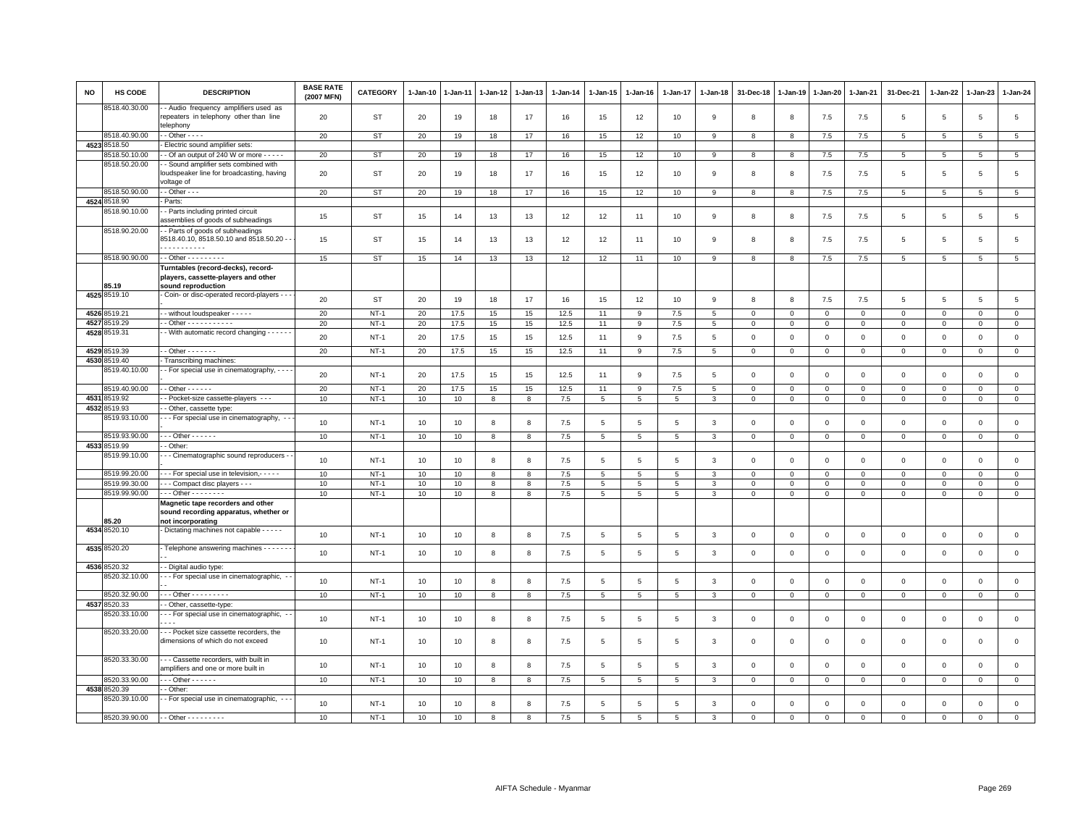| NO   | <b>HS CODE</b> | <b>DESCRIPTION</b>                                                                              | <b>BASE RATE</b><br>(2007 MFN) | <b>CATEGORY</b> | 1-Jan-10 | 1-Jan-11 | 1-Jan-12     | 1-Jan-13 | 1-Jan-14 | 1-Jan-15        | 1-Jan-16     | 1-Jan-17       | 1-Jan-18     | 31-Dec-18    | 1-Jan-19     | 1-Jan-20     | 1-Jan-21       | 31-Dec-21      | 1-Jan-22        | 1-Jan-23        | 1-Jan-24            |
|------|----------------|-------------------------------------------------------------------------------------------------|--------------------------------|-----------------|----------|----------|--------------|----------|----------|-----------------|--------------|----------------|--------------|--------------|--------------|--------------|----------------|----------------|-----------------|-----------------|---------------------|
|      | 3518.40.30.00  | - Audio frequency amplifiers used as<br>repeaters in telephony other than line<br>telephony     | 20                             | ST              | 20       | 19       | 18           | 17       | 16       | 15              | 12           | 10             | 9            | 8            | 8            | 7.5          | 7.5            | 5              | 5               | 5               | $\overline{5}$      |
|      | 8518.40.90.00  | $-$ Other $  -$                                                                                 | 20                             | ST              | 20       | 19       | 18           | 17       | 16       | 15              | 12           | 10             | 9            | 8            | 8            | 7.5          | 7.5            | 5              | 5               | 5               | 5                   |
|      | 4523 8518.50   | Electric sound amplifier sets:                                                                  |                                |                 |          |          |              |          |          |                 |              |                |              |              |              |              |                |                |                 |                 |                     |
|      | 8518.50.10.00  | - Of an output of 240 W or more - - - - -                                                       | 20                             | <b>ST</b>       | 20       | 19       | 18           | 17       | 16       | 15              | 12           | 10             | 9            | 8            | 8            | 7.5          | 7.5            | $\overline{5}$ | $\overline{5}$  | $5\phantom{.0}$ | $\overline{5}$      |
|      | 8518.50.20.00  | - Sound amplifier sets combined with<br>loudspeaker line for broadcasting, having<br>voltage of | 20                             | ST              | 20       | 19       | 18           | 17       | 16       | 15              | 12           | 10             | -9           | 8            | -8           | 7.5          | 7.5            | 5              | -5              | 5               | 5                   |
|      | 8518.50.90.00  | $-$ Other $ -$                                                                                  | 20                             | ST              | 20       | 19       | 18           | 17       | 16       | 15              | 12           | 10             | 9            | 8            | 8            | 7.5          | 7.5            | 5              | 5               | 5               | 5                   |
|      | 4524 8518.90   | Parts:                                                                                          |                                |                 |          |          |              |          |          |                 |              |                |              |              |              |              |                |                |                 |                 |                     |
|      | 8518.90.10.00  | - Parts including printed circuit<br>assemblies of goods of subheadings                         | 15                             | ST              | 15       | 14       | 13           | 13       | 12       | 12              | 11           | 10             | 9            | 8            | 8            | 7.5          | 7.5            | 5              | $5\overline{5}$ | 5               | 5                   |
|      | 8518.90.20.00  | - Parts of goods of subheadings<br>8518.40.10, 8518.50.10 and 8518.50.20 -<br>.                 | 15                             | ST              | 15       | 14       | 13           | 13       | 12       | 12              | 11           | 10             | 9            | 8            | -8           | 7.5          | 7.5            | 5              | 5               | 5               | 5                   |
|      | 8518.90.90.00  | $-$ Other $       -$                                                                            | 15                             | <b>ST</b>       | 15       | 14       | 13           | 13       | 12       | 12              | 11           | 10             | 9            | 8            | 8            | 7.5          | 7.5            | $\overline{5}$ | 5               | $\,$ 5 $\,$     | $\overline{5}$      |
|      |                | Turntables (record-decks), record-                                                              |                                |                 |          |          |              |          |          |                 |              |                |              |              |              |              |                |                |                 |                 |                     |
|      | 85.19          | players, cassette-players and other<br>sound reproduction                                       |                                |                 |          |          |              |          |          |                 |              |                |              |              |              |              |                |                |                 |                 |                     |
|      | 4525 8519.10   | Coin- or disc-operated record-players - -                                                       |                                |                 |          |          |              |          |          |                 |              |                |              |              |              |              |                |                |                 |                 |                     |
|      |                |                                                                                                 | 20                             | ST              | 20       | 19       | 18           | 17       | 16       | 15              | 12           | 10             | 9            | 8            | 8            | 7.5          | 7.5            | 5              | 5               | 5               | $\overline{5}$      |
|      | 4526 8519.21   | - - without loudspeaker - - - - -                                                               | 20                             | $NT-1$          | 20       | 17.5     | 15           | 15       | 12.5     | 11              | $\mathsf{Q}$ | 7.5            | 5            | $\mathbf 0$  | $\Omega$     | $\mathbf 0$  | $\mathbf{0}$   | $\mathbf 0$    | $\Omega$        | $\mathbf 0$     | $\mathbf 0$         |
| 4527 | 8519.29        | - - Other - - - - - - - - - - -                                                                 | 20                             | $NT-1$          | 20       | 17.5     | 15           | 15       | 12.5     | 11              | 9            | 7.5            | 5            | $\mathbf 0$  | $\mathbf 0$  | $\mathsf 0$  | $\mathbf 0$    | $\mathsf 0$    | $\mathbf 0$     | $\mathbf 0$     | $\mathsf 0$         |
|      | 4528 8519.31   | - With automatic record changing - - - - -                                                      | 20                             | $NT-1$          | 20       | 17.5     | 15           | 15       | 12.5     | 11              | -9           | 7.5            | 5            | $\mathbf 0$  | $\mathbf 0$  | $\mathbf 0$  | $\mathbf 0$    | $\mathbf 0$    | $\Omega$        | $\mathsf 0$     | $\mathsf 0$         |
|      | 4529 8519.39   | - - Other - - - - - - -                                                                         | 20                             | $NT-1$          | 20       | 17.5     | 15           | 15       | 12.5     | 11              | 9            | 7.5            | 5            | $\mathbf 0$  | $\circ$      | $\mathbf 0$  | $\mathbf{0}$   | $\mathbf 0$    | 0               | $\mathbf{0}$    | $\mathbf 0$         |
|      | 4530 8519.40   | Transcribing machines:                                                                          |                                |                 |          |          |              |          |          |                 |              |                |              |              |              |              |                |                |                 |                 |                     |
|      | 8519.40.10.00  | - - For special use in cinematography, - - -                                                    | 20                             | $NT-1$          | 20       | 17.5     | 15           | 15       | 12.5     | 11              | 9            | 7.5            | 5            | $\mathbf 0$  | $\circ$      | $\mathbf 0$  | $\mathbf 0$    | $\mathbf 0$    | $\mathbf 0$     | $\mathbf 0$     | $\mathsf 0$         |
|      | 8519.40.90.00  | $-$ Other $    -$                                                                               | 20                             | $NT-1$          | 20       | 17.5     | 15           | 15       | 12.5     | 11              | 9            | 7.5            | 5            | $\mathbf 0$  | $\mathbf 0$  | $\mathbf{0}$ | $\mathbf 0$    | $\Omega$       | $^{\circ}$      | $\Omega$        | $\mathsf 0$         |
| 4531 | 8519.92        | - Pocket-size cassette-players - - -                                                            | 10                             | $NT-1$          | 10       | 10       | 8            | 8        | 7.5      | $5\phantom{.0}$ | 5            | $\overline{5}$ | 3            | $\mathbf 0$  | $\mathbf 0$  | $\mathbf{0}$ | $\overline{0}$ | $\mathbf{0}$   | $\mathbf{0}$    | $\mathbf{0}$    | $\mathsf{O}\xspace$ |
|      | 4532 8519.93   | - Other, cassette type                                                                          |                                |                 |          |          |              |          |          |                 |              |                |              |              |              |              |                |                |                 |                 |                     |
|      | 8519.93.10.00  | - - For special use in cinematography, -                                                        | 10                             | $NT-1$          | 10       | 10       | 8            | 8        | 7.5      | 5               | 5            | 5              | 3            | $\mathbf 0$  | $\mathbf 0$  | $\mathbf 0$  | $\mathbf 0$    | $\mathbf 0$    | $\mathbf 0$     | $\mathbf 0$     | $\mathsf 0$         |
|      | 8519.93.90.00  | $-$ - Other - - - - - -                                                                         | 10                             | $NT-1$          | 10       | 10       | 8            | 8        | $7.5$    | 5               | 5            | 5              | 3            | $\mathbf 0$  | $\mathsf 0$  | $\,0\,$      | $\mathbf 0$    | $\mathsf 0$    | $\mathsf 0$     | $\mathsf 0$     | $\mathsf{O}\xspace$ |
|      | 4533 8519.99   | - Other:                                                                                        |                                |                 |          |          |              |          |          |                 |              |                |              |              |              |              |                |                |                 |                 |                     |
|      | 8519.99.10.00  | - Cinematographic sound reproducers -                                                           | 10                             | $NT-1$          | 10       | 10       | 8            | 8        | 7.5      | 5               | -5           | 5              | $\mathbf{3}$ | $\mathbf 0$  | $\mathbf 0$  | $\mathsf 0$  | $\mathbf 0$    | $\mathbf 0$    | $\overline{0}$  | $\mathsf 0$     | $\mathsf 0$         |
|      | 8519.99.20.00  | - - - For special use in television, - - - - -                                                  | 10                             | $NT-1$          | 10       | 10       | 8            | 8        | 7.5      | 5               | 5            | 5              | 3            | $\mathbf 0$  | $\circ$      | $\mathbf 0$  | $\mathbf 0$    | $\mathbf 0$    | $\Omega$        | $\mathbf 0$     | $\mathsf 0$         |
|      | 8519.99.30.00  | - - Compact disc players - - -                                                                  | 10                             | $NT-1$          | 10       | 10       | 8            | 8        | 7.5      | 5               | 5            | 5              | 3            | $\mathbf 0$  | $\mathbf 0$  | $\Omega$     | $\Omega$       | $\mathbf{0}$   | $\Omega$        | $\Omega$        | $\mathsf 0$         |
|      | 8519.99.90.00  | $\cdots$ Other - - - - - - - -                                                                  | 10                             | $NT-1$          | 10       | 10       | 8            | 8        | $7.5$    | 5               | 5            | 5              | 3            | $^{\circ}$   | $\circ$      | $\mathbf 0$  | $\mathbf 0$    | $\circ$        | $^{\circ}$      | 0               | $\mathsf 0$         |
|      | 85.20          | Magnetic tape recorders and other<br>sound recording apparatus, whether or<br>not incorporating |                                |                 |          |          |              |          |          |                 |              |                |              |              |              |              |                |                |                 |                 |                     |
|      | 4534 8520.10   | - Dictating machines not capable - - - - -                                                      | 10                             | $NT-1$          | 10       | 10       | 8            | 8        | 7.5      | 5               | 5            | 5              | 3            | $\mathbf 0$  | $\mathbf 0$  | $\mathbf 0$  | $\mathbf 0$    | $\mathbf 0$    | $\mathbf 0$     | $\mathbf 0$     | $\mathsf{O}\xspace$ |
|      | 4535 8520.20   | Telephone answering machines - - - - - - -                                                      | 10                             | $NT-1$          | 10       | 10       | 8            | 8        | 7.5      | 5               | 5            | 5              | $\mathbf{3}$ | $\mathbf 0$  | $\mathbf 0$  | $\mathbf 0$  | $\mathbf{0}$   | $\mathbf{0}$   | $\Omega$        | $\mathbf 0$     | $\mathsf 0$         |
|      | 4536 8520.32   | - - Digital audio type:                                                                         |                                |                 |          |          |              |          |          |                 |              |                |              |              |              |              |                |                |                 |                 |                     |
|      | 8520.32.10.00  | --- For special use in cinematographic, -                                                       | 10                             | $NT-1$          | 10       | 10       | 8            | 8        | 7.5      | 5               | 5            | 5              | $\mathbf{3}$ | $\mathbf 0$  | $\mathsf 0$  | $\mathsf 0$  | $\mathbf 0$    | $\mathsf 0$    | $\mathbf 0$     | $\mathsf 0$     | $\mathsf{O}\xspace$ |
|      | 8520.32.90.00  | - - - Other - - - - - - - - -                                                                   | 10                             | $NT-1$          | 10       | 10       | 8            | 8        | 7.5      | 5               | 5            | 5              | 3            | $\mathbf 0$  | $\circ$      | $\mathbf 0$  | $\mathbf 0$    | $\mathbf 0$    | $\mathbf{0}$    | $\mathbf 0$     | $\mathsf 0$         |
| 4537 | 3520.33        | - Other, cassette-type:                                                                         |                                |                 |          |          |              |          |          |                 |              |                |              |              |              |              |                |                |                 |                 |                     |
|      | 8520.33.10.00  | --- For special use in cinematographic,<br>$\sim$ $\sim$ $\sim$                                 | 10                             | $NT-1$          | 10       | 10       | 8            | 8        | 7.5      | 5               | 5            | 5              | 3            | $\mathbf 0$  | $\circ$      | $\mathbf 0$  | $\mathbf 0$    | $\mathbf 0$    | $\mathbf 0$     | 0               | $\mathsf 0$         |
|      | 8520.33.20.00  | -- Pocket size cassette recorders, the<br>dimensions of which do not exceed                     | 10                             | $NT-1$          | 10       | 10       | 8            | 8        | 7.5      | 5               | -5           | 5              | 3            | $\mathbf 0$  | $\circ$      | $\Omega$     | $\overline{0}$ | $\mathbf 0$    | $\mathbf 0$     | $\mathbf 0$     | $\mathbf 0$         |
|      | 8520.33.30.00  | - - - Cassette recorders, with built in<br>amplifiers and one or more built in                  | 10                             | $NT-1$          | 10       | 10       | $\mathbf{8}$ | 8        | 7.5      | 5               | 5            | 5              | $\mathbf{3}$ | $\mathbf{0}$ | $\mathbf{0}$ | $\mathbf{0}$ | $\mathbf{0}$   | $\mathbf{0}$   | $\Omega$        | $\mathbf 0$     | $\mathsf 0$         |
|      | 8520.33.90.00  | - - - Other - - - - - -                                                                         | 10                             | $NT-1$          | 10       | 10       | 8            | 8        | 7.5      | $5\phantom{.0}$ | 5            | 5              | 3            | $\mathbf 0$  | $\mathbf 0$  | $\mathbf 0$  | $\mathbf 0$    | $\mathbf 0$    | $\mathbf{0}$    | $\mathbf 0$     | $\mathsf 0$         |
|      | 4538 8520.39   | - Other:                                                                                        |                                |                 |          |          |              |          |          |                 |              |                |              |              |              |              |                |                |                 |                 |                     |
|      | 8520.39.10.00  | - For special use in cinematographic, --                                                        | 10                             | $NT-1$          | 10       | 10       | 8            | 8        | $7.5$    | 5               | 5            | 5              | 3            | $\mathbf 0$  | $\mathbf 0$  | $\mathbf 0$  | $\mathbf 0$    | $\mathbf 0$    | $\mathbf 0$     | $\mathsf 0$     | $\mathsf 0$         |
|      | 8520.39.90.00  | $-$ - Other - - - - - - - - -                                                                   | 10                             | $NT-1$          | 10       | 10       | 8            | 8        | 7.5      | 5               | 5            | 5              | 3            | $\Omega$     | $\Omega$     | 0            | $\Omega$       | $\Omega$       | $\Omega$        | $\mathbf 0$     | $\mathbf 0$         |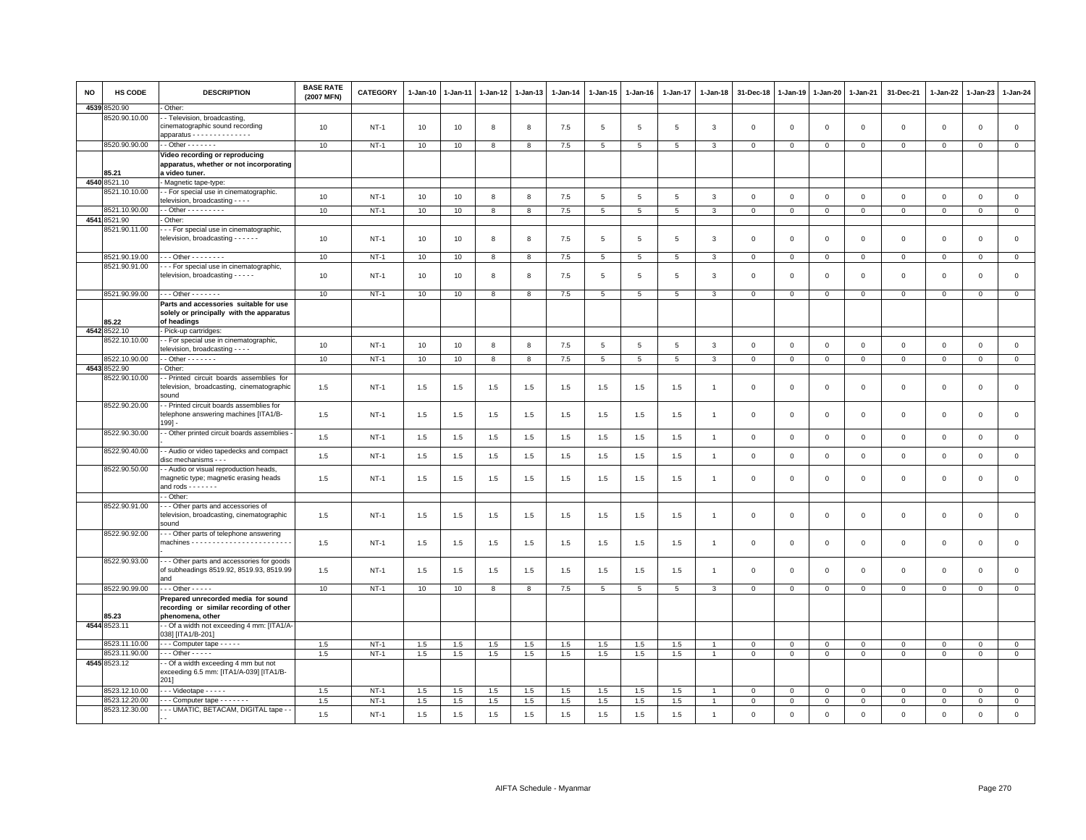| <b>NO</b> | HS CODE       | <b>DESCRIPTION</b>                                                                                                      | <b>BASE RATE</b><br>(2007 MFN) | CATEGORY    | 1-Jan-10 | $1-Jan-11$ | 1-Jan-12 | 1-Jan-13 | $1-Jan-14$ | 1-Jan-15        | 1-Jan-16 | $1 - Jan-17$   | 1-Jan-18       | 31-Dec-18      | 1-Jan-19     | $1 - Jan-20$   | $1-Jan-21$     | 31-Dec-21           | 1-Jan-22       | 1-Jan-23            | 1-Jan-24            |
|-----------|---------------|-------------------------------------------------------------------------------------------------------------------------|--------------------------------|-------------|----------|------------|----------|----------|------------|-----------------|----------|----------------|----------------|----------------|--------------|----------------|----------------|---------------------|----------------|---------------------|---------------------|
| 4539      | 8520.90       | Other:                                                                                                                  |                                |             |          |            |          |          |            |                 |          |                |                |                |              |                |                |                     |                |                     |                     |
|           | 3520.90.10.00 | - Television, broadcasting,<br>cinematographic sound recording<br>apparatus - - - - - - - - - - - - -                   | 10                             | $NT-1$      | 10       | 10         | 8        | 8        | 7.5        | 5               | 5        | 5              | 3              | $\mathbf 0$    | $\mathbf 0$  | $\mathsf 0$    | $\mathbf 0$    | $\mathsf 0$         | $\mathbf 0$    | $\mathsf 0$         | $\mathsf 0$         |
|           | 8520.90.90.00 | $\cdot$ - Other - - - - - - -                                                                                           | 10                             | $NT-1$      | 10       | 10         | 8        | 8        | 7.5        | $5\phantom{.0}$ | 5        | 5              | 3              | $\mathbf 0$    | $\mathbf 0$  | $\mathbf 0$    | $\mathbf 0$    | $\mathbf 0$         | $\mathbf{0}$   | $\mathsf 0$         | $\circ$             |
|           | 85.21         | Video recording or reproducing<br>apparatus, whether or not incorporating<br>a video tuner.                             |                                |             |          |            |          |          |            |                 |          |                |                |                |              |                |                |                     |                |                     |                     |
|           | 4540 8521.10  | - Magnetic tape-type:                                                                                                   |                                |             |          |            |          |          |            |                 |          |                |                |                |              |                |                |                     |                |                     |                     |
|           | 8521.10.10.00 | - For special use in cinematographic.<br>television, broadcasting - - - -                                               | 10                             | $NT-1$      | 10       | 10         | 8        | 8        | 7.5        | 5               | 5        | 5              | 3              | $\mathbf 0$    | $\mathbf 0$  | $\mathsf 0$    | $\mathbf 0$    | $\mathsf 0$         | $\mathbb O$    | $\mathsf 0$         | $\mathsf 0$         |
|           | 8521.10.90.00 | - - Other - - - - - - - - -                                                                                             | 10                             | $NT-1$      | 10       | 10         | 8        | 8        | 7.5        | 5 <sup>5</sup>  | 5        | 5              | 3              | $\overline{0}$ | $\mathbf{0}$ | $\mathbf{0}$   | $\overline{0}$ | $\mathbf{0}$        | $\mathbf 0$    | $\mathbf 0$         | $\mathbf{0}$        |
| 4541      | 8521.90       | Other:                                                                                                                  |                                |             |          |            |          |          |            |                 |          |                |                |                |              |                |                |                     |                |                     |                     |
|           | 3521.90.11.00 | - - For special use in cinematographic,<br>television, broadcasting - - - - - -                                         | 10                             | $NT-1$      | 10       | 10         | 8        | 8        | 7.5        | 5               | 5        | 5              | 3              | $\mathbf 0$    | $\mathbf 0$  | $\mathsf 0$    | $\mathbf 0$    | $\mathsf 0$         | $\mathbf 0$    | $\mathsf 0$         | $\mathsf 0$         |
|           | 8521.90.19.00 | - - - Other - - - - - - - -                                                                                             | 10                             | $NT-1$      | 10       | 10         | 8        | 8        | 7.5        | $5\overline{5}$ | 5        | 5              | 3              | $\mathbf 0$    | $\circ$      | $\mathbf 0$    | $\mathbf{0}$   | $\mathbf 0$         | $\mathbf 0$    | $\mathbf{0}$        | $\mathbf 0$         |
|           | 8521.90.91.00 | --- For special use in cinematographic,<br>television, broadcasting - - - - -                                           | 10                             | $NT-1$      | 10       | 10         | 8        | 8        | 7.5        | 5               | 5        | 5              | 3              | $\mathbf 0$    | $\mathbf 0$  | $\mathbf 0$    | $\mathbf 0$    | $\mathsf 0$         | $^{\circ}$     | $\mathbf 0$         | $\mathsf{O}\xspace$ |
|           | 8521.90.99.00 | - - - Other - - - - - - -                                                                                               | 10                             | $NT-1$      | 10       | 10         | 8        | 8        | 7.5        | 5               | 5        | 5              | 3              | $\Omega$       | $\mathbf{0}$ | $\mathbf{0}$   | $\mathbf{0}$   | $\mathbf{0}$        | $\mathbf 0$    | $\mathbf 0$         | $\mathsf 0$         |
|           | 85.22         | Parts and accessories suitable for use<br>solely or principally with the apparatus<br>of headings                       |                                |             |          |            |          |          |            |                 |          |                |                |                |              |                |                |                     |                |                     |                     |
|           | 4542 8522.10  | Pick-up cartridges:                                                                                                     |                                |             |          |            |          |          |            |                 |          |                |                |                |              |                |                |                     |                |                     |                     |
|           | 8522.10.10.00 | - For special use in cinematographic,<br>elevision, broadcasting - - - -                                                | 10                             | $NT-1$      | 10       | 10         | 8        | 8        | 7.5        | 5               | 5        | $\overline{5}$ | 3              | $\mathbf 0$    | $\mathbf 0$  | $\mathbf 0$    | $\mathbf 0$    | $\mathbf 0$         | $\Omega$       | $\mathbf 0$         | $\mathsf 0$         |
|           | 3522.10.90.00 | $\cdot$ - Other - - - - - - -                                                                                           | 10                             | $NT-1$      | 10       | 10         | 8        | 8        | 7.5        | $5\phantom{.0}$ | 5        | 5              | 3              | $\mathbf{0}$   | $\mathbf 0$  | $\overline{0}$ | $\overline{0}$ | $\mathbf 0$         | $\overline{0}$ | $\mathbf 0$         | $\mathbf 0$         |
|           | 4543 8522.90  | Other:                                                                                                                  |                                |             |          |            |          |          |            |                 |          |                |                |                |              |                |                |                     |                |                     |                     |
|           | 8522.90.10.00 | - Printed circuit boards assemblies for<br>television, broadcasting, cinematographic<br>sound                           | 1.5                            | <b>NT-1</b> | 1.5      | 1.5        | 1.5      | 1.5      | 1.5        | 1.5             | 1.5      | 1.5            |                | $\mathbf 0$    | $\mathbf 0$  | $\mathbf 0$    | $\mathbf 0$    | $\mathsf 0$         | $\mathbf 0$    | $\mathsf 0$         | $\mathsf{O}\xspace$ |
|           | 8522.90.20.00 | - Printed circuit boards assemblies for<br>telephone answering machines [ITA1/B-<br>$199] -$                            | 1.5                            | $NT-1$      | 1.5      | 1.5        | 1.5      | 1.5      | 1.5        | 1.5             | 1.5      | 1.5            |                | $\mathbf 0$    | $\Omega$     | $\mathbf 0$    | $\mathbf 0$    | $\mathsf 0$         | $\Omega$       | $\mathbf 0$         | $\mathsf 0$         |
|           | 8522.90.30.00 | - Other printed circuit boards assemblies                                                                               | 1.5                            | $NT-1$      | 1.5      | 1.5        | 1.5      | 1.5      | 1.5        | 1.5             | 1.5      | 1.5            | $\overline{1}$ | $\mathbf 0$    | $\mathbf 0$  | $\mathsf 0$    | $\mathbf 0$    | $\mathbf 0$         | $\mathbf{0}$   | $\mathbf 0$         | $\mathsf 0$         |
|           | 8522.90.40.00 | - Audio or video tapedecks and compact<br>disc mechanisms - - -                                                         | 1.5                            | $NT-1$      | $1.5\,$  | 1.5        | $1.5$    | $1.5\,$  | 1.5        | 1.5             | 1.5      | 1.5            | $\overline{1}$ | $\mathbf 0$    | $\,0\,$      | $\,0\,$        | $\,0\,$        | $\mathsf{O}\xspace$ | $\mathbf 0$    | $\mathsf{O}\xspace$ | $\mathsf{O}\xspace$ |
|           | 8522.90.50.00 | - - Audio or visual reproduction heads,<br>magnetic type; magnetic erasing heads<br>and rods $\cdots$ $\cdots$ $\cdots$ | 1.5                            | <b>NT-1</b> | 1.5      | 1.5        | 1.5      | 1.5      | 1.5        | 1.5             | 1.5      | 1.5            |                | $\mathbf 0$    | $\,0\,$      | $\mathsf 0$    | $\mathbf 0$    | $\mathsf 0$         | $\mathbf 0$    | $\mathsf 0$         | $\mathsf 0$         |
|           |               | - Other:                                                                                                                |                                |             |          |            |          |          |            |                 |          |                |                |                |              |                |                |                     |                |                     |                     |
|           | 8522.90.91.00 | - - Other parts and accessories of<br>television, broadcasting, cinematographic<br>sound                                | 1.5                            | $NT-1$      | 1.5      | 1.5        | 1.5      | 1.5      | 1.5        | 1.5             | 1.5      | 1.5            |                | $\mathbf 0$    | $\mathbf 0$  | $\mathbf 0$    | $\mathbf 0$    | $\mathsf 0$         | $\mathbf 0$    | $\mathsf 0$         | $\mathsf{O}\xspace$ |
|           | 8522.90.92.00 | -- Other parts of telephone answering                                                                                   | 1.5                            | $NT-1$      | 1.5      | 1.5        | 1.5      | 1.5      | 1.5        | 1.5             | 1.5      | 1.5            |                | $\mathbf 0$    | $\circ$      | $\mathbf 0$    | $\mathbf 0$    | $\circ$             | $^{\circ}$     | 0                   | $\mathsf 0$         |
|           | 8522.90.93.00 | - - Other parts and accessories for goods<br>of subheadings 8519.92, 8519.93, 8519.99<br>and                            | 1.5                            | $NT-1$      | 1.5      | 1.5        | 1.5      | 1.5      | 1.5        | 1.5             | 1.5      | 1.5            |                | $\overline{0}$ | $\Omega$     | $\Omega$       | $\overline{0}$ | $\mathbf 0$         | $\Omega$       | $\mathbf 0$         | $\mathsf 0$         |
|           | 8522.90.99.00 | $\cdots$ Other - - - - -                                                                                                | 10                             | $NT-1$      | 10       | 10         | 8        | 8        | 7.5        | $5\phantom{.0}$ | 5        | 5              | 3              | $\mathbf 0$    | $\circ$      | $\mathbf 0$    | $\mathbf 0$    | $\circ$             | 0              | $\mathsf 0$         | $\mathsf 0$         |
|           | 85.23         | Prepared unrecorded media for sound<br>recording or similar recording of other<br>phenomena, other                      |                                |             |          |            |          |          |            |                 |          |                |                |                |              |                |                |                     |                |                     |                     |
|           | 4544 8523.11  | - Of a width not exceeding 4 mm: [ITA1/A-<br>038] [ITA1/B-201]                                                          |                                |             |          |            |          |          |            |                 |          |                |                |                |              |                |                |                     |                |                     |                     |
|           | 8523.11.10.00 | - - - Computer tape - - - - -                                                                                           | 1.5                            | $NT-1$      | 1.5      | 1.5        | 1.5      | 1.5      | 1.5        | 1.5             | 1.5      | 1.5            |                | $\mathbf 0$    | $\mathbf 0$  | $\mathbf 0$    | $\mathbf 0$    | $\mathbf 0$         | $^{\circ}$     | $\mathbf 0$         | $\mathbf 0$         |
|           | 8523.11.90.00 | $\cdots$ Other - - - - -                                                                                                | 1.5                            | $NT-1$      | 1.5      | 1.5        | 1.5      | 1.5      | 1.5        | 1.5             | 1.5      | 1.5            | $\overline{1}$ | $\mathbf 0$    | $\mathsf 0$  | $\mathbf 0$    | $\mathbf 0$    | $\mathsf 0$         | $\mathbf 0$    | $\mathbf 0$         | $\circ$             |
|           | 4545 8523.12  | - Of a width exceeding 4 mm but not<br>exceeding 6.5 mm: [ITA1/A-039] [ITA1/B-<br>2011                                  |                                |             |          |            |          |          |            |                 |          |                |                |                |              |                |                |                     |                |                     |                     |
|           | 8523.12.10.00 | $\cdots$ Videotape $\cdots$                                                                                             | 1.5                            | $NT-1$      | 1.5      | 1.5        | 1.5      | 1.5      | 1.5        | 1.5             | 1.5      | 1.5            |                | $\mathbf 0$    | $\mathbf 0$  | $\mathbf 0$    | $\mathbf 0$    | $\Omega$            | $\Omega$       | $\Omega$            | $\mathsf 0$         |
|           | 8523.12.20.00 | $\cdots$ Computer tape $\cdots$                                                                                         | 1.5                            | $NT-1$      | 1.5      | 1.5        | 1.5      | 1.5      | 1.5        | 1.5             | 1.5      | 1.5            |                | $\mathbf 0$    | $\mathbf 0$  | $\mathbf 0$    | $\mathbf 0$    | $\mathbf 0$         | $\mathsf 0$    | $\mathbf 0$         | $\mathbf 0$         |
|           | 8523.12.30.00 | --- UMATIC, BETACAM, DIGITAL tape -                                                                                     | 1.5                            | $NT-1$      | 1.5      | 1.5        | $1.5\,$  | $1.5\,$  | 1.5        | $1.5\,$         | $1.5\,$  | 1.5            | $\overline{1}$ | $\mathbf 0$    | $\mathsf 0$  | $\mathbf 0$    | $\mathbf 0$    | $\mathsf 0$         | $\mathbf 0$    | $\mathsf 0$         | $\mathsf 0$         |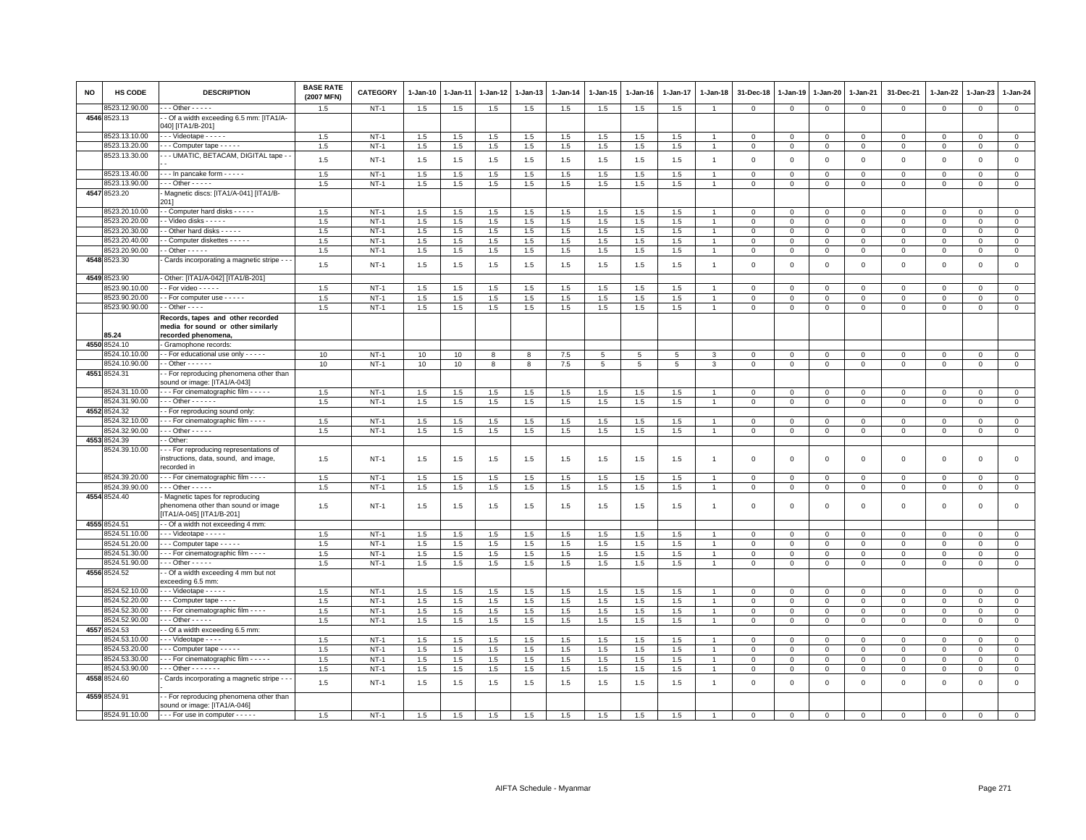| <b>NO</b> | HS CODE       | <b>DESCRIPTION</b>                                                                                 | <b>BASE RATE</b><br>(2007 MFN) | <b>CATEGORY</b> | 1-Jan-10 | 1-Jan-11 | 1-Jan-12 | 1-Jan-13 | 1-Jan-14 | 1-Jan-15 | 1-Jan-16 | 1-Jan-17 | 1-Jan-18       | 31-Dec-18   | 1-Jan-19     | 1-Jan-20     | 1-Jan-21    | 31-Dec-21   | $1 - Jan-22$ | 1-Jan-23     | $1 - Jan-24$   |
|-----------|---------------|----------------------------------------------------------------------------------------------------|--------------------------------|-----------------|----------|----------|----------|----------|----------|----------|----------|----------|----------------|-------------|--------------|--------------|-------------|-------------|--------------|--------------|----------------|
|           | 3523.12.90.00 | $\cdot$ - Other - - - - -                                                                          | 1.5                            | $NT-1$          | $1.5\,$  | 1.5      | 1.5      | 1.5      | 1.5      | $1.5\,$  | 1.5      | 1.5      | $\overline{1}$ | $\mathbf 0$ | $\mathbf 0$  | $\mathbf 0$  | $\mathbf 0$ | $\mathsf 0$ | $\mathbf 0$  | $\mathsf 0$  | $\mathbf 0$    |
|           | 4546 8523.13  | - Of a width exceeding 6.5 mm: [ITA1/A-<br>040] [ITA1/B-201]                                       |                                |                 |          |          |          |          |          |          |          |          |                |             |              |              |             |             |              |              |                |
|           | 8523.13.10.00 | Videotape                                                                                          | 1.5                            | $NT-1$          | 1.5      | 1.5      | 1.5      | 1.5      | 1.5      | 1.5      | 1.5      | 1.5      |                | $\mathbf 0$ | $\mathbf 0$  | $\mathbf 0$  | $\mathbf 0$ | $\mathsf 0$ | $\mathbf 0$  | $\mathsf 0$  | $\mathbf 0$    |
|           | 8523.13.20.00 | $\cdots$ Computer tape $\cdots$                                                                    | 1.5                            | $NT-1$          | $1.5\,$  | 1.5      | 1.5      | 1.5      | 1.5      | 1.5      | 1.5      | 1.5      | $\overline{1}$ | $\mathbf 0$ | $\mathbf 0$  | $\,0\,$      | $\mathbf 0$ | $\mathsf 0$ | $\mathbf 0$  | $^{\circ}$   | $\,0\,$        |
|           | 8523.13.30.00 | - - UMATIC, BETACAM, DIGITAL tape -                                                                | 1.5                            | $NT-1$          | 1.5      | 1.5      | 1.5      | 1.5      | 1.5      | 1.5      | 1.5      | 1.5      | $\overline{1}$ | $\mathbf 0$ | $\mathbf 0$  | $\mathbf 0$  | $\mathbf 0$ | $\mathsf 0$ | $\mathbf 0$  | $\mathsf 0$  | $\mathsf 0$    |
|           | 8523.13.40.00 | - - - In pancake form - - - - -                                                                    | 1.5                            | $NT-1$          | 1.5      | 1.5      | 1.5      | 1.5      | 1.5      | 1.5      | 1.5      | 1.5      |                | $\mathbf 0$ | $^{\circ}$   | $\mathbf 0$  | $\mathbf 0$ | $\mathsf 0$ | $^{\circ}$   | $\mathbf{0}$ | $\circ$        |
|           | 8523.13.90.00 | $\cdots$ Other - - - - -                                                                           | 1.5                            | $NT-1$          | 1.5      | 1.5      | 1.5      | 1.5      | 1.5      | 1.5      | 1.5      | 1.5      | $\overline{1}$ | $\Omega$    | $\Omega$     | $\mathbf 0$  | $\Omega$    | $\mathbf 0$ | $\Omega$     | $\Omega$     | $\mathbf{0}$   |
|           | 4547 8523.20  | - Magnetic discs: [ITA1/A-041] [ITA1/B-<br>201]                                                    |                                |                 |          |          |          |          |          |          |          |          |                |             |              |              |             |             |              |              |                |
|           | 3523.20.10.00 | - Computer hard disks - - - - -                                                                    | 1.5                            | $NT-1$          | 1.5      | 1.5      | 1.5      | 1.5      | 1.5      | 1.5      | 1.5      | 1.5      | $\overline{1}$ | $\Omega$    | $\Omega$     | $\mathbf 0$  | $\Omega$    | $^{\circ}$  | $\Omega$     | $\Omega$     | $\mathbf{0}$   |
|           | 8523.20.20.00 | - - Video disks - - - - -                                                                          | 1.5                            | $NT-1$          | 1.5      | 1.5      | 1.5      | 1.5      | 1.5      | 1.5      | 1.5      | 1.5      | $\overline{1}$ | $\mathbf 0$ | $\mathbf 0$  | $\mathbf 0$  | $\mathbf 0$ | $\mathsf 0$ | 0            | $\mathbf 0$  | $\circ$        |
|           | 8523.20.30.00 | - Other hard disks - - - - -                                                                       | 1.5                            | $NT-1$          | 1.5      | 1.5      | 1.5      | 1.5      | 1.5      | 1.5      | 1.5      | 1.5      | $\overline{1}$ | $\mathbf 0$ | $\mathbf 0$  | $\mathsf 0$  | $\mathbf 0$ | $\mathsf 0$ | $\Omega$     | $\Omega$     | $\,0\,$        |
|           | 8523.20.40.00 | - Computer diskettes - - - - -                                                                     | 1.5                            | $NT-1$          | 1.5      | 1.5      | 1.5      | 1.5      | 1.5      | 1.5      | 1.5      | 1.5      | $\overline{1}$ | $\Omega$    | $\Omega$     | $\Omega$     | $\Omega$    | $\Omega$    | $\mathbf 0$  | $\mathbf 0$  | $\mathbf{0}$   |
|           | 8523.20.90.00 | $\cdot$ - Other - - - - -                                                                          | 1.5                            | $NT-1$          | 1.5      | 1.5      | 1.5      | 1.5      | 1.5      | 1.5      | 1.5      | 1.5      | $\overline{1}$ | $\mathbf 0$ | $\mathbf 0$  | $\mathbf{0}$ | $\mathbf 0$ | 0           | $^{\circ}$   | $^{\circ}$   | $\circ$        |
|           | 4548 8523.30  | Cards incorporating a magnetic stripe - -                                                          | 1.5                            | $NT-1$          | 1.5      | 1.5      | 1.5      | 1.5      | 1.5      | 1.5      | 1.5      | 1.5      | $\overline{1}$ | $\mathbf 0$ | $\mathbf 0$  | $\mathbf 0$  | $\mathbf 0$ | $\mathsf 0$ | $\mathbf 0$  | $\mathbf 0$  | $\mathsf 0$    |
|           | 4549 8523.90  | - Other: [ITA1/A-042] [ITA1/B-201]                                                                 |                                |                 |          |          |          |          |          |          |          |          |                |             |              |              |             |             |              |              |                |
|           | 523.90.10.00  | $-$ For video $   -$                                                                               | 1.5                            | $NT-1$          | 1.5      | 1.5      | 1.5      | 1.5      | 1.5      | $1.5\,$  | 1.5      | 1.5      |                | $\Omega$    | $\Omega$     | $\mathbf 0$  | $\Omega$    | $\mathbf 0$ | $\Omega$     | $\Omega$     | $\mathsf 0$    |
|           | 8523.90.20.00 | - For computer use - - - - -                                                                       | 1.5                            | $NT-1$          | 1.5      | 1.5      | 1.5      | 1.5      | 1.5      | 1.5      | 1.5      | 1.5      |                | $\Omega$    | $\Omega$     | $\Omega$     | $\mathbf 0$ | $\mathbf 0$ | $\Omega$     | $\Omega$     | $\mathbf{0}$   |
|           | 8523.90.90.00 | $\cdot$ - Other - - - $\cdot$                                                                      | 1.5                            | $NT-1$          | 1.5      | 1.5      | 1.5      | 1.5      | 1.5      | $1.5\,$  | 1.5      | 1.5      | $\overline{1}$ | $\mathbf 0$ | $\mathbf 0$  | $\mathbf 0$  | $\mathbf 0$ | $\mathsf 0$ | $\mathbf 0$  | $\Omega$     | $\mathbf 0$    |
|           |               | Records, tapes and other recorded                                                                  |                                |                 |          |          |          |          |          |          |          |          |                |             |              |              |             |             |              |              |                |
|           |               | media for sound or other similarly                                                                 |                                |                 |          |          |          |          |          |          |          |          |                |             |              |              |             |             |              |              |                |
|           | 85.24         | recorded phenomena,                                                                                |                                |                 |          |          |          |          |          |          |          |          |                |             |              |              |             |             |              |              |                |
|           | 4550 8524.10  | Gramophone records                                                                                 |                                |                 |          |          |          |          |          |          |          |          |                |             |              |              |             |             |              |              |                |
|           | 8524.10.10.00 | - - For educational use only - - - - -                                                             | 10                             | $NT-1$          | 10       | 10       | 8        | 8        | $7.5$    | 5        | 5        | 5        | 3              | $\mathbf 0$ | $\Omega$     | $\mathbf 0$  | $\mathbf 0$ | $\mathsf 0$ | $\mathbf 0$  | $\mathsf 0$  | $\circ$        |
|           | 8524.10.90.00 | $\cdot$ - Other - - - - - -                                                                        | 10                             | $NT-1$          | 10       | 10       | 8        | 8        | $7.5$    | 5        | 5        | 5        | 3              | $\mathbf 0$ | $\mathbf 0$  | $\mathbf 0$  | $\mathbf 0$ | $\mathsf 0$ | $\mathbf 0$  | $\mathsf 0$  | $\mathsf 0$    |
|           | 4551 8524.31  | - For reproducing phenomena other than<br>sound or image: [ITA1/A-043]                             |                                |                 |          |          |          |          |          |          |          |          |                |             |              |              |             |             |              |              |                |
|           | 8524.31.10.00 | --- For cinematographic film -----                                                                 | 1.5                            | $NT-1$          | 1.5      | 1.5      | 1.5      | 1.5      | 1.5      | 1.5      | 1.5      | 1.5      |                | $\Omega$    | $\Omega$     | $\Omega$     | $\mathbf 0$ | $\mathbf 0$ | $\Omega$     | $\Omega$     | $\mathbf{0}$   |
|           | 8524.31.90.00 | $\overline{\cdot}$ - Other - - - - -                                                               | 1.5                            | $NT-1$          | 1.5      | 1.5      | 1.5      | 1.5      | $1.5\,$  | 1.5      | $1.5\,$  | $1.5\,$  |                | $\mathbf 0$ | $\mathbf 0$  | $\mathbf 0$  | $\mathsf 0$ | $\mathsf 0$ | $\Omega$     | $\Omega$     | $\mathsf 0$    |
|           | 4552 8524.32  | - For reproducing sound only                                                                       |                                |                 |          |          |          |          |          |          |          |          |                |             |              |              |             |             |              |              |                |
|           | 3524.32.10.00 | - - For cinematographic film - - - -                                                               | 1.5                            | $NT-1$          | 1.5      | 1.5      | 1.5      | 1.5      | 1.5      | 1.5      | 1.5      | 1.5      |                | $\mathbf 0$ | $\mathbf 0$  | $\mathbf 0$  | $\mathbf 0$ | $\Omega$    | $\Omega$     | $\Omega$     | $\circ$        |
|           | 3524.32.90.00 | $-$ - Other - - - - -                                                                              | 1.5                            | $NT-1$          | 1.5      | 1.5      | 1.5      | 1.5      | 1.5      | 1.5      | 1.5      | 1.5      | $\overline{1}$ | $\mathbf 0$ | $\mathbf 0$  | $\mathbf 0$  | $\mathbf 0$ | 0           | 0            | $\Omega$     | $\mathbf 0$    |
| 4553      | 3524.39       | - Other                                                                                            |                                |                 |          |          |          |          |          |          |          |          |                |             |              |              |             |             |              |              |                |
|           | 3524.39.10.00 | --- For reproducing representations of<br>instructions, data, sound, and image,<br>ecorded in      | 1.5                            | $NT-1$          | 1.5      | 1.5      | 1.5      | 1.5      | 1.5      | 1.5      | 1.5      | 1.5      |                | $\mathbf 0$ | $\Omega$     | $\mathbf 0$  | $\mathbf 0$ | $\mathsf 0$ | $\mathbf 0$  | $\mathbf 0$  | $\mathbf 0$    |
|           | 8524.39.20.00 | - - - For cinematographic film - - - -                                                             | 1.5                            | $NT-1$          | 1.5      | 1.5      | 1.5      | 1.5      | 1.5      | 1.5      | 1.5      | 1.5      |                | $\Omega$    | $\Omega$     | $\mathbf{0}$ | $\mathbf 0$ | $\mathbf 0$ | $\Omega$     | $\Omega$     | $\mathbf 0$    |
|           | 8524.39.90.00 | $\cdots$ Other - - - - -                                                                           | 1.5                            | $NT-1$          | 1.5      | 1.5      | 1.5      | 1.5      | 1.5      | 1.5      | 1.5      | 1.5      |                | $\mathbf 0$ | $\mathbf 0$  | $\mathsf 0$  | $\mathsf 0$ | $\mathsf 0$ | $\mathbf 0$  | $^{\circ}$   | $\,0\,$        |
|           | 4554 8524.40  | Magnetic tapes for reproducing<br>phenomena other than sound or image<br>[ITA1/A-045] [ITA1/B-201] | 1.5                            | $NT-1$          | 1.5      | 1.5      | 1.5      | 1.5      | 1.5      | 1.5      | 1.5      | 1.5      | $\overline{1}$ | $\Omega$    | $\Omega$     | $\Omega$     | $\mathbf 0$ | $\mathbf 0$ | $\Omega$     | $\Omega$     | $\mathbf 0$    |
|           | 4555 8524.51  | - Of a width not exceeding 4 mm:                                                                   |                                |                 |          |          |          |          |          |          |          |          |                |             |              |              |             |             |              |              |                |
|           | 3524.51.10.00 | Videotape                                                                                          | 1.5                            | $NT-1$          | $1.5$    | 1.5      | 1.5      | 1.5      | 1.5      | 1.5      | $1.5$    | 1.5      |                | $\Omega$    | $\Omega$     | $\Omega$     | $\Omega$    | $\Omega$    | $\Omega$     | $\Omega$     | $\mathbf{0}$   |
|           | 3524.51.20.00 | Computer tape - - - - -                                                                            | 1.5                            | $NT-1$          | 1.5      | 1.5      | 1.5      | 1.5      | 1.5      | 1.5      | 1.5      | 1.5      |                | 0           | $\mathbf 0$  | $\mathbf 0$  | 0           | 0           | 0            | $\mathbf 0$  | $\mathbf 0$    |
|           | 8524.51.30.00 | - - - For cinematographic film - - - -                                                             | 1.5                            | $NT-1$          | 1.5      | $1.5\,$  | 1.5      | 1.5      | 1.5      | 1.5      | 1.5      | 1.5      | $\overline{1}$ | $\mathbf 0$ | $\mathsf 0$  | $\mathbf{0}$ | $\Omega$    | $\mathbf 0$ | $\mathbf 0$  | $\Omega$     | $\overline{0}$ |
|           | 3524.51.90.00 | - - - Other - - - - -                                                                              | 1.5                            | <b>NT-1</b>     | 1.5      | 1.5      | 1.5      | 1.5      | 1.5      | 1.5      | 1.5      | 1.5      | $\overline{1}$ | $\Omega$    | $\,0\,$      | $\circ$      | $\mathbf 0$ | $\mathsf 0$ | $\Omega$     | $\Omega$     | $\mathbf 0$    |
|           | 4556 8524.52  | - Of a width exceeding 4 mm but not<br>exceeding 6.5 mm:                                           |                                |                 |          |          |          |          |          |          |          |          |                |             |              |              |             |             |              |              |                |
|           | 8524.52.10.00 | - - - Videotape - - - - -                                                                          | 1.5                            | $NT-1$          | 1.5      | 1.5      | 1.5      | 1.5      | 1.5      | 1.5      | 1.5      | 1.5      |                | $\Omega$    | $\Omega$     | $\mathbf 0$  | $\mathbf 0$ | $\mathsf 0$ | $\mathbf 0$  | $\mathsf 0$  | $\mathsf 0$    |
|           | 8524.52.20.00 | Computer tape                                                                                      | 1.5                            | $NT-1$          | 1.5      | 1.5      | 1.5      | 1.5      | 1.5      | 1.5      | 1.5      | 1.5      | $\mathbf{1}$   | $^{\circ}$  | $\circ$      | $\mathbf 0$  | $\mathbf 0$ | 0           | 0            | $\mathbf 0$  | $\mathbf 0$    |
|           | 8524.52.30.00 | - - - For cinematographic film - - - -                                                             | 1.5                            | $NT-1$          | 1.5      | 1.5      | 1.5      | 1.5      | 1.5      | 1.5      | 1.5      | 1.5      |                | $\Omega$    | $\Omega$     | $\mathbf 0$  | $\Omega$    | $\mathbf 0$ | $\Omega$     | $\Omega$     | $\circ$        |
|           | 8524.52.90.00 | $-$ - Other - - - - -                                                                              | 1.5                            | $NT-1$          | 1.5      | 1.5      | 1.5      | 1.5      | $1.5\,$  | 1.5      | 1.5      | 1.5      |                | $\mathbf 0$ | $\mathbf 0$  | $\mathbf 0$  | $\mathbf 0$ | $\mathbf 0$ | $\mathbf 0$  | $\mathbf 0$  | $\mathbf 0$    |
| 4557      | 8524.53       | - Of a width exceeding 6.5 mm:                                                                     |                                |                 |          |          |          |          |          |          |          |          |                |             |              |              |             |             |              |              |                |
|           | 8524.53.10.00 | Videotape - - - -                                                                                  | 1.5                            | <b>NT-1</b>     | 1.5      | 1.5      | 1.5      | 1.5      | 1.5      | 1.5      | 1.5      | 1.5      |                | 0           | 0            | $^{\circ}$   | 0           | 0           | $^{\circ}$   | $^{\circ}$   | $\mathbf 0$    |
|           | 8524.53.20.00 | - - Computer tape - - - - -                                                                        | 1.5                            | $NT-1$          | 1.5      | 1.5      | 1.5      | 1.5      | $1.5\,$  | $1.5\,$  | 1.5      | $1.5\,$  |                | $\mathbf 0$ | $\mathbf{0}$ | $\mathbf 0$  | $\Omega$    | $\mathbf 0$ | $\Omega$     | $\Omega$     | $\mathsf 0$    |
|           | 8524.53.30.00 | - - For cinematographic film - - - - -                                                             | 1.5                            | $NT-1$          | 1.5      | 1.5      | 1.5      | 1.5      | 1.5      | 1.5      | 1.5      | 1.5      |                | $\mathbf 0$ | $\Omega$     | $\Omega$     | $\mathbf 0$ | $\mathbf 0$ | $\Omega$     | $\Omega$     | $\mathbf{0}$   |
|           | 3524.53.90.00 | $-$ - Other - - - - - - -                                                                          | 1.5                            | $NT-1$          | 1.5      | 1.5      | 1.5      | 1.5      | 1.5      | $1.5\,$  | 1.5      | $1.5\,$  |                | $\mathbf 0$ | $\mathbf 0$  | $\circ$      | $\Omega$    | $^{\circ}$  | $^{\circ}$   | $\mathbf 0$  | $\mathsf 0$    |
|           | 4558 8524.60  | Cards incorporating a magnetic stripe -                                                            | 1.5                            | $NT-1$          | 1.5      | 1.5      | 1.5      | 1.5      | 1.5      | 1.5      | 1.5      | 1.5      | $\overline{1}$ | $\mathbf 0$ | $\mathbf 0$  | $\mathbf 0$  | $\Omega$    | $\mathsf 0$ | 0            | $\Omega$     | $\mathbf{0}$   |
|           | 4559 8524.91  | - For reproducing phenomena other than<br>sound or image: [ITA1/A-046]                             |                                |                 |          |          |          |          |          |          |          |          |                |             |              |              |             |             |              |              |                |
|           | 8524.91.10.00 | - - - For use in computer - - - - -                                                                | 1.5                            | $NT-1$          | 1.5      | 1.5      | 1.5      | 1.5      | 1.5      | 1.5      | 1.5      | 1.5      |                | $\Omega$    | $\Omega$     | $\Omega$     | $\Omega$    | $\Omega$    | $\mathbf 0$  | $\mathbf 0$  | $\mathsf 0$    |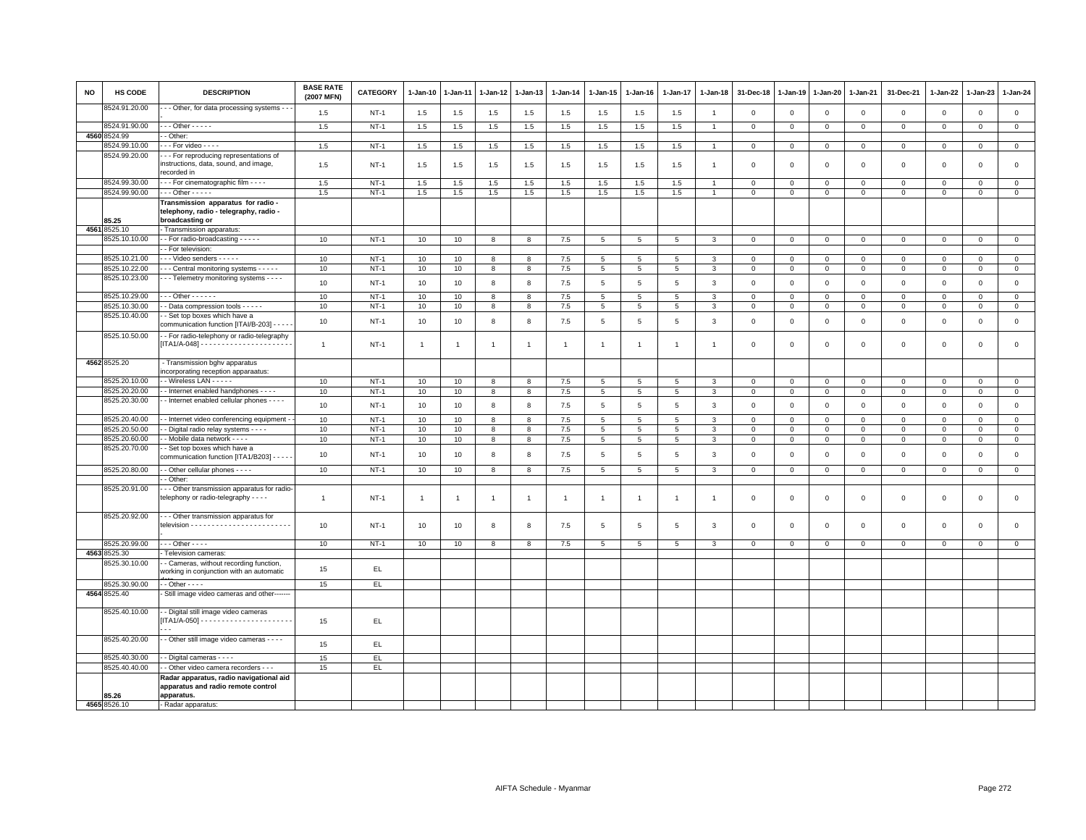| <b>NO</b> | HS CODE       | <b>DESCRIPTION</b>                                                                          | <b>BASE RATE</b><br>(2007 MFN) | CATEGORY | 1-Jan-10       | $1-Jan-11$     | 1-Jan-12       | 1-Jan-13       | 1-Jan-14       | $1 - Jan-15$    | 1-Jan-16        | $1-Jan-17$      | $1 - Jan-18$   | 31-Dec-18               | 1-Jan-19            | 1-Jan-20            | 1-Jan-21       | 31-Dec-21   | 1-Jan-22     | 1-Jan-23     | $1 - Jan-24$   |
|-----------|---------------|---------------------------------------------------------------------------------------------|--------------------------------|----------|----------------|----------------|----------------|----------------|----------------|-----------------|-----------------|-----------------|----------------|-------------------------|---------------------|---------------------|----------------|-------------|--------------|--------------|----------------|
|           | 8524.91.20.00 | - Other, for data processing systems - -                                                    | 1.5                            | $NT-1$   | 1.5            | 1.5            | 1.5            | 1.5            | 1.5            | 1.5             | 1.5             | 1.5             | $\overline{1}$ | $\overline{0}$          | $\mathbf 0$         | $\mathbf{0}$        | $\mathbf{0}$   | $\mathbf 0$ | $\Omega$     | $\mathbf{0}$ | $\mathsf 0$    |
|           | 3524.91.90.00 | $-$ - Other - - - - -                                                                       | 1.5                            | $NT-1$   | 1.5            | 1.5            | 1.5            | 1.5            | 1.5            | 1.5             | 1.5             | 1.5             | $\overline{1}$ | $\mathbf 0$             | $\mathsf 0$         | $\circ$             | $\mathbf 0$    | $\mathsf 0$ | $\mathsf 0$  | $\mathsf 0$  | $\circ$        |
| 4560      | 3524.99       | - Other:                                                                                    |                                |          |                |                |                |                |                |                 |                 |                 |                |                         |                     |                     |                |             |              |              |                |
|           | 8524.99.10.00 | $-$ - For video $-$ - - -                                                                   | 1.5                            | $NT-1$   | 1.5            | 1.5            | 1.5            | 1.5            | 1.5            | 1.5             | 1.5             | 1.5             | $\overline{1}$ | $\mathbf 0$             | $\mathsf 0$         | $\overline{0}$      | $\mathbf 0$    | $\mathbf 0$ | $\mathbf 0$  | $\mathsf 0$  | $\circ$        |
|           | 8524.99.20.00 | - - For reproducing representations of<br>instructions, data, sound, and image,             | 1.5                            | $NT-1$   | 1.5            | 1.5            | 1.5            | 1.5            | 1.5            | 1.5             | 1.5             | 1.5             | $\overline{1}$ | $\overline{\mathbf{0}}$ | $\overline{0}$      | $\mathbf 0$         | $\circ$        | $\mathbf 0$ | $\Omega$     | $\mathbf{0}$ | $\mathbf 0$    |
|           |               | recorded in                                                                                 |                                |          |                |                |                |                |                |                 |                 |                 |                |                         |                     |                     |                |             |              |              |                |
|           | 8524.99.30.00 | - - For cinematographic film - - - -                                                        | 1.5                            | $NT-1$   | 1.5            | 1.5            | 1.5            | 1.5            | 1.5            | 1.5             | 1.5             | 1.5             | $\overline{1}$ | $\mathbf 0$             | $\mathbf 0$         | $\mathbf 0$         | $\mathbf 0$    | $\mathbf 0$ | $^{\circ}$   | $\mathbf 0$  | $\mathsf 0$    |
|           | 8524.99.90.00 | $-$ - Other - - - - -                                                                       | 1.5                            | $NT-1$   | 1.5            | 1.5            | 1.5            | $1.5\,$        | 1.5            | 1.5             | 1.5             | 1.5             | $\overline{1}$ | $\mathsf 0$             | $\mathsf{O}\xspace$ | $\mathsf{O}\xspace$ | $\mathbf 0$    | $\mathsf 0$ | $\mathsf 0$  | $\mathsf 0$  | $\mathsf 0$    |
|           |               | Transmission apparatus for radio -                                                          |                                |          |                |                |                |                |                |                 |                 |                 |                |                         |                     |                     |                |             |              |              |                |
|           |               | telephony, radio - telegraphy, radio -                                                      |                                |          |                |                |                |                |                |                 |                 |                 |                |                         |                     |                     |                |             |              |              |                |
|           | 85.25         | broadcasting or                                                                             |                                |          |                |                |                |                |                |                 |                 |                 |                |                         |                     |                     |                |             |              |              |                |
|           | 4561 8525.10  | Transmission apparatus:                                                                     |                                |          |                |                |                |                |                |                 |                 |                 |                |                         |                     |                     |                |             |              |              |                |
|           | 8525.10.10.00 | - For radio-broadcasting - - - - -                                                          | 10                             | $NT-1$   | 10             | 10             | 8              | 8              | 7.5            | 5               | $5\phantom{.0}$ | $\overline{5}$  | 3              | $\mathsf 0$             | $\mathbf 0$         | $\overline{0}$      | $\mathsf 0$    | $\mathbf 0$ | $\mathbf 0$  | $\mathbf 0$  | $\overline{0}$ |
|           |               | - For television:                                                                           |                                |          |                |                |                |                |                |                 |                 |                 |                |                         |                     |                     |                |             |              |              |                |
|           | 8525.10.21.00 | - - Video senders - - - - -                                                                 | 10                             | $NT-1$   | 10             | 10             | 8              | 8              | 7.5            | 5               | 5               | 5               | 3              | $\overline{\mathbf{0}}$ | $\mathbf 0$         | $\mathbf 0$         | $\mathbf 0$    | $\mathbf 0$ | $\Omega$     | $\mathbf{0}$ | $\mathbf 0$    |
|           | 8525.10.22.00 | - - Central monitoring systems - - - - -                                                    | 10                             | $NT-1$   | 10             | 10             | 8              | $\overline{8}$ | 7.5            | $\overline{5}$  | $5\phantom{.0}$ | $\overline{5}$  | 3              | $\overline{0}$          | $\overline{0}$      | $\overline{0}$      | $\overline{0}$ | $\mathbf 0$ | $\mathbf 0$  | $\mathbf 0$  | $\overline{0}$ |
|           | 8525.10.23.00 | - - Telemetry monitoring systems - - - -                                                    | 10                             | $NT-1$   | 10             | 10             | 8              | 8              | 7.5            | 5               | 5               | 5               | 3              | $\overline{0}$          | $\overline{0}$      | $\mathbf{0}$        | $\circ$        | $\circ$     | $\Omega$     | $\mathbf{0}$ | $\mathbf 0$    |
|           | 8525.10.29.00 | $-$ - Other - - - - - -                                                                     | 10                             | $NT-1$   | 10             | 10             | 8              | 8              | 7.5            | $5\overline{)}$ | 5               | 5               | 3              | $\mathbf 0$             | $\mathsf 0$         | $\circ$             | $\mathbf 0$    | $\mathbf 0$ | $\mathbf 0$  | $\mathbf 0$  | $\mathbf{0}$   |
|           | 8525.10.30.00 | - Data compression tools - - - - -                                                          | 10                             | $NT-1$   | 10             | 10             | 8              | 8              | 7.5            | 5               | 5               | 5               | 3              | $\mathbf{0}$            | $\mathbb O$         | $\mathbf{0}$        | $\mathbf 0$    | $\mathbf 0$ | $\mathbf{0}$ | $\circ$      | $\mathsf 0$    |
|           | 8525.10.40.00 | - Set top boxes which have a                                                                |                                |          |                |                |                |                |                |                 |                 |                 |                |                         |                     |                     |                |             |              |              |                |
|           |               | communication function [ITAI/B-203] - - - -                                                 | 10                             | $NT-1$   | 10             | 10             | 8              | 8              | $7.5$          | 5               | 5               | $5\phantom{.0}$ | 3              | $\,0\,$                 | $\mathbf 0$         | $\,0\,$             | $\mathbf 0$    | $\mathsf 0$ | $\mathbf 0$  | $\mathsf 0$  | $\mathsf 0$    |
|           | 8525.10.50.00 | - For radio-telephony or radio-telegraphy                                                   | $\mathbf{1}$                   | $NT-1$   | $\overline{1}$ | $\overline{1}$ | $\overline{1}$ | $\overline{1}$ | $\overline{1}$ | $\overline{1}$  | $\mathbf{1}$    | $\mathbf{1}$    | $\overline{1}$ | $\overline{\mathbf{0}}$ | $\mathbf 0$         | $\mathbf 0$         | $\mathbf 0$    | $\mathbf 0$ | $\mathbf 0$  | $\mathbf 0$  | $\mathsf 0$    |
|           | 4562 8525.20  | - Transmission bghv apparatus                                                               |                                |          |                |                |                |                |                |                 |                 |                 |                |                         |                     |                     |                |             |              |              |                |
|           |               | ncorporating reception apparaatus:                                                          |                                |          |                |                |                |                |                |                 |                 |                 |                |                         |                     |                     |                |             |              |              |                |
|           | 8525.20.10.00 | - Wireless LAN - - - - -                                                                    | 10                             | $NT-1$   | 10             | 10             | 8              | 8              | $7.5$          | 5               | 5               | $\overline{5}$  | 3              | $\mathbf 0$             | $\mathbf 0$         | $\mathbf 0$         | $\mathsf 0$    | $\mathbf 0$ | $\mathbf 0$  | $\mathsf 0$  | $\mathbf{0}$   |
|           | 8525.20.20.00 | - Internet enabled handphones - - - -                                                       | 10                             | $NT-1$   | 10             | 10             | 8              | 8              | 7.5            | 5               | $5\overline{5}$ | 5               | 3              | $\mathbf{0}$            | $\mathbb O$         | $\mathbf{0}$        | $\overline{0}$ | $\mathbf 0$ | $\circ$      | $\mathbf 0$  | $\circ$        |
|           | 8525.20.30.00 | - Internet enabled cellular phones - - - -                                                  | 10                             | $NT-1$   | 10             | 10             | 8              | 8              | 7.5            | $5\phantom{.0}$ | $5\phantom{.0}$ | $5\phantom{.0}$ | $\mathbf{3}$   | $\,0\,$                 | $\mathbf 0$         | $\,0\,$             | $\mathbf 0$    | $\mathsf 0$ | $\mathsf 0$  | $\mathsf 0$  | $\mathsf 0$    |
|           | 8525.20.40.00 | - Internet video conferencing equipment -                                                   | 10                             | $NT-1$   | 10             | 10             | 8              | 8              | 7.5            | 5               | 5               | 5               | 3              | $\overline{0}$          | $\overline{0}$      | $\mathbf{0}$        | $\mathbf{0}$   | $\circ$     | $\mathbf{0}$ | $\circ$      | $\mathbf{0}$   |
|           | 8525.20.50.00 | - Digital radio relay systems - - - -                                                       | 10                             | $NT-1$   | 10             | 10             | 8              | 8              | 7.5            | $5\phantom{.0}$ | $5\phantom{.0}$ | 5               | 3              | $\overline{0}$          | $\mathbf{0}$        | $\mathbf{0}$        | $\mathbf{0}$   | $\mathbf 0$ | $\mathbf 0$  | $\mathbf 0$  | $\mathbf{0}$   |
|           | 8525.20.60.00 | - Mobile data network - - - -                                                               | 10                             | $NT-1$   | 10             | 10             | 8              | 8              | 7.5            | 5               | 5               | 5               | 3              | $\mathbf 0$             | $\mathbf 0$         | $\mathbf 0$         | $\overline{0}$ | $\mathbf 0$ | $\mathbf{0}$ | $\mathbf{0}$ | $\mathbf 0$    |
|           | 8525.20.70.00 | - Set top boxes which have a                                                                | 10                             | $NT-1$   | 10             | 10             | 8              | 8              | 7.5            | 5               | 5               | 5               | 3              | $\overline{\mathbf{0}}$ | $\mathbf 0$         | $\mathbf 0$         | $\mathbf 0$    | $\mathsf 0$ | $\mathbf 0$  | $\mathsf 0$  | $\mathsf 0$    |
|           |               | communication function [ITA1/B203] - - - -                                                  |                                |          |                |                |                |                |                |                 |                 |                 |                |                         |                     |                     |                |             |              |              |                |
|           | 8525.20.80.00 | - Other cellular phones - - - -                                                             | 10                             | $NT-1$   | 10             | 10             | 8              | 8              | 7.5            | 5               | 5               | 5               | 3              | $\mathbf{0}$            | $\mathbb O$         | $\circ$             | $\mathsf 0$    | $\circ$     | $\Omega$     | $\circ$      | $\mathsf 0$    |
|           |               | - Other:                                                                                    |                                |          |                |                |                |                |                |                 |                 |                 |                |                         |                     |                     |                |             |              |              |                |
|           | 8525.20.91.00 | - Other transmission apparatus for radio-<br>telephony or radio-telegraphy - - - -          | $\mathbf{1}$                   | $NT-1$   | $\overline{1}$ | $\mathbf{1}$   | $\mathbf{1}$   | $\overline{1}$ | $\overline{1}$ | $\mathbf{1}$    | $\overline{1}$  | $\mathbf{1}$    | $\overline{1}$ | $\mathbf 0$             | $\mathbf 0$         | $\,0\,$             | $\mathbf 0$    | $\mathsf 0$ | $\mathsf 0$  | $\,0\,$      | $\mathsf 0$    |
|           | 8525.20.92.00 | - - Other transmission apparatus for                                                        | 10                             | $NT-1$   | 10             | 10             | 8              | 8              | 7.5            | 5               | -5              | 5               | 3              | $\mathbf 0$             | $\mathbf 0$         | $^{\circ}$          | $\mathsf 0$    | 0           | $\Omega$     | $\mathsf 0$  | $\mathsf 0$    |
|           | 8525.20.99.00 | $- -$ Other $- -$                                                                           | 10                             | $NT-1$   | 10             | 10             | 8              | 8              | 7.5            | 5               | 5               | 5               | 3              | $\mathbf 0$             | $\mathbf 0$         | $\mathbf 0$         | $\mathbf 0$    | $\Omega$    | $\Omega$     | $\Omega$     | $\mathsf 0$    |
|           | 4563 8525.30  | Television cameras:                                                                         |                                |          |                |                |                |                |                |                 |                 |                 |                |                         |                     |                     |                |             |              |              |                |
|           | 8525.30.10.00 | - Cameras, without recording function,<br>working in conjunction with an automatic          | 15                             | EL       |                |                |                |                |                |                 |                 |                 |                |                         |                     |                     |                |             |              |              |                |
|           | 8525.30.90.00 | $-$ Other $  -$                                                                             | 15                             | EL.      |                |                |                |                |                |                 |                 |                 |                |                         |                     |                     |                |             |              |              |                |
|           | 4564 8525.40  | Still image video cameras and other-------                                                  |                                |          |                |                |                |                |                |                 |                 |                 |                |                         |                     |                     |                |             |              |              |                |
|           | 8525.40.10.00 | - Digital still image video cameras                                                         | 15                             | EL       |                |                |                |                |                |                 |                 |                 |                |                         |                     |                     |                |             |              |              |                |
|           | 8525.40.20.00 | - Other still image video cameras - - - -                                                   | 15                             | EL.      |                |                |                |                |                |                 |                 |                 |                |                         |                     |                     |                |             |              |              |                |
|           | 8525.40.30.00 | - Digital cameras - - - -                                                                   | 15                             | EL       |                |                |                |                |                |                 |                 |                 |                |                         |                     |                     |                |             |              |              |                |
|           | 8525.40.40.00 | - Other video camera recorders - - -                                                        | 15                             | EL       |                |                |                |                |                |                 |                 |                 |                |                         |                     |                     |                |             |              |              |                |
|           | 85.26         | Radar apparatus, radio navigational aid<br>apparatus and radio remote control<br>apparatus. |                                |          |                |                |                |                |                |                 |                 |                 |                |                         |                     |                     |                |             |              |              |                |
|           | 4565 8526.10  | - Radar apparatus:                                                                          |                                |          |                |                |                |                |                |                 |                 |                 |                |                         |                     |                     |                |             |              |              |                |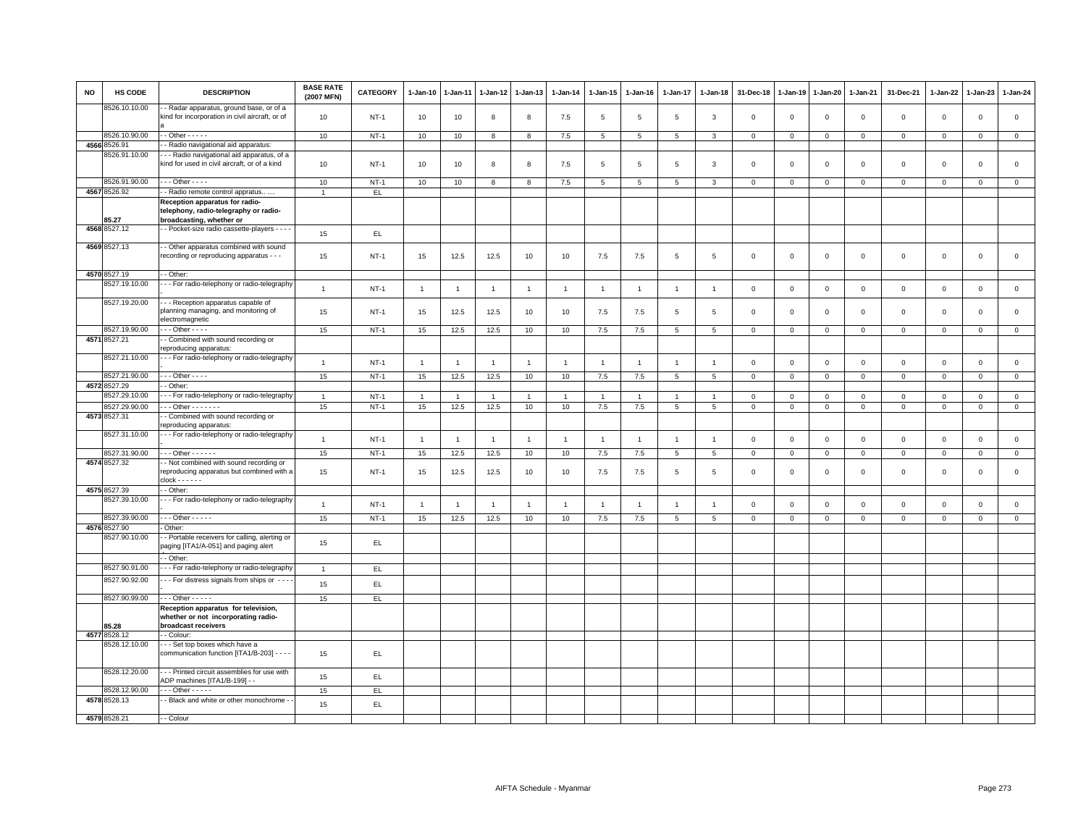| NO | HS CODE                        | <b>DESCRIPTION</b>                                                                                | <b>BASE RATE</b><br>(2007 MFN) | <b>CATEGORY</b> | 1-Jan-10       | 1-Jan-11       | 1-Jan-12       | 1-Jan-13       | 1-Jan-14       | 1-Jan-15        | 1-Jan-16       | 1-Jan-17            | 1-Jan-18        | 31-Dec-18      | 1-Jan-19    | 1-Jan-20     | 1-Jan-21       | 31-Dec-21           | 1-Jan-22     | 1-Jan-23     | 1-Jan-24     |
|----|--------------------------------|---------------------------------------------------------------------------------------------------|--------------------------------|-----------------|----------------|----------------|----------------|----------------|----------------|-----------------|----------------|---------------------|-----------------|----------------|-------------|--------------|----------------|---------------------|--------------|--------------|--------------|
|    | 8526.10.10.00                  | - Radar apparatus, ground base, or of a<br>kind for incorporation in civil aircraft, or of        | 10                             | $NT-1$          | 10             | 10             | 8              | 8              | 7.5            | 5               | 5              | $5\overline{5}$     | $\mathbf{3}$    | $\mathbf{0}$   | $\mathbf 0$ | $\mathsf 0$  | $\mathbf 0$    | $\mathbf 0$         | $\mathsf 0$  | $\mathbf 0$  | $\circ$      |
|    | 8526.10.90.00                  | $-$ Other $   -$                                                                                  | 10                             | $NT-1$          | 10             | 10             | 8              | 8              | 7.5            | $5\phantom{.0}$ | 5              | 5                   | 3               | $\mathbf 0$    | $\mathbf 0$ | $\mathbf{0}$ | $\overline{0}$ | $\mathbf 0$         | $\mathbf 0$  | $\mathbf{O}$ | $\circ$      |
|    | 4566 8526.91                   | - Radio navigational aid apparatus:                                                               |                                |                 |                |                |                |                |                |                 |                |                     |                 |                |             |              |                |                     |              |              |              |
|    | 8526.91.10.00                  | - - Radio navigational aid apparatus, of a                                                        |                                |                 |                |                |                |                |                |                 |                |                     |                 |                |             |              |                |                     |              |              |              |
|    |                                | kind for used in civil aircraft, or of a kind                                                     | 10                             | <b>NT-1</b>     | 10             | 10             | 8              | 8              | 7.5            | 5               | $\overline{5}$ | 5                   | 3               | $\overline{0}$ | $\mathbf 0$ | $\mathbf 0$  | $\overline{0}$ | $\mathbf 0$         | $\Omega$     | $\mathbf{0}$ | $\circ$      |
|    | 8526.91.90.00                  | $-$ - Other - - - -                                                                               | 10                             | $NT-1$          | 10             | 10             | 8              | 8              | 7.5            | 5               | 5              | 5                   | 3               | $\mathbf 0$    | $\mathbf 0$ | $\mathbf 0$  | $\overline{0}$ | $\mathbf 0$         | $\mathbf{0}$ | $\circ$      | $\mathbf{0}$ |
|    | 4567 8526.92                   | - Radio remote control appratus                                                                   | $\overline{1}$                 | EL.             |                |                |                |                |                |                 |                |                     |                 |                |             |              |                |                     |              |              |              |
|    |                                | Reception apparatus for radio-                                                                    |                                |                 |                |                |                |                |                |                 |                |                     |                 |                |             |              |                |                     |              |              |              |
|    | 35.27                          | telephony, radio-telegraphy or radio-<br>broadcasting, whether or                                 |                                |                 |                |                |                |                |                |                 |                |                     |                 |                |             |              |                |                     |              |              |              |
|    | 4568 8527.12                   | - Pocket-size radio cassette-players - - - -                                                      | 15                             | EL.             |                |                |                |                |                |                 |                |                     |                 |                |             |              |                |                     |              |              |              |
|    | 4569 8527.13                   | - Other apparatus combined with sound<br>recording or reproducing apparatus - - -                 | 15                             | <b>NT-1</b>     | 15             | 12.5           | 12.5           | 10             | 10             | 7.5             | 7.5            | 5                   | 5               | $\mathbf 0$    | $\mathbf 0$ | $\mathsf 0$  | $\mathbf 0$    | $\mathsf 0$         | $\mathsf 0$  | $\mathbf 0$  | $\mathsf 0$  |
|    | 4570 8527.19                   | - Other:                                                                                          |                                |                 |                |                |                |                |                |                 |                |                     |                 |                |             |              |                |                     |              |              |              |
|    | 8527.19.10.00                  | - - - For radio-telephony or radio-telegraphy                                                     | $\overline{1}$                 | <b>NT-1</b>     | $\overline{1}$ | $\mathbf{1}$   | $\mathbf{1}$   | $\mathbf{1}$   | $\mathbf{1}$   | $\overline{1}$  | $\mathbf{1}$   | $\overline{1}$      | $\overline{1}$  | $\mathbf 0$    | $\mathbf 0$ | $\mathbf 0$  | $\,0\,$        | $\mathsf 0$         | $\mathbf 0$  | $\mathbf{O}$ | $\mathsf 0$  |
|    | 8527.19.20.00                  | - - Reception apparatus capable of                                                                |                                |                 |                |                |                |                |                |                 |                |                     |                 |                |             |              |                |                     |              |              |              |
|    |                                | planning managing, and monitoring of<br>electromagnetic                                           | 15                             | $NT-1$          | 15             | 12.5           | 12.5           | 10             | 10             | 7.5             | 7.5            | 5                   | 5               | $\mathbf 0$    | $\mathbf 0$ | $\mathsf 0$  | $\mathbf 0$    | $\mathsf 0$         | $\mathbf 0$  | $\mathbf 0$  | $\mathsf 0$  |
|    | 8527.19.90.00<br>4571 8527.21  | $\cdots$ Other - - - -<br>- Combined with sound recording or                                      | 15                             | $NT-1$          | 15             | 12.5           | 12.5           | 10             | 10             | 7.5             | 7.5            | 5                   | 5               | $\mathbf 0$    | $\mathbf 0$ | $\mathsf 0$  | $\mathbf 0$    | $\mathbf{0}$        | $\mathbf 0$  | $\mathbf 0$  | $\mathbf 0$  |
|    |                                | reproducing apparatus:                                                                            |                                |                 |                |                |                |                |                |                 |                |                     |                 |                |             |              |                |                     |              |              |              |
|    | 8527.21.10.00                  | - - - For radio-telephony or radio-telegraphy                                                     | $\mathbf{1}$                   | $NT-1$          | $\overline{1}$ | $\overline{1}$ | $\overline{1}$ | $\mathbf{1}$   | $\overline{1}$ | $\overline{1}$  | $\overline{1}$ | $\overline{1}$      | $\overline{1}$  | $\mathbf 0$    | $\mathbf 0$ | $\mathbf 0$  | $\mathbf 0$    | $\mathbf 0$         | $\mathbf 0$  | $\mathbf{0}$ | $\mathsf 0$  |
|    | 3527.21.90.00                  | $-$ - Other - - - -                                                                               | 15                             | $NT-1$          | 15             | 12.5           | 12.5           | 10             | 10             | $7.5\,$         | 7.5            | $5\phantom{.0}$     | $5\phantom{.0}$ | $\,0\,$        | $\mathbf 0$ | $\mathsf 0$  | $\overline{0}$ | $\mathsf{O}\xspace$ | $\mathbf{0}$ | $\mathbf 0$  | $\mathsf 0$  |
|    | 4572 8527.29                   | - Other:                                                                                          |                                |                 |                |                |                |                |                |                 |                |                     |                 |                |             |              |                |                     |              |              |              |
|    | 3527.29.10.00                  | - - For radio-telephony or radio-telegraphy                                                       | $\overline{1}$                 | $NT-1$          | $\overline{1}$ | $\overline{1}$ | $\overline{1}$ | $\overline{1}$ | $\overline{1}$ | $\mathbf{1}$    | $\overline{1}$ | $\overline{1}$      |                 | $\mathbf 0$    | $\mathbf 0$ | $\mathbf 0$  | $\mathbf 0$    | $\mathsf 0$         | $\mathbf 0$  | $\mathbf 0$  | $\mathsf 0$  |
|    | 8527.29.90.00                  | $\cdots$ Other - - - - - - -                                                                      | 15                             | $NT-1$          | 15             | 12.5           | 12.5           | 10             | 10             | 7.5             | 7.5            | 5                   | 5               | $\mathsf 0$    | $\mathbf 0$ | $\mathbf{0}$ | $\mathbf 0$    | $\mathbf 0$         | 0            | $\mathbf{O}$ | $\circ$      |
|    | 4573 8527.31                   | - Combined with sound recording or<br>reproducing apparatus:                                      |                                |                 |                |                |                |                |                |                 |                |                     |                 |                |             |              |                |                     |              |              |              |
|    | 8527.31.10.00<br>8527.31.90.00 | - - - For radio-telephony or radio-telegraphy<br>$-$ - Other - - - - - -                          | $\mathbf{1}$                   | $NT-1$          | $\overline{1}$ | $\overline{1}$ | $\overline{1}$ | $\mathbf{1}$   | $\mathbf{1}$   | $\mathbf{1}$    | $\overline{1}$ | $\overline{1}$<br>5 | $\overline{1}$  | $\mathsf 0$    | $\mathsf 0$ | $\mathsf 0$  | $\mathbf 0$    | $\mathsf 0$         | $\mathbf 0$  | $\mathsf 0$  | $\mathsf 0$  |
|    | 4574 8527.32                   | - Not combined with sound recording or                                                            | 15                             | $NT-1$          | 15             | 12.5           | 12.5           | 10             | 10             | 7.5             | 7.5            |                     | 5               | $\mathsf 0$    | $\mathbf 0$ | $\mathbf 0$  | $\mathbf 0$    | $\mathsf 0$         | $\mathbf 0$  | $\circ$      | $\mathsf 0$  |
|    |                                | reproducing apparatus but combined with a<br>$clock - - - - -$                                    | 15                             | $NT-1$          | 15             | 12.5           | 12.5           | 10             | 10             | 7.5             | 7.5            | 5                   | 5               | $\mathbf 0$    | $\mathbf 0$ | $\mathsf 0$  | $\mathbf 0$    | $\mathbf 0$         | $\mathbf 0$  | $\mathbf 0$  | $\mathsf 0$  |
|    | 4575 8527.39                   | - Other                                                                                           |                                |                 |                |                |                |                |                |                 |                |                     |                 |                |             |              |                |                     |              |              |              |
|    | 8527.39.10.00                  | - - For radio-telephony or radio-telegraphy                                                       | $\overline{1}$                 | $NT-1$          | $\mathbf{1}$   | $\mathbf{1}$   | $\mathbf{1}$   | $\mathbf{1}$   | $\mathbf{1}$   | $\mathbf{1}$    | $\mathbf{1}$   | $\overline{1}$      | $\overline{1}$  | $\mathbf 0$    | $\mathbf 0$ | $\mathsf 0$  | $\mathbf 0$    | $\mathsf 0$         | $\mathsf 0$  | $\mathsf 0$  | $\mathsf 0$  |
|    | 8527.39.90.00                  | $-$ - Other - - - - -                                                                             | 15                             | $NT-1$          | 15             | 12.5           | 12.5           | 10             | 10             | 7.5             | 7.5            | 5                   | 5               | $\mathbf 0$    | $\mathbf 0$ | $\mathbf 0$  | $\mathbf 0$    | $\mathbf 0$         | $\mathbf{0}$ | $\mathbf{0}$ | $\mathsf 0$  |
|    | 4576 8527.90                   | Other:                                                                                            |                                |                 |                |                |                |                |                |                 |                |                     |                 |                |             |              |                |                     |              |              |              |
|    | 3527.90.10.00                  | - Portable receivers for calling, alerting or<br>paging [ITA1/A-051] and paging alert             | 15                             | EL.             |                |                |                |                |                |                 |                |                     |                 |                |             |              |                |                     |              |              |              |
|    | 8527.90.91.00                  | - Other:                                                                                          |                                |                 |                |                |                |                |                |                 |                |                     |                 |                |             |              |                |                     |              |              |              |
|    |                                | - - For radio-telephony or radio-telegraphy                                                       | $\overline{1}$                 | EL.             |                |                |                |                |                |                 |                |                     |                 |                |             |              |                |                     |              |              |              |
|    | 8527.90.92.00                  | - - - For distress signals from ships or - - -                                                    | 15                             | EL.             |                |                |                |                |                |                 |                |                     |                 |                |             |              |                |                     |              |              |              |
|    | 8527.90.99.00                  | $\cdots$ Other - - - - -                                                                          | 15                             | EL.             |                |                |                |                |                |                 |                |                     |                 |                |             |              |                |                     |              |              |              |
|    | 35.28                          | Reception apparatus for television,<br>whether or not incorporating radio-<br>broadcast receivers |                                |                 |                |                |                |                |                |                 |                |                     |                 |                |             |              |                |                     |              |              |              |
|    | 4577 8528.12                   | - Colour:                                                                                         |                                |                 |                |                |                |                |                |                 |                |                     |                 |                |             |              |                |                     |              |              |              |
|    | 8528.12.10.00                  | - - Set top boxes which have a<br>communication function [ITA1/B-203] - - - -                     | 15                             | EL.             |                |                |                |                |                |                 |                |                     |                 |                |             |              |                |                     |              |              |              |
|    | 8528.12.20.00                  | --- Printed circuit assemblies for use with<br>ADP machines [ITA1/B-199] - -                      | 15                             | EL.             |                |                |                |                |                |                 |                |                     |                 |                |             |              |                |                     |              |              |              |
|    | 8528.12.90.00                  | $-$ - Other - - - - -                                                                             | 15                             | EL.             |                |                |                |                |                |                 |                |                     |                 |                |             |              |                |                     |              |              |              |
|    | 4578 8528.13                   | - Black and white or other monochrome -                                                           | 15                             | EL              |                |                |                |                |                |                 |                |                     |                 |                |             |              |                |                     |              |              |              |
|    |                                |                                                                                                   |                                |                 |                |                |                |                |                |                 |                |                     |                 |                |             |              |                |                     |              |              |              |
|    | 4579 8528.21                   | - - Colour                                                                                        |                                |                 |                |                |                |                |                |                 |                |                     |                 |                |             |              |                |                     |              |              |              |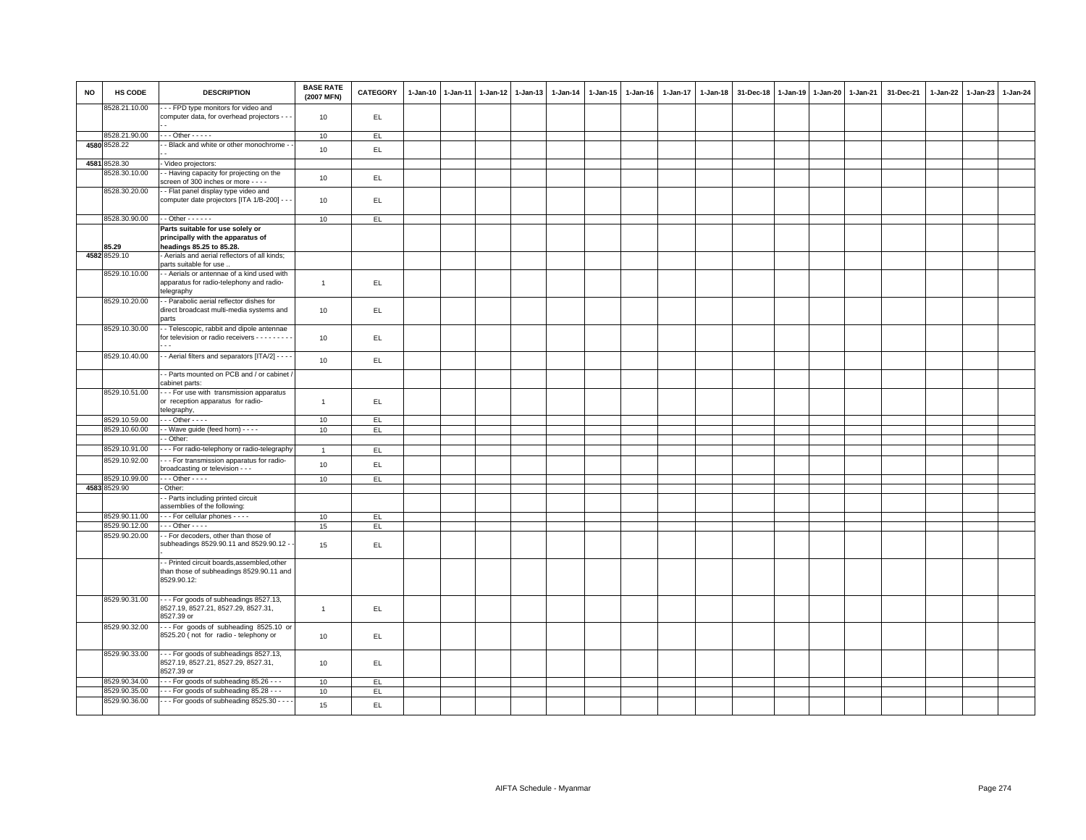| <b>NO</b> | HS CODE       | <b>DESCRIPTION</b>                                                                                                        | <b>BASE RATE</b><br>(2007 MFN) | <b>CATEGORY</b> | 1-Jan-10 1-Jan-11 | 1-Jan-12 1-Jan-13 | 1-Jan-14 | 1-Jan-15 | $1 - Jan-16$ | $1-Jan-17$ | $1 - Jan-18$ | 31-Dec-18 | 1-Jan-19 | 1-Jan-20 | 1-Jan-21 | 31-Dec-21 | 1-Jan-22 1-Jan-23 | 1-Jan-24 |
|-----------|---------------|---------------------------------------------------------------------------------------------------------------------------|--------------------------------|-----------------|-------------------|-------------------|----------|----------|--------------|------------|--------------|-----------|----------|----------|----------|-----------|-------------------|----------|
|           | 8528.21.10.00 | - - FPD type monitors for video and<br>computer data, for overhead projectors - - -                                       | 10                             | EL.             |                   |                   |          |          |              |            |              |           |          |          |          |           |                   |          |
|           | 8528.21.90.00 | $-$ - Other - - - - -                                                                                                     | 10                             | EL.             |                   |                   |          |          |              |            |              |           |          |          |          |           |                   |          |
|           | 4580 8528.22  | - Black and white or other monochrome -                                                                                   | 10                             | EL.             |                   |                   |          |          |              |            |              |           |          |          |          |           |                   |          |
|           | 4581 8528.30  | Video projectors:                                                                                                         |                                |                 |                   |                   |          |          |              |            |              |           |          |          |          |           |                   |          |
|           | 3528.30.10.00 | - Having capacity for projecting on the                                                                                   | 10                             | EL.             |                   |                   |          |          |              |            |              |           |          |          |          |           |                   |          |
|           | 8528.30.20.00 | screen of 300 inches or more - - - -<br>- Flat panel display type video and<br>computer date projectors [ITA 1/B-200] - - | 10                             | EL.             |                   |                   |          |          |              |            |              |           |          |          |          |           |                   |          |
|           |               |                                                                                                                           |                                |                 |                   |                   |          |          |              |            |              |           |          |          |          |           |                   |          |
|           | 8528.30.90.00 | $-$ Other $    -$                                                                                                         | 10                             | EL.             |                   |                   |          |          |              |            |              |           |          |          |          |           |                   |          |
|           | 85.29         | Parts suitable for use solely or<br>principally with the apparatus of<br>headings 85.25 to 85.28.                         |                                |                 |                   |                   |          |          |              |            |              |           |          |          |          |           |                   |          |
|           | 4582 8529.10  | Aerials and aerial reflectors of all kinds;                                                                               |                                |                 |                   |                   |          |          |              |            |              |           |          |          |          |           |                   |          |
|           | 8529.10.10.00 | parts suitable for use.<br>- Aerials or antennae of a kind used with<br>apparatus for radio-telephony and radio-          | $\mathbf{1}$                   | EL.             |                   |                   |          |          |              |            |              |           |          |          |          |           |                   |          |
|           |               | telegraphy                                                                                                                |                                |                 |                   |                   |          |          |              |            |              |           |          |          |          |           |                   |          |
|           | 8529.10.20.00 | - Parabolic aerial reflector dishes for<br>direct broadcast multi-media systems and<br>parts                              | 10                             | EL.             |                   |                   |          |          |              |            |              |           |          |          |          |           |                   |          |
|           | 8529.10.30.00 | - Telescopic, rabbit and dipole antennae<br>for television or radio receivers - - - - - - - -                             | 10                             | EL.             |                   |                   |          |          |              |            |              |           |          |          |          |           |                   |          |
|           | 8529.10.40.00 | - Aerial filters and separators [ITA/2] - - - -                                                                           | 10                             | EL.             |                   |                   |          |          |              |            |              |           |          |          |          |           |                   |          |
|           |               | - Parts mounted on PCB and / or cabinet<br>cabinet parts:                                                                 |                                |                 |                   |                   |          |          |              |            |              |           |          |          |          |           |                   |          |
|           | 8529.10.51.00 | - - For use with transmission apparatus<br>or reception apparatus for radio-<br>telegraphy,                               | $\overline{1}$                 | EL.             |                   |                   |          |          |              |            |              |           |          |          |          |           |                   |          |
|           | 8529.10.59.00 | $\cdot$ - Other - - - -                                                                                                   | 10                             | EL.             |                   |                   |          |          |              |            |              |           |          |          |          |           |                   |          |
|           | 8529.10.60.00 | - Wave guide (feed horn) - - - -                                                                                          | 10                             | EL.             |                   |                   |          |          |              |            |              |           |          |          |          |           |                   |          |
|           | 8529.10.91.00 | - Other:<br>- - For radio-telephony or radio-telegraphy                                                                   |                                |                 |                   |                   |          |          |              |            |              |           |          |          |          |           |                   |          |
|           | 8529.10.92.00 | - - For transmission apparatus for radio-                                                                                 | $\overline{1}$                 | EL.             |                   |                   |          |          |              |            |              |           |          |          |          |           |                   |          |
|           | 8529.10.99.00 | broadcasting or television - - -<br>$-$ - Other - - - -                                                                   | 10                             | EL              |                   |                   |          |          |              |            |              |           |          |          |          |           |                   |          |
|           | 4583 8529.90  | Other:                                                                                                                    | 10                             | EL.             |                   |                   |          |          |              |            |              |           |          |          |          |           |                   |          |
|           |               | - Parts including printed circuit<br>assemblies of the following:                                                         |                                |                 |                   |                   |          |          |              |            |              |           |          |          |          |           |                   |          |
|           | 8529.90.11.00 | - - - For cellular phones - - - -                                                                                         | 10                             | EL.             |                   |                   |          |          |              |            |              |           |          |          |          |           |                   |          |
|           | 8529.90.12.00 | $\cdot$ - Other - - - -                                                                                                   | 15                             | EL.             |                   |                   |          |          |              |            |              |           |          |          |          |           |                   |          |
|           | 8529.90.20.00 | - For decoders, other than those of<br>subheadings 8529.90.11 and 8529.90.12 -                                            | 15                             | EL              |                   |                   |          |          |              |            |              |           |          |          |          |           |                   |          |
|           |               | - Printed circuit boards, assembled, other<br>than those of subheadings 8529.90.11 and<br>8529.90.12:                     |                                |                 |                   |                   |          |          |              |            |              |           |          |          |          |           |                   |          |
|           | 8529.90.31.00 | -- For goods of subheadings 8527.13,<br>8527.19, 8527.21, 8527.29, 8527.31,<br>8527.39 or                                 | $\overline{1}$                 | EL.             |                   |                   |          |          |              |            |              |           |          |          |          |           |                   |          |
|           | 8529.90.32.00 | --- For goods of subheading 8525.10 or<br>8525.20 (not for radio - telephony or                                           | 10                             | EL.             |                   |                   |          |          |              |            |              |           |          |          |          |           |                   |          |
|           | 8529.90.33.00 | -- For goods of subheadings 8527.13,<br>8527.19, 8527.21, 8527.29, 8527.31,<br>8527.39 or                                 | 10                             | EL              |                   |                   |          |          |              |            |              |           |          |          |          |           |                   |          |
|           | 8529.90.34.00 | - - For goods of subheading 85.26 - - -                                                                                   | 10                             | EL              |                   |                   |          |          |              |            |              |           |          |          |          |           |                   |          |
|           | 8529.90.35.00 | - - For goods of subheading 85.28 - - -                                                                                   | 10                             | EL.             |                   |                   |          |          |              |            |              |           |          |          |          |           |                   |          |
|           | 8529.90.36.00 | - - - For goods of subheading 8525.30 - - -                                                                               | 15                             | EL.             |                   |                   |          |          |              |            |              |           |          |          |          |           |                   |          |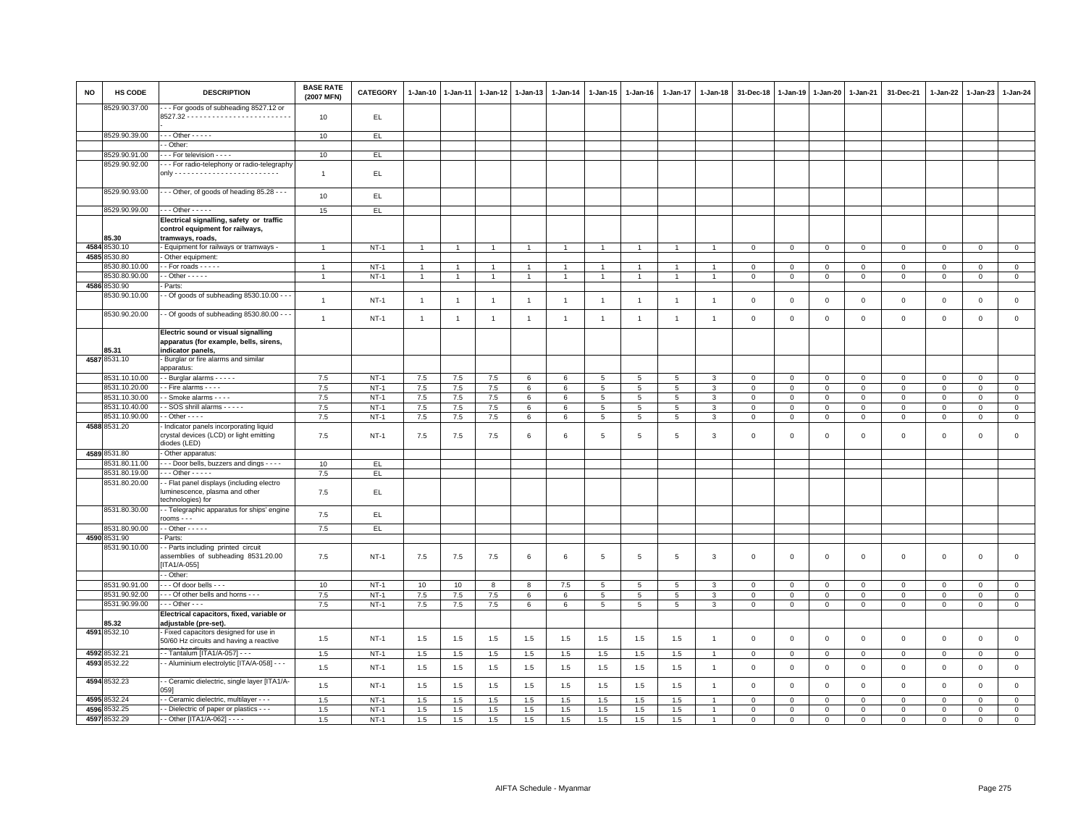| <b>NO</b> | HS CODE                       | <b>DESCRIPTION</b>                                                                                 | <b>BASE RATE</b><br>(2007 MFN) | CATEGORY | 1-Jan-10       | $1-Jan-11$     | 1-Jan-12       | $1-Jan-13$     | 1-Jan-14       | $1 - Jan-15$    | $1 - Jan-16$    | 1-Jan-17        | $1 - Jan-18$   | 31-Dec-18      | $1 - Jan-19$   | $1 - Jan-20$   | 1-Jan-21       | 31-Dec-21    | $1 - Jan-22$ | $1-Jan-23$   | 1-Jan-24       |
|-----------|-------------------------------|----------------------------------------------------------------------------------------------------|--------------------------------|----------|----------------|----------------|----------------|----------------|----------------|-----------------|-----------------|-----------------|----------------|----------------|----------------|----------------|----------------|--------------|--------------|--------------|----------------|
|           | 8529.90.37.00                 | -- For goods of subheading 8527.12 or                                                              | 10                             | EL.      |                |                |                |                |                |                 |                 |                 |                |                |                |                |                |              |              |              |                |
|           | 8529.90.39.00                 | $\cdots$ Other - - - - -                                                                           | 10                             | EL       |                |                |                |                |                |                 |                 |                 |                |                |                |                |                |              |              |              |                |
|           |                               | - Other:                                                                                           |                                |          |                |                |                |                |                |                 |                 |                 |                |                |                |                |                |              |              |              |                |
|           | 8529.90.91.00                 | - - - For television - - - -                                                                       | 10                             | E        |                |                |                |                |                |                 |                 |                 |                |                |                |                |                |              |              |              |                |
|           | 8529.90.92.00                 | - - For radio-telephony or radio-telegraphy                                                        |                                |          |                |                |                |                |                |                 |                 |                 |                |                |                |                |                |              |              |              |                |
|           |                               |                                                                                                    | $\overline{1}$                 | EL.      |                |                |                |                |                |                 |                 |                 |                |                |                |                |                |              |              |              |                |
|           | 8529.90.93.00                 | - - Other, of goods of heading 85.28 - - -                                                         | 10                             | EL.      |                |                |                |                |                |                 |                 |                 |                |                |                |                |                |              |              |              |                |
|           | 8529.90.99.00                 | $\cdots$ Other - - - - -                                                                           | 15                             | EL.      |                |                |                |                |                |                 |                 |                 |                |                |                |                |                |              |              |              |                |
|           | 85.30                         | Electrical signalling, safety or traffic<br>control equipment for railways,<br>tramways, roads,    |                                |          |                |                |                |                |                |                 |                 |                 |                |                |                |                |                |              |              |              |                |
|           | 4584 8530.10                  | - Equipment for railways or tramways -                                                             | $\overline{1}$                 | $NT-1$   | $\mathbf{1}$   | $\overline{1}$ | $\overline{1}$ | $\overline{1}$ | $\overline{1}$ | 1               | $\mathbf{1}$    | $\mathbf{1}$    | $\overline{1}$ | $\mathsf 0$    | $\mathbf 0$    | $\mathsf 0$    | $\mathbf{0}$   | $\,0\,$      | $\mathsf 0$  | $\mathsf 0$  | $\overline{0}$ |
|           | 4585 8530.80                  | Other equipment:                                                                                   |                                |          |                |                |                |                |                |                 |                 |                 |                |                |                |                |                |              |              |              |                |
|           | 8530.80.10.00                 | $-$ For roads $   -$                                                                               | $\overline{1}$                 | $NT-1$   | $\overline{1}$ | $\overline{1}$ | $\overline{1}$ | $\overline{1}$ | $\overline{1}$ | $\overline{1}$  | $\overline{1}$  | $\overline{1}$  |                | $\mathbf 0$    | $\mathbf 0$    | $\mathbf{0}$   | $\mathbf 0$    | $\circ$      | $\mathbf{0}$ | $\mathbf 0$  | $\circ$        |
|           | 8530.80.90.00<br>4586 8530.90 | $-$ Other $   -$<br>Parts:                                                                         |                                | $NT-1$   | $\overline{1}$ |                |                | $\overline{1}$ | $\overline{1}$ | $\overline{1}$  | $\overline{1}$  | $\mathbf{1}$    |                | $\mathbf 0$    | $\mathbf 0$    | $\mathbf 0$    | $\mathsf 0$    | $\mathbf 0$  | 0            | $\mathsf 0$  | $\mathbf 0$    |
|           | 8530.90.10.00                 | - Of goods of subheading 8530.10.00 - -                                                            |                                |          |                |                |                |                |                |                 |                 |                 |                |                |                |                |                |              |              |              |                |
|           | 8530.90.20.00                 | - Of goods of subheading 8530.80.00 - -                                                            | $\overline{1}$                 | $NT-1$   | $\overline{1}$ | $\overline{1}$ | $\overline{1}$ | $\overline{1}$ | $\overline{1}$ | $\mathbf{1}$    | $\overline{1}$  | $\overline{1}$  | $\overline{1}$ | $\mathbf 0$    | $\mathbf 0$    | $\mathbf 0$    | $\overline{0}$ | $\mathbf 0$  | $\mathbf{0}$ | $\mathbf 0$  | $\mathsf 0$    |
|           |                               |                                                                                                    | $\mathbf{1}$                   | $NT-1$   | $\overline{1}$ | $\overline{1}$ | $\overline{1}$ | $\mathbf{1}$   | $\mathbf{1}$   | $\mathbf{1}$    | $\overline{1}$  | $\mathbf{1}$    | $\overline{1}$ | $\mathbf 0$    | $\mathsf 0$    | $\mathbf 0$    | $\mathbb O$    | $\mathsf 0$  | $\mathsf 0$  | $\mathsf 0$  | $\mathsf 0$    |
|           | 85.31                         | Electric sound or visual signalling<br>apparatus (for example, bells, sirens,<br>indicator panels, |                                |          |                |                |                |                |                |                 |                 |                 |                |                |                |                |                |              |              |              |                |
|           | 4587 8531.10                  | Burglar or fire alarms and similar<br>apparatus:                                                   |                                |          |                |                |                |                |                |                 |                 |                 |                |                |                |                |                |              |              |              |                |
|           | 8531.10.10.00                 | - Burglar alarms - - - - -                                                                         | 7.5                            | $NT-1$   | 7.5            | 7.5            | 7.5            | 6              | 6              | $5\overline{5}$ | 5               | 5               | 3              | $\mathbf 0$    | $\mathbf 0$    | $\mathbf{0}$   | $\overline{0}$ | $\mathbf 0$  | $\mathbf 0$  | $\mathbf{O}$ | $\mathbf{0}$   |
|           | 8531.10.20.00                 | - Fire alarms - - - -                                                                              | 7.5                            | $NT-1$   | 7.5            | 7.5            | 7.5            | $\epsilon$     | 6              | $5\overline{)}$ | $\overline{5}$  | $\overline{5}$  | $\mathbf{3}$   | $\overline{0}$ | $\overline{0}$ | $\overline{0}$ | $\mathbf 0$    | $\circ$      | $\Omega$     | $\mathbf 0$  | $\overline{0}$ |
|           | 8531.10.30.00                 | - Smoke alarms - - - -                                                                             | 7.5                            | $NT-1$   | 7.5            | 7.5            | 7.5            | 6              | 6              | $5\phantom{.0}$ | $5\phantom{.0}$ | 5               | $\mathbf{3}$   | $\mathsf 0$    | $\mathbb O$    | $\circ$        | $\mathsf 0$    | $\mathsf 0$  | $\mathbf 0$  | $\mathsf 0$  | $\mathsf 0$    |
|           | 8531.10.40.00                 | - SOS shrill alarms - - - - -                                                                      | 7.5                            | $NT-1$   | 7.5            | 7.5            | 7.5            | 6              | 6              | $5\phantom{.0}$ | $\,$ 5 $\,$     | $\overline{5}$  | $\mathbf{3}$   | $\overline{0}$ | $\overline{0}$ | $\overline{0}$ | $\mathbf 0$    | $\mathbf 0$  | 0            | $\mathsf 0$  | $\circ$        |
|           | 8531.10.90.00                 | $-$ Other $  -$                                                                                    | 7.5                            | $NT-1$   | 7.5            | 7.5            | 7.5            | 6              | 6              | $5\phantom{.0}$ | $5\phantom{.0}$ | $5\overline{5}$ | $\mathbf{3}$   | $\mathbf 0$    | $\mathsf 0$    | $\circ$        | $\mathbf 0$    | $\mathsf 0$  | 0            | $\mathsf 0$  | $\mathsf 0$    |
|           | 4588 8531.20                  | Indicator panels incorporating liquid<br>crystal devices (LCD) or light emitting<br>diodes (LED)   | 7.5                            | $NT-1$   | 7.5            | 7.5            | 7.5            | 6              | 6              | $5\overline{5}$ | -5              | 5               | 3              | $\mathbf 0$    | $\mathbf 0$    | $\mathbf 0$    | $\mathbf 0$    | $\mathbf 0$  | $\mathbf 0$  | $\mathsf 0$  | $\mathsf 0$    |
|           | 4589 8531.80                  | Other apparatus:                                                                                   |                                |          |                |                |                |                |                |                 |                 |                 |                |                |                |                |                |              |              |              |                |
|           | 8531.80.11.00                 | - - Door bells, buzzers and dings - - - -                                                          | 10                             | EL.      |                |                |                |                |                |                 |                 |                 |                |                |                |                |                |              |              |              |                |
|           | 8531.80.19.00                 | $\cdots$ Other - - - - -                                                                           | $7.5\,$                        | EL       |                |                |                |                |                |                 |                 |                 |                |                |                |                |                |              |              |              |                |
|           | 8531.80.20.00                 | - Flat panel displays (including electro<br>luminescence, plasma and other<br>technologies) for    | 7.5                            | EL.      |                |                |                |                |                |                 |                 |                 |                |                |                |                |                |              |              |              |                |
|           | 8531.80.30.00                 | - Telegraphic apparatus for ships' engine<br>$rows - -$                                            | 7.5                            | EL       |                |                |                |                |                |                 |                 |                 |                |                |                |                |                |              |              |              |                |
|           | 8531.80.90.00                 | $-$ Other $   -$                                                                                   | 7.5                            | EL.      |                |                |                |                |                |                 |                 |                 |                |                |                |                |                |              |              |              |                |
|           | 4590 8531.90                  | Parts:                                                                                             |                                |          |                |                |                |                |                |                 |                 |                 |                |                |                |                |                |              |              |              |                |
|           | 8531.90.10.00                 | - Parts including printed circuit<br>assemblies of subheading 8531.20.00<br>[ITA1/A-055]           | 7.5                            | $NT-1$   | 7.5            | 7.5            | 7.5            | $\,6\,$        | 6              | 5               | $\overline{5}$  | 5               | $\mathbf{3}$   | $\mathsf 0$    | $\mathbf 0$    | $\mathbf 0$    | $\mathsf 0$    | $\mathsf 0$  | $\mathsf 0$  | $\mathsf 0$  | $\mathsf 0$    |
|           |                               | - Other:                                                                                           |                                |          |                |                |                |                |                |                 |                 |                 |                |                |                |                |                |              |              |              |                |
|           | 8531.90.91.00                 | - - Of door bells - - -                                                                            | 10                             | $NT-1$   | 10             | 10             | 8              | 8              | 7.5            | $5^{\circ}$     | $5\overline{5}$ | 5               | 3              | $\overline{0}$ | $\overline{0}$ | $\mathbf{0}$   | $\overline{0}$ | $\mathbf{0}$ | $\mathbf{0}$ | $\mathbf 0$  | $\circ$        |
|           | 8531.90.92.00                 | - - - Of other bells and horns - - -                                                               | 7.5                            | $NT-1$   | 7.5            | 7.5            | $7.5\,$        | 6              | 6              | $5\phantom{.0}$ | 5               | 5               | 3              | $\mathbf 0$    | $\mathbf 0$    | $\mathbf 0$    | $\overline{0}$ | $\mathbf 0$  | 0            | $\mathsf 0$  | $\mathbf 0$    |
|           | 8531.90.99.00                 | $\cdot$ - Other - - -                                                                              | 7.5                            | $NT-1$   | 7.5            | 7.5            | 7.5            | 6              | 6              | $5\overline{5}$ | 5               | 5               | 3              | $\mathbf 0$    | $\mathbf{0}$   | $\mathsf 0$    | $\mathbf{0}$   | $\mathbf{0}$ | $\mathbf{0}$ | $\mathbf 0$  | $\mathsf 0$    |
|           |                               | Electrical capacitors, fixed, variable or                                                          |                                |          |                |                |                |                |                |                 |                 |                 |                |                |                |                |                |              |              |              |                |
|           | 85.32<br>4591 8532.10         | adjustable (pre-set).<br>- Fixed capacitors designed for use in                                    |                                |          |                |                |                |                |                |                 |                 |                 |                |                |                |                |                |              |              |              |                |
|           |                               | 50/60 Hz circuits and having a reactive                                                            | 1.5                            | $NT-1$   | 1.5            | 1.5            | 1.5            | 1.5            | 1.5            | 1.5             | 1.5             | 1.5             | $\overline{1}$ | $\mathbf 0$    | $\mathbf 0$    | $\mathbf 0$    | $\mathbf 0$    | $\mathsf 0$  | $\mathbf 0$  | $\mathsf 0$  | $\mathsf 0$    |
|           | 4592 8532.21<br>4593 8532.22  | - - Tantalum [ITA1/A-057] - - -<br>- Aluminium electrolytic [ITA/A-058] - - -                      | 1.5                            | $NT-1$   | 1.5            | 1.5            | 1.5            | 1.5            | 1.5            | 1.5             | 1.5             | 1.5             | $\overline{1}$ | $\overline{0}$ | $\,0\,$        | $\overline{0}$ | $\overline{0}$ | $\mathbf 0$  | $\mathbf{0}$ | $\mathbf 0$  | $\mathbf 0$    |
|           |                               |                                                                                                    | 1.5                            | $NT-1$   | 1.5            | $1.5\,$        | 1.5            | 1.5            | 1.5            | 1.5             | 1.5             | 1.5             | $\overline{1}$ | $\,0\,$        | $\,0\,$        | $\mathsf 0$    | $\mathbf{0}$   | $\mathbf 0$  | $\mathbf 0$  | $\mathsf 0$  | $\mathsf 0$    |
|           | 4594 8532.23                  | - - Ceramic dielectric, single layer [ITA1/A-<br>0591                                              | 1.5                            | $NT-1$   | 1.5            | 1.5            | 1.5            | 1.5            | 1.5            | 1.5             | 1.5             | 1.5             | $\overline{1}$ | $\mathbf 0$    | $\mathbf 0$    | $\mathbf 0$    | $\overline{0}$ | $\mathbf 0$  | $\mathbf{0}$ | $\mathsf 0$  | $\mathsf 0$    |
| 4595      | 8532.24                       | - Ceramic dielectric, multilayer - - -                                                             | 1.5                            | $NT-1$   | $1.5\,$        | 1.5            | 1.5            | 1.5            | 1.5            | 1.5             | 1.5             | 1.5             |                | $\mathsf 0$    | $\mathbb O$    | $\mathbf{O}$   | $\mathsf 0$    | $\mathbf 0$  | $\Omega$     | $\Omega$     | $\mathsf 0$    |
|           | 4596 8532.25                  | - Dielectric of paper or plastics - - -                                                            | 1.5                            | $NT-1$   | 1.5            | 1.5            | 1.5            | 1.5            | 1.5            | 1.5             | 1.5             | 1.5             |                | $\Omega$       | $\mathbf 0$    | $\mathsf 0$    | $\Omega$       | $\Omega$     | $\Omega$     | $\mathbf 0$  | $\mathbf 0$    |
|           | 4597 8532.29                  | - - Other [ITA1/A-062] - - - -                                                                     | 1.5                            | $NT-1$   | 1.5            | 1.5            | 1.5            | 1.5            | 1.5            | 1.5             | 1.5             | 1.5             |                | $\Omega$       | $\overline{0}$ | $\mathbf 0$    | $\Omega$       | $\Omega$     | $\Omega$     | $\Omega$     | $\Omega$       |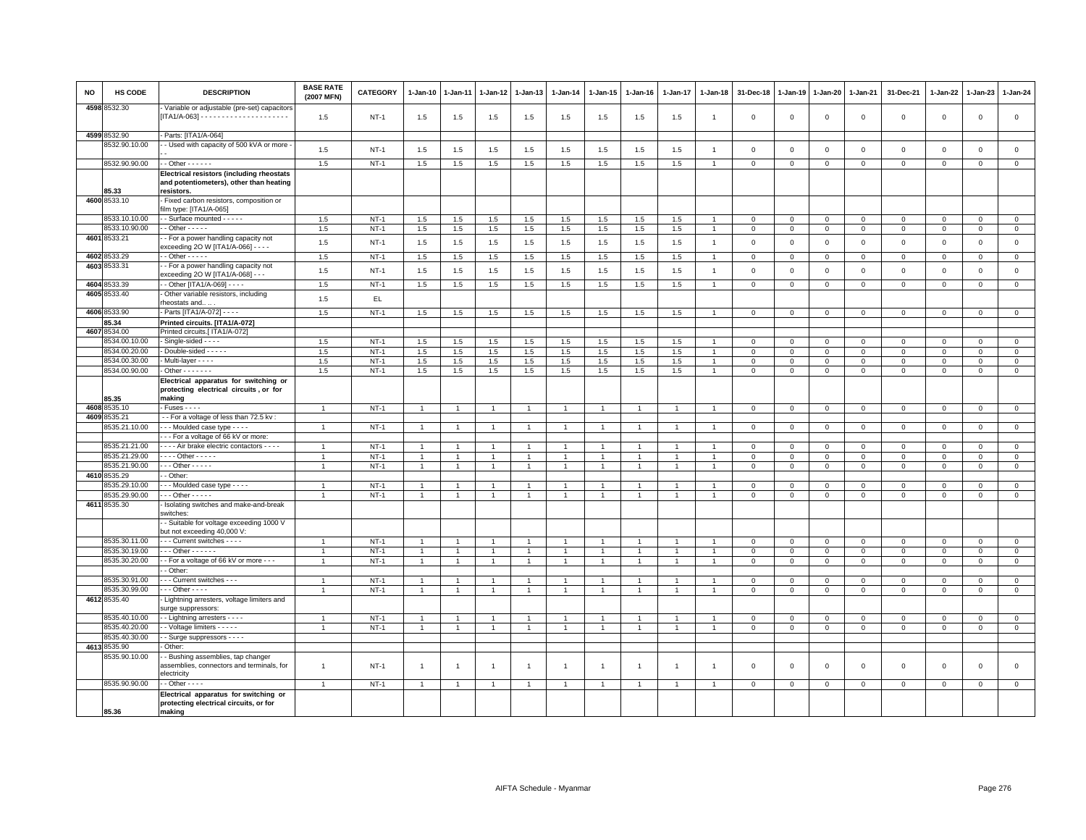| NO   | HS CODE       | <b>DESCRIPTION</b>                                                                 | <b>BASE RATE</b><br>(2007 MFN) | <b>CATEGORY</b>  | 1-Jan-10       | 1-Jan-11             | 1-Jan-12       | 1-Jan-13       | 1-Jan-14       | 1-Jan-15       | 1-Jan-16       | 1-Jan-17       | 1-Jan-18       | 31-Dec-18      | 1-Jan-19                   | 1-Jan-20                      | 1-Jan-21                   | 31-Dec-21                  | $1 - Jan-22$               | 1-Jan-23                   | 1-Jan-24                    |
|------|---------------|------------------------------------------------------------------------------------|--------------------------------|------------------|----------------|----------------------|----------------|----------------|----------------|----------------|----------------|----------------|----------------|----------------|----------------------------|-------------------------------|----------------------------|----------------------------|----------------------------|----------------------------|-----------------------------|
|      | 4598 8532.30  | Variable or adjustable (pre-set) capacitors                                        | 1.5                            | $NT-1$           | 1.5            | 1.5                  | 1.5            | 1.5            | 1.5            | 1.5            | 1.5            | 1.5            | $\overline{1}$ | $\mathbf 0$    | $\overline{0}$             | $\mathsf 0$                   | $\mathbf 0$                | $\mathsf 0$                | $\mathbf 0$                | $\mathsf 0$                | $\mathsf 0$                 |
|      | 4599 8532.90  | Parts: [ITA1/A-064]                                                                |                                |                  |                |                      |                |                |                |                |                |                |                |                |                            |                               |                            |                            |                            |                            |                             |
|      | 8532.90.10.00 | - Used with capacity of 500 kVA or more                                            | 1.5                            | $NT-1$           | 1.5            | 1.5                  | 1.5            | 1.5            | 1.5            | 1.5            | 1.5            | 1.5            | $\overline{1}$ | $\mathsf 0$    | $\,$ 0                     | $\mathsf 0$                   | $\mathsf 0$                | $\mathsf 0$                | $\mathbf 0$                | $\mathbf 0$                | $\mathsf 0$                 |
|      | 8532.90.90.00 | $-$ Other $    -$                                                                  | 1.5                            | $NT-1$           | 1.5            | 1.5                  | 1.5            | 1.5            | 1.5            | 1.5            | 1.5            | 1.5            | $\overline{1}$ | $\mathbf 0$    | $\mathbf 0$                | $\overline{0}$                | $\mathbf{0}$               | $\mathbf{0}$               | $\mathbf 0$                | $\mathbf{0}$               | $\mathbf 0$                 |
|      |               | <b>Electrical resistors (including rheostats</b>                                   |                                |                  |                |                      |                |                |                |                |                |                |                |                |                            |                               |                            |                            |                            |                            |                             |
|      | 85.33         | and potentiometers), other than heating<br>resistors                               |                                |                  |                |                      |                |                |                |                |                |                |                |                |                            |                               |                            |                            |                            |                            |                             |
|      | 4600 8533.10  | Fixed carbon resistors, composition or<br>film type: [ITA1/A-065]                  |                                |                  |                |                      |                |                |                |                |                |                |                |                |                            |                               |                            |                            |                            |                            |                             |
|      | 8533.10.10.00 | - Surface mounted - - - - -                                                        | 1.5                            | $NT-1$           | 1.5            | 1.5                  | 1.5            | 1.5            | 1.5            | 1.5            | 1.5            | 1.5            |                | $\mathbf 0$    | $\mathbf 0$                | $\mathbf 0$                   | $\mathbf 0$                | $\mathsf 0$                | $\mathbf 0$                | $\mathsf 0$                | $\mathsf 0$                 |
|      | 8533.10.90.00 | $-$ Other $   -$                                                                   | 1.5                            | $NT-1$           | 1.5            | 1.5                  | 1.5            | 1.5            | 1.5            | 1.5            | 1.5            | 1.5            | $\overline{1}$ | $\mathbf 0$    | $\mathbf 0$                | $\mathbf 0$                   | $\mathbf{0}$               | $\mathbf 0$                | 0                          | $\mathbf{0}$               | $\mathbf{0}$                |
|      | 4601 8533.21  | - For a power handling capacity not<br>exceeding 2O W [ITA1/A-066] - - - -         | 1.5                            | $NT-1$           | 1.5            | 1.5                  | 1.5            | 1.5            | 1.5            | 1.5            | 1.5            | 1.5            | $\overline{1}$ | $\overline{0}$ | $\overline{0}$             | $\mathsf 0$                   | $\mathbf 0$                | $\mathsf 0$                | $\mathbf 0$                | $\mathbf 0$                | $\mathsf 0$                 |
| 4602 | 8533.29       | $-$ Other $   -$                                                                   | 1.5                            | $NT-1$           | 1.5            | 1.5                  | 1.5            | 1.5            | 1.5            | 1.5            | 1.5            | 1.5            | $\overline{1}$ | $\,0\,$        | $\mathsf 0$                | $\mathbf 0$                   | $\mathbf 0$                | $\mathsf 0$                | 0                          | $\mathbf 0$                | $\overline{0}$              |
|      | 4603 8533.31  | - For a power handling capacity not                                                |                                |                  |                |                      |                |                |                |                |                |                |                |                |                            |                               |                            |                            |                            |                            |                             |
|      |               | exceeding 2O W [ITA1/A-068] - - -                                                  | 1.5                            | $NT-1$           | 1.5            | 1.5                  | 1.5            | $1.5\,$        | 1.5            | 1.5            | 1.5            | 1.5            | $\overline{1}$ | $\,0\,$        | $\,$ 0                     | $\,0\,$                       | $\mathsf 0$                | $\mathsf 0$                | $\mathsf 0$                | $\mathsf 0$                | $\mathsf 0$                 |
|      | 4604 8533.39  | - Other [ITA1/A-069] - - - -                                                       | 1.5                            | $NT-1$           | $1.5\,$        | 1.5                  | 1.5            | 1.5            | 1.5            | 1.5            | 1.5            | 1.5            | $\overline{1}$ | $\mathsf 0$    | $\overline{0}$             | $\mathbf 0$                   | $\mathsf 0$                | $\mathsf 0$                | $\mathbf 0$                | $\mathsf 0$                | $\mathbf 0$                 |
|      | 4605 8533.40  | Other variable resistors, including                                                |                                |                  |                |                      |                |                |                |                |                |                |                |                |                            |                               |                            |                            |                            |                            |                             |
|      |               | rheostats and                                                                      | 1.5                            | $\mathsf{EL}$    |                |                      |                |                |                |                |                |                |                |                |                            |                               |                            |                            |                            |                            |                             |
|      | 4606 8533.90  | Parts [ITA1/A-072] - - - -                                                         | 1.5                            | $NT-1$           | 1.5            | 1.5                  | 1.5            | 1.5            | 1.5            | 1.5            | 1.5            | 1.5            | $\overline{1}$ | $\mathbf 0$    | $\mathbf 0$                | $\mathbf{0}$                  | $\mathbf{0}$               | $\mathsf 0$                | $\mathbf 0$                | $\mathbf 0$                | $\mathbf 0$                 |
|      | 85.34         | Printed circuits. [ITA1/A-072]                                                     |                                |                  |                |                      |                |                |                |                |                |                |                |                |                            |                               |                            |                            |                            |                            |                             |
| 4607 | 3534.00       | Printed circuits.[ ITA1/A-072]                                                     |                                |                  |                |                      |                |                |                |                |                |                |                |                |                            |                               |                            |                            |                            |                            |                             |
|      | 3534.00.10.00 | Single-sided - - - -                                                               | 1.5                            | $NT-1$           | 1.5            | 1.5                  | 1.5            | 1.5            | 1.5            | 1.5            | 1.5            | 1.5            |                | $\Omega$       | $^{\circ}$                 | $\mathbf 0$                   | $\Omega$                   | 0                          | $\Omega$                   | $\Omega$                   | $\mathbf 0$                 |
|      | 8534.00.20.00 | - Double-sided - - - - -                                                           | 1.5                            | $NT-1$           | 1.5            | 1.5                  | $1.5\,$        | 1.5            | 1.5            | 1.5            | 1.5            | 1.5            | $\overline{1}$ | $\mathsf 0$    | $\mathsf 0$                | $\overline{0}$                | $\mathbf 0$                | $\mathsf 0$                | $\mathbf 0$                | $^{\circ}$                 | $\overline{0}$              |
|      | 8534.00.30.00 | Multi-layer - - - -                                                                | 1.5                            | $NT-1$           | 1.5            | 1.5                  | 1.5            | 1.5            | 1.5            | 1.5            | 1.5            | 1.5            | $\overline{1}$ | $\mathbf{0}$   | $\Omega$                   | $\mathbf{0}$                  | $\mathbf{0}$               | $\mathbf 0$                | $\mathbf 0$                | $\mathbf 0$                | $\mathsf 0$                 |
|      | 8534.00.90.00 | $\cdot$ Other $\cdot$ $\cdot$ $\cdot$ $\cdot$ $\cdot$ $\cdot$                      | 1.5                            | $NT-1$           | 1.5            | 1.5                  | 1.5            | 1.5            | $1.5\,$        | 1.5            | 1.5            | $1.5\,$        |                | $\mathbf 0$    | $\mathbf{0}$               | $\mathsf 0$                   | $\mathbf 0$                | $\mathsf 0$                | $\Omega$                   | $\Omega$                   | $\,0\,$                     |
|      |               | Electrical apparatus for switching or                                              |                                |                  |                |                      |                |                |                |                |                |                |                |                |                            |                               |                            |                            |                            |                            |                             |
|      |               | protecting electrical circuits, or for                                             |                                |                  |                |                      |                |                |                |                |                |                |                |                |                            |                               |                            |                            |                            |                            |                             |
|      | 85.35         | making                                                                             |                                |                  |                |                      |                |                |                |                |                |                |                |                |                            |                               |                            |                            |                            |                            |                             |
|      | 4608 8535.10  | - Fuses - - - -                                                                    | $\overline{1}$                 | $NT-1$           | $\mathbf{1}$   |                      | $\overline{1}$ | $\overline{1}$ |                | $\overline{1}$ |                | $\overline{1}$ |                | $\mathbf 0$    | $\mathbf 0$                | $\mathbf 0$                   | $\mathbf 0$                | $\mathbf 0$                | $\mathbf 0$                | $\mathsf 0$                | $\mathbf 0$                 |
| 4609 | 3535.21       | - For a voltage of less than 72.5 kv:                                              |                                |                  |                |                      |                |                |                |                |                |                |                |                |                            |                               |                            |                            |                            |                            |                             |
|      | 3535.21.10.00 | --- Moulded case type ----                                                         | $\mathbf{1}$                   | $NT-1$           | $\overline{1}$ |                      | $\overline{1}$ | $\mathbf{1}$   |                | $\overline{1}$ |                | $\mathbf{1}$   |                | $\mathbf 0$    | $\mathbf 0$                | $\mathbf 0$                   | $\circ$                    | $\mathsf 0$                | $\mathbf 0$                | $\mathbf{0}$               | $\mathbf 0$                 |
|      | 8535.21.21.00 | -- For a voltage of 66 kV or more<br>- - - - Air brake electric contactors - - - - | $\overline{1}$                 | $NT-1$           | $\overline{1}$ |                      | $\overline{1}$ | $\overline{1}$ |                | $\overline{1}$ |                | $\overline{1}$ |                | $\mathbf 0$    | $\mathbf{0}$               | $\mathbf 0$                   | $\mathbf{0}$               | $\mathbf 0$                | $\mathbf 0$                | $\mathbf{0}$               | $\mathbf 0$                 |
|      | 8535.21.29.00 | $\cdots$ - Other - - - - -                                                         | $\overline{1}$                 |                  | $\overline{1}$ | $\overline{1}$       | $\overline{1}$ | $\overline{1}$ | $\overline{1}$ | $\overline{1}$ | $\overline{1}$ | $\overline{1}$ | $\overline{1}$ | $\mathbf 0$    |                            |                               |                            |                            |                            |                            |                             |
|      | 8535.21.90.00 | $-$ - Other - - - - -                                                              | $\mathbf{1}$                   | $NT-1$<br>$NT-1$ | $\overline{1}$ | $\blacktriangleleft$ | $\overline{1}$ | $\mathbf{1}$   | $\mathbf{1}$   | $\mathbf{1}$   | $\overline{1}$ | $\mathbf{1}$   | $\overline{1}$ | $\circ$        | $\mathbf 0$<br>$\mathsf 0$ | $\mathbf 0$<br>$\overline{0}$ | $\mathbf 0$<br>$\mathbf 0$ | $\mathsf 0$<br>$\mathbf 0$ | $\mathbf 0$<br>$\mathbf 0$ | $\mathsf 0$<br>$\mathsf 0$ | $\mathbf 0$<br>$\mathbf{0}$ |
|      | 4610 8535.29  | - Other                                                                            |                                |                  |                |                      |                |                |                |                |                |                |                |                |                            |                               |                            |                            |                            |                            |                             |
|      | 3535.29.10.00 | - - - Moulded case type - - - -                                                    | $\overline{1}$                 | $NT-1$           | $\overline{1}$ |                      | $\mathbf{1}$   | $\overline{1}$ |                | $\overline{1}$ |                | $\mathbf{1}$   | $\mathbf{1}$   | $\mathbf 0$    | $\overline{0}$             | $\mathbf{0}$                  | $\mathbf{0}$               | $\mathbf 0$                | $\Omega$                   | $\Omega$                   | $\mathbf 0$                 |
|      | 8535.29.90.00 | - - - Other - - - - -                                                              | $\overline{1}$                 | $NT-1$           | $\mathbf{1}$   | $\mathbf{1}$         | 1              | $\mathbf{1}$   |                | $\mathbf{1}$   |                | 1              | $\overline{1}$ | $\mathsf 0$    | $\,0\,$                    | $\mathbf 0$                   | $\mathsf 0$                | $\mathsf 0$                | $\mathbf 0$                | $\mathsf 0$                | $\mathsf 0$                 |
|      | 4611 8535.30  | Isolating switches and make-and-break                                              |                                |                  |                |                      |                |                |                |                |                |                |                |                |                            |                               |                            |                            |                            |                            |                             |
|      |               | switches:                                                                          |                                |                  |                |                      |                |                |                |                |                |                |                |                |                            |                               |                            |                            |                            |                            |                             |
|      |               | - Suitable for voltage exceeding 1000 V<br>but not exceeding 40,000 V:             |                                |                  |                |                      |                |                |                |                |                |                |                |                |                            |                               |                            |                            |                            |                            |                             |
|      | 8535.30.11.00 | - - - Current switches - - - -                                                     |                                | $NT-1$           | $\overline{1}$ |                      |                | $\overline{1}$ |                | $\overline{1}$ |                |                |                | $\mathbf 0$    | $\overline{0}$             | $\mathbf 0$                   | $\mathsf 0$                | $\mathsf 0$                | $\mathbf 0$                | $\mathsf 0$                | $\overline{0}$              |
|      | 8535.30.19.00 | $\cdots$ Other - - - - - -                                                         | $\overline{1}$                 | $NT-1$           | 1              | $\mathbf{1}$         | 1              | -1             | $\overline{1}$ | $\mathbf{1}$   |                | $\mathbf{1}$   | $\overline{1}$ | $\mathbf{0}$   | $\mathbf 0$                | $\mathbf{0}$                  | $\Omega$                   | $\mathbf 0$                | $\Omega$                   | $\Omega$                   | $\mathbf{0}$                |
|      | 8535.30.20.00 | - For a voltage of 66 kV or more - - -                                             | $\overline{1}$                 | $NT-1$           | $\mathbf{1}$   | $\overline{1}$       | $\overline{1}$ | $\overline{1}$ | $\mathbf{1}$   | $\mathbf{1}$   | $\overline{1}$ | $\mathbf{1}$   | $\overline{1}$ | $\mathbf 0$    | $\mathbf 0$                | $\mathbf 0$                   | $\mathbf 0$                | $\mathbf 0$                | 0                          | 0                          | $\mathbf{0}$                |
|      |               | - Other:                                                                           |                                |                  |                |                      |                |                |                |                |                |                |                |                |                            |                               |                            |                            |                            |                            |                             |
|      | 8535.30.91.00 | - - Current switches - - -                                                         | $\overline{1}$                 | $NT-1$           | $\mathbf{1}$   |                      |                | $\overline{1}$ |                | $\overline{1}$ |                |                |                | $\mathbf 0$    | $\mathbf 0$                | $\mathbf 0$                   | $\mathbf 0$                | $\mathbf 0$                | $\Omega$                   | $\mathbf 0$                | $\mathbf 0$                 |
|      | 8535.30.99.00 | $\cdots$ Other - - - -                                                             | $\overline{1}$                 | $NT-1$           | $\mathbf{1}$   | $\overline{1}$       | $\overline{1}$ | $\overline{1}$ |                | $\mathbf{1}$   |                | $\overline{1}$ | $\overline{1}$ | $\mathbf 0$    | $\mathsf 0$                | $\mathbf 0$                   | $\mathbf 0$                | $\mathsf 0$                | $\mathbf 0$                | $\mathsf 0$                | $\overline{0}$              |
|      | 4612 8535.40  | - Lightning arresters, voltage limiters and<br>surge suppressors:                  |                                |                  |                |                      |                |                |                |                |                |                |                |                |                            |                               |                            |                            |                            |                            |                             |
|      | 8535.40.10.00 | - Lightning arresters - - - -                                                      | $\overline{1}$                 | <b>NT-1</b>      | $\overline{1}$ | $\overline{1}$       | $\overline{1}$ | $\overline{1}$ |                | $\overline{1}$ |                | $\overline{1}$ | $\overline{1}$ | $\mathbf 0$    | $\,0\,$                    | $\mathsf 0$                   | $\mathbf 0$                | $\mathsf 0$                | 0                          | $\mathsf 0$                | $\mathbf 0$                 |
|      | 3535.40.20.00 | - Voltage limiters - - - - -                                                       | $\overline{1}$                 | $NT-1$           | $\mathbf{1}$   | $\mathbf{1}$         | $\mathbf{1}$   | $\mathbf{1}$   | $\overline{1}$ | $\mathbf{1}$   | $\mathbf{1}$   | $\mathbf{1}$   | $\overline{1}$ | $\circ$        | $\circ$                    | $\overline{0}$                | $\mathbf 0$                | $\mathbf 0$                | $\mathbf 0$                | $\mathbf{O}$               | $\overline{0}$              |
|      | 3535.40.30.00 | - Surge suppressors - - - -                                                        |                                |                  |                |                      |                |                |                |                |                |                |                |                |                            |                               |                            |                            |                            |                            |                             |
| 4613 | 8535.90       | - Other:                                                                           |                                |                  |                |                      |                |                |                |                |                |                |                |                |                            |                               |                            |                            |                            |                            |                             |
|      | 8535.90.10.00 | - Bushing assemblies, tap changer<br>assemblies, connectors and terminals, for     | $\overline{1}$                 | $NT-1$           | -1             | $\overline{1}$       | $\overline{1}$ | $\overline{1}$ | -1             | $\overline{1}$ | $\mathbf{1}$   | $\overline{1}$ | -1             | $\mathbf 0$    | $\overline{0}$             | $\mathbf 0$                   | $\mathbf 0$                | $\mathsf 0$                | $\mathbf 0$                | $\mathsf 0$                | $\mathsf 0$                 |
|      |               | electricity                                                                        |                                |                  |                |                      |                |                |                |                |                |                |                |                |                            |                               |                            |                            |                            |                            |                             |
|      | 8535.90.90.00 | $-$ Other $- -$                                                                    | $\overline{1}$                 | $NT-1$           | $\overline{1}$ |                      |                | $\overline{1}$ |                | $\overline{1}$ |                |                |                | $\Omega$       | $\Omega$                   | $\mathbf 0$                   | $\mathbf 0$                | $\Omega$                   | $\Omega$                   | $\Omega$                   | $\mathbf 0$                 |
|      |               | Electrical apparatus for switching or                                              |                                |                  |                |                      |                |                |                |                |                |                |                |                |                            |                               |                            |                            |                            |                            |                             |
|      | 85.36         | protecting electrical circuits, or for<br>making                                   |                                |                  |                |                      |                |                |                |                |                |                |                |                |                            |                               |                            |                            |                            |                            |                             |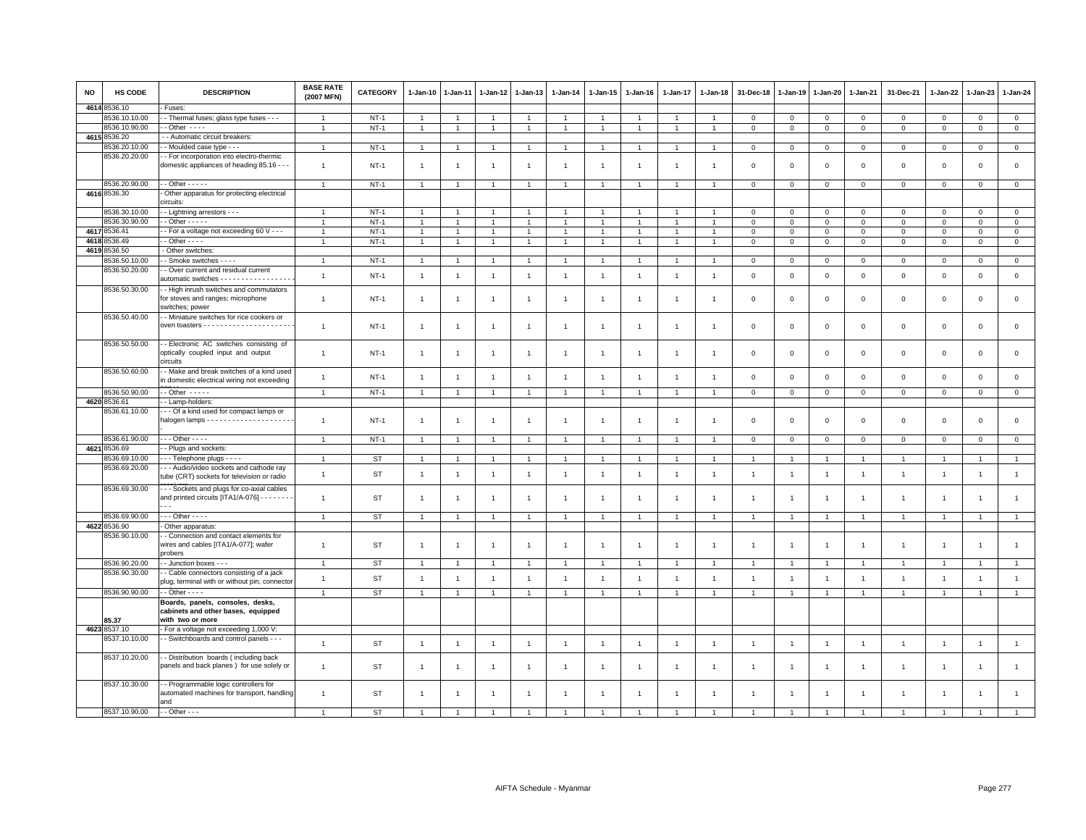| <b>NO</b> | HS CODE       | <b>DESCRIPTION</b>                               | <b>BASE RATE</b><br>(2007 MFN) | <b>CATEGORY</b> | 1-Jan-10       | 1-Jan-11       | 1-Jan-12       | 1-Jan-13       | 1-Jan-14       | 1-Jan-15       | $1 - Jan-16$   | $1 - Jan-17$   | 1-Jan-18       | 31-Dec-18      | $1 - Jan-19$   | 1-Jan-20       | 1-Jan-21       | 31-Dec-21           | $1 - Jan-22$   | 1-Jan-23       | 1-Jan-24       |
|-----------|---------------|--------------------------------------------------|--------------------------------|-----------------|----------------|----------------|----------------|----------------|----------------|----------------|----------------|----------------|----------------|----------------|----------------|----------------|----------------|---------------------|----------------|----------------|----------------|
| 4614      | 3536.10       | Fuses:                                           |                                |                 |                |                |                |                |                |                |                |                |                |                |                |                |                |                     |                |                |                |
|           | 8536.10.10.00 | - Thermal fuses; glass type fuses - - -          | -1                             | $NT-1$          |                |                |                | 1              | $\mathbf{1}$   |                |                |                |                | 0              | $\mathbf 0$    | $\mathbf 0$    | $\mathbf 0$    | $\mathbf 0$         | 0              | $\mathbf 0$    | $\mathbf{0}$   |
|           | 8536.10.90.00 | $-$ Other $  -$                                  |                                | $NT-1$          | $\overline{1}$ |                |                | $\overline{1}$ | $\overline{1}$ | $\mathbf{1}$   |                |                |                | $\mathbf 0$    | $\mathbf 0$    | $\mathsf 0$    | $\mathbf 0$    | $\mathbf 0$         | $\mathbf 0$    | $\mathbf{0}$   | $\mathsf 0$    |
|           | 4615 8536.20  | - Automatic circuit breakers:                    |                                |                 |                |                |                |                |                |                |                |                |                |                |                |                |                |                     |                |                |                |
|           | 3536.20.10.00 | - Moulded case type - - -                        | $\mathbf{1}$                   | $NT-1$          | $\overline{1}$ |                | $\overline{1}$ | $\overline{1}$ | $\overline{1}$ | 1              |                | -1             |                | $\mathbf 0$    | $\mathbf 0$    | $\mathbf 0$    | $\mathbf 0$    | $\mathsf 0$         | $\mathbf 0$    | $\mathbf{0}$   | $\mathsf 0$    |
|           | 8536.20.20.00 | - For incorporation into electro-thermic         |                                |                 |                |                |                |                |                |                |                |                |                |                |                |                |                |                     |                |                |                |
|           |               | domestic appliances of heading 85.16 - - -       | $\overline{1}$                 | $NT-1$          | $\mathbf{1}$   | -1             | $\overline{1}$ | $\mathbf{1}$   | $\overline{1}$ | $\overline{1}$ | -1             | $\overline{1}$ |                | $\overline{0}$ | $\mathbf 0$    | $\mathbf 0$    | $\mathbf{0}$   | $\mathbf 0$         | $\Omega$       | $\mathbf{0}$   | $\circ$        |
|           |               |                                                  |                                |                 |                |                |                |                |                |                |                |                |                |                |                |                |                |                     |                |                |                |
|           | 8536.20.90.00 | $-$ Other $- - - -$                              | $\overline{1}$                 | $NT-1$          | $\overline{1}$ | $\overline{1}$ |                | $\overline{1}$ | $\overline{1}$ | $\overline{1}$ | $\overline{1}$ | $\overline{1}$ |                | $\mathbf 0$    | $\mathbf 0$    | $\mathsf 0$    | $\mathbf 0$    | $\mathsf 0$         | $\mathsf 0$    | $\mathsf 0$    | $\mathsf 0$    |
|           | 4616 8536.30  | Other apparatus for protecting electrical        |                                |                 |                |                |                |                |                |                |                |                |                |                |                |                |                |                     |                |                |                |
|           |               | circuits:                                        |                                |                 |                |                |                |                |                |                |                |                |                |                |                |                |                |                     |                |                |                |
|           | 8536.30.10.00 | - Lightning arrestors - - -                      | $\overline{1}$                 | <b>NT-1</b>     |                |                |                | $\overline{1}$ | $\overline{1}$ |                |                |                |                | $\Omega$       | $\Omega$       | $\Omega$       | $\mathsf 0$    | $\mathbf{0}$        | $\Omega$       | $\mathbf{0}$   | $\mathsf 0$    |
|           | 8536.30.90.00 | $-$ Other $- - -$                                |                                | $NT-1$          |                |                |                | $\overline{1}$ | $\overline{1}$ |                |                |                |                | $\mathbf 0$    | $\mathsf 0$    | $\mathbf 0$    | $\mathbf 0$    | $\mathbf 0$         | $\Omega$       | $\mathbf{0}$   | $\mathsf 0$    |
|           | 4617 8536.41  | - For a voltage not exceeding 60 V - - -         | $\overline{1}$                 | $NT-1$          | $\mathbf{1}$   |                |                | $\overline{1}$ | $\overline{1}$ | $\mathbf{1}$   |                |                |                | $\mathbf 0$    | $\mathbf 0$    | $\mathsf 0$    | $\mathbf 0$    | $\mathsf 0$         | $\mathbf 0$    | $\mathsf 0$    | $\mathsf 0$    |
| 4618      | 3536.49       | $-$ Other $- - -$                                | $\overline{1}$                 | $NT-1$          | $\overline{1}$ | $\overline{1}$ | $\mathbf{1}$   | $\overline{1}$ | $\overline{1}$ | $\overline{1}$ | $\overline{1}$ | $\overline{1}$ | $\overline{1}$ | $\mathbf 0$    | $\mathbf 0$    | $\mathbf 0$    | $\overline{0}$ | $\mathbf 0$         | 0              | $\mathbf{0}$   | $\mathbf{0}$   |
| 4619      | 3536.50       | - Other switches:                                |                                |                 |                |                |                |                |                |                |                |                |                |                |                |                |                |                     |                |                |                |
|           | 3536.50.10.00 | - Smoke switches - - - -                         | $\overline{1}$                 | $NT-1$          | $\overline{1}$ |                |                | $\mathbf{1}$   | $\overline{1}$ |                |                | $\overline{1}$ |                | $\mathbf 0$    | $\mathsf 0$    | $\mathbf 0$    | $\,0\,$        | $\mathsf{O}\xspace$ | $\mathbf 0$    | $\mathbf 0$    | $\mathbf 0$    |
|           | 8536.50.20.00 | - Over current and residual current              |                                |                 |                |                |                |                |                |                |                |                |                |                |                |                |                |                     |                |                |                |
|           |               | automatic switches - - - - - - - - - - - - - - - | $\overline{1}$                 | $NT-1$          | $\overline{1}$ | $\overline{1}$ | $\overline{1}$ | $\mathbf{1}$   | $\overline{1}$ | $\mathbf{1}$   | $\overline{1}$ | $\overline{1}$ | $\mathbf{1}$   | $\mathbf 0$    | $\mathsf 0$    | $\,0\,$        | $\,$ 0         | $\mathsf 0$         | $\mathsf 0$    | $\mathbf 0$    | $\mathbf 0$    |
|           | 8536.50.30.00 | - High inrush switches and commutators           |                                |                 |                |                |                |                |                |                |                |                |                |                |                |                |                |                     |                |                |                |
|           |               | for stoves and ranges; microphone                | $\overline{1}$                 | <b>NT-1</b>     | $\overline{1}$ | 1              | 1              | $\overline{1}$ | $\overline{1}$ | $\overline{1}$ | -1             | $\overline{1}$ |                | $\mathbf 0$    | $\mathbf 0$    | $\mathsf 0$    | $\mathbf 0$    | $\mathsf 0$         | $\overline{0}$ | $\mathbf{0}$   | $\mathsf 0$    |
|           |               | switches; power                                  |                                |                 |                |                |                |                |                |                |                |                |                |                |                |                |                |                     |                |                |                |
|           | 8536.50.40.00 | - Miniature switches for rice cookers or         |                                |                 |                |                |                |                |                |                |                |                |                |                |                |                |                |                     |                |                |                |
|           |               |                                                  | $\overline{1}$                 | $NT-1$          | $\overline{1}$ | 1              | 1              | $\mathbf{1}$   | $\mathbf{1}$   | -1             | -1             | -1             |                | $\mathbf 0$    | $\mathbf 0$    | $\mathbf 0$    | $\mathbf 0$    | $\mathsf 0$         | $\mathbf 0$    | $\mathbf{0}$   | $\mathbf 0$    |
|           |               |                                                  |                                |                 |                |                |                |                |                |                |                |                |                |                |                |                |                |                     |                |                |                |
|           | 8536.50.50.00 | - Electronic AC switches consisting of           |                                |                 |                |                |                |                |                |                |                |                |                |                |                |                |                |                     |                |                |                |
|           |               | optically coupled input and output               | $\overline{1}$                 | $NT-1$          | $\mathbf{1}$   | 1              | 1              | $\overline{1}$ | $\overline{1}$ | $\overline{1}$ | -1             | $\overline{1}$ |                | $\mathbf 0$    | $\mathbf 0$    | $\mathsf 0$    | $\mathbf 0$    | $\mathsf 0$         | $\mathbf 0$    | $\mathsf 0$    | $\mathsf 0$    |
|           |               | circuits                                         |                                |                 |                |                |                |                |                |                |                |                |                |                |                |                |                |                     |                |                |                |
|           | 8536.50.60.00 | - Make and break switches of a kind used         |                                |                 |                |                |                |                |                |                |                |                |                |                |                |                |                |                     |                |                |                |
|           |               | in domestic electrical wiring not exceeding      | $\overline{1}$                 | $NT-1$          | $\overline{1}$ | $\overline{1}$ | $\overline{1}$ | $\overline{1}$ | $\overline{1}$ | $\mathbf{1}$   | $\overline{1}$ | $\overline{1}$ | -1             | $\mathbf{0}$   | $\mathbf 0$    | $\mathbf 0$    | $\mathbf{0}$   | $\mathbf 0$         | $\mathbf 0$    | $\mathbf{0}$   | $\mathsf 0$    |
|           | 8536.50.90.00 | $-$ Other $   -$                                 | $\overline{1}$                 | $NT-1$          | $\overline{1}$ | $\overline{1}$ | $\overline{1}$ | $\mathbf{1}$   | $\overline{1}$ | $\mathbf{1}$   | $\overline{1}$ | $\overline{1}$ |                | $\mathbf 0$    | $\mathbf 0$    | $\mathsf 0$    | $\mathbf 0$    | $\mathbf{0}$        | $\mathbf 0$    | $\circ$        | $\mathsf 0$    |
|           | 4620 8536.61  | - Lamp-holders:                                  |                                |                 |                |                |                |                |                |                |                |                |                |                |                |                |                |                     |                |                |                |
|           | 8536.61.10.00 | - - Of a kind used for compact lamps or          |                                |                 |                |                |                |                |                |                |                |                |                |                |                |                |                |                     |                |                |                |
|           |               |                                                  | $\overline{1}$                 | $NT-1$          | $\mathbf{1}$   | 1              | 1              | $\mathbf{1}$   | $\overline{1}$ | $\overline{1}$ | -1             | $\overline{1}$ | -1             | $\mathbf 0$    | $\mathbf 0$    | $\mathbf 0$    | $\mathbf 0$    | $\mathbf 0$         | $\mathbf 0$    | $\mathbf 0$    | $\mathsf 0$    |
|           |               |                                                  |                                |                 |                |                |                |                |                |                |                |                |                |                |                |                |                |                     |                |                |                |
|           | 8536.61.90.00 | $-$ - Other - - - -                              |                                | $NT-1$          | $\overline{1}$ |                |                | $\overline{1}$ | $\overline{1}$ |                |                | $\overline{1}$ |                | $\mathbf{0}$   | $\Omega$       | $\mathsf 0$    | $\mathbf{0}$   | $\mathbf{0}$        | $\Omega$       | $\mathbf{0}$   | $\mathbf 0$    |
|           | 4621 8536.69  | - Plugs and sockets:                             |                                |                 |                |                |                |                |                |                |                |                |                |                |                |                |                |                     |                |                |                |
|           | 8536.69.10.00 | - - - Telephone plugs - - - -                    | $\overline{1}$                 | <b>ST</b>       | $\mathbf{1}$   |                |                | $\mathbf{1}$   | $\mathbf{1}$   | 1              |                | $\overline{1}$ |                | $\overline{1}$ | $\mathbf{1}$   | $\overline{1}$ | $\overline{1}$ | $\mathbf{1}$        | $\overline{1}$ | $\overline{1}$ | $\mathbf{1}$   |
|           | 8536.69.20.00 | - - Audio/video sockets and cathode ray          |                                |                 |                |                |                |                |                |                |                |                |                |                |                |                |                |                     |                |                |                |
|           |               | tube (CRT) sockets for television or radio       | $\overline{1}$                 | <b>ST</b>       | $\mathbf{1}$   | 1              | 1              | $\mathbf{1}$   | $\overline{1}$ | $\mathbf{1}$   | $\mathbf{1}$   | $\overline{1}$ |                | $\overline{1}$ | $\overline{1}$ | $\overline{1}$ | $\overline{1}$ | $\mathbf{1}$        | $\overline{1}$ | $\overline{1}$ | $\mathbf{1}$   |
|           | 8536.69.30.00 | - - Sockets and plugs for co-axial cables        |                                |                 |                |                |                |                |                |                |                |                |                |                |                |                |                |                     |                |                |                |
|           |               | and printed circuits [ITA1/A-076] - - - - - - -  | $\mathbf{1}$                   | <b>ST</b>       | $\overline{1}$ | $\overline{1}$ | $\overline{1}$ | $\overline{1}$ | $\overline{1}$ | $\mathbf{1}$   | $\overline{1}$ | $\overline{1}$ | -1             | $\overline{1}$ | $\overline{1}$ | $\overline{1}$ | $\overline{1}$ | $\mathbf{1}$        | $\overline{1}$ | $\overline{1}$ | $\mathbf{1}$   |
|           |               |                                                  |                                |                 |                |                |                |                |                |                |                |                |                |                |                |                |                |                     |                |                |                |
|           | 8536.69.90.00 | $-$ - Other - - - -                              | $\overline{1}$                 | ST              | $\overline{1}$ | $\overline{1}$ |                | $\overline{1}$ | $\overline{1}$ | $\overline{1}$ | $\overline{1}$ | $\overline{1}$ |                |                | $\overline{1}$ | $\overline{1}$ | $\overline{1}$ | $\mathbf{1}$        | $\overline{1}$ | $\overline{1}$ | $\mathbf{1}$   |
|           | 4622 8536.90  | Other apparatus:                                 |                                |                 |                |                |                |                |                |                |                |                |                |                |                |                |                |                     |                |                |                |
|           | 8536.90.10.00 | - Connection and contact elements for            |                                |                 |                |                |                |                |                |                |                |                |                |                |                |                |                |                     |                |                |                |
|           |               | wires and cables [ITA1/A-077]; wafer             | $\overline{1}$                 | <b>ST</b>       | -1             | -1             |                | $\mathbf{1}$   | $\overline{1}$ | $\overline{1}$ | -1             | $\overline{1}$ |                | $\overline{1}$ | -1             | $\overline{1}$ | $\overline{1}$ | $\mathbf{1}$        | $\overline{1}$ | $\overline{1}$ | $\mathbf{1}$   |
|           |               | probers                                          |                                |                 |                |                |                |                |                |                |                |                |                |                |                |                |                |                     |                |                |                |
|           | 8536.90.20.00 | - Junction boxes - - -                           | $\overline{1}$                 | ST              | $\overline{1}$ |                |                | $\mathbf{1}$   | $\overline{1}$ |                |                | $\overline{1}$ |                |                | $\overline{1}$ | $\overline{1}$ | $\overline{1}$ | $\overline{1}$      | $\overline{1}$ | $\overline{1}$ |                |
|           | 8536.90.30.00 | - Cable connectors consisting of a jack          |                                |                 |                |                |                |                |                |                |                |                |                |                |                | $\overline{1}$ |                |                     |                |                |                |
|           |               | plug, terminal with or without pin, connecto     | $\mathbf{1}$                   | <b>ST</b>       | $\overline{1}$ | $\mathbf{1}$   | $\overline{1}$ | $\mathbf{1}$   | $\overline{1}$ | $\mathbf{1}$   | $\overline{1}$ | $\overline{1}$ | $\mathbf{1}$   | $\overline{1}$ | $\overline{1}$ |                | $\overline{1}$ | $\mathbf{1}$        | $\overline{1}$ | $\overline{1}$ | $\mathbf{1}$   |
|           | 8536.90.90.00 | $-$ Other $ -$                                   | $\overline{1}$                 | <b>ST</b>       | $\overline{1}$ |                |                | $\overline{1}$ | $\overline{1}$ | $\overline{1}$ | $\overline{1}$ | $\overline{1}$ |                |                | $\overline{1}$ | $\overline{1}$ | $\overline{1}$ | $\overline{1}$      | $\overline{1}$ | $\overline{1}$ | $\overline{1}$ |
|           |               | Boards, panels, consoles, desks,                 |                                |                 |                |                |                |                |                |                |                |                |                |                |                |                |                |                     |                |                |                |
|           |               | cabinets and other bases, equipped               |                                |                 |                |                |                |                |                |                |                |                |                |                |                |                |                |                     |                |                |                |
|           | 35.37         | with two or more                                 |                                |                 |                |                |                |                |                |                |                |                |                |                |                |                |                |                     |                |                |                |
|           | 4623 8537.10  | For a voltage not exceeding 1,000 V:             |                                |                 |                |                |                |                |                |                |                |                |                |                |                |                |                |                     |                |                |                |
|           | 8537.10.10.00 | - Switchboards and control panels - - -          |                                |                 |                |                |                |                |                |                |                |                |                |                |                |                |                |                     |                |                |                |
|           |               |                                                  | $\overline{1}$                 | <b>ST</b>       | $\overline{1}$ | $\mathbf{1}$   | $\mathbf{1}$   | $\mathbf{1}$   | $\mathbf{1}$   | 1              | $\mathbf{1}$   | $\overline{1}$ | $\overline{1}$ | $\overline{1}$ | $\overline{1}$ | $\mathbf{1}$   | $\overline{1}$ | $\mathbf{1}$        | $\overline{1}$ | $\mathbf{1}$   | $\mathbf{1}$   |
|           | 8537.10.20.00 | - Distribution boards (including back            |                                |                 |                |                |                |                |                |                |                |                |                |                |                |                |                |                     |                |                |                |
|           |               | panels and back planes) for use solely or        | $\overline{1}$                 | <b>ST</b>       | $\overline{1}$ | -1             | -1             | $\overline{1}$ | $\overline{1}$ | $\mathbf{1}$   | -1             | -1             | -1             | $\overline{1}$ | -1             | $\mathbf{1}$   | $\overline{1}$ | $\overline{1}$      | $\overline{1}$ | $\mathbf{1}$   | $\overline{1}$ |
|           |               |                                                  |                                |                 |                |                |                |                |                |                |                |                |                |                |                |                |                |                     |                |                |                |
|           | 8537.10.30.00 | - Programmable logic controllers for             |                                |                 |                |                |                |                |                |                |                |                |                |                |                |                |                |                     |                |                |                |
|           |               | automated machines for transport, handling       | $\overline{1}$                 | <b>ST</b>       | $\mathbf{1}$   |                |                | 1              | $\overline{1}$ | 1              | -1             | $\overline{1}$ |                | $\overline{1}$ |                | $\mathbf{1}$   | $\overline{1}$ | $\overline{1}$      | $\overline{1}$ | $\overline{1}$ | $\overline{1}$ |
|           |               | and                                              |                                |                 |                |                |                |                |                |                |                |                |                |                |                |                |                |                     |                |                |                |
|           | 8537.10.90.00 | $-$ Other $ -$                                   |                                | ST              |                |                |                |                |                |                |                |                |                |                |                |                |                |                     | $\overline{1}$ | $\overline{1}$ |                |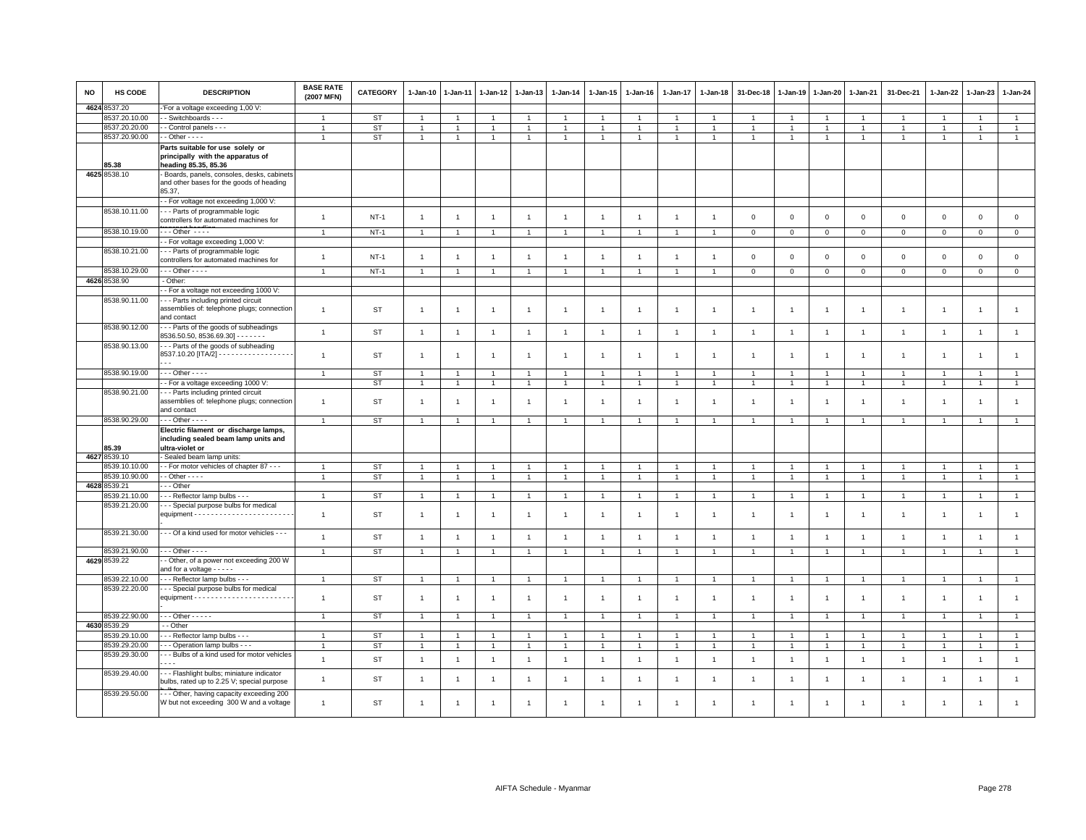| <b>NO</b> | HS CODE       | <b>DESCRIPTION</b>                                                                                              | <b>BASE RATE</b><br>(2007 MFN) | CATEGORY  | 1-Jan-10       | 1-Jan-11       | 1-Jan-12       | 1-Jan-13       | $1 - Jan-14$   | $1 - Jan-15$   | $1 - Jan-16$   | 1-Jan-17       | 1-Jan-18       | 31-Dec-18      | $1 - Jan-19$   | $1 - Jan-20$   | 1-Jan-21       | 31-Dec-21      | 1-Jan-22       | 1-Jan-23       | 1-Jan-24       |
|-----------|---------------|-----------------------------------------------------------------------------------------------------------------|--------------------------------|-----------|----------------|----------------|----------------|----------------|----------------|----------------|----------------|----------------|----------------|----------------|----------------|----------------|----------------|----------------|----------------|----------------|----------------|
|           | 4624 8537.20  | 'For a voltage exceeding 1,00 V:                                                                                |                                |           |                |                |                |                |                |                |                |                |                |                |                |                |                |                |                |                |                |
|           | 8537.20.10.00 | - Switchboards - - -                                                                                            |                                | ST        | $\overline{1}$ |                | $\overline{1}$ | $\overline{1}$ | $\overline{1}$ | $\mathbf{1}$   |                | -1             |                |                |                | $\overline{1}$ |                |                |                |                | $\mathbf{1}$   |
|           | 8537.20.20.00 | - Control panels - - -                                                                                          | $\blacktriangleleft$           | <b>ST</b> | $\mathbf{1}$   |                | $\overline{1}$ | $\overline{1}$ | $\overline{1}$ | $\mathbf{1}$   | $\overline{1}$ | $\overline{1}$ |                |                |                | $\overline{1}$ | $\overline{1}$ |                | 1              |                | $\overline{1}$ |
|           | 8537.20.90.00 | - - Other - - - -                                                                                               |                                | <b>ST</b> | $\mathbf{1}$   |                | $\overline{1}$ | $\overline{1}$ | $\overline{1}$ | $\overline{1}$ | $\overline{1}$ | $\overline{1}$ | $\overline{1}$ | 1              | 1              | $\overline{1}$ | $\overline{1}$ |                | 1              | $\overline{1}$ | $\overline{1}$ |
|           | 85.38         | Parts suitable for use solely or<br>principally with the apparatus of<br>heading 85.35, 85.36                   |                                |           |                |                |                |                |                |                |                |                |                |                |                |                |                |                |                |                |                |
|           | 4625 8538.10  | Boards, panels, consoles, desks, cabinets<br>and other bases for the goods of heading                           |                                |           |                |                |                |                |                |                |                |                |                |                |                |                |                |                |                |                |                |
|           |               | 85.37,<br>- For voltage not exceeding 1,000 V:                                                                  |                                |           |                |                |                |                |                |                |                |                |                |                |                |                |                |                |                |                |                |
|           | 8538.10.11.00 | --- Parts of programmable logic<br>controllers for automated machines for                                       | $\overline{1}$                 | $NT-1$    | $\overline{1}$ | $\overline{1}$ |                | $\overline{1}$ | $\overline{1}$ | $\overline{1}$ | $\overline{1}$ | $\overline{1}$ | $\overline{1}$ | $\mathbf 0$    | $\mathbf{0}$   | $\mathbf 0$    | $\mathbf 0$    | $\mathsf 0$    | $\mathbf 0$    | $\mathbf 0$    | $\mathsf{o}$   |
|           | 8538.10.19.00 | $\cdots$ Other $\cdots$                                                                                         | $\overline{1}$                 | $NT-1$    | $\mathbf{1}$   |                | -1             | $\mathbf{1}$   | -1             | $\mathbf{1}$   |                | $\overline{1}$ |                | $\mathbf 0$    | $\mathsf 0$    | $\mathbf 0$    | $\mathsf 0$    | $\mathbf 0$    | $\mathsf 0$    | $\circ$        | $\overline{0}$ |
|           | 8538.10.21.00 | - For voltage exceeding 1,000 V:<br>--- Parts of programmable logic                                             |                                |           |                |                |                |                |                |                |                |                |                |                |                |                |                |                |                |                |                |
|           |               | controllers for automated machines for                                                                          | $\mathbf{1}$                   | $NT-1$    | $\overline{1}$ | $\overline{1}$ | -1             | $\overline{1}$ | $\overline{1}$ | $\overline{1}$ |                | $\overline{1}$ |                | $\mathbf 0$    | $\overline{0}$ | $\mathbf 0$    | $\mathbf{O}$   | $\mathbf 0$    | $\mathbf 0$    | $\mathsf 0$    | $\mathsf 0$    |
|           | 8538.10.29.00 | $\cdots$ Other - - - -                                                                                          | $\mathbf{1}$                   | $NT-1$    | $\mathbf{1}$   | $\mathbf{1}$   | $\overline{1}$ | $\overline{1}$ | $\overline{1}$ | $\overline{1}$ | $\overline{1}$ | $\overline{1}$ | $\overline{1}$ | $\mathbf 0$    | $\mathbf 0$    | $\overline{0}$ | $\mathbf{0}$   | $\mathbf 0$    | $\mathbf 0$    | $\mathbf{0}$   | $\overline{0}$ |
|           | 4626 8538.90  | - Other:                                                                                                        |                                |           |                |                |                |                |                |                |                |                |                |                |                |                |                |                |                |                |                |
|           |               | - For a voltage not exceeding 1000 V:                                                                           |                                |           |                |                |                |                |                |                |                |                |                |                |                |                |                |                |                |                |                |
|           | 8538.90.11.00 | - - Parts including printed circuit<br>assemblies of: telephone plugs; connection<br>and contact                | $\overline{1}$                 | <b>ST</b> | $\mathbf{1}$   | -1             | -1             | $\overline{1}$ | $\overline{1}$ | $\overline{1}$ | -1             | $\mathbf{1}$   | -1             | $\overline{1}$ | 1              | $\overline{1}$ | 1              | -1             | 1              | $\overline{1}$ | $\mathbf{1}$   |
|           | 8538.90.12.00 | --- Parts of the goods of subheadings<br>8536.50.50, 8536.69.30] - - - - - - -                                  | $\overline{1}$                 | <b>ST</b> | $\overline{1}$ | $\overline{1}$ | $\overline{1}$ | $\overline{1}$ | $\overline{1}$ | $\mathbf{1}$   | $\overline{1}$ | $\overline{1}$ | $\overline{1}$ | $\overline{1}$ | $\overline{1}$ | $\overline{1}$ | $\overline{1}$ | $\overline{1}$ | $\mathbf{1}$   | $\overline{1}$ | $\mathbf{1}$   |
|           | 8538.90.13.00 | -- Parts of the goods of subheading<br>8537.10.20 [ITA/2] - - - - - - - - - - - - - - - - -                     |                                | <b>ST</b> | $\mathbf{1}$   | $\overline{1}$ | -1             | $\mathbf{1}$   | $\overline{1}$ | $\mathbf{1}$   | $\overline{1}$ | $\overline{1}$ | $\overline{1}$ | $\overline{1}$ | $\mathbf{1}$   | $\overline{1}$ | 1              | $\overline{1}$ | 1              | $\mathbf{1}$   | $\overline{1}$ |
|           | 8538.90.19.00 | $\cdots$ Other - - - -                                                                                          | $\overline{1}$                 | <b>ST</b> | $\mathbf{1}$   | -1             | $\overline{1}$ | $\overline{1}$ | $\overline{1}$ | $\overline{1}$ | $\overline{1}$ | $\overline{1}$ | $\overline{1}$ | $\overline{1}$ | $\mathbf{1}$   | $\overline{1}$ | $\mathbf{1}$   | $\overline{1}$ | -1             | $\overline{1}$ | $\mathbf{1}$   |
|           |               | - For a voltage exceeding 1000 V:                                                                               |                                | <b>ST</b> | $\mathbf{1}$   | $\overline{1}$ | $\overline{1}$ | $\overline{1}$ | $\overline{1}$ | $\mathbf{1}$   | $\mathbf{1}$   | $\overline{1}$ | $\overline{1}$ | $\overline{1}$ | $\overline{1}$ | $\overline{1}$ | $\overline{1}$ | $\overline{1}$ | $\mathbf{1}$   | $\overline{1}$ | $\mathbf{1}$   |
|           | 8538.90.21.00 | -- Parts including printed circuit                                                                              |                                |           |                |                |                |                |                |                |                |                |                |                |                |                |                |                |                |                |                |
|           |               | assemblies of: telephone plugs; connection<br>and contact                                                       | $\overline{1}$                 | <b>ST</b> | $\overline{1}$ | $\overline{1}$ | -1             | $\mathbf{1}$   | $\overline{1}$ | $\overline{1}$ | $\overline{1}$ | $\overline{1}$ | $\overline{1}$ | -1             | $\mathbf{1}$   | $\overline{1}$ | $\mathbf{1}$   | $\overline{1}$ | 1              | $\overline{1}$ | $\overline{1}$ |
|           | 8538.90.29.00 | $-$ - Other - - - -                                                                                             | $\overline{1}$                 | <b>ST</b> | $\mathbf{1}$   |                | -1             | $\overline{1}$ | $\mathbf{1}$   | $\overline{1}$ |                | -1             |                |                | -1             | $\mathbf{1}$   | 1              |                |                | $\overline{1}$ | $\mathbf{1}$   |
|           | 85.39         | Electric filament or discharge lamps,<br>including sealed beam lamp units and<br>ultra-violet or                |                                |           |                |                |                |                |                |                |                |                |                |                |                |                |                |                |                |                |                |
|           | 4627 8539.10  | - Sealed beam lamp units:                                                                                       |                                |           |                |                |                |                |                |                |                |                |                |                |                |                |                |                |                |                |                |
|           | 8539.10.10.00 | - For motor vehicles of chapter 87 - - -                                                                        |                                | <b>ST</b> | -1             |                | -1             | $\mathbf{1}$   | $\mathbf{1}$   | $\mathbf{1}$   | -1             | -1             |                |                |                | $\mathbf{1}$   | 1              |                | -1             | -1             | $\mathbf{1}$   |
|           | 8539.10.90.00 | $-$ - Other $-$ - $-$                                                                                           | $\mathbf{1}$                   | <b>ST</b> | $\mathbf{1}$   | $\overline{1}$ | $\overline{1}$ | $\mathbf{1}$   | $\overline{1}$ | $\mathbf{1}$   | $\mathbf{1}$   | $\overline{1}$ | $\overline{1}$ | $\overline{1}$ | $\overline{1}$ | $\overline{1}$ | $\overline{1}$ | $\overline{1}$ | $\overline{1}$ | $\overline{1}$ | $\overline{1}$ |
|           | 4628 8539.21  | - - Other                                                                                                       |                                |           |                |                |                |                |                |                |                |                |                |                |                |                |                |                |                |                |                |
|           | 3539.21.10.00 | - - Reflector lamp bulbs - - -                                                                                  |                                | <b>ST</b> | $\mathbf{1}$   |                | $\overline{1}$ | $\overline{1}$ | $\mathbf{1}$   | $\mathbf{1}$   | $\overline{1}$ | $\overline{1}$ |                |                | -1             | $\overline{1}$ | $\mathbf{1}$   |                | -1             | $\overline{1}$ | $\mathbf{1}$   |
|           | 8539.21.20.00 | - - Special purpose bulbs for medical                                                                           | $\overline{1}$                 | <b>ST</b> | $\overline{1}$ |                | $\overline{1}$ | $\overline{1}$ | $\overline{1}$ | $\overline{1}$ |                | $\overline{1}$ |                | $\overline{1}$ | $\mathbf{1}$   | $\overline{1}$ | $\overline{1}$ | $\overline{1}$ |                | $\overline{1}$ | $\overline{1}$ |
|           | 8539.21.30.00 | --- Of a kind used for motor vehicles ---                                                                       | $\overline{1}$                 | <b>ST</b> | $\mathbf{1}$   | $\overline{1}$ | $\overline{1}$ | $\mathbf{1}$   | $\overline{1}$ | $\mathbf{1}$   | $\overline{1}$ | $\overline{1}$ | $\overline{1}$ | $\overline{1}$ | $\overline{1}$ | $\overline{1}$ | $\overline{1}$ | $\mathbf{1}$   | $\overline{1}$ | $\mathbf{1}$   | $\overline{1}$ |
|           | 8539.21.90.00 | $\cdots$ Other - - - -                                                                                          | $\overline{1}$                 | <b>ST</b> | $\mathbf{1}$   | $\overline{1}$ | $\overline{1}$ | $\overline{1}$ | $\overline{1}$ | $\mathbf{1}$   | $\mathbf{1}$   | $\overline{1}$ | $\overline{1}$ | $\overline{1}$ | $\mathbf{1}$   | $\overline{1}$ | $\overline{1}$ | $\overline{1}$ | $\overline{1}$ | $\overline{1}$ | $\mathbf{1}$   |
|           | 4629 8539.22  | - Other, of a power not exceeding 200 W<br>and for a voltage - - - - -                                          |                                |           |                |                |                |                |                |                |                |                |                |                |                |                |                |                |                |                |                |
|           | 8539.22.10.00 | - - - Reflector lamp bulbs - - -                                                                                |                                | ST        | $\overline{1}$ |                | $\overline{1}$ | $\overline{1}$ | $\overline{1}$ | $\overline{1}$ |                | $\overline{1}$ |                |                | $\overline{1}$ | $\overline{1}$ | $\overline{1}$ |                | 1              | $\overline{1}$ | $\mathbf{1}$   |
|           | 8539.22.20.00 | -- Special purpose bulbs for medical                                                                            | $\overline{1}$                 | <b>ST</b> | $\mathbf{1}$   | -1             | $\overline{1}$ | $\overline{1}$ | $\overline{1}$ | $\overline{1}$ | $\mathbf{1}$   | $\overline{1}$ | $\overline{1}$ | -1             | 1              | $\overline{1}$ | $\overline{1}$ |                | 1              | $\mathbf{1}$   | $\mathbf{1}$   |
|           | 8539.22.90.00 | $\cdots$ Other - - - - -                                                                                        |                                | ST        | $\overline{1}$ |                | $\overline{1}$ | $\overline{1}$ | $\overline{1}$ | $\overline{1}$ |                | $\overline{1}$ | $\overline{1}$ |                | $\overline{1}$ | $\overline{1}$ | -1             |                |                |                | $\mathbf{1}$   |
|           | 4630 8539.29  | - Other                                                                                                         |                                |           |                |                |                |                |                |                |                |                |                |                |                |                |                |                |                |                |                |
|           | 8539.29.10.00 | - - - Reflector lamp bulbs - - -                                                                                |                                | <b>ST</b> | $\overline{1}$ |                | $\overline{1}$ | $\overline{1}$ | $\overline{1}$ | $\overline{1}$ | $\mathbf{1}$   | $\overline{1}$ |                |                | $\mathbf{1}$   | $\overline{1}$ | $\overline{1}$ |                |                | $\overline{1}$ | $\overline{1}$ |
|           | 8539.29.20.00 | - - Operation lamp bulbs - - -                                                                                  |                                | ST        | $\mathbf{1}$   |                | -1             | $\mathbf{1}$   | $\overline{1}$ | $\mathbf{1}$   | $\mathbf{1}$   | $\mathbf{1}$   |                | 1              | -1             | $\mathbf{1}$   | $\mathbf{1}$   | -1             | 1              | $\mathbf{1}$   | $\mathbf{1}$   |
|           | 8539.29.30.00 | -- Bulbs of a kind used for motor vehicles                                                                      | $\overline{1}$                 | <b>ST</b> | $\overline{1}$ | $\overline{1}$ |                | $\overline{1}$ | $\overline{1}$ | $\overline{1}$ | $\overline{1}$ | $\overline{1}$ |                | $\overline{1}$ | $\mathbf{1}$   | $\overline{1}$ | $\overline{1}$ | $\overline{1}$ |                | $\overline{1}$ | $\overline{1}$ |
|           | 8539.29.40.00 | $\sim$ $\sim$ $\sim$<br>--- Flashlight bulbs; miniature indicator<br>bulbs, rated up to 2.25 V; special purpose | $\mathbf{1}$                   | <b>ST</b> | $\overline{1}$ | $\overline{1}$ | $\overline{1}$ | $\overline{1}$ | $\overline{1}$ | $\overline{1}$ | $\overline{1}$ | $\overline{1}$ | $\overline{1}$ | $\overline{1}$ | $\overline{1}$ | $\overline{1}$ | $\mathbf{1}$   | $\overline{1}$ | $\mathbf{1}$   | $\overline{1}$ | $\mathbf{1}$   |
|           | 8539.29.50.00 | -- Other, having capacity exceeding 200                                                                         |                                |           |                |                |                |                |                |                |                |                |                |                |                |                |                |                |                |                |                |
|           |               | W but not exceeding 300 W and a voltage                                                                         | $\overline{1}$                 | <b>ST</b> | $\overline{1}$ |                |                | $\overline{1}$ | $\overline{1}$ |                |                | $\overline{1}$ |                | -1             | -1             | 1              | $\overline{1}$ |                | $\mathbf{1}$   | $\overline{1}$ |                |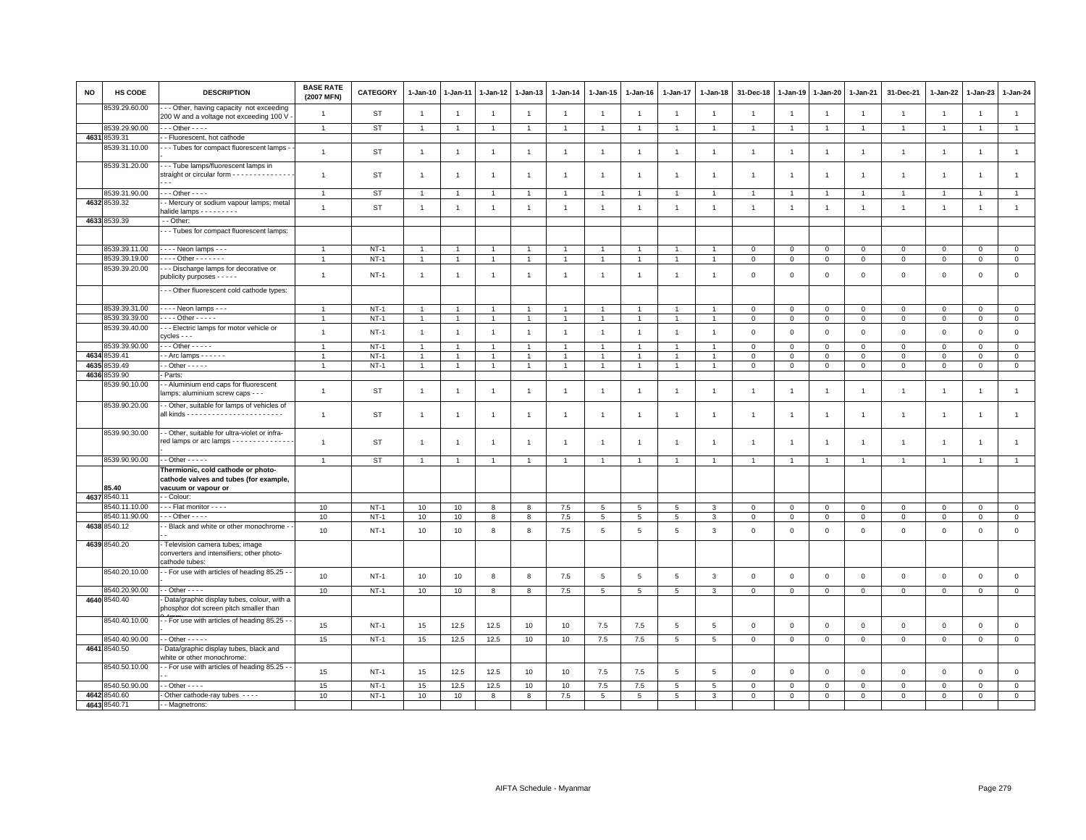| <b>NO</b> | <b>HS CODE</b> | <b>DESCRIPTION</b>                                                                                 | <b>BASE RATE</b><br>(2007 MFN) | <b>CATEGORY</b> | $1-Jan-10$     | 1-Jan-11       | 1-Jan-12       | 1-Jan-13         | $1-Jan-14$     | $1 - Jan-15$         | $1-Jan-16$     | $1-Jan-17$     | 1-Jan-18        | 31-Dec-18      | $1 - Jan-19$   | 1-Jan-20       | 1-Jan-21       | 31-Dec-21      | 1-Jan-22       | 1-Jan-23            | 1-Jan-24       |
|-----------|----------------|----------------------------------------------------------------------------------------------------|--------------------------------|-----------------|----------------|----------------|----------------|------------------|----------------|----------------------|----------------|----------------|-----------------|----------------|----------------|----------------|----------------|----------------|----------------|---------------------|----------------|
|           | 8539.29.60.00  | - - Other, having capacity not exceeding<br>200 W and a voltage not exceeding 100 V                | $\overline{1}$                 | <b>ST</b>       | $\overline{1}$ | $\overline{1}$ | $\overline{1}$ | $\overline{1}$   | $\overline{1}$ | $\overline{1}$       | $\overline{1}$ | $\mathbf{1}$   | $\overline{1}$  | $\overline{1}$ | $\overline{1}$ | $\overline{1}$ | $\overline{1}$ | $\mathbf{1}$   | $\overline{1}$ | $\overline{1}$      | $\overline{1}$ |
|           | 8539.29.90.00  | $-$ - Other - - - -                                                                                | $\overline{1}$                 | <b>ST</b>       | $\mathbf{1}$   | $\overline{1}$ | $\overline{1}$ | $\overline{1}$   |                | $\overline{1}$       |                | $\overline{1}$ | $\overline{1}$  | $\overline{1}$ | $\overline{1}$ | $\overline{1}$ | $\overline{1}$ | $\overline{1}$ | $\overline{1}$ | $\overline{1}$      | $\overline{1}$ |
|           | 4631 8539.31   | - Fluorescent, hot cathode                                                                         |                                |                 |                |                |                |                  |                |                      |                |                |                 |                |                |                |                |                |                |                     |                |
|           | 8539.31.10.00  | - - Tubes for compact fluorescent lamps -                                                          | $\overline{1}$                 | <b>ST</b>       | $\overline{1}$ | $\overline{1}$ | $\overline{1}$ | $\overline{1}$   | $\mathbf{1}$   | $\mathbf{1}$         | $\overline{1}$ | $\overline{1}$ | $\overline{1}$  | $\overline{1}$ | $\overline{1}$ | $\overline{1}$ | $\overline{1}$ | $\overline{1}$ | $\overline{1}$ | $\overline{1}$      | $\mathbf{1}$   |
|           | 8539.31.20.00  | --- Tube lamps/fluorescent lamps in<br>straight or circular form - - - - - - - - - - - - - - -     | $\overline{1}$                 | ST              | $\overline{1}$ |                | $\overline{1}$ | $\overline{1}$   | $\overline{1}$ | $\mathbf{1}$         |                |                |                 | $\mathbf{1}$   |                | $\overline{1}$ | $\overline{1}$ | $\mathbf{1}$   | $\overline{1}$ | $\overline{1}$      | $\mathbf{1}$   |
|           | 8539.31.90.00  | $\cdots$ Other - - - -                                                                             | $\mathbf{1}$                   | <b>ST</b>       | $\overline{1}$ | -1             | $\overline{1}$ | $\overline{1}$   | $\mathbf{1}$   | $\overline{1}$       |                | -1             | $\overline{1}$  | $\overline{1}$ | $\overline{1}$ | $\overline{1}$ | $\mathbf{1}$   | $\mathbf{1}$   | $\overline{1}$ | $\overline{1}$      | $\mathbf{1}$   |
|           | 4632 8539.32   | - Mercury or sodium vapour lamps; metal<br>halide lamps - - - - - - - - -                          | $\overline{1}$                 | <b>ST</b>       | $\overline{1}$ | $\overline{1}$ | $\overline{1}$ | $\overline{1}$   | $\mathbf{1}$   | $\mathbf{1}$         | $\overline{1}$ | $\mathbf{1}$   | $\overline{1}$  | $\overline{1}$ | $\overline{1}$ | $\overline{1}$ | $\overline{1}$ | $\mathbf{1}$   | $\overline{1}$ | $\overline{1}$      | $\mathbf{1}$   |
|           | 4633 8539.39   | - - Other:                                                                                         |                                |                 |                |                |                |                  |                |                      |                |                |                 |                |                |                |                |                |                |                     |                |
|           |                | - - Tubes for compact fluorescent lamps:                                                           |                                |                 |                |                |                |                  |                |                      |                |                |                 |                |                |                |                |                |                |                     |                |
|           | 8539.39.11.00  | - - - - Neon lamps - - -                                                                           | $\overline{1}$                 | $NT-1$          | $\overline{1}$ |                | $\overline{1}$ | $\overline{1}$   |                | $\overline{1}$       |                |                |                 | $\mathbf{0}$   | $\Omega$       | $\mathbf 0$    | $\mathbf{0}$   | $\mathbf 0$    | $\Omega$       | $\mathbf 0$         | $\circ$        |
|           | 8539.39.19.00  | - - - - Other - - - - - - -                                                                        |                                | $NT-1$          |                |                |                | $\overline{1}$   |                | $\mathbf{1}$         |                |                |                 | $\mathbf 0$    | $\mathbf 0$    | $\mathsf 0$    | $\mathbf 0$    | $\mathbf 0$    | $\mathbf 0$    | $\mathsf 0$         | $\mathbf 0$    |
|           | 8539.39.20.00  | --- Discharge lamps for decorative or<br>publicity purposes - - - - -                              | $\overline{1}$                 | $NT-1$          | $\overline{1}$ | -1             | $\overline{1}$ | $\overline{1}$   | $\overline{1}$ | $\mathbf{1}$         | -1             | $\overline{1}$ | $\overline{1}$  | $\mathbf 0$    | $\mathbf{0}$   | $\mathsf 0$    | $\mathbf 0$    | $\mathsf 0$    | $\mathsf 0$    | $\mathbf 0$         | $\mathsf 0$    |
|           |                | -- Other fluorescent cold cathode types:                                                           |                                |                 |                |                |                |                  |                |                      |                |                |                 |                |                |                |                |                |                |                     |                |
|           | 8539.39.31.00  | $\cdots$ Neon lamps $\cdots$                                                                       | $\overline{1}$                 | $NT-1$          | $\overline{1}$ |                | $\overline{1}$ | $\overline{1}$   |                | $\overline{1}$       |                |                |                 | $\mathbf 0$    | $\mathsf 0$    | $\mathbf 0$    | $\mathbf 0$    | $\mathbf 0$    | $\Omega$       | $\mathbf 0$         | $\mathsf 0$    |
|           | 8539.39.39.00  | $\cdots$ Other - - - - -                                                                           | $\overline{1}$                 | $NT-1$          | $\mathbf{1}$   | $\overline{1}$ | $\overline{1}$ | $\overline{1}$   |                | $\overline{1}$       |                |                |                 | $\mathbf 0$    | $\mathbf 0$    | $\mathsf 0$    | $\mathbf 0$    | $\mathbf 0$    | $\mathbf 0$    | $\mathsf 0$         | $\mathbf 0$    |
|           | 8539.39.40.00  | --- Electric lamps for motor vehicle or<br>cycles - - -                                            | $\overline{1}$                 | $NT-1$          | $\overline{1}$ | $\overline{1}$ | $\overline{1}$ | $\overline{1}$   | $\overline{1}$ | $\overline{1}$       | $\overline{1}$ | $\overline{1}$ | $\overline{1}$  | $\mathbf 0$    | $\mathsf 0$    | $\mathbf 0$    | $\mathsf 0$    | $\mathsf 0$    | $\mathsf 0$    | $\mathsf 0$         | $\mathsf 0$    |
|           | 8539.39.90.00  | $-$ - Other - - - - -                                                                              | $\overline{1}$                 | $NT-1$          | $\overline{1}$ | $\overline{1}$ | $\overline{1}$ | $\overline{1}$   |                | $\overline{1}$       |                |                |                 | $\mathbf{0}$   | $\mathbf{0}$   | $\mathbf 0$    | $\mathbf{0}$   | $\mathbf 0$    | $\Omega$       | $\Omega$            | $\overline{0}$ |
| 4634      | 8539.41        | $-$ Arc lamps $    -$                                                                              | $\overline{1}$                 | $NT-1$          | $\mathbf{1}$   | $\overline{1}$ | $\overline{1}$ | $\overline{1}$   |                | $\overline{1}$       |                |                |                 | $\overline{0}$ | $\mathbf 0$    | $\mathbf 0$    | $\overline{0}$ | $\mathbf 0$    | $\Omega$       | $\mathbf 0$         | $\mathbf 0$    |
| 4635      | 3539.49        | $-$ Other $- - - -$                                                                                | $\mathbf{1}$                   | $NT-1$          | $\mathbf{1}$   | 1              | $\mathbf{1}$   | $\overline{1}$   |                | $\blacktriangleleft$ |                |                |                 | $\mathbf 0$    | $\mathbf 0$    | $\mathbf 0$    | $\mathbf 0$    | $\mathbf 0$    | $\mathbf{0}$   | $\mathbf{0}$        | $\circ$        |
| 4636      | 8539.90        | - Parts:                                                                                           |                                |                 |                |                |                |                  |                |                      |                |                |                 |                |                |                |                |                |                |                     |                |
|           | 8539.90.10.00  | - - Aluminium end caps for fluorescent<br>lamps; aluminium screw caps - - -                        | $\overline{1}$                 | <b>ST</b>       | $\overline{1}$ | -1             | $\overline{1}$ | $\overline{1}$   | $\overline{1}$ | $\overline{1}$       | -1             | $\mathbf{1}$   |                 | $\overline{1}$ | $\overline{1}$ | $\overline{1}$ | $\mathbf{1}$   | $\overline{1}$ | $\overline{1}$ | $\overline{1}$      | $\overline{1}$ |
|           | 8539.90.20.00  | - Other, suitable for lamps of vehicles of                                                         | $\overline{1}$                 | <b>ST</b>       | $\overline{1}$ | $\overline{1}$ | $\overline{1}$ | $\overline{1}$   | $\overline{1}$ | $\overline{1}$       | $\overline{1}$ | $\overline{1}$ |                 | $\mathbf{1}$   | $\overline{1}$ | $\overline{1}$ | $\mathbf{1}$   | $\mathbf{1}$   | $\overline{1}$ | $\overline{1}$      | $\mathbf{1}$   |
|           | 8539.90.30.00  | - Other, suitable for ultra-violet or infra-<br>red lamps or arc lamps - - - - - - - - - - - - - - | $\overline{1}$                 | ST              | $\mathbf{1}$   | -1             | -1             | $\overline{1}$   | $\overline{1}$ | $\overline{1}$       | -1             | -1             | $\overline{1}$  | $\overline{1}$ |                | $\overline{1}$ | $\overline{1}$ | $\overline{1}$ | $\overline{1}$ | $\overline{1}$      | $\mathbf{1}$   |
|           | 8539.90.90.00  | $-$ - Other $-$ - $-$ -                                                                            | $\overline{1}$                 | <b>ST</b>       |                |                | $\overline{1}$ | $\overline{1}$   |                | $\overline{1}$       |                |                |                 |                |                |                |                |                | $\overline{1}$ | 1                   |                |
|           | 85.40          | Thermionic, cold cathode or photo-<br>cathode valves and tubes (for example,                       |                                |                 |                |                |                |                  |                |                      |                |                |                 |                |                |                |                |                |                |                     |                |
|           | 4637 8540.11   | vacuum or vapour or<br>- - Colour:                                                                 |                                |                 |                |                |                |                  |                |                      |                |                |                 |                |                |                |                |                |                |                     |                |
|           | 8540.11.10.00  | - - Flat monitor - - - -                                                                           | 10                             | $NT-1$          | 10             | 10             | 8              | 8                | $7.5$          | 5                    | 5              | 5              | $\mathbf{3}$    | $\mathbf 0$    | $\mathbf 0$    | $\mathbf 0$    | $\mathbf 0$    | $\mathbf 0$    | $\Omega$       | $\mathbf 0$         | $\mathsf 0$    |
|           | 8540.11.90.00  | $\cdots$ Other - - - -                                                                             | 10                             | $NT-1$          | 10             | 10             | 8              | 8                | 7.5            | 5                    | 5              | 5              | 3               | $\mathbf{0}$   | $\mathbf{0}$   | $\mathbf 0$    | $\mathbf{0}$   | $\mathbf{0}$   | $\Omega$       | $\mathbf 0$         | $\mathsf 0$    |
|           | 4638 8540.12   | - Black and white or other monochrome -                                                            | 10                             | $NT-1$          | 10             | 10             | 8              | 8                | 7.5            | 5                    | 5              | 5              | $\mathbf{3}$    | $\mathbf 0$    | $\mathsf 0$    | $\mathbf 0$    | $\mathbf{0}$   | $\mathsf 0$    | $\mathbf 0$    | $\mathsf 0$         | $\mathsf 0$    |
|           | 4639 8540.20   | - Television camera tubes; image<br>converters and intensifiers; other photo-<br>cathode tubes:    |                                |                 |                |                |                |                  |                |                      |                |                |                 |                |                |                |                |                |                |                     |                |
|           | 8540.20.10.00  | - For use with articles of heading 85.25 -                                                         | 10                             | $NT-1$          | 10             | 10             | $\mathbf{g}$   | 8                | 7.5            | 5                    | 5              | 5              | $\mathbf{3}$    | $\mathbf{0}$   | $\mathbf{0}$   | $\mathbf 0$    | $\mathbf{0}$   | $\mathbf 0$    | $\circ$        | $\mathbf 0$         | $\mathsf 0$    |
|           | 8540.20.90.00  | - - Other - - - -                                                                                  | 10                             | $NT-1$          | 10             | 10             | 8              | 8                | 7.5            | $5\overline{5}$      | 5              | 5              | 3               | $\mathbf 0$    | $\mathbf 0$    | $\mathbf 0$    | $\mathbf 0$    | $\mathbf 0$    | $\mathbf{0}$   | $\mathbf{O}$        | $\mathbf{0}$   |
|           | 4640 8540.40   | - Data/graphic display tubes, colour, with a<br>phosphor dot screen pitch smaller than             |                                |                 |                |                |                |                  |                |                      |                |                |                 |                |                |                |                |                |                |                     |                |
|           | 8540.40.10.00  | - - For use with articles of heading 85.25 -                                                       | 15                             | $NT-1$          | 15             | 12.5           | 12.5           | 10               | 10             | $7.5\,$              | 7.5            | $\,$ 5 $\,$    | $\,$ 5 $\,$     | $\mathbf 0$    | $\mathsf 0$    | $\mathbf 0$    | $\mathbf 0$    | $\mathsf 0$    | $\mathsf 0$    | $\mathsf{O}\xspace$ | $\mathsf 0$    |
|           | 8540.40.90.00  | $-$ Other $   -$                                                                                   | 15                             | $NT-1$          | 15             | 12.5           | 12.5           | 10               | 10             | 7.5                  | 7.5            | 5              | $5\phantom{.0}$ | $\mathbf{0}$   | $\mathsf 0$    | $\mathbf 0$    | $\circ$        | $\mathsf 0$    | $\circ$        | $\mathsf 0$         | $\mathbf{0}$   |
|           | 4641 8540.50   | - Data/graphic display tubes, black and<br>white or other monochrome:                              |                                |                 |                |                |                |                  |                |                      |                |                |                 |                |                |                |                |                |                |                     |                |
|           | 8540.50.10.00  | - For use with articles of heading 85.25 -                                                         | 15                             | $NT-1$          | 15             | 12.5           | 12.5           | 10               | 10             | $7.5\,$              | 7.5            | $\overline{5}$ | 5               | $\mathbf 0$    | $\mathbf 0$    | $\mathsf 0$    | $\mathsf 0$    | $\mathsf 0$    | $\mathbf 0$    | $\mathsf{O}\xspace$ | $\mathsf 0$    |
|           | 8540.50.90.00  | $-$ Other $- - -$                                                                                  | 15                             | $NT-1$          | 15             | 12.5           | 12.5           | 10 <sup>10</sup> | 10             | 7.5                  | 7.5            | 5              | 5               | $\mathbf 0$    | $\mathbf{0}$   | $\Omega$       | $\Omega$       | $\Omega$       | $\Omega$       | $\Omega$            | $\mathbf{0}$   |
|           | 4642 8540.60   | - Other cathode-ray tubes - - - -                                                                  | 10                             | $NT-1$          | 10             | 10             | 8              | 8                | 7.5            | 5                    | 5              | 5              | 3               | $\mathbf 0$    | $\mathbf 0$    | $\mathbf 0$    | $\mathbf 0$    | $\circ$        | 0              | 0                   | $\mathbf 0$    |
|           | 4643 8540.71   | - - Magnetrons:                                                                                    |                                |                 |                |                |                |                  |                |                      |                |                |                 |                |                |                |                |                |                |                     |                |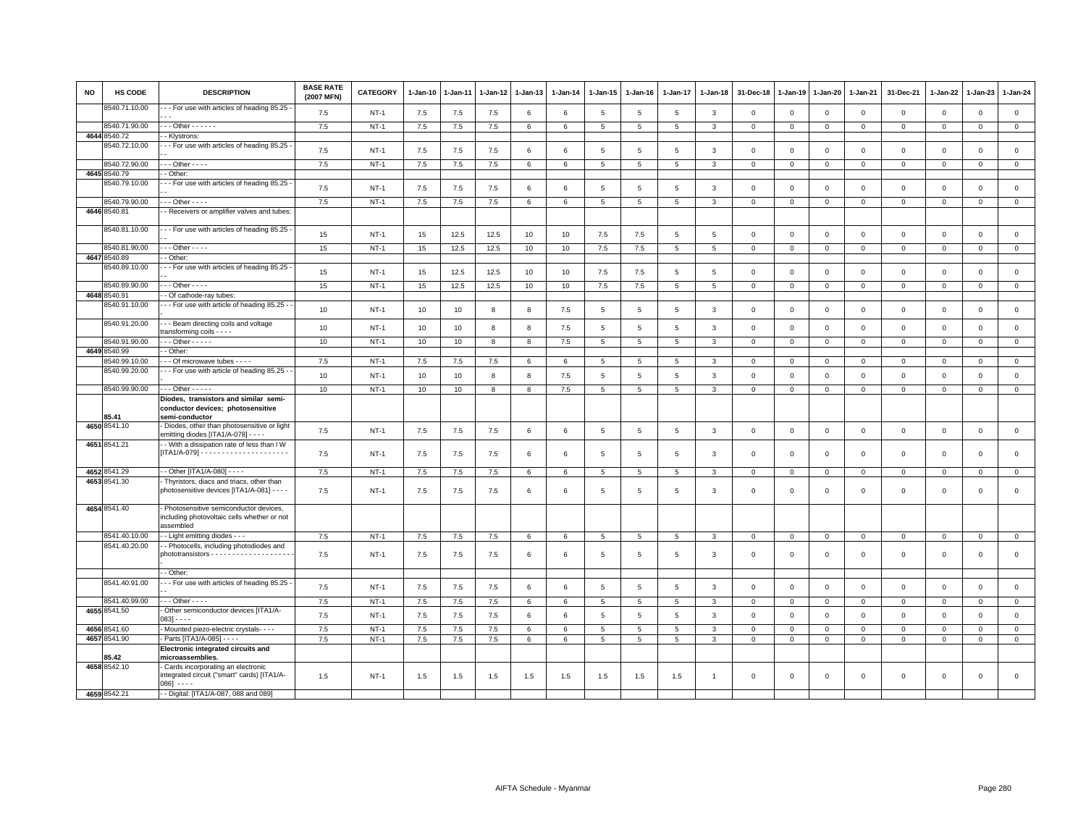| <b>NO</b> | <b>HS CODE</b>                | <b>DESCRIPTION</b>                                                                                  | <b>BASE RATE</b><br>(2007 MFN) | <b>CATEGORY</b>  | 1-Jan-10 | 1-Jan-11 | 1-Jan-12 | $1-Jan-13$ | $1-Jan-14$ | $1 - Jan-15$                       | 1-Jan-16        | 1-Jan-17            | $1-Jan-18$                   | 31-Dec-18                  | $1-Jan-19$                    | 1-Jan-20                   | 1-Jan-21                    | 31-Dec-21                  | 1-Jan-22                   | $1-Jan-23$                 | 1-Jan-24                   |
|-----------|-------------------------------|-----------------------------------------------------------------------------------------------------|--------------------------------|------------------|----------|----------|----------|------------|------------|------------------------------------|-----------------|---------------------|------------------------------|----------------------------|-------------------------------|----------------------------|-----------------------------|----------------------------|----------------------------|----------------------------|----------------------------|
|           | 8540.71.10.00                 | - - For use with articles of heading 85.25 -                                                        | 7.5                            | $NT-1$           | 7.5      | 7.5      | 7.5      | 6          | $\,6\,$    | 5                                  | 5               | 5                   | $\mathbf{3}$                 | $\mathbf 0$                | $\overline{0}$                | $\mathbf 0$                | $\mathbf 0$                 | $\mathsf 0$                | $\mathbf 0$                | $\mathbf 0$                | $\mathsf 0$                |
|           | 8540.71.90.00                 | $-$ - Other - - - - - -                                                                             | 7.5                            | $NT-1$           | 7.5      | 7.5      | 7.5      | $\,6\,$    | $\,6\,$    | $\overline{5}$                     | 5               | 5                   | $\mathbf{3}$                 | $\mathbf 0$                | $\overline{0}$                | $\mathbf 0$                | $\mathbf{0}$                | $\mathsf 0$                | $\mathbf 0$                | $\mathbf 0$                | $\mathsf 0$                |
|           | 4644 8540.72                  | - Klystrons:                                                                                        |                                |                  |          |          |          |            |            |                                    |                 |                     |                              |                            |                               |                            |                             |                            |                            |                            |                            |
|           | 8540.72.10.00                 | - - For use with articles of heading 85.25                                                          | 7.5                            | $NT-1$           | 7.5      | 7.5      | 7.5      | 6          | $\,6\,$    | 5                                  | 5               | 5                   | $\mathbf{3}$                 | $\mathbf 0$                | $\mathbf 0$                   | $\mathsf 0$                | $\mathbf 0$                 | $\mathsf 0$                | $\mathbf 0$                | $\mathsf 0$                | $\mathsf 0$                |
|           | 8540.72.90.00                 | $-$ - Other - - - -                                                                                 | 7.5                            | $NT-1$           | 7.5      | 7.5      | 7.5      | 6          | 6          | 5                                  | 5               | 5                   | $\mathbf{3}$                 | $^{\circ}$                 | $\overline{0}$                | $\mathsf 0$                | $\mathbf 0$                 | $\mathsf 0$                | $\mathbf 0$                | $\mathsf 0$                | $\overline{0}$             |
|           | 4645 8540.79                  | - Other:                                                                                            |                                |                  |          |          |          |            |            |                                    |                 |                     |                              |                            |                               |                            |                             |                            |                            |                            |                            |
|           | 8540.79.10.00                 | - - For use with articles of heading 85.25 -                                                        | 7.5                            | $NT-1$           | 7.5      | 7.5      | 7.5      | 6          | 6          | 5                                  | 5               | $5\overline{5}$     | $\overline{3}$               | $\Omega$                   | $\Omega$                      | $\Omega$                   | $\Omega$                    | $\mathbf 0$                | $\mathbf 0$                | $\mathbf 0$                | $\mathsf 0$                |
|           | 8540.79.90.00                 | $-$ - Other - - - -                                                                                 | 7.5                            | <b>NT-1</b>      | 7.5      | $7.5$    | $7.5$    | 6          | 6          | $5\phantom{.0}$                    | 5               | $\overline{5}$      | $\mathbf{3}$                 | $\mathbf 0$                | $\mathbf 0$                   | $\mathbf 0$                | $\mathbf 0$                 | $\mathsf 0$                | 0                          | $\mathbf 0$                | $\overline{0}$             |
|           | 4646 8540.81                  | - Receivers or amplifier valves and tubes:                                                          |                                |                  |          |          |          |            |            |                                    |                 |                     |                              |                            |                               |                            |                             |                            |                            |                            |                            |
|           | 8540.81.10.00                 | - - For use with articles of heading 85.25 -                                                        | 15                             | $NT-1$           | 15       | 12.5     | 12.5     | 10         | 10         | 7.5                                | 7.5             | 5                   | 5                            | $\mathsf 0$                | $\overline{0}$                | $\mathbf{0}$               | $\mathbf{0}$                | $\mathsf 0$                | $\mathbf 0$                | $\mathbf 0$                | $\mathsf 0$                |
|           | 8540.81.90.00                 | $-$ - Other - - - -                                                                                 | 15                             | $NT-1$           | 15       | 12.5     | 12.5     | 10         | 10         | 7.5                                | 7.5             | 5                   | 5                            | $\mathbf 0$                | $\mathbf 0$                   | $\circ$                    | $\mathbf 0$                 | $\mathbf 0$                | $\mathbf 0$                | $\mathbf{0}$               | $\mathbf 0$                |
|           | 4647 8540.89                  | - Other                                                                                             |                                |                  |          |          |          |            |            |                                    |                 |                     |                              |                            |                               |                            |                             |                            |                            |                            |                            |
|           | 3540.89.10.00                 | - - For use with articles of heading 85.25 -                                                        | 15                             | $NT-1$           | 15       | 12.5     | 12.5     | 10         | 10         | 7.5                                | 7.5             | $\overline{5}$      | $5\phantom{.0}$              | $\mathbf 0$                | $\mathbf 0$                   | $\mathbf 0$                | $\mathsf 0$                 | $\mathsf 0$                | $\mathbf 0$                | $\mathbf 0$                | $\mathsf 0$                |
|           | 8540.89.90.00                 | $-$ - Other - - - -                                                                                 | 15                             | $NT-1$           | 15       | 12.5     | 12.5     | 10         | 10         | 7.5                                | 7.5             | $5\overline{5}$     | 5                            | $\mathbf 0$                | $\mathbf 0$                   | $\mathbf 0$                | $\mathbf 0$                 | $\mathsf 0$                | $\mathbf 0$                | $\mathbf 0$                | $\mathbf 0$                |
|           | 4648 8540.91<br>8540.91.10.00 | Of cathode-ray tubes:<br>- - For use with article of heading 85.25 -                                |                                |                  |          |          |          |            |            |                                    |                 |                     |                              |                            |                               |                            |                             |                            |                            |                            |                            |
|           |                               |                                                                                                     | 10                             | $NT-1$           | 10       | 10       | 8        | 8          | 7.5        | $5\phantom{.0}$                    | $\overline{5}$  | 5                   | 3                            | $\mathbf 0$                | $\mathbf 0$                   | $\mathbf 0$                | $\mathbf 0$                 | $\mathsf 0$                | $\mathbf 0$                | $\mathsf 0$                | $\mathsf 0$                |
|           | 8540.91.20.00                 | - - Beam directing coils and voltage<br>ransforming coils - - - -                                   | 10                             | $NT-1$           | 10       | 10       | 8        | 8          | 7.5        | 5                                  | 5               | 5                   | $\mathbf{3}$                 | $\mathbf 0$                | $\overline{0}$                | $\mathbf 0$                | $\mathbf{0}$                | $\mathsf 0$                | $\mathbf 0$                | $\mathbf 0$                | $\mathbf 0$                |
|           | 8540.91.90.00<br>4649 8540.99 | $-$ - Other - - - - -<br>- Other                                                                    | 10                             | $NT-1$           | 10       | 10       | 8        | 8          | 7.5        | $5^{\circ}$                        | $5\overline{5}$ | 5                   | $\overline{3}$               | $\circ$                    | $\overline{0}$                | $\mathbf{0}$               | $\mathbf{0}$                | $\mathbf{0}$               | $\mathbf 0$                | $\mathbf{0}$               | $\mathbf{0}$               |
|           | 8540.99.10.00                 | - - Of microwave tubes - - - -                                                                      | 7.5                            | $NT-1$           | $7.5\,$  | 7.5      | $7.5\,$  | 6          | 6          | $\overline{5}$                     | 5               | 5                   | 3                            | $\mathbf 0$                | $\mathbf 0$                   | $\mathbf 0$                | $\mathbf{0}$                | 0                          | $^{\circ}$                 | 0                          | $\overline{0}$             |
|           | 8540.99.20.00                 | - - For use with article of heading 85.25 -                                                         |                                |                  |          |          |          |            |            |                                    |                 |                     |                              |                            |                               |                            |                             |                            |                            |                            |                            |
|           | 8540.99.90.00                 | $-$ - Other - - - - -                                                                               | 10<br>10                       | $NT-1$<br>$NT-1$ | 10<br>10 | 10<br>10 | 8<br>8   | 8<br>8     | 7.5<br>7.5 | $5\phantom{.0}$<br>$5\overline{5}$ | 5<br>5          | $\overline{5}$<br>5 | $\mathbf{3}$<br>$\mathbf{3}$ | $\mathbf 0$<br>$\mathbf 0$ | $\overline{0}$<br>$\mathbf 0$ | $\mathbf 0$<br>$\mathbf 0$ | $\mathbf{0}$<br>$\mathbf 0$ | $\mathsf 0$<br>$\mathsf 0$ | $\mathbf 0$<br>$\mathbf 0$ | $\mathsf 0$<br>$\mathsf 0$ | $\mathbf 0$<br>$\mathbf 0$ |
|           |                               | Diodes, transistors and similar semi-                                                               |                                |                  |          |          |          |            |            |                                    |                 |                     |                              |                            |                               |                            |                             |                            |                            |                            |                            |
|           | 85.41                         | conductor devices; photosensitive<br>semi-conductor                                                 |                                |                  |          |          |          |            |            |                                    |                 |                     |                              |                            |                               |                            |                             |                            |                            |                            |                            |
|           | 4650 8541.10                  | Diodes, other than photosensitive or light<br>emitting diodes [ITA1/A-078] - - - -                  | 7.5                            | $NT-1$           | 7.5      | 7.5      | 7.5      | 6          | 6          | 5                                  | 5               | 5                   | $\mathbf{3}$                 | $\mathbf 0$                | $\overline{0}$                | $\mathsf 0$                | $\mathbf 0$                 | $\mathsf 0$                | $\mathbf 0$                | $\mathsf 0$                | $\mathsf 0$                |
|           | 4651 8541.21                  | - With a dissipation rate of less than I W                                                          | 7.5                            | $NT-1$           | 7.5      | 7.5      | 7.5      | 6          | 6          | 5                                  | 5               | $5\overline{5}$     | $\mathbf{3}$                 | $\Omega$                   | $\Omega$                      | $\mathbf 0$                | $\mathbf 0$                 | $\mathbf 0$                | $\mathbf 0$                | $\mathbf 0$                | $\mathsf 0$                |
|           |                               |                                                                                                     |                                |                  |          |          |          |            |            |                                    |                 |                     |                              |                            |                               |                            |                             |                            |                            |                            |                            |
|           | 4652 8541.29<br>4653 8541.30  | - Other [ITA1/A-080] - - - -<br>Thyristors, diacs and triacs, other than                            | 7.5                            | $NT-1$           | 7.5      | $7.5$    | $7.5\,$  | 6          | 6          | $\overline{5}$                     | 5               | 5                   | 3                            | $\mathbf 0$                | $\mathbf 0$                   | $\mathbf 0$                | $\mathbf 0$                 | $\mathsf 0$                | $\mathsf 0$                | $\mathsf{O}$               | $\mathbf 0$                |
|           |                               | photosensitive devices [ITA1/A-081] - - - -                                                         | 7.5                            | $NT-1$           | 7.5      | 7.5      | 7.5      | 6          | $\,6\,$    | 5                                  | 5               | 5                   | 3                            | $\mathbf 0$                | $\circ$                       | $\mathbf 0$                | $\mathbf 0$                 | $\mathsf 0$                | 0                          | $\mathsf 0$                | $\mathsf 0$                |
|           | 4654 8541.40                  | Photosensitive semiconductor devices,<br>including photovoltaic cells whether or not<br>assembled   |                                |                  |          |          |          |            |            |                                    |                 |                     |                              |                            |                               |                            |                             |                            |                            |                            |                            |
|           | 8541.40.10.00                 | - Light emitting diodes - - -                                                                       | 7.5                            | $NT-1$           | 7.5      | 7.5      | 7.5      | 6          | 6          | 5                                  | 5               | 5                   | 3                            | $\mathbf 0$                | $\mathbf 0$                   | 0                          | 0                           | 0                          | 0                          | $\mathbf 0$                | $\mathbf 0$                |
|           | 8541.40.20.00                 | - Photocells, including photodiodes and                                                             | 7.5                            | $NT-1$           | 7.5      | 7.5      | 7.5      | 6          | 6          | 5                                  | 5               | 5                   | $\mathbf{3}$                 | 0                          | $\circ$                       | $\mathsf 0$                | $\mathbf 0$                 | $\mathsf 0$                | $\mathbf 0$                | $\mathsf 0$                | $\mathsf 0$                |
|           |                               | - Other:                                                                                            |                                |                  |          |          |          |            |            |                                    |                 |                     |                              |                            |                               |                            |                             |                            |                            |                            |                            |
|           | 8541.40.91.00                 | - - For use with articles of heading 85.25 -                                                        |                                |                  |          |          |          |            |            |                                    |                 |                     |                              |                            |                               |                            |                             |                            |                            |                            |                            |
|           |                               | $-$ - Other - - - -                                                                                 | 7.5                            | $NT-1$           | 7.5      | 7.5      | 7.5      | 6          | $\,6\,$    | $5\phantom{.0}$                    | $\,$ 5 $\,$     | 5                   | $\mathbf{3}$                 | $\mathsf 0$                | $\mathbf 0$                   | $\,0\,$                    | $\mathsf 0$                 | $\mathsf 0$                | $\mathsf 0$                | $\mathsf 0$                | $\mathsf 0$                |
|           | 8541.40.99.00<br>4655 8541.50 | - Other semiconductor devices [ITA1/A-                                                              | 7.5                            | <b>NT-1</b>      | 7.5      | 7.5      | 7.5      | 6          | 6          | 5                                  | 5               | 5                   | $\mathbf{3}$                 | $\mathbf 0$                | $\circ$                       | $\mathbf 0$                | $\mathbf 0$                 | $\mathsf 0$                | 0                          | $\mathsf 0$                | $\mathbf 0$                |
|           |                               | $083 - - -$                                                                                         | 7.5                            | $NT-1$           | 7.5      | 7.5      | 7.5      | 6          | $\,6\,$    | $5\phantom{.0}$                    | $\overline{5}$  | 5                   | $\mathbf{3}$                 | $\mathbf 0$                | $\mathbf 0$                   | $\mathsf 0$                | $\mathbf 0$                 | $\mathsf 0$                | $\mathbf 0$                | $\mathbf 0$                | $\mathsf 0$                |
|           | 4656 8541.60                  | Mounted piezo-electric crystals- - - -                                                              | 7.5                            | $NT-1$           | 7.5      | 7.5      | 7.5      | 6          | $\,6\,$    | 5                                  | $\overline{5}$  | 5                   | $\mathbf{3}$                 | $\mathbf 0$                | $\overline{0}$                | $\mathbf 0$                | $\mathbf 0$                 | $\mathsf 0$                | $\mathbf 0$                | $\mathsf 0$                | $\overline{0}$             |
|           | 4657 8541.90                  | Parts [ITA1/A-085] - - - -                                                                          | 7.5                            | $NT-1$           | 7.5      | 7.5      | 7.5      | 6          | $\,6\,$    | $5^{\circ}$                        | 5               | 5                   | $\mathbf{3}$                 | $\mathbf{0}$               | $\circ$                       | $\circ$                    | $\mathbf 0$                 | $\mathbf 0$                | $\mathbf 0$                | $\mathbf 0$                | $\overline{0}$             |
|           | 85.42                         | Electronic integrated circuits and<br>microassemblies.                                              |                                |                  |          |          |          |            |            |                                    |                 |                     |                              |                            |                               |                            |                             |                            |                            |                            |                            |
|           | 4658 8542.10                  | Cards incorporating an electronic<br>integrated circuit ("smart" cards) [ITA1/A-<br>$086$ ] - - - - | 1.5                            | $NT-1$           | 1.5      | 1.5      | 1.5      | 1.5        | 1.5        | 1.5                                | 1.5             | 1.5                 | $\overline{1}$               | $\mathbf 0$                | $\mathbf 0$                   | $\mathbf 0$                | $\mathbf 0$                 | $\mathsf 0$                | $\mathbf 0$                | $\mathsf 0$                | $\mathsf 0$                |
|           | 4659 8542.21                  | - - Digital: [ITA1/A-087, 088 and 089]                                                              |                                |                  |          |          |          |            |            |                                    |                 |                     |                              |                            |                               |                            |                             |                            |                            |                            |                            |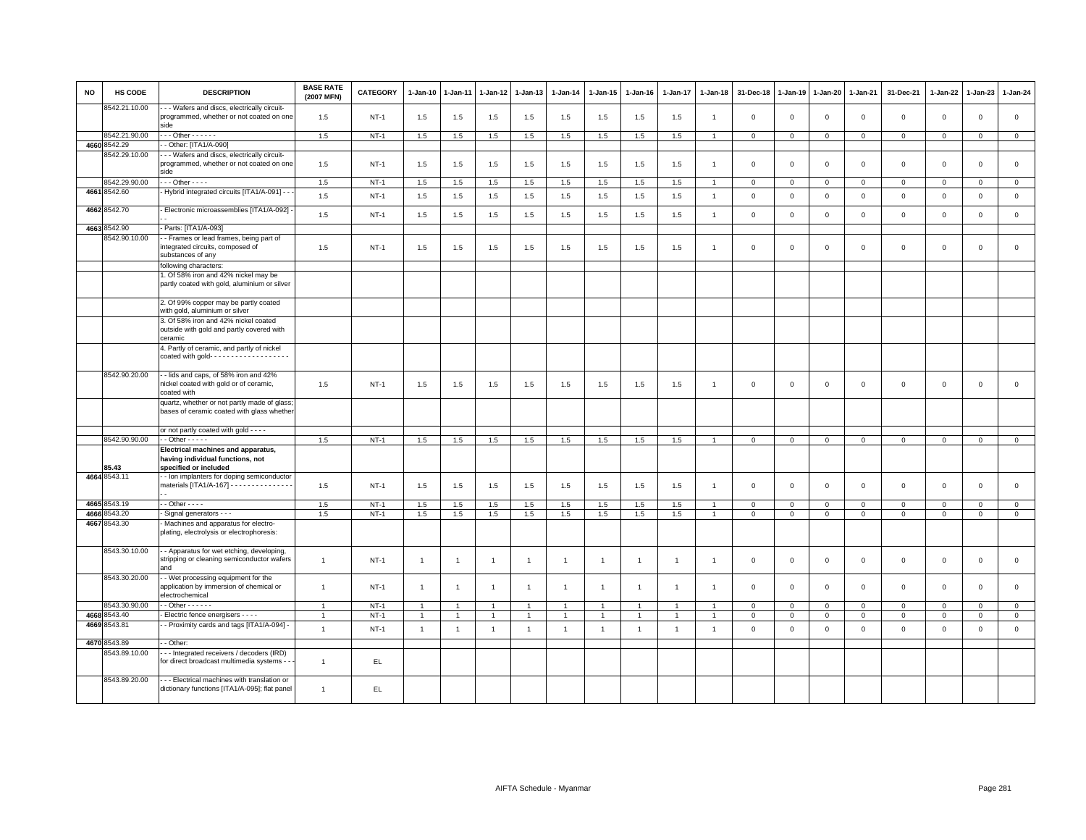| <b>NO</b> | <b>HS CODE</b> | <b>DESCRIPTION</b>                                                                                                       | <b>BASE RATE</b><br>(2007 MFN) | <b>CATEGORY</b> | $1-Jan-10$     | 1-Jan-11             | 1-Jan-12       | 1-Jan-13       | $1-Jan-14$     | $1-Jan-15$     | $1-Jan-16$     | 1-Jan-17       | 1-Jan-18       | 31-Dec-18      | $1 - Jan-19$ | 1-Jan-20     | 1-Jan-21       | 31-Dec-21    | 1-Jan-22       | $1-Jan-23$     | 1-Jan-24     |
|-----------|----------------|--------------------------------------------------------------------------------------------------------------------------|--------------------------------|-----------------|----------------|----------------------|----------------|----------------|----------------|----------------|----------------|----------------|----------------|----------------|--------------|--------------|----------------|--------------|----------------|----------------|--------------|
|           | 8542.21.10.00  | - - Wafers and discs, electrically circuit-<br>programmed, whether or not coated on one<br>side                          | 1.5                            | $NT-1$          | 1.5            | 1.5                  | 1.5            | 1.5            | 1.5            | 1.5            | 1.5            | 1.5            | $\overline{1}$ | $\mathbf 0$    | $\mathbf 0$  | $\mathsf 0$  | $\mathbf 0$    | $\mathsf 0$  | $\mathbf 0$    | $\mathbf 0$    | $\mathsf 0$  |
|           | 8542.21.90.00  | $-$ - Other - - - - - -                                                                                                  | 1.5                            | $NT-1$          | 1.5            | 1.5                  | 1.5            | 1.5            | 1.5            | 1.5            | 1.5            | 1.5            | $\overline{1}$ | $\mathbf 0$    | $\mathbf 0$  | $\mathbf 0$  | $\overline{0}$ | $\mathsf 0$  | $\mathsf 0$    | $\mathsf 0$    | $\mathsf 0$  |
|           | 4660 8542.29   | - Other: [ITA1/A-090]                                                                                                    |                                |                 |                |                      |                |                |                |                |                |                |                |                |              |              |                |              |                |                |              |
|           | 8542.29.10.00  | - - Wafers and discs, electrically circuit-<br>programmed, whether or not coated on one<br>side                          | 1.5                            | $NT-1$          | 1.5            | 1.5                  | 1.5            | 1.5            | 1.5            | 1.5            | 1.5            | 1.5            | $\overline{1}$ | $\mathbf 0$    | $\mathbf 0$  | $\mathsf 0$  | $\mathbf 0$    | $\mathsf 0$  | $\mathbf 0$    | $\mathbf{0}$   | $\mathsf 0$  |
|           | 8542.29.90.00  | $\cdots$ Other - - - -                                                                                                   | 1.5                            | $NT-1$          | 1.5            | 1.5                  | 1.5            | 1.5            | 1.5            | 1.5            | 1.5            | 1.5            |                | $\mathbf{0}$   | $\mathbf 0$  | $\mathbf{0}$ | $\mathbf{0}$   | $\mathbf{0}$ | $\mathbf{0}$   | $\mathbf{0}$   | $\mathbf{0}$ |
|           | 4661 8542.60   | - Hybrid integrated circuits [ITA1/A-091] - -                                                                            | 1.5                            | $NT-1$          | 1.5            | 1.5                  | 1.5            | 1.5            | 1.5            | 1.5            | 1.5            | 1.5            | $\overline{1}$ | $\mathbf 0$    | $\mathsf 0$  | $\mathbf 0$  | $\mathbf 0$    | $\mathsf 0$  | $\mathsf 0$    | $\mathbf 0$    | $\mathsf 0$  |
|           | 4662 8542.70   | Electronic microassemblies [ITA1/A-092]                                                                                  | 1.5                            | $NT-1$          | 1.5            | 1.5                  | 1.5            | 1.5            | 1.5            | 1.5            | 1.5            | 1.5            | $\overline{1}$ | $\mathbf 0$    | $\mathbf 0$  | $\mathsf 0$  | $\mathbf 0$    | $\mathsf 0$  | $\mathbf 0$    | $\mathsf 0$    | $\mathsf 0$  |
|           | 4663 8542.90   | Parts: [ITA1/A-093]                                                                                                      |                                |                 |                |                      |                |                |                |                |                |                |                |                |              |              |                |              |                |                |              |
|           | 8542.90.10.00  | - Frames or lead frames, being part of<br>integrated circuits, composed of<br>substances of any<br>following characters: | 1.5                            | $NT-1$          | 1.5            | 1.5                  | 1.5            | 1.5            | 1.5            | 1.5            | 1.5            | 1.5            | -1             | $\overline{0}$ | $\mathbf 0$  | $\mathbf 0$  | $\overline{0}$ | $\mathbf 0$  | $\mathbf 0$    | $\mathbf{0}$   | $\circ$      |
|           |                | . Of 58% iron and 42% nickel may be                                                                                      |                                |                 |                |                      |                |                |                |                |                |                |                |                |              |              |                |              |                |                |              |
|           |                | partly coated with gold, aluminium or silver                                                                             |                                |                 |                |                      |                |                |                |                |                |                |                |                |              |              |                |              |                |                |              |
|           |                | 2. Of 99% copper may be partly coated<br>with gold, aluminium or silver                                                  |                                |                 |                |                      |                |                |                |                |                |                |                |                |              |              |                |              |                |                |              |
|           |                | 3. Of 58% iron and 42% nickel coated<br>outside with gold and partly covered with<br>ceramic                             |                                |                 |                |                      |                |                |                |                |                |                |                |                |              |              |                |              |                |                |              |
|           |                | 4. Partly of ceramic, and partly of nickel<br>coated with gold- $\cdots$                                                 |                                |                 |                |                      |                |                |                |                |                |                |                |                |              |              |                |              |                |                |              |
|           | 8542.90.20.00  | - lids and caps, of 58% iron and 42%<br>nickel coated with gold or of ceramic,<br>coated with                            | 1.5                            | $NT-1$          | 1.5            | 1.5                  | 1.5            | 1.5            | 1.5            | 1.5            | 1.5            | 1.5            | $\overline{1}$ | $\mathbf{0}$   | $\mathbf{0}$ | $\mathbf 0$  | $\mathbf{0}$   | $\mathbf 0$  | $\mathbf{0}$   | $\mathbf 0$    | $\circ$      |
|           |                | quartz, whether or not partly made of glass;<br>bases of ceramic coated with glass whethe                                |                                |                 |                |                      |                |                |                |                |                |                |                |                |              |              |                |              |                |                |              |
|           |                | or not partly coated with gold - - - -                                                                                   |                                |                 |                |                      |                |                |                |                |                |                |                |                |              |              |                |              |                |                |              |
|           | 8542.90.90.00  | $-$ Other $   -$                                                                                                         | 1.5                            | $NT-1$          | 1.5            | 1.5                  | 1.5            | 1.5            | 1.5            | 1.5            | 1.5            | 1.5            | $\overline{1}$ | $\mathbf 0$    | $\mathbf 0$  | $\mathbf 0$  | $\mathbf 0$    | $\mathbf 0$  | $\mathbf 0$    | $\overline{0}$ | $\mathsf 0$  |
|           | 85.43          | Electrical machines and apparatus,<br>having individual functions, not<br>specified or included                          |                                |                 |                |                      |                |                |                |                |                |                |                |                |              |              |                |              |                |                |              |
|           | 4664 8543.11   | - Ion implanters for doping semiconductor<br>materials [ITA1/A-167] - - - - - - - - - - - - - - -                        | 1.5                            | $NT-1$          | 1.5            | 1.5                  | 1.5            | 1.5            | 1.5            | 1.5            | 1.5            | 1.5            | $\mathbf{1}$   | $\mathbf 0$    | $\mathbf 0$  | $\mathbf 0$  | $\mathbf 0$    | $\mathsf 0$  | $\mathbf 0$    | $\mathbf 0$    | $\mathsf 0$  |
|           | 4665 8543.19   | $-$ Other $  -$                                                                                                          | 1.5                            | $NT-1$          | 1.5            | 1.5                  | 1.5            | 1.5            | 1.5            | 1.5            | 1.5            | 1.5            |                | $\,0\,$        | $\mathsf 0$  | $\mathbf 0$  | $\,0\,$        | $\mathbf{0}$ | $\mathbf 0$    | $\mathbf{0}$   | $\,0\,$      |
|           | 4666 8543.20   | Signal generators - - -                                                                                                  | 1.5                            | $NT-1$          | 1.5            | 1.5                  | $1.5\,$        | 1.5            | 1.5            | 1.5            | 1.5            | 1.5            | $\overline{1}$ | $\mathbf 0$    | $\mathbf 0$  | $\mathsf 0$  | $\mathbf 0$    | $\mathbf 0$  | $\Omega$       | $\mathbf{0}$   | $\mathsf 0$  |
|           | 4667 8543.30   | Machines and apparatus for electro-<br>plating, electrolysis or electrophoresis:                                         |                                |                 |                |                      |                |                |                |                |                |                |                |                |              |              |                |              |                |                |              |
|           | 8543.30.10.00  | - Apparatus for wet etching, developing,<br>stripping or cleaning semiconductor wafers<br>and                            | $\mathbf{1}$                   | $NT-1$          | $\overline{1}$ | $\overline{1}$       | $\overline{1}$ | $\mathbf{1}$   | $\overline{1}$ | $\mathbf{1}$   | $\overline{1}$ | $\overline{1}$ | $\overline{1}$ | $\mathbf 0$    | $\mathbf 0$  | $\mathbf 0$  | $\mathbf 0$    | $\mathbf{0}$ | $\overline{0}$ | $\mathbf{0}$   | $\mathsf 0$  |
|           | 8543.30.20.00  | - Wet processing equipment for the<br>application by immersion of chemical or<br>electrochemical                         | $\overline{1}$                 | $NT-1$          | $\mathbf{1}$   | $\overline{1}$       | $\overline{1}$ | $\mathbf{1}$   | $\overline{1}$ | $\overline{1}$ | $\overline{1}$ | $\mathbf{1}$   |                | $\mathbf 0$    | $\mathbf{0}$ | $\mathbf 0$  | $\mathbf 0$    | $\mathsf 0$  | $\mathsf 0$    | $\mathbf 0$    | $\mathsf 0$  |
|           | 8543.30.90.00  | $-$ Other $    -$                                                                                                        | $\overline{1}$                 | $NT-1$          | $\overline{1}$ | 1                    | $\overline{1}$ | $\mathbf{1}$   | $\mathbf{1}$   | $\overline{1}$ | $\overline{1}$ | $\overline{1}$ |                | $\overline{0}$ | $\mathbf 0$  | $\mathbf 0$  | $\mathbf{0}$   | $\mathbf 0$  | $\mathbf 0$    | $\mathbf{0}$   | $\mathbf{0}$ |
|           | 4668 8543.40   | Electric fence energisers - - - -                                                                                        | $\overline{1}$                 | $NT-1$          | $\mathbf{1}$   | $\blacktriangleleft$ | 1              | $\mathbf{1}$   | $\overline{1}$ | $\mathbf{1}$   | $\overline{1}$ | $\overline{1}$ |                | $\mathbf 0$    | $\mathbf 0$  | $\mathsf 0$  | $\mathbf 0$    | $\mathbf 0$  | $\mathbf 0$    | $\mathbf 0$    | $\mathbf 0$  |
| 4669      | 8543.81        | - Proximity cards and tags [ITA1/A-094] -                                                                                | $\overline{1}$                 | $NT-1$          | $\overline{1}$ | $\overline{1}$       | $\overline{1}$ | $\overline{1}$ | $\overline{1}$ | $\mathbf{1}$   | $\overline{1}$ | $\overline{1}$ | $\overline{1}$ | $\mathbf 0$    | $\mathsf 0$  | $\mathsf 0$  | $\mathbf 0$    | $\mathsf 0$  | $\mathbf 0$    | $\mathbf 0$    | $\mathsf 0$  |
|           | 4670 8543.89   | - Other:                                                                                                                 |                                |                 |                |                      |                |                |                |                |                |                |                |                |              |              |                |              |                |                |              |
|           | 8543.89.10.00  | --- Integrated receivers / decoders (IRD)<br>for direct broadcast multimedia systems -                                   | $\overline{1}$                 | EL.             |                |                      |                |                |                |                |                |                |                |                |              |              |                |              |                |                |              |
|           | 8543.89.20.00  | - - Electrical machines with translation or<br>dictionary functions [ITA1/A-095]; flat panel                             | $\overline{1}$                 | EL.             |                |                      |                |                |                |                |                |                |                |                |              |              |                |              |                |                |              |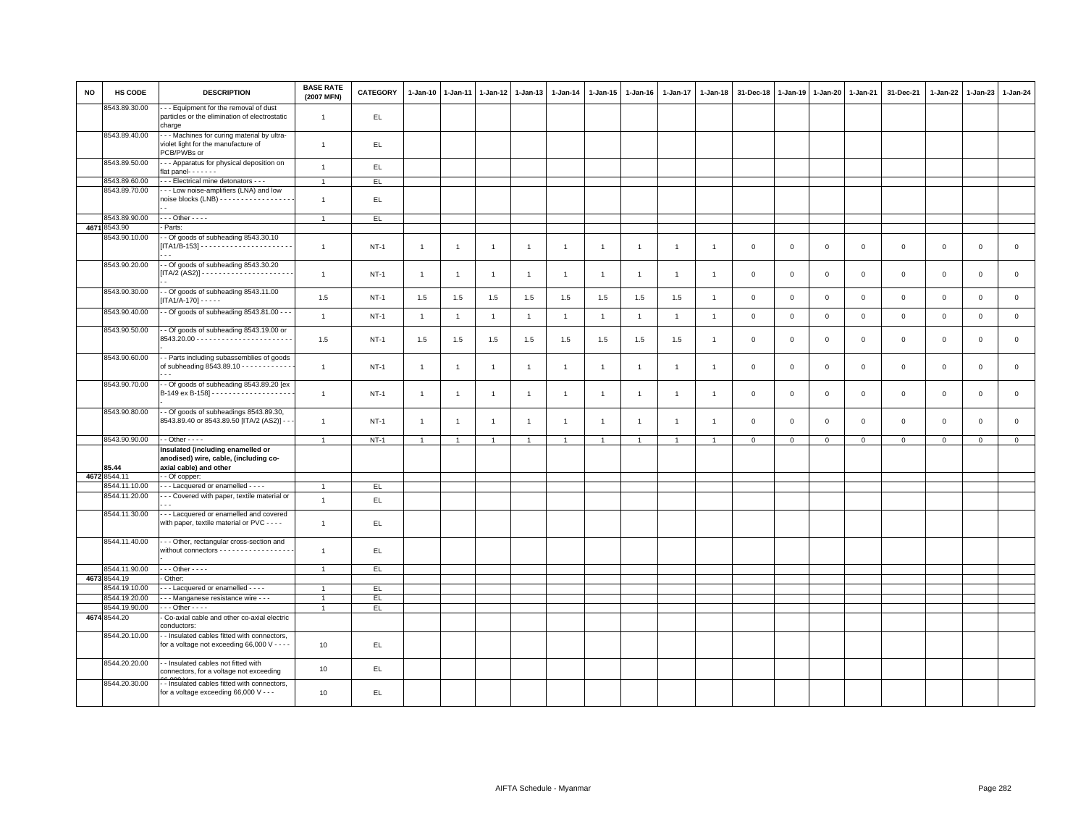| <b>NO</b> | HS CODE                        | <b>DESCRIPTION</b>                                                                                                   | <b>BASE RATE</b><br>(2007 MFN) | <b>CATEGORY</b> | 1-Jan-10       | $1 - Jan-11$   | 1-Jan-12       | $1 - Jan-13$   | 1-Jan-14       | 1-Jan-15       | $1 - Jan-16$   | $1 - Jan-17$   | 1-Jan-18       | 31-Dec-18      | $1 - Jan-19$ | $1 - Jan-20$ | 1-Jan-21    | 31-Dec-21   | 1-Jan-22     | 1-Jan-23       | 1-Jan-24            |
|-----------|--------------------------------|----------------------------------------------------------------------------------------------------------------------|--------------------------------|-----------------|----------------|----------------|----------------|----------------|----------------|----------------|----------------|----------------|----------------|----------------|--------------|--------------|-------------|-------------|--------------|----------------|---------------------|
|           | 8543.89.30.00                  | - - Equipment for the removal of dust<br>particles or the elimination of electrostatic<br>charge                     | $\mathbf{1}$                   | EL.             |                |                |                |                |                |                |                |                |                |                |              |              |             |             |              |                |                     |
|           | 8543.89.40.00                  | - - Machines for curing material by ultra-<br>violet light for the manufacture of<br>PCB/PWBs or                     | $\mathbf{1}$                   | EL.             |                |                |                |                |                |                |                |                |                |                |              |              |             |             |              |                |                     |
|           | 8543.89.50.00                  | -- Apparatus for physical deposition on<br>flat panel- - - - - - -                                                   | $\mathbf{1}$                   | EL              |                |                |                |                |                |                |                |                |                |                |              |              |             |             |              |                |                     |
|           | 8543.89.60.00                  | - - Electrical mine detonators - - -                                                                                 | $\overline{1}$                 | EL.             |                |                |                |                |                |                |                |                |                |                |              |              |             |             |              |                |                     |
|           | 8543.89.70.00                  | -- Low noise-amplifiers (LNA) and low<br>noise blocks $(LNB)$ - - - - - - - - - - - - - - - - -                      | $\mathbf{1}$                   | EL              |                |                |                |                |                |                |                |                |                |                |              |              |             |             |              |                |                     |
|           | 8543.89.90.00                  | $\cdots$ Other - - - -                                                                                               | $\overline{1}$                 | EL.             |                |                |                |                |                |                |                |                |                |                |              |              |             |             |              |                |                     |
|           | 4671 8543.90                   | Parts:                                                                                                               |                                |                 |                |                |                |                |                |                |                |                |                |                |              |              |             |             |              |                |                     |
|           | 8543.90.10.00                  | - Of goods of subheading 8543.30.10                                                                                  | $\mathbf{1}$                   | $NT-1$          | $\overline{1}$ | $\overline{1}$ | $\overline{1}$ | $\mathbf{1}$   | $\overline{1}$ | $\overline{1}$ | $\overline{1}$ | $\overline{1}$ | $\overline{1}$ | $\overline{0}$ | $\mathbf{0}$ | $\circ$      | $\mathbf 0$ | $\mathbf 0$ | $\mathbf 0$  | $\circ$        | $\mathbf{0}$        |
|           | 8543.90.20.00                  | - Of goods of subheading 8543.30.20                                                                                  | $\mathbf{1}$                   | $NT-1$          | $\overline{1}$ | $\overline{1}$ | $\overline{1}$ | $\overline{1}$ | $\mathbf{1}$   | $\overline{1}$ | $\overline{1}$ | $\overline{1}$ | $\overline{1}$ | $\mathbf 0$    | $\mathbf{0}$ | $\mathbf{0}$ | $\mathbf 0$ | $\mathbf 0$ | $\mathbf{0}$ | $\overline{0}$ | $\mathbf{0}$        |
|           | 8543.90.30.00                  | - Of goods of subheading 8543.11.00<br>$[TA1/A-170] - - - -$                                                         | 1.5                            | $NT-1$          | 1.5            | 1.5            | 1.5            | 1.5            | 1.5            | 1.5            | 1.5            | 1.5            | $\overline{1}$ | $\mathbf 0$    | $\mathbf 0$  | $\mathbf 0$  | $\mathbf 0$ | $\mathsf 0$ | $\mathsf 0$  | $\mathbf 0$    | $\mathbf 0$         |
|           | 8543.90.40.00                  | - Of goods of subheading 8543.81.00 - - -                                                                            | $\mathbf{1}$                   | $NT-1$          | $\overline{1}$ | $\overline{1}$ | $\overline{1}$ | $\overline{1}$ | $\mathbf{1}$   | $\overline{1}$ | $\overline{1}$ | $\overline{1}$ | $\overline{1}$ | $\mathbf 0$    | $\mathsf 0$  | $\mathbf 0$  | $\mathbf 0$ | $\mathsf 0$ | $\,0\,$      | $\mathbf 0$    | $\mathsf{O}\xspace$ |
|           | 8543.90.50.00                  | - Of goods of subheading 8543.19.00 or                                                                               | 1.5                            | $NT-1$          | 1.5            | 1.5            | 1.5            | 1.5            | 1.5            | 1.5            | 1.5            | 1.5            | $\overline{1}$ | $\mathbf 0$    | $\Omega$     | $\mathbf{0}$ | $\mathsf 0$ | $\mathsf 0$ | $\mathbf{0}$ | $\mathsf 0$    | $\mathbf{0}$        |
|           | 8543.90.60.00                  | - Parts including subassemblies of goods<br>of subheading 8543.89.10 - - - - - - - - - - - -                         | $\overline{1}$                 | $NT-1$          | $\overline{1}$ | $\overline{1}$ | $\overline{1}$ | $\mathbf{1}$   | $\overline{1}$ | $\overline{1}$ | $\mathbf{1}$   | $\overline{1}$ | $\overline{1}$ | $\mathbf 0$    | $\mathbf{0}$ | $\circ$      | $\mathbf 0$ | $\mathsf 0$ | $\mathsf 0$  | $\mathbf 0$    | $\mathbf 0$         |
|           | 8543.90.70.00                  | - Of goods of subheading 8543.89.20 [ex                                                                              | $\mathbf{1}$                   | $NT-1$          | $\overline{1}$ | $\mathbf{1}$   | $\overline{1}$ | $\mathbf{1}$   | $\mathbf{1}$   | $\overline{1}$ | $\overline{1}$ | $\overline{1}$ | $\overline{1}$ | $\mathbf 0$    | $\mathbf 0$  | $\mathbf 0$  | $\mathbf 0$ | $\mathbf 0$ | $\mathbf 0$  | $\mathbf 0$    | $\mathbf{O}$        |
|           | 8543.90.80.00                  | - Of goods of subheadings 8543.89.30,<br>8543.89.40 or 8543.89.50 [ITA/2 (AS2)] -                                    | $\mathbf{1}$                   | $NT-1$          | $\overline{1}$ | $\overline{1}$ | $\overline{1}$ | $\overline{1}$ | $\mathbf{1}$   | $\overline{1}$ | $\overline{1}$ | $\overline{1}$ | $\overline{1}$ | $\mathbf 0$    | $\Omega$     | $\mathbf 0$  | $\mathbf 0$ | $\mathbf 0$ | $\mathbf 0$  | $\mathbf 0$    | $\mathbf{O}$        |
|           | 8543.90.90.00                  | $-$ Other $  -$                                                                                                      | $\overline{1}$                 | $NT-1$          | $\mathbf{1}$   | $\overline{1}$ | $\overline{1}$ | $\overline{1}$ | $\overline{1}$ | $\mathbf{1}$   |                |                | -1             | $\mathsf 0$    | $\mathsf 0$  | $\mathsf 0$  | $\mathbf 0$ | $\mathsf 0$ | $\mathsf 0$  | $\mathbf 0$    | $\mathbf 0$         |
|           | 85.44<br>4672 8544.11          | Insulated (including enamelled or<br>anodised) wire, cable, (including co-<br>axial cable) and other<br>- Of copper: |                                |                 |                |                |                |                |                |                |                |                |                |                |              |              |             |             |              |                |                     |
|           | 8544.11.10.00                  | --- Lacquered or enamelled ----                                                                                      | $\overline{1}$                 | EL.             |                |                |                |                |                |                |                |                |                |                |              |              |             |             |              |                |                     |
|           | 8544.11.20.00                  | - - Covered with paper, textile material or                                                                          | $\mathbf{1}$                   | $\mathsf{EL}$   |                |                |                |                |                |                |                |                |                |                |              |              |             |             |              |                |                     |
|           | 8544.11.30.00                  | -- Lacquered or enamelled and covered<br>with paper, textile material or PVC - - - -                                 | $\mathbf{1}$                   | EL.             |                |                |                |                |                |                |                |                |                |                |              |              |             |             |              |                |                     |
|           | 8544.11.40.00                  | -- Other, rectangular cross-section and<br>without connectors - - - - - - - - - - - - - - - - -                      | $\overline{1}$                 | EL.             |                |                |                |                |                |                |                |                |                |                |              |              |             |             |              |                |                     |
|           | 8544.11.90.00                  | $\cdots$ Other - - - -                                                                                               | $\mathbf{1}$                   | EL.             |                |                |                |                |                |                |                |                |                |                |              |              |             |             |              |                |                     |
|           | 4673 8544.19                   | Other:                                                                                                               |                                |                 |                |                |                |                |                |                |                |                |                |                |              |              |             |             |              |                |                     |
|           | 8544.19.10.00                  | - Lacquered or enamelled - - - -                                                                                     | $\overline{1}$                 | EL              |                |                |                |                |                |                |                |                |                |                |              |              |             |             |              |                |                     |
|           | 8544.19.20.00<br>8544.19.90.00 | - - Manganese resistance wire - - -<br>$\cdots$ Other - - - -                                                        | $\mathbf{1}$<br>$\mathbf{1}$   | EL.<br>EL       |                |                |                |                |                |                |                |                |                |                |              |              |             |             |              |                |                     |
|           | 4674 8544.20                   | Co-axial cable and other co-axial electric<br>conductors:                                                            |                                |                 |                |                |                |                |                |                |                |                |                |                |              |              |             |             |              |                |                     |
|           | 8544.20.10.00                  | - Insulated cables fitted with connectors,<br>for a voltage not exceeding 66,000 V - - - -                           | 10                             | EL.             |                |                |                |                |                |                |                |                |                |                |              |              |             |             |              |                |                     |
|           | 8544.20.20.00                  | - - Insulated cables not fitted with<br>connectors, for a voltage not exceeding                                      | 10                             | EL              |                |                |                |                |                |                |                |                |                |                |              |              |             |             |              |                |                     |
|           | 8544.20.30.00                  | - Insulated cables fitted with connectors,<br>for a voltage exceeding 66,000 V - - -                                 | 10                             | EL.             |                |                |                |                |                |                |                |                |                |                |              |              |             |             |              |                |                     |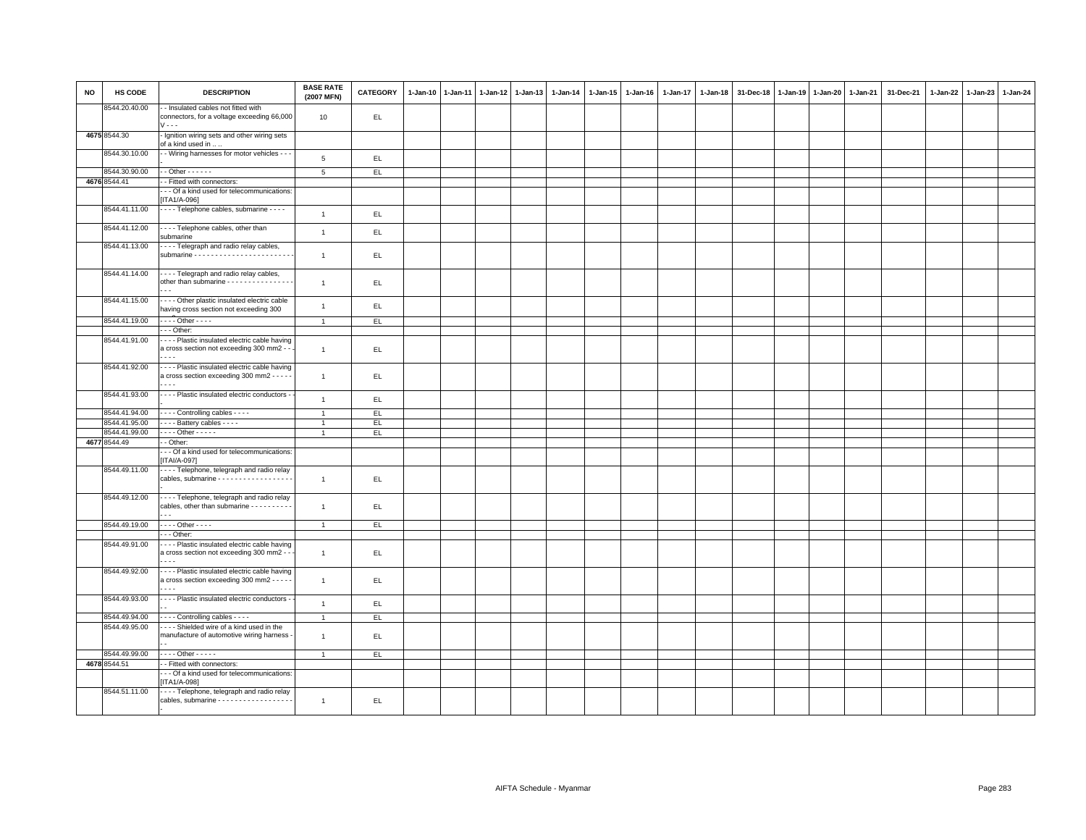| <b>NO</b> | HS CODE       | <b>DESCRIPTION</b>                                                                                                     | <b>BASE RATE</b><br>(2007 MFN) | <b>CATEGORY</b> | $1-Jan-10$ | $1 - Jan-11$ | $1-Jan-12$ | $1 - Jan-13$ | 1-Jan-14 | $1 - Jan-15$ | 1-Jan-16 | 1-Jan-17 | $1 - Jan-18$ | 31-Dec-18 | 1-Jan-19 | 1-Jan-20 | 1-Jan-21 | 31-Dec-21 | 1-Jan-22 | 1-Jan-23 | 1-Jan-24 |
|-----------|---------------|------------------------------------------------------------------------------------------------------------------------|--------------------------------|-----------------|------------|--------------|------------|--------------|----------|--------------|----------|----------|--------------|-----------|----------|----------|----------|-----------|----------|----------|----------|
|           | 8544.20.40.00 | - - Insulated cables not fitted with<br>connectors, for a voltage exceeding 66,000<br>$V - -$                          | 10                             | EL.             |            |              |            |              |          |              |          |          |              |           |          |          |          |           |          |          |          |
|           | 4675 8544.30  | - Ignition wiring sets and other wiring sets<br>of a kind used in                                                      |                                |                 |            |              |            |              |          |              |          |          |              |           |          |          |          |           |          |          |          |
|           | 8544.30.10.00 | - - Wiring harnesses for motor vehicles - - -                                                                          | 5                              | EL              |            |              |            |              |          |              |          |          |              |           |          |          |          |           |          |          |          |
|           | 8544.30.90.00 | $-$ Other $    -$                                                                                                      | $\overline{5}$                 | EL.             |            |              |            |              |          |              |          |          |              |           |          |          |          |           |          |          |          |
|           | 4676 8544.41  | - Fitted with connectors:                                                                                              |                                |                 |            |              |            |              |          |              |          |          |              |           |          |          |          |           |          |          |          |
|           |               | - - Of a kind used for telecommunications:                                                                             |                                |                 |            |              |            |              |          |              |          |          |              |           |          |          |          |           |          |          |          |
|           |               | [ITA1/A-096]                                                                                                           |                                |                 |            |              |            |              |          |              |          |          |              |           |          |          |          |           |          |          |          |
|           | 8544.41.11.00 | - - - - Telephone cables, submarine - - - -                                                                            | $\overline{1}$                 | EL              |            |              |            |              |          |              |          |          |              |           |          |          |          |           |          |          |          |
|           | 8544.41.12.00 | ---- Telephone cables, other than<br>submarine                                                                         | $\overline{1}$                 | EL              |            |              |            |              |          |              |          |          |              |           |          |          |          |           |          |          |          |
|           | 8544.41.13.00 | - - - - Telegraph and radio relay cables,                                                                              | $\mathbf{1}$                   | EL.             |            |              |            |              |          |              |          |          |              |           |          |          |          |           |          |          |          |
|           | 8544.41.14.00 | - - - - Telegraph and radio relay cables,<br>other than submarine - - - - - - - - - - - - - - -                        | $\overline{1}$                 | EL.             |            |              |            |              |          |              |          |          |              |           |          |          |          |           |          |          |          |
|           | 8544.41.15.00 | - - - - Other plastic insulated electric cable<br>having cross section not exceeding 300                               | $\mathbf{1}$                   | EL.             |            |              |            |              |          |              |          |          |              |           |          |          |          |           |          |          |          |
|           | 8544.41.19.00 | $\cdots$ Other - - - -                                                                                                 | $\overline{1}$                 | EL              |            |              |            |              |          |              |          |          |              |           |          |          |          |           |          |          |          |
|           |               | - - - Other:                                                                                                           |                                |                 |            |              |            |              |          |              |          |          |              |           |          |          |          |           |          |          |          |
|           | 8544.41.91.00 | --- Plastic insulated electric cable having                                                                            |                                |                 |            |              |            |              |          |              |          |          |              |           |          |          |          |           |          |          |          |
|           |               | a cross section not exceeding 300 mm2 - -                                                                              | $\mathbf{1}$                   | EL              |            |              |            |              |          |              |          |          |              |           |          |          |          |           |          |          |          |
|           | 8544.41.92.00 | --- Plastic insulated electric cable having<br>a cross section exceeding 300 mm2 - - - - -<br>$\sim$ $\sim$            | $\mathbf{1}$                   | EL.             |            |              |            |              |          |              |          |          |              |           |          |          |          |           |          |          |          |
|           | 8544.41.93.00 | - - - - Plastic insulated electric conductors -                                                                        | $\overline{1}$                 | EL              |            |              |            |              |          |              |          |          |              |           |          |          |          |           |          |          |          |
|           | 8544.41.94.00 | - - - - Controlling cables - - - -                                                                                     | $\overline{1}$                 | EL.             |            |              |            |              |          |              |          |          |              |           |          |          |          |           |          |          |          |
|           | 8544.41.95.00 | - - - - Battery cables - - - -                                                                                         | $\overline{1}$                 | EL              |            |              |            |              |          |              |          |          |              |           |          |          |          |           |          |          |          |
|           | 8544.41.99.00 | $\cdots$ Other - - - - -                                                                                               | $\overline{1}$                 | EL.             |            |              |            |              |          |              |          |          |              |           |          |          |          |           |          |          |          |
|           | 4677 8544.49  | - - Other:                                                                                                             |                                |                 |            |              |            |              |          |              |          |          |              |           |          |          |          |           |          |          |          |
|           |               | - - Of a kind used for telecommunications:                                                                             |                                |                 |            |              |            |              |          |              |          |          |              |           |          |          |          |           |          |          |          |
|           |               | $[ITAI/A-097]$                                                                                                         |                                |                 |            |              |            |              |          |              |          |          |              |           |          |          |          |           |          |          |          |
|           | 8544.49.11.00 | - - - - Telephone, telegraph and radio relay<br>cables, submarine - - - - - - - - - - - - - - - - -                    | $\overline{1}$                 | EL.             |            |              |            |              |          |              |          |          |              |           |          |          |          |           |          |          |          |
|           | 8544.49.12.00 | - - - - Telephone, telegraph and radio relay<br>cables, other than submarine - - - - - - - - - -                       | $\mathbf{1}$                   | EL.             |            |              |            |              |          |              |          |          |              |           |          |          |          |           |          |          |          |
|           | 8544.49.19.00 | $\cdots$ Other - - - -                                                                                                 | $\mathbf{1}$                   | EL              |            |              |            |              |          |              |          |          |              |           |          |          |          |           |          |          |          |
|           |               | - - - Other:                                                                                                           |                                |                 |            |              |            |              |          |              |          |          |              |           |          |          |          |           |          |          |          |
|           | 8544.49.91.00 | - - - - Plastic insulated electric cable having<br>a cross section not exceeding 300 mm2 - -                           | $\overline{1}$                 | EL.             |            |              |            |              |          |              |          |          |              |           |          |          |          |           |          |          |          |
|           | 8544.49.92.00 | - - - - Plastic insulated electric cable having<br>a cross section exceeding 300 mm2 - - - - -<br>$\sim$ $\sim$ $\sim$ | $\overline{1}$                 | EL              |            |              |            |              |          |              |          |          |              |           |          |          |          |           |          |          |          |
|           | 8544.49.93.00 | - - - - Plastic insulated electric conductors -                                                                        | $\overline{1}$                 | EL              |            |              |            |              |          |              |          |          |              |           |          |          |          |           |          |          |          |
|           |               |                                                                                                                        |                                |                 |            |              |            |              |          |              |          |          |              |           |          |          |          |           |          |          |          |
|           | 8544.49.94.00 | Controlling cables - - - -                                                                                             | $\overline{1}$                 | EL.             |            |              |            |              |          |              |          |          |              |           |          |          |          |           |          |          |          |
|           | 8544.49.95.00 | ---- Shielded wire of a kind used in the<br>manufacture of automotive wiring harness -                                 | $\overline{1}$                 | EL.             |            |              |            |              |          |              |          |          |              |           |          |          |          |           |          |          |          |
|           | 8544.49.99.00 | $\cdots$ Other - - - - -                                                                                               | $\overline{1}$                 | EL              |            |              |            |              |          |              |          |          |              |           |          |          |          |           |          |          |          |
|           | 4678 8544.51  | - Fitted with connectors:                                                                                              |                                |                 |            |              |            |              |          |              |          |          |              |           |          |          |          |           |          |          |          |
|           |               | - - Of a kind used for telecommunications:<br>[ITA1/A-098]                                                             |                                |                 |            |              |            |              |          |              |          |          |              |           |          |          |          |           |          |          |          |
|           | 8544.51.11.00 | - - - - Telephone, telegraph and radio relay<br>cables, submarine - - - - - - - - - - - - - - - - - -                  | $\overline{1}$                 | EL              |            |              |            |              |          |              |          |          |              |           |          |          |          |           |          |          |          |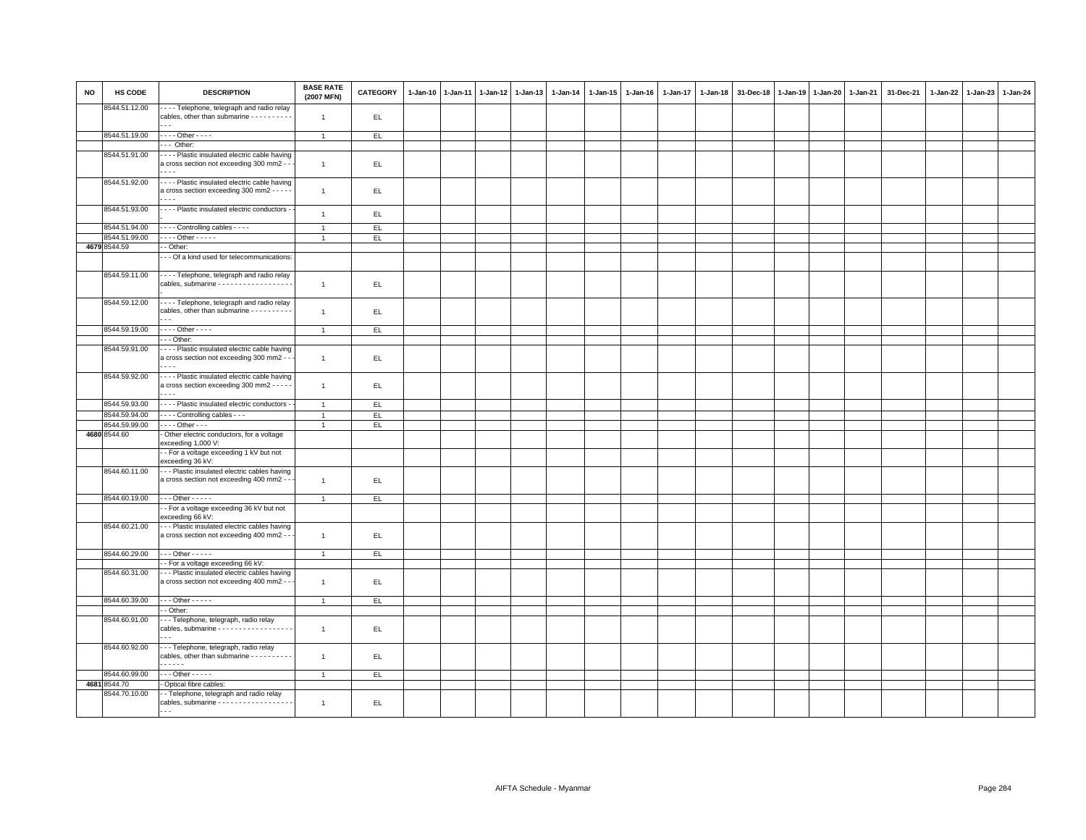| 8544.51.12.00<br>- - - - Telephone, telegraph and radio relay<br>cables, other than submarine - - - - - - - - - -<br>EL.<br>$\overline{1}$<br>8544.51.19.00<br>- - - - Other - - - -<br>EL<br>$\overline{1}$<br>$- -$ Other:<br>8544.51.91.00<br>- - - - Plastic insulated electric cable having<br>a cross section not exceeding 300 mm2 - -<br>EL.<br>$\mathbf{1}$<br>8544.51.92.00<br>- - - - Plastic insulated electric cable having<br>a cross section exceeding 300 mm2 - - - -<br>EL.<br>$\overline{1}$<br>$\cdots$<br>8544.51.93.00<br>- - - - Plastic insulated electric conductors -<br>$\overline{1}$<br>EL.<br>- - - - Controlling cables - - - -<br>8544.51.94.00<br>EL<br>$\overline{1}$<br>8544.51.99.00<br>$\cdots$ Other - - - - -<br>EL.<br>$\overline{1}$<br>4679 8544.59<br>- - Other:<br>- - Of a kind used for telecommunications:<br>8544.59.11.00<br>--- Telephone, telegraph and radio relay<br>cables, submarine - - - - - - - - - - - - - - - - -<br>EL.<br>$\overline{1}$<br>8544.59.12.00<br>- - - - Telephone, telegraph and radio relay<br>cables, other than submarine - - - - - - - - -<br>EL.<br>$\overline{1}$ | $1-Jan-23$<br>1-Jan-22<br>1-Jan-24 | 31-Dec-21 | 1-Jan-21 | 1-Jan-20 | $1 - Jan-19$ | 31-Dec-18 | $1 - Jan-18$ | 1-Jan-17 | 1-Jan-16 | 1-Jan-15 | 1-Jan-14 | $1 - Jan-13$ | 1-Jan-12 | $1 - Jan-11$ | $1 - Jan-10$ | CATEGORY | <b>BASE RATE</b><br>(2007 MFN) | <b>DESCRIPTION</b>       | HS CODE | <b>NO</b> |
|---------------------------------------------------------------------------------------------------------------------------------------------------------------------------------------------------------------------------------------------------------------------------------------------------------------------------------------------------------------------------------------------------------------------------------------------------------------------------------------------------------------------------------------------------------------------------------------------------------------------------------------------------------------------------------------------------------------------------------------------------------------------------------------------------------------------------------------------------------------------------------------------------------------------------------------------------------------------------------------------------------------------------------------------------------------------------------------------------------------------------------------------------|------------------------------------|-----------|----------|----------|--------------|-----------|--------------|----------|----------|----------|----------|--------------|----------|--------------|--------------|----------|--------------------------------|--------------------------|---------|-----------|
|                                                                                                                                                                                                                                                                                                                                                                                                                                                                                                                                                                                                                                                                                                                                                                                                                                                                                                                                                                                                                                                                                                                                                   |                                    |           |          |          |              |           |              |          |          |          |          |              |          |              |              |          |                                |                          |         |           |
|                                                                                                                                                                                                                                                                                                                                                                                                                                                                                                                                                                                                                                                                                                                                                                                                                                                                                                                                                                                                                                                                                                                                                   |                                    |           |          |          |              |           |              |          |          |          |          |              |          |              |              |          |                                |                          |         |           |
|                                                                                                                                                                                                                                                                                                                                                                                                                                                                                                                                                                                                                                                                                                                                                                                                                                                                                                                                                                                                                                                                                                                                                   |                                    |           |          |          |              |           |              |          |          |          |          |              |          |              |              |          |                                |                          |         |           |
|                                                                                                                                                                                                                                                                                                                                                                                                                                                                                                                                                                                                                                                                                                                                                                                                                                                                                                                                                                                                                                                                                                                                                   |                                    |           |          |          |              |           |              |          |          |          |          |              |          |              |              |          |                                |                          |         |           |
|                                                                                                                                                                                                                                                                                                                                                                                                                                                                                                                                                                                                                                                                                                                                                                                                                                                                                                                                                                                                                                                                                                                                                   |                                    |           |          |          |              |           |              |          |          |          |          |              |          |              |              |          |                                |                          |         |           |
|                                                                                                                                                                                                                                                                                                                                                                                                                                                                                                                                                                                                                                                                                                                                                                                                                                                                                                                                                                                                                                                                                                                                                   |                                    |           |          |          |              |           |              |          |          |          |          |              |          |              |              |          |                                |                          |         |           |
|                                                                                                                                                                                                                                                                                                                                                                                                                                                                                                                                                                                                                                                                                                                                                                                                                                                                                                                                                                                                                                                                                                                                                   |                                    |           |          |          |              |           |              |          |          |          |          |              |          |              |              |          |                                |                          |         |           |
|                                                                                                                                                                                                                                                                                                                                                                                                                                                                                                                                                                                                                                                                                                                                                                                                                                                                                                                                                                                                                                                                                                                                                   |                                    |           |          |          |              |           |              |          |          |          |          |              |          |              |              |          |                                |                          |         |           |
|                                                                                                                                                                                                                                                                                                                                                                                                                                                                                                                                                                                                                                                                                                                                                                                                                                                                                                                                                                                                                                                                                                                                                   |                                    |           |          |          |              |           |              |          |          |          |          |              |          |              |              |          |                                |                          |         |           |
|                                                                                                                                                                                                                                                                                                                                                                                                                                                                                                                                                                                                                                                                                                                                                                                                                                                                                                                                                                                                                                                                                                                                                   |                                    |           |          |          |              |           |              |          |          |          |          |              |          |              |              |          |                                |                          |         |           |
|                                                                                                                                                                                                                                                                                                                                                                                                                                                                                                                                                                                                                                                                                                                                                                                                                                                                                                                                                                                                                                                                                                                                                   |                                    |           |          |          |              |           |              |          |          |          |          |              |          |              |              |          |                                |                          |         |           |
|                                                                                                                                                                                                                                                                                                                                                                                                                                                                                                                                                                                                                                                                                                                                                                                                                                                                                                                                                                                                                                                                                                                                                   |                                    |           |          |          |              |           |              |          |          |          |          |              |          |              |              |          |                                | $\overline{\phantom{a}}$ |         |           |
| 8544.59.19.00<br>$\cdots$ Other $\cdots$<br>EL<br>$\overline{1}$                                                                                                                                                                                                                                                                                                                                                                                                                                                                                                                                                                                                                                                                                                                                                                                                                                                                                                                                                                                                                                                                                  |                                    |           |          |          |              |           |              |          |          |          |          |              |          |              |              |          |                                |                          |         |           |
| --- Other:                                                                                                                                                                                                                                                                                                                                                                                                                                                                                                                                                                                                                                                                                                                                                                                                                                                                                                                                                                                                                                                                                                                                        |                                    |           |          |          |              |           |              |          |          |          |          |              |          |              |              |          |                                |                          |         |           |
| 8544.59.91.00<br>- - - Plastic insulated electric cable having<br>a cross section not exceeding 300 mm2 - -<br>$\overline{1}$<br>EL<br>$\sim$ $\sim$                                                                                                                                                                                                                                                                                                                                                                                                                                                                                                                                                                                                                                                                                                                                                                                                                                                                                                                                                                                              |                                    |           |          |          |              |           |              |          |          |          |          |              |          |              |              |          |                                |                          |         |           |
| 8544.59.92.00<br>- - - - Plastic insulated electric cable having<br>a cross section exceeding 300 mm2 - - - - -<br>EL.<br>$\overline{1}$<br>$\sim$ $\sim$ $\sim$                                                                                                                                                                                                                                                                                                                                                                                                                                                                                                                                                                                                                                                                                                                                                                                                                                                                                                                                                                                  |                                    |           |          |          |              |           |              |          |          |          |          |              |          |              |              |          |                                |                          |         |           |
| 8544.59.93.00<br>- - - - Plastic insulated electric conductors -<br>EL<br>$\overline{1}$                                                                                                                                                                                                                                                                                                                                                                                                                                                                                                                                                                                                                                                                                                                                                                                                                                                                                                                                                                                                                                                          |                                    |           |          |          |              |           |              |          |          |          |          |              |          |              |              |          |                                |                          |         |           |
| 8544.59.94.00<br>- - - - Controlling cables - - -<br>EL.<br>$\overline{1}$                                                                                                                                                                                                                                                                                                                                                                                                                                                                                                                                                                                                                                                                                                                                                                                                                                                                                                                                                                                                                                                                        |                                    |           |          |          |              |           |              |          |          |          |          |              |          |              |              |          |                                |                          |         |           |
| 8544.59.99.00<br>$\cdots$ Other $\cdots$<br>EL.<br>$\overline{1}$                                                                                                                                                                                                                                                                                                                                                                                                                                                                                                                                                                                                                                                                                                                                                                                                                                                                                                                                                                                                                                                                                 |                                    |           |          |          |              |           |              |          |          |          |          |              |          |              |              |          |                                |                          |         |           |
| 4680 8544.60<br>- Other electric conductors, for a voltage<br>exceeding 1,000 V:                                                                                                                                                                                                                                                                                                                                                                                                                                                                                                                                                                                                                                                                                                                                                                                                                                                                                                                                                                                                                                                                  |                                    |           |          |          |              |           |              |          |          |          |          |              |          |              |              |          |                                |                          |         |           |
| - For a voltage exceeding 1 kV but not<br>exceeding 36 kV:                                                                                                                                                                                                                                                                                                                                                                                                                                                                                                                                                                                                                                                                                                                                                                                                                                                                                                                                                                                                                                                                                        |                                    |           |          |          |              |           |              |          |          |          |          |              |          |              |              |          |                                |                          |         |           |
| 8544.60.11.00<br>- - Plastic insulated electric cables having<br>a cross section not exceeding 400 mm2 -<br>EL.<br>$\overline{1}$                                                                                                                                                                                                                                                                                                                                                                                                                                                                                                                                                                                                                                                                                                                                                                                                                                                                                                                                                                                                                 |                                    |           |          |          |              |           |              |          |          |          |          |              |          |              |              |          |                                |                          |         |           |
| 8544.60.19.00<br>$\cdots$ Other - - - - -<br>EL.                                                                                                                                                                                                                                                                                                                                                                                                                                                                                                                                                                                                                                                                                                                                                                                                                                                                                                                                                                                                                                                                                                  |                                    |           |          |          |              |           |              |          |          |          |          |              |          |              |              |          |                                |                          |         |           |
| - For a voltage exceeding 36 kV but not<br>exceeding 66 kV:                                                                                                                                                                                                                                                                                                                                                                                                                                                                                                                                                                                                                                                                                                                                                                                                                                                                                                                                                                                                                                                                                       |                                    |           |          |          |              |           |              |          |          |          |          |              |          |              |              |          |                                |                          |         |           |
| 8544.60.21.00<br>--- Plastic insulated electric cables having<br>a cross section not exceeding 400 mm2 - -<br>EL.<br>$\overline{1}$                                                                                                                                                                                                                                                                                                                                                                                                                                                                                                                                                                                                                                                                                                                                                                                                                                                                                                                                                                                                               |                                    |           |          |          |              |           |              |          |          |          |          |              |          |              |              |          |                                |                          |         |           |
| 8544.60.29.00<br>$- -$ Other $- - -$<br>EL.<br>$\overline{1}$                                                                                                                                                                                                                                                                                                                                                                                                                                                                                                                                                                                                                                                                                                                                                                                                                                                                                                                                                                                                                                                                                     |                                    |           |          |          |              |           |              |          |          |          |          |              |          |              |              |          |                                |                          |         |           |
| - For a voltage exceeding 66 kV:                                                                                                                                                                                                                                                                                                                                                                                                                                                                                                                                                                                                                                                                                                                                                                                                                                                                                                                                                                                                                                                                                                                  |                                    |           |          |          |              |           |              |          |          |          |          |              |          |              |              |          |                                |                          |         |           |
| 8544.60.31.00<br>-- Plastic insulated electric cables having<br>a cross section not exceeding 400 mm2 - -<br>EL.<br>$\overline{1}$                                                                                                                                                                                                                                                                                                                                                                                                                                                                                                                                                                                                                                                                                                                                                                                                                                                                                                                                                                                                                |                                    |           |          |          |              |           |              |          |          |          |          |              |          |              |              |          |                                |                          |         |           |
| 8544.60.39.00<br>$\cdots$ Other - - - - -<br>EL.                                                                                                                                                                                                                                                                                                                                                                                                                                                                                                                                                                                                                                                                                                                                                                                                                                                                                                                                                                                                                                                                                                  |                                    |           |          |          |              |           |              |          |          |          |          |              |          |              |              |          |                                |                          |         |           |
| - Other:                                                                                                                                                                                                                                                                                                                                                                                                                                                                                                                                                                                                                                                                                                                                                                                                                                                                                                                                                                                                                                                                                                                                          |                                    |           |          |          |              |           |              |          |          |          |          |              |          |              |              |          |                                |                          |         |           |
| - - - Telephone, telegraph, radio relay<br>8544.60.91.00                                                                                                                                                                                                                                                                                                                                                                                                                                                                                                                                                                                                                                                                                                                                                                                                                                                                                                                                                                                                                                                                                          |                                    |           |          |          |              |           |              |          |          |          |          |              |          |              |              |          |                                |                          |         |           |
| cables, submarine - - - - - - - - - - - - - - - - -<br>EL.<br>$\overline{1}$<br>8544.60.92.00                                                                                                                                                                                                                                                                                                                                                                                                                                                                                                                                                                                                                                                                                                                                                                                                                                                                                                                                                                                                                                                     |                                    |           |          |          |              |           |              |          |          |          |          |              |          |              |              |          |                                |                          |         |           |
| - - - Telephone, telegraph, radio relay<br>cables, other than submarine - - - - - - - - -<br>EL<br>$\overline{1}$<br>.                                                                                                                                                                                                                                                                                                                                                                                                                                                                                                                                                                                                                                                                                                                                                                                                                                                                                                                                                                                                                            |                                    |           |          |          |              |           |              |          |          |          |          |              |          |              |              |          |                                |                          |         |           |
| 8544.60.99.00<br>$\cdots$ Other - - - - -<br>EL                                                                                                                                                                                                                                                                                                                                                                                                                                                                                                                                                                                                                                                                                                                                                                                                                                                                                                                                                                                                                                                                                                   |                                    |           |          |          |              |           |              |          |          |          |          |              |          |              |              |          |                                |                          |         |           |
| 4681 8544.70<br>Optical fibre cables:                                                                                                                                                                                                                                                                                                                                                                                                                                                                                                                                                                                                                                                                                                                                                                                                                                                                                                                                                                                                                                                                                                             |                                    |           |          |          |              |           |              |          |          |          |          |              |          |              |              |          |                                |                          |         |           |
| 8544.70.10.00<br>- Telephone, telegraph and radio relay<br>cables, submarine - - - - - - - - - - - - - - - - -<br>EL.<br>$\overline{1}$<br>$\sim$ $\sim$                                                                                                                                                                                                                                                                                                                                                                                                                                                                                                                                                                                                                                                                                                                                                                                                                                                                                                                                                                                          |                                    |           |          |          |              |           |              |          |          |          |          |              |          |              |              |          |                                |                          |         |           |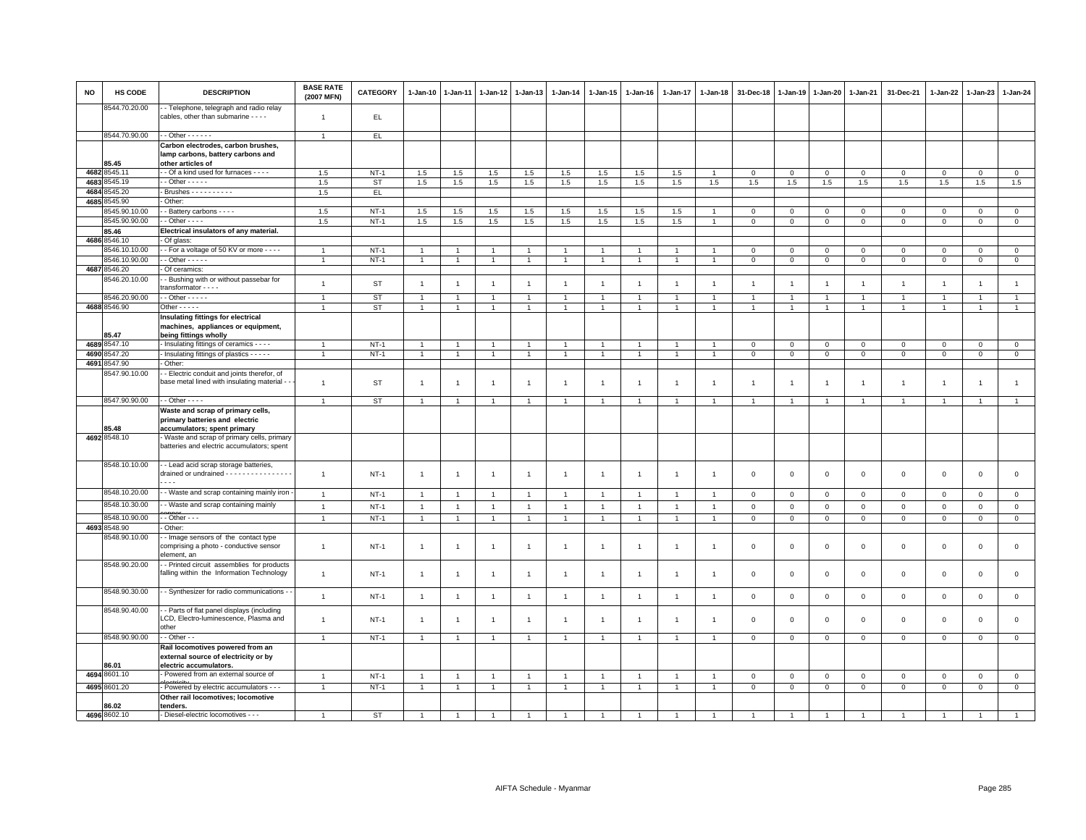| <b>NO</b> | HS CODE                       | <b>DESCRIPTION</b>                                                                                      | <b>BASE RATE</b><br>(2007 MFN) | <b>CATEGORY</b> | 1-Jan-10             | $1 - Jan-11$   | $1-Jan-12$                       | $1 - Jan-13$   | $1 - Jan-14$                 | 1-Jan-15                     | $1-Jan-16$     | $1 - Jan-17$   | 1-Jan-18       | 31-Dec-18              | 1-Jan-19                    | $1-Jan-20$                  | $1-Jan-21$                 | 31-Dec-21                  | 1-Jan-22       | 1-Jan-23                   | 1-Jan-24                           |
|-----------|-------------------------------|---------------------------------------------------------------------------------------------------------|--------------------------------|-----------------|----------------------|----------------|----------------------------------|----------------|------------------------------|------------------------------|----------------|----------------|----------------|------------------------|-----------------------------|-----------------------------|----------------------------|----------------------------|----------------|----------------------------|------------------------------------|
|           | 8544.70.20.00                 | - Telephone, telegraph and radio relay<br>cables, other than submarine - - - -                          | $\overline{1}$                 | EL.             |                      |                |                                  |                |                              |                              |                |                |                |                        |                             |                             |                            |                            |                |                            |                                    |
|           | 8544.70.90.00                 | $-$ Other $    -$                                                                                       | $\overline{1}$                 | EL.             |                      |                |                                  |                |                              |                              |                |                |                |                        |                             |                             |                            |                            |                |                            |                                    |
|           | 85.45                         | Carbon electrodes, carbon brushes,<br>lamp carbons, battery carbons and<br>other articles of            |                                |                 |                      |                |                                  |                |                              |                              |                |                |                |                        |                             |                             |                            |                            |                |                            |                                    |
|           | 4682 8545.11                  | - Of a kind used for furnaces - - - -                                                                   | 1.5                            | $NT-1$          | 1.5                  | 1.5            | 1.5                              | 1.5            | 1.5                          | 1.5                          | 1.5            | 1.5            |                | $\mathbf 0$            | $\mathsf 0$                 | $\mathbf 0$                 | $\mathbf 0$                | $\mathsf 0$                | $\mathsf 0$    | $\mathsf 0$                | $\mathsf 0$                        |
| 4683      | 8545.19                       | $-$ Other $   -$                                                                                        | 1.5                            | ST              | 1.5                  | 1.5            | 1.5                              | 1.5            | 1.5                          | 1.5                          | 1.5            | 1.5            | 1.5            | 1.5                    | 1.5                         | 1.5                         | $1.5\,$                    | 1.5                        | $1.5\,$        | 1.5                        | 1.5                                |
| 4684      | 3545.20                       | Brushes - - - - - - - - - -                                                                             | 1.5                            | EL.             |                      |                |                                  |                |                              |                              |                |                |                |                        |                             |                             |                            |                            |                |                            |                                    |
| 4685      | 8545.90                       | Other:                                                                                                  |                                |                 |                      |                |                                  |                |                              |                              |                |                |                |                        |                             |                             |                            |                            |                |                            |                                    |
|           | 3545.90.10.00                 | - Battery carbons - - - -                                                                               | 1.5                            | $NT-1$          | 1.5                  | 1.5            | 1.5                              | 1.5            | 1.5                          | 1.5                          | 1.5            | 1.5            |                | $\mathsf 0$            | $\mathsf 0$                 | $\Omega$                    | $\mathbf 0$                | $\mathbf 0$                | $\Omega$       | $\mathbf 0$                | $\mathsf 0$                        |
|           | 8545.90.90.00                 | $-$ Other $- -$                                                                                         | 1.5                            | $NT-1$          | 1.5                  | 1.5            | 1.5                              | 1.5            | 1.5                          | 1.5                          | 1.5            | 1.5            | $\overline{1}$ | $\mathbf 0$            | $\mathsf 0$                 | $\mathsf 0$                 | $\mathbf{0}$               | $\mathbf{0}$               | $\mathsf 0$    | $\mathbf{0}$               | $\mathbf 0$                        |
|           | 85.46                         | Electrical insulators of any material.                                                                  |                                |                 |                      |                |                                  |                |                              |                              |                |                |                |                        |                             |                             |                            |                            |                |                            |                                    |
|           | 4686 8546.10<br>3546.10.10.00 | Of glass:<br>- For a voltage of 50 KV or more - - - -                                                   | $\overline{1}$                 | $NT-1$          |                      | $\overline{1}$ |                                  | $\mathbf{1}$   |                              |                              |                | $\mathbf{1}$   |                |                        |                             |                             |                            |                            | $\mathbf 0$    |                            |                                    |
|           | 8546.10.90.00                 | $-$ Other $- - - -$                                                                                     | $\overline{1}$                 | $NT-1$          | 1<br>$\overline{1}$  | $\overline{1}$ | $\overline{1}$<br>$\overline{1}$ | $\overline{1}$ | $\mathbf{1}$<br>$\mathbf{1}$ | $\mathbf{1}$<br>$\mathbf{1}$ | $\overline{1}$ | $\overline{1}$ | $\overline{1}$ | $\,0\,$<br>$\mathbf 0$ | $\mathsf 0$<br>$\mathbf{0}$ | $\mathbf{O}$<br>$\mathbf 0$ | $\mathbf 0$<br>$\mathbf 0$ | $\mathbf 0$<br>$\mathbf 0$ | $\mathsf 0$    | $\mathbf 0$<br>$\mathbf 0$ | $\mathsf{O}\xspace$<br>$\mathbf 0$ |
|           | 4687 8546.20                  | Of ceramics:                                                                                            |                                |                 |                      |                |                                  |                |                              |                              |                |                |                |                        |                             |                             |                            |                            |                |                            |                                    |
|           | 3546.20.10.00                 | - Bushing with or without passebar for                                                                  |                                |                 |                      |                |                                  |                |                              |                              |                |                |                |                        |                             |                             |                            |                            |                |                            |                                    |
|           |                               | transformator - - - -                                                                                   | $\overline{1}$                 | ST              | $\overline{1}$       | $\overline{1}$ | $\overline{1}$                   | $\overline{1}$ | $\overline{1}$               | $\overline{1}$               | $\overline{1}$ | $\overline{1}$ | $\overline{1}$ | $\overline{1}$         |                             | $\overline{1}$              | $\overline{1}$             | $\overline{1}$             | $\overline{1}$ | $\overline{1}$             | $\overline{1}$                     |
|           | 8546.20.90.00                 | $\cdot$ - Other - - - - -                                                                               | $\mathbf{1}$                   | <b>ST</b>       | $\overline{1}$       | 1              | $\mathbf{1}$                     | -1             | $\overline{1}$               | 1                            | -1             | $\mathbf{1}$   | -1             | $\overline{1}$         |                             | $\overline{1}$              | $\overline{1}$             | $\mathbf{1}$               | 1              | $\overline{1}$             | $\overline{1}$                     |
|           | 4688 8546.90                  | Other - - - - -                                                                                         | $\mathbf{1}$                   | ST              | $\overline{1}$       | $\overline{1}$ | $\overline{1}$                   | $\overline{1}$ | $\mathbf{1}$                 | $\mathbf{1}$                 | $\mathbf{1}$   | $\overline{1}$ | $\mathbf{1}$   | $\mathbf{1}$           | $\mathbf{1}$                | $\mathbf{1}$                | $\mathbf{1}$               | $\mathbf{1}$               | $\overline{1}$ | $\mathbf{1}$               | $\mathbf{1}$                       |
|           |                               | Insulating fittings for electrical<br>machines, appliances or equipment,                                |                                |                 |                      |                |                                  |                |                              |                              |                |                |                |                        |                             |                             |                            |                            |                |                            |                                    |
|           | 85.47                         | being fittings wholly                                                                                   |                                |                 |                      |                |                                  |                |                              |                              |                |                |                |                        |                             |                             |                            |                            |                |                            |                                    |
|           | 4689 8547.10                  | Insulating fittings of ceramics - - - -                                                                 | $\overline{1}$                 | $NT-1$          | 1                    |                | $\overline{1}$                   | $\overline{1}$ | $\overline{1}$               | $\mathbf{1}$                 |                | 1              |                | $\mathbf 0$            | $\mathbf{0}$                | $\mathbf 0$                 | $\mathbf 0$                | $\mathsf 0$                | $\mathsf 0$    | $\mathsf 0$                | $\mathsf 0$                        |
| 4690      | 8547.20                       | - Insulating fittings of plastics - - - - -                                                             | $\overline{1}$                 | $NT-1$          | $\mathbf{1}$         | $\overline{1}$ | $\overline{1}$                   | $\overline{1}$ | $\overline{1}$               | $\overline{1}$               | $\overline{1}$ | $\overline{1}$ | $\overline{1}$ | $\mathbf 0$            | $\mathbf{0}$                | $\mathsf 0$                 | $\mathbf 0$                | $\mathbf 0$                | $\mathsf 0$    | $\overline{0}$             | $\mathbf 0$                        |
|           | 4691 8547.90                  | Other:                                                                                                  |                                |                 |                      |                |                                  |                |                              |                              |                |                |                |                        |                             |                             |                            |                            |                |                            |                                    |
|           | 8547.90.10.00                 | - Electric conduit and joints therefor, of                                                              |                                |                 |                      |                |                                  |                |                              |                              |                |                |                |                        |                             |                             |                            |                            |                |                            |                                    |
|           |                               | base metal lined with insulating material -                                                             | $\overline{1}$                 | ST              | $\overline{1}$       | -1             | $\overline{1}$                   | $\overline{1}$ | $\overline{1}$               | $\overline{1}$               | $\overline{1}$ | $\mathbf{1}$   | $\overline{1}$ | $\overline{1}$         |                             | $\overline{1}$              | $\overline{1}$             | $\overline{1}$             | $\overline{1}$ | $\mathbf{1}$               | $\overline{1}$                     |
|           | 8547.90.90.00                 | $\cdot$ - Other - - - -                                                                                 | $\overline{1}$                 | ST              | $\overline{1}$       | $\overline{1}$ | $\overline{1}$                   | $\overline{1}$ | $\mathbf{1}$                 | $\mathbf{1}$                 | $\overline{1}$ | $\overline{1}$ | $\overline{1}$ | $\overline{1}$         | $\overline{1}$              |                             | $\overline{1}$             | $\overline{1}$             | $\mathbf{1}$   | $\overline{1}$             | $\overline{1}$                     |
|           | 85.48                         | Waste and scrap of primary cells,<br>primary batteries and electric<br>accumulators; spent primary      |                                |                 |                      |                |                                  |                |                              |                              |                |                |                |                        |                             |                             |                            |                            |                |                            |                                    |
|           | 4692 8548.10                  | Waste and scrap of primary cells, primary                                                               |                                |                 |                      |                |                                  |                |                              |                              |                |                |                |                        |                             |                             |                            |                            |                |                            |                                    |
|           |                               | batteries and electric accumulators; spent                                                              |                                |                 |                      |                |                                  |                |                              |                              |                |                |                |                        |                             |                             |                            |                            |                |                            |                                    |
|           | 8548.10.10.00                 | - Lead acid scrap storage batteries,<br>drained or undrained - - - - - - - - - - - - - - - -<br>$- - -$ | $\overline{1}$                 | $NT-1$          | 1                    | $\overline{1}$ | $\overline{1}$                   | $\overline{1}$ | $\overline{1}$               | $\overline{1}$               | $\overline{1}$ | $\mathbf{1}$   | -1             | $\mathbf 0$            | $\Omega$                    | $\mathbf 0$                 | $\mathsf 0$                | $\mathbf 0$                | $\mathbf 0$    | $\mathbf 0$                | $\mathbf 0$                        |
|           | 8548.10.20.00                 | - Waste and scrap containing mainly iron                                                                | $\mathbf{1}$                   | $NT-1$          | $\overline{1}$       | $\overline{1}$ | $\overline{1}$                   | $\mathbf{1}$   | $\mathbf{1}$                 | $\overline{1}$               | $\overline{1}$ | $\mathbf{1}$   | $\overline{1}$ | $\mathsf 0$            | $\mathbf 0$                 | $\circ$                     | $\circ$                    | $\mathbf{0}$               | $\mathsf 0$    | $\mathbf{0}$               | $\mathsf 0$                        |
|           | 8548.10.30.00                 | - Waste and scrap containing mainly                                                                     | $\overline{1}$                 | $NT-1$          | $\overline{1}$       | $\overline{1}$ | $\overline{1}$                   | $\overline{1}$ | $\mathbf{1}$                 | $\overline{1}$               | $\overline{1}$ | $\overline{1}$ | $\overline{1}$ | $\mathbf 0$            | $\circ$                     | $\mathbf{0}$                | $\mathbf{0}$               | $\mathbf 0$                | $\mathbf 0$    | $\mathbf 0$                | $\mathsf 0$                        |
|           | 8548.10.90.00                 | $-$ Other $ -$                                                                                          | $\overline{1}$                 | $NT-1$          | $\overline{1}$       |                | $\overline{1}$                   | $\overline{1}$ | $\overline{1}$               | $\overline{1}$               | $\overline{1}$ | $\overline{1}$ | -4             | $\,0\,$                | $\mathsf 0$                 | $\mathsf 0$                 | $\overline{0}$             | $\mathsf 0$                | $\overline{0}$ | $\mathsf 0$                | $\overline{0}$                     |
|           | 4693 8548.90                  | Other:                                                                                                  |                                |                 |                      |                |                                  |                |                              |                              |                |                |                |                        |                             |                             |                            |                            |                |                            |                                    |
|           | 3548.90.10.00                 | - Image sensors of the contact type<br>comprising a photo - conductive sensor<br>element, an            | $\overline{1}$                 | $NT-1$          | $\overline{1}$       | $\overline{1}$ | $\overline{1}$                   | $\overline{1}$ | $\mathbf{1}$                 | $\mathbf{1}$                 | $\overline{1}$ | $\mathbf{1}$   | $\overline{1}$ | $\mathbf 0$            | $\mathsf 0$                 | $\mathsf 0$                 | $\mathsf 0$                | $\mathbf 0$                | $\mathbf 0$    | $\mathbf 0$                | $\mathsf 0$                        |
|           | 8548.90.20.00                 | - Printed circuit assemblies for products<br>falling within the Information Technology                  | $\overline{1}$                 | $NT-1$          | $\overline{1}$       | $\overline{1}$ | $\overline{1}$                   | $\overline{1}$ | $\mathbf{1}$                 | $\overline{1}$               | $\overline{1}$ | $\overline{1}$ | $\overline{1}$ | $\,0\,$                | $\mathbf 0$                 | $\mathsf 0$                 | $\mathbf 0$                | $\mathsf 0$                | $\mathbf 0$    | $\mathsf 0$                | $\mathsf{O}\xspace$                |
|           | 8548.90.30.00                 | - Synthesizer for radio communications -                                                                | $\mathbf{1}$                   | $NT-1$          | $\overline{1}$       | $\overline{1}$ | $\overline{1}$                   | $\mathbf{1}$   | $\overline{1}$               | $\overline{1}$               | $\overline{1}$ | $\mathbf{1}$   | $\overline{1}$ | $\mathbf 0$            | $\mathbf 0$                 | $\mathbf 0$                 | $\circ$                    | $\mathbf 0$                | $\Omega$       | $\mathsf 0$                | $\mathsf{O}\xspace$                |
|           | 8548.90.40.00                 | - Parts of flat panel displays (including<br>LCD, Electro-luminescence, Plasma and<br>other             | $\overline{1}$                 | $NT-1$          | $\overline{1}$       | $\overline{1}$ | $\overline{1}$                   | $\overline{1}$ | $\overline{1}$               | $\overline{1}$               |                | $\mathbf{1}$   | -1             | $\mathbf 0$            | $\Omega$                    | $\mathbf 0$                 | $\mathsf 0$                | $\mathbf 0$                | $\mathbf 0$    | $\mathbf 0$                | $\mathbf 0$                        |
|           | 8548.90.90.00                 | $-$ Other $-$                                                                                           | $\overline{1}$                 | $NT-1$          | $\ddot{\phantom{0}}$ | $\overline{1}$ | $\overline{1}$                   | $\overline{1}$ |                              | $\ddot{\phantom{1}}$         |                | $\overline{1}$ |                | $\mathsf 0$            | $\mathsf 0$                 | $\mathbf 0$                 | $\mathbf 0$                | $\Omega$                   | $\mathbf 0$    | $\mathsf 0$                | $\mathsf 0$                        |
|           | 86.01                         | Rail locomotives powered from an<br>external source of electricity or by<br>electric accumulators.      |                                |                 |                      |                |                                  |                |                              |                              |                |                |                |                        |                             |                             |                            |                            |                |                            |                                    |
|           | 4694 8601.10                  | Powered from an external source of                                                                      | $\overline{1}$                 | $NT-1$          | $\overline{1}$       | $\overline{1}$ | $\overline{1}$                   | $\overline{1}$ | $\overline{1}$               | $\overline{1}$               | $\overline{1}$ | $\overline{1}$ | $\overline{1}$ | $\mathbf 0$            | $\mathbb O$                 | $\mathbf{0}$                | $\mathbf 0$                | $\mathbf 0$                | $\mathsf 0$    | $\mathbf 0$                | $\mathsf 0$                        |
|           | 4695 8601.20                  | Powered by electric accumulators - - -                                                                  | $\overline{1}$                 | $NT-1$          | $\mathbf{1}$         | $\overline{1}$ | $\overline{1}$                   | $\overline{1}$ | $\overline{1}$               | $\mathbf{1}$                 | $\mathbf{1}$   | $\overline{1}$ | $\mathbf{1}$   | $\mathsf 0$            | $\mathsf 0$                 | $\mathbf{O}$                | $\mathsf 0$                | $\mathbf{0}$               | $\mathbf 0$    | $\mathbf{0}$               | $\overline{0}$                     |
|           |                               | Other rail locomotives; locomotive                                                                      |                                |                 |                      |                |                                  |                |                              |                              |                |                |                |                        |                             |                             |                            |                            |                |                            |                                    |
|           | 86.02<br>4696 8602.10         | tenders.<br>- Diesel-electric locomotives - - -                                                         |                                | <b>ST</b>       | $\overline{1}$       | $\overline{1}$ |                                  |                |                              |                              |                |                |                |                        |                             |                             |                            | $\overline{1}$             |                |                            | $\overline{1}$                     |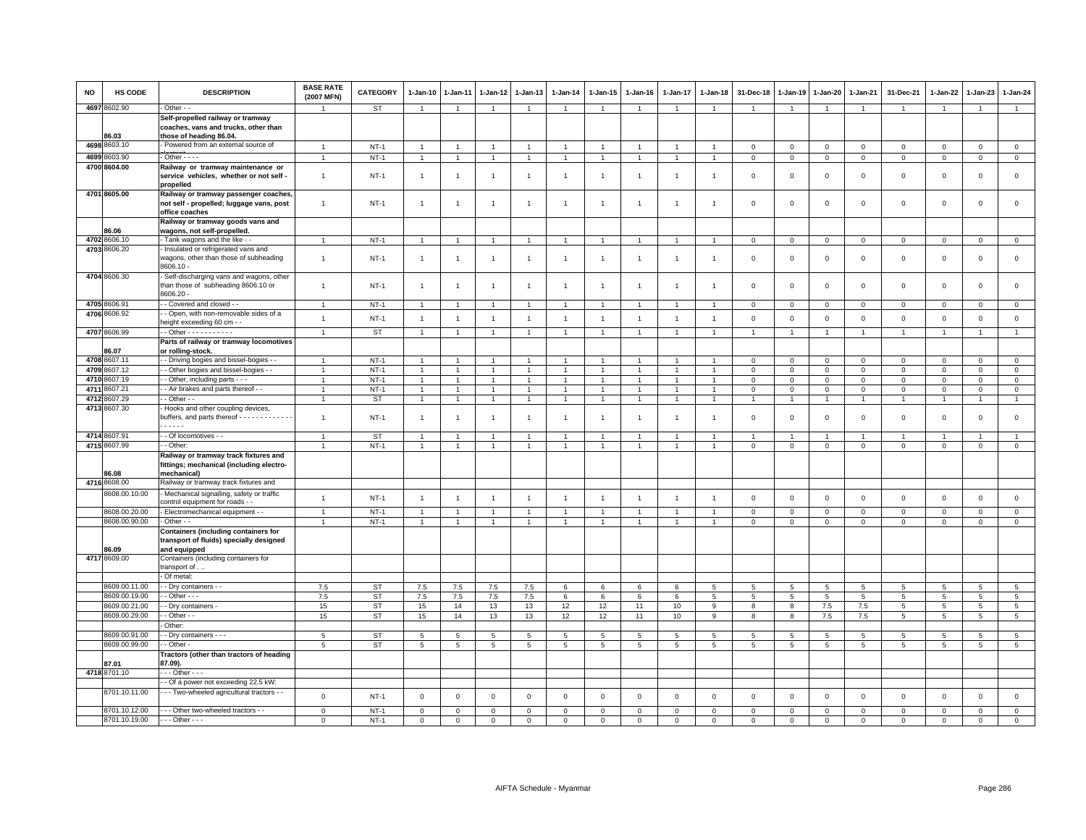| NO   | <b>HS CODE</b>                 | <b>DESCRIPTION</b>                                                                                       | <b>BASE RATE</b><br>(2007 MFN) | <b>CATEGORY</b>  | 1-Jan-10                         | 1-Jan-11       | 1-Jan-12            | 1-Jan-13                         | 1-Jan-14                       | 1-Jan-15             | $1-Jan-16$     | 1-Jan-17       | 1-Jan-18       | 31-Dec-18                  | 1-Jan-19         | 1-Jan-20                | 1-Jan-21                      | 31-Dec-21                  | 1-Jan-22                | 1-Jan-23                    | $1 - Jan-24$               |
|------|--------------------------------|----------------------------------------------------------------------------------------------------------|--------------------------------|------------------|----------------------------------|----------------|---------------------|----------------------------------|--------------------------------|----------------------|----------------|----------------|----------------|----------------------------|------------------|-------------------------|-------------------------------|----------------------------|-------------------------|-----------------------------|----------------------------|
|      | 4697 8602.90                   | - Other - -                                                                                              |                                | ST               | $\overline{1}$                   | $\mathbf{1}$   | $\overline{1}$      | $\overline{1}$                   | $\mathbf{1}$                   | $\overline{1}$       | $\overline{1}$ | $\mathbf{1}$   | $\overline{1}$ | $\overline{1}$             | $\overline{1}$   | $\mathbf{1}$            | $\overline{1}$                | $\mathbf{1}$               | $\overline{1}$          | $\overline{1}$              | $\mathbf{1}$               |
|      | 86.03                          | Self-propelled railway or tramway<br>coaches, vans and trucks, other than<br>those of heading 86.04.     |                                |                  |                                  |                |                     |                                  |                                |                      |                |                |                |                            |                  |                         |                               |                            |                         |                             |                            |
|      | 4698 8603.10                   | - Powered from an external source of                                                                     | $\overline{1}$                 | $NT-1$           | $\overline{1}$                   | $\overline{1}$ | $\overline{1}$      | $\overline{1}$                   | $\overline{1}$                 | $\overline{1}$       | $\overline{1}$ | $\overline{1}$ | $\overline{1}$ | $\mathbf 0$                | $^{\circ}$       | 0                       | $\mathbf 0$                   | $\mathsf 0$                | $\mathbf 0$             | $\mathbf 0$                 | $\mathsf 0$                |
|      | 4699 8603.90                   | $-$ Other $  -$                                                                                          |                                | $NT-1$           | $\overline{1}$                   | $\overline{1}$ | $\overline{1}$      | $\overline{1}$                   | $\overline{1}$                 | $\overline{1}$       | $\overline{1}$ | $\overline{1}$ | $\overline{1}$ | $\mathsf 0$                | $\mathbf{0}$     | $\overline{0}$          | $\circ$                       | $\mathbf 0$                | $\mathbf{0}$            | $\mathbf{0}$                | $\mathsf 0$                |
|      | 4700 8604.00                   | Railway or tramway maintenance or<br>service vehicles, whether or not self -<br>propelled                | $\overline{1}$                 | $NT-1$           | $\overline{1}$                   | $\overline{1}$ | $\overline{1}$      | $\overline{1}$                   | $\overline{1}$                 | $\overline{1}$       | $\overline{1}$ | $\overline{1}$ | -1             | $\mathbf 0$                | 0                | $\mathbf 0$             | $\mathbf 0$                   | $\mathsf 0$                | $\overline{0}$          | $\mathbf 0$                 | $\mathsf 0$                |
|      | 4701 8605.00                   | Railway or tramway passenger coaches<br>not self - propelled; luggage vans, post<br>office coaches       | $\overline{1}$                 | $NT-1$           | $\overline{1}$                   | $\mathbf{1}$   | $\mathbf{1}$        | $\overline{1}$                   | $\overline{1}$                 | $\mathbf{1}$         | $\overline{1}$ | $\mathbf{1}$   | -1             | $\mathsf 0$                | $\mathbf 0$      | $\mathsf 0$             | $\mathbf 0$                   | $\mathsf 0$                | $\mathbf 0$             | $\mathsf 0$                 | $\mathsf 0$                |
|      | 86.06                          | Railway or tramway goods vans and<br>wagons, not self-propelled.                                         |                                |                  |                                  |                |                     |                                  |                                |                      |                |                |                |                            |                  |                         |                               |                            |                         |                             |                            |
|      | 4702 8606.10                   | - Tank wagons and the like -                                                                             | $\overline{1}$                 | $NT-1$           | $\overline{1}$                   | $\overline{1}$ | $\overline{1}$      | $\overline{1}$                   | $\overline{1}$                 | $\overline{1}$       | $\overline{1}$ | $\overline{1}$ | $\overline{1}$ | $\mathbf 0$                | $\mathbf{0}$     | $\mathbf 0$             | $\mathbf{0}$                  | $\mathbf 0$                | $\mathbf 0$             | $\mathbf 0$                 | $\mathbf{0}$               |
|      | 4703 8606.20                   | Insulated or refrigerated vans and<br>wagons, other than those of subheading<br>8606.10 -                | $\overline{1}$                 | $NT-1$           | $\overline{1}$                   | $\overline{1}$ | $\overline{1}$      | $\overline{1}$                   | $\overline{1}$                 | $\overline{1}$       | -1             | $\mathbf{1}$   | $\mathbf{1}$   | $\,0\,$                    | $\mathsf 0$      | $\mathsf 0$             | $\mathbf 0$                   | $\mathsf 0$                | $\mathbf 0$             | $\mathsf 0$                 | $\mathsf 0$                |
|      | 4704 8606.30                   | - Self-discharging vans and wagons, other<br>than those of subheading 8606.10 or<br>8606.20 -            | $\mathbf{1}$                   | $NT-1$           | $\overline{1}$                   | $\overline{1}$ | $\overline{1}$      | $\overline{1}$                   | $\mathbf{1}$                   | $\overline{1}$       | $\overline{1}$ | $\overline{1}$ | -1             | $\mathbf 0$                | $\mathbf 0$      | $\mathsf 0$             | $\mathbf 0$                   | $\mathsf 0$                | $\mathbf 0$             | $\mathsf 0$                 | $\mathsf 0$                |
|      | 4705 8606.91                   | - Covered and closed - -                                                                                 | $\overline{1}$                 | $NT-1$           | $\overline{1}$                   | $\overline{1}$ | $\overline{1}$      | $\overline{1}$                   | $\overline{1}$                 | $\mathbf{1}$         | -1             | $\overline{1}$ |                | $\mathbf 0$                | 0                | $\mathbf 0$             | $\mathbf 0$                   | $\mathbf 0$                | $\mathbf 0$             | $\mathbf 0$                 | $\mathbf{0}$               |
|      | 4706 8606.92                   | - Open, with non-removable sides of a                                                                    | $\overline{1}$                 | $NT-1$           | $\overline{1}$                   | $\overline{1}$ | $\overline{1}$      | $\overline{1}$                   | $\overline{1}$                 | $\overline{1}$       | $\overline{1}$ | $\overline{1}$ | $\overline{1}$ | $\mathsf 0$                | $\mathbf 0$      | $\mathsf 0$             | $\mathbf 0$                   | $\mathsf 0$                | $\mathbf{0}$            | $\mathsf 0$                 | $\mathsf 0$                |
|      | 4707 8606.99                   | eight exceeding 60 cm - -<br>$\cdot$ - Other - - - - - - - - - - -                                       |                                | ST               | $\overline{1}$                   | $\overline{1}$ | $\overline{1}$      | $\overline{1}$                   | $\overline{1}$                 | $\overline{1}$       | $\overline{1}$ | $\overline{1}$ | -1             | $\overline{1}$             |                  | $\overline{1}$          | $\overline{1}$                | $\overline{1}$             | $\overline{1}$          | $\overline{1}$              | $\overline{1}$             |
|      |                                | Parts of railway or tramway locomotives                                                                  |                                |                  |                                  |                |                     |                                  |                                |                      |                |                |                |                            |                  |                         |                               |                            |                         |                             |                            |
|      | 86.07                          | or rolling-stock.                                                                                        |                                |                  |                                  |                |                     |                                  |                                |                      |                |                |                |                            |                  |                         |                               |                            |                         |                             |                            |
|      | 4708 8607.11                   | - - Driving bogies and bissel-bogies - -                                                                 |                                | $NT-1$           |                                  |                |                     | $\mathbf{1}$                     | $\overline{1}$                 |                      |                |                |                | $\mathsf 0$                | $\mathsf 0$      | $\mathsf 0$             | $\mathsf 0$                   | $\mathbf 0$                | $\mathbf 0$             | $\mathbf 0$                 | $\circ$                    |
|      | 4709 8607.12                   | - - Other bogies and bissel-bogies - -                                                                   | 1                              | $NT-1$           | $\overline{1}$                   | $\overline{1}$ | $\overline{1}$      | $\overline{1}$                   | $\mathbf{1}$                   | $\overline{1}$       | $\overline{1}$ | $\overline{1}$ | $\overline{1}$ | $\mathsf 0$                | $\mathsf 0$      | $\mathsf 0$             | $\mathbf 0$                   | $\mathsf 0$                | $\mathbf 0$             | $\mathsf 0$                 | $\circ$                    |
|      | 4710 8607.19                   | - - Other, including parts - - -                                                                         | $\overline{1}$                 | $NT-1$           | $\overline{1}$                   | $\overline{1}$ | $\overline{1}$      | $\overline{1}$                   | $\blacktriangleleft$           | $\overline{1}$       | $\overline{1}$ | $\overline{1}$ | $\overline{1}$ | $\,0\,$                    | $\mathsf 0$      | $\Omega$                | $\mathbf 0$                   | $\mathsf 0$                | $\circ$                 | $\overline{0}$              | $\overline{0}$             |
| 4711 | 8607.21                        | - Air brakes and parts thereof - -                                                                       | $\overline{1}$                 | $NT-1$           | $\overline{1}$                   | $\overline{1}$ | $\overline{1}$      | $\overline{1}$                   | $\mathbf{1}$                   | $\overline{1}$       | $\overline{1}$ | $\overline{1}$ |                | $\mathsf 0$                | $\mathsf 0$      | $\mathsf 0$             | $\mathbf 0$                   | $\mathsf 0$                | $\mathbf 0$             | $\mathsf 0$                 | $\mathsf 0$                |
|      | 4712 8607.29                   | $-$ Other $-$                                                                                            | $\mathbf{1}$                   | ST               | $\overline{1}$                   | $\overline{1}$ | $\mathbf{1}$        | $\mathbf{1}$                     | $\overline{1}$                 | $\mathbf{1}$         | $\overline{1}$ | $\mathbf{1}$   | -1             | $\overline{1}$             | $\mathbf{1}$     | $\mathbf{1}$            | $\overline{1}$                | $\overline{1}$             | $\mathbf{1}$            | $\overline{1}$              | $\mathbf{1}$               |
|      | 4713 8607.30                   | Hooks and other coupling devices,<br>buffers, and parts thereof - - - - - - - - - - - - -<br>$- - - - -$ | $\overline{1}$                 | $NT-1$           | $\overline{1}$                   | $\overline{1}$ | $\overline{1}$      | $\overline{1}$                   | $\overline{1}$                 | $\overline{1}$       | $\overline{1}$ | $\overline{1}$ | -1             | $\mathbf 0$                | $\Omega$         | $\mathbf 0$             | $\mathbf 0$                   | $\mathbf 0$                | $\Omega$                | $\mathbf{0}$                | $\circ$                    |
|      | 4714 8607.91                   | - Of locomotives - -                                                                                     |                                | <b>ST</b>        |                                  |                |                     | $\overline{1}$                   |                                |                      |                |                |                |                            |                  |                         |                               |                            |                         |                             |                            |
|      | 4715 8607.99                   | - Other:                                                                                                 |                                | $NT-1$           | $\overline{1}$                   | $\mathbf{1}$   | $\mathbf{1}$        | $\overline{1}$                   | $\overline{1}$                 | $\mathbf{1}$         |                | 1              |                | $\mathsf 0$                | $\mathsf 0$      | $\mathsf 0$             | $\mathbf 0$                   | $\mathsf 0$                | $\mathbf 0$             | $\mathsf 0$                 | $\mathsf 0$                |
|      | 86.08                          | Railway or tramway track fixtures and<br>fittings; mechanical (including electro-<br>mechanical)         |                                |                  |                                  |                |                     |                                  |                                |                      |                |                |                |                            |                  |                         |                               |                            |                         |                             |                            |
|      | 4716 8608.00                   | Railway or tramway track fixtures and                                                                    |                                |                  |                                  |                |                     |                                  |                                |                      |                |                |                |                            |                  |                         |                               |                            |                         |                             |                            |
|      | 8608.00.10.00                  | - Mechanical signalling, safety or traffic<br>control equipment for roads - -                            | $\overline{1}$                 | $NT-1$           | $\overline{1}$                   | $\overline{1}$ | $\overline{1}$      | $\overline{1}$                   | $\overline{1}$                 | $\overline{1}$       | $\overline{1}$ | $\overline{1}$ | $\overline{1}$ | $\mathsf 0$                | $\mathsf 0$      | $\mathsf 0$             | $\mathbf 0$                   | $\mathsf 0$                | $\mathbb O$             | $\mathsf 0$                 | $\mathsf 0$                |
|      | 8608.00.20.00<br>8608.00.90.00 | - Electromechanical equipment - -<br>Other - -                                                           | 1                              | $NT-1$<br>$NT-1$ | $\overline{1}$<br>$\overline{1}$ | $\overline{1}$ | 1<br>$\overline{1}$ | $\overline{1}$<br>$\overline{1}$ | $\mathbf{1}$<br>$\overline{1}$ | -1<br>$\overline{1}$ |                | $\overline{1}$ |                | $\mathbf 0$<br>$\mathbf 0$ | 0<br>$\mathbf 0$ | $\mathbf 0$<br>$\Omega$ | $\mathbf 0$<br>$\overline{0}$ | $\mathbf 0$<br>$\mathbf 0$ | $\mathbf 0$<br>$\Omega$ | $\mathbf 0$<br>$\mathbf{0}$ | $\mathbf 0$<br>$\mathbf 0$ |
|      | 6.09                           | <b>Containers (including containers for</b><br>transport of fluids) specially designed<br>and equipped   |                                |                  |                                  |                |                     |                                  |                                |                      |                |                |                |                            |                  |                         |                               |                            |                         |                             |                            |
|      | 4717 8609.00                   | Containers (including containers for<br>transport of                                                     |                                |                  |                                  |                |                     |                                  |                                |                      |                |                |                |                            |                  |                         |                               |                            |                         |                             |                            |
|      |                                | - Of metal:                                                                                              |                                |                  |                                  |                |                     |                                  |                                |                      |                |                |                |                            |                  |                         |                               |                            |                         |                             |                            |
|      | 8609.00.11.00                  | - Dry containers - -                                                                                     | 7.5                            | <b>ST</b>        | 7.5                              | 7.5            | 7.5                 | 7.5                              | 6                              | 6                    | 6              | 6              | 5              | 5                          | 5                | 5                       | 5                             | 5                          | 5                       | 5                           | $5\overline{5}$            |
|      | 8609.00.19.00                  | $-$ Other $ -$                                                                                           | 7.5                            | <b>ST</b>        | 7.5                              | $7.5\,$        | 7.5                 | 7.5                              | 6                              | 6                    | 6              | 6              | 5              | $\sqrt{5}$                 | 5                | 5                       | 5                             | 5                          | 5                       | 5                           | $\overline{5}$             |
|      | 8609.00.21.00                  | - Dry containers -                                                                                       | 15                             | <b>ST</b>        | 15                               | 14             | 13                  | 13                               | 12                             | 12                   | 11             | 10             | 9              | 8                          | 8                | 7.5                     | 7.5                           | 5                          | 5                       | 5                           | $\overline{5}$             |
|      | 8609.00.29.00                  | - Other - -<br>Other:                                                                                    | 15                             | <b>ST</b>        | 15                               | 14             | 13                  | 13                               | 12                             | 12                   | 11             | 10             | 9              | 8                          | 8                | 7.5                     | 7.5                           | 5                          | 5                       | 5                           | $5\overline{5}$            |
|      | 8609.00.91.00                  | - Dry containers - - -                                                                                   | 5                              | <b>ST</b>        | 5                                | 5              | $\sqrt{5}$          | $\overline{5}$                   | 5                              | 5                    | -5             | $\overline{5}$ | -5             | $\sqrt{5}$                 | 5                | 5                       | $\overline{5}$                | $\overline{5}$             | $\overline{5}$          | 5                           | 5                          |
|      | 8609.00.99.00                  | - Other                                                                                                  | 5                              | ST               | $5\phantom{.0}$                  | 5              | 5                   | $5\phantom{.0}$                  | $5\phantom{.0}$                | 5                    | 5              | 5              | 5              | $\sqrt{5}$                 | $\overline{5}$   | 5                       | 5                             | 5                          | 5                       | 5                           | $5\overline{5}$            |
|      | 87.01                          | Tractors (other than tractors of heading<br>87.09).                                                      |                                |                  |                                  |                |                     |                                  |                                |                      |                |                |                |                            |                  |                         |                               |                            |                         |                             |                            |
|      | 4718 8701.10                   | - - - Other - - -                                                                                        |                                |                  |                                  |                |                     |                                  |                                |                      |                |                |                |                            |                  |                         |                               |                            |                         |                             |                            |
|      |                                | - Of a power not exceeding 22.5 kW:                                                                      |                                |                  |                                  |                |                     |                                  |                                |                      |                |                |                |                            |                  |                         |                               |                            |                         |                             |                            |
|      | 8701.10.11.00                  | - - Two-wheeled agricultural tractors - -                                                                | $\mathbf 0$                    | $NT-1$           | $\mathsf 0$                      | $\mathbf 0$    | $\mathbf 0$         | $\mathsf 0$                      | $\mathsf 0$                    | $\mathbf 0$          | $\mathbf 0$    | $\mathbf 0$    | $\mathbf 0$    | $\mathsf 0$                | $\mathbf 0$      | $\mathsf 0$             | $\mathbf 0$                   | $\mathsf 0$                | $\mathbf 0$             | $\mathsf 0$                 | $\mathsf 0$                |
|      | 8701.10.12.00                  | - - - Other two-wheeled tractors - -                                                                     | $\mathbf{0}$                   | $NT-1$           | $\mathbf{0}$                     | $\mathbf 0$    | $\overline{0}$      | $\mathbf{0}$                     | $\Omega$                       | $\mathbf{0}$         | $\Omega$       | $\mathbf{0}$   | $\Omega$       | $\mathbf 0$                | $\Omega$         | $\Omega$                | $\mathbf{0}$                  | $\Omega$                   | $\mathbf{0}$            | $\mathbf{0}$                | $\mathbf{0}$               |
|      | 8701.10.19.00                  | $- -$ Other $- -$                                                                                        | $\mathbf{0}$                   | $NT-1$           | $\mathbf{0}$                     | $\mathbf 0$    | $\mathbf 0$         | $\mathbf{0}$                     | $\mathbf{0}$                   | $\mathbf{0}$         | $\mathbf{0}$   | $\mathbf{0}$   | $\Omega$       | $\mathbf 0$                | $\mathsf 0$      | $\mathbf 0$             | $\mathbf{0}$                  | $\Omega$                   | $\Omega$                | $\mathbf{0}$                | $\mathbf 0$                |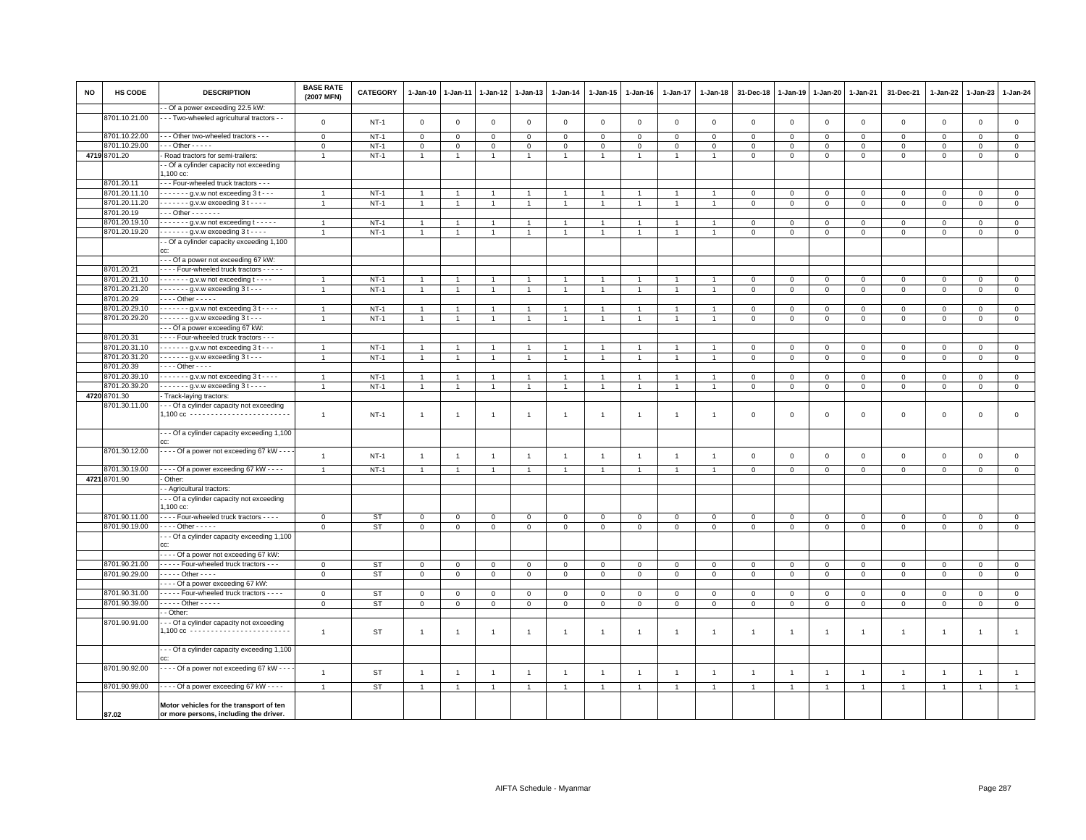| <b>NO</b> | HS CODE       | <b>DESCRIPTION</b>                                                              | <b>BASE RATE</b><br>(2007 MFN) | <b>CATEGORY</b> | 1-Jan-10       | $1 - Jan-11$        | 1-Jan-12       | 1-Jan-13       | $1 - Jan-14$   | $1 - Jan-15$   | $1 - Jan-16$   | $1 - Jan-17$   | $1 - Jan-18$   | 31-Dec-18                     | $1 - Jan-19$               | $1 - Jan-20$                  | 1-Jan-21                      | 31-Dec-21                          | $1 - Jan-22$   | 1-Jan-23                   | 1-Jan-24       |
|-----------|---------------|---------------------------------------------------------------------------------|--------------------------------|-----------------|----------------|---------------------|----------------|----------------|----------------|----------------|----------------|----------------|----------------|-------------------------------|----------------------------|-------------------------------|-------------------------------|------------------------------------|----------------|----------------------------|----------------|
|           |               | - Of a power exceeding 22.5 kW:                                                 |                                |                 |                |                     |                |                |                |                |                |                |                |                               |                            |                               |                               |                                    |                |                            |                |
|           | 8701.10.21.00 | - - Two-wheeled agricultural tractors - -                                       | $\mathbf 0$                    | $NT-1$          | $\mathbf 0$    | $\mathbf 0$         | $\mathbf 0$    | $\mathbf 0$    | $\mathsf 0$    | $\mathsf 0$    | $\mathbf 0$    | $\mathbf 0$    | $\mathbf 0$    | $\mathbf 0$                   | $\mathbf 0$                | $\mathsf 0$                   | $\mathbf 0$                   | $\mathsf 0$                        | $\mathbf 0$    | $\mathbf 0$                | $\mathsf 0$    |
|           | 8701.10.22.00 | - - Other two-wheeled tractors - - -                                            | $\mathsf 0$                    | $NT-1$          | $\mathbf 0$    | 0                   | 0              | $\mathbf 0$    | $\mathbf 0$    | 0              | $\Omega$       | $\mathbf 0$    | $\mathbf 0$    | $\mathbf 0$                   | $\mathbf 0$                | $\mathbf 0$                   | $\mathbf 0$                   | $\mathbf 0$                        | $\mathbf 0$    | $\mathbf 0$                | $\mathbf 0$    |
|           | 8701.10.29.00 | $-0$ ther $-0$                                                                  | $\mathsf 0$                    | $NT-1$          | $\overline{0}$ | $\ddot{\mathbf{0}}$ | $\mathbf 0$    | $\mathbf 0$    | $\mathsf 0$    | $\mathbf 0$    | $\mathsf 0$    | $\mathbf 0$    | $\mathsf 0$    | $\mathbf 0$                   | $\mathsf 0$                | $\mathsf 0$                   | $\mathbf 0$                   | $\mathsf 0$                        | $\Omega$       | $\Omega$                   | $\overline{0}$ |
|           | 4719 8701.20  | Road tractors for semi-trailers:                                                | $\overline{1}$                 | $NT-1$          | $\mathbf{1}$   | $\overline{1}$      | $\mathbf{1}$   | $\mathbf{1}$   | $\mathbf{1}$   | $\mathbf{1}$   | $\mathbf{1}$   | $\mathbf{1}$   |                | $\mathsf 0$                   | $\mathsf 0$                | $\mathbf 0$                   | $\mathbf 0$                   | $\mathsf 0$                        | $\mathbf{O}$   | $\mathsf 0$                | $\circ$        |
|           |               | - Of a cylinder capacity not exceeding<br>,100 cc:                              |                                |                 |                |                     |                |                |                |                |                |                |                |                               |                            |                               |                               |                                    |                |                            |                |
|           | 8701.20.11    | - - Four-wheeled truck tractors - - -                                           |                                |                 |                |                     |                |                |                |                |                |                |                |                               |                            |                               |                               |                                    |                |                            |                |
|           | 8701.20.11.10 | - - - - - - g.v.w not exceeding 3 t - - -                                       |                                | $NT-1$          | $\overline{1}$ |                     |                |                | $\overline{1}$ |                |                |                |                | $\mathbf 0$                   | $\mathsf 0$                | $\mathbf 0$                   | $\,0\,$                       | $\mathsf 0$                        | $\Omega$       | $\mathbf 0$                | $\,0\,$        |
|           | 8701.20.11.20 | $\cdots$ $\cdots$ q.v.w exceeding 3 t $\cdots$                                  | $\overline{1}$                 | $NT-1$          | $\mathbf{1}$   | $\mathbf{1}$        | $\overline{1}$ | $\mathbf{1}$   | $\overline{1}$ | $\mathbf{1}$   | $\overline{1}$ | $\overline{1}$ |                | $\mathbf 0$                   | $\mathbf 0$                | $\mathbf{0}$                  | $\mathbf 0$                   | $\mathbf 0$                        | $\mathbf{0}$   | $\circ$                    | $\mathbf{0}$   |
|           | 8701.20.19    | $-$ - Other $-$ - $-$ - $-$ -                                                   |                                |                 |                |                     |                |                |                |                |                |                |                |                               |                            |                               |                               |                                    |                |                            |                |
|           | 8701.20.19.10 | - - - - - - g.v.w not exceeding t - - - - -                                     | $\overline{1}$                 | $NT-1$          | $\mathbf{1}$   |                     |                | $\overline{1}$ | $\mathbf{1}$   | $\mathbf{1}$   | $\overline{1}$ | $\overline{1}$ |                | $\mathbf 0$                   | $\mathsf 0$                | $\Omega$                      | $\mathbf 0$                   | $\mathbf{0}$                       | $\circ$        | $\circ$                    | $\mathsf 0$    |
|           | 8701.20.19.20 | $\cdots$ - $\cdots$ g.v.w exceeding 3 t - $\cdots$                              | $\overline{1}$                 | $NT-1$          | $\mathbf{1}$   | 1                   |                | $\overline{1}$ | $\overline{1}$ | $\overline{1}$ | $\overline{1}$ | $\mathbf{1}$   |                | $\mathbf 0$                   | $\mathsf 0$                | $\mathbf 0$                   | $\,0\,$                       | $\mathsf 0$                        | $\mathsf 0$    | $\mathbf{0}$               | $\mathbf 0$    |
|           |               | - Of a cylinder capacity exceeding 1,100                                        |                                |                 |                |                     |                |                |                |                |                |                |                |                               |                            |                               |                               |                                    |                |                            |                |
|           |               |                                                                                 |                                |                 |                |                     |                |                |                |                |                |                |                |                               |                            |                               |                               |                                    |                |                            |                |
|           | 8701.20.21    | - - Of a power not exceeding 67 kW<br>- - - Four-wheeled truck tractors - - - - |                                |                 |                |                     |                |                |                |                |                |                |                |                               |                            |                               |                               |                                    |                |                            |                |
|           | 8701.20.21.10 | $\cdots$ - $\cdots$ g.v.w not exceeding t - $\cdots$                            |                                | $NT-1$          | -1             |                     |                | $\mathbf{1}$   |                |                |                |                |                |                               |                            |                               |                               |                                    | $\mathbf 0$    |                            | $\mathbf 0$    |
|           | 8701.20.21.20 | $\cdots$ - - - - g.v.w exceeding 3 t - - -                                      | $\mathbf{1}$                   | $NT-1$          | $\mathbf{1}$   | $\mathbf{1}$        | $\overline{1}$ | $\mathbf{1}$   | $\mathbf{1}$   | $\mathbf{1}$   | $\overline{1}$ | $\overline{1}$ |                | $\mathbf 0$<br>$\overline{0}$ | $\mathbf 0$<br>$\mathsf 0$ | $\mathbf 0$<br>$\overline{0}$ | $\mathbf 0$<br>$\overline{0}$ | $\mathbf 0$<br>$\mathsf{O}\xspace$ | $\mathsf 0$    | $\mathbf 0$<br>$\mathbf 0$ | $\overline{0}$ |
|           | 8701.20.29    | $\cdots$ Other - - - - -                                                        |                                |                 |                |                     |                |                |                |                |                |                |                |                               |                            |                               |                               |                                    |                |                            |                |
|           | 8701.20.29.10 | $---g.v.w$ not exceeding $3t---$                                                | $\overline{1}$                 | $NT-1$          | $\overline{1}$ |                     |                | $\overline{1}$ | $\overline{1}$ | $\overline{1}$ | $\overline{1}$ | $\overline{1}$ |                | $\mathbf 0$                   | $\mathbf 0$                | $\mathbf 0$                   | $\mathbf 0$                   | $\mathsf 0$                        | $\mathbf 0$    | $\overline{0}$             | $\overline{0}$ |
|           | 8701.20.29.20 | $---q.v.w$ exceeding $3t---$                                                    | $\overline{1}$                 | $NT-1$          | $\mathbf{1}$   | $\overline{1}$      | $\overline{1}$ | $\overline{1}$ | $\overline{1}$ | $\mathbf{1}$   | $\overline{1}$ | $\overline{1}$ | $\overline{1}$ | $\mathbf 0$                   | $\mathbf 0$                | $\mathbf{0}$                  | $\mathbf 0$                   | $\mathbf{0}$                       | $\mathbf{0}$   | $\mathbf{0}$               | $\circ$        |
|           |               | - - Of a power exceeding 67 kW:                                                 |                                |                 |                |                     |                |                |                |                |                |                |                |                               |                            |                               |                               |                                    |                |                            |                |
|           | 8701.20.31    | - - - Four-wheeled truck tractors - - -                                         |                                |                 |                |                     |                |                |                |                |                |                |                |                               |                            |                               |                               |                                    |                |                            |                |
|           | 8701.20.31.10 | $\cdots$ $\cdots$ - g.v.w not exceeding 3 t - - -                               | $\overline{1}$                 | $NT-1$          | $\overline{1}$ |                     |                | $\mathbf{1}$   | $\overline{1}$ |                |                |                |                | $\mathbf 0$                   | $\mathbf 0$                | $\mathbf 0$                   | $\mathbf 0$                   | $\mathbf 0$                        | $\mathbf 0$    | $\mathbf 0$                | $\mathsf 0$    |
|           | 8701.20.31.20 | $\cdots$ $\cdots$ - g.v.w exceeding 3 t - - -                                   | $\overline{1}$                 | $NT-1$          | $\mathbf{1}$   | $\mathbf{1}$        | $\mathbf{1}$   | $\mathbf{1}$   | $\mathbf{1}$   | $\overline{1}$ | $\overline{1}$ | $\overline{1}$ |                | $\mathbf 0$                   | $\mathbf 0$                | $\mathbf{0}$                  | $\overline{0}$                | $\mathbf 0$                        | $\mathbf{0}$   | $\mathbf{0}$               | $\overline{0}$ |
|           | 8701.20.39    | $\cdots$ Other - - - -                                                          |                                |                 |                |                     |                |                |                |                |                |                |                |                               |                            |                               |                               |                                    |                |                            |                |
|           | 8701.20.39.10 | - - - - - - g.v.w not exceeding 3 t - - - -                                     | $\overline{1}$                 | $NT-1$          | $\overline{1}$ |                     |                | $\overline{1}$ | $\mathbf{1}$   | $\mathbf{1}$   | $\overline{1}$ | $\overline{1}$ |                | $\mathbf 0$                   | $\mathsf 0$                | $\mathbf 0$                   | $\,0\,$                       | $\mathbf{0}$                       | $\circ$        | $\circ$                    | $\mathbf 0$    |
|           | 8701.20.39.20 | $\cdots$ - - - - g.v.w exceeding $3t$ - - - -                                   | $\overline{1}$                 | $NT-1$          | $\mathbf{1}$   |                     |                | $\overline{1}$ | $\overline{1}$ | $\overline{1}$ | $\overline{1}$ | $\overline{1}$ |                | $\mathbf 0$                   | $\mathbf 0$                | $\mathbf 0$                   | $\mathbf 0$                   | $\mathbf 0$                        | $\mathbf 0$    | $\mathbf 0$                | $\mathbf 0$    |
|           | 4720 8701.30  | Track-laying tractors:                                                          |                                |                 |                |                     |                |                |                |                |                |                |                |                               |                            |                               |                               |                                    |                |                            |                |
|           | 8701.30.11.00 | - - Of a cylinder capacity not exceeding                                        |                                |                 |                |                     |                |                |                |                |                |                |                |                               |                            |                               |                               |                                    |                |                            |                |
|           |               | .100 cc ------------------------                                                | $\mathbf{1}$                   | $NT-1$          | $\overline{1}$ | $\overline{1}$      | $\overline{1}$ | $\mathbf{1}$   | $\overline{1}$ | $\mathbf{1}$   | $\overline{1}$ | $\overline{1}$ | $\mathbf{1}$   | $\mathbf 0$                   | $\mathbf 0$                | $\mathsf 0$                   | $\mathbf 0$                   | $\mathsf 0$                        | $\mathbf 0$    | $\mathbf{0}$               | $\mathbf 0$    |
|           |               |                                                                                 |                                |                 |                |                     |                |                |                |                |                |                |                |                               |                            |                               |                               |                                    |                |                            |                |
|           |               | - - Of a cylinder capacity exceeding 1,100                                      |                                |                 |                |                     |                |                |                |                |                |                |                |                               |                            |                               |                               |                                    |                |                            |                |
|           | 8701.30.12.00 | Of a power not exceeding 67 kW - - -                                            |                                |                 |                |                     |                |                |                |                |                |                |                |                               |                            |                               |                               |                                    |                |                            |                |
|           |               |                                                                                 | $\overline{1}$                 | $NT-1$          | $\overline{1}$ | $\overline{1}$      | $\mathbf{1}$   | $\mathbf{1}$   | $\overline{1}$ | $\overline{1}$ | $\overline{1}$ | $\overline{1}$ | $\overline{1}$ | $\,0\,$                       | $\mathbf 0$                | $\mathsf 0$                   | $\mathbf 0$                   | $\mathsf 0$                        | $\mathbf 0$    | $\mathsf 0$                | $\mathsf 0$    |
|           | 8701.30.19.00 | - - - - Of a power exceeding 67 kW - - - -                                      | $\mathbf{1}$                   | <b>NT-1</b>     | $\overline{1}$ |                     |                | $\mathbf{1}$   | $\mathbf{1}$   |                |                |                |                | $\mathbf 0$                   | $\mathsf 0$                | $\,0\,$                       | $\mathbf 0$                   | $\mathbf 0$                        | $\mathbf 0$    | $\mathbf 0$                | $\mathbf{0}$   |
|           | 4721 8701.90  | Other:                                                                          |                                |                 |                |                     |                |                |                |                |                |                |                |                               |                            |                               |                               |                                    |                |                            |                |
|           |               | - Agricultural tractors:                                                        |                                |                 |                |                     |                |                |                |                |                |                |                |                               |                            |                               |                               |                                    |                |                            |                |
|           |               | - - Of a cylinder capacity not exceeding                                        |                                |                 |                |                     |                |                |                |                |                |                |                |                               |                            |                               |                               |                                    |                |                            |                |
|           |               | $.100$ cc:                                                                      |                                |                 |                |                     |                |                |                |                |                |                |                |                               |                            |                               |                               |                                    |                |                            |                |
|           | 8701.90.11.00 | - - - Four-wheeled truck tractors - - - -                                       | $\mathsf 0$                    | <b>ST</b>       | 0              | $\mathbf 0$         | 0              | 0              | $\Omega$       | 0              | $\Omega$       | $\mathbf 0$    | $\mathbf 0$    | $\mathbf 0$                   | $\mathbf 0$                | $\mathbf 0$                   | $\mathbf 0$                   | $\mathsf 0$                        | $\Omega$       | $\mathbf 0$                | $\mathbf 0$    |
|           | 8701.90.19.00 | - - - Other - - - - -                                                           | $\overline{0}$                 | <b>ST</b>       | $\overline{0}$ | $\mathbf 0$         | $\mathbf 0$    | $\overline{0}$ | $\overline{0}$ | $\overline{0}$ | $\mathsf 0$    | $\mathbf 0$    | $\mathsf 0$    | $\overline{0}$                | $\overline{0}$             | $\,0\,$                       | $\overline{0}$                | $\overline{0}$                     | $\mathbf 0$    | $\mathsf 0$                | $\overline{0}$ |
|           |               | - - Of a cylinder capacity exceeding 1,100                                      |                                |                 |                |                     |                |                |                |                |                |                |                |                               |                            |                               |                               |                                    |                |                            |                |
|           |               | CC:<br>Of a power not exceeding 67 kW:                                          |                                |                 |                |                     |                |                |                |                |                |                |                |                               |                            |                               |                               |                                    |                |                            |                |
|           | 8701.90.21.00 | - - - - Four-wheeled truck tractors - - -                                       | $\mathsf 0$                    | <b>ST</b>       | $\mathbf 0$    | $\mathsf 0$         | $\mathbf 0$    | $\mathbf 0$    | $\mathsf 0$    | $\mathbf 0$    | $\mathbf 0$    | $\mathbf 0$    | $\mathbf 0$    | $\mathsf 0$                   | $\mathbf 0$                | $\mathbf 0$                   | $\mathbf 0$                   | $\mathsf 0$                        | $\circ$        | $\mathbf 0$                | $\circ$        |
|           | 8701.90.29.00 | $\cdots$ - Other - - - -                                                        | $\mathsf 0$                    | <b>ST</b>       | $\mathsf 0$    | $\mathsf 0$         | $\mathbf 0$    | $\mathbf 0$    | $\mathbf 0$    | $\mathsf 0$    | $\mathsf 0$    | $\mathbf 0$    | $\mathsf 0$    | $\,0\,$                       | $\,0\,$                    | $\mathbf 0$                   | $\,0\,$                       | $\mathsf{O}\xspace$                | $\mathsf 0$    | $\mathsf 0$                | $\overline{0}$ |
|           |               | --- Of a power exceeding 67 kW:                                                 |                                |                 |                |                     |                |                |                |                |                |                |                |                               |                            |                               |                               |                                    |                |                            |                |
|           | 8701.90.31.00 | - - - - Four-wheeled truck tractors - - - -                                     | $\mathbf 0$                    | <b>ST</b>       | 0              | 0                   | 0              | $\mathbf 0$    | $\mathbf 0$    | 0              | $\Omega$       | $\Omega$       | $\mathbf 0$    | $\mathbf 0$                   | $\mathbf 0$                | $\mathbf 0$                   | $\mathbf 0$                   | $\mathbf 0$                        | $\Omega$       | $\mathbf 0$                | $\mathbf 0$    |
|           | 8701.90.39.00 | $\cdots$ - Other - - - - -                                                      | $\circ$                        | <b>ST</b>       | $\mathsf 0$    | $\mathsf 0$         | $\mathbf 0$    | $\circ$        | $\circ$        | $\mathbf 0$    | $\mathsf 0$    | $\mathsf 0$    | $\mathbf 0$    | $\mathbf 0$                   | $\mathsf 0$                | $\mathsf 0$                   | $\mathbf 0$                   | $\mathbf{0}$                       | $\mathbf 0$    | $\circ$                    | $\mathsf 0$    |
|           |               | - Other:                                                                        |                                |                 |                |                     |                |                |                |                |                |                |                |                               |                            |                               |                               |                                    |                |                            |                |
|           | 8701.90.91.00 | - - Of a cylinder capacity not exceeding                                        |                                |                 |                |                     |                |                |                |                |                |                |                |                               |                            |                               |                               |                                    |                |                            |                |
|           |               | $1,100 \text{ cc}$                                                              | $\mathbf{1}$                   | <b>ST</b>       | $\mathbf{1}$   | $\mathbf{1}$        | $\mathbf{1}$   | $\mathbf{1}$   | $\overline{1}$ | -1             | $\mathbf{1}$   | $\mathbf{1}$   | -1             | $\overline{1}$                | $\overline{1}$             | $\overline{1}$                | $\overline{1}$                | $\mathbf{1}$                       | $\overline{1}$ | $\overline{1}$             | $\overline{1}$ |
|           |               |                                                                                 |                                |                 |                |                     |                |                |                |                |                |                |                |                               |                            |                               |                               |                                    |                |                            |                |
|           |               | - - Of a cylinder capacity exceeding 1,100                                      |                                |                 |                |                     |                |                |                |                |                |                |                |                               |                            |                               |                               |                                    |                |                            |                |
|           | 8701.90.92.00 | - - - Of a power not exceeding 67 kW - - -                                      |                                |                 |                |                     |                |                |                |                |                |                |                |                               |                            |                               |                               |                                    |                |                            |                |
|           |               |                                                                                 | $\mathbf{1}$                   | <b>ST</b>       | $\overline{1}$ | $\overline{1}$      | $\overline{1}$ | $\mathbf{1}$   | $\overline{1}$ | $\overline{1}$ | $\overline{1}$ | $\overline{1}$ | $\overline{1}$ | $\overline{1}$                | $\overline{1}$             | $\overline{1}$                | $\overline{1}$                | $\mathbf{1}$                       | $\overline{1}$ | $\mathbf{1}$               | $\mathbf{1}$   |
|           | 8701.90.99.00 | $\cdots$ Of a power exceeding 67 kW - $\cdots$                                  | $\mathbf{1}$                   | <b>ST</b>       | $\overline{1}$ | $\overline{1}$      | $\overline{1}$ | $\overline{1}$ | $\overline{1}$ | $\overline{1}$ | $\overline{1}$ | $\overline{1}$ |                | $\overline{1}$                | $\overline{1}$             | $\overline{1}$                | $\overline{1}$                | $\overline{1}$                     | $\overline{1}$ | $\overline{1}$             | $\mathbf{1}$   |
|           |               |                                                                                 |                                |                 |                |                     |                |                |                |                |                |                |                |                               |                            |                               |                               |                                    |                |                            |                |
|           |               | Motor vehicles for the transport of ten                                         |                                |                 |                |                     |                |                |                |                |                |                |                |                               |                            |                               |                               |                                    |                |                            |                |
|           | 87.02         | or more persons, including the driver.                                          |                                |                 |                |                     |                |                |                |                |                |                |                |                               |                            |                               |                               |                                    |                |                            |                |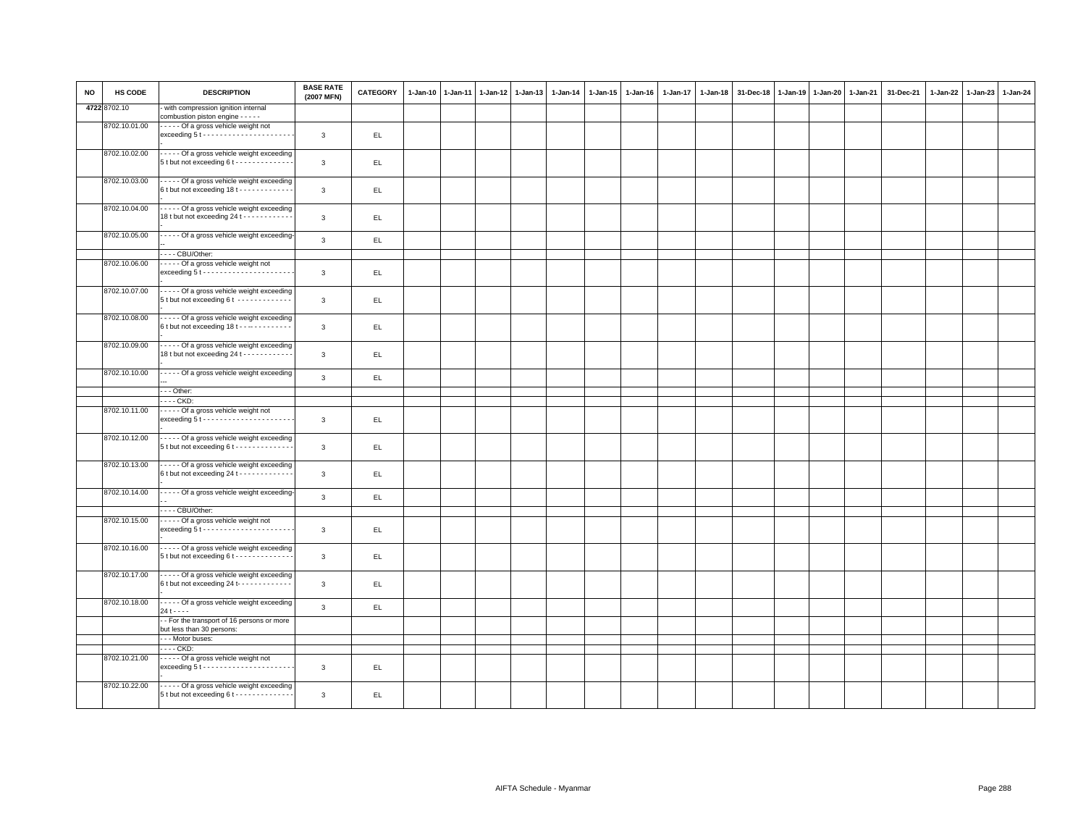| <b>NO</b> | HS CODE       | <b>DESCRIPTION</b>                                                                                 | <b>BASE RATE</b><br>(2007 MFN) | <b>CATEGORY</b> | $1-Jan-10$ | $1-Jan-11$ | $1-Jan-12$ | $1-Jan-13$ | 1-Jan-14 | 1-Jan-15 | $1 - Jan-16$ | $1 - Jan-17$ | $1-Jan-18$ | 31-Dec-18 | $1-Jan-19$ | 1-Jan-20 | 1-Jan-21 | 31-Dec-21 | $1-Jan-22$ | $1-Jan-23$ | 1-Jan-24 |
|-----------|---------------|----------------------------------------------------------------------------------------------------|--------------------------------|-----------------|------------|------------|------------|------------|----------|----------|--------------|--------------|------------|-----------|------------|----------|----------|-----------|------------|------------|----------|
|           | 4722 8702.10  | with compression ignition internal<br>combustion piston engine - - - - -                           |                                |                 |            |            |            |            |          |          |              |              |            |           |            |          |          |           |            |            |          |
|           | 8702.10.01.00 | ----- Of a gross vehicle weight not<br>$exceeding 5t \cdots \cdots \cdots \cdots \cdots \cdots$    | $\mathbf{3}$                   | EL.             |            |            |            |            |          |          |              |              |            |           |            |          |          |           |            |            |          |
|           | 8702.10.02.00 | - - - - Of a gross vehicle weight exceeding<br>5 t but not exceeding 6 t - - - - - - - - - - - - - | $\mathbf{3}$                   | EL.             |            |            |            |            |          |          |              |              |            |           |            |          |          |           |            |            |          |
|           | 8702.10.03.00 | Of a gross vehicle weight exceeding<br>6t but not exceeding 18t - - - - - - - - - - -              | 3                              | EL.             |            |            |            |            |          |          |              |              |            |           |            |          |          |           |            |            |          |
|           | 8702.10.04.00 | Of a gross vehicle weight exceeding<br>18 t but not exceeding 24 t - - - - - - - - - - -           | 3                              | EL.             |            |            |            |            |          |          |              |              |            |           |            |          |          |           |            |            |          |
|           | 8702.10.05.00 | - - - - - Of a gross vehicle weight exceeding                                                      | $\overline{3}$                 | EL.             |            |            |            |            |          |          |              |              |            |           |            |          |          |           |            |            |          |
|           |               | ---- CBU/Other:                                                                                    |                                |                 |            |            |            |            |          |          |              |              |            |           |            |          |          |           |            |            |          |
|           | 8702.10.06.00 | Of a gross vehicle weight not<br>$exceeding 5t \cdots \cdots \cdots \cdots \cdots \cdots$          | $\mathbf{3}$                   | EL              |            |            |            |            |          |          |              |              |            |           |            |          |          |           |            |            |          |
|           | 8702.10.07.00 | Of a gross vehicle weight exceeding<br>5 t but not exceeding 6 t -------------                     | $\mathbf{3}$                   | EL.             |            |            |            |            |          |          |              |              |            |           |            |          |          |           |            |            |          |
|           | 8702.10.08.00 | - - - - - Of a gross vehicle weight exceeding<br>6 t but not exceeding 18 t - - - - - - - - - - -  | 3                              | EL.             |            |            |            |            |          |          |              |              |            |           |            |          |          |           |            |            |          |
|           | 8702.10.09.00 | Of a gross vehicle weight exceeding<br>18 t but not exceeding 24 t - - - - - - - - - - -           | $\mathbf{3}$                   | EL.             |            |            |            |            |          |          |              |              |            |           |            |          |          |           |            |            |          |
|           | 8702.10.10.00 | - - - - - Of a gross vehicle weight exceeding                                                      | 3                              | EL              |            |            |            |            |          |          |              |              |            |           |            |          |          |           |            |            |          |
|           |               | - - Other:                                                                                         |                                |                 |            |            |            |            |          |          |              |              |            |           |            |          |          |           |            |            |          |
|           |               | - - - - CKD:                                                                                       |                                |                 |            |            |            |            |          |          |              |              |            |           |            |          |          |           |            |            |          |
|           | 8702.10.11.00 | Of a gross vehicle weight not<br>$exceeding 5t \cdots \cdots \cdots \cdots \cdots$                 | $\mathbf{3}$                   | EL.             |            |            |            |            |          |          |              |              |            |           |            |          |          |           |            |            |          |
|           | 8702.10.12.00 | Of a gross vehicle weight exceeding<br>$5t$ but not exceeding $6t$ - - - - - - - - - - - - -       | $\mathbf{3}$                   | EL.             |            |            |            |            |          |          |              |              |            |           |            |          |          |           |            |            |          |
|           | 8702.10.13.00 | Of a gross vehicle weight exceeding<br>6 t but not exceeding 24 t - - - - - - - - - - -            | $\mathbf{3}$                   | EL.             |            |            |            |            |          |          |              |              |            |           |            |          |          |           |            |            |          |
|           | 8702.10.14.00 | - - - - - Of a gross vehicle weight exceeding-                                                     | $\mathbf{3}$                   | EL.             |            |            |            |            |          |          |              |              |            |           |            |          |          |           |            |            |          |
|           |               | ---- CBU/Other:                                                                                    |                                |                 |            |            |            |            |          |          |              |              |            |           |            |          |          |           |            |            |          |
|           | 8702.10.15.00 | Of a gross vehicle weight not<br>$exceeding 5t \cdots \cdots \cdots \cdots \cdots \cdots$          | 3                              | EL.             |            |            |            |            |          |          |              |              |            |           |            |          |          |           |            |            |          |
|           | 8702.10.16.00 | Of a gross vehicle weight exceeding<br>$5t$ but not exceeding $6t$ - - - - - - - - - - - - -       | 3                              | EL.             |            |            |            |            |          |          |              |              |            |           |            |          |          |           |            |            |          |
|           | 8702.10.17.00 | - - - - - Of a gross vehicle weight exceeding<br>6 t but not exceeding 24 t- - - - - - - - - - - - | 3                              | EL.             |            |            |            |            |          |          |              |              |            |           |            |          |          |           |            |            |          |
|           | 8702.10.18.00 | - - - - - Of a gross vehicle weight exceeding<br>$24 + - - -$                                      | $\overline{3}$                 | EL.             |            |            |            |            |          |          |              |              |            |           |            |          |          |           |            |            |          |
|           |               | - For the transport of 16 persons or more<br>but less than 30 persons:                             |                                |                 |            |            |            |            |          |          |              |              |            |           |            |          |          |           |            |            |          |
|           |               | --- Motor buses:                                                                                   |                                |                 |            |            |            |            |          |          |              |              |            |           |            |          |          |           |            |            |          |
|           |               | . CKD:                                                                                             |                                |                 |            |            |            |            |          |          |              |              |            |           |            |          |          |           |            |            |          |
|           | 8702.10.21.00 | ----- Of a gross vehicle weight not                                                                | 3                              | EL              |            |            |            |            |          |          |              |              |            |           |            |          |          |           |            |            |          |
|           | 8702.10.22.00 | - Of a gross vehicle weight exceeding<br>5 t but not exceeding 6 t - - - - - - - - - - - - -       | 3                              | EL.             |            |            |            |            |          |          |              |              |            |           |            |          |          |           |            |            |          |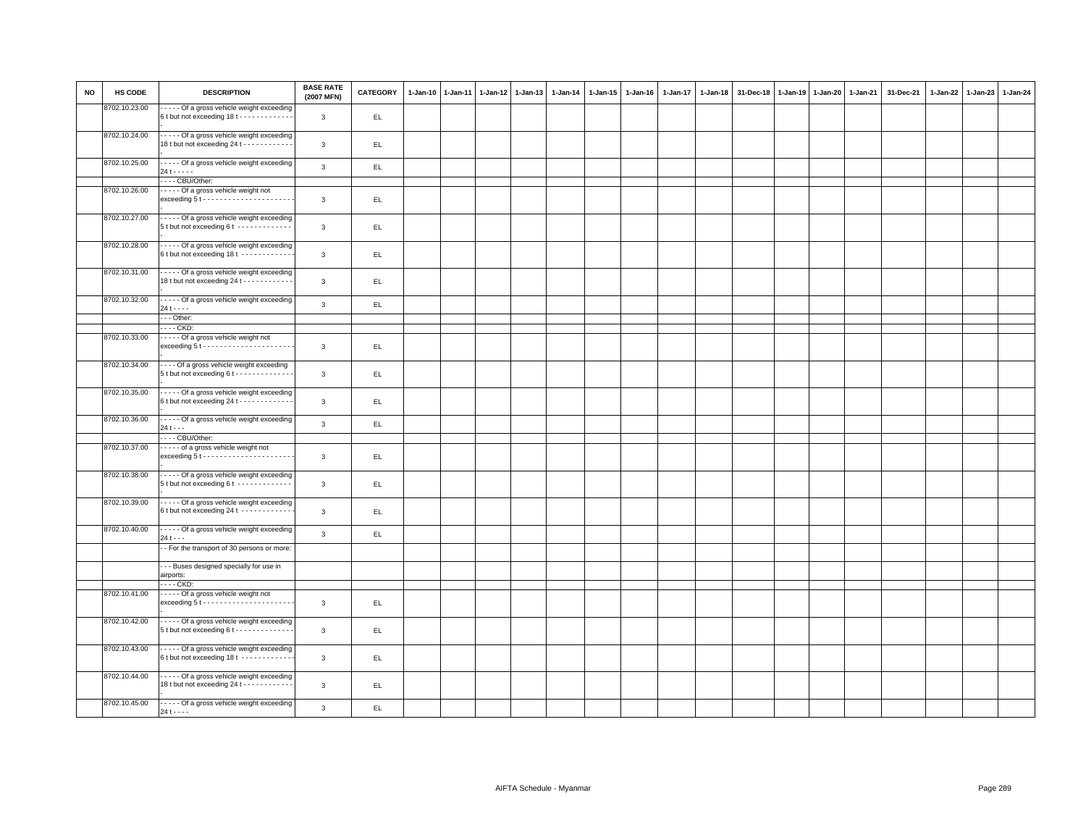| <b>NO</b> | HS CODE       | <b>DESCRIPTION</b>                                                                                  | <b>BASE RATE</b><br>(2007 MFN) | <b>CATEGORY</b> | $1 - Jan-10$ | $1-Jan-11$ | 1-Jan-12 1-Jan-13 | $1 - Jan-14$ | $1 - Jan-15$ | $1 - Jan-16$ | 1-Jan-17 | $1 - Jan-18$ | 31-Dec-18 | $1-Jan-19$ | $1 - Jan-20$ | 1-Jan-21 | 31-Dec-21 | 1-Jan-22 1-Jan-23 | 1-Jan-24 |
|-----------|---------------|-----------------------------------------------------------------------------------------------------|--------------------------------|-----------------|--------------|------------|-------------------|--------------|--------------|--------------|----------|--------------|-----------|------------|--------------|----------|-----------|-------------------|----------|
|           | 8702.10.23.00 | - - - - Of a gross vehicle weight exceeding<br>6 t but not exceeding 18 t - - - - - - - - - - - -   | $\mathbf{3}$                   | EL.             |              |            |                   |              |              |              |          |              |           |            |              |          |           |                   |          |
|           | 8702.10.24.00 | - - - - - Of a gross vehicle weight exceeding<br>18 t but not exceeding 24 t - - - - - - - - - - -  | $\mathbf{3}$                   | EL.             |              |            |                   |              |              |              |          |              |           |            |              |          |           |                   |          |
|           | 8702.10.25.00 | - - - - - Of a gross vehicle weight exceeding<br>$24t - - -$                                        | 3                              | EL              |              |            |                   |              |              |              |          |              |           |            |              |          |           |                   |          |
|           |               | --- CBU/Other:                                                                                      |                                |                 |              |            |                   |              |              |              |          |              |           |            |              |          |           |                   |          |
|           | 8702.10.26.00 | - Of a gross vehicle weight not                                                                     |                                |                 |              |            |                   |              |              |              |          |              |           |            |              |          |           |                   |          |
|           |               |                                                                                                     | $\mathbf{3}$                   | $\mathsf{EL}$   |              |            |                   |              |              |              |          |              |           |            |              |          |           |                   |          |
|           | 8702.10.27.00 | Of a gross vehicle weight exceeding<br>5 t but not exceeding 6 t -------------                      | 3                              | EL              |              |            |                   |              |              |              |          |              |           |            |              |          |           |                   |          |
|           | 8702.10.28.00 | - - - - - Of a gross vehicle weight exceeding<br>6 t but not exceeding 18 t ------------            | $\mathbf{3}$                   | EL.             |              |            |                   |              |              |              |          |              |           |            |              |          |           |                   |          |
|           | 8702.10.31.00 | - Of a gross vehicle weight exceeding<br>18 t but not exceeding 24 t - - - - - - - - - - -          | $\mathbf{3}$                   | EL.             |              |            |                   |              |              |              |          |              |           |            |              |          |           |                   |          |
|           | 8702.10.32.00 | - - - - - Of a gross vehicle weight exceeding<br>$24t - - -$                                        | $\mathbf{3}$                   | EL              |              |            |                   |              |              |              |          |              |           |            |              |          |           |                   |          |
|           |               | -- Other:                                                                                           |                                |                 |              |            |                   |              |              |              |          |              |           |            |              |          |           |                   |          |
|           |               | . CKD:                                                                                              |                                |                 |              |            |                   |              |              |              |          |              |           |            |              |          |           |                   |          |
|           | 8702.10.33.00 | Of a gross vehicle weight not                                                                       |                                |                 |              |            |                   |              |              |              |          |              |           |            |              |          |           |                   |          |
|           |               |                                                                                                     | 3                              | EL.             |              |            |                   |              |              |              |          |              |           |            |              |          |           |                   |          |
|           | 8702.10.34.00 | ---- Of a gross vehicle weight exceeding<br>5 t but not exceeding 6 t - - - - - - - - - - - - -     | 3                              | EL.             |              |            |                   |              |              |              |          |              |           |            |              |          |           |                   |          |
|           | 8702.10.35.00 | - - - - - Of a gross vehicle weight exceeding<br>6 t but not exceeding 24 t - - - - - - - - - - - - | 3                              | EL              |              |            |                   |              |              |              |          |              |           |            |              |          |           |                   |          |
|           | 8702.10.36.00 | - - - - - Of a gross vehicle weight exceeding<br>$24t - -$                                          | $\mathbf{3}$                   | EL              |              |            |                   |              |              |              |          |              |           |            |              |          |           |                   |          |
|           |               | --- CBU/Other:                                                                                      |                                |                 |              |            |                   |              |              |              |          |              |           |            |              |          |           |                   |          |
|           | 8702.10.37.00 | of a gross vehicle weight not                                                                       | 3                              | EL.             |              |            |                   |              |              |              |          |              |           |            |              |          |           |                   |          |
|           | 8702.10.38.00 | Of a gross vehicle weight exceeding<br>5 t but not exceeding 6 t - - - - - - - - - - - -            | $\mathbf{3}$                   | EL.             |              |            |                   |              |              |              |          |              |           |            |              |          |           |                   |          |
|           | 8702.10.39.00 | ----- Of a gross vehicle weight exceeding<br>6 t but not exceeding 24 t ------------                | $\mathbf{3}$                   | EL.             |              |            |                   |              |              |              |          |              |           |            |              |          |           |                   |          |
|           | 8702.10.40.00 | Of a gross vehicle weight exceeding<br>$24t - -$                                                    | 3                              | EL.             |              |            |                   |              |              |              |          |              |           |            |              |          |           |                   |          |
|           |               | - For the transport of 30 persons or more:                                                          |                                |                 |              |            |                   |              |              |              |          |              |           |            |              |          |           |                   |          |
|           |               | - - Buses designed specially for use in<br>airports:                                                |                                |                 |              |            |                   |              |              |              |          |              |           |            |              |          |           |                   |          |
|           |               | . CKD:                                                                                              |                                |                 |              |            |                   |              |              |              |          |              |           |            |              |          |           |                   |          |
|           | 8702.10.41.00 | Of a gross vehicle weight not                                                                       | 3                              | EL.             |              |            |                   |              |              |              |          |              |           |            |              |          |           |                   |          |
|           | 8702.10.42.00 | ----- Of a gross vehicle weight exceeding<br>5 t but not exceeding 6 t - - - - - - - - - - - - -    | 3                              | EL.             |              |            |                   |              |              |              |          |              |           |            |              |          |           |                   |          |
|           | 8702.10.43.00 | - Of a gross vehicle weight exceeding<br>6 t but not exceeding 18 t ------------                    | $\mathbf{3}$                   | EL.             |              |            |                   |              |              |              |          |              |           |            |              |          |           |                   |          |
|           | 8702.10.44.00 | - - - - - Of a gross vehicle weight exceeding<br>18 t but not exceeding 24 t - - - - - - - - - - -  | $\mathbf{3}$                   | EL.             |              |            |                   |              |              |              |          |              |           |            |              |          |           |                   |          |
|           | 8702.10.45.00 | - - - - - Of a gross vehicle weight exceeding<br>$24t - - -$                                        | $\mathbf{3}$                   | EL              |              |            |                   |              |              |              |          |              |           |            |              |          |           |                   |          |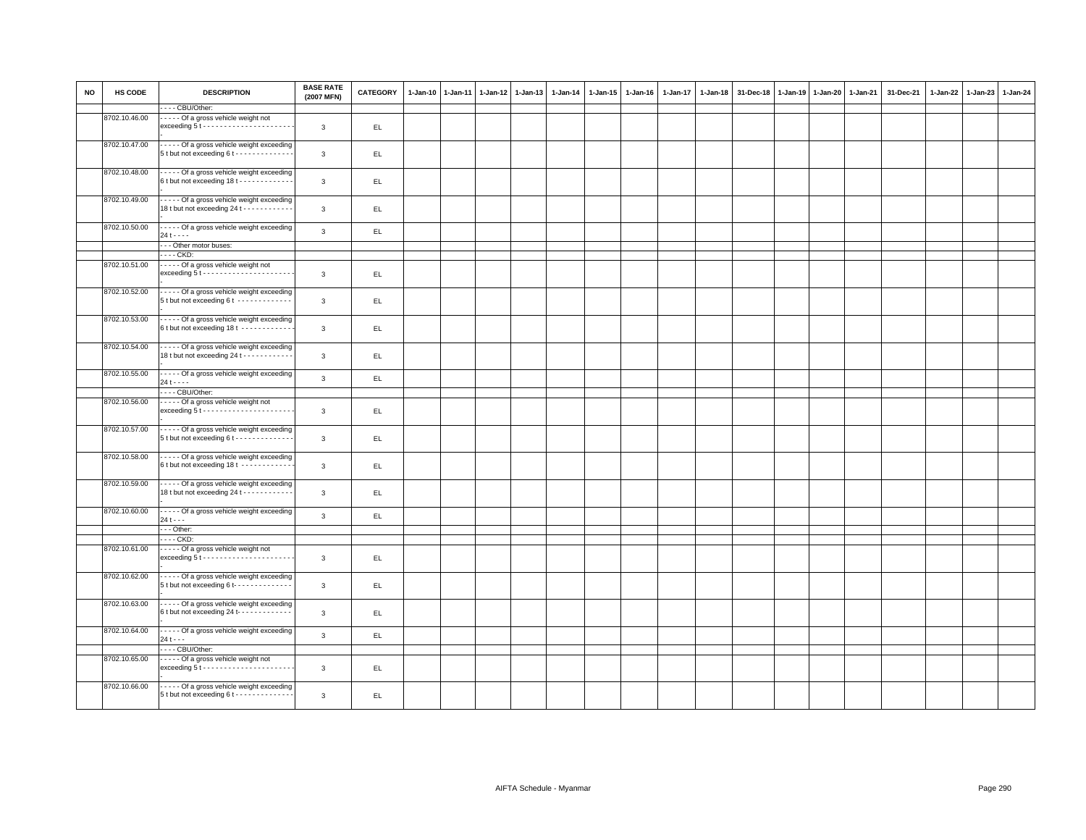| <b>NO</b> | HS CODE       | <b>DESCRIPTION</b><br>--- CBU/Other:                                                            | <b>BASE RATE</b><br>(2007 MFN) | <b>CATEGORY</b> | $1-Jan-10$ | $1-Jan-11$ | $1-Jan-12$ | $1-Jan-13$ | 1-Jan-14 | 1-Jan-15 | $1 - Jan-16$ | 1-Jan-17 | 1-Jan-18 | 31-Dec-18 | $1-Jan-19$ | 1-Jan-20 | 1-Jan-21 | 31-Dec-21 | 1-Jan-22 1-Jan-23 | 1-Jan-24 |
|-----------|---------------|-------------------------------------------------------------------------------------------------|--------------------------------|-----------------|------------|------------|------------|------------|----------|----------|--------------|----------|----------|-----------|------------|----------|----------|-----------|-------------------|----------|
|           |               |                                                                                                 |                                |                 |            |            |            |            |          |          |              |          |          |           |            |          |          |           |                   |          |
|           | 8702.10.46.00 | ----- Of a gross vehicle weight not<br>$exceeding 5t \cdots \cdots \cdots \cdots \cdots \cdots$ | $\mathbf{3}$                   | EL              |            |            |            |            |          |          |              |          |          |           |            |          |          |           |                   |          |
|           | 8702.10.47.00 | Of a gross vehicle weight exceeding<br>5 t but not exceeding 6 t - - - - - - - - - - - - -      | $\mathbf{3}$                   | EL.             |            |            |            |            |          |          |              |          |          |           |            |          |          |           |                   |          |
|           | 8702.10.48.00 | Of a gross vehicle weight exceeding<br>6t but not exceeding 18t - - - - - - - - - - - -         | $\mathbf{3}$                   | EL.             |            |            |            |            |          |          |              |          |          |           |            |          |          |           |                   |          |
|           | 8702.10.49.00 | Of a gross vehicle weight exceeding<br>18 t but not exceeding 24 t - - - - - - - - - - -        | $\mathbf{3}$                   | EL.             |            |            |            |            |          |          |              |          |          |           |            |          |          |           |                   |          |
|           | 8702.10.50.00 | Of a gross vehicle weight exceeding<br>$24t - - -$                                              | $\overline{3}$                 | EL.             |            |            |            |            |          |          |              |          |          |           |            |          |          |           |                   |          |
|           |               | --- Other motor buses:                                                                          |                                |                 |            |            |            |            |          |          |              |          |          |           |            |          |          |           |                   |          |
|           |               | - - - - CKD:                                                                                    |                                |                 |            |            |            |            |          |          |              |          |          |           |            |          |          |           |                   |          |
|           | 8702.10.51.00 | ----- Of a gross vehicle weight not<br>$exceeding 5t \cdots \cdots \cdots \cdots \cdots \cdots$ | $\mathbf{3}$                   | EL.             |            |            |            |            |          |          |              |          |          |           |            |          |          |           |                   |          |
|           | 8702.10.52.00 | - Of a gross vehicle weight exceeding<br>5 t but not exceeding 6 t - - - - - - - - - - - - -    | $\mathbf{3}$                   | EL.             |            |            |            |            |          |          |              |          |          |           |            |          |          |           |                   |          |
|           | 8702.10.53.00 | Of a gross vehicle weight exceeding<br>6t but not exceeding 18t ------------                    | $\mathbf{3}$                   | EL.             |            |            |            |            |          |          |              |          |          |           |            |          |          |           |                   |          |
|           | 8702.10.54.00 | Of a gross vehicle weight exceeding<br>18 t but not exceeding 24 t - - - - - - - - - - -        | $\mathbf{3}$                   | EL.             |            |            |            |            |          |          |              |          |          |           |            |          |          |           |                   |          |
|           | 8702.10.55.00 | - - - - - Of a gross vehicle weight exceeding<br>$24t - - -$                                    | $\overline{3}$                 | EL.             |            |            |            |            |          |          |              |          |          |           |            |          |          |           |                   |          |
|           |               | - - - - CBU/Other:                                                                              |                                |                 |            |            |            |            |          |          |              |          |          |           |            |          |          |           |                   |          |
|           | 8702.10.56.00 | Of a gross vehicle weight not                                                                   | $\mathbf{3}$                   | EL.             |            |            |            |            |          |          |              |          |          |           |            |          |          |           |                   |          |
|           | 8702.10.57.00 | Of a gross vehicle weight exceeding<br>5 t but not exceeding 6 t - - - - - - - - - - - - -      | $\mathbf{3}$                   | EL.             |            |            |            |            |          |          |              |          |          |           |            |          |          |           |                   |          |
|           | 8702.10.58.00 | Of a gross vehicle weight exceeding<br>6 t but not exceeding 18 t -----------                   | $\mathbf{3}$                   | EL.             |            |            |            |            |          |          |              |          |          |           |            |          |          |           |                   |          |
|           | 8702.10.59.00 | Of a gross vehicle weight exceeding<br>18 t but not exceeding 24 t - - - - - - - - - - -        | 3                              | EL.             |            |            |            |            |          |          |              |          |          |           |            |          |          |           |                   |          |
|           | 8702.10.60.00 | - - - - - Of a gross vehicle weight exceeding<br>$24t - -$                                      | $\overline{3}$                 | EL.             |            |            |            |            |          |          |              |          |          |           |            |          |          |           |                   |          |
|           |               | --- Other:<br>- - - - CKD:                                                                      |                                |                 |            |            |            |            |          |          |              |          |          |           |            |          |          |           |                   |          |
|           | 8702.10.61.00 | ----- Of a gross vehicle weight not<br>$exceeding 5t - - - - - - - - - - - - - - - - - -$       | $\mathbf{3}$                   | EL.             |            |            |            |            |          |          |              |          |          |           |            |          |          |           |                   |          |
|           | 8702.10.62.00 | Of a gross vehicle weight exceeding<br>5 t but not exceeding 6 t- - - - - - - - - - - - -       | $\mathbf{3}$                   | EL.             |            |            |            |            |          |          |              |          |          |           |            |          |          |           |                   |          |
|           | 8702.10.63.00 | Of a gross vehicle weight exceeding<br>6 t but not exceeding 24 t- - - - - - - - - - - -        | $\mathbf{3}$                   | EL.             |            |            |            |            |          |          |              |          |          |           |            |          |          |           |                   |          |
|           | 8702.10.64.00 | - - - - - Of a gross vehicle weight exceeding<br>$24 + - -$<br>---- CBU/Other:                  | $\overline{3}$                 | EL.             |            |            |            |            |          |          |              |          |          |           |            |          |          |           |                   |          |
|           | 8702.10.65.00 | ----- Of a gross vehicle weight not                                                             |                                |                 |            |            |            |            |          |          |              |          |          |           |            |          |          |           |                   |          |
|           |               |                                                                                                 | 3                              | EL.             |            |            |            |            |          |          |              |          |          |           |            |          |          |           |                   |          |
|           | 8702.10.66.00 | Of a gross vehicle weight exceeding<br>5 t but not exceeding 6 t - - - - - - - - - - - - - -    | 3                              | EL.             |            |            |            |            |          |          |              |          |          |           |            |          |          |           |                   |          |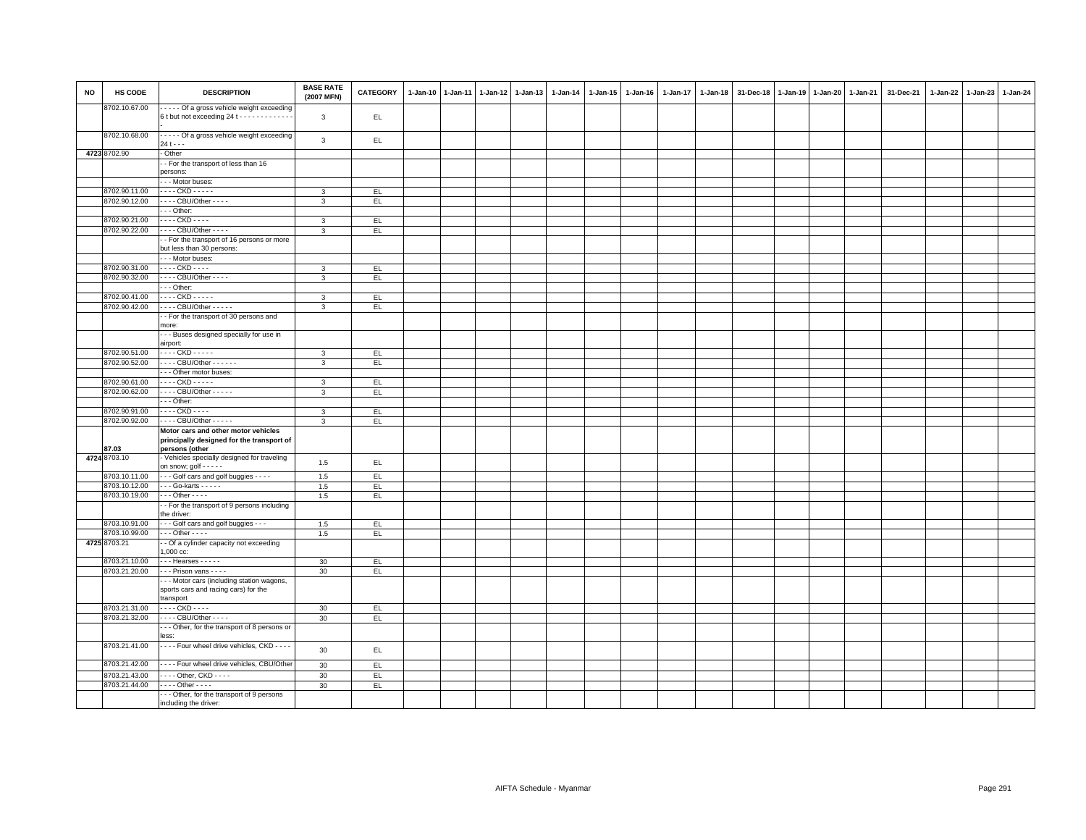| <b>NO</b> | HS CODE                        | <b>DESCRIPTION</b>                                                                            | <b>BASE RATE</b><br>(2007 MFN) | CATEGORY | 1-Jan-10 1-Jan-11 | 1-Jan-12 1-Jan-13 | 1-Jan-14 | 1-Jan-15 | $1 - Jan-16$ | 1-Jan-17 | $1 - Jan-18$ | 31-Dec-18 | 1-Jan-19 1-Jan-20 1-Jan-21 | 31-Dec-21 | 1-Jan-22 1-Jan-23 | 1-Jan-24 |
|-----------|--------------------------------|-----------------------------------------------------------------------------------------------|--------------------------------|----------|-------------------|-------------------|----------|----------|--------------|----------|--------------|-----------|----------------------------|-----------|-------------------|----------|
|           | 8702.10.67.00                  | Of a gross vehicle weight exceeding<br>6 t but not exceeding 24 t - - - - - - - - - - - -     | 3                              | EL.      |                   |                   |          |          |              |          |              |           |                            |           |                   |          |
|           | 8702.10.68.00                  | - - - - - Of a gross vehicle weight exceeding<br>$24t - -$                                    | 3                              | EL.      |                   |                   |          |          |              |          |              |           |                            |           |                   |          |
|           | 4723 8702.90                   | - Other                                                                                       |                                |          |                   |                   |          |          |              |          |              |           |                            |           |                   |          |
|           |                                | - For the transport of less than 16                                                           |                                |          |                   |                   |          |          |              |          |              |           |                            |           |                   |          |
|           |                                | persons:                                                                                      |                                |          |                   |                   |          |          |              |          |              |           |                            |           |                   |          |
|           |                                | --- Motor buses:                                                                              |                                |          |                   |                   |          |          |              |          |              |           |                            |           |                   |          |
|           | 8702.90.11.00                  | - - - - CKD - - - - -                                                                         | 3                              | EL       |                   |                   |          |          |              |          |              |           |                            |           |                   |          |
|           | 8702.90.12.00                  | - - - - CBU/Other - - - -                                                                     | 3                              | EL       |                   |                   |          |          |              |          |              |           |                            |           |                   |          |
|           |                                | $\cdots$ Other:                                                                               |                                |          |                   |                   |          |          |              |          |              |           |                            |           |                   |          |
|           | 8702.90.21.00                  | - - - - CKD - - - -                                                                           | $\mathbf{3}$                   | EL.      |                   |                   |          |          |              |          |              |           |                            |           |                   |          |
|           | 8702.90.22.00                  | - - - - CBU/Other - - - -                                                                     | 3                              | EL.      |                   |                   |          |          |              |          |              |           |                            |           |                   |          |
|           |                                | - For the transport of 16 persons or more<br>but less than 30 persons:                        |                                |          |                   |                   |          |          |              |          |              |           |                            |           |                   |          |
|           |                                | --- Motor buses:                                                                              |                                |          |                   |                   |          |          |              |          |              |           |                            |           |                   |          |
|           | 8702.90.31.00                  | - - - - CKD - - - -                                                                           | 3                              | EL.      |                   |                   |          |          |              |          |              |           |                            |           |                   |          |
|           | 8702.90.32.00                  | $\cdots$ CBU/Other - - - -                                                                    | $\mathbf{3}$                   | EL       |                   |                   |          |          |              |          |              |           |                            |           |                   |          |
|           |                                | - - - Other:                                                                                  |                                |          |                   |                   |          |          |              |          |              |           |                            |           |                   |          |
|           | 8702.90.41.00                  | - - - - CKD - - - - -                                                                         | 3                              | EL       |                   |                   |          |          |              |          |              |           |                            |           |                   |          |
|           | 8702.90.42.00                  | - - - - CBU/Other - - - - -                                                                   | 3                              | EL       |                   |                   |          |          |              |          |              |           |                            |           |                   |          |
|           |                                | - For the transport of 30 persons and                                                         |                                |          |                   |                   |          |          |              |          |              |           |                            |           |                   |          |
|           |                                | more:                                                                                         |                                |          |                   |                   |          |          |              |          |              |           |                            |           |                   |          |
|           |                                | -- Buses designed specially for use in                                                        |                                |          |                   |                   |          |          |              |          |              |           |                            |           |                   |          |
|           |                                | airport:                                                                                      |                                |          |                   |                   |          |          |              |          |              |           |                            |           |                   |          |
|           | 8702.90.51.00                  | . CKD -                                                                                       | 3                              | EL       |                   |                   |          |          |              |          |              |           |                            |           |                   |          |
|           | 8702.90.52.00                  | - - - - CBU/Other - - - - - -<br>--- Other motor buses:                                       | $\mathbf{3}$                   | EL.      |                   |                   |          |          |              |          |              |           |                            |           |                   |          |
|           | 8702.90.61.00                  | - - - - CKD - - - - -                                                                         | 3                              | EL.      |                   |                   |          |          |              |          |              |           |                            |           |                   |          |
|           | 8702.90.62.00                  | - - - - CBU/Other - - - - -                                                                   | $\mathbf{3}$                   | EL.      |                   |                   |          |          |              |          |              |           |                            |           |                   |          |
|           |                                | Other:                                                                                        |                                |          |                   |                   |          |          |              |          |              |           |                            |           |                   |          |
|           | 8702.90.91.00                  | - - - - CKD - - - -                                                                           | 3                              | EL.      |                   |                   |          |          |              |          |              |           |                            |           |                   |          |
|           | 8702.90.92.00                  | - - - - CBU/Other - - - - -                                                                   | 3                              | EL       |                   |                   |          |          |              |          |              |           |                            |           |                   |          |
|           |                                | Motor cars and other motor vehicles                                                           |                                |          |                   |                   |          |          |              |          |              |           |                            |           |                   |          |
|           | 87.03                          | principally designed for the transport of<br>persons (other                                   |                                |          |                   |                   |          |          |              |          |              |           |                            |           |                   |          |
|           | 4724 8703.10                   | Vehicles specially designed for traveling<br>on snow; golf - - - - -                          | 1.5                            | EL.      |                   |                   |          |          |              |          |              |           |                            |           |                   |          |
|           | 8703.10.11.00                  | - - - Golf cars and golf buggies - - - -                                                      | 1.5                            | EL.      |                   |                   |          |          |              |          |              |           |                            |           |                   |          |
|           | 8703.10.12.00<br>8703.10.19.00 | $\cdots$ Go-karts $\cdots$<br>$\cdots$ Other - - - -                                          | 1.5                            | EL.      |                   |                   |          |          |              |          |              |           |                            |           |                   |          |
|           |                                | - For the transport of 9 persons including                                                    | 1.5                            | EL       |                   |                   |          |          |              |          |              |           |                            |           |                   |          |
|           |                                | the driver:                                                                                   |                                |          |                   |                   |          |          |              |          |              |           |                            |           |                   |          |
|           | 8703.10.91.00                  | - - - Golf cars and golf buggies - - -                                                        | 1.5                            | EL       |                   |                   |          |          |              |          |              |           |                            |           |                   |          |
|           | 8703.10.99.00                  | $\cdots$ Other - - - -                                                                        | 1.5                            | EL.      |                   |                   |          |          |              |          |              |           |                            |           |                   |          |
|           | 4725 8703.21                   | - Of a cylinder capacity not exceeding                                                        |                                |          |                   |                   |          |          |              |          |              |           |                            |           |                   |          |
|           |                                | 1,000 cc:                                                                                     |                                |          |                   |                   |          |          |              |          |              |           |                            |           |                   |          |
|           | 8703.21.10.00                  | $\cdots$ Hearses $\cdots$                                                                     | 30                             | EL       |                   |                   |          |          |              |          |              |           |                            |           |                   |          |
|           | 8703.21.20.00                  | $\cdots$ Prison vans - - - -                                                                  | 30                             | EL.      |                   |                   |          |          |              |          |              |           |                            |           |                   |          |
|           |                                | -- Motor cars (including station wagons,<br>sports cars and racing cars) for the<br>transport |                                |          |                   |                   |          |          |              |          |              |           |                            |           |                   |          |
|           | 8703.21.31.00                  | . CKD -                                                                                       | 30                             | EL.      |                   |                   |          |          |              |          |              |           |                            |           |                   |          |
|           | 8703.21.32.00                  | CBU/Other - - - -                                                                             | 30                             | EL.      |                   |                   |          |          |              |          |              |           |                            |           |                   |          |
|           |                                | -- Other, for the transport of 8 persons or<br>less:                                          |                                |          |                   |                   |          |          |              |          |              |           |                            |           |                   |          |
|           | 8703.21.41.00                  | - - - - Four wheel drive vehicles, CKD - - - -                                                | 30                             | EL.      |                   |                   |          |          |              |          |              |           |                            |           |                   |          |
|           | 8703.21.42.00                  | ---- Four wheel drive vehicles, CBU/Other                                                     | 30                             | EL.      |                   |                   |          |          |              |          |              |           |                            |           |                   |          |
|           | 8703.21.43.00                  | - - - - Other, CKD - - - -                                                                    | 30                             | EL.      |                   |                   |          |          |              |          |              |           |                            |           |                   |          |
|           | 8703.21.44.00                  | $\cdots$ Other - - - -                                                                        | 30                             | EL       |                   |                   |          |          |              |          |              |           |                            |           |                   |          |
|           |                                | -- Other, for the transport of 9 persons<br>including the driver:                             |                                |          |                   |                   |          |          |              |          |              |           |                            |           |                   |          |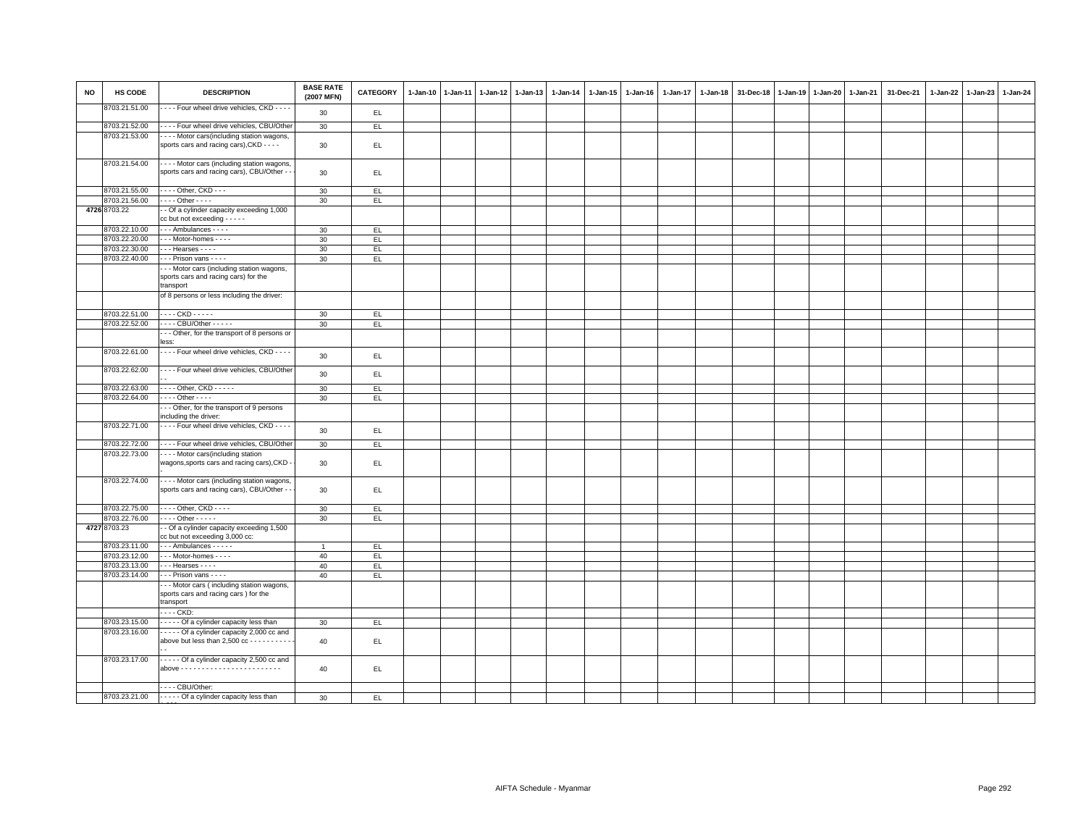| <b>NO</b> | HS CODE       | <b>DESCRIPTION</b>                                                                             | <b>BASE RATE</b><br>(2007 MFN) | <b>CATEGORY</b> | 1-Jan-10 | $1-Jan-11$ | 1-Jan-12 | $1-Jan-13$ | 1-Jan-14 | 1-Jan-15 | $1 - Jan-16$ | 1-Jan-17 | $1-Jan-18$ | 31-Dec-18 | 1-Jan-19 | 1-Jan-20 | 1-Jan-21 | 31-Dec-21 | 1-Jan-22 | $1-Jan-23$ | 1-Jan-24 |
|-----------|---------------|------------------------------------------------------------------------------------------------|--------------------------------|-----------------|----------|------------|----------|------------|----------|----------|--------------|----------|------------|-----------|----------|----------|----------|-----------|----------|------------|----------|
|           | 8703.21.51.00 | - - - Four wheel drive vehicles, CKD - - - -                                                   | 30                             | EL.             |          |            |          |            |          |          |              |          |            |           |          |          |          |           |          |            |          |
|           | 8703.21.52.00 | ---- Four wheel drive vehicles, CBU/Other                                                      | 30 <sup>°</sup>                | EL              |          |            |          |            |          |          |              |          |            |           |          |          |          |           |          |            |          |
|           | 8703.21.53.00 | - - - - Motor cars(including station wagons,<br>sports cars and racing cars), CKD - - - -      | 30                             | EL              |          |            |          |            |          |          |              |          |            |           |          |          |          |           |          |            |          |
|           | 8703.21.54.00 | Motor cars (including station wagons,<br>sports cars and racing cars), CBU/Other -             | 30                             | EL.             |          |            |          |            |          |          |              |          |            |           |          |          |          |           |          |            |          |
|           | 8703.21.55.00 | $\cdots$ Other, CKD $\cdots$                                                                   | 30                             | E               |          |            |          |            |          |          |              |          |            |           |          |          |          |           |          |            |          |
|           | 8703.21.56.00 | $\cdots$ Other - - - -                                                                         | 30                             | EL.             |          |            |          |            |          |          |              |          |            |           |          |          |          |           |          |            |          |
|           | 4726 8703.22  | - Of a cylinder capacity exceeding 1,000<br>$cc$ but not exceeding - - - - -                   |                                |                 |          |            |          |            |          |          |              |          |            |           |          |          |          |           |          |            |          |
|           | 8703.22.10.00 | Ambulances - - - -                                                                             | 30                             | EL.             |          |            |          |            |          |          |              |          |            |           |          |          |          |           |          |            |          |
|           | 8703.22.20.00 | - - - Motor-homes - - - -                                                                      | 30 <sup>°</sup>                | EL              |          |            |          |            |          |          |              |          |            |           |          |          |          |           |          |            |          |
|           | 8703.22.30.00 | $\cdots$ Hearses $\cdots$                                                                      | 30                             | EL              |          |            |          |            |          |          |              |          |            |           |          |          |          |           |          |            |          |
|           | 8703.22.40.00 | Prison vans                                                                                    | 30                             | EL              |          |            |          |            |          |          |              |          |            |           |          |          |          |           |          |            |          |
|           |               | - - Motor cars (including station wagons,<br>sports cars and racing cars) for the<br>transport |                                |                 |          |            |          |            |          |          |              |          |            |           |          |          |          |           |          |            |          |
|           |               | of 8 persons or less including the driver:                                                     |                                |                 |          |            |          |            |          |          |              |          |            |           |          |          |          |           |          |            |          |
|           | 8703.22.51.00 | . CKD -                                                                                        | 30                             | EL              |          |            |          |            |          |          |              |          |            |           |          |          |          |           |          |            |          |
|           | 8703.22.52.00 | CBU/Other - - - - -                                                                            | 30                             | EL.             |          |            |          |            |          |          |              |          |            |           |          |          |          |           |          |            |          |
|           |               | --- Other, for the transport of 8 persons or<br>less:                                          |                                |                 |          |            |          |            |          |          |              |          |            |           |          |          |          |           |          |            |          |
|           | 8703.22.61.00 | - - - Four wheel drive vehicles, CKD - - - -                                                   | 30                             | EL              |          |            |          |            |          |          |              |          |            |           |          |          |          |           |          |            |          |
|           | 8703.22.62.00 | ---- Four wheel drive vehicles, CBU/Other                                                      | 30                             | EL              |          |            |          |            |          |          |              |          |            |           |          |          |          |           |          |            |          |
|           | 8703.22.63.00 | - - - - Other, CKD - - - - -                                                                   | 30 <sup>°</sup>                | EL              |          |            |          |            |          |          |              |          |            |           |          |          |          |           |          |            |          |
|           | 8703.22.64.00 | $\cdots$ Other - - - -                                                                         | 30                             | EL              |          |            |          |            |          |          |              |          |            |           |          |          |          |           |          |            |          |
|           |               | - - Other, for the transport of 9 persons                                                      |                                |                 |          |            |          |            |          |          |              |          |            |           |          |          |          |           |          |            |          |
|           |               | including the driver:                                                                          |                                |                 |          |            |          |            |          |          |              |          |            |           |          |          |          |           |          |            |          |
|           | 8703.22.71.00 | - - - - Four wheel drive vehicles, CKD - - - -                                                 | 30                             | EL              |          |            |          |            |          |          |              |          |            |           |          |          |          |           |          |            |          |
|           | 8703.22.72.00 | Four wheel drive vehicles, CBU/Other                                                           | 30                             | EL              |          |            |          |            |          |          |              |          |            |           |          |          |          |           |          |            |          |
|           | 8703.22.73.00 | - - - - Motor cars(including station<br>wagons, sports cars and racing cars), CKD .            | 30                             | EL              |          |            |          |            |          |          |              |          |            |           |          |          |          |           |          |            |          |
|           | 8703.22.74.00 | - - - - Motor cars (including station wagons,<br>sports cars and racing cars), CBU/Other -     | 30                             | EL.             |          |            |          |            |          |          |              |          |            |           |          |          |          |           |          |            |          |
|           | 8703.22.75.00 | - - - - Other, CKD - - - -                                                                     | 30                             | EL              |          |            |          |            |          |          |              |          |            |           |          |          |          |           |          |            |          |
|           | 8703.22.76.00 | $\cdots$ Other - - - - -                                                                       | 30                             | EL              |          |            |          |            |          |          |              |          |            |           |          |          |          |           |          |            |          |
|           | 4727 8703.23  | - Of a cylinder capacity exceeding 1,500<br>cc but not exceeding 3,000 cc:                     |                                |                 |          |            |          |            |          |          |              |          |            |           |          |          |          |           |          |            |          |
|           | 8703.23.11.00 | - - - Ambulances - - - - -                                                                     | $\overline{1}$                 | EL.             |          |            |          |            |          |          |              |          |            |           |          |          |          |           |          |            |          |
|           | 8703.23.12.00 | - - - Motor-homes - - - -                                                                      | 40                             | EL              |          |            |          |            |          |          |              |          |            |           |          |          |          |           |          |            |          |
|           | 8703.23.13.00 | $\cdots$ Hearses $\cdots$                                                                      | 40                             | E               |          |            |          |            |          |          |              |          |            |           |          |          |          |           |          |            |          |
|           | 8703.23.14.00 | --- Prison vans ----                                                                           | 40                             | EL.             |          |            |          |            |          |          |              |          |            |           |          |          |          |           |          |            |          |
|           |               | - - Motor cars (including station wagons,<br>sports cars and racing cars) for the<br>transport |                                |                 |          |            |          |            |          |          |              |          |            |           |          |          |          |           |          |            |          |
|           |               | - - - - CKD:                                                                                   |                                |                 |          |            |          |            |          |          |              |          |            |           |          |          |          |           |          |            |          |
|           | 8703.23.15.00 | Of a cylinder capacity less than                                                               | 30 <sup>°</sup>                | EL              |          |            |          |            |          |          |              |          |            |           |          |          |          |           |          |            |          |
|           | 8703.23.16.00 | Of a cylinder capacity 2,000 cc and<br>above but less than 2,500 cc - - - - - - - - - -        | 40                             | EL.             |          |            |          |            |          |          |              |          |            |           |          |          |          |           |          |            |          |
|           | 8703.23.17.00 | - - - - - Of a cylinder capacity 2,500 cc and                                                  |                                |                 |          |            |          |            |          |          |              |          |            |           |          |          |          |           |          |            |          |
|           |               |                                                                                                | 40                             | EL.             |          |            |          |            |          |          |              |          |            |           |          |          |          |           |          |            |          |
|           |               | ---- CBU/Other:                                                                                |                                |                 |          |            |          |            |          |          |              |          |            |           |          |          |          |           |          |            |          |
|           | 8703.23.21.00 | ----- Of a cylinder capacity less than                                                         | 30                             | EL.             |          |            |          |            |          |          |              |          |            |           |          |          |          |           |          |            |          |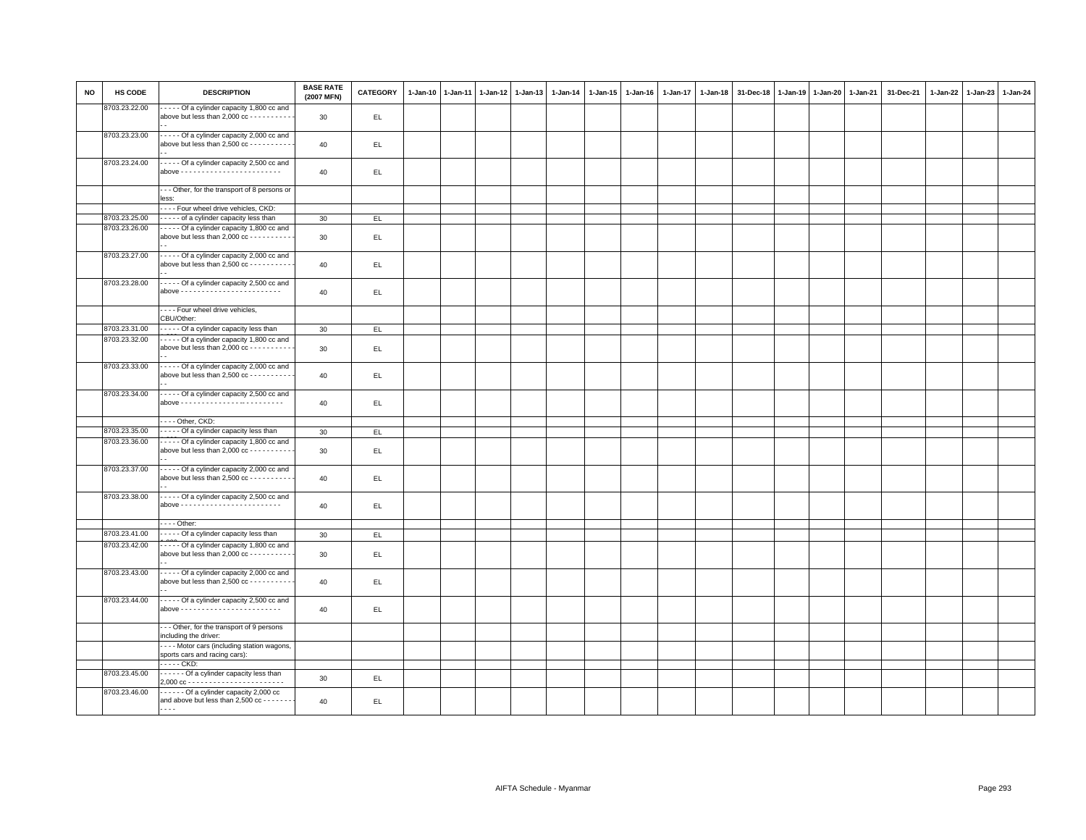| <b>NO</b> | HS CODE                        | <b>DESCRIPTION</b>                                                                                  | <b>BASE RATE</b><br>(2007 MFN) | CATEGORY | $1 - Jan-10$ | $1 - Jan-11$ | $1 - Jan-12$ | $1 - Jan-13$ | 1-Jan-14 | 1-Jan-15 | $1 - Jan-16$ | $1 - Jan-17$ | 1-Jan-18 | 31-Dec-18 | $1-Jan-19$ | $1 - Jan-20$ | 1-Jan-21 | 31-Dec-21 | 1-Jan-22 1-Jan-23 | 1-Jan-24 |
|-----------|--------------------------------|-----------------------------------------------------------------------------------------------------|--------------------------------|----------|--------------|--------------|--------------|--------------|----------|----------|--------------|--------------|----------|-----------|------------|--------------|----------|-----------|-------------------|----------|
|           | 8703.23.22.00                  | - - - - - Of a cylinder capacity 1,800 cc and<br>above but less than 2,000 cc - - - - - - - - - -   | 30                             | EL.      |              |              |              |              |          |          |              |              |          |           |            |              |          |           |                   |          |
|           | 8703.23.23.00                  | - - - - - Of a cylinder capacity 2,000 cc and<br>above but less than $2,500$ cc - - - - - - - - - - | 40                             | EL.      |              |              |              |              |          |          |              |              |          |           |            |              |          |           |                   |          |
|           | 8703.23.24.00                  | - - - - - Of a cylinder capacity 2,500 cc and                                                       | 40                             | EL.      |              |              |              |              |          |          |              |              |          |           |            |              |          |           |                   |          |
|           |                                | --- Other, for the transport of 8 persons or<br>less:                                               |                                |          |              |              |              |              |          |          |              |              |          |           |            |              |          |           |                   |          |
|           |                                | ---- Four wheel drive vehicles, CKD:                                                                |                                |          |              |              |              |              |          |          |              |              |          |           |            |              |          |           |                   |          |
|           | 8703.23.25.00                  | - - - - - of a cylinder capacity less than                                                          | 30                             | EL.      |              |              |              |              |          |          |              |              |          |           |            |              |          |           |                   |          |
|           | 8703.23.26.00                  | - - - - - Of a cylinder capacity 1,800 cc and<br>above but less than 2,000 cc - - - - - - - - - -   | 30                             | EL.      |              |              |              |              |          |          |              |              |          |           |            |              |          |           |                   |          |
|           | 8703.23.27.00                  | Of a cylinder capacity 2,000 cc and<br>above but less than $2,500$ cc - - - - - - - - - -           | 40                             | EL       |              |              |              |              |          |          |              |              |          |           |            |              |          |           |                   |          |
|           | 8703.23.28.00                  | Of a cylinder capacity 2,500 cc and                                                                 | 40                             | EL.      |              |              |              |              |          |          |              |              |          |           |            |              |          |           |                   |          |
|           |                                | - - - - Four wheel drive vehicles,<br>CBU/Other:                                                    |                                |          |              |              |              |              |          |          |              |              |          |           |            |              |          |           |                   |          |
|           | 8703.23.31.00                  | Of a cylinder capacity less than                                                                    | 30                             | EL.      |              |              |              |              |          |          |              |              |          |           |            |              |          |           |                   |          |
|           | 8703.23.32.00                  | Of a cylinder capacity 1,800 cc and<br>above but less than 2,000 cc - - - - - - - - - -             | 30                             | EL.      |              |              |              |              |          |          |              |              |          |           |            |              |          |           |                   |          |
|           | 8703.23.33.00                  | - - - - - Of a cylinder capacity 2,000 cc and<br>above but less than $2,500$ cc - - - - - - - - - - | 40                             | EL.      |              |              |              |              |          |          |              |              |          |           |            |              |          |           |                   |          |
|           | 8703.23.34.00                  | - - - - - Of a cylinder capacity 2,500 cc and                                                       | 40                             | EL.      |              |              |              |              |          |          |              |              |          |           |            |              |          |           |                   |          |
|           |                                | - - - - Other, CKD:                                                                                 |                                |          |              |              |              |              |          |          |              |              |          |           |            |              |          |           |                   |          |
|           | 8703.23.35.00                  | Of a cylinder capacity less than                                                                    | 30                             | EL       |              |              |              |              |          |          |              |              |          |           |            |              |          |           |                   |          |
|           | 8703.23.36.00                  | Of a cylinder capacity 1,800 cc and<br>above but less than $2,000$ cc - - - - - - - - - -           | 30                             | EL       |              |              |              |              |          |          |              |              |          |           |            |              |          |           |                   |          |
|           | 8703.23.37.00                  | - - - - - Of a cylinder capacity 2,000 cc and<br>above but less than $2,500$ cc - - - - - - - - -   | 40                             | EL       |              |              |              |              |          |          |              |              |          |           |            |              |          |           |                   |          |
|           | 8703.23.38.00                  | - - - - - Of a cylinder capacity 2,500 cc and                                                       | 40                             | EL.      |              |              |              |              |          |          |              |              |          |           |            |              |          |           |                   |          |
|           |                                | $\cdots$ - Other:                                                                                   |                                |          |              |              |              |              |          |          |              |              |          |           |            |              |          |           |                   |          |
|           | 8703.23.41.00                  | Of a cylinder capacity less than                                                                    | 30                             | EL.      |              |              |              |              |          |          |              |              |          |           |            |              |          |           |                   |          |
|           | 8703.23.42.00                  | - - - - Of a cylinder capacity 1,800 cc and<br>above but less than 2,000 cc - - - - - - - - -       | 30                             | EL.      |              |              |              |              |          |          |              |              |          |           |            |              |          |           |                   |          |
|           | 8703.23.43.00                  | Of a cylinder capacity 2,000 cc and<br>above but less than $2,500$ cc - - - - - - - - -             | 40                             | EL.      |              |              |              |              |          |          |              |              |          |           |            |              |          |           |                   |          |
|           | 8703.23.44.00                  | - - - - - Of a cylinder capacity 2,500 cc and                                                       | 40                             | EL.      |              |              |              |              |          |          |              |              |          |           |            |              |          |           |                   |          |
|           |                                | --- Other, for the transport of 9 persons<br>including the driver:                                  |                                |          |              |              |              |              |          |          |              |              |          |           |            |              |          |           |                   |          |
|           |                                | ---- Motor cars (including station wagons,<br>sports cars and racing cars):                         |                                |          |              |              |              |              |          |          |              |              |          |           |            |              |          |           |                   |          |
|           |                                | . CKD:                                                                                              |                                |          |              |              |              |              |          |          |              |              |          |           |            |              |          |           |                   |          |
|           | 8703.23.45.00<br>8703.23.46.00 | ------ Of a cylinder capacity less than<br>Of a cylinder capacity 2,000 cc                          | 30 <sup>°</sup>                | EL.      |              |              |              |              |          |          |              |              |          |           |            |              |          |           |                   |          |
|           |                                | and above but less than 2,500 cc - - - - - -<br>.                                                   | 40                             | EL       |              |              |              |              |          |          |              |              |          |           |            |              |          |           |                   |          |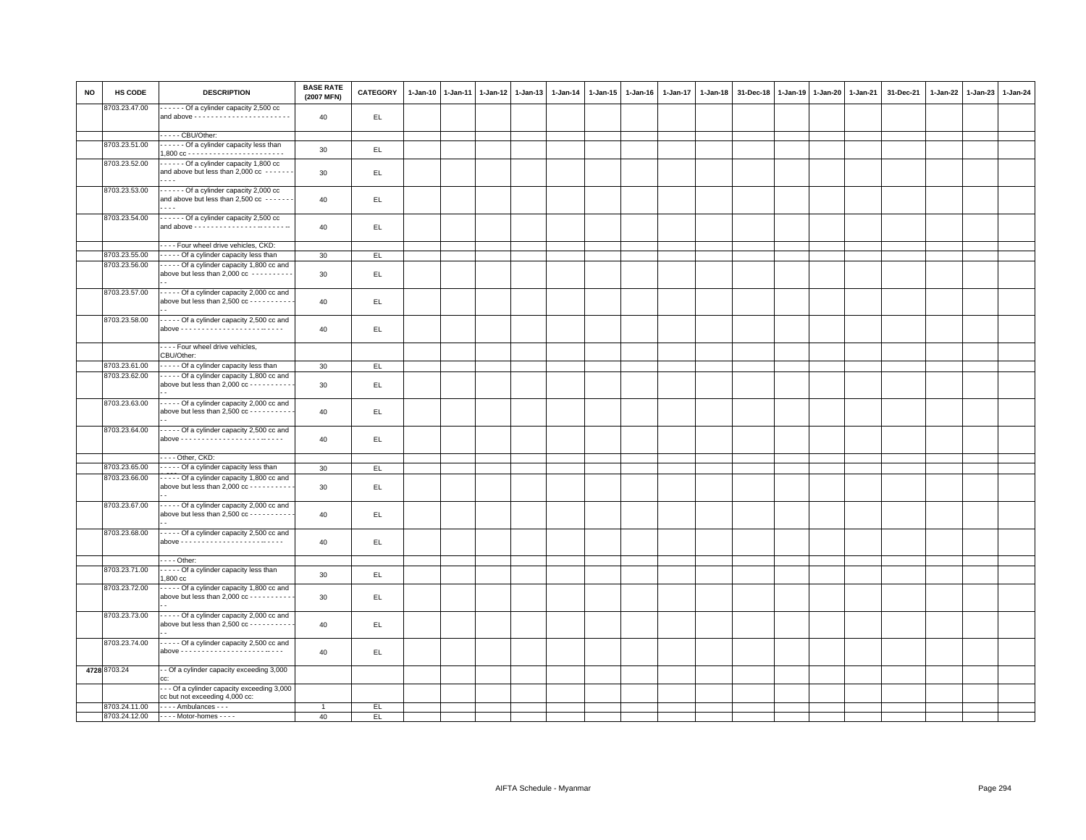| <b>NO</b> | HS CODE       | <b>DESCRIPTION</b>                                                                                  | <b>BASE RATE</b><br>(2007 MFN) | CATEGORY | $1 - Jan-10$ | $1-Jan-11$ | $1 - Jan-12$ | $1-Jan-13$ | 1-Jan-14 | $1 - Jan-15$ | $1 - Jan-16$ | $1 - Jan-17$ | 1-Jan-18 | 31-Dec-18 | $1 - Jan-19$ | $1 - Jan-20$ | 1-Jan-21 | 31-Dec-21 | 1-Jan-22 1-Jan-23 | 1-Jan-24 |
|-----------|---------------|-----------------------------------------------------------------------------------------------------|--------------------------------|----------|--------------|------------|--------------|------------|----------|--------------|--------------|--------------|----------|-----------|--------------|--------------|----------|-----------|-------------------|----------|
|           | 8703.23.47.00 | Of a cylinder capacity 2,500 cc                                                                     | 40                             | EL.      |              |            |              |            |          |              |              |              |          |           |              |              |          |           |                   |          |
|           |               |                                                                                                     |                                |          |              |            |              |            |          |              |              |              |          |           |              |              |          |           |                   |          |
|           |               | CBU/Other:                                                                                          |                                |          |              |            |              |            |          |              |              |              |          |           |              |              |          |           |                   |          |
|           | 8703.23.51.00 | Of a cylinder capacity less than                                                                    | 30                             | EL.      |              |            |              |            |          |              |              |              |          |           |              |              |          |           |                   |          |
|           | 8703.23.52.00 | Of a cylinder capacity 1,800 cc<br>and above but less than 2,000 cc - - - - - -                     | 30                             | EL       |              |            |              |            |          |              |              |              |          |           |              |              |          |           |                   |          |
|           | 8703.23.53.00 | Of a cylinder capacity 2,000 cc<br>and above but less than 2,500 cc ------                          | 40                             | EL       |              |            |              |            |          |              |              |              |          |           |              |              |          |           |                   |          |
|           | 8703.23.54.00 | Of a cylinder capacity 2,500 cc                                                                     |                                |          |              |            |              |            |          |              |              |              |          |           |              |              |          |           |                   |          |
|           |               |                                                                                                     | 40                             | EL.      |              |            |              |            |          |              |              |              |          |           |              |              |          |           |                   |          |
|           | 8703.23.55.00 | - - - - Four wheel drive vehicles, CKD:<br>Of a cylinder capacity less than                         | 30                             | EL.      |              |            |              |            |          |              |              |              |          |           |              |              |          |           |                   |          |
|           | 8703.23.56.00 | Of a cylinder capacity 1,800 cc and                                                                 |                                |          |              |            |              |            |          |              |              |              |          |           |              |              |          |           |                   |          |
|           |               | above but less than 2,000 cc ----------                                                             | 30                             | EL.      |              |            |              |            |          |              |              |              |          |           |              |              |          |           |                   |          |
|           | 8703.23.57.00 | - - - - - Of a cylinder capacity 2,000 cc and<br>above but less than 2,500 cc - - - - - - - - -     | 40                             | EL.      |              |            |              |            |          |              |              |              |          |           |              |              |          |           |                   |          |
|           | 8703.23.58.00 | - - - - - Of a cylinder capacity 2,500 cc and                                                       | 40                             | EL.      |              |            |              |            |          |              |              |              |          |           |              |              |          |           |                   |          |
|           |               | - - - - Four wheel drive vehicles,<br>CBU/Other:                                                    |                                |          |              |            |              |            |          |              |              |              |          |           |              |              |          |           |                   |          |
|           | 8703.23.61.00 | Of a cylinder capacity less than                                                                    | 30 <sup>°</sup>                | EL       |              |            |              |            |          |              |              |              |          |           |              |              |          |           |                   |          |
|           | 8703.23.62.00 | - - - - - Of a cylinder capacity 1,800 cc and<br>above but less than $2,000$ cc - - - - - - - - - - | 30                             | EL.      |              |            |              |            |          |              |              |              |          |           |              |              |          |           |                   |          |
|           | 8703.23.63.00 | - - - - - Of a cylinder capacity 2,000 cc and<br>above but less than 2,500 cc - - - - - - - - - -   | 40                             | EL.      |              |            |              |            |          |              |              |              |          |           |              |              |          |           |                   |          |
|           | 8703.23.64.00 | - - - - - Of a cylinder capacity 2,500 cc and                                                       | 40                             | EL.      |              |            |              |            |          |              |              |              |          |           |              |              |          |           |                   |          |
|           |               | - - - - Other, CKD:                                                                                 |                                |          |              |            |              |            |          |              |              |              |          |           |              |              |          |           |                   |          |
|           | 8703.23.65.00 | Of a cylinder capacity less than                                                                    | 30                             | EL       |              |            |              |            |          |              |              |              |          |           |              |              |          |           |                   |          |
|           | 8703.23.66.00 | Of a cylinder capacity 1,800 cc and<br>above but less than $2,000$ cc - - - - - - - - - -           | 30                             | EL.      |              |            |              |            |          |              |              |              |          |           |              |              |          |           |                   |          |
|           | 8703.23.67.00 | - - - - - Of a cylinder capacity 2,000 cc and<br>above but less than $2,500$ cc - - - - - - - - - - | 40                             | EL.      |              |            |              |            |          |              |              |              |          |           |              |              |          |           |                   |          |
|           | 8703.23.68.00 | - - - - - Of a cylinder capacity 2,500 cc and                                                       | 40                             | EL.      |              |            |              |            |          |              |              |              |          |           |              |              |          |           |                   |          |
|           |               | $---$ Other:                                                                                        |                                |          |              |            |              |            |          |              |              |              |          |           |              |              |          |           |                   |          |
|           | 8703.23.71.00 | Of a cylinder capacity less than<br>1,800 cc                                                        | 30                             | EL       |              |            |              |            |          |              |              |              |          |           |              |              |          |           |                   |          |
|           | 8703.23.72.00 | - - - - - Of a cylinder capacity 1,800 cc and<br>above but less than 2,000 cc - - - - - - - - - -   | 30                             | EL.      |              |            |              |            |          |              |              |              |          |           |              |              |          |           |                   |          |
|           | 8703.23.73.00 | Of a cylinder capacity 2,000 cc and<br>above but less than $2,500$ cc - - - - - - - - -             | 40                             | EL.      |              |            |              |            |          |              |              |              |          |           |              |              |          |           |                   |          |
|           | 8703.23.74.00 | - - - - - Of a cylinder capacity 2,500 cc and                                                       | 40                             | EL.      |              |            |              |            |          |              |              |              |          |           |              |              |          |           |                   |          |
|           | 4728 8703.24  | - Of a cylinder capacity exceeding 3,000<br>r.c.                                                    |                                |          |              |            |              |            |          |              |              |              |          |           |              |              |          |           |                   |          |
|           |               | - - Of a cylinder capacity exceeding 3,000<br>cc but not exceeding 4,000 cc:                        |                                |          |              |            |              |            |          |              |              |              |          |           |              |              |          |           |                   |          |
|           | 8703.24.11.00 | $---$ Ambulances $---$                                                                              | $\overline{1}$                 | EL.      |              |            |              |            |          |              |              |              |          |           |              |              |          |           |                   |          |
|           |               | 8703.24.12.00 ---- Motor-homes ----                                                                 | 40                             | EL.      |              |            |              |            |          |              |              |              |          |           |              |              |          |           |                   |          |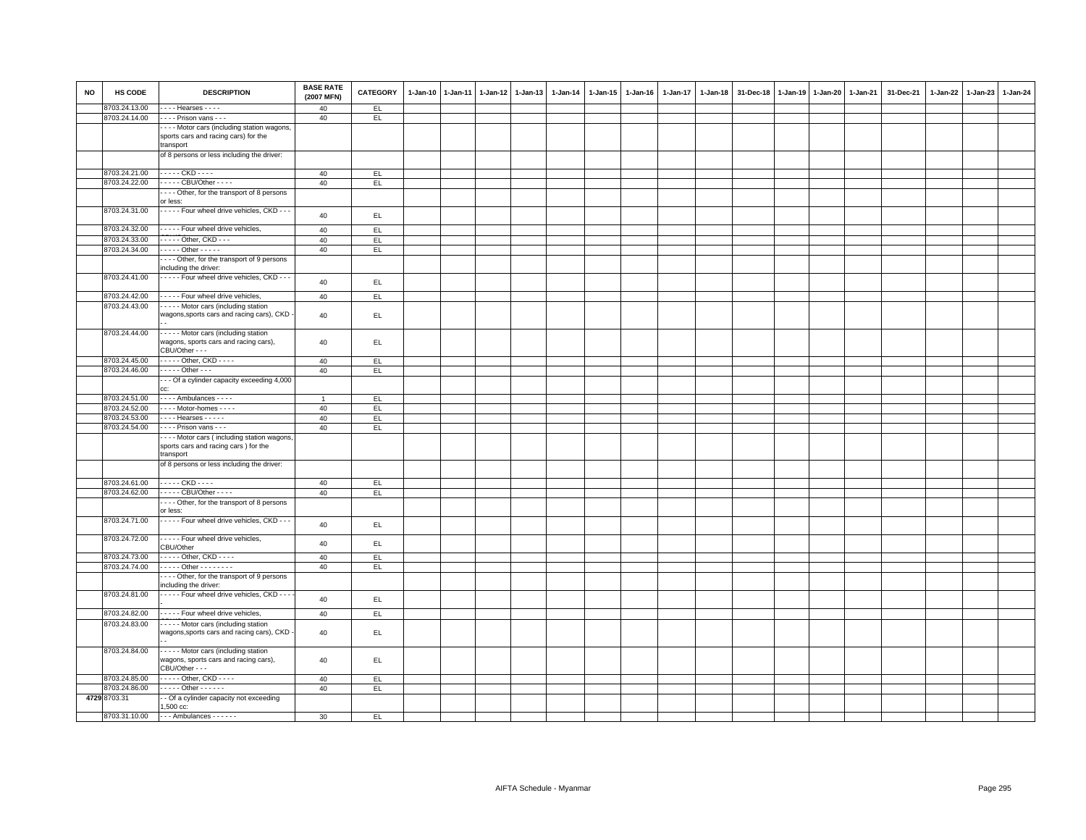| <b>NO</b> | HS CODE       | <b>DESCRIPTION</b>                                                                                  | <b>BASE RATE</b><br>(2007 MFN) | <b>CATEGORY</b> | $1 - Jan-10$ | $1-Jan-11$ | $1-Jan-12$ | $1-Jan-13$ | $1 - Jan-14$ | $1 - Jan-15$ | $1 - Jan-16$ | 1-Jan-17 | $1-Jan-18$ | 31-Dec-18 | 1-Jan-19 | $1-Jan-20$ | 1-Jan-21 | 31-Dec-21 | $1-Jan-22$ | $1-Jan-23$ | $1 - Jan-24$ |
|-----------|---------------|-----------------------------------------------------------------------------------------------------|--------------------------------|-----------------|--------------|------------|------------|------------|--------------|--------------|--------------|----------|------------|-----------|----------|------------|----------|-----------|------------|------------|--------------|
|           | 8703.24.13.00 | $\cdots$ Hearses $\cdots$                                                                           | 40                             | EL.             |              |            |            |            |              |              |              |          |            |           |          |            |          |           |            |            |              |
|           | 8703.24.14.00 | - - - - Prison vans - - -                                                                           | 40                             | EL              |              |            |            |            |              |              |              |          |            |           |          |            |          |           |            |            |              |
|           |               | ---- Motor cars (including station wagons,<br>sports cars and racing cars) for the<br>transport     |                                |                 |              |            |            |            |              |              |              |          |            |           |          |            |          |           |            |            |              |
|           |               | of 8 persons or less including the driver:                                                          |                                |                 |              |            |            |            |              |              |              |          |            |           |          |            |          |           |            |            |              |
|           | 8703.24.21.00 | - - - - - CKD - - - -                                                                               | 40                             | EL.             |              |            |            |            |              |              |              |          |            |           |          |            |          |           |            |            |              |
|           | 8703.24.22.00 | - - - - - CBU/Other - - - -                                                                         | 40                             | EL              |              |            |            |            |              |              |              |          |            |           |          |            |          |           |            |            |              |
|           |               | Other, for the transport of 8 persons                                                               |                                |                 |              |            |            |            |              |              |              |          |            |           |          |            |          |           |            |            |              |
|           |               | or less:                                                                                            |                                |                 |              |            |            |            |              |              |              |          |            |           |          |            |          |           |            |            |              |
|           | 8703.24.31.00 | - - - - - Four wheel drive vehicles, CKD - - -                                                      | 40                             | EL.             |              |            |            |            |              |              |              |          |            |           |          |            |          |           |            |            |              |
|           | 8703.24.32.00 | - - - - - Four wheel drive vehicles,                                                                | 40                             | EL.             |              |            |            |            |              |              |              |          |            |           |          |            |          |           |            |            |              |
|           | 8703.24.33.00 | - - - - - Other, CKD - - -                                                                          | 40                             | EL              |              |            |            |            |              |              |              |          |            |           |          |            |          |           |            |            |              |
|           | 8703.24.34.00 | - - - - - Other - - - - -                                                                           | 40                             | EL              |              |            |            |            |              |              |              |          |            |           |          |            |          |           |            |            |              |
|           |               | --- Other, for the transport of 9 persons                                                           |                                |                 |              |            |            |            |              |              |              |          |            |           |          |            |          |           |            |            |              |
|           |               | including the driver:                                                                               |                                |                 |              |            |            |            |              |              |              |          |            |           |          |            |          |           |            |            |              |
|           | 8703.24.41.00 | - - - - - Four wheel drive vehicles, CKD - - -                                                      | 40                             | EL              |              |            |            |            |              |              |              |          |            |           |          |            |          |           |            |            |              |
|           | 8703.24.42.00 | - - - - - Four wheel drive vehicles,                                                                | 40                             | EL              |              |            |            |            |              |              |              |          |            |           |          |            |          |           |            |            |              |
|           | 8703.24.43.00 | - - - - - Motor cars (including station                                                             |                                |                 |              |            |            |            |              |              |              |          |            |           |          |            |          |           |            |            |              |
|           |               | wagons, sports cars and racing cars), CKD                                                           | 40                             | EL.             |              |            |            |            |              |              |              |          |            |           |          |            |          |           |            |            |              |
|           | 8703.24.44.00 | - - - - - Motor cars (including station<br>wagons, sports cars and racing cars),<br>CBU/Other - - - | 40                             | EL.             |              |            |            |            |              |              |              |          |            |           |          |            |          |           |            |            |              |
|           | 8703.24.45.00 | - - - - - Other, CKD - - - -                                                                        | 40                             | E               |              |            |            |            |              |              |              |          |            |           |          |            |          |           |            |            |              |
|           | 8703.24.46.00 | $\cdots$ Other $\cdots$                                                                             | 40                             | EL              |              |            |            |            |              |              |              |          |            |           |          |            |          |           |            |            |              |
|           |               | - - Of a cylinder capacity exceeding 4,000                                                          |                                |                 |              |            |            |            |              |              |              |          |            |           |          |            |          |           |            |            |              |
|           |               | CC.                                                                                                 |                                |                 |              |            |            |            |              |              |              |          |            |           |          |            |          |           |            |            |              |
|           | 8703.24.51.00 | - - - - Ambulances - - - -                                                                          |                                | EL.             |              |            |            |            |              |              |              |          |            |           |          |            |          |           |            |            |              |
|           | 8703.24.52.00 | - - - - Motor-homes - - - -                                                                         | 40                             | E               |              |            |            |            |              |              |              |          |            |           |          |            |          |           |            |            |              |
|           | 8703.24.53.00 | $\cdots$ Hearses $\cdots$                                                                           | 40                             | EL.             |              |            |            |            |              |              |              |          |            |           |          |            |          |           |            |            |              |
|           | 8703.24.54.00 | - - - - Prison vans - - -                                                                           | 40                             | EL              |              |            |            |            |              |              |              |          |            |           |          |            |          |           |            |            |              |
|           |               | ---- Motor cars (including station wagons<br>sports cars and racing cars) for the<br>transport      |                                |                 |              |            |            |            |              |              |              |          |            |           |          |            |          |           |            |            |              |
|           |               | of 8 persons or less including the driver:                                                          |                                |                 |              |            |            |            |              |              |              |          |            |           |          |            |          |           |            |            |              |
|           | 8703.24.61.00 | - - - - - CKD - - - -                                                                               | 40                             | E               |              |            |            |            |              |              |              |          |            |           |          |            |          |           |            |            |              |
|           | 8703.24.62.00 | - - - - - CBU/Other - - - -                                                                         | 40                             | EL              |              |            |            |            |              |              |              |          |            |           |          |            |          |           |            |            |              |
|           |               | Other, for the transport of 8 persons<br>or less:                                                   |                                |                 |              |            |            |            |              |              |              |          |            |           |          |            |          |           |            |            |              |
|           | 8703.24.71.00 | - - - - - Four wheel drive vehicles, CKD - - -                                                      | 40                             | EL.             |              |            |            |            |              |              |              |          |            |           |          |            |          |           |            |            |              |
|           | 8703.24.72.00 | ----- Four wheel drive vehicles,<br>CBU/Other                                                       | 40                             | EL.             |              |            |            |            |              |              |              |          |            |           |          |            |          |           |            |            |              |
|           | 8703.24.73.00 | - - - - - Other, CKD - - - -                                                                        | 40                             | EL.             |              |            |            |            |              |              |              |          |            |           |          |            |          |           |            |            |              |
|           | 8703.24.74.00 | . Other - - - - - - - -                                                                             | 40                             | E               |              |            |            |            |              |              |              |          |            |           |          |            |          |           |            |            |              |
|           |               | --- Other, for the transport of 9 persons                                                           |                                |                 |              |            |            |            |              |              |              |          |            |           |          |            |          |           |            |            |              |
|           |               | including the driver:                                                                               |                                |                 |              |            |            |            |              |              |              |          |            |           |          |            |          |           |            |            |              |
|           | 8703.24.81.00 | Four wheel drive vehicles, CKD - -                                                                  | 40                             | EL.             |              |            |            |            |              |              |              |          |            |           |          |            |          |           |            |            |              |
|           | 8703.24.82.00 | - - - - - Four wheel drive vehicles,                                                                | 40                             | EL              |              |            |            |            |              |              |              |          |            |           |          |            |          |           |            |            |              |
|           | 8703.24.83.00 | - - - - - Motor cars (including station                                                             |                                |                 |              |            |            |            |              |              |              |          |            |           |          |            |          |           |            |            |              |
|           |               | wagons, sports cars and racing cars), CKD                                                           | 40                             | EL.             |              |            |            |            |              |              |              |          |            |           |          |            |          |           |            |            |              |
|           | 8703.24.84.00 | Motor cars (including station<br>wagons, sports cars and racing cars),<br>CBU/Other - - -           | 40                             | EL.             |              |            |            |            |              |              |              |          |            |           |          |            |          |           |            |            |              |
|           | 8703.24.85.00 | - - - - - Other, CKD - - - -                                                                        | 40                             | EL              |              |            |            |            |              |              |              |          |            |           |          |            |          |           |            |            |              |
|           | 8703.24.86.00 | . Other -                                                                                           | 40                             | EL              |              |            |            |            |              |              |              |          |            |           |          |            |          |           |            |            |              |
|           | 4729 8703.31  | - Of a cylinder capacity not exceeding                                                              |                                |                 |              |            |            |            |              |              |              |          |            |           |          |            |          |           |            |            |              |
|           |               | 1,500 cc:                                                                                           |                                |                 |              |            |            |            |              |              |              |          |            |           |          |            |          |           |            |            |              |
|           | 8703.31.10.00 | $--$ Ambulances $--$                                                                                | 30                             | EL.             |              |            |            |            |              |              |              |          |            |           |          |            |          |           |            |            |              |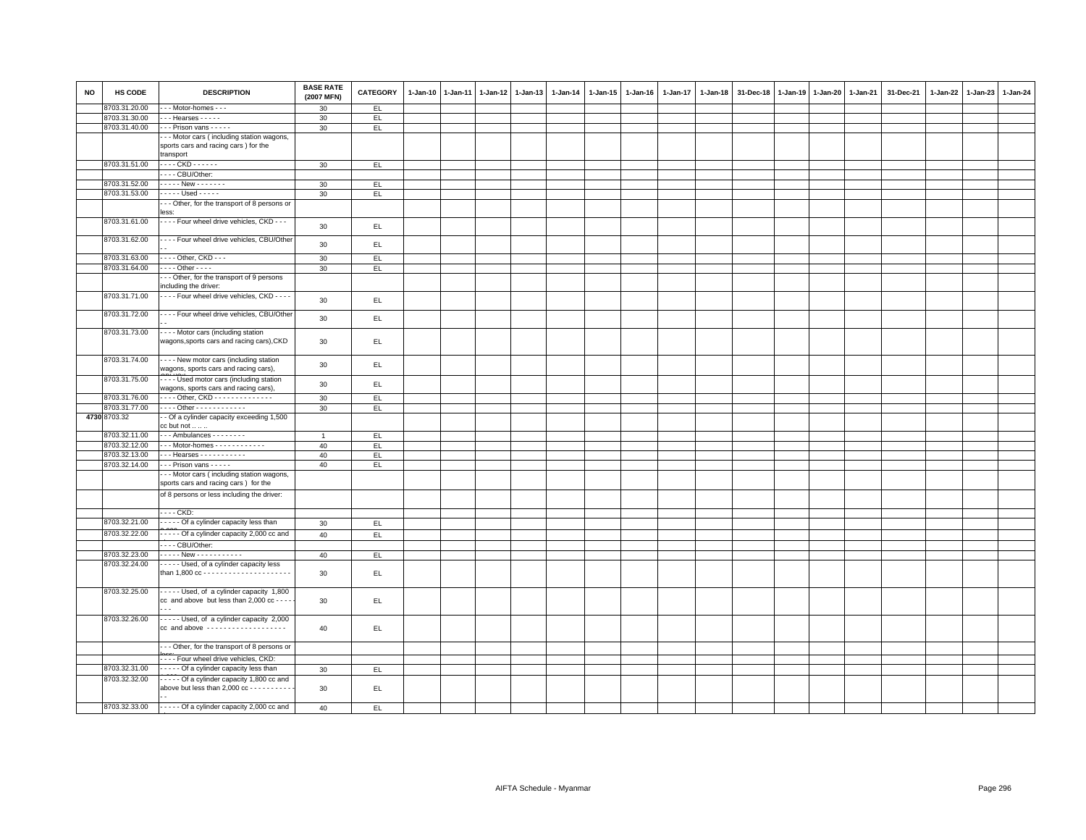| <b>NO</b> | HS CODE       | <b>DESCRIPTION</b>                                    | <b>BASE RATE</b><br>(2007 MFN) | <b>CATEGORY</b> | 1-Jan-10 | $1 - Jan-11$ | 1-Jan-12 | $1-Jan-13$ | 1-Jan-14 | 1-Jan-15 | $1 - Jan-16$ | $1 - Jan-17$ | $1 - Jan-18$ | 31-Dec-18 | $1-Jan-19$ | 1-Jan-20 1-Jan-21 | 31-Dec-21 | 1-Jan-22 | $1-Jan-23$ | 1-Jan-24 |
|-----------|---------------|-------------------------------------------------------|--------------------------------|-----------------|----------|--------------|----------|------------|----------|----------|--------------|--------------|--------------|-----------|------------|-------------------|-----------|----------|------------|----------|
|           | 8703.31.20.00 | - - Motor-homes - - -                                 | 30                             | EL              |          |              |          |            |          |          |              |              |              |           |            |                   |           |          |            |          |
|           | 8703.31.30.00 | $-$ - Hearses $-$ - $-$ -                             | 30                             | EL.             |          |              |          |            |          |          |              |              |              |           |            |                   |           |          |            |          |
|           | 8703.31.40.00 | --- Prison vans -----                                 | 30                             | EL.             |          |              |          |            |          |          |              |              |              |           |            |                   |           |          |            |          |
|           |               | - - Motor cars (including station wagons,             |                                |                 |          |              |          |            |          |          |              |              |              |           |            |                   |           |          |            |          |
|           |               | sports cars and racing cars ) for the                 |                                |                 |          |              |          |            |          |          |              |              |              |           |            |                   |           |          |            |          |
|           |               | transport                                             |                                |                 |          |              |          |            |          |          |              |              |              |           |            |                   |           |          |            |          |
|           | 8703.31.51.00 | . CKD                                                 | 30                             | EL.             |          |              |          |            |          |          |              |              |              |           |            |                   |           |          |            |          |
|           |               | CBU/Other:                                            |                                |                 |          |              |          |            |          |          |              |              |              |           |            |                   |           |          |            |          |
|           | 8703.31.52.00 | $- - - -$ New $- - - - - -$                           | 30                             | EL.             |          |              |          |            |          |          |              |              |              |           |            |                   |           |          |            |          |
|           | 8703.31.53.00 | . Used -                                              | 30                             | EL              |          |              |          |            |          |          |              |              |              |           |            |                   |           |          |            |          |
|           |               | - - Other, for the transport of 8 persons or          |                                |                 |          |              |          |            |          |          |              |              |              |           |            |                   |           |          |            |          |
|           |               | ess:                                                  |                                |                 |          |              |          |            |          |          |              |              |              |           |            |                   |           |          |            |          |
|           | 8703.31.61.00 | - - - - Four wheel drive vehicles, CKD - - -          |                                |                 |          |              |          |            |          |          |              |              |              |           |            |                   |           |          |            |          |
|           |               |                                                       | 30                             | EL.             |          |              |          |            |          |          |              |              |              |           |            |                   |           |          |            |          |
|           | 8703.31.62.00 | Four wheel drive vehicles, CBU/Other                  |                                |                 |          |              |          |            |          |          |              |              |              |           |            |                   |           |          |            |          |
|           |               |                                                       | 30                             | EL              |          |              |          |            |          |          |              |              |              |           |            |                   |           |          |            |          |
|           | 8703.31.63.00 | Other, CKD - - -                                      | 30                             | EL.             |          |              |          |            |          |          |              |              |              |           |            |                   |           |          |            |          |
|           | 8703.31.64.00 | $\cdots$ Other - - - -                                | 30                             | EL.             |          |              |          |            |          |          |              |              |              |           |            |                   |           |          |            |          |
|           |               | - - Other, for the transport of 9 persons             |                                |                 |          |              |          |            |          |          |              |              |              |           |            |                   |           |          |            |          |
|           |               | including the driver:                                 |                                |                 |          |              |          |            |          |          |              |              |              |           |            |                   |           |          |            |          |
|           | 8703.31.71.00 | Four wheel drive vehicles, CKD - - - -                |                                |                 |          |              |          |            |          |          |              |              |              |           |            |                   |           |          |            |          |
|           |               |                                                       | 30                             | EL              |          |              |          |            |          |          |              |              |              |           |            |                   |           |          |            |          |
|           | 8703.31.72.00 | --- Four wheel drive vehicles, CBU/Other              |                                |                 |          |              |          |            |          |          |              |              |              |           |            |                   |           |          |            |          |
|           |               |                                                       | 30                             | EL              |          |              |          |            |          |          |              |              |              |           |            |                   |           |          |            |          |
|           | 8703.31.73.00 | Motor cars (including station                         |                                |                 |          |              |          |            |          |          |              |              |              |           |            |                   |           |          |            |          |
|           |               | wagons, sports cars and racing cars), CKD             | 30                             | EL.             |          |              |          |            |          |          |              |              |              |           |            |                   |           |          |            |          |
|           |               |                                                       |                                |                 |          |              |          |            |          |          |              |              |              |           |            |                   |           |          |            |          |
|           | 8703.31.74.00 | - - - - New motor cars (including station             |                                |                 |          |              |          |            |          |          |              |              |              |           |            |                   |           |          |            |          |
|           |               | wagons, sports cars and racing cars),                 | 30                             | EL.             |          |              |          |            |          |          |              |              |              |           |            |                   |           |          |            |          |
|           | 8703.31.75.00 | Used motor cars (including station                    |                                |                 |          |              |          |            |          |          |              |              |              |           |            |                   |           |          |            |          |
|           |               | wagons, sports cars and racing cars),                 | 30                             | EL.             |          |              |          |            |          |          |              |              |              |           |            |                   |           |          |            |          |
|           | 8703.31.76.00 | $\cdots$ Other, CKD $\cdots$                          | 30                             | EL              |          |              |          |            |          |          |              |              |              |           |            |                   |           |          |            |          |
|           | 8703.31.77.00 | $\cdots$ Other - - - - - - - - - - - -                | 30                             | EL              |          |              |          |            |          |          |              |              |              |           |            |                   |           |          |            |          |
|           | 4730 8703.32  | - Of a cylinder capacity exceeding 1,500              |                                |                 |          |              |          |            |          |          |              |              |              |           |            |                   |           |          |            |          |
|           |               | cc but not                                            |                                |                 |          |              |          |            |          |          |              |              |              |           |            |                   |           |          |            |          |
|           | 8703.32.11.00 | -- Ambulances --------                                | $\overline{1}$                 | EL              |          |              |          |            |          |          |              |              |              |           |            |                   |           |          |            |          |
|           | 8703.32.12.00 | Motor-homes                                           | 40                             | EL.             |          |              |          |            |          |          |              |              |              |           |            |                   |           |          |            |          |
|           | 8703.32.13.00 | $\cdots$ Hearses $\cdots$                             | 40                             | EL              |          |              |          |            |          |          |              |              |              |           |            |                   |           |          |            |          |
|           | 8703.32.14.00 | --- Prison vans -----                                 | 40                             | EL.             |          |              |          |            |          |          |              |              |              |           |            |                   |           |          |            |          |
|           |               | --- Motor cars (including station wagons,             |                                |                 |          |              |          |            |          |          |              |              |              |           |            |                   |           |          |            |          |
|           |               | sports cars and racing cars) for the                  |                                |                 |          |              |          |            |          |          |              |              |              |           |            |                   |           |          |            |          |
|           |               | of 8 persons or less including the driver:            |                                |                 |          |              |          |            |          |          |              |              |              |           |            |                   |           |          |            |          |
|           |               |                                                       |                                |                 |          |              |          |            |          |          |              |              |              |           |            |                   |           |          |            |          |
|           |               | $\cdots$ CKD:                                         |                                |                 |          |              |          |            |          |          |              |              |              |           |            |                   |           |          |            |          |
|           | 8703.32.21.00 | - - - - Of a cylinder capacity less than              |                                | EL.             |          |              |          |            |          |          |              |              |              |           |            |                   |           |          |            |          |
|           |               |                                                       | 30                             |                 |          |              |          |            |          |          |              |              |              |           |            |                   |           |          |            |          |
|           | 8703.32.22.00 | Of a cylinder capacity 2,000 cc and                   | 40                             | EL              |          |              |          |            |          |          |              |              |              |           |            |                   |           |          |            |          |
|           |               | -CBU/Other:                                           |                                |                 |          |              |          |            |          |          |              |              |              |           |            |                   |           |          |            |          |
|           | 8703.32.23.00 | ---- New -----------                                  | 40                             | EL.             |          |              |          |            |          |          |              |              |              |           |            |                   |           |          |            |          |
|           | 8703.32.24.00 | Used, of a cylinder capacity less                     |                                |                 |          |              |          |            |          |          |              |              |              |           |            |                   |           |          |            |          |
|           |               |                                                       | 30                             | EL.             |          |              |          |            |          |          |              |              |              |           |            |                   |           |          |            |          |
|           |               |                                                       |                                |                 |          |              |          |            |          |          |              |              |              |           |            |                   |           |          |            |          |
|           | 8703.32.25.00 | Used, of a cylinder capacity 1,800                    |                                |                 |          |              |          |            |          |          |              |              |              |           |            |                   |           |          |            |          |
|           |               | cc and above but less than 2,000 cc - - - -<br>$\sim$ | 30                             | EL.             |          |              |          |            |          |          |              |              |              |           |            |                   |           |          |            |          |
|           |               |                                                       |                                |                 |          |              |          |            |          |          |              |              |              |           |            |                   |           |          |            |          |
|           | 8703.32.26.00 | Used, of a cylinder capacity 2,000<br>cc and above    |                                |                 |          |              |          |            |          |          |              |              |              |           |            |                   |           |          |            |          |
|           |               |                                                       | 40                             | EL.             |          |              |          |            |          |          |              |              |              |           |            |                   |           |          |            |          |
|           |               | -- Other, for the transport of 8 persons or           |                                |                 |          |              |          |            |          |          |              |              |              |           |            |                   |           |          |            |          |
|           |               |                                                       |                                |                 |          |              |          |            |          |          |              |              |              |           |            |                   |           |          |            |          |
|           |               | - - - Four wheel drive vehicles, CKD:                 |                                |                 |          |              |          |            |          |          |              |              |              |           |            |                   |           |          |            |          |
|           | 8703.32.31.00 | Of a cylinder capacity less than                      | 30                             | EL              |          |              |          |            |          |          |              |              |              |           |            |                   |           |          |            |          |
|           | 8703.32.32.00 | Of a cylinder capacity 1,800 cc and                   |                                |                 |          |              |          |            |          |          |              |              |              |           |            |                   |           |          |            |          |
|           |               | above but less than $2,000$ cc - - - - - - - - -      | 30                             | EL              |          |              |          |            |          |          |              |              |              |           |            |                   |           |          |            |          |
|           |               |                                                       |                                |                 |          |              |          |            |          |          |              |              |              |           |            |                   |           |          |            |          |
|           | 8703.32.33.00 | - - - - - Of a cylinder capacity 2,000 cc and         | 40                             | EL.             |          |              |          |            |          |          |              |              |              |           |            |                   |           |          |            |          |
|           |               |                                                       |                                |                 |          |              |          |            |          |          |              |              |              |           |            |                   |           |          |            |          |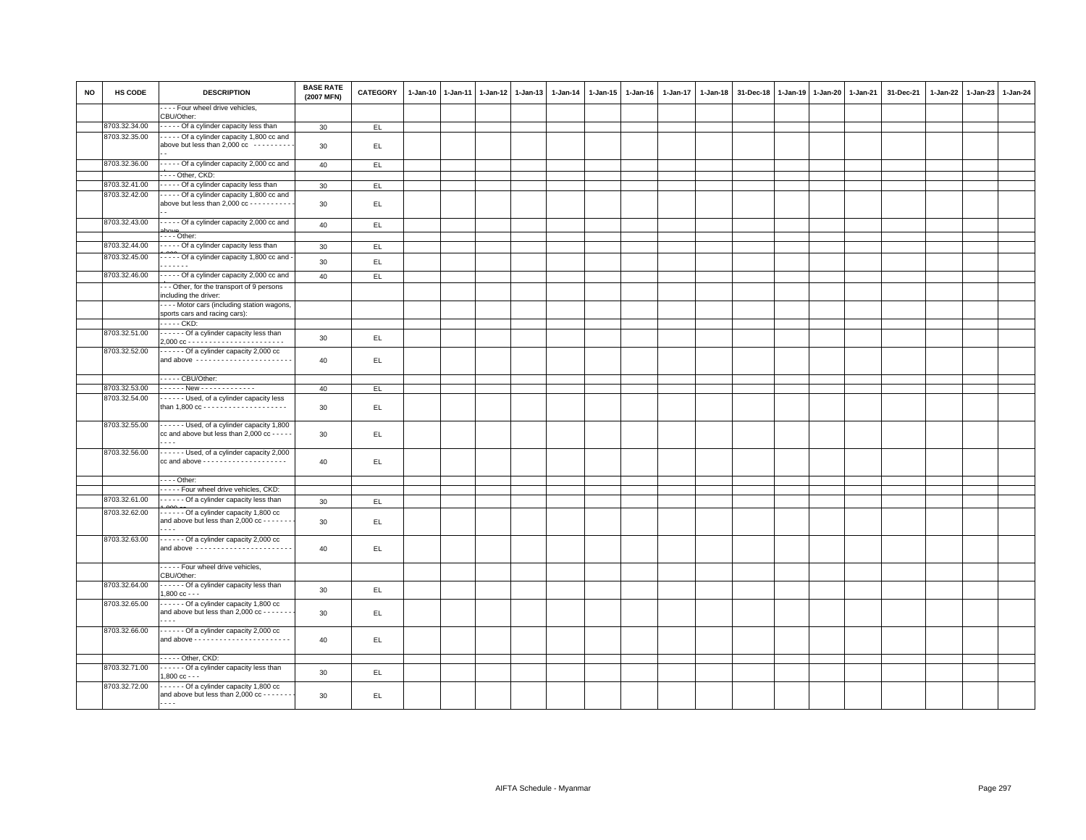| <b>NO</b> | HS CODE       | <b>DESCRIPTION</b>                                                                                               | <b>BASE RATE</b><br>(2007 MFN) | <b>CATEGORY</b> | $1-Jan-10$ | 1-Jan-11 | $1-Jan-12$ | 1-Jan-13 | 1-Jan-14 | $1-Jan-15$ | 1-Jan-16 | 1-Jan-17 | 1-Jan-18 | 31-Dec-18 | $1 - Jan-19$ | 1-Jan-20 | 1-Jan-21 | 31-Dec-21 | 1-Jan-22 1-Jan-23 | 1-Jan-24 |
|-----------|---------------|------------------------------------------------------------------------------------------------------------------|--------------------------------|-----------------|------------|----------|------------|----------|----------|------------|----------|----------|----------|-----------|--------------|----------|----------|-----------|-------------------|----------|
|           |               | - - - - Four wheel drive vehicles,<br>CBU/Other:                                                                 |                                |                 |            |          |            |          |          |            |          |          |          |           |              |          |          |           |                   |          |
|           | 8703.32.34.00 | - - - - - Of a cylinder capacity less than                                                                       | 30                             | EL              |            |          |            |          |          |            |          |          |          |           |              |          |          |           |                   |          |
|           | 8703.32.35.00 | ---- Of a cylinder capacity 1,800 cc and<br>above but less than 2,000 cc ---------                               | 30                             | EL              |            |          |            |          |          |            |          |          |          |           |              |          |          |           |                   |          |
|           | 8703.32.36.00 | - - - - - Of a cylinder capacity 2,000 cc and                                                                    | 40                             | EL.             |            |          |            |          |          |            |          |          |          |           |              |          |          |           |                   |          |
|           |               | Other, CKD:                                                                                                      |                                |                 |            |          |            |          |          |            |          |          |          |           |              |          |          |           |                   |          |
|           | 8703.32.41.00 | - - - - - Of a cylinder capacity less than                                                                       | 30                             | EL              |            |          |            |          |          |            |          |          |          |           |              |          |          |           |                   |          |
|           | 8703.32.42.00 | ----- Of a cylinder capacity 1,800 cc and<br>above but less than 2,000 cc - - - - - - - - - -                    | 30                             | EL.             |            |          |            |          |          |            |          |          |          |           |              |          |          |           |                   |          |
|           | 8703.32.43.00 | - - - - - Of a cylinder capacity 2,000 cc and                                                                    | 40                             | EL.             |            |          |            |          |          |            |          |          |          |           |              |          |          |           |                   |          |
|           | 8703.32.44.00 | $---$ Other:<br>- - - - - Of a cylinder capacity less than                                                       | 30                             | E               |            |          |            |          |          |            |          |          |          |           |              |          |          |           |                   |          |
|           | 8703.32.45.00 | - - - - - Of a cylinder capacity 1,800 cc and -                                                                  |                                |                 |            |          |            |          |          |            |          |          |          |           |              |          |          |           |                   |          |
|           |               | .                                                                                                                | 30                             | EL.             |            |          |            |          |          |            |          |          |          |           |              |          |          |           |                   |          |
|           | 8703.32.46.00 | ----- Of a cylinder capacity 2,000 cc and                                                                        | 40                             | EL              |            |          |            |          |          |            |          |          |          |           |              |          |          |           |                   |          |
|           |               | -- Other, for the transport of 9 persons                                                                         |                                |                 |            |          |            |          |          |            |          |          |          |           |              |          |          |           |                   |          |
|           |               | including the driver:<br>---- Motor cars (including station wagons,                                              |                                |                 |            |          |            |          |          |            |          |          |          |           |              |          |          |           |                   |          |
|           |               | sports cars and racing cars):                                                                                    |                                |                 |            |          |            |          |          |            |          |          |          |           |              |          |          |           |                   |          |
|           |               | . CKD:                                                                                                           |                                |                 |            |          |            |          |          |            |          |          |          |           |              |          |          |           |                   |          |
|           | 8703.32.51.00 | ------ Of a cylinder capacity less than                                                                          | 30                             | EL              |            |          |            |          |          |            |          |          |          |           |              |          |          |           |                   |          |
|           | 8703.32.52.00 | ------ Of a cylinder capacity 2,000 cc<br>and above -----------------------                                      | 40                             | EL.             |            |          |            |          |          |            |          |          |          |           |              |          |          |           |                   |          |
|           |               | - - - - - CBU/Other:                                                                                             |                                |                 |            |          |            |          |          |            |          |          |          |           |              |          |          |           |                   |          |
|           | 8703.32.53.00 |                                                                                                                  | 40                             | EL.             |            |          |            |          |          |            |          |          |          |           |              |          |          |           |                   |          |
|           | 8703.32.54.00 | - - - - - - Used, of a cylinder capacity less                                                                    | 30                             | EL.             |            |          |            |          |          |            |          |          |          |           |              |          |          |           |                   |          |
|           | 8703.32.55.00 | ------ Used, of a cylinder capacity 1,800<br>cc and above but less than 2,000 cc - - - - -<br>.                  | 30                             | EL.             |            |          |            |          |          |            |          |          |          |           |              |          |          |           |                   |          |
|           | 8703.32.56.00 | - - - - - - Used, of a cylinder capacity 2,000<br>cc and above --------------------                              | 40                             | EL.             |            |          |            |          |          |            |          |          |          |           |              |          |          |           |                   |          |
|           |               | - - - - Other:                                                                                                   |                                |                 |            |          |            |          |          |            |          |          |          |           |              |          |          |           |                   |          |
|           |               | ----- Four wheel drive vehicles, CKD:                                                                            |                                |                 |            |          |            |          |          |            |          |          |          |           |              |          |          |           |                   |          |
|           | 8703.32.61.00 | - - - - - - Of a cylinder capacity less than                                                                     | 30                             | EL              |            |          |            |          |          |            |          |          |          |           |              |          |          |           |                   |          |
|           | 8703.32.62.00 | ------ Of a cylinder capacity 1,800 cc<br>and above but less than 2,000 cc - - - - - - -<br>$\sim$ $\sim$ $\sim$ | 30                             | EL              |            |          |            |          |          |            |          |          |          |           |              |          |          |           |                   |          |
|           | 8703.32.63.00 | ------ Of a cylinder capacity 2,000 cc<br>and above -----------------------                                      | 40                             | EL              |            |          |            |          |          |            |          |          |          |           |              |          |          |           |                   |          |
|           |               | Four wheel drive vehicles,<br>CBU/Other:                                                                         |                                |                 |            |          |            |          |          |            |          |          |          |           |              |          |          |           |                   |          |
|           | 8703.32.64.00 | - - - - - - Of a cylinder capacity less than<br>$1,800$ cc - - -                                                 | 30                             | EL.             |            |          |            |          |          |            |          |          |          |           |              |          |          |           |                   |          |
|           | 8703.32.65.00 | Of a cylinder capacity 1,800 cc<br>and above but less than 2,000 cc - - - - - - -<br>.                           | 30                             | EL.             |            |          |            |          |          |            |          |          |          |           |              |          |          |           |                   |          |
|           | 8703.32.66.00 | ------ Of a cylinder capacity 2,000 cc                                                                           | 40                             | EL              |            |          |            |          |          |            |          |          |          |           |              |          |          |           |                   |          |
|           |               | $\cdots$ - Other, CKD:                                                                                           |                                |                 |            |          |            |          |          |            |          |          |          |           |              |          |          |           |                   |          |
|           | 8703.32.71.00 | - - - - - - Of a cylinder capacity less than<br>$1.800 \text{ cc} - -$                                           | 30                             | EL.             |            |          |            |          |          |            |          |          |          |           |              |          |          |           |                   |          |
|           | 8703.32.72.00 | - - - - - - Of a cylinder capacity 1,800 cc<br>and above but less than 2,000 cc - - - - - - -<br>.               | 30                             | EL.             |            |          |            |          |          |            |          |          |          |           |              |          |          |           |                   |          |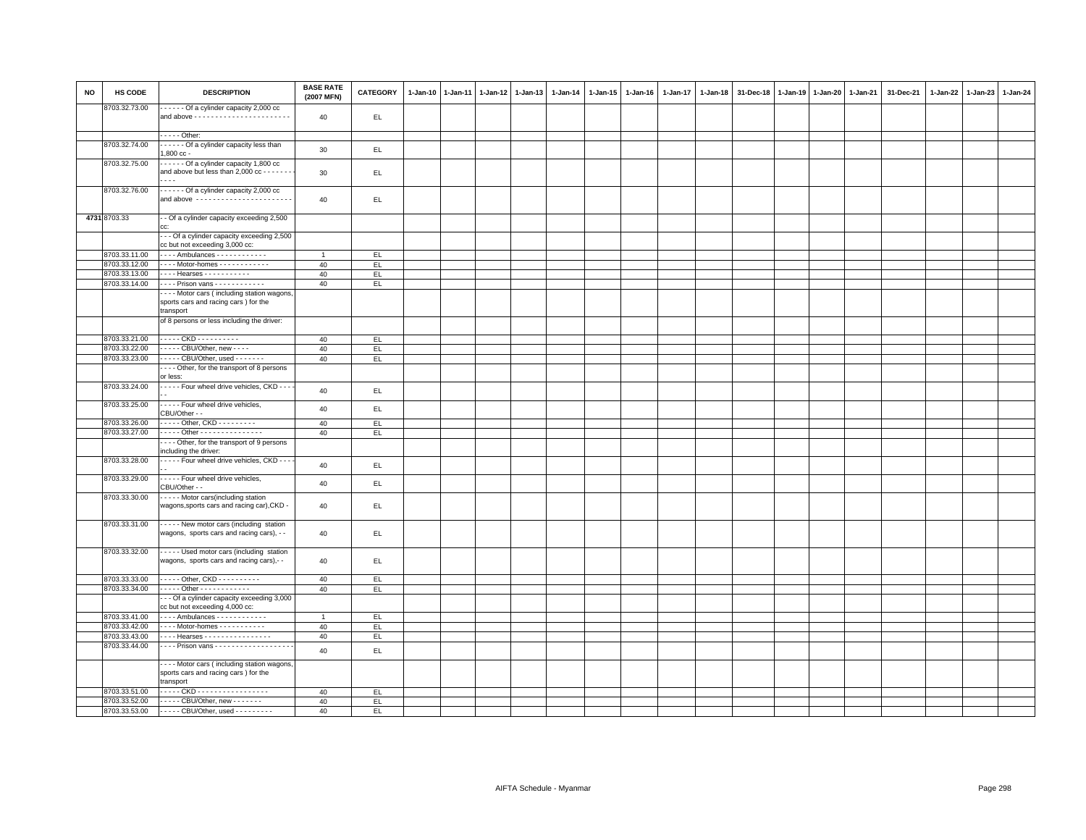| <b>NO</b> | HS CODE       | <b>DESCRIPTION</b>                                                                                 | <b>BASE RATE</b><br>(2007 MFN) | CATEGORY   | $1 - Jan-10$ | $1 - Jan-11$ | $1$ -Jan-12 | $1 - Jan-13$ | 1-Jan-14 | 1-Jan-15 | $1 - Jan-16$ | 1-Jan-17 | $1 - Jan-18$ | 31-Dec-18 | $1 - Jan-19$ | $1 - Jan-20$ | 1-Jan-21 | 31-Dec-21 | 1-Jan-22 | $1-Jan-23$ | 1-Jan-24 |
|-----------|---------------|----------------------------------------------------------------------------------------------------|--------------------------------|------------|--------------|--------------|-------------|--------------|----------|----------|--------------|----------|--------------|-----------|--------------|--------------|----------|-----------|----------|------------|----------|
|           | 8703.32.73.00 | - - - - - - Of a cylinder capacity 2,000 cc                                                        | 40                             | EL.        |              |              |             |              |          |          |              |          |              |           |              |              |          |           |          |            |          |
|           |               | $\cdots$ - Other:                                                                                  |                                |            |              |              |             |              |          |          |              |          |              |           |              |              |          |           |          |            |          |
|           | 8703.32.74.00 | Of a cylinder capacity less than                                                                   | 30                             | EL.        |              |              |             |              |          |          |              |          |              |           |              |              |          |           |          |            |          |
|           | 8703.32.75.00 | $1.800 \text{ cc} -$<br>Of a cylinder capacity 1,800 cc                                            |                                |            |              |              |             |              |          |          |              |          |              |           |              |              |          |           |          |            |          |
|           |               | and above but less than 2,000 cc - - - - - -                                                       | 30                             | EL.        |              |              |             |              |          |          |              |          |              |           |              |              |          |           |          |            |          |
|           | 8703.32.76.00 | - - - - - - Of a cylinder capacity 2,000 cc<br>and above -----------------------                   | 40                             | EL.        |              |              |             |              |          |          |              |          |              |           |              |              |          |           |          |            |          |
|           | 4731 8703.33  | - - Of a cylinder capacity exceeding 2,500<br>cc.                                                  |                                |            |              |              |             |              |          |          |              |          |              |           |              |              |          |           |          |            |          |
|           |               | --- Of a cylinder capacity exceeding 2,500<br>cc but not exceeding 3,000 cc:                       |                                |            |              |              |             |              |          |          |              |          |              |           |              |              |          |           |          |            |          |
|           | 8703.33.11.00 | - - - - Ambulances - - - - - - - - - - - -                                                         | $\overline{1}$                 | EL.        |              |              |             |              |          |          |              |          |              |           |              |              |          |           |          |            |          |
|           | 8703.33.12.00 | - - - - Motor-homes - - - - - - - - - - - -                                                        | 40                             | EL         |              |              |             |              |          |          |              |          |              |           |              |              |          |           |          |            |          |
|           | 8703.33.13.00 | $\cdots$ Hearses - - - - - - - - - - -                                                             | 40                             | EL         |              |              |             |              |          |          |              |          |              |           |              |              |          |           |          |            |          |
|           | 8703.33.14.00 | Prison vans                                                                                        | 40                             | EL         |              |              |             |              |          |          |              |          |              |           |              |              |          |           |          |            |          |
|           |               | ---- Motor cars (including station wagons                                                          |                                |            |              |              |             |              |          |          |              |          |              |           |              |              |          |           |          |            |          |
|           |               | sports cars and racing cars) for the                                                               |                                |            |              |              |             |              |          |          |              |          |              |           |              |              |          |           |          |            |          |
|           |               | transport                                                                                          |                                |            |              |              |             |              |          |          |              |          |              |           |              |              |          |           |          |            |          |
|           |               | of 8 persons or less including the driver:                                                         |                                |            |              |              |             |              |          |          |              |          |              |           |              |              |          |           |          |            |          |
|           | 8703.33.21.00 | . CKD - - - - - - - - - -                                                                          | 40                             |            |              |              |             |              |          |          |              |          |              |           |              |              |          |           |          |            |          |
|           | 8703.33.22.00 | - - - - - CBU/Other, new - - - -                                                                   |                                | EL.<br>EL. |              |              |             |              |          |          |              |          |              |           |              |              |          |           |          |            |          |
|           | 8703.33.23.00 | $\cdots$ CBU/Other, used $\cdots$                                                                  | 40<br>40                       | EL         |              |              |             |              |          |          |              |          |              |           |              |              |          |           |          |            |          |
|           |               | --- Other, for the transport of 8 persons                                                          |                                |            |              |              |             |              |          |          |              |          |              |           |              |              |          |           |          |            |          |
|           |               | or less:                                                                                           |                                |            |              |              |             |              |          |          |              |          |              |           |              |              |          |           |          |            |          |
|           | 8703.33.24.00 | Four wheel drive vehicles, CKD - - -                                                               |                                |            |              |              |             |              |          |          |              |          |              |           |              |              |          |           |          |            |          |
|           |               |                                                                                                    | 40                             | EL         |              |              |             |              |          |          |              |          |              |           |              |              |          |           |          |            |          |
|           | 8703.33.25.00 | - - - - - Four wheel drive vehicles,<br>CBU/Other - -                                              | 40                             | EL.        |              |              |             |              |          |          |              |          |              |           |              |              |          |           |          |            |          |
|           | 8703.33.26.00 | $\cdots$ Other, CKD $\cdots$                                                                       | 40                             | E          |              |              |             |              |          |          |              |          |              |           |              |              |          |           |          |            |          |
|           | 8703.33.27.00 | . Other                                                                                            | 40                             | EL         |              |              |             |              |          |          |              |          |              |           |              |              |          |           |          |            |          |
|           |               | ---- Other, for the transport of 9 persons<br>including the driver:                                |                                |            |              |              |             |              |          |          |              |          |              |           |              |              |          |           |          |            |          |
|           | 8703.33.28.00 | Four wheel drive vehicles, CKD - - -                                                               | 40                             | EL         |              |              |             |              |          |          |              |          |              |           |              |              |          |           |          |            |          |
|           | 8703.33.29.00 | - - - - - Four wheel drive vehicles,<br>CBU/Other - -                                              | 40                             | EL         |              |              |             |              |          |          |              |          |              |           |              |              |          |           |          |            |          |
|           | 8703.33.30.00 | - - - - - Motor cars(including station<br>wagons, sports cars and racing car), CKD -               | 40                             | EL.        |              |              |             |              |          |          |              |          |              |           |              |              |          |           |          |            |          |
|           | 8703.33.31.00 | ----- New motor cars (including station<br>wagons, sports cars and racing cars), - -               | 40                             | EL         |              |              |             |              |          |          |              |          |              |           |              |              |          |           |          |            |          |
|           | 8703.33.32.00 | ----- Used motor cars (including station<br>wagons, sports cars and racing cars),--                | 40                             | EL         |              |              |             |              |          |          |              |          |              |           |              |              |          |           |          |            |          |
|           | 8703.33.33.00 | ----- Other, CKD ----------                                                                        | 40                             | E          |              |              |             |              |          |          |              |          |              |           |              |              |          |           |          |            |          |
|           | 8703.33.34.00 | - - - - - Other - - - - - - - - - - - -                                                            | 40                             | EL.        |              |              |             |              |          |          |              |          |              |           |              |              |          |           |          |            |          |
|           |               | - - Of a cylinder capacity exceeding 3,000                                                         |                                |            |              |              |             |              |          |          |              |          |              |           |              |              |          |           |          |            |          |
|           |               | cc but not exceeding 4,000 cc:                                                                     |                                |            |              |              |             |              |          |          |              |          |              |           |              |              |          |           |          |            |          |
|           | 8703.33.41.00 | Ambulances                                                                                         | $\overline{1}$                 | EL.        |              |              |             |              |          |          |              |          |              |           |              |              |          |           |          |            |          |
|           | 8703.33.42.00 | - - - - Motor-homes - - - - - - - - - - -                                                          | 40                             | EL         |              |              |             |              |          |          |              |          |              |           |              |              |          |           |          |            |          |
|           | 8703.33.43.00 | - - - - Hearses - - - - - - - - - - - - - - - -                                                    | 40                             | EL.        |              |              |             |              |          |          |              |          |              |           |              |              |          |           |          |            |          |
|           | 8703.33.44.00 | - - - - Prison vans - - - - - - - - - - - - - - - - - -                                            | 40                             | EL         |              |              |             |              |          |          |              |          |              |           |              |              |          |           |          |            |          |
|           |               | - - - - Motor cars (including station wagons,<br>sports cars and racing cars) for the<br>transport |                                |            |              |              |             |              |          |          |              |          |              |           |              |              |          |           |          |            |          |
|           | 8703.33.51.00 | . CKD                                                                                              | 40                             | EL.        |              |              |             |              |          |          |              |          |              |           |              |              |          |           |          |            |          |
|           | 8703.33.52.00 | - - - - - CBU/Other, new - - - - - - -                                                             | 40                             | EL         |              |              |             |              |          |          |              |          |              |           |              |              |          |           |          |            |          |
|           |               | 8703.33.53.00 ----- CBU/Other, used ---------                                                      | 40                             | EL.        |              |              |             |              |          |          |              |          |              |           |              |              |          |           |          |            |          |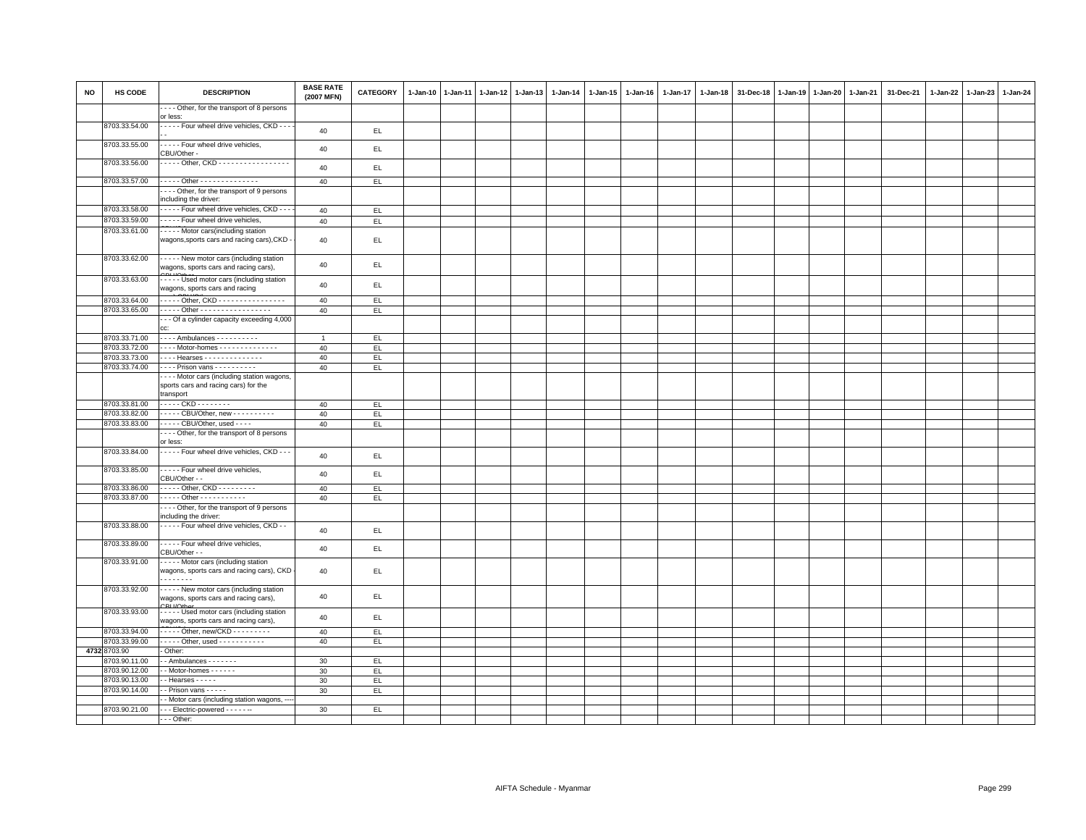| <b>NO</b> | HS CODE                        | <b>DESCRIPTION</b>                                                                             | <b>BASE RATE</b><br>(2007 MFN) | <b>CATEGORY</b> | 1-Jan-10 1-Jan-11 | 1-Jan-12 1-Jan-13 | $1 - Jan-14$ | $1-Jan-15$ | $1 - Jan-16$ | $1-Jan-17$ | $1 - Jan-18$ | 31-Dec-18 | $1 - Jan-19$ | 1-Jan-20 1-Jan-21 | 31-Dec-21 | 1-Jan-22 | 1-Jan-23 | 1-Jan-24 |
|-----------|--------------------------------|------------------------------------------------------------------------------------------------|--------------------------------|-----------------|-------------------|-------------------|--------------|------------|--------------|------------|--------------|-----------|--------------|-------------------|-----------|----------|----------|----------|
|           |                                | --- Other, for the transport of 8 persons<br>or less:                                          |                                |                 |                   |                   |              |            |              |            |              |           |              |                   |           |          |          |          |
|           | 8703.33.54.00                  | - - - - - Four wheel drive vehicles, CKD - - -                                                 | 40                             | EL.             |                   |                   |              |            |              |            |              |           |              |                   |           |          |          |          |
|           | 8703.33.55.00                  | - - - - - Four wheel drive vehicles,                                                           | 40                             | EL              |                   |                   |              |            |              |            |              |           |              |                   |           |          |          |          |
|           | 8703.33.56.00                  | CBU/Other -<br>Other, CKD - - - - - - - - - - - - - - - -                                      | 40                             | EL.             |                   |                   |              |            |              |            |              |           |              |                   |           |          |          |          |
|           | 8703.33.57.00                  | . Other                                                                                        | 40                             | EL              |                   |                   |              |            |              |            |              |           |              |                   |           |          |          |          |
|           |                                | --- Other, for the transport of 9 persons                                                      |                                |                 |                   |                   |              |            |              |            |              |           |              |                   |           |          |          |          |
|           |                                | ncluding the driver:                                                                           |                                |                 |                   |                   |              |            |              |            |              |           |              |                   |           |          |          |          |
|           | 8703.33.58.00                  | - - - - - Four wheel drive vehicles, CKD - - -                                                 | 40                             | EL              |                   |                   |              |            |              |            |              |           |              |                   |           |          |          |          |
|           | 8703.33.59.00<br>8703.33.61.00 | Four wheel drive vehicles,                                                                     | 40                             | EL.             |                   |                   |              |            |              |            |              |           |              |                   |           |          |          |          |
|           |                                | Motor cars(including station<br>wagons, sports cars and racing cars), CKD                      | 40                             | EL.             |                   |                   |              |            |              |            |              |           |              |                   |           |          |          |          |
|           | 8703.33.62.00                  | - - - - - New motor cars (including station<br>wagons, sports cars and racing cars),           | 40                             | EL.             |                   |                   |              |            |              |            |              |           |              |                   |           |          |          |          |
|           | 8703.33.63.00                  | ----- Used motor cars (including station<br>wagons, sports cars and racing                     | 40                             | EL.             |                   |                   |              |            |              |            |              |           |              |                   |           |          |          |          |
|           | 8703.33.64.00                  | Other, CKD -                                                                                   | 40                             | EL.             |                   |                   |              |            |              |            |              |           |              |                   |           |          |          |          |
|           | 8703.33.65.00                  | - - - - - Other - - - - - - - - - - - - - - - - -                                              | 40                             | EL.             |                   |                   |              |            |              |            |              |           |              |                   |           |          |          |          |
|           |                                | -- Of a cylinder capacity exceeding 4,000<br>CC:                                               |                                |                 |                   |                   |              |            |              |            |              |           |              |                   |           |          |          |          |
|           | 8703.33.71.00                  | Ambulances                                                                                     | $\overline{1}$                 | EL              |                   |                   |              |            |              |            |              |           |              |                   |           |          |          |          |
|           | 8703.33.72.00                  | - - - - Motor-homes - - - - - - - - - - - - -                                                  | 40                             | EL.             |                   |                   |              |            |              |            |              |           |              |                   |           |          |          |          |
|           | 8703.33.73.00                  | Hearses                                                                                        | 40                             | EL              |                   |                   |              |            |              |            |              |           |              |                   |           |          |          |          |
|           | 8703.33.74.00                  | ---- Prison vans ----------                                                                    | 40                             | EL.             |                   |                   |              |            |              |            |              |           |              |                   |           |          |          |          |
|           |                                | --- Motor cars (including station wagons,<br>sports cars and racing cars) for the<br>transport |                                |                 |                   |                   |              |            |              |            |              |           |              |                   |           |          |          |          |
|           | 8703.33.81.00                  | - - - - - CKD - - - - - - - -                                                                  | 40                             | EL.             |                   |                   |              |            |              |            |              |           |              |                   |           |          |          |          |
|           | 8703.33.82.00                  | ----- CBU/Other, new ----------                                                                | 40                             | EL.             |                   |                   |              |            |              |            |              |           |              |                   |           |          |          |          |
|           | 8703.33.83.00                  | - - - - - CBU/Other, used - - - -                                                              | 40                             | EL              |                   |                   |              |            |              |            |              |           |              |                   |           |          |          |          |
|           |                                | ---- Other, for the transport of 8 persons<br>or less:                                         |                                |                 |                   |                   |              |            |              |            |              |           |              |                   |           |          |          |          |
|           | 8703.33.84.00<br>8703.33.85.00 | - - - - - Four wheel drive vehicles, CKD - - -<br>- - - - - Four wheel drive vehicles,         | 40                             | EL.             |                   |                   |              |            |              |            |              |           |              |                   |           |          |          |          |
|           |                                | CBU/Other - -<br>- - - - - Other, CKD - - - - - - - - -                                        | 40                             | EL.             |                   |                   |              |            |              |            |              |           |              |                   |           |          |          |          |
|           | 8703.33.86.00<br>8703.33.87.00 | . Other - - - - - - - - - - -                                                                  | 40<br>40                       | EL.<br>EL.      |                   |                   |              |            |              |            |              |           |              |                   |           |          |          |          |
|           |                                | --- Other, for the transport of 9 persons                                                      |                                |                 |                   |                   |              |            |              |            |              |           |              |                   |           |          |          |          |
|           |                                | including the driver:                                                                          |                                |                 |                   |                   |              |            |              |            |              |           |              |                   |           |          |          |          |
|           | 8703.33.88.00                  | - - - - - Four wheel drive vehicles, CKD - -                                                   | 40                             | EL.             |                   |                   |              |            |              |            |              |           |              |                   |           |          |          |          |
|           | 8703.33.89.00                  | - - - - - Four wheel drive vehicles,<br>CBU/Other - -                                          | 40                             | EL.             |                   |                   |              |            |              |            |              |           |              |                   |           |          |          |          |
|           | 8703.33.91.00                  | ---- Motor cars (including station<br>wagons, sports cars and racing cars), CKD<br>.           | 40                             | EL.             |                   |                   |              |            |              |            |              |           |              |                   |           |          |          |          |
|           | 8703.33.92.00                  | - - - - - New motor cars (including station<br>wagons, sports cars and racing cars),           | 40                             | EL.             |                   |                   |              |            |              |            |              |           |              |                   |           |          |          |          |
|           | 8703.33.93.00                  | - - - - - Used motor cars (including station<br>wagons, sports cars and racing cars),          | 40                             | EL.             |                   |                   |              |            |              |            |              |           |              |                   |           |          |          |          |
|           | 8703.33.94.00                  | $\cdots$ Other, new/CKD $\cdots$                                                               | 40                             | EL.             |                   |                   |              |            |              |            |              |           |              |                   |           |          |          |          |
|           | 8703.33.99.00                  | - - - - - Other, used - - - - - - - - - - -                                                    | 40                             | EL.             |                   |                   |              |            |              |            |              |           |              |                   |           |          |          |          |
|           | 4732 8703.90<br>3703.90.11.00  | Other:<br>- Ambulances - - - - - - -                                                           | 30                             | EL.             |                   |                   |              |            |              |            |              |           |              |                   |           |          |          |          |
|           | 8703.90.12.00                  | - Motor-homes - - - - - -                                                                      | 30                             | EL              |                   |                   |              |            |              |            |              |           |              |                   |           |          |          |          |
|           | 8703.90.13.00                  | - - Hearses - - - - -                                                                          | 30                             | EL.             |                   |                   |              |            |              |            |              |           |              |                   |           |          |          |          |
|           | 8703.90.14.00                  | - - Prison vans - - - - -                                                                      | 30                             | EL              |                   |                   |              |            |              |            |              |           |              |                   |           |          |          |          |
|           |                                | - Motor cars (including station wagons,                                                        |                                |                 |                   |                   |              |            |              |            |              |           |              |                   |           |          |          |          |
|           | 8703.90.21.00                  | --- Electric-powered ------                                                                    | 30                             | EL.             |                   |                   |              |            |              |            |              |           |              |                   |           |          |          |          |
|           |                                | - - - Other:                                                                                   |                                |                 |                   |                   |              |            |              |            |              |           |              |                   |           |          |          |          |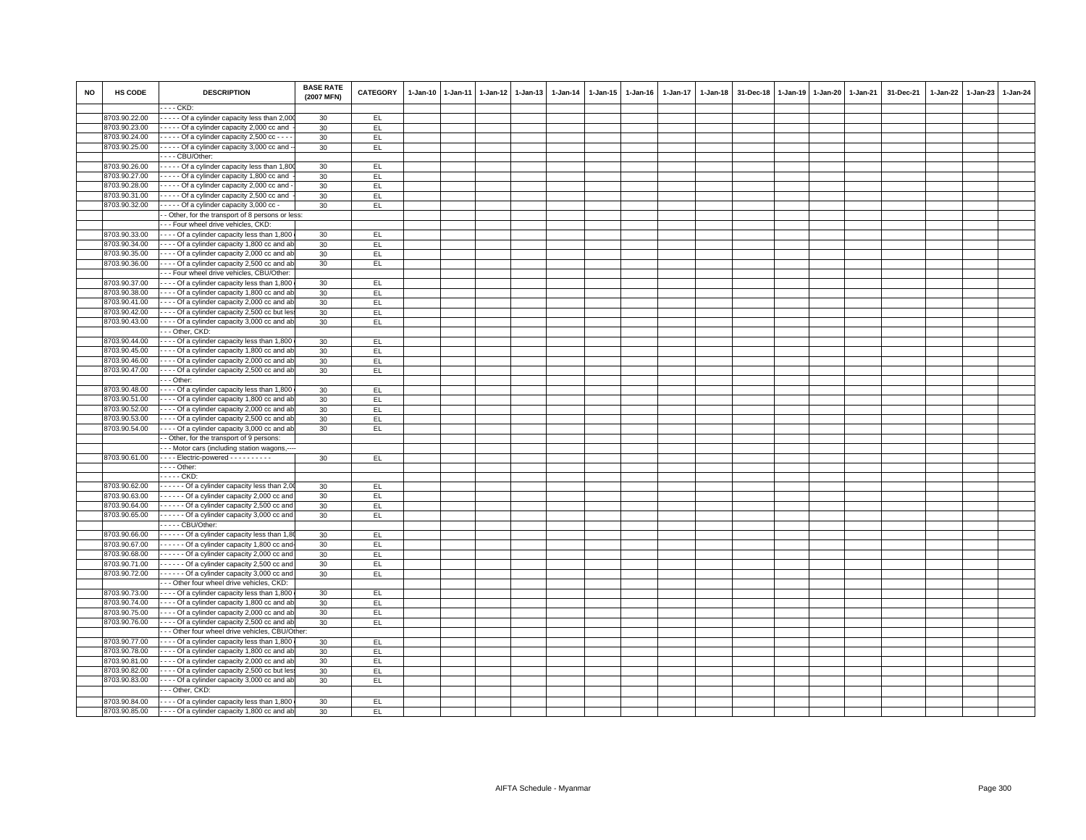| <b>NO</b> | HS CODE       | <b>DESCRIPTION</b>                                      | <b>BASE RATE</b><br>(2007 MFN) | <b>CATEGORY</b> | $1-Jan-10$ | $1-Jan-11$ | $1-Jan-12$ | $1 - Jan-13$ | 1-Jan-14 | 1-Jan-15 | 1-Jan-16 | 1-Jan-17 | 1-Jan-18 31-Dec-18 | $1 - Jan-19$ | 1-Jan-20 1-Jan-21 | 31-Dec-21 | 1-Jan-22 | 1-Jan-23 | 1-Jan-24 |
|-----------|---------------|---------------------------------------------------------|--------------------------------|-----------------|------------|------------|------------|--------------|----------|----------|----------|----------|--------------------|--------------|-------------------|-----------|----------|----------|----------|
|           |               | $--$ CKD:                                               |                                |                 |            |            |            |              |          |          |          |          |                    |              |                   |           |          |          |          |
|           | 8703.90.22.00 | Of a cylinder capacity less than 2,00                   | 30                             | EL.             |            |            |            |              |          |          |          |          |                    |              |                   |           |          |          |          |
|           | 8703.90.23.00 | - - - - - Of a cylinder capacity 2,000 cc and           | 30                             | EL.             |            |            |            |              |          |          |          |          |                    |              |                   |           |          |          |          |
|           | 8703.90.24.00 | $\cdots$ - Of a cylinder capacity 2,500 cc - - -        | 30                             | EL              |            |            |            |              |          |          |          |          |                    |              |                   |           |          |          |          |
|           | 8703.90.25.00 | $\cdots$ Of a cylinder capacity 3,000 cc and $\cdots$   | 30                             | EL.             |            |            |            |              |          |          |          |          |                    |              |                   |           |          |          |          |
|           |               | --- CBU/Other:                                          |                                |                 |            |            |            |              |          |          |          |          |                    |              |                   |           |          |          |          |
|           | 8703.90.26.00 | Of a cylinder capacity less than 1,80                   | 30                             | EL.             |            |            |            |              |          |          |          |          |                    |              |                   |           |          |          |          |
|           | 8703.90.27.00 | Of a cylinder capacity 1,800 cc and                     | 30                             | EL              |            |            |            |              |          |          |          |          |                    |              |                   |           |          |          |          |
|           | 8703.90.28.00 | - - - - Of a cylinder capacity 2,000 cc and -           | 30                             | EL              |            |            |            |              |          |          |          |          |                    |              |                   |           |          |          |          |
|           | 8703.90.31.00 | Of a cylinder capacity 2,500 cc and                     | 30                             | EL.             |            |            |            |              |          |          |          |          |                    |              |                   |           |          |          |          |
|           | 8703.90.32.00 | - - - - Of a cylinder capacity 3,000 cc -               | 30                             | EL.             |            |            |            |              |          |          |          |          |                    |              |                   |           |          |          |          |
|           |               | - Other, for the transport of 8 persons or less:        |                                |                 |            |            |            |              |          |          |          |          |                    |              |                   |           |          |          |          |
|           |               | - - Four wheel drive vehicles, CKD:                     |                                |                 |            |            |            |              |          |          |          |          |                    |              |                   |           |          |          |          |
|           | 8703.90.33.00 | Of a cylinder capacity less than 1,800                  | 30                             | EL.             |            |            |            |              |          |          |          |          |                    |              |                   |           |          |          |          |
|           | 8703.90.34.00 | - - - Of a cylinder capacity 1,800 cc and at            | 30                             | EL              |            |            |            |              |          |          |          |          |                    |              |                   |           |          |          |          |
|           | 8703.90.35.00 | Of a cylinder capacity 2,000 cc and ab                  | 30                             | EL.             |            |            |            |              |          |          |          |          |                    |              |                   |           |          |          |          |
|           | 8703.90.36.00 | ---- Of a cylinder capacity 2,500 cc and at             | 30                             | EL              |            |            |            |              |          |          |          |          |                    |              |                   |           |          |          |          |
|           |               | - - Four wheel drive vehicles, CBU/Other:               |                                |                 |            |            |            |              |          |          |          |          |                    |              |                   |           |          |          |          |
|           | 8703.90.37.00 | ---- Of a cylinder capacity less than 1,800             | 30                             | EL.             |            |            |            |              |          |          |          |          |                    |              |                   |           |          |          |          |
|           | 8703.90.38.00 | ---- Of a cylinder capacity 1,800 cc and ab             | 30                             | EL              |            |            |            |              |          |          |          |          |                    |              |                   |           |          |          |          |
|           | 8703.90.41.00 | Of a cylinder capacity 2,000 cc and at                  | 30                             | EL.             |            |            |            |              |          |          |          |          |                    |              |                   |           |          |          |          |
|           | 8703.90.42.00 | - - - Of a cylinder capacity 2,500 cc but les           | 30                             | EL.             |            |            |            |              |          |          |          |          |                    |              |                   |           |          |          |          |
|           | 8703.90.43.00 | ---- Of a cylinder capacity 3,000 cc and ab             | 30                             | EL.             |            |            |            |              |          |          |          |          |                    |              |                   |           |          |          |          |
|           |               | - - Other, CKD:                                         |                                |                 |            |            |            |              |          |          |          |          |                    |              |                   |           |          |          |          |
|           | 8703.90.44.00 | ---- Of a cylinder capacity less than 1,800             | 30                             | EL.             |            |            |            |              |          |          |          |          |                    |              |                   |           |          |          |          |
|           | 8703.90.45.00 | ---- Of a cylinder capacity 1,800 cc and at             | 30                             | EL              |            |            |            |              |          |          |          |          |                    |              |                   |           |          |          |          |
|           | 8703.90.46.00 | - - - Of a cylinder capacity 2,000 cc and ab            | 30                             | EL.             |            |            |            |              |          |          |          |          |                    |              |                   |           |          |          |          |
|           | 8703.90.47.00 | ---- Of a cylinder capacity 2,500 cc and ab             | 30                             | EL              |            |            |            |              |          |          |          |          |                    |              |                   |           |          |          |          |
|           |               | - - Other:                                              |                                |                 |            |            |            |              |          |          |          |          |                    |              |                   |           |          |          |          |
|           | 8703.90.48.00 | Of a cylinder capacity less than 1,800                  | 30                             | EL.             |            |            |            |              |          |          |          |          |                    |              |                   |           |          |          |          |
|           | 8703.90.51.00 | --- Of a cylinder capacity 1,800 cc and ab              | 30                             | EL              |            |            |            |              |          |          |          |          |                    |              |                   |           |          |          |          |
|           | 8703.90.52.00 | Of a cylinder capacity 2,000 cc and ab                  | 30                             | EL.             |            |            |            |              |          |          |          |          |                    |              |                   |           |          |          |          |
|           | 8703.90.53.00 | ---- Of a cylinder capacity 2,500 cc and at             | 30                             | EL.             |            |            |            |              |          |          |          |          |                    |              |                   |           |          |          |          |
|           | 8703.90.54.00 | ---- Of a cylinder capacity 3,000 cc and ab             | 30                             | EL.             |            |            |            |              |          |          |          |          |                    |              |                   |           |          |          |          |
|           |               | - Other, for the transport of 9 persons:                |                                |                 |            |            |            |              |          |          |          |          |                    |              |                   |           |          |          |          |
|           |               | - - Motor cars (including station wagons,---            |                                |                 |            |            |            |              |          |          |          |          |                    |              |                   |           |          |          |          |
|           | 8703.90.61.00 | ---- Electric-powered ----------                        | 30                             | EL.             |            |            |            |              |          |          |          |          |                    |              |                   |           |          |          |          |
|           |               | $\cdots$ - Other:                                       |                                |                 |            |            |            |              |          |          |          |          |                    |              |                   |           |          |          |          |
|           |               | $---$ CKD:                                              |                                |                 |            |            |            |              |          |          |          |          |                    |              |                   |           |          |          |          |
|           | 8703.90.62.00 | - - - - - Of a cylinder capacity less than 2,0          | 30                             | EL.             |            |            |            |              |          |          |          |          |                    |              |                   |           |          |          |          |
|           | 8703.90.63.00 | Of a cylinder capacity 2,000 cc and                     | 30                             | EL.             |            |            |            |              |          |          |          |          |                    |              |                   |           |          |          |          |
|           | 8703.90.64.00 | Of a cylinder capacity 2,500 cc and                     | 30                             | EL              |            |            |            |              |          |          |          |          |                    |              |                   |           |          |          |          |
|           | 8703.90.65.00 | Of a cylinder capacity 3,000 cc and                     | 30                             | EL.             |            |            |            |              |          |          |          |          |                    |              |                   |           |          |          |          |
|           |               | - - - - CBU/Other:                                      |                                |                 |            |            |            |              |          |          |          |          |                    |              |                   |           |          |          |          |
|           | 8703.90.66.00 | Of a cylinder capacity less than 1,8                    | 30                             | EL.             |            |            |            |              |          |          |          |          |                    |              |                   |           |          |          |          |
|           | 8703.90.67.00 | ------ Of a cylinder capacity 1,800 cc and              | 30                             | EL              |            |            |            |              |          |          |          |          |                    |              |                   |           |          |          |          |
|           | 8703.90.68.00 | Of a cylinder capacity 2,000 cc and                     | 30                             | EL.             |            |            |            |              |          |          |          |          |                    |              |                   |           |          |          |          |
|           | 8703.90.71.00 | Of a cylinder capacity 2,500 cc and                     | 30                             | EL.             |            |            |            |              |          |          |          |          |                    |              |                   |           |          |          |          |
|           | 8703.90.72.00 | $\cdots$ $\cdots$ - Of a cylinder capacity 3,000 cc and | 30                             | EL.             |            |            |            |              |          |          |          |          |                    |              |                   |           |          |          |          |
|           |               | - - Other four wheel drive vehicles, CKD:               |                                |                 |            |            |            |              |          |          |          |          |                    |              |                   |           |          |          |          |
|           | 8703.90.73.00 | - - - - Of a cylinder capacity less than 1,800          | 30                             | EL              |            |            |            |              |          |          |          |          |                    |              |                   |           |          |          |          |
|           | 8703.90.74.00 | Of a cylinder capacity 1,800 cc and ab                  | 30                             | EL.             |            |            |            |              |          |          |          |          |                    |              |                   |           |          |          |          |
|           | 8703.90.75.00 | - - - - Of a cylinder capacity 2,000 cc and ab          | 30                             | EL              |            |            |            |              |          |          |          |          |                    |              |                   |           |          |          |          |
|           | 8703.90.76.00 | Of a cylinder capacity 2,500 cc and ab                  | 30                             | EL.             |            |            |            |              |          |          |          |          |                    |              |                   |           |          |          |          |
|           |               | - - Other four wheel drive vehicles, CBU/Other:         |                                |                 |            |            |            |              |          |          |          |          |                    |              |                   |           |          |          |          |
|           | 8703.90.77.00 | --- Of a cylinder capacity less than 1,800              | 30                             | EL              |            |            |            |              |          |          |          |          |                    |              |                   |           |          |          |          |
|           | 8703.90.78.00 | ---- Of a cylinder capacity 1,800 cc and at             | 30                             | EL.             |            |            |            |              |          |          |          |          |                    |              |                   |           |          |          |          |
|           | 8703.90.81.00 | --- Of a cylinder capacity 2,000 cc and ab              | 30                             | EL.             |            |            |            |              |          |          |          |          |                    |              |                   |           |          |          |          |
|           | 8703.90.82.00 | ---- Of a cylinder capacity 2,500 cc but les            | 30                             | EL.             |            |            |            |              |          |          |          |          |                    |              |                   |           |          |          |          |
|           | 8703.90.83.00 | - - - - Of a cylinder capacity 3,000 cc and ab          | 30                             | EL              |            |            |            |              |          |          |          |          |                    |              |                   |           |          |          |          |
|           |               | - - Other, CKD:                                         |                                |                 |            |            |            |              |          |          |          |          |                    |              |                   |           |          |          |          |
|           | 8703.90.84.00 | - - - - Of a cylinder capacity less than 1,800          | 30                             | EL.             |            |            |            |              |          |          |          |          |                    |              |                   |           |          |          |          |
|           | 8703.90.85.00 | $- - -$ Of a cylinder capacity 1,800 cc and ab          | 30                             | EL.             |            |            |            |              |          |          |          |          |                    |              |                   |           |          |          |          |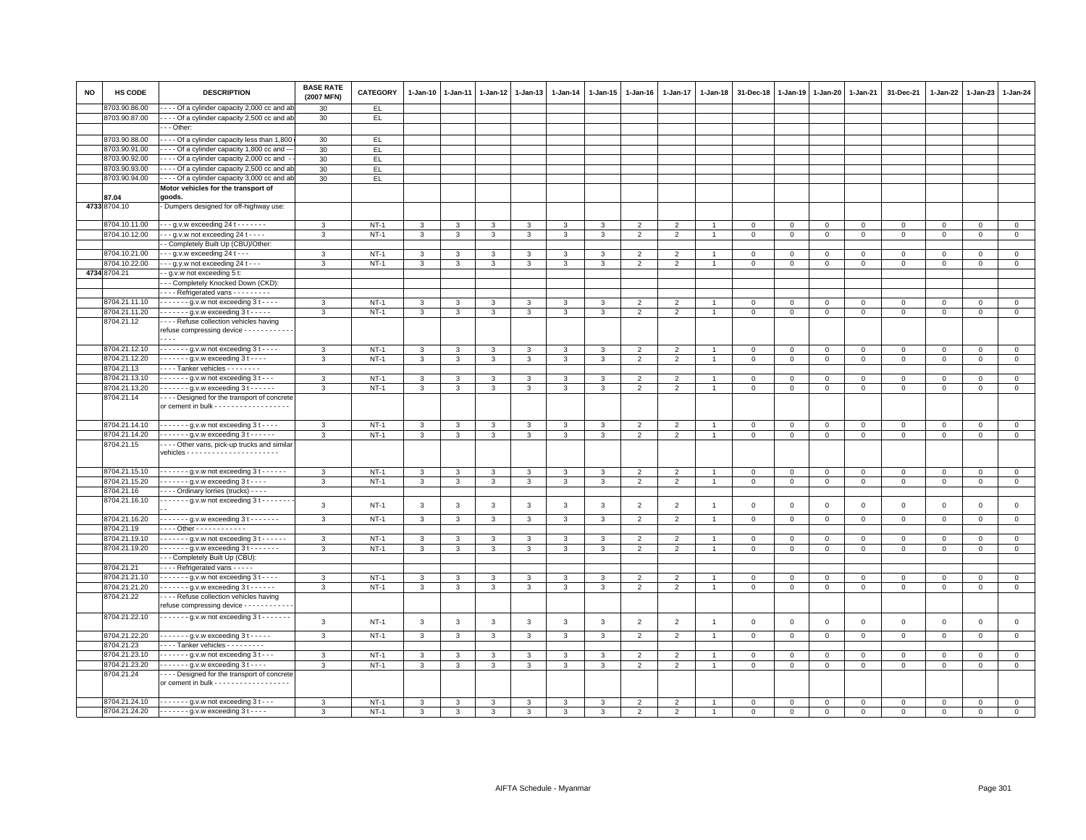| <b>NO</b> | HS CODE       | <b>DESCRIPTION</b>                                                                                    | <b>BASE RATE</b><br>(2007 MFN) | CATEGORY    | $1 - Jan-10$ | 1-Jan-11     | 1-Jan-12 | $1-Jan-13$   | 1-Jan-14                | 1-Jan-15       | 1-Jan-16       | 1-Jan-17       | 1-Jan-18       | 31-Dec-18    | 1-Jan-19    | 1-Jan-20            | 1-Jan-21     | 31-Dec-21    | 1-Jan-22            | 1-Jan-23     | $1 - Jan-24$   |
|-----------|---------------|-------------------------------------------------------------------------------------------------------|--------------------------------|-------------|--------------|--------------|----------|--------------|-------------------------|----------------|----------------|----------------|----------------|--------------|-------------|---------------------|--------------|--------------|---------------------|--------------|----------------|
|           | 8703.90.86.00 | --- Of a cylinder capacity 2,000 cc and al                                                            | 30                             | EL.         |              |              |          |              |                         |                |                |                |                |              |             |                     |              |              |                     |              |                |
|           | 8703.90.87.00 | - - - - Of a cylinder capacity 2,500 cc and ab                                                        | 30                             | EL.         |              |              |          |              |                         |                |                |                |                |              |             |                     |              |              |                     |              |                |
|           |               | - - Other:                                                                                            |                                |             |              |              |          |              |                         |                |                |                |                |              |             |                     |              |              |                     |              |                |
|           | 8703.90.88.00 | - - - - Of a cylinder capacity less than 1,800                                                        |                                |             |              |              |          |              |                         |                |                |                |                |              |             |                     |              |              |                     |              |                |
|           |               |                                                                                                       | 30                             | EL.         |              |              |          |              |                         |                |                |                |                |              |             |                     |              |              |                     |              |                |
|           | 8703.90.91.00 | - - - Of a cylinder capacity 1,800 cc and -                                                           | 30                             | EL.         |              |              |          |              |                         |                |                |                |                |              |             |                     |              |              |                     |              |                |
|           | 8703.90.92.00 | - - - - Of a cylinder capacity 2,000 cc and                                                           | 30                             | EL.         |              |              |          |              |                         |                |                |                |                |              |             |                     |              |              |                     |              |                |
|           | 8703.90.93.00 | --- Of a cylinder capacity 2,500 cc and ab                                                            | 30                             | EL          |              |              |          |              |                         |                |                |                |                |              |             |                     |              |              |                     |              |                |
|           | 8703.90.94.00 | - - - - Of a cylinder capacity 3,000 cc and ab                                                        | 30                             | EL.         |              |              |          |              |                         |                |                |                |                |              |             |                     |              |              |                     |              |                |
|           |               | Motor vehicles for the transport of                                                                   |                                |             |              |              |          |              |                         |                |                |                |                |              |             |                     |              |              |                     |              |                |
|           | 87.04         | goods.                                                                                                |                                |             |              |              |          |              |                         |                |                |                |                |              |             |                     |              |              |                     |              |                |
|           | 4733 8704.10  | - Dumpers designed for off-highway use:                                                               |                                |             |              |              |          |              |                         |                |                |                |                |              |             |                     |              |              |                     |              |                |
|           |               |                                                                                                       |                                |             |              |              |          |              |                         |                |                |                |                |              |             |                     |              |              |                     |              |                |
|           | 8704.10.11.00 | $- - g.v.w$ exceeding 24 t $- - - -$                                                                  | 3                              | $NT-1$      | 3            | 3            | 3        | 3            | 3                       | 3              | $\overline{2}$ | $\overline{2}$ |                | $\mathbf 0$  | $\mathbf 0$ | $\mathbf 0$         | $\mathbf 0$  | $\mathsf 0$  | $\mathbf 0$         | $\mathsf 0$  | $\mathbf 0$    |
|           | 8704.10.12.00 | $- - q.v.w$ not exceeding 24 t $- -$                                                                  | $\mathcal{R}$                  | $NT-1$      | 3            | 3            | 3        | 3            | 3                       | 3              | 2              | 2              | $\overline{1}$ | $\mathbf{0}$ | $\mathbf 0$ | $\mathbf{0}$        | $\mathbf{0}$ | $\mathbf{0}$ | $\mathbf{0}$        | $\mathbf 0$  | $\circ$        |
|           |               | - Completely Built Up (CBU)/Other:                                                                    |                                |             |              |              |          |              |                         |                |                |                |                |              |             |                     |              |              |                     |              |                |
|           | 8704.10.21.00 | - - g.v.w exceeding 24 t - - -                                                                        | 3                              | $NT-1$      | 3            | 3            | 3        | 3            | 3                       | 3              | $\overline{2}$ | $\overline{2}$ |                | $\Omega$     | $\mathbf 0$ | $\mathbf 0$         | $\Omega$     | $^{\circ}$   | $\Omega$            | $\Omega$     | $\mathbf 0$    |
|           | 8704.10.22.00 | $\cdot$ - - g.y.w not exceeding 24 t - - -                                                            | 3                              | $NT-1$      | 3            | 3            | 3        | $\mathbf{3}$ | 3                       | 3              | $\overline{2}$ | 2              | $\overline{1}$ | 0            | $\mathbf 0$ | $\Omega$            | $\mathbf 0$  | $\circ$      | $\circ$             | $\Omega$     | $\mathbf 0$    |
| 4734      | 8704.21       | - g.v.w not exceeding 5 t:                                                                            |                                |             |              |              |          |              |                         |                |                |                |                |              |             |                     |              |              |                     |              |                |
|           |               |                                                                                                       |                                |             |              |              |          |              |                         |                |                |                |                |              |             |                     |              |              |                     |              |                |
|           |               | - - Completely Knocked Down (CKD):                                                                    |                                |             |              |              |          |              |                         |                |                |                |                |              |             |                     |              |              |                     |              |                |
|           |               | Refrigerated vans                                                                                     |                                |             |              |              |          |              |                         |                |                |                |                |              |             |                     |              |              |                     |              |                |
|           | 8704.21.11.10 | $\cdots$ - $\cdots$ g.v.w not exceeding 3 t - $\cdots$                                                | 3                              | $NT-1$      | 3            | 3            | 3        | 3            | 3                       | 3              | 2              | 2              |                | $\Omega$     | $\Omega$    | $\Omega$            | $\mathbf 0$  | $\mathbf 0$  | $\mathbf{0}$        | $\mathbf 0$  | $\mathbf 0$    |
|           | 8704.21.11.20 | $\cdots$ g.v.w exceeding 3 t -                                                                        | 3                              | $NT-1$      | $\mathbf{3}$ | 3            | 3        | $\mathbf{3}$ | $\overline{\mathbf{3}}$ | $\overline{3}$ | $\overline{2}$ | $\overline{2}$ | $\overline{1}$ | $\mathbf 0$  | $\mathsf 0$ | $\mathsf{O}\xspace$ | $\mathsf 0$  | $\mathsf 0$  | $\mathsf 0$         | $\mathsf 0$  | $\overline{0}$ |
|           | 8704.21.12    | ---- Refuse collection vehicles having                                                                |                                |             |              |              |          |              |                         |                |                |                |                |              |             |                     |              |              |                     |              |                |
|           |               | refuse compressing device - - - - - - - - - - -                                                       |                                |             |              |              |          |              |                         |                |                |                |                |              |             |                     |              |              |                     |              |                |
|           |               | $\overline{\phantom{a}}$                                                                              |                                |             |              |              |          |              |                         |                |                |                |                |              |             |                     |              |              |                     |              |                |
|           | 8704.21.12.10 |                                                                                                       | 3                              | $NT-1$      | 3            | 3            | 3        | $\mathbf{3}$ | 3                       | 3              | $\overline{2}$ | 2              | $\overline{1}$ | 0            | 0           | $\mathbf 0$         | $\mathbf 0$  | 0            | $\circ$             | $\Omega$     | $\mathbf 0$    |
|           | 8704.21.12.20 | $\cdots$ $\cdots$ - g.v.w exceeding 3 t - - - -                                                       | 3                              | $NT-1$      | $\mathbf{3}$ | 3            | 3        | 3            | $\mathbf{3}$            | 3              | $\overline{2}$ | $\overline{2}$ | $\overline{1}$ | $\mathbf 0$  | $\mathbf 0$ | $\mathbf 0$         | $\mathbf 0$  | $\mathsf 0$  | $\mathbf 0$         | 0            | $\,0\,$        |
|           | 8704.21.13    | - - - - Tanker vehicles - - - - - - - -                                                               |                                |             |              |              |          |              |                         |                |                |                |                |              |             |                     |              |              |                     |              |                |
|           | 8704.21.13.10 | $---g.v.w$ not exceeding 3 t $---$                                                                    | 3                              | $NT-1$      | 3            | 3            | 3        | 3            | 3                       | 3              | $\overline{2}$ | $\overline{2}$ | 1              | 0            | 0           | 0                   | 0            | $\circ$      | $\circ$             | 0            | $\mathbf{0}$   |
|           | 8704.21.13.20 | $---g.v.w$ exceeding 3 t $---$                                                                        | 3                              |             |              |              |          | 3            |                         |                |                |                | $\overline{1}$ |              | $\mathbf 0$ |                     |              | $\mathbf 0$  | $\mathbf{0}$        |              | $\mathsf 0$    |
|           |               |                                                                                                       |                                | $NT-1$      | 3            | 3            | 3        |              | $\mathbf{3}$            | 3              | $\overline{2}$ | $\overline{2}$ |                | $\mathbf 0$  |             | 0                   | $\mathbf 0$  |              |                     | $\mathsf 0$  |                |
|           | 8704.21.14    | ---- Designed for the transport of concrete                                                           |                                |             |              |              |          |              |                         |                |                |                |                |              |             |                     |              |              |                     |              |                |
|           |               | or cement in bulk - - - - - - - - - - - - - - - - -                                                   |                                |             |              |              |          |              |                         |                |                |                |                |              |             |                     |              |              |                     |              |                |
|           |               |                                                                                                       |                                |             |              |              |          |              |                         |                |                |                |                |              |             |                     |              |              |                     |              |                |
|           | 8704.21.14.10 | $---g.v.w$ not exceeding 3 t - - - -                                                                  | 3                              | $NT-1$      | 3            | 3            | 3        | 3            | 3                       | 3              | $\overline{2}$ | $\overline{2}$ | $\overline{1}$ | $\mathbf 0$  | 0           | $\mathbf 0$         | $\mathbf{0}$ | $\mathsf 0$  | $\mathbf 0$         | $\mathbf 0$  | $\overline{0}$ |
|           | 8704.21.14.20 | $\cdots$ $\cdots$ q.v.w exceeding 3 t $\cdots$                                                        | 3                              | $NT-1$      | $\mathbf{3}$ | 3            | 3        | 3            | 3                       | 3              | $\overline{2}$ | 2              | $\overline{1}$ | $\mathbf{0}$ | $\mathbf 0$ | $\mathbf{O}$        | $\mathbf{0}$ | $\mathbf 0$  | $\mathbf{0}$        | $\mathbf 0$  | $\circ$        |
|           | 8704.21.15    | --- Other vans, pick-up trucks and similar                                                            |                                |             |              |              |          |              |                         |                |                |                |                |              |             |                     |              |              |                     |              |                |
|           |               |                                                                                                       |                                |             |              |              |          |              |                         |                |                |                |                |              |             |                     |              |              |                     |              |                |
|           |               |                                                                                                       |                                |             |              |              |          |              |                         |                |                |                |                |              |             |                     |              |              |                     |              |                |
|           | 8704.21.15.10 | $----9.$ V.w not exceeding 3 t $---$                                                                  | 3                              | $NT-1$      | 3            | 3            | 3        | 3            | 3                       | 3              | $\overline{2}$ | 2              | $\overline{1}$ | $\mathbf 0$  | 0           | $\mathbf 0$         | $\mathbf 0$  | 0            | $\mathbf 0$         | $\mathbf{0}$ | $\mathsf 0$    |
|           | 8704.21.15.20 | $\cdots$ g.v.w exceeding 3 t                                                                          | 3                              | $NT-1$      | $\mathbf{3}$ | 3            | 3        | 3            | $\mathbf{3}$            | 3              | $\overline{2}$ | 2              | $\overline{1}$ | $\mathbf{0}$ | $\mathbf 0$ | $\mathbf{0}$        | $\mathbf{0}$ | $\mathbf{0}$ | $\mathbf{0}$        | $\mathbf 0$  | $\mathbf{0}$   |
|           | 8704.21.16    | ---- Ordinary lorries (trucks) ----                                                                   |                                |             |              |              |          |              |                         |                |                |                |                |              |             |                     |              |              |                     |              |                |
|           | 8704.21.16.10 | $\cdots$ $\cdots$ g.v.w not exceeding 3 t $\cdots$                                                    |                                |             |              |              |          |              |                         |                |                |                |                |              |             |                     |              |              |                     |              |                |
|           |               |                                                                                                       | 3                              | $NT-1$      | 3            | 3            | 3        | 3            | $\mathbf{3}$            | 3              | $\overline{2}$ | 2              | $\overline{1}$ | $\mathbf{0}$ | $\mathbf 0$ | $\mathbf{0}$        | $\mathbf{0}$ | $\mathbf{0}$ | $\mathbf{0}$        | $\mathbf 0$  | $\mathbf 0$    |
|           | 8704.21.16.20 | - - - - - - - g.v.w exceeding 3 t - - - - - - -                                                       | 3                              | $NT-1$      | 3            | 3            | 3        | 3            | $\mathbf{3}$            | 3              | $\overline{2}$ | $\overline{2}$ | -1             | 0            | 0           | $\mathbf 0$         | $\mathbf{0}$ | $\circ$      | $\circ$             | $\mathbf 0$  | $\mathbf{0}$   |
|           | 8704.21.19    | Other - - - - - - - - - - -                                                                           |                                |             |              |              |          |              |                         |                |                |                |                |              |             |                     |              |              |                     |              |                |
|           | 8704.21.19.10 | $----g.v.w$ not exceeding 3 t - - - - -                                                               | 3                              | $NT-1$      | 3            | 3            | 3        | 3            | 3                       | 3              | $\overline{2}$ | $\overline{2}$ | $\overline{1}$ | $\mathbf 0$  | $\mathbf 0$ | $\mathbf 0$         | $\mathbf 0$  | $\mathsf 0$  | $\circ$             | $\mathsf 0$  | $\mathbf 0$    |
|           | 8704.21.19.20 | $- - - - - -$ g.v.w exceeding 3 t - - - - - - -                                                       | 3                              | $NT-1$      | 3            | 3            | 3        | $\mathbf{3}$ | 3                       | 3              | $\overline{2}$ | $\overline{2}$ | $\overline{1}$ | $\mathbf 0$  | $\mathbf 0$ | $\mathbf{0}$        | $\mathbf{0}$ | $\circ$      | $\circ$             | $\mathbf 0$  | $\mathbf 0$    |
|           |               | -- Completely Built Up (CBU):                                                                         |                                |             |              |              |          |              |                         |                |                |                |                |              |             |                     |              |              |                     |              |                |
|           | 8704.21.21    | Refrigerated vans - - - - -                                                                           |                                |             |              |              |          |              |                         |                |                |                |                |              |             |                     |              |              |                     |              |                |
|           | 8704.21.21.10 | $---g.v.w$ not exceeding 3 t $---$                                                                    |                                | $NT-1$      |              |              |          |              | 3                       |                |                |                | 1              | 0            |             | 0                   |              |              |                     |              | $\mathbf 0$    |
|           |               |                                                                                                       | 3                              |             | 3            | 3            | 3        | 3            |                         | 3              | $\overline{2}$ | 2              |                |              | 0           |                     | 0            | 0            | $\circ$             | $\mathbf 0$  |                |
|           | 8704.21.21.20 | $\cdots$ g.v.w exceeding 3 t -                                                                        | 3                              | $NT-1$      | $\mathbf{3}$ | $\mathbf{3}$ | 3        | $\mathbf{3}$ | $\overline{3}$          | $\mathbf{3}$   | $\overline{2}$ | $\overline{2}$ | $\overline{1}$ | $\mathbf 0$  | $\mathsf 0$ | $\mathbf 0$         | $\mathbf 0$  | $\mathbf 0$  | $\mathsf{O}\xspace$ | $\mathbf 0$  | $\overline{0}$ |
|           | 8704.21.22    | - - - - Refuse collection vehicles having                                                             |                                |             |              |              |          |              |                         |                |                |                |                |              |             |                     |              |              |                     |              |                |
|           |               | refuse compressing device - - - - - - - - -                                                           |                                |             |              |              |          |              |                         |                |                |                |                |              |             |                     |              |              |                     |              |                |
|           | 8704.21.22.10 | $\cdots$ $\cdots$ - $\cdots$ g.v.w not exceeding 3 t $\cdots$                                         | 3                              | $NT-1$      | $\mathbf{3}$ |              | 3        | 3            | $\mathbf{3}$            | 3              | $\overline{2}$ | $\overline{2}$ |                | $\mathbf 0$  |             | $\mathbf 0$         | $\mathbf 0$  | $\mathbf 0$  | $\mathbf 0$         | $\mathsf 0$  | $\mathbf 0$    |
|           |               |                                                                                                       |                                |             |              | 3            |          |              |                         |                |                |                | $\overline{1}$ |              | $\mathbf 0$ |                     |              |              |                     |              |                |
|           | 8704.21.22.20 | $---g.v.w$ exceeding 3 t - - - - -                                                                    | 3                              | <b>NT-1</b> | 3            | 3            | 3        | 3            | 3                       | 3              | $\overline{2}$ | 2              | $\overline{1}$ | $\mathbf 0$  | $\mathbf 0$ | $\mathbf 0$         | $\mathbf 0$  | $\mathsf 0$  | $\mathbf 0$         | $\mathbf 0$  | $\mathbf 0$    |
|           | 8704.21.23    | Tanker vehicles - - - - - - - - -                                                                     |                                |             |              |              |          |              |                         |                |                |                |                |              |             |                     |              |              |                     |              |                |
|           | 8704.21.23.10 | $\cdots$ $\cdots$ - g.v.w not exceeding $3 + \cdots$                                                  | 3                              | $NT-1$      | 3            | 3            | 3        | 3            | 3                       | 3              | $\overline{2}$ | $\overline{2}$ | 1              | 0            | 0           | $\mathbf 0$         | 0            | $^{\circ}$   | $\circ$             | $^{\circ}$   | $\overline{0}$ |
|           | 8704.21.23.20 | $---g.v.w$ exceeding 3 t - - - -                                                                      | 3                              | $NT-1$      | $\mathbf{3}$ | 3            | 3        | 3            | 3                       | 3              | $\overline{2}$ | $\overline{2}$ | $\overline{1}$ | $\mathbf 0$  | $\mathbf 0$ | $\mathbf 0$         | $\mathbf 0$  | $\circ$      | $\circ$             | $\mathbf 0$  | $\mathbf{0}$   |
|           |               |                                                                                                       |                                |             |              |              |          |              |                         |                |                |                |                |              |             |                     |              |              |                     |              |                |
|           | 8704.21.24    | - - - - Designed for the transport of concrete<br>or cement in bulk - - - - - - - - - - - - - - - - - |                                |             |              |              |          |              |                         |                |                |                |                |              |             |                     |              |              |                     |              |                |
|           |               |                                                                                                       |                                |             |              |              |          |              |                         |                |                |                |                |              |             |                     |              |              |                     |              |                |
|           | 8704.21.24.10 | $- - - - - -$ g.v.w not exceeding $3 + -$                                                             | 3                              | $NT-1$      | 3            | 3            | 3        | 3            | 3                       | 3              | $\overline{2}$ | $\overline{2}$ |                | $\mathbf 0$  | 0           | $\mathbf 0$         | $\mathbf 0$  | $\mathbf 0$  | $\mathbf 0$         | $\mathsf 0$  | $\mathsf 0$    |
|           | 8704.21.24.20 | $- - - - - -$ g.v.w exceeding 3 t $- -$                                                               | 3                              | $NT-1$      | 3            | 3            | 3        | 3            | 3                       | 3              | $\overline{2}$ | 2              | $\overline{1}$ | $\mathbf 0$  | $\mathbf 0$ | 0                   | $\mathbf{0}$ | $\Omega$     | $\mathbf{0}$        | $\mathbf 0$  | $\mathbf 0$    |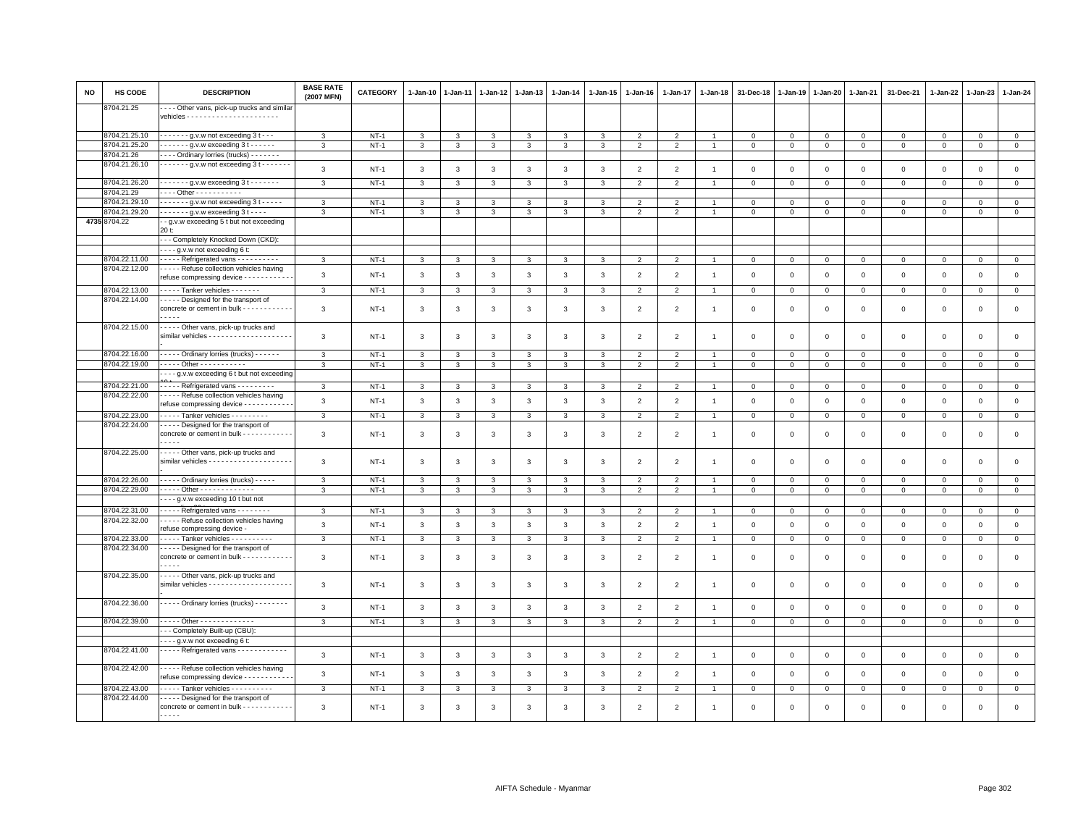| 8704.21.25<br>--- Other vans, pick-up trucks and simila<br>8704.21.25.10<br>$\cdots$ $\cdots$ g.v.w not exceeding 3 t $\cdots$<br>$NT-1$<br>$\mathbf{0}$<br>3<br>$\overline{2}$<br>$\overline{2}$<br>$\mathbf 0$<br>$\mathbf{0}$<br>$\mathbf 0$<br>3<br>$\mathbf{3}$<br>3<br>3<br>3<br>3<br>$\Omega$<br>$\Omega$<br>0<br>$\Omega$<br>8704.21.25.20<br>$\cdots$ $\cdots$ q.v.w exceeding 3 t $\cdots$<br>$NT-1$<br>$\mathbf{3}$<br>$\mathbf{3}$<br>$\mathbf{3}$<br>2<br>2<br>$\mathbf{0}$<br>$\mathbf{3}$<br>3<br>3<br>$\mathbf{3}$<br>$\overline{1}$<br>$\mathbf{0}$<br>$\mathbf{0}$<br>$\mathbf{0}$<br>$\mathbf{0}$<br>$\mathbf{0}$<br>$\mathbf 0$<br>$\mathbf{0}$<br>8704.21.26<br>---- Ordinary lorries (trucks) -------<br>8704.21.26.10<br>$\cdots$ $\cdots$ - g.v.w not exceeding 3 t - - - - - - -<br>$\mathbf{3}$<br>$\mathsf 0$<br>$NT-1$<br>3<br>3<br>3<br>$\mathbf{3}$<br>$\mathbf{3}$<br>3<br>$\overline{2}$<br>$\overline{2}$<br>$\mathbf 0$<br>$\mathbf{0}$<br>$\mathbf 0$<br>$\mathbf{0}$<br>$\mathbf 0$<br>$\Omega$<br>$\mathbf{0}$<br>$\overline{1}$<br>8704.21.26.20<br>$\cdots$ $\cdots$ g.v.w exceeding 3 t - - - - - - -<br>$\overline{0}$<br>$\mathbf{3}$<br>$NT-1$<br>$\mathbf{3}$<br>$\overline{2}$<br>$\mathsf 0$<br>$\mathbf 0$<br>$\mathbf{3}$<br>$\mathcal{R}$<br>-3<br>3<br>3<br>$\overline{2}$<br>$\Omega$<br>$\Omega$<br>0<br>$\Omega$<br>$\Omega$<br>8704.21.29<br>Other - - - - - - - - - - -<br>8704.21.29.10<br>$\cdots$ $\cdots$ - $\cdots$ g.v.w not exceeding 3 t - - - - -<br>3<br>$NT-1$<br>3<br>$\overline{2}$<br>$\mathbf 0$<br>3<br>3<br>3<br>$\mathfrak{p}$<br>$\mathbf 0$<br>$\mathbf 0$<br>$\Omega$<br>0<br>0<br>$\Omega$<br>3<br>$\Omega$<br>8704.21.29.20<br>$\cdots$ $\cdots$ $\cdots$ g.v.w exceeding 3 t - - - -<br>$NT-1$<br>$\overline{0}$<br>3<br>$\mathbf{3}$<br>3<br>3<br>3<br>$\mathbf{3}$<br>$\overline{2}$<br>2<br>$\mathbf 0$<br>$\mathbf{0}$<br>$\mathbf{0}$<br>$\mathsf 0$<br>$\mathbf 0$<br>3<br>$\mathbf 0$<br>$\Omega$<br>-1<br>4735 8704.22<br>- g.v.w exceeding 5 t but not exceeding<br>20 t:<br>--- Completely Knocked Down (CKD):<br>g.v.w not exceeding 6 t:<br>3704.22.11.00<br>---- Refrigerated vans ----------<br>$NT-1$<br>$\mathsf 0$<br>3<br>3<br>3<br>$\mathfrak{p}$<br>$\mathbf 0$<br>$\mathsf 0$<br>$\mathbf 0$<br>$\mathsf 0$<br>$\Omega$<br>3<br>$\Omega$<br>$\mathbf 0$<br>-3<br>8704.22.12.00<br>- - - - Refuse collection vehicles having<br>$\mathbf{3}$<br>$\mathbf{3}$<br>$\mathbf{3}$<br>$\mathbf{3}$<br>$\mathsf 0$<br>$NT-1$<br>3<br>3<br>3<br>$\overline{2}$<br>$\overline{2}$<br>$\mathbf 0$<br>$\mathbf 0$<br>$\mathbf 0$<br>$\mathbf 0$<br>$\mathsf 0$<br>$\mathbf 0$<br>$\mathsf 0$<br>$\overline{1}$<br>refuse compressing device - - - - - - - - - -<br>8704.22.13.00<br>$\cdots$ Tanker vehicles $\cdots$<br>$NT-1$<br>$\overline{0}$<br>$\mathbf{3}$<br>$\mathbf{3}$<br>$\mathbf{3}$<br>$\overline{2}$<br>$\overline{2}$<br>0<br>$\mathbf 0$<br>$\mathbf 0$<br>$\mathbf 0$<br>3<br>3<br>3<br>3<br>0<br>$\mathbf{0}$<br>$\circ$<br>$\overline{1}$<br>8704.22.14.00<br>Designed for the transport of<br>concrete or cement in bulk - - - - - - - - - - - -<br>$\mathsf 0$<br>$\mathbf{3}$<br>$NT-1$<br>3<br>$\mathbf{3}$<br>$\mathbf{3}$<br>$\overline{2}$<br>$\overline{2}$<br>$\Omega$<br>$\mathbf 0$<br>$\mathbf 0$<br>$\mathbf 0$<br>$\mathbf 0$<br>$\mathbf{3}$<br>3<br>3<br>$\Omega$<br>$\Omega$<br>$\overline{1}$<br>.<br>8704.22.15.00<br>Other vans, pick-up trucks and<br>$\mathsf 0$<br>3<br>$NT-1$<br>3<br>3<br>3<br>3<br>3<br>$\overline{2}$<br>$\mathfrak{p}$<br>$\Omega$<br>$\Omega$<br>$\mathbf 0$<br>$\mathbf 0$<br>$\Omega$<br>3<br>$\mathbf{1}$<br>$\mathbf 0$<br>$\mathbf 0$<br>8704.22.16.00<br>- - - - - Ordinary lorries (trucks) - - - - - -<br>$NT-1$<br>$\mathsf 0$<br>$\mathbf{3}$<br>$\mathbf{3}$<br>$\Omega$<br>$\mathbf 0$<br>$\mathbf 0$<br>$\Omega$<br>3<br>$\mathbf{B}$<br>3<br>3<br>3<br>$\overline{2}$<br>$\overline{2}$<br>$\mathbf 0$<br>$\Omega$<br>$\Omega$<br>8704.22.19.00<br>- - - - - Other - - - - - - - - - - -<br>$\mathbf{3}$<br>$NT-1$<br>$\mathbf{3}$<br>$\mathbf{3}$<br>$\overline{2}$<br>$\overline{2}$<br>$\mathsf 0$<br>$\mathbf{0}$<br>3<br>3<br>3<br>3<br>$\overline{1}$<br>$\mathbf 0$<br>$\mathbf 0$<br>$\mathbf 0$<br>$\mathsf 0$<br>$\mathbf 0$<br>$\mathbf 0$<br>- - - g.v.w exceeding 6 t but not exceeding<br>8704.22.21.00<br>- - - - - Refrigerated vans - - - - - - - - -<br>$\mathbf{3}$<br>$\mathbf{3}$<br>$\overline{2}$<br>$\circ$<br>$NT-1$<br>3<br>3<br>3<br>$\mathbf{3}$<br>3<br>$\overline{2}$<br>$\overline{1}$<br>$\mathbf 0$<br>$\Omega$<br>$\mathbf 0$<br>$\mathbf 0$<br>$\mathbf 0$<br>$\mathbf 0$<br>$\mathbf 0$<br>8704.22.22.00<br>---- Refuse collection vehicles having<br>$\mathsf 0$<br>3<br>$NT-1$<br>$\mathbf{3}$<br>3<br>$\mathbf{3}$<br>$\mathbf{3}$<br>$\mathbf{3}$<br>$\overline{2}$<br>$\overline{2}$<br>$\mathbf 0$<br>$\mathsf 0$<br>$\mathsf 0$<br>$\mathbf 0$<br>3<br>$\mathbf 0$<br>$\mathsf 0$<br>$\mathbf 0$<br>$\mathbf{1}$<br>refuse compressing device - - - - - - - - - -<br>8704.22.23.00<br>Tanker vehicles - - - - - - - - -<br>$\mathbf{3}$<br>$NT-1$<br>$\mathbf{3}$<br>$\mathbf{3}$<br>$\overline{2}$<br>$\overline{2}$<br>$\mathbf 0$<br>$\mathsf 0$<br>$\mathsf 0$<br>$\mathbf{0}$<br>3<br>3<br>3<br>3<br>$\overline{1}$<br>0<br>$\circ$<br>0<br>0<br>8704.22.24.00<br>---- Designed for the transport of<br>concrete or cement in bulk - - - - - - - - - - -<br>$\mathsf 0$<br>3<br>$NT-1$<br>3<br>3<br>$\mathbf{3}$<br>$\mathbf{3}$<br>3<br>$\overline{2}$<br>$\overline{2}$<br>$\mathbf 0$<br>$\mathbf 0$<br>$\mathbf 0$<br>$\mathsf 0$<br>$\mathsf 0$<br>3<br>$\overline{1}$<br>0<br>0<br>$- - -$<br>8704.22.25.00<br>Other vans, pick-up trucks and<br>3<br>$NT-1$<br>$\mathbf{3}$<br>$\mathbf{3}$<br>$\mathbf{3}$<br>$\overline{2}$<br>$\mathsf 0$<br>$\mathsf 0$<br>$\mathbf 0$<br>$\mathbf 0$<br>$\mathsf 0$<br>$\mathsf 0$<br>3<br>3<br>3<br>$\overline{2}$<br>$\Omega$<br>$\Omega$<br>$\mathbf{1}$<br>8704.22.26.00<br>- - - - - Ordinary lorries (trucks) - - - - -<br>$\mathbf{3}$<br>$NT-1$<br>3<br>$\mathbf 0$<br>$\mathbf 0$<br>$\mathbf 0$<br>$\mathbf{3}$<br>3<br>3<br>3<br>3<br>$\overline{2}$<br>$\mathfrak{p}$<br>0<br>$\Omega$<br>$\Omega$<br>$\Omega$<br>$\Omega$<br>8704.22.29.00<br>. Other - - - - - - - - - - - - -<br>$\mathbf{3}$<br>$NT-1$<br>$\overline{2}$<br>2<br>$\mathbf{0}$<br>3<br>3<br>$\mathbf{3}$<br>$\mathbf{3}$<br>$\mathbf{3}$<br>3<br>$\overline{1}$<br>$\mathbf 0$<br>$\mathbf 0$<br>$\mathbf 0$<br>$\mathbf{0}$<br>$\mathbf 0$<br>$\mathbf{0}$<br>0<br>--- g.v.w exceeding 10 t but not<br>8704.22.31.00<br>Refrigerated vans<br>$\mathbf{3}$<br>$NT-1$<br>3<br>3<br>$\mathbf{3}$<br>$\overline{3}$<br>3<br>3<br>2<br>2<br>$\Omega$<br>$\Omega$<br>$\mathbf 0$<br>$\mathbf 0$<br>$\mathbf 0$<br>$\mathbf 0$<br>$\mathbf{0}$<br>$\Omega$<br>8704.22.32.00<br>---- Refuse collection vehicles having<br>$\mathsf 0$<br>$\mathbf{3}$<br>$\mathbf{3}$<br>$\overline{2}$<br>$NT-1$<br>3<br>3<br>3<br>$\mathbf{3}$<br>3<br>$\overline{2}$<br>$\mathbf 0$<br>$\mathbf 0$<br>$\mathbf 0$<br>$\mathsf 0$<br>$\overline{1}$<br>$\mathbf 0$<br>$\mathbf 0$<br>$\mathbf 0$<br>refuse compressing device -<br>8704.22.33.00<br>---- Tanker vehicles ----------<br>$\mathsf 0$<br>3<br>$NT-1$<br>3<br>3<br>3<br>3<br>3<br>3<br>$\overline{2}$<br>$\overline{2}$<br>$\mathbf{0}$<br>$\mathbf{0}$<br>$\mathbf 0$<br>$\mathbf 0$<br>$\mathsf 0$<br>$\mathbf 0$<br>$\mathbf 0$<br>$\overline{1}$<br>8704.22.34.00<br>- - - - Designed for the transport of<br>$\mathsf 0$<br>$\mathbf{3}$<br>concrete or cement in bulk - - - - - - - - - - -<br>$NT-1$<br>3<br>3<br>3<br>3<br>3<br>3<br>$\overline{2}$<br>$\overline{2}$<br>$\mathbf 0$<br>$\mathbf 0$<br>$\mathbf 0$<br>$\mathbf 0$<br>$\mathsf 0$<br>$\mathbf 0$<br>$\mathsf 0$<br>$\mathbf{1}$<br>$- - - -$<br>8704.22.35.00<br>Other vans, pick-up trucks and<br>$\mathsf 0$<br>3<br>$NT-1$<br>3<br>3<br>3<br>3<br>$\overline{2}$<br>$\overline{2}$<br>$\mathsf 0$<br>$\mathbf 0$<br>3<br>3<br>0<br>$^{\circ}$<br>$\Omega$<br>$\mathbf 0$<br>0<br>$\overline{1}$<br>8704.22.36.00<br>----- Ordinary lorries (trucks) --------<br>$\overline{3}$<br>$NT-1$<br>3<br>$\mathbf{3}$<br>$\mathbf{3}$<br>3<br>3<br>$\overline{2}$<br>$\overline{2}$<br>$\Omega$<br>$\Omega$<br>$\mathsf 0$<br>$\mathbf 0$<br>$\mathbf 0$<br>$\Omega$<br>$\mathbf{0}$<br>$\mathbf 0$<br>3<br>$\mathbf{1}$<br>8704.22.39.00<br>---- Other --------------<br>$\mathbf{0}$<br>$NT-1$<br>3<br>3<br>3<br>3<br>3<br>3<br>3<br>$\overline{2}$<br>$\overline{2}$<br>0<br>0<br>0<br>0<br>0<br>$\Omega$<br>0<br>- - Completely Built-up (CBU)<br>- - - g.v.w not exceeding 6 t:<br>8704.22.41.00<br>----- Refrigerated vans ------------<br>$\mathsf 0$<br>$\mathbf{3}$<br>$NT-1$<br>3<br>3<br>3<br>$\mathbf{3}$<br>$\mathbf{3}$<br>3<br>$\overline{2}$<br>$\overline{2}$<br>$\mathbf 0$<br>$\mathbf 0$<br>$\mathsf 0$<br>$\mathbf{0}$<br>$\mathbf 0$<br>$\mathbf 0$<br>$\mathbf 0$<br>$\overline{1}$<br>8704.22.42.00<br>---- Refuse collection vehicles having<br>$\mathsf 0$<br>$\mathbf{3}$<br>$\mathbf{3}$<br>$\mathbf{3}$<br>$\mathbf{3}$<br>$\mathbf{3}$<br>$\overline{2}$<br>$\overline{2}$<br>$\mathsf 0$<br>$\mathsf 0$<br>$\mathbf 0$<br>$NT-1$<br>3<br>3<br>$\mathbf 0$<br>$\mathbf 0$<br>$\mathsf 0$<br>$\mathbf 0$<br>$\overline{1}$<br>refuse compressing device - - - - - - - - - - -<br>8704.22.43.00<br>- - - - Tanker vehicles - - - - - - - - - -<br>$\mathbf{3}$<br>$NT-1$<br>3<br>3<br>$\overline{2}$<br>$\mathfrak{p}$<br>$\mathbf 0$<br>$\mathbf 0$<br>$\mathsf 0$<br>$\mathsf 0$<br>$\mathbf{0}$<br>3<br>3<br>3<br>3<br>$\mathsf 0$<br>$\mathbf 0$<br>$\mathbf 0$<br>8704.22.44.00<br>- - - - Designed for the transport of<br>concrete or cement in bulk - - - - - - - - - - - -<br>$\mathbf 0$<br>$\mathbf{3}$<br>$NT-1$<br>3<br>$\overline{2}$<br>$\Omega$<br>3<br>3<br>3<br>3<br>$\mathbf{B}$<br>$\mathfrak{p}$<br>$\Omega$<br>$\Omega$<br>$\Omega$<br>$\Omega$<br>$\Omega$<br>$\Omega$<br>. | <b>NO</b> | HS CODE | <b>DESCRIPTION</b> | <b>BASE RATE</b><br>(2007 MFN) | CATEGORY | $1 - Jan-10$ | $1-Jan-11$ | 1-Jan-12 | $1 - Jan-13$ | $1 - Jan-14$ | $1 - Jan-15$ | $1 - Jan-16$ | 1-Jan-17 | $1 - Jan-18$ | 31-Dec-18 | $1 - Jan-19$ | $1-Jan-20$ | 1-Jan-21 | 31-Dec-21 | 1-Jan-22 | $1-Jan-23$ | $1 - Jan-24$ |
|-------------------------------------------------------------------------------------------------------------------------------------------------------------------------------------------------------------------------------------------------------------------------------------------------------------------------------------------------------------------------------------------------------------------------------------------------------------------------------------------------------------------------------------------------------------------------------------------------------------------------------------------------------------------------------------------------------------------------------------------------------------------------------------------------------------------------------------------------------------------------------------------------------------------------------------------------------------------------------------------------------------------------------------------------------------------------------------------------------------------------------------------------------------------------------------------------------------------------------------------------------------------------------------------------------------------------------------------------------------------------------------------------------------------------------------------------------------------------------------------------------------------------------------------------------------------------------------------------------------------------------------------------------------------------------------------------------------------------------------------------------------------------------------------------------------------------------------------------------------------------------------------------------------------------------------------------------------------------------------------------------------------------------------------------------------------------------------------------------------------------------------------------------------------------------------------------------------------------------------------------------------------------------------------------------------------------------------------------------------------------------------------------------------------------------------------------------------------------------------------------------------------------------------------------------------------------------------------------------------------------------------------------------------------------------------------------------------------------------------------------------------------------------------------------------------------------------------------------------------------------------------------------------------------------------------------------------------------------------------------------------------------------------------------------------------------------------------------------------------------------------------------------------------------------------------------------------------------------------------------------------------------------------------------------------------------------------------------------------------------------------------------------------------------------------------------------------------------------------------------------------------------------------------------------------------------------------------------------------------------------------------------------------------------------------------------------------------------------------------------------------------------------------------------------------------------------------------------------------------------------------------------------------------------------------------------------------------------------------------------------------------------------------------------------------------------------------------------------------------------------------------------------------------------------------------------------------------------------------------------------------------------------------------------------------------------------------------------------------------------------------------------------------------------------------------------------------------------------------------------------------------------------------------------------------------------------------------------------------------------------------------------------------------------------------------------------------------------------------------------------------------------------------------------------------------------------------------------------------------------------------------------------------------------------------------------------------------------------------------------------------------------------------------------------------------------------------------------------------------------------------------------------------------------------------------------------------------------------------------------------------------------------------------------------------------------------------------------------------------------------------------------------------------------------------------------------------------------------------------------------------------------------------------------------------------------------------------------------------------------------------------------------------------------------------------------------------------------------------------------------------------------------------------------------------------------------------------------------------------------------------------------------------------------------------------------------------------------------------------------------------------------------------------------------------------------------------------------------------------------------------------------------------------------------------------------------------------------------------------------------------------------------------------------------------------------------------------------------------------------------------------------------------------------------------------------------------------------------------------------------------------------------------------------------------------------------------------------------------------------------------------------------------------------------------------------------------------------------------------------------------------------------------------------------------------------------------------------------------------------------------------------------------------------------------------------------------------------------------------------------------------------------------------------------------------------------------------------------------------------------------------------------------------------------------------------------------------------------------------------------------------------------------------------------------------------------------------------------------------------------------------------------------------------------------------------------------------------------------------------------------------------------------------------------------------------------------------------------------------------------------------------------------------------------------------------------------------------------------------------------------------------------------------------------------------------------------------------------------------------------------------------------------------------------------------------------------------------------------------------------------------------------------------------------------------------------------------------------------------------------------------------------------------------------------------------------------------------------------------------------------------------------------------------------------------------------------------------------------------------------------------------------------------------------------------------------------------------------------------------------------------------------------------------------------------------------------------------------------------------------------------------------------------------------------------------------------------------------------------------------------------------------------------------------------------------------------------------------------------------------------------------------------------------------------------------------------------------------------------------------------------------------------------------------------------------------------------------------------------------------------------------------------------------------------------------------------------------------------------------------------------------------------------------------------------------------------------------------------------------------------------------------------------------------------------------------------------------------------------------------------------------------------------------------------------------------------------------------------------------------------------------------------------------------------------------------------------------------------------------------------------------------------------------------------------------------------------------------------------------------------------------------------------------------------------------------------------------------------------------------------------------------------------------------------------------------------------------|-----------|---------|--------------------|--------------------------------|----------|--------------|------------|----------|--------------|--------------|--------------|--------------|----------|--------------|-----------|--------------|------------|----------|-----------|----------|------------|--------------|
|                                                                                                                                                                                                                                                                                                                                                                                                                                                                                                                                                                                                                                                                                                                                                                                                                                                                                                                                                                                                                                                                                                                                                                                                                                                                                                                                                                                                                                                                                                                                                                                                                                                                                                                                                                                                                                                                                                                                                                                                                                                                                                                                                                                                                                                                                                                                                                                                                                                                                                                                                                                                                                                                                                                                                                                                                                                                                                                                                                                                                                                                                                                                                                                                                                                                                                                                                                                                                                                                                                                                                                                                                                                                                                                                                                                                                                                                                                                                                                                                                                                                                                                                                                                                                                                                                                                                                                                                                                                                                                                                                                                                                                                                                                                                                                                                                                                                                                                                                                                                                                                                                                                                                                                                                                                                                                                                                                                                                                                                                                                                                                                                                                                                                                                                                                                                                                                                                                                                                                                                                                                                                                                                                                                                                                                                                                                                                                                                                                                                                                                                                                                                                                                                                                                                                                                                                                                                                                                                                                                                                                                                                                                                                                                                                                                                                                                                                                                                                                                                                                                                                                                                                                                                                                                                                                                                                                                                                                                                                                                                                                                                                                                                                                                                                                                                                                                                                                                                                                                                                                                                                                                                                                                                                                                                                                                                                                                                                                                                                                                                                                                                                                                                                                                                                                                                                                                                                                                                                                                                                                                                                                                                                                                                                                                                                                                                                                                                                                                                                                                                                                                                                           |           |         |                    |                                |          |              |            |          |              |              |              |              |          |              |           |              |            |          |           |          |            |              |
|                                                                                                                                                                                                                                                                                                                                                                                                                                                                                                                                                                                                                                                                                                                                                                                                                                                                                                                                                                                                                                                                                                                                                                                                                                                                                                                                                                                                                                                                                                                                                                                                                                                                                                                                                                                                                                                                                                                                                                                                                                                                                                                                                                                                                                                                                                                                                                                                                                                                                                                                                                                                                                                                                                                                                                                                                                                                                                                                                                                                                                                                                                                                                                                                                                                                                                                                                                                                                                                                                                                                                                                                                                                                                                                                                                                                                                                                                                                                                                                                                                                                                                                                                                                                                                                                                                                                                                                                                                                                                                                                                                                                                                                                                                                                                                                                                                                                                                                                                                                                                                                                                                                                                                                                                                                                                                                                                                                                                                                                                                                                                                                                                                                                                                                                                                                                                                                                                                                                                                                                                                                                                                                                                                                                                                                                                                                                                                                                                                                                                                                                                                                                                                                                                                                                                                                                                                                                                                                                                                                                                                                                                                                                                                                                                                                                                                                                                                                                                                                                                                                                                                                                                                                                                                                                                                                                                                                                                                                                                                                                                                                                                                                                                                                                                                                                                                                                                                                                                                                                                                                                                                                                                                                                                                                                                                                                                                                                                                                                                                                                                                                                                                                                                                                                                                                                                                                                                                                                                                                                                                                                                                                                                                                                                                                                                                                                                                                                                                                                                                                                                                                                                           |           |         |                    |                                |          |              |            |          |              |              |              |              |          |              |           |              |            |          |           |          |            |              |
|                                                                                                                                                                                                                                                                                                                                                                                                                                                                                                                                                                                                                                                                                                                                                                                                                                                                                                                                                                                                                                                                                                                                                                                                                                                                                                                                                                                                                                                                                                                                                                                                                                                                                                                                                                                                                                                                                                                                                                                                                                                                                                                                                                                                                                                                                                                                                                                                                                                                                                                                                                                                                                                                                                                                                                                                                                                                                                                                                                                                                                                                                                                                                                                                                                                                                                                                                                                                                                                                                                                                                                                                                                                                                                                                                                                                                                                                                                                                                                                                                                                                                                                                                                                                                                                                                                                                                                                                                                                                                                                                                                                                                                                                                                                                                                                                                                                                                                                                                                                                                                                                                                                                                                                                                                                                                                                                                                                                                                                                                                                                                                                                                                                                                                                                                                                                                                                                                                                                                                                                                                                                                                                                                                                                                                                                                                                                                                                                                                                                                                                                                                                                                                                                                                                                                                                                                                                                                                                                                                                                                                                                                                                                                                                                                                                                                                                                                                                                                                                                                                                                                                                                                                                                                                                                                                                                                                                                                                                                                                                                                                                                                                                                                                                                                                                                                                                                                                                                                                                                                                                                                                                                                                                                                                                                                                                                                                                                                                                                                                                                                                                                                                                                                                                                                                                                                                                                                                                                                                                                                                                                                                                                                                                                                                                                                                                                                                                                                                                                                                                                                                                                                           |           |         |                    |                                |          |              |            |          |              |              |              |              |          |              |           |              |            |          |           |          |            |              |
|                                                                                                                                                                                                                                                                                                                                                                                                                                                                                                                                                                                                                                                                                                                                                                                                                                                                                                                                                                                                                                                                                                                                                                                                                                                                                                                                                                                                                                                                                                                                                                                                                                                                                                                                                                                                                                                                                                                                                                                                                                                                                                                                                                                                                                                                                                                                                                                                                                                                                                                                                                                                                                                                                                                                                                                                                                                                                                                                                                                                                                                                                                                                                                                                                                                                                                                                                                                                                                                                                                                                                                                                                                                                                                                                                                                                                                                                                                                                                                                                                                                                                                                                                                                                                                                                                                                                                                                                                                                                                                                                                                                                                                                                                                                                                                                                                                                                                                                                                                                                                                                                                                                                                                                                                                                                                                                                                                                                                                                                                                                                                                                                                                                                                                                                                                                                                                                                                                                                                                                                                                                                                                                                                                                                                                                                                                                                                                                                                                                                                                                                                                                                                                                                                                                                                                                                                                                                                                                                                                                                                                                                                                                                                                                                                                                                                                                                                                                                                                                                                                                                                                                                                                                                                                                                                                                                                                                                                                                                                                                                                                                                                                                                                                                                                                                                                                                                                                                                                                                                                                                                                                                                                                                                                                                                                                                                                                                                                                                                                                                                                                                                                                                                                                                                                                                                                                                                                                                                                                                                                                                                                                                                                                                                                                                                                                                                                                                                                                                                                                                                                                                                                           |           |         |                    |                                |          |              |            |          |              |              |              |              |          |              |           |              |            |          |           |          |            |              |
|                                                                                                                                                                                                                                                                                                                                                                                                                                                                                                                                                                                                                                                                                                                                                                                                                                                                                                                                                                                                                                                                                                                                                                                                                                                                                                                                                                                                                                                                                                                                                                                                                                                                                                                                                                                                                                                                                                                                                                                                                                                                                                                                                                                                                                                                                                                                                                                                                                                                                                                                                                                                                                                                                                                                                                                                                                                                                                                                                                                                                                                                                                                                                                                                                                                                                                                                                                                                                                                                                                                                                                                                                                                                                                                                                                                                                                                                                                                                                                                                                                                                                                                                                                                                                                                                                                                                                                                                                                                                                                                                                                                                                                                                                                                                                                                                                                                                                                                                                                                                                                                                                                                                                                                                                                                                                                                                                                                                                                                                                                                                                                                                                                                                                                                                                                                                                                                                                                                                                                                                                                                                                                                                                                                                                                                                                                                                                                                                                                                                                                                                                                                                                                                                                                                                                                                                                                                                                                                                                                                                                                                                                                                                                                                                                                                                                                                                                                                                                                                                                                                                                                                                                                                                                                                                                                                                                                                                                                                                                                                                                                                                                                                                                                                                                                                                                                                                                                                                                                                                                                                                                                                                                                                                                                                                                                                                                                                                                                                                                                                                                                                                                                                                                                                                                                                                                                                                                                                                                                                                                                                                                                                                                                                                                                                                                                                                                                                                                                                                                                                                                                                                                           |           |         |                    |                                |          |              |            |          |              |              |              |              |          |              |           |              |            |          |           |          |            |              |
|                                                                                                                                                                                                                                                                                                                                                                                                                                                                                                                                                                                                                                                                                                                                                                                                                                                                                                                                                                                                                                                                                                                                                                                                                                                                                                                                                                                                                                                                                                                                                                                                                                                                                                                                                                                                                                                                                                                                                                                                                                                                                                                                                                                                                                                                                                                                                                                                                                                                                                                                                                                                                                                                                                                                                                                                                                                                                                                                                                                                                                                                                                                                                                                                                                                                                                                                                                                                                                                                                                                                                                                                                                                                                                                                                                                                                                                                                                                                                                                                                                                                                                                                                                                                                                                                                                                                                                                                                                                                                                                                                                                                                                                                                                                                                                                                                                                                                                                                                                                                                                                                                                                                                                                                                                                                                                                                                                                                                                                                                                                                                                                                                                                                                                                                                                                                                                                                                                                                                                                                                                                                                                                                                                                                                                                                                                                                                                                                                                                                                                                                                                                                                                                                                                                                                                                                                                                                                                                                                                                                                                                                                                                                                                                                                                                                                                                                                                                                                                                                                                                                                                                                                                                                                                                                                                                                                                                                                                                                                                                                                                                                                                                                                                                                                                                                                                                                                                                                                                                                                                                                                                                                                                                                                                                                                                                                                                                                                                                                                                                                                                                                                                                                                                                                                                                                                                                                                                                                                                                                                                                                                                                                                                                                                                                                                                                                                                                                                                                                                                                                                                                                                           |           |         |                    |                                |          |              |            |          |              |              |              |              |          |              |           |              |            |          |           |          |            |              |
|                                                                                                                                                                                                                                                                                                                                                                                                                                                                                                                                                                                                                                                                                                                                                                                                                                                                                                                                                                                                                                                                                                                                                                                                                                                                                                                                                                                                                                                                                                                                                                                                                                                                                                                                                                                                                                                                                                                                                                                                                                                                                                                                                                                                                                                                                                                                                                                                                                                                                                                                                                                                                                                                                                                                                                                                                                                                                                                                                                                                                                                                                                                                                                                                                                                                                                                                                                                                                                                                                                                                                                                                                                                                                                                                                                                                                                                                                                                                                                                                                                                                                                                                                                                                                                                                                                                                                                                                                                                                                                                                                                                                                                                                                                                                                                                                                                                                                                                                                                                                                                                                                                                                                                                                                                                                                                                                                                                                                                                                                                                                                                                                                                                                                                                                                                                                                                                                                                                                                                                                                                                                                                                                                                                                                                                                                                                                                                                                                                                                                                                                                                                                                                                                                                                                                                                                                                                                                                                                                                                                                                                                                                                                                                                                                                                                                                                                                                                                                                                                                                                                                                                                                                                                                                                                                                                                                                                                                                                                                                                                                                                                                                                                                                                                                                                                                                                                                                                                                                                                                                                                                                                                                                                                                                                                                                                                                                                                                                                                                                                                                                                                                                                                                                                                                                                                                                                                                                                                                                                                                                                                                                                                                                                                                                                                                                                                                                                                                                                                                                                                                                                                                           |           |         |                    |                                |          |              |            |          |              |              |              |              |          |              |           |              |            |          |           |          |            |              |
|                                                                                                                                                                                                                                                                                                                                                                                                                                                                                                                                                                                                                                                                                                                                                                                                                                                                                                                                                                                                                                                                                                                                                                                                                                                                                                                                                                                                                                                                                                                                                                                                                                                                                                                                                                                                                                                                                                                                                                                                                                                                                                                                                                                                                                                                                                                                                                                                                                                                                                                                                                                                                                                                                                                                                                                                                                                                                                                                                                                                                                                                                                                                                                                                                                                                                                                                                                                                                                                                                                                                                                                                                                                                                                                                                                                                                                                                                                                                                                                                                                                                                                                                                                                                                                                                                                                                                                                                                                                                                                                                                                                                                                                                                                                                                                                                                                                                                                                                                                                                                                                                                                                                                                                                                                                                                                                                                                                                                                                                                                                                                                                                                                                                                                                                                                                                                                                                                                                                                                                                                                                                                                                                                                                                                                                                                                                                                                                                                                                                                                                                                                                                                                                                                                                                                                                                                                                                                                                                                                                                                                                                                                                                                                                                                                                                                                                                                                                                                                                                                                                                                                                                                                                                                                                                                                                                                                                                                                                                                                                                                                                                                                                                                                                                                                                                                                                                                                                                                                                                                                                                                                                                                                                                                                                                                                                                                                                                                                                                                                                                                                                                                                                                                                                                                                                                                                                                                                                                                                                                                                                                                                                                                                                                                                                                                                                                                                                                                                                                                                                                                                                                                           |           |         |                    |                                |          |              |            |          |              |              |              |              |          |              |           |              |            |          |           |          |            |              |
|                                                                                                                                                                                                                                                                                                                                                                                                                                                                                                                                                                                                                                                                                                                                                                                                                                                                                                                                                                                                                                                                                                                                                                                                                                                                                                                                                                                                                                                                                                                                                                                                                                                                                                                                                                                                                                                                                                                                                                                                                                                                                                                                                                                                                                                                                                                                                                                                                                                                                                                                                                                                                                                                                                                                                                                                                                                                                                                                                                                                                                                                                                                                                                                                                                                                                                                                                                                                                                                                                                                                                                                                                                                                                                                                                                                                                                                                                                                                                                                                                                                                                                                                                                                                                                                                                                                                                                                                                                                                                                                                                                                                                                                                                                                                                                                                                                                                                                                                                                                                                                                                                                                                                                                                                                                                                                                                                                                                                                                                                                                                                                                                                                                                                                                                                                                                                                                                                                                                                                                                                                                                                                                                                                                                                                                                                                                                                                                                                                                                                                                                                                                                                                                                                                                                                                                                                                                                                                                                                                                                                                                                                                                                                                                                                                                                                                                                                                                                                                                                                                                                                                                                                                                                                                                                                                                                                                                                                                                                                                                                                                                                                                                                                                                                                                                                                                                                                                                                                                                                                                                                                                                                                                                                                                                                                                                                                                                                                                                                                                                                                                                                                                                                                                                                                                                                                                                                                                                                                                                                                                                                                                                                                                                                                                                                                                                                                                                                                                                                                                                                                                                                                           |           |         |                    |                                |          |              |            |          |              |              |              |              |          |              |           |              |            |          |           |          |            |              |
|                                                                                                                                                                                                                                                                                                                                                                                                                                                                                                                                                                                                                                                                                                                                                                                                                                                                                                                                                                                                                                                                                                                                                                                                                                                                                                                                                                                                                                                                                                                                                                                                                                                                                                                                                                                                                                                                                                                                                                                                                                                                                                                                                                                                                                                                                                                                                                                                                                                                                                                                                                                                                                                                                                                                                                                                                                                                                                                                                                                                                                                                                                                                                                                                                                                                                                                                                                                                                                                                                                                                                                                                                                                                                                                                                                                                                                                                                                                                                                                                                                                                                                                                                                                                                                                                                                                                                                                                                                                                                                                                                                                                                                                                                                                                                                                                                                                                                                                                                                                                                                                                                                                                                                                                                                                                                                                                                                                                                                                                                                                                                                                                                                                                                                                                                                                                                                                                                                                                                                                                                                                                                                                                                                                                                                                                                                                                                                                                                                                                                                                                                                                                                                                                                                                                                                                                                                                                                                                                                                                                                                                                                                                                                                                                                                                                                                                                                                                                                                                                                                                                                                                                                                                                                                                                                                                                                                                                                                                                                                                                                                                                                                                                                                                                                                                                                                                                                                                                                                                                                                                                                                                                                                                                                                                                                                                                                                                                                                                                                                                                                                                                                                                                                                                                                                                                                                                                                                                                                                                                                                                                                                                                                                                                                                                                                                                                                                                                                                                                                                                                                                                                                           |           |         |                    |                                |          |              |            |          |              |              |              |              |          |              |           |              |            |          |           |          |            |              |
|                                                                                                                                                                                                                                                                                                                                                                                                                                                                                                                                                                                                                                                                                                                                                                                                                                                                                                                                                                                                                                                                                                                                                                                                                                                                                                                                                                                                                                                                                                                                                                                                                                                                                                                                                                                                                                                                                                                                                                                                                                                                                                                                                                                                                                                                                                                                                                                                                                                                                                                                                                                                                                                                                                                                                                                                                                                                                                                                                                                                                                                                                                                                                                                                                                                                                                                                                                                                                                                                                                                                                                                                                                                                                                                                                                                                                                                                                                                                                                                                                                                                                                                                                                                                                                                                                                                                                                                                                                                                                                                                                                                                                                                                                                                                                                                                                                                                                                                                                                                                                                                                                                                                                                                                                                                                                                                                                                                                                                                                                                                                                                                                                                                                                                                                                                                                                                                                                                                                                                                                                                                                                                                                                                                                                                                                                                                                                                                                                                                                                                                                                                                                                                                                                                                                                                                                                                                                                                                                                                                                                                                                                                                                                                                                                                                                                                                                                                                                                                                                                                                                                                                                                                                                                                                                                                                                                                                                                                                                                                                                                                                                                                                                                                                                                                                                                                                                                                                                                                                                                                                                                                                                                                                                                                                                                                                                                                                                                                                                                                                                                                                                                                                                                                                                                                                                                                                                                                                                                                                                                                                                                                                                                                                                                                                                                                                                                                                                                                                                                                                                                                                                                           |           |         |                    |                                |          |              |            |          |              |              |              |              |          |              |           |              |            |          |           |          |            |              |
|                                                                                                                                                                                                                                                                                                                                                                                                                                                                                                                                                                                                                                                                                                                                                                                                                                                                                                                                                                                                                                                                                                                                                                                                                                                                                                                                                                                                                                                                                                                                                                                                                                                                                                                                                                                                                                                                                                                                                                                                                                                                                                                                                                                                                                                                                                                                                                                                                                                                                                                                                                                                                                                                                                                                                                                                                                                                                                                                                                                                                                                                                                                                                                                                                                                                                                                                                                                                                                                                                                                                                                                                                                                                                                                                                                                                                                                                                                                                                                                                                                                                                                                                                                                                                                                                                                                                                                                                                                                                                                                                                                                                                                                                                                                                                                                                                                                                                                                                                                                                                                                                                                                                                                                                                                                                                                                                                                                                                                                                                                                                                                                                                                                                                                                                                                                                                                                                                                                                                                                                                                                                                                                                                                                                                                                                                                                                                                                                                                                                                                                                                                                                                                                                                                                                                                                                                                                                                                                                                                                                                                                                                                                                                                                                                                                                                                                                                                                                                                                                                                                                                                                                                                                                                                                                                                                                                                                                                                                                                                                                                                                                                                                                                                                                                                                                                                                                                                                                                                                                                                                                                                                                                                                                                                                                                                                                                                                                                                                                                                                                                                                                                                                                                                                                                                                                                                                                                                                                                                                                                                                                                                                                                                                                                                                                                                                                                                                                                                                                                                                                                                                                                           |           |         |                    |                                |          |              |            |          |              |              |              |              |          |              |           |              |            |          |           |          |            |              |
|                                                                                                                                                                                                                                                                                                                                                                                                                                                                                                                                                                                                                                                                                                                                                                                                                                                                                                                                                                                                                                                                                                                                                                                                                                                                                                                                                                                                                                                                                                                                                                                                                                                                                                                                                                                                                                                                                                                                                                                                                                                                                                                                                                                                                                                                                                                                                                                                                                                                                                                                                                                                                                                                                                                                                                                                                                                                                                                                                                                                                                                                                                                                                                                                                                                                                                                                                                                                                                                                                                                                                                                                                                                                                                                                                                                                                                                                                                                                                                                                                                                                                                                                                                                                                                                                                                                                                                                                                                                                                                                                                                                                                                                                                                                                                                                                                                                                                                                                                                                                                                                                                                                                                                                                                                                                                                                                                                                                                                                                                                                                                                                                                                                                                                                                                                                                                                                                                                                                                                                                                                                                                                                                                                                                                                                                                                                                                                                                                                                                                                                                                                                                                                                                                                                                                                                                                                                                                                                                                                                                                                                                                                                                                                                                                                                                                                                                                                                                                                                                                                                                                                                                                                                                                                                                                                                                                                                                                                                                                                                                                                                                                                                                                                                                                                                                                                                                                                                                                                                                                                                                                                                                                                                                                                                                                                                                                                                                                                                                                                                                                                                                                                                                                                                                                                                                                                                                                                                                                                                                                                                                                                                                                                                                                                                                                                                                                                                                                                                                                                                                                                                                                           |           |         |                    |                                |          |              |            |          |              |              |              |              |          |              |           |              |            |          |           |          |            |              |
|                                                                                                                                                                                                                                                                                                                                                                                                                                                                                                                                                                                                                                                                                                                                                                                                                                                                                                                                                                                                                                                                                                                                                                                                                                                                                                                                                                                                                                                                                                                                                                                                                                                                                                                                                                                                                                                                                                                                                                                                                                                                                                                                                                                                                                                                                                                                                                                                                                                                                                                                                                                                                                                                                                                                                                                                                                                                                                                                                                                                                                                                                                                                                                                                                                                                                                                                                                                                                                                                                                                                                                                                                                                                                                                                                                                                                                                                                                                                                                                                                                                                                                                                                                                                                                                                                                                                                                                                                                                                                                                                                                                                                                                                                                                                                                                                                                                                                                                                                                                                                                                                                                                                                                                                                                                                                                                                                                                                                                                                                                                                                                                                                                                                                                                                                                                                                                                                                                                                                                                                                                                                                                                                                                                                                                                                                                                                                                                                                                                                                                                                                                                                                                                                                                                                                                                                                                                                                                                                                                                                                                                                                                                                                                                                                                                                                                                                                                                                                                                                                                                                                                                                                                                                                                                                                                                                                                                                                                                                                                                                                                                                                                                                                                                                                                                                                                                                                                                                                                                                                                                                                                                                                                                                                                                                                                                                                                                                                                                                                                                                                                                                                                                                                                                                                                                                                                                                                                                                                                                                                                                                                                                                                                                                                                                                                                                                                                                                                                                                                                                                                                                                                           |           |         |                    |                                |          |              |            |          |              |              |              |              |          |              |           |              |            |          |           |          |            |              |
|                                                                                                                                                                                                                                                                                                                                                                                                                                                                                                                                                                                                                                                                                                                                                                                                                                                                                                                                                                                                                                                                                                                                                                                                                                                                                                                                                                                                                                                                                                                                                                                                                                                                                                                                                                                                                                                                                                                                                                                                                                                                                                                                                                                                                                                                                                                                                                                                                                                                                                                                                                                                                                                                                                                                                                                                                                                                                                                                                                                                                                                                                                                                                                                                                                                                                                                                                                                                                                                                                                                                                                                                                                                                                                                                                                                                                                                                                                                                                                                                                                                                                                                                                                                                                                                                                                                                                                                                                                                                                                                                                                                                                                                                                                                                                                                                                                                                                                                                                                                                                                                                                                                                                                                                                                                                                                                                                                                                                                                                                                                                                                                                                                                                                                                                                                                                                                                                                                                                                                                                                                                                                                                                                                                                                                                                                                                                                                                                                                                                                                                                                                                                                                                                                                                                                                                                                                                                                                                                                                                                                                                                                                                                                                                                                                                                                                                                                                                                                                                                                                                                                                                                                                                                                                                                                                                                                                                                                                                                                                                                                                                                                                                                                                                                                                                                                                                                                                                                                                                                                                                                                                                                                                                                                                                                                                                                                                                                                                                                                                                                                                                                                                                                                                                                                                                                                                                                                                                                                                                                                                                                                                                                                                                                                                                                                                                                                                                                                                                                                                                                                                                                                           |           |         |                    |                                |          |              |            |          |              |              |              |              |          |              |           |              |            |          |           |          |            |              |
|                                                                                                                                                                                                                                                                                                                                                                                                                                                                                                                                                                                                                                                                                                                                                                                                                                                                                                                                                                                                                                                                                                                                                                                                                                                                                                                                                                                                                                                                                                                                                                                                                                                                                                                                                                                                                                                                                                                                                                                                                                                                                                                                                                                                                                                                                                                                                                                                                                                                                                                                                                                                                                                                                                                                                                                                                                                                                                                                                                                                                                                                                                                                                                                                                                                                                                                                                                                                                                                                                                                                                                                                                                                                                                                                                                                                                                                                                                                                                                                                                                                                                                                                                                                                                                                                                                                                                                                                                                                                                                                                                                                                                                                                                                                                                                                                                                                                                                                                                                                                                                                                                                                                                                                                                                                                                                                                                                                                                                                                                                                                                                                                                                                                                                                                                                                                                                                                                                                                                                                                                                                                                                                                                                                                                                                                                                                                                                                                                                                                                                                                                                                                                                                                                                                                                                                                                                                                                                                                                                                                                                                                                                                                                                                                                                                                                                                                                                                                                                                                                                                                                                                                                                                                                                                                                                                                                                                                                                                                                                                                                                                                                                                                                                                                                                                                                                                                                                                                                                                                                                                                                                                                                                                                                                                                                                                                                                                                                                                                                                                                                                                                                                                                                                                                                                                                                                                                                                                                                                                                                                                                                                                                                                                                                                                                                                                                                                                                                                                                                                                                                                                                                           |           |         |                    |                                |          |              |            |          |              |              |              |              |          |              |           |              |            |          |           |          |            |              |
|                                                                                                                                                                                                                                                                                                                                                                                                                                                                                                                                                                                                                                                                                                                                                                                                                                                                                                                                                                                                                                                                                                                                                                                                                                                                                                                                                                                                                                                                                                                                                                                                                                                                                                                                                                                                                                                                                                                                                                                                                                                                                                                                                                                                                                                                                                                                                                                                                                                                                                                                                                                                                                                                                                                                                                                                                                                                                                                                                                                                                                                                                                                                                                                                                                                                                                                                                                                                                                                                                                                                                                                                                                                                                                                                                                                                                                                                                                                                                                                                                                                                                                                                                                                                                                                                                                                                                                                                                                                                                                                                                                                                                                                                                                                                                                                                                                                                                                                                                                                                                                                                                                                                                                                                                                                                                                                                                                                                                                                                                                                                                                                                                                                                                                                                                                                                                                                                                                                                                                                                                                                                                                                                                                                                                                                                                                                                                                                                                                                                                                                                                                                                                                                                                                                                                                                                                                                                                                                                                                                                                                                                                                                                                                                                                                                                                                                                                                                                                                                                                                                                                                                                                                                                                                                                                                                                                                                                                                                                                                                                                                                                                                                                                                                                                                                                                                                                                                                                                                                                                                                                                                                                                                                                                                                                                                                                                                                                                                                                                                                                                                                                                                                                                                                                                                                                                                                                                                                                                                                                                                                                                                                                                                                                                                                                                                                                                                                                                                                                                                                                                                                                                           |           |         |                    |                                |          |              |            |          |              |              |              |              |          |              |           |              |            |          |           |          |            |              |
|                                                                                                                                                                                                                                                                                                                                                                                                                                                                                                                                                                                                                                                                                                                                                                                                                                                                                                                                                                                                                                                                                                                                                                                                                                                                                                                                                                                                                                                                                                                                                                                                                                                                                                                                                                                                                                                                                                                                                                                                                                                                                                                                                                                                                                                                                                                                                                                                                                                                                                                                                                                                                                                                                                                                                                                                                                                                                                                                                                                                                                                                                                                                                                                                                                                                                                                                                                                                                                                                                                                                                                                                                                                                                                                                                                                                                                                                                                                                                                                                                                                                                                                                                                                                                                                                                                                                                                                                                                                                                                                                                                                                                                                                                                                                                                                                                                                                                                                                                                                                                                                                                                                                                                                                                                                                                                                                                                                                                                                                                                                                                                                                                                                                                                                                                                                                                                                                                                                                                                                                                                                                                                                                                                                                                                                                                                                                                                                                                                                                                                                                                                                                                                                                                                                                                                                                                                                                                                                                                                                                                                                                                                                                                                                                                                                                                                                                                                                                                                                                                                                                                                                                                                                                                                                                                                                                                                                                                                                                                                                                                                                                                                                                                                                                                                                                                                                                                                                                                                                                                                                                                                                                                                                                                                                                                                                                                                                                                                                                                                                                                                                                                                                                                                                                                                                                                                                                                                                                                                                                                                                                                                                                                                                                                                                                                                                                                                                                                                                                                                                                                                                                                           |           |         |                    |                                |          |              |            |          |              |              |              |              |          |              |           |              |            |          |           |          |            |              |
|                                                                                                                                                                                                                                                                                                                                                                                                                                                                                                                                                                                                                                                                                                                                                                                                                                                                                                                                                                                                                                                                                                                                                                                                                                                                                                                                                                                                                                                                                                                                                                                                                                                                                                                                                                                                                                                                                                                                                                                                                                                                                                                                                                                                                                                                                                                                                                                                                                                                                                                                                                                                                                                                                                                                                                                                                                                                                                                                                                                                                                                                                                                                                                                                                                                                                                                                                                                                                                                                                                                                                                                                                                                                                                                                                                                                                                                                                                                                                                                                                                                                                                                                                                                                                                                                                                                                                                                                                                                                                                                                                                                                                                                                                                                                                                                                                                                                                                                                                                                                                                                                                                                                                                                                                                                                                                                                                                                                                                                                                                                                                                                                                                                                                                                                                                                                                                                                                                                                                                                                                                                                                                                                                                                                                                                                                                                                                                                                                                                                                                                                                                                                                                                                                                                                                                                                                                                                                                                                                                                                                                                                                                                                                                                                                                                                                                                                                                                                                                                                                                                                                                                                                                                                                                                                                                                                                                                                                                                                                                                                                                                                                                                                                                                                                                                                                                                                                                                                                                                                                                                                                                                                                                                                                                                                                                                                                                                                                                                                                                                                                                                                                                                                                                                                                                                                                                                                                                                                                                                                                                                                                                                                                                                                                                                                                                                                                                                                                                                                                                                                                                                                                           |           |         |                    |                                |          |              |            |          |              |              |              |              |          |              |           |              |            |          |           |          |            |              |
|                                                                                                                                                                                                                                                                                                                                                                                                                                                                                                                                                                                                                                                                                                                                                                                                                                                                                                                                                                                                                                                                                                                                                                                                                                                                                                                                                                                                                                                                                                                                                                                                                                                                                                                                                                                                                                                                                                                                                                                                                                                                                                                                                                                                                                                                                                                                                                                                                                                                                                                                                                                                                                                                                                                                                                                                                                                                                                                                                                                                                                                                                                                                                                                                                                                                                                                                                                                                                                                                                                                                                                                                                                                                                                                                                                                                                                                                                                                                                                                                                                                                                                                                                                                                                                                                                                                                                                                                                                                                                                                                                                                                                                                                                                                                                                                                                                                                                                                                                                                                                                                                                                                                                                                                                                                                                                                                                                                                                                                                                                                                                                                                                                                                                                                                                                                                                                                                                                                                                                                                                                                                                                                                                                                                                                                                                                                                                                                                                                                                                                                                                                                                                                                                                                                                                                                                                                                                                                                                                                                                                                                                                                                                                                                                                                                                                                                                                                                                                                                                                                                                                                                                                                                                                                                                                                                                                                                                                                                                                                                                                                                                                                                                                                                                                                                                                                                                                                                                                                                                                                                                                                                                                                                                                                                                                                                                                                                                                                                                                                                                                                                                                                                                                                                                                                                                                                                                                                                                                                                                                                                                                                                                                                                                                                                                                                                                                                                                                                                                                                                                                                                                                           |           |         |                    |                                |          |              |            |          |              |              |              |              |          |              |           |              |            |          |           |          |            |              |
|                                                                                                                                                                                                                                                                                                                                                                                                                                                                                                                                                                                                                                                                                                                                                                                                                                                                                                                                                                                                                                                                                                                                                                                                                                                                                                                                                                                                                                                                                                                                                                                                                                                                                                                                                                                                                                                                                                                                                                                                                                                                                                                                                                                                                                                                                                                                                                                                                                                                                                                                                                                                                                                                                                                                                                                                                                                                                                                                                                                                                                                                                                                                                                                                                                                                                                                                                                                                                                                                                                                                                                                                                                                                                                                                                                                                                                                                                                                                                                                                                                                                                                                                                                                                                                                                                                                                                                                                                                                                                                                                                                                                                                                                                                                                                                                                                                                                                                                                                                                                                                                                                                                                                                                                                                                                                                                                                                                                                                                                                                                                                                                                                                                                                                                                                                                                                                                                                                                                                                                                                                                                                                                                                                                                                                                                                                                                                                                                                                                                                                                                                                                                                                                                                                                                                                                                                                                                                                                                                                                                                                                                                                                                                                                                                                                                                                                                                                                                                                                                                                                                                                                                                                                                                                                                                                                                                                                                                                                                                                                                                                                                                                                                                                                                                                                                                                                                                                                                                                                                                                                                                                                                                                                                                                                                                                                                                                                                                                                                                                                                                                                                                                                                                                                                                                                                                                                                                                                                                                                                                                                                                                                                                                                                                                                                                                                                                                                                                                                                                                                                                                                                                           |           |         |                    |                                |          |              |            |          |              |              |              |              |          |              |           |              |            |          |           |          |            |              |
|                                                                                                                                                                                                                                                                                                                                                                                                                                                                                                                                                                                                                                                                                                                                                                                                                                                                                                                                                                                                                                                                                                                                                                                                                                                                                                                                                                                                                                                                                                                                                                                                                                                                                                                                                                                                                                                                                                                                                                                                                                                                                                                                                                                                                                                                                                                                                                                                                                                                                                                                                                                                                                                                                                                                                                                                                                                                                                                                                                                                                                                                                                                                                                                                                                                                                                                                                                                                                                                                                                                                                                                                                                                                                                                                                                                                                                                                                                                                                                                                                                                                                                                                                                                                                                                                                                                                                                                                                                                                                                                                                                                                                                                                                                                                                                                                                                                                                                                                                                                                                                                                                                                                                                                                                                                                                                                                                                                                                                                                                                                                                                                                                                                                                                                                                                                                                                                                                                                                                                                                                                                                                                                                                                                                                                                                                                                                                                                                                                                                                                                                                                                                                                                                                                                                                                                                                                                                                                                                                                                                                                                                                                                                                                                                                                                                                                                                                                                                                                                                                                                                                                                                                                                                                                                                                                                                                                                                                                                                                                                                                                                                                                                                                                                                                                                                                                                                                                                                                                                                                                                                                                                                                                                                                                                                                                                                                                                                                                                                                                                                                                                                                                                                                                                                                                                                                                                                                                                                                                                                                                                                                                                                                                                                                                                                                                                                                                                                                                                                                                                                                                                                                           |           |         |                    |                                |          |              |            |          |              |              |              |              |          |              |           |              |            |          |           |          |            |              |
|                                                                                                                                                                                                                                                                                                                                                                                                                                                                                                                                                                                                                                                                                                                                                                                                                                                                                                                                                                                                                                                                                                                                                                                                                                                                                                                                                                                                                                                                                                                                                                                                                                                                                                                                                                                                                                                                                                                                                                                                                                                                                                                                                                                                                                                                                                                                                                                                                                                                                                                                                                                                                                                                                                                                                                                                                                                                                                                                                                                                                                                                                                                                                                                                                                                                                                                                                                                                                                                                                                                                                                                                                                                                                                                                                                                                                                                                                                                                                                                                                                                                                                                                                                                                                                                                                                                                                                                                                                                                                                                                                                                                                                                                                                                                                                                                                                                                                                                                                                                                                                                                                                                                                                                                                                                                                                                                                                                                                                                                                                                                                                                                                                                                                                                                                                                                                                                                                                                                                                                                                                                                                                                                                                                                                                                                                                                                                                                                                                                                                                                                                                                                                                                                                                                                                                                                                                                                                                                                                                                                                                                                                                                                                                                                                                                                                                                                                                                                                                                                                                                                                                                                                                                                                                                                                                                                                                                                                                                                                                                                                                                                                                                                                                                                                                                                                                                                                                                                                                                                                                                                                                                                                                                                                                                                                                                                                                                                                                                                                                                                                                                                                                                                                                                                                                                                                                                                                                                                                                                                                                                                                                                                                                                                                                                                                                                                                                                                                                                                                                                                                                                                                           |           |         |                    |                                |          |              |            |          |              |              |              |              |          |              |           |              |            |          |           |          |            |              |
|                                                                                                                                                                                                                                                                                                                                                                                                                                                                                                                                                                                                                                                                                                                                                                                                                                                                                                                                                                                                                                                                                                                                                                                                                                                                                                                                                                                                                                                                                                                                                                                                                                                                                                                                                                                                                                                                                                                                                                                                                                                                                                                                                                                                                                                                                                                                                                                                                                                                                                                                                                                                                                                                                                                                                                                                                                                                                                                                                                                                                                                                                                                                                                                                                                                                                                                                                                                                                                                                                                                                                                                                                                                                                                                                                                                                                                                                                                                                                                                                                                                                                                                                                                                                                                                                                                                                                                                                                                                                                                                                                                                                                                                                                                                                                                                                                                                                                                                                                                                                                                                                                                                                                                                                                                                                                                                                                                                                                                                                                                                                                                                                                                                                                                                                                                                                                                                                                                                                                                                                                                                                                                                                                                                                                                                                                                                                                                                                                                                                                                                                                                                                                                                                                                                                                                                                                                                                                                                                                                                                                                                                                                                                                                                                                                                                                                                                                                                                                                                                                                                                                                                                                                                                                                                                                                                                                                                                                                                                                                                                                                                                                                                                                                                                                                                                                                                                                                                                                                                                                                                                                                                                                                                                                                                                                                                                                                                                                                                                                                                                                                                                                                                                                                                                                                                                                                                                                                                                                                                                                                                                                                                                                                                                                                                                                                                                                                                                                                                                                                                                                                                                                           |           |         |                    |                                |          |              |            |          |              |              |              |              |          |              |           |              |            |          |           |          |            |              |
|                                                                                                                                                                                                                                                                                                                                                                                                                                                                                                                                                                                                                                                                                                                                                                                                                                                                                                                                                                                                                                                                                                                                                                                                                                                                                                                                                                                                                                                                                                                                                                                                                                                                                                                                                                                                                                                                                                                                                                                                                                                                                                                                                                                                                                                                                                                                                                                                                                                                                                                                                                                                                                                                                                                                                                                                                                                                                                                                                                                                                                                                                                                                                                                                                                                                                                                                                                                                                                                                                                                                                                                                                                                                                                                                                                                                                                                                                                                                                                                                                                                                                                                                                                                                                                                                                                                                                                                                                                                                                                                                                                                                                                                                                                                                                                                                                                                                                                                                                                                                                                                                                                                                                                                                                                                                                                                                                                                                                                                                                                                                                                                                                                                                                                                                                                                                                                                                                                                                                                                                                                                                                                                                                                                                                                                                                                                                                                                                                                                                                                                                                                                                                                                                                                                                                                                                                                                                                                                                                                                                                                                                                                                                                                                                                                                                                                                                                                                                                                                                                                                                                                                                                                                                                                                                                                                                                                                                                                                                                                                                                                                                                                                                                                                                                                                                                                                                                                                                                                                                                                                                                                                                                                                                                                                                                                                                                                                                                                                                                                                                                                                                                                                                                                                                                                                                                                                                                                                                                                                                                                                                                                                                                                                                                                                                                                                                                                                                                                                                                                                                                                                                                           |           |         |                    |                                |          |              |            |          |              |              |              |              |          |              |           |              |            |          |           |          |            |              |
|                                                                                                                                                                                                                                                                                                                                                                                                                                                                                                                                                                                                                                                                                                                                                                                                                                                                                                                                                                                                                                                                                                                                                                                                                                                                                                                                                                                                                                                                                                                                                                                                                                                                                                                                                                                                                                                                                                                                                                                                                                                                                                                                                                                                                                                                                                                                                                                                                                                                                                                                                                                                                                                                                                                                                                                                                                                                                                                                                                                                                                                                                                                                                                                                                                                                                                                                                                                                                                                                                                                                                                                                                                                                                                                                                                                                                                                                                                                                                                                                                                                                                                                                                                                                                                                                                                                                                                                                                                                                                                                                                                                                                                                                                                                                                                                                                                                                                                                                                                                                                                                                                                                                                                                                                                                                                                                                                                                                                                                                                                                                                                                                                                                                                                                                                                                                                                                                                                                                                                                                                                                                                                                                                                                                                                                                                                                                                                                                                                                                                                                                                                                                                                                                                                                                                                                                                                                                                                                                                                                                                                                                                                                                                                                                                                                                                                                                                                                                                                                                                                                                                                                                                                                                                                                                                                                                                                                                                                                                                                                                                                                                                                                                                                                                                                                                                                                                                                                                                                                                                                                                                                                                                                                                                                                                                                                                                                                                                                                                                                                                                                                                                                                                                                                                                                                                                                                                                                                                                                                                                                                                                                                                                                                                                                                                                                                                                                                                                                                                                                                                                                                                                           |           |         |                    |                                |          |              |            |          |              |              |              |              |          |              |           |              |            |          |           |          |            |              |
|                                                                                                                                                                                                                                                                                                                                                                                                                                                                                                                                                                                                                                                                                                                                                                                                                                                                                                                                                                                                                                                                                                                                                                                                                                                                                                                                                                                                                                                                                                                                                                                                                                                                                                                                                                                                                                                                                                                                                                                                                                                                                                                                                                                                                                                                                                                                                                                                                                                                                                                                                                                                                                                                                                                                                                                                                                                                                                                                                                                                                                                                                                                                                                                                                                                                                                                                                                                                                                                                                                                                                                                                                                                                                                                                                                                                                                                                                                                                                                                                                                                                                                                                                                                                                                                                                                                                                                                                                                                                                                                                                                                                                                                                                                                                                                                                                                                                                                                                                                                                                                                                                                                                                                                                                                                                                                                                                                                                                                                                                                                                                                                                                                                                                                                                                                                                                                                                                                                                                                                                                                                                                                                                                                                                                                                                                                                                                                                                                                                                                                                                                                                                                                                                                                                                                                                                                                                                                                                                                                                                                                                                                                                                                                                                                                                                                                                                                                                                                                                                                                                                                                                                                                                                                                                                                                                                                                                                                                                                                                                                                                                                                                                                                                                                                                                                                                                                                                                                                                                                                                                                                                                                                                                                                                                                                                                                                                                                                                                                                                                                                                                                                                                                                                                                                                                                                                                                                                                                                                                                                                                                                                                                                                                                                                                                                                                                                                                                                                                                                                                                                                                                                           |           |         |                    |                                |          |              |            |          |              |              |              |              |          |              |           |              |            |          |           |          |            |              |
|                                                                                                                                                                                                                                                                                                                                                                                                                                                                                                                                                                                                                                                                                                                                                                                                                                                                                                                                                                                                                                                                                                                                                                                                                                                                                                                                                                                                                                                                                                                                                                                                                                                                                                                                                                                                                                                                                                                                                                                                                                                                                                                                                                                                                                                                                                                                                                                                                                                                                                                                                                                                                                                                                                                                                                                                                                                                                                                                                                                                                                                                                                                                                                                                                                                                                                                                                                                                                                                                                                                                                                                                                                                                                                                                                                                                                                                                                                                                                                                                                                                                                                                                                                                                                                                                                                                                                                                                                                                                                                                                                                                                                                                                                                                                                                                                                                                                                                                                                                                                                                                                                                                                                                                                                                                                                                                                                                                                                                                                                                                                                                                                                                                                                                                                                                                                                                                                                                                                                                                                                                                                                                                                                                                                                                                                                                                                                                                                                                                                                                                                                                                                                                                                                                                                                                                                                                                                                                                                                                                                                                                                                                                                                                                                                                                                                                                                                                                                                                                                                                                                                                                                                                                                                                                                                                                                                                                                                                                                                                                                                                                                                                                                                                                                                                                                                                                                                                                                                                                                                                                                                                                                                                                                                                                                                                                                                                                                                                                                                                                                                                                                                                                                                                                                                                                                                                                                                                                                                                                                                                                                                                                                                                                                                                                                                                                                                                                                                                                                                                                                                                                                                           |           |         |                    |                                |          |              |            |          |              |              |              |              |          |              |           |              |            |          |           |          |            |              |
|                                                                                                                                                                                                                                                                                                                                                                                                                                                                                                                                                                                                                                                                                                                                                                                                                                                                                                                                                                                                                                                                                                                                                                                                                                                                                                                                                                                                                                                                                                                                                                                                                                                                                                                                                                                                                                                                                                                                                                                                                                                                                                                                                                                                                                                                                                                                                                                                                                                                                                                                                                                                                                                                                                                                                                                                                                                                                                                                                                                                                                                                                                                                                                                                                                                                                                                                                                                                                                                                                                                                                                                                                                                                                                                                                                                                                                                                                                                                                                                                                                                                                                                                                                                                                                                                                                                                                                                                                                                                                                                                                                                                                                                                                                                                                                                                                                                                                                                                                                                                                                                                                                                                                                                                                                                                                                                                                                                                                                                                                                                                                                                                                                                                                                                                                                                                                                                                                                                                                                                                                                                                                                                                                                                                                                                                                                                                                                                                                                                                                                                                                                                                                                                                                                                                                                                                                                                                                                                                                                                                                                                                                                                                                                                                                                                                                                                                                                                                                                                                                                                                                                                                                                                                                                                                                                                                                                                                                                                                                                                                                                                                                                                                                                                                                                                                                                                                                                                                                                                                                                                                                                                                                                                                                                                                                                                                                                                                                                                                                                                                                                                                                                                                                                                                                                                                                                                                                                                                                                                                                                                                                                                                                                                                                                                                                                                                                                                                                                                                                                                                                                                                                           |           |         |                    |                                |          |              |            |          |              |              |              |              |          |              |           |              |            |          |           |          |            |              |
|                                                                                                                                                                                                                                                                                                                                                                                                                                                                                                                                                                                                                                                                                                                                                                                                                                                                                                                                                                                                                                                                                                                                                                                                                                                                                                                                                                                                                                                                                                                                                                                                                                                                                                                                                                                                                                                                                                                                                                                                                                                                                                                                                                                                                                                                                                                                                                                                                                                                                                                                                                                                                                                                                                                                                                                                                                                                                                                                                                                                                                                                                                                                                                                                                                                                                                                                                                                                                                                                                                                                                                                                                                                                                                                                                                                                                                                                                                                                                                                                                                                                                                                                                                                                                                                                                                                                                                                                                                                                                                                                                                                                                                                                                                                                                                                                                                                                                                                                                                                                                                                                                                                                                                                                                                                                                                                                                                                                                                                                                                                                                                                                                                                                                                                                                                                                                                                                                                                                                                                                                                                                                                                                                                                                                                                                                                                                                                                                                                                                                                                                                                                                                                                                                                                                                                                                                                                                                                                                                                                                                                                                                                                                                                                                                                                                                                                                                                                                                                                                                                                                                                                                                                                                                                                                                                                                                                                                                                                                                                                                                                                                                                                                                                                                                                                                                                                                                                                                                                                                                                                                                                                                                                                                                                                                                                                                                                                                                                                                                                                                                                                                                                                                                                                                                                                                                                                                                                                                                                                                                                                                                                                                                                                                                                                                                                                                                                                                                                                                                                                                                                                                                           |           |         |                    |                                |          |              |            |          |              |              |              |              |          |              |           |              |            |          |           |          |            |              |
|                                                                                                                                                                                                                                                                                                                                                                                                                                                                                                                                                                                                                                                                                                                                                                                                                                                                                                                                                                                                                                                                                                                                                                                                                                                                                                                                                                                                                                                                                                                                                                                                                                                                                                                                                                                                                                                                                                                                                                                                                                                                                                                                                                                                                                                                                                                                                                                                                                                                                                                                                                                                                                                                                                                                                                                                                                                                                                                                                                                                                                                                                                                                                                                                                                                                                                                                                                                                                                                                                                                                                                                                                                                                                                                                                                                                                                                                                                                                                                                                                                                                                                                                                                                                                                                                                                                                                                                                                                                                                                                                                                                                                                                                                                                                                                                                                                                                                                                                                                                                                                                                                                                                                                                                                                                                                                                                                                                                                                                                                                                                                                                                                                                                                                                                                                                                                                                                                                                                                                                                                                                                                                                                                                                                                                                                                                                                                                                                                                                                                                                                                                                                                                                                                                                                                                                                                                                                                                                                                                                                                                                                                                                                                                                                                                                                                                                                                                                                                                                                                                                                                                                                                                                                                                                                                                                                                                                                                                                                                                                                                                                                                                                                                                                                                                                                                                                                                                                                                                                                                                                                                                                                                                                                                                                                                                                                                                                                                                                                                                                                                                                                                                                                                                                                                                                                                                                                                                                                                                                                                                                                                                                                                                                                                                                                                                                                                                                                                                                                                                                                                                                                                           |           |         |                    |                                |          |              |            |          |              |              |              |              |          |              |           |              |            |          |           |          |            |              |
|                                                                                                                                                                                                                                                                                                                                                                                                                                                                                                                                                                                                                                                                                                                                                                                                                                                                                                                                                                                                                                                                                                                                                                                                                                                                                                                                                                                                                                                                                                                                                                                                                                                                                                                                                                                                                                                                                                                                                                                                                                                                                                                                                                                                                                                                                                                                                                                                                                                                                                                                                                                                                                                                                                                                                                                                                                                                                                                                                                                                                                                                                                                                                                                                                                                                                                                                                                                                                                                                                                                                                                                                                                                                                                                                                                                                                                                                                                                                                                                                                                                                                                                                                                                                                                                                                                                                                                                                                                                                                                                                                                                                                                                                                                                                                                                                                                                                                                                                                                                                                                                                                                                                                                                                                                                                                                                                                                                                                                                                                                                                                                                                                                                                                                                                                                                                                                                                                                                                                                                                                                                                                                                                                                                                                                                                                                                                                                                                                                                                                                                                                                                                                                                                                                                                                                                                                                                                                                                                                                                                                                                                                                                                                                                                                                                                                                                                                                                                                                                                                                                                                                                                                                                                                                                                                                                                                                                                                                                                                                                                                                                                                                                                                                                                                                                                                                                                                                                                                                                                                                                                                                                                                                                                                                                                                                                                                                                                                                                                                                                                                                                                                                                                                                                                                                                                                                                                                                                                                                                                                                                                                                                                                                                                                                                                                                                                                                                                                                                                                                                                                                                                                           |           |         |                    |                                |          |              |            |          |              |              |              |              |          |              |           |              |            |          |           |          |            |              |
|                                                                                                                                                                                                                                                                                                                                                                                                                                                                                                                                                                                                                                                                                                                                                                                                                                                                                                                                                                                                                                                                                                                                                                                                                                                                                                                                                                                                                                                                                                                                                                                                                                                                                                                                                                                                                                                                                                                                                                                                                                                                                                                                                                                                                                                                                                                                                                                                                                                                                                                                                                                                                                                                                                                                                                                                                                                                                                                                                                                                                                                                                                                                                                                                                                                                                                                                                                                                                                                                                                                                                                                                                                                                                                                                                                                                                                                                                                                                                                                                                                                                                                                                                                                                                                                                                                                                                                                                                                                                                                                                                                                                                                                                                                                                                                                                                                                                                                                                                                                                                                                                                                                                                                                                                                                                                                                                                                                                                                                                                                                                                                                                                                                                                                                                                                                                                                                                                                                                                                                                                                                                                                                                                                                                                                                                                                                                                                                                                                                                                                                                                                                                                                                                                                                                                                                                                                                                                                                                                                                                                                                                                                                                                                                                                                                                                                                                                                                                                                                                                                                                                                                                                                                                                                                                                                                                                                                                                                                                                                                                                                                                                                                                                                                                                                                                                                                                                                                                                                                                                                                                                                                                                                                                                                                                                                                                                                                                                                                                                                                                                                                                                                                                                                                                                                                                                                                                                                                                                                                                                                                                                                                                                                                                                                                                                                                                                                                                                                                                                                                                                                                                                           |           |         |                    |                                |          |              |            |          |              |              |              |              |          |              |           |              |            |          |           |          |            |              |
|                                                                                                                                                                                                                                                                                                                                                                                                                                                                                                                                                                                                                                                                                                                                                                                                                                                                                                                                                                                                                                                                                                                                                                                                                                                                                                                                                                                                                                                                                                                                                                                                                                                                                                                                                                                                                                                                                                                                                                                                                                                                                                                                                                                                                                                                                                                                                                                                                                                                                                                                                                                                                                                                                                                                                                                                                                                                                                                                                                                                                                                                                                                                                                                                                                                                                                                                                                                                                                                                                                                                                                                                                                                                                                                                                                                                                                                                                                                                                                                                                                                                                                                                                                                                                                                                                                                                                                                                                                                                                                                                                                                                                                                                                                                                                                                                                                                                                                                                                                                                                                                                                                                                                                                                                                                                                                                                                                                                                                                                                                                                                                                                                                                                                                                                                                                                                                                                                                                                                                                                                                                                                                                                                                                                                                                                                                                                                                                                                                                                                                                                                                                                                                                                                                                                                                                                                                                                                                                                                                                                                                                                                                                                                                                                                                                                                                                                                                                                                                                                                                                                                                                                                                                                                                                                                                                                                                                                                                                                                                                                                                                                                                                                                                                                                                                                                                                                                                                                                                                                                                                                                                                                                                                                                                                                                                                                                                                                                                                                                                                                                                                                                                                                                                                                                                                                                                                                                                                                                                                                                                                                                                                                                                                                                                                                                                                                                                                                                                                                                                                                                                                                                           |           |         |                    |                                |          |              |            |          |              |              |              |              |          |              |           |              |            |          |           |          |            |              |
|                                                                                                                                                                                                                                                                                                                                                                                                                                                                                                                                                                                                                                                                                                                                                                                                                                                                                                                                                                                                                                                                                                                                                                                                                                                                                                                                                                                                                                                                                                                                                                                                                                                                                                                                                                                                                                                                                                                                                                                                                                                                                                                                                                                                                                                                                                                                                                                                                                                                                                                                                                                                                                                                                                                                                                                                                                                                                                                                                                                                                                                                                                                                                                                                                                                                                                                                                                                                                                                                                                                                                                                                                                                                                                                                                                                                                                                                                                                                                                                                                                                                                                                                                                                                                                                                                                                                                                                                                                                                                                                                                                                                                                                                                                                                                                                                                                                                                                                                                                                                                                                                                                                                                                                                                                                                                                                                                                                                                                                                                                                                                                                                                                                                                                                                                                                                                                                                                                                                                                                                                                                                                                                                                                                                                                                                                                                                                                                                                                                                                                                                                                                                                                                                                                                                                                                                                                                                                                                                                                                                                                                                                                                                                                                                                                                                                                                                                                                                                                                                                                                                                                                                                                                                                                                                                                                                                                                                                                                                                                                                                                                                                                                                                                                                                                                                                                                                                                                                                                                                                                                                                                                                                                                                                                                                                                                                                                                                                                                                                                                                                                                                                                                                                                                                                                                                                                                                                                                                                                                                                                                                                                                                                                                                                                                                                                                                                                                                                                                                                                                                                                                                                           |           |         |                    |                                |          |              |            |          |              |              |              |              |          |              |           |              |            |          |           |          |            |              |
|                                                                                                                                                                                                                                                                                                                                                                                                                                                                                                                                                                                                                                                                                                                                                                                                                                                                                                                                                                                                                                                                                                                                                                                                                                                                                                                                                                                                                                                                                                                                                                                                                                                                                                                                                                                                                                                                                                                                                                                                                                                                                                                                                                                                                                                                                                                                                                                                                                                                                                                                                                                                                                                                                                                                                                                                                                                                                                                                                                                                                                                                                                                                                                                                                                                                                                                                                                                                                                                                                                                                                                                                                                                                                                                                                                                                                                                                                                                                                                                                                                                                                                                                                                                                                                                                                                                                                                                                                                                                                                                                                                                                                                                                                                                                                                                                                                                                                                                                                                                                                                                                                                                                                                                                                                                                                                                                                                                                                                                                                                                                                                                                                                                                                                                                                                                                                                                                                                                                                                                                                                                                                                                                                                                                                                                                                                                                                                                                                                                                                                                                                                                                                                                                                                                                                                                                                                                                                                                                                                                                                                                                                                                                                                                                                                                                                                                                                                                                                                                                                                                                                                                                                                                                                                                                                                                                                                                                                                                                                                                                                                                                                                                                                                                                                                                                                                                                                                                                                                                                                                                                                                                                                                                                                                                                                                                                                                                                                                                                                                                                                                                                                                                                                                                                                                                                                                                                                                                                                                                                                                                                                                                                                                                                                                                                                                                                                                                                                                                                                                                                                                                                                           |           |         |                    |                                |          |              |            |          |              |              |              |              |          |              |           |              |            |          |           |          |            |              |
|                                                                                                                                                                                                                                                                                                                                                                                                                                                                                                                                                                                                                                                                                                                                                                                                                                                                                                                                                                                                                                                                                                                                                                                                                                                                                                                                                                                                                                                                                                                                                                                                                                                                                                                                                                                                                                                                                                                                                                                                                                                                                                                                                                                                                                                                                                                                                                                                                                                                                                                                                                                                                                                                                                                                                                                                                                                                                                                                                                                                                                                                                                                                                                                                                                                                                                                                                                                                                                                                                                                                                                                                                                                                                                                                                                                                                                                                                                                                                                                                                                                                                                                                                                                                                                                                                                                                                                                                                                                                                                                                                                                                                                                                                                                                                                                                                                                                                                                                                                                                                                                                                                                                                                                                                                                                                                                                                                                                                                                                                                                                                                                                                                                                                                                                                                                                                                                                                                                                                                                                                                                                                                                                                                                                                                                                                                                                                                                                                                                                                                                                                                                                                                                                                                                                                                                                                                                                                                                                                                                                                                                                                                                                                                                                                                                                                                                                                                                                                                                                                                                                                                                                                                                                                                                                                                                                                                                                                                                                                                                                                                                                                                                                                                                                                                                                                                                                                                                                                                                                                                                                                                                                                                                                                                                                                                                                                                                                                                                                                                                                                                                                                                                                                                                                                                                                                                                                                                                                                                                                                                                                                                                                                                                                                                                                                                                                                                                                                                                                                                                                                                                                                           |           |         |                    |                                |          |              |            |          |              |              |              |              |          |              |           |              |            |          |           |          |            |              |
|                                                                                                                                                                                                                                                                                                                                                                                                                                                                                                                                                                                                                                                                                                                                                                                                                                                                                                                                                                                                                                                                                                                                                                                                                                                                                                                                                                                                                                                                                                                                                                                                                                                                                                                                                                                                                                                                                                                                                                                                                                                                                                                                                                                                                                                                                                                                                                                                                                                                                                                                                                                                                                                                                                                                                                                                                                                                                                                                                                                                                                                                                                                                                                                                                                                                                                                                                                                                                                                                                                                                                                                                                                                                                                                                                                                                                                                                                                                                                                                                                                                                                                                                                                                                                                                                                                                                                                                                                                                                                                                                                                                                                                                                                                                                                                                                                                                                                                                                                                                                                                                                                                                                                                                                                                                                                                                                                                                                                                                                                                                                                                                                                                                                                                                                                                                                                                                                                                                                                                                                                                                                                                                                                                                                                                                                                                                                                                                                                                                                                                                                                                                                                                                                                                                                                                                                                                                                                                                                                                                                                                                                                                                                                                                                                                                                                                                                                                                                                                                                                                                                                                                                                                                                                                                                                                                                                                                                                                                                                                                                                                                                                                                                                                                                                                                                                                                                                                                                                                                                                                                                                                                                                                                                                                                                                                                                                                                                                                                                                                                                                                                                                                                                                                                                                                                                                                                                                                                                                                                                                                                                                                                                                                                                                                                                                                                                                                                                                                                                                                                                                                                                                           |           |         |                    |                                |          |              |            |          |              |              |              |              |          |              |           |              |            |          |           |          |            |              |
|                                                                                                                                                                                                                                                                                                                                                                                                                                                                                                                                                                                                                                                                                                                                                                                                                                                                                                                                                                                                                                                                                                                                                                                                                                                                                                                                                                                                                                                                                                                                                                                                                                                                                                                                                                                                                                                                                                                                                                                                                                                                                                                                                                                                                                                                                                                                                                                                                                                                                                                                                                                                                                                                                                                                                                                                                                                                                                                                                                                                                                                                                                                                                                                                                                                                                                                                                                                                                                                                                                                                                                                                                                                                                                                                                                                                                                                                                                                                                                                                                                                                                                                                                                                                                                                                                                                                                                                                                                                                                                                                                                                                                                                                                                                                                                                                                                                                                                                                                                                                                                                                                                                                                                                                                                                                                                                                                                                                                                                                                                                                                                                                                                                                                                                                                                                                                                                                                                                                                                                                                                                                                                                                                                                                                                                                                                                                                                                                                                                                                                                                                                                                                                                                                                                                                                                                                                                                                                                                                                                                                                                                                                                                                                                                                                                                                                                                                                                                                                                                                                                                                                                                                                                                                                                                                                                                                                                                                                                                                                                                                                                                                                                                                                                                                                                                                                                                                                                                                                                                                                                                                                                                                                                                                                                                                                                                                                                                                                                                                                                                                                                                                                                                                                                                                                                                                                                                                                                                                                                                                                                                                                                                                                                                                                                                                                                                                                                                                                                                                                                                                                                                                           |           |         |                    |                                |          |              |            |          |              |              |              |              |          |              |           |              |            |          |           |          |            |              |
|                                                                                                                                                                                                                                                                                                                                                                                                                                                                                                                                                                                                                                                                                                                                                                                                                                                                                                                                                                                                                                                                                                                                                                                                                                                                                                                                                                                                                                                                                                                                                                                                                                                                                                                                                                                                                                                                                                                                                                                                                                                                                                                                                                                                                                                                                                                                                                                                                                                                                                                                                                                                                                                                                                                                                                                                                                                                                                                                                                                                                                                                                                                                                                                                                                                                                                                                                                                                                                                                                                                                                                                                                                                                                                                                                                                                                                                                                                                                                                                                                                                                                                                                                                                                                                                                                                                                                                                                                                                                                                                                                                                                                                                                                                                                                                                                                                                                                                                                                                                                                                                                                                                                                                                                                                                                                                                                                                                                                                                                                                                                                                                                                                                                                                                                                                                                                                                                                                                                                                                                                                                                                                                                                                                                                                                                                                                                                                                                                                                                                                                                                                                                                                                                                                                                                                                                                                                                                                                                                                                                                                                                                                                                                                                                                                                                                                                                                                                                                                                                                                                                                                                                                                                                                                                                                                                                                                                                                                                                                                                                                                                                                                                                                                                                                                                                                                                                                                                                                                                                                                                                                                                                                                                                                                                                                                                                                                                                                                                                                                                                                                                                                                                                                                                                                                                                                                                                                                                                                                                                                                                                                                                                                                                                                                                                                                                                                                                                                                                                                                                                                                                                                           |           |         |                    |                                |          |              |            |          |              |              |              |              |          |              |           |              |            |          |           |          |            |              |
|                                                                                                                                                                                                                                                                                                                                                                                                                                                                                                                                                                                                                                                                                                                                                                                                                                                                                                                                                                                                                                                                                                                                                                                                                                                                                                                                                                                                                                                                                                                                                                                                                                                                                                                                                                                                                                                                                                                                                                                                                                                                                                                                                                                                                                                                                                                                                                                                                                                                                                                                                                                                                                                                                                                                                                                                                                                                                                                                                                                                                                                                                                                                                                                                                                                                                                                                                                                                                                                                                                                                                                                                                                                                                                                                                                                                                                                                                                                                                                                                                                                                                                                                                                                                                                                                                                                                                                                                                                                                                                                                                                                                                                                                                                                                                                                                                                                                                                                                                                                                                                                                                                                                                                                                                                                                                                                                                                                                                                                                                                                                                                                                                                                                                                                                                                                                                                                                                                                                                                                                                                                                                                                                                                                                                                                                                                                                                                                                                                                                                                                                                                                                                                                                                                                                                                                                                                                                                                                                                                                                                                                                                                                                                                                                                                                                                                                                                                                                                                                                                                                                                                                                                                                                                                                                                                                                                                                                                                                                                                                                                                                                                                                                                                                                                                                                                                                                                                                                                                                                                                                                                                                                                                                                                                                                                                                                                                                                                                                                                                                                                                                                                                                                                                                                                                                                                                                                                                                                                                                                                                                                                                                                                                                                                                                                                                                                                                                                                                                                                                                                                                                                                           |           |         |                    |                                |          |              |            |          |              |              |              |              |          |              |           |              |            |          |           |          |            |              |
|                                                                                                                                                                                                                                                                                                                                                                                                                                                                                                                                                                                                                                                                                                                                                                                                                                                                                                                                                                                                                                                                                                                                                                                                                                                                                                                                                                                                                                                                                                                                                                                                                                                                                                                                                                                                                                                                                                                                                                                                                                                                                                                                                                                                                                                                                                                                                                                                                                                                                                                                                                                                                                                                                                                                                                                                                                                                                                                                                                                                                                                                                                                                                                                                                                                                                                                                                                                                                                                                                                                                                                                                                                                                                                                                                                                                                                                                                                                                                                                                                                                                                                                                                                                                                                                                                                                                                                                                                                                                                                                                                                                                                                                                                                                                                                                                                                                                                                                                                                                                                                                                                                                                                                                                                                                                                                                                                                                                                                                                                                                                                                                                                                                                                                                                                                                                                                                                                                                                                                                                                                                                                                                                                                                                                                                                                                                                                                                                                                                                                                                                                                                                                                                                                                                                                                                                                                                                                                                                                                                                                                                                                                                                                                                                                                                                                                                                                                                                                                                                                                                                                                                                                                                                                                                                                                                                                                                                                                                                                                                                                                                                                                                                                                                                                                                                                                                                                                                                                                                                                                                                                                                                                                                                                                                                                                                                                                                                                                                                                                                                                                                                                                                                                                                                                                                                                                                                                                                                                                                                                                                                                                                                                                                                                                                                                                                                                                                                                                                                                                                                                                                                                           |           |         |                    |                                |          |              |            |          |              |              |              |              |          |              |           |              |            |          |           |          |            |              |
|                                                                                                                                                                                                                                                                                                                                                                                                                                                                                                                                                                                                                                                                                                                                                                                                                                                                                                                                                                                                                                                                                                                                                                                                                                                                                                                                                                                                                                                                                                                                                                                                                                                                                                                                                                                                                                                                                                                                                                                                                                                                                                                                                                                                                                                                                                                                                                                                                                                                                                                                                                                                                                                                                                                                                                                                                                                                                                                                                                                                                                                                                                                                                                                                                                                                                                                                                                                                                                                                                                                                                                                                                                                                                                                                                                                                                                                                                                                                                                                                                                                                                                                                                                                                                                                                                                                                                                                                                                                                                                                                                                                                                                                                                                                                                                                                                                                                                                                                                                                                                                                                                                                                                                                                                                                                                                                                                                                                                                                                                                                                                                                                                                                                                                                                                                                                                                                                                                                                                                                                                                                                                                                                                                                                                                                                                                                                                                                                                                                                                                                                                                                                                                                                                                                                                                                                                                                                                                                                                                                                                                                                                                                                                                                                                                                                                                                                                                                                                                                                                                                                                                                                                                                                                                                                                                                                                                                                                                                                                                                                                                                                                                                                                                                                                                                                                                                                                                                                                                                                                                                                                                                                                                                                                                                                                                                                                                                                                                                                                                                                                                                                                                                                                                                                                                                                                                                                                                                                                                                                                                                                                                                                                                                                                                                                                                                                                                                                                                                                                                                                                                                                                           |           |         |                    |                                |          |              |            |          |              |              |              |              |          |              |           |              |            |          |           |          |            |              |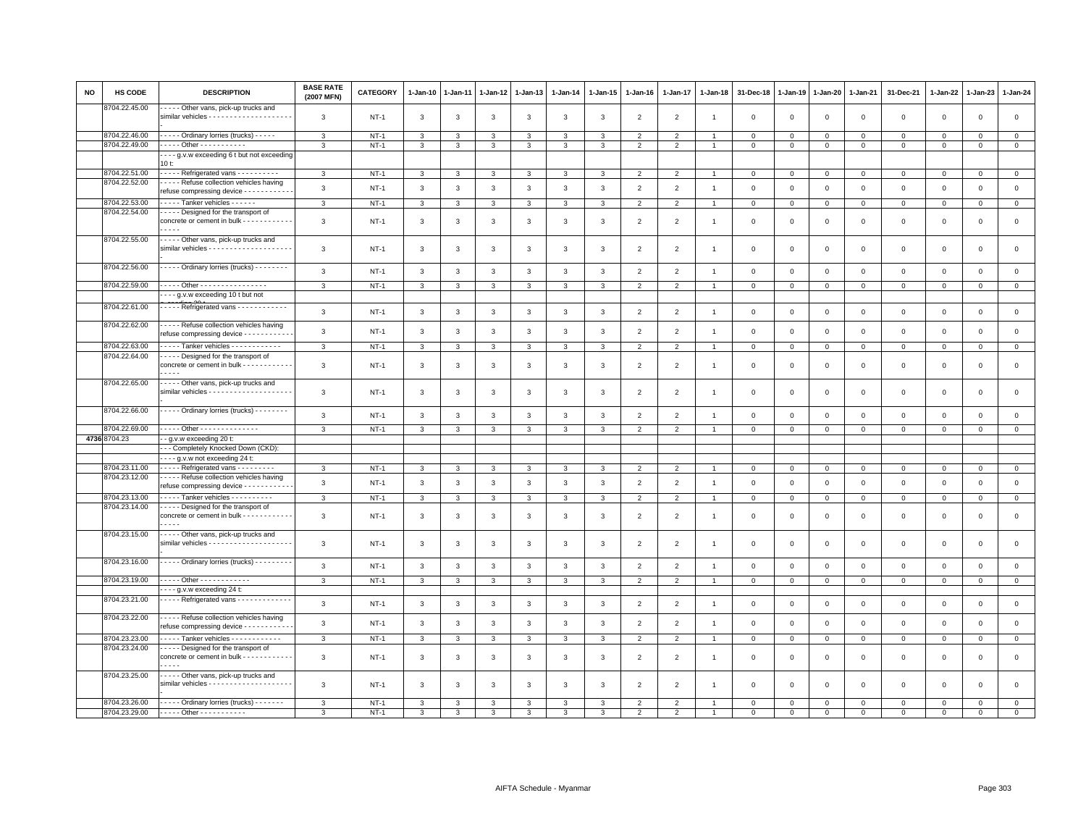| <b>NO</b> | <b>HS CODE</b> | <b>DESCRIPTION</b>                                                                                 | <b>BASE RATE</b><br>(2007 MFN) | CATEGORY    | 1-Jan-10     | $1-Jan-11$   | $1-Jan-12$   | $1-Jan-13$    | $1-Jan-14$     | $1-Jan-15$   | $1 - Jan-16$   | 1-Jan-17       | $1-Jan-18$     | 31-Dec-18   | $1-Jan-19$     | $1-Jan-20$     | 1-Jan-21     | 31-Dec-21    | 1-Jan-22     | 1-Jan-23     | $1-Jan-24$                    |
|-----------|----------------|----------------------------------------------------------------------------------------------------|--------------------------------|-------------|--------------|--------------|--------------|---------------|----------------|--------------|----------------|----------------|----------------|-------------|----------------|----------------|--------------|--------------|--------------|--------------|-------------------------------|
|           | 8704.22.45.00  | - - - - Other vans, pick-up trucks and                                                             | $\mathbf{3}$                   | $NT-1$      | 3            | 3            | $\mathbf{3}$ | 3             | $\mathbf{3}$   | $\mathbf{3}$ | $\overline{2}$ | $\overline{2}$ | $\overline{1}$ | $\mathbf 0$ | $\mathbf 0$    | $\,0\,$        | $\mathsf 0$  | $\mathsf 0$  | $\mathsf 0$  | $\mathbf 0$  | $\mathsf 0$                   |
|           | 8704.22.46.00  | - - - - - Ordinary lorries (trucks) - - - - -                                                      |                                | $NT-1$      |              | 3            | 3            | 3             |                |              |                | $\overline{2}$ |                | $\Omega$    | $\mathbf 0$    |                | $\Omega$     | $\Omega$     | $\Omega$     | $\Omega$     |                               |
|           | 8704.22.49.00  | - - - - - Other - - - - - - - - - - -                                                              | 3                              |             | 3            |              |              |               | 3              | 3            | $\overline{2}$ | $\overline{2}$ | $\overline{1}$ |             | $\mathbf{0}$   | $\mathbf 0$    |              |              |              |              | $\mathsf 0$<br>$\overline{0}$ |
|           |                |                                                                                                    | 3                              | $NT-1$      | 3            | 3            | 3            | 3             | 3              | 3            | $\overline{2}$ |                |                | $\mathbf 0$ |                | $\mathbf 0$    | $\mathbf 0$  | $\mathbf 0$  | $\mathbf 0$  | $\mathsf 0$  |                               |
|           |                | --- g.v.w exceeding 6 t but not exceeding<br>10 t:                                                 |                                |             |              |              |              |               |                |              |                |                |                |             |                |                |              |              |              |              |                               |
|           | 8704.22.51.00  | - - - - - Refrigerated vans - - - - - - - - - -                                                    | 3                              | $NT-1$      | 3            |              | 3            | 3             | 3              | 3            | $\overline{2}$ | $\overline{2}$ |                | $\mathbf 0$ | 0              | $\mathbf{0}$   | 0            | $^{\circ}$   | $^{\circ}$   | 0            | $\mathbf 0$                   |
|           | 8704.22.52.00  | Refuse collection vehicles having                                                                  |                                |             |              |              |              |               |                |              |                |                |                |             |                |                |              |              |              |              |                               |
|           |                | refuse compressing device - - - - - - - - - - -                                                    | $\mathbf{3}$                   | $NT-1$      | $\mathbf{3}$ | $\mathbf{3}$ | $\mathbf{3}$ | $\mathbf{3}$  | $\mathbf{3}$   | $\mathbf{3}$ | $\overline{2}$ | $\overline{2}$ | $\overline{1}$ | $\mathsf 0$ | $\mathsf 0$    | $\mathbf 0$    | $\mathsf 0$  | $\mathsf 0$  | $\mathsf 0$  | $\mathbf 0$  | $\mathsf{o}$                  |
|           | 8704.22.53.00  | - - - - - Tanker vehicles - - - - - -                                                              |                                |             |              |              |              |               |                |              |                |                |                |             |                |                |              |              |              |              |                               |
|           | 8704.22.54.00  |                                                                                                    | $\mathbf{3}$                   | $NT-1$      | 3            | 3            | 3            | 3             | $\mathbf{3}$   | 3            | $\overline{2}$ | $\overline{2}$ | $\mathbf{1}$   | 0           | $\mathbf{0}$   | $\overline{0}$ | $\mathbf{0}$ | $\mathbf{0}$ | $\circ$      | $\mathbf 0$  | $\mathbf{0}$                  |
|           |                | Designed for the transport of<br>concrete or cement in bulk - - - - - - - - - - -                  | 3                              | $NT-1$      | 3            | 3            | 3            | 3             | 3              | 3            | $\overline{2}$ | $\overline{2}$ | $\overline{1}$ | $\mathbf 0$ | $\mathbf{0}$   | $\mathbf 0$    | $\mathbf{0}$ | $\mathbf 0$  | $\Omega$     | $\mathsf 0$  | $\mathsf 0$                   |
|           | 8704.22.55.00  | Other vans, pick-up trucks and                                                                     |                                |             |              |              |              |               |                |              |                |                |                |             |                |                |              |              |              |              |                               |
|           |                |                                                                                                    | $\mathbf{3}$                   | $NT-1$      | 3            | 3            | 3            | 3             | 3              | 3            | $\overline{2}$ | $\overline{2}$ | $\overline{1}$ | $\mathbf 0$ | $\Omega$       | $\mathbf{0}$   | $\mathbf{0}$ | $\mathbf{0}$ | $\Omega$     | $\mathbf 0$  | $\mathsf 0$                   |
|           |                |                                                                                                    |                                |             |              |              |              |               |                |              |                |                |                |             |                |                |              |              |              |              |                               |
|           | 8704.22.56.00  | - - - - - Ordinary lorries (trucks) - - - - - - - -                                                | $\mathbf{3}$                   | $NT-1$      | $\mathbf{3}$ | $\mathbf{3}$ | $\mathbf{3}$ | $\mathbf{3}$  | $\mathbf{3}$   | $\mathbf{3}$ | $\overline{2}$ | $\overline{2}$ | $\overline{1}$ | $\mathsf 0$ | $\mathbf{0}$   | $\mathbf 0$    | $\mathsf 0$  | $\mathsf 0$  | $\mathsf 0$  | $\mathsf 0$  | $\mathsf 0$                   |
|           |                |                                                                                                    |                                |             |              |              |              |               |                |              |                |                |                |             |                |                |              |              |              |              |                               |
|           | 8704.22.59.00  | - - - - - Other - - - - - - - - - - - - - - - -                                                    | $\mathbf{3}$                   | $NT-1$      | 3            | 3            | 3            | 3             | 3              | 3            | $\overline{2}$ | $\overline{2}$ |                | $\mathbf 0$ | $\mathbf 0$    | $\mathbf 0$    | $\mathbf{0}$ | $\mathbf 0$  | $\Omega$     | $\mathbf{0}$ | $\mathsf 0$                   |
|           |                | --- g.v.w exceeding 10 t but not                                                                   |                                |             |              |              |              |               |                |              |                |                |                |             |                |                |              |              |              |              |                               |
|           | 8704.22.61.00  | Refrigerated vans                                                                                  | $\mathsf 3$                    | $NT-1$      | 3            | $\mathbf{3}$ | $\mathbf{3}$ | $\mathbf{3}$  | $\mathbf{3}$   | $_{\rm 3}$   | $\overline{2}$ | $\overline{2}$ | $\overline{1}$ | $\mathbf 0$ | $\,$ 0         | $\,0\,$        | $\mathsf 0$  | $\mathsf 0$  | $\mathbf 0$  | $\mathsf 0$  | $\mathsf 0$                   |
|           | 8704.22.62.00  | Refuse collection vehicles having<br>refuse compressing device - - - - - - - - - - -               | 3                              | $NT-1$      | 3            | 3            | 3            | 3             | $\mathbf{3}$   | 3            | $\overline{2}$ | $\overline{2}$ | $\overline{1}$ | $\mathbf 0$ | $\mathbf 0$    | $\mathbf 0$    | $\mathbf{0}$ | $\mathbf 0$  | $\Omega$     | $\mathbf 0$  | $\mathsf 0$                   |
|           |                |                                                                                                    |                                |             |              |              |              |               |                |              |                |                |                |             |                |                |              |              |              |              |                               |
|           | 8704.22.63.00  | ----- Tanker vehicles ------------                                                                 | $\mathbf{3}$                   | $NT-1$      | 3            | 3            | 3            | 3             | 3              | 3            | $\overline{2}$ | $\overline{2}$ | $\overline{1}$ | $\mathbf 0$ | $\mathbf{0}$   | $\overline{0}$ | $\mathbf{O}$ | $\circ$      | $\mathbf 0$  | $\mathbf 0$  | $\mathbf 0$                   |
|           | 8704.22.64.00  | Designed for the transport of<br>concrete or cement in bulk - - - - - - - - - - -<br>$\frac{1}{2}$ | $\mathbf{3}$                   | $NT-1$      | $\mathbf{3}$ | 3            | 3            | 3             | 3              | 3            | $\overline{2}$ | $\overline{2}$ | $\overline{1}$ | $\mathbf 0$ | $\mathbf 0$    | $\mathbf 0$    | 0            | $\mathsf 0$  | $\mathbf 0$  | $\mathsf 0$  | $\mathsf 0$                   |
|           | 8704.22.65.00  | Other vans, pick-up trucks and                                                                     | $\mathbf{3}$                   | $NT-1$      | 3            | 3            | 3            | 3             | $\mathbf{3}$   | $\mathbf{3}$ | $\overline{2}$ | $\overline{2}$ | $\overline{1}$ | $\mathbf 0$ | $\mathbf 0$    | $\mathbf 0$    | $\mathbf 0$  | $\mathsf 0$  | $\mathbf 0$  | $\mathbf 0$  | $\mathsf 0$                   |
|           | 8704.22.66.00  | - - - - - Ordinary lorries (trucks) - - - - - - - -                                                | $\mathbf{3}$                   | $NT-1$      | 3            | 3            | 3            | $\mathbf{3}$  | $\mathbf{3}$   | 3            | $\overline{2}$ | $\overline{2}$ | $\overline{1}$ | $\Omega$    | $\Omega$       | $\mathbf{0}$   | $\mathbf{0}$ | $\mathbf 0$  | $\Omega$     | $\circ$      | $\mathsf{O}\xspace$           |
|           | 8704.22.69.00  | . Other - - - - - - - - - - - - - -                                                                | 3                              | $NT-1$      | 3            | $\mathbf{3}$ | 3            | $\mathbf{3}$  | 3              | 3            | $\overline{2}$ | $\overline{2}$ |                | $\Omega$    | $\Omega$       | $\mathbf 0$    | 0            | $\mathbf 0$  | $\Omega$     | $\Omega$     | $\overline{0}$                |
|           | 4736 8704.23   | - g.v.w exceeding 20 t:                                                                            |                                |             |              |              |              |               |                |              |                |                |                |             |                |                |              |              |              |              |                               |
|           |                | --- Completely Knocked Down (CKD):                                                                 |                                |             |              |              |              |               |                |              |                |                |                |             |                |                |              |              |              |              |                               |
|           |                | ---- g.v.w not exceeding 24 t:                                                                     |                                |             |              |              |              |               |                |              |                |                |                |             |                |                |              |              |              |              |                               |
|           | 8704.23.11.00  | Refrigerated vans                                                                                  | $\mathbf{3}$                   | $NT-1$      | 3            | 3            | 3            | 3             | 3              | 3            | $\overline{2}$ | 2              |                | $\Omega$    | $\mathbf{0}$   | $\mathbf 0$    | $\mathbf{O}$ | $\mathbf 0$  | $\mathbf{0}$ | $\mathbf{0}$ | $\circ$                       |
|           | 8704.23.12.00  | Refuse collection vehicles having                                                                  |                                |             |              |              |              |               |                |              |                |                |                |             |                |                |              |              |              |              |                               |
|           |                | refuse compressing device - - - - - - - - -                                                        | 3                              | $NT-1$      | 3            | 3            | $\mathbf{3}$ | 3             | $\overline{3}$ | 3            | $\overline{2}$ | $\overline{2}$ | $\overline{1}$ | $\mathbf 0$ | $\overline{0}$ | $\mathbf 0$    | $\mathsf 0$  | $\mathbf 0$  | $\mathbf 0$  | $\mathsf 0$  | $\mathsf 0$                   |
|           | 8704.23.13.00  | Tanker vehicles                                                                                    | 3                              | $NT-1$      | 3            | 3            | 3            | $\mathbf{3}$  | 3              | 3            | $\overline{2}$ | 2              |                | $\Omega$    | $\mathbf 0$    | $\mathbf 0$    | $\mathbf 0$  | $\mathbf 0$  | $\Omega$     | $\circ$      | $\mathsf{O}\xspace$           |
|           | 8704.23.14.00  | Designed for the transport of                                                                      |                                |             |              |              |              |               |                |              |                |                |                |             |                |                |              |              |              |              |                               |
|           |                | concrete or cement in bulk - - - - - - - - - - -<br>$\frac{1}{2}$                                  | 3                              | $NT-1$      | 3            | 3            | $\mathbf{3}$ | $\mathbf{3}$  | 3              | 3            | $\overline{2}$ | $\overline{2}$ | $\overline{1}$ | $\mathbf 0$ | $\mathbf{0}$   | $\mathbf 0$    | $\mathsf 0$  | $\mathsf 0$  | $\mathbf 0$  | $\mathbf 0$  | $\mathsf 0$                   |
|           | 8704.23.15.00  | - - - - - Other vans, pick-up trucks and                                                           |                                |             |              |              |              |               |                |              |                |                |                |             |                |                |              |              |              |              |                               |
|           |                |                                                                                                    | 3                              | $NT-1$      | 3            | 3            | 3            | $\mathbf{3}$  | 3              | 3            | $\overline{2}$ | $\overline{2}$ | $\overline{1}$ | $\mathbf 0$ | $\mathbf 0$    | $\mathbf 0$    | $\mathbf 0$  | $\mathsf 0$  | $\mathbf 0$  | $\mathbf 0$  | $\mathsf 0$                   |
|           | 8704.23.16.00  | - - - - - Ordinary lorries (trucks) - - - - - - - - -                                              | $\mathbf{3}$                   | <b>NT-1</b> | 3            | 3            | 3            | 3             | $\mathbf{3}$   | $\mathbf{3}$ | $\overline{2}$ | $\overline{2}$ |                | $\mathbf 0$ | $\mathbf{0}$   | $\mathbf 0$    | $\mathsf 0$  | $\mathbf 0$  | $\mathbf 0$  | $\mathsf 0$  | $\mathsf 0$                   |
|           | 8704.23.19.00  | - - - - - Other - - - - - - - - - - - -                                                            | $\overline{3}$                 | $NT-1$      | 3            | 3            | 3            | 3             | 3              | 3            | $\overline{2}$ | $\overline{2}$ |                | $\mathbf 0$ | $\overline{0}$ | $\mathbf 0$    | $\mathbf 0$  | $\mathsf 0$  | $\Omega$     | $\mathbf 0$  | $\overline{0}$                |
|           |                | $\cdots$ g.v.w exceeding 24 t:                                                                     |                                |             |              |              |              |               |                |              |                |                |                |             |                |                |              |              |              |              |                               |
|           | 8704.23.21.00  | Refrigerated vans - - - - - - - - - - - -                                                          | 3                              | $NT-1$      | $\mathbf{3}$ | 3            | 3            | 3             | 3              | 3            | $\overline{2}$ | $\overline{2}$ | $\overline{1}$ | $\mathbf 0$ | $\mathbb O$    | $\mathbf 0$    | $\mathbf{O}$ | $\mathsf 0$  | $\mathbf 0$  | $\mathsf 0$  | $\mathsf 0$                   |
|           | 8704.23.22.00  | - - - - - Refuse collection vehicles having<br>refuse compressing device - - - - - - - - - - -     | $\mathbf{3}$                   | $NT-1$      | 3            | 3            | $\mathbf{3}$ | $\mathbf{3}$  | $\mathbf{3}$   | 3            | $\overline{2}$ | $\overline{2}$ | $\overline{1}$ | $\mathbf 0$ | $\,0\,$        | $\,0\,$        | $\mathsf 0$  | $\mathsf 0$  | $\mathbf 0$  | $\mathbf 0$  | $\mathsf 0$                   |
|           | 8704.23.23.00  | Tanker vehicles - - - - - - - - - - -                                                              | $\mathbf{3}$                   | $NT-1$      | 3            | 3            | 3            | 3             | $\mathbf{3}$   | 3            | $\overline{2}$ | $\overline{2}$ | $\overline{1}$ | $\mathbf 0$ | $\mathbf 0$    | $\overline{0}$ | $\mathsf 0$  | $\mathbf 0$  | $\mathsf 0$  | $\mathbf 0$  | $\overline{0}$                |
|           | 8704.23.24.00  | Designed for the transport of<br>concrete or cement in bulk - - - -<br>.                           | 3                              | $NT-1$      | 3            | 3            | 3            | 3             | 3              | 3            | $\overline{2}$ | $\overline{2}$ | $\overline{1}$ | $\Omega$    | $\mathbf 0$    | $\overline{0}$ | $\mathbf{0}$ | $\mathbf{0}$ | $\Omega$     | $\mathbf 0$  | $\mathsf 0$                   |
|           | 8704.23.25.00  | - - - - - Other vans, pick-up trucks and<br>similar vehicles - - - - - - - - - - - - - - - - - -   | 3                              | $NT-1$      | 3            | 3            | 3            | 3             | 3              | 3            | $\overline{2}$ | $\mathfrak{p}$ |                | $\Omega$    | $\mathbf 0$    | $\mathbf 0$    | $\mathbf 0$  | $\Omega$     | $\Omega$     | $\Omega$     | $\mathbf 0$                   |
|           | 8704.23.26.00  |                                                                                                    |                                |             |              |              |              |               |                |              |                |                |                |             |                |                |              |              |              |              |                               |
|           |                | ----- Ordinary lorries (trucks) -------                                                            | 3                              | $NT-1$      | 3            |              | $\mathbf{R}$ |               | 3              | ર            | $\overline{2}$ | $\mathcal{P}$  |                | $\Omega$    | 0              | $\mathbf 0$    | $\Omega$     | $\mathbf 0$  | $\Omega$     | $\mathbf 0$  | $\mathsf 0$                   |
|           |                | 8704.23.29.00 ----- Other -----------                                                              | 3                              | $NT-1$      | 3            | 3            | 3            | $\mathcal{R}$ | 3              | 3            | $\overline{2}$ | 2              |                | $\Omega$    | $\Omega$       | $\mathbf{0}$   | $\Omega$     | $\Omega$     | $\Omega$     | $\Omega$     | $\mathbf 0$                   |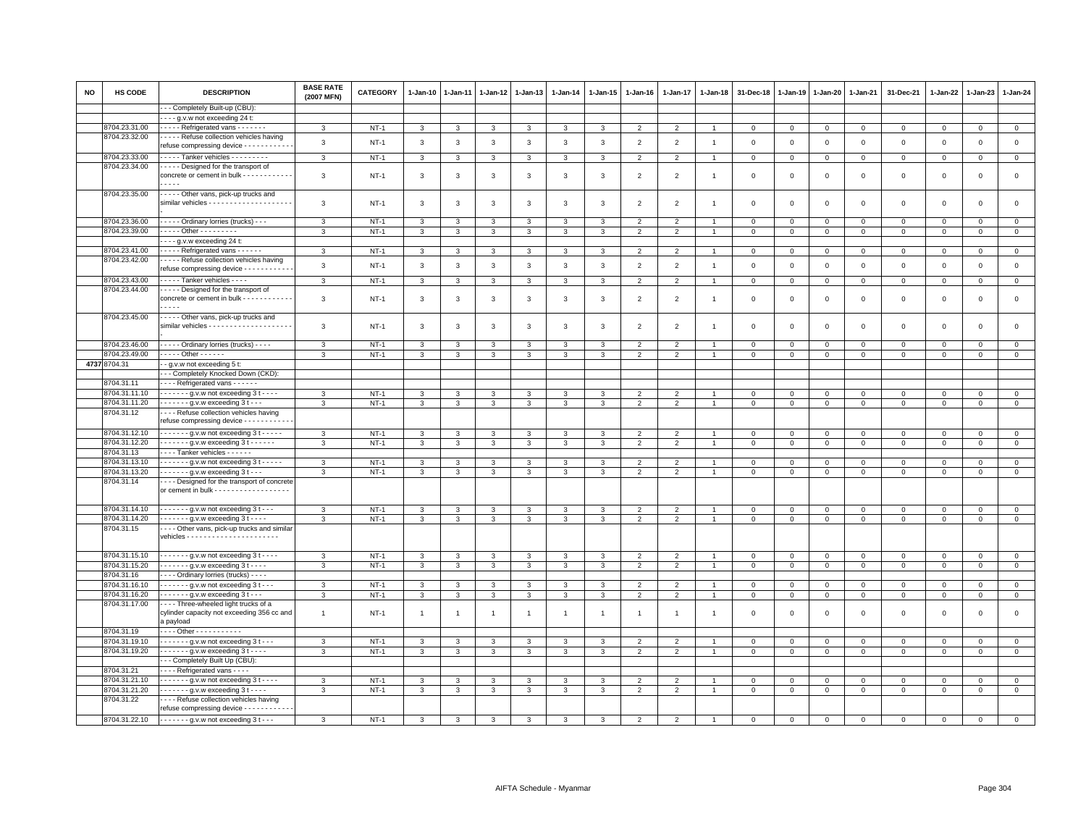| NO | HS CODE       | <b>DESCRIPTION</b>                                                                                | <b>BASE RATE</b><br>(2007 MFN) | <b>CATEGORY</b> | 1-Jan-10     | 1-Jan-11     | 1-Jan-12       | $1 - Jan-13$   | $1-Jan-14$     | 1-Jan-15       | 1-Jan-16       | 1-Jan-17       | 1-Jan-18       | 31-Dec-18      | 1-Jan-19       | 1-Jan-20     | 1-Jan-21     | 31-Dec-21    | 1-Jan-22     | 1-Jan-23     | 1-Jan-24     |
|----|---------------|---------------------------------------------------------------------------------------------------|--------------------------------|-----------------|--------------|--------------|----------------|----------------|----------------|----------------|----------------|----------------|----------------|----------------|----------------|--------------|--------------|--------------|--------------|--------------|--------------|
|    |               | - - Completely Built-up (CBU):                                                                    |                                |                 |              |              |                |                |                |                |                |                |                |                |                |              |              |              |              |              |              |
|    |               | $\cdots$ g.v.w not exceeding 24 t:                                                                |                                |                 |              |              |                |                |                |                |                |                |                |                |                |              |              |              |              |              |              |
|    | 8704.23.31.00 | - - - - - Refrigerated vans - - - - - - -                                                         | 3                              | $NT-1$          | $\mathbf{3}$ | 3            | 3              | 3              | $\mathbf{3}$   | $\mathbf{3}$   | $\overline{2}$ | $\overline{2}$ |                | $\mathbf 0$    | $\overline{0}$ | $\mathbf{0}$ | $\mathbf{0}$ | $\mathbf{0}$ | $\mathbf 0$  | $\mathbf{0}$ | $\mathbf 0$  |
|    | 8704.23.32.00 | - - - - - Refuse collection vehicles having<br>refuse compressing device - - - - - - - -          | $\mathbf{3}$                   | $NT-1$          | $\mathbf{3}$ | 3            | 3              | 3              | 3              | $\mathbf{3}$   | $\overline{2}$ | $\overline{2}$ | $\overline{1}$ | $\mathbf 0$    | $\mathbf 0$    | $\mathsf 0$  | $\mathbf 0$  | $\mathsf 0$  | $\mathbf 0$  | $\mathsf 0$  | $\mathsf 0$  |
|    | 8704.23.33.00 | - - - - - Tanker vehicles - - - - - - - - -                                                       | 3                              | $NT-1$          | 3            | 3            | 3              | 3              | 3              | 3              | $\overline{2}$ | $\overline{2}$ |                | $\mathbf 0$    | $\mathbf 0$    | $\mathbf 0$  | $\mathbf 0$  | $\mathsf 0$  | $\mathbf 0$  | $\mathsf 0$  | $\mathsf 0$  |
|    | 8704.23.34.00 | Designed for the transport of                                                                     |                                |                 |              |              |                |                |                |                |                |                |                |                |                |              |              |              |              |              |              |
|    |               | concrete or cement in bulk - - - - - - - - - -<br>.                                               | 3                              | <b>NT-1</b>     | 3            | 3            | 3              | 3              | 3              | 3              | $\overline{2}$ | $\overline{2}$ | $\overline{1}$ | $\mathbf 0$    | $\mathbf 0$    | $\mathsf 0$  | $\mathsf 0$  | $\mathsf 0$  | 0            | $\mathsf 0$  | $\mathbf 0$  |
|    | 8704.23.35.00 | - - - - - Other vans, pick-up trucks and                                                          | 3                              | $NT-1$          | $\mathbf{3}$ | 3            | 3              | 3              | 3              | 3              | $\overline{2}$ | $\overline{2}$ | $\overline{1}$ | $\mathsf 0$    | $\mathbf{0}$   | $\mathbf 0$  | $\mathsf 0$  | $\mathsf 0$  | $\mathsf 0$  | $\mathsf 0$  | $\mathsf 0$  |
|    | 8704.23.36.00 | ---- Ordinary lorries (trucks) ---                                                                | 3                              | $NT-1$          | 3            | 3            | 3              | 3              | 3              | 3              | $\overline{2}$ | $\overline{2}$ |                | $\mathbf 0$    | $\mathbf 0$    | $\mathbf 0$  | $\mathbf 0$  | $\mathsf 0$  | $^{\circ}$   | $^{\circ}$   | $\mathbf 0$  |
|    | 8704.23.39.00 | - - - - - Other - - - - - - - - -                                                                 | 3                              | $NT-1$          | $\mathbf{3}$ | 3            | 3              | 3              | 3              | 3              | $\overline{2}$ | $\overline{2}$ | $\overline{1}$ | $\mathbf 0$    | $\mathbf 0$    | $\mathbf 0$  | $\mathbf 0$  | $\mathbf 0$  | $\mathbf 0$  | $\mathsf 0$  | $\mathsf 0$  |
|    |               | $- - - g.v.w$ exceeding 24 t:                                                                     |                                |                 |              |              |                |                |                |                |                |                |                |                |                |              |              |              |              |              |              |
|    | 8704.23.41.00 | ----- Refrigerated vans ------                                                                    | 3                              | $NT-1$          | $\mathbf{3}$ | 3            | 3              | 3              | 3              | 3              | $\overline{2}$ | $\overline{2}$ |                | $\mathbf 0$    | $\mathbf 0$    | $\mathbf 0$  | $\mathbf{0}$ | $\mathsf 0$  | $\mathbf{0}$ | $\mathbf{0}$ | $\mathbf 0$  |
|    | 8704.23.42.00 | Refuse collection vehicles having                                                                 |                                |                 |              |              |                |                |                |                |                |                |                |                |                |              |              |              |              |              |              |
|    |               | refuse compressing device - - - - - - - - - -                                                     | 3                              | $NT-1$          | 3            | 3            | $\mathbf{3}$   | 3              | 3              | 3              | $\overline{2}$ | $\overline{2}$ | $\overline{1}$ | $\mathbf 0$    | $\circ$        | $\mathbf 0$  | $\mathbf 0$  | $\mathsf 0$  | $\mathbf 0$  | $\mathsf 0$  | $\mathsf 0$  |
|    | 8704.23.43.00 | - - - - - Tanker vehicles - - - -                                                                 | $\mathbf{3}$                   | $NT-1$          | 3            | 3            | $\mathbf{3}$   | 3              | $\mathbf{3}$   | 3              | $\overline{2}$ | $\overline{2}$ | $\overline{1}$ | $\mathsf 0$    | $\mathbf 0$    | $\mathbf{O}$ | $\mathbf{0}$ | $\mathsf 0$  | $\mathbf 0$  | $\mathbf{O}$ | $\mathbf 0$  |
|    | 8704.23.44.00 | - - - - - Designed for the transport of                                                           |                                |                 |              |              |                |                |                |                |                |                |                |                |                |              |              |              |              |              |              |
|    |               | concrete or cement in bulk - - - - - - - - - - -<br>$\cdots$                                      | 3                              | <b>NT-1</b>     | 3            | 3            | 3              | 3              | 3              | $\mathbf{3}$   | $\overline{2}$ | $\overline{2}$ | $\overline{1}$ | $\mathbf 0$    | $\mathbf 0$    | $\,0\,$      | $\mathsf 0$  | $\mathsf 0$  | $\mathsf 0$  | $\mathsf 0$  | $\mathsf 0$  |
|    | 8704.23.45.00 | D Other vans, pick-up trucks and                                                                  | 3                              | $NT-1$          | $\mathbf{3}$ | 3            | $\mathbf{3}$   | $\mathbf{3}$   | 3              | 3              | $\overline{2}$ | 2              | $\overline{1}$ | $\mathbf 0$    | $\overline{0}$ | $\mathbf{0}$ | $\mathbf{0}$ | $\mathbf 0$  | $\mathbf 0$  | $\mathbf 0$  | $\mathsf 0$  |
|    | 8704.23.46.00 | - - - - - Ordinary lorries (trucks) - - - -                                                       | 3                              | $NT-1$          | 3            | 3            | 3              | 3              | 3              | 3              | $\overline{2}$ | $\overline{2}$ |                | $\mathbf 0$    | $\mathbf 0$    | $\mathbf 0$  | $\mathbf 0$  | $\mathsf 0$  | $^{\circ}$   | $^{\circ}$   | $\mathsf 0$  |
|    | 8704.23.49.00 | $- - - -$ Other $- - - - -$                                                                       | 3                              | $NT-1$          | 3            | 3            | 3              | 3              | 3              | 3              | $\overline{2}$ | $\overline{2}$ | -1             | $\mathbf 0$    | $\mathbf 0$    | $\mathbf{0}$ | $\mathsf 0$  | $\mathbf{0}$ | 0            | $^{\circ}$   | $\mathsf 0$  |
|    | 4737 8704.31  | $\overline{-g.v.w}$ not exceeding 5 t                                                             |                                |                 |              |              |                |                |                |                |                |                |                |                |                |              |              |              |              |              |              |
|    |               | -- Completely Knocked Down (CKD):                                                                 |                                |                 |              |              |                |                |                |                |                |                |                |                |                |              |              |              |              |              |              |
|    | 8704.31.11    | - - - - Refrigerated vans - - - - - -                                                             |                                |                 |              |              |                |                |                |                |                |                |                |                |                |              |              |              |              |              |              |
|    | 8704.31.11.10 | $- - - - -$ g.v.w not exceeding 3 t - - - -                                                       | 3                              | $NT-1$          | 3            | 3            | 3              | 3              | 3              | 3              | $\overline{2}$ | $\overline{2}$ |                | $\mathbf{0}$   | $\mathbf 0$    | $\circ$      | $\mathbf 0$  | 0            | $\Omega$     | $\Omega$     | $\mathbf 0$  |
|    | 8704.31.11.20 | $---g.v.w$ exceeding 3 t $---$                                                                    | 3                              | $NT-1$          | 3            | 3            | 3              | 3              | 3              | 3              | $\overline{2}$ | $\overline{2}$ |                | $\mathbf 0$    | $\mathbf 0$    | $\mathbf 0$  | $\mathbf 0$  | $\mathbf 0$  | $\mathbf 0$  | $^{\circ}$   | $\mathbf{0}$ |
|    | 8704.31.12    | ---- Refuse collection vehicles having<br>refuse compressing device - - - - - - - - -             |                                |                 |              |              |                |                |                |                |                |                |                |                |                |              |              |              |              |              |              |
|    |               |                                                                                                   |                                |                 |              |              |                |                |                |                |                |                |                |                |                |              |              |              |              |              |              |
|    | 8704.31.12.10 | $\cdots$ $\cdots$ - g.v.w not exceeding 3 t $\cdots$ -                                            | 3                              | $NT-1$          | 3            | 3            | 3              | 3              | 3              | 3              | $\overline{2}$ | $\overline{2}$ |                | 0              | 0              | $\circ$      | $\mathbf 0$  | $\mathbf 0$  | 0            | $^{\circ}$   | $\mathbf 0$  |
|    | 8704.31.12.20 | - - - - - - - g.v.w exceeding 3 t - - - - - -                                                     | $\mathbf{3}$                   | $NT-1$          | $\mathbf{3}$ | 3            | 3              | $\mathbf{3}$   | 3              | $\mathbf{3}$   | $\overline{2}$ | $\overline{2}$ |                | $\mathbf 0$    | $\,0\,$        | $\mathbf 0$  | $\mathbf 0$  | $\mathsf 0$  | $\mathbf 0$  | $\mathsf 0$  | $\,0\,$      |
|    | 3704.31.13    | Tanker vehicles - - - - - -                                                                       |                                |                 |              |              |                |                |                |                |                |                |                |                |                |              |              |              |              |              |              |
|    | 8704.31.13.10 | $\cdots$ $\cdots$ - $\cdots$ g.v.w not exceeding 3 t - - - - -                                    | 3                              | $NT-1$          | 3            | 3            | 3              | 3              | 3              | 3              | $\overline{2}$ | 2              | -1             | $\mathbf{0}$   | $\mathbf 0$    | $\mathbf 0$  | $\Omega$     | 0            | $\Omega$     | $\Omega$     | $\mathbf{0}$ |
|    | 8704.31.13.20 | - - - - - - - g.v.w exceeding 3 t - - -                                                           | 3                              | $NT-1$          | 3            | 3            | 3              | 3              | 3              | 3              | 2              | 2              | $\overline{1}$ | $\mathbf 0$    | $\mathbf 0$    | 0            | $\mathbf 0$  | 0            | $\mathbf 0$  | $\Omega$     | $\mathbf 0$  |
|    | 8704.31.14    | --- Designed for the transport of concrete<br>or cement in bulk - - - - - - - - - - - - - - - - - |                                |                 |              |              |                |                |                |                |                |                |                |                |                |              |              |              |              |              |              |
|    | 8704.31.14.10 | $\cdots$ $\cdots$ q.v.w not exceeding 3 t $\cdots$                                                | 3                              | $NT-1$          | 3            | 3            | 3              | 3              | $\mathbf{3}$   | 3              | 2              | 2              | $\overline{1}$ | $\mathbf{0}$   | $\mathbf{0}$   | $\mathbf{0}$ | $\mathbf{0}$ | $\mathbf{0}$ | $\mathbf 0$  | $\mathbf{0}$ | $\mathbf{0}$ |
|    | 8704.31.14.20 | $---g.v.w$ exceeding 3 t $---$                                                                    | 3                              | $NT-1$          | $\mathbf{3}$ | 3            | 3              | 3              | $\mathbf{3}$   | 3              | $\overline{2}$ | $\overline{2}$ | $\overline{1}$ | $\overline{0}$ | $\mathbf 0$    | $\mathbf 0$  | $\mathbf{0}$ | $\mathbf 0$  | $\circ$      | $\mathbf{0}$ | $\mathbf{0}$ |
|    | 8704.31.15    | ---- Other vans, pick-up trucks and similar                                                       |                                |                 |              |              |                |                |                |                |                |                |                |                |                |              |              |              |              |              |              |
|    | 8704.31.15.10 | $\cdots$ $\cdots$ - g.v.w not exceeding 3 t - - - -                                               | 3                              | $NT-1$          | 3            | 3            | 3              | 3              | 3              | 3              | $\overline{2}$ | $\overline{2}$ |                | $\mathbf 0$    | $\mathbf 0$    | $\mathbf 0$  | $\mathsf 0$  | $\mathsf 0$  | $\mathbf 0$  | $^{\circ}$   | $\,0\,$      |
|    | 8704.31.15.20 | $\cdots$ g.v.w exceeding 3 t                                                                      | 3                              | $NT-1$          | 3            | 3            | 3              | 3              | $\mathbf{3}$   | $\mathbf{3}$   | $\overline{2}$ | $\overline{2}$ | $\overline{1}$ | $\mathbf 0$    | $\,0\,$        | $\mathbf 0$  | $\mathbf{0}$ | $\mathsf 0$  | $\mathbf 0$  | $\circ$      | $\mathsf 0$  |
|    | 8704.31.16    | ---- Ordinary lorries (trucks) ----                                                               |                                |                 |              |              |                |                |                |                |                |                |                |                |                |              |              |              |              |              |              |
|    | 8704.31.16.10 | $- - - - -$ g.v.w not exceeding 3 t $-$                                                           | 3                              | $NT-1$          | $\mathbf{3}$ | 3            | 3              | 3              | $\mathbf{3}$   | 3              | $\overline{2}$ | 2              | $\overline{1}$ | $\mathbf 0$    | $\mathbf 0$    | $\mathbf{0}$ | $\mathbf{0}$ | $\mathbf 0$  | $\mathbf 0$  | $\mathbf 0$  | $\mathbf 0$  |
|    | 8704.31.16.20 | - - - - - - - g.v.w exceeding 3 t - - -                                                           | 3                              | <b>NT-1</b>     | 3            | 3            | 3              | 3              | 3              | $\mathbf{3}$   | $\overline{2}$ | $\overline{2}$ | $\overline{1}$ | $\mathbf 0$    | $\mathbf 0$    | $\mathbf{0}$ | $\mathbf 0$  | 0            | 0            | $\mathbf 0$  | $\mathbf 0$  |
|    | 8704.31.17.00 | --- Three-wheeled light trucks of a                                                               |                                |                 |              |              |                |                |                |                |                |                |                |                |                |              |              |              |              |              |              |
|    |               | cylinder capacity not exceeding 356 cc and<br>a payload                                           | $\overline{1}$                 | $NT-1$          | -1           | $\mathbf{1}$ | $\overline{1}$ | $\overline{1}$ | $\overline{1}$ | $\overline{1}$ | $\overline{1}$ | 1              | -1             | $\mathbf 0$    | $\mathbf 0$    | $\mathbf 0$  | $\mathbf 0$  | $\mathsf 0$  | $\mathbf 0$  | $\mathsf 0$  | $\mathsf 0$  |
|    | 8704.31.19    | $\cdots$ Other - - - - - - - - - - -                                                              |                                |                 |              |              |                |                |                |                |                |                |                |                |                |              |              |              |              |              |              |
|    | 8704.31.19.10 | $\cdots$ $\cdots$ g.v.w not exceeding 3 t $\cdots$                                                | $\mathcal{R}$                  | $NT-1$          | 3            | 3            | 3              | 3              | 3              | 3              | $\overline{2}$ | $\overline{2}$ |                | $\mathbf 0$    | $^{\circ}$     | $\mathbf{0}$ | $\Omega$     | $\Omega$     | $\Omega$     | $\Omega$     | $\mathsf 0$  |
|    | 8704.31.19.20 | $---g.v.w$ exceeding 3 t $---$                                                                    | 3                              | $NT-1$          | 3            | 3            | 3              | 3              | 3              | 3              | $\overline{2}$ | 2              |                | $\mathbf 0$    | $\mathbf 0$    | $\mathbf 0$  | $\mathbf 0$  | $\mathsf 0$  | 0            | $\mathbf 0$  | $\mathbf 0$  |
|    |               | -- Completely Built Up (CBU):                                                                     |                                |                 |              |              |                |                |                |                |                |                |                |                |                |              |              |              |              |              |              |
|    | 8704.31.21    | - Refrigerated vans - - - -                                                                       |                                |                 |              |              |                |                |                |                |                |                |                |                |                |              |              |              |              |              |              |
|    | 8704.31.21.10 | - - - - - - - g.v.w not exceeding 3 t - - - -                                                     | 3                              | $NT-1$          | 3            | 3            | 3              | $\mathbf{3}$   | 3              | 3              | $\overline{2}$ | $\overline{2}$ |                | $\overline{0}$ | $\mathbf{0}$   | $\mathbf 0$  | $\mathbf{0}$ | $\mathsf 0$  | $\mathbf 0$  | $\Omega$     | $\,0\,$      |
|    | 8704.31.21.20 | - - - - - - g.v.w exceeding 3 t - - - -                                                           | 3                              | $NT-1$          | 3            | 3            | 3              | 3              | 3              | 3              | $\overline{2}$ | $\overline{2}$ |                | $\mathbf 0$    | $\mathbf 0$    | $\mathsf 0$  | $\mathbf 0$  | $\mathsf 0$  | $\mathsf 0$  | $^{\circ}$   | $\mathsf 0$  |
|    | 8704.31.22    | --- Refuse collection vehicles having                                                             |                                |                 |              |              |                |                |                |                |                |                |                |                |                |              |              |              |              |              |              |
|    |               | refuse compressing device - - - - - - - - - -                                                     |                                |                 |              |              |                |                |                |                |                |                |                |                |                |              |              |              |              |              |              |
|    | 8704.31.22.10 | $- - - - - -$ g.v.w not exceeding 3 t - - -                                                       | 3                              | $NT-1$          | 3            | $\mathbf{3}$ | 3              | 3              | 3              | 3              | $\overline{2}$ | $\overline{2}$ | $\overline{1}$ | $\Omega$       | $\Omega$       | $\Omega$     | $\Omega$     | $\Omega$     | $\Omega$     | $\mathbf 0$  | $\mathbf{0}$ |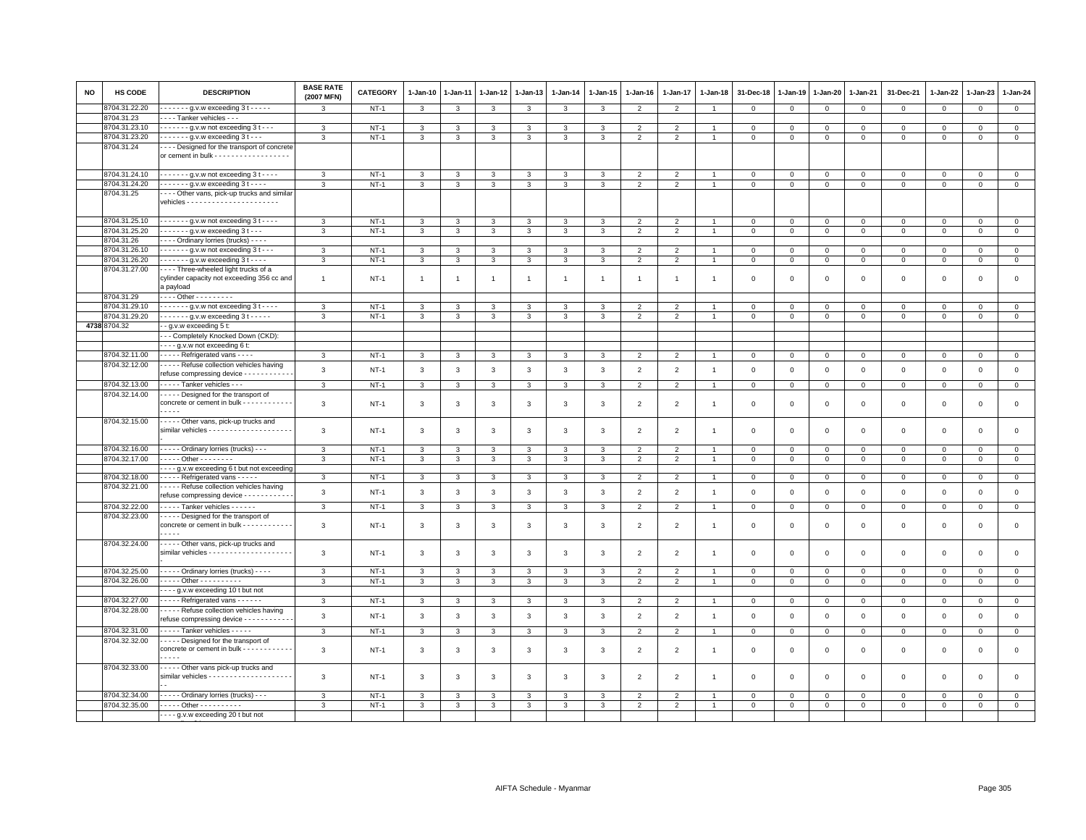| NO | HS CODE       | <b>DESCRIPTION</b>                                                                                     | <b>BASE RATE</b><br>(2007 MFN) | <b>CATEGORY</b> | 1-Jan-10       | 1-Jan-11     | 1-Jan-12     | 1-Jan-13       | 1-Jan-14       | 1-Jan-15       | 1-Jan-16       | 1-Jan-17                 | 1-Jan-18       | 31-Dec-18               | 1-Jan-19     | 1-Jan-20       | 1-Jan-21       | 31-Dec-21    | 1-Jan-22       | 1-Jan-23     | 1-Jan-24       |
|----|---------------|--------------------------------------------------------------------------------------------------------|--------------------------------|-----------------|----------------|--------------|--------------|----------------|----------------|----------------|----------------|--------------------------|----------------|-------------------------|--------------|----------------|----------------|--------------|----------------|--------------|----------------|
|    | 8704.31.22.20 | $---g.v.w$ exceeding 3 t $---$                                                                         | 3                              | $NT-1$          | 3              | 3            | 3            | 3              | 3              | 3              | $\overline{2}$ | $\overline{2}$           | $\overline{1}$ | $\mathbf 0$             | $\mathbf 0$  | $\mathbf 0$    | $\mathbf 0$    | $\mathbf 0$  | $\overline{0}$ | $\mathbf{0}$ | $\mathbf{0}$   |
|    | 8704.31.23    | Tanker vehicles - - -                                                                                  |                                |                 |                |              |              |                |                |                |                |                          |                |                         |              |                |                |              |                |              |                |
|    | 8704.31.23.10 | $- - - - - -$ g.v.w not exceeding 3 t - - -                                                            | 3                              | $NT-1$          | $\mathbf{3}$   | 3            | 3            | 3              | $\mathbf{3}$   | 3              | 2              | 2                        | $\overline{1}$ | $\overline{0}$          | $\mathbf 0$  | $\mathbf{0}$   | $\overline{0}$ | $\mathbf{0}$ | $\mathbf 0$    | $\mathbf{0}$ | $\mathbf{0}$   |
|    | 8704.31.23.20 | . g.v.w exceeding 3 t - - .                                                                            | 3                              | $NT-1$          | 3              | 3            | 3            | 3              | 3              | 3              | $\overline{2}$ | $\overline{2}$           | $\overline{1}$ | $\mathbf 0$             | $\mathbf 0$  | $\mathbf 0$    | $\mathbf 0$    | $\mathbf 0$  | $\mathbf 0$    | $\mathbf 0$  | $\mathsf 0$    |
|    | 8704.31.24    | --- Designed for the transport of concrete                                                             |                                |                 |                |              |              |                |                |                |                |                          |                |                         |              |                |                |              |                |              |                |
|    |               | or cement in bulk - - - - - - - - - - - - - - - - -                                                    |                                |                 |                |              |              |                |                |                |                |                          |                |                         |              |                |                |              |                |              |                |
|    |               |                                                                                                        |                                |                 |                |              |              |                |                |                |                |                          |                |                         |              |                |                |              |                |              |                |
|    | 8704.31.24.10 | $---g.v.w$ not exceeding 3 t $---$                                                                     | 3                              | $NT-1$          | 3              |              | 3            | 3              | 3              | 3              | 2              | 2                        |                | $^{\circ}$              | $\mathbf 0$  | $^{\circ}$     | $\mathbf 0$    | $\mathbf 0$  | 0              | $^{\circ}$   | $\mathbf{0}$   |
|    | 8704.31.24.20 | $\cdots$ g.v.w exceeding 3 t -                                                                         | 3                              | $NT-1$          | $\mathbf{3}$   | $\mathbf{3}$ | 3            | 3              | 3              | $\mathbf{3}$   | 2              | $\overline{2}$           | $\overline{1}$ | $\overline{0}$          | $\mathbf{0}$ | $\Omega$       | $\mathbf{0}$   | $\Omega$     | $\Omega$       | $\Omega$     | $\circ$        |
|    | 8704.31.25    | ---- Other vans, pick-up trucks and similar                                                            |                                |                 |                |              |              |                |                |                |                |                          |                |                         |              |                |                |              |                |              |                |
|    | 8704.31.25.10 | $\cdots$ $\cdots$ g.v.w not exceeding 3 t - - - -                                                      | 3                              | $NT-1$          | 3              | 3            | 3            | 3              | 3              | 3              | $\overline{2}$ | $\overline{2}$           | $\mathbf{1}$   | $\mathbf 0$             | $\mathbf 0$  | $\mathsf 0$    | $\mathbf 0$    | $\mathbf 0$  | $\Omega$       | $\Omega$     | $\mathsf 0$    |
|    | 8704.31.25.20 | . - g.v.w exceeding 3 t - - -                                                                          | 3                              | $NT-1$          | 3              | 3            | 3            | 3              | 3              | 3              | $\overline{2}$ | $\overline{2}$           | $\overline{1}$ | $\mathbf 0$             | $\mathbf 0$  | $\mathbf{0}$   | $\overline{0}$ | $\mathbf 0$  | $\mathbf 0$    | $\mathbf{0}$ | $\circ$        |
|    | 8704.31.26    | ---- Ordinary lorries (trucks) ----                                                                    |                                |                 |                |              |              |                |                |                |                |                          |                |                         |              |                |                |              |                |              |                |
|    | 8704.31.26.10 |                                                                                                        | 3                              | <b>NT-1</b>     | 3              | 3            | 3            | 3              | 3              | 3              | $\overline{2}$ | $\overline{\phantom{0}}$ |                | $\,0\,$                 | $\mathsf 0$  | $\Omega$       | $\mathbf 0$    | $\mathbf 0$  | $\Omega$       | $\Omega$     | $\mathbf 0$    |
|    | 8704.31.26.20 | $\cdots$ g.v.w exceeding 3 t $\cdots$                                                                  | 3                              | $NT-1$          | 3              | 3            | 3            | 3              | 3              | 3              | $\overline{2}$ | $\overline{2}$           | $\overline{1}$ | $\overline{0}$          | $\mathbf 0$  | $\overline{0}$ | $\mathbf 0$    | $\mathbf 0$  | $\mathbf 0$    | $\mathbf{0}$ | $\circ$        |
|    | 8704.31.27.00 | Three-wheeled light trucks of a                                                                        |                                |                 |                |              |              |                |                |                |                |                          |                |                         |              |                |                |              |                |              |                |
|    |               | cylinder capacity not exceeding 356 cc and                                                             | $\overline{1}$                 | $NT-1$          | $\overline{1}$ | -1           | - 1          | $\overline{1}$ | $\overline{1}$ | $\overline{1}$ | -1             | $\overline{1}$           | $\overline{1}$ | $^{\circ}$              | $\mathbf 0$  | $\mathbf 0$    | $\mathbf{0}$   | $\mathbf 0$  | $\mathbf 0$    | $\mathbf 0$  | $\mathsf 0$    |
|    |               | a payload                                                                                              |                                |                 |                |              |              |                |                |                |                |                          |                |                         |              |                |                |              |                |              |                |
|    | 8704.31.29    | . Other - - - - - - - - -                                                                              |                                |                 |                |              |              |                |                |                |                |                          |                |                         |              |                |                |              |                |              |                |
|    | 8704.31.29.10 | $\cdots$ $\cdots$ g.v.w not exceeding 3 t $\cdots$                                                     | 3                              | $NT-1$          | 3              | 3            | 3            | 3              | 3              | 3              | $\overline{2}$ | $\overline{2}$           |                | $\mathbf 0$             | $\mathsf 0$  | $\mathbf 0$    | $\mathbf 0$    | $\mathbf 0$  | $\mathbf 0$    | $\mathsf 0$  | $\circ$        |
|    | 8704.31.29.20 | . - g.v.w exceeding 3 t -                                                                              | 3                              | $NT-1$          | 3              | 3            | 3            | 3              | 3              | $\mathbf{3}$   | $\overline{2}$ | $\overline{2}$           | $\overline{1}$ | $\mathbf{0}$            | $\mathsf 0$  | $\overline{0}$ | $\overline{0}$ | $\mathsf 0$  | $\mathbf 0$    | $\mathbf 0$  | $\overline{0}$ |
|    | 4738 8704.32  | - - g.v.w exceeding 5 t:                                                                               |                                |                 |                |              |              |                |                |                |                |                          |                |                         |              |                |                |              |                |              |                |
|    |               | - - Completely Knocked Down (CKD):                                                                     |                                |                 |                |              |              |                |                |                |                |                          |                |                         |              |                |                |              |                |              |                |
|    |               | - - - g.v.w not exceeding 6 t:                                                                         |                                |                 |                |              |              |                |                |                |                |                          |                |                         |              |                |                |              |                |              |                |
|    | 8704.32.11.00 | Refrigerated vans - - - -                                                                              | -3                             | $NT-1$          | 3              | 3            | 3            | 3              | 3              | 3              | $\overline{2}$ | $\overline{2}$           | $\overline{1}$ | $\overline{0}$          | $\mathbf{0}$ | $\overline{0}$ | $\mathbf 0$    | $^{\circ}$   | $\mathbf 0$    | $^{\circ}$   | $\overline{0}$ |
|    | 8704.32.12.00 | Refuse collection vehicles having                                                                      | 3                              | $NT-1$          | $\mathbf{3}$   | 3            | 3            | 3              | $\mathbf{3}$   | 3              | $\overline{2}$ | $\overline{2}$           | $\overline{1}$ | $\overline{0}$          | $\mathsf 0$  | $\mathsf 0$    | $\mathbf 0$    | $\mathsf 0$  | $\mathsf 0$    | $\mathbf 0$  | $\mathsf 0$    |
|    |               | refuse compressing device - - - - - - - - - - -                                                        |                                |                 |                |              |              |                |                |                |                |                          |                |                         |              |                |                |              |                |              |                |
|    | 8704.32.13.00 | Tanker vehicles - - -                                                                                  | $\mathbf{3}$                   | $NT-1$          | 3              | 3            | 3            | 3              | $\mathbf{3}$   | 3              | $\overline{2}$ | $\overline{2}$           | $\mathbf{1}$   | $\mathbf 0$             | $\mathsf 0$  | $\mathbf 0$    | $\overline{0}$ | $\mathsf 0$  | $\mathbf 0$    | $\mathbf{O}$ | $\overline{0}$ |
|    | 8704.32.14.00 | Designed for the transport of<br>concrete or cement in bulk - - - - - - - - - - -<br>$\cdots$          | 3                              | $NT-1$          | 3              | 3            | 3            | 3              | 3              | 3              | $\overline{2}$ | $\mathfrak{p}$           | $\overline{1}$ | $\overline{0}$          | $\Omega$     | $\mathbf 0$    | $\mathbf 0$    | $\mathbf 0$  | $\Omega$       | $\mathbf 0$  | $\mathbf 0$    |
|    | 8704.32.15.00 | Other vans, pick-up trucks and<br>similar vehicles - - - - - - - - - - - - - - - - - -                 | 3                              | $NT-1$          | 3              | 3            | 3            | 3              | 3              | $\mathbf{3}$   | $\overline{2}$ | $\overline{2}$           | $\overline{1}$ | $\mathbf 0$             | $\mathbf 0$  | $\mathsf 0$    | $\mathbf 0$    | $\mathsf 0$  | $\mathbf 0$    | $\mathsf 0$  | $\mathsf 0$    |
|    | 8704.32.16.00 | - - - - - Ordinary lorries (trucks) - - -                                                              | 3                              | $NT-1$          | 3              | 3            | 3            | 3              | 3              | 3              | $\overline{2}$ | $\overline{2}$           |                | $\mathbf 0$             | $\mathbf 0$  | $\mathsf 0$    | $\mathsf 0$    | $\mathsf 0$  | $\mathbf 0$    | $\mathsf 0$  | $\mathsf 0$    |
|    | 8704.32.17.00 | . Other - - - - - - - -                                                                                | 3                              | $NT-1$          | 3              | 3            | 3            | 3              | 3              | 3              | $\overline{2}$ | $\overline{2}$           | $\mathbf{1}$   | $\overline{0}$          | $\,0\,$      | $\mathbf{0}$   | $\mathbf 0$    | $\mathbf 0$  | 0              | $\mathbf 0$  | $\mathsf 0$    |
|    |               | - - - - g.v.w exceeding 6 t but not exceeding                                                          |                                |                 |                |              |              |                |                |                |                |                          |                |                         |              |                |                |              |                |              |                |
|    | 8704.32.18.00 | Refrigerated vans - - - - -                                                                            | 3                              | $NT-1$          | 3              | 3            | 3            | 3              | 3              | 3              | $\overline{2}$ | $\overline{2}$           | $\overline{1}$ | $\overline{\mathbf{0}}$ | $\mathbf 0$  | $\mathbf 0$    | $\mathbf 0$    | 0            | $\Omega$       | $\mathbf 0$  | $\mathbf{0}$   |
|    | 8704.32.21.00 | Refuse collection vehicles having<br>refuse compressing device - - - - - - - - - - -                   | 3                              | <b>NT-1</b>     | 3              | 3            | 3            | 3              | $\mathbf{3}$   | $\mathbf{3}$   | $\overline{2}$ | $\overline{2}$           | $\overline{1}$ | $\,0\,$                 | $\,0\,$      | $\mathsf 0$    | $\mathbf 0$    | $\mathsf 0$  | $\Omega$       | $\mathsf 0$  | $\mathsf 0$    |
|    | 8704.32.22.00 | Tanker vehicles                                                                                        | $\mathbf{3}$                   | $NT-1$          | 3              | 3            | $\mathbf{3}$ | 3              | 3              | 3              | $\overline{2}$ | 2                        | $\overline{1}$ | $\overline{0}$          | $\mathbf 0$  | $\mathbf{0}$   | $\overline{0}$ | $\mathsf 0$  | $\mathbf 0$    | $\mathbf{O}$ | $\mathbf{0}$   |
|    | 8704.32.23.00 | - - - - Designed for the transport of<br>concrete or cement in bulk - - - - - - - - - - -<br>$- - -$   | 3                              | $NT-1$          | 3              | 3            | 3            | 3              | 3              | 3              | $\overline{2}$ | $\overline{2}$           | $\overline{1}$ | $\mathbf 0$             | $\mathbf 0$  | $\mathsf 0$    | $\mathbf 0$    | $\mathsf 0$  | $\mathbf 0$    | $\mathsf 0$  | $\mathsf 0$    |
|    | 8704.32.24.00 | Other vans, pick-up trucks and                                                                         | 3                              | $NT-1$          | 3              | 3            | 3            | 3              | $\mathbf{3}$   | 3              | $\overline{2}$ | $\overline{2}$           | $\overline{1}$ | $\mathbf 0$             | $\mathbf 0$  | $^{\circ}$     | $\mathbf 0$    | $\mathsf 0$  | 0              | $\mathsf 0$  | $\mathsf 0$    |
|    | 8704.32.25.00 | Ordinary lorries (trucks)                                                                              | 3                              | $NT-1$          | 3              | 3            | 3            | 3              | 3              | 3              | $\overline{2}$ | $\overline{2}$           |                | $\mathbf 0$             | $\mathsf 0$  | $\overline{0}$ | $\mathsf 0$    | $\mathbf 0$  | $^{\circ}$     | $^{\circ}$   | $\mathbf 0$    |
|    | 8704.32.26.00 | . Other - - - - - - - - - -                                                                            | 3                              | $NT-1$          | $\mathbf{3}$   | 3            | 3            | 3              | $\mathbf{3}$   | $\mathbf{3}$   | $\overline{2}$ | $\overline{2}$           | $\overline{1}$ | $\mathbf 0$             | $\mathbf 0$  | $\mathbf 0$    | $\mathbf 0$    | $\mathbf 0$  | $\mathbf 0$    | $\mathsf 0$  | $\circ$        |
|    |               | - - - - g.v.w exceeding 10 t but not                                                                   |                                |                 |                |              |              |                |                |                |                |                          |                |                         |              |                |                |              |                |              |                |
|    | 8704.32.27.00 | Refrigerated vans - - - - - -                                                                          | 3                              | $NT-1$          | 3              | 3            | 3            | 3              | $\mathbf{3}$   | 3              | $\overline{2}$ | $\overline{2}$           | $\mathbf{1}$   | $\mathbf{0}$            | $\circ$      | $\mathbf 0$    | $\overline{0}$ | $\circ$      | $\mathbf 0$    | $\mathbf 0$  | $\overline{0}$ |
|    | 8704.32.28.00 | Refuse collection vehicles having                                                                      |                                |                 |                |              |              |                |                |                |                |                          |                |                         |              |                |                |              |                |              |                |
|    |               | refuse compressing device - - - - - - - - - -                                                          | $\mathbf{3}$                   | $NT-1$          | $\mathbf{3}$   | 3            | $\mathbf{3}$ | 3              | $\mathbf{3}$   | $\mathbf{3}$   | $\overline{2}$ | $\overline{2}$           | $\overline{1}$ | $\mathbf 0$             | $\mathsf 0$  | $\mathsf 0$    | $\mathbf 0$    | $\mathsf 0$  | $\mathsf 0$    | $\mathsf 0$  | $\mathsf 0$    |
|    | 8704.32.31.00 | Tanker vehicles - - - - -                                                                              | $\mathbf{3}$                   | $NT-1$          | 3              | 3            | 3            | 3              | 3              | 3              | $\overline{2}$ | $\overline{2}$           | $\mathbf{1}$   | $\overline{0}$          | $\mathbf 0$  | $\mathbf 0$    | $\overline{0}$ | $\mathbf 0$  | $\mathbf 0$    | $\mathbf{0}$ | $\circ$        |
|    | 8704.32.32.00 | - - - - Designed for the transport of<br>concrete or cement in bulk - - - - - - - - - - -<br>$- - - -$ | 3                              | $NT-1$          | 3              | 3            | 3            | 3              | 3              | 3              | $\overline{2}$ | 2                        | $\overline{1}$ | $\mathbf 0$             | $\mathbf 0$  | $\mathsf 0$    | $\mathbf 0$    | $\mathsf 0$  | $\mathbf 0$    | $\mathsf 0$  | $\mathsf 0$    |
|    | 8704.32.33.00 | Other vans pick-up trucks and                                                                          | 3                              | <b>NT-1</b>     | 3              | 3            | 3            | 3              | 3              | 3              | $\overline{2}$ | $\overline{2}$           | $\mathbf{1}$   | $^{\circ}$              | $^{\circ}$   | $\mathbf 0$    | $\mathsf 0$    | 0            | $\mathbf 0$    | $\mathsf 0$  | $\mathbf 0$    |
|    | 8704.32.34.00 | - - - - - Ordinary lorries (trucks) - - -                                                              | 3                              | $NT-1$          | 3              | 3            | 3            | 3              | 3              | 3              | $\overline{2}$ | $\overline{2}$           |                | $\mathbf 0$             | $\mathbf 0$  | $\mathbf 0$    | 0              | $\Omega$     | $\Omega$       | $\Omega$     | $\mathbf 0$    |
|    | 8704.32.35.00 | - - - - - Other - - - - - - - - - -                                                                    | 3                              | $NT-1$          | $\mathbf{3}$   | 3            | 3            | 3              | 3              | 3              | $\overline{2}$ | $\overline{2}$           | $\mathbf{1}$   | $\mathsf 0$             | $\mathbf 0$  | $\mathbf{O}$   | $\circ$        | $\mathbf 0$  | 0              | $\mathbf{0}$ | $\overline{0}$ |
|    |               | ---- g.v.w exceeding 20 t but not                                                                      |                                |                 |                |              |              |                |                |                |                |                          |                |                         |              |                |                |              |                |              |                |
|    |               |                                                                                                        |                                |                 |                |              |              |                |                |                |                |                          |                |                         |              |                |                |              |                |              |                |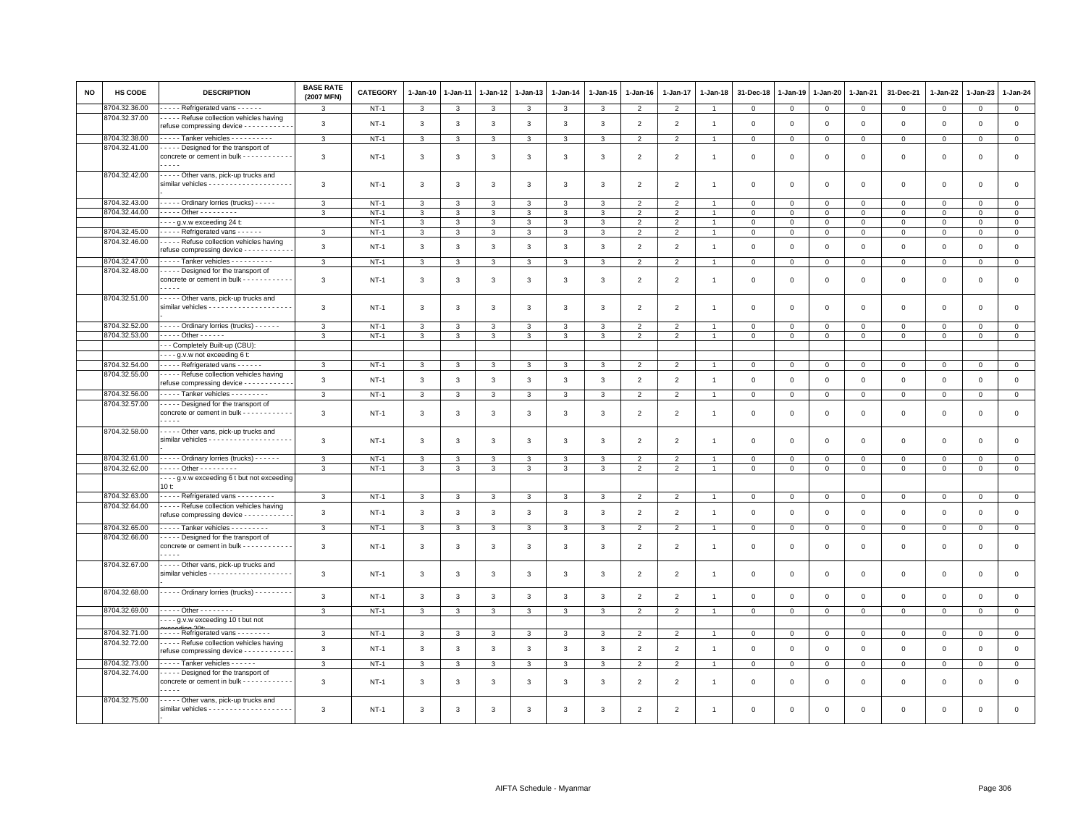| NO | <b>HS CODE</b> | <b>DESCRIPTION</b>                                                                                   | <b>BASE RATE</b><br>(2007 MFN) | CATEGORY         | 1-Jan-10           | $1-Jan-11$   | 1-Jan-12                     | $1-Jan-13$         | $1-Jan-14$     | $1 - Jan-15$      | $1-Jan-16$                      | $1-Jan-17$                      | $1 - Jan-18$   | 31-Dec-18               | 1-Jan-19                | 1-Jan-20      | 1-Jan-21                | 31-Dec-21               | $1-Jan-22$              | $1-Jan-23$                 | 1-Jan-24                    |
|----|----------------|------------------------------------------------------------------------------------------------------|--------------------------------|------------------|--------------------|--------------|------------------------------|--------------------|----------------|-------------------|---------------------------------|---------------------------------|----------------|-------------------------|-------------------------|---------------|-------------------------|-------------------------|-------------------------|----------------------------|-----------------------------|
|    | 8704.32.36.00  | - - - - Refrigerated vans - - - - - -                                                                | 3                              | $NT-1$           | 3                  | 3            | 3                            | 3                  | $\mathbf{3}$   | 3                 | $\overline{2}$                  | $\overline{2}$                  | -1             | $\circ$                 | $\mathbf 0$             | $\mathbf{0}$  | $\mathbf{0}$            | $\mathbf 0$             | $\mathbf{0}$            | $\mathbf{0}$               | $\overline{0}$              |
|    | 8704.32.37.00  | - - - - Refuse collection vehicles having<br>refuse compressing device - - - - - - - - - -           | $\mathbf{3}$                   | $NT-1$           | $\mathbf{3}$       | $\mathbf{3}$ | $\mathbf{3}$                 | $\mathbf{3}$       | $\mathbf{3}$   | $\mathbf{3}$      | $\overline{2}$                  | $\overline{2}$                  | $\overline{1}$ | $\mathsf 0$             | $\mathbf 0$             | $\mathsf 0$   | $\mathsf 0$             | $\mathsf 0$             | $\mathsf 0$             | $\mathsf 0$                | $\mathsf 0$                 |
|    | 8704.32.38.00  | Tanker vehicles - - - - - - - - -                                                                    | 3                              | $NT-1$           | 3                  | 3            | 3                            | 3                  | $\mathbf{3}$   | 3                 | 2                               | $\overline{2}$                  |                | $\Omega$                | $\Omega$                | $\mathbf{0}$  | $\mathbf 0$             | $\mathbf 0$             | $\circ$                 | $\mathbf{0}$               | $\mathbf{0}$                |
|    | 8704.32.41.00  | ---- Designed for the transport of                                                                   |                                |                  |                    |              |                              |                    |                |                   |                                 |                                 |                |                         |                         |               |                         |                         |                         |                            |                             |
|    |                | concrete or cement in bulk - - - - - - - - -<br>$- - - -$                                            | $\mathbf{3}$                   | $NT-1$           | $\mathbf{3}$       | 3            | 3                            | 3                  | 3              | 3                 | $\overline{2}$                  | $\overline{2}$                  | $\overline{1}$ | $\mathbf 0$             | $\mathbf 0$             | $\mathbf 0$   | $\mathbf 0$             | $\mathsf 0$             | $\mathbf 0$             | $\mathsf 0$                | $\mathsf 0$                 |
|    | 8704.32.42.00  | - - - - - Other vans, pick-up trucks and                                                             | 3                              | $NT-1$           | 3                  | 3            | 3                            | 3                  | 3              | 3                 | $\overline{2}$                  | $\overline{2}$                  | $\mathbf{1}$   | $\mathbf{0}$            | 0                       | 0             | 0                       | $\mathbf 0$             | $\circ$                 | $\mathsf 0$                | $\mathsf 0$                 |
|    | 8704.32.43.00  | Ordinary lorries (trucks)                                                                            | $\mathbf{3}$                   | $NT-1$           | 3                  | 3            | 3                            | 3                  | 3              | 3                 | $\overline{2}$                  | $\mathfrak{p}$                  |                | $\Omega$                | $\Omega$                | $\Omega$      | $\Omega$                | $\mathbf 0$             | $\Omega$                | $\Omega$                   | $\mathsf 0$                 |
|    | 8704.32.44.00  | - - - - - Other - - - - - - - - -                                                                    | 3                              | $NT-1$           | 3                  | 3            | 3                            | 3                  | 3              | 3                 | $\overline{2}$                  | $\overline{2}$                  |                | $\mathbf 0$             | 0                       | 0             | $\mathbf 0$             | $\mathbf 0$             | $\mathbf 0$             | $\mathsf 0$                | $\overline{0}$              |
|    |                | - - - - g.v.w exceeding 24 t:                                                                        |                                | $NT-1$           | 3                  | 3            | $\mathbf{3}$                 | 3                  | $\mathbf{3}$   | $\mathbf{3}$      | $\overline{2}$                  | $\overline{2}$                  | $\overline{1}$ | $\mathsf 0$             | $\mathbf 0$             | $\Omega$      | $\circ$                 | $\mathsf 0$             | $\mathbf 0$             | $\Omega$                   | $\mathsf 0$                 |
|    | 8704.32.45.00  | ----- Refrigerated vans ------                                                                       | 3                              | $NT-1$           | 3                  | 3            | 3                            | 3                  | $\mathbf{3}$   | 3                 | 2                               | 2                               | $\mathbf{1}$   | $\mathbf 0$             | $\mathbf 0$             | $\Omega$      | $\mathbf{0}$            | $\mathbf 0$             | $\mathbf{0}$            | $\mathbf 0$                | $\mathbf{0}$                |
|    | 8704.32.46.00  | - - - - Refuse collection vehicles having<br>refuse compressing device - - - - - - - - -             | $\mathbf{3}$                   | $NT-1$           | $\mathbf{3}$       | 3            | $\mathbf{3}$                 | $\mathbf{3}$       | $\mathbf{3}$   | $\mathbf{3}$      | $\overline{2}$                  | $\overline{2}$                  | $\mathbf{1}$   | $\mathbf 0$             | $\mathbf 0$             | $\mathbf 0$   | $\mathbf 0$             | $\mathsf 0$             | $\mathbf 0$             | $\mathsf 0$                | $\mathsf 0$                 |
|    | 8704.32.47.00  | ---- Tanker vehicles ----------                                                                      | $\overline{3}$                 | $NT-1$           | 3                  | $\mathbf{B}$ | $\mathbf{3}$                 | 3                  | $\overline{3}$ | 3                 | $\overline{2}$                  | $\overline{2}$                  |                | $\mathbf 0$             | $\Omega$                | $\Omega$      | $\mathbf 0$             | $\mathsf 0$             | $\mathbf 0$             | $\mathsf 0$                | $\overline{0}$              |
|    | 8704.32.48.00  | - - - - Designed for the transport of<br>concrete or cement in bulk - - - - - - - - - - -<br>$- - -$ | $\mathbf{3}$                   | $NT-1$           | $\mathbf{3}$       | 3            | 3                            | $\mathbf{3}$       | 3              | 3                 | $\overline{2}$                  | $\overline{2}$                  | $\mathbf{1}$   | $\mathbf 0$             | $\mathbf 0$             | $\mathbf 0$   | $\mathsf 0$             | $\mathsf 0$             | $\mathbf 0$             | $\mathsf 0$                | $\mathsf 0$                 |
|    | 8704.32.51.00  | ---- Other vans, pick-up trucks and                                                                  | 3                              | $NT-1$           | 3                  | 3            | 3                            | 3                  | 3              | 3                 | $\overline{2}$                  | $\overline{2}$                  | $\overline{1}$ | $\mathbf 0$             | $\Omega$                | $\Omega$      | $\mathbf 0$             | $\mathbf 0$             | $\mathbf 0$             | $\Omega$                   | $\mathbf 0$                 |
|    |                |                                                                                                      |                                |                  |                    |              |                              |                    |                |                   |                                 |                                 |                |                         |                         |               |                         |                         |                         |                            |                             |
|    | 8704.32.52.00  | Ordinary lorries (trucks) -                                                                          | $\mathbf{3}$                   | $NT-1$           | 3                  |              |                              | 3                  | 3              | 3                 | $\overline{2}$                  | $\overline{2}$                  |                | $\Omega$                | $\Omega$                | $\Omega$      | $\Omega$                | $\Omega$                | $\Omega$                | $\Omega$                   | $\mathbf 0$                 |
|    | 8704.32.53.00  | $- - - -$ Other - - - - - -                                                                          | 3                              | $NT-1$           | 3                  | 3            | $\mathbf{B}$                 | 3                  | 3              | 3                 | $\overline{2}$                  | $\mathfrak{p}$                  |                | $\mathbf 0$             | $\Omega$                | $\Omega$      | $\mathbf 0$             | $\mathbf 0$             | $\Omega$                | $\mathsf 0$                | $\mathsf 0$                 |
|    |                | - - Completely Built-up (CBU):                                                                       |                                |                  |                    |              |                              |                    |                |                   |                                 |                                 |                |                         |                         |               |                         |                         |                         |                            |                             |
|    |                | --- g.v.w not exceeding 6 t:                                                                         |                                |                  |                    |              |                              |                    |                |                   |                                 |                                 |                |                         |                         |               |                         |                         |                         |                            |                             |
|    | 8704.32.54.00  | Refrigerated vans - - - - - -                                                                        | 3                              | $NT-1$           | 3                  | 3            | $\mathbf{R}$                 | $\mathcal{R}$      | 3              | $\mathbf{R}$      | $\overline{2}$                  | 2                               |                | $\Omega$                | $\Omega$                | $\Omega$      | $\Omega$                | $\circ$                 | $\Omega$                | $\Omega$                   | $\mathbf 0$                 |
|    | 8704.32.55.00  | Refuse collection vehicles having<br>refuse compressing device - - - - - - - - - -                   | 3                              | $NT-1$           | 3                  | 3            | $\mathbf{3}$                 | $\mathbf{3}$       | $\mathbf{3}$   | $\mathbf{3}$      | $\overline{2}$                  | 2                               | $\overline{1}$ | $\mathbf{0}$            | $\Omega$                | $\Omega$      | $\mathbf 0$             | $\mathbf 0$             | $\Omega$                | $\mathbf 0$                | $\mathbf{0}$                |
|    | 8704.32.56.00  | Tanker vehicles                                                                                      | $\mathbf{3}$                   | $NT-1$           | $\mathbf{3}$       | 3            | 3                            | $\mathbf{3}$       | $\mathbf{3}$   | $\mathbf{3}$      | $\overline{2}$                  | $\overline{2}$                  | $\overline{1}$ | $\mathsf 0$             | $\mathbf{0}$            | $\mathsf 0$   | $\mathsf 0$             | $\mathbf 0$             | $\mathbf 0$             | $\mathsf 0$                | $\mathbf{0}$                |
|    | 8704.32.57.00  | Designed for the transport of<br>concrete or cement in bulk - - - - - - - - - - -                    | 3                              | $NT-1$           | 3                  | 3            | 3                            | 3                  | 3              | 3                 | $\overline{2}$                  | $\mathfrak{p}$                  | $\overline{1}$ | $\mathbf 0$             | $\Omega$                | $\Omega$      | $\mathbf 0$             | $\mathbf 0$             | $\Omega$                | $\mathbf 0$                | $\mathsf 0$                 |
|    | 8704.32.58.00  | ---- Other vans, pick-up trucks and                                                                  |                                |                  |                    |              |                              |                    |                |                   |                                 |                                 |                |                         |                         |               |                         |                         |                         |                            |                             |
|    | 8704.32.61.00  | ----- Ordinary lorries (trucks) ------                                                               | 3<br>$\mathbf{3}$              | $NT-1$<br>$NT-1$ | 3<br>$\mathcal{R}$ | 3            | $\mathbf{3}$<br>$\mathbf{R}$ | 3<br>$\mathcal{R}$ | 3<br>3         | 3<br>$\mathbf{R}$ | $\overline{2}$<br>$\mathcal{P}$ | $\overline{2}$<br>$\mathcal{P}$ | $\mathbf{1}$   | $\mathbf 0$<br>$\Omega$ | $\mathbf 0$<br>$\Omega$ | 0<br>$\Omega$ | $\mathbf 0$<br>$\Omega$ | $\mathbf 0$<br>$\Omega$ | $\mathbf 0$<br>$\Omega$ | $\mathsf 0$<br>$\mathbf 0$ | $\mathsf 0$<br>$\mathbf{0}$ |
|    | 8704.32.62.00  | . Other - - - - - - - - -                                                                            | 3                              | $NT-1$           | 3                  | 3            | $\mathbf{R}$                 | $\mathcal{R}$      | 3              | $\mathbf{3}$      | $\overline{2}$                  | 2                               | $\overline{1}$ | $\mathbf{0}$            | $\Omega$                | $\Omega$      | $\mathbf 0$             | $\mathbf 0$             | $\mathbf{0}$            | $\mathbf 0$                | $\mathsf 0$                 |
|    |                | ---g.v.w exceeding 6 t but not exceeding                                                             |                                |                  |                    |              |                              |                    |                |                   |                                 |                                 |                |                         |                         |               |                         |                         |                         |                            |                             |
|    |                | 10 t:                                                                                                |                                |                  |                    |              |                              |                    |                |                   |                                 |                                 |                |                         |                         |               |                         |                         |                         |                            |                             |
|    | 8704.32.63.00  | ----- Refrigerated vans ---------                                                                    | $\mathbf{3}$                   | $NT-1$           | $\mathbf{3}$       | 3            | 3                            | 3                  | $\mathbf{3}$   | 3                 | $\overline{2}$                  | $\overline{2}$                  | $\overline{1}$ | $\mathbf 0$             | 0                       | $\mathsf 0$   | $\mathbf 0$             | $\circ$                 | $\mathbf 0$             | $\mathbf 0$                | $\overline{0}$              |
|    | 8704.32.64.00  | Refuse collection vehicles having<br>refuse compressing device - - - - - - - -                       | 3                              | $NT-1$           | 3                  | 3            | 3                            | 3                  | 3              | 3                 | $\overline{2}$                  | $\overline{2}$                  | $\mathbf{1}$   | $\mathbf 0$             | $\Omega$                | $\mathbf 0$   | $\mathbf 0$             | $\mathbf 0$             | $\mathbf 0$             | $\mathsf 0$                | $\mathbf 0$                 |
|    | 8704.32.65.00  | ----- Tanker vehicles ---------                                                                      | $\mathbf{3}$                   | $NT-1$           | 3                  | $\mathbf{R}$ | $\mathbf{3}$                 | $\mathbf{3}$       | $\mathbf{3}$   | 3                 | 2                               | 2                               | $\overline{1}$ | $\mathbf{0}$            | $\Omega$                | $\mathbf{0}$  | $\mathbf 0$             | $\mathbf{0}$            | $\mathbf{0}$            | $\mathbf 0$                | $\circ$                     |
|    | 8704.32.66.00  | - - - - - Designed for the transport of<br>concrete or cement in bulk - - - - - - - - - - - -        | 3                              | NT-1             | 3                  | 3            | 3                            | 3                  | 3              | 3                 | $\overline{2}$                  | $\overline{2}$                  | $\mathbf{1}$   | $\mathbf{0}$            | 0                       | 0             | 0                       | $\mathbf 0$             | $\circ$                 | 0                          | $\mathsf 0$                 |
|    | 8704.32.67.00  | - - - - Other vans, pick-up trucks and                                                               | 3                              | $NT-1$           | 3                  | 3            | 3                            | $\mathbf{3}$       | 3              | 3                 | $\overline{2}$                  | $\overline{2}$                  | -1             | $\mathbf 0$             | $\Omega$                | $\Omega$      | $\mathbf 0$             | $\,0\,$                 | $\mathsf 0$             | $\mathsf 0$                | $\mathsf 0$                 |
|    | 8704.32.68.00  | Ordinary lorries (trucks) - - - - - - - -                                                            | $\mathbf{3}$                   | $NT-1$           | 3                  | 3            | 3                            | 3                  | $\mathbf{3}$   | 3                 | $\overline{2}$                  | $\overline{2}$                  | $\overline{1}$ | $\mathbf 0$             | $\Omega$                | $\mathbf{O}$  | $\mathbf 0$             | $\mathbf 0$             | $\mathbf 0$             | $\mathsf 0$                | $\mathsf 0$                 |
|    | 8704.32.69.00  | - - - - - Other - - - - - - - -                                                                      | $\overline{3}$                 | $NT-1$           | $\overline{3}$     | 3            | $\overline{3}$               | $\overline{3}$     | $\overline{3}$ | $\overline{3}$    | $\overline{2}$                  | $\overline{2}$                  | $\overline{1}$ | $\mathsf 0$             | $\mathsf 0$             | $\mathsf 0$   | $\overline{0}$          | $\mathbf 0$             | $\mathsf 0$             | $\mathsf 0$                | $\overline{0}$              |
|    |                | --- g.v.w exceeding 10 t but not                                                                     |                                |                  |                    |              |                              |                    |                |                   |                                 |                                 |                |                         |                         |               |                         |                         |                         |                            |                             |
|    |                |                                                                                                      |                                |                  |                    |              |                              |                    |                |                   |                                 |                                 |                |                         |                         |               |                         |                         |                         |                            |                             |
|    | 8704.32.71.00  | Refrigerated vans                                                                                    | $\mathbf{3}$                   | $NT-1$           | $\mathbf{3}$       | 3            | 3                            | 3                  | $\mathbf{3}$   | 3                 | $\overline{2}$                  | $\overline{2}$                  |                | $\mathbf 0$             | 0                       | 0             | $\mathbf 0$             | $\mathbf 0$             | $\mathbf 0$             | $\mathbf{O}$               | $\mathbf{0}$                |
|    | 8704.32.72.00  | ----- Refuse collection vehicles having<br>refuse compressing device - - - - - - - - - -             | 3                              | $NT-1$           | $\mathbf{3}$       | 3            | 3                            | 3                  | $\mathbf{3}$   | $\mathbf{3}$      | $\overline{2}$                  | $\overline{2}$                  | $\overline{1}$ | $\mathbf 0$             | $\mathbf 0$             | $\mathbf 0$   | $\mathbf 0$             | $\mathbf 0$             | $\mathbf 0$             | $\mathsf 0$                | $\mathsf 0$                 |
|    | 8704.32.73.00  | - - - - Tanker vehicles - - - - - -                                                                  | $\mathbf{3}$                   | $NT-1$           | 3                  | 3            | 3                            | 3                  | $\mathbf{3}$   | 3                 | 2                               | 2                               | $\overline{1}$ | $\circ$                 | $\mathbf 0$             | $\circ$       | $\mathbf 0$             | $\mathbf{0}$            | $\mathbf{0}$            | $\circ$                    | $\mathbf{0}$                |
|    | 8704.32.74.00  | - - - - Designed for the transport of<br>concrete or cement in bulk - - - - - - - - - - - -          | 3                              | $NT-1$           | 3                  | 3            | 3                            | 3                  | 3              | 3                 | $\overline{2}$                  | $\overline{2}$                  | $\mathbf{1}$   | $\mathbf{0}$            | 0                       | 0             | 0                       | $\circ$                 | $\circ$                 | $\mathbf 0$                | $\mathsf 0$                 |
|    | 8704.32.75.00  | ---- Other vans, pick-up trucks and                                                                  | 3                              | $NT-1$           | $\mathcal{R}$      | 3            | 3                            | $\mathbf{B}$       | $\mathcal{R}$  | $\mathbf{B}$      | $\overline{2}$                  | $\overline{2}$                  |                | $\Omega$                | $\Omega$                | $\Omega$      | $\Omega$                | $\Omega$                | $\Omega$                | $\mathsf 0$                | $\Omega$                    |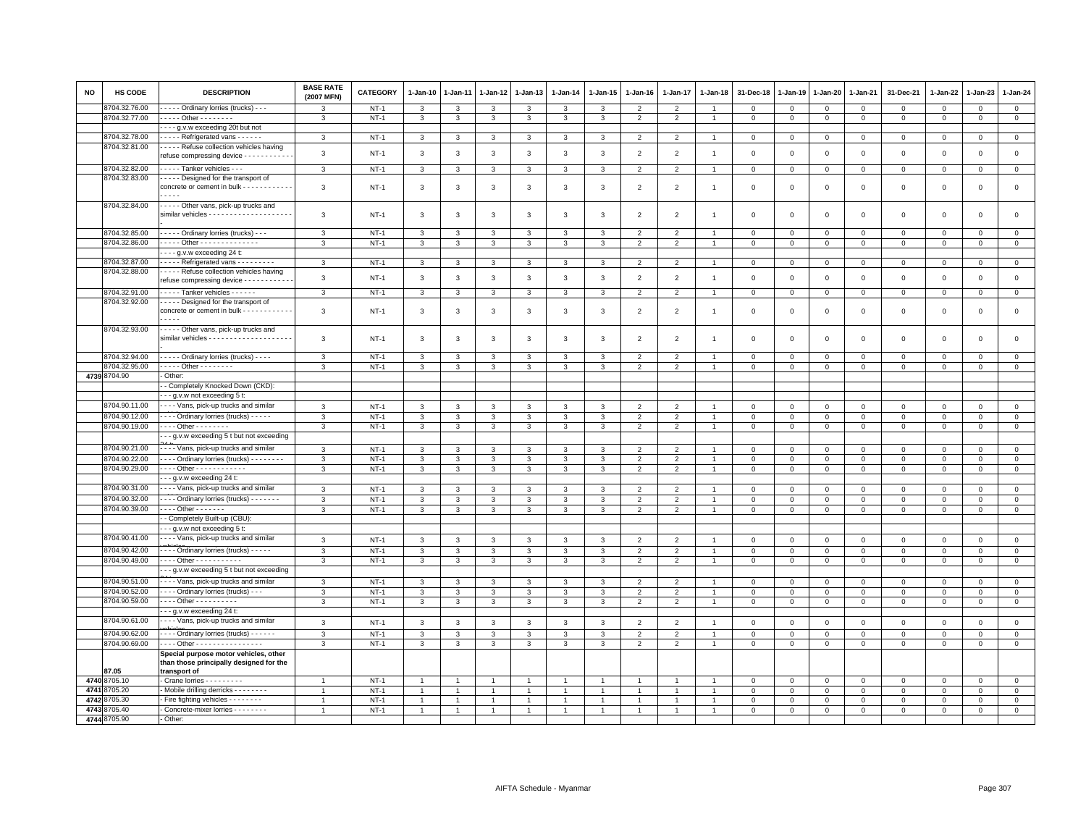| $NT-1$<br>3<br>$\mathbf 0$<br>3<br>3<br>3<br>$\mathfrak{p}$<br>$\mathfrak{p}$<br>$\Omega$<br>$\Omega$<br>$\Omega$<br>$\Omega$<br>$\Omega$<br>$\mathbf 0$<br>3<br>3<br>3<br>$\Omega$<br>8704.32.77.00<br>. Other - - - - - - - -<br>$NT-1$<br>$\overline{0}$<br>$\mathbf{3}$<br>3<br>3<br>3<br>3<br>$\mathbf{3}$<br>3<br>$\overline{2}$<br>$\overline{2}$<br>$\mathbf 0$<br>0<br>$\mathsf 0$<br>$\mathbf 0$<br>$\mathbf 0$<br>$\mathsf 0$<br>$\mathbf 0$<br>$\overline{1}$<br>- - - - g.v.w exceeding 20t but not<br>----- Refrigerated vans ------<br>8704.32.78.00<br>$NT-1$<br>$\mathbf{3}$<br>3<br>3<br>3<br>3<br>3<br>3<br>$\overline{2}$<br>$\overline{2}$<br>$\mathbf 0$<br>$\mathbf 0$<br>$\mathbf 0$<br>$\mathbf 0$<br>$\mathbf{1}$<br>$^{\circ}$<br>$^{\circ}$<br>0<br>$^{\circ}$<br>8704.32.81.00<br>- - - - Refuse collection vehicles having<br>$\mathbf{3}$<br>$NT-1$<br>3<br>3<br>3<br>3<br>3<br>3<br>$\overline{2}$<br>$\overline{2}$<br>$\mathbf 0$<br>$\mathsf 0$<br>$\mathsf 0$<br>$\Omega$<br>$\mathbf 0$<br>$\Omega$<br>$\mathbf 0$<br>0<br>$\overline{1}$<br>refuse compressing device - - - - - - - -<br>8704.32.82.00<br>Tanker vehicles - - -<br>$\mathbf{3}$<br>$NT-1$<br>$\mathbf{3}$<br>$\mathbf{3}$<br>$\mathbf{3}$<br>$\overline{a}$<br>$\mathsf 0$<br>$\overline{0}$<br>$\mathbf{0}$<br>3<br>3<br>3<br>$\overline{2}$<br>$\mathbf 0$<br>$\mathbf 0$<br>$\mathbf 0$<br>$\mathbf 0$<br>$\mathsf 0$<br>$\overline{1}$<br>8704.32.83.00<br>- - - - - Designed for the transport of<br>concrete or cement in bulk - - - - - - - - - - -<br>3<br>$NT-1$<br>3<br>3<br>3<br>3<br>3<br>3<br>2<br>$\overline{2}$<br>$\Omega$<br>$\mathbf 0$<br>$\Omega$<br>$\Omega$<br>$\Omega$<br>$\Omega$<br>$\Omega$<br>0<br>$\mathbf{1}$<br>$- - - -$<br>8704.32.84.00<br>- - - - Other vans, pick-up trucks and<br>$\mathbf{3}$<br>$\mathbf{3}$<br>$\mathsf 0$<br>$\mathsf 0$<br>$NT-1$<br>3<br>3<br>3<br>3<br>$\overline{2}$<br>$\overline{2}$<br>$\mathbf 0$<br>$\mathbf 0$<br>$\Omega$<br>$\mathbf 0$<br>3<br>$\overline{1}$<br>$\Omega$<br>$\Omega$<br>8704.32.85.00<br>- - - - - Ordinary lorries (trucks) - - -<br>3<br>$NT-1$<br>$\mathsf 0$<br>3<br>3<br>3<br>3<br>3<br>3<br>$\overline{2}$<br>$\overline{2}$<br>$\mathbf 0$<br>$\mathsf 0$<br>$\mathsf 0$<br>$\Omega$<br>$\mathbf 0$<br>$\mathsf 0$<br>$\mathbf 0$<br>8704.32.86.00<br>. Other -<br>$NT-1$<br>$\mathsf 0$<br>$\mathbf{0}$<br>$\mathbf{3}$<br>3<br>$\mathbf{3}$<br>3<br>3<br>3<br>$\overline{2}$<br>$\overline{2}$<br>$\Omega$<br>$\mathbf{O}$<br>$\mathbf{O}$<br>$\mathsf 0$<br>$\overline{0}$<br>3<br>$\overline{1}$<br>$\Omega$<br>$\cdots$ g.v.w exceeding 24 t:<br>8704.32.87.00<br>- - - - Refrigerated vans - - - - - - - - -<br>3<br>$NT-1$<br>$\mathcal{R}$<br>3<br>3<br>3<br>3<br>$\mathfrak{p}$<br>2<br>$\Omega$<br>$\mathbf 0$<br>$\mathbf 0$<br>$\mathsf 0$<br>$\mathsf 0$<br>$\mathbf{3}$<br>$\Omega$<br>$\Omega$<br>$\Omega$<br>8704.32.88.00<br>- - - - Refuse collection vehicles having<br>$\mathbf{3}$<br>$\mathbf{3}$<br>$\mathbf{3}$<br>$\mathbf{3}$<br>$\overline{2}$<br>2<br>$\mathsf 0$<br>$\mathsf 0$<br>$NT-1$<br>3<br>3<br>3<br>$\mathbf 0$<br>$\mathbf 0$<br>$\mathbf 0$<br>$\Omega$<br>$\Omega$<br>$\Omega$<br>$\overline{1}$<br>refuse compressing device - - - - - - - - - -<br>Tanker vehicles<br>8704.32.91.00<br>$\mathbf{3}$<br>$NT-1$<br>$\mathbf{3}$<br>$\mathbf{3}$<br>$\mathbf{3}$<br>$\mathbf{3}$<br>$\mathbf{3}$<br>$\mathbf{3}$<br>$\overline{2}$<br>$\overline{2}$<br>$\overline{1}$<br>$\mathbf{0}$<br>$\mathbf 0$<br>$\mathsf 0$<br>$\mathsf 0$<br>$\mathsf 0$<br>$\mathbf 0$<br>$\circ$<br>$\Omega$<br>8704.32.92.00<br>Designed for the transport of<br>concrete or cement in bulk - - - - - - - - - - -<br>3<br>3<br>3<br>2<br>$\mathbf{0}$<br>$NT-1$<br>3<br>3<br>3<br>3<br>$\overline{2}$<br>$\mathbf 0$<br>$\mathbf 0$<br>$\mathbf 0$<br>$\Omega$<br>$\Omega$<br>$\Omega$<br>$\Omega$<br>$\overline{1}$<br>8704.32.93.00<br>- - - - Other vans, pick-up trucks and<br>3<br>$\overline{2}$<br>0<br>NT-1<br>3<br>3<br>3<br>3<br>3<br>3<br>$\overline{2}$<br>$\mathbf 0$<br>0<br>$\mathbf 0$<br>$^{\circ}$<br>0<br>$\Omega$<br>$^{\circ}$<br>$\mathbf{1}$<br>8704.32.94.00<br>Ordinary lorries (trucks)<br>$\mathbf{3}$<br>$NT-1$<br>3<br>3<br>3<br>3<br>3<br>3<br>$\overline{2}$<br>2<br>$\Omega$<br>$\mathbf 0$<br>$\mathbf 0$<br>$\Omega$<br>$\Omega$<br>$\mathbf 0$<br>$\mathbf{0}$<br>$\overline{1}$<br>$\Omega$<br>8704.32.95.00<br>---- Other --------<br>$NT-1$<br>3<br>3<br>$\mathbf{3}$<br>3<br>3<br>3<br>$\overline{2}$<br>2<br>$\mathbf 0$<br>$\mathbf 0$<br>$\mathsf 0$<br>$\mathbf{0}$<br>3<br>$\Omega$<br>$\Omega$<br>$\Omega$<br>$\overline{1}$<br>$^{\circ}$<br>4739 8704.90<br>Other:<br>- Completely Knocked Down (CKD):<br>- - g.v.w not exceeding 5 t:<br>8704.90.11.00<br>- - - Vans, pick-up trucks and similar<br>3<br>$NT-1$<br>$\mathbf{3}$<br>3<br>$\mathbf{3}$<br>$\mathbf{3}$<br>$\overline{2}$<br>$\overline{2}$<br>$\mathsf 0$<br>$\mathbf 0$<br>$\mathbf{0}$<br>3<br>3<br>$\mathsf 0$<br>$\mathsf 0$<br>$\mathbf 0$<br>$\mathbf 0$<br>$\mathbf 0$<br>$\overline{1}$<br>8704.90.12.00<br>---- Ordinary lorries (trucks) -----<br>3<br>$NT-1$<br>3<br>3<br>3<br>3<br>3<br>3<br>$\overline{2}$<br>$\overline{2}$<br>$\mathbf 0$<br>$\mathsf 0$<br>$\mathsf 0$<br>$\mathbf 0$<br>$\mathsf 0$<br>$\mathbf 0$<br>$\mathbf 0$<br>$^{\circ}$<br>8704.90.19.00<br>. Other - - - - - - -<br>$\mathbf{3}$<br>$NT-1$<br>$\mathbf{3}$<br>$\mathbf{3}$<br>$\mathbf{3}$<br>3<br>$\mathbf{3}$<br>$\mathbf{3}$<br>$\overline{2}$<br>$\overline{2}$<br>$\mathbf{0}$<br>$\mathsf 0$<br>$\mathbf 0$<br>$\mathbf 0$<br>$\mathsf 0$<br>$\mathsf 0$<br>$\mathbf 0$<br>$\mathbf{1}$<br>$\mathsf 0$<br>- - g.v.w exceeding 5 t but not exceeding<br>8704.90.21.00<br>- - - Vans, pick-up trucks and similar<br>$\mathbf{3}$<br>$\mathbf{3}$<br>$\overline{2}$<br>$NT-1$<br>3<br>$\mathbf{3}$<br>$\mathbf{3}$<br>$\overline{2}$<br>$\mathbf{0}$<br>3<br>3<br>$\overline{1}$<br>$\mathbf 0$<br>$\mathsf 0$<br>$\mathbf 0$<br>$\mathbf 0$<br>$\mathbf 0$<br>$\mathbf 0$<br>$\mathbf 0$<br>8704.90.22.00<br>--- Ordinary lorries (trucks) --------<br>$NT-1$<br>$\mathbf{3}$<br>3<br>$\overline{2}$<br>$\overline{2}$<br>$\Omega$<br>$\Omega$<br>$\mathbf 0$<br>3<br>3<br>3<br>3<br>$\overline{1}$<br>$\Omega$<br>$\mathbf 0$<br>$\mathbf 0$<br>$\mathbf 0$<br>3<br>$^{\circ}$<br>8704.90.29.00<br>--- Other ------------<br>$\mathbf{3}$<br>$NT-1$<br>3<br>$\mathbf{3}$<br>3<br>3<br>$\mathbf{3}$<br>3<br>$\overline{2}$<br>$\overline{2}$<br>$\mathbf 0$<br>$\mathbf 0$<br>$\mathsf 0$<br>$\mathbf 0$<br>$\mathbf 0$<br>$\mathsf 0$<br>$\mathbf 0$<br>$\mathbf 0$<br>$\overline{1}$<br>- - g.v.w exceeding 24 t:<br>8704.90.31.00<br>- - - Vans, pick-up trucks and similar<br>3<br>$NT-1$<br>$\mathbf{3}$<br>$\mathbf{3}$<br>3<br>$\mathbf{3}$<br>$\mathbf{3}$<br>$\overline{2}$<br>$\overline{2}$<br>$\mathbf 0$<br>3<br>$\mathbf{1}$<br>$\mathbf 0$<br>$\mathbf 0$<br>$\mathsf 0$<br>$\mathbf 0$<br>$\mathbf 0$<br>$\mathsf 0$<br>$\mathbf 0$<br>---- Ordinary lorries (trucks) -------<br>8704.90.32.00<br>3<br>$NT-1$<br>3<br>$\mathbf{3}$<br>3<br>$\mathbf{3}$<br>$\overline{2}$<br>$\mathbf 0$<br>$\mathbf{3}$<br>3<br>$\overline{2}$<br>$\Omega$<br>$\Omega$<br>$\Omega$<br>$\Omega$<br>$\Omega$<br>$\Omega$<br>$\Omega$<br>8704.90.39.00<br>$\cdots$ Other - - - - - -<br>$\overline{2}$<br>$\mathsf 0$<br>3<br>$NT-1$<br>3<br>$\mathbf{3}$<br>3<br>3<br>3<br>3<br>2<br>$\overline{1}$<br>$\Omega$<br>$\mathsf 0$<br>$\mathbf 0$<br>$\mathbf 0$<br>$\Omega$<br>$\Omega$<br>$\mathbf 0$<br>- Completely Built-up (CBU):<br>- - g.v.w not exceeding 5 t:<br>- - - Vans, pick-up trucks and similar<br>8704.90.41.00<br>$NT-1$<br>$\mathbf 0$<br>$\mathbf{3}$<br>3<br>3<br>3<br>3<br>3<br>3<br>$\overline{2}$<br>$\overline{2}$<br>$\mathbf 0$<br>$\mathsf 0$<br>$\mathbf 0$<br>$\mathbf 0$<br>$\overline{1}$<br>$\mathbf 0$<br>$^{\circ}$<br>$^{\circ}$<br>8704.90.42.00<br>---- Ordinary lorries (trucks) -----<br>$\mathbf{3}$<br>$NT-1$<br>$\mathbf{3}$<br>$\mathbf{3}$<br>$\mathbf{3}$<br>$\overline{2}$<br>$\overline{2}$<br>$\mathsf 0$<br>$\mathbf 0$<br>$\mathbf{3}$<br>3<br>3<br>$\mathbf 0$<br>$\mathbf 0$<br>$\mathbf{O}$<br>$\mathbf 0$<br>$\mathsf 0$<br>$\mathbf{0}$<br>$\mathbf{1}$<br>8704.90.49.00<br>Other - - - - - - - - - - -<br>$NT-1$<br>$\mathbf{3}$<br>$\mathbf{3}$<br>$\mathbf{3}$<br>$\mathbf{3}$<br>$\overline{2}$<br>$\overline{2}$<br>$\circ$<br>$\mathbf{3}$<br>3<br>3<br>$\mathbf{1}$<br>$\mathbf 0$<br>$\mathbf 0$<br>$\mathbf{O}$<br>$\mathbf 0$<br>$\mathbf{O}$<br>$\mathsf 0$<br>$\mathbf 0$<br>- - g.v.w exceeding 5 t but not exceeding<br>- - - Vans, pick-up trucks and similar<br>8704.90.51.00<br>$\mathbf{3}$<br>$NT-1$<br>3<br>$\mathbf{3}$<br>$\overline{2}$<br>$\mathsf 0$<br>3<br>3<br>3<br>3<br>$\overline{2}$<br>$\mathbf 0$<br>$\mathsf 0$<br>$\mathsf 0$<br>$\Omega$<br>$\mathbf 0$<br>$\mathbf 0$<br>$\mathbf 0$<br>8704.90.52.00<br>- - - Ordinary lorries (trucks) - - -<br>$\mathbf{3}$<br>$NT-1$<br>$\mathbf{3}$<br>$\mathbf{3}$<br>$\mathbf{3}$<br>$\mathbf{3}$<br>$\mathbf{3}$<br>$\overline{2}$<br>$\overline{2}$<br>$\mathsf 0$<br>$\mathsf 0$<br>$\mathsf 0$<br>3<br>$\overline{1}$<br>$\mathbf 0$<br>$\mathsf 0$<br>$\Omega$<br>$\Omega$<br>$^{\circ}$<br>8704.90.59.00<br>--- Other ----------<br>$NT-1$<br>$\mathbf{3}$<br>$\mathbf{3}$<br>$\mathbf{3}$<br>$\mathbf{3}$<br>$\overline{2}$<br>$\overline{2}$<br>$\mathbf 0$<br>3<br>3<br>3<br>$\mathbf{1}$<br>$\mathbf 0$<br>$\mathbf 0$<br>$\mathbf 0$<br>$\mathbf 0$<br>$\mathbf 0$<br>$\mathsf 0$<br>$\mathbf 0$<br>- - g.v.w exceeding 24 t:<br>8704.90.61.00<br>- - - Vans, pick-up trucks and similar<br>$\mathbf{3}$<br>$NT-1$<br>3<br>$\mathbf{3}$<br>3<br>$\mathbf{3}$<br>$\overline{2}$<br>$\overline{2}$<br>$\mathbf 0$<br>$\mathbf{0}$<br>3<br>3<br>$\mathbf 0$<br>$\mathsf 0$<br>$\mathbf 0$<br>$\mathbf 0$<br>$\mathbf 0$<br>$^{\circ}$<br>8704.90.62.00<br>---- Ordinary lorries (trucks) ------<br>$\mathbf{3}$<br>$NT-1$<br>$\mathbf{3}$<br>$\mathbf{3}$<br>$\mathbf{3}$<br>3<br>$\mathbf{3}$<br>$\mathbf{3}$<br>$\overline{2}$<br>$\overline{2}$<br>$\mathsf 0$<br>$\mathsf 0$<br>$\mathsf 0$<br>$\mathbf{0}$<br>$\Omega$<br>$\mathsf 0$<br>$\Omega$<br>$\Omega$<br>8704.90.69.00<br>--- Other ---------------<br>$NT-1$<br>$\overline{3}$<br>$\overline{2}$<br>$\overline{0}$<br>3<br>3<br>$\mathbf{3}$<br>3<br>$\mathbf{3}$<br>$\mathbf{3}$<br>$\overline{2}$<br>$\mathbf 0$<br>$\mathsf 0$<br>$\mathbf 0$<br>$\mathsf 0$<br>$\Omega$<br>$\Omega$<br>$\mathbf 0$<br>Special purpose motor vehicles, other<br>than those principally designed for the<br>87.05<br>transport of<br>4740 8705.10<br>Crane lorries - - - - - - - -<br>$NT-1$<br>$\mathbf{0}$<br>$\Omega$<br>0<br>$\mathbf{0}$<br>$\Omega$<br>0<br>0<br>$\mathbf 0$<br>$\mathbf{1}$<br>$\mathbf{1}$<br>4741 8705.20<br>Mobile drilling derricks - - - - - - - -<br>$NT-1$<br>$\mathbf{0}$<br>$\overline{1}$<br>$\overline{1}$<br>$\overline{1}$<br>$\overline{1}$<br>$\mathbf{0}$<br>$\mathbf{0}$<br>$\mathbf 0$<br>$\mathbf{0}$<br>$\mathbf 0$<br>$\mathbf 0$<br>$\mathbf{0}$<br>$\mathbf{1}$<br>$\overline{1}$<br>4742<br>8705.30<br>Fire fighting vehicles - - - - - - -<br>$NT-1$<br>$\circ$<br>$\mathsf 0$<br>$\mathbf 0$<br>$\mathbf 0$<br>$\overline{1}$<br>$\overline{1}$<br>$\overline{1}$<br>$\overline{1}$<br>$\mathbf 0$<br>0<br>$\Omega$<br>0<br>-1<br>$\mathbf{1}$<br>4743 8705.40<br>Concrete-mixer lorries - - - - - - - -<br>$NT-1$<br>$\mathbf{0}$<br>$\Omega$<br>$\Omega$<br>$\mathbf 0$<br>$\mathbf{0}$<br>$\mathbf 0$<br>$\mathbf 0$<br>$\mathbf 0$<br>$\mathbf{1}$<br>4744 8705.90<br>- Other: | NO | <b>HS CODE</b> | <b>DESCRIPTION</b>                      | <b>BASE RATE</b><br>(2007 MFN) | <b>CATEGORY</b> | $1-Jan-10$ | $1-Jan-11$ | $1-Jan-12$ | 1-Jan-13 | $1-Jan-14$ | $1 - Jan-15$ | $1-Jan-16$ | $1-Jan-17$ | $1-Jan-18$ | 31-Dec-18 | $1-Jan-19$ | 1-Jan-20 | 1-Jan-21 | 31-Dec-21 | 1-Jan-22 | 1-Jan-23 | 1-Jan-24 |
|-----------------------------------------------------------------------------------------------------------------------------------------------------------------------------------------------------------------------------------------------------------------------------------------------------------------------------------------------------------------------------------------------------------------------------------------------------------------------------------------------------------------------------------------------------------------------------------------------------------------------------------------------------------------------------------------------------------------------------------------------------------------------------------------------------------------------------------------------------------------------------------------------------------------------------------------------------------------------------------------------------------------------------------------------------------------------------------------------------------------------------------------------------------------------------------------------------------------------------------------------------------------------------------------------------------------------------------------------------------------------------------------------------------------------------------------------------------------------------------------------------------------------------------------------------------------------------------------------------------------------------------------------------------------------------------------------------------------------------------------------------------------------------------------------------------------------------------------------------------------------------------------------------------------------------------------------------------------------------------------------------------------------------------------------------------------------------------------------------------------------------------------------------------------------------------------------------------------------------------------------------------------------------------------------------------------------------------------------------------------------------------------------------------------------------------------------------------------------------------------------------------------------------------------------------------------------------------------------------------------------------------------------------------------------------------------------------------------------------------------------------------------------------------------------------------------------------------------------------------------------------------------------------------------------------------------------------------------------------------------------------------------------------------------------------------------------------------------------------------------------------------------------------------------------------------------------------------------------------------------------------------------------------------------------------------------------------------------------------------------------------------------------------------------------------------------------------------------------------------------------------------------------------------------------------------------------------------------------------------------------------------------------------------------------------------------------------------------------------------------------------------------------------------------------------------------------------------------------------------------------------------------------------------------------------------------------------------------------------------------------------------------------------------------------------------------------------------------------------------------------------------------------------------------------------------------------------------------------------------------------------------------------------------------------------------------------------------------------------------------------------------------------------------------------------------------------------------------------------------------------------------------------------------------------------------------------------------------------------------------------------------------------------------------------------------------------------------------------------------------------------------------------------------------------------------------------------------------------------------------------------------------------------------------------------------------------------------------------------------------------------------------------------------------------------------------------------------------------------------------------------------------------------------------------------------------------------------------------------------------------------------------------------------------------------------------------------------------------------------------------------------------------------------------------------------------------------------------------------------------------------------------------------------------------------------------------------------------------------------------------------------------------------------------------------------------------------------------------------------------------------------------------------------------------------------------------------------------------------------------------------------------------------------------------------------------------------------------------------------------------------------------------------------------------------------------------------------------------------------------------------------------------------------------------------------------------------------------------------------------------------------------------------------------------------------------------------------------------------------------------------------------------------------------------------------------------------------------------------------------------------------------------------------------------------------------------------------------------------------------------------------------------------------------------------------------------------------------------------------------------------------------------------------------------------------------------------------------------------------------------------------------------------------------------------------------------------------------------------------------------------------------------------------------------------------------------------------------------------------------------------------------------------------------------------------------------------------------------------------------------------------------------------------------------------------------------------------------------------------------------------------------------------------------------------------------------------------------------------------------------------------------------------------------------------------------------------------------------------------------------------------------------------------------------------------------------------------------------------------------------------------------------------------------------------------------------------------------------------------------------------------------------------------------------------------------------------------------------------------------------------------------------------------------------------------------------------------------------------------------------------------------------------------------------------------------------------------------------------------------------------------------------------------------------------------------------------------------------------------------------------------------------------------------------------------------------------------------------------------------------------------------------------------------------------------------------------------------------------------------------------------------------------------------------------------------------------------------------------------------------------------------------------------------------------------------------------------------------------------------------------------------------------------------------------------------------------------------------------------------------------------------------------------------------------------------------------------------------------------------------------------------------------------------------------------------------------------------------------------------------------------------------------------------------------------------------------------------------------------------------------------------------------------------------------------------------------------------------------------------------------------------------------------------------------------------------------------------------------------------------------------------------------------------------------------------------------------------------------------------------------------------------------------------------------------------------------------------------------------------------------------------------------------------------------------------------------------------------------------------------------------------------------------------------------------------------------------------------------------------------------------------------------------------------------------------------------------------------------------------------------------------------------------------------------------------------------------------------------------------------------------------------------------------------------------------------------------------------------------------------------------------------------------------------------------------------------------------------------------------------------------------------------------------------------------------------------------------------------------------------------------------------------------------------------------------------------------------------------------------------------------------------------------------------------------------------------------------------------------------------------------------------------------------------------------------------------------------------------------------------------------------------------------------------------------------------------------------------------------------------------------------------------------------------------------------------------------------------------------------------------------------------------------------------------------------------------------------------------------------------------------------------------------------------------------------------------------------------------------------------------------------------------------------------------------------------------------------------------------------------------------------|----|----------------|-----------------------------------------|--------------------------------|-----------------|------------|------------|------------|----------|------------|--------------|------------|------------|------------|-----------|------------|----------|----------|-----------|----------|----------|----------|
|                                                                                                                                                                                                                                                                                                                                                                                                                                                                                                                                                                                                                                                                                                                                                                                                                                                                                                                                                                                                                                                                                                                                                                                                                                                                                                                                                                                                                                                                                                                                                                                                                                                                                                                                                                                                                                                                                                                                                                                                                                                                                                                                                                                                                                                                                                                                                                                                                                                                                                                                                                                                                                                                                                                                                                                                                                                                                                                                                                                                                                                                                                                                                                                                                                                                                                                                                                                                                                                                                                                                                                                                                                                                                                                                                                                                                                                                                                                                                                                                                                                                                                                                                                                                                                                                                                                                                                                                                                                                                                                                                                                                                                                                                                                                                                                                                                                                                                                                                                                                                                                                                                                                                                                                                                                                                                                                                                                                                                                                                                                                                                                                                                                                                                                                                                                                                                                                                                                                                                                                                                                                                                                                                                                                                                                                                                                                                                                                                                                                                                                                                                                                                                                                                                                                                                                                                                                                                                                                                                                                                                                                                                                                                                                                                                                                                                                                                                                                                                                                                                                                                                                                                                                                                                                                                                                                                                                                                                                                                                                                                                                                                                                                                                                                                                                                                                                                                                                                                                                                                                                                                                                                                                                                                                                                                                                                                                                                                                                                                                                                                                                                                                                                                                                                                                                                                                                                                                                                                                                                                                                                                                                                                                                                                                                                                                                                                                                                                                                                                                                                                                                                                                                                                                                                                                                                                                                                                                                                                                                                                                                                                                                                                                                                                                                                                                                                                                                                                                                                                                                                                                                                                                                                                                                                                                                                                                                                                                                                                                                                                                                                                                                                                                                                                                                                                                 |    | 8704.32.76.00  | - - - - Ordinary lorries (trucks) - - - |                                |                 |            |            |            |          |            |              |            |            |            |           |            |          |          |           |          |          |          |
|                                                                                                                                                                                                                                                                                                                                                                                                                                                                                                                                                                                                                                                                                                                                                                                                                                                                                                                                                                                                                                                                                                                                                                                                                                                                                                                                                                                                                                                                                                                                                                                                                                                                                                                                                                                                                                                                                                                                                                                                                                                                                                                                                                                                                                                                                                                                                                                                                                                                                                                                                                                                                                                                                                                                                                                                                                                                                                                                                                                                                                                                                                                                                                                                                                                                                                                                                                                                                                                                                                                                                                                                                                                                                                                                                                                                                                                                                                                                                                                                                                                                                                                                                                                                                                                                                                                                                                                                                                                                                                                                                                                                                                                                                                                                                                                                                                                                                                                                                                                                                                                                                                                                                                                                                                                                                                                                                                                                                                                                                                                                                                                                                                                                                                                                                                                                                                                                                                                                                                                                                                                                                                                                                                                                                                                                                                                                                                                                                                                                                                                                                                                                                                                                                                                                                                                                                                                                                                                                                                                                                                                                                                                                                                                                                                                                                                                                                                                                                                                                                                                                                                                                                                                                                                                                                                                                                                                                                                                                                                                                                                                                                                                                                                                                                                                                                                                                                                                                                                                                                                                                                                                                                                                                                                                                                                                                                                                                                                                                                                                                                                                                                                                                                                                                                                                                                                                                                                                                                                                                                                                                                                                                                                                                                                                                                                                                                                                                                                                                                                                                                                                                                                                                                                                                                                                                                                                                                                                                                                                                                                                                                                                                                                                                                                                                                                                                                                                                                                                                                                                                                                                                                                                                                                                                                                                                                                                                                                                                                                                                                                                                                                                                                                                                                                                                                                 |    |                |                                         |                                |                 |            |            |            |          |            |              |            |            |            |           |            |          |          |           |          |          |          |
|                                                                                                                                                                                                                                                                                                                                                                                                                                                                                                                                                                                                                                                                                                                                                                                                                                                                                                                                                                                                                                                                                                                                                                                                                                                                                                                                                                                                                                                                                                                                                                                                                                                                                                                                                                                                                                                                                                                                                                                                                                                                                                                                                                                                                                                                                                                                                                                                                                                                                                                                                                                                                                                                                                                                                                                                                                                                                                                                                                                                                                                                                                                                                                                                                                                                                                                                                                                                                                                                                                                                                                                                                                                                                                                                                                                                                                                                                                                                                                                                                                                                                                                                                                                                                                                                                                                                                                                                                                                                                                                                                                                                                                                                                                                                                                                                                                                                                                                                                                                                                                                                                                                                                                                                                                                                                                                                                                                                                                                                                                                                                                                                                                                                                                                                                                                                                                                                                                                                                                                                                                                                                                                                                                                                                                                                                                                                                                                                                                                                                                                                                                                                                                                                                                                                                                                                                                                                                                                                                                                                                                                                                                                                                                                                                                                                                                                                                                                                                                                                                                                                                                                                                                                                                                                                                                                                                                                                                                                                                                                                                                                                                                                                                                                                                                                                                                                                                                                                                                                                                                                                                                                                                                                                                                                                                                                                                                                                                                                                                                                                                                                                                                                                                                                                                                                                                                                                                                                                                                                                                                                                                                                                                                                                                                                                                                                                                                                                                                                                                                                                                                                                                                                                                                                                                                                                                                                                                                                                                                                                                                                                                                                                                                                                                                                                                                                                                                                                                                                                                                                                                                                                                                                                                                                                                                                                                                                                                                                                                                                                                                                                                                                                                                                                                                                                                                 |    |                |                                         |                                |                 |            |            |            |          |            |              |            |            |            |           |            |          |          |           |          |          |          |
|                                                                                                                                                                                                                                                                                                                                                                                                                                                                                                                                                                                                                                                                                                                                                                                                                                                                                                                                                                                                                                                                                                                                                                                                                                                                                                                                                                                                                                                                                                                                                                                                                                                                                                                                                                                                                                                                                                                                                                                                                                                                                                                                                                                                                                                                                                                                                                                                                                                                                                                                                                                                                                                                                                                                                                                                                                                                                                                                                                                                                                                                                                                                                                                                                                                                                                                                                                                                                                                                                                                                                                                                                                                                                                                                                                                                                                                                                                                                                                                                                                                                                                                                                                                                                                                                                                                                                                                                                                                                                                                                                                                                                                                                                                                                                                                                                                                                                                                                                                                                                                                                                                                                                                                                                                                                                                                                                                                                                                                                                                                                                                                                                                                                                                                                                                                                                                                                                                                                                                                                                                                                                                                                                                                                                                                                                                                                                                                                                                                                                                                                                                                                                                                                                                                                                                                                                                                                                                                                                                                                                                                                                                                                                                                                                                                                                                                                                                                                                                                                                                                                                                                                                                                                                                                                                                                                                                                                                                                                                                                                                                                                                                                                                                                                                                                                                                                                                                                                                                                                                                                                                                                                                                                                                                                                                                                                                                                                                                                                                                                                                                                                                                                                                                                                                                                                                                                                                                                                                                                                                                                                                                                                                                                                                                                                                                                                                                                                                                                                                                                                                                                                                                                                                                                                                                                                                                                                                                                                                                                                                                                                                                                                                                                                                                                                                                                                                                                                                                                                                                                                                                                                                                                                                                                                                                                                                                                                                                                                                                                                                                                                                                                                                                                                                                                                                                 |    |                |                                         |                                |                 |            |            |            |          |            |              |            |            |            |           |            |          |          |           |          |          |          |
|                                                                                                                                                                                                                                                                                                                                                                                                                                                                                                                                                                                                                                                                                                                                                                                                                                                                                                                                                                                                                                                                                                                                                                                                                                                                                                                                                                                                                                                                                                                                                                                                                                                                                                                                                                                                                                                                                                                                                                                                                                                                                                                                                                                                                                                                                                                                                                                                                                                                                                                                                                                                                                                                                                                                                                                                                                                                                                                                                                                                                                                                                                                                                                                                                                                                                                                                                                                                                                                                                                                                                                                                                                                                                                                                                                                                                                                                                                                                                                                                                                                                                                                                                                                                                                                                                                                                                                                                                                                                                                                                                                                                                                                                                                                                                                                                                                                                                                                                                                                                                                                                                                                                                                                                                                                                                                                                                                                                                                                                                                                                                                                                                                                                                                                                                                                                                                                                                                                                                                                                                                                                                                                                                                                                                                                                                                                                                                                                                                                                                                                                                                                                                                                                                                                                                                                                                                                                                                                                                                                                                                                                                                                                                                                                                                                                                                                                                                                                                                                                                                                                                                                                                                                                                                                                                                                                                                                                                                                                                                                                                                                                                                                                                                                                                                                                                                                                                                                                                                                                                                                                                                                                                                                                                                                                                                                                                                                                                                                                                                                                                                                                                                                                                                                                                                                                                                                                                                                                                                                                                                                                                                                                                                                                                                                                                                                                                                                                                                                                                                                                                                                                                                                                                                                                                                                                                                                                                                                                                                                                                                                                                                                                                                                                                                                                                                                                                                                                                                                                                                                                                                                                                                                                                                                                                                                                                                                                                                                                                                                                                                                                                                                                                                                                                                                                                                 |    |                |                                         |                                |                 |            |            |            |          |            |              |            |            |            |           |            |          |          |           |          |          |          |
|                                                                                                                                                                                                                                                                                                                                                                                                                                                                                                                                                                                                                                                                                                                                                                                                                                                                                                                                                                                                                                                                                                                                                                                                                                                                                                                                                                                                                                                                                                                                                                                                                                                                                                                                                                                                                                                                                                                                                                                                                                                                                                                                                                                                                                                                                                                                                                                                                                                                                                                                                                                                                                                                                                                                                                                                                                                                                                                                                                                                                                                                                                                                                                                                                                                                                                                                                                                                                                                                                                                                                                                                                                                                                                                                                                                                                                                                                                                                                                                                                                                                                                                                                                                                                                                                                                                                                                                                                                                                                                                                                                                                                                                                                                                                                                                                                                                                                                                                                                                                                                                                                                                                                                                                                                                                                                                                                                                                                                                                                                                                                                                                                                                                                                                                                                                                                                                                                                                                                                                                                                                                                                                                                                                                                                                                                                                                                                                                                                                                                                                                                                                                                                                                                                                                                                                                                                                                                                                                                                                                                                                                                                                                                                                                                                                                                                                                                                                                                                                                                                                                                                                                                                                                                                                                                                                                                                                                                                                                                                                                                                                                                                                                                                                                                                                                                                                                                                                                                                                                                                                                                                                                                                                                                                                                                                                                                                                                                                                                                                                                                                                                                                                                                                                                                                                                                                                                                                                                                                                                                                                                                                                                                                                                                                                                                                                                                                                                                                                                                                                                                                                                                                                                                                                                                                                                                                                                                                                                                                                                                                                                                                                                                                                                                                                                                                                                                                                                                                                                                                                                                                                                                                                                                                                                                                                                                                                                                                                                                                                                                                                                                                                                                                                                                                                                                                 |    |                |                                         |                                |                 |            |            |            |          |            |              |            |            |            |           |            |          |          |           |          |          |          |
|                                                                                                                                                                                                                                                                                                                                                                                                                                                                                                                                                                                                                                                                                                                                                                                                                                                                                                                                                                                                                                                                                                                                                                                                                                                                                                                                                                                                                                                                                                                                                                                                                                                                                                                                                                                                                                                                                                                                                                                                                                                                                                                                                                                                                                                                                                                                                                                                                                                                                                                                                                                                                                                                                                                                                                                                                                                                                                                                                                                                                                                                                                                                                                                                                                                                                                                                                                                                                                                                                                                                                                                                                                                                                                                                                                                                                                                                                                                                                                                                                                                                                                                                                                                                                                                                                                                                                                                                                                                                                                                                                                                                                                                                                                                                                                                                                                                                                                                                                                                                                                                                                                                                                                                                                                                                                                                                                                                                                                                                                                                                                                                                                                                                                                                                                                                                                                                                                                                                                                                                                                                                                                                                                                                                                                                                                                                                                                                                                                                                                                                                                                                                                                                                                                                                                                                                                                                                                                                                                                                                                                                                                                                                                                                                                                                                                                                                                                                                                                                                                                                                                                                                                                                                                                                                                                                                                                                                                                                                                                                                                                                                                                                                                                                                                                                                                                                                                                                                                                                                                                                                                                                                                                                                                                                                                                                                                                                                                                                                                                                                                                                                                                                                                                                                                                                                                                                                                                                                                                                                                                                                                                                                                                                                                                                                                                                                                                                                                                                                                                                                                                                                                                                                                                                                                                                                                                                                                                                                                                                                                                                                                                                                                                                                                                                                                                                                                                                                                                                                                                                                                                                                                                                                                                                                                                                                                                                                                                                                                                                                                                                                                                                                                                                                                                                                                                 |    |                |                                         |                                |                 |            |            |            |          |            |              |            |            |            |           |            |          |          |           |          |          |          |
|                                                                                                                                                                                                                                                                                                                                                                                                                                                                                                                                                                                                                                                                                                                                                                                                                                                                                                                                                                                                                                                                                                                                                                                                                                                                                                                                                                                                                                                                                                                                                                                                                                                                                                                                                                                                                                                                                                                                                                                                                                                                                                                                                                                                                                                                                                                                                                                                                                                                                                                                                                                                                                                                                                                                                                                                                                                                                                                                                                                                                                                                                                                                                                                                                                                                                                                                                                                                                                                                                                                                                                                                                                                                                                                                                                                                                                                                                                                                                                                                                                                                                                                                                                                                                                                                                                                                                                                                                                                                                                                                                                                                                                                                                                                                                                                                                                                                                                                                                                                                                                                                                                                                                                                                                                                                                                                                                                                                                                                                                                                                                                                                                                                                                                                                                                                                                                                                                                                                                                                                                                                                                                                                                                                                                                                                                                                                                                                                                                                                                                                                                                                                                                                                                                                                                                                                                                                                                                                                                                                                                                                                                                                                                                                                                                                                                                                                                                                                                                                                                                                                                                                                                                                                                                                                                                                                                                                                                                                                                                                                                                                                                                                                                                                                                                                                                                                                                                                                                                                                                                                                                                                                                                                                                                                                                                                                                                                                                                                                                                                                                                                                                                                                                                                                                                                                                                                                                                                                                                                                                                                                                                                                                                                                                                                                                                                                                                                                                                                                                                                                                                                                                                                                                                                                                                                                                                                                                                                                                                                                                                                                                                                                                                                                                                                                                                                                                                                                                                                                                                                                                                                                                                                                                                                                                                                                                                                                                                                                                                                                                                                                                                                                                                                                                                                                                                 |    |                |                                         |                                |                 |            |            |            |          |            |              |            |            |            |           |            |          |          |           |          |          |          |
|                                                                                                                                                                                                                                                                                                                                                                                                                                                                                                                                                                                                                                                                                                                                                                                                                                                                                                                                                                                                                                                                                                                                                                                                                                                                                                                                                                                                                                                                                                                                                                                                                                                                                                                                                                                                                                                                                                                                                                                                                                                                                                                                                                                                                                                                                                                                                                                                                                                                                                                                                                                                                                                                                                                                                                                                                                                                                                                                                                                                                                                                                                                                                                                                                                                                                                                                                                                                                                                                                                                                                                                                                                                                                                                                                                                                                                                                                                                                                                                                                                                                                                                                                                                                                                                                                                                                                                                                                                                                                                                                                                                                                                                                                                                                                                                                                                                                                                                                                                                                                                                                                                                                                                                                                                                                                                                                                                                                                                                                                                                                                                                                                                                                                                                                                                                                                                                                                                                                                                                                                                                                                                                                                                                                                                                                                                                                                                                                                                                                                                                                                                                                                                                                                                                                                                                                                                                                                                                                                                                                                                                                                                                                                                                                                                                                                                                                                                                                                                                                                                                                                                                                                                                                                                                                                                                                                                                                                                                                                                                                                                                                                                                                                                                                                                                                                                                                                                                                                                                                                                                                                                                                                                                                                                                                                                                                                                                                                                                                                                                                                                                                                                                                                                                                                                                                                                                                                                                                                                                                                                                                                                                                                                                                                                                                                                                                                                                                                                                                                                                                                                                                                                                                                                                                                                                                                                                                                                                                                                                                                                                                                                                                                                                                                                                                                                                                                                                                                                                                                                                                                                                                                                                                                                                                                                                                                                                                                                                                                                                                                                                                                                                                                                                                                                                                                                 |    |                |                                         |                                |                 |            |            |            |          |            |              |            |            |            |           |            |          |          |           |          |          |          |
|                                                                                                                                                                                                                                                                                                                                                                                                                                                                                                                                                                                                                                                                                                                                                                                                                                                                                                                                                                                                                                                                                                                                                                                                                                                                                                                                                                                                                                                                                                                                                                                                                                                                                                                                                                                                                                                                                                                                                                                                                                                                                                                                                                                                                                                                                                                                                                                                                                                                                                                                                                                                                                                                                                                                                                                                                                                                                                                                                                                                                                                                                                                                                                                                                                                                                                                                                                                                                                                                                                                                                                                                                                                                                                                                                                                                                                                                                                                                                                                                                                                                                                                                                                                                                                                                                                                                                                                                                                                                                                                                                                                                                                                                                                                                                                                                                                                                                                                                                                                                                                                                                                                                                                                                                                                                                                                                                                                                                                                                                                                                                                                                                                                                                                                                                                                                                                                                                                                                                                                                                                                                                                                                                                                                                                                                                                                                                                                                                                                                                                                                                                                                                                                                                                                                                                                                                                                                                                                                                                                                                                                                                                                                                                                                                                                                                                                                                                                                                                                                                                                                                                                                                                                                                                                                                                                                                                                                                                                                                                                                                                                                                                                                                                                                                                                                                                                                                                                                                                                                                                                                                                                                                                                                                                                                                                                                                                                                                                                                                                                                                                                                                                                                                                                                                                                                                                                                                                                                                                                                                                                                                                                                                                                                                                                                                                                                                                                                                                                                                                                                                                                                                                                                                                                                                                                                                                                                                                                                                                                                                                                                                                                                                                                                                                                                                                                                                                                                                                                                                                                                                                                                                                                                                                                                                                                                                                                                                                                                                                                                                                                                                                                                                                                                                                                                                                 |    |                |                                         |                                |                 |            |            |            |          |            |              |            |            |            |           |            |          |          |           |          |          |          |
|                                                                                                                                                                                                                                                                                                                                                                                                                                                                                                                                                                                                                                                                                                                                                                                                                                                                                                                                                                                                                                                                                                                                                                                                                                                                                                                                                                                                                                                                                                                                                                                                                                                                                                                                                                                                                                                                                                                                                                                                                                                                                                                                                                                                                                                                                                                                                                                                                                                                                                                                                                                                                                                                                                                                                                                                                                                                                                                                                                                                                                                                                                                                                                                                                                                                                                                                                                                                                                                                                                                                                                                                                                                                                                                                                                                                                                                                                                                                                                                                                                                                                                                                                                                                                                                                                                                                                                                                                                                                                                                                                                                                                                                                                                                                                                                                                                                                                                                                                                                                                                                                                                                                                                                                                                                                                                                                                                                                                                                                                                                                                                                                                                                                                                                                                                                                                                                                                                                                                                                                                                                                                                                                                                                                                                                                                                                                                                                                                                                                                                                                                                                                                                                                                                                                                                                                                                                                                                                                                                                                                                                                                                                                                                                                                                                                                                                                                                                                                                                                                                                                                                                                                                                                                                                                                                                                                                                                                                                                                                                                                                                                                                                                                                                                                                                                                                                                                                                                                                                                                                                                                                                                                                                                                                                                                                                                                                                                                                                                                                                                                                                                                                                                                                                                                                                                                                                                                                                                                                                                                                                                                                                                                                                                                                                                                                                                                                                                                                                                                                                                                                                                                                                                                                                                                                                                                                                                                                                                                                                                                                                                                                                                                                                                                                                                                                                                                                                                                                                                                                                                                                                                                                                                                                                                                                                                                                                                                                                                                                                                                                                                                                                                                                                                                                                                                                 |    |                |                                         |                                |                 |            |            |            |          |            |              |            |            |            |           |            |          |          |           |          |          |          |
|                                                                                                                                                                                                                                                                                                                                                                                                                                                                                                                                                                                                                                                                                                                                                                                                                                                                                                                                                                                                                                                                                                                                                                                                                                                                                                                                                                                                                                                                                                                                                                                                                                                                                                                                                                                                                                                                                                                                                                                                                                                                                                                                                                                                                                                                                                                                                                                                                                                                                                                                                                                                                                                                                                                                                                                                                                                                                                                                                                                                                                                                                                                                                                                                                                                                                                                                                                                                                                                                                                                                                                                                                                                                                                                                                                                                                                                                                                                                                                                                                                                                                                                                                                                                                                                                                                                                                                                                                                                                                                                                                                                                                                                                                                                                                                                                                                                                                                                                                                                                                                                                                                                                                                                                                                                                                                                                                                                                                                                                                                                                                                                                                                                                                                                                                                                                                                                                                                                                                                                                                                                                                                                                                                                                                                                                                                                                                                                                                                                                                                                                                                                                                                                                                                                                                                                                                                                                                                                                                                                                                                                                                                                                                                                                                                                                                                                                                                                                                                                                                                                                                                                                                                                                                                                                                                                                                                                                                                                                                                                                                                                                                                                                                                                                                                                                                                                                                                                                                                                                                                                                                                                                                                                                                                                                                                                                                                                                                                                                                                                                                                                                                                                                                                                                                                                                                                                                                                                                                                                                                                                                                                                                                                                                                                                                                                                                                                                                                                                                                                                                                                                                                                                                                                                                                                                                                                                                                                                                                                                                                                                                                                                                                                                                                                                                                                                                                                                                                                                                                                                                                                                                                                                                                                                                                                                                                                                                                                                                                                                                                                                                                                                                                                                                                                                                                                 |    |                |                                         |                                |                 |            |            |            |          |            |              |            |            |            |           |            |          |          |           |          |          |          |
|                                                                                                                                                                                                                                                                                                                                                                                                                                                                                                                                                                                                                                                                                                                                                                                                                                                                                                                                                                                                                                                                                                                                                                                                                                                                                                                                                                                                                                                                                                                                                                                                                                                                                                                                                                                                                                                                                                                                                                                                                                                                                                                                                                                                                                                                                                                                                                                                                                                                                                                                                                                                                                                                                                                                                                                                                                                                                                                                                                                                                                                                                                                                                                                                                                                                                                                                                                                                                                                                                                                                                                                                                                                                                                                                                                                                                                                                                                                                                                                                                                                                                                                                                                                                                                                                                                                                                                                                                                                                                                                                                                                                                                                                                                                                                                                                                                                                                                                                                                                                                                                                                                                                                                                                                                                                                                                                                                                                                                                                                                                                                                                                                                                                                                                                                                                                                                                                                                                                                                                                                                                                                                                                                                                                                                                                                                                                                                                                                                                                                                                                                                                                                                                                                                                                                                                                                                                                                                                                                                                                                                                                                                                                                                                                                                                                                                                                                                                                                                                                                                                                                                                                                                                                                                                                                                                                                                                                                                                                                                                                                                                                                                                                                                                                                                                                                                                                                                                                                                                                                                                                                                                                                                                                                                                                                                                                                                                                                                                                                                                                                                                                                                                                                                                                                                                                                                                                                                                                                                                                                                                                                                                                                                                                                                                                                                                                                                                                                                                                                                                                                                                                                                                                                                                                                                                                                                                                                                                                                                                                                                                                                                                                                                                                                                                                                                                                                                                                                                                                                                                                                                                                                                                                                                                                                                                                                                                                                                                                                                                                                                                                                                                                                                                                                                                                                                 |    |                |                                         |                                |                 |            |            |            |          |            |              |            |            |            |           |            |          |          |           |          |          |          |
|                                                                                                                                                                                                                                                                                                                                                                                                                                                                                                                                                                                                                                                                                                                                                                                                                                                                                                                                                                                                                                                                                                                                                                                                                                                                                                                                                                                                                                                                                                                                                                                                                                                                                                                                                                                                                                                                                                                                                                                                                                                                                                                                                                                                                                                                                                                                                                                                                                                                                                                                                                                                                                                                                                                                                                                                                                                                                                                                                                                                                                                                                                                                                                                                                                                                                                                                                                                                                                                                                                                                                                                                                                                                                                                                                                                                                                                                                                                                                                                                                                                                                                                                                                                                                                                                                                                                                                                                                                                                                                                                                                                                                                                                                                                                                                                                                                                                                                                                                                                                                                                                                                                                                                                                                                                                                                                                                                                                                                                                                                                                                                                                                                                                                                                                                                                                                                                                                                                                                                                                                                                                                                                                                                                                                                                                                                                                                                                                                                                                                                                                                                                                                                                                                                                                                                                                                                                                                                                                                                                                                                                                                                                                                                                                                                                                                                                                                                                                                                                                                                                                                                                                                                                                                                                                                                                                                                                                                                                                                                                                                                                                                                                                                                                                                                                                                                                                                                                                                                                                                                                                                                                                                                                                                                                                                                                                                                                                                                                                                                                                                                                                                                                                                                                                                                                                                                                                                                                                                                                                                                                                                                                                                                                                                                                                                                                                                                                                                                                                                                                                                                                                                                                                                                                                                                                                                                                                                                                                                                                                                                                                                                                                                                                                                                                                                                                                                                                                                                                                                                                                                                                                                                                                                                                                                                                                                                                                                                                                                                                                                                                                                                                                                                                                                                                                                                 |    |                |                                         |                                |                 |            |            |            |          |            |              |            |            |            |           |            |          |          |           |          |          |          |
|                                                                                                                                                                                                                                                                                                                                                                                                                                                                                                                                                                                                                                                                                                                                                                                                                                                                                                                                                                                                                                                                                                                                                                                                                                                                                                                                                                                                                                                                                                                                                                                                                                                                                                                                                                                                                                                                                                                                                                                                                                                                                                                                                                                                                                                                                                                                                                                                                                                                                                                                                                                                                                                                                                                                                                                                                                                                                                                                                                                                                                                                                                                                                                                                                                                                                                                                                                                                                                                                                                                                                                                                                                                                                                                                                                                                                                                                                                                                                                                                                                                                                                                                                                                                                                                                                                                                                                                                                                                                                                                                                                                                                                                                                                                                                                                                                                                                                                                                                                                                                                                                                                                                                                                                                                                                                                                                                                                                                                                                                                                                                                                                                                                                                                                                                                                                                                                                                                                                                                                                                                                                                                                                                                                                                                                                                                                                                                                                                                                                                                                                                                                                                                                                                                                                                                                                                                                                                                                                                                                                                                                                                                                                                                                                                                                                                                                                                                                                                                                                                                                                                                                                                                                                                                                                                                                                                                                                                                                                                                                                                                                                                                                                                                                                                                                                                                                                                                                                                                                                                                                                                                                                                                                                                                                                                                                                                                                                                                                                                                                                                                                                                                                                                                                                                                                                                                                                                                                                                                                                                                                                                                                                                                                                                                                                                                                                                                                                                                                                                                                                                                                                                                                                                                                                                                                                                                                                                                                                                                                                                                                                                                                                                                                                                                                                                                                                                                                                                                                                                                                                                                                                                                                                                                                                                                                                                                                                                                                                                                                                                                                                                                                                                                                                                                                                                                 |    |                |                                         |                                |                 |            |            |            |          |            |              |            |            |            |           |            |          |          |           |          |          |          |
|                                                                                                                                                                                                                                                                                                                                                                                                                                                                                                                                                                                                                                                                                                                                                                                                                                                                                                                                                                                                                                                                                                                                                                                                                                                                                                                                                                                                                                                                                                                                                                                                                                                                                                                                                                                                                                                                                                                                                                                                                                                                                                                                                                                                                                                                                                                                                                                                                                                                                                                                                                                                                                                                                                                                                                                                                                                                                                                                                                                                                                                                                                                                                                                                                                                                                                                                                                                                                                                                                                                                                                                                                                                                                                                                                                                                                                                                                                                                                                                                                                                                                                                                                                                                                                                                                                                                                                                                                                                                                                                                                                                                                                                                                                                                                                                                                                                                                                                                                                                                                                                                                                                                                                                                                                                                                                                                                                                                                                                                                                                                                                                                                                                                                                                                                                                                                                                                                                                                                                                                                                                                                                                                                                                                                                                                                                                                                                                                                                                                                                                                                                                                                                                                                                                                                                                                                                                                                                                                                                                                                                                                                                                                                                                                                                                                                                                                                                                                                                                                                                                                                                                                                                                                                                                                                                                                                                                                                                                                                                                                                                                                                                                                                                                                                                                                                                                                                                                                                                                                                                                                                                                                                                                                                                                                                                                                                                                                                                                                                                                                                                                                                                                                                                                                                                                                                                                                                                                                                                                                                                                                                                                                                                                                                                                                                                                                                                                                                                                                                                                                                                                                                                                                                                                                                                                                                                                                                                                                                                                                                                                                                                                                                                                                                                                                                                                                                                                                                                                                                                                                                                                                                                                                                                                                                                                                                                                                                                                                                                                                                                                                                                                                                                                                                                                                                                 |    |                |                                         |                                |                 |            |            |            |          |            |              |            |            |            |           |            |          |          |           |          |          |          |
|                                                                                                                                                                                                                                                                                                                                                                                                                                                                                                                                                                                                                                                                                                                                                                                                                                                                                                                                                                                                                                                                                                                                                                                                                                                                                                                                                                                                                                                                                                                                                                                                                                                                                                                                                                                                                                                                                                                                                                                                                                                                                                                                                                                                                                                                                                                                                                                                                                                                                                                                                                                                                                                                                                                                                                                                                                                                                                                                                                                                                                                                                                                                                                                                                                                                                                                                                                                                                                                                                                                                                                                                                                                                                                                                                                                                                                                                                                                                                                                                                                                                                                                                                                                                                                                                                                                                                                                                                                                                                                                                                                                                                                                                                                                                                                                                                                                                                                                                                                                                                                                                                                                                                                                                                                                                                                                                                                                                                                                                                                                                                                                                                                                                                                                                                                                                                                                                                                                                                                                                                                                                                                                                                                                                                                                                                                                                                                                                                                                                                                                                                                                                                                                                                                                                                                                                                                                                                                                                                                                                                                                                                                                                                                                                                                                                                                                                                                                                                                                                                                                                                                                                                                                                                                                                                                                                                                                                                                                                                                                                                                                                                                                                                                                                                                                                                                                                                                                                                                                                                                                                                                                                                                                                                                                                                                                                                                                                                                                                                                                                                                                                                                                                                                                                                                                                                                                                                                                                                                                                                                                                                                                                                                                                                                                                                                                                                                                                                                                                                                                                                                                                                                                                                                                                                                                                                                                                                                                                                                                                                                                                                                                                                                                                                                                                                                                                                                                                                                                                                                                                                                                                                                                                                                                                                                                                                                                                                                                                                                                                                                                                                                                                                                                                                                                                                                 |    |                |                                         |                                |                 |            |            |            |          |            |              |            |            |            |           |            |          |          |           |          |          |          |
|                                                                                                                                                                                                                                                                                                                                                                                                                                                                                                                                                                                                                                                                                                                                                                                                                                                                                                                                                                                                                                                                                                                                                                                                                                                                                                                                                                                                                                                                                                                                                                                                                                                                                                                                                                                                                                                                                                                                                                                                                                                                                                                                                                                                                                                                                                                                                                                                                                                                                                                                                                                                                                                                                                                                                                                                                                                                                                                                                                                                                                                                                                                                                                                                                                                                                                                                                                                                                                                                                                                                                                                                                                                                                                                                                                                                                                                                                                                                                                                                                                                                                                                                                                                                                                                                                                                                                                                                                                                                                                                                                                                                                                                                                                                                                                                                                                                                                                                                                                                                                                                                                                                                                                                                                                                                                                                                                                                                                                                                                                                                                                                                                                                                                                                                                                                                                                                                                                                                                                                                                                                                                                                                                                                                                                                                                                                                                                                                                                                                                                                                                                                                                                                                                                                                                                                                                                                                                                                                                                                                                                                                                                                                                                                                                                                                                                                                                                                                                                                                                                                                                                                                                                                                                                                                                                                                                                                                                                                                                                                                                                                                                                                                                                                                                                                                                                                                                                                                                                                                                                                                                                                                                                                                                                                                                                                                                                                                                                                                                                                                                                                                                                                                                                                                                                                                                                                                                                                                                                                                                                                                                                                                                                                                                                                                                                                                                                                                                                                                                                                                                                                                                                                                                                                                                                                                                                                                                                                                                                                                                                                                                                                                                                                                                                                                                                                                                                                                                                                                                                                                                                                                                                                                                                                                                                                                                                                                                                                                                                                                                                                                                                                                                                                                                                                                                                 |    |                |                                         |                                |                 |            |            |            |          |            |              |            |            |            |           |            |          |          |           |          |          |          |
|                                                                                                                                                                                                                                                                                                                                                                                                                                                                                                                                                                                                                                                                                                                                                                                                                                                                                                                                                                                                                                                                                                                                                                                                                                                                                                                                                                                                                                                                                                                                                                                                                                                                                                                                                                                                                                                                                                                                                                                                                                                                                                                                                                                                                                                                                                                                                                                                                                                                                                                                                                                                                                                                                                                                                                                                                                                                                                                                                                                                                                                                                                                                                                                                                                                                                                                                                                                                                                                                                                                                                                                                                                                                                                                                                                                                                                                                                                                                                                                                                                                                                                                                                                                                                                                                                                                                                                                                                                                                                                                                                                                                                                                                                                                                                                                                                                                                                                                                                                                                                                                                                                                                                                                                                                                                                                                                                                                                                                                                                                                                                                                                                                                                                                                                                                                                                                                                                                                                                                                                                                                                                                                                                                                                                                                                                                                                                                                                                                                                                                                                                                                                                                                                                                                                                                                                                                                                                                                                                                                                                                                                                                                                                                                                                                                                                                                                                                                                                                                                                                                                                                                                                                                                                                                                                                                                                                                                                                                                                                                                                                                                                                                                                                                                                                                                                                                                                                                                                                                                                                                                                                                                                                                                                                                                                                                                                                                                                                                                                                                                                                                                                                                                                                                                                                                                                                                                                                                                                                                                                                                                                                                                                                                                                                                                                                                                                                                                                                                                                                                                                                                                                                                                                                                                                                                                                                                                                                                                                                                                                                                                                                                                                                                                                                                                                                                                                                                                                                                                                                                                                                                                                                                                                                                                                                                                                                                                                                                                                                                                                                                                                                                                                                                                                                                                                                 |    |                |                                         |                                |                 |            |            |            |          |            |              |            |            |            |           |            |          |          |           |          |          |          |
|                                                                                                                                                                                                                                                                                                                                                                                                                                                                                                                                                                                                                                                                                                                                                                                                                                                                                                                                                                                                                                                                                                                                                                                                                                                                                                                                                                                                                                                                                                                                                                                                                                                                                                                                                                                                                                                                                                                                                                                                                                                                                                                                                                                                                                                                                                                                                                                                                                                                                                                                                                                                                                                                                                                                                                                                                                                                                                                                                                                                                                                                                                                                                                                                                                                                                                                                                                                                                                                                                                                                                                                                                                                                                                                                                                                                                                                                                                                                                                                                                                                                                                                                                                                                                                                                                                                                                                                                                                                                                                                                                                                                                                                                                                                                                                                                                                                                                                                                                                                                                                                                                                                                                                                                                                                                                                                                                                                                                                                                                                                                                                                                                                                                                                                                                                                                                                                                                                                                                                                                                                                                                                                                                                                                                                                                                                                                                                                                                                                                                                                                                                                                                                                                                                                                                                                                                                                                                                                                                                                                                                                                                                                                                                                                                                                                                                                                                                                                                                                                                                                                                                                                                                                                                                                                                                                                                                                                                                                                                                                                                                                                                                                                                                                                                                                                                                                                                                                                                                                                                                                                                                                                                                                                                                                                                                                                                                                                                                                                                                                                                                                                                                                                                                                                                                                                                                                                                                                                                                                                                                                                                                                                                                                                                                                                                                                                                                                                                                                                                                                                                                                                                                                                                                                                                                                                                                                                                                                                                                                                                                                                                                                                                                                                                                                                                                                                                                                                                                                                                                                                                                                                                                                                                                                                                                                                                                                                                                                                                                                                                                                                                                                                                                                                                                                                                                 |    |                |                                         |                                |                 |            |            |            |          |            |              |            |            |            |           |            |          |          |           |          |          |          |
|                                                                                                                                                                                                                                                                                                                                                                                                                                                                                                                                                                                                                                                                                                                                                                                                                                                                                                                                                                                                                                                                                                                                                                                                                                                                                                                                                                                                                                                                                                                                                                                                                                                                                                                                                                                                                                                                                                                                                                                                                                                                                                                                                                                                                                                                                                                                                                                                                                                                                                                                                                                                                                                                                                                                                                                                                                                                                                                                                                                                                                                                                                                                                                                                                                                                                                                                                                                                                                                                                                                                                                                                                                                                                                                                                                                                                                                                                                                                                                                                                                                                                                                                                                                                                                                                                                                                                                                                                                                                                                                                                                                                                                                                                                                                                                                                                                                                                                                                                                                                                                                                                                                                                                                                                                                                                                                                                                                                                                                                                                                                                                                                                                                                                                                                                                                                                                                                                                                                                                                                                                                                                                                                                                                                                                                                                                                                                                                                                                                                                                                                                                                                                                                                                                                                                                                                                                                                                                                                                                                                                                                                                                                                                                                                                                                                                                                                                                                                                                                                                                                                                                                                                                                                                                                                                                                                                                                                                                                                                                                                                                                                                                                                                                                                                                                                                                                                                                                                                                                                                                                                                                                                                                                                                                                                                                                                                                                                                                                                                                                                                                                                                                                                                                                                                                                                                                                                                                                                                                                                                                                                                                                                                                                                                                                                                                                                                                                                                                                                                                                                                                                                                                                                                                                                                                                                                                                                                                                                                                                                                                                                                                                                                                                                                                                                                                                                                                                                                                                                                                                                                                                                                                                                                                                                                                                                                                                                                                                                                                                                                                                                                                                                                                                                                                                                                                 |    |                |                                         |                                |                 |            |            |            |          |            |              |            |            |            |           |            |          |          |           |          |          |          |
|                                                                                                                                                                                                                                                                                                                                                                                                                                                                                                                                                                                                                                                                                                                                                                                                                                                                                                                                                                                                                                                                                                                                                                                                                                                                                                                                                                                                                                                                                                                                                                                                                                                                                                                                                                                                                                                                                                                                                                                                                                                                                                                                                                                                                                                                                                                                                                                                                                                                                                                                                                                                                                                                                                                                                                                                                                                                                                                                                                                                                                                                                                                                                                                                                                                                                                                                                                                                                                                                                                                                                                                                                                                                                                                                                                                                                                                                                                                                                                                                                                                                                                                                                                                                                                                                                                                                                                                                                                                                                                                                                                                                                                                                                                                                                                                                                                                                                                                                                                                                                                                                                                                                                                                                                                                                                                                                                                                                                                                                                                                                                                                                                                                                                                                                                                                                                                                                                                                                                                                                                                                                                                                                                                                                                                                                                                                                                                                                                                                                                                                                                                                                                                                                                                                                                                                                                                                                                                                                                                                                                                                                                                                                                                                                                                                                                                                                                                                                                                                                                                                                                                                                                                                                                                                                                                                                                                                                                                                                                                                                                                                                                                                                                                                                                                                                                                                                                                                                                                                                                                                                                                                                                                                                                                                                                                                                                                                                                                                                                                                                                                                                                                                                                                                                                                                                                                                                                                                                                                                                                                                                                                                                                                                                                                                                                                                                                                                                                                                                                                                                                                                                                                                                                                                                                                                                                                                                                                                                                                                                                                                                                                                                                                                                                                                                                                                                                                                                                                                                                                                                                                                                                                                                                                                                                                                                                                                                                                                                                                                                                                                                                                                                                                                                                                                                                                 |    |                |                                         |                                |                 |            |            |            |          |            |              |            |            |            |           |            |          |          |           |          |          |          |
|                                                                                                                                                                                                                                                                                                                                                                                                                                                                                                                                                                                                                                                                                                                                                                                                                                                                                                                                                                                                                                                                                                                                                                                                                                                                                                                                                                                                                                                                                                                                                                                                                                                                                                                                                                                                                                                                                                                                                                                                                                                                                                                                                                                                                                                                                                                                                                                                                                                                                                                                                                                                                                                                                                                                                                                                                                                                                                                                                                                                                                                                                                                                                                                                                                                                                                                                                                                                                                                                                                                                                                                                                                                                                                                                                                                                                                                                                                                                                                                                                                                                                                                                                                                                                                                                                                                                                                                                                                                                                                                                                                                                                                                                                                                                                                                                                                                                                                                                                                                                                                                                                                                                                                                                                                                                                                                                                                                                                                                                                                                                                                                                                                                                                                                                                                                                                                                                                                                                                                                                                                                                                                                                                                                                                                                                                                                                                                                                                                                                                                                                                                                                                                                                                                                                                                                                                                                                                                                                                                                                                                                                                                                                                                                                                                                                                                                                                                                                                                                                                                                                                                                                                                                                                                                                                                                                                                                                                                                                                                                                                                                                                                                                                                                                                                                                                                                                                                                                                                                                                                                                                                                                                                                                                                                                                                                                                                                                                                                                                                                                                                                                                                                                                                                                                                                                                                                                                                                                                                                                                                                                                                                                                                                                                                                                                                                                                                                                                                                                                                                                                                                                                                                                                                                                                                                                                                                                                                                                                                                                                                                                                                                                                                                                                                                                                                                                                                                                                                                                                                                                                                                                                                                                                                                                                                                                                                                                                                                                                                                                                                                                                                                                                                                                                                                                                                 |    |                |                                         |                                |                 |            |            |            |          |            |              |            |            |            |           |            |          |          |           |          |          |          |
|                                                                                                                                                                                                                                                                                                                                                                                                                                                                                                                                                                                                                                                                                                                                                                                                                                                                                                                                                                                                                                                                                                                                                                                                                                                                                                                                                                                                                                                                                                                                                                                                                                                                                                                                                                                                                                                                                                                                                                                                                                                                                                                                                                                                                                                                                                                                                                                                                                                                                                                                                                                                                                                                                                                                                                                                                                                                                                                                                                                                                                                                                                                                                                                                                                                                                                                                                                                                                                                                                                                                                                                                                                                                                                                                                                                                                                                                                                                                                                                                                                                                                                                                                                                                                                                                                                                                                                                                                                                                                                                                                                                                                                                                                                                                                                                                                                                                                                                                                                                                                                                                                                                                                                                                                                                                                                                                                                                                                                                                                                                                                                                                                                                                                                                                                                                                                                                                                                                                                                                                                                                                                                                                                                                                                                                                                                                                                                                                                                                                                                                                                                                                                                                                                                                                                                                                                                                                                                                                                                                                                                                                                                                                                                                                                                                                                                                                                                                                                                                                                                                                                                                                                                                                                                                                                                                                                                                                                                                                                                                                                                                                                                                                                                                                                                                                                                                                                                                                                                                                                                                                                                                                                                                                                                                                                                                                                                                                                                                                                                                                                                                                                                                                                                                                                                                                                                                                                                                                                                                                                                                                                                                                                                                                                                                                                                                                                                                                                                                                                                                                                                                                                                                                                                                                                                                                                                                                                                                                                                                                                                                                                                                                                                                                                                                                                                                                                                                                                                                                                                                                                                                                                                                                                                                                                                                                                                                                                                                                                                                                                                                                                                                                                                                                                                                                                                 |    |                |                                         |                                |                 |            |            |            |          |            |              |            |            |            |           |            |          |          |           |          |          |          |
|                                                                                                                                                                                                                                                                                                                                                                                                                                                                                                                                                                                                                                                                                                                                                                                                                                                                                                                                                                                                                                                                                                                                                                                                                                                                                                                                                                                                                                                                                                                                                                                                                                                                                                                                                                                                                                                                                                                                                                                                                                                                                                                                                                                                                                                                                                                                                                                                                                                                                                                                                                                                                                                                                                                                                                                                                                                                                                                                                                                                                                                                                                                                                                                                                                                                                                                                                                                                                                                                                                                                                                                                                                                                                                                                                                                                                                                                                                                                                                                                                                                                                                                                                                                                                                                                                                                                                                                                                                                                                                                                                                                                                                                                                                                                                                                                                                                                                                                                                                                                                                                                                                                                                                                                                                                                                                                                                                                                                                                                                                                                                                                                                                                                                                                                                                                                                                                                                                                                                                                                                                                                                                                                                                                                                                                                                                                                                                                                                                                                                                                                                                                                                                                                                                                                                                                                                                                                                                                                                                                                                                                                                                                                                                                                                                                                                                                                                                                                                                                                                                                                                                                                                                                                                                                                                                                                                                                                                                                                                                                                                                                                                                                                                                                                                                                                                                                                                                                                                                                                                                                                                                                                                                                                                                                                                                                                                                                                                                                                                                                                                                                                                                                                                                                                                                                                                                                                                                                                                                                                                                                                                                                                                                                                                                                                                                                                                                                                                                                                                                                                                                                                                                                                                                                                                                                                                                                                                                                                                                                                                                                                                                                                                                                                                                                                                                                                                                                                                                                                                                                                                                                                                                                                                                                                                                                                                                                                                                                                                                                                                                                                                                                                                                                                                                                                                                 |    |                |                                         |                                |                 |            |            |            |          |            |              |            |            |            |           |            |          |          |           |          |          |          |
|                                                                                                                                                                                                                                                                                                                                                                                                                                                                                                                                                                                                                                                                                                                                                                                                                                                                                                                                                                                                                                                                                                                                                                                                                                                                                                                                                                                                                                                                                                                                                                                                                                                                                                                                                                                                                                                                                                                                                                                                                                                                                                                                                                                                                                                                                                                                                                                                                                                                                                                                                                                                                                                                                                                                                                                                                                                                                                                                                                                                                                                                                                                                                                                                                                                                                                                                                                                                                                                                                                                                                                                                                                                                                                                                                                                                                                                                                                                                                                                                                                                                                                                                                                                                                                                                                                                                                                                                                                                                                                                                                                                                                                                                                                                                                                                                                                                                                                                                                                                                                                                                                                                                                                                                                                                                                                                                                                                                                                                                                                                                                                                                                                                                                                                                                                                                                                                                                                                                                                                                                                                                                                                                                                                                                                                                                                                                                                                                                                                                                                                                                                                                                                                                                                                                                                                                                                                                                                                                                                                                                                                                                                                                                                                                                                                                                                                                                                                                                                                                                                                                                                                                                                                                                                                                                                                                                                                                                                                                                                                                                                                                                                                                                                                                                                                                                                                                                                                                                                                                                                                                                                                                                                                                                                                                                                                                                                                                                                                                                                                                                                                                                                                                                                                                                                                                                                                                                                                                                                                                                                                                                                                                                                                                                                                                                                                                                                                                                                                                                                                                                                                                                                                                                                                                                                                                                                                                                                                                                                                                                                                                                                                                                                                                                                                                                                                                                                                                                                                                                                                                                                                                                                                                                                                                                                                                                                                                                                                                                                                                                                                                                                                                                                                                                                                                                                 |    |                |                                         |                                |                 |            |            |            |          |            |              |            |            |            |           |            |          |          |           |          |          |          |
|                                                                                                                                                                                                                                                                                                                                                                                                                                                                                                                                                                                                                                                                                                                                                                                                                                                                                                                                                                                                                                                                                                                                                                                                                                                                                                                                                                                                                                                                                                                                                                                                                                                                                                                                                                                                                                                                                                                                                                                                                                                                                                                                                                                                                                                                                                                                                                                                                                                                                                                                                                                                                                                                                                                                                                                                                                                                                                                                                                                                                                                                                                                                                                                                                                                                                                                                                                                                                                                                                                                                                                                                                                                                                                                                                                                                                                                                                                                                                                                                                                                                                                                                                                                                                                                                                                                                                                                                                                                                                                                                                                                                                                                                                                                                                                                                                                                                                                                                                                                                                                                                                                                                                                                                                                                                                                                                                                                                                                                                                                                                                                                                                                                                                                                                                                                                                                                                                                                                                                                                                                                                                                                                                                                                                                                                                                                                                                                                                                                                                                                                                                                                                                                                                                                                                                                                                                                                                                                                                                                                                                                                                                                                                                                                                                                                                                                                                                                                                                                                                                                                                                                                                                                                                                                                                                                                                                                                                                                                                                                                                                                                                                                                                                                                                                                                                                                                                                                                                                                                                                                                                                                                                                                                                                                                                                                                                                                                                                                                                                                                                                                                                                                                                                                                                                                                                                                                                                                                                                                                                                                                                                                                                                                                                                                                                                                                                                                                                                                                                                                                                                                                                                                                                                                                                                                                                                                                                                                                                                                                                                                                                                                                                                                                                                                                                                                                                                                                                                                                                                                                                                                                                                                                                                                                                                                                                                                                                                                                                                                                                                                                                                                                                                                                                                                                                                 |    |                |                                         |                                |                 |            |            |            |          |            |              |            |            |            |           |            |          |          |           |          |          |          |
|                                                                                                                                                                                                                                                                                                                                                                                                                                                                                                                                                                                                                                                                                                                                                                                                                                                                                                                                                                                                                                                                                                                                                                                                                                                                                                                                                                                                                                                                                                                                                                                                                                                                                                                                                                                                                                                                                                                                                                                                                                                                                                                                                                                                                                                                                                                                                                                                                                                                                                                                                                                                                                                                                                                                                                                                                                                                                                                                                                                                                                                                                                                                                                                                                                                                                                                                                                                                                                                                                                                                                                                                                                                                                                                                                                                                                                                                                                                                                                                                                                                                                                                                                                                                                                                                                                                                                                                                                                                                                                                                                                                                                                                                                                                                                                                                                                                                                                                                                                                                                                                                                                                                                                                                                                                                                                                                                                                                                                                                                                                                                                                                                                                                                                                                                                                                                                                                                                                                                                                                                                                                                                                                                                                                                                                                                                                                                                                                                                                                                                                                                                                                                                                                                                                                                                                                                                                                                                                                                                                                                                                                                                                                                                                                                                                                                                                                                                                                                                                                                                                                                                                                                                                                                                                                                                                                                                                                                                                                                                                                                                                                                                                                                                                                                                                                                                                                                                                                                                                                                                                                                                                                                                                                                                                                                                                                                                                                                                                                                                                                                                                                                                                                                                                                                                                                                                                                                                                                                                                                                                                                                                                                                                                                                                                                                                                                                                                                                                                                                                                                                                                                                                                                                                                                                                                                                                                                                                                                                                                                                                                                                                                                                                                                                                                                                                                                                                                                                                                                                                                                                                                                                                                                                                                                                                                                                                                                                                                                                                                                                                                                                                                                                                                                                                                                                                 |    |                |                                         |                                |                 |            |            |            |          |            |              |            |            |            |           |            |          |          |           |          |          |          |
|                                                                                                                                                                                                                                                                                                                                                                                                                                                                                                                                                                                                                                                                                                                                                                                                                                                                                                                                                                                                                                                                                                                                                                                                                                                                                                                                                                                                                                                                                                                                                                                                                                                                                                                                                                                                                                                                                                                                                                                                                                                                                                                                                                                                                                                                                                                                                                                                                                                                                                                                                                                                                                                                                                                                                                                                                                                                                                                                                                                                                                                                                                                                                                                                                                                                                                                                                                                                                                                                                                                                                                                                                                                                                                                                                                                                                                                                                                                                                                                                                                                                                                                                                                                                                                                                                                                                                                                                                                                                                                                                                                                                                                                                                                                                                                                                                                                                                                                                                                                                                                                                                                                                                                                                                                                                                                                                                                                                                                                                                                                                                                                                                                                                                                                                                                                                                                                                                                                                                                                                                                                                                                                                                                                                                                                                                                                                                                                                                                                                                                                                                                                                                                                                                                                                                                                                                                                                                                                                                                                                                                                                                                                                                                                                                                                                                                                                                                                                                                                                                                                                                                                                                                                                                                                                                                                                                                                                                                                                                                                                                                                                                                                                                                                                                                                                                                                                                                                                                                                                                                                                                                                                                                                                                                                                                                                                                                                                                                                                                                                                                                                                                                                                                                                                                                                                                                                                                                                                                                                                                                                                                                                                                                                                                                                                                                                                                                                                                                                                                                                                                                                                                                                                                                                                                                                                                                                                                                                                                                                                                                                                                                                                                                                                                                                                                                                                                                                                                                                                                                                                                                                                                                                                                                                                                                                                                                                                                                                                                                                                                                                                                                                                                                                                                                                                                                 |    |                |                                         |                                |                 |            |            |            |          |            |              |            |            |            |           |            |          |          |           |          |          |          |
|                                                                                                                                                                                                                                                                                                                                                                                                                                                                                                                                                                                                                                                                                                                                                                                                                                                                                                                                                                                                                                                                                                                                                                                                                                                                                                                                                                                                                                                                                                                                                                                                                                                                                                                                                                                                                                                                                                                                                                                                                                                                                                                                                                                                                                                                                                                                                                                                                                                                                                                                                                                                                                                                                                                                                                                                                                                                                                                                                                                                                                                                                                                                                                                                                                                                                                                                                                                                                                                                                                                                                                                                                                                                                                                                                                                                                                                                                                                                                                                                                                                                                                                                                                                                                                                                                                                                                                                                                                                                                                                                                                                                                                                                                                                                                                                                                                                                                                                                                                                                                                                                                                                                                                                                                                                                                                                                                                                                                                                                                                                                                                                                                                                                                                                                                                                                                                                                                                                                                                                                                                                                                                                                                                                                                                                                                                                                                                                                                                                                                                                                                                                                                                                                                                                                                                                                                                                                                                                                                                                                                                                                                                                                                                                                                                                                                                                                                                                                                                                                                                                                                                                                                                                                                                                                                                                                                                                                                                                                                                                                                                                                                                                                                                                                                                                                                                                                                                                                                                                                                                                                                                                                                                                                                                                                                                                                                                                                                                                                                                                                                                                                                                                                                                                                                                                                                                                                                                                                                                                                                                                                                                                                                                                                                                                                                                                                                                                                                                                                                                                                                                                                                                                                                                                                                                                                                                                                                                                                                                                                                                                                                                                                                                                                                                                                                                                                                                                                                                                                                                                                                                                                                                                                                                                                                                                                                                                                                                                                                                                                                                                                                                                                                                                                                                                                                                 |    |                |                                         |                                |                 |            |            |            |          |            |              |            |            |            |           |            |          |          |           |          |          |          |
|                                                                                                                                                                                                                                                                                                                                                                                                                                                                                                                                                                                                                                                                                                                                                                                                                                                                                                                                                                                                                                                                                                                                                                                                                                                                                                                                                                                                                                                                                                                                                                                                                                                                                                                                                                                                                                                                                                                                                                                                                                                                                                                                                                                                                                                                                                                                                                                                                                                                                                                                                                                                                                                                                                                                                                                                                                                                                                                                                                                                                                                                                                                                                                                                                                                                                                                                                                                                                                                                                                                                                                                                                                                                                                                                                                                                                                                                                                                                                                                                                                                                                                                                                                                                                                                                                                                                                                                                                                                                                                                                                                                                                                                                                                                                                                                                                                                                                                                                                                                                                                                                                                                                                                                                                                                                                                                                                                                                                                                                                                                                                                                                                                                                                                                                                                                                                                                                                                                                                                                                                                                                                                                                                                                                                                                                                                                                                                                                                                                                                                                                                                                                                                                                                                                                                                                                                                                                                                                                                                                                                                                                                                                                                                                                                                                                                                                                                                                                                                                                                                                                                                                                                                                                                                                                                                                                                                                                                                                                                                                                                                                                                                                                                                                                                                                                                                                                                                                                                                                                                                                                                                                                                                                                                                                                                                                                                                                                                                                                                                                                                                                                                                                                                                                                                                                                                                                                                                                                                                                                                                                                                                                                                                                                                                                                                                                                                                                                                                                                                                                                                                                                                                                                                                                                                                                                                                                                                                                                                                                                                                                                                                                                                                                                                                                                                                                                                                                                                                                                                                                                                                                                                                                                                                                                                                                                                                                                                                                                                                                                                                                                                                                                                                                                                                                                                                 |    |                |                                         |                                |                 |            |            |            |          |            |              |            |            |            |           |            |          |          |           |          |          |          |
|                                                                                                                                                                                                                                                                                                                                                                                                                                                                                                                                                                                                                                                                                                                                                                                                                                                                                                                                                                                                                                                                                                                                                                                                                                                                                                                                                                                                                                                                                                                                                                                                                                                                                                                                                                                                                                                                                                                                                                                                                                                                                                                                                                                                                                                                                                                                                                                                                                                                                                                                                                                                                                                                                                                                                                                                                                                                                                                                                                                                                                                                                                                                                                                                                                                                                                                                                                                                                                                                                                                                                                                                                                                                                                                                                                                                                                                                                                                                                                                                                                                                                                                                                                                                                                                                                                                                                                                                                                                                                                                                                                                                                                                                                                                                                                                                                                                                                                                                                                                                                                                                                                                                                                                                                                                                                                                                                                                                                                                                                                                                                                                                                                                                                                                                                                                                                                                                                                                                                                                                                                                                                                                                                                                                                                                                                                                                                                                                                                                                                                                                                                                                                                                                                                                                                                                                                                                                                                                                                                                                                                                                                                                                                                                                                                                                                                                                                                                                                                                                                                                                                                                                                                                                                                                                                                                                                                                                                                                                                                                                                                                                                                                                                                                                                                                                                                                                                                                                                                                                                                                                                                                                                                                                                                                                                                                                                                                                                                                                                                                                                                                                                                                                                                                                                                                                                                                                                                                                                                                                                                                                                                                                                                                                                                                                                                                                                                                                                                                                                                                                                                                                                                                                                                                                                                                                                                                                                                                                                                                                                                                                                                                                                                                                                                                                                                                                                                                                                                                                                                                                                                                                                                                                                                                                                                                                                                                                                                                                                                                                                                                                                                                                                                                                                                                                                                 |    |                |                                         |                                |                 |            |            |            |          |            |              |            |            |            |           |            |          |          |           |          |          |          |
|                                                                                                                                                                                                                                                                                                                                                                                                                                                                                                                                                                                                                                                                                                                                                                                                                                                                                                                                                                                                                                                                                                                                                                                                                                                                                                                                                                                                                                                                                                                                                                                                                                                                                                                                                                                                                                                                                                                                                                                                                                                                                                                                                                                                                                                                                                                                                                                                                                                                                                                                                                                                                                                                                                                                                                                                                                                                                                                                                                                                                                                                                                                                                                                                                                                                                                                                                                                                                                                                                                                                                                                                                                                                                                                                                                                                                                                                                                                                                                                                                                                                                                                                                                                                                                                                                                                                                                                                                                                                                                                                                                                                                                                                                                                                                                                                                                                                                                                                                                                                                                                                                                                                                                                                                                                                                                                                                                                                                                                                                                                                                                                                                                                                                                                                                                                                                                                                                                                                                                                                                                                                                                                                                                                                                                                                                                                                                                                                                                                                                                                                                                                                                                                                                                                                                                                                                                                                                                                                                                                                                                                                                                                                                                                                                                                                                                                                                                                                                                                                                                                                                                                                                                                                                                                                                                                                                                                                                                                                                                                                                                                                                                                                                                                                                                                                                                                                                                                                                                                                                                                                                                                                                                                                                                                                                                                                                                                                                                                                                                                                                                                                                                                                                                                                                                                                                                                                                                                                                                                                                                                                                                                                                                                                                                                                                                                                                                                                                                                                                                                                                                                                                                                                                                                                                                                                                                                                                                                                                                                                                                                                                                                                                                                                                                                                                                                                                                                                                                                                                                                                                                                                                                                                                                                                                                                                                                                                                                                                                                                                                                                                                                                                                                                                                                                                                                 |    |                |                                         |                                |                 |            |            |            |          |            |              |            |            |            |           |            |          |          |           |          |          |          |
|                                                                                                                                                                                                                                                                                                                                                                                                                                                                                                                                                                                                                                                                                                                                                                                                                                                                                                                                                                                                                                                                                                                                                                                                                                                                                                                                                                                                                                                                                                                                                                                                                                                                                                                                                                                                                                                                                                                                                                                                                                                                                                                                                                                                                                                                                                                                                                                                                                                                                                                                                                                                                                                                                                                                                                                                                                                                                                                                                                                                                                                                                                                                                                                                                                                                                                                                                                                                                                                                                                                                                                                                                                                                                                                                                                                                                                                                                                                                                                                                                                                                                                                                                                                                                                                                                                                                                                                                                                                                                                                                                                                                                                                                                                                                                                                                                                                                                                                                                                                                                                                                                                                                                                                                                                                                                                                                                                                                                                                                                                                                                                                                                                                                                                                                                                                                                                                                                                                                                                                                                                                                                                                                                                                                                                                                                                                                                                                                                                                                                                                                                                                                                                                                                                                                                                                                                                                                                                                                                                                                                                                                                                                                                                                                                                                                                                                                                                                                                                                                                                                                                                                                                                                                                                                                                                                                                                                                                                                                                                                                                                                                                                                                                                                                                                                                                                                                                                                                                                                                                                                                                                                                                                                                                                                                                                                                                                                                                                                                                                                                                                                                                                                                                                                                                                                                                                                                                                                                                                                                                                                                                                                                                                                                                                                                                                                                                                                                                                                                                                                                                                                                                                                                                                                                                                                                                                                                                                                                                                                                                                                                                                                                                                                                                                                                                                                                                                                                                                                                                                                                                                                                                                                                                                                                                                                                                                                                                                                                                                                                                                                                                                                                                                                                                                                                                                 |    |                |                                         |                                |                 |            |            |            |          |            |              |            |            |            |           |            |          |          |           |          |          |          |
|                                                                                                                                                                                                                                                                                                                                                                                                                                                                                                                                                                                                                                                                                                                                                                                                                                                                                                                                                                                                                                                                                                                                                                                                                                                                                                                                                                                                                                                                                                                                                                                                                                                                                                                                                                                                                                                                                                                                                                                                                                                                                                                                                                                                                                                                                                                                                                                                                                                                                                                                                                                                                                                                                                                                                                                                                                                                                                                                                                                                                                                                                                                                                                                                                                                                                                                                                                                                                                                                                                                                                                                                                                                                                                                                                                                                                                                                                                                                                                                                                                                                                                                                                                                                                                                                                                                                                                                                                                                                                                                                                                                                                                                                                                                                                                                                                                                                                                                                                                                                                                                                                                                                                                                                                                                                                                                                                                                                                                                                                                                                                                                                                                                                                                                                                                                                                                                                                                                                                                                                                                                                                                                                                                                                                                                                                                                                                                                                                                                                                                                                                                                                                                                                                                                                                                                                                                                                                                                                                                                                                                                                                                                                                                                                                                                                                                                                                                                                                                                                                                                                                                                                                                                                                                                                                                                                                                                                                                                                                                                                                                                                                                                                                                                                                                                                                                                                                                                                                                                                                                                                                                                                                                                                                                                                                                                                                                                                                                                                                                                                                                                                                                                                                                                                                                                                                                                                                                                                                                                                                                                                                                                                                                                                                                                                                                                                                                                                                                                                                                                                                                                                                                                                                                                                                                                                                                                                                                                                                                                                                                                                                                                                                                                                                                                                                                                                                                                                                                                                                                                                                                                                                                                                                                                                                                                                                                                                                                                                                                                                                                                                                                                                                                                                                                                                                                 |    |                |                                         |                                |                 |            |            |            |          |            |              |            |            |            |           |            |          |          |           |          |          |          |
|                                                                                                                                                                                                                                                                                                                                                                                                                                                                                                                                                                                                                                                                                                                                                                                                                                                                                                                                                                                                                                                                                                                                                                                                                                                                                                                                                                                                                                                                                                                                                                                                                                                                                                                                                                                                                                                                                                                                                                                                                                                                                                                                                                                                                                                                                                                                                                                                                                                                                                                                                                                                                                                                                                                                                                                                                                                                                                                                                                                                                                                                                                                                                                                                                                                                                                                                                                                                                                                                                                                                                                                                                                                                                                                                                                                                                                                                                                                                                                                                                                                                                                                                                                                                                                                                                                                                                                                                                                                                                                                                                                                                                                                                                                                                                                                                                                                                                                                                                                                                                                                                                                                                                                                                                                                                                                                                                                                                                                                                                                                                                                                                                                                                                                                                                                                                                                                                                                                                                                                                                                                                                                                                                                                                                                                                                                                                                                                                                                                                                                                                                                                                                                                                                                                                                                                                                                                                                                                                                                                                                                                                                                                                                                                                                                                                                                                                                                                                                                                                                                                                                                                                                                                                                                                                                                                                                                                                                                                                                                                                                                                                                                                                                                                                                                                                                                                                                                                                                                                                                                                                                                                                                                                                                                                                                                                                                                                                                                                                                                                                                                                                                                                                                                                                                                                                                                                                                                                                                                                                                                                                                                                                                                                                                                                                                                                                                                                                                                                                                                                                                                                                                                                                                                                                                                                                                                                                                                                                                                                                                                                                                                                                                                                                                                                                                                                                                                                                                                                                                                                                                                                                                                                                                                                                                                                                                                                                                                                                                                                                                                                                                                                                                                                                                                                                                                 |    |                |                                         |                                |                 |            |            |            |          |            |              |            |            |            |           |            |          |          |           |          |          |          |
|                                                                                                                                                                                                                                                                                                                                                                                                                                                                                                                                                                                                                                                                                                                                                                                                                                                                                                                                                                                                                                                                                                                                                                                                                                                                                                                                                                                                                                                                                                                                                                                                                                                                                                                                                                                                                                                                                                                                                                                                                                                                                                                                                                                                                                                                                                                                                                                                                                                                                                                                                                                                                                                                                                                                                                                                                                                                                                                                                                                                                                                                                                                                                                                                                                                                                                                                                                                                                                                                                                                                                                                                                                                                                                                                                                                                                                                                                                                                                                                                                                                                                                                                                                                                                                                                                                                                                                                                                                                                                                                                                                                                                                                                                                                                                                                                                                                                                                                                                                                                                                                                                                                                                                                                                                                                                                                                                                                                                                                                                                                                                                                                                                                                                                                                                                                                                                                                                                                                                                                                                                                                                                                                                                                                                                                                                                                                                                                                                                                                                                                                                                                                                                                                                                                                                                                                                                                                                                                                                                                                                                                                                                                                                                                                                                                                                                                                                                                                                                                                                                                                                                                                                                                                                                                                                                                                                                                                                                                                                                                                                                                                                                                                                                                                                                                                                                                                                                                                                                                                                                                                                                                                                                                                                                                                                                                                                                                                                                                                                                                                                                                                                                                                                                                                                                                                                                                                                                                                                                                                                                                                                                                                                                                                                                                                                                                                                                                                                                                                                                                                                                                                                                                                                                                                                                                                                                                                                                                                                                                                                                                                                                                                                                                                                                                                                                                                                                                                                                                                                                                                                                                                                                                                                                                                                                                                                                                                                                                                                                                                                                                                                                                                                                                                                                                                                                 |    |                |                                         |                                |                 |            |            |            |          |            |              |            |            |            |           |            |          |          |           |          |          |          |
|                                                                                                                                                                                                                                                                                                                                                                                                                                                                                                                                                                                                                                                                                                                                                                                                                                                                                                                                                                                                                                                                                                                                                                                                                                                                                                                                                                                                                                                                                                                                                                                                                                                                                                                                                                                                                                                                                                                                                                                                                                                                                                                                                                                                                                                                                                                                                                                                                                                                                                                                                                                                                                                                                                                                                                                                                                                                                                                                                                                                                                                                                                                                                                                                                                                                                                                                                                                                                                                                                                                                                                                                                                                                                                                                                                                                                                                                                                                                                                                                                                                                                                                                                                                                                                                                                                                                                                                                                                                                                                                                                                                                                                                                                                                                                                                                                                                                                                                                                                                                                                                                                                                                                                                                                                                                                                                                                                                                                                                                                                                                                                                                                                                                                                                                                                                                                                                                                                                                                                                                                                                                                                                                                                                                                                                                                                                                                                                                                                                                                                                                                                                                                                                                                                                                                                                                                                                                                                                                                                                                                                                                                                                                                                                                                                                                                                                                                                                                                                                                                                                                                                                                                                                                                                                                                                                                                                                                                                                                                                                                                                                                                                                                                                                                                                                                                                                                                                                                                                                                                                                                                                                                                                                                                                                                                                                                                                                                                                                                                                                                                                                                                                                                                                                                                                                                                                                                                                                                                                                                                                                                                                                                                                                                                                                                                                                                                                                                                                                                                                                                                                                                                                                                                                                                                                                                                                                                                                                                                                                                                                                                                                                                                                                                                                                                                                                                                                                                                                                                                                                                                                                                                                                                                                                                                                                                                                                                                                                                                                                                                                                                                                                                                                                                                                                                                                 |    |                |                                         |                                |                 |            |            |            |          |            |              |            |            |            |           |            |          |          |           |          |          |          |
|                                                                                                                                                                                                                                                                                                                                                                                                                                                                                                                                                                                                                                                                                                                                                                                                                                                                                                                                                                                                                                                                                                                                                                                                                                                                                                                                                                                                                                                                                                                                                                                                                                                                                                                                                                                                                                                                                                                                                                                                                                                                                                                                                                                                                                                                                                                                                                                                                                                                                                                                                                                                                                                                                                                                                                                                                                                                                                                                                                                                                                                                                                                                                                                                                                                                                                                                                                                                                                                                                                                                                                                                                                                                                                                                                                                                                                                                                                                                                                                                                                                                                                                                                                                                                                                                                                                                                                                                                                                                                                                                                                                                                                                                                                                                                                                                                                                                                                                                                                                                                                                                                                                                                                                                                                                                                                                                                                                                                                                                                                                                                                                                                                                                                                                                                                                                                                                                                                                                                                                                                                                                                                                                                                                                                                                                                                                                                                                                                                                                                                                                                                                                                                                                                                                                                                                                                                                                                                                                                                                                                                                                                                                                                                                                                                                                                                                                                                                                                                                                                                                                                                                                                                                                                                                                                                                                                                                                                                                                                                                                                                                                                                                                                                                                                                                                                                                                                                                                                                                                                                                                                                                                                                                                                                                                                                                                                                                                                                                                                                                                                                                                                                                                                                                                                                                                                                                                                                                                                                                                                                                                                                                                                                                                                                                                                                                                                                                                                                                                                                                                                                                                                                                                                                                                                                                                                                                                                                                                                                                                                                                                                                                                                                                                                                                                                                                                                                                                                                                                                                                                                                                                                                                                                                                                                                                                                                                                                                                                                                                                                                                                                                                                                                                                                                                                                                 |    |                |                                         |                                |                 |            |            |            |          |            |              |            |            |            |           |            |          |          |           |          |          |          |
|                                                                                                                                                                                                                                                                                                                                                                                                                                                                                                                                                                                                                                                                                                                                                                                                                                                                                                                                                                                                                                                                                                                                                                                                                                                                                                                                                                                                                                                                                                                                                                                                                                                                                                                                                                                                                                                                                                                                                                                                                                                                                                                                                                                                                                                                                                                                                                                                                                                                                                                                                                                                                                                                                                                                                                                                                                                                                                                                                                                                                                                                                                                                                                                                                                                                                                                                                                                                                                                                                                                                                                                                                                                                                                                                                                                                                                                                                                                                                                                                                                                                                                                                                                                                                                                                                                                                                                                                                                                                                                                                                                                                                                                                                                                                                                                                                                                                                                                                                                                                                                                                                                                                                                                                                                                                                                                                                                                                                                                                                                                                                                                                                                                                                                                                                                                                                                                                                                                                                                                                                                                                                                                                                                                                                                                                                                                                                                                                                                                                                                                                                                                                                                                                                                                                                                                                                                                                                                                                                                                                                                                                                                                                                                                                                                                                                                                                                                                                                                                                                                                                                                                                                                                                                                                                                                                                                                                                                                                                                                                                                                                                                                                                                                                                                                                                                                                                                                                                                                                                                                                                                                                                                                                                                                                                                                                                                                                                                                                                                                                                                                                                                                                                                                                                                                                                                                                                                                                                                                                                                                                                                                                                                                                                                                                                                                                                                                                                                                                                                                                                                                                                                                                                                                                                                                                                                                                                                                                                                                                                                                                                                                                                                                                                                                                                                                                                                                                                                                                                                                                                                                                                                                                                                                                                                                                                                                                                                                                                                                                                                                                                                                                                                                                                                                                                                                 |    |                |                                         |                                |                 |            |            |            |          |            |              |            |            |            |           |            |          |          |           |          |          |          |
|                                                                                                                                                                                                                                                                                                                                                                                                                                                                                                                                                                                                                                                                                                                                                                                                                                                                                                                                                                                                                                                                                                                                                                                                                                                                                                                                                                                                                                                                                                                                                                                                                                                                                                                                                                                                                                                                                                                                                                                                                                                                                                                                                                                                                                                                                                                                                                                                                                                                                                                                                                                                                                                                                                                                                                                                                                                                                                                                                                                                                                                                                                                                                                                                                                                                                                                                                                                                                                                                                                                                                                                                                                                                                                                                                                                                                                                                                                                                                                                                                                                                                                                                                                                                                                                                                                                                                                                                                                                                                                                                                                                                                                                                                                                                                                                                                                                                                                                                                                                                                                                                                                                                                                                                                                                                                                                                                                                                                                                                                                                                                                                                                                                                                                                                                                                                                                                                                                                                                                                                                                                                                                                                                                                                                                                                                                                                                                                                                                                                                                                                                                                                                                                                                                                                                                                                                                                                                                                                                                                                                                                                                                                                                                                                                                                                                                                                                                                                                                                                                                                                                                                                                                                                                                                                                                                                                                                                                                                                                                                                                                                                                                                                                                                                                                                                                                                                                                                                                                                                                                                                                                                                                                                                                                                                                                                                                                                                                                                                                                                                                                                                                                                                                                                                                                                                                                                                                                                                                                                                                                                                                                                                                                                                                                                                                                                                                                                                                                                                                                                                                                                                                                                                                                                                                                                                                                                                                                                                                                                                                                                                                                                                                                                                                                                                                                                                                                                                                                                                                                                                                                                                                                                                                                                                                                                                                                                                                                                                                                                                                                                                                                                                                                                                                                                                                                 |    |                |                                         |                                |                 |            |            |            |          |            |              |            |            |            |           |            |          |          |           |          |          |          |
|                                                                                                                                                                                                                                                                                                                                                                                                                                                                                                                                                                                                                                                                                                                                                                                                                                                                                                                                                                                                                                                                                                                                                                                                                                                                                                                                                                                                                                                                                                                                                                                                                                                                                                                                                                                                                                                                                                                                                                                                                                                                                                                                                                                                                                                                                                                                                                                                                                                                                                                                                                                                                                                                                                                                                                                                                                                                                                                                                                                                                                                                                                                                                                                                                                                                                                                                                                                                                                                                                                                                                                                                                                                                                                                                                                                                                                                                                                                                                                                                                                                                                                                                                                                                                                                                                                                                                                                                                                                                                                                                                                                                                                                                                                                                                                                                                                                                                                                                                                                                                                                                                                                                                                                                                                                                                                                                                                                                                                                                                                                                                                                                                                                                                                                                                                                                                                                                                                                                                                                                                                                                                                                                                                                                                                                                                                                                                                                                                                                                                                                                                                                                                                                                                                                                                                                                                                                                                                                                                                                                                                                                                                                                                                                                                                                                                                                                                                                                                                                                                                                                                                                                                                                                                                                                                                                                                                                                                                                                                                                                                                                                                                                                                                                                                                                                                                                                                                                                                                                                                                                                                                                                                                                                                                                                                                                                                                                                                                                                                                                                                                                                                                                                                                                                                                                                                                                                                                                                                                                                                                                                                                                                                                                                                                                                                                                                                                                                                                                                                                                                                                                                                                                                                                                                                                                                                                                                                                                                                                                                                                                                                                                                                                                                                                                                                                                                                                                                                                                                                                                                                                                                                                                                                                                                                                                                                                                                                                                                                                                                                                                                                                                                                                                                                                                                                                 |    |                |                                         |                                |                 |            |            |            |          |            |              |            |            |            |           |            |          |          |           |          |          |          |
|                                                                                                                                                                                                                                                                                                                                                                                                                                                                                                                                                                                                                                                                                                                                                                                                                                                                                                                                                                                                                                                                                                                                                                                                                                                                                                                                                                                                                                                                                                                                                                                                                                                                                                                                                                                                                                                                                                                                                                                                                                                                                                                                                                                                                                                                                                                                                                                                                                                                                                                                                                                                                                                                                                                                                                                                                                                                                                                                                                                                                                                                                                                                                                                                                                                                                                                                                                                                                                                                                                                                                                                                                                                                                                                                                                                                                                                                                                                                                                                                                                                                                                                                                                                                                                                                                                                                                                                                                                                                                                                                                                                                                                                                                                                                                                                                                                                                                                                                                                                                                                                                                                                                                                                                                                                                                                                                                                                                                                                                                                                                                                                                                                                                                                                                                                                                                                                                                                                                                                                                                                                                                                                                                                                                                                                                                                                                                                                                                                                                                                                                                                                                                                                                                                                                                                                                                                                                                                                                                                                                                                                                                                                                                                                                                                                                                                                                                                                                                                                                                                                                                                                                                                                                                                                                                                                                                                                                                                                                                                                                                                                                                                                                                                                                                                                                                                                                                                                                                                                                                                                                                                                                                                                                                                                                                                                                                                                                                                                                                                                                                                                                                                                                                                                                                                                                                                                                                                                                                                                                                                                                                                                                                                                                                                                                                                                                                                                                                                                                                                                                                                                                                                                                                                                                                                                                                                                                                                                                                                                                                                                                                                                                                                                                                                                                                                                                                                                                                                                                                                                                                                                                                                                                                                                                                                                                                                                                                                                                                                                                                                                                                                                                                                                                                                                                                                 |    |                |                                         |                                |                 |            |            |            |          |            |              |            |            |            |           |            |          |          |           |          |          |          |
|                                                                                                                                                                                                                                                                                                                                                                                                                                                                                                                                                                                                                                                                                                                                                                                                                                                                                                                                                                                                                                                                                                                                                                                                                                                                                                                                                                                                                                                                                                                                                                                                                                                                                                                                                                                                                                                                                                                                                                                                                                                                                                                                                                                                                                                                                                                                                                                                                                                                                                                                                                                                                                                                                                                                                                                                                                                                                                                                                                                                                                                                                                                                                                                                                                                                                                                                                                                                                                                                                                                                                                                                                                                                                                                                                                                                                                                                                                                                                                                                                                                                                                                                                                                                                                                                                                                                                                                                                                                                                                                                                                                                                                                                                                                                                                                                                                                                                                                                                                                                                                                                                                                                                                                                                                                                                                                                                                                                                                                                                                                                                                                                                                                                                                                                                                                                                                                                                                                                                                                                                                                                                                                                                                                                                                                                                                                                                                                                                                                                                                                                                                                                                                                                                                                                                                                                                                                                                                                                                                                                                                                                                                                                                                                                                                                                                                                                                                                                                                                                                                                                                                                                                                                                                                                                                                                                                                                                                                                                                                                                                                                                                                                                                                                                                                                                                                                                                                                                                                                                                                                                                                                                                                                                                                                                                                                                                                                                                                                                                                                                                                                                                                                                                                                                                                                                                                                                                                                                                                                                                                                                                                                                                                                                                                                                                                                                                                                                                                                                                                                                                                                                                                                                                                                                                                                                                                                                                                                                                                                                                                                                                                                                                                                                                                                                                                                                                                                                                                                                                                                                                                                                                                                                                                                                                                                                                                                                                                                                                                                                                                                                                                                                                                                                                                                                                                 |    |                |                                         |                                |                 |            |            |            |          |            |              |            |            |            |           |            |          |          |           |          |          |          |
|                                                                                                                                                                                                                                                                                                                                                                                                                                                                                                                                                                                                                                                                                                                                                                                                                                                                                                                                                                                                                                                                                                                                                                                                                                                                                                                                                                                                                                                                                                                                                                                                                                                                                                                                                                                                                                                                                                                                                                                                                                                                                                                                                                                                                                                                                                                                                                                                                                                                                                                                                                                                                                                                                                                                                                                                                                                                                                                                                                                                                                                                                                                                                                                                                                                                                                                                                                                                                                                                                                                                                                                                                                                                                                                                                                                                                                                                                                                                                                                                                                                                                                                                                                                                                                                                                                                                                                                                                                                                                                                                                                                                                                                                                                                                                                                                                                                                                                                                                                                                                                                                                                                                                                                                                                                                                                                                                                                                                                                                                                                                                                                                                                                                                                                                                                                                                                                                                                                                                                                                                                                                                                                                                                                                                                                                                                                                                                                                                                                                                                                                                                                                                                                                                                                                                                                                                                                                                                                                                                                                                                                                                                                                                                                                                                                                                                                                                                                                                                                                                                                                                                                                                                                                                                                                                                                                                                                                                                                                                                                                                                                                                                                                                                                                                                                                                                                                                                                                                                                                                                                                                                                                                                                                                                                                                                                                                                                                                                                                                                                                                                                                                                                                                                                                                                                                                                                                                                                                                                                                                                                                                                                                                                                                                                                                                                                                                                                                                                                                                                                                                                                                                                                                                                                                                                                                                                                                                                                                                                                                                                                                                                                                                                                                                                                                                                                                                                                                                                                                                                                                                                                                                                                                                                                                                                                                                                                                                                                                                                                                                                                                                                                                                                                                                                                                                                 |    |                |                                         |                                |                 |            |            |            |          |            |              |            |            |            |           |            |          |          |           |          |          |          |
|                                                                                                                                                                                                                                                                                                                                                                                                                                                                                                                                                                                                                                                                                                                                                                                                                                                                                                                                                                                                                                                                                                                                                                                                                                                                                                                                                                                                                                                                                                                                                                                                                                                                                                                                                                                                                                                                                                                                                                                                                                                                                                                                                                                                                                                                                                                                                                                                                                                                                                                                                                                                                                                                                                                                                                                                                                                                                                                                                                                                                                                                                                                                                                                                                                                                                                                                                                                                                                                                                                                                                                                                                                                                                                                                                                                                                                                                                                                                                                                                                                                                                                                                                                                                                                                                                                                                                                                                                                                                                                                                                                                                                                                                                                                                                                                                                                                                                                                                                                                                                                                                                                                                                                                                                                                                                                                                                                                                                                                                                                                                                                                                                                                                                                                                                                                                                                                                                                                                                                                                                                                                                                                                                                                                                                                                                                                                                                                                                                                                                                                                                                                                                                                                                                                                                                                                                                                                                                                                                                                                                                                                                                                                                                                                                                                                                                                                                                                                                                                                                                                                                                                                                                                                                                                                                                                                                                                                                                                                                                                                                                                                                                                                                                                                                                                                                                                                                                                                                                                                                                                                                                                                                                                                                                                                                                                                                                                                                                                                                                                                                                                                                                                                                                                                                                                                                                                                                                                                                                                                                                                                                                                                                                                                                                                                                                                                                                                                                                                                                                                                                                                                                                                                                                                                                                                                                                                                                                                                                                                                                                                                                                                                                                                                                                                                                                                                                                                                                                                                                                                                                                                                                                                                                                                                                                                                                                                                                                                                                                                                                                                                                                                                                                                                                                                                                                 |    |                |                                         |                                |                 |            |            |            |          |            |              |            |            |            |           |            |          |          |           |          |          |          |
|                                                                                                                                                                                                                                                                                                                                                                                                                                                                                                                                                                                                                                                                                                                                                                                                                                                                                                                                                                                                                                                                                                                                                                                                                                                                                                                                                                                                                                                                                                                                                                                                                                                                                                                                                                                                                                                                                                                                                                                                                                                                                                                                                                                                                                                                                                                                                                                                                                                                                                                                                                                                                                                                                                                                                                                                                                                                                                                                                                                                                                                                                                                                                                                                                                                                                                                                                                                                                                                                                                                                                                                                                                                                                                                                                                                                                                                                                                                                                                                                                                                                                                                                                                                                                                                                                                                                                                                                                                                                                                                                                                                                                                                                                                                                                                                                                                                                                                                                                                                                                                                                                                                                                                                                                                                                                                                                                                                                                                                                                                                                                                                                                                                                                                                                                                                                                                                                                                                                                                                                                                                                                                                                                                                                                                                                                                                                                                                                                                                                                                                                                                                                                                                                                                                                                                                                                                                                                                                                                                                                                                                                                                                                                                                                                                                                                                                                                                                                                                                                                                                                                                                                                                                                                                                                                                                                                                                                                                                                                                                                                                                                                                                                                                                                                                                                                                                                                                                                                                                                                                                                                                                                                                                                                                                                                                                                                                                                                                                                                                                                                                                                                                                                                                                                                                                                                                                                                                                                                                                                                                                                                                                                                                                                                                                                                                                                                                                                                                                                                                                                                                                                                                                                                                                                                                                                                                                                                                                                                                                                                                                                                                                                                                                                                                                                                                                                                                                                                                                                                                                                                                                                                                                                                                                                                                                                                                                                                                                                                                                                                                                                                                                                                                                                                                                                                                 |    |                |                                         |                                |                 |            |            |            |          |            |              |            |            |            |           |            |          |          |           |          |          |          |
|                                                                                                                                                                                                                                                                                                                                                                                                                                                                                                                                                                                                                                                                                                                                                                                                                                                                                                                                                                                                                                                                                                                                                                                                                                                                                                                                                                                                                                                                                                                                                                                                                                                                                                                                                                                                                                                                                                                                                                                                                                                                                                                                                                                                                                                                                                                                                                                                                                                                                                                                                                                                                                                                                                                                                                                                                                                                                                                                                                                                                                                                                                                                                                                                                                                                                                                                                                                                                                                                                                                                                                                                                                                                                                                                                                                                                                                                                                                                                                                                                                                                                                                                                                                                                                                                                                                                                                                                                                                                                                                                                                                                                                                                                                                                                                                                                                                                                                                                                                                                                                                                                                                                                                                                                                                                                                                                                                                                                                                                                                                                                                                                                                                                                                                                                                                                                                                                                                                                                                                                                                                                                                                                                                                                                                                                                                                                                                                                                                                                                                                                                                                                                                                                                                                                                                                                                                                                                                                                                                                                                                                                                                                                                                                                                                                                                                                                                                                                                                                                                                                                                                                                                                                                                                                                                                                                                                                                                                                                                                                                                                                                                                                                                                                                                                                                                                                                                                                                                                                                                                                                                                                                                                                                                                                                                                                                                                                                                                                                                                                                                                                                                                                                                                                                                                                                                                                                                                                                                                                                                                                                                                                                                                                                                                                                                                                                                                                                                                                                                                                                                                                                                                                                                                                                                                                                                                                                                                                                                                                                                                                                                                                                                                                                                                                                                                                                                                                                                                                                                                                                                                                                                                                                                                                                                                                                                                                                                                                                                                                                                                                                                                                                                                                                                                                                                                 |    |                |                                         |                                |                 |            |            |            |          |            |              |            |            |            |           |            |          |          |           |          |          |          |
|                                                                                                                                                                                                                                                                                                                                                                                                                                                                                                                                                                                                                                                                                                                                                                                                                                                                                                                                                                                                                                                                                                                                                                                                                                                                                                                                                                                                                                                                                                                                                                                                                                                                                                                                                                                                                                                                                                                                                                                                                                                                                                                                                                                                                                                                                                                                                                                                                                                                                                                                                                                                                                                                                                                                                                                                                                                                                                                                                                                                                                                                                                                                                                                                                                                                                                                                                                                                                                                                                                                                                                                                                                                                                                                                                                                                                                                                                                                                                                                                                                                                                                                                                                                                                                                                                                                                                                                                                                                                                                                                                                                                                                                                                                                                                                                                                                                                                                                                                                                                                                                                                                                                                                                                                                                                                                                                                                                                                                                                                                                                                                                                                                                                                                                                                                                                                                                                                                                                                                                                                                                                                                                                                                                                                                                                                                                                                                                                                                                                                                                                                                                                                                                                                                                                                                                                                                                                                                                                                                                                                                                                                                                                                                                                                                                                                                                                                                                                                                                                                                                                                                                                                                                                                                                                                                                                                                                                                                                                                                                                                                                                                                                                                                                                                                                                                                                                                                                                                                                                                                                                                                                                                                                                                                                                                                                                                                                                                                                                                                                                                                                                                                                                                                                                                                                                                                                                                                                                                                                                                                                                                                                                                                                                                                                                                                                                                                                                                                                                                                                                                                                                                                                                                                                                                                                                                                                                                                                                                                                                                                                                                                                                                                                                                                                                                                                                                                                                                                                                                                                                                                                                                                                                                                                                                                                                                                                                                                                                                                                                                                                                                                                                                                                                                                                                                                 |    |                |                                         |                                |                 |            |            |            |          |            |              |            |            |            |           |            |          |          |           |          |          |          |
|                                                                                                                                                                                                                                                                                                                                                                                                                                                                                                                                                                                                                                                                                                                                                                                                                                                                                                                                                                                                                                                                                                                                                                                                                                                                                                                                                                                                                                                                                                                                                                                                                                                                                                                                                                                                                                                                                                                                                                                                                                                                                                                                                                                                                                                                                                                                                                                                                                                                                                                                                                                                                                                                                                                                                                                                                                                                                                                                                                                                                                                                                                                                                                                                                                                                                                                                                                                                                                                                                                                                                                                                                                                                                                                                                                                                                                                                                                                                                                                                                                                                                                                                                                                                                                                                                                                                                                                                                                                                                                                                                                                                                                                                                                                                                                                                                                                                                                                                                                                                                                                                                                                                                                                                                                                                                                                                                                                                                                                                                                                                                                                                                                                                                                                                                                                                                                                                                                                                                                                                                                                                                                                                                                                                                                                                                                                                                                                                                                                                                                                                                                                                                                                                                                                                                                                                                                                                                                                                                                                                                                                                                                                                                                                                                                                                                                                                                                                                                                                                                                                                                                                                                                                                                                                                                                                                                                                                                                                                                                                                                                                                                                                                                                                                                                                                                                                                                                                                                                                                                                                                                                                                                                                                                                                                                                                                                                                                                                                                                                                                                                                                                                                                                                                                                                                                                                                                                                                                                                                                                                                                                                                                                                                                                                                                                                                                                                                                                                                                                                                                                                                                                                                                                                                                                                                                                                                                                                                                                                                                                                                                                                                                                                                                                                                                                                                                                                                                                                                                                                                                                                                                                                                                                                                                                                                                                                                                                                                                                                                                                                                                                                                                                                                                                                                                                                 |    |                |                                         |                                |                 |            |            |            |          |            |              |            |            |            |           |            |          |          |           |          |          |          |
|                                                                                                                                                                                                                                                                                                                                                                                                                                                                                                                                                                                                                                                                                                                                                                                                                                                                                                                                                                                                                                                                                                                                                                                                                                                                                                                                                                                                                                                                                                                                                                                                                                                                                                                                                                                                                                                                                                                                                                                                                                                                                                                                                                                                                                                                                                                                                                                                                                                                                                                                                                                                                                                                                                                                                                                                                                                                                                                                                                                                                                                                                                                                                                                                                                                                                                                                                                                                                                                                                                                                                                                                                                                                                                                                                                                                                                                                                                                                                                                                                                                                                                                                                                                                                                                                                                                                                                                                                                                                                                                                                                                                                                                                                                                                                                                                                                                                                                                                                                                                                                                                                                                                                                                                                                                                                                                                                                                                                                                                                                                                                                                                                                                                                                                                                                                                                                                                                                                                                                                                                                                                                                                                                                                                                                                                                                                                                                                                                                                                                                                                                                                                                                                                                                                                                                                                                                                                                                                                                                                                                                                                                                                                                                                                                                                                                                                                                                                                                                                                                                                                                                                                                                                                                                                                                                                                                                                                                                                                                                                                                                                                                                                                                                                                                                                                                                                                                                                                                                                                                                                                                                                                                                                                                                                                                                                                                                                                                                                                                                                                                                                                                                                                                                                                                                                                                                                                                                                                                                                                                                                                                                                                                                                                                                                                                                                                                                                                                                                                                                                                                                                                                                                                                                                                                                                                                                                                                                                                                                                                                                                                                                                                                                                                                                                                                                                                                                                                                                                                                                                                                                                                                                                                                                                                                                                                                                                                                                                                                                                                                                                                                                                                                                                                                                                                                                 |    |                |                                         |                                |                 |            |            |            |          |            |              |            |            |            |           |            |          |          |           |          |          |          |
|                                                                                                                                                                                                                                                                                                                                                                                                                                                                                                                                                                                                                                                                                                                                                                                                                                                                                                                                                                                                                                                                                                                                                                                                                                                                                                                                                                                                                                                                                                                                                                                                                                                                                                                                                                                                                                                                                                                                                                                                                                                                                                                                                                                                                                                                                                                                                                                                                                                                                                                                                                                                                                                                                                                                                                                                                                                                                                                                                                                                                                                                                                                                                                                                                                                                                                                                                                                                                                                                                                                                                                                                                                                                                                                                                                                                                                                                                                                                                                                                                                                                                                                                                                                                                                                                                                                                                                                                                                                                                                                                                                                                                                                                                                                                                                                                                                                                                                                                                                                                                                                                                                                                                                                                                                                                                                                                                                                                                                                                                                                                                                                                                                                                                                                                                                                                                                                                                                                                                                                                                                                                                                                                                                                                                                                                                                                                                                                                                                                                                                                                                                                                                                                                                                                                                                                                                                                                                                                                                                                                                                                                                                                                                                                                                                                                                                                                                                                                                                                                                                                                                                                                                                                                                                                                                                                                                                                                                                                                                                                                                                                                                                                                                                                                                                                                                                                                                                                                                                                                                                                                                                                                                                                                                                                                                                                                                                                                                                                                                                                                                                                                                                                                                                                                                                                                                                                                                                                                                                                                                                                                                                                                                                                                                                                                                                                                                                                                                                                                                                                                                                                                                                                                                                                                                                                                                                                                                                                                                                                                                                                                                                                                                                                                                                                                                                                                                                                                                                                                                                                                                                                                                                                                                                                                                                                                                                                                                                                                                                                                                                                                                                                                                                                                                                                                                                 |    |                |                                         |                                |                 |            |            |            |          |            |              |            |            |            |           |            |          |          |           |          |          |          |
|                                                                                                                                                                                                                                                                                                                                                                                                                                                                                                                                                                                                                                                                                                                                                                                                                                                                                                                                                                                                                                                                                                                                                                                                                                                                                                                                                                                                                                                                                                                                                                                                                                                                                                                                                                                                                                                                                                                                                                                                                                                                                                                                                                                                                                                                                                                                                                                                                                                                                                                                                                                                                                                                                                                                                                                                                                                                                                                                                                                                                                                                                                                                                                                                                                                                                                                                                                                                                                                                                                                                                                                                                                                                                                                                                                                                                                                                                                                                                                                                                                                                                                                                                                                                                                                                                                                                                                                                                                                                                                                                                                                                                                                                                                                                                                                                                                                                                                                                                                                                                                                                                                                                                                                                                                                                                                                                                                                                                                                                                                                                                                                                                                                                                                                                                                                                                                                                                                                                                                                                                                                                                                                                                                                                                                                                                                                                                                                                                                                                                                                                                                                                                                                                                                                                                                                                                                                                                                                                                                                                                                                                                                                                                                                                                                                                                                                                                                                                                                                                                                                                                                                                                                                                                                                                                                                                                                                                                                                                                                                                                                                                                                                                                                                                                                                                                                                                                                                                                                                                                                                                                                                                                                                                                                                                                                                                                                                                                                                                                                                                                                                                                                                                                                                                                                                                                                                                                                                                                                                                                                                                                                                                                                                                                                                                                                                                                                                                                                                                                                                                                                                                                                                                                                                                                                                                                                                                                                                                                                                                                                                                                                                                                                                                                                                                                                                                                                                                                                                                                                                                                                                                                                                                                                                                                                                                                                                                                                                                                                                                                                                                                                                                                                                                                                                                                                 |    |                |                                         |                                |                 |            |            |            |          |            |              |            |            |            |           |            |          |          |           |          |          |          |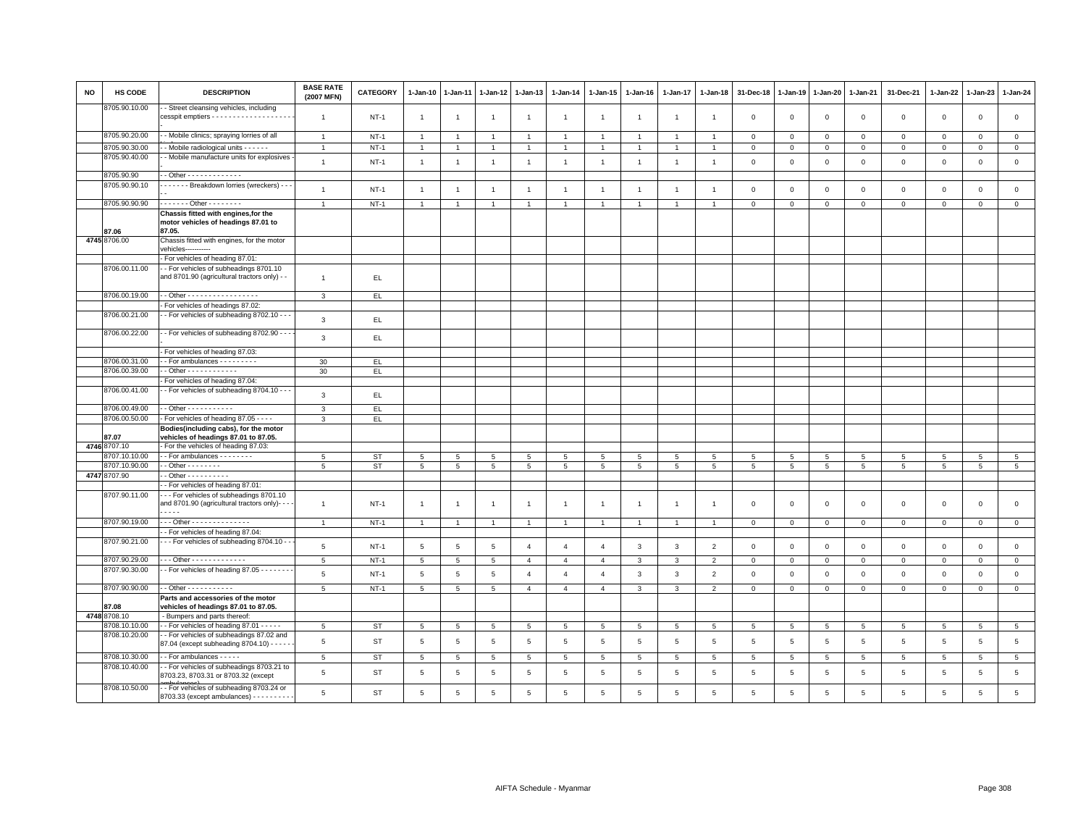| <b>NO</b> | <b>HS CODE</b>                | <b>DESCRIPTION</b>                                                                        | <b>BASE RATE</b><br>(2007 MFN) | <b>CATEGORY</b> | 1-Jan-10        | $1 - Jan-11$    |                 | 1-Jan-12 1-Jan-13 | $1 - Jan-14$    | $1 - Jan-15$         | $1-Jan-16$     | 1-Jan-17        | $1-Jan-18$      | 31-Dec-18      | 1-Jan-19        | 1-Jan-20        | 1-Jan-21        | 31-Dec-21       | 1-Jan-22        | $1-Jan-23$      | 1-Jan-24        |
|-----------|-------------------------------|-------------------------------------------------------------------------------------------|--------------------------------|-----------------|-----------------|-----------------|-----------------|-------------------|-----------------|----------------------|----------------|-----------------|-----------------|----------------|-----------------|-----------------|-----------------|-----------------|-----------------|-----------------|-----------------|
|           | 8705.90.10.00                 | - Street cleansing vehicles, including                                                    | $\overline{1}$                 | $NT-1$          | $\overline{1}$  | $\overline{1}$  | $\overline{1}$  | $\overline{1}$    | $\overline{1}$  | $\overline{1}$       | $\overline{1}$ | $\overline{1}$  | $\overline{1}$  | $\mathbf 0$    | $\mathbf{0}$    | $\mathbf 0$     | $\mathbf 0$     | $\mathsf 0$     | $\mathbf 0$     | $\mathbf 0$     | $\mathbf 0$     |
|           | 8705.90.20.00                 | - Mobile clinics; spraying lorries of all                                                 | $\mathbf{1}$                   | $NT-1$          | $\overline{1}$  | $\overline{1}$  | $\overline{1}$  | $\overline{1}$    | $\overline{1}$  | $\mathbf{1}$         | $\mathbf{1}$   | $\overline{1}$  | $\mathbf{1}$    | $\overline{0}$ | $\mathbf{0}$    | $\mathbf{0}$    | $\mathbf{0}$    | $\mathbf{0}$    | $\mathbf{0}$    | $\mathbf{0}$    | $\mathbf{0}$    |
|           | 8705.90.30.00                 | - Mobile radiological units - - - - -                                                     | $\overline{1}$                 | $NT-1$          | $\overline{1}$  | $\overline{1}$  | $\overline{1}$  | $\overline{1}$    | $\overline{1}$  | $\ddot{\phantom{1}}$ |                | $\overline{1}$  |                 | $\mathbf 0$    | $\overline{0}$  | $\,0\,$         | $\,$ 0          | $\mathsf 0$     | $\Omega$        | $\mathbf 0$     | $\mathsf 0$     |
|           | 8705.90.40.00                 | - Mobile manufacture units for explosives                                                 |                                |                 |                 |                 |                 |                   |                 |                      |                |                 |                 |                |                 |                 |                 |                 |                 |                 |                 |
|           |                               |                                                                                           | $\overline{1}$                 | $NT-1$          | $\overline{1}$  | $\overline{1}$  | $\overline{1}$  | $\overline{1}$    | $\overline{1}$  | $\overline{1}$       | $\overline{1}$ | $\overline{1}$  | $\overline{1}$  | $\mathbf{0}$   | $\mathbf{0}$    | $\mathbf 0$     | $\mathbf 0$     | $\mathbf{0}$    | $\mathbf 0$     | $\mathbf{0}$    | $\mathsf 0$     |
|           | 8705.90.90                    | $-$ Other - - - - - - - - - - - - -                                                       |                                |                 |                 |                 |                 |                   |                 |                      |                |                 |                 |                |                 |                 |                 |                 |                 |                 |                 |
|           | 8705.90.90.10                 | ------- Breakdown lorries (wreckers) ---                                                  | $\mathbf{1}$                   | $NT-1$          | $\overline{1}$  | $\overline{1}$  | $\overline{1}$  | $\overline{1}$    | $\mathbf{1}$    | $\overline{1}$       | $\mathbf{1}$   | $\overline{1}$  | $\overline{1}$  | $\mathbf 0$    | $\mathbf 0$     | $\mathbf 0$     | $\mathbf 0$     | $\mathsf 0$     | $\mathbf{0}$    | $\mathbf{0}$    | $\mathsf 0$     |
|           |                               |                                                                                           |                                |                 |                 |                 |                 |                   |                 |                      |                |                 |                 |                |                 |                 |                 |                 |                 |                 |                 |
|           | 8705.90.90.90                 | . Other                                                                                   | $\overline{1}$                 | $NT-1$          | $\overline{1}$  | $\overline{1}$  | 1               | $\overline{1}$    | $\overline{1}$  | $\mathbf{1}$         | $\overline{1}$ | $\mathbf{1}$    |                 | $\mathbf 0$    | $\mathbf 0$     | $\mathbf 0$     | $\circ$         | $\mathbf{0}$    | $\mathbf 0$     | $\mathbf{0}$    | $\mathsf 0$     |
|           | 87.06                         | Chassis fitted with engines, for the<br>motor vehicles of headings 87.01 to<br>87.05.     |                                |                 |                 |                 |                 |                   |                 |                      |                |                 |                 |                |                 |                 |                 |                 |                 |                 |                 |
|           | 4745 8706.00                  | Chassis fitted with engines, for the motor                                                |                                |                 |                 |                 |                 |                   |                 |                      |                |                 |                 |                |                 |                 |                 |                 |                 |                 |                 |
|           |                               | vehicles-----------                                                                       |                                |                 |                 |                 |                 |                   |                 |                      |                |                 |                 |                |                 |                 |                 |                 |                 |                 |                 |
|           |                               | - For vehicles of heading 87.01:                                                          |                                |                 |                 |                 |                 |                   |                 |                      |                |                 |                 |                |                 |                 |                 |                 |                 |                 |                 |
|           | 8706.00.11.00                 | - For vehicles of subheadings 8701.10                                                     |                                |                 |                 |                 |                 |                   |                 |                      |                |                 |                 |                |                 |                 |                 |                 |                 |                 |                 |
|           |                               | and 8701.90 (agricultural tractors only) - -                                              | $\mathbf{1}$                   | EL.             |                 |                 |                 |                   |                 |                      |                |                 |                 |                |                 |                 |                 |                 |                 |                 |                 |
|           | 8706.00.19.00                 | . - Other - - - - - - - - - - - - - - - - -                                               | $\mathbf{3}$                   | EL.             |                 |                 |                 |                   |                 |                      |                |                 |                 |                |                 |                 |                 |                 |                 |                 |                 |
|           |                               | For vehicles of headings 87.02:                                                           |                                |                 |                 |                 |                 |                   |                 |                      |                |                 |                 |                |                 |                 |                 |                 |                 |                 |                 |
|           | 8706.00.21.00                 | - For vehicles of subheading 8702.10 - - -                                                |                                |                 |                 |                 |                 |                   |                 |                      |                |                 |                 |                |                 |                 |                 |                 |                 |                 |                 |
|           |                               |                                                                                           | 3                              | EL.             |                 |                 |                 |                   |                 |                      |                |                 |                 |                |                 |                 |                 |                 |                 |                 |                 |
|           | 8706.00.22.00                 | - For vehicles of subheading 8702.90 - -                                                  | 3                              | EL.             |                 |                 |                 |                   |                 |                      |                |                 |                 |                |                 |                 |                 |                 |                 |                 |                 |
|           |                               | - For vehicles of heading 87.03:                                                          |                                |                 |                 |                 |                 |                   |                 |                      |                |                 |                 |                |                 |                 |                 |                 |                 |                 |                 |
|           | 8706.00.31.00                 | $-For$ ambulances $-For$                                                                  | 30                             | EL.             |                 |                 |                 |                   |                 |                      |                |                 |                 |                |                 |                 |                 |                 |                 |                 |                 |
|           | 8706.00.39.00                 | $-$ Other $- - - - - - - - - - -$                                                         | 30                             | EL.             |                 |                 |                 |                   |                 |                      |                |                 |                 |                |                 |                 |                 |                 |                 |                 |                 |
|           |                               | For vehicles of heading 87.04:<br>- For vehicles of subheading 8704.10 - -                |                                |                 |                 |                 |                 |                   |                 |                      |                |                 |                 |                |                 |                 |                 |                 |                 |                 |                 |
|           | 8706.00.41.00                 |                                                                                           | 3                              | EL.             |                 |                 |                 |                   |                 |                      |                |                 |                 |                |                 |                 |                 |                 |                 |                 |                 |
|           | 8706.00.49.00                 | - - Other - - - - - - - - - - -                                                           | 3                              | EL              |                 |                 |                 |                   |                 |                      |                |                 |                 |                |                 |                 |                 |                 |                 |                 |                 |
|           | 8706.00.50.00                 | - For vehicles of heading 87.05 - - - -                                                   | 3                              | EL.             |                 |                 |                 |                   |                 |                      |                |                 |                 |                |                 |                 |                 |                 |                 |                 |                 |
|           |                               | Bodies(including cabs), for the motor                                                     |                                |                 |                 |                 |                 |                   |                 |                      |                |                 |                 |                |                 |                 |                 |                 |                 |                 |                 |
|           | 87.07                         | vehicles of headings 87.01 to 87.05.                                                      |                                |                 |                 |                 |                 |                   |                 |                      |                |                 |                 |                |                 |                 |                 |                 |                 |                 |                 |
|           | 4746 8707.10                  | - For the vehicles of heading 87.03:                                                      |                                |                 |                 |                 |                 |                   |                 |                      |                |                 |                 |                |                 |                 |                 |                 |                 |                 |                 |
|           | 3707.10.10.00                 | - - For ambulances - - - - - - - -                                                        | 5                              | <b>ST</b>       | 5               | 5               | 5               | 5                 | 5               | 5                    | 5              | 5               | $5\overline{5}$ | 5              | $5\overline{5}$ | $\overline{5}$  | $5\overline{5}$ | 5               | 5               | 5               | 5               |
|           | 8707.10.90.00<br>4747 8707.90 | - - Other - - - - - - - -<br>$-$ Other - - - - - - - - - -                                | 5                              | ST              | $5\phantom{.0}$ | $5\overline{5}$ | 5               | 5                 | 5               | $5\overline{5}$      | 5              | $5\overline{5}$ | 5               | 5              | 5               | 5               | $5\overline{5}$ | 5               | $5\overline{5}$ | $5\overline{5}$ | 5 <sup>5</sup>  |
|           |                               | - For vehicles of heading 87.01:                                                          |                                |                 |                 |                 |                 |                   |                 |                      |                |                 |                 |                |                 |                 |                 |                 |                 |                 |                 |
|           | 8707.90.11.00                 | -- For vehicles of subheadings 8701.10                                                    |                                |                 |                 |                 |                 |                   |                 |                      |                |                 |                 |                |                 |                 |                 |                 |                 |                 |                 |
|           |                               | and 8701.90 (agricultural tractors only)- - -                                             | $\overline{1}$                 | $NT-1$          | $\overline{1}$  | $\overline{1}$  | $\overline{1}$  | $\overline{1}$    | $\mathbf{1}$    | $\overline{1}$       | $\overline{1}$ | $\mathbf{1}$    | $\overline{1}$  | $\overline{0}$ | $\mathbf{0}$    | $\mathbf{0}$    | $\mathbf{0}$    | $\mathbf 0$     | $\Omega$        | $\mathbf 0$     | $\mathbf 0$     |
|           |                               | .                                                                                         |                                |                 |                 |                 |                 |                   |                 |                      |                |                 |                 |                |                 |                 |                 |                 |                 |                 |                 |
|           | 8707.90.19.00                 | - - - Other - - - - - - - - - - - - - -                                                   | $\mathbf{1}$                   | $NT-1$          | $\overline{1}$  | $\overline{1}$  | $\overline{1}$  | $\overline{1}$    | $\overline{1}$  | $\overline{1}$       | $\overline{1}$ | $\overline{1}$  |                 | $\mathbf 0$    | $\mathbf 0$     | $\overline{0}$  | $\mathsf 0$     | $\mathbf 0$     | $\mathbf 0$     | $\mathbf 0$     | $\mathbf 0$     |
|           |                               | - For vehicles of heading 87.04:                                                          |                                |                 |                 |                 |                 |                   |                 |                      |                |                 |                 |                |                 |                 |                 |                 |                 |                 |                 |
|           | 8707.90.21.00                 | - - For vehicles of subheading 8704.10 - -                                                | 5                              | $NT-1$          | $5\phantom{.0}$ | $\,$ 5 $\,$     | $\sqrt{5}$      | $\overline{4}$    | $\overline{4}$  | $\overline{4}$       | 3              | $\overline{3}$  | $\overline{2}$  | $\mathbf 0$    | $\mathsf 0$     | $\mathsf 0$     | $\mathbf 0$     | $\mathsf 0$     | $\mathbb O$     | $\mathbf 0$     | $\mathsf 0$     |
|           | 8707.90.29.00                 | $-$ - Other - - - - - - - - - - - - -                                                     | 5                              | $NT-1$          | $\overline{5}$  | 5               | $5\overline{5}$ | $\overline{4}$    | $\overline{4}$  | $\overline{4}$       | 3              | $\mathbf{3}$    | $\overline{2}$  | $\mathbf 0$    | $\mathbf 0$     | $\mathbf 0$     | $\mathbf 0$     | $\mathsf 0$     | $\mathbf 0$     | $\mathbf{0}$    | $\mathsf 0$     |
|           | 8707.90.30.00                 | - For vehicles of heading 87.05 - - - - - -                                               | 5                              | $NT-1$          | 5               | $\sqrt{5}$      | 5               | $\overline{4}$    | $\overline{4}$  | $\overline{4}$       | 3              | $\overline{3}$  | $\overline{2}$  | $\mathbf 0$    | $\mathbf 0$     | $\mathsf 0$     | $\mathsf 0$     | $\mathsf 0$     | $\mathsf 0$     | $\mathbf 0$     | $\mathsf 0$     |
|           |                               |                                                                                           |                                |                 |                 |                 |                 |                   |                 |                      |                |                 |                 |                |                 |                 |                 |                 |                 |                 |                 |
|           | 8707.90.90.00                 | $\cdot$ - Other - - - - - - - - - - -                                                     | 5                              | $NT-1$          | $5\overline{5}$ | $\overline{5}$  | $5\phantom{.0}$ | $\overline{4}$    | $\overline{4}$  | $\overline{4}$       | $\mathbf{3}$   | $\mathbf{3}$    | $\overline{2}$  | $\mathbf 0$    | $\mathbf 0$     | $\mathsf 0$     | $\mathbf 0$     | $\mathbf{0}$    | $\circ$         | $\circ$         | $\circ$         |
|           | 87.08<br>4748 8708.10         | Parts and accessories of the motor<br>vehicles of headings 87.01 to 87.05.                |                                |                 |                 |                 |                 |                   |                 |                      |                |                 |                 |                |                 |                 |                 |                 |                 |                 |                 |
|           | 8708.10.10.00                 | - Bumpers and parts thereof:<br>- For vehicles of heading 87.01 - - - - -                 | 5                              | ST              | $\overline{5}$  | $\,$ 5 $\,$     | $\sqrt{5}$      | $5\phantom{.0}$   | $\,$ 5 $\,$     | $\,$ 5 $\,$          | 5              | 5               | 5               | $\overline{5}$ | 5               | 5               | $5\phantom{.0}$ | $\overline{5}$  | $\,$ 5          | $\overline{5}$  | $\,$ 5 $\,$     |
|           | 8708.10.20.00                 | - For vehicles of subheadings 87.02 and                                                   |                                |                 |                 |                 |                 |                   |                 |                      |                |                 |                 |                |                 |                 |                 |                 |                 |                 |                 |
|           |                               | 87.04 (except subheading 8704.10) - - - -                                                 | 5                              | ST              | 5               | 5               | 5               | 5                 | 5               | 5                    | 5              | 5               | 5               | 5              | 5               | $\overline{5}$  | 5               | $\overline{5}$  | 5               | 5               | $5\phantom{.0}$ |
|           | 8708.10.30.00                 | - For ambulances - - - - -                                                                | 5                              | ST              | 5               | $\overline{5}$  | 5               | 5                 | 5               | 5                    | 5              | $5\phantom{.0}$ | 5               | $\overline{5}$ | 5               | $5\overline{5}$ | $5\overline{5}$ | $5\phantom{.0}$ | 5               | $5\phantom{.0}$ | $5\overline{5}$ |
|           | 8708.10.40.00                 | - For vehicles of subheadings 8703.21 to<br>8703.23, 8703.31 or 8703.32 (except           | 5                              | <b>ST</b>       | 5               | 5               | 5               | 5                 | $5\phantom{.0}$ | 5                    | 5              | 5               | 5               | 5              | 5               | 5               | 5               | $\overline{5}$  | 5               | 5               | $\,$ 5 $\,$     |
|           | 8708.10.50.00                 | -- For vehicles of subheading 8703.24 or<br>8703.33 (except ambulances) - - - - - - - - - | 5                              | <b>ST</b>       | 5               | 5               | 5               | $\,$ 5 $\,$       | $\overline{5}$  | 5                    | 5              | 5               | 5               | 5              | 5               | $\overline{5}$  | 5               | $\overline{5}$  | 5               | 5               | 5               |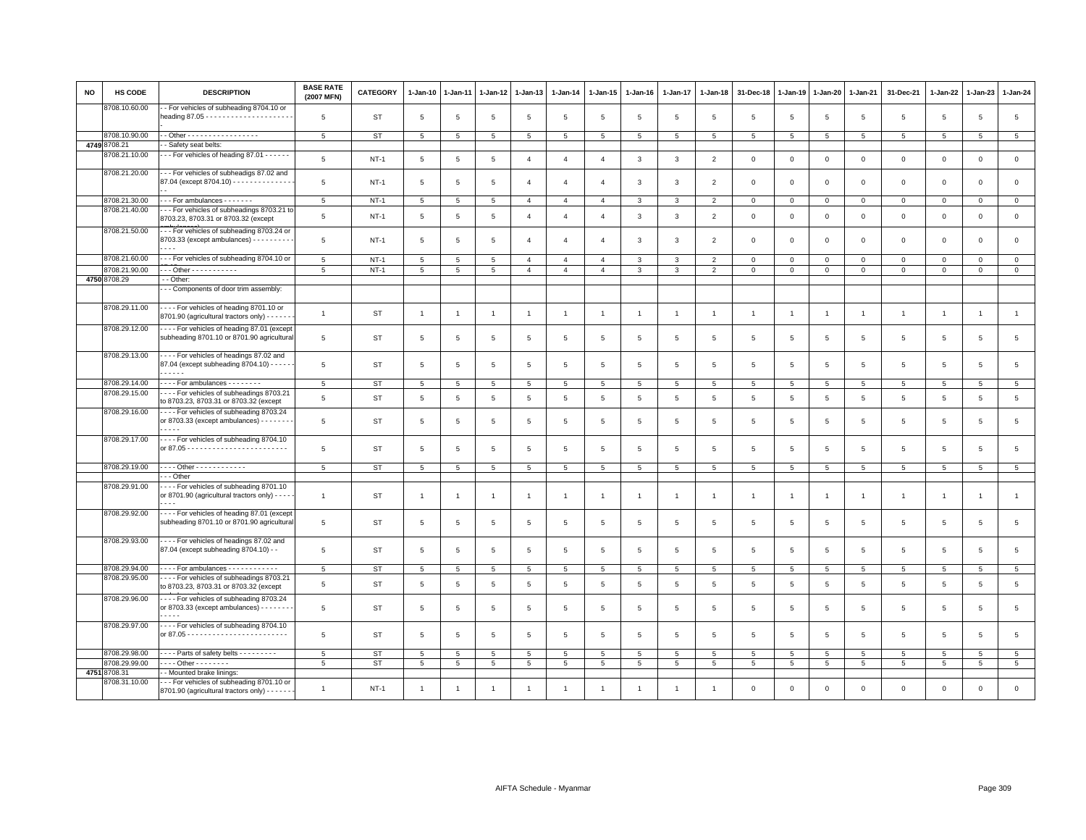| <b>NO</b> | <b>HS CODE</b> | <b>DESCRIPTION</b>                                                                                       | <b>BASE RATE</b><br>(2007 MFN) | <b>CATEGORY</b> | $1-Jan-10$      | $1-Jan-11$      | 1-Jan-12        | $1-Jan-13$     | 1-Jan-14       | 1-Jan-15        | $1-Jan-16$      | 1-Jan-17                | 1-Jan-18       | 31-Dec-18       | $1 - Jan-19$   | 1-Jan-20       | 1-Jan-21        | 31-Dec-21           | 1-Jan-22        | $1-Jan-23$     | 1-Jan-24        |
|-----------|----------------|----------------------------------------------------------------------------------------------------------|--------------------------------|-----------------|-----------------|-----------------|-----------------|----------------|----------------|-----------------|-----------------|-------------------------|----------------|-----------------|----------------|----------------|-----------------|---------------------|-----------------|----------------|-----------------|
|           | 8708.10.60.00  | - For vehicles of subheading 8704.10 or                                                                  | 5                              | ST              | 5               | 5               | $\overline{5}$  | 5              | 5              | 5               | 5               | 5                       | 5              | 5               | 5              | 5              | 5               | 5                   | 5               | 5              | 5               |
|           | 8708.10.90.00  | - Other - - - - - - - - - - - - - - - - -                                                                | 5                              | <b>ST</b>       | $5\overline{)}$ | $5\phantom{.0}$ | 5               | 5              | 5              | 5               | 5               | $5\phantom{.0}$         | 5              | $\overline{5}$  | 5              | 5              | 5               | 5                   | $\overline{5}$  | $\overline{5}$ | 5               |
|           | 4749 8708.21   | - Safety seat belts:                                                                                     |                                |                 |                 |                 |                 |                |                |                 |                 |                         |                |                 |                |                |                 |                     |                 |                |                 |
|           | 8708.21.10.00  | -- For vehicles of heading 87.01 ------                                                                  |                                |                 |                 |                 |                 |                |                |                 |                 |                         |                |                 |                |                |                 |                     |                 |                |                 |
|           |                |                                                                                                          | 5                              | $NT-1$          | $5\phantom{.0}$ | 5               | 5               | $\overline{4}$ | $\overline{4}$ | $\overline{4}$  | 3               | $\mathbf{3}$            | $\overline{2}$ | $\mathbf 0$     | $\mathbf 0$    | $\mathbf 0$    | $\mathbf 0$     | $\mathbf 0$         | $\mathbf 0$     | $\circ$        | $\circ$         |
|           | 8708.21.20.00  | --- For vehicles of subheadigs 87.02 and<br>87.04 (except 8704.10) - - - - - - - - - - - - - -           | 5                              | $NT-1$          | 5               | 5               | 5               | $\overline{4}$ | $\overline{4}$ | $\overline{4}$  | 3               | 3                       | $\overline{2}$ | $\mathbf 0$     | $\mathbf{0}$   | $\mathsf 0$    | $\mathbf{0}$    | $\mathsf 0$         | $\mathsf 0$     | $\circ$        | $\circ$         |
|           | 8708.21.30.00  | --- For ambulances -------                                                                               | $5\phantom{.0}$                | $NT-1$          | $5\overline{5}$ | 5               | $5\overline{5}$ | $\overline{4}$ | $\overline{4}$ | $\overline{4}$  | $\mathbf{3}$    | $\mathbf{3}$            | $\overline{2}$ | $\mathbf 0$     | $\mathbf 0$    | $\mathbf{0}$   | $\overline{0}$  | $\mathbf{0}$        | $\mathbf 0$     | $\overline{0}$ | $\mathbf{0}$    |
|           | 8708.21.40.00  | --- For vehicles of subheadings 8703.21 to<br>8703.23, 8703.31 or 8703.32 (except                        | 5                              | $NT-1$          | $5\phantom{.0}$ | 5               | 5               | $\overline{4}$ | $\overline{4}$ | $\overline{4}$  | 3               | 3                       | $\overline{2}$ | $\mathbf 0$     | $\mathbf 0$    | $\mathbf{0}$   | $\mathbf 0$     | $\mathbf 0$         | $\mathbf 0$     | $\mathbf{O}$   | $\mathsf 0$     |
|           | 8708.21.50.00  | --- For vehicles of subheading 8703.24 or<br>8703.33 (except ambulances) - - - - - - - - -               | 5                              | $NT-1$          | $5\phantom{.0}$ | 5               | 5               | $\overline{4}$ | $\overline{4}$ | $\overline{4}$  | 3               | 3                       | $\overline{2}$ | $\mathbf 0$     | $\mathbf{0}$   | $\circ$        | $\mathbf{0}$    | $\mathsf 0$         | $\circ$         | $\circ$        | $\circ$         |
|           | 8708.21.60.00  | --- For vehicles of subheading 8704.10 or                                                                | $\,$ 5 $\,$                    | $NT-1$          | $5\phantom{.0}$ | $\overline{5}$  | $\overline{5}$  | $\overline{4}$ | $\overline{4}$ | $\overline{4}$  | 3               | $\overline{\mathbf{3}}$ | $\overline{2}$ | $\,0\,$         | $\mathsf 0$    | $\mathbf 0$    | $\mathbb O$     | $\mathsf{O}\xspace$ | $\mathbf 0$     | $\mathbf 0$    | $\,0\,$         |
|           | 8708.21.90.00  | --- Other - - - - - - - - - - -                                                                          | 5                              | $NT-1$          | $5\overline{5}$ | $5\phantom{.0}$ | 5               | $\overline{4}$ | $\overline{4}$ | $\overline{4}$  | 3               | $\mathbf{3}$            | $\overline{2}$ | $\mathbf 0$     | $\mathbf 0$    | $\mathbf{0}$   | $\mathbf 0$     | $\mathbf 0$         | $\mathbf{0}$    | $\circ$        | $\circ$         |
|           | 4750 8708.29   | - - Other:                                                                                               |                                |                 |                 |                 |                 |                |                |                 |                 |                         |                |                 |                |                |                 |                     |                 |                |                 |
|           | 8708.29.11.00  | - - Components of door trim assembly:<br>---- For vehicles of heading 8701.10 or                         |                                |                 |                 |                 |                 |                |                |                 |                 |                         |                |                 |                |                |                 |                     |                 |                |                 |
|           | 8708.29.12.00  | 8701.90 (agricultural tractors only) - - - - -<br>- - - - For vehicles of heading 87.01 (except          | $\mathbf{1}$                   | <b>ST</b>       | $\overline{1}$  | -1              | $\overline{1}$  | $\overline{1}$ | $\overline{1}$ | $\mathbf{1}$    | $\mathbf{1}$    | $\overline{1}$          | $\mathbf{1}$   | $\overline{1}$  | $\overline{1}$ | $\overline{1}$ | $\overline{1}$  | $\mathbf{1}$        | $\overline{1}$  | $\overline{1}$ | $\mathbf{1}$    |
|           |                | subheading 8701.10 or 8701.90 agricultural                                                               | $\overline{5}$                 | ST              | 5               | 5               | 5               | 5              | 5              | 5               | 5               | 5                       | 5              | 5               | 5              | 5              | 5               | 5                   | $5\overline{5}$ | 5              | 5 <sup>5</sup>  |
|           | 8708.29.13.00  | - - - - For vehicles of headings 87.02 and<br>87.04 (except subheading 8704.10) - - - - -<br>$- - - - -$ | 5                              | ST              | $5\phantom{.0}$ | 5               | 5               | 5              | 5              | 5               | 5               | 5                       | 5              | 5               | 5              | 5              | 5               | 5                   | 5               | 5              | 5               |
|           | 8708.29.14.00  | - - - - For ambulances - - - - - - - -                                                                   | $5\overline{5}$                | <b>ST</b>       | $5\overline{5}$ | 5               | 5               | 5              | 5              | $5\overline{5}$ | 5               | 5                       | 5              | 5               | 5              | 5              | 5               | 5                   | 5               | 5              | $5\phantom{.0}$ |
|           | 8708.29.15.00  | - - - - For vehicles of subheadings 8703.21<br>to 8703.23, 8703.31 or 8703.32 (except                    | 5                              | <b>ST</b>       | $5\overline{5}$ | 5               | 5               | 5              | 5              | 5               | 5               | 5                       | 5              | $\sqrt{5}$      | 5              | 5              | 5               | 5                   | $5\overline{5}$ | 5              | $\overline{5}$  |
|           | 8708.29.16.00  | - - - - For vehicles of subheading 8703.24<br>or 8703.33 (except ambulances) - - - - - - - -             | 5                              | ST              | $5\phantom{.0}$ | 5               | $\overline{5}$  | 5              | 5              | 5               | 5               | 5                       | 5              | 5               | 5              | 5              | 5               | 5                   | $\overline{5}$  | 5              | 5               |
|           | 8708.29.17.00  | ---- For vehicles of subheading 8704.10                                                                  | 5                              | ST              | 5               | 5               | 5               | 5              | 5              | 5               | 5               | 5                       | 5              | 5               | 5              | 5              | 5               | 5                   | 5               | 5              | 5               |
|           | 8708.29.19.00  | - - - - Other - - - - - - - - - - - -                                                                    | 5                              | <b>ST</b>       | $5\overline{5}$ | $\sqrt{5}$      | $\overline{5}$  | $\overline{5}$ | 5              | $\overline{5}$  | 5               | 5                       | $\overline{5}$ | $\sqrt{5}$      | 5              | 5              | 5               | 5                   | $\overline{5}$  | 5              | 5               |
|           |                | - - Other                                                                                                |                                |                 |                 |                 |                 |                |                |                 |                 |                         |                |                 |                |                |                 |                     |                 |                |                 |
|           | 8708.29.91.00  | ---- For vehicles of subheading 8701.10<br>or 8701.90 (agricultural tractors only) - - - -               | $\mathbf{1}$                   | ST              | $\overline{1}$  | -1              | $\overline{1}$  | $\overline{1}$ | $\overline{1}$ | $\mathbf{1}$    | $\mathbf{1}$    | $\mathbf{1}$            | $\overline{1}$ | $\overline{1}$  | $\overline{1}$ | $\overline{1}$ | $\overline{1}$  | $\mathbf{1}$        | $\overline{1}$  | $\overline{1}$ | $\mathbf{1}$    |
|           | 8708.29.92.00  | - - - - For vehicles of heading 87.01 (except<br>subheading 8701.10 or 8701.90 agricultural              | 5                              | <b>ST</b>       | 5               | 5               | 5               | 5              | 5              | 5               | 5               | 5                       | 5              | 5               | 5              | 5              | $\overline{5}$  | 5                   | 5               | 5              | $\overline{5}$  |
|           | 8708.29.93.00  | - - - - For vehicles of headings 87.02 and<br>87.04 (except subheading 8704.10) - -                      | 5                              | <b>ST</b>       | $5\phantom{.0}$ | 5               | 5               | 5              | 5              | 5               | 5               | 5                       | 5              | $5\phantom{.0}$ | 5              | 5              | $5\phantom{.0}$ | 5                   | 5               | 5              | 5               |
|           | 8708.29.94.00  | For ambulances - - - - - - - - - - -                                                                     | 5                              | <b>ST</b>       | 5               | 5               | 5               | 5              | 5              | 5               | 5               | 5                       | $\overline{5}$ | $5\phantom{.0}$ | $\overline{5}$ | 5              | $5\phantom{.0}$ | 5                   | 5               | 5              | $5\phantom{.0}$ |
|           | 8708.29.95.00  | For vehicles of subheadings 8703.21<br>to 8703.23, 8703.31 or 8703.32 (except                            | 5                              | <b>ST</b>       | $5\phantom{.0}$ | 5               | $\overline{5}$  | 5              | 5              | 5               | 5               | 5                       | 5              | $\overline{5}$  | 5              | 5              | $5\phantom{.0}$ | 5                   | 5               | 5              | $5\overline{5}$ |
|           | 8708.29.96.00  | - - - - For vehicles of subheading 8703.24<br>or 8703.33 (except ambulances) - - - - - - -               | 5                              | <b>ST</b>       | 5               | 5               | 5               | 5              | 5              | 5               | $5\overline{5}$ | 5                       | 5              | 5               | 5              | 5              | $\overline{5}$  | 5                   | 5               | 5              | 5               |
|           | 8708.29.97.00  | - - - - For vehicles of subheading 8704.10                                                               | 5                              | <b>ST</b>       | 5               | $\overline{5}$  | $\overline{5}$  | 5              | 5              | 5               | 5               | 5                       | 5              | 5               | 5              | 5              | 5               | 5                   | 5               | 5              | 5               |
|           | 8708.29.98.00  | ---- Parts of safety belts ---------                                                                     | 5                              | ST              | 5               | $\overline{5}$  | 5               | 5              | 5              | 5               | 5               | $5\overline{5}$         | 5              | 5               | 5              | 5              | 5               | $5\overline{5}$     | $5\overline{5}$ | 5              | 5               |
|           | 8708.29.99.00  | - - - - Other - - - - - - - -                                                                            | 5                              | <b>ST</b>       | 5               | 5               | 5               | 5              | 5              | 5               | 5               | 5                       | 5              | 5               | 5              | 5              | 5               | 5                   | 5               | 5              | $5\overline{5}$ |
|           | 4751 8708.31   | - - Mounted brake linings:                                                                               |                                |                 |                 |                 |                 |                |                |                 |                 |                         |                |                 |                |                |                 |                     |                 |                |                 |
|           | 8708.31.10.00  | --- For vehicles of subheading 8701.10 or<br>8701.90 (agricultural tractors only) - - - - - -            | $\overline{1}$                 | $NT-1$          |                 | -1              | -1              | -1             |                |                 | -1              |                         |                | $\Omega$        | $\mathbf{0}$   | $\mathbf 0$    | $\mathbf 0$     | $\Omega$            | $\Omega$        | $\mathbf 0$    | $\mathbf 0$     |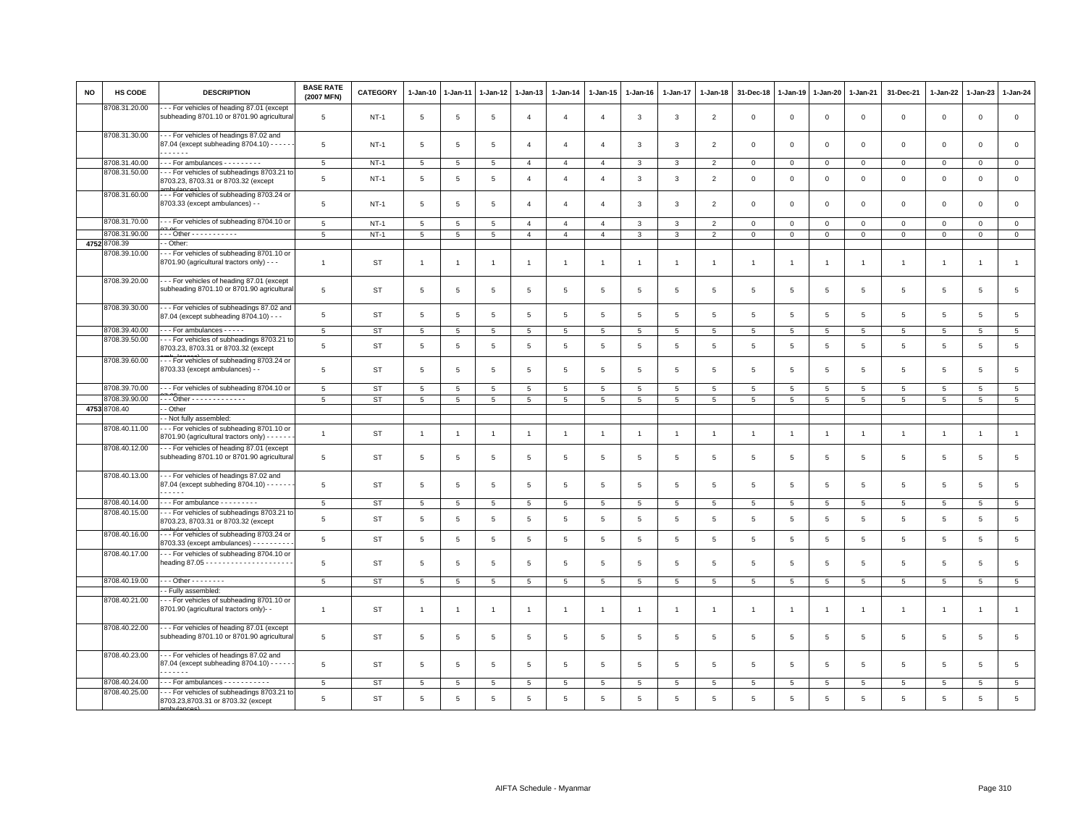| <b>NO</b> | <b>HS CODE</b> | <b>DESCRIPTION</b>                                                                              | <b>BASE RATE</b><br>(2007 MFN) | <b>CATEGORY</b> | 1-Jan-10       | 1-Jan-11       | $1-Jan-12$      | 1-Jan-13       | $1-Jan-14$      | $1 - Jan-15$   | $1-Jan-16$      | 1-Jan-17        | $1-Jan-18$      | 31-Dec-18       | $1-Jan-19$      | 1-Jan-20        | 1-Jan-21            | 31-Dec-21       | 1-Jan-22        | 1-Jan-23       | $1-Jan-24$          |
|-----------|----------------|-------------------------------------------------------------------------------------------------|--------------------------------|-----------------|----------------|----------------|-----------------|----------------|-----------------|----------------|-----------------|-----------------|-----------------|-----------------|-----------------|-----------------|---------------------|-----------------|-----------------|----------------|---------------------|
|           | 8708.31.20.00  | - - For vehicles of heading 87.01 (except<br>subheading 8701.10 or 8701.90 agricultural         | $\,$ 5 $\,$                    | $NT-1$          | 5              | 5              | 5               | $\overline{4}$ | $\overline{4}$  | 4              | 3               | 3               | $\overline{2}$  | 0               | $\mathbf 0$     | $\,0\,$         | $\mathsf{O}\xspace$ | $\mathsf 0$     | $\mathbf 0$     | $\mathbf 0$    | $\mathsf{O}\xspace$ |
|           | 8708.31.30.00  | - - For vehicles of headings 87.02 and<br>87.04 (except subheading 8704.10) - - - -             | 5                              | $NT-1$          | 5              | 5              | 5               | $\overline{4}$ | $\overline{4}$  | $\mathbf{A}$   | 3               | 3               | $\overline{2}$  | $\mathbf 0$     | $\overline{0}$  | $\mathbf 0$     | $\circ$             | $\mathbf 0$     | $\circ$         | $\mathbf 0$    | $\mathsf 0$         |
|           | 8708.31.40.00  | For ambulances - - - - - - - -                                                                  | 5                              | $NT-1$          | 5              | 5              | 5               | $\overline{4}$ | $\overline{4}$  | $\overline{4}$ | 3               | 3               | $\overline{2}$  | $\mathbf 0$     | $\mathbf 0$     | $\mathbf 0$     | $\mathbf{0}$        | $\mathbf{0}$    | $\Omega$        | $\mathbf{0}$   | $\mathbf 0$         |
|           | 8708.31.50.00  | - - For vehicles of subheadings 8703.21 to                                                      |                                |                 |                |                |                 |                |                 |                |                 |                 |                 |                 |                 |                 |                     |                 |                 |                |                     |
|           | 8708.31.60.00  | 8703.23, 8703.31 or 8703.32 (except<br>--- For vehicles of subheading 8703.24 or                | 5                              | $NT-1$          | 5              | 5              | 5               | $\overline{4}$ | $\overline{4}$  | $\overline{4}$ | 3               | 3               | $\overline{2}$  | $\mathbf 0$     | $\overline{0}$  | $\mathbf{0}$    | $\mathbf{O}$        | $\mathbf{0}$    | $\mathbf 0$     | $\mathbf 0$    | $\mathsf{o}$        |
|           |                | 8703.33 (except ambulances) - -                                                                 | $\overline{5}$                 | <b>NT-1</b>     | 5              | 5              | 5               | $\overline{4}$ | $\overline{4}$  | $\overline{4}$ | 3               | 3               | $\overline{2}$  | $\mathbf 0$     | $\mathbf 0$     | $\mathbf 0$     | $\mathbf{O}$        | $\mathbf 0$     | $\mathbf 0$     | $\mathsf 0$    | $\mathsf 0$         |
|           | 8708.31.70.00  | --- For vehicles of subheading 8704.10 or                                                       | $5\phantom{.0}$                | <b>NT-1</b>     | 5              | 5              | 5               | $\overline{4}$ | $\overline{4}$  | $\overline{4}$ | 3               | $\mathbf{3}$    | $\overline{2}$  | $\mathbf 0$     | $\mathbb O$     | $\mathbf 0$     | $\mathbf{0}$        | $\mathbf 0$     | $\mathbf 0$     | $\mathbf 0$    | $\circ$             |
|           | 8708.31.90.00  | - - - Other - - - - - - - - - - -                                                               | 5                              | $NT-1$          | 5              | 5              | 5               | $\overline{4}$ | $\overline{4}$  | $\overline{4}$ | $\mathbf{3}$    | $\mathbf{3}$    | $\overline{2}$  | $\mathbf{O}$    | $\mathbf 0$     | $\mathbf 0$     | $\mathbf{O}$        | $\mathbf 0$     | $\mathbf 0$     | $\mathbf 0$    | $\mathbf 0$         |
|           | 4752 8708.39   | - Other:                                                                                        |                                |                 |                |                |                 |                |                 |                |                 |                 |                 |                 |                 |                 |                     |                 |                 |                |                     |
|           | 8708.39.10.00  | -- For vehicles of subheading 8701.10 or<br>8701.90 (agricultural tractors only) - - -          | $\mathbf{1}$                   | ST              | $\overline{1}$ | $\overline{1}$ | $\overline{1}$  | $\overline{1}$ | $\overline{1}$  | $\mathbf{1}$   | $\overline{1}$  | $\overline{1}$  | $\overline{1}$  | $\overline{1}$  | 1               | $\overline{1}$  | $\overline{1}$      | $\overline{1}$  | $\overline{1}$  | $\overline{1}$ | $\mathbf{1}$        |
|           | 8708.39.20.00  | --- For vehicles of heading 87.01 (except<br>subheading 8701.10 or 8701.90 agricultural         | 5                              | <b>ST</b>       | 5              | 5              | 5               | 5              | 5               | 5              | 5               | 5               | 5               | 5               | 5               | $\overline{5}$  | 5                   | 5               | $5\overline{5}$ | 5              | $\overline{5}$      |
|           | 8708.39.30.00  | --- For vehicles of subheadings 87.02 and<br>87.04 (except subheading 8704.10) - - -            | 5                              | <b>ST</b>       | 5              | 5              | 5               | 5              | 5               | $\,$ 5 $\,$    | 5               | 5               | 5               | 5               | 5               | 5               | $5\phantom{.0}$     | 5               | 5               | 5              | $\,$ 5 $\,$         |
|           | 8708.39.40.00  | For ambulances - - - - -                                                                        | 5                              | ST              | 5              | $\overline{5}$ | $\overline{5}$  | 5              | 5               | 5              | 5               | 5               | 5               | 5               | 5               | 5               | $5\overline{5}$     | $\overline{5}$  | $\overline{5}$  | 5              | $5\overline{)}$     |
|           | 8708.39.50.00  | --- For vehicles of subheadings 8703.21 to<br>8703.23, 8703.31 or 8703.32 (except               | 5                              | ST              | 5              | 5              | $\overline{5}$  | 5              | 5               | 5              | 5               | 5               | 5               | 5               | 5               | 5               | $5\overline{5}$     | $5\phantom{.0}$ | 5               | 5              | $\overline{5}$      |
|           | 8708.39.60.00  | --- For vehicles of subheading 8703.24 or<br>8703.33 (except ambulances) - -                    | 5                              | ST              | 5              | 5              | 5               | 5              | 5               | 5              | 5               | 5               | 5               | 5               | 5               | 5               | $5\overline{5}$     | 5               | 5               | 5              | $\,$ 5 $\,$         |
|           | 8708.39.70.00  | --- For vehicles of subheading 8704.10 or                                                       | $5\overline{5}$                | ST              | 5              | 5              | 5               | 5              | 5               | 5              | $5\phantom{.0}$ | 5               | $5\overline{5}$ | $5\phantom{.0}$ | $5\phantom{.0}$ | $5\overline{5}$ | 5                   | 5               | 5               | 5              | $5\overline{5}$     |
|           | 8708.39.90.00  | - - - Other - - - - - - - - - - - - -                                                           | 5                              | ST              | 5              | 5              | 5               | 5              | 5               | 5              | $5\overline{5}$ | $5\overline{5}$ | 5               | $5\overline{5}$ | 5               | $5\overline{5}$ | 5                   | 5               | $5\overline{5}$ | 5              | $5\overline{)}$     |
|           | 4753 8708.40   | - Other                                                                                         |                                |                 |                |                |                 |                |                 |                |                 |                 |                 |                 |                 |                 |                     |                 |                 |                |                     |
|           |                | - Not fully assembled:                                                                          |                                |                 |                |                |                 |                |                 |                |                 |                 |                 |                 |                 |                 |                     |                 |                 |                |                     |
|           | 8708.40.11.00  | --- For vehicles of subheading 8701.10 or<br>8701.90 (agricultural tractors only) - - - - -     | $\overline{1}$                 | <b>ST</b>       | $\overline{1}$ | $\overline{1}$ |                 | $\overline{1}$ | $\overline{1}$  | $\overline{1}$ | $\overline{1}$  | $\overline{1}$  | $\overline{1}$  | $\overline{1}$  | $\overline{1}$  | $\overline{1}$  | $\overline{1}$      | $\overline{1}$  | $\mathbf{1}$    | $\overline{1}$ | $\mathbf{1}$        |
|           | 8708.40.12.00  | --- For vehicles of heading 87.01 (except<br>subheading 8701.10 or 8701.90 agricultural         | $\,$ 5 $\,$                    | ST              | 5              | $\overline{5}$ | $5\phantom{.0}$ | 5              | $\,$ 5          | $\overline{5}$ | 5               | 5               | 5               | $\overline{5}$  | 5               | 5               | 5                   | 5               | 5               | 5              | $\,$ 5 $\,$         |
|           | 8708.40.13.00  | --- For vehicles of headings 87.02 and<br>87.04 (except subheding 8704.10) - - - - - -<br>----- | 5                              | ST              | 5              | -5             | -5              | 5              | 5               | 5              | 5               | 5               | 5               | 5               | 5               | 5               | $5\overline{5}$     | 5               | $5\overline{5}$ | 5              | $\overline{5}$      |
|           | 8708.40.14.00  | $\cdots$ For ambulance - - - - - - - - -                                                        | 5                              | ST              | 5              | 5              | 5               | -5             | 5               | 5              | 5               | 5               | 5               | 5               | 5               | 5               | 5                   | 5               | 5               | 5              | $5\overline{5}$     |
|           | 8708.40.15.00  | - - For vehicles of subheadings 8703.21 to<br>8703.23, 8703.31 or 8703.32 (except               | 5                              | ST              | 5              | 5              | -5              | 5              | 5               | 5              | 5               | 5               | 5               | 5               | 5               | -5              | 5                   | 5               | $5\overline{5}$ | 5              | $\overline{5}$      |
|           | 8708.40.16.00  | --- For vehicles of subheading 8703.24 or<br>8703.33 (except ambulances) - - - - - - - - -      | 5                              | ST              | 5              | 5              | 5               | 5              | 5               | 5              | 5               | 5               | 5               | 5               | 5               | 5               | $5\overline{5}$     | 5               | 5               | 5              | 5                   |
|           | 8708.40.17.00  | --- For vehicles of subheading 8704.10 or                                                       | 5                              | <b>ST</b>       | 5              | 5              | 5               | 5              | 5               | 5              | 5               | $5\overline{5}$ | 5               | $\overline{5}$  | 5               | 5               | 5                   | 5               | $5\overline{5}$ | 5              | 5                   |
|           | 8708.40.19.00  | $\cdots$ Other - - - - - - - -                                                                  | 5                              | <b>ST</b>       | 5              | 5              | 5               | 5              | 5               | 5              | 5               | $5\overline{5}$ | 5               | $\overline{5}$  | 5               | 5               | 5                   | -5              | $5\overline{5}$ | 5              | 5                   |
|           |                | - Fully assembled:                                                                              |                                |                 |                |                |                 |                |                 |                |                 |                 |                 |                 |                 |                 |                     |                 |                 |                |                     |
|           | 8708.40.21.00  | -- For vehicles of subheading 8701.10 or<br>8701.90 (agricultural tractors only)-               | $\overline{1}$                 | ST              | $\overline{1}$ | $\overline{1}$ | $\overline{1}$  | $\overline{1}$ | $\overline{1}$  | $\mathbf{1}$   | $\overline{1}$  | $\overline{1}$  | $\overline{1}$  | $\overline{1}$  | -1              | $\overline{1}$  | $\overline{1}$      | $\overline{1}$  | 1               | $\overline{1}$ | $\mathbf{1}$        |
|           | 8708.40.22.00  | --- For vehicles of heading 87.01 (except<br>subheading 8701.10 or 8701.90 agricultural         | 5                              | <b>ST</b>       | 5              | 5              | 5               | 5              | 5               | 5              | 5               | $5\overline{5}$ | 5               | 5               | 5               | 5               | 5                   | 5               | 5               | 5              | $\,$ 5 $\,$         |
|           | 8708.40.23.00  | - - For vehicles of headings 87.02 and<br>87.04 (except subheading 8704.10) - - - - -<br>.      | 5                              | ST              | 5              | 5              | 5               | 5              | 5               | 5              | 5               | 5               | 5               | 5               | 5               | 5               | 5                   | 5               | 5               | $\overline{5}$ | 5                   |
|           | 8708.40.24.00  | - - - For ambulances - - - - - - - - - -                                                        | 5                              | <b>ST</b>       | 5              | 5              | 5               | 5              | $5\phantom{.0}$ | 5              | 5               | 5               | 5               | 5               | 5               | 5               | 5                   | 5               | 5               | 5              | 5                   |
|           | 8708.40.25.00  | -- For vehicles of subheadings 8703.21 to<br>8703.23,8703.31 or 8703.32 (except                 | 5                              | <b>ST</b>       | 5              | 5              | $\overline{5}$  | $\overline{5}$ | 5               | 5              | 5               | 5               | 5               | 5               | 5               | 5               | 5                   | $5\overline{5}$ | $\overline{5}$  | $\overline{5}$ | $5^{\circ}$         |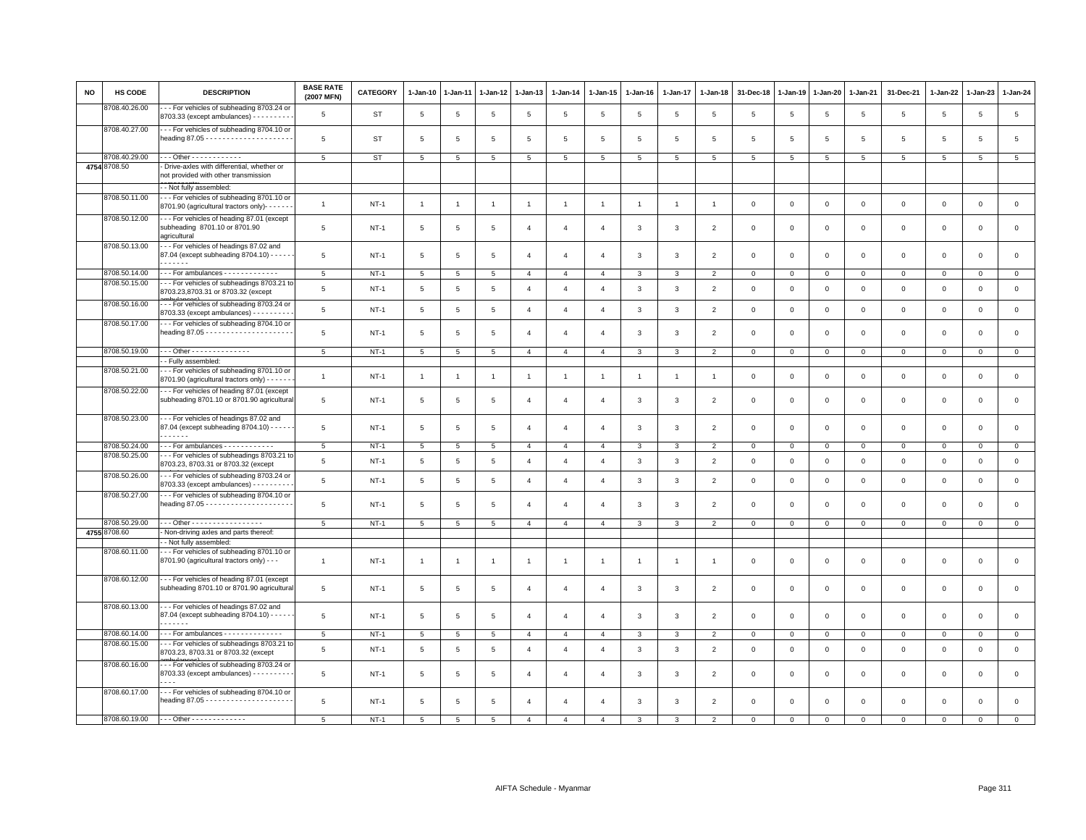| NO | HS CODE                        | <b>DESCRIPTION</b>                                                                              | <b>BASE RATE</b><br>(2007 MFN) | <b>CATEGORY</b> | 1-Jan-10        | 1-Jan-11        | 1-Jan-12        | 1-Jan-13       | 1-Jan-14       | 1-Jan-15       | 1-Jan-16       | $1-Jan-17$     | 1-Jan-18       | 31-Dec-18               | 1-Jan-19     | 1-Jan-20     | 1-Jan-21       | 31-Dec-21   | 1-Jan-22     | 1-Jan-23     | 1-Jan-24     |
|----|--------------------------------|-------------------------------------------------------------------------------------------------|--------------------------------|-----------------|-----------------|-----------------|-----------------|----------------|----------------|----------------|----------------|----------------|----------------|-------------------------|--------------|--------------|----------------|-------------|--------------|--------------|--------------|
|    | 8708.40.26.00                  | -- For vehicles of subheading 8703.24 or<br>$8703.33$ (except ambulances) - - - - - - - - -     | 5                              | ST              | 5               | 5               | 5               | 5              | $\overline{5}$ | 5              | 5              | 5              | 5              | 5                       | 5            | 5            | 5              | 5           | 5            | 5            | 5            |
|    | 8708.40.27.00                  | --- For vehicles of subheading 8704.10 or                                                       | 5                              | ST              | 5               | 5               | 5               | 5              | 5              | 5              | -5             | 5              | -5             | 5                       | -5           | -5           | 5              | 5           | 5            | 5            | 5            |
|    | 8708.40.29.00                  | Other - - - - - - - - - - - -                                                                   | 5                              | ST              | 5               | 5               | 5               | 5              | 5              | 5              | 5              | 5              | 5              | 5                       | 5            | 5            | 5              | 5           | 5            | 5            | 5            |
|    | 4754 8708.50                   | - Drive-axles with differential, whether or<br>not provided with other transmission             |                                |                 |                 |                 |                 |                |                |                |                |                |                |                         |              |              |                |             |              |              |              |
|    |                                | - - Not fully assembled:                                                                        |                                |                 |                 |                 |                 |                |                |                |                |                |                |                         |              |              |                |             |              |              |              |
|    | 8708.50.11.00                  | --- For vehicles of subheading 8701.10 or<br>8701.90 (agricultural tractors only)- - -          | $\overline{1}$                 | $NT-1$          | $\overline{1}$  | $\overline{1}$  | $\overline{1}$  | $\mathbf{1}$   | $\overline{1}$ | $\overline{1}$ | $\overline{1}$ | $\overline{1}$ | $\overline{1}$ | $\mathbf 0$             | $\mathbf{0}$ | $\mathsf 0$  | $\mathbf{0}$   | $\mathbf 0$ | $\Omega$     | $\circ$      | $\mathsf 0$  |
|    | 8708.50.12.00                  | --- For vehicles of heading 87.01 (except<br>subheading 8701.10 or 8701.90<br>agricultural      | 5                              | $NT-1$          | 5               | 5               | 5               | $\overline{4}$ | $\overline{4}$ | $\overline{4}$ | 3              | 3              | $\overline{2}$ | $\overline{\mathbf{0}}$ | $\mathbf 0$  | $\mathbf 0$  | $\mathbf 0$    | $\mathsf 0$ | $\mathbf 0$  | $\mathsf 0$  | $\mathsf 0$  |
|    | 8708.50.13.00                  | --- For vehicles of headings 87.02 and<br>87.04 (except subheading 8704.10) - - - -<br>.        | 5                              | $NT-1$          | 5               | 5               | 5               | $\overline{4}$ | $\overline{4}$ | $\overline{4}$ | 3              | 3              | $\overline{2}$ | $\mathbf 0$             | $\mathbf 0$  | $\mathsf 0$  | $\mathbf 0$    | $\mathsf 0$ | $\mathbf 0$  | $\mathsf 0$  | $\mathsf 0$  |
|    |                                |                                                                                                 |                                |                 |                 |                 |                 |                |                |                |                |                |                |                         |              |              |                |             |              |              |              |
|    | 8708.50.14.00<br>8708.50.15.00 | For ambulances - - - - - - - - - - - -<br>- - For vehicles of subheadings 8703.21 to            | 5                              | $NT-1$          | $5\overline{5}$ | 5               | 5               | $\overline{4}$ | $\overline{4}$ | $\overline{4}$ | 3              | 3              | $\overline{2}$ | $\overline{0}$          | $\mathsf 0$  | $\mathbf{0}$ | $\mathbf{0}$   | $\mathbf 0$ | $\circ$      | $\mathbf{O}$ | $\mathbf{0}$ |
|    |                                | 8703.23,8703.31 or 8703.32 (except                                                              | 5                              | $NT-1$          | 5               | 5               | $\overline{5}$  | $\overline{4}$ | $\overline{4}$ | $\overline{4}$ | 3              | $\mathbf{3}$   | $\overline{2}$ | $\overline{0}$          | $\mathbf 0$  | $\mathsf 0$  | $\mathbf 0$    | $\mathsf 0$ | $\mathbf 0$  | $\mathsf 0$  | $\mathsf 0$  |
|    | 8708.50.16.00                  | --- For vehicles of subheading 8703.24 or<br>8703.33 (except ambulances) - - - - - - - - -      | $\,$ 5 $\,$                    | $NT-1$          | $\,$ 5 $\,$     | $\overline{5}$  | $\overline{5}$  | $\overline{4}$ | $\overline{4}$ | $\overline{4}$ | $\mathbf{3}$   | $\mathbf{3}$   | $\overline{2}$ | $\,0\,$                 | $\,0\,$      | $\mathsf 0$  | $\mathbf 0$    | $\mathsf 0$ | $\mathbf 0$  | $\mathsf 0$  | $\mathsf 0$  |
|    | 8708.50.17.00                  | - - For vehicles of subheading 8704.10 or                                                       | $\,$ 5 $\,$                    | $NT-1$          | 5               | $\overline{5}$  | $\,$ 5 $\,$     | $\overline{4}$ | $\overline{4}$ | $\overline{4}$ | 3              | 3              | $\overline{2}$ | $\overline{0}$          | $\mathsf 0$  | $\mathbf 0$  | $\mathbf 0$    | $\mathsf 0$ | $\,0\,$      | $\mathsf 0$  | $\mathsf 0$  |
|    | 8708.50.19.00                  | . Other - - - - - - - - - - - - - -                                                             | 5                              | $NT-1$          | $5\overline{5}$ | 5               | $5\overline{5}$ | $\overline{4}$ | $\overline{4}$ | $\overline{4}$ | 3              | $\mathbf{3}$   | $\overline{2}$ | $\mathbf 0$             | $\mathbf 0$  | $\mathbf{0}$ | $\overline{0}$ | $\mathbf 0$ | $\mathbf 0$  | $\mathbf{0}$ | $\mathbf{0}$ |
|    |                                | - Fully assembled:                                                                              |                                |                 |                 |                 |                 |                |                |                |                |                |                |                         |              |              |                |             |              |              |              |
|    | 8708.50.21.00                  | -- For vehicles of subheading 8701.10 or<br>8701.90 (agricultural tractors only) - - - - -      | $\overline{1}$                 | $NT-1$          | $\overline{1}$  | $\overline{1}$  | $\overline{1}$  | $\overline{1}$ | $\overline{1}$ | $\overline{1}$ | $\mathbf{1}$   | $\overline{1}$ | $\overline{1}$ | $\mathbf 0$             | $\mathsf 0$  | $\mathsf 0$  | $\mathbf 0$    | $\mathsf 0$ | $\mathsf 0$  | $\mathsf 0$  | $\mathbf 0$  |
|    | 8708.50.22.00                  | --- For vehicles of heading 87.01 (except<br>subheading 8701.10 or 8701.90 agricultura          | 5                              | $NT-1$          | 5               | $\overline{5}$  | $\overline{5}$  | $\overline{4}$ | $\overline{4}$ | $\overline{4}$ | 3              | 3              | $\overline{2}$ | $\,0\,$                 | $\mathbf 0$  | $\mathbf 0$  | $\mathbf 0$    | $\mathsf 0$ | $\mathbf 0$  | $\mathsf 0$  | $\mathsf 0$  |
|    | 8708.50.23.00                  | --- For vehicles of headings 87.02 and<br>87.04 (except subheading 8704.10) - - - -<br><b>.</b> | 5                              | $NT-1$          | 5               | 5               | 5               | $\overline{4}$ | $\overline{4}$ | $\overline{4}$ | $\mathbf{3}$   | 3              | $\overline{2}$ | $\mathbf 0$             | $\mathbf 0$  | $\mathbf{0}$ | $\mathbf{0}$   | $\mathbf 0$ | $\mathbf{0}$ | $\mathbf 0$  | $\mathbf 0$  |
|    | 8708.50.24.00                  | $\cdots$ For ambulances $\cdots$                                                                | 5                              | $NT-1$          | $5\overline{5}$ | 5               | 5               | $\overline{4}$ | $\overline{4}$ | $\overline{4}$ | 3              | 3              | $\overline{2}$ | $\mathbf 0$             | $\mathbf 0$  | $\mathbf{0}$ | $\overline{0}$ | $\mathbf 0$ | $\mathbf 0$  | $\mathbf{O}$ | $\mathbf{0}$ |
|    | 8708.50.25.00                  | - - For vehicles of subheadings 8703.21 to                                                      |                                |                 |                 |                 |                 |                |                |                |                |                |                |                         |              |              |                |             |              |              |              |
|    | 8708.50.26.00                  | 8703.23, 8703.31 or 8703.32 (except<br>--- For vehicles of subheading 8703.24 or                | 5                              | $NT-1$          | 5               | 5               | $5\overline{5}$ | $\overline{4}$ | $\overline{4}$ | $\overline{4}$ | 3              | 3              | $\overline{2}$ | $\mathbf 0$             | $\mathbf 0$  | $\mathbf 0$  | $\mathbf 0$    | $\mathsf 0$ | $\mathbf 0$  | $\mathsf 0$  | $\mathsf 0$  |
|    | 8708.50.27.00                  | $8703.33$ (except ambulances) - - - - - - - - -<br>--- For vehicles of subheading 8704.10 or    | $\,$ 5 $\,$                    | $NT-1$          | 5               | 5               | 5               | $\overline{4}$ | $\overline{4}$ | $\overline{4}$ | 3              | $\mathbf{3}$   | $\overline{2}$ | $\mathbf 0$             | $\mathsf 0$  | $\mathsf 0$  | $\mathbf 0$    | $\mathsf 0$ | $\mathsf 0$  | $\mathsf 0$  | $\mathsf 0$  |
|    |                                |                                                                                                 | 5                              | $NT-1$          | 5               | 5               | 5               | $\overline{4}$ | $\overline{4}$ | $\overline{4}$ | 3              | 3              | $\overline{2}$ | $\mathbf 0$             | $\mathbf 0$  | $\mathbf 0$  | $\mathbf 0$    | $\mathsf 0$ | $\mathbf 0$  | $\mathsf 0$  | $\mathsf 0$  |
|    | 8708.50.29.00                  | Other - - - - - - - - - - - - - - - - -                                                         | 5                              | $NT-1$          | $5\phantom{.0}$ | $5\phantom{.0}$ | $5\phantom{.0}$ | $\overline{4}$ | $\overline{4}$ | $\overline{4}$ | 3              | 3              | $\overline{2}$ | $\mathbf 0$             | $\,0\,$      | $\mathbf 0$  | $\circ$        | $\mathsf 0$ | $\mathbf 0$  | $\mathbf{O}$ | $\mathbf 0$  |
|    | 4755 8708.60                   | - Non-driving axles and parts thereof:                                                          |                                |                 |                 |                 |                 |                |                |                |                |                |                |                         |              |              |                |             |              |              |              |
|    |                                | - Not fully assembled:                                                                          |                                |                 |                 |                 |                 |                |                |                |                |                |                |                         |              |              |                |             |              |              |              |
|    | 8708.60.11.00                  | --- For vehicles of subheading 8701.10 or<br>8701.90 (agricultural tractors only) - - -         | $\overline{1}$                 | $NT-1$          | $\overline{1}$  | $\overline{1}$  | $\overline{1}$  | $\overline{1}$ | $\overline{1}$ | $\overline{1}$ |                | 1              |                | $\overline{\mathbf{0}}$ | $\mathbf 0$  | $\mathsf 0$  | $\mathbf 0$    | $\mathsf 0$ | $\mathbf 0$  | $\mathsf 0$  | $\mathbf 0$  |
|    | 8708.60.12.00                  | - - For vehicles of heading 87.01 (except<br>subheading 8701.10 or 8701.90 agricultura          | $\overline{5}$                 | <b>NT-1</b>     | 5               | 5               | $\overline{5}$  | $\overline{4}$ | $\overline{4}$ | $\overline{4}$ | 3              | 3              | $\overline{2}$ | $\overline{0}$          | $\mathsf 0$  | $\Omega$     | $\mathbf 0$    | $\mathsf 0$ | 0            | $\mathsf 0$  | $\mathsf 0$  |
|    | 8708.60.13.00                  | --- For vehicles of headings 87.02 and<br>87.04 (except subheading 8704.10) - - - -<br>.        | $\overline{5}$                 | $NT-1$          | 5               | 5               | $\overline{5}$  | $\overline{a}$ | $\overline{4}$ | $\overline{4}$ | 3              | 3              | $\overline{2}$ | $\overline{0}$          | $\mathsf 0$  | $\mathsf 0$  | $\mathbf 0$    | $\mathsf 0$ | $\mathbf 0$  | $\mathbf 0$  | $\mathsf 0$  |
|    | 8708.60.14.00                  | --- For ambulances --------------                                                               | 5                              | $NT-1$          | 5               | 5               | $\overline{5}$  | $\overline{4}$ | $\overline{4}$ | $\overline{4}$ | 3              | 3              | $\overline{2}$ | $\mathbf 0$             | $\mathbf 0$  | $\mathbf 0$  | $\mathbf 0$    | $\mathsf 0$ | $\mathbf 0$  | $\mathbf{0}$ | $\mathbf 0$  |
|    | 8708.60.15.00                  | - - For vehicles of subheadings 8703.21 to<br>8703.23, 8703.31 or 8703.32 (except               | 5                              | $NT-1$          | 5               | 5               | 5               | $\overline{4}$ | $\overline{4}$ | $\overline{4}$ | 3              | 3              | $\overline{2}$ | $\mathbf 0$             | $\mathbf 0$  | $\mathbf 0$  | $\mathbf 0$    | $\mathbf 0$ | $\mathbf 0$  | $\mathsf 0$  | $\mathsf 0$  |
|    | 8708.60.16.00                  | --- For vehicles of subheading 8703.24 or<br>$8703.33$ (except ambulances) - - - - - - - - -    | 5                              | NT-1            | 5               | 5               | 5               | $\mathbf{A}$   | $\overline{4}$ | $\overline{a}$ | 3              | 3              | $\overline{2}$ | $\mathbf 0$             | $\mathbf 0$  | $\mathbf 0$  | $\mathbf 0$    | $\mathbf 0$ | $\mathbf 0$  | $\mathbf 0$  | $\mathbf 0$  |
|    | 8708.60.17.00                  | --- For vehicles of subheading 8704.10 or                                                       | 5                              | $NT-1$          | 5               | 5               | 5               | $\overline{4}$ | $\overline{4}$ | $\overline{4}$ | 3              | 3              | $\overline{2}$ | $\mathbf 0$             | $\mathbf 0$  | $\mathbf 0$  | $\mathbf 0$    | $\mathbf 0$ | $\mathbf 0$  | $\mathsf 0$  | $\mathsf 0$  |
|    | 8708.60.19.00                  | --- Other --------------                                                                        | 5                              | $NT-1$          | $5^{\circ}$     | $\overline{5}$  | $\overline{5}$  | $\overline{4}$ | $\overline{4}$ | $\mathbf{A}$   | $\mathcal{R}$  | $\mathcal{R}$  | $\mathcal{P}$  | $\Omega$                | $\Omega$     | $\mathbf 0$  | $\Omega$       | $\Omega$    | $\Omega$     | $\Omega$     | $\Omega$     |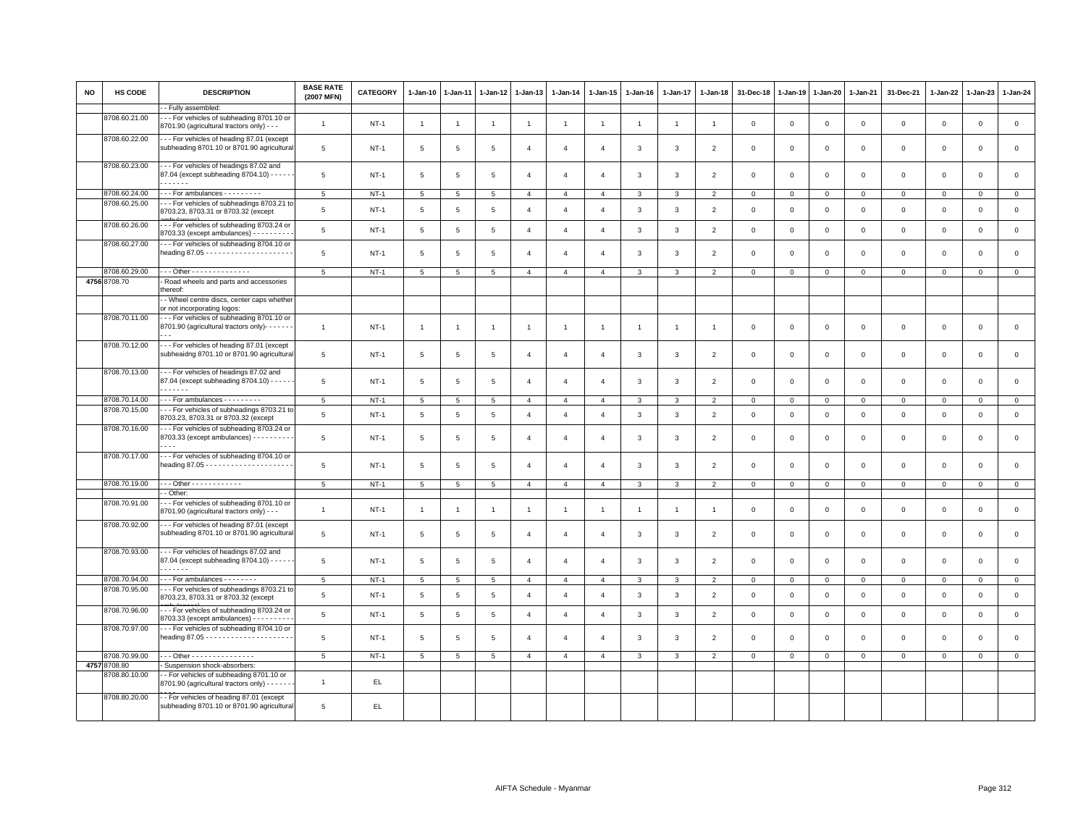| <b>NO</b> | <b>HS CODE</b>                 | <b>DESCRIPTION</b>                                                                           | <b>BASE RATE</b><br>(2007 MFN) | <b>CATEGORY</b> | 1-Jan-10        | 1-Jan-11        | $1-Jan-12$      | $1-Jan-13$     | $1-Jan-14$     | $1 - Jan-15$   | $1 - Jan-16$   | 1-Jan-17       | $1 - Jan-18$             | 31-Dec-18    | $1-Jan-19$  | $1-Jan-20$   | $1-Jan-21$   | 31-Dec-21      | 1-Jan-22     | $1-Jan-23$     | $1-Jan-24$     |
|-----------|--------------------------------|----------------------------------------------------------------------------------------------|--------------------------------|-----------------|-----------------|-----------------|-----------------|----------------|----------------|----------------|----------------|----------------|--------------------------|--------------|-------------|--------------|--------------|----------------|--------------|----------------|----------------|
|           |                                | - Fully assembled:                                                                           |                                |                 |                 |                 |                 |                |                |                |                |                |                          |              |             |              |              |                |              |                |                |
|           | 8708.60.21.00                  | -- For vehicles of subheading 8701.10 or<br>8701.90 (agricultural tractors only) - - -       | $\overline{1}$                 | $NT-1$          | $\mathbf{1}$    | $\overline{1}$  | $\mathbf{1}$    | $\mathbf{1}$   | $\mathbf{1}$   | $\mathbf{1}$   | $\overline{1}$ | $\mathbf{1}$   | $\overline{1}$           | $\mathbf 0$  | $\mathbf 0$ | $\mathbf 0$  | $\mathsf 0$  | $\mathsf 0$    | $\mathsf 0$  | $\mathbf 0$    | $\mathsf 0$    |
|           | 8708.60.22.00                  | -- For vehicles of heading 87.01 (except<br>subheading 8701.10 or 8701.90 agricultural       | 5                              | $NT-1$          | 5               | 5               | 5               | $\overline{4}$ | $\overline{4}$ | $\overline{4}$ | 3              | 3              | $\overline{2}$           | $\Omega$     | $\Omega$    | $\Omega$     | $\mathbf 0$  | $\mathsf 0$    | $\mathbf 0$  | $\Omega$       | $\mathbf 0$    |
|           | 8708.60.23.00                  | -- For vehicles of headings 87.02 and<br>87.04 (except subheading 8704.10) - - - - -<br>.    | 5                              | $NT-1$          | 5               | 5               | 5               | $\overline{4}$ | $\overline{4}$ | 4              | 3              | 3              | $\overline{2}$           | $\mathbf 0$  | $\mathbf 0$ | $\mathbf 0$  | $\mathbf 0$  | $\mathsf 0$    | $\mathbf 0$  | $\mathbf 0$    | $\mathsf 0$    |
|           |                                |                                                                                              |                                |                 |                 |                 |                 |                |                |                |                |                |                          |              |             |              |              |                |              |                |                |
|           | 8708.60.24.00<br>8708.60.25.00 | -- For ambulances - - - - - - - -                                                            | 5                              | $NT-1$          | 5               | 5               | $\,$ 5 $\,$     | $\overline{4}$ | $\overline{4}$ | $\overline{4}$ | $\mathbf{3}$   | 3              | $\overline{2}$           | $\mathbf 0$  | $\mathsf 0$ | $\mathsf 0$  | $\circ$      | $\mathsf 0$    | $\mathsf 0$  | $\mathsf 0$    | $\mathsf 0$    |
|           |                                | - - For vehicles of subheadings 8703.21 to<br>8703.23, 8703.31 or 8703.32 (except            | 5                              | $NT-1$          | 5               | 5               | 5               | $\overline{4}$ | $\overline{4}$ | $\overline{4}$ | 3              | 3              | $\overline{2}$           | 0            | $\mathbf 0$ | $\mathbf 0$  | $\mathbf 0$  | $\mathsf 0$    | $\mathbf 0$  | $\mathsf 0$    | $\mathbf 0$    |
|           | 8708.60.26.00                  | --- For vehicles of subheading 8703.24 or<br>8703.33 (except ambulances) - - - - - - - - -   | $\,$ 5 $\,$                    | $NT-1$          | 5               | $\overline{5}$  | $\overline{5}$  | $\overline{4}$ | $\overline{4}$ | $\overline{4}$ | $\mathbf{3}$   | $\mathbf{3}$   | $\overline{2}$           | $\mathbf 0$  | $\mathbf 0$ | $\mathbf 0$  | $\mathsf 0$  | $\mathsf 0$    | $\mathsf 0$  | $\mathsf 0$    | $\mathsf 0$    |
|           | 8708.60.27.00                  | --- For vehicles of subheading 8704.10 or                                                    | 5                              | $NT-1$          | 5               | 5               | 5               | $\overline{4}$ | $\overline{4}$ | $\overline{4}$ | 3              | 3              | $\overline{\phantom{0}}$ | $\Omega$     | $\Omega$    | $\Omega$     | $\mathbf 0$  | $\mathbf 0$    | $\mathbf{0}$ | $\mathbf 0$    | $\circ$        |
|           | 8708.60.29.00                  | --- Other --------------                                                                     | 5                              | $NT-1$          | 5               | 5               | 5               | $\overline{4}$ | $\overline{4}$ | $\overline{4}$ | $\mathbf{3}$   | 3              | $\overline{2}$           | $\mathbf 0$  | 0           | $\mathbf{O}$ | $\mathbf{0}$ | $\mathbf{0}$   | $\mathbf 0$  | $\mathsf 0$    | $\overline{0}$ |
|           | 4756 8708.70                   | - Road wheels and parts and accessories<br>thereof:                                          |                                |                 |                 |                 |                 |                |                |                |                |                |                          |              |             |              |              |                |              |                |                |
|           | 8708.70.11.00                  | - Wheel centre discs, center caps whether<br>or not incorporating logos:                     |                                |                 |                 |                 |                 |                |                |                |                |                |                          |              |             |              |              |                |              |                |                |
|           |                                | --- For vehicles of subheading 8701.10 or<br>8701.90 (agricultural tractors only)- - - - - - | $\overline{1}$                 | $NT-1$          | $\mathbf{1}$    | -1              | $\overline{1}$  | $\overline{1}$ | $\mathbf{1}$   | $\overline{1}$ | $\mathbf{1}$   | $\overline{1}$ | -1                       | 0            | $\mathbf 0$ | $\mathbf 0$  | $\mathbf 0$  | $\mathsf 0$    | $\mathbf 0$  | $\mathbf 0$    | $\mathbf 0$    |
|           | 8708.70.12.00                  | --- For vehicles of heading 87.01 (except<br>subheaidng 8701.10 or 8701.90 agricultural      | 5                              | $NT-1$          | 5               | 5               | 5               | $\overline{4}$ | $\overline{4}$ | $\overline{4}$ | 3              | 3              | $\overline{2}$           | $\Omega$     | $\Omega$    | $\mathbf 0$  | $\mathbf 0$  | $\mathbf 0$    | $\mathbf{0}$ | $\mathbf 0$    | $\mathsf 0$    |
|           | 8708.70.13.00                  | --- For vehicles of headings 87.02 and<br>87.04 (except subheading 8704.10) - - - - -<br>.   | 5                              | $NT-1$          | 5               | 5               | 5               | $\overline{4}$ | $\overline{4}$ | $\overline{4}$ | 3              | 3              | $\overline{2}$           | $\Omega$     | $\Omega$    | $\Omega$     | $\mathbf 0$  | $\mathbf 0$    | $\mathbf{0}$ | $\mathbf 0$    | $\mathbf{0}$   |
|           | 8708.70.14.00                  | -- For ambulances - - - - - - - -                                                            | $\overline{5}$                 | $NT-1$          | 5               | $5\phantom{.0}$ | $5\phantom{.0}$ | $\overline{4}$ | $\overline{4}$ | $\overline{4}$ | $\mathbf{3}$   | 3              | $\overline{2}$           | $\mathbf{0}$ | 0           | $\mathsf 0$  | $\circ$      | $\overline{0}$ | $\mathbf 0$  | $\overline{0}$ | $\overline{0}$ |
|           | 8708.70.15.00                  | -- For vehicles of subheadings 8703.21 to<br>8703.23, 8703.31 or 8703.32 (except             | 5                              | $NT-1$          | $5\phantom{.0}$ | 5               | 5               | $\overline{4}$ | $\overline{4}$ | $\overline{4}$ | 3              | 3              | $\overline{2}$           | $\mathsf 0$  | $\mathbf 0$ | $\mathbf 0$  | $\mathbf 0$  | $\mathsf 0$    | $\mathbf 0$  | $\mathsf 0$    | $\mathsf 0$    |
|           | 8708.70.16.00                  | -- For vehicles of subheading 8703.24 or<br>8703.33 (except ambulances) - - - - - - - - -    | 5                              | $NT-1$          | 5               | 5               | 5               | $\overline{4}$ | $\overline{4}$ | $\overline{4}$ | 3              | 3              | $\overline{2}$           | $\mathbf 0$  | $\Omega$    | $\mathbf 0$  | $\Omega$     | $\mathsf 0$    | $\Omega$     | $\Omega$       | $\mathbf 0$    |
|           | 8708.70.17.00                  | -- For vehicles of subheading 8704.10 or                                                     | 5                              | $NT-1$          | 5               | 5               | 5               | $\overline{4}$ | $\overline{4}$ | $\overline{4}$ | $\mathbf{3}$   | 3              | $\overline{2}$           | $\mathbf 0$  | $\mathbf 0$ | $\mathbf 0$  | $\mathsf 0$  | $\mathsf 0$    | $\mathbf 0$  | $\Omega$       | $\mathsf 0$    |
|           | 8708.70.19.00                  | . Other - - - - - - - - - - - -                                                              | 5                              | $NT-1$          | 5               | 5               | 5               | $\overline{4}$ | $\overline{4}$ | $\overline{4}$ | 3              | 3              | $\overline{2}$           | $\mathbf 0$  | $\mathbf 0$ | $\mathbf 0$  | $\mathbf 0$  | $\mathbf 0$    | $\mathbf{0}$ | $\mathsf 0$    | $\overline{0}$ |
|           |                                | - Other:                                                                                     |                                |                 |                 |                 |                 |                |                |                |                |                |                          |              |             |              |              |                |              |                |                |
|           | 8708.70.91.00                  | --- For vehicles of subheading 8701.10 or<br>8701.90 (agricultural tractors only) - - -      | $\overline{1}$                 | $NT-1$          | $\overline{1}$  | $\overline{1}$  | $\overline{1}$  | $\overline{1}$ | $\overline{1}$ | $\mathbf{1}$   | $\overline{1}$ | $\overline{1}$ | $\overline{1}$           | $\mathbf 0$  | $\mathbf 0$ | $\mathbf 0$  | $\mathbf 0$  | $\mathsf 0$    | $\mathbf 0$  | $\mathsf 0$    | $\mathsf 0$    |
|           | 8708.70.92.00                  | -- For vehicles of heading 87.01 (except<br>subheading 8701.10 or 8701.90 agricultural       | 5                              | $NT-1$          | 5               | 5               | 5               | $\overline{4}$ | $\overline{4}$ | $\overline{4}$ | 3              | 3              | $\overline{2}$           | $\Omega$     | $\Omega$    | $\mathbf 0$  | $\mathbf 0$  | $\mathbf 0$    | $\mathbf{0}$ | $\mathbf 0$    | $\mathbf{0}$   |
|           | 8708.70.93.00                  | -- For vehicles of headings 87.02 and<br>87.04 (except subheading 8704.10) - - - - -<br>.    | 5                              | $NT-1$          | 5               | 5               | 5               | $\overline{4}$ | $\overline{4}$ | $\overline{4}$ | 3              | 3              | $\overline{\phantom{0}}$ | $\Omega$     | $\Omega$    | $\mathbf 0$  | $\mathbf 0$  | $\mathbf 0$    | $\mathbf{0}$ | $\mathbf 0$    | $\mathbf 0$    |
|           | 8708.70.94.00                  | For ambulances - - - - - - -                                                                 | $\,$ 5 $\,$                    | $NT-1$          | 5               | 5               | $\,$ 5 $\,$     | $\overline{4}$ | $\overline{4}$ | $\overline{4}$ | 3              | 3              | $\overline{2}$           | $\mathbf 0$  | $\mathbf 0$ | $\mathsf 0$  | $\mathbf 0$  | $\mathsf 0$    | $\mathsf 0$  | $\mathsf 0$    | $\mathsf 0$    |
|           | 8708.70.95.00                  | --- For vehicles of subheadings 8703.21 to<br>8703.23, 8703.31 or 8703.32 (except            | 5                              | $NT-1$          | 5               | 5               | 5               | $\overline{4}$ | $\overline{4}$ | $\overline{4}$ | 3              | 3              | $\overline{2}$           | 0            | 0           | $\mathbf 0$  | $\mathbf 0$  | 0              | $\circ$      | $\mathbf 0$    | $\mathbf 0$    |
|           | 8708.70.96.00                  | --- For vehicles of subheading 8703.24 or<br>8703.33 (except ambulances) - - - - - - - - -   | $\,$ 5 $\,$                    | $NT-1$          | 5               | $\overline{5}$  | $\overline{5}$  | $\overline{4}$ | $\overline{4}$ | $\overline{4}$ | $\mathbf{3}$   | 3              | $\overline{2}$           | $\mathbf 0$  | $\mathbf 0$ | $\mathsf 0$  | $\mathbf 0$  | $\mathsf 0$    | $\mathbf 0$  | $\mathsf 0$    | $\mathsf 0$    |
|           | 8708.70.97.00                  | -- For vehicles of subheading 8704.10 or                                                     | 5                              | $NT-1$          | 5               | -5              | -5              | $\mathbf{A}$   | $\overline{4}$ | $\mathbf{A}$   | 3              | 3              | $\overline{2}$           | $\Omega$     | $\Omega$    | $\mathbf 0$  | $\mathbf 0$  | $\mathbf 0$    | $\mathbf{0}$ | $\mathbf 0$    | $\circ$        |
|           | 8708.70.99.00                  | Other - - - - - - - - - - - - - - -                                                          | 5                              | $NT-1$          | 5               | 5               | 5               | $\overline{4}$ | $\overline{4}$ | $\overline{4}$ | 3              | 3              | $\overline{2}$           | $\mathbf 0$  | $\mathbf 0$ | $\mathbf 0$  | $\mathbf 0$  | $\mathsf 0$    | $\mathbf 0$  | $\mathsf 0$    | $\mathbf 0$    |
|           | 4757 8708.80                   | - Suspension shock-absorbers:                                                                |                                |                 |                 |                 |                 |                |                |                |                |                |                          |              |             |              |              |                |              |                |                |
|           | 8708.80.10.00                  | - For vehicles of subheading 8701.10 or<br>8701.90 (agricultural tractors only) - - - - -    | $\overline{1}$                 | EL.             |                 |                 |                 |                |                |                |                |                |                          |              |             |              |              |                |              |                |                |
|           | 8708.80.20.00                  | -- For vehicles of heading 87.01 (except<br>subheading 8701.10 or 8701.90 agricultural       | 5                              | EL              |                 |                 |                 |                |                |                |                |                |                          |              |             |              |              |                |              |                |                |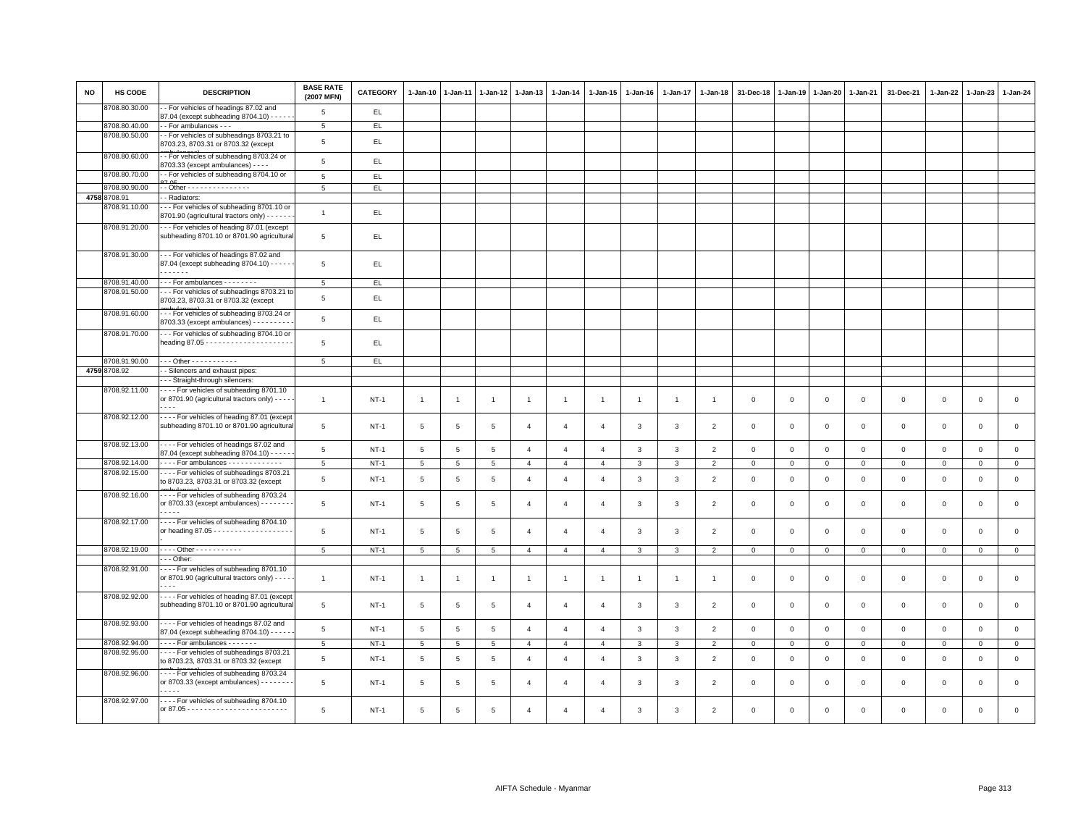| <b>NO</b> | HS CODE       | <b>DESCRIPTION</b>                                                                          | <b>BASE RATE</b><br>(2007 MFN) | <b>CATEGORY</b> | $1-Jan-10$      | $1-Jan-11$      | $1 - Jan-12$    | $1 - Jan-13$   | $1 - Jan-14$           | 1-Jan-15       | $1 - Jan-16$   | $1 - Jan-17$   | $1 - Jan-18$   | 31-Dec-18      | $1 - Jan-19$ | $1 - Jan-20$ | 1-Jan-21       | 31-Dec-21           | $1 - Jan-22$ | $1-Jan-23$   | 1-Jan-24     |
|-----------|---------------|---------------------------------------------------------------------------------------------|--------------------------------|-----------------|-----------------|-----------------|-----------------|----------------|------------------------|----------------|----------------|----------------|----------------|----------------|--------------|--------------|----------------|---------------------|--------------|--------------|--------------|
|           | 8708.80.30.00 | - For vehicles of headings 87.02 and<br>87.04 (except subheading 8704.10) - - - - -         | 5                              | EL.             |                 |                 |                 |                |                        |                |                |                |                |                |              |              |                |                     |              |              |              |
|           | 8708.80.40.00 | - - For ambulances - - -                                                                    | 5                              | EL.             |                 |                 |                 |                |                        |                |                |                |                |                |              |              |                |                     |              |              |              |
|           | 8708.80.50.00 | -- For vehicles of subheadings 8703.21 to<br>8703.23, 8703.31 or 8703.32 (except            | $\overline{5}$                 | EL.             |                 |                 |                 |                |                        |                |                |                |                |                |              |              |                |                     |              |              |              |
|           | 8708.80.60.00 | - For vehicles of subheading 8703.24 or<br>8703.33 (except ambulances) - - - -              | 5                              | EL              |                 |                 |                 |                |                        |                |                |                |                |                |              |              |                |                     |              |              |              |
|           | 8708.80.70.00 | - For vehicles of subheading 8704.10 or                                                     | 5                              | EL              |                 |                 |                 |                |                        |                |                |                |                |                |              |              |                |                     |              |              |              |
|           | 8708.80.90.00 | - - Other - - - - - - - - - - - - - - -                                                     | 5                              | EL.             |                 |                 |                 |                |                        |                |                |                |                |                |              |              |                |                     |              |              |              |
|           | 4758 8708.91  | - Radiators:                                                                                |                                |                 |                 |                 |                 |                |                        |                |                |                |                |                |              |              |                |                     |              |              |              |
|           | 8708.91.10.00 | --- For vehicles of subheading 8701.10 or<br>8701.90 (agricultural tractors only) - - - - - | $\overline{1}$                 | EL.             |                 |                 |                 |                |                        |                |                |                |                |                |              |              |                |                     |              |              |              |
|           | 8708.91.20.00 | --- For vehicles of heading 87.01 (except<br>subheading 8701.10 or 8701.90 agricultural     | $\overline{5}$                 | EL.             |                 |                 |                 |                |                        |                |                |                |                |                |              |              |                |                     |              |              |              |
|           | 8708.91.30.00 | --- For vehicles of headings 87.02 and<br>87.04 (except subheading 8704.10) - - - - -<br>.  | 5                              | EL.             |                 |                 |                 |                |                        |                |                |                |                |                |              |              |                |                     |              |              |              |
|           | 8708.91.40.00 | --- For ambulances --------                                                                 | 5                              | EL              |                 |                 |                 |                |                        |                |                |                |                |                |              |              |                |                     |              |              |              |
|           | 8708.91.50.00 | - - For vehicles of subheadings 8703.21 to<br>8703.23, 8703.31 or 8703.32 (except           | 5                              | EL              |                 |                 |                 |                |                        |                |                |                |                |                |              |              |                |                     |              |              |              |
|           | 8708.91.60.00 | --- For vehicles of subheading 8703.24 or<br>8703.33 (except ambulances) - - - - - - - - -  | 5                              | EL              |                 |                 |                 |                |                        |                |                |                |                |                |              |              |                |                     |              |              |              |
|           | 8708.91.70.00 | --- For vehicles of subheading 8704.10 or                                                   | 5                              | EL.             |                 |                 |                 |                |                        |                |                |                |                |                |              |              |                |                     |              |              |              |
|           | 8708.91.90.00 | $- - -$ Other - - - - - - - - - - -                                                         | $5\overline{5}$                | EL.             |                 |                 |                 |                |                        |                |                |                |                |                |              |              |                |                     |              |              |              |
|           | 4759 8708.92  | - Silencers and exhaust pipes:                                                              |                                |                 |                 |                 |                 |                |                        |                |                |                |                |                |              |              |                |                     |              |              |              |
|           |               | -- Straight-through silencers:                                                              |                                |                 |                 |                 |                 |                |                        |                |                |                |                |                |              |              |                |                     |              |              |              |
|           | 8708.92.11.00 | ---- For vehicles of subheading 8701.10                                                     |                                |                 |                 |                 |                 |                |                        |                |                |                |                |                |              |              |                |                     |              |              |              |
|           |               | or 8701.90 (agricultural tractors only) - - - -<br>$\sim$ $\sim$                            | $\mathbf{1}$                   | $NT-1$          | $\overline{1}$  | $\overline{1}$  | $\overline{1}$  | $\overline{1}$ | $\overline{1}$         | $\mathbf{1}$   | $\overline{1}$ | $\overline{1}$ | $\overline{1}$ | $\mathbf 0$    | $\mathbf 0$  | $\mathsf 0$  | $\mathbf 0$    | $\mathsf 0$         | $\mathbf 0$  | $\mathsf 0$  | $\mathsf 0$  |
|           | 8708.92.12.00 | - - - - For vehicles of heading 87.01 (except<br>subheading 8701.10 or 8701.90 agricultural | 5                              | $NT-1$          | 5               | 5               | 5               | $\overline{4}$ | $\overline{a}$         | $\overline{4}$ | 3              | 3              | $\overline{2}$ | $\mathbf 0$    | $\mathbf 0$  | $\mathsf 0$  | $\mathbf 0$    | $\mathsf 0$         | $\mathbf 0$  | $\mathsf 0$  | $\mathsf 0$  |
|           | 8708.92.13.00 | ---- For vehicles of headings 87.02 and<br>87.04 (except subheading 8704.10) - - - -        | 5                              | $NT-1$          | 5               | $5\phantom{.0}$ | $5\phantom{.0}$ | $\overline{4}$ | $\overline{4}$         | $\overline{4}$ | 3              | $\mathbf{3}$   | $\overline{2}$ | $\mathbf 0$    | $\mathsf 0$  | $\mathbf{0}$ | $\mathbf{0}$   | $\mathbf{0}$        | $\mathbf{0}$ | $\mathbf{O}$ | $\mathsf 0$  |
|           | 8708.92.14.00 | - - - - For ambulances - - - - - - - - - - - -                                              | 5                              | $NT-1$          | 5               | 5               | 5               | $\overline{4}$ | $\overline{4}$         | $\overline{4}$ | 3              | 3              | $\overline{2}$ | $\mathbf 0$    | $\mathbf 0$  | $\mathbf 0$  | $\mathbf 0$    | $\mathbf 0$         | 0            | $\mathbf{0}$ | $\mathbf{0}$ |
|           | 8708.92.15.00 | - - - - For vehicles of subheadings 8703.21<br>to 8703.23, 8703.31 or 8703.32 (except       | 5                              | $NT-1$          | $5\phantom{.0}$ | $\overline{5}$  | $\overline{5}$  | $\overline{4}$ | $\overline{4}$         | $\overline{4}$ | 3              | 3              | $\overline{2}$ | $\mathbf 0$    | $\mathbf 0$  | $\mathsf 0$  | $\mathbf 0$    | $\mathsf 0$         | $\Omega$     | $\mathsf 0$  | $\mathsf 0$  |
|           | 8708.92.16.00 | ---- For vehicles of subheading 8703.24<br>or 8703.33 (except ambulances) - - - - - - -     | 5                              | $NT-1$          | $5\phantom{.0}$ | 5               | 5               | $\overline{4}$ | $\overline{4}$         | $\overline{4}$ | 3              | 3              | $\overline{2}$ | $\mathbf 0$    | $\mathbf 0$  | $\mathsf 0$  | $\mathbf 0$    | $\mathsf 0$         | $\mathbf 0$  | $\mathsf 0$  | $\mathsf 0$  |
|           | 8708.92.17.00 | - - - - For vehicles of subheading 8704.10                                                  | 5                              | NT-1            | $5\phantom{.0}$ | 5               | 5               | $\overline{a}$ | $\overline{a}$         | $\overline{4}$ | 3              | 3              | $\overline{2}$ | $\mathbf 0$    | $\mathbf 0$  | $\mathbf 0$  | $\mathbf 0$    | $\mathbf 0$         | $\mathbf 0$  | $\mathbf{O}$ | $\mathbf 0$  |
|           | 8708.92.19.00 | - - - - Other - - - - - - - - - - -                                                         | 5                              | $NT-1$          | $5\overline{5}$ | 5               | $5\phantom{.0}$ | $\overline{4}$ | $\overline{4}$         | $\overline{4}$ | 3              | 3              | $\overline{2}$ | $\mathbf 0$    | $\mathsf 0$  | $\mathbf 0$  | $\mathbf 0$    | $\mathsf 0$         | $\mathsf 0$  | $\mathsf 0$  | $\circ$      |
|           |               | - - Other:                                                                                  |                                |                 |                 |                 |                 |                |                        |                |                |                |                |                |              |              |                |                     |              |              |              |
|           | 8708.92.91.00 | ---- For vehicles of subheading 8701.10<br>or 8701.90 (agricultural tractors only) - - - -  | $\mathbf{1}$                   | $NT-1$          | $\overline{1}$  | -1              | -1              | $\overline{1}$ | $\mathbf{1}$           | $\overline{1}$ | -1             | -1             |                | $\overline{0}$ | $\mathbf 0$  | $\mathbf 0$  | $\overline{0}$ | $\mathbf 0$         | $\mathbf 0$  | $\mathbf 0$  | $\mathbf{0}$ |
|           | 8708.92.92.00 | ---- For vehicles of heading 87.01 (except<br>subheading 8701.10 or 8701.90 agricultural    | 5                              | $NT-1$          | $5\phantom{.0}$ | 5               | $\overline{5}$  | $\overline{4}$ | $\overline{4}$         | $\overline{4}$ | 3              | 3              | 2              | $\overline{0}$ | $\Omega$     | $\mathbf 0$  | $\overline{0}$ | $\mathbf 0$         | $\Omega$     | $\mathbf 0$  | $\mathbf 0$  |
|           | 8708.92.93.00 | - - - - For vehicles of headings 87.02 and<br>87.04 (except subheading 8704.10) - - - - -   | $\,$ 5 $\,$                    | $NT-1$          | $5\phantom{.0}$ | 5               | $\,$ 5 $\,$     | $\overline{4}$ | $\overline{4}$         | $\overline{4}$ | 3              | $\mathbf{3}$   | $\overline{2}$ | $\,0\,$        | $\,0\,$      | $\mathbf 0$  | $\,0\,$        | $\mathsf{O}\xspace$ | $\,0\,$      | $\mathbf 0$  | $\mathbf 0$  |
|           | 8708.92.94.00 | For ambulances - - - - - - -                                                                | $\,$ 5 $\,$                    | $NT-1$          | $5\phantom{.0}$ | 5               | $\,$ 5 $\,$     | $\overline{4}$ | $\overline{4}$         | $\overline{4}$ | 3              | 3              | $\overline{2}$ | $\,0\,$        | $\,0\,$      | $\mathbf 0$  | $\mathbb O$    | $\mathsf{O}\xspace$ | $\circ$      | $\mathsf 0$  | $\mathbf 0$  |
|           | 8708.92.95.00 | ---- For vehicles of subheadings 8703.21<br>to 8703.23, 8703.31 or 8703.32 (except          | 5                              | $NT-1$          | $5\phantom{.0}$ | 5               | $\overline{5}$  | $\overline{4}$ | $\overline{4}$         | $\overline{4}$ | 3              | 3              | $\overline{2}$ | $\mathbf 0$    | $\mathbf 0$  | $\mathbf 0$  | $\mathbf 0$    | $\mathsf 0$         | $\mathbf 0$  | $\mathsf 0$  | $\mathsf 0$  |
|           | 8708.92.96.00 | For vehicles of subheading 8703.24<br>or 8703.33 (except ambulances) - - - - - - -          | 5                              | $NT-1$          | 5               | 5               | 5               | $\overline{a}$ | $\overline{4}$         | $\overline{4}$ | 3              | 3              | $\overline{2}$ | $\mathbf 0$    | $\mathbf 0$  | $\mathbf 0$  | $\mathbf 0$    | $\mathbf 0$         | $\mathbf 0$  | $\Omega$     | $\mathsf 0$  |
|           | 8708.92.97.00 | ---- For vehicles of subheading 8704.10                                                     | $\overline{5}$                 | $NT-1$          | 5               | 5               | $\overline{5}$  | $\overline{A}$ | $\boldsymbol{\Lambda}$ | $\overline{a}$ | $\mathbf{B}$   | 3              | $\overline{2}$ | $\Omega$       | $\mathbf 0$  | $\Omega$     | $\Omega$       | $\Omega$            | $\Omega$     | $\Omega$     | $\Omega$     |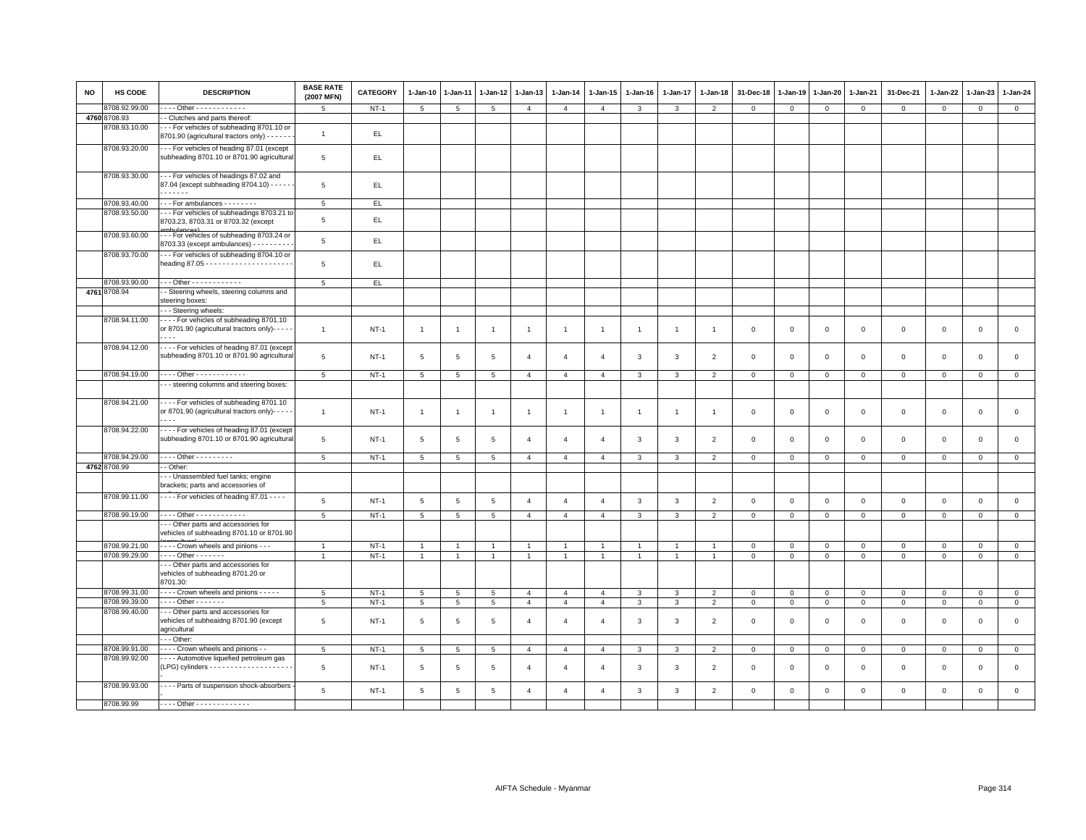| <b>NO</b> | <b>HS CODE</b> | <b>DESCRIPTION</b>                                                                                                  | <b>BASE RATE</b><br>(2007 MFN) | <b>CATEGORY</b> | 1-Jan-10        | $1-Jan-11$      | 1-Jan-12        | $1-Jan-13$     | $1-Jan-14$     | 1-Jan-15       | 1-Jan-16                | 1-Jan-17       | $1-Jan-18$     | 31-Dec-18    | 1-Jan-19       | 1-Jan-20            | 1-Jan-21            | 31-Dec-21    | 1-Jan-22     | $1-Jan-23$   | $1-Jan-24$          |
|-----------|----------------|---------------------------------------------------------------------------------------------------------------------|--------------------------------|-----------------|-----------------|-----------------|-----------------|----------------|----------------|----------------|-------------------------|----------------|----------------|--------------|----------------|---------------------|---------------------|--------------|--------------|--------------|---------------------|
|           | 8708.92.99.00  | $$ Other $$                                                                                                         | $5\overline{5}$                | $NT-1$          | $5\overline{5}$ | 5               | 5               | $\overline{4}$ | $\overline{4}$ | $\overline{4}$ | $\mathbf{3}$            | 3              | 2              | $\mathbf{0}$ | $\mathbf 0$    | $\overline{0}$      | $\overline{0}$      | $\mathbf{0}$ | $\mathbf 0$  | $\mathbf{0}$ | $\mathbf{0}$        |
|           | 4760 8708.93   | - Clutches and parts thereof:                                                                                       |                                |                 |                 |                 |                 |                |                |                |                         |                |                |              |                |                     |                     |              |              |              |                     |
|           | 3708.93.10.00  | -- For vehicles of subheading 8701.10 or<br>8701.90 (agricultural tractors only) - - - - - -                        | $\overline{1}$                 | EL.             |                 |                 |                 |                |                |                |                         |                |                |              |                |                     |                     |              |              |              |                     |
|           | 8708.93.20.00  | -- For vehicles of heading 87.01 (except<br>subheading 8701.10 or 8701.90 agricultural                              | 5                              | EL.             |                 |                 |                 |                |                |                |                         |                |                |              |                |                     |                     |              |              |              |                     |
|           | 8708.93.30.00  | -- For vehicles of headings 87.02 and<br>87.04 (except subheading 8704.10) - - - -<br>. <b>.</b>                    | 5                              | EL.             |                 |                 |                 |                |                |                |                         |                |                |              |                |                     |                     |              |              |              |                     |
|           | 8708.93.40.00  | $\cdots$ For ambulances $\cdots$                                                                                    | 5                              | EL              |                 |                 |                 |                |                |                |                         |                |                |              |                |                     |                     |              |              |              |                     |
|           | 8708.93.50.00  | -- For vehicles of subheadings 8703.21 to<br>8703.23, 8703.31 or 8703.32 (except                                    | 5                              | EL.             |                 |                 |                 |                |                |                |                         |                |                |              |                |                     |                     |              |              |              |                     |
|           | 8708.93.60.00  | --- For vehicles of subheading 8703.24 or<br>8703.33 (except ambulances) - - - - - - - - -                          | $5\phantom{.0}$                | EL.             |                 |                 |                 |                |                |                |                         |                |                |              |                |                     |                     |              |              |              |                     |
|           | 8708.93.70.00  | -- For vehicles of subheading 8704.10 or<br>heading $87.05 - \cdots - \cdots - \cdots - \cdots$                     | 5                              | EL.             |                 |                 |                 |                |                |                |                         |                |                |              |                |                     |                     |              |              |              |                     |
|           | 8708.93.90.00  |                                                                                                                     | 5                              | EL              |                 |                 |                 |                |                |                |                         |                |                |              |                |                     |                     |              |              |              |                     |
|           | 4761 8708.94   | - Steering wheels, steering columns and<br>steering boxes:                                                          |                                |                 |                 |                 |                 |                |                |                |                         |                |                |              |                |                     |                     |              |              |              |                     |
|           |                | -- Steering wheels:                                                                                                 |                                |                 |                 |                 |                 |                |                |                |                         |                |                |              |                |                     |                     |              |              |              |                     |
|           | 8708.94.11.00  | ---- For vehicles of subheading 8701.10<br>or 8701.90 (agricultural tractors only)- - - -                           | $\overline{1}$                 | $NT-1$          | $\mathbf{1}$    | $\overline{1}$  | $\overline{1}$  | $\overline{1}$ | $\mathbf{1}$   | $\overline{1}$ | $\overline{1}$          | $\overline{1}$ | $\overline{1}$ | $\mathsf 0$  | $\overline{0}$ | $\mathbf 0$         | $\circ$             | $\mathsf 0$  | $\mathsf 0$  | $\mathsf 0$  | $\mathsf 0$         |
|           | 8708.94.12.00  | ---- For vehicles of heading 87.01 (except<br>subheading 8701.10 or 8701.90 agricultural                            | 5                              | $NT-1$          | 5               | -5              | 5               | $\mathbf{A}$   | $\overline{4}$ | $\mathbf{A}$   | 3                       | 3              | $\overline{2}$ | $\mathbf{0}$ | $\Omega$       | $\mathsf 0$         | $\mathbf 0$         | $\mathsf 0$  | $\Omega$     | $\mathbf 0$  | $\mathsf 0$         |
|           |                |                                                                                                                     |                                |                 |                 |                 |                 |                |                |                |                         |                |                |              |                |                     |                     |              |              |              |                     |
|           | 8708.94.19.00  | Other - - - - - - - - - - - -<br>- - steering columns and steering boxes:                                           | $5\overline{5}$                | $NT-1$          | 5               | 5               | $5\phantom{.0}$ | $\overline{4}$ | $\overline{4}$ | $\overline{4}$ | $\mathbf{3}$            | $\mathbf{3}$   | $\overline{2}$ | $\mathsf 0$  | $\mathsf 0$    | $\mathbf 0$         | $\mathbf 0$         | $\mathsf 0$  | $\mathsf 0$  | $\mathsf 0$  | $\circ$             |
|           | 8708.94.21.00  | ---- For vehicles of subheading 8701.10<br>or 8701.90 (agricultural tractors only)- - - -                           | $\overline{1}$                 | $NT-1$          | $\overline{1}$  | $\overline{1}$  | $\overline{1}$  | $\overline{1}$ | $\overline{1}$ | $\overline{1}$ | $\overline{1}$          | $\overline{1}$ | $\overline{1}$ | $\mathbf 0$  | $\mathbf 0$    | $\mathbf 0$         | $\mathsf{O}\xspace$ | $\mathsf 0$  | $\mathsf 0$  | $\mathbf 0$  | $\mathsf 0$         |
|           | 8708.94.22.00  | --- For vehicles of heading 87.01 (except<br>subheading 8701.10 or 8701.90 agricultural                             | 5                              | $NT-1$          | 5               | 5               | 5               | $\overline{a}$ | $\overline{4}$ | $\overline{4}$ | $\mathbf{3}$            | $\mathbf{3}$   | $\overline{2}$ | $\mathbf 0$  | $\mathsf 0$    | $\mathsf 0$         | $\mathsf 0$         | $\mathsf 0$  | 0            | $\mathbf 0$  | $\mathsf 0$         |
|           | 8708.94.29.00  | - - - - Other - - - - - - - - -                                                                                     | $5\phantom{.0}$                | $NT-1$          | $\,$ 5 $\,$     | 5               | $\sqrt{5}$      | $\overline{4}$ | $\overline{4}$ | $\overline{4}$ | $\mathbf{3}$            | 3              | $\overline{2}$ | $\mathbf 0$  | $\mathsf 0$    | $\mathsf 0$         | $\mathsf 0$         | $\mathsf 0$  | $\mathsf 0$  | $\mathsf 0$  | $\mathsf 0$         |
|           | 4762 8708.99   | - Other:                                                                                                            |                                |                 |                 |                 |                 |                |                |                |                         |                |                |              |                |                     |                     |              |              |              |                     |
|           |                | - - Unassembled fuel tanks; engine<br>brackets; parts and accessories of                                            |                                |                 |                 |                 |                 |                |                |                |                         |                |                |              |                |                     |                     |              |              |              |                     |
|           | 8708.99.11.00  | $- - -$ For vehicles of heading 87.01 - - - -                                                                       | 5                              | $NT-1$          | 5               | 5               | $\overline{5}$  | $\overline{4}$ | $\overline{4}$ | $\overline{4}$ | $\mathbf{3}$            | $\mathbf{3}$   | $\overline{2}$ | $\mathbf 0$  | $\mathsf 0$    | $\mathsf 0$         | $\mathsf 0$         | $\mathsf 0$  | $\mathsf 0$  | $\mathsf 0$  | $\mathsf 0$         |
|           | 8708.99.19.00  | . Other - - - - - - - - - - - -<br>- - Other parts and accessories for                                              | $\overline{5}$                 | $NT-1$          | $\overline{5}$  | $\overline{5}$  | $\overline{5}$  | $\overline{4}$ | $\overline{4}$ | $\overline{4}$ | $\overline{\mathbf{3}}$ | $\overline{3}$ | $\overline{2}$ | $\mathbf 0$  | $\mathsf 0$    | $\overline{0}$      | $\overline{0}$      | $\mathsf 0$  | $\circ$      | $\circ$      | $\overline{0}$      |
|           |                | vehicles of subheading 8701.10 or 8701.90                                                                           |                                |                 |                 |                 |                 |                |                |                |                         |                |                |              |                |                     |                     |              |              |              |                     |
|           | 8708.99.21.00  | Crown wheels and pinions - - -                                                                                      | $\mathbf{1}$                   | $NT-1$          | $\mathbf{1}$    |                 |                 | $\overline{1}$ | $\overline{1}$ | $\overline{1}$ | $\mathbf{1}$            |                | -1             | $\mathbf{0}$ | $\mathbf{0}$   | $\mathbf{0}$        | $\mathbf{0}$        | $\mathbf 0$  | $\mathbf 0$  | $\mathbf{0}$ | $\mathbf 0$         |
|           | 8708.99.29.00  | $\cdots$ Other - - - - - - -<br>-- Other parts and accessories for<br>vehicles of subheading 8701.20 or<br>8701.30: | $\overline{1}$                 | $NT-1$          | $\mathbf{1}$    | $\overline{1}$  | $\overline{1}$  | $\overline{1}$ | $\overline{1}$ | $\mathbf{1}$   | $\mathbf{1}$            | $\overline{1}$ | $\overline{1}$ | $\mathbf 0$  | $\circ$        | $\mathbf{0}$        | $\overline{0}$      | $\mathbf 0$  | $\mathbf{O}$ | $\mathbf 0$  | $\mathbf{0}$        |
|           | 8708.99.31.00  | Crown wheels and pinions                                                                                            | 5                              | $NT-1$          | 5               | 5               | 5               | $\overline{a}$ | $\overline{4}$ | $\overline{4}$ | $\mathbf{3}$            | $\mathbf{3}$   | $\overline{2}$ | $\mathbf{0}$ | $\mathbf{0}$   | $\overline{0}$      | $\mathbf{0}$        | $\mathbf 0$  | $\Omega$     | $\mathbf{0}$ | $\mathbf 0$         |
|           | 8708.99.39.00  | $\cdots$ Other - - - - - - -                                                                                        | $5\overline{5}$                | $NT-1$          | 5               | $5\overline{5}$ | $5\phantom{.0}$ | $\overline{4}$ | $\overline{4}$ | $\overline{4}$ | $\mathbf{3}$            | $\mathbf{3}$   | $\overline{2}$ | $\mathbf{0}$ | $\mathbf 0$    | $\mathbf 0$         | $\circ$             | $\mathsf 0$  | $\mathsf 0$  | $\mathsf 0$  | $\mathbf{0}$        |
|           | 8708.99.40.00  | - - Other parts and accessories for<br>vehicles of subheaidng 8701.90 (except<br>agricultural                       | 5                              | $NT-1$          | 5               | 5               | 5               | $\overline{4}$ | $\overline{4}$ | $\overline{4}$ | $\mathbf{3}$            | 3              | 2              | $\mathbf{0}$ | $\mathbf{0}$   | $\mathbf{0}$        | $\mathbf 0$         | $\mathbf 0$  | $\mathbf 0$  | $\mathbf{0}$ | $\mathbf 0$         |
|           |                | $-$ - Other:                                                                                                        |                                |                 |                 |                 |                 |                |                |                |                         |                |                |              |                |                     |                     |              |              |              |                     |
|           | 8708.99.91.00  | - - - Crown wheels and pinions - -                                                                                  | $5\overline{5}$                | $NT-1$          | $5\phantom{.0}$ | $5\phantom{.0}$ | $5\phantom{.0}$ | $\overline{4}$ | $\overline{4}$ | $\overline{4}$ | $\mathbf{3}$            | $\mathbf{3}$   | $\overline{2}$ | $\mathbf{0}$ | $\mathbf{0}$   | $\mathbf 0$         | $\overline{0}$      | $\mathbf{0}$ | $\circ$      | $\circ$      | $\circ$             |
|           | 8708.99.92.00  | - - - Automotive liquefied petroleum gas                                                                            | 5                              | $NT-1$          | 5               | 5               | 5               | $\overline{4}$ | $\overline{4}$ | $\overline{4}$ | $\mathbf{3}$            | 3              | $\overline{2}$ | $\mathbf 0$  | $\mathbf 0$    | $\mathbf 0$         | $\mathsf 0$         | $\mathsf 0$  | $\mathbf 0$  | $\mathbf 0$  | $\mathsf 0$         |
|           | 8708.99.93.00  | - - - - Parts of suspension shock-absorbers                                                                         | $5\phantom{.0}$                | $NT-1$          | $5\phantom{.0}$ | 5               | 5               | $\overline{4}$ | $\overline{4}$ | $\overline{4}$ | $\mathbf{3}$            | $\mathbf{3}$   | $\overline{2}$ | $\mathbf 0$  | $\mathsf 0$    | $\mathsf{O}\xspace$ | $\mathsf{O}\xspace$ | $\mathsf 0$  | $\mathsf 0$  | $\mathsf 0$  | $\mathsf{O}\xspace$ |
|           | 8708.99.99     | - - - - Other - - - - - - - - - - - - -                                                                             |                                |                 |                 |                 |                 |                |                |                |                         |                |                |              |                |                     |                     |              |              |              |                     |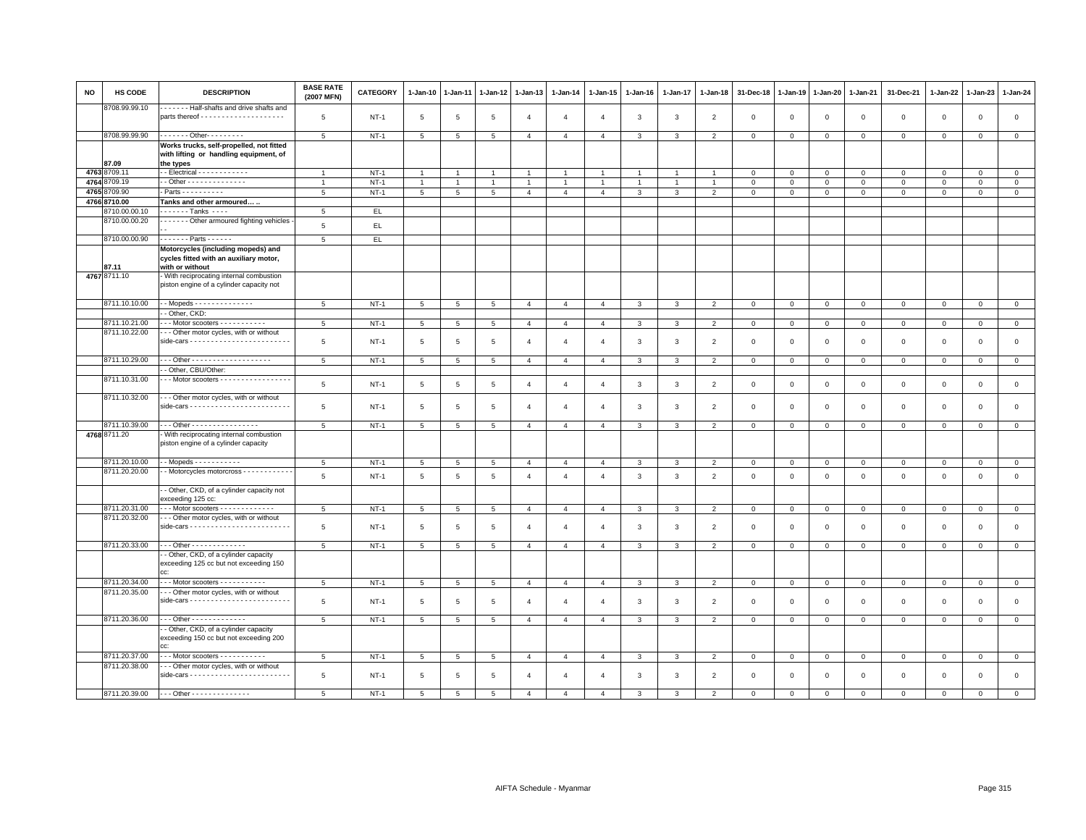| <b>NO</b> | HS CODE               | <b>DESCRIPTION</b>                                                                              | <b>BASE RATE</b><br>(2007 MFN) | CATEGORY    | $1-Jan-10$      | $1 - Jan-11$   | $1-Jan-12$      | $1-Jan-13$     | 1-Jan-14       | 1-Jan-15       | $1 - Jan-16$   | $1 - Jan-17$   | $1 - Jan-18$   | 31-Dec-18    | $1 - Jan-19$ | $1 - Jan-20$ | 1-Jan-21       | 31-Dec-21    | $1 - Jan-22$ | $1-Jan-23$     | 1-Jan-24       |
|-----------|-----------------------|-------------------------------------------------------------------------------------------------|--------------------------------|-------------|-----------------|----------------|-----------------|----------------|----------------|----------------|----------------|----------------|----------------|--------------|--------------|--------------|----------------|--------------|--------------|----------------|----------------|
|           | 8708.99.99.10         | Half-shafts and drive shafts and                                                                | 5                              | $NT-1$      | $5\phantom{.0}$ | 5              | 5               | $\overline{4}$ | $\overline{4}$ | $\overline{4}$ | 3              | 3              | $\overline{2}$ | $\mathbf 0$  | $\mathbf 0$  | $\mathsf 0$  | $\mathbf 0$    | $\mathsf 0$  | $\mathbf 0$  | $\mathbf 0$    | $\mathbf 0$    |
|           |                       |                                                                                                 |                                |             |                 |                |                 |                |                |                |                |                |                |              |              |              |                |              |              |                |                |
|           | 8708.99.99.90         | . Other- - - - - - - -                                                                          | 5                              | $NT-1$      | $5\overline{5}$ | 5              | 5               | $\overline{4}$ | $\overline{4}$ | $\overline{4}$ | 3              | 3              | $\overline{2}$ | $\mathbf 0$  | $\mathbf 0$  | $\mathbf 0$  | $\mathbf 0$    | $\mathbf 0$  | $\mathbf 0$  | $\mathbf 0$    | $\mathbf 0$    |
|           |                       | Works trucks, self-propelled, not fitted<br>with lifting or handling equipment, of              |                                |             |                 |                |                 |                |                |                |                |                |                |              |              |              |                |              |              |                |                |
|           | 87.09<br>4763 8709.11 | the types<br>- - Electrical - - - - - - - - - - - -                                             | $\mathbf{1}$                   | $NT-1$      | $\mathbf{1}$    |                | $\overline{1}$  | $\overline{1}$ |                | $\overline{1}$ |                |                |                | $\Omega$     | $\Omega$     | $\mathbf{0}$ | $\mathbf{0}$   | $\mathbf{0}$ | $\Omega$     | $\mathbf 0$    | $\mathbf{0}$   |
|           | 4764 8709.19          | - - Other - - - - - - - - - - - - - -                                                           | $\overline{1}$                 | $NT-1$      | $\mathbf{1}$    | $\overline{1}$ | $\mathbf{1}$    | $\overline{1}$ | $\mathbf{1}$   | $\mathbf{1}$   | $\overline{1}$ | $\overline{1}$ | $\overline{1}$ | $\mathbf 0$  | $\mathbf 0$  | $\mathbf 0$  | $\mathbf 0$    | $\mathbf 0$  | $\mathbf 0$  | $\mathbf{0}$   | $\mathbf 0$    |
| 4765      | 8709.90               | $-$ Parts - - - - - - - - - -                                                                   | 5                              | $NT-1$      | 5               | 5              | 5               | $\overline{4}$ | $\overline{4}$ | $\overline{4}$ | 3              | $\overline{3}$ | $\overline{2}$ | $\mathbf 0$  | $\mathsf 0$  | $\mathbf 0$  | $\mathbf 0$    | $\mathbf 0$  | $\mathsf 0$  | $\mathbf 0$    | $\mathsf 0$    |
|           | 4766 8710.00          | Tanks and other armoured                                                                        |                                |             |                 |                |                 |                |                |                |                |                |                |              |              |              |                |              |              |                |                |
|           | 8710.00.00.10         | . - Tanks                                                                                       | 5                              | EL.         |                 |                |                 |                |                |                |                |                |                |              |              |              |                |              |              |                |                |
|           | 8710.00.00.20         | Other armoured fighting vehicles                                                                | 5                              | EL          |                 |                |                 |                |                |                |                |                |                |              |              |              |                |              |              |                |                |
|           |                       |                                                                                                 |                                |             |                 |                |                 |                |                |                |                |                |                |              |              |              |                |              |              |                |                |
|           | 8710.00.00.90         | $- - - - - -$ Parts - - - - - -                                                                 | $5\phantom{.0}$                | EL          |                 |                |                 |                |                |                |                |                |                |              |              |              |                |              |              |                |                |
|           | 87.11                 | Motorcycles (including mopeds) and<br>cycles fitted with an auxiliary motor,<br>with or without |                                |             |                 |                |                 |                |                |                |                |                |                |              |              |              |                |              |              |                |                |
|           | 4767 8711.10          | - With reciprocating internal combustion                                                        |                                |             |                 |                |                 |                |                |                |                |                |                |              |              |              |                |              |              |                |                |
|           |                       | piston engine of a cylinder capacity not                                                        |                                |             |                 |                |                 |                |                |                |                |                |                |              |              |              |                |              |              |                |                |
|           | 8711.10.10.00         | - - Mopeds - - - - - - - - - - - - - -                                                          | 5                              | $NT-1$      | $5\overline{5}$ | 5              | 5               | $\overline{4}$ | $\overline{4}$ | $\overline{4}$ | 3              | 3              | $\overline{2}$ | $\mathbf 0$  | $\mathbf 0$  | $\mathbf 0$  | $\mathbf 0$    | $\mathbf 0$  | $\mathbf 0$  | $\overline{0}$ | $\mathbf 0$    |
|           |                       | - Other, CKD:                                                                                   |                                |             |                 |                |                 |                |                |                |                |                |                |              |              |              |                |              |              |                |                |
|           | 8711.10.21.00         | -- Motor scooters - - - - - - - - - - -                                                         | $5\overline{5}$                | $NT-1$      | 5               | 5              | $5\overline{5}$ | $\overline{4}$ | $\overline{4}$ | $\overline{4}$ | 3              | $\mathbf{3}$   | $\overline{2}$ | $\mathbf{0}$ | $\mathbf 0$  | $\mathbf 0$  | $\overline{0}$ | $\mathbf{0}$ | $\mathbf 0$  | $\overline{0}$ | $\circ$        |
|           | 8711.10.22.00         | - - - Other motor cycles, with or without                                                       | 5                              | $NT-1$      | 5               | 5              | 5               | $\overline{4}$ | $\overline{4}$ | $\overline{4}$ | 3              | 3              | $\overline{2}$ | $\mathbf 0$  | $\mathbf 0$  | $\mathsf 0$  | $\mathbf{0}$   | $\mathbf 0$  | $\mathbf 0$  | $\mathbf 0$    | $\mathsf 0$    |
|           | 8711.10.29.00         |                                                                                                 | 5                              | $NT-1$      | $5\overline{5}$ | 5              | $5\overline{5}$ | $\overline{4}$ | $\overline{4}$ | $\overline{4}$ | 3              | 3              | 2              | $\mathbf{0}$ | $\mathbf 0$  | $\mathbf 0$  | $\mathbf{0}$   | $\mathbf{0}$ | $\mathbf 0$  | $\mathbf 0$    | $\mathbf{0}$   |
|           |                       | - Other, CBU/Other:                                                                             |                                |             |                 |                |                 |                |                |                |                |                |                |              |              |              |                |              |              |                |                |
|           | 8711.10.31.00         | $\cdot$ - Motor scooters - - - - - - - - - - - - - - - - -                                      | 5                              | $NT-1$      | $5\overline{5}$ | 5              | 5               | $\overline{4}$ | $\overline{4}$ | $\overline{4}$ | $\mathbf{3}$   | $\mathbf{3}$   | $\overline{2}$ | $\mathbf 0$  | $\mathsf 0$  | $\mathsf 0$  | $\mathbf 0$    | $\mathsf 0$  | $\circ$      | $\mathsf 0$    | $\mathsf 0$    |
|           | 8711.10.32.00         | - - Other motor cycles, with or without                                                         | 5                              | $NT-1$      | 5               | 5              | 5               | $\overline{4}$ | $\overline{4}$ | $\overline{4}$ | 3              | 3              | $\overline{2}$ | $\mathbf 0$  | $\mathbf 0$  | $\mathsf 0$  | $\mathbf 0$    | $\mathsf 0$  | $\mathbf 0$  | $\mathsf 0$    | $\mathsf 0$    |
|           | 8711.10.39.00         | --- Other -----------------                                                                     | 5                              | $NT-1$      | 5               | 5              | 5               | $\overline{4}$ | $\overline{4}$ | $\overline{4}$ | 3              | 3              | $\overline{2}$ | $\mathbf 0$  | $\mathbf 0$  | $\mathbf{0}$ | $\mathbf 0$    | $\mathbf 0$  | $\mathbf 0$  | $\mathbf{O}$   | $\circ$        |
|           | 4768 8711.20          | - With reciprocating internal combustion<br>piston engine of a cylinder capacity                |                                |             |                 |                |                 |                |                |                |                |                |                |              |              |              |                |              |              |                |                |
|           | 8711.20.10.00         | - - Mopeds - - - - - - - - - - -                                                                | 5                              | $NT-1$      | $5\overline{5}$ | 5              | 5               | $\overline{4}$ | $\overline{4}$ | $\overline{4}$ | 3              | 3              | $\overline{2}$ | $\mathbf 0$  | $\mathsf 0$  | $\mathbf{0}$ | $\circ$        | $\mathsf 0$  | $\mathbf 0$  | $\mathsf 0$    | $\overline{0}$ |
|           | 8711.20.20.00         | - Motorcycles motorcross - - - - - - - - - - -                                                  | 5                              | $NT-1$      | $5\overline{5}$ | 5              | 5               | $\overline{4}$ | $\overline{4}$ | $\overline{4}$ | $\mathbf{3}$   | $\mathbf{3}$   | $\overline{2}$ | $\mathbf 0$  | $\mathbf{0}$ | $\mathsf 0$  | $\mathbf 0$    | $\mathsf 0$  | $\mathsf 0$  | $\mathsf 0$    | $\mathsf 0$    |
|           |                       | - Other, CKD, of a cylinder capacity not<br>exceeding 125 cc:                                   |                                |             |                 |                |                 |                |                |                |                |                |                |              |              |              |                |              |              |                |                |
|           | 8711.20.31.00         | $-$ - Motor scooters $-$ - - - - - - - - - - - - -                                              | 5                              | <b>NT-1</b> | 5               | 5              | 5               | $\overline{4}$ | $\overline{4}$ | $\overline{4}$ | 3              | 3              | $\overline{2}$ | $\mathbf 0$  | $\mathbf 0$  | $\mathbf 0$  | $\mathbf 0$    | $\mathbf 0$  | $\mathbf{0}$ | $\mathbf{0}$   | $\mathbf 0$    |
|           | 8711.20.32.00         | - - Other motor cycles, with or without                                                         | 5                              | $NT-1$      | $5\overline{5}$ | 5              | 5               | $\overline{4}$ | $\overline{4}$ | $\overline{4}$ | 3              | 3              | $\overline{2}$ | $\mathbf 0$  | $\mathbf 0$  | $\mathsf 0$  | $\mathbf 0$    | $\mathsf 0$  | $\mathbf 0$  | $\mathsf 0$    | $\mathbf 0$    |
|           | 8711.20.33.00         | - - - Other - - - - - - - - - - - - -                                                           | 5                              | $NT-1$      | 5               | 5              | 5               | $\overline{4}$ | $\overline{4}$ | $\overline{4}$ | 3              | 3              | $\overline{2}$ | $\mathbf{0}$ | $\mathbf 0$  | $\mathbf{0}$ | $\overline{0}$ | $\mathbf{0}$ | $\mathbf{0}$ | $\mathbf{0}$   | $\mathbf{0}$   |
|           |                       | - Other, CKD, of a cylinder capacity<br>exceeding 125 cc but not exceeding 150                  |                                |             |                 |                |                 |                |                |                |                |                |                |              |              |              |                |              |              |                |                |
|           | 8711.20.34.00         | Motor scooters - - - - - - - - - -                                                              | 5                              | $NT-1$      | 5               | 5              | 5               | $\overline{4}$ | $\overline{4}$ | $\overline{4}$ | 3              | 3              | $\overline{2}$ | $\mathbf 0$  | $\mathbf 0$  | $\mathbf{0}$ | $\mathbf 0$    | $\mathbf 0$  | $\mathbf{0}$ | $\mathbf{0}$   | $\mathbf 0$    |
|           | 8711.20.35.00         | - - Other motor cycles, with or without                                                         |                                |             |                 |                |                 |                |                |                |                |                |                |              |              |              |                |              |              |                |                |
|           |                       |                                                                                                 | $\overline{5}$                 | $NT-1$      | $5\overline{5}$ | 5              | 5               | $\overline{4}$ | $\overline{4}$ | $\overline{4}$ | 3              | 3              | $\overline{2}$ | $\mathbf 0$  | $\mathbf 0$  | $\mathsf 0$  | $\mathbf 0$    | $\mathsf 0$  | $\mathbf 0$  | $\mathsf 0$    | $\mathbf 0$    |
|           | 8711.20.36.00         | - - - Other - - - - - - - - - - - - -                                                           | 5                              | $NT-1$      | $5\overline{5}$ | 5              | 5               | $\overline{4}$ | $\overline{4}$ | $\overline{4}$ | $\mathbf{3}$   | 3              | $\overline{2}$ | $\mathbf 0$  | $\mathbf 0$  | $\mathbf{0}$ | $\overline{0}$ | $\mathbf 0$  | $\mathbf{0}$ | $\mathbf{0}$   | $\mathbf{0}$   |
|           |                       | - Other, CKD, of a cylinder capacity<br>exceeding 150 cc but not exceeding 200                  |                                |             |                 |                |                 |                |                |                |                |                |                |              |              |              |                |              |              |                |                |
|           | 8711.20.37.00         | . Motor scooters - - - - - - - - - - -                                                          | 5                              | $NT-1$      | 5               | 5              | 5               | $\overline{4}$ | $\overline{4}$ | $\overline{4}$ | 3              | 3              | $\overline{2}$ | $\mathbf 0$  | $\mathbf 0$  | $\mathbf 0$  | $\mathbf 0$    | $\mathbf{0}$ | $\mathbf 0$  | $\mathsf 0$    | $\mathbf 0$    |
|           | 8711.20.38.00         | - - Other motor cycles, with or without                                                         | $\overline{5}$                 | $NT-1$      | 5               | 5              | 5               | $\overline{4}$ | $\overline{4}$ | $\overline{4}$ | 3              | 3              | $\overline{2}$ | $\mathbf 0$  | $\mathbf 0$  | $\mathsf 0$  | $\mathbf{0}$   | $\mathbf 0$  | $\mathbf 0$  | $\mathbf 0$    | $\mathbf 0$    |
|           | 8711.20.39.00         | $- -$ Other - - - - - - - - - - - - - -                                                         | 5                              | $NT-1$      | 5.              | 5              | 5               | $\mathbf{A}$   | $\mathbf{A}$   | $\mathbf{A}$   |                | 3              | $\mathcal{P}$  | $\Omega$     | $\Omega$     | $\Omega$     | $\Omega$       | $\Omega$     | $\Omega$     | $\Omega$       | $\Omega$       |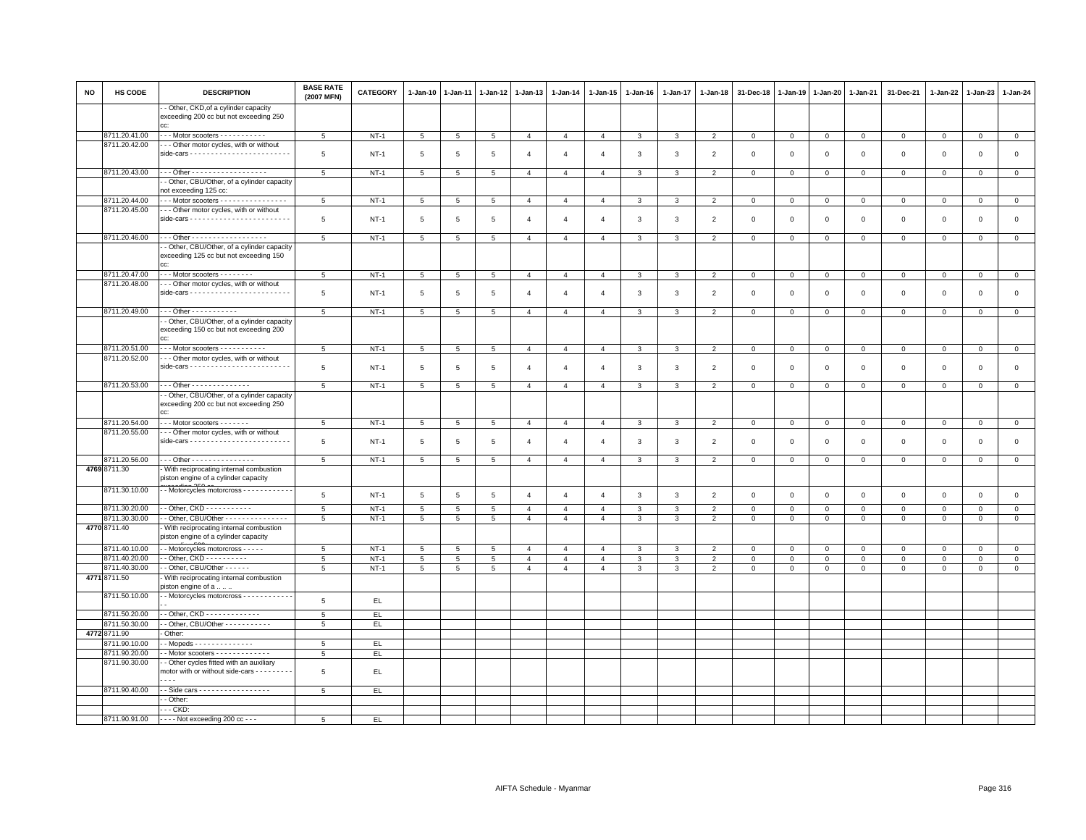| NO | HS CODE                        | <b>DESCRIPTION</b>                                                                            | <b>BASE RATE</b><br>(2007 MFN) | CATEGORY         | 1-Jan-10 | 1-Jan-11        | 1-Jan-12            | 1-Jan-13                         | 1-Jan-14                         | 1-Jan-15                         | 1-Jan-16          | 1-Jan-17     | 1-Jan-18                         | 31-Dec-18               | 1-Jan-19                    | 1-Jan-20                   | 1-Jan-21                   | 31-Dec-21                  | 1-Jan-22                | 1-Jan-23                | 1-Jan-24               |
|----|--------------------------------|-----------------------------------------------------------------------------------------------|--------------------------------|------------------|----------|-----------------|---------------------|----------------------------------|----------------------------------|----------------------------------|-------------------|--------------|----------------------------------|-------------------------|-----------------------------|----------------------------|----------------------------|----------------------------|-------------------------|-------------------------|------------------------|
|    |                                | - Other, CKD, of a cylinder capacity<br>exceeding 200 cc but not exceeding 250                |                                |                  |          |                 |                     |                                  |                                  |                                  |                   |              |                                  |                         |                             |                            |                            |                            |                         |                         |                        |
|    | 8711.20.41.00                  | $\cdots$ Motor scooters $\cdots$                                                              | 5                              | $NT-1$           | 5        | 5               | $5\phantom{.0}$     | $\overline{4}$                   | $\overline{4}$                   | $\overline{4}$                   | $\mathbf{3}$      | 3            | $\overline{2}$                   | $\mathbf{O}$            | $\mathbf 0$                 | $\overline{0}$             | $\mathbf{0}$               | $\mathbf 0$                | $\mathbf 0$             | $\mathbf 0$             | $\overline{0}$         |
|    | 8711.20.42.00                  | - - Other motor cycles, with or without                                                       | 5                              | $NT-1$           | 5        | 5               | 5                   | $\overline{4}$                   | $\overline{4}$                   | $\overline{a}$                   | 3                 | 3            | $\overline{2}$                   | $\mathbf 0$             | $\overline{0}$              | $\mathbf 0$                | $\mathbf{O}$               | $\mathbf 0$                | $\mathbf 0$             | $\mathbf 0$             | $\mathsf 0$            |
|    | 8711.20.43.00                  | Other - - - - - - - - - - - - - - - - - -                                                     | 5                              | $NT-1$           | 5        | 5               | 5                   | $\overline{4}$                   | $\overline{4}$                   | $\overline{4}$                   | 3                 | 3            | $\overline{2}$                   | $\mathbf 0$             | $\mathbf 0$                 | $\mathbf 0$                | $\mathsf 0$                | $\mathbf 0$                | $\mathbf 0$             | $\mathbf 0$             | $\mathbf{0}$           |
|    |                                | - Other, CBU/Other, of a cylinder capacity                                                    |                                |                  |          |                 |                     |                                  |                                  |                                  |                   |              |                                  |                         |                             |                            |                            |                            |                         |                         |                        |
|    |                                | not exceeding 125 cc:                                                                         |                                |                  |          |                 |                     |                                  |                                  |                                  |                   |              |                                  |                         |                             |                            |                            |                            |                         |                         |                        |
|    | 8711.20.44.00<br>8711.20.45.00 | - - Motor scooters - - - - - - - - - - - - - - - -<br>- - Other motor cycles, with or without | 5                              | $NT-1$           | 5        | 5               | 5                   | $\overline{4}$                   | $\overline{4}$                   | $\overline{4}$                   | 3                 | 3            | $\overline{2}$                   | $\mathbf 0$             | $\mathbf 0$                 | $\mathbf 0$                | $\mathsf 0$                | $\mathbf 0$                | $\mathbf 0$             | $\mathsf 0$             | $\mathbf{0}$           |
|    |                                | $side-cars - - - - - - - - - - - - - - - - - - - -$                                           | 5                              | <b>NT-1</b>      | 5        | 5               | $\overline{5}$      | $\overline{4}$                   | $\overline{4}$                   | $\overline{4}$                   | 3                 | 3            | $\overline{2}$                   | $\mathbf 0$             | $\overline{0}$              | $\mathsf 0$                | $\mathbf 0$                | $\mathsf 0$                | $\mathbf 0$             | $\,0\,$                 | $\mathsf 0$            |
|    | 8711.20.46.00                  | - - - Other - - - - - - - - - - - - - - - - - -                                               | 5                              | $NT-1$           | 5        | 5               | 5                   | $\overline{4}$                   | $\overline{4}$                   | $\overline{4}$                   | $\mathbf{3}$      | 3            | $\overline{2}$                   | $\mathbf{0}$            | $\mathbf{0}$                | $\mathbf{0}$               | $\circ$                    | $\mathbf{0}$               | $\mathbf{0}$            | $\mathbf{0}$            | $\circ$                |
|    |                                | - Other, CBU/Other, of a cylinder capacity<br>exceeding 125 cc but not exceeding 150<br>היה ב |                                |                  |          |                 |                     |                                  |                                  |                                  |                   |              |                                  |                         |                             |                            |                            |                            |                         |                         |                        |
|    | 8711.20.47.00                  | --- Motor scooters --------                                                                   | 5                              | $NT-1$           | 5        | 5               | 5                   | $\overline{4}$                   | $\overline{4}$                   | $\overline{4}$                   | $\mathbf{3}$      | $\mathbf{3}$ | $\overline{2}$                   | $\mathbf 0$             | $\mathsf 0$                 | $\overline{0}$             | $\mathbf{0}$               | $\mathsf 0$                | $\mathbf{0}$            | $\circ$                 | $\mathbf{0}$           |
|    | 8711.20.48.00                  | - - Other motor cycles, with or without                                                       | 5                              | $NT-1$           | 5        | 5               | 5                   | $\overline{4}$                   | $\overline{4}$                   | $\overline{4}$                   | 3                 | 3            | $\overline{2}$                   | $\mathbf 0$             | $\mathbf 0$                 | $\overline{0}$             | 0                          | $\mathbf 0$                | $^{\circ}$              | $\mathsf 0$             | $\mathsf 0$            |
|    | 8711.20.49.00                  | $-$ - Other - - - - - - - - - - -                                                             | 5                              | $NT-1$           | 5        | $\overline{5}$  | $\overline{5}$      | $\overline{4}$                   | $\overline{4}$                   | $\overline{4}$                   | 3                 | 3            | $\overline{2}$                   | $\mathbf 0$             | $\mathbf 0$                 | $\overline{0}$             | $\mathbf 0$                | $\mathbf 0$                | $\mathbf 0$             | $\mathbf 0$             | $\mathbf{0}$           |
|    |                                | - Other, CBU/Other, of a cylinder capacity<br>exceeding 150 cc but not exceeding 200<br>CC:   |                                |                  |          |                 |                     |                                  |                                  |                                  |                   |              |                                  |                         |                             |                            |                            |                            |                         |                         |                        |
|    | 8711.20.51.00                  | $\cdots$ Motor scooters $\cdots$                                                              | $5\phantom{.0}$                | $NT-1$           | 5        | 5               | 5                   | $\overline{4}$                   | $\overline{4}$                   | $\overline{4}$                   | 3                 | 3            | $\overline{2}$                   | $\mathbf 0$             | $\mathbf 0$                 | $\mathbf 0$                | $\mathbf{O}$               | $\mathbf 0$                | $\circ$                 | $\mathbf 0$             | $\mathbf 0$            |
|    | 8711.20.52.00                  | - - Other motor cycles, with or without                                                       | 5                              | $NT-1$           | 5        | $\overline{5}$  | $\overline{5}$      | $\overline{4}$                   | $\overline{4}$                   | $\overline{4}$                   | $\mathbf{3}$      | 3            | $\overline{2}$                   | $\mathsf 0$             | $\overline{0}$              | $\,0\,$                    | $\mathsf 0$                | $\mathsf 0$                | $\mathbf 0$             | $\mathsf 0$             | $\,0\,$                |
|    | 8711.20.53.00                  | Other - - - - - - - - - - - - - -                                                             | 5                              | $NT-1$           | 5        | 5               | 5                   | $\overline{4}$                   | $\overline{4}$                   | $\overline{4}$                   | $\mathbf{3}$      | 3            | $\overline{2}$                   | $\mathbf{O}$            | $\mathbf 0$                 | $\overline{0}$             | $\mathbf{O}$               | $\mathbf 0$                | $\mathbf 0$             | $\mathbf 0$             | $\mathbf{0}$           |
|    |                                | - Other, CBU/Other, of a cylinder capacity<br>exceeding 200 cc but not exceeding 250<br>cc:   |                                |                  |          |                 |                     |                                  |                                  |                                  |                   |              |                                  |                         |                             |                            |                            |                            |                         |                         |                        |
|    | 8711.20.54.00                  | $\cdots$ Motor scooters - - - - - - -                                                         | 5                              | $NT-1$           | 5        | 5               | 5                   | $\overline{4}$                   | $\overline{4}$                   | $\overline{4}$                   | $\mathbf{3}$      | $\mathbf{3}$ | $\overline{2}$                   | $\circ$                 | $\mathbf 0$                 | $\circ$                    | $\circ$                    | $\mathbf 0$                | $\mathbf 0$             | $\mathsf 0$             | $\mathbf{0}$           |
|    | 8711.20.55.00                  | - - Other motor cycles, with or without                                                       | 5                              | $NT-1$           | 5        | 5               | 5                   | $\overline{4}$                   | $\overline{4}$                   | $\overline{a}$                   | 3                 | 3            | $\overline{2}$                   | $^{\circ}$              | $^{\circ}$                  | $\overline{0}$             | 0                          | $\mathbf 0$                | $\mathbf 0$             | $\mathbf 0$             | $\mathsf 0$            |
|    | 8711.20.56.00                  | - - - Other - - - - - - - - - - - - - - -                                                     | 5                              | $NT-1$           | 5        | $5\overline{5}$ | 5                   | $\overline{4}$                   | $\overline{4}$                   | $\overline{4}$                   | $\mathbf{3}$      | 3            | $\overline{2}$                   | $\mathsf 0$             | $\mathbf 0$                 | $\mathbf 0$                | $\mathsf 0$                | $\circ$                    | $\mathbf 0$             | $\circ$                 | $\mathbf 0$            |
|    | 4769 8711.30                   | With reciprocating internal combustion<br>piston engine of a cylinder capacity                |                                |                  |          |                 |                     |                                  |                                  |                                  |                   |              |                                  |                         |                             |                            |                            |                            |                         |                         |                        |
|    | 8711.30.10.00                  | - Motorcycles motorcross - - - - - - - - - - -                                                | 5                              | $NT-1$           | 5        | 5               | $\overline{5}$      | $\overline{4}$                   | $\overline{4}$                   | $\overline{4}$                   | 3                 | 3            | $\overline{2}$                   | $\mathbf 0$             | $\overline{0}$              | $\mathbf 0$                | $\mathbf{0}$               | $\mathbf 0$                | $\mathbf 0$             | $\mathsf 0$             | $\mathbb O$            |
|    | 8711.30.20.00                  | - Other, $CKD$ - - - - - - - - - - -                                                          | 5                              | $NT-1$           | 5        | 5               | 5                   | $\overline{4}$                   | $\overline{4}$                   | $\overline{4}$                   | $\mathbf{3}$      | 3            | $\overline{2}$                   | $\mathbf 0$             | $\mathbf 0$                 | $\mathbf 0$                | $\mathbf{0}$               | $\mathbf 0$                | $\mathbf 0$             | $\mathbf{0}$            | $\mathbf{0}$           |
|    | 8711.30.30.00                  | - Other, CBU/Other - - - - - - - - - - - - - - -                                              | 5                              | $NT-1$           | 5        | 5               | 5                   | $\overline{4}$                   | $\overline{4}$                   | $\overline{4}$                   | 3                 | 3            | $\overline{2}$                   | $\mathbf 0$             | $\circ$                     | $\overline{0}$             | $\mathbf{0}$               | $\mathbf 0$                | $\circ$                 | $\mathbf{0}$            | $\mathbf{0}$           |
|    | 4770 8711.40                   | With reciprocating internal combustion<br>piston engine of a cylinder capacity                |                                |                  |          |                 |                     |                                  |                                  |                                  |                   |              |                                  |                         |                             |                            |                            |                            |                         |                         |                        |
|    | 8711.40.10.00<br>8711.40.20.00 | - Motorcycles motorcross - - - - -<br>- Other, $CKD - - - - - - - - - -$                      | 5                              | $NT-1$           | 5        | -5              | -5                  | $\overline{4}$<br>$\overline{4}$ | $\overline{4}$                   | $\overline{a}$                   | 3                 | 3            | $\overline{2}$                   | $\Omega$<br>$\mathbf 0$ | $\circ$                     | $\circ$                    | $\mathbf{0}$               | $\mathbf{0}$               | $\Omega$                | $\Omega$                | $\overline{0}$         |
|    | 8711.40.30.00                  | - Other, CBU/Other - - - - -                                                                  | 5<br>5                         | $NT-1$<br>$NT-1$ | 5<br>5   | 5<br>5          | $\overline{5}$<br>5 | $\overline{4}$                   | $\overline{4}$<br>$\overline{4}$ | $\overline{4}$<br>$\overline{4}$ | 3<br>$\mathbf{3}$ | 3<br>3       | $\overline{2}$<br>$\overline{2}$ | $\mathbf 0$             | $\mathsf 0$<br>$\mathbf{0}$ | $\mathsf 0$<br>$\mathbf 0$ | $\mathsf 0$<br>$\mathsf 0$ | $\mathsf 0$<br>$\mathbf 0$ | $\mathsf 0$<br>$\Omega$ | $\mathsf 0$<br>$\Omega$ | $\circ$<br>$\mathsf 0$ |
|    | 4771 8711.50                   | With reciprocating internal combustion<br>oiston engine of a                                  |                                |                  |          |                 |                     |                                  |                                  |                                  |                   |              |                                  |                         |                             |                            |                            |                            |                         |                         |                        |
|    | 8711.50.10.00                  | - Motorcycles motorcross - - - - - - - - - - -                                                | 5                              | EL               |          |                 |                     |                                  |                                  |                                  |                   |              |                                  |                         |                             |                            |                            |                            |                         |                         |                        |
|    | 8711.50.20.00                  | $\cdot$ - Other, CKD - - - - - - - - - - - - -                                                | 5                              | EL.              |          |                 |                     |                                  |                                  |                                  |                   |              |                                  |                         |                             |                            |                            |                            |                         |                         |                        |
|    | 8711.50.30.00                  | - Other, CBU/Other - - - - - - - - - - -                                                      | 5                              | EL               |          |                 |                     |                                  |                                  |                                  |                   |              |                                  |                         |                             |                            |                            |                            |                         |                         |                        |
|    | 4772 8711.90                   | Other:                                                                                        |                                |                  |          |                 |                     |                                  |                                  |                                  |                   |              |                                  |                         |                             |                            |                            |                            |                         |                         |                        |
|    | 8711.90.10.00                  | $-M$ opeds $- - - - - - - - - - - -$                                                          | 5                              | EL               |          |                 |                     |                                  |                                  |                                  |                   |              |                                  |                         |                             |                            |                            |                            |                         |                         |                        |
|    | 8711.90.20.00                  |                                                                                               | 5                              | EL.              |          |                 |                     |                                  |                                  |                                  |                   |              |                                  |                         |                             |                            |                            |                            |                         |                         |                        |
|    | 8711.90.30.00                  | - Other cycles fitted with an auxiliary<br>motor with or without side-cars - - - - - -        | 5                              | EL               |          |                 |                     |                                  |                                  |                                  |                   |              |                                  |                         |                             |                            |                            |                            |                         |                         |                        |
|    | 8711.90.40.00                  | - Side cars - - - - - - - - - - - - - - - - -                                                 | 5                              | EL.              |          |                 |                     |                                  |                                  |                                  |                   |              |                                  |                         |                             |                            |                            |                            |                         |                         |                        |
|    |                                | - Other:<br>$-CKD$                                                                            |                                |                  |          |                 |                     |                                  |                                  |                                  |                   |              |                                  |                         |                             |                            |                            |                            |                         |                         |                        |
|    | 8711.90.91.00                  | - - - - Not exceeding 200 cc - - -                                                            | 5                              | EL.              |          |                 |                     |                                  |                                  |                                  |                   |              |                                  |                         |                             |                            |                            |                            |                         |                         |                        |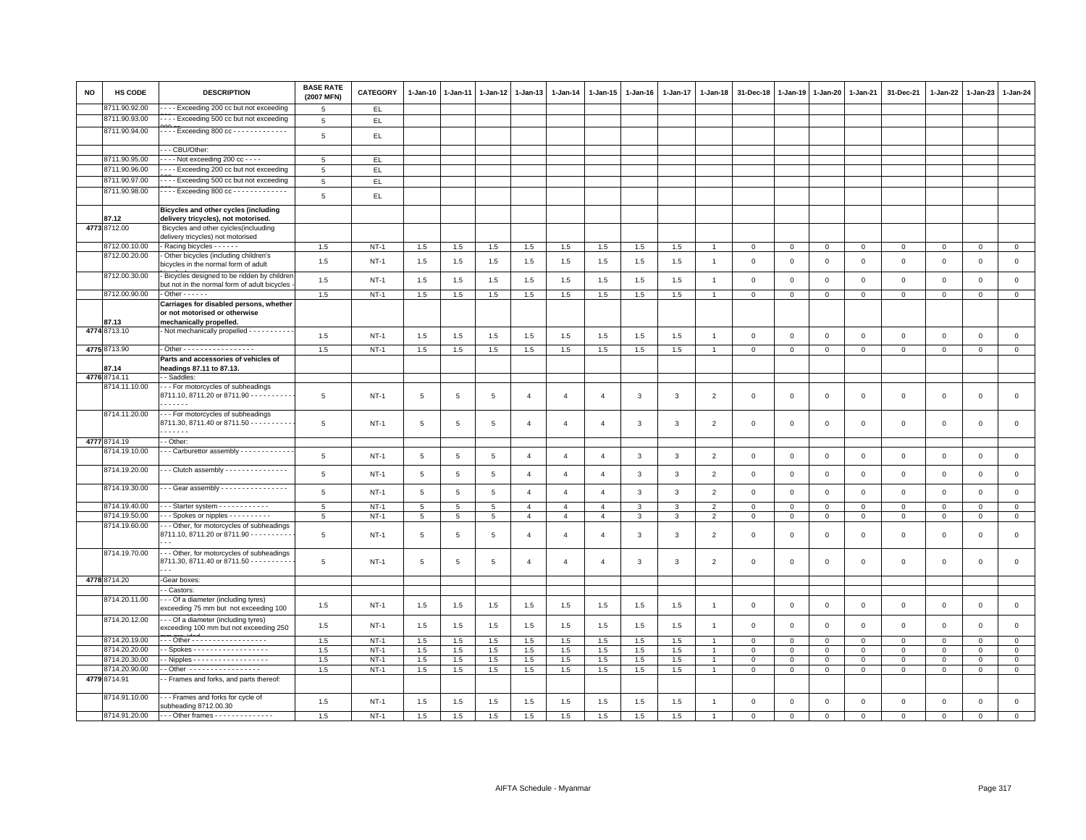| <b>NO</b> | HS CODE                        | <b>DESCRIPTION</b>                                                                                  | <b>BASE RATE</b><br>(2007 MFN) | CATEGORY         | $1 - Jan-10$         | 1-Jan-11         | $1 - Jan-12$        | $1-Jan-13$                       | 1-Jan-14                         | $1 - Jan-15$                     | $1 - Jan-16$ | 1-Jan-17 | $1 - Jan-18$                     | 31-Dec-18               | $1 - Jan-19$                  | $1-Jan-20$                  | 1-Jan-21                    | 31-Dec-21                  | $1 - Jan-22$                | 1-Jan-23                   | $1 - Jan-24$                  |
|-----------|--------------------------------|-----------------------------------------------------------------------------------------------------|--------------------------------|------------------|----------------------|------------------|---------------------|----------------------------------|----------------------------------|----------------------------------|--------------|----------|----------------------------------|-------------------------|-------------------------------|-----------------------------|-----------------------------|----------------------------|-----------------------------|----------------------------|-------------------------------|
|           | 8711.90.92.00                  | --- Exceeding 200 cc but not exceeding                                                              | 5                              | EL.              |                      |                  |                     |                                  |                                  |                                  |              |          |                                  |                         |                               |                             |                             |                            |                             |                            |                               |
|           | 8711.90.93.00                  | --- Exceeding 500 cc but not exceeding                                                              | $\,$ 5 $\,$                    | EL               |                      |                  |                     |                                  |                                  |                                  |              |          |                                  |                         |                               |                             |                             |                            |                             |                            |                               |
|           | 8711.90.94.00                  | $---$ Exceeding 800 cc - - - - - - - - - - - - -                                                    | 5                              | EL               |                      |                  |                     |                                  |                                  |                                  |              |          |                                  |                         |                               |                             |                             |                            |                             |                            |                               |
|           |                                | -- CBU/Other:                                                                                       |                                |                  |                      |                  |                     |                                  |                                  |                                  |              |          |                                  |                         |                               |                             |                             |                            |                             |                            |                               |
|           | 8711.90.95.00                  | $- - -$ Not exceeding 200 cc - - - -                                                                | 5                              | EL.              |                      |                  |                     |                                  |                                  |                                  |              |          |                                  |                         |                               |                             |                             |                            |                             |                            |                               |
|           | 8711.90.96.00                  | --- Exceeding 200 cc but not exceeding                                                              | $\overline{5}$                 | EL               |                      |                  |                     |                                  |                                  |                                  |              |          |                                  |                         |                               |                             |                             |                            |                             |                            |                               |
|           | 8711.90.97.00                  | - - - - Exceeding 500 cc but not exceeding                                                          | 5                              | EL.              |                      |                  |                     |                                  |                                  |                                  |              |          |                                  |                         |                               |                             |                             |                            |                             |                            |                               |
|           | 8711.90.98.00                  | Exceeding 800 cc - - - - - - - - - - - - -                                                          |                                |                  |                      |                  |                     |                                  |                                  |                                  |              |          |                                  |                         |                               |                             |                             |                            |                             |                            |                               |
|           |                                |                                                                                                     | $\,$ 5 $\,$                    | EL               |                      |                  |                     |                                  |                                  |                                  |              |          |                                  |                         |                               |                             |                             |                            |                             |                            |                               |
|           | 87.12                          | Bicycles and other cycles (including<br>delivery tricycles), not motorised.                         |                                |                  |                      |                  |                     |                                  |                                  |                                  |              |          |                                  |                         |                               |                             |                             |                            |                             |                            |                               |
|           | 4773 8712.00                   | Bicycles and other cyicles(incluuding<br>delivery tricycles) not motorised                          |                                |                  |                      |                  |                     |                                  |                                  |                                  |              |          |                                  |                         |                               |                             |                             |                            |                             |                            |                               |
|           | 8712.00.10.00                  | Racing bicycles - - - - - -                                                                         | 1.5                            | $NT-1$           | 1.5                  | 1.5              | 1.5                 | 1.5                              | $1.5\,$                          | 1.5                              | 1.5          | 1.5      | $\overline{1}$                   | $\mathbf{0}$            | $\mathsf 0$                   | $\mathbf 0$                 | $\mathbf{O}$                | $\mathbf{0}$               | $\mathbf 0$                 | $\circ$                    | $\overline{0}$                |
|           | 8712.00.20.00                  | - Other bicycles (including children's<br>bicycles in the normal form of adult                      | 1.5                            | $NT-1$           | 1.5                  | 1.5              | 1.5                 | 1.5                              | 1.5                              | 1.5                              | 1.5          | 1.5      | $\overline{1}$                   | $\mathbf 0$             | $\mathbf 0$                   | $\overline{0}$              | $\mathbf 0$                 | $\mathsf 0$                | $\mathbf 0$                 | $\mathbf 0$                | $\mathsf 0$                   |
|           | 8712.00.30.00                  | Bicycles designed to be ridden by children<br>but not in the normal form of adult bicycles          | 1.5                            | $NT-1$           | 1.5                  | 1.5              | 1.5                 | 1.5                              | 1.5                              | 1.5                              | 1.5          | 1.5      | $\overline{1}$                   | $\mathbf 0$             | $\mathbf 0$                   | $\mathsf 0$                 | $\mathsf 0$                 | $\mathsf 0$                | $\mathsf 0$                 | $\mathsf 0$                | $\mathsf 0$                   |
|           | 8712.00.90.00                  | $-$ Other $- - - -$                                                                                 | 1.5                            | $NT-1$           | 1.5                  | 1.5              | 1.5                 | 1.5                              | 1.5                              | 1.5                              | 1.5          | 1.5      | $\overline{1}$                   | $\mathbf{0}$            | $\mathbf 0$                   | $\mathbf{O}$                | $\circ$                     | $\mathbf 0$                | $\Omega$                    | $\mathbf 0$                | $\mathbf{0}$                  |
|           | 87.13                          | Carriages for disabled persons, whether<br>or not motorised or otherwise<br>mechanically propelled. |                                |                  |                      |                  |                     |                                  |                                  |                                  |              |          |                                  |                         |                               |                             |                             |                            |                             |                            |                               |
|           | 4774 8713.10                   | Not mechanically propelled - - - - - - - - - -                                                      | 1.5                            | $NT-1$           | 1.5                  | 1.5              | 1.5                 | 1.5                              | 1.5                              | 1.5                              | 1.5          | 1.5      | $\overline{1}$                   | $\mathbf{0}$            | $\mathbf 0$                   | $\mathbf{0}$                | $\mathbf{0}$                | $\mathbf{0}$               | $\mathbf{0}$                | $\mathbf 0$                | $\mathsf 0$                   |
|           | 4775 8713.90                   | - Other - - - - - - - - - - - - - - - - -                                                           | 1.5                            | $NT-1$           | 1.5                  | 1.5              | 1.5                 | 1.5                              | 1.5                              | 1.5                              | 1.5          | 1.5      | $\overline{1}$                   | $\mathbf{0}$            | $\circ$                       | $\mathbf 0$                 | $\mathbf{0}$                | $\mathbf{0}$               | $\circ$                     | $\mathbf 0$                | $\mathbf{0}$                  |
|           |                                | Parts and accessories of vehicles of                                                                |                                |                  |                      |                  |                     |                                  |                                  |                                  |              |          |                                  |                         |                               |                             |                             |                            |                             |                            |                               |
|           | 87.14                          | headings 87.11 to 87.13.                                                                            |                                |                  |                      |                  |                     |                                  |                                  |                                  |              |          |                                  |                         |                               |                             |                             |                            |                             |                            |                               |
|           | 4776 8714.11                   | - Saddles:                                                                                          |                                |                  |                      |                  |                     |                                  |                                  |                                  |              |          |                                  |                         |                               |                             |                             |                            |                             |                            |                               |
|           | 8714.11.10.00                  | --- For motorcycles of subheadings<br>8711.10, 8711.20 or 8711.90 - - - - - - - - - -<br>.          | 5                              | <b>NT-1</b>      | 5                    | $\overline{5}$   | 5                   | $\overline{4}$                   | $\overline{4}$                   | $\overline{4}$                   | 3            | 3        | $\overline{2}$                   | 0                       | $\Omega$                      | $\mathbf{0}$                | $\mathbf 0$                 | $\mathsf 0$                | $\mathsf 0$                 | 0                          | $\mathsf 0$                   |
|           | 8714.11.20.00                  | --- For motorcycles of subheadings<br>8711.30, 8711.40 or 8711.50 - - - - - - - - -<br>.            | 5                              | $NT-1$           | 5                    | 5                | 5                   | $\mathbf{A}$                     | $\overline{4}$                   | $\Delta$                         | 3            | 3        | $\overline{2}$                   | $\mathbf 0$             | $\mathbf 0$                   | $\mathsf 0$                 | $\mathsf 0$                 | $\mathsf 0$                | $\mathbf 0$                 | $\mathsf 0$                | $\mathsf 0$                   |
|           | 4777 8714.19                   | - Other:                                                                                            |                                |                  |                      |                  |                     |                                  |                                  |                                  |              |          |                                  |                         |                               |                             |                             |                            |                             |                            |                               |
|           | 8714.19.10.00                  | - - Carburettor assembly - - - - - - - - - - -                                                      | 5                              | $NT-1$           |                      |                  |                     | $\mathbf{A}$                     |                                  | $\overline{4}$                   |              |          |                                  |                         |                               |                             | $\mathbf{0}$                |                            |                             |                            | $\mathsf 0$                   |
|           | 8714.19.20.00                  | $\cdot$ - Clutch assembly - - - - - - - - - - - - - - -                                             | 5                              | $NT-1$           | 5<br>$5\overline{5}$ | 5<br>5           | 5<br>5              | $\overline{4}$                   | $\overline{4}$<br>$\overline{4}$ | $\overline{4}$                   | 3<br>3       | 3<br>3   | $\overline{2}$<br>$\overline{2}$ | $\mathbf 0$<br>$\Omega$ | $\mathbf 0$<br>$\mathbf 0$    | $\mathbf 0$<br>$\mathbf{0}$ | $\mathbf{0}$                | $\mathsf 0$<br>$\mathbf 0$ | $\mathbf 0$<br>$\mathbf{0}$ | $\mathsf 0$<br>$\mathbf 0$ | $\mathbf 0$                   |
|           |                                |                                                                                                     |                                |                  |                      |                  |                     |                                  |                                  |                                  |              |          |                                  |                         |                               |                             |                             |                            |                             |                            |                               |
|           | 8714.19.30.00                  | -- Gear assembly ----------------                                                                   | $\,$ 5 $\,$                    | $NT-1$           | $\,$ 5 $\,$          | $\,$ 5 $\,$      | $\,$ 5 $\,$         | $\overline{4}$                   | $\overline{4}$                   | $\overline{4}$                   | $\mathbf{3}$ | 3        | $\overline{2}$                   | $\mathbf 0$             | $\mathsf 0$                   | $\mathbf 0$                 | $\mathbf 0$                 | $\mathsf 0$                | $\mathsf 0$                 | $\,0\,$                    | $\mathsf 0$                   |
|           | 8714.19.40.00<br>8714.19.50.00 | $-$ - Starter system $-$ - - - - - - - - - - -<br>- - Spokes or nipples - - - - - - - - - -         | 5                              | $NT-1$           | 5                    | 5                | 5                   | $\overline{4}$                   | $\overline{4}$                   | $\overline{4}$                   | $\mathbf{3}$ | 3        | $\overline{2}$                   | $\mathsf 0$             | $\mathbf 0$                   | $\mathsf 0$                 | $\mathsf 0$                 | $\mathsf 0$                | $\mathbf 0$                 | $\mathsf 0$                | $\mathsf 0$                   |
|           | 8714.19.60.00                  | - - Other, for motorcycles of subheadings<br>8711.10, 8711.20 or 8711.90 - - - - - - - - -          | $\overline{5}$<br>5            | $NT-1$<br>$NT-1$ | 5<br>5               | $\,$ 5 $\,$<br>5 | $\overline{5}$<br>5 | $\overline{4}$<br>$\overline{4}$ | $\overline{4}$<br>$\overline{4}$ | $\overline{4}$<br>$\overline{4}$ | 3<br>3       | 3<br>3   | $\overline{2}$<br>$\overline{2}$ | 0<br>$\mathbf 0$        | $\overline{0}$<br>$\mathbf 0$ | $\mathbf 0$<br>$\mathbf 0$  | $\mathbf{0}$<br>$\mathbf 0$ | $\mathsf 0$<br>$\mathsf 0$ | $\mathsf 0$<br>$\mathsf 0$  | $\mathbf 0$<br>$\mathbf 0$ | $\overline{0}$<br>$\mathsf 0$ |
|           | 8714.19.70.00                  | - - - Other, for motorcycles of subheadings<br>8711.30, 8711.40 or 8711.50 - - - - - - - - -        | 5                              | $NT-1$           | 5                    | 5                | 5                   | $\overline{4}$                   | $\overline{4}$                   | $\overline{4}$                   | 3            | 3        | $\overline{2}$                   | $\mathbf 0$             | $\mathbf 0$                   | $\mathbf 0$                 | $\mathsf 0$                 | $\mathsf 0$                | $\mathsf 0$                 | $\mathsf 0$                | $\mathsf 0$                   |
|           | 4778 8714.20                   | -Gear boxes:                                                                                        |                                |                  |                      |                  |                     |                                  |                                  |                                  |              |          |                                  |                         |                               |                             |                             |                            |                             |                            |                               |
|           |                                | - Castors:                                                                                          |                                |                  |                      |                  |                     |                                  |                                  |                                  |              |          |                                  |                         |                               |                             |                             |                            |                             |                            |                               |
|           | 8714.20.11.00                  | - - - Of a diameter (including tyres)<br>exceeding 75 mm but not exceeding 100                      | 1.5                            | $NT-1$           | 1.5                  | 1.5              | 1.5                 | 1.5                              | 1.5                              | 1.5                              | 1.5          | 1.5      | $\overline{1}$                   | $\Omega$                | $\Omega$                      | $\mathbf 0$                 | $\mathbf 0$                 | $\mathsf 0$                | $\mathbf{0}$                | $\mathbf 0$                | $\mathbf 0$                   |
|           | 8714.20.12.00                  | - - Of a diameter (including tyres)<br>exceeding 100 mm but not exceeding 250                       | 1.5                            | $NT-1$           | 1.5                  | 1.5              | 1.5                 | 1.5                              | 1.5                              | 1.5                              | 1.5          | 1.5      | $\overline{1}$                   | $\mathsf 0$             | $\mathbf 0$                   | $\mathbf 0$                 | $\mathsf 0$                 | $\mathsf 0$                | $\mathsf 0$                 | $\mathsf 0$                | $\mathsf 0$                   |
|           | 8714.20.19.00                  | Other - - - - - - - - - - - - - - - - - -                                                           | 1.5                            | $NT-1$           | 1.5                  | 1.5              | 1.5                 | 1.5                              | 1.5                              | 1.5                              | 1.5          | 1.5      | $\overline{1}$                   | $\mathbf 0$             | $\mathbf 0$                   | $\mathbf 0$                 | $\mathbf{O}$                | $\mathbf 0$                | $\mathbf 0$                 | $\mathsf 0$                | $\circ$                       |
|           | 8714.20.20.00                  | $-$ Spokes - - - - - - - - - - - - - - - - - -                                                      | 1.5                            | $NT-1$           | 1.5                  | 1.5              | 1.5                 | 1.5                              | 1.5                              | 1.5                              | 1.5          | 1.5      | $\overline{1}$                   | $\mathbf{0}$            | $\mathbf 0$                   | $\mathbf{0}$                | $\mathbf{0}$                | $\mathbf{0}$               | $\mathbf{0}$                | $\mathbf 0$                | $\circ$                       |
|           | 8714.20.30.00                  | $\cdot$ - Nipples - - - - - - - - - - - - - - - - - -                                               | 1.5                            | $NT-1$           | 1.5                  | 1.5              | 1.5                 | 1.5                              | 1.5                              | 1.5                              | 1.5          | 1.5      | $\overline{1}$                   | $\mathbf 0$             | $\mathbf 0$                   | $\mathbf 0$                 | $\mathbf 0$                 | $\mathsf 0$                | $\circ$                     | $\mathbf 0$                | $\mathsf 0$                   |
|           | 8714.20.90.00                  | - Other -----------------                                                                           | 1.5                            | $NT-1$           | 1.5                  | 1.5              | 1.5                 | 1.5                              | 1.5                              | 1.5                              | 1.5          | 1.5      | 1                                | $\mathsf 0$             | $\mathsf 0$                   | $\mathsf 0$                 | $\circ$                     | 0                          | $\mathsf 0$                 | $\mathbf 0$                | $\circ$                       |
|           | 4779 8714.91                   | - Frames and forks, and parts thereof:                                                              |                                |                  |                      |                  |                     |                                  |                                  |                                  |              |          |                                  |                         |                               |                             |                             |                            |                             |                            |                               |
|           | 8714.91.10.00                  | - - - Frames and forks for cycle of<br>subheading 8712.00.30                                        | 1.5                            | $NT-1$           | 1.5                  | 1.5              | 1.5                 | 1.5                              | 1.5                              | 1.5                              | 1.5          | 1.5      | $\overline{1}$                   | $\mathsf 0$             | $\mathsf 0$                   | $\mathsf 0$                 | $\circ$                     | $\mathsf 0$                | $\mathsf 0$                 | $\mathbf 0$                | $\mathsf 0$                   |
|           | 8714.91.20.00                  | $\cdots$ Other frames $\cdots$                                                                      | 1.5                            | $NT-1$           | 1.5                  | 1.5              | 1.5                 | 1.5                              | 1.5                              | 1.5                              | 1.5          | 1.5      | $\overline{1}$                   | $\mathbf{0}$            | $\mathbf{0}$                  | $\circ$                     | $\mathbf{0}$                | $\mathbf{0}$               | $\mathbf{0}$                | $\mathbf{0}$               | $\mathbf 0$                   |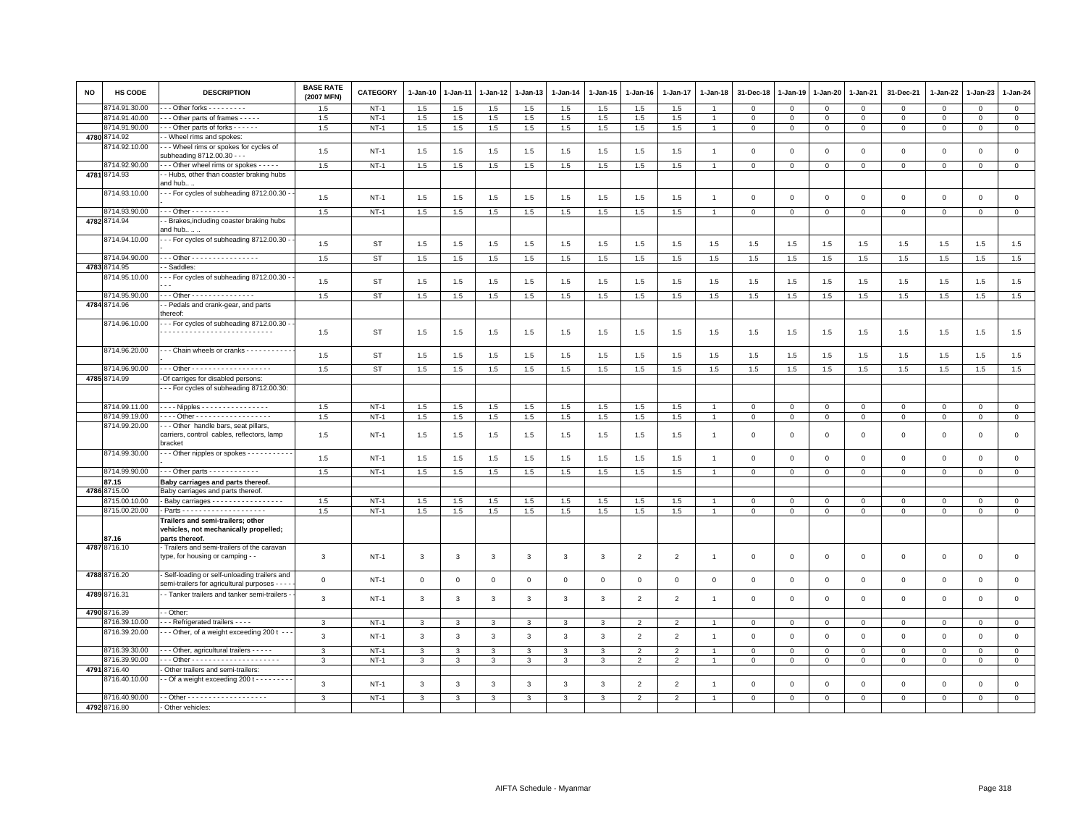| <b>NO</b> | HS CODE                  | <b>DESCRIPTION</b>                                                                             | <b>BASE RATE</b><br>(2007 MFN) | CATEGORY    | 1-Jan-10     | 1-Jan-11    | 1-Jan-12     | 1-Jan-13     | $1 - Jan-14$ | 1-Jan-15     | 1-Jan-16       | 1-Jan-17       | 1-Jan-18       | 31-Dec-18    | 1-Jan-19    | 1-Jan-20     | 1-Jan-21     | 31-Dec-21    | 1-Jan-22    | 1-Jan-23     | $1 - Jan-24$        |
|-----------|--------------------------|------------------------------------------------------------------------------------------------|--------------------------------|-------------|--------------|-------------|--------------|--------------|--------------|--------------|----------------|----------------|----------------|--------------|-------------|--------------|--------------|--------------|-------------|--------------|---------------------|
|           | 8714.91.30.00            | $-$ - Other forks $-$ - - - - - - - -                                                          | 1.5                            | $NT-1$      | 1.5          | 1.5         | 1.5          | 1.5          | 1.5          | 1.5          | 1.5            | 1.5            |                | $\Omega$     | $\Omega$    | $\Omega$     | $\Omega$     | $\Omega$     | $\Omega$    | $\Omega$     | $\mathbf{0}$        |
|           | 8714.91.40.00            | -- Other parts of frames - - - - -                                                             | 1.5                            | $NT-1$      | 1.5          | 1.5         | 1.5          | 1.5          | 1.5          | 1.5          | 1.5            | 1.5            | 1              | $\mathbf 0$  | $\mathbf 0$ | $\mathbf 0$  | $\mathbf 0$  | $\mathbf 0$  | $\mathsf 0$ | $\mathbf 0$  | $\circ$             |
|           | 8714.91.90.00            | - - Other parts of forks - - - - - -                                                           | 1.5                            | $NT-1$      | 1.5          | 1.5         | 1.5          | 1.5          | 1.5          | 1.5          | 1.5            | 1.5            |                | $\mathbf 0$  | $\Omega$    | $\Omega$     | $\mathbf 0$  | $\mathbf 0$  | $\Omega$    | $\mathbf 0$  | $\mathbf{0}$        |
|           | 4780 8714.92             | - Wheel rims and spokes:                                                                       |                                |             |              |             |              |              |              |              |                |                |                |              |             |              |              |              |             |              |                     |
|           | 3714.92.10.00            | - - Wheel rims or spokes for cycles of<br>subheading 8712.00.30 - - -                          | 1.5                            | $NT-1$      | 1.5          | 1.5         | 1.5          | 1.5          | 1.5          | 1.5          | 1.5            | 1.5            | $\overline{1}$ | $\mathbf 0$  | $\mathbf 0$ | $\mathbf 0$  | $\mathbf 0$  | $\,0\,$      | $\mathbf 0$ | $\mathbf 0$  | $\mathbf{0}$        |
|           | 8714.92.90.00            | - - - Other wheel rims or spokes - - - - -                                                     | 1.5                            | $NT-1$      | 1.5          | 1.5         | 1.5          | 1.5          | 1.5          | 1.5          | 1.5            | 1.5            | $\overline{1}$ | $\mathbf 0$  | $\mathbf 0$ | $\mathbf{0}$ | $\mathbf 0$  | $\mathbf{0}$ | $\Omega$    | $\mathbf{0}$ | $\mathbf{0}$        |
|           | 4781 8714.93             | - Hubs, other than coaster braking hubs<br>and hub .                                           |                                |             |              |             |              |              |              |              |                |                |                |              |             |              |              |              |             |              |                     |
|           | 8714.93.10.00            | --- For cycles of subheading 8712.00.30 -                                                      | 1.5                            | $NT-1$      | 1.5          | 1.5         | 1.5          | 1.5          | 1.5          | 1.5          | 1.5            | 1.5            |                | $\mathbf 0$  | 0           | $\mathbf 0$  | $\Omega$     | $\mathbf 0$  | $^{\circ}$  | $\mathbf 0$  | $\mathsf 0$         |
|           | 8714.93.90.00            | - - - Other - - - - - - - - -                                                                  | 1.5                            | $NT-1$      | 1.5          | 1.5         | 1.5          | 1.5          | 1.5          | 1.5          | 1.5            | 1.5            | $\overline{1}$ | $\mathbf 0$  | $\mathbf 0$ | $\mathbf{0}$ | $\mathsf 0$  | $\circ$      | $\mathbf 0$ | $\mathbf 0$  | $\circ$             |
|           | 4782 8714.94             | - Brakes, including coaster braking hubs<br>and hub                                            |                                |             |              |             |              |              |              |              |                |                |                |              |             |              |              |              |             |              |                     |
|           | 8714.94.10.00            | - - For cycles of subheading 8712.00.30 -                                                      | 1.5                            | <b>ST</b>   | 1.5          | 1.5         | 1.5          | 1.5          | 1.5          | 1.5          | 1.5            | 1.5            | 1.5            | 1.5          | 1.5         | 1.5          | 1.5          | 1.5          | 1.5         | 1.5          | 1.5                 |
|           | 8714.94.90.00            | . Other - - - - - - - - - - - - - - - -                                                        | 1.5                            | ST          | 1.5          | 1.5         | 1.5          | 1.5          | 1.5          | 1.5          | 1.5            | 1.5            | 1.5            | 1.5          | 1.5         | 1.5          | 1.5          | 1.5          | 1.5         | 1.5          | 1.5                 |
|           | 4783 8714.95             | - Saddles:                                                                                     |                                |             |              |             |              |              |              |              |                |                |                |              |             |              |              |              |             |              |                     |
|           | 8714.95.10.00            | - - For cycles of subheading 8712.00.30 -                                                      | 1.5                            | <b>ST</b>   | 1.5          | 1.5         | 1.5          | 1.5          | 1.5          | 1.5          | 1.5            | 1.5            | 1.5            | 1.5          | 1.5         | 1.5          | 1.5          | 1.5          | 1.5         | 1.5          | 1.5                 |
|           | 8714.95.90.00            | Other - - - - - - - - - - - - - - -                                                            | 1.5                            | ST          | 1.5          | 1.5         | 1.5          | 1.5          | 1.5          | 1.5          | 1.5            | 1.5            | 1.5            | 1.5          | 1.5         | 1.5          | 1.5          | 1.5          | 1.5         | 1.5          | 1.5                 |
|           | 4784 8714.96             | - Pedals and crank-gear, and parts<br>hereof:                                                  |                                |             |              |             |              |              |              |              |                |                |                |              |             |              |              |              |             |              |                     |
|           | 8714.96.10.00            | - - - For cycles of subheading 8712.00.30 -                                                    | 1.5                            | ST          | 1.5          | 1.5         | 1.5          | 1.5          | 1.5          | 1.5          | 1.5            | 1.5            | 1.5            | 1.5          | 1.5         | 1.5          | 1.5          | 1.5          | 1.5         | 1.5          | 1.5                 |
|           | 8714.96.20.00            | Chain wheels or cranks                                                                         | 1.5                            | <b>ST</b>   | 1.5          | 1.5         | 1.5          | 1.5          | 1.5          | 1.5          | 1.5            | 1.5            | 1.5            | 1.5          | 1.5         | 1.5          | 1.5          | 1.5          | 1.5         | 1.5          | 1.5                 |
|           | 8714.96.90.00            |                                                                                                | 1.5                            | <b>ST</b>   | 1.5          | 1.5         | 1.5          | 1.5          | 1.5          | 1.5          | 1.5            | 1.5            | 1.5            | 1.5          | 1.5         | 1.5          | 1.5          | 1.5          | 1.5         | $1.5\,$      | 1.5                 |
|           | 4785 8714.99             | -Of carriges for disabled persons:                                                             |                                |             |              |             |              |              |              |              |                |                |                |              |             |              |              |              |             |              |                     |
|           |                          | -- For cycles of subheading 8712.00.30:                                                        |                                |             |              |             |              |              |              |              |                |                |                |              |             |              |              |              |             |              |                     |
|           | 8714.99.11.00            | - - - - Nipples - - - - - - - - - - - - - - -                                                  | 1.5                            | $NT-1$      | 1.5          | 1.5         | 1.5          | 1.5          | 1.5          | 1.5          | 1.5            | 1.5            | $\overline{1}$ | $\mathbf{0}$ | $\mathbf 0$ | $\mathbf{0}$ | $\mathbf{0}$ | $\mathbf{0}$ | $\mathbf 0$ | $\mathbf{0}$ | $\mathbf{0}$        |
|           | 8714.99.19.00            | . Other -                                                                                      | 1.5                            | $NT-1$      | 1.5          | 1.5         | 1.5          | 1.5          | 1.5          | 1.5          | 1.5            | 1.5            | $\overline{1}$ | $\mathbf 0$  | $\mathbf 0$ | $\mathbf 0$  | $\mathbf 0$  | $\mathbf 0$  | $\mathsf 0$ | $\mathbf 0$  | $\mathbf{0}$        |
|           | 8714.99.20.00            | - - Other handle bars, seat pillars,<br>carriers, control cables, reflectors, lamp<br>bracket  | 1.5                            | <b>NT-1</b> | 1.5          | 1.5         | 1.5          | 1.5          | 1.5          | 1.5          | 1.5            | 1.5            | $\mathbf{1}$   | $\mathbf 0$  | $\mathbf 0$ | $\mathbf 0$  | $\mathsf 0$  | $\mathbf 0$  | $\mathbf 0$ | $\mathbf 0$  | $\mathbf 0$         |
|           | 8714.99.30.00            | - - Other nipples or spokes - - - - - - - - - -                                                | 1.5                            | $NT-1$      | 1.5          | 1.5         | 1.5          | 1.5          | 1.5          | 1.5          | 1.5            | 1.5            | $\overline{1}$ | $\mathbf 0$  | 0           | $\mathbf 0$  | $\mathsf 0$  | $\mathbf 0$  | $^{\circ}$  | $\mathbf 0$  | $\circ$             |
|           | 8714.99.90.00            | $\cdots$ Other parts $\cdots$                                                                  | 1.5                            | $NT-1$      | 1.5          | 1.5         | 1.5          | 1.5          | 1.5          | 1.5          | 1.5            | 1.5            |                | $\mathbf 0$  | $\mathbf 0$ | $\mathbf 0$  | $\mathbf 0$  | $\mathsf 0$  | $\mathsf 0$ | $\mathbf 0$  | $\mathbf 0$         |
|           | 87.15                    | Baby carriages and parts thereof.                                                              |                                |             |              |             |              |              |              |              |                |                |                |              |             |              |              |              |             |              |                     |
|           | 4786 8715.00             | Baby carriages and parts thereof.                                                              |                                |             |              |             |              |              |              |              |                |                |                |              |             |              |              |              |             |              |                     |
|           | 8715.00.10.00            | - Baby carriages - - - - - - - - - - - - - - - -                                               | 1.5                            | $NT-1$      | 1.5          | 1.5         | 1.5          | 1.5          | 1.5          | 1.5          | 1.5            | 1.5            |                | $\mathbf 0$  | $\mathbf 0$ | $\Omega$     | $\mathbf{0}$ | $\mathbf{0}$ | $\Omega$    | $\mathbf 0$  | $\mathbf{0}$        |
|           | 8715.00.20.00            |                                                                                                | 1.5                            | $NT-1$      | 1.5          | $1.5\,$     | 1.5          | 1.5          | 1.5          | 1.5          | 1.5            | 1.5            |                | 0            | $\mathbf 0$ | $\mathbf 0$  | 0            | 0            | 0           | 0            | $\mathbf 0$         |
|           | 87.16                    | Trailers and semi-trailers; other<br>vehicles, not mechanically propelled;<br>parts thereof.   |                                |             |              |             |              |              |              |              |                |                |                |              |             |              |              |              |             |              |                     |
|           | 4787 8716.10             | - Trailers and semi-trailers of the caravan<br>type, for housing or camping - -                | 3                              | $NT-1$      | 3            | 3           | 3            | 3            | $\mathbf{3}$ | 3            | 2              | $\overline{2}$ | $\mathbf{1}$   | $\mathbf{0}$ | $\mathbf 0$ | $\mathbf{0}$ | $\mathbf{0}$ | $\mathbf 0$  | $\mathbf 0$ | $\mathbf 0$  | $\mathsf 0$         |
|           | 4788 8716.20             | - Self-loading or self-unloading trailers and<br>semi-trailers for agricultural purposes - - - | $\mathbf 0$                    | <b>NT-1</b> | $\mathsf 0$  | $\mathbf 0$ | $\mathbf 0$  | $\mathsf 0$  | $\,0\,$      | $\mathbf 0$  | $\mathbf 0$    | $\mathbf 0$    | $\mathbf 0$    | $\mathbf 0$  | $\mathbf 0$ | $\mathbf 0$  | $\mathsf 0$  | $\mathsf 0$  | $\mathsf 0$ | $\mathsf 0$  | $\mathbf 0$         |
|           | 4789 8716.31             | - - Tanker trailers and tanker semi-trailers -                                                 | $\mathbf{3}$                   | <b>NT-1</b> | $\mathbf{3}$ | 3           | 3            | 3            | $\mathbf{3}$ | 3            | $\overline{2}$ | $\overline{2}$ | $\mathbf{1}$   | $\mathbf 0$  | $\mathbf 0$ | $\mathbf 0$  | $\mathsf 0$  | $\,0\,$      | $\mathbf 0$ | $\mathbf 0$  | $\mathsf{O}\xspace$ |
|           | 4790 8716.39             | - Other:                                                                                       |                                |             |              |             |              |              |              |              |                |                |                |              |             |              |              |              |             |              |                     |
|           | 8716.39.10.00            | - - Refrigerated trailers - - - -                                                              | 3                              | $NT-1$      | 3            |             |              | $\mathbf{B}$ | 3            | $\mathbf{3}$ | $\overline{a}$ | $\mathcal{P}$  |                | $\Omega$     | $\Omega$    | $\Omega$     | $\Omega$     | $\Omega$     |             | $\Omega$     | $\mathbf{0}$        |
|           | 8716.39.20.00            | - - Other, of a weight exceeding 200 t - -                                                     | $\mathbf{3}$                   | $NT-1$      | $\mathbf{3}$ | 3           | $\mathbf{3}$ | 3            | $\mathbf{3}$ | 3            | $\overline{2}$ | $\overline{2}$ |                | $\mathbf 0$  | $\mathbf 0$ | $\mathbf 0$  | $\mathsf 0$  | $\mathsf 0$  | $\mathbf 0$ | $\mathbf 0$  | $\mathsf 0$         |
|           | 8716.39.30.00            | $-$ - Other, agricultural trailers $-$ - $-$ -                                                 | 3                              | $NT-1$      | 3            | 3           | 3            | 3            | $\mathbf{3}$ | 3            | $\overline{2}$ | 2              |                | $\Omega$     | $\Omega$    | $\Omega$     | $\Omega$     | $\mathbf{0}$ | $\Omega$    | $\mathbf 0$  | $\mathbf{0}$        |
|           | 8716.39.90.00            |                                                                                                | $\mathbf{3}$                   | $NT-1$      | $\mathbf{3}$ | 3           | 3            | 3            | $\mathbf{3}$ | $\mathbf{3}$ | $\overline{2}$ | $\overline{2}$ | $\overline{1}$ | $\mathbf{0}$ | $\circ$     | $\mathbf 0$  | $\mathbf 0$  | $\mathbf 0$  | 0           | $\mathbf 0$  | $\circ$             |
| 4791      | 8716.40<br>8716.40.10.00 | - Other trailers and semi-trailers:<br>- Of a weight exceeding 200 t - - - - - - - -           |                                |             |              |             |              |              |              |              |                |                |                |              |             |              |              |              |             |              |                     |
|           |                          |                                                                                                | 3                              | $NT-1$      | 3            | 3           | 3            | 3            | 3            | 3            | $\overline{2}$ | 2              | $\overline{1}$ | $\Omega$     | $\mathbf 0$ | $\mathbf 0$  | $\Omega$     | $\mathbf 0$  | $^{\circ}$  | $\mathsf 0$  | $\mathbf{0}$        |
|           | 8716.40.90.00            |                                                                                                | 3                              | $NT-1$      | 3            |             | 3            | 3            | 3            | 3            | $\overline{2}$ | $\overline{2}$ |                | $\Omega$     | $^{\circ}$  | $\mathbf 0$  | $\Omega$     | 0            | 0           | $\mathbf 0$  | $\mathbf{0}$        |
|           | 4792 8716.80             | - Other vehicles:                                                                              |                                |             |              |             |              |              |              |              |                |                |                |              |             |              |              |              |             |              |                     |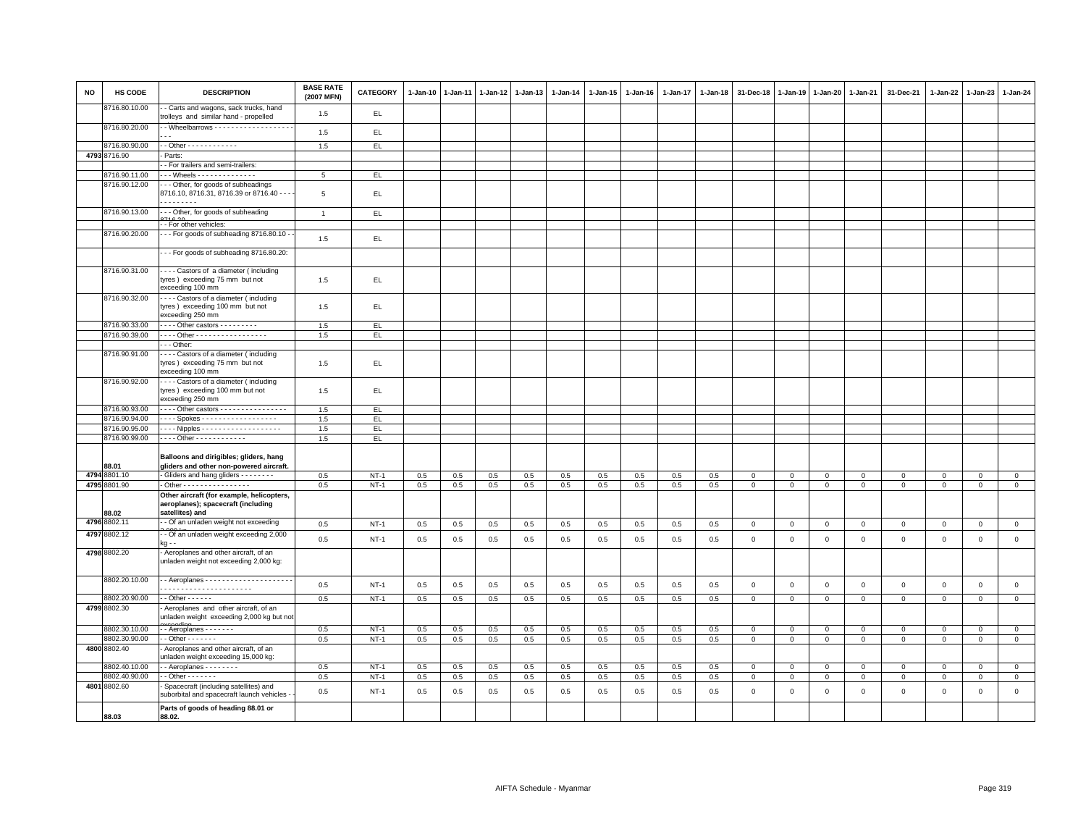| <b>NO</b> | HS CODE       | <b>DESCRIPTION</b>                                                                                 | <b>BASE RATE</b><br>(2007 MFN) | <b>CATEGORY</b> | $1-Jan-10$ | $1-Jan-11$ | $1-Jan-12$ | $1-Jan-13$ | $1-Jan-14$ | 1-Jan-15 | $1-Jan-16$ | 1-Jan-17 | $1-Jan-18$ | 31-Dec-18      | $1-Jan-19$     | $1 - Jan-20$   | 1-Jan-21       | 31-Dec-21           | $1-Jan-22$   | $1-Jan-23$          | 1-Jan-24       |
|-----------|---------------|----------------------------------------------------------------------------------------------------|--------------------------------|-----------------|------------|------------|------------|------------|------------|----------|------------|----------|------------|----------------|----------------|----------------|----------------|---------------------|--------------|---------------------|----------------|
|           | 8716.80.10.00 | - Carts and wagons, sack trucks, hand<br>trolleys and similar hand - propelled                     | 1.5                            | EL.             |            |            |            |            |            |          |            |          |            |                |                |                |                |                     |              |                     |                |
|           | 8716.80.20.00 | - Wheelbarrows - - - - - - - - - - - - - - - - - -                                                 | 1.5                            | EL              |            |            |            |            |            |          |            |          |            |                |                |                |                |                     |              |                     |                |
|           | 8716.80.90.00 | - - Other - - - - - - - - - - - -                                                                  | 1.5                            | EL.             |            |            |            |            |            |          |            |          |            |                |                |                |                |                     |              |                     |                |
|           | 4793 8716.90  | - Parts:                                                                                           |                                |                 |            |            |            |            |            |          |            |          |            |                |                |                |                |                     |              |                     |                |
|           |               | - For trailers and semi-trailers:                                                                  |                                |                 |            |            |            |            |            |          |            |          |            |                |                |                |                |                     |              |                     |                |
|           | 8716.90.11.00 |                                                                                                    | 5                              | EL.             |            |            |            |            |            |          |            |          |            |                |                |                |                |                     |              |                     |                |
|           | 8716.90.12.00 | - - Other, for goods of subheadings                                                                |                                |                 |            |            |            |            |            |          |            |          |            |                |                |                |                |                     |              |                     |                |
|           |               | 8716.10, 8716.31, 8716.39 or 8716.40 - -<br>.                                                      | $\overline{5}$                 | EL.             |            |            |            |            |            |          |            |          |            |                |                |                |                |                     |              |                     |                |
|           | 8716.90.13.00 | --- Other, for goods of subheading                                                                 | $\mathbf{1}$                   | EL.             |            |            |            |            |            |          |            |          |            |                |                |                |                |                     |              |                     |                |
|           |               | - - For other vehicles:                                                                            |                                |                 |            |            |            |            |            |          |            |          |            |                |                |                |                |                     |              |                     |                |
|           | 8716.90.20.00 | - - For goods of subheading 8716.80.10 -                                                           | 1.5                            | EL.             |            |            |            |            |            |          |            |          |            |                |                |                |                |                     |              |                     |                |
|           |               | -- For goods of subheading 8716.80.20:                                                             |                                |                 |            |            |            |            |            |          |            |          |            |                |                |                |                |                     |              |                     |                |
|           | 8716.90.31.00 | Castors of a diameter (including<br>tyres) exceeding 75 mm but not<br>exceeding 100 mm             | 1.5                            | EL.             |            |            |            |            |            |          |            |          |            |                |                |                |                |                     |              |                     |                |
|           | 8716.90.32.00 | - - - - Castors of a diameter (including<br>tyres) exceeding 100 mm but not                        | 1.5                            | EL.             |            |            |            |            |            |          |            |          |            |                |                |                |                |                     |              |                     |                |
|           |               | exceeding 250 mm                                                                                   |                                |                 |            |            |            |            |            |          |            |          |            |                |                |                |                |                     |              |                     |                |
|           | 8716.90.33.00 | - - - - Other castors - - - - - - - - -                                                            | 1.5                            | EL.             |            |            |            |            |            |          |            |          |            |                |                |                |                |                     |              |                     |                |
|           | 8716.90.39.00 | - - - - Other - - - - - - - - - - - - - - - - -                                                    | 1.5                            | EL              |            |            |            |            |            |          |            |          |            |                |                |                |                |                     |              |                     |                |
|           |               | $- -$ Other:                                                                                       |                                |                 |            |            |            |            |            |          |            |          |            |                |                |                |                |                     |              |                     |                |
|           | 8716.90.91.00 | --- Castors of a diameter (including<br>tyres) exceeding 75 mm but not<br>exceeding 100 mm         | 1.5                            | EL.             |            |            |            |            |            |          |            |          |            |                |                |                |                |                     |              |                     |                |
|           | 8716.90.92.00 | ---- Castors of a diameter (including<br>tyres) exceeding 100 mm but not<br>exceeding 250 mm       | 1.5                            | EL.             |            |            |            |            |            |          |            |          |            |                |                |                |                |                     |              |                     |                |
|           | 8716.90.93.00 | - - - - Other castors - - - - - - - - - - - - - - - -                                              | 1.5                            | EL.             |            |            |            |            |            |          |            |          |            |                |                |                |                |                     |              |                     |                |
|           | 8716.90.94.00 | Spokes                                                                                             | 1.5                            | EL              |            |            |            |            |            |          |            |          |            |                |                |                |                |                     |              |                     |                |
|           | 8716.90.95.00 |                                                                                                    | 1.5                            | EL.             |            |            |            |            |            |          |            |          |            |                |                |                |                |                     |              |                     |                |
|           | 8716.90.99.00 | - - - - Other - - - - - - - - - - - -                                                              | 1.5                            | EL.             |            |            |            |            |            |          |            |          |            |                |                |                |                |                     |              |                     |                |
|           | 88.01         | Balloons and dirigibles; gliders, hang<br>gliders and other non-powered aircraft.                  |                                |                 |            |            |            |            |            |          |            |          |            |                |                |                |                |                     |              |                     |                |
|           | 4794 8801.10  | - Gliders and hang gliders - - - - - - - -                                                         | 0.5                            | $NT-1$          | 0.5        | 0.5        | 0.5        | 0.5        | 0.5        | 0.5      | 0.5        | 0.5      | 0.5        | $\mathbf 0$    | $\mathbf 0$    | $\mathbf 0$    | $\mathbf 0$    | $\mathbf 0$         | $\mathbf 0$  | 0                   | $\mathbf 0$    |
|           | 4795 8801.90  | - Other - - - - - - - - - - - - - - - -                                                            | 0.5                            | $NT-1$          | 0.5        | 0.5        | 0.5        | 0.5        | 0.5        | 0.5      | 0.5        | 0.5      | 0.5        | $\overline{0}$ | $\overline{0}$ | $\mathbf 0$    | $\overline{0}$ | $\mathbf 0$         | $\Omega$     | $\mathbf 0$         | $\overline{0}$ |
|           | 88.02         | Other aircraft (for example, helicopters,<br>aeroplanes); spacecraft (including<br>satellites) and |                                |                 |            |            |            |            |            |          |            |          |            |                |                |                |                |                     |              |                     |                |
|           | 4796 8802.11  | - Of an unladen weight not exceeding                                                               | 0.5                            | $NT-1$          | 0.5        | 0.5        | 0.5        | 0.5        | 0.5        | 0.5      | 0.5        | 0.5      | 0.5        | $\mathbf 0$    | $\mathsf 0$    | $\mathbf 0$    | $\mathbf 0$    | $\mathbf{0}$        | $\mathbf{0}$ | $\mathbf{0}$        | $\mathsf 0$    |
|           | 4797 8802.12  | - Of an unladen weight exceeding 2,000<br>ka - -                                                   | 0.5                            | $NT-1$          | 0.5        | 0.5        | 0.5        | 0.5        | 0.5        | 0.5      | 0.5        | 0.5      | 0.5        | $\mathbf{0}$   | $\mathbf 0$    | $\mathbf{0}$   | $\mathbf{0}$   | $\mathbf{0}$        | $\mathbf 0$  | $\mathbf 0$         | $\mathbf 0$    |
|           | 4798 8802.20  | - Aeroplanes and other aircraft, of an<br>unladen weight not exceeding 2,000 kg:                   |                                |                 |            |            |            |            |            |          |            |          |            |                |                |                |                |                     |              |                     |                |
|           | 8802.20.10.00 |                                                                                                    | 0.5                            | $NT-1$          | 0.5        | 0.5        | 0.5        | 0.5        | 0.5        | 0.5      | 0.5        | 0.5      | 0.5        | $\mathsf 0$    | $\mathsf 0$    | $\mathbf 0$    | $\mathbf 0$    | $\mathsf{O}\xspace$ | $\mathsf 0$  | $\mathsf{O}\xspace$ | $\mathsf 0$    |
|           | 8802.20.90.00 | $-$ Other $    -$                                                                                  | 0.5                            | $NT-1$          | 0.5        | 0.5        | 0.5        | 0.5        | 0.5        | 0.5      | 0.5        | 0.5      | 0.5        | $\mathbf 0$    | $\mathsf 0$    | $\mathsf 0$    | $\mathbf 0$    | $\mathsf 0$         | $\mathsf 0$  | $\mathsf 0$         | $\circ$        |
|           | 4799 8802.30  | - Aeroplanes and other aircraft, of an<br>unladen weight exceeding 2,000 kg but no                 |                                |                 |            |            |            |            |            |          |            |          |            |                |                |                |                |                     |              |                     |                |
|           | 8802.30.10.00 | -- Aeroplanes - - - - - -                                                                          | 0.5                            | $NT-1$          | 0.5        | 0.5        | 0.5        | 0.5        | 0.5        | 0.5      | 0.5        | 0.5      | 0.5        | $\mathbf 0$    | $\mathbf 0$    | $\mathbf 0$    | $\overline{0}$ | $\mathbf{0}$        | $\mathbf{0}$ | $\mathbf{0}$        | $\mathbf{0}$   |
|           | 8802.30.90.00 | $-$ Other $     -$                                                                                 | 0.5                            | $NT-1$          | 0.5        | 0.5        | 0.5        | 0.5        | 0.5        | 0.5      | 0.5        | 0.5      | 0.5        | $\mathbf 0$    | $\mathbf 0$    | $\mathbf 0$    | $\mathbf 0$    | $\mathbf 0$         | $\mathbf{O}$ | $\mathbf 0$         | $\mathbf{0}$   |
|           | 4800 8802.40  | Aeroplanes and other aircraft, of an<br>unladen weight exceeding 15,000 kg:                        |                                |                 |            |            |            |            |            |          |            |          |            |                |                |                |                |                     |              |                     |                |
|           | 8802.40.10.00 | - - Aeroplanes - - - - - - - -                                                                     | 0.5                            | $NT-1$          | 0.5        | 0.5        | 0.5        | 0.5        | 0.5        | 0.5      | 0.5        | 0.5      | 0.5        | $\mathbf 0$    | $\mathbf 0$    | $\mathsf 0$    | $\mathbf 0$    | $\mathsf 0$         | $\Omega$     | $\mathsf 0$         | $\mathbf 0$    |
|           | 8802.40.90.00 | $-$ Other $     -$                                                                                 | 0.5                            | $NT-1$          | 0.5        | 0.5        | 0.5        | 0.5        | 0.5        | 0.5      | 0.5        | 0.5      | 0.5        | $\overline{0}$ | $\mathsf 0$    | $\overline{0}$ | $\overline{0}$ | $\mathsf 0$         | $\mathbf{0}$ | $\mathbf{O}$        | $\overline{0}$ |
|           | 4801 8802.60  | Spacecraft (including satellites) and<br>suborbital and spacecraft launch vehicles                 | 0.5                            | $NT-1$          | 0.5        | 0.5        | 0.5        | 0.5        | 0.5        | 0.5      | 0.5        | 0.5      | 0.5        | $\mathbf 0$    | $\mathbf 0$    | $\mathbf 0$    | $\mathbf 0$    | $\mathsf 0$         | $\mathbf 0$  | $\mathsf 0$         | $\mathsf 0$    |
|           | 88.03         | Parts of goods of heading 88.01 or<br>88.02.                                                       |                                |                 |            |            |            |            |            |          |            |          |            |                |                |                |                |                     |              |                     |                |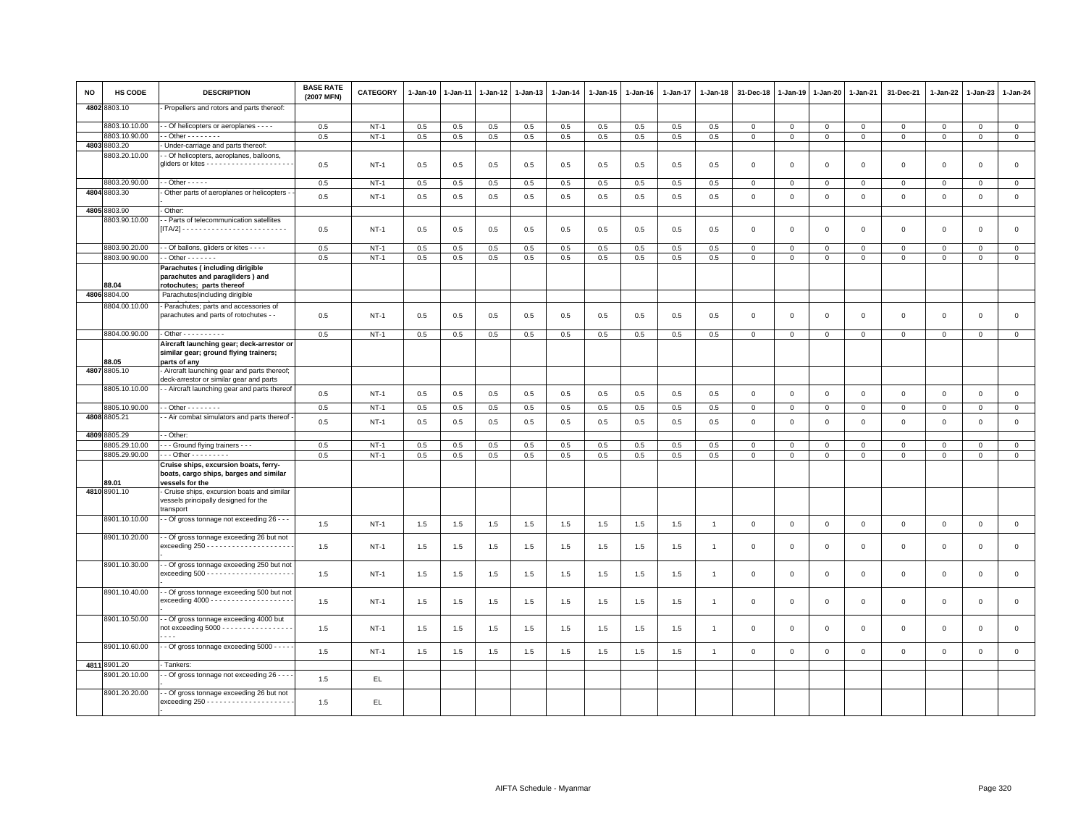| NO | HS CODE                       | <b>DESCRIPTION</b>                                                                                                      | <b>BASE RATE</b><br>(2007 MFN) | CATEGORY    | $1 - Jan-10$ | $1-Jan-11$ | $1 - Jan-12$ | 1-Jan-13 | $1 - Jan-14$ | $1 - Jan-15$ | $1 - Jan-16$ | $1 - Jan-17$ | $1 - Jan-18$   | 31-Dec-18    | $1 - Jan-19$ | $1-Jan-20$     | 1-Jan-21     | 31-Dec-21    | 1-Jan-22    | 1-Jan-23     | $1 - Jan-24$        |
|----|-------------------------------|-------------------------------------------------------------------------------------------------------------------------|--------------------------------|-------------|--------------|------------|--------------|----------|--------------|--------------|--------------|--------------|----------------|--------------|--------------|----------------|--------------|--------------|-------------|--------------|---------------------|
|    | 4802 8803.10                  | Propellers and rotors and parts thereof:                                                                                |                                |             |              |            |              |          |              |              |              |              |                |              |              |                |              |              |             |              |                     |
|    | 8803.10.10.00                 | - Of helicopters or aeroplanes - - - -                                                                                  | 0.5                            | $NT-1$      | 0.5          | 0.5        | 0.5          | 0.5      | 0.5          | 0.5          | 0.5          | 0.5          | 0.5            | $\mathbf 0$  | $\mathbf 0$  | $\mathbf 0$    | $\mathsf 0$  | $\mathsf 0$  | $\mathbf 0$ | $\Omega$     | $\mathbf{0}$        |
|    | 8803.10.90.00<br>4803 8803.20 | $-$ Other $      -$<br>Under-carriage and parts thereof:                                                                | 0.5                            | $NT-1$      | 0.5          | 0.5        | 0.5          | 0.5      | 0.5          | 0.5          | 0.5          | 0.5          | 0.5            | $\mathbf 0$  | $\mathbf 0$  | $\mathbf{0}$   | $\mathbf{0}$ | $\mathbf{0}$ | $\mathbf 0$ | $\Omega$     | $\mathbf{0}$        |
|    | 8803.20.10.00                 | - Of helicopters, aeroplanes, balloons,                                                                                 |                                |             |              |            |              |          |              |              |              |              |                |              |              |                |              |              |             |              |                     |
|    |                               |                                                                                                                         | 0.5                            | NT-1        | 0.5          | 0.5        | 0.5          | 0.5      | 0.5          | 0.5          | 0.5          | 0.5          | 0.5            | 0            | $^{\circ}$   | $\mathbf 0$    | 0            | $\mathsf 0$  | 0           | $\mathbf 0$  | $\mathsf 0$         |
|    | 8803.20.90.00                 | $-$ Other $- - -$                                                                                                       | 0.5                            | $NT-1$      | 0.5          | 0.5        | 0.5          | 0.5      | 0.5          | 0.5          | 0.5          | 0.5          | 0.5            | $\mathbf 0$  | $\Omega$     | $\overline{0}$ | $\mathbf{0}$ | $\mathbf 0$  | $\Omega$    | $\Omega$     | $\mathsf 0$         |
|    | 4804 8803.30                  | Other parts of aeroplanes or helicopters -                                                                              | 0.5                            | $NT-1$      | 0.5          | 0.5        | 0.5          | 0.5      | 0.5          | 0.5          | 0.5          | 0.5          | 0.5            | $\mathbf 0$  | $\mathbf 0$  | $\Omega$       | $\mathbf 0$  | $\mathbf 0$  | $\mathbf 0$ | $\mathbf 0$  | $\mathsf 0$         |
|    | 4805 8803.90                  | Other:                                                                                                                  |                                |             |              |            |              |          |              |              |              |              |                |              |              |                |              |              |             |              |                     |
|    | 8803.90.10.00                 | - Parts of telecommunication satellites                                                                                 | 0.5                            | $NT-1$      | 0.5          | 0.5        | 0.5          | 0.5      | 0.5          | 0.5          | 0.5          | 0.5          | 0.5            | $\mathbf{0}$ | $\mathbf 0$  | $\overline{0}$ | $\mathbf{0}$ | $\mathbf 0$  | $\mathbf 0$ | $\mathbf 0$  | $\mathsf 0$         |
|    | 8803.90.20.00                 | - Of ballons, gliders or kites - - - -                                                                                  | 0.5                            | $NT-1$      | 0.5          | 0.5        | 0.5          | 0.5      | 0.5          | 0.5          | 0.5          | 0.5          | 0.5            | $\mathbf{0}$ | $\mathbf{0}$ | $\mathbf 0$    | $\mathbf{0}$ | $\mathbf 0$  | $\mathbf 0$ | $\mathbf{0}$ | $\mathbf{0}$        |
|    | 8803.90.90.00                 | $\cdot$ Other $\cdots$                                                                                                  | 0.5                            | $NT-1$      | 0.5          | 0.5        | 0.5          | 0.5      | 0.5          | 0.5          | 0.5          | 0.5          | 0.5            | $\mathbf{0}$ | $\mathbf 0$  | $\mathbf 0$    | $\mathbf{0}$ | $\mathbf 0$  | 0           | $\mathbf 0$  | $\circ$             |
|    | 88.04                         | Parachutes (including dirigible<br>parachutes and paragliders) and<br>rotochutes; parts thereof                         |                                |             |              |            |              |          |              |              |              |              |                |              |              |                |              |              |             |              |                     |
|    | 4806 8804.00                  | Parachutes(including dirigible                                                                                          |                                |             |              |            |              |          |              |              |              |              |                |              |              |                |              |              |             |              |                     |
|    | 8804.00.10.00                 | - Parachutes; parts and accessories of                                                                                  |                                |             |              |            |              |          |              |              |              |              |                |              |              |                |              |              |             |              |                     |
|    |                               | parachutes and parts of rotochutes - -                                                                                  | 0.5                            | $NT-1$      | 0.5          | 0.5        | 0.5          | 0.5      | 0.5          | 0.5          | 0.5          | 0.5          | 0.5            | $\mathbf 0$  | $\mathbf 0$  | $\mathbf 0$    | $\mathbf 0$  | $\mathsf 0$  | $\mathbf 0$ | $\mathsf 0$  | $\mathsf 0$         |
|    | 8804.00.90.00                 | Other - - - - - - - - - -                                                                                               | 0.5                            | $NT-1$      | 0.5          | 0.5        | 0.5          | 0.5      | $0.5\,$      | 0.5          | 0.5          | 0.5          | 0.5            | $\mathbf 0$  | $\mathbf 0$  | $\mathsf 0$    | $\mathsf 0$  | $\mathsf 0$  | $\mathbf 0$ | $\Omega$     | $\overline{0}$      |
|    | 88.05                         | Aircraft launching gear; deck-arrestor or<br>similar gear; ground flying trainers;<br>parts of any                      |                                |             |              |            |              |          |              |              |              |              |                |              |              |                |              |              |             |              |                     |
|    | 4807 8805.10                  | Aircraft launching gear and parts thereof;<br>deck-arrestor or similar gear and parts                                   |                                |             |              |            |              |          |              |              |              |              |                |              |              |                |              |              |             |              |                     |
|    | 8805.10.10.00                 | - Aircraft launching gear and parts thereof                                                                             | 0.5                            | $NT-1$      | 0.5          | 0.5        | 0.5          | 0.5      | 0.5          | 0.5          | 0.5          | 0.5          | 0.5            | $\mathsf 0$  | $\,0\,$      | $\mathsf 0$    | $\mathsf 0$  | $\mathsf 0$  | $\mathsf 0$ | $\mathsf 0$  | $\mathbf 0$         |
|    | 8805.10.90.00                 | $-$ Other $      -$                                                                                                     | 0.5                            | $NT-1$      | 0.5          | 0.5        | 0.5          | 0.5      | 0.5          | 0.5          | 0.5          | 0.5          | 0.5            | $\mathbf{0}$ | $\mathbf 0$  | $\mathbf{0}$   | $\mathbf{0}$ | $\mathbf{0}$ | $\mathbf 0$ | $\circ$      | $\mathbf{0}$        |
|    | 4808 8805.21                  | - Air combat simulators and parts thereof                                                                               | 0.5                            | $NT-1$      | 0.5          | 0.5        | 0.5          | 0.5      | 0.5          | 0.5          | 0.5          | 0.5          | 0.5            | $\mathbf 0$  | $\mathbf 0$  | $\overline{0}$ | $\mathbf 0$  | $\mathsf 0$  | $\mathbf 0$ | $\mathsf 0$  | $\mathsf{O}\xspace$ |
|    | 4809 8805.29                  | - Other:                                                                                                                |                                |             |              |            |              |          |              |              |              |              |                |              |              |                |              |              |             |              |                     |
|    | 8805.29.10.00                 | - - Ground flying trainers - - -                                                                                        | 0.5                            | $NT-1$      | 0.5          | 0.5        | 0.5          | 0.5      | 0.5          | 0.5          | 0.5          | 0.5          | 0.5            | 0            | $\mathbf 0$  | 0              | $\mathbf 0$  | $\mathsf 0$  | $\mathbf 0$ | $\mathbf 0$  | $\mathbf 0$         |
|    | 8805.29.90.00                 | - - Other - - - - - - - - -                                                                                             | 0.5                            | $NT-1$      | 0.5          | 0.5        | 0.5          | 0.5      | 0.5          | 0.5          | 0.5          | 0.5          | 0.5            | $\mathbf{0}$ | $\mathbf 0$  | $\mathsf 0$    | $\mathbf 0$  | $\mathbf 0$  | $\mathbf 0$ | $\Omega$     | $\mathsf 0$         |
|    | 89.01                         | Cruise ships, excursion boats, ferry-<br>boats, cargo ships, barges and similar<br>vessels for the                      |                                |             |              |            |              |          |              |              |              |              |                |              |              |                |              |              |             |              |                     |
|    | 4810 8901.10                  | Cruise ships, excursion boats and similar<br>vessels principally designed for the<br>transport                          |                                |             |              |            |              |          |              |              |              |              |                |              |              |                |              |              |             |              |                     |
|    | 8901.10.10.00                 | - Of gross tonnage not exceeding 26 - - -                                                                               | 1.5                            | $NT-1$      | 1.5          | 1.5        | 1.5          | 1.5      | 1.5          | 1.5          | 1.5          | 1.5          | $\overline{1}$ | $\,0\,$      | $\mathsf 0$  | $\mathbf 0$    | $\mathbf 0$  | $\mathsf 0$  | $\mathbf 0$ | $\mathsf 0$  | $\mathbf 0$         |
|    | 8901.10.20.00                 | - Of gross tonnage exceeding 26 but not<br>$exceeding 250 - - - - - - - - - - - - - - - - - - -$                        | 1.5                            | $NT-1$      | 1.5          | 1.5        | 1.5          | 1.5      | 1.5          | 1.5          | 1.5          | 1.5          | -1             | $\mathbf 0$  | $^{\circ}$   | $\mathbf 0$    | $\mathbf 0$  | $\mathsf 0$  | $\mathbf 0$ | $\mathsf 0$  | $\mathsf 0$         |
|    | 8901.10.30.00                 | - Of gross tonnage exceeding 250 but not<br>$exceeding 500 - - - - - - - - - - - - - - - - - - -$                       | 1.5                            | $NT-1$      | 1.5          | 1.5        | 1.5          | 1.5      | 1.5          | 1.5          | 1.5          | 1.5          | $\mathbf{1}$   | $\mathbf 0$  | $\mathbf 0$  | $\mathbf 0$    | $\mathsf 0$  | $\mathsf 0$  | $\mathsf 0$ | $\mathbf 0$  | $\mathsf 0$         |
|    | 8901.10.40.00                 | - Of gross tonnage exceeding 500 but not<br>$exceeding 4000 - - - - - - - - - - - - - - - - - -$                        | 1.5                            | <b>NT-1</b> | 1.5          | 1.5        | 1.5          | 1.5      | 1.5          | 1.5          | 1.5          | 1.5          | $\overline{1}$ | $\Omega$     | $\Omega$     | $\Omega$       | $\mathsf 0$  | $\mathsf 0$  | $\Omega$    | $\mathbf 0$  | $\mathsf 0$         |
|    | 8901.10.50.00                 | - Of gross tonnage exceeding 4000 but<br>not exceeding 5000 - - - - - - - - - - - - - - - -<br>$\overline{\phantom{a}}$ | 1.5                            | $NT-1$      | 1.5          | 1.5        | 1.5          | 1.5      | 1.5          | 1.5          | 1.5          | 1.5          | $\overline{1}$ | $\Omega$     | $\Omega$     | $\mathbf 0$    | $\mathbf{0}$ | $\mathbf 0$  | $\mathbf 0$ | $\mathbf 0$  | $\mathsf 0$         |
|    | 8901.10.60.00                 | - Of gross tonnage exceeding 5000 - - - -                                                                               | 1.5                            | $NT-1$      | 1.5          | 1.5        | 1.5          | 1.5      | $1.5\,$      | 1.5          | 1.5          | 1.5          | $\overline{1}$ | $\mathbf 0$  | $\mathbf 0$  | $\mathbf 0$    | $\mathsf 0$  | $\mathsf 0$  | $\mathbf 0$ | $\mathsf 0$  | $\mathsf{O}\xspace$ |
|    | 4811 8901.20                  | Tankers:                                                                                                                |                                |             |              |            |              |          |              |              |              |              |                |              |              |                |              |              |             |              |                     |
|    | 8901.20.10.00                 | Of gross tonnage not exceeding 26 - - -                                                                                 | 1.5                            | EL          |              |            |              |          |              |              |              |              |                |              |              |                |              |              |             |              |                     |
|    | 8901.20.20.00                 | Of gross tonnage exceeding 26 but not                                                                                   | 1.5                            | EL.         |              |            |              |          |              |              |              |              |                |              |              |                |              |              |             |              |                     |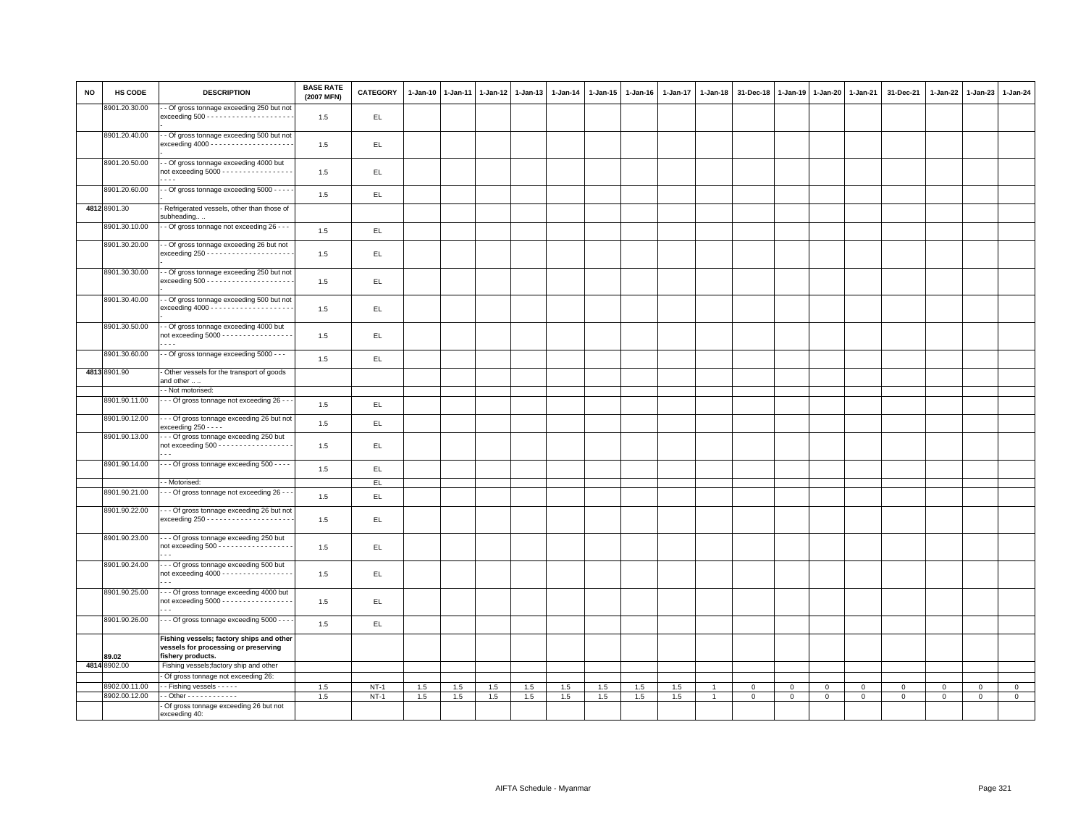| <b>NO</b> | HS CODE               | <b>DESCRIPTION</b>                                                                                  | <b>BASE RATE</b><br>(2007 MFN) | <b>CATEGORY</b> | 1-Jan-10 | $1-Jan-11$ | $1 - Jan-12$ | $1-Jan-13$ | $1-Jan-14$ | 1-Jan-15 | $1 - Jan-16$ | $1 - Jan-17$ | $1-Jan-18$     | 31-Dec-18   | $1-Jan-19$   | $1 - Jan-20$ | 1-Jan-21       | 31-Dec-21   | 1-Jan-22    | $1-Jan-23$  | 1-Jan-24       |
|-----------|-----------------------|-----------------------------------------------------------------------------------------------------|--------------------------------|-----------------|----------|------------|--------------|------------|------------|----------|--------------|--------------|----------------|-------------|--------------|--------------|----------------|-------------|-------------|-------------|----------------|
|           | 8901.20.30.00         | - Of gross tonnage exceeding 250 but not<br>$exceeding 500 - - - - - - - - - - - - - - - - - - -$   | 1.5                            | EL              |          |            |              |            |            |          |              |              |                |             |              |              |                |             |             |             |                |
|           | 8901.20.40.00         | - Of gross tonnage exceeding 500 but not<br>$exceeding 4000 - - - - - - - - - - - - - - - - - -$    | 1.5                            | EL.             |          |            |              |            |            |          |              |              |                |             |              |              |                |             |             |             |                |
|           | 8901.20.50.00         | - Of gross tonnage exceeding 4000 but<br>not exceeding $5000$ - - - - - - - - - - - - - - - -       | 1.5                            | EL.             |          |            |              |            |            |          |              |              |                |             |              |              |                |             |             |             |                |
|           | 8901.20.60.00         | - - Of gross tonnage exceeding 5000 - - - -                                                         | 1.5                            | EL.             |          |            |              |            |            |          |              |              |                |             |              |              |                |             |             |             |                |
|           | 4812 8901.30          | Refrigerated vessels, other than those of<br>subheading                                             |                                |                 |          |            |              |            |            |          |              |              |                |             |              |              |                |             |             |             |                |
|           | 8901.30.10.00         | - Of gross tonnage not exceeding 26 - - -                                                           | 1.5                            | EL              |          |            |              |            |            |          |              |              |                |             |              |              |                |             |             |             |                |
|           | 8901.30.20.00         | - Of gross tonnage exceeding 26 but not<br>$exceeding 250 - - - - - - - - - - - - - - - - - - -$    | 1.5                            | EL              |          |            |              |            |            |          |              |              |                |             |              |              |                |             |             |             |                |
|           | 8901.30.30.00         | - Of gross tonnage exceeding 250 but not<br>$exceeding 500 - - - - - - - - - - - - - - - - - - -$   | 1.5                            | EL.             |          |            |              |            |            |          |              |              |                |             |              |              |                |             |             |             |                |
|           | 8901.30.40.00         | - Of gross tonnage exceeding 500 but not<br>$exceeding 4000 - - - - - - - - - - - - - - - - - - -$  | 1.5                            | EL.             |          |            |              |            |            |          |              |              |                |             |              |              |                |             |             |             |                |
|           | 8901.30.50.00         | - Of gross tonnage exceeding 4000 but<br>not exceeding $5000$ - - - - - - - - - - - - - - - -       | 1.5                            | EL.             |          |            |              |            |            |          |              |              |                |             |              |              |                |             |             |             |                |
|           | 8901.30.60.00         | - Of gross tonnage exceeding 5000 - - -                                                             | 1.5                            | EL              |          |            |              |            |            |          |              |              |                |             |              |              |                |             |             |             |                |
|           | 4813 8901.90          | Other vessels for the transport of goods<br>and other                                               |                                |                 |          |            |              |            |            |          |              |              |                |             |              |              |                |             |             |             |                |
|           |                       | - Not motorised:                                                                                    |                                |                 |          |            |              |            |            |          |              |              |                |             |              |              |                |             |             |             |                |
|           | 8901.90.11.00         | - - Of gross tonnage not exceeding 26 - -                                                           | 1.5                            | EL.             |          |            |              |            |            |          |              |              |                |             |              |              |                |             |             |             |                |
|           | 8901.90.12.00         | -- Of gross tonnage exceeding 26 but not<br>$exceeding 250 - - -$                                   | 1.5                            | EL              |          |            |              |            |            |          |              |              |                |             |              |              |                |             |             |             |                |
|           | 8901.90.13.00         | -- Of gross tonnage exceeding 250 but<br>not exceeding 500 - - - - - - - - - - - - - - - - -        | 1.5                            | EL.             |          |            |              |            |            |          |              |              |                |             |              |              |                |             |             |             |                |
|           | 8901.90.14.00         | - - - Of gross tonnage exceeding 500 - - - -                                                        | 1.5                            | EL              |          |            |              |            |            |          |              |              |                |             |              |              |                |             |             |             |                |
|           |                       | - Motorised:                                                                                        |                                | EL              |          |            |              |            |            |          |              |              |                |             |              |              |                |             |             |             |                |
|           | 8901.90.21.00         | - - Of gross tonnage not exceeding 26 - -                                                           | 1.5                            | EL              |          |            |              |            |            |          |              |              |                |             |              |              |                |             |             |             |                |
|           | 8901.90.22.00         | -- Of gross tonnage exceeding 26 but not<br>$exceeding 250 - - - - - - - - - - - - - - - - - - - -$ | 1.5                            | EL.             |          |            |              |            |            |          |              |              |                |             |              |              |                |             |             |             |                |
|           | 8901.90.23.00         | - - Of gross tonnage exceeding 250 but<br>not exceeding $500$ $\cdots$ $\cdots$ $\cdots$ $\cdots$   | 1.5                            | EL              |          |            |              |            |            |          |              |              |                |             |              |              |                |             |             |             |                |
|           | 8901.90.24.00         | -- Of gross tonnage exceeding 500 but<br>not exceeding $4000 \cdots \cdots \cdots \cdots \cdots$    | 1.5                            | EL.             |          |            |              |            |            |          |              |              |                |             |              |              |                |             |             |             |                |
|           | 8901.90.25.00         | - - Of gross tonnage exceeding 4000 but<br>not exceeding $5000$ - - - - - - - - - - - - - - - - -   | 1.5                            | EL.             |          |            |              |            |            |          |              |              |                |             |              |              |                |             |             |             |                |
|           | 8901.90.26.00         | - - Of gross tonnage exceeding 5000 - - -                                                           | 1.5                            | EL.             |          |            |              |            |            |          |              |              |                |             |              |              |                |             |             |             |                |
|           |                       | Fishing vessels; factory ships and other<br>vessels for processing or preserving                    |                                |                 |          |            |              |            |            |          |              |              |                |             |              |              |                |             |             |             |                |
|           | 89.02<br>4814 8902.00 | fishery products.<br>Fishing vessels; factory ship and other                                        |                                |                 |          |            |              |            |            |          |              |              |                |             |              |              |                |             |             |             |                |
|           |                       | - Of gross tonnage not exceeding 26:                                                                |                                |                 |          |            |              |            |            |          |              |              |                |             |              |              |                |             |             |             |                |
|           | 8902.00.11.00         | - Fishing vessels - - - - -                                                                         | 1.5                            | $NT-1$          | 1.5      | 1.5        | 1.5          | 1.5        | 1.5        | 1.5      | 1.5          | 1.5          | $\overline{1}$ | $\mathbf 0$ | $\mathbf{0}$ | $\mathbf 0$  | $\overline{0}$ | $\mathbf 0$ | 0           | $\mathbf 0$ | $\mathbf 0$    |
|           | 8902.00.12.00         |                                                                                                     | 1.5                            | $NT-1$          | 1.5      | 1.5        | 1.5          | 1.5        | 1.5        | 1.5      | 1.5          | 1.5          | $\mathbf{1}$   | $\mathsf 0$ | $\mathsf 0$  | $\mathbf 0$  | $\mathsf 0$    | $\mathsf 0$ | $\mathsf 0$ | $\mathsf 0$ | $\overline{0}$ |
|           |                       | - Of gross tonnage exceeding 26 but not<br>exceeding 40:                                            |                                |                 |          |            |              |            |            |          |              |              |                |             |              |              |                |             |             |             |                |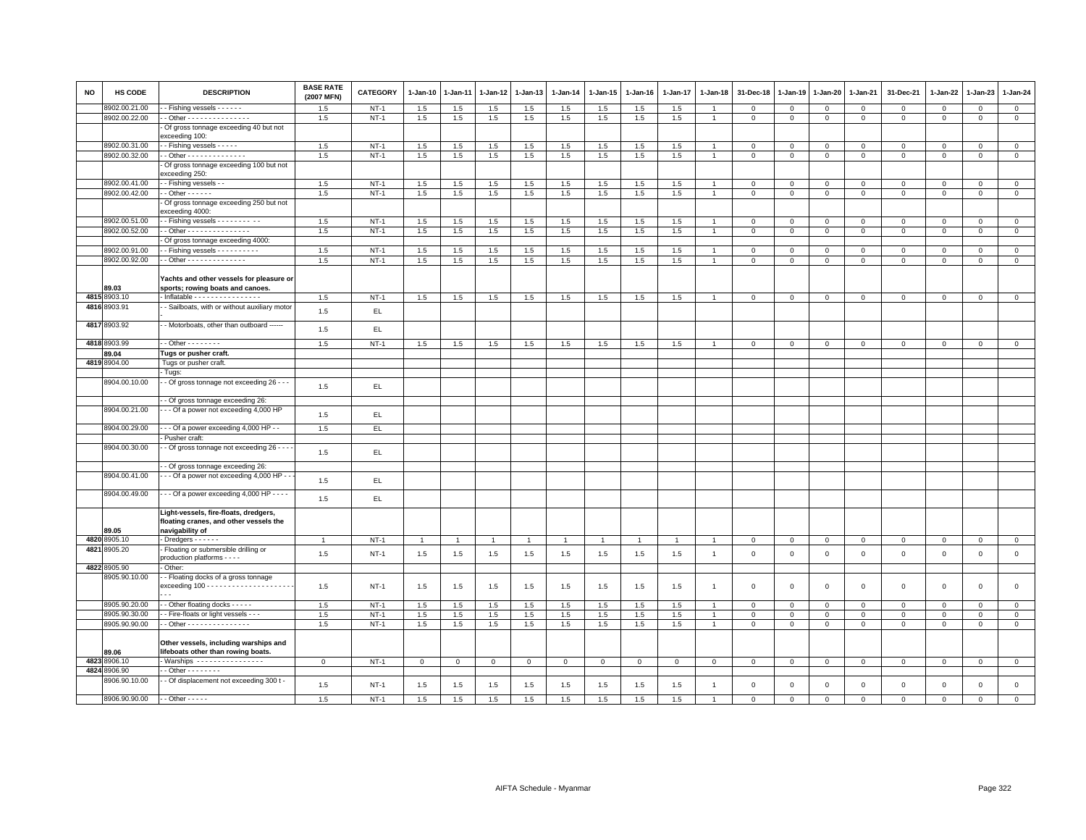| <b>NO</b> | HS CODE       | <b>DESCRIPTION</b>                                                              | <b>BASE RATE</b><br>(2007 MFN) | <b>CATEGORY</b> | $1-Jan-10$   | 1-Jan-11    | 1-Jan-12       | 1-Jan-13     | $1 - Jan-14$ | 1-Jan-15     | $1-Jan-16$   | $1 - Jan-17$ | $1 - Jan-18$   | 31-Dec-18   | 1-Jan-19     | 1-Jan-20     | 1-Jan-21       | 31-Dec-21           | 1-Jan-22     | $1-Jan-23$   | 1-Jan-24     |
|-----------|---------------|---------------------------------------------------------------------------------|--------------------------------|-----------------|--------------|-------------|----------------|--------------|--------------|--------------|--------------|--------------|----------------|-------------|--------------|--------------|----------------|---------------------|--------------|--------------|--------------|
|           | 8902.00.21.00 | - Fishing vessels - - - - - -                                                   | 1.5                            | $NT-1$          | 1.5          | 1.5         | $1.5\,$        | 1.5          | 1.5          | 1.5          | 1.5          | 1.5          |                | $\,0\,$     | $\mathsf 0$  | $\mathsf 0$  | $\mathbf 0$    | $\mathsf 0$         | $\mathsf 0$  | $\mathsf 0$  | $\mathsf 0$  |
|           | 8902.00.22.00 | - Other - - - - - - - - - - - - - - -                                           | 1.5                            | $NT-1$          | 1.5          | 1.5         | 1.5            | 1.5          | 1.5          | 1.5          | 1.5          | 1.5          | $\overline{1}$ | $\mathbf 0$ | $\mathbf 0$  | $\mathbf 0$  | $\mathbf 0$    | $\mathbf 0$         | $\mathbf{O}$ | $\mathbf{0}$ | $\mathsf 0$  |
|           |               | - Of gross tonnage exceeding 40 but not<br>exceeding 100:                       |                                |                 |              |             |                |              |              |              |              |              |                |             |              |              |                |                     |              |              |              |
|           | 8902.00.31.00 | - Fishing vessels - - - - -                                                     | 1.5                            | $NT-1$          | 1.5          | 1.5         | 1.5            | 1.5          | 1.5          | 1.5          | 1.5          | 1.5          |                | $\mathbf 0$ | $\mathbf 0$  | $\mathsf 0$  | $\mathbf 0$    | $\mathsf 0$         | $\mathbf 0$  | $\mathbf 0$  | $\mathbf 0$  |
|           | 8902.00.32.00 | - Other - - - - - - - - - - - - - -                                             | 1.5                            | $NT-1$          | 1.5          | 1.5         | 1.5            | 1.5          | 1.5          | 1.5          | 1.5          | 1.5          | $\overline{1}$ | $\mathbf 0$ | $\mathbf 0$  | $\mathbf 0$  | $\mathbf 0$    | $\mathbf 0$         | $\mathbf 0$  | $\mathsf 0$  | $\mathbf 0$  |
|           |               | - Of gross tonnage exceeding 100 but not<br>exceeding 250:                      |                                |                 |              |             |                |              |              |              |              |              |                |             |              |              |                |                     |              |              |              |
|           | 8902.00.41.00 | - Fishing vessels - -                                                           | 1.5                            | $NT-1$          | 1.5          | 1.5         | 1.5            | 1.5          | 1.5          | 1.5          | 1.5          | 1.5          |                | $\mathbf 0$ | $\mathsf 0$  | $\mathbf{0}$ | $\mathbf 0$    | $\mathsf 0$         | $\mathbf 0$  | $\mathbf 0$  | $\mathsf 0$  |
|           | 8902.00.42.00 | $-$ Other $    -$                                                               | 1.5                            | $NT-1$          | 1.5          | 1.5         | 1.5            | 1.5          | 1.5          | 1.5          | 1.5          | 1.5          | $\overline{1}$ | $\mathbf 0$ | $\mathbf 0$  | $\mathbf 0$  | $\mathbf 0$    | $\mathbf 0$         | $\mathbf 0$  | $\mathbf{0}$ | $\mathsf 0$  |
|           |               | - Of gross tonnage exceeding 250 but not<br>exceeding 4000:                     |                                |                 |              |             |                |              |              |              |              |              |                |             |              |              |                |                     |              |              |              |
|           | 8902.00.51.00 | - Fishing vessels - - - - - - - - - -                                           | 1.5                            | $NT-1$          | 1.5          | 1.5         | 1.5            | 1.5          | $1.5\,$      | 1.5          | 1.5          | 1.5          |                | $\mathbf 0$ | $\mathbf 0$  | $\Omega$     | $\mathbf 0$    | $\Omega$            | $\Omega$     | $\mathbf 0$  | $\mathsf 0$  |
|           | 8902.00.52.00 | $-$ Other - - - - - - - - - - - - - - -                                         | 1.5                            | $NT-1$          | 1.5          | 1.5         | 1.5            | 1.5          | 1.5          | 1.5          | 1.5          | 1.5          | $\overline{1}$ | $\mathbf 0$ | $\mathbf{0}$ | $\mathbf{0}$ | $\mathbf{0}$   | $\mathbf{0}$        | $\mathbf 0$  | $\mathbf 0$  | $\circ$      |
|           |               | - Of gross tonnage exceeding 4000:                                              |                                |                 |              |             |                |              |              |              |              |              |                |             |              |              |                |                     |              |              |              |
|           | 8902.00.91.00 | - Fishing vessels - - - - - - - - - -                                           | 1.5                            | $NT-1$          | 1.5          | 1.5         | 1.5            | 1.5          | 1.5          | 1.5          | 1.5          | 1.5          |                | $\mathbf 0$ | $\Omega$     | $\mathbf{0}$ | $\mathbf{0}$   | $\mathbf{0}$        | $\Omega$     | $\mathbf 0$  | $\circ$      |
|           | 8902.00.92.00 | $-$ Other - - - - - - - - - - - - - -                                           | 1.5                            | $NT-1$          | 1.5          | 1.5         | 1.5            | 1.5          | 1.5          | 1.5          | 1.5          | 1.5          | $\overline{1}$ | $\mathbf 0$ | $\mathbf 0$  | $\mathbf 0$  | $\mathbf 0$    | $\mathbf{0}$        | $\Omega$     | $\mathbf 0$  | $\mathsf 0$  |
|           | 89.03         | Yachts and other vessels for pleasure or<br>sports; rowing boats and canoes.    |                                |                 |              |             |                |              |              |              |              |              |                |             |              |              |                |                     |              |              |              |
|           | 4815 8903.10  | $\cdot$ Inflatable $\cdots$                                                     | 1.5                            | $NT-1$          | 1.5          | 1.5         | 1.5            | 1.5          | 1.5          | 1.5          | 1.5          | 1.5          |                | $\,0\,$     | $\mathbf 0$  | $\mathbf 0$  | $\mathbf 0$    | $\mathbf 0$         | $\mathbf 0$  | $\mathbf{O}$ | $\mathsf 0$  |
|           | 4816 8903.91  | - Sailboats, with or without auxiliary motor                                    | 1.5                            | EL              |              |             |                |              |              |              |              |              |                |             |              |              |                |                     |              |              |              |
|           | 4817 8903.92  | - Motorboats, other than outboard ------                                        | 1.5                            | EL              |              |             |                |              |              |              |              |              |                |             |              |              |                |                     |              |              |              |
|           | 4818 8903.99  | $-$ Other $       -$                                                            | 1.5                            | $NT-1$          | 1.5          | 1.5         | 1.5            | 1.5          | 1.5          | 1.5          | 1.5          | 1.5          | $\overline{1}$ | $\mathbf 0$ | $\mathbf 0$  | $\mathbf{0}$ | $\overline{0}$ | $\mathbf 0$         | $\mathbf{O}$ | $\mathbf{O}$ | $\mathbf{0}$ |
|           | 89.04         | Tugs or pusher craft.                                                           |                                |                 |              |             |                |              |              |              |              |              |                |             |              |              |                |                     |              |              |              |
|           | 4819 8904.00  | Tugs or pusher craft.                                                           |                                |                 |              |             |                |              |              |              |              |              |                |             |              |              |                |                     |              |              |              |
|           |               | - Tugs:                                                                         |                                |                 |              |             |                |              |              |              |              |              |                |             |              |              |                |                     |              |              |              |
|           | 8904.00.10.00 | - Of gross tonnage not exceeding 26 - - -                                       | 1.5                            | EL              |              |             |                |              |              |              |              |              |                |             |              |              |                |                     |              |              |              |
|           |               | - Of gross tonnage exceeding 26:                                                |                                |                 |              |             |                |              |              |              |              |              |                |             |              |              |                |                     |              |              |              |
|           | 8904.00.21.00 | - - Of a power not exceeding 4,000 HP                                           | 1.5                            | EL              |              |             |                |              |              |              |              |              |                |             |              |              |                |                     |              |              |              |
|           | 8904.00.29.00 | - - Of a power exceeding 4,000 HP - -                                           | 1.5                            | EL.             |              |             |                |              |              |              |              |              |                |             |              |              |                |                     |              |              |              |
|           |               | Pusher craft:                                                                   |                                |                 |              |             |                |              |              |              |              |              |                |             |              |              |                |                     |              |              |              |
|           | 8904.00.30.00 | - Of gross tonnage not exceeding 26 - - -                                       | 1.5                            | EL              |              |             |                |              |              |              |              |              |                |             |              |              |                |                     |              |              |              |
|           |               | - Of gross tonnage exceeding 26:                                                |                                |                 |              |             |                |              |              |              |              |              |                |             |              |              |                |                     |              |              |              |
|           | 8904.00.41.00 | - - Of a power not exceeding 4,000 HP - -                                       | 1.5                            | EL.             |              |             |                |              |              |              |              |              |                |             |              |              |                |                     |              |              |              |
|           | 8904.00.49.00 | $-$ - Of a power exceeding 4,000 HP - - - -                                     | 1.5                            | EL              |              |             |                |              |              |              |              |              |                |             |              |              |                |                     |              |              |              |
|           |               | Light-vessels, fire-floats, dredgers,<br>floating cranes, and other vessels the |                                |                 |              |             |                |              |              |              |              |              |                |             |              |              |                |                     |              |              |              |
|           | 89.05         | navigability of                                                                 |                                |                 |              |             |                |              |              |              |              |              |                |             |              |              |                |                     |              |              |              |
| 4820      | 3905.10       | $-$ Dredgers $    -$                                                            | $\overline{1}$                 | $NT-1$          |              |             | $\overline{1}$ | -1           |              | $\mathbf{1}$ |              |              |                | $\mathbf 0$ | $\mathbf 0$  | $\mathbf{0}$ | $\mathbf 0$    | $\mathbf 0$         | 0            | $\mathbf{0}$ | $\circ$      |
| 4821      | 8905.20       | - Floating or submersible drilling or<br>production platforms - - - -           | 1.5                            | $NT-1$          | 1.5          | 1.5         | 1.5            | 1.5          | 1.5          | 1.5          | 1.5          | 1.5          | $\overline{1}$ | $\,0\,$     | $\mathbf 0$  | $\mathbf 0$  | $\mathbf 0$    | $\mathsf{O}\xspace$ | $\mathbf 0$  | $\mathsf 0$  | $\mathsf 0$  |
|           | 4822 8905.90  | - Other:                                                                        |                                |                 |              |             |                |              |              |              |              |              |                |             |              |              |                |                     |              |              |              |
|           | 8905.90.10.00 | -- Floating docks of a gross tonnage                                            | 1.5                            | $NT-1$          | 1.5          | 1.5         | 1.5            | 1.5          | 1.5          | 1.5          | 1.5          | 1.5          | $\overline{1}$ | $\mathbf 0$ | $\mathbf 0$  | $\mathsf 0$  | $\mathbf 0$    | $\mathsf 0$         | $\mathbf 0$  | $\mathsf 0$  | $\mathbf 0$  |
|           |               |                                                                                 |                                |                 |              |             |                |              |              |              |              |              |                |             |              |              |                |                     |              |              |              |
|           | 8905.90.20.00 | - Other floating docks - - - - -                                                | 1.5                            | $NT-1$          | 1.5          | 1.5         | 1.5            | 1.5          | 1.5          | 1.5          | 1.5          | 1.5          |                | $\mathbf 0$ | $\mathsf 0$  | $\mathbf 0$  | $\mathbf 0$    | $\mathsf 0$         | $\Omega$     | $\mathbf 0$  | $\mathsf 0$  |
|           | 8905.90.30.00 | - Fire-floats or light vessels - - -                                            | 1.5                            | $NT-1$          | 1.5          | 1.5         | 1.5            | 1.5          | 1.5          | 1.5          | 1.5          | 1.5          |                | $\,0\,$     | $\mathsf 0$  | $\mathbf 0$  | $\mathbf 0$    | $\mathsf 0$         | $\mathsf 0$  | $\mathbf 0$  | $\mathsf 0$  |
|           | 8905.90.90.00 | - Other - - - - - - - - - - - - - - -                                           | 1.5                            | $NT-1$          | 1.5          | 1.5         | 1.5            | 1.5          | 1.5          | 1.5          | 1.5          | 1.5          | $\overline{1}$ | $\mathbf 0$ | $\mathbf 0$  | $\mathbf 0$  | $\mathbf 0$    | $\mathbf 0$         | $\mathbf 0$  | $\mathsf 0$  | $\mathbf 0$  |
|           | 89.06         | Other vessels, including warships and<br>lifeboats other than rowing boats.     |                                |                 |              |             |                |              |              |              |              |              |                |             |              |              |                |                     |              |              |              |
|           | 4823 8906.10  | - Warships ----------------                                                     | $\mathbf 0$                    | $NT-1$          | $\mathbf{0}$ | $\mathbf 0$ | $\mathbf{O}$   | $\mathbf{0}$ | $\mathbf{0}$ | $\mathbf{0}$ | $\mathbf{O}$ | $\mathbf 0$  | $\mathbf 0$    | $\mathbf 0$ | $\mathbf 0$  | $\mathbf{0}$ | $\overline{0}$ | $\mathbf 0$         | $\mathbf{O}$ | $\mathbf{O}$ | $\mathbf{0}$ |
| 4824      | 8906.90       | $-$ Other $      -$                                                             |                                |                 |              |             |                |              |              |              |              |              |                |             |              |              |                |                     |              |              |              |
|           | 8906.90.10.00 | - - Of displacement not exceeding 300 t -                                       | 1.5                            | $NT-1$          | 1.5          | 1.5         | 1.5            | 1.5          | 1.5          | 1.5          | 1.5          | 1.5          | $\overline{1}$ | $\mathbf 0$ | $\mathbf 0$  | $\mathsf 0$  | $\mathbf 0$    | $\mathsf 0$         | $\mathbf 0$  | $\mathsf 0$  | $\mathsf 0$  |
|           | 8906.90.90.00 | $-$ - Other $-$ - $-$ - $-$                                                     | 1.5                            | $NT-1$          | 1.5          | 1.5         | 1.5            | 1.5          | 1.5          | 1.5          | 1.5          | 1.5          |                | $\mathsf 0$ | $\mathsf 0$  | $\mathsf 0$  | $\Omega$       | $\Omega$            | $\mathbf 0$  | $\mathbf 0$  | $\mathbf 0$  |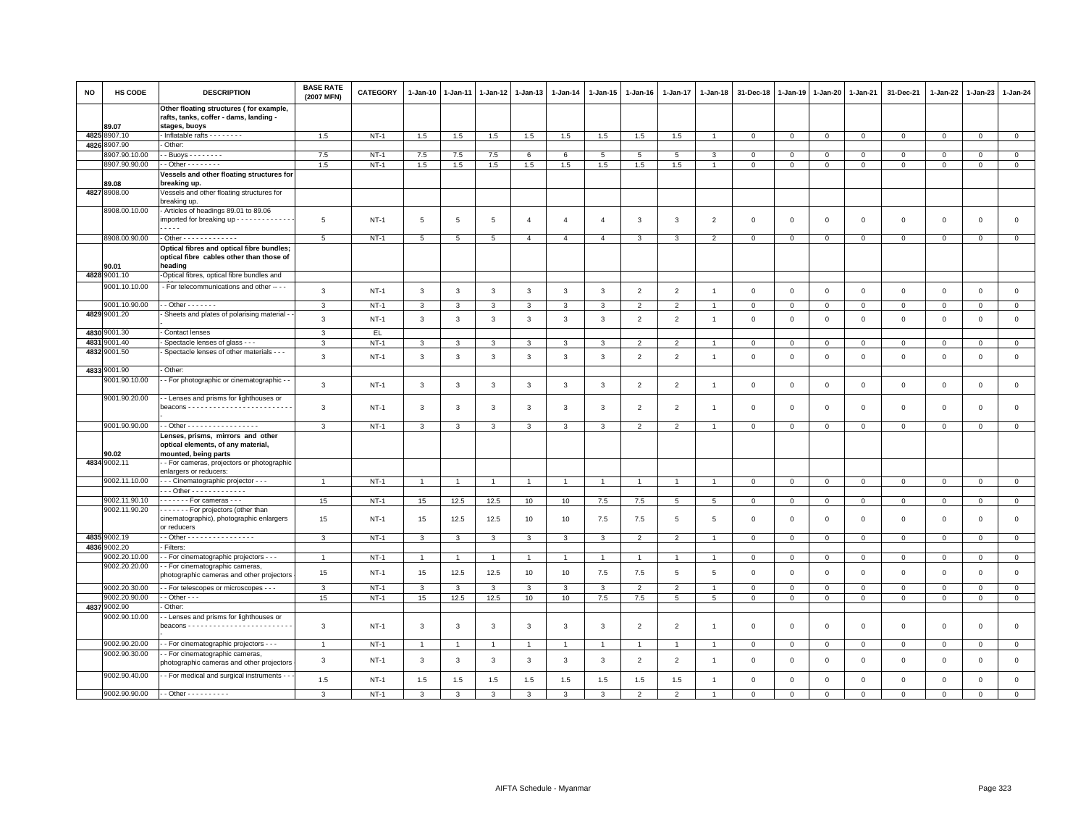| NO   | HS CODE                        | <b>DESCRIPTION</b>                                                                                       | <b>BASE RATE</b><br>(2007 MFN) | <b>CATEGORY</b> | 1-Jan-10       | 1-Jan-11       | 1-Jan-12       | $1 - Jan-13$   | 1-Jan-14       | 1-Jan-15       | 1-Jan-16       | 1-Jan-17       | 1-Jan-18       | 31-Dec-18               | 1-Jan-19       | 1-Jan-20       | 1-Jan-21     | 31-Dec-21      | 1-Jan-22     | 1-Jan-23     | 1-Jan-24       |
|------|--------------------------------|----------------------------------------------------------------------------------------------------------|--------------------------------|-----------------|----------------|----------------|----------------|----------------|----------------|----------------|----------------|----------------|----------------|-------------------------|----------------|----------------|--------------|----------------|--------------|--------------|----------------|
|      |                                | Other floating structures (for example,<br>rafts, tanks, coffer - dams, landing -                        |                                |                 |                |                |                |                |                |                |                |                |                |                         |                |                |              |                |              |              |                |
|      | 89.07                          | stages, buoys                                                                                            |                                |                 |                |                |                |                |                |                |                |                |                |                         |                |                |              |                |              |              |                |
| 4825 | 8907.10                        | Inflatable rafts - - - - - - -                                                                           | 1.5                            | $NT-1$          | 1.5            | 1.5            | 1.5            | 1.5            | 1.5            | 1.5            | 1.5            | 1.5            |                | $\overline{0}$          | $\mathbf 0$    | $\mathbf 0$    | $\mathbf 0$  | $\mathsf 0$    | $\mathbf 0$  | $\mathbf 0$  | $\mathbf 0$    |
|      | 4826 8907.90                   | Other:                                                                                                   |                                |                 |                |                |                |                |                |                |                |                |                |                         |                |                |              |                |              |              |                |
|      | 8907.90.10.00<br>8907.90.90.00 | $-$ Buoys - - - - - - - -<br>$-$ Other $      -$                                                         | 7.5<br>1.5                     | $NT-1$          | $7.5\,$        | 7.5            | 7.5            | 6              | 6              | 5<br>1.5       | 5              | 5              | 3              | $\Omega$<br>$\mathbf 0$ | $\Omega$       | $\mathbf{0}$   | $\Omega$     | $\mathbf 0$    | $\Omega$     | $\Omega$     | $\mathbf{0}$   |
|      |                                | Vessels and other floating structures for                                                                |                                | $NT-1$          | 1.5            | 1.5            | 1.5            | 1.5            | 1.5            |                | 1.5            | 1.5            |                |                         | $\mathbf 0$    | $\mathbf 0$    | $\mathbf 0$  | $\mathsf 0$    | 0            | $\mathbf 0$  | $\mathbf 0$    |
|      | 89.08                          | breaking up.                                                                                             |                                |                 |                |                |                |                |                |                |                |                |                |                         |                |                |              |                |              |              |                |
|      | 4827 8908.00                   | Vessels and other floating structures for<br>breaking up.                                                |                                |                 |                |                |                |                |                |                |                |                |                |                         |                |                |              |                |              |              |                |
|      | 8908.00.10.00                  | - Articles of headings 89.01 to 89.06<br>imported for breaking up - - - - - - - - - - - - -<br>$- - - -$ | 5                              | $NT-1$          | 5              | 5              | 5              | 4              | $\overline{4}$ | $\overline{4}$ | 3              | 3              | $\overline{2}$ | $\mathbf 0$             | $\overline{0}$ | $\mathbf 0$    | 0            | $\mathsf 0$    | 0            | $\mathbf 0$  | $\mathsf 0$    |
|      | 8908.00.90.00                  | - Other - - - - - - - - - - - - -                                                                        |                                |                 |                |                |                |                |                |                |                |                |                |                         |                |                |              |                |              |              |                |
|      |                                | Optical fibres and optical fibre bundles;                                                                | $5\overline{5}$                | $NT-1$          | 5              | 5              | 5              | $\overline{4}$ | $\overline{4}$ | $\overline{4}$ | 3              | 3              | $\overline{2}$ | $\mathbf 0$             | $\mathbf 0$    | $\mathbf 0$    | $\mathbf 0$  | $\mathsf 0$    | 0            | $\mathsf 0$  | $\mathbf 0$    |
|      | 90.01                          | optical fibre cables other than those of<br>heading                                                      |                                |                 |                |                |                |                |                |                |                |                |                |                         |                |                |              |                |              |              |                |
| 4828 | 9001.10                        | -Optical fibres, optical fibre bundles and                                                               |                                |                 |                |                |                |                |                |                |                |                |                |                         |                |                |              |                |              |              |                |
|      | 9001.10.10.00                  | - For telecommunications and other -- - -                                                                | 3                              | $NT-1$          | 3              | 3              | 3              | 3              | 3              | 3              | $\overline{2}$ | $\overline{2}$ | $\overline{1}$ | $\mathsf 0$             | $\overline{0}$ | $\mathbf 0$    | $\mathbf 0$  | $\mathsf 0$    | $\mathbf 0$  | $\mathsf 0$  | $\mathsf 0$    |
|      | 9001.10.90.00                  | $-$ Other $     -$                                                                                       | 3                              | <b>NT-1</b>     | 3              | 3              | $\mathbf{3}$   | 3              | 3              | 3              | $\overline{2}$ | $\overline{2}$ | $\overline{1}$ | $\mathsf 0$             | $\,0\,$        | $\mathbf 0$    | $\mathbf 0$  | $\overline{0}$ | 0            | $\mathbf 0$  | $\mathbf 0$    |
|      | 4829 9001.20                   | Sheets and plates of polarising material -                                                               | 3                              | $NT-1$          | 3              | 3              | 3              | 3              | 3              | 3              | $\overline{2}$ | $\overline{2}$ | $\overline{1}$ | $\mathbf 0$             | $\mathbf 0$    | $\mathbf 0$    | $\mathbf 0$  | $\mathsf 0$    | 0            | $\mathsf 0$  | $\mathsf 0$    |
|      | 4830 9001.30                   | - Contact lenses                                                                                         | 3                              | EL.             |                |                |                |                |                |                |                |                |                |                         |                |                |              |                |              |              |                |
|      | 4831 9001.40                   | Spectacle lenses of glass - - -                                                                          | 3                              | $NT-1$          | 3              | 3              | 3              | 3              | 3              | 3              | $\overline{2}$ | $\overline{2}$ |                | $\mathbf 0$             | $\mathbf 0$    | $\mathbf 0$    | $\mathbf 0$  | $\mathsf 0$    | $\Omega$     | 0            | $\mathsf 0$    |
|      | 4832 9001.50                   | Spectacle lenses of other materials - - -                                                                | 3                              | $NT-1$          | 3              | 3              | 3              | 3              | 3              | 3              | $\overline{2}$ | $\overline{2}$ | $\overline{1}$ | $\mathbf 0$             | $\mathbf 0$    | $\mathbf 0$    | $\mathbf 0$  | $\mathsf 0$    | $\mathbf 0$  | $\mathsf 0$  | $\mathsf 0$    |
|      | 4833 9001.90                   | Other:                                                                                                   |                                |                 |                |                |                |                |                |                |                |                |                |                         |                |                |              |                |              |              |                |
|      | 9001.90.10.00                  | - For photographic or cinematographic -                                                                  | 3                              | $NT-1$          | $\mathbf{3}$   | 3              | 3              | 3              | $\mathbf{3}$   | $\mathbf{3}$   | $\overline{2}$ | $\overline{2}$ | $\overline{1}$ | $\,0\,$                 | $\,0\,$        | $\,0\,$        | $\mathbf 0$  | $\mathsf 0$    | $\mathbf 0$  | $\mathsf 0$  | $\mathbf 0$    |
|      | 9001.90.20.00                  | - Lenses and prisms for lighthouses or                                                                   | 3                              | $NT-1$          | 3              | 3              | 3              | 3              | 3              | 3              | $\overline{2}$ | $\overline{2}$ | $\overline{1}$ | $\mathbf 0$             | $^{\circ}$     | $\overline{0}$ | $\mathbf 0$  | $\mathsf 0$    | 0            | $\Omega$     | $\mathsf 0$    |
|      | 9001.90.90.00                  | - - Other - - - - - - - - - - - - - - - - -                                                              | 3                              | $NT-1$          | 3              | 3              | 3              | 3              | 3              | 3              | $\overline{2}$ | 2              | $\overline{1}$ | $\mathbf 0$             | $\mathbf 0$    | $\circ$        | $\mathbf{0}$ | $\mathsf 0$    | $\mathbf 0$  | $\mathbf 0$  | $\overline{0}$ |
|      | 90.02                          | Lenses, prisms, mirrors and other<br>optical elements, of any material,<br>mounted, being parts          |                                |                 |                |                |                |                |                |                |                |                |                |                         |                |                |              |                |              |              |                |
|      | 4834 9002.11                   | - For cameras, projectors or photographic<br>enlargers or reducers:                                      |                                |                 |                |                |                |                |                |                |                |                |                |                         |                |                |              |                |              |              |                |
|      | 9002.11.10.00                  | - - - Cinematographic projector - - -                                                                    | $\overline{1}$                 | $NT-1$          | $\overline{1}$ |                | $\mathbf{1}$   | $\overline{1}$ |                | $\overline{1}$ |                | $\overline{1}$ |                | $\mathbf 0$             | $\mathsf 0$    | $\mathbf 0$    | $\mathbf 0$  | $\mathsf 0$    | $\mathbf 0$  | $\mathbf{0}$ | $\mathbf 0$    |
|      |                                | $-$ - Other - - - - - - - - - - - - -                                                                    |                                |                 |                |                |                |                |                |                |                |                |                |                         |                |                |              |                |              |              |                |
|      | 9002.11.90.10                  | - - - - - - - For cameras - - -                                                                          | 15                             | <b>NT-1</b>     | 15             | 12.5           | 12.5           | 10             | 10             | 7.5            | 7.5            | 5              | 5              | 0                       | $\mathbf 0$    | $\mathbf 0$    | $\mathbf 0$  | 0              | 0            | 0            | $\mathbf{0}$   |
|      | 9002.11.90.20                  | - - - - - - For projectors (other than<br>cinematographic), photographic enlargers<br>or reducers        | 15                             | <b>NT-1</b>     | 15             | 12.5           | 12.5           | 10             | 10             | 7.5            | 7.5            | 5              | 5              | $^{\circ}$              | $^{\circ}$     | $\mathbf 0$    | 0            | 0              | 0            | $\mathsf 0$  | $\mathsf 0$    |
|      | 4835 9002.19                   | - - Other - - - - - - - - - - - - - - - -                                                                | 3                              | <b>NT-1</b>     | 3              | 3              | 3              | 3              | 3              | 3              | $\overline{2}$ | $\overline{2}$ | $\overline{1}$ | $\mathbf 0$             | $\mathbf 0$    | $\overline{0}$ | $\mathbf{0}$ | $\overline{0}$ | 0            | $\mathbf 0$  | $\overline{0}$ |
|      | 4836 9002.20                   | Filters:                                                                                                 |                                |                 |                |                |                |                |                |                |                |                |                |                         |                |                |              |                |              |              |                |
|      | 9002.20.10.00                  | - For cinematographic projectors - - -                                                                   | $\overline{1}$                 | $NT-1$          | $\overline{1}$ | $\overline{1}$ | $\mathbf{1}$   | $\mathbf{1}$   | $\overline{1}$ | $\overline{1}$ | $\overline{1}$ | $\mathbf{1}$   | $\overline{1}$ | $\mathbf 0$             | $\mathbf{0}$   | $\mathbf 0$    | $\mathbf{0}$ | $\mathbf 0$    | $\mathbf{0}$ | $\mathbf{0}$ | $\mathbf{0}$   |
|      | 9002.20.20.00                  | - For cinematographic cameras,<br>photographic cameras and other projectors                              | 15                             | $NT-1$          | 15             | 12.5           | 12.5           | 10             | 10             | 7.5            | 7.5            | 5              | 5              | $\mathbf 0$             | $\mathbf 0$    | $\mathbf 0$    | $\mathbf 0$  | $\mathsf 0$    | $\mathbf 0$  | $\mathbf 0$  | $\mathsf 0$    |
|      | 9002.20.30.00                  | - - For telescopes or microscopes - - -                                                                  | 3                              | $NT-1$          | $\mathbf{3}$   | 3              | 3              | 3              | 3              | 3              | $\overline{2}$ | $\overline{2}$ | $\overline{1}$ | $\mathbf 0$             | $\mathbf{0}$   | $\mathbf 0$    | $\mathbf 0$  | $\mathsf 0$    | $\mathbf 0$  | $\mathsf 0$  | $\mathbf 0$    |
|      | 9002.20.90.00                  | $-$ Other $ -$                                                                                           | 15                             | $NT-1$          | 15             | 12.5           | 12.5           | 10             | 10             | 7.5            | 7.5            | $\overline{5}$ | 5              | $\mathbf 0$             | $\mathbf 0$    | $\mathsf 0$    | $\mathbf 0$  | $\mathsf 0$    | $\mathbf 0$  | $\mathsf 0$  | $\mathsf 0$    |
|      | 4837 9002.90                   | Other:                                                                                                   |                                |                 |                |                |                |                |                |                |                |                |                |                         |                |                |              |                |              |              |                |
|      | 9002.90.10.00                  | - Lenses and prisms for lighthouses or                                                                   | 3                              | $NT-1$          | 3              | 3              | 3              | 3              | $\mathbf{3}$   | $\mathbf{3}$   | $\overline{2}$ | 2              | $\overline{1}$ | $\overline{0}$          | $\overline{0}$ | $\mathsf 0$    | $\mathsf 0$  | $\mathsf 0$    | $\mathbf 0$  | $\mathsf 0$  | $\mathsf 0$    |
|      | 9002.90.20.00                  | - For cinematographic projectors - - -                                                                   | $\overline{1}$                 | $NT-1$          | $\mathbf{1}$   |                | $\overline{1}$ | $\overline{1}$ |                | $\mathbf{1}$   |                | $\mathbf{1}$   |                | $\mathbf 0$             | $\mathsf 0$    | $\mathbf 0$    | $\mathsf 0$  | $\mathsf 0$    | $\mathbf 0$  | $\mathsf 0$  | $\mathbf 0$    |
|      | 9002.90.30.00                  | - For cinematographic cameras,<br>photographic cameras and other projectors                              | 3                              | $NT-1$          | 3              | 3              | 3              | 3              | $\mathbf{3}$   | 3              | $\overline{2}$ | 2              | $\overline{1}$ | $\Omega$                | $\Omega$       | $\mathbf 0$    | $\mathbf 0$  | $\mathbf 0$    | $\mathbf 0$  | $\mathbf 0$  | $\mathbf 0$    |
|      | 9002.90.40.00                  | - For medical and surgical instruments - -                                                               | 1.5                            | $NT-1$          | 1.5            | 1.5            | 1.5            | 1.5            | 1.5            | 1.5            | 1.5            | 1.5            | $\overline{1}$ | $\mathbf 0$             | $\mathbf{0}$   | $\mathsf 0$    | $\mathbf 0$  | $\mathbf 0$    | $\mathbf 0$  | $\mathbf 0$  | $\mathbf{0}$   |
|      | 9002.90.90.00                  | $-$ - Other - - - - - - - - - -                                                                          | 3                              | $NT-1$          | 3              |                | 3              |                |                |                |                | 2              |                | $\Omega$                | $\Omega$       | $\Omega$       | $\Omega$     | $\Omega$       | $\Omega$     | $\Omega$     | $\Omega$       |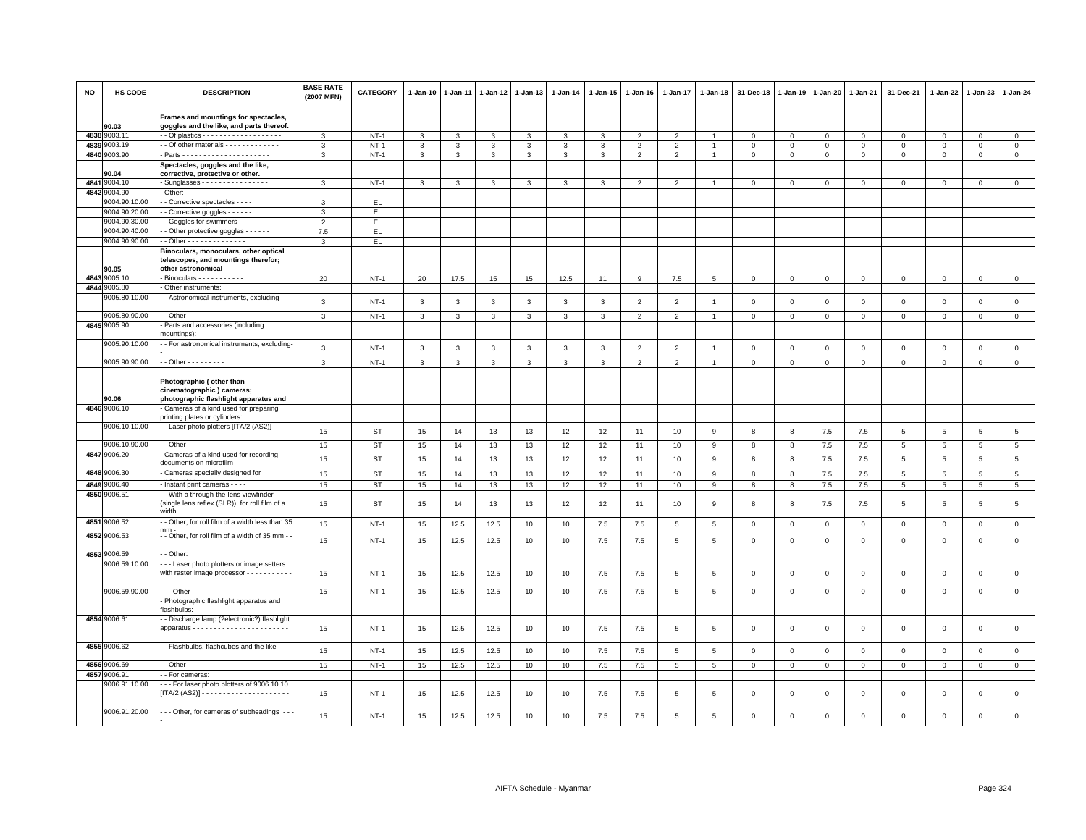| <b>NO</b> | HS CODE                       | <b>DESCRIPTION</b>                                                                                                | <b>BASE RATE</b><br>(2007 MFN) | <b>CATEGORY</b> | $1 - Jan-10$            | 1-Jan-11     | 1-Jan-12     | $1 - Jan-13$ | 1-Jan-14     | 1-Jan-15       | 1-Jan-16       | 1-Jan-17        | 1-Jan-18       | 31-Dec-18      | 1-Jan-19     | 1-Jan-20     | 1-Jan-21       | 31-Dec-21           | 1-Jan-22        | $1-Jan-23$   | 1-Jan-24        |
|-----------|-------------------------------|-------------------------------------------------------------------------------------------------------------------|--------------------------------|-----------------|-------------------------|--------------|--------------|--------------|--------------|----------------|----------------|-----------------|----------------|----------------|--------------|--------------|----------------|---------------------|-----------------|--------------|-----------------|
|           | 90.03                         | Frames and mountings for spectacles,<br>goggles and the like, and parts thereof.                                  |                                |                 |                         |              |              |              |              |                |                |                 |                |                |              |              |                |                     |                 |              |                 |
| 4838      | 9003.11                       |                                                                                                                   | 3                              | $NT-1$          | 3                       | 3            | 3            | 3            | 3            | 3              | $\mathcal{P}$  | $\mathcal{P}$   |                | $\mathbf 0$    | $\mathbf 0$  | $\Omega$     | $\overline{0}$ | $\Omega$            | $\Omega$        | $\Omega$     | $\mathbf{0}$    |
| 4839      | 9003.19                       | - - Of other materials - - - - - - - - - - - -                                                                    | $\mathbf{3}$                   | $NT-1$          | $\mathbf{3}$            | 3            | 3            | $\mathbf{3}$ | $\mathbf{3}$ | $\mathbf{3}$   | $\overline{2}$ | $\overline{2}$  | $\overline{1}$ | $\mathbf 0$    | $\mathsf 0$  | $\mathbf 0$  | $\mathbf 0$    | $\mathsf 0$         | 0               | $\mathsf 0$  | $\circ$         |
|           | 4840 9003.90                  |                                                                                                                   | $\mathcal{R}$                  | $NT-1$          | $\overline{\mathbf{3}}$ | 3            | 3            | $\mathbf{3}$ | $\mathbf{3}$ | $\overline{3}$ | $\overline{2}$ | $\overline{2}$  | $\overline{1}$ | $\,0\,$        | $\,0\,$      | $\mathsf 0$  | $\,0\,$        | $\mathsf 0$         | $\mathsf 0$     | $\mathbf 0$  | $\overline{0}$  |
|           |                               | Spectacles, goggles and the like,                                                                                 |                                |                 |                         |              |              |              |              |                |                |                 |                |                |              |              |                |                     |                 |              |                 |
|           | 90.04                         | corrective, protective or other.                                                                                  |                                |                 |                         |              |              |              |              |                |                |                 |                |                |              |              |                |                     |                 |              |                 |
| 4841      | 9004.10                       | - Sunglasses $- - - - - - - - - - - - - -$                                                                        | 3                              | $NT-1$          | 3                       | 3            | 3            | 3            | 3            | 3              | $\overline{2}$ | $\overline{2}$  |                | $\mathbf 0$    | $\mathbf{0}$ | $\circ$      | $\mathbf 0$    | $\mathbf 0$         | $\mathbf{0}$    | $\mathbf{O}$ | $\mathsf 0$     |
| 4842      | 9004.90<br>9004.90.10.00      | - Other:                                                                                                          | $\mathcal{R}$                  | EL.             |                         |              |              |              |              |                |                |                 |                |                |              |              |                |                     |                 |              |                 |
|           | 9004.90.20.00                 | - Corrective spectacles - - - -                                                                                   | 3                              |                 |                         |              |              |              |              |                |                |                 |                |                |              |              |                |                     |                 |              |                 |
|           | 9004.90.30.00                 | Corrective goggles - - - - - -<br>- Goggles for swimmers - - -                                                    | $\overline{2}$                 | EL.<br>EL.      |                         |              |              |              |              |                |                |                 |                |                |              |              |                |                     |                 |              |                 |
|           | 9004.90.40.00                 | - Other protective goggles - - - - - -                                                                            | 7.5                            | EL.             |                         |              |              |              |              |                |                |                 |                |                |              |              |                |                     |                 |              |                 |
|           | 9004.90.90.00                 | - Other - - - - - - - - - - - - -                                                                                 | $\mathcal{R}$                  | EL              |                         |              |              |              |              |                |                |                 |                |                |              |              |                |                     |                 |              |                 |
|           | 90.05                         | Binoculars, monoculars, other optical<br>telescopes, and mountings therefor;<br>other astronomical                |                                |                 |                         |              |              |              |              |                |                |                 |                |                |              |              |                |                     |                 |              |                 |
| 4843      | 9005.10                       | Binoculars - - - - - - - - - -                                                                                    | 20                             | <b>NT-1</b>     | 20                      | 17.5         | 15           | 15           | 12.5         | 11             | 9              | $7.5\,$         | 5              | $\mathbf 0$    | $\mathbf{0}$ | $\mathbf{0}$ | $\mathbf 0$    | $\mathsf 0$         | $^{\circ}$      | $\mathbf{0}$ | $\mathsf 0$     |
| 4844      | 9005.80                       | - Other instruments:                                                                                              |                                |                 |                         |              |              |              |              |                |                |                 |                |                |              |              |                |                     |                 |              |                 |
|           | 9005.80.10.00                 | - Astronomical instruments, excluding -                                                                           | $\mathbf{3}$                   | $NT-1$          | $\mathbf{3}$            | $\mathbf{3}$ | $\mathbf{3}$ | $\mathbf{3}$ | $\mathbf{3}$ | $\mathbf{3}$   | $\overline{2}$ | $\overline{2}$  | $\overline{1}$ | $\mathsf 0$    | $\,0\,$      | $\,0\,$      | $\mathbf 0$    | $\mathsf{O}\xspace$ | $\mathsf 0$     | $\mathsf 0$  | $\mathsf 0$     |
|           |                               |                                                                                                                   |                                |                 |                         |              |              |              |              |                |                |                 |                |                |              |              |                |                     |                 |              |                 |
|           | 9005.80.90.00                 | $-$ Other $     -$                                                                                                | 3                              | $NT-1$          | 3                       | 3            | 3            | 3            | 3            | 3              | $\overline{2}$ | $\overline{2}$  | $\overline{1}$ | $\mathbf 0$    | $\mathbf 0$  | $\mathbf 0$  | $\mathbf 0$    | $\mathbf 0$         | $\mathbf 0$     | $\mathbf{O}$ | $\mathbf{0}$    |
|           | 4845 9005.90                  | Parts and accessories (including<br>nountings):                                                                   |                                |                 |                         |              |              |              |              |                |                |                 |                |                |              |              |                |                     |                 |              |                 |
|           | 9005.90.10.00                 | - - For astronomical instruments, excluding-                                                                      |                                |                 |                         |              |              |              |              |                |                |                 |                |                |              |              |                |                     |                 |              |                 |
|           |                               |                                                                                                                   | 3                              | $NT-1$          | 3                       | 3            | 3            | 3            | 3            | 3              | $\overline{2}$ | $\overline{2}$  |                | $\overline{0}$ | $\Omega$     | $\mathsf 0$  | $\overline{0}$ | $\Omega$            | $\Omega$        | $\mathsf 0$  | $\mathbf 0$     |
|           | 9005.90.90.00                 | $-$ - Other - - - - - - - - -                                                                                     | $\mathbf{3}$                   | $NT-1$          | $\mathbf{3}$            | $\mathbf{3}$ | $\mathbf{3}$ | $\mathbf{3}$ | 3            | $\mathbf{3}$   | $\overline{2}$ | 2               | $\overline{1}$ | $\,0\,$        | $\,0\,$      | $\,0\,$      | $\mathbf 0$    | $\mathbf{0}$        | $\circ$         | $\mathbf{0}$ | $\circ$         |
|           | 90.06<br>4846 9006.10         | Photographic (other than<br>cinematographic) cameras;<br>photographic flashlight apparatus and                    |                                |                 |                         |              |              |              |              |                |                |                 |                |                |              |              |                |                     |                 |              |                 |
|           |                               | - Cameras of a kind used for preparing<br>printing plates or cylinders:                                           |                                |                 |                         |              |              |              |              |                |                |                 |                |                |              |              |                |                     |                 |              |                 |
|           | 9006.10.10.00                 | - Laser photo plotters [ITA/2 (AS2)] - - - -                                                                      |                                |                 |                         |              |              |              |              |                |                |                 |                |                |              |              |                |                     |                 |              |                 |
|           |                               |                                                                                                                   | 15                             | <b>ST</b>       | 15                      | 14           | 13           | 13           | 12           | 12             | 11             | 10              | $\mathsf g$    | 8              | 8            | 7.5          | 7.5            | $\overline{5}$      | $\overline{5}$  | 5            | $\,$ 5 $\,$     |
|           | 9006.10.90.00                 | - - Other - - - - - - - - - - -                                                                                   | 15                             | <b>ST</b>       | 15                      | 14           | 13           | 13           | 12           | 12             | 11             | 10              | 9              | 8              | 8            | 7.5          | 7.5            | 5                   | 5               | 5            | $\overline{5}$  |
|           | 4847 9006.20                  | Cameras of a kind used for recording                                                                              | 15                             | <b>ST</b>       | 15                      | 14           | 13           | 13           | 12           | 12             | 11             | 10              | 9              | 8              | 8            | 7.5          | 7.5            | 5                   | 5               | 5            | $\,$ 5 $\,$     |
|           |                               | documents on microfilm- - -                                                                                       |                                |                 |                         |              |              |              |              |                |                |                 |                |                |              |              |                |                     |                 |              |                 |
|           | 4848 9006.30                  | - Cameras specially designed for                                                                                  | 15                             | <b>ST</b>       | 15                      | 14           | 13           | 13           | 12           | 12             | 11             | 10              | 9              | 8              | 8            | 7.5          | 7.5            | 5                   | $5\phantom{.0}$ | 5            | $5\overline{5}$ |
|           | 4849 9006.40                  | Instant print cameras - - - -                                                                                     | 15                             | <b>ST</b>       | 15                      | 14           | 13           | 13           | 12           | 12             | 11             | 10              | 9              | 8              | 8            | 7.5          | 7.5            | 5                   | 5               | 5            | $5\phantom{.0}$ |
| 4850      | 9006.51                       | - With a through-the-lens viewfinder<br>(single lens reflex (SLR)), for roll film of a<br>width                   | 15                             | ST              | 15                      | 14           | 13           | 13           | 12           | 12             | 11             | 10              | 9              | 8              | 8            | 7.5          | 7.5            | 5                   | 5               | 5            | $5\phantom{.0}$ |
|           | 4851 9006.52                  | - Other, for roll film of a width less than 35                                                                    | 15                             | $NT-1$          | 15                      | 12.5         | 12.5         | 10           | 10           | 7.5            | 7.5            | 5               | $\overline{5}$ | $\mathbf 0$    | $\mathbf 0$  | $\mathbf 0$  | $\mathbf 0$    | $\mathsf 0$         | $\mathbf 0$     | $\mathbf{O}$ | $\mathsf 0$     |
|           | 4852 9006.53                  | - Other, for roll film of a width of 35 mm - -                                                                    | 15                             | $NT-1$          | 15                      | 12.5         | 12.5         | 10           | 10           | 7.5            | 7.5            | 5               | 5              | $\mathbf 0$    | $\mathbf 0$  | $\mathbf 0$  | $\mathbf 0$    | $\mathsf 0$         | $\mathbf 0$     | $\mathsf 0$  | $\mathsf 0$     |
|           | 4853 9006.59<br>9006.59.10.00 | - Other:                                                                                                          |                                |                 |                         |              |              |              |              |                |                |                 |                |                |              |              |                |                     |                 |              |                 |
|           |                               | - - - Laser photo plotters or image setters<br>with raster image processor - - - - - - - - - - -<br>$\sim$ $\sim$ | 15                             | $NT-1$          | 15                      | 12.5         | 12.5         | 10           | 10           | 7.5            | 7.5            | 5               | $\overline{5}$ | $\mathbf 0$    | $\Omega$     | $\mathsf 0$  | $\mathbf 0$    | $\mathbf 0$         | $\Omega$        | $\mathbf 0$  | $\mathbf 0$     |
|           | 9006.59.90.00                 | - - - Other - - - - - - - - - -                                                                                   | 15                             | $NT-1$          | 15                      | 12.5         | 12.5         | 10           | 10           | $7.5\,$        | 7.5            | 5               | $\overline{5}$ | $\mathbf 0$    | $\mathsf 0$  | $\mathbf 0$  | $\mathsf 0$    | $\Omega$            | $\Omega$        | $\mathbf 0$  | $\mathsf 0$     |
|           |                               | - Photographic flashlight apparatus and                                                                           |                                |                 |                         |              |              |              |              |                |                |                 |                |                |              |              |                |                     |                 |              |                 |
|           |                               | flashbulbs:                                                                                                       |                                |                 |                         |              |              |              |              |                |                |                 |                |                |              |              |                |                     |                 |              |                 |
|           | 4854 9006.61                  | - Discharge lamp (?electronic?) flashlight                                                                        | 15                             | $NT-1$          | 15                      | 12.5         | 12.5         | 10           | 10           | 7.5            | 7.5            | $5\phantom{.0}$ | 5              | $\,0\,$        | $\mathsf 0$  | $\,0\,$      | $\mathsf 0$    | $\mathsf 0$         | $\mathbf 0$     | $\mathsf 0$  | $\mathbf 0$     |
|           | 4855 9006.62                  | - - Flashbulbs, flashcubes and the like - - -                                                                     | 15                             | <b>NT-1</b>     | 15                      | 12.5         | 12.5         | 10           | 10           | 7.5            | 7.5            | 5               | 5              | $\mathbf 0$    | $\mathbf 0$  | $\mathsf 0$  | $\mathbf 0$    | $\mathbf 0$         | $\mathbf 0$     | $\mathsf 0$  | $\mathsf 0$     |
|           | 4856 9006.69                  | - Other - - - - - - - - - - - - - - - - -                                                                         | 15                             | $NT-1$          | 15                      | 12.5         | 12.5         | 10           | 10           | $7.5\,$        | $7.5\,$        | $\overline{5}$  | 5              | $\mathsf 0$    | $\,0\,$      | $\mathsf 0$  | $\mathsf 0$    | $\mathbf{0}$        | $\Omega$        | $\mathbf 0$  | $\mathbf{0}$    |
|           | 4857 9006.91                  | - For cameras:                                                                                                    |                                |                 |                         |              |              |              |              |                |                |                 |                |                |              |              |                |                     |                 |              |                 |
|           | 9006.91.10.00                 | - - For laser photo plotters of 9006.10.10                                                                        | 15                             | $NT-1$          | 15                      | 12.5         | 12.5         | 10           | 10           | 7.5            | 7.5            | 5               | 5              | $\mathbf 0$    | $\mathbf 0$  | $\mathbf 0$  | $\mathbf 0$    | 0                   | 0               | $^{\circ}$   | $\mathbf 0$     |
|           | 9006.91.20.00                 | - - - Other, for cameras of subheadings - -                                                                       | 15                             | $NT-1$          | 15                      | 12.5         | 12.5         | 10           | 10           | 7.5            | 7.5            | 5               | 5              | $\Omega$       | $\mathbf 0$  | $\mathbf 0$  | $\Omega$       | $\Omega$            | $\mathbf 0$     | $\mathsf 0$  | $\mathbf 0$     |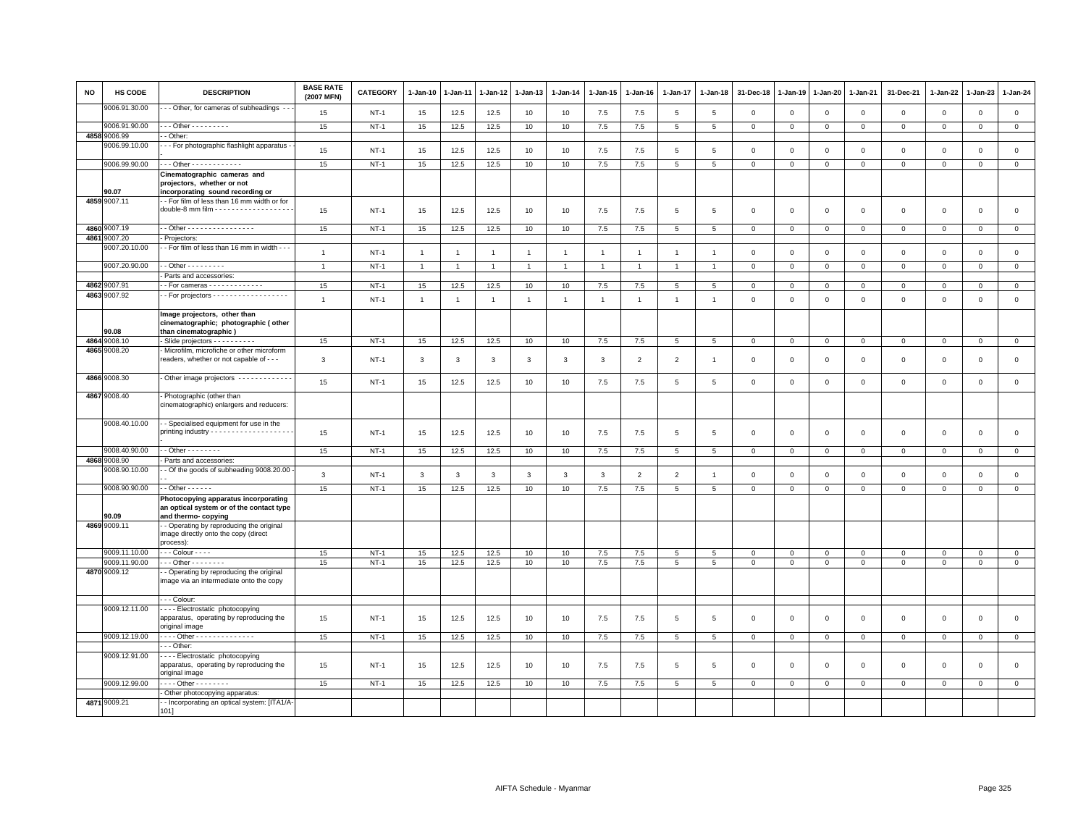| <b>NO</b> | <b>HS CODE</b>                | <b>DESCRIPTION</b>                                                                                                                     | <b>BASE RATE</b><br>(2007 MFN) | <b>CATEGORY</b> | $1 - Jan-10$   | 1-Jan-11       | 1-Jan-12       | 1-Jan-13       | $1 - Jan-14$   | $1 - Jan-15$   | $1 - Jan-16$   | 1-Jan-17        | $1 - Jan-18$    | 31-Dec-18      | $1 - Jan-19$   | $1 - Jan-20$   | $1 - Jan-21$   | 31-Dec-21      | 1-Jan-22     | 1-Jan-23       | $1-Jan-24$     |
|-----------|-------------------------------|----------------------------------------------------------------------------------------------------------------------------------------|--------------------------------|-----------------|----------------|----------------|----------------|----------------|----------------|----------------|----------------|-----------------|-----------------|----------------|----------------|----------------|----------------|----------------|--------------|----------------|----------------|
|           | 9006.91.30.00                 | - Other, for cameras of subheadings                                                                                                    | 15                             | $NT-1$          | 15             | 12.5           | 12.5           | 10             | 10             | 7.5            | 7.5            | $\overline{5}$  | 5               | $\mathbf 0$    | $\overline{0}$ | $\mathbf{0}$   | $\mathbf 0$    | $\mathbf 0$    | $\mathbf 0$  | $\mathbf 0$    | $\mathbf 0$    |
|           | 9006.91.90.00                 | - - - Other - - - - - - - - -                                                                                                          | 15                             | $NT-1$          | 15             | 12.5           | 12.5           | 10             | 10             | 7.5            | 7.5            | 5               | 5               | $\mathbf 0$    | $\mathbf{0}$   | $\overline{0}$ | $\overline{0}$ | $\mathbf{0}$   | $\mathbf{0}$ | $\mathbf 0$    | $\mathbf{0}$   |
| 4858      | 9006.99                       | - Other:                                                                                                                               |                                |                 |                |                |                |                |                |                |                |                 |                 |                |                |                |                |                |              |                |                |
|           | 9006.99.10.00                 | - - For photographic flashlight apparatus                                                                                              | 15                             | $NT-1$          | 15             | 12.5           | 12.5           | 10             | 10             | 7.5            | 7.5            | 5               | $\,$ 5          | $\,0\,$        | $\mathsf 0$    | $\,0\,$        | $\mathsf 0$    | $\mathsf 0$    | $\mathsf 0$  | $\mathsf 0$    | $\mathsf 0$    |
|           | 9006.99.90.00                 | $-$ - Other - - - - - - - - - - - -                                                                                                    | 15                             | $NT-1$          | 15             | 12.5           | 12.5           | 10             | 10             | 7.5            | 7.5            | 5               | 5               | $\mathbf{0}$   | $\mathbf{0}$   | $\mathbf 0$    | $\mathbf{0}$   | $\mathbf 0$    | $\mathbf 0$  | $\mathbf 0$    | $\mathbf 0$    |
|           |                               | Cinematographic cameras and<br>projectors, whether or not                                                                              |                                |                 |                |                |                |                |                |                |                |                 |                 |                |                |                |                |                |              |                |                |
|           | 90.07<br>4859 9007.11         | incorporating sound recording or<br>- For film of less than 16 mm width or for<br>double-8 mm film - - - - - - - - - - - - - - - - - - | 15                             | $NT-1$          | 15             | 12.5           | 12.5           | 10             | 10             | 7.5            | 7.5            | 5               | 5               | $\mathbf 0$    | $\Omega$       | $\mathbf 0$    | $\mathsf 0$    | $\mathbf 0$    | $\mathbf 0$  | $\mathbf 0$    | $\mathsf 0$    |
|           | 4860 9007.19                  | - - Other - - - - - - - - - - - - - - -                                                                                                | 15                             | $NT-1$          | 15             | 12.5           | 12.5           | 10             | 10             | 7.5            | 7.5            | 5               | 5               | $\overline{0}$ | $\mathsf 0$    | $\overline{0}$ | $\circ$        | $\circ$        | $\mathbf 0$  | $\circ$        | $\mathbf{0}$   |
|           | 4861 9007.20                  | Projectors:                                                                                                                            |                                |                 |                |                |                |                |                |                |                |                 |                 |                |                |                |                |                |              |                |                |
|           | 9007.20.10.00                 | - For film of less than 16 mm in width - -                                                                                             | $\overline{1}$                 | $NT-1$          | $\overline{1}$ | $\overline{1}$ | $\overline{1}$ | $\mathbf{1}$   | $\mathbf{1}$   | $\overline{1}$ | $\overline{1}$ | $\overline{1}$  | $\overline{1}$  | $\mathbf 0$    | $\mathbf 0$    | $\mathbf 0$    | $\mathbf 0$    | $\mathsf 0$    | $\mathbf 0$  | $\mathbf 0$    | $\mathbf 0$    |
|           | 9007.20.90.00                 | $-$ - Other - - - - - - - - -                                                                                                          | $\overline{1}$                 | $NT-1$          | -1             |                |                | $\overline{1}$ |                | $\mathbf{1}$   |                |                 |                 | 0              | $^{\circ}$     | $\mathbf 0$    | 0              | 0              | 0            | 0              | $\mathbf{0}$   |
|           |                               | - Parts and accessories:                                                                                                               |                                |                 |                |                |                |                |                |                |                |                 |                 |                |                |                |                |                |              |                |                |
|           | 4862 9007.91                  |                                                                                                                                        | 15                             | $NT-1$          | 15             | 12.5           | 12.5           | 10             | 10             | 7.5            | 7.5            | 5               | 5               | $\mathbf 0$    | $\mathbf 0$    | $\mathbf 0$    | $\mathbf 0$    | $\mathsf 0$    | 0            | $\mathsf 0$    | $\mathbf{0}$   |
|           | 4863 9007.92                  | - For projectors - - - - - - - - - - - - - - - - - -                                                                                   | $\overline{1}$                 | $NT-1$          | $\overline{1}$ | $\overline{1}$ | $\overline{1}$ | $\overline{1}$ | $\overline{1}$ | $\overline{1}$ | $\overline{1}$ | $\mathbf{1}$    | $\overline{1}$  | $\mathbf 0$    | $\mathbb O$    | $\mathbf 0$    | $\mathbf 0$    | $\mathsf 0$    | $\mathbf 0$  | $\mathbf 0$    | $\mathsf 0$    |
|           | 90.08                         | Image projectors, other than<br>cinematographic; photographic (other<br>than cinematographic)                                          |                                |                 |                |                |                |                |                |                |                |                 |                 |                |                |                |                |                |              |                |                |
|           | 4864 9008.10                  | Slide projectors - - - - - - - - - -                                                                                                   | 15                             | $NT-1$          | 15             | 12.5           | 12.5           | 10             | 10             | $7.5$          | 7.5            | 5               | 5               | $\overline{0}$ | $\overline{0}$ | $\overline{0}$ | $\overline{0}$ | $\mathbf{0}$   | $\mathbf 0$  | $\mathbf 0$    | $\overline{0}$ |
|           | 4865 9008.20                  | Microfilm, microfiche or other microform<br>readers, whether or not capable of - - -                                                   | 3                              | $NT-1$          | 3              | 3              | 3              | 3              | 3              | 3              | $\overline{2}$ | $\overline{2}$  | $\mathbf{1}$    | $\mathbf 0$    | $\overline{0}$ | $\mathbf 0$    | 0              | 0              | 0            | $\mathbf 0$    | $\mathsf 0$    |
|           | 4866 9008.30                  | Other image projectors ------------                                                                                                    | 15                             | $NT-1$          | 15             | 12.5           | 12.5           | 10             | 10             | 7.5            | 7.5            | $\overline{5}$  | $\,$ 5          | $\,0\,$        | $\,$ 0         | $\,0\,$        | $\mathsf 0$    | $\mathsf 0$    | $\mathsf 0$  | $\mathsf 0$    | $\mathsf 0$    |
|           | 4867 9008.40                  | Photographic (other than<br>cinematographic) enlargers and reducers:                                                                   |                                |                 |                |                |                |                |                |                |                |                 |                 |                |                |                |                |                |              |                |                |
|           | 9008.40.10.00                 | - Specialised equipment for use in the                                                                                                 | 15                             | <b>NT-1</b>     | 15             | 12.5           | 12.5           | 10             | 10             | 7.5            | 7.5            | 5               | 5               | $\mathbf 0$    | $\mathbf 0$    | $\mathbf 0$    | $\mathbf 0$    | $\mathsf 0$    | $\mathbf 0$  | $\mathsf 0$    | $\mathsf 0$    |
|           | 9008.40.90.00                 | $-$ Other - - - - - - - -                                                                                                              | 15                             | $NT-1$          | 15             | 12.5           | 12.5           | 10             | 10             | 7.5            | 7.5            | 5               | 5               | $\mathbf 0$    | $\mathsf 0$    | $\circ$        | $\mathbf{0}$   | $\mathbf{0}$   | $\circ$      | $\mathbf{0}$   | $\mathsf 0$    |
|           | 4868 9008.90                  | Parts and accessories:                                                                                                                 |                                |                 |                |                |                |                |                |                |                |                 |                 |                |                |                |                |                |              |                |                |
|           | 9008.90.10.00                 | - Of the goods of subheading 9008.20.00                                                                                                | $\mathbf{3}$                   | $NT-1$          | $\mathbf{3}$   | 3              | $\mathbf{3}$   | $\mathsf 3$    | $\mathbf{3}$   | $_{\rm 3}$     | $\overline{2}$ | $\overline{2}$  | $\overline{1}$  | $\mathbf 0$    | $\overline{0}$ | $\mathsf 0$    | $\mathsf 0$    | $\mathsf 0$    | $\mathsf 0$  | $\mathbf 0$    | $\mathsf 0$    |
|           | 9008.90.90.00                 | - - Other - - - - - -                                                                                                                  | 15                             | $NT-1$          | 15             | 12.5           | 12.5           | 10             | 10             | $7.5\,$        | 7.5            | 5               | 5               | $\mathbf 0$    | $\overline{0}$ | $\mathbf 0$    | $\mathbf 0$    | $\mathbf 0$    | $\mathbf 0$  | $\mathbf{0}$   | $\mathsf 0$    |
|           | 90.09                         | Photocopying apparatus incorporating<br>an optical system or of the contact type<br>and thermo- copying                                |                                |                 |                |                |                |                |                |                |                |                 |                 |                |                |                |                |                |              |                |                |
|           | 4869 9009.11                  | - Operating by reproducing the original<br>image directly onto the copy (direct<br>process):                                           |                                |                 |                |                |                |                |                |                |                |                 |                 |                |                |                |                |                |              |                |                |
|           | 9009.11.10.00                 | - - - Colour - - - -                                                                                                                   | 15                             | $NT-1$          | 15             | 12.5           | 12.5           | 10             | 10             | 7.5            | 7.5            | 5               | $\overline{5}$  | $\mathbf 0$    | $\mathsf 0$    | $\mathbf 0$    | $\mathbf 0$    | $\mathsf 0$    | $\mathbf{0}$ | $\mathbf{0}$   | $\mathsf 0$    |
|           | 9009.11.90.00<br>4870 9009.12 | $\cdots$ Other - - - - - - - -<br>- Operating by reproducing the original<br>image via an intermediate onto the copy                   | 15                             | $NT-1$          | 15             | 12.5           | 12.5           | 10             | 10             | 7.5            | 7.5            | 5               | 5               | $\mathbf 0$    | $\mathbf 0$    | $\mathbf{O}$   | $\circ$        | $\mathsf 0$    | $\mathsf 0$  | $\mathsf 0$    | $\mathbf 0$    |
|           |                               | - - Colour:                                                                                                                            |                                |                 |                |                |                |                |                |                |                |                 |                 |                |                |                |                |                |              |                |                |
|           | 9009.12.11.00                 | ---- Electrostatic photocopying                                                                                                        |                                |                 |                |                |                |                |                |                |                |                 |                 |                |                |                |                |                |              |                |                |
|           |                               | apparatus, operating by reproducing the<br>original image                                                                              | 15                             | $NT-1$          | 15             | 12.5           | 12.5           | 10             | 10             | 7.5            | 7.5            | $\overline{5}$  | 5               | $\Omega$       | $\Omega$       | $\mathbf 0$    | $\mathbf{0}$   | $\mathbf 0$    | $\mathbf 0$  | $\mathbf{0}$   | $\mathsf 0$    |
|           | 9009.12.19.00                 | . Other<br>- - Other                                                                                                                   | 15                             | $NT-1$          | 15             | 12.5           | 12.5           | 10             | 10             | 7.5            | 7.5            | $5\phantom{.0}$ | $5\phantom{.0}$ | $\mathbf{0}$   | $\mathbf 0$    | $\overline{0}$ | $\mathbf 0$    | $\overline{0}$ | $\mathbf{0}$ | $\overline{0}$ | $\overline{0}$ |
|           | 9009.12.91.00                 | - - - - Electrostatic photocopying<br>apparatus, operating by reproducing the<br>original image                                        | 15                             | $NT-1$          | 15             | 12.5           | 12.5           | 10             | 10             | 7.5            | 7.5            | 5               | 5               | $\Omega$       | $\Omega$       | $\Omega$       | $\mathbf 0$    | $\mathbf 0$    | $\mathbf 0$  | $\mathbf 0$    | $\circ$        |
|           | 9009.12.99.00                 | - - - - Other - - - - - - - -                                                                                                          | 15                             | $NT-1$          | 15             | 12.5           | 12.5           | 10             | 10             | 7.5            | 7.5            | 5               | $5\phantom{.0}$ | $\mathbf{O}$   | $\mathbf 0$    | $\overline{0}$ | $\mathbf{0}$   | $\mathsf 0$    | $\mathbf 0$  | $\mathbf 0$    | $\overline{0}$ |
|           |                               | - Other photocopying apparatus:                                                                                                        |                                |                 |                |                |                |                |                |                |                |                 |                 |                |                |                |                |                |              |                |                |
|           | 4871 9009.21                  | - Incorporating an optical system: [ITA1/A-<br>101]                                                                                    |                                |                 |                |                |                |                |                |                |                |                 |                 |                |                |                |                |                |              |                |                |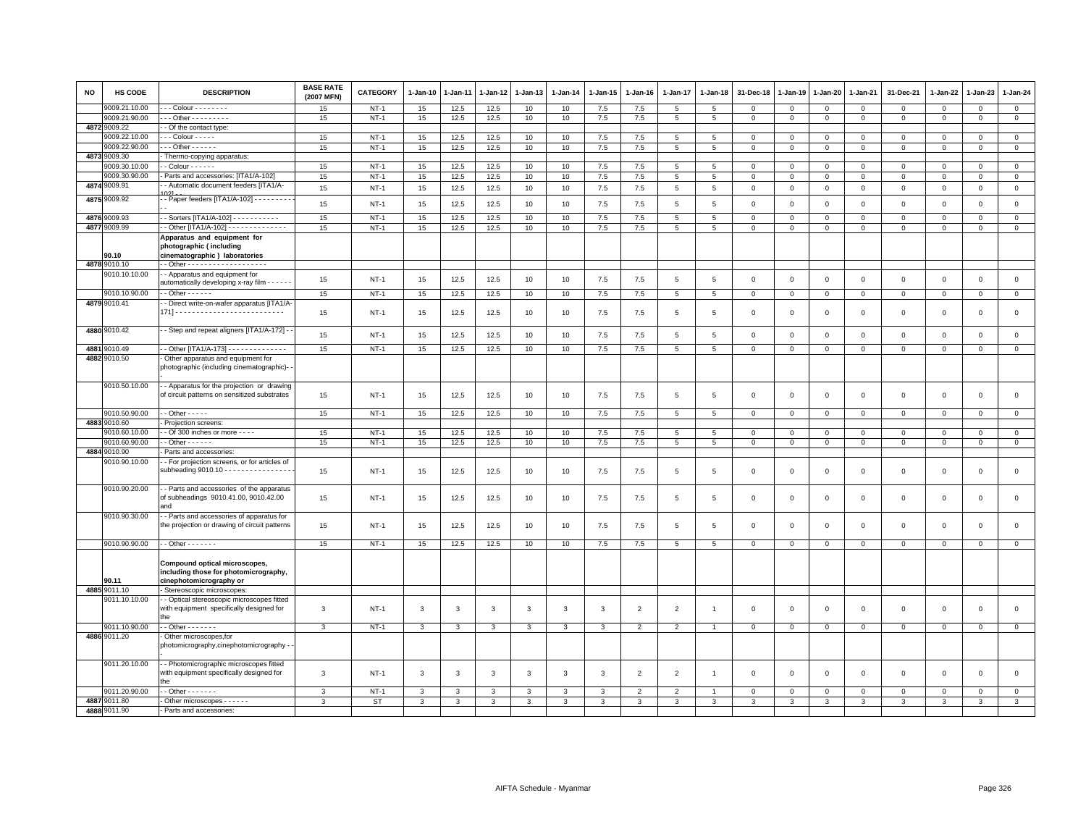| <b>NO</b> | HS CODE                        | <b>DESCRIPTION</b>                                                                                                           | <b>BASE RATE</b><br>(2007 MFN) | <b>CATEGORY</b> | 1-Jan-10     | 1-Jan-11     | 1-Jan-12     | 1-Jan-13     | $1-Jan-14$   | $1 - Jan-15$ | 1-Jan-16       | $1 - Jan-17$    | 1-Jan-18        | 31-Dec-18    | $1 - Jan-19$ | 1-Jan-20       | 1-Jan-21     | 31-Dec-21      | 1-Jan-22    | 1-Jan-23       | 1-Jan-24       |
|-----------|--------------------------------|------------------------------------------------------------------------------------------------------------------------------|--------------------------------|-----------------|--------------|--------------|--------------|--------------|--------------|--------------|----------------|-----------------|-----------------|--------------|--------------|----------------|--------------|----------------|-------------|----------------|----------------|
|           | 9009.21.10.00                  | - - Colour - - - - - - - -                                                                                                   | 15                             | $NT-1$          | 15           | 12.5         | 12.5         | 10           | 10           | 7.5          | 7.5            | 5               | 5               | $\mathbf 0$  | $\mathbf 0$  | $\mathsf 0$    | $\mathbf 0$  | $\mathbf 0$    | $\mathsf 0$ | $\mathbf 0$    | $\mathbf{0}$   |
|           | 9009.21.90.00                  | $-$ - Other - - - - - - - - -                                                                                                | 15                             | $NT-1$          | 15           | 12.5         | 12.5         | 10           | 10           | 7.5          | 7.5            | $5\overline{5}$ | 5               | $\mathbf{0}$ | $\mathbf 0$  | $\mathbf{O}$   | $\mathbf 0$  | $\mathbf{0}$   | $\mathsf 0$ | $\mathbf 0$    | $\circ$        |
|           | 4872 9009.22                   | - Of the contact type:                                                                                                       |                                |                 |              |              |              |              |              |              |                |                 |                 |              |              |                |              |                |             |                |                |
|           | 9009.22.10.00                  | - - Colour - - - - -                                                                                                         | 15                             | $NT-1$          | 15           | 12.5         | 12.5         | 10           | 10           | 7.5          | 7.5            | 5               | 5               | $\mathbf 0$  | $\mathbf 0$  | 0              | $\Omega$     | $\Omega$       | $^{\circ}$  | $\Omega$       | $\mathsf 0$    |
|           | 9009.22.90.00                  | $-$ Other $    -$                                                                                                            | 15                             | $NT-1$          | 15           | 12.5         | 12.5         | 10           | 10           | 7.5          | 7.5            | 5               | 5               | $\mathbf{0}$ | $\mathbf 0$  | $\mathsf 0$    | $\mathbf{0}$ | $\mathbf{0}$   | $\mathsf 0$ | $\mathbf 0$    | $\mathbf 0$    |
|           | 4873 9009.30                   | Thermo-copying apparatus:<br>Colour - - - - - -                                                                              |                                |                 |              |              |              |              |              |              |                |                 | $5\overline{5}$ | $\Omega$     | $\Omega$     | $\Omega$       | $\Omega$     | $\Omega$       | $\Omega$    | $\Omega$       | $\Omega$       |
|           | 9009.30.10.00<br>9009.30.90.00 |                                                                                                                              | 15                             | $NT-1$          | 15           | 12.5         | 12.5         | 10           | 10           | 7.5          | 7.5            | 5               |                 | $\Omega$     |              |                |              |                |             |                |                |
|           | 4874 9009.91                   | Parts and accessories: [ITA1/A-102]<br>- Automatic document feeders [ITA1/A-                                                 | 15                             | $NT-1$          | 15           | 12.5         | 12.5         | 10           | 10           | 7.5          | 7.5            | 5               | 5               |              | $\mathbf 0$  | 0              | $\Omega$     | $\mathbf 0$    | $\Omega$    | $\Omega$       | $\mathbf 0$    |
|           |                                |                                                                                                                              | 15                             | $NT-1$          | 15           | 12.5         | 12.5         | 10           | 10           | 7.5          | $7.5\,$        | $\,$ 5 $\,$     | $\,$ 5 $\,$     | $\mathsf 0$  | $\mathsf 0$  | $\mathsf 0$    | $\mathbf 0$  | $\mathbf 0$    | $\mathbf 0$ | $\mathbf 0$    | $\mathbf 0$    |
|           | 4875 9009.92                   | - Paper feeders [ITA1/A-102] - - - - - - - -                                                                                 | 15                             | $NT-1$          | 15           | 12.5         | 12.5         | 10           | 10           | 7.5          | 7.5            | 5               | 5               | $\mathbf 0$  | $\mathsf 0$  | $\mathsf 0$    | $\Omega$     | $\mathbf 0$    | $\Omega$    | $\mathbf 0$    | $\mathbf{0}$   |
|           | 4876 9009.93                   | - Sorters [ITA1/A-102] - - - - - - - - - - -                                                                                 | 15                             | $NT-1$          | 15           | 12.5         | 12.5         | 10           | 10           | 7.5          | 7.5            | $\overline{5}$  | $\overline{5}$  | $\mathbf 0$  | $\mathbf 0$  | $\overline{0}$ | $\Omega$     | $\overline{0}$ | $\mathbf 0$ | $\overline{0}$ | $\overline{0}$ |
|           | 4877 9009.99                   | - Other [ITA1/A-102] - - - - - - - - - - - - - -                                                                             | 15                             | $NT-1$          | 15           | 12.5         | 12.5         | 10           | 10           | 7.5          | 7.5            | $5\phantom{.0}$ | 5               | $\mathsf 0$  | $\mathsf 0$  | $\mathsf 0$    | $\mathbf 0$  | 0              | $\mathsf 0$ | $\Omega$       | $\mathbf 0$    |
|           | 90.10                          | Apparatus and equipment for<br>photographic (including<br>cinematographic) laboratories                                      |                                |                 |              |              |              |              |              |              |                |                 |                 |              |              |                |              |                |             |                |                |
|           | 4878 9010.10                   | - Other - - - - - - - - - - - - - - - - - -                                                                                  |                                |                 |              |              |              |              |              |              |                |                 |                 |              |              |                |              |                |             |                |                |
|           | 9010.10.10.00                  | - Apparatus and equipment for<br>automatically developing x-ray film - - - - - -                                             | 15                             | $NT-1$          | 15           | 12.5         | 12.5         | 10           | 10           | 7.5          | $7.5\,$        | $\overline{5}$  | 5               | $\mathsf 0$  | $\mathsf 0$  | $\mathsf 0$    | $\mathsf 0$  | $\mathsf 0$    | $\Omega$    | $\mathbf 0$    | $\mathbf 0$    |
|           | 9010.10.90.00                  | $-$ Other $    -$                                                                                                            | 15                             | $NT-1$          | 15           | 12.5         | 12.5         | 10           | 10           | 7.5          | 7.5            | $\overline{5}$  | 5               | $\mathbf 0$  | $\mathbf 0$  | $\mathbf 0$    | $\circ$      | $\mathsf 0$    | $\mathbf 0$ | $\mathbf{0}$   | $\mathsf 0$    |
|           | 4879 9010.41                   | Direct write-on-wafer apparatus [ITA1/A                                                                                      | 15                             | $NT-1$          | 15           | 12.5         | 12.5         | 10           | 10           | 7.5          | 7.5            | 5               | 5               | $\mathbf 0$  | $\mathsf 0$  | $\mathsf 0$    | $\mathbf 0$  | $\mathbf 0$    | $\Omega$    | $\mathbf 0$    | 0              |
|           | 4880 9010.42                   | - Step and repeat aligners [ITA1/A-172] -                                                                                    | 15                             | $NT-1$          | 15           | 12.5         | 12.5         | 10           | 10           | 7.5          | 7.5            | $\overline{5}$  | 5               | $\mathsf 0$  | $\mathsf 0$  | $\mathsf 0$    | $\mathbf 0$  | $\mathsf 0$    | $\Omega$    | $\mathbf 0$    | $\mathbf{0}$   |
|           | 4881 9010.49                   | - Other [ITA1/A-173] - - - - - - - - - - - - - -                                                                             | 15                             | $NT-1$          | 15           | 12.5         | 12.5         | 10           | 10           | 7.5          | 7.5            | 5 <sup>5</sup>  | $5\overline{5}$ | $\mathbf{0}$ | $\mathbf{0}$ | $\circ$        | $\mathbf{0}$ | $\mathbf{0}$   | $\mathbf 0$ | $\mathbf{0}$   | $\circ$        |
|           | 4882 9010.50                   | Other apparatus and equipment for<br>photographic (including cinematographic)-                                               |                                |                 |              |              |              |              |              |              |                |                 |                 |              |              |                |              |                |             |                |                |
|           | 9010.50.10.00                  | - Apparatus for the projection or drawing<br>of circuit patterns on sensitized substrates                                    | 15                             | NT-1            | 15           | 12.5         | 12.5         | 10           | 10           | 7.5          | 7.5            | $\overline{5}$  | 5               | $\mathbf 0$  | $\mathsf 0$  | $\mathsf 0$    | $\Omega$     | $\mathbf{O}$   | $\Omega$    | $\mathbf 0$    | $\mathsf{O}$   |
|           | 9010.50.90.00                  | $-$ Other $   -$                                                                                                             | 15                             | $NT-1$          | 15           | 12.5         | 12.5         | 10           | 10           | 7.5          | 7.5            | 5               | 5               | $\Omega$     | $\mathbf 0$  | $\mathbf 0$    | $\Omega$     | $\mathsf 0$    | $\Omega$    | $\mathbf{0}$   | $\mathbf{0}$   |
|           | 4883 9010.60                   | Projection screens:                                                                                                          |                                |                 |              |              |              |              |              |              |                |                 |                 |              |              |                |              |                |             |                |                |
|           | 9010.60.10.00                  | - Of 300 inches or more - - - -                                                                                              | 15                             | $NT-1$          | 15           | 12.5         | 12.5         | 10           | 10           | 7.5          | 7.5            | 5               | 5               | $\mathbf{0}$ | $\mathbf 0$  | $\mathbf 0$    | $\Omega$     | $\mathbf{0}$   | 0           | $\mathbf 0$    | $\overline{0}$ |
|           | 9010.60.90.00                  | $-$ Other $    -$                                                                                                            | 15                             | $NT-1$          | 15           | 12.5         | 12.5         | 10           | 10           | 7.5          | 7.5            | $5\overline{5}$ | $5\overline{5}$ | $\mathbf 0$  | $\mathbf 0$  | $\mathsf 0$    | $\mathbf 0$  | $\circ$        | $\mathsf 0$ | $\circ$        | $\mathbf{0}$   |
| 4884      | 9010.90<br>9010.90.10.00       | Parts and accessories:<br>- For projection screens, or for articles of<br>subheading $9010.10 - - - - - - - - - - - - - - -$ | 15                             | NT-1            | 15           | 12.5         | 12.5         | 10           | 10           | 7.5          | $7.5\,$        | $\overline{5}$  | $\overline{5}$  | $\mathsf 0$  | $\mathsf 0$  | $\mathsf 0$    | $\mathsf 0$  | $\mathsf 0$    | $\Omega$    | $\,$ 0         | $\mathsf 0$    |
|           | 9010.90.20.00                  | - Parts and accessories of the apparatus<br>of subheadings 9010.41.00, 9010.42.00<br>and                                     | 15                             | $NT-1$          | 15           | 12.5         | 12.5         | 10           | 10           | 7.5          | 7.5            | 5               | 5               | $\Omega$     | $\mathbf 0$  | $\mathbf 0$    | $\Omega$     | $\mathbf 0$    | $\Omega$    | $\overline{0}$ | $\mathbf{0}$   |
|           | 9010.90.30.00                  | - Parts and accessories of apparatus for<br>the projection or drawing of circuit patterns                                    | 15                             | $NT-1$          | 15           | 12.5         | 12.5         | 10           | 10           | 7.5          | 7.5            | 5               | 5               | $\Omega$     | $\mathbf 0$  | $\mathbf 0$    | $\mathbf 0$  | $\mathbf 0$    | $\Omega$    | $\mathbf 0$    | 0              |
|           | 9010.90.90.00                  | $\cdot$ - Other - - - - - - -                                                                                                | 15                             | $NT-1$          | 15           | 12.5         | 12.5         | 10           | 10           | 7.5          | 7.5            | $5\overline{5}$ | 5               | $\mathbf 0$  | $\mathbf 0$  | $\mathbf{O}$   | $\mathbf 0$  | $\mathbf{0}$   | $\mathbf 0$ | $\overline{0}$ | $\mathbf{0}$   |
|           | 90.11                          | Compound optical microscopes,<br>including those for photomicrography,<br>cinephotomicrography or                            |                                |                 |              |              |              |              |              |              |                |                 |                 |              |              |                |              |                |             |                |                |
|           | 4885 9011.10                   | Stereoscopic microscopes                                                                                                     |                                |                 |              |              |              |              |              |              |                |                 |                 |              |              |                |              |                |             |                |                |
|           | 9011.10.10.00                  | - Optical stereoscopic microscopes fitted<br>with equipment specifically designed for<br>the                                 | 3                              | $NT-1$          | 3            | 3            | 3            | 3            | 3            | $\mathbf{3}$ | $\overline{2}$ | $\overline{2}$  | $\overline{1}$  | $\mathbf 0$  | $\mathsf 0$  | $\mathsf 0$    | $\mathbf 0$  | $\mathbf 0$    | $\mathbf 0$ | $\mathbf 0$    | $\mathbf 0$    |
|           | 9011.10.90.00                  | $-$ Other $     -$                                                                                                           | $\mathbf{3}$                   | $NT-1$          | 3            | 3            | $\mathbf{3}$ | $\mathbf{3}$ | $\mathbf{3}$ | $\mathbf{3}$ | $\overline{2}$ | $\overline{2}$  | $\overline{1}$  | $\mathbf 0$  | $\mathbf 0$  | $\mathsf 0$    | $\mathbf 0$  | $\mathsf 0$    | $\mathsf 0$ | $\mathsf 0$    | $\circ$        |
|           | 4886 9011.20                   | Other microscopes, for<br>photomicrography,cinephotomicrography ·                                                            |                                |                 |              |              |              |              |              |              |                |                 |                 |              |              |                |              |                |             |                |                |
|           | 9011.20.10.00                  | - Photomicrographic microscopes fitted<br>with equipment specifically designed for                                           | $\mathbf{3}$                   | $NT-1$          | $\mathbf{3}$ | $\mathbf{3}$ | 3            | 3            | $\mathbf{3}$ | $\mathbf{3}$ | $\overline{2}$ | $\overline{2}$  | $\overline{1}$  | $\mathsf 0$  | $\Omega$     | $\mathbf 0$    | $\mathbf 0$  | $\mathsf 0$    | $\mathsf 0$ | $\mathbf{0}$   | $\mathsf 0$    |
|           | 9011.20.90.00                  | $-$ Other $     -$                                                                                                           | 3                              | $NT-1$          | 3            | 3            | 3            | 3            | 3            | 3            | $\overline{2}$ | $\overline{2}$  |                 | $\Omega$     | 0            | $\mathbf 0$    | $\mathbf 0$  | $\mathbf 0$    | 0           | $\mathbf 0$    | $\mathbf 0$    |
|           | 4887 9011.80                   | Other microscopes - - - - - -                                                                                                | 3                              | ST              | 3            | 3            | 3            | 3            | 3            | 3            | 3              | 3               | 3               | 3            | $\mathbf{3}$ | 3              | 3            | 3              | 3           | 3              | $\mathbf{3}$   |
|           | 4888 9011.90                   | Parts and accessories:                                                                                                       |                                |                 |              |              |              |              |              |              |                |                 |                 |              |              |                |              |                |             |                |                |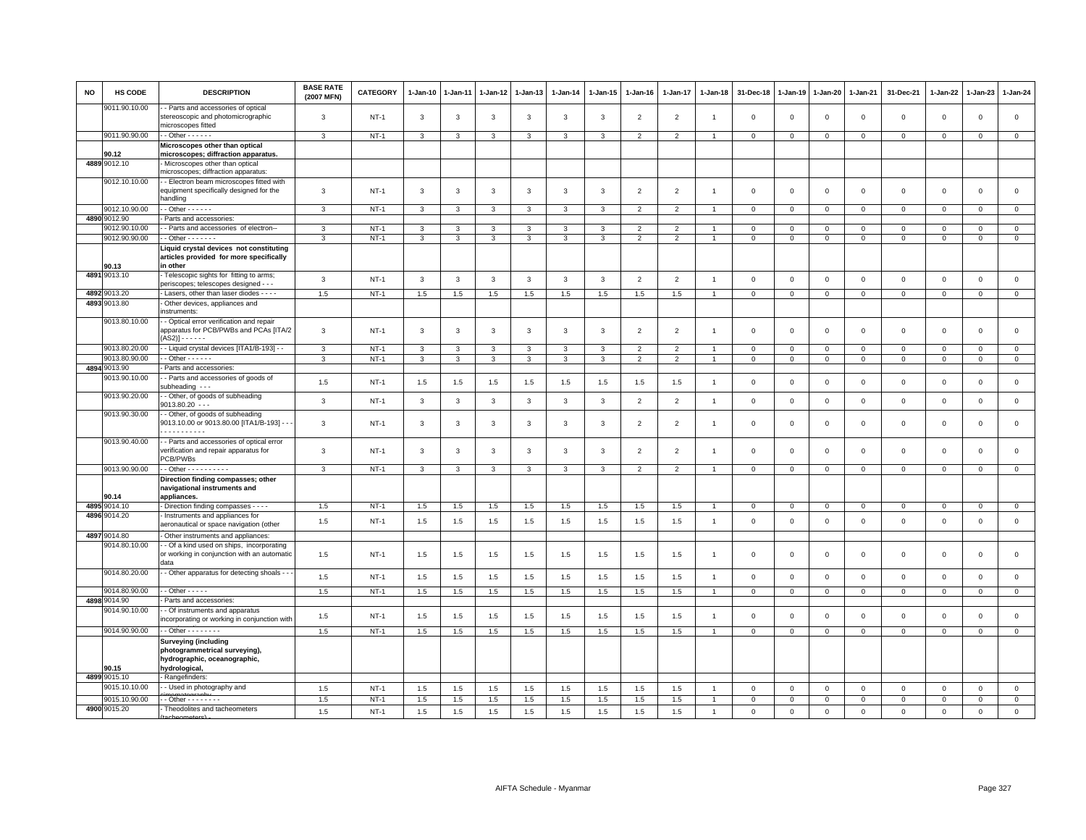| <b>NO</b> | <b>HS CODE</b> | <b>DESCRIPTION</b>                                                                                            | <b>BASE RATE</b><br>(2007 MFN) | <b>CATEGORY</b> | $1 - Jan-10$ | 1-Jan-11 | 1-Jan-12     | 1-Jan-13     | $1-Jan-14$   | $1 - Jan-15$ | $1 - Jan-16$   | $1 - Jan-17$             | $1 - Jan-18$   | 31-Dec-18      | $1 - Jan-19$   | 1-Jan-20       | $1 - Jan-21$        | 31-Dec-21    | 1-Jan-22     | 1-Jan-23       | 1-Jan-24       |
|-----------|----------------|---------------------------------------------------------------------------------------------------------------|--------------------------------|-----------------|--------------|----------|--------------|--------------|--------------|--------------|----------------|--------------------------|----------------|----------------|----------------|----------------|---------------------|--------------|--------------|----------------|----------------|
|           | 9011.90.10.00  | - Parts and accessories of optical<br>stereoscopic and photomicrographic<br>nicroscopes fitted                | 3                              | $NT-1$          | 3            | 3        | $\mathbf{3}$ | 3            | 3            | 3            | $\overline{2}$ | $\overline{2}$           | $\mathbf{1}$   | $\mathbf 0$    | $\mathsf 0$    | $\mathbf 0$    | $\mathbf 0$         | $\mathsf 0$  | $\mathsf 0$  | $\mathbf{0}$   | $\mathsf 0$    |
|           | 9011.90.90.00  | $-$ Other $    -$                                                                                             | 3                              | $NT-1$          | 3            | 3        | 3            | 3            | 3            | 3            | $\overline{2}$ | $\overline{2}$           |                | $\mathbf 0$    | $\mathbf 0$    | 0              | $\mathbf 0$         | $\mathbf 0$  | 0            | $\mathbf 0$    | $\mathbf{0}$   |
|           | 90.12          | Microscopes other than optical<br>microscopes; diffraction apparatus.                                         |                                |                 |              |          |              |              |              |              |                |                          |                |                |                |                |                     |              |              |                |                |
|           | 4889 9012.10   | Microscopes other than optical<br>nicroscopes; diffraction apparatus:                                         |                                |                 |              |          |              |              |              |              |                |                          |                |                |                |                |                     |              |              |                |                |
|           | 9012.10.10.00  | - Electron beam microscopes fitted with<br>equipment specifically designed for the<br>handling                | 3                              | <b>NT-1</b>     | 3            | 3        | 3            | 3            | 3            | 3            | $\overline{2}$ | $\overline{2}$           | $\mathbf{1}$   | $\mathbf 0$    | $\mathbf{0}$   | $\mathsf 0$    | $\mathbf 0$         | $\mathsf 0$  | $\mathbf 0$  | $\mathbf 0$    | $\mathsf 0$    |
|           | 9012.10.90.00  | $-$ Other $    -$                                                                                             | 3                              | $NT-1$          | 3            | 3        | 3            | 3            | 3            | 3            | $\overline{2}$ | $\overline{2}$           |                | $\overline{0}$ | $\mathbf 0$    | $\mathbf 0$    | $\mathbf{0}$        | $\mathbf{0}$ | $\mathbf 0$  | $\mathbf{0}$   | $\mathbf{0}$   |
| 4890      | 9012.90        | Parts and accessories:                                                                                        |                                |                 |              |          |              |              |              |              |                |                          |                |                |                |                |                     |              |              |                |                |
|           | 9012.90.10.00  | - Parts and accessories of electron--                                                                         | 3                              | $NT-1$          | 3            | 3        | 3            | 3            | 3            | 3            | $\mathfrak{p}$ | $\overline{2}$           |                | $\mathbf 0$    | $\mathbf 0$    | $\mathbf 0$    | $\mathsf{O}\xspace$ | $\mathsf 0$  | $\mathbf 0$  | $\Omega$       | $\mathsf 0$    |
|           | 9012.90.90.00  | $-$ Other $     -$                                                                                            | 3                              | <b>NT-1</b>     | 3            | 3        | 3            | 3            | 3            | 3            | $\overline{2}$ | $\overline{2}$           | $\overline{1}$ | $\overline{0}$ | $\mathsf 0$    | $\mathbf 0$    | $\mathbf 0$         | $\mathbf{0}$ | $\Omega$     | $\mathbf{0}$   | $\mathbf{0}$   |
|           | 90.13          | Liquid crystal devices not constituting<br>articles provided for more specifically<br>in other                |                                |                 |              |          |              |              |              |              |                |                          |                |                |                |                |                     |              |              |                |                |
|           | 4891 9013.10   | Telescopic sights for fitting to arms;<br>periscopes; telescopes designed - - -                               | 3                              | $NT-1$          | 3            | 3        | 3            | $\mathbf{3}$ | 3            | 3            | $\overline{2}$ | $\overline{2}$           | $\overline{1}$ | $\mathbf 0$    | $\mathbf 0$    | $\mathsf 0$    | $\mathbf 0$         | $\mathsf 0$  | $\mathbf 0$  | $\mathbf 0$    | $\mathsf 0$    |
|           | 4892 9013.20   | Lasers, other than laser diodes - - - -                                                                       | 1.5                            | $NT-1$          | 1.5          | 1.5      | 1.5          | 1.5          | 1.5          | 1.5          | 1.5            | 1.5                      |                | $\mathbf 0$    | $\mathbf 0$    | $\mathbf 0$    | $\mathbb O$         | $\mathbf 0$  | $\mathbf{0}$ | $\mathbf{O}$   | $\circ$        |
|           | 4893 9013.80   | Other devices, appliances and<br>instruments:                                                                 |                                |                 |              |          |              |              |              |              |                |                          |                |                |                |                |                     |              |              |                |                |
|           | 9013.80.10.00  | - Optical error verification and repair<br>apparatus for PCB/PWBs and PCAs [ITA/2<br>(AS2)] - - - - - -       | 3                              | $NT-1$          | 3            | 3        | 3            | 3            | 3            | 3            | $\overline{2}$ | $\overline{2}$           |                | $\mathbf 0$    | $\mathbf 0$    | $\mathsf 0$    | $\mathbf 0$         | $\mathsf 0$  | $\mathbf 0$  | $\mathbf 0$    | $\mathsf 0$    |
|           | 9013.80.20.00  | - Liquid crystal devices [ITA1/B-193] - -                                                                     | 3                              | $NT-1$          | 3            | 3        | 3            | 3            | 3            | 3            | $\overline{2}$ | $\overline{2}$           |                | $\mathbf 0$    | $^{\circ}$     | $^{\circ}$     | $\mathbf 0$         | $^{\circ}$   | $\Omega$     | $\Omega$       | $\mathbf{0}$   |
|           | 9013.80.90.00  | $-$ Other $    -$                                                                                             | 3                              | $NT-1$          | $\mathbf{3}$ | 3        | 3            | $\mathbf{3}$ | 3            | $\mathbf{3}$ | $\overline{2}$ | $\overline{2}$           | $\overline{1}$ | $\mathbf 0$    | $\mathbf 0$    | $\mathbf 0$    | $\mathbf 0$         | $\mathbf 0$  | $\mathbf 0$  | $\mathbf{0}$   | $\mathbf{0}$   |
| 4894      | 9013.90        | Parts and accessories:                                                                                        |                                |                 |              |          |              |              |              |              |                |                          |                |                |                |                |                     |              |              |                |                |
|           | 9013.90.10.00  | - Parts and accessories of goods of<br>subheading ---                                                         | 1.5                            | $NT-1$          | 1.5          | 1.5      | 1.5          | 1.5          | 1.5          | 1.5          | 1.5            | 1.5                      | $\overline{1}$ | $\mathbf 0$    | $\mathsf 0$    | $\mathbf 0$    | $\mathbf 0$         | $\mathsf 0$  | $\mathbf 0$  | $\mathsf 0$    | $\mathsf 0$    |
|           | 9013.90.20.00  | - Other, of goods of subheading<br>$9013.80.20 - -$                                                           | $\mathbf{3}$                   | $NT-1$          | $\mathbf{3}$ | 3        | $\mathbf{3}$ | $\mathbf{3}$ | $\mathbf{3}$ | $\mathbf{3}$ | $\overline{2}$ | $\overline{2}$           | $\overline{1}$ | $\mathbf 0$    | $\mathbf 0$    | $\mathsf 0$    | $\mathbf 0$         | $\mathsf 0$  | $\mathbf 0$  | $\mathsf 0$    | $\mathsf 0$    |
|           | 9013.90.30.00  | - Other, of goods of subheading<br>9013.10.00 or 9013.80.00 [ITA1/B-193] - -<br>.                             | 3                              | $NT-1$          | 3            | 3        | 3            | 3            | 3            | 3            | $\overline{2}$ | $\overline{2}$           | -1             | $\mathbf 0$    | $\mathbf 0$    | $\mathsf 0$    | $\mathbf 0$         | $\mathbf 0$  | $\mathbf 0$  | $\mathbf{0}$   | $\mathbf 0$    |
|           | 9013.90.40.00  | - Parts and accessories of optical error<br>verification and repair apparatus for<br>PCB/PWBs                 | 3                              | $NT-1$          | 3            | 3        | 3            | 3            | 3            | 3            | $\mathfrak{p}$ | $\overline{\phantom{0}}$ |                | $\mathbf 0$    | $\mathbf 0$    | $\mathsf 0$    | $\mathbf 0$         | $\mathsf 0$  | $\mathbf 0$  | $\mathbf{0}$   | $\mathbf 0$    |
|           | 9013.90.90.00  | - - Other - - - - - - - - - -                                                                                 | $\mathbf{3}$                   | $NT-1$          | $\mathbf{3}$ | 3        | $\mathbf{3}$ | $\mathbf{3}$ | $\mathbf{3}$ | $\mathbf{3}$ | $\overline{2}$ | $\overline{2}$           | $\overline{1}$ | $\mathbf{0}$   | $\overline{0}$ | $\overline{0}$ | $\overline{0}$      | $\mathsf 0$  | $\mathsf 0$  | $\mathbf 0$    | $\overline{0}$ |
|           | 90.14          | Direction finding compasses; other<br>navigational instruments and<br>appliances.                             |                                |                 |              |          |              |              |              |              |                |                          |                |                |                |                |                     |              |              |                |                |
|           | 4895 9014.10   | - Direction finding compasses - - - -                                                                         | 1.5                            | <b>NT-1</b>     | 1.5          | 1.5      | 1.5          | 1.5          | 1.5          | 1.5          | 1.5            | 1.5                      |                | $\mathbf 0$    | $\mathbf 0$    | $\mathbf 0$    | $\mathsf 0$         | $\mathsf 0$  | $\mathbf 0$  | $\overline{0}$ | $\mathbf 0$    |
|           | 4896 9014.20   | Instruments and appliances for<br>aeronautical or space navigation (other                                     | 1.5                            | $NT-1$          | 1.5          | 1.5      | 1.5          | 1.5          | 1.5          | 1.5          | 1.5            | 1.5                      | $\overline{1}$ | $\mathbf 0$    | $\mathsf 0$    | $\mathbf 0$    | $\mathbf 0$         | $\mathsf 0$  | $\mathsf 0$  | $\mathsf 0$    | $\mathsf 0$    |
|           | 4897 9014.80   | Other instruments and appliances                                                                              |                                |                 |              |          |              |              |              |              |                |                          |                |                |                |                |                     |              |              |                |                |
|           | 9014.80.10.00  | - Of a kind used on ships, incorporating<br>or working in conjunction with an automatic<br>data               | 1.5                            | $NT-1$          | 1.5          | 1.5      | 1.5          | 1.5          | 1.5          | 1.5          | 1.5            | 1.5                      | -1             | $\Omega$       | $\mathbf 0$    | $\,0\,$        | $\,0\,$             | $\mathsf 0$  | $\mathbf 0$  | $\mathsf 0$    | $\mathbf 0$    |
|           | 9014.80.20.00  | - Other apparatus for detecting shoals - -                                                                    | 1.5                            | $NT-1$          | 1.5          | 1.5      | 1.5          | 1.5          | 1.5          | 1.5          | 1.5            | 1.5                      |                | $\overline{0}$ | $\mathbf 0$    | $\mathsf 0$    | $\mathbf 0$         | $\mathbf 0$  | $\mathbf{0}$ | $\mathbf{0}$   | $\mathbf 0$    |
|           | 9014.80.90.00  | $-$ Other $- - - -$                                                                                           | $1.5\,$                        | $NT-1$          | 1.5          | $1.5$    | $1.5\,$      | 1.5          | $1.5\,$      | $1.5\,$      | $1.5$          | $1.5\,$                  |                | $\mathbf 0$    | $\mathbf 0$    | $\mathsf 0$    | $\mathbf 0$         | $\mathbf{0}$ | $\circ$      | $\mathbf{0}$   | $\circ$        |
|           | 4898 9014.90   | Parts and accessories:                                                                                        |                                |                 |              |          |              |              |              |              |                |                          |                |                |                |                |                     |              |              |                |                |
|           | 9014.90.10.00  | - Of instruments and apparatus<br>incorporating or working in conjunction with                                | 1.5                            | $NT-1$          | 1.5          | 1.5      | 1.5          | 1.5          | 1.5          | 1.5          | 1.5            | 1.5                      |                | $\mathbf 0$    | $\mathbf 0$    | $\mathsf 0$    | $\mathbf 0$         | $\mathsf 0$  | $\mathbf 0$  | $\mathbf{0}$   | $\mathsf 0$    |
|           | 9014.90.90.00  | $\cdot$ - Other - - - - - - - -                                                                               | 1.5                            | $NT-1$          | 1.5          | 1.5      | 1.5          | 1.5          | 1.5          | 1.5          | 1.5            | 1.5                      |                | $\mathsf 0$    | $\mathsf 0$    | $\mathsf 0$    | $\mathbf 0$         | $\mathsf 0$  | $\mathsf 0$  | $\mathbf 0$    | $\circ$        |
|           | 90.15          | <b>Surveying (including</b><br>photogrammetrical surveying),<br>hydrographic, oceanographic,<br>hydrological, |                                |                 |              |          |              |              |              |              |                |                          |                |                |                |                |                     |              |              |                |                |
|           | 4899 9015.10   | Rangefinders:                                                                                                 |                                |                 |              |          |              |              |              |              |                |                          |                |                |                |                |                     |              |              |                |                |
|           | 9015.10.10.00  | - Used in photography and                                                                                     | 1.5                            | $NT-1$          | 1.5          | 1.5      | 1.5          | 1.5          | 1.5          | 1.5          | 1.5            | 1.5                      |                | $\mathbf 0$    | $\mathbf 0$    | $\mathbf 0$    | $\mathbf 0$         | 0            | $\mathbf 0$  | $\mathbf 0$    | $\mathbf 0$    |
|           | 9015.10.90.00  | - Other - - - - - - - -                                                                                       | 1.5                            | $NT-1$          | 1.5          | 1.5      | 1.5          | 1.5          | 1.5          | 1.5          | 1.5            | 1.5                      |                | $\mathbf 0$    | $\mathbf 0$    | $\mathbf 0$    | $\mathsf 0$         | $\mathsf 0$  | 0            | $\mathbf 0$    | $\mathbf 0$    |
|           | 4900 9015.20   | Theodolites and tacheometers                                                                                  | 1.5                            | $NT-1$          | 1.5          | 1.5      | 1.5          | 1.5          | 1.5          | 1.5          | 1.5            | 1.5                      | $\overline{1}$ | $\mathbf 0$    | $\mathsf 0$    | $\mathbf 0$    | $\mathbf 0$         | $\mathbf 0$  | $\mathsf 0$  | $\mathbf{0}$   | $\mathbf 0$    |
|           |                |                                                                                                               |                                |                 |              |          |              |              |              |              |                |                          |                |                |                |                |                     |              |              |                |                |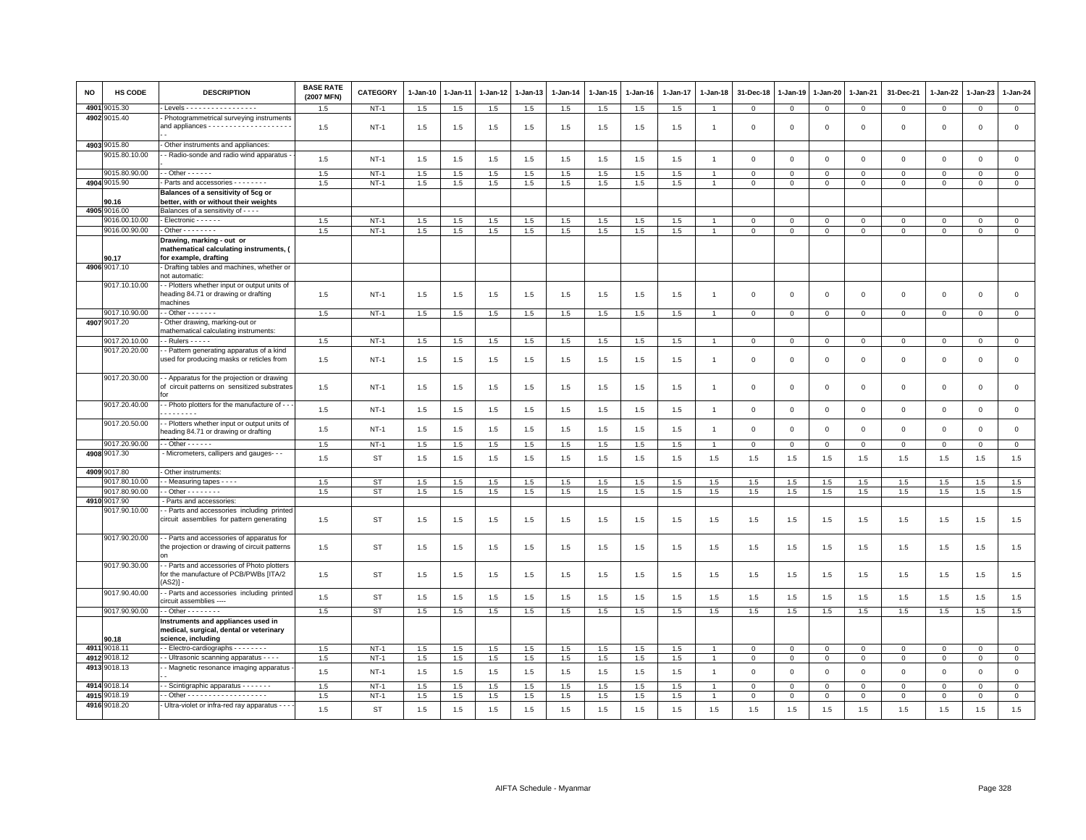| <b>NO</b> | HS CODE                        | <b>DESCRIPTION</b>                                                                                  | <b>BASE RATE</b><br>(2007 MFN) | CATEGORY         | 1-Jan-10   | 1-Jan-11   | 1-Jan-12   | 1-Jan-13   | $1-Jan-14$ | 1-Jan-15   | 1-Jan-16   | 1-Jan-17   | 1-Jan-18       | 31-Dec-18                  | 1-Jan-19                   | 1-Jan-20                   | 1-Jan-21         | 31-Dec-21              | 1-Jan-22               | 1-Jan-23                | $1 - Jan-24$        |
|-----------|--------------------------------|-----------------------------------------------------------------------------------------------------|--------------------------------|------------------|------------|------------|------------|------------|------------|------------|------------|------------|----------------|----------------------------|----------------------------|----------------------------|------------------|------------------------|------------------------|-------------------------|---------------------|
| 4901      | 9015.30                        | Levels - - - - - - - - - - - - - - - - -                                                            | 1.5                            | $NT-1$           | $1.5\,$    | 1.5        | 1.5        | 1.5        | 1.5        | 1.5        | 1.5        | 1.5        | $\overline{1}$ | $\mathbf 0$                | $\mathsf 0$                | $\mathbf 0$                | $\mathbf{O}$     | $\mathbf 0$            | $\mathbf 0$            | $\mathsf 0$             | $\mathbf 0$         |
|           | 4902 9015.40                   | Photogrammetrical surveying instruments                                                             | 1.5                            | $NT-1$           | 1.5        | 1.5        | 1.5        | 1.5        | 1.5        | 1.5        | 1.5        | 1.5        | $\overline{1}$ | $\mathbf 0$                | $\mathbf 0$                | $\mathbf 0$                | 0                | $\mathbf 0$            | $\mathbf 0$            | $\mathsf 0$             | $\mathsf 0$         |
|           | 4903 9015.80                   | - Other instruments and appliances:                                                                 |                                |                  |            |            |            |            |            |            |            |            |                |                            |                            |                            |                  |                        |                        |                         |                     |
|           | 9015.80.10.00                  | - Radio-sonde and radio wind apparatus                                                              | 1.5                            | <b>NT-1</b>      | 1.5        | 1.5        | 1.5        | 1.5        | $1.5\,$    | 1.5        | 1.5        | 1.5        | $\overline{1}$ | $\mathbf 0$                | $\Omega$                   | $\mathbf 0$                | $\mathbf{O}$     | $\mathbf 0$            | $\Omega$               | $\mathbf 0$             | $\mathsf 0$         |
|           |                                |                                                                                                     |                                |                  |            |            |            |            |            |            |            |            |                |                            |                            |                            |                  |                        |                        |                         |                     |
|           | 9015.80.90.00                  | $-$ Other $    -$                                                                                   | 1.5                            | $NT-1$           | 1.5        | 1.5        | 1.5        | 1.5        | 1.5        | 1.5        | 1.5        | 1.5        |                | $\Omega$                   | $\Omega$                   | $\mathsf 0$                | $\Omega$         | $\mathbf 0$            | $\Omega$               | $\Omega$                | $\mathsf 0$         |
|           | 4904 9015.90                   | Parts and accessories - - - - - - -                                                                 | 1.5                            | $NT-1$           | 1.5        | 1.5        | 1.5        | 1.5        | 1.5        | 1.5        | 1.5        | 1.5        | $\mathbf{1}$   | $\mathbf 0$                | $\mathbf 0$                | $\mathbf 0$                | $\mathbf{O}$     | $\Omega$               | $\circ$                | $\Omega$                | $\mathbf 0$         |
|           |                                | Balances of a sensitivity of 5cg or                                                                 |                                |                  |            |            |            |            |            |            |            |            |                |                            |                            |                            |                  |                        |                        |                         |                     |
|           | 90.16                          | better, with or without their weights                                                               |                                |                  |            |            |            |            |            |            |            |            |                |                            |                            |                            |                  |                        |                        |                         |                     |
|           | 4905 9016.00<br>9016.00.10.00  | Balances of a sensitivity of - - - -<br>- Electronic - - - - - -                                    |                                |                  |            |            |            |            | 1.5        |            |            |            |                |                            |                            |                            |                  |                        |                        |                         | $\circ$             |
|           | 9016.00.90.00                  | $-$ Other $      -$                                                                                 | 1.5<br>1.5                     | $NT-1$<br>$NT-1$ | 1.5<br>1.5 | 1.5<br>1.5 | 1.5<br>1.5 | 1.5<br>1.5 | 1.5        | 1.5<br>1.5 | 1.5<br>1.5 | 1.5<br>1.5 | $\overline{1}$ | $\mathbf 0$<br>$\mathbf 0$ | $\mathbf 0$<br>$\mathsf 0$ | $\mathbf 0$<br>$\mathbf 0$ | 0<br>$\mathsf 0$ | $\circ$<br>$\mathbf 0$ | $\circ$<br>$\mathsf 0$ | $\Omega$<br>$\mathbf 0$ | $\mathbf{0}$        |
|           |                                |                                                                                                     |                                |                  |            |            |            |            |            |            |            |            |                |                            |                            |                            |                  |                        |                        |                         |                     |
|           | 90.17                          | Drawing, marking - out or<br>mathematical calculating instruments, (<br>for example, drafting       |                                |                  |            |            |            |            |            |            |            |            |                |                            |                            |                            |                  |                        |                        |                         |                     |
|           | 4906 9017.10                   | Drafting tables and machines, whether or                                                            |                                |                  |            |            |            |            |            |            |            |            |                |                            |                            |                            |                  |                        |                        |                         |                     |
|           |                                | not automatic:                                                                                      |                                |                  |            |            |            |            |            |            |            |            |                |                            |                            |                            |                  |                        |                        |                         |                     |
|           | 9017.10.10.00                  | - Plotters whether input or output units of<br>heading 84.71 or drawing or drafting<br>machines     | 1.5                            | $NT-1$           | 1.5        | 1.5        | 1.5        | 1.5        | 1.5        | 1.5        | 1.5        | 1.5        | $\overline{1}$ | $\Omega$                   | $\Omega$                   | $\overline{0}$             | $\Omega$         | $\mathbf{0}$           | $\Omega$               | $\mathbf 0$             | $\mathbf 0$         |
|           | 9017.10.90.00                  | $\cdot$ - Other - - - - - - -                                                                       | 1.5                            | $NT-1$           | 1.5        | 1.5        | 1.5        | 1.5        | 1.5        | 1.5        | 1.5        | 1.5        | $\overline{1}$ | $\mathbf 0$                | $\mathbf 0$                | $\overline{0}$             | $\mathbf{0}$     | $\mathbf 0$            | $\mathbf 0$            | $\mathbf 0$             | $\mathbf{0}$        |
|           | 4907 9017.20                   | Other drawing, marking-out or                                                                       |                                |                  |            |            |            |            |            |            |            |            |                |                            |                            |                            |                  |                        |                        |                         |                     |
|           |                                | mathematical calculating instruments:                                                               |                                |                  |            |            |            |            |            |            |            |            |                |                            |                            |                            |                  |                        |                        |                         |                     |
|           | 9017.20.10.00<br>9017.20.20.00 | $-$ Rulers $- - -$<br>- Pattern generating apparatus of a kind                                      | 1.5                            | $NT-1$           | 1.5        | 1.5        | 1.5        | 1.5        | $1.5\,$    | 1.5        | 1.5        | 1.5        |                | $\mathbf 0$                | $\mathbf 0$                | $\mathbf 0$                | $\mathbf{0}$     | $\mathbf 0$            | $\mathbf 0$            | $\mathbf 0$             | $\mathbf 0$         |
|           |                                | used for producing masks or reticles from                                                           | 1.5                            | $NT-1$           | 1.5        | 1.5        | 1.5        | 1.5        | 1.5        | 1.5        | 1.5        | 1.5        | $\overline{1}$ | 0                          | $^{\circ}$                 | $\mathbf 0$                | $\mathbf 0$      | $\mathsf 0$            | $\mathbf 0$            | $\mathbf 0$             | $\mathsf 0$         |
|           | 9017.20.30.00                  | - Apparatus for the projection or drawing<br>of circuit patterns on sensitized substrates<br>f∩r    | 1.5                            | $NT-1$           | 1.5        | 1.5        | 1.5        | 1.5        | 1.5        | 1.5        | 1.5        | 1.5        | -1             | $\mathbf 0$                | $\mathbf 0$                | $\mathbf 0$                | 0                | $\mathbf 0$            | $\mathbf 0$            | $\mathbf 0$             | $\mathsf 0$         |
|           | 9017.20.40.00                  | - - Photo plotters for the manufacture of - -<br>.                                                  | 1.5                            | $NT-1$           | 1.5        | 1.5        | 1.5        | 1.5        | 1.5        | 1.5        | 1.5        | 1.5        | $\overline{1}$ | $\mathbf 0$                | $\,$ 0                     | $\mathbf{0}$               | $\circ$          | $\mathbf{0}$           | $\Omega$               | $\mathbf 0$             | $\mathsf{O}\xspace$ |
|           | 9017.20.50.00                  | - Plotters whether input or output units of<br>heading 84.71 or drawing or drafting                 | 1.5                            | $NT-1$           | 1.5        | 1.5        | 1.5        | 1.5        | 1.5        | 1.5        | 1.5        | 1.5        | $\overline{1}$ | $\mathbf 0$                | $\mathbf 0$                | $\mathbf{0}$               | $\circ$          | $\mathbf 0$            | $\Omega$               | $\mathbf 0$             | $\mathsf 0$         |
|           | 9017.20.90.00                  | $-$ - Other $-$ - $-$ - $-$                                                                         | 1.5                            | $NT-1$           | 1.5        | 1.5        | 1.5        | 1.5        | 1.5        | 1.5        | 1.5        | 1.5        | $\overline{1}$ | $\mathbf{0}$               | $\overline{0}$             | $\mathbf{0}$               | $\mathbf{0}$     | $\mathbf{0}$           | $\mathbf{0}$           | $\mathbf{0}$            | $\overline{0}$      |
|           | 4908 9017.30<br>4909 9017.80   | - Micrometers, callipers and gauges- - -<br>Other instruments:                                      | 1.5                            | <b>ST</b>        | 1.5        | 1.5        | 1.5        | 1.5        | 1.5        | 1.5        | 1.5        | 1.5        | 1.5            | 1.5                        | 1.5                        | 1.5                        | 1.5              | 1.5                    | 1.5                    | 1.5                     | 1.5                 |
|           | 9017.80.10.00                  | - Measuring tapes - - - -                                                                           | 1.5                            | <b>ST</b>        | 1.5        | 1.5        | 1.5        | 1.5        | 1.5        | 1.5        | 1.5        | 1.5        | 1.5            | 1.5                        | 1.5                        | 1.5                        | 1.5              | 1.5                    | 1.5                    | 1.5                     | 1.5                 |
|           | 9017.80.90.00                  | $-$ Other $      -$                                                                                 | 1.5                            | <b>ST</b>        | 1.5        | 1.5        | 1.5        | 1.5        | 1.5        | 1.5        | 1.5        | 1.5        | 1.5            | 1.5                        | 1.5                        | 1.5                        | 1.5              | 1.5                    | 1.5                    | 1.5                     | 1.5                 |
|           | 4910 9017.90                   | Parts and accessories:                                                                              |                                |                  |            |            |            |            |            |            |            |            |                |                            |                            |                            |                  |                        |                        |                         |                     |
|           | 9017.90.10.00                  | - Parts and accessories including printed<br>circuit assemblies for pattern generating              | 1.5                            | ST               | 1.5        | 1.5        | 1.5        | 1.5        | 1.5        | 1.5        | 1.5        | 1.5        | 1.5            | 1.5                        | 1.5                        | 1.5                        | 1.5              | 1.5                    | 1.5                    | 1.5                     | 1.5                 |
|           | 9017.90.20.00                  | - Parts and accessories of apparatus for<br>the projection or drawing of circuit patterns<br>on     | 1.5                            | ST               | 1.5        | 1.5        | 1.5        | 1.5        | 1.5        | 1.5        | 1.5        | 1.5        | 1.5            | 1.5                        | 1.5                        | 1.5                        | 1.5              | 1.5                    | 1.5                    | 1.5                     | 1.5                 |
|           | 9017.90.30.00                  | - Parts and accessories of Photo plotters<br>for the manufacture of PCB/PWBs [ITA/2<br>$(AS2)$ ]    | 1.5                            | <b>ST</b>        | 1.5        | 1.5        | 1.5        | 1.5        | 1.5        | 1.5        | 1.5        | 1.5        | 1.5            | 1.5                        | 1.5                        | 1.5                        | 1.5              | 1.5                    | 1.5                    | 1.5                     | 1.5                 |
|           | 9017.90.40.00                  | - Parts and accessories including printed<br>circuit assemblies ----                                | 1.5                            | <b>ST</b>        | 1.5        | 1.5        | 1.5        | 1.5        | 1.5        | 1.5        | 1.5        | 1.5        | 1.5            | 1.5                        | 1.5                        | 1.5                        | 1.5              | 1.5                    | 1.5                    | 1.5                     | 1.5                 |
|           | 9017.90.90.00                  | $-$ Other $      -$                                                                                 | 1.5                            | ST               | 1.5        | 1.5        | 1.5        | 1.5        | 1.5        | 1.5        | 1.5        | 1.5        | 1.5            | 1.5                        | 1.5                        | 1.5                        | 1.5              | 1.5                    | 1.5                    | 1.5                     | 1.5                 |
|           | 90.18                          | Instruments and appliances used in<br>medical, surgical, dental or veterinary<br>science, including |                                |                  |            |            |            |            |            |            |            |            |                |                            |                            |                            |                  |                        |                        |                         |                     |
|           | 4911 9018.1                    | - - Electro-cardiographs - - - - - - - -                                                            | 1.5                            | $NT-1$           | 1.5        | 1.5        | 1.5        | 1.5        | 1.5        | 1.5        | 1.5        | 1.5        |                | $\mathbf 0$                | $\mathbf 0$                | $\mathbf 0$                | $\mathbf{O}$     | $\mathbf 0$            | $\mathbf 0$            | $\mathbf 0$             | $\overline{0}$      |
|           | 4912 9018.12                   | - Ultrasonic scanning apparatus - - - -                                                             | 1.5                            | $NT-1$           | 1.5        | 1.5        | 1.5        | 1.5        | 1.5        | 1.5        | 1.5        | 1.5        | $\overline{1}$ | $\Omega$                   | $\mathbf{0}$               | $\mathbf{0}$               | $\mathbf{0}$     | $\mathbf 0$            | $\mathbf 0$            | $\Omega$                | $\mathbb O$         |
|           | 4913 9018.13                   | - Magnetic resonance imaging apparatus                                                              | 1.5                            | $NT-1$           | 1.5        | 1.5        | 1.5        | 1.5        | 1.5        | 1.5        | 1.5        | 1.5        | $\overline{1}$ | $\mathbf 0$                | $\overline{0}$             | $\mathbf 0$                | $\mathbf{O}$     | $\mathbf{0}$           | $\Omega$               | $\mathbf 0$             | $\mathsf 0$         |
|           | 4914 9018.14                   | - Scintigraphic apparatus - - - - - - -                                                             | 1.5                            | $NT-1$           | 1.5        | 1.5        | 1.5        | 1.5        | 1.5        | 1.5        | 1.5        | 1.5        |                | $\Omega$                   | $\mathbf{0}$               | $\mathbf 0$                | $\Omega$         | $\Omega$               | $\Omega$               | $\Omega$                | $\mathbf{0}$        |
|           | 4915 9018.19                   |                                                                                                     | 1.5                            | $NT-1$           | 1.5        | 1.5        | 1.5        | 1.5        | 1.5        | 1.5        | 1.5        | 1.5        | $\overline{1}$ | $\mathbf 0$                | $\mathbf{0}$               | $\mathbf 0$                | $\mathbf{O}$     | $\circ$                | $\circ$                | $\mathbf 0$             | $\mathbf 0$         |
|           | 4916 9018.20                   | - Ultra-violet or infra-red ray apparatus - - -                                                     | 1.5                            | <b>ST</b>        | $1.5\,$    | 1.5        | 1.5        | 1.5        | 1.5        | 1.5        | 1.5        | 1.5        | 1.5            | 1.5                        | 1.5                        | 1.5                        | 1.5              | 1.5                    | 1.5                    | 1.5                     | 1.5                 |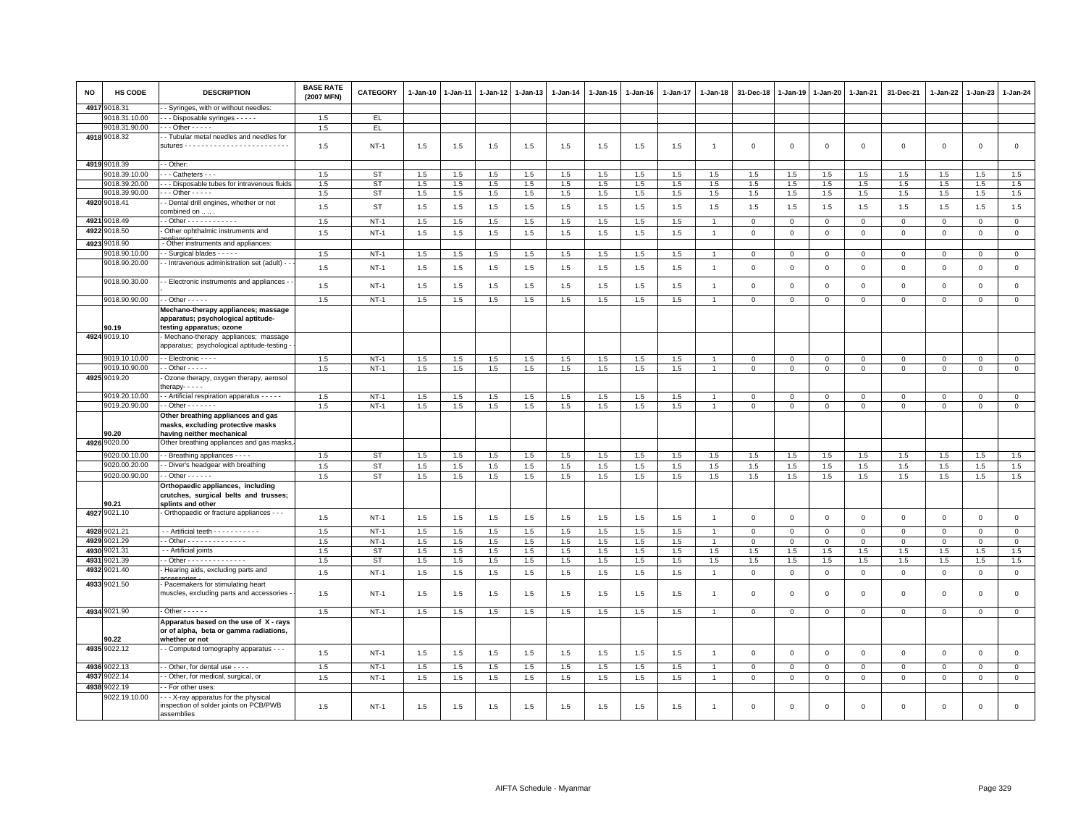| <b>NO</b> | HS CODE                 | <b>DESCRIPTION</b>                                                                                    | <b>BASE RATE</b><br>(2007 MFN) | <b>CATEGORY</b> | 1-Jan-10       | 1-Jan-11   | 1-Jan-12   | 1-Jan-13   | 1-Jan-14   | 1-Jan-15   | 1-Jan-16   | 1-Jan-17   | 1-Jan-18                         | 31-Dec-18    | $1 - Jan-19$   | 1-Jan-20     | 1-Jan-21     | 31-Dec-21      | 1-Jan-22       | 1-Jan-23       | 1-Jan-24       |
|-----------|-------------------------|-------------------------------------------------------------------------------------------------------|--------------------------------|-----------------|----------------|------------|------------|------------|------------|------------|------------|------------|----------------------------------|--------------|----------------|--------------|--------------|----------------|----------------|----------------|----------------|
|           | 4917 9018.31            | - Syringes, with or without needles:                                                                  |                                |                 |                |            |            |            |            |            |            |            |                                  |              |                |              |              |                |                |                |                |
|           | 9018.31.10.00           | - - Disposable syringes - - - - -                                                                     | 1.5                            | EL.             |                |            |            |            |            |            |            |            |                                  |              |                |              |              |                |                |                |                |
|           | 9018.31.90.00           | $-$ - Other - - - - -                                                                                 | 1.5                            | EL.             |                |            |            |            |            |            |            |            |                                  |              |                |              |              |                |                |                |                |
|           | 4918 9018.32            | - Tubular metal needles and needles for                                                               | 1.5                            | $NT-1$          | 1.5            | 1.5        | 1.5        | 1.5        | 1.5        | 1.5        | 1.5        | 1.5        | 1                                | $\mathbf 0$  | $\mathbf 0$    | $\mathbf 0$  | $\mathbf 0$  | $\mathbf 0$    | $\mathbf 0$    | $\mathbf 0$    | $\mathsf 0$    |
|           | 4919 9018.39            | - Other:                                                                                              |                                |                 |                |            |            |            |            |            |            |            |                                  |              |                |              |              |                |                |                |                |
|           | 9018.39.10.00           | - - Catheters - - -                                                                                   | 1.5                            | ST              | 1.5            | 1.5        | 1.5        | 1.5        | 1.5        | 1.5        | 1.5        | 1.5        | 1.5                              | 1.5          | 1.5            | 1.5          | 1.5          | 1.5            | 1.5            | 1.5            | 1.5            |
|           | 9018.39.20.00           | - - Disposable tubes for intravenous fluids                                                           | 1.5                            | ST              | 1.5            | 1.5        | 1.5        | 1.5        | 1.5        | 1.5        | 1.5        | 1.5        | 1.5                              | 1.5          | 1.5            | 1.5          | 1.5          | 1.5            | 1.5            | 1.5            | 1.5            |
|           | 9018.39.90.00           | $-$ - Other - - - - -                                                                                 | 1.5                            | <b>ST</b>       | 1.5            | 1.5        | 1.5        | 1.5        | 1.5        | 1.5        | 1.5        | 1.5        | 1.5                              | 1.5          | 1.5            | 1.5          | $1.5\,$      | 1.5            | 1.5            | 1.5            | 1.5            |
|           | 4920 9018.41            | - Dental drill engines, whether or not<br>combined on                                                 | 1.5                            | ST              | 1.5            | 1.5        | 1.5        | 1.5        | 1.5        | 1.5        | 1.5        | 1.5        | 1.5                              | 1.5          | 1.5            | 1.5          | 1.5          | 1.5            | 1.5            | 1.5            | 1.5            |
|           | 4921 9018.49            | $\overline{\cdot}$ Other $\dots \dots \dots \dots$                                                    | 1.5                            | $NT-1$          | $1.5\,$        | 1.5        | 1.5        | 1.5        | 1.5        | 1.5        | 1.5        | 1.5        | $\overline{1}$                   | $\mathbf 0$  | $\mathbf 0$    | $\mathbf{O}$ | $\mathbf 0$  | $\mathbf{O}$   | $\mathsf 0$    | $\mathbf 0$    | $\mathbf 0$    |
|           | 4922 9018.50            | Other ophthalmic instruments and                                                                      | 1.5                            | $NT-1$          | 1.5            | 1.5        | 1.5        | 1.5        | 1.5        | 1.5        | 1.5        | 1.5        | $\overline{1}$                   | $\Omega$     | $\mathsf 0$    | $\mathsf 0$  | $\mathbf 0$  | $\mathbf 0$    | $\mathsf 0$    | $\mathbf 0$    | $\mathbf 0$    |
|           | 4923 9018.90            | - Other instruments and appliances:                                                                   |                                |                 |                |            |            |            |            |            |            |            |                                  |              |                |              |              |                |                |                |                |
|           | 9018.90.10.00           | Surgical blades - - - - -                                                                             | 1.5                            | $NT-1$          | 1.5            | 1.5        | 1.5        | 1.5        | 1.5        | 1.5        | 1.5        | 1.5        | $\overline{1}$                   | $\mathbf 0$  | $\mathbf 0$    | $\mathsf 0$  | $\mathbf 0$  | $\mathbf 0$    | 0              | $\mathbf 0$    | $\mathbf 0$    |
|           | 9018.90.20.00           | - Intravenous administration set (adult) -                                                            |                                |                 |                |            |            |            |            |            |            |            |                                  |              |                |              |              |                |                |                |                |
|           | 9018.90.30.00           | - Electronic instruments and appliances -                                                             | 1.5                            | $NT-1$          | 1.5            | 1.5        | 1.5        | 1.5        | 1.5        | 1.5        | 1.5        | 1.5        | $\overline{1}$                   | $\mathbf 0$  | $\mathbf 0$    | $\mathbf 0$  | $\Omega$     | $\mathbf 0$    | $\Omega$       | $\Omega$       | $\mathbf 0$    |
|           |                         |                                                                                                       | 1.5                            | $NT-1$          | 1.5            | 1.5        | 1.5        | 1.5        | 1.5        | 1.5        | 1.5        | 1.5        | $\overline{1}$                   | $\mathbf 0$  | $\mathsf 0$    | $\mathsf 0$  | $\mathbf 0$  | $\mathbf 0$    | $\mathbf 0$    | $\mathbf 0$    | $\mathsf 0$    |
|           | 9018.90.90.00           | $-$ Other $   -$                                                                                      | 1.5                            | $NT-1$          | 1.5            | 1.5        | 1.5        | 1.5        | 1.5        | 1.5        | 1.5        | 1.5        | $\overline{1}$                   | $\mathbf{0}$ | $\mathbf{0}$   | $\mathbf 0$  | $\circ$      | $\mathsf 0$    | $\Omega$       | $\mathbf 0$    | $\mathbf{0}$   |
|           | 90.19                   | Mechano-therapy appliances; massage<br>apparatus; psychological aptitude-<br>testing apparatus; ozone |                                |                 |                |            |            |            |            |            |            |            |                                  |              |                |              |              |                |                |                |                |
|           | 4924 9019.10            | Mechano-therapy appliances; massage<br>apparatus; psychological aptitude-testing                      |                                |                 |                |            |            |            |            |            |            |            |                                  |              |                |              |              |                |                |                |                |
|           | 9019.10.10.00           | - Electronic - - - -                                                                                  | 1.5                            | $NT-1$          | 1.5            | 1.5        | 1.5        | 1.5        | 1.5        | 1.5        | 1.5        | 1.5        | $\overline{1}$                   | $\Omega$     | 0              | $\Omega$     | $\Omega$     | $\Omega$       | 0              | $\mathbf{0}$   | $\mathbf{0}$   |
|           | 9019.10.90.00           | $-$ Other $   -$                                                                                      | 1.5                            | $NT-1$          | 1.5            | 1.5        | 1.5        | 1.5        | 1.5        | 1.5        | 1.5        | 1.5        | $\overline{1}$                   | $\Omega$     | $\overline{0}$ | $\mathbf 0$  | $\Omega$     | $\overline{0}$ | $\mathbf 0$    | $\overline{0}$ | $\overline{0}$ |
|           | 4925 9019.20            | Ozone therapy, oxygen therapy, aerosol<br>$h$ erapy- $  -$                                            |                                |                 |                |            |            |            |            |            |            |            |                                  |              |                |              |              |                |                |                |                |
|           | 9019.20.10.00           | - Artificial respiration apparatus - - - - -                                                          | 1.5                            | $NT-1$          | 1.5            | 1.5        | 1.5        | 1.5        | 1.5        | 1.5        | 1.5        | 1.5        |                                  | $\Omega$     | $\Omega$       | $\Omega$     | $\Omega$     | 0              | $\Omega$       | $\mathbf 0$    | $\Omega$       |
|           | 9019.20.90.00           | $-$ Other $     -$                                                                                    | 1.5                            | $NT-1$          | 1.5            | 1.5        | 1.5        | 1.5        | 1.5        | 1.5        | 1.5        | 1.5        | $\mathbf{1}$                     | $\mathsf 0$  | $\mathsf 0$    | $\mathsf 0$  | $\mathbf 0$  | $\mathbf 0$    | $\mathsf 0$    | $\mathbf 0$    | $\circ$        |
|           | 90.20                   | Other breathing appliances and gas<br>masks, excluding protective masks<br>having neither mechanical  |                                |                 |                |            |            |            |            |            |            |            |                                  |              |                |              |              |                |                |                |                |
|           | 4926 9020.00            | Other breathing appliances and gas masks                                                              |                                |                 |                |            |            |            |            |            |            |            |                                  |              |                |              |              |                |                |                |                |
|           | 9020.00.10.00           | - Breathing appliances - - - -                                                                        | 1.5                            | ST              | 1.5            | 1.5        | 1.5        | 1.5        | 1.5        | 1.5        | 1.5        | 1.5        | 1.5                              | 1.5          | 1.5            | 1.5          | 1.5          | 1.5            | 1.5            | 1.5            | 1.5            |
|           | 9020.00.20.00           | - Diver's headgear with breathing                                                                     | 1.5                            | <b>ST</b>       | 1.5            | 1.5        | 1.5        | 1.5        | 1.5        | 1.5        | 1.5        | 1.5        | 1.5                              | 1.5          | 1.5            | 1.5          | 1.5          | 1.5            | 1.5            | 1.5            | 1.5            |
|           | 9020.00.90.00           | $-$ Other $- - - - -$                                                                                 | 1.5                            | ST              | 1.5            |            | 1.5        | 1.5        | 1.5        | 1.5        | 1.5        | 1.5        | 1.5                              | 1.5          |                | 1.5          | 1.5          |                | $1.5\,$        |                | 1.5            |
|           |                         | Orthopaedic appliances, including<br>crutches, surgical belts and trusses;                            |                                |                 |                | 1.5        |            |            |            |            |            |            |                                  |              | 1.5            |              |              | 1.5            |                | 1.5            |                |
|           | 90.21<br>4927 9021.10   | splints and other<br>Orthopaedic or fracture appliances - - -                                         |                                |                 |                |            |            |            |            |            |            |            |                                  |              |                |              |              |                |                |                |                |
|           |                         |                                                                                                       | 1.5                            | $NT-1$          | 1.5            | 1.5        | 1.5        | 1.5        | 1.5        | 1.5        | 1.5        | 1.5        | $\overline{1}$                   | $\mathbf 0$  | $\mathbf 0$    | $\mathbf 0$  | $\mathbf{0}$ | $\mathbf 0$    | $\Omega$       | $\overline{0}$ | $\circ$        |
| 4929      | 4928 9021.21            | -- Artificial teeth - - - - - - - - - -<br>- Other - - - - - - - - - - - - - -                        | 1.5                            | $NT-1$          | 1.5            | 1.5        | 1.5        | 1.5        | 1.5        | 1.5        | 1.5        | 1.5        | $\overline{1}$<br>$\overline{1}$ | $\mathbf 0$  | $\mathbf 0$    | $\mathbf 0$  | $\mathbf{0}$ | $\mathsf 0$    | 0              | $\mathbf 0$    | $\mathbf{0}$   |
|           | 9021.29<br>4930 9021.31 |                                                                                                       | 1.5                            | $NT-1$          | 1.5            | 1.5        | 1.5<br>1.5 | 1.5        | 1.5        | 1.5        | 1.5        | 1.5        |                                  | $\mathbf 0$  | $\mathbf 0$    | $\mathbf 0$  | $\mathbf{0}$ | $\mathbf{0}$   | $\mathbf 0$    | $\mathbf{0}$   | $\mathbf{0}$   |
| 4931      | 9021.39                 | - Artificial joints<br>- Other - - - - - - - - - - - - - -                                            | 1.5<br>1.5                     | ST<br><b>ST</b> | $1.5\,$<br>1.5 | 1.5<br>1.5 | 1.5        | 1.5<br>1.5 | 1.5<br>1.5 | 1.5<br>1.5 | 1.5<br>1.5 | 1.5<br>1.5 | 1.5<br>1.5                       | 1.5<br>1.5   | 1.5<br>1.5     | 1.5<br>1.5   | 1.5<br>1.5   | 1.5<br>1.5     | $1.5\,$<br>1.5 | 1.5<br>1.5     | 1.5<br>1.5     |
| 4932      | 9021.40                 | Hearing aids, excluding parts and                                                                     |                                |                 |                |            |            |            |            |            |            |            |                                  |              |                |              |              |                |                |                |                |
|           |                         |                                                                                                       | 1.5                            | $NT-1$          | 1.5            | 1.5        | 1.5        | 1.5        | 1.5        | 1.5        | 1.5        | 1.5        | $\mathbf{1}$                     | $\mathbf{0}$ | $\mathbf 0$    | $\mathbf 0$  | $\mathbf{0}$ | $\mathbf 0$    | $\Omega$       | $\mathbf{0}$   | $\mathbf{0}$   |
|           | 4933 9021.50            | Pacemakers for stimulating heart<br>muscles, excluding parts and accessories                          | 1.5                            | NT-1            | 1.5            | 1.5        | 1.5        | 1.5        | 1.5        | 1.5        | 1.5        | 1.5        | $\mathbf{1}$                     | $^{\circ}$   | $\Omega$       | $\Omega$     | $\Omega$     | $\mathbf 0$    | $\Omega$       | $^{\circ}$     | 0              |
|           | 4934 9021.90            | $-$ Other $    -$                                                                                     | 1.5                            | $NT-1$          | 1.5            | 1.5        | 1.5        | 1.5        | 1.5        | 1.5        | 1.5        | 1.5        | $\overline{1}$                   | $\Omega$     | $\mathbf 0$    | $\mathbf 0$  | $\mathbf 0$  | $\mathbf 0$    | $\Omega$       | $\mathbf{0}$   | $\mathbf{0}$   |
|           | 90.22                   | Apparatus based on the use of X - rays<br>or of alpha, beta or gamma radiations,<br>whether or not    |                                |                 |                |            |            |            |            |            |            |            |                                  |              |                |              |              |                |                |                |                |
|           | 4935 9022.12            | - Computed tomography apparatus - - -                                                                 | 1.5                            | $NT-1$          | 1.5            | 1.5        | 1.5        | 1.5        | 1.5        | 1.5        | 1.5        | 1.5        | $\overline{1}$                   | $\mathsf 0$  | $\mathsf 0$    | $\mathsf 0$  | $\circ$      | $\mathsf 0$    | $\mathsf 0$    | $\mathbf 0$    | $\mathbf 0$    |
|           | 4936 9022.13            | - Other, for dental use - - - -                                                                       | 1.5                            | $NT-1$          | 1.5            | 1.5        | 1.5        | 1.5        | 1.5        | 1.5        | 1.5        | 1.5        | $\overline{1}$                   | $\mathbf 0$  | $\mathsf 0$    | $\mathsf 0$  | $\mathbf 0$  | $\mathbf 0$    | $\mathsf 0$    | $\mathbf 0$    | $\mathbf{0}$   |
| 4937      | 9022.14                 | - Other, for medical, surgical, or                                                                    | 1.5                            | $NT-1$          | 1.5            | 1.5        | 1.5        | 1.5        | 1.5        | 1.5        | 1.5        | 1.5        | $\overline{1}$                   | $\Omega$     | $\mathbf 0$    | $\Omega$     | $\Omega$     | $\Omega$       | $\Omega$       | $\mathbf 0$    | $\mathbf{0}$   |
|           | 4938 9022.19            | - For other uses:                                                                                     |                                |                 |                |            |            |            |            |            |            |            |                                  |              |                |              |              |                |                |                |                |
|           | 9022.19.10.00           | - - X-ray apparatus for the physical<br>inspection of solder joints on PCB/PWB<br>assemblies          | 1.5                            | $NT-1$          | 1.5            | 1.5        | 1.5        | 1.5        | 1.5        | 1.5        | 1.5        | 1.5        | -1                               | $\Omega$     | $\Omega$       | $\Omega$     | $\Omega$     | $\Omega$       | $\Omega$       | $\mathbf 0$    | $\Omega$       |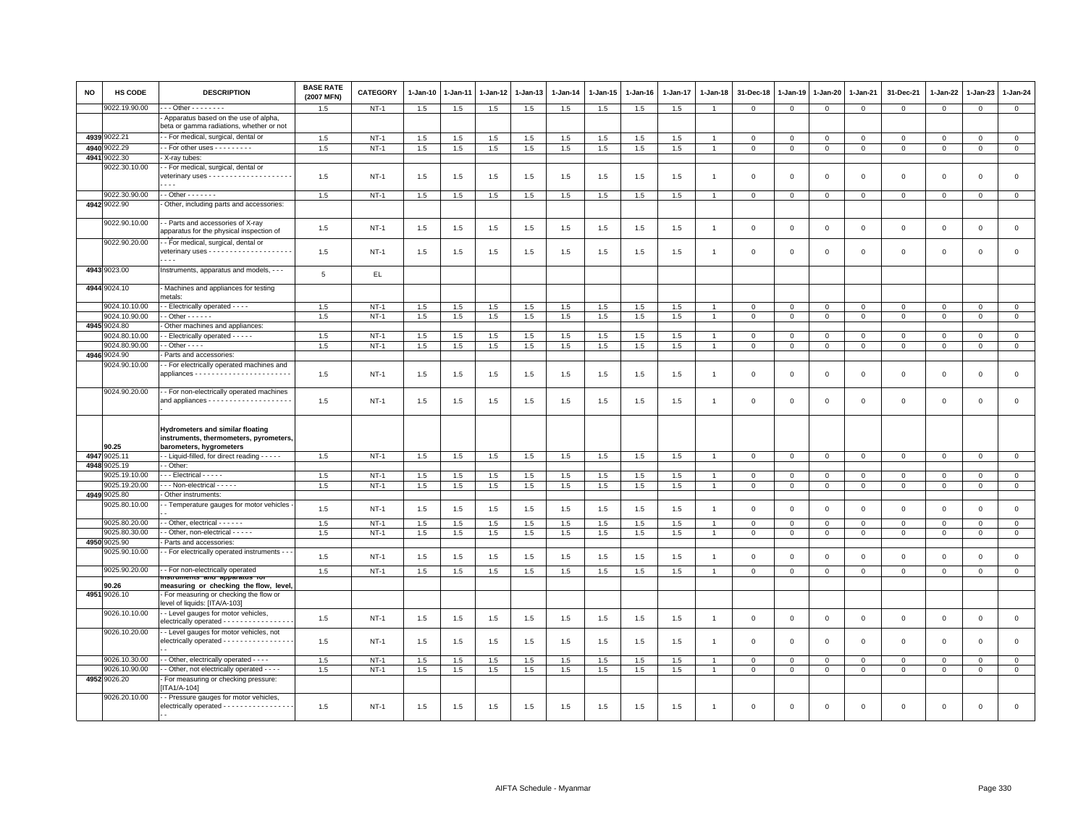| <b>NO</b> | <b>HS CODE</b>                | <b>DESCRIPTION</b>                                                                                          | <b>BASE RATE</b><br>(2007 MFN) | <b>CATEGORY</b> | $1 - Jan-10$ | 1-Jan-11 | $1 - Jan-12$ | 1-Jan-13 | $1-Jan-14$ | 1-Jan-15 | $1 - Jan-16$ | 1-Jan-17 | $1-Jan-18$     | 31-Dec-18      | 1-Jan-19       | 1-Jan-20     | 1-Jan-21       | 31-Dec-21    | $1 - Jan-22$   | 1-Jan-23     | $1 - Jan-24$   |
|-----------|-------------------------------|-------------------------------------------------------------------------------------------------------------|--------------------------------|-----------------|--------------|----------|--------------|----------|------------|----------|--------------|----------|----------------|----------------|----------------|--------------|----------------|--------------|----------------|--------------|----------------|
|           | 9022.19.90.00                 | $-$ - Other - - - - - - - -                                                                                 | 1.5                            | $NT-1$          | 1.5          | 1.5      | 1.5          | 1.5      | 1.5        | 1.5      | 1.5          | 1.5      | -1             | $\mathbf 0$    | $\mathbf 0$    | $\mathbf 0$  | $\mathbf{0}$   | $\mathbf{0}$ | $\mathbf{0}$   | $\mathbf{0}$ | $\mathbf{0}$   |
|           |                               | Apparatus based on the use of alpha,                                                                        |                                |                 |              |          |              |          |            |          |              |          |                |                |                |              |                |              |                |              |                |
|           |                               | beta or gamma radiations, whether or not                                                                    |                                |                 |              |          |              |          |            |          |              |          |                |                |                |              |                |              |                |              |                |
|           | 4939 9022.21                  | - For medical, surgical, dental or                                                                          | 1.5                            | $NT-1$          | 1.5          | 1.5      | 1.5          | 1.5      | 1.5        | 1.5      | 1.5          | 1.5      |                | $\overline{0}$ | $\mathbf{0}$   | $\mathbf{0}$ | $\mathbf{0}$   | $\mathbf 0$  | $\Omega$       | $\mathbf{0}$ | $\circ$        |
| 4940      | 022.29                        | - For other uses - - - - - - - - -                                                                          | 1.5                            | $NT-1$          | 1.5          | 1.5      | 1.5          | 1.5      | 1.5        | 1.5      | 1.5          | 1.5      |                | $\mathbf 0$    | $\mathbf 0$    | $\mathbf 0$  | $\mathbf 0$    | $\mathbf{0}$ | $\Omega$       | $\mathbf 0$  | $\mathbf 0$    |
| 4941      | 9022.30                       | X-ray tubes:                                                                                                |                                |                 |              |          |              |          |            |          |              |          |                |                |                |              |                |              |                |              |                |
|           | 9022.30.10.00                 | - - For medical, surgical, dental or                                                                        | 1.5                            | $NT-1$          | 1.5          | 1.5      | 1.5          | 1.5      | 1.5        | 1.5      | 1.5          | 1.5      | $\mathbf{1}$   | $\overline{0}$ | $\mathbf{0}$   | $\mathbf{0}$ | $\mathbf{0}$   | $\mathbf 0$  | $\Omega$       | $\mathbf 0$  | $\mathbf 0$    |
|           | 9022.30.90.00                 | $-$ - Other $-$ - $-$ - $-$ -                                                                               | 1.5                            | $NT-1$          | 1.5          | 1.5      | 1.5          | 1.5      | 1.5        | 1.5      | 1.5          | 1.5      |                | $\mathbf 0$    | $\mathbf 0$    | $\mathbf 0$  | $\mathbf{0}$   | $\mathbf 0$  | $\mathbf 0$    | $\mathbf 0$  | $\mathbf 0$    |
|           | 4942 9022.90                  | Other, including parts and accessories:                                                                     |                                |                 |              |          |              |          |            |          |              |          |                |                |                |              |                |              |                |              |                |
|           | 9022.90.10.00                 | - - Parts and accessories of X-ray<br>apparatus for the physical inspection of                              | 1.5                            | $NT-1$          | 1.5          | 1.5      | 1.5          | 1.5      | 1.5        | 1.5      | 1.5          | 1.5      | $\overline{1}$ | $\mathbf{0}$   | $\mathbf{0}$   | $\mathbf{0}$ | $\mathbf{0}$   | $\mathbf 0$  | $\Omega$       | $\mathbf 0$  | $\circ$        |
|           | 9022.90.20.00                 | - For medical, surgical, dental or<br>$- - -$                                                               | 1.5                            | $NT-1$          | 1.5          | 1.5      | 1.5          | 1.5      | 1.5        | 1.5      | 1.5          | 1.5      | $\mathbf{1}$   | $\overline{0}$ | $\mathbf{0}$   | $\mathbf{0}$ | $\overline{0}$ | $\mathbf 0$  | $\Omega$       | $\mathbf{0}$ | $\mathbf 0$    |
|           | 4943 9023.00                  | Instruments, apparatus and models, - - -                                                                    | 5                              | EL.             |              |          |              |          |            |          |              |          |                |                |                |              |                |              |                |              |                |
|           | 4944 9024.10                  | Machines and appliances for testing<br>netals:                                                              |                                |                 |              |          |              |          |            |          |              |          |                |                |                |              |                |              |                |              |                |
|           | 9024.10.10.00                 | - Electrically operated - - - -                                                                             | 1.5                            | $NT-1$          | 1.5          | 1.5      | 1.5          | 1.5      | 1.5        | 1.5      | 1.5          | 1.5      |                | $\mathbf 0$    | $\mathbf 0$    | $\mathbf 0$  | $\mathbf 0$    | $\mathbf 0$  | $\mathbf 0$    | $\mathbf 0$  | $\mathbf 0$    |
|           | 9024.10.90.00                 | $-$ Other $- - - -$                                                                                         | 1.5                            | $NT-1$          | 1.5          | 1.5      | 1.5          | 1.5      | 1.5        | 1.5      | 1.5          | 1.5      |                | $\mathbf 0$    | $\Omega$       | $\mathbf{0}$ | $\mathbf 0$    | $\mathbf{0}$ | $\Omega$       | $\circ$      | $\circ$        |
|           | 4945 9024.80<br>9024.80.10.00 | Other machines and appliances:<br>- Electrically operated - - - - -                                         | 1.5                            | $NT-1$          | 1.5          | 1.5      | 1.5          | 1.5      | 1.5        | 1.5      | 1.5          | 1.5      |                | $\mathbf 0$    | $\mathbf 0$    | $\mathbf{0}$ | $\mathbf 0$    | $\mathsf 0$  | $\mathbf 0$    | $\Omega$     | $\mathsf 0$    |
|           | 9024.80.90.00                 | $-$ Other $  -$                                                                                             | 1.5                            | $NT-1$          | 1.5          | 1.5      | 1.5          | 1.5      | 1.5        | 1.5      | 1.5          | 1.5      |                | $\mathbf 0$    | $\mathbf 0$    | $\mathbf 0$  | $\mathbf 0$    | $\mathbf 0$  | $\mathbf 0$    | $\mathbf 0$  | $\mathbf 0$    |
|           | 4946 9024.90                  | Parts and accessories:                                                                                      |                                |                 |              |          |              |          |            |          |              |          |                |                |                |              |                |              |                |              |                |
|           | 9024.90.10.00                 | - For electrically operated machines and                                                                    | 1.5                            | $NT-1$          | 1.5          | 1.5      | 1.5          | 1.5      | 1.5        | 1.5      | 1.5          | 1.5      | $\mathbf{1}$   | $\mathbf 0$    | $\mathbf 0$    | $\mathbf 0$  | $\mathsf 0$    | $\mathsf 0$  | $\mathbf 0$    | $\mathsf 0$  | $\mathsf 0$    |
|           | 9024.90.20.00                 | - For non-electrically operated machines                                                                    | 1.5                            | $NT-1$          | 1.5          | 1.5      | 1.5          | 1.5      | 1.5        | 1.5      | 1.5          | 1.5      | $\mathbf{1}$   | $\mathbf 0$    | $\overline{0}$ | $\mathsf 0$  | $\mathbf 0$    | $\mathsf 0$  | $\overline{0}$ | $\mathsf 0$  | $\mathsf 0$    |
|           | 90.25                         | <b>Hydrometers and similar floating</b><br>instruments, thermometers, pyrometers<br>barometers, hygrometers |                                |                 |              |          |              |          |            |          |              |          |                |                |                |              |                |              |                |              |                |
|           | 4947 9025.11                  | - Liquid-filled, for direct reading - - - - -                                                               | 1.5                            | $NT-1$          | 1.5          | 1.5      | 1.5          | 1.5      | 1.5        | 1.5      | 1.5          | 1.5      |                | $\mathbf 0$    | $\circ$        | $\mathbf 0$  | $\mathbf{0}$   | $\mathbf 0$  | $\mathbf 0$    | $\mathbf{O}$ | $\circ$        |
|           | 4948 9025.19                  | - Other:                                                                                                    |                                |                 |              |          |              |          |            |          |              |          |                |                |                |              |                |              |                |              |                |
|           | 9025.19.10.00                 | - - Electrical - - - - -                                                                                    | 1.5                            | $NT-1$          | 1.5          | 1.5      | 1.5          | 1.5      | 1.5        | 1.5      | 1.5          | 1.5      |                | $\mathbf 0$    | $\mathbf 0$    | $\mathbf 0$  | $\mathbf 0$    | $\Omega$     | $\Omega$       | $\Omega$     | $\mathbf 0$    |
|           | 9025.19.20.00                 | --- Non-electrical - - - - -                                                                                | 1.5                            | $NT-1$          | 1.5          | 1.5      | 1.5          | 1.5      | 1.5        | 1.5      | 1.5          | 1.5      |                | $\overline{0}$ | $\mathbf{0}$   | $\mathbf 0$  | $\circ$        | $\mathbf{0}$ | $\mathbf{0}$   | $\mathbf{0}$ | $\mathbf{0}$   |
|           | 4949 9025.80                  | Other instruments:                                                                                          |                                |                 |              |          |              |          |            |          |              |          |                |                |                |              |                |              |                |              |                |
|           | 9025.80.10.00                 | - Temperature gauges for motor vehicles                                                                     | 1.5                            | $NT-1$          | 1.5          | 1.5      | 1.5          | 1.5      | 1.5        | 1.5      | 1.5          | 1.5      | $\overline{1}$ | $\mathbf 0$    | $\mathbf{0}$   | $\mathbf 0$  | $\mathbf{0}$   | $\mathbf 0$  | $\mathbf{0}$   | $\mathbf{0}$ | $\mathsf 0$    |
|           | 9025.80.20.00                 | - Other, electrical - - - - - -                                                                             | 1.5                            | $NT-1$          | 1.5          | 1.5      | 1.5          | 1.5      | 1.5        | 1.5      | 1.5          | 1.5      |                | $\mathbf 0$    | $\circ$        | $\mathbf 0$  | $\mathbf 0$    | $\mathbf 0$  | $\mathbf 0$    | $\mathbf 0$  | $\overline{0}$ |
|           | 9025.80.30.00<br>4950 9025.90 | - Other, non-electrical - - - - -<br>Parts and accessories:                                                 | 1.5                            | $NT-1$          | 1.5          | 1.5      | 1.5          | 1.5      | 1.5        | 1.5      | 1.5          | 1.5      |                | $\mathbf 0$    | $\mathbf 0$    | $\mathbf 0$  | $\mathbf 0$    | $\mathsf 0$  | $\mathbf 0$    | $\mathbf{0}$ | $\mathbf 0$    |
|           | 9025.90.10.00                 | - For electrically operated instruments - -                                                                 | 1.5                            | $NT-1$          | 1.5          | 1.5      | 1.5          | 1.5      | 1.5        | 1.5      | 1.5          | 1.5      | $\mathbf{1}$   | $\mathbf 0$    | $\mathsf 0$    | $\mathsf 0$  | $\mathbf 0$    | $\mathsf 0$  | $\mathbb O$    | $\mathsf 0$  | $\mathsf 0$    |
|           | 9025.90.20.00                 | - For non-electrically operated                                                                             | 1.5                            | $NT-1$          | 1.5          | 1.5      | 1.5          | 1.5      | 1.5        | 1.5      | 1.5          | 1.5      | $\overline{1}$ | $\overline{0}$ | $\mathbf{0}$   | $\mathbf{0}$ | $\circ$        | $\mathbf{0}$ | $\mathbf{0}$   | $\mathbf{0}$ | $\mathbf{0}$   |
|           | 90.26                         | measuring or checking the flow, level,                                                                      |                                |                 |              |          |              |          |            |          |              |          |                |                |                |              |                |              |                |              |                |
|           | 4951 9026.10                  | - For measuring or checking the flow or<br>level of liquids: [ITA/A-103]                                    |                                |                 |              |          |              |          |            |          |              |          |                |                |                |              |                |              |                |              |                |
|           | 9026.10.10.00                 | - Level gauges for motor vehicles,<br>electrically operated - - - - - - - - - - - - - -                     | 1.5                            | $NT-1$          | 1.5          | 1.5      | 1.5          | 1.5      | 1.5        | 1.5      | 1.5          | 1.5      | $\overline{1}$ | $\mathbf 0$    | $\mathsf 0$    | $\mathsf 0$  | $\mathbf 0$    | $\mathsf 0$  | $\mathsf 0$    | $\mathsf 0$  | $\mathsf 0$    |
|           | 9026.10.20.00                 | - Level gauges for motor vehicles, not<br>electrically operated - - - - - - - - - - - - - - - -             | 1.5                            | $NT-1$          | 1.5          | 1.5      | 1.5          | 1.5      | 1.5        | 1.5      | 1.5          | 1.5      | $\overline{1}$ | $\mathbf 0$    | $\mathbf 0$    | $\mathbf 0$  | $\mathbf 0$    | $\mathsf 0$  | $\overline{0}$ | $\mathsf 0$  | $\mathbf 0$    |
|           | 9026.10.30.00                 | - - Other, electrically operated - - - -                                                                    | 1.5                            | $NT-1$          | 1.5          | 1.5      | 1.5          | 1.5      | 1.5        | 1.5      | 1.5          | 1.5      |                | $\mathbf 0$    | $\circ$        | $\mathbf 0$  | $\mathbf 0$    | 0            | $\circ$        | $\mathbf 0$  | $\mathbf 0$    |
|           | 9026.10.90.00                 | - Other, not electrically operated - - - -                                                                  | 1.5                            | $NT-1$          | 1.5          | 1.5      | 1.5          | 1.5      | 1.5        | 1.5      | 1.5          | 1.5      |                | $\mathbf 0$    | $\mathsf 0$    | $\mathsf 0$  | $\mathbf 0$    | $\mathsf 0$  | $\mathsf 0$    | $\mathsf 0$  | $\mathsf 0$    |
|           | 4952 9026.20                  | For measuring or checking pressure:<br><b>ITA1/A-104]</b>                                                   |                                |                 |              |          |              |          |            |          |              |          |                |                |                |              |                |              |                |              |                |
|           | 9026.20.10.00                 | - Pressure gauges for motor vehicles,<br>electrically operated - - - - - - - - - - - - - - - - -            | 1.5                            | $NT-1$          | 1.5          | 1.5      | 1.5          | 1.5      | 1.5        | 1.5      | 1.5          | 1.5      |                | $\Omega$       | $\Omega$       | $\Omega$     | $\mathbf 0$    | $\Omega$     | $\mathbf 0$    | $\mathbf 0$  | $\Omega$       |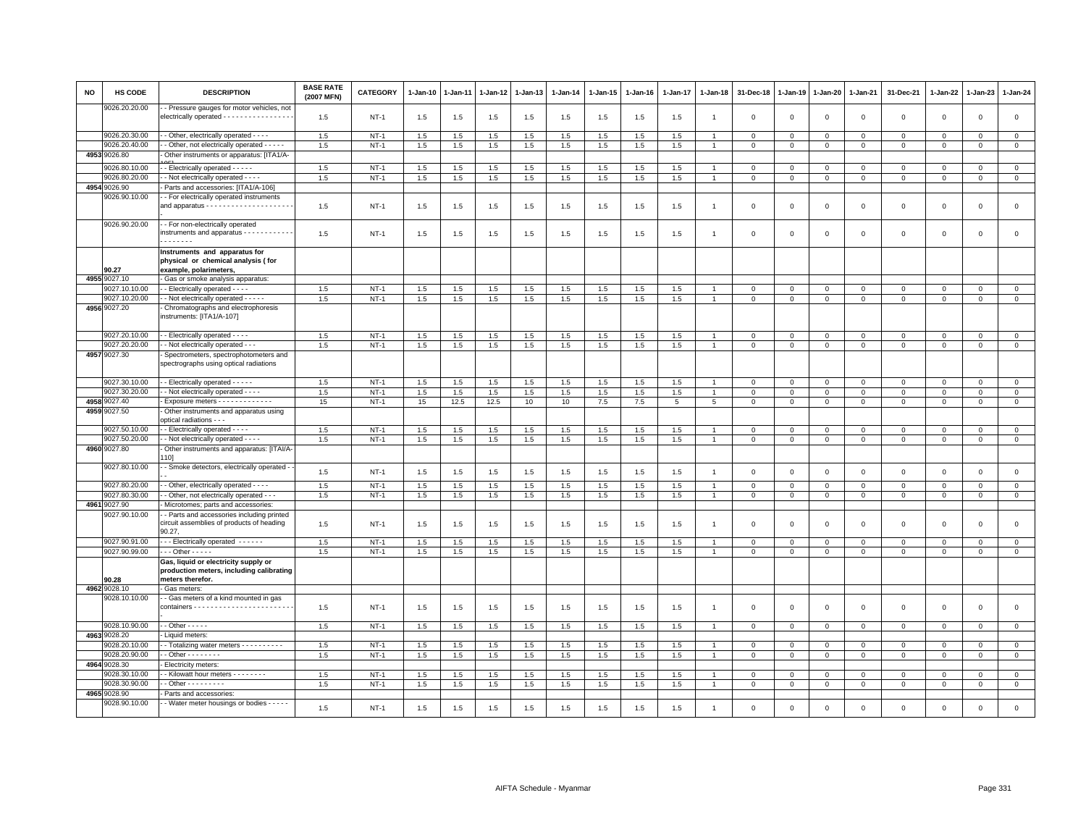| NO   | <b>HS CODE</b>                | <b>DESCRIPTION</b>                                                                                   | <b>BASE RATE</b><br>(2007 MFN) | CATEGORY    | $1 - Jan-10$ | 1-Jan-11   | 1-Jan-12 | 1-Jan-13 | $1-Jan-14$ | $1-Jan-15$ | $1 - Jan-16$ | $1 - Jan-17$ | $1 - Jan-18$   | 31-Dec-18                  | $1 - Jan-19$               | 1-Jan-20               | $1 - Jan-21$   | 31-Dec-21    | $1 - Jan-22$               | 1-Jan-23                   | $1 - Jan-24$                 |
|------|-------------------------------|------------------------------------------------------------------------------------------------------|--------------------------------|-------------|--------------|------------|----------|----------|------------|------------|--------------|--------------|----------------|----------------------------|----------------------------|------------------------|----------------|--------------|----------------------------|----------------------------|------------------------------|
|      | 9026.20.20.00                 | - Pressure gauges for motor vehicles, not<br>electrically operated - - - - - - - - - - - - - - - -   | 1.5                            | $NT-1$      | 1.5          | 1.5        | 1.5      | 1.5      | 1.5        | 1.5        | 1.5          | 1.5          | -1             | $\mathbf 0$                | $\mathbf 0$                | $\,0\,$                | $\,0\,$        | $\mathsf 0$  | $\,0\,$                    | $\mathsf 0$                | $\mathsf 0$                  |
|      | 9026.20.30.00                 | - Other, electrically operated - - -                                                                 | 1.5                            | $NT-1$      | 1.5          |            | 1.5      | 1.5      | 1.5        | 1.5        |              | 1.5          |                |                            |                            |                        | $\mathbf 0$    | $\mathsf 0$  |                            |                            | $\mathsf 0$                  |
|      | 9026.20.40.00                 | - Other, not electrically operated - - - - -                                                         | 1.5                            | $NT-1$      | 1.5          | 1.5<br>1.5 | 1.5      | 1.5      | 1.5        | 1.5        | 1.5<br>1.5   | 1.5          |                | $\mathbf 0$<br>$\mathbf 0$ | $\mathbf 0$<br>$\mathsf 0$ | $\mathbf 0$<br>$\,0\,$ | $\,$ 0         | $\mathsf 0$  | $\mathbf 0$<br>$\mathbf 0$ | $\mathbf 0$<br>$\mathbf 0$ | $\mathsf 0$                  |
| 4953 | 9026.80                       | Other instruments or apparatus: [ITA1/A-                                                             |                                |             |              |            |          |          |            |            |              |              |                |                            |                            |                        |                |              |                            |                            |                              |
|      | 0026.80.10.00                 | - Electrically operated - - - - -                                                                    | 1.5                            | $NT-1$      |              |            |          |          |            |            |              |              |                | $\Omega$                   |                            |                        |                |              |                            |                            |                              |
|      | 9026.80.20.00                 | - Not electrically operated - - - -                                                                  | 1.5                            | $NT-1$      | 1.5          | 1.5        | 1.5      | 1.5      | 1.5        | 1.5        | 1.5          | 1.5          |                |                            | $\mathbf 0$                | $\mathbf 0$            | $\mathbf{0}$   | $\mathbf{0}$ | $\mathbf 0$                | $\mathbf{0}$               | $\mathbf{0}$<br>$\mathbf{0}$ |
| 4954 | 9026.90                       | Parts and accessories: [ITA1/A-106]                                                                  |                                |             | 1.5          | 1.5        | 1.5      | 1.5      | 1.5        | 1.5        | 1.5          | 1.5          |                | $\mathbf 0$                | $\mathbf 0$                | $\mathbf 0$            | $\mathbf 0$    | $\mathbf 0$  | 0                          | $\mathbf 0$                |                              |
|      | 9026.90.10.00                 | - For electrically operated instruments                                                              |                                |             |              |            |          |          |            |            |              |              |                |                            |                            |                        |                |              |                            |                            |                              |
|      |                               |                                                                                                      | 1.5                            | $NT-1$      | 1.5          | 1.5        | 1.5      | 1.5      | 1.5        | 1.5        | 1.5          | 1.5          |                | $\mathbf 0$                | $\mathbf 0$                | $\mathbf 0$            | $\mathbf 0$    | $\mathsf 0$  | $\mathbf 0$                | $\mathbf{0}$               | $\mathbf 0$                  |
|      | 9026.90.20.00                 | - For non-electrically operated<br>instruments and apparatus - - - - - - - - - - -<br>.              | 1.5                            | <b>NT-1</b> | 1.5          | 1.5        | 1.5      | 1.5      | 1.5        | 1.5        | 1.5          | 1.5          |                | $\mathbf 0$                | $\mathbf 0$                | $\mathbf 0$            | $\mathbf 0$    | 0            | $\mathbf 0$                | $\mathbf 0$                | $\mathbf 0$                  |
|      | 90.27                         | Instruments and apparatus for<br>physical or chemical analysis (for<br>example, polarimeters,        |                                |             |              |            |          |          |            |            |              |              |                |                            |                            |                        |                |              |                            |                            |                              |
|      | 4955 9027.10                  | Gas or smoke analysis apparatus:                                                                     |                                |             |              |            |          |          |            |            |              |              |                |                            |                            |                        |                |              |                            |                            |                              |
|      | 9027.10.10.00                 | - Electrically operated - - - -                                                                      | 1.5                            | <b>NT-1</b> | 1.5          | 1.5        | 1.5      | 1.5      | 1.5        | 1.5        | 1.5          | 1.5          |                | $^{\circ}$                 | $\mathbf 0$                | $\mathbf 0$            | $\circ$        | 0            | 0                          | $\mathbf 0$                | 0                            |
|      | 9027.10.20.00                 | - Not electrically operated - - - - -                                                                | 1.5                            | $NT-1$      | 1.5          | 1.5        | $1.5\,$  | 1.5      | $1.5\,$    | 1.5        | 1.5          | 1.5          |                | $\mathbf 0$                | $\mathsf 0$                | $\mathbf 0$            | $\mathbf 0$    | $\mathbf{0}$ | $\mathbf 0$                | $\mathbf 0$                | $\mathsf 0$                  |
|      | 4956 9027.20                  | Chromatographs and electrophoresis<br>instruments: [ITA1/A-107]                                      |                                |             |              |            |          |          |            |            |              |              |                |                            |                            |                        |                |              |                            |                            |                              |
|      | 9027.20.10.00                 | - Electrically operated - - - -                                                                      | 1.5                            | $NT-1$      | 1.5          | 1.5        | 1.5      | 1.5      | 1.5        | 1.5        | 1.5          | 1.5          |                | $\mathbf 0$                | $\mathbf 0$                | $\mathbf 0$            | $\mathbf 0$    | $\mathbf 0$  | $\mathbf 0$                | $\mathbf 0$                | $\circ$                      |
|      | 9027.20.20.00                 | - Not electrically operated - - -                                                                    | 1.5                            | $NT-1$      | 1.5          | 1.5        | 1.5      | 1.5      | 1.5        | 1.5        | 1.5          | 1.5          | $\overline{1}$ | $\mathbf{0}$               | $\mathbf 0$                | $\mathbf{0}$           | $\mathbf{0}$   | $\mathbf{0}$ | $\mathbf 0$                | $\mathbf{0}$               | $\mathbf{0}$                 |
|      | 4957 9027.30                  | Spectrometers, spectrophotometers and<br>spectrographs using optical radiations                      |                                |             |              |            |          |          |            |            |              |              |                |                            |                            |                        |                |              |                            |                            |                              |
|      | 9027.30.10.00                 | - Electrically operated - - - - -                                                                    | 1.5                            | $NT-1$      | 1.5          | 1.5        | 1.5      | 1.5      | 1.5        | 1.5        | 1.5          | 1.5          |                | $\mathbf 0$                | $\mathbf 0$                | $\mathbf 0$            | $\overline{0}$ | $\mathbf 0$  | $\mathbf 0$                | $\Omega$                   | $\mathbf{0}$                 |
|      | 9027.30.20.00                 | - - Not electrically operated - - - -                                                                | 1.5                            | $NT-1$      | 1.5          | 1.5        | 1.5      | 1.5      | 1.5        | 1.5        | 1.5          | 1.5          | $\overline{1}$ | $\mathsf 0$                | $\mathsf 0$                | $\mathbf{0}$           | $\mathbf 0$    | $\mathsf 0$  | $\Omega$                   | $\mathbf 0$                | $\circ$                      |
| 4958 | 9027.40                       | Exposure meters - - - - - - - - - - -                                                                | 15                             | <b>NT-1</b> | 15           | 12.5       | 12.5     | 10       | 10         | $7.5\,$    | 7.5          | 5            | 5              | $\mathbf 0$                | 0                          | $\mathbf 0$            | $\mathsf 0$    | $\mathbf 0$  | $\Omega$                   | $\mathbf{0}$               | $\circ$                      |
|      | 4959 9027.50<br>9027.50.10.00 | Other instruments and apparatus using<br>optical radiations - - -                                    |                                |             |              |            |          |          |            |            |              |              |                |                            |                            |                        |                |              |                            |                            |                              |
|      | 9027.50.20.00                 | - Electrically operated - - - -<br>- Not electrically operated - - - -                               | 1.5<br>1.5                     | $NT-1$      | 1.5          | 1.5        | 1.5      | 1.5      | 1.5        | 1.5        | 1.5          | 1.5          | $\overline{1}$ | $\mathbf 0$                | $\Omega$                   | $\mathbf 0$            | 0              | $\Omega$     | $\Omega$                   | $\Omega$                   | $\mathbf 0$<br>$\circ$       |
|      | 4960 9027.80                  | Other instruments and apparatus: [ITAI/A-                                                            |                                | $NT-1$      | 1.5          | 1.5        | 1.5      | 1.5      | 1.5        | 1.5        | 1.5          | 1.5          |                | $\overline{0}$             | $\mathbf 0$                | $\mathbf 0$            | $\mathbf{0}$   | $\mathbf{0}$ | $\mathbf 0$                | $\mathbf{0}$               |                              |
|      | 9027.80.10.00                 | 101<br>- Smoke detectors, electrically operated -                                                    |                                |             |              |            |          |          |            |            |              |              |                |                            |                            |                        |                |              |                            |                            |                              |
|      |                               |                                                                                                      | 1.5                            | $NT-1$      | 1.5          | 1.5        | 1.5      | 1.5      | 1.5        | 1.5        | 1.5          | 1.5          | $\mathbf{1}$   | $\mathbf 0$                | $\mathbf 0$                | $\mathsf 0$            | $\mathbf 0$    | $\mathbf 0$  | $\mathsf 0$                | $\Omega$                   | $\mathsf 0$                  |
|      | 9027.80.20.00                 | - Other, electrically operated - - - -                                                               | 1.5                            | $NT-1$      | 1.5          | 1.5        | 1.5      | 1.5      | 1.5        | 1.5        | 1.5          | 1.5          |                | $\mathbf 0$                | $\mathbf 0$                | $\mathsf 0$            | $\mathbf 0$    | $\mathbf 0$  | $\mathbf 0$                | $\mathbf 0$                | $\mathbf 0$                  |
|      | 9027.80.30.00                 | - Other, not electrically operated - - -                                                             | 1.5                            | $NT-1$      | 1.5          | 1.5        | 1.5      | 1.5      | 1.5        | 1.5        | 1.5          | 1.5          |                | $\mathbf 0$                | $\mathbf 0$                | $\mathsf 0$            | $\mathbf{0}$   | $\Omega$     | $\mathbf 0$                | $\Omega$                   | $\circ$                      |
| 4961 | 9027.90                       | Microtomes; parts and accessories:                                                                   |                                |             |              |            |          |          |            |            |              |              |                |                            |                            |                        |                |              |                            |                            |                              |
|      | 9027.90.10.00                 | - Parts and accessories including printed<br>circuit assemblies of products of heading<br>90.27,     | 1.5                            | <b>NT-1</b> | 1.5          | 1.5        | 1.5      | 1.5      | 1.5        | 1.5        | 1.5          | 1.5          |                | $\mathbf 0$                | $\Omega$                   | $\mathbf 0$            | $\mathbf 0$    | $\mathsf 0$  | $\mathbf 0$                | $\mathbf 0$                | $\mathbf 0$                  |
|      | 9027.90.91.00                 | - - Electrically operated - - - - - -                                                                | 1.5                            | $NT-1$      | 1.5          | 1.5        | 1.5      | 1.5      | 1.5        | 1.5        | 1.5          | 1.5          |                | $\mathbf{0}$               | $\mathbf{0}$               | $\mathbf 0$            | $\mathbf{0}$   | $\mathbf 0$  | $\Omega$                   | $\mathbf{0}$               | $\mathsf 0$                  |
|      | 9027.90.99.00                 | $\cdots$ Other - - - - -                                                                             | 1.5                            | $NT-1$      | 1.5          | 1.5        | 1.5      | 1.5      | 1.5        | 1.5        | 1.5          | 1.5          |                | $\mathbf 0$                | $\mathbf 0$                | $\mathsf 0$            | $\mathbf 0$    | $\mathsf 0$  | $\mathbf 0$                | $\mathbf{0}$               | $\mathsf 0$                  |
|      | 90.28                         | Gas, liquid or electricity supply or<br>production meters, including calibrating<br>meters therefor. |                                |             |              |            |          |          |            |            |              |              |                |                            |                            |                        |                |              |                            |                            |                              |
|      | 4962 9028.10                  | Gas meters:                                                                                          |                                |             |              |            |          |          |            |            |              |              |                |                            |                            |                        |                |              |                            |                            |                              |
|      | 9028.10.10.00                 | - Gas meters of a kind mounted in gas                                                                |                                |             |              |            |          |          |            |            |              |              |                |                            |                            |                        |                |              |                            |                            |                              |
|      |                               |                                                                                                      | 1.5                            | <b>NT-1</b> | 1.5          | 1.5        | 1.5      | 1.5      | 1.5        | 1.5        | 1.5          | 1.5          |                | $\mathbf 0$                | $\overline{0}$             | $\mathsf 0$            | $\mathbf 0$    | $\mathsf 0$  | $\mathbf 0$                | $\mathbf 0$                | $\mathsf 0$                  |
|      | 9028.10.90.00                 | $-$ Other $   -$                                                                                     | 1.5                            | $NT-1$      | 1.5          | 1.5        | $1.5\,$  | 1.5      | 1.5        | 1.5        | 1.5          | 1.5          |                | $\mathbf 0$                | $\mathbf 0$                | $\mathsf 0$            | $\mathbf 0$    | $\mathbf{0}$ | $\mathbf 0$                | $\circ$                    | $\mathsf 0$                  |
|      | 4963 9028.20                  | Liquid meters:                                                                                       |                                |             |              |            |          |          |            |            |              |              |                |                            |                            |                        |                |              |                            |                            |                              |
|      | 9028.20.10.00                 | - Totalizing water meters - - - - - - - - -                                                          | 1.5                            | $NT-1$      | 1.5          | 1.5        | 1.5      | 1.5      | $1.5\,$    | 1.5        | 1.5          | 1.5          |                | $\mathbf{0}$               | $\mathbf 0$                | $\mathbf 0$            | $\mathbf{0}$   | $\Omega$     | $\Omega$                   | $\Omega$                   | $\circ$                      |
|      | 9028.20.90.00<br>4964 9028.30 | - Other - - - - - - - -<br>Electricity meters:                                                       | 1.5                            | $NT-1$      | 1.5          | 1.5        | 1.5      | 1.5      | 1.5        | 1.5        | 1.5          | 1.5          |                | $\mathbf 0$                | $\mathbf 0$                | $\mathbf 0$            | $\mathbf 0$    | $\mathsf 0$  | $\mathbf 0$                | $\mathbf 0$                | $\mathbf 0$                  |
|      | 9028.30.10.00                 | - Kilowatt hour meters - - - - - - - -                                                               | 1.5                            | $NT-1$      | 1.5          | 1.5        | 1.5      | 1.5      | 1.5        | 1.5        | 1.5          | 1.5          |                | $\overline{0}$             | $\mathbf 0$                | $\mathbf 0$            | $\mathbf{0}$   | $\mathbf{0}$ | $\mathbf 0$                | $\mathbf{0}$               | $\circ$                      |
|      | 9028.30.90.00                 | $-$ Other $       -$                                                                                 | 1.5                            | $NT-1$      | 1.5          | 1.5        | 1.5      | 1.5      | 1.5        | 1.5        | 1.5          | 1.5          |                | $\mathbf 0$                | $\mathbf 0$                | $\mathbf 0$            | $\mathbf 0$    | 0            | 0                          | $\mathbf 0$                | $\mathbf 0$                  |
|      | 4965 9028.90                  | Parts and accessories:                                                                               |                                |             |              |            |          |          |            |            |              |              |                |                            |                            |                        |                |              |                            |                            |                              |
|      | 9028.90.10.00                 | - Water meter housings or bodies - - - - -                                                           | 1.5                            | $NT-1$      | 1.5          | 1.5        | 1.5      | 1.5      | 1.5        | 1.5        | 1.5          | 1.5          |                | $\Omega$                   | $\mathsf 0$                | $\mathbf 0$            | $\Omega$       | $\mathbf 0$  | $\mathbf 0$                | $\mathsf 0$                | $\mathbf 0$                  |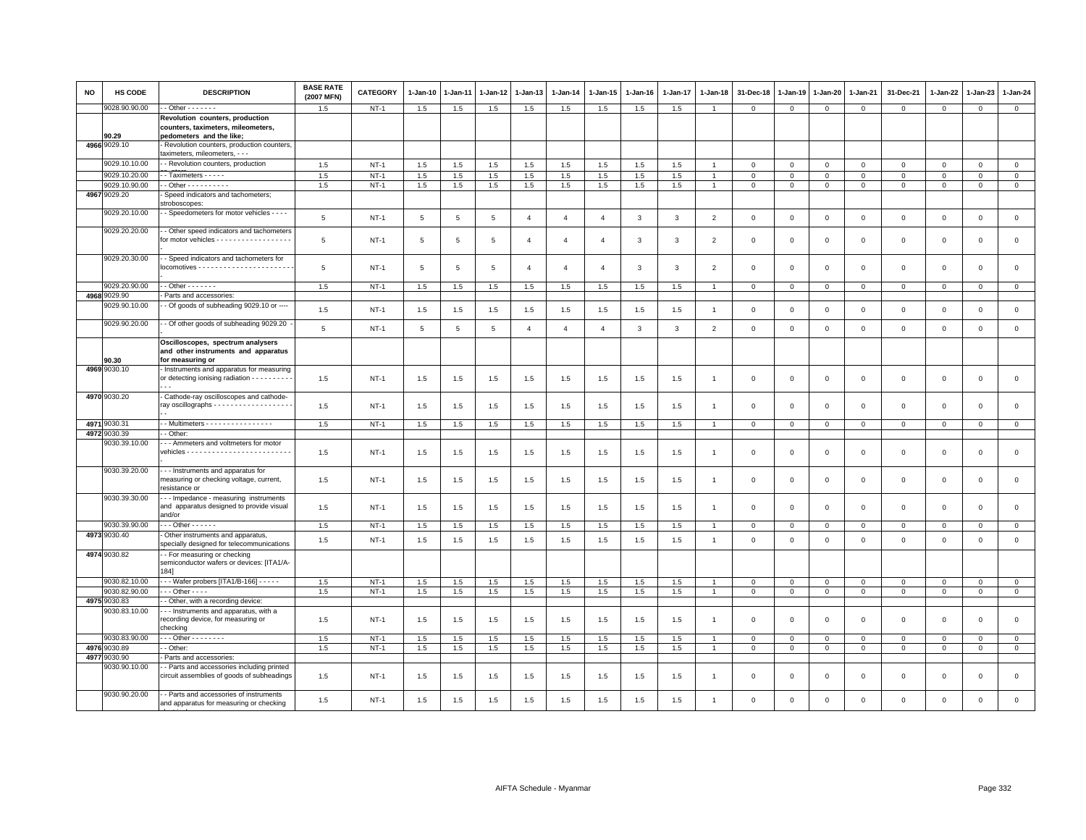| <b>NO</b> | HS CODE       | <b>DESCRIPTION</b>                                                                                 | <b>BASE RATE</b><br>(2007 MFN) | <b>CATEGORY</b> | 1-Jan-10        | 1-Jan-11       | 1-Jan-12    | 1-Jan-13              | 1-Jan-14       | 1-Jan-15       | 1-Jan-16 | 1-Jan-17     | 1-Jan-18       | 31-Dec-18      | 1-Jan-19       | 1-Jan-20       | 1-Jan-21       | 31-Dec-21           | 1-Jan-22     | 1-Jan-23            | 1-Jan-24       |
|-----------|---------------|----------------------------------------------------------------------------------------------------|--------------------------------|-----------------|-----------------|----------------|-------------|-----------------------|----------------|----------------|----------|--------------|----------------|----------------|----------------|----------------|----------------|---------------------|--------------|---------------------|----------------|
|           | 9028.90.90.00 | $-$ Other $     -$                                                                                 | 1.5                            | $NT-1$          | 1.5             | 1.5            | 1.5         | 1.5                   | 1.5            | 1.5            | 1.5      | 1.5          | $\overline{1}$ | $\mathbf 0$    | $\mathbf 0$    | $\mathbf 0$    | $\mathbf 0$    | $\mathbf 0$         | $\mathbf 0$  | $\mathbf 0$         | $\mathbf{0}$   |
|           | 90.29         | Revolution counters, production<br>counters, taximeters, mileometers,<br>pedometers and the like;  |                                |                 |                 |                |             |                       |                |                |          |              |                |                |                |                |                |                     |              |                     |                |
|           | 4966 9029.10  | - Revolution counters, production counters,<br>taximeters, mileometers, - - -                      |                                |                 |                 |                |             |                       |                |                |          |              |                |                |                |                |                |                     |              |                     |                |
|           | 9029.10.10.00 | - Revolution counters, production                                                                  | 1.5                            | $NT-1$          | 1.5             | 1.5            | 1.5         | 1.5                   | 1.5            | 1.5            | 1.5      | 1.5          |                | $\mathbf 0$    | $\mathbf 0$    | $\mathsf 0$    | $\mathbf 0$    | $\mathsf 0$         | $\mathbf 0$  | $\mathsf 0$         | $\mathbf 0$    |
|           | 9029.10.20.00 | - Taximeters - - - - -                                                                             | 1.5                            | $NT-1$          | 1.5             | 1.5            | 1.5         | 1.5                   | 1.5            | 1.5            | 1.5      | 1.5          |                | $\mathbf 0$    | $\mathbf 0$    | $\mathbf 0$    | $\mathbf 0$    | $\mathbf 0$         | $\Omega$     | $\mathbf 0$         | $\mathbf 0$    |
|           | 9029.10.90.00 | $-$ Other - - - - - - - - - -                                                                      | 1.5                            | $NT-1$          | 1.5             | 1.5            | 1.5         | 1.5                   | 1.5            | 1.5            | 1.5      | 1.5          | $\overline{1}$ | $\overline{0}$ | $\overline{0}$ | $\overline{0}$ | $\overline{0}$ | $\mathsf 0$         | $\mathbf{0}$ | $\mathsf 0$         | $\overline{0}$ |
|           | 4967 9029.20  | Speed indicators and tachometers;                                                                  |                                |                 |                 |                |             |                       |                |                |          |              |                |                |                |                |                |                     |              |                     |                |
|           | 9029.20.10.00 | stroboscopes:<br>- Speedometers for motor vehicles - - - -                                         | 5                              | $NT-1$          | $5\phantom{.0}$ | $\mathbf 5$    | $\,$ 5 $\,$ | $\overline{4}$        | $\overline{4}$ | $\overline{4}$ | 3        | $\mathbf{3}$ | $\overline{2}$ | $\,0\,$        | $\,0\,$        | $\mathbf 0$    | $\mathbf 0$    | $\mathsf 0$         | $\mathbf 0$  | $\mathsf{O}\xspace$ | $\mathsf 0$    |
|           | 9029.20.20.00 | - Other speed indicators and tachometers<br>for motor vehicles - - - - - - - - - - - - - - - - - - | 5                              | NT-1            | 5               | 5              | 5           | $\overline{4}$        | $\overline{4}$ | $\overline{4}$ | 3        | 3            | $\overline{2}$ | $\mathbf 0$    | $^{\circ}$     | $\mathbf 0$    | $\overline{0}$ | 0                   | $\mathbf 0$  | 0                   | 0              |
|           | 9029.20.30.00 | - Speed indicators and tachometers for                                                             | $\overline{5}$                 | $NT-1$          | $5\overline{5}$ | $\overline{5}$ | 5           | $\boldsymbol{\Delta}$ | $\mathbf{A}$   | $\overline{4}$ | 3        | 3            | 2              | $\mathbf 0$    | $\mathbf 0$    | $\mathbf 0$    | $\mathbf{0}$   | $\mathbf 0$         | $\mathbf 0$  | $\mathbf 0$         | $\mathbf 0$    |
|           | 9029.20.90.00 | $-$ Other $     -$                                                                                 | 1.5                            | $NT-1$          | 1.5             | 1.5            | 1.5         | 1.5                   | 1.5            | 1.5            | 1.5      | 1.5          | $\overline{1}$ | $\mathbf{0}$   | $\mathbf 0$    | $\mathbf 0$    | $\mathbf{0}$   | $\mathbf{0}$        | $\mathbf{0}$ | $\mathbf{0}$        | $\mathbf{0}$   |
|           | 4968 9029.90  | Parts and accessories:                                                                             |                                |                 |                 |                |             |                       |                |                |          |              |                |                |                |                |                |                     |              |                     |                |
|           | 9029.90.10.00 | - Of goods of subheading 9029.10 or ----                                                           | 1.5                            | $NT-1$          | $1.5\,$         | 1.5            | $1.5$       | 1.5                   | 1.5            | 1.5            | 1.5      | $1.5\,$      | $\overline{1}$ | $\mathbf 0$    | $\,0\,$        | $\mathbf 0$    | $\,0\,$        | $\mathsf{O}\xspace$ | $\mathbf 0$  | $\mathbf 0$         | $\mathsf 0$    |
|           | 9029.90.20.00 | - Of other goods of subheading 9029.20                                                             | 5                              | $NT-1$          | 5               | 5              | 5           | $\overline{4}$        | $\overline{4}$ | $\overline{4}$ | 3        | 3            | $\overline{2}$ | $\mathbf 0$    | $\mathbf 0$    | $\mathbf 0$    | $\mathsf 0$    | $\mathsf 0$         | $\mathbf 0$  | $\mathsf 0$         | $\mathsf 0$    |
|           |               | Oscilloscopes, spectrum analysers<br>and other instruments and apparatus                           |                                |                 |                 |                |             |                       |                |                |          |              |                |                |                |                |                |                     |              |                     |                |
|           | 90.30         | for measuring or                                                                                   |                                |                 |                 |                |             |                       |                |                |          |              |                |                |                |                |                |                     |              |                     |                |
|           | 4969 9030.10  | - Instruments and apparatus for measuring<br>or detecting ionising radiation - - - - - - - - -     | 1.5                            | <b>NT-1</b>     | 1.5             | 1.5            | 1.5         | 1.5                   | 1.5            | 1.5            | 1.5      | 1.5          | $\overline{1}$ | $\mathbf 0$    | $\mathsf 0$    | $\,0\,$        | $\,0\,$        | $\mathsf 0$         | $\mathbf 0$  | $\mathsf 0$         | $\mathbf 0$    |
|           | 4970 9030.20  | Cathode-ray oscilloscopes and cathode-<br>ray oscillographs - - - - - - - - - - - - - - - - - -    | 1.5                            | $NT-1$          | 1.5             | 1.5            | 1.5         | 1.5                   | 1.5            | 1.5            | 1.5      | 1.5          | -1             | $\mathbf 0$    | $\mathbf 0$    | $\mathsf 0$    | $\mathbf 0$    | $\mathsf 0$         | $\mathbf 0$  | $\mathsf 0$         | $\mathbf 0$    |
|           | 4971 9030.31  | - - Multimeters - - - - - - - - - - - - - - -                                                      | 1.5                            | <b>NT-1</b>     | 1.5             | 1.5            | 1.5         | 1.5                   | 1.5            | 1.5            | 1.5      | 1.5          | $\overline{1}$ | $\mathbf{0}$   | $\mathbf 0$    | $\mathbf{0}$   | $\mathbf{0}$   | $\mathbf{0}$        | $\mathbf{0}$ | $\mathbf{0}$        | $\mathbf{0}$   |
|           | 4972 9030.39  | - Other:                                                                                           |                                |                 |                 |                |             |                       |                |                |          |              |                |                |                |                |                |                     |              |                     |                |
|           | 9030.39.10.00 | - - Ammeters and voltmeters for motor                                                              | 1.5                            | NT-1            | 1.5             | 1.5            | 1.5         | 1.5                   | 1.5            | 1.5            | 1.5      | 1.5          | -1             | 0              | $\mathbf 0$    | $\mathbf 0$    | $\mathbf 0$    | $\mathbf{0}$        | $\mathbf{0}$ | $\mathbf 0$         | $\mathbf 0$    |
|           | 9030.39.20.00 | - - - Instruments and apparatus for<br>measuring or checking voltage, current,<br>resistance or    | 1.5                            | $NT-1$          | 1.5             | 1.5            | 1.5         | 1.5                   | 1.5            | 1.5            | 1.5      | 1.5          | $\mathbf{1}$   | $\mathbf 0$    | $\mathbf 0$    | $\mathsf 0$    | $\mathbf 0$    | $\mathsf 0$         | $\mathbf 0$  | $\mathbf 0$         | $\mathbf 0$    |
|           | 9030.39.30.00 | --- Impedance - measuring instruments<br>and apparatus designed to provide visual<br>and/or        | 1.5                            | $NT-1$          | 1.5             | 1.5            | 1.5         | 1.5                   | 1.5            | 1.5            | 1.5      | 1.5          | $\overline{1}$ | $\mathbf 0$    | $\mathbf 0$    | $\mathbf 0$    | $\mathbf 0$    | $\mathbf 0$         | $\mathbf 0$  | $\mathbf 0$         | $\mathbf 0$    |
|           | 9030.39.90.00 | $\cdots$ Other - - - - - -                                                                         | 1.5                            | <b>NT-1</b>     | 1.5             | 1.5            | 1.5         | 1.5                   | 1.5            | 1.5            | 1.5      | 1.5          | $\overline{1}$ | $\mathbf 0$    | $\mathbf 0$    | $\mathbf 0$    | $\mathbf 0$    | $\mathbf 0$         | $\mathbf 0$  | $\mathbf 0$         | $\mathbf{0}$   |
|           | 4973 9030.40  | - Other instruments and apparatus,<br>specially designed for telecommunications                    | 1.5                            | $NT-1$          | 1.5             | 1.5            | 1.5         | $1.5\,$               | 1.5            | 1.5            | 1.5      | 1.5          | $\mathbf{1}$   | $\mathbf 0$    | $\mathsf 0$    | $\,0\,$        | $\mathbf 0$    | $\mathsf 0$         | $\mathbf 0$  | $\mathsf 0$         | $\mathsf 0$    |
|           | 4974 9030.82  | - - For measuring or checking<br>semiconductor wafers or devices: [ITA1/A-<br>184]                 |                                |                 |                 |                |             |                       |                |                |          |              |                |                |                |                |                |                     |              |                     |                |
|           | 9030.82.10.00 | - - - Wafer probers [ITA1/B-166] - - - - -                                                         | 1.5                            | $NT-1$          | 1.5             | 1.5            | 1.5         | 1.5                   | 1.5            | 1.5            | 1.5      | 1.5          | $\overline{1}$ | $\mathbf 0$    | $\mathbf 0$    | $\mathbf 0$    | $\mathbf 0$    | $\mathbf 0$         | $\mathbf 0$  | $\mathbf 0$         | $\mathbf 0$    |
|           | 9030.82.90.00 | $-$ - Other - - - -                                                                                | 1.5                            | $NT-1$          | 1.5             | 1.5            | 1.5         | 1.5                   | 1.5            | 1.5            | 1.5      | 1.5          | $\mathbf{1}$   | $\mathbf 0$    | $\mathbf 0$    | $\mathbf 0$    | $\overline{0}$ | $\mathsf{O}\xspace$ | $\mathsf 0$  | $\mathsf 0$         | $\overline{0}$ |
|           | 4975 9030.83  | - Other, with a recording device:                                                                  |                                |                 |                 |                |             |                       |                |                |          |              |                |                |                |                |                |                     |              |                     |                |
|           | 9030.83.10.00 | - - Instruments and apparatus, with a<br>recording device, for measuring or<br>checking            | 1.5                            | $NT-1$          | 1.5             | 1.5            | 1.5         | 1.5                   | 1.5            | 1.5            | 1.5      | 1.5          |                | $\mathbf 0$    | $\mathbf 0$    | $\Omega$       | $\mathbf 0$    | $\mathsf 0$         | $\mathbf 0$  | $\mathbf 0$         | $\mathsf 0$    |
|           | 9030.83.90.00 | $-$ - Other - - - - - - - -                                                                        | 1.5                            | $NT-1$          | 1.5             | 1.5            | 1.5         | 1.5                   | $1.5\,$        | 1.5            | 1.5      | 1.5          |                | $\mathbf 0$    | $\mathbf 0$    | $\mathbf 0$    | $\mathbf 0$    | $\mathbf 0$         | $\Omega$     | $\mathbf 0$         | $\mathbf{0}$   |
| 4976      | 9030.89       | - Other:                                                                                           | 1.5                            | $NT-1$          | 1.5             | 1.5            | 1.5         | 1.5                   | 1.5            | 1.5            | 1.5      | 1.5          | $\overline{1}$ | $\mathbf 0$    | $\mathbf 0$    | $\mathbf 0$    | $\mathbf 0$    | $\mathbf{0}$        | $\Omega$     | $\mathbf 0$         | $\mathbf{0}$   |
| 4977      | 9030.90       | Parts and accessories:                                                                             |                                |                 |                 |                |             |                       |                |                |          |              |                |                |                |                |                |                     |              |                     |                |
|           | 9030.90.10.00 | - - Parts and accessories including printed<br>circuit assemblies of goods of subheadings          | 1.5                            | $NT-1$          | 1.5             | 1.5            | 1.5         | 1.5                   | 1.5            | 1.5            | 1.5      | 1.5          | -1             | $\mathbf 0$    | $\mathsf 0$    | $\mathsf 0$    | $\,0\,$        | $\mathsf{O}\xspace$ | $\mathbf 0$  | $\mathsf{O}\xspace$ | $\mathbf 0$    |
|           | 9030.90.20.00 | - - Parts and accessories of instruments<br>and apparatus for measuring or checking                | 1.5                            | $NT-1$          | 1.5             | 1.5            | 1.5         | 1.5                   | 1.5            | 1.5            | 1.5      | 1.5          |                | $\Omega$       | $\mathbf 0$    | $\mathbf 0$    | $\mathbf{0}$   | $\Omega$            | $\mathbf 0$  | $\mathsf 0$         | $\mathsf 0$    |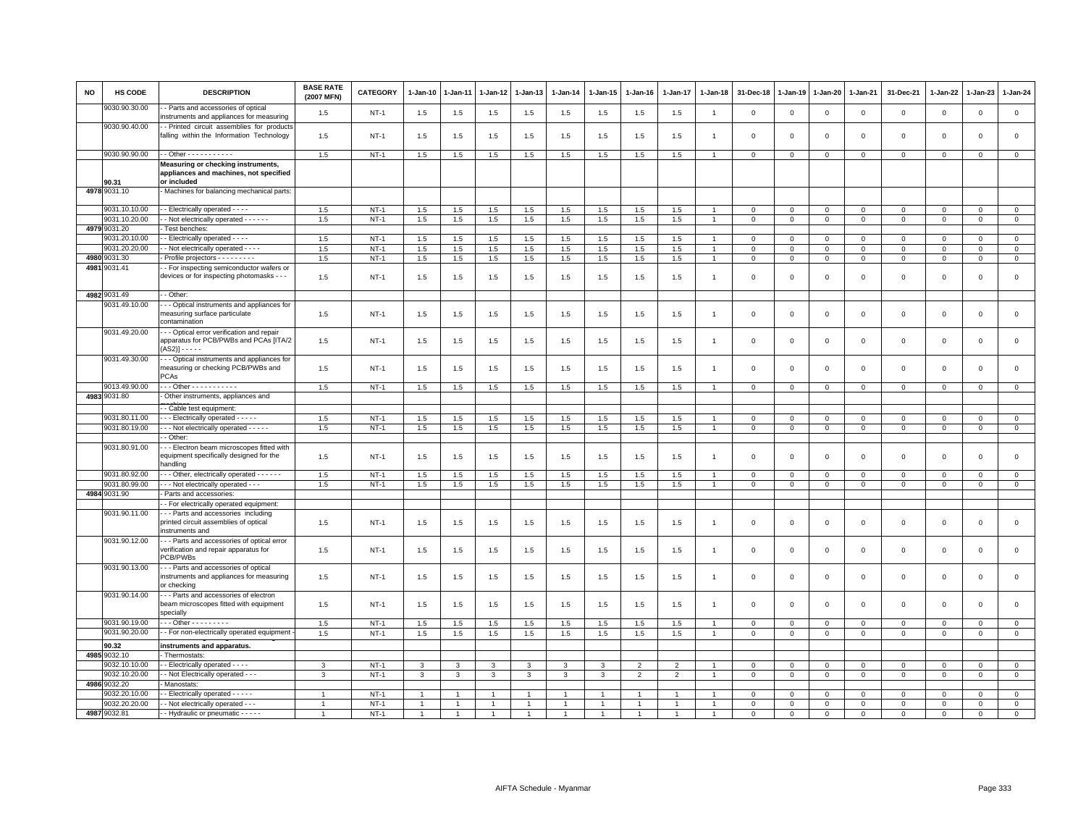| NO   | <b>HS CODE</b>                | <b>DESCRIPTION</b>                                                                                                     | <b>BASE RATE</b><br>(2007 MFN) | CATEGORY    | 1-Jan-10       | 1-Jan-11 | 1-Jan-12       | 1-Jan-13      | $1 - Jan-14$   | $1 - Jan-15$   | $1 - Jan-16$   | $1 - Jan-17$   | $1-Jan-18$     | 31-Dec-18    | $1 - Jan-19$ | 1-Jan-20     | 1-Jan-21     | 31-Dec-21    | $1 - Jan-22$ | 1-Jan-23     | $1 - Jan-24$   |
|------|-------------------------------|------------------------------------------------------------------------------------------------------------------------|--------------------------------|-------------|----------------|----------|----------------|---------------|----------------|----------------|----------------|----------------|----------------|--------------|--------------|--------------|--------------|--------------|--------------|--------------|----------------|
|      | 9030.90.30.00                 | - Parts and accessories of optical<br>nstruments and appliances for measuring                                          | 1.5                            | $NT-1$      | 1.5            | 1.5      | 1.5            | 1.5           | 1.5            | 1.5            | 1.5            | 1.5            | $\overline{1}$ | $\mathbf 0$  | $\circ$      | $\mathbf 0$  | 0            | $\circ$      | $\circ$      | $\mathsf 0$  | $\mathbf 0$    |
|      | 9030.90.40.00                 | - Printed circuit assemblies for products<br>falling within the Information Technology                                 | 1.5                            | $NT-1$      | 1.5            | 1.5      | 1.5            | 1.5           | 1.5            | 1.5            | 1.5            | 1.5            |                | $\mathbf 0$  | $\Omega$     | $\Omega$     | $\Omega$     | $\mathsf 0$  | $\Omega$     | $\Omega$     | $\mathsf 0$    |
|      | 9030.90.90.00                 | - - Other - - - - - - - - - - -                                                                                        | 1.5                            | $NT-1$      | 1.5            | 1.5      | 1.5            | 1.5           | 1.5            | 1.5            | 1.5            | 1.5            | $\overline{1}$ | $\mathbf 0$  | $\circ$      | $\mathbf{0}$ | $\mathbf 0$  | $\mathbf 0$  | $\circ$      | $\mathbf{0}$ | $\mathbf 0$    |
|      | 90.31                         | Measuring or checking instruments,<br>appliances and machines, not specified<br>or included                            |                                |             |                |          |                |               |                |                |                |                |                |              |              |              |              |              |              |              |                |
|      | 4978 9031.10                  | Machines for balancing mechanical parts:                                                                               |                                |             |                |          |                |               |                |                |                |                |                |              |              |              |              |              |              |              |                |
|      | 9031.10.10.00                 | - Electrically operated - - - -                                                                                        | 1.5                            | $NT-1$      | 1.5            | 1.5      | 1.5            | 1.5           | 1.5            | 1.5            | 1.5            | 1.5            |                | $\mathbf 0$  | $\mathbf 0$  | $\mathbf 0$  | $\mathbf 0$  | $\mathbf 0$  | $\mathbf 0$  | $\mathbf{0}$ | $\overline{0}$ |
|      | 9031.10.20.00                 | - Not electrically operated - - - - - -                                                                                | 1.5                            | $NT-1$      | 1.5            | 1.5      | 1.5            | 1.5           | 1.5            | 1.5            | 1.5            | 1.5            | $\overline{1}$ | 0            | $\mathbf 0$  | $\mathbf{0}$ | $\mathbf{0}$ | $\mathbf 0$  | $\circ$      | $\mathbf{0}$ | $\mathbf{0}$   |
|      | 4979 9031.20                  | Test benches:                                                                                                          |                                |             |                |          |                |               |                |                |                |                |                |              |              |              |              |              |              |              |                |
|      | 9031.20.10.00                 | - Electrically operated - - - -                                                                                        | 1.5                            | $NT-1$      | 1.5            | 1.5      | 1.5            | 1.5           | 1.5            | 1.5            | 1.5            | 1.5            | $\overline{1}$ | $\mathbf 0$  | $\mathbf 0$  | $\Omega$     | $\Omega$     | $\mathbf 0$  | $\Omega$     | $\Omega$     | $\overline{0}$ |
|      | 9031.20.20.00<br>4980 9031.30 | - Not electrically operated - - - -                                                                                    | 1.5                            | $NT-1$      | 1.5            | 1.5      | 1.5            | 1.5           | 1.5            | 1.5            | 1.5            | 1.5            | $\overline{1}$ | $\Omega$     | $\Omega$     | $\Omega$     | $\mathbf 0$  | $\mathbf{0}$ | $\mathbf{0}$ | $\mathbf 0$  | $\circ$        |
| 4981 | 9031.41                       | Profile projectors - - - - - - - -<br>- For inspecting semiconductor wafers or                                         | 1.5                            | $NT-1$      | 1.5            | 1.5      | 1.5            | 1.5           | 1.5            | 1.5            | 1.5            | 1.5            | $\overline{1}$ | $\mathbf 0$  | 0            | $\mathbf{0}$ | $\mathbf{0}$ | $\mathbf 0$  | $\mathbf 0$  | $\mathbf 0$  | $\mathbf{0}$   |
|      |                               | devices or for inspecting photomasks - - -                                                                             | 1.5                            | $NT-1$      | 1.5            | 1.5      | 1.5            | 1.5           | 1.5            | 1.5            | 1.5            | 1.5            | -1             | $\Omega$     | $\Omega$     | $\Omega$     | $\mathbf 0$  | $\mathbf 0$  | $\mathbf{0}$ | $\mathbf 0$  | $\mathsf 0$    |
|      | 4982 9031.49                  | - Other:                                                                                                               |                                |             |                |          |                |               |                |                |                |                |                |              |              |              |              |              |              |              |                |
|      | 9031.49.10.00                 | - Optical instruments and appliances for<br>measuring surface particulate<br>contamination                             | 1.5                            | NT-1        | 1.5            | 1.5      | 1.5            | 1.5           | 1.5            | 1.5            | 1.5            | 1.5            | $\mathbf{1}$   | 0            | $\mathbf 0$  | $\mathbf 0$  | 0            | $\mathbf 0$  | $\circ$      | $\mathbf 0$  | $\mathsf 0$    |
|      | 9031.49.20.00                 | - - Optical error verification and repair<br>apparatus for PCB/PWBs and PCAs [ITA/2<br>$(AS2)$ ] - - - - -             | 1.5                            | <b>NT-1</b> | 1.5            | 1.5      | 1.5            | 1.5           | 1.5            | 1.5            | 1.5            | 1.5            | $\overline{1}$ | $\mathbf 0$  | $\mathbf 0$  | $\mathsf 0$  | $\mathbf 0$  | $\,0\,$      | $\mathbf 0$  | $\mathsf 0$  | $\mathsf 0$    |
|      | 9031.49.30.00                 | - - Optical instruments and appliances for<br>measuring or checking PCB/PWBs and<br>PCAs                               | 1.5                            | $NT-1$      | 1.5            | 1.5      | 1.5            | 1.5           | 1.5            | 1.5            | 1.5            | 1.5            | $\mathbf{1}$   | $\mathbf 0$  | $\Omega$     | $\Omega$     | $\Omega$     | $\mathbf 0$  | $\Omega$     | $\Omega$     | $\mathsf 0$    |
|      | 9013.49.90.00                 | . - - Other - - - - - - - - - - -                                                                                      | 1.5                            | $NT-1$      | 1.5            | 1.5      | 1.5            | 1.5           | 1.5            | 1.5            | 1.5            | 1.5            | $\overline{1}$ | 0            | 0            | 0            | 0            | $\circ$      | $\circ$      | 0            | $\mathbf 0$    |
|      | 4983 9031.80                  | Other instruments, appliances and                                                                                      |                                |             |                |          |                |               |                |                |                |                |                |              |              |              |              |              |              |              |                |
|      |                               | - Cable test equipment:                                                                                                |                                |             |                |          |                |               |                |                |                |                |                |              |              |              |              |              |              |              |                |
|      | 9031.80.11.00                 | - - - Electrically operated - - - - -                                                                                  | 1.5                            | <b>NT-1</b> | 1.5            | 1.5      | 1.5            | 1.5           | 1.5            | 1.5            | 1.5            | 1.5            |                | $\mathbf 0$  | $^{\circ}$   | $^{\circ}$   | $\mathbf 0$  | $\circ$      | $\circ$      | 0            | $\overline{0}$ |
|      | 9031.80.19.00                 | - - - Not electrically operated - - - - -                                                                              | 1.5                            | $NT-1$      | 1.5            | 1.5      | 1.5            | 1.5           | $1.5\,$        | 1.5            | 1.5            | 1.5            | $\mathbf{1}$   | $\mathsf 0$  | $\mathbf 0$  | $\mathbf 0$  | $\mathbf 0$  | $\mathbf 0$  | $\mathbf 0$  | $\mathsf 0$  | $\mathbf 0$    |
|      |                               | - Other                                                                                                                |                                |             |                |          |                |               |                |                |                |                |                |              |              |              |              |              |              |              |                |
|      | 9031.80.91.00                 | - - Electron beam microscopes fitted with<br>equipment specifically designed for the<br>handling                       | 1.5                            | $NT-1$      | 1.5            | 1.5      | 1.5            | 1.5           | 1.5            | 1.5            | 1.5            | 1.5            | $\overline{1}$ | $^{\circ}$   | $^{\circ}$   | $\mathsf 0$  | $\mathbf 0$  | $\mathbf 0$  | $\mathbf 0$  | $\mathsf 0$  | $\mathsf 0$    |
|      | 9031.80.92.00                 | - - - Other, electrically operated - - - - - -                                                                         | 1.5                            | $NT-1$      | 1.5            | 1.5      | 1.5            | 1.5           | 1.5            | 1.5            | 1.5            | 1.5            |                | $\mathbf{0}$ | $\mathbf 0$  | $\mathbf 0$  | $\mathbf 0$  | $\mathbf{0}$ | $\Omega$     | $\Omega$     | $\mathbf{0}$   |
|      | 9031.80.99.00                 | - - - Not electrically operated - - -                                                                                  | 1.5                            | $NT-1$      | 1.5            | 1.5      | 1.5            | 1.5           | 1.5            | 1.5            | 1.5            | 1.5            | $\overline{1}$ | $\mathbf 0$  | 0            | 0            | $\mathbf{0}$ | $\mathbf{0}$ | $\mathbf 0$  | $\mathbf{O}$ | $\circ$        |
|      | 4984 9031.90                  | Parts and accessories                                                                                                  |                                |             |                |          |                |               |                |                |                |                |                |              |              |              |              |              |              |              |                |
|      | 9031.90.11.00                 | - For electrically operated equipment:<br>- - Parts and accessories including<br>printed circuit assemblies of optical | 1.5                            | $NT-1$      | 1.5            | 1.5      | 1.5            | 1.5           | 1.5            | 1.5            | 1.5            | 1.5            | -1             | 0            | $\mathbf 0$  | 0            | 0            | $\mathbf 0$  | $\circ$      | 0            | $\mathsf 0$    |
|      | 9031.90.12.00                 | nstruments and<br>- - Parts and accessories of optical error                                                           |                                |             |                |          |                |               |                |                |                |                |                |              |              |              |              |              |              |              |                |
|      |                               | verification and repair apparatus for<br>PCB/PWBs                                                                      | 1.5                            | NT-1        | 1.5            | 1.5      | 1.5            | 1.5           | 1.5            | 1.5            | 1.5            | 1.5            | -1             | 0            | $\mathbf 0$  | $^{\circ}$   | $\mathbf 0$  | $\mathbf 0$  | $\circ$      | $\mathsf 0$  | $\mathbf 0$    |
|      | 9031.90.13.00                 | --- Parts and accessories of optical<br>nstruments and appliances for measuring<br>or checking                         | 1.5                            | $NT-1$      | 1.5            | 1.5      | 1.5            | 1.5           | 1.5            | 1.5            | 1.5            | 1.5            | -1             | $\mathbf{0}$ | $\Omega$     | $\mathbf 0$  | $\mathbf 0$  | $\mathbf 0$  | $\mathbf{0}$ | $\mathsf 0$  | $\mathbf 0$    |
|      | 9031.90.14.00                 | - - Parts and accessories of electron<br>beam microscopes fitted with equipment<br>specially                           | 1.5                            | $NT-1$      | 1.5            | 1.5      | 1.5            | 1.5           | 1.5            | 1.5            | 1.5            | 1.5            | $\overline{1}$ | $\mathbf 0$  | $\mathbf 0$  | $\Omega$     | $\mathbf 0$  | $\mathbf 0$  | $\mathbf 0$  | $\mathsf 0$  | $\mathbf 0$    |
|      | 9031.90.19.00                 | Other - - - - - - - - -                                                                                                | 1.5                            | $NT-1$      | 1.5            | 1.5      | 1.5            | 1.5           | 1.5            | 1.5            | 1.5            | 1.5            |                | $\mathbf 0$  | $\Omega$     | $\Omega$     | $\mathbf 0$  | $\circ$      | $\Omega$     | $\Omega$     | $\overline{0}$ |
|      | 9031.90.20.00                 | - For non-electrically operated equipment                                                                              | 1.5                            | $NT-1$      | 1.5            | 1.5      | 1.5            | 1.5           | $1.5\,$        | 1.5            | 1.5            | 1.5            | $\mathbf{1}$   | 0            | 0            | 0            | 0            | $\circ$      | $\circ$      | 0            | $\mathsf 0$    |
|      | 90.32                         | instruments and apparatus.                                                                                             |                                |             |                |          |                |               |                |                |                |                |                |              |              |              |              |              |              |              |                |
|      | 4985 9032.10                  | - Thermostats:                                                                                                         |                                |             |                |          |                |               |                |                |                |                |                |              |              |              |              |              |              |              |                |
|      | 9032.10.10.00                 | - Electrically operated - - - -                                                                                        | 3                              | $NT-1$      | 3              | 3        | $\mathbf{3}$   | $\mathcal{R}$ | $\mathbf{3}$   | 3              | $\overline{2}$ | 2              |                | $\mathbf 0$  | $\mathbf 0$  | $\Omega$     | $\mathbf 0$  | $\mathbf{0}$ | $\Omega$     | $\mathbf 0$  | $\mathsf 0$    |
|      | 9032.10.20.00                 | - Not Electrically operated - - -                                                                                      | 3                              | $NT-1$      | 3              | 3        | 3              | 3             | $\mathbf{3}$   | 3              | $\overline{2}$ | $\overline{2}$ |                | $\mathbf 0$  | $\mathbf 0$  | $\mathbf 0$  | $\mathbf 0$  | $\mathbf 0$  | $\mathbf 0$  | $\mathsf 0$  | $\mathsf 0$    |
|      | 4986 9032.20                  | Manostats:                                                                                                             |                                |             |                |          |                |               |                |                |                |                |                |              |              |              |              |              |              |              |                |
|      | 9032.20.10.00                 | - Electrically operated - - - - -                                                                                      |                                | $NT-1$      |                |          |                |               |                |                |                |                |                | $\Omega$     | $\mathbf 0$  | $\Omega$     | 0            | $\Omega$     | $\circ$      | $\Omega$     | $\mathbf 0$    |
|      | 9032.20.20.00                 | - Not electrically operated - - -                                                                                      | $\overline{1}$                 | $NT-1$      | $\overline{1}$ |          | $\overline{1}$ |               | $\overline{1}$ | $\overline{1}$ |                |                |                | $\mathbf 0$  | $\mathbf 0$  | $\mathbf 0$  | $\mathbf 0$  | $\mathbf 0$  | $\Omega$     | $\mathbf 0$  | $\overline{0}$ |
|      | 4987 9032.81                  | - Hydraulic or pneumatic - - - - -                                                                                     |                                | $NT-1$      | $\overline{1}$ |          |                |               |                |                |                |                |                | $\Omega$     | $\Omega$     | $\Omega$     | $\mathbf 0$  | $\Omega$     | $\Omega$     | $\Omega$     | $\mathbf 0$    |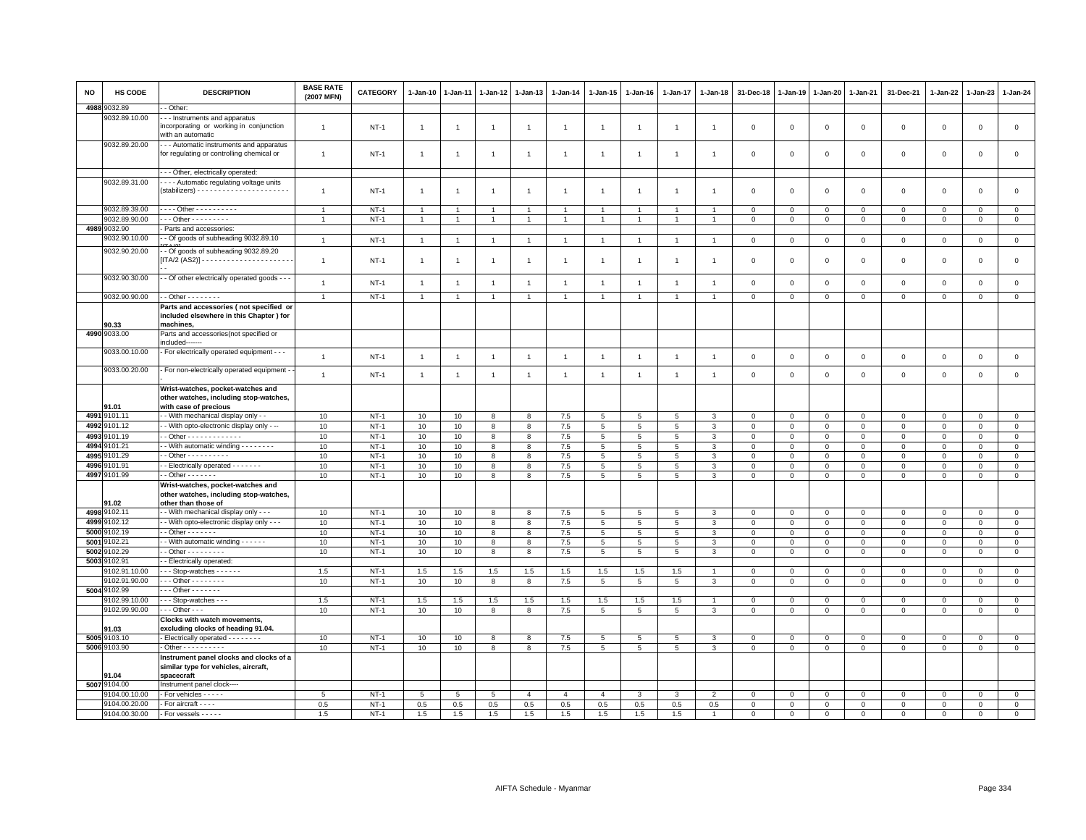| <b>NO</b>    | HS CODE                        | <b>DESCRIPTION</b>                                                                                   | <b>BASE RATE</b><br>(2007 MFN) | CATEGORY         | 1-Jan-10       | 1-Jan-11       | 1-Jan-12       | $1 - Jan-13$          | 1-Jan-14       | $1 - Jan-15$    | 1-Jan-16        | 1-Jan-17        | 1-Jan-18            | 31-Dec-18            | $1-Jan-19$                 | 1-Jan-20                    | $1 - Jan-21$         | 31-Dec-21            | $1 - Jan-22$            | 1-Jan-23             | $1-Jan-24$                  |
|--------------|--------------------------------|------------------------------------------------------------------------------------------------------|--------------------------------|------------------|----------------|----------------|----------------|-----------------------|----------------|-----------------|-----------------|-----------------|---------------------|----------------------|----------------------------|-----------------------------|----------------------|----------------------|-------------------------|----------------------|-----------------------------|
| 4988         | 9032.89                        | - Other:                                                                                             |                                |                  |                |                |                |                       |                |                 |                 |                 |                     |                      |                            |                             |                      |                      |                         |                      |                             |
|              | 9032.89.10.00                  | - - Instruments and apparatus<br>incorporating or working in conjunction<br>with an automatic        | $\overline{1}$                 | $NT-1$           | $\overline{1}$ | $\overline{1}$ | $\overline{1}$ | $\overline{1}$        | $\overline{1}$ | $\overline{1}$  |                 | $\overline{1}$  | $\overline{1}$      | $\mathbf 0$          | $\mathbf 0$                | $\mathbf 0$                 | $\mathbf 0$          | $\mathsf 0$          | $\mathbf 0$             | $\mathsf 0$          | $\mathsf 0$                 |
|              | 9032.89.20.00                  | - - Automatic instruments and apparatus<br>for regulating or controlling chemical or                 | $\overline{1}$                 | $NT-1$           | $\overline{1}$ | -1             | $\overline{1}$ | $\overline{1}$        | $\overline{1}$ | $\overline{1}$  | $\mathbf{1}$    | $\overline{1}$  | $\overline{1}$      | $\mathbf 0$          | $\Omega$                   | $\mathbf 0$                 | $\mathbf 0$          | $\mathsf 0$          | $\mathbf 0$             | $\mathsf 0$          | $\mathbf 0$                 |
|              |                                | - - Other, electrically operated:                                                                    |                                |                  |                |                |                |                       |                |                 |                 |                 |                     |                      |                            |                             |                      |                      |                         |                      |                             |
|              | 9032.89.31.00                  | - - - Automatic regulating voltage units                                                             | $\overline{1}$                 | $NT-1$           | $\overline{1}$ | -1             | $\overline{1}$ | $\overline{1}$        | $\overline{1}$ | $\overline{1}$  | $\overline{1}$  | $\overline{1}$  | $\overline{1}$      | 0                    | $\mathbf 0$                | $\mathbf 0$                 | 0                    | $\mathsf 0$          | 0                       | 0                    | $\mathsf 0$                 |
|              | 9032.89.39.00                  | Other - - - - - - - - -                                                                              | $\overline{1}$                 | $NT-1$           | $\overline{1}$ |                | $\overline{1}$ | $\overline{1}$        |                | $\mathbf{1}$    |                 | 1               |                     | $\Omega$             | $\overline{0}$             | $\mathbf 0$                 | $\Omega$             | $\mathbf 0$          | $\Omega$                | $\mathbf 0$          | $\mathsf 0$                 |
|              | 9032.89.90.00                  | $-$ - Other - - - - - - - - -                                                                        | $\overline{1}$                 | $NT-1$           | $\overline{1}$ | $\overline{1}$ | $\overline{1}$ | $\overline{1}$        | $\overline{1}$ | $\overline{1}$  | $\mathbf{1}$    | $\overline{1}$  | $\overline{1}$      | $\Omega$             | $\Omega$                   | $\mathsf 0$                 | $\mathbf 0$          | $\mathsf 0$          | $\mathsf 0$             | $\mathsf 0$          | $\mathbf 0$                 |
|              | 4989 9032.90                   | Parts and accessories:                                                                               |                                |                  |                |                |                |                       |                |                 |                 |                 |                     |                      |                            |                             |                      |                      |                         |                      |                             |
|              | 9032.90.10.00                  | - Of goods of subheading 9032.89.10                                                                  | $\overline{1}$                 | $NT-1$           | $\overline{1}$ | $\overline{1}$ | $\overline{1}$ | $\overline{1}$        | $\overline{1}$ | $\overline{1}$  | $\overline{1}$  | $\overline{1}$  | $\overline{1}$      | $\mathbf 0$          | $\mathbf 0$                | $\mathbf 0$                 | $\mathbf 0$          | $\mathbf{0}$         | 0                       | $\mathbf 0$          | $\mathsf 0$                 |
|              | 9032.90.20.00                  | - Of goods of subheading 9032.89.20                                                                  | $\overline{1}$                 | $NT-1$           | $\overline{1}$ |                | $\overline{1}$ | $\overline{1}$        | $\overline{1}$ | $\mathbf{1}$    |                 | $\mathbf{1}$    |                     | $\mathbf 0$          | $\mathbf 0$                | $\mathbf 0$                 | $\mathbf 0$          | $\mathsf 0$          | $\mathbf 0$             | $\mathsf 0$          | $\mathsf 0$                 |
|              | 9032.90.30.00                  | - Of other electrically operated goods - - -                                                         | $\overline{1}$                 | $NT-1$           | $\overline{1}$ | $\overline{1}$ | $\overline{1}$ | $\overline{1}$        | $\overline{1}$ | $\overline{1}$  | $\overline{1}$  | $\mathbf{1}$    | $\overline{1}$      | $\mathbf 0$          | $\mathbf 0$                | $\mathbf 0$                 | $\mathbf 0$          | $\mathsf 0$          | $\mathbf 0$             | $\mathsf 0$          | $\mathsf 0$                 |
|              | 9032.90.90.00                  | $-$ Other $      -$                                                                                  | $\mathbf{1}$                   | $NT-1$           | $\overline{1}$ | $\overline{1}$ | $\overline{1}$ | $\mathbf{1}$          | $\overline{1}$ | $\mathbf{1}$    | $\overline{1}$  | $\mathbf{1}$    | $\overline{1}$      | $\mathbf{0}$         | $\circ$                    | $\circ$                     | $\mathbf{0}$         | $\mathbf 0$          | $\mathbf 0$             | $\mathbf{0}$         | $\mathbf{0}$                |
|              | 90.33                          | Parts and accessories (not specified or<br>included elsewhere in this Chapter) for<br>machines,      |                                |                  |                |                |                |                       |                |                 |                 |                 |                     |                      |                            |                             |                      |                      |                         |                      |                             |
|              | 4990 9033.00                   | Parts and accessories(not specified or<br>included-------                                            |                                |                  |                |                |                |                       |                |                 |                 |                 |                     |                      |                            |                             |                      |                      |                         |                      |                             |
|              | 9033.00.10.00                  | - For electrically operated equipment - - -                                                          | $\overline{1}$                 | $NT-1$           | $\overline{1}$ | $\overline{1}$ | $\overline{1}$ | $\overline{1}$        | $\overline{1}$ | $\overline{1}$  |                 | $\overline{1}$  | $\overline{1}$      | $\mathbf 0$          | $\mathbf 0$                | $\mathbf 0$                 | $\mathsf 0$          | $\mathsf 0$          | $\mathbf 0$             | $\mathsf 0$          | $\mathsf 0$                 |
|              | 9033.00.20.00                  | - For non-electrically operated equipment -                                                          | $\overline{1}$                 | $NT-1$           | $\overline{1}$ | $\overline{1}$ | $\overline{1}$ | $\overline{1}$        | $\overline{1}$ | $\overline{1}$  | $\overline{1}$  | $\overline{1}$  | $\overline{1}$      | $\mathbf 0$          | $\mathsf 0$                | $\mathbf 0$                 | $\mathsf 0$          | $\mathsf 0$          | $\mathbf 0$             | $\mathsf 0$          | $\mathsf 0$                 |
|              | 91.01                          | Wrist-watches, pocket-watches and<br>other watches, including stop-watches,<br>with case of precious |                                |                  |                |                |                |                       |                |                 |                 |                 |                     |                      |                            |                             |                      |                      |                         |                      |                             |
|              | 4991 9101.11                   | - With mechanical display only - -                                                                   | 10                             | $NT-1$           | 10             | 10             | 8              | 8                     | $7.5\,$        | $\overline{5}$  | $\overline{5}$  | 5               | 3                   | $\mathbf 0$          | $\overline{0}$             | $\mathbf{0}$                | $\mathbf 0$          | $\mathsf 0$          | $\mathbf 0$             | $\mathbf 0$          | $\mathsf 0$                 |
|              | 4992 9101.12                   | - With opto-electronic display only - --                                                             | 10                             | $NT-1$           | 10             | 10             | 8              | 8                     | 7.5            | $5\phantom{.0}$ | 5               | 5               | 3                   | 0                    | $\mathbf 0$                | $\mathbf 0$                 | $\Omega$             | 0                    | 0                       | $\Omega$             | $\mathbf 0$                 |
| 4993         | 9101.19                        | - Other - - - - - - - - - - - -                                                                      | 10                             | $NT-1$           | 10             | 10             | 8              | 8                     | 7.5            | $5^{\circ}$     | 5               | 5               | $\mathbf{3}$        | $\Omega$             | $\mathbf 0$                | $\mathbf{0}$                | $\mathbf{0}$         | $\mathbf 0$          | $\mathbf 0$             | $\mathbf 0$          | $\mathsf 0$                 |
| 4994         | 9101.21                        | - With automatic winding - - - - - - - -                                                             | 10                             | $NT-1$           | 10             | 10             | 8              | 8                     | 7.5            | $5\phantom{.0}$ | $5\phantom{.0}$ | $\overline{5}$  | $\mathbf{3}$        | $\mathsf 0$          | $\mathbf 0$                | $\mathbf 0$                 | $\mathbf 0$          | $\mathsf 0$          | $\mathbf 0$             | $\mathsf 0$          | $\mathsf 0$                 |
| 4995         | 101.29                         | $-$ Other $        -$                                                                                | 10                             | $NT-1$           | 10             | 10             | 8              | 8                     | 7.5            | $5\phantom{.0}$ | 5               | 5               | $\mathbf{3}$        | $\mathbf 0$          | $\mathsf 0$                | $\mathbf 0$                 | $\mathbf 0$          | $\mathsf 0$          | $\mathbf 0$             | $\mathsf 0$          | $\mathsf 0$                 |
| 4996         | 101.91                         | - Electrically operated - - - - - - -                                                                | 10                             | $NT-1$           | 10             | 10             | 8              | 8                     | 7.5            | $5\overline{5}$ | 5               | 5               | $\mathbf{3}$        | $\mathbf 0$          | $\mathbf 0$                | $\mathbf 0$                 | $\mathbf 0$          | $\mathsf 0$          | $\mathbf 0$             | $\mathsf 0$          | $\mathbf 0$                 |
| 4997         | 9101.99                        | $-$ Other $- - - - -$                                                                                | 10                             | $NT-1$           | 10             | $10$           | 8              | 8                     | 7.5            | 5               | $\overline{5}$  | $\overline{5}$  | $\mathbf{3}$        | $\mathbf 0$          | $\mathbf 0$                | $\mathbf 0$                 | $\mathbf 0$          | $\mathsf 0$          | $\Omega$                | $\mathbf 0$          | $\mathsf 0$                 |
|              | 91.02                          | Wrist-watches, pocket-watches and<br>other watches, including stop-watches,<br>other than those of   |                                |                  |                |                |                |                       |                |                 |                 |                 |                     |                      |                            |                             |                      |                      |                         |                      |                             |
|              | 4998 9102.11                   | - With mechanical display only - - -                                                                 | 10                             | $NT-1$           | 10             | 10             | 8              | 8                     | 7.5            | $5\overline{5}$ | 5               | 5               | $\mathbf{3}$        | $\mathbf 0$          | $\mathbf 0$                | $\mathbf 0$                 | $\mathbf 0$          | $\mathsf 0$          | $\mathbf 0$             | $\mathsf 0$          | $\mathbf{0}$                |
| 4999         | 3102.12                        | - With opto-electronic display only - - -                                                            | 10                             | $NT-1$           | 10             | $10$           | 8              | 8                     | 7.5            | $\,$ 5 $\,$     | $\,$ 5 $\,$     | 5               | $\mathbf{3}$        | $\mathbf 0$          | $\mathbf 0$                | $\mathbf 0$                 | $\mathsf 0$          | $\mathsf 0$          | $\Omega$                | $\Omega$             | $\,0\,$                     |
| 5000         | 9102.19                        | $-$ Other $     -$                                                                                   | 10                             | $NT-1$           | 10             | 10             | 8              | 8                     | 7.5            | 5               | $5\overline{5}$ | 5               | 3                   | $\Omega$             | $\Omega$                   | $\mathbf 0$                 | $\mathbf 0$          | $\mathbf 0$          | $\mathbf 0$             | $\mathbf 0$          | $\circ$                     |
| 5001         | 102.21                         | - With automatic winding - - - - - -                                                                 | 10                             | $NT-1$           | 10             | 10             | 8              | 8                     | 7.5            | 5               | 5               | 5               | 3                   | 0                    | $\mathbf 0$                | $\mathbf 0$                 | $\mathbf 0$          | 0                    | 0                       | 0                    | $\mathbf{0}$                |
| 5002<br>5003 | 9102.29<br>9102.91             | - Other - - - - - - - - -<br>- Electrically operated:                                                | 10                             | $NT-1$           | 10             | 10             | 8              | 8                     | 7.5            | $5\phantom{.0}$ | $5\overline{5}$ | $5\overline{5}$ | $\mathbf{3}$        | $\mathbf 0$          | $\mathsf 0$                | $\circ$                     | $\mathsf 0$          | $\mathsf 0$          | $\mathbf 0$             | $\mathsf 0$          | $\mathbf{0}$                |
|              | 9102.91.10.00                  | $-$ - Stop-watches $-$ - $-$ - $-$                                                                   | 1.5                            | $NT-1$           | 1.5            | 1.5            | 1.5            | 1.5                   | 1.5            | 1.5             | 1.5             | 1.5             |                     | $\Omega$             | $\Omega$                   | $\Omega$                    | $\mathbf 0$          | $\mathbf 0$          | $\mathbf 0$             | $\mathbf 0$          | $\mathbf 0$                 |
|              | 9102.91.90.00                  | $-$ Other $       -$                                                                                 | 10                             | $NT-1$           | 10             | 10             | 8              | 8                     | 7.5            | $5\overline{5}$ | $5\overline{5}$ | $5\overline{5}$ | 3                   | 0                    | $\mathbf 0$                | $\mathbf 0$                 | $\mathbf{0}$         | $\mathbf 0$          | 0                       | 0                    | $\overline{0}$              |
|              | 5004 9102.99                   | $-0$ ther $-0$                                                                                       |                                |                  |                |                |                |                       |                |                 |                 |                 |                     |                      |                            |                             |                      |                      |                         |                      |                             |
|              | 9102.99.10.00                  | - - Stop-watches - - -                                                                               | 1.5                            | $NT-1$           | 1.5            | 1.5            | 1.5            | 1.5                   | 1.5            | 1.5             | 1.5             | 1.5             |                     | $\mathbf 0$          | $\mathbf 0$                | $\mathbf 0$                 | $\mathsf 0$          | $\mathsf 0$          | $^{\circ}$              | $\mathsf 0$          | $\mathsf 0$                 |
|              | 9102.99.90.00                  | $-$ - Other - - -                                                                                    | 10                             | $NT-1$           | 10             | 10             | 8              | 8                     | 7.5            | 5               | 5               | 5               | 3                   | 0                    | $\mathbf 0$                | $\overline{0}$              | $\mathbf 0$          | $\mathbf 0$          | $\circ$                 | $^{\circ}$           | $\mathbf 0$                 |
|              | 1.03                           | Clocks with watch movements,<br>excluding clocks of heading 91.04.                                   |                                |                  |                |                |                |                       |                |                 |                 |                 |                     |                      |                            |                             |                      |                      |                         |                      |                             |
|              | 5005 9103.10                   | Electrically operated - - - - - - -                                                                  | 10                             | $NT-1$           | 10             | 10             | 8              | 8                     | 7.5            | 5               | 5               | $\overline{5}$  | $\overline{3}$      | $\Omega$             | $\overline{0}$             | $\mathbf 0$                 | $\Omega$             | $\mathbf 0$          | $\Omega$                | $\Omega$             | $\mathsf 0$                 |
|              | 5006 9103.90                   | - Other - - - - - - - - - -                                                                          | 10                             | $NT-1$           | 10             | 10             | 8              | 8                     | 7.5            | 5               | 5               | 5               | $\mathbf{3}$        | $\mathbf 0$          | $\mathbf 0$                | $\mathbf 0$                 | $\mathbf 0$          | $\mathsf 0$          | $\mathbf 0$             | $\mathsf 0$          | $\mathbf 0$                 |
|              | 04.D4                          | Instrument panel clocks and clocks of a<br>similar type for vehicles, aircraft,<br>spacecraft        |                                |                  |                |                |                |                       |                |                 |                 |                 |                     |                      |                            |                             |                      |                      |                         |                      |                             |
|              | 5007 9104.00                   | Instrument panel clock----                                                                           |                                |                  |                |                |                |                       |                |                 |                 |                 |                     |                      |                            |                             |                      |                      |                         |                      |                             |
|              | 9104.00.10.00<br>9104.00.20.00 | For vehicles - - - - -<br>For aircraft - - - -                                                       | 5<br>0.5                       | $NT-1$<br>$NT-1$ | 5              | 5              | 5              | $\overline{4}$<br>0.5 | $\overline{4}$ | $\overline{4}$  | 3               | 3               | $\overline{2}$      | $\mathbf 0$          | $\overline{0}$<br>$\Omega$ | $\mathsf 0$                 | $\mathsf 0$          | $\mathsf 0$          | $\mathbf 0$             | $\mathsf 0$          | $\overline{0}$              |
|              | 9104.00.30.00                  | - For vessels - - - - -                                                                              | 1.5                            | $NT-1$           | 0.5<br>1.5     | 0.5<br>1.5     | 0.5<br>1.5     | 1.5                   | 0.5<br>1.5     | 0.5<br>1.5      | 0.5<br>1.5      | 0.5<br>1.5      | 0.5<br>$\mathbf{1}$ | $\Omega$<br>$\Omega$ | $\Omega$                   | $\mathbf{0}$<br>$\mathbf 0$ | $\Omega$<br>$\Omega$ | $\Omega$<br>$\Omega$ | $\Omega$<br>$\mathbf 0$ | $\Omega$<br>$\Omega$ | $\mathbf 0$<br>$\mathbf{0}$ |
|              |                                |                                                                                                      |                                |                  |                |                |                |                       |                |                 |                 |                 |                     |                      |                            |                             |                      |                      |                         |                      |                             |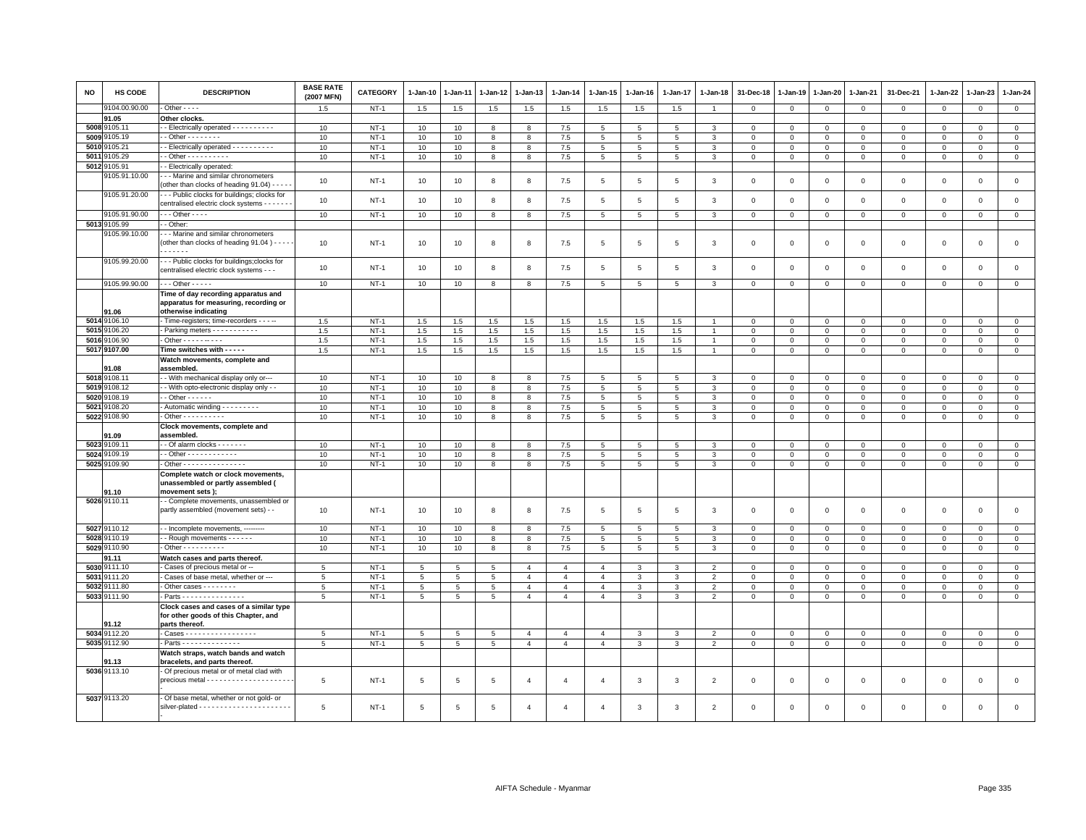| NO           | <b>HS CODE</b>  | <b>DESCRIPTION</b>                                                                           | <b>BASE RATE</b><br>(2007 MFN) | <b>CATEGORY</b>  | 1-Jan-10 | 1-Jan-11       | 1-Jan-12 | 1-Jan-13               | 1-Jan-14       | 1-Jan-15        | 1-Jan-16        | 1-Jan-17        | 1-Jan-18                 | 31-Dec-18      | 1-Jan-19       | 1-Jan-20       | 1-Jan-21                | 31-Dec-21    | 1-Jan-22      | 1-Jan-23     | $1-Jan-24$                    |
|--------------|-----------------|----------------------------------------------------------------------------------------------|--------------------------------|------------------|----------|----------------|----------|------------------------|----------------|-----------------|-----------------|-----------------|--------------------------|----------------|----------------|----------------|-------------------------|--------------|---------------|--------------|-------------------------------|
|              | 9104.00.90.00   | $-$ Other $- -$                                                                              | 1.5                            | $NT-1$           | 1.5      | 1.5            | 1.5      | 1.5                    | 1.5            | 1.5             | 1.5             | 1.5             | $\overline{1}$           | $\mathbf{0}$   | $\mathbf{0}$   | $\mathbf{0}$   | $\mathbf{0}$            | $\mathbf 0$  | $\mathbf{0}$  | $\mathbf{0}$ | $\circ$                       |
|              | 91.05           | Other clocks.                                                                                |                                |                  |          |                |          |                        |                |                 |                 |                 |                          |                |                |                |                         |              |               |              |                               |
|              | 5008 9105.11    | - Electrically operated - - - - - - - - -                                                    | 10                             | $NT-1$           | 10       | 10             | 8        | 8                      | 7.5            | 5               | 5               | 5               | 3                        | $\Omega$       | $\Omega$       | $\mathbf{0}$   | $\mathbf 0$             | $\mathbf 0$  | $\Omega$      | $\mathbf 0$  | $\mathsf 0$                   |
|              | 5009 9105.19    | $-$ Other $      -$                                                                          | 10                             | $NT-1$           | 10       | 10             | 8        | 8                      | 7.5            | 5               | 5               | 5               | 3                        | $\Omega$       | $\Omega$       | $\Omega$       | $\Omega$                | $\Omega$     | $\Omega$      | $\Omega$     | $\mathsf 0$                   |
| 5010         | 105.21          | - Electrically operated - - - - - - - - - -                                                  | 10                             | $NT-1$           | 10       | 10             | 8        | 8                      | 7.5            | 5               | 5               | 5               | 3                        | $\Omega$       | $\mathbf 0$    | $\mathbf 0$    | $\Omega$                | $\Omega$     | $\Omega$      | $\Omega$     | $\mathsf 0$                   |
| 5011         | 105.29          | $-$ Other $        -$                                                                        | 10                             | $NT-1$           | 10       | 10             | 8        | 8                      | 7.5            | $5\phantom{.0}$ | 5               | 5               | 3                        | $\mathbf 0$    | $\mathbf 0$    | $\overline{0}$ | $\mathbf 0$             | $\mathbf{0}$ | 0             | 0            | $\overline{0}$                |
| 5012         | 105.91          | - Electrically operated:                                                                     |                                |                  |          |                |          |                        |                |                 |                 |                 |                          |                |                |                |                         |              |               |              |                               |
|              | 105.91.10.00    | --- Marine and similar chronometers<br>(other than clocks of heading 91.04) - - -            | 10                             | <b>NT-1</b>      | 10       | 10             | 8        | 8                      | 7.5            | $\overline{5}$  | 5               | $5\overline{5}$ | 3                        | $\mathbf 0$    | $\overline{0}$ | $\mathbf 0$    | $\Omega$                | $\mathsf 0$  | $\Omega$      | $\mathsf 0$  | $\mathsf 0$                   |
|              | 9105.91.20.00   | -- Public clocks for buildings; clocks for<br>centralised electric clock systems - - - - - - | 10                             | $NT-1$           | 10       | 10             | 8        | 8                      | 7.5            | 5               | 5               | 5               | 3                        | $\mathbf 0$    | $\mathbf 0$    | $\mathbf 0$    | $\mathbf 0$             | $\mathsf 0$  | $\Omega$      | $\mathbf 0$  | $\mathsf 0$                   |
|              | 9105.91.90.00   | $\overline{\cdots}$ Other - - - -                                                            | 10                             | $NT-1$           | 10       | 10             | 8        | 8                      | 7.5            | 5               | 5               | 5               | 3                        | $\mathbf 0$    | $\mathbf{0}$   | $\mathbf 0$    | $\mathbf 0$             | $\mathbf 0$  | $\mathbf{0}$  | $\mathbf 0$  | $\overline{0}$                |
|              | 5013 9105.99    | - Other                                                                                      |                                |                  |          |                |          |                        |                |                 |                 |                 |                          |                |                |                |                         |              |               |              |                               |
|              | 9105.99.10.00   | - - Marine and similar chronometers<br>(other than clocks of heading 91.04) - - - -<br>.     | 10                             | $NT-1$           | 10       | 10             | 8        | 8                      | 7.5            | 5               | 5               | 5               | 3                        | $\mathbf 0$    | $\mathbf 0$    | $\mathbf 0$    | $\mathbf 0$             | $\mathsf 0$  | $\mathbf 0$   | $\mathsf 0$  | $\mathsf 0$                   |
|              | 9105.99.20.00   | -- Public clocks for buildings; clocks for<br>centralised electric clock systems - - -       | 10                             | $NT-1$           | 10       | 10             | 8        | 8                      | 7.5            | 5               | 5               | 5               | $\mathbf{3}$             | $\mathbf 0$    | $\Omega$       | $\Omega$       | $\mathbf 0$             | $\mathbf 0$  | $\Omega$      | $\mathbf 0$  | $\mathsf 0$                   |
|              | 9105.99.90.00   | $\cdots$ Other - - - - -                                                                     | 10                             | $NT-1$           | 10       | 10             | 8        | 8                      | 7.5            | 5               | 5               | 5               | 3                        | $\mathbf 0$    | $\overline{0}$ | $\mathbf 0$    | $\mathbf 0$             | 0            | 0             | $\mathbf 0$  | $\overline{0}$                |
|              |                 | Time of day recording apparatus and                                                          |                                |                  |          |                |          |                        |                |                 |                 |                 |                          |                |                |                |                         |              |               |              |                               |
|              |                 | apparatus for measuring, recording or                                                        |                                |                  |          |                |          |                        |                |                 |                 |                 |                          |                |                |                |                         |              |               |              |                               |
|              | 91.06           | otherwise indicating                                                                         |                                |                  |          |                |          |                        |                |                 |                 |                 |                          |                |                |                |                         |              |               |              |                               |
|              | 5014 9106.10    | - Time-registers; time-recorders - - - --                                                    | 1.5                            | $NT-1$           | 1.5      | 1.5            | 1.5      | 1.5                    | 1.5            | 1.5             | 1.5             | 1.5             |                          | $\Omega$       | $\Omega$       | $\Omega$       | $\Omega$                | $\Omega$     | $\Omega$      | $\Omega$     | $\mathbf{0}$                  |
| 5015         | 106.20          | - Parking meters - - - - - - - - - -                                                         | 1.5                            | $NT-1$           | 1.5      | 1.5            | 1.5      | 1.5                    | 1.5            | 1.5             | 1.5             | 1.5             | $\overline{1}$           | $\Omega$       | $\mathbf{0}$   | $\mathbf{0}$   | $\Omega$                | $\mathbf 0$  | $\Omega$      | $\Omega$     | $\mathbf 0$                   |
| 5016         | 106.90          | - Other - - - - - - - - - -                                                                  | 1.5                            | $NT-1$           | 1.5      | 1.5            | 1.5      | 1.5                    | 1.5            | 1.5             | 1.5             | 1.5             |                          | $\mathbf 0$    | $\mathbf 0$    | $\mathbf 0$    | $\mathbf 0$             | $\mathsf 0$  | 0             | $\mathbf 0$  | $\mathbf 0$                   |
|              | 5017 9107.00    | Time switches with - - - - -                                                                 | 1.5                            | $NT-1$           | 1.5      | 1.5            | 1.5      | 1.5                    | 1.5            | 1.5             | 1.5             | 1.5             | $\overline{1}$           | $\overline{0}$ | $\overline{0}$ | $\overline{0}$ | $\mathbf 0$             | $\mathbf 0$  | $\mathsf 0$   | $\mathbf{O}$ | $\overline{0}$                |
|              |                 | Watch movements, complete and                                                                |                                |                  |          |                |          |                        |                |                 |                 |                 |                          |                |                |                |                         |              |               |              |                               |
|              | 1.08<br>9108.11 | assembled                                                                                    | 10                             | $NT-1$           | 10       |                | 8        | 8                      | 7.5            | 5               | 5               | 5               | 3                        | $\Omega$       | $\Omega$       | $\Omega$       | $\Omega$                | $\Omega$     | $\Omega$      | $\Omega$     | $\mathbf 0$                   |
| 5018         | 5019 9108.12    | - - With mechanical display only or--                                                        |                                |                  |          | 10             |          |                        |                |                 |                 |                 |                          | $\mathbf 0$    | $\mathbf 0$    |                |                         |              |               |              |                               |
|              | 108.19          | - With opto-electronic display only - -<br>$\cdot$ - Other - - - - - -                       | 10                             | $NT-1$<br>$NT-1$ | 10       | 10             | 8        | 8                      | 7.5            | 5               | $5\overline{5}$ | 5               | 3                        | $\mathbf{0}$   |                | $\mathbf 0$    | $\mathbf 0$<br>$\Omega$ | 0            | 0<br>$\Omega$ | $\mathbf 0$  | $\mathbf 0$<br>$\overline{0}$ |
| 5020<br>5021 |                 |                                                                                              | 10                             |                  | 10       | 10             | 8        | 8                      | 7.5            | $5\phantom{.0}$ | 5               | 5               | 3                        |                | $\circ$        | $\overline{0}$ |                         | $\mathbf 0$  |               | $\Omega$     |                               |
| 5022         | 108.20          | - Automatic winding - - - - - - - -                                                          | 10                             | $NT-1$           | 10       | 10             | 8        | 8                      | 7.5            | $5\phantom{.0}$ | $5\overline{5}$ | $5\overline{5}$ | $\mathbf{3}$             | $\mathbf 0$    | $\mathsf 0$    | $\mathbf 0$    | $\mathbf 0$             | $\mathsf 0$  | $\mathbf 0$   | $\mathsf 0$  | $\mathbf 0$                   |
|              | 9108.90         | Other - - - - - - - - -                                                                      | 10                             | $NT-1$           | 10       | 10             | 8        | 8                      | 7.5            | $\overline{5}$  | $5\phantom{.0}$ | 5               | $\mathbf{3}$             | $\mathbf 0$    | $\circ$        | $\mathsf 0$    | $\mathsf 0$             | $\mathsf 0$  | $\Omega$      | $\mathsf 0$  | $\overline{0}$                |
|              | 91.09           | Clock movements, complete and<br>assembled.                                                  |                                |                  |          |                |          |                        |                |                 |                 |                 |                          |                |                |                |                         |              |               |              |                               |
| 5023         | 9109.11         | - Of alarm clocks - - - - - -                                                                | 10                             | $NT-1$           | 10       | 10             | 8        | 8                      | 7.5            | 5               | -5              | 5               | 3                        | $\Omega$       | $^{\circ}$     | $\mathbf 0$    | $\Omega$                | $^{\circ}$   | $\Omega$      | $\Omega$     | $\overline{0}$                |
|              | 5024 9109.19    | - - Other - - - - - - - - - - - -                                                            | 10                             | $NT-1$           | 10       | 10             | 8        | 8                      | 7.5            | $5\phantom{.0}$ | 5               | 5               | $\mathbf{3}$             | $\mathsf 0$    | $\mathsf 0$    | $\mathbf 0$    | $\mathsf 0$             | $\mathsf 0$  | $\mathbf 0$   | $\mathsf 0$  | $\mathbf{0}$                  |
|              | 5025 9109.90    | - Other - - - - - - - - - - - - - -                                                          | 10                             | $NT-1$           | 10       | 10             | 8        | 8                      | 7.5            | $\overline{5}$  | $5\phantom{.0}$ | $\overline{5}$  | 3                        | $\mathbf 0$    | $\,0\,$        | $\mathbf 0$    | $\mathbf 0$             | $\mathsf 0$  | $\mathbf 0$   | $\mathsf 0$  | $\overline{0}$                |
|              | 91.10           | Complete watch or clock movements,<br>unassembled or partly assembled (<br>movement sets);   |                                |                  |          |                |          |                        |                |                 |                 |                 |                          |                |                |                |                         |              |               |              |                               |
|              | 5026 9110.1     | - Complete movements, unassembled or<br>partly assembled (movement sets) - -                 | 10                             | $NT-1$           | 10       | 10             | 8        | 8                      | 7.5            | $\overline{5}$  | 5               | 5               | 3                        | $\mathbf 0$    | $\mathbf 0$    | $\mathbf 0$    | $\mathbf 0$             | $\mathsf 0$  | $\mathbf 0$   | $\mathsf 0$  | $\mathbf 0$                   |
|              | 5027 9110.12    | - - Incomplete movements, --------                                                           | 10                             | $NT-1$           | 10       | 10             | 8        | 8                      | 7.5            | 5               | 5               | $5\overline{5}$ | -3                       | $\Omega$       | $^{\circ}$     | $\mathbf{0}$   | $\Omega$                | $\Omega$     | $\Omega$      | $\Omega$     | $\mathbf 0$                   |
|              | 5028 9110.19    | - Rough movements - - - - - -                                                                | 10                             | $NT-1$           | 10       | 10             | 8        | 8                      | 7.5            | 5               | 5               | 5               | 3                        | 0              | $^{\circ}$     | $\mathbf 0$    | 0                       | 0            | 0             | 0            | $\mathbf 0$                   |
| 5029         | 9110.90         | $\cdot$ Other - - - - - - - - - -                                                            | 10                             | $NT-1$           | 10       | 10             | 8        | 8                      | 7.5            | $5\phantom{.0}$ | $5\phantom{.0}$ | 5               | $\mathbf{3}$             | $\mathbf 0$    | $\circ$        | $\overline{0}$ | $\mathbf 0$             | $\mathbf 0$  | $\mathbf 0$   | $\mathbf{O}$ | $\overline{0}$                |
|              | 91.11           | Watch cases and parts thereof.                                                               |                                |                  |          |                |          |                        |                |                 |                 |                 |                          |                |                |                |                         |              |               |              |                               |
| 5030         | 9111.10         | - Cases of precious metal or -                                                               | 5                              | $NT-1$           | 5        | 5              | 5        | $\mathbf{A}$           | $\overline{4}$ | $\overline{4}$  | 3               | 3               | $\overline{2}$           | $\Omega$       | $\mathbf 0$    | $\mathbf{0}$   | $\mathbf 0$             | $\Omega$     | $\Omega$      | $\Omega$     | $\overline{0}$                |
| 5031         | 111.20          | Cases of base metal, whether or ---                                                          | 5                              | $NT-1$           | 5        | $\overline{5}$ | 5        | $\overline{4}$         | $\overline{4}$ | $\overline{4}$  | 3               | 3               | $\overline{\phantom{0}}$ | $\Omega$       | $\Omega$       | $\mathbf 0$    | $\Omega$                | $\mathbf 0$  | $\mathbf 0$   | $\mathbf 0$  | $\circ$                       |
| 5032         | 111.80          | Other cases - - - - - - -                                                                    | 5                              | $NT-1$           | 5        | 5              | 5        | 4                      | $\overline{4}$ | $\overline{4}$  | 3               | 3               | $\overline{2}$           | $\mathbf{O}$   | $\mathsf 0$    | $\mathbf 0$    | 0                       | 0            | 0             | 0            | $\mathbf 0$                   |
|              | 5033 9111.90    | Parts - - - - - - - - - - - - - - -                                                          | 5                              | $NT-1$           | 5        | 5              | 5        | $\overline{4}$         | $\overline{4}$ | $\overline{4}$  | $\mathbf{3}$    | $\mathbf{3}$    | $\overline{2}$           | $\mathsf 0$    | $\mathsf 0$    | $\mathbf 0$    | $\mathsf 0$             | $\mathsf 0$  | $\mathbf 0$   | $\mathsf 0$  | $\mathbf 0$                   |
|              | 91.12           | Clock cases and cases of a similar type<br>for other goods of this Chapter, and              |                                |                  |          |                |          |                        |                |                 |                 |                 |                          |                |                |                |                         |              |               |              |                               |
|              | 5034 9112.20    | parts thereof.<br>. Cases - - - - - - - - - - - - - - - - -                                  | 5                              | $NT-1$           | 5        | 5              | 5        | $\overline{4}$         | $\overline{4}$ | $\overline{4}$  | 3               | 3               | $\overline{2}$           | $\Omega$       | $\mathbf 0$    | $\Omega$       | $\Omega$                | $\mathbf 0$  | $\mathbf 0$   | $\Omega$     | $\mathbf 0$                   |
|              | 5035 9112.90    | Parts - - - - - - - - - - - - - -                                                            | 5                              | $NT-1$           | 5        | 5              | 5        | $\overline{4}$         | $\overline{4}$ | $\overline{4}$  | 3               | $\mathbf{3}$    | $\overline{2}$           | $\mathbf 0$    | $\mathsf 0$    | $\overline{0}$ | $\overline{0}$          | $\mathbf 0$  | $\mathbf 0$   | $\mathsf 0$  | $\overline{0}$                |
|              |                 | Watch straps, watch bands and watch                                                          |                                |                  |          |                |          |                        |                |                 |                 |                 |                          |                |                |                |                         |              |               |              |                               |
|              | 91 13           | bracelets, and parts thereof.                                                                |                                |                  |          |                |          |                        |                |                 |                 |                 |                          |                |                |                |                         |              |               |              |                               |
|              | 5036 9113.10    | Of precious metal or of metal clad with                                                      | 5                              | <b>NT-1</b>      | 5        | 5              | 5        | $\overline{4}$         | $\overline{4}$ | $\overline{4}$  | 3               | 3               | $\overline{2}$           | 0              | $^{\circ}$     | $\mathbf 0$    | $\mathbf 0$             | 0            | $\mathbf 0$   | $\Omega$     | $\mathsf 0$                   |
|              | 5037 9113.20    | Of base metal, whether or not gold- or                                                       | 5                              | <b>NT-1</b>      | 5        | 5              | 5        | $\boldsymbol{\Lambda}$ | $\Lambda$      | $\Delta$        | 3               | 3               | $\overline{2}$           | $\Omega$       | $\Omega$       | $\Omega$       | $\Omega$                | $\Omega$     | $\Omega$      | $\Omega$     | $\Omega$                      |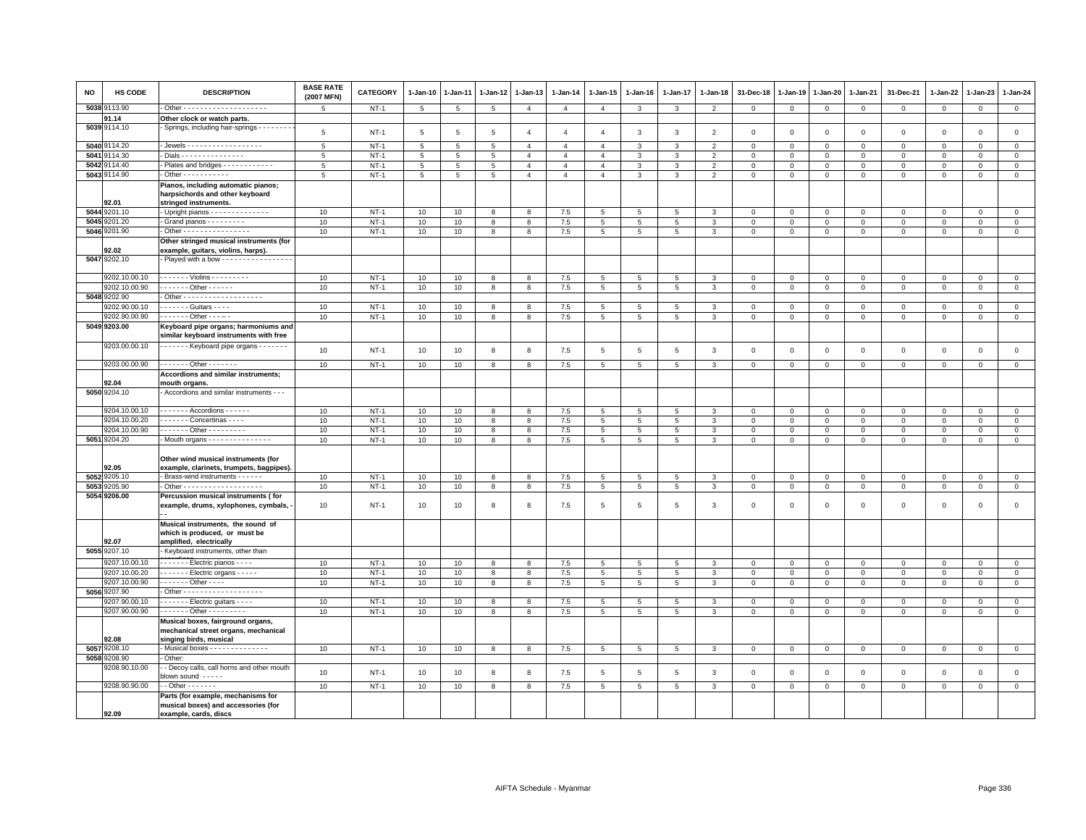| NO   | HS CODE       | <b>DESCRIPTION</b>                                                                                  | <b>BASE RATE</b><br>(2007 MFN) | CATEGORY | $1 - Jan-10$    | $1-Jan-11$      | 1-Jan-12        | 1-Jan-13       | $1 - Jan-14$   | $1 - Jan-15$    | $1 - Jan-16$    | $1 - Jan-17$    | 1-Jan-18       | 31-Dec-18      | 1-Jan-19       | 1-Jan-20       | 1-Jan-21     | 31-Dec-21           | $1 - Jan-22$ | 1-Jan-23     | $1 - Jan-24$   |
|------|---------------|-----------------------------------------------------------------------------------------------------|--------------------------------|----------|-----------------|-----------------|-----------------|----------------|----------------|-----------------|-----------------|-----------------|----------------|----------------|----------------|----------------|--------------|---------------------|--------------|--------------|----------------|
| 5038 | 9113.90       |                                                                                                     | $5\overline{5}$                | $NT-1$   | $5\phantom{.0}$ | 5               | 5               | $\overline{4}$ | $\overline{4}$ | $\overline{4}$  | $\mathbf{3}$    | $\mathbf{3}$    | $\overline{2}$ | $\circ$        | $\mathbf 0$    | $\overline{0}$ | $\mathbf 0$  | $\mathbf 0$         | $\mathsf 0$  | $\circ$      | $\overline{0}$ |
|      | 91.14         | Other clock or watch parts.                                                                         |                                |          |                 |                 |                 |                |                |                 |                 |                 |                |                |                |                |              |                     |              |              |                |
|      | 5039 9114.10  | Springs, including hair-springs - - - - - - -                                                       | 5                              | $NT-1$   | 5               | 5               | $5\overline{5}$ | $\overline{4}$ | $\overline{4}$ | $\overline{4}$  | 3               | $\mathbf{3}$    | $\overline{2}$ | $\mathbf{0}$   | $\mathbb O$    | $\mathbf 0$    | $\mathbf{0}$ | $\mathbf 0$         | $\mathbf 0$  | $\mathbf{0}$ | $\circ$        |
|      | 5040 9114.20  | - Jewels - - - - - - - - - - - - - - - - -                                                          | 5                              | $NT-1$   | 5               | 5               | 5               | $\overline{4}$ | $\overline{4}$ | $\overline{4}$  | 3               | $\mathbf{3}$    | $\overline{2}$ | $\mathbf{0}$   | $\overline{0}$ | $\mathbf{0}$   | $\mathbf{0}$ | $\mathbf 0$         | $\Omega$     | $\mathbf 0$  | $\mathsf 0$    |
| 5041 | 9114.30       | - Dials - - - - - - - - - - - - - - -                                                               | 5                              | $NT-1$   | 5               | 5               | 5               | 4              | $\overline{4}$ | $\overline{4}$  | 3               | 3               | $\overline{2}$ | $\mathbf{O}$   | $\mathbf 0$    | $\mathbf 0$    | $\Omega$     | 0                   | $\Omega$     | $\Omega$     | $\mathbf 0$    |
| 5042 | 9114.40       | - Plates and bridges - - - - - - - - - - - -                                                        | 5                              | $NT-1$   | 5               | $5\phantom{.0}$ | 5               | $\overline{4}$ | $\overline{4}$ | $\overline{4}$  | $\mathbf{3}$    | $\mathbf{3}$    | $\overline{2}$ | $\circ$        | $\mathsf 0$    | $\mathbf 0$    | $\mathsf 0$  | $\mathsf 0$         | $\mathbf 0$  | $\mathsf 0$  | $\mathbf 0$    |
|      | 5043 9114.90  | $\cdot$ Other - - - - - - - - - -                                                                   | 5                              | $NT-1$   | $\overline{5}$  | $\overline{5}$  | $\overline{5}$  | $\overline{4}$ | $\overline{4}$ | $\overline{4}$  | $\overline{3}$  | 3               | $\overline{2}$ | $\mathsf 0$    | $\mathsf 0$    | $\mathsf 0$    | $\mathsf 0$  | $\mathsf 0$         | $\mathbf 0$  | $\mathsf 0$  | $\overline{0}$ |
|      | 92.01         | Pianos, including automatic pianos;<br>harpsichords and other keyboard<br>stringed instruments.     |                                |          |                 |                 |                 |                |                |                 |                 |                 |                |                |                |                |              |                     |              |              |                |
|      | 5044 9201.10  | - Upright pianos - - - - - - - - - - - - -                                                          | 10                             | $NT-1$   | 10              | 10              | 8               | 8              | 7.5            | $5\overline{5}$ | 5               | 5               | 3              | $\mathbf 0$    | $\circ$        | $\mathbf 0$    | $\mathbf 0$  | $\mathbf 0$         | 0            | 0            | $\mathbf{0}$   |
|      | 5045 9201.20  | - Grand pianos - - - - - - - - -                                                                    | 10                             | $NT-1$   | 10              | 10              | 8               | 8              | 7.5            | $\overline{5}$  | $5\phantom{.0}$ | $\overline{5}$  | $\mathbf{3}$   | $\,0\,$        | $\,0\,$        | $\mathbf 0$    | $\mathsf 0$  | $\mathsf{O}\xspace$ | $\mathsf 0$  | $\mathsf 0$  | $\overline{0}$ |
|      | 5046 9201.90  | - Other - - - - - - - - - - - - - - -                                                               | 10                             | $NT-1$   | 10              | 10              | 8               | 8              | 7.5            | $5^{\circ}$     | 5 <sup>5</sup>  | 5 <sup>5</sup>  | 3              | $\mathbf{0}$   | $\circ$        | $\mathbf{0}$   | $\mathbf{0}$ | $\mathbf{0}$        | $\mathbf 0$  | $\mathbf 0$  | $\mathbf{0}$   |
|      | 92.02         | Other stringed musical instruments (for<br>example, guitars, violins, harps).                       |                                |          |                 |                 |                 |                |                |                 |                 |                 |                |                |                |                |              |                     |              |              |                |
|      | 5047 9202.10  | Played with a bow - - - - - - - - - - - - - - - -                                                   |                                |          |                 |                 |                 |                |                |                 |                 |                 |                |                |                |                |              |                     |              |              |                |
|      | 9202.10.00.10 | - - - - - - - Violins - - - - - - - - -                                                             | 10                             | $NT-1$   | 10              | 10              | 8               | 8              | 7.5            | $\overline{5}$  | 5               | $5\overline{5}$ | 3              | $\Omega$       | $\Omega$       | $\mathbf{0}$   | $\Omega$     | $\mathbf 0$         | $\Omega$     | $\mathbf 0$  | $\mathsf 0$    |
|      | 9202.10.00.90 | $- - - - - -$ Other - - - - - -                                                                     | 10                             | $NT-1$   | 10              | 10              | 8               | 8              | 7.5            | 5               | $5\phantom{.0}$ | 5               | 3              | $\mathbf 0$    | $\mathbf 0$    | $\mathbf{0}$   | $\mathbf 0$  | $\mathsf 0$         | $\mathbf 0$  | $\mathbf 0$  | $\mathbf{0}$   |
|      | 5048 9202.90  |                                                                                                     |                                |          |                 |                 |                 |                |                |                 |                 |                 |                |                |                |                |              |                     |              |              |                |
|      | 9202.90.00.10 | $- - - - -$ Guitars $- - -$                                                                         | 10                             | $NT-1$   | 10              | 10              | 8               | $\mathbf{g}$   | 7.5            | 5               | 5               | 5               | 3              | $\mathbf 0$    | $\Omega$       | $\mathbf{0}$   | $\Omega$     | $\mathbf 0$         | $\Omega$     | $\Omega$     | $\circ$        |
|      | 9202.90.00.90 | - - - - - - - Other - - - -- -                                                                      | 10                             | $NT-1$   | 10              | 10              | 8               | 8              | 7.5            | 5               | 5               | 5               | 3              | $\mathbf 0$    | $\mathbf 0$    | 0              | $\mathbf 0$  | 0                   | 0            | 0            | $\mathbf 0$    |
|      | 5049 9203.00  | Keyboard pipe organs; harmoniums and<br>similar keyboard instruments with free                      |                                |          |                 |                 |                 |                |                |                 |                 |                 |                |                |                |                |              |                     |              |              |                |
|      | 9203.00.00.10 | ------- Keyboard pipe organs -------                                                                | 10                             | $NT-1$   | 10              | 10              | 8               | 8              | 7.5            | 5               | 5               | 5               | 3              | $\overline{0}$ | $\circ$        | $\mathbf{0}$   | $\mathbf{0}$ | $\mathbf 0$         | $\mathbf 0$  | $\mathbf 0$  | $\mathsf 0$    |
|      | 9203.00.00.90 | . Other - - - - - - -                                                                               | 10                             | $NT-1$   | 10              | 10              | 8               | 8              | 7.5            | $5\phantom{.0}$ | 5               | $5\overline{5}$ | $\mathbf{3}$   | $\mathbf{0}$   | $\circ$        | $\circ$        | $\mathbf{0}$ | $\mathbf{0}$        | $\mathsf 0$  | $\circ$      | $\overline{0}$ |
|      | 92.04         | Accordions and similar instruments;<br>mouth organs.                                                |                                |          |                 |                 |                 |                |                |                 |                 |                 |                |                |                |                |              |                     |              |              |                |
|      | 5050 9204.10  | Accordions and similar instruments - - -                                                            |                                |          |                 |                 |                 |                |                |                 |                 |                 |                |                |                |                |              |                     |              |              |                |
|      | 9204.10.00.10 | $\cdots$ Accordions                                                                                 | 10                             | $NT-1$   | 10              | 10              | 8               | 8              | 7.5            | 5               | 5               | 5               | 3              | $\mathbf 0$    | $\mathbf 0$    | $\mathbf 0$    | $\mathsf 0$  | $\mathsf 0$         | $\mathbf 0$  | $\mathbf 0$  | $\mathsf 0$    |
|      | 9204.10.00.20 | Concertinas                                                                                         | 10                             | $NT-1$   | 10              | 10              | 8               | 8              | 7.5            | 5               | 5               | $5\overline{5}$ | 3              | $\mathbf 0$    | $\mathbf 0$    | $\mathbf 0$    | $\mathbf 0$  | $\mathbf 0$         | 0            | 0            | $\mathbf 0$    |
|      | 9204.10.00.90 | Other - - - - - - - - -                                                                             | 10                             | $NT-1$   | 10              | 10              | 8               | 8              | 7.5            | $5\overline{)}$ | $5\overline{5}$ | 5 <sup>5</sup>  | 3              | $\mathbf 0$    | $\mathbf{0}$   | $\mathbf 0$    | $\mathbf{0}$ | $\mathsf 0$         | $\mathbf 0$  | $\mathbf 0$  | $\overline{0}$ |
|      | 5051 9204.20  | - Mouth organs - - - - - - - - - - - - - - -                                                        | 10                             | $NT-1$   | 10              | 10              | 8               | 8              | 7.5            | $\overline{5}$  | $5\overline{5}$ | $5\overline{5}$ | $\mathbf{3}$   | $\overline{0}$ | $\,0\,$        | $\mathbf{0}$   | $\mathbf 0$  | $\mathsf 0$         | $\mathsf 0$  | $\mathsf 0$  | $\mathbf{0}$   |
|      | 92.05         | Other wind musical instruments (for<br>example, clarinets, trumpets, bagpipes).                     |                                |          |                 |                 |                 |                |                |                 |                 |                 |                |                |                |                |              |                     |              |              |                |
|      | 5052 9205.10  | - Brass-wind instruments - - - - - -                                                                | 10                             | $NT-1$   | 10              | 10              | 8               | 8              | 7.5            | $5\overline{5}$ | 5               | 5               | 3              | $\mathbf{0}$   | $\overline{0}$ | $\mathbf{0}$   | $\mathbf{0}$ | $\mathbf 0$         | $\mathbf 0$  | $\mathbf{0}$ | $\mathbf 0$    |
|      | 5053 9205.90  | - Other - - - - - - - - - - - - - - - - - -                                                         | 10                             | $NT-1$   | 10              | 10              | 8               | 8              | 7.5            | $\overline{5}$  | $\overline{5}$  | $\overline{5}$  | 3              | $\mathbf 0$    | $\overline{0}$ | $\mathbf 0$    | $\mathbf 0$  | $\mathsf 0$         | $\mathbf 0$  | $\mathsf 0$  | $\overline{0}$ |
|      | 5054 9206.00  | Percussion musical instruments (for<br>example, drums, xylophones, cymbals,                         | 10                             | $NT-1$   | 10              | 10              | 8               | 8              | 7.5            | 5               | 5               | 5               | 3              | $\mathbf 0$    | $\mathbf 0$    | $\mathbf 0$    | $\mathbf 0$  | $\mathsf 0$         | 0            | $\mathbf 0$  | $\mathbf 0$    |
|      | 92.07         | Musical instruments, the sound of<br>which is produced, or must be<br>amplified, electrically       |                                |          |                 |                 |                 |                |                |                 |                 |                 |                |                |                |                |              |                     |              |              |                |
|      | 5055 9207.10  | Keyboard instruments, other than                                                                    |                                |          |                 |                 |                 |                |                |                 |                 |                 |                |                |                |                |              |                     |              |              |                |
|      | 9207.10.00.10 | $\cdots$ $\cdots$ - Electric pianos - - - -                                                         | 10                             | $NT-1$   | 10              | 10              | 8               | 8              | 7.5            | $5\phantom{.0}$ | 5               | 5               | 3              | $\mathbf 0$    | $\mathbf{0}$   | $\mathbf 0$    | $\mathbf{0}$ | $\mathbf{0}$        | $\mathbf{0}$ | $\Omega$     | $\mathbf 0$    |
|      | 9207.10.00.20 | $- - - - -$ Electric organs $- - -$                                                                 | 10                             | $NT-1$   | 10              | 10              | 8               | 8              | 7.5            | 5               | 5 <sub>5</sub>  | 5               | 3              | $\mathbf 0$    | $\mathsf 0$    | $\mathbf 0$    | $\mathsf 0$  | $\mathsf 0$         | $\mathbf 0$  | $\mathsf 0$  | $\mathbf 0$    |
|      | 9207.10.00.90 | - - - - - - - Other - - - -                                                                         | 10                             | $NT-1$   | 10              | 10              | 8               | 8              | 7.5            | $5\phantom{.0}$ | 5 <sub>5</sub>  | 5               | $\mathbf{3}$   | $\mathbf{0}$   | $\mathsf 0$    | $\overline{0}$ | $\mathbf{0}$ | $\mathbf{0}$        | $\mathbf 0$  | $\mathbf{O}$ | $\overline{0}$ |
|      | 5056 9207.90  |                                                                                                     |                                |          |                 |                 |                 |                |                |                 |                 |                 |                |                |                |                |              |                     |              |              |                |
|      | 9207.90.00.10 | - - - - - - - Electric guitars - - - -                                                              | 10                             | $NT-1$   | 10              | 10              | 8               | 8              | 7.5            | 5               | 5               | $\overline{5}$  | 3              | $\overline{0}$ | $\mathbf{0}$   | $\mathsf 0$    | $\mathsf 0$  | $\mathsf 0$         | $\mathbf 0$  | $\mathbf 0$  | $\overline{0}$ |
|      | 9207.90.00.90 | $- - - - - - 0$ ther $- - - - - - - -$                                                              | 10                             | $NT-1$   | 10              | 10              | 8               | 8              | 7.5            | $5^{\circ}$     | 5               | 5               | 3              | $\circ$        | $\circ$        | $\mathbf{O}$   | $\mathbf{0}$ | $\mathbf 0$         | $\mathbf 0$  | $\mathbf 0$  | $\mathbf{0}$   |
|      | 92.08         | Musical boxes, fairground organs,<br>mechanical street organs, mechanical<br>singing birds, musical |                                |          |                 |                 |                 |                |                |                 |                 |                 |                |                |                |                |              |                     |              |              |                |
|      | 5057 9208.10  | - Musical boxes - - - - - - - - - - - - -                                                           | 10                             | $NT-1$   | 10              | 10              | 8               | 8              | 7.5            | $5\overline{5}$ | $5\overline{5}$ | 5               | $\mathbf{3}$   | $\mathbf 0$    | $\mathbb O$    | $\circ$        | $\mathbf 0$  | $\mathbf 0$         | $\mathbf 0$  | $\mathbf 0$  | $\overline{0}$ |
|      | 5058 9208.90  | Other:                                                                                              |                                |          |                 |                 |                 |                |                |                 |                 |                 |                |                |                |                |              |                     |              |              |                |
|      | 9208.90.10.00 | - Decoy calls, call horns and other mouth<br>blown sound -----                                      | 10                             | $NT-1$   | 10              | 10              | 8               | 8              | 7.5            | $5\phantom{.0}$ | 5               | $\overline{5}$  | $\mathbf{3}$   | $\mathbf 0$    | $\mathbf 0$    | $\mathbf 0$    | $\mathsf 0$  | $\mathsf 0$         | $\mathsf 0$  | $\mathsf 0$  | $\mathsf 0$    |
|      | 9208.90.90.00 | $-$ Other $     -$                                                                                  | 10                             | $NT-1$   | 10              | 10              | 8               | 8              | $7.5$          | 5               | 5               | 5               | $\mathbf{3}$   | $\mathbf 0$    | $\,0\,$        | $\mathbf 0$    | $\mathsf 0$  | $\mathsf 0$         | $\mathsf 0$  | $\mathsf 0$  | $\mathbf 0$    |
|      | 92.09         | Parts (for example, mechanisms for<br>musical boxes) and accessories (for<br>example, cards, discs  |                                |          |                 |                 |                 |                |                |                 |                 |                 |                |                |                |                |              |                     |              |              |                |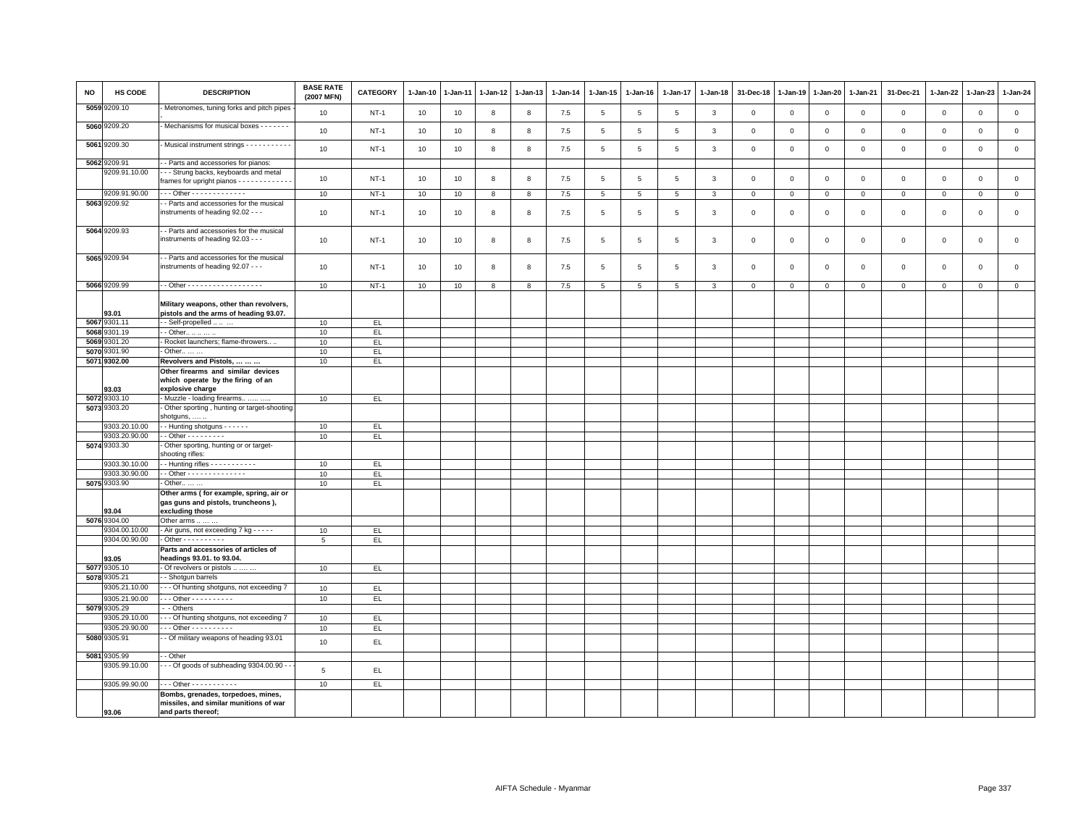| <b>NO</b> | HS CODE                        | <b>DESCRIPTION</b>                                                                                 | <b>BASE RATE</b><br>(2007 MFN) | <b>CATEGORY</b> | $1 - Jan-10$ | $1-Jan-11$ | $1-Jan-12$ | $1-Jan-13$ | $1 - Jan-14$ | $1 - Jan-15$    | $1 - Jan-16$    | $1 - Jan-17$    | $1 - Jan-18$ | 31-Dec-18    | $1-Jan-19$     | $1 - Jan-20$   | 1-Jan-21       | 31-Dec-21      | 1-Jan-22    | $1-Jan-23$   | $1 - Jan-24$   |
|-----------|--------------------------------|----------------------------------------------------------------------------------------------------|--------------------------------|-----------------|--------------|------------|------------|------------|--------------|-----------------|-----------------|-----------------|--------------|--------------|----------------|----------------|----------------|----------------|-------------|--------------|----------------|
|           | 5059 9209.10                   | Metronomes, tuning forks and pitch pipes                                                           | 10                             | $NT-1$          | 10           | 10         | 8          | 8          | 7.5          | 5               | 5               | 5               | $\mathbf{3}$ | $\mathbf 0$  | $\overline{0}$ | $\mathbf 0$    | $\circ$        | $\mathsf 0$    | $\mathsf 0$ | $\mathsf 0$  | $\mathsf 0$    |
|           | 5060 9209.20                   | Mechanisms for musical boxes - - - - - - -                                                         | 10                             | $NT-1$          | 10           | 10         | 8          | 8          | 7.5          | 5               | 5               | $\overline{5}$  | $\mathbf{3}$ | $\mathbf 0$  | $\overline{0}$ | $\mathbf 0$    | $\circ$        | $\mathbf 0$    | $\mathbf 0$ | $\mathbf 0$  | $\mathbf 0$    |
|           | 5061 9209.30                   | - Musical instrument strings - - - - - - - - - -                                                   | 10                             | $NT-1$          | 10           | 10         | 8          | 8          | $7.5$        | $5\phantom{.0}$ | $\overline{5}$  | $5\phantom{.0}$ | $\mathbf{3}$ | $\,0\,$      | $\,0\,$        | $\mathbf 0$    | $\mathsf 0$    | $\,0\,$        | $\mathsf 0$ | $\,0\,$      | $\mathsf 0$    |
|           | 5062 9209.91                   | - Parts and accessories for pianos:                                                                |                                |                 |              |            |            |            |              |                 |                 |                 |              |              |                |                |                |                |             |              |                |
|           | 9209.91.10.00                  | - - Strung backs, keyboards and metal                                                              | 10                             | $NT-1$          | 10           | 10         | 8          | 8          | $7.5$        | $5\phantom{.0}$ | $\overline{5}$  | $5\phantom{.0}$ | $\mathbf{3}$ | $\,0\,$      | $\,$ 0         | $\mathbf 0$    | $\overline{0}$ | $\mathsf 0$    | $\mathsf 0$ | $\,0\,$      | $\mathsf 0$    |
|           |                                | frames for upright pianos - - - - - - - - - - - -                                                  |                                |                 |              |            |            |            |              |                 |                 |                 |              |              |                |                |                |                |             |              |                |
|           | 9209.91.90.00                  | Other - - - - - - - - - - - - -                                                                    | 10                             | $NT-1$          | 10           | 10         | 8          | 8          | 7.5          | $5\phantom{.0}$ | $5\phantom{.0}$ | $5\phantom{.0}$ | 3            | $\mathbf{0}$ | $\mathbf{0}$   | $\overline{0}$ | $\overline{0}$ | $\overline{0}$ | $\mathsf 0$ | $\mathbf{0}$ | $\overline{0}$ |
|           | 5063 9209.92                   | - Parts and accessories for the musical<br>instruments of heading 92.02 - - -                      | 10                             | $NT-1$          | 10           | 10         | 8          | 8          | 7.5          | 5               | 5               | $\overline{5}$  | 3            | $\,0\,$      | $\overline{0}$ | $\,0\,$        | $\mathsf 0$    | $\mathsf 0$    | $\mathsf 0$ | $\mathbf 0$  | $\mathsf 0$    |
|           | 5064 9209.93                   | - - Parts and accessories for the musical<br>instruments of heading 92.03 - - -                    | 10                             | $NT-1$          | 10           | 10         | 8          | 8          | 7.5          | 5               | $\overline{5}$  | $\overline{5}$  | 3            | $\mathbf 0$  | $\overline{0}$ | $\mathbf 0$    | $\mathbf 0$    | $\mathsf 0$    | $\mathsf 0$ | $\mathbf 0$  | $\mathsf 0$    |
|           | 5065 9209.94                   | - Parts and accessories for the musical<br>instruments of heading 92.07 - - -                      | 10                             | $NT-1$          | 10           | 10         | 8          | 8          | 7.5          | 5               | 5               | 5               | 3            | $\mathsf 0$  | $\overline{0}$ | $\mathbf 0$    | $\mathbf 0$    | $\mathsf 0$    | $\mathsf 0$ | $\mathsf 0$  | $\mathsf 0$    |
|           | 5066 9209.99                   | -- Other -------------------                                                                       | 10                             | $NT-1$          | 10           | 10         | 8          | 8          | 7.5          | 5               | 5               | 5               | 3            | $\mathbf 0$  | $\mathbf{0}$   | $\circ$        | $\circ$        | $\mathbf{0}$   | $\mathbf 0$ | $\mathbf 0$  | $\overline{0}$ |
|           | 93.01                          | Military weapons, other than revolvers,<br>pistols and the arms of heading 93.07.                  |                                |                 |              |            |            |            |              |                 |                 |                 |              |              |                |                |                |                |             |              |                |
|           | 5067 9301.11<br>5068 9301.19   | - - Self-propelled                                                                                 | 10                             | EL.             |              |            |            |            |              |                 |                 |                 |              |              |                |                |                |                |             |              |                |
|           | 5069 9301.20                   | - - Other<br>- Rocket launchers; flame-throwers                                                    | 10<br>10                       | EL.<br>EL.      |              |            |            |            |              |                 |                 |                 |              |              |                |                |                |                |             |              |                |
|           | 5070 9301.90                   | - Other                                                                                            | 10                             | EL.             |              |            |            |            |              |                 |                 |                 |              |              |                |                |                |                |             |              |                |
|           | 5071 9302.00                   | Revolvers and Pistols,                                                                             | 10                             | EL.             |              |            |            |            |              |                 |                 |                 |              |              |                |                |                |                |             |              |                |
|           |                                | Other firearms and similar devices<br>which operate by the firing of an                            |                                |                 |              |            |            |            |              |                 |                 |                 |              |              |                |                |                |                |             |              |                |
|           | 93.03                          | explosive charge                                                                                   |                                |                 |              |            |            |            |              |                 |                 |                 |              |              |                |                |                |                |             |              |                |
|           | 5072 9303.10                   | Muzzle - loading firearms                                                                          | 10                             | EL              |              |            |            |            |              |                 |                 |                 |              |              |                |                |                |                |             |              |                |
|           | 5073 9303.20                   | Other sporting, hunting or target-shooting<br>shotguns,                                            |                                |                 |              |            |            |            |              |                 |                 |                 |              |              |                |                |                |                |             |              |                |
|           | 9303.20.10.00                  | - - Hunting shotguns - - - - - -                                                                   | 10                             | EL.             |              |            |            |            |              |                 |                 |                 |              |              |                |                |                |                |             |              |                |
|           | 9303.20.90.00                  | - - Other - - - - - - - - -                                                                        | 10                             | EL.             |              |            |            |            |              |                 |                 |                 |              |              |                |                |                |                |             |              |                |
|           | 5074 9303.30                   | Other sporting, hunting or or target-<br>shooting rifles:                                          |                                |                 |              |            |            |            |              |                 |                 |                 |              |              |                |                |                |                |             |              |                |
|           | 9303.30.10.00                  | -- Hunting rifles - - - - - - - - - - -                                                            | 10                             | EL.             |              |            |            |            |              |                 |                 |                 |              |              |                |                |                |                |             |              |                |
|           | 9303.30.90.00                  | $\cdot$ - Other - - - - - - - - - - - - - -                                                        | 10                             | EL.             |              |            |            |            |              |                 |                 |                 |              |              |                |                |                |                |             |              |                |
|           | 5075 9303.90                   | - Other                                                                                            | 10                             | EL              |              |            |            |            |              |                 |                 |                 |              |              |                |                |                |                |             |              |                |
|           | 93.04                          | Other arms (for example, spring, air or<br>gas guns and pistols, truncheons),<br>excluding those   |                                |                 |              |            |            |            |              |                 |                 |                 |              |              |                |                |                |                |             |              |                |
|           | 5076 9304.00                   | Other arms                                                                                         |                                |                 |              |            |            |            |              |                 |                 |                 |              |              |                |                |                |                |             |              |                |
|           | 9304.00.10.00<br>9304.00.90.00 | - Air guns, not exceeding 7 kg - - - - -<br>- Other - - - - - - - - - -                            | 10                             | EL              |              |            |            |            |              |                 |                 |                 |              |              |                |                |                |                |             |              |                |
|           |                                | Parts and accessories of articles of                                                               | 5                              | EL              |              |            |            |            |              |                 |                 |                 |              |              |                |                |                |                |             |              |                |
|           | 93.05                          | headings 93.01. to 93.04.                                                                          |                                |                 |              |            |            |            |              |                 |                 |                 |              |              |                |                |                |                |             |              |                |
|           | 5077 9305.10                   | - Of revolvers or pistols                                                                          | 10                             | EL.             |              |            |            |            |              |                 |                 |                 |              |              |                |                |                |                |             |              |                |
|           | 5078 9305.21                   | -- Shotgun barrels                                                                                 |                                |                 |              |            |            |            |              |                 |                 |                 |              |              |                |                |                |                |             |              |                |
|           | 9305.21.10.00                  | - - - Of hunting shotguns, not exceeding 7                                                         | 10                             | EL              |              |            |            |            |              |                 |                 |                 |              |              |                |                |                |                |             |              |                |
|           | 9305.21.90.00                  | - - - Other - - - - - - - - - -                                                                    | 10                             | EL              |              |            |            |            |              |                 |                 |                 |              |              |                |                |                |                |             |              |                |
|           | 5079 9305.29                   | - Others                                                                                           |                                |                 |              |            |            |            |              |                 |                 |                 |              |              |                |                |                |                |             |              |                |
|           | 9305.29.10.00<br>9305.29.90.00 | -- Of hunting shotguns, not exceeding 7<br>Other - - - - - - - - - -                               | 10                             | EL.             |              |            |            |            |              |                 |                 |                 |              |              |                |                |                |                |             |              |                |
|           | 5080 9305.91                   | - Of military weapons of heading 93.01                                                             | 10                             | EL              |              |            |            |            |              |                 |                 |                 |              |              |                |                |                |                |             |              |                |
|           |                                |                                                                                                    | 10                             | EL              |              |            |            |            |              |                 |                 |                 |              |              |                |                |                |                |             |              |                |
| 5081      | 9305.99<br>9305.99.10.00       | - Other<br>- - Of goods of subheading 9304.00.90 - -                                               |                                |                 |              |            |            |            |              |                 |                 |                 |              |              |                |                |                |                |             |              |                |
|           |                                |                                                                                                    | 5                              | EL.             |              |            |            |            |              |                 |                 |                 |              |              |                |                |                |                |             |              |                |
|           | 9305.99.90.00                  | . - - Other - - - - - - - - - - -                                                                  | 10                             | EL              |              |            |            |            |              |                 |                 |                 |              |              |                |                |                |                |             |              |                |
|           | 93.06                          | Bombs, grenades, torpedoes, mines,<br>missiles, and similar munitions of war<br>and parts thereof; |                                |                 |              |            |            |            |              |                 |                 |                 |              |              |                |                |                |                |             |              |                |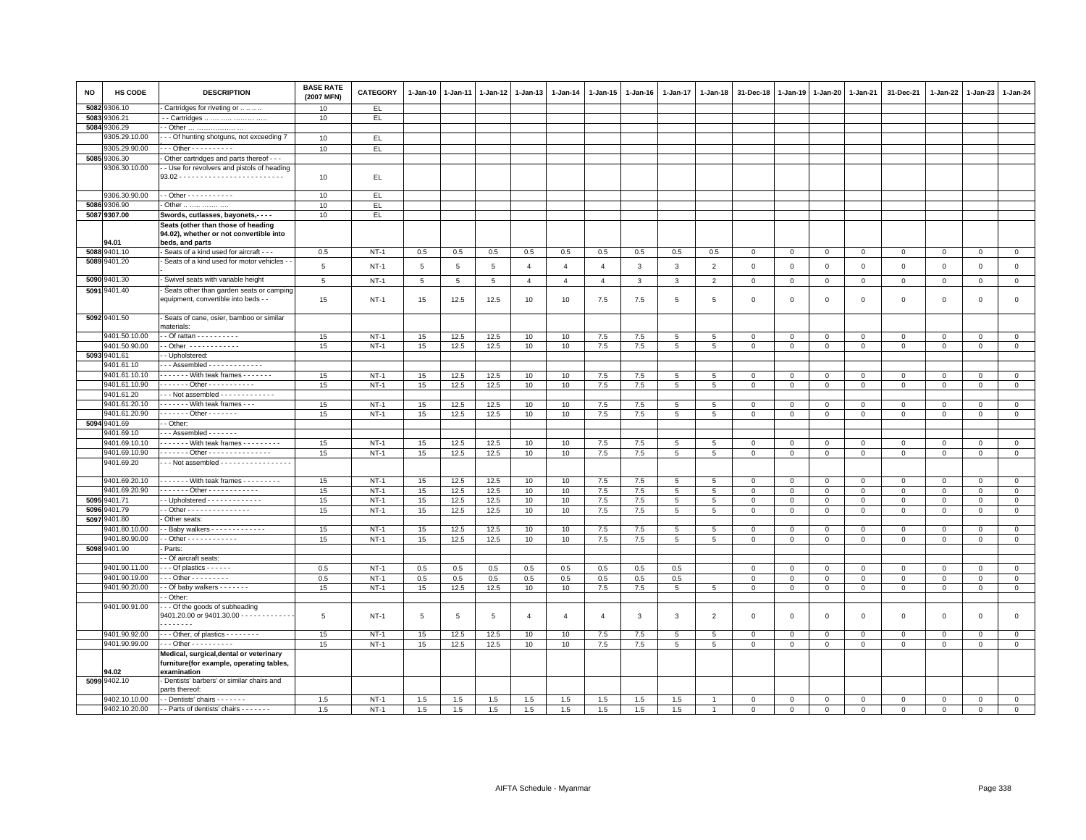| <b>NO</b> | HS CODE       | <b>DESCRIPTION</b>                                      | <b>BASE RATE</b><br>(2007 MFN) | <b>CATEGORY</b>  | 1-Jan-10    | 1-Jan-11        | 1-Jan-12   | $1 - Jan-13$   | 1-Jan-14         | 1-Jan-15       | 1-Jan-16   | 1-Jan-17        | 1-Jan-18        | 31-Dec-18                   | 1-Jan-19                    | 1-Jan-20                   | 1-Jan-21                    | 31-Dec-21               | 1-Jan-22      | $1-Jan-23$     | 1-Jan-24                   |
|-----------|---------------|---------------------------------------------------------|--------------------------------|------------------|-------------|-----------------|------------|----------------|------------------|----------------|------------|-----------------|-----------------|-----------------------------|-----------------------------|----------------------------|-----------------------------|-------------------------|---------------|----------------|----------------------------|
| 5082      | 9306.10       | Cartridges for riveting or                              | 10                             | EL.              |             |                 |            |                |                  |                |            |                 |                 |                             |                             |                            |                             |                         |               |                |                            |
| 5083      | 3306.21       | - Cartridges                                            | 10                             | EL.              |             |                 |            |                |                  |                |            |                 |                 |                             |                             |                            |                             |                         |               |                |                            |
| 5084      | 9306.29       | - Other                                                 |                                |                  |             |                 |            |                |                  |                |            |                 |                 |                             |                             |                            |                             |                         |               |                |                            |
|           | 9305.29.10.00 | - - Of hunting shotguns, not exceeding 7                | 10                             | EL.              |             |                 |            |                |                  |                |            |                 |                 |                             |                             |                            |                             |                         |               |                |                            |
|           | 9305.29.90.00 | $- -$ Other - - - - - - - - - -                         | 10                             | EL.              |             |                 |            |                |                  |                |            |                 |                 |                             |                             |                            |                             |                         |               |                |                            |
|           | 5085 9306.30  | Other cartridges and parts thereof - - -                |                                |                  |             |                 |            |                |                  |                |            |                 |                 |                             |                             |                            |                             |                         |               |                |                            |
|           | 9306.30.10.00 | - Use for revolvers and pistols of heading              |                                |                  |             |                 |            |                |                  |                |            |                 |                 |                             |                             |                            |                             |                         |               |                |                            |
|           |               |                                                         | 10                             | EL.              |             |                 |            |                |                  |                |            |                 |                 |                             |                             |                            |                             |                         |               |                |                            |
|           | 9306.30.90.00 | - - Other - - - - - - - - - - -                         | 10                             | EL.              |             |                 |            |                |                  |                |            |                 |                 |                             |                             |                            |                             |                         |               |                |                            |
|           | 5086 9306.90  |                                                         | 10                             | EL.              |             |                 |            |                |                  |                |            |                 |                 |                             |                             |                            |                             |                         |               |                |                            |
|           | 5087 9307.00  | Other<br>Swords, cutlasses, bayonets,- - - -            | 10                             | EL.              |             |                 |            |                |                  |                |            |                 |                 |                             |                             |                            |                             |                         |               |                |                            |
|           |               | Seats (other than those of heading                      |                                |                  |             |                 |            |                |                  |                |            |                 |                 |                             |                             |                            |                             |                         |               |                |                            |
|           |               | 94.02), whether or not convertible into                 |                                |                  |             |                 |            |                |                  |                |            |                 |                 |                             |                             |                            |                             |                         |               |                |                            |
|           | 34.01         | beds, and parts                                         |                                |                  |             |                 |            |                |                  |                |            |                 |                 |                             |                             |                            |                             |                         |               |                |                            |
| 5088      | 9401.10       | Seats of a kind used for aircraft - - -                 | 0.5                            | $NT-1$           | 0.5         | 0.5             | 0.5        | 0.5            | 0.5              | 0.5            | 0.5        | 0.5             | 0.5             | $\mathbf 0$                 | $\mathsf 0$                 | $\,0\,$                    | $\,0\,$                     | $\mathsf 0$             | $\mathbf 0$   | $\mathsf 0$    | $\mathsf 0$                |
|           | 5089 9401.20  | Seats of a kind used for motor vehicles -               | 5                              | $NT-1$           | $\,$ 5 $\,$ | $5\phantom{.0}$ | 5          | $\overline{4}$ | $\overline{4}$   | $\overline{4}$ | 3          | $\mathbf{3}$    | $\overline{2}$  | $\,0\,$                     | $\mathsf 0$                 | $\mathbf 0$                | $\mathbf 0$                 | $\mathsf 0$             | $\mathbf 0$   | $\mathbf 0$    | $\mathsf 0$                |
|           |               |                                                         |                                |                  |             |                 |            |                |                  |                |            |                 |                 |                             |                             |                            |                             |                         |               |                |                            |
|           | 5090 9401.30  | Swivel seats with variable height                       | 5                              | $NT-1$           | 5           | 5               | 5          | $\overline{4}$ | $\overline{4}$   | $\overline{4}$ | 3          | $\mathbf{3}$    | $\overline{2}$  | $\mathbf 0$                 | $\mathbf 0$                 | $\mathbf 0$                | $\mathbf 0$                 | $\mathbf{0}$            | $\mathbf{0}$  | $\overline{0}$ | $\circ$                    |
|           | 5091 9401.40  | Seats other than garden seats or camping                |                                |                  |             |                 |            |                |                  |                |            |                 |                 |                             |                             |                            |                             |                         |               |                |                            |
|           |               | equipment, convertible into beds - -                    | 15                             | $NT-1$           | 15          | 12.5            | 12.5       | 10             | 10               | 7.5            | 7.5        | 5               | 5               | $\Omega$                    | $\mathbf 0$                 | $\mathsf 0$                | $\mathbf 0$                 | $\mathsf 0$             | $\Omega$      | $\mathsf 0$    | $\mathsf 0$                |
|           | 5092 9401.50  | Seats of cane, osier, bamboo or similar                 |                                |                  |             |                 |            |                |                  |                |            |                 |                 |                             |                             |                            |                             |                         |               |                |                            |
|           |               | materials:                                              |                                |                  |             |                 |            |                |                  |                |            |                 |                 |                             |                             |                            |                             |                         |               |                |                            |
|           | 9401.50.10.00 | - Of rattan - - - - - - - - -                           | 15                             | $NT-1$           | 15          | 12.5            | 12.5       | 10             | $10$             | $7.5\,$        | 7.5        | 5               | 5               | $\mathbf 0$                 | $\overline{0}$              | $\mathbf 0$                | $\mathbf 0$                 | $\mathbf 0$             | $\Omega$      | $\mathbf 0$    | $\mathbf{0}$               |
|           | 9401.50.90.00 | - Other - - - - - - - - - - - -                         | 15                             | $NT-1$           | 15          | 12.5            | 12.5       | 10             | 10               | 7.5            | 7.5        | 5               | 5               | $\mathbf 0$                 | $\mathbf 0$                 | $\mathsf 0$                | $\mathbf 0$                 | $\mathsf 0$             | $\mathbf 0$   | $\mathbf 0$    | $\mathbf 0$                |
|           | 5093 9401.61  | - Upholstered:                                          |                                |                  |             |                 |            |                |                  |                |            |                 |                 |                             |                             |                            |                             |                         |               |                |                            |
|           | 9401.61.10    | - - Assembled - - - - - - - - - - - - -                 |                                |                  |             |                 |            |                |                  |                |            |                 |                 |                             |                             |                            |                             |                         |               |                |                            |
|           | 9401.61.10.10 | With teak frames -------                                | 15                             | $NT-1$           | 15          | 12.5            | 12.5       | 10             | 10               | 7.5            | 7.5        | 5               | 5               | $\mathbf 0$                 | $\mathbf 0$                 | $\mathbf 0$                | $\mathbf 0$                 | $\mathbf 0$             | $\mathbf 0$   | $\overline{0}$ | $\mathbf 0$                |
|           | 9401.61.10.90 | $- - - - - -$ Other - - - - - - - - - - -               | 15                             | $NT-1$           | 15          | 12.5            | 12.5       | 10             | 10               | 7.5            | 7.5        | $5\phantom{.0}$ | $5\phantom{.0}$ | $\mathbf 0$                 | $\mathbf 0$                 | $\mathbf 0$                | $\mathbf 0$                 | $\mathsf 0$             | $\mathbf{0}$  | $\circ$        | $\mathsf 0$                |
|           | 9401.61.20    | $-$ - Not assembled $-$ - - - - - - - - - - - - -       |                                |                  |             |                 |            |                |                  |                |            |                 |                 |                             |                             |                            |                             |                         |               |                |                            |
|           | 9401.61.20.10 | - - - - - - With teak frames - - -                      | 15                             | $NT-1$           | 15          | 12.5            | 12.5       | 10             | 10               | 7.5            | 7.5        | 5               | 5               | $\mathbf 0$                 | $\mathbf 0$                 | $\mathbf 0$                | $\overline{0}$              | $\mathsf 0$             | $\Omega$      | $\mathbf 0$    | $\overline{0}$             |
|           | 9401.61.20.90 | $---$ Other - - - - - -                                 | 15                             | $NT-1$           | 15          | 12.5            | 12.5       | 10             | 10 <sup>10</sup> | 7.5            | 7.5        | 5               | 5               | $\mathbf 0$                 | $\mathbf 0$                 | $\mathbf{0}$               | $\mathbf{0}$                | $\mathbf{0}$            | $\mathbf 0$   | $\mathbf{0}$   | $\mathbf{0}$               |
|           | 5094 9401.69  | - Other:                                                |                                |                  |             |                 |            |                |                  |                |            |                 |                 |                             |                             |                            |                             |                         |               |                |                            |
|           | 9401.69.10    | $-$ - Assembled $-$ - $-$ - $-$ - $-$                   |                                |                  |             |                 |            |                |                  |                |            |                 |                 |                             |                             |                            |                             |                         |               |                |                            |
|           | 9401.69.10.10 | ------ With teak frames ---------                       | 15                             | $NT-1$           | 15          | 12.5            | 12.5       | 10             | 10               | 7.5            | 7.5        | $5\phantom{.0}$ | 5               | $\mathbf 0$                 | $\mathbf 0$                 | $\mathbf 0$                | $\mathbf 0$                 | $\mathbf 0$             | $\mathbf 0$   | $\overline{0}$ | $\overline{0}$             |
|           | 9401.69.10.90 | . Other -                                               | 15                             | $NT-1$           | 15          | 12.5            | 12.5       | 10             | 10               | 7.5            | 7.5        | 5               | 5               | $\mathbf 0$                 | $\mathbf 0$                 | $\mathbf 0$                | $\mathbf 0$                 | $\mathsf 0$             | $\mathbf 0$   | $\mathbf{0}$   | $\mathsf 0$                |
|           | 9401.69.20    | $-$ - Not assembled $-$ - - - - - - - - - - - - - - - - |                                |                  |             |                 |            |                |                  |                |            |                 |                 |                             |                             |                            |                             |                         |               |                |                            |
|           | 9401.69.20.10 | With teak frames - - - - - - - -                        | 15                             | $NT-1$           | 15          | 12.5            | 12.5       | 10             | 10               | 7.5            | 7.5        | 5               | 5               | $\mathbf 0$                 | $\mathbf 0$                 | $\mathsf 0$                | $\mathbf 0$                 | $\mathbf{0}$            | $\mathbf{0}$  | $\mathbf{0}$   | $\mathsf 0$                |
|           | 9401.69.20.90 | . - Other - - - - - - - - - - - -                       | 15                             | $NT-1$           | 15          | 12.5            | 12.5       | 10             | 10               | 7.5            | 7.5        | 5               | 5               | $\mathsf 0$                 | $\mathbf 0$                 | $\mathbf 0$                | $\mathbf 0$                 | $\mathsf 0$             | $\mathbf 0$   | $\mathbf 0$    | $\circ$                    |
| 5095      | 9401.71       | - Upholstered - - - - - - - - - - - - -                 | 15                             | $NT-1$           | 15          | 12.5            | 12.5       | 10             | 10               | 7.5            | 7.5        | 5               | 5               | $\mathbf{0}$                | $\mathbf{0}$                | $\mathbf 0$                | $\overline{0}$              | $\mathbf 0$             | 0             | $\mathbf 0$    | $\mathbf{0}$               |
| 5096      | 9401.79       | - Other - - - - - - - - - - - - - - -                   | 15                             | $NT-1$           | 15          | 12.5            | 12.5       | 10             | 10               | 7.5            | 7.5        | 5               | 5               | $\mathbf 0$                 | $\mathsf 0$                 | $\mathbf 0$                | $\mathbf 0$                 | $\mathsf 0$             | $\Omega$      | $\mathbf 0$    | $\mathsf 0$                |
| 5097      | 9401.80       | Other seats:                                            |                                |                  |             |                 |            |                |                  |                |            |                 |                 |                             |                             |                            |                             |                         |               |                |                            |
|           | 9401.80.10.00 | - Baby walkers - - - - - - - - - - - - -                | 15                             | $NT-1$           | 15          | 12.5            | 12.5       | 10             | 10               | 7.5            | 7.5        | 5               | 5               | $\mathbf 0$                 | $\mathbf 0$                 | $\mathbf 0$                | $\mathbf 0$                 | $\mathbf 0$             | 0             | $\mathbf 0$    | $\overline{0}$             |
|           | 9401.80.90.00 |                                                         | 15                             | $NT-1$           | 15          | 12.5            | 12.5       | 10             | 10 <sup>10</sup> | 7.5            | 7.5        | 5               | 5               | $\mathbf{0}$                | $\mathbf 0$                 | $\mathbf 0$                | $\mathbf{0}$                | $\mathbf{0}$            | $\mathbf 0$   | $\mathbf 0$    | $\circ$                    |
|           | 5098 9401.90  | Parts:                                                  |                                |                  |             |                 |            |                |                  |                |            |                 |                 |                             |                             |                            |                             |                         |               |                |                            |
|           |               | - Of aircraft seats:                                    |                                |                  |             |                 |            |                |                  |                |            |                 |                 |                             |                             |                            |                             |                         |               |                |                            |
|           | 9401.90.11.00 | $-$ - Of plastics $-$ - $-$ - $-$                       | 0.5                            | $NT-1$           | 0.5         | 0.5             | 0.5        | 0.5            | 0.5              | 0.5            | 0.5        | 0.5             |                 | 0                           | $\mathbf 0$                 | $\mathbf 0$                | $\mathbf 0$                 | $\mathbf 0$             | 0             | $\mathbf 0$    | $\mathbf{0}$               |
|           | 9401.90.19.00 | - - Other - - - - - - - - -                             | 0.5                            | $NT-1$           | 0.5         | 0.5             | 0.5        | 0.5            | 0.5              | 0.5            | 0.5        | 0.5             |                 | $\mathbf 0$                 | $\mathsf 0$                 | $\mathbf 0$                | $\mathbf 0$                 | $\mathbf 0$             | $\Omega$      | $\mathbf 0$    | $\mathsf 0$                |
|           | 9401.90.20.00 | - Of baby walkers - - - - - - -                         | 15                             | $NT-1$           | 15          | 12.5            | 12.5       | 10             | 10               | 7.5            | 7.5        | 5               | 5               | $\mathbf 0$                 | $\mathbf 0$                 | $\mathbf 0$                | $\mathbf 0$                 | $\mathbf 0$             | $\mathbf 0$   | $\mathbf 0$    | $\mathbf 0$                |
|           | 9401.90.91.00 | - Other:<br>- - Of the goods of subheading              |                                |                  |             |                 |            |                |                  |                |            |                 |                 |                             |                             |                            |                             |                         |               |                |                            |
|           |               | 9401.20.00 or 9401.30.00 - - - - - - - - - - - -        | 5                              | $NT-1$           | 5           | 5               | 5          | $\overline{4}$ | $\overline{4}$   | $\overline{4}$ | 3          | $\mathbf{3}$    | $\overline{2}$  | $\mathbf 0$                 | $\mathbf 0$                 | $\mathsf 0$                | $\mathbf 0$                 | $\mathsf 0$             | $\mathbf 0$   | $\mathbf{0}$   | $\mathbf{0}$               |
|           |               | . <b>.</b>                                              |                                |                  |             |                 |            |                |                  |                |            |                 |                 |                             |                             |                            |                             |                         |               |                |                            |
|           | 9401.90.92.00 | $\cdots$ Other, of plastics $\cdots$                    | 15                             | $NT-1$           | 15          | 12.5            | 12.5       | 10             | 10               | 7.5            | 7.5        | 5               | 5               | 0                           | $\mathbf 0$                 | $\mathbf 0$                | $\mathbf 0$                 | $\mathbf 0$             | 0             | $\mathbf 0$    | $\mathbf 0$                |
|           | 9401.90.99.00 | $\cdots$ Other - - - - - - - - - -                      | 15                             | $NT-1$           | 15          | 12.5            | 12.5       | 10             | 10               | 7.5            | 7.5        | $5\phantom{.0}$ | 5               | $\overline{0}$              | $\overline{0}$              | $\overline{0}$             | $\overline{0}$              | $\mathsf{O}\xspace$     | $\mathbf 0$   | $\mathsf 0$    | $\overline{0}$             |
|           |               | Medical, surgical, dental or veterinary                 |                                |                  |             |                 |            |                |                  |                |            |                 |                 |                             |                             |                            |                             |                         |               |                |                            |
|           |               | furniture(for example, operating tables,                |                                |                  |             |                 |            |                |                  |                |            |                 |                 |                             |                             |                            |                             |                         |               |                |                            |
|           | 94.02         | examination                                             |                                |                  |             |                 |            |                |                  |                |            |                 |                 |                             |                             |                            |                             |                         |               |                |                            |
|           | 5099 9402.10  | Dentists' barbers' or similar chairs and                |                                |                  |             |                 |            |                |                  |                |            |                 |                 |                             |                             |                            |                             |                         |               |                |                            |
|           | 9402.10.10.00 | arts thereof:<br>- Dentists' chairs - - - - - - -       |                                |                  |             |                 |            |                |                  |                |            |                 |                 |                             |                             |                            |                             |                         |               | $\Omega$       |                            |
|           | 9402.10.20.00 | - - Parts of dentists' chairs - - - - - - -             | 1.5<br>1.5                     | $NT-1$<br>$NT-1$ | 1.5<br>1.5  | 1.5<br>1.5      | 1.5<br>1.5 | 1.5<br>1.5     | 1.5<br>1.5       | 1.5<br>1.5     | 1.5<br>1.5 | 1.5<br>1.5      | $\overline{1}$  | $\mathbf 0$<br>$\mathbf{0}$ | $\mathbf 0$<br>$\mathbf{0}$ | $\mathbf 0$<br>$\mathbf 0$ | $\mathbf 0$<br>$\mathbf{0}$ | $\Omega$<br>$\mathbf 0$ | 0<br>$\Omega$ | $\mathbf{0}$   | $\mathsf 0$<br>$\mathbf 0$ |
|           |               |                                                         |                                |                  |             |                 |            |                |                  |                |            |                 |                 |                             |                             |                            |                             |                         |               |                |                            |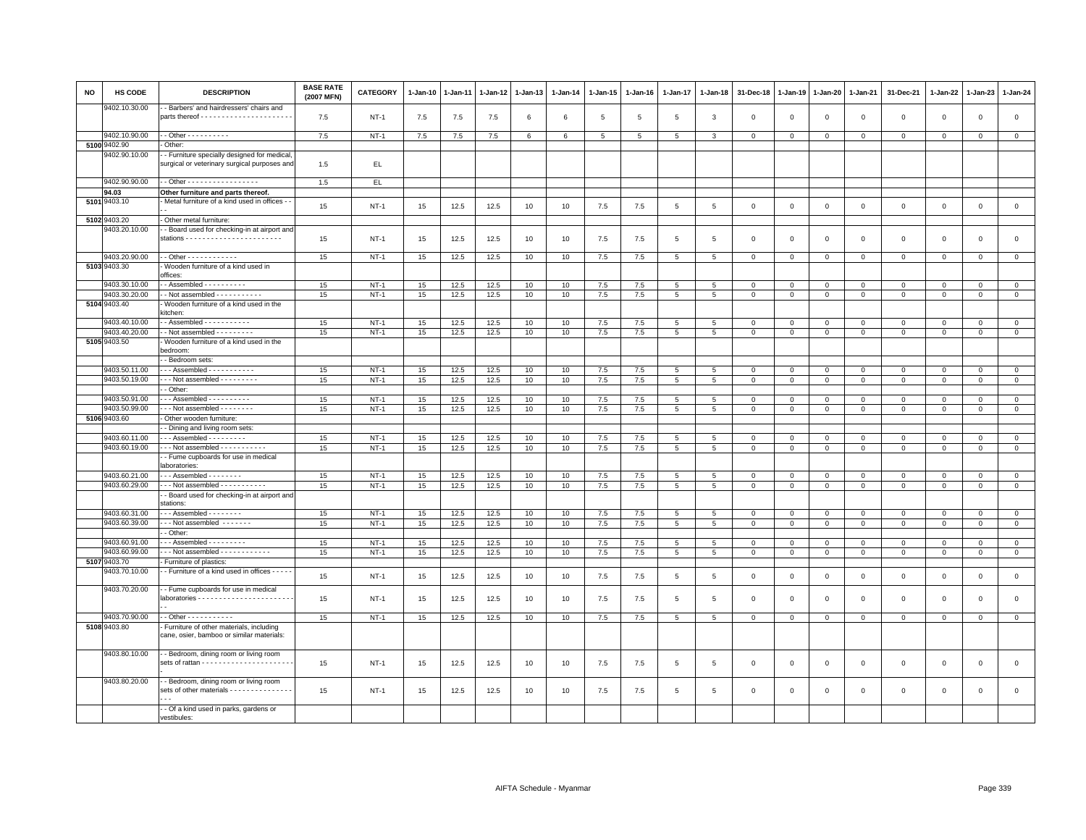| NO | <b>HS CODE</b>                 | <b>DESCRIPTION</b>                                                                             | <b>BASE RATE</b><br>(2007 MFN) | <b>CATEGORY</b> | 1-Jan-10 | 1-Jan-11 | 1-Jan-12 | 1-Jan-13 | 1-Jan-14 | 1-Jan-15        | 1-Jan-16 | 1-Jan-17        | 1-Jan-18        | 31-Dec-18      | 1-Jan-19     | 1-Jan-20     | 1-Jan-21       | 31-Dec-21           | 1-Jan-22       | 1-Jan-23               | 1-Jan-24       |
|----|--------------------------------|------------------------------------------------------------------------------------------------|--------------------------------|-----------------|----------|----------|----------|----------|----------|-----------------|----------|-----------------|-----------------|----------------|--------------|--------------|----------------|---------------------|----------------|------------------------|----------------|
|    | 9402.10.30.00                  | - Barbers' and hairdressers' chairs and                                                        | 7.5                            | $NT-1$          | 7.5      | 7.5      | 7.5      | 6        | 6        | 5               | -5       | 5               | $\mathbf{3}$    | $\mathbf 0$    | $\mathbf 0$  | $\mathsf 0$  | $\mathbf 0$    | $\mathbf{0}$        | $\mathbf 0$    | $\mathbf 0$            | $\mathbf{0}$   |
|    | 9402.10.90.00                  | - - Other - - - - - - - - - -                                                                  | 7.5                            | $NT-1$          | 7.5      | 7.5      | 7.5      | 6        | 6        | $5\overline{5}$ | 5        | 5               | 3               | $\mathbf 0$    | $\mathbf 0$  | $\mathbf 0$  | $\mathbf 0$    | $\mathbf 0$         | 0              | $\mathsf 0$            | $\mathbf{0}$   |
|    | 5100 9402.90                   | - Other:                                                                                       |                                |                 |          |          |          |          |          |                 |          |                 |                 |                |              |              |                |                     |                |                        |                |
|    | 9402.90.10.00                  | - - Furniture specially designed for medical,                                                  |                                |                 |          |          |          |          |          |                 |          |                 |                 |                |              |              |                |                     |                |                        |                |
|    |                                | surgical or veterinary surgical purposes and                                                   | 1.5                            | EL.             |          |          |          |          |          |                 |          |                 |                 |                |              |              |                |                     |                |                        |                |
|    | 9402.90.90.00                  | - Other - - - - - - - - - - - - - - - - -                                                      | 1.5                            | EL.             |          |          |          |          |          |                 |          |                 |                 |                |              |              |                |                     |                |                        |                |
|    | 94.03                          | Other furniture and parts thereof.                                                             |                                |                 |          |          |          |          |          |                 |          |                 |                 |                |              |              |                |                     |                |                        |                |
|    | 5101 9403.10                   | - Metal furniture of a kind used in offices - -                                                | 15                             | $NT-1$          | 15       | 12.5     | 12.5     | 10       | 10       | $7.5$           | 7.5      | $5\phantom{.0}$ | $\,$ 5 $\,$     | $\,0\,$        | $\mathsf 0$  | $\mathsf 0$  | $\mathbf 0$    | $\mathsf{O}\xspace$ | $\mathbf 0$    | $\mathsf 0$            | $\mathsf 0$    |
|    | 5102 9403.20                   | Other metal furniture:                                                                         |                                |                 |          |          |          |          |          |                 |          |                 |                 |                |              |              |                |                     |                |                        |                |
|    | 9403.20.10.00                  | - Board used for checking-in at airport and                                                    | 15                             | NT-1            | 15       | 12.5     | 12.5     | 10       | 10       | 7.5             | 7.5      | 5               | 5               | $\mathbf 0$    | $\Omega$     | $\mathsf 0$  | $\mathbf 0$    | $\mathsf 0$         | $\mathbf 0$    | $\mathbf 0$            | $\mathbf 0$    |
|    | 9403.20.90.00                  | - - Other - - - - - - - - - - - -                                                              | 15                             | $NT-1$          | 15       | 12.5     | 12.5     | 10       | 10       | 7.5             | 7.5      | $5\phantom{.0}$ | 5               | $\mathbf{0}$   | $\mathsf 0$  | $\mathbf 0$  | $\mathbf 0$    | $\mathbf{0}$        | $\circ$        | $\mathbf 0$            | $\overline{0}$ |
|    | 5103 9403.30                   | - Wooden furniture of a kind used in                                                           |                                |                 |          |          |          |          |          |                 |          |                 |                 |                |              |              |                |                     |                |                        |                |
|    |                                | offices:                                                                                       |                                |                 |          |          |          |          |          |                 |          |                 |                 |                |              |              |                |                     |                |                        |                |
|    | 9403.30.10.00                  | $-$ Assembled $        -$                                                                      | 15                             | $NT-1$          | 15       | 12.5     | 12.5     | 10       | 10       | 7.5             | 7.5      | 5               | 5               | $\mathbf{0}$   | $\mathbf 0$  | $\mathbf{0}$ | $\mathbf{0}$   | $\Omega$            | $\mathbf{0}$   | $\Omega$               | $\mathbf{0}$   |
|    | 9403.30.20.00<br>5104 9403.40  | $\cdot$ - Not assembled - - - - - - - - - - -                                                  | 15                             | $NT-1$          | 15       | 12.5     | 12.5     | 10       | 10       | 7.5             | 7.5      | 5               | 5               | $\mathbf 0$    | $\mathbf 0$  | $\mathbf 0$  | $\mathbf 0$    | $\mathbf{0}$        | $\mathbf 0$    | $\mathbf 0$            | $\mathbf{0}$   |
|    |                                | Wooden furniture of a kind used in the<br>kitchen:                                             |                                |                 |          |          |          |          |          |                 |          |                 |                 |                |              |              |                |                     |                |                        |                |
|    | 9403.40.10.00<br>9403.40.20.00 | - - Assembled - - - - - - - - - - -<br>- - Not assembled - - - - - - - - -                     | 15                             | <b>NT-1</b>     | 15       | 12.5     | 12.5     | 10       | 10       | 7.5             | 7.5      | 5               | 5               | $\mathsf 0$    | $\mathsf 0$  | $\mathbf 0$  | $\mathbf 0$    | $\mathbf 0$         | $\mathbf 0$    | $\mathbf 0$<br>$\circ$ | $\mathbf{0}$   |
|    | 5105 9403.50                   | - Wooden furniture of a kind used in the                                                       | 15                             | $NT-1$          | 15       | 12.5     | 12.5     | 10       | 10       | 7.5             | 7.5      | $\overline{5}$  | $5\phantom{.0}$ | $\mathbf{0}$   | $\mathsf 0$  | $\mathbf 0$  | $\overline{0}$ | $\mathsf{O}\xspace$ | $\mathbf{0}$   |                        | $\overline{0}$ |
|    |                                | bedroom<br>- Bedroom sets:                                                                     |                                |                 |          |          |          |          |          |                 |          |                 |                 |                |              |              |                |                     |                |                        |                |
|    | 9403.50.11.00                  | - - - Assembled - - - - - - - - - - -                                                          | 15                             | $NT-1$          | 15       | 12.5     | 12.5     | 10       | 10       | 7.5             | $7.5$    | 5               | 5               | $\mathbf 0$    | $\mathbf 0$  | $\mathbf 0$  | $\mathbf 0$    | $\mathbf 0$         | $\mathbf 0$    | $\mathbf 0$            | $\mathsf 0$    |
|    | 9403.50.19.00                  | $\cdots$ Not assembled $\cdots$                                                                | 15                             | $NT-1$          | 15       |          |          | 10       | 10       | 7.5             | 7.5      |                 |                 | $\overline{0}$ | $\mathbf 0$  |              | $\overline{0}$ | $\mathsf 0$         |                | $\Omega$               | $\overline{0}$ |
|    |                                | - Other:                                                                                       |                                |                 |          | 12.5     | 12.5     |          |          |                 |          | 5               | 5               |                |              | $\mathbf{0}$ |                |                     | $\overline{0}$ |                        |                |
|    | 9403.50.91.00                  | $-$ - Assembled $-$ - - - - - - - - -                                                          | 15                             | $NT-1$          | 15       | 12.5     | 12.5     | 10       | 10       | 7.5             | 7.5      | 5               | 5               | $\mathbf 0$    | $\mathbf 0$  | $\mathbf 0$  | $\mathbf 0$    | $\mathbf{0}$        | $\Omega$       | $\mathbf{0}$           | $\mathbf{0}$   |
|    | 9403.50.99.00                  | --- Not assembled --------                                                                     | 15                             | $NT-1$          | 15       | 12.5     | 12.5     | 10       | 10       | 7.5             | 7.5      | 5               | $\overline{5}$  | $\mathbf 0$    | $\mathsf 0$  | $\mathbf 0$  | $\mathbf 0$    | $\mathsf 0$         | $\mathbf{0}$   | $\mathsf 0$            | $\circ$        |
|    | 5106 9403.60                   | Other wooden furniture:                                                                        |                                |                 |          |          |          |          |          |                 |          |                 |                 |                |              |              |                |                     |                |                        |                |
|    |                                | - Dining and living room sets:                                                                 |                                |                 |          |          |          |          |          |                 |          |                 |                 |                |              |              |                |                     |                |                        |                |
|    | 9403.60.11.00                  | $\cdot$ - - Assembled - - - - - - - - -                                                        | 15                             | $NT-1$          | 15       | 12.5     | 12.5     | 10       | 10       | 7.5             | 7.5      | 5               | 5               | $\mathbf{0}$   | $\mathbf 0$  | $\mathbf 0$  | $\mathbf{0}$   | $\Omega$            | $\mathbf{0}$   | $\Omega$               | $\mathbf{0}$   |
|    | 9403.60.19.00                  | --- Not assembled -----------                                                                  | 15                             | $NT-1$          | 15       | 12.5     | 12.5     | 10       | 10       | 7.5             | 7.5      | 5               | 5               | $\mathbf 0$    | $\mathbf 0$  | $\mathbf 0$  | $\mathbf 0$    | $\mathbf 0$         | 0              | $\mathsf 0$            | $\mathbf 0$    |
|    |                                | - Fume cupboards for use in medical<br>aboratories:                                            |                                |                 |          |          |          |          |          |                 |          |                 |                 |                |              |              |                |                     |                |                        |                |
|    | 9403.60.21.00                  | - - - Assembled - - - - - - - -                                                                | 15                             | $NT-1$          | 15       | 12.5     | 12.5     | 10       | 10       | 7.5             | 7.5      | $5\overline{5}$ | 5               | $\mathbf 0$    | $\mathbf 0$  | $\mathsf 0$  | $\mathbf 0$    | $\mathsf 0$         | $\Omega$       | $\Omega$               | $\mathsf 0$    |
|    | 9403.60.29.00                  | $\cdot$ - Not assembled - - - - - - - - - -                                                    | 15                             | $NT-1$          | 15       | 12.5     | 12.5     | 10       | 10       | $7.5$           | 7.5      | 5               | 5               | $\mathbf 0$    | $\mathbf{0}$ | $\mathbf 0$  | $\mathbf{0}$   | $\Omega$            | $\Omega$       | $\mathbf 0$            | $\circ$        |
|    |                                | - Board used for checking-in at airport and<br>stations:                                       |                                |                 |          |          |          |          |          |                 |          |                 |                 |                |              |              |                |                     |                |                        |                |
|    | 9403.60.31.00                  | - - - Assembled - - - - - - - -                                                                | 15                             | $NT-1$          | 15       | 12.5     | 12.5     | 10       | 10       | 7.5             | $7.5$    | 5               | 5               | $\mathbf 0$    | $\mathbf 0$  | $\mathbf{0}$ | $\mathbf 0$    | $\mathsf 0$         | $\mathbf{O}$   | $\Omega$               | $\mathbf{0}$   |
|    | 9403.60.39.00                  | --- Not assembled -------                                                                      | 15                             | $NT-1$          | 15       | 12.5     | 12.5     | 10       | 10       | 7.5             | 7.5      | $5\overline{5}$ | 5               | $\mathbf 0$    | $\mathsf 0$  | $\mathbf{0}$ | $\mathbf 0$    | $\mathsf 0$         | $\mathbf{0}$   | $\mathbf 0$            | $\mathbf{0}$   |
|    |                                | - Other:                                                                                       |                                |                 |          |          |          |          |          |                 |          |                 |                 |                |              |              |                |                     |                |                        |                |
|    | 9403.60.91.00                  | $-$ - Assembled $-$ - $-$ - $-$ - $-$ -                                                        | 15                             | $NT-1$          | 15       | 12.5     | 12.5     | 10       | 10       | 7.5             | 7.5      | 5               | 5               | $\mathbf 0$    | $\mathbf 0$  | $\mathsf 0$  | $\mathbf 0$    | $\mathbf 0$         | $\Omega$       | $\mathbf{0}$           | $\mathbf 0$    |
|    | 9403.60.99.00                  | $-$ - Not assembled $-$ - - - - - - - - - - -                                                  | 15                             | $NT-1$          | 15       | 12.5     | 12.5     | 10       | 10       | 7.5             | 7.5      | 5               | 5               | $\mathbf{0}$   | $\mathbf 0$  | $\mathbf 0$  | $\mathbf 0$    | $\mathbf 0$         | $\mathbf 0$    | $\mathbf{0}$           | $\circ$        |
|    | 5107 9403.70<br>9403.70.10.00  | Furniture of plastics:<br>-- Furniture of a kind used in offices -----                         | 15                             | $NT-1$          | 15       | 12.5     | 12.5     | 10       | 10       | 7.5             | 7.5      | 5               | 5               | $\,0\,$        | $\mathbf 0$  | $\mathbf 0$  | $\mathbf 0$    | $\mathsf 0$         | $\mathbf 0$    | $\mathsf 0$            | $\mathsf 0$    |
|    | 9403.70.20.00                  | -- Fume cupboards for use in medical                                                           | 15                             | $NT-1$          | 15       | 12.5     | 12.5     | 10       | 10       | 7.5             | 7.5      | 5               | 5               | $\mathbf{0}$   | $\mathbf 0$  | $\mathbf{0}$ | $\mathbf{0}$   | $\mathbf{0}$        | $\mathbf 0$    | $\mathbf 0$            | $\mathbf{0}$   |
|    | 9403.70.90.00                  | - - Other - - - - - - - - - - -                                                                | 15                             | $NT-1$          | 15       | 12.5     | 12.5     | 10       | 10       | 7.5             | 7.5      | 5               | 5               | $\mathbf{0}$   | $\mathbf 0$  | $\mathbf{0}$ | $\overline{0}$ | $\mathbf 0$         | $\mathbf 0$    | $\mathbf{0}$           | $\mathbf{0}$   |
|    | 5108 9403.80                   | - Furniture of other materials, including<br>cane, osier, bamboo or similar materials:         |                                |                 |          |          |          |          |          |                 |          |                 |                 |                |              |              |                |                     |                |                        |                |
|    | 9403.80.10.00                  | - - Bedroom, dining room or living room                                                        |                                |                 |          |          |          |          |          |                 |          |                 |                 |                |              |              |                |                     |                |                        |                |
|    |                                |                                                                                                | 15                             | $NT-1$          | 15       | 12.5     | 12.5     | 10       | 10       | 7.5             | 7.5      | 5               | 5               | $\mathbf 0$    | $\mathbf 0$  | $\mathsf 0$  | $\mathbf 0$    | $\mathbf 0$         | $\mathbf 0$    | $\mathsf 0$            | $\mathsf 0$    |
|    | 9403.80.20.00                  | - Bedroom, dining room or living room<br>sets of other materials - - - - - - - - - - - - - - - | 15                             | $NT-1$          | 15       | 12.5     | 12.5     | 10       | 10       | 7.5             | 7.5      | 5               | 5               | $\mathbf 0$    | $\mathbf 0$  | $\mathsf 0$  | $\mathbf 0$    | $\mathbf 0$         | $\mathbf 0$    | $\mathsf 0$            | $\mathsf 0$    |
|    |                                | - Of a kind used in parks, gardens or<br>vestibules:                                           |                                |                 |          |          |          |          |          |                 |          |                 |                 |                |              |              |                |                     |                |                        |                |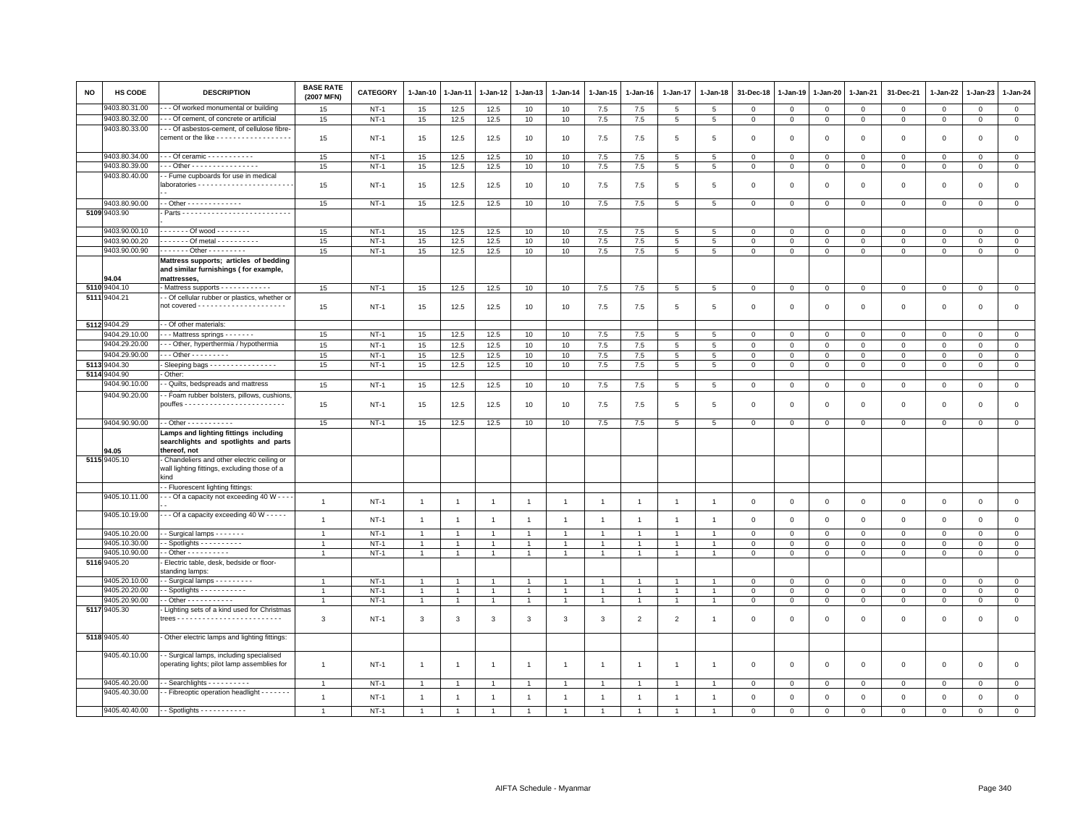| NO   | <b>HS CODE</b>                | <b>DESCRIPTION</b>                                                                                  | <b>BASE RATE</b><br>(2007 MFN) | <b>CATEGORY</b> | $1-Jan-10$     | 1-Jan-11       | 1-Jan-12       | 1-Jan-13                       | $1-Jan-14$                       | $1-Jan-15$        | $1 - Jan-16$   | $1 - Jan-17$   | $1 - Jan-18$   | 31-Dec-18      | $1 - Jan-19$ | 1-Jan-20     | 1-Jan-21       | 31-Dec-21           | $1 - Jan-22$   | 1-Jan-23     | $1 - Jan-24$   |
|------|-------------------------------|-----------------------------------------------------------------------------------------------------|--------------------------------|-----------------|----------------|----------------|----------------|--------------------------------|----------------------------------|-------------------|----------------|----------------|----------------|----------------|--------------|--------------|----------------|---------------------|----------------|--------------|----------------|
|      | 9403.80.31.00                 | - Of worked monumental or building                                                                  | 15                             | <b>NT-1</b>     | 15             | 12.5           | 12.5           | 10                             | 10                               | 7.5               | 7.5            | 5              | 5              | 0              | 0            | $\mathbf 0$  | $\mathbf 0$    | 0                   | 0              | $^{\circ}$   | $\mathsf 0$    |
|      | 9403.80.32.00                 | - - Of cement, of concrete or artificial                                                            | 15                             | $NT-1$          | 15             | 12.5           | 12.5           | 10                             | 10                               | 7.5               | 7.5            | 5              | 5              | $\mathbf 0$    | $\mathsf 0$  | $\,0\,$      | $\,$ 0         | $\mathsf 0$         | $\,0\,$        | $\mathbf 0$  | $\mathsf 0$    |
|      | 9403.80.33.00                 | - - Of asbestos-cement, of cellulose fibre-<br>cement or the like - - - - - - - - - - - - - - - - - | 15                             | $NT-1$          | 15             | 12.5           | 12.5           | 10                             | 10                               | 7.5               | 7.5            | 5              | 5              | $\mathbf 0$    | $\mathbf 0$  | $\mathbf{0}$ | $\mathbf 0$    | $\mathsf 0$         | $\mathbf 0$    | $\Omega$     | $\mathsf 0$    |
|      | 9403.80.34.00                 | $-$ - Of ceramic $-$ - $-$ - $-$ - $-$ - $-$ - $-$                                                  | 15                             | $NT-1$          | 15             | 12.5           | 12.5           | 10                             | 10                               | 7.5               | 7.5            | 5              | 5              | $\mathbf 0$    | $\mathbf 0$  | $\mathbf 0$  | $\overline{0}$ | $\mathsf 0$         | $\Omega$       | $\mathbf 0$  | $\mathbf 0$    |
|      | 9403.80.39.00                 | - - Other - - - - - - - - - - - - - - -                                                             | 15                             | $NT-1$          | 15             | 12.5           | 12.5           | 10                             | 10                               | 7.5               | 7.5            | 5              | 5              | $\mathbf 0$    | $\,0\,$      | $\,0\,$      | $\,0\,$        | $\mathsf 0$         | $\mathbf 0$    | $\mathsf 0$  | $\overline{0}$ |
|      | 9403.80.40.00                 | - Fume cupboards for use in medical                                                                 | 15                             | $NT-1$          | 15             | 12.5           | 12.5           | 10                             | 10                               | 7.5               | 7.5            | 5              | 5              | $\mathbf 0$    | $\mathbf{0}$ | $\mathbf 0$  | $\mathbf 0$    | $\mathsf 0$         | $\mathsf 0$    | $\mathbf 0$  | $\mathsf 0$    |
|      | 9403.80.90.00                 | $-$ Other - - - - - - - - - - - - -                                                                 | 15                             | $NT-1$          | 15             | 12.5           | 12.5           | 10                             | 10                               | 7.5               | 7.5            | 5              | 5              | $\mathbf 0$    | $\mathbf 0$  | $\mathbf 0$  | $\mathbf 0$    | $\mathbf 0$         | $\mathbf 0$    | $\mathbf 0$  | $\mathbf{0}$   |
|      | 5109 9403.90                  |                                                                                                     |                                |                 |                |                |                |                                |                                  |                   |                |                |                |                |              |              |                |                     |                |              |                |
|      | 9403.90.00.10                 | $--- Of wood---$                                                                                    | 15                             | $NT-1$          | 15             | 12.5           | 12.5           | 10                             | 10                               | 7.5               | 7.5            | 5              | 5              | $\mathbf 0$    | $\mathbf 0$  | $\mathbf 0$  | $\mathbf 0$    | $\mathsf 0$         | $\mathbf 0$    | $\mathbf 0$  | $\mathbf 0$    |
|      | 9403.90.00.20                 | Of metal                                                                                            | 15                             | $NT-1$          | 15             | 12.5           | 12.5           | 10                             | 10                               | $7.5\,$           | 7.5            | 5              | $\overline{5}$ | $\,0\,$        | $\mathsf 0$  | $\mathbf 0$  | $\,0\,$        | $\mathbf 0$         | $\mathbf 0$    | $\Omega$     | $\mathsf 0$    |
|      | 9403.90.00.90                 | ------ Other ---------                                                                              | 15                             | $NT-1$          | 15             | 12.5           | 12.5           | 10                             | 10                               | 7.5               | 7.5            | 5              | 5              | $\mathbf{0}$   | $\mathbf 0$  | $\mathbf 0$  | $\mathbf{0}$   | $\mathbf{0}$        | $\mathbf 0$    | $\mathbf{0}$ | $\circ$        |
|      | <b>04.04</b>                  | Mattress supports; articles of bedding<br>and similar furnishings (for example,<br>mattresses.      |                                |                 |                |                |                |                                |                                  |                   |                |                |                |                |              |              |                |                     |                |              |                |
|      | 5110 9404.10                  | Mattress supports - - - - - - - - - - -                                                             | 15                             | $NT-1$          | 15             | 12.5           | 12.5           | 10                             | 10                               | 7.5               | 7.5            | 5              | 5              | $\,0\,$        | $\,0\,$      | $\mathsf 0$  | $\mathbb O$    | $\mathsf{O}\xspace$ | $\mathbf 0$    | $\mathsf 0$  | $\overline{0}$ |
|      | 5111 9404.21                  | - Of cellular rubber or plastics, whether or                                                        | 15                             | $NT-1$          | 15             | 12.5           | 12.5           | 10                             | 10                               | 7.5               | 7.5            | 5              | -5             | $\mathbf 0$    | $\mathbf 0$  | $\mathbf 0$  | $\mathbf 0$    | $\mathsf 0$         | $\mathbf 0$    | $\mathbf{0}$ | $\mathbf 0$    |
|      | 5112 9404.29                  | - Of other materials:                                                                               |                                |                 |                |                |                |                                |                                  |                   |                |                |                |                |              |              |                |                     |                |              |                |
|      | 9404.29.10.00                 | - - Mattress springs - - - - - - -                                                                  | 15                             | $NT-1$          | 15             | 12.5           | 12.5           | 10                             | 10                               | 7.5               | 7.5            | 5              | -5             | $\mathbf 0$    | $\mathbf 0$  | $\mathbf 0$  | $\circ$        | $\Omega$            | 0              | $\Omega$     | $\mathbf 0$    |
|      | 9404.29.20.00                 | - - Other, hyperthermia / hypothermia                                                               | 15                             | $NT-1$          | 15             | 12.5           | 12.5           | 10                             | 10                               | $7.5\,$           | 7.5            | $\overline{5}$ | 5              | $\mathbf 0$    | $\mathsf 0$  | $\mathbf 0$  | $\mathbf 0$    | $\mathbf{0}$        | $\Omega$       | $\mathbf 0$  | $\mathsf 0$    |
|      | 9404.29.90.00                 | $-$ - Other - - - - - - - - -                                                                       | 15                             | $NT-1$          | 15             | 12.5           | 12.5           | 10                             | 10                               | 7.5               | 7.5            | 5              | 5              | $\Omega$       | $\mathbf 0$  | $\mathbf 0$  | $\mathbf{0}$   | $\mathbf{0}$        | $\Omega$       | $\mathbf{0}$ | $\circ$        |
| 5113 | 9404.30                       | Sleeping bags - - - - - - - - - - - - - - -                                                         | 15                             | $NT-1$          | 15             | 12.5           | 12.5           | 10                             | 10                               | 7.5               | 7.5            | 5              | 5              | $\mathbf 0$    | $\mathbf 0$  | $\mathbf 0$  | $\mathbf 0$    | $\mathbf 0$         | 0              | $\mathbf 0$  | $\mathbf{0}$   |
| 5114 | 3404.90                       | Other:                                                                                              |                                |                 |                |                |                |                                |                                  |                   |                |                |                |                |              |              |                |                     |                |              |                |
|      | 9404.90.10.00                 | - Quilts, bedspreads and mattress                                                                   | 15                             | $NT-1$          | 15             | 12.5           | 12.5           | 10                             | 10                               | 7.5               | 7.5            | 5              | 5              | $\overline{0}$ | $\mathbf 0$  | $\mathbf{0}$ | $\mathbf{0}$   | $\mathbf{0}$        | $\mathbf{0}$   | $\mathbf{0}$ | $\circ$        |
|      | 9404.90.20.00                 | - Foam rubber bolsters, pillows, cushions                                                           | 15                             | $NT-1$          | 15             | 12.5           | 12.5           | 10                             | 10                               | 7.5               | 7.5            | 5              | 5              | $\mathbf 0$    | $\mathbf 0$  | $\mathsf 0$  | $\mathbf 0$    | $\mathsf 0$         | $\overline{0}$ | $\mathsf 0$  | $\mathsf 0$    |
|      | 9404.90.90.00                 | - Other - - - - - - - - - - -                                                                       | 15                             | $NT-1$          | 15             | 12.5           | 12.5           | 10                             | 10                               | 7.5               | 7.5            | 5              | 5              | $\mathbf 0$    | $\mathbf 0$  | $\mathbf 0$  | $\mathbf 0$    | $\mathbf 0$         | $\mathbf 0$    | $\mathbf 0$  | $\mathbf 0$    |
|      | <b>14.05</b>                  | Lamps and lighting fittings including<br>searchlights and spotlights and parts<br>thereof, not      |                                |                 |                |                |                |                                |                                  |                   |                |                |                |                |              |              |                |                     |                |              |                |
|      | 5115 9405.10                  | Chandeliers and other electric ceiling or<br>wall lighting fittings, excluding those of a<br>kind   |                                |                 |                |                |                |                                |                                  |                   |                |                |                |                |              |              |                |                     |                |              |                |
|      |                               | - Fluorescent lighting fittings:                                                                    |                                |                 |                |                |                |                                |                                  |                   |                |                |                |                |              |              |                |                     |                |              |                |
|      | 9405.10.11.00                 | - - Of a capacity not exceeding 40 W - - -                                                          | $\mathbf{1}$                   | $NT-1$          | $\overline{1}$ | $\overline{1}$ | $\overline{1}$ | $\mathbf{1}$                   | $\overline{1}$                   | $\overline{1}$    | $\overline{1}$ | $\overline{1}$ | $\overline{1}$ | $\mathbf 0$    | $\mathbf 0$  | $\mathbf 0$  | $\mathbf 0$    | $\mathbf 0$         | $\mathbf 0$    | $\mathbf{O}$ | $\mathsf 0$    |
|      | 9405.10.19.00                 | - - Of a capacity exceeding 40 W - - - - -                                                          | $\mathbf{1}$                   | $NT-1$          | $\overline{1}$ | $\overline{1}$ | $\overline{1}$ | $\overline{1}$                 | $\overline{1}$                   | $\overline{1}$    | $\overline{1}$ | $\overline{1}$ |                | $\mathbf 0$    | $\mathbf 0$  | $\mathbf 0$  | $\mathbf{0}$   | $\mathsf 0$         | $\mathbf{0}$   | $\mathbf 0$  | $\circ$        |
|      | 9405.10.20.00                 | Surgical lamps - - - - - - -                                                                        | $\overline{1}$                 | $NT-1$          | $\overline{1}$ |                |                | $\overline{1}$                 | $\overline{1}$                   |                   |                | $\overline{1}$ |                | $\mathbf 0$    | $\mathbf 0$  | $\mathsf 0$  | $\mathbf 0$    | $\mathbf 0$         | $\Omega$       | $\mathbf 0$  | $\mathbf 0$    |
|      | 9405.10.30.00                 | - Spotlights - - - - - - - - - -<br>$-$ Other $        -$                                           | $\overline{1}$                 | $NT-1$          | -1             |                |                | $\overline{1}$<br>$\mathbf{1}$ | $\overline{1}$<br>$\overline{1}$ | 1<br>$\mathbf{1}$ |                | $\overline{1}$ |                | $\mathbf 0$    | $\mathbf 0$  | $\mathbf 0$  | $\mathbf 0$    | $\mathbf 0$         | $\Omega$       | $\Omega$     | $\circ$        |
|      | 9405.10.90.00<br>5116 9405.20 | Electric table, desk, bedside or floor-<br>standing lamps:                                          |                                | $NT-1$          | $\mathbf{1}$   |                |                |                                |                                  |                   |                |                |                | $\mathbf 0$    | $\mathbf 0$  | $\mathbf 0$  | $\mathbf 0$    | $\mathbf 0$         | $\mathbf 0$    | $\mathbf 0$  | $\circ$        |
|      | 9405.20.10.00                 | - Surgical lamps - - - - - - - - -                                                                  | $\overline{1}$                 | $NT-1$          | $\mathbf{1}$   |                |                | 1                              | $\overline{1}$                   |                   |                |                |                | $\mathbf 0$    | $\mathbf 0$  | $\mathsf 0$  | $\mathbf 0$    | $\mathsf 0$         | $\mathbf 0$    | $\mathbf 0$  | $\mathbf 0$    |
|      | 9405.20.20.00                 | - Spotlights - - - - - - - - - - -                                                                  | $\overline{1}$                 | $NT-1$          | $\overline{1}$ | $\mathbf{1}$   | $\mathbf{1}$   | $\mathbf{1}$                   | $\mathbf{1}$                     | $\mathbf{1}$      | $\overline{1}$ | $\overline{1}$ | $\overline{1}$ | $\mathbf 0$    | $\mathbf 0$  | $\mathbf 0$  | $\mathbf 0$    | $\mathbf 0$         | 0              | $\mathbf 0$  | $\mathbf{0}$   |
|      | 9405.20.90.00                 | - Other - - - - - - - - - - -                                                                       |                                | $NT-1$          | $\overline{1}$ |                | $\mathbf{1}$   | $\overline{1}$                 | $\mathbf{1}$                     | $\mathbf{1}$      |                | $\overline{1}$ |                | $\mathbf 0$    | $\mathsf 0$  | $\mathbf 0$  | $\mathbf 0$    | $\mathbf 0$         | $\Omega$       | $\mathbf 0$  | $\mathsf 0$    |
|      | 5117 9405.30                  | Lighting sets of a kind used for Christmas                                                          |                                |                 |                |                |                |                                |                                  |                   |                |                |                |                |              |              |                |                     |                |              |                |
|      |                               |                                                                                                     | 3                              | $NT-1$          | 3              | 3              | 3              | 3                              | 3                                | 3                 | $\mathfrak{p}$ | $\overline{2}$ |                | $\mathbf 0$    | $\mathbf 0$  | $\mathsf 0$  | $\mathbf 0$    | $\mathsf 0$         | $\mathbf 0$    | $\mathbf 0$  | $\mathbf 0$    |
|      | 5118 9405.40                  | Other electric lamps and lighting fittings:                                                         |                                |                 |                |                |                |                                |                                  |                   |                |                |                |                |              |              |                |                     |                |              |                |
|      | 9405.40.10.00                 | - Surgical lamps, including specialised<br>operating lights; pilot lamp assemblies for              | $\mathbf{1}$                   | $NT-1$          | $\overline{1}$ | $\overline{1}$ | $\overline{1}$ | $\overline{1}$                 | $\overline{1}$                   | $\mathbf{1}$      | $\overline{1}$ | $\overline{1}$ |                | $\mathbf 0$    | $\mathbf 0$  | $\mathsf 0$  | $\mathbf 0$    | $\mathsf 0$         | $\mathbf 0$    | $\mathbf{0}$ | $\mathbf 0$    |
|      | 9405.40.20.00                 | - Searchlights - - - - - - - - - -                                                                  | $\overline{1}$                 | $NT-1$          | $\overline{1}$ |                |                | $\overline{1}$                 |                                  |                   |                |                |                | $\mathbf 0$    | $\mathbf 0$  | $\mathsf 0$  | $\mathbf 0$    | $\mathsf 0$         | $\mathbf 0$    | $\mathbf 0$  | $\mathbf 0$    |
|      | 9405.40.30.00                 | - Fibreoptic operation headlight - - - - - - -                                                      | $\mathbf{1}$                   | $NT-1$          | $\overline{1}$ | $\overline{1}$ | $\overline{1}$ | $\mathbf{1}$                   | $\overline{1}$                   | $\overline{1}$    | $\overline{1}$ | $\overline{1}$ |                | $\mathbf{0}$   | $\mathbf 0$  | $\mathsf 0$  | $\mathbf 0$    | $\mathsf 0$         | $\mathbf 0$    | $\mathbf 0$  | $\mathbf 0$    |
|      | 9405.40.40.00                 | $-$ - Spotlights - - - - - - - - - - -                                                              | $\overline{1}$                 | $NT-1$          | $\overline{1}$ |                |                |                                |                                  |                   |                |                |                | $\Omega$       | $\Omega$     | $\Omega$     | $\Omega$       | $\Omega$            | $\mathbf 0$    | $\mathbf{0}$ | $\Omega$       |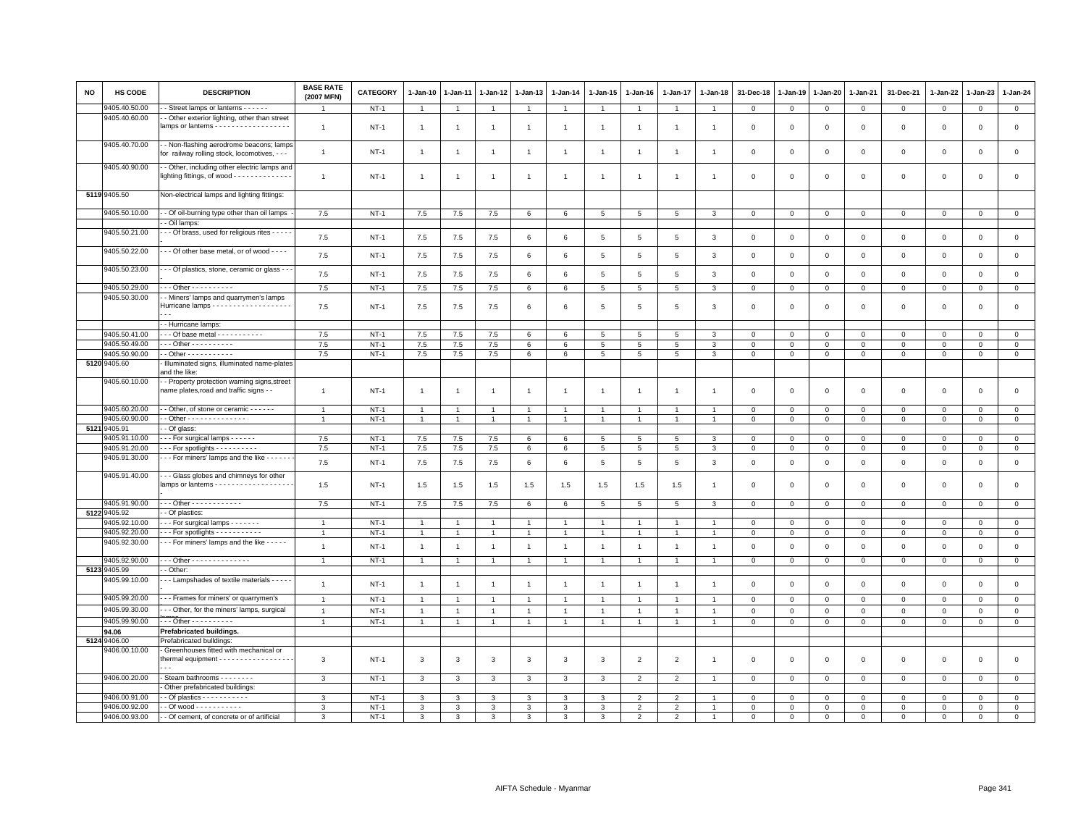| <b>NO</b> | <b>HS CODE</b>                 | <b>DESCRIPTION</b>                                                                                  | <b>BASE RATE</b><br>(2007 MFN)   | <b>CATEGORY</b>  | 1-Jan-10                       | $1-Jan-11$                       | 1-Jan-12                         | 1-Jan-13                         | $1-Jan-14$                       | $1 - Jan-15$                   | 1-Jan-16                         | 1-Jan-17                       | $1 - Jan-18$                     | 31-Dec-18                  | $1-Jan-19$                    | 1-Jan-20                      | 1-Jan-21                    | 31-Dec-21                     | 1-Jan-22                   | $1-Jan-23$                  | 1-Jan-24                      |
|-----------|--------------------------------|-----------------------------------------------------------------------------------------------------|----------------------------------|------------------|--------------------------------|----------------------------------|----------------------------------|----------------------------------|----------------------------------|--------------------------------|----------------------------------|--------------------------------|----------------------------------|----------------------------|-------------------------------|-------------------------------|-----------------------------|-------------------------------|----------------------------|-----------------------------|-------------------------------|
|           | 9405.40.50.00                  | Street lamps or lanterns - - - - - -                                                                |                                  | $NT-1$           | $\overline{1}$                 |                                  |                                  | $\mathbf{1}$                     |                                  | $\mathbf{1}$                   |                                  |                                |                                  | $\mathbf 0$                | $\mathbf 0$                   | $\mathbf{O}$                  | $\mathbf{0}$                | $\mathbf{0}$                  | $\mathbf 0$                | $\mathsf 0$                 | $\overline{0}$                |
|           | 9405.40.60.00                  | Other exterior lighting, other than street<br>lamps or lanterns - - - - - - - - - - - - - - - - - - | $\overline{1}$                   | $NT-1$           | $\overline{1}$                 | $\overline{1}$                   | $\overline{1}$                   | $\overline{1}$                   | $\overline{1}$                   | $\overline{1}$                 |                                  | $\overline{1}$                 |                                  | $\mathbf 0$                | $\mathbf 0$                   | $\mathbf 0$                   | $\mathbf 0$                 | $\mathbf 0$                   | $\mathbf 0$                | $\mathsf 0$                 | $\mathsf 0$                   |
|           | 9405.40.70.00                  | - Non-flashing aerodrome beacons; lamps<br>for railway rolling stock, locomotives, - - -            | $\overline{1}$                   | $NT-1$           | $\overline{1}$                 | $\overline{1}$                   | $\overline{1}$                   | $\overline{1}$                   | $\overline{1}$                   | $\overline{1}$                 | $\overline{1}$                   | $\overline{1}$                 | $\overline{1}$                   | $\mathbf 0$                | $\mathbf 0$                   | $\mathsf 0$                   | $\mathbf{O}$                | $\mathsf 0$                   | $\mathbf 0$                | $\mathsf 0$                 | $\mathsf 0$                   |
|           | 9405.40.90.00                  | - Other, including other electric lamps and<br>lighting fittings, of wood - - - - - - - - - - - - - | $\mathbf{1}$                     | NT-1             | $\overline{1}$                 | $\overline{1}$                   | $\overline{1}$                   | $\overline{1}$                   | $\overline{1}$                   | $\mathbf{1}$                   | $\overline{1}$                   | $\mathbf{1}$                   | $\mathbf{1}$                     | 0                          | 0                             | 0                             | 0                           | $\mathsf 0$                   | $\circ$                    | 0                           | $\mathsf 0$                   |
|           | 5119 9405.50                   | Non-electrical lamps and lighting fittings:                                                         |                                  |                  |                                |                                  |                                  |                                  |                                  |                                |                                  |                                |                                  |                            |                               |                               |                             |                               |                            |                             |                               |
|           | 9405.50.10.00                  | - Of oil-burning type other than oil lamps<br>- Oil lamps:                                          | 7.5                              | $NT-1$           | 7.5                            | 7.5                              | 7.5                              | 6                                | 6                                | $5\phantom{.0}$                | $5\phantom{.0}$                  | 5                              | 3                                | 0                          | 0                             | $\mathsf 0$                   | $\mathbf 0$                 | $\mathbf 0$                   | $\mathbf 0$                | $\mathsf 0$                 | $\mathbf 0$                   |
|           | 9405.50.21.00                  | - - Of brass, used for religious rites - - - - -                                                    | 7.5                              | $NT-1$           | 7.5                            | 7.5                              | 7.5                              | 6                                | $6\phantom{.}6$                  | 5                              | $\overline{5}$                   | 5                              | 3                                | $\mathbf 0$                | $\mathbf 0$                   | $\mathsf 0$                   | $\mathsf 0$                 | $\mathsf 0$                   | $\mathbf 0$                | $\mathsf 0$                 | $\mathsf 0$                   |
|           | 9405.50.22.00                  | - - Of other base metal, or of wood - - - -                                                         | 7.5                              | $NT-1$           | 7.5                            | 7.5                              | 7.5                              | 6                                | 6                                | $5\phantom{.0}$                | $\overline{5}$                   | $\overline{5}$                 | 3                                | $\mathsf 0$                | $\mathbf 0$                   | $\mathbf 0$                   | $\mathbf 0$                 | $\mathbf 0$                   | $\mathbf 0$                | $\mathsf 0$                 | $\mathsf 0$                   |
|           | 9405.50.23.00                  | - - Of plastics, stone, ceramic or glass - -                                                        | 7.5                              | $NT-1$           | 7.5                            | 7.5                              | 7.5                              | 6                                | 6                                | 5                              | 5                                | 5                              | 3                                | $\mathbf 0$                | $\Omega$                      | $\mathbf 0$                   | $\mathbf{0}$                | $\mathbf 0$                   | $\mathbf{0}$               | $\mathbf 0$                 | $\mathbf 0$                   |
|           | 9405.50.29.00                  | - - Other - - - - - - - - - -                                                                       | 7.5                              | $NT-1$           | 7.5                            | 7.5                              | 7.5                              | 6                                | $\,6\,$                          | $\overline{5}$                 | $5\phantom{.0}$                  | $\overline{5}$                 | 3                                | $\mathsf 0$                | $\mathbf 0$                   | $\mathsf 0$                   | $\mathsf 0$                 | $\,0\,$                       | $\mathsf 0$                | $\mathsf 0$                 | $\mathsf 0$                   |
|           | 9405.50.30.00                  | - Miners' lamps and quarrymen's lamps<br>Hurricane lamps - - - - - - - - - - - - - - - - - -        | 7.5                              | $NT-1$           | 7.5                            | 7.5                              | 7.5                              | 6                                | 6                                | 5                              | 5                                | 5                              | 3                                | 0                          | $\mathbf 0$                   | $\Omega$                      | $\mathbf 0$                 | $\mathbf 0$                   | $^{\circ}$                 | $\mathbf 0$                 | $\mathsf 0$                   |
|           |                                | - Hurricane lamps:                                                                                  |                                  |                  |                                |                                  |                                  |                                  |                                  |                                |                                  |                                |                                  |                            |                               |                               |                             |                               |                            |                             |                               |
|           | 9405.50.41.00                  | $-$ - Of base metal $-$ - - - - - - - - - -                                                         | 7.5                              | $NT-1$           | 7.5                            | 7.5                              | 7.5                              | 6                                | 6                                | 5                              | 5                                | 5                              | 3                                | $\mathbf 0$                | $\mathbf 0$                   | $\mathsf 0$                   | $\mathbf 0$                 | $\mathbf 0$                   | $\mathbf 0$                | $\mathsf 0$                 | $\mathbf 0$                   |
|           | 9405.50.49.00                  | - - Other - - - - - - - - - -                                                                       | 7.5                              | $NT-1$           | 7.5                            | 7.5                              | 7.5                              | $\epsilon$                       | 6                                | $\sqrt{5}$                     | 5                                | 5                              | 3                                | $\mathbf 0$                | $\Omega$                      | $\Omega$                      | $\Omega$                    | $\mathbf 0$                   | $\Omega$                   | $\Omega$                    | $\overline{0}$                |
|           | 9405.50.90.00                  | - Other - - - - - - - - - - -                                                                       | 7.5                              | $NT-1$           | 7.5                            | 7.5                              | 7.5                              | 6                                | 6                                | 5                              | 5                                | 5                              | 3                                | $\mathbf 0$                | $\mathbf 0$                   | $\mathsf 0$                   | $\mathsf 0$                 | $\mathbf 0$                   | $\mathbf 0$                | $\mathsf 0$                 | $\mathsf 0$                   |
|           | 5120 9405.60                   | Illuminated signs, illuminated name-plates<br>and the like:                                         |                                  |                  |                                |                                  |                                  |                                  |                                  |                                |                                  |                                |                                  |                            |                               |                               |                             |                               |                            |                             |                               |
|           | 9405.60.10.00                  | - Property protection warning signs, street<br>name plates,road and traffic signs - -               | $\overline{1}$                   | $NT-1$           | $\overline{1}$                 | $\overline{1}$                   | $\overline{1}$                   | $\overline{1}$                   | $\overline{1}$                   | $\overline{1}$                 | $\overline{1}$                   | $\overline{1}$                 | $\overline{1}$                   | 0                          | $\Omega$                      | $\Omega$                      | $\mathbf 0$                 | $\mathbf 0$                   | $\circ$                    | $\mathbf 0$                 | $\circ$                       |
|           | 9405.60.20.00                  | - Other, of stone or ceramic - - - - - -                                                            | $\overline{1}$                   | $NT-1$           | $\overline{1}$                 | $\mathbf{1}$                     | $\overline{1}$                   | $\mathbf{1}$                     | $\overline{1}$                   | $\overline{1}$                 | $\overline{1}$                   | -1                             | $\mathbf{1}$                     | $\Omega$                   | $\mathbf 0$                   | $\Omega$                      | $\Omega$                    | $\mathbf 0$                   | $\Omega$                   | $\Omega$                    | $\overline{0}$                |
|           | 9405.60.90.00                  | $-$ Other - - - - - - - - - - - - - -                                                               | $\mathbf{1}$                     | $NT-1$           | $\mathbf{1}$                   | $\mathbf{1}$                     | $\overline{1}$                   | $\mathbf{1}$                     | $\overline{1}$                   | $\mathbf{1}$                   | $\mathbf{1}$                     | $\mathbf{1}$                   | $\mathbf{1}$                     | $\mathbf 0$                | 0                             | $\mathbf 0$                   | $\mathbf 0$                 | $\mathbf 0$                   | $\mathbf 0$                | $\mathbf{O}$                | $\mathbf 0$                   |
| 5121      | 9405.91                        | - Of glass:                                                                                         |                                  |                  |                                |                                  |                                  |                                  |                                  |                                |                                  |                                |                                  |                            |                               |                               |                             |                               |                            |                             |                               |
|           | 9405.91.10.00                  | For surgical lamps                                                                                  | 7.5                              | $NT-1$           | 7.5                            | 7.5                              | 7.5                              | 6                                | 6                                | 5                              | 5                                | 5                              | 3                                | $\mathbf 0$                | $\mathbf 0$                   | $\mathsf 0$                   | $\mathbf 0$                 | $\mathbf 0$                   | $\mathbf 0$                | $\mathsf 0$                 | $\mathbf 0$                   |
|           | 9405.91.20.00                  | For spotlights                                                                                      | 7.5                              | $NT-1$           | 7.5                            | $7.5$                            | $7.5$                            | 6                                | $\,6\,$                          | 5                              | $\,$ 5 $\,$                      | 5                              | 3                                | $\,0\,$                    | $\mathbf 0$                   | $\mathbf 0$                   | $\mathsf 0$                 | $\,0\,$                       | $\Omega$                   | $\mathbf{0}$                | $\overline{0}$                |
|           | 9405.91.30.00                  | --- For miners' lamps and the like ------                                                           | 7.5                              | $NT-1$           | 7.5                            | 7.5                              | 7.5                              | 6                                | $6\phantom{.}6$                  | 5                              | $\overline{5}$                   | 5                              | 3                                | $\mathbf 0$                | $\mathbf 0$                   | $\mathsf 0$                   | $\mathsf 0$                 | $\mathbf 0$                   | $\mathbf 0$                | $\mathsf 0$                 | $\mathsf 0$                   |
|           | 9405.91.40.00                  | - - Glass globes and chimneys for other<br>lamps or lanterns - - - - - - - - - - - - - - - - - -    | 1.5                              | $NT-1$           | 1.5                            | 1.5                              | 1.5                              | 1.5                              | 1.5                              | 1.5                            | 1.5                              | 1.5                            | $\mathbf{1}$                     | 0                          | $\Omega$                      | 0                             | $\Omega$                    | $\circ$                       | $\circ$                    | $\mathbf 0$                 | $\mathsf 0$                   |
|           | 9405.91.90.00                  | Other - - - - - - - - - - - -                                                                       | 7.5                              | $NT-1$           | 7.5                            | 7.5                              | 7.5                              | 6                                | 6                                | 5                              | 5                                | 5                              | 3                                | $\mathbf 0$                | $\mathbf 0$                   | $\mathbf 0$                   | $\mathbf 0$                 | $\mathbf 0$                   | $\mathbf 0$                | $\mathsf 0$                 | $\mathbf 0$                   |
|           | 5122 9405.92                   | - Of plastics:                                                                                      |                                  |                  |                                |                                  |                                  |                                  |                                  |                                |                                  |                                |                                  |                            |                               |                               |                             |                               |                            |                             |                               |
|           | 9405.92.10.00                  | For surgical lamps                                                                                  | $\overline{1}$                   | $NT-1$           | $\mathbf{1}$                   |                                  |                                  |                                  | $\mathbf{1}$                     | $\mathbf{1}$                   | $\mathbf{1}$                     |                                |                                  | $\mathbf 0$                | 0                             | $\mathbf 0$                   | $\mathbf 0$                 | $\mathbf 0$                   | $\mathbf 0$                | $\mathsf 0$                 | $\mathbf 0$                   |
|           | 9405.92.20.00<br>9405.92.30.00 | $- -$ For spotlights $- - - - - - - - -$<br>- - For miners' lamps and the like - - - - -            | $\overline{1}$<br>$\overline{1}$ | $NT-1$<br>$NT-1$ | $\mathbf{1}$<br>$\overline{1}$ | $\overline{1}$<br>$\overline{1}$ | $\overline{1}$<br>$\overline{1}$ | $\overline{1}$<br>$\overline{1}$ | $\overline{1}$<br>$\overline{1}$ | $\overline{1}$<br>$\mathbf{1}$ | $\overline{1}$<br>$\overline{1}$ | $\overline{1}$<br>$\mathbf{1}$ | $\overline{1}$<br>$\overline{1}$ | $\mathbf 0$<br>$\mathbf 0$ | $\overline{0}$<br>$\mathbf 0$ | $\overline{0}$<br>$\mathbf 0$ | $\mathbf{0}$<br>$\mathsf 0$ | $\overline{0}$<br>$\mathsf 0$ | $\mathsf 0$<br>$\mathbf 0$ | $\mathbf{0}$<br>$\mathsf 0$ | $\overline{0}$<br>$\mathsf 0$ |
|           | 9405.92.90.00                  | $-$ - Other - - - - - - - - - - - - - -                                                             | $\overline{1}$                   | $NT-1$           | $\overline{1}$                 | $\overline{1}$                   | $\mathbf{1}$                     | $\overline{1}$                   | $\overline{1}$                   | $\overline{1}$                 | $\overline{1}$                   | $\overline{1}$                 | $\overline{1}$                   | $\mathbf{0}$               | $\Omega$                      | $\Omega$                      | $\mathbf{0}$                | $\mathbf 0$                   | $\mathbf{0}$               | $\mathbf{0}$                | $\mathbf 0$                   |
|           | 5123 9405.99                   | - Other:                                                                                            |                                  |                  |                                |                                  |                                  |                                  |                                  |                                |                                  |                                |                                  |                            |                               |                               |                             |                               |                            |                             |                               |
|           | 9405.99.10.00                  | - - Lampshades of textile materials - - - -                                                         | $\overline{1}$                   | $NT-1$           | $\overline{1}$                 | $\overline{1}$                   | $\overline{1}$                   | $\overline{1}$                   | $\overline{1}$                   | $\overline{1}$                 | $\overline{1}$                   | $\overline{1}$                 | $\overline{1}$                   | $\mathbf{0}$               | $\mathbf{0}$                  | $\mathbf 0$                   | $\mathbf{0}$                | $\mathsf 0$                   | $\mathbf{0}$               | $\mathbf 0$                 | $\mathsf 0$                   |
|           | 9405.99.20.00                  | - - Frames for miners' or quarrymen's                                                               | $\overline{1}$                   | $NT-1$           | $\overline{1}$                 | $\overline{1}$                   | $\overline{1}$                   | $\overline{1}$                   | $\overline{1}$                   | $\overline{1}$                 | $\overline{1}$                   | $\overline{1}$                 | $\overline{1}$                   | $\Omega$                   | $\Omega$                      | $\mathbf 0$                   | $\circ$                     | $\mathsf 0$                   | $\Omega$                   | $\Omega$                    | $\mathsf 0$                   |
|           | 9405.99.30.00                  | - - Other, for the miners' lamps, surgical                                                          | $\overline{1}$                   | $NT-1$           | $\mathbf{1}$                   | $\mathbf{1}$                     | $\overline{1}$                   | $\overline{1}$                   | $\overline{1}$                   | $\mathbf{1}$                   | $\overline{1}$                   | $\mathbf{1}$                   | $\mathbf{1}$                     | $\mathbf 0$                | 0                             | $\mathbf 0$                   | $\mathbf 0$                 | $\mathbf 0$                   | $\mathbf 0$                | $\mathsf 0$                 | $\mathsf 0$                   |
|           | 9405.99.90.00                  | $\overline{\cdots}$ Other - - - - - - - - - -                                                       | $\mathbf{1}$                     | $NT-1$           | $\mathbf{1}$                   | $\mathbf{1}$                     | $\overline{1}$                   | $\overline{1}$                   | $\overline{1}$                   | $\mathbf{1}$                   | $\overline{1}$                   | $\overline{1}$                 | $\overline{1}$                   | $\mathbf 0$                | $\mathbf 0$                   | $\mathbf 0$                   | $\mathbf 0$                 | $\mathbf 0$                   | $\mathbf 0$                | $\mathsf 0$                 | $\overline{0}$                |
|           |                                |                                                                                                     |                                  |                  |                                |                                  |                                  |                                  |                                  |                                |                                  |                                |                                  |                            |                               |                               |                             |                               |                            |                             |                               |
|           | 94.06<br>5124 9406.00          | <b>Prefabricated buildings.</b><br>Prefabricated bulldings:                                         |                                  |                  |                                |                                  |                                  |                                  |                                  |                                |                                  |                                |                                  |                            |                               |                               |                             |                               |                            |                             |                               |
|           | 9406.00.10.00                  | Greenhouses fitted with mechanical or<br>thermal equipment - - - - - - - - - - - - - - - -          | 3                                | $NT-1$           | 3                              | 3                                | 3                                | 3                                | $\mathbf{3}$                     | 3                              | $\overline{2}$                   | $\overline{2}$                 | $\overline{1}$                   | $\mathbf 0$                | $\mathbf 0$                   | $\mathsf 0$                   | $\mathbf 0$                 | $\mathbf 0$                   | $\mathsf 0$                | $\mathsf 0$                 | $\,0\,$                       |
|           | 9406.00.20.00                  | Steam bathrooms - - - - - - - -                                                                     | 3                                | $NT-1$           | 3                              | 3                                | 3                                | 3                                | 3                                | 3                              | $\overline{2}$                   | $\mathfrak{p}$                 |                                  | 0                          | 0                             | 0                             | 0                           | $\circ$                       | $\circ$                    | $\mathbf 0$                 | $\circ$                       |
|           |                                | Other prefabricated buildings:                                                                      |                                  |                  |                                |                                  |                                  |                                  |                                  |                                |                                  |                                |                                  |                            |                               |                               |                             |                               |                            |                             |                               |
|           | 9406.00.91.00                  | $\cdot$ - Of plastics - - - - - - - - - - -                                                         | 3                                | <b>NT-1</b>      | 3                              | 3                                | 3                                | 3                                | $\mathbf{3}$                     | 3                              | $\overline{2}$                   | $\overline{2}$                 |                                  | 0                          | 0                             | $\Omega$                      | $\mathbf{0}$                | $\circ$                       | $\Omega$                   | $\mathbf 0$                 | $\circ$                       |
|           | 9406.00.92.00                  | - Of wood - - - - - - - - - - -                                                                     | $\mathbf{3}$                     | $NT-1$           | 3                              | $\mathbf{3}$                     | $\mathbf{3}$                     | $\mathbf{a}$                     | 3                                | 3                              | $\overline{2}$                   | $\mathfrak{p}$                 |                                  | $\Omega$                   | $\Omega$                      | $\Omega$                      | $\Omega$                    | $\Omega$                      | $\Omega$                   | $\mathbf 0$                 | $\overline{0}$                |
|           | 9406.00.93.00                  | - - Of cement, of concrete or of artificial                                                         | 3                                | $NT-1$           | 3                              |                                  |                                  |                                  | 3                                |                                | $\overline{2}$                   | $\mathfrak{p}$                 |                                  | $\Omega$                   | $\mathbf 0$                   | 0                             | $\mathbf 0$                 | $\mathbf 0$                   | $\mathbf 0$                | $\mathsf 0$                 | $\overline{0}$                |
|           |                                |                                                                                                     |                                  |                  |                                |                                  |                                  |                                  |                                  |                                |                                  |                                |                                  |                            |                               |                               |                             |                               |                            |                             |                               |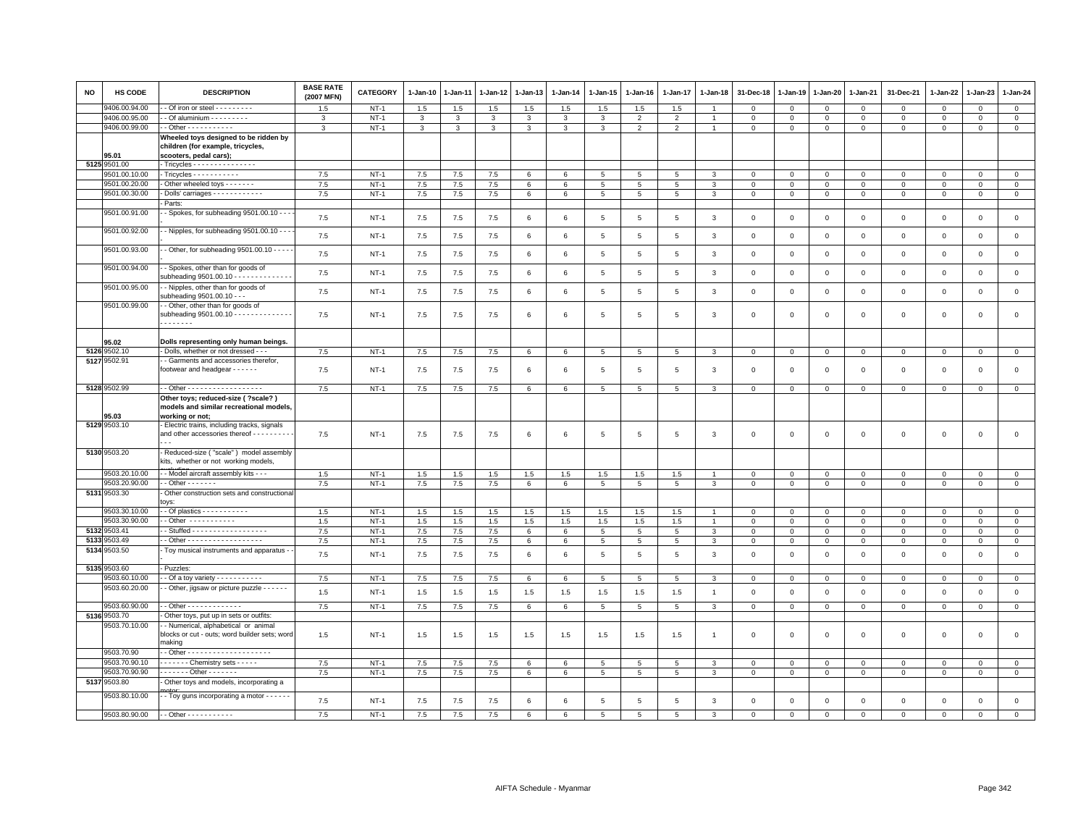| <b>NO</b> | HS CODE       | <b>DESCRIPTION</b>                                                                                   | <b>BASE RATE</b><br>(2007 MFN) | CATEGORY | 1-Jan-10     | 1-Jan-11 | 1-Jan-12     | 1-Jan-13        | $1-Jan-14$   | 1-Jan-15        | $1 - Jan-16$   | $1 - Jan-17$    | 1-Jan-18       | 31-Dec-18      | 1-Jan-19    | 1-Jan-20     | 1-Jan-21       | 31-Dec-21           | $1-Jan-22$   | 1-Jan-23       | $1 - Jan-24$   |
|-----------|---------------|------------------------------------------------------------------------------------------------------|--------------------------------|----------|--------------|----------|--------------|-----------------|--------------|-----------------|----------------|-----------------|----------------|----------------|-------------|--------------|----------------|---------------------|--------------|----------------|----------------|
|           | 9406.00.94.00 | - Of iron or steel - - - - - - - - -                                                                 | 1.5                            | $NT-1$   | 1.5          | 1.5      | 1.5          | 1.5             | 1.5          | 1.5             | 1.5            | 1.5             |                | $^{\circ}$     | $\mathbf 0$ | $\mathbf 0$  | $\mathbf 0$    | 0                   | $\mathbf 0$  | $\mathbf 0$    | $\mathbf 0$    |
|           | 9406.00.95.00 | - Of aluminium - - - - - - - - -                                                                     | 3                              | $NT-1$   | 3            | 3        | 3            | 3               | 3            | 3               | $\overline{2}$ | $\overline{2}$  |                | $\,0\,$        | $\,0\,$     | $\mathbf 0$  | $\mathbf 0$    | $\mathsf 0$         | $\mathbf 0$  | $\mathsf 0$    | $\overline{0}$ |
|           | 9406.00.99.00 | $-$ Other $        -$                                                                                | 3                              | $NT-1$   | $\mathbf{3}$ | 3        | $\mathbf{3}$ | $\mathbf{3}$    | $\mathbf{3}$ | $\mathbf{3}$    | 2              | 2               | $\overline{1}$ | $\mathbf{0}$   | $\mathbf 0$ | $\mathbf{0}$ | $\mathbf{0}$   | $\mathbf{0}$        | $\mathbf 0$  | $\mathbf{0}$   | $\mathbf{0}$   |
|           | 95.01         | Wheeled toys designed to be ridden by<br>children (for example, tricycles,<br>scooters, pedal cars); |                                |          |              |          |              |                 |              |                 |                |                 |                |                |             |              |                |                     |              |                |                |
|           | 5125 9501.00  | Tricycles - - - - - - - - - - - - - - -                                                              |                                |          |              |          |              |                 |              |                 |                |                 |                |                |             |              |                |                     |              |                |                |
|           | 9501.00.10.00 | Tricycles - - - - - - - - - - -                                                                      | 7.5                            | $NT-1$   | 7.5          | 7.5      | 7.5          | 6               | 6            | 5               |                |                 |                | $\Omega$       | $\Omega$    | $\Omega$     | $\Omega$       | $\Omega$            | $\Omega$     | $\Omega$       | $\mathbf 0$    |
|           | 9501.00.20.00 | Other wheeled toys - - - - - -                                                                       | 7.5                            | $NT-1$   | 7.5          | 7.5      | 7.5          | $\,6\,$         | $\,6\,$      | $\,$ 5 $\,$     | 5              | $\overline{5}$  | 3              | $\mathbf 0$    | $\,0\,$     | $\mathsf 0$  | $\,$ 0         | $\mathsf 0$         | $\Omega$     | $\mathsf 0$    | $\mathsf 0$    |
|           | 9501.00.30.00 | Dolls' carriages - - - - - - - - - - - -                                                             | 7.5                            | $NT-1$   | 7.5          | 7.5      | 7.5          | 6               | 6            | 5               | 5              | 5               | 3              | $\mathbf 0$    | $\mathbf 0$ | $\mathbf 0$  | $\mathbf 0$    | $\mathbf 0$         | $\mathbf 0$  | $\mathbf 0$    | $\circ$        |
|           |               | Parts:                                                                                               |                                |          |              |          |              |                 |              |                 |                |                 |                |                |             |              |                |                     |              |                |                |
|           | 9501.00.91.00 | - Spokes, for subheading 9501.00.10 - -                                                              | 7.5                            | $NT-1$   | 7.5          | 7.5      | 7.5          | 6               | 6            | 5               | 5              | 5               | 3              | $\mathbf 0$    | $\mathbf 0$ | $\mathsf 0$  | $\mathbf 0$    | $\mathsf 0$         | $\mathbf 0$  | $\mathbf 0$    | $\mathbf 0$    |
|           | 9501.00.92.00 | - Nipples, for subheading 9501.00.10 - -                                                             | 7.5                            | $NT-1$   | $7.5\,$      | 7.5      | 7.5          | $\,6\,$         | $\,6\,$      | 5               | 5              | 5               | $\mathbf{3}$   | $\mathbf 0$    | $\mathsf 0$ | $\,0\,$      | $\,0\,$        | $\mathsf 0$         | $\mathbf 0$  | $\mathsf 0$    | $\mathbf 0$    |
|           | 9501.00.93.00 | - Other, for subheading 9501.00.10 - - - -                                                           | 7.5                            | $NT-1$   | $7.5\,$      | 7.5      | $7.5\,$      | 6               | $\,6\,$      | 5               | 5              | 5               | 3              | $\mathbf 0$    | $\mathsf 0$ | $\mathbf 0$  | $\mathbf 0$    | $\mathsf 0$         | $\mathbf 0$  | $\mathsf 0$    | $\mathsf 0$    |
|           | 9501.00.94.00 | - Spokes, other than for goods of<br>subheading 9501.00.10 - - - - - - - - - - - -                   | 7.5                            | $NT-1$   | 7.5          | 7.5      | 7.5          | 6               | 6            | 5               | 5              | 5               | 3              | $\mathbf 0$    | $\mathbf 0$ | $\mathsf 0$  | $\mathbf 0$    | $\mathsf 0$         | $\mathbf 0$  | $\mathbf 0$    | $\mathsf 0$    |
|           | 9501.00.95.00 | - Nipples, other than for goods of<br>subheading 9501.00.10 - - -                                    | 7.5                            | $NT-1$   | 7.5          | 7.5      | 7.5          | 6               | 6            | $\,$ 5 $\,$     | 5              | $\sqrt{5}$      | 3              | $\mathbf 0$    | $\mathsf 0$ | $\mathbf 0$  | $\mathsf 0$    | $\mathsf 0$         | $\mathsf 0$  | $\mathsf 0$    | $\mathsf 0$    |
|           | 9501.00.99.00 | - Other, other than for goods of<br>subheading 9501.00.10 - - - - - - - - - - - - - -<br>.           | 7.5                            | $NT-1$   | 7.5          | 7.5      | 7.5          | 6               | 6            | 5               | 5              | 5               | 3              | $\mathbf 0$    | $\mathbf 0$ | $\mathsf 0$  | $\mathbf 0$    | $\mathsf 0$         | $\mathbf 0$  | $\mathsf 0$    | $\mathsf 0$    |
|           | 95.02         | Dolls representing only human beings.                                                                |                                |          |              |          |              |                 |              |                 |                |                 |                |                |             |              |                |                     |              |                |                |
|           | 5126 9502.10  | - Dolls, whether or not dressed - -                                                                  | 7.5                            | $NT-1$   | 7.5          | 7.5      | 7.5          | 6               | 6            | 5               | 5              | $5\phantom{.0}$ | 3              | $\mathsf 0$    | $\mathbf 0$ | $\mathbf{0}$ | $\overline{0}$ | $\mathbf{0}$        | $\mathbf 0$  | $\overline{0}$ | $\mathsf 0$    |
|           | 5127 9502.91  | - Garments and accessories therefor,<br>footwear and headgear - - - - - -                            | 7.5                            | $NT-1$   | 7.5          | 7.5      | $7.5\,$      | 6               | 6            | 5               | 5              | 5               | 3              | $\mathbf 0$    | $\mathbf 0$ | $\mathsf 0$  | $\mathbf 0$    | $\mathsf 0$         | $\mathbf 0$  | $\mathbf 0$    | $\mathsf 0$    |
|           | 5128 9502.99  | - Other - - - - - - - - - - - - - - - - -                                                            | 7.5                            | $NT-1$   | 7.5          | 7.5      | 7.5          | $6\phantom{.0}$ | 6            | 5               | 5              | 5               | 3              | $\mathsf 0$    | $\mathsf 0$ | $\mathbf 0$  | $\mathbf 0$    | $\mathbf{0}$        | $\Omega$     | $\mathsf 0$    | $\mathbf{0}$   |
|           | 95.03         | Other toys; reduced-size ( ?scale? )<br>models and similar recreational models,<br>working or not;   |                                |          |              |          |              |                 |              |                 |                |                 |                |                |             |              |                |                     |              |                |                |
|           | 5129 9503.10  | Electric trains, including tracks, signals                                                           |                                |          |              |          |              |                 |              |                 |                |                 |                |                |             |              |                |                     |              |                |                |
|           |               | and other accessories thereof - - - - - - - - -                                                      | 7.5                            | $NT-1$   | 7.5          | 7.5      | 7.5          | 6               | 6            | 5               | 5              | 5               | 3              | $\mathbf 0$    | $\mathbf 0$ | $\mathsf 0$  | $\mathbf 0$    | $\mathsf 0$         | $\mathbf 0$  | $\mathbf 0$    | $\mathsf 0$    |
|           | 5130 9503.20  | Reduced-size ("scale") model assembly<br>kits, whether or not working models,                        |                                |          |              |          |              |                 |              |                 |                |                 |                |                |             |              |                |                     |              |                |                |
|           | 9503.20.10.00 | - Model aircraft assembly kits - - -                                                                 | 1.5                            | $NT-1$   | 1.5          | 1.5      | 1.5          | 1.5             | 1.5          | 1.5             | 1.5            | 1.5             |                | $\mathbf 0$    | $\mathbf 0$ | $\mathsf 0$  | $\mathbf 0$    | $\mathbf 0$         | $\mathbf{0}$ | $\mathbf 0$    | $\mathbf 0$    |
|           | 9503.20.90.00 | $-$ Other $     -$                                                                                   | 7.5                            | $NT-1$   | $7.5\,$      | 7.5      | $7.5\,$      | 6               | 6            | 5               | 5              | $\overline{5}$  | $\mathcal{R}$  | $\mathbf 0$    | $\mathsf 0$ | $\mathbf 0$  | $\mathbf 0$    | $\mathbf{0}$        | $\mathbf 0$  | $\mathbf 0$    | $\circ$        |
|           | 5131 9503.30  | Other construction sets and constructiona<br>OVS:                                                    |                                |          |              |          |              |                 |              |                 |                |                 |                |                |             |              |                |                     |              |                |                |
|           | 9503.30.10.00 |                                                                                                      | 1.5                            | $NT-1$   | 1.5          | 1.5      | 1.5          | 1.5             | 1.5          | 1.5             | 1.5            | 1.5             |                | $\mathbf 0$    | $\mathbf 0$ | $\mathbf 0$  | $\mathbf 0$    | $\mathbf 0$         | $\mathbf{0}$ | $\Omega$       | $\mathbf{0}$   |
|           | 9503.30.90.00 | - Other -----------                                                                                  | 1.5                            | $NT-1$   | 1.5          | 1.5      | 1.5          | 1.5             | 1.5          | 1.5             | 1.5            | 1.5             | $\overline{1}$ | $\mathbf 0$    | $\mathsf 0$ | $\mathbf 0$  | $\mathbf 0$    | $\mathsf 0$         | $\mathbf{0}$ | $\mathbf 0$    | $\circ$        |
| 5132      | 9503.41       | - Stuffed - - - - - - - - - - - - - - - - -                                                          | 7.5                            | $NT-1$   | 7.5          | $7.5\,$  | $7.5\,$      | 6               | 6            | $\,$ 5 $\,$     | 5              | $\overline{5}$  | 3              | $\mathbf 0$    | $\mathsf 0$ | $\mathbf 0$  | $\,0\,$        | $\mathsf{O}\xspace$ | $\mathbf 0$  | $\mathbf 0$    | $\mathbf 0$    |
| 5133      | 3503.49       | - Other - - - - - - - - - - - - - - - - -                                                            | 7.5                            | $NT-1$   | 7.5          | 7.5      | 7.5          | 6               | 6            | 5               | 5              | 5               | 3              | $\mathbf 0$    | $\mathbf 0$ | $\mathbf{0}$ | $\mathbf{0}$   | $\mathbf{0}$        | $\Omega$     | $\mathbf{0}$   | $\mathbf{0}$   |
|           | 5134 9503.50  | Toy musical instruments and apparatus -                                                              | 7.5                            | $NT-1$   | 7.5          | 7.5      | 7.5          | 6               | $\,6\,$      | $5\phantom{.0}$ | 5              | 5               | 3              | $\mathbf 0$    | $\mathbf 0$ | $\mathbf 0$  | $\mathbf 0$    | $\mathsf 0$         | $\mathsf 0$  | $\mathsf 0$    | $\mathsf 0$    |
|           | 5135 9503.60  | - Puzzles:                                                                                           |                                |          |              |          |              |                 |              |                 |                |                 |                |                |             |              |                |                     |              |                |                |
|           | 9503.60.10.00 | - Of a toy variety $- - - - - - - - -$                                                               | 7.5                            | $NT-1$   | 7.5          | 7.5      | 7.5          | 6               | 6            | 5               | 5              | 5               | 3              | $\mathbf 0$    | $\mathbf 0$ | $\mathbf 0$  | $\mathbf 0$    | $\mathbf 0$         | $\mathbf 0$  | $\mathbf 0$    | $\mathbf 0$    |
|           | 9503.60.20.00 | - Other, jigsaw or picture puzzle - - - - - -                                                        | 1.5                            | $NT-1$   | 1.5          | 1.5      | 1.5          | 1.5             | 1.5          | 1.5             | 1.5            | 1.5             | $\overline{1}$ | $\mathbf 0$    | $\mathbf 0$ | $\mathbf 0$  | $\mathbf 0$    | $\mathbf{0}$        | $\mathbf 0$  | $\mathbf{0}$   | $\mathsf 0$    |
|           | 9503.60.90.00 | $-$ Other - - - - - - - - - - - - -                                                                  | 7.5                            | $NT-1$   | 7.5          | 7.5      | 7.5          | 6               | 6            | $5\overline{5}$ | 5              | 5               | 3              | $\mathbf 0$    | $\mathbf 0$ | $\mathbf{0}$ | $\overline{0}$ | $\mathbf 0$         | $\mathbf{0}$ | $\mathbf 0$    | $\overline{0}$ |
|           | 5136 9503.70  | Other toys, put up in sets or outfits:                                                               |                                |          |              |          |              |                 |              |                 |                |                 |                |                |             |              |                |                     |              |                |                |
|           | 9503.70.10.00 | - Numerical, alphabetical or animal<br>blocks or cut - outs; word builder sets; word<br>making       | 1.5                            | $NT-1$   | 1.5          | 1.5      | 1.5          | 1.5             | 1.5          | 1.5             | 1.5            | 1.5             |                | $\mathbf 0$    | $\Omega$    | $\Omega$     | $\mathbf 0$    | $\Omega$            | $\mathbf 0$  | $\mathbf{0}$   | $\mathbf 0$    |
|           | 9503.70.90    |                                                                                                      |                                |          |              |          |              |                 |              |                 |                |                 |                |                |             |              |                |                     |              |                |                |
|           | 9503.70.90.10 | ------ Chemistry sets -----                                                                          | 7.5                            | $NT-1$   | 7.5          | 7.5      | 7.5          | 6               | 6            | 5               | 5              | $5\overline{5}$ | $\mathbf{3}$   | $\overline{0}$ | $\mathbf 0$ | $\mathbf 0$  | $\overline{0}$ | $\mathbf 0$         | $\mathbf 0$  | $\mathbf{0}$   | $\mathbf{0}$   |
|           | 9503.70.90.90 | $---$ Other - - - - - -                                                                              | 7.5                            | $NT-1$   | 7.5          | 7.5      | $7.5\,$      | 6               | 6            | 5               | 5              | 5               | 3              | $\mathbf 0$    | $\mathbf 0$ | $\mathbf 0$  | $\mathbf 0$    | $\mathsf 0$         | $\mathbf 0$  | $\mathbf 0$    | $\mathsf 0$    |
|           | 5137 9503.80  | Other toys and models, incorporating a                                                               |                                |          |              |          |              |                 |              |                 |                |                 |                |                |             |              |                |                     |              |                |                |
|           | 9503.80.10.00 | . - Toy guns incorporating a motor - - - - - -                                                       | 7.5                            | $NT-1$   | 7.5          | 7.5      | 7.5          | 6               | 6            | 5               | $\overline{5}$ | 5               | 3              | $\Omega$       | $\mathbf 0$ | $\mathbf 0$  | $\Omega$       | $\mathbf 0$         | $\Omega$     | $\mathbf{0}$   | $\mathbf 0$    |
|           |               | 9503.80.90.00 - - Other - - - - - - - - - - -                                                        | 7.5                            | $NT-1$   | 7.5          | 7.5      | 7.5          | 6               | 6            | $5^{\circ}$     | $5^{\circ}$    | $\overline{5}$  | $\mathcal{R}$  | $\Omega$       | $\Omega$    | $\mathbf 0$  | $\Omega$       | $\Omega$            | $\Omega$     | $\Omega$       | $\Omega$       |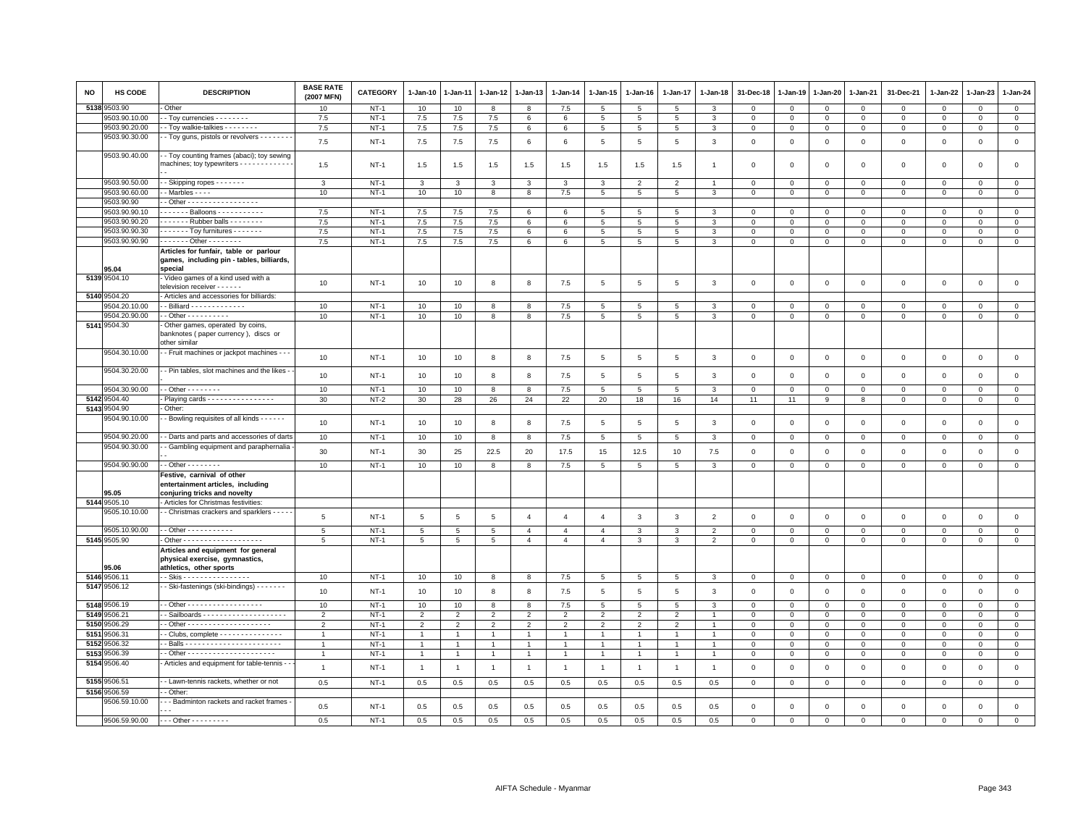| <b>NO</b> | <b>HS CODE</b>        | <b>DESCRIPTION</b>                                                                                                                             | <b>BASE RATE</b><br>(2007 MFN) | <b>CATEGORY</b> | 1-Jan-10       | 1-Jan-11       | 1-Jan-12       | 1-Jan-13       | 1-Jan-14       | 1-Jan-15        | 1-Jan-16        | 1-Jan-17       | 1-Jan-18       | 31-Dec-18    | 1-Jan-19     | 1-Jan-20       | 1-Jan-21     | 31-Dec-21    | 1-Jan-22     | 1-Jan-23     | 1-Jan-24       |
|-----------|-----------------------|------------------------------------------------------------------------------------------------------------------------------------------------|--------------------------------|-----------------|----------------|----------------|----------------|----------------|----------------|-----------------|-----------------|----------------|----------------|--------------|--------------|----------------|--------------|--------------|--------------|--------------|----------------|
| 5138      | 3503.90               | Other                                                                                                                                          | 10                             | $NT-1$          | 10             | 10             | 8              | 8              | 7.5            | 5               | 5               | 5              | 3              | $\mathbf 0$  | $\mathbf 0$  | $\mathbf 0$    | $\mathbf 0$  | $\mathsf 0$  | $\mathbf 0$  | $\mathsf 0$  | $\mathbf 0$    |
|           | 9503.90.10.00         | - Toy currencies - - - - - - - -                                                                                                               | 7.5                            | $NT-1$          | 7.5            | 7.5            | 7.5            | 6              | $\,6\,$        | $5\phantom{.0}$ | $5\phantom{.0}$ | 5              | $\mathbf{3}$   | 0            | $\mathbf 0$  | $\mathbf{0}$   | $^{\circ}$   | $\mathbf 0$  | $\mathbf 0$  | $\mathbf{0}$ | $\overline{0}$ |
|           | 9503.90.20.00         | - Toy walkie-talkies - - - - - - -                                                                                                             | 7.5                            | $NT-1$          | 7.5            | 7.5            | 7.5            | 6              | 6              | 5               | $5\phantom{.0}$ | 5              | $\mathbf{3}$   | $\mathbf 0$  | $\mathbf 0$  | $\mathbf{0}$   | $\mathbf 0$  | $\mathbf 0$  | $\mathbf 0$  | $\mathsf 0$  | $\mathbf 0$    |
|           | 9503.90.30.00         | - Toy guns, pistols or revolvers - - - - - - -                                                                                                 | 7.5                            | $NT-1$          | 7.5            | 7.5            | 7.5            | 6              | $\,6\,$        | $\,$ 5 $\,$     | $\,$ 5 $\,$     | 5              | $\mathbf{3}$   | $\mathsf 0$  | $\mathbf 0$  | $\mathbf 0$    | $\mathbf 0$  | $\mathsf 0$  | $\mathbf 0$  | $\mathsf 0$  | $\mathsf 0$    |
|           | 9503.90.40.00         | - Toy counting frames (abaci); toy sewing<br>machines; toy typewriters - - - - - - - - - - -                                                   | 1.5                            | $NT-1$          | 1.5            | 1.5            | 1.5            | 1.5            | 1.5            | 1.5             | 1.5             | 1.5            | -1             | $\mathbf 0$  | $\mathbf 0$  | $\mathbf 0$    | $\mathbf 0$  | $\mathsf 0$  | 0            | $^{\circ}$   | $\mathsf 0$    |
|           | 9503.90.50.00         | - Skipping ropes - - - - - - -                                                                                                                 | 3                              | $NT-1$          | 3              | 3              | 3              | $\mathbf{3}$   | 3              | 3               | $\overline{2}$  | $\overline{2}$ |                | $\mathbf 0$  | $\mathbf 0$  | $\mathbf 0$    | $\Omega$     | $\mathsf 0$  | $\Omega$     | $^{\circ}$   | $\mathbf 0$    |
|           | 9503.90.60.00         | $-Marbles - - -$                                                                                                                               | 10                             | $NT-1$          | 10             | 10             | 8              | 8              | 7.5            | 5               | 5               | 5              | 3              | $\mathbf 0$  | $\mathbf 0$  | $\mathbf 0$    | $\mathbf 0$  | $\mathsf 0$  | $\mathbf 0$  | $\mathsf 0$  | $\mathbf 0$    |
|           | 9503.90.90            | - Other - - - - - - - - - - - - - - - - -                                                                                                      |                                |                 |                |                |                |                |                |                 |                 |                |                |              |              |                |              |              |              |              |                |
|           | 9503.90.90.10         | ------ Balloons -----------                                                                                                                    | 7.5                            | $NT-1$          | 7.5            | 7.5            | 7.5            | 6              | 6              | 5               | 5               | 5              | 3              | $\mathbf 0$  | $\mathbf 0$  | $\mathbf 0$    | $\mathbf 0$  | $\mathsf 0$  | $\mathbf 0$  | $\mathsf 0$  | $\mathbf 0$    |
|           | 9503.90.90.20         | Rubber balls - - - - - - - -                                                                                                                   | 7.5                            | $NT-1$          | 7.5            | 7.5            | 7.5            | 6              | 6              | $\overline{5}$  | $5\phantom{.0}$ | 5              | 3              | $\mathbf{0}$ | $\mathbf 0$  | $\mathbf{0}$   | $\mathbf{0}$ | $\mathbf 0$  | $\mathbf 0$  | 0            | $\overline{0}$ |
|           | 9503.90.90.30         | $\cdots$ $\cdots$ Toy furnitures $\cdots$                                                                                                      | 7.5                            | $NT-1$          | 7.5            | 7.5            | 7.5            | $\epsilon$     | 6              | 5               | 5               | $5^{\circ}$    | $\mathcal{R}$  | $\mathbf{0}$ | $\Omega$     | $\Omega$       | $\mathbf 0$  | $\mathbf 0$  | $\Omega$     | $\mathbf 0$  | $\mathbf{0}$   |
|           | 9503.90.90.90         | . - Other - - - - - - - .                                                                                                                      | 7.5                            | $NT-1$          | 7.5            | 7.5            | 7.5            | 6              | 6              | 5               | $5\phantom{.0}$ | 5              | 3              | $\mathbf 0$  | $\mathbf 0$  | $\mathbf 0$    | $\mathbf 0$  | $\mathsf 0$  | $\mathbf{0}$ | $\mathsf 0$  | $\mathsf 0$    |
|           | 95.04<br>5139 9504.10 | Articles for funfair, table or parlour<br>games, including pin - tables, billiards,<br>special<br>- Video games of a kind used with a          |                                |                 |                |                |                |                |                |                 |                 |                |                |              |              |                |              |              |              |              |                |
|           |                       | television receiver - - - - - -                                                                                                                | 10                             | $NT-1$          | 10             | 10             | 8              | 8              | 7.5            | 5               | 5               | 5              | 3              | $\mathbf 0$  | $\mathbf 0$  | $\mathbf 0$    | $\mathbf 0$  | $\mathsf 0$  | $\mathbf 0$  | $\mathsf 0$  | $\mathsf 0$    |
|           | 5140 9504.20          | - Articles and accessories for billiards:                                                                                                      |                                |                 |                |                |                |                |                |                 |                 |                |                |              |              |                |              |              |              |              |                |
|           | 9504.20.10.00         | $\cdot$ - Billiard - - - - - - - - - - - - -                                                                                                   | 10                             | $NT-1$          | 10             | 10             | 8              | 8              | $7.5\,$        | 5               | 5               | 5              | 3              | $\mathbf 0$  | $\mathbf 0$  | $\mathbf 0$    | $\mathbf 0$  | $\mathsf 0$  | $\Omega$     | $^{\circ}$   | $\mathbf 0$    |
|           | 9504.20.90.00         | - Other - - - - - - - - - -                                                                                                                    | 10                             | $NT-1$          | 10             | 10             | 8              | 8              | $7.5\,$        | $\,$ 5 $\,$     | $5\phantom{.0}$ | 5              | 3              | $\mathbf 0$  | $\mathbf 0$  | $\mathbf{O}$   | $\mathbf{0}$ | $\mathbf 0$  | $\mathbf 0$  | $\mathsf 0$  | $\mathbf 0$    |
|           | 5141 9504.30          | Other games, operated by coins,<br>banknotes (paper currency), discs or<br>other similar                                                       |                                |                 |                |                |                |                |                |                 |                 |                |                |              |              |                |              |              |              |              |                |
|           | 9504.30.10.00         | - Fruit machines or jackpot machines - -                                                                                                       | 10                             | $NT-1$          | 10             | 10             | 8              | 8              | 7.5            | $5\phantom{.0}$ | $\,$ 5          | 5              | 3              | $\mathsf 0$  | $\mathbf{0}$ | $\overline{0}$ | $\mathbf{0}$ | $\mathbf{0}$ | $\mathbf{0}$ | $\mathbf{0}$ | $\mathsf 0$    |
|           | 9504.30.20.00         | - Pin tables, slot machines and the likes -                                                                                                    | 10                             | $NT-1$          | 10             | 10             | 8              | 8              | 7.5            | 5               | 5               | 5              | 3              | $\mathbf 0$  | $\mathbf 0$  | $\mathbf 0$    | $\mathbf 0$  | $\mathsf 0$  | $\mathbf 0$  | $\mathsf 0$  | $\mathsf 0$    |
|           | 9504.30.90.00         | $-$ Other $      -$                                                                                                                            | 10                             | $NT-1$          | 10             | 10             | 8              | 8              | $7.5\,$        | 5               | 5               | 5              | 3              | $\mathbf 0$  | $\mathbf 0$  | $\mathbf 0$    | $\mathbf 0$  | $\mathsf 0$  | $\mathbf 0$  | $\mathsf 0$  | $\mathbf 0$    |
| 5142      | 9504.40               | - Playing cards - - - - - - - - - - - - - - -                                                                                                  | 30                             | $NT-2$          | 30             | 28             | 26             | 24             | 22             | 20              | 18              | 16             | 14             | 11           | 11           | 9              | 8            | $\mathbf{0}$ | $\mathbf{0}$ | $\mathbf{0}$ | $\overline{0}$ |
| 5143      | 3504.90               | Other:                                                                                                                                         |                                |                 |                |                |                |                |                |                 |                 |                |                |              |              |                |              |              |              |              |                |
|           | 9504.90.10.00         | - Bowling requisites of all kinds - - - - - -                                                                                                  | 10                             | $NT-1$          | 10             | 10             | 8              | 8              | 7.5            | $\,$ 5 $\,$     | $\,$ 5          | 5              | $\mathbf{3}$   | $\,0\,$      | $\mathbf 0$  | $\mathbf 0$    | $\mathbf 0$  | $\mathsf 0$  | $\mathsf 0$  | $\mathsf 0$  | $\mathsf 0$    |
|           | 9504.90.20.00         | - Darts and parts and accessories of darts                                                                                                     | 10                             | $NT-1$          | 10             | 10             | 8              | 8              | 7.5            | 5               | 5               | 5              | $\mathbf{3}$   | $\mathbf 0$  | $\mathbf 0$  | $\overline{0}$ | $\mathbf{0}$ | $\mathbf 0$  | $\mathbf{0}$ | $\mathbf{0}$ | $\mathbf{0}$   |
|           | 9504.90.30.00         | - Gambling equipment and paraphernalia                                                                                                         | 30                             | $NT-1$          | 30             | 25             | 22.5           | 20             | 17.5           | 15              | 12.5            | 10             | 7.5            | 0            | $\mathbf 0$  | $\mathbf 0$    | $\mathbf 0$  | $\mathsf 0$  | $\mathbf{0}$ | 0            | $\mathbf 0$    |
|           | 9504.90.90.00         | - - Other - - - - - - - -                                                                                                                      | 10                             | $NT-1$          | 10             | 10             | 8              | 8              | 7.5            | 5               | $5\phantom{.0}$ | 5              | $\mathbf{3}$   | $\mathbf{0}$ | $\mathsf 0$  | $\mathbf{0}$   | $\mathsf 0$  | $\mathbf 0$  | $\mathbf 0$  | $\mathsf 0$  | $\mathbf 0$    |
|           | 15.05                 | Festive, carnival of other<br>entertainment articles, including<br>conjuring tricks and novelty                                                |                                |                 |                |                |                |                |                |                 |                 |                |                |              |              |                |              |              |              |              |                |
| 5144      | 9505.10               | Articles for Christmas festivities:                                                                                                            |                                |                 |                |                |                |                |                |                 |                 |                |                |              |              |                |              |              |              |              |                |
|           | 9505.10.10.00         | - - Christmas crackers and sparklers - - - -                                                                                                   | 5                              | $NT-1$          | 5              | 5              | $\overline{5}$ | $\overline{4}$ | $\overline{4}$ | $\overline{4}$  | 3               | 3              | $\overline{2}$ | $\mathbf 0$  | $\mathbf 0$  | $\mathbf 0$    | $\mathbf 0$  | $\mathsf 0$  | $\mathbf 0$  | $\mathsf 0$  | $\mathsf 0$    |
|           | 9505.10.90.00         | - - Other - - - - - - - - - - -                                                                                                                | 5                              | $NT-1$          | 5              | 5              | 5              | $\overline{4}$ | $\overline{4}$ | $\overline{4}$  | 3               | 3              | $\mathfrak{p}$ | $\Omega$     | $\Omega$     | $\Omega$       | $\Omega$     | $\mathbf 0$  | $\Omega$     | $\Omega$     | $\mathbf 0$    |
|           | 5145 9505.90<br>95.06 | - Other - - - - - - - - - - - - - - - - - -<br>Articles and equipment for general<br>physical exercise, gymnastics,<br>athletics, other sports | 5                              | $NT-1$          | $\overline{5}$ | 5              | 5              | $\overline{4}$ | $\overline{4}$ | $\overline{4}$  | $\mathbf{3}$    | 3              | $\overline{2}$ | $\mathbf 0$  | $\mathbf 0$  | $\mathbf 0$    | $\mathsf 0$  | $\mathsf 0$  | $\mathbf 0$  | $\mathsf 0$  | $\overline{0}$ |
|           | 5146 9506.11          | - - Skis - - - - - - - - - - - - - - -                                                                                                         | 10                             | $NT-1$          | 10             | 10             | 8              | 8              | 7.5            | $5\phantom{.0}$ | 5 <sup>5</sup>  | 5              | $\mathbf{3}$   | $\mathbf{0}$ | $\mathbf{0}$ | $\mathbf{0}$   | $\mathbf{0}$ | $\mathbf{0}$ | $\mathbf{0}$ | $\mathbf{0}$ | $\mathbf{0}$   |
|           | 5147 9506.12          | - Ski-fastenings (ski-bindings) - - - - - - -                                                                                                  | 10                             | $NT-1$          | 10             | 10             | 8              | 8              | 7.5            | $\,$ 5 $\,$     | $\,$ 5 $\,$     | $\overline{5}$ | 3              | $\mathsf 0$  | $\mathbf 0$  | $\mathbf 0$    | $\mathbf 0$  | $\mathsf 0$  | $\mathsf 0$  | $\mathbf 0$  | $\mathsf 0$    |
|           | 5148 9506.19          | - - Other - - - - - - - - - - - - - - - - -                                                                                                    | 10                             | $NT-1$          | 10             | 10             | 8              | 8              | 7.5            | 5               | 5               | 5              | 3              | $\mathbf 0$  | $\mathbf 0$  | $\mathbf 0$    | $\mathbf 0$  | $\mathsf 0$  | $\circ$      | $\mathbf 0$  | $\mathsf 0$    |
| 5149      | 9506.21               |                                                                                                                                                | $\overline{2}$                 | $NT-1$          | $\overline{2}$ | $\overline{2}$ | $\overline{2}$ | $\overline{2}$ | 2              | 2               | $\overline{2}$  | $\overline{2}$ | 1              | $\mathbf 0$  | $\mathbf 0$  | $\Omega$       | $\circ$      | $\Omega$     | $\Omega$     | $\Omega$     | $\mathbf{0}$   |
| 5150      | 9506.29               |                                                                                                                                                | $\overline{2}$                 | $NT-1$          | $\overline{2}$ | $\overline{2}$ | $\overline{2}$ | $\overline{2}$ | $\overline{2}$ | $\overline{2}$  | $\overline{2}$  | 2              | $\overline{1}$ | $\mathbf 0$  | $\mathbf 0$  | $\mathbf 0$    | $\mathbf 0$  | $\mathbf 0$  | $\mathbf 0$  | $\mathsf 0$  | $\mathbf 0$    |
| 5151      | 9506.31               | - Clubs, complete - - - - - - - - - - - - - -                                                                                                  |                                | $NT-1$          | $\overline{1}$ |                |                |                | $\overline{1}$ | $\overline{1}$  | $\overline{1}$  | $\overline{1}$ |                | $\mathbf 0$  | $\Omega$     | $\mathbf 0$    | $\Omega$     | $\mathsf 0$  | $\Omega$     | $\Omega$     | $\mathbf 0$    |
|           | 5152 9506.32          |                                                                                                                                                |                                | $NT-1$          | $\mathbf{1}$   |                | $\overline{1}$ | $\overline{1}$ | $\overline{1}$ | $\mathbf{1}$    | $\mathbf{1}$    | $\overline{1}$ |                | $\mathbf 0$  | $\mathbf 0$  | $\mathbf 0$    | $\mathbf 0$  | $\mathsf 0$  | $\mathbf 0$  | $\mathbf 0$  | $\overline{0}$ |
| 5153      | 3506.39               |                                                                                                                                                | $\overline{1}$                 | $NT-1$          | $\mathbf{1}$   |                | $\overline{1}$ | $\mathbf{1}$   | $\overline{1}$ | $\mathbf{1}$    | $\mathbf{1}$    | $\mathbf{1}$   | $\overline{1}$ | $\mathbf 0$  | $\mathbf 0$  | $\mathbf 0$    | $\mathbf 0$  | $\mathsf 0$  | $\mathbf 0$  | $\mathsf 0$  | $\mathbf 0$    |
| 5154      | 3506.40               | Articles and equipment for table-tennis -                                                                                                      | $\overline{1}$                 | $NT-1$          | $\overline{1}$ | $\overline{1}$ | $\overline{1}$ | $\overline{1}$ | $\overline{1}$ | $\overline{1}$  | $\overline{1}$  | $\overline{1}$ | $\overline{1}$ | 0            | $\mathbf 0$  | $\mathsf 0$    | $\mathbf 0$  | $\mathsf 0$  | $\circ$      | $\mathsf 0$  | $\mathsf 0$    |
| 5155      | 3506.51               | - Lawn-tennis rackets, whether or not                                                                                                          | 0.5                            | $NT-1$          | 0.5            | 0.5            | 0.5            | 0.5            | 0.5            | 0.5             | 0.5             | 0.5            | 0.5            | $\mathbf 0$  | $\mathbf 0$  | $\mathsf 0$    | $\mathsf 0$  | $\mathsf 0$  | $\mathsf 0$  | $\mathsf 0$  | $\mathbf 0$    |
|           | 5156 9506.59          | - Other:                                                                                                                                       |                                |                 |                |                |                |                |                |                 |                 |                |                |              |              |                |              |              |              |              |                |
|           | 9506.59.10.00         | - - Badminton rackets and racket frames                                                                                                        | 0.5                            | $NT-1$          | 0.5            | 0.5            | 0.5            | 0.5            | 0.5            | 0.5             | 0.5             | 0.5            | 0.5            | $\mathbf 0$  | $\mathbf 0$  | $\mathbf 0$    | $\mathsf 0$  | $\mathsf 0$  | $\mathsf 0$  | $\mathsf 0$  | $\mathsf 0$    |
|           | 9506.59.90.00         | --- Other ---------                                                                                                                            | 0.5                            | $NT-1$          | 0.5            | 0.5            | 0.5            | 0.5            | 0.5            | 0.5             | 0.5             | 0.5            | 0.5            | $\Omega$     | $\Omega$     | $\Omega$       | $\Omega$     | $\Omega$     | $\Omega$     | $\Omega$     | $\mathbf{0}$   |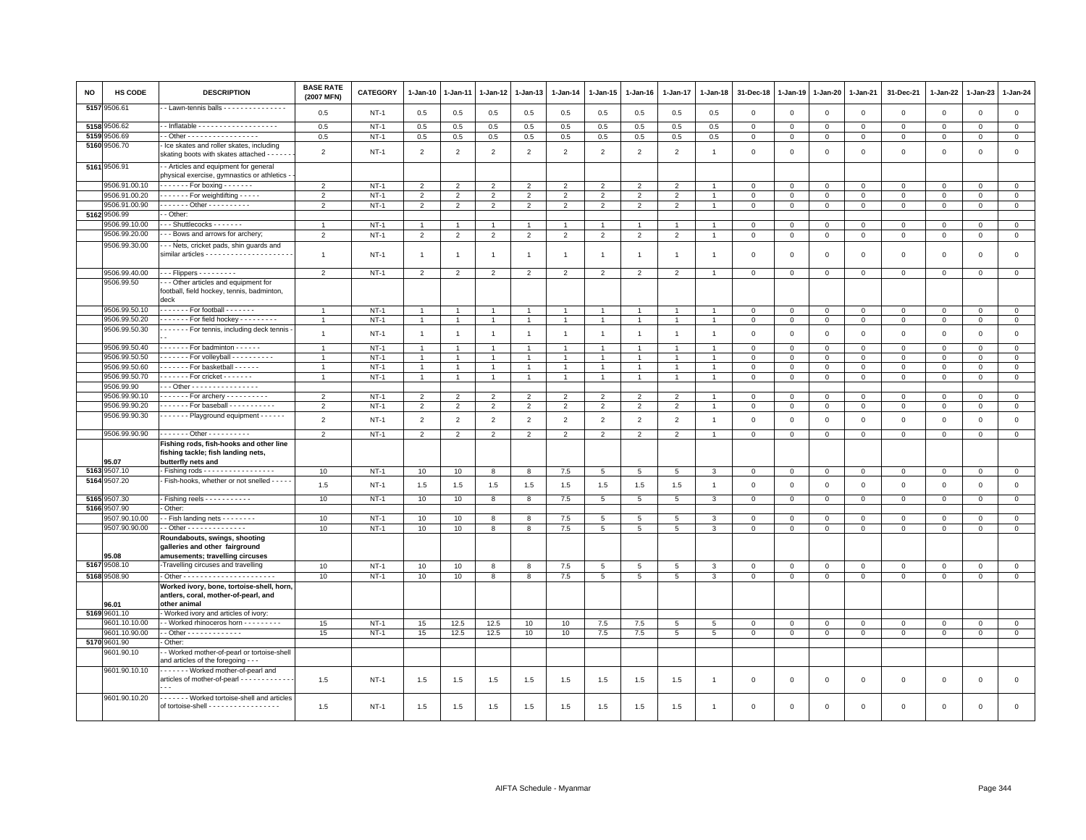| NO   | HS CODE                     | <b>DESCRIPTION</b>                                                                                                              | <b>BASE RATE</b><br>(2007 MFN) | CATEGORY    | $1 - Jan-10$   | 1-Jan-11                 | 1-Jan-12       | 1-Jan-13       | $1 - Jan-14$   | $1 - Jan-15$    | $1-Jan-16$      | 1-Jan-17        | 1-Jan-18       | 31-Dec-18      | 1-Jan-19       | 1-Jan-20       | 1-Jan-21     | 31-Dec-21    | $1 - Jan-22$ | 1-Jan-23    | $1 - Jan-24$   |
|------|-----------------------------|---------------------------------------------------------------------------------------------------------------------------------|--------------------------------|-------------|----------------|--------------------------|----------------|----------------|----------------|-----------------|-----------------|-----------------|----------------|----------------|----------------|----------------|--------------|--------------|--------------|-------------|----------------|
| 5157 | 9506.61                     | - Lawn-tennis balls - - - - - - - - - - - - - - -                                                                               | 0.5                            | $NT-1$      | 0.5            | 0.5                      | 0.5            | 0.5            | 0.5            | 0.5             | 0.5             | 0.5             | 0.5            | $\mathbf{0}$   | $\overline{0}$ | $\mathbf{0}$   | $\mathbf{0}$ | $\mathbf 0$  | $\mathbf 0$  | $\mathbf 0$ | $\circ$        |
|      | 5158 9506.62                |                                                                                                                                 | 0.5                            | $NT-1$      | $0.5\,$        | 0.5                      | 0.5            | 0.5            | 0.5            | 0.5             | 0.5             | 0.5             | 0.5            | $\mathbf 0$    | $\mathbf{0}$   | $\mathbf{0}$   | $\mathbf 0$  | $\mathbf 0$  | $\mathbf 0$  | $\mathbf 0$ | $\circ$        |
|      | 5159 9506.69                | . - Other - - - - - - - - - - - - - - - -                                                                                       | 0.5                            | $NT-1$      | 0.5            | 0.5                      | 0.5            | 0.5            | 0.5            | 0.5             | 0.5             | 0.5             | 0.5            | $\mathbf 0$    | $\mathbf{0}$   | $\mathbf{0}$   | $\mathbf{0}$ | $\mathbf{0}$ | $\mathbf 0$  | $\mathbf 0$ | $\mathbf 0$    |
|      | 5160 9506.70                | - Ice skates and roller skates, including<br>skating boots with skates attached - - -                                           | $\overline{2}$                 | $NT-1$      | $\overline{2}$ | $\overline{2}$           | $\overline{2}$ | $\overline{2}$ | $\overline{2}$ | $\overline{2}$  | $\overline{2}$  | $\overline{2}$  | $\overline{1}$ | $\mathbf 0$    | $\mathbf{0}$   | $\mathbf 0$    | $\mathbf 0$  | $\mathsf 0$  | $\mathbf 0$  | $\mathsf 0$ | $\mathsf 0$    |
|      | 5161 9506.91                | - Articles and equipment for general<br>physical exercise, gymnastics or athletics                                              |                                |             |                |                          |                |                |                |                 |                 |                 |                |                |                |                |              |              |              |             |                |
|      | 9506.91.00.10               | $\cdots$ . For boxing $\cdots$                                                                                                  | $\overline{2}$                 | $NT-1$      | $\overline{2}$ | $\overline{\phantom{a}}$ | $\overline{2}$ | $\overline{2}$ | $\overline{2}$ | $\overline{2}$  | $\overline{2}$  | $\overline{2}$  |                | $\Omega$       | $\mathbf 0$    | $\mathbf 0$    | $\mathbf 0$  | $\mathbf 0$  | $\Omega$     | $\Omega$    | $\overline{0}$ |
|      | 9506.91.00.20               | $\cdots$ - - - - For weightlifting - - - - -                                                                                    | $\overline{2}$                 | $NT-1$      | $\overline{2}$ | $\overline{2}$           | $\overline{2}$ | $\overline{2}$ | $\overline{2}$ | $\overline{2}$  | $\overline{2}$  | $\overline{2}$  |                | $\mathbf 0$    | $\mathbf 0$    | $\mathbf 0$    | $\mathbf 0$  | $\mathsf 0$  | $\Omega$     | $\mathsf 0$ | $\mathbf 0$    |
|      | 9506.91.00.90               | Other - - - - - - - - -                                                                                                         | $\overline{2}$                 | $NT-1$      | $\overline{2}$ | $\overline{2}$           | $\overline{2}$ | 2              | $\overline{2}$ | 2               | $\overline{2}$  | 2               | $\overline{1}$ | $\mathbf 0$    | $\mathbb O$    | $\mathbf{0}$   | $\mathbf 0$  | $\mathbf{0}$ | $\mathbf 0$  | $\mathbf 0$ | $\mathbf 0$    |
|      | 5162 9506.99                | - Other:                                                                                                                        |                                |             |                |                          |                |                |                |                 |                 |                 |                |                |                |                |              |              |              |             |                |
|      | 9506.99.10.00               | $-$ Shuttlecocks $- - - - -$                                                                                                    | $\overline{1}$                 | $NT-1$      | -1             |                          |                | -1             |                | -1              |                 |                 |                | $\mathbf 0$    | $\mathbf 0$    | $\mathbf 0$    | $\Omega$     | $^{\circ}$   | $^{\circ}$   | $\mathsf 0$ | $\overline{0}$ |
|      | 9506.99.20.00               | - - Bows and arrows for archery;                                                                                                | $\overline{2}$                 | $NT-1$      | $\overline{2}$ | $\overline{2}$           | $\overline{2}$ | $\overline{2}$ | $\overline{2}$ | $\overline{2}$  | $\overline{2}$  | $\overline{2}$  | $\overline{1}$ | $\,0\,$        | $\,$ 0         | $\,0\,$        | $\mathsf 0$  | $\mathsf 0$  | $\mathsf 0$  | $\mathsf 0$ | $\mathsf 0$    |
|      | 9506.99.30.00               | - - Nets, cricket pads, shin guards and                                                                                         | $\overline{1}$                 | $NT-1$      | $\overline{1}$ | $\overline{1}$           | $\overline{1}$ | $\overline{1}$ | $\overline{1}$ | $\mathbf{1}$    | $\overline{1}$  | -1              | -1             | $\mathbf 0$    | $\mathbf 0$    | $\mathbf 0$    | 0            | $\mathsf 0$  | $\mathbf 0$  | 0           | $\mathsf 0$    |
|      |                             |                                                                                                                                 |                                |             |                |                          |                |                |                |                 |                 |                 |                |                |                |                |              |              |              |             |                |
|      | 9506.99.40.00<br>9506.99.50 | $- -$ - Flippers - - - - - - - - -<br>-- Other articles and equipment for<br>football, field hockey, tennis, badminton,<br>deck | $\overline{2}$                 | $NT-1$      | 2              | $\overline{2}$           | $\overline{2}$ | $\overline{2}$ | $\overline{2}$ | $\overline{2}$  | $\overline{2}$  | $\overline{2}$  | $\overline{1}$ | $\mathbf 0$    | $\mathbb O$    | $\mathbf 0$    | $\mathsf 0$  | $\mathbf 0$  | $\mathbf 0$  | $\mathsf 0$ | $\mathbf{0}$   |
|      | 9506.99.50.10               | $\cdots$ For football $\cdots$                                                                                                  | $\overline{1}$                 | $NT-1$      | -1             |                          | $\mathbf{1}$   | $\mathbf{1}$   |                | $\overline{1}$  |                 |                 |                | $\mathbf 0$    | $\mathbf 0$    | $\mathbf 0$    | $\mathbf{0}$ | 0            | $\Omega$     | $\Omega$    | $\mathbf 0$    |
|      | 9506.99.50.20               | . For field hockey                                                                                                              | $\overline{1}$                 | $NT-1$      | $\overline{1}$ |                          | $\overline{1}$ | $\overline{1}$ | $\overline{1}$ | $\mathbf{1}$    |                 | $\overline{1}$  | $\overline{1}$ | $\mathbf 0$    | $\mathbf{0}$   | $\mathbf 0$    | $\mathbf 0$  | 0            | 0            | $\mathbf 0$ | $\mathbf 0$    |
|      | 9506.99.50.30               | For tennis, including deck tennis                                                                                               | $\mathbf{1}$                   | $NT-1$      | $\overline{1}$ | $\mathbf{1}$             | $\mathbf{1}$   | $\mathbf{1}$   | $\overline{1}$ | $\mathbf{1}$    | $\overline{1}$  | $\mathbf{1}$    | $\overline{1}$ | $\mathbf 0$    | $\mathbb O$    | $\mathbf 0$    | $\mathsf 0$  | $\mathsf 0$  | $\mathsf 0$  | $\mathbf 0$ | $\mathsf 0$    |
|      | 9506.99.50.40               | ------- For badminton ------                                                                                                    | $\overline{1}$                 | $NT-1$      | $\overline{1}$ |                          | $\overline{1}$ | $\mathbf{1}$   |                | $\mathbf{1}$    |                 |                 |                | $\Omega$       | $\Omega$       | $\mathbf{0}$   | $\mathbf 0$  | $\mathbf 0$  | $\mathbf 0$  | $\mathbf 0$ | $\mathbf{0}$   |
|      | 9506.99.50.50               | $\cdots$ For volleyball $\cdots$                                                                                                | $\overline{1}$                 | $NT-1$      | $\mathbf{1}$   |                          | $\overline{1}$ | $\overline{1}$ |                | $\mathbf{1}$    |                 | -1              |                | $\mathbf 0$    | $\mathsf 0$    | $\mathbf 0$    | $\mathbf 0$  | 0            | $\Omega$     | $\mathbf 0$ | $\mathbf{0}$   |
|      | 9506.99.50.60               | $\cdots$ For basketball $\cdots$                                                                                                | $\overline{1}$                 | $NT-1$      | $\overline{1}$ | $\mathbf{1}$             | $\overline{1}$ | $\overline{1}$ | $\overline{1}$ | $\mathbf{1}$    | $\overline{1}$  | $\overline{1}$  | $\overline{1}$ | $\mathbf 0$    | $\mathbf 0$    | $\mathbf 0$    | $\mathbf 0$  | $\mathsf 0$  | $\mathbf 0$  | $\mathsf 0$ | $\mathbf 0$    |
|      | 9506.99.50.70               | For cricket - - - - - - -                                                                                                       | $\overline{1}$                 | $NT-1$      | $\overline{1}$ | 1                        |                | $\overline{1}$ |                | $\overline{1}$  |                 | 1               | $\overline{1}$ | $\mathbf 0$    | $\mathbf 0$    | $\mathsf 0$    | $\mathsf 0$  | $\mathsf 0$  | $\Omega$     | 0           | $\overline{0}$ |
|      | 9506.99.90                  | -- Other - - - - - - - - - - - - - - - -                                                                                        |                                |             |                |                          |                |                |                |                 |                 |                 |                |                |                |                |              |              |              |             |                |
|      | 9506.99.90.10               | $\cdots$ For archery - - - - - - - - - -                                                                                        | $\overline{2}$                 | $NT-1$      | 2              | $\overline{2}$           | $\overline{2}$ | 2              | $\overline{2}$ | $\overline{2}$  | $\overline{2}$  | $\overline{2}$  |                | 0              | $^{\circ}$     | $\mathbf 0$    | 0            | 0            | $^{\circ}$   | 0           | $\mathbf 0$    |
|      | 9506.99.90.20               | ------ For baseball ----------                                                                                                  | $\overline{2}$                 | $NT-1$      | $\overline{2}$ | $\overline{2}$           | $\overline{2}$ | $\overline{2}$ | $\overline{2}$ | $\overline{2}$  | $\overline{2}$  | $\overline{2}$  |                | $\overline{0}$ | $\mathbf{0}$   | $\mathsf 0$    | $\mathbf 0$  | $\mathsf 0$  | $\Omega$     | $\Omega$    | $\,0\,$        |
|      | 9506.99.90.30               | Playground equipment                                                                                                            | $\overline{2}$                 | $NT-1$      | $\overline{2}$ | $\overline{2}$           | $\overline{2}$ | $\overline{2}$ | $\overline{2}$ | $\overline{2}$  | $\overline{2}$  | $\overline{2}$  | $\overline{1}$ | $\mathbf 0$    | $\overline{0}$ | $\mathbf 0$    | $\mathsf 0$  | $\mathsf 0$  | $\mathbf 0$  | $\mathsf 0$ | $\mathsf 0$    |
|      | 9506.99.90.90               | Other - - - - - - - - - -                                                                                                       | $\overline{2}$                 | $NT-1$      | $\overline{2}$ | $\overline{2}$           | $\overline{2}$ | $\overline{2}$ | $\overline{2}$ | $\overline{2}$  | $\overline{2}$  | $\overline{2}$  | -1             | $\mathsf 0$    | $\mathsf 0$    | $\mathbf 0$    | $\mathsf 0$  | $\mathsf 0$  | $\mathsf 0$  | $\mathsf 0$ | $\overline{0}$ |
|      | 95.07                       | Fishing rods, fish-hooks and other line<br>fishing tackle; fish landing nets,<br>butterfly nets and                             |                                |             |                |                          |                |                |                |                 |                 |                 |                |                |                |                |              |              |              |             |                |
| 5163 | 9507.10                     | - Fishing rods - - - - - - - - - - - - - - - - -                                                                                | 10                             | $NT-1$      | 10             | 10                       | 8              | 8              | 7.5            | $5\phantom{.0}$ | $5\phantom{.0}$ | $5\phantom{.0}$ | 3              | $\,0\,$        | $\,0\,$        | $\mathbf 0$    | $\mathbf 0$  | $\,0\,$      | $\mathbf 0$  | $\mathbf 0$ | $\overline{0}$ |
|      | 5164 9507.20                | Fish-hooks, whether or not snelled - - - - -                                                                                    | 1.5                            | $NT-1$      | 1.5            | 1.5                      | 1.5            | 1.5            | 1.5            | 1.5             | 1.5             | 1.5             | $\overline{1}$ | $\mathbf 0$    | $\mathbf{0}$   | $\mathbf 0$    | $\mathsf 0$  | $\mathsf 0$  | $\mathbf 0$  | $\mathsf 0$ | $\mathsf 0$    |
|      | 5165 9507.30                | - Fishing reels - - - - - - - - - - -                                                                                           | 10                             | $NT-1$      | 10             | 10                       | 8              | 8              | 7.5            | $5\overline{5}$ | 5               | 5               | 3              | $\mathbf 0$    | $\mathbf 0$    | $\overline{0}$ | $\mathbf{0}$ | $\mathbf 0$  | $\mathbf 0$  | $\mathsf 0$ | $\mathbf{0}$   |
|      | 5166 9507.90                | Other:                                                                                                                          |                                |             |                |                          |                |                |                |                 |                 |                 |                |                |                |                |              |              |              |             |                |
|      | 9507.90.10.00               | -- Fish landing nets --------                                                                                                   | 10                             | $NT-1$      | 10             | 10                       | 8              | 8              | $7.5$          | 5               | 5               | 5               | 3              | $\mathbf 0$    | $\mathbf 0$    | $\mathbf 0$    | $\mathbf 0$  | 0            | $\Omega$     | 0           | $\mathsf 0$    |
|      | 9507.90.90.00               | - - Other - - - - - - - - - - - - - -                                                                                           | 10                             | $NT-1$      | 10             | 10                       | 8              | 8              | 7.5            | $5\phantom{.0}$ | 5               | 5               | 3              | $\mathbf{O}$   | $\mathbf 0$    | $\mathbf 0$    | $\mathbf{0}$ | $\mathsf 0$  | $\mathbf 0$  | $\mathsf 0$ | $\mathbf 0$    |
|      | 95.08                       | Roundabouts, swings, shooting<br>galleries and other fairground<br>amusements; travelling circuses                              |                                |             |                |                          |                |                |                |                 |                 |                 |                |                |                |                |              |              |              |             |                |
| 5167 | 9508.10                     | -Travelling circuses and travelling                                                                                             | 10                             | $NT-1$      | 10             | 10                       | 8              | 8              | 7.5            | 5               | 5               | $\overline{5}$  | $\mathbf{3}$   | $\mathsf 0$    | $\mathbf{0}$   | $\mathbf 0$    | $\mathsf 0$  | $\mathsf 0$  | 0            | $\mathbf 0$ | $\mathsf 0$    |
|      | 5168 9508.90                |                                                                                                                                 | 10                             | $NT-1$      | 10             | 10                       | 8              | 8              | 7.5            | $5\phantom{.0}$ | $5\overline{5}$ | $5\overline{5}$ | 3              | $\mathbf{O}$   | $\mathbf 0$    | $\mathbf{0}$   | $\mathbf 0$  | $\mathsf 0$  | $\mathbf 0$  | $\mathsf 0$ | $\mathsf 0$    |
|      | 96.01                       | Worked ivory, bone, tortoise-shell, horn,<br>antlers, coral, mother-of-pearl, and<br>other animal                               |                                |             |                |                          |                |                |                |                 |                 |                 |                |                |                |                |              |              |              |             |                |
|      | 5169 9601.10                | Worked ivory and articles of ivory:                                                                                             |                                |             |                |                          |                |                |                |                 |                 |                 |                |                |                |                |              |              |              |             |                |
|      | 9601.10.10.00               | - - Worked rhinoceros horn - - - - - - - - -                                                                                    | 15                             | $NT-1$      | 15             | 12.5                     | 12.5           | 10             | 10             | 7.5             | 7.5             | 5               | 5              | 0              | $\mathbf 0$    | $\mathbf 0$    | 0            | $\mathbf 0$  | 0            | $\mathbf 0$ | $\circ$        |
|      | 9601.10.90.00               | - - Other - - - - - - - - - - - - -                                                                                             | 15                             | <b>NT-1</b> | 15             | 12.5                     | 12.5           | 10             | 10             | 7.5             | 7.5             | $5\overline{5}$ | 5              | $\mathbf 0$    | $\mathbf 0$    | $\mathbf 0$    | $\mathbf{0}$ | $\mathbf 0$  | $\mathbf 0$  | $\mathbf 0$ | $\mathsf 0$    |
|      | 5170 9601.90                | Other:                                                                                                                          |                                |             |                |                          |                |                |                |                 |                 |                 |                |                |                |                |              |              |              |             |                |
|      | 9601.90.10                  | - Worked mother-of-pearl or tortoise-shell<br>and articles of the foregoing - - -                                               |                                |             |                |                          |                |                |                |                 |                 |                 |                |                |                |                |              |              |              |             |                |
|      | 9601.90.10.10               | Worked mother-of-pearl and<br>articles of mother-of-pearl - - - - - - - - - - - -                                               | 1.5                            | $NT-1$      | 1.5            | 1.5                      | 1.5            | 1.5            | 1.5            | 1.5             | 1.5             | 1.5             | $\overline{1}$ | $\mathbf 0$    | $\mathbf 0$    | $\mathbf 0$    | $\mathbf 0$  | $\mathsf 0$  | $\mathbf 0$  | $\mathsf 0$ | $\mathsf 0$    |
|      | 9601.90.10.20               | - - - - - - - Worked tortoise-shell and articles<br>of tortoise-shell - - - - - - - - - - - - - - - - -                         | 1.5                            | $NT-1$      | 1.5            | 1.5                      | 1.5            | 1.5            | 1.5            | 1.5             | 1.5             | 1.5             | $\overline{1}$ | $\mathbf 0$    | $\mathbf 0$    | $\mathbf 0$    | $\mathbf 0$  | $\mathbf 0$  | $\mathbf 0$  | $\mathbf 0$ | $\mathbf 0$    |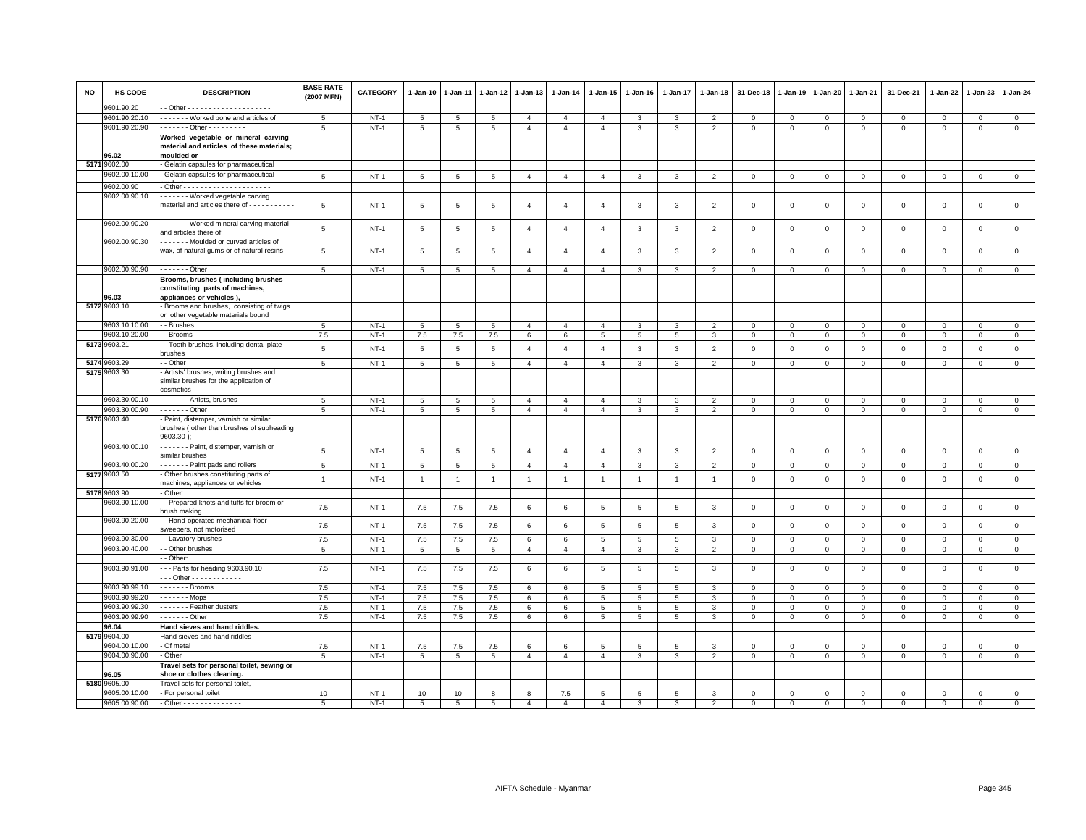| <b>NO</b> | <b>HS CODE</b>        | <b>DESCRIPTION</b>                                                                                                                                                                | <b>BASE RATE</b><br>(2007 MFN) | <b>CATEGORY</b> | 1-Jan-10        | 1-Jan-11        | 1-Jan-12        | 1-Jan-13       | 1-Jan-14        | 1-Jan-15        | 1-Jan-16       | 1-Jan-17                | 1-Jan-18       | 31-Dec-18              | 1-Jan-19     | 1-Jan-20     | 1-Jan-21     | 31-Dec-21    | 1-Jan-22     | 1-Jan-23       | $1 - Jan-24$        |
|-----------|-----------------------|-----------------------------------------------------------------------------------------------------------------------------------------------------------------------------------|--------------------------------|-----------------|-----------------|-----------------|-----------------|----------------|-----------------|-----------------|----------------|-------------------------|----------------|------------------------|--------------|--------------|--------------|--------------|--------------|----------------|---------------------|
|           | 0601.90.20            |                                                                                                                                                                                   |                                |                 |                 |                 |                 |                |                 |                 |                |                         |                |                        |              |              |              |              |              |                |                     |
|           | 9601.90.20.10         | - - - - - - Worked bone and articles of                                                                                                                                           | 5                              | $NT-1$          | 5               | 5               | 5               | $\overline{4}$ | $\overline{4}$  | $\overline{4}$  | 3              | 3                       | $\overline{2}$ | $\mathbf 0$            | $\mathsf 0$  | 0            | $\mathsf 0$  | $\mathbf 0$  | $\Omega$     | $\mathbf 0$    | $\mathbf 0$         |
|           | 9601.90.20.90         | ------ Other ---------                                                                                                                                                            | 5                              | $NT-1$          | $\overline{5}$  | 5               | 5               | $\overline{4}$ | $\overline{4}$  | $\overline{4}$  | 3              | 3                       | $\overline{2}$ | $\mathbf 0$            | $\mathbf 0$  | $\mathbf 0$  | $\,0\,$      | $\mathbf 0$  | $\mathbf 0$  | $\mathbf 0$    | $\overline{0}$      |
|           | 96.02                 | Worked vegetable or mineral carving<br>material and articles of these materials;<br>moulded or                                                                                    |                                |                 |                 |                 |                 |                |                 |                 |                |                         |                |                        |              |              |              |              |              |                |                     |
|           | 5171 9602.00          | Gelatin capsules for pharmaceutical                                                                                                                                               |                                |                 |                 |                 |                 |                |                 |                 |                |                         |                |                        |              |              |              |              |              |                |                     |
|           | 9602.00.10.00         | Gelatin capsules for pharmaceutical                                                                                                                                               | $5\phantom{.0}$                | $NT-1$          | $5\phantom{.0}$ | $\sqrt{5}$      | $5\phantom{.0}$ | $\overline{4}$ | $\overline{4}$  | $\overline{4}$  | $\mathbf{3}$   | $\mathbf{3}$            | $\overline{2}$ | $\mathbf 0$            | $\mathsf 0$  | $\mathsf 0$  | $\mathsf 0$  | $\mathsf 0$  | $\,0\,$      | $\mathsf 0$    | $\mathsf 0$         |
|           | 9602.00.90            |                                                                                                                                                                                   |                                |                 |                 |                 |                 |                |                 |                 |                |                         |                |                        |              |              |              |              |              |                |                     |
|           | 9602.00.90.10         | - - - - - - Worked vegetable carving<br>material and articles there of - - - - - - - - -<br>$\cdots$                                                                              | 5                              | <b>NT-1</b>     | $\overline{5}$  | 5               | 5               | $\overline{4}$ | $\overline{4}$  | $\overline{4}$  | 3              | 3                       | 2              | $\,0\,$                | $^{\circ}$   | 0            | $\mathbf 0$  | $\mathsf 0$  | $^{\circ}$   | $\mathbf 0$    | $\mathbf 0$         |
|           | 9602.00.90.20         | ------ Worked mineral carving material<br>and articles there of                                                                                                                   | 5                              | $NT-1$          | $5\phantom{.0}$ | $\overline{5}$  | $5\phantom{.0}$ | $\overline{4}$ | $\overline{4}$  | $\overline{4}$  | 3              | $\overline{\mathbf{3}}$ | $\overline{2}$ | $\,0\,$                | $\mathsf 0$  | $\mathbf 0$  | $\,0\,$      | $\mathsf 0$  | $\,0\,$      | $\mathbf 0$    | $\mathsf 0$         |
|           | 9602.00.90.30         | Moulded or curved articles of<br>wax, of natural gums or of natural resins                                                                                                        | 5                              | $NT-1$          | $\overline{5}$  | 5               | 5               | $\overline{4}$ | $\overline{4}$  | $\overline{4}$  | 3              | 3                       | $\overline{2}$ | $\mathsf 0$            | $\mathbf 0$  | $\mathsf 0$  | $\mathsf 0$  | $\mathsf 0$  | $\mathbf 0$  | $\mathsf 0$    | $\mathsf 0$         |
|           |                       |                                                                                                                                                                                   |                                |                 |                 |                 |                 |                |                 |                 |                |                         |                |                        |              |              |              |              |              |                |                     |
|           | 9602.00.90.90         | . - Other                                                                                                                                                                         | 5                              | $NT-1$          | $5\phantom{.0}$ | 5               | $5\phantom{.0}$ | $\overline{4}$ | $\overline{4}$  | $\overline{4}$  | $\mathcal{R}$  | $\mathbf{3}$            | $\overline{2}$ | $\mathsf 0$            | $\mathsf 0$  | $\mathsf 0$  | $\mathsf 0$  | $\circ$      | $\mathbf 0$  | $\mathsf 0$    | $\mathsf 0$         |
|           | 96.03<br>5172 9603.10 | Brooms, brushes (including brushes<br>constituting parts of machines,<br>appliances or vehicles)<br>Brooms and brushes, consisting of twigs<br>or other vegetable materials bound |                                |                 |                 |                 |                 |                |                 |                 |                |                         |                |                        |              |              |              |              |              |                |                     |
|           | 9603.10.10.00         | - Brushes                                                                                                                                                                         | 5                              | $NT-1$          | 5               | 5               | 5               | $\overline{4}$ | $\overline{4}$  | $\overline{4}$  | 3              | 3                       | $\mathcal{P}$  |                        | $^{\circ}$   | $\mathsf 0$  | $\mathsf 0$  | $\mathbf 0$  | $\Omega$     | $\mathbf 0$    | $\mathsf 0$         |
|           | 9603.10.20.00         | - Brooms                                                                                                                                                                          | 7.5                            | $NT-1$          | 7.5             | 7.5             | 7.5             | 6              | $\,6\,$         | 5               | 5              | 5                       | 3              | $\,0\,$<br>$\mathbf 0$ | $\mathsf 0$  | $\mathbf{O}$ | $\mathbf 0$  | $\mathbf 0$  | $\mathbf 0$  | $\mathbf 0$    | $\mathsf 0$         |
|           | 5173 9603.21          | - Tooth brushes, including dental-plate<br>brushes                                                                                                                                | 5                              | $NT-1$          | 5               | 5               | 5               | $\overline{4}$ | $\overline{4}$  | $\overline{4}$  | 3              | $\overline{3}$          | $\overline{2}$ | $\mathbf 0$            | 0            | $\mathbf 0$  | $\mathsf 0$  | 0            | $^{\circ}$   | $\mathbf 0$    | $\mathbf 0$         |
|           | 5174 9603.29          | - Other                                                                                                                                                                           | 5                              | $NT-1$          | $5\phantom{.0}$ | $5\phantom{.0}$ | $5\phantom{.0}$ | $\overline{4}$ | $\overline{4}$  | $\overline{4}$  | 3              | $\overline{3}$          | $\overline{2}$ | $\mathsf 0$            | $\mathbf 0$  | $\mathbf{0}$ | $\mathbf 0$  | $\circ$      | $\mathbf 0$  | $\mathbf 0$    | $\overline{0}$      |
|           | 5175 9603.30          | Artists' brushes, writing brushes and<br>similar brushes for the application of<br>cosmetics - -                                                                                  |                                |                 |                 |                 |                 |                |                 |                 |                |                         |                |                        |              |              |              |              |              |                |                     |
|           | 9603.30.00.10         | . - Artists, brushes                                                                                                                                                              | 5                              | $NT-1$          | $5\overline{5}$ | 5               | 5               | $\overline{4}$ | $\overline{4}$  | $\overline{4}$  | 3              | 3                       | $\overline{2}$ | $\mathbf 0$            | 0            | $\mathbf 0$  | $\mathbf 0$  | $\mathbf 0$  | $^{\circ}$   | $\mathbf 0$    | $\mathbf 0$         |
|           | 9603.30.00.90         | $\cdots$ Other                                                                                                                                                                    | 5                              | $NT-1$          | 5               | 5               | 5               | $\overline{4}$ | $\overline{4}$  | $\overline{4}$  | $\mathbf{3}$   | $\mathbf{3}$            | $\overline{2}$ | $\mathbf 0$            | $\mathsf 0$  | $\mathsf 0$  | $\mathbf 0$  | $\mathbf 0$  | $\mathsf 0$  | $\mathsf 0$    | $\overline{0}$      |
|           | 5176 9603.40          | Paint, distemper, varnish or similar<br>brushes (other than brushes of subheading<br>9603.30                                                                                      |                                |                 |                 |                 |                 |                |                 |                 |                |                         |                |                        |              |              |              |              |              |                |                     |
|           | 9603.40.00.10         | - - - - - - Paint, distemper, varnish or<br>similar brushes                                                                                                                       | 5                              | $NT-1$          | $\,$ 5 $\,$     | $5\phantom{.0}$ | $\overline{5}$  | $\overline{4}$ | $\overline{4}$  | $\overline{4}$  | 3              | $\mathbf{3}$            | $\overline{2}$ | $\mathbf 0$            | $\mathbf{0}$ | $\,0\,$      | $\mathsf 0$  | $\mathsf 0$  | $\mathbf 0$  | $\mathbf 0$    | $\mathsf{O}\xspace$ |
|           | 9603.40.00.20         | Paint pads and rollers                                                                                                                                                            | 5                              | $NT-1$          | $5\phantom{.0}$ | $5\overline{5}$ | $5\phantom{.0}$ | $\overline{4}$ | $\overline{4}$  | $\overline{4}$  | 3              | $\mathbf{3}$            | $\overline{2}$ | $\mathbf 0$            | $\mathbf{0}$ | $\mathbf{0}$ | $\mathbf 0$  | $\mathbf{0}$ | $\mathbf 0$  | $\overline{0}$ | $\mathsf 0$         |
|           | 5177 9603.50          | Other brushes constituting parts of                                                                                                                                               |                                |                 |                 |                 |                 |                |                 |                 |                |                         |                |                        |              |              |              |              |              |                |                     |
|           |                       | machines, appliances or vehicles                                                                                                                                                  | $\overline{1}$                 | $NT-1$          | $\overline{1}$  | $\overline{1}$  | $\overline{1}$  | $\overline{1}$ | $\mathbf{1}$    | $\overline{1}$  | $\overline{1}$ | $\overline{1}$          | $\overline{1}$ | $\mathsf 0$            | $\mathsf 0$  | $\mathsf 0$  | $\mathsf 0$  | $\mathbf{O}$ | $\mathbf 0$  | $\mathsf 0$    | $\mathsf{O}\xspace$ |
|           | 5178 9603.90          | Other:                                                                                                                                                                            |                                |                 |                 |                 |                 |                |                 |                 |                |                         |                |                        |              |              |              |              |              |                |                     |
|           | 9603.90.10.00         | - Prepared knots and tufts for broom or<br>orush making                                                                                                                           | 7.5                            | $NT-1$          | 7.5             | 7.5             | 7.5             | 6              | 6               | 5               | 5              | 5                       | 3              | $\mathsf 0$            | $\Omega$     | $\mathbf 0$  | $\mathbf 0$  | $\mathbf 0$  | $\Omega$     | $\mathbf 0$    | $\mathsf 0$         |
|           | 9603.90.20.00         | - Hand-operated mechanical floor<br>sweepers, not motorised                                                                                                                       | 7.5                            | $NT-1$          | 7.5             | 7.5             | 7.5             | 6              | 6               | 5               | 5              | 5                       | 3              | $\mathsf 0$            | $\mathsf 0$  | $\mathsf 0$  | $\mathbf 0$  | $\mathsf 0$  | $\mathbf 0$  | $\mathsf 0$    | $\mathsf 0$         |
|           | 9603.90.30.00         | - Lavatory brushes                                                                                                                                                                | 7.5                            | $NT-1$          | 7.5             | 7.5             | 7.5             | 6              | $6\phantom{.0}$ | $5\phantom{.0}$ | 5              | $\overline{5}$          | 3              | $\mathsf 0$            | $\Omega$     | $\mathbf 0$  | $\mathbf 0$  | $\mathbf 0$  | $\Omega$     | $\mathbf 0$    | $\overline{0}$      |
|           | 9603.90.40.00         | - Other brushes                                                                                                                                                                   | 5                              | $NT-1$          | $5\overline{5}$ | 5               | 5               | $\overline{4}$ | $\overline{4}$  | $\overline{4}$  | 3              | 3                       | $\overline{2}$ | $\mathbf 0$            | 0            | $\mathbf 0$  | $\mathsf 0$  | $\mathbf 0$  | 0            | $\mathbf 0$    | $\mathbf 0$         |
|           |                       | - Other:                                                                                                                                                                          |                                |                 |                 |                 |                 |                |                 |                 |                |                         |                |                        |              |              |              |              |              |                |                     |
|           | 9603.90.91.00         | -- Parts for heading 9603.90.10                                                                                                                                                   | 7.5                            | $NT-1$          | 7.5             | 7.5             | 7.5             | 6              | 6               | $5\overline{5}$ | 5              | 5                       | 3              | $\mathbf 0$            | $\mathbf 0$  | $\mathbf{0}$ | $\mathbf 0$  | $\mathbf{0}$ | $\Omega$     | $\mathbf{0}$   | $\mathbf{0}$        |
|           | 9603.90.99.10         | - - Other - - - - - - - - - - - -<br>$\cdots$ - - - Brooms                                                                                                                        | 7.5                            | $NT-1$          | 7.5             | 7.5             | $7.5\,$         | 6              |                 | 5               | 5              | 5                       | 3              | $\mathsf 0$            | $\mathsf 0$  | $\mathsf 0$  | $\mathbf 0$  | $\mathsf 0$  | $\mathbf 0$  | $\mathsf 0$    | $\mathsf 0$         |
|           | 9603.90.99.20         | $---$ Mops                                                                                                                                                                        | 7.5                            | $NT-1$          | 7.5             | 7.5             | 7.5             | 6              | 6<br>6          | $5\overline{5}$ | 5              | 5                       | 3              | $\mathbf 0$            | $\mathsf 0$  | 0            | $\mathsf 0$  | $\mathbf 0$  | 0            | $\mathbf 0$    | $\mathbf 0$         |
|           | 9603.90.99.30         | ------ Feather dusters                                                                                                                                                            | 7.5                            | $NT-1$          | 7.5             | 7.5             | 7.5             | 6              | $6\phantom{.0}$ | 5               | 5              | $\overline{5}$          | 3              | $\mathbf 0$            | $\mathsf 0$  | $\mathbf 0$  | $\mathsf 0$  | $\mathbf 0$  | $\Omega$     | $\mathbf 0$    | $\mathsf 0$         |
|           | 9603.90.99.90         | $- - - - -$ Other                                                                                                                                                                 | 7.5                            | $NT-1$          | 7.5             | 7.5             | 7.5             | 6              | 6               | $5\overline{5}$ | 5              | 5                       | 3              | $\mathbf 0$            | $\mathsf 0$  | $\mathsf 0$  | $\mathsf 0$  | $\mathbf 0$  | $\mathbf 0$  | $\mathbf 0$    | $\mathbf 0$         |
|           | 96.04                 | Hand sieves and hand riddles.                                                                                                                                                     |                                |                 |                 |                 |                 |                |                 |                 |                |                         |                |                        |              |              |              |              |              |                |                     |
| 5179      | 9604.00               | Hand sieves and hand riddles                                                                                                                                                      |                                |                 |                 |                 |                 |                |                 |                 |                |                         |                |                        |              |              |              |              |              |                |                     |
|           | 9604.00.10.00         | - Of metal                                                                                                                                                                        | 7.5                            | $NT-1$          | 7.5             | 7.5             | 7.5             | 6              | 6               | 5               | 5              | 5                       | 3              | $\mathbf 0$            | $\mathsf 0$  | $\mathbf 0$  | $\mathsf 0$  | $\mathbf 0$  | $\Omega$     | $\mathbf 0$    | $\mathsf 0$         |
|           | 9604.00.90.00         | - Other                                                                                                                                                                           | 5                              | $NT-1$          | $5\overline{5}$ | $5^{\circ}$     | $5^{\circ}$     | $\overline{4}$ | $\overline{4}$  | $\overline{4}$  | 3              | 3                       | 2              | $\mathbf{0}$           | $\mathbf 0$  | $\mathbf 0$  | $\mathbf{0}$ | $\mathbf{0}$ | $\mathbf{0}$ | $\mathbf{0}$   | $\mathbf{0}$        |
|           | 96.05                 | Travel sets for personal toilet, sewing or<br>shoe or clothes cleaning.                                                                                                           |                                |                 |                 |                 |                 |                |                 |                 |                |                         |                |                        |              |              |              |              |              |                |                     |
|           | 5180 9605.00          | Travel sets for personal toilet,------                                                                                                                                            |                                |                 |                 |                 |                 |                |                 |                 |                |                         |                |                        |              |              |              |              |              |                |                     |
|           | 9605.00.10.00         | - For personal toilet                                                                                                                                                             | 10                             | $NT-1$          | 10              | 10              | 8               | 8              | 7.5             | 5               | 5              | 5                       |                | $^{\circ}$             | 0            | 0            | $^{\circ}$   | $\Omega$     | 0            | 0              | $\mathbf 0$         |
|           | 9605.00.90.00         | $-$ Other - - - - - - - - - - - - - -                                                                                                                                             | $\overline{5}$                 | $NT-1$          | 5               | $\overline{5}$  | $5^{\circ}$     | $\overline{a}$ | $\Delta$        | $\overline{a}$  | $\mathbf{a}$   | $\mathbf{a}$            | $\mathcal{L}$  | $\Omega$               | $\Omega$     | $\Omega$     | $\Omega$     | $\Omega$     | $\Omega$     | $\Omega$       | $\Omega$            |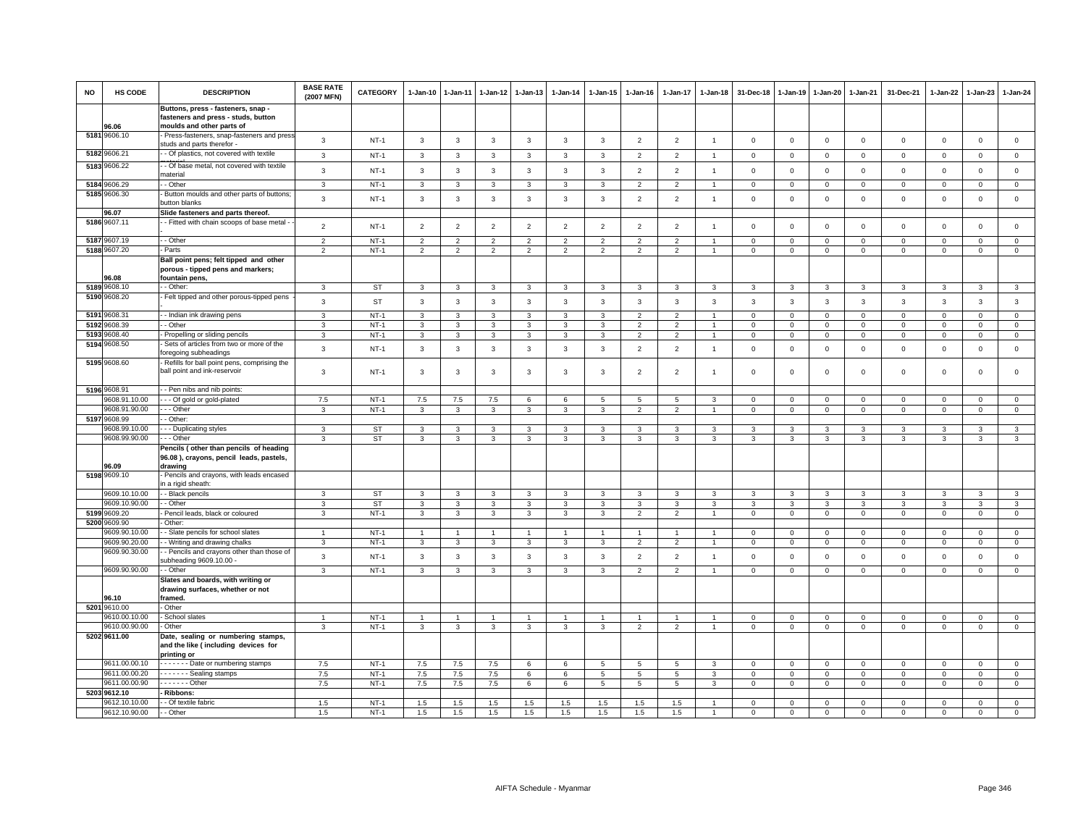| <b>NO</b>    | HS CODE                        | <b>DESCRIPTION</b>                                                                            | <b>BASE RATE</b><br>(2007 MFN) | CATEGORY         | 1-Jan-10                     | $1 - Jan-11$            | 1-Jan-12            | 1-Jan-13            | 1-Jan-14          | 1-Jan-15          | 1-Jan-16                         | $1 - Jan-17$                     | 1-Jan-18            | 31-Dec-18                               | 1-Jan-19                   | 1-Jan-20                    | 1-Jan-21                    | 31-Dec-21               | 1-Jan-22                   | 1-Jan-23                   | $1 - Jan-24$                   |
|--------------|--------------------------------|-----------------------------------------------------------------------------------------------|--------------------------------|------------------|------------------------------|-------------------------|---------------------|---------------------|-------------------|-------------------|----------------------------------|----------------------------------|---------------------|-----------------------------------------|----------------------------|-----------------------------|-----------------------------|-------------------------|----------------------------|----------------------------|--------------------------------|
|              |                                | Buttons, press - fasteners, snap -<br>fasteners and press - studs, button                     |                                |                  |                              |                         |                     |                     |                   |                   |                                  |                                  |                     |                                         |                            |                             |                             |                         |                            |                            |                                |
|              | 96.06<br>5181 9606.10          | moulds and other parts of<br>- Press-fasteners, snap-fasteners and press                      | $\mathbf{3}$                   | $NT-1$           | $\mathbf{3}$                 | $\overline{\mathbf{3}}$ | $\mathbf{3}$        | $\mathbf{3}$        | 3                 | $\mathbf{3}$      | $\overline{2}$                   | $\overline{2}$                   | $\overline{1}$      | $\mathbf 0$                             | $\mathbf 0$                | $\mathbf 0$                 | $\mathbf 0$                 | $\mathbf 0$             | 0                          | $\mathbf 0$                | $\mathsf 0$                    |
| 5182         | 9606.21                        | studs and parts therefor -<br>- Of plastics, not covered with textile                         | 3                              | $NT-1$           | $\mathbf{3}$                 | $\mathbf{3}$            | $\mathbf{3}$        | $\mathbf{3}$        | 3                 | $\mathbf{3}$      | 2                                | 2                                | $\overline{1}$      | $\mathbf{0}$                            | $\mathbf 0$                | $\mathbf{0}$                | $\mathbf{0}$                | $\mathbf{0}$            | $\Omega$                   | $\circ$                    | $\mathbf{0}$                   |
|              | 5183 9606.22                   | - - Of base metal, not covered with textile                                                   | 3                              | $NT-1$           | $\mathbf{3}$                 | $\mathbf{3}$            | $\mathbf{3}$        | $\mathbf{3}$        | $\mathbf{3}$      | $\mathbf{3}$      | $\overline{2}$                   | $\overline{2}$                   | $\overline{1}$      | $\mathbf 0$                             | $\mathsf 0$                | $\mathsf 0$                 | $\mathbf 0$                 | $\mathbf 0$             | $\Omega$                   | $\mathbf{0}$               | $\mathsf 0$                    |
|              | 5184 9606.29                   | material<br>- Other                                                                           | 3                              | $NT-1$           | $\mathbf{3}$                 | 3                       | $\mathbf{3}$        | $\mathbf{3}$        | $\mathbf{3}$      | 3                 | $\overline{2}$                   | $\overline{2}$                   |                     | $\mathbf 0$                             | $\mathsf 0$                | $\mathsf 0$                 | $\mathbf 0$                 | $\mathsf 0$             | $\mathbf 0$                | $\mathsf 0$                | $\mathsf 0$                    |
|              | 5185 9606.30                   | Button moulds and other parts of buttons;<br>button blanks                                    | 3                              | $NT-1$           | $\mathbf{3}$                 | $\overline{\mathbf{3}}$ | $\mathbf{3}$        | $\mathbf{3}$        | $\mathbf{3}$      | $\mathbf{3}$      | $\overline{2}$                   | $\overline{2}$                   | $\overline{1}$      | $\mathbf 0$                             | $\mathbf 0$                | $\mathbf 0$                 | $\mathbf{0}$                | $\mathbf{0}$            | $\Omega$                   | $\mathbf{0}$               | $\mathsf 0$                    |
|              | 96.07                          | Slide fasteners and parts thereof.                                                            |                                |                  |                              |                         |                     |                     |                   |                   |                                  |                                  |                     |                                         |                            |                             |                             |                         |                            |                            |                                |
|              | 5186 9607.11                   | - Fitted with chain scoops of base metal -                                                    | $\overline{2}$                 | $NT-1$           | $\overline{2}$               | $\overline{2}$          | $\overline{2}$      | $\overline{2}$      | $\overline{2}$    | $\overline{2}$    | $\overline{2}$                   | $\overline{2}$                   | $\overline{1}$      | $\mathbf 0$                             | $\mathsf 0$                | $\mathsf 0$                 | $\mathbf 0$                 | $\mathsf 0$             | $\Omega$                   | $\mathsf 0$                | $\mathbf 0$                    |
|              | 5187 9607.19                   | - - Other                                                                                     | $\mathfrak{p}$                 | $NT-1$           | $\overline{2}$               | $\overline{2}$          | $\overline{2}$      | $\overline{2}$      | $\overline{2}$    | $\overline{2}$    | $\overline{2}$                   | $\overline{2}$                   |                     | $\mathbf 0$                             | $\mathbf 0$                | $\mathsf 0$                 | $\mathbf 0$                 | $\mathbf 0$             | $\Omega$                   | $\mathbf{0}$               | $\mathbb O$                    |
|              | 5188 9607.20                   | - Parts                                                                                       | 2                              | $NT-1$           | 2                            | $\overline{2}$          | $\overline{2}$      | $\overline{2}$      | $\overline{2}$    | $\overline{2}$    | $\overline{2}$                   | 2                                |                     | $\mathbf 0$                             | $\mathbf 0$                | $\mathbf{0}$                | $\mathbf{0}$                | $\mathbf 0$             | $\circ$                    | $\mathbf 0$                | $\mathbf{0}$                   |
|              | 96.08                          | Ball point pens; felt tipped and other<br>porous - tipped pens and markers;<br>fountain pens, |                                |                  |                              |                         |                     |                     |                   |                   |                                  |                                  |                     |                                         |                            |                             |                             |                         |                            |                            |                                |
|              | 5189 9608.10                   | - - Other:                                                                                    | 3                              | <b>ST</b>        | $\mathbf{3}$                 | 3                       | 3                   | $\mathbf{3}$        | 3                 | 3                 | 3                                | 3                                | 3                   | $\mathbf{3}$                            | 3                          | 3                           | 3                           | 3                       | 3                          | 3                          | $\mathbf{3}$                   |
|              | 5190 9608.20                   | - Felt tipped and other porous-tipped pens                                                    | $\mathbf{3}$                   | <b>ST</b>        | $\mathbf{3}$                 | $\overline{\mathbf{3}}$ | $\mathbf{3}$        | $\mathbf{3}$        | $\mathbf{3}$      | $\mathbf{3}$      | $\mathbf{3}$                     | $\mathbf{3}$                     | $\mathbf{3}$        | 3                                       | 3                          | 3                           | $\mathbf{3}$                | $\mathbf{3}$            | $\mathbf{3}$               | $\mathbf{3}$               | $\mathbf{3}$                   |
| 5191         | 9608.31                        | -- Indian ink drawing pens                                                                    | 3                              | $NT-1$           | 3                            | 3                       | $\mathbf{3}$        | 3                   | $\mathbf{3}$      | 3                 | $\overline{2}$                   | $\overline{2}$                   |                     | $\mathbf 0$                             | $\mathbf 0$                | $\mathsf 0$                 | $\mathbf 0$                 | $\mathsf 0$             | $\Omega$                   | $\mathsf 0$                | $\mathbf{0}$                   |
| 5192<br>5193 | 9608.39<br>9608.40             | - Other<br>- Propelling or sliding pencils                                                    | 3<br>3                         | $NT-1$<br>$NT-1$ | $\mathbf{3}$<br>$\mathbf{3}$ | 3<br>3                  | 3<br>3              | 3<br>3              | 3<br>3            | 3<br>3            | $\overline{2}$<br>$\overline{2}$ | $\overline{2}$<br>$\overline{2}$ |                     | $\mathbf 0$<br>$\mathbf 0$              | $\mathbf 0$<br>$\mathbf 0$ | $\mathbf 0$<br>$\mathbf 0$  | $\mathbf{0}$<br>$\mathbf 0$ | $\Omega$<br>$\mathbf 0$ | $\Omega$<br>0              | $\Omega$<br>$\mathbf 0$    | $\mathsf 0$<br>$\mathsf 0$     |
| 5194         | 9608.50                        | Sets of articles from two or more of the                                                      |                                |                  |                              |                         |                     |                     |                   |                   |                                  |                                  |                     |                                         |                            |                             |                             |                         |                            |                            |                                |
|              | 5195 9608.60                   | foregoing subheadings<br>- Refills for ball point pens, comprising the                        | $\mathbf{3}$                   | $NT-1$           | $\mathbf{3}$                 | $\overline{\mathbf{3}}$ | $\mathbf{3}$        | $\mathbf{3}$        | $\mathbf{3}$      | $\mathbf{3}$      | $\overline{2}$                   | $\overline{2}$                   | $\overline{1}$      | $\mathbf 0$                             | $\mathbf 0$                | $\mathsf 0$                 | $\mathbf 0$                 | $\mathsf 0$             | $\mathbf 0$                | $\mathsf 0$                | $\mathsf 0$                    |
|              |                                | ball point and ink-reservoir                                                                  | 3                              | $NT-1$           | $\mathbf{3}$                 | 3                       | 3                   | $\mathbf{3}$        | $\mathbf{3}$      | 3                 | $\overline{2}$                   | $\overline{2}$                   | $\mathbf{1}$        | $\mathbf 0$                             | $\mathsf 0$                | $\mathbf 0$                 | $\mathbf 0$                 | $\mathsf 0$             | $\mathbf 0$                | $\mathsf 0$                | $\mathsf 0$                    |
|              | 5196 9608.91                   | - Pen nibs and nib points                                                                     |                                |                  |                              |                         |                     |                     |                   |                   |                                  |                                  |                     |                                         |                            |                             |                             |                         |                            |                            |                                |
|              | 9608.91.10.00<br>9608.91.90.00 | --- Of gold or gold-plated<br>--- Other                                                       | 7.5<br>$\mathbf{3}$            | $NT-1$<br>$NT-1$ | 7.5<br>$\mathbf{3}$          | 7.5<br>$\mathbf{3}$     | 7.5<br>$\mathbf{3}$ | 6<br>$\mathbf{3}$   | 6<br>$\mathbf{3}$ | 5<br>$\mathbf{3}$ | 5<br>2                           | 5<br>$\overline{2}$              | 3<br>$\overline{1}$ | $\overline{0}$<br>$\mathbf{0}$          | $\mathbf 0$<br>$\circ$     | $\mathbf 0$<br>$\mathbf{0}$ | $\overline{0}$<br>$\circ$   | $^{\circ}$<br>$\circ$   | $\mathbf 0$<br>$\mathbf 0$ | $^{\circ}$<br>$\mathbf{0}$ | $\overline{0}$<br>$\mathbf{0}$ |
|              | 5197 9608.99                   | - Other                                                                                       |                                |                  |                              |                         |                     |                     |                   |                   |                                  |                                  |                     |                                         |                            |                             |                             |                         |                            |                            |                                |
|              | 9608.99.10.00                  | - - Duplicating styles                                                                        | 3                              | <b>ST</b>        | $\mathbf{3}$                 | 3                       | 3                   | 3                   | 3                 | 3                 | 3                                | 3                                | 3                   | $\mathbf{3}$                            | 3                          | 3                           | 3                           | 3                       | 3                          | 3                          | $\mathbf{3}$                   |
|              | 9608.99.90.00                  | $- -$ Other<br>Pencils (other than pencils of heading                                         | 3                              | ST               | $\mathbf{3}$                 | 3                       | 3                   | 3                   | 3                 | 3                 | 3                                | 3                                | 3                   | $\mathbf{3}$                            | 3                          | 3                           | 3                           | 3                       | 3                          | 3                          | $\mathbf{3}$                   |
|              | 96.09                          | 96.08), crayons, pencil leads, pastels,<br>drawing                                            |                                |                  |                              |                         |                     |                     |                   |                   |                                  |                                  |                     |                                         |                            |                             |                             |                         |                            |                            |                                |
|              | 5198 9609.10                   | - Pencils and crayons, with leads encased<br>in a rigid sheath:                               |                                |                  |                              |                         |                     |                     |                   |                   |                                  |                                  |                     |                                         |                            |                             |                             |                         |                            |                            |                                |
|              | 9609.10.10.00<br>9609.10.90.00 | - - Black pencils<br>- - Other                                                                | 3<br>3                         | ST<br><b>ST</b>  | $\mathbf{3}$<br>$\mathbf{3}$ | 3<br>3                  | 3<br>3              | $\overline{3}$<br>3 | 3<br>3            | 3<br>$\mathbf{3}$ | 3<br>3                           | 3<br>3                           | 3<br>3              | $\overline{\mathbf{3}}$<br>$\mathbf{3}$ | 3<br>3                     | 3<br>3                      | 3<br>3                      | 3<br>3                  | 3<br>3                     | $\mathcal{R}$<br>3         | $\mathbf{3}$<br>$\mathbf{3}$   |
| 5199         | 9609.20                        | Pencil leads, black or coloured                                                               | 3                              | $NT-1$           | $\mathbf{3}$                 | 3                       | 3                   | 3                   | $\mathbf{3}$      | 3                 | $\overline{2}$                   | $\overline{\phantom{a}}$         |                     | $\mathbf 0$                             | $\mathbf 0$                | $\mathsf 0$                 | $\mathsf 0$                 | $\mathbf 0$             | $\mathbf 0$                | $\mathbf 0$                | $\mathsf{O}\xspace$            |
|              | 5200 9609.90                   | Other:                                                                                        |                                |                  |                              |                         |                     |                     |                   |                   |                                  |                                  |                     |                                         |                            |                             |                             |                         |                            |                            |                                |
|              | 9609.90.10.00                  | - Slate pencils for school slates                                                             | $\overline{1}$                 | $NT-1$           | 1                            |                         | -1                  | -1                  | $\mathbf{1}$      |                   |                                  |                                  |                     | $\mathbf 0$                             | $\mathbf 0$                | $\mathbf 0$                 | $\mathbf 0$                 | 0                       | 0                          | $\mathbf 0$                | $\mathbf 0$                    |
|              | 9609.90.20.00<br>9609.90.30.00 | - Writing and drawing chalks<br>- Pencils and crayons other than those of                     | 3                              | $NT-1$           | $\mathbf{3}$                 | 3                       | 3                   | 3                   | 3                 | 3                 | $\overline{2}$                   | $\overline{\phantom{0}}$         |                     | $\mathbf 0$                             | $\mathbf 0$                | $\Omega$                    | $\overline{0}$              | $\mathbf{0}$            | $\Omega$                   | $\mathbf{0}$               | $\mathsf 0$                    |
|              |                                | subheading 9609.10.00                                                                         | $\mathbf{3}$                   | $NT-1$           | $\mathbf{3}$                 | $\overline{\mathbf{3}}$ | 3                   | $\mathbf{3}$        | 3                 | $\mathbf{3}$      | $\overline{2}$                   | $\overline{2}$                   | $\overline{1}$      | $\mathbf 0$                             | $\mathbf 0$                | $\mathbf 0$                 | $\mathbf 0$                 | $\mathbf 0$             | 0                          | $\mathbf 0$                | $\mathsf 0$                    |
|              | 9609.90.90.00                  | - Other                                                                                       | 3                              | $NT-1$           | $\mathbf{3}$                 | 3                       | 3                   | 3                   | 3                 | 3                 | $\overline{2}$                   | $\overline{2}$                   | $\mathbf{1}$        | $\mathbf 0$                             | $\mathbf 0$                | $\mathbf 0$                 | $\mathbf{0}$                | $\mathbf 0$             | 0                          | $\mathbf 0$                | $\mathbf{0}$                   |
|              | 96.10                          | Slates and boards, with writing or<br>drawing surfaces, whether or not<br>framed.             |                                |                  |                              |                         |                     |                     |                   |                   |                                  |                                  |                     |                                         |                            |                             |                             |                         |                            |                            |                                |
| 5201         | 9610.00                        | Other                                                                                         |                                |                  |                              |                         |                     |                     |                   |                   |                                  |                                  |                     |                                         |                            |                             |                             |                         |                            |                            |                                |
|              | 9610.00.10.00<br>9610.00.90.00 | - School slates<br>Other                                                                      | $\mathbf{1}$                   | $NT-1$<br>$NT-1$ | $\overline{1}$               | $\overline{1}$<br>3     | $\mathbf{1}$        | $\overline{1}$      | $\overline{1}$    | $\overline{1}$    |                                  | $\overline{1}$<br>$\overline{2}$ |                     | $\overline{0}$                          | $\mathbf 0$                | $\mathbf 0$                 | $\mathbf 0$                 | $\mathbf{0}$            | $\Omega$                   | $\mathbf{0}$               | $\mathbf{0}$<br>$\mathbf{0}$   |
|              | 5202 9611.00                   | Date, sealing or numbering stamps<br>and the like (including devices for<br>printing or       | 3                              |                  | $\mathbf{3}$                 |                         | 3                   | 3                   | 3                 | 3                 | $\overline{2}$                   |                                  |                     | $\mathbf 0$                             | $\mathbf 0$                | $\mathbf 0$                 | $\mathbf 0$                 | 0                       | 0                          | $\mathbf 0$                |                                |
|              | 9611.00.00.10                  | ------- Date or numbering stamps                                                              | 7.5                            | $NT-1$           | $7.5\,$                      | 7.5                     | 7.5                 | 6                   | 6                 | 5                 | 5                                | 5                                | 3                   | $\mathbf 0$                             | $\mathbf 0$                | $\mathbf 0$                 | $\mathsf 0$                 | $\mathbf 0$             | $\mathbf 0$                | $\mathbf 0$                | $\mathsf 0$                    |
|              | 9611.00.00.20                  | $\cdots$ $\cdots$ - Sealing stamps                                                            | 7.5                            | $NT-1$           | $7.5\,$                      | $7.5\,$                 | 7.5                 | 6                   | 6                 | $5\overline{5}$   | 5                                | 5                                | 3                   | $\mathbf 0$                             | $\mathbf 0$                | $\mathbf 0$                 | $\mathbf{0}$                | $\mathbf 0$             | 0                          | $\mathbf 0$                | $\overline{0}$                 |
|              | 9611.00.00.90<br>5203 9612.10  | $- - - - -$ Other<br>Ribbons:                                                                 | 7.5                            | $NT-1$           | 7.5                          | $7.5\,$                 | 7.5                 | 6                   | 6                 | 5                 | 5                                | 5                                | 3                   | $\mathbf 0$                             | $\mathbf 0$                | $\mathbf 0$                 | $\mathbf 0$                 | $\mathbf 0$             | $\mathbf 0$                | $\mathbf{0}$               | $\mathbf{0}$                   |
|              | 9612.10.10.00                  | - Of textile fabric                                                                           | 1.5                            | $NT-1$           | 1.5                          | 1.5                     | 1.5                 | 1.5                 | 1.5               | 1.5               | 1.5                              | 1.5                              |                     | $\mathbf 0$                             | $\mathbf 0$                | $\mathbf 0$                 | $\mathbf 0$                 | $\Omega$                | 0                          | $\Omega$                   | $\mathsf 0$                    |
|              | 9612.10.90.00                  | - - Other                                                                                     | 1.5                            | $NT-1$           | 1.5                          | 1.5                     | 1.5                 | 1.5                 | 1.5               | 1.5               | 1.5                              | 1.5                              |                     | $\mathbf 0$                             | $\mathbf 0$                | $\Omega$                    | $\mathbf 0$                 | $\Omega$                | $\Omega$                   | $\Omega$                   | $\mathsf 0$                    |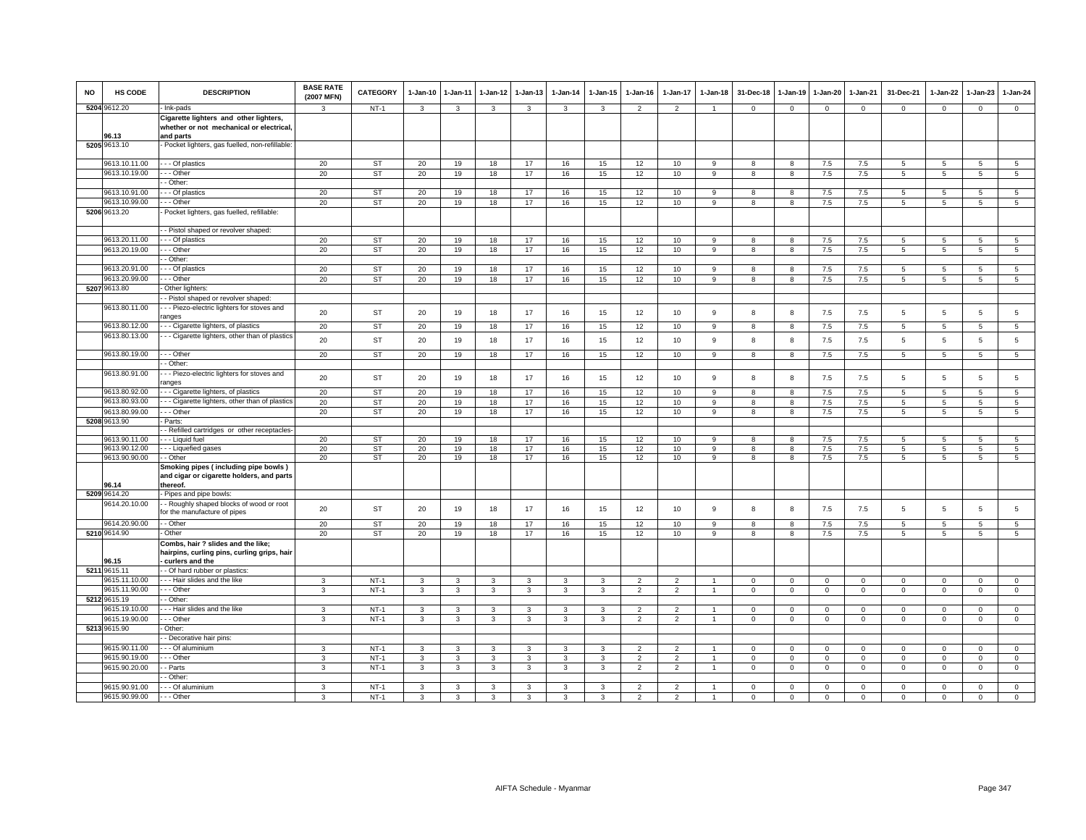| <b>NO</b> | <b>HS CODE</b> | <b>DESCRIPTION</b>                                                                              | <b>BASE RATE</b><br>(2007 MFN) | <b>CATEGORY</b> | 1-Jan-10       | 1-Jan-11     | 1-Jan-12 | 1-Jan-13     | 1-Jan-14     | 1-Jan-15     | 1-Jan-16       | 1-Jan-17                 | 1-Jan-18       | 31-Dec-18    | 1-Jan-19     | 1-Jan-20       | 1-Jan-21       | 31-Dec-21      | 1-Jan-22        | 1-Jan-23        | 1-Jan-24        |
|-----------|----------------|-------------------------------------------------------------------------------------------------|--------------------------------|-----------------|----------------|--------------|----------|--------------|--------------|--------------|----------------|--------------------------|----------------|--------------|--------------|----------------|----------------|----------------|-----------------|-----------------|-----------------|
|           | 5204 9612.20   | - Ink-pads                                                                                      | $\mathcal{R}$                  | $NT-1$          | $\mathbf{3}$   | 3            | 3        | 3            | 3            | 3            | $\overline{2}$ | $\overline{2}$           | $\overline{1}$ | $\mathbf 0$  | $\mathsf 0$  | $\mathbf{0}$   | $\circ$        | $\mathbf 0$    | $\circ$         | $\mathbf{0}$    | $\overline{0}$  |
|           | 96.13          | Cigarette lighters and other lighters,<br>whether or not mechanical or electrical,<br>and parts |                                |                 |                |              |          |              |              |              |                |                          |                |              |              |                |                |                |                 |                 |                 |
|           | 5205 9613.10   | - Pocket lighters, gas fuelled, non-refillable:                                                 |                                |                 |                |              |          |              |              |              |                |                          |                |              |              |                |                |                |                 |                 |                 |
|           | 9613.10.11.00  | - - Of plastics                                                                                 | 20                             | <b>ST</b>       | 20             | 19           | 18       | 17           | 16           | 15           | 12             | 10                       | 9              | 8            | 8            | 7.5            | 7.5            | 5              | 5               | 5               | 5               |
|           | 9613.10.19.00  | - - Other                                                                                       | 20                             | ST              | 20             | 19           | 18       | 17           | 16           | 15           | 12             | 10                       | 9              | 8            | 8            | $7.5$          | $7.5\,$        | 5              | 5               | 5               | $\,$ 5 $\,$     |
|           |                | - Other                                                                                         |                                |                 |                |              |          |              |              |              |                |                          |                |              |              |                |                |                |                 |                 |                 |
|           | 9613.10.91.00  | - - Of plastics                                                                                 | 20                             | ST              | 20             | 19           | 18       | 17           | 16           | 15           | 12             | 10                       | 9              | 8            | 8            | 7.5            | 7.5            | 5              | 5               | 5               | 5               |
|           | 9613.10.99.00  | - - - Other                                                                                     | 20                             | <b>ST</b>       | 20             | 19           | 18       | 17           | 16           | 15           | 12             | 10                       | 9              | 8            | 8            | 7.5            | 7.5            | 5              | 5               | 5               | $\overline{5}$  |
|           | 5206 9613.20   | Pocket lighters, gas fuelled, refillable:                                                       |                                |                 |                |              |          |              |              |              |                |                          |                |              |              |                |                |                |                 |                 |                 |
|           | 9613.20.11.00  | - Pistol shaped or revolver shaped:<br>- - Of plastics                                          |                                |                 |                |              |          |              |              |              |                |                          |                |              |              |                |                |                |                 |                 |                 |
|           | 9613.20.19.00  | - - Other                                                                                       | 20                             | <b>ST</b>       | 20             | 19           | 18       | 17           | 16           | 15           | 12             | 10                       | 9              | 8            | 8            | $7.5$          | $7.5\,$<br>7.5 | 5              | 5               | 5               | 5               |
|           |                | - Other:                                                                                        | 20                             | <b>ST</b>       | 20             | 19           | 18       | 17           | 16           | 15           | 12             | 10                       | $\mathsf g$    | 8            | 8            | 7.5            |                | $\overline{5}$ | 5               | 5               | $5\phantom{.0}$ |
|           | 9613.20.91.00  | - - Of plastics                                                                                 | 20                             | <b>ST</b>       | 20             | 19           | 18       | 17           | 16           | 15           | 12             | 10                       |                | 8            |              | 7.5            | 7.5            | 5              | 5               | 5               | $5\phantom{.0}$ |
|           | 9613.20.99.00  | - - - Other                                                                                     | 20                             | <b>ST</b>       | 20             |              |          | 17           | 16           | 15           | 12             | 10                       | 9              |              | 8            |                |                |                |                 |                 |                 |
|           | 5207 9613.80   | Other lighters:                                                                                 |                                |                 |                | 19           | 18       |              |              |              |                |                          | 9              | 8            | 8            | 7.5            | 7.5            | 5              | 5               | 5               | $5\overline{5}$ |
|           |                | - Pistol shaped or revolver shaped:                                                             |                                |                 |                |              |          |              |              |              |                |                          |                |              |              |                |                |                |                 |                 |                 |
|           | 9613.80.11.00  | - - Piezo-electric lighters for stoves and                                                      |                                |                 |                |              |          |              |              |              |                |                          |                |              |              |                |                |                |                 |                 |                 |
|           |                | ranges                                                                                          | 20                             | <b>ST</b>       | 20             | 19           | 18       | 17           | 16           | 15           | 12             | 10                       | 9              | 8            | 8            | 7.5            | 7.5            | $\overline{5}$ | 5               | $5\phantom{.0}$ | $\,$ 5 $\,$     |
|           | 9613.80.12.00  | - - Cigarette lighters, of plastics                                                             | 20                             | <b>ST</b>       | 20             | 19           | 18       | 17           | 16           | 15           | 12             | 10                       | 9              | 8            | 8            | 7.5            | 7.5            | 5              | $5\overline{5}$ | 5               | $5\phantom{.0}$ |
|           | 9613.80.13.00  | - - Cigarette lighters, other than of plastics                                                  |                                |                 |                |              |          |              |              |              |                |                          |                |              |              |                |                |                |                 |                 |                 |
|           |                |                                                                                                 | 20                             | <b>ST</b>       | 20             | 19           | 18       | 17           | 16           | 15           | 12             | 10                       | 9              | 8            | 8            | 7.5            | 7.5            | $\overline{5}$ | 5               | 5               | 5               |
|           | 9613.80.19.00  | - - - Other                                                                                     | 20                             | <b>ST</b>       | 20             | 19           | 18       | 17           | 16           | 15           | 12             | 10                       | 9              | 8            | 8            | 7.5            | 7.5            | 5              | 5               | 5               | $5\overline{5}$ |
|           |                | - Other:                                                                                        |                                |                 |                |              |          |              |              |              |                |                          |                |              |              |                |                |                |                 |                 |                 |
|           | 9613.80.91.00  | - - - Piezo-electric lighters for stoves and<br>ranges                                          | 20                             | <b>ST</b>       | 20             | 19           | 18       | 17           | 16           | 15           | 12             | 10                       | 9              | 8            | 8            | 7.5            | 7.5            | 5              | 5               | 5               | 5               |
|           | 9613.80.92.00  | - - - Cigarette lighters, of plastics                                                           | 20                             | <b>ST</b>       | 20             | 19           | 18       | 17           | 16           | 15           | 12             | 10                       | 9              | 8            | 8            | 7.5            | 7.5            | $\overline{5}$ | 5               | 5               | $5\overline{5}$ |
|           | 9613.80.93.00  | - - Cigarette lighters, other than of plastics                                                  | 20                             | ST              | 20             | 19           | 18       | 17           | 16           | 15           | 12             | 10                       | $\mathsf g$    | 8            | 8            | $7.5$          | $7.5\,$        | 5              | 5               | $\,$ 5 $\,$     | 5               |
|           | 9613.80.99.00  | - - - Other                                                                                     | 20                             | ST              | 20             | 19           | 18       | 17           | 16           | 15           | 12             | 10                       | 9              | 8            | 8            | 7.5            | 7.5            | 5              | 5               | 5               | 5               |
|           | 5208 9613.90   | - Parts:                                                                                        |                                |                 |                |              |          |              |              |              |                |                          |                |              |              |                |                |                |                 |                 |                 |
|           |                | - Refilled cartridges or other receptacles                                                      |                                |                 |                |              |          |              |              |              |                |                          |                |              |              |                |                |                |                 |                 |                 |
|           | 9613.90.11.00  | - - Liquid fuel                                                                                 | 20                             | <b>ST</b>       | 20             | 19           | 18       | 17           | 16           | 15           | 12             | 10                       | 9              | 8            | 8            | 7.5            | $7.5\,$        | 5              | 5               | 5               | 5               |
|           | 9613.90.12.00  | - - - Liquefied gases                                                                           | 20                             | <b>ST</b>       | 20             | 19           | 18       | 17           | 16           | 15           | 12             | 10                       | 9              | 8            | 8            | 7.5            | 7.5            | 5              | 5               | 5               | $5\overline{)}$ |
|           | 9613.90.90.00  | - Other                                                                                         | 20                             | <b>ST</b>       | 20             | 19           | 18       | 17           | 16           | 15           | 12             | 10                       | 9              | 8            | 8            | 7.5            | 7.5            | 5              | $5\overline{5}$ | $5\overline{5}$ | $5\overline{)}$ |
|           | 96.14          | Smoking pipes (including pipe bowls)<br>and cigar or cigarette holders, and parts<br>thereof.   |                                |                 |                |              |          |              |              |              |                |                          |                |              |              |                |                |                |                 |                 |                 |
|           | 5209 9614.20   | Pipes and pipe bowls:                                                                           |                                |                 |                |              |          |              |              |              |                |                          |                |              |              |                |                |                |                 |                 |                 |
|           | 9614.20.10.00  | - Roughly shaped blocks of wood or root<br>for the manufacture of pipes                         | 20                             | <b>ST</b>       | 20             | 19           | 18       | 17           | 16           | 15           | 12             | 10                       | 9              | 8            | 8            | 7.5            | 7.5            | $\overline{5}$ | 5               | 5               | $5\phantom{.0}$ |
|           | 9614.20.90.00  | - - Other                                                                                       | 20                             | <b>ST</b>       | 20             | 19           | 18       | 17           | 16           | 15           | 12             | 10                       | 9              | 8            | 8            | 7.5            | $7.5\,$        | $\overline{5}$ | 5               | 5               | $\overline{5}$  |
|           | 5210 9614.90   | - Other                                                                                         | 20                             | <b>ST</b>       | 20             | 19           | 18       | 17           | 16           | 15           | 12             | 10                       | 9              | 8            | 8            | 7.5            | $7.5\,$        | 5              | 5               | 5               | $5\phantom{.0}$ |
|           |                | Combs, hair ? slides and the like;                                                              |                                |                 |                |              |          |              |              |              |                |                          |                |              |              |                |                |                |                 |                 |                 |
|           |                | hairpins, curling pins, curling grips, hair                                                     |                                |                 |                |              |          |              |              |              |                |                          |                |              |              |                |                |                |                 |                 |                 |
|           | 96.15          | curlers and the                                                                                 |                                |                 |                |              |          |              |              |              |                |                          |                |              |              |                |                |                |                 |                 |                 |
|           | 5211 9615.11   | - Of hard rubber or plastics:                                                                   |                                |                 |                |              |          |              |              |              |                |                          |                |              |              |                |                |                |                 |                 |                 |
|           | 9615.11.10.00  | --- Hair slides and the like                                                                    | 3                              | $NT-1$          | $\mathbf{3}$   | 3            | 3        | 3            | 3            | 3            | $\overline{2}$ | $\overline{2}$           |                | $\mathbf 0$  | $\mathbf 0$  | $\mathsf 0$    | $\mathbf{0}$   | $\mathbf 0$    | $\mathbf 0$     | $\mathbf 0$     | $\mathbf{0}$    |
|           | 9615.11.90.00  | - - Other                                                                                       | 3                              | $NT-1$          | $\overline{3}$ | 3            | 3        | 3            | 3            | 3            | $\overline{2}$ | $\overline{\phantom{a}}$ |                | $\mathbf 0$  | $\mathbf 0$  | $\mathbf 0$    | $\mathbf 0$    | $\mathbf 0$    | $\Omega$        | $\mathbf 0$     | $\mathsf 0$     |
|           | 5212 9615.19   | - Other                                                                                         |                                |                 |                |              |          |              |              |              |                |                          |                |              |              |                |                |                |                 |                 |                 |
|           | 9615.19.10.00  | - - - Hair slides and the like                                                                  | 3                              | $NT-1$          | $\mathbf{3}$   | 3            | 3        | $\mathbf{3}$ | $\mathbf{3}$ | $\mathbf{3}$ | 2              | 2                        | $\overline{1}$ | $\mathbf 0$  | $\mathbf 0$  | $\mathbf{0}$   | $\mathbf{0}$   | $\mathbf{0}$   | $\mathbf{0}$    | $\mathbf{0}$    | $\mathbf{0}$    |
|           | 9615.19.90.00  | - - - Other                                                                                     | 3                              | <b>NT-1</b>     | $\mathbf{3}$   | 3            | 3        | 3            | 3            | $\mathbf{3}$ | $\overline{2}$ | $\overline{2}$           | $\overline{1}$ | $\mathbf 0$  | $\mathbf 0$  | $\mathbf 0$    | $\mathbf 0$    | 0              | $\mathbf 0$     | $\mathbf 0$     | $\mathbf 0$     |
|           | 5213 9615.90   | Other:                                                                                          |                                |                 |                |              |          |              |              |              |                |                          |                |              |              |                |                |                |                 |                 |                 |
|           |                | - Decorative hair pins:                                                                         |                                |                 |                |              |          |              |              |              |                |                          |                |              |              |                |                |                |                 |                 |                 |
|           | 9615.90.11.00  | - - Of aluminium                                                                                |                                | $NT-1$          | 3              | 3            | 3        | 3            | 3            | 3            |                | $\overline{\phantom{0}}$ |                | $\mathbf 0$  | $\mathbf 0$  | $\mathsf 0$    | $\mathbf 0$    | $\mathsf 0$    | $\Omega$        | $\mathsf 0$     | $\mathbf 0$     |
|           | 9615.90.19.00  | $-$ - Other                                                                                     | 3                              | $NT-1$          | $\mathbf{3}$   | 3            | 3        | 3            | 3            | 3            | $\overline{2}$ | $\overline{2}$           | $\mathbf{1}$   | $\mathbf 0$  | $\mathbf 0$  | $\overline{0}$ | $\mathbf 0$    | $\mathsf 0$    | $\mathbf 0$     | $\mathbf{O}$    | $\mathbf 0$     |
|           | 9615.90.20.00  | - Parts                                                                                         | $\mathcal{R}$                  | $NT-1$          | $\mathbf{3}$   | 3            | 3        | 3            | 3            | $\mathbf{3}$ | $\overline{2}$ | 2                        | $\overline{1}$ | $\mathbf 0$  | $\mathbf 0$  | $\mathsf 0$    | $\mathbf 0$    | $\mathbf{0}$   | $\mathbf 0$     | $\mathbf{0}$    | $\mathsf 0$     |
|           |                | - Other:                                                                                        |                                |                 |                |              |          |              |              |              |                |                          |                |              |              |                |                |                |                 |                 |                 |
|           | 9615.90.91.00  | - - Of aluminium                                                                                |                                | $NT-1$          | 3              | 3            | 3        | 3            | 3            | 3            | $\mathcal{P}$  | $\overline{\phantom{0}}$ |                | $\mathbf 0$  | $\Omega$     | $\Omega$       | $\Omega$       | $\Omega$       | $\Omega$        | $\mathbf 0$     | $\mathbf 0$     |
|           | 9615.90.99.00  | --- Other                                                                                       | 3                              | $NT-1$          | $\mathbf{3}$   | $\mathbf{3}$ | 3        | 3            | 3            | $\mathbf{3}$ | $\overline{2}$ | $\overline{2}$           | $\overline{1}$ | $\mathbf{0}$ | $\mathbf{0}$ | $\Omega$       | $\mathbf{0}$   | $\mathbf 0$    | $\mathbf 0$     | $\mathbf 0$     | $\mathbf 0$     |